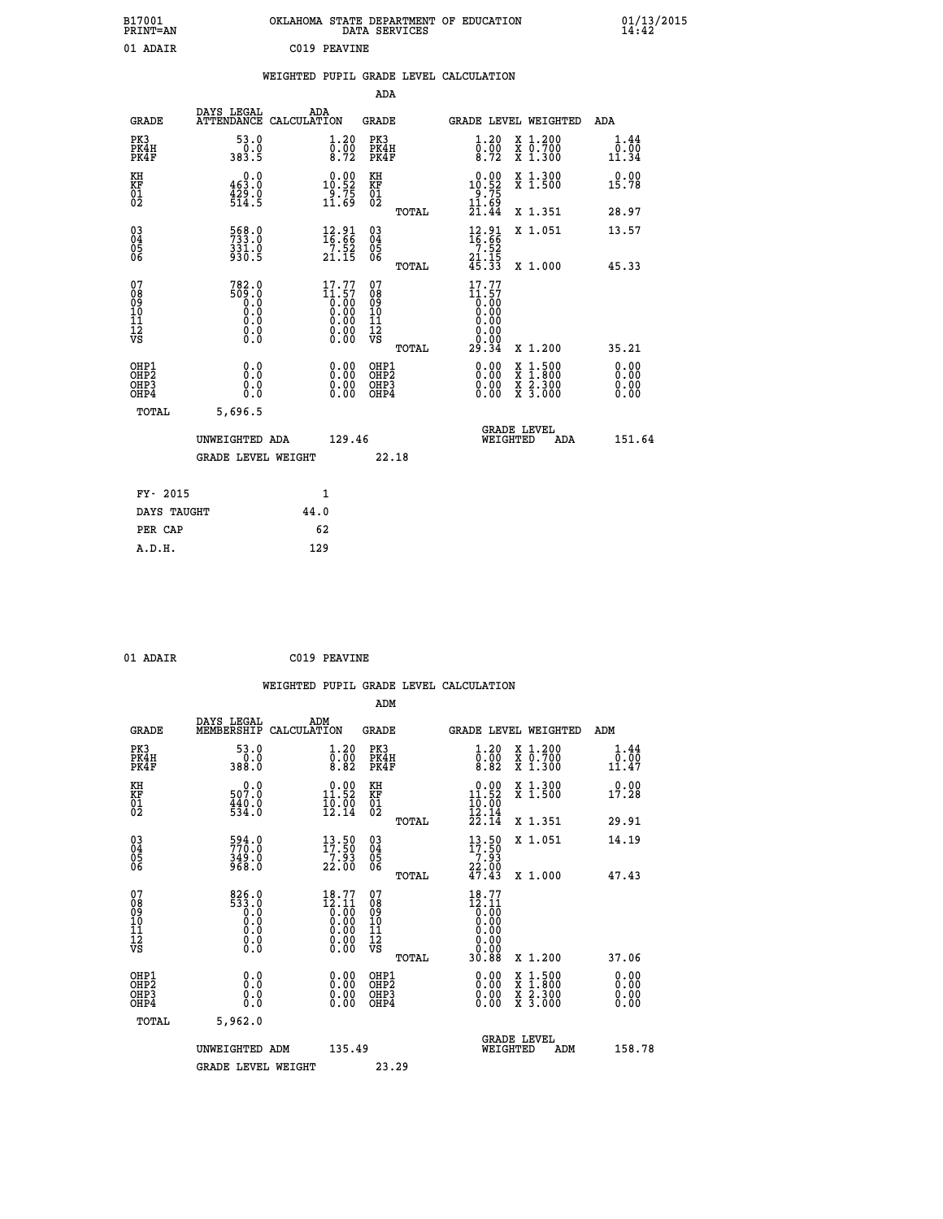| B17001<br>PRINT=AN | . STATE DEPARTMENT OF EDUCATION<br>OKLAHOMA<br>DATA SERVICES | $01/13/2015$<br>14:42 |
|--------------------|--------------------------------------------------------------|-----------------------|
| 01 ADAIR           | C019 PEAVINE                                                 |                       |

|  |  | WEIGHTED PUPIL GRADE LEVEL CALCULATION |
|--|--|----------------------------------------|
|  |  |                                        |

|                                                    |                                                                                     |                    |                                                                                                                                                                                                                                                                                                                                              | ADA                                    |       |                                                                                                  |        |                                          |                              |
|----------------------------------------------------|-------------------------------------------------------------------------------------|--------------------|----------------------------------------------------------------------------------------------------------------------------------------------------------------------------------------------------------------------------------------------------------------------------------------------------------------------------------------------|----------------------------------------|-------|--------------------------------------------------------------------------------------------------|--------|------------------------------------------|------------------------------|
| <b>GRADE</b>                                       | DAYS LEGAL<br><b>ATTENDANCE</b>                                                     | ADA<br>CALCULATION |                                                                                                                                                                                                                                                                                                                                              | GRADE                                  |       |                                                                                                  |        | GRADE LEVEL WEIGHTED                     | <b>ADA</b>                   |
| PK3<br>PK4H<br>PK4F                                | 53.0<br>0.0<br>383.5                                                                |                    | 1.20<br>$\overline{0}\cdot\overline{0}\overline{0}\overline{0}$<br>8.72                                                                                                                                                                                                                                                                      | PK3<br>PK4H<br>PK4F                    |       | 1.20<br>$\overline{0}\cdot\overline{0}\overline{0}$<br>8.72                                      |        | X 1.200<br>X 0.700<br>X 1.300            | 1.44<br>0.00<br>11.34        |
| KH<br><b>KF</b><br>01<br>02                        | 0.0<br>463.0<br>$\frac{1}{2}\frac{3}{2}\cdot\frac{0}{5}$                            |                    | $10.00$<br>$10.52$<br>$\frac{5}{11}$ .75<br>11.69                                                                                                                                                                                                                                                                                            | KH<br>KF<br>01<br>02                   |       | $\begin{smallmatrix} 0.00\\ 10.52\\ 9.75\\ 11.69\\ 21.44 \end{smallmatrix}$                      |        | X 1.300<br>X 1.500                       | 0.00<br>15.78                |
|                                                    |                                                                                     |                    |                                                                                                                                                                                                                                                                                                                                              |                                        | TOTAL |                                                                                                  |        | X 1.351                                  | 28.97                        |
| $\begin{matrix} 03 \\ 04 \\ 05 \\ 06 \end{matrix}$ | 568.0<br>$331.0$<br>930.5                                                           |                    | $\frac{12.91}{16.66}$<br>$\frac{7}{21}.52$<br>21.15                                                                                                                                                                                                                                                                                          | 03<br>04<br>05<br>06                   |       | $\begin{array}{c} 12\cdot 91 \\ 16\cdot 66 \\ 7\cdot 52 \\ 21\cdot 15 \\ 45\cdot 33 \end{array}$ |        | X 1.051                                  | 13.57                        |
|                                                    |                                                                                     |                    |                                                                                                                                                                                                                                                                                                                                              |                                        | TOTAL |                                                                                                  |        | X 1.000                                  | 45.33                        |
| 07<br>08<br>09<br>101<br>11<br>12<br>VS            | 782.0<br>509.0<br>0.0<br>$\begin{smallmatrix} 0.0 \ 0.0 \end{smallmatrix}$<br>$\S.$ |                    | 17.77<br>$\begin{array}{c} 11.57 \\[-4pt] 0.00 \\[-4pt] 0.00 \\[-4pt] 0.00 \\[-4pt] 0.00 \\[-4pt] 0.00 \\[-4pt] 0.00 \\[-4pt] 0.00 \\[-4pt] 0.00 \\[-4pt] 0.00 \\[-4pt] 0.00 \\[-4pt] 0.00 \\[-4pt] 0.00 \\[-4pt] 0.00 \\[-4pt] 0.00 \\[-4pt] 0.00 \\[-4pt] 0.00 \\[-4pt] 0.00 \\[-4pt] 0.00 \\[-4pt] 0.00 \\[-4pt] 0.00 \\[-4pt] 0$<br>Ŏ.ŎŎ | 07<br>08<br>09<br>11<br>11<br>12<br>VS | TOTAL | 17.77<br>11.57<br>0:00<br>0:00<br>0:00<br>0.00<br>29.34                                          |        | X 1.200                                  | 35.21                        |
|                                                    |                                                                                     |                    |                                                                                                                                                                                                                                                                                                                                              |                                        |       |                                                                                                  |        |                                          |                              |
| OHP1<br>OHP2<br>OHP3<br>OHP4                       | 0.0<br>0.0<br>0.0                                                                   |                    | 0.00<br>$\begin{smallmatrix} 0.00 \ 0.00 \end{smallmatrix}$                                                                                                                                                                                                                                                                                  | OHP1<br>OHP2<br>OHP3<br>OHP4           |       | $0.00$<br>$0.00$<br>0.00                                                                         | X<br>X | $1.500$<br>$1.800$<br>X 2.300<br>X 3.000 | 0.00<br>0.00<br>0.00<br>0.00 |
| TOTAL                                              | 5,696.5                                                                             |                    |                                                                                                                                                                                                                                                                                                                                              |                                        |       |                                                                                                  |        |                                          |                              |
|                                                    | UNWEIGHTED ADA                                                                      |                    | 129.46                                                                                                                                                                                                                                                                                                                                       |                                        |       | WEIGHTED                                                                                         |        | <b>GRADE LEVEL</b><br>ADA                | 151.64                       |
|                                                    | <b>GRADE LEVEL WEIGHT</b>                                                           |                    |                                                                                                                                                                                                                                                                                                                                              |                                        | 22.18 |                                                                                                  |        |                                          |                              |
| FY- 2015                                           |                                                                                     | $\mathbf{1}$       |                                                                                                                                                                                                                                                                                                                                              |                                        |       |                                                                                                  |        |                                          |                              |
| DAYS TAUGHT                                        |                                                                                     | 44.0               |                                                                                                                                                                                                                                                                                                                                              |                                        |       |                                                                                                  |        |                                          |                              |
|                                                    |                                                                                     |                    |                                                                                                                                                                                                                                                                                                                                              |                                        |       |                                                                                                  |        |                                          |                              |

| 01 ADATR |  |
|----------|--|
|          |  |

**PER CAP** 62<br> **A.D.H.** 129

**C019 PEAVINE** 

| <b>GRADE</b>                                       | DAYS LEGAL<br>MEMBERSHIP                                                                  | ADM<br>CALCULATION                                                                              | <b>GRADE</b>                                       |       |                                                                                                         |          | <b>GRADE LEVEL WEIGHTED</b>              | ADM                   |
|----------------------------------------------------|-------------------------------------------------------------------------------------------|-------------------------------------------------------------------------------------------------|----------------------------------------------------|-------|---------------------------------------------------------------------------------------------------------|----------|------------------------------------------|-----------------------|
| PK3<br>PK4H<br>PK4F                                | 53.0<br>$0.0$<br>388.0                                                                    | $\begin{smallmatrix} 1.20\ 0.00\ 8.82 \end{smallmatrix}$                                        | PK3<br>PK4H<br>PK4F                                |       | $\begin{smallmatrix} 1.20 \\ 0.00 \\ 8.82 \end{smallmatrix}$                                            |          | X 1.200<br>X 0.700<br>X 1.300            | 1.44<br>0.00<br>11.47 |
| KH<br>KF<br>01<br>02                               | $0.0$<br>$0.0$<br>$440.0$<br>534.0                                                        | $\begin{smallmatrix} 0.00\\ 11.52\\ 10.00\\ 12.14 \end{smallmatrix}$                            | KH<br>KF<br>01<br>02                               |       | 0.00<br>$\begin{smallmatrix} 11.52\ 10.00\ 12.14\ 22.14 \end{smallmatrix}$                              |          | X 1.300<br>X 1.500                       | 0.00<br>17.28         |
|                                                    |                                                                                           |                                                                                                 |                                                    | TOTAL |                                                                                                         |          | X 1.351                                  | 29.91                 |
| $\begin{matrix} 03 \\ 04 \\ 05 \\ 06 \end{matrix}$ | 594.0<br>770.0<br>349.0<br>968.0                                                          | $13.50$<br>17:50<br>$\frac{71.93}{22.00}$                                                       | $\begin{matrix} 03 \\ 04 \\ 05 \\ 06 \end{matrix}$ |       | $13.50$<br>$17.50$                                                                                      |          | X 1.051                                  | 14.19                 |
|                                                    |                                                                                           |                                                                                                 |                                                    | TOTAL | $\frac{7:93}{22:00}$<br>47.43                                                                           |          | X 1.000                                  | 47.43                 |
| 07<br>089<br>090<br>1112<br>VS                     | $\begin{smallmatrix} 826.0\\ 533.0\\ 0.0\\ 0.0\\ 0.0\\ 0.0\\ 0.0\\ 0.0 \end{smallmatrix}$ | $\begin{smallmatrix} 18\cdot77\\12\cdot11\\0.00\\0.00\\0.00\\0.00\\0.00\\0.00\end{smallmatrix}$ | 07<br>08<br>09<br>11<br>11<br>12<br>VS             | TOTAL | $\begin{smallmatrix} 18\cdot77\\12\cdot11\\0.00\\0.00\\0.00\\0.00\\0.00\\0.00\\30.88 \end{smallmatrix}$ |          | X 1.200                                  | 37.06                 |
| OHP1<br>OHP <sub>2</sub><br>OHP3<br>OHP4           | 0.0<br>$\begin{smallmatrix} 0.0 & 0 \ 0.0 & 0 \end{smallmatrix}$                          |                                                                                                 | OHP1<br>OHP2<br>OHP3<br>OHP4                       |       |                                                                                                         |          | X 1:500<br>X 1:800<br>X 2:300<br>X 3:000 | 0.00<br>0.00<br>0.00  |
| TOTAL                                              | 5,962.0                                                                                   |                                                                                                 |                                                    |       |                                                                                                         |          |                                          |                       |
|                                                    | UNWEIGHTED ADM                                                                            | 135.49                                                                                          |                                                    |       |                                                                                                         | WEIGHTED | <b>GRADE LEVEL</b><br>ADM                | 158.78                |
|                                                    | <b>GRADE LEVEL WEIGHT</b>                                                                 |                                                                                                 | 23.29                                              |       |                                                                                                         |          |                                          |                       |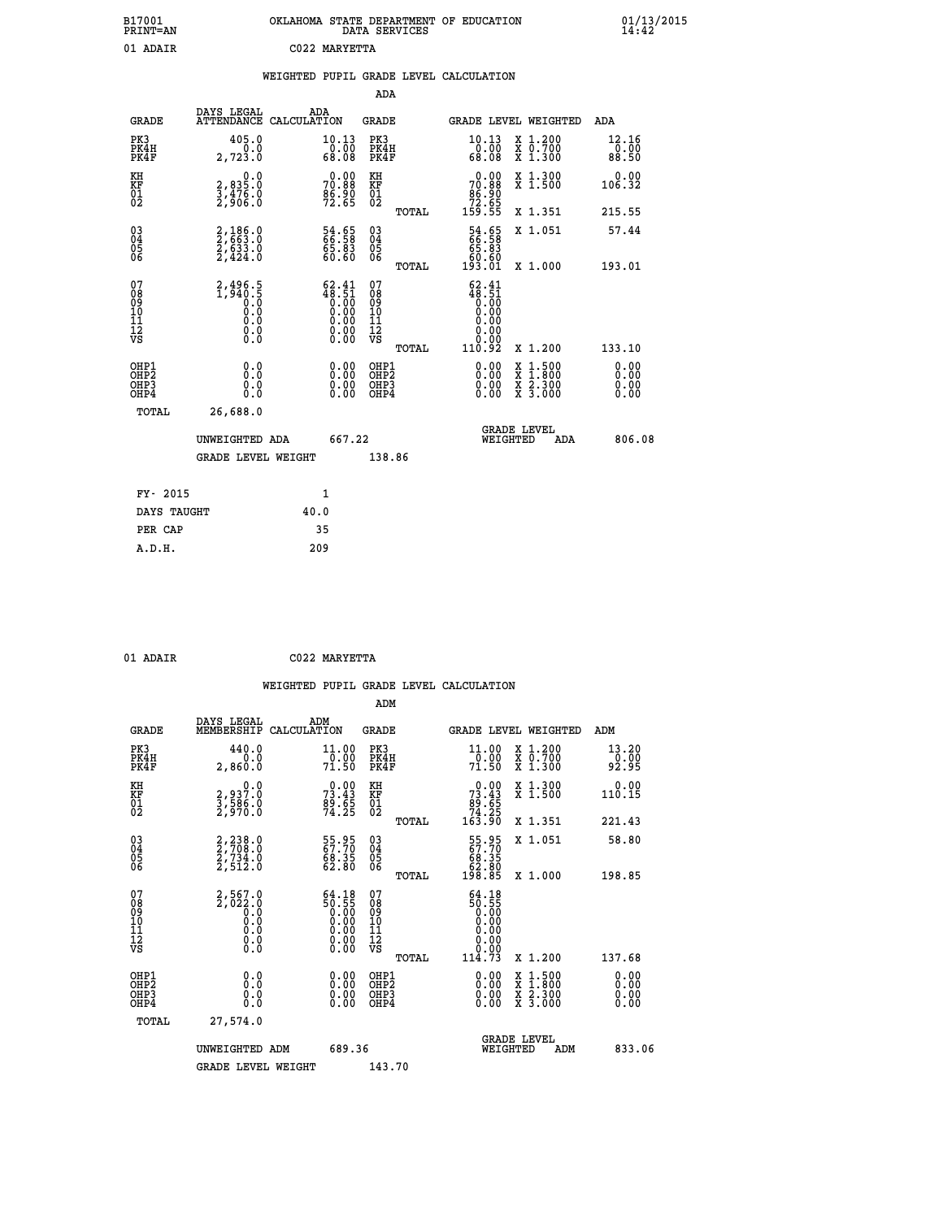| B17001<br>PRINT=AN | . STATE DEPARTMENT OF EDUCATION<br><b>OKLAHOMA</b><br>DATA SERVICES | $01/13/2015$<br>14:42 |
|--------------------|---------------------------------------------------------------------|-----------------------|
| 01<br>ADAIR        | C022 MARYETTA                                                       |                       |

|  |  | WEIGHTED PUPIL GRADE LEVEL CALCULATION |
|--|--|----------------------------------------|
|  |  |                                        |

|                                                    |                                                                        |                                                                                                       | ADA                                    |       |                                                                                                              |   |                                                                  |                              |
|----------------------------------------------------|------------------------------------------------------------------------|-------------------------------------------------------------------------------------------------------|----------------------------------------|-------|--------------------------------------------------------------------------------------------------------------|---|------------------------------------------------------------------|------------------------------|
| <b>GRADE</b>                                       | DAYS LEGAL<br><b>ATTENDANCE</b>                                        | ADA<br>CALCULATION                                                                                    | GRADE                                  |       | GRADE LEVEL WEIGHTED                                                                                         |   |                                                                  | <b>ADA</b>                   |
| PK3<br>PK4H<br>PK4F                                | 405.0<br>0.0<br>2,723.0                                                | 10.13<br>$\frac{0.00}{68.08}$                                                                         | PK3<br>PK4H<br>PK4F                    |       | 10.13<br>00.07<br>80.08                                                                                      |   | X 1.200<br>X 0.700<br>X 1.300                                    | 12.16<br>0.00<br>88.50       |
| KH<br><b>KF</b><br>01<br>02                        | $\begin{smallmatrix} 2, 835.0\\ 3, 476.0\\ 2, 906.0 \end{smallmatrix}$ | $70.88$<br>$86.88$<br>$96.90$<br>$72.65$                                                              | KH<br>KF<br>01<br>02                   |       | $\begin{smallmatrix} &0.00\ 70.88\ 86.90\ 72.65\ 159.55 \end{smallmatrix}$                                   |   | X 1.300<br>X 1.500                                               | 0.00<br>106.32               |
|                                                    |                                                                        |                                                                                                       |                                        | TOTAL |                                                                                                              |   | X 1.351                                                          | 215.55                       |
| $\begin{matrix} 03 \\ 04 \\ 05 \\ 06 \end{matrix}$ | 2,186.0<br>2,663.0<br>2,633.0<br>2,424.0                               | 54.65<br>66.58<br>65.83<br>60.60                                                                      | 03<br>04<br>05<br>06                   |       | 54.65<br>66.58<br>65.83<br>60.60<br>193.01                                                                   |   | X 1.051                                                          | 57.44                        |
|                                                    |                                                                        |                                                                                                       |                                        | TOTAL |                                                                                                              |   | X 1.000                                                          | 193.01                       |
| 07<br>08<br>09<br>101<br>11<br>12<br>VS            | 2,496.5<br>1,940.5<br>0.0<br>0.0<br>0.0<br>$\S.$                       | $\begin{smallmatrix} 62.41\ 48.51\ 0.00\ 0.00\ 0.00\ 0.00\ 0.00\ 0.00\ 0.00\ 0.00\ \end{smallmatrix}$ | 07<br>08<br>09<br>11<br>11<br>12<br>VS | TOTAL | 62.41<br>$48.51$<br>0.00<br>0.00<br>0.00<br>$\begin{smallmatrix} & 0.000\ 0.0000 \ 110.92 \end{smallmatrix}$ |   | X 1.200                                                          | 133.10                       |
| OHP1<br>OHP2<br>OH <sub>P</sub> 3<br>OHP4          | 0.0<br>0.0<br>0.0                                                      | 0.00<br>$0.00$<br>0.00                                                                                | OHP1<br>OHP2<br>OHP3<br>OHP4           |       | $0.00$<br>$0.00$<br>0.00                                                                                     | X | $1.500$<br>$1.800$<br>$\frac{\ddot{x}}{x}$ $\frac{2.300}{3.000}$ | 0.00<br>0.00<br>0.00<br>0.00 |
| TOTAL                                              | 26,688.0                                                               |                                                                                                       |                                        |       |                                                                                                              |   |                                                                  |                              |
|                                                    | UNWEIGHTED ADA                                                         | 667.22                                                                                                |                                        |       | <b>GRADE LEVEL</b><br>WEIGHTED                                                                               |   | ADA                                                              | 806.08                       |
|                                                    | <b>GRADE LEVEL WEIGHT</b>                                              |                                                                                                       | 138.86                                 |       |                                                                                                              |   |                                                                  |                              |
| FY- 2015                                           |                                                                        | $\mathbf{1}$                                                                                          |                                        |       |                                                                                                              |   |                                                                  |                              |
| DAYS TAUGHT                                        |                                                                        | 40.0                                                                                                  |                                        |       |                                                                                                              |   |                                                                  |                              |
|                                                    |                                                                        |                                                                                                       |                                        |       |                                                                                                              |   |                                                                  |                              |

| ADA |  |
|-----|--|

**PER CAP** 35<br> **A.D.H.** 209

 **01 ADAIR C022 MARYETTA**

|                                          |                                                        |                                                                                                          | ADM                                                 |       |                                                                             |                                          |                              |
|------------------------------------------|--------------------------------------------------------|----------------------------------------------------------------------------------------------------------|-----------------------------------------------------|-------|-----------------------------------------------------------------------------|------------------------------------------|------------------------------|
| <b>GRADE</b>                             | DAYS LEGAL<br>MEMBERSHIP                               | ADM<br>CALCULATION                                                                                       | <b>GRADE</b>                                        |       |                                                                             | GRADE LEVEL WEIGHTED                     | ADM                          |
| PK3<br>PK4H<br>PK4F                      | 440.0<br>0.0<br>2,860.0                                | 11.00<br>$\frac{1}{70}$ :00<br>71:50                                                                     | PK3<br>PK4H<br>PK4F                                 |       | 11.00<br>$\frac{1}{70}$ :00<br>71:50                                        | X 1.200<br>X 0.700<br>X 1.300            | 13.20<br>$\frac{5}{92.95}$   |
| KH<br>KF<br>01<br>02                     | 0.0<br>2,937.0<br>3,586.0<br>2,970.0                   | $\begin{smallmatrix} 0.00\\ 73.43\\ 89.65\\ 74.25 \end{smallmatrix}$                                     | KH<br>KF<br>01<br>02                                |       | $\begin{smallmatrix} &0.00\ 73.43\ 89.65\ 74.25\ 163.90\ \end{smallmatrix}$ | X 1.300<br>X 1.500                       | 0.00<br>110.15               |
|                                          |                                                        |                                                                                                          |                                                     | TOTAL |                                                                             | X 1.351                                  | 221.43                       |
| 03<br>04<br>05<br>06                     | $2, 238.0$<br>$2, 708.0$<br>$2, 734.0$<br>$2, 512.0$   | 55.95<br>68.35<br>62.80                                                                                  | $\begin{array}{c} 03 \\ 04 \\ 05 \\ 06 \end{array}$ |       | 55.95<br>67.70<br>68.35<br>62.80<br>198.85                                  | X 1.051                                  | 58.80                        |
|                                          |                                                        |                                                                                                          |                                                     | TOTAL |                                                                             | X 1.000                                  | 198.85                       |
| 07<br>08<br>09<br>101<br>112<br>VS       | $2,567.0$<br>$2,022.0$<br>$0.0$<br>0.0<br>0.0<br>$\S.$ | $\begin{smallmatrix} 64.18\\ 50.55\\ 0.00\\ 0.00\\ 0.00\\ 0.00\\ 0.00\\ 0.00\\ 0.00\\ \end{smallmatrix}$ | 07<br>08<br>09<br>11<br>11<br>12<br>VS              |       | 64.18<br>56.55<br>0.000<br>0.000<br>0.000<br>0.000                          |                                          |                              |
|                                          |                                                        |                                                                                                          |                                                     | TOTAL | 114.73                                                                      | X 1.200                                  | 137.68                       |
| OHP1<br>OHP2<br>OH <sub>P3</sub><br>OHP4 | 0.0<br>0.000                                           | $0.00$<br>$0.00$<br>0.00                                                                                 | OHP1<br>OHP2<br>OHP <sub>3</sub>                    |       | $0.00$<br>$0.00$<br>0.00                                                    | X 1:500<br>X 1:800<br>X 2:300<br>X 3:000 | 0.00<br>0.00<br>0.00<br>0.00 |
| TOTAL                                    | 27,574.0                                               |                                                                                                          |                                                     |       |                                                                             |                                          |                              |
|                                          | UNWEIGHTED ADM                                         | 689.36                                                                                                   |                                                     |       | WEIGHTED                                                                    | <b>GRADE LEVEL</b><br>ADM                | 833.06                       |
|                                          | <b>GRADE LEVEL WEIGHT</b>                              |                                                                                                          | 143.70                                              |       |                                                                             |                                          |                              |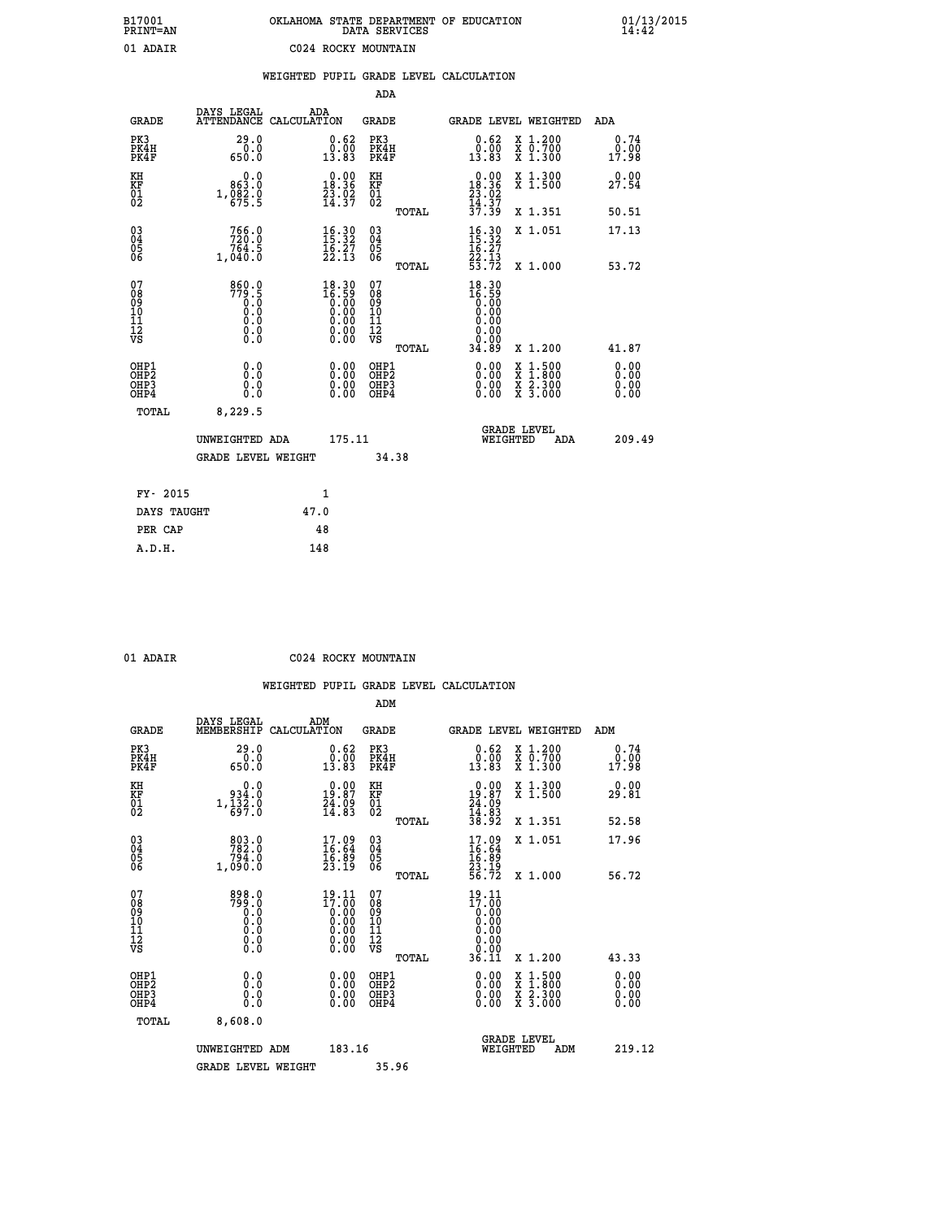# **B17001 OKLAHOMA STATE DEPARTMENT OF EDUCATION 01/13/2015 PRINT=AN DATA SERVICES 14:42**

| LUTMI-UM                               |                                         |      |                                                                                          | DAIA DERVICED                          |       |                                                                         |                                                                                                                     | 17,74                 |
|----------------------------------------|-----------------------------------------|------|------------------------------------------------------------------------------------------|----------------------------------------|-------|-------------------------------------------------------------------------|---------------------------------------------------------------------------------------------------------------------|-----------------------|
| 01 ADAIR                               |                                         |      | C024 ROCKY MOUNTAIN                                                                      |                                        |       |                                                                         |                                                                                                                     |                       |
|                                        |                                         |      |                                                                                          | ADA                                    |       | WEIGHTED PUPIL GRADE LEVEL CALCULATION                                  |                                                                                                                     |                       |
| <b>GRADE</b>                           | DAYS LEGAL<br>ATTENDANCE CALCULATION    |      | ADA                                                                                      | <b>GRADE</b>                           |       |                                                                         | GRADE LEVEL WEIGHTED                                                                                                | ADA                   |
| PK3<br>PK4H<br>PK4F                    | 29.0<br>0.0<br>650.0                    |      | $0.62$<br>$0.00$<br>13.83                                                                | PK3<br>PK4H<br>PK4F                    |       | 0.62<br>0.00<br>13.83                                                   | X 1.200<br>X 0.700<br>X 1.300                                                                                       | 0.74<br>0.00<br>17.98 |
| KH<br>KF<br>01<br>02                   | 0.0<br>863.0<br>1, 082.0                |      | $\begin{smallmatrix} 0.00\\18.36\\23.02\\14.37 \end{smallmatrix}$                        | KH<br>KF<br>01<br>02                   |       | $\begin{array}{c} 0.00 \\ 18.36 \\ 23.02 \\ 14.37 \\ 37.39 \end{array}$ | X 1.300<br>X 1.500                                                                                                  | 0.00<br>27.54         |
|                                        |                                         |      |                                                                                          |                                        | TOTAL |                                                                         | X 1.351                                                                                                             | 50.51                 |
| $^{03}_{04}$<br>05<br>ŎĞ               | 766.0<br>764.5<br>1,040.0               |      | $\begin{array}{l} 16\cdot 30\\ 15\cdot 32\\ 16\cdot 27\\ 22\cdot 13 \end{array}$         | $\substack{03 \\ 04}$<br>Ŏ5<br>06      |       | $\frac{16.30}{15.32}$<br>22.13<br>53.72                                 | X 1.051                                                                                                             | 17.13                 |
|                                        |                                         |      |                                                                                          |                                        | TOTAL |                                                                         | X 1.000                                                                                                             | 53.72                 |
| 07<br>08<br>09<br>11<br>11<br>12<br>VS | 860.0<br>779.5<br>0.0<br>0.000<br>$\S.$ |      | $18.30\n16.59\n0.00\n0.00\n0.00$<br>$\begin{smallmatrix} 0.00 \\ 0.00 \end{smallmatrix}$ | 07<br>08<br>09<br>11<br>11<br>12<br>VS | TOTAL | 18.30<br>16.59<br>0.00<br>0.00<br>34.89                                 | X 1.200                                                                                                             | 41.87                 |
| OHP1                                   | 0.0                                     |      | 0.00                                                                                     | OHP1<br>OHP2                           |       | 0.00                                                                    | $1:500$<br>$1:800$                                                                                                  | 0.00                  |
| OHP2<br>OHP3<br>OHP4                   | 0.0<br>0.0                              |      | $0.00$<br>0.00                                                                           | OHP3<br>OHP4                           |       | 0.00<br>0.00                                                            | $\begin{array}{l} \mathtt{X} & 1.500 \\ \mathtt{X} & 1.800 \\ \mathtt{X} & 2.300 \\ \mathtt{X} & 3.000 \end{array}$ | 0.00<br>0.00          |
| TOTAL                                  | 8,229.5                                 |      |                                                                                          |                                        |       |                                                                         |                                                                                                                     |                       |
|                                        | UNWEIGHTED ADA                          |      | 175.11                                                                                   |                                        |       |                                                                         | <b>GRADE LEVEL</b><br>WEIGHTED<br>ADA                                                                               | 209.49                |
|                                        | <b>GRADE LEVEL WEIGHT</b>               |      |                                                                                          | 34.38                                  |       |                                                                         |                                                                                                                     |                       |
| FY- 2015                               |                                         |      | 1                                                                                        |                                        |       |                                                                         |                                                                                                                     |                       |
| DAYS TAUGHT                            |                                         | 47.0 |                                                                                          |                                        |       |                                                                         |                                                                                                                     |                       |
| PER CAP                                |                                         |      | 48                                                                                       |                                        |       |                                                                         |                                                                                                                     |                       |

 **A.D.H. 148**

 **01 ADAIR C024 ROCKY MOUNTAIN**

|                                                      |                                                                          |                                                                                                                                                                                                                                                                                                                                                | ADM                                                 |       |                                                                          |                                          |                        |  |
|------------------------------------------------------|--------------------------------------------------------------------------|------------------------------------------------------------------------------------------------------------------------------------------------------------------------------------------------------------------------------------------------------------------------------------------------------------------------------------------------|-----------------------------------------------------|-------|--------------------------------------------------------------------------|------------------------------------------|------------------------|--|
| <b>GRADE</b>                                         | DAYS LEGAL<br>MEMBERSHIP                                                 | ADM<br>CALCULATION                                                                                                                                                                                                                                                                                                                             | <b>GRADE</b>                                        |       |                                                                          | GRADE LEVEL WEIGHTED                     | ADM                    |  |
| PK3<br>PK4H<br>PK4F                                  | 29.0<br>ة: 0<br>650.0                                                    | $\begin{smallmatrix} 0.62\ 0.00\\ 13.83 \end{smallmatrix}$                                                                                                                                                                                                                                                                                     | PK3<br>PK4H<br>PK4F                                 |       | $\begin{smallmatrix} 0.62\ 0.00\\ 13.83 \end{smallmatrix}$               | X 1.200<br>X 0.700<br>X 1.300            | 0.74<br>jŏ:óō<br>17:98 |  |
| KH<br>KF<br>01<br>02                                 | 0.0<br>934.0<br>$1,\frac{1}{6}\frac{3}{2}\frac{2}{7}\cdot\overset{.}{0}$ | $\begin{smallmatrix} 0.00\\19.87\\24.09\\14.83 \end{smallmatrix}$                                                                                                                                                                                                                                                                              | KH<br>KF<br>01<br>02                                |       | $\begin{smallmatrix} 0.00\\19.87\\24.09\\14.83\\38.92 \end{smallmatrix}$ | X 1.300<br>X 1.500                       | 0.00<br>29.81          |  |
|                                                      |                                                                          |                                                                                                                                                                                                                                                                                                                                                |                                                     | TOTAL |                                                                          | X 1.351                                  | 52.58                  |  |
| 03<br>04<br>05<br>06                                 | 803.0<br>782.0<br>794.0<br>1,090.0                                       | $\begin{smallmatrix} 17.09 \\ 16.64 \\ 16.89 \\ 23.19 \end{smallmatrix}$                                                                                                                                                                                                                                                                       | $\begin{array}{c} 03 \\ 04 \\ 05 \\ 06 \end{array}$ |       | $17.09$<br>$16.64$<br>$16.89$<br>$23.19$<br>$56.72$                      | X 1.051                                  | 17.96                  |  |
|                                                      |                                                                          |                                                                                                                                                                                                                                                                                                                                                |                                                     | TOTAL |                                                                          | X 1.000                                  | 56.72                  |  |
| 07<br>08<br>09<br>101<br>112<br>VS                   | 0.898<br>0.06<br>0.0<br>0.0<br>$\S.$                                     | $\begin{smallmatrix} 19 & 11 \\ 17 & 00 \\ 0 & 00 \\ 0 & 00 \\ 0 & 00 \\ 0 & 00 \\ 0 & 00 \\ 0 & 00 \\ 0 & 00 \\ 0 & 00 \\ 0 & 00 \\ 0 & 00 \\ 0 & 0 \\ 0 & 0 \\ 0 & 0 \\ 0 & 0 \\ 0 & 0 \\ 0 & 0 \\ 0 & 0 \\ 0 & 0 \\ 0 & 0 \\ 0 & 0 \\ 0 & 0 \\ 0 & 0 \\ 0 & 0 \\ 0 & 0 \\ 0 & 0 \\ 0 & 0 \\ 0 & 0 \\ 0 & 0 \\ 0 & 0 \\ 0 & 0 \\ 0 & 0 \\ 0$ | 07<br>08<br>09<br>11<br>11<br>12<br>VS              | TOTAL | 19.11<br>17:00<br>36.11                                                  | X 1.200                                  | 43.33                  |  |
|                                                      |                                                                          |                                                                                                                                                                                                                                                                                                                                                |                                                     |       |                                                                          |                                          |                        |  |
| OHP1<br>OHP2<br>OH <sub>P3</sub><br>OH <sub>P4</sub> | 0.0<br>0.000                                                             |                                                                                                                                                                                                                                                                                                                                                | OHP1<br>OHP2<br>OHP <sub>3</sub>                    |       | $0.00$<br>$0.00$<br>0.00                                                 | X 1:500<br>X 1:800<br>X 2:300<br>X 3:000 | 0.00<br>0.00<br>0.00   |  |
| TOTAL                                                | 8,608.0                                                                  |                                                                                                                                                                                                                                                                                                                                                |                                                     |       |                                                                          |                                          |                        |  |
|                                                      | UNWEIGHTED ADM                                                           | 183.16                                                                                                                                                                                                                                                                                                                                         |                                                     |       |                                                                          | GRADE LEVEL<br>WEIGHTED<br>ADM           | 219.12                 |  |
|                                                      | <b>GRADE LEVEL WEIGHT</b>                                                |                                                                                                                                                                                                                                                                                                                                                | 35.96                                               |       |                                                                          |                                          |                        |  |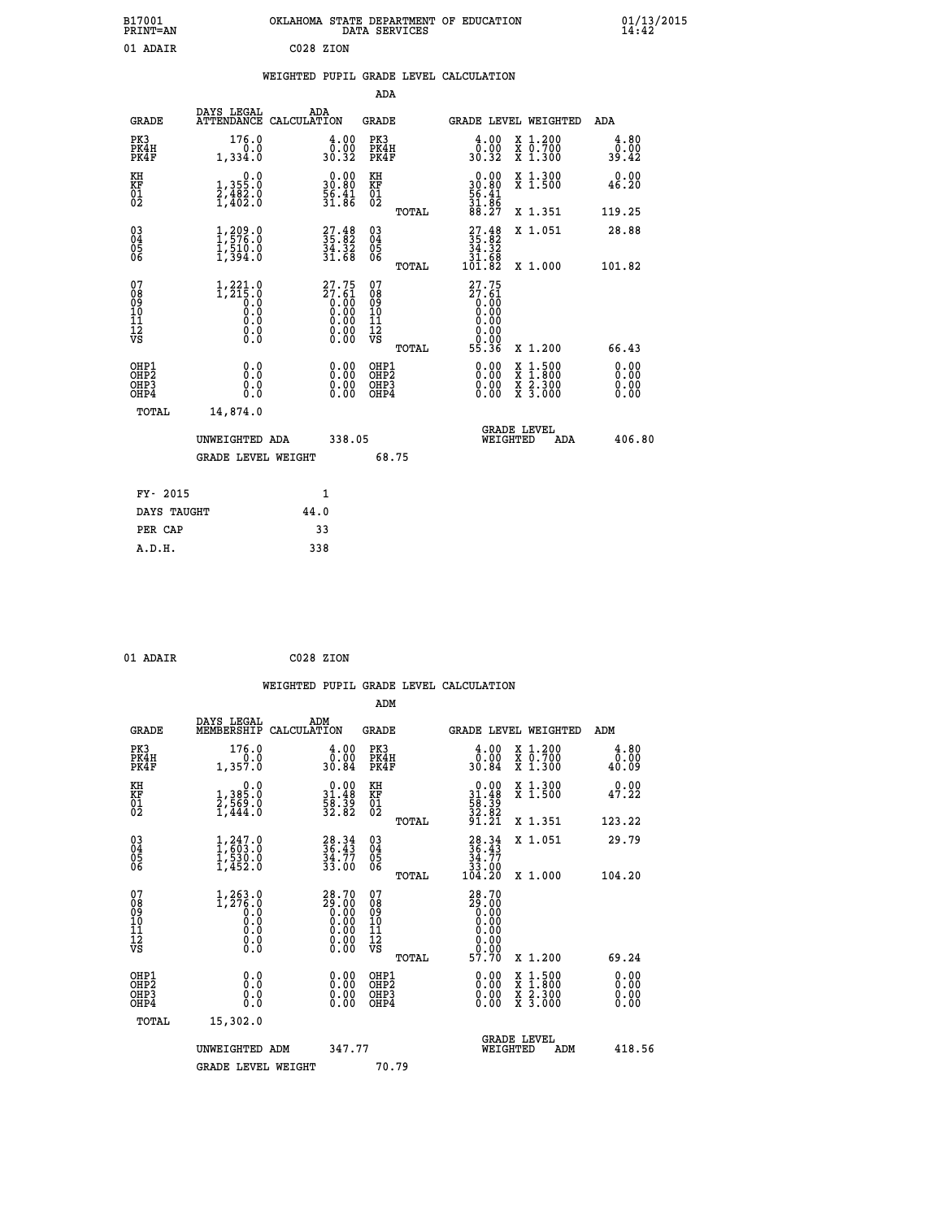| OKLAHOMA STATE DEPARTMENT OF EDUCATION<br>DATA SERVICES |  |
|---------------------------------------------------------|--|
| C028 ZION                                               |  |

# **WEIGHTED PUPIL GRADE LEVEL CALCULATION**

|                                                                    |                                                                                                       |                                                                                                 | ADA                                                 |       |                                                                                |                                          |                              |
|--------------------------------------------------------------------|-------------------------------------------------------------------------------------------------------|-------------------------------------------------------------------------------------------------|-----------------------------------------------------|-------|--------------------------------------------------------------------------------|------------------------------------------|------------------------------|
| <b>GRADE</b>                                                       | DAYS LEGAL<br>ATTENDANCE CALCULATION                                                                  | ADA                                                                                             | <b>GRADE</b>                                        |       |                                                                                | GRADE LEVEL WEIGHTED                     | <b>ADA</b>                   |
| PK3<br>PK4H<br>PK4F                                                | 176.0<br>0.0<br>1,334.0                                                                               | $\begin{smallmatrix} 4.00\\ 0.00\\ 30.32 \end{smallmatrix}$                                     | PK3<br>PK4H<br>PK4F                                 |       | $\begin{smallmatrix} 4.00\\ 0.00\\ 30.32 \end{smallmatrix}$                    | X 1.200<br>X 0.700<br>X 1.300            | 4.80<br>0.00<br>39.42        |
| KH<br>KF<br>01<br>02                                               | 0.0<br>1,355:0<br>2,482:0<br>1,402:0                                                                  | $\begin{smallmatrix} 0.00\\ 30.80\\ 56.41\\ 31.86 \end{smallmatrix}$                            | KH<br>KF<br>01<br>02                                |       | $\begin{smallmatrix} 0.00\\ 30.80\\ 56.41\\ 31.86\\ 88.27 \end{smallmatrix}$   | X 1.300<br>X 1.500                       | 0.00<br>46.20                |
|                                                                    |                                                                                                       |                                                                                                 |                                                     | TOTAL |                                                                                | X 1.351                                  | 119.25                       |
| $\begin{smallmatrix} 03 \\[-4pt] 04 \end{smallmatrix}$<br>Ŏ5<br>06 | $1, 209.0$<br>$1, 576.0$<br>$1, 510.0$<br>$1, 394.0$                                                  | $\begin{smallmatrix} 27.48\\ 35.82\\ 34.32\\ 31.68 \end{smallmatrix}$                           | $\begin{array}{c} 03 \\ 04 \\ 05 \\ 06 \end{array}$ | TOTAL | $\begin{smallmatrix} 27.48\\ 35.82\\ 34.32\\ 31.68\\ 101.82 \end{smallmatrix}$ | X 1.051<br>X 1.000                       | 28.88<br>101.82              |
|                                                                    |                                                                                                       |                                                                                                 | 07                                                  |       | 27.75                                                                          |                                          |                              |
| 07<br>08<br>09<br>101<br>11<br>12<br>VS                            | $\begin{smallmatrix} 1,221.0\\ 1,215.0\\ 0.0\\ 0.0\\ 0.0\\ 0.0\\ 0.0\\ 0.0\\ 0.0\\ \end{smallmatrix}$ | $\begin{smallmatrix} 27.75\\ 27.61\\ 0.00\\ 0.00\\ 0.00\\ 0.00\\ 0.00\\ 0.00 \end{smallmatrix}$ | 08<br>09<br>11<br>11<br>12<br>VS                    | TOTAL | $27.61$<br>0.00<br>0.00<br>0.00<br>0.00<br>0.00<br>55.36                       | X 1.200                                  | 66.43                        |
| OHP1<br>OHP <sub>2</sub><br>OH <sub>P3</sub><br>OHP4               | 0.0<br>0.0<br>0.0                                                                                     | 0.00<br>$\begin{smallmatrix} 0.00 \ 0.00 \end{smallmatrix}$                                     | OHP1<br>OHP <sub>2</sub><br>OHP <sub>3</sub>        |       | 0.00<br>0.00                                                                   | X 1:500<br>X 1:800<br>X 2:300<br>X 3:000 | 0.00<br>0.00<br>0.00<br>0.00 |
| TOTAL                                                              | 14,874.0                                                                                              |                                                                                                 |                                                     |       |                                                                                |                                          |                              |
|                                                                    | UNWEIGHTED ADA                                                                                        | 338.05                                                                                          |                                                     |       |                                                                                | <b>GRADE LEVEL</b><br>WEIGHTED<br>ADA    | 406.80                       |
|                                                                    | <b>GRADE LEVEL WEIGHT</b>                                                                             |                                                                                                 |                                                     | 68.75 |                                                                                |                                          |                              |
| FY- 2015                                                           |                                                                                                       | 1                                                                                               |                                                     |       |                                                                                |                                          |                              |
| DAYS TAUGHT                                                        |                                                                                                       | 44.0                                                                                            |                                                     |       |                                                                                |                                          |                              |
| PER CAP                                                            |                                                                                                       | 33                                                                                              |                                                     |       |                                                                                |                                          |                              |

| 01 ADAIR | C028 ZION |  |
|----------|-----------|--|
|          |           |  |

 **A.D.H. 338**

 **B17001<br>PRINT=AN<br>01 ADAIR** 

|                                                    |                                                      |                    |                                                                                                              |                                              |       | WEIGHTED PUPIL GRADE LEVEL CALCULATION                                         |                                |                                          |                               |  |
|----------------------------------------------------|------------------------------------------------------|--------------------|--------------------------------------------------------------------------------------------------------------|----------------------------------------------|-------|--------------------------------------------------------------------------------|--------------------------------|------------------------------------------|-------------------------------|--|
|                                                    |                                                      |                    |                                                                                                              | ADM                                          |       |                                                                                |                                |                                          |                               |  |
| <b>GRADE</b>                                       | DAYS LEGAL<br>MEMBERSHIP                             | ADM<br>CALCULATION |                                                                                                              | <b>GRADE</b>                                 |       | GRADE LEVEL WEIGHTED                                                           |                                |                                          | ADM                           |  |
| PK3<br>PK4H<br>PK4F                                | 176.0<br>1,357.0                                     |                    | $\begin{smallmatrix} 4.00\\ 0.00\\ 30.84 \end{smallmatrix}$                                                  | PK3<br>PK4H<br>PK4F                          |       | $\begin{smallmatrix} 4.00\\ 0.00\\ 30.84 \end{smallmatrix}$                    |                                | X 1.200<br>X 0.700<br>X 1.300            | 4.80<br>0.00<br>40.09         |  |
| KH<br>KF<br>01<br>02                               | $1,385.0$<br>$2,569.0$<br>$1,444.0$                  |                    | $\begin{smallmatrix} 0.00\\ 31.48\\ 58.39\\ 32.82 \end{smallmatrix}$                                         | KH<br>KF<br>01<br>02                         |       | $\begin{smallmatrix} 0.00\\ 31.48\\ 58.39\\ 32.82\\ 91.21 \end{smallmatrix}$   |                                | X 1.300<br>X 1.500                       | 0.00<br>47.22                 |  |
|                                                    |                                                      |                    |                                                                                                              |                                              | TOTAL |                                                                                |                                | X 1.351                                  | 123.22                        |  |
| $\begin{matrix} 03 \\ 04 \\ 05 \\ 06 \end{matrix}$ | 1, 247.0<br>$\frac{1}{1}, \frac{5}{4}$ 52.0          |                    | $28.34$<br>$36.43$<br>$34.77$<br>$33.00$                                                                     | 03<br>04<br>05<br>06                         |       | $\begin{smallmatrix} 28.34\\ 36.43\\ 34.77\\ 33.00\\ 104.20 \end{smallmatrix}$ |                                | X 1.051                                  | 29.79                         |  |
| 07                                                 |                                                      |                    |                                                                                                              |                                              | TOTAL |                                                                                |                                | X 1.000                                  | 104.20                        |  |
| 0890112<br>1112<br>VS                              | $1,263.0$<br>$1,276.0$<br>0.0<br>0.0<br>Ō.Ō<br>$\S.$ |                    | 28.70<br>29.00<br>0.00<br>0.00<br>0.00<br>$\begin{smallmatrix} 0.00 & 0.00 \\ 0.00 & 0.00 \end{smallmatrix}$ | 07<br>08901112<br>1112<br>VS                 |       | 28.70<br>29.00<br>0.00<br>0.00<br>0.00<br>0.00                                 |                                |                                          |                               |  |
|                                                    |                                                      |                    |                                                                                                              |                                              | TOTAL | 57.70                                                                          |                                | X 1.200                                  | 69.24                         |  |
| OHP1<br>OHP <sub>2</sub><br>OHP3<br>OHP4           | 0.0<br>0.000                                         |                    | $0.00$<br>$0.00$<br>0.00                                                                                     | OHP1<br>OHP <sub>2</sub><br>OHP <sub>3</sub> |       | 0.00<br>0.00<br>0.00                                                           |                                | X 1:500<br>X 1:800<br>X 2:300<br>X 3:000 | 0.00<br>Ō. ŌŌ<br>0.00<br>0.00 |  |
| TOTAL                                              | 15,302.0                                             |                    |                                                                                                              |                                              |       |                                                                                |                                |                                          |                               |  |
|                                                    | UNWEIGHTED ADM                                       |                    | 347.77                                                                                                       |                                              |       |                                                                                | <b>GRADE LEVEL</b><br>WEIGHTED | ADM                                      | 418.56                        |  |
|                                                    | <b>GRADE LEVEL WEIGHT</b>                            |                    |                                                                                                              | 70.79                                        |       |                                                                                |                                |                                          |                               |  |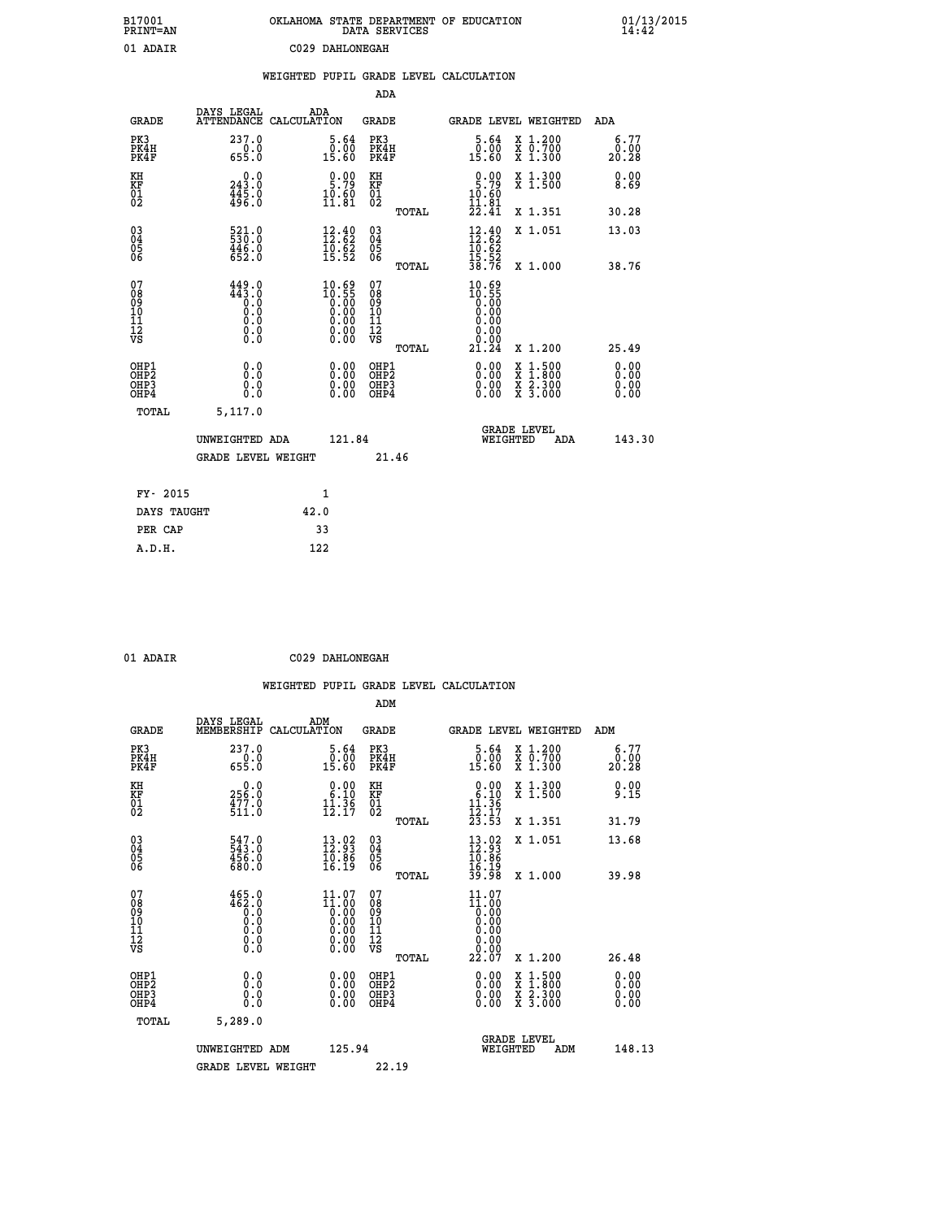| B17001<br>PRINT=AN                       |                                                                         | OKLAHOMA STATE DEPARTMENT OF EDUCATION                                                                 | DATA SERVICES                                        |                                                                                    |                                                                                                                                      | $01/13/2015$<br>14:42        |  |
|------------------------------------------|-------------------------------------------------------------------------|--------------------------------------------------------------------------------------------------------|------------------------------------------------------|------------------------------------------------------------------------------------|--------------------------------------------------------------------------------------------------------------------------------------|------------------------------|--|
| 01 ADAIR                                 |                                                                         | C029 DAHLONEGAH                                                                                        |                                                      |                                                                                    |                                                                                                                                      |                              |  |
|                                          |                                                                         | WEIGHTED PUPIL GRADE LEVEL CALCULATION                                                                 |                                                      |                                                                                    |                                                                                                                                      |                              |  |
|                                          |                                                                         |                                                                                                        | ADA                                                  |                                                                                    |                                                                                                                                      |                              |  |
| <b>GRADE</b>                             | DAYS LEGAL                                                              | ADA<br>ATTENDANCE CALCULATION                                                                          | GRADE                                                |                                                                                    | GRADE LEVEL WEIGHTED                                                                                                                 | ADA                          |  |
| PK3<br>PK4H<br>PK4F                      | 237.0<br>0.0<br>655.0                                                   | 5.64<br>0.00<br>15.60                                                                                  | PK3<br>PK4H<br>PK4F                                  | 5.64<br>0.00<br>15.60                                                              | X 1.200<br>X 0.700<br>X 1.300                                                                                                        | 6.77<br>0.00<br>20.28        |  |
| KH<br>KF<br>$\frac{01}{02}$              | 243.0<br>$445.0$<br>$496.0$                                             | $\frac{0.00}{5.79}$<br>$\frac{10.60}{11.81}$                                                           | KH<br><b>KF</b><br>01<br>02                          | $\frac{0.00}{5.79}$<br>$\frac{10.60}{11.81}$                                       | X 1.300<br>X 1.500                                                                                                                   | 0.00<br>8.69                 |  |
|                                          |                                                                         |                                                                                                        | <b>TOTAL</b>                                         | 22.41                                                                              | X 1.351                                                                                                                              | 30.28                        |  |
| 03<br>04<br>05<br>06                     | 521.0<br>446.0<br>652.0                                                 | $\begin{smallmatrix} 12.40\\ 12.62\\ 10.62\\ 15.52 \end{smallmatrix}$                                  | $\begin{matrix} 03 \\ 04 \\ 05 \\ 06 \end{matrix}$   | $\frac{12.40}{12.62}$<br>10.62<br>$\frac{15.52}{38.76}$                            | X 1.051                                                                                                                              | 13.03                        |  |
| 07                                       | 449.0                                                                   |                                                                                                        | <b>TOTAL</b><br>07                                   |                                                                                    | X 1.000                                                                                                                              | 38.76                        |  |
| 08<br>09<br>11<br>11<br>12<br>VS         | 443.0<br>Ŏ.Ŏ<br>$\begin{smallmatrix} 0.5 \ 0.0 \ 0.0 \end{smallmatrix}$ | $\begin{smallmatrix} 10.69 \\ 10.55 \\ 0.00 \\ 0.00 \\ 0.00 \\ 0.00 \\ 0.00 \\ 0.00 \end{smallmatrix}$ | 08<br>09<br>10<br>$\frac{11}{12}$<br>$\frac{12}{18}$ | $\begin{smallmatrix} 10.69\ 10.55\ 0.00 \end{smallmatrix}$<br>0.00<br>0.00<br>0.00 |                                                                                                                                      |                              |  |
|                                          |                                                                         |                                                                                                        | TOTAL                                                | 21.24                                                                              | X 1.200                                                                                                                              | 25.49                        |  |
| OHP1<br>OHP <sub>2</sub><br>OHP3<br>OHP4 | 0.0<br>0.0<br>0.0                                                       | 0.00<br>$\begin{smallmatrix} 0.00 \ 0.00 \end{smallmatrix}$                                            | OHP1<br>OH <sub>P</sub> 2<br>OHP3<br>OHP4            | 0.00<br>0.00<br>0.00                                                               | $\begin{smallmatrix} \mathtt{X} & 1 & 500 \\ \mathtt{X} & 1 & 800 \\ \mathtt{X} & 2 & 300 \\ \mathtt{X} & 3 & 000 \end{smallmatrix}$ | 0.00<br>0.00<br>0.00<br>0.00 |  |
| TOTAL                                    | 5,117.0                                                                 |                                                                                                        |                                                      |                                                                                    |                                                                                                                                      |                              |  |
|                                          | UNWEIGHTED ADA                                                          | 121.84                                                                                                 |                                                      | WEIGHTED                                                                           | <b>GRADE LEVEL</b><br>ADA                                                                                                            | 143.30                       |  |
|                                          | <b>GRADE LEVEL WEIGHT</b>                                               |                                                                                                        | 21.46                                                |                                                                                    |                                                                                                                                      |                              |  |
| FY- 2015                                 |                                                                         | 1                                                                                                      |                                                      |                                                                                    |                                                                                                                                      |                              |  |
| DAYS TAUGHT                              |                                                                         | 42.0                                                                                                   |                                                      |                                                                                    |                                                                                                                                      |                              |  |
| PER CAP                                  |                                                                         | 33                                                                                                     |                                                      |                                                                                    |                                                                                                                                      |                              |  |

| 01 ADAIR | C029 DAHLONEGAH |
|----------|-----------------|

 **WEIGHTED PUPIL GRADE LEVEL CALCULATION ADM DAYS LEGAL ADM GRADE MEMBERSHIP CALCULATION GRADE GRADE LEVEL WEIGHTED ADM PK3 237.0 5.64 PK3 5.64 X 1.200 6.77 PK4H 0.0 0.00 PK4H 0.00 X 0.700 0.00 PK4F 655.0 15.60 PK4F 15.60 X 1.300 20.28 KH 0.0 0.00 KH 0.00 X 1.300 0.00 KF 256.0 6.10 KF 6.10 X 1.500 9.15 01 477.0 11.36 01 11.36**  $\begin{array}{cccc} 02 & 511.0 & 12.17 & 02 \end{array}$  **TOTAL 23.53 X 1.351 31.79 03 547.0 13.02 03 13.02 X 1.051 13.68 04 543.0 12.93 04 12.93 05 456.0 10.86 05 10.86** 06 680.0 16.19 06 <sub>memax</sub> 16.19  **TOTAL 39.98 X 1.000 39.98 07 465.0 11.07 07 11.07 08 462.0 11.00 08 11.00 03 0.00 0.00 0.000 0.000 10 0.0 0.00 10 0.00 11 0.0 0.00 11 0.00 12 0.0 0.00 12 0.00 VS 0.0 0.00 VS 0.00 TOTAL 22.07 X 1.200 26.48 OHE1 0.00 0.00 0.000 OHE1 0.00 X 1.500 0.00 OHES 0.0 0.0 0.00 OHES 0.00 X 1.800 0.00 OHP3 0.0 0.00 OHP3 0.00 X 2.300 0.00 OHP4 0.0 0.00 OHP4 0.00 X 3.000 0.00 TOTAL 5,289.0 GRADE LEVEL UNWEIGHTED ADM 125.94 WEIGHTED ADM 148.13** GRADE LEVEL WEIGHT 22.19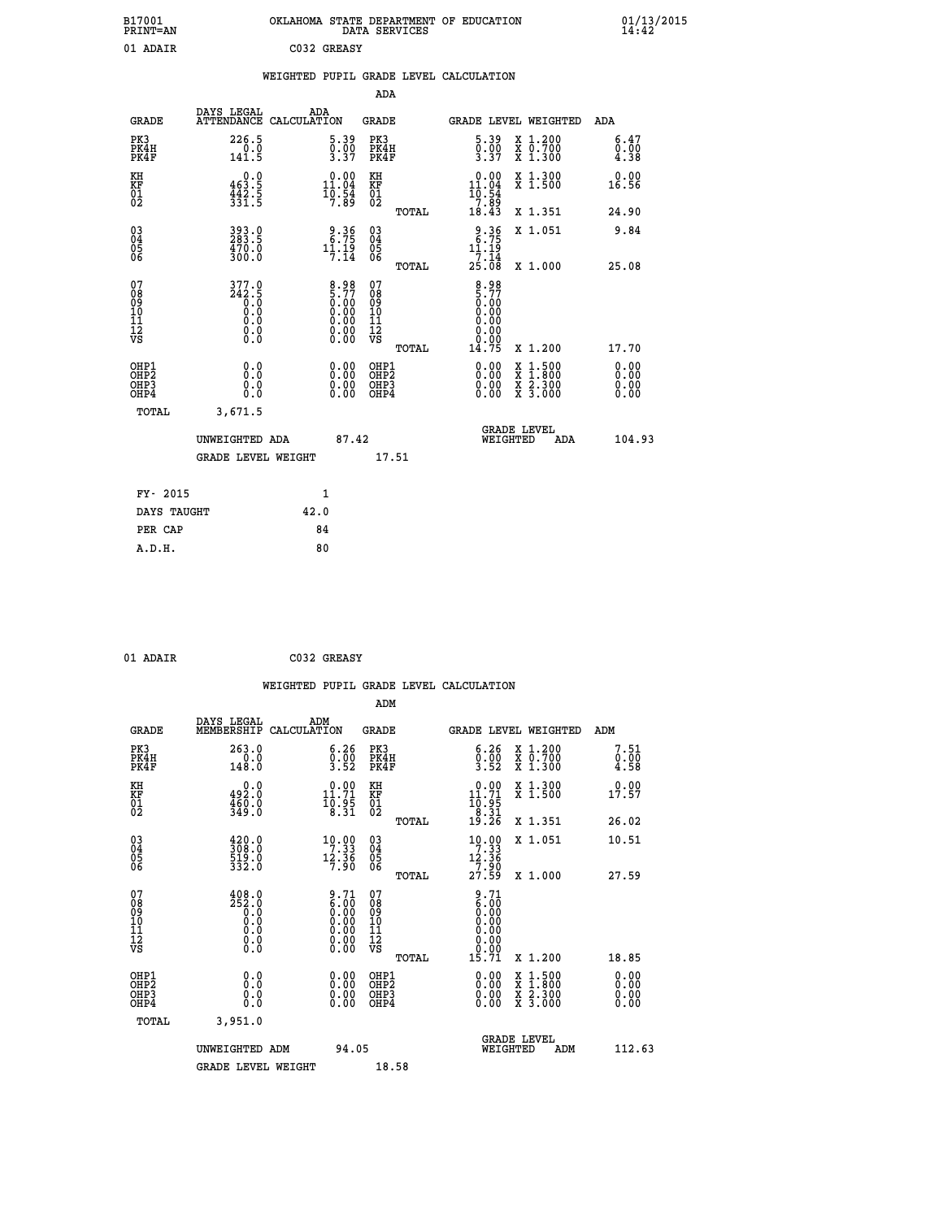| B17001<br>PRINT=AN                                       |                                                     |                                                    |                                                    |       | OKLAHOMA STATE DEPARTMENT OF EDUCATION DATA SERVICES                 |                                                                                                                                           | $01/13/2015$<br>14:42        |  |
|----------------------------------------------------------|-----------------------------------------------------|----------------------------------------------------|----------------------------------------------------|-------|----------------------------------------------------------------------|-------------------------------------------------------------------------------------------------------------------------------------------|------------------------------|--|
| 01 ADAIR                                                 |                                                     | C032 GREASY                                        |                                                    |       |                                                                      |                                                                                                                                           |                              |  |
|                                                          |                                                     |                                                    |                                                    |       | WEIGHTED PUPIL GRADE LEVEL CALCULATION                               |                                                                                                                                           |                              |  |
|                                                          |                                                     |                                                    | <b>ADA</b>                                         |       |                                                                      |                                                                                                                                           |                              |  |
| <b>GRADE</b>                                             | DAYS LEGAL<br>ATTENDANCE CALCULATION                | ADA                                                | GRADE                                              |       |                                                                      | GRADE LEVEL WEIGHTED                                                                                                                      | <b>ADA</b>                   |  |
| PK3<br>PK4H<br>PK4F                                      | 226.5<br>0.0<br>141.5                               | 5.39<br>$\frac{0.00}{3.37}$                        | PK3<br>PK4H<br>PK4F                                |       | 5.39<br>$\frac{0.00}{3.37}$                                          | X 1.200<br>X 0.700<br>X 1.300                                                                                                             | 6.47<br>0.00<br>4.38         |  |
| KH<br>KF<br>01<br>02                                     | 0.0<br>$463.5$<br>$442.5$<br>$331.5$                | $0.00$<br>11.04<br>$\frac{1}{7}$ $\frac{5}{8}$     | KH<br>KF<br>01<br>02                               |       | $0.00$<br>11.04<br>10.54                                             | X 1.300<br>X 1.500                                                                                                                        | 0.00<br>16.56                |  |
|                                                          |                                                     |                                                    |                                                    | TOTAL | $\begin{array}{c} -7.85 \\ 18.43 \end{array}$                        | X 1.351                                                                                                                                   | 24.90                        |  |
| 03<br>04<br>05<br>06                                     | $393.9$<br>$283.5$<br>$\frac{470.0}{300.0}$         | 2.36<br>$1\overline{1}\cdot 1\overline{9}\cdot 14$ | $\begin{matrix} 03 \\ 04 \\ 05 \\ 06 \end{matrix}$ |       | $2.36$<br>6.75<br>11.19                                              | X 1.051                                                                                                                                   | 9.84                         |  |
|                                                          |                                                     |                                                    |                                                    | TOTAL | $\frac{7}{25}.\overline{14}$<br>25.08                                | X 1.000                                                                                                                                   | 25.08                        |  |
| 07<br>08<br>09<br>11<br>11<br>12<br>VS                   | 377.0<br>$\frac{242.5}{0.0}$<br>0.0<br>0.0<br>$\S.$ | $8.98\n5.77\n0.00\n0.00\n0.00\n0.00\n0.00$         | 07<br>08<br>09<br>11<br>11<br>12<br>VS             | TOTAL | 8.98<br>$\frac{5.77}{0.00}$<br>0.00<br>0.00<br>0.00<br>0.00<br>14.75 | X 1.200                                                                                                                                   | 17.70                        |  |
| OHP1<br>OHP2<br>OH <sub>P3</sub><br>OHP4<br><b>TOTAL</b> | 0.0<br>Ŏ.Ō<br>0.0<br>0.0<br>3,671.5                 | $0.00$<br>$0.00$<br>0.00                           | OHP1<br>OHP2<br>OHP3<br>OHP4                       |       | 0.00<br>0.00<br>0.00                                                 | $\begin{smallmatrix} \mathtt{X} & 1\cdot500\\ \mathtt{X} & 1\cdot800\\ \mathtt{X} & 2\cdot300\\ \mathtt{X} & 3\cdot000 \end{smallmatrix}$ | 0.00<br>0.00<br>0.00<br>0.00 |  |
|                                                          | UNWEIGHTED ADA<br><b>GRADE LEVEL WEIGHT</b>         | 87.42                                              | 17.51                                              |       |                                                                      | GRADE LEVEL<br>WEIGHTED<br>ADA                                                                                                            | 104.93                       |  |

| FY- 2015    |      |
|-------------|------|
| DAYS TAUGHT | 42.0 |
| PER CAP     | 84   |
| A.D.H.      | 80   |
|             |      |

| 01 ADAIR |  | C032 GREASY |
|----------|--|-------------|
|----------|--|-------------|

 **WEIGHTED PUPIL GRADE LEVEL CALCULATION ADM DAYS LEGAL ADM GRADE MEMBERSHIP CALCULATION GRADE GRADE LEVEL WEIGHTED ADM PK3 263.0 6.26 PK3 6.26 X 1.200 7.51 PK4H 0.0 0.00 PK4H 0.00 X 0.700 0.00 PK4F 148.0 3.52 PK4F 3.52 X 1.300 4.58 KH 0.0 0.00 KH 0.00 X 1.300 0.00 KF 492.0 11.71 KF 11.71 X 1.500 17.57 01 460.0 10.95 01 10.95**  $02$   $349.0$   $8.31$   $02$   $52\frac{1}{2}$  **TOTAL 19.26 X 1.351 26.02 03 420.0 10.00 03 10.00 X 1.051 10.51 04 308.0 7.33 04 7.33 05 519.0 12.36 05 12.36 06 332.0 7.90 06 7.90 TOTAL 27.59 X 1.000 27.59 07** 408.0 9.71 07 9.71  **08 252.0 6.00 08 6.00 03 0.00 0.00 0.000 0.000 10 0.0 0.00 10 0.00 11 0.0 0.00 11 0.00 12 0.0 0.00 12 0.00 VS** 0.0 0.00 VS 0.00 0.00 0.00  $\begin{array}{cccc} 408.0 & 9.71 & 07 & 9.71 & 17.71 & 17.71 & 17.71 & 18.71 & 19.71 & 19.71 & 19.71 & 19.71 & 19.71 & 19.71 & 19.71 & 19.71 & 19.71 & 19.71 & 19.71 & 19.71 & 19.71 & 19.71 & 19.71 & 19.71 & 19.71 & 19.71 & 19.71 & 19.71 & 19.71 & 19.71 & 19.71 &$  **OHP1 0.0 0.00 OHP1 0.00 X 1.500 0.00 OHP2 0.0 0.00 OHP2 0.00 X 1.800 0.00 OHP3 0.0 0.00 OHP3 0.00 X 2.300 0.00 OHP4 0.0 0.00 OHP4 0.00 X 3.000 0.00 TOTAL 3,951.0 GRADE LEVEL UNWEIGHTED ADM 94.05 WEIGHTED ADM 112.63** GRADE LEVEL WEIGHT 18.58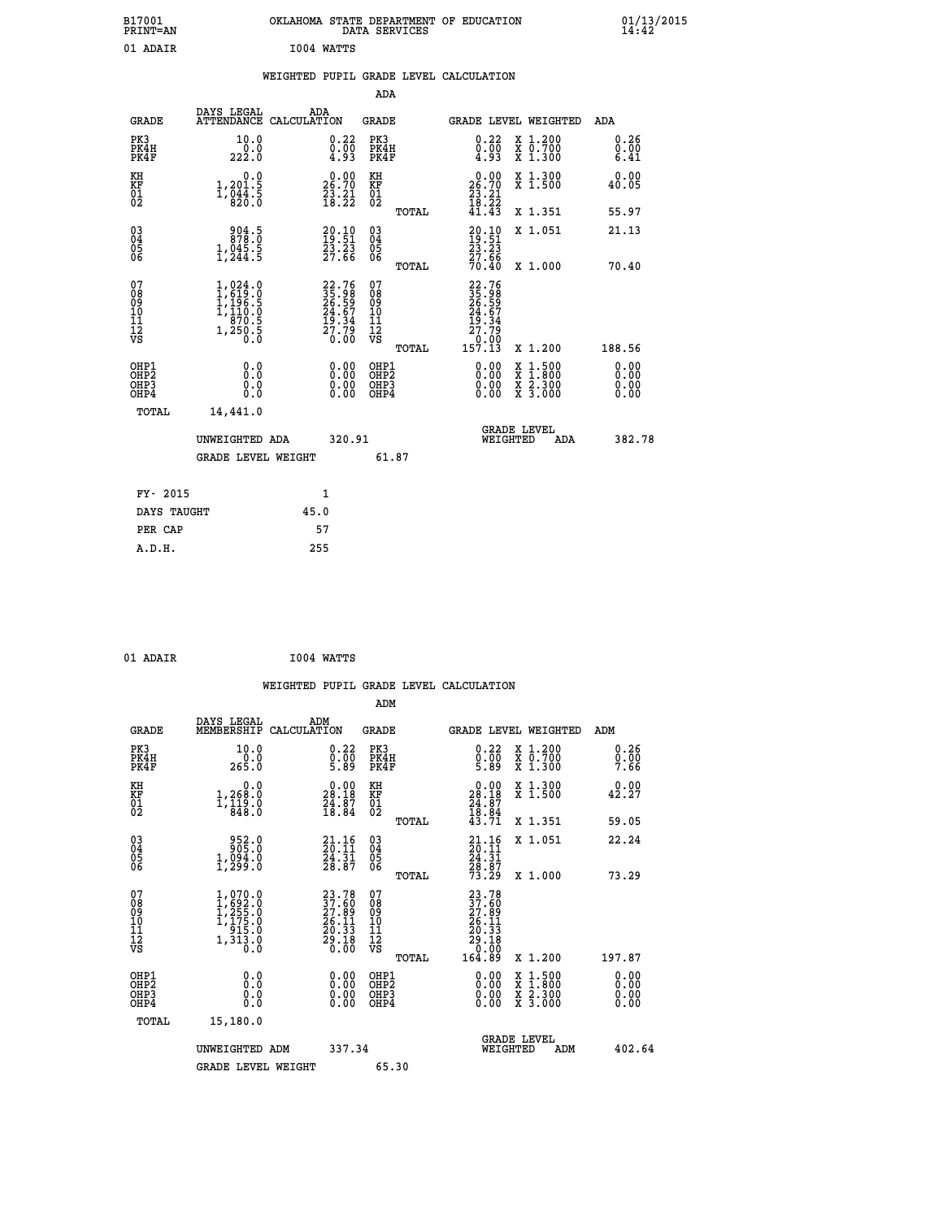| B17001<br>PRINT=AN                        |                                                                                                      |            |                                                                       |                                                              | DATA SERVICES | OKLAHOMA STATE DEPARTMENT OF EDUCATION                                      |                                                                                          | $01/13/2015$<br>14:42        |
|-------------------------------------------|------------------------------------------------------------------------------------------------------|------------|-----------------------------------------------------------------------|--------------------------------------------------------------|---------------|-----------------------------------------------------------------------------|------------------------------------------------------------------------------------------|------------------------------|
| 01 ADAIR                                  |                                                                                                      | I004 WATTS |                                                                       |                                                              |               |                                                                             |                                                                                          |                              |
|                                           |                                                                                                      |            |                                                                       |                                                              |               | WEIGHTED PUPIL GRADE LEVEL CALCULATION                                      |                                                                                          |                              |
|                                           |                                                                                                      |            |                                                                       | ADA                                                          |               |                                                                             |                                                                                          |                              |
| <b>GRADE</b>                              | DAYS LEGAL<br>ATTENDANCE CALCULATION                                                                 | ADA        |                                                                       | GRADE                                                        |               |                                                                             | GRADE LEVEL WEIGHTED                                                                     | ADA                          |
| PK3<br>PK4H<br>PK4F                       | 10.0<br>0.0<br>222.0                                                                                 |            | 0.22<br>$\frac{0.00}{4.93}$                                           | PK3<br>PK4H<br>PK4F                                          |               | 0.22<br>$\frac{0}{4}$ : $\frac{0}{9}$ 3                                     | X 1.200<br>X 0.700<br>X 1.300                                                            | 0.26<br>0.00<br>6.41         |
| KH<br>KF<br>01<br>02                      | 0.0<br>1,201.5<br>$1,\overline{0}\overline{4}\overline{4}\cdot\overline{5}$                          |            | 26.70<br>$\frac{23}{18}$ : $\frac{21}{22}$                            | KH<br><b>KF</b><br>01<br>02                                  |               | $26.00$<br>26.70<br>$\frac{23}{18}$ $\cdot\frac{21}{22}$                    | X 1.300<br>X 1.500                                                                       | 0.00<br>40.05                |
|                                           |                                                                                                      |            |                                                                       |                                                              | TOTAL         | 41.43                                                                       | X 1.351                                                                                  | 55.97                        |
| $^{03}_{04}$<br>Ŏ5<br>06                  | $304.5$<br>$878.0$<br>$1,045.5$<br>$1,244.5$                                                         |            | $\begin{smallmatrix} 20.10\\ 19.51\\ 23.23\\ 27.66 \end{smallmatrix}$ | $03\overline{4}$<br>$\begin{matrix} 0.5 \\ 0.6 \end{matrix}$ |               | 20.10<br>19:51<br>23.23<br>27.66                                            | X 1.051                                                                                  | 21.13                        |
|                                           |                                                                                                      |            |                                                                       |                                                              | TOTAL         | 70.40                                                                       | X 1.000                                                                                  | 70.40                        |
| 07<br>08<br>09<br>11<br>11<br>12<br>VS    | $1,024.0$<br>$1,619.0$<br>$1,196.5$<br>$\overline{1}$ , $\overline{1}$ 10.0<br>$1, 250.5$<br>1,250.5 |            | 22.76<br>35.98<br>26.59<br>24.67<br>19.34<br>17.79<br>0.00            | 07<br>08<br>09<br>10<br>īĭ<br>12<br>VS                       | TOTAL         | 22.76<br>35.98<br>26.59<br>24.67<br>19.34<br>$\frac{27.79}{0.00}$<br>157.13 | X 1.200                                                                                  | 188.56                       |
| OHP1<br>OH <sub>P</sub> 2<br>OHP3<br>OHP4 | 0.0<br>0.0<br>0.0                                                                                    |            | 0.00<br>$\begin{smallmatrix} 0.00 \ 0.00 \end{smallmatrix}$           | OHP1<br>OH <sub>P</sub> 2<br>OHP3<br>OHP4                    |               | 0.00<br>0.00<br>0.00                                                        | $\begin{smallmatrix} x & 1.500 \\ x & 1.800 \\ x & 2.300 \\ x & 3.000 \end{smallmatrix}$ | 0.00<br>0.00<br>0.00<br>0.00 |
| TOTAL                                     | 14,441.0                                                                                             |            |                                                                       |                                                              |               |                                                                             |                                                                                          |                              |
|                                           | UNWEIGHTED ADA                                                                                       |            | 320.91                                                                |                                                              |               |                                                                             | <b>GRADE LEVEL</b><br>WEIGHTED<br>ADA                                                    | 382.78                       |
|                                           | <b>GRADE LEVEL WEIGHT</b>                                                                            |            |                                                                       |                                                              | 61.87         |                                                                             |                                                                                          |                              |
| FY- 2015                                  |                                                                                                      | 1          |                                                                       |                                                              |               |                                                                             |                                                                                          |                              |
| DAYS TAUGHT                               |                                                                                                      | 45.0       |                                                                       |                                                              |               |                                                                             |                                                                                          |                              |
| PER CAP                                   |                                                                                                      | 57         |                                                                       |                                                              |               |                                                                             |                                                                                          |                              |

| 01 ADAIR | I004 WATTS |
|----------|------------|

 **WEIGHTED PUPIL GRADE LEVEL CALCULATION ADM DAYS LEGAL ADM GRADE MEMBERSHIP CALCULATION GRADE GRADE LEVEL WEIGHTED ADM PK3 10.0 0.22 PK3 0.22 X 1.200 0.26 PK4H 0.0 0.00 PK4H 0.00 X 0.700 0.00 PK4F 265.0 5.89 PK4F 5.89 X 1.300 7.66 KH 0.0 0.00 KH 0.00 X 1.300 0.00 KF 1,268.0 28.18 KF 28.18 X 1.500 42.27** 01 1,119.0 24.87 01 24.87<br>02 18.84 02 <sub>nomaa</sub> 18.94  **TOTAL 43.71 X 1.351 59.05 03 952.0 21.16 03 21.16 X 1.051 22.24 04 905.0 20.11 04 20.11 05 1,094.0 24.31 05 24.31 06 1,299.0 28.87 06 28.87 TOTAL 73.29 X 1.000 73.29**  $\begin{array}{cccc} 07 & 1,070.0 & 23.78 & 07 & 23.78 \ 08 & 1,622.0 & 37.69 & 08 & 37.69 \ 10 & 1,175.0 & 26.11 & 10 & 26.11 \ 11 & 915.0 & 26.11 & 10 & 26.11 \ 12 & 913.0 & 29.18 & 12 & 20.13 \ \nabla\mathbf{S} & 1,313.0 & 20.13 & 12 & 29.18 \end{array}$  **TOTAL 164.89 X 1.200 197.87 OHP1 0.0 0.00 OHP1 0.00 X 1.500 0.00 OHP2 0.0 0.00 OHP2 0.00 X 1.800 0.00 OHP3 0.0 0.00 OHP3 0.00 X 2.300 0.00 OHP4 0.0 0.00 OHP4 0.00 X 3.000 0.00 TOTAL 15,180.0 GRADE LEVEL UNWEIGHTED ADM 337.34 WEIGHTED ADM 402.64** GRADE LEVEL WEIGHT 65.30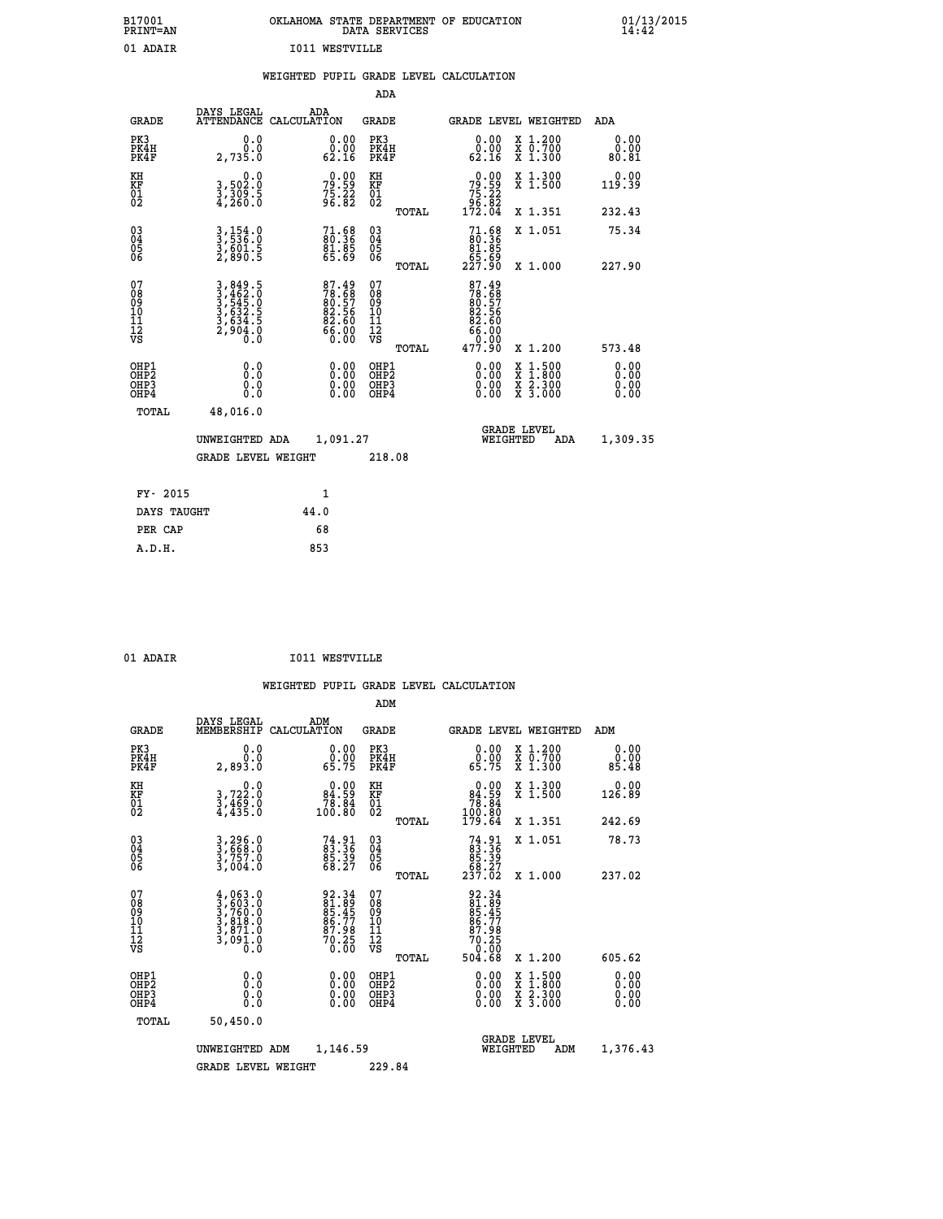| B17001<br>PRINT=AN | OKLAHOMA STATE DEPARTMENT OF EDUCATION<br>DATA SERVICES | 01/13/2015<br>14:42 |
|--------------------|---------------------------------------------------------|---------------------|
| 01 ADAIR           | <b>I011 WESTVILLE</b>                                   |                     |

|  |  | WEIGHTED PUPIL GRADE LEVEL CALCULATION |
|--|--|----------------------------------------|
|  |  |                                        |

|                                                                              |                                                                         |                                                             | ADA                                    |       |                                                                                  |                                                                                                                                           |                               |
|------------------------------------------------------------------------------|-------------------------------------------------------------------------|-------------------------------------------------------------|----------------------------------------|-------|----------------------------------------------------------------------------------|-------------------------------------------------------------------------------------------------------------------------------------------|-------------------------------|
| <b>GRADE</b>                                                                 | DAYS LEGAL                                                              | ADA<br>ATTENDANCE CALCULATION                               | GRADE                                  |       | <b>GRADE LEVEL WEIGHTED</b>                                                      |                                                                                                                                           | ADA                           |
| PK3<br>PK4H<br>PK4F                                                          | 0.0<br>0.0<br>2,735.0                                                   | $\begin{smallmatrix} 0.00\\ 0.00\\ 62.16 \end{smallmatrix}$ | PK3<br>PK4H<br>PK4F                    |       | 0.00<br>ةة.ة<br>62.16                                                            | X 1.200<br>X 0.700<br>X 1.300                                                                                                             | 0.00<br>0.00<br>80.81         |
| KH<br>KF<br>01<br>02                                                         | $\begin{smallmatrix}&&&0.0\\3,502.0\\3,309.5\\4,260.0\end{smallmatrix}$ | $79.59$<br>$75.22$<br>$96.82$                               | KH<br>KF<br>01<br>02                   |       | $79.59$<br>$75.22$<br>$96.82$<br>$172.04$                                        | X 1.300<br>X 1.500                                                                                                                        | 0.00<br>119.39                |
|                                                                              |                                                                         |                                                             |                                        | TOTAL |                                                                                  | X 1.351                                                                                                                                   | 232.43                        |
| $\begin{matrix} 03 \\ 04 \\ 05 \\ 06 \end{matrix}$                           | 3,154.0<br>3,536.0<br>3,601.5<br>2,890.5                                | 71.68<br>80.36<br>81.85<br>65.69                            | 03<br>04<br>05<br>06                   | TOTAL | $\begin{smallmatrix} 71.68\ 80.36 \ 91.95 \end{smallmatrix}$<br>ۆة: 65<br>227.90 | X 1.051<br>X 1.000                                                                                                                        | 75.34<br>227.90               |
| 07<br>08<br>09<br>11<br>11<br>12<br>VS                                       | 3, 849.5<br>3, 462.0<br>3, 545.0<br>3, 632.5<br>3, 634.5<br>2, 904.0    | 87.49<br>78.68<br>80.57<br>82.56<br>82.60<br>66.00<br>66.00 | 07<br>08<br>09<br>11<br>11<br>12<br>VS | TOTAL | 87.49<br>78.68<br>80.57<br>82.56<br>82.60<br>00.38<br>00.00<br>00.77             | X 1.200                                                                                                                                   | 573.48                        |
| OHP1<br>OH <sub>P</sub> <sub>2</sub><br>OH <sub>P3</sub><br>OH <sub>P4</sub> | 0.0<br>0.0<br>0.0                                                       | 0.00<br>$0.00$<br>0.00                                      | OHP1<br>OHP2<br>OHP3<br>OHP4           |       | 0.00<br>0.00<br>0.00                                                             | $\begin{smallmatrix} \mathtt{X} & 1\cdot500\\ \mathtt{X} & 1\cdot800\\ \mathtt{X} & 2\cdot300\\ \mathtt{X} & 3\cdot000 \end{smallmatrix}$ | 0.00<br>Ō. ŌŌ<br>0.00<br>0.00 |
| TOTAL                                                                        | 48,016.0<br>UNWEIGHTED ADA<br><b>GRADE LEVEL WEIGHT</b>                 | 1,091.27                                                    | 218.08                                 |       | WEIGHTED                                                                         | <b>GRADE LEVEL</b><br>ADA                                                                                                                 | 1,309.35                      |
| FY- 2015                                                                     |                                                                         | 1                                                           |                                        |       |                                                                                  |                                                                                                                                           |                               |
| DAYS TAUGHT                                                                  |                                                                         | 44.0                                                        |                                        |       |                                                                                  |                                                                                                                                           |                               |
| PER CAP                                                                      |                                                                         | 68                                                          |                                        |       |                                                                                  |                                                                                                                                           |                               |
| A.D.H.                                                                       |                                                                         | 853                                                         |                                        |       |                                                                                  |                                                                                                                                           |                               |

| 01 ADAIR | <b>IO11 WESTVILLE</b> |
|----------|-----------------------|
|          |                       |

|                                           |                                                                                     |                                                                    |                                                               | ADM                                                 |       |                                                                              |                                          |                       |
|-------------------------------------------|-------------------------------------------------------------------------------------|--------------------------------------------------------------------|---------------------------------------------------------------|-----------------------------------------------------|-------|------------------------------------------------------------------------------|------------------------------------------|-----------------------|
| <b>GRADE</b>                              | DAYS LEGAL<br>MEMBERSHIP                                                            | ADM<br>CALCULATION                                                 |                                                               | <b>GRADE</b>                                        |       |                                                                              | GRADE LEVEL WEIGHTED                     | ADM                   |
| PK3<br>PK4H<br>PK4F                       | 0.0<br>Ō.Ō<br>2,893.Ŏ                                                               |                                                                    | $\begin{smallmatrix} 0.00\\ 0.00\\ 65.75 \end{smallmatrix}$   | PK3<br>PK4H<br>PK4F                                 |       | $\begin{smallmatrix} 0.00\\ 0.00\\ 65.75 \end{smallmatrix}$                  | X 1.200<br>X 0.700<br>X 1.300            | 0.00<br>ŏ.ŏŏ<br>85.48 |
| KH<br>KF<br>01<br>02                      | 0.0<br>$\frac{3}{3}, \frac{722}{49}$ : 0<br>$\frac{4}{4}$ ; 435: 0                  | $\begin{smallmatrix} &0.00\ 84.59\ 78.84\ 100.80\end{smallmatrix}$ |                                                               | KH<br>KF<br>01<br>02                                |       | $\begin{smallmatrix} &0.00\ 84.59\ 78.84\ 100.80\ 179.64\ \end{smallmatrix}$ | X 1.300<br>X 1.500                       | 0.00<br>126.89        |
|                                           |                                                                                     |                                                                    |                                                               |                                                     | TOTAL |                                                                              | X 1.351                                  | 242.69                |
| 03<br>04<br>05<br>06                      | 3,296.0<br>3,668.0<br>3,757.0<br>3,004.0                                            |                                                                    | $74.91$<br>$83.36$<br>$85.39$<br>$68.27$                      | $\begin{array}{c} 03 \\ 04 \\ 05 \\ 06 \end{array}$ |       | $74.91\n83.36\n85.39\n68.27\n237.02$                                         | X 1.051                                  | 78.73                 |
|                                           |                                                                                     |                                                                    |                                                               |                                                     | TOTAL |                                                                              | X 1.000                                  | 237.02                |
| 07<br>08<br>09<br>101<br>11<br>12<br>VS   | $4,063.0$<br>$3,760.0$<br>$3,760.0$<br>$3,818.0$<br>$3,871.0$<br>$3,091.0$<br>$0.0$ |                                                                    | 92.34<br>81.89<br>85.45<br>86.77<br>87.98<br>70.250<br>70.250 | 07<br>08<br>09<br>11<br>11<br>12<br>VS              |       | 92.34<br>81.89<br>85.45<br>86.77<br>86.78<br>70.250<br>70.250<br>504.68      |                                          |                       |
|                                           |                                                                                     |                                                                    |                                                               |                                                     | TOTAL |                                                                              | X 1.200                                  | 605.62                |
| OHP1<br>OHP2<br>OH <sub>P</sub> 3<br>OHP4 |                                                                                     |                                                                    |                                                               | OHP1<br>OHP2<br>OHP <sub>3</sub>                    |       | $0.00$<br>$0.00$<br>0.00                                                     | X 1:500<br>X 1:800<br>X 2:300<br>X 3:000 | 0.00<br>0.00<br>0.00  |
| TOTAL                                     | 50,450.0                                                                            |                                                                    |                                                               |                                                     |       |                                                                              |                                          |                       |
|                                           | UNWEIGHTED                                                                          | ADM                                                                | 1,146.59                                                      |                                                     |       |                                                                              | GRADE LEVEL<br>WEIGHTED<br>ADM           | 1,376.43              |
|                                           | <b>GRADE LEVEL WEIGHT</b>                                                           |                                                                    |                                                               | 229.84                                              |       |                                                                              |                                          |                       |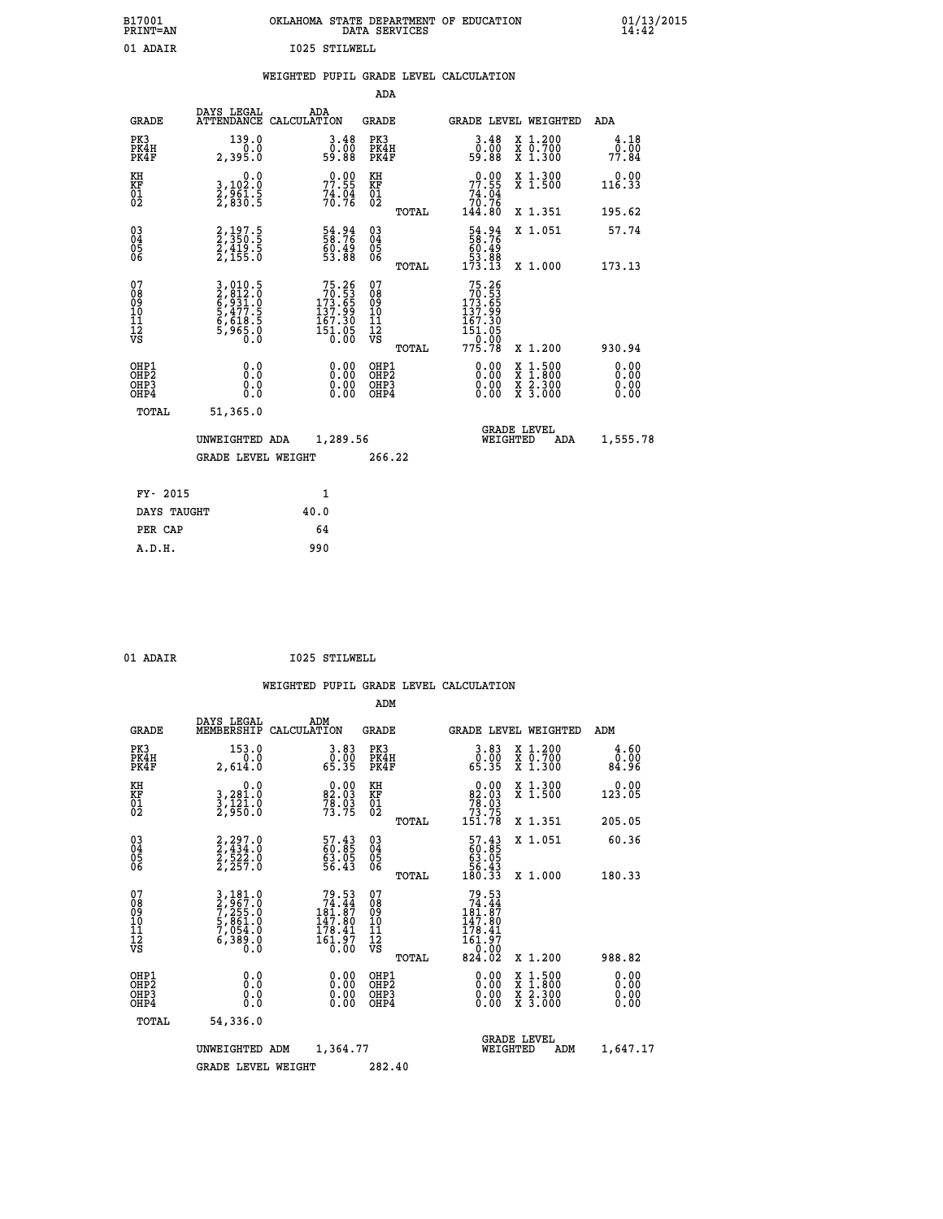| B17001<br>PRINT=AN | OKLAHOMA STATE DEPARTMENT OF EDUCATION<br>DATA SERVICES | $01/13/2015$<br>14:42 |
|--------------------|---------------------------------------------------------|-----------------------|
| 01 ADAIR           | 1025 STILWELL                                           |                       |

# **WEIGHTED PUPIL GRADE LEVEL CALCULATION**

|                                                                  |                                                                           |                                                                                                  | ADA                                    |       |                                                                                                                                          |                                                                                                                                           |                              |
|------------------------------------------------------------------|---------------------------------------------------------------------------|--------------------------------------------------------------------------------------------------|----------------------------------------|-------|------------------------------------------------------------------------------------------------------------------------------------------|-------------------------------------------------------------------------------------------------------------------------------------------|------------------------------|
| <b>GRADE</b>                                                     | DAYS LEGAL                                                                | ADA<br>ATTENDANCE CALCULATION                                                                    | GRADE                                  |       | <b>GRADE LEVEL WEIGHTED</b>                                                                                                              |                                                                                                                                           | ADA                          |
| PK3<br>PK4H<br>PK4F                                              | 139.0<br>2,395.0                                                          | $\begin{smallmatrix} 3.48\ 0.00\\ 9.88 \end{smallmatrix}$                                        | PK3<br>PK4H<br>PK4F                    |       | $3.48$<br>$0.00$<br>59.88                                                                                                                | X 1.200<br>X 0.700<br>X 1.300                                                                                                             | 4.18<br>0.00<br>77.84        |
| KH<br>KF<br>01<br>02                                             | 0.0<br>3,102:0<br>2,961:5<br>2,830:5                                      | $77.55$<br>$74.94$<br>$76.76$                                                                    | KH<br>KF<br>01<br>02                   |       | $77.55$<br>$74.04$<br>$70.76$<br>$144.80$                                                                                                | X 1.300<br>X 1.500                                                                                                                        | 0.00<br>116.33               |
|                                                                  |                                                                           |                                                                                                  |                                        | TOTAL |                                                                                                                                          | X 1.351                                                                                                                                   | 195.62                       |
| $\begin{matrix} 03 \\ 04 \\ 05 \\ 06 \end{matrix}$               | 2,197.5<br>2,350.5<br>2,419.5<br>2,155.0                                  | 54.94<br>58.76<br>60.49<br>53.88                                                                 | 03<br>04<br>05<br>06                   |       | 54.94<br>58.76<br>60.49<br>53.88<br>173.13                                                                                               | X 1.051                                                                                                                                   | 57.74                        |
|                                                                  |                                                                           |                                                                                                  |                                        | TOTAL |                                                                                                                                          | X 1.000                                                                                                                                   | 173.13                       |
| 07<br>08<br>09<br>11<br>11<br>12<br>VS                           | 3,010.5<br>2,812.0<br>6,931.0<br>6,477.5<br>5,477.5<br>6,618.5<br>5,965.0 | $\begin{smallmatrix}75.26\\70.53\\173.65\\137.99\\167.30\\167.30\\151.05\\0.00\end{smallmatrix}$ | 07<br>08<br>09<br>11<br>11<br>12<br>VS | TOTAL | $\begin{array}{r} 75\cdot 26\\ 70\cdot 53\\ 173\cdot 65\\ 137\cdot 99\\ 167\cdot 30\\ 151\cdot 05\\ 0\cdot 00\\ 775\cdot 78 \end{array}$ | X 1.200                                                                                                                                   | 930.94                       |
| OHP1<br>OHP <sub>2</sub><br>OH <sub>P3</sub><br>OH <sub>P4</sub> | 0.0<br>0.0<br>0.0                                                         | 0.00<br>$0.00$<br>0.00                                                                           | OHP1<br>OHP2<br>OHP3<br>OHP4           |       | 0.00<br>0.00<br>0.00                                                                                                                     | $\begin{smallmatrix} \mathtt{X} & 1\cdot500\\ \mathtt{X} & 1\cdot800\\ \mathtt{X} & 2\cdot300\\ \mathtt{X} & 3\cdot000 \end{smallmatrix}$ | 0.00<br>0.00<br>0.00<br>0.00 |
| TOTAL                                                            | 51,365.0                                                                  |                                                                                                  |                                        |       |                                                                                                                                          |                                                                                                                                           |                              |
|                                                                  | UNWEIGHTED ADA                                                            | 1,289.56                                                                                         |                                        |       | WEIGHTED                                                                                                                                 | <b>GRADE LEVEL</b><br>ADA                                                                                                                 | 1,555.78                     |
|                                                                  | <b>GRADE LEVEL WEIGHT</b>                                                 |                                                                                                  | 266.22                                 |       |                                                                                                                                          |                                                                                                                                           |                              |
| FY- 2015                                                         |                                                                           | 1                                                                                                |                                        |       |                                                                                                                                          |                                                                                                                                           |                              |
| DAYS TAUGHT                                                      |                                                                           | 40.0                                                                                             |                                        |       |                                                                                                                                          |                                                                                                                                           |                              |
| PER CAP                                                          |                                                                           | 64                                                                                               |                                        |       |                                                                                                                                          |                                                                                                                                           |                              |
| A.D.H.                                                           |                                                                           | 990                                                                                              |                                        |       |                                                                                                                                          |                                                                                                                                           |                              |
|                                                                  |                                                                           |                                                                                                  |                                        |       |                                                                                                                                          |                                                                                                                                           |                              |

 **A.D.H. 990**

01 ADAIR **I025 STILWELL** 

|                                          |                                                                                     |                    |                                                                                                                                    | ADM                                                 |       |                                                                                                                  |          |                                          |                              |
|------------------------------------------|-------------------------------------------------------------------------------------|--------------------|------------------------------------------------------------------------------------------------------------------------------------|-----------------------------------------------------|-------|------------------------------------------------------------------------------------------------------------------|----------|------------------------------------------|------------------------------|
| <b>GRADE</b>                             | DAYS LEGAL<br>MEMBERSHIP                                                            | ADM<br>CALCULATION |                                                                                                                                    | <b>GRADE</b>                                        |       |                                                                                                                  |          | GRADE LEVEL WEIGHTED                     | ADM                          |
| PK3<br>PK4H<br>PK4F                      | 153.0<br>0.0<br>2,614.0                                                             |                    | $\begin{smallmatrix} 3.83\ 0.00\ 65.35 \end{smallmatrix}$                                                                          | PK3<br>PK4H<br>PK4F                                 |       | $\begin{smallmatrix} 3.83\ 0.00\ 65.35 \end{smallmatrix}$                                                        |          | X 1.200<br>X 0.700<br>X 1.300            | 4.60<br>0.00<br>84.96        |
| KH<br>KF<br>01<br>02                     | 0.0<br>3,281.0<br>3,121.0<br>2,950.0                                                |                    | $\begin{smallmatrix} 0.00\\ 82.03\\ 78.03\\ 73.75 \end{smallmatrix}$                                                               | KH<br>KF<br>01<br>02                                |       | $\begin{smallmatrix}&&0.00\\82.03\\78.03\\73.75\\151.78\end{smallmatrix}$                                        |          | X 1.300<br>X 1.500                       | 0.00<br>123.05               |
|                                          |                                                                                     |                    |                                                                                                                                    |                                                     | TOTAL |                                                                                                                  |          | X 1.351                                  | 205.05                       |
| 03<br>04<br>05<br>06                     | $2, 297.0$<br>$2, 434.0$<br>$2, 522.0$<br>$2, 257.0$                                |                    | 57.43<br>60.85<br>63.05<br>56.43                                                                                                   | $\begin{array}{c} 03 \\ 04 \\ 05 \\ 06 \end{array}$ |       | $\begin{smallmatrix} 57.43\ 60.85\ 63.05\ 65.43\ 180.33 \end{smallmatrix}$                                       |          | X 1.051                                  | 60.36                        |
|                                          |                                                                                     |                    |                                                                                                                                    |                                                     | TOTAL |                                                                                                                  |          | X 1.000                                  | 180.33                       |
| 07<br>08<br>09<br>101<br>11<br>12<br>VS  | $3,181.0$<br>$7,255.0$<br>$7,851.0$<br>$5,861.0$<br>$7,054.0$<br>$6,389.0$<br>$0.0$ |                    | 79.53<br>74.44<br>$\frac{16\overline{1}\cdot\overline{8}\overline{7}}{147.80}$<br>$\frac{178.41}{178.41}$<br>$\frac{161.97}{0.00}$ | 07<br>08<br>09<br>11<br>11<br>12<br>VS              | TOTAL | $79.53$<br>$74.44$<br>$181.87$<br>$147.80$<br>$\begin{array}{c} 178.41 \\ 161.97 \\ -9.00 \end{array}$<br>824.02 |          | X 1.200                                  | 988.82                       |
| OHP1<br>OHP2<br>OHP <sub>3</sub><br>OHP4 | 0.0<br>$\begin{smallmatrix} 0.16 \ 0.0 \end{smallmatrix}$                           |                    |                                                                                                                                    | OHP1<br>OHP2<br>OHP <sub>3</sub>                    |       | $0.00$<br>$0.00$<br>0.00                                                                                         |          | X 1:500<br>X 1:800<br>X 2:300<br>X 3:000 | 0.00<br>0.00<br>0.00<br>0.00 |
| TOTAL                                    | 54,336.0                                                                            |                    |                                                                                                                                    |                                                     |       |                                                                                                                  |          |                                          |                              |
|                                          | UNWEIGHTED                                                                          | ADM                | 1,364.77                                                                                                                           |                                                     |       |                                                                                                                  | WEIGHTED | <b>GRADE LEVEL</b><br>ADM                | 1,647.17                     |
|                                          | <b>GRADE LEVEL WEIGHT</b>                                                           |                    |                                                                                                                                    | 282.40                                              |       |                                                                                                                  |          |                                          |                              |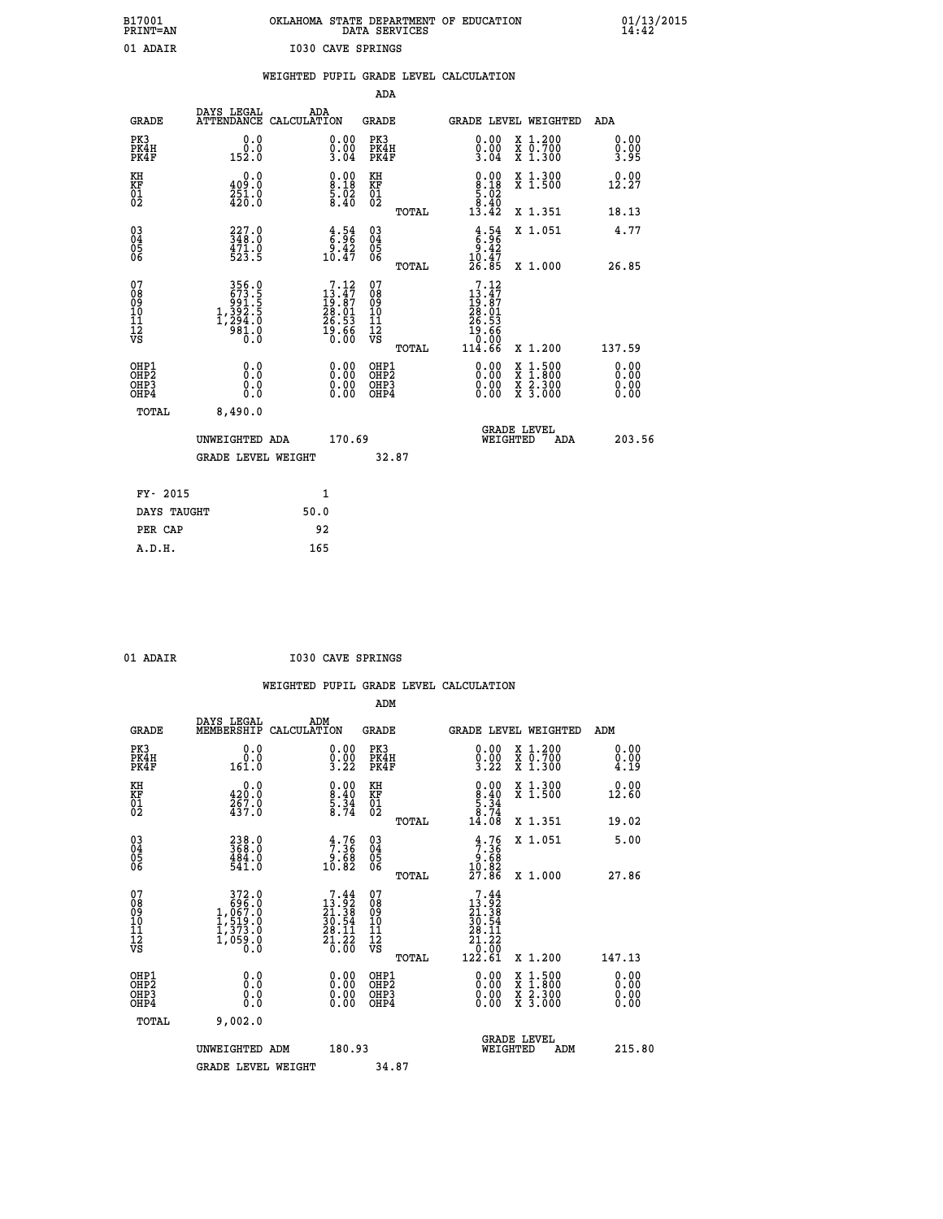| B17001          | OKLAHOMA STATE DEPARTMENT OF EDUCATION |
|-----------------|----------------------------------------|
| <b>PRINT=AN</b> | DATA SERVICES                          |
| 01 ADAIR        | <b>I030 CAVE SPRINGS</b>               |

|                                                    |                                                                                                                                                                                      | WEIGHTED PUPIL GRADE LEVEL CALCULATION                                                                                             |                                       |                                                                                                 |                              |
|----------------------------------------------------|--------------------------------------------------------------------------------------------------------------------------------------------------------------------------------------|------------------------------------------------------------------------------------------------------------------------------------|---------------------------------------|-------------------------------------------------------------------------------------------------|------------------------------|
|                                                    |                                                                                                                                                                                      |                                                                                                                                    | <b>ADA</b>                            |                                                                                                 |                              |
| <b>GRADE</b>                                       | DAYS LEGAL                                                                                                                                                                           | ADA<br>ATTENDANCE CALCULATION                                                                                                      | <b>GRADE</b>                          | GRADE LEVEL WEIGHTED                                                                            | ADA                          |
| PK3<br>PK4H<br>PK4F                                | 0.0<br>0.0<br>152.0                                                                                                                                                                  | $\begin{smallmatrix} 0.00\\ 0.00\\ 3.04 \end{smallmatrix}$                                                                         | PK3<br>PK4H<br>PK4F                   | 0.00<br>X 1.200<br>X 0.700<br>X 1.300<br>$\frac{0}{3}$ .00                                      | 0.00<br>0.00<br>3.95         |
| KH<br>KF<br>01<br>02                               | 0.0<br>409.0<br>$\frac{251}{420}$ :0                                                                                                                                                 | $\begin{smallmatrix} 0.00\\[-1.2mm] 8.18\\[-1.2mm] 5.02\\[-1.2mm] 8.40\end{smallmatrix}$                                           | KH<br>KF<br>01<br>02                  | $\begin{smallmatrix} 0.00\\8.18\\5.02\\8.40\\13.42 \end{smallmatrix}$<br>X 1.300<br>X 1.500     | 0.00<br>12.27                |
|                                                    |                                                                                                                                                                                      |                                                                                                                                    | TOTAL                                 | X 1.351                                                                                         | 18.13                        |
| $\begin{matrix} 03 \\ 04 \\ 05 \\ 06 \end{matrix}$ | 348.0<br>$\frac{471.0}{523.5}$                                                                                                                                                       | $\begin{smallmatrix} 4.54\ 6.96\ 9.42\ 10.47 \end{smallmatrix}$                                                                    | 03<br>04<br>05<br>06                  | $3.54$<br>$6.96$<br>$9.42$<br>$10.47$<br>$26.85$<br>X 1.051                                     | 4.77                         |
|                                                    |                                                                                                                                                                                      |                                                                                                                                    | TOTAL                                 | X 1.000                                                                                         | 26.85                        |
| 07<br>08901112<br>1112<br>VS                       | $\begin{smallmatrix} 3 & 5 & 6 & 0 \\ 6 & 7 & 3 & 5 \\ 9 & 9 & 1 & 5 \\ 9 & 9 & 2 & 5 \\ 1 & 3 & 9 & 2 & 5 \\ 1 & 2 & 9 & 4 & 0 \\ 9 & 8 & 1 & 0 \\ 0 & 0 & 0 & 0 \end{smallmatrix}$ | $\begin{smallmatrix}7\cdot 12\\13\cdot 47\\19\cdot 87\\28\cdot 01\\26\cdot 53\\26\cdot 53\\19\cdot 66\\0\cdot 00\end{smallmatrix}$ | 07<br>08901112<br>1112<br>VS<br>TOTAL | .12<br>7<br>$13.47$<br>$19.87$<br>$28.01$<br>$26.53$<br>$19.66$<br>$10.00$<br>114.66<br>X 1.200 | 137.59                       |
| OHP1<br>OHP2<br>OH <sub>P3</sub><br>OHP4           | 0.0<br>0.0<br>0.0                                                                                                                                                                    | $\begin{smallmatrix} 0.00 \ 0.00 \ 0.00 \ 0.00 \end{smallmatrix}$                                                                  | OHP1<br>OHP2<br>OHP3<br>OHP4          | X 1:500<br>X 1:800<br>X 2:300<br>X 3:000                                                        | 0.00<br>0.00<br>0.00<br>0.00 |
| TOTAL                                              | 8,490.0                                                                                                                                                                              |                                                                                                                                    |                                       |                                                                                                 |                              |
|                                                    | UNWEIGHTED ADA                                                                                                                                                                       | 170.69                                                                                                                             |                                       | <b>GRADE LEVEL</b><br>WEIGHTED<br>ADA                                                           | 203.56                       |
|                                                    | <b>GRADE LEVEL WEIGHT</b>                                                                                                                                                            |                                                                                                                                    | 32.87                                 |                                                                                                 |                              |
|                                                    | FY- 2015                                                                                                                                                                             | $\mathbf{1}$                                                                                                                       |                                       |                                                                                                 |                              |
|                                                    | DAYS TAUGHT                                                                                                                                                                          | 50.0                                                                                                                               |                                       |                                                                                                 |                              |
| PER CAP                                            |                                                                                                                                                                                      | 92                                                                                                                                 |                                       |                                                                                                 |                              |

| U | 37377 |  |
|---|-------|--|

 **A.D.H. 165**

 **01 ADAIR I030 CAVE SPRINGS**

|                                                      |                                                                                                                                                                                                          |                                                                                                                 | ADM                                                 |       |                                                                               |                                          |                      |
|------------------------------------------------------|----------------------------------------------------------------------------------------------------------------------------------------------------------------------------------------------------------|-----------------------------------------------------------------------------------------------------------------|-----------------------------------------------------|-------|-------------------------------------------------------------------------------|------------------------------------------|----------------------|
| <b>GRADE</b>                                         | DAYS LEGAL<br>MEMBERSHIP                                                                                                                                                                                 | ADM<br>CALCULATION                                                                                              | <b>GRADE</b>                                        |       | GRADE LEVEL WEIGHTED                                                          |                                          | ADM                  |
| PK3<br>PK4H<br>PK4F                                  | 0.0<br>0.0<br>161.0                                                                                                                                                                                      | $\begin{smallmatrix} 0.00\\ 0.00\\ 3.22 \end{smallmatrix}$                                                      | PK3<br>PK4H<br>PK4F                                 |       | $\begin{smallmatrix} 0.00\\ 0.00\\ 3.22 \end{smallmatrix}$                    | X 1.200<br>X 0.700<br>X 1.300            | 0.00<br>0.00<br>4.19 |
| KH<br>KF<br>01<br>02                                 | 0.0<br>$\frac{420.0}{267.0}$<br>437.0                                                                                                                                                                    | $\begin{smallmatrix} 0.00\\8.40\\5.34\\8.74 \end{smallmatrix}$                                                  | KH<br>KF<br>01<br>02                                |       | $\begin{smallmatrix} 0.00\\8.40\\5.34\\8.74\\14.08 \end{smallmatrix}$         | X 1.300<br>X 1.500                       | 0.00<br>12.60        |
|                                                      |                                                                                                                                                                                                          |                                                                                                                 |                                                     | TOTAL |                                                                               | X 1.351                                  | 19.02                |
| 03<br>04<br>05<br>06                                 | 238.0<br>368.0<br>484.0<br>541.0                                                                                                                                                                         | $\begin{array}{c} 4.76 \\ 7.36 \\ 9.68 \\ 10.82 \end{array}$                                                    | $\begin{array}{c} 03 \\ 04 \\ 05 \\ 06 \end{array}$ |       | $3.36\n9.68\n10.82\n27.86$                                                    | X 1.051                                  | 5.00                 |
|                                                      |                                                                                                                                                                                                          |                                                                                                                 |                                                     | TOTAL |                                                                               | X 1.000                                  | 27.86                |
| 07<br>08<br>09<br>101<br>112<br>VS                   | $\begin{smallmatrix}&&372\cdot0\phantom{0}\\696\cdot0\phantom{0}\\1,067\cdot0\phantom{0}\\1,519\cdot0\phantom{0}\\1,373\cdot0\phantom{0}\\1,399\cdot0\phantom{0}\\0&0\cdot0\phantom{0}\end{smallmatrix}$ | $\begin{smallmatrix}7\cdot44\\13\cdot92\\21\cdot38\\30\cdot54\\28\cdot11\\21\cdot22\\0\cdot00\end{smallmatrix}$ | 07<br>08<br>09<br>11<br>11<br>12<br>VS              |       | $\begin{smallmatrix}7.44\13.92\21.38\130.54\121.22\0.122.61\end{smallmatrix}$ |                                          |                      |
|                                                      |                                                                                                                                                                                                          |                                                                                                                 |                                                     | TOTAL |                                                                               | X 1.200                                  | 147.13               |
| OHP1<br>OHP2<br>OHP <sub>3</sub><br>OH <sub>P4</sub> | 0.0<br>0.000                                                                                                                                                                                             |                                                                                                                 | OHP1<br>OHP2<br>OHP <sub>3</sub>                    |       | $0.00$<br>$0.00$<br>0.00                                                      | X 1:500<br>X 1:800<br>X 2:300<br>X 3:000 | 0.00<br>0.00<br>0.00 |
| TOTAL                                                | 9,002.0                                                                                                                                                                                                  |                                                                                                                 |                                                     |       |                                                                               |                                          |                      |
|                                                      | UNWEIGHTED ADM                                                                                                                                                                                           | 180.93                                                                                                          |                                                     |       | GRADE LEVEL<br>WEIGHTED                                                       | ADM                                      | 215.80               |
|                                                      | <b>GRADE LEVEL WEIGHT</b>                                                                                                                                                                                |                                                                                                                 | 34.87                                               |       |                                                                               |                                          |                      |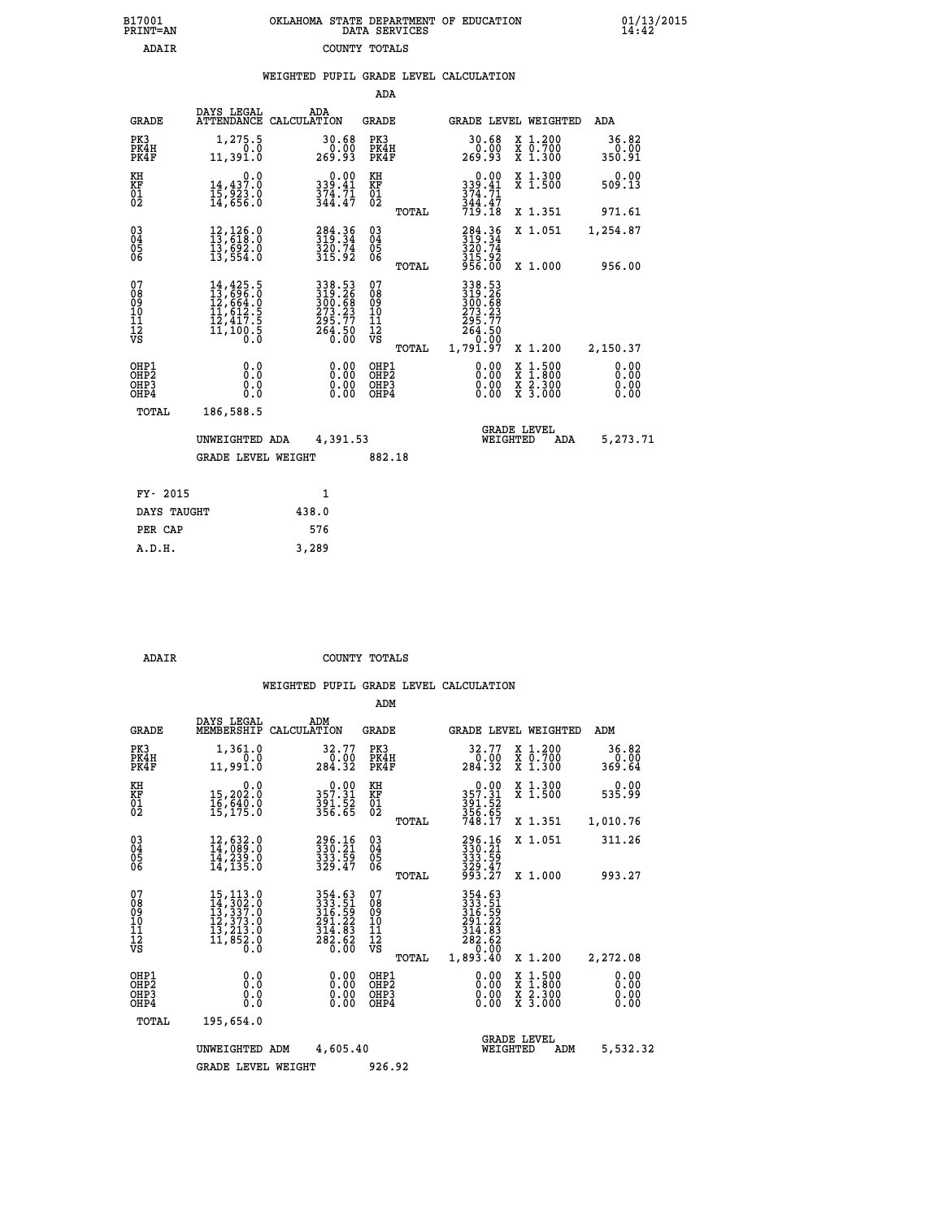| 7001<br>INT=AN |  | OKLAHOMA STATE DEPARTMENT OF EDUCATION<br>DATA SERVICES |  |
|----------------|--|---------------------------------------------------------|--|
| ADAIR          |  | COUNTY TOTALS                                           |  |

|  |  | WEIGHTED PUPIL GRADE LEVEL CALCULATION |
|--|--|----------------------------------------|
|  |  |                                        |

|                                                                    |                                                                                                                                                                                      |                                                                            | ADA                                                                     |       |                                                                  |                                                                                                  |                              |
|--------------------------------------------------------------------|--------------------------------------------------------------------------------------------------------------------------------------------------------------------------------------|----------------------------------------------------------------------------|-------------------------------------------------------------------------|-------|------------------------------------------------------------------|--------------------------------------------------------------------------------------------------|------------------------------|
| <b>GRADE</b>                                                       | DAYS LEGAL                                                                                                                                                                           | ADA<br>ATTENDANCE CALCULATION                                              | <b>GRADE</b>                                                            |       |                                                                  | GRADE LEVEL WEIGHTED                                                                             | ADA                          |
| PK3<br>PK4H<br>PK4F                                                | 1,275.5<br>0.0<br>11,391.0                                                                                                                                                           | 30.68<br>0.00<br>269.93                                                    | PK3<br>PK4H<br>PK4F                                                     |       | 30.68<br>$\frac{0.00}{269.93}$                                   | X 1.200<br>X 0.700<br>X 1.300                                                                    | 36.82<br>0.00<br>350.91      |
| KH<br><b>KF</b><br>01<br>02                                        | 0.0<br>14,437.0<br>ī5,923.0<br>14,656.0                                                                                                                                              | 0.00<br>339.41<br>$\frac{374}{344}.7$                                      | KH<br>KF<br>$\overline{\begin{smallmatrix} 0&1\ 0&2 \end{smallmatrix}}$ |       | 0.00<br>339.41<br>$\frac{374}{344}$ . $\frac{71}{47}$<br>719.18  | X 1.300<br>X 1.500                                                                               | 0.00<br>509.13               |
|                                                                    |                                                                                                                                                                                      |                                                                            |                                                                         | TOTAL |                                                                  | X 1.351                                                                                          | 971.61                       |
| $\begin{smallmatrix} 03 \\[-4pt] 04 \end{smallmatrix}$<br>05<br>06 | 12,126.0<br>13,618.0<br>13,692.0<br>13,554.0                                                                                                                                         | 284.36<br>319.34<br>320.74<br>315.92                                       | $\substack{03 \\ 04}$<br>05<br>06                                       | TOTAL | 284.36<br>319.34<br>320.74<br>315.92<br>956.00                   | X 1.051<br>X 1.000                                                                               | 1,254.87<br>956.00           |
| 07<br>08<br>09<br>11<br>11<br>12<br>VS                             | $\begin{smallmatrix} 14\,, & 425\,, & 5\\ 13\,, & 696\,, & 0\\ 12\,, & 664\,, & 0\\ 11\,, & 612\,, & 5\\ 12\,, & 417\,, & 5\\ 11\,, & 100\,, & 5\\ 0\,, & 0\,, & 0\end{smallmatrix}$ | 338.53<br>319.26<br>300.68<br>300.68<br>273.23<br>295.77<br>264.50<br>0.00 | 07<br>08<br>09<br>11<br>11<br>12<br>VS                                  |       | 338.53<br>319.26<br>300.68<br>273.23<br>295.77<br>264.50<br>0.00 |                                                                                                  |                              |
|                                                                    |                                                                                                                                                                                      |                                                                            |                                                                         | TOTAL | 1,791.97                                                         | X 1.200                                                                                          | 2,150.37                     |
| OHP1<br>OH <sub>P2</sub><br>OH <sub>P3</sub><br>OH <sub>P4</sub>   | 0.0<br>0.0<br>0.0                                                                                                                                                                    | 0.00<br>0.00<br>0.00                                                       | OHP1<br>OH <sub>P</sub> 2<br>OHP3<br>OHP4                               |       | 0.00<br>0.00<br>0.00                                             | $\begin{smallmatrix} x & 1 & 500 \\ x & 1 & 800 \\ x & 2 & 300 \\ x & 3 & 000 \end{smallmatrix}$ | 0.00<br>0.00<br>0.00<br>0.00 |
| TOTAL                                                              | 186,588.5                                                                                                                                                                            |                                                                            |                                                                         |       |                                                                  |                                                                                                  |                              |
|                                                                    | UNWEIGHTED ADA                                                                                                                                                                       | 4,391.53                                                                   |                                                                         |       |                                                                  | <b>GRADE LEVEL</b><br>WEIGHTED<br>ADA                                                            | 5,273.71                     |
|                                                                    | <b>GRADE LEVEL WEIGHT</b>                                                                                                                                                            |                                                                            | 882.18                                                                  |       |                                                                  |                                                                                                  |                              |
| FY- 2015                                                           |                                                                                                                                                                                      | $\mathbf{1}$                                                               |                                                                         |       |                                                                  |                                                                                                  |                              |
| DAYS TAUGHT                                                        |                                                                                                                                                                                      | 438.0                                                                      |                                                                         |       |                                                                  |                                                                                                  |                              |
| PER CAP                                                            |                                                                                                                                                                                      | 576                                                                        |                                                                         |       |                                                                  |                                                                                                  |                              |

 **A.D.H. 3,289**

 **B17001<br>PRINT=AN** 

 **ADAIR COUNTY TOTALS**

|                                          |                                                                                                                                                 |                                                                                                 |                          | ADM                                                 |       |                                                                                                                                 |                                |                                                                                                  |                              |  |
|------------------------------------------|-------------------------------------------------------------------------------------------------------------------------------------------------|-------------------------------------------------------------------------------------------------|--------------------------|-----------------------------------------------------|-------|---------------------------------------------------------------------------------------------------------------------------------|--------------------------------|--------------------------------------------------------------------------------------------------|------------------------------|--|
| <b>GRADE</b>                             | DAYS LEGAL<br>MEMBERSHIP                                                                                                                        | ADM<br>CALCULATION                                                                              |                          | <b>GRADE</b>                                        |       |                                                                                                                                 |                                | GRADE LEVEL WEIGHTED                                                                             | ADM                          |  |
| PK3<br>PK4H<br>PK4F                      | 1,361.0<br>0.0<br>11,991.0                                                                                                                      | 32.77<br>$\frac{0.00}{284.32}$                                                                  |                          | PK3<br>PK4H<br>PK4F                                 |       | 32.77<br>0:00<br>284.32                                                                                                         |                                | X 1.200<br>X 0.700<br>X 1.300                                                                    | 36.82<br>0.00<br>369.64      |  |
| KH<br>KF<br>01<br>02                     | 0.0<br>15,202.0<br>16,640.0<br>15,175.0                                                                                                         | $0.00$<br>357.31<br>391.52<br>356.65                                                            |                          | KH<br>KF<br>01<br>02                                |       | $0.00$<br>$357.31$<br>$391.52$<br>$356.65$<br>$748.17$                                                                          |                                | X 1.300<br>X 1.500                                                                               | 0.00<br>535.99               |  |
|                                          |                                                                                                                                                 |                                                                                                 |                          |                                                     | TOTAL |                                                                                                                                 |                                | X 1.351                                                                                          | 1,010.76                     |  |
| 03<br>04<br>05<br>06                     | 12,632.0<br>14,089.0<br>14,239.0<br>14, 135.0                                                                                                   | 296.16<br>330.21<br>333.59<br>329.47                                                            |                          | $\begin{array}{c} 03 \\ 04 \\ 05 \\ 06 \end{array}$ |       | 296.16<br>330.21<br>333.59<br>329.47<br>993.27                                                                                  |                                | X 1.051                                                                                          | 311.26                       |  |
|                                          |                                                                                                                                                 |                                                                                                 |                          |                                                     | TOTAL |                                                                                                                                 |                                | X 1.000                                                                                          | 993.27                       |  |
| 07<br>08<br>09<br>101<br>112<br>VS       | $\begin{smallmatrix} 15,113\cdot 0\\ 14,302\cdot 0\\ 13,337\cdot 0\\ 12,373\cdot 0\\ 13,213\cdot 0\\ 11,852\cdot 0\\ 0\cdot 0\end{smallmatrix}$ | $\begin{array}{r} 354.63 \\ 333.51 \\ 316.59 \\ 291.22 \\ 314.83 \\ 282.62 \\ 0.00 \end{array}$ |                          | 07<br>08<br>09<br>11<br>11<br>12<br>VS              | TOTAL | 354.63<br>333.51<br>316.59<br>291.22<br>$\frac{31\bar{4}\cdot\bar{8}\bar{3}}{28\bar{2}\cdot\bar{8}\bar{2}}$<br>0.00<br>1,893.40 |                                | X 1.200                                                                                          | 2,272.08                     |  |
| OHP1<br>OHP2<br>OH <sub>P3</sub><br>OHP4 | 0.0<br>0.000                                                                                                                                    |                                                                                                 | $0.00$<br>$0.00$<br>0.00 | OHP1<br>OHP2<br>OHP3<br>OHP4                        |       |                                                                                                                                 | $0.00$<br>$0.00$<br>0.00       | $\begin{smallmatrix} x & 1 & 500 \\ x & 1 & 800 \\ x & 2 & 300 \\ x & 3 & 000 \end{smallmatrix}$ | 0.00<br>0.00<br>0.00<br>0.00 |  |
| TOTAL                                    | 195,654.0                                                                                                                                       |                                                                                                 |                          |                                                     |       |                                                                                                                                 |                                |                                                                                                  |                              |  |
|                                          | UNWEIGHTED ADM                                                                                                                                  |                                                                                                 | 4,605.40                 |                                                     |       |                                                                                                                                 | <b>GRADE LEVEL</b><br>WEIGHTED | ADM                                                                                              | 5,532.32                     |  |
|                                          | <b>GRADE LEVEL WEIGHT</b>                                                                                                                       |                                                                                                 |                          | 926.92                                              |       |                                                                                                                                 |                                |                                                                                                  |                              |  |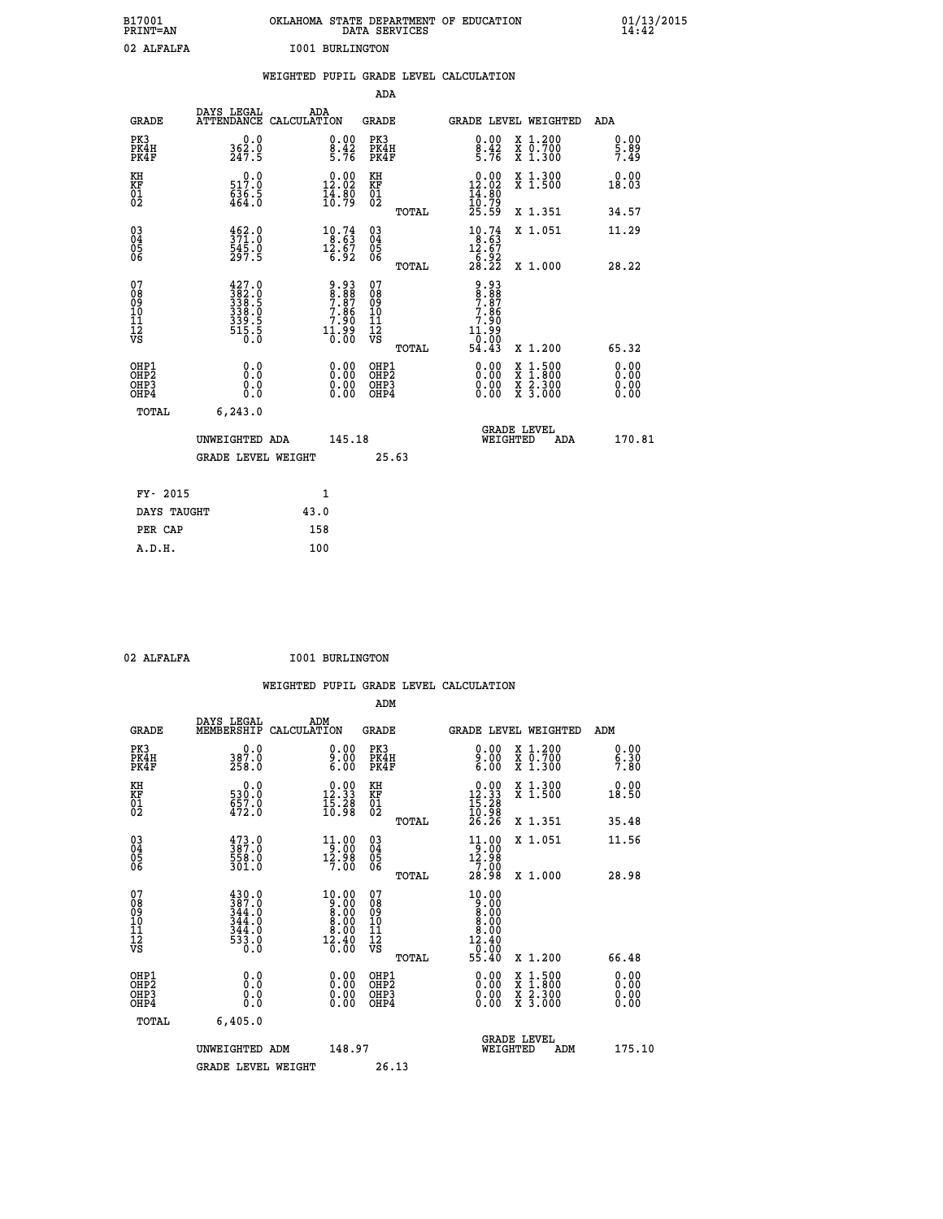| B17001<br>PRINT=AN                                |                                                           | OKLAHOMA STATE DEPARTMENT OF EDUCATION                                 | DATA SERVICES                                                       |                                                                       |                                                                                          | $01/13/2015$<br>14:42 |
|---------------------------------------------------|-----------------------------------------------------------|------------------------------------------------------------------------|---------------------------------------------------------------------|-----------------------------------------------------------------------|------------------------------------------------------------------------------------------|-----------------------|
| 02 ALFALFA                                        |                                                           | <b>I001 BURLINGTON</b>                                                 |                                                                     |                                                                       |                                                                                          |                       |
|                                                   |                                                           | WEIGHTED PUPIL GRADE LEVEL CALCULATION                                 |                                                                     |                                                                       |                                                                                          |                       |
|                                                   |                                                           |                                                                        | <b>ADA</b>                                                          |                                                                       |                                                                                          |                       |
| <b>GRADE</b>                                      | DAYS LEGAL                                                | ADA<br>ATTENDANCE CALCULATION                                          | GRADE                                                               | GRADE LEVEL WEIGHTED                                                  |                                                                                          | ADA                   |
| PK3<br>PK4H<br>PK4F                               | 0.0<br>$\frac{362.0}{247.5}$                              | 0.00<br>$\frac{8.42}{5.76}$                                            | PK3<br>PK4H<br>PK4F                                                 | $\begin{smallmatrix} 0.00\\[-1mm] 8.42\\[-1mm] 5.76\end{smallmatrix}$ | X 1.200<br>X 0.700<br>X 1.300                                                            | 0.00<br>5.89<br>7.49  |
| KH<br>KF<br>$\begin{matrix} 01 \ 02 \end{matrix}$ | 0.0<br>517.0<br>636.5<br>464.0                            | $0.00$<br>12.02<br>$\frac{1}{4}$ $\frac{3}{6}$ $\frac{8}{7}$           | KH<br><b>KF</b><br>01<br>02                                         | $0.00$<br>12.02<br>$\frac{14}{10}$ : 79<br>$25.59$                    | X 1.300<br>X 1.500                                                                       | 0.00<br>18.03         |
|                                                   |                                                           |                                                                        | TOTAL                                                               |                                                                       | X 1.351                                                                                  | 34.57                 |
| $\substack{03 \ 04}$<br>Ŏ5<br>06                  | $\frac{462}{371}$ :0<br>545.0<br>297.5                    | $\begin{smallmatrix} 10.74 \\ 8.63 \\ 12.67 \\ 6.92 \end{smallmatrix}$ | 030404<br>ŎĞ                                                        | $10.74$<br>$8.63$<br>12.67                                            | X 1.051                                                                                  | 11.29                 |
|                                                   |                                                           |                                                                        | TOTAL                                                               | $\frac{76.92}{28.22}$                                                 | X 1.000                                                                                  | 28.22                 |
| 07<br>08<br>09<br>10<br>11<br>12<br>VS            | $\frac{427.0}{382.0}$<br>338:0<br>339:5<br>515:5<br>516:0 | 9:93<br>8:88<br>7:86<br>7:90<br>7:90<br>ۆۋ:11<br>0.00                  | 07<br>Ŏġ<br>09<br>10<br>$\frac{11}{12}$<br>$\frac{12}{18}$<br>TOTAL | 9.93<br>8.88<br>7.87<br>7.86<br>7.90<br>ۆۋ:1.<br>0.00<br>11<br>54.43  | X 1.200                                                                                  | 65.32                 |
| OHP1                                              | 0.0                                                       |                                                                        | OHP1                                                                |                                                                       |                                                                                          | 0.00                  |
| OHP <sub>2</sub><br>OH <sub>P3</sub><br>OHP4      | Ō.Ō<br>0.0<br>0.0                                         | 0.00<br>0.00<br>0.00                                                   | OHP <sub>2</sub><br>OHP3<br>OHP4                                    | 0.00<br>0.00<br>0.00                                                  | $\begin{smallmatrix} x & 1.500 \\ x & 1.800 \\ x & 2.300 \\ x & 3.000 \end{smallmatrix}$ | 0.00<br>0.00<br>0.00  |
| TOTAL                                             | 6, 243.0                                                  |                                                                        |                                                                     |                                                                       |                                                                                          |                       |
|                                                   | UNWEIGHTED ADA                                            | 145.18                                                                 |                                                                     | <b>GRADE LEVEL</b><br>WEIGHTED                                        | ADA                                                                                      | 170.81                |
|                                                   | <b>GRADE LEVEL WEIGHT</b>                                 |                                                                        | 25.63                                                               |                                                                       |                                                                                          |                       |
|                                                   | FY- 2015                                                  | 1                                                                      |                                                                     |                                                                       |                                                                                          |                       |
|                                                   | DAYS TAUGHT                                               | 43.0                                                                   |                                                                     |                                                                       |                                                                                          |                       |
| PER CAP                                           |                                                           | 158                                                                    |                                                                     |                                                                       |                                                                                          |                       |
| A.D.H.                                            |                                                           | 100                                                                    |                                                                     |                                                                       |                                                                                          |                       |

|                                                    |                                                                       |     |                                                                                                                |                                                    |       | WEIGHTED PUPIL GRADE LEVEL CALCULATION                                                                                                                                                                                                                                         |                                          |                              |  |
|----------------------------------------------------|-----------------------------------------------------------------------|-----|----------------------------------------------------------------------------------------------------------------|----------------------------------------------------|-------|--------------------------------------------------------------------------------------------------------------------------------------------------------------------------------------------------------------------------------------------------------------------------------|------------------------------------------|------------------------------|--|
|                                                    |                                                                       |     |                                                                                                                | ADM                                                |       |                                                                                                                                                                                                                                                                                |                                          |                              |  |
| <b>GRADE</b>                                       | DAYS LEGAL<br>MEMBERSHIP CALCULATION                                  | ADM |                                                                                                                | <b>GRADE</b>                                       |       | GRADE LEVEL WEIGHTED                                                                                                                                                                                                                                                           |                                          | ADM                          |  |
| PK3<br>PK4H<br>PK4F                                | 0.0<br>387.0<br>258.0                                                 |     | $9.00$<br>$9.00$<br>$6.00$                                                                                     | PK3<br>PK4H<br>PK4F                                |       | 0.00<br>$\frac{9.00}{6.00}$                                                                                                                                                                                                                                                    | X 1.200<br>X 0.700<br>X 1.300            | 0.00<br>$\frac{6.30}{7.80}$  |  |
| KH<br>KF<br>01<br>02                               | 0.0<br>530:0<br>657:0<br>472:0                                        |     | $\begin{smallmatrix} 0.00\\ 12.33\\ 15.28\\ 10.98 \end{smallmatrix}$                                           | KH<br>KF<br>01<br>02                               |       | $\begin{smallmatrix} 0.00\\ 12.33\\ 15.28\\ 10.98\\ 26.26 \end{smallmatrix}$                                                                                                                                                                                                   | X 1.300<br>X 1.500                       | 0.00<br>18.50                |  |
|                                                    |                                                                       |     |                                                                                                                |                                                    | TOTAL |                                                                                                                                                                                                                                                                                | X 1.351                                  | 35.48                        |  |
| $\begin{matrix} 03 \\ 04 \\ 05 \\ 06 \end{matrix}$ | $\begin{smallmatrix} 473.0\\ 387.0\\ 558.0\\ 301.0 \end{smallmatrix}$ |     | $\begin{array}{c} 11\cdot 00\\ -9\cdot 00\\ 12\cdot 98\\ 7\cdot 00 \end{array}$                                | $\begin{matrix} 03 \\ 04 \\ 05 \\ 06 \end{matrix}$ |       | $11.00$<br>$12.90$<br>$7.00$                                                                                                                                                                                                                                                   | X 1.051                                  | 11.56                        |  |
|                                                    |                                                                       |     |                                                                                                                |                                                    | TOTAL | 28.98                                                                                                                                                                                                                                                                          | X 1.000                                  | 28.98                        |  |
| 07<br>0890112<br>1112<br>VS                        | $\frac{430.0}{387.0}$<br>344.0<br>344.0<br>344:0<br>533:0<br>0:0      |     | $\begin{smallmatrix} 10.00 \\ 9.00 \\ 8.00 \\ 8.00 \\ 8.00 \\ 12.40 \\ 12.40 \\ \hline 0.00 \end{smallmatrix}$ | 07<br>08<br>09<br>11<br>11<br>12<br>VS             |       | $\begin{smallmatrix} 10.00 \\ 9.00 \\ 8.00 \\ 8.00 \\ 8.00 \\ 12.40 \end{smallmatrix}$<br>-0:00<br>55.40                                                                                                                                                                       |                                          |                              |  |
|                                                    |                                                                       |     |                                                                                                                |                                                    | TOTAL |                                                                                                                                                                                                                                                                                | X 1.200                                  | 66.48                        |  |
| OHP1<br>OHP2<br>OHP <sub>3</sub><br>OHP4           | 0.0<br>0.000                                                          |     | $0.00$<br>$0.00$<br>0.00                                                                                       | OHP1<br>OHP2<br>OHP3<br>OHP4                       |       | $\begin{smallmatrix} 0.00 & 0.00 & 0.00 & 0.00 & 0.00 & 0.00 & 0.00 & 0.00 & 0.00 & 0.00 & 0.00 & 0.00 & 0.00 & 0.00 & 0.00 & 0.00 & 0.00 & 0.00 & 0.00 & 0.00 & 0.00 & 0.00 & 0.00 & 0.00 & 0.00 & 0.00 & 0.00 & 0.00 & 0.00 & 0.00 & 0.00 & 0.00 & 0.00 & 0.00 & 0.00 & 0.0$ | X 1:500<br>X 1:800<br>X 2:300<br>X 3:000 | 0.00<br>Ŏ.ŎŎ<br>Q.QQ<br>0.00 |  |
| TOTAL                                              | 6,405.0                                                               |     |                                                                                                                |                                                    |       |                                                                                                                                                                                                                                                                                |                                          |                              |  |
|                                                    | UNWEIGHTED ADM<br><b>GRADE LEVEL WEIGHT</b>                           |     | 148.97                                                                                                         | 26.13                                              |       | WEIGHTED                                                                                                                                                                                                                                                                       | <b>GRADE LEVEL</b><br>ADM                | 175.10                       |  |
|                                                    |                                                                       |     |                                                                                                                |                                                    |       |                                                                                                                                                                                                                                                                                |                                          |                              |  |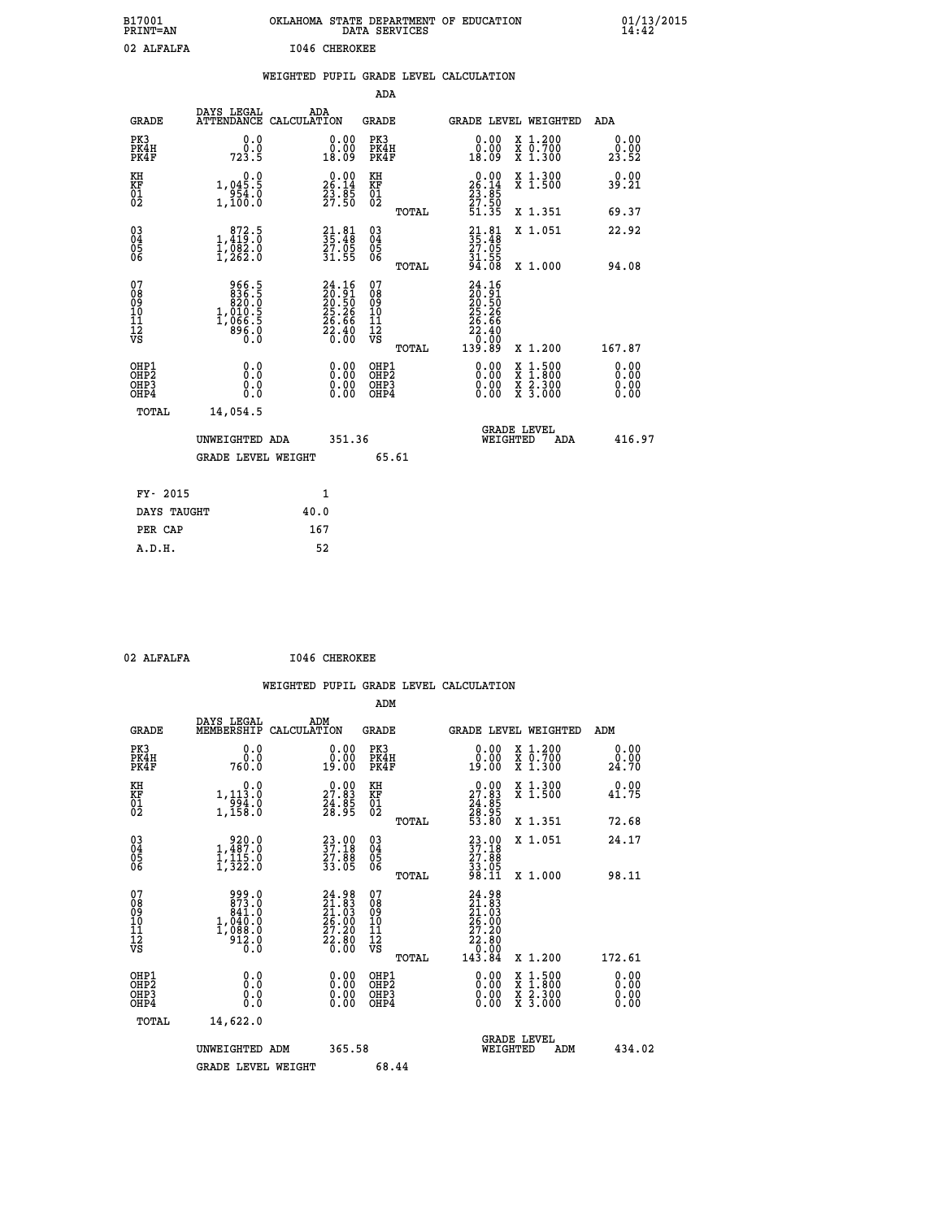| B17001<br>PRINT=AN                                |                                                                                                                 | OKLAHOMA STATE DEPARTMENT OF EDUCATION                                   | DATA SERVICES                                              |                                                                     |                                                                                          | 01/13/2015                   |
|---------------------------------------------------|-----------------------------------------------------------------------------------------------------------------|--------------------------------------------------------------------------|------------------------------------------------------------|---------------------------------------------------------------------|------------------------------------------------------------------------------------------|------------------------------|
| 02 ALFALFA                                        |                                                                                                                 | <b>I046 CHEROKEE</b>                                                     |                                                            |                                                                     |                                                                                          |                              |
|                                                   |                                                                                                                 | WEIGHTED PUPIL GRADE LEVEL CALCULATION                                   |                                                            |                                                                     |                                                                                          |                              |
|                                                   |                                                                                                                 |                                                                          | ADA                                                        |                                                                     |                                                                                          |                              |
| <b>GRADE</b>                                      | DAYS LEGAL                                                                                                      | ADA<br>ATTENDANCE CALCULATION                                            | <b>GRADE</b>                                               |                                                                     | GRADE LEVEL WEIGHTED                                                                     | ADA                          |
| PK3<br>PK4H<br>PK4F                               | 0.0<br>0.0<br>723.5                                                                                             | 0.00<br>0.00<br>18.09                                                    | PK3<br>PK4H<br>PK4F                                        | 0.00<br>ةة:ة<br>18:09                                               | X 1.200<br>X 0.700<br>X 1.300                                                            | 0.00<br>0.00<br>23.52        |
| KH<br>KF<br>$\begin{matrix} 01 \ 02 \end{matrix}$ | 0.0<br>1,045.5<br>954.0<br>1,100.0                                                                              | $\begin{smallmatrix} 0.00\\ 26.14\\ 23.85\\ 27.50 \end{smallmatrix}$     | KH<br><b>KF</b><br>01<br>02                                | $26.00$<br>26.14<br>$\frac{23}{27}$ : $\frac{85}{50}$<br>51.35      | X 1.300<br>X 1.500                                                                       | 0.00<br>39.21                |
|                                                   |                                                                                                                 |                                                                          | TOTAL                                                      |                                                                     | X 1.351                                                                                  | 69.37                        |
| 03<br>04<br>05<br>06                              | $\begin{smallmatrix}&&872\\1,419\\1,082\\1,262.0\end{smallmatrix}$                                              | $\begin{smallmatrix} 21.81\ 35.48\ 27.05\ 31.55 \end{smallmatrix}$       | $\begin{matrix} 03 \\ 04 \\ 05 \\ 06 \end{matrix}$         | 35.48<br>27.05<br>31.55                                             | X 1.051                                                                                  | 22.92                        |
|                                                   |                                                                                                                 |                                                                          | TOTAL                                                      | 94.08                                                               | X 1.000                                                                                  | 94.08                        |
| 07<br>08<br>09<br>11<br>11<br>12<br>VS            | 966.5<br>$\begin{smallmatrix} 308.15 \\ 836.5 \\ 820.0 \\ 1,010.5 \\ 1,066.5 \end{smallmatrix}$<br>896.0<br>Ō.Ō | $24.16$<br>$20.91$<br>$20.50$<br>$25.26$<br>$26.66$<br>$22.40$<br>$0.00$ | 07<br>08<br>09<br>10<br>$\frac{11}{12}$<br>$\frac{12}{18}$ | 24.16<br>20:91<br>20:50<br>25:26<br>$\frac{26.66}{22.40}$<br>139.89 |                                                                                          | 167.87                       |
|                                                   |                                                                                                                 |                                                                          | TOTAL                                                      |                                                                     | X 1.200                                                                                  |                              |
| OHP1<br>OHP2<br>OHP3<br>OHP4                      | 0.000<br>0.0<br>0.0                                                                                             | $0.00$<br>$0.00$<br>0.00                                                 | OHP1<br>OHP2<br>OHP3<br>OHP4                               | $0.00$<br>$0.00$<br>0.00                                            | $\begin{smallmatrix} x & 1.500 \\ x & 1.800 \\ x & 2.300 \\ x & 3.000 \end{smallmatrix}$ | 0.00<br>0.00<br>0.00<br>0.00 |
| TOTAL                                             | 14,054.5                                                                                                        |                                                                          |                                                            |                                                                     |                                                                                          |                              |
|                                                   | UNWEIGHTED ADA                                                                                                  | 351.36                                                                   |                                                            | WEIGHTED                                                            | <b>GRADE LEVEL</b><br>ADA                                                                | 416.97                       |
|                                                   | <b>GRADE LEVEL WEIGHT</b>                                                                                       |                                                                          | 65.61                                                      |                                                                     |                                                                                          |                              |
| FY- 2015                                          |                                                                                                                 | 1                                                                        |                                                            |                                                                     |                                                                                          |                              |
| DAYS TAUGHT                                       |                                                                                                                 | 40.0                                                                     |                                                            |                                                                     |                                                                                          |                              |
| PER CAP                                           |                                                                                                                 | 167                                                                      |                                                            |                                                                     |                                                                                          |                              |

02 ALFALFA **I046 CHEROKEE** 

|                                                                              |                                                                     |                                                                                                |                                                     | WEIGHTED PUPIL GRADE LEVEL CALCULATION                                                                                                                                                                                                                                         |                                                                                          |                              |
|------------------------------------------------------------------------------|---------------------------------------------------------------------|------------------------------------------------------------------------------------------------|-----------------------------------------------------|--------------------------------------------------------------------------------------------------------------------------------------------------------------------------------------------------------------------------------------------------------------------------------|------------------------------------------------------------------------------------------|------------------------------|
|                                                                              |                                                                     |                                                                                                | ADM                                                 |                                                                                                                                                                                                                                                                                |                                                                                          |                              |
| <b>GRADE</b>                                                                 | DAYS LEGAL<br>MEMBERSHIP                                            | ADM<br>CALCULATION                                                                             | <b>GRADE</b>                                        | GRADE LEVEL WEIGHTED                                                                                                                                                                                                                                                           |                                                                                          | ADM                          |
| PK3<br>PK4H<br>PK4F                                                          | 0.0<br>0.0<br>760.0                                                 | 0.00<br>19.00                                                                                  | PK3<br>PK4H<br>PK4F                                 | 0.00<br>0.00<br>19.00                                                                                                                                                                                                                                                          | X 1.200<br>X 0.700<br>X 1.300                                                            | 0.00<br>0.00<br>24.70        |
| KH<br>KF<br>01<br>02                                                         | 0.0<br>1, 113.0<br>$\frac{554}{1,158}$                              | $\begin{smallmatrix} 0.00\\ 27.83\\ 24.85\\ 28.95 \end{smallmatrix}$                           | KH<br>KF<br>01<br>02                                | $\begin{smallmatrix} 0.00\\27.83\\24.85\\28.95\\53.80 \end{smallmatrix}$                                                                                                                                                                                                       | X 1.300<br>X 1.500                                                                       | 0.00<br>41.75                |
|                                                                              |                                                                     |                                                                                                | TOTAL                                               |                                                                                                                                                                                                                                                                                | X 1.351                                                                                  | 72.68                        |
| 030404<br>ŌĞ                                                                 | 1,487.0<br>$\frac{1}{1}, \frac{1}{3}$ $\frac{1}{2}$ $\frac{5}{0}$   | 23.00<br>37.18<br>27.88<br>33.05                                                               | $\begin{array}{c} 03 \\ 04 \\ 05 \\ 06 \end{array}$ | $\begin{smallmatrix} 23 & 0 & 0 \\ 37 & 18 \\ 27 & 88 \\ 33 & 05 \\ 98 & 11 \end{smallmatrix}$                                                                                                                                                                                 | X 1.051                                                                                  | 24.17                        |
|                                                                              |                                                                     |                                                                                                | TOTAL                                               |                                                                                                                                                                                                                                                                                | X 1.000                                                                                  | 98.11                        |
| 07<br>08<br>09<br>11<br>11<br>12<br>VS                                       | 999.0<br>873.0<br>841.0<br>$1,040.0$<br>$1,088.0$<br>$912.0$<br>0.0 | ${\begin{smallmatrix} 24.98\\ 21.83\\ 21.03\\ 26.00\\ 27.20\\ 22.80\\ 0.00 \end{smallmatrix}}$ | 07<br>08<br>09<br>11<br>11<br>12<br>VS<br>TOTAL     | $24.98$<br>$21.83$<br>$21.03$<br>$26.00$<br>$27.20$<br>$\begin{smallmatrix} 22.80\\ 0.00\\ 143.84 \end{smallmatrix}$                                                                                                                                                           | X 1.200                                                                                  | 172.61                       |
| OHP1<br>OH <sub>P</sub> <sub>2</sub><br>OH <sub>P3</sub><br>OH <sub>P4</sub> | 0.0<br>0.000                                                        | 0.00<br>0.00<br>0.00                                                                           | OHP1<br>OH <sub>P</sub> 2<br>OHP3<br>OHP4           | $\begin{smallmatrix} 0.00 & 0.00 & 0.00 & 0.00 & 0.00 & 0.00 & 0.00 & 0.00 & 0.00 & 0.00 & 0.00 & 0.00 & 0.00 & 0.00 & 0.00 & 0.00 & 0.00 & 0.00 & 0.00 & 0.00 & 0.00 & 0.00 & 0.00 & 0.00 & 0.00 & 0.00 & 0.00 & 0.00 & 0.00 & 0.00 & 0.00 & 0.00 & 0.00 & 0.00 & 0.00 & 0.0$ | $\begin{smallmatrix} x & 1.500 \\ x & 1.800 \\ x & 2.300 \\ x & 3.000 \end{smallmatrix}$ | 0.00<br>0.00<br>0.00<br>0.00 |
| TOTAL                                                                        | 14,622.0                                                            |                                                                                                |                                                     |                                                                                                                                                                                                                                                                                |                                                                                          |                              |
|                                                                              | UNWEIGHTED ADM                                                      | 365.58                                                                                         |                                                     | <b>GRADE LEVEL</b><br>WEIGHTED                                                                                                                                                                                                                                                 | ADM                                                                                      | 434.02                       |
|                                                                              | <b>GRADE LEVEL WEIGHT</b>                                           |                                                                                                | 68.44                                               |                                                                                                                                                                                                                                                                                |                                                                                          |                              |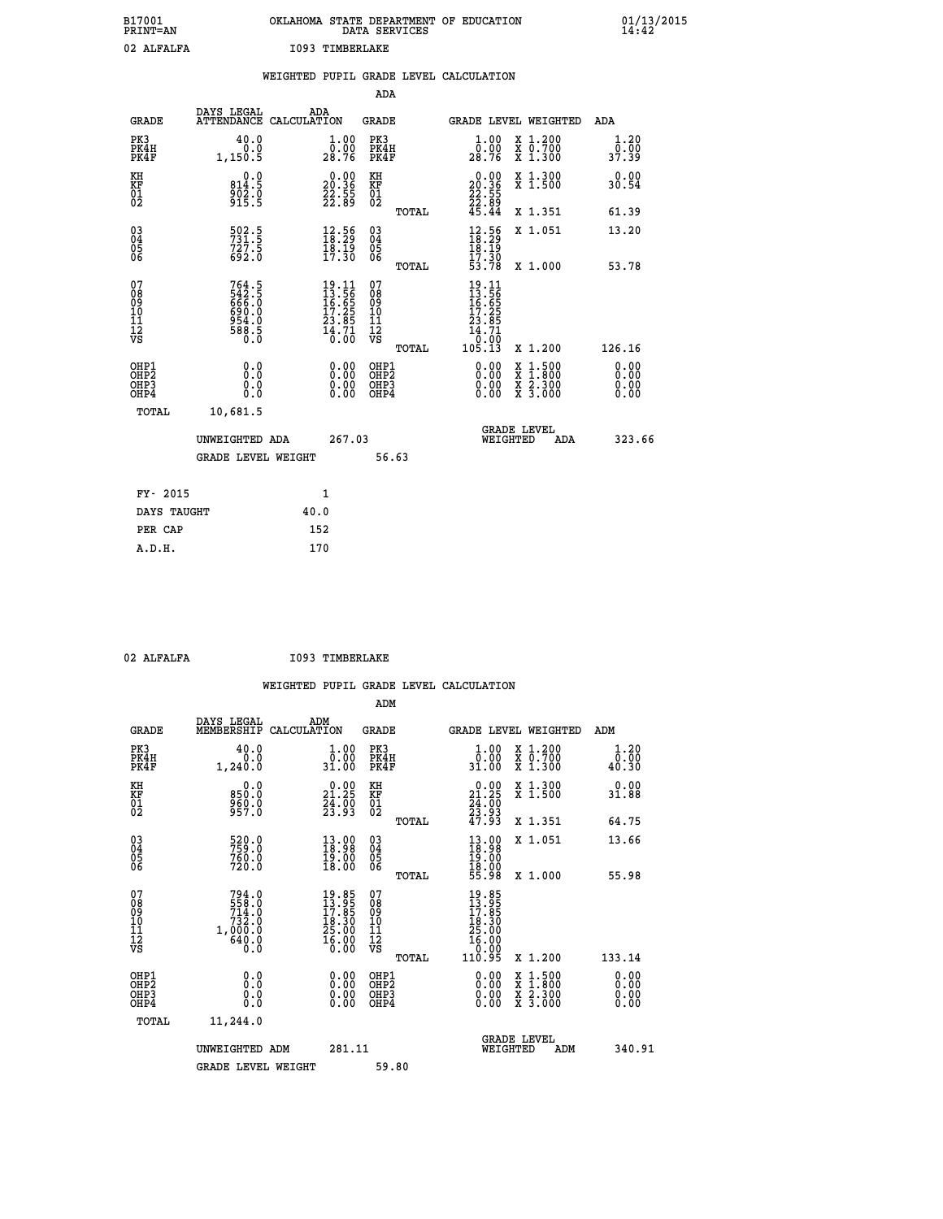| B17001<br>PRINT=AN                                  |                                                              |                                                                          |                                                    |       | OKLAHOMA STATE DEPARTMENT OF EDUCATION DATA SERVICES                                               |                                                                                                  | $01/13/2015$<br>14:42         |  |
|-----------------------------------------------------|--------------------------------------------------------------|--------------------------------------------------------------------------|----------------------------------------------------|-------|----------------------------------------------------------------------------------------------------|--------------------------------------------------------------------------------------------------|-------------------------------|--|
| 02 ALFALFA                                          |                                                              | <b>I093 TIMBERLAKE</b>                                                   |                                                    |       |                                                                                                    |                                                                                                  |                               |  |
|                                                     |                                                              |                                                                          |                                                    |       | WEIGHTED PUPIL GRADE LEVEL CALCULATION                                                             |                                                                                                  |                               |  |
|                                                     |                                                              |                                                                          | ADA                                                |       |                                                                                                    |                                                                                                  |                               |  |
| <b>GRADE</b>                                        | DAYS LEGAL ADA ATTENDANCE CALCULATION                        |                                                                          | <b>GRADE</b>                                       |       | GRADE LEVEL WEIGHTED                                                                               |                                                                                                  | ADA                           |  |
| PK3<br>PK4H<br>PK4F                                 | 40.0<br>0.0<br>1,150.5                                       | 1.00<br>$\overline{0}$ .00<br>28.76                                      | PK3<br>PK4H<br>PK4F                                |       | 1.00<br>0:00<br>28:76                                                                              | X 1.200<br>X 0.700<br>X 1.300                                                                    | 1.20<br>0.00<br>37.39         |  |
| KH<br>KF<br>01<br>02                                | $0.0$<br>814.5<br>$\frac{5}{9}$ $\frac{5}{15}$ $\frac{5}{5}$ | $\begin{smallmatrix} 0.00\\ 20.36\\ 22.55\\ 22.89 \end{smallmatrix}$     | KH<br>KF<br>01<br>02                               |       | $\begin{smallmatrix} 0.00\\ 20.36\\ 22.55\\ 22.89\\ 45.44 \end{smallmatrix}$                       | X 1.300<br>X 1.500                                                                               | 0.00<br>30.54                 |  |
|                                                     |                                                              |                                                                          |                                                    | TOTAL |                                                                                                    | X 1.351                                                                                          | 61.39                         |  |
| $\begin{array}{c} 03 \\ 04 \\ 05 \\ 06 \end{array}$ | 502.5<br>731.5<br>727.5<br>692.0                             | $\begin{smallmatrix} 12.56\\18.29\\18.19\\17.30 \end{smallmatrix}$       | $\begin{matrix} 03 \\ 04 \\ 05 \\ 06 \end{matrix}$ |       | $\begin{array}{c} 12.56 \\ 18.29 \\ 18.19 \\ 17.30 \\ 53.78 \end{array}$                           | X 1.051                                                                                          | 13.20                         |  |
|                                                     |                                                              |                                                                          |                                                    | TOTAL |                                                                                                    | X 1.000                                                                                          | 53.78                         |  |
| 07<br>08<br>09<br>111<br>12<br>VS                   | 764.5<br>542.5<br>666.0<br>690.0<br>6954.0<br>954.0<br>588.5 | $19.11$<br>$13.56$<br>$16.65$<br>$17.25$<br>$23.85$<br>$14.71$<br>$0.00$ | 07<br>08901112<br>1112<br>VS                       | TOTAL | $\begin{smallmatrix} 19.11\ 13.56\ 16.555\ 17.255\ 17.255\ 14.71\ 0.00\ 105.13\ \end{smallmatrix}$ | X 1.200                                                                                          | 126.16                        |  |
| OHP1<br>OHP2<br>OHP3<br>OH <sub>P4</sub>            | 0.000<br>$\begin{smallmatrix} 0.0 \ 0.0 \end{smallmatrix}$   | 0.00<br>0.00<br>0.00                                                     | OHP1<br>OHP2<br>OHP3<br>OHP4                       |       | 0.00<br>0.00<br>0.00                                                                               | $\begin{smallmatrix} x & 1 & 500 \\ x & 1 & 800 \\ x & 2 & 300 \\ x & 3 & 000 \end{smallmatrix}$ | 0.00<br>Ō. ŌŌ<br>0.00<br>0.00 |  |
| TOTAL                                               | 10,681.5                                                     |                                                                          |                                                    |       |                                                                                                    |                                                                                                  |                               |  |
|                                                     | UNWEIGHTED ADA                                               | 267.03                                                                   |                                                    |       | WEIGHTED                                                                                           | <b>GRADE LEVEL</b><br>ADA                                                                        | 323.66                        |  |

|             | GRADE LEVEL WEIGHT | 56.63 |
|-------------|--------------------|-------|
| FY- 2015    | 1                  |       |
| DAYS TAUGHT | 40.0               |       |
| PER CAP     | 152                |       |
| A.D.H.      | 170                |       |

| 02 | <b>ALFALFA</b> |
|----|----------------|

 **02 ALFALFA I093 TIMBERLAKE**

|                                                    |                                                                                                                      |                                                                           |                                                       | WEIGHTED PUPIL GRADE LEVEL CALCULATION                                                                |                                          |                               |
|----------------------------------------------------|----------------------------------------------------------------------------------------------------------------------|---------------------------------------------------------------------------|-------------------------------------------------------|-------------------------------------------------------------------------------------------------------|------------------------------------------|-------------------------------|
|                                                    |                                                                                                                      |                                                                           | ADM                                                   |                                                                                                       |                                          |                               |
| <b>GRADE</b>                                       | DAYS LEGAL<br>MEMBERSHIP<br>CALCULATION                                                                              | ADM                                                                       | <b>GRADE</b>                                          | GRADE LEVEL WEIGHTED                                                                                  |                                          | ADM                           |
| PK3<br>PK4H<br>PK4F                                | 40.0<br>0.0<br>1,240.0                                                                                               | 1.00<br>$\overline{0}$ . $\overline{0}$<br>31.00                          | PK3<br>PK4H<br>PK4F                                   | 1.00<br>ŏ:ŏŏ<br>31:00                                                                                 | X 1.200<br>X 0.700<br>X 1.300            | 1.20<br>0.00<br>40.30         |
| KH<br>KF<br>01<br>02                               | 0.0<br>850:0<br>960:0<br>957:0                                                                                       | 21.25<br>$\frac{51}{23}$ : $\frac{50}{3}$                                 | KH<br>KF<br>01<br>02                                  | 21.25<br>$\frac{24}{23}$ : $\frac{60}{3}$<br>47: 93                                                   | X 1.300<br>X 1.500                       | $0.00$<br>31.88               |
|                                                    |                                                                                                                      |                                                                           | TOTAL                                                 |                                                                                                       | X 1.351                                  | 64.75                         |
| $\begin{matrix} 03 \\ 04 \\ 05 \\ 06 \end{matrix}$ | 520.0<br>760.0<br>720.0                                                                                              | 13.00<br>$\frac{19.00}{18.00}$                                            | $\begin{array}{c} 03 \\ 04 \\ 05 \\ 06 \end{array}$   | $\begin{smallmatrix} 13.00 \\ 18.98 \\ 19.00 \\ 18.00 \\ 55.98 \end{smallmatrix}$                     | X 1.051                                  | 13.66                         |
|                                                    |                                                                                                                      |                                                                           | TOTAL                                                 |                                                                                                       | $X_1.000$                                | 55.98                         |
| 07<br>08<br>09<br>10<br>11<br>11<br>12<br>VS       | 794.0<br>$\begin{smallmatrix} 756 & 0 \ 556 & 0 \ 714 & 0 \ 732 & 0 \ 1,000 & 0 \ 640 & 0 \ 0 & 0 \end{smallmatrix}$ | $19.85$<br>$13.95$<br>$17.85$<br>$18.30$<br>$25.00$<br>$25.00$<br>$16.00$ | 07<br>08<br>09<br>01<br>11<br>11<br>12<br>VS<br>TOTAL | $\begin{array}{r} 19.85 \\ 13.955 \\ 17.855 \\ 18.30 \\ 25.00 \\ 16.00 \\ 0.00 \\ 110.95 \end{array}$ | X 1.200                                  | 133.14                        |
| OHP1<br>OHP2<br>OHP3<br>OHP4                       | 0.0<br>0.000                                                                                                         | 0.00<br>ŏ.ŏŏ<br>0.00                                                      | OHP1<br>OHP2<br>OHP <sub>3</sub><br>OHP4              | 0.00<br>0.00<br>0.00                                                                                  | X 1:500<br>X 1:800<br>X 2:300<br>X 3:000 | 0.00<br>Ō. ŌŌ<br>0.00<br>0.00 |
| TOTAL                                              | 11,244.0                                                                                                             |                                                                           |                                                       |                                                                                                       |                                          |                               |
|                                                    | UNWEIGHTED ADM                                                                                                       | 281.11                                                                    |                                                       | <b>GRADE LEVEL</b><br>WEIGHTED                                                                        | ADM                                      | 340.91                        |
|                                                    | <b>GRADE LEVEL WEIGHT</b>                                                                                            |                                                                           | 59.80                                                 |                                                                                                       |                                          |                               |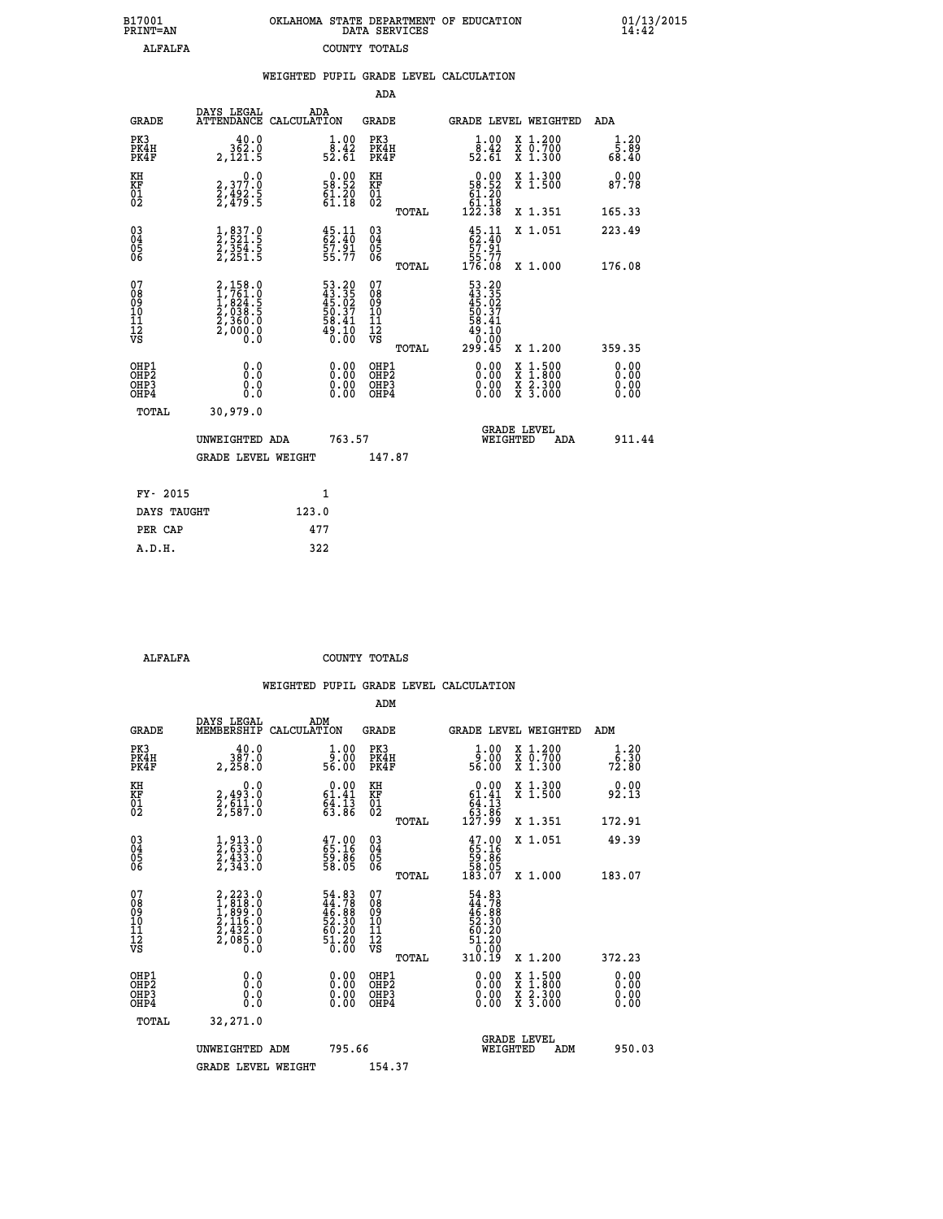| B17001          | OKLAHOMA STATE DEPARTMENT OF EDUCATION |
|-----------------|----------------------------------------|
| <b>PRINT=AN</b> | DATA SERVICES                          |
| ALFALFA         | COUNTY TOTALS                          |

| WEIGHTED PUPIL GRADE LEVEL CALCULATION                                                                                                                                                                                                                                                                                                                                                                                                                                                                                                                                                                         |                       |
|----------------------------------------------------------------------------------------------------------------------------------------------------------------------------------------------------------------------------------------------------------------------------------------------------------------------------------------------------------------------------------------------------------------------------------------------------------------------------------------------------------------------------------------------------------------------------------------------------------------|-----------------------|
| <b>ADA</b>                                                                                                                                                                                                                                                                                                                                                                                                                                                                                                                                                                                                     |                       |
| DAYS LEGAL<br>ADA<br><b>GRADE</b><br>ATTENDANCE CALCULATION<br><b>GRADE</b><br><b>GRADE LEVEL WEIGHTED</b>                                                                                                                                                                                                                                                                                                                                                                                                                                                                                                     | ADA                   |
| PK3<br>PK3<br>PK4H<br>PK4F<br>362.0<br>$\begin{smallmatrix} 1.00\\[-1.2mm] 8.42\\[-1.2mm] 52.61\end{smallmatrix}$<br>$\frac{1}{8}$ : 42<br>52.61<br>X 1.200<br>X 0.700<br>X 1.300<br>PK4H<br>PK4F<br>$2,12\overline{1}.5$                                                                                                                                                                                                                                                                                                                                                                                      | 1.20<br>5.89<br>68.40 |
| $\begin{smallmatrix}&&0.00\\58.52\\61.20\\61.18\\122.38\end{smallmatrix}$<br>X 1.300<br>X 1.500<br>KH<br>$0.00$<br>58.52<br>2,377.0<br>KH<br>KF<br>01<br>02<br>KF<br>01<br>02<br>$\frac{5}{2}, \frac{492}{479}$ : 5<br>$61.20$<br>$61.18$                                                                                                                                                                                                                                                                                                                                                                      | 0.00<br>87.78         |
| X 1.351<br>TOTAL                                                                                                                                                                                                                                                                                                                                                                                                                                                                                                                                                                                               | 165.33                |
| $^{03}_{04}$<br>$\frac{45}{62}:\frac{11}{40}$<br>57.91<br>$\frac{1}{2}, \frac{837}{521}.5$<br>$\frac{2}{354}.5$<br>$\frac{2}{2}, \frac{354}{251}.5$<br>$45.11$<br>$62.40$<br>$57.91$<br>$55.77$<br>$\begin{matrix} 03 \\ 04 \\ 05 \\ 06 \end{matrix}$<br>X 1.051<br>05<br>06                                                                                                                                                                                                                                                                                                                                   | 223.49                |
| 55.77<br>176.08<br>X 1.000<br>TOTAL                                                                                                                                                                                                                                                                                                                                                                                                                                                                                                                                                                            | 176.08                |
| 07<br>08<br>09<br>10<br>11<br>11<br>12<br>VS<br>07<br>08<br>09<br>001<br>11<br>11<br>12<br>VS<br>53.20<br>43.35<br>45.02<br>50.37<br>58.41<br>58.410<br>$\begin{smallmatrix} 2,158.0\\ 1,761.0\\ 1,824.5\\ 2,038.5\\ 2,360.0\\ 2,000.0\\ 0.0 \end{smallmatrix}$<br>$\begin{smallmatrix} 53.20\\ 43.35\\ 45.02\\ 50.37\\ 58.41\\ 49.10\\ 0.00 \end{smallmatrix}$<br>ة:10<br>299.45<br>X 1.200<br>TOTAL                                                                                                                                                                                                          | 359.35                |
| OHP1<br>OHP2<br>$\begin{smallmatrix} 0.00 \ 0.00 \ 0.00 \ 0.00 \end{smallmatrix}$<br>OHP1<br>OHP2<br>$\begin{smallmatrix} 0.00 & 0.00 & 0.00 & 0.00 & 0.00 & 0.00 & 0.00 & 0.00 & 0.00 & 0.00 & 0.00 & 0.00 & 0.00 & 0.00 & 0.00 & 0.00 & 0.00 & 0.00 & 0.00 & 0.00 & 0.00 & 0.00 & 0.00 & 0.00 & 0.00 & 0.00 & 0.00 & 0.00 & 0.00 & 0.00 & 0.00 & 0.00 & 0.00 & 0.00 & 0.00 & 0.0$<br>$\begin{smallmatrix} \mathtt{X} & 1\cdot500\\ \mathtt{X} & 1\cdot800\\ \mathtt{X} & 2\cdot300\\ \mathtt{X} & 3\cdot000 \end{smallmatrix}$<br>0.0<br>OHP3<br>OH <sub>P</sub> 3<br>0.0<br>Ŏ.Ŏ<br>OH <sub>P4</sub><br>OHP4 | 0.00<br>0.00<br>0.00  |
| TOTAL<br>30,979.0                                                                                                                                                                                                                                                                                                                                                                                                                                                                                                                                                                                              |                       |
| <b>GRADE LEVEL</b><br>763.57<br>UNWEIGHTED ADA<br>WEIGHTED<br>ADA                                                                                                                                                                                                                                                                                                                                                                                                                                                                                                                                              | 911.44                |
| GRADE LEVEL WEIGHT<br>147.87                                                                                                                                                                                                                                                                                                                                                                                                                                                                                                                                                                                   |                       |
| $\mathbf{1}$<br>FY- 2015                                                                                                                                                                                                                                                                                                                                                                                                                                                                                                                                                                                       |                       |
| DAYS TAUGHT<br>123.0                                                                                                                                                                                                                                                                                                                                                                                                                                                                                                                                                                                           |                       |
| 477<br>PER CAP                                                                                                                                                                                                                                                                                                                                                                                                                                                                                                                                                                                                 |                       |

 **A.D.H. 322**

 **ALFALFA COUNTY TOTALS**

|                                           |                                                                                           |                                                                       | ADM                                                 |                                                                                |                                          |                             |
|-------------------------------------------|-------------------------------------------------------------------------------------------|-----------------------------------------------------------------------|-----------------------------------------------------|--------------------------------------------------------------------------------|------------------------------------------|-----------------------------|
| <b>GRADE</b>                              | DAYS LEGAL<br>MEMBERSHIP                                                                  | ADM<br>CALCULATION                                                    | <b>GRADE</b>                                        | GRADE LEVEL WEIGHTED                                                           |                                          | ADM                         |
| PK3<br>PK4H<br>PK4F                       | 387.0<br>2,258.0                                                                          | $\frac{1}{9}$ :00<br>56.00                                            | PK3<br>PK4H<br>PK4F                                 | $\frac{1}{9}$ :00<br>56.00                                                     | X 1.200<br>X 0.700<br>X 1.300            | $\frac{1}{6}$ : 30<br>72.80 |
| KH<br>KF<br>01<br>02                      | 0.0<br>2,493.0<br>2,611.0<br>2,587.0                                                      | $\begin{smallmatrix} 0.00\\ 61.41\\ 64.13\\ 63.86 \end{smallmatrix}$  | KH<br>KF<br>01<br>02                                | $\begin{smallmatrix} &0.00\ 61.41\ 64.13\ 63.86\ 127.99\ \end{smallmatrix}$    | X 1.300<br>X 1.500                       | 0.00<br>92.13               |
|                                           |                                                                                           |                                                                       | TOTAL                                               |                                                                                | X 1.351                                  | 172.91                      |
| 03<br>04<br>05<br>06                      | $\frac{1}{2}, \frac{913}{633}.0 \\ \frac{2}{433}.0 \\ \frac{433}{2}, \frac{343}{3}.0$     | $\begin{smallmatrix} 47.00\\ 65.16\\ 59.86\\ 58.05 \end{smallmatrix}$ | $\begin{array}{c} 03 \\ 04 \\ 05 \\ 06 \end{array}$ | $\begin{smallmatrix} 47.00\\ 65.16\\ 59.86\\ 58.05\\ 183.07 \end{smallmatrix}$ | X 1.051                                  | 49.39                       |
|                                           |                                                                                           |                                                                       | TOTAL                                               |                                                                                | X 1.000                                  | 183.07                      |
| 07<br>08<br>09<br>101<br>112<br>VS        | $2, 223.0$<br>$1, 818.0$<br>$1, 899.0$<br>$2, 116.0$<br>$2, 432.0$<br>$2, 085.0$<br>$0.0$ | $54.83\n44.78\n46.88\n52.30\n52.30\n60.20\n51.20\n0.00$               | 07<br>08<br>09<br>11<br>11<br>12<br>VS<br>TOTAL     | 54.83<br>44.788<br>46.88<br>52.30<br>52.20<br>51.20<br>51.20<br>310.I9         | X 1.200                                  | 372.23                      |
|                                           |                                                                                           |                                                                       |                                                     |                                                                                |                                          | 0.00                        |
| OHP1<br>OHP2<br>OH <sub>P</sub> 3<br>OHP4 | 0.0<br>$\begin{smallmatrix} 0.0 & 0 \ 0.0 & 0 \end{smallmatrix}$                          | $0.00$<br>$0.00$<br>0.00                                              | OHP1<br>OHP2<br>OHP <sub>3</sub>                    | $0.00$<br>$0.00$<br>0.00                                                       | X 1:500<br>X 1:800<br>X 2:300<br>X 3:000 | 0.00<br>0.00<br>0.00        |
| TOTAL                                     | 32,271.0                                                                                  |                                                                       |                                                     |                                                                                |                                          |                             |
|                                           | UNWEIGHTED ADM                                                                            | 795.66                                                                |                                                     | <b>GRADE LEVEL</b><br>WEIGHTED                                                 | ADM                                      | 950.03                      |
|                                           | <b>GRADE LEVEL WEIGHT</b>                                                                 |                                                                       | 154.37                                              |                                                                                |                                          |                             |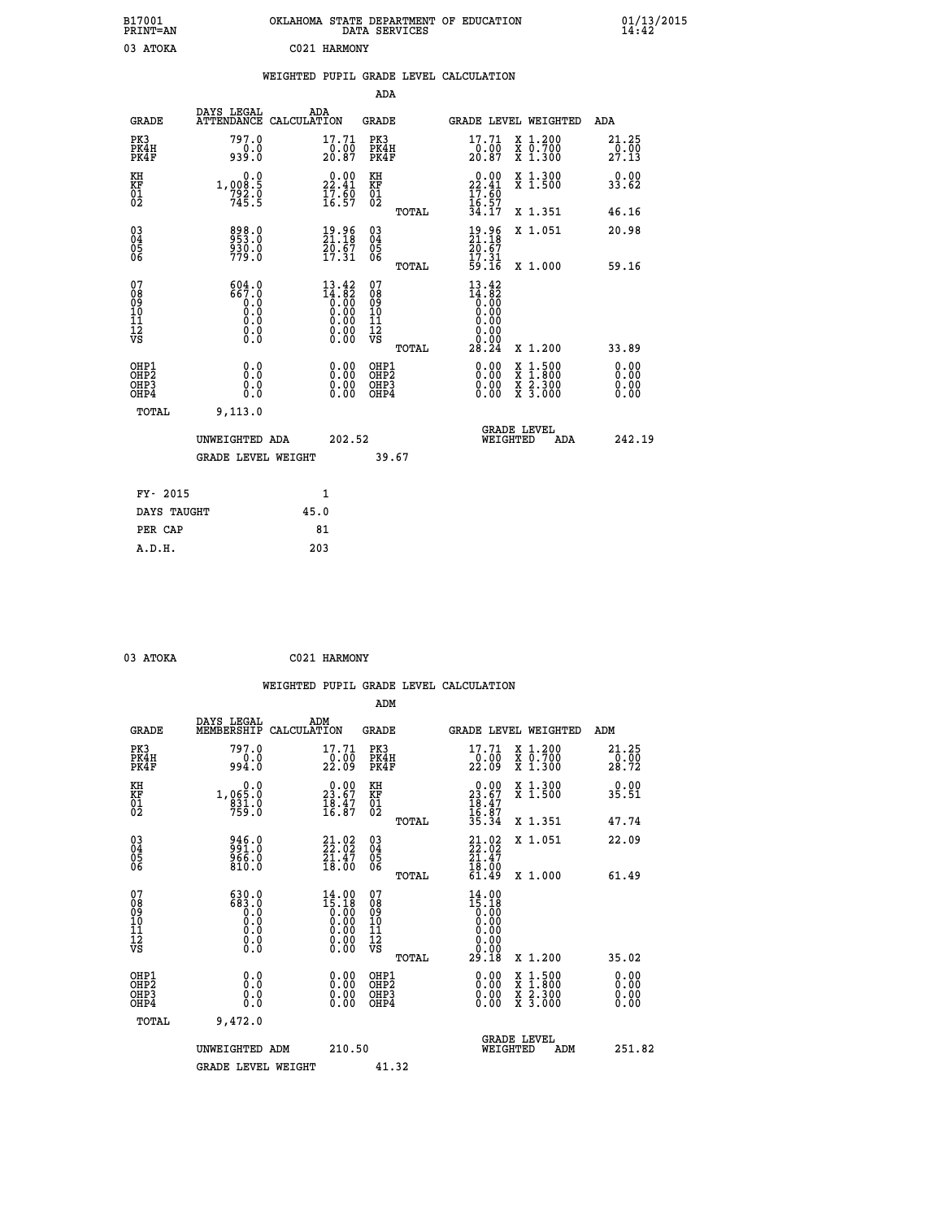| B17001<br>PRINT=AN                     |                                                                                                     |              |                                                                                                                                                                                                                                                                                                                                                  | DATA SERVICES                          |       | OKLAHOMA STATE DEPARTMENT OF EDUCATION                                                          |                                                                                          | $01/13/2015$<br>14:42  |  |
|----------------------------------------|-----------------------------------------------------------------------------------------------------|--------------|--------------------------------------------------------------------------------------------------------------------------------------------------------------------------------------------------------------------------------------------------------------------------------------------------------------------------------------------------|----------------------------------------|-------|-------------------------------------------------------------------------------------------------|------------------------------------------------------------------------------------------|------------------------|--|
| 03 ATOKA                               |                                                                                                     | C021 HARMONY |                                                                                                                                                                                                                                                                                                                                                  |                                        |       |                                                                                                 |                                                                                          |                        |  |
|                                        |                                                                                                     |              |                                                                                                                                                                                                                                                                                                                                                  |                                        |       | WEIGHTED PUPIL GRADE LEVEL CALCULATION                                                          |                                                                                          |                        |  |
|                                        |                                                                                                     |              |                                                                                                                                                                                                                                                                                                                                                  | ADA                                    |       |                                                                                                 |                                                                                          |                        |  |
| <b>GRADE</b>                           | DAYS LEGAL<br>ATTENDANCE CALCULATION                                                                | ADA          |                                                                                                                                                                                                                                                                                                                                                  | GRADE                                  |       |                                                                                                 | GRADE LEVEL WEIGHTED                                                                     | ADA                    |  |
| PK3<br>PK4H<br>PK4F                    | 797.0<br>0.0<br>939.0                                                                               |              | 17.71<br>$\frac{0.00}{20.87}$                                                                                                                                                                                                                                                                                                                    | PK3<br>PK4H<br>PK4F                    |       | 17.71<br>$\frac{0.00}{20.87}$                                                                   | X 1.200<br>X 0.700<br>X 1.300                                                            | 21.25<br>0.00<br>27.13 |  |
| KH<br>KF<br>01<br>02                   | 0.0<br>1,008.5<br>$792.0$<br>$745.5$                                                                |              | 22.41<br>$\frac{17.60}{16.57}$                                                                                                                                                                                                                                                                                                                   | KH<br><b>KF</b><br>01<br>02            |       | $\begin{smallmatrix} 0.00\\ 22.41\\ 17.60\\ 16.57\\ 34.17 \end{smallmatrix}$                    | X 1.300<br>X 1.500                                                                       | 0.00<br>33.62          |  |
|                                        |                                                                                                     |              |                                                                                                                                                                                                                                                                                                                                                  |                                        | TOTAL |                                                                                                 | X 1.351                                                                                  | 46.16                  |  |
| $\substack{03 \ 04}$<br>Ŏ5<br>06       | 898.0<br>$\frac{530.0}{779.0}$                                                                      |              | $\frac{19.96}{21.18}$<br>$\frac{2}{17}$ , $\frac{2}{31}$                                                                                                                                                                                                                                                                                         | $03\overline{4}$<br>05<br>06           |       | 19.96<br>21.18<br>$\frac{2}{0}$ . $\frac{2}{0}$ .<br>17.31                                      | X 1.051                                                                                  | 20.98                  |  |
|                                        |                                                                                                     |              |                                                                                                                                                                                                                                                                                                                                                  |                                        | TOTAL | 59.16                                                                                           | X 1.000                                                                                  | 59.16                  |  |
| 07<br>08<br>09<br>11<br>11<br>12<br>VS | 604.0<br>667.0<br>0.0<br>Ō.Ō<br>$\begin{smallmatrix} 0.0 & 0 \ 0.0 & 0 \ 0.0 & 0 \end{smallmatrix}$ |              | 13.42<br>$\begin{smallmatrix} 14.182 \\[-4pt] 0.000 \\[-4pt] 0.000 \\[-4pt] 0.00 \\[-4pt] 0.00 \\[-4pt] 0.00 \\[-4pt] 0.00 \\[-4pt] 0.00 \\[-4pt] 0.00 \\[-4pt] 0.00 \\[-4pt] 0.00 \\[-4pt] 0.00 \\[-4pt] 0.00 \\[-4pt] 0.00 \\[-4pt] 0.00 \\[-4pt] 0.00 \\[-4pt] 0.00 \\[-4pt] 0.00 \\[-4pt] 0.00 \\[-4pt] 0.00 \\[-4pt] 0.00 \\[-4pt]$<br>0.00 | 07<br>08<br>09<br>10<br>īĭ<br>12<br>VS |       | 13.42<br>$\begin{smallmatrix} 14.182 \ 0.000 \ 0.000 \end{smallmatrix}$<br>0.00<br>0.00<br>0.00 |                                                                                          |                        |  |
| OHP1                                   |                                                                                                     |              |                                                                                                                                                                                                                                                                                                                                                  | OHP1                                   | TOTAL | 28.24                                                                                           | X 1.200                                                                                  | 33.89<br>0.00          |  |
| OH <sub>P</sub> 2<br>OHP3<br>OHP4      | 0.0<br>0.0<br>0.0                                                                                   |              | 0.00<br>0.00<br>0.00                                                                                                                                                                                                                                                                                                                             | OH <sub>P</sub> 2<br>OHP3<br>OHP4      |       | 0.00<br>0.00<br>0.00                                                                            | $\begin{smallmatrix} x & 1.500 \\ x & 1.800 \\ x & 2.300 \\ x & 3.000 \end{smallmatrix}$ | 0.00<br>0.00<br>0.00   |  |
| <b>TOTAL</b>                           | 9,113.0                                                                                             |              |                                                                                                                                                                                                                                                                                                                                                  |                                        |       |                                                                                                 |                                                                                          |                        |  |
|                                        | UNWEIGHTED ADA                                                                                      |              | 202.52                                                                                                                                                                                                                                                                                                                                           |                                        |       | WEIGHTED                                                                                        | <b>GRADE LEVEL</b><br>ADA                                                                | 242.19                 |  |
|                                        | <b>GRADE LEVEL WEIGHT</b>                                                                           |              |                                                                                                                                                                                                                                                                                                                                                  | 39.67                                  |       |                                                                                                 |                                                                                          |                        |  |
| FY- 2015                               |                                                                                                     | 1            |                                                                                                                                                                                                                                                                                                                                                  |                                        |       |                                                                                                 |                                                                                          |                        |  |
| DAYS TAUGHT                            |                                                                                                     | 45.0         |                                                                                                                                                                                                                                                                                                                                                  |                                        |       |                                                                                                 |                                                                                          |                        |  |
| PER CAP                                |                                                                                                     | 81           |                                                                                                                                                                                                                                                                                                                                                  |                                        |       |                                                                                                 |                                                                                          |                        |  |

| 03 ATOKA | C021 HARMONY |
|----------|--------------|
|          |              |

 **WEIGHTED PUPIL GRADE LEVEL CALCULATION ADM DAYS LEGAL ADM GRADE MEMBERSHIP CALCULATION GRADE GRADE LEVEL WEIGHTED ADM PK3 797.0 17.71 PK3 17.71 X 1.200 21.25 PK4H 0.0 0.00 PK4H 0.00 X 0.700 0.00 PK4F 994.0 22.09 PK4F 22.09 X 1.300 28.72 KH 0.0 0.00 KH 0.00 X 1.300 0.00 KF 1,065.0 23.67 KF 23.67 X 1.500 35.51 01 831.0 18.47 01 18.47 02 759.0 16.87 02 16.87 TOTAL 35.34 X 1.351 47.74 03 946.0 21.02 03 21.02 X 1.051 22.09 04 991.0 22.02 04 22.02 05 966.0 21.47 05 21.47** 06 810.0 18.00 06 <sub>momas</sub> 18.00  **TOTAL 61.49 X 1.000 61.49 07 630.0 14.00 07 14.00 08 683.0 15.18 08 15.18 03 0.00 0.00 0.000 0.000 10 0.0 0.00 10 0.00 11 0.0 0.00 11 0.00 12 0.0 0.00 12 0.00 VS** 0.0 0.00 VS 0.00 0.00 0.00  **TOTAL 29.18 X 1.200 35.02 OHP1 0.0 0.00 OHP1 0.00 X 1.500 0.00 OHP2 0.0 0.00 OHP2 0.00 X 1.800 0.00 OHP3 0.0 0.00 OHP3 0.00 X 2.300 0.00 OHP4 0.0 0.00 OHP4 0.00 X 3.000 0.00 TOTAL 9,472.0 GRADE LEVEL UNWEIGHTED ADM 210.50 WEIGHTED ADM 251.82** GRADE LEVEL WEIGHT 41.32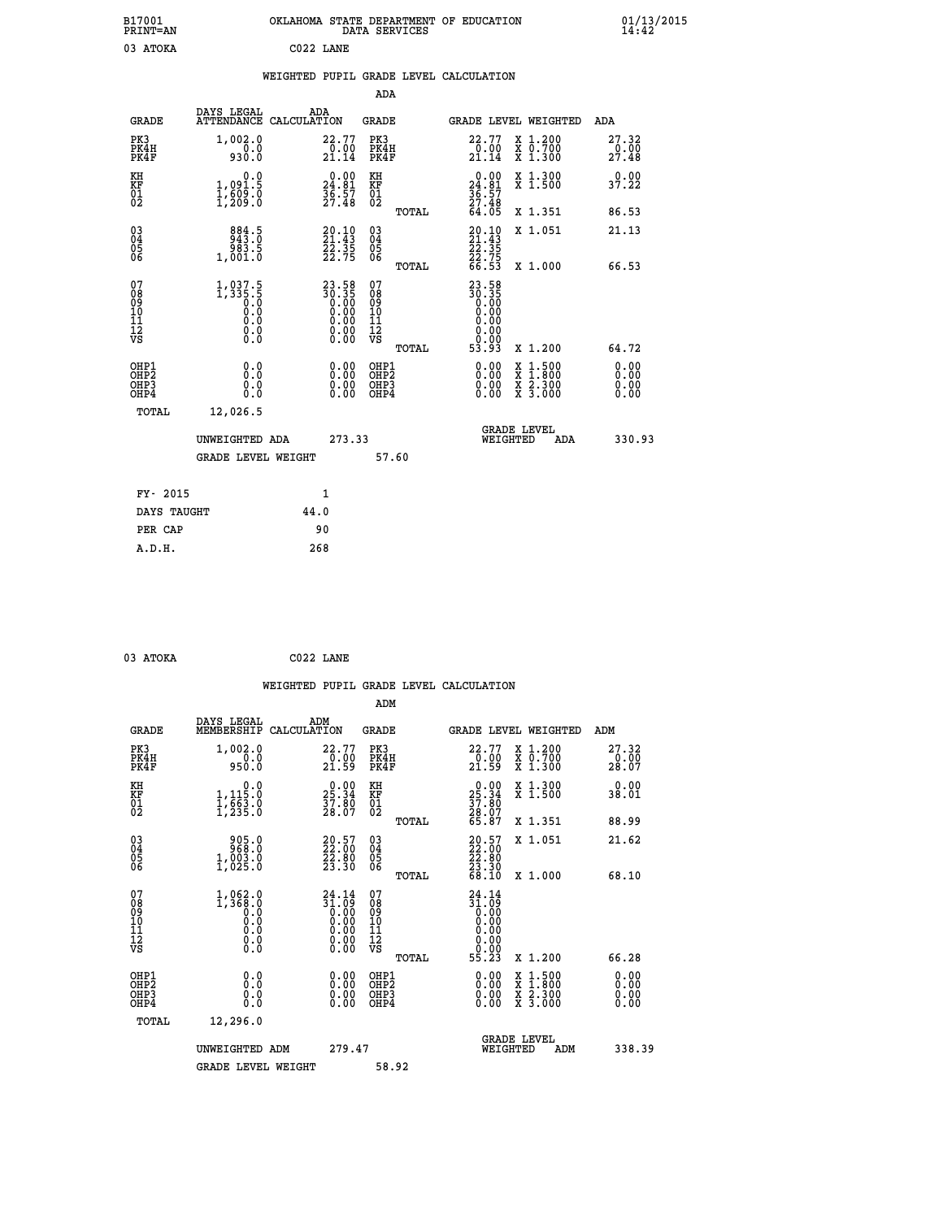| B17001<br>PRINT=AN                     |                                                                       | OKLAHOMA STATE DEPARTMENT OF EDUCATION DATA SERVICES                                            |                                                    |       |                                                                          |                                 | 01/13/2015             |  |
|----------------------------------------|-----------------------------------------------------------------------|-------------------------------------------------------------------------------------------------|----------------------------------------------------|-------|--------------------------------------------------------------------------|---------------------------------|------------------------|--|
| 03 ATOKA                               |                                                                       | C022 LANE                                                                                       |                                                    |       |                                                                          |                                 |                        |  |
|                                        |                                                                       | WEIGHTED PUPIL GRADE LEVEL CALCULATION                                                          |                                                    |       |                                                                          |                                 |                        |  |
|                                        |                                                                       |                                                                                                 | ADA                                                |       |                                                                          |                                 |                        |  |
| <b>GRADE</b>                           | DAYS LEGAL                                                            | ADA<br>ATTENDANCE CALCULATION                                                                   | <b>GRADE</b>                                       |       |                                                                          | <b>GRADE LEVEL WEIGHTED</b>     | <b>ADA</b>             |  |
| PK3<br>PK4H<br>PK4F                    | 1,002.0<br>930.0                                                      | 22.77<br>$\frac{0.00}{21.14}$                                                                   | PK3<br>PK4H<br>PK4F                                |       | 22.77<br>$\frac{0.00}{21.14}$                                            | X 1.200<br>X 0.700<br>X 1.300   | 27.32<br>0.00<br>27.48 |  |
| KH<br>KF<br>01<br>02                   | 0.0<br>1,091.5<br>1,609.0<br>1,209.0                                  | $\begin{smallmatrix} 0.00\\24.81\\36.57\\27.48 \end{smallmatrix}$                               | KH<br>KF<br>01<br>02                               |       | $\begin{smallmatrix} 0.00\\24.81\\36.57\\27.48\\64.05 \end{smallmatrix}$ | X 1.300<br>$\overline{x}$ 1.500 | 0.00<br>37.22          |  |
|                                        |                                                                       |                                                                                                 |                                                    | TOTAL |                                                                          | X 1.351                         | 86.53                  |  |
| 03<br>04<br>05<br>06                   | $\begin{smallmatrix}884.5\\943.0\\983.5\\1,001.0\end{smallmatrix}$    | $20.10$<br>$21.43$<br>$22.35$<br>22.75                                                          | $\begin{matrix} 03 \\ 04 \\ 05 \\ 06 \end{matrix}$ |       | $20.10$<br>$21.43$<br>$22.35$<br>$22.75$                                 | X 1.051                         | 21.13                  |  |
|                                        |                                                                       |                                                                                                 |                                                    | TOTAL | 66.53                                                                    | X 1.000                         | 66.53                  |  |
| 07<br>08<br>09<br>11<br>11<br>12<br>VS | $1, 037.5$<br>$1, 335.5$<br>$0.0$<br>$0.0$<br>$0.0$<br>$0.0$<br>$0.0$ | $\begin{smallmatrix} 23.58\\ 30.35\\ 0.00\\ 0.00\\ 0.00\\ 0.00\\ 0.00\\ 0.00 \end{smallmatrix}$ | 07<br>08<br>09<br>11<br>11<br>12<br>VS             |       | 23.58<br>30.35<br>0.00<br>0.00<br>0.00<br>0.00<br>0.00                   |                                 |                        |  |
|                                        |                                                                       |                                                                                                 |                                                    | TOTAL | 53.93                                                                    | X 1.200                         | 64.72                  |  |

| OHP1<br>OHP <sub>2</sub><br>OHP3<br>OHP4 | 0.000<br>0.0<br>0.0       | 0.00<br>0.00<br>0.00<br>0.00 | OHP1<br>OHP <sub>2</sub><br>OHP3<br>OHP4 | 0.00<br>0.00<br>0.00 | X 1.500<br>$\bar{x}$<br>1,800<br>X <sub>2.300</sub><br>$\overline{x}$ 3.000 |     | $\begin{smallmatrix} 0.00 \ 0.00 \ 0.00 \end{smallmatrix}$ |
|------------------------------------------|---------------------------|------------------------------|------------------------------------------|----------------------|-----------------------------------------------------------------------------|-----|------------------------------------------------------------|
| TOTAL                                    | 12,026.5                  |                              |                                          |                      |                                                                             |     |                                                            |
|                                          | UNWEIGHTED ADA            | 273.33                       |                                          |                      | <b>GRADE LEVEL</b><br>WEIGHTED                                              | ADA | 330.93                                                     |
|                                          | <b>GRADE LEVEL WEIGHT</b> |                              | 57.60                                    |                      |                                                                             |     |                                                            |
|                                          |                           |                              |                                          |                      |                                                                             |     |                                                            |
| FY- 2015                                 |                           | 1                            |                                          |                      |                                                                             |     |                                                            |
| DAYS TAUGHT                              |                           | 44.0                         |                                          |                      |                                                                             |     |                                                            |
| PER CAP                                  |                           | 90                           |                                          |                      |                                                                             |     |                                                            |

|                                                      |                                                                                                |                    |                                                                    |                                          |       | WEIGHTED PUPIL GRADE LEVEL CALCULATION                                        |                                          |                               |                              |
|------------------------------------------------------|------------------------------------------------------------------------------------------------|--------------------|--------------------------------------------------------------------|------------------------------------------|-------|-------------------------------------------------------------------------------|------------------------------------------|-------------------------------|------------------------------|
|                                                      |                                                                                                |                    |                                                                    | ADM                                      |       |                                                                               |                                          |                               |                              |
| <b>GRADE</b>                                         | DAYS LEGAL<br>MEMBERSHIP                                                                       | ADM<br>CALCULATION |                                                                    | GRADE                                    |       |                                                                               | GRADE LEVEL WEIGHTED                     | ADM                           |                              |
| PK3<br>PK4H<br>PK4F                                  | 1,002.0<br>$0.0$<br>950.0                                                                      |                    | 22.77<br>$\frac{5}{21.59}$                                         | PK3<br>PK4H<br>PK4F                      |       | 22.77<br>$\frac{5}{21.59}$                                                    | X 1.200<br>X 0.700<br>X 1.300            | 27.32<br>$\frac{0.00}{28.07}$ |                              |
| KH<br>KF<br>01<br>02                                 | $\begin{smallmatrix}&&&0.0\\1,115.0\\1,663.0\\1,235.0\end{smallmatrix}$                        |                    | $25.34$<br>$37.80$<br>$28.07$                                      | KH<br>KF<br>01<br>02                     |       | $25.34$<br>$37.80$<br>$28.07$<br>$65.87$                                      | X 1.300<br>X 1.500                       | 38.01                         | 0.00                         |
|                                                      |                                                                                                |                    |                                                                    |                                          | TOTAL |                                                                               | X 1.351                                  | 88.99                         |                              |
| $\begin{matrix} 03 \\ 04 \\ 05 \\ 06 \end{matrix}$   | $\begin{smallmatrix} 9 & 05 & 0 \\ 9 & 68 & 0 \\ 1 & 003 & 0 \\ 1 & 025 & 0 \end{smallmatrix}$ |                    | $\begin{smallmatrix} 20.57\ 22.00\ 22.80\ 23.30 \end{smallmatrix}$ | 03<br>04<br>05<br>06                     |       | $\begin{smallmatrix} 20.57\\ 22.00\\ 23.80\\ 23.30\\ 68.10 \end{smallmatrix}$ | X 1.051                                  | 21.62                         |                              |
|                                                      |                                                                                                |                    |                                                                    |                                          | TOTAL |                                                                               | X 1.000                                  | 68.10                         |                              |
| 07<br>08<br>09<br>101<br>112<br>VS                   | $1,368.0$<br>0.368.0<br>0.0<br>0.0<br>$\S.$ $\S$                                               |                    | $24.14\n31.09\n0.00\n0.00\n0.00\n0.00\n0.00$                       | 07<br>08<br>09<br>11<br>11<br>12<br>VS   |       | 24.14<br>$\begin{matrix} 11.00 \\ 0.00 \\ 0.00 \end{matrix}$<br>0.00<br>0.00  |                                          |                               |                              |
|                                                      |                                                                                                |                    |                                                                    |                                          | TOTAL | 55.23                                                                         | X 1.200                                  | 66.28                         |                              |
| OHP1<br>OHP <sub>2</sub><br>OH <sub>P3</sub><br>OHP4 | 0.0<br>0.000                                                                                   |                    | 0.00<br>0.00<br>0.00                                               | OHP1<br>OHP <sub>2</sub><br>OHP3<br>OHP4 |       | $0.00$<br>$0.00$<br>0.00                                                      | X 1:500<br>X 1:800<br>X 2:300<br>X 3:000 |                               | 0.00<br>0.00<br>0.00<br>0.00 |
| TOTAL                                                | 12,296.0                                                                                       |                    |                                                                    |                                          |       |                                                                               |                                          |                               |                              |
|                                                      | UNWEIGHTED ADM                                                                                 |                    | 279.47                                                             |                                          |       | WEIGHTED                                                                      | <b>GRADE LEVEL</b><br>ADM                |                               | 338.39                       |
|                                                      | <b>GRADE LEVEL WEIGHT</b>                                                                      |                    |                                                                    | 58.92                                    |       |                                                                               |                                          |                               |                              |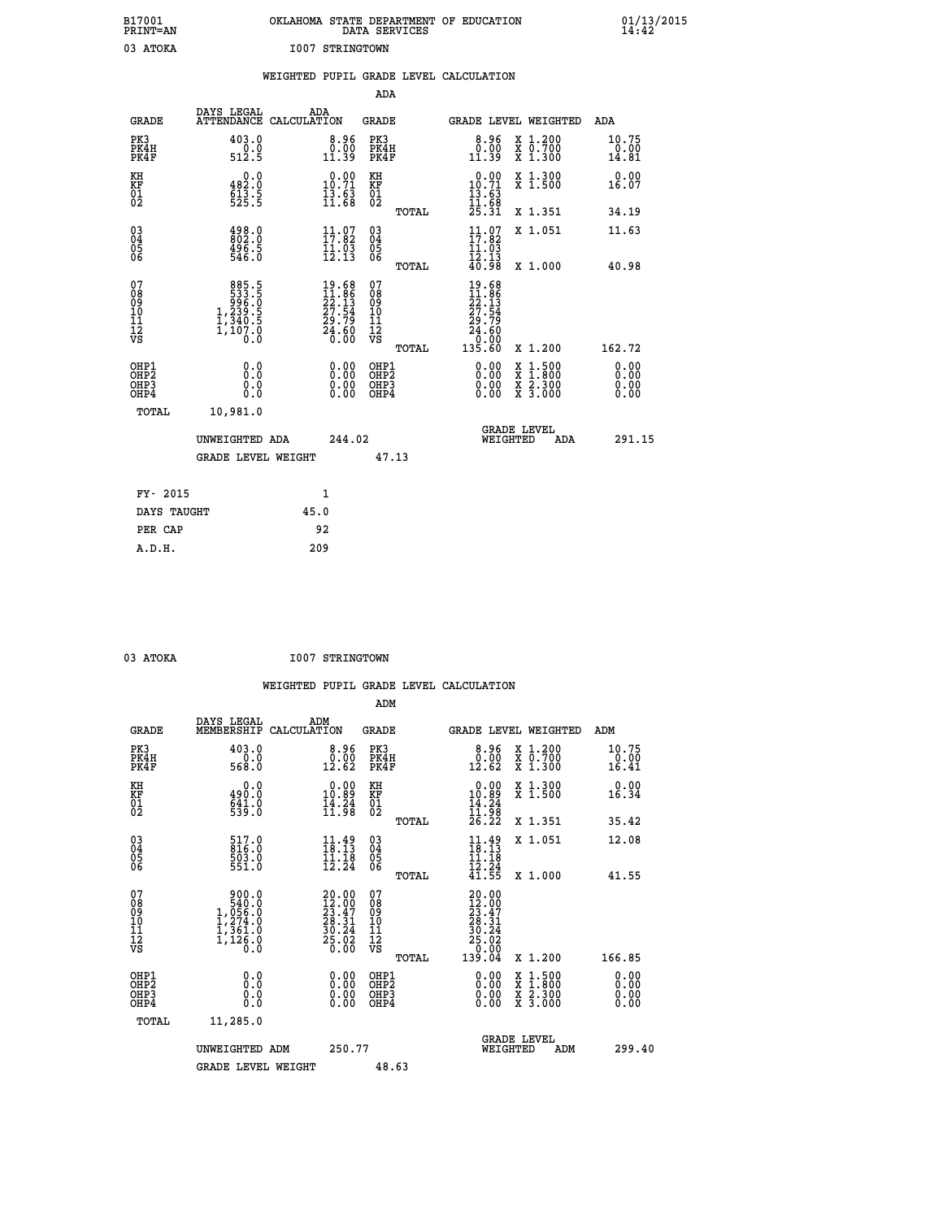| B17001<br>PRINT=AN               |                                                                  | OKLAHOMA STATE DEPARTMENT OF EDUCATION                                                | DATA SERVICES                                                 |                                                                             |                                                                                                                                           | $01/13/2015$<br>14:42  |  |
|----------------------------------|------------------------------------------------------------------|---------------------------------------------------------------------------------------|---------------------------------------------------------------|-----------------------------------------------------------------------------|-------------------------------------------------------------------------------------------------------------------------------------------|------------------------|--|
| 03 ATOKA                         |                                                                  | I007 STRINGTOWN                                                                       |                                                               |                                                                             |                                                                                                                                           |                        |  |
|                                  |                                                                  | WEIGHTED PUPIL GRADE LEVEL CALCULATION                                                |                                                               |                                                                             |                                                                                                                                           |                        |  |
|                                  |                                                                  |                                                                                       | ADA                                                           |                                                                             |                                                                                                                                           |                        |  |
| <b>GRADE</b>                     | DAYS LEGAL                                                       | ADA<br>ATTENDANCE CALCULATION                                                         | GRADE                                                         |                                                                             | GRADE LEVEL WEIGHTED                                                                                                                      | ADA                    |  |
| PK3<br>PK4H<br>PK4F              | 403.0<br>0.0<br>512.5                                            | 8.96<br>$\begin{smallmatrix} \v{0} \ \v{0} \ \v{1} \ \v{1} \ \v{3} \end{smallmatrix}$ | PK3<br>PK4H<br>PK4F                                           | $\begin{smallmatrix} 8.96\ 0.00\ 11.39 \end{smallmatrix}$                   | X 1.200<br>X 0.700<br>X 1.300                                                                                                             | 10.75<br>0.00<br>14.81 |  |
| KH<br>KF<br>$\frac{01}{02}$      | 0.0<br>482.0<br>$\frac{613}{525}$ : 5                            | $10.00$<br>$10.71$<br>$\frac{13.63}{11.68}$                                           | KH<br><b>KF</b><br>01<br>02                                   | $10.00$<br>$10.71$<br>$\frac{13.63}{11.68}$                                 | X 1.300<br>X 1.500                                                                                                                        | 0.00<br>16.07          |  |
|                                  |                                                                  |                                                                                       | <b>TOTAL</b>                                                  | 25.31                                                                       | X 1.351                                                                                                                                   | 34.19                  |  |
| 030404<br>ŌĞ                     | 498.0<br>802.0<br>496.5<br>546.0                                 | 11.07<br>$\frac{11}{12}$ $\frac{05}{13}$                                              | $\begin{matrix} 03 \\ 04 \\ 05 \\ 06 \end{matrix}$            | $11.07$<br>$17.82$<br>11.03<br>12.13                                        | X 1.051                                                                                                                                   | 11.63                  |  |
| 07                               |                                                                  |                                                                                       | <b>TOTAL</b><br>07                                            | 40.98                                                                       | X 1.000                                                                                                                                   | 40.98                  |  |
| 08<br>09<br>11<br>11<br>12<br>VS | 885.5<br>533.5<br>5996.0<br>1,239.5<br>1,340.5<br>1,107.0<br>0.0 | 19.68<br>11.86<br>22.13<br>27.54<br>29.79<br>24.60<br>24.60                           | 08<br>09<br>10<br>$\frac{11}{12}$<br>$\frac{12}{18}$<br>TOTAL | 19.68<br>11.86<br>22.13<br>$\frac{27.54}{29.79}$<br>24.60<br>0.00<br>135.60 | X 1.200                                                                                                                                   | 162.72                 |  |
| OHP1                             |                                                                  |                                                                                       | OHP1                                                          |                                                                             |                                                                                                                                           | 0.00                   |  |
| OHP <sub>2</sub><br>OHP3<br>OHP4 | 0.0<br>0.0<br>0.0                                                | 0.00<br>$\begin{smallmatrix} 0.00 \ 0.00 \end{smallmatrix}$                           | OH <sub>P</sub> 2<br>OHP3<br>OHP4                             | 0.00<br>0.00<br>0.00                                                        | $\begin{smallmatrix} \mathtt{X} & 1\cdot500\\ \mathtt{X} & 1\cdot800\\ \mathtt{X} & 2\cdot300\\ \mathtt{X} & 3\cdot000 \end{smallmatrix}$ | 0.00<br>0.00<br>0.00   |  |
| TOTAL                            | 10,981.0                                                         |                                                                                       |                                                               |                                                                             |                                                                                                                                           |                        |  |
|                                  | UNWEIGHTED ADA                                                   | 244.02                                                                                |                                                               | WEIGHTED                                                                    | <b>GRADE LEVEL</b><br>ADA                                                                                                                 | 291.15                 |  |
|                                  | <b>GRADE LEVEL WEIGHT</b>                                        |                                                                                       | 47.13                                                         |                                                                             |                                                                                                                                           |                        |  |
| FY- 2015                         |                                                                  | 1                                                                                     |                                                               |                                                                             |                                                                                                                                           |                        |  |
| DAYS TAUGHT                      |                                                                  | 45.0                                                                                  |                                                               |                                                                             |                                                                                                                                           |                        |  |
| PER CAP                          |                                                                  | 92                                                                                    |                                                               |                                                                             |                                                                                                                                           |                        |  |

| 03 ATOKA | <b>I007 STRINGTOWN</b> |
|----------|------------------------|

 **WEIGHTED PUPIL GRADE LEVEL CALCULATION ADM DAYS LEGAL ADM GRADE MEMBERSHIP CALCULATION GRADE GRADE LEVEL WEIGHTED ADM PK3 403.0 8.96 PK3 8.96 X 1.200 10.75 PK4H 0.0 0.00 PK4H 0.00 X 0.700 0.00 PK4F 568.0 12.62 PK4F 12.62 X 1.300 16.41 KH 0.0 0.00 KH 0.00 X 1.300 0.00 KF 490.0 10.89 KF 10.89 X 1.500 16.34 01 641.0 14.24 01 14.24**  $\begin{array}{ccccccc}\n 02 & 539.0 & 11.98 & 02 & \dots & 11.98 \\
 \end{array}$  **TOTAL 26.22 X 1.351 35.42 03 517.0 11.49 03 11.49 X 1.051 12.08 04 816.0 18.13 04 18.13 05 503.0 11.18 05 11.18** 06 551.0 12.24 06 <sub>memax</sub> 12.24  **TOTAL 41.55 X 1.000 41.55**  $\begin{array}{cccc} 07 & 90.0 & 20.00 & 07 & 20.00 \ 08 & 540.0 & 12.00 & 23.47 \ 09 & 1,056.0 & 23.47 & 09 & 12.00 \ 10 & 1,274.0 & 28.31 & 10 & 28.31 \ 11 & 1,361.0 & 30.24 & 11 & 30.24 \ 12 & 761.0 & 27.00 & 27.00 \ \hline \end{array}$  $\begin{array}{cccc} 900.0 & 20.00 & 07 \ 540.0 & 1.204.0 & 22.00 & 07 \ 1.274.0 & 28.31 & 10 & 28.31 \ 1.361.0 & 30.24 & 11 & 30.02 \ 1.126.0 & 30.24 & 11 & 30.04 \ 1.126.0 & 0.00 & 0.00 & 0.00 \ 0.0 & 0.00 & 0.00 & 0.00 \ 0.0 & 0.00 & 0.00 & 0.00 \ 0.0 & 0.00 & 0.$  **OHP1 0.0 0.00 OHP1 0.00 X 1.500 0.00 OHP2 0.0 0.00 OHP2 0.00 X 1.800 0.00 OHP3 0.0 0.00 OHP3 0.00 X 2.300 0.00 OHP4 0.0 0.00 OHP4 0.00 X 3.000 0.00 TOTAL 11,285.0 GRADE LEVEL UNWEIGHTED ADM 250.77 WEIGHTED ADM 299.40** GRADE LEVEL WEIGHT 48.63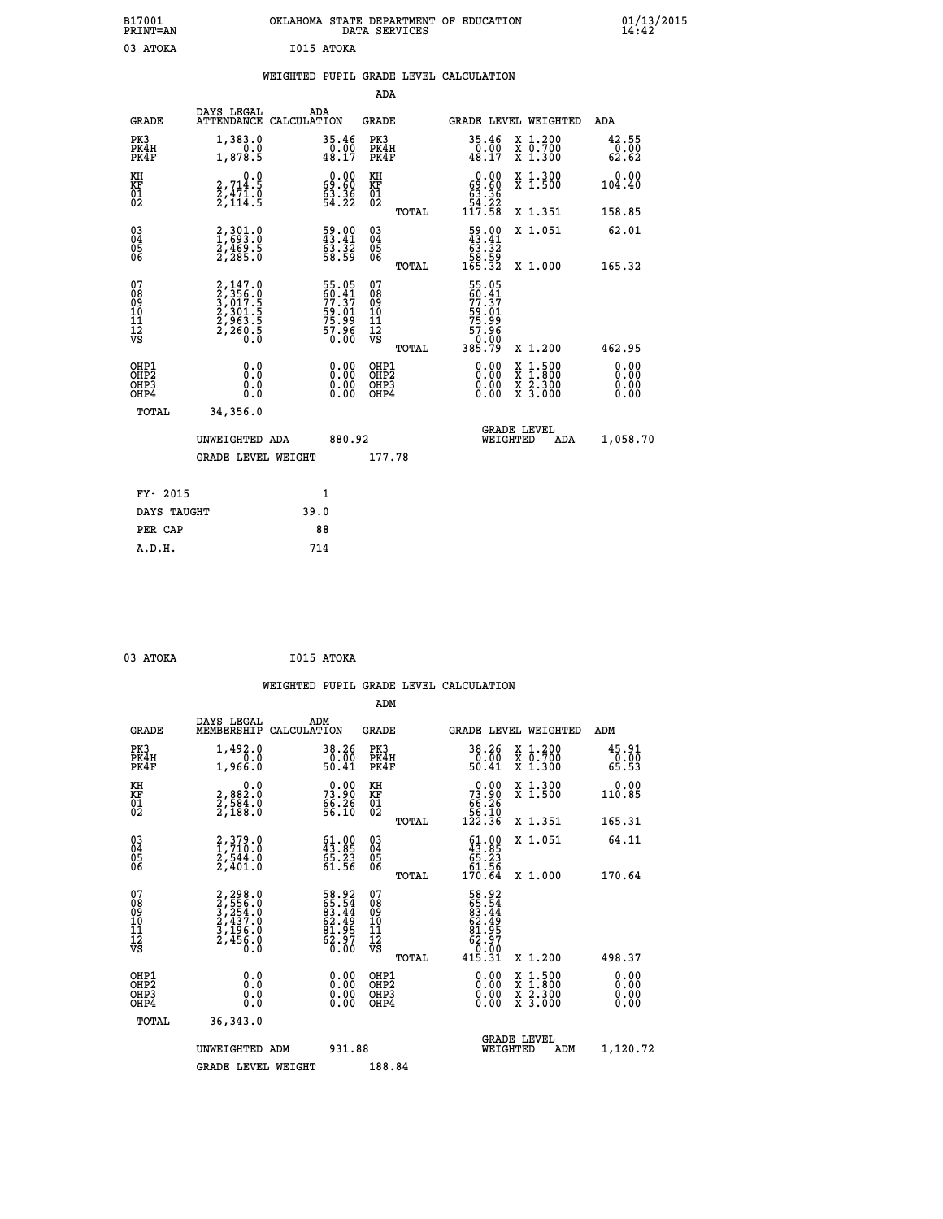| B17001<br><b>PRINT=AN</b>                                        |                                                                           | OKLAHOMA STATE DEPARTMENT OF EDUCATION                      | DATA SERVICES                                      |                                                                             |                                                                                          | 01/13/2015<br>14:42          |  |
|------------------------------------------------------------------|---------------------------------------------------------------------------|-------------------------------------------------------------|----------------------------------------------------|-----------------------------------------------------------------------------|------------------------------------------------------------------------------------------|------------------------------|--|
| 03 ATOKA                                                         |                                                                           | I015 ATOKA                                                  |                                                    |                                                                             |                                                                                          |                              |  |
|                                                                  |                                                                           | WEIGHTED PUPIL GRADE LEVEL CALCULATION                      |                                                    |                                                                             |                                                                                          |                              |  |
|                                                                  |                                                                           |                                                             | ADA                                                |                                                                             |                                                                                          |                              |  |
| <b>GRADE</b>                                                     | DAYS LEGAL                                                                | ADA<br>ATTENDANCE CALCULATION                               | GRADE                                              | <b>GRADE LEVEL WEIGHTED</b>                                                 |                                                                                          | ADA                          |  |
| PK3<br>PK4H<br>PK4F                                              | 1,383.0<br>0.0<br>1,878.5                                                 | 35.46<br>$\frac{0.00}{48.17}$                               | PK3<br>PK4H<br>PK4F                                | 35.46<br>$\frac{0.00}{48.17}$                                               | X 1.200<br>X 0.700<br>X 1.300                                                            | 42.55<br>0.00<br>62.62       |  |
| KH<br>KF<br>$^{01}_{02}$                                         | 0.0<br>2,714:5<br>2,471:0<br>2,114:5                                      | $0.00$<br>0.60<br>54.36                                     | KH<br>KF<br>01<br>02                               | $\begin{smallmatrix} &0.00\ 69.60\ 63.36\ 54.22\ 117.58\ \end{smallmatrix}$ | X 1.300<br>X 1.500                                                                       | 0.00<br>104.40               |  |
|                                                                  |                                                                           |                                                             | TOTAL                                              |                                                                             | X 1.351                                                                                  | 158.85                       |  |
| $\substack{03 \\ 04}$<br>$\frac{05}{06}$                         | 2,301.0<br>$\frac{2}{2}, \frac{4}{285}.5$                                 | 59.00<br>43.41<br>$\frac{1}{63}$ $\frac{3}{58}$             | $\begin{matrix} 03 \\ 04 \\ 05 \\ 06 \end{matrix}$ | 59.00<br>63.32                                                              | X 1.051                                                                                  | 62.01                        |  |
|                                                                  |                                                                           |                                                             | TOTAL                                              | 58.59<br>165.32                                                             | X 1.000                                                                                  | 165.32                       |  |
| 07<br>08<br>09<br>11<br>11<br>12<br>VS                           | 2,147.0<br>3,356.0<br>3,017.5<br>3,017.5<br>2,301.5<br>2,963.5<br>2,260.5 | 55.05<br>60.41<br>77.37<br>59.01<br>57.99<br>75.96<br>57.96 | 07<br>08<br>09<br>11<br>11<br>VS<br><b>TOTAL</b>   | 55.05<br>60.41<br>77.37<br>59.01<br>75:35<br>57:96<br>0:00<br>385.79        | X 1.200                                                                                  | 462.95                       |  |
| OHP1<br>OH <sub>P</sub> <sub>2</sub><br>OH <sub>P3</sub><br>OHP4 | 0.0<br>0.0<br>0.0<br>0.0                                                  | 0.00<br>0.00<br>0.00                                        | OHP1<br>OH <sub>P</sub> 2<br>OHP3<br>OHP4          | 0.00<br>0.00<br>0.00                                                        | $\begin{smallmatrix} x & 1.500 \\ x & 1.800 \\ x & 2.300 \\ x & 3.000 \end{smallmatrix}$ | 0.00<br>0.00<br>0.00<br>0.00 |  |
| TOTAL                                                            | 34,356.0                                                                  |                                                             |                                                    |                                                                             |                                                                                          |                              |  |
|                                                                  | UNWEIGHTED ADA                                                            | 880.92                                                      |                                                    | <b>GRADE LEVEL</b><br>WEIGHTED                                              | ADA                                                                                      | 1,058.70                     |  |
|                                                                  | <b>GRADE LEVEL WEIGHT</b>                                                 |                                                             | 177.78                                             |                                                                             |                                                                                          |                              |  |
| FY- 2015                                                         |                                                                           | 1                                                           |                                                    |                                                                             |                                                                                          |                              |  |
| DAYS TAUGHT                                                      |                                                                           | 39.0                                                        |                                                    |                                                                             |                                                                                          |                              |  |
| PER CAP                                                          |                                                                           | 88                                                          |                                                    |                                                                             |                                                                                          |                              |  |

| 03 ATOKA | I015 ATOKA |
|----------|------------|

|                                                      |                                                                            |                                                                       |                                                     | WEIGHTED PUPIL GRADE LEVEL CALCULATION                                                                                                                                                                                                                                         |                                                                           |
|------------------------------------------------------|----------------------------------------------------------------------------|-----------------------------------------------------------------------|-----------------------------------------------------|--------------------------------------------------------------------------------------------------------------------------------------------------------------------------------------------------------------------------------------------------------------------------------|---------------------------------------------------------------------------|
|                                                      |                                                                            |                                                                       | ADM                                                 |                                                                                                                                                                                                                                                                                |                                                                           |
| <b>GRADE</b>                                         | DAYS LEGAL<br>MEMBERSHIP<br>CALCULATION                                    | ADM                                                                   | <b>GRADE</b>                                        | <b>GRADE LEVEL WEIGHTED</b>                                                                                                                                                                                                                                                    | ADM                                                                       |
| PK3<br>PK4H<br>PK4F                                  | 1,492.0<br>1,966.0                                                         | 38.26<br>0.00<br>50.41                                                | PK3<br>PK4H<br>PK4F                                 | 38.26<br>$\frac{0.00}{50.41}$                                                                                                                                                                                                                                                  | 45.91<br>X 1.200<br>X 0.700<br>X 1.300<br>$\frac{6}{65}$ . $\frac{6}{53}$ |
| KH<br>KF<br>01<br>02                                 | $\begin{smallmatrix} & & 0.0\ 2.882.0\ 2.584.0\ 2.188.0 \end{smallmatrix}$ | $73.90$<br>$73.90$<br>$66.26$<br>$56.10$                              | KH<br>KF<br>01<br>02                                | $\begin{smallmatrix} &0.00\ 73.90\ 66.26\ 56.10\ 122.36\ \end{smallmatrix}$                                                                                                                                                                                                    | X 1.300<br>X 1.500<br>0.00<br>110.85                                      |
|                                                      |                                                                            |                                                                       | TOTAL                                               |                                                                                                                                                                                                                                                                                | 165.31<br>X 1.351                                                         |
| $\begin{matrix} 03 \\ 04 \\ 05 \\ 06 \end{matrix}$   | 2,379.0<br>1,710.0<br>2,544.0<br>2,401.0                                   | $\begin{smallmatrix} 61.00\\ 43.85\\ 65.23\\ 61.56 \end{smallmatrix}$ | $\begin{array}{c} 03 \\ 04 \\ 05 \\ 06 \end{array}$ | $\begin{smallmatrix} 61.00\\ 43.85\\ 65.23\\ 61.56\\ 170.64 \end{smallmatrix}$                                                                                                                                                                                                 | X 1.051<br>64.11                                                          |
|                                                      |                                                                            |                                                                       | TOTAL                                               |                                                                                                                                                                                                                                                                                | 170.64<br>X 1.000                                                         |
| 07<br>08<br>09<br>101<br>112<br>VS                   | 2,298.0<br>3,556.0<br>3,254.0<br>3,437.0<br>3,196.0<br>2,456.0             | 58.92<br>65.54<br>63.44<br>62.49<br>62.97<br>62.97                    | 07<br>08<br>09<br>11<br>11<br>12<br>VS              | 58.92<br>65.544<br>63.444<br>62.4957<br>62.970<br>62.000<br>415.31                                                                                                                                                                                                             |                                                                           |
|                                                      |                                                                            |                                                                       | TOTAL                                               |                                                                                                                                                                                                                                                                                | X 1.200<br>498.37                                                         |
| OHP1<br>OHP2<br>OH <sub>P3</sub><br>OH <sub>P4</sub> | 0.0<br>0.000                                                               | 0.00<br>0.00<br>0.00                                                  | OHP1<br>OH <sub>P</sub> 2<br>OHP3<br>OHP4           | $\begin{smallmatrix} 0.00 & 0.00 & 0.00 & 0.00 & 0.00 & 0.00 & 0.00 & 0.00 & 0.00 & 0.00 & 0.00 & 0.00 & 0.00 & 0.00 & 0.00 & 0.00 & 0.00 & 0.00 & 0.00 & 0.00 & 0.00 & 0.00 & 0.00 & 0.00 & 0.00 & 0.00 & 0.00 & 0.00 & 0.00 & 0.00 & 0.00 & 0.00 & 0.00 & 0.00 & 0.00 & 0.0$ | X 1:500<br>X 1:800<br>X 2:300<br>X 3:000<br>0.00<br>0.00<br>0.00<br>0.00  |
| TOTAL                                                | 36,343.0                                                                   |                                                                       |                                                     |                                                                                                                                                                                                                                                                                |                                                                           |
|                                                      | UNWEIGHTED ADM                                                             | 931.88                                                                |                                                     | <b>GRADE LEVEL</b><br>WEIGHTED                                                                                                                                                                                                                                                 | 1,120.72<br>ADM                                                           |
|                                                      | <b>GRADE LEVEL WEIGHT</b>                                                  |                                                                       | 188.84                                              |                                                                                                                                                                                                                                                                                |                                                                           |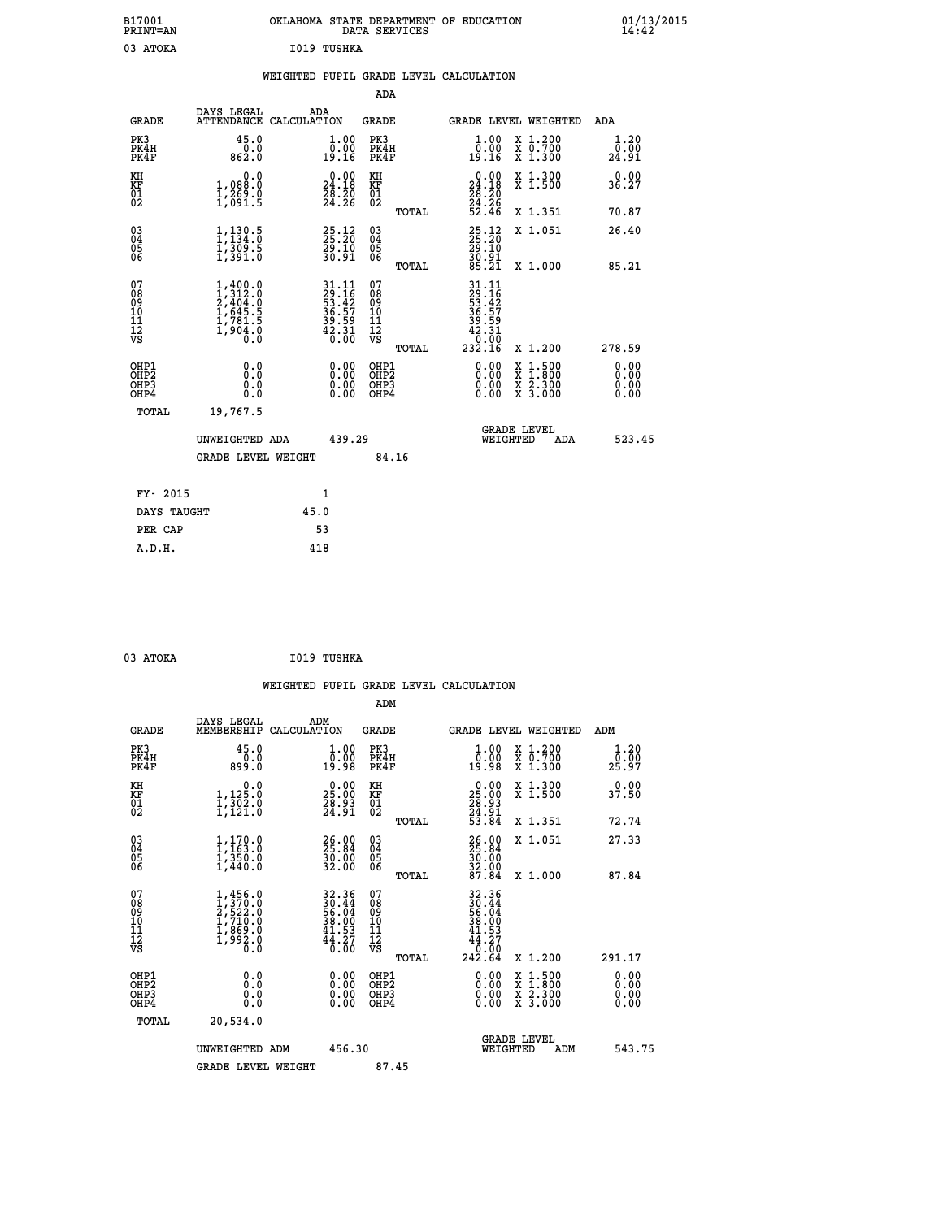| B17001<br>PRINT=AN                                 |                                                                                                                                                                                                                                                                                                                                                     |                               |                                                                                                                              | OKLAHOMA STATE DEPARTMENT OF EDUCATION<br>DATA SERVICES |                                                               |                                                                                          | $01/13/2015$<br>14:42 |  |
|----------------------------------------------------|-----------------------------------------------------------------------------------------------------------------------------------------------------------------------------------------------------------------------------------------------------------------------------------------------------------------------------------------------------|-------------------------------|------------------------------------------------------------------------------------------------------------------------------|---------------------------------------------------------|---------------------------------------------------------------|------------------------------------------------------------------------------------------|-----------------------|--|
| 03 ATOKA                                           |                                                                                                                                                                                                                                                                                                                                                     | I019 TUSHKA                   |                                                                                                                              |                                                         |                                                               |                                                                                          |                       |  |
|                                                    |                                                                                                                                                                                                                                                                                                                                                     |                               |                                                                                                                              | WEIGHTED PUPIL GRADE LEVEL CALCULATION                  |                                                               |                                                                                          |                       |  |
|                                                    |                                                                                                                                                                                                                                                                                                                                                     |                               |                                                                                                                              | ADA                                                     |                                                               |                                                                                          |                       |  |
| GRADE                                              | DAYS LEGAL                                                                                                                                                                                                                                                                                                                                          | ADA<br>ATTENDANCE CALCULATION |                                                                                                                              | GRADE                                                   | GRADE LEVEL WEIGHTED                                          |                                                                                          | ADA                   |  |
| PK3<br>PK4H<br>PK4F                                | 45.0<br>0.0<br>862.0                                                                                                                                                                                                                                                                                                                                |                               | 1.00<br>$\overline{0}$ .00<br>19.16                                                                                          | PK3<br>PK4H<br>PK4F                                     | 1.00<br>$\overline{0}$ .00<br>19.16                           | X 1.200<br>X 0.700<br>X 1.300                                                            | 1.20<br>0.00<br>24.91 |  |
| KH<br>KF<br>$\overline{01}$                        | 0.0<br>1,088:0<br>1,269:0<br>1,091:5                                                                                                                                                                                                                                                                                                                |                               | $\begin{smallmatrix} 0.00\\24.18\\28.20\\24.26 \end{smallmatrix}$                                                            | KH<br>KF<br>01<br>02                                    | 24.18<br>$\frac{28}{24}$ : $\frac{20}{26}$<br>52.46           | X 1.300<br>X 1.500                                                                       | 0.00<br>36.27         |  |
|                                                    |                                                                                                                                                                                                                                                                                                                                                     |                               |                                                                                                                              | <b>TOTAL</b>                                            |                                                               | X 1.351                                                                                  | 70.87                 |  |
| $\begin{matrix} 03 \\ 04 \\ 05 \\ 06 \end{matrix}$ | $1,130.5$<br>1,134.0<br>$\frac{1}{3}, \frac{3}{3}$ $\frac{3}{3}$ $\frac{3}{3}$ $\frac{3}{3}$ $\frac{3}{3}$ $\frac{3}{3}$ $\frac{3}{3}$ $\frac{3}{3}$ $\frac{3}{3}$ $\frac{3}{3}$ $\frac{3}{3}$ $\frac{3}{3}$ $\frac{3}{3}$ $\frac{3}{3}$ $\frac{3}{3}$ $\frac{3}{3}$ $\frac{3}{3}$ $\frac{3}{3}$ $\frac{3}{3}$ $\frac{3}{3}$ $\frac{3}{3}$ $\frac{$ |                               | $25.12$<br>$25.20$<br>$29.10$<br>$30.91$                                                                                     | 03<br>04<br>05<br>06                                    | $25.12$<br>$25.20$<br>$29.10$<br>$30.91$<br>$85.21$           | X 1.051                                                                                  | 26.40                 |  |
|                                                    |                                                                                                                                                                                                                                                                                                                                                     |                               |                                                                                                                              | <b>TOTAL</b>                                            |                                                               | X 1.000                                                                                  | 85.21                 |  |
| 07<br>08<br>09<br>11<br>11<br>12<br>VS             | $1,400.0$<br>$2,404.0$<br>$2,404.0$<br>$1,645.5$<br>$1,781.5$<br>$1,904.0$<br>$0.0$                                                                                                                                                                                                                                                                 |                               | $\begin{array}{c} 31\cdot 11 \\ 29\cdot 16 \\ 53\cdot 42 \\ 36\cdot 57 \\ 39\cdot 59 \\ 42\cdot 31 \\ 6\cdot 00 \end{array}$ | 07<br>08<br>09<br>10<br>11<br>11<br>VS<br>TOTAL         | 31.11<br>29.16<br>53.42<br>536.57<br>39.59<br>42.31<br>232.16 | X 1.200                                                                                  | 278.59                |  |
| OHP1<br>OH <sub>P</sub> 2<br>OHP3<br>OHP4          | 0.0<br>ŏ.ŏ<br>0.0<br>0.0                                                                                                                                                                                                                                                                                                                            |                               | 0.00<br>0.00                                                                                                                 | OHP1<br>OHP <sub>2</sub><br>OHP3<br>OHP4                | 0.00<br>0.00<br>0.00                                          | $\begin{smallmatrix} x & 1.500 \\ x & 1.800 \\ x & 2.300 \\ x & 3.000 \end{smallmatrix}$ | 0.00<br>0.00<br>0.00  |  |
| TOTAL                                              | 19,767.5                                                                                                                                                                                                                                                                                                                                            |                               |                                                                                                                              |                                                         |                                                               |                                                                                          |                       |  |
|                                                    | UNWEIGHTED ADA                                                                                                                                                                                                                                                                                                                                      |                               | 439.29                                                                                                                       |                                                         | WEIGHTED                                                      | <b>GRADE LEVEL</b><br>ADA                                                                | 523.45                |  |
|                                                    | <b>GRADE LEVEL WEIGHT</b>                                                                                                                                                                                                                                                                                                                           |                               |                                                                                                                              | 84.16                                                   |                                                               |                                                                                          |                       |  |
| FY- 2015                                           |                                                                                                                                                                                                                                                                                                                                                     | 1                             |                                                                                                                              |                                                         |                                                               |                                                                                          |                       |  |
| DAYS TAUGHT                                        |                                                                                                                                                                                                                                                                                                                                                     | 45.0                          |                                                                                                                              |                                                         |                                                               |                                                                                          |                       |  |
| PER CAP                                            |                                                                                                                                                                                                                                                                                                                                                     | 53                            |                                                                                                                              |                                                         |                                                               |                                                                                          |                       |  |

| 03 ATOKA |  |  | I019 TUSHKA |
|----------|--|--|-------------|

 **WEIGHTED PUPIL GRADE LEVEL CALCULATION ADM DAYS LEGAL ADM GRADE MEMBERSHIP CALCULATION GRADE GRADE LEVEL WEIGHTED ADM PK3 45.0 1.00 PK3 1.00 X 1.200 1.20 PK4H 0.0 0.00 PK4H 0.00 X 0.700 0.00 PK4F 899.0 19.98 PK4F 19.98 X 1.300 25.97 KH 0.0 0.00 KH 0.00 X 1.300 0.00 KF 1,125.0 25.00 KF 25.00 X 1.500 37.50 01 1,302.0 28.93 01 28.93 02 1,121.0 24.91 02 24.91 TOTAL 53.84 X 1.351 72.74 03 1,170.0 26.00 03 26.00 X 1.051 27.33 04 1,163.0 25.84 04 25.84 05 1,350.0 30.00 05 30.00 06 1,440.0 32.00 06 32.00 TOTAL 87.84 X 1.000 87.84**  $\begin{array}{cccc} 07 & 1,456.0 & 32.36 & 07 & 32.36 \\ 08 & 1,570.0 & 56.4 & 08 & 36.44 \\ 09 & 2,522.0 & 56.4 & 08 & 36.44 \\ 10 & 1,710.0 & 38.00 & 10 & 38.00 \\ 11 & 1,869.0 & 41.53 & 11 & 41.53 \\ 1,869.0 & 44.27 & 12 & 44.27 \\ \sqrt{5} & 0.0 & 0.0 & \sqrt{5} & 0.0 & 0.0 \\ \$  $\begin{array}{cccc} 32.36 & 07 & 32.36 \ 36.04 & 09 & 30.44 \ 38.00 & 10 & 38.00 \ 38.00 & 11 & 41.53 \ 41.53 & 11 & 41.23 \ 42.64 & 8 & 600 \ 44.23 & 12 & 44.23 \ 6.00 & 08 & 7 & 44.23 \ 6.00 & 291.17 \ 0.00 & 081P2 & 0.00 & 0.11.500 & 0.00 \ 0.00 & 081P3 & 0.00 & 0$  **OHP1 0.0 0.00 OHP1 0.00 X 1.500 0.00 OHP2 0.0 0.00 OHP2 0.00 X 1.800 0.00 OHP3 0.0 0.00 OHP3 0.00 X 2.300 0.00 OHP4 0.0 0.00 OHP4 0.00 X 3.000 0.00 TOTAL 20,534.0 GRADE LEVEL UNWEIGHTED ADM 456.30 WEIGHTED ADM 543.75** GRADE LEVEL WEIGHT 87.45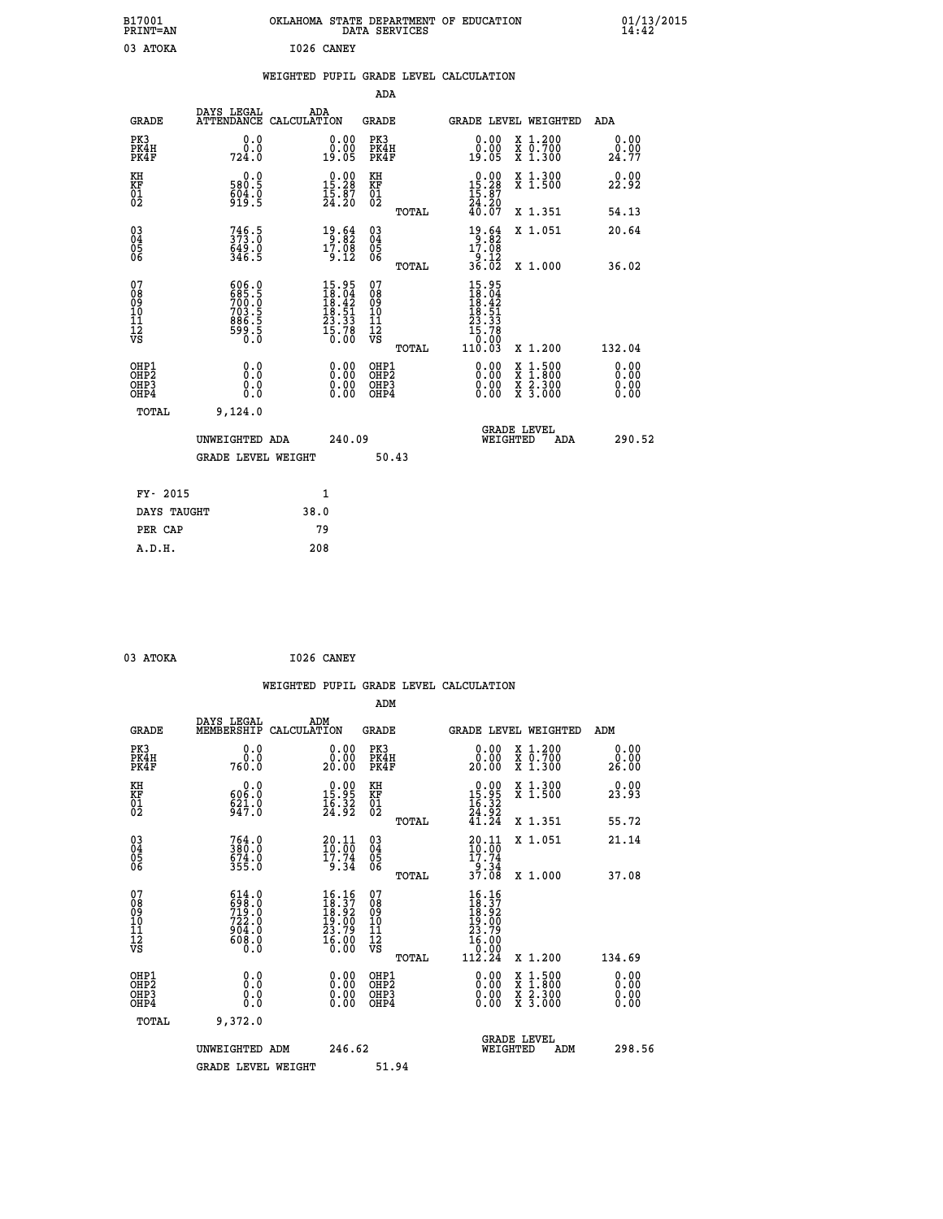| B17001<br><b>PRINT=AN</b>                          |                                                      | OKLAHOMA STATE DEPARTMENT OF EDUCATION                                                       | DATA SERVICES                                   |                                                                                             |                                                                             | 01/13/2015<br>14:42          |  |
|----------------------------------------------------|------------------------------------------------------|----------------------------------------------------------------------------------------------|-------------------------------------------------|---------------------------------------------------------------------------------------------|-----------------------------------------------------------------------------|------------------------------|--|
| 03 ATOKA                                           |                                                      | I026 CANEY                                                                                   |                                                 |                                                                                             |                                                                             |                              |  |
|                                                    |                                                      | WEIGHTED PUPIL GRADE LEVEL CALCULATION                                                       |                                                 |                                                                                             |                                                                             |                              |  |
|                                                    |                                                      |                                                                                              | ADA                                             |                                                                                             |                                                                             |                              |  |
| <b>GRADE</b>                                       | DAYS LEGAL                                           | ADA<br>ATTENDANCE CALCULATION                                                                | GRADE                                           | <b>GRADE LEVEL WEIGHTED</b>                                                                 |                                                                             | ADA                          |  |
| PK3<br>PK4H<br>PK4F                                | 0.0<br>0.0<br>724.0                                  | 0.00<br>ŏ:ŏŏ<br>19:05                                                                        | PK3<br>PK4H<br>PK4F                             | $\begin{smallmatrix} 0.00\\ 0.00\\ 19.05 \end{smallmatrix}$                                 | X 1.200<br>X 0.700<br>X 1.300                                               | 0.00<br>24.77                |  |
| KH<br>KF<br>$\overline{01}$                        | 0.0<br>580.5<br>$\frac{604}{919}$ : 5                | $\begin{smallmatrix} 0.00\\ 15.28\\ 15.87\\ 24.20 \end{smallmatrix}$                         | KH<br>KF<br>01<br>02                            | $0.00$<br>15.28<br>$\frac{15}{24}$ : $\frac{87}{20}$<br>40.07                               | X 1.300<br>X 1.500                                                          | 0.00<br>22.92                |  |
|                                                    |                                                      |                                                                                              | TOTAL                                           |                                                                                             | X 1.351                                                                     | 54.13                        |  |
| $\begin{matrix} 03 \\ 04 \\ 05 \\ 06 \end{matrix}$ | $746.5$<br>373.0<br>$649.0$<br>346.5                 | 19.64<br>$1\overline{7}\cdot \overline{08}$<br>9.12                                          | 03<br>04<br>05<br>06                            | 19.64<br>17.08<br>$\frac{1}{36}. \frac{1}{02}$                                              | X 1.051                                                                     | 20.64                        |  |
|                                                    |                                                      |                                                                                              | TOTAL                                           |                                                                                             | X 1.000                                                                     | 36.02                        |  |
| 07<br>08<br>09<br>10<br>11<br>12<br>VS             | 606.0<br>685.50<br>703.5<br>703.5<br>886.55<br>590.0 | $\begin{smallmatrix} 15.95\\ 18.04\\ 18.42\\ 18.51\\ 23.33\\ 15.78\\ 0.00 \end{smallmatrix}$ | 07<br>08<br>09<br>10<br>11<br>12<br>VS<br>TOTAL | 15.95<br>$\frac{18.04}{18.42}$<br>$\frac{18.42}{18.51}$<br>23.33<br>15.78<br>0.00<br>110.03 | X 1.200                                                                     | 132.04                       |  |
| OHP1<br>OHP <sub>2</sub><br>OHP3<br>OHP4           | 0.0<br>Ō.Ō<br>0.0<br>0.0                             | 0.00<br>0.00<br>0.00                                                                         | OHP1<br>OHP <sub>2</sub><br>OHP3<br>OHP4        | 0.00<br>0.00<br>0.00                                                                        | $\begin{array}{l} x\,+\,500\\ x\,+\,300\\ x\,+\,2\\ x\,+\,3000 \end{array}$ | 0.00<br>0.00<br>0.00<br>0.00 |  |
| TOTAL                                              | 9,124.0                                              |                                                                                              |                                                 |                                                                                             |                                                                             |                              |  |
|                                                    | UNWEIGHTED ADA<br><b>GRADE LEVEL WEIGHT</b>          | 240.09                                                                                       | 50.43                                           | <b>GRADE LEVEL</b><br>WEIGHTED                                                              | ADA                                                                         | 290.52                       |  |
|                                                    |                                                      |                                                                                              |                                                 |                                                                                             |                                                                             |                              |  |
| FY- 2015                                           |                                                      | 1                                                                                            |                                                 |                                                                                             |                                                                             |                              |  |
| DAYS TAUGHT                                        |                                                      | 38.0                                                                                         |                                                 |                                                                                             |                                                                             |                              |  |
| PER CAP                                            |                                                      | 79                                                                                           |                                                 |                                                                                             |                                                                             |                              |  |

| 03 ATOKA | I026 CANEY |
|----------|------------|
|          |            |

|                                                    |                                                                    |                                                                        | WEIGHTED PUPIL GRADE LEVEL CALCULATION              |                                                                                                                         |                              |
|----------------------------------------------------|--------------------------------------------------------------------|------------------------------------------------------------------------|-----------------------------------------------------|-------------------------------------------------------------------------------------------------------------------------|------------------------------|
|                                                    |                                                                    |                                                                        | ADM                                                 |                                                                                                                         |                              |
| <b>GRADE</b>                                       | DAYS LEGAL<br>MEMBERSHIP<br>CALCULATION                            | ADM                                                                    | GRADE                                               | GRADE LEVEL WEIGHTED                                                                                                    | ADM                          |
| PK3<br>PK4H<br>PK4F                                | 0.0<br>0.0<br>760.0                                                | 0.00<br>20.00                                                          | PK3<br>PK4H<br>PK4F                                 | 0.00<br>X 1.200<br>X 0.700<br>X 1.300<br>20.00                                                                          | 0.00<br>0.00<br>26.00        |
| KH<br>KF<br>01<br>02                               | 6000000<br>$\frac{621}{947}$ :0                                    | $\begin{smallmatrix} 0.00\\ 15.95\\ 16.32\\ 24.92 \end{smallmatrix}$   | KH<br>KF<br>01<br>02                                | $\begin{smallmatrix} 0.00\\ 15.95\\ 16.32\\ 24.92\\ 41.24 \end{smallmatrix}$<br>X 1.300<br>X 1.500                      | 0.00<br>23.93                |
|                                                    |                                                                    |                                                                        | TOTAL                                               | X 1.351                                                                                                                 | 55.72                        |
| $\begin{matrix} 03 \\ 04 \\ 05 \\ 06 \end{matrix}$ | $764.0$<br>$380.0$<br>$674.0$<br>$355.0$                           | $\frac{20.11}{10.00}$<br>17.74<br>9.34                                 | $\begin{array}{c} 03 \\ 04 \\ 05 \\ 06 \end{array}$ | X 1.051<br>20.11<br>$\frac{10:55}{17:74}$<br>$\frac{9:34}{8}$                                                           | 21.14                        |
|                                                    |                                                                    |                                                                        | TOTAL                                               | 37.08<br>X 1.000                                                                                                        | 37.08                        |
| 07<br>08<br>09<br>101<br>11<br>12<br>VS            | 614.0<br>$\frac{698}{722}$ :0<br>722.0<br>0: 506<br>0: 608<br>0: 0 | 16.16<br>$18.37$<br>$18.92$<br>$19.00$<br>$23.79$<br>$16.00$<br>$0.00$ | 07<br>08<br>09<br>11<br>11<br>12<br>VS              | $\begin{array}{l} 16.16 \\[-4pt] 18.37 \\[-4pt] 18.92 \\[-4pt] 19.00 \\[-4pt] 23.79 \\[-4pt] 16.00 \end{array}$<br>0.00 |                              |
|                                                    |                                                                    |                                                                        | TOTAL                                               | 112.24<br>X 1.200                                                                                                       | 134.69                       |
| OHP1<br>OHP2<br>OHP3<br>OHP4                       | 0.0<br>0.0<br>0.0                                                  | $\begin{smallmatrix} 0.00 \ 0.00 \ 0.00 \ 0.00 \end{smallmatrix}$      | OHP1<br>OHP2<br>OHP3<br>OHP4                        | $0.00$<br>$0.00$<br>X 1:500<br>X 1:800<br>X 2:300<br>X 3:000<br>0.00                                                    | 0.00<br>Ŏ.ŎŎ<br>0.00<br>0.00 |
| TOTAL                                              | 9,372.0                                                            |                                                                        |                                                     |                                                                                                                         |                              |
|                                                    | UNWEIGHTED ADM                                                     | 246.62                                                                 |                                                     | <b>GRADE LEVEL</b><br>WEIGHTED<br>ADM                                                                                   | 298.56                       |
|                                                    | <b>GRADE LEVEL WEIGHT</b>                                          |                                                                        | 51.94                                               |                                                                                                                         |                              |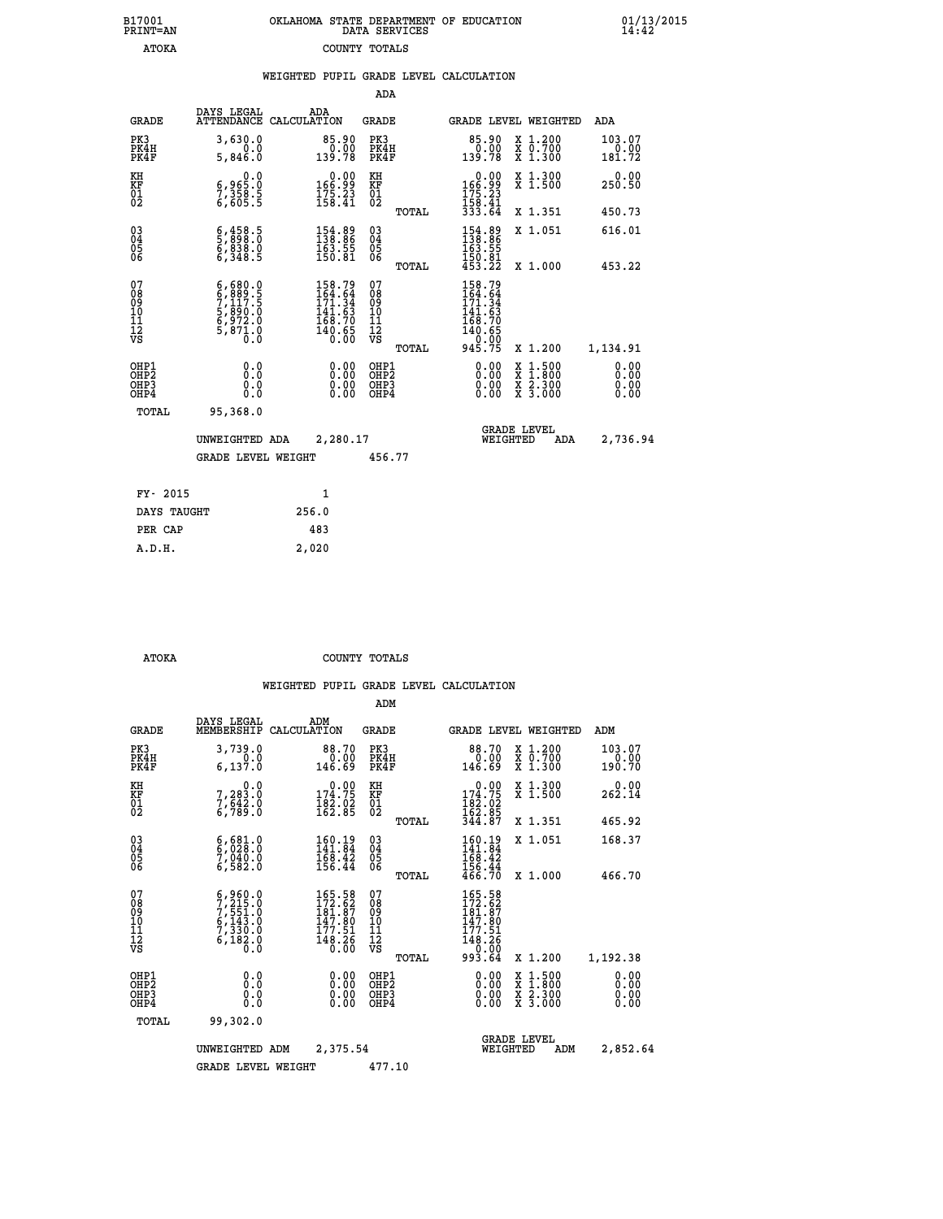| 7001<br>INT=AN | OKLAHOMA STATE DEPARTMENT OF EDUCATION | DATA SERVICES |  |
|----------------|----------------------------------------|---------------|--|
| ATOKA          |                                        | COUNTY TOTALS |  |

|                                                       |                                                                                                                                                            | WEIGHTED PUPIL GRADE LEVEL CALCULATION                                                              |                                                     |                                                                              |                                                                                                                                           |                          |
|-------------------------------------------------------|------------------------------------------------------------------------------------------------------------------------------------------------------------|-----------------------------------------------------------------------------------------------------|-----------------------------------------------------|------------------------------------------------------------------------------|-------------------------------------------------------------------------------------------------------------------------------------------|--------------------------|
|                                                       |                                                                                                                                                            |                                                                                                     | <b>ADA</b>                                          |                                                                              |                                                                                                                                           |                          |
| <b>GRADE</b>                                          | DAYS LEGAL                                                                                                                                                 | ADA<br>ATTENDANCE CALCULATION                                                                       | <b>GRADE</b>                                        | GRADE LEVEL WEIGHTED                                                         |                                                                                                                                           | <b>ADA</b>               |
| PK3<br>PK4H<br>PK4F                                   | 3,630.0<br>0.0<br>5,846.0                                                                                                                                  | $85.90\n0.00\n139.78$                                                                               | PK3<br>PK4H<br>PK4F                                 | 85.90<br>0.00<br>139.78                                                      | X 1.200<br>X 0.700<br>X 1.300                                                                                                             | 103.07<br>0.00<br>181.72 |
| KH<br>KF<br>01<br>02                                  | $\begin{smallmatrix}&&&0.0\\ 6,965.0\\7,358.5\\6,605.5\end{smallmatrix}$                                                                                   | $0.00$<br>99.31<br>$\frac{175.23}{158.41}$                                                          | KH<br>KF<br>01<br>02                                | 0.00<br>99.991<br>$\frac{175}{158}$ : 41<br>$\frac{33}{33}$ : 64             | X 1.300<br>X 1.500                                                                                                                        | 0.00<br>250.50           |
|                                                       |                                                                                                                                                            |                                                                                                     | TOTAL                                               |                                                                              | X 1.351                                                                                                                                   | 450.73                   |
| $^{03}_{04}$<br>05<br>06                              | $\frac{6}{5}, \frac{458}{898}. \frac{5}{0}$<br>$\frac{6}{6}, \frac{838}{348}. \frac{0}{5}$                                                                 | $\begin{smallmatrix} 154.89\\ 138.86\\ 163.55\\ 150.81 \end{smallmatrix}$                           | $^{03}_{04}$<br>0500                                | 154.89<br>163.55                                                             | X 1.051                                                                                                                                   | 616.01                   |
|                                                       |                                                                                                                                                            |                                                                                                     | TOTAL                                               | $\frac{150.81}{453.22}$                                                      | X 1.000                                                                                                                                   | 453.22                   |
| 07<br>08<br>09<br>10<br>11<br>11<br>12<br>VS          | $\begin{smallmatrix} 6\,,\,680\,,\,0\\ 6\,,\,889\,,\,5\\ 7\,,\,117\,,\,5\\ 5\,,\,890\,,\,0\\ 6\,,\,972\,,\,0\\ 5\,,\,871\,,\,0\\ 0\,,\,0\end{smallmatrix}$ | $\begin{smallmatrix} 158.79\\164.64\\171.34\\141.63\\168.70\\168.70\\140.65\\0.00\end{smallmatrix}$ | 078<br>089<br>0011<br>11<br>11<br>12<br>VS<br>TOTAL | 158.79<br>$164.64$<br>$171.34$<br>$141.63$<br>$168.70$<br>$140.65$<br>945.75 | X 1.200                                                                                                                                   | 1,134.91                 |
| OHP1<br>OHP2<br>OH <sub>P</sub> 3<br>OH <sub>P4</sub> | 0.0<br>0.0<br>0.0                                                                                                                                          | 0.00<br>$\begin{smallmatrix} 0.00 \ 0.00 \end{smallmatrix}$                                         | OHP1<br>OHP2<br>OHP3<br>OHP4                        | 0.00<br>0.00                                                                 | $\begin{smallmatrix} \mathtt{X} & 1\cdot500\\ \mathtt{X} & 1\cdot800\\ \mathtt{X} & 2\cdot300\\ \mathtt{X} & 3\cdot000 \end{smallmatrix}$ | 0.00<br>0.00<br>0.00     |
| TOTAL                                                 | 95,368.0                                                                                                                                                   |                                                                                                     |                                                     |                                                                              |                                                                                                                                           |                          |
|                                                       | UNWEIGHTED ADA                                                                                                                                             | 2,280.17                                                                                            |                                                     | <b>GRADE LEVEL</b><br>WEIGHTED                                               | ADA                                                                                                                                       | 2,736.94                 |
|                                                       | <b>GRADE LEVEL WEIGHT</b>                                                                                                                                  |                                                                                                     | 456.77                                              |                                                                              |                                                                                                                                           |                          |
| FY- 2015                                              |                                                                                                                                                            | $\mathbf{1}$                                                                                        |                                                     |                                                                              |                                                                                                                                           |                          |
| DAYS TAUGHT                                           |                                                                                                                                                            | 256.0                                                                                               |                                                     |                                                                              |                                                                                                                                           |                          |
| PER CAP                                               |                                                                                                                                                            | 483                                                                                                 |                                                     |                                                                              |                                                                                                                                           |                          |

 **A.D.H. 2,020**

 **B17001<br>PRINT=AN** 

 **ATOKA COUNTY TOTALS**

|                                          |                                                                                           |                                                                         | ADM                                                |                                                                                             |                                                                                          |                              |
|------------------------------------------|-------------------------------------------------------------------------------------------|-------------------------------------------------------------------------|----------------------------------------------------|---------------------------------------------------------------------------------------------|------------------------------------------------------------------------------------------|------------------------------|
| <b>GRADE</b>                             | DAYS LEGAL<br>MEMBERSHIP                                                                  | ADM<br>CALCULATION                                                      | <b>GRADE</b>                                       | GRADE LEVEL WEIGHTED                                                                        |                                                                                          | ADM                          |
| PK3<br>PK4H<br>PK4F                      | 3,739.0<br>0.0<br>6, 137.0                                                                | 88.70<br>0.00<br>146.69                                                 | PK3<br>PK4H<br>PK4F                                | 88.70<br>0.00<br>146.69                                                                     | X 1.200<br>X 0.700<br>X 1.300                                                            | 103.07<br>0.00<br>190.70     |
| KH<br>KF<br>01<br>02                     | 0.0<br>7,283:0<br>7,642:0<br>6,789:0                                                      | $\begin{smallmatrix} &0.00\\ 174.75\\ 182.02\\ 162.85\end{smallmatrix}$ | KH<br>KF<br>01<br>02                               | $0.00$<br>$174.75$<br>$182.02$<br>$162.85$<br>$344.87$                                      | X 1.300<br>X 1.500                                                                       | 0.00<br>262.14               |
|                                          |                                                                                           |                                                                         | TOTAL                                              |                                                                                             | X 1.351                                                                                  | 465.92                       |
| 03<br>04<br>05<br>06                     | $6,681.0$<br>$6,028.0$<br>$7,040.0$<br>6,582.0                                            | 160.19<br>141.84<br>$\frac{168.42}{156.44}$                             | $\begin{matrix} 03 \\ 04 \\ 05 \\ 06 \end{matrix}$ | 160.19<br>141.84<br>$\frac{1}{168}$ . $\frac{2}{42}$<br>$\frac{156}{466}$ . $\frac{44}{70}$ | X 1.051                                                                                  | 168.37                       |
|                                          |                                                                                           |                                                                         | TOTAL                                              |                                                                                             | X 1.000                                                                                  | 466.70                       |
| 07<br>08<br>09<br>101<br>112<br>VS       | $5, 215.0$<br>$7, 215.0$<br>$7, 551.0$<br>$6, 143.0$<br>$7, 330.0$<br>$6, 182.0$<br>$0.0$ | 165.58<br>172.62<br>181.87<br>147.80<br>177.51<br>$\frac{148.26}{0.00}$ | 07<br>08<br>09<br>11<br>11<br>12<br>VS<br>TOTAL    | 165.58<br>172.62<br>181.87<br>147.80<br>177.51<br>$\frac{148.26}{0.00}$<br>993.64           | X 1.200                                                                                  | 1,192.38                     |
| OHP1<br>OHP2<br>OH <sub>P3</sub><br>OHP4 | 0.0<br>0.000                                                                              | $0.00$<br>$0.00$<br>0.00                                                | OHP1<br>OHP2<br>OHP3<br>OHP4                       | $0.00$<br>$0.00$<br>0.00                                                                    | $\begin{smallmatrix} x & 1.500 \\ x & 1.800 \\ x & 2.300 \\ x & 3.000 \end{smallmatrix}$ | 0.00<br>0.00<br>0.00<br>0.00 |
| TOTAL                                    | 99,302.0                                                                                  |                                                                         |                                                    |                                                                                             |                                                                                          |                              |
|                                          | UNWEIGHTED                                                                                | 2,375.54<br>ADM                                                         |                                                    | <b>GRADE LEVEL</b><br>WEIGHTED                                                              | ADM                                                                                      | 2,852.64                     |
|                                          | <b>GRADE LEVEL WEIGHT</b>                                                                 |                                                                         | 477.10                                             |                                                                                             |                                                                                          |                              |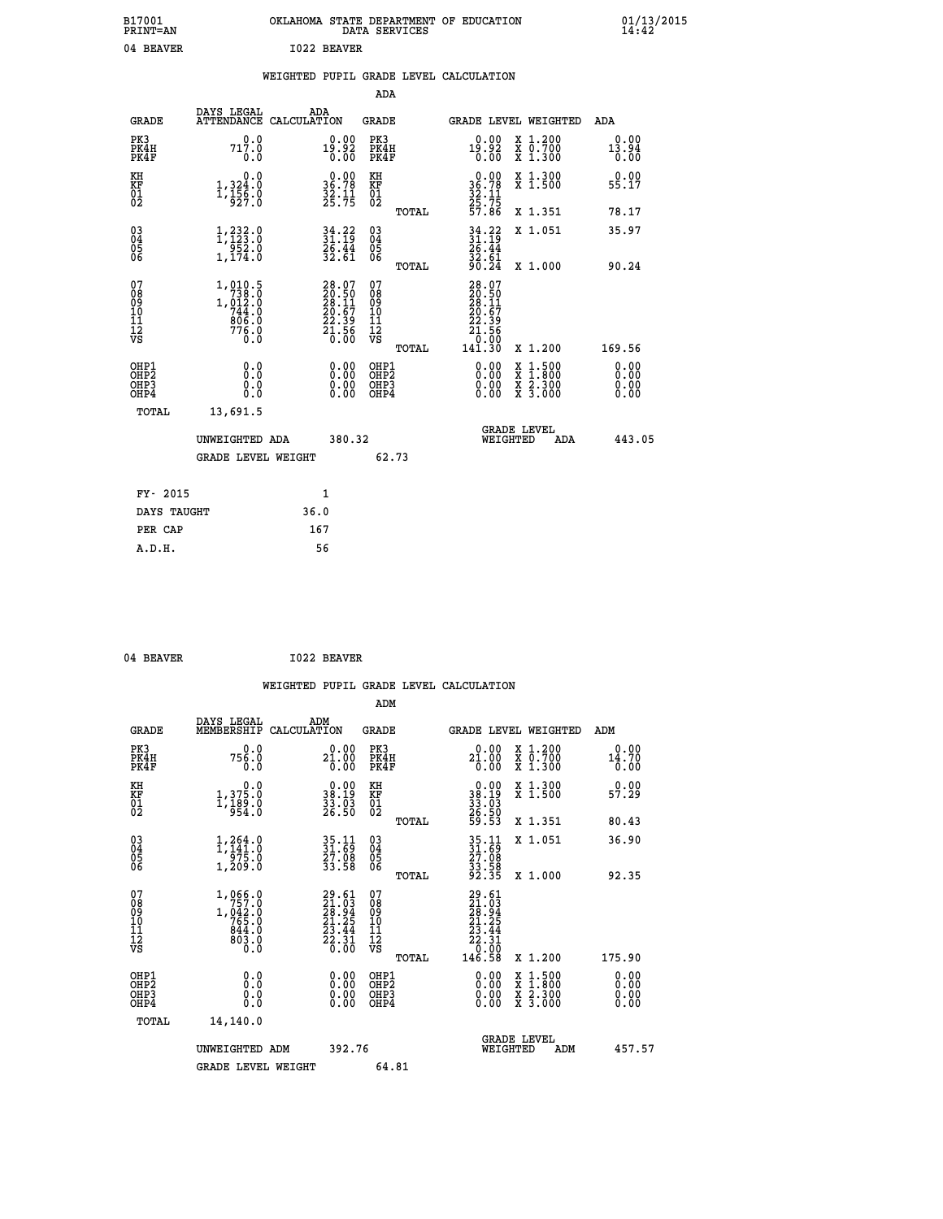| B17001<br><b>PRINT=AN</b> |             | OKLAHOMA STATE DEPARTMENT OF EDUCATION<br>DATA SERVICES |  |
|---------------------------|-------------|---------------------------------------------------------|--|
| 04 BEAVER                 | 1022 BEAVER |                                                         |  |

# **WEIGHTED PUPIL GRADE LEVEL CALCULATION**

|                                                                    |                                                                                          |                                                                                                      |        | ADA                                       |       |                                                                                                     |        |                                          |                              |
|--------------------------------------------------------------------|------------------------------------------------------------------------------------------|------------------------------------------------------------------------------------------------------|--------|-------------------------------------------|-------|-----------------------------------------------------------------------------------------------------|--------|------------------------------------------|------------------------------|
| <b>GRADE</b>                                                       | DAYS LEGAL                                                                               | ADA<br>ATTENDANCE CALCULATION                                                                        |        | <b>GRADE</b>                              |       | GRADE LEVEL WEIGHTED                                                                                |        |                                          | <b>ADA</b>                   |
| PK3<br>PK4H<br>PK4F                                                | 0.0<br>717.0<br>0.0                                                                      | $19.92\n0.00\n0.00$                                                                                  |        | PK3<br>PK4H<br>PK4F                       |       | $19.92\n0.00$                                                                                       |        | X 1.200<br>X 0.700<br>X 1.300            | 0.00<br>13.94<br>0.00        |
| KH<br>KF<br>01<br>02                                               | 0.0<br>1, 324:0<br>1, 156:0<br>927:0                                                     | $\begin{smallmatrix} 0.00\\ 36.78\\ 32.11\\ 25.75 \end{smallmatrix}$                                 |        | KH<br>KF<br>01<br>02                      |       | 0.00<br>$36.78$<br>$32.11$<br>$25.75$<br>$57.86$                                                    |        | X 1.300<br>X 1.500                       | 0.00<br>55.17                |
|                                                                    |                                                                                          |                                                                                                      |        |                                           | TOTAL |                                                                                                     |        | X 1.351                                  | 78.17                        |
| $\begin{smallmatrix} 03 \\[-4pt] 04 \end{smallmatrix}$<br>Ŏ5<br>06 | 1, 233.0<br>$\begin{array}{c} 7.552.0 \\ 1,174.0 \end{array}$                            | $34.22$<br>$31.19$<br>$\frac{2}{3}\overline{6}\cdot\frac{4}{61}$                                     |        | $\substack{03 \\ 04}$<br>Ŏ5<br>06         | TOTAL | $34.22$<br>$31.19$<br>$26.44$<br>$32.61$<br>$90.24$                                                 |        | X 1.051<br>X 1.000                       | 35.97<br>90.24               |
| 07<br>08<br>09<br>11<br>11<br>12<br>VS                             | $\begin{smallmatrix} 1,010.5\\738.0\\1,012.0\\744.0\\806.0\\776.0\\0.0\end{smallmatrix}$ | $\begin{smallmatrix} 28.07\\ 20.50\\ 28.11\\ 28.11\\ 20.67\\ 22.39\\ 21.56\\ 0.00 \end{smallmatrix}$ |        | 07<br>08<br>09<br>11<br>11<br>12<br>VS    |       | $\begin{smallmatrix} 28.07\ 20.501\ 28.117\ 20.679\ 22.39\ 21.56\ 0.000\ 141.30\ \end{smallmatrix}$ |        |                                          |                              |
|                                                                    |                                                                                          |                                                                                                      |        |                                           | TOTAL |                                                                                                     |        | X 1.200                                  | 169.56                       |
| OHP1<br>OHP <sub>2</sub><br>OHP3<br>OHP4                           | 0.0<br>Ō.Ō<br>0.0<br>Ō.Ō                                                                 | 0.00<br>$\begin{smallmatrix} 0.00 \ 0.00 \end{smallmatrix}$                                          |        | OHP1<br>OH <sub>P</sub> 2<br>OHP3<br>OHP4 |       | 0.00<br>0.00<br>0.00                                                                                | X<br>X | $1:500$<br>$1:800$<br>X 2.300<br>X 3.000 | 0.00<br>0.00<br>0.00<br>0.00 |
| TOTAL                                                              | 13,691.5                                                                                 |                                                                                                      |        |                                           |       |                                                                                                     |        |                                          |                              |
|                                                                    | UNWEIGHTED ADA                                                                           |                                                                                                      | 380.32 |                                           |       | WEIGHTED                                                                                            |        | <b>GRADE LEVEL</b><br>ADA                | 443.05                       |
|                                                                    | <b>GRADE LEVEL WEIGHT</b>                                                                |                                                                                                      |        | 62.73                                     |       |                                                                                                     |        |                                          |                              |
| FY- 2015                                                           |                                                                                          | 1                                                                                                    |        |                                           |       |                                                                                                     |        |                                          |                              |
| DAYS TAUGHT                                                        |                                                                                          | 36.0                                                                                                 |        |                                           |       |                                                                                                     |        |                                          |                              |
| PER CAP                                                            |                                                                                          | 167                                                                                                  |        |                                           |       |                                                                                                     |        |                                          |                              |
|                                                                    |                                                                                          |                                                                                                      |        |                                           |       |                                                                                                     |        |                                          |                              |

 **04 BEAVER I022 BEAVER**

 **A.D.H. 56**

|                                                      |                                                              |                                                                          | ADM                                                 |                                                                                    |                                          |                              |
|------------------------------------------------------|--------------------------------------------------------------|--------------------------------------------------------------------------|-----------------------------------------------------|------------------------------------------------------------------------------------|------------------------------------------|------------------------------|
| <b>GRADE</b>                                         | DAYS LEGAL<br>MEMBERSHIP                                     | ADM<br>CALCULATION                                                       | <b>GRADE</b>                                        |                                                                                    | GRADE LEVEL WEIGHTED                     | ADM                          |
| PK3<br>PK4H<br>PK4F                                  | 0.0<br>756.0<br>0.0                                          | 0.00<br>$2\frac{1}{0}.\overset{0}{0}\overset{0}{0}$                      | PK3<br>PK4H<br>PK4F                                 | 21.00<br>0.00                                                                      | X 1.200<br>X 0.700<br>X 1.300            | 0.00<br>14.70<br>0.00        |
| KH<br>KF<br>01<br>02                                 | 0.0<br>1, 375:0<br>1, 189:0<br>954:0                         | $\begin{smallmatrix} 0.00\\ 38.19\\ 33.03\\ 26.50 \end{smallmatrix}$     | KH<br>KF<br>01<br>02                                | $\begin{smallmatrix} 0.00\\ 38.19\\ 33.03\\ 26.50\\ 59.53 \end{smallmatrix}$       | X 1.300<br>X 1.500                       | 0.00<br>57.29                |
|                                                      |                                                              |                                                                          | TOTAL                                               |                                                                                    | X 1.351                                  | 80.43                        |
| 03<br>04<br>05<br>06                                 | $1, 264.0$<br>$1, 141.0$<br>$275.0$<br>1,209.0               | 35.11<br>31.69<br>27.08<br>33.58                                         | $\begin{array}{c} 03 \\ 04 \\ 05 \\ 06 \end{array}$ | 35.11<br>31.69<br>27.08<br>33.58<br>32.35                                          | X 1.051                                  | 36.90                        |
|                                                      |                                                              |                                                                          | TOTAL                                               |                                                                                    | X 1.000                                  | 92.35                        |
| 07<br>08<br>09<br>101<br>112<br>VS                   | 1,066.0<br>$1,642.0$<br>$765.0$<br>$844.0$<br>$803.0$<br>0.0 | $29.61$<br>$21.03$<br>$28.94$<br>$21.25$<br>$23.44$<br>$22.31$<br>$0.00$ | 07<br>08<br>09<br>11<br>11<br>12<br>VS<br>TOTAL     | $29.61$<br>$21.93$<br>$28.94$<br>$21.25$<br>$23.44$<br>$22.31$<br>$0.90$<br>146.58 | X 1.200                                  | 175.90                       |
| OHP1<br>OHP2<br>OH <sub>P3</sub><br>OH <sub>P4</sub> | 0.0<br>0.000                                                 | $0.00$<br>$0.00$<br>0.00                                                 | OHP1<br>OHP2<br>OHP <sub>3</sub>                    | $0.00$<br>$0.00$<br>0.00                                                           | X 1:500<br>X 1:800<br>X 2:300<br>X 3:000 | 0.00<br>0.00<br>0.00<br>0.00 |
| TOTAL                                                | 14,140.0                                                     |                                                                          |                                                     |                                                                                    |                                          |                              |
|                                                      | UNWEIGHTED ADM                                               | 392.76                                                                   |                                                     |                                                                                    | GRADE LEVEL<br>WEIGHTED<br>ADM           | 457.57                       |
|                                                      | <b>GRADE LEVEL WEIGHT</b>                                    |                                                                          | 64.81                                               |                                                                                    |                                          |                              |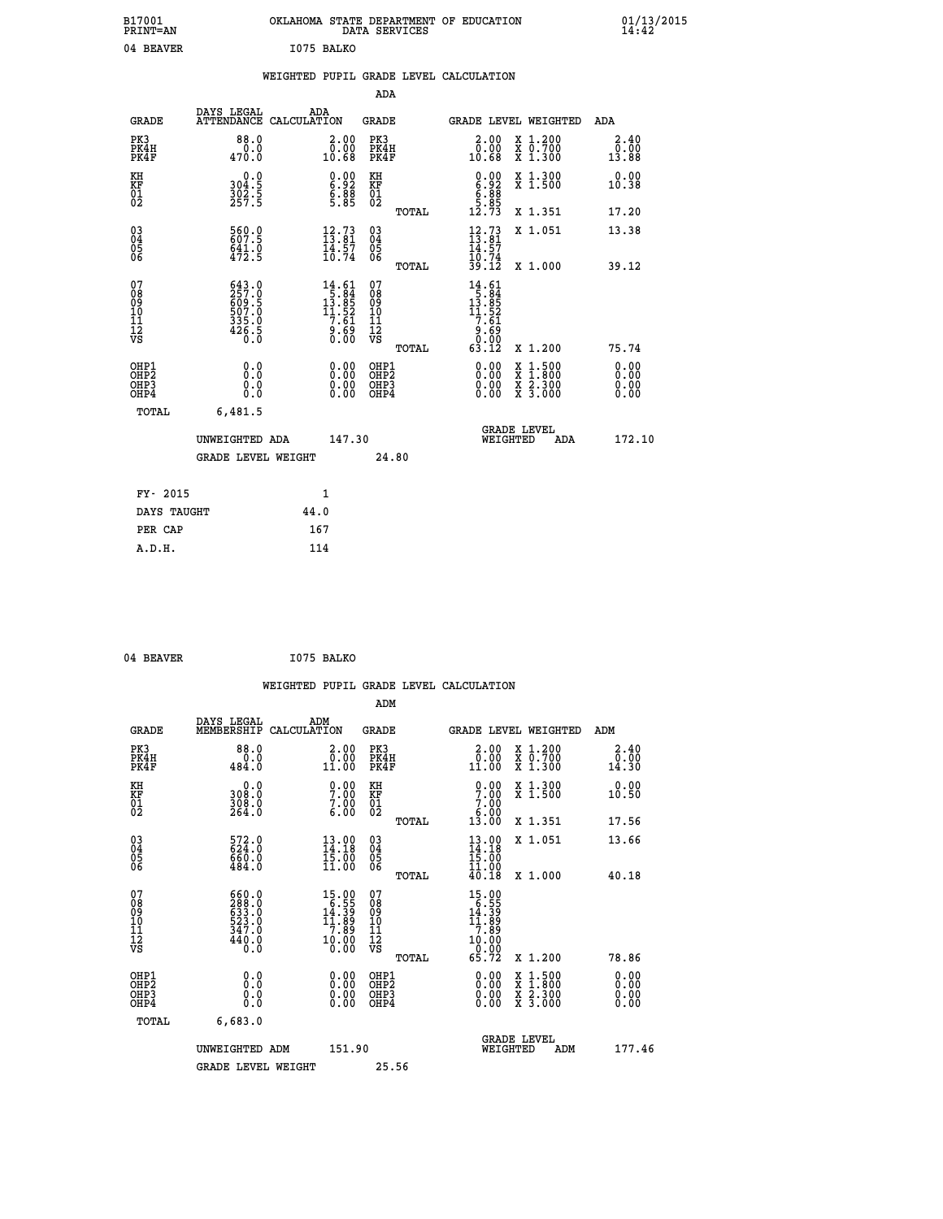| B17001<br>PRINT=AN                                |                                                             | OKLAHOMA STATE DEPARTMENT OF EDUCATION                                                                                                    | DATA SERVICES                                              |                                                                                                                                           |                                                                                                                                           | $01/13/2015$<br>14:42         |
|---------------------------------------------------|-------------------------------------------------------------|-------------------------------------------------------------------------------------------------------------------------------------------|------------------------------------------------------------|-------------------------------------------------------------------------------------------------------------------------------------------|-------------------------------------------------------------------------------------------------------------------------------------------|-------------------------------|
| 04 BEAVER                                         |                                                             | I075 BALKO                                                                                                                                |                                                            |                                                                                                                                           |                                                                                                                                           |                               |
|                                                   |                                                             | WEIGHTED PUPIL GRADE LEVEL CALCULATION                                                                                                    |                                                            |                                                                                                                                           |                                                                                                                                           |                               |
|                                                   |                                                             |                                                                                                                                           | ADA                                                        |                                                                                                                                           |                                                                                                                                           |                               |
| <b>GRADE</b>                                      | DAYS LEGAL                                                  | ADA<br>ATTENDANCE CALCULATION                                                                                                             | GRADE                                                      |                                                                                                                                           | <b>GRADE LEVEL WEIGHTED</b>                                                                                                               | ADA                           |
| PK3<br>PK4H<br>PK4F                               | 88.0<br>0.0<br>470.0                                        | 2.00<br>0.00<br>10.68                                                                                                                     | PK3<br>PK4H<br>PK4F                                        | 2.00<br>0.00<br>10.68                                                                                                                     | X 1.200<br>X 0.700<br>X 1.300                                                                                                             | 2.40<br>0.00<br>13.88         |
| KH<br>KF<br>$\begin{matrix} 01 \ 02 \end{matrix}$ | 0.0<br>304:5<br>302:5<br>257:5                              | $\begin{smallmatrix} 0.00\\ 6.92\\ 6.88\\ 5.85 \end{smallmatrix}$                                                                         | KH<br>KF<br>$\overline{01}$                                | $0.00$<br>$6.92$<br>$5.85$                                                                                                                | X 1.300<br>X 1.500                                                                                                                        | 0.00<br>10.38                 |
|                                                   |                                                             |                                                                                                                                           | TOTAL                                                      | 12.73                                                                                                                                     | X 1.351                                                                                                                                   | 17.20                         |
| $^{03}_{04}$<br>Ŏ5<br>ŌĞ                          | 560.0<br>641.0<br>472.5                                     | $\begin{smallmatrix} 12\cdot73\ 13\cdot81\ 14\cdot57\ 10\cdot74 \end{smallmatrix}$                                                        | 030404<br>ŎĞ                                               | $\frac{12}{13} : 73$<br>14.57                                                                                                             | X 1.051                                                                                                                                   | 13.38                         |
|                                                   |                                                             |                                                                                                                                           | TOTAL                                                      | $\frac{10.74}{39.12}$                                                                                                                     | X 1.000                                                                                                                                   | 39.12                         |
| 07<br>08<br>09<br>11<br>11<br>12<br>VS            | 643.0<br>257.0<br>609.5<br>607.0<br>507.0<br>335.0<br>426.5 | $\begin{smallmatrix} 14.61\\[-1.2mm] 15.84\\[-1.2mm] 13.85\\[-1.2mm] 11.52\\[-1.2mm] 7.61\\[-1.2mm] 9.69\\[-1.2mm] 0.00\end{smallmatrix}$ | 07<br>08<br>09<br>10<br>$\frac{11}{12}$<br>$\frac{12}{18}$ | $\begin{array}{r} 14.61 \\[-4pt] 15.84 \\[-4pt] 13.85 \\[-4pt] 11.52 \\[-4pt] 7.61 \\[-4pt] 9.61 \\[-4pt] 0.00 \\[-4pt] 0.12 \end{array}$ |                                                                                                                                           |                               |
| OHP1                                              |                                                             |                                                                                                                                           | TOTAL                                                      |                                                                                                                                           | X 1.200                                                                                                                                   | 75.74                         |
| OHP <sub>2</sub><br>OHP3<br>OHP4                  | 0.0<br>Ō.Ō<br>0.0<br>0.0                                    | 0.00<br>$\begin{smallmatrix} 0.00 \ 0.00 \end{smallmatrix}$                                                                               | OHP1<br>OHP <sub>2</sub><br>OHP3<br>OHP4                   | 0.00<br>0.00<br>0.00                                                                                                                      | $\begin{smallmatrix} \mathtt{X} & 1\cdot500\\ \mathtt{X} & 1\cdot800\\ \mathtt{X} & 2\cdot300\\ \mathtt{X} & 3\cdot000 \end{smallmatrix}$ | 0.00<br>Ō. ŌŌ<br>0.00<br>0.00 |
| TOTAL                                             | 6,481.5                                                     |                                                                                                                                           |                                                            |                                                                                                                                           |                                                                                                                                           |                               |
|                                                   | UNWEIGHTED ADA                                              | 147.30                                                                                                                                    |                                                            | WEIGHTED                                                                                                                                  | <b>GRADE LEVEL</b><br>ADA                                                                                                                 | 172.10                        |
|                                                   | <b>GRADE LEVEL WEIGHT</b>                                   |                                                                                                                                           | 24.80                                                      |                                                                                                                                           |                                                                                                                                           |                               |
| FY- 2015                                          |                                                             | 1                                                                                                                                         |                                                            |                                                                                                                                           |                                                                                                                                           |                               |
| DAYS TAUGHT                                       |                                                             | 44.0                                                                                                                                      |                                                            |                                                                                                                                           |                                                                                                                                           |                               |
| PER CAP                                           |                                                             | 167                                                                                                                                       |                                                            |                                                                                                                                           |                                                                                                                                           |                               |

```
04 BEAVER 1075 BALKO
```
 **WEIGHTED PUPIL GRADE LEVEL CALCULATION ADM DAYS LEGAL ADM GRADE MEMBERSHIP CALCULATION GRADE GRADE LEVEL WEIGHTED ADM PK3 88.0 2.00 PK3 2.00 X 1.200 2.40 PK4H 0.0 0.00 PK4H 0.00 X 0.700 0.00 PK4F 484.0 11.00 PK4F 11.00 X 1.300 14.30 KH 0.0 0.00 KH 0.00 X 1.300 0.00 KF 308.0 7.00 KF 7.00 X 1.500 10.50 01 308.0 7.00 01 7.00** 02 264.0 6.00 02 5.00 **6.00 TOTAL 13.00 X 1.351 17.56 03 572.0 13.00 03 13.00 X 1.051 13.66 04 624.0 14.18 04 14.18 05 660.0 15.00 05 15.00** 06 484.0 11.00 06 <sub>memax</sub> 11.00  **TOTAL 40.18 X 1.000 40.18 07 660.0 15.00 07 15.00 08 288.0 6.55 08 6.55 09 633.0 14.39 09 14.39 10 523.0 11.89 10 11.89 11 347.0 7.89 11 7.89 12 10.00 11.000 12 10.000 12 VS** 0.0 0.00 VS 0.00 0.00 0.00  **TOTAL 65.72 X 1.200 78.86 OHP1 0.0 0.00 OHP1 0.00 X 1.500 0.00 OHP2 0.0 0.00 OHP2 0.00 X 1.800 0.00 OHP3 0.0 0.00 OHP3 0.00 X 2.300 0.00 OHP4 0.0 0.00 OHP4 0.00 X 3.000 0.00 TOTAL 6,683.0 GRADE LEVEL UNWEIGHTED ADM 151.90 WEIGHTED ADM 177.46** GRADE LEVEL WEIGHT 25.56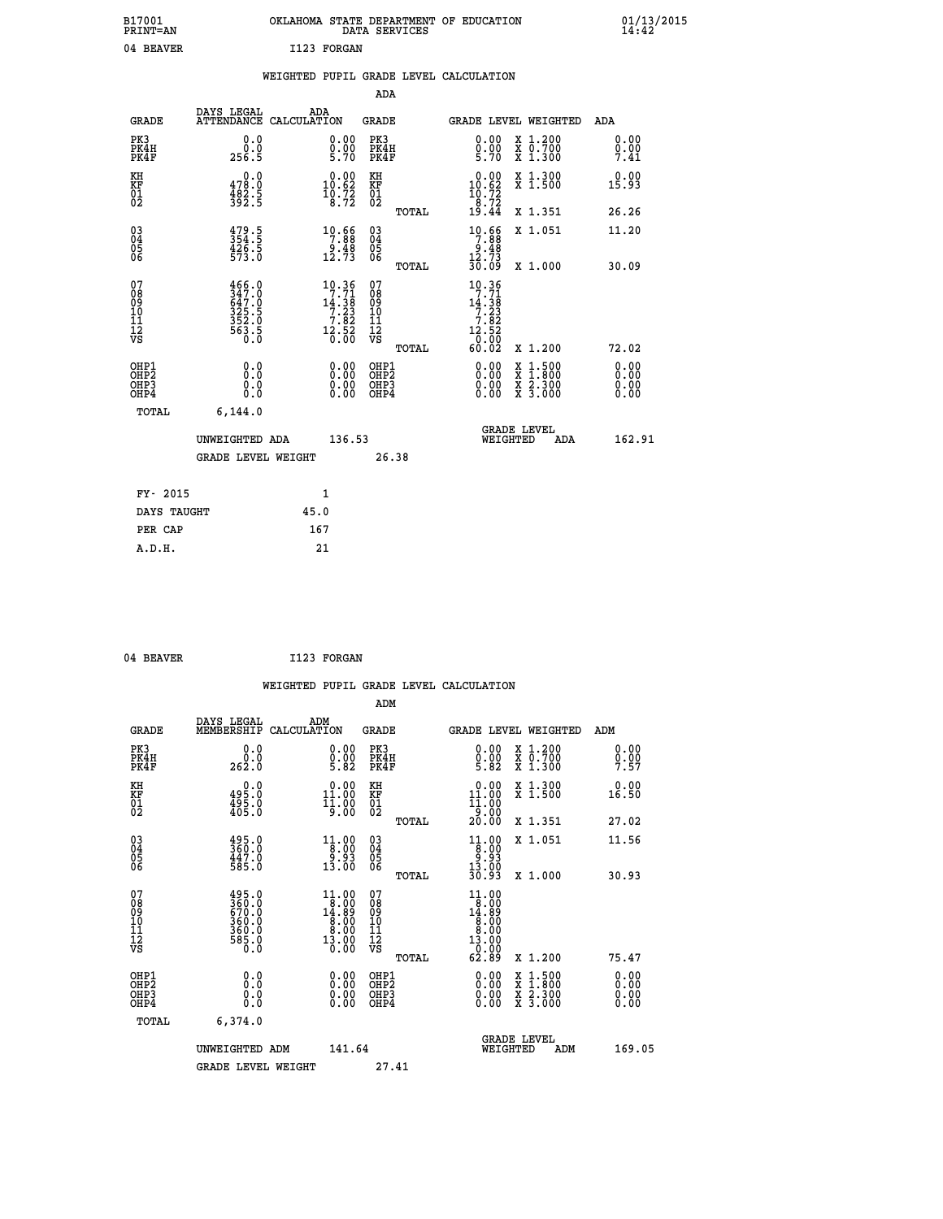| B17001<br><b>PRINT=AN</b> | OKLAHOMA STATE DEPARTMENT OF EDUCATION<br>DATA SERVICES | 01/13/2015 |
|---------------------------|---------------------------------------------------------|------------|
| 04 BEAVER                 | I123 FORGAN                                             |            |

|  |  | WEIGHTED PUPIL GRADE LEVEL CALCULATION |
|--|--|----------------------------------------|
|  |  |                                        |

|                                                                    |                                                                     |      |                                                                                                 | ADA                                          |       |                                                                                                                                                                                                                                                                                                                                                                                                                |                                                                                                                                           |                              |
|--------------------------------------------------------------------|---------------------------------------------------------------------|------|-------------------------------------------------------------------------------------------------|----------------------------------------------|-------|----------------------------------------------------------------------------------------------------------------------------------------------------------------------------------------------------------------------------------------------------------------------------------------------------------------------------------------------------------------------------------------------------------------|-------------------------------------------------------------------------------------------------------------------------------------------|------------------------------|
| <b>GRADE</b>                                                       | DAYS LEGAL<br>ATTENDANCE CALCULATION                                | ADA  |                                                                                                 | <b>GRADE</b>                                 |       |                                                                                                                                                                                                                                                                                                                                                                                                                | GRADE LEVEL WEIGHTED                                                                                                                      | ADA                          |
| PK3<br>PK4H<br>PK4F                                                | 0.0<br>ة:ة<br>256.5                                                 |      | $\begin{smallmatrix} 0.00\ 0.00\ 5.70 \end{smallmatrix}$                                        | PK3<br>PK4H<br>PK4F                          |       | 0.00<br>$0.00$<br>5.70                                                                                                                                                                                                                                                                                                                                                                                         | X 1.200<br>X 0.700<br>X 1.300                                                                                                             | 0.00<br>0.00<br>7.41         |
| KH<br>KF<br>01<br>02                                               | 0.0<br>478.0<br>$\frac{482.5}{392.5}$                               |      | $\begin{smallmatrix} 0.00\\ 10.62\\ 10.72\\ 8.72 \end{smallmatrix}$                             | KH<br>KF<br>01<br>02                         |       | $0.00$<br>10.62<br>$\frac{10.72}{8.72}$<br>19.44                                                                                                                                                                                                                                                                                                                                                               | X 1.300<br>X 1.500                                                                                                                        | 0.00<br>15.93                |
|                                                                    |                                                                     |      |                                                                                                 |                                              | TOTAL |                                                                                                                                                                                                                                                                                                                                                                                                                | X 1.351                                                                                                                                   | 26.26                        |
| $\begin{smallmatrix} 03 \\[-4pt] 04 \end{smallmatrix}$<br>Ŏ5<br>06 | 479.5<br>354.5<br>426.5<br>573.0                                    |      | $\begin{array}{r} 10.66 \\ 7.88 \\ 9.48 \\ 12.73 \end{array}$                                   | $\substack{03 \\ 04}$<br>Ŏ5<br>06            |       | $\begin{array}{r} 10.66 \\ 7.88 \\ 9.48 \\ 12.73 \\ 30.09 \end{array}$                                                                                                                                                                                                                                                                                                                                         | X 1.051                                                                                                                                   | 11.20                        |
|                                                                    |                                                                     |      |                                                                                                 |                                              | TOTAL |                                                                                                                                                                                                                                                                                                                                                                                                                | X 1.000                                                                                                                                   | 30.09                        |
| 07<br>08<br>09<br>101<br>11<br>12<br>VS                            | 466.0<br>347.0<br>647.0<br>325.5<br>325.0<br>352.0<br>563.5<br>60.0 |      | $\begin{smallmatrix} 10.36 \\ 7.71 \\ 14.38 \\ 7.23 \\ 7.82 \\ 12.56 \\ 0.00 \end{smallmatrix}$ | 07<br>08<br>09<br>101<br>11<br>12<br>VS      |       | $\begin{array}{@{}c@{\hspace{1em}}c@{\hspace{1em}}c@{\hspace{1em}}c@{\hspace{1em}}c@{\hspace{1em}}c@{\hspace{1em}}c@{\hspace{1em}}c@{\hspace{1em}}c@{\hspace{1em}}c@{\hspace{1em}}c@{\hspace{1em}}c@{\hspace{1em}}c@{\hspace{1em}}c@{\hspace{1em}}c@{\hspace{1em}}c@{\hspace{1em}}c@{\hspace{1em}}c@{\hspace{1em}}c@{\hspace{1em}}c@{\hspace{1em}}c@{\hspace{1em}}c@{\hspace{1em}}c@{\hspace{1em}}c@{\hspace{$ |                                                                                                                                           |                              |
|                                                                    |                                                                     |      |                                                                                                 |                                              | TOTAL | 60.02                                                                                                                                                                                                                                                                                                                                                                                                          | X 1.200                                                                                                                                   | 72.02                        |
| OHP1<br>OHP <sub>2</sub><br>OH <sub>P3</sub><br>OHP4               | 0.0<br>0.0<br>$0.\overline{0}$                                      |      | 0.00<br>$\begin{smallmatrix} 0.00 \ 0.00 \end{smallmatrix}$                                     | OHP1<br>OHP <sub>2</sub><br>OHP <sub>3</sub> |       | 0.00<br>0.00                                                                                                                                                                                                                                                                                                                                                                                                   | $\begin{smallmatrix} \mathtt{X} & 1\cdot500\\ \mathtt{X} & 1\cdot800\\ \mathtt{X} & 2\cdot300\\ \mathtt{X} & 3\cdot000 \end{smallmatrix}$ | 0.00<br>0.00<br>0.00<br>0.00 |
| TOTAL                                                              | 6, 144.0                                                            |      |                                                                                                 |                                              |       |                                                                                                                                                                                                                                                                                                                                                                                                                |                                                                                                                                           |                              |
|                                                                    | UNWEIGHTED ADA                                                      |      | 136.53                                                                                          |                                              |       | WEIGHTED                                                                                                                                                                                                                                                                                                                                                                                                       | <b>GRADE LEVEL</b><br>ADA                                                                                                                 | 162.91                       |
|                                                                    | GRADE LEVEL WEIGHT                                                  |      |                                                                                                 |                                              | 26.38 |                                                                                                                                                                                                                                                                                                                                                                                                                |                                                                                                                                           |                              |
| FY- 2015                                                           |                                                                     | 1    |                                                                                                 |                                              |       |                                                                                                                                                                                                                                                                                                                                                                                                                |                                                                                                                                           |                              |
| DAYS TAUGHT                                                        |                                                                     | 45.0 |                                                                                                 |                                              |       |                                                                                                                                                                                                                                                                                                                                                                                                                |                                                                                                                                           |                              |
| PER CAP                                                            |                                                                     | 167  |                                                                                                 |                                              |       |                                                                                                                                                                                                                                                                                                                                                                                                                |                                                                                                                                           |                              |

| 04 BEAVER | I123 FORGAN |
|-----------|-------------|
|           |             |

 **WEIGHTED PUPIL GRADE LEVEL CALCULATION ADM DAYS LEGAL ADM GRADE MEMBERSHIP CALCULATION GRADE GRADE LEVEL WEIGHTED ADM PK3 0.0 0.00 PK3 0.00 X 1.200 0.00 PK4H 0.0 0.00 PK4H 0.00 X 0.700 0.00 PK4F 262.0 5.82 PK4F 5.82 X 1.300 7.57 KH 0.0 0.00 KH 0.00 X 1.300 0.00 KF 495.0 11.00 KF 11.00 X 1.500 16.50 01 495.0 11.00 01 11.00 02 405.0 9.00 02 9.00 TOTAL 20.00 X 1.351 27.02 03 495.0 11.00 03 11.00 X 1.051 11.56 04 360.0 8.00 04 8.00 05 447.0 9.93 05 9.93** 06 585.0 13.00 06 <sub>momas</sub> 13.00  **TOTAL 30.93 X 1.000 30.93 07 495.0 11.00 07 11.00 08 360.0 8.00 08 8.00 09 670.0 14.89 09 14.89 10 360.0 8.00 10 8.00 11 360.0 8.00 11 8.00 12 13.00 13.00 13.00 13.00 VS** 0.0 0.00 VS 0.00 0.00  **TOTAL 62.89 X 1.200 75.47 OHP1 0.0 0.00 OHP1 0.00 X 1.500 0.00 OHP2 0.0 0.00 OHP2 0.00 X 1.800 0.00 OHP3 0.0 0.00 OHP3 0.00 X 2.300 0.00 OHP4 0.0 0.00 OHP4 0.00 X 3.000 0.00 TOTAL 6,374.0 GRADE LEVEL UNWEIGHTED ADM 141.64 WEIGHTED ADM 169.05** GRADE LEVEL WEIGHT 27.41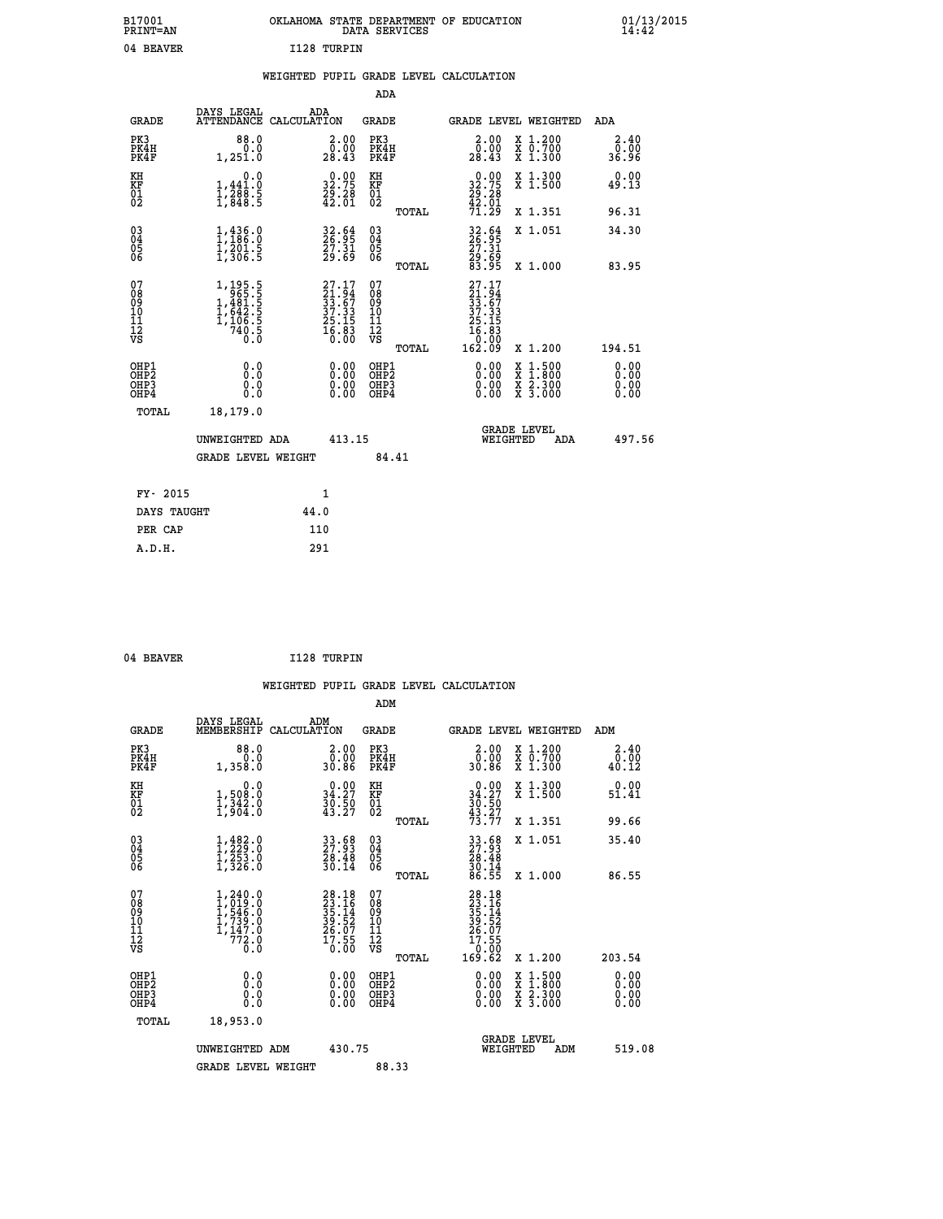| OKLAHOMA STATE DEPARTMENT OF EDUCATION<br>DATA SERVICES |  |
|---------------------------------------------------------|--|
| T128 TIRPTN                                             |  |

# **WEIGHTED PUPIL GRADE LEVEL CALCULATION**

|                                                                              |                                                                                                               |                                                                                        | ADA                                                         |                                                                                                                                                                      |                              |
|------------------------------------------------------------------------------|---------------------------------------------------------------------------------------------------------------|----------------------------------------------------------------------------------------|-------------------------------------------------------------|----------------------------------------------------------------------------------------------------------------------------------------------------------------------|------------------------------|
| <b>GRADE</b>                                                                 | DAYS LEGAL                                                                                                    | ADA<br>ATTENDANCE CALCULATION                                                          | GRADE                                                       | <b>GRADE LEVEL WEIGHTED</b>                                                                                                                                          | ADA                          |
| PK3<br>PK4H<br>PK4F                                                          | 88.0<br>0.0<br>1,251.0                                                                                        | 2.00000<br>28.43                                                                       | PK3<br>PK4H<br>PK4F                                         | X 1.200<br>X 0.700<br>X 1.300<br>2.00<br>0.00<br>28.43                                                                                                               | 2.40<br>0.00<br>36.96        |
| KH<br>KF<br>01<br>02                                                         | 0.0<br>$\frac{1}{1}, \frac{441}{288}$ . 5<br>1, 848. 5                                                        | $\begin{smallmatrix} 0.00\\ 32.75\\ 29.28\\ 42.01 \end{smallmatrix}$                   | KH<br>KF<br>01<br>02                                        | $\begin{smallmatrix} 0.00\\ 32.75\\ 29.28\\ 42.01\\ 71.29 \end{smallmatrix}$<br>X 1.300<br>X 1.500                                                                   | 0.00<br>49.13                |
|                                                                              |                                                                                                               |                                                                                        | TOTAL                                                       | X 1.351                                                                                                                                                              | 96.31                        |
| $\begin{matrix} 03 \\ 04 \\ 05 \\ 06 \end{matrix}$                           | $1, 436.0$<br>$1, 186.0$<br>$1, 201.5$<br>$1, 306.5$                                                          | 32.64<br>26.95<br>27.31<br>29.69                                                       | $\begin{matrix} 03 \\ 04 \\ 05 \\ 06 \end{matrix}$<br>TOTAL | 32.64<br>26.95<br>27.31<br>29.69<br>83.95<br>X 1.051<br>X 1.000                                                                                                      | 34.30<br>83.95               |
| 07<br>08<br>09<br>11<br>11<br>12<br>VS                                       | $\begin{smallmatrix} 1,195.5\\ 965.5\\ 1,481.5\\ 1,481.5\\ 1,642.5\\ 1,106.5\\ 740.5\\ 0.0 \end{smallmatrix}$ | $\begin{smallmatrix} 27.17\\21.94\\33.67\\37.33\\25.15\\16.83\\6.00 \end{smallmatrix}$ | 07<br>08<br>09<br>11<br>11<br>12<br>VS<br>TOTAL             | $\begin{smallmatrix} 27.17\ 21.94\ 33.67\ 37.335\ 25.153\ 16.830\ 162.09\ \end{smallmatrix}$<br>X 1.200                                                              | 194.51                       |
| OHP1<br>OH <sub>P</sub> <sub>2</sub><br>OH <sub>P3</sub><br>OH <sub>P4</sub> | 0.0<br>Ō.Ō<br>0.0<br>0.0                                                                                      | 0.00<br>0.00<br>0.00                                                                   | OHP1<br>OHP2<br>OHP3<br>OHP4                                | 0.00<br>$\begin{smallmatrix} \mathtt{X} & 1\cdot500 \\ \mathtt{X} & 1\cdot800 \\ \mathtt{X} & 2\cdot300 \\ \mathtt{X} & 3\cdot000 \end{smallmatrix}$<br>0.00<br>0.00 | 0.00<br>0.00<br>0.00<br>0.00 |
| TOTAL                                                                        | 18,179.0<br>UNWEIGHTED ADA<br><b>GRADE LEVEL WEIGHT</b>                                                       | 413.15                                                                                 | 84.41                                                       | <b>GRADE LEVEL</b><br>WEIGHTED<br>ADA                                                                                                                                | 497.56                       |
|                                                                              | FY- 2015                                                                                                      | 1                                                                                      |                                                             |                                                                                                                                                                      |                              |
|                                                                              | DAYS TAUGHT                                                                                                   | 44.0                                                                                   |                                                             |                                                                                                                                                                      |                              |
|                                                                              | PER CAP                                                                                                       | 110                                                                                    |                                                             |                                                                                                                                                                      |                              |
|                                                                              | A.D.H.                                                                                                        | 291                                                                                    |                                                             |                                                                                                                                                                      |                              |

| 04 | <b>REAVER</b> |  |
|----|---------------|--|
|    |               |  |

 **ADM**

 **A.D.H. 291**

 **B17001<br>PRINT=AN** 04 BEAVER

 **04 BEAVER I128 TURPIN**

| <b>GRADE</b>                                       | DAYS LEGAL<br>MEMBERSHIP                                                                              | ADM<br>CALCULATION                                                     | <b>GRADE</b>                                       |       | GRADE LEVEL WEIGHTED                                                                                                                                                                                                                                                           |                                          | ADM                   |  |
|----------------------------------------------------|-------------------------------------------------------------------------------------------------------|------------------------------------------------------------------------|----------------------------------------------------|-------|--------------------------------------------------------------------------------------------------------------------------------------------------------------------------------------------------------------------------------------------------------------------------------|------------------------------------------|-----------------------|--|
| PK3<br>PK4H<br>PK4F                                | 88.0<br>1,358.0                                                                                       | $\begin{smallmatrix} 2.00\0.00\30.86\ \end{smallmatrix}$               | PK3<br>PK4H<br>PK4F                                |       | $\begin{smallmatrix} 2.00\\ 0.00\\ 30.86 \end{smallmatrix}$                                                                                                                                                                                                                    | X 1.200<br>X 0.700<br>X 1.300            | 2.40<br>0.00<br>40.12 |  |
| KH<br>KF<br>01<br>02                               | 0.0<br>1,508:0<br>1,342:0<br>1,904:0                                                                  | $\begin{smallmatrix} 0.00\\ 34.27\\ 30.50\\ 43.27 \end{smallmatrix}$   | KH<br>KF<br>01<br>02                               |       | $0.00$<br>$34.27$<br>$30.50$<br>$43.27$<br>$73.77$                                                                                                                                                                                                                             | X 1.300<br>X 1.500                       | 0.00<br>51.41         |  |
|                                                    |                                                                                                       |                                                                        |                                                    | TOTAL |                                                                                                                                                                                                                                                                                | X 1.351                                  | 99.66                 |  |
| $\begin{matrix} 03 \\ 04 \\ 05 \\ 06 \end{matrix}$ | $1, 229.0$<br>$1, 253.0$<br>$1, 253.0$<br>$1, 326.0$                                                  | 33.68<br>27.93<br>28.48<br>30.14                                       | $\begin{matrix} 03 \\ 04 \\ 05 \\ 06 \end{matrix}$ |       | $\begin{smallmatrix} 33 & 68 \\ 27 & 93 \\ 28 & 48 \\ 30 & 14 \\ 86 & 55 \end{smallmatrix}$                                                                                                                                                                                    | X 1.051                                  | 35.40                 |  |
|                                                    |                                                                                                       |                                                                        |                                                    | TOTAL |                                                                                                                                                                                                                                                                                | X 1.000                                  | 86.55                 |  |
| 07<br>08<br>09<br>101<br>112<br>VS                 | $\begin{smallmatrix} 1,240.0\\ 1,019.0\\ 1,546.0\\ 1,739.0\\ 1,147.0\\ 772.0\\ 0.0 \end{smallmatrix}$ | $28.18$<br>$23.16$<br>$35.14$<br>$39.52$<br>$26.07$<br>$17.55$<br>0.00 | 07<br>08<br>09<br>11<br>11<br>12<br>VS             | TOTAL | $\begin{smallmatrix} 28.18\\ 23.16\\ 35.14\\ 35.14\\ 39.52\\ 26.07\\ 17.55\\ 0.00\\ 169.62 \end{smallmatrix}$                                                                                                                                                                  | X 1.200                                  | 203.54                |  |
| OHP1<br>OHP2<br>OH <sub>P3</sub><br>OHP4           | 0.0<br>0.000                                                                                          | $\begin{smallmatrix} 0.00 \ 0.00 \ 0.00 \ 0.00 \end{smallmatrix}$      | OHP1<br>OHP2<br>OHP3<br>OHP4                       |       | $\begin{smallmatrix} 0.00 & 0.00 & 0.00 & 0.00 & 0.00 & 0.00 & 0.00 & 0.00 & 0.00 & 0.00 & 0.00 & 0.00 & 0.00 & 0.00 & 0.00 & 0.00 & 0.00 & 0.00 & 0.00 & 0.00 & 0.00 & 0.00 & 0.00 & 0.00 & 0.00 & 0.00 & 0.00 & 0.00 & 0.00 & 0.00 & 0.00 & 0.00 & 0.00 & 0.00 & 0.00 & 0.0$ | X 1:500<br>X 1:800<br>X 2:300<br>X 3:000 | 0.00<br>0.00<br>0.00  |  |
| TOTAL                                              | 18,953.0                                                                                              |                                                                        |                                                    |       |                                                                                                                                                                                                                                                                                |                                          |                       |  |
|                                                    | UNWEIGHTED<br>ADM                                                                                     | 430.75                                                                 |                                                    |       | WEIGHTED                                                                                                                                                                                                                                                                       | <b>GRADE LEVEL</b><br>ADM                | 519.08                |  |
|                                                    | <b>GRADE LEVEL WEIGHT</b>                                                                             |                                                                        | 88.33                                              |       |                                                                                                                                                                                                                                                                                |                                          |                       |  |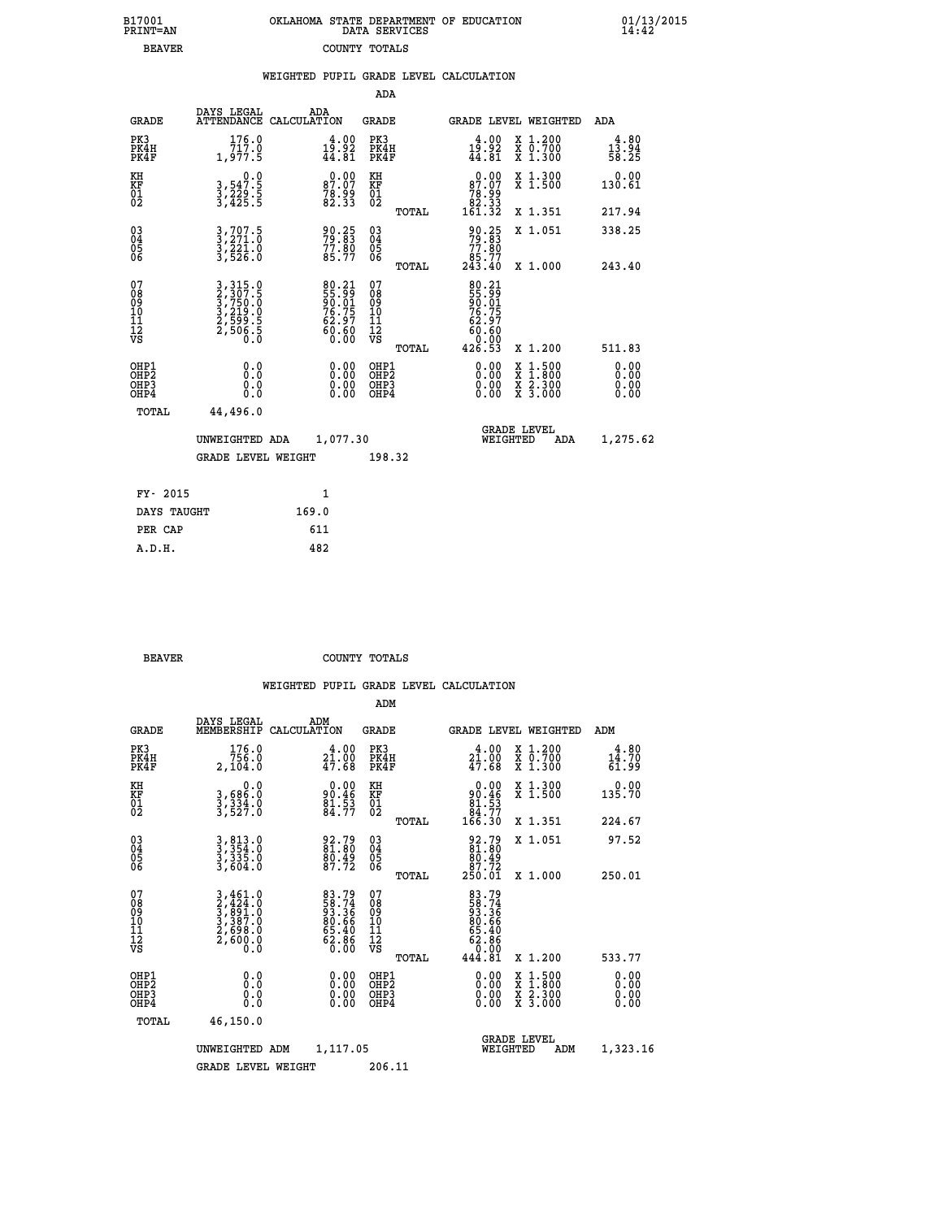| 7001<br>INT=AN | OKLAHOMA STATE DEPARTMENT OF EDUCATION<br>DATA SERVICES |  |
|----------------|---------------------------------------------------------|--|
| <b>BEAVER</b>  | COUNTY TOTALS                                           |  |

|                                                       |                                                                      |       |                                                             |                                           |       | WEIGHTED PUPIL GRADE LEVEL CALCULATION                                   |                                                                                                  |                              |
|-------------------------------------------------------|----------------------------------------------------------------------|-------|-------------------------------------------------------------|-------------------------------------------|-------|--------------------------------------------------------------------------|--------------------------------------------------------------------------------------------------|------------------------------|
|                                                       |                                                                      |       |                                                             | ADA                                       |       |                                                                          |                                                                                                  |                              |
| <b>GRADE</b>                                          | DAYS LEGAL<br>ATTENDANCE CALCULATION                                 | ADA   |                                                             | <b>GRADE</b>                              |       | GRADE LEVEL WEIGHTED                                                     |                                                                                                  | ADA                          |
| PK3<br>PK4H<br>PK4F                                   | 176.0<br>717.0<br>1,977.5                                            |       | $19.92$<br>$44.81$                                          | PK3<br>PK4H<br>PK4F                       |       | $19.92$<br>$44.81$                                                       | X 1.200<br>X 0.700<br>X 1.300                                                                    | $13.94$<br>$58.25$           |
| KH<br>KF<br>01<br>02                                  | 0.0<br>3,547:5<br>3,229:5<br>3,425:5                                 |       | 87.00<br>78.99<br>82.33                                     | KH<br>KF<br>01<br>02                      |       | 87.00                                                                    | X 1.300<br>X 1.500                                                                               | 0.00<br>130.61               |
|                                                       |                                                                      |       |                                                             |                                           | TOTAL | $\begin{array}{c} 76.99 \\ 78.33 \\ 82.33 \\ 161.32 \end{array}$         | X 1.351                                                                                          | 217.94                       |
| $^{03}_{04}$<br>Ŏ5<br>06                              | 727:5<br>3,707.5<br>3,271.0<br>3,221.0<br>3,526.0                    |       | 90.25<br>79:83<br>$77.80$<br>85.77                          | $\substack{03 \\ 04}$<br>05<br>06         |       | 90.25<br>79:83<br>77.80                                                  | X 1.051                                                                                          | 338.25                       |
|                                                       |                                                                      |       |                                                             |                                           | TOTAL | 85.77<br>243.40                                                          | X 1.000                                                                                          | 243.40                       |
| 07<br>08<br>09<br>101<br>112<br>VS                    | 3, 315.0<br>2, 307.5<br>3, 750.0<br>3, 219.0<br>2, 599.5<br>2, 506.5 |       | 80.21<br>55.99<br>50.01<br>76.75<br>76.90<br>60.60<br>60.60 | 07<br>08<br>09<br>11<br>11<br>12<br>VS    |       | 80.21<br>55.99<br>50.01<br>76.75<br>62.97<br>$\frac{6}{6}$ $\frac{5}{6}$ |                                                                                                  |                              |
|                                                       |                                                                      |       |                                                             |                                           | TOTAL | 426.53                                                                   | X 1.200                                                                                          | 511.83                       |
| OHP1<br>OH <sub>P</sub> 2<br>OHP3<br>OH <sub>P4</sub> | 0.0<br>Ŏ.Ŏ<br>0.0<br>0.0                                             |       | 0.00<br>$0.00$<br>0.00                                      | OHP1<br>OH <sub>P</sub> 2<br>OHP3<br>OHP4 |       | $0.00$<br>$0.00$<br>0.00                                                 | $\begin{smallmatrix} x & 1 & 500 \\ x & 1 & 800 \\ x & 2 & 300 \\ x & 3 & 000 \end{smallmatrix}$ | 0.00<br>0.00<br>0.00<br>0.00 |
| TOTAL                                                 | 44,496.0                                                             |       |                                                             |                                           |       |                                                                          |                                                                                                  |                              |
|                                                       | UNWEIGHTED ADA                                                       |       | 1,077.30                                                    |                                           |       | WEIGHTED                                                                 | <b>GRADE LEVEL</b><br>ADA                                                                        | 1,275.62                     |
|                                                       | <b>GRADE LEVEL WEIGHT</b>                                            |       |                                                             | 198.32                                    |       |                                                                          |                                                                                                  |                              |
| FY- 2015                                              |                                                                      |       | $\mathbf{1}$                                                |                                           |       |                                                                          |                                                                                                  |                              |
| DAYS TAUGHT                                           |                                                                      | 169.0 |                                                             |                                           |       |                                                                          |                                                                                                  |                              |
| סגי סתם                                               |                                                                      | 611   |                                                             |                                           |       |                                                                          |                                                                                                  |                              |

| PER CAP | 611 |
|---------|-----|
| A.D.H.  | 482 |
|         |     |
|         |     |

 **B17001<br>PRINT=AN** 

**BEAVER** COUNTY TOTALS

|                                           |                                                                                                                                                            |                                                             | ADM                                                 |       |                                                                             |                                          |                        |
|-------------------------------------------|------------------------------------------------------------------------------------------------------------------------------------------------------------|-------------------------------------------------------------|-----------------------------------------------------|-------|-----------------------------------------------------------------------------|------------------------------------------|------------------------|
| <b>GRADE</b>                              | DAYS LEGAL<br>MEMBERSHIP                                                                                                                                   | ADM<br>CALCULATION                                          | <b>GRADE</b>                                        |       |                                                                             | GRADE LEVEL WEIGHTED                     | ADM                    |
| PK3<br>PK4H<br>PK4F                       | 176.0<br>756.0<br>2,104.0                                                                                                                                  | 4.00<br>21.00<br>47.68                                      | PK3<br>PK4H<br>PK4F                                 |       | $\begin{smallmatrix} 4.00\\ 21.00\\ 47.68 \end{smallmatrix}$                | X 1.200<br>X 0.700<br>X 1.300            | 4.80<br>14.70<br>61.99 |
| KH<br>KF<br>01<br>02                      | 0.0<br>3,686:0<br>3,334:0<br>3,527:0                                                                                                                       | $90.46$<br>$81.53$<br>$84.77$                               | KH<br>KF<br>01<br>02                                |       | $0.00$<br>$81.53$<br>$84.77$<br>$166.30$                                    | X 1.300<br>X 1.500                       | 0.00<br>135.70         |
|                                           |                                                                                                                                                            |                                                             |                                                     | TOTAL |                                                                             | X 1.351                                  | 224.67                 |
| 03<br>04<br>05<br>06                      | $3, 813.0$<br>$3, 354.0$<br>$3, 335.0$<br>$3, 604.0$                                                                                                       | 92.79<br>81.80<br>80.49<br>87.72                            | $\begin{array}{c} 03 \\ 04 \\ 05 \\ 06 \end{array}$ |       | $\begin{smallmatrix} 92.79\ 81.80\ 80.49\ 87.72\ 250.01\ \end{smallmatrix}$ | X 1.051                                  | 97.52                  |
|                                           |                                                                                                                                                            |                                                             |                                                     | TOTAL |                                                                             | X 1.000                                  | 250.01                 |
| 07<br>08<br>09<br>101<br>11<br>12<br>VS   | $\begin{smallmatrix} 3\,,\,461\,.\,0\\ 2\,,\,424\,.\,0\\ 3\,,\,891\,.\,0\\ 3\,,\,387\,.\,0\\ 2\,,\,698\,.\,0\\ 2\,,\,600\,.\,0\\ 0\,.\,0\end{smallmatrix}$ | 83.79<br>58.74<br>93.36<br>80.66<br>85.40<br>62.86<br>62.86 | 07<br>08<br>09<br>11<br>11<br>12<br>VS              | TOTAL | 83.74<br>58.74<br>58.36<br>80.66<br>65.40<br>62.860<br>444.81               | X 1.200                                  | 533.77                 |
| OHP1<br>OHP2<br>OH <sub>P</sub> 3<br>OHP4 |                                                                                                                                                            |                                                             | OHP1<br>OHP2<br>OHP <sub>3</sub>                    |       | $0.00$<br>$0.00$<br>0.00                                                    | X 1:500<br>X 1:800<br>X 2:300<br>X 3:000 | 0.00<br>0.00<br>0.00   |
| TOTAL                                     | 46,150.0                                                                                                                                                   |                                                             |                                                     |       |                                                                             |                                          |                        |
|                                           | UNWEIGHTED                                                                                                                                                 | 1,117.05<br>ADM                                             |                                                     |       | <b>GRADE LEVEL</b><br>WEIGHTED                                              | ADM                                      | 1,323.16               |
|                                           | <b>GRADE LEVEL WEIGHT</b>                                                                                                                                  |                                                             | 206.11                                              |       |                                                                             |                                          |                        |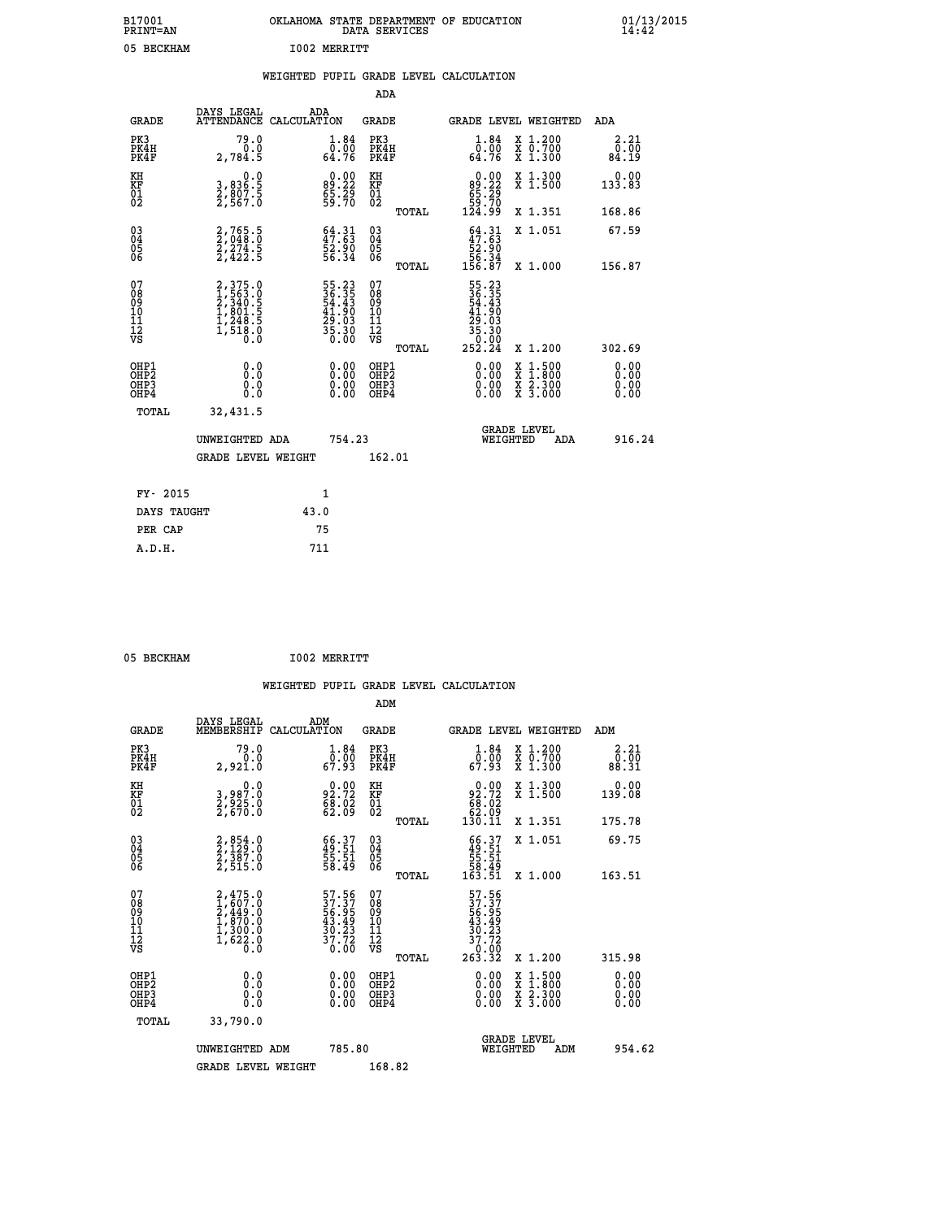| B17001<br><b>PRINT=AN</b> | OKLAHOMA STATE DEPARTMENT OF EDUCATION<br>DATA SERVICES | 01/13/2015 |
|---------------------------|---------------------------------------------------------|------------|
| 05<br>BECKHAM             | <b>I002 MERRITT</b>                                     |            |

|                                                                              |                                                                           |                                                                                                                              | ADA                                                |       |                                                                                                   |                                                                                                                                              |                              |
|------------------------------------------------------------------------------|---------------------------------------------------------------------------|------------------------------------------------------------------------------------------------------------------------------|----------------------------------------------------|-------|---------------------------------------------------------------------------------------------------|----------------------------------------------------------------------------------------------------------------------------------------------|------------------------------|
| <b>GRADE</b>                                                                 | DAYS LEGAL                                                                | ADA<br>ATTENDANCE CALCULATION                                                                                                | GRADE                                              |       |                                                                                                   | GRADE LEVEL WEIGHTED                                                                                                                         | ADA                          |
| PK3<br>PK4H<br>PK4F                                                          | 79.0<br>0.0<br>2,784.5                                                    | $\overset{1}{\underset{64}{\text{.}}}\overset{84}{\underset{76}{\text{.}}}$                                                  | PK3<br>PK4H<br>PK4F                                |       | 1.84<br>0.00<br>64.76                                                                             | X 1.200<br>X 0.700<br>X 1.300                                                                                                                | 2.21<br>0.00<br>84.19        |
| KH<br>KF<br>01<br>02                                                         | 0.0<br>3,836.5<br>2,807.5<br>2,567.0                                      | $89.22$<br>$65.29$<br>$59.70$                                                                                                | KH<br>KF<br>01<br>02                               |       | $\begin{smallmatrix} &0.00\ 89.22\ 65.29\ 59.70\ 124.99\end{smallmatrix}$                         | X 1.300<br>X 1.500                                                                                                                           | 0.00<br>133.83               |
|                                                                              |                                                                           |                                                                                                                              |                                                    | TOTAL |                                                                                                   | X 1.351                                                                                                                                      | 168.86                       |
| $^{03}_{04}$<br>Ŏ5<br>06                                                     | 2,765.5<br>2,048.0<br>2,274.5<br>2,422.5                                  | $\begin{smallmatrix} 64.31\ 47.63\ 52.90\ 56.34\ \end{smallmatrix}$                                                          | $\begin{matrix} 03 \\ 04 \\ 05 \\ 06 \end{matrix}$ | TOTAL | $64.31$<br>$47.63$<br>$52.90$<br>$56.34$<br>$156.87$                                              | X 1.051<br>X 1.000                                                                                                                           | 67.59<br>156.87              |
|                                                                              |                                                                           |                                                                                                                              |                                                    |       |                                                                                                   |                                                                                                                                              |                              |
| 07<br>08<br>09<br>11<br>11<br>12<br>VS                                       | 2,375.0<br>1,563.0<br>2,340.5<br>2,340.5<br>1,801.5<br>1,248.5<br>1,518.0 | $\begin{array}{r} 55\cdot 23 \\ 36\cdot 35 \\ 54\cdot 43 \\ 41\cdot 90 \\ 29\cdot 03 \\ 35\cdot 30 \\ 0\cdot 00 \end{array}$ | 07<br>08<br>09<br>11<br>11<br>12<br>VS             | TOTAL | $\begin{smallmatrix} 55.23\ 36.35\ 4.43\ 54.43\ 41.903\ 29.03\ 35.300\ 252.24\ \end{smallmatrix}$ | X 1.200                                                                                                                                      | 302.69                       |
| OHP1<br>OH <sub>P</sub> <sub>2</sub><br>OH <sub>P3</sub><br>OH <sub>P4</sub> | 0.0<br>Ō.Ō<br>0.0<br>0.0                                                  | 0.00<br>$\begin{smallmatrix} 0.00 \ 0.00 \end{smallmatrix}$                                                                  | OHP1<br>OHP2<br>OHP3<br>OHP4                       |       | 0.00<br>0.00<br>0.00                                                                              | $\begin{smallmatrix} \mathtt{X} & 1\cdot500 \\ \mathtt{X} & 1\cdot800 \\ \mathtt{X} & 2\cdot300 \\ \mathtt{X} & 3\cdot000 \end{smallmatrix}$ | 0.00<br>0.00<br>0.00<br>0.00 |
| TOTAL                                                                        | 32,431.5                                                                  |                                                                                                                              |                                                    |       |                                                                                                   |                                                                                                                                              |                              |
|                                                                              | UNWEIGHTED ADA                                                            | 754.23                                                                                                                       |                                                    |       | WEIGHTED                                                                                          | <b>GRADE LEVEL</b><br>ADA                                                                                                                    | 916.24                       |
|                                                                              | <b>GRADE LEVEL WEIGHT</b>                                                 |                                                                                                                              | 162.01                                             |       |                                                                                                   |                                                                                                                                              |                              |
| FY- 2015                                                                     |                                                                           | 1                                                                                                                            |                                                    |       |                                                                                                   |                                                                                                                                              |                              |
| DAYS TAUGHT                                                                  |                                                                           | 43.0                                                                                                                         |                                                    |       |                                                                                                   |                                                                                                                                              |                              |
| PER CAP                                                                      |                                                                           | 75                                                                                                                           |                                                    |       |                                                                                                   |                                                                                                                                              |                              |
| A.D.H.                                                                       |                                                                           | 711                                                                                                                          |                                                    |       |                                                                                                   |                                                                                                                                              |                              |
|                                                                              |                                                                           |                                                                                                                              |                                                    |       |                                                                                                   |                                                                                                                                              |                              |

| 05 BECKHAM | <b>I002 MERRITT</b> |
|------------|---------------------|
|            |                     |

| <b>GRADE</b>                                                     | DAYS LEGAL<br>MEMBERSHIP                                                            | ADM<br>CALCULATION                                                 | <b>GRADE</b>                                       |       |                                                                                                         | GRADE LEVEL WEIGHTED                     | ADM                   |  |
|------------------------------------------------------------------|-------------------------------------------------------------------------------------|--------------------------------------------------------------------|----------------------------------------------------|-------|---------------------------------------------------------------------------------------------------------|------------------------------------------|-----------------------|--|
| PK3<br>PK4H<br>PK4F                                              | 79.0<br>0.0<br>2,921.0                                                              | $\begin{smallmatrix}1.84\0.00\\67.93\end{smallmatrix}$             | PK3<br>PK4H<br>PK4F                                |       | $\begin{smallmatrix}1.84\0.00\\67.93\end{smallmatrix}$                                                  | X 1.200<br>X 0.700<br>X 1.300            | 2.21<br>0.00<br>88.31 |  |
| KH<br>KF<br>01<br>02                                             | 0.0<br>3,987.0<br>2,825.0<br>2,670.0                                                | $92.72$<br>$68.02$<br>$62.09$                                      | KH<br>KF<br>01<br>02                               |       | $\begin{smallmatrix} &0.00\ 92.72\ 68.02\ 62.09\ 130.11\end{smallmatrix}$                               | X 1.300<br>X 1.500                       | 0.00<br>139.08        |  |
|                                                                  |                                                                                     |                                                                    |                                                    | TOTAL |                                                                                                         | X 1.351                                  | 175.78                |  |
| $\begin{matrix} 03 \\ 04 \\ 05 \\ 06 \end{matrix}$               | 2,854.0<br>2,129.0<br>2,387.0<br>2,515.0                                            | $\begin{smallmatrix} 66.37\ 49.51\ 55.51\ 58.49 \end{smallmatrix}$ | $\begin{matrix} 03 \\ 04 \\ 05 \\ 06 \end{matrix}$ |       | $\begin{smallmatrix} 66.37\ 49.51\ 55.51\ 58.49\ 163.51\ \end{smallmatrix}$                             | X 1.051                                  | 69.75                 |  |
|                                                                  |                                                                                     |                                                                    |                                                    | TOTAL |                                                                                                         | X 1.000                                  | 163.51                |  |
| 07<br>089<br>090<br>1112<br>VS                                   | $2,475.0$<br>$1,607.0$<br>$2,449.0$<br>$1,870.0$<br>$1,300.0$<br>$1,622.0$<br>$0.0$ | 57.56<br>37.37<br>56.95<br>43.49<br>43.23<br>37.72<br>0.00         | 07<br>08<br>09<br>001<br>11<br>11<br>12<br>VS      | TOTAL | $\begin{array}{r} 57.56 \\ 37.37 \\ 56.959 \\ 43.493 \\ 30.23 \\ 37.720 \\ 0.002 \\ 263.32 \end{array}$ | X 1.200                                  | 315.98                |  |
| OHP1<br>OH <sub>P</sub> <sub>2</sub><br>OHP3<br>OH <sub>P4</sub> | 0.0<br>0.0<br>0.0                                                                   | $0.00$<br>$0.00$<br>0.00                                           | OHP1<br>OHP <sub>2</sub><br>OHP3<br>OHP4           |       | $0.00$<br>$0.00$<br>0.00                                                                                | X 1:500<br>X 1:800<br>X 2:300<br>X 3:000 | 0.00<br>0.00<br>0.00  |  |
| TOTAL                                                            | 33,790.0                                                                            |                                                                    |                                                    |       |                                                                                                         |                                          |                       |  |
|                                                                  | UNWEIGHTED ADM                                                                      | 785.80                                                             |                                                    |       | WEIGHTED                                                                                                | <b>GRADE LEVEL</b><br>ADM                | 954.62                |  |
|                                                                  | <b>GRADE LEVEL WEIGHT</b>                                                           |                                                                    | 168.82                                             |       |                                                                                                         |                                          |                       |  |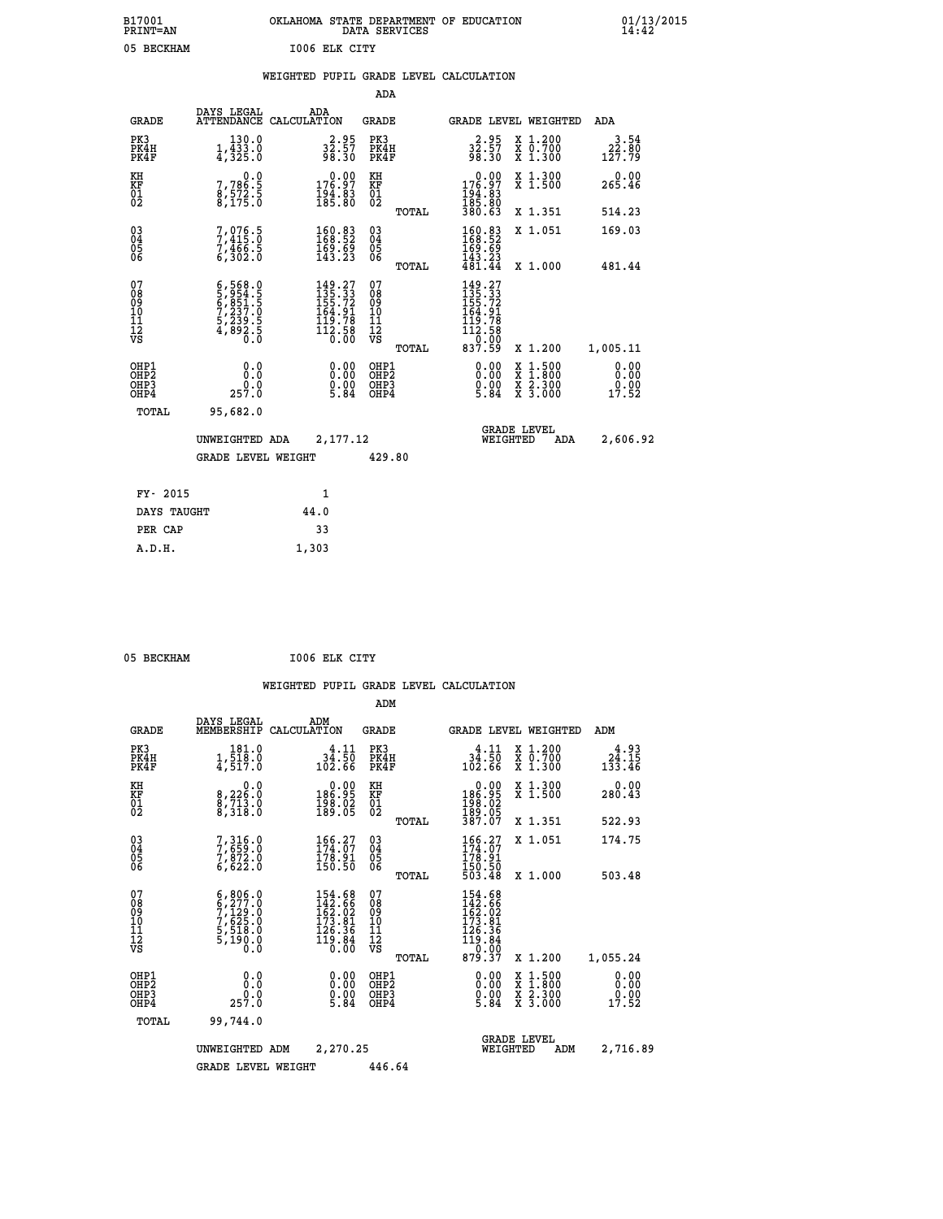| B17001<br><b>PRINT=AN</b> |               | OKLAHOMA STATE DEPARTMENT OF EDUCATION<br>DATA SERVICES |  |
|---------------------------|---------------|---------------------------------------------------------|--|
| 05 BECKHAM                | 1006 ELK CITY |                                                         |  |

|  |  | WEIGHTED PUPIL GRADE LEVEL CALCULATION |
|--|--|----------------------------------------|
|  |  |                                        |

|                                                                    |                                                                                                                                                          |                                                                                                                               | ADA                                    |       |                                                                                                                                                   |                                          |                                                             |
|--------------------------------------------------------------------|----------------------------------------------------------------------------------------------------------------------------------------------------------|-------------------------------------------------------------------------------------------------------------------------------|----------------------------------------|-------|---------------------------------------------------------------------------------------------------------------------------------------------------|------------------------------------------|-------------------------------------------------------------|
| <b>GRADE</b>                                                       | DAYS LEGAL                                                                                                                                               | ADA<br>ATTENDANCE CALCULATION                                                                                                 | <b>GRADE</b>                           |       |                                                                                                                                                   | GRADE LEVEL WEIGHTED                     | ADA                                                         |
| PK3<br>PK4H<br>PK4F                                                | 130.0<br>1,433.0<br>4,325.0                                                                                                                              | $32.95$<br>$32.57$<br>$98.30$                                                                                                 | PK3<br>PK4H<br>PK4F                    |       | $32.95$<br>$32.57$<br>$98.30$                                                                                                                     | X 1.200<br>X 0.700<br>X 1.300            | $\begin{smallmatrix} 3.54\ 22.80\ 127.79 \end{smallmatrix}$ |
| KH<br>KF<br>01<br>02                                               | 0.0<br>7,786:5<br>8,572:5<br>8,175:0                                                                                                                     | $\begin{smallmatrix} 0.00\\ 176.97\\ 194.83\\ 185.80 \end{smallmatrix}$                                                       | KH<br>KF<br>01<br>02                   |       | $\begin{smallmatrix} &0.00\ 176.97\ 194.83\ 185.80\ 380.63\ \end{smallmatrix}$                                                                    | X 1.300<br>X 1.500                       | 0.00<br>265.46                                              |
|                                                                    |                                                                                                                                                          |                                                                                                                               |                                        | TOTAL |                                                                                                                                                   | X 1.351                                  | 514.23                                                      |
| $\begin{smallmatrix} 03 \\[-4pt] 04 \end{smallmatrix}$<br>Ŏ5<br>06 | 7,076.5<br>7,415.0<br>7,466.5<br>6,302.0                                                                                                                 | $\begin{smallmatrix} 160.83\\ 168.52\\ 169.69\\ 143.23 \end{smallmatrix}$                                                     | $\substack{03 \\ 04}$<br>Ŏ5<br>06      |       | 160.83<br>168:52<br>169:69<br>143:23                                                                                                              | X 1.051                                  | 169.03                                                      |
|                                                                    |                                                                                                                                                          |                                                                                                                               |                                        | TOTAL | 481.44                                                                                                                                            | X 1.000                                  | 481.44                                                      |
| 07<br>08<br>09<br>101<br>11<br>12<br>VS                            | $\begin{smallmatrix} 6\,,\,568\,,\,0\\ 5\,,\,954\,,\,5\\ 6\,,\,851\,,\,5\\ 7\,,\,237\,,\,0\\ 5\,,\,239\,,\,5\\ 4\,,\,892\,,\,5\\ 0\,. \end{smallmatrix}$ | $\begin{smallmatrix} 149\cdot27\\ 135\cdot33\\ 155\cdot72\\ 164\cdot91\\ 119\cdot78\\ 112\cdot58\\ 0\cdot00\end{smallmatrix}$ | 07<br>08<br>09<br>11<br>11<br>12<br>VS |       | 149.27<br>135.33<br>155.72<br>164.91<br>149.78<br>$\begin{array}{c}\n\textcolor{red}{\textbf{112:58}}\n\textcolor{red}{\textbf{52}}\n\end{array}$ |                                          |                                                             |
|                                                                    |                                                                                                                                                          |                                                                                                                               |                                        | TOTAL | 837.59                                                                                                                                            | X 1.200                                  | 1,005.11                                                    |
| OHP1<br>OHP <sub>2</sub><br>OH <sub>P3</sub><br>OH <sub>P4</sub>   | 0.0<br>257.0                                                                                                                                             | 0.00<br>$0.00$<br>5.84                                                                                                        | OHP1<br>OHP2<br>OHP <sub>3</sub>       |       | 0.00<br>$0.00$<br>5.84                                                                                                                            | X 1:500<br>X 1:800<br>X 2:300<br>X 3:000 | 0.00<br>Ō. ŌŌ<br>$\frac{0.00}{17.52}$                       |
| TOTAL                                                              | 95,682.0                                                                                                                                                 |                                                                                                                               |                                        |       |                                                                                                                                                   |                                          |                                                             |
|                                                                    | UNWEIGHTED ADA                                                                                                                                           | 2,177.12                                                                                                                      |                                        |       |                                                                                                                                                   | <b>GRADE LEVEL</b><br>WEIGHTED<br>ADA    | 2,606.92                                                    |
|                                                                    | <b>GRADE LEVEL WEIGHT</b>                                                                                                                                |                                                                                                                               | 429.80                                 |       |                                                                                                                                                   |                                          |                                                             |
| FY- 2015                                                           |                                                                                                                                                          | 1                                                                                                                             |                                        |       |                                                                                                                                                   |                                          |                                                             |
| DAYS TAUGHT                                                        |                                                                                                                                                          | 44.0                                                                                                                          |                                        |       |                                                                                                                                                   |                                          |                                                             |
| PER CAP                                                            |                                                                                                                                                          | 33                                                                                                                            |                                        |       |                                                                                                                                                   |                                          |                                                             |

 **A.D.H. 1,303**

05 BECKHAM **I006 ELK CITY** 

|                                          |                                                                                           |                                                                                                    | ADM                                                |                                                                                                     |                                          |                                           |
|------------------------------------------|-------------------------------------------------------------------------------------------|----------------------------------------------------------------------------------------------------|----------------------------------------------------|-----------------------------------------------------------------------------------------------------|------------------------------------------|-------------------------------------------|
| <b>GRADE</b>                             | DAYS LEGAL<br>MEMBERSHIP                                                                  | ADM<br>CALCULATION                                                                                 | <b>GRADE</b>                                       | GRADE LEVEL WEIGHTED                                                                                |                                          | ADM                                       |
| PK3<br>PK4H<br>PK4F                      | $1, \frac{181.0}{518.0}$<br>4,517.0                                                       | 4.11<br>34.50<br>102.66                                                                            | PK3<br>PK4H<br>PK4F                                | $34.11$<br>$102.50$<br>$102.66$                                                                     | X 1.200<br>X 0.700<br>X 1.300            | 4.93<br>$2\overline{4}\cdot 15$<br>133.46 |
| KH<br>KF<br>01<br>02                     | 0.0<br>8,226:0<br>8,713:0<br>8,318:0                                                      | $\begin{smallmatrix} &0.00\186.95\198.02\0189.05\end{smallmatrix}$                                 | KH<br>KF<br>01<br>02                               | $\begin{smallmatrix} &0.00\\ 186.95\\ 198.02\\ 189.05\\ 387.07\end{smallmatrix}$                    | X 1.300<br>X 1.500                       | 0.00<br>280.43                            |
|                                          |                                                                                           |                                                                                                    | TOTAL                                              |                                                                                                     | X 1.351                                  | 522.93                                    |
| 03<br>04<br>05<br>06                     | 7,316.0<br>7,659.0<br>7,872.0<br>6,622.0                                                  | $\begin{smallmatrix} 166.27\ 174.07\ 178.91\ 150.50 \end{smallmatrix}$                             | $\begin{matrix} 03 \\ 04 \\ 05 \\ 06 \end{matrix}$ | 166.27<br>178.91                                                                                    | X 1.051                                  | 174.75                                    |
|                                          |                                                                                           |                                                                                                    | TOTAL                                              | 150.50<br>503.48                                                                                    | X 1.000                                  | 503.48                                    |
| 07<br>08<br>09<br>101<br>112<br>VS       | $6, 806.0$<br>$6, 277.0$<br>$7, 129.0$<br>$7, 625.0$<br>$5, 518.0$<br>$5, 190.0$<br>$0.0$ | $\begin{smallmatrix} 154.68\\ 142.66\\ 162.02\\ 173.81\\ 126.36\\ 119.84\\ 0.00 \end{smallmatrix}$ | 07<br>08<br>09<br>11<br>11<br>12<br>VS<br>TOTAL    | $\begin{smallmatrix} 154.68\\142.66\\162.02\\173.81\\126.36\\119.84\\0.00\\879.37\end{smallmatrix}$ | X 1.200                                  | 1,055.24                                  |
| OHP1<br>OHP2<br>OH <sub>P3</sub><br>OHP4 | 0.0<br>257.0                                                                              | $\begin{smallmatrix} 0.00 \ 0.00 \ 0.00 \ 5.84 \end{smallmatrix}$                                  | OHP1<br>OHP2<br>OHP <sub>3</sub>                   | $\begin{smallmatrix} 0.00\\ 0.00\\ 0.00\\ 5.84 \end{smallmatrix}$                                   | X 1:500<br>X 1:800<br>X 2:300<br>X 3:000 | 0.00<br>0.00<br>$0.00$<br>17.52           |
| TOTAL                                    | 99,744.0                                                                                  |                                                                                                    |                                                    |                                                                                                     |                                          |                                           |
|                                          | UNWEIGHTED ADM                                                                            | 2,270.25                                                                                           |                                                    | <b>GRADE LEVEL</b><br>WEIGHTED                                                                      | ADM                                      | 2,716.89                                  |
|                                          | <b>GRADE LEVEL WEIGHT</b>                                                                 |                                                                                                    | 446.64                                             |                                                                                                     |                                          |                                           |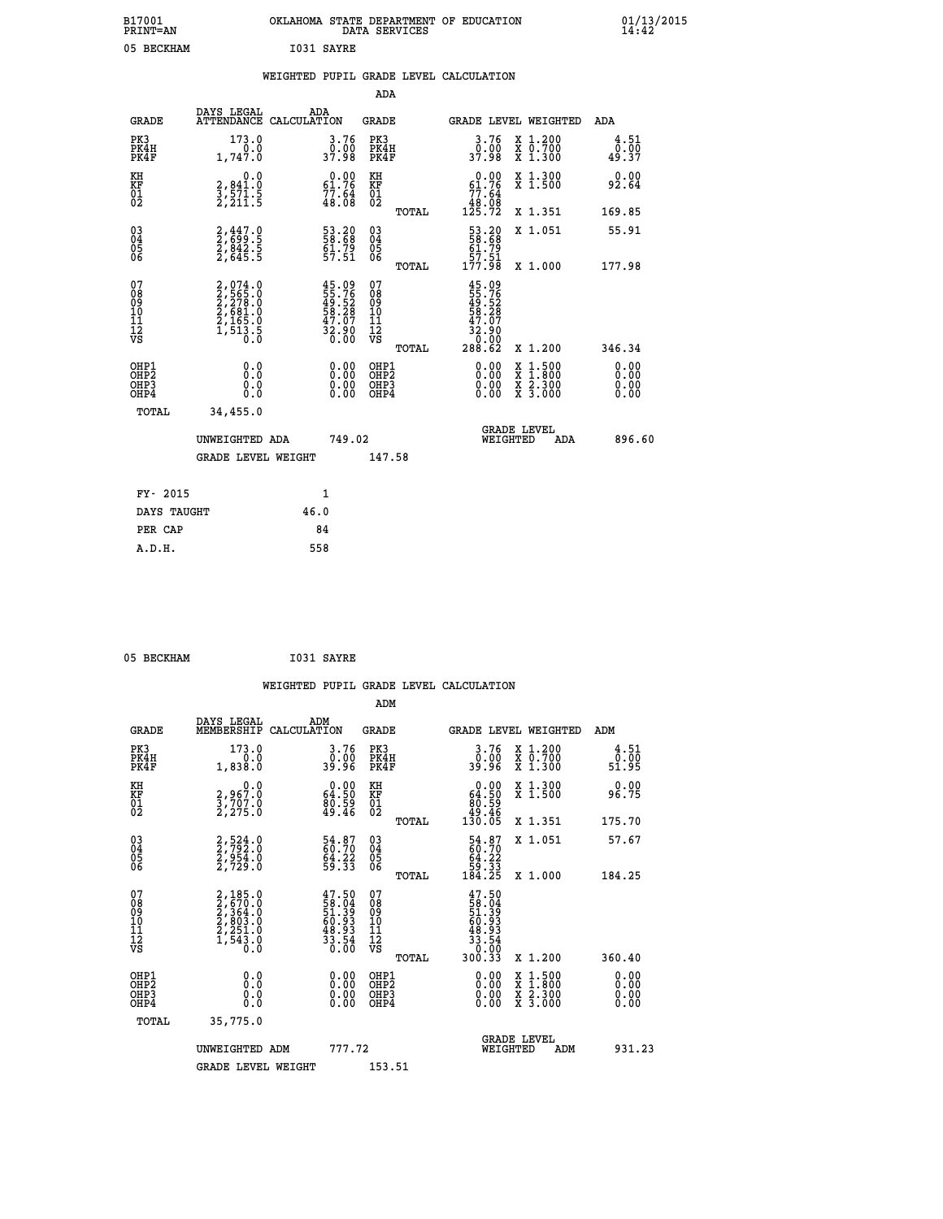| B17001<br><b>PRINT=AN</b> | OKLAHOMA STATE DEPARTMENT OF EDUCATION<br>DATA SERVICES | 01/13/2015 |
|---------------------------|---------------------------------------------------------|------------|
| 05<br>BECKHAM             | I031 SAYRE                                              |            |

|  |  | WEIGHTED PUPIL GRADE LEVEL CALCULATION |
|--|--|----------------------------------------|
|  |  |                                        |

|                                                                    |                                                                                     |                                                                                   | ADA                                                 |       |                                                                             |                                          |                               |
|--------------------------------------------------------------------|-------------------------------------------------------------------------------------|-----------------------------------------------------------------------------------|-----------------------------------------------------|-------|-----------------------------------------------------------------------------|------------------------------------------|-------------------------------|
| <b>GRADE</b>                                                       | DAYS LEGAL                                                                          | ADA<br>ATTENDANCE CALCULATION                                                     | <b>GRADE</b>                                        |       |                                                                             | GRADE LEVEL WEIGHTED                     | <b>ADA</b>                    |
| PK3<br>PK4H<br>PK4F                                                | 173.0<br>0.0<br>1,747.0                                                             | 3.76<br>0.00<br>37.98                                                             | PK3<br>PK4H<br>PK4F                                 |       | 3.76<br>ŏ:óŏ<br>37:98                                                       | X 1.200<br>X 0.700<br>X 1.300            | 4.51<br>0.00<br>49.37         |
| KH<br>KF<br>01<br>02                                               | 0.0<br>$\frac{2}{3}, \frac{841}{571}$ . 5<br>2, 211. 5                              | $\begin{smallmatrix} 0.00\\ 61.76\\ 77.64\\ 48.08 \end{smallmatrix}$              | KH<br>KF<br>01<br>02                                |       | $\begin{smallmatrix} &0.00\ 61.76\ 77.64\ 48.08\ 125.72\ \end{smallmatrix}$ | X 1.300<br>X 1.500                       | 0.00<br>92.64                 |
|                                                                    |                                                                                     |                                                                                   |                                                     | TOTAL |                                                                             | X 1.351                                  | 169.85                        |
| $\begin{smallmatrix} 03 \\[-4pt] 04 \end{smallmatrix}$<br>Ŏ5<br>06 | 2,447.0<br>2,699.5<br>2,842.5<br>2,645.5                                            | 53.20<br>58.68<br>61.79<br>57.51                                                  | $\begin{array}{c} 03 \\ 04 \\ 05 \\ 06 \end{array}$ |       | 53.20<br>58.68<br>51.79<br>57.51<br>57.51                                   | X 1.051                                  | 55.91                         |
|                                                                    |                                                                                     |                                                                                   |                                                     | TOTAL |                                                                             | X 1.000                                  | 177.98                        |
| 07<br>08<br>09<br>01<br>11<br>11<br>12<br>VS                       | $2,074.0$<br>$2,565.0$<br>$2,278.0$<br>$2,681.0$<br>$2,165.0$<br>$1,513.5$<br>$0.0$ | $45.09$<br>$55.76$<br>$49.52$<br>$58.28$<br>$58.28$<br>$47.07$<br>$32.90$<br>0.00 | 07<br>08<br>09<br>11<br>11<br>12<br>VS              |       | 45.09<br>55.76<br>49.52<br>58.28<br>58.2000<br>32.900                       |                                          |                               |
|                                                                    |                                                                                     |                                                                                   |                                                     | TOTAL | 288.62                                                                      | X 1.200                                  | 346.34                        |
| OHP1<br>OHP <sub>2</sub><br>OH <sub>P3</sub><br>OHP4               | 0.0<br>0.000                                                                        | 0.00<br>$\begin{smallmatrix} 0.00 \ 0.00 \end{smallmatrix}$                       | OHP1<br>OHP2<br>OHP <sub>3</sub>                    |       | 0.00<br>0.00                                                                | X 1:500<br>X 1:800<br>X 2:300<br>X 3:000 | 0.00<br>Ō. ŌŌ<br>0.00<br>0.00 |
| TOTAL                                                              | 34,455.0                                                                            |                                                                                   |                                                     |       |                                                                             |                                          |                               |
|                                                                    | UNWEIGHTED ADA                                                                      | 749.02                                                                            |                                                     |       |                                                                             | <b>GRADE LEVEL</b><br>WEIGHTED<br>ADA    | 896.60                        |
|                                                                    | <b>GRADE LEVEL WEIGHT</b>                                                           |                                                                                   | 147.58                                              |       |                                                                             |                                          |                               |
| FY- 2015                                                           |                                                                                     | 1                                                                                 |                                                     |       |                                                                             |                                          |                               |
| DAYS TAUGHT                                                        |                                                                                     | 46.0                                                                              |                                                     |       |                                                                             |                                          |                               |
| PER CAP                                                            |                                                                                     | 84                                                                                |                                                     |       |                                                                             |                                          |                               |

| I031 SAYRE<br>05 BECKHAM |  |  |  |  |
|--------------------------|--|--|--|--|
|--------------------------|--|--|--|--|

|                                                      |                                                                                     |                                                                                     |                                                     | WEIGHTED PUPIL GRADE LEVEL CALCULATION                                                                                                                                                                                                                                         |                                          |                              |
|------------------------------------------------------|-------------------------------------------------------------------------------------|-------------------------------------------------------------------------------------|-----------------------------------------------------|--------------------------------------------------------------------------------------------------------------------------------------------------------------------------------------------------------------------------------------------------------------------------------|------------------------------------------|------------------------------|
|                                                      |                                                                                     |                                                                                     | ADM                                                 |                                                                                                                                                                                                                                                                                |                                          |                              |
| <b>GRADE</b>                                         | DAYS LEGAL<br>MEMBERSHIP<br>CALCULATION                                             | ADM                                                                                 | <b>GRADE</b>                                        | GRADE LEVEL WEIGHTED                                                                                                                                                                                                                                                           |                                          | ADM                          |
| PK3<br>PK4H<br>PK4F                                  | 173.0<br>0.0<br>1,838.0                                                             | 3.76<br>ةة:ة<br>39:96                                                               | PK3<br>PK4H<br>PK4F                                 | $3.76$<br>39.96                                                                                                                                                                                                                                                                | X 1.200<br>X 0.700<br>X 1.300            | 4.51<br>0.00<br>51.95        |
| KH<br>KF<br>01<br>02                                 | $2,967.0$<br>$3,707.0$<br>$2,275.0$                                                 | $\begin{smallmatrix} 0.00\\ 64.50\\ 80.59\\ 49.46 \end{smallmatrix}$                | KH<br>KF<br>01<br>02                                | $\begin{smallmatrix} &0.00\ 64.50\ 80.59\ 49.46\ 130.05 \end{smallmatrix}$                                                                                                                                                                                                     | X 1.300<br>X 1.500                       | 0.00<br>96.75                |
|                                                      |                                                                                     |                                                                                     | TOTAL                                               |                                                                                                                                                                                                                                                                                | X 1.351                                  | 175.70                       |
| $\begin{matrix} 03 \\ 04 \\ 05 \\ 06 \end{matrix}$   | 2,524.0<br>2,792.0<br>2,954.0<br>2,729.0                                            | 54.87<br>$64.22$<br>59.33                                                           | $\begin{array}{c} 03 \\ 04 \\ 05 \\ 06 \end{array}$ | $54.87$<br>$60.70$<br>$64.22$<br>$59.33$<br>$184.25$                                                                                                                                                                                                                           | X 1.051                                  | 57.67                        |
|                                                      |                                                                                     |                                                                                     | TOTAL                                               |                                                                                                                                                                                                                                                                                | X 1.000                                  | 184.25                       |
| 07<br>08<br>09<br>101<br>112<br>VS                   | $2,185.0$<br>$2,570.0$<br>$2,364.0$<br>$2,803.0$<br>$2,251.0$<br>$1,543.0$<br>$0.0$ | $47.50$<br>$58.04$<br>$51.39$<br>$60.93$<br>$48.93$<br>$48.54$<br>$33.54$<br>$0.00$ | 07<br>08<br>09<br>11<br>11<br>12<br>VS<br>TOTAL     |                                                                                                                                                                                                                                                                                | X 1.200                                  | 360.40                       |
|                                                      |                                                                                     |                                                                                     |                                                     |                                                                                                                                                                                                                                                                                |                                          |                              |
| OHP1<br>OHP2<br>OH <sub>P3</sub><br>OH <sub>P4</sub> | 0.0<br>0.000                                                                        | $\begin{smallmatrix} 0.00 \ 0.00 \ 0.00 \ 0.00 \end{smallmatrix}$                   | OHP1<br>OHP2<br>OHP3<br>OHP4                        | $\begin{smallmatrix} 0.00 & 0.00 & 0.00 & 0.00 & 0.00 & 0.00 & 0.00 & 0.00 & 0.00 & 0.00 & 0.00 & 0.00 & 0.00 & 0.00 & 0.00 & 0.00 & 0.00 & 0.00 & 0.00 & 0.00 & 0.00 & 0.00 & 0.00 & 0.00 & 0.00 & 0.00 & 0.00 & 0.00 & 0.00 & 0.00 & 0.00 & 0.00 & 0.00 & 0.00 & 0.00 & 0.0$ | X 1:500<br>X 1:800<br>X 2:300<br>X 3:000 | 0.00<br>0.00<br>0.00<br>0.00 |
| TOTAL                                                | 35,775.0                                                                            |                                                                                     |                                                     |                                                                                                                                                                                                                                                                                |                                          |                              |
|                                                      | UNWEIGHTED ADM                                                                      | 777.72                                                                              |                                                     | <b>GRADE LEVEL</b><br>WEIGHTED                                                                                                                                                                                                                                                 | ADM                                      | 931.23                       |
|                                                      | <b>GRADE LEVEL WEIGHT</b>                                                           |                                                                                     | 153.51                                              |                                                                                                                                                                                                                                                                                |                                          |                              |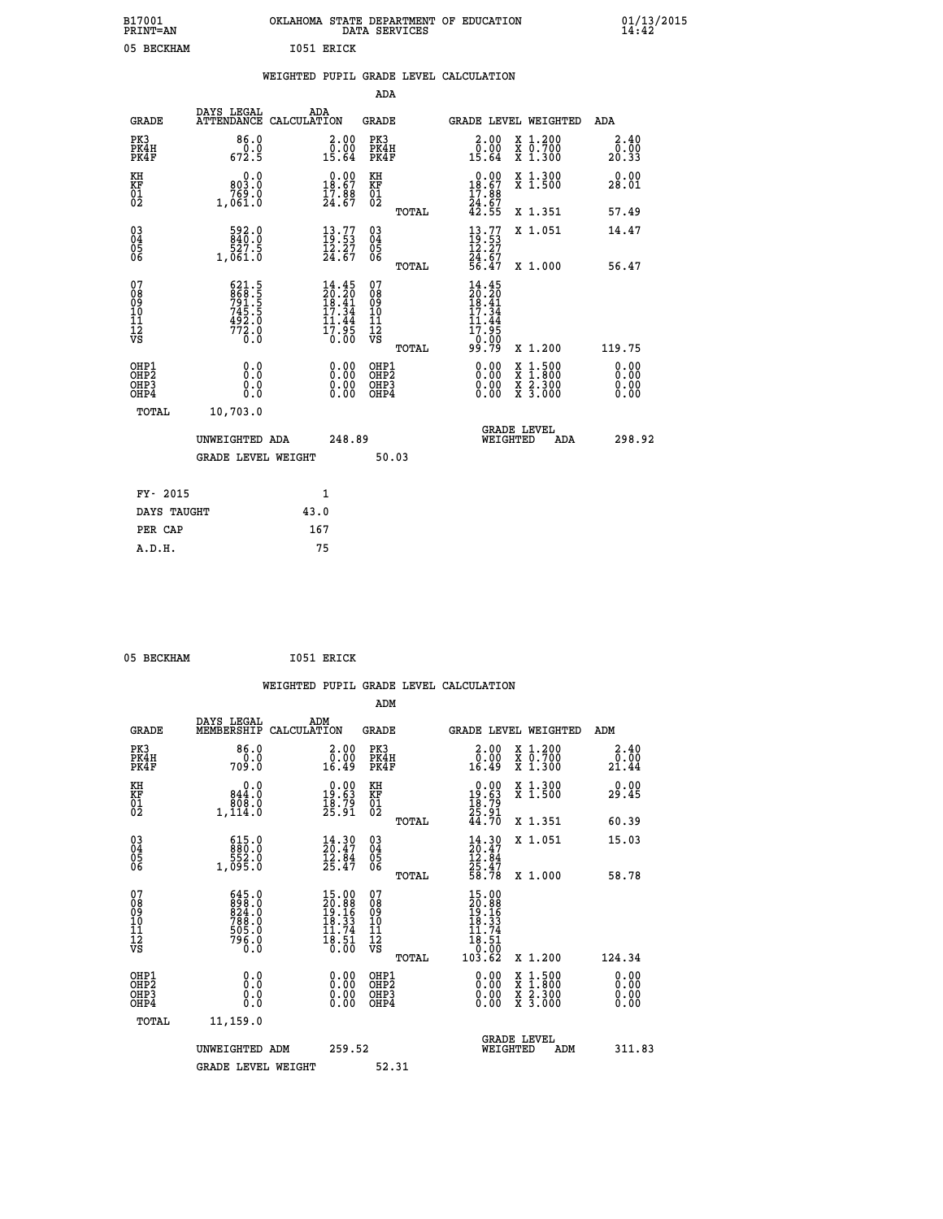| B17001<br>PRINT=AN                     |                                                             | OKLAHOMA STATE DEPARTMENT OF EDUCATION                                | DATA SERVICES                                      |                                                                             |                                                                                                  | $01/13/2015$<br>14:42 |
|----------------------------------------|-------------------------------------------------------------|-----------------------------------------------------------------------|----------------------------------------------------|-----------------------------------------------------------------------------|--------------------------------------------------------------------------------------------------|-----------------------|
| 05 BECKHAM                             |                                                             | I051 ERICK                                                            |                                                    |                                                                             |                                                                                                  |                       |
|                                        |                                                             | WEIGHTED PUPIL GRADE LEVEL CALCULATION                                |                                                    |                                                                             |                                                                                                  |                       |
|                                        |                                                             |                                                                       | ADA                                                |                                                                             |                                                                                                  |                       |
| <b>GRADE</b>                           | DAYS LEGAL                                                  | ADA<br>ATTENDANCE CALCULATION                                         | GRADE                                              |                                                                             | GRADE LEVEL WEIGHTED                                                                             | <b>ADA</b>            |
| PK3<br>PK4H<br>PK4F                    | 86.0<br>0.0<br>672.5                                        | 2.00<br>0.00<br>15.64                                                 | PK3<br>PK4H<br>PK4F                                | 2.00<br>0.00<br>15.64                                                       | X 1.200<br>X 0.700<br>X 1.300                                                                    | 2.40<br>0.00<br>20.33 |
| KH<br>KF<br>$\frac{01}{02}$            | 0.0<br>803.0<br>1,061.0                                     | $\begin{smallmatrix} 0.00\\18.67\\17.88\\24.67 \end{smallmatrix}$     | KH<br>KF<br>$\overline{01}$                        | $0.00$<br>18.67<br>$\frac{17.86}{24.67}$<br>$42.55$                         | X 1.300<br>X 1.500                                                                               | 0.00<br>28.01         |
|                                        |                                                             |                                                                       | TOTAL                                              |                                                                             | X 1.351                                                                                          | 57.49                 |
| $\substack{03 \ 04}$<br>ŏ5<br>06       | $\frac{592.0}{840.0}$<br>527.5<br>1,061.0                   | $\begin{smallmatrix} 13.77\\ 19.53\\ 12.27\\ 24.67 \end{smallmatrix}$ | $\begin{matrix} 03 \\ 04 \\ 05 \\ 06 \end{matrix}$ | $\frac{13}{19}.77$<br>ī2.27                                                 | X 1.051                                                                                          | 14.47                 |
|                                        |                                                             |                                                                       | TOTAL                                              | 24.67<br>56.47                                                              | X 1.000                                                                                          | 56.47                 |
| 07<br>08<br>09<br>11<br>11<br>12<br>VS | 621.5<br>868.5<br>791.5<br>745.5<br>492.0<br>492.0<br>772.0 | 14.45                                                                 | 07<br>08<br>09<br>10<br>īĭ<br>12<br>VS             | 14.45<br>$\frac{20.20}{18.41}$<br>$\frac{17.34}{}$<br>$\frac{11.34}{17.95}$ |                                                                                                  |                       |
| OHP1                                   |                                                             |                                                                       | TOTAL                                              | 99.79                                                                       | X 1.200                                                                                          | 119.75                |
| OHP <sub>2</sub><br>OHP3<br>OHP4       | 0.0<br>0.0<br>0.0                                           | 0.00<br>0.00<br>0.00                                                  | OHP1<br>OHP2<br>OHP3<br>OHP4                       | 0.00<br>0.00<br>0.00                                                        | $\begin{smallmatrix} x & 1 & 500 \\ x & 1 & 800 \\ x & 2 & 300 \\ x & 3 & 000 \end{smallmatrix}$ | 0.00<br>0.00<br>0.00  |
| <b>TOTAL</b>                           | 10,703.0                                                    |                                                                       |                                                    |                                                                             |                                                                                                  |                       |
|                                        | UNWEIGHTED ADA                                              | 248.89                                                                |                                                    | WEIGHTED                                                                    | <b>GRADE LEVEL</b><br>ADA                                                                        | 298.92                |
|                                        | <b>GRADE LEVEL WEIGHT</b>                                   |                                                                       | 50.03                                              |                                                                             |                                                                                                  |                       |
| FY- 2015                               |                                                             | 1                                                                     |                                                    |                                                                             |                                                                                                  |                       |
| DAYS TAUGHT                            |                                                             | 43.0                                                                  |                                                    |                                                                             |                                                                                                  |                       |
| PER CAP                                |                                                             | 167                                                                   |                                                    |                                                                             |                                                                                                  |                       |

| 05 BECKHAM | I051 ERICK |
|------------|------------|
|            |            |

 **WEIGHTED PUPIL GRADE LEVEL CALCULATION ADM DAYS LEGAL ADM GRADE MEMBERSHIP CALCULATION GRADE GRADE LEVEL WEIGHTED ADM PK3 86.0 2.00 PK3 2.00 X 1.200 2.40 PK4H 0.0 0.00 PK4H 0.00 X 0.700 0.00 PK4F 709.0 16.49 PK4F 16.49 X 1.300 21.44 KH 0.0 0.00 KH 0.00 X 1.300 0.00 KF 844.0 19.63 KF 19.63 X 1.500 29.45 01 808.0 18.79 01 18.79 02 1,114.0 25.91 02 25.91 TOTAL 44.70 X 1.351 60.39 03 615.0 14.30 03 14.30 X 1.051 15.03 04 880.0 20.47 04 20.47 05 552.0 12.84 05 12.84 06 1,095.0 25.47 06 25.47 TOTAL 58.78 X 1.000 58.78 07 645.0 15.00 07 15.00 08 898.0 20.88 08 20.88 09 824.0 19.16 09 19.16 10 788.0 18.33 10 18.33 11 505.0 11.74 11 11.74 12 796.0 18.51 12 18.51 VS 0.0 0.00 VS 0.00 TOTAL 103.62 X 1.200 124.34 OHP1 0.0 0.00 OHP1 0.00 X 1.500 0.00 OHP2 0.0 0.00 OHP2 0.00 X 1.800 0.00 OHP3 0.0 0.00 OHP3 0.00 X 2.300 0.00**  $\begin{array}{cccccccc} \text{OHP1} & & & 0.0 & & & 0.00 & & \text{OHP1} & & & 0.00 & & \text{X} & 1.500 & & & 0.00 \\ \text{OHP2} & & & & 0.0 & & & 0.00 & & \text{OHP2} & & & 0.00 & & \text{X} & 1.500 & & & 0.00 \\ \text{OHP3} & & & & 0.0 & & & 0.00 & & \text{OHP3} & & & 0.00 & & \text{X} & 2.300 & & 0.00 \\ \text{OHP4} & & & & 0.0 & & 0.0 & & \text{$  **TOTAL 11,159.0 GRADE LEVEL UNWEIGHTED ADM 259.52 WEIGHTED ADM 311.83** GRADE LEVEL WEIGHT 52.31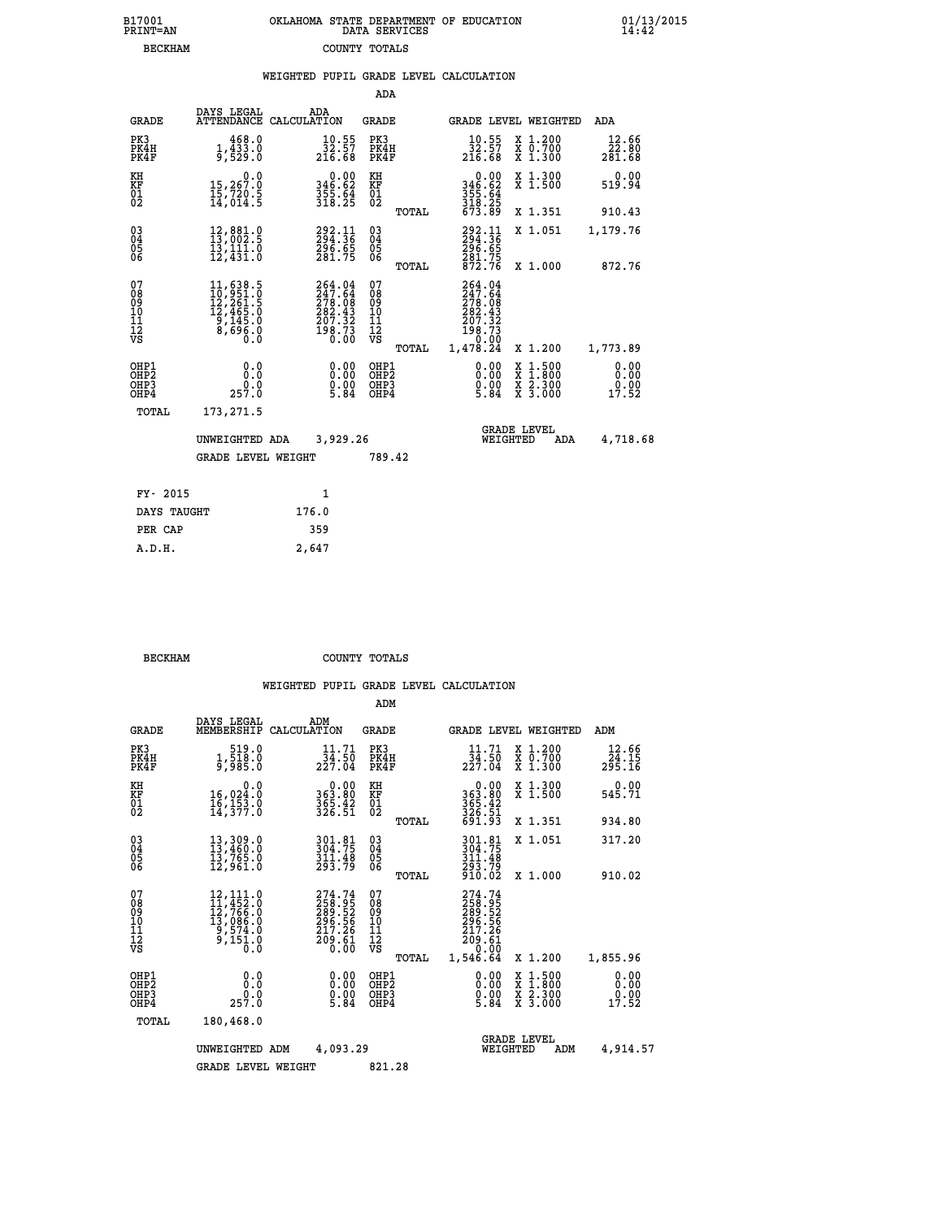| OKLAHOMA STATE DEPARTMENT OF EDUCATION | DATA SERVICES |  |
|----------------------------------------|---------------|--|
|                                        | COUNTY TOTALS |  |

|                                                                    |                                                                                                                |                                                                              | ADA                                            |       |                                                                               |          |                                          |                               |
|--------------------------------------------------------------------|----------------------------------------------------------------------------------------------------------------|------------------------------------------------------------------------------|------------------------------------------------|-------|-------------------------------------------------------------------------------|----------|------------------------------------------|-------------------------------|
| <b>GRADE</b>                                                       | DAYS LEGAL                                                                                                     | ADA<br>ATTENDANCE CALCULATION                                                | <b>GRADE</b>                                   |       |                                                                               |          | GRADE LEVEL WEIGHTED                     | <b>ADA</b>                    |
| PK3<br>PK4H<br>PK4F                                                | 1,468.0<br>9,529.0                                                                                             | $\frac{10.55}{32.57}$<br>216.68                                              | PK3<br>PK4H<br>PK4F                            |       | $\frac{10.55}{32.57}$<br>216.68                                               |          | X 1.200<br>X 0.700<br>X 1.300            | 12.66<br>22.00<br>281.68      |
| KH<br>KF<br>01<br>02                                               | 0.0<br>15,267.0<br>15,720.5<br>14,014.5                                                                        | $346.62$<br>$355.64$<br>$318.25$                                             | KH<br>KF<br>01<br>02                           |       | 0.00<br>346:62<br>355:64<br>318:25<br>673:89                                  |          | X 1.300<br>X 1.500                       | 0.00<br>519.94                |
|                                                                    |                                                                                                                |                                                                              |                                                | TOTAL |                                                                               |          | X 1.351                                  | 910.43                        |
| $\begin{smallmatrix} 03 \\[-4pt] 04 \end{smallmatrix}$<br>05<br>ŌĞ | 12,881.0<br>13,002.5<br>13,111.0<br>12,431.0                                                                   | 292.11<br>294.36<br>$\frac{296.65}{281.75}$                                  | $\substack{03 \\ 04}$<br>$\substack{05 \\ 06}$ |       | 292.11<br>294.36<br>$\frac{296.65}{281.75}$<br>872.75                         |          | X 1.051                                  | 1,179.76                      |
|                                                                    |                                                                                                                |                                                                              |                                                | TOTAL |                                                                               |          | X 1.000                                  | 872.76                        |
| 07<br>08<br>09<br>11<br>11<br>12<br>VS                             | $\begin{smallmatrix} 11, 638.5\\ 10, 951.0\\ 12, 261.5\\ 12, 465.0\\ 9, 145.0\\ 8, 696.0\\ 0\end{smallmatrix}$ | 264.04<br>$247.64$<br>$278.08$<br>$282.43$<br>$207.32$<br>$198.73$<br>$0.00$ | 07<br>08<br>09<br>11<br>11<br>12<br>VS         |       | 264.04<br>$247.64$<br>$278.08$<br>$282.43$<br>$207.32$<br>$198.73$<br>$19.00$ |          |                                          |                               |
|                                                                    |                                                                                                                |                                                                              |                                                | TOTAL | 1,478.24                                                                      |          | X 1.200                                  | 1,773.89                      |
| OHP1<br>OH <sub>P</sub> 2<br>OHP3<br>OHP4                          | 0.0<br>Ō.Ō<br>0.0<br>257.0                                                                                     | 0.00<br>$\frac{0}{5}$ .00<br>5.84                                            | OHP1<br>OH <sub>P</sub> 2<br>OHP3<br>OHP4      |       | 0.00<br>$0.00$<br>5.84                                                        | X<br>X   | $1:500$<br>$1:800$<br>X 2.300<br>X 3.000 | 0.00<br>0.00<br>0.00<br>17.52 |
| TOTAL                                                              | 173,271.5                                                                                                      |                                                                              |                                                |       |                                                                               |          |                                          |                               |
|                                                                    | UNWEIGHTED ADA                                                                                                 | 3,929.26                                                                     |                                                |       |                                                                               | WEIGHTED | <b>GRADE LEVEL</b><br>ADA                | 4,718.68                      |
|                                                                    | <b>GRADE LEVEL WEIGHT</b>                                                                                      |                                                                              | 789.42                                         |       |                                                                               |          |                                          |                               |
| FY- 2015                                                           |                                                                                                                | 1                                                                            |                                                |       |                                                                               |          |                                          |                               |
| DAYS TAUGHT                                                        |                                                                                                                | 176.0                                                                        |                                                |       |                                                                               |          |                                          |                               |
| PER CAP                                                            |                                                                                                                | 359                                                                          |                                                |       |                                                                               |          |                                          |                               |
|                                                                    |                                                                                                                |                                                                              |                                                |       |                                                                               |          |                                          |                               |

 **BECKHAM COUNTY TOTALS**

 **A.D.H. 2,647**

B17001<br>PRINT=AN<br>BECKHAM

|                                          |                                                                                                             |                                                                               | ADM                                                 |                                                                                  |                                          |                               |
|------------------------------------------|-------------------------------------------------------------------------------------------------------------|-------------------------------------------------------------------------------|-----------------------------------------------------|----------------------------------------------------------------------------------|------------------------------------------|-------------------------------|
| <b>GRADE</b>                             | DAYS LEGAL<br>MEMBERSHIP                                                                                    | ADM<br>CALCULATION                                                            | <b>GRADE</b>                                        | GRADE LEVEL WEIGHTED                                                             |                                          | ADM                           |
| PK3<br>PK4H<br>PK4F                      | 519.0<br>1, 518:0<br>9, 985:0                                                                               | 11.71<br>$\frac{3\bar{4}\cdot 5\bar{0}}{227.04}$                              | PK3<br>PK4H<br>PK4F                                 | 11.71                                                                            | X 1.200<br>X 0.700<br>X 1.300            | 12.66                         |
| KH<br>KF<br>01<br>02                     | 0.0<br>16,024:0<br>16,153:0<br>14,377:0                                                                     | $363.80$<br>$365.42$<br>$326.51$                                              | KH<br>KF<br>01<br>02                                | $0.00$<br>$363.80$<br>$365.42$<br>$326.51$<br>$691.93$                           | X 1.300<br>X 1.500                       | 0.00<br>545.71                |
|                                          |                                                                                                             |                                                                               | TOTAL                                               |                                                                                  | X 1.351                                  | 934.80                        |
| 03<br>04<br>05<br>06                     | 13,309.0<br>13,460.0<br>13,765.0<br>12,961.0                                                                | 301.81<br>304.75<br>$\frac{311.48}{293.79}$                                   | $\begin{array}{c} 03 \\ 04 \\ 05 \\ 06 \end{array}$ | 301.81<br>304.75<br>311:48<br>293:79<br>910:02                                   | X 1.051                                  | 317.20                        |
|                                          |                                                                                                             |                                                                               | TOTAL                                               |                                                                                  | X 1.000                                  | 910.02                        |
| 07<br>08<br>09<br>101<br>112<br>VS       | $\begin{smallmatrix} 12,111.0\\ 11,452.0\\ 12,766.0\\ 13,086.0\\ 9,574.0\\ 9,151.0\\ 0.0 \end{smallmatrix}$ | 274.74<br>258.95<br>289.52<br>296.56<br>217.26<br>$\frac{5}{6}$ $\frac{6}{6}$ | 07<br>08<br>09<br>11<br>11<br>12<br>VS<br>TOTAL     | 274.74<br>258.95<br>289.52<br>296.56<br>217.26<br>$\frac{709}{0.00}$<br>1,546.64 | X 1.200                                  | 1,855.96                      |
| OHP1<br>OHP2<br>OH <sub>P3</sub><br>OHP4 | 0.0<br>257.0                                                                                                | $0.00$<br>$0.00$<br>5.84                                                      | OHP1<br>OHP2<br>OHP3<br>OHP4                        | $\begin{smallmatrix} 0.00\\ 0.00\\ 0.00\\ 5.84 \end{smallmatrix}$                | X 1:500<br>X 1:800<br>X 2:300<br>X 3:000 | 0.00<br>0.00<br>0.00<br>17.52 |
| TOTAL                                    | 180,468.0                                                                                                   |                                                                               |                                                     |                                                                                  |                                          |                               |
|                                          | UNWEIGHTED                                                                                                  | 4,093.29<br>ADM                                                               |                                                     | <b>GRADE LEVEL</b><br>WEIGHTED                                                   | ADM                                      | 4,914.57                      |
|                                          | <b>GRADE LEVEL WEIGHT</b>                                                                                   |                                                                               | 821.28                                              |                                                                                  |                                          |                               |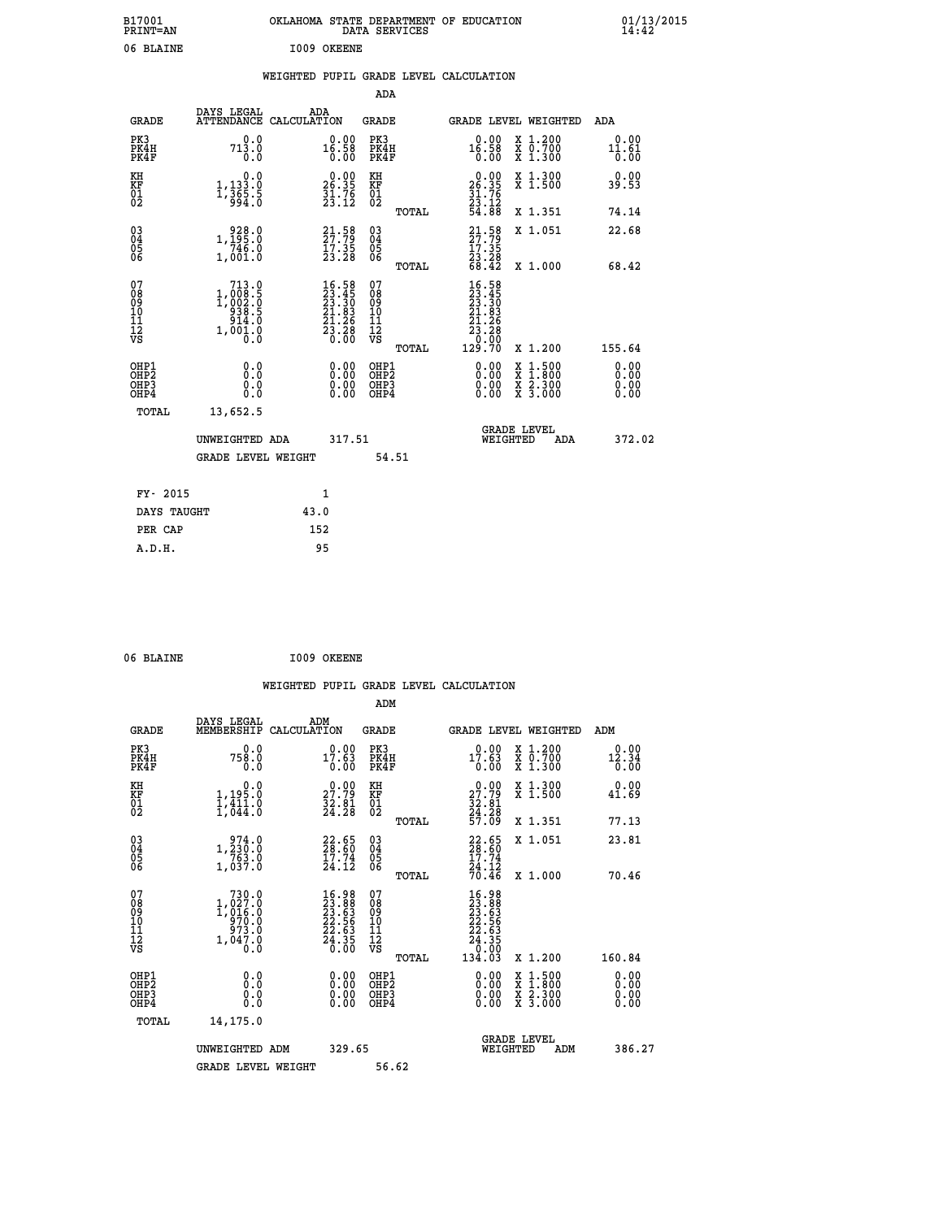| B17001<br><b>PRINT=AN</b> | OKLAHOMA STATE DEPARTMENT OF EDUCATION<br>DATA SERVICES | 01/13/2015<br>14:42 |
|---------------------------|---------------------------------------------------------|---------------------|
| 06 BLAINE                 | I009<br>OKEENE                                          |                     |

#### **WEIGHTED PUPIL GRADE LEVEL CALCULATION**

|                                                                    |                                                                                                         |      |                                                                                                      | ADA                                          |       |                                                                                                     |                                          |                              |
|--------------------------------------------------------------------|---------------------------------------------------------------------------------------------------------|------|------------------------------------------------------------------------------------------------------|----------------------------------------------|-------|-----------------------------------------------------------------------------------------------------|------------------------------------------|------------------------------|
| <b>GRADE</b>                                                       | DAYS LEGAL<br>ATTENDANCE CALCULATION                                                                    | ADA  |                                                                                                      | GRADE                                        |       | GRADE LEVEL WEIGHTED                                                                                |                                          | ADA                          |
| PK3<br>PK4H<br>PK4F                                                | 0.0<br>713.0<br>0.0                                                                                     |      | $0.00$<br>16.58<br>0.00                                                                              | PK3<br>PK4H<br>PK4F                          |       | $0.00$<br>16.58<br>0.00                                                                             | X 1.200<br>X 0.700<br>X 1.300            | 0.00<br>11.61<br>0.00        |
| KH<br>KF<br>01<br>02                                               | 0.0<br>1,133.0<br>1,365.5<br>994.0                                                                      |      | $26.35$<br>$31.76$<br>$23.12$                                                                        | KH<br>KF<br>01<br>02                         |       | $26.35$<br>$31.76$<br>$23.12$<br>$54.88$                                                            | X 1.300<br>X 1.500                       | 0.00<br>39.53                |
|                                                                    |                                                                                                         |      |                                                                                                      |                                              | TOTAL |                                                                                                     | X 1.351                                  | 74.14                        |
| $\begin{smallmatrix} 03 \\[-4pt] 04 \end{smallmatrix}$<br>Ŏ5<br>06 | $\begin{smallmatrix} & 928.0\\ 1,195.0\\ 746.0\\ 1,001.0 \end{smallmatrix}$                             |      | $21.58$<br>$27.79$<br>$17.35$<br>$23.28$                                                             | $\substack{03 \\ 04}$<br>Ŏ5<br>06            |       | $21.58$<br>27:79<br>$\frac{17.35}{23.28}$<br>68.42                                                  | X 1.051                                  | 22.68                        |
|                                                                    |                                                                                                         |      |                                                                                                      |                                              | TOTAL |                                                                                                     | X 1.000                                  | 68.42                        |
| 07<br>08<br>09<br>101<br>11<br>12<br>VS                            | $\begin{smallmatrix} 713.0 \\ 1,008.5 \\ 1,002.0 \\ 938.5 \\ 914.0 \end{smallmatrix}$<br>1,001.0<br>0.0 |      | $\begin{smallmatrix} 16.58\\ 23.45\\ 23.30\\ 21.83\\ 21.26\\ 23.26\\ 23.68\\ 0.00 \end{smallmatrix}$ | 07<br>08<br>09<br>101<br>11<br>12<br>VS      |       | $\begin{smallmatrix} 16.58\\ 23.45\\ 23.30\\ 21.83\\ 21.26\\ 23.26\\ 23.20\\ 0\\ \end{smallmatrix}$ |                                          |                              |
|                                                                    |                                                                                                         |      |                                                                                                      |                                              | TOTAL | 129.70                                                                                              | X 1.200                                  | 155.64                       |
| OHP1<br>OHP <sub>2</sub><br>OH <sub>P3</sub><br>OHP4               | 0.0<br>0.0<br>0.0                                                                                       |      | 0.00<br>$\begin{smallmatrix} 0.00 \ 0.00 \end{smallmatrix}$                                          | OHP1<br>OHP <sub>2</sub><br>OHP <sub>3</sub> |       | 0.00<br>0.00                                                                                        | X 1:500<br>X 1:800<br>X 2:300<br>X 3:000 | 0.00<br>0.00<br>0.00<br>0.00 |
| TOTAL                                                              | 13,652.5                                                                                                |      |                                                                                                      |                                              |       |                                                                                                     |                                          |                              |
|                                                                    | UNWEIGHTED ADA                                                                                          |      | 317.51                                                                                               |                                              |       | WEIGHTED                                                                                            | <b>GRADE LEVEL</b><br>ADA                | 372.02                       |
|                                                                    | <b>GRADE LEVEL WEIGHT</b>                                                                               |      |                                                                                                      |                                              | 54.51 |                                                                                                     |                                          |                              |
| FY- 2015                                                           |                                                                                                         | 1    |                                                                                                      |                                              |       |                                                                                                     |                                          |                              |
| DAYS TAUGHT                                                        |                                                                                                         | 43.0 |                                                                                                      |                                              |       |                                                                                                     |                                          |                              |
| PER CAP                                                            |                                                                                                         | 152  |                                                                                                      |                                              |       |                                                                                                     |                                          |                              |

| 06 BLAINE | I009 OKEENE |
|-----------|-------------|
|           |             |

 **A.D.H. 95**

 **WEIGHTED PUPIL GRADE LEVEL CALCULATION ADM DAYS LEGAL ADM GRADE MEMBERSHIP CALCULATION GRADE GRADE LEVEL WEIGHTED ADM PK3 0.0 0.00 PK3 0.00 X 1.200 0.00 PK4H 758.0 17.63 PK4H 17.63 X 0.700 12.34 PK4F 0.0 0.00 PK4F 0.00 X 1.300 0.00 KH 0.0 0.00 KH 0.00 X 1.300 0.00 KF 1,195.0 27.79 KF 27.79 X 1.500 41.69 01 1,411.0 32.81 01 32.81 02 1,044.0 24.28 02 24.28 TOTAL 57.09 X 1.351 77.13 03 974.0 22.65 03 22.65 X 1.051 23.81 04 1,230.0 28.60 04 28.60 05 763.0 17.74 05 17.74 06 1,037.0 24.12 06 24.12 TOTAL 70.46 X 1.000 70.46**  $\begin{array}{cccc} 07 & 730.0 & 16.98 & 07 & 16.98 \\ 08 & 1,027.0 & 23.63 & 08 & 23.63 \\ 09 & 1,016.0 & 23.63 & 09 & 23.63 \\ 10 & 970.0 & 22.56 & 10 & 22.55 \\ 11 & 973.0 & 22.63 & 11 & 22.55 \\ 12 & 1,047.0 & 2 & 3 & 12 & 22.63 \\ \sqrt{5} & 1,0 & 0 & 0 & 0 & 0 \\ \end{array}$  $\begin{array}{cccccc} 730.0 & 16.98 & 07 & 16.98 & 1,027.0 & 23.88 & 08 & 23.88 & 23.88 & 23.88 & 23.88 & 23.88 & 23.88 & 23.88 & 23.88 & 23.88 & 23.88 & 23.88 & 23.88 & 23.88 & 23.88 & 23.88 & 23.88 & 23.88 & 23.88 & 23.88 & 23.88 & 23.88 & 23.88 & 23.88 & 23.88$  **OHP1 0.0 0.00 OHP1 0.00 X 1.500 0.00 OHP2 0.0 0.00 OHP2 0.00 X 1.800 0.00 OHP3 0.0 0.00 OHP3 0.00 X 2.300 0.00 OHP4 0.0 0.00 OHP4 0.00 X 3.000 0.00 TOTAL 14,175.0 GRADE LEVEL UNWEIGHTED ADM 329.65 WEIGHTED ADM 386.27 GRADE LEVEL WEIGHT 56.62**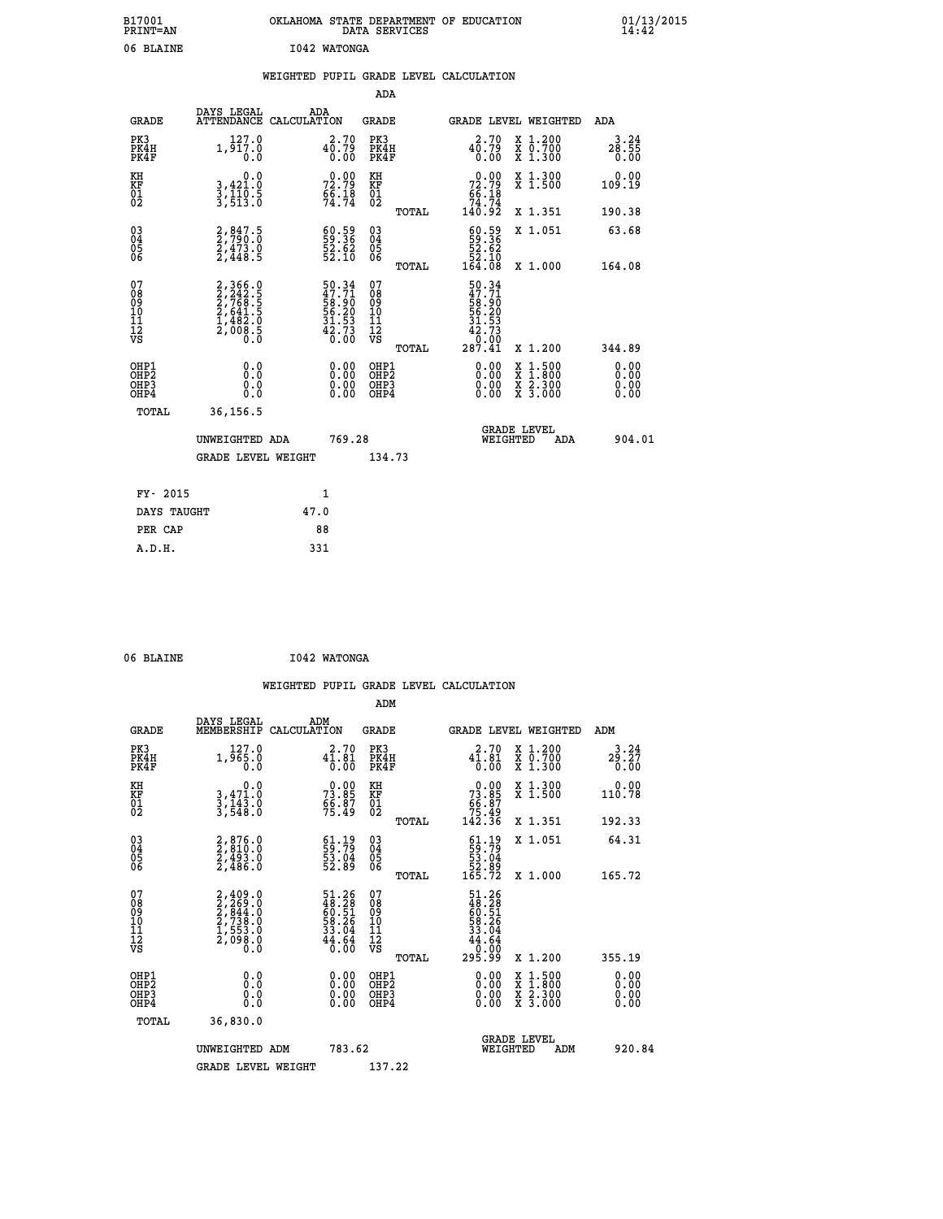| B17001<br><b>PRINT=AN</b> | OKLAHOMA<br>. STATE DEPARTMENT OF EDUCATION<br>DATA SERVICES | 01/13/2015<br>14:42 |
|---------------------------|--------------------------------------------------------------|---------------------|
| 06 BLAINE                 | 1042 WATONGA                                                 |                     |

|  |  | WEIGHTED PUPIL GRADE LEVEL CALCULATION |
|--|--|----------------------------------------|
|  |  |                                        |

|                                                       |                                                                                                                                                      |                                                                     | ADA                                      |       |                                                                                                    |                                                                                                                                      |                              |
|-------------------------------------------------------|------------------------------------------------------------------------------------------------------------------------------------------------------|---------------------------------------------------------------------|------------------------------------------|-------|----------------------------------------------------------------------------------------------------|--------------------------------------------------------------------------------------------------------------------------------------|------------------------------|
| <b>GRADE</b>                                          | DAYS LEGAL                                                                                                                                           | ADA<br>ATTENDANCE CALCULATION                                       | GRADE                                    |       | <b>GRADE LEVEL WEIGHTED</b>                                                                        |                                                                                                                                      | ADA                          |
| PK3<br>PK4H<br>PK4F                                   | 127.0<br>1,917.0<br>0.0                                                                                                                              | 2.70<br>$4\overline{0}.79$<br>$0.00$                                | PK3<br>PK4H<br>PK4F                      |       | 2.70<br>$4\overline{0}.79$<br>$0.00$                                                               | X 1.200<br>X 0.700<br>X 1.300                                                                                                        | 3.24<br>28.55<br>0.00        |
| KH<br>KF<br>01<br>02                                  | 0.0<br>3,421.0<br>3,110.5<br>3,513.0                                                                                                                 | $72.79$<br>$56.18$<br>$74.74$                                       | KH<br>KF<br>01<br>02                     |       | $\begin{smallmatrix} &0.00\\ 72.79\\ 66.18\\ 74.74\\ 140.92\end{smallmatrix}$                      | X 1.300<br>X 1.500                                                                                                                   | 0.00<br>109.19               |
|                                                       |                                                                                                                                                      |                                                                     |                                          | TOTAL |                                                                                                    | X 1.351                                                                                                                              | 190.38                       |
| 03<br>04<br>05<br>06                                  | $2,847.5$<br>$2,790.0$<br>$2,473.0$<br>$2,448.5$                                                                                                     | $\begin{smallmatrix} 60.59\ 59.36\ 52.62\ 52.10 \end{smallmatrix}$  | 03<br>04<br>05<br>06                     |       | $\begin{smallmatrix} 60.59\\ 59.36\\ 52.62\\ 52.10\\ 54.10\\ 164.08 \end{smallmatrix}$             | X 1.051                                                                                                                              | 63.68                        |
|                                                       |                                                                                                                                                      |                                                                     |                                          | TOTAL |                                                                                                    | X 1.000                                                                                                                              | 164.08                       |
| 07<br>08<br>09<br>11<br>11<br>12<br>VS                | $\begin{smallmatrix} 2,366\cdot0\\ 2,242\cdot5\\ 2,768\cdot5\\ 2,7641\cdot5\\ 2,641\cdot5\\ 1,482\cdot0\\ 2,008\cdot5\\ 0\cdot0\\ \end{smallmatrix}$ | 50.34<br>47.71<br>58.90<br>56.20<br>56.20<br>31.53<br>42.73<br>6.00 | 07<br>08<br>09<br>11<br>11<br>12<br>VS   | TOTAL | $\begin{smallmatrix} 50.34\ 47.71\ 58.90\ 56.29\ 56.21\ 31.533\ 42.730\ 287.41\ \end{smallmatrix}$ | X 1.200                                                                                                                              | 344.89                       |
| OHP1<br>OH <sub>P</sub> 2<br>OH <sub>P3</sub><br>OHP4 | 0.0<br>0.0<br>0.0                                                                                                                                    | 0.00<br>$\begin{smallmatrix} 0.00 \ 0.00 \end{smallmatrix}$         | OHP1<br>OHP <sub>2</sub><br>OHP3<br>OHP4 |       | 0.00<br>0.00<br>0.00                                                                               | $\begin{smallmatrix} \mathtt{X} & 1 & 500 \\ \mathtt{X} & 1 & 800 \\ \mathtt{X} & 2 & 300 \\ \mathtt{X} & 3 & 000 \end{smallmatrix}$ | 0.00<br>0.00<br>0.00<br>0.00 |
| TOTAL                                                 | 36,156.5                                                                                                                                             |                                                                     |                                          |       |                                                                                                    |                                                                                                                                      |                              |
|                                                       | UNWEIGHTED ADA                                                                                                                                       | 769.28                                                              |                                          |       | WEIGHTED                                                                                           | <b>GRADE LEVEL</b><br>ADA                                                                                                            | 904.01                       |
|                                                       | <b>GRADE LEVEL WEIGHT</b>                                                                                                                            |                                                                     | 134.73                                   |       |                                                                                                    |                                                                                                                                      |                              |
| FY- 2015                                              |                                                                                                                                                      | $\mathbf{1}$                                                        |                                          |       |                                                                                                    |                                                                                                                                      |                              |
|                                                       |                                                                                                                                                      |                                                                     |                                          |       |                                                                                                    |                                                                                                                                      |                              |
| DAYS TAUGHT                                           |                                                                                                                                                      | 47.0                                                                |                                          |       |                                                                                                    |                                                                                                                                      |                              |
| PER CAP                                               |                                                                                                                                                      | 88                                                                  |                                          |       |                                                                                                    |                                                                                                                                      |                              |
| A.D.H.                                                |                                                                                                                                                      | 331                                                                 |                                          |       |                                                                                                    |                                                                                                                                      |                              |

| 06 BLAINE | I042 WATONGA |
|-----------|--------------|

|                                                    |                                                                                     |                                                                           |                                                       | WEIGHTED PUPIL GRADE LEVEL CALCULATION                                                              |                                          |                                                        |
|----------------------------------------------------|-------------------------------------------------------------------------------------|---------------------------------------------------------------------------|-------------------------------------------------------|-----------------------------------------------------------------------------------------------------|------------------------------------------|--------------------------------------------------------|
|                                                    |                                                                                     |                                                                           | ADM                                                   |                                                                                                     |                                          |                                                        |
| <b>GRADE</b>                                       | DAYS LEGAL<br>MEMBERSHIP                                                            | ADM<br>CALCULATION                                                        | <b>GRADE</b>                                          | <b>GRADE LEVEL WEIGHTED</b>                                                                         |                                          | ADM                                                    |
| PK3<br>PK4H<br>PK4F                                | 127.0<br>1,965.0<br>$0.\overline{0}$                                                | 2.70<br>$4\overline{1}\cdot 8\overline{1}\over 0\cdot 0\overline{0}$      | PK3<br>PK4H<br>PK4F                                   | 2.70<br>$4\bar{1}\cdot8\bar{1}\over 0\cdot00$                                                       | X 1.200<br>X 0.700<br>X 1.300            | 3.24<br>$2\overline{9}\cdot 2\overline{7}\overline{0}$ |
| KH<br>KF<br>01<br>02                               | 0.0<br>3,471.0<br>3,143.0<br>3,548.0                                                | $73.85$<br>$56.87$<br>$75.49$                                             | KH<br>KF<br>01<br>02                                  | $\begin{smallmatrix} &0.00\ 73.85\ 66.87\ 75.49\ 142.36\ \end{smallmatrix}$                         | X 1.300<br>X 1.500                       | 0.00<br>110.78                                         |
|                                                    |                                                                                     |                                                                           | TOTAL                                                 |                                                                                                     | X 1.351                                  | 192.33                                                 |
| $\begin{matrix} 03 \\ 04 \\ 05 \\ 06 \end{matrix}$ | $2,876.0$<br>$2,493.0$<br>$2,493.0$<br>$2,486.0$                                    | $\begin{smallmatrix} 61.19\\ 59.79\\ 53.04\\ 52.89 \end{smallmatrix}$     | 03<br>04<br>05<br>06                                  | $\begin{smallmatrix} 61.19\\59.79\\53.04\\52.89\\165.72 \end{smallmatrix}$                          | X 1.051                                  | 64.31                                                  |
|                                                    |                                                                                     |                                                                           | TOTAL                                                 |                                                                                                     | X 1.000                                  | 165.72                                                 |
| 07<br>0890112<br>1112<br>VS                        | $2,409.0$<br>$2,269.0$<br>$2,844.0$<br>$2,738.0$<br>$1,553.0$<br>$2,098.0$<br>$0.0$ | $51.26$<br>$48.28$<br>$60.51$<br>$58.26$<br>$33.04$<br>$34.64$<br>$64.64$ | 07<br>08<br>09<br>01<br>11<br>11<br>12<br>VS<br>TOTAL | $\begin{array}{r} 51.26 \\ 48.28 \\ 60.51 \\ 58.26 \\ 33.04 \\ 44.64 \\ 0.00 \\ 295.99 \end{array}$ | X 1.200                                  | 355.19                                                 |
|                                                    |                                                                                     |                                                                           |                                                       |                                                                                                     |                                          |                                                        |
| OHP1<br>OHP2<br>OH <sub>P3</sub><br>OHP4           | 0.0<br>0.000                                                                        | $0.00$<br>$0.00$<br>0.00                                                  | OHP1<br>OHP2<br>OHP <sub>3</sub>                      | 0.00<br>0.00<br>0.00                                                                                | X 1:500<br>X 1:800<br>X 2:300<br>X 3:000 | 0.00<br>0.00<br>0.00                                   |
| TOTAL                                              | 36,830.0                                                                            |                                                                           |                                                       |                                                                                                     |                                          |                                                        |
|                                                    | UNWEIGHTED ADM                                                                      | 783.62                                                                    |                                                       | WEIGHTED                                                                                            | <b>GRADE LEVEL</b><br>ADM                | 920.84                                                 |
|                                                    | <b>GRADE LEVEL WEIGHT</b>                                                           |                                                                           | 137.22                                                |                                                                                                     |                                          |                                                        |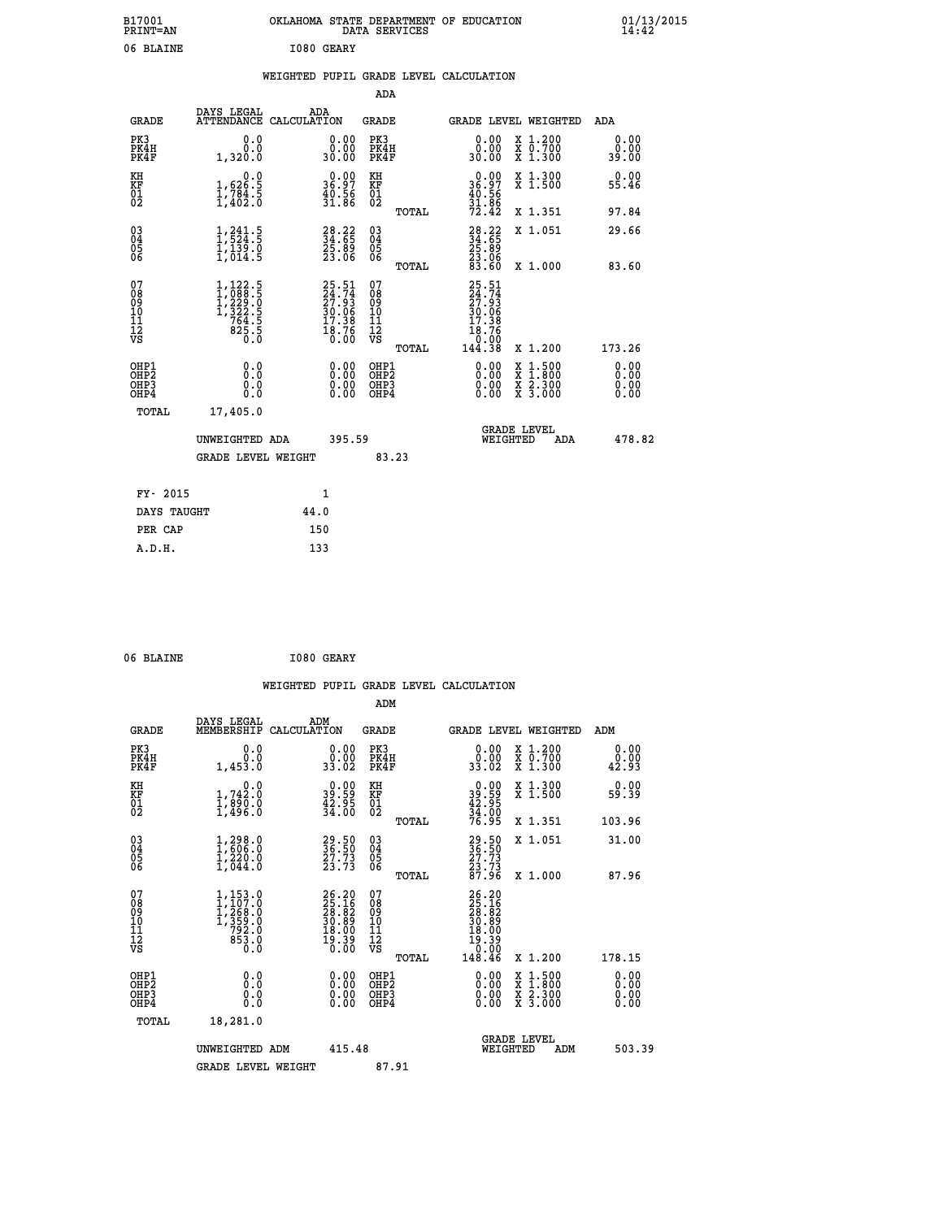| B17001<br>PRINT=AN                        |                                                                                                                                       | OKLAHOMA STATE DEPARTMENT OF EDUCATION                               | DATA SERVICES                            |                                                                                               |                                                                                          | 01/13/2015<br>14:42          |  |
|-------------------------------------------|---------------------------------------------------------------------------------------------------------------------------------------|----------------------------------------------------------------------|------------------------------------------|-----------------------------------------------------------------------------------------------|------------------------------------------------------------------------------------------|------------------------------|--|
| 06 BLAINE                                 |                                                                                                                                       | I080 GEARY                                                           |                                          |                                                                                               |                                                                                          |                              |  |
|                                           |                                                                                                                                       | WEIGHTED PUPIL GRADE LEVEL CALCULATION                               |                                          |                                                                                               |                                                                                          |                              |  |
|                                           |                                                                                                                                       |                                                                      | <b>ADA</b>                               |                                                                                               |                                                                                          |                              |  |
| <b>GRADE</b>                              | DAYS LEGAL<br>ATTENDANCE CALCULATION                                                                                                  | ADA                                                                  | GRADE                                    | GRADE LEVEL WEIGHTED                                                                          |                                                                                          | ADA                          |  |
| PK3<br>PK4H<br>PK4F                       | 0.0<br>0.0<br>1,320.0                                                                                                                 | 0.00<br>0.00<br>30.00                                                | PK3<br>PK4H<br>PK4F                      | 0.00<br>0.00<br>30.00                                                                         | X 1.200<br>X 0.700<br>X 1.300                                                            | 0.00<br>0.00<br>39.00        |  |
| KH<br>KF<br>01<br>02                      | 0.0<br>$\frac{1}{1}, \frac{626}{784}$ .<br>1,784.5<br>1,402.0                                                                         | $\begin{smallmatrix} 0.00\\ 36.97\\ 40.56\\ 31.86 \end{smallmatrix}$ | KH<br>KF<br>01<br>02                     | $\begin{smallmatrix} 0.00\\ 36.97\\ 40.56\\ 31.86\\ 72.42 \end{smallmatrix}$                  | X 1.300<br>X 1.500                                                                       | 0.00<br>55.46                |  |
|                                           |                                                                                                                                       |                                                                      | TOTAL                                    |                                                                                               | X 1.351                                                                                  | 97.84                        |  |
| $03\overline{4}$<br>$\substack{05 \\ 06}$ | $\frac{1}{1}, \frac{241}{524}$ .<br>$\frac{1}{1}, \frac{139}{14}$ .<br>$\frac{0}{1}, \frac{014}{5}$                                   | $\begin{smallmatrix} 28.22\ 34.65\ 25.89\ 23.06 \end{smallmatrix}$   | 03<br>04<br>05<br>ŎĞ                     | $34.22$<br>34.65<br>25.89<br>$\frac{23.06}{83.60}$                                            | X 1.051                                                                                  | 29.66                        |  |
|                                           |                                                                                                                                       |                                                                      | TOTAL                                    |                                                                                               | X 1.000                                                                                  | 83.60                        |  |
| 078901112<br>000101112<br>VS              | $\begin{smallmatrix} 1,122\cdot 5\\ 1,088\cdot 5\\ 1,229\cdot 0\\ 1,322\cdot 5\\ 764\cdot 5\\ 825\cdot 5\\ 0\cdot 0\end{smallmatrix}$ | 25.51<br>24.74<br>27.93<br>30.06<br>30.06<br>17.38<br>18.76<br>0.00  | 078901112<br>00010112<br>VS<br>TOTAL     | 25.51<br>$\frac{24}{27}$ : $\frac{74}{9}$<br>$\frac{50.06}{17.38}$<br>18.76<br>0:00<br>144.38 | X 1.200                                                                                  | 173.26                       |  |
| OHP1<br>OHP2<br>OHP3<br>OHP4              | 0.0<br>Ŏ.Ŏ<br>0.0<br>0.0                                                                                                              | 0.00<br>0.00<br>0.00                                                 | OHP1<br>OHP <sub>2</sub><br>OHP3<br>OHP4 | 0.00<br>0.00<br>0.00                                                                          | $\begin{smallmatrix} x & 1.500 \\ x & 1.800 \\ x & 2.300 \\ x & 3.000 \end{smallmatrix}$ | 0.00<br>0.00<br>0.00<br>0.00 |  |
| TOTAL                                     | 17,405.0                                                                                                                              |                                                                      |                                          |                                                                                               |                                                                                          |                              |  |
|                                           | UNWEIGHTED ADA                                                                                                                        | 395.59                                                               |                                          | <b>GRADE LEVEL</b><br>WEIGHTED                                                                | ADA                                                                                      | 478.82                       |  |
|                                           | <b>GRADE LEVEL WEIGHT</b>                                                                                                             |                                                                      | 83.23                                    |                                                                                               |                                                                                          |                              |  |
| FY- 2015                                  |                                                                                                                                       | 1                                                                    |                                          |                                                                                               |                                                                                          |                              |  |
| DAYS TAUGHT                               |                                                                                                                                       | 44.0                                                                 |                                          |                                                                                               |                                                                                          |                              |  |
| PER CAP                                   |                                                                                                                                       | 150                                                                  |                                          |                                                                                               |                                                                                          |                              |  |

| 06 BLAINE | I080 GEARY |
|-----------|------------|
|           |            |

 **WEIGHTED PUPIL GRADE LEVEL CALCULATION ADM DAYS LEGAL ADM GRADE MEMBERSHIP CALCULATION GRADE GRADE LEVEL WEIGHTED ADM PK3 0.0 0.00 PK3 0.00 X 1.200 0.00 PK4H 0.0 0.00 PK4H 0.00 X 0.700 0.00 PK4F 1,453.0 33.02 PK4F 33.02 X 1.300 42.93 KH 0.0 0.00 KH 0.00 X 1.300 0.00 KF 1,742.0 39.59 KF 39.59 X 1.500 59.39 01 1,890.0 42.95 01 42.95 02 1,496.0 34.00 02 34.00 TOTAL 76.95 X 1.351 103.96 03 1,298.0 29.50 03 29.50 X 1.051 31.00 04 1,606.0 36.50 04 36.50 05 1,220.0 27.73 05 27.73** 06 1,044.0 23.73 06 <sub>momas</sub> 23.73  **TOTAL 87.96 X 1.000 87.96**  $\begin{array}{cccc} 07 & 1,153\cdot 0 & 26\cdot 20 & 07 & 25\cdot 20 \ 08 & 1,207\cdot 0 & 25\cdot 16 & 08 & 25\cdot 16 \ 09 & 1,268\cdot 0 & 28.182 & 09 & 28.182 \ 10 & 1,359\cdot 0 & 30.89 & 10 & 30.89 \ 11 & 792\cdot 0 & 18.00 & 11 & 18.00 \ 12 & 53\cdot 0 & 19.39 & 12 & 19.39 \ 18 & 63\cdot$  **TOTAL 148.46 X 1.200 178.15 OHP1 0.0 0.00 OHP1 0.00 X 1.500 0.00 OHP2 0.0 0.00 OHP2 0.00 X 1.800 0.00 OHP3 0.0 0.00 OHP3 0.00 X 2.300 0.00 OHP4 0.0 0.00 OHP4 0.00 X 3.000 0.00 TOTAL 18,281.0 GRADE LEVEL UNWEIGHTED ADM 415.48 WEIGHTED ADM 503.39** GRADE LEVEL WEIGHT 87.91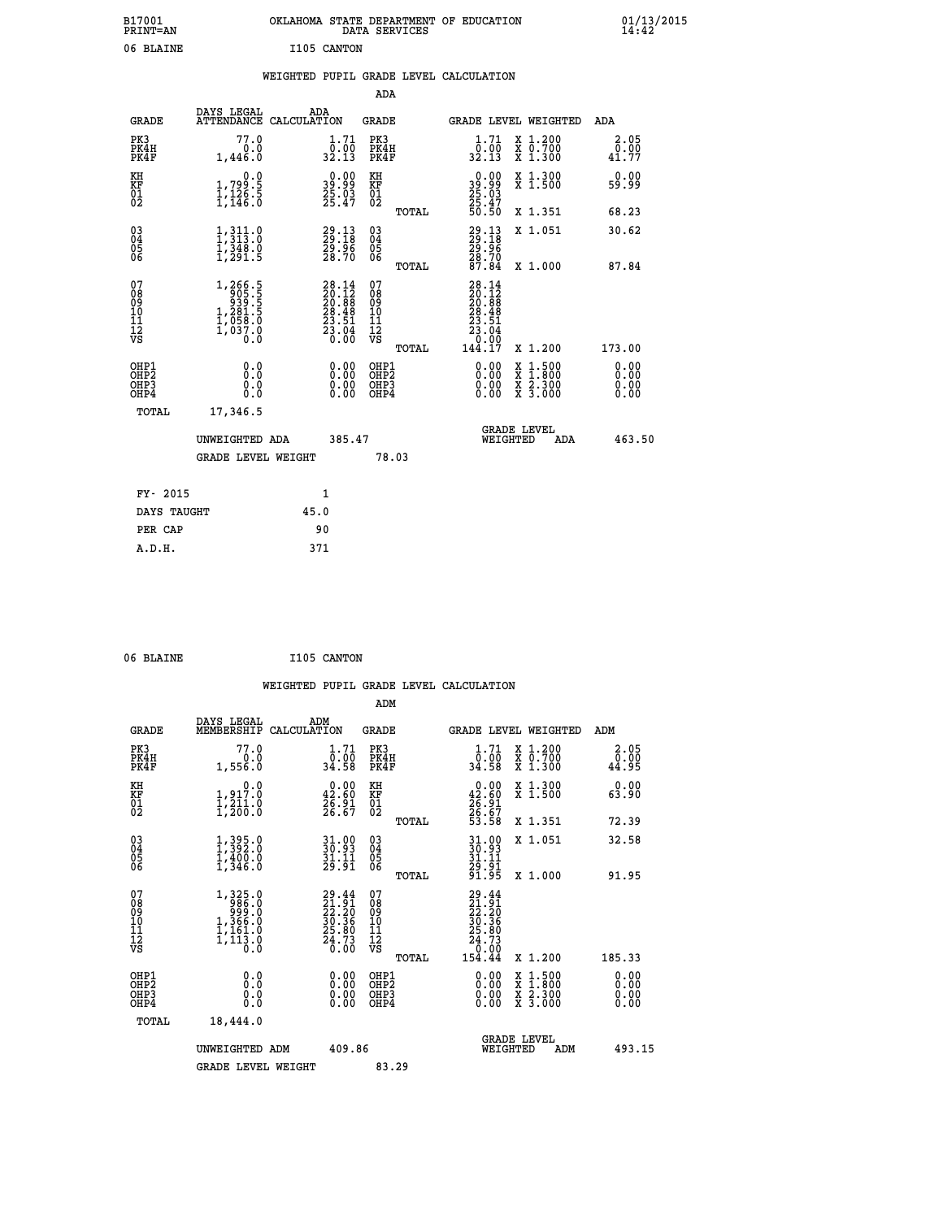| B17001<br>PRINT=AN                                |                                                                                                                                           | OKLAHOMA STATE DEPARTMENT OF EDUCATION                                                       | DATA SERVICES                                      |                                                                                                   |                                                                                          | 01/13/2015            |
|---------------------------------------------------|-------------------------------------------------------------------------------------------------------------------------------------------|----------------------------------------------------------------------------------------------|----------------------------------------------------|---------------------------------------------------------------------------------------------------|------------------------------------------------------------------------------------------|-----------------------|
| 06 BLAINE                                         |                                                                                                                                           | I105 CANTON                                                                                  |                                                    |                                                                                                   |                                                                                          |                       |
|                                                   |                                                                                                                                           | WEIGHTED PUPIL GRADE LEVEL CALCULATION                                                       |                                                    |                                                                                                   |                                                                                          |                       |
|                                                   |                                                                                                                                           |                                                                                              | <b>ADA</b>                                         |                                                                                                   |                                                                                          |                       |
| <b>GRADE</b>                                      | DAYS LEGAL<br>ATTENDANCE CALCULATION                                                                                                      | ADA                                                                                          | <b>GRADE</b>                                       |                                                                                                   | GRADE LEVEL WEIGHTED                                                                     | ADA                   |
| PK3<br>PK4H<br>PK4F                               | 77.0<br>0.0<br>1,446.0                                                                                                                    | 1.71<br>$\frac{\bar{0} \cdot 0 \bar{0}}{32.13}$                                              | PK3<br>PK4H<br>PK4F                                | $\frac{1}{0}$ : $\frac{71}{00}$<br>32.13                                                          | X 1.200<br>X 0.700<br>X 1.300                                                            | 2.05<br>0.00<br>41.77 |
| KH<br>KF<br>$\begin{matrix} 01 \ 02 \end{matrix}$ | 0.0<br>1,799:5<br>1,126:5<br>1,146:0                                                                                                      | $\begin{smallmatrix} 0.00\\ 39.99\\ 25.03\\ 25.47 \end{smallmatrix}$                         | KH<br><b>KF</b><br>01<br>02                        | 0.00<br>$39.99$<br>$25.03$<br>$25.47$<br>$50.50$                                                  | X 1.300<br>X 1.500                                                                       | 0.00<br>59.99         |
|                                                   |                                                                                                                                           |                                                                                              | TOTAL                                              |                                                                                                   | X 1.351                                                                                  | 68.23                 |
| 03<br>04<br>05<br>06                              | $\frac{1}{1}, \frac{3}{3}$ $\frac{11}{3}$ $\cdot \frac{0}{2}$<br>$\frac{1}{2}, \frac{3}{2}$ $\frac{4}{9}$ $\cdot \frac{0}{9}$<br>ī, 291.5 | 29.13<br>29.18<br>29.96<br>28.70                                                             | $\begin{matrix} 03 \\ 04 \\ 05 \\ 06 \end{matrix}$ | 29:13<br>29:18<br>29:96<br>28:70<br>28:84                                                         | X 1.051                                                                                  | 30.62                 |
|                                                   |                                                                                                                                           |                                                                                              | TOTAL                                              |                                                                                                   | X 1.000                                                                                  | 87.84                 |
| 07<br>Ŏġ<br>09<br>10<br>11<br>12<br>VS            | $\begin{smallmatrix} 1,266.5\\ 905.5\\ 939.5\\ 281.5\\ 1,281.5\\ 1,058.0\\ 1,037.0 \end{smallmatrix}$<br>o:ŏ                              | $\begin{smallmatrix} 28.14\\ 20.12\\ 20.88\\ 28.48\\ 23.51\\ 23.04\\ 0.00 \end{smallmatrix}$ | 07<br>ŏġ<br>09<br>ίÒ<br>īi<br>ĪŽ<br>VŠ             | 28.14<br>$\frac{20}{20}.\overline{12}_{8}$<br>$\frac{28.48}{23.51}$<br>$\frac{55}{60}$<br>23<br>0 |                                                                                          |                       |
| OHP1                                              | 0.0                                                                                                                                       |                                                                                              | <b>TOTAL</b><br>OHP1                               | 144.17                                                                                            | X 1.200                                                                                  | 173.00                |
| OHP <sub>2</sub><br>OH <sub>P3</sub><br>OHP4      | Ō.Ō<br>0.0<br>0.0                                                                                                                         | 0.00<br>$\begin{smallmatrix} 0.00 \ 0.00 \end{smallmatrix}$                                  | OHP <sub>2</sub><br>OHP3<br>OHP4                   | 0.00<br>0.00<br>0.00                                                                              | $\begin{smallmatrix} x & 1.500 \\ x & 1.800 \\ x & 2.300 \\ x & 3.000 \end{smallmatrix}$ | 0.00<br>0.00<br>0.00  |
| <b>TOTAL</b>                                      | 17,346.5                                                                                                                                  |                                                                                              |                                                    |                                                                                                   |                                                                                          |                       |
|                                                   | UNWEIGHTED ADA                                                                                                                            | 385.47                                                                                       |                                                    | WEIGHTED                                                                                          | <b>GRADE LEVEL</b><br>ADA                                                                | 463.50                |
|                                                   | <b>GRADE LEVEL WEIGHT</b>                                                                                                                 |                                                                                              | 78.03                                              |                                                                                                   |                                                                                          |                       |
| FY- 2015                                          |                                                                                                                                           | 1                                                                                            |                                                    |                                                                                                   |                                                                                          |                       |
| DAYS TAUGHT                                       |                                                                                                                                           | 45.0                                                                                         |                                                    |                                                                                                   |                                                                                          |                       |
| PER CAP                                           |                                                                                                                                           | 90                                                                                           |                                                    |                                                                                                   |                                                                                          |                       |
| A.D.H.                                            |                                                                                                                                           | 371                                                                                          |                                                    |                                                                                                   |                                                                                          |                       |

| 06 BLAINE | I105 CANTON |
|-----------|-------------|
|           |             |

|                                                      |                                                                         |                                                                        | WEIGHTED PUPIL GRADE LEVEL CALCULATION       |                                                                                                          |                                                                            |                              |
|------------------------------------------------------|-------------------------------------------------------------------------|------------------------------------------------------------------------|----------------------------------------------|----------------------------------------------------------------------------------------------------------|----------------------------------------------------------------------------|------------------------------|
|                                                      |                                                                         |                                                                        | ADM                                          |                                                                                                          |                                                                            |                              |
| <b>GRADE</b>                                         | DAYS LEGAL<br>MEMBERSHIP                                                | ADM<br>CALCULATION                                                     | <b>GRADE</b>                                 |                                                                                                          | GRADE LEVEL WEIGHTED                                                       | ADM                          |
| PK3<br>PK4H<br>PK4F                                  | 77.0<br>0.0<br>1,556.0                                                  | $\frac{1}{0}$ : $\frac{71}{00}$<br>34.58                               | PK3<br>PK4H<br>PK4F                          | $1.71$<br>$0.00$<br>34.58                                                                                | X 1.200<br>X 0.700<br>X 1.300                                              | 2.05<br>0.00<br>44.95        |
| KH<br>KF<br>01<br>02                                 | $\begin{smallmatrix}&&&0.0\\1,917.0\\1,211.0\\1,200.0\end{smallmatrix}$ | $\begin{smallmatrix} 0.00\\ 42.60\\ 26.91\\ 26.67 \end{smallmatrix}$   | KH<br>KF<br>01<br>02                         | $\begin{smallmatrix} 0.00\\ 42.60\\ 26.91\\ 26.67\\ 53.58 \end{smallmatrix}$                             | X 1.300<br>X 1.500                                                         | 0.00<br>63.90                |
|                                                      |                                                                         |                                                                        | TOTAL                                        |                                                                                                          | X 1.351                                                                    | 72.39                        |
| $\begin{matrix} 03 \\ 04 \\ 05 \\ 06 \end{matrix}$   | $1,395.0$<br>$1,392.0$<br>$1,400.0$<br>$1,346.0$                        | $31.99$<br>$30.93$<br>$31.11$<br>$29.91$                               | 03<br>04<br>05<br>06                         | $31.93$<br>$31.11$<br>$29.91$<br>$29.91$<br>$91.95$                                                      | X 1.051                                                                    | 32.58                        |
|                                                      |                                                                         |                                                                        | TOTAL                                        |                                                                                                          | X 1.000                                                                    | 91.95                        |
| 07<br>08<br>09<br>01<br>11<br>11<br>12<br>VS         | $1,325.0$<br>986.0<br>999.0<br>1,366.0<br>1,161.0<br>1,113.8            | 29.44<br>$21.91$<br>$22.20$<br>$30.36$<br>$25.80$<br>$24.73$<br>$0.00$ | 07<br>08<br>09<br>01<br>11<br>11<br>12<br>VS | 29.44<br>$\begin{smallmatrix} 21.91\ 22.20\ 32.30\ 30.36\ 25.80\ 24.73\ 0.00\ 154.44\ \end{smallmatrix}$ |                                                                            |                              |
|                                                      |                                                                         |                                                                        | TOTAL                                        |                                                                                                          | X 1.200                                                                    | 185.33                       |
| OHP1<br>OHP2<br>OH <sub>P3</sub><br>OH <sub>P4</sub> | 0.0<br>$\begin{smallmatrix} 0.0 & 0 \ 0.0 & 0 \end{smallmatrix}$        | 0.00<br>0.00<br>0.00                                                   | OHP1<br>OHP2<br>OHP3<br>OHP4                 | $0.00$<br>$0.00$<br>0.00                                                                                 | $\frac{x}{x}$ $\frac{1.500}{1.800}$<br>$\frac{x}{x}$ $\frac{5:300}{3:000}$ | 0.00<br>0.00<br>0.00<br>0.00 |
| TOTAL                                                | 18,444.0                                                                |                                                                        |                                              |                                                                                                          |                                                                            |                              |
|                                                      | UNWEIGHTED ADM                                                          | 409.86                                                                 |                                              | WEIGHTED                                                                                                 | <b>GRADE LEVEL</b><br>ADM                                                  | 493.15                       |
|                                                      | <b>GRADE LEVEL WEIGHT</b>                                               |                                                                        | 83.29                                        |                                                                                                          |                                                                            |                              |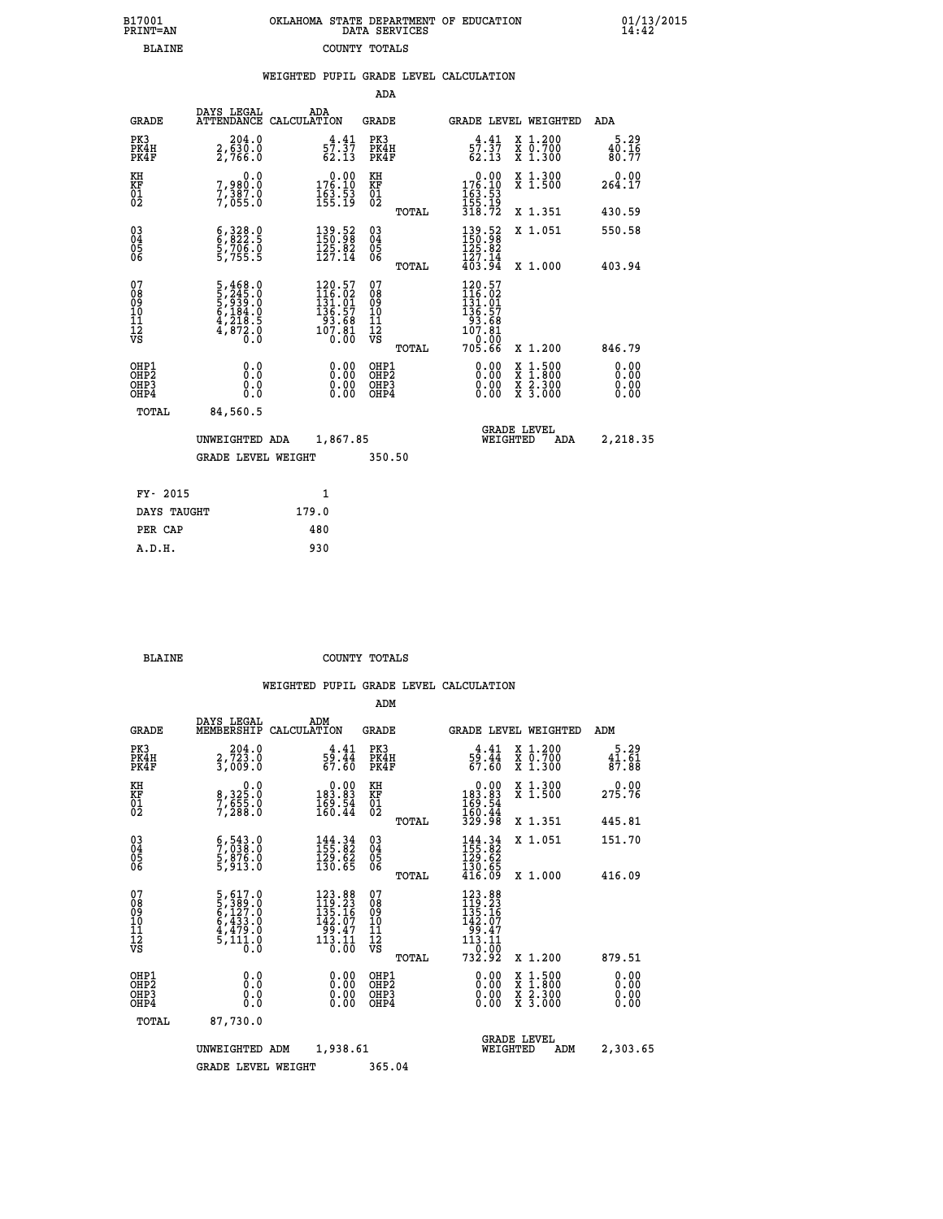| 7001<br>INT=AN | OKLAHOMA STATE DEPARTMENT OF EDUCATION<br>DATA SERVICES |  |
|----------------|---------------------------------------------------------|--|
| BLAINE         | COUNTY TOTALS                                           |  |

 **B17001 OKLAHOMA STATE DEPARTMENT OF EDUCATION 01/13/2015**

|                                                              |                                                                                                 |                                                                                            |                                                  | WEIGHTED PUPIL GRADE LEVEL CALCULATION                                                |                                                                                                                                              |                          |
|--------------------------------------------------------------|-------------------------------------------------------------------------------------------------|--------------------------------------------------------------------------------------------|--------------------------------------------------|---------------------------------------------------------------------------------------|----------------------------------------------------------------------------------------------------------------------------------------------|--------------------------|
|                                                              |                                                                                                 |                                                                                            | ADA                                              |                                                                                       |                                                                                                                                              |                          |
| <b>GRADE</b>                                                 | DAYS LEGAL                                                                                      | ADA<br>ATTENDANCE CALCULATION                                                              | <b>GRADE</b>                                     |                                                                                       | <b>GRADE LEVEL WEIGHTED</b>                                                                                                                  | ADA                      |
| PK3<br>PK4H<br>PK4F                                          | 204.0<br>$2, \overline{6}30.0$<br>2,766.0                                                       | 4.41<br>57.37<br>62.13                                                                     | PK3<br>PK4H<br>PK4F                              | $\frac{4}{57}$ : $\frac{41}{37}$<br>62.13                                             | X 1.200<br>X 0.700<br>X 1.300                                                                                                                | $5.29$<br>40.16<br>80.77 |
| KH<br>KF<br>01<br>02                                         | 0.0<br>7,980.0<br>7,387.0<br>7,055.0                                                            | $0.00$<br>176.10<br>$\frac{163}{155}$ : 53                                                 | KH<br>KF<br>01<br>02                             | $\begin{smallmatrix} &0.00\\ 176.10\\ 163.53\\ 155.19\\ 318.72 \end{smallmatrix}$     | X 1.300<br>X 1.500                                                                                                                           | $0.00$<br>264.17         |
|                                                              |                                                                                                 |                                                                                            | TOTAL                                            |                                                                                       | X 1.351                                                                                                                                      | 430.59                   |
| $\begin{smallmatrix} 03 \\[-4pt] 04 \end{smallmatrix}$<br>05 | $\begin{smallmatrix} 6,328.0\\ 6,822.5\\ 5,706.0\\ 5,755.5 \end{smallmatrix}$                   | $\begin{smallmatrix} 139.52\ 150.98\ 125.82\ 127.14 \end{smallmatrix}$                     | $^{03}_{04}$<br>05                               | 139.52<br>150.98<br>125.82                                                            | X 1.051                                                                                                                                      | 550.58                   |
| 06                                                           |                                                                                                 |                                                                                            | 06<br>TOTAL                                      | $\frac{1}{4}$ $\frac{5}{3}$ $\frac{7}{3}$ $\frac{1}{4}$                               | X 1.000                                                                                                                                      | 403.94                   |
| 07<br>08<br>09<br>01<br>11<br>11<br>12<br>VS                 | $\begin{smallmatrix}5,468.0\\5,245.0\\5,939.0\\6,184.0\\4,218.5\\4,872.0\\0.0\end{smallmatrix}$ | $\begin{smallmatrix} 120.57\\116.02\\131.01\\136.57\\93.68\\107.81\\0.00\end{smallmatrix}$ | 07<br>08<br>09<br>101<br>11<br>12<br>VS<br>TOTAL | 120.57<br>$116.02$<br>$131.01$<br>$136.57$<br>$93.68$<br>$107.81$<br>-`ó:ŏō<br>705.66 | X 1.200                                                                                                                                      | 846.79                   |
| OHP1<br>OHP2<br>OHP3<br>OHP4                                 | 0.0<br>0.0<br>0.0                                                                               | $\begin{smallmatrix} 0.00 \ 0.00 \ 0.00 \ 0.00 \end{smallmatrix}$                          | OHP1<br>OHP2<br>OHP3<br>OHP4                     |                                                                                       | $\begin{smallmatrix} \mathtt{X} & 1\cdot500 \\ \mathtt{X} & 1\cdot800 \\ \mathtt{X} & 2\cdot300 \\ \mathtt{X} & 3\cdot000 \end{smallmatrix}$ | 0.00<br>0.00<br>0.00     |
| TOTAL                                                        | 84,560.5                                                                                        |                                                                                            |                                                  |                                                                                       |                                                                                                                                              |                          |
|                                                              | UNWEIGHTED ADA                                                                                  | 1,867.85                                                                                   |                                                  | WEIGHTED                                                                              | <b>GRADE LEVEL</b><br>ADA                                                                                                                    | 2,218.35                 |
|                                                              | <b>GRADE LEVEL WEIGHT</b>                                                                       |                                                                                            | 350.50                                           |                                                                                       |                                                                                                                                              |                          |
| FY- 2015                                                     |                                                                                                 | $\mathbf{1}$                                                                               |                                                  |                                                                                       |                                                                                                                                              |                          |
| DAYS TAUGHT                                                  |                                                                                                 | 179.0                                                                                      |                                                  |                                                                                       |                                                                                                                                              |                          |
| PER CAP                                                      |                                                                                                 | 480                                                                                        |                                                  |                                                                                       |                                                                                                                                              |                          |

 **A.D.H. 930**

 **B17001<br>PRINT=AN** 

 **BLAINE COUNTY TOTALS**

|                                          |                                                                                                  |             |                                                                            | ADM                                                 |       |                                                                                                                                           |                                          |                                                     |
|------------------------------------------|--------------------------------------------------------------------------------------------------|-------------|----------------------------------------------------------------------------|-----------------------------------------------------|-------|-------------------------------------------------------------------------------------------------------------------------------------------|------------------------------------------|-----------------------------------------------------|
| <b>GRADE</b>                             | DAYS LEGAL<br>MEMBERSHIP                                                                         | CALCULATION | ADM                                                                        | <b>GRADE</b>                                        |       |                                                                                                                                           | <b>GRADE LEVEL WEIGHTED</b>              | ADM                                                 |
| PK3<br>PK4H<br>PK4F                      | 204.0<br>2,723.0<br>3,009.0                                                                      |             | $\frac{4.41}{59.44}$<br>67.60                                              | PK3<br>PK4H<br>PK4F                                 |       | $\frac{4.41}{59.44}$<br>67.60                                                                                                             | X 1.200<br>X 0.700<br>X 1.300            | 5.29<br>$\frac{4\bar{1}\cdot\bar{6}\bar{1}}{87.88}$ |
| KH<br>KF<br>01<br>02                     | 0.0<br>8,325:0<br>7,655:0<br>7,288:0                                                             |             | $\begin{smallmatrix} &0.00\\ 183.83\\ 169.54\\ 160.44\end{smallmatrix}$    | KH<br>KF<br>01<br>02                                |       | $\begin{smallmatrix} &0.00\\ 183.83\\ 169.54\\ 160.44\\ 329.98 \end{smallmatrix}$                                                         | X 1.300<br>X 1.500                       | 0.00<br>275.76                                      |
|                                          |                                                                                                  |             |                                                                            |                                                     | TOTAL |                                                                                                                                           | X 1.351                                  | 445.81                                              |
| 03<br>04<br>05<br>06                     | $\begin{smallmatrix} 6 & 543 & 0 \\ 7 & 038 & 0 \\ 5 & 876 & 0 \\ 5 & 913 & 0 \end{smallmatrix}$ |             | $\begin{smallmatrix} 144.34\ 155.82\ 129.62\ 130.65 \end{smallmatrix}$     | $\begin{array}{c} 03 \\ 04 \\ 05 \\ 06 \end{array}$ |       | $144.34$<br>$155.82$<br>$129.62$<br>$130.65$<br>$416.09$                                                                                  | X 1.051                                  | 151.70                                              |
|                                          |                                                                                                  |             |                                                                            |                                                     | TOTAL |                                                                                                                                           | X 1.000                                  | 416.09                                              |
| 07<br>08<br>09<br>101<br>112<br>VS       | $\begin{smallmatrix}5,617.0\\5,389.0\\6,127.0\\6,433.0\\4,479.0\\5,111.0\\0.0\end{smallmatrix}$  |             | $123.88$<br>$119.23$<br>$135.16$<br>142.07<br>47. وَوَ<br>113. 113<br>ō:ōō | 07<br>08<br>09<br>11<br>11<br>12<br>VS              | TOTAL | $\begin{array}{r} 123\cdot 88\\ 119\cdot 23\\ 135\cdot 16\\ 142\cdot 07\\ 99\cdot 47\\ 113\cdot 11\\ 0\cdot 00\\ 732\cdot 92 \end{array}$ | X 1.200                                  | 879.51                                              |
| OHP1<br>OHP2<br>OH <sub>P3</sub><br>OHP4 | 0.0<br>0.000                                                                                     |             |                                                                            | OHP1<br>OHP2<br>OHP <sub>3</sub>                    |       | $0.00$<br>$0.00$<br>0.00                                                                                                                  | X 1:500<br>X 1:800<br>X 2:300<br>X 3:000 | 0.00<br>0.00<br>0.00<br>0.00                        |
| TOTAL                                    | 87,730.0                                                                                         |             |                                                                            |                                                     |       |                                                                                                                                           |                                          |                                                     |
|                                          | UNWEIGHTED ADM                                                                                   |             | 1,938.61                                                                   |                                                     |       | WEIGHTED                                                                                                                                  | <b>GRADE LEVEL</b><br>ADM                | 2,303.65                                            |
|                                          | <b>GRADE LEVEL WEIGHT</b>                                                                        |             |                                                                            | 365.04                                              |       |                                                                                                                                           |                                          |                                                     |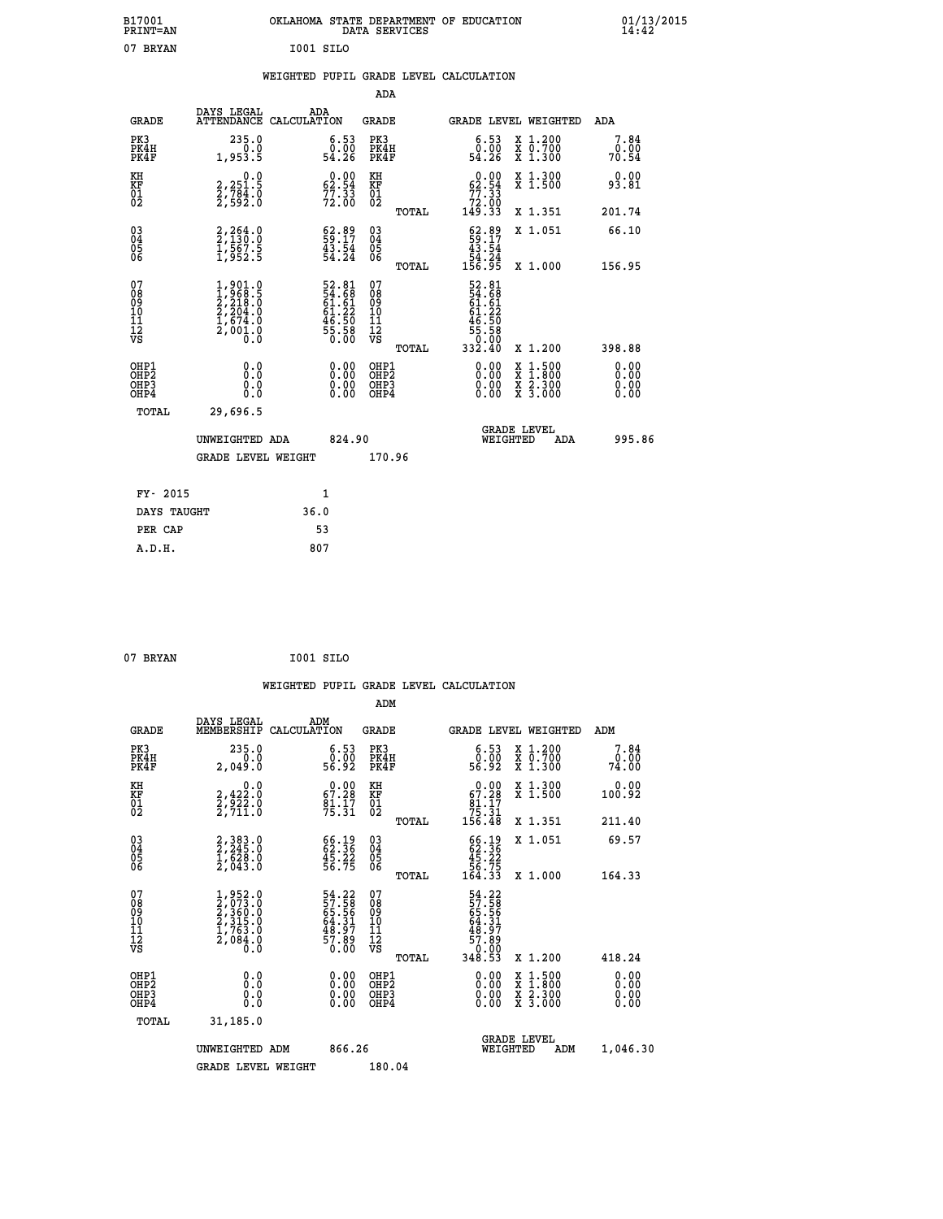| B17001<br>PRINT=AN                     |                                                                                     | OKLAHOMA STATE DEPARTMENT OF EDUCATION                                | DATA SERVICES                                               |                                                                    |                                          | $01/13/2015$<br>14:42        |  |
|----------------------------------------|-------------------------------------------------------------------------------------|-----------------------------------------------------------------------|-------------------------------------------------------------|--------------------------------------------------------------------|------------------------------------------|------------------------------|--|
| 07 BRYAN                               |                                                                                     | I001 SILO                                                             |                                                             |                                                                    |                                          |                              |  |
|                                        |                                                                                     | WEIGHTED PUPIL GRADE LEVEL CALCULATION                                |                                                             |                                                                    |                                          |                              |  |
|                                        |                                                                                     |                                                                       | ADA                                                         |                                                                    |                                          |                              |  |
| <b>GRADE</b>                           | DAYS LEGAL                                                                          | ADA<br>ATTENDANCE CALCULATION                                         | GRADE                                                       |                                                                    | GRADE LEVEL WEIGHTED                     | ADA                          |  |
| PK3<br>PK4H<br>PK4F                    | 235.0<br>0.0<br>1,953.5                                                             | $\substack{6.53 \ 0.00 \ 54.26}$                                      | PK3<br>PK4H<br>PK4F                                         | 6.53<br>ة.ة.<br>54.26                                              | X 1.200<br>X 0.700<br>X 1.300            | 7.84<br>0.00<br>70.54        |  |
| KH<br>KF<br>$\frac{01}{02}$            | 0.0<br>2,251.5<br>2,784.0<br>2,592.0                                                | $0.00$<br>62.54<br>$77.33$<br>$72.00$                                 | KH<br>KF<br>01<br>02                                        | $0.00$<br>62.54<br>$\frac{77.33}{72.00}$<br>149.33                 | X 1.300<br>X 1.500                       | 0.00<br>93.81                |  |
|                                        |                                                                                     |                                                                       | TOTAL                                                       |                                                                    | X 1.351                                  | 201.74                       |  |
| 03<br>04<br>05<br>06                   | 2,264.0<br>2,130.0<br>1,567.5<br>1,952.5                                            | $\begin{smallmatrix} 62.89\\ 59.17\\ 43.54\\ 54.24 \end{smallmatrix}$ | $\begin{matrix} 03 \\ 04 \\ 05 \\ 06 \end{matrix}$<br>TOTAL | $\frac{62.89}{59.17}$<br>43.54<br>$\frac{54}{156}$ $\frac{24}{95}$ | X 1.051                                  | 66.10                        |  |
| 07<br>08<br>09<br>11<br>11<br>12<br>VS | $1,901.0$<br>$1,968.5$<br>$2,218.0$<br>$2,204.0$<br>$1,674.0$<br>$2,001.0$<br>$0.0$ | 52.81<br>54.68<br>61.61<br>61.22<br>61.50<br>46.50<br>55.58<br>50.00  | 07<br>08<br>09<br>10<br>Īľ<br>12<br>VS                      | 52.81<br>54.68<br>61.61<br>61.22<br>46.50<br>$\frac{55.58}{0.00}$  | X 1.000                                  | 156.95                       |  |
|                                        |                                                                                     |                                                                       | TOTAL                                                       | 332.40                                                             | X 1.200                                  | 398.88                       |  |
| OHP1<br>OHP2<br>OHP3<br>OHP4           | 0.0<br>0.0<br>0.0<br>0.0                                                            | 0.00<br>$\begin{smallmatrix} 0.00 \ 0.00 \end{smallmatrix}$           | OHP1<br>OH <sub>P</sub> 2<br>OHP3<br>OHP4                   | 0.00<br>0.00<br>0.00                                               | X 1:500<br>X 1:800<br>X 2:300<br>X 3:000 | 0.00<br>0.00<br>0.00<br>0.00 |  |
| TOTAL                                  | 29,696.5                                                                            |                                                                       |                                                             |                                                                    |                                          |                              |  |
|                                        | UNWEIGHTED ADA                                                                      | 824.90                                                                |                                                             | WEIGHTED                                                           | <b>GRADE LEVEL</b><br>ADA                | 995.86                       |  |
|                                        | <b>GRADE LEVEL WEIGHT</b>                                                           |                                                                       | 170.96                                                      |                                                                    |                                          |                              |  |
| FY- 2015                               |                                                                                     | 1                                                                     |                                                             |                                                                    |                                          |                              |  |
| DAYS TAUGHT                            |                                                                                     | 36.0                                                                  |                                                             |                                                                    |                                          |                              |  |
| PER CAP                                |                                                                                     | 53                                                                    |                                                             |                                                                    |                                          |                              |  |

```
 07 BRYAN I001 SILO
```
 **WEIGHTED PUPIL GRADE LEVEL CALCULATION ADM DAYS LEGAL ADM GRADE MEMBERSHIP CALCULATION GRADE GRADE LEVEL WEIGHTED ADM PK3 235.0 6.53 PK3 6.53 X 1.200 7.84 PK4H 0.0 0.00 PK4H 0.00 X 0.700 0.00 PK4F 2,049.0 56.92 PK4F 56.92 X 1.300 74.00 KH 0.0 0.00 KH 0.00 X 1.300 0.00 KF 2,422.0 67.28 KF 67.28 X 1.500 100.92 01 2,922.0 81.17 01 81.17 02 2,711.0 75.31 02 75.31 TOTAL 156.48 X 1.351 211.40 03 2,383.0 66.19 03 66.19 X 1.051 69.57 04 2,245.0 62.36 04 62.36 05 1,628.0 45.22 05 45.22 06 2,043.0 56.75 06 56.75 TOTAL 164.33 X 1.000 164.33**  $\begin{array}{cccc} 07 & 1,952.0 & 54.22 & 07 & 54.22 \ 08 & 2,033.0 & 57.58 & 08 & 57.58 \ 10 & 2,315.0 & 64.31 & 10 & 64.31 \ 11 & 1,763.0 & 48.39 & 11 & 48.39 \ \hline \textrm{vs} & 2,084.0 & 48.39 & 11 & 48.39 \ \hline \textrm{vs} & 2,084.0 & 57.68 & 57.58 & 57.58 \ \end{array}$ **54.22 07**<br> **57.58 08**<br> **64.31 10**<br> **64.31 10**<br> **64.31 10**<br> **64.31 10**<br> **64.31 10**<br> **64.31 48.37**<br> **64.31 48.37**<br> **7.89**<br> **7.89**<br> **7.89**<br> **7.89**<br> **7.89**<br> **7.89**<br> **7.89**<br> **7.80**<br> **7.80**<br> **7.80**<br> **7.80**<br> **7.80**<br> **7.80**<br> **7.8 OHP1 0.0 0.00 OHP1 0.00 X 1.500 0.00 OHP2 0.0 0.00 OHP2 0.00 X 1.800 0.00 OHP3 0.0 0.00 OHP3 0.00 X 2.300 0.00 OHP4 0.0 0.00 OHP4 0.00 X 3.000 0.00 TOTAL 31,185.0 GRADE LEVEL UNWEIGHTED ADM 866.26 WEIGHTED ADM 1,046.30** GRADE LEVEL WEIGHT 180.04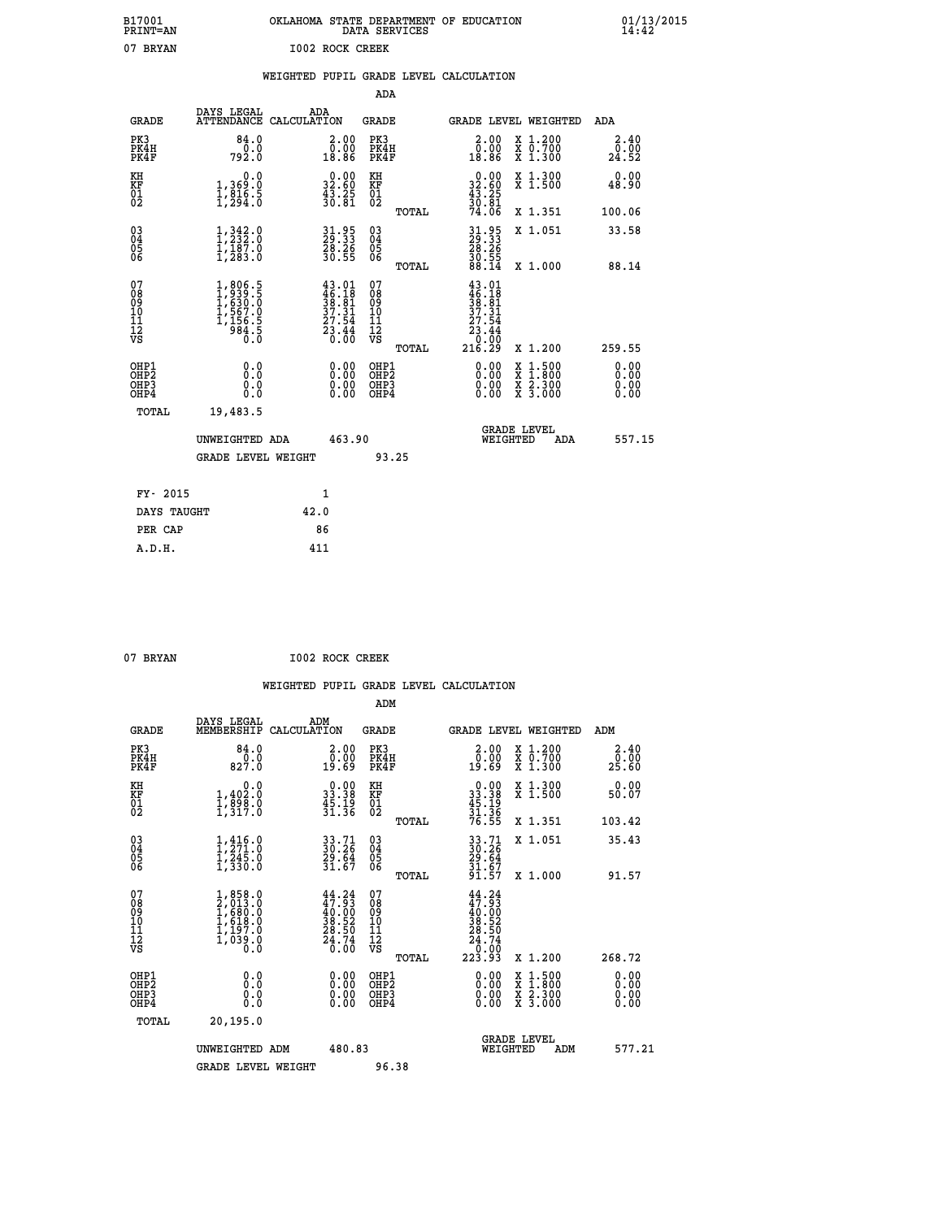| B17001<br>PRINT=AN                                 |                                                                                   | OKLAHOMA STATE DEPARTMENT OF EDUCATION DATA SERVICES |                                                                          |                                               |       |                                                                                                                       |          |                                                                                                                                           | $01/13/2015$<br>14:42         |  |
|----------------------------------------------------|-----------------------------------------------------------------------------------|------------------------------------------------------|--------------------------------------------------------------------------|-----------------------------------------------|-------|-----------------------------------------------------------------------------------------------------------------------|----------|-------------------------------------------------------------------------------------------------------------------------------------------|-------------------------------|--|
| 07 BRYAN                                           |                                                                                   | 1002 ROCK CREEK                                      |                                                                          |                                               |       |                                                                                                                       |          |                                                                                                                                           |                               |  |
|                                                    |                                                                                   | WEIGHTED PUPIL GRADE LEVEL CALCULATION               |                                                                          |                                               |       |                                                                                                                       |          |                                                                                                                                           |                               |  |
|                                                    |                                                                                   |                                                      |                                                                          | ADA                                           |       |                                                                                                                       |          |                                                                                                                                           |                               |  |
| <b>GRADE</b>                                       | DAYS LEGAL<br>ATTENDANCE CALCULATION                                              | ADA                                                  |                                                                          | <b>GRADE</b>                                  |       |                                                                                                                       |          | GRADE LEVEL WEIGHTED                                                                                                                      | ADA                           |  |
| PK3<br>PK4H<br>PK4F                                | 84.0<br>0.0<br>792.Ŏ                                                              |                                                      | 2.00<br>ŏÖ.ÖŎ<br>18.86                                                   | PK3<br>PK4H<br>PK4F                           |       | $\begin{smallmatrix} 2.00\\ 0.00\\ 18.86 \end{smallmatrix}$                                                           |          | X 1.200<br>X 0.700<br>X 1.300                                                                                                             | 2.40<br>0.00<br>24.52         |  |
| KH<br>KF<br>01<br>02                               | $\begin{smallmatrix}&&&0.0\\1,369.0\\1,816.5\\1,294.0\end{smallmatrix}$           |                                                      | $\begin{smallmatrix} 0.00\\ 32.60\\ 43.25\\ 30.81 \end{smallmatrix}$     | KH<br>KF<br>01<br>02                          |       | $\begin{smallmatrix} 0.00\\ 32.60\\ 43.25\\ 30.81\\ 74.06 \end{smallmatrix}$                                          |          | X 1.300<br>X 1.500                                                                                                                        | 0.00<br>48.90                 |  |
|                                                    |                                                                                   |                                                      |                                                                          |                                               | TOTAL |                                                                                                                       |          | X 1.351                                                                                                                                   | 100.06                        |  |
| $\begin{matrix} 03 \\ 04 \\ 05 \\ 06 \end{matrix}$ | $\frac{1}{2}, \frac{342}{232}$ : 0                                                |                                                      | 31.95<br>29:33                                                           | 03<br>04<br>05<br>06                          |       |                                                                                                                       |          | X 1.051                                                                                                                                   | 33.58                         |  |
|                                                    | $\bar{1}$ , $\bar{1}8\bar{7}$ .0<br>1, 283.0                                      |                                                      | $\frac{28.26}{30.55}$                                                    |                                               | TOTAL | $\begin{smallmatrix} 31.95\\ 29.33\\ 28.26\\ 30.55\\ 88.14 \end{smallmatrix}$                                         |          | X 1.000                                                                                                                                   | 88.14                         |  |
| 07<br>08<br>09<br>101<br>11<br>12<br>VS            | $1,806.5$<br>$1,630.0$<br>$1,567.0$<br>$1,567.0$<br>$1,156.5$<br>$984.5$<br>$0.0$ |                                                      | $43.01$<br>$46.18$<br>$38.81$<br>$37.31$<br>$27.54$<br>$23.44$<br>$0.00$ | 07<br>08<br>09<br>001<br>11<br>11<br>12<br>VS |       | $\begin{smallmatrix} 43 & 01\\ 46 & 18\\ 38 & 81\\ 37 & 31\\ 27 & 54\\ 23 & 44\\ 0 & 00\\ 216 & 29 \end{smallmatrix}$ |          |                                                                                                                                           |                               |  |
|                                                    |                                                                                   |                                                      |                                                                          |                                               | TOTAL |                                                                                                                       |          | X 1.200                                                                                                                                   | 259.55                        |  |
| OHP1<br>OHP2<br>OHP3<br>OH <sub>P4</sub>           | 0.000<br>0.0<br>Ŏ.Ŏ                                                               |                                                      | $0.00$<br>$0.00$<br>0.00                                                 | OHP1<br>OHP2<br>OHP3<br>OHP4                  |       | 0.00<br>0.00<br>0.00                                                                                                  |          | $\begin{smallmatrix} \mathtt{X} & 1\cdot500\\ \mathtt{X} & 1\cdot800\\ \mathtt{X} & 2\cdot300\\ \mathtt{X} & 3\cdot000 \end{smallmatrix}$ | 0.00<br>Ō. ŌŌ<br>0.00<br>0.00 |  |
| TOTAL                                              | 19,483.5                                                                          |                                                      |                                                                          |                                               |       |                                                                                                                       |          |                                                                                                                                           |                               |  |
|                                                    | UNWEIGHTED ADA                                                                    |                                                      | 463.90                                                                   |                                               |       |                                                                                                                       | WEIGHTED | <b>GRADE LEVEL</b><br><b>ADA</b>                                                                                                          | 557.15                        |  |

|             | <b>GRADE LEVEL WEIGHT</b> | 93.25 |
|-------------|---------------------------|-------|
| FY- 2015    | 1                         |       |
| DAYS TAUGHT | 42.0                      |       |
| PER CAP     | 86                        |       |
| A.D.H.      | 411                       |       |

| 07 BRYAN |  | 1002 ROCK CREEK |
|----------|--|-----------------|

|                                                      |                                                                                     |                                                                                                                                | ADM                                                |                                                          |                                                                                                                     |     |                       |
|------------------------------------------------------|-------------------------------------------------------------------------------------|--------------------------------------------------------------------------------------------------------------------------------|----------------------------------------------------|----------------------------------------------------------|---------------------------------------------------------------------------------------------------------------------|-----|-----------------------|
| <b>GRADE</b>                                         | DAYS LEGAL<br>MEMBERSHIP                                                            | ADM<br>CALCULATION                                                                                                             | <b>GRADE</b>                                       |                                                          | GRADE LEVEL WEIGHTED                                                                                                |     | ADM                   |
| PK3<br>PK4H<br>PK4F                                  | 84.0<br>$\frac{0.0}{827.0}$                                                         | $\begin{smallmatrix} 2.00\\ 0.00\\ 19.69 \end{smallmatrix}$                                                                    | PK3<br>PK4H<br>PK4F                                | 2.00<br>0.00<br>19.69                                    | X 1.200<br>X 0.700<br>X 1.300                                                                                       |     | 2.40<br>0.00<br>25.60 |
| KH<br>KF<br>01<br>02                                 | $\begin{smallmatrix}&&&0.0\\1,402.0\\1,898.0\\1,317.0\end{smallmatrix}$             | $\begin{smallmatrix} 0.00\\ 33.38\\ 45.19\\ 31.36 \end{smallmatrix}$                                                           | KH<br>KF<br>01<br>02                               | $0.00$<br>$33.38$<br>$45.19$<br>$31.36$<br>$76.55$       | X 1.300<br>X 1.500                                                                                                  |     | 0.00<br>50.07         |
|                                                      |                                                                                     |                                                                                                                                | TOTAL                                              |                                                          | X 1.351                                                                                                             |     | 103.42                |
| $\begin{matrix} 03 \\ 04 \\ 05 \\ 06 \end{matrix}$   | $1, 271.0$<br>$1, 245.0$<br>$1, 245.0$<br>$1, 330.0$                                | 33.71<br>30.26<br>29.64<br>31.67                                                                                               | $\begin{matrix} 03 \\ 04 \\ 05 \\ 06 \end{matrix}$ | 33.71<br>30.26<br>29.64<br>31.67<br>31.57                | X 1.051                                                                                                             |     | 35.43                 |
|                                                      |                                                                                     |                                                                                                                                | TOTAL                                              |                                                          | X 1.000                                                                                                             |     | 91.57                 |
| 07<br>08<br>09<br>11<br>11<br>12<br>VS               | $1,858.0$<br>$2,013.0$<br>$1,680.0$<br>$1,618.0$<br>$1,197.0$<br>$1,039.0$<br>$0.0$ | $\begin{smallmatrix} 44\cdot 24\\ 47\cdot 93\\ 40\cdot 00\\ 38\cdot 52\\ 28\cdot 50\\ 24\cdot 74\\ 0\cdot 00\end{smallmatrix}$ | 07<br>08<br>09<br>11<br>11<br>12<br>VS<br>TOTAL    | $44.24\n47.93\n40.00\n38.52\n28.50\n24.74\n0.00\n223.93$ | X 1.200                                                                                                             |     | 268.72                |
| OHP1<br>OHP2<br>OH <sub>P3</sub><br>OH <sub>P4</sub> |                                                                                     | $\begin{smallmatrix} 0.00 \ 0.00 \ 0.00 \ 0.00 \end{smallmatrix}$                                                              | OHP1<br>OHP2<br>OHP3<br>OHP4                       |                                                          | $\begin{array}{l} \mathtt{X} & 1.500 \\ \mathtt{X} & 1.800 \\ \mathtt{X} & 2.300 \\ \mathtt{X} & 3.000 \end{array}$ |     | 0.00<br>0.00<br>0.00  |
| TOTAL                                                | 20,195.0                                                                            |                                                                                                                                |                                                    |                                                          |                                                                                                                     |     |                       |
|                                                      | UNWEIGHTED ADM<br><b>GRADE LEVEL WEIGHT</b>                                         | 480.83                                                                                                                         | 96.38                                              |                                                          | <b>GRADE LEVEL</b><br>WEIGHTED                                                                                      | ADM | 577.21                |
|                                                      |                                                                                     |                                                                                                                                |                                                    |                                                          |                                                                                                                     |     |                       |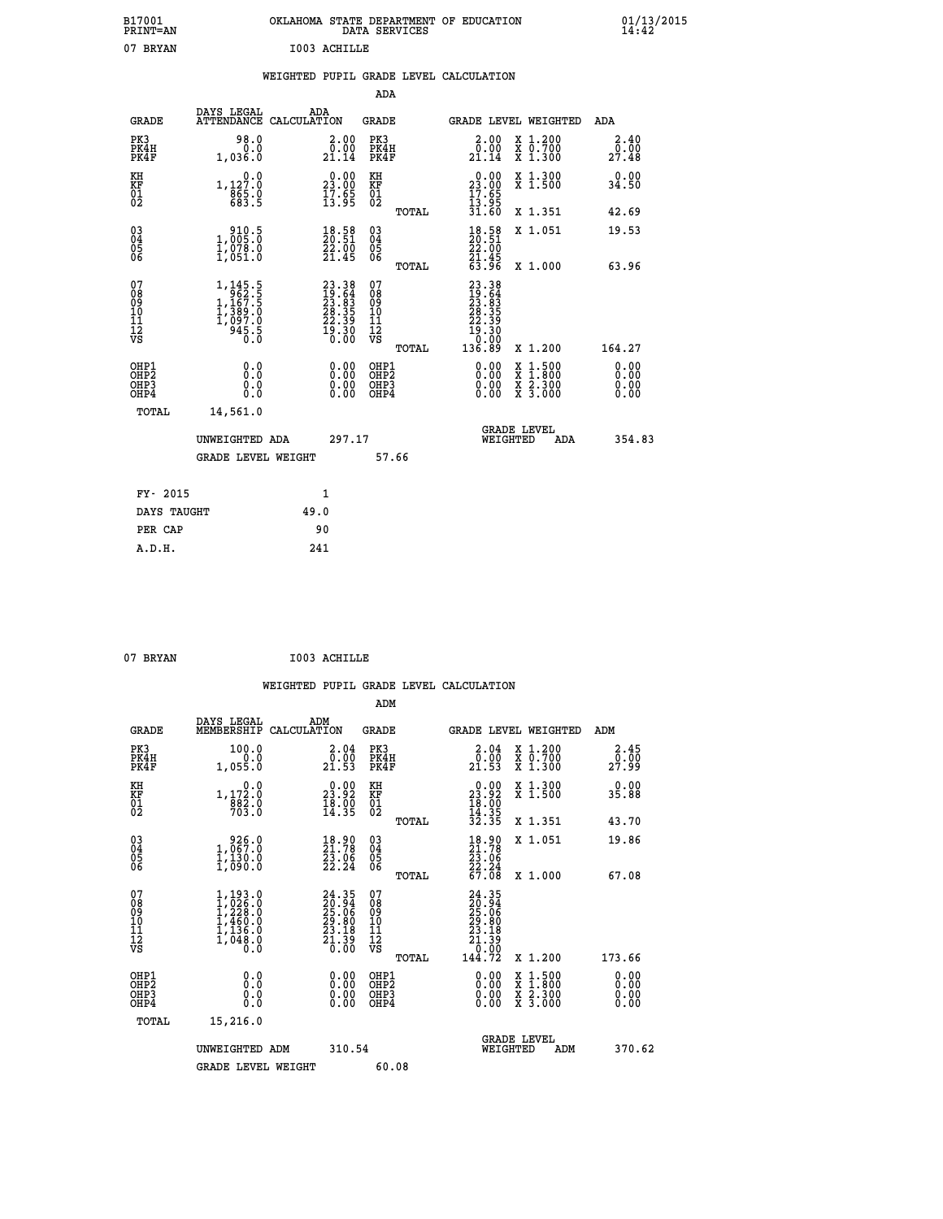| B17001<br>PRINT=AN | . STATE DEPARTMENT OF EDUCATION<br>OKLAHOMA<br>DATA SERVICES | $01/13/2015$<br>14:42 |
|--------------------|--------------------------------------------------------------|-----------------------|
| 07<br>BRYAN        | I003 ACHILLE                                                 |                       |

|  |  | WEIGHTED PUPIL GRADE LEVEL CALCULATION |
|--|--|----------------------------------------|
|  |  |                                        |

|                                        |                           |                                                                                                     |                                                                                              |        | ADA                                      |       |                                                                                                                                            |          |                                                                                                                                      |                              |
|----------------------------------------|---------------------------|-----------------------------------------------------------------------------------------------------|----------------------------------------------------------------------------------------------|--------|------------------------------------------|-------|--------------------------------------------------------------------------------------------------------------------------------------------|----------|--------------------------------------------------------------------------------------------------------------------------------------|------------------------------|
|                                        | <b>GRADE</b>              | DAYS LEGAL                                                                                          | ADA<br>ATTENDANCE CALCULATION                                                                |        | GRADE                                    |       |                                                                                                                                            |          | <b>GRADE LEVEL WEIGHTED</b>                                                                                                          | ADA                          |
| PK3                                    | PK4H<br>PK4F              | 98.0<br>0.0<br>1,036.0                                                                              | $\begin{smallmatrix} 2.00\\ 0.00\\ 21.14 \end{smallmatrix}$                                  |        | PK3<br>PK4H<br>PK4F                      |       | 2.00<br>0.00<br>21.14                                                                                                                      |          | X 1.200<br>X 0.700<br>X 1.300                                                                                                        | 2.40<br>0.00<br>27.48        |
| KH<br>KF<br>01<br>02                   |                           | 0.0<br>1,127.0<br>865.0<br>683.5                                                                    | $\begin{smallmatrix} 0.00\\ 23.00\\ 17.65\\ 13.95 \end{smallmatrix}$                         |        | KH<br>KF<br>01<br>02                     |       | $\begin{smallmatrix} 0.00\\ 23.00\\ 17.65\\ 13.95\\ 31.60 \end{smallmatrix}$                                                               |          | X 1.300<br>X 1.500                                                                                                                   | 0.00<br>34.50                |
|                                        |                           |                                                                                                     |                                                                                              |        |                                          | TOTAL |                                                                                                                                            |          | X 1.351                                                                                                                              | 42.69                        |
| 03<br>04<br>05<br>06                   |                           | $\begin{smallmatrix} 910.5\\ 1,005.0\\ 1,078.0\\ 1,051.0 \end{smallmatrix}$                         | $\frac{18.58}{20.51}$<br>$\frac{22.00}{21.45}$                                               |        | 03<br>04<br>05<br>06                     |       | $\begin{smallmatrix} 18.58\ 20.51\ 22.00\ 21.45\ 63.96 \end{smallmatrix}$                                                                  |          | X 1.051                                                                                                                              | 19.53                        |
|                                        |                           |                                                                                                     |                                                                                              |        |                                          | TOTAL |                                                                                                                                            |          | X 1.000                                                                                                                              | 63.96                        |
| 07<br>08<br>09<br>11<br>11<br>12<br>VS |                           | $\begin{smallmatrix} 1,145.5\\ 962.5\\ 1,167.5\\ 1,389.0\\ 1,097.0\\ 945.5\\ 0.0 \end{smallmatrix}$ | $\begin{smallmatrix} 23.38\\ 19.64\\ 23.83\\ 28.35\\ 22.39\\ 19.30\\ 0.00 \end{smallmatrix}$ |        | 07<br>08<br>09<br>11<br>11<br>12<br>VS   | TOTAL | $\begin{smallmatrix} 23 & 3 & 8 \\ 19 & 64 \\ 23 & 83 \\ 23 & 39 \\ 22 & 39 \\ 22 & 39 \\ 19 & 30 \\ 0 & 00 \\ 136 & 89 \end{smallmatrix}$ |          | X 1.200                                                                                                                              | 164.27                       |
| OHP1<br>OH <sub>P3</sub>               | OH <sub>P</sub> 2<br>OHP4 | 0.0<br>0.0<br>0.0                                                                                   | 0.00<br>$\begin{smallmatrix} 0.00 \ 0.00 \end{smallmatrix}$                                  |        | OHP1<br>OHP <sub>2</sub><br>OHP3<br>OHP4 |       | 0.00<br>0.00<br>0.00                                                                                                                       |          | $\begin{smallmatrix} \mathtt{X} & 1 & 500 \\ \mathtt{X} & 1 & 800 \\ \mathtt{X} & 2 & 300 \\ \mathtt{X} & 3 & 000 \end{smallmatrix}$ | 0.00<br>0.00<br>0.00<br>0.00 |
|                                        | TOTAL                     | 14,561.0                                                                                            |                                                                                              |        |                                          |       |                                                                                                                                            |          |                                                                                                                                      |                              |
|                                        |                           | UNWEIGHTED ADA                                                                                      |                                                                                              | 297.17 |                                          |       |                                                                                                                                            | WEIGHTED | <b>GRADE LEVEL</b><br>ADA                                                                                                            | 354.83                       |
|                                        |                           | GRADE LEVEL WEIGHT                                                                                  |                                                                                              |        | 57.66                                    |       |                                                                                                                                            |          |                                                                                                                                      |                              |
|                                        | FY- 2015                  |                                                                                                     | $\mathbf{1}$                                                                                 |        |                                          |       |                                                                                                                                            |          |                                                                                                                                      |                              |
|                                        | DAYS TAUGHT               |                                                                                                     | 49.0                                                                                         |        |                                          |       |                                                                                                                                            |          |                                                                                                                                      |                              |
|                                        | PER CAP                   |                                                                                                     | 90                                                                                           |        |                                          |       |                                                                                                                                            |          |                                                                                                                                      |                              |
|                                        | A.D.H.                    |                                                                                                     | 241                                                                                          |        |                                          |       |                                                                                                                                            |          |                                                                                                                                      |                              |

| 07 BRYAN |  | I003 ACHILLE |
|----------|--|--------------|
|          |  |              |

 **ADM**

| <b>GRADE</b>                           | DAYS LEGAL<br>MEMBERSHIP                                                            | ADM<br>CALCULATION                                                       | <b>GRADE</b>                                       |       | <b>GRADE LEVEL WEIGHTED</b>                                                                      |                                          | ADM                  |        |
|----------------------------------------|-------------------------------------------------------------------------------------|--------------------------------------------------------------------------|----------------------------------------------------|-------|--------------------------------------------------------------------------------------------------|------------------------------------------|----------------------|--------|
| PK3<br>PK4H<br>PK4F                    | 100.0<br>0.0<br>1,055.0                                                             | $\begin{smallmatrix} 2.04\0.00\\21.53\end{smallmatrix}$                  | PK3<br>PK4H<br>PK4F                                |       | 2.04<br>$2\overline{1}\cdot\overline{5}$<br>$21.53$                                              | X 1.200<br>X 0.700<br>X 1.300            | 2.45<br>27.99        |        |
| KH<br>KF<br>01<br>02                   | $\begin{smallmatrix}&&&0.0\\1,172.0\\882.0\\703.0\end{smallmatrix}$                 | $\begin{smallmatrix} 0.00\\ 23.92\\ 18.90\\ 14.35 \end{smallmatrix}$     | KH<br>KF<br>01<br>02                               |       | $\begin{smallmatrix} 0.00\\ 23.92\\ 18.00\\ 14.35\\ 32.35 \end{smallmatrix}$                     | X 1.300<br>X 1.500                       | 0.00<br>35.88        |        |
|                                        |                                                                                     |                                                                          |                                                    | TOTAL |                                                                                                  | X 1.351                                  | 43.70                |        |
| 03<br>04<br>05<br>06                   | $\begin{smallmatrix} & 926.0 \ 1,067.0 \ 1,130.0 \ 1,090.0 \end{smallmatrix}$       | $\begin{smallmatrix} 18.90\\ 21.78\\ 23.06\\ 22.24 \end{smallmatrix}$    | $\begin{matrix} 03 \\ 04 \\ 05 \\ 06 \end{matrix}$ |       | $\begin{smallmatrix} 18.90\\21.78\\23.06\\22.24\\67.08 \end{smallmatrix}$                        | X 1.051                                  | 19.86                |        |
|                                        |                                                                                     |                                                                          |                                                    | TOTAL |                                                                                                  | X 1.000                                  | 67.08                |        |
| 07<br>08<br>09<br>11<br>11<br>12<br>VS | $1,193.0$<br>$1,226.0$<br>$1,228.0$<br>$1,460.0$<br>$1,136.0$<br>$1,048.0$<br>$0.0$ | $24.35$<br>$20.94$<br>$25.06$<br>$29.80$<br>$23.18$<br>$21.39$<br>$0.00$ | 07<br>08901112<br>1112<br>VS                       | TOTAL | $\begin{smallmatrix} 24.35\ 20.94\ 25.06\ 25.06\ 29.80\ 23.13\ 21.390\ 144.72 \end{smallmatrix}$ | X 1.200                                  | 173.66               |        |
| OHP1<br>OHP2<br>OHP3<br>OHP4           | 0.0<br>Ō.Ō<br>Ŏ.Ŏ                                                                   |                                                                          | OHP1<br>OHP2<br>OHP3<br>OHP4                       |       |                                                                                                  | X 1:500<br>X 1:800<br>X 2:300<br>X 3:000 | 0.00<br>0.00<br>0.00 |        |
| TOTAL                                  | 15,216.0                                                                            |                                                                          |                                                    |       |                                                                                                  |                                          |                      |        |
|                                        | UNWEIGHTED ADM                                                                      | 310.54                                                                   |                                                    |       | WEIGHTED                                                                                         | <b>GRADE LEVEL</b><br>ADM                |                      | 370.62 |
|                                        | <b>GRADE LEVEL WEIGHT</b>                                                           |                                                                          | 60.08                                              |       |                                                                                                  |                                          |                      |        |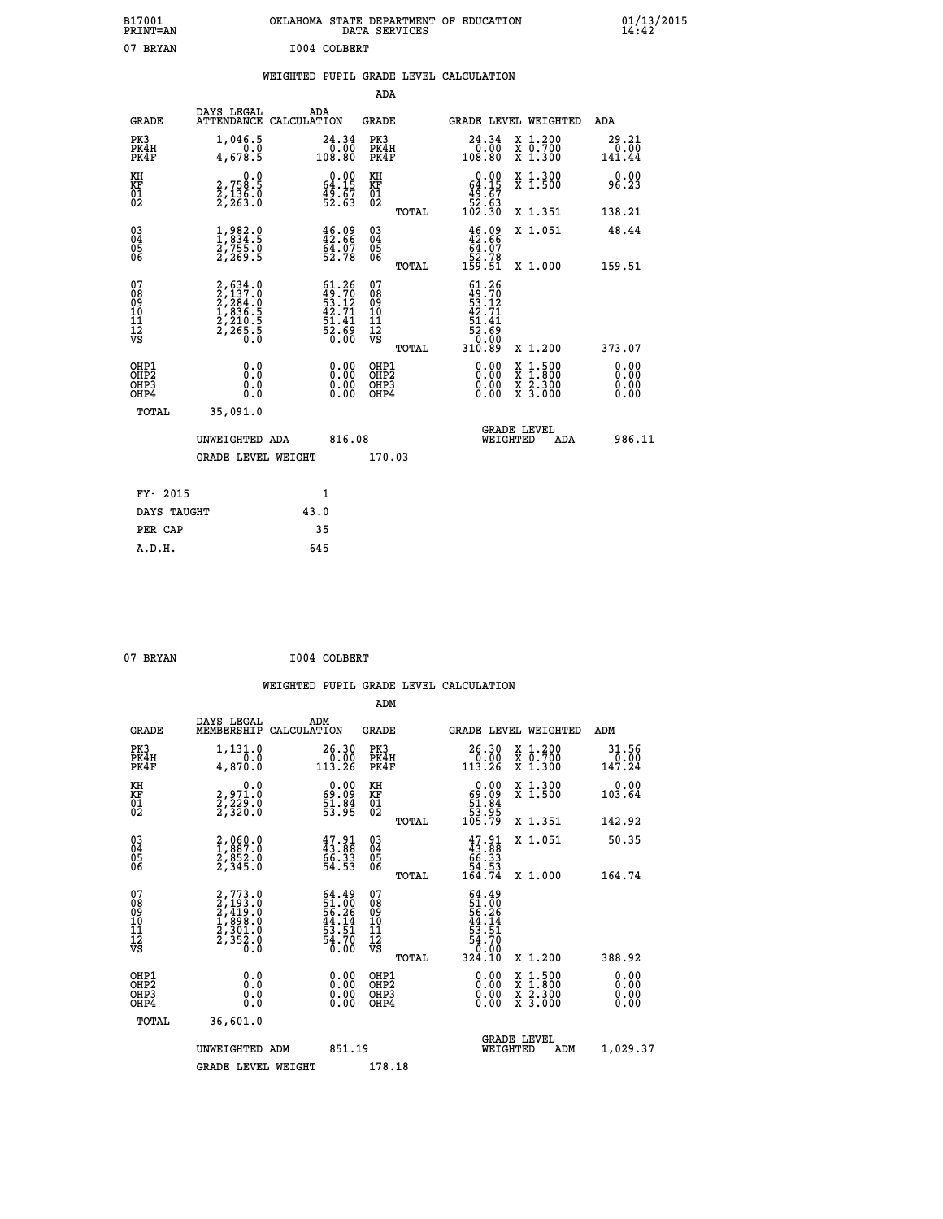| B17001<br><b>PRINT=AN</b> | OKLAHOMA STATE DEPARTMENT OF EDUCATION<br>DATA SERVICES | 01/13/2015 |
|---------------------------|---------------------------------------------------------|------------|
| 07<br>BRYAN               | I004 COLBERT                                            |            |

### **WEIGHTED PUPIL GRADE LEVEL CALCULATION**

|                                                                    |                                                                                                          |                                                                                                | ADA                                       |       |                                                                                      |                                          |                              |
|--------------------------------------------------------------------|----------------------------------------------------------------------------------------------------------|------------------------------------------------------------------------------------------------|-------------------------------------------|-------|--------------------------------------------------------------------------------------|------------------------------------------|------------------------------|
| <b>GRADE</b>                                                       | DAYS LEGAL<br><b>ATTENDANCE</b>                                                                          | ADA<br>CALCULATION                                                                             | <b>GRADE</b>                              |       |                                                                                      | GRADE LEVEL WEIGHTED                     | ADA                          |
| PK3<br>PK4H<br>PK4F                                                | 1,046.5<br>4,678.5                                                                                       | 24.34<br>$\begin{smallmatrix} & 0 & 0 & 0 \\ 0 & 0 & 0 & 0 \\ 1 & 0 & 8 & 0 \end{smallmatrix}$ | PK3<br>PK4H<br>PK4F                       |       | 24.34<br>00.0 <sup>1</sup><br>108.80                                                 | X 1.200<br>X 0.700<br>X 1.300            | 29.21<br>0.00<br>141.44      |
| KH<br><b>KF</b><br>01<br>02                                        | 0.0<br>2,758:5<br>2,136:0<br>2,263:0                                                                     | $0.00$<br>64.15<br>$\frac{49.67}{52.63}$                                                       | KH<br>KF<br>01<br>02                      |       | $\begin{smallmatrix} &0.00\ 64.15\ 49.67\ 52.63\ 102.30\ \end{smallmatrix}$          | X 1.300<br>X 1.500                       | 0.00<br>96.23                |
|                                                                    |                                                                                                          |                                                                                                |                                           | TOTAL |                                                                                      | X 1.351                                  | 138.21                       |
| $\begin{smallmatrix} 03 \\[-4pt] 04 \end{smallmatrix}$<br>05<br>06 | $\frac{1}{2}, \frac{982}{834}.\frac{0}{5}$<br>$\frac{2}{755}.\frac{0}{2}$<br>$\frac{2}{755}.\frac{0}{5}$ | $46.09$<br>$42.66$<br>$\frac{64.07}{52.78}$                                                    | $\substack{03 \\ 04}$<br>05<br>06         | TOTAL | $46.09\n42.66\n64.07\n52.78\n159.51$                                                 | X 1.051<br>X 1.000                       | 48.44<br>159.51              |
| 07<br>08901112<br>1112<br>VS                                       | 2,634.0<br>2,137.0<br>2,284.0<br>2,284.0<br>1,836.5<br>2,210.5<br>2,265.5                                | $61.26$<br>$49.70$<br>$53.12$<br>$42.71$<br>$51.41$<br>$52.69$<br>$0.00$                       | 07<br>08<br>09<br>11<br>11<br>12<br>VS    |       | $61.26$<br>$49.70$<br>$53.12$<br>$42.71$<br>$42.71$<br>$51.41$<br>$52.69$<br>$10.90$ |                                          |                              |
|                                                                    |                                                                                                          |                                                                                                |                                           | TOTAL | 310.89                                                                               | X 1.200                                  | 373.07                       |
| OHP1<br>OH <sub>P</sub> 2<br>OH <sub>P3</sub><br>OH <sub>P4</sub>  | 0.0<br>0.0<br>0.0                                                                                        | 0.00<br>0.00<br>0.00                                                                           | OHP1<br>OH <sub>P</sub> 2<br>OHP3<br>OHP4 |       | 0.00<br>0.00<br>0.00                                                                 | X 1:500<br>X 1:800<br>X 2:300<br>X 3:000 | 0.00<br>0.00<br>0.00<br>0.00 |
| TOTAL                                                              | 35,091.0                                                                                                 |                                                                                                |                                           |       |                                                                                      |                                          |                              |
|                                                                    | UNWEIGHTED ADA                                                                                           | 816.08                                                                                         |                                           |       |                                                                                      | GRADE LEVEL<br>WEIGHTED<br>ADA           | 986.11                       |
|                                                                    | <b>GRADE LEVEL WEIGHT</b>                                                                                |                                                                                                | 170.03                                    |       |                                                                                      |                                          |                              |
| FY- 2015                                                           |                                                                                                          | $\mathbf{1}$                                                                                   |                                           |       |                                                                                      |                                          |                              |
| DAYS TAUGHT                                                        |                                                                                                          | 43.0                                                                                           |                                           |       |                                                                                      |                                          |                              |
| PER CAP                                                            |                                                                                                          | 35                                                                                             |                                           |       |                                                                                      |                                          |                              |

| 07 | <b>BRYAN</b> |  |
|----|--------------|--|
|    |              |  |

 **A.D.H. 645**

**TO04 COLBERT** 

|                                          |                                                                                           |                                                                        | ADM                                                 |                                                                                    |                                          |                                |
|------------------------------------------|-------------------------------------------------------------------------------------------|------------------------------------------------------------------------|-----------------------------------------------------|------------------------------------------------------------------------------------|------------------------------------------|--------------------------------|
| <b>GRADE</b>                             | DAYS LEGAL<br>MEMBERSHIP                                                                  | ADM<br>CALCULATION                                                     | <b>GRADE</b>                                        | GRADE LEVEL WEIGHTED                                                               |                                          | ADM                            |
| PK3<br>PK4H<br>PK4F                      | 1,131.0<br>$\overline{0}$ .0<br>4,870.0                                                   | 26.30<br>$\begin{smallmatrix} 0.00 \\ 1.3.26 \end{smallmatrix}$        | PK3<br>PK4H<br>PK4F                                 | $26.30\n0.00\n113.26$                                                              | X 1.200<br>X 0.700<br>X 1.300            | 31.56<br>$\frac{0.00}{147.24}$ |
| KH<br>KF<br>01<br>02                     | 0.0<br>2,971.0<br>2,229.0<br>2,320.0                                                      | $\begin{smallmatrix} 0.00\\ 69.09\\ 51.84\\ 53.95 \end{smallmatrix}$   | KH<br>KF<br>01<br>02                                | 0.00<br>$\begin{array}{r} 69.09 \\ 51.84 \\ 53.95 \\ 105.79 \end{array}$           | X 1.300<br>X 1.500                       | 0.00<br>103.64                 |
|                                          |                                                                                           |                                                                        | TOTAL                                               |                                                                                    | X 1.351                                  | 142.92                         |
| 03<br>04<br>05<br>06                     | 2,060.0<br>1,887.0<br>2,852.0<br>2,345.0                                                  | $47.91$<br>$43.88$<br>$66.33$<br>$54.53$                               | $\begin{array}{c} 03 \\ 04 \\ 05 \\ 06 \end{array}$ | $47.91$<br>$43.88$<br>$66.33$<br>$54.53$<br>$164.74$                               | X 1.051                                  | 50.35                          |
|                                          |                                                                                           |                                                                        | TOTAL                                               |                                                                                    | X 1.000                                  | 164.74                         |
| 07<br>08<br>09<br>101<br>11<br>12<br>VS  | $2, 773.0$<br>$2, 419.0$<br>$2, 419.0$<br>$1, 898.0$<br>$2, 301.0$<br>$2, 352.0$<br>$0.0$ | $64.49$<br>$51.90$<br>$56.26$<br>$44.14$<br>$53.51$<br>$54.70$<br>Ō.ÓŎ | 07<br>08<br>09<br>11<br>11<br>12<br>VS<br>TOTAL     | $64.49$<br>$51.90$<br>$56.26$<br>$44.14$<br>$53.51$<br>$54.70$<br>$0.90$<br>324.10 | X 1.200                                  | 388.92                         |
| OHP1<br>OHP2<br>OH <sub>P3</sub><br>OHP4 | 0.0<br>0.000                                                                              | $0.00$<br>$0.00$<br>0.00                                               | OHP1<br>OHP2<br>OHP <sub>3</sub>                    | $0.00$<br>$0.00$<br>0.00                                                           | X 1:500<br>X 1:800<br>X 2:300<br>X 3:000 | 0.00<br>0.00<br>0.00           |
| TOTAL                                    | 36,601.0                                                                                  |                                                                        |                                                     |                                                                                    |                                          |                                |
|                                          | UNWEIGHTED ADM                                                                            | 851.19                                                                 |                                                     | WEIGHTED                                                                           | <b>GRADE LEVEL</b><br>ADM                | 1,029.37                       |
|                                          | <b>GRADE LEVEL WEIGHT</b>                                                                 |                                                                        | 178.18                                              |                                                                                    |                                          |                                |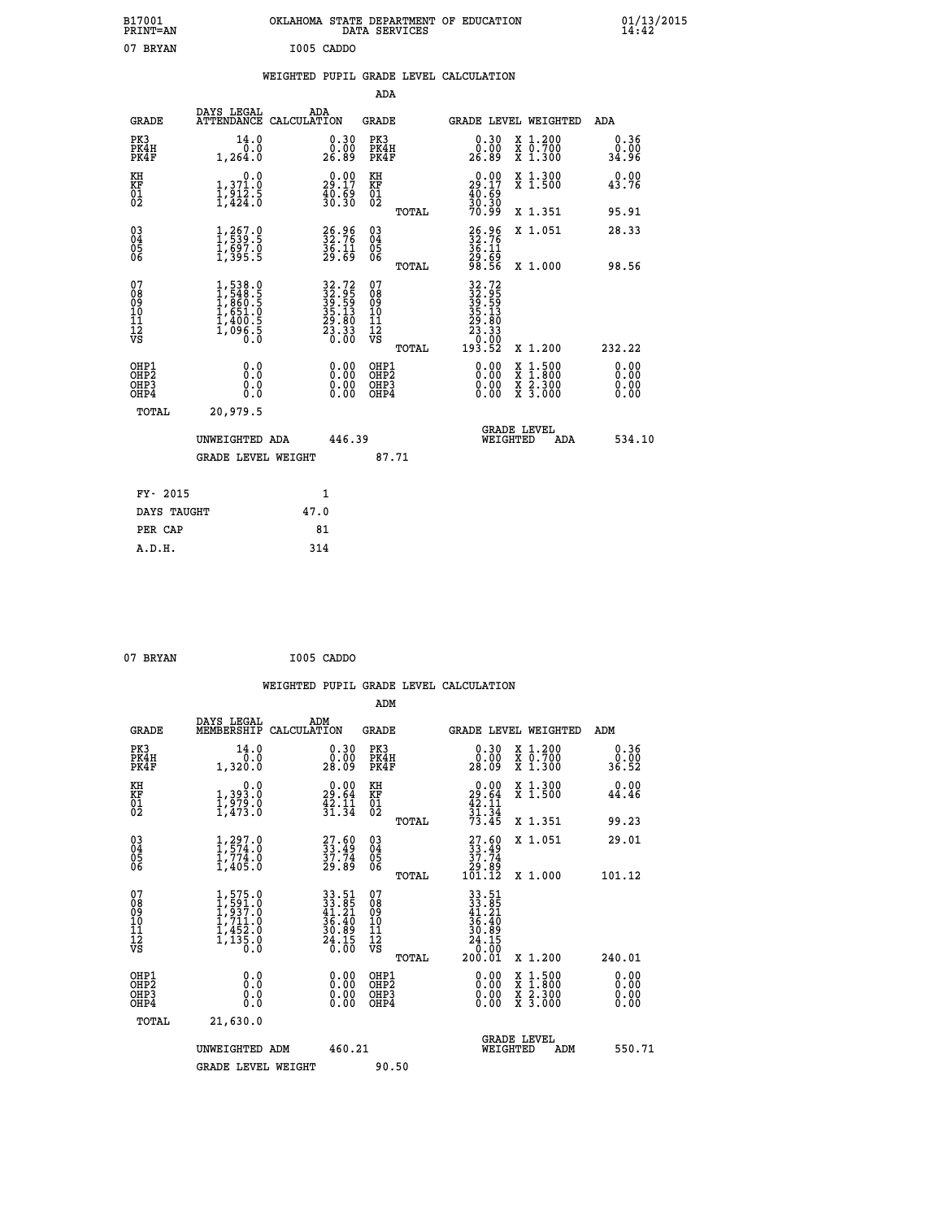| B17001<br><b>PRINT=AN</b>                          |                                                                                                                                 | OKLAHOMA STATE DEPARTMENT OF EDUCATION                                                  | DATA SERVICES                            |                                                                       |                                                                                          | 01/13/2015<br>14:42          |  |
|----------------------------------------------------|---------------------------------------------------------------------------------------------------------------------------------|-----------------------------------------------------------------------------------------|------------------------------------------|-----------------------------------------------------------------------|------------------------------------------------------------------------------------------|------------------------------|--|
| 07 BRYAN                                           |                                                                                                                                 | I005 CADDO                                                                              |                                          |                                                                       |                                                                                          |                              |  |
|                                                    |                                                                                                                                 | WEIGHTED PUPIL GRADE LEVEL CALCULATION                                                  |                                          |                                                                       |                                                                                          |                              |  |
|                                                    |                                                                                                                                 |                                                                                         | <b>ADA</b>                               |                                                                       |                                                                                          |                              |  |
| <b>GRADE</b>                                       | DAYS LEGAL<br>ATTENDANCE CALCULATION                                                                                            | ADA                                                                                     | GRADE                                    | <b>GRADE LEVEL WEIGHTED</b>                                           |                                                                                          | ADA                          |  |
| PK3<br>PK4H<br>PK4F                                | 14.0<br>0.0<br>1,264.0                                                                                                          | 0.30<br>0.00<br>26.89                                                                   | PK3<br>PK4H<br>PK4F                      | 0.30<br>ŏ:ŏŏ<br>26:89                                                 | X 1.200<br>X 0.700<br>X 1.300                                                            | 0.36<br>0.00<br>34.96        |  |
| KH<br>KF<br>01<br>02                               | 0.0<br>$\frac{1}{1}, \frac{3}{1}, \frac{7}{2}, \frac{7}{5}$<br>1,424.0                                                          | $\begin{smallmatrix} 0.00\\ 29.17\\ 40.69\\ 30.30 \end{smallmatrix}$                    | KH<br>KF<br>01<br>02                     | 29:17<br>$\frac{40.59}{30.30}$                                        | X 1.300<br>X 1.500                                                                       | 0.00<br>43.76                |  |
|                                                    |                                                                                                                                 |                                                                                         | TOTAL                                    |                                                                       | X 1.351                                                                                  | 95.91                        |  |
| $\begin{matrix} 03 \\ 04 \\ 05 \\ 06 \end{matrix}$ | $\frac{1}{1}, \frac{267}{539}.\frac{0}{5} \ \frac{1}{5}, \frac{697}{95}.\frac{0}{5} \ \frac{1}{1}, \frac{395}{395}.\frac{0}{5}$ | $\frac{26.96}{32.76}$<br>$\frac{36.11}{29.69}$                                          | 03<br>04<br>05<br>ŎĞ                     | $32.76$<br>$36.11$<br>39:65<br>98:56                                  | X 1.051                                                                                  | 28.33                        |  |
|                                                    |                                                                                                                                 |                                                                                         | TOTAL                                    |                                                                       | X 1.000                                                                                  | 98.56                        |  |
| 0789011128                                         | 1,538.0<br>1,548.5<br>1,860.5<br>$\begin{smallmatrix} 1, 651.0 \ 1, 400.5 \ 1, 096.5 \end{smallmatrix}$                         | $\begin{smallmatrix} 32.72\ 32.95\ 39.59\ 35.13\ 29.80\ 23.33\ 20.00 \end{smallmatrix}$ | 0789011128<br>TOTAL                      | 32.72<br>32.95<br>39.59<br>35.13<br>35.80<br>23.33<br>00.07<br>193.52 | X 1.200                                                                                  | 232.22                       |  |
| OHP1<br>OHP2<br>OHP3<br>OHP4                       | 0.0<br>Ŏ.Ŏ<br>0.0<br>0.0                                                                                                        | 0.00<br>0.00<br>0.00                                                                    | OHP1<br>OHP <sub>2</sub><br>OHP3<br>OHP4 | 0.00<br>0.00<br>0.00                                                  | $\begin{smallmatrix} x & 1.500 \\ x & 1.800 \\ x & 2.300 \\ x & 3.000 \end{smallmatrix}$ | 0.00<br>ŏ.ŏŏ<br>0.00<br>0.00 |  |
| TOTAL                                              | 20,979.5                                                                                                                        |                                                                                         |                                          |                                                                       |                                                                                          |                              |  |
|                                                    | UNWEIGHTED ADA                                                                                                                  | 446.39                                                                                  |                                          | <b>GRADE LEVEL</b><br>WEIGHTED                                        | ADA                                                                                      | 534.10                       |  |
|                                                    | <b>GRADE LEVEL WEIGHT</b>                                                                                                       |                                                                                         | 87.71                                    |                                                                       |                                                                                          |                              |  |
| FY- 2015                                           |                                                                                                                                 | 1                                                                                       |                                          |                                                                       |                                                                                          |                              |  |
| DAYS TAUGHT                                        |                                                                                                                                 | 47.0                                                                                    |                                          |                                                                       |                                                                                          |                              |  |
| PER CAP                                            |                                                                                                                                 | 81                                                                                      |                                          |                                                                       |                                                                                          |                              |  |

```
 07 BRYAN I005 CADDO
```
 **WEIGHTED PUPIL GRADE LEVEL CALCULATION ADM DAYS LEGAL ADM GRADE MEMBERSHIP CALCULATION GRADE GRADE LEVEL WEIGHTED ADM PK3 14.0 0.30 PK3 0.30 X 1.200 0.36 PK4H 0.0 0.00 PK4H 0.00 X 0.700 0.00 PK4F 1,320.0 28.09 PK4F 28.09 X 1.300 36.52 KH 0.0 0.00 KH 0.00 X 1.300 0.00 KF 1,393.0 29.64 KF 29.64 X 1.500 44.46**  $\begin{array}{cccc} 01 & 1/979 & 0 & 42.11 & 01 & 42.11 \\ 02 & 1/473 & 0 & 31.34 & 02 & 31.34 \end{array}$  **TOTAL 73.45 X 1.351 99.23 03 1,297.0 27.60 03 27.60 X 1.051 29.01 04 1,574.0 33.49 04 33.49 05 1,774.0 37.74 05 37.74 06 1,405.0 29.89 06 29.89 TOTAL 101.12 X 1.000 101.12**  $\begin{array}{cccc} 07 & 1,575.0 & 33.51 & 07 & 33.51 \\ 08 & 1,593.0 & 41.21 & 08 & 33.51 \\ 09 & 1,937.0 & 41.21 & 09 & 41.21 \\ 10 & 1,711.0 & 36.40 & 10 & 36.40 \\ 11 & 1,452.0 & 30.89 & 11 & 30.68 \\ 12 & 1,452.0 & 30.89 & 12 & 30.89 \\ \sqrt{5} & 1,135.0 & 26.15 & \sqrt{5}$ **33.51 07**<br> **33.51 07**<br> **33.51**<br> **41.21 09**<br> **41.21 09**<br> **41.21**<br> **56.40**<br> **56.40**<br> **56.40**<br> **56.40**<br> **56.40**<br> **56.40**<br> **56.40**<br> **56.40**<br> **56.40**<br> **56.40**<br> **56.40**<br> **56.40**<br> **56.40**<br> **56.40**<br> **56.40**<br> **56.40**<br> **56.40**<br> **56 OHP1 0.0 0.00 OHP1 0.00 X 1.500 0.00 OHP2 0.0 0.00 OHP2 0.00 X 1.800 0.00 OHP3 0.0 0.00 OHP3 0.00 X 2.300 0.00 OHP4 0.0 0.00 OHP4 0.00 X 3.000 0.00 TOTAL 21,630.0 GRADE LEVEL UNWEIGHTED ADM 460.21 WEIGHTED ADM 550.71** GRADE LEVEL WEIGHT 90.50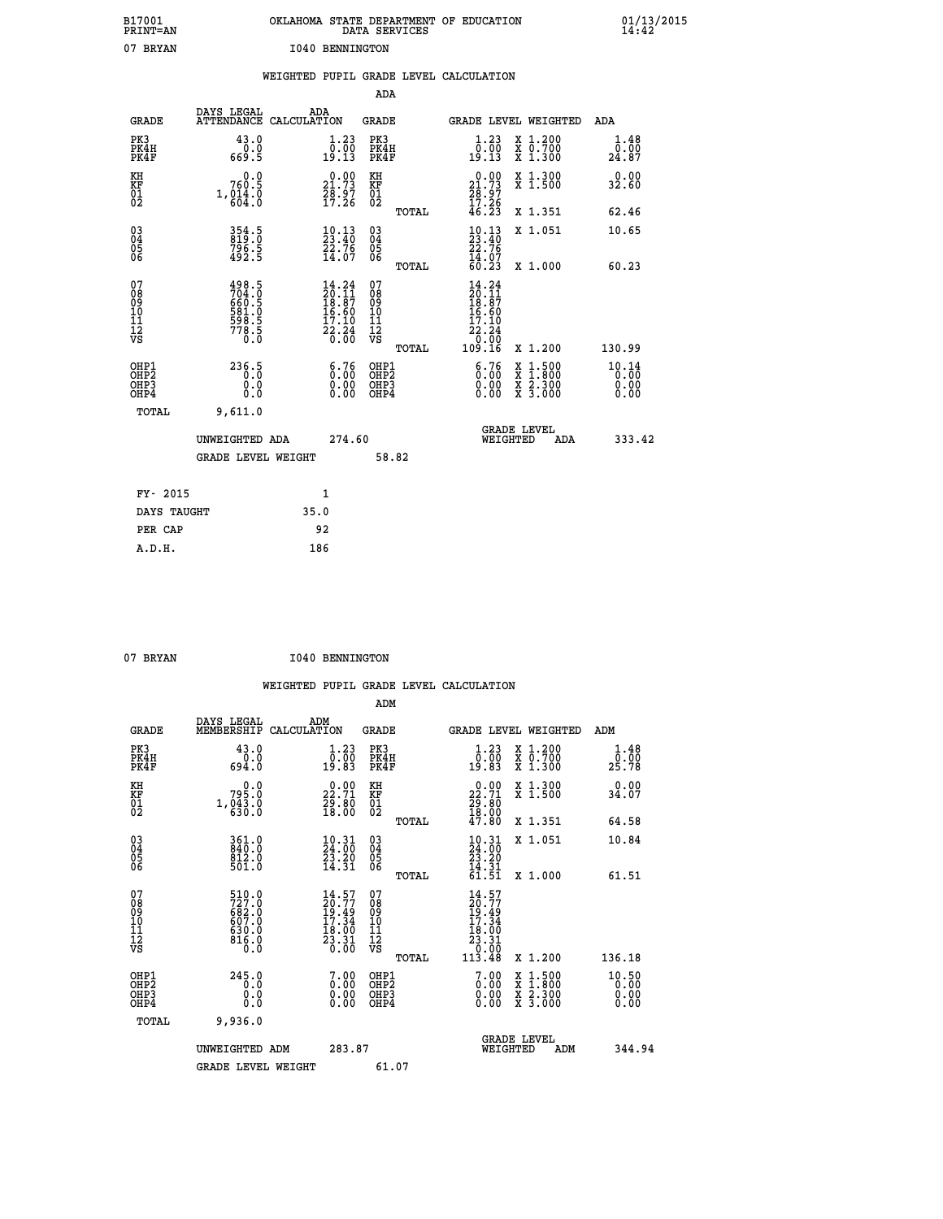| B17001<br>PRINT=AN                                |                                                                      | OKLAHOMA STATE DEPARTMENT OF EDUCATION                                                                                 | DATA SERVICES                                               |                                                                                      |                                          | 01/13/2015                    |
|---------------------------------------------------|----------------------------------------------------------------------|------------------------------------------------------------------------------------------------------------------------|-------------------------------------------------------------|--------------------------------------------------------------------------------------|------------------------------------------|-------------------------------|
| 07 BRYAN                                          |                                                                      | 1040 BENNINGTON<br>WEIGHTED PUPIL GRADE LEVEL CALCULATION                                                              |                                                             |                                                                                      |                                          |                               |
|                                                   |                                                                      |                                                                                                                        | <b>ADA</b>                                                  |                                                                                      |                                          |                               |
| <b>GRADE</b>                                      | DAYS LEGAL                                                           | ADA<br>ATTENDANCE CALCULATION                                                                                          | <b>GRADE</b>                                                |                                                                                      | GRADE LEVEL WEIGHTED                     | ADA                           |
| PK3<br>PK4H<br>PK4F                               | 43.0<br>0.0<br>669.5                                                 | 1.23<br>$\frac{0.00}{19.13}$                                                                                           | PK3<br>PK4H<br>PK4F                                         | 1.23<br>$\begin{smallmatrix} 0.00 \ 0.13 \end{smallmatrix}$                          | X 1.200<br>X 0.700<br>X 1.300            | 1.48<br>0.00<br>24.87         |
| KH<br>KF<br>$\begin{matrix} 01 \ 02 \end{matrix}$ | 0.0<br>760.5<br>1, 014.0                                             | 21.73<br>$\frac{78.97}{17.26}$                                                                                         | KH<br><b>KF</b><br>01<br>02                                 | $\begin{smallmatrix} 0.00\\ 21.73\\ 28.97\\ 17.26\\ 46.23 \end{smallmatrix}$         | X 1.300<br>X 1.500                       | 0.00<br>32.60                 |
|                                                   |                                                                      |                                                                                                                        | TOTAL                                                       |                                                                                      | X 1.351                                  | 62.46                         |
| 03<br>04<br>05<br>06                              | 354.5<br>819.0<br>796.5<br>492.5                                     | $\begin{smallmatrix} 10.13\ 23.40\ 22.76\ 14.07 \end{smallmatrix}$                                                     | $^{03}_{04}$<br>0500                                        | $\frac{10.13}{23.40}$<br>22.76                                                       | X 1.051                                  | 10.65                         |
|                                                   |                                                                      |                                                                                                                        | TOTAL                                                       | $\frac{1}{60}$ : $\frac{1}{23}$                                                      | X 1.000                                  | 60.23                         |
| 07<br>08<br>09<br>11<br>11<br>12<br>VS            | 498.5<br>704.0<br>660.5<br>681.0<br>581.0<br>598.5<br>778.5<br>778.5 | $\begin{array}{c} 14\cdot 24\\ 20\cdot 11\\ 18\cdot 87\\ 16\cdot 60\\ 17\cdot 10\\ 22\cdot 24\\ 0\cdot 00 \end{array}$ | 07<br>08<br>09<br>10<br>11<br>$\frac{1}{\sqrt{2}}$<br>TOTAL | $14.24$<br>$20.11$<br>$18.87$<br>$16.60$<br>$\frac{17.10}{22.24}$<br>50.00<br>109.16 | X 1.200                                  | 130.99                        |
| OHP1<br>OHP2<br>OHP3<br>OHP4                      | 236.5<br>0.0<br>0.0                                                  | $\begin{smallmatrix} 6.76 \ 0.00 \ 0.00 \end{smallmatrix}$<br>0.00                                                     | OHP1<br>OHP2<br>OHP3<br>OHP4                                | $\begin{smallmatrix} 6.76 \ 0.00 \ 0.00 \end{smallmatrix}$<br>0.00                   | X 1:500<br>X 1:800<br>X 2:300<br>X 3:000 | 10.14<br>0.00<br>0.00<br>0.00 |
| TOTAL                                             | 9,611.0                                                              |                                                                                                                        |                                                             |                                                                                      |                                          |                               |
|                                                   | UNWEIGHTED ADA                                                       | 274.60                                                                                                                 |                                                             |                                                                                      | <b>GRADE LEVEL</b><br>WEIGHTED<br>ADA    | 333.42                        |
|                                                   | <b>GRADE LEVEL WEIGHT</b>                                            |                                                                                                                        | 58.82                                                       |                                                                                      |                                          |                               |
| FY- 2015                                          |                                                                      | 1                                                                                                                      |                                                             |                                                                                      |                                          |                               |
| DAYS TAUGHT                                       |                                                                      | 35.0                                                                                                                   |                                                             |                                                                                      |                                          |                               |
| PER CAP                                           |                                                                      | 92                                                                                                                     |                                                             |                                                                                      |                                          |                               |

07 BRYAN **I040 BENNINGTON** 

|                                                                              |                                                             |                                                                                              |                                                     | WEIGHTED PUPIL GRADE LEVEL CALCULATION                                                                      |                                                                                                                                           |                       |
|------------------------------------------------------------------------------|-------------------------------------------------------------|----------------------------------------------------------------------------------------------|-----------------------------------------------------|-------------------------------------------------------------------------------------------------------------|-------------------------------------------------------------------------------------------------------------------------------------------|-----------------------|
|                                                                              |                                                             |                                                                                              | ADM                                                 |                                                                                                             |                                                                                                                                           |                       |
| <b>GRADE</b>                                                                 | DAYS LEGAL<br>MEMBERSHIP                                    | ADM<br>CALCULATION                                                                           | <b>GRADE</b>                                        | GRADE LEVEL WEIGHTED                                                                                        |                                                                                                                                           | ADM                   |
| PK3<br>PK4H<br>PK4F                                                          | 43.0<br>0.0<br>694.0                                        | $\begin{smallmatrix} 1.23\ 0.00\ 19.83 \end{smallmatrix}$                                    | PK3<br>PK4H<br>PK4F                                 | $\begin{smallmatrix} 1.23\ 0.00\\ 19.83 \end{smallmatrix}$                                                  | X 1.200<br>X 0.700<br>X 1.300                                                                                                             | 1.48<br>0.00<br>25.78 |
| KH<br>KF<br>01<br>02                                                         | 795.0<br>1, 043.0                                           | $\begin{smallmatrix} 0.00\\ 22.71\\ 29.80\\ 18.00 \end{smallmatrix}$                         | KH<br>KF<br>01<br>02                                | $\begin{smallmatrix} 0.00\\ 22.71\\ 29.80\\ 18.00\\ 47.80 \end{smallmatrix}$                                | X 1.300<br>X 1.500                                                                                                                        | 0.00<br>34.07         |
|                                                                              |                                                             |                                                                                              | TOTAL                                               |                                                                                                             | X 1.351                                                                                                                                   | 64.58                 |
| $\begin{matrix} 03 \\ 04 \\ 05 \\ 06 \end{matrix}$                           | 361.0<br>840.0<br>812.0<br>501.0                            | 10.31<br>24.00<br>$\frac{2\bar{3}\cdot\tilde{2}\tilde{0}}{14\cdot31}$                        | $\begin{array}{c} 03 \\ 04 \\ 05 \\ 06 \end{array}$ | 10.31<br>24:00<br>$\frac{23.20}{14.31}$<br>$\frac{14.31}{61.51}$                                            | X 1.051                                                                                                                                   | 10.84                 |
|                                                                              |                                                             |                                                                                              | TOTAL                                               |                                                                                                             | X 1.000                                                                                                                                   | 61.51                 |
| 07<br>08<br>09<br>101<br>112<br>VS                                           | 510.0<br>727.0<br>682.0<br>687.0<br>630.0<br>630.0<br>816.0 | $\begin{smallmatrix} 14.57\\ 20.77\\ 19.49\\ 17.34\\ 18.00\\ 23.31\\ 0.00 \end{smallmatrix}$ | 07<br>08<br>09<br>11<br>11<br>12<br>VS<br>TOTAL     | $14.57$<br>$20.77$<br>$19.49$<br>$17.34$<br>$\begin{array}{r} 16.00 \\ 23.31 \\ 0.00 \\ 113.48 \end{array}$ | X 1.200                                                                                                                                   | 136.18                |
| OHP1<br>OH <sub>P</sub> <sub>2</sub><br>OH <sub>P3</sub><br>OH <sub>P4</sub> | 245.0<br>0.0<br>0.0<br>0.0                                  | $\begin{smallmatrix} 7.00 \ 0.00 \ 0.00 \end{smallmatrix}$<br>0.00                           | OHP1<br>OH <sub>P</sub> 2<br>OHP3<br>OHP4           | $\begin{smallmatrix} 7.00 \\ 0.00 \\ 0.00 \\ 0.00 \end{smallmatrix}$                                        | $\begin{smallmatrix} \mathtt{X} & 1\cdot500\\ \mathtt{X} & 1\cdot800\\ \mathtt{X} & 2\cdot300\\ \mathtt{X} & 3\cdot000 \end{smallmatrix}$ | 10.50<br>0.00<br>0.00 |
| TOTAL                                                                        | 9,936.0                                                     |                                                                                              |                                                     |                                                                                                             |                                                                                                                                           |                       |
|                                                                              | UNWEIGHTED ADM                                              | 283.87                                                                                       |                                                     | <b>GRADE LEVEL</b><br>WEIGHTED                                                                              | ADM                                                                                                                                       | 344.94                |
|                                                                              | <b>GRADE LEVEL WEIGHT</b>                                   |                                                                                              | 61.07                                               |                                                                                                             |                                                                                                                                           |                       |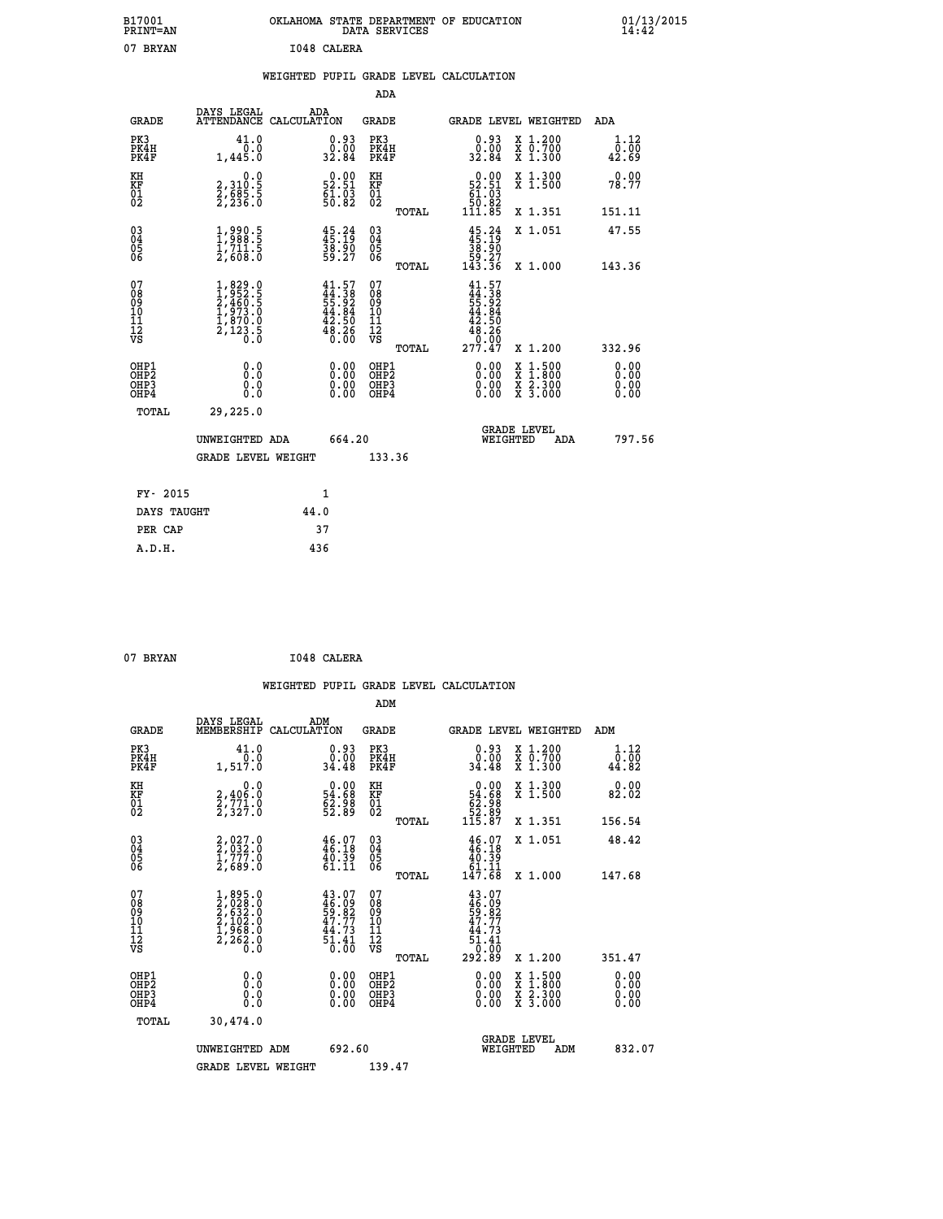| B17001<br>PRINT=AN | OKLAHOMA STATE DEPARTMENT OF EDUCATION<br>DATA SERVICES | 01/13/2015<br>14:42 |
|--------------------|---------------------------------------------------------|---------------------|
| 07<br>BRYAN        | 1048 CALERA                                             |                     |

|  |  | WEIGHTED PUPIL GRADE LEVEL CALCULATION |
|--|--|----------------------------------------|
|  |  |                                        |

|                                                       |                                                                                     |                                                                          | ADA                                       |       |                                                                                      |                                                                                                                                      |                              |
|-------------------------------------------------------|-------------------------------------------------------------------------------------|--------------------------------------------------------------------------|-------------------------------------------|-------|--------------------------------------------------------------------------------------|--------------------------------------------------------------------------------------------------------------------------------------|------------------------------|
| <b>GRADE</b>                                          | DAYS LEGAL                                                                          | ADA<br>ATTENDANCE CALCULATION                                            | GRADE                                     |       | GRADE LEVEL WEIGHTED                                                                 |                                                                                                                                      | ADA                          |
| PK3<br>PK4H<br>PK4F                                   | 41.0<br>$0.0$<br>1,445.0                                                            | $\begin{smallmatrix} 0.93\ 0.00\\ 2.84 \end{smallmatrix}$                | PK3<br>PK4H<br>PK4F                       |       | $0.93$<br>$0.00$<br>32.84                                                            | X 1.200<br>X 0.700<br>X 1.300                                                                                                        | 1.12<br>0.00<br>42.69        |
| KH<br>KF<br>01<br>02                                  | 0.0<br>2,310:5<br>2,685:5<br>2,236:0                                                | $\begin{smallmatrix} 0.00\\ 52.51\\ 61.03\\ 50.82 \end{smallmatrix}$     | KH<br>KF<br>01<br>02                      |       | $\begin{smallmatrix} &0.00\ 52.51\ 61.03\ 50.82\ 111.85\end{smallmatrix}$            | X 1.300<br>X 1.500                                                                                                                   | 0.00<br>78.77                |
|                                                       |                                                                                     |                                                                          |                                           | TOTAL |                                                                                      | X 1.351                                                                                                                              | 151.11                       |
| 03<br>04<br>05<br>06                                  | $\frac{1}{1}, \frac{990}{988}.5$<br>1,711.5<br>2,608.0                              | 45.24<br>$\frac{38.90}{59.27}$                                           | 03<br>04<br>05<br>06                      |       | $45.24\n45.19\n38.90\n59.27\n143.36$                                                 | X 1.051                                                                                                                              | 47.55                        |
|                                                       |                                                                                     |                                                                          |                                           | TOTAL |                                                                                      | X 1.000                                                                                                                              | 143.36                       |
| 07<br>08<br>09<br>11<br>11<br>12<br>VS                | $1,829.0$<br>$2,460.5$<br>$2,460.5$<br>$1,973.0$<br>$1,870.0$<br>$2,123.5$<br>$0.0$ | $41.57$<br>$44.38$<br>$55.92$<br>$44.84$<br>$42.50$<br>$48.26$<br>$0.00$ | 07<br>08<br>09<br>11<br>11<br>12<br>VS    | TOTAL | $41.57$<br>$44.38$<br>$55.92$<br>$42.84$<br>$42.50$<br>$48.26$<br>$0.00$<br>$277.47$ | X 1.200                                                                                                                              | 332.96                       |
| OHP1<br>OH <sub>P</sub> 2<br>OH <sub>P3</sub><br>OHP4 | 0.0<br>0.0<br>0.0                                                                   | 0.00<br>$\begin{smallmatrix} 0.00 \ 0.00 \end{smallmatrix}$              | OHP1<br>OH <sub>P</sub> 2<br>OHP3<br>OHP4 |       | 0.00<br>0.00<br>0.00                                                                 | $\begin{smallmatrix} \mathtt{X} & 1 & 500 \\ \mathtt{X} & 1 & 800 \\ \mathtt{X} & 2 & 300 \\ \mathtt{X} & 3 & 000 \end{smallmatrix}$ | 0.00<br>0.00<br>0.00<br>0.00 |
| TOTAL                                                 | 29,225.0                                                                            |                                                                          |                                           |       |                                                                                      |                                                                                                                                      |                              |
|                                                       | UNWEIGHTED ADA                                                                      | 664.20                                                                   |                                           |       | WEIGHTED                                                                             | <b>GRADE LEVEL</b><br>ADA                                                                                                            | 797.56                       |
|                                                       | GRADE LEVEL WEIGHT                                                                  |                                                                          | 133.36                                    |       |                                                                                      |                                                                                                                                      |                              |
| FY- 2015                                              |                                                                                     | $\mathbf{1}$                                                             |                                           |       |                                                                                      |                                                                                                                                      |                              |
| DAYS TAUGHT                                           |                                                                                     | 44.0                                                                     |                                           |       |                                                                                      |                                                                                                                                      |                              |
| PER CAP                                               |                                                                                     | 37                                                                       |                                           |       |                                                                                      |                                                                                                                                      |                              |
| A.D.H.                                                |                                                                                     | 436                                                                      |                                           |       |                                                                                      |                                                                                                                                      |                              |
|                                                       |                                                                                     |                                                                          |                                           |       |                                                                                      |                                                                                                                                      |                              |

| 07 BRYAN | I048 CALERA |
|----------|-------------|
|          |             |

|                                                    |                                                                                     |                                                                          | ADM                                                 |       |                                                                                                                                                                                                                                                                                |                                                                                                  |                              |  |
|----------------------------------------------------|-------------------------------------------------------------------------------------|--------------------------------------------------------------------------|-----------------------------------------------------|-------|--------------------------------------------------------------------------------------------------------------------------------------------------------------------------------------------------------------------------------------------------------------------------------|--------------------------------------------------------------------------------------------------|------------------------------|--|
| <b>GRADE</b>                                       | DAYS LEGAL<br>MEMBERSHIP                                                            | ADM<br>CALCULATION                                                       | <b>GRADE</b>                                        |       |                                                                                                                                                                                                                                                                                | GRADE LEVEL WEIGHTED                                                                             | ADM                          |  |
| PK3<br>PK4H<br>PK4F                                | 41.0<br>1,517.0                                                                     | $\begin{smallmatrix} 0.93\ 0.00\\ 24.48 \end{smallmatrix}$               | PK3<br>PK4H<br>PK4F                                 |       | $\begin{smallmatrix} 0.93\ 0.00\\ 24.48 \end{smallmatrix}$                                                                                                                                                                                                                     | X 1.200<br>X 0.700<br>X 1.300                                                                    | 1.12<br>0.00<br>44.82        |  |
| KH<br>KF<br>01<br>02                               | 0.0<br>2,406:0<br>2,771:0<br>2,327:0                                                | $\begin{smallmatrix} 0.00\\ 54.68\\ 62.98\\ 52.89 \end{smallmatrix}$     | KH<br>KF<br>01<br>02                                |       | $\begin{smallmatrix}&&0.00\\54.68\\62.98\\52.89\\115.87\end{smallmatrix}$                                                                                                                                                                                                      | X 1.300<br>X 1.500                                                                               | 0.00<br>82.02                |  |
|                                                    |                                                                                     |                                                                          |                                                     | TOTAL |                                                                                                                                                                                                                                                                                | X 1.351                                                                                          | 156.54                       |  |
| $\begin{matrix} 03 \\ 04 \\ 05 \\ 06 \end{matrix}$ | $2,032.0$<br>$2,032.0$<br>$1,777.0$<br>$2,689.0$                                    | $46.18$<br>$46.18$<br>$40.39$<br>$61.11$                                 | $\begin{array}{c} 03 \\ 04 \\ 05 \\ 06 \end{array}$ |       | $\begin{array}{c} 46.07 \\ 46.18 \\ 40.39 \\ 61.11 \\ 147.68 \end{array}$                                                                                                                                                                                                      | X 1.051                                                                                          | 48.42                        |  |
|                                                    |                                                                                     |                                                                          |                                                     | TOTAL |                                                                                                                                                                                                                                                                                | X 1.000                                                                                          | 147.68                       |  |
| 07<br>08<br>09<br>101<br>11<br>12<br>VS            | $1,895.0$<br>$2,632.0$<br>$2,532.0$<br>$2,102.0$<br>$1,968.0$<br>$2,262.0$<br>$0.0$ | $43.07$<br>$46.09$<br>$59.82$<br>$47.77$<br>$44.73$<br>$51.41$<br>$0.00$ | 07<br>08<br>09<br>01<br>11<br>11<br>12<br>VS        |       | $43.07$<br>$46.09$<br>$59.82$<br>$47.73$<br>$44.73$<br>$51.41$<br>$0.00$<br>$292.89$                                                                                                                                                                                           |                                                                                                  |                              |  |
|                                                    |                                                                                     |                                                                          |                                                     | TOTAL |                                                                                                                                                                                                                                                                                | X 1.200                                                                                          | 351.47                       |  |
| OHP1<br>OHP2<br>OH <sub>P3</sub><br>OHP4           | 0.0<br>0.000                                                                        | 0.00<br>$\begin{smallmatrix} 0.00 \ 0.00 \end{smallmatrix}$              | OHP1<br>OHP2<br>OHP3<br>OHP4                        |       | $\begin{smallmatrix} 0.00 & 0.00 & 0.00 & 0.00 & 0.00 & 0.00 & 0.00 & 0.00 & 0.00 & 0.00 & 0.00 & 0.00 & 0.00 & 0.00 & 0.00 & 0.00 & 0.00 & 0.00 & 0.00 & 0.00 & 0.00 & 0.00 & 0.00 & 0.00 & 0.00 & 0.00 & 0.00 & 0.00 & 0.00 & 0.00 & 0.00 & 0.00 & 0.00 & 0.00 & 0.00 & 0.0$ | $\begin{smallmatrix} x & 1 & 500 \\ x & 1 & 800 \\ x & 2 & 300 \\ x & 3 & 000 \end{smallmatrix}$ | 0.00<br>0.00<br>0.00<br>0.00 |  |
| TOTAL                                              | 30,474.0                                                                            |                                                                          |                                                     |       |                                                                                                                                                                                                                                                                                |                                                                                                  |                              |  |
|                                                    | UNWEIGHTED                                                                          | 692.60<br>ADM                                                            |                                                     |       | WEIGHTED                                                                                                                                                                                                                                                                       | <b>GRADE LEVEL</b><br>ADM                                                                        | 832.07                       |  |
|                                                    | <b>GRADE LEVEL WEIGHT</b>                                                           |                                                                          | 139.47                                              |       |                                                                                                                                                                                                                                                                                |                                                                                                  |                              |  |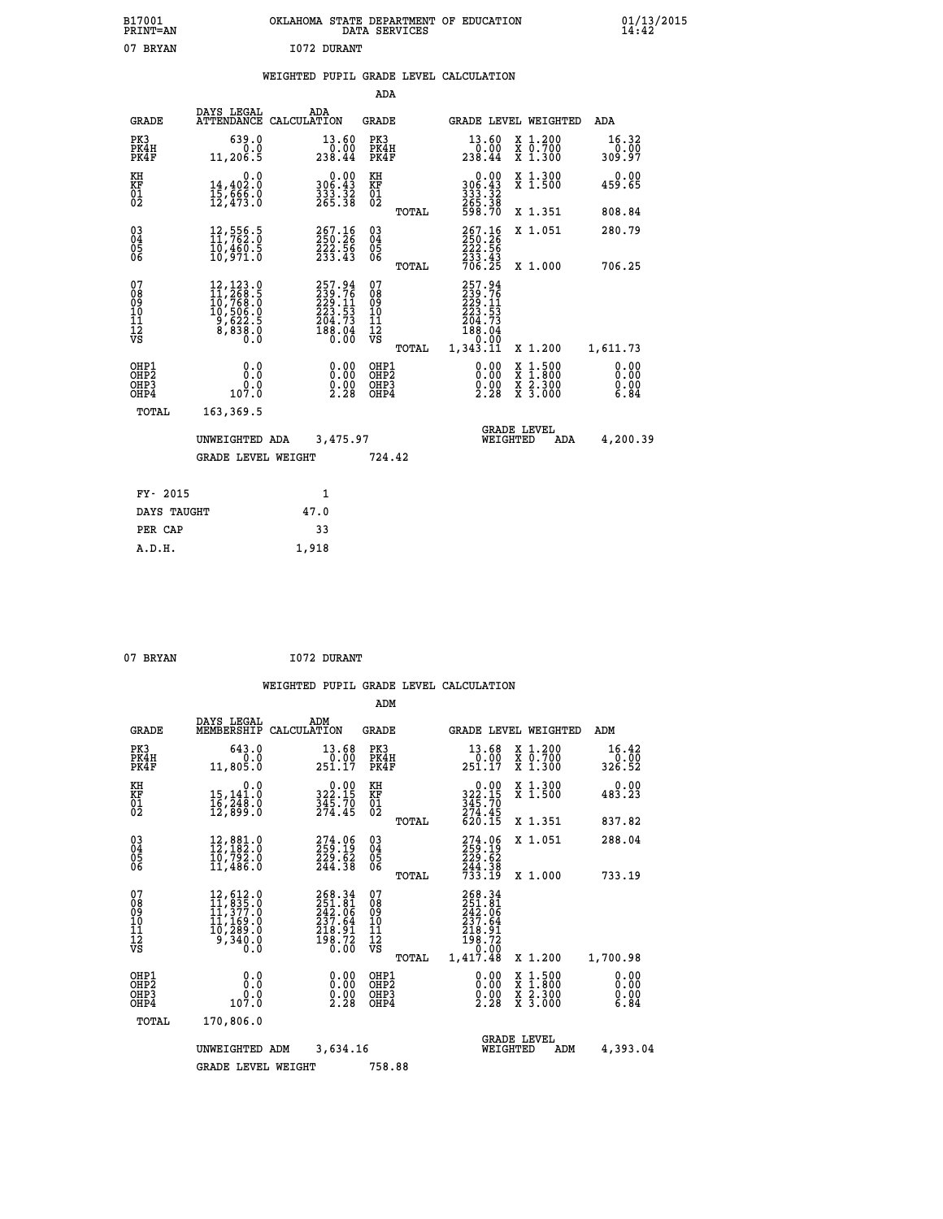| B17001<br><b>PRINT=AN</b> | OKLAHOMA<br>. STATE DEPARTMENT OF EDUCATION<br>DATA SERVICES | 01/13/2015<br>14:42 |
|---------------------------|--------------------------------------------------------------|---------------------|
| 07<br><b>BRYAN</b>        | 1072 DURANT                                                  |                     |

### **WEIGHTED PUPIL GRADE LEVEL CALCULATION**

|                                                                    |                                                                                                                                               |                                                                         | ADA                                            |       |                                                                            |                                                                            |                              |
|--------------------------------------------------------------------|-----------------------------------------------------------------------------------------------------------------------------------------------|-------------------------------------------------------------------------|------------------------------------------------|-------|----------------------------------------------------------------------------|----------------------------------------------------------------------------|------------------------------|
| <b>GRADE</b>                                                       | DAYS LEGAL                                                                                                                                    | ADA<br>ATTENDANCE CALCULATION                                           | <b>GRADE</b>                                   |       |                                                                            | GRADE LEVEL WEIGHTED                                                       | <b>ADA</b>                   |
| PK3<br>PK4H<br>PK4F                                                | 639.0<br>0.0<br>11,206.5                                                                                                                      | 13.60<br>238.44                                                         | PK3<br>PK4H<br>PK4F                            |       | 13.60<br>$\frac{0.00}{238.44}$                                             | X 1.200<br>X 0.700<br>X 1.300                                              | 16.32<br>0.00<br>309.97      |
| KH<br>KF<br>01<br>02                                               | 0.0<br>14,402.0<br>15,666.0<br>12,473.0                                                                                                       | $\begin{smallmatrix} 0.00\\ 306.43\\ 333.32\\ 265.38 \end{smallmatrix}$ | KH<br>KF<br>01<br>02                           |       | 0.00<br>306:43<br>333:32<br>265:38<br>598:70                               | X 1.300<br>X 1.500                                                         | 0.00<br>459.65               |
|                                                                    |                                                                                                                                               |                                                                         |                                                | TOTAL |                                                                            | X 1.351                                                                    | 808.84                       |
| $\begin{smallmatrix} 03 \\[-4pt] 04 \end{smallmatrix}$<br>05<br>ŌĞ | 12,556.5<br>11,762.0<br>10,460.5<br>10,971.0                                                                                                  | 267.16<br>250.26<br>222.56<br>233.43                                    | $\substack{03 \\ 04}$<br>$\substack{05 \\ 06}$ |       | 267.16<br>250.26<br>222.56<br>233.43<br>706.25                             | X 1.051                                                                    | 280.79                       |
|                                                                    |                                                                                                                                               |                                                                         |                                                | TOTAL |                                                                            | X 1.000                                                                    | 706.25                       |
| 07<br>08<br>09<br>11<br>11<br>12<br>VS                             | $\begin{smallmatrix} 12,123\cdot 9\\ 11,268\cdot 5\\ 10,768\cdot 0\\ 10,506\cdot 0\\ 9,622\cdot 5\\ 8,838\cdot 0\\ 0\cdot 0\end{smallmatrix}$ | 257.94<br>239.76<br>229.11<br>223.53<br>204.73<br>188.04<br>0.00        | 07<br>08<br>09<br>11<br>11<br>12<br>VS         |       | 257.94<br>$239.76$<br>$229.11$<br>$223.53$<br>$204.73$<br>$188.04$<br>0.00 |                                                                            |                              |
|                                                                    |                                                                                                                                               |                                                                         |                                                | TOTAL | 1,343.11                                                                   | X 1.200                                                                    | 1,611.73                     |
| OHP1<br>OH <sub>P</sub> 2<br>OHP3<br>OHP4                          | 0.0<br>Ō.Ō<br>0.0<br>107.0                                                                                                                    | 0.00<br>$\frac{0.00}{2.28}$                                             | OHP1<br>OH <sub>P</sub> 2<br>OHP3<br>OHP4      |       | 0.00<br>$\frac{0.00}{2.28}$                                                | $1:500$<br>$1:800$<br>X<br>X<br>$\frac{\ddot{x}}{x}$ $\frac{2.300}{3.000}$ | 0.00<br>0.00<br>0.00<br>6.84 |
| TOTAL                                                              | 163,369.5                                                                                                                                     |                                                                         |                                                |       |                                                                            |                                                                            |                              |
|                                                                    | UNWEIGHTED ADA                                                                                                                                | 3,475.97                                                                |                                                |       |                                                                            | <b>GRADE LEVEL</b><br>WEIGHTED<br>ADA                                      | 4,200.39                     |
|                                                                    | <b>GRADE LEVEL WEIGHT</b>                                                                                                                     |                                                                         | 724.42                                         |       |                                                                            |                                                                            |                              |
| FY- 2015                                                           |                                                                                                                                               | 1                                                                       |                                                |       |                                                                            |                                                                            |                              |
| DAYS TAUGHT                                                        |                                                                                                                                               | 47.0                                                                    |                                                |       |                                                                            |                                                                            |                              |
| PER CAP                                                            |                                                                                                                                               | 33                                                                      |                                                |       |                                                                            |                                                                            |                              |
|                                                                    |                                                                                                                                               |                                                                         |                                                |       |                                                                            |                                                                            |                              |

| 07 BRYAN |  |
|----------|--|
|          |  |
|          |  |

 **A.D.H. 1,918**

**I072 DURANT** 

|                                                       |                                                                                                                                                      |                                                                                                                      | ADM                                                 |                                                                              |                                                                                                  |                              |
|-------------------------------------------------------|------------------------------------------------------------------------------------------------------------------------------------------------------|----------------------------------------------------------------------------------------------------------------------|-----------------------------------------------------|------------------------------------------------------------------------------|--------------------------------------------------------------------------------------------------|------------------------------|
| <b>GRADE</b>                                          | DAYS LEGAL<br>MEMBERSHIP                                                                                                                             | ADM<br>CALCULATION                                                                                                   | <b>GRADE</b>                                        | <b>GRADE LEVEL WEIGHTED</b>                                                  |                                                                                                  | ADM                          |
| PK3<br>PK4H<br>PK4F                                   | 643.0<br>0.0<br>11,805.0                                                                                                                             | 13.68<br>0.00<br>251.17                                                                                              | PK3<br>PK4H<br>PK4F                                 | 13.68<br>0.00.<br>251.17                                                     | X 1.200<br>X 0.700<br>X 1.300                                                                    | 16.42<br>0.00<br>326.52      |
| KH<br>KF<br>01<br>02                                  | 0.0<br>15,141.0<br>16,248.0<br>12,899.0                                                                                                              | $322.15$<br>$345.70$<br>$274.45$                                                                                     | KH<br>KF<br>01<br>02                                | $0.00$<br>$322.15$<br>$345.70$<br>$274.45$<br>$620.15$                       | X 1.300<br>X 1.500                                                                               | 0.00<br>483.23               |
|                                                       |                                                                                                                                                      |                                                                                                                      | TOTAL                                               |                                                                              | X 1.351                                                                                          | 837.82                       |
| 03<br>04<br>05<br>06                                  | 12,881.0<br>12,182.0<br>10,792.0<br>11,486.0                                                                                                         | $\begin{smallmatrix} 274.06\\ 259.19\\ 229.62\\ 244.38 \end{smallmatrix}$                                            | $\begin{array}{c} 03 \\ 04 \\ 05 \\ 06 \end{array}$ | 274.06<br>259.19<br>229.62<br>244.38<br>733.19                               | X 1.051                                                                                          | 288.04                       |
|                                                       |                                                                                                                                                      |                                                                                                                      | TOTAL                                               |                                                                              | X 1.000                                                                                          | 733.19                       |
| 07<br>08<br>09<br>101<br>112<br>VS                    | $\begin{smallmatrix} 12, 612\cdot 0\\ 11, 835\cdot 0\\ 11, 377\cdot 0\\ 11, 169\cdot 0\\ 10, 289\cdot 0\\ 9, 340\cdot 0\\ 0\cdot 0\end{smallmatrix}$ | 268.34<br>251.81<br>242.06<br>$\begin{smallmatrix} 2\bar{3}\bar{7}.\bar{6}4\ 218.91\ 198.72\ 0.00 \end{smallmatrix}$ | 07<br>08<br>09<br>11<br>11<br>12<br>VS<br>TOTAL     | 268.34<br>251.81<br>242.06<br>237.64<br>zī8.91<br>198.72<br>0.00<br>1,417.48 | X 1.200                                                                                          | 1,700.98                     |
| OHP1<br>OH <sub>P</sub> 2<br>OH <sub>P3</sub><br>OHP4 | 0.0<br>0.0<br>107.0                                                                                                                                  | $\begin{smallmatrix} 0.00 \ 0.00 \ 0.00 \ 2.28 \end{smallmatrix}$                                                    | OHP1<br>OHP2<br>OHP3<br>OHP4                        | $\begin{smallmatrix} 0.00\\ 0.00\\ 0.00\\ 2.28 \end{smallmatrix}$            | $\begin{smallmatrix} x & 1 & 500 \\ x & 1 & 800 \\ x & 2 & 300 \\ x & 3 & 000 \end{smallmatrix}$ | 0.00<br>0.00<br>0.00<br>6.84 |
| TOTAL                                                 | 170,806.0                                                                                                                                            |                                                                                                                      |                                                     |                                                                              |                                                                                                  |                              |
|                                                       | UNWEIGHTED ADM                                                                                                                                       | 3,634.16                                                                                                             |                                                     | WEIGHTED                                                                     | <b>GRADE LEVEL</b><br>ADM                                                                        | 4,393.04                     |
|                                                       | <b>GRADE LEVEL WEIGHT</b>                                                                                                                            |                                                                                                                      | 758.88                                              |                                                                              |                                                                                                  |                              |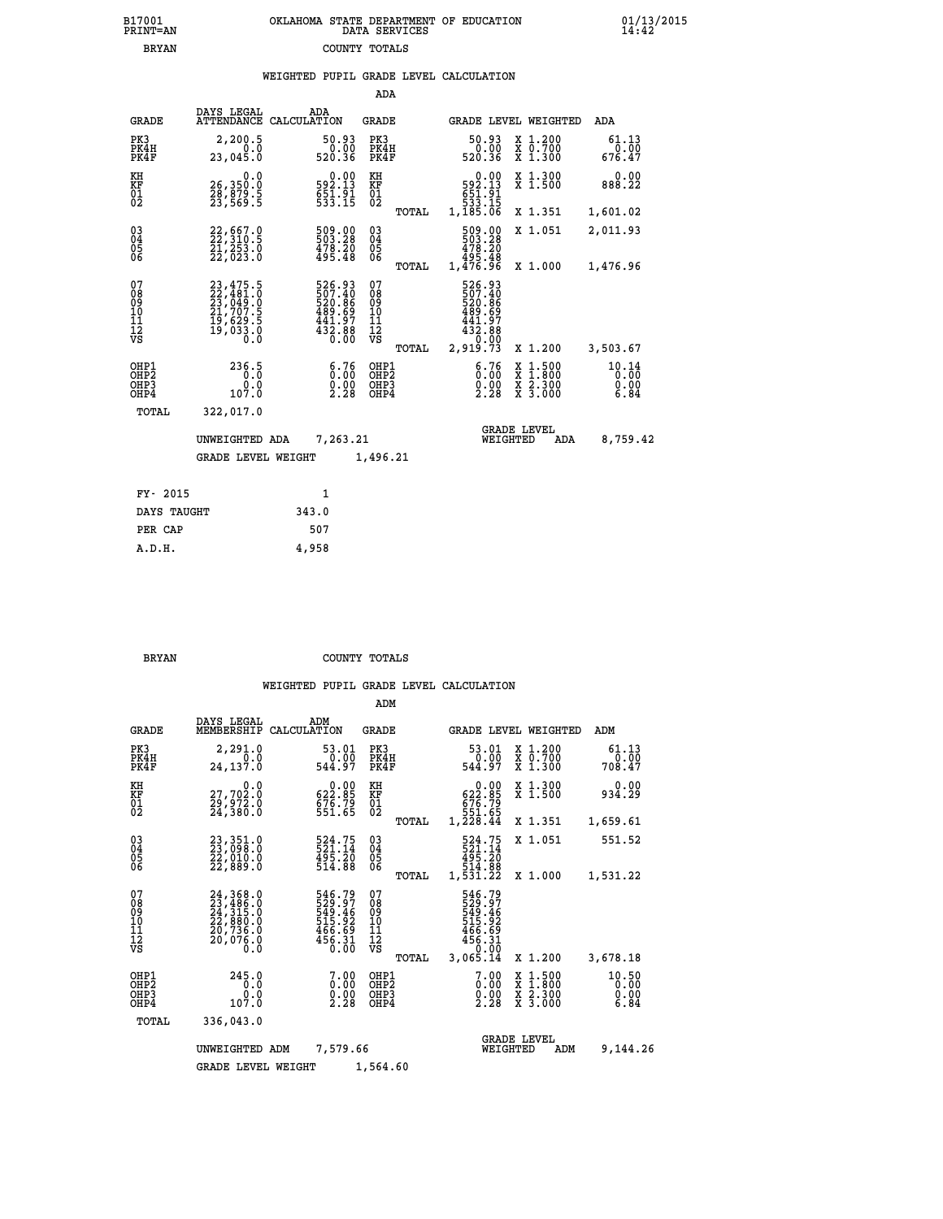| 7001<br>INT=AN | OKLAHOMA STATE DEPARTMENT OF EDUCATION<br>DATA SERVICES |  |
|----------------|---------------------------------------------------------|--|
| <b>BRYAN</b>   | COUNTY TOTALS                                           |  |

 **B17001 OKLAHOMA STATE DEPARTMENT OF EDUCATION 01/13/2015**

|                                                                    |                                                                                           |                    |                                                                             | ADA                                      |       |                                                                                                                       |                                       |                                                                |                               |
|--------------------------------------------------------------------|-------------------------------------------------------------------------------------------|--------------------|-----------------------------------------------------------------------------|------------------------------------------|-------|-----------------------------------------------------------------------------------------------------------------------|---------------------------------------|----------------------------------------------------------------|-------------------------------|
| <b>GRADE</b>                                                       | DAYS LEGAL<br><b>ATTENDANCE</b>                                                           | ADA<br>CALCULATION |                                                                             | <b>GRADE</b>                             |       |                                                                                                                       |                                       | GRADE LEVEL WEIGHTED                                           | ADA                           |
| PK3<br>PK4H<br>PK4F                                                | 2,200.5<br>0.0<br>23,045.0                                                                |                    | 50.93<br>0.00<br>520.36                                                     | PK3<br>PK4H<br>PK4F                      |       | 50.93<br>520.36                                                                                                       | 0.00                                  | X 1.200<br>X 0.700<br>X 1.300                                  | 61.13<br>0.00<br>676.47       |
| KH<br>KF<br>01<br>02                                               | 0.0<br>26,350.0<br>28,879.5<br>23,569.5                                                   |                    | 0.00<br>13.19<br>$551.91$<br>$533.15$                                       | KH<br>KF<br>$\overline{01}$              |       | 592.13<br>651.91<br>533.15<br>1,185.06                                                                                | 0.00                                  | X 1.300<br>X 1.500                                             | 0.00<br>888.22                |
|                                                                    |                                                                                           |                    |                                                                             |                                          | TOTAL |                                                                                                                       |                                       | X 1.351                                                        | 1,601.02                      |
| $\begin{smallmatrix} 03 \\[-4pt] 04 \end{smallmatrix}$<br>Ŏ5<br>06 | 22, 667.0<br>22, 310.5<br>21, 253.0<br>22,023.0                                           |                    | 509.00<br>503.28<br>478.20<br>495.48                                        | $^{03}_{04}$<br>05<br>06                 |       | 509.00<br>503.28<br>478.20<br>495.48<br>1,476.96                                                                      |                                       | X 1.051                                                        | 2,011.93                      |
|                                                                    |                                                                                           |                    |                                                                             |                                          | TOTAL |                                                                                                                       |                                       | X 1.000                                                        | 1,476.96                      |
| 07<br>08<br>09<br>11<br>11<br>12<br>VS                             | $23,475.5$<br>$22,481.0$<br>$23,049.0$<br>$21,707.5$<br>$19,629.5$<br>$19,033.0$<br>$0.0$ |                    | 526.93<br>507.40<br>520.86<br>520.86<br>489.697<br>441.97<br>432.88<br>0.00 | 07<br>08<br>09<br>11<br>11<br>12<br>VS   | TOTAL | 526.93<br>$\begin{smallmatrix} 507.40 \\ 520.86 \\ 489.69 \\ 441.97 \\ 432.88 \\ 0.003 \end{smallmatrix}$<br>2,919.73 |                                       | X 1.200                                                        | 3,503.67                      |
| OHP1<br>OHP2<br>OHP3<br>OHP4                                       | 236.5<br>0.0<br>107.0                                                                     |                    | 6.76<br>$\frac{0.00}{2.28}$                                                 | OHP1<br>OHP <sub>2</sub><br>OHP3<br>OHP4 |       |                                                                                                                       | 6.76<br>X<br>X<br>$\frac{0.00}{2.28}$ | $1:500$<br>1:800<br>$\frac{\ddot{x}}{x}$ $\frac{2.300}{3.000}$ | 10.14<br>0.00<br>0.00<br>6.84 |
| TOTAL                                                              | 322,017.0                                                                                 |                    |                                                                             |                                          |       |                                                                                                                       |                                       |                                                                |                               |
|                                                                    | UNWEIGHTED ADA                                                                            |                    | 7,263.21                                                                    |                                          |       |                                                                                                                       | <b>GRADE LEVEL</b><br>WEIGHTED        | ADA                                                            | 8,759.42                      |
|                                                                    | <b>GRADE LEVEL WEIGHT</b>                                                                 |                    |                                                                             | 1,496.21                                 |       |                                                                                                                       |                                       |                                                                |                               |
|                                                                    |                                                                                           |                    |                                                                             |                                          |       |                                                                                                                       |                                       |                                                                |                               |
| FY- 2015                                                           |                                                                                           |                    | 1                                                                           |                                          |       |                                                                                                                       |                                       |                                                                |                               |
| DAYS TAUGHT                                                        |                                                                                           | 343.0              |                                                                             |                                          |       |                                                                                                                       |                                       |                                                                |                               |

| DAYS TAUGHT | 343.0 |
|-------------|-------|
| PER CAP     | 507   |
| A.D.H.      | 4,958 |
|             |       |

 **B17001<br>PRINT=AN** 

 **BRYAN COUNTY TOTALS**

|                                           |                                                                      |                                                                         | ADM                                              |                                                                              |                                                                                                  |                               |
|-------------------------------------------|----------------------------------------------------------------------|-------------------------------------------------------------------------|--------------------------------------------------|------------------------------------------------------------------------------|--------------------------------------------------------------------------------------------------|-------------------------------|
| <b>GRADE</b>                              | DAYS LEGAL<br>MEMBERSHIP                                             | ADM<br>CALCULATION                                                      | <b>GRADE</b>                                     | <b>GRADE LEVEL WEIGHTED</b>                                                  |                                                                                                  | ADM                           |
| PK3<br>PK4H<br>PK4F                       | 2,291.0<br>0.0<br>24,137.0                                           | 53.01<br>0.00<br>544.97                                                 | PK3<br>PK4H<br>PK4F                              | 53.01<br>0.00<br>544.97                                                      | X 1.200<br>X 0.700<br>$X$ 1.300                                                                  | 61.13<br>0.00<br>708.47       |
| KH<br>KF<br>01<br>02                      | 0.0<br>27,702:0<br>29,972:0<br>24,380:0                              | $\begin{smallmatrix} &0.00\\ 622.85\\ 676.79\\ 551.65\end{smallmatrix}$ | KH<br>KF<br>01<br>02                             | 0.00<br>622.85<br>676.79<br>551.65<br>1,228.44                               | X 1.300<br>X 1.500                                                                               | 0.00<br>934.29                |
|                                           |                                                                      |                                                                         | TOTAL                                            |                                                                              | X 1.351                                                                                          | 1,659.61                      |
| 03<br>04<br>05<br>06                      | 23,351.0<br>23,098.0<br>22,010.0<br>22,889.0                         | 524.75<br>521.14<br>495.20<br>514.88                                    | $\substack{03 \\ 04}$<br>0500                    | 524.75<br>521.14<br>495.20                                                   | X 1.051                                                                                          | 551.52                        |
|                                           |                                                                      |                                                                         | TOTAL                                            | 514.00<br>1,531.22                                                           | X 1.000                                                                                          | 1,531.22                      |
| 07<br>08<br>09<br>11<br>11<br>12<br>VS    | 24,368.0<br>23,486.0<br>24,315.0<br>22,880.0<br>20,736.0<br>20,076.0 | 546.79<br>529.97<br>549.46<br>515.92<br>466.69<br>456.31<br>0.00        | 07<br>08<br>09<br>101<br>11<br>12<br>VS<br>TOTAL | 546.79<br>529:97<br>549:46<br>515:92<br>466.69<br>456.31<br>0.00<br>3,065.14 | X 1.200                                                                                          | 3,678.18                      |
| OHP1<br>OH <sub>P</sub> 2<br>OHP3<br>OHP4 | 245.0<br>0.0<br>0.0<br>107.0                                         | $\begin{smallmatrix} 7.00 \ 0.00 \ 0.00 \end{smallmatrix}$<br>2.28      | OHP1<br>OHP2<br>OHP3<br>OHP4                     | 7.00<br>$\overset{0.00}{\substack{0.00}{}}\,\overset{0.00}{\phantom{}}\,\,$  | $\begin{smallmatrix} x & 1 & 500 \\ x & 1 & 800 \\ x & 2 & 300 \\ x & 3 & 000 \end{smallmatrix}$ | 10.50<br>0.00<br>0.00<br>6.84 |
| TOTAL                                     | 336,043.0                                                            |                                                                         |                                                  |                                                                              |                                                                                                  |                               |
|                                           | UNWEIGHTED ADM                                                       | 7,579.66                                                                |                                                  | WEIGHTED                                                                     | <b>GRADE LEVEL</b><br>ADM                                                                        | 9,144.26                      |
|                                           | <b>GRADE LEVEL WEIGHT</b>                                            |                                                                         | 1,564.60                                         |                                                                              |                                                                                                  |                               |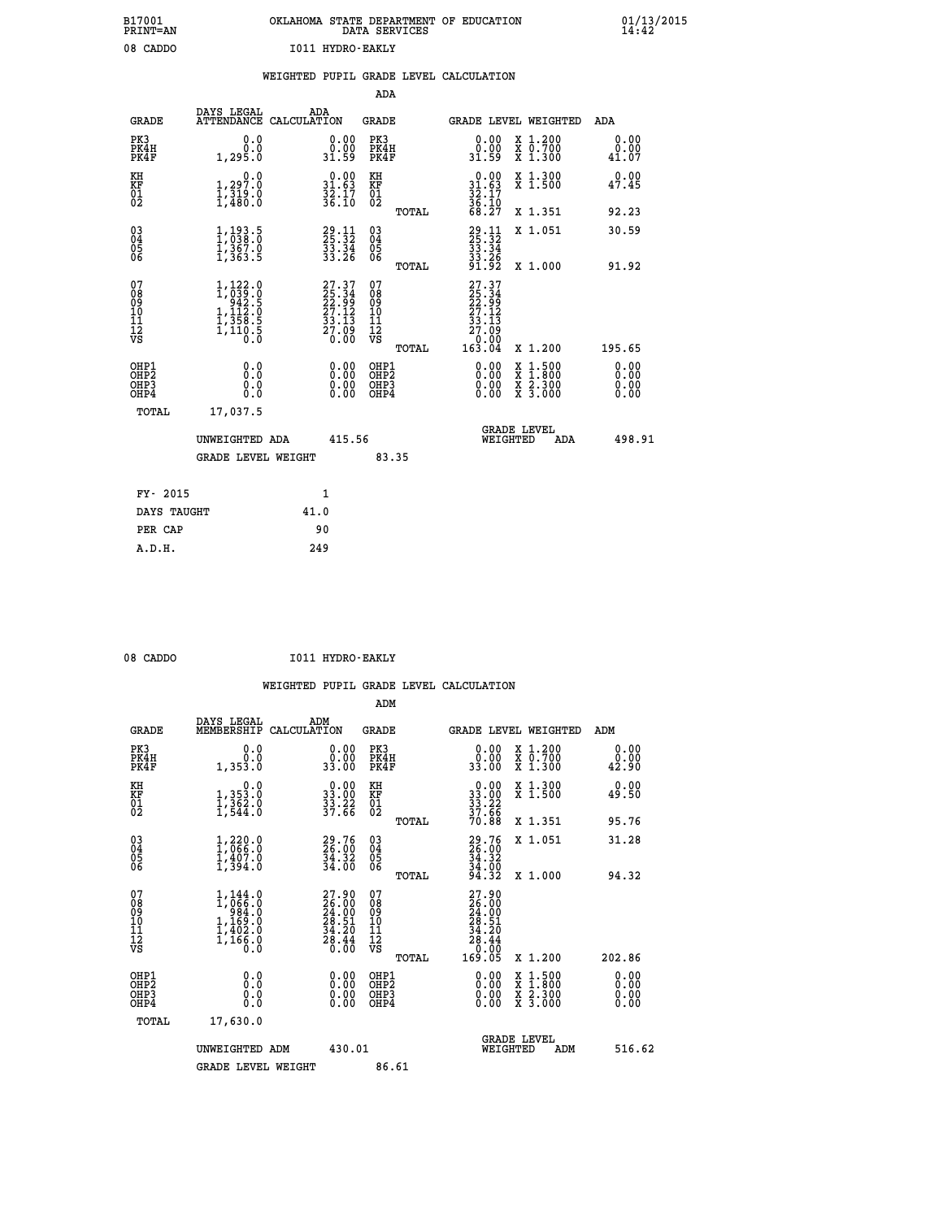| B17001          | OKLAHOMA STATE DEPARTMENT OF EDUCATION |
|-----------------|----------------------------------------|
| <b>PRINT=AN</b> | DATA SERVICES                          |
| 08 CADDO        | I011 HYDRO-EAKLY                       |

 **B17001 OKLAHOMA STATE DEPARTMENT OF EDUCATION 01/13/2015**

|  |  | WEIGHTED PUPIL GRADE LEVEL CALCULATION |  |
|--|--|----------------------------------------|--|
|  |  |                                        |  |

| <b>GRADE</b>                             | DAYS LEGAL                                                                                                                              | ADA<br>ATTENDANCE CALCULATION                                                                | <b>GRADE</b>                             |       | GRADE LEVEL WEIGHTED                                                                             |                                                                                                                                           |     | <b>ADA</b>                   |
|------------------------------------------|-----------------------------------------------------------------------------------------------------------------------------------------|----------------------------------------------------------------------------------------------|------------------------------------------|-------|--------------------------------------------------------------------------------------------------|-------------------------------------------------------------------------------------------------------------------------------------------|-----|------------------------------|
| PK3<br>PK4H<br>PK4F                      | 0.0<br>0.0<br>1,295.0                                                                                                                   | $\begin{smallmatrix} 0.00\\ 0.00\\ 31.59 \end{smallmatrix}$                                  | PK3<br>PK4H<br>PK4F                      |       | 0.00<br>ŏ:ŏŏ<br>31.59                                                                            | X 1.200<br>X 0.700<br>X 1.300                                                                                                             |     | 0.00<br>0.00<br>41.07        |
| KH<br>KF<br>01<br>02                     | 0.0<br>$\frac{1}{1}, \frac{297}{319}$ .0<br>1,480.0                                                                                     | $\begin{smallmatrix} 0.00\\ 31.63\\ 32.17\\ 36.10 \end{smallmatrix}$                         | KH<br>KF<br>01<br>02                     |       | $0.00$<br>$31.63$<br>$32.17$<br>$36.10$<br>$68.27$                                               | X 1.300<br>X 1.500                                                                                                                        |     | 0.00<br>47.45                |
|                                          |                                                                                                                                         |                                                                                              |                                          | TOTAL |                                                                                                  | X 1.351                                                                                                                                   |     | 92.23                        |
| 030404<br>06                             | $1, 193.5$<br>$1, 383.0$<br>$1, 367.0$<br>$1, 363.5$                                                                                    | 29.11<br>25.32<br>33.34<br>33.26                                                             | $\substack{03 \\ 04}$<br>05<br>06        |       | $29.11$<br>$25.32$<br>$33.34$<br>$33.26$<br>$91.92$                                              | X 1.051                                                                                                                                   |     | 30.59                        |
|                                          |                                                                                                                                         |                                                                                              |                                          | TOTAL |                                                                                                  | X 1.000                                                                                                                                   |     | 91.92                        |
| 07<br>08<br>09<br>11<br>11<br>12<br>VS   | $\begin{smallmatrix} 1,122\cdot 0\\ 1,039\cdot 0\\ 942\cdot 5\\ 1,112\cdot 0\\ 1,358\cdot 5\\ 1,110\cdot 5\\ 0\cdot 0\end{smallmatrix}$ | $\begin{smallmatrix} 27.37\\ 25.34\\ 22.99\\ 27.12\\ 33.13\\ 27.09\\ 0.00 \end{smallmatrix}$ | 07<br>08<br>09<br>101<br>11<br>12<br>VS  |       | $\begin{smallmatrix} 27.37\ 25.34\ 22.39\ 27.12\ 33.13\ 27.09\ 0.000\ 163.04\ \end{smallmatrix}$ |                                                                                                                                           |     |                              |
|                                          |                                                                                                                                         |                                                                                              |                                          | TOTAL |                                                                                                  | X 1.200                                                                                                                                   |     | 195.65                       |
| OHP1<br>OHP <sub>2</sub><br>OHP3<br>OHP4 | 0.0<br>0.0<br>Ŏ.Ŏ                                                                                                                       | 0.00<br>0.00<br>0.00                                                                         | OHP1<br>OHP <sub>2</sub><br>OHP3<br>OHP4 |       | 0.00<br>0.00                                                                                     | $\begin{smallmatrix} \mathtt{X} & 1\cdot500\\ \mathtt{X} & 1\cdot800\\ \mathtt{X} & 2\cdot300\\ \mathtt{X} & 3\cdot000 \end{smallmatrix}$ |     | 0.00<br>0.00<br>0.00<br>0.00 |
| TOTAL                                    | 17,037.5                                                                                                                                |                                                                                              |                                          |       |                                                                                                  |                                                                                                                                           |     |                              |
|                                          | UNWEIGHTED ADA                                                                                                                          | 415.56                                                                                       |                                          |       | WEIGHTED                                                                                         | <b>GRADE LEVEL</b>                                                                                                                        | ADA | 498.91                       |
|                                          | GRADE LEVEL WEIGHT                                                                                                                      |                                                                                              | 83.35                                    |       |                                                                                                  |                                                                                                                                           |     |                              |
| FY- 2015                                 |                                                                                                                                         | $\mathbf{1}$                                                                                 |                                          |       |                                                                                                  |                                                                                                                                           |     |                              |
| DAYS TAUGHT                              |                                                                                                                                         | 41.0                                                                                         |                                          |       |                                                                                                  |                                                                                                                                           |     |                              |
| PER CAP                                  |                                                                                                                                         | 90                                                                                           |                                          |       |                                                                                                  |                                                                                                                                           |     |                              |
| A.D.H.                                   |                                                                                                                                         | 249                                                                                          |                                          |       |                                                                                                  |                                                                                                                                           |     |                              |

| 08 CADDO | I011 HYDRO-EAKLY |
|----------|------------------|
|          |                  |

 **ADM**

 **B17001<br>PRINT=AN** 

 **ADA**

| <b>GRADE</b>                                       | DAYS LEGAL<br>MEMBERSHIP                                               | ADM<br>CALCULATION                                                                                          | <b>GRADE</b>                                       |                                                                                   | GRADE LEVEL WEIGHTED                     | ADM                   |
|----------------------------------------------------|------------------------------------------------------------------------|-------------------------------------------------------------------------------------------------------------|----------------------------------------------------|-----------------------------------------------------------------------------------|------------------------------------------|-----------------------|
| PK3<br>PK4H<br>PK4F                                | 0.0<br>Ō.Ō<br>1,353.0                                                  | 0.00<br>33.00                                                                                               | PK3<br>PK4H<br>PK4F                                | 0.0000<br>33.00                                                                   | X 1.200<br>X 0.700<br>$X$ 1.300          | 0.00<br>0.00<br>42.90 |
| KH<br>KF<br>01<br>02                               | 0.0<br>1, 353:0<br>1, 362:0<br>1, 544:0                                | $\begin{smallmatrix} 0.00\\ 33.00\\ 33.22\\ 37.66 \end{smallmatrix}$                                        | KH<br>KF<br>01<br>02                               | $\begin{array}{r} 0.00 \\ 33.00 \\ 33.22 \\ 37.66 \\ 70.88 \end{array}$           | X 1.300<br>X 1.500                       | 0.00<br>49.50         |
|                                                    |                                                                        |                                                                                                             | TOTAL                                              |                                                                                   | X 1.351                                  | 95.76                 |
| $\begin{matrix} 03 \\ 04 \\ 05 \\ 06 \end{matrix}$ | $1,220.0$<br>$1,066.0$<br>$1,407.0$<br>$1,394.0$                       | $\begin{smallmatrix} 29.76\\ 26.00\\ 34.32\\ 34.00 \end{smallmatrix}$                                       | $\begin{matrix} 03 \\ 04 \\ 05 \\ 06 \end{matrix}$ | 29.76<br>26.00<br>34.32<br>34.00<br>94.32                                         | X 1.051                                  | 31.28                 |
|                                                    |                                                                        |                                                                                                             | TOTAL                                              |                                                                                   | X 1.000                                  | 94.32                 |
| 07<br>08<br>09<br>101<br>11<br>12<br>VS            | $1,144.0$<br>$1,066.0$<br>$984.0$<br>$1,169.0$<br>$1,402.0$<br>1,166.8 | $\begin{smallmatrix} 27.90 \\ 26.00 \\ 24.00 \\ 28.51 \\ 34.20 \\ 28.44 \\ 28.44 \\ 0.00 \end{smallmatrix}$ | 07<br>08<br>09<br>101<br>11<br>12<br>VS<br>TOTAL   | 27.90<br>$26.000$<br>$28.51$<br>$34.20$<br>$34.20$<br>$28.44$<br>$0.00$<br>169.05 | X 1.200                                  | 202.86                |
| OHP1<br>OHP2<br>OH <sub>P3</sub><br>OHP4           | 0.0<br>0.0<br>Ō.Ō                                                      | $0.00$<br>$0.00$<br>0.00                                                                                    | OHP1<br>OHP2<br>OHP3<br>OHP4                       |                                                                                   | X 1:500<br>X 1:800<br>X 2:300<br>X 3:000 | 0.00<br>0.00<br>0.00  |
| TOTAL                                              | 17,630.0                                                               |                                                                                                             |                                                    |                                                                                   |                                          |                       |
|                                                    | UNWEIGHTED ADM                                                         | 430.01                                                                                                      |                                                    | WEIGHTED                                                                          | <b>GRADE LEVEL</b><br>ADM                | 516.62                |
|                                                    | <b>GRADE LEVEL WEIGHT</b>                                              |                                                                                                             | 86.61                                              |                                                                                   |                                          |                       |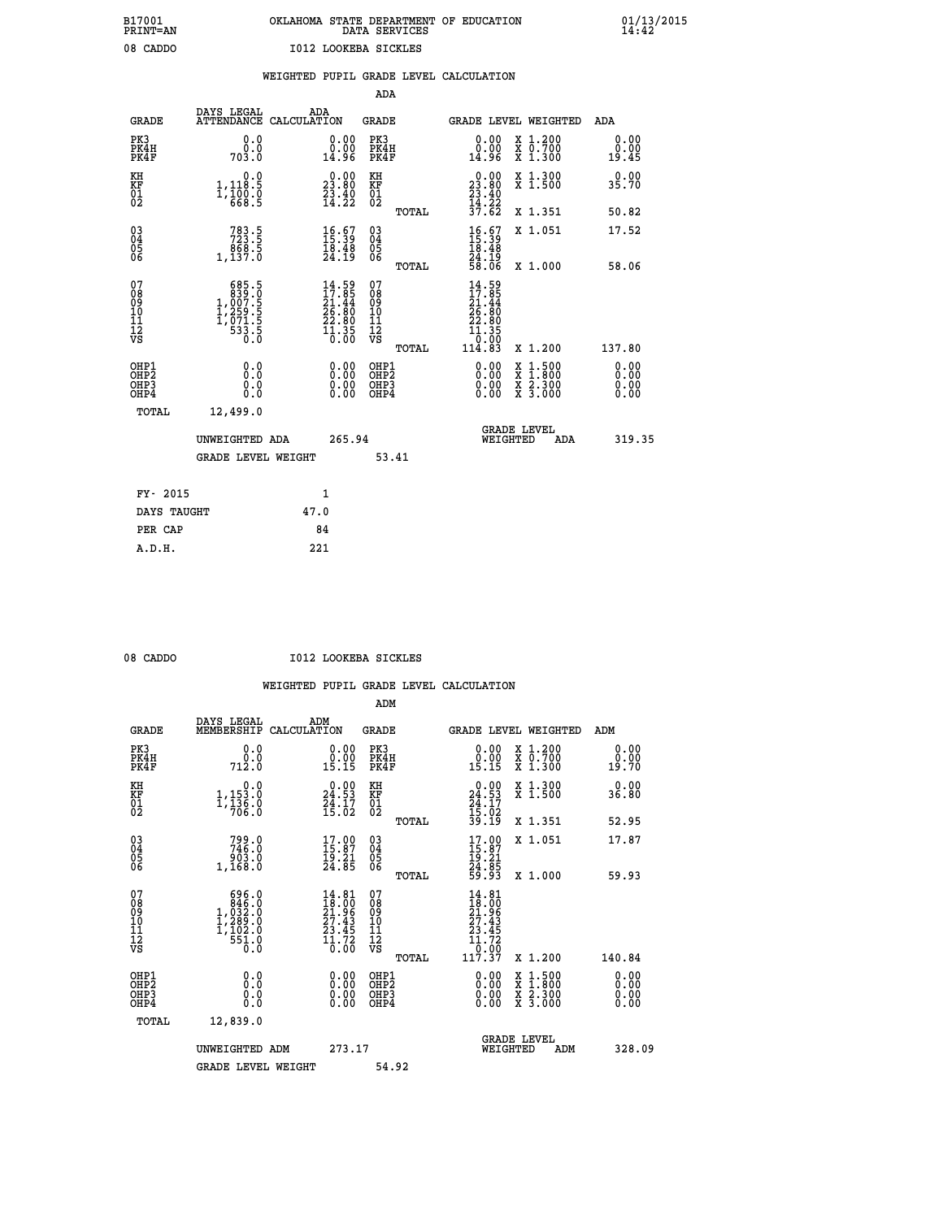# **B17001 OKLAHOMA STATE DEPARTMENT OF EDUCATION 01/13/2015 PRINT=AN DATA SERVICES 14:42** 08 CADDO **I012 LOOKEBA SICKLES**

### **WEIGHTED PUPIL GRADE LEVEL CALCULATION**

|                                                                    |                                                                                                     |                                                                      | ADA                                                 |       |                                                                                      |                                                                                                                                           |                               |
|--------------------------------------------------------------------|-----------------------------------------------------------------------------------------------------|----------------------------------------------------------------------|-----------------------------------------------------|-------|--------------------------------------------------------------------------------------|-------------------------------------------------------------------------------------------------------------------------------------------|-------------------------------|
| <b>GRADE</b>                                                       | DAYS LEGAL                                                                                          | ADA<br>ATTENDANCE CALCULATION                                        | <b>GRADE</b>                                        |       |                                                                                      | GRADE LEVEL WEIGHTED                                                                                                                      | ADA                           |
| PK3<br>PK4H<br>PK4F                                                | 0.0<br>703.0                                                                                        | 0.00<br>14.96                                                        | PK3<br>PK4H<br>PK4F                                 |       | 0.00<br>ā: Šō<br>14:96                                                               | X 1.200<br>X 0.700<br>X 1.300                                                                                                             | 0.00<br>0.00<br>19.45         |
| KH<br>KF<br>01<br>02                                               | 0.0<br>$1,118.5$<br>$1,100.0$<br>$668.5$                                                            | $\begin{smallmatrix} 0.00\\ 23.80\\ 23.40\\ 14.22 \end{smallmatrix}$ | KH<br>KF<br>01<br>02                                |       | $\begin{smallmatrix} 0.00\\ 23.80\\ 23.40\\ 24.22\\ 14.22\\ 37.62 \end{smallmatrix}$ | X 1.300<br>X 1.500                                                                                                                        | 0.00<br>35.70                 |
|                                                                    |                                                                                                     |                                                                      |                                                     | TOTAL |                                                                                      | X 1.351                                                                                                                                   | 50.82                         |
| $\begin{smallmatrix} 03 \\[-4pt] 04 \end{smallmatrix}$<br>Ŏ5<br>06 | $783.5$<br>$723.5$<br>$868.5$<br>$1,137.0$                                                          | $\begin{smallmatrix} 16.67\ 15.39\ 18.48\ 24.19 \end{smallmatrix}$   | $\begin{array}{c} 03 \\ 04 \\ 05 \\ 06 \end{array}$ |       | $16.57$<br>$15.39$<br>$18.48$<br>$24.19$<br>$58.06$                                  | X 1.051                                                                                                                                   | 17.52                         |
|                                                                    |                                                                                                     |                                                                      |                                                     | TOTAL |                                                                                      | X 1.000                                                                                                                                   | 58.06                         |
| 07<br>08<br>09<br>101<br>11<br>12<br>VS                            | $\begin{smallmatrix} & 685.5\\ 839.0\\ 1,007.5\\ 1,259.5\\ 1,271.5\\ 533.5\\ 0.0 \end{smallmatrix}$ | $14.59$<br>$21.44$<br>$26.80$<br>$22.80$<br>$11.35$<br>$0.00$        | 07<br>08<br>09<br>101<br>11<br>12<br>VS             |       | 14.59<br>17.85<br>21.44<br>26.80<br>22.80<br>11.35<br>0.00                           |                                                                                                                                           |                               |
|                                                                    |                                                                                                     |                                                                      |                                                     | TOTAL | 114.83                                                                               | X 1.200                                                                                                                                   | 137.80                        |
| OHP1<br>OHP <sub>2</sub><br>OH <sub>P3</sub><br>OHP4               | 0.0<br>0.0<br>$0.\overline{0}$                                                                      | 0.00<br>$\begin{smallmatrix} 0.00 \ 0.00 \end{smallmatrix}$          | OHP1<br>OHP <sub>2</sub><br>OHP <sub>3</sub>        |       | 0.00<br>0.00                                                                         | $\begin{smallmatrix} \mathtt{X} & 1\cdot500\\ \mathtt{X} & 1\cdot800\\ \mathtt{X} & 2\cdot300\\ \mathtt{X} & 3\cdot000 \end{smallmatrix}$ | 0.00<br>Ō. ŌŌ<br>0.00<br>0.00 |
| TOTAL                                                              | 12,499.0                                                                                            |                                                                      |                                                     |       |                                                                                      |                                                                                                                                           |                               |
|                                                                    | UNWEIGHTED ADA                                                                                      | 265.94                                                               |                                                     |       |                                                                                      | <b>GRADE LEVEL</b><br>WEIGHTED<br>ADA                                                                                                     | 319.35                        |
|                                                                    | <b>GRADE LEVEL WEIGHT</b>                                                                           |                                                                      |                                                     | 53.41 |                                                                                      |                                                                                                                                           |                               |
| FY- 2015                                                           |                                                                                                     | 1                                                                    |                                                     |       |                                                                                      |                                                                                                                                           |                               |
| DAYS TAUGHT                                                        |                                                                                                     | 47.0                                                                 |                                                     |       |                                                                                      |                                                                                                                                           |                               |
| PER CAP                                                            |                                                                                                     | 84                                                                   |                                                     |       |                                                                                      |                                                                                                                                           |                               |

 **A.D.H. 221**

08 CADDO **I012 LOOKEBA SICKLES** 

|                                                      |                                                                                                         |                                                                                                    | ADM                                    |                                                                                                                                             |                                          |                              |
|------------------------------------------------------|---------------------------------------------------------------------------------------------------------|----------------------------------------------------------------------------------------------------|----------------------------------------|---------------------------------------------------------------------------------------------------------------------------------------------|------------------------------------------|------------------------------|
| <b>GRADE</b>                                         | DAYS LEGAL<br>MEMBERSHIP                                                                                | ADM<br>CALCULATION                                                                                 | <b>GRADE</b>                           |                                                                                                                                             | <b>GRADE LEVEL WEIGHTED</b>              | ADM                          |
| PK3<br>PK4H<br>PK4F                                  | 0.0<br>$\begin{smallmatrix} &0.0\\ 712.0\end{smallmatrix}$                                              | $\begin{smallmatrix} 0.00\\ 0.00\\ 15.15 \end{smallmatrix}$                                        | PK3<br>PK4H<br>PK4F                    | $\begin{smallmatrix} 0.00\\ 0.00\\ 15.15 \end{smallmatrix}$                                                                                 | X 1.200<br>X 0.700<br>X 1.300            | 0.00<br>0.00<br>19.70        |
| KH<br>KF<br>01<br>02                                 | 0.0<br>$1,153.0$<br>$1,136.0$<br>$706.0$                                                                | $24.53$<br>$24.53$<br>$24.17$<br>$15.02$                                                           | KH<br>KF<br>01<br>02                   | $\begin{smallmatrix} 0.00\\24.53\\24.17\\25.02\\39.19 \end{smallmatrix}$                                                                    | X 1.300<br>X 1.500                       | 0.00<br>36.80                |
|                                                      |                                                                                                         |                                                                                                    | TOTAL                                  |                                                                                                                                             | X 1.351                                  | 52.95                        |
| 03<br>04<br>05<br>06                                 | 799.0<br>746.0<br>ة.ڏةؤ<br>1,168.0                                                                      | $17.00$<br>$15.87$<br>$\frac{15.21}{24.85}$                                                        | 03<br>04<br>05<br>06                   | $17.00$<br>$15.87$<br>$19.21$<br>$24.85$<br>$59.93$                                                                                         | X 1.051                                  | 17.87                        |
|                                                      |                                                                                                         |                                                                                                    | TOTAL                                  |                                                                                                                                             | X 1.000                                  | 59.93                        |
| 07<br>08<br>09<br>101<br>112<br>VS                   | $\begin{smallmatrix} & 696.0\\ & 846.0\\ 1,033.0\\ 1,289.0\\ 1,102.0\\ & 551.0\\ 0.0 \end{smallmatrix}$ | $\begin{smallmatrix} 14.81 \\ 18.00 \\ 21.96 \\ 27.43 \\ 23.45 \\ 11.72 \\ 0.00 \end{smallmatrix}$ | 07<br>08<br>09<br>11<br>11<br>12<br>VS | $\begin{array}{r} 14\cdot 81 \\ 18\cdot 00 \\ 21\cdot 96 \\ 27\cdot 43 \\ 23\cdot 45 \\ 11\cdot 72 \\ 0\cdot 00 \\ 117\cdot 37 \end{array}$ |                                          |                              |
|                                                      |                                                                                                         |                                                                                                    | TOTAL                                  |                                                                                                                                             | X 1.200                                  | 140.84                       |
| OHP1<br>OHP2<br>OH <sub>P3</sub><br>OH <sub>P4</sub> | 0.0<br>0.000                                                                                            |                                                                                                    | OHP1<br>OHP2<br>OHP <sub>3</sub>       | $0.00$<br>$0.00$<br>0.00                                                                                                                    | X 1:500<br>X 1:800<br>X 2:300<br>X 3:000 | 0.00<br>0.00<br>0.00<br>0.00 |
| TOTAL                                                | 12,839.0                                                                                                |                                                                                                    |                                        |                                                                                                                                             |                                          |                              |
|                                                      | UNWEIGHTED ADM                                                                                          | 273.17                                                                                             |                                        |                                                                                                                                             | GRADE LEVEL<br>WEIGHTED<br>ADM           | 328.09                       |
|                                                      | <b>GRADE LEVEL WEIGHT</b>                                                                               |                                                                                                    | 54.92                                  |                                                                                                                                             |                                          |                              |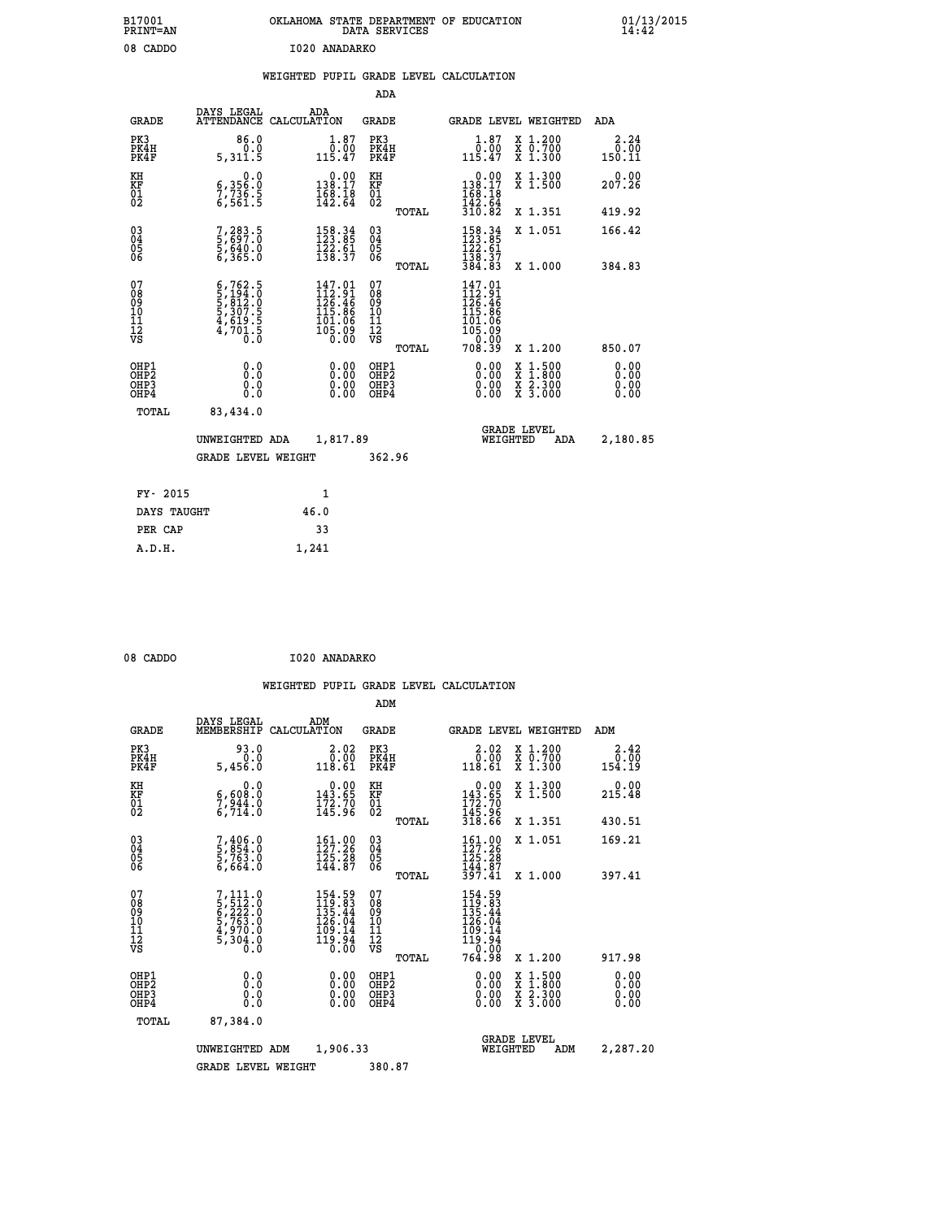| B17001<br><b>PRINT=AN</b>                          |                                                                                                               | OKLAHOMA STATE DEPARTMENT OF EDUCATION                                       | DATA SERVICES                                   |                                                                                  |                                                                                                  | 01/13/2015<br>14:42    |  |
|----------------------------------------------------|---------------------------------------------------------------------------------------------------------------|------------------------------------------------------------------------------|-------------------------------------------------|----------------------------------------------------------------------------------|--------------------------------------------------------------------------------------------------|------------------------|--|
| 08 CADDO                                           |                                                                                                               | I020 ANADARKO                                                                |                                                 |                                                                                  |                                                                                                  |                        |  |
|                                                    |                                                                                                               | WEIGHTED PUPIL GRADE LEVEL CALCULATION                                       |                                                 |                                                                                  |                                                                                                  |                        |  |
|                                                    |                                                                                                               |                                                                              | ADA                                             |                                                                                  |                                                                                                  |                        |  |
| <b>GRADE</b>                                       | DAYS LEGAL<br>ATTENDANCE CALCULATION                                                                          | ADA                                                                          | GRADE                                           | GRADE LEVEL WEIGHTED                                                             |                                                                                                  | ADA                    |  |
| PK3<br>PK4H<br>PK4F                                | 86.0<br>0.0<br>5,311.5                                                                                        | 1.87<br>$\frac{0.00}{115.47}$                                                | PK3<br>PK4H<br>PK4F                             | $\begin{smallmatrix} 1.87\ 0.00\ 115.47 \end{smallmatrix}$                       | X 1.200<br>X 0.700<br>X 1.300                                                                    | 2.24<br>0.00<br>150.11 |  |
| KH<br>KF<br>01<br>02                               | 0.0<br>6,356:0<br>7,736:5<br>6,561:5                                                                          | $\begin{smallmatrix}&&0.00\\138.17\\168.18\\142.64\end{smallmatrix}$         | KH<br>KF<br>$^{01}_{02}$                        | 0.00<br>$138.17$<br>$168.18$<br>$142.64$                                         | X 1.300<br>X 1.500                                                                               | 0.00<br>207.26         |  |
|                                                    |                                                                                                               |                                                                              | TOTAL                                           | 310.82                                                                           | X 1.351                                                                                          | 419.92                 |  |
| $\begin{matrix} 03 \\ 04 \\ 05 \\ 06 \end{matrix}$ | 7,283.5<br>5,697.0<br>5,640.0<br>6,365.0                                                                      | 158.34<br>123.85<br>$\frac{1}{2}\frac{2}{3}\cdot\frac{6}{3}\cdot\frac{1}{2}$ | 030404<br>ŌĞ                                    | $158.34$<br>$123.85$<br>122.61<br>138.37                                         | X 1.051                                                                                          | 166.42                 |  |
| 07                                                 |                                                                                                               |                                                                              | TOTAL                                           | 384.83                                                                           | X 1.000                                                                                          | 384.83                 |  |
| 08<br>09<br>10<br>11<br>12<br>VS                   | $6,762.5$<br>$5,194.0$<br>$5,812.0$<br>$5,307.5$<br>$4,619.5$<br>$4,701.5$<br>$\overline{0}$ . $\overline{0}$ | $147.01$<br>$112.91$<br>$126.46$<br>$115.86$<br>101.06<br>1ŏ5.Ŏ9<br>0.00     | 07<br>08<br>09<br>10<br>11<br>12<br>VS<br>TOTAL | $147.01$<br>$112.91$<br>$126.46$<br>115.86<br>101.06<br>105.09<br>0.00<br>708.39 | X 1.200                                                                                          | 850.07                 |  |
| OHP1<br>OHP2                                       | 0.0                                                                                                           |                                                                              | OHP1                                            |                                                                                  |                                                                                                  | 0.00                   |  |
| OHP3<br>OHP4                                       | 0.0<br>0.0<br>0.0                                                                                             | 0.00<br>0.00<br>0.00                                                         | OHP <sub>2</sub><br>OHP3<br>OHP4                | 0.00<br>0.00<br>0.00                                                             | $\begin{smallmatrix} x & 1 & 500 \\ x & 1 & 800 \\ x & 2 & 300 \\ x & 3 & 000 \end{smallmatrix}$ | 0.00<br>0.00<br>0.00   |  |
| TOTAL                                              | 83,434.0                                                                                                      |                                                                              |                                                 |                                                                                  |                                                                                                  |                        |  |
|                                                    | UNWEIGHTED ADA                                                                                                | 1,817.89                                                                     |                                                 | <b>GRADE LEVEL</b><br>WEIGHTED                                                   | ADA                                                                                              | 2,180.85               |  |
|                                                    | <b>GRADE LEVEL WEIGHT</b>                                                                                     |                                                                              | 362.96                                          |                                                                                  |                                                                                                  |                        |  |
| FY- 2015                                           |                                                                                                               | 1                                                                            |                                                 |                                                                                  |                                                                                                  |                        |  |
| DAYS TAUGHT                                        |                                                                                                               | 46.0                                                                         |                                                 |                                                                                  |                                                                                                  |                        |  |
| PER CAP                                            |                                                                                                               | 33                                                                           |                                                 |                                                                                  |                                                                                                  |                        |  |

| 08 CADDO | I020 ANADARKO |
|----------|---------------|
|          |               |

 **A.D.H. 1,241**

|                                    |                                          |                                                                                  |             |                                                                                                 | ADM                                                 |       |                                                                                                                                            |                                |                                          |                              |
|------------------------------------|------------------------------------------|----------------------------------------------------------------------------------|-------------|-------------------------------------------------------------------------------------------------|-----------------------------------------------------|-------|--------------------------------------------------------------------------------------------------------------------------------------------|--------------------------------|------------------------------------------|------------------------------|
|                                    | <b>GRADE</b>                             | DAYS LEGAL<br>MEMBERSHIP                                                         | CALCULATION | ADM                                                                                             | <b>GRADE</b>                                        |       |                                                                                                                                            |                                | <b>GRADE LEVEL WEIGHTED</b>              | ADM                          |
|                                    | PK3<br>PK4H<br>PK4F                      | 93.0<br>0.0<br>5,456.0                                                           |             | 2.02<br>0.00<br>118.61                                                                          | PK3<br>PK4H<br>PK4F                                 |       | $\begin{smallmatrix} 2.02\ 0.00\ 118.61\end{smallmatrix}$                                                                                  |                                | X 1.200<br>X 0.700<br>X 1.300            | 2.42<br>0.00<br>154.19       |
| KH<br>KF<br>01<br>02               |                                          | 0.0<br>$\frac{6,608.0}{7,944.0}$<br>6,714.0                                      |             | $\begin{smallmatrix} &0.00\\ 143.65\\ 172.70\\ 145.96\end{smallmatrix}$                         | KH<br>KF<br>01<br>02                                |       | $0.00$<br>$143.65$<br>$172.70$<br>$145.96$<br>$318.66$                                                                                     |                                | X 1.300<br>X 1.500                       | 0.00<br>215.48               |
|                                    |                                          |                                                                                  |             |                                                                                                 |                                                     | TOTAL |                                                                                                                                            |                                | X 1.351                                  | 430.51                       |
| 03<br>04<br>05<br>06               |                                          | 7,406.0<br>5,854.0<br>5,763.0<br>6,664.0                                         |             | 161.00<br>127.26<br>125.28<br>144.87                                                            | $\begin{array}{c} 03 \\ 04 \\ 05 \\ 06 \end{array}$ |       | 161.00<br>127.26<br>$\frac{125.28}{144.87}$<br>$\frac{397.41}{397.41}$                                                                     |                                | X 1.051                                  | 169.21                       |
|                                    |                                          |                                                                                  |             |                                                                                                 |                                                     | TOTAL |                                                                                                                                            |                                | X 1.000                                  | 397.41                       |
| 07<br>08<br>09<br>101<br>112<br>VS |                                          | $7,111.0$<br>5, 512.0<br>6, 222.0<br>6, 763.0<br>5, 70.0<br>4, 970.0<br>5, 304.0 |             | 154.59<br>119.83<br>135.44<br>$\begin{array}{r} 126.74 \\ 109.14 \\ 119.94 \\ 0.00 \end{array}$ | 07<br>08<br>09<br>101<br>11<br>12<br>VS             |       | $\begin{array}{r} 154\cdot 59\\ 119\cdot 83\\ 135\cdot 44\\ 126\cdot 04\\ 109\cdot 14\\ 119\cdot 94\\ 0\cdot 00\\ 764\cdot 98 \end{array}$ |                                |                                          |                              |
|                                    |                                          |                                                                                  |             |                                                                                                 |                                                     | TOTAL |                                                                                                                                            |                                | X 1.200                                  | 917.98                       |
|                                    | OHP1<br>OHP2<br>OH <sub>P3</sub><br>OHP4 | 0.0<br>0.000                                                                     |             | $0.00$<br>$0.00$<br>0.00                                                                        | OHP1<br>OHP2<br>OHP <sub>3</sub>                    |       | $0.00$<br>$0.00$<br>0.00                                                                                                                   |                                | X 1:500<br>X 1:800<br>X 2:300<br>X 3:000 | 0.00<br>0.00<br>0.00<br>0.00 |
|                                    | TOTAL                                    | 87,384.0                                                                         |             |                                                                                                 |                                                     |       |                                                                                                                                            |                                |                                          |                              |
|                                    |                                          | UNWEIGHTED ADM                                                                   |             | 1,906.33                                                                                        |                                                     |       |                                                                                                                                            | <b>GRADE LEVEL</b><br>WEIGHTED | ADM                                      | 2,287.20                     |
|                                    |                                          | <b>GRADE LEVEL WEIGHT</b>                                                        |             |                                                                                                 | 380.87                                              |       |                                                                                                                                            |                                |                                          |                              |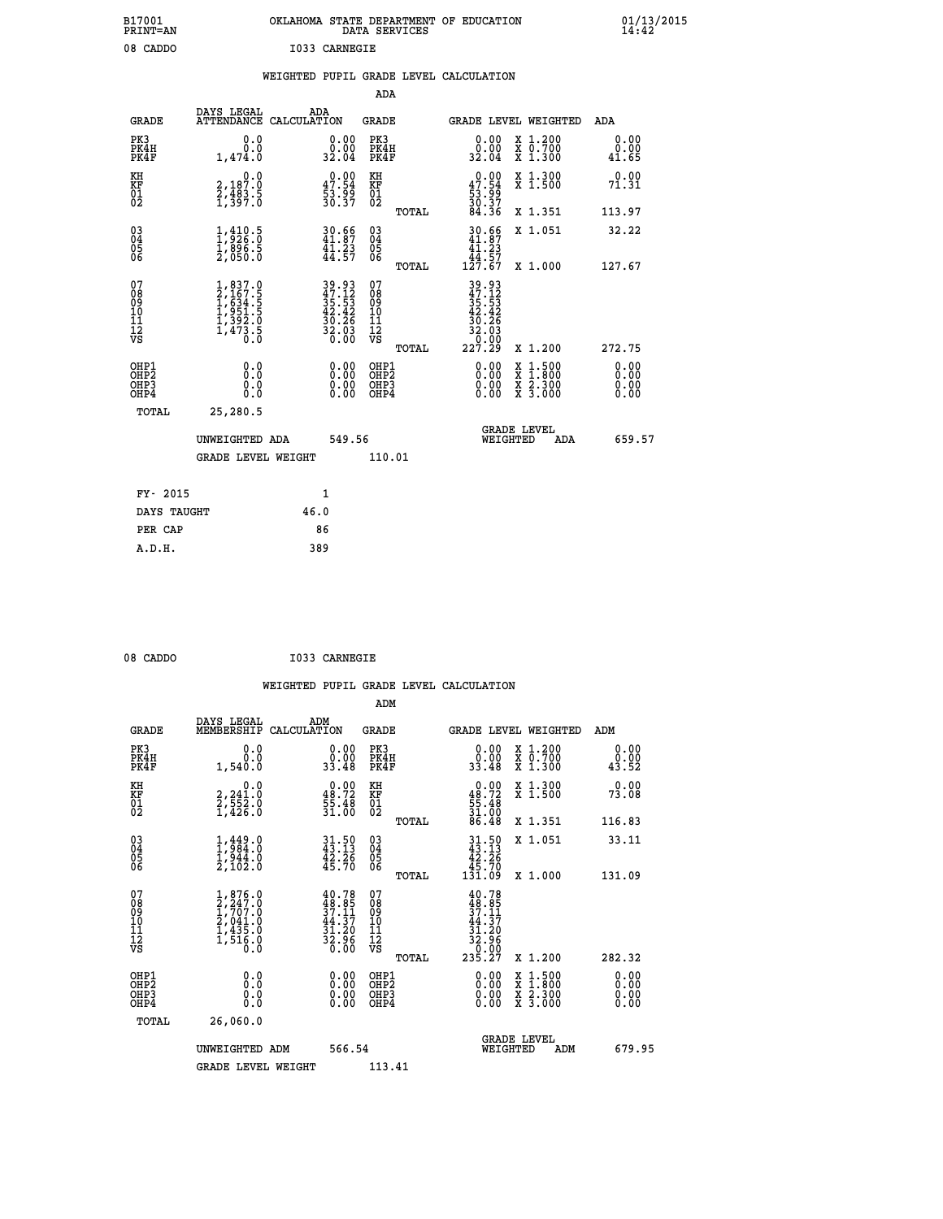| B17001<br>PRINT-AN                                |                                                                                                               | OKLAHOMA STATE DEPARTMENT OF EDUCATION DATA SERVICES                                      |                                                    |                                                                                                                                                                                                                                                     |                                                                                                                                           | $01/13/2015$<br>14:42        |
|---------------------------------------------------|---------------------------------------------------------------------------------------------------------------|-------------------------------------------------------------------------------------------|----------------------------------------------------|-----------------------------------------------------------------------------------------------------------------------------------------------------------------------------------------------------------------------------------------------------|-------------------------------------------------------------------------------------------------------------------------------------------|------------------------------|
| 08 CADDO                                          |                                                                                                               | I033 CARNEGIE                                                                             |                                                    |                                                                                                                                                                                                                                                     |                                                                                                                                           |                              |
|                                                   |                                                                                                               | WEIGHTED PUPIL GRADE LEVEL CALCULATION                                                    |                                                    |                                                                                                                                                                                                                                                     |                                                                                                                                           |                              |
|                                                   |                                                                                                               |                                                                                           | ADA                                                |                                                                                                                                                                                                                                                     |                                                                                                                                           |                              |
| <b>GRADE</b>                                      | DAYS LEGAL                                                                                                    | ADA<br>ATTENDANCE CALCULATION                                                             | GRADE                                              |                                                                                                                                                                                                                                                     | GRADE LEVEL WEIGHTED                                                                                                                      | ADA                          |
| PK3<br>PK4H<br>PK4F                               | 0.0<br>0.0<br>1,474.0                                                                                         | 0.00<br>$\frac{0.00}{32.04}$                                                              | PK3<br>PK4H<br>PK4F                                | 0.00<br>$\begin{smallmatrix} 0.000 0.001 0.001 0.001 0.001 0.001 0.001 0.001 0.001 0.001 0.001 0.001 0.001 0.001 0.001 0.001 0.001 0.001 0.001 0.001 0.001 0.001 0.001 0.001 0.001 0.001 0.001 0.001 0.001 0.001 0.001 0.001 0.001 0.001 0.001 0.0$ | X 1.200<br>X 0.700<br>X 1.300                                                                                                             | 0.00<br>0.00<br>41.65        |
| KH<br>KF<br>$\begin{matrix} 01 \ 02 \end{matrix}$ | 0.0<br>2,187.0<br>2,483.5<br>1,397.0                                                                          | $\begin{smallmatrix} 0.00\\ 47.54\\ 53.99\\ 30.37 \end{smallmatrix}$                      | KH<br><b>KF</b><br>01<br>02                        | $0.00$<br>$47.54$<br>$53.99$<br>$30.37$<br>$84.36$                                                                                                                                                                                                  | X 1.300<br>X <sub>1.500</sub>                                                                                                             | 0.00<br>71.31                |
|                                                   |                                                                                                               |                                                                                           | TOTAL                                              |                                                                                                                                                                                                                                                     | X 1.351                                                                                                                                   | 113.97                       |
| $^{03}_{04}$<br>Ŏ5<br>06                          | $\frac{1}{1}, \frac{410}{926}.\overset{5}{0}\ \frac{1}{2}, \frac{896}{050}.\overset{5}{0}$                    | $30.66$<br>$41.87$<br>$41.23$<br>$44.57$                                                  | $\begin{matrix} 03 \\ 04 \\ 05 \\ 06 \end{matrix}$ | $30.66$<br>$41.87$<br>$\frac{1}{41}$ : 23<br>44.57                                                                                                                                                                                                  | X 1.051                                                                                                                                   | 32.22                        |
|                                                   |                                                                                                               |                                                                                           | TOTAL                                              | 127.67                                                                                                                                                                                                                                              | X 1.000                                                                                                                                   | 127.67                       |
| 07<br>ŏġ<br>09<br>$\frac{10}{11}$<br>ĪŽ<br>VS     | $\begin{smallmatrix} 1, 837.0\\ 2, 167.5\\ 1, 634.5\\ 1, 951.5\\ 1, 392.0\\ 1, 473.5\\ 0.0 \end{smallmatrix}$ | $\begin{array}{r} 39.93 \\ 47.12 \\ 35.53 \\ 42.42 \\ 30.26 \\ 32.03 \\ 0.00 \end{array}$ | 07<br>08<br>09<br>10<br>īi<br>Ī2<br>VS<br>TOTAL    | $39.93$<br>$47.12$<br>$35.53$<br>$42.42$<br>30.26<br>$\frac{2.03}{0.00}$<br>32<br>227.29                                                                                                                                                            | X 1.200                                                                                                                                   | 272.75                       |
| OHP1<br>OHP2<br>OH <sub>P3</sub><br>OHP4          | 0.0<br>Ō.Ō<br>0.0<br>0.0                                                                                      | 0.00<br>0.00<br>0.00                                                                      | OHP1<br>OHP <sub>2</sub><br>OHP3<br>OHP4           | 0.00<br>0.00<br>0.00                                                                                                                                                                                                                                | $\begin{smallmatrix} \mathtt{X} & 1\cdot500\\ \mathtt{X} & 1\cdot800\\ \mathtt{X} & 2\cdot300\\ \mathtt{X} & 3\cdot000 \end{smallmatrix}$ | 0.00<br>0.00<br>0.00<br>0.00 |
| TOTAL                                             | 25,280.5                                                                                                      |                                                                                           |                                                    |                                                                                                                                                                                                                                                     |                                                                                                                                           |                              |
|                                                   | UNWEIGHTED ADA                                                                                                | 549.56                                                                                    |                                                    | WEIGHTED                                                                                                                                                                                                                                            | <b>GRADE LEVEL</b><br>ADA                                                                                                                 | 659.57                       |
|                                                   | <b>GRADE LEVEL WEIGHT</b>                                                                                     |                                                                                           | 110.01                                             |                                                                                                                                                                                                                                                     |                                                                                                                                           |                              |
| FY- 2015                                          |                                                                                                               | 1                                                                                         |                                                    |                                                                                                                                                                                                                                                     |                                                                                                                                           |                              |
| DAYS TAUGHT                                       |                                                                                                               | 46.0                                                                                      |                                                    |                                                                                                                                                                                                                                                     |                                                                                                                                           |                              |
| PER CAP                                           |                                                                                                               | 86                                                                                        |                                                    |                                                                                                                                                                                                                                                     |                                                                                                                                           |                              |

| 08 CADDO | I033 CARNEGIE |
|----------|---------------|
|          |               |

 **WEIGHTED PUPIL GRADE LEVEL CALCULATION ADM DAYS LEGAL ADM GRADE MEMBERSHIP CALCULATION GRADE GRADE LEVEL WEIGHTED ADM PK3 0.0 0.00 PK3 0.00 X 1.200 0.00 PK4H 0.0 0.00 PK4H 0.00 X 0.700 0.00 PK4F 1,540.0 33.48 PK4F 33.48 X 1.300 43.52 KH 0.0 0.00 KH 0.00 X 1.300 0.00 KF 2,241.0 48.72 KF 48.72 X 1.500 73.08 01 2,552.0 55.48 01 55.48 02 1,426.0 31.00 02 31.00 TOTAL 86.48 X 1.351 116.83 03 1,449.0 31.50 03 31.50 X 1.051 33.11 04 1,984.0 43.13 04 43.13 05 1,944.0 42.26 05 42.26 06 2,102.0 45.70 06 45.70 TOTAL 131.09 X 1.000 131.09**  $\begin{array}{cccc} 07 & 1,876.0 & 40.78 & 07 & 40.78 \ 08 & 2,247.0 & 48.85 & 08 & 49.85 \ 09 & 1,707.0 & 37.11 & 09 & 37.11 \ 10 & 2,041.0 & 44.37 & 10 & 44.37 \ 12 & 1,435.0 & 31.20 & 11 & 31.20 \ \hline\end{array}$  $\begin{array}{cccccc} 1,876.0 & 40.78 & 07 & 40.78 & 1.111 & 1.211 & 1.211 & 1.211 & 1.211 & 1.211 & 1.211 & 1.211 & 1.211 & 1.211 & 1.211 & 1.211 & 1.211 & 1.211 & 1.211 & 1.211 & 1.211 & 1.211 & 1.211 & 1.211 & 1.211 & 1.211 & 1.211 & 1.211 & 1.211 & 1.211 & 1.$  **OHP1 0.0 0.00 OHP1 0.00 X 1.500 0.00 OHP2 0.0 0.00 OHP2 0.00 X 1.800 0.00 OHP3 0.0 0.00 OHP3 0.00 X 2.300 0.00 OHP4 0.0 0.00 OHP4 0.00 X 3.000 0.00 TOTAL 26,060.0 GRADE LEVEL UNWEIGHTED ADM 566.54 WEIGHTED ADM 679.95** GRADE LEVEL WEIGHT 113.41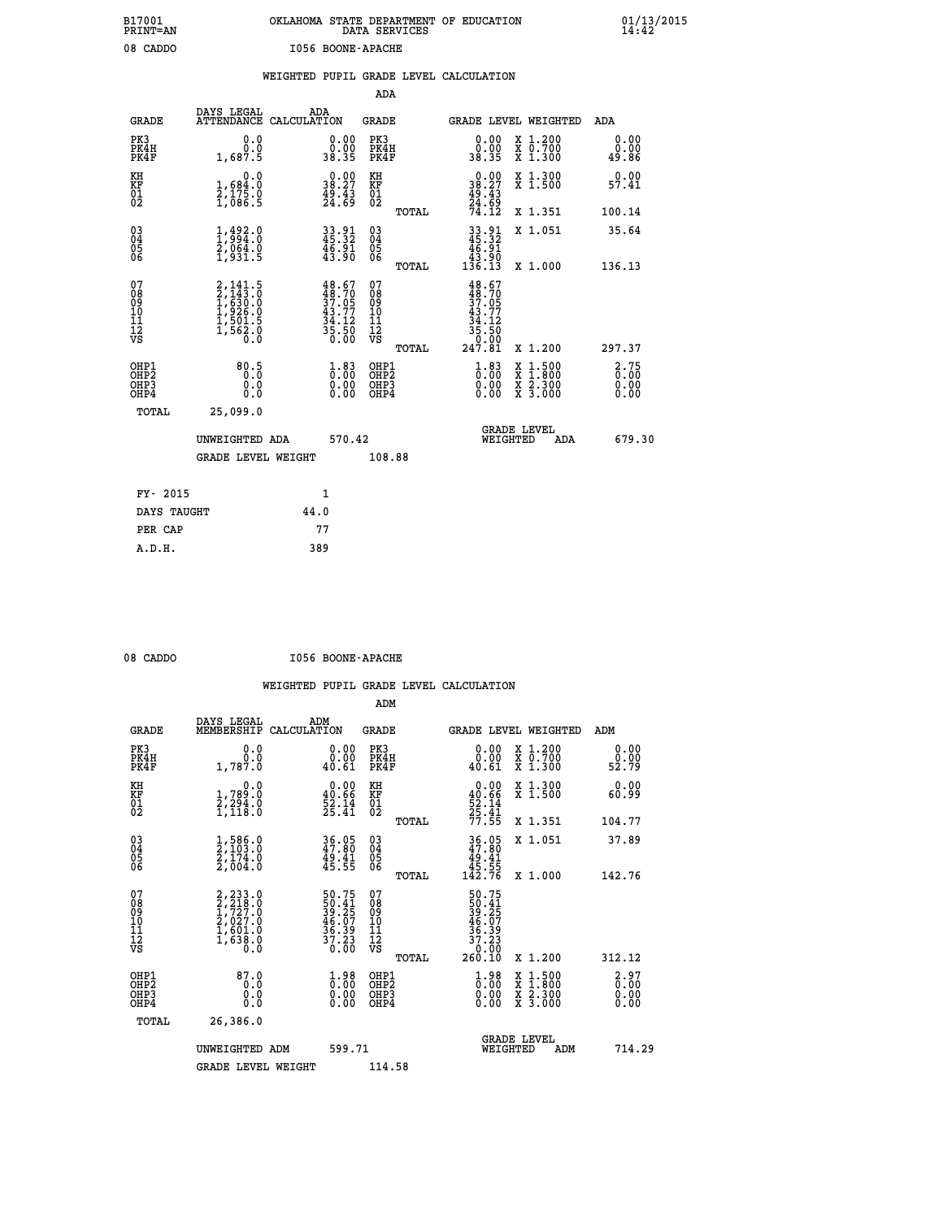| OKLAHOMA STATE DEPARTMENT OF EDUCATION<br>DATA SERVICES |  |  |
|---------------------------------------------------------|--|--|
| I056 BOONE-APACHE                                       |  |  |

 **B17001 OKLAHOMA STATE DEPARTMENT OF EDUCATION 01/13/2015**

|                                                                    |                                                                                           |      |                                                                                                                                            | ADA                                    |       |                                                                                                                                                                |                                          |                       |
|--------------------------------------------------------------------|-------------------------------------------------------------------------------------------|------|--------------------------------------------------------------------------------------------------------------------------------------------|----------------------------------------|-------|----------------------------------------------------------------------------------------------------------------------------------------------------------------|------------------------------------------|-----------------------|
| <b>GRADE</b>                                                       | DAYS LEGAL<br>ATTENDANCE CALCULATION                                                      | ADA  |                                                                                                                                            | <b>GRADE</b>                           |       |                                                                                                                                                                | GRADE LEVEL WEIGHTED                     | ADA                   |
| PK3<br>PK4H<br>PK4F                                                | 0.0<br>0.0<br>1,687.5                                                                     |      | $\begin{smallmatrix} 0.00\\ 0.00\\ 38.35 \end{smallmatrix}$                                                                                | PK3<br>PK4H<br>PK4F                    |       | 0.00<br>ةةٍ:ةٍ<br>38.35                                                                                                                                        | X 1.200<br>X 0.700<br>X 1.300            | 0.00<br>0.00<br>49.86 |
| KH<br>KF<br>01<br>02                                               | 0.0<br>1,684:0<br>2,175.0<br>1,086:5                                                      |      | $\begin{smallmatrix} 0.00\\ 38.27\\ 49.43\\ 24.69 \end{smallmatrix}$                                                                       | KH<br>KF<br>01<br>02                   |       | $0.0038.2749.4324.6974.12$                                                                                                                                     | X 1.300<br>X 1.500                       | 0.00<br>57.41         |
|                                                                    |                                                                                           |      |                                                                                                                                            |                                        | TOTAL |                                                                                                                                                                | X 1.351                                  | 100.14                |
| $\begin{smallmatrix} 03 \\[-4pt] 04 \end{smallmatrix}$<br>Ŏ5<br>06 | $\frac{1}{2}$ , $\frac{492}{994}$ . 0<br>$\frac{2}{2}$ , 064. 0<br>$\frac{1}{2}$ , 931. 5 |      | 33.91<br>45.32<br>$\frac{46.91}{43.90}$                                                                                                    | $\substack{03 \\ 04}$<br>Ŏ5<br>06      |       | $33.91$<br>$45.32$<br>$46.91$<br>$43.90$<br>$136.13$                                                                                                           | X 1.051                                  | 35.64                 |
|                                                                    |                                                                                           |      |                                                                                                                                            |                                        | TOTAL |                                                                                                                                                                | X 1.000                                  | 136.13                |
| 07<br>08<br>09<br>101<br>11<br>12<br>VS                            | 2,141.5<br>2,143.0<br>1,630.0<br>1,630.0<br>1,501.5<br>1,562.0<br>0.0                     |      | $\begin{smallmatrix} 4\,8\cdot 67\\ 4\,8\cdot 70\\ 3\,7\cdot 05\\ 4\,3\cdot 77\\ 4\,3\cdot 12\\ 3\,5\cdot 50\\ 0\cdot 00\end{smallmatrix}$ | 07<br>08<br>09<br>11<br>11<br>12<br>VS |       | $48.67$<br>$48.70$<br>$37.05$<br>$\begin{smallmatrix} 4 & 3 & 7 & 7 \\ 3 & 4 & 1 & 2 \\ 3 & 5 & 5 & 0 \\ 3 & 5 & 0 & 0 \\ 2 & 4 & 7 & 8 & 1 \end{smallmatrix}$ |                                          |                       |
|                                                                    |                                                                                           |      |                                                                                                                                            |                                        | TOTAL |                                                                                                                                                                | X 1.200                                  | 297.37                |
| OHP1<br>OHP <sub>2</sub><br>OH <sub>P3</sub><br>OHP4               | 80.5<br>0.000                                                                             |      | $\frac{1}{0}$ : 83<br>$\begin{smallmatrix} 0.00 \ 0.00 \end{smallmatrix}$                                                                  | OHP1<br>OHP2<br>OHP <sub>3</sub>       |       | $\begin{smallmatrix} 1.83\ 0.00\ 0.00 \end{smallmatrix}$                                                                                                       | X 1:500<br>X 1:800<br>X 2:300<br>X 3:000 | 2.75<br>0.00<br>0.00  |
| TOTAL                                                              | 25,099.0                                                                                  |      |                                                                                                                                            |                                        |       |                                                                                                                                                                |                                          |                       |
|                                                                    | UNWEIGHTED ADA                                                                            |      | 570.42                                                                                                                                     |                                        |       | WEIGHTED                                                                                                                                                       | <b>GRADE LEVEL</b><br>ADA                | 679.30                |
|                                                                    | <b>GRADE LEVEL WEIGHT</b>                                                                 |      |                                                                                                                                            | 108.88                                 |       |                                                                                                                                                                |                                          |                       |
| FY- 2015                                                           |                                                                                           | 1    |                                                                                                                                            |                                        |       |                                                                                                                                                                |                                          |                       |
| DAYS TAUGHT                                                        |                                                                                           | 44.0 |                                                                                                                                            |                                        |       |                                                                                                                                                                |                                          |                       |
| PER CAP                                                            |                                                                                           | 77   |                                                                                                                                            |                                        |       |                                                                                                                                                                |                                          |                       |

 **A.D.H. 389**

 **B17001<br>PRINT=AN<br>08 CADDO** 

08 CADDO **I056 BOONE-APACHE** 

|                                          |                                                                                           |                                                                                                    | ADM                                                 |       |                                                                           |                                          |                                |
|------------------------------------------|-------------------------------------------------------------------------------------------|----------------------------------------------------------------------------------------------------|-----------------------------------------------------|-------|---------------------------------------------------------------------------|------------------------------------------|--------------------------------|
| <b>GRADE</b>                             | DAYS LEGAL<br>MEMBERSHIP                                                                  | ADM<br>CALCULATION                                                                                 | <b>GRADE</b>                                        |       |                                                                           | <b>GRADE LEVEL WEIGHTED</b>              | ADM                            |
| PK3<br>PK4H<br>PK4F                      | 0.0<br>1,787.0                                                                            | 0.00<br>0.00<br>40.61                                                                              | PK3<br>PK4H<br>PK4F                                 |       | 0.00<br>40.61                                                             | X 1.200<br>X 0.700<br>X 1.300            | 0.00<br>$\frac{0.00}{52.79}$   |
| KH<br>KF<br>01<br>02                     | 0.0<br>$\frac{1}{2}, \frac{789}{294}$ .0<br>1,118.0                                       | $0.00$<br>40.66<br>$\frac{52.14}{25.41}$                                                           | KH<br>KF<br>01<br>02                                |       | $0.00$<br>$40.66$<br>$52.14$<br>$25.41$<br>$77.55$                        | X 1.300<br>X 1.500                       | 0.00<br>60.99                  |
|                                          |                                                                                           |                                                                                                    |                                                     | TOTAL |                                                                           | X 1.351                                  | 104.77                         |
| 03<br>04<br>05<br>06                     | $\frac{1}{2}, \frac{586}{103} .0 \newline \frac{2}{174} .0 \newline \frac{2}{104} .0$     | 36.05<br>47.80<br>$\frac{49.41}{45.55}$                                                            | $\begin{array}{c} 03 \\ 04 \\ 05 \\ 06 \end{array}$ |       | $\begin{array}{c} 36.05 \\ 47.80 \\ 49.41 \\ 45.55 \\ 142.76 \end{array}$ | X 1.051                                  | 37.89                          |
|                                          |                                                                                           |                                                                                                    |                                                     | TOTAL |                                                                           | X 1.000                                  | 142.76                         |
| 07<br>08<br>09<br>101<br>112<br>VS       | $2, 233.0$<br>$2, 218.0$<br>$1, 727.0$<br>$2, 027.0$<br>$1, 601.0$<br>$1, 638.0$<br>$0.0$ | $50.75$<br>$50.41$<br>$39.25$<br>$46.07$<br>$36.39$<br>$37.23$<br>$0.00$                           | 07<br>08<br>09<br>11<br>11<br>12<br>VS              |       | $50.75$<br>$39.25$<br>$39.25$<br>$46.07$<br>$36.39$<br>$37.23$<br>$0.90$  |                                          |                                |
|                                          |                                                                                           |                                                                                                    |                                                     | TOTAL | 260.10                                                                    | X 1.200                                  | 312.12                         |
| OHP1<br>OHP2<br>OH <sub>P3</sub><br>OHP4 | 87.0<br>0.0<br>0.000                                                                      | $\overset{1}{\underset{0}{0}}\,\overset{9}{\underset{0}{0}}\,\overset{8}{\underset{0}{0}}$<br>0.00 | OHP1<br>OHP2<br>OHP <sub>3</sub>                    |       | $\begin{smallmatrix} 1.98\ 0.00 \ 0.00 \end{smallmatrix}$<br>0.00         | X 1:500<br>X 1:800<br>X 2:300<br>X 3:000 | 2.97<br>$0.00$<br>0.00<br>0.00 |
| TOTAL                                    | 26,386.0                                                                                  |                                                                                                    |                                                     |       |                                                                           |                                          |                                |
|                                          | UNWEIGHTED ADM                                                                            | 599.71                                                                                             |                                                     |       | WEIGHTED                                                                  | <b>GRADE LEVEL</b><br>ADM                | 714.29                         |
|                                          | <b>GRADE LEVEL WEIGHT</b>                                                                 |                                                                                                    | 114.58                                              |       |                                                                           |                                          |                                |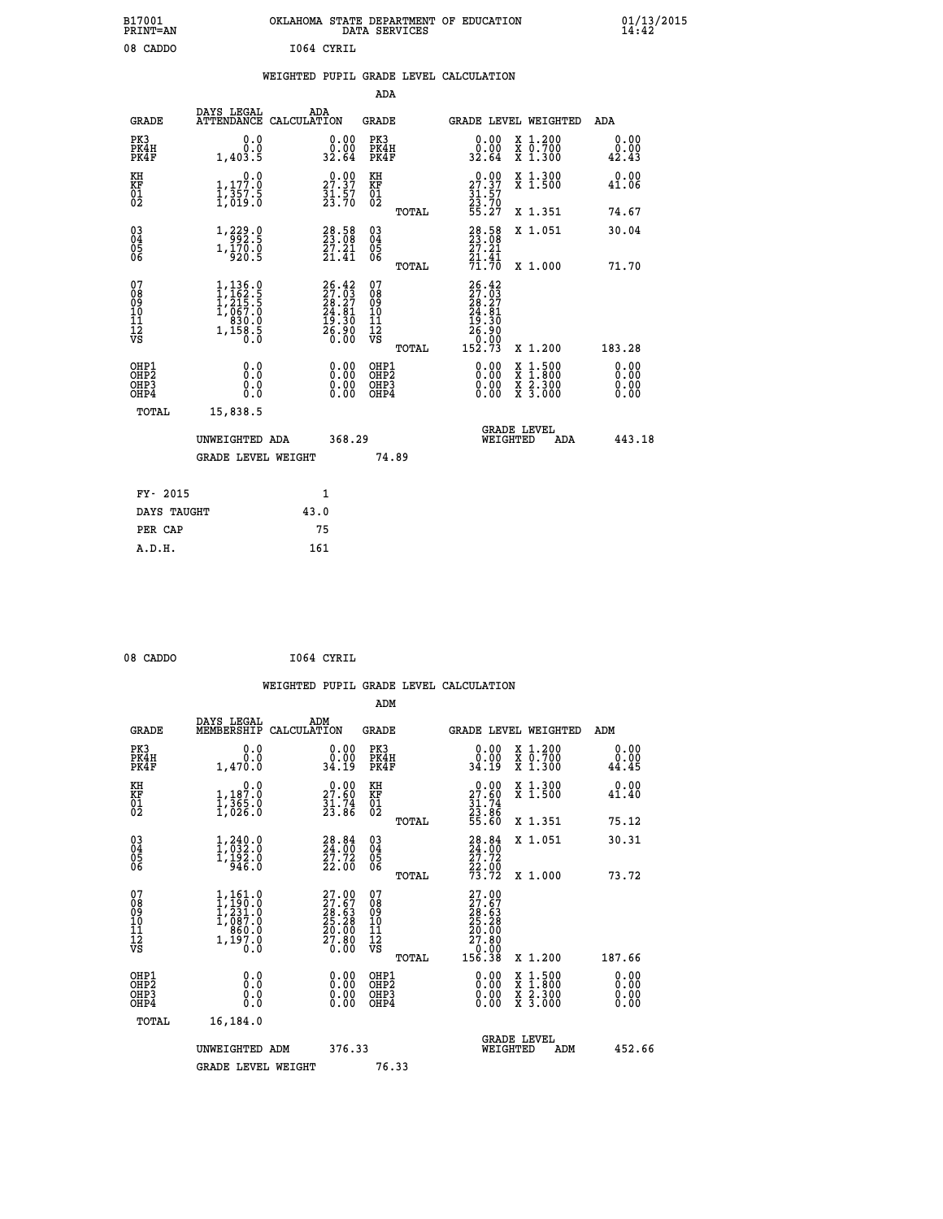| B17001<br><b>PRINT=AN</b> | OKLAHOMA STATE DEPARTMENT OF EDUCATION<br>DATA SERVICES | 01/13/2015 |
|---------------------------|---------------------------------------------------------|------------|
| 08<br>CADDO               | 1064 CYRIL                                              |            |

#### **WEIGHTED PUPIL GRADE LEVEL CALCULATION**

|                                                                    |                                                                                                                                                |                                                                             |                                                             | ADA                                                              |       |                                                                        |                                                                                                                                           |                               |
|--------------------------------------------------------------------|------------------------------------------------------------------------------------------------------------------------------------------------|-----------------------------------------------------------------------------|-------------------------------------------------------------|------------------------------------------------------------------|-------|------------------------------------------------------------------------|-------------------------------------------------------------------------------------------------------------------------------------------|-------------------------------|
| <b>GRADE</b>                                                       | DAYS LEGAL                                                                                                                                     | ADA<br>ATTENDANCE CALCULATION                                               |                                                             | <b>GRADE</b>                                                     |       | GRADE LEVEL WEIGHTED                                                   |                                                                                                                                           | <b>ADA</b>                    |
| PK3<br>PK4H<br>PK4F                                                | 0.0<br>0.0<br>1,403.5                                                                                                                          | 0.00<br>32.64                                                               | 0.00                                                        | PK3<br>PK4H<br>PK4F                                              |       | 0.00<br>0.00<br>32.64                                                  | X 1.200<br>X 0.700<br>X 1.300                                                                                                             | 0.00<br>0.00<br>42.43         |
| KH<br>KF<br>01<br>02                                               | 0.0<br>1,177.0<br>1,357.5<br>1,019.0                                                                                                           | 27.37<br>$\frac{51}{23}.57$                                                 |                                                             | KH<br>KF<br>01<br>02                                             |       | 29:39<br>$\frac{31}{23}\cdot\frac{57}{70}$<br>55.27                    | X 1.300<br>X 1.500                                                                                                                        | 0.00<br>41.06                 |
|                                                                    |                                                                                                                                                |                                                                             |                                                             |                                                                  | TOTAL |                                                                        | X 1.351                                                                                                                                   | 74.67                         |
| $\begin{smallmatrix} 03 \\[-4pt] 04 \end{smallmatrix}$<br>Ŏ5<br>06 | $\substack{1,229.0\\1,170.0\\920.5}$                                                                                                           | $\begin{smallmatrix} 28.58\ 23.08\ 27.21\ 21.41 \end{smallmatrix}$          |                                                             | $\substack{03 \\ 04}$<br>Ŏ5<br>06                                |       | $28.58$<br>$23.08$<br>$27.21$<br>$\frac{71.41}{71.70}$                 | X 1.051                                                                                                                                   | 30.04                         |
|                                                                    |                                                                                                                                                |                                                                             |                                                             |                                                                  | TOTAL |                                                                        | X 1.000                                                                                                                                   | 71.70                         |
| 07<br>08<br>09<br>101<br>11<br>12<br>VS                            | $\begin{smallmatrix} 1,136\, .\, 0\\ 1,162\, .\, 5\\ 1,215\, .\, 5\\ 1,067\, .\, 0\\ 830\, .\, 0\\ 1,158\, .\, 5\\ 0\, .\, 0\end{smallmatrix}$ | $26.42$<br>$27.03$<br>$28.27$<br>$24.81$<br>$19.30$<br>$\frac{56.90}{0.00}$ |                                                             | 07<br>08<br>09<br>11<br>11<br>12<br>VS                           |       | $26.42$<br>$27.03$<br>$28.27$<br>$24.81$<br>$19.30$<br>$26.90$<br>0.00 |                                                                                                                                           |                               |
|                                                                    |                                                                                                                                                |                                                                             |                                                             |                                                                  | TOTAL | 152.73                                                                 | X 1.200                                                                                                                                   | 183.28                        |
| OHP1<br>OHP <sub>2</sub><br>OH <sub>P3</sub><br>OH <sub>P4</sub>   | 0.0<br>Ō.Ō<br>0.0<br>$0.\overline{0}$                                                                                                          |                                                                             | 0.00<br>$\begin{smallmatrix} 0.00 \ 0.00 \end{smallmatrix}$ | OHP1<br>OHP <sub>2</sub><br>OHP <sub>3</sub><br>OHP <sub>4</sub> |       | 0.00<br>0.00                                                           | $\begin{smallmatrix} \mathtt{X} & 1\cdot500\\ \mathtt{X} & 1\cdot800\\ \mathtt{X} & 2\cdot300\\ \mathtt{X} & 3\cdot000 \end{smallmatrix}$ | 0.00<br>Ō. ŌŌ<br>0.00<br>0.00 |
| TOTAL                                                              | 15,838.5                                                                                                                                       |                                                                             |                                                             |                                                                  |       |                                                                        |                                                                                                                                           |                               |
|                                                                    | UNWEIGHTED ADA                                                                                                                                 |                                                                             | 368.29                                                      |                                                                  |       | WEIGHTED                                                               | <b>GRADE LEVEL</b><br>ADA                                                                                                                 | 443.18                        |
|                                                                    | <b>GRADE LEVEL WEIGHT</b>                                                                                                                      |                                                                             |                                                             | 74.89                                                            |       |                                                                        |                                                                                                                                           |                               |
| FY- 2015                                                           |                                                                                                                                                | 1                                                                           |                                                             |                                                                  |       |                                                                        |                                                                                                                                           |                               |
| DAYS TAUGHT                                                        |                                                                                                                                                | 43.0                                                                        |                                                             |                                                                  |       |                                                                        |                                                                                                                                           |                               |
| PER CAP                                                            |                                                                                                                                                | 75                                                                          |                                                             |                                                                  |       |                                                                        |                                                                                                                                           |                               |

| 08 CADDO | 1064 CYRIL |
|----------|------------|
|          |            |

 **A.D.H. 161**

 **WEIGHTED PUPIL GRADE LEVEL CALCULATION ADM DAYS LEGAL ADM GRADE MEMBERSHIP CALCULATION GRADE GRADE LEVEL WEIGHTED ADM PK3 0.0 0.00 PK3 0.00 X 1.200 0.00 PK4H 0.0 0.00 PK4H 0.00 X 0.700 0.00 PK4F 1,470.0 34.19 PK4F 34.19 X 1.300 44.45 KH 0.0 0.00 KH 0.00 X 1.300 0.00 KF 1,187.0 27.60 KF 27.60 X 1.500 41.40 01 1,365.0 31.74 01 31.74 02 1,026.0 23.86 02 23.86 TOTAL 55.60 X 1.351 75.12 03 1,240.0 28.84 03 28.84 X 1.051 30.31 04 1,032.0 24.00 04 24.00 05 1,192.0 27.72 05 27.72 06 946.0 22.00 06 22.00 TOTAL 73.72 X 1.000 73.72**  $\begin{array}{cccc} 07 & 1,161.0 & 27.00 & 07 & 27.00 \ 08 & 1,231.0 & 27.60 & 08 & 27.60 \ 09 & 1,231.0 & 28.63 & 09 & 28.63 \ 10 & 1,087.0 & 25.28 & 10 & 25.28 \ 11 & 860.0 & 20.00 & 11 & 20.00 \ \nabla\mathbf{S} & 1,197.0 & 36.0 & 71.80 \ 0.0 & 20.00 & 0.0 & 0.0 & 0.0 &$  $\begin{array}{cccccc} 1.161.0 & 27.00 & 07 & 27.00 & 27.00 & 27.00 & 27.00 & 27.00 & 27.00 & 27.00 & 27.00 & 27.00 & 27.00 & 27.00 & 27.00 & 27.00 & 27.00 & 27.00 & 27.00 & 27.00 & 27.00 & 27.00 & 27.00 & 27.00 & 27.00 & 27.00 & 27.00 & 27.00 & 27.00 & 27.00 & 27$  **OHP1 0.0 0.00 OHP1 0.00 X 1.500 0.00 OHP2 0.0 0.00 OHP2 0.00 X 1.800 0.00 OHP3 0.0 0.00 OHP3 0.00 X 2.300 0.00**

| OHP4  |                    | 0.00<br>OHP4 | $0.00 \times 3.000$                   | 0.00   |
|-------|--------------------|--------------|---------------------------------------|--------|
| TOTAL | 16,184.0           |              |                                       |        |
|       | UNWEIGHTED ADM     | 376.33       | <b>GRADE LEVEL</b><br>ADM<br>WEIGHTED | 452.66 |
|       | GRADE LEVEL WEIGHT | 76.33        |                                       |        |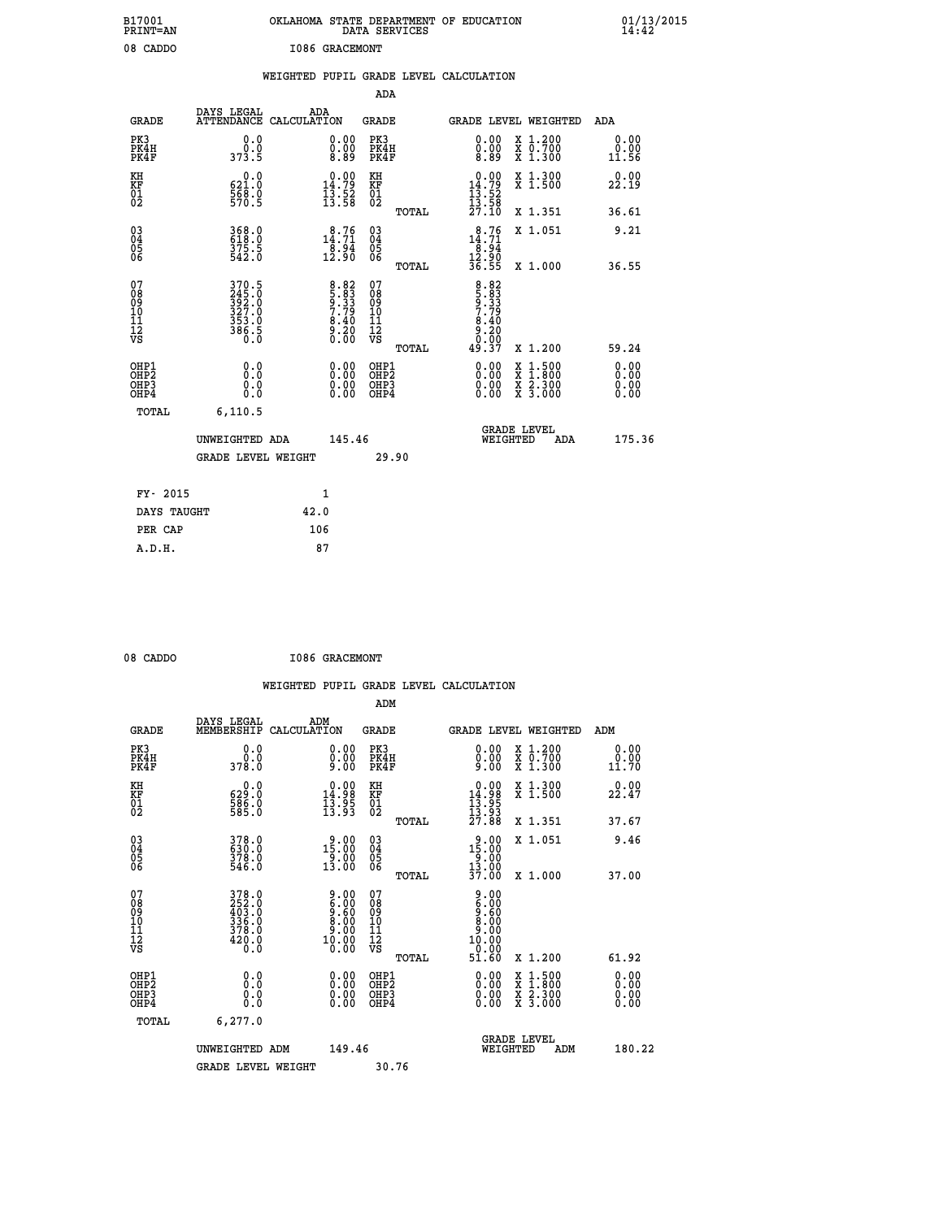| B17001<br>PRINT=AN                     |                                                             |                                                                                                                                                                                                                                                                                                                            | OKLAHOMA STATE DEPARTMENT OF EDUCATION<br>DATA SERVICES |                                                                                 |                                                                                                                                           | 01/13/2015            |  |
|----------------------------------------|-------------------------------------------------------------|----------------------------------------------------------------------------------------------------------------------------------------------------------------------------------------------------------------------------------------------------------------------------------------------------------------------------|---------------------------------------------------------|---------------------------------------------------------------------------------|-------------------------------------------------------------------------------------------------------------------------------------------|-----------------------|--|
| 08 CADDO                               |                                                             | <b>I086 GRACEMONT</b>                                                                                                                                                                                                                                                                                                      |                                                         |                                                                                 |                                                                                                                                           |                       |  |
|                                        |                                                             |                                                                                                                                                                                                                                                                                                                            | WEIGHTED PUPIL GRADE LEVEL CALCULATION                  |                                                                                 |                                                                                                                                           |                       |  |
|                                        |                                                             |                                                                                                                                                                                                                                                                                                                            | ADA                                                     |                                                                                 |                                                                                                                                           |                       |  |
| <b>GRADE</b>                           | DAYS LEGAL<br>ATTENDANCE CALCULATION                        | ADA                                                                                                                                                                                                                                                                                                                        | <b>GRADE</b>                                            |                                                                                 | GRADE LEVEL WEIGHTED                                                                                                                      | ADA                   |  |
| PK3<br>PK4H<br>PK4F                    | 0.0<br>0.0<br>373.5                                         | 0.00<br>$\begin{smallmatrix} \v{0} \ \v{0} \ \v{0} \ \v{0} \ \v{0} \ \v{0} \ \v{0} \ \v{0} \ \v{0} \ \v{0} \ \v{0} \ \v{0} \ \v{0} \ \v{0} \ \v{0} \ \v{0} \ \v{0} \ \v{0} \ \v{0} \ \v{0} \ \v{0} \ \v{0} \ \v{0} \ \v{0} \ \v{0} \ \v{0} \ \v{0} \ \v{0} \ \v{0} \ \v{0} \ \v{0} \ \v{0} \ \v{0} \ \v{0} \ \v{0} \ \v{0$ | PK3<br>PK4H<br>PK4F                                     | 0.00<br>$0.00$<br>8.89                                                          | X 1.200<br>X 0.700<br>X 1.300                                                                                                             | 0.00<br>0.00<br>11.56 |  |
| KH<br>KF<br>01<br>02                   | 0.0<br>621.0<br>$\frac{568}{570}$ .<br>570.5                | $\begin{array}{c} 0.00 \\ 14.79 \\ 13.52 \\ 13.58 \end{array}$                                                                                                                                                                                                                                                             | KH<br>KF<br>01<br>02                                    | $\begin{array}{r} 0.00 \\ 14.79 \\ 13.52 \\ 13.58 \\ 27.10 \end{array}$         | $\begin{smallmatrix} x & 1.300 \\ x & 1.500 \end{smallmatrix}$                                                                            | 0.00<br>22.19         |  |
|                                        |                                                             |                                                                                                                                                                                                                                                                                                                            | TOTAL                                                   |                                                                                 | X 1.351                                                                                                                                   | 36.61                 |  |
| 03<br>04<br>05<br>06                   | 368.0<br>618.0<br>375.5<br>542.0                            | 14.76<br>$\frac{8.94}{12.90}$                                                                                                                                                                                                                                                                                              | $\begin{matrix} 03 \\ 04 \\ 05 \\ 06 \end{matrix}$      | $\begin{smallmatrix} 8.76 \\ 14.71 \\ 8.94 \\ 12.90 \\ 36.55 \end{smallmatrix}$ | X 1.051                                                                                                                                   | 9.21                  |  |
|                                        |                                                             |                                                                                                                                                                                                                                                                                                                            | TOTAL                                                   |                                                                                 | X 1.000                                                                                                                                   | 36.55                 |  |
| 07<br>08<br>09<br>11<br>11<br>12<br>VS | 370.5<br>245.0<br>392.0<br>327.0<br>353.0<br>386.5<br>386.5 | $8.82$<br>$5.83$<br>$9.33$<br>$7.79$<br>$8.40$<br>$9.20$<br>$0.00$                                                                                                                                                                                                                                                         | 07<br>Ŏ8<br>09<br>10<br>īi<br>$\frac{1}{\sqrt{2}}$      | 8.83<br>5.83<br>9.779<br>7.40<br>0.20                                           |                                                                                                                                           |                       |  |
|                                        |                                                             |                                                                                                                                                                                                                                                                                                                            | TOTAL                                                   | 49.37                                                                           | X 1.200                                                                                                                                   | 59.24                 |  |
| OHP1<br>OHP2<br>OHP3<br>OHP4           | 0.000<br>0.0<br>0.0                                         | $0.00$<br>$0.00$<br>0.00                                                                                                                                                                                                                                                                                                   | OHP1<br>OHP2<br>OHP3<br>OHP4                            | $0.00$<br>$0.00$<br>0.00                                                        | $\begin{smallmatrix} \mathtt{X} & 1\cdot500\\ \mathtt{X} & 1\cdot800\\ \mathtt{X} & 2\cdot300\\ \mathtt{X} & 3\cdot000 \end{smallmatrix}$ | 0.00<br>0.00<br>0.00  |  |
| TOTAL                                  | 6, 110.5                                                    |                                                                                                                                                                                                                                                                                                                            |                                                         |                                                                                 |                                                                                                                                           |                       |  |
|                                        | UNWEIGHTED ADA                                              | 145.46                                                                                                                                                                                                                                                                                                                     |                                                         | WEIGHTED                                                                        | <b>GRADE LEVEL</b><br>ADA                                                                                                                 | 175.36                |  |
|                                        | <b>GRADE LEVEL WEIGHT</b>                                   |                                                                                                                                                                                                                                                                                                                            | 29.90                                                   |                                                                                 |                                                                                                                                           |                       |  |
| FY- 2015                               |                                                             | 1                                                                                                                                                                                                                                                                                                                          |                                                         |                                                                                 |                                                                                                                                           |                       |  |
| DAYS TAUGHT                            |                                                             | 42.0                                                                                                                                                                                                                                                                                                                       |                                                         |                                                                                 |                                                                                                                                           |                       |  |
| PER CAP                                |                                                             | 106                                                                                                                                                                                                                                                                                                                        |                                                         |                                                                                 |                                                                                                                                           |                       |  |

08 CADDO **I086 GRACEMONT** 

 **A.D.H. 87**

|                                                    |                                                                                                                                                | WEIGHTED PUPIL GRADE LEVEL CALCULATION                                                         |                                                     |       |                                                                                                                                                                                                                                                                                |                                                                                                                                      |                       |
|----------------------------------------------------|------------------------------------------------------------------------------------------------------------------------------------------------|------------------------------------------------------------------------------------------------|-----------------------------------------------------|-------|--------------------------------------------------------------------------------------------------------------------------------------------------------------------------------------------------------------------------------------------------------------------------------|--------------------------------------------------------------------------------------------------------------------------------------|-----------------------|
|                                                    |                                                                                                                                                |                                                                                                | ADM                                                 |       |                                                                                                                                                                                                                                                                                |                                                                                                                                      |                       |
| <b>GRADE</b>                                       | DAYS LEGAL<br>MEMBERSHIP                                                                                                                       | ADM<br>CALCULATION                                                                             | <b>GRADE</b>                                        |       |                                                                                                                                                                                                                                                                                | GRADE LEVEL WEIGHTED                                                                                                                 | ADM                   |
| PK3<br>PK4H<br>PK4F                                | 0.0<br>ة:ة<br>378:0                                                                                                                            | $\begin{smallmatrix} 0.00 \ 0.00 \ 9.00 \end{smallmatrix}$                                     | PK3<br>PK4H<br>PK4F                                 |       | $\begin{smallmatrix} 0.00 \\ 0.00 \\ 9.00 \end{smallmatrix}$                                                                                                                                                                                                                   | X 1.200<br>X 0.700<br>X 1.300                                                                                                        | 0.00<br>0.00<br>11.70 |
| KH<br>KF<br>01<br>02                               | 0.0<br>629:0<br>586:0<br>585:0                                                                                                                 | $\begin{array}{c} 0.00 \\ 14.98 \\ 13.95 \\ 13.95 \end{array}$                                 | KH<br>KF<br>01<br>02                                |       | $\begin{smallmatrix} 0.00\\14.98\\13.95\\13.95\\27.88 \end{smallmatrix}$                                                                                                                                                                                                       | X 1.300<br>X 1.500                                                                                                                   | 0.00<br>22.47         |
|                                                    |                                                                                                                                                |                                                                                                |                                                     | TOTAL |                                                                                                                                                                                                                                                                                | X 1.351                                                                                                                              | 37.67                 |
| $\begin{matrix} 03 \\ 04 \\ 05 \\ 06 \end{matrix}$ | 378.0<br>630.0<br>378.0<br>546.0                                                                                                               | 15.00<br>$\frac{5}{13}$ $\frac{5}{00}$                                                         | $\begin{array}{c} 03 \\ 04 \\ 05 \\ 06 \end{array}$ |       | $\begin{array}{r} 9.00 \\ 15.00 \\ 9.00 \\ 13.00 \\ 37.00 \end{array}$                                                                                                                                                                                                         | X 1.051                                                                                                                              | 9.46                  |
|                                                    |                                                                                                                                                |                                                                                                |                                                     | TOTAL |                                                                                                                                                                                                                                                                                | X 1.000                                                                                                                              | 37.00                 |
| 07<br>08<br>09<br>10<br>11<br>11<br>17<br>VS       | $\begin{smallmatrix} 3\,7\,8\cdot0\\ 2\,5\,2\cdot0\\ 4\,0\,3\cdot0\\ 3\,3\,6\cdot0\\ 3\,7\,8\cdot0\\ 4\,2\,0\cdot0\\ 0\cdot0\end{smallmatrix}$ | $\begin{smallmatrix} 9.00\ 6.00\ 9.60\ 8.00\ 9.00\ 9.00\ 9.00\ 10.00\ 0.00\ \end{smallmatrix}$ | 07<br>08901112<br>1112<br>VS                        |       | $\begin{smallmatrix} 9.00\ 6.00\ 9.60\ 9.60\ 8.00\ 9.00\ 10.00\ 10.00\ 51.60 \end{smallmatrix}$                                                                                                                                                                                |                                                                                                                                      |                       |
|                                                    |                                                                                                                                                |                                                                                                |                                                     | TOTAL |                                                                                                                                                                                                                                                                                | X 1.200                                                                                                                              | 61.92                 |
| OHP1<br>OHP2<br>OHP <sub>3</sub><br>OHP4           | 0.0<br>$\begin{smallmatrix} 0.0 & 0 \ 0.0 & 0 \end{smallmatrix}$                                                                               | $\begin{smallmatrix} 0.00 \ 0.00 \ 0.00 \ 0.00 \end{smallmatrix}$                              | OHP1<br>OHP2<br>OHP3<br>OHP4                        |       | $\begin{smallmatrix} 0.00 & 0.00 & 0.00 & 0.00 & 0.00 & 0.00 & 0.00 & 0.00 & 0.00 & 0.00 & 0.00 & 0.00 & 0.00 & 0.00 & 0.00 & 0.00 & 0.00 & 0.00 & 0.00 & 0.00 & 0.00 & 0.00 & 0.00 & 0.00 & 0.00 & 0.00 & 0.00 & 0.00 & 0.00 & 0.00 & 0.00 & 0.00 & 0.00 & 0.00 & 0.00 & 0.0$ | $\begin{smallmatrix} \mathtt{X} & 1 & 500 \\ \mathtt{X} & 1 & 800 \\ \mathtt{X} & 2 & 300 \\ \mathtt{X} & 3 & 000 \end{smallmatrix}$ | 0.00<br>0.00          |
| TOTAL                                              | 6, 277.0                                                                                                                                       |                                                                                                |                                                     |       |                                                                                                                                                                                                                                                                                |                                                                                                                                      |                       |
|                                                    | UNWEIGHTED ADM                                                                                                                                 | 149.46                                                                                         |                                                     |       | WEIGHTED                                                                                                                                                                                                                                                                       | <b>GRADE LEVEL</b><br>ADM                                                                                                            | 180.22                |
|                                                    | <b>GRADE LEVEL WEIGHT</b>                                                                                                                      |                                                                                                | 30.76                                               |       |                                                                                                                                                                                                                                                                                |                                                                                                                                      |                       |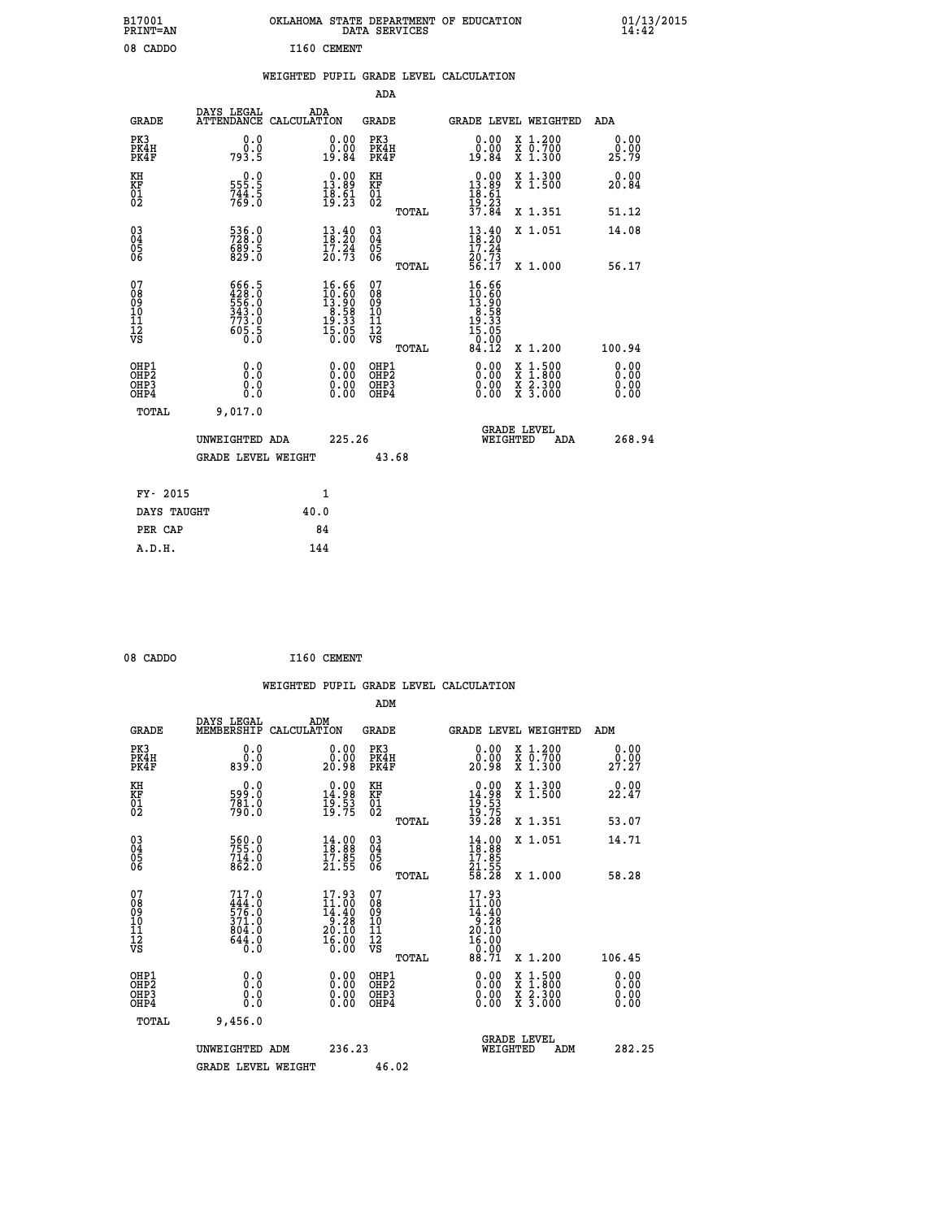| B17001<br>PRINT=AN               |                                                             | OKLAHOMA STATE DEPARTMENT OF EDUCATION                                                    | DATA SERVICES                                        |                                                                      |                                                                                                                                           | $01/13/2015$<br>14:42 |  |
|----------------------------------|-------------------------------------------------------------|-------------------------------------------------------------------------------------------|------------------------------------------------------|----------------------------------------------------------------------|-------------------------------------------------------------------------------------------------------------------------------------------|-----------------------|--|
| 08 CADDO                         |                                                             | I160 CEMENT                                                                               |                                                      |                                                                      |                                                                                                                                           |                       |  |
|                                  |                                                             | WEIGHTED PUPIL GRADE LEVEL CALCULATION                                                    |                                                      |                                                                      |                                                                                                                                           |                       |  |
|                                  |                                                             |                                                                                           | ADA                                                  |                                                                      |                                                                                                                                           |                       |  |
| <b>GRADE</b>                     | DAYS LEGAL                                                  | ADA<br>ATTENDANCE CALCULATION                                                             | GRADE                                                |                                                                      | GRADE LEVEL WEIGHTED                                                                                                                      | ADA                   |  |
| PK3<br>PK4H<br>PK4F              | 0.0<br>0.0<br>793.5                                         | 0.00<br>0.00<br>19.84                                                                     | PK3<br>PK4H<br>PK4F                                  | 0.00<br>0.00<br>19.84                                                | X 1.200<br>X 0.700<br>X 1.300                                                                                                             | 0.00<br>0.00<br>25.79 |  |
| KH<br>KF<br>$\frac{01}{02}$      | $\frac{555}{744}$ .<br>744.5<br>769.0                       | 13.89<br>$\frac{18.61}{19.23}$                                                            | КH<br><b>KF</b><br>01<br>02                          | $\begin{smallmatrix} 0.00\\ 13.89\\ 18.61\\ 19.23 \end{smallmatrix}$ | X 1.300<br>X 1.500                                                                                                                        | 0.00<br>20.84         |  |
|                                  |                                                             |                                                                                           | <b>TOTAL</b>                                         | 37.84                                                                | X 1.351                                                                                                                                   | 51.12                 |  |
| 030404<br>ŌĞ                     | 536.0<br>689.5<br>829.0                                     | $\begin{smallmatrix} 13\cdot 40\\ 18\cdot 20\\ 17\cdot 24\\ 20\cdot 73 \end{smallmatrix}$ | $\begin{matrix} 03 \\ 04 \\ 05 \\ 06 \end{matrix}$   | $\frac{13.40}{18.20}$<br>17.24<br>20:73<br>56:17                     | X 1.051                                                                                                                                   | 14.08                 |  |
| 07                               | 666.5                                                       | 16.66                                                                                     | <b>TOTAL</b><br>07                                   | 16.66                                                                | X 1.000                                                                                                                                   | 56.17                 |  |
| 08<br>09<br>11<br>11<br>12<br>VS | 428.0<br>556.0<br>556.0<br>343.0<br>773.0<br>605.5<br>605.0 | $10.60$<br>$13.90$<br>$8.58$<br>$19.33$<br>$15.05$<br>$0.00$                              | Ŏġ<br>09<br>ίŌ<br>$\frac{11}{12}$<br>$\frac{12}{18}$ | $10.60$<br>$13.90$<br>$8.58$<br>$19.33$<br>$15.05$<br>0.00           |                                                                                                                                           |                       |  |
| OHP1                             |                                                             |                                                                                           | TOTAL<br>OHP1                                        | 84.12                                                                | X 1.200                                                                                                                                   | 100.94<br>0.00        |  |
| OHP <sub>2</sub><br>OHP3<br>OHP4 | 0.0<br>0.0<br>0.0                                           | 0.00<br>$\begin{smallmatrix} 0.00 \ 0.00 \end{smallmatrix}$                               | OH <sub>P</sub> 2<br>OHP3<br>OHP4                    | 0.00<br>0.00<br>0.00                                                 | $\begin{smallmatrix} \mathtt{X} & 1\cdot500\\ \mathtt{X} & 1\cdot800\\ \mathtt{X} & 2\cdot300\\ \mathtt{X} & 3\cdot000 \end{smallmatrix}$ | 0.00<br>0.00<br>0.00  |  |
| TOTAL                            | 9,017.0                                                     |                                                                                           |                                                      |                                                                      |                                                                                                                                           |                       |  |
|                                  | UNWEIGHTED ADA                                              | 225.26                                                                                    |                                                      | WEIGHTED                                                             | <b>GRADE LEVEL</b><br>ADA                                                                                                                 | 268.94                |  |
|                                  | <b>GRADE LEVEL WEIGHT</b>                                   |                                                                                           | 43.68                                                |                                                                      |                                                                                                                                           |                       |  |
| FY- 2015                         |                                                             | 1                                                                                         |                                                      |                                                                      |                                                                                                                                           |                       |  |
| DAYS TAUGHT                      |                                                             | 40.0                                                                                      |                                                      |                                                                      |                                                                                                                                           |                       |  |
| PER CAP                          |                                                             | 84                                                                                        |                                                      |                                                                      |                                                                                                                                           |                       |  |

| 08 CADDO |  |  | I160 CEMENT |
|----------|--|--|-------------|

 **WEIGHTED PUPIL GRADE LEVEL CALCULATION ADM DAYS LEGAL ADM GRADE MEMBERSHIP CALCULATION GRADE GRADE LEVEL WEIGHTED ADM PK3 0.0 0.00 PK3 0.00 X 1.200 0.00 PK4H 0.0 0.00 PK4H 0.00 X 0.700 0.00 PK4F 839.0 20.98 PK4F 20.98 X 1.300 27.27 KH 0.0 0.00 KH 0.00 X 1.300 0.00 KF 599.0 14.98 KF 14.98 X 1.500 22.47 01 781.0 19.53 01 19.53** 02 790.0 19.75 02 <sub>noman</sub> 19.75  **TOTAL 39.28 X 1.351 53.07 03 560.0 14.00 03 14.00 X 1.051 14.71 04 755.0 18.88 04 18.88 05 714.0 17.85 05 17.85**  $06$  862.0 21.55 06  $_{\text{max}}$  21.55  **TOTAL 58.28 X 1.000 58.28 07 717.0 17.93 07 17.93 08 444.0 11.00 08 11.00 09 576.0 14.40 09 14.40 10 371.0 9.28 10 9.28 11 804.0 20.10 11 20.10 12 644.0 16.00 12 16.00 VS 0.0 0.00 VS 0.00** 117.0 <br> **17.93** 07<br> **17.93** 07<br> **17.93** 07<br> **17.93** 11.00 08<br> **17.93**<br> **17.93**<br> **17.93**<br> **17.93**<br> **17.93**<br> **17.93**<br> **17.93**<br> **17.93**<br> **17.93**<br> **17.93**<br> **17.98**<br> **18.00**<br> **18.28**<br> **19.28**<br> **19.28**<br> **19.28**<br> **19.28**<br> **19.28 OHP1 0.0 0.00 OHP1 0.00 X 1.500 0.00 OHP2 0.0 0.00 OHP2 0.00 X 1.800 0.00 OHP3 0.0 0.00 OHP3 0.00 X 2.300 0.00 OHP4 0.0 0.00 OHP4 0.00 X 3.000 0.00 TOTAL 9,456.0 GRADE LEVEL UNWEIGHTED ADM 236.23 WEIGHTED ADM 282.25** GRADE LEVEL WEIGHT 46.02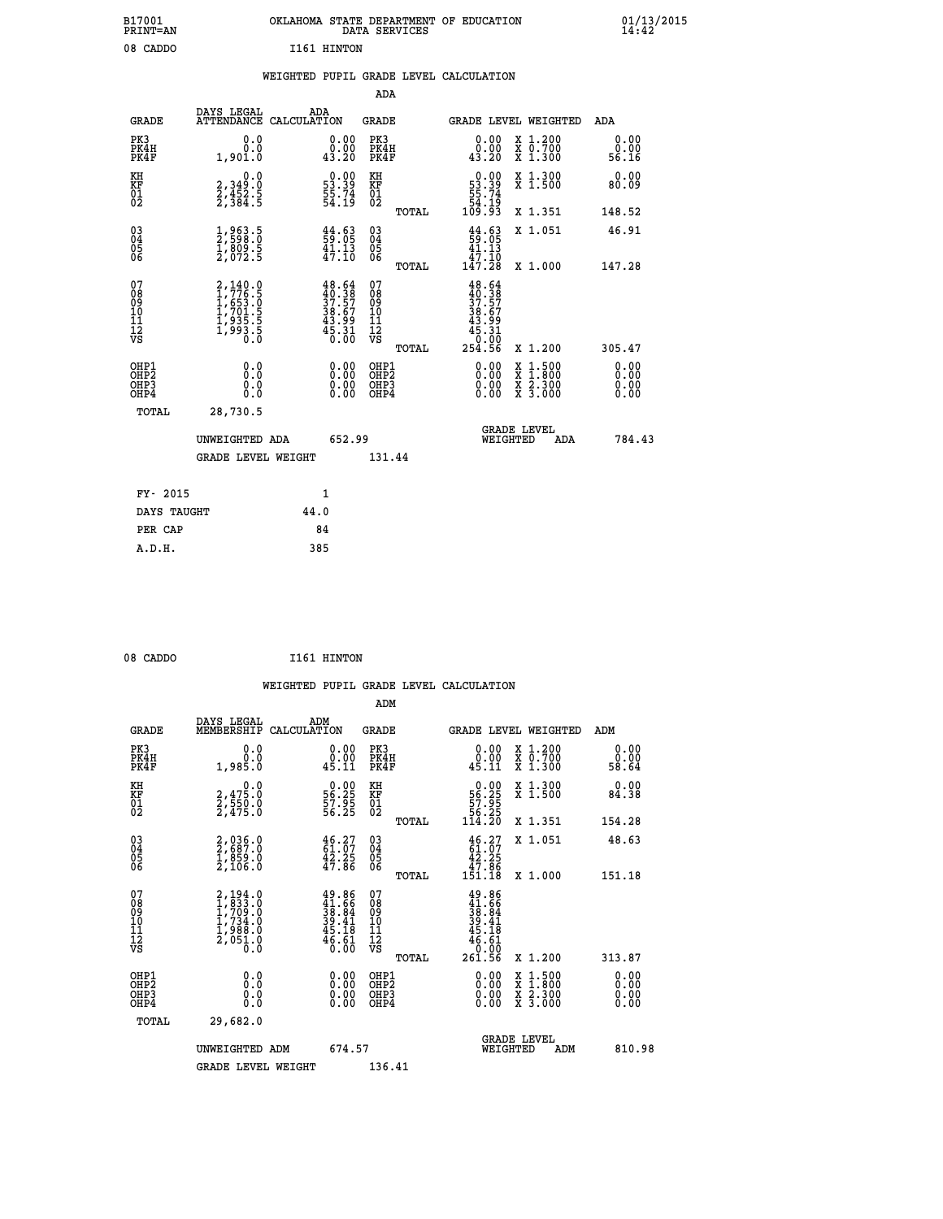| B17001<br>PRINT=AN | OKLAHOMA STATE DEPARTMENT OF EDUCATION<br>DATA SERVICES | $01/13/2015$<br>14:42 |
|--------------------|---------------------------------------------------------|-----------------------|
| 08 CADDO           | I161 HINTON                                             |                       |
|                    | WEIGHTED PUPIL GRADE LEVEL CALCULATION                  |                       |
|                    | ADA                                                     |                       |

| <b>GRADE</b>                                         | DAYS LEGAL<br>ATTENDANCE CALCULATION                                  | ADA  |                                                                                                                                                                    | <b>GRADE</b>                                       |       |                                                                                                                                                                                                                                                                                | <b>GRADE LEVEL WEIGHTED</b>                                                                                                               | ADA                           |
|------------------------------------------------------|-----------------------------------------------------------------------|------|--------------------------------------------------------------------------------------------------------------------------------------------------------------------|----------------------------------------------------|-------|--------------------------------------------------------------------------------------------------------------------------------------------------------------------------------------------------------------------------------------------------------------------------------|-------------------------------------------------------------------------------------------------------------------------------------------|-------------------------------|
| PK3<br>PK4H<br>PK4F                                  | 0.0<br>0.0<br>1,901.0                                                 |      | $\begin{smallmatrix} 0.00\\ 0.00\\ 43.20 \end{smallmatrix}$                                                                                                        | PK3<br>PK4H<br>PK4F                                |       | $\begin{smallmatrix} 0.00\\ 0.00\\ 43.20 \end{smallmatrix}$                                                                                                                                                                                                                    | X 1.200<br>X 0.700<br>X 1.300                                                                                                             | 0.00<br>0.00<br>56.16         |
| KH<br>KF<br>01<br>02                                 | $\begin{smallmatrix} 0.0\\2,349.0\\2,452.5\\2,384.5\end{smallmatrix}$ |      | $\begin{smallmatrix} 0.00\\ 53.39\\ 55.74\\ 54.19 \end{smallmatrix}$                                                                                               | KH<br>KF<br>01<br>02                               |       | $\begin{smallmatrix} &0.00\,53.39\,55.74\,54.19\,109.93\end{smallmatrix}$                                                                                                                                                                                                      | X 1.300<br>X 1.500                                                                                                                        | 0.00<br>80.09                 |
|                                                      |                                                                       |      |                                                                                                                                                                    |                                                    | TOTAL |                                                                                                                                                                                                                                                                                | X 1.351                                                                                                                                   | 148.52                        |
| $\begin{matrix} 03 \\ 04 \\ 05 \\ 06 \end{matrix}$   | 1,963.5<br>2,598.0<br>1,809.5<br>2,072.5                              |      | $\begin{smallmatrix} 44.63\ 59.05\ 41.13\ 47.10 \end{smallmatrix}$                                                                                                 | $\begin{matrix} 03 \\ 04 \\ 05 \\ 06 \end{matrix}$ |       | $\begin{array}{c} 44.63 \\ 59.05 \\ 41.13 \\ 47.10 \\ 147.28 \end{array}$                                                                                                                                                                                                      | X 1.051                                                                                                                                   | 46.91                         |
|                                                      |                                                                       |      |                                                                                                                                                                    |                                                    | TOTAL |                                                                                                                                                                                                                                                                                | X 1.000                                                                                                                                   | 147.28                        |
| 07<br>08901112<br>1112<br>VS                         | 2,140.0<br>1,776.5<br>1,653.0<br>1,701.5<br>1,935.5<br>1,993.5<br>0.0 |      | $\begin{smallmatrix} 4\,8\cdot\,6\,4\\ 4\,0\cdot\,3\,8\\ 3\,7\cdot\,5\,7\\ 3\,8\cdot\,6\,7\\ 4\,3\cdot\,9\,9\\ 4\,5\cdot\,3\,1\\ 0\cdot\,0\,0\\ \end{smallmatrix}$ | 07<br>08<br>09<br>101<br>11<br>12<br>VS            |       | $48.64\n40.387\n37.577\n38.679\n43.991\n45.310\n0.000\n254.56$                                                                                                                                                                                                                 |                                                                                                                                           |                               |
|                                                      |                                                                       |      |                                                                                                                                                                    |                                                    | TOTAL |                                                                                                                                                                                                                                                                                | X 1.200                                                                                                                                   | 305.47                        |
| OHP1<br>OHP2<br>OH <sub>P3</sub><br>OH <sub>P4</sub> | 0.0<br>$\begin{smallmatrix} 0.0 & 0 \ 0.0 & 0 \end{smallmatrix}$      |      | 0.00<br>$\begin{smallmatrix} 0.00 \ 0.00 \end{smallmatrix}$                                                                                                        | OHP1<br>OHP2<br>OHP3<br>OHP4                       |       | $\begin{smallmatrix} 0.00 & 0.00 & 0.00 & 0.00 & 0.00 & 0.00 & 0.00 & 0.00 & 0.00 & 0.00 & 0.00 & 0.00 & 0.00 & 0.00 & 0.00 & 0.00 & 0.00 & 0.00 & 0.00 & 0.00 & 0.00 & 0.00 & 0.00 & 0.00 & 0.00 & 0.00 & 0.00 & 0.00 & 0.00 & 0.00 & 0.00 & 0.00 & 0.00 & 0.00 & 0.00 & 0.0$ | $\begin{smallmatrix} \mathtt{X} & 1\cdot500\\ \mathtt{X} & 1\cdot800\\ \mathtt{X} & 2\cdot300\\ \mathtt{X} & 3\cdot000 \end{smallmatrix}$ | 0.00<br>Ō. ŌŌ<br>0.00<br>0.00 |
| TOTAL                                                | 28,730.5                                                              |      |                                                                                                                                                                    |                                                    |       |                                                                                                                                                                                                                                                                                |                                                                                                                                           |                               |
|                                                      | UNWEIGHTED ADA                                                        |      | 652.99                                                                                                                                                             |                                                    |       | WEIGHTED                                                                                                                                                                                                                                                                       | <b>GRADE LEVEL</b><br>ADA                                                                                                                 | 784.43                        |
|                                                      | <b>GRADE LEVEL WEIGHT</b>                                             |      |                                                                                                                                                                    | 131.44                                             |       |                                                                                                                                                                                                                                                                                |                                                                                                                                           |                               |
| FY- 2015                                             |                                                                       | 1    |                                                                                                                                                                    |                                                    |       |                                                                                                                                                                                                                                                                                |                                                                                                                                           |                               |
| DAYS TAUGHT                                          |                                                                       | 44.0 |                                                                                                                                                                    |                                                    |       |                                                                                                                                                                                                                                                                                |                                                                                                                                           |                               |
|                                                      |                                                                       |      |                                                                                                                                                                    |                                                    |       |                                                                                                                                                                                                                                                                                |                                                                                                                                           |                               |

| 08 CADDO | I161 HINTON |
|----------|-------------|
|          |             |

**PER CAP** 84  **A.D.H. 385**

 **WEIGHTED PUPIL GRADE LEVEL CALCULATION ADM DAYS LEGAL ADM GRADE MEMBERSHIP CALCULATION GRADE GRADE LEVEL WEIGHTED ADM PK3 0.0 0.00 PK3 0.00 X 1.200 0.00 PK4H 0.0 0.00 PK4H 0.00 X 0.700 0.00 PK4F 1,985.0 45.11 PK4F 45.11 X 1.300 58.64 KH 0.0 0.00 KH 0.00 X 1.300 0.00 KF 2,475.0 56.25 KF 56.25 X 1.500 84.38 01 2,550.0 57.95 01 57.95 02 2,475.0 56.25 02 56.25 TOTAL 114.20 X 1.351 154.28 03 2,036.0 46.27 03 46.27 X 1.051 48.63 04 2,687.0 61.07 04 61.07 05 1,859.0 42.25 05 42.25 06 2,106.0 47.86 06 47.86 TOTAL 151.18 X 1.000 151.18**  $\begin{array}{cccc} 07 & 2,194.0 & 49.86 & 07 & 49.86 \ 08 & 1,233.0 & 41.66 & 08 & 41.66 \ 09 & 1,709.0 & 38.84 & 09 & 41.66 \ 10 & 1,734.0 & 39.41 & 10 & 39.41 \ 11 & 1,988.0 & 45.18 & 11 & 45.18 \ 12 & 9.65.0 & 45.11 & 46.51 \ \hline\hline\hline\hline\hline\hline\hline\hline\hline\hline\h$  **TOTAL 261.56 X 1.200 313.87 OHP1 0.0 0.00 OHP1 0.00 X 1.500 0.00 OHP2 0.0 0.00 OHP2 0.00 X 1.800 0.00 OHP3 0.0 0.00 OHP3 0.00 X 2.300 0.00 OHP4 0.0 0.00 OHP4 0.00 X 3.000 0.00 TOTAL 29,682.0 GRADE LEVEL UNWEIGHTED ADM 674.57 WEIGHTED ADM 810.98** GRADE LEVEL WEIGHT 136.41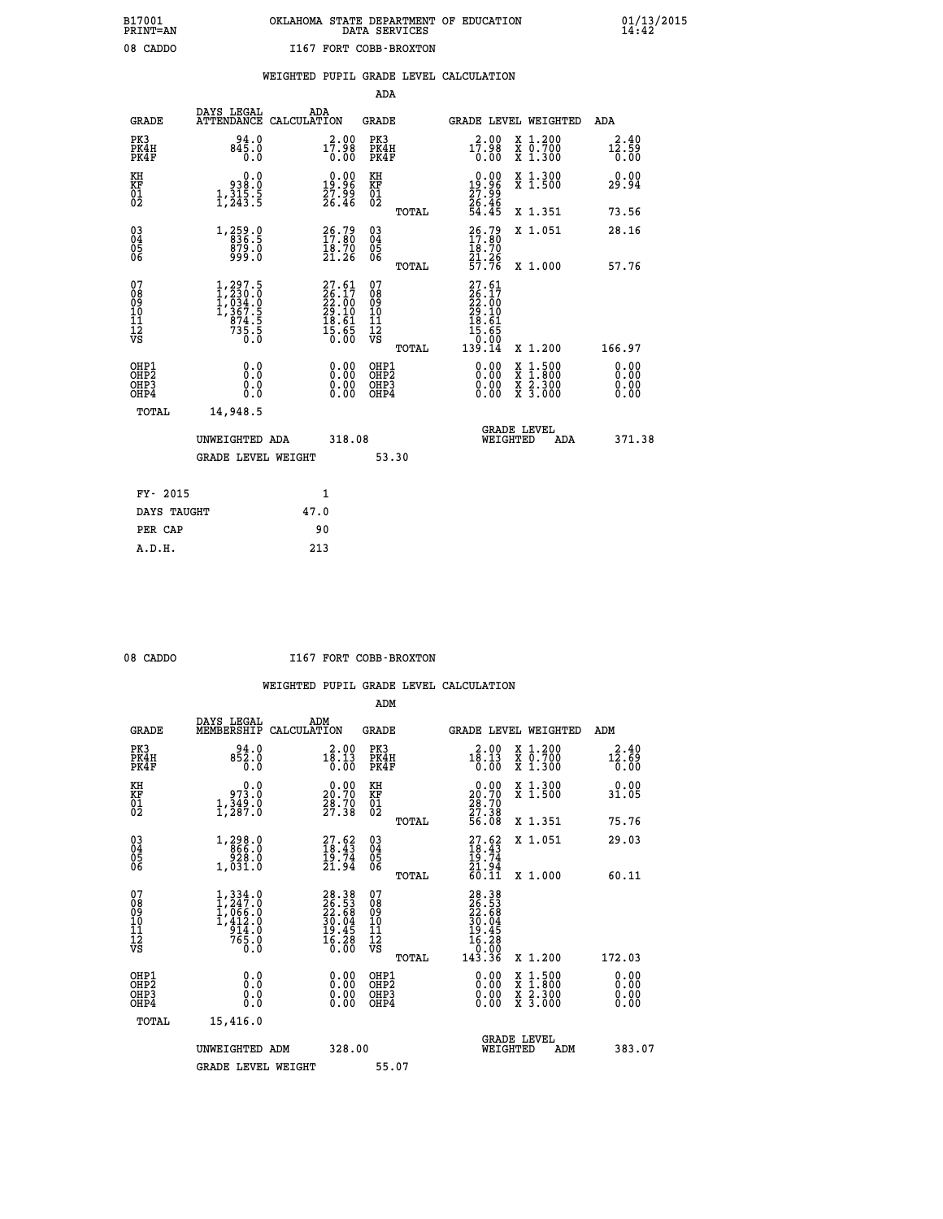# **B17001 OKLAHOMA STATE DEPARTMENT OF EDUCATION 01/13/2015 PRINT=AN DATA SERVICES 14:42** 08 CADDO **I167 FORT COBB-BROXTON**

### **WEIGHTED PUPIL GRADE LEVEL CALCULATION**

|                                                                    |                                                                                   |                                                                                              | ADA                                          |       |                                                                                           |                                                                                                                                           |                               |
|--------------------------------------------------------------------|-----------------------------------------------------------------------------------|----------------------------------------------------------------------------------------------|----------------------------------------------|-------|-------------------------------------------------------------------------------------------|-------------------------------------------------------------------------------------------------------------------------------------------|-------------------------------|
| <b>GRADE</b>                                                       | DAYS LEGAL                                                                        | ADA<br>ATTENDANCE CALCULATION                                                                | <b>GRADE</b>                                 |       |                                                                                           | GRADE LEVEL WEIGHTED                                                                                                                      | ADA                           |
| PK3<br>PK4H<br>PK4F                                                | $94.0$<br>$845.0$<br>0.0                                                          | $17:98 \atop 0.00$                                                                           | PK3<br>PK4H<br>PK4F                          |       | 2.00<br>17.98<br>0.00                                                                     | X 1.200<br>X 0.700<br>X 1.300                                                                                                             | 2.40<br>12.59<br>0.00         |
| KH<br>KF<br>01<br>02                                               | 0.0<br>0:0.<br>5.315,4<br>5.53,1                                                  | $0.00$<br>19:96<br>27.99<br>26.46                                                            | KH<br>KF<br>01<br>02                         |       | $\begin{smallmatrix} 0.00\\19.96\\27.99\\26.46\\54.45\end{smallmatrix}$                   | X 1.300<br>X 1.500                                                                                                                        | 0.00<br>29.94                 |
|                                                                    |                                                                                   |                                                                                              |                                              | TOTAL |                                                                                           | X 1.351                                                                                                                                   | 73.56                         |
| $\begin{smallmatrix} 03 \\[-4pt] 04 \end{smallmatrix}$<br>Ŏ5<br>06 | 1, 259.9<br>879.0<br>999.0                                                        | $\begin{smallmatrix} 26.79\ 17.80\ 18.70\ 21.26 \end{smallmatrix}$                           | $\substack{03 \\ 04}$<br>Ŏ5<br>06            |       | $\frac{26.79}{17.80}$<br>$\frac{18.70}{21.26}$<br>57.76                                   | X 1.051                                                                                                                                   | 28.16                         |
|                                                                    |                                                                                   |                                                                                              | 07                                           | TOTAL |                                                                                           | X 1.000                                                                                                                                   | 57.76                         |
| 07<br>08<br>09<br>01<br>11<br>11<br>12<br>VS                       | $1, 297.5$<br>$1, 230.0$<br>$1, 034.0$<br>$1, 367.5$<br>$874.5$<br>$735.5$<br>0.0 | $\begin{smallmatrix} 27.61\\ 26.17\\ 22.00\\ 29.10\\ 18.61\\ 15.65\\ 0.00 \end{smallmatrix}$ | 08<br>09<br>11<br>11<br>12<br>VS             |       | $\begin{smallmatrix} 27.61\ 26.17\ 22.00\ 29.10\ 18.61\ 15.65\ 139.14\ \end{smallmatrix}$ |                                                                                                                                           |                               |
|                                                                    |                                                                                   |                                                                                              |                                              | TOTAL |                                                                                           | X 1.200                                                                                                                                   | 166.97                        |
| OHP1<br>OHP <sub>2</sub><br>OH <sub>P3</sub><br>OHP4               | 0.0<br>0.000                                                                      | 0.00<br>$\begin{smallmatrix} 0.00 \ 0.00 \end{smallmatrix}$                                  | OHP1<br>OHP <sub>2</sub><br>OHP <sub>3</sub> |       | 0.00<br>0.00                                                                              | $\begin{smallmatrix} \mathtt{X} & 1\cdot500\\ \mathtt{X} & 1\cdot800\\ \mathtt{X} & 2\cdot300\\ \mathtt{X} & 3\cdot000 \end{smallmatrix}$ | 0.00<br>Ō. ŌŌ<br>0.00<br>0.00 |
| TOTAL                                                              | 14,948.5                                                                          |                                                                                              |                                              |       |                                                                                           |                                                                                                                                           |                               |
|                                                                    | UNWEIGHTED ADA                                                                    | 318.08                                                                                       |                                              |       |                                                                                           | <b>GRADE LEVEL</b><br>WEIGHTED<br>ADA                                                                                                     | 371.38                        |
|                                                                    | <b>GRADE LEVEL WEIGHT</b>                                                         |                                                                                              |                                              | 53.30 |                                                                                           |                                                                                                                                           |                               |
| FY- 2015                                                           |                                                                                   | 1                                                                                            |                                              |       |                                                                                           |                                                                                                                                           |                               |
| DAYS TAUGHT                                                        |                                                                                   | 47.0                                                                                         |                                              |       |                                                                                           |                                                                                                                                           |                               |
| PER CAP                                                            |                                                                                   | 90                                                                                           |                                              |       |                                                                                           |                                                                                                                                           |                               |

 **A.D.H. 213**

08 CADDO **I167 FORT COBB-BROXTON** 

|                                                      |                                                                                                                   |                                                                          | ADM                                                 |                                                                                                               |                                          |                              |
|------------------------------------------------------|-------------------------------------------------------------------------------------------------------------------|--------------------------------------------------------------------------|-----------------------------------------------------|---------------------------------------------------------------------------------------------------------------|------------------------------------------|------------------------------|
| <b>GRADE</b>                                         | DAYS LEGAL<br>MEMBERSHIP                                                                                          | ADM<br>CALCULATION                                                       | <b>GRADE</b>                                        |                                                                                                               | <b>GRADE LEVEL WEIGHTED</b>              | ADM                          |
| PK3<br>PK4H<br>PK4F                                  | 94.0<br>852.0<br>0.0                                                                                              | 2.00<br>$1\bar{8}$ . 13<br>0.00                                          | PK3<br>PK4H<br>PK4F                                 | 2.00<br>18.13<br>0.00                                                                                         | X 1.200<br>X 0.700<br>X 1.300            | 2.40<br>12.69<br>0.00        |
| KH<br>KF<br>01<br>02                                 | 0.0<br>0: 973<br>1,349:0<br>1,287:0                                                                               | $\begin{smallmatrix} 0.00\\ 20.70\\ 28.70\\ 27.38 \end{smallmatrix}$     | KH<br>KF<br>01<br>02                                | $\begin{smallmatrix} 0.00\\ 20.70\\ 28.70\\ 27.38\\ 56.08 \end{smallmatrix}$                                  | X 1.300<br>X 1.500                       | 0.00<br>31.05                |
|                                                      |                                                                                                                   |                                                                          | TOTAL                                               |                                                                                                               | X 1.351                                  | 75.76                        |
| 03<br>04<br>05<br>06                                 | 1,298.0<br>866.0<br>920.0<br>1,031.0                                                                              | $27.62$<br>$18.43$<br>$19.74$<br>$21.94$                                 | $\begin{array}{c} 03 \\ 04 \\ 05 \\ 06 \end{array}$ | $\frac{27.62}{18.43}$<br>$\frac{19.74}{19.74}$<br>21.94                                                       | X 1.051                                  | 29.03                        |
|                                                      |                                                                                                                   |                                                                          | TOTAL                                               | 60.11                                                                                                         | X 1.000                                  | 60.11                        |
| 07<br>08<br>09<br>101<br>112<br>VS                   | $\begin{smallmatrix} 1,334\ .0\\ 1,247\ .0\\ 1,066\ .0\\ 1,412\ .0\\ 914\ .0\\ 765\ .0\\ 0\ .0 \end{smallmatrix}$ | $28.38$<br>$26.53$<br>$22.68$<br>$30.04$<br>$19.45$<br>$16.28$<br>$0.00$ | 07<br>08<br>09<br>11<br>11<br>12<br>VS              | $\begin{smallmatrix} 28.38\\ 26.53\\ 22.58\\ 20.68\\ 30.04\\ 19.45\\ 16.28\\ 0.00\\ 143.36 \end{smallmatrix}$ |                                          |                              |
|                                                      |                                                                                                                   |                                                                          | TOTAL                                               |                                                                                                               | X 1.200                                  | 172.03                       |
| OHP1<br>OHP2<br>OH <sub>P3</sub><br>OH <sub>P4</sub> | 0.0<br>0.000                                                                                                      | $0.00$<br>$0.00$<br>0.00                                                 | OHP1<br>OHP2<br>OHP <sub>3</sub>                    | $0.00$<br>$0.00$<br>0.00                                                                                      | X 1:500<br>X 1:800<br>X 2:300<br>X 3:000 | 0.00<br>0.00<br>0.00<br>0.00 |
| TOTAL                                                | 15,416.0                                                                                                          |                                                                          |                                                     |                                                                                                               |                                          |                              |
|                                                      | UNWEIGHTED ADM                                                                                                    | 328.00                                                                   |                                                     | WEIGHTED                                                                                                      | <b>GRADE LEVEL</b><br>ADM                | 383.07                       |
|                                                      | <b>GRADE LEVEL WEIGHT</b>                                                                                         |                                                                          | 55.07                                               |                                                                                                               |                                          |                              |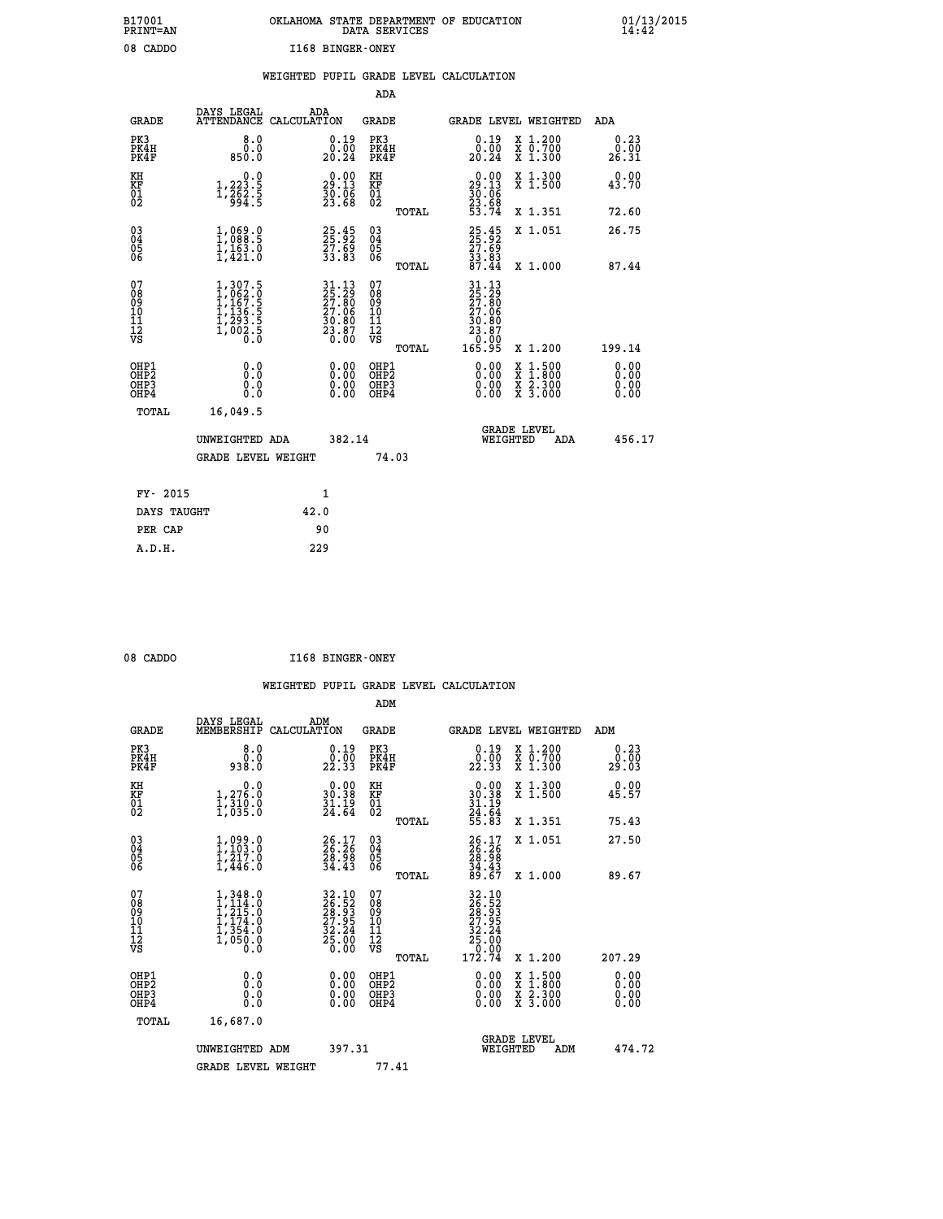| B17001          | OKLAHOMA STATE DEPARTMENT OF EDUCATION |
|-----------------|----------------------------------------|
| <b>PRINT=AN</b> | DATA SERVICES                          |
| 08 CADDO        | I168 BINGER-ONEY                       |

 **B17001 OKLAHOMA STATE DEPARTMENT OF EDUCATION 01/13/2015**

|  |  | WEIGHTED PUPIL GRADE LEVEL CALCULATION |
|--|--|----------------------------------------|
|  |  |                                        |

|                                                                    |                                                                                                         |                                                                                                                                             | ADA                                       |                                                                                                                          |                              |
|--------------------------------------------------------------------|---------------------------------------------------------------------------------------------------------|---------------------------------------------------------------------------------------------------------------------------------------------|-------------------------------------------|--------------------------------------------------------------------------------------------------------------------------|------------------------------|
| <b>GRADE</b>                                                       | DAYS LEGAL                                                                                              | ADA<br>ATTENDANCE CALCULATION                                                                                                               | <b>GRADE</b>                              | GRADE LEVEL WEIGHTED                                                                                                     | ADA                          |
| PK3<br>PK4H<br>PK4F                                                | 8.0<br>0.0<br>850.0                                                                                     | $\begin{smallmatrix} 0.19\\ 0.00\\ 20.24 \end{smallmatrix}$                                                                                 | PK3<br>PK4H<br>PK4F                       | $\begin{smallmatrix} 0.19 \\ 0.00 \\ 20.24 \end{smallmatrix}$<br>X 1.200<br>X 0.700<br>X 1.300                           | 0.23<br>0.00<br>26.31        |
| KH<br><b>KF</b><br>01<br>02                                        | 0.0<br>$1,223.5$<br>$1,262.5$<br>$994.5$                                                                | $29.00$<br>29.13<br>$\frac{3}{2}$ $\frac{5}{3}$ $\frac{5}{6}$ $\frac{5}{8}$                                                                 | KH<br>KF<br>01<br>02                      | X 1.300<br>X 1.500<br>$\begin{smallmatrix} 0.00\\29.13\\30.06\\23.68\\53.74 \end{smallmatrix}$                           | 0.00<br>43.70                |
|                                                                    |                                                                                                         |                                                                                                                                             | TOTAL                                     | X 1.351                                                                                                                  | 72.60                        |
| $\begin{smallmatrix} 03 \\[-4pt] 04 \end{smallmatrix}$<br>05<br>06 | 1,088.9<br>$\frac{1}{1}, \frac{1}{4}$ $\frac{6}{3}$ $\cdot$ 0                                           | 25.45<br>25.92<br>27.69<br>33.83                                                                                                            | $\substack{03 \\ 04}$<br>05<br>06         | 25.45<br>25.62<br>27.69<br>33.83<br>87.44<br>X 1.051                                                                     | 26.75                        |
|                                                                    |                                                                                                         |                                                                                                                                             | TOTAL                                     | X 1.000                                                                                                                  | 87.44                        |
| 07<br>08<br>09<br>11<br>11<br>12<br>VS                             | $\begin{smallmatrix} 1,307.5\\ 1,062.0\\ 1,167.5\\ 1,136.5\\ 1,293.5\\ 1,002.5\\ 0.0 \end{smallmatrix}$ | $\begin{smallmatrix} 31\cdot 13\\ 25\cdot 29\\ 27\cdot 80\\ 27\cdot 06\\ 30\cdot 80\\ 33\cdot 87\\ 23\cdot 60\\ 0\cdot 00\end{smallmatrix}$ | 07<br>08<br>09<br>11<br>11<br>12<br>VS    | 31.13<br>25.290<br>27.806<br>27.066<br>30.807<br>28.000                                                                  |                              |
|                                                                    |                                                                                                         |                                                                                                                                             | TOTAL                                     | 165.95<br>X 1.200                                                                                                        | 199.14                       |
| OHP1<br>OH <sub>P2</sub><br>OH <sub>P3</sub><br>OH <sub>P4</sub>   | 0.0<br>0.0<br>0.0                                                                                       | 0.00<br>0.00<br>0.00                                                                                                                        | OHP1<br>OH <sub>P</sub> 2<br>OHP3<br>OHP4 | 0.00<br>$\begin{smallmatrix} x & 1 & 500 \\ x & 1 & 800 \\ x & 2 & 300 \\ x & 3 & 000 \end{smallmatrix}$<br>0.00<br>0.00 | 0.00<br>0.00<br>0.00<br>0.00 |
|                                                                    | TOTAL<br>16,049.5                                                                                       |                                                                                                                                             |                                           |                                                                                                                          |                              |
|                                                                    | UNWEIGHTED ADA                                                                                          | 382.14                                                                                                                                      |                                           | GRADE LEVEL<br>WEIGHTED<br>ADA                                                                                           | 456.17                       |
|                                                                    | <b>GRADE LEVEL WEIGHT</b>                                                                               |                                                                                                                                             | 74.03                                     |                                                                                                                          |                              |
|                                                                    | FY- 2015                                                                                                | $\mathbf{1}$                                                                                                                                |                                           |                                                                                                                          |                              |
|                                                                    | DAYS TAUGHT                                                                                             | 42.0                                                                                                                                        |                                           |                                                                                                                          |                              |
|                                                                    | PER CAP                                                                                                 | 90                                                                                                                                          |                                           |                                                                                                                          |                              |

| 08 CADDO | I168 BINGER-ONEY |
|----------|------------------|

 **A.D.H. 229**

|                                                      |                                                                                                         |                                                                      | ADM                                                 |                                                                                                                                        |                                          |                          |
|------------------------------------------------------|---------------------------------------------------------------------------------------------------------|----------------------------------------------------------------------|-----------------------------------------------------|----------------------------------------------------------------------------------------------------------------------------------------|------------------------------------------|--------------------------|
| <b>GRADE</b>                                         | DAYS LEGAL<br>MEMBERSHIP                                                                                | ADM<br>CALCULATION                                                   | <b>GRADE</b>                                        | <b>GRADE LEVEL WEIGHTED</b>                                                                                                            |                                          | ADM                      |
| PK3<br>PK4H<br>PK4F                                  | 8.0<br>ŏ:ŏ<br>938:0                                                                                     | $\begin{smallmatrix} 0.19 \\ 0.00 \\ 22.33 \end{smallmatrix}$        | PK3<br>PK4H<br>PK4F                                 | $\begin{smallmatrix} 0.19 \\ 0.00 \\ 22.33 \end{smallmatrix}$                                                                          | X 1.200<br>X 0.700<br>X 1.300            | 0.23<br>$29.00$<br>29.03 |
| KH<br>KF<br>01<br>02                                 | 0.0<br>$1,276.0$<br>$1,310.0$<br>$1,035.0$                                                              | $\begin{smallmatrix} 0.00\\ 30.38\\ 31.19\\ 24.64 \end{smallmatrix}$ | KH<br>KF<br>01<br>02                                | $0.00$<br>$30.38$<br>$31.19$<br>$24.64$<br>$55.83$                                                                                     | X 1.300<br>X 1.500                       | 0.00<br>45.57            |
|                                                      |                                                                                                         |                                                                      | TOTAL                                               |                                                                                                                                        | X 1.351                                  | 75.43                    |
| 03<br>04<br>05<br>06                                 | $1,099.0$<br>$1,103.0$<br>$1,217.0$<br>$1,446.0$                                                        | $26.17$<br>$26.26$<br>$28.98$<br>$34.43$                             | $\begin{array}{c} 03 \\ 04 \\ 05 \\ 06 \end{array}$ | $26.17$<br>$26.26$<br>$28.98$<br>$34.43$<br>$89.67$                                                                                    | X 1.051                                  | 27.50                    |
|                                                      |                                                                                                         |                                                                      | TOTAL                                               |                                                                                                                                        | X 1.000                                  | 89.67                    |
| 07<br>08<br>09<br>101<br>112<br>VS                   | $\begin{smallmatrix} 1,348.0\\ 1,114.0\\ 1,215.0\\ 1,174.0\\ 1,354.0\\ 1,050.0\\ 0.0 \end{smallmatrix}$ | 32.10<br>26.52<br>28.93<br>27.95<br>32.24<br>32.26<br>25.00<br>0.00  | 07<br>08<br>09<br>11<br>11<br>12<br>VS<br>TOTAL     | $\begin{array}{r} 32\cdot 10 \\ 26\cdot 52 \\ 28\cdot 93 \\ 27\cdot 95 \\ 32\cdot 24 \\ 25\cdot 00 \\ 0.00 \\ 172\cdot 74 \end{array}$ | X 1.200                                  | 207.29                   |
|                                                      |                                                                                                         |                                                                      |                                                     |                                                                                                                                        |                                          | 0.00                     |
| OHP1<br>OHP2<br>OHP <sub>3</sub><br>OH <sub>P4</sub> | 0.0<br>$\begin{smallmatrix} 0.0 & 0 \ 0.0 & 0 \end{smallmatrix}$                                        |                                                                      | OHP1<br>OHP2<br>OHP <sub>3</sub>                    | $0.00$<br>$0.00$<br>0.00                                                                                                               | X 1:500<br>X 1:800<br>X 2:300<br>X 3:000 | 0.00<br>0.00<br>0.00     |
| TOTAL                                                | 16,687.0                                                                                                |                                                                      |                                                     |                                                                                                                                        |                                          |                          |
|                                                      | UNWEIGHTED ADM                                                                                          | 397.31                                                               |                                                     |                                                                                                                                        | GRADE LEVEL<br>WEIGHTED<br>ADM           | 474.72                   |
|                                                      | <b>GRADE LEVEL WEIGHT</b>                                                                               |                                                                      | 77.41                                               |                                                                                                                                        |                                          |                          |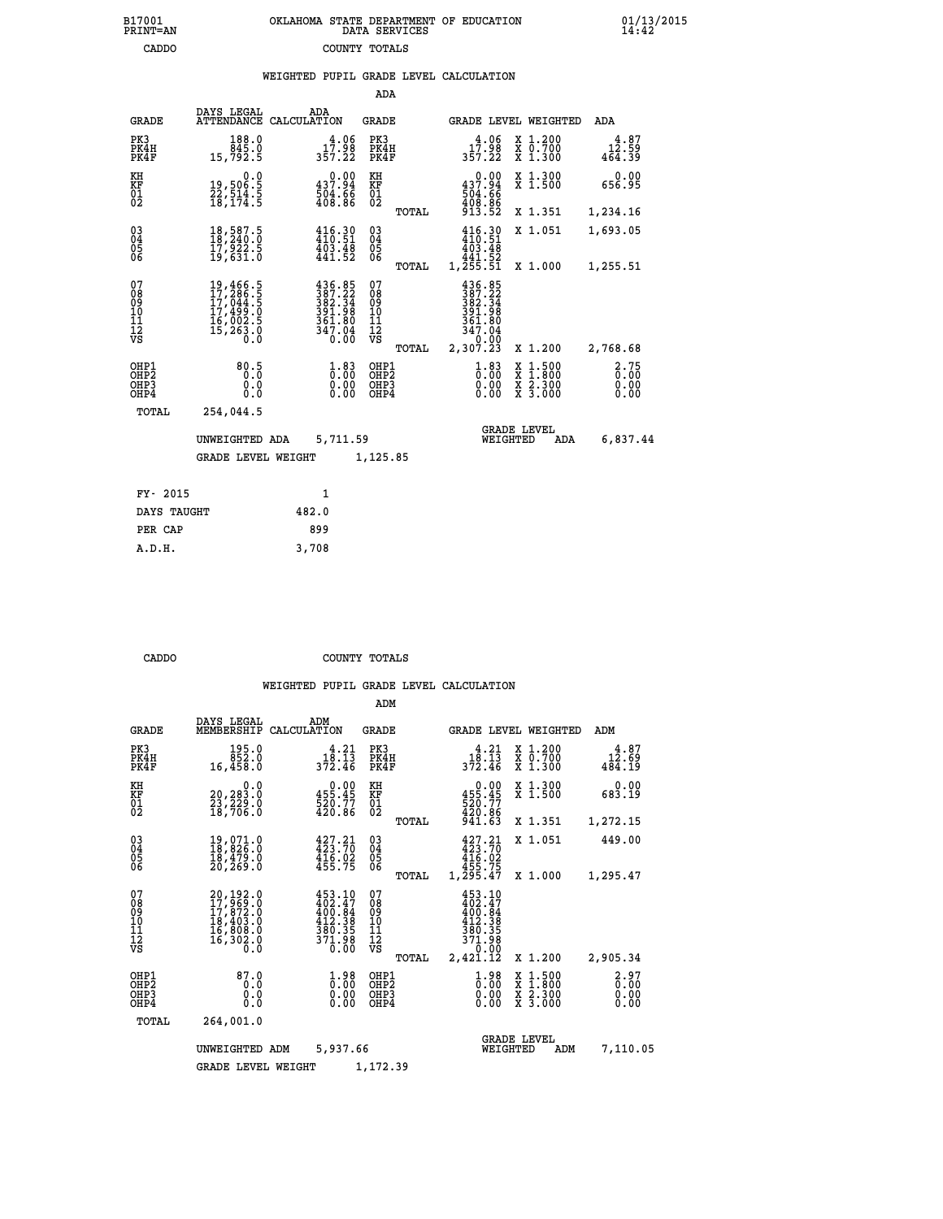| B17001          | OKLAHOMA STATE DEPARTMENT OF EDUCATION |
|-----------------|----------------------------------------|
| <b>PRINT=AN</b> | DATA SERVICES                          |
| CADDO           | COUNTY TOTALS                          |

 **B17001 OKLAHOMA STATE DEPARTMENT OF EDUCATION 01/13/2015**

### **WEIGHTED PUPIL GRADE LEVEL CALCULATION**

|                                                       |                                                                             |                                                                                                                                                                                                           | ADA                                                |       |                                                                                 |                                          |                              |
|-------------------------------------------------------|-----------------------------------------------------------------------------|-----------------------------------------------------------------------------------------------------------------------------------------------------------------------------------------------------------|----------------------------------------------------|-------|---------------------------------------------------------------------------------|------------------------------------------|------------------------------|
| <b>GRADE</b>                                          | DAYS LEGAL<br><b>ATTENDANCE</b>                                             | ADA<br>CALCULATION                                                                                                                                                                                        | <b>GRADE</b>                                       |       |                                                                                 | GRADE LEVEL WEIGHTED                     | ADA                          |
| PK3<br>PK4H<br>PK4F                                   | 188.0<br>845.0<br>15,792.5                                                  | 4.06<br>17.98<br>357.22                                                                                                                                                                                   | PK3<br>PK4H<br>PK4F                                |       | $1\overset{4}{7}\overset{.06}{.98}$<br>357.22                                   | X 1.200<br>X 0.700<br>X 1.300            | $12.87$<br>12.59<br>464.39   |
| KH<br>KF<br>01<br>02                                  | $\begin{smallmatrix}&&&0.0\\19,506.5\\22,514.5\\18,174.5\end{smallmatrix}$  | $\begin{smallmatrix} &0.00\ 437.94\ 504.66\ 408.86\end{smallmatrix}$                                                                                                                                      | KH<br>KF<br>01<br>02                               |       | $0.00$<br>$437.94$<br>$504.66$<br>$408.86$<br>$913.52$                          | X 1.300<br>X 1.500                       | 0.00<br>656.95               |
|                                                       |                                                                             |                                                                                                                                                                                                           |                                                    | TOTAL |                                                                                 | X 1.351                                  | 1,234.16                     |
| $\begin{matrix} 03 \\ 04 \\ 05 \\ 06 \end{matrix}$    | 18,587.5<br>18,240.0<br>17,922.š<br>19,631.0                                | $416.30$<br>$410.51$<br>$\frac{403.48}{441.52}$                                                                                                                                                           | $\begin{matrix} 03 \\ 04 \\ 05 \\ 06 \end{matrix}$ |       | 416.30<br>410.51<br>$\begin{array}{c} 403.48 \\ 441.52 \\ 1,255.51 \end{array}$ | X 1.051                                  | 1,693.05                     |
|                                                       |                                                                             |                                                                                                                                                                                                           |                                                    | TOTAL |                                                                                 | X 1.000                                  | 1,255.51                     |
| 07<br>08<br>09<br>101<br>11<br>12<br>VS               | 19,466.5<br>17,286.5<br>17,044.5<br>17,499.0<br>16,002.5<br>15,263.0<br>0.0 | $\begin{smallmatrix} 4\,3\,6\cdot\,8\,5\\ 3\,8\,7\cdot\,2\,2\\ 3\,8\,2\cdot\,3\,4\\ 3\,9\,1\cdot\,9\,8\\ 3\,6\,1\cdot\,8\,0\\ 3\,6\,1\cdot\,8\,0\\ 3\,4\,7\cdot\,0\,4\\ 0\cdot\,0\,0\\ \end{smallmatrix}$ | 07<br>08<br>09<br>101<br>11<br>12<br>VS            | TOTAL | $387.22$<br>387.22<br>382.34<br>391.98<br>361.80<br>347.04<br>0:00<br>2,307.23  | X 1.200                                  | 2,768.68                     |
| OHP1<br>OH <sub>P</sub> 2<br>OH <sub>P3</sub><br>OHP4 | 80.5<br>0.0<br>Ō.Ō                                                          | $\begin{smallmatrix} 1.83\ 0.00\ 0.00 \end{smallmatrix}$                                                                                                                                                  | OHP1<br>OHP <sub>2</sub><br>OHP <sub>3</sub>       |       | $1.83$<br>$0.00$<br>0.00                                                        | X 1:500<br>X 1:800<br>X 2:300<br>X 3:000 | 2.75<br>0.00<br>0.00<br>0.00 |
| TOTAL                                                 | 254,044.5                                                                   |                                                                                                                                                                                                           |                                                    |       |                                                                                 |                                          |                              |
|                                                       | UNWEIGHTED ADA                                                              | 5,711.59                                                                                                                                                                                                  |                                                    |       |                                                                                 | <b>GRADE LEVEL</b><br>WEIGHTED<br>ADA    | 6,837.44                     |
|                                                       | <b>GRADE LEVEL WEIGHT</b>                                                   |                                                                                                                                                                                                           | 1,125.85                                           |       |                                                                                 |                                          |                              |
| FY- 2015                                              |                                                                             | $\mathbf{1}$                                                                                                                                                                                              |                                                    |       |                                                                                 |                                          |                              |
| DAYS TAUGHT                                           |                                                                             | 482.0                                                                                                                                                                                                     |                                                    |       |                                                                                 |                                          |                              |
|                                                       |                                                                             |                                                                                                                                                                                                           |                                                    |       |                                                                                 |                                          |                              |

| DAYS TAUGHT | 482.0 |
|-------------|-------|
| PER CAP     | 899   |
| A.D.H.      | 3,708 |
|             |       |

 **B17001<br>PRINT=AN** 

 **CADDO COUNTY TOTALS**

|                                                       |                                                                      |                                                                                                    | ADM                                              |                                                                              |                                                                                                  |                              |
|-------------------------------------------------------|----------------------------------------------------------------------|----------------------------------------------------------------------------------------------------|--------------------------------------------------|------------------------------------------------------------------------------|--------------------------------------------------------------------------------------------------|------------------------------|
| <b>GRADE</b>                                          | DAYS LEGAL<br>MEMBERSHIP                                             | ADM<br>CALCULATION                                                                                 | <b>GRADE</b>                                     | <b>GRADE LEVEL WEIGHTED</b>                                                  |                                                                                                  | ADM                          |
| PK3<br>PK4H<br>PK4F                                   | 195.0<br>852.0<br>16,458.0                                           | 4.21<br>$3\overline{7}2.\overline{4}5$<br>372.46                                                   | PK3<br>PK4H<br>PK4F                              | 4.21<br>18:13<br>372.46                                                      | $\begin{smallmatrix} x & 1.200 \\ x & 0.700 \end{smallmatrix}$<br>X 1.300                        | 4.87<br>12.69<br>484.19      |
| KH<br>KF<br>01<br>02                                  | 0.0<br>20,283.0<br>23,229.0<br>18,706.0                              | $\begin{smallmatrix} &0.00\\ 455.45\\ 520.77\\ 420.86\end{smallmatrix}$                            | KH<br>KF<br>01<br>02                             | $\begin{array}{r} 0.00 \\ 455.45 \\ 520.77 \\ 429.86 \end{array}$            | X 1.300<br>X 1.500                                                                               | 0.00<br>683.19               |
|                                                       |                                                                      |                                                                                                    | TOTAL                                            | 941.63                                                                       | X 1.351                                                                                          | 1,272.15                     |
| 03<br>04<br>05<br>06                                  | 19,071.0<br>18,826.0<br>18,479.0<br>20, 269.0                        | $\frac{427.21}{423.70}$<br>$4\overline{16}\cdot\overline{02}\overline{455}\cdot75$                 | $\substack{03 \\ 04}$<br>05<br>06                | $427.21$<br>$423.70$<br>$4\bar{1}\bar{6}\cdot 0\bar{2}$<br>$455.75$          | X 1.051                                                                                          | 449.00                       |
|                                                       |                                                                      |                                                                                                    | TOTAL                                            | 1,295.47                                                                     | X 1.000                                                                                          | 1,295.47                     |
| 07<br>08<br>09<br>11<br>11<br>12<br>VS                | 20,192.0<br>17,969.0<br>17,872.0<br>18,403.0<br>16,808.0<br>16,302.0 | 453.10<br>402.47<br>400.84<br>412.38<br>380.35<br>371.98<br>0.00                                   | 07<br>08<br>09<br>101<br>11<br>12<br>VS<br>TOTAL | 453.10<br>402.47<br>400.04<br>412.38<br>380.35<br>371.98<br>0.00<br>2,421.12 | X 1.200                                                                                          | 2,905.34                     |
| OHP1<br>OH <sub>P</sub> 2<br>OH <sub>P3</sub><br>OHP4 | 87.0<br>0.0<br>0.000                                                 | $\overset{1}{\underset{0}{0}}\,\overset{9}{\underset{0}{0}}\,\overset{8}{\underset{0}{0}}$<br>0.00 | OHP1<br>OHP2<br>OHP3<br>OHP4                     | $\begin{smallmatrix} 1.98\ 0.00 \ 0.00 \end{smallmatrix}$<br>0.00            | $\begin{smallmatrix} x & 1 & 500 \\ x & 1 & 800 \\ x & 2 & 300 \\ x & 3 & 000 \end{smallmatrix}$ | 2.97<br>0.00<br>0.00<br>0.00 |
| TOTAL                                                 | 264,001.0                                                            |                                                                                                    |                                                  |                                                                              |                                                                                                  |                              |
|                                                       | UNWEIGHTED ADM                                                       | 5,937.66                                                                                           |                                                  | <b>GRADE LEVEL</b><br>WEIGHTED                                               | ADM                                                                                              | 7,110.05                     |
|                                                       | <b>GRADE LEVEL WEIGHT</b>                                            |                                                                                                    | 1,172.39                                         |                                                                              |                                                                                                  |                              |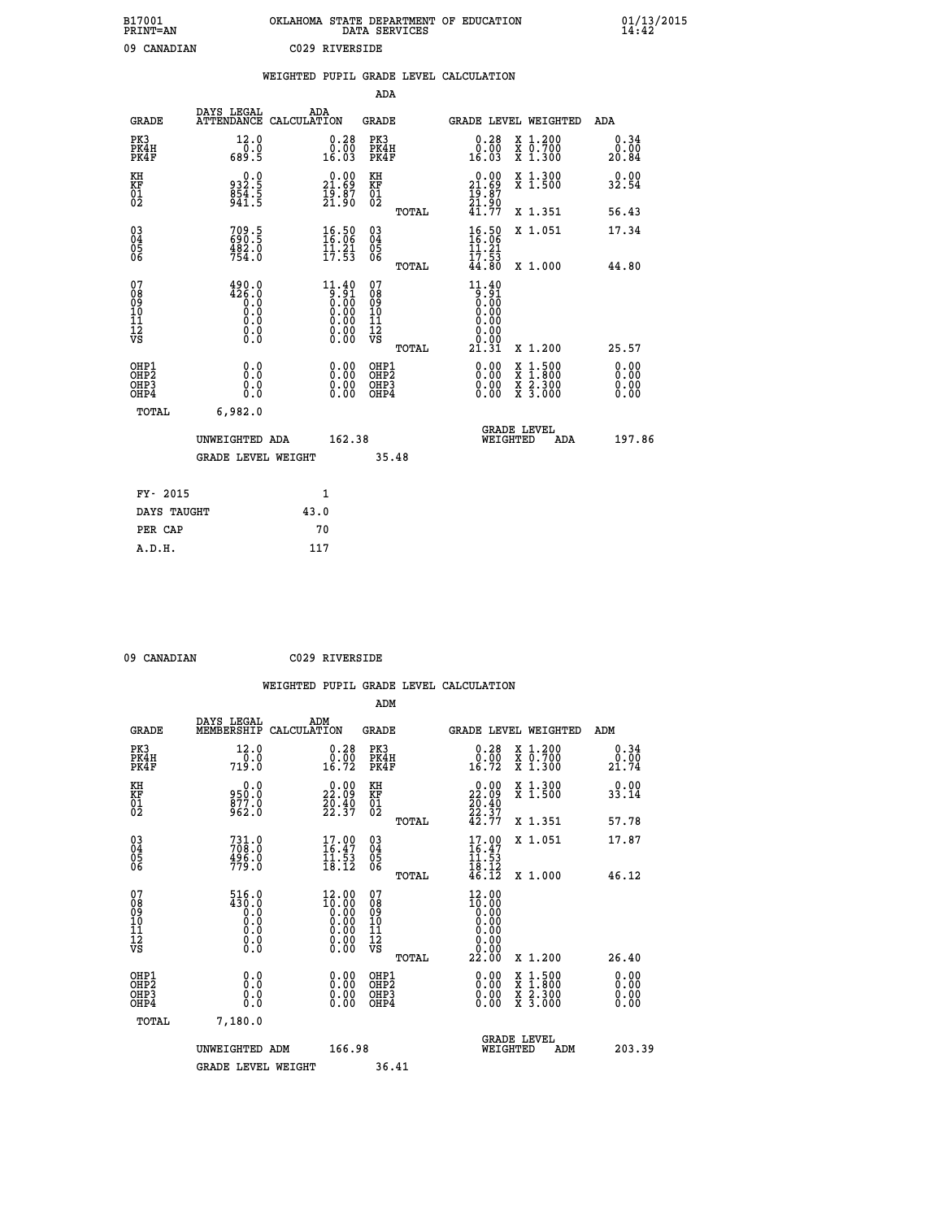| B17001<br><b>PRINT=AN</b> | OKLAHOMA STATE DEPARTMENT OF EDUCATION<br>DATA SERVICES | 01/13/2015 |
|---------------------------|---------------------------------------------------------|------------|
| 09<br>CANADIAN            | C029 RIVERSIDE                                          |            |

|                                                                    |                                                                                                 | WEIGHTED PUPIL GRADE LEVEL CALCULATION                                                               |                                                     |       |                                                            |                                                                                                                                           |                              |
|--------------------------------------------------------------------|-------------------------------------------------------------------------------------------------|------------------------------------------------------------------------------------------------------|-----------------------------------------------------|-------|------------------------------------------------------------|-------------------------------------------------------------------------------------------------------------------------------------------|------------------------------|
|                                                                    |                                                                                                 |                                                                                                      | <b>ADA</b>                                          |       |                                                            |                                                                                                                                           |                              |
| <b>GRADE</b>                                                       | <b>DAYS LEGAL<br/>ATTENDANCE</b>                                                                | ADA<br>CALCULATION                                                                                   | <b>GRADE</b>                                        |       | GRADE LEVEL WEIGHTED                                       |                                                                                                                                           | ADA                          |
| PK3<br>PK4H<br>PK4F                                                | 12.0<br>$0.0$<br>5.89                                                                           | $\begin{smallmatrix} 0.28\ 0.00\\ 16.03 \end{smallmatrix}$                                           | PK3<br>PK4H<br>PK4F                                 |       | 0.28<br>Ŏ.ŌŎ<br>16.O3                                      | X 1.200<br>X 0.700<br>X 1.300                                                                                                             | 0.34<br>0.00<br>20.84        |
| KH<br>KF<br>01<br>02                                               | $932.5$<br>$854.5$<br>$941.5$                                                                   | $\begin{smallmatrix} 0.00\\ 21.69\\ 19.87\\ 21.90 \end{smallmatrix}$                                 | KH<br>KF<br>01<br>02                                |       | 0.00<br>$21.69$<br>$19.87$<br>$21.90$<br>$41.77$           | X 1.300<br>X 1.500                                                                                                                        | 0.00<br>32.54                |
|                                                                    |                                                                                                 |                                                                                                      |                                                     | TOTAL |                                                            | X 1.351                                                                                                                                   | 56.43                        |
| $\begin{smallmatrix} 03 \\[-4pt] 04 \end{smallmatrix}$<br>Ŏ5<br>06 | 709.5<br>690.5<br>482.0<br>754.0                                                                | $\begin{array}{c} 16.50 \\ 16.06 \\ 11.21 \\ 17.53 \end{array}$                                      | $\begin{array}{c} 03 \\ 04 \\ 05 \\ 06 \end{array}$ |       | $\frac{16.50}{16.06}$<br>$\frac{11}{17}$ $\frac{21}{53}$   | X 1.051                                                                                                                                   | 17.34                        |
|                                                                    |                                                                                                 |                                                                                                      |                                                     | TOTAL | 44.80                                                      | X 1.000                                                                                                                                   | 44.80                        |
| 07<br>0890112<br>1112<br>VS                                        | 490.0<br>426.0<br>$\begin{smallmatrix} 0.1 & 0 \ 0.0 & 0 \ 0.0 & 0 \ 0.0 & 0 \end{smallmatrix}$ | $\begin{smallmatrix} 11.40\ 9.91\ 0.00\ 0.00\ 0.00\ 0.00\ 0.00\ 0.00\ 0.00\ 0.00\ \end{smallmatrix}$ | 07<br>08901112<br>1112<br>VS                        | TOTAL | $11.40$<br>$9.91$<br>0.00<br>0.00<br>0.00<br>0:00<br>21.31 | X 1.200                                                                                                                                   | 25.57                        |
| OHP1<br>OHP2<br>OH <sub>P3</sub><br>OH <sub>P4</sub>               | 0.0<br>0.0<br>0.0                                                                               | $\begin{smallmatrix} 0.00 \ 0.00 \ 0.00 \ 0.00 \end{smallmatrix}$                                    | OHP1<br>OHP2<br>OHP3<br>OHP4                        |       | $0.00$<br>$0.00$<br>0.00                                   | $\begin{smallmatrix} \mathtt{X} & 1\cdot500\\ \mathtt{X} & 1\cdot800\\ \mathtt{X} & 2\cdot300\\ \mathtt{X} & 3\cdot000 \end{smallmatrix}$ | 0.00<br>0.00<br>0.00<br>0.00 |
| TOTAL                                                              | 6,982.0                                                                                         |                                                                                                      |                                                     |       |                                                            |                                                                                                                                           |                              |
|                                                                    | UNWEIGHTED ADA                                                                                  | 162.38                                                                                               |                                                     |       | WEIGHTED                                                   | <b>GRADE LEVEL</b><br>ADA                                                                                                                 | 197.86                       |
|                                                                    | <b>GRADE LEVEL WEIGHT</b>                                                                       |                                                                                                      | 35.48                                               |       |                                                            |                                                                                                                                           |                              |
| FY- 2015                                                           |                                                                                                 | $\mathbf{1}$                                                                                         |                                                     |       |                                                            |                                                                                                                                           |                              |
| DAYS TAUGHT                                                        |                                                                                                 | 43.0                                                                                                 |                                                     |       |                                                            |                                                                                                                                           |                              |
| PER CAP                                                            |                                                                                                 | 70                                                                                                   |                                                     |       |                                                            |                                                                                                                                           |                              |

 **09 CANADIAN C029 RIVERSIDE**

|                                                    |                                                                                                     |     |                                                                       |                                        |       | WEIGHTED PUPIL GRADE LEVEL CALCULATION                                                                  |                                                                                                                                           |                              |
|----------------------------------------------------|-----------------------------------------------------------------------------------------------------|-----|-----------------------------------------------------------------------|----------------------------------------|-------|---------------------------------------------------------------------------------------------------------|-------------------------------------------------------------------------------------------------------------------------------------------|------------------------------|
|                                                    |                                                                                                     |     |                                                                       | ADM                                    |       |                                                                                                         |                                                                                                                                           |                              |
| <b>GRADE</b>                                       | DAYS LEGAL<br>MEMBERSHIP CALCULATION                                                                | ADM |                                                                       | GRADE                                  |       |                                                                                                         | GRADE LEVEL WEIGHTED                                                                                                                      | ADM                          |
| PK3<br>PK4H<br>PK4F                                | 12.0<br>719.0                                                                                       |     | $\begin{smallmatrix} 0.28\ 0.00\\ 16.72 \end{smallmatrix}$            | PK3<br>PK4H<br>PK4F                    |       | 0.28<br>ŏ:ōŏ<br>16:72                                                                                   | X 1.200<br>X 0.700<br>X 1.300                                                                                                             | 0.34<br>0.00<br>21.74        |
| KH<br>KF<br>01<br>02                               | 0.0<br>950.0<br>877.0<br>962.0                                                                      |     | 22.09<br>$\frac{2}{2}$ , $\frac{4}{3}$<br>22:37                       | KH<br>KF<br>01<br>02                   |       | $\begin{smallmatrix} 0.00\\ 22.09\\ 20.40\\ 22.37\\ 42.77 \end{smallmatrix}$                            | X 1.300<br>X 1.500                                                                                                                        | 0.00<br>33.14                |
|                                                    |                                                                                                     |     |                                                                       |                                        | TOTAL |                                                                                                         | X 1.351                                                                                                                                   | 57.78                        |
| $\begin{matrix} 03 \\ 04 \\ 05 \\ 06 \end{matrix}$ | 731.0<br>708.0<br>$\frac{496.0}{779.0}$                                                             |     | $\begin{smallmatrix} 17.00\\ 16.47\\ 11.53\\ 18.12 \end{smallmatrix}$ | $\substack{03 \\ 04}$<br>05<br>06      |       | $17.00$<br>$16.47$<br>$11.53$<br>$18.12$<br>$46.12$                                                     | X 1.051                                                                                                                                   | 17.87                        |
|                                                    |                                                                                                     |     |                                                                       |                                        | TOTAL |                                                                                                         | X 1.000                                                                                                                                   | 46.12                        |
| 07<br>08<br>09<br>11<br>11<br>12<br>VS             | 516.0<br>430.0<br>$\begin{smallmatrix} 0.0 & 0 \ 0.0 & 0 \ 0.0 & 0 \end{smallmatrix}$<br>$\S.$ $\S$ |     | $12.00\n10.00\n0.00\n0.00\n0.00$<br>0.00<br>0.00                      | 07<br>08<br>09<br>11<br>11<br>12<br>VS | TOTAL | $\begin{smallmatrix} 12.00 \\ 10.00 \\ 0.00 \\ 0.00 \end{smallmatrix}$<br>0.00<br>0.00<br>ةة:ة<br>22.00 | X 1.200                                                                                                                                   | 26.40                        |
| OHP1<br>OHP2<br>OH <sub>P3</sub><br>OHP4           | 0.0<br>0.0<br>0.0                                                                                   |     | $\begin{smallmatrix} 0.00 \ 0.00 \ 0.00 \ 0.00 \end{smallmatrix}$     | OHP1<br>OHP2<br>OHP3<br>OHP4           |       |                                                                                                         | $\begin{smallmatrix} \mathtt{X} & 1\cdot500\\ \mathtt{X} & 1\cdot800\\ \mathtt{X} & 2\cdot300\\ \mathtt{X} & 3\cdot000 \end{smallmatrix}$ | 0.00<br>Ŏ.ŎŎ<br>Q.QQ<br>0.00 |
| TOTAL                                              | 7,180.0                                                                                             |     |                                                                       |                                        |       |                                                                                                         |                                                                                                                                           |                              |
|                                                    | UNWEIGHTED ADM                                                                                      |     | 166.98                                                                |                                        |       | WEIGHTED                                                                                                | <b>GRADE LEVEL</b><br>ADM                                                                                                                 | 203.39                       |
|                                                    | <b>GRADE LEVEL WEIGHT</b>                                                                           |     |                                                                       | 36.41                                  |       |                                                                                                         |                                                                                                                                           |                              |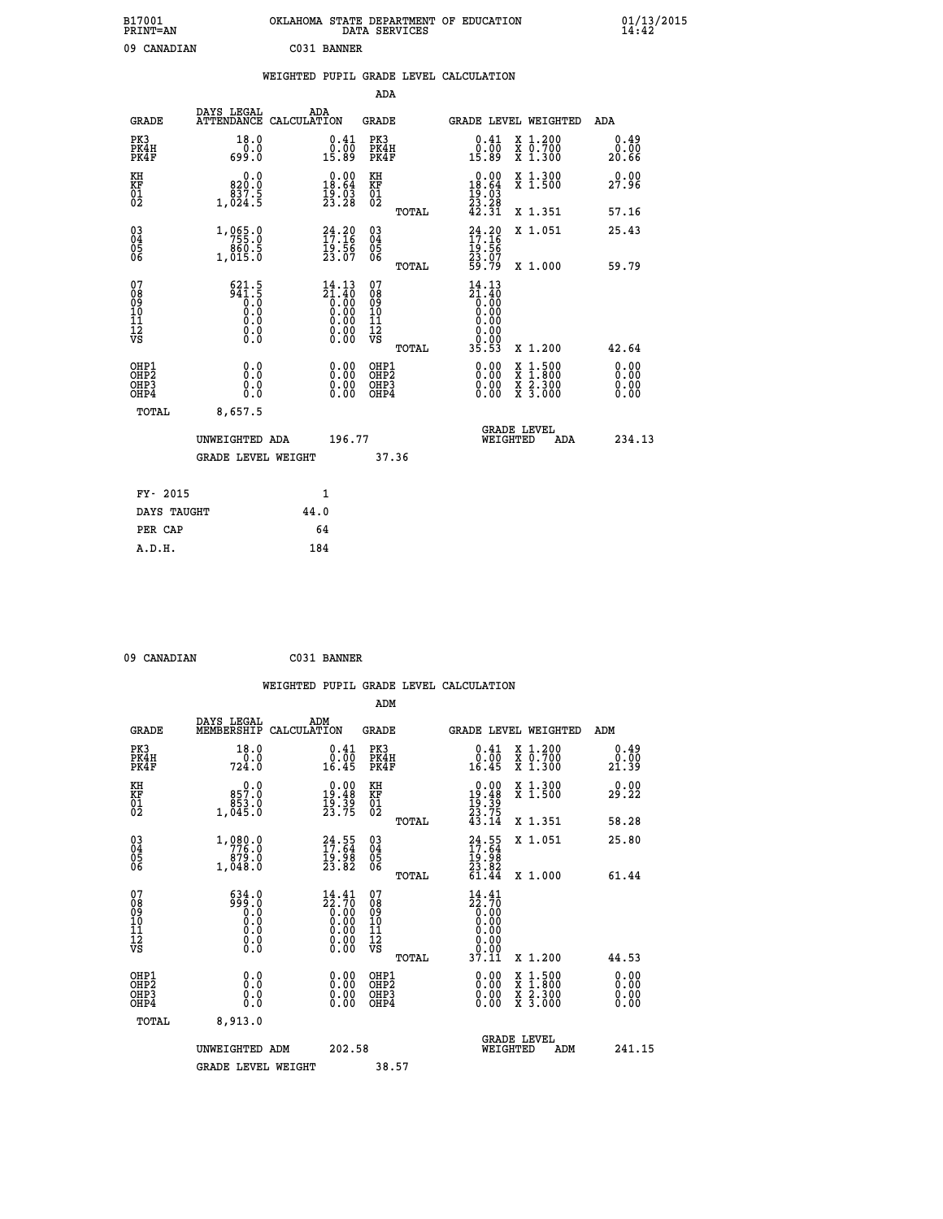| B17001<br>PRINT=AN                                |                                             | OKLAHOMA STATE DEPARTMENT OF EDUCATION                            | DATA SERVICES                                              |                                                                        |                                                                                                                                           | $01/13/2015$<br>14:42 |
|---------------------------------------------------|---------------------------------------------|-------------------------------------------------------------------|------------------------------------------------------------|------------------------------------------------------------------------|-------------------------------------------------------------------------------------------------------------------------------------------|-----------------------|
| 09 CANADIAN                                       |                                             | C031 BANNER                                                       |                                                            |                                                                        |                                                                                                                                           |                       |
|                                                   |                                             | WEIGHTED PUPIL GRADE LEVEL CALCULATION                            |                                                            |                                                                        |                                                                                                                                           |                       |
|                                                   |                                             |                                                                   | <b>ADA</b>                                                 |                                                                        |                                                                                                                                           |                       |
| <b>GRADE</b>                                      | DAYS LEGAL                                  | ADA<br>ATTENDANCE CALCULATION                                     | GRADE                                                      | GRADE LEVEL WEIGHTED                                                   |                                                                                                                                           | ADA                   |
| PK3<br>PK4H<br>PK4F                               | 18.0<br>0.0<br>699.0                        | $0.41$<br>$0.00$<br>15.89                                         | PK3<br>PK4H<br>PK4F                                        | $0.41$<br>$0.00$<br>15.89                                              | X 1.200<br>X 0.700<br>X 1.300                                                                                                             | 0.49<br>0.00<br>20.66 |
| KH<br>KF<br>$\begin{matrix} 01 \ 02 \end{matrix}$ | 0.0<br>820.0<br>1,024.5                     | $\begin{smallmatrix} 0.00\\18.64\\19.03\\23.28 \end{smallmatrix}$ | KH<br><b>KF</b><br>01<br>02                                | $0.00$<br>18.64<br>$\frac{19}{23}$ : $\frac{23}{28}$<br>42.31          | X 1.300<br>X 1.500                                                                                                                        | 0.00<br>27.96         |
|                                                   |                                             |                                                                   | TOTAL                                                      |                                                                        | X 1.351                                                                                                                                   | 57.16                 |
| $\substack{03 \ 04}$<br>Ŏ5<br>ŌĞ                  | 1,065.0<br>860.5<br>1,015.0                 | $24.20$<br>$17.16$<br>$\frac{19.56}{23.07}$                       | $\begin{matrix} 03 \\ 04 \\ 05 \\ 06 \end{matrix}$         | $24.20$<br>$17.16$<br>Īģ∶ <u>ēğ</u><br>23.07<br>59.79                  | X 1.051                                                                                                                                   | 25.43                 |
|                                                   |                                             |                                                                   | TOTAL                                                      |                                                                        | X 1.000                                                                                                                                   | 59.79                 |
| 07<br>08<br>09<br>10<br>11<br>12<br>VS            | 621.5<br>$\frac{5}{6}$<br>0.0<br>0.0<br>0.0 | $14.13$<br>$21.40$<br>$0.00$<br>$0.00$<br>$0.00$<br>0.00          | 07<br>08<br>09<br>10<br>$\frac{11}{12}$<br>$\frac{12}{18}$ | 14.13<br>$\frac{51.40}{0.00}$<br>0.00<br>0.00<br>0.00<br>0.00<br>35.53 |                                                                                                                                           |                       |
| OHP1                                              | 0.0                                         |                                                                   | TOTAL<br>OHP1                                              |                                                                        | X 1.200                                                                                                                                   | 42.64<br>0.00         |
| OHP <sub>2</sub><br>OH <sub>P3</sub><br>OHP4      | Ō.Ō<br>0.0<br>0.0                           | 0.00<br>0.00<br>0.00                                              | OHP <sub>2</sub><br>OHP3<br>OHP4                           | 0.00<br>0.00<br>0.00                                                   | $\begin{smallmatrix} \mathtt{X} & 1\cdot500\\ \mathtt{X} & 1\cdot800\\ \mathtt{X} & 2\cdot300\\ \mathtt{X} & 3\cdot000 \end{smallmatrix}$ | 0.00<br>0.00<br>0.00  |
| TOTAL                                             | 8,657.5                                     |                                                                   |                                                            |                                                                        |                                                                                                                                           |                       |
|                                                   | UNWEIGHTED ADA                              | 196.77                                                            |                                                            | <b>GRADE LEVEL</b><br>WEIGHTED                                         | ADA                                                                                                                                       | 234.13                |
|                                                   | <b>GRADE LEVEL WEIGHT</b>                   |                                                                   | 37.36                                                      |                                                                        |                                                                                                                                           |                       |
| FY- 2015                                          |                                             | 1                                                                 |                                                            |                                                                        |                                                                                                                                           |                       |
|                                                   | DAYS TAUGHT                                 | 44.0                                                              |                                                            |                                                                        |                                                                                                                                           |                       |
| PER CAP                                           |                                             | 64                                                                |                                                            |                                                                        |                                                                                                                                           |                       |
| A.D.H.                                            |                                             | 184                                                               |                                                            |                                                                        |                                                                                                                                           |                       |

| 09 CANADIAN | C031 BANNER |
|-------------|-------------|

|                                                      |                                                                                                                                            |                                                                                 | WEIGHTED PUPIL GRADE LEVEL CALCULATION          |                                                                                  |                                          |                               |
|------------------------------------------------------|--------------------------------------------------------------------------------------------------------------------------------------------|---------------------------------------------------------------------------------|-------------------------------------------------|----------------------------------------------------------------------------------|------------------------------------------|-------------------------------|
|                                                      |                                                                                                                                            |                                                                                 | ADM                                             |                                                                                  |                                          |                               |
| <b>GRADE</b>                                         | DAYS LEGAL<br>MEMBERSHIP                                                                                                                   | ADM<br>CALCULATION                                                              | <b>GRADE</b>                                    | <b>GRADE LEVEL WEIGHTED</b>                                                      |                                          | ADM                           |
| PK3<br>PK4H<br>PK4F                                  | 18.0<br>724.0                                                                                                                              | $\begin{smallmatrix} 0.41\ 0.00\ 16.45 \end{smallmatrix}$                       | PK3<br>PK4H<br>PK4F                             | $0.41$<br>$0.00$<br>16.45                                                        | X 1.200<br>X 0.700<br>X 1.300            | 0.49<br>0.00<br>21.39         |
| KH<br>KF<br>01<br>02                                 | $0.0$<br>0.758<br>1,045.0                                                                                                                  | $\begin{smallmatrix} 0.00\\19.48\\19.39\\23.75 \end{smallmatrix}$               | KH<br>KF<br>01<br>02                            | $\begin{smallmatrix} 0.00\\19.48\\19.39\\23.75\\43.14 \end{smallmatrix}$         | X 1.300<br>X 1.500                       | 0.00<br>29.22                 |
|                                                      |                                                                                                                                            |                                                                                 | TOTAL                                           |                                                                                  | X 1.351                                  | 58.28                         |
| $\begin{matrix} 03 \\ 04 \\ 05 \\ 06 \end{matrix}$   | $\begin{smallmatrix} 1\,, & 0 & 8 & 0 & . & 0 \\ 7 & 7 & 7 & 6 & . & 0 \\ 8 & 7 & 9 & . & 0 \\ 1\,, & 0 & 4 & 8 & . & 0 \end{smallmatrix}$ | $24.55$<br>$17.64$<br>$19.98$<br>$23.82$                                        | 03<br>04<br>05<br>06                            | $24.55$<br>$17.64$<br>$19.98$<br>$23.82$<br>$61.44$                              | X 1.051                                  | 25.80                         |
| 07<br>0890112<br>1112<br>VS                          | $\begin{array}{c} 634.0 \\ 999.0 \\ 0.0 \\ 0.0 \\ 0.0 \\ \end{array}$<br>$\S.$ $\S$                                                        | $\begin{smallmatrix} 14.41\ 22.70\ 0.00\ 0.00\ 0.00\ \end{smallmatrix}$<br>0.00 | TOTAL<br>07<br>08<br>09<br>11<br>11<br>12<br>VS | $\begin{smallmatrix} 14.41\ 22.70\ 0.00\ 0.00 \end{smallmatrix}$<br>0.00<br>0.00 | X 1.000                                  | 61.44                         |
|                                                      |                                                                                                                                            |                                                                                 | TOTAL                                           | 37.11                                                                            | X 1.200                                  | 44.53                         |
| OHP1<br>OHP <sub>2</sub><br>OH <sub>P3</sub><br>OHP4 | 0.0<br>0.000                                                                                                                               | $0.00$<br>$0.00$<br>0.00                                                        | OHP1<br>OHP <sub>2</sub><br>OHP <sub>3</sub>    | 0.00<br>0.00<br>0.00                                                             | X 1:500<br>X 1:800<br>X 2:300<br>X 3:000 | 0.00<br>Ō. ŌŌ<br>0.00<br>0.00 |
| TOTAL                                                | 8,913.0                                                                                                                                    |                                                                                 |                                                 |                                                                                  |                                          |                               |
|                                                      | UNWEIGHTED ADM                                                                                                                             | 202.58                                                                          |                                                 | <b>GRADE LEVEL</b><br>WEIGHTED                                                   | ADM                                      | 241.15                        |
|                                                      | <b>GRADE LEVEL WEIGHT</b>                                                                                                                  |                                                                                 | 38.57                                           |                                                                                  |                                          |                               |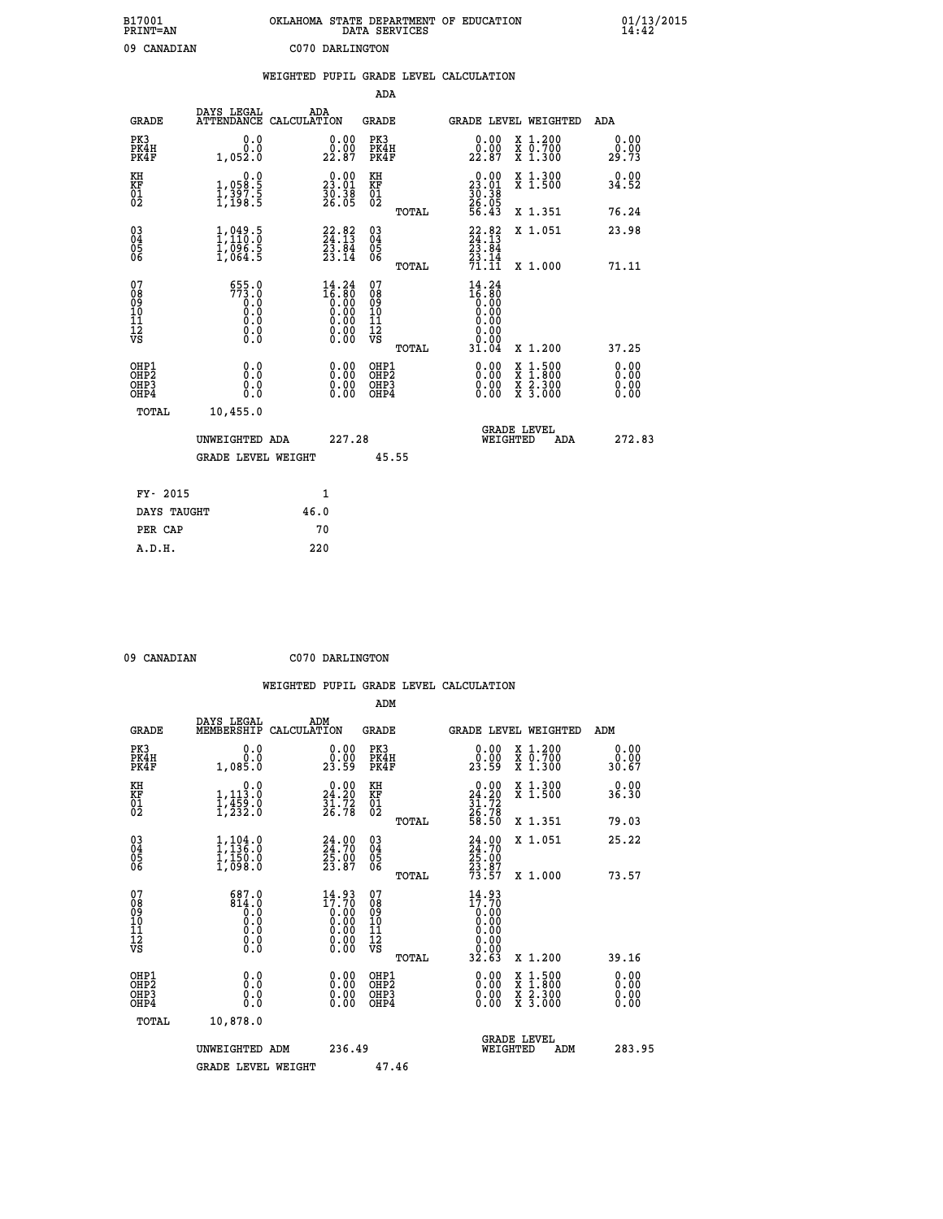| B17001<br><b>PRINT=AN</b> | OKLAHOMA STATE DEPARTMENT OF EDUCATION<br>DATA SERVICES | 01/13/2015 |
|---------------------------|---------------------------------------------------------|------------|
| 09<br>CANADIAN            | C070 DARLINGTON                                         |            |

|                                   |                                                                                                        | WEIGHTED PUPIL GRADE LEVEL CALCULATION                               |                                                     |       |                                                                                |                                                              |                       |
|-----------------------------------|--------------------------------------------------------------------------------------------------------|----------------------------------------------------------------------|-----------------------------------------------------|-------|--------------------------------------------------------------------------------|--------------------------------------------------------------|-----------------------|
|                                   |                                                                                                        |                                                                      | ADA                                                 |       |                                                                                |                                                              |                       |
| <b>GRADE</b>                      | DAYS LEGAL                                                                                             | ADA<br>ATTENDANCE CALCULATION                                        | <b>GRADE</b>                                        |       |                                                                                | GRADE LEVEL WEIGHTED                                         | ADA                   |
| PK3<br>PK4H<br>PK4F               | 0.0<br>0.0<br>1,052.0                                                                                  | 0.00<br>22.87                                                        | PK3<br>PK4H<br>PK4F                                 |       | 0.00<br>0.00<br>22.87                                                          | X 1.200<br>X 0.700<br>X 1.300                                | 0.00<br>0.00<br>29.73 |
| KH<br><b>KF</b><br>01<br>02       | $\begin{smallmatrix}&&&0.0\\1,058.5\\1,397.5\\1,198.5\end{smallmatrix}$                                | $\begin{smallmatrix} 0.00\\ 23.01\\ 30.38\\ 26.05 \end{smallmatrix}$ | KH<br>KF<br>01<br>02                                |       | $\begin{smallmatrix} 0.00\\ 23.01\\ 30.38\\ 26.05\\ 26.43\\ \end{smallmatrix}$ | X 1.300<br>X 1.500                                           | 0.00<br>34.52         |
|                                   |                                                                                                        |                                                                      |                                                     | TOTAL |                                                                                | X 1.351                                                      | 76.24                 |
| 03<br>04<br>05<br>06              | $\frac{1}{1}$ , 049.5<br>$\frac{1}{1}$ , 110.0<br>$\frac{1}{1}$ , 096.5<br>$\frac{5}{1}$ , 064.5       | $22.82$<br>$24.13$<br>$\frac{2\bar{3}\cdot\bar{8}\bar{4}}{23.14}$    | $\begin{array}{c} 03 \\ 04 \\ 05 \\ 06 \end{array}$ |       | $22.82$<br>$24.13$<br>$23.84$<br>$23.14$<br>$71.11$                            | X 1.051                                                      | 23.98                 |
|                                   |                                                                                                        |                                                                      |                                                     | TOTAL |                                                                                | X 1.000                                                      | 71.11                 |
| 07<br>089<br>090<br>1112<br>VS    | $555.0$<br>$773.0$<br>$0.0$<br>$\begin{smallmatrix} 0.5 & 0 \ 0.0 & 0 \end{smallmatrix}$<br>$\S.$ $\S$ | $14.24$<br>$16.80$<br>$0.00$<br>$0.00$<br>$0.00$<br>ŏ:ŏŏ<br>O.OO     | 07<br>08<br>09<br>10<br>11<br>12<br>VS              | TOTAL | $14.24$<br>$16.80$<br>0.00<br>0.00<br>0.00<br>0.00<br>31.04                    | X 1.200                                                      | 37.25                 |
| OHP1                              |                                                                                                        |                                                                      |                                                     |       |                                                                                |                                                              | 0.00                  |
| OH <sub>P</sub> 2<br>OHP3<br>OHP4 | 0.0<br>0.0<br>0.0                                                                                      | 0.00<br>$0.00$<br>0.00                                               | OHP1<br>OHP2<br>OHP3<br>OHP4                        |       | 0.00<br>0.00<br>0.00                                                           | $1:500$<br>1:800<br>X<br>$\frac{x}{x}$ $\frac{5:300}{3:000}$ | 0.00<br>0.00<br>0.00  |
| <b>TOTAL</b>                      | 10,455.0                                                                                               |                                                                      |                                                     |       |                                                                                |                                                              |                       |
|                                   | UNWEIGHTED ADA                                                                                         | 227.28                                                               |                                                     |       | WEIGHTED                                                                       | <b>GRADE LEVEL</b><br>ADA                                    | 272.83                |
|                                   | <b>GRADE LEVEL WEIGHT</b>                                                                              |                                                                      | 45.55                                               |       |                                                                                |                                                              |                       |
| FY- 2015                          |                                                                                                        | $\mathbf{1}$                                                         |                                                     |       |                                                                                |                                                              |                       |
| DAYS TAUGHT                       |                                                                                                        | 46.0                                                                 |                                                     |       |                                                                                |                                                              |                       |
| PER CAP                           |                                                                                                        | 70                                                                   |                                                     |       |                                                                                |                                                              |                       |

 **09 CANADIAN C070 DARLINGTON**

| <b>GRADE</b>                                       | DAYS LEGAL<br>MEMBERSHIP                         | ADM<br>CALCULATION                                                | <b>GRADE</b>                                       |       | <b>GRADE LEVEL WEIGHTED</b>                                                                                                                                                                                                                                                    |                                          | ADM                   |  |
|----------------------------------------------------|--------------------------------------------------|-------------------------------------------------------------------|----------------------------------------------------|-------|--------------------------------------------------------------------------------------------------------------------------------------------------------------------------------------------------------------------------------------------------------------------------------|------------------------------------------|-----------------------|--|
| PK3<br>PK4H<br>PK4F                                | 0.0<br>0.0001                                    | $\begin{smallmatrix} 0.00\\ 0.00\\ 23.59 \end{smallmatrix}$       | PK3<br>PK4H<br>PK4F                                |       | 0.00<br>$2\overset{0}{3}\overset{.}{.}5\overset{.}{9}$                                                                                                                                                                                                                         | X 1.200<br>X 0.700<br>X 1.300            | 0.00<br>0.00<br>30.67 |  |
| KH<br>KF<br>01<br>02                               | 0.0<br>$1,113.0$<br>$1,459.0$<br>$1,232.0$       | $\begin{smallmatrix} 0.00\\24.20\\31.72\\26.78 \end{smallmatrix}$ | KH<br>KF<br>01<br>02                               |       | $\begin{smallmatrix} 0.00\\24.20\\31.72\\26.78\\58.50 \end{smallmatrix}$                                                                                                                                                                                                       | X 1.300<br>X 1.500                       | 0.00<br>36.30         |  |
|                                                    |                                                  |                                                                   |                                                    | TOTAL |                                                                                                                                                                                                                                                                                | X 1.351                                  | 79.03                 |  |
| $\begin{matrix} 03 \\ 04 \\ 05 \\ 06 \end{matrix}$ | $1,104.0$<br>$1,136.0$<br>$1,150.0$<br>$1,098.0$ | $24.70$<br>$24.70$<br>$25.00$<br>$23.87$                          | $\begin{matrix} 03 \\ 04 \\ 05 \\ 06 \end{matrix}$ |       | 24:00<br>24:70<br>25:00<br>23:87<br>73:57                                                                                                                                                                                                                                      | X 1.051                                  | 25.22                 |  |
|                                                    |                                                  |                                                                   |                                                    | TOTAL |                                                                                                                                                                                                                                                                                | X 1.000                                  | 73.57                 |  |
| 07<br>089<br>090<br>1112<br>VS                     | 687.0                                            | $14.93\n17.70\n0.00\n0.00\n0.00\n0.00\n0.00$                      | 07<br>08<br>09<br>11<br>11<br>12<br>VS             | TOTAL | 14.93                                                                                                                                                                                                                                                                          | X 1.200                                  | 39.16                 |  |
|                                                    |                                                  |                                                                   |                                                    |       |                                                                                                                                                                                                                                                                                |                                          |                       |  |
| OHP1<br>OHP2<br>OH <sub>P3</sub><br>OHP4           | 0.0<br>0.000                                     |                                                                   | OHP1<br>OHP2<br>OHP3<br>OHP4                       |       | $\begin{smallmatrix} 0.00 & 0.00 & 0.00 & 0.00 & 0.00 & 0.00 & 0.00 & 0.00 & 0.00 & 0.00 & 0.00 & 0.00 & 0.00 & 0.00 & 0.00 & 0.00 & 0.00 & 0.00 & 0.00 & 0.00 & 0.00 & 0.00 & 0.00 & 0.00 & 0.00 & 0.00 & 0.00 & 0.00 & 0.00 & 0.00 & 0.00 & 0.00 & 0.00 & 0.00 & 0.00 & 0.0$ | X 1:500<br>X 1:800<br>X 2:300<br>X 3:000 | 0.00<br>0.00<br>0.00  |  |
| TOTAL                                              | 10,878.0                                         |                                                                   |                                                    |       |                                                                                                                                                                                                                                                                                |                                          |                       |  |
|                                                    | UNWEIGHTED<br>ADM                                | 236.49                                                            |                                                    |       | WEIGHTED                                                                                                                                                                                                                                                                       | <b>GRADE LEVEL</b><br>ADM                | 283.95                |  |
|                                                    | <b>GRADE LEVEL WEIGHT</b>                        |                                                                   | 47.46                                              |       |                                                                                                                                                                                                                                                                                |                                          |                       |  |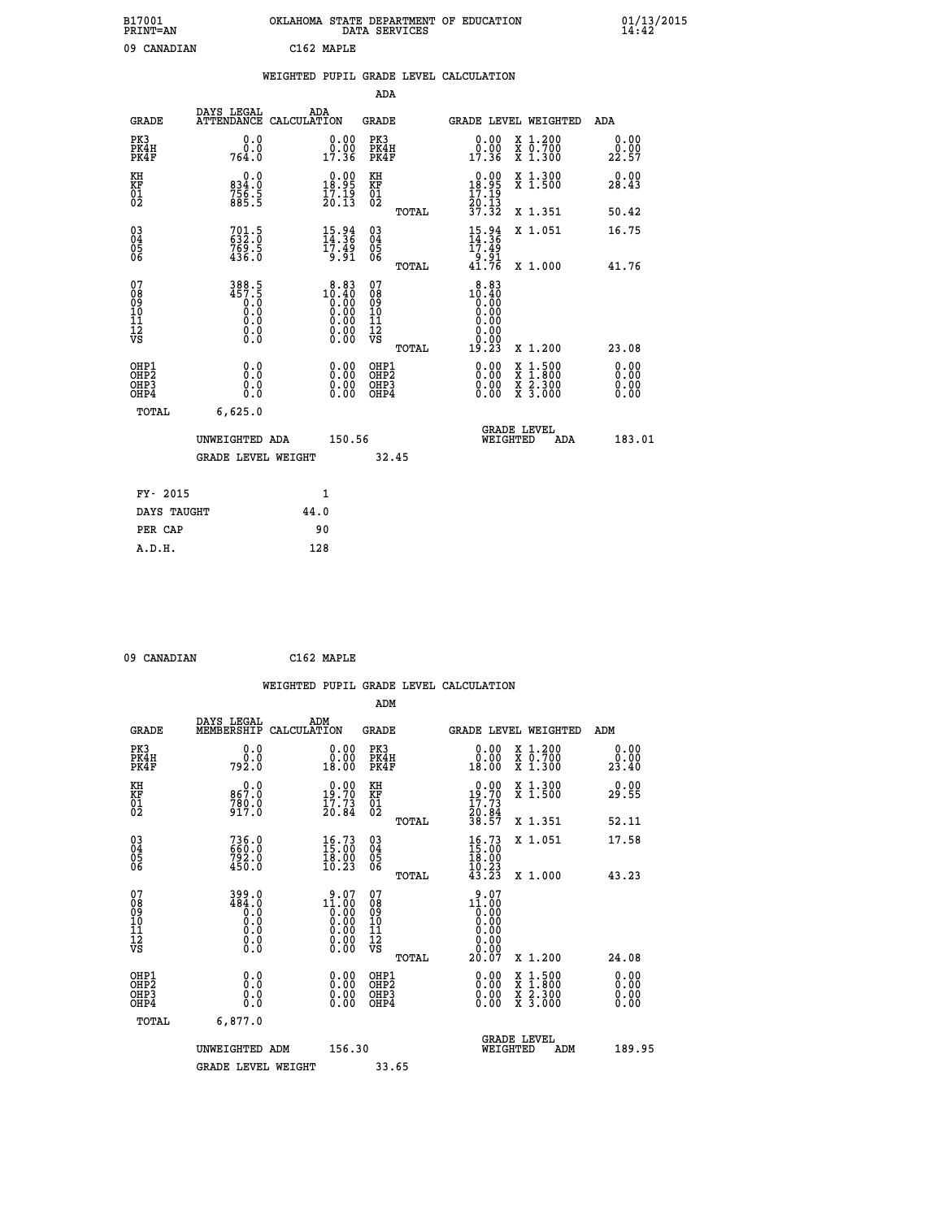| B17001<br>PRINT=AN | OKLAHOMA STATE DEPARTMENT OF EDUCATION<br>DATA SERVICES | 01/13/2015<br>14:42 |
|--------------------|---------------------------------------------------------|---------------------|
| 09<br>CANADIAN     | C162 MAPLE                                              |                     |

|  |  | WEIGHTED PUPIL GRADE LEVEL CALCULATION |
|--|--|----------------------------------------|
|  |  |                                        |

|                                                    |                                              |                    |                                               | ADA                                                |       |                                                                                                      |          |                                                                  |                              |
|----------------------------------------------------|----------------------------------------------|--------------------|-----------------------------------------------|----------------------------------------------------|-------|------------------------------------------------------------------------------------------------------|----------|------------------------------------------------------------------|------------------------------|
| <b>GRADE</b>                                       | DAYS LEGAL<br><b>ATTENDANCE</b>              | ADA<br>CALCULATION |                                               | GRADE                                              |       |                                                                                                      |          | GRADE LEVEL WEIGHTED                                             | <b>ADA</b>                   |
| PK3<br>PK4H<br>PK4F                                | 0.0<br>0.0<br>764.0                          |                    | 0.00<br>0.00<br>17.36                         | PK3<br>PK4H<br>PK4F                                |       | 0.00<br>0.00<br>17.36                                                                                |          | X 1.200<br>X 0.700<br>X 1.300                                    | 0.00<br>0.00<br>22.57        |
| KH<br><b>KF</b><br>01<br>02                        | 0.0<br>834.0<br>756.5<br>885.5               |                    | 18.99<br>$\frac{17.19}{20.13}$                | KH<br>KF<br>01<br>02                               |       | $\begin{smallmatrix} &0.00\\[-1mm] 18.95\\[-1mm] 17.19\\[-1mm] 20.13\\[-1mm] 37.32\end{smallmatrix}$ |          | X 1.300<br>X 1.500                                               | 0.00<br>28.43                |
|                                                    |                                              |                    |                                               |                                                    | TOTAL |                                                                                                      |          | X 1.351                                                          | 50.42                        |
| $\begin{matrix} 03 \\ 04 \\ 05 \\ 06 \end{matrix}$ | $701.5$<br>$632.0$<br>$769.5$<br>$436.0$     |                    | $\frac{15.94}{14.36}$<br>$\frac{17.49}{9.91}$ | $\begin{matrix} 03 \\ 04 \\ 05 \\ 06 \end{matrix}$ |       | $\frac{15.94}{14.36}$                                                                                |          | X 1.051                                                          | 16.75                        |
|                                                    |                                              |                    |                                               |                                                    | TOTAL | 51.01<br>41.76                                                                                       |          | X 1.000                                                          | 41.76                        |
| 07<br>08<br>09<br>101<br>11<br>12<br>VS            | 388.5<br>457.5<br>0.0<br>0.0<br>0.0<br>$\S.$ |                    | $10.83$<br>$10.40$<br>$0.00$                  | 07<br>08<br>09<br>11<br>11<br>12<br>VS             | TOTAL | 8.83<br>$10.40$<br>0.00<br>0.00<br>0.00<br>0.00<br>ŏ.ŏŏ<br>19.23                                     |          | X 1.200                                                          | 23.08                        |
| OHP1<br>OHP2<br>OHP3<br>OHP4                       | 0.0<br>0.0<br>0.0                            |                    | 0.00<br>$0.00$<br>0.00                        | OHP1<br>OHP2<br>OHP3<br>OHP4                       |       | $0.00$<br>$0.00$<br>0.00                                                                             | X<br>X   | $1.500$<br>$1.800$<br>$\frac{\ddot{x}}{x}$ $\frac{5.300}{3.000}$ | 0.00<br>0.00<br>0.00<br>0.00 |
| TOTAL                                              | 6,625.0                                      |                    |                                               |                                                    |       |                                                                                                      |          |                                                                  |                              |
|                                                    | UNWEIGHTED ADA                               |                    | 150.56                                        |                                                    |       |                                                                                                      | WEIGHTED | <b>GRADE LEVEL</b><br>ADA                                        | 183.01                       |
|                                                    | <b>GRADE LEVEL WEIGHT</b>                    |                    |                                               |                                                    | 32.45 |                                                                                                      |          |                                                                  |                              |
| FY- 2015                                           |                                              | $\mathbf{1}$       |                                               |                                                    |       |                                                                                                      |          |                                                                  |                              |
| DAYS TAUGHT                                        |                                              | 44.0               |                                               |                                                    |       |                                                                                                      |          |                                                                  |                              |
|                                                    |                                              |                    |                                               |                                                    |       |                                                                                                      |          |                                                                  |                              |

**PER CAP** 90<br> **A.D.H.** 128

 **09 CANADIAN C162 MAPLE**

|                                                      |                                                                                           |                                                                                                      | WEIGHTED PUPIL GRADE LEVEL CALCULATION    |                                                                                                                                                                  |                                                                                                  |                       |
|------------------------------------------------------|-------------------------------------------------------------------------------------------|------------------------------------------------------------------------------------------------------|-------------------------------------------|------------------------------------------------------------------------------------------------------------------------------------------------------------------|--------------------------------------------------------------------------------------------------|-----------------------|
|                                                      |                                                                                           |                                                                                                      | ADM                                       |                                                                                                                                                                  |                                                                                                  |                       |
| <b>GRADE</b>                                         | DAYS LEGAL<br>MEMBERSHIP                                                                  | ADM<br>CALCULATION                                                                                   | <b>GRADE</b>                              | GRADE LEVEL WEIGHTED                                                                                                                                             |                                                                                                  | ADM                   |
| PK3<br>PK4H<br>PK4F                                  | 0.0<br>ة:ۆ<br>792:0                                                                       | $\begin{smallmatrix} 0.00\\ 0.00\\ 18.00 \end{smallmatrix}$                                          | PK3<br>PK4H<br>PK4F                       | $\begin{smallmatrix} 0.00\\ 0.00\\ 18.00 \end{smallmatrix}$                                                                                                      | X 1.200<br>X 0.700<br>X 1.300                                                                    | 0.00<br>ة.00<br>23.40 |
| KH<br>KF<br>01<br>02                                 | $0.0$<br>0.788<br>780.0<br>917.0                                                          | $0.00$<br>19:70<br>$\frac{17.73}{20.84}$                                                             | KH<br>KF<br>01<br>02                      | $\begin{smallmatrix} &0.00\\ 19.70\\ 17.73\\ 20.84\\ 38.57\end{smallmatrix}$                                                                                     | X 1.300<br>X 1.500                                                                               | 0.00<br>29.55         |
|                                                      |                                                                                           |                                                                                                      | TOTAL                                     |                                                                                                                                                                  | X 1.351                                                                                          | 52.11                 |
| $\begin{matrix} 03 \\ 04 \\ 05 \\ 06 \end{matrix}$   | 736.0<br>660.0<br>792.0<br>450.0                                                          | $\begin{smallmatrix} 16.73\ 15.00\ 18.00\ 10.23 \end{smallmatrix}$                                   | $\substack{03 \\ 04}$<br>Ŏ5<br>06         | $16.73$<br>$15.00$<br>$18.00$<br>$10.23$                                                                                                                         | X 1.051                                                                                          | 17.58                 |
|                                                      |                                                                                           |                                                                                                      | TOTAL                                     | 43.23                                                                                                                                                            | X 1.000                                                                                          | 43.23                 |
| 07<br>08<br>09<br>11<br>11<br>12<br>VS               | 399.0<br>484.0<br>$\begin{smallmatrix} 0.59 \ 0.0 \end{smallmatrix}$<br>0.0<br>$\S.$ $\S$ | $\begin{smallmatrix} 9.07\ 11.00\ 0.00\ 0.00\ 0.00\ 0.00\ 0.00\ 0.00\ 0.00\ 0.00\ \end{smallmatrix}$ | 07<br>08<br>09<br>11<br>11<br>12<br>VS    | 9.07<br>11.00<br>$\begin{smallmatrix} \overline{0} \ \overline{0} \ \overline{0} \ \overline{0} \ \overline{0} \ \overline{0} \end{smallmatrix}$<br>0.00<br>0.00 |                                                                                                  |                       |
|                                                      |                                                                                           |                                                                                                      | TOTAL                                     | 20.07                                                                                                                                                            | X 1.200                                                                                          | 24.08                 |
| OHP1<br>OHP <sub>2</sub><br>OH <sub>P3</sub><br>OHP4 | 0.0<br>0.000                                                                              | 0.00<br>0.00<br>0.00                                                                                 | OHP1<br>OH <sub>P</sub> 2<br>OHP3<br>OHP4 | 0.00<br>0.00<br>0.00                                                                                                                                             | $\begin{smallmatrix} x & 1 & 500 \\ x & 1 & 800 \\ x & 2 & 300 \\ x & 3 & 000 \end{smallmatrix}$ | 0.00<br>0.00<br>0.00  |
| TOTAL                                                | 6,877.0                                                                                   |                                                                                                      |                                           |                                                                                                                                                                  |                                                                                                  |                       |
|                                                      | UNWEIGHTED ADM                                                                            | 156.30                                                                                               |                                           | <b>GRADE LEVEL</b><br>WEIGHTED                                                                                                                                   | ADM                                                                                              | 189.95                |
|                                                      | <b>GRADE LEVEL WEIGHT</b>                                                                 |                                                                                                      | 33.65                                     |                                                                                                                                                                  |                                                                                                  |                       |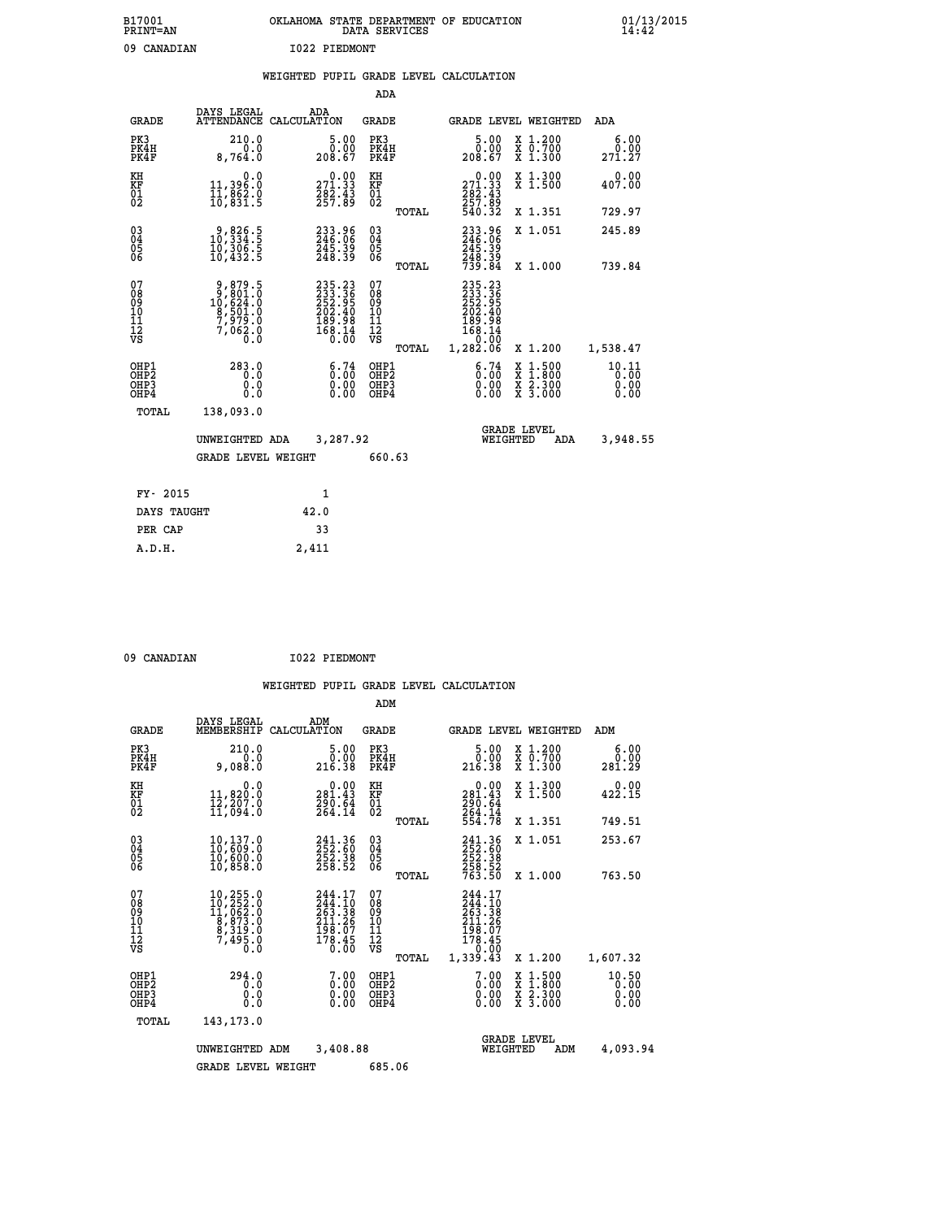| B17001<br><b>PRINT=AN</b> | OKLAHOMA<br>. STATE DEPARTMENT OF EDUCATION<br>DATA SERVICES | 01/13/2015<br>14:42 |
|---------------------------|--------------------------------------------------------------|---------------------|
| 09<br>CANADIAN            | I022 PIEDMONT                                                |                     |

|  |  | WEIGHTED PUPIL GRADE LEVEL CALCULATION |
|--|--|----------------------------------------|
|  |  |                                        |

|                                           |                                                                                      |                                                                            | ADA                                      |       |                                                                                                         |                                                                                                  |                               |
|-------------------------------------------|--------------------------------------------------------------------------------------|----------------------------------------------------------------------------|------------------------------------------|-------|---------------------------------------------------------------------------------------------------------|--------------------------------------------------------------------------------------------------|-------------------------------|
| <b>GRADE</b>                              | DAYS LEGAL                                                                           | ADA<br>ATTENDANCE CALCULATION                                              | GRADE                                    |       | <b>GRADE LEVEL WEIGHTED</b>                                                                             |                                                                                                  | ADA                           |
| PK3<br>PK4H<br>PK4F                       | 210.0<br>0.0<br>8,764.0                                                              | $\frac{5.00}{0.00}$<br>208.67                                              | PK3<br>PK4H<br>PK4F                      |       | 5.00<br>0.00<br>208.67                                                                                  | X 1.200<br>X 0.700<br>X 1.300                                                                    | 6.00<br>0.00<br>271.27        |
| KH<br>KF<br>01<br>02                      | 0.0<br>11,396:0<br>11,862:0<br>10,831:5                                              | $\begin{smallmatrix} 0.00\\271.33\\282.43\\257.89 \end{smallmatrix}$       | KH<br>KF<br>01<br>02                     |       | $\begin{smallmatrix} &0.00\\ 271.33\\ 282.43\\ 257.89\\ 540.32\end{smallmatrix}$                        | X 1.300<br>X 1.500                                                                               | 0.00<br>407.00                |
|                                           |                                                                                      |                                                                            |                                          | TOTAL |                                                                                                         | X 1.351                                                                                          | 729.97                        |
| 03<br>04<br>05<br>06                      | $\begin{smallmatrix} 9, 826.5\\ 10, 334.5\\ 10, 306.5\\ 10, 432.5 \end{smallmatrix}$ | 233.96<br>246.06<br>245.39<br>248.39                                       | 03<br>04<br>05<br>06                     |       | 233.96<br>246.06<br>245.39<br>248.39<br>739.84                                                          | X 1.051                                                                                          | 245.89                        |
|                                           |                                                                                      |                                                                            |                                          | TOTAL |                                                                                                         | X 1.000                                                                                          | 739.84                        |
| 07<br>08<br>09<br>11<br>11<br>12<br>VS    | $9,879.5$<br>$9,801.0$<br>$10,624.0$<br>$8,501.0$<br>$7,979.0$<br>$7,062.0$<br>$0.0$ | 235.23<br>233.36<br>252.95<br>202.40<br>202.40<br>189.98<br>168.14<br>0.00 | 07<br>08<br>09<br>11<br>11<br>12<br>VS   | TOTAL | $\begin{smallmatrix} 235.23\ 233.36\ 252.95\ 202.40\ 189.98\ 168.14\ 0.00\ 1,282.06\ \end{smallmatrix}$ | X 1.200                                                                                          | 1,538.47                      |
| OHP1<br>OH <sub>P</sub> 2<br>OHP3<br>OHP4 | 283.0<br>0.0<br>0.0<br>$0.\overline{0}$                                              | 6:74<br>0.00                                                               | OHP1<br>OHP <sub>2</sub><br>OHP3<br>OHP4 |       | 6.74<br>0.00<br>0.00                                                                                    | $\begin{smallmatrix} x & 1 & 500 \\ x & 1 & 800 \\ x & 2 & 300 \\ x & 3 & 000 \end{smallmatrix}$ | 10.11<br>0.00<br>0.00<br>0.00 |
| TOTAL                                     | 138,093.0                                                                            |                                                                            |                                          |       |                                                                                                         |                                                                                                  |                               |
|                                           | UNWEIGHTED ADA                                                                       | 3,287.92                                                                   |                                          |       | WEIGHTED                                                                                                | <b>GRADE LEVEL</b><br>ADA                                                                        | 3,948.55                      |
|                                           | <b>GRADE LEVEL WEIGHT</b>                                                            |                                                                            | 660.63                                   |       |                                                                                                         |                                                                                                  |                               |
| FY- 2015                                  |                                                                                      | $\mathbf{1}$                                                               |                                          |       |                                                                                                         |                                                                                                  |                               |
| DAYS TAUGHT                               |                                                                                      | 42.0                                                                       |                                          |       |                                                                                                         |                                                                                                  |                               |
| PER CAP                                   |                                                                                      | 33                                                                         |                                          |       |                                                                                                         |                                                                                                  |                               |
|                                           |                                                                                      |                                                                            |                                          |       |                                                                                                         |                                                                                                  |                               |
| A.D.H.                                    |                                                                                      | 2,411                                                                      |                                          |       |                                                                                                         |                                                                                                  |                               |

09 CANADIAN 1022 PIEDMONT

|                                    |                                                       |                                                                                                                                              |             |                                                                                                              | ADM                                    |       |                                                                                                |                                |                                                                                                  |                               |  |
|------------------------------------|-------------------------------------------------------|----------------------------------------------------------------------------------------------------------------------------------------------|-------------|--------------------------------------------------------------------------------------------------------------|----------------------------------------|-------|------------------------------------------------------------------------------------------------|--------------------------------|--------------------------------------------------------------------------------------------------|-------------------------------|--|
|                                    | <b>GRADE</b>                                          | DAYS LEGAL<br>MEMBERSHIP                                                                                                                     | CALCULATION | ADM                                                                                                          | <b>GRADE</b>                           |       |                                                                                                |                                | <b>GRADE LEVEL WEIGHTED</b>                                                                      | ADM                           |  |
|                                    | PK3<br>PK4H<br>PK4F                                   | 210.0<br>0.0<br>9,088.0                                                                                                                      |             | 5.00<br>0.00<br>216.38                                                                                       | PK3<br>PK4H<br>PK4F                    |       | 5.00<br>ŏ:ŏŏ<br>216.38                                                                         |                                | $\begin{array}{c} x & 1.200 \\ x & 0.700 \end{array}$<br>X 1.300                                 | 6.00<br>0.00<br>281.29        |  |
| KH<br>KF<br>01<br>02               |                                                       | 0.0<br>11,820:0<br>12,207:0<br>11,094:0                                                                                                      |             | $\begin{smallmatrix} &0.00\\ 281.43\\ 290.64\\ 264.14\end{smallmatrix}$                                      | KH<br>KF<br>01<br>02                   |       | $\begin{smallmatrix} &0.00\\ 281.43\\ 290.64\\ 264.14\\ 554.78 \end{smallmatrix}$              |                                | X 1.300<br>X 1.500                                                                               | 0.00<br>422.15                |  |
|                                    |                                                       |                                                                                                                                              |             |                                                                                                              |                                        | TOTAL |                                                                                                |                                | X 1.351                                                                                          | 749.51                        |  |
| 03<br>04<br>05<br>06               |                                                       | 10,137.0<br>10,609.0<br>10,600.0<br>10,858.0                                                                                                 |             | 241.36<br>252.60<br>252.38<br>258.52                                                                         | $\substack{03 \\ 04}$<br>05<br>06      |       | 241.36<br>252.60<br>252.38<br>258.52<br>763.50                                                 |                                | X 1.051                                                                                          | 253.67                        |  |
|                                    |                                                       |                                                                                                                                              |             |                                                                                                              |                                        | TOTAL |                                                                                                |                                | X 1.000                                                                                          | 763.50                        |  |
| 07<br>08<br>09<br>101<br>112<br>VS |                                                       | $\begin{smallmatrix} 10,255\cdot 0\\ 10,252\cdot 0\\ 11,062\cdot 0\\ 8,873\cdot 0\\ 8,319\cdot 0\\ 7,495\cdot 0\\ 0\cdot 0\end{smallmatrix}$ |             | 244.17<br>244.10<br>263.38<br>211.2 <u>6</u><br>$\bar{1}\bar{9}\bar{8}\cdot\bar{0}\bar{7}$<br>178.45<br>0.00 | 07<br>08<br>09<br>11<br>11<br>12<br>VS | TOTAL | 244.17<br>$\frac{244}{263}$ : 10<br>263: 38<br>211: 26<br>198.07<br>178.45<br>0.00<br>1,339.43 |                                | X 1.200                                                                                          | 1,607.32                      |  |
|                                    | OHP1<br>OH <sub>P</sub> 2<br>OH <sub>P3</sub><br>OHP4 | 294.0<br>0.0<br>0.0<br>Ŏ.Ŏ                                                                                                                   |             | $\begin{smallmatrix} 7.00 \ 0.00 \ 0.00 \end{smallmatrix}$<br>0.00                                           | OHP1<br>OHP2<br>OHP3<br>OHP4           |       | 7.00<br>0.00<br>0.00                                                                           |                                | $\begin{smallmatrix} x & 1 & 500 \\ x & 1 & 800 \\ x & 2 & 300 \\ x & 3 & 000 \end{smallmatrix}$ | 10.50<br>0.00<br>0.00<br>0.00 |  |
|                                    | TOTAL                                                 | 143,173.0                                                                                                                                    |             |                                                                                                              |                                        |       |                                                                                                |                                |                                                                                                  |                               |  |
|                                    |                                                       | UNWEIGHTED ADM                                                                                                                               |             | 3,408.88                                                                                                     |                                        |       |                                                                                                | <b>GRADE LEVEL</b><br>WEIGHTED | ADM                                                                                              | 4,093.94                      |  |
|                                    |                                                       | <b>GRADE LEVEL WEIGHT</b>                                                                                                                    |             |                                                                                                              | 685.06                                 |       |                                                                                                |                                |                                                                                                  |                               |  |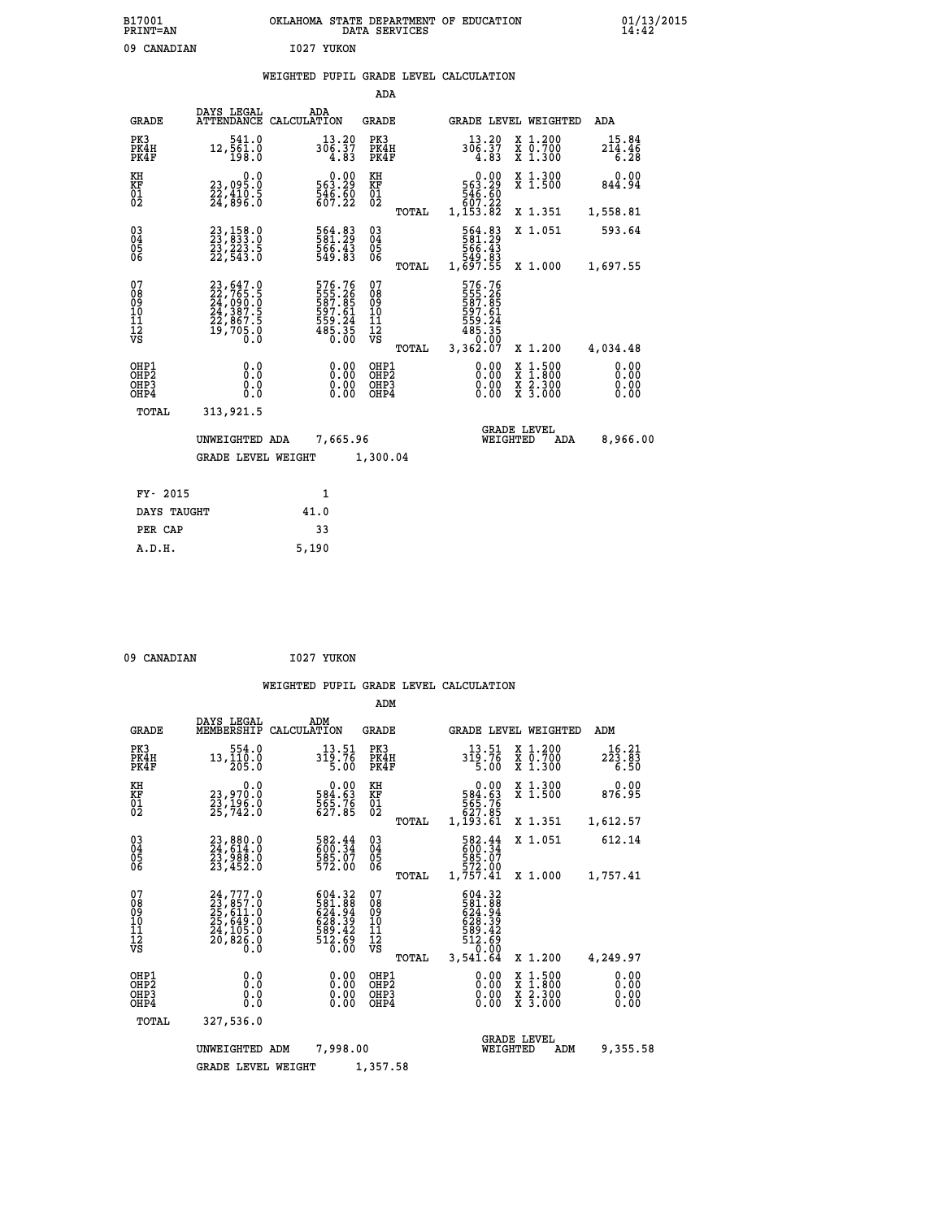| B17001<br><b>PRINT=AN</b> | OKLAHOMA STATE DEPARTMENT OF EDUCATION<br>DATA SERVICES |  |
|---------------------------|---------------------------------------------------------|--|
| 09 CANADIAN               | 1027 YUKON                                              |  |

### **WEIGHTED PUPIL GRADE LEVEL CALCULATION**

|                                                                    |                                                                                                 |                                                                     | ADA                                    |       |                                                                        |                                                                                                  |                              |
|--------------------------------------------------------------------|-------------------------------------------------------------------------------------------------|---------------------------------------------------------------------|----------------------------------------|-------|------------------------------------------------------------------------|--------------------------------------------------------------------------------------------------|------------------------------|
| <b>GRADE</b>                                                       | DAYS LEGAL                                                                                      | ADA<br>ATTENDANCE CALCULATION                                       | <b>GRADE</b>                           |       |                                                                        | GRADE LEVEL WEIGHTED                                                                             | ADA                          |
| PK3<br>PK4H<br>PK4F                                                | 541.0<br>12,561.0<br>198.0                                                                      | 13.20<br>306.37<br>4.83                                             | PK3<br>PK4H<br>PK4F                    |       | 13.20<br>306.37<br>4.83                                                | X 1.200<br>X 0.700<br>X 1.300                                                                    | $15.84$<br>$214.46$<br>6.28  |
| KH<br>KF<br>01<br>02                                               | 0.0<br>23,095.0<br>22,410.5<br>24,896.0                                                         | $0.00$<br>563.29<br>$\frac{546}{607}$ : $\frac{50}{22}$             | KH<br>KF<br>01<br>02                   |       | $\begin{smallmatrix} & 0.00\ 563.29\ 546.60\ 507.22 \end{smallmatrix}$ | X 1.300<br>X 1.500                                                                               | 0.00<br>844.94               |
|                                                                    |                                                                                                 |                                                                     |                                        | TOTAL | 1,153.82                                                               | X 1.351                                                                                          | 1,558.81                     |
| $\begin{smallmatrix} 03 \\[-4pt] 04 \end{smallmatrix}$<br>Ŏ5<br>06 | 23,158.0<br>23,833.0<br>23,223.5<br>22,543.0                                                    | 564.83<br>581.29<br>566.43<br>549.83                                | $\substack{03 \\ 04}$<br>Ŏ5<br>06      |       | 564.83<br>581.29<br>566.43<br>549.83<br>1,697.55                       | X 1.051                                                                                          | 593.64                       |
|                                                                    |                                                                                                 |                                                                     |                                        | TOTAL |                                                                        | X 1.000                                                                                          | 1,697.55                     |
| 07<br>08<br>09<br>101<br>11<br>12<br>VS                            | $23, 647.0$<br>$22, 765.5$<br>$24, 090.0$<br>$24, 387.5$<br>$22, 867.5$<br>$19, 705.0$<br>$0.0$ | 576.76<br>555.265<br>587.85<br>597.61<br>559.24<br>559.35<br>485.35 | 07<br>08<br>09<br>11<br>11<br>12<br>VS |       | 576.76<br>555.26<br>587.85<br>597.61<br>559.24<br>559.35<br>0.00       |                                                                                                  |                              |
|                                                                    |                                                                                                 |                                                                     |                                        | TOTAL | 3,362.07                                                               | X 1.200                                                                                          | 4,034.48                     |
| OHP1<br>OHP <sub>2</sub><br>OH <sub>P3</sub><br>OHP4               | 0.0<br>0.0<br>0.0                                                                               | 0.00<br>$\begin{smallmatrix} 0.00 \ 0.00 \end{smallmatrix}$         | OHP1<br>OHP2<br>OHP <sub>3</sub>       |       | 0.00<br>0.00                                                           | $\begin{smallmatrix} x & 1 & 500 \\ x & 1 & 800 \\ x & 2 & 300 \\ x & 3 & 000 \end{smallmatrix}$ | 0.00<br>0.00<br>0.00<br>0.00 |
| TOTAL                                                              | 313,921.5                                                                                       |                                                                     |                                        |       |                                                                        |                                                                                                  |                              |
|                                                                    | UNWEIGHTED ADA                                                                                  | 7,665.96                                                            |                                        |       |                                                                        | <b>GRADE LEVEL</b><br>WEIGHTED<br>ADA                                                            | 8,966.00                     |
|                                                                    | <b>GRADE LEVEL WEIGHT</b>                                                                       |                                                                     | 1,300.04                               |       |                                                                        |                                                                                                  |                              |
| FY- 2015                                                           |                                                                                                 | $\mathbf{1}$                                                        |                                        |       |                                                                        |                                                                                                  |                              |
| DAYS TAUGHT                                                        |                                                                                                 | 41.0                                                                |                                        |       |                                                                        |                                                                                                  |                              |
| PER CAP                                                            |                                                                                                 | 33                                                                  |                                        |       |                                                                        |                                                                                                  |                              |

09 CANADIAN 1027 YUKON

 **A.D.H. 5,190**

 **B17001<br>PRINT=AN** 

|                                                       |                                                                                           |                                                                         | ADM                                              |                                                                                           |                                                                                                  |                                                  |
|-------------------------------------------------------|-------------------------------------------------------------------------------------------|-------------------------------------------------------------------------|--------------------------------------------------|-------------------------------------------------------------------------------------------|--------------------------------------------------------------------------------------------------|--------------------------------------------------|
| <b>GRADE</b>                                          | DAYS LEGAL<br>MEMBERSHIP                                                                  | ADM<br>CALCULATION                                                      | <b>GRADE</b>                                     | GRADE LEVEL WEIGHTED                                                                      |                                                                                                  | ADM                                              |
| PK3<br>PK4H<br>PK4F                                   | 554.0<br>13,110.0<br>205.0                                                                | 13.51<br>319.76<br>5.00                                                 | PK3<br>PK4H<br>PK4F                              | 13.51<br>319.76<br>5.00                                                                   | $\begin{array}{c} x & 1.200 \\ x & 0.700 \end{array}$<br>X 1.300                                 | 16.21<br>$2\bar{2}\bar{3}\cdot 8\bar{3}$<br>6.50 |
| KH<br>KF<br>01<br>02                                  | 0.0<br>23,970.0<br>23,196.0<br>25,742.0                                                   | $\begin{smallmatrix} &0.00\ 584.63\ 565.76\ 627.85\ \end{smallmatrix}$  | KH<br>KF<br>01<br>02                             | $\begin{smallmatrix} &0.00\,584.63\,565.76\,567.76\,627.85\,1,193.61\end{smallmatrix}$    | X 1.300<br>X 1.500                                                                               | 0.00<br>876.95                                   |
|                                                       |                                                                                           |                                                                         | TOTAL                                            |                                                                                           | X 1.351                                                                                          | 1,612.57                                         |
| 03<br>04<br>05<br>06                                  | 23,880.0<br>24,614.0<br>23,988.0<br>23,452.0                                              | 582.44<br>600.34<br>585.07<br>572.00                                    | $\substack{03 \\ 04}$<br>0500                    | 582.44<br>600.34<br>585.07<br>572.00<br>1,757.41                                          | X 1.051                                                                                          | 612.14                                           |
|                                                       |                                                                                           |                                                                         | TOTAL                                            |                                                                                           | X 1.000                                                                                          | 1,757.41                                         |
| 07<br>08<br>09<br>11<br>11<br>12<br>VS                | $24,777.0$<br>$23,857.0$<br>$25,611.0$<br>$25,649.0$<br>$24,105.0$<br>$20,826.0$<br>$0.0$ | 604.32<br>$\frac{581.88}{624.94}$<br>628.39<br>589.42<br>512.69<br>0.00 | 07<br>08<br>09<br>101<br>11<br>12<br>VS<br>TOTAL | 604.32<br>581.88<br>624.94<br>628.39<br>628.39<br>589.42<br>512.69<br>512.690<br>3,541.64 | X 1.200                                                                                          | 4,249.97                                         |
| OHP1<br>OH <sub>P</sub> 2<br>OH <sub>P3</sub><br>OHP4 | 0.0<br>0.000                                                                              | $0.00$<br>$0.00$<br>0.00                                                | OHP1<br>OHP2<br>OHP3<br>OHP4                     | $0.00$<br>$0.00$<br>0.00                                                                  | $\begin{smallmatrix} x & 1 & 500 \\ x & 1 & 800 \\ x & 2 & 300 \\ x & 3 & 000 \end{smallmatrix}$ | 0.00<br>0.00<br>0.00<br>0.00                     |
| TOTAL                                                 | 327,536.0                                                                                 |                                                                         |                                                  |                                                                                           |                                                                                                  |                                                  |
|                                                       | UNWEIGHTED ADM                                                                            | 7,998.00                                                                |                                                  | <b>GRADE LEVEL</b><br>WEIGHTED                                                            | ADM                                                                                              | 9,355.58                                         |
|                                                       | <b>GRADE LEVEL WEIGHT</b>                                                                 |                                                                         | 1,357.58                                         |                                                                                           |                                                                                                  |                                                  |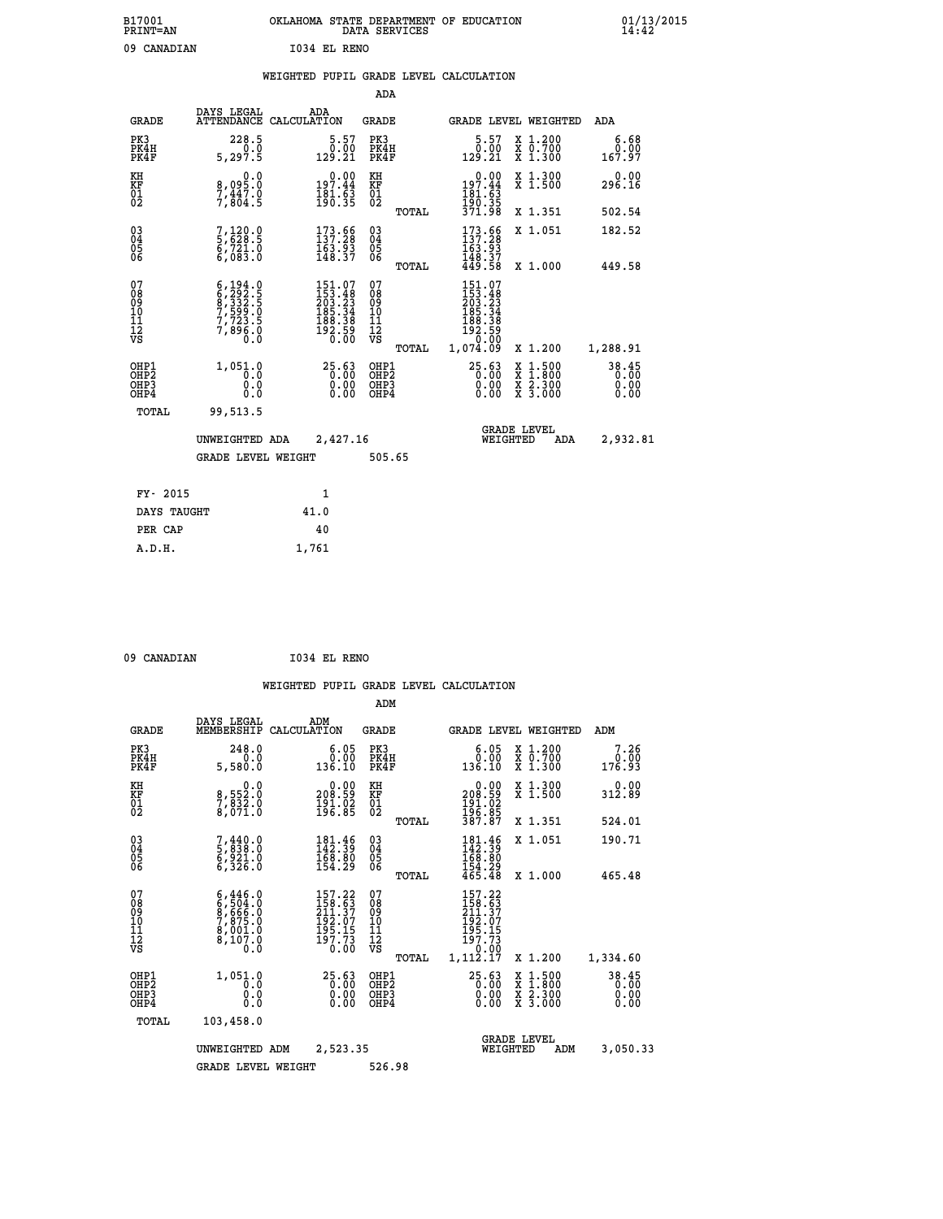| B17001<br><b>PRINT=AN</b> | OKLAHOMA<br>. STATE DEPARTMENT OF EDUCATION<br>DATA SERVICES | 01/13/2015<br>14:42 |
|---------------------------|--------------------------------------------------------------|---------------------|
| 09<br>CANADIAN            | 1034 EL RENO                                                 |                     |

|  |  | WEIGHTED PUPIL GRADE LEVEL CALCULATION |
|--|--|----------------------------------------|
|  |  |                                        |

|                                                                    |                                                                                           |                                                                                          | ADA                                    |       |                                                                                        |                                                                                                                                           |                               |
|--------------------------------------------------------------------|-------------------------------------------------------------------------------------------|------------------------------------------------------------------------------------------|----------------------------------------|-------|----------------------------------------------------------------------------------------|-------------------------------------------------------------------------------------------------------------------------------------------|-------------------------------|
| <b>GRADE</b>                                                       | DAYS LEGAL                                                                                | ADA<br>ATTENDANCE CALCULATION                                                            | <b>GRADE</b>                           |       |                                                                                        | GRADE LEVEL WEIGHTED                                                                                                                      | ADA                           |
| PK3<br>PK4H<br>PK4F                                                | 228.5<br>0.0<br>5,297.5                                                                   | $5.57$<br>$0.00$<br>129.21                                                               | PK3<br>PK4H<br>PK4F                    |       | $\begin{smallmatrix}5.57\0.00\129.21\end{smallmatrix}$                                 | X 1.200<br>X 0.700<br>X 1.300                                                                                                             | 6.68<br>0.00<br>167.97        |
| KH<br>KF<br>01<br>02                                               | 0.0<br>8,095:0<br>7,447.0<br>7,804:5                                                      | $0.00$<br>197.44<br>$\frac{181.63}{190.35}$                                              | KH<br>KF<br>01<br>02                   |       | $0.00$<br>197.44<br>$\frac{181}{190}$ $\frac{1}{35}$<br>$\frac{3}{371}$ $\frac{3}{98}$ | X 1.300<br>X 1.500                                                                                                                        | 0.00<br>296.16                |
|                                                                    |                                                                                           |                                                                                          |                                        | TOTAL |                                                                                        | X 1.351                                                                                                                                   | 502.54                        |
| $\begin{smallmatrix} 03 \\[-4pt] 04 \end{smallmatrix}$<br>Ŏ5<br>06 | 7,120.0<br>5,628.5<br>6,721.0<br>6,083.0                                                  | $\begin{smallmatrix} 173. & 66 \\ 137. & 28 \\ 163. & 93 \\ 148. & 37 \end{smallmatrix}$ | $\substack{03 \\ 04}$<br>Ŏ5<br>06      |       | $\begin{array}{c} 173.56 \\ 137.28 \\ 163.93 \\ 148.37 \\ 449.58 \end{array}$          | X 1.051                                                                                                                                   | 182.52                        |
|                                                                    |                                                                                           |                                                                                          |                                        | TOTAL |                                                                                        | X 1.000                                                                                                                                   | 449.58                        |
| 07<br>08<br>09<br>101<br>11<br>12<br>VS                            | $6, 194.0$<br>$6, 292.5$<br>$8, 332.5$<br>$7, 599.0$<br>$7, 723.5$<br>$7, 896.0$<br>$0.0$ | $151.07153.48203.23185.34188.38192.590.00$                                               | 07<br>08<br>09<br>11<br>11<br>12<br>VS |       | 151.07<br>153.48<br>203.23<br>185.34<br>188.38<br>192.59<br>0.00                       |                                                                                                                                           |                               |
|                                                                    |                                                                                           |                                                                                          |                                        | TOTAL | 1,074.09                                                                               | X 1.200                                                                                                                                   | 1,288.91                      |
| OHP1<br>OHP <sub>2</sub><br>OH <sub>P3</sub><br>OHP4               | 1,051.0<br>0.0<br>0.0<br>0.0                                                              | 25.63<br>$\begin{smallmatrix} 0.00 \ 0.00 \end{smallmatrix}$                             | OHP1<br>OHP2<br>OHP <sub>3</sub>       |       | 25.63<br>0.00                                                                          | $\begin{smallmatrix} \mathtt{X} & 1\cdot500\\ \mathtt{X} & 1\cdot800\\ \mathtt{X} & 2\cdot300\\ \mathtt{X} & 3\cdot000 \end{smallmatrix}$ | 38.45<br>0.00<br>0.00<br>0.00 |
| TOTAL                                                              | 99,513.5                                                                                  |                                                                                          |                                        |       |                                                                                        |                                                                                                                                           |                               |
|                                                                    | UNWEIGHTED ADA                                                                            | 2,427.16                                                                                 |                                        |       |                                                                                        | <b>GRADE LEVEL</b><br>WEIGHTED<br>ADA                                                                                                     | 2,932.81                      |
|                                                                    | <b>GRADE LEVEL WEIGHT</b>                                                                 |                                                                                          | 505.65                                 |       |                                                                                        |                                                                                                                                           |                               |
| FY- 2015                                                           |                                                                                           | 1                                                                                        |                                        |       |                                                                                        |                                                                                                                                           |                               |
| DAYS TAUGHT                                                        |                                                                                           | 41.0                                                                                     |                                        |       |                                                                                        |                                                                                                                                           |                               |
| PER CAP                                                            |                                                                                           | 40                                                                                       |                                        |       |                                                                                        |                                                                                                                                           |                               |

 **A.D.H. 1,761**

 **09 CANADIAN I034 EL RENO**

|                                         |                                          |                                                                                     |             |                                                                                             | ADM                                                 |       |                                                                                |          |                                          |                               |
|-----------------------------------------|------------------------------------------|-------------------------------------------------------------------------------------|-------------|---------------------------------------------------------------------------------------------|-----------------------------------------------------|-------|--------------------------------------------------------------------------------|----------|------------------------------------------|-------------------------------|
|                                         | <b>GRADE</b>                             | DAYS LEGAL<br>MEMBERSHIP                                                            | CALCULATION | ADM                                                                                         | <b>GRADE</b>                                        |       |                                                                                |          | <b>GRADE LEVEL WEIGHTED</b>              | ADM                           |
|                                         | PK3<br>PK4H<br>PK4F                      | 248.0<br>0.0<br>5,580.0                                                             |             | 6.05<br>0.00<br>136.10                                                                      | PK3<br>PK4H<br>PK4F                                 |       | 0.05<br>136.10                                                                 |          | X 1.200<br>X 0.700<br>X 1.300            | 7.26<br>0.00<br>176.93        |
| KH<br>KF<br>01<br>02                    |                                          | 0.0<br>8,552:0<br>7,832:0<br>8,071:0                                                |             | 0.00<br>99.902<br>$\frac{191.02}{196.85}$                                                   | KH<br>KF<br>01<br>02                                |       | $\begin{smallmatrix} &0.00\ 208.59\ 191.02\ 196.85\ 387.87\ \end{smallmatrix}$ |          | X 1.300<br>X 1.500                       | 0.00<br>312.89                |
|                                         |                                          |                                                                                     |             |                                                                                             |                                                     | TOTAL |                                                                                |          | X 1.351                                  | 524.01                        |
| 03<br>04<br>05<br>06                    |                                          | 7,440.0<br>5,838.0<br>6,921.0<br>6,326.0                                            |             | $\begin{smallmatrix} 181\cdot 46\\142\cdot 39\\168\cdot 80\\154\cdot 29 \end{smallmatrix}$  | $\begin{array}{c} 03 \\ 04 \\ 05 \\ 06 \end{array}$ |       | 181.46<br>142.39<br>168.80                                                     |          | X 1.051                                  | 190.71                        |
|                                         |                                          |                                                                                     |             |                                                                                             |                                                     | TOTAL | $\frac{154}{465}.29$                                                           |          | X 1.000                                  | 465.48                        |
| 07<br>08<br>09<br>101<br>11<br>12<br>VS |                                          | $6,446.0$<br>$6,504.0$<br>$9,666.0$<br>$7,875.0$<br>$8,001.0$<br>$8,107.0$<br>$0.0$ |             | $\begin{smallmatrix} 157.22\\158.63\\211.37\\212.07\\195.15\\197.73\\0.00\end{smallmatrix}$ | 07<br>08<br>09<br>11<br>11<br>12<br>VS              | TOTAL | 157.22<br>158.63<br>211.37<br>192.07<br>$\frac{195.15}{197.73}$<br>1,112.17    |          | X 1.200                                  | 1,334.60                      |
|                                         | OHP1<br>OHP2<br>OH <sub>P3</sub><br>OHP4 | 1,051.0<br>0.0<br>0.000                                                             |             | $25.63$<br>0.00<br>0.00                                                                     | OHP1<br>OHP2<br>OHP <sub>3</sub>                    |       | $25.63$<br>0.00<br>0.00                                                        |          | X 1:500<br>X 1:800<br>X 2:300<br>X 3:000 | 38.45<br>0.00<br>0.00<br>0.00 |
|                                         | TOTAL                                    | 103,458.0                                                                           |             |                                                                                             |                                                     |       |                                                                                |          |                                          |                               |
|                                         |                                          | UNWEIGHTED                                                                          | ADM         | 2,523.35                                                                                    |                                                     |       |                                                                                | WEIGHTED | <b>GRADE LEVEL</b><br>ADM                | 3,050.33                      |
|                                         |                                          | <b>GRADE LEVEL WEIGHT</b>                                                           |             |                                                                                             | 526.98                                              |       |                                                                                |          |                                          |                               |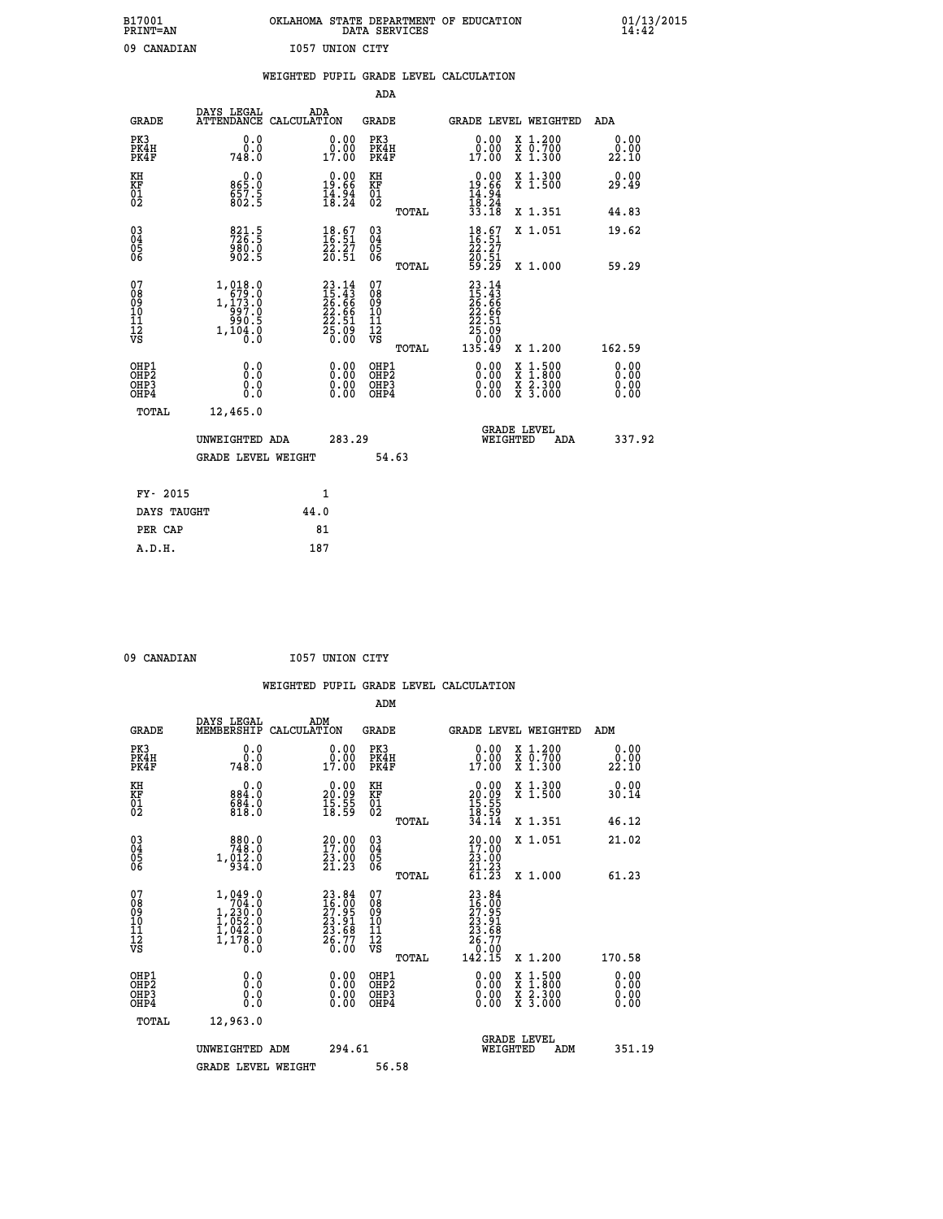| B17001          | OKLAHOMA STATE DEPARTMENT OF EDUCATION |
|-----------------|----------------------------------------|
| <b>PRINT=AN</b> | DATA SERVICES                          |
| 09 CANADIAN     | 1057 UNION CITY                        |

 **B17001 OKLAHOMA STATE DEPARTMENT OF EDUCATION 01/13/2015**

|                                        |                                                                                                              | WEIGHTED PUPIL GRADE LEVEL CALCULATION                                   |                                        |       |                                                                                                                                         |                                                                                                           |                              |
|----------------------------------------|--------------------------------------------------------------------------------------------------------------|--------------------------------------------------------------------------|----------------------------------------|-------|-----------------------------------------------------------------------------------------------------------------------------------------|-----------------------------------------------------------------------------------------------------------|------------------------------|
|                                        |                                                                                                              |                                                                          | <b>ADA</b>                             |       |                                                                                                                                         |                                                                                                           |                              |
| <b>GRADE</b>                           |                                                                                                              | DAYS LEGAL ADA ATTENDANCE CALCULATION                                    | <b>GRADE</b>                           |       |                                                                                                                                         | GRADE LEVEL WEIGHTED                                                                                      | ADA                          |
| PK3<br>PK4H<br>PK4F                    | 0.0<br>0.0<br>748.0                                                                                          | $\begin{smallmatrix} 0.00\\ 0.00\\ 17.00 \end{smallmatrix}$              | PK3<br>PK4H<br>PK4F                    |       | 0.00<br>0.00<br>17.00                                                                                                                   | X 1.200<br>X 0.700<br>X 1.300                                                                             | 0.00<br>0.00<br>22.10        |
| KH<br>KF<br>01<br>02                   | 0.0<br>865:0<br>657:5<br>802:5                                                                               | $\begin{smallmatrix} 0.00\\19.66\\14.94\\18.24 \end{smallmatrix}$        | KH<br>KF<br>01<br>02                   |       | $\begin{array}{r} 0.00 \\ 19.66 \\ 14.94 \\ 18.24 \\ 33.18 \end{array}$                                                                 | X 1.300<br>X 1.500                                                                                        | 0.00<br>29.49                |
|                                        |                                                                                                              |                                                                          |                                        | TOTAL |                                                                                                                                         | X 1.351                                                                                                   | 44.83                        |
| $^{03}_{04}$<br>05<br>06               | $\frac{821.5}{726.5}$<br>980.0<br>902.5                                                                      | $\begin{smallmatrix} 18.67\ 16.51\ 22.27\ 20.51 \end{smallmatrix}$       | 03<br>04<br>05<br>06                   |       | $\begin{smallmatrix} 18.67\ 16.51\ 22.27\ 20.51\ 59.29 \end{smallmatrix}$                                                               | X 1.051                                                                                                   | 19.62                        |
|                                        |                                                                                                              |                                                                          |                                        | TOTAL |                                                                                                                                         | X 1.000                                                                                                   | 59.29                        |
| 07<br>08<br>09<br>11<br>11<br>12<br>VS | 1,018.0<br>$1, \begin{smallmatrix} 173 \\ 193 \\ 997 \\ 990 \\ 5 \\ 1, 104 \\ 0 \\ 0 \\ 0 \end{smallmatrix}$ | $23.14$<br>$15.43$<br>$26.66$<br>$22.66$<br>$22.51$<br>$25.09$<br>$0.00$ | 07<br>08<br>09<br>11<br>11<br>12<br>VS | TOTAL | $\begin{smallmatrix} 23 & 14 \\ 15 & 43 \\ 26 & 66 \\ 22 & 66 \\ 22 & 51 \\ 25 & 51 \\ 25 & 09 \\ 0 & 00 \\ 135 & 49 \end{smallmatrix}$ | X 1.200                                                                                                   | 162.59                       |
| OHP1<br>OHP2<br>OHP3<br>OHP4           | 0.0<br>0.0<br>0.0                                                                                            | 0.0000<br>$\begin{smallmatrix} 0.00 \ 0.00 \end{smallmatrix}$            | OHP1<br>OHP2<br>OHP3<br>OHP4           |       | 0.00<br>0.00<br>0.00                                                                                                                    | 1:500<br>$\begin{smallmatrix} x & 1 & 500 \\ x & 1 & 800 \\ x & 2 & 300 \\ x & 3 & 000 \end{smallmatrix}$ | 0.00<br>0.00<br>0.00<br>0.00 |
| <b>TOTAL</b>                           | 12,465.0                                                                                                     |                                                                          |                                        |       |                                                                                                                                         |                                                                                                           |                              |
|                                        | UNWEIGHTED ADA                                                                                               | 283.29                                                                   |                                        |       | WEIGHTED                                                                                                                                | <b>GRADE LEVEL</b><br>ADA                                                                                 | 337.92                       |
|                                        | GRADE LEVEL WEIGHT                                                                                           |                                                                          | 54.63                                  |       |                                                                                                                                         |                                                                                                           |                              |
| FY- 2015                               |                                                                                                              | 1                                                                        |                                        |       |                                                                                                                                         |                                                                                                           |                              |
| DAYS TAUGHT                            |                                                                                                              | 44.0                                                                     |                                        |       |                                                                                                                                         |                                                                                                           |                              |
| PER CAP                                |                                                                                                              | 81                                                                       |                                        |       |                                                                                                                                         |                                                                                                           |                              |

 **09 CANADIAN I057 UNION CITY**

 **A.D.H. 187**

| U3 CANADIAN                                          |                                                                                                       |                    | TADI UMTAM CTII                                                          |                                                     |       |                                                                                                                              |                                                                                                                     |                              |
|------------------------------------------------------|-------------------------------------------------------------------------------------------------------|--------------------|--------------------------------------------------------------------------|-----------------------------------------------------|-------|------------------------------------------------------------------------------------------------------------------------------|---------------------------------------------------------------------------------------------------------------------|------------------------------|
|                                                      |                                                                                                       |                    |                                                                          |                                                     |       | WEIGHTED PUPIL GRADE LEVEL CALCULATION                                                                                       |                                                                                                                     |                              |
|                                                      |                                                                                                       |                    |                                                                          | ADM                                                 |       |                                                                                                                              |                                                                                                                     |                              |
| <b>GRADE</b>                                         | DAYS LEGAL<br>MEMBERSHIP                                                                              | ADM<br>CALCULATION |                                                                          | <b>GRADE</b>                                        |       |                                                                                                                              | <b>GRADE LEVEL WEIGHTED</b>                                                                                         | ADM                          |
| PK3<br>PK4H<br>PK4F                                  | 0.0<br>0.0<br>748.0                                                                                   |                    | 0.00<br>0.00<br>17.00                                                    | PK3<br>PK4H<br>PK4F                                 |       | 0.00<br>0.00<br>17.00                                                                                                        | X 1.200<br>X 0.700<br>X 1.300                                                                                       | 0.00<br>0.00<br>22.10        |
| KH<br>KF<br>01<br>02                                 | 0.0<br>884.0<br>$\frac{684}{818}$ .0                                                                  |                    | $\begin{smallmatrix} 0.00\\ 20.09\\ 15.55\\ 18.59 \end{smallmatrix}$     | KH<br>KF<br>01<br>02                                |       | $\begin{smallmatrix} 0.00\\ 20.09\\ 15.55\\ 18.59\\ 34.14 \end{smallmatrix}$                                                 | X 1.300<br>X 1.500                                                                                                  | 0.00<br>30.14                |
|                                                      |                                                                                                       |                    |                                                                          |                                                     | TOTAL |                                                                                                                              | X 1.351                                                                                                             | 46.12                        |
| 03<br>04<br>05<br>06                                 | 880.0<br>748.0<br>$1, \dot{9}1\dot{2}\dot{3}\dot{6}$                                                  |                    | $\begin{smallmatrix} 20.00\\ 17.00\\ 23.00\\ 21.23 \end{smallmatrix}$    | $\begin{array}{c} 03 \\ 04 \\ 05 \\ 06 \end{array}$ |       | $\frac{20.00}{23.00}$                                                                                                        | X 1.051                                                                                                             | 21.02                        |
|                                                      |                                                                                                       |                    |                                                                          |                                                     | TOTAL | $\frac{51}{61}$ $\frac{23}{23}$                                                                                              | X 1.000                                                                                                             | 61.23                        |
| 07<br>08<br>09<br>101<br>112<br>VS                   | $\begin{smallmatrix} 1,049.0\\ 704.0\\ 1,230.0\\ 1,052.0\\ 1,042.0\\ 1,178.0\\ 0.0 \end{smallmatrix}$ |                    | $23.84$<br>$16.00$<br>$27.95$<br>$23.91$<br>$23.68$<br>$26.77$<br>$0.00$ | 07<br>08<br>09<br>01<br>11<br>11<br>12<br>VS        | TOTAL | $\begin{smallmatrix} 23 & 84 \\ 16 & 00 \\ 27 & 95 \\ 23 & 91 \\ 23 & 68 \\ 26 & 77 \\ 0 & 00 \\ 142 & 15 \end{smallmatrix}$ | X 1.200                                                                                                             | 170.58                       |
| OHP1<br>OHP2<br>OH <sub>P3</sub><br>OH <sub>P4</sub> | 0.0<br>0.000                                                                                          |                    | 0.00<br>$\begin{smallmatrix} 0.00 \ 0.00 \end{smallmatrix}$              | OHP1<br>OHP2<br>OHP3<br>OHP4                        |       |                                                                                                                              | $\begin{array}{l} \mathtt{X} & 1.500 \\ \mathtt{X} & 1.800 \\ \mathtt{X} & 2.300 \\ \mathtt{X} & 3.000 \end{array}$ | 0.00<br>0.00<br>0.00<br>0.00 |
| <b>TOTAL</b>                                         | 12,963.0                                                                                              |                    |                                                                          |                                                     |       |                                                                                                                              |                                                                                                                     |                              |
|                                                      | UNWEIGHTED ADM<br><b>GRADE LEVEL WEIGHT</b>                                                           |                    | 294.61                                                                   | 56.58                                               |       | WEIGHTED                                                                                                                     | <b>GRADE LEVEL</b><br>ADM                                                                                           | 351.19                       |
|                                                      |                                                                                                       |                    |                                                                          |                                                     |       |                                                                                                                              |                                                                                                                     |                              |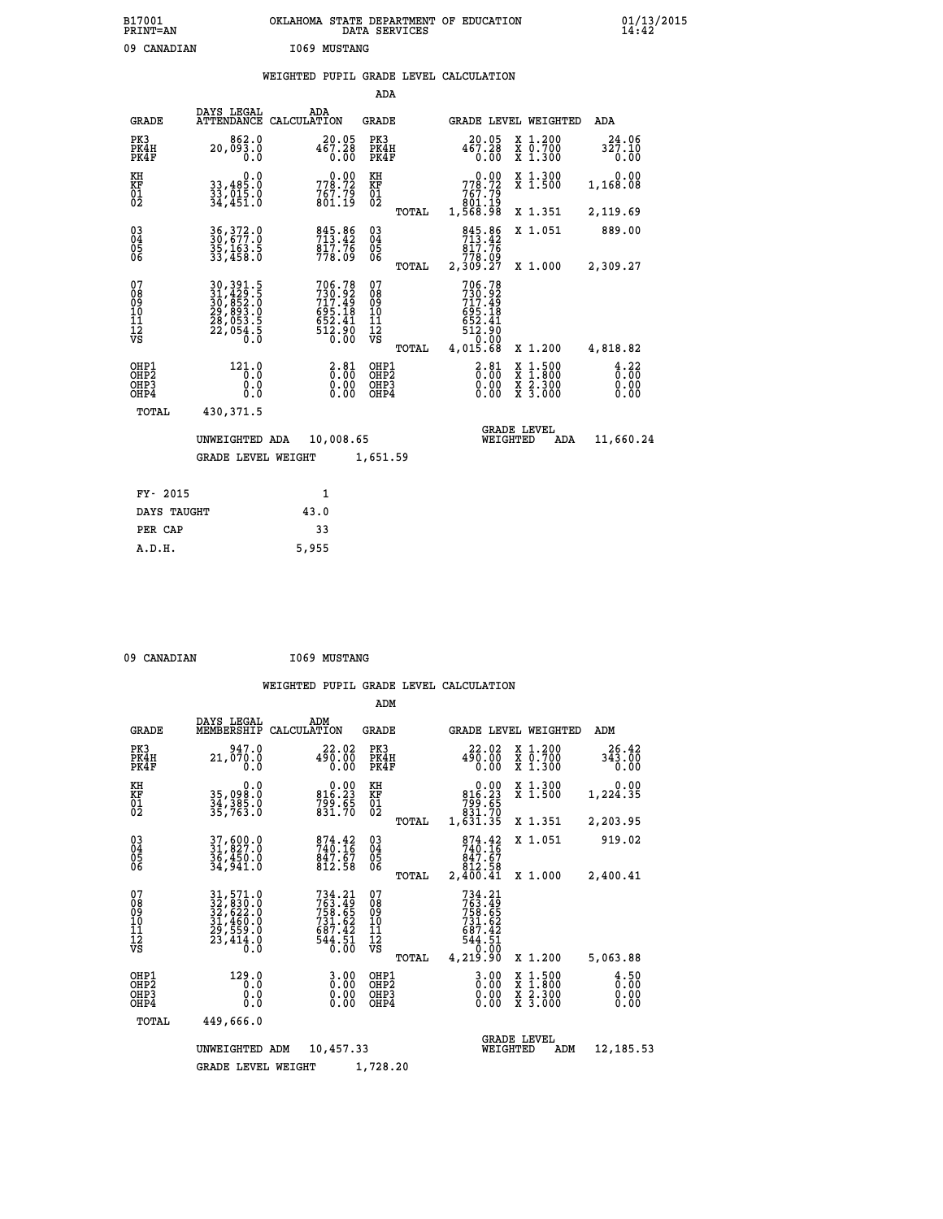# **B17001 OKLAHOMA STATE DEPARTMENT OF EDUCATION 01/13/2015 PRINT=AN DATA SERVICES 14:42** 09 CANADIAN **I069 MUSTANG**

## **WEIGHTED PUPIL GRADE LEVEL CALCULATION**

|                                                    |                                                                                   |                                                                                | ADA                                               |                                                                              |                                                                       |                              |
|----------------------------------------------------|-----------------------------------------------------------------------------------|--------------------------------------------------------------------------------|---------------------------------------------------|------------------------------------------------------------------------------|-----------------------------------------------------------------------|------------------------------|
| <b>GRADE</b>                                       | DAYS LEGAL                                                                        | ADA<br>ATTENDANCE CALCULATION                                                  | <b>GRADE</b>                                      | GRADE LEVEL WEIGHTED                                                         |                                                                       | <b>ADA</b>                   |
| PK3<br>PK4H<br>PK4F                                | 862.0<br>20,093.0<br>0.0                                                          | 20.05<br>467.28<br>0.00                                                        | PK3<br>PK4H<br>PK4F                               | 20.05<br>467.28<br>0.00                                                      | X 1.200<br>X 0.700<br>X 1.300                                         | 24.06<br>327.10<br>0.00      |
| KH<br>KF<br>01<br>02                               | 0.0<br>33,485.0<br>33,015.0<br>34,451.0                                           | 778.72<br>$767.79$<br>801.19                                                   | KH<br>KF<br>$\overline{01}$                       | 778.72<br>767.75<br>801.19<br>1,568.98                                       | X 1.300<br>X 1.500                                                    | 0.00<br>1,168.08             |
|                                                    |                                                                                   |                                                                                | TOTAL                                             |                                                                              | X 1.351                                                               | 2,119.69                     |
| $\begin{matrix} 03 \\ 04 \\ 05 \\ 06 \end{matrix}$ | 36, 372.0<br>30, 677.0<br>35,163.5<br>33,458.0                                    | 845.86<br>713.42<br>$\frac{8\bar{1}\bar{7}\cdot\bar{7}\bar{6}}{778.09}$        | $\substack{03 \\ 04}$<br>$\frac{05}{06}$<br>TOTAL | 845.86<br>817.76<br>778.09<br>2,309.27                                       | X 1.051<br>X 1.000                                                    | 889.00<br>2,309.27           |
| 07<br>08<br>09<br>11<br>11<br>12<br>VS             | 30, 391.5<br>31, 429.5<br>30, 852.0<br>29, 893.0<br>28, 053.5<br>22, 054.5<br>0.0 | $706.78$<br>$730.92$<br>$717.49$<br>$695.18$<br>$652.41$<br>$512.90$<br>$0.00$ | 07<br>08<br>09<br>11<br>11<br>12<br>VS            | 706.78<br>730.92<br>717.49<br>$695.18$<br>$652.41$<br>$512.90$<br>$4,015.68$ |                                                                       |                              |
|                                                    |                                                                                   |                                                                                | TOTAL                                             |                                                                              | X 1.200                                                               | 4,818.82                     |
| OHP1<br>OHP2<br>OHP3<br>OHP4                       | 121.0<br>0.0<br>0.0<br>0.0                                                        | $\frac{2.81}{0.00}$<br>0.00<br>0.00                                            | OHP1<br>OHP2<br>OHP3<br>OHP4                      | $\frac{2.81}{0.00}$<br>X<br>0.00<br>0.00                                     | $1.500$<br>$1.800$<br>$\frac{x}{x}$ $\frac{2 \cdot 300}{3 \cdot 000}$ | 4.22<br>0.00<br>0.00<br>0.00 |
| TOTAL                                              | 430,371.5                                                                         |                                                                                |                                                   |                                                                              |                                                                       |                              |
|                                                    | UNWEIGHTED ADA                                                                    | 10,008.65                                                                      |                                                   | <b>GRADE LEVEL</b><br>WEIGHTED                                               | ADA                                                                   | 11,660.24                    |
|                                                    | <b>GRADE LEVEL WEIGHT</b>                                                         |                                                                                | 1,651.59                                          |                                                                              |                                                                       |                              |
| FY- 2015                                           |                                                                                   | $\mathbf{1}$                                                                   |                                                   |                                                                              |                                                                       |                              |
| DAYS TAUGHT                                        |                                                                                   | 43.0                                                                           |                                                   |                                                                              |                                                                       |                              |
| PER CAP                                            |                                                                                   | 33                                                                             |                                                   |                                                                              |                                                                       |                              |
|                                                    |                                                                                   |                                                                                |                                                   |                                                                              |                                                                       |                              |

| 09 CANADIAN |  |
|-------------|--|

 **A.D.H. 5,955**

09 CANADIAN 1069 MUSTANG

|                                                       |                                                                                                                     |                                                                                   | ADM                                              |                                                                              |                                                                                                  |                              |
|-------------------------------------------------------|---------------------------------------------------------------------------------------------------------------------|-----------------------------------------------------------------------------------|--------------------------------------------------|------------------------------------------------------------------------------|--------------------------------------------------------------------------------------------------|------------------------------|
| <b>GRADE</b>                                          | DAYS LEGAL<br>MEMBERSHIP                                                                                            | ADM<br>CALCULATION                                                                | <b>GRADE</b>                                     | <b>GRADE LEVEL WEIGHTED</b>                                                  |                                                                                                  | ADM                          |
| PK3<br>PK4H<br>PK4F                                   | 947.0<br>21,070.0<br>0.0                                                                                            | 22.02<br>490.00<br>0.00                                                           | PK3<br>PK4H<br>PK4F                              | 22.02<br>490.00<br>0.00                                                      | X 1.200<br>X 0.700<br>X 1.300                                                                    | 26.42<br>343.00<br>0.00      |
| KH<br>KF<br>01<br>02                                  | 0.0<br>35,098.0<br>34,385.0<br>35,763.0                                                                             | $0.00$<br>816.23<br>799.65<br>831.70                                              | KH<br>KF<br>01<br>02                             | 0.00<br>816.23<br>65.66<br>831.70<br>1,631.35                                | X 1.300<br>X 1.500                                                                               | 0.00<br>1,224.35             |
|                                                       |                                                                                                                     |                                                                                   | TOTAL                                            |                                                                              | X 1.351                                                                                          | 2,203.95                     |
| 03<br>04<br>05<br>06                                  | 37,600.0<br>31,827.0<br>36,450.0<br>34,941.0                                                                        | 874.42<br>740.16<br>$\frac{8\bar{4}\,\tilde{7}\cdot\tilde{6}\,\tilde{7}}{812.58}$ | $\substack{03 \\ 04}$<br>0500                    | 874.42<br>740.16<br>847.67<br>812.58                                         | X 1.051                                                                                          | 919.02                       |
|                                                       |                                                                                                                     |                                                                                   | TOTAL                                            | 2,400.41                                                                     | X 1.000                                                                                          | 2,400.41                     |
| 07<br>08<br>09<br>11<br>11<br>12<br>VS                | $\begin{smallmatrix} 31, 571.0\\ 32, 830.0\\ 32, 622.0\\ 31, 460.0\\ 29, 559.0\\ 23, 414.0\\ 0.0 \end{smallmatrix}$ | 734.21<br>763.49<br>758.65<br>731.62<br>687.42<br>$544.51$<br>$0.00$              | 07<br>08<br>09<br>101<br>11<br>12<br>VS<br>TOTAL | 734.21<br>763.49<br>758.65<br>731.62<br>687.42<br>544.51<br>0.00<br>4,219.90 | X 1.200                                                                                          | 5,063.88                     |
| OHP1<br>OH <sub>P</sub> 2<br>OH <sub>P3</sub><br>OHP4 | 129.0<br>0.0<br>0.000                                                                                               | $0.00$<br>$0.00$<br>0.00                                                          | OHP1<br>OHP2<br>OHP3<br>OHP4                     | $0.00$<br>$0.00$<br>0.00                                                     | $\begin{smallmatrix} x & 1 & 500 \\ x & 1 & 800 \\ x & 2 & 300 \\ x & 3 & 000 \end{smallmatrix}$ | 4.50<br>0.00<br>0.00<br>0.00 |
| TOTAL                                                 | 449,666.0                                                                                                           |                                                                                   |                                                  |                                                                              |                                                                                                  |                              |
|                                                       | UNWEIGHTED                                                                                                          | 10,457.33<br>ADM                                                                  |                                                  | WEIGHTED                                                                     | <b>GRADE LEVEL</b><br>ADM                                                                        | 12,185.53                    |
|                                                       | <b>GRADE LEVEL WEIGHT</b>                                                                                           |                                                                                   | 1,728.20                                         |                                                                              |                                                                                                  |                              |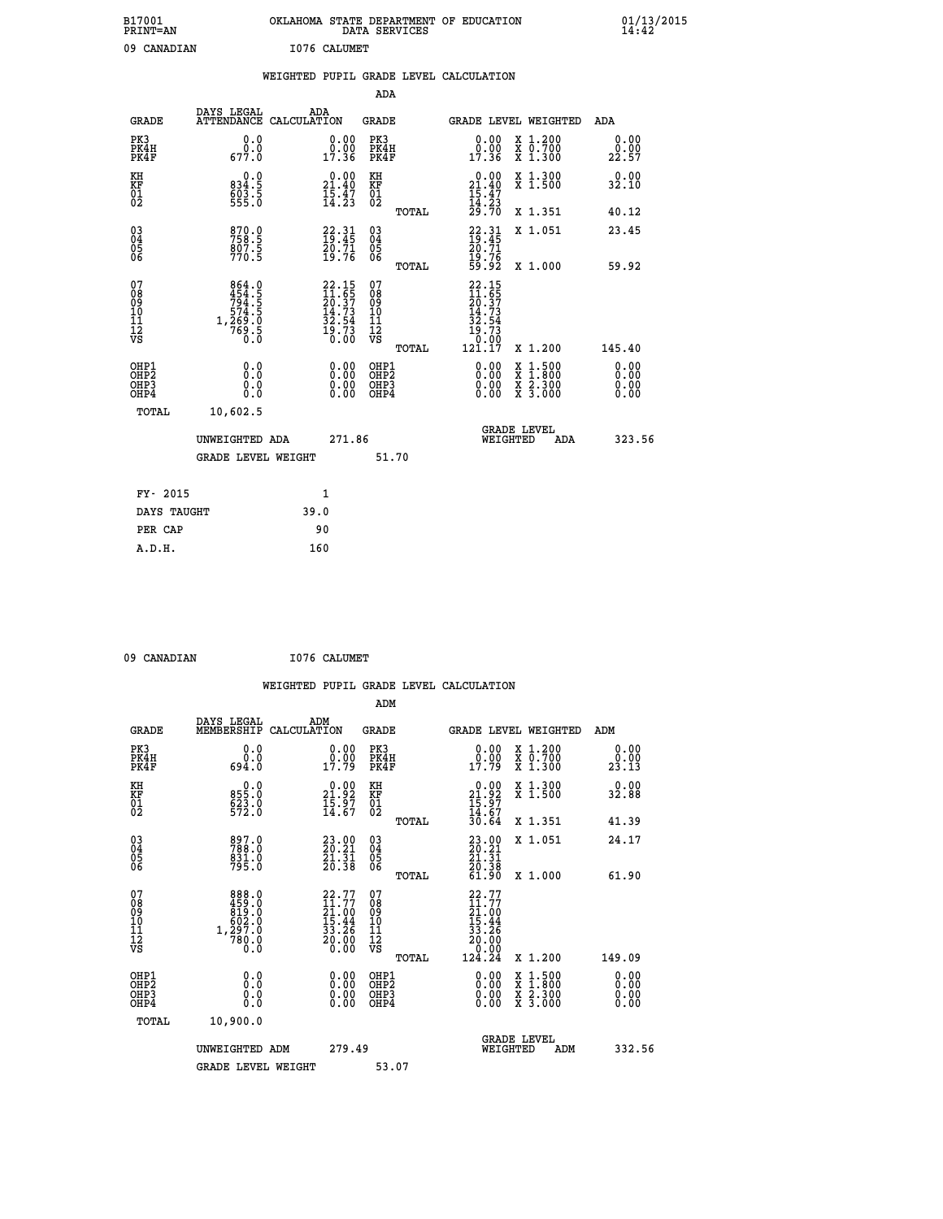| B17001<br><b>PRINT=AN</b> | OKLAHOMA STATE DEPARTMENT OF EDUCATION<br>SERVICES<br>DATA | 01/13/2015<br>14:42 |
|---------------------------|------------------------------------------------------------|---------------------|
| 09<br>CANADIAN            | I076 CALUMET                                               |                     |

| 09 CANADIAN                                                      |                                                             |      | I076 CALUMET                                                             |                                          |       |                                                                           |                                                                                                                                      |                       |
|------------------------------------------------------------------|-------------------------------------------------------------|------|--------------------------------------------------------------------------|------------------------------------------|-------|---------------------------------------------------------------------------|--------------------------------------------------------------------------------------------------------------------------------------|-----------------------|
|                                                                  |                                                             |      |                                                                          |                                          |       | WEIGHTED PUPIL GRADE LEVEL CALCULATION                                    |                                                                                                                                      |                       |
|                                                                  |                                                             |      |                                                                          | <b>ADA</b>                               |       |                                                                           |                                                                                                                                      |                       |
| <b>GRADE</b>                                                     | DAYS LEGAL<br>ATTENDANCE CALCULATION                        |      | ADA                                                                      | <b>GRADE</b>                             |       |                                                                           | GRADE LEVEL WEIGHTED                                                                                                                 | ADA                   |
| PK3<br>PK4H<br>PK4F                                              | 0.0<br>0.0<br>677.0                                         |      | 0.00<br>0.00<br>17.36                                                    | PK3<br>PK4H<br>PK4F                      |       | 0.0000<br>17.36                                                           | X 1.200<br>X 0.700<br>X 1.300                                                                                                        | 0.00<br>0.00<br>22.57 |
| KH<br>KF<br>01<br>02                                             | 0.0<br>834:5<br>603:5<br>555:0                              |      | 21.40<br>$\frac{15.47}{14.23}$                                           | KH<br>KF<br>01<br>02                     |       | 0.00<br>$21.40$<br>$15.47$<br>$14.23$<br>$29.70$                          | X 1.300<br>X 1.500                                                                                                                   | 0.00<br>32.10         |
|                                                                  |                                                             |      |                                                                          |                                          | TOTAL |                                                                           | X 1.351                                                                                                                              | 40.12                 |
| 03<br>04<br>05<br>06                                             | 870.0<br>758.5<br>807.5<br>770.5                            |      | $22.31$<br>$19.45$<br>$20.71$<br>$19.76$                                 | 03<br>04<br>05<br>06                     |       | 22.31<br>19.45<br>20.71<br>19.76<br>59.92                                 | X 1.051                                                                                                                              | 23.45                 |
|                                                                  |                                                             |      |                                                                          |                                          | TOTAL |                                                                           | X 1.000                                                                                                                              | 59.92                 |
| 07<br>08<br>09<br>11<br>11<br>12<br>VS                           | 864.0<br>454.5<br>794.5<br>769.5<br>1,269.0<br>769.5<br>0.0 |      | $22.15$<br>$11.65$<br>$20.37$<br>$14.73$<br>$32.54$<br>$19.73$<br>$0.00$ | 07<br>08<br>09<br>11<br>11<br>12<br>VS   |       | $22.15$<br>$11.65$<br>$20.37$<br>$14.73$<br>$32.54$<br>$19.73$<br>$19.79$ |                                                                                                                                      |                       |
|                                                                  |                                                             |      |                                                                          |                                          | TOTAL | 121.17                                                                    | X 1.200                                                                                                                              | 145.40                |
| OHP1<br>OH <sub>P</sub> <sub>2</sub><br>OH <sub>P3</sub><br>OHP4 | 0.0<br>0.0<br>0.0                                           |      | 0.00<br>$0.00$<br>0.00                                                   | OHP1<br>OHP2<br>OHP <sub>3</sub><br>OHP4 |       | 0.00<br>0.00<br>0.00                                                      | $\begin{smallmatrix} \mathtt{X} & 1 & 500 \\ \mathtt{X} & 1 & 800 \\ \mathtt{X} & 2 & 300 \\ \mathtt{X} & 3 & 000 \end{smallmatrix}$ | 0.00<br>0.00<br>0.00  |
| <b>TOTAL</b>                                                     | 10,602.5                                                    |      |                                                                          |                                          |       |                                                                           |                                                                                                                                      |                       |
|                                                                  | UNWEIGHTED ADA                                              |      | 271.86                                                                   |                                          |       | WEIGHTED                                                                  | <b>GRADE LEVEL</b><br>ADA                                                                                                            | 323.56                |
|                                                                  | <b>GRADE LEVEL WEIGHT</b>                                   |      |                                                                          |                                          | 51.70 |                                                                           |                                                                                                                                      |                       |
| FY- 2015                                                         |                                                             |      | $\mathbf{1}$                                                             |                                          |       |                                                                           |                                                                                                                                      |                       |
| DAYS TAUGHT                                                      |                                                             | 39.0 |                                                                          |                                          |       |                                                                           |                                                                                                                                      |                       |
| PER CAP                                                          |                                                             |      | 90                                                                       |                                          |       |                                                                           |                                                                                                                                      |                       |
| A.D.H.                                                           |                                                             |      | 160                                                                      |                                          |       |                                                                           |                                                                                                                                      |                       |

 **09 CANADIAN I076 CALUMET**

 **WEIGHTED PUPIL GRADE LEVEL CALCULATION ADM DAYS LEGAL ADM GRADE MEMBERSHIP CALCULATION GRADE GRADE LEVEL WEIGHTED ADM PK3 0.0 0.00 PK3 0.00 X 1.200 0.00 PK4H 0.0 0.00 PK4H 0.00 X 0.700 0.00 PK4F 694.0 17.79 PK4F 17.79 X 1.300 23.13 KH 0.0 0.00 KH 0.00 X 1.300 0.00 KF 855.0 21.92 KF 21.92 X 1.500 32.88 01 623.0 15.97 01 15.97**  $02 \t\t 572.0 \t\t 14.67 \t 02 \t\t \t 14.67$  **TOTAL 30.64 X 1.351 41.39 03 897.0 23.00 03 23.00 X 1.051 24.17 04 788.0 20.21 04 20.21 05 831.0 21.31 05 21.31 06 795.0 20.38 06 20.38 TOTAL 61.90 X 1.000 61.90** 07 888.0 22.77 07 22.77<br>
08 459.0 11.77 08 11.77<br>
10 602.0 15.44 10 15.44<br>
11 1,297.0 33.26 11 33.26<br>
VS 0.0 20.00 VS 0.000  $\begin{array}{cccc} 22.77 & 07 & 22.77 \ 11.77 & 08 & 21.77 \ 25.44 & 10 & 21.77 \ 15.44 & 10 & 15.44 \ 33.26 & 11 & 33.26 \ 0.00 & 08 & 707 \text{AL} & 124.24 & \texttt{x} & 1.200 & 149.09 \ 0.00 & 04 \text{EP1} & 0.00 & \texttt{x} & 1.500 & 0.00 \ 0.00 & 0.00 & 0.00 & 0.00 & 0.00 \ 0.$  **OHP1 0.0 0.00 OHP1 0.00 X 1.500 0.00 OHP2 0.0 0.00 OHP2 0.00 X 1.800 0.00 OHP3 0.0 0.00 OHP3 0.00 X 2.300 0.00 OHP4 0.0 0.00 OHP4 0.00 X 3.000 0.00 TOTAL 10,900.0** UNWEIGHTED ADM 279.49  **UNWEIGHTED ADM 279.49 WEIGHTED ADM 332.56** GRADE LEVEL WEIGHT 53.07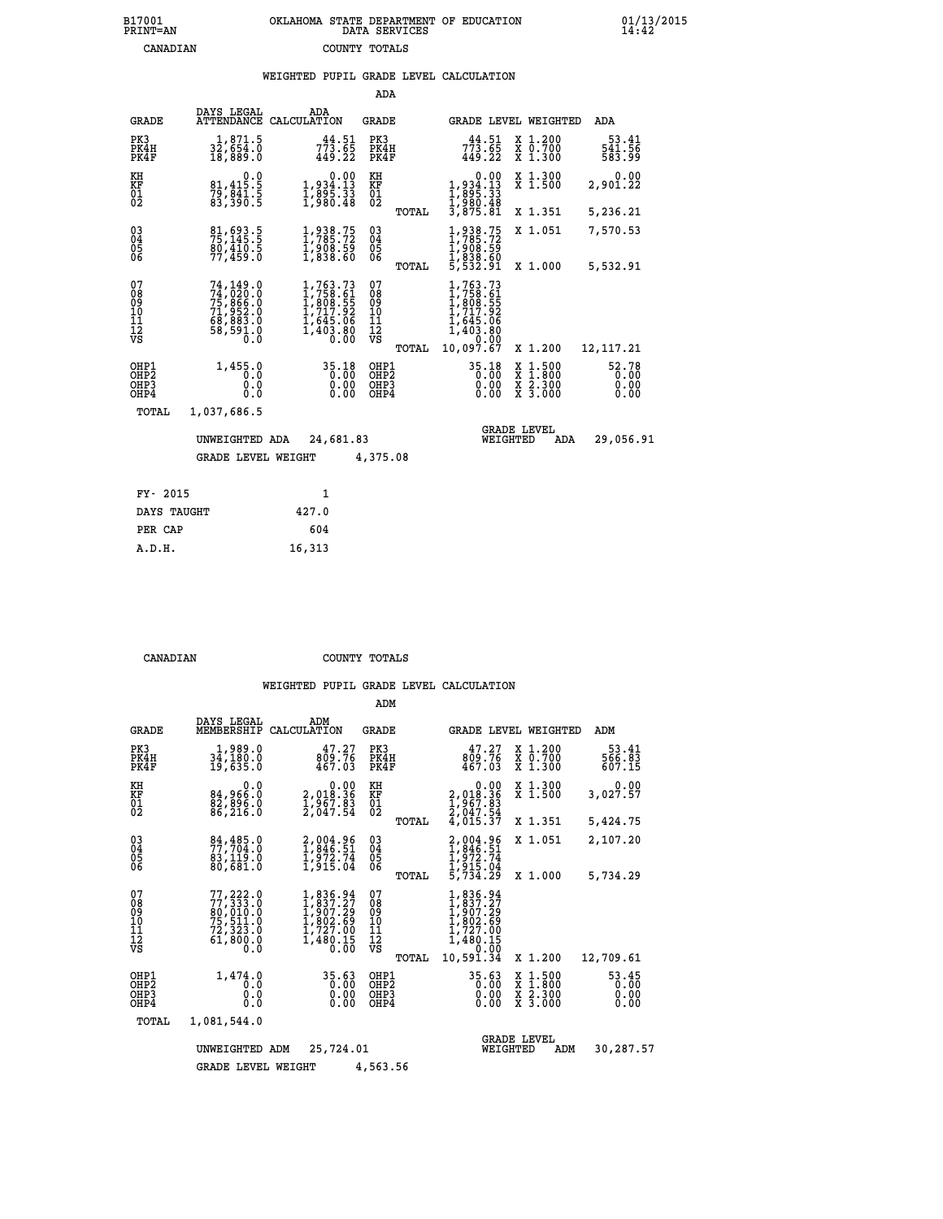# **B17001 OKLAHOMA STATE DEPARTMENT OF EDUCATION 01/13/2015 PRINT=AN DATA SERVICES 14:42 CANADIAN COUNTY TOTALS**

### **WEIGHTED PUPIL GRADE LEVEL CALCULATION**

|                                                    |                                                                                                        |                                                                                            | ADA                                           |       |                                                                                                           |                                                                                                                                           |                                  |
|----------------------------------------------------|--------------------------------------------------------------------------------------------------------|--------------------------------------------------------------------------------------------|-----------------------------------------------|-------|-----------------------------------------------------------------------------------------------------------|-------------------------------------------------------------------------------------------------------------------------------------------|----------------------------------|
| <b>GRADE</b>                                       | DAYS LEGAL                                                                                             | ADA<br>ATTENDANCE CALCULATION                                                              | GRADE                                         |       | GRADE LEVEL WEIGHTED                                                                                      |                                                                                                                                           | ADA                              |
| PK3<br>PK4H<br>PK4F                                | 1,871.5<br>32,ĕ54.ŏ<br>18,889.O                                                                        | 44.51<br>773.65<br>449.22                                                                  | PK3<br>PK4H<br>PK4F                           |       | 44.51<br>$7\bar{7}\bar{3}\.\tilde{6}\bar{5}$<br>449.22                                                    | X 1.200<br>X 0.700<br>X 1.300                                                                                                             | $\frac{53.41}{541.56}$<br>583.99 |
| KH<br>KF<br>01<br>02                               | $\begin{smallmatrix} & & 0 & .0 \\ 81 & 415 & .5 \\ 79 & 841 & .5 \\ 83 & .390 & .5 \end{smallmatrix}$ | $\begin{smallmatrix} & & 0.00\ 1.934.13\ 1.895.33\ 1.980.48 \end{smallmatrix}$             | KH<br>KF<br>$\overline{01}$                   |       | $1,934.13$<br>$1,934.13$<br>$1,895.33$<br>$1,980.48$<br>$3,875.81$                                        | X 1.300<br>X 1.500                                                                                                                        | 0.00<br>2,901.22                 |
|                                                    |                                                                                                        |                                                                                            |                                               | TOTAL |                                                                                                           | X 1.351                                                                                                                                   | 5,236.21                         |
| $\begin{matrix} 03 \\ 04 \\ 05 \\ 06 \end{matrix}$ | 81,693.5<br>75,145.5<br>80,410.5<br>77,459.0                                                           | 1,938.75<br>1,785.72<br>1,908.59<br>1,838.60                                               | $^{03}_{04}$<br>$\frac{05}{06}$               |       | 1,938.75<br>1,785.72<br>1,908.59<br>1,838.60<br>5,532.91                                                  | X 1.051                                                                                                                                   | 7,570.53                         |
|                                                    |                                                                                                        |                                                                                            |                                               | TOTAL |                                                                                                           | X 1.000                                                                                                                                   | 5,532.91                         |
| 07<br>08<br>09<br>01<br>11<br>11<br>12<br>VS       | 74,149.0<br>74,020.0<br>75,866.0<br>71,952.0<br>68,883.0<br>68,591.0<br>58,591.0                       | $1,763.73$<br>$1,758.61$<br>$1,808.55$<br>$1,717.92$<br>$1,645.06$<br>$1,403.80$<br>$0.00$ | 07<br>08<br>09<br>001<br>11<br>11<br>12<br>VS | TOTAL | $1,763.73$<br>$1,758.61$<br>$1,808.55$<br>$1,717.92$<br>$1,645.06$<br>$1,403.80$<br>$0.00$<br>$10,097.67$ | X 1.200                                                                                                                                   | 12, 117. 21                      |
| OHP1<br>OHP2<br>OH <sub>P3</sub><br>OHP4           | 1,455.0<br>0.0<br>0.0<br>Ŏ.Ŏ                                                                           | 35.18<br>0.00<br>0.00                                                                      | OHP1<br>OHP2<br>OHP3<br>OHP4                  |       | 35.18<br>$\begin{smallmatrix} 0.00 & 0 \ 0.00 & 0 \end{smallmatrix}$                                      | $\begin{smallmatrix} \mathtt{X} & 1\cdot500\\ \mathtt{X} & 1\cdot800\\ \mathtt{X} & 2\cdot300\\ \mathtt{X} & 3\cdot000 \end{smallmatrix}$ | 52.78<br>0.00<br>0.00<br>0.00    |
| TOTAL                                              | 1,037,686.5                                                                                            |                                                                                            |                                               |       |                                                                                                           |                                                                                                                                           |                                  |
|                                                    | UNWEIGHTED ADA                                                                                         | 24,681.83                                                                                  |                                               |       | WEIGHTED                                                                                                  | <b>GRADE LEVEL</b><br><b>ADA</b>                                                                                                          | 29,056.91                        |
|                                                    | <b>GRADE LEVEL WEIGHT</b>                                                                              |                                                                                            | 4,375.08                                      |       |                                                                                                           |                                                                                                                                           |                                  |
| FY- 2015                                           |                                                                                                        | $\mathbf{1}$                                                                               |                                               |       |                                                                                                           |                                                                                                                                           |                                  |
|                                                    |                                                                                                        |                                                                                            |                                               |       |                                                                                                           |                                                                                                                                           |                                  |

|         | ----        |        |
|---------|-------------|--------|
|         | DAYS TAUGHT | 427.0  |
| PER CAP |             | 604    |
| A.D.H.  |             | 16,313 |

 **CANADIAN COUNTY TOTALS**

 **ADM**

| <b>GRADE</b>                              | DAYS LEGAL<br>MEMBERSHIP                                                      | ADM<br>CALCULATION                                                                     | GRADE                                     | GRADE LEVEL WEIGHTED                                                                      |                                                                                                  | ADM                           |
|-------------------------------------------|-------------------------------------------------------------------------------|----------------------------------------------------------------------------------------|-------------------------------------------|-------------------------------------------------------------------------------------------|--------------------------------------------------------------------------------------------------|-------------------------------|
| PK3<br>PK4H<br>PK4F                       | 1,989.0<br>34,180.0<br>19,635.0                                               | 47.27<br>809.76<br>467.03                                                              | PK3<br>PK4H<br>PK4F                       | 47.27<br>809.76<br>467.03                                                                 | X 1.200<br>X 0.700<br>X 1.300                                                                    | 53.41<br>566.83<br>607.15     |
| KH<br><b>KF</b><br>01<br>02               | 0.0<br>84,966:0<br>82,896:0<br>86,216:0                                       | $\begin{smallmatrix} &0.00\\2,018.36\\1,967.83\\2,047.54\end{smallmatrix}$             | KH<br><b>KF</b><br>01<br>02               | $\begin{smallmatrix} &0.00\\2,018.36\\1,967.83\\2,047.54\\4,015.37\end{smallmatrix}$      | X 1.300<br>X 1.500                                                                               | 0.00<br>3,027.57              |
|                                           |                                                                               |                                                                                        | TOTAL                                     |                                                                                           | X 1.351                                                                                          | 5,424.75                      |
| 030404<br>06                              | 84,485.0<br>83,119.0<br>80,681.0                                              | 2,004.96<br>1,846.51<br>1,972.74<br>1,915.04                                           | $\substack{03 \\ 04}$<br>05<br>06         | 2,004.96<br>1,846.51<br>1,972.74<br>1,915.04<br>5,734.29                                  | X 1.051                                                                                          | 2,107.20                      |
|                                           |                                                                               |                                                                                        | TOTAL                                     |                                                                                           | X 1.000                                                                                          | 5,734.29                      |
| 07<br>08<br>09<br>101<br>11<br>12<br>VS   | 77,222.0<br>$77,333.0$<br>80,010.0<br>75,511.0<br>72,323.0<br>61,800.0<br>0.0 | 1,836.94<br>$1,837.27$<br>$1,907.29$<br>$1,802.69$<br>$1,727.00$<br>$1,480.15$<br>0.00 | 078<br>089<br>1011<br>1112<br>νs<br>TOTAL | 1,836.94<br>1,837.27<br>1,907.29<br>1,802.69<br>1,727.00<br>1,480.15<br>0.00<br>10,591.34 | X 1.200                                                                                          | 12,709.61                     |
| OHP1<br>OH <sub>P</sub> 2<br>OHP3<br>OHP4 | 1,474.0<br>0.0<br>0.0<br>0.0                                                  | 35.63<br>0.00<br>0.00<br>0.00                                                          | OHP1<br>OHP <sub>2</sub><br>OHP3<br>OHP4  | 35.63<br>0.00<br>0.00<br>0.00                                                             | $\begin{smallmatrix} x & 1 & 500 \\ x & 1 & 800 \\ x & 2 & 300 \\ x & 3 & 000 \end{smallmatrix}$ | 53.45<br>0.00<br>0.00<br>0.00 |
| TOTAL                                     | 1,081,544.0                                                                   |                                                                                        |                                           |                                                                                           |                                                                                                  |                               |
|                                           | UNWEIGHTED                                                                    | 25,724.01<br>ADM                                                                       |                                           | WEIGHTED                                                                                  | <b>GRADE LEVEL</b><br>ADM                                                                        | 30,287.57                     |
|                                           | <b>GRADE LEVEL WEIGHT</b>                                                     |                                                                                        | 4,563.56                                  |                                                                                           |                                                                                                  |                               |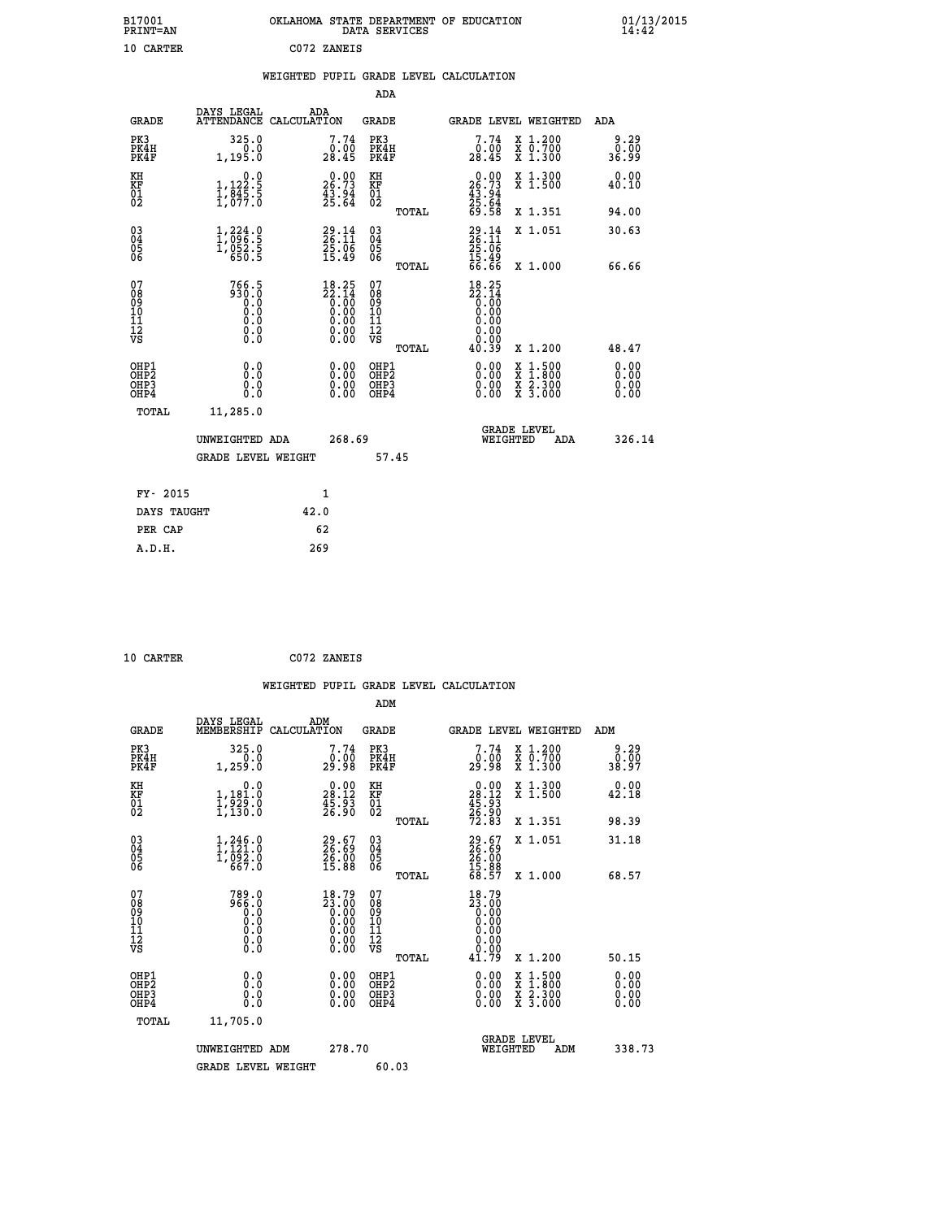| B17001<br><b>PRINT=AN</b> | OKLAHOMA STATE DEPARTMENT OF EDUCATION<br>DATA SERVICES | 01/13/2015 |
|---------------------------|---------------------------------------------------------|------------|
| 10 CARTER                 | C072 ZANEIS                                             |            |

|  |  | WEIGHTED PUPIL GRADE LEVEL CALCULATION |
|--|--|----------------------------------------|

|                                                    |                                                                                |                    |                                                                    | ADA                                                 |       |                                                                                                                            |          |                                                                  |                              |
|----------------------------------------------------|--------------------------------------------------------------------------------|--------------------|--------------------------------------------------------------------|-----------------------------------------------------|-------|----------------------------------------------------------------------------------------------------------------------------|----------|------------------------------------------------------------------|------------------------------|
| <b>GRADE</b>                                       | DAYS LEGAL<br><b>ATTENDANCE</b>                                                | ADA<br>CALCULATION |                                                                    | GRADE                                               |       |                                                                                                                            |          | GRADE LEVEL WEIGHTED                                             | <b>ADA</b>                   |
| PK3<br>PK4H<br>PK4F                                | 325.0<br>0.0<br>1,195.0                                                        |                    | 7.74<br>28.45                                                      | PK3<br>PK4H<br>PK4F                                 |       | 7.74<br>$\frac{0.00}{28.45}$                                                                                               |          | X 1.200<br>X 0.700<br>X 1.300                                    | $0.29$<br>$0.00$<br>36.99    |
| KH<br><b>KF</b><br>01<br>02                        | $\begin{smallmatrix}&&&0.0\\1,122.5\\1,845.5\\1,077.0\end{smallmatrix}$        |                    | $26.00$<br>26.73<br>$\frac{43.94}{25.64}$                          | KH<br>KF<br>01<br>02                                |       | $26.73$<br>$25.73$<br>$43.94$<br>$25.64$<br>$69.58$                                                                        |          | X 1.300<br>X 1.500                                               | 0.00<br>40.10                |
|                                                    |                                                                                |                    |                                                                    |                                                     | TOTAL |                                                                                                                            |          | X 1.351                                                          | 94.00                        |
| $\begin{matrix} 03 \\ 04 \\ 05 \\ 06 \end{matrix}$ | $\begin{smallmatrix} 1,224\ 1,096\ 1,052\ 1,052\ 5\ 650\ 5\ \end{smallmatrix}$ |                    | $29.14$<br>$26.11$<br>$25.06$<br>$15.49$                           | $\begin{array}{c} 03 \\ 04 \\ 05 \\ 06 \end{array}$ |       | $29.14$<br>$26.11$<br>$25.06$<br>$15.49$<br>$66.66$                                                                        |          | X 1.051                                                          | 30.63                        |
|                                                    |                                                                                |                    |                                                                    |                                                     | TOTAL |                                                                                                                            |          | X 1.000                                                          | 66.66                        |
| 07<br>08<br>09<br>101<br>11<br>12<br>VS            | 766.5<br>0: 086<br>0: 0<br>0: 0<br>0: 0<br>$\S.$                               |                    | $18.25$<br>$22.14$<br>$0.00$<br>$0.00$<br>$0.00$<br>$0.00$<br>Ŏ.ŎŎ | 07<br>08<br>09<br>11<br>11<br>12<br>VS              | TOTAL | 18.25<br>$\begin{smallmatrix} 22.14 \\ 2.14 \\ 0.00 \\ 0.00 \\ 0.00 \\ 0.00 \\ 0.00 \\ 0.00 \\ \end{smallmatrix}$<br>40.39 |          | X 1.200                                                          | 48.47                        |
| OHP1<br>OHP2<br>OHP3<br>OHP4                       | 0.0<br>0.0<br>0.0                                                              |                    | 0.00<br>$0.00$<br>0.00                                             | OHP1<br>OHP2<br>OHP3<br>OHP4                        |       | $0.00$<br>$0.00$<br>0.00                                                                                                   | X<br>X   | $1.500$<br>$1.800$<br>$\frac{\ddot{x}}{x}$ $\frac{5.300}{3.000}$ | 0.00<br>0.00<br>0.00<br>0.00 |
| TOTAL                                              | 11,285.0                                                                       |                    |                                                                    |                                                     |       |                                                                                                                            |          | <b>GRADE LEVEL</b>                                               |                              |
|                                                    | UNWEIGHTED ADA                                                                 |                    | 268.69                                                             |                                                     |       |                                                                                                                            | WEIGHTED | ADA                                                              | 326.14                       |
|                                                    | <b>GRADE LEVEL WEIGHT</b>                                                      |                    |                                                                    | 57.45                                               |       |                                                                                                                            |          |                                                                  |                              |
| FY- 2015                                           |                                                                                | $\mathbf{1}$       |                                                                    |                                                     |       |                                                                                                                            |          |                                                                  |                              |
| DAYS TAUGHT                                        |                                                                                | 42.0               |                                                                    |                                                     |       |                                                                                                                            |          |                                                                  |                              |

| CARTER |
|--------|
|        |

**PER CAP** 62  **A.D.H. 269**

 **10 CARTER C072 ZANEIS WEIGHTED PUPIL GRADE LEVEL CALCULATION ADM DAYS LEGAL ADM GRADE MEMBERSHIP CALCULATION GRADE GRADE LEVEL WEIGHTED ADM PK3 325.0 7.74 PK3 7.74 X 1.200 9.29 PK4H 0.0 0.00 PK4H 0.00 X 0.700 0.00 PK4F 1,259.0 29.98 PK4F 29.98 X 1.300 38.97 KH 0.0 0.00 KH 0.00 X 1.300 0.00 KF 1,181.0 28.12 KF 28.12 X 1.500 42.18 01 1,929.0 45.93 01 45.93 02 1,130.0 26.90 02 26.90 TOTAL 72.83 X 1.351 98.39 03 1,246.0 29.67 03 29.67 X 1.051 31.18 04 1,121.0 26.69 04 26.69 05 1,092.0 26.00 05 26.00** 06 667.0 15.88 06 <sub>momas</sub> 15.88  **TOTAL 68.57 X 1.000 68.57 07 789.0 18.79 07 18.79 08 966.0 23.00 08 23.00 03 0.00 0.00 0.000 0.000 10 0.0 0.00 10 0.00 11 0.0 0.00 11 0.00 12 0.0 0.00 12 0.00 VS** 0.0 0.00 VS 0.00 0.00 0.00  **TOTAL 41.79 X 1.200 50.15 OHP1 0.0 0.00 OHP1 0.00 X 1.500 0.00 OHP2 0.0 0.00 OHP2 0.00 X 1.800 0.00 OHP3 0.0 0.00 OHP3 0.00 X 2.300 0.00 OHP4 0.0 0.00 OHP4 0.00 X 3.000 0.00 TOTAL 11,705.0 GRADE LEVEL UNWEIGHTED ADM 278.70 WEIGHTED ADM 338.73** GRADE LEVEL WEIGHT 60.03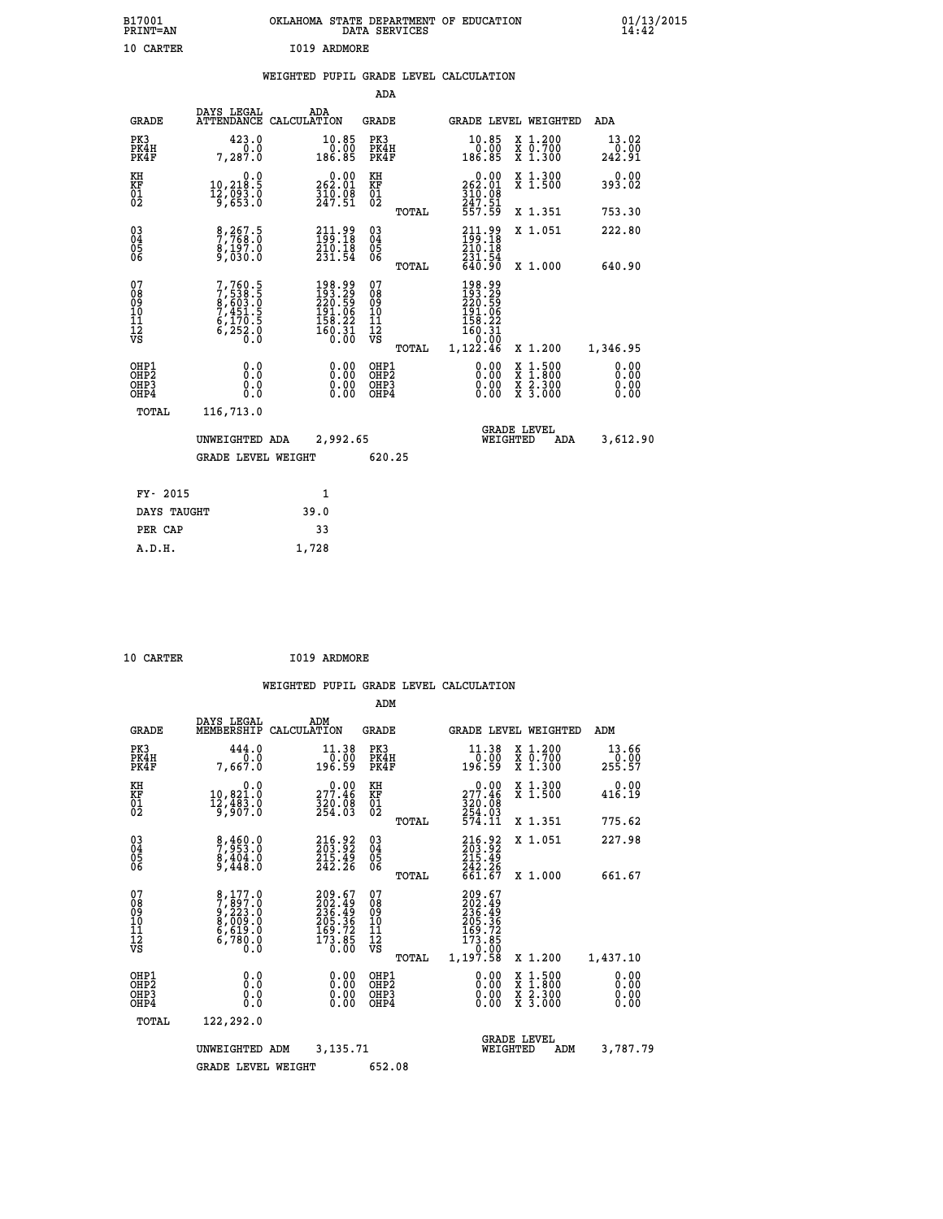| B17001<br>PRINT=AN | . STATE DEPARTMENT OF EDUCATION<br><b>OKLAHOMA</b><br>DATA SERVICES | $01/13/2015$<br>14:42 |
|--------------------|---------------------------------------------------------------------|-----------------------|
| 10 CARTER          | 1019 ARDMORE                                                        |                       |

|  |  | WEIGHTED PUPIL GRADE LEVEL CALCULATION |
|--|--|----------------------------------------|
|  |  |                                        |

|                                           |                                                                       |                                                                                             | ADA                                       |                                                                                   |                                                                                                  |                              |
|-------------------------------------------|-----------------------------------------------------------------------|---------------------------------------------------------------------------------------------|-------------------------------------------|-----------------------------------------------------------------------------------|--------------------------------------------------------------------------------------------------|------------------------------|
| <b>GRADE</b>                              | DAYS LEGAL                                                            | ADA<br>ATTENDANCE CALCULATION                                                               | GRADE                                     |                                                                                   | GRADE LEVEL WEIGHTED                                                                             | ADA                          |
| PK3<br>PK4H<br>PK4F                       | 423.0<br>0.0<br>7,287.0                                               | 10.85<br>0.00<br>186.85                                                                     | PK3<br>PK4H<br>PK4F                       | 10.85<br>00.00<br>186.85                                                          | X 1.200<br>X 0.700<br>X 1.300                                                                    | 13.02<br>$0.00$<br>242.91    |
| KH<br>KF<br>01<br>02                      | 0.0<br>10,218:5<br>12,093:0<br>9,653:0                                | $\begin{smallmatrix} 0.00\\ 262.01\\ 310.08\\ 247.51 \end{smallmatrix}$                     | KH<br>KF<br>01<br>02                      | $\begin{smallmatrix} &0.00\\ 262.01\\ 310.08\\ 247.51\\ 557.59 \end{smallmatrix}$ | X 1.300<br>X 1.500                                                                               | 0.00<br>393.02               |
|                                           |                                                                       |                                                                                             | TOTAL                                     |                                                                                   | X 1.351                                                                                          | 753.30                       |
| 03<br>04<br>05<br>06                      | $\frac{8}{7}$ , $\frac{267}{768}$ ; 0<br>$\frac{8,197.0}{9,030.0}$    | 211.99<br>199.18<br>210.18<br>231.54                                                        | 03<br>04<br>05<br>06                      | 211.99<br>199.18<br>210.18<br>231.54<br>640.90                                    | X 1.051                                                                                          | 222.80                       |
| 07                                        |                                                                       |                                                                                             | TOTAL<br>07                               |                                                                                   | X 1.000                                                                                          | 640.90                       |
| 08<br>09<br>11<br>11<br>12<br>VS          | 7,760.5<br>7,538.5<br>8,603.0<br>7,451.5<br>6,170.5<br>6,252.0<br>0.0 | $\begin{smallmatrix} 198.99\\193.29\\220.59\\191.06\\158.22\\160.31\\0.00\end{smallmatrix}$ | 08<br>09<br>11<br>11<br>12<br>VS<br>TOTAL | 198.99<br>193.29<br>220.59<br>191.06<br>158.22<br>160:31<br>0.00<br>1,122.46      | X 1.200                                                                                          | 1,346.95                     |
| OHP1<br>OH <sub>P</sub> 2<br>OHP3<br>OHP4 | 0.0<br>0.0<br>0.0                                                     | 0.00<br>0.00                                                                                | OHP1<br>OHP <sub>2</sub><br>OHP3<br>OHP4  | 0.00<br>0.00<br>0.00                                                              | $\begin{smallmatrix} x & 1 & 500 \\ x & 1 & 800 \\ x & 2 & 300 \\ x & 3 & 000 \end{smallmatrix}$ | 0.00<br>0.00<br>0.00<br>0.00 |
| TOTAL                                     | 116,713.0                                                             |                                                                                             |                                           |                                                                                   |                                                                                                  |                              |
|                                           | UNWEIGHTED ADA                                                        | 2,992.65                                                                                    |                                           |                                                                                   | <b>GRADE LEVEL</b><br>WEIGHTED<br>ADA                                                            | 3,612.90                     |
|                                           | <b>GRADE LEVEL WEIGHT</b>                                             |                                                                                             | 620.25                                    |                                                                                   |                                                                                                  |                              |
| FY- 2015                                  |                                                                       | $\mathbf{1}$                                                                                |                                           |                                                                                   |                                                                                                  |                              |
| DAYS TAUGHT                               |                                                                       | 39.0                                                                                        |                                           |                                                                                   |                                                                                                  |                              |
| PER CAP                                   |                                                                       | 33                                                                                          |                                           |                                                                                   |                                                                                                  |                              |
| A.D.H.                                    |                                                                       | 1,728                                                                                       |                                           |                                                                                   |                                                                                                  |                              |

| 10 CARTER | I019 ARDMORE |
|-----------|--------------|

|                                                    |                                                                               |                                                                            | ADM                                                 |                                                                                         |                                          |                      |
|----------------------------------------------------|-------------------------------------------------------------------------------|----------------------------------------------------------------------------|-----------------------------------------------------|-----------------------------------------------------------------------------------------|------------------------------------------|----------------------|
| <b>GRADE</b>                                       | DAYS LEGAL<br>MEMBERSHIP                                                      | ADM<br>CALCULATION                                                         | <b>GRADE</b>                                        |                                                                                         | GRADE LEVEL WEIGHTED                     | ADM                  |
| PK3<br>PK4H<br>PK4F                                | 444.0<br>0.0<br>7,667.0                                                       | 11.38<br>0.00<br>196.59                                                    | PK3<br>PK4H<br>PK4F                                 | 11.38<br>00.07<br>196.59                                                                | X 1.200<br>X 0.700<br>X 1.300            | 13.66<br>255.57      |
| KH<br>KF<br>01<br>02                               | 0.0<br>10,821.0<br>12,483.0<br>9,907.0                                        | 277.46<br>320.08<br>254.03                                                 | KH<br>KF<br>01<br>02                                | 277.46<br>$\frac{320}{254}$ $\frac{08}{574}$<br>574.11                                  | X 1.300<br>X 1.500                       | 0.00<br>416.19       |
|                                                    |                                                                               |                                                                            | TOTAL                                               |                                                                                         | X 1.351                                  | 775.62               |
| $\begin{matrix} 03 \\ 04 \\ 05 \\ 06 \end{matrix}$ | $\begin{smallmatrix} 8,460.0\\ 7,953.0\\ 8,404.0\\ 9,448.0 \end{smallmatrix}$ | 216.92<br>$\frac{215.49}{242.26}$                                          | $\begin{array}{c} 03 \\ 04 \\ 05 \\ 06 \end{array}$ | 216.92<br>203.92<br>215.49<br>242.26<br>661.67                                          | X 1.051                                  | 227.98               |
|                                                    |                                                                               |                                                                            | TOTAL                                               |                                                                                         | X 1.000                                  | 661.67               |
| 07<br>08<br>09<br>101<br>11<br>12<br>VS            | 8,177.0<br>7,897.0<br>9,223.0<br>8,009.0<br>6,619.0<br>6,780.0<br>0.0         | 209.67<br>202.49<br>236.49<br>236.36<br>205.36<br>169.72<br>173.85<br>0.00 | 07<br>08<br>09<br>11<br>11<br>12<br>VS<br>TOTAL     | 209.67<br>202.49<br>236.49<br>205.36<br>205.72<br>169.72<br>173.85<br>0.000<br>1,197.58 | X 1.200                                  | 1,437.10             |
| OHP1<br>OHP2<br>OH <sub>P3</sub><br>OHP4           | 0.0<br>$\begin{smallmatrix} 0.0 & 0 \ 0.0 & 0 \end{smallmatrix}$              | $0.00$<br>$0.00$<br>0.00                                                   | OHP1<br>OHP2<br>OHP <sub>3</sub>                    | $0.00$<br>$0.00$<br>0.00                                                                | X 1:500<br>X 1:800<br>X 2:300<br>X 3:000 | 0.00<br>0.00<br>0.00 |
| TOTAL                                              | 122,292.0                                                                     |                                                                            |                                                     |                                                                                         |                                          |                      |
|                                                    | UNWEIGHTED                                                                    | 3,135.71<br>ADM                                                            |                                                     | WEIGHTED                                                                                | <b>GRADE LEVEL</b><br>ADM                | 3,787.79             |
|                                                    | <b>GRADE LEVEL WEIGHT</b>                                                     |                                                                            | 652.08                                              |                                                                                         |                                          |                      |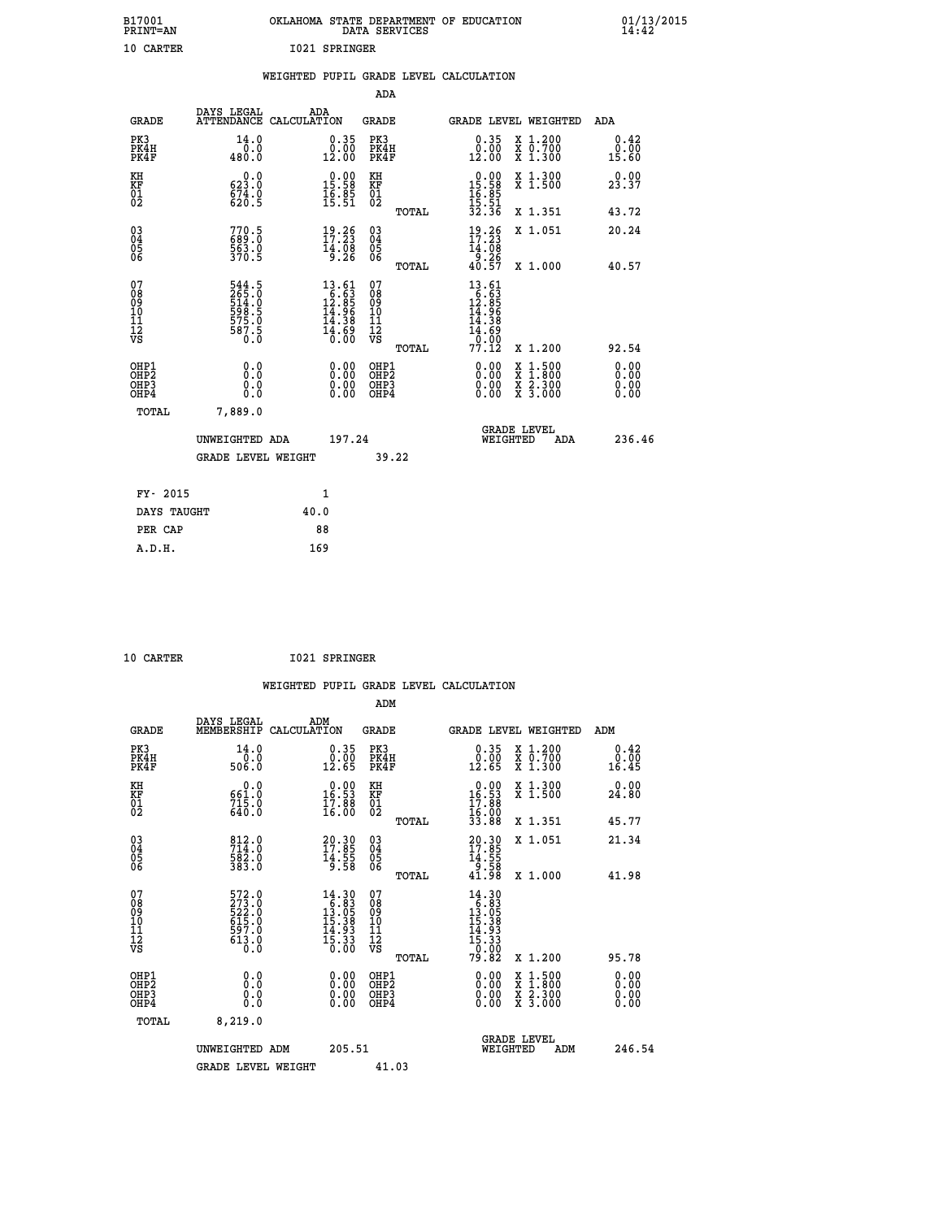| B17001<br>PRINT=AN                           |                                                             | OKLAHOMA STATE DEPARTMENT OF EDUCATION                                                     | DATA SERVICES                                        |                                                                                         |                                          | $01/13/2015$<br>14:42        |  |
|----------------------------------------------|-------------------------------------------------------------|--------------------------------------------------------------------------------------------|------------------------------------------------------|-----------------------------------------------------------------------------------------|------------------------------------------|------------------------------|--|
| 10 CARTER                                    |                                                             | 1021 SPRINGER                                                                              |                                                      |                                                                                         |                                          |                              |  |
|                                              |                                                             | WEIGHTED PUPIL GRADE LEVEL CALCULATION                                                     |                                                      |                                                                                         |                                          |                              |  |
|                                              |                                                             |                                                                                            | ADA                                                  |                                                                                         |                                          |                              |  |
| <b>GRADE</b>                                 | DAYS LEGAL                                                  | ADA<br>ATTENDANCE CALCULATION                                                              | GRADE                                                |                                                                                         | GRADE LEVEL WEIGHTED                     | ADA                          |  |
| PK3<br>PK4H<br>PK4F                          | 14.0<br>0.0<br>480.0                                        | $\substack{0.35 \\ 0.00 \\ 12.00}$                                                         | PK3<br>PK4H<br>PK4F                                  | 0.35<br>$0.00$<br>12.00                                                                 | X 1.200<br>X 0.700<br>X 1.300            | 0.42<br>0.00<br>15.60        |  |
| KH<br>KF<br>$\frac{01}{02}$                  | 0.0<br>623.0<br>$674.0$<br>620.5                            | $\begin{smallmatrix} 0.00\\ 15.58\\ 16.85\\ 15.51 \end{smallmatrix}$                       | KH<br>KF<br>01<br>02                                 | $\begin{array}{r} 0.00 \\ 15.58 \\ 16.85 \\ 15.51 \\ 32.36 \end{array}$                 | X 1.300<br>X 1.500                       | 23.37                        |  |
|                                              |                                                             |                                                                                            | TOTAL                                                |                                                                                         | X 1.351                                  | 43.72                        |  |
| 03<br>04<br>05<br>06                         | 770.5<br>689.0<br>563.0<br>370.5                            | $19.26$<br>$17.23$<br>$14.08$<br>9.26                                                      | $\begin{matrix} 03 \\ 04 \\ 05 \\ 06 \end{matrix}$   | $\frac{19}{17}:\frac{26}{23}$<br>14.08<br>$\begin{array}{c} -5.26 \\ 40.57 \end{array}$ | X 1.051                                  | 20.24                        |  |
|                                              |                                                             |                                                                                            | TOTAL<br>07                                          |                                                                                         | X 1.000                                  | 40.57                        |  |
| 07<br>08<br>09<br>10<br>11<br>11<br>12<br>VS | 544.5<br>265.0<br>514.0<br>598.5<br>575.0<br>575.0<br>587.5 | $\begin{array}{r} 13.61 \\ 16.63 \\ 12.85 \\ 14.96 \\ 14.38 \\ 14.69 \\ 16.60 \end{array}$ | 08<br>09<br>10<br>$\frac{11}{12}$<br>$\frac{12}{18}$ | $13.61$<br>$16.63$<br>$12.85$<br>$14.96$<br>14.38<br>$\frac{11.69}{0.00}$<br>77.12      |                                          |                              |  |
|                                              |                                                             |                                                                                            | TOTAL                                                |                                                                                         | X 1.200                                  | 92.54                        |  |
| OHP1<br>OHP2<br>OHP3<br>OHP4                 | 0.0<br>0.0<br>0.0<br>0.0                                    | 0.00<br>$\begin{smallmatrix} 0.00 \ 0.00 \end{smallmatrix}$                                | OHP1<br>OH <sub>P</sub> 2<br>OHP3<br>OHP4            | 0.00<br>0.00<br>0.00                                                                    | X 1:500<br>X 1:800<br>X 2:300<br>X 3:000 | 0.00<br>0.00<br>0.00<br>0.00 |  |
| TOTAL                                        | 7,889.0                                                     |                                                                                            |                                                      |                                                                                         |                                          |                              |  |
|                                              | UNWEIGHTED ADA                                              | 197.24                                                                                     |                                                      | WEIGHTED                                                                                | <b>GRADE LEVEL</b><br>ADA                | 236.46                       |  |
|                                              | <b>GRADE LEVEL WEIGHT</b>                                   |                                                                                            | 39.22                                                |                                                                                         |                                          |                              |  |
| FY- 2015                                     |                                                             | 1                                                                                          |                                                      |                                                                                         |                                          |                              |  |
| DAYS TAUGHT                                  |                                                             | 40.0                                                                                       |                                                      |                                                                                         |                                          |                              |  |
| PER CAP                                      |                                                             | 88                                                                                         |                                                      |                                                                                         |                                          |                              |  |

| . . <u>.</u> |  |
|--------------|--|

 **10 CARTER I021 SPRINGER**

 **WEIGHTED PUPIL GRADE LEVEL CALCULATION ADM DAYS LEGAL ADM GRADE MEMBERSHIP CALCULATION GRADE GRADE LEVEL WEIGHTED ADM PK3 14.0 0.35 PK3 0.35 X 1.200 0.42 PK4H 0.0 0.00 PK4H 0.00 X 0.700 0.00 PK4F 506.0 12.65 PK4F 12.65 X 1.300 16.45 KH 0.0 0.00 KH 0.00 X 1.300 0.00 KF 661.0 16.53 KF 16.53 X 1.500 24.80 01 715.0 17.88 01 17.88** 02 640.0 16.00 02 <sub>noman</sub> 15.00  **TOTAL 33.88 X 1.351 45.77 03 812.0 20.30 03 20.30 X 1.051 21.34 04 714.0 17.85 04 17.85 05 582.0 14.55 05 14.55 06 383.0 9.58 06 9.58 TOTAL 41.98 X 1.000 41.98 07 572.0 14.30 07 14.30 08 273.0 6.83 08 6.83 09 522.0 13.05 09 13.05 10 615.0 15.38 10 15.38 11 597.0 14.93 11 14.93 12 613.0 15.33 12 15.33 VS** 0.0 0.00 VS 0.00 0.00  **TOTAL 79.82 X 1.200 95.78 OHP1 0.0 0.00 OHP1 0.00 X 1.500 0.00 OHP2 0.0 0.00 OHP2 0.00 X 1.800 0.00 OHP3 0.0 0.00 OHP3 0.00 X 2.300 0.00 OHP4 0.0 0.00 OHP4 0.00 X 3.000 0.00 TOTAL 8,219.0 GRADE LEVEL UNWEIGHTED ADM 205.51 WEIGHTED ADM 246.54**

GRADE LEVEL WEIGHT 41.03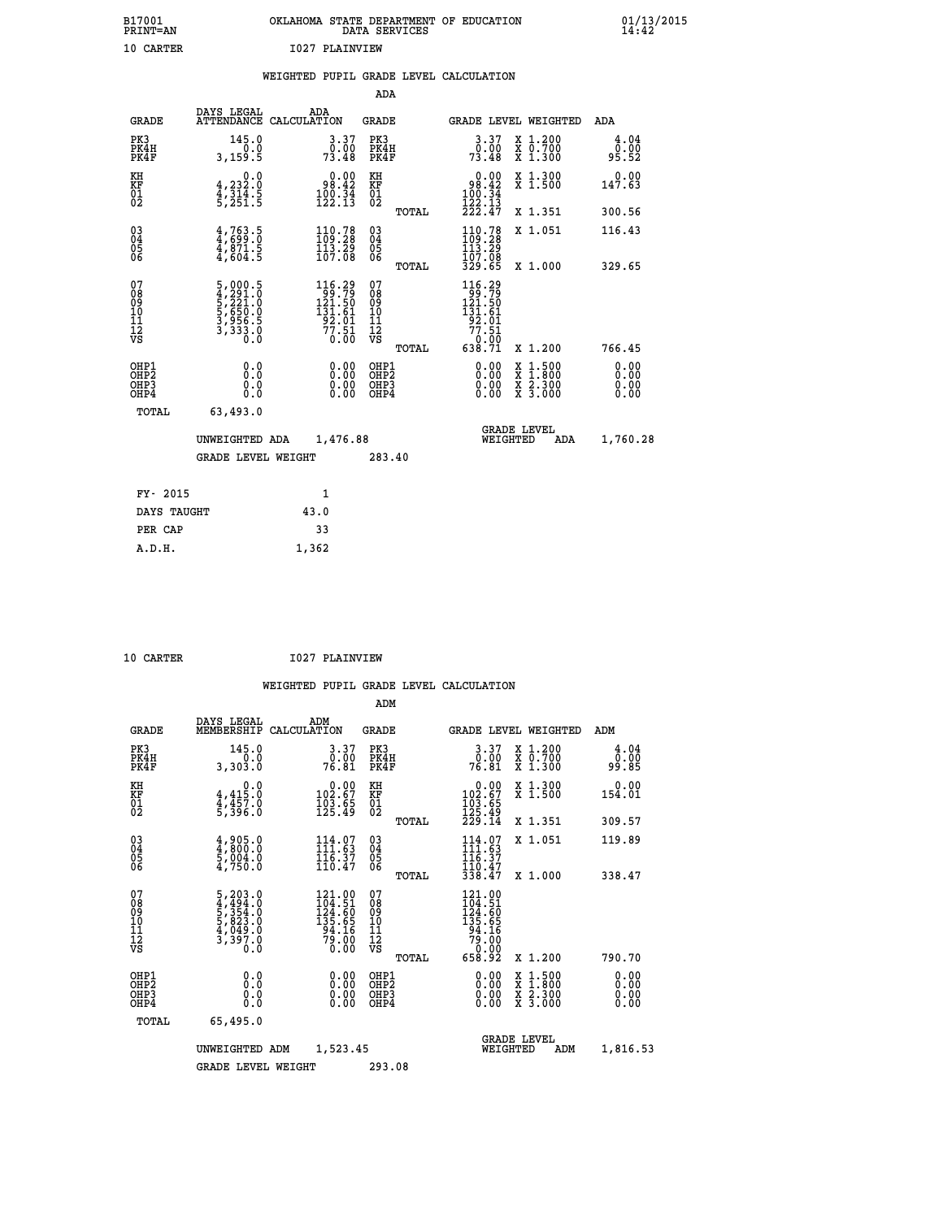| B17001<br><b>PRINT=AN</b> | OKLAHOMA STATE DEPARTMENT OF EDUCATION<br>DATA SERVICES | 01/13/2015<br>14:42 |
|---------------------------|---------------------------------------------------------|---------------------|
| 10 CARTER                 | 1027 PLAINVIEW                                          |                     |

|                                                    |                                                           | WEIGHTED PUPIL GRADE LEVEL CALCULATION |                                                                       |                          |       |                                                                    |              |                                 |                                                      |
|----------------------------------------------------|-----------------------------------------------------------|----------------------------------------|-----------------------------------------------------------------------|--------------------------|-------|--------------------------------------------------------------------|--------------|---------------------------------|------------------------------------------------------|
|                                                    |                                                           |                                        |                                                                       | ADA                      |       |                                                                    |              |                                 |                                                      |
| <b>GRADE</b>                                       | DAYS LEGAL<br>ATTENDANCE CALCULATION                      |                                        | ADA                                                                   | GRADE                    |       |                                                                    |              | GRADE LEVEL WEIGHTED            | ADA                                                  |
| PK3<br>PK4H<br>PK4F                                | 145.0<br>0.0<br>3,159.5                                   |                                        | 3.37<br>0.00<br>73.48                                                 | PK3<br>PK4H<br>PK4F      |       | 73.48                                                              | 3.37<br>0.00 | X 1.200<br>X 0.700<br>$X_1.300$ | $\begin{array}{c} 4.04 \\ 0.00 \\ 95.52 \end{array}$ |
| КH<br>KF<br>01<br>02                               | 0.0<br>4, 232.0<br>$\frac{4}{5}, \frac{314}{251}$ : 5     |                                        | $\begin{smallmatrix} & 0.00\ 98.42\ 100.34\ 122.13 \end{smallmatrix}$ | KH<br>KF<br>$^{01}_{02}$ |       | $\begin{array}{r} 98.42 \\ 100.34 \\ 122.13 \\ 222.47 \end{array}$ | 0.00         | X 1.300<br>$\overline{x}$ 1.500 | 0.00<br>147.63                                       |
|                                                    |                                                           |                                        |                                                                       |                          | TOTAL |                                                                    |              | X 1.351                         | 300.56                                               |
| $\begin{matrix} 03 \\ 04 \\ 05 \\ 06 \end{matrix}$ | $\frac{4}{4}$ , 763.5<br>$\frac{4}{4}$ , 871.5<br>4,604.5 |                                        | 110.78<br>109.28<br>113.29<br>107.08                                  | 030404<br>06             |       | 110.78<br>109.28<br>113.29<br>107.08                               |              | X 1.051                         | 116.43                                               |
|                                                    |                                                           |                                        |                                                                       |                          | TOTAL | 329.65                                                             |              | X 1.000                         | 329.65                                               |

| 07<br>08<br>09<br>001<br>11<br>11<br>12<br>VS        | 5,000.5<br>$\begin{smallmatrix} 4,291.0\\ 5,221.0\\ 5,650.0\\ 3,956.5\\ 3,333.0 \end{smallmatrix}$<br>0.0 | 116.29<br>$\frac{1}{2}$ , $\frac{1}{2}$ , $\frac{1}{2}$ , $\frac{1}{2}$ , $\frac{1}{2}$<br>131.61<br>92.01<br>$\frac{77.51}{0.00}$ | 07<br>08<br>09<br>10<br>īĭ<br>12<br>VS<br>TOTAL | 116.29<br>$\frac{1}{121.50}$<br>131.61<br>92.01<br>$\frac{77.51}{0.00}$<br>638.71 | X 1.200                                                                           | 766.45                                                                                                                                                                                                                                                                         |
|------------------------------------------------------|-----------------------------------------------------------------------------------------------------------|------------------------------------------------------------------------------------------------------------------------------------|-------------------------------------------------|-----------------------------------------------------------------------------------|-----------------------------------------------------------------------------------|--------------------------------------------------------------------------------------------------------------------------------------------------------------------------------------------------------------------------------------------------------------------------------|
| OHP1<br>OHP <sub>2</sub><br>OH <sub>P3</sub><br>OHP4 | 0.0<br>0.000                                                                                              | 0.0000<br>Ŏ.ŎŎ<br>O.OO                                                                                                             | OHP1<br>OHP <sub>2</sub><br>OHP3<br>OHP4        | 0.00<br>0.00                                                                      | $\frac{x}{x}$ $\frac{1.500}{1.800}$<br>X <sub>2.300</sub><br>$\overline{x}$ 3.000 | $\begin{smallmatrix} 0.00 & 0.00 & 0.00 & 0.00 & 0.00 & 0.00 & 0.00 & 0.00 & 0.00 & 0.00 & 0.00 & 0.00 & 0.00 & 0.00 & 0.00 & 0.00 & 0.00 & 0.00 & 0.00 & 0.00 & 0.00 & 0.00 & 0.00 & 0.00 & 0.00 & 0.00 & 0.00 & 0.00 & 0.00 & 0.00 & 0.00 & 0.00 & 0.00 & 0.00 & 0.00 & 0.0$ |
| TOTAL                                                | 63,493.0<br>UNWEIGHTED ADA<br><b>GRADE LEVEL WEIGHT</b>                                                   | 1,476.88                                                                                                                           | 283.40                                          | WEIGHTED                                                                          | <b>GRADE LEVEL</b><br>ADA                                                         | 1,760.28                                                                                                                                                                                                                                                                       |

| FY- 2015    |       |
|-------------|-------|
| DAYS TAUGHT | 43.0  |
| PER CAP     | 33    |
| A.D.H.      | 1,362 |
|             |       |

| 10 CARTER | 1027 PLAINVIEW |
|-----------|----------------|
|           |                |

|                                          |                                                                                                                                                                              |                                                                                                                                    | ADM                                                |                                                                                                                                                   |                                          |                              |
|------------------------------------------|------------------------------------------------------------------------------------------------------------------------------------------------------------------------------|------------------------------------------------------------------------------------------------------------------------------------|----------------------------------------------------|---------------------------------------------------------------------------------------------------------------------------------------------------|------------------------------------------|------------------------------|
| <b>GRADE</b>                             | DAYS LEGAL<br>MEMBERSHIP                                                                                                                                                     | ADM<br>CALCULATION                                                                                                                 | <b>GRADE</b>                                       | <b>GRADE LEVEL WEIGHTED</b>                                                                                                                       |                                          | ADM                          |
| PK3<br>PK4H<br>PK4F                      | 145.0<br>0.0<br>3,303.0                                                                                                                                                      | 3.37<br>ŏ:ŏó<br>76.81                                                                                                              | PK3<br>PK4H<br>PK4F                                | $\frac{3 \cdot 37}{0 \cdot 00}$<br>76.81                                                                                                          | X 1.200<br>X 0.700<br>X 1.300            | 4.04<br>ō:ŏō<br>99.85        |
| KH<br>KF<br>01<br>02                     | 0.0<br>$4,415.0$<br>$4,457.0$<br>$5,396.0$                                                                                                                                   | $\begin{smallmatrix} &0.00\\ 102.67\\ 103.65\\ 125.49\end{smallmatrix}$                                                            | KH<br>KF<br>01<br>02                               | $\begin{smallmatrix} &0.00\\ 102.67\\ 103.65\\ 125.49\\ 229.14\end{smallmatrix}$                                                                  | X 1.300<br>X 1.500                       | 0.00<br>154.01               |
|                                          |                                                                                                                                                                              |                                                                                                                                    | TOTAL                                              |                                                                                                                                                   | X 1.351                                  | 309.57                       |
| 03<br>04<br>05<br>06                     | $\frac{4}{4}, \frac{9}{800}$ :0<br>5,004:0<br>4,750:0                                                                                                                        | $114.07$<br>$111.63$<br>$116.37$<br>110.47                                                                                         | $\begin{matrix} 03 \\ 04 \\ 05 \\ 06 \end{matrix}$ | $114.07$<br>$111.63$<br>$116.37$<br>110.47<br>338.47                                                                                              | X 1.051                                  | 119.89                       |
|                                          |                                                                                                                                                                              |                                                                                                                                    | TOTAL                                              |                                                                                                                                                   | X 1.000                                  | 338.47                       |
| 07<br>08<br>09<br>101<br>112<br>VS       | $\begin{smallmatrix}5\,, & 2& 0& 3& 0\\ 4\,, & 4& 9& 4& 0\\ 5\,, & 3& 5& 4& 0\\ 5\,, & 8& 2& 3& 0\\ 4\,, & 0& 4& 9& 0\\ 3\,, & 3& 9& 7& 0\\ 0\,, & 0& 0& 0\end{smallmatrix}$ | $\begin{smallmatrix} 121\cdot 00\\ 104\cdot 51\\ 124\cdot 60\\ 135\cdot 65\\ 94\cdot 16\\ 79\cdot 00\\ 0\cdot 00\end{smallmatrix}$ | 07<br>08<br>09<br>11<br>11<br>12<br>VS<br>TOTAL    | $\begin{smallmatrix} 121\cdot 00\\ 104\cdot 51\\ 124\cdot 60\\ 135\cdot 65\\ 94\cdot 16\\ 79\cdot 00\\ 0\cdot 00\\ 658\cdot 92 \end{smallmatrix}$ | X 1.200                                  | 790.70                       |
| OHP1<br>OHP2<br>OH <sub>P3</sub><br>OHP4 | 0.0<br>0.000                                                                                                                                                                 |                                                                                                                                    | OHP1<br>OHP2<br>OHP <sub>3</sub>                   | $0.00$<br>$0.00$<br>0.00                                                                                                                          | X 1:500<br>X 1:800<br>X 2:300<br>X 3:000 | 0.00<br>0.00<br>0.00<br>0.00 |
|                                          | TOTAL<br>65,495.0                                                                                                                                                            |                                                                                                                                    |                                                    |                                                                                                                                                   |                                          |                              |
|                                          | UNWEIGHTED                                                                                                                                                                   | 1,523.45<br>ADM                                                                                                                    |                                                    | <b>GRADE LEVEL</b><br>WEIGHTED                                                                                                                    | ADM                                      | 1,816.53                     |
|                                          | <b>GRADE LEVEL WEIGHT</b>                                                                                                                                                    |                                                                                                                                    | 293.08                                             |                                                                                                                                                   |                                          |                              |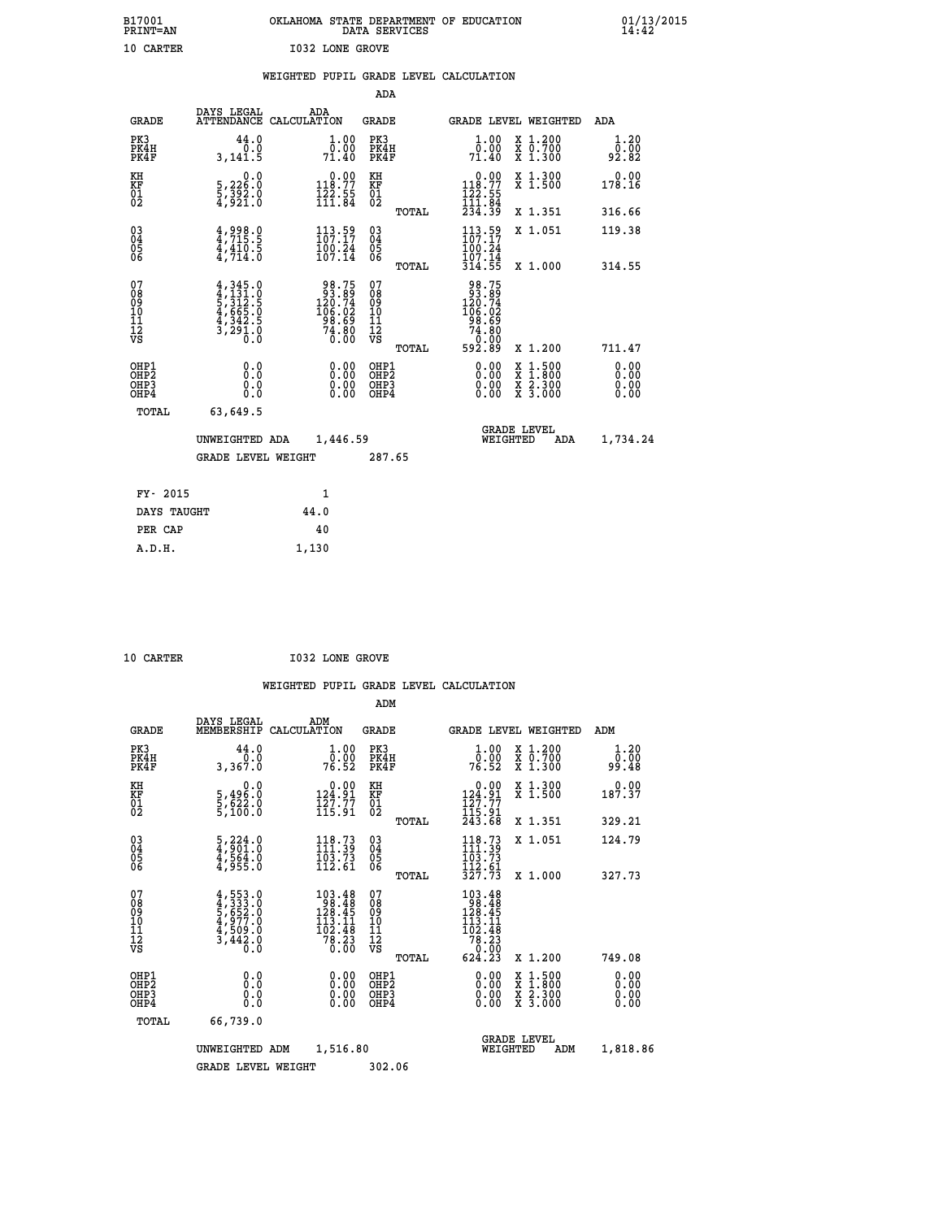| B17001          | OKLAHOMA STATE DEPARTMENT OF EDUCATION |
|-----------------|----------------------------------------|
| <b>PRINT=AN</b> | DATA SERVICES                          |
| 10 CARTER       | <b>I032 LONE GROVE</b>                 |

|  |  | WEIGHTED PUPIL GRADE LEVEL CALCULATION |
|--|--|----------------------------------------|
|  |  |                                        |

|                                                                    |                                                                                     |                                                                                             | ADA                                    |       |                                                                                                       |                                                                                          |                              |
|--------------------------------------------------------------------|-------------------------------------------------------------------------------------|---------------------------------------------------------------------------------------------|----------------------------------------|-------|-------------------------------------------------------------------------------------------------------|------------------------------------------------------------------------------------------|------------------------------|
| <b>GRADE</b>                                                       | DAYS LEGAL                                                                          | ADA<br>ATTENDANCE CALCULATION                                                               | <b>GRADE</b>                           |       |                                                                                                       | GRADE LEVEL WEIGHTED                                                                     | ADA                          |
| PK3<br>PK4H<br>PK4F                                                | 44.0<br>0.0<br>3,141.5                                                              | 1.00<br>0.00<br>71.40                                                                       | PK3<br>PK4H<br>PK4F                    |       | 1.00<br>0.00.<br>71.40                                                                                | X 1.200<br>X 0.700<br>X 1.300                                                            | 1.20<br>0.00<br>92.82        |
| KH<br>KF<br>01<br>02                                               | 0.0<br>5,226:0<br>5,392:0<br>4,921:0                                                | $\begin{smallmatrix} 0.00\\ 118.77\\ 122.55\\ 111.84 \end{smallmatrix}$                     | KH<br>KF<br>01<br>02                   |       | $0.00$<br>118.77<br>$\frac{122}{111}$ $\frac{55}{84}$<br>$234.39$                                     | X 1.300<br>X 1.500                                                                       | 0.00<br>178.16               |
|                                                                    |                                                                                     |                                                                                             |                                        | TOTAL |                                                                                                       | X 1.351                                                                                  | 316.66                       |
| $\begin{smallmatrix} 03 \\[-4pt] 04 \end{smallmatrix}$<br>Ŏ5<br>06 | $4,998.0$<br>$4,715.5$<br>$4,410.5$<br>$4,714.0$                                    | $\frac{113}{107}.$ $\frac{59}{17}$<br>$\frac{100}{107}$ $\frac{24}{14}$                     | $\substack{03 \\ 04}$<br>Ŏ5<br>06      |       | $113.59$<br>$107.17$<br>$\frac{100}{107}$ $\frac{24}{14}$<br>$\frac{314}{55}$                         | X 1.051                                                                                  | 119.38                       |
|                                                                    |                                                                                     |                                                                                             |                                        | TOTAL |                                                                                                       | X 1.000                                                                                  | 314.55                       |
| 07<br>08<br>09<br>101<br>11<br>12<br>VS                            | $4,345.0$<br>$5,312.5$<br>$5,312.5$<br>$4,665.0$<br>$4,342.5$<br>$3,291.0$<br>$0.0$ | $\begin{array}{r} 98.75 \\ 93.89 \\ 120.74 \\ 106.02 \\ 98.69 \\ 74.80 \\ 0.00 \end{array}$ | 07<br>08<br>09<br>11<br>11<br>12<br>VS |       | $\begin{array}{r} 98.75 \\ 93.89 \\ 120.74 \\ 106.02 \\ 98.69 \\ 74.80 \\ 0.00 \\ 592.89 \end{array}$ |                                                                                          |                              |
|                                                                    |                                                                                     |                                                                                             |                                        | TOTAL |                                                                                                       | X 1.200                                                                                  | 711.47                       |
| OHP1<br>OHP <sub>2</sub><br>OH <sub>P3</sub><br>OHP4               | 0.0<br>0.000                                                                        | 0.00<br>$\begin{smallmatrix} 0.00 \ 0.00 \end{smallmatrix}$                                 | OHP1<br>OHP2<br>OHP <sub>3</sub>       |       | 0.00<br>0.00                                                                                          | $\begin{smallmatrix} x & 1.500 \\ x & 1.800 \\ x & 2.300 \\ x & 3.000 \end{smallmatrix}$ | 0.00<br>0.00<br>0.00<br>0.00 |
| TOTAL                                                              | 63,649.5                                                                            |                                                                                             |                                        |       |                                                                                                       |                                                                                          |                              |
|                                                                    | UNWEIGHTED ADA                                                                      | 1,446.59                                                                                    |                                        |       |                                                                                                       | <b>GRADE LEVEL</b><br>WEIGHTED<br>ADA                                                    | 1,734.24                     |
|                                                                    | <b>GRADE LEVEL WEIGHT</b>                                                           |                                                                                             | 287.65                                 |       |                                                                                                       |                                                                                          |                              |
| FY- 2015                                                           |                                                                                     | 1                                                                                           |                                        |       |                                                                                                       |                                                                                          |                              |
| DAYS TAUGHT                                                        |                                                                                     | 44.0                                                                                        |                                        |       |                                                                                                       |                                                                                          |                              |
| PER CAP                                                            |                                                                                     | 40                                                                                          |                                        |       |                                                                                                       |                                                                                          |                              |

| 10<br>CARTER |  |  |
|--------------|--|--|
|              |  |  |
|              |  |  |

 **A.D.H. 1,130**

**10 CARTER 1032 LONE GROVE** 

|                                          |                                                                                   |                    |                                                                                                     | ADM                                                |       |                                                                                                                           |                                          |                              |  |
|------------------------------------------|-----------------------------------------------------------------------------------|--------------------|-----------------------------------------------------------------------------------------------------|----------------------------------------------------|-------|---------------------------------------------------------------------------------------------------------------------------|------------------------------------------|------------------------------|--|
| <b>GRADE</b>                             | DAYS LEGAL<br>MEMBERSHIP                                                          | ADM<br>CALCULATION |                                                                                                     | <b>GRADE</b>                                       |       |                                                                                                                           | <b>GRADE LEVEL WEIGHTED</b>              | ADM                          |  |
| PK3<br>PK4H<br>PK4F                      | 44.0<br>3,367.0                                                                   |                    | $\frac{1}{0}$ :00<br>76.52                                                                          | PK3<br>PK4H<br>PK4F                                |       | $\frac{1}{0}$ :00<br>76.52                                                                                                | X 1.200<br>X 0.700<br>X 1.300            | 1.20<br>ŏō:ōŏ<br>99.48       |  |
| KH<br>KF<br>01<br>02                     | 0.0<br>5,496:0<br>5,622:0<br>5,100:0                                              |                    | $\begin{smallmatrix} &0.00\\124.91\\127.77\\115.91\end{smallmatrix}$                                | KH<br>KF<br>01<br>02                               |       | $\begin{array}{c} 0.00 \\ 124.91 \\ 127.77 \\ 115.91 \\ 243.68 \end{array}$                                               | X 1.300<br>X 1.500                       | $0.00$<br>187.37             |  |
|                                          |                                                                                   |                    |                                                                                                     |                                                    | TOTAL |                                                                                                                           | X 1.351                                  | 329.21                       |  |
| 03<br>04<br>05<br>06                     | $\frac{5}{4}, \frac{224}{901}.0$<br>$\frac{4}{4}, \frac{564}{955}.0$              |                    | $118.73$<br>$111.39$<br>$\frac{103.73}{112.61}$                                                     | $\begin{matrix} 03 \\ 04 \\ 05 \\ 06 \end{matrix}$ |       | $118.73$<br>$111.39$<br>$\frac{1}{1}$ $\frac{1}{2}$ $\frac{2}{5}$ $\frac{1}{3}$ $\frac{2}{7}$ $\frac{5}{7}$ $\frac{1}{3}$ | X 1.051                                  | 124.79                       |  |
|                                          |                                                                                   |                    |                                                                                                     |                                                    | TOTAL |                                                                                                                           | X 1.000                                  | 327.73                       |  |
| 07<br>08<br>09<br>101<br>112<br>VS       | $4,553.0$<br>$4,333.0$<br>$5,652.0$<br>$4,977.0$<br>$4,509.0$<br>$3,442.0$<br>0.0 |                    | $103.48$<br>$98.48$<br>$128.45$<br>$\begin{array}{r} 113.11 \\ 102.48 \\ 78.23 \\ 0.00 \end{array}$ | 07<br>08<br>09<br>11<br>11<br>12<br>VS             |       | $\begin{array}{r} 103.48\\ 98.48\\ 128.45\\ 113.41\\ 102.48\\ 78.23\\ 0\\ 0\\ 0\\ 0\\ \end{array}$                        |                                          |                              |  |
|                                          |                                                                                   |                    |                                                                                                     |                                                    | TOTAL | 624.23                                                                                                                    | X 1.200                                  | 749.08                       |  |
| OHP1<br>OHP2<br>OH <sub>P3</sub><br>OHP4 | 0.0<br>0.000                                                                      |                    | $0.00$<br>$0.00$<br>0.00                                                                            | OHP1<br>OHP2<br>OHP <sub>3</sub>                   |       | $0.00$<br>$0.00$<br>0.00                                                                                                  | X 1:500<br>X 1:800<br>X 2:300<br>X 3:000 | 0.00<br>0.00<br>0.00<br>0.00 |  |
| TOTAL                                    | 66,739.0                                                                          |                    |                                                                                                     |                                                    |       |                                                                                                                           |                                          |                              |  |
|                                          | UNWEIGHTED                                                                        | ADM                | 1,516.80                                                                                            |                                                    |       | WEIGHTED                                                                                                                  | <b>GRADE LEVEL</b><br>ADM                | 1,818.86                     |  |
|                                          | <b>GRADE LEVEL WEIGHT</b>                                                         |                    |                                                                                                     | 302.06                                             |       |                                                                                                                           |                                          |                              |  |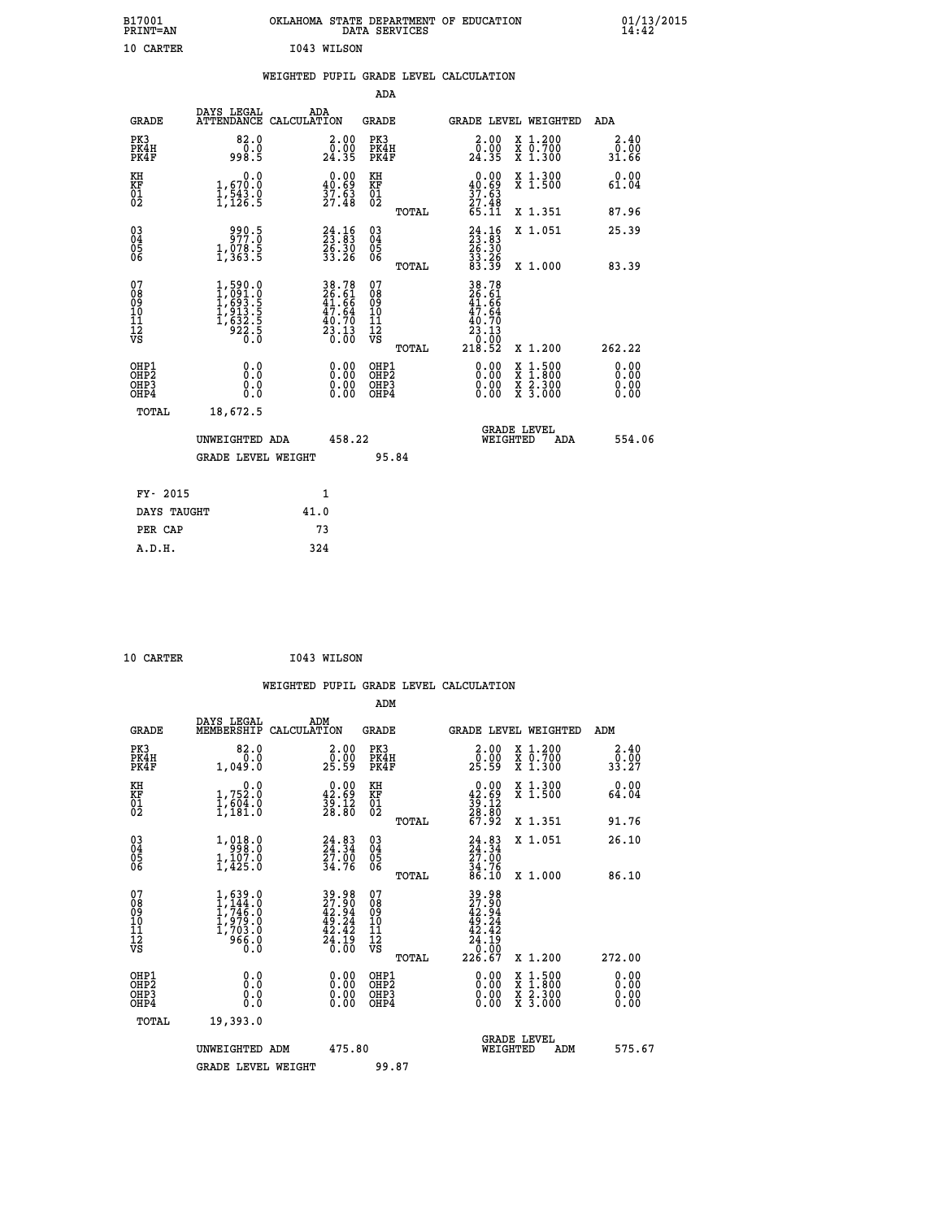| B17001<br>PRINT=AN                       |                                                                                 |      |                                                                          |                                                            | DATA SERVICES | OKLAHOMA STATE DEPARTMENT OF EDUCATION                                       |                                                                                          | $01/13/2015$<br>14:42        |  |
|------------------------------------------|---------------------------------------------------------------------------------|------|--------------------------------------------------------------------------|------------------------------------------------------------|---------------|------------------------------------------------------------------------------|------------------------------------------------------------------------------------------|------------------------------|--|
| 10 CARTER                                |                                                                                 |      | I043 WILSON                                                              |                                                            |               |                                                                              |                                                                                          |                              |  |
|                                          |                                                                                 |      |                                                                          |                                                            |               | WEIGHTED PUPIL GRADE LEVEL CALCULATION                                       |                                                                                          |                              |  |
|                                          |                                                                                 |      |                                                                          | <b>ADA</b>                                                 |               |                                                                              |                                                                                          |                              |  |
| <b>GRADE</b>                             | DAYS LEGAL<br>ATTENDANCE CALCULATION                                            | ADA  |                                                                          | <b>GRADE</b>                                               |               |                                                                              | GRADE LEVEL WEIGHTED                                                                     | ADA                          |  |
| PK3<br>PK4H<br>PK4F                      | 82.0<br>0.0<br>998.5                                                            |      | 2.00<br>0.00<br>24.35                                                    | PK3<br>PK4H<br>PK4F                                        |               | 2.00<br>$\frac{\bar{0} \cdot \bar{0} \bar{0}}{24.35}$                        | X 1.200<br>X 0.700<br>X 1.300                                                            | 2.40<br>0.00<br>31.66        |  |
| KH<br>KF<br>01<br>02                     | 0.0<br>1,670.0<br>1,543.0<br>1,126.5                                            |      | $\begin{smallmatrix} 0.00\\ 40.69\\ 37.63\\ 27.48 \end{smallmatrix}$     | KH<br><b>KF</b><br>01<br>02                                |               | $\begin{smallmatrix} 0.00\\ 40.69\\ 37.63\\ 27.48 \end{smallmatrix}$         | X 1.300<br>X 1.500                                                                       | 0.00<br>61.04                |  |
|                                          |                                                                                 |      |                                                                          |                                                            | TOTAL         | 65.11                                                                        | X 1.351                                                                                  | 87.96                        |  |
| 03<br>04<br>05<br>06                     | 990.5<br>977.0<br>1,078.5<br>1,363.5                                            |      | $24.16$<br>$23.83$<br>$26.30$<br>$33.26$                                 | $\begin{matrix} 03 \\ 04 \\ 05 \\ 06 \end{matrix}$         |               | $24.1623.8326.3033.2683.39$                                                  | X 1.051                                                                                  | 25.39                        |  |
|                                          |                                                                                 |      |                                                                          |                                                            | TOTAL         |                                                                              | X 1.000                                                                                  | 83.39                        |  |
| 07<br>08<br>09<br>11<br>11<br>12<br>VS   | $1,590.0$<br>$1,691.0$<br>$1,693.5$<br>$1,913.5$<br>$1,632.5$<br>$922.5$<br>0.0 |      | $38.78$<br>$26.61$<br>$41.66$<br>$47.64$<br>$40.70$<br>$23.13$<br>$0.00$ | 07<br>08<br>09<br>10<br>$\frac{11}{12}$<br>$\frac{12}{18}$ | TOTAL         | 38.78<br>26.61<br>41.66<br>47.64<br>$\frac{40.70}{23.13}$<br>10:00<br>218.52 | X 1.200                                                                                  | 262.22                       |  |
| OHP1<br>OHP <sub>2</sub><br>OHP3<br>OHP4 | 0.0<br>Ō.Ō<br>0.0<br>0.0                                                        |      | 0.00<br>0.00                                                             | OHP1<br>OHP <sub>2</sub><br>OHP3<br>OHP4                   |               | 0.00<br>0.00<br>0.00                                                         | $\begin{smallmatrix} x & 1.500 \\ x & 1.800 \\ x & 2.300 \\ x & 3.000 \end{smallmatrix}$ | 0.00<br>0.00<br>0.00<br>0.00 |  |
| TOTAL                                    | 18,672.5                                                                        |      |                                                                          |                                                            |               |                                                                              |                                                                                          |                              |  |
|                                          | UNWEIGHTED ADA                                                                  |      | 458.22                                                                   |                                                            |               |                                                                              | <b>GRADE LEVEL</b><br>WEIGHTED<br>ADA                                                    | 554.06                       |  |
|                                          | <b>GRADE LEVEL WEIGHT</b>                                                       |      |                                                                          |                                                            | 95.84         |                                                                              |                                                                                          |                              |  |
| FY- 2015                                 |                                                                                 |      | 1                                                                        |                                                            |               |                                                                              |                                                                                          |                              |  |
| DAYS TAUGHT                              |                                                                                 | 41.0 |                                                                          |                                                            |               |                                                                              |                                                                                          |                              |  |
| PER CAP                                  |                                                                                 |      | 73                                                                       |                                                            |               |                                                                              |                                                                                          |                              |  |

| I043 WILSON<br>10 CARTER |  |  |  |  |  |
|--------------------------|--|--|--|--|--|
|--------------------------|--|--|--|--|--|

 **WEIGHTED PUPIL GRADE LEVEL CALCULATION ADM DAYS LEGAL ADM GRADE MEMBERSHIP CALCULATION GRADE GRADE LEVEL WEIGHTED ADM PK3 82.0 2.00 PK3 2.00 X 1.200 2.40 PK4H 0.0 0.00 PK4H 0.00 X 0.700 0.00 PK4F 1,049.0 25.59 PK4F 25.59 X 1.300 33.27 KH 0.0 0.00 KH 0.00 X 1.300 0.00 KF 1,752.0 42.69 KF 42.69 X 1.500 64.04 01 1,604.0 39.12 01 39.12 02 1,181.0 28.80 02 28.80 TOTAL 67.92 X 1.351 91.76 03 1,018.0 24.83 03 24.83 X 1.051 26.10 04 998.0 24.34 04 24.34 05 1,107.0 27.00 05 27.00 06 1,425.0 34.76 06 34.76 TOTAL 86.10 X 1.000 86.10**  $\begin{array}{cccc} 07 & 1,619.0 & 39.98 & 07 & 39.98 \ 08 & 1,744.0 & 27.90 & 08 & 27.90 \ 09 & 1,746.0 & 42.94 & 09 & 42.94 \ 10 & 1,979.0 & 49.24 & 10 & 49.24 \ 11 & 1,703.0 & 42.42 & 11 & 42.44 \ 12 & 966.0 & 24.19 & 12 & 42.49 \ 13 & 966.0 & 26.00 & 0.0 & 0.0 &$  **TOTAL 226.67 X 1.200 272.00 OHP1 0.0 0.00 OHP1 0.00 X 1.500 0.00 OHP2 0.0 0.00 OHP2 0.00 X 1.800 0.00 OHP3 0.0 0.00 OHP3 0.00 X 2.300 0.00 OHP4 0.0 0.00 OHP4 0.00 X 3.000 0.00 TOTAL 19,393.0 GRADE LEVEL UNWEIGHTED ADM 475.80 WEIGHTED ADM 575.67** GRADE LEVEL WEIGHT 99.87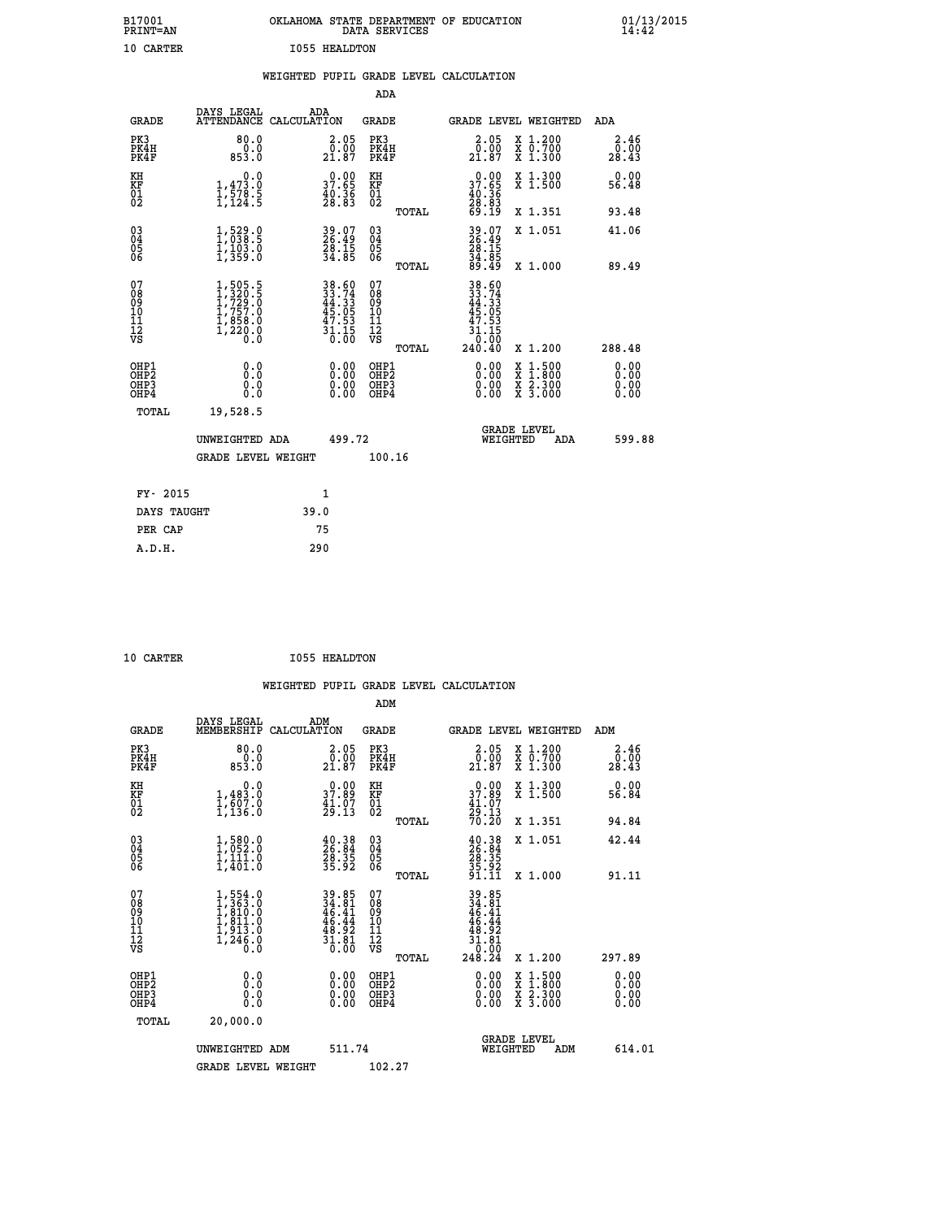| B17001<br>PRINT=AN                                |                                                                                                 | OKLAHOMA STATE DEPARTMENT OF EDUCATION                                                    | DATA SERVICES                                      |                                                                                                 |                                                                                          | 01/13/2015<br>14:42   |
|---------------------------------------------------|-------------------------------------------------------------------------------------------------|-------------------------------------------------------------------------------------------|----------------------------------------------------|-------------------------------------------------------------------------------------------------|------------------------------------------------------------------------------------------|-----------------------|
| 10 CARTER                                         |                                                                                                 | <b>I055 HEALDTON</b>                                                                      |                                                    |                                                                                                 |                                                                                          |                       |
|                                                   |                                                                                                 | WEIGHTED PUPIL GRADE LEVEL CALCULATION                                                    |                                                    |                                                                                                 |                                                                                          |                       |
|                                                   |                                                                                                 |                                                                                           | ADA                                                |                                                                                                 |                                                                                          |                       |
| <b>GRADE</b>                                      | DAYS LEGAL                                                                                      | ADA<br>ATTENDANCE CALCULATION                                                             | <b>GRADE</b>                                       |                                                                                                 | GRADE LEVEL WEIGHTED                                                                     | ADA                   |
| PK3<br>PK4H<br>PK4F                               | 80.0<br>0.0<br>853.0                                                                            | 2.05<br>$\frac{5.80}{21.87}$                                                              | PK3<br>PK4H<br>PK4F                                | 2.05<br>$\frac{5.80}{21.87}$                                                                    | X 1.200<br>X 0.700<br>X 1.300                                                            | 2.46<br>0.00<br>28.43 |
| KH<br>KF<br>$\begin{matrix} 01 \ 02 \end{matrix}$ | 0.0<br>$\frac{1}{1}, \frac{4}{5}, \frac{3}{8}$<br>$\frac{1}{1}, \frac{4}{124}$<br>$\frac{3}{5}$ | $\begin{smallmatrix} 0.00\\ 37.65\\ 40.36\\ 28.83 \end{smallmatrix}$                      | KH<br><b>KF</b><br>01<br>02                        | $\begin{smallmatrix} 0.00\\ 37.65\\ 40.36\\ 28.83\\ 69.19 \end{smallmatrix}$                    | X 1.300<br>X 1.500                                                                       | 0.00<br>56.48         |
|                                                   |                                                                                                 |                                                                                           | TOTAL                                              |                                                                                                 | X 1.351                                                                                  | 93.48                 |
| 030404<br>ŎĞ                                      | $1,529.0$<br>$1,038.5$<br>$1,103.0$<br>$1,359.0$                                                | 39.07<br>26.49<br>28.15<br>34.85                                                          | $^{03}_{04}$<br>$\frac{05}{06}$                    | 39.07<br>26.49<br>29.15<br>$\frac{34}{89}. \frac{85}{49}$                                       | X 1.051                                                                                  | 41.06                 |
|                                                   |                                                                                                 |                                                                                           | TOTAL                                              |                                                                                                 | X 1.000                                                                                  | 89.49                 |
| 07<br>08<br>09<br>11<br>11<br>12<br>VS            | $1,505.5$<br>$1,729.5$<br>$1,729.0$<br>$1,757.0$<br>$1,858.0$<br>$1,220.0$<br>$0.0$             | $\begin{array}{r} 38.60 \\ 33.74 \\ 44.33 \\ 45.05 \\ 47.53 \\ 31.15 \\ 0.00 \end{array}$ | 07<br>08<br>09<br>10<br>11<br>$\frac{1}{\sqrt{2}}$ | 38.60<br>33.74<br>44.33<br>45.05<br>47.53<br>$\frac{47}{31}$<br>$\frac{1}{0}$ . $\frac{15}{00}$ |                                                                                          |                       |
|                                                   |                                                                                                 |                                                                                           | TOTAL                                              | 240.40                                                                                          | X 1.200                                                                                  | 288.48                |
| OHP1<br>OHP2<br>OHP3<br>OHP4                      | 0.000<br>0.0<br>0.0                                                                             | $0.00$<br>$0.00$<br>0.00                                                                  | OHP1<br>OHP2<br>OHP3<br>OHP4                       | $0.00$<br>$0.00$<br>0.00                                                                        | $\begin{smallmatrix} x & 1.500 \\ x & 1.800 \\ x & 2.300 \\ x & 3.000 \end{smallmatrix}$ | 0.00<br>0.00<br>0.00  |
| TOTAL                                             | 19,528.5                                                                                        |                                                                                           |                                                    |                                                                                                 |                                                                                          |                       |
|                                                   | UNWEIGHTED ADA                                                                                  | 499.72                                                                                    |                                                    | WEIGHTED                                                                                        | <b>GRADE LEVEL</b><br>ADA                                                                | 599.88                |
|                                                   | <b>GRADE LEVEL WEIGHT</b>                                                                       |                                                                                           | 100.16                                             |                                                                                                 |                                                                                          |                       |
| FY- 2015                                          |                                                                                                 | 1                                                                                         |                                                    |                                                                                                 |                                                                                          |                       |
| DAYS TAUGHT                                       |                                                                                                 | 39.0                                                                                      |                                                    |                                                                                                 |                                                                                          |                       |
| PER CAP                                           |                                                                                                 | 75                                                                                        |                                                    |                                                                                                 |                                                                                          |                       |

| 10.03 |  |
|-------|--|

10 CARTER 1055 HEALDTON

 **WEIGHTED PUPIL GRADE LEVEL CALCULATION ADM DAYS LEGAL ADM**

| <b>GRADE</b>                                       | שמששם שנמש<br>MEMBERSHIP CALCULATION                                                | .                                                                        | <b>GRADE</b>                             |              |                                                                               |          | <b>GRADE LEVEL WEIGHTED</b>                                                                                         | ADM                   |  |
|----------------------------------------------------|-------------------------------------------------------------------------------------|--------------------------------------------------------------------------|------------------------------------------|--------------|-------------------------------------------------------------------------------|----------|---------------------------------------------------------------------------------------------------------------------|-----------------------|--|
| PK3<br>PK4H<br>PK4F                                | 80.0<br>0.0<br>853.0                                                                | 2.05<br>0.00<br>21.87                                                    | PK3<br>PK4H<br>PK4F                      |              | 2.05<br>$2\overline{1}\cdot\overline{8}\overline{7}$                          |          | X 1.200<br>X 0.700<br>X 1.300                                                                                       | 2.46<br>0.00<br>28.43 |  |
| KH<br>KF<br>01<br>02                               | 0.0<br>$\frac{1}{1}, \frac{483}{607}$ .0<br>1,136.0                                 | $\begin{smallmatrix} 0.00\\ 37.89\\ 41.07\\ 29.13 \end{smallmatrix}$     | KH<br><b>KF</b><br>01<br>02              |              | $\begin{smallmatrix} 0.00\\ 37.89\\ 41.07\\ 29.13\\ 70.20 \end{smallmatrix}$  |          | X 1.300<br>X 1.500                                                                                                  | 0.00<br>56.84         |  |
|                                                    |                                                                                     |                                                                          |                                          | TOTAL        |                                                                               |          | X 1.351                                                                                                             | 94.84                 |  |
| $\begin{matrix} 03 \\ 04 \\ 05 \\ 06 \end{matrix}$ | $\begin{smallmatrix} 1,580.0\\ 1,052.0\\ 1,111.0\\ 1,401.0 \end{smallmatrix}$       | $\begin{smallmatrix} 40.38\\ 26.84\\ 28.35\\ 35.92 \end{smallmatrix}$    | $03\overline{4}$<br>05<br>06             |              | $\begin{smallmatrix} 40.38\\ 26.84\\ 28.35\\ 35.92\\ 31.11 \end{smallmatrix}$ |          | X 1.051                                                                                                             | 42.44                 |  |
|                                                    |                                                                                     |                                                                          |                                          | TOTAL        |                                                                               |          | X 1.000                                                                                                             | 91.11                 |  |
| 07<br>089<br>090<br>1112<br>VS                     | $1,554.0$<br>$1,363.0$<br>$1,810.0$<br>$1,811.0$<br>$1,913.0$<br>$1,246.0$<br>$0.0$ | $39.85$<br>$34.81$<br>$46.41$<br>$46.44$<br>$48.92$<br>$31.81$<br>$0.00$ | 07<br>08<br>09<br>101<br>11<br>12<br>VS  |              | $39.85\n34.81\n46.41\n46.44\n48.92\n31.81\n30.99$                             |          |                                                                                                                     |                       |  |
|                                                    |                                                                                     |                                                                          |                                          | <b>TOTAL</b> | 248.24                                                                        |          | X 1.200                                                                                                             | 297.89                |  |
| OHP1<br>OHP <sub>2</sub><br>OHP3<br>OHP4           | $\begin{smallmatrix} 0.0 \ 0.0 \ 0.0 \end{smallmatrix}$                             | $0.00$<br>$0.00$<br>0.00                                                 | OHP1<br>OHP <sub>2</sub><br>OHP3<br>OHP4 |              |                                                                               |          | $\begin{array}{l} \mathtt{X} & 1.500 \\ \mathtt{X} & 1.800 \\ \mathtt{X} & 2.300 \\ \mathtt{X} & 3.000 \end{array}$ | 0.00<br>0.00<br>0.00  |  |
| TOTAL                                              | 20,000.0                                                                            |                                                                          |                                          |              |                                                                               |          |                                                                                                                     |                       |  |
|                                                    | UNWEIGHTED ADM                                                                      | 511.74                                                                   |                                          |              |                                                                               | WEIGHTED | <b>GRADE LEVEL</b><br>ADM                                                                                           | 614.01                |  |
|                                                    | <b>GRADE LEVEL WEIGHT</b>                                                           |                                                                          | 102.27                                   |              |                                                                               |          |                                                                                                                     |                       |  |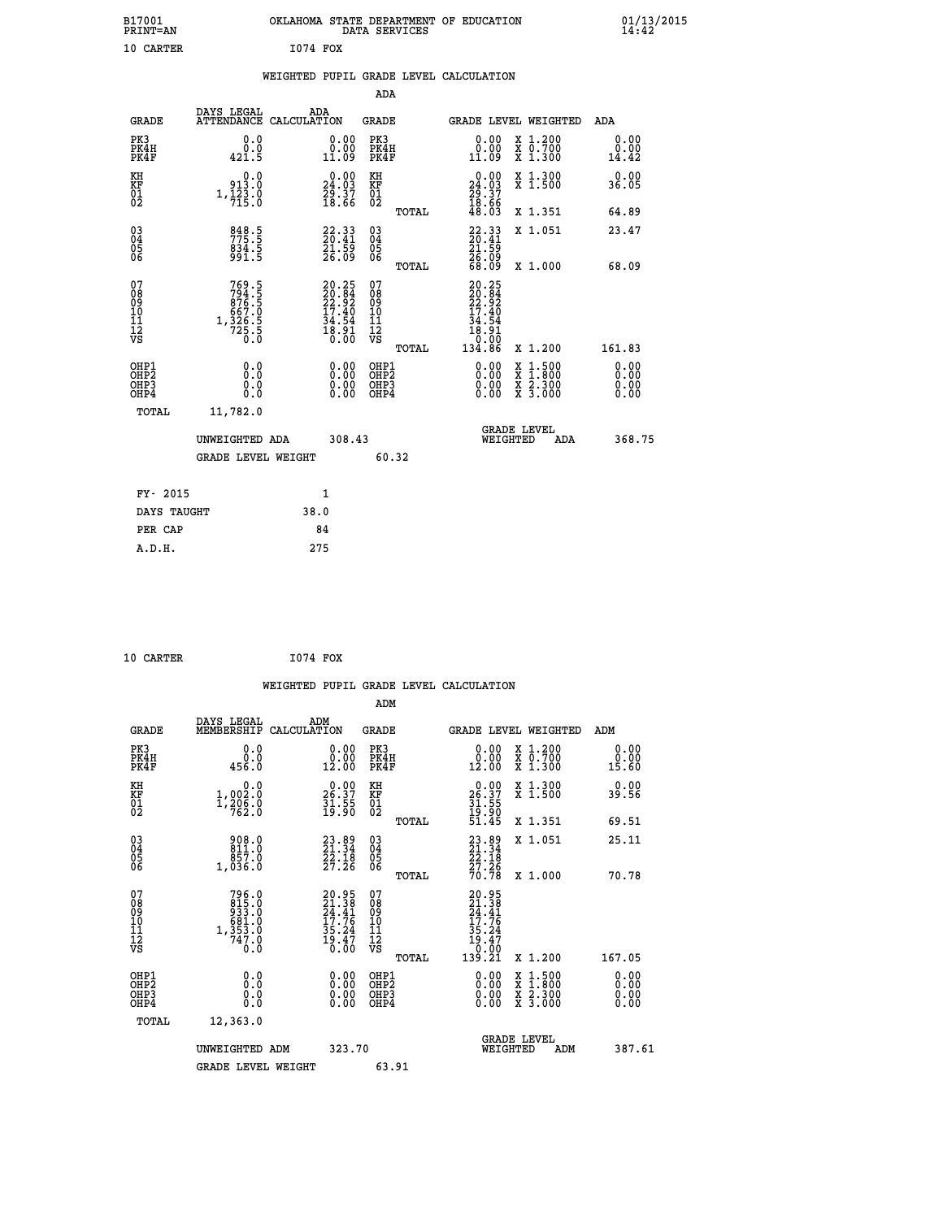| B17001<br>PRINT=AN                                 |                                                                          | OKLAHOMA STATE DEPARTMENT OF EDUCATION                                                | DATA SERVICES                                      |                                                                                            |                                                                                                  | 01/13/2015<br>14:42   |  |
|----------------------------------------------------|--------------------------------------------------------------------------|---------------------------------------------------------------------------------------|----------------------------------------------------|--------------------------------------------------------------------------------------------|--------------------------------------------------------------------------------------------------|-----------------------|--|
| 10 CARTER                                          |                                                                          | <b>I074 FOX</b>                                                                       |                                                    |                                                                                            |                                                                                                  |                       |  |
|                                                    |                                                                          | WEIGHTED PUPIL GRADE LEVEL CALCULATION                                                |                                                    |                                                                                            |                                                                                                  |                       |  |
|                                                    |                                                                          |                                                                                       | ADA                                                |                                                                                            |                                                                                                  |                       |  |
| GRADE                                              | DAYS LEGAL                                                               | ADA<br>ATTENDANCE CALCULATION                                                         | GRADE                                              | GRADE LEVEL WEIGHTED                                                                       |                                                                                                  | ADA                   |  |
| PK3<br>PK4H<br>PK4F                                | 0.0<br>0.0<br>421.5                                                      | 0.00<br>0.00<br>11.09                                                                 | PK3<br>PK4H<br>PK4F                                | 0.00<br>0.00<br>11.09                                                                      | X 1.200<br>X 0.700<br>X 1.300                                                                    | 0.00<br>0.00<br>14.42 |  |
| KH<br>KF<br>01<br>02                               | 0.0<br>913.0<br>$1,\frac{1}{7}\overline{2}\overline{3}\cdot 0$           | $\begin{smallmatrix} 0.00\\24.03\\29.37\\18.66 \end{smallmatrix}$                     | KH<br>KF<br>01<br>02                               | $\begin{smallmatrix} 0.00\\24.03\\29.37\\18.66\\48.03\\ \end{smallmatrix}$                 | X 1.300<br>X 1.500                                                                               | 0.00<br>36.05         |  |
|                                                    |                                                                          |                                                                                       | TOTAL                                              |                                                                                            | X 1.351                                                                                          | 64.89                 |  |
| $\begin{matrix} 03 \\ 04 \\ 05 \\ 06 \end{matrix}$ | 848.5<br>775.5<br>834.5<br>991.5                                         | $\begin{smallmatrix} 22\cdot33\\ 20\cdot41\\ 21\cdot59\\ 26\cdot09 \end{smallmatrix}$ | $\begin{matrix} 03 \\ 04 \\ 05 \\ 06 \end{matrix}$ | $22.33$<br>$20.41$<br>$21.59$<br>$26.09$<br>$68.09$                                        | X 1.051                                                                                          | 23.47                 |  |
|                                                    |                                                                          |                                                                                       | <b>TOTAL</b>                                       |                                                                                            | X 1.000                                                                                          | 68.09                 |  |
| 07<br>08<br>09<br>10<br>11<br>Ī2<br>VS             | 769.5<br>$794.5$<br>876.5<br>876.5<br>667.0<br>667.9<br>1,326.5<br>725.5 | $20.25$<br>$22.92$<br>$22.92$<br>$17.40$<br>$34.54$<br>$18.91$<br>$0.00$              | 07<br>08<br>09<br>10<br>11<br>ĪŽ<br>VŠ             | 20.25<br>$\frac{20.84}{22.92}$<br>$\frac{17.40}{27.9}$<br>34.54<br>18.91<br>0.00<br>134.86 |                                                                                                  |                       |  |
| OHP1                                               | 0.0                                                                      |                                                                                       | TOTAL<br>OHP1                                      |                                                                                            | X 1.200                                                                                          | 161.83<br>0.00        |  |
| OHP <sub>2</sub><br>OH <sub>P3</sub><br>OHP4       | Ō.Ō<br>0.0<br>0.0                                                        | 0.00<br>0.00<br>0.00                                                                  | OH <sub>P</sub> 2<br>OHP3<br>OHP4                  | 0.00<br>0.00<br>0.00                                                                       | $\begin{smallmatrix} x & 1 & 500 \\ x & 1 & 800 \\ x & 2 & 300 \\ x & 3 & 000 \end{smallmatrix}$ | 0.00<br>0.00<br>0.00  |  |
| TOTAL                                              | 11,782.0                                                                 |                                                                                       |                                                    |                                                                                            |                                                                                                  |                       |  |
|                                                    | UNWEIGHTED ADA                                                           | 308.43                                                                                |                                                    | <b>GRADE LEVEL</b><br>WEIGHTED                                                             | ADA                                                                                              | 368.75                |  |
|                                                    | <b>GRADE LEVEL WEIGHT</b>                                                |                                                                                       | 60.32                                              |                                                                                            |                                                                                                  |                       |  |
| FY- 2015                                           |                                                                          | 1                                                                                     |                                                    |                                                                                            |                                                                                                  |                       |  |
| DAYS TAUGHT                                        |                                                                          | 38.0                                                                                  |                                                    |                                                                                            |                                                                                                  |                       |  |
| PER CAP                                            |                                                                          | 84                                                                                    |                                                    |                                                                                            |                                                                                                  |                       |  |
| A.D.H.                                             |                                                                          | 275                                                                                   |                                                    |                                                                                            |                                                                                                  |                       |  |

| 10 CARTER | I074 FOX |  |
|-----------|----------|--|
|           |          |  |

|                                                    |                                                                                                              |                    |                                                                      |                                                     |       | WEIGHTED PUPIL GRADE LEVEL CALCULATION                                                           |                                          |                       |        |
|----------------------------------------------------|--------------------------------------------------------------------------------------------------------------|--------------------|----------------------------------------------------------------------|-----------------------------------------------------|-------|--------------------------------------------------------------------------------------------------|------------------------------------------|-----------------------|--------|
|                                                    |                                                                                                              |                    |                                                                      | ADM                                                 |       |                                                                                                  |                                          |                       |        |
| <b>GRADE</b>                                       | DAYS LEGAL<br>MEMBERSHIP                                                                                     | ADM<br>CALCULATION |                                                                      | <b>GRADE</b>                                        |       | <b>GRADE LEVEL WEIGHTED</b>                                                                      |                                          | ADM                   |        |
| PK3<br>PK4H<br>PK4F                                | 0.0<br>ة:ة<br>456.0                                                                                          |                    | 0.00<br>12.00                                                        | PK3<br>PK4H<br>PK4F                                 |       | $\begin{smallmatrix} 0.00\\ 0.00\\ 12.00 \end{smallmatrix}$                                      | X 1.200<br>X 0.700<br>X 1.300            | 0.00<br>0.00<br>15.60 |        |
| KH<br>KF<br>01<br>02                               | 0.0<br>$1,002.0$<br>$1,206.0$<br>$762.0$                                                                     |                    | $26.37$<br>$31.55$<br>$19.90$                                        | KH<br>KF<br>01<br>02                                |       | $26.37$<br>$31.55$<br>$19.90$<br>$51.45$                                                         | X 1.300<br>X 1.500                       | 0.00<br>39.56         |        |
|                                                    |                                                                                                              |                    |                                                                      |                                                     | TOTAL |                                                                                                  | X 1.351                                  | 69.51                 |        |
| $\begin{matrix} 03 \\ 04 \\ 05 \\ 06 \end{matrix}$ | $\begin{smallmatrix} 9 & 0 & 8 & 0 \\ 8 & 1 & 1 & 0 \\ 8 & 5 & 7 & 0 \\ 1 & 0 & 3 & 6 & 0 \end{smallmatrix}$ |                    | $23.89$<br>$21.34$<br>$22.18$<br>$27.26$                             | $\begin{array}{c} 03 \\ 04 \\ 05 \\ 06 \end{array}$ |       | 23.89<br>21.34<br>22.18<br>27.26<br>27.26                                                        | X 1.051                                  | 25.11                 |        |
|                                                    |                                                                                                              |                    |                                                                      |                                                     | TOTAL |                                                                                                  | X 1.000                                  | 70.78                 |        |
| 07<br>0890112<br>1112<br>VS                        | $\begin{array}{c} 796.0 \\ 815.0 \\ 933.0 \\ 681.0 \\ 681.0 \\ 1,353.0 \\ 747.0 \end{array}$<br>0.0          |                    | 20.95<br>21.38<br>24.41<br>24.41<br>35.24<br>35.24<br>35.24<br>19.47 | 07<br>08901112<br>1112<br>VS                        | TOTAL | $\begin{smallmatrix} 20.95\ 21.38\ 24.41\ 17.76\ 35.24\ 19.47\ 0.001\ 139.21\ \end{smallmatrix}$ | X 1.200                                  | 167.05                |        |
| OHP1                                               |                                                                                                              |                    |                                                                      | OHP1                                                |       |                                                                                                  |                                          | 0.00                  |        |
| OHP <sub>2</sub><br>OH <sub>P3</sub><br>OHP4       | 0.0<br>0.000                                                                                                 |                    | $0.00$<br>$0.00$<br>0.00                                             | OHP <sub>2</sub><br>OHP <sub>3</sub>                |       | 0.00<br>0.00<br>0.00                                                                             | X 1:500<br>X 1:800<br>X 2:300<br>X 3:000 | 0.00<br>0.00<br>0.00  |        |
| TOTAL                                              | 12,363.0                                                                                                     |                    |                                                                      |                                                     |       |                                                                                                  |                                          |                       |        |
|                                                    | UNWEIGHTED ADM                                                                                               |                    | 323.70                                                               |                                                     |       | WEIGHTED                                                                                         | <b>GRADE LEVEL</b><br>ADM                |                       | 387.61 |
|                                                    | <b>GRADE LEVEL WEIGHT</b>                                                                                    |                    |                                                                      | 63.91                                               |       |                                                                                                  |                                          |                       |        |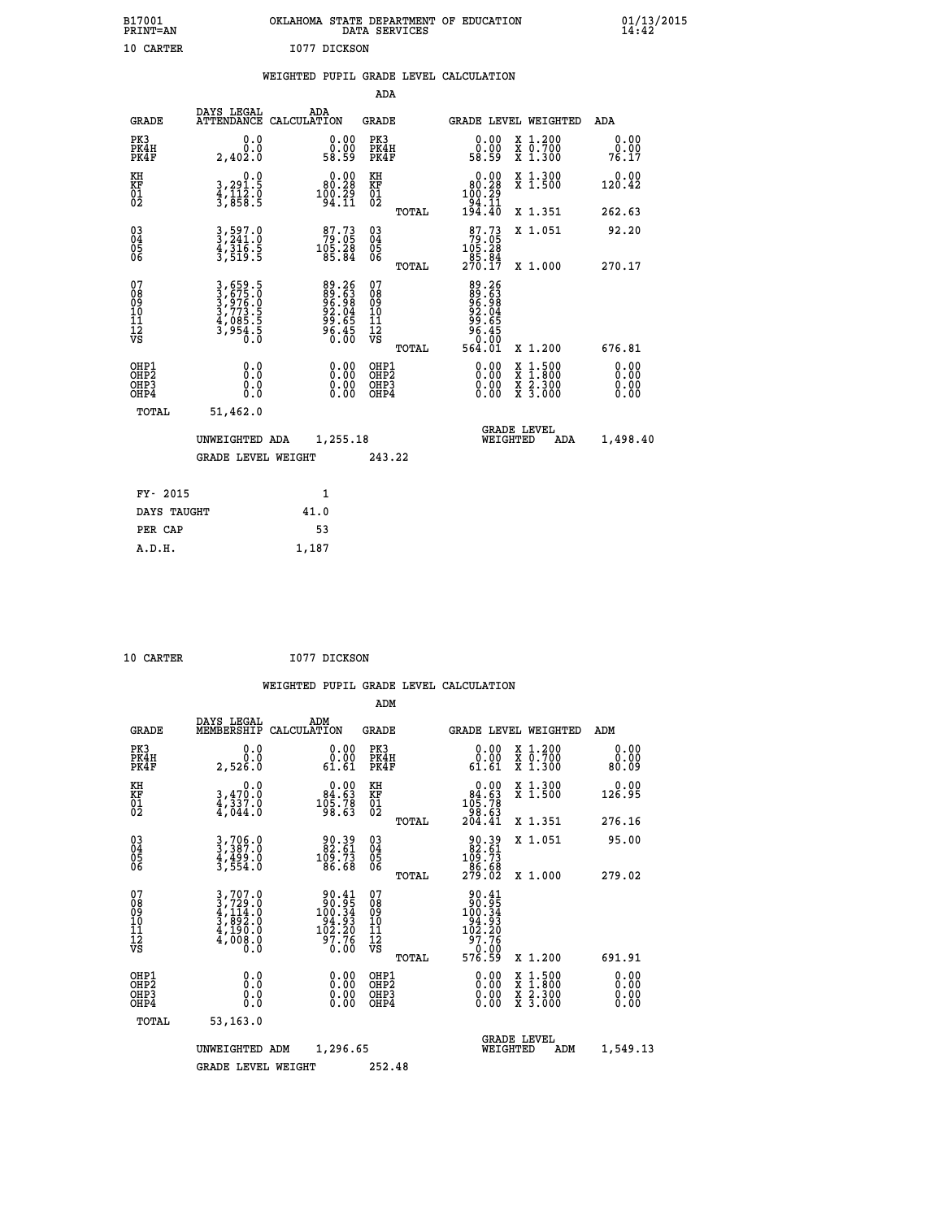| B17001<br><b>PRINT=AN</b> | OKLAHOMA STATE DEPARTMENT OF EDUCATION<br>DATA SERVICES | $01/13/2015$<br>14:42 |
|---------------------------|---------------------------------------------------------|-----------------------|
| 10 CARTER                 | 1077 DICKSON                                            |                       |

|  |  | WEIGHTED PUPIL GRADE LEVEL CALCULATION |
|--|--|----------------------------------------|
|  |  |                                        |

|                                                       |                                                                       |                                                                       | ADA                                       |       |                                                                                         |                                                                                                                                      |                              |
|-------------------------------------------------------|-----------------------------------------------------------------------|-----------------------------------------------------------------------|-------------------------------------------|-------|-----------------------------------------------------------------------------------------|--------------------------------------------------------------------------------------------------------------------------------------|------------------------------|
| <b>GRADE</b>                                          | DAYS LEGAL                                                            | ADA<br>ATTENDANCE CALCULATION                                         | GRADE                                     |       | GRADE LEVEL WEIGHTED                                                                    |                                                                                                                                      | ADA                          |
| PK3<br>PK4H<br>PK4F                                   | 0.0<br>0.0<br>2,402.0                                                 | $\begin{smallmatrix} 0.00\\ 0.00\\ 58.59 \end{smallmatrix}$           | PK3<br>PK4H<br>PK4F                       |       | 0.00<br>0.00<br>58.59                                                                   | X 1.200<br>X 0.700<br>X 1.300                                                                                                        | 0.00<br>0.00<br>76.17        |
| KH<br>KF<br>01<br>02                                  | 0.0<br>3,291.5<br>4,112.0<br>3,858.5                                  | $\begin{smallmatrix} 0.00\\ 80.28\\ 100.29\\ 94.11 \end{smallmatrix}$ | KH<br>KF<br>01<br>02                      |       | $\begin{smallmatrix} &0.00\\ 80.28\\ 100.29\\ 194.11\\ 94.11\\ 194.40\end{smallmatrix}$ | X 1.300<br>X 1.500                                                                                                                   | 0.00<br>120.42               |
|                                                       |                                                                       |                                                                       |                                           | TOTAL |                                                                                         | X 1.351                                                                                                                              | 262.63                       |
| 03<br>04<br>05<br>06                                  | 3,597.0<br>3,241.0<br>4,316.5<br>3,519.5                              | $79.73$<br>$79.05$<br>$105.28$<br>$85.84$                             | 03<br>04<br>05<br>06                      |       | $\begin{array}{c} 87.73 \\ 79.05 \\ 105.28 \\ 85.84 \\ 270.17 \end{array}$              | X 1.051                                                                                                                              | 92.20                        |
|                                                       |                                                                       |                                                                       |                                           | TOTAL |                                                                                         | X 1.000                                                                                                                              | 270.17                       |
| 07<br>08<br>09<br>11<br>11<br>12<br>VS                | 3,659.5<br>3,675.0<br>3,976.0<br>3,773.5<br>4,085.5<br>3,954.5<br>0.0 | 89.263<br>896.638<br>906.84<br>90.655<br>96.450                       | 07<br>08<br>09<br>11<br>11<br>12<br>VS    | TOTAL | 89.263<br>889.688<br>96.045<br>96.450<br>96.01<br>564.01                                | X 1.200                                                                                                                              | 676.81                       |
| OHP1<br>OH <sub>P</sub> 2<br>OH <sub>P3</sub><br>OHP4 | 0.0<br>0.0<br>0.0                                                     | 0.00<br>$\begin{smallmatrix} 0.00 \ 0.00 \end{smallmatrix}$           | OHP1<br>OH <sub>P</sub> 2<br>OHP3<br>OHP4 |       | 0.00<br>0.00<br>0.00                                                                    | $\begin{smallmatrix} \mathtt{X} & 1 & 500 \\ \mathtt{X} & 1 & 800 \\ \mathtt{X} & 2 & 300 \\ \mathtt{X} & 3 & 000 \end{smallmatrix}$ | 0.00<br>0.00<br>0.00<br>0.00 |
| TOTAL                                                 | 51,462.0                                                              |                                                                       |                                           |       |                                                                                         |                                                                                                                                      |                              |
|                                                       | UNWEIGHTED ADA                                                        | 1,255.18                                                              |                                           |       | WEIGHTED                                                                                | <b>GRADE LEVEL</b><br>ADA                                                                                                            | 1,498.40                     |
|                                                       | <b>GRADE LEVEL WEIGHT</b>                                             |                                                                       | 243.22                                    |       |                                                                                         |                                                                                                                                      |                              |
| FY- 2015                                              |                                                                       | $\mathbf{1}$                                                          |                                           |       |                                                                                         |                                                                                                                                      |                              |
| DAYS TAUGHT                                           |                                                                       | 41.0                                                                  |                                           |       |                                                                                         |                                                                                                                                      |                              |
| PER CAP                                               |                                                                       | 53                                                                    |                                           |       |                                                                                         |                                                                                                                                      |                              |
| A.D.H.                                                |                                                                       | 1,187                                                                 |                                           |       |                                                                                         |                                                                                                                                      |                              |

| <b>10 CARTER</b> |  | I077 DICKSON |
|------------------|--|--------------|
|                  |  |              |

| <b>GRADE</b>                                       | DAYS LEGAL<br>MEMBERSHIP                                                                                                                                            | CALCULATION | ADM                                                                                         | <b>GRADE</b>                                        |       | GRADE LEVEL WEIGHTED                                                                                                                                                                                                                                                           |                                          | ADM                   |
|----------------------------------------------------|---------------------------------------------------------------------------------------------------------------------------------------------------------------------|-------------|---------------------------------------------------------------------------------------------|-----------------------------------------------------|-------|--------------------------------------------------------------------------------------------------------------------------------------------------------------------------------------------------------------------------------------------------------------------------------|------------------------------------------|-----------------------|
| PK3<br>PK4H<br>PK4F                                | 0.0<br>0.0<br>2,526.0                                                                                                                                               |             | 0.0000<br>61.61                                                                             | PK3<br>PK4H<br>PK4F                                 |       | 0.0000<br>61.61                                                                                                                                                                                                                                                                | X 1.200<br>X 0.700<br>X 1.300            | 0.00<br>0.00<br>80.09 |
| KH<br>KF<br>01<br>02                               | 0.0<br>3,470.0<br>4,337.0<br>4,044.0                                                                                                                                |             | $\begin{smallmatrix} &0.00\ 84.63\ 105.78\ 98.63\ \end{smallmatrix}$                        | KH<br>KF<br>01<br>02                                |       | $0.00\n84.63\n105.78\n98.63\n204.41$                                                                                                                                                                                                                                           | X 1.300<br>X 1.500                       | 0.00<br>126.95        |
|                                                    |                                                                                                                                                                     |             |                                                                                             |                                                     | TOTAL |                                                                                                                                                                                                                                                                                | X 1.351                                  | 276.16                |
| $\begin{matrix} 03 \\ 04 \\ 05 \\ 06 \end{matrix}$ | 3,706.0<br>3,387.0<br>4,499.0<br>3,554.0                                                                                                                            |             | $\begin{smallmatrix} 90.39 \\ 82.61 \\ 109.73 \\ 86.68 \end{smallmatrix}$                   | $\begin{array}{c} 03 \\ 04 \\ 05 \\ 06 \end{array}$ |       | $\begin{smallmatrix} 90.39 \\ 82.61 \\ 109.73 \\ 86.68 \\ 279.02 \end{smallmatrix}$                                                                                                                                                                                            | X 1.051                                  | 95.00                 |
|                                                    |                                                                                                                                                                     |             |                                                                                             |                                                     | TOTAL |                                                                                                                                                                                                                                                                                | X 1.000                                  | 279.02                |
| 07<br>08<br>09<br>01<br>11<br>11<br>12<br>VS       | $\begin{smallmatrix} 3\,,\,707\,.\,0\\ 3\,,\,729\,. \,0\\ 4\,,\,114\,. \,0\\ 3\,,\,892\,. \,0\\ 4\,,\,190\,. \,0\\ 4\,,\,008\,. \,0\\ 0\,. \,0\\ \end{smallmatrix}$ |             | $\begin{array}{c} 90.41 \\ 90.95 \\ 100.34 \\ 94.93 \\ 102.20 \\ 97.76 \\ 0.00 \end{array}$ | 07<br>08<br>09<br>101<br>11<br>12<br>VS             | TOTAL | $\begin{array}{r} 90.41 \\ 90.95 \\ 100.34 \\ 104.93 \\ 94.93 \\ 102.20 \\ 97.76 \\ 0.00 \\ 576.59 \end{array}$                                                                                                                                                                | X 1.200                                  | 691.91                |
| OHP1<br>OHP2<br>OHP3<br>OH <sub>P4</sub>           |                                                                                                                                                                     |             | $\begin{smallmatrix} 0.00 \ 0.00 \ 0.00 \ 0.00 \end{smallmatrix}$                           | OHP1<br>OHP2<br>OHP3<br>OHP4                        |       | $\begin{smallmatrix} 0.00 & 0.00 & 0.00 & 0.00 & 0.00 & 0.00 & 0.00 & 0.00 & 0.00 & 0.00 & 0.00 & 0.00 & 0.00 & 0.00 & 0.00 & 0.00 & 0.00 & 0.00 & 0.00 & 0.00 & 0.00 & 0.00 & 0.00 & 0.00 & 0.00 & 0.00 & 0.00 & 0.00 & 0.00 & 0.00 & 0.00 & 0.00 & 0.00 & 0.00 & 0.00 & 0.0$ | X 1:500<br>X 1:800<br>X 2:300<br>X 3:000 | 0.00<br>0.00<br>0.00  |
| TOTAL                                              | 53,163.0                                                                                                                                                            |             |                                                                                             |                                                     |       |                                                                                                                                                                                                                                                                                |                                          |                       |
|                                                    | UNWEIGHTED                                                                                                                                                          | ADM         | 1,296.65                                                                                    |                                                     |       | WEIGHTED                                                                                                                                                                                                                                                                       | <b>GRADE LEVEL</b><br>ADM                | 1,549.13              |
|                                                    | <b>GRADE LEVEL WEIGHT</b>                                                                                                                                           |             |                                                                                             | 252.48                                              |       |                                                                                                                                                                                                                                                                                |                                          |                       |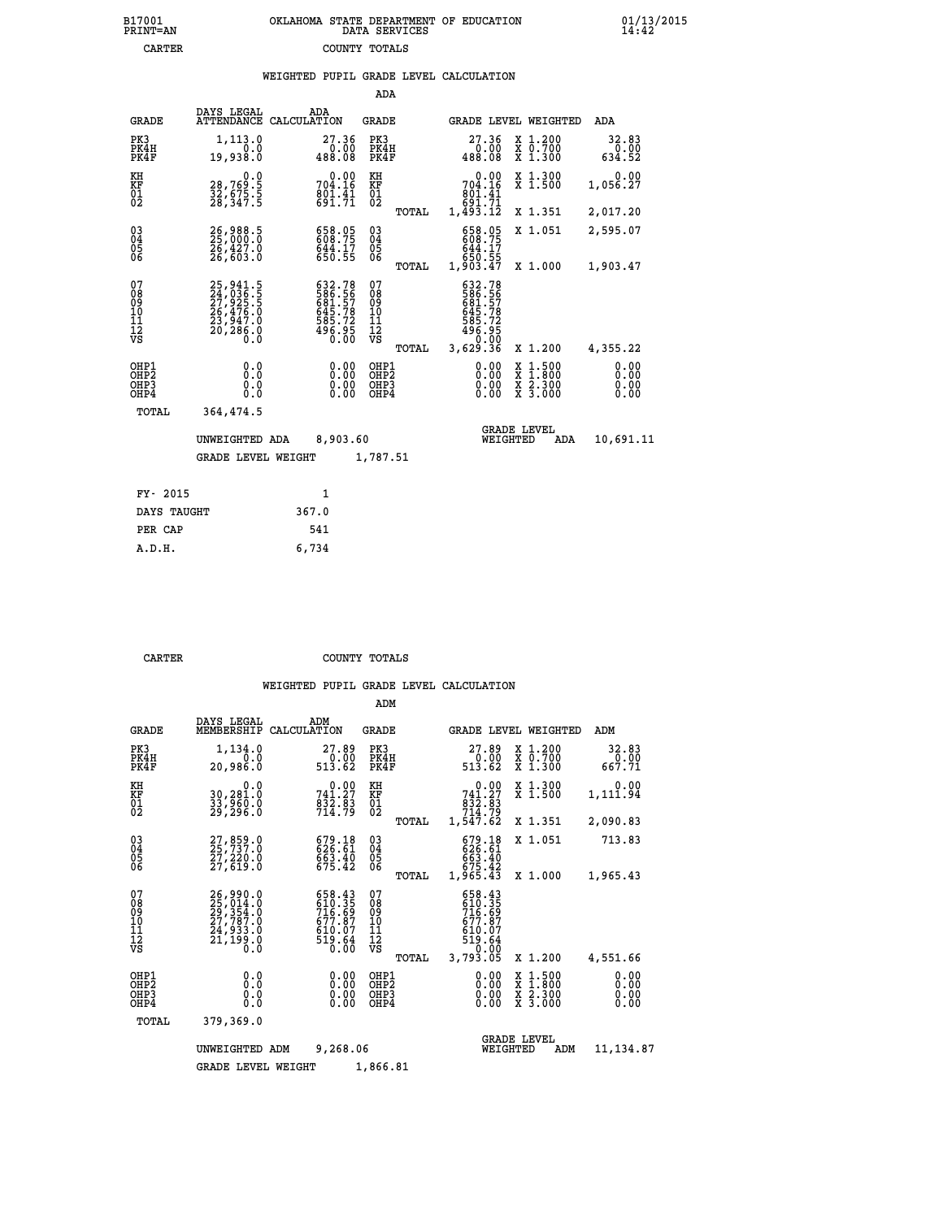| 7001<br>INT=AN | OKLAHOMA STATE DEPARTMENT OF EDUCATION<br>DATA SERVICES |  |
|----------------|---------------------------------------------------------|--|
| CARTER         | COUNTY TOTALS                                           |  |

|                                                              |                                                                      | WEIGHTED PUPIL GRADE LEVEL CALCULATION                                      |                                                 |                                                                      |                                                                                                                                           |                              |
|--------------------------------------------------------------|----------------------------------------------------------------------|-----------------------------------------------------------------------------|-------------------------------------------------|----------------------------------------------------------------------|-------------------------------------------------------------------------------------------------------------------------------------------|------------------------------|
|                                                              |                                                                      |                                                                             | <b>ADA</b>                                      |                                                                      |                                                                                                                                           |                              |
| <b>GRADE</b>                                                 | DAYS LEGAL                                                           | ADA<br>ATTENDANCE CALCULATION                                               | <b>GRADE</b>                                    | GRADE LEVEL WEIGHTED                                                 |                                                                                                                                           | ADA                          |
| PK3<br>PK4H<br>PK4F                                          | 1, 113.0<br>0.0<br>19,938.0                                          | 27.36<br>0.00<br>488.08                                                     | PK3<br>PK4H<br>PK4F                             | 27.36<br>0.00<br>488.08                                              | X 1.200<br>X 0.700<br>X 1.300                                                                                                             | 32.83<br>0.00<br>634.52      |
| KH<br>KF<br>01<br>02                                         | 0.0<br>28,769:5<br>32,675:5<br>28,347:5                              | $0.00$<br>704.16<br>$\frac{801.41}{691.71}$                                 | KH<br>KF<br>$\overline{01}$                     | 704.16<br>éŏ1:41<br>691:71<br>1,493.12                               | X 1.300<br>X 1.500                                                                                                                        | 0.00<br>1,056.27             |
|                                                              |                                                                      |                                                                             | TOTAL                                           |                                                                      | X 1.351                                                                                                                                   | 2,017.20                     |
| $\begin{smallmatrix} 03 \\[-4pt] 04 \end{smallmatrix}$<br>05 | 26,988.5<br>25,000.0<br>26,427.0<br>26,603.0                         | 658.05<br>608.75<br>644.17<br>650.55                                        | $^{03}_{04}$<br>05                              | 658.05<br>608.75<br>644.17                                           | X 1.051                                                                                                                                   | 2,595.07                     |
| 06                                                           |                                                                      |                                                                             | 06<br>TOTAL                                     | ĕ50.55<br>1,903.47                                                   | X 1.000                                                                                                                                   | 1,903.47                     |
| 07<br>ŏġ<br>09<br>10<br>īĭ<br>12<br>νs                       | 25,941.5<br>24,036.5<br>27,925.5<br>26,476.0<br>23,947.0<br>20,286.0 | 632.78<br>586.557<br>581.57<br>645.78<br>585.72<br>585.72<br>496.95<br>0.00 | 07<br>08<br>09<br>10<br>11<br>12<br>VS<br>TOTAL | 632.78<br>586.56<br>681.57<br>685.78<br>585.72<br>586.95<br>3,629.36 | X 1.200                                                                                                                                   | 4,355.22                     |
| OHP1<br>OHP2<br>OHP3<br>OHP4                                 | 0.0<br>0.0<br>0.0                                                    |                                                                             | OHP1<br>OHP2<br>OHP3<br>OHP4                    | 0.00<br>0.00                                                         | $\begin{smallmatrix} \mathtt{X} & 1\cdot500\\ \mathtt{X} & 1\cdot800\\ \mathtt{X} & 2\cdot300\\ \mathtt{X} & 3\cdot000 \end{smallmatrix}$ | 0.00<br>0.00<br>0.00<br>0.00 |
| TOTAL                                                        | 364,474.5                                                            |                                                                             |                                                 |                                                                      |                                                                                                                                           |                              |
|                                                              | UNWEIGHTED ADA                                                       | 8,903.60                                                                    |                                                 | <b>GRADE LEVEL</b><br>WEIGHTED                                       | ADA                                                                                                                                       | 10,691.11                    |
|                                                              | <b>GRADE LEVEL WEIGHT</b>                                            |                                                                             | 1,787.51                                        |                                                                      |                                                                                                                                           |                              |
| FY- 2015                                                     |                                                                      | $\mathbf{1}$                                                                |                                                 |                                                                      |                                                                                                                                           |                              |
| DAYS TAUGHT                                                  |                                                                      | 367.0                                                                       |                                                 |                                                                      |                                                                                                                                           |                              |
| PER CAP                                                      |                                                                      | 541                                                                         |                                                 |                                                                      |                                                                                                                                           |                              |

| A.D.H. | 6,734 |
|--------|-------|
|        |       |
|        |       |

 **B17001<br>PRINT=AN** 

**CARTER COUNTY TOTALS** 

|                                                       |                                                                      |                                                                    | ADM                                              |                                                                                 |                                                                                                  |                              |
|-------------------------------------------------------|----------------------------------------------------------------------|--------------------------------------------------------------------|--------------------------------------------------|---------------------------------------------------------------------------------|--------------------------------------------------------------------------------------------------|------------------------------|
| <b>GRADE</b>                                          | DAYS LEGAL<br>MEMBERSHIP                                             | ADM<br>CALCULATION                                                 | <b>GRADE</b>                                     | GRADE LEVEL WEIGHTED                                                            |                                                                                                  | ADM                          |
| PK3<br>PK4H<br>PK4F                                   | 1,134.0<br>0.0<br>20,986.0                                           | 27.89<br>$0.\overline{00}$<br>513.62                               | PK3<br>PK4H<br>PK4F                              | 27.89<br>$\begin{array}{c} 70.00 \\ 513.62 \end{array}$                         | x 1.200<br>x 0.700<br>X 1.300                                                                    | 32.83<br>0.00<br>667.71      |
| KH<br>KF<br>01<br>02                                  | 0.0<br>30,281.0<br>33,960.0<br>29,296.0                              | 741.27<br>$\frac{832.83}{714.79}$                                  | KH<br>KF<br>01<br>02                             | 0.00<br>741.27<br>$\frac{832.83}{714.79}$                                       | X 1.300<br>X 1.500                                                                               | 0.00<br>1,111.94             |
|                                                       |                                                                      |                                                                    | TOTAL                                            | 1,547.62                                                                        | X 1.351                                                                                          | 2,090.83                     |
| 03<br>04<br>05<br>06                                  | 27,859.0<br>25,737.0<br>27,220.0<br>27,619.0                         | 679.18<br>626.61<br>663.40<br>675.42                               | $\substack{03 \\ 04}$<br>05<br>06                | $679.18626.61663.40675.421,965.43$                                              | X 1.051                                                                                          | 713.83                       |
|                                                       |                                                                      |                                                                    | TOTAL                                            |                                                                                 | X 1.000                                                                                          | 1,965.43                     |
| 07<br>08<br>09<br>11<br>11<br>12<br>VS                | 26,990.0<br>25,014.0<br>29,354.0<br>27,787.0<br>24,933.0<br>21,199.0 | 658.43<br>610.35<br>716.69<br>677.87<br>$610.07$<br>519.64<br>0.00 | 07<br>08<br>09<br>101<br>11<br>12<br>VS<br>TOTAL | 658.43<br>610.35<br>716.69<br>677.87<br>$610.07$<br>519.64<br>-0.00<br>3,793.05 | X 1.200                                                                                          | 4,551.66                     |
| OHP1<br>OH <sub>P</sub> 2<br>OH <sub>P3</sub><br>OHP4 | 0.0<br>0.000                                                         | $0.00$<br>$0.00$<br>0.00                                           | OHP1<br>OHP2<br>OHP3<br>OHP4                     | $0.00$<br>$0.00$<br>0.00                                                        | $\begin{smallmatrix} x & 1 & 500 \\ x & 1 & 800 \\ x & 2 & 300 \\ x & 3 & 000 \end{smallmatrix}$ | 0.00<br>0.00<br>0.00<br>0.00 |
| TOTAL                                                 | 379,369.0                                                            |                                                                    |                                                  |                                                                                 |                                                                                                  |                              |
|                                                       | UNWEIGHTED ADM                                                       | 9,268.06                                                           |                                                  | <b>GRADE LEVEL</b><br>WEIGHTED                                                  | ADM                                                                                              | 11, 134.87                   |
|                                                       | <b>GRADE LEVEL WEIGHT</b>                                            |                                                                    | 1,866.81                                         |                                                                                 |                                                                                                  |                              |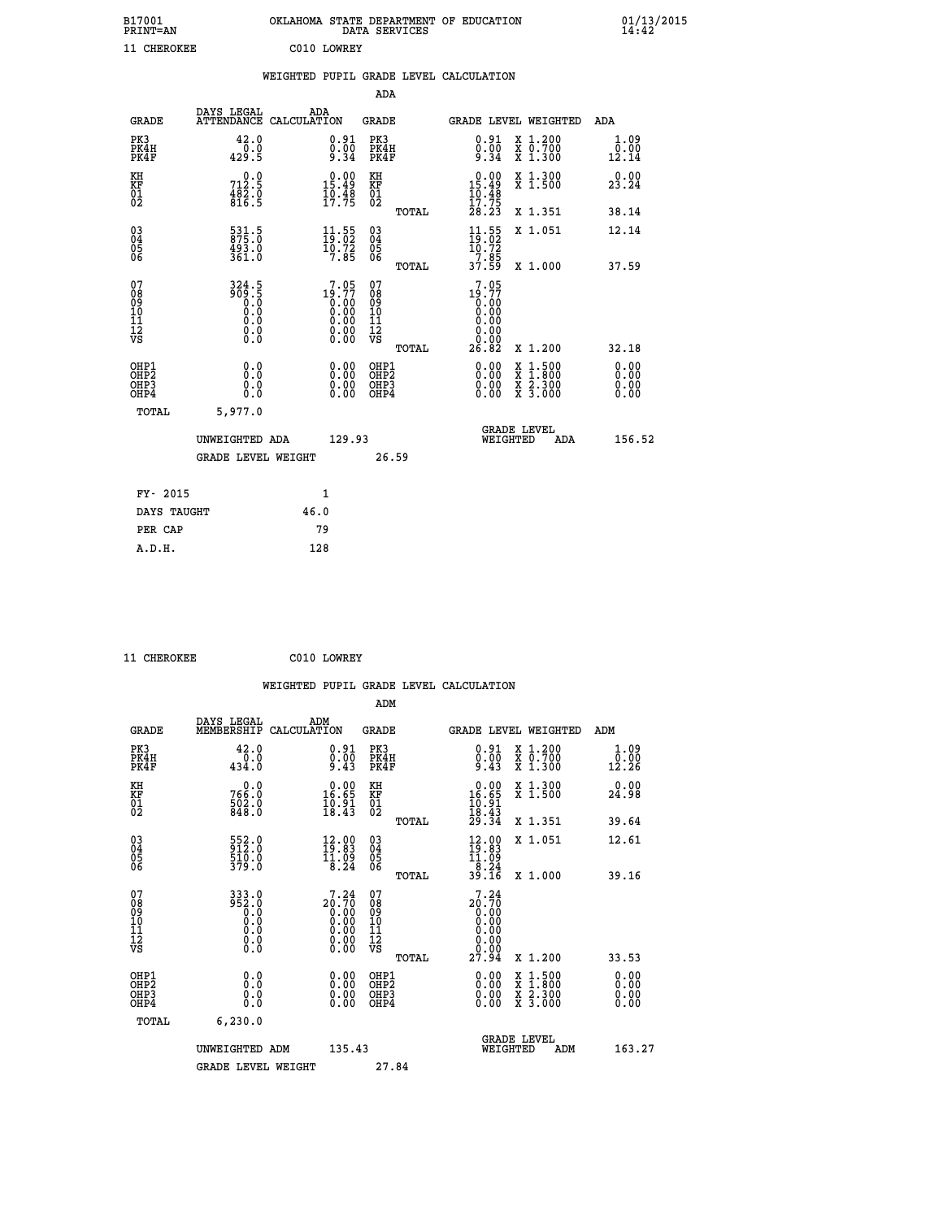| B17001<br><b>PRINT=AN</b> | OKLAHOMA STATE DEPARTMENT OF EDUCATION<br>DATA SERVICES |  |
|---------------------------|---------------------------------------------------------|--|
| 11 CHEROKEE               | C010 LOWREY                                             |  |

|                                                                    |                                                                                                                                                    | WEIGHTED PUPIL GRADE LEVEL CALCULATION                                                   |                                        |       |                                                                         |                                                                                                           |                                    |
|--------------------------------------------------------------------|----------------------------------------------------------------------------------------------------------------------------------------------------|------------------------------------------------------------------------------------------|----------------------------------------|-------|-------------------------------------------------------------------------|-----------------------------------------------------------------------------------------------------------|------------------------------------|
|                                                                    |                                                                                                                                                    |                                                                                          | <b>ADA</b>                             |       |                                                                         |                                                                                                           |                                    |
| <b>GRADE</b>                                                       | DAYS LEGAL<br><b>ATTENDANCE</b>                                                                                                                    | ADA<br>CALCULATION                                                                       | <b>GRADE</b>                           |       | GRADE LEVEL WEIGHTED                                                    |                                                                                                           | ADA                                |
| PK3<br>PK4H<br>PK4F                                                | 42.0<br>$\frac{1}{429}$ .9                                                                                                                         | $\substack{0.91 \\ 0.00 \\ 9.34}$                                                        | PK3<br>PK4H<br>PK4F                    |       | $\begin{smallmatrix} 0.91\ 0.00\ 9.34 \end{smallmatrix}$                | X 1.200<br>X 0.700<br>X 1.300                                                                             | 1.09<br>$\overline{0.00}$<br>12.14 |
| KH<br>KF<br>01<br>02                                               | 0.0<br>712.5<br>$\frac{482.0}{816.5}$                                                                                                              | 15.49<br>$\frac{10.48}{17.75}$                                                           | KH<br>KF<br>01<br>02                   |       | 0.00<br>$\frac{15.49}{10.48}$                                           | X 1.300<br>X 1.500                                                                                        | 0.00<br>23.24                      |
|                                                                    |                                                                                                                                                    |                                                                                          |                                        | TOTAL | 17.75<br>28.23                                                          | X 1.351                                                                                                   | 38.14                              |
| $\begin{smallmatrix} 03 \\[-4pt] 04 \end{smallmatrix}$<br>Ŏ5<br>06 | 531.5<br>875.0<br>493.0<br>361.0                                                                                                                   | $\begin{smallmatrix} 11\cdot 55\\ 19\cdot 02\\ 10\cdot 72\\ 7\cdot 85 \end{smallmatrix}$ | $\substack{03 \\ 04}$<br>Ŏ5<br>06      |       | $\begin{array}{c} 11.55 \\ 19.02 \\ 10.72 \\ 7.85 \\ 37.59 \end{array}$ | X 1.051                                                                                                   | 12.14                              |
|                                                                    |                                                                                                                                                    |                                                                                          |                                        | TOTAL |                                                                         | X 1.000                                                                                                   | 37.59                              |
| 07<br>08901112<br>1112<br>VS                                       | $\begin{smallmatrix} 3\,2\,4\,\cdot\,5\\ 9\,0\,9\,\cdot\,5\\ 0\,\cdot\,0\\ 0\,\cdot\,0\\ 0\,\cdot\,0\\ 0\,\cdot\,0\\ 0\,\cdot\,0\end{smallmatrix}$ | $7.05$<br>19.77<br>$\begin{smallmatrix} 0.166\ 0.00\ 0.00\ 0.00\ 0.00 \end{smallmatrix}$ | 07<br>08<br>09<br>11<br>11<br>12<br>VS | TOTAL | 7.05<br>$19.77$<br>0.00<br>0.00<br>0.00<br>0.00<br>26.82                | X 1.200                                                                                                   | 32.18                              |
| OHP1<br>OHP2<br>OHP3<br>OHP4                                       | 0.0<br>0.0<br>$0.\overline{0}$                                                                                                                     | 0.0000<br>$\begin{smallmatrix} 0.00 \ 0.00 \end{smallmatrix}$                            | OHP1<br>OHP2<br>OHP3<br>OHP4           |       | 0.00<br>0.00<br>0.00                                                    | 1:500<br>$\begin{smallmatrix} x & 1 & 500 \\ x & 1 & 800 \\ x & 2 & 300 \\ x & 3 & 000 \end{smallmatrix}$ | 0.00<br>0.00<br>0.00               |
| <b>TOTAL</b>                                                       | 5,977.0                                                                                                                                            |                                                                                          |                                        |       |                                                                         |                                                                                                           |                                    |
|                                                                    | UNWEIGHTED ADA                                                                                                                                     | 129.93                                                                                   |                                        |       | WEIGHTED                                                                | <b>GRADE LEVEL</b><br>ADA                                                                                 | 156.52                             |
|                                                                    | <b>GRADE LEVEL WEIGHT</b>                                                                                                                          |                                                                                          |                                        | 26.59 |                                                                         |                                                                                                           |                                    |
| FY- 2015                                                           |                                                                                                                                                    | $\mathbf{1}$                                                                             |                                        |       |                                                                         |                                                                                                           |                                    |
| DAYS TAUGHT                                                        |                                                                                                                                                    | 46.0                                                                                     |                                        |       |                                                                         |                                                                                                           |                                    |
| PER CAP                                                            |                                                                                                                                                    | 79                                                                                       |                                        |       |                                                                         |                                                                                                           |                                    |

 **11 CHEROKEE C010 LOWREY**

|                                                      |                                                                                   |                                                                      | WEIGHTED PUPIL GRADE LEVEL CALCULATION       |                                                                                                    |                              |
|------------------------------------------------------|-----------------------------------------------------------------------------------|----------------------------------------------------------------------|----------------------------------------------|----------------------------------------------------------------------------------------------------|------------------------------|
|                                                      |                                                                                   |                                                                      | ADM                                          |                                                                                                    |                              |
| <b>GRADE</b>                                         | DAYS LEGAL<br>MEMBERSHIP<br>CALCULATION                                           | ADM                                                                  | <b>GRADE</b>                                 | <b>GRADE LEVEL WEIGHTED</b>                                                                        | ADM                          |
| PK3<br>PK4H<br>PK4F                                  | 42.0<br>0.0<br>434.0                                                              | $\substack{0.91 \\ 0.00 \\ 9.43}$                                    | PK3<br>PK4H<br>PK4F                          | $\begin{smallmatrix} 0.91\ 0.00\ 9.43 \end{smallmatrix}$<br>X 1.200<br>X 0.700<br>X 1.300          | 1.09<br>0.00<br>12.26        |
| KH<br>KF<br>01<br>02                                 | $766.0$<br>$502.0$<br>$502.0$<br>848.0                                            | $\begin{smallmatrix} 0.00\\ 16.65\\ 10.91\\ 18.43 \end{smallmatrix}$ | KH<br>KF<br>01<br>02                         | $\begin{array}{c} 0.00 \\ 16.65 \\ 10.91 \\ 18.43 \\ 29.34 \end{array}$<br>X 1.300<br>X 1.500      | 0.00<br>24.98                |
|                                                      |                                                                                   |                                                                      | TOTAL                                        | X 1.351                                                                                            | 39.64                        |
| $\begin{matrix} 03 \\ 04 \\ 05 \\ 06 \end{matrix}$   | 552.0<br>912.0<br>510.0<br>379.0                                                  | $\begin{smallmatrix} 12.00\\ 19.83\\ 11.09\\ 8.24 \end{smallmatrix}$ | 03<br>04<br>05<br>06                         | X 1.051<br>$\begin{smallmatrix} 12.00\\19.83\\11.09\\8.24\\39.16 \end{smallmatrix}$                | 12.61                        |
|                                                      |                                                                                   |                                                                      | TOTAL                                        | X 1.000                                                                                            | 39.16                        |
| 07<br>08<br>09<br>101<br>11<br>12<br>VS              | 333.0<br>952.0<br>0.0<br>$\begin{smallmatrix} 0.10 \ 0.0 \ 0.0 \end{smallmatrix}$ |                                                                      | 07<br>08<br>09<br>01<br>11<br>11<br>12<br>VS | $20.70$<br>0.00<br>0.00                                                                            |                              |
|                                                      |                                                                                   |                                                                      | TOTAL                                        | 27.94<br>X 1.200                                                                                   | 33.53                        |
| OHP1<br>OHP2<br>OH <sub>P3</sub><br>OH <sub>P4</sub> | 0.0<br>0.000                                                                      | 0.00<br>$\begin{smallmatrix} 0.00 \ 0.00 \end{smallmatrix}$          | OHP1<br>OHP2<br>OHP3<br>OHP4                 | $0.00$<br>$0.00$<br>$\frac{x}{x}$ $\frac{1.500}{x}$<br>$\frac{x}{x}$ $\frac{5:300}{3:000}$<br>0.00 | 0.00<br>0.00<br>0.00<br>0.00 |
| TOTAL                                                | 6, 230.0                                                                          |                                                                      |                                              |                                                                                                    |                              |
|                                                      | UNWEIGHTED ADM                                                                    | 135.43                                                               |                                              | <b>GRADE LEVEL</b><br>WEIGHTED<br>ADM                                                              | 163.27                       |
|                                                      | <b>GRADE LEVEL WEIGHT</b>                                                         |                                                                      | 27.84                                        |                                                                                                    |                              |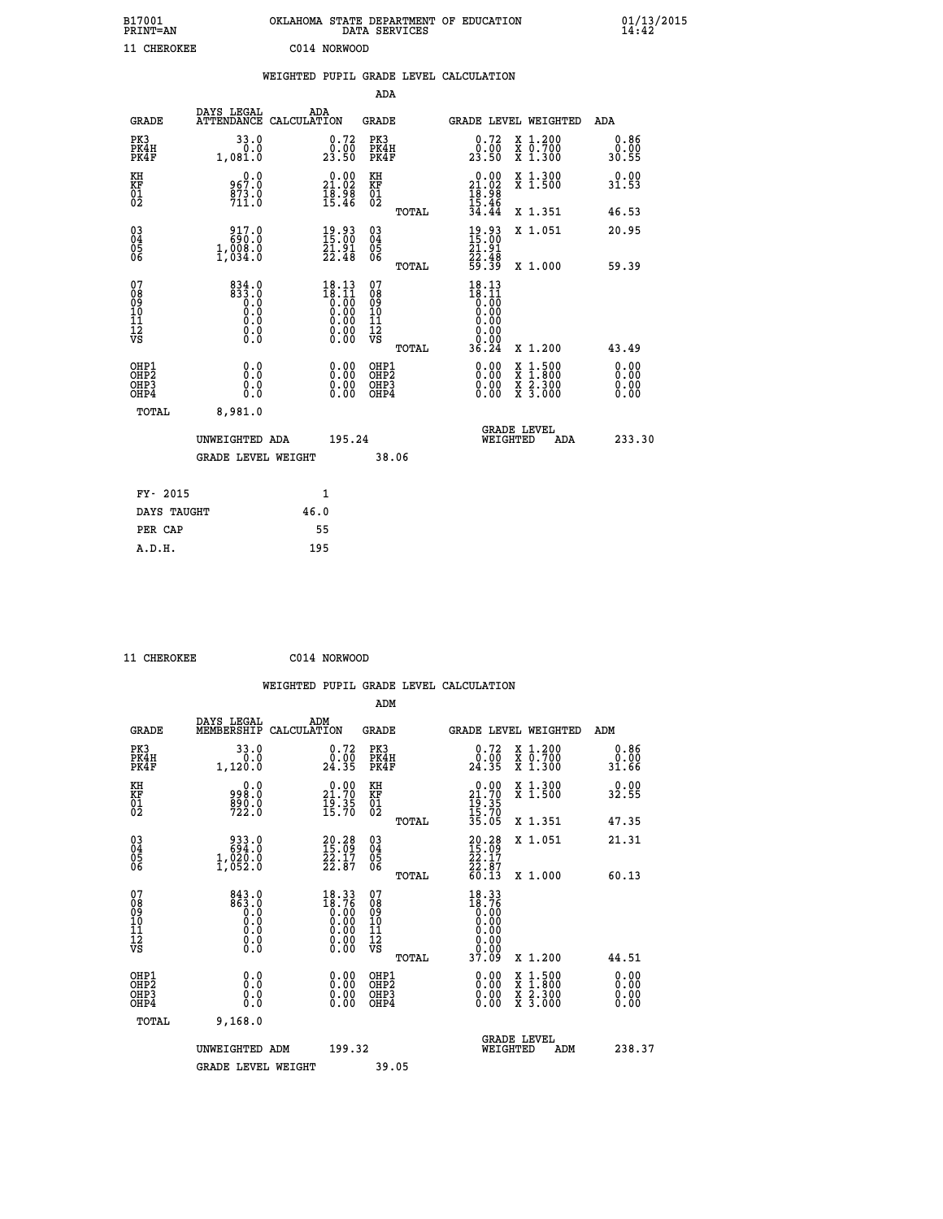| B17001<br><b>PRINT=AN</b> | OKLAHOMA STATE DEPARTMENT OF EDUCATION<br>DATA SERVICES | 01/13/2015 |
|---------------------------|---------------------------------------------------------|------------|
| 11 CHEROKEE               | C014 NORWOOD                                            |            |

|                                                                    |                                                           |      |                                                                                                                                                                  |                                        |       | WEIGHTED PUPIL GRADE LEVEL CALCULATION                                                                                                                                                                                                                                                               |                                                                                          |                       |
|--------------------------------------------------------------------|-----------------------------------------------------------|------|------------------------------------------------------------------------------------------------------------------------------------------------------------------|----------------------------------------|-------|------------------------------------------------------------------------------------------------------------------------------------------------------------------------------------------------------------------------------------------------------------------------------------------------------|------------------------------------------------------------------------------------------|-----------------------|
|                                                                    |                                                           |      |                                                                                                                                                                  | ADA                                    |       |                                                                                                                                                                                                                                                                                                      |                                                                                          |                       |
| <b>GRADE</b>                                                       | DAYS LEGAL ADA ATTENDANCE CALCULATION                     |      |                                                                                                                                                                  | GRADE                                  |       | GRADE LEVEL WEIGHTED                                                                                                                                                                                                                                                                                 |                                                                                          | ADA                   |
| PK3<br>PK4H<br>PK4F                                                | 33.0<br>0.0<br>1,081.0                                    |      | 0.72<br>23.50                                                                                                                                                    | PK3<br>PK4H<br>PK4F                    |       | 0.72<br>23.50                                                                                                                                                                                                                                                                                        | X 1.200<br>X 0.700<br>X 1.300                                                            | 0.86<br>0.00<br>30.55 |
| KH<br>KF<br>01<br>02                                               | 967.0<br>$\frac{873.0}{711.0}$                            |      | 21.00<br>$\begin{array}{c}\n\overline{1}\,\overline{8}\cdot\overline{9}\,\overline{8} \\ \overline{1}\,\overline{5}\cdot\overline{4}\,\overline{6}\n\end{array}$ | KH<br>KF<br>01<br>02                   |       | $0.00$<br>$21.02$<br>$18.98$<br>$15.46$<br>$34.44$                                                                                                                                                                                                                                                   | X 1.300<br>X 1.500                                                                       | 0.00<br>31.53         |
|                                                                    |                                                           |      |                                                                                                                                                                  |                                        | TOTAL |                                                                                                                                                                                                                                                                                                      | X 1.351                                                                                  | 46.53                 |
| $\begin{smallmatrix} 03 \\[-4pt] 04 \end{smallmatrix}$<br>05<br>06 | 917.0<br>690.0<br>1,008.0                                 |      | 19.93<br>15:00<br>21.91<br>22.48                                                                                                                                 | $\substack{03 \\ 04}$<br>05<br>ŎĞ      |       | $\frac{19}{15}$ : 00<br>21.91                                                                                                                                                                                                                                                                        | X 1.051                                                                                  | 20.95                 |
|                                                                    | $\overline{1}$ , 034.0                                    |      |                                                                                                                                                                  |                                        | TOTAL | $\frac{22.48}{59.39}$                                                                                                                                                                                                                                                                                | X 1.000                                                                                  | 59.39                 |
| 07<br>08<br>09<br>101<br>11<br>12<br>VS                            | $834.0$<br>$833.0$<br>$0.0$<br>$0.0$<br>0.0<br>$\S.$ $\S$ |      | $\begin{smallmatrix} 18.13\\18.11\\0.00\\0.00\\0.00\\0.00\\0.00\\0.00\end{smallmatrix}$                                                                          | 07<br>08<br>09<br>11<br>11<br>12<br>VS | TOTAL | $18.13$<br>$18.11$<br>$\begin{smallmatrix} 0.00000 & 0.0000 & 0.0000 & 0.0000 & 0.0000 & 0.0000 & 0.0000 & 0.0000 & 0.0000 & 0.0000 & 0.0000 & 0.0000 & 0.0000 & 0.0000 & 0.0000 & 0.0000 & 0.0000 & 0.0000 & 0.0000 & 0.0000 & 0.0000 & 0.0000 & 0.0000 & 0.0000 & 0.0000 & 0.0000 & 0.00$<br>36.24 | X 1.200                                                                                  | 43.49                 |
| OHP1<br>OH <sub>P</sub> 2<br>OHP3                                  | 0.0<br>0.0                                                |      | $0.00$<br>$0.00$                                                                                                                                                 | OHP1<br>OHP <sub>2</sub><br>OHP3       |       | 0.00                                                                                                                                                                                                                                                                                                 | $\begin{smallmatrix} x & 1.500 \\ x & 1.800 \\ x & 2.300 \\ x & 3.000 \end{smallmatrix}$ | 0.00<br>0.00<br>0.00  |
| OHP4                                                               | Ŏ.Ŏ                                                       |      | 0.00                                                                                                                                                             | OHP4                                   |       | 0.00                                                                                                                                                                                                                                                                                                 |                                                                                          | 0.00                  |
| TOTAL                                                              | 8,981.0                                                   |      |                                                                                                                                                                  |                                        |       | <b>GRADE LEVEL</b>                                                                                                                                                                                                                                                                                   |                                                                                          |                       |
|                                                                    | UNWEIGHTED ADA                                            |      | 195.24                                                                                                                                                           |                                        |       | WEIGHTED                                                                                                                                                                                                                                                                                             | <b>ADA</b>                                                                               | 233.30                |
|                                                                    | <b>GRADE LEVEL WEIGHT</b>                                 |      |                                                                                                                                                                  |                                        | 38.06 |                                                                                                                                                                                                                                                                                                      |                                                                                          |                       |
| FY- 2015                                                           |                                                           |      | $\mathbf{1}$                                                                                                                                                     |                                        |       |                                                                                                                                                                                                                                                                                                      |                                                                                          |                       |
| DAYS TAUGHT                                                        |                                                           | 46.0 |                                                                                                                                                                  |                                        |       |                                                                                                                                                                                                                                                                                                      |                                                                                          |                       |
| PER CAP                                                            |                                                           |      | 55                                                                                                                                                               |                                        |       |                                                                                                                                                                                                                                                                                                      |                                                                                          |                       |

 **11 CHEROKEE C014 NORWOOD WEIGHTED PUPIL GRADE LEVEL CALCULATION ADM DAYS LEGAL ADM GRADE MEMBERSHIP CALCULATION GRADE GRADE LEVEL WEIGHTED ADM PK3 33.0 0.72 PK3 0.72 X 1.200 0.86 PK4H 0.0 0.00 PK4H 0.00 X 0.700 0.00 PK4F 1,120.0 24.35 PK4F 24.35 X 1.300 31.66 KH 0.0 0.00 KH 0.00 X 1.300 0.00 KF 998.0 21.70 KF 21.70 X 1.500 32.55 01 890.0 19.35 01 19.35** 02 722.0 15.70 02 <sub>noman</sub> 15.70  **TOTAL 35.05 X 1.351 47.35 03 933.0 20.28 03 20.28 X 1.051 21.31 04 694.0 15.09 04 15.09 05 1,020.0 22.17 05 22.17 06 1,052.0 22.87 06 22.87 TOTAL 60.13 X 1.000 60.13 07 843.0 18.33 07 18.33 08 863.0 18.76 08 18.76 03 0.00 0.00 0.000 0.000 10 0.0 0.00 10 0.00 11 0.0 0.00 11 0.00 12 0.0 0.00 12 0.00 VS** 0.0 0.00 VS 0.00 0.00 0.00  **TOTAL 37.09 X 1.200 44.51 OHP1 0.0 0.00 OHP1 0.00 X 1.500 0.00 OHP2 0.0 0.00 OHP2 0.00 X 1.800 0.00 OHP3 0.0 0.00 OHP3 0.00 X 2.300 0.00 OHP4 0.0 0.00 OHP4 0.00 X 3.000 0.00 TOTAL 9,168.0 GRADE LEVEL UNWEIGHTED ADM 199.32 WEIGHTED ADM 238.37** GRADE LEVEL WEIGHT 39.05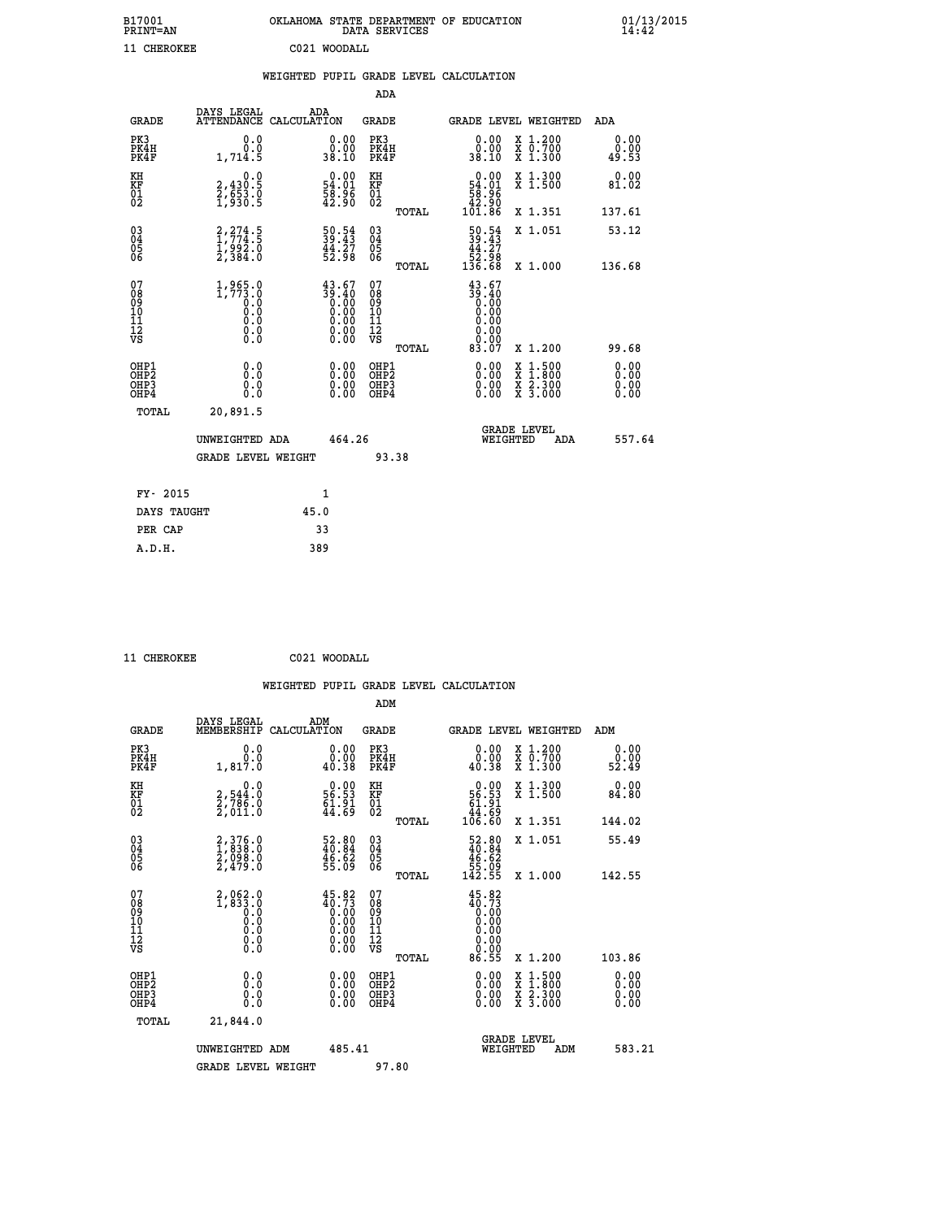| B17001<br><b>PRINT=AN</b> | OKLAHOMA STATE DEPARTMENT OF EDUCATION<br>DATA SERVICES |  |
|---------------------------|---------------------------------------------------------|--|
| 11 CHEROKEE               | C021 WOODALL                                            |  |

|  |  | WEIGHTED PUPIL GRADE LEVEL CALCULATION |
|--|--|----------------------------------------|
|  |  |                                        |

|                                                                              |                                                               |                                                                                                 | ADA                                                |       |                                                                                    |                                                                                                                                           |                              |
|------------------------------------------------------------------------------|---------------------------------------------------------------|-------------------------------------------------------------------------------------------------|----------------------------------------------------|-------|------------------------------------------------------------------------------------|-------------------------------------------------------------------------------------------------------------------------------------------|------------------------------|
| <b>GRADE</b>                                                                 | DAYS LEGAL                                                    | ADA<br>ATTENDANCE CALCULATION                                                                   | GRADE                                              |       | GRADE LEVEL WEIGHTED                                                               |                                                                                                                                           | ADA                          |
| PK3<br>PK4H<br>PK4F                                                          | 0.0<br>Ō.Ō<br>1,714.5                                         | $\begin{smallmatrix} 0.00\\ 0.00\\ 38.10 \end{smallmatrix}$                                     | PK3<br>PK4H<br>PK4F                                |       | 0.00<br>0.00<br>38.10                                                              | X 1.200<br>X 0.700<br>X 1.300                                                                                                             | 0.00<br>0.00<br>49.53        |
| KH<br>KF<br>01<br>02                                                         | 0.0<br>2,430:5<br>2,653.0<br>1,930:5                          | $\begin{smallmatrix} 0.00\\ 54.01\\ 58.96\\ 42.90 \end{smallmatrix}$                            | KH<br>KF<br>01<br>02                               |       | $\begin{smallmatrix} &0.00\ 54.01\ 58.96\ 42.90\ 101.86\end{smallmatrix}$          | X 1.300<br>X 1.500                                                                                                                        | 0.00<br>81.02                |
|                                                                              |                                                               |                                                                                                 |                                                    | TOTAL |                                                                                    | X 1.351                                                                                                                                   | 137.61                       |
| $\begin{matrix} 03 \\ 04 \\ 05 \\ 06 \end{matrix}$                           | 2, 274.5<br>$\frac{1}{2}$ , $\frac{992}{384}$ . $\frac{8}{3}$ | $\begin{smallmatrix} 50.54\\ 39.43\\ 44.27\\ 52.98 \end{smallmatrix}$                           | $\begin{matrix} 03 \\ 04 \\ 05 \\ 06 \end{matrix}$ |       | $\begin{smallmatrix} 50.54 \\ 39.43 \\ 44.27 \\ 52.98 \\ 136.68 \end{smallmatrix}$ | X 1.051                                                                                                                                   | 53.12<br>136.68              |
|                                                                              |                                                               |                                                                                                 |                                                    | TOTAL |                                                                                    | X 1.000                                                                                                                                   |                              |
| 07<br>08<br>09<br>11<br>11<br>12<br>VS                                       | $1,965.0$<br>1,773.0<br>ŏ:ŏ<br>0:0<br>0:0<br>$\S.$            | $\begin{smallmatrix} 43.67\\ 39.40\\ 0.00\\ 0.00\\ 0.00\\ 0.00\\ 0.00\\ 0.00 \end{smallmatrix}$ | 07<br>08<br>09<br>11<br>11<br>12<br>VS             | TOTAL | $43.67$<br>$39.40$<br>$0.00$<br>0.00<br>0.00<br>0.00<br>83.07                      | X 1.200                                                                                                                                   | 99.68                        |
| OHP1<br>OH <sub>P</sub> <sub>2</sub><br>OH <sub>P3</sub><br>OH <sub>P4</sub> | 0.0<br>0.0<br>0.0                                             | 0.00<br>0.00<br>0.00                                                                            | OHP1<br>OHP2<br>OHP3<br>OHP4                       |       | 0.00<br>0.00<br>0.00                                                               | $\begin{smallmatrix} \mathtt{X} & 1\cdot500\\ \mathtt{X} & 1\cdot800\\ \mathtt{X} & 2\cdot300\\ \mathtt{X} & 3\cdot000 \end{smallmatrix}$ | 0.00<br>0.00<br>0.00<br>0.00 |
| TOTAL                                                                        | 20,891.5                                                      |                                                                                                 |                                                    |       |                                                                                    |                                                                                                                                           |                              |
|                                                                              | UNWEIGHTED ADA                                                | 464.26                                                                                          |                                                    |       | WEIGHTED                                                                           | <b>GRADE LEVEL</b><br>ADA                                                                                                                 | 557.64                       |
|                                                                              | <b>GRADE LEVEL WEIGHT</b>                                     |                                                                                                 |                                                    | 93.38 |                                                                                    |                                                                                                                                           |                              |
| FY- 2015                                                                     |                                                               | 1                                                                                               |                                                    |       |                                                                                    |                                                                                                                                           |                              |
| DAYS TAUGHT                                                                  |                                                               | 45.0                                                                                            |                                                    |       |                                                                                    |                                                                                                                                           |                              |
| PER CAP                                                                      |                                                               | 33                                                                                              |                                                    |       |                                                                                    |                                                                                                                                           |                              |
| A.D.H.                                                                       |                                                               | 389                                                                                             |                                                    |       |                                                                                    |                                                                                                                                           |                              |

 **11 CHEROKEE C021 WOODALL**

 **A.D.H. 389**

|                                                      |                                                    |     |                                                                                                                                                                    |                                                    |       | WEIGHTED PUPIL GRADE LEVEL CALCULATION                                         |                                                                                          |                       |        |
|------------------------------------------------------|----------------------------------------------------|-----|--------------------------------------------------------------------------------------------------------------------------------------------------------------------|----------------------------------------------------|-------|--------------------------------------------------------------------------------|------------------------------------------------------------------------------------------|-----------------------|--------|
|                                                      |                                                    |     |                                                                                                                                                                    | ADM                                                |       |                                                                                |                                                                                          |                       |        |
| <b>GRADE</b>                                         | DAYS LEGAL<br>MEMBERSHIP CALCULATION               | ADM |                                                                                                                                                                    | <b>GRADE</b>                                       |       | GRADE LEVEL WEIGHTED                                                           |                                                                                          | ADM                   |        |
| PK3<br>PK4H<br>PK4F                                  | 0.0<br>0.0<br>1,817.0                              |     | 0.00<br>0.00<br>40.38                                                                                                                                              | PK3<br>PK4H<br>PK4F                                |       | 0.00<br>0.00<br>40.38                                                          | X 1.200<br>x ō:7ŏŏ<br>x 1:300                                                            | 0.00<br>0.00<br>52.49 |        |
| KH<br>KF<br>01<br>02                                 | 0.0<br>2,544:0<br>2,786:0<br>2,011:0               |     | $\begin{smallmatrix} 0.00\\ 56.53\\ 61.91\\ 44.69 \end{smallmatrix}$                                                                                               | KH<br>KF<br>01<br>02                               |       | $0.00$<br>56.53<br>61.91<br>44.69<br>46.60                                     | X 1.300<br>X 1.500                                                                       | 0.00<br>84.80         |        |
|                                                      |                                                    |     |                                                                                                                                                                    |                                                    | TOTAL |                                                                                | X 1.351                                                                                  | 144.02                |        |
| $\begin{matrix} 03 \\ 04 \\ 05 \\ 06 \end{matrix}$   | 2,376.0<br>1,838.0<br>2,098.0<br>2,479.0           |     | $\begin{smallmatrix} 52.80\\ 40.84\\ 46.82\\ 55.09 \end{smallmatrix}$                                                                                              | $\begin{matrix} 03 \\ 04 \\ 05 \\ 06 \end{matrix}$ |       | $\begin{smallmatrix} 52.80\\ 40.84\\ 46.62\\ 55.09\\ 142.55 \end{smallmatrix}$ | X 1.051                                                                                  | 55.49                 |        |
|                                                      |                                                    |     |                                                                                                                                                                    |                                                    | TOTAL |                                                                                | X 1.000                                                                                  | 142.55                |        |
| 07<br>0890112<br>1112<br>VS                          | $2,062.0$<br>1,833.0<br>0.0<br>0.0<br>0.0<br>$\S.$ |     | $\begin{smallmatrix} 4\,5\cdot 8\,2\\ 4\,0\cdot 7\,3\\ 0\cdot 0\,0\\ 0\cdot 0\,0\\ 0\cdot 0\,0\\ 0\cdot 0\,0\\ 0\cdot 0\,0\\ 0\cdot 0\,0\end{smallmatrix}$<br>0.00 | 07<br>08<br>09<br>11<br>11<br>12<br>VS             | TOTAL | 45.82<br>0.00<br>$\begin{smallmatrix} 0.00 \ 0.00 \end{smallmatrix}$<br>86.55  | X 1.200                                                                                  | 103.86                |        |
| OHP1<br>OHP2<br>OH <sub>P3</sub><br>OH <sub>P4</sub> | 0.0<br>0.0<br>Ŏ.Ŏ                                  |     | $0.00$<br>$0.00$<br>0.00                                                                                                                                           | OHP1<br>OHP2<br>OHP3<br>OHP4                       |       | $0.00$<br>$0.00$<br>0.00                                                       | $\begin{smallmatrix} x & 1.500 \\ x & 1.800 \\ x & 2.300 \\ x & 3.000 \end{smallmatrix}$ | 0.00<br>0.00<br>0.00  |        |
| TOTAL                                                | 21,844.0                                           |     |                                                                                                                                                                    |                                                    |       |                                                                                |                                                                                          |                       |        |
|                                                      | UNWEIGHTED ADM                                     |     | 485.41                                                                                                                                                             |                                                    |       | WEIGHTED                                                                       | <b>GRADE LEVEL</b><br>ADM                                                                |                       | 583.21 |
|                                                      | <b>GRADE LEVEL WEIGHT</b>                          |     |                                                                                                                                                                    | 97.80                                              |       |                                                                                |                                                                                          |                       |        |
|                                                      |                                                    |     |                                                                                                                                                                    |                                                    |       |                                                                                |                                                                                          |                       |        |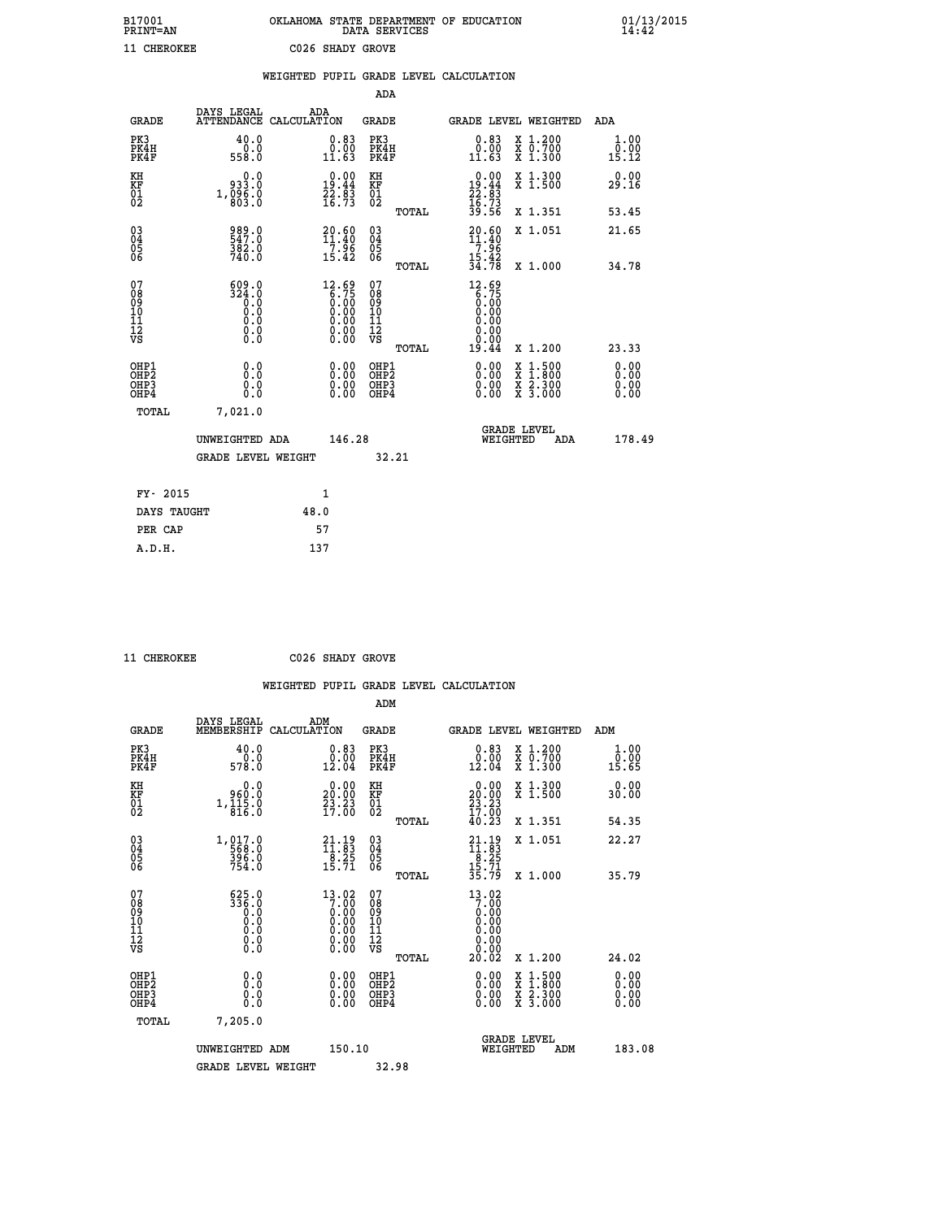| B17001<br><b>PRINT=AN</b> | OKLAHOMA STATE DEPARTMENT OF EDUCATION<br>DATA SERVICES | 01/13/2015 |
|---------------------------|---------------------------------------------------------|------------|
| 11 CHEROKEE               | C026 SHADY GROVE                                        |            |

|                                                    |                                       | WEIGHTED PUPIL GRADE LEVEL CALCULATION                                                                                                                 |                                        |       |                                                                  |                                                                     |                              |
|----------------------------------------------------|---------------------------------------|--------------------------------------------------------------------------------------------------------------------------------------------------------|----------------------------------------|-------|------------------------------------------------------------------|---------------------------------------------------------------------|------------------------------|
|                                                    |                                       |                                                                                                                                                        | ADA                                    |       |                                                                  |                                                                     |                              |
| <b>GRADE</b>                                       | DAYS LEGAL                            | ADA<br>ATTENDANCE CALCULATION                                                                                                                          | <b>GRADE</b>                           |       |                                                                  | GRADE LEVEL WEIGHTED                                                | ADA                          |
| PK3<br>PK4H<br>PK4F                                | 40.0<br>ة:ة<br>558:0                  | 0.83<br>0.00<br>11.63                                                                                                                                  | PK3<br>PK4H<br>PK4F                    |       | 0.83<br>0.00<br>11.63                                            | X 1.200<br>X 0.700<br>X 1.300                                       | 1.00<br>0.00<br>15.12        |
| KH<br><b>KF</b><br>01<br>02                        | 933.0<br>1, 0.06.0                    | $\begin{smallmatrix} 0.00\\19.44\\22.83\\16.73 \end{smallmatrix}$                                                                                      | KH<br>KF<br>01<br>02                   |       | $0.00\n19.44\n22.83\n16.73\n39.56$                               | X 1.300<br>X 1.500                                                  | 0.00<br>29.16                |
|                                                    |                                       |                                                                                                                                                        |                                        | TOTAL |                                                                  | X 1.351                                                             | 53.45                        |
| $\begin{matrix} 03 \\ 04 \\ 05 \\ 06 \end{matrix}$ | 989.0<br>547.0<br>382.0               | $20.60$<br>$11.40$<br>$\begin{array}{c} -7.96 \\ 15.42 \end{array}$                                                                                    | $\substack{03 \\ 04}$<br>Ŏ5<br>06      |       | $20.60$<br>$11.40$<br>$7.96$<br>$15.42$<br>$34.78$               | X 1.051                                                             | 21.65                        |
|                                                    | 740.0                                 |                                                                                                                                                        |                                        | TOTAL |                                                                  | X 1.000                                                             | 34.78                        |
| 07<br>08<br>09<br>101<br>112<br>VS                 | 609.0<br>324.0<br>0.0<br>Ŏ.Ŏ<br>$\S.$ | $\begin{smallmatrix} 12.69\\ 6.75\\ 0.00\\ 0.00\\ 0.00\\ 0.00 \end{smallmatrix}$<br>$\begin{smallmatrix} 0.00 & 0.00 \\ 0.00 & 0.00 \end{smallmatrix}$ | 07<br>08<br>09<br>11<br>11<br>12<br>VS | TOTAL | $12.69$<br>6.75<br>0.00<br>0.90<br>0.00<br>0.00<br>0.00<br>19.44 | X 1.200                                                             | 23.33                        |
| OHP1<br>OHP2<br>OHP3<br>OHP4                       | 0.0<br>Ŏ.Ō<br>0.0<br>0.0              | 0.00<br>$0.00$<br>0.00                                                                                                                                 | OHP1<br>OHP2<br>OHP3<br>OHP4           |       | 0.00<br>0.00<br>0.00                                             | $1.500$<br>$1.800$<br>X<br>X<br>$\frac{x}{x}$ $\frac{5:300}{3:000}$ | 0.00<br>0.00<br>0.00<br>0.00 |
| TOTAL                                              | 7,021.0                               |                                                                                                                                                        |                                        |       |                                                                  |                                                                     |                              |
|                                                    | UNWEIGHTED ADA                        |                                                                                                                                                        | 146.28                                 |       | WEIGHTED                                                         | <b>GRADE LEVEL</b><br>ADA                                           | 178.49                       |
|                                                    | <b>GRADE LEVEL WEIGHT</b>             |                                                                                                                                                        |                                        | 32.21 |                                                                  |                                                                     |                              |
| FY- 2015                                           |                                       | $\mathbf{1}$                                                                                                                                           |                                        |       |                                                                  |                                                                     |                              |
| DAYS TAUGHT                                        |                                       | 48.0                                                                                                                                                   |                                        |       |                                                                  |                                                                     |                              |
| PER CAP                                            |                                       | 57                                                                                                                                                     |                                        |       |                                                                  |                                                                     |                              |

 **11 CHEROKEE C026 SHADY GROVE**

|                                                    |                                                    | WEIGHTED PUPIL GRADE LEVEL CALCULATION                                                                                         |                                                     |                                                                      |                                                                                          |                       |
|----------------------------------------------------|----------------------------------------------------|--------------------------------------------------------------------------------------------------------------------------------|-----------------------------------------------------|----------------------------------------------------------------------|------------------------------------------------------------------------------------------|-----------------------|
|                                                    |                                                    |                                                                                                                                | ADM                                                 |                                                                      |                                                                                          |                       |
| <b>GRADE</b>                                       | DAYS LEGAL<br>MEMBERSHIP                           | ADM<br>CALCULATION                                                                                                             | <b>GRADE</b>                                        |                                                                      | GRADE LEVEL WEIGHTED                                                                     | ADM                   |
| PK3<br>PK4H<br>PK4F                                | 40.0<br>0.0<br>578.Ŏ                               | $\substack{0.83 \\ 0.00 \\ 12.04}$                                                                                             | PK3<br>PK4H<br>PK4F                                 | 0.83<br>$0.00$<br>12.04                                              | X 1.200<br>X 0.700<br>X 1.300                                                            | 1.00<br>0.00<br>15.65 |
| KH<br>KF<br>01<br>02                               | 0.0<br>960.0<br>$1,\frac{1}{8}\frac{1}{16}\cdot 0$ | $\begin{smallmatrix} 0.00\\ 20.00\\ 23.23\\ 17.00 \end{smallmatrix}$                                                           | KH<br>KF<br>01<br>02                                | $\begin{smallmatrix} 0.00\\ 20.00\\ 23.23\\ 17.00 \end{smallmatrix}$ | X 1.300<br>X 1.500                                                                       | 0.00<br>30.00         |
|                                                    |                                                    |                                                                                                                                | TOTAL                                               | 40.23                                                                | X 1.351                                                                                  | 54.35                 |
| $\begin{matrix} 03 \\ 04 \\ 05 \\ 06 \end{matrix}$ | $1, 017.0$<br>568.0<br>396.0<br>754.0              | $\begin{smallmatrix} 21.19\\11.83\\8.25\\15.71 \end{smallmatrix}$                                                              | $\begin{array}{c} 03 \\ 04 \\ 05 \\ 06 \end{array}$ | $21.1911.838.2515.7135.79$                                           | X 1.051                                                                                  | 22.27                 |
|                                                    |                                                    |                                                                                                                                | TOTAL                                               |                                                                      | X 1.000                                                                                  | 35.79                 |
| 07<br>08<br>09<br>101<br>11<br>12<br>VS            | $\frac{625.0}{336.0}$<br>0.000<br>$\S.$ $\S$       | 13.02<br>$7.86\phantom{0}\phantom{0}\phantom{0}\phantom{0}0.00\phantom{0}\phantom{0}0.00\phantom{0}\phantom{0}\phantom{0}0.00$ | 07<br>08<br>09<br>01<br>11<br>11<br>12<br>VS        | 13.02<br>$7.\overline{00}$<br>0.00<br>0.00<br>≬:≬≬<br>≬:≬≬           |                                                                                          |                       |
|                                                    |                                                    |                                                                                                                                | TOTAL                                               | 20.02                                                                | X 1.200                                                                                  | 24.02                 |
| OHP1<br>OHP <sub>2</sub><br>OHP3<br>OHP4           | 0.0<br>0.0<br>0.0                                  | 0.00<br>0.00<br>0.00                                                                                                           | OHP1<br>OHP <sub>2</sub><br>OHP3<br>OHP4            | 0.00<br>0.00<br>0.00                                                 | $\begin{smallmatrix} x & 1.500 \\ x & 1.800 \\ x & 2.300 \\ x & 3.000 \end{smallmatrix}$ | 0.00<br>0.00<br>0.00  |
| TOTAL                                              | 7,205.0                                            |                                                                                                                                |                                                     |                                                                      |                                                                                          |                       |
|                                                    | UNWEIGHTED ADM                                     | 150.10                                                                                                                         |                                                     | WEIGHTED                                                             | <b>GRADE LEVEL</b><br>ADM                                                                | 183.08                |
|                                                    | <b>GRADE LEVEL WEIGHT</b>                          |                                                                                                                                | 32.98                                               |                                                                      |                                                                                          |                       |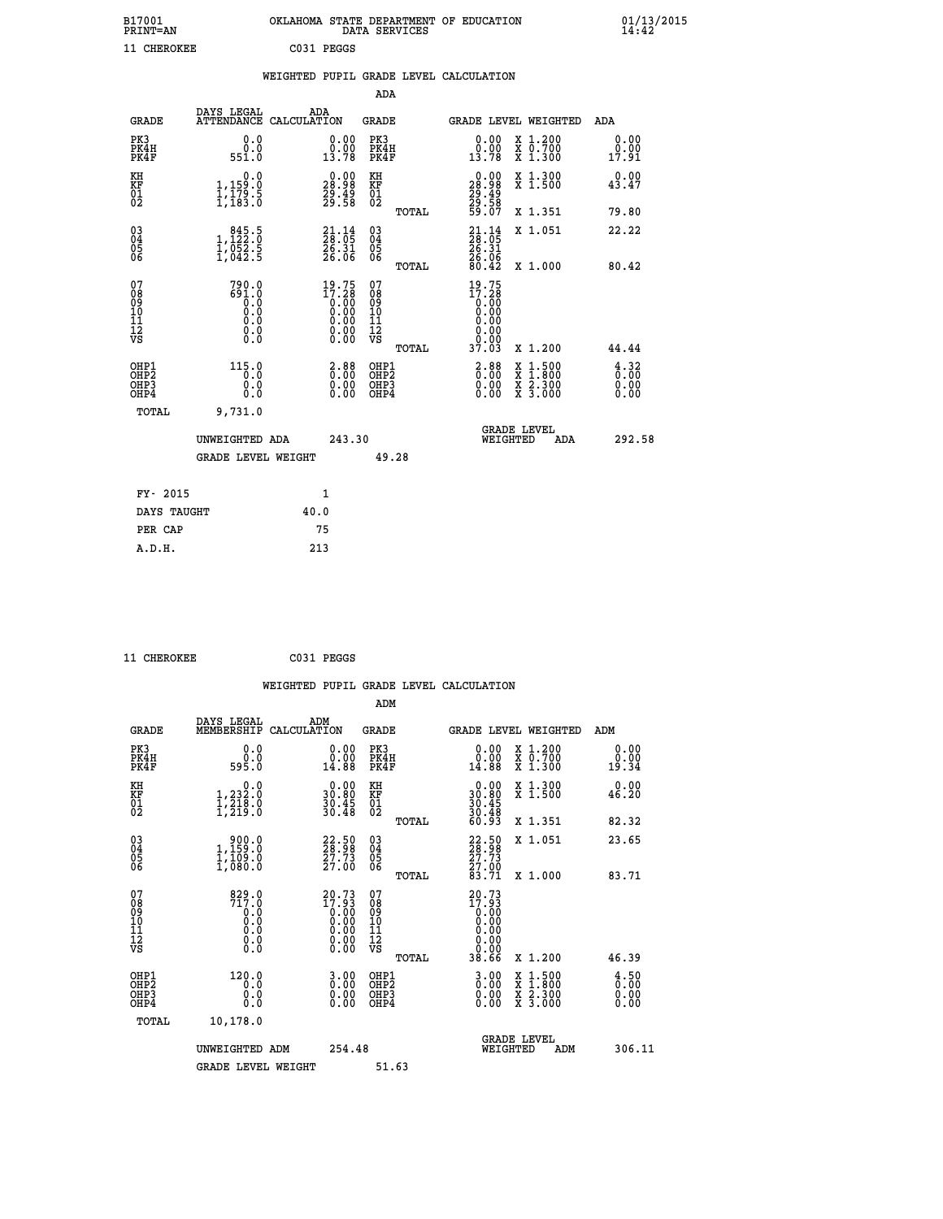| B17001<br>PRINT=AN                                   |                                                             | OKLAHOMA STATE DEPARTMENT OF EDUCATION DATA SERVICES |                                                                      |                                                    |              |                                                                 |          |                                                                                                  | 01/13/2015                         |  |
|------------------------------------------------------|-------------------------------------------------------------|------------------------------------------------------|----------------------------------------------------------------------|----------------------------------------------------|--------------|-----------------------------------------------------------------|----------|--------------------------------------------------------------------------------------------------|------------------------------------|--|
| 11 CHEROKEE                                          |                                                             | C031 PEGGS                                           |                                                                      |                                                    |              |                                                                 |          |                                                                                                  |                                    |  |
|                                                      |                                                             | WEIGHTED PUPIL GRADE LEVEL CALCULATION               |                                                                      |                                                    |              |                                                                 |          |                                                                                                  |                                    |  |
|                                                      |                                                             |                                                      |                                                                      | ADA                                                |              |                                                                 |          |                                                                                                  |                                    |  |
| GRADE                                                | DAYS LEGAL<br>ATTENDANCE CALCULATION                        | ADA                                                  |                                                                      | GRADE                                              |              |                                                                 |          | GRADE LEVEL WEIGHTED                                                                             | ADA                                |  |
| PK3<br>PK4H<br>PK4F                                  | 0.0<br>0.0<br>551.0                                         |                                                      | 0.00<br>0.00<br>13.78                                                | PK3<br>PK4H<br>PK4F                                |              | 0.00<br>0.00<br>13.78                                           |          | X 1.200<br>X 0.700<br>X 1.300                                                                    | 0.00<br>0.00<br>17.91              |  |
| KH<br>KF<br>01<br>02                                 | 0.0<br>1,159:0<br>1,179:5<br>1,183:0                        |                                                      | $\begin{smallmatrix} 0.00\\ 28.98\\ 29.49\\ 29.58 \end{smallmatrix}$ | KH<br>KF<br>01<br>02                               |              | 0.00<br>28.98<br>$\frac{29}{29}. \frac{49}{58}$<br>59.07        |          | X 1.300<br>X 1.500                                                                               | 0.00<br>43.47                      |  |
|                                                      |                                                             |                                                      |                                                                      |                                                    | TOTAL        |                                                                 |          | X 1.351                                                                                          | 79.80                              |  |
| $\substack{03 \\ 04}$<br>Ŏ5<br>06                    | 1, 122:0<br>$\frac{1}{2}$ , $\frac{052}{042}$ .<br>1, 042.5 |                                                      | $21.14$<br>$28.05$<br>$\frac{26.31}{26.06}$                          | $\begin{matrix} 03 \\ 04 \\ 05 \\ 06 \end{matrix}$ |              | 23.14<br>26.31<br>26.06                                         |          | X 1.051                                                                                          | 22.22                              |  |
|                                                      |                                                             |                                                      |                                                                      |                                                    | <b>TOTAL</b> | 80.42                                                           |          | X 1.000                                                                                          | 80.42                              |  |
| 07<br>08<br>09<br>11<br>11<br>12<br>VS               | 790.0<br>691.0<br>$\overline{0}$ .0<br>Ŏ.Ŏ<br>0.0<br>0.00   |                                                      | $19.75$<br>$17.28$<br>$0.00$<br>$0.00$                               | 07<br>08<br>09<br>10<br>11<br>12<br>VS             | TOTAL        | 19.75<br>17.28<br>0:00<br>0.00<br>0.00<br>0.00<br>0.00<br>37.03 |          | X 1.200                                                                                          | 44.44                              |  |
| OHP1<br>OHP <sub>2</sub><br>OH <sub>P3</sub><br>OHP4 | 115.0<br>0.0<br>0.0                                         |                                                      | $2.88$<br>$0.00$<br>0.00<br>0.00                                     | OHP1<br>OHP <sub>2</sub><br>OHP3<br>OHP4           |              | $3.88$<br>$0.00$<br>0.00<br>0.00                                |          | $\begin{smallmatrix} x & 1 & 500 \\ x & 1 & 800 \\ x & 2 & 300 \\ x & 3 & 000 \end{smallmatrix}$ | $\frac{4}{0}$ : 32<br>0.00<br>0.00 |  |
| TOTAL                                                | 9,731.0                                                     |                                                      |                                                                      |                                                    |              |                                                                 |          |                                                                                                  |                                    |  |
|                                                      | UNWEIGHTED ADA                                              |                                                      | 243.30                                                               |                                                    |              |                                                                 | WEIGHTED | <b>GRADE LEVEL</b><br>ADA                                                                        | 292.58                             |  |
|                                                      | <b>GRADE LEVEL WEIGHT</b>                                   |                                                      |                                                                      |                                                    | 49.28        |                                                                 |          |                                                                                                  |                                    |  |
| FY- 2015                                             |                                                             | 1                                                    |                                                                      |                                                    |              |                                                                 |          |                                                                                                  |                                    |  |
| DAYS TAUGHT                                          |                                                             | 40.0                                                 |                                                                      |                                                    |              |                                                                 |          |                                                                                                  |                                    |  |

| A.D.H. | 213 |
|--------|-----|
|        |     |
|        |     |
|        |     |

 **PER CAP 75**

 **11 CHEROKEE C031 PEGGS**

|                                                      |                                                                                                 |                                                                                                                |                                        |       | WEIGHTED PUPIL GRADE LEVEL CALCULATION                                                            |                                                                                                     |                                              |
|------------------------------------------------------|-------------------------------------------------------------------------------------------------|----------------------------------------------------------------------------------------------------------------|----------------------------------------|-------|---------------------------------------------------------------------------------------------------|-----------------------------------------------------------------------------------------------------|----------------------------------------------|
|                                                      |                                                                                                 |                                                                                                                | ADM                                    |       |                                                                                                   |                                                                                                     |                                              |
| <b>GRADE</b>                                         | DAYS LEGAL<br>MEMBERSHIP                                                                        | ADM<br>CALCULATION                                                                                             | <b>GRADE</b>                           |       |                                                                                                   | <b>GRADE LEVEL WEIGHTED</b>                                                                         | ADM                                          |
| PK3<br>PK4H<br>PK4F                                  | 0.0<br>ة:ة<br>595:0                                                                             | 0.00<br>14.88                                                                                                  | PK3<br>PK4H<br>PK4F                    |       | 0.00<br>14.88                                                                                     | X 1.200<br>X 0.700<br>X 1.300                                                                       | 0.00<br>0.00<br>19.34                        |
| KH<br>KF<br>01<br>02                                 | $\begin{smallmatrix}&&&0.0\\1,232.0\\1,218.0\\1,219.0\end{smallmatrix}$                         | $\begin{smallmatrix} 0.00\\ 30.80\\ 30.45\\ 30.45\\ 30.48 \end{smallmatrix}$                                   | KH<br>KF<br>01<br>02                   |       | $\begin{smallmatrix} 0.00\\ 30.80\\ 30.45\\ 30.45\\ 30.48\\ 60.93 \end{smallmatrix}$              | X 1.300<br>X 1.500                                                                                  | 0.00<br>46.20                                |
|                                                      |                                                                                                 |                                                                                                                |                                        | TOTAL |                                                                                                   | X 1.351                                                                                             | 82.32                                        |
| 030404<br>ŌĞ                                         | 1,159.0<br>$\frac{1}{1}$ , $\frac{1}{0}$ 80.0                                                   | $\begin{smallmatrix} 22 & 50 \\ 28 & 98 \\ 27 & 73 \\ 27 & 00 \end{smallmatrix}$                               | 03<br>04<br>05<br>06                   |       | 22:50<br>28:58<br>27:73<br>27:00<br>83:71                                                         | X 1.051                                                                                             | 23.65                                        |
| 07<br>08<br>09<br>11<br>11<br>12<br>VS               | 829.0<br>717.0<br>$\begin{smallmatrix} 0.1 & 0 \ 0.0 & 0 \ 0.0 & 0 \ 0.0 & 0 \end{smallmatrix}$ | $\begin{smallmatrix} 20.73 \\ 17.93 \\ 0.00 \\ 0.00 \\ 0.00 \\ 0.00 \\ 0.00 \\ 0.00 \\ 0.00 \end{smallmatrix}$ | 07<br>08<br>09<br>11<br>11<br>12<br>VS | TOTAL | $20.73$<br>$17.93$<br>$0.00$<br>$0.00$<br>0.00<br>0.00                                            | X 1.000                                                                                             | 83.71                                        |
| OHP1<br>OHP2<br>OH <sub>P3</sub><br>OH <sub>P4</sub> | 120.0<br>0.0<br>0.0<br>0.0                                                                      | $\begin{smallmatrix} 3 & 0 & 0 \\ 0 & 0 & 0 \\ 0 & 0 & 0 \\ 0 & 0 & 0 \end{smallmatrix}$                       | OHP1<br>OHP2<br>OHP3<br>OHP4           | TOTAL | 38.66<br>$\begin{smallmatrix} 3 & 0 & 0 \\ 0 & 0 & 0 \\ 0 & 0 & 0 \\ 0 & 0 & 0 \end{smallmatrix}$ | X 1.200<br>$\begin{smallmatrix} x & 1.500 \\ x & 1.800 \\ x & 2.300 \\ x & 3.000 \end{smallmatrix}$ | 46.39<br>$\frac{4.50}{0.00}$<br>0.00<br>0.00 |
| TOTAL                                                | 10,178.0<br>UNWEIGHTED ADM                                                                      | 254.48                                                                                                         |                                        |       | WEIGHTED                                                                                          | <b>GRADE LEVEL</b><br>ADM                                                                           | 306.11                                       |
|                                                      | <b>GRADE LEVEL WEIGHT</b>                                                                       |                                                                                                                | 51.63                                  |       |                                                                                                   |                                                                                                     |                                              |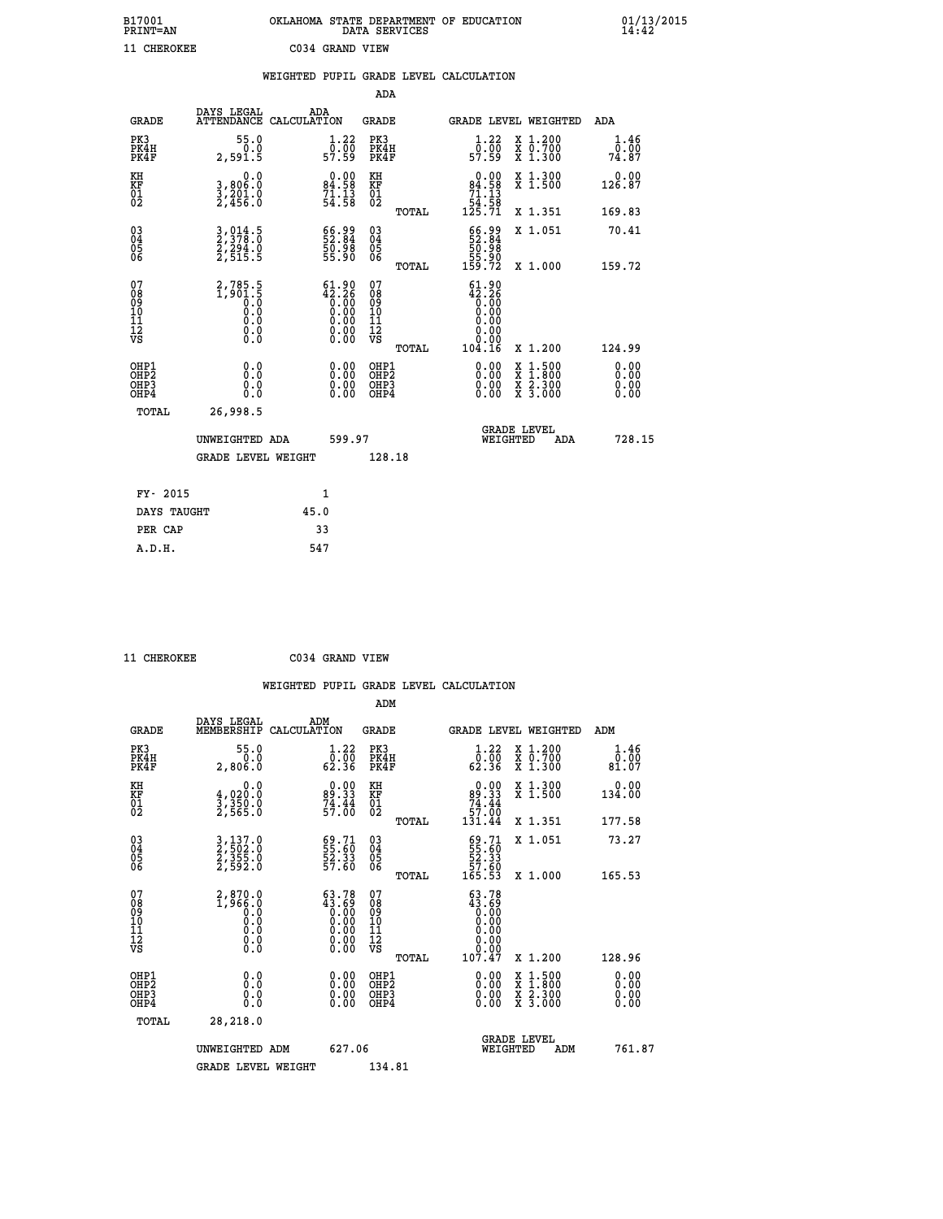| B17001          | OKLAHOMA STATE DEPARTMENT OF EDUCATION |
|-----------------|----------------------------------------|
| <b>PRINT=AN</b> | DATA SERVICES                          |
| 11 CHEROKEE     | C034 GRAND VIEW                        |

|                                                      |                                                                         | WEIGHTED PUPIL GRADE LEVEL CALCULATION                                                                 |                                        |       |                                                                           |                                                              |                              |
|------------------------------------------------------|-------------------------------------------------------------------------|--------------------------------------------------------------------------------------------------------|----------------------------------------|-------|---------------------------------------------------------------------------|--------------------------------------------------------------|------------------------------|
|                                                      |                                                                         |                                                                                                        | <b>ADA</b>                             |       |                                                                           |                                                              |                              |
| <b>GRADE</b>                                         | DAYS LEGAL<br><b>ATTENDANCE</b>                                         | ADA<br>CALCULATION                                                                                     | <b>GRADE</b>                           |       |                                                                           | GRADE LEVEL WEIGHTED                                         | ADA                          |
| PK3<br>PK4H<br>PK4F                                  | 55.0<br>0.0<br>2,591.5                                                  | $\begin{smallmatrix}1.22\0.00\\57.59\end{smallmatrix}$                                                 | PK3<br>PK4H<br>PK4F                    |       | $1.22$<br>$0.00$<br>57.59                                                 | X 1.200<br>X 0.700<br>X 1.300                                | 1.46<br>0.00<br>74.87        |
| KH<br>KF<br>01<br>02                                 | $\begin{smallmatrix}&&&0.0\\3,806.0\\3,201.0\\2,456.0\end{smallmatrix}$ | 0.00<br>84.58<br>71.13<br>54.58                                                                        | KH<br>KF<br>01<br>02                   |       | $\begin{smallmatrix}&&0.00\\84.58\\71.13\\54.58\\125.71\end{smallmatrix}$ | X 1.300<br>X 1.500                                           | 0.00<br>126.87               |
|                                                      |                                                                         |                                                                                                        |                                        | TOTAL |                                                                           | X 1.351                                                      | 169.83                       |
| $\begin{matrix} 03 \\ 04 \\ 05 \\ 06 \end{matrix}$   | 3,014.5<br>2,378.0<br>2,294.0<br>2,515.5                                | 66.99<br>52.84<br>50.98<br>55.90                                                                       | 03<br>04<br>05<br>06                   |       | 66.99<br>52.84<br>50.98<br>55.90                                          | X 1.051                                                      | 70.41                        |
|                                                      |                                                                         |                                                                                                        |                                        | TOTAL | 159.72                                                                    | X 1.000                                                      | 159.72                       |
| 07<br>08<br>09<br>11<br>11<br>12<br>VS               | $2,785.5$<br>1,901.5<br>0.0<br>0.0<br>0.0<br>$\S.$                      | $\begin{smallmatrix} 61.90\\ 42.26\\ 0.00\\ 0.00\\ 0.00\\ 0.00\\ 0.00\\ 0.00\\ 0.00 \end{smallmatrix}$ | 07<br>08<br>09<br>11<br>11<br>12<br>VS | TOTAL | $61.90$<br>$42.26$<br>$0.00$<br>$0.00$<br>$0.00$<br>0.00<br>104.16        | X 1.200                                                      | 124.99                       |
| OHP1<br>OHP <sub>2</sub><br>OH <sub>P3</sub><br>OHP4 | 0.0<br>0.0<br>Ō.Ō                                                       | 0.0000<br>$\begin{smallmatrix} 0.00 \ 0.00 \end{smallmatrix}$                                          | OHP1<br>OHP2<br>OHP3<br>OHP4           |       | 0.00<br>0.00<br>0.00                                                      | $1:500$<br>1:800<br>X 1:500<br>X 1:800<br>X 2:300<br>X 3:000 | 0.00<br>0.00<br>0.00<br>0.00 |
| <b>TOTAL</b>                                         | 26,998.5                                                                |                                                                                                        |                                        |       |                                                                           |                                                              |                              |
|                                                      | UNWEIGHTED ADA                                                          | 599.97                                                                                                 |                                        |       | WEIGHTED                                                                  | <b>GRADE LEVEL</b><br>ADA                                    | 728.15                       |
|                                                      | <b>GRADE LEVEL WEIGHT</b>                                               |                                                                                                        | 128.18                                 |       |                                                                           |                                                              |                              |
| FY- 2015                                             |                                                                         | 1                                                                                                      |                                        |       |                                                                           |                                                              |                              |
| DAYS TAUGHT                                          |                                                                         | 45.0                                                                                                   |                                        |       |                                                                           |                                                              |                              |
| PER CAP                                              |                                                                         | 33                                                                                                     |                                        |       |                                                                           |                                                              |                              |

| <b>CUPDOVPP</b> |
|-----------------|

 **A.D.H. 547**

| 11 CHEROKEE                                        |                                          |     | C034 GRAND VIEW                                                   |                                                     |       |                                                                                                    |          |                                                                                                                                              |                              |  |
|----------------------------------------------------|------------------------------------------|-----|-------------------------------------------------------------------|-----------------------------------------------------|-------|----------------------------------------------------------------------------------------------------|----------|----------------------------------------------------------------------------------------------------------------------------------------------|------------------------------|--|
|                                                    |                                          |     |                                                                   |                                                     |       | WEIGHTED PUPIL GRADE LEVEL CALCULATION                                                             |          |                                                                                                                                              |                              |  |
|                                                    |                                          |     |                                                                   | ADM                                                 |       |                                                                                                    |          |                                                                                                                                              |                              |  |
| <b>GRADE</b>                                       | DAYS LEGAL<br>MEMBERSHIP CALCULATION     | ADM |                                                                   | GRADE                                               |       |                                                                                                    |          | GRADE LEVEL WEIGHTED                                                                                                                         | ADM                          |  |
| PK3<br>PK4H<br>PK4F                                | 55.0<br>0.0<br>2,806.0                   |     | $\begin{smallmatrix}1.22\0.00\\62.36\end{smallmatrix}$            | PK3<br>PK4H<br>PK4F                                 |       | $\begin{smallmatrix}1.22\0.00\\62.36\end{smallmatrix}$                                             |          | X 1.200<br>X 0.700<br>X 1.300                                                                                                                | 1.46<br>0.00<br>81.07        |  |
| KH<br>KF<br>01<br>02                               | 0.0<br>4,020:0<br>3,350.0<br>2,565:0     |     | $\begin{smallmatrix} 0.00\\89.33\\74.44\\57.00 \end{smallmatrix}$ | KH<br>KF<br>01<br>02                                |       | $0.00$<br>89.33<br>74.44<br>57.00<br>57.00<br>131.44                                               |          | X 1.300<br>X 1.500                                                                                                                           | 0.00<br>134.00               |  |
|                                                    |                                          |     |                                                                   |                                                     | TOTAL |                                                                                                    |          | X 1.351                                                                                                                                      | 177.58                       |  |
| $\begin{matrix} 03 \\ 04 \\ 05 \\ 06 \end{matrix}$ | 3,137.0<br>2,502.0<br>2,355.0<br>2,592.0 |     | 69.71<br>55.60<br>52.33<br>57.60                                  | $\begin{array}{c} 03 \\ 04 \\ 05 \\ 06 \end{array}$ |       | $\begin{array}{c} 69\cdot 71 \\ 55\cdot 60 \\ 52\cdot 33 \\ 57\cdot 60 \\ 165\cdot 53 \end{array}$ |          | X 1.051                                                                                                                                      | 73.27                        |  |
|                                                    |                                          |     |                                                                   |                                                     | TOTAL |                                                                                                    |          | X 1.000                                                                                                                                      | 165.53                       |  |
| 07<br>08901112<br>1112<br>VS                       |                                          |     | $63.78\n43.69\n0.00\n0.00\n0.00\n0.00\n0.00$                      | 07<br>08<br>09<br>11<br>11<br>12<br>VS              |       | $\begin{smallmatrix} 63.78\\ 43.69\\ 0.00\\ 0.00 \end{smallmatrix}$<br>0.00<br>ŏ:ŏŏ<br>107.47      |          |                                                                                                                                              |                              |  |
|                                                    |                                          |     |                                                                   |                                                     | TOTAL |                                                                                                    |          | X 1.200                                                                                                                                      | 128.96                       |  |
| OHP1<br>OHP2<br>OH <sub>P3</sub><br>OHP4           | 0.0<br>0.0<br>0.0                        |     | $0.00$<br>$0.00$<br>0.00                                          | OHP1<br>OHP2<br>OHP <sub>3</sub>                    |       | 0.00<br>0.00<br>0.00                                                                               |          | $\begin{smallmatrix} \mathtt{X} & 1\cdot500 \\ \mathtt{X} & 1\cdot800 \\ \mathtt{X} & 2\cdot300 \\ \mathtt{X} & 3\cdot000 \end{smallmatrix}$ | 0.00<br>0.00<br>0.00<br>0.00 |  |
| TOTAL                                              | 28,218.0                                 |     |                                                                   |                                                     |       |                                                                                                    |          |                                                                                                                                              |                              |  |
|                                                    | UNWEIGHTED ADM                           |     | 627.06                                                            |                                                     |       |                                                                                                    | WEIGHTED | <b>GRADE LEVEL</b><br>ADM                                                                                                                    | 761.87                       |  |
|                                                    | <b>GRADE LEVEL WEIGHT</b>                |     |                                                                   | 134.81                                              |       |                                                                                                    |          |                                                                                                                                              |                              |  |
|                                                    |                                          |     |                                                                   |                                                     |       |                                                                                                    |          |                                                                                                                                              |                              |  |
|                                                    |                                          |     |                                                                   |                                                     |       |                                                                                                    |          |                                                                                                                                              |                              |  |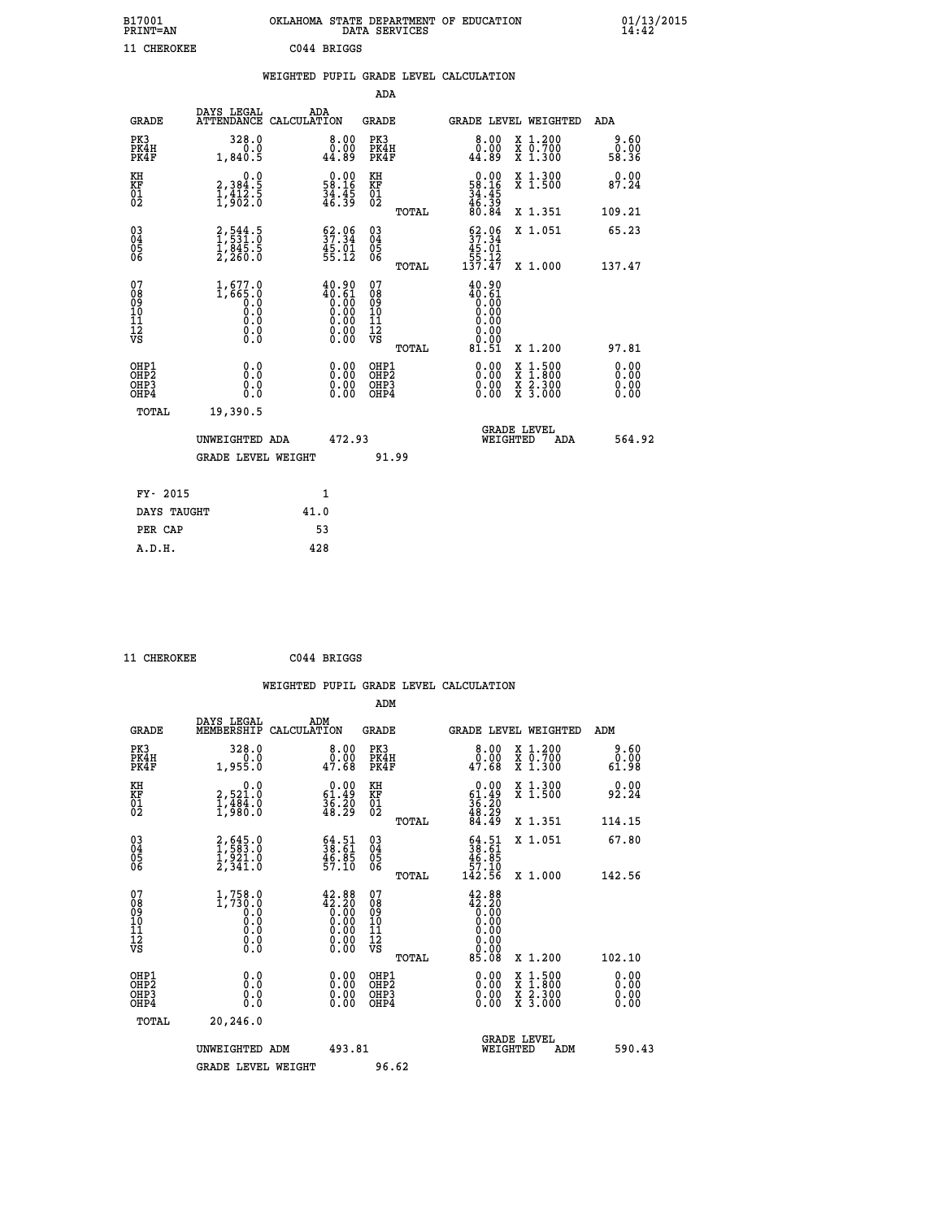| B17001<br><b>PRINT=AN</b> | OKLAHOMA STATE DEPARTMENT OF EDUCATION<br>DATA SERVICES | 01/13/2015 |
|---------------------------|---------------------------------------------------------|------------|
| 11 CHEROKEE               | C044 BRIGGS                                             |            |

|  |  | WEIGHTED PUPIL GRADE LEVEL CALCULATION |
|--|--|----------------------------------------|
|  |  |                                        |

|                                                    |                                                                                   |                                                                   | ADA                                    |       |                                                                                              |   |                                          |                      |
|----------------------------------------------------|-----------------------------------------------------------------------------------|-------------------------------------------------------------------|----------------------------------------|-------|----------------------------------------------------------------------------------------------|---|------------------------------------------|----------------------|
| <b>GRADE</b>                                       | DAYS LEGAL<br><b>ATTENDANCE</b>                                                   | ADA<br>CALCULATION                                                | GRADE                                  |       | <b>GRADE LEVEL WEIGHTED</b>                                                                  |   |                                          | <b>ADA</b>           |
| PK3<br>PK4H<br>PK4F                                | 328.0<br>0.0<br>1,840.5                                                           | 8.00<br>0.00<br>44.89                                             | PK3<br>PK4H<br>PK4F                    |       | 8.00<br>0.00<br>44.89                                                                        |   | X 1.200<br>X 0.700<br>X 1.300            | 0.60<br>58.36        |
| KH<br><b>KF</b><br>01<br>02                        | $\begin{smallmatrix}&&&0.0\\2,384.5\\1,412.5\\1,902.0\end{smallmatrix}$           | $0.00$<br>58.16<br>$\frac{34}{46}$ : $\frac{35}{39}$              | KH<br>KF<br>01<br>02                   |       | $\begin{smallmatrix} 0.00\\ 58.16\\ 34.45\\ 46.39\\ 80.84 \end{smallmatrix}$                 |   | X 1.300<br>X 1.500                       | 0.00<br>87.24        |
|                                                    |                                                                                   |                                                                   |                                        | TOTAL |                                                                                              |   | X 1.351                                  | 109.21               |
| $\begin{matrix} 03 \\ 04 \\ 05 \\ 06 \end{matrix}$ | $\begin{smallmatrix} 2, 544.5\\ 1, 531.0\\ 1, 845.5\\ 2, 260.0 \end{smallmatrix}$ | $\frac{62.96}{37.34}$<br>$\frac{45.01}{55.12}$                    | 03<br>04<br>05<br>06                   |       | $52.06$<br>$37.34$<br>$45.01$<br>$55.12$<br>$137.47$                                         |   | X 1.051                                  | 65.23                |
|                                                    |                                                                                   |                                                                   |                                        | TOTAL |                                                                                              |   | X 1.000                                  | 137.47               |
| 07<br>08<br>09<br>101<br>11<br>12<br>VS            | $1,677.0$<br>$0.0$<br>$0.0$<br>0.0<br>0.0<br>$\S.$                                | $40.90$<br>$0.61$<br>$0.00$<br>$0.00$<br>$0.00$<br>$0.00$<br>Ŏ.ŎŎ | 07<br>08<br>09<br>11<br>11<br>12<br>VS | TOTAL | 40.90<br>$\begin{smallmatrix} 40.61 \ 0.00 \ 0.00 \ 0.00 \end{smallmatrix}$<br>0.00<br>81.51 |   | X 1.200                                  | 97.81                |
|                                                    |                                                                                   |                                                                   |                                        |       |                                                                                              |   |                                          | 0.00                 |
| OHP1<br>OHP2<br>OHP3<br>OH <sub>P4</sub>           | 0.0<br>0.0<br>0.0                                                                 | 0.00<br>$\begin{smallmatrix} 0.00 \ 0.00 \end{smallmatrix}$       | OHP1<br>OHP2<br>OHP3<br>OHP4           |       | $0.00$<br>$0.00$<br>0.00                                                                     | X | $1.500$<br>$1.800$<br>X 2.300<br>X 3.000 | 0.00<br>0.00<br>0.00 |
| TOTAL                                              | 19,390.5                                                                          |                                                                   |                                        |       |                                                                                              |   |                                          |                      |
|                                                    | UNWEIGHTED ADA                                                                    | 472.93                                                            |                                        |       | <b>GRADE LEVEL</b><br>WEIGHTED                                                               |   | ADA                                      | 564.92               |
|                                                    | <b>GRADE LEVEL WEIGHT</b>                                                         |                                                                   | 91.99                                  |       |                                                                                              |   |                                          |                      |
| FY- 2015                                           |                                                                                   | $\mathbf{1}$                                                      |                                        |       |                                                                                              |   |                                          |                      |
| DAYS TAUGHT                                        |                                                                                   | 41.0                                                              |                                        |       |                                                                                              |   |                                          |                      |
|                                                    |                                                                                   |                                                                   |                                        |       |                                                                                              |   |                                          |                      |

 **PER CAP 53 A.D.H. 428**

 **ADM**

 **11 CHEROKEE C044 BRIGGS**

| <b>GRADE</b>                                       | DAYS LEGAL<br>MEMBERSHIP CALCULATION               | ADM                                                                                                    | <b>GRADE</b>                                       |       |                                                                                                                 |          | GRADE LEVEL WEIGHTED                                                                                                | ADM                   |
|----------------------------------------------------|----------------------------------------------------|--------------------------------------------------------------------------------------------------------|----------------------------------------------------|-------|-----------------------------------------------------------------------------------------------------------------|----------|---------------------------------------------------------------------------------------------------------------------|-----------------------|
| PK3<br>PK4H<br>PK4F                                | 328.0<br>1,955.0                                   | $\begin{smallmatrix}8.00\0.00\\47.68\end{smallmatrix}$                                                 | PK3<br>PK4H<br>PK4F                                |       | 8.00<br>47.00<br>47.68                                                                                          |          | X 1.200<br>X 0.700<br>X 1.300                                                                                       | 9.60<br>0.00<br>61.98 |
| KH<br>KF<br>01<br>02                               | 0.0<br>2,521.0<br>1,484.0<br>1,980.0               | $\begin{smallmatrix} 0.00\\ 61.49\\ 36.20\\ 48.29 \end{smallmatrix}$                                   | KH<br>KF<br>01<br>02                               |       | $0.00\n61.49\n36.20\n48.29\n84.49$                                                                              |          | X 1.300<br>X 1.500                                                                                                  | 0.00<br>92.24         |
|                                                    |                                                    |                                                                                                        |                                                    | TOTAL |                                                                                                                 |          | X 1.351                                                                                                             | 114.15                |
| $\begin{matrix} 03 \\ 04 \\ 05 \\ 06 \end{matrix}$ | $2,645.0$<br>$1,583.0$<br>$1,921.0$<br>$2,341.0$   | $\begin{smallmatrix} 64.51\ 38.61\ 46.85\ 57.10 \end{smallmatrix}$                                     | $\begin{matrix} 03 \\ 04 \\ 05 \\ 06 \end{matrix}$ |       | $\begin{smallmatrix} 64.51\ 38.61\ 46.85\ 57.10\ 142.56 \end{smallmatrix}$                                      |          | X 1.051                                                                                                             | 67.80                 |
|                                                    |                                                    |                                                                                                        |                                                    | TOTAL |                                                                                                                 |          | X 1.000                                                                                                             | 142.56                |
| 07<br>08<br>09<br>101<br>11<br>12<br>VS            | 1,758.0<br>$1,730.0$<br>0.0<br>0.0<br>0.0<br>$\S.$ | $\begin{smallmatrix} 42.88\\ 42.20\\ 0.00\\ 0.00\\ 0.00\\ 0.00\\ 0.00\\ 0.00\\ 0.00 \end{smallmatrix}$ | 07<br>08<br>09<br>001<br>11<br>11<br>12<br>VS      |       | $\begin{smallmatrix} 42.88\\ 42.20\\ 0.00\\ 0.00\\ 0.00\\ 0.00\\ 0.00\\ 0.00\\ 0.00\\ 0.00\\ \end{smallmatrix}$ |          |                                                                                                                     |                       |
|                                                    |                                                    |                                                                                                        |                                                    | TOTAL | 85.08                                                                                                           |          | X 1.200                                                                                                             | 102.10                |
| OHP1<br>OHP2<br>OHP3<br>OHP4                       | 0.0<br>0.000                                       |                                                                                                        | OHP1<br>OHP <sub>2</sub><br>OHP3<br>OHP4           |       | 0.00<br>$0.00$<br>0.00                                                                                          |          | $\begin{array}{l} \mathtt{X} & 1.500 \\ \mathtt{X} & 1.800 \\ \mathtt{X} & 2.300 \\ \mathtt{X} & 3.000 \end{array}$ | 0.00<br>0.00<br>0.00  |
| TOTAL                                              | 20,246.0                                           |                                                                                                        |                                                    |       |                                                                                                                 |          |                                                                                                                     |                       |
|                                                    | UNWEIGHTED                                         | 493.81<br>ADM                                                                                          |                                                    |       |                                                                                                                 | WEIGHTED | <b>GRADE LEVEL</b><br>ADM                                                                                           | 590.43                |
|                                                    | <b>GRADE LEVEL WEIGHT</b>                          |                                                                                                        | 96.62                                              |       |                                                                                                                 |          |                                                                                                                     |                       |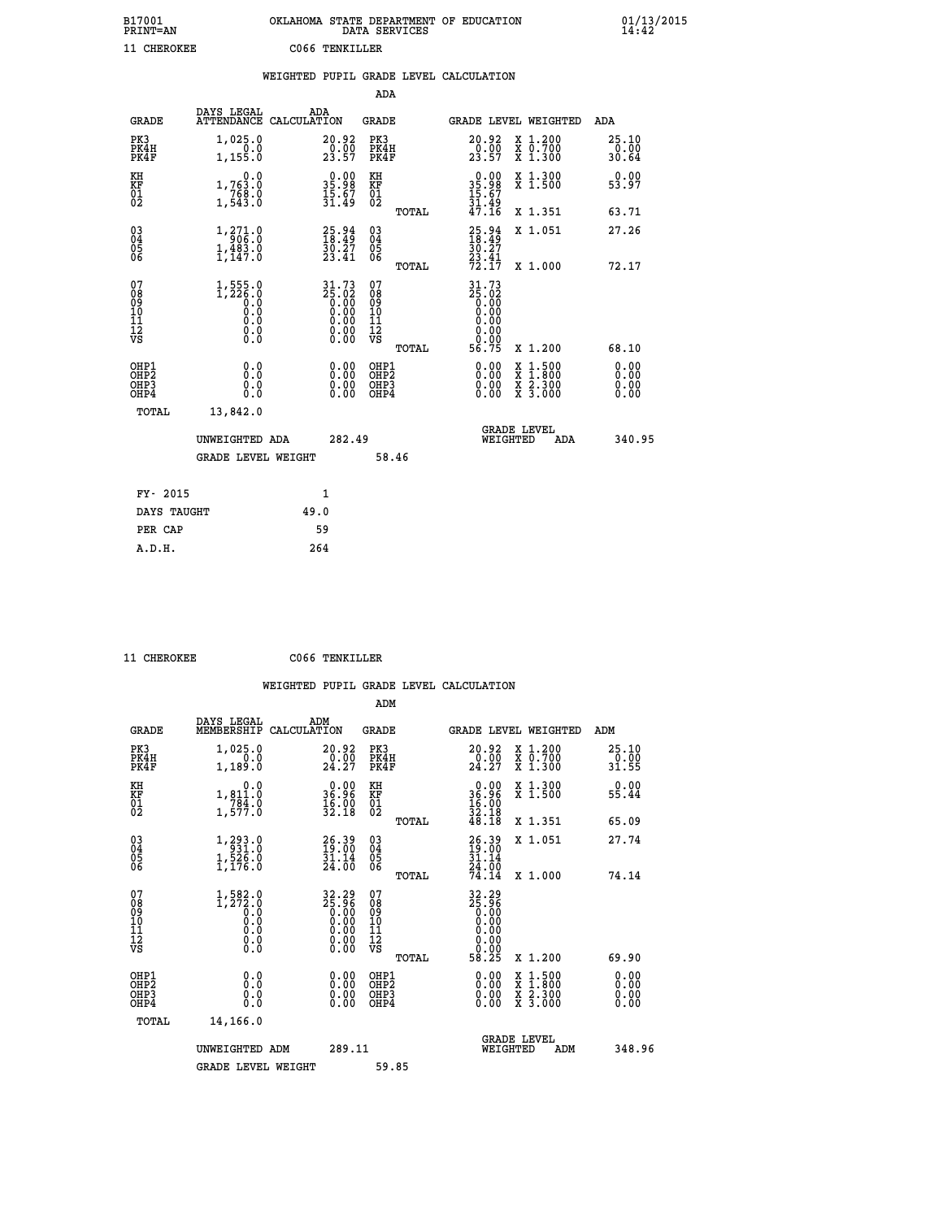| B17001<br>PRINT=AN | OKLAHOMA STATE DEPARTMENT OF EDUCATION<br>DATA SERVICES | 01/13/2015<br>14:42 |
|--------------------|---------------------------------------------------------|---------------------|
| 11 CHEROKEE        | C066 TENKILLER                                          |                     |

|                                        |                                                                                           |      |                                                                                                                        |                                           |       | WEIGHTED PUPIL GRADE LEVEL CALCULATION             |                                                                                                  |                              |
|----------------------------------------|-------------------------------------------------------------------------------------------|------|------------------------------------------------------------------------------------------------------------------------|-------------------------------------------|-------|----------------------------------------------------|--------------------------------------------------------------------------------------------------|------------------------------|
|                                        |                                                                                           |      |                                                                                                                        | <b>ADA</b>                                |       |                                                    |                                                                                                  |                              |
| <b>GRADE</b>                           | DAYS LEGAL<br>ATTENDANCE CALCULATION                                                      | ADA  |                                                                                                                        | <b>GRADE</b>                              |       | GRADE LEVEL WEIGHTED                               |                                                                                                  | <b>ADA</b>                   |
| PK3<br>PK4H<br>PK4F                    | 1,025.0<br>0.0<br>1,155.0                                                                 |      | 20.92<br>$\frac{0.00}{23.57}$                                                                                          | PK3<br>PK4H<br>PK4F                       |       | 20.92<br>$\frac{0.00}{23.57}$                      | X 1.200<br>X 0.700<br>X 1.300                                                                    | 25.10<br>0.00<br>30.64       |
| KH<br>KF<br>01<br>02                   | 0.0<br>1,763.0<br>$\begin{array}{c} 7,68,0 \\ 1,543.0 \end{array}$                        |      | $\begin{smallmatrix} 0.00\\ 35.98\\ 15.67\\ 31.49 \end{smallmatrix}$                                                   | KH<br>KF<br>01<br>02                      |       | $0.00$<br>$35.98$<br>$15.67$<br>$31.49$<br>$47.16$ | X 1.300<br>X 1.500                                                                               | 0.00<br>53.97                |
|                                        |                                                                                           |      |                                                                                                                        |                                           | TOTAL |                                                    | X 1.351                                                                                          | 63.71                        |
| $^{03}_{04}$<br>Ŏ5<br>06               | 1, 271.0<br>$1, \frac{483}{147}$ .0                                                       |      | $25.94$<br>$18.49$<br>$\bar{30}.\bar{27}\atop 23.41$                                                                   | $\substack{03 \\ 04}$<br>05<br>06         |       | 25.94<br>18.49<br>$\frac{30.27}{23.41}$<br>72.17   | X 1.051                                                                                          | 27.26                        |
|                                        |                                                                                           |      |                                                                                                                        |                                           | TOTAL |                                                    | X 1.000                                                                                          | 72.17                        |
| 07<br>08<br>09<br>11<br>11<br>12<br>VS | $1,555.0$<br>$1,226.0$<br>0.0<br>$\begin{smallmatrix} 0.16 \ 0.0 \ 0.0 \end{smallmatrix}$ |      | $31.73$<br>$25.02$<br>$0.00$<br>$0.00$<br>$0.00$<br>$\begin{smallmatrix} 0.00 & 0.00 \\ 0.00 & 0.00 \end{smallmatrix}$ | 07<br>08<br>09<br>11<br>11<br>12<br>VS    |       | 31.73<br>86:63<br>0.00<br>0.00<br>0.00<br>0.00     |                                                                                                  |                              |
| OHP1                                   |                                                                                           |      |                                                                                                                        |                                           | TOTAL | 56.75                                              | X 1.200                                                                                          | 68.10                        |
| OH <sub>P</sub> 2<br>OHP3<br>OHP4      | 0.0<br>0.0<br>0.0                                                                         |      | 0.00<br>0.00<br>0.00                                                                                                   | OHP1<br>OH <sub>P</sub> 2<br>OHP3<br>OHP4 |       | 0.00<br>0.00<br>0.00                               | $\begin{smallmatrix} x & 1 & 500 \\ x & 1 & 800 \\ x & 2 & 300 \\ x & 3 & 000 \end{smallmatrix}$ | 0.00<br>0.00<br>0.00<br>0.00 |
| TOTAL                                  | 13,842.0                                                                                  |      |                                                                                                                        |                                           |       |                                                    |                                                                                                  |                              |
|                                        | UNWEIGHTED ADA                                                                            |      | 282.49                                                                                                                 |                                           |       | WEIGHTED                                           | <b>GRADE LEVEL</b><br>ADA                                                                        | 340.95                       |
|                                        | <b>GRADE LEVEL WEIGHT</b>                                                                 |      |                                                                                                                        |                                           | 58.46 |                                                    |                                                                                                  |                              |
| FY- 2015                               |                                                                                           |      | 1                                                                                                                      |                                           |       |                                                    |                                                                                                  |                              |
| DAYS TAUGHT                            |                                                                                           | 49.0 |                                                                                                                        |                                           |       |                                                    |                                                                                                  |                              |
| PER CAP                                |                                                                                           |      | 59                                                                                                                     |                                           |       |                                                    |                                                                                                  |                              |

 **11 CHEROKEE C066 TENKILLER**

 **A.D.H. 264**

|                                                      |                                                                             |                                          | ADM                                                 |                                                                              |                                          |                              |
|------------------------------------------------------|-----------------------------------------------------------------------------|------------------------------------------|-----------------------------------------------------|------------------------------------------------------------------------------|------------------------------------------|------------------------------|
| <b>GRADE</b>                                         | DAYS LEGAL<br>MEMBERSHIP                                                    | ADM<br>CALCULATION                       | <b>GRADE</b>                                        | GRADE LEVEL WEIGHTED                                                         |                                          | ADM                          |
| PK3<br>PK4H<br>PK4F                                  | 1,025.0<br>0.0<br>1,189.0                                                   | 20.92<br>$\frac{0.00}{24.27}$            | PK3<br>PK4H<br>PK4F                                 | $\substack{20.92 \\ 0.00 \\ 24.27}$                                          | X 1.200<br>X 0.700<br>X 1.300            | 25.10<br>0.00<br>31.55       |
| KH<br>KF<br>01<br>02                                 | 0.0<br>$1,811.0$<br>$784.0$<br>$1,577.0$                                    | $0.00$<br>96.96<br>$\frac{16.00}{32.18}$ | KH<br>KF<br>01<br>02                                | $\begin{smallmatrix} 0.00\\ 36.96\\ 16.00\\ 32.18\\ 48.18 \end{smallmatrix}$ | X 1.300<br>X 1.500                       | 0.00<br>55.44                |
|                                                      |                                                                             |                                          | TOTAL                                               |                                                                              | X 1.351                                  | 65.09                        |
| 03<br>04<br>05<br>06                                 | $\begin{smallmatrix} 1,293.0\\ 931.0\\ 1,526.0\\ 1,176.0 \end{smallmatrix}$ | 26.39<br>19:00<br>$\frac{31.14}{24.00}$  | $\begin{array}{c} 03 \\ 04 \\ 05 \\ 06 \end{array}$ | 26.39<br>$\frac{31.14}{24.00}$                                               | X 1.051                                  | 27.74                        |
|                                                      |                                                                             |                                          | TOTAL                                               | 74.14                                                                        | X 1.000                                  | 74.14                        |
| 07<br>08<br>09<br>101<br>112<br>VS                   | $1, 582.0$<br>$1, 272.0$<br>$0.0$<br>0.0<br>0.0<br>$\S.$                    | $32.2925.960.000.000.000.000.00$         | 07<br>08<br>09<br>101<br>11<br>12<br>VS<br>TOTAL    | 32.29<br>25.96<br>0.00<br>0.00<br>58.25                                      | X 1.200                                  | 69.90                        |
| OHP1<br>OHP2<br>OH <sub>P3</sub><br>OH <sub>P4</sub> | 0.0<br>0.000                                                                | $0.00$<br>$0.00$<br>0.00                 | OHP1<br>OHP2<br>OHP <sub>3</sub>                    | $0.00$<br>$0.00$<br>0.00                                                     | X 1:500<br>X 1:800<br>X 2:300<br>X 3:000 | 0.00<br>0.00<br>0.00<br>0.00 |
| TOTAL                                                | 14,166.0                                                                    |                                          |                                                     |                                                                              |                                          |                              |
|                                                      | UNWEIGHTED ADM                                                              | 289.11                                   |                                                     | WEIGHTED                                                                     | <b>GRADE LEVEL</b><br>ADM                | 348.96                       |
|                                                      | <b>GRADE LEVEL WEIGHT</b>                                                   |                                          | 59.85                                               |                                                                              |                                          |                              |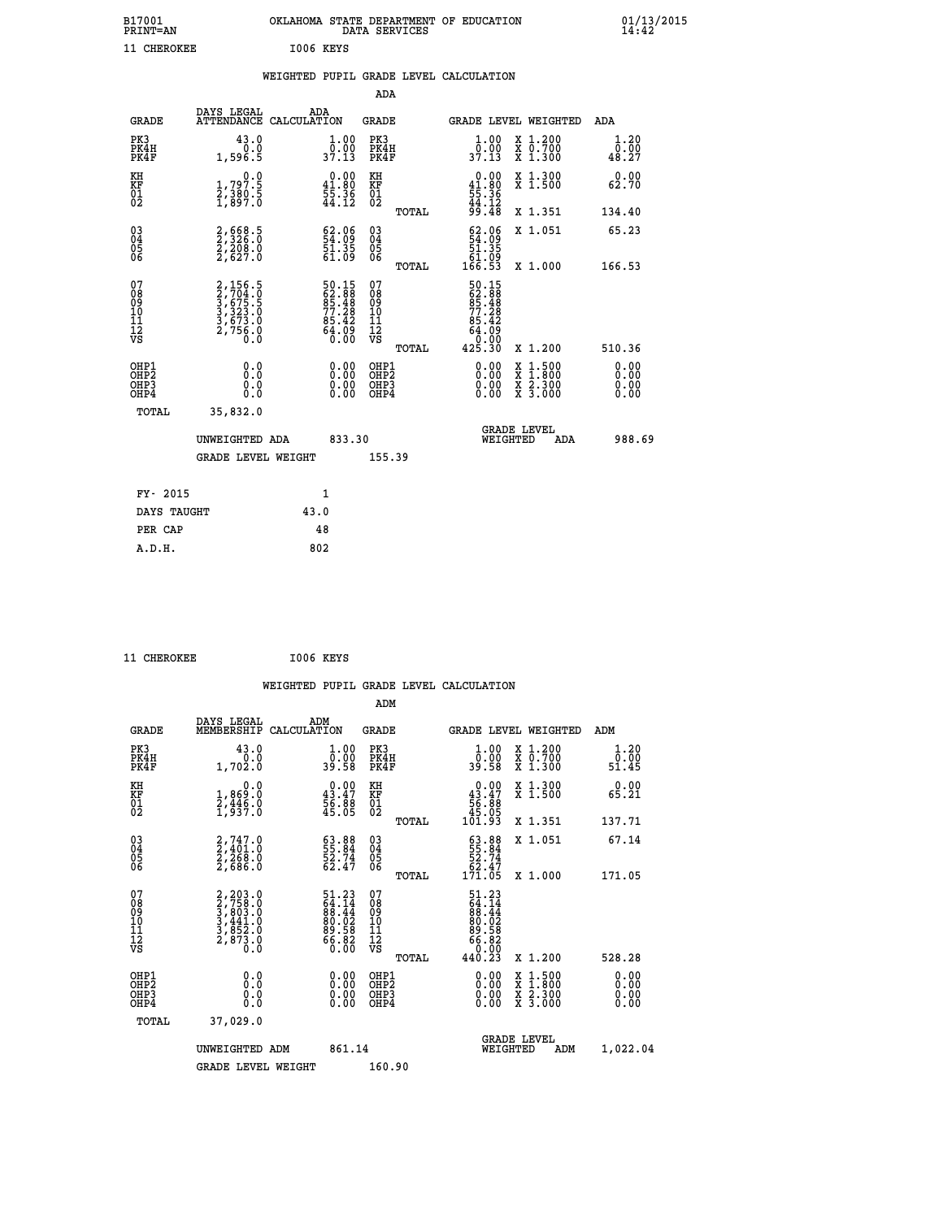| B17001<br><b>PRINT=AN</b> | OKLAHOMA STATE DEPARTMENT OF EDUCATION<br>DATA SERVICES | 01/13/2015<br>14:42 |
|---------------------------|---------------------------------------------------------|---------------------|
| 11 CHEROKEE               | I006 KEYS                                               |                     |

|  |  | WEIGHTED PUPIL GRADE LEVEL CALCULATION |
|--|--|----------------------------------------|
|  |  |                                        |

|                                                       |                                                                       |                                                                       | ADA                                       |       |                                                                                                |                                          |                              |
|-------------------------------------------------------|-----------------------------------------------------------------------|-----------------------------------------------------------------------|-------------------------------------------|-------|------------------------------------------------------------------------------------------------|------------------------------------------|------------------------------|
| <b>GRADE</b>                                          | DAYS LEGAL                                                            | ADA<br>ATTENDANCE CALCULATION                                         | <b>GRADE</b>                              |       | GRADE LEVEL WEIGHTED                                                                           |                                          | ADA                          |
| PK3<br>PK4H<br>PK4F                                   | 43.0<br>0.0<br>1,596.5                                                | $\frac{1}{0}$ : 00<br>37.13                                           | PK3<br>PK4H<br>PK4F                       |       | 1.00<br>ō:ŏŏ<br>37.13                                                                          | X 1.200<br>X 0.700<br>X 1.300            | 1.20<br>0.00<br>48.27        |
| KH<br>KF<br>01<br>02                                  | 0.0<br>1,797.5<br>2,380.5<br>1,897.0                                  | $\begin{smallmatrix} 0.00\\ 41.80\\ 55.36\\ 44.12 \end{smallmatrix}$  | KH<br>KF<br>01<br>02                      |       | $0.00\n41.80\n55.36\n44.12\n99.48$                                                             | X 1.300<br>X 1.500                       | 0.00<br>62.70                |
|                                                       |                                                                       |                                                                       |                                           | TOTAL |                                                                                                | X 1.351                                  | 134.40                       |
| 03<br>04<br>05<br>06                                  | 2,668.5<br>2,326.0<br>2,208.0<br>2,627.0                              | $\begin{smallmatrix} 62.06\\ 54.09\\ 51.35\\ 61.09 \end{smallmatrix}$ | 03<br>04<br>05<br>06                      |       | $\begin{smallmatrix} 62.06\\ 54.09\\ 51.35\\ 61.09\\ 61.09\\ 166.53 \end{smallmatrix}$         | X 1.051                                  | 65.23                        |
|                                                       |                                                                       |                                                                       |                                           | TOTAL |                                                                                                | X 1.000                                  | 166.53                       |
| 07<br>08<br>09<br>11<br>11<br>12<br>VS                | 2,156.5<br>2,704.0<br>3,675.5<br>3,323.0<br>3,673.0<br>2,756.0<br>0.0 | 50.15<br>62.88<br>85.48<br>85.48<br>77.28<br>85.42<br>64.09<br>64.09  | 07<br>08<br>09<br>11<br>11<br>12<br>VS    | TOTAL | $\begin{smallmatrix}50.15\\62.88\\85.488\\77.28\\85.42\\64.09\\64.09\\425.30\end{smallmatrix}$ | X 1.200                                  | 510.36                       |
| OHP1<br>OH <sub>P</sub> 2<br>OH <sub>P3</sub><br>OHP4 | 0.0<br>0.0<br>0.0                                                     | 0.00<br>$\begin{smallmatrix} 0.00 \ 0.00 \end{smallmatrix}$           | OHP1<br>OH <sub>P</sub> 2<br>OHP3<br>OHP4 |       | 0.00<br>0.00<br>0.00                                                                           | X 1:500<br>X 1:800<br>X 2:300<br>X 3:000 | 0.00<br>0.00<br>0.00<br>0.00 |
| TOTAL                                                 | 35,832.0                                                              |                                                                       |                                           |       |                                                                                                |                                          |                              |
|                                                       | UNWEIGHTED ADA                                                        | 833.30                                                                |                                           |       | WEIGHTED                                                                                       | <b>GRADE LEVEL</b><br>ADA                | 988.69                       |
|                                                       | GRADE LEVEL WEIGHT                                                    |                                                                       | 155.39                                    |       |                                                                                                |                                          |                              |
| FY- 2015                                              |                                                                       | $\mathbf{1}$                                                          |                                           |       |                                                                                                |                                          |                              |
|                                                       |                                                                       |                                                                       |                                           |       |                                                                                                |                                          |                              |
| DAYS TAUGHT                                           |                                                                       | 43.0                                                                  |                                           |       |                                                                                                |                                          |                              |
| PER CAP                                               |                                                                       | 48                                                                    |                                           |       |                                                                                                |                                          |                              |
| A.D.H.                                                |                                                                       | 802                                                                   |                                           |       |                                                                                                |                                          |                              |

| 11 CHEROKEE | I006 KEYS |  |
|-------------|-----------|--|
|             |           |  |

|                                                    |                                                                                           | WEIGHTED PUPIL GRADE LEVEL CALCULATION                            |                                                     |       |                                                                                                                                                                                                                                                                                |                                          |                                                                                                                                                                                                                                                                                |
|----------------------------------------------------|-------------------------------------------------------------------------------------------|-------------------------------------------------------------------|-----------------------------------------------------|-------|--------------------------------------------------------------------------------------------------------------------------------------------------------------------------------------------------------------------------------------------------------------------------------|------------------------------------------|--------------------------------------------------------------------------------------------------------------------------------------------------------------------------------------------------------------------------------------------------------------------------------|
|                                                    |                                                                                           |                                                                   | ADM                                                 |       |                                                                                                                                                                                                                                                                                |                                          |                                                                                                                                                                                                                                                                                |
| <b>GRADE</b>                                       | DAYS LEGAL<br>MEMBERSHIP                                                                  | ADM<br>CALCULATION                                                | <b>GRADE</b>                                        |       |                                                                                                                                                                                                                                                                                | <b>GRADE LEVEL WEIGHTED</b>              | ADM                                                                                                                                                                                                                                                                            |
| PK3<br>PK4H<br>PK4F                                | 43.0<br>1,702.0                                                                           | $\begin{smallmatrix} 1.00\\ 0.00\\ 39.58 \end{smallmatrix}$       | PK3<br>PK4H<br>PK4F                                 |       | $\frac{1}{0}$ : 00<br>39.58                                                                                                                                                                                                                                                    | X 1.200<br>X 0.700<br>X 1.300            | 1.20<br>0.00<br>51.45                                                                                                                                                                                                                                                          |
| KH<br>KF<br>01<br>02                               | 0.0<br>1,869:0<br>2,446:0<br>1,937:0                                                      | $0.00$<br>$43.47$<br>$56.88$<br>$45.05$                           | KH<br>KF<br>01<br>02                                |       | $\begin{smallmatrix} &0.00\ 43.47\ 56.88\ 45.05\ 101.93\ \end{smallmatrix}$                                                                                                                                                                                                    | X 1.300<br>X 1.500                       | 0.00<br>65.21                                                                                                                                                                                                                                                                  |
|                                                    |                                                                                           |                                                                   |                                                     | TOTAL |                                                                                                                                                                                                                                                                                | X 1.351                                  | 137.71                                                                                                                                                                                                                                                                         |
| $\begin{matrix} 03 \\ 04 \\ 05 \\ 06 \end{matrix}$ | $2,747.0$<br>$2,268.0$<br>$2,686.0$<br>$2,686.0$                                          | 63.88<br>55.84<br>52.74<br>62.47                                  | $\begin{array}{c} 03 \\ 04 \\ 05 \\ 06 \end{array}$ |       | $\begin{smallmatrix} 63.88\,55.84\\ 55.74\\ 52.74\\ 62.47\\ 171.05 \end{smallmatrix}$                                                                                                                                                                                          | X 1.051                                  | 67.14                                                                                                                                                                                                                                                                          |
|                                                    |                                                                                           |                                                                   |                                                     | TOTAL |                                                                                                                                                                                                                                                                                | X 1.000                                  | 171.05                                                                                                                                                                                                                                                                         |
| 07<br>08<br>09<br>101<br>11<br>12<br>VS            | $2, 203.0$<br>$2, 758.0$<br>$3, 803.0$<br>$3, 441.0$<br>$3, 852.0$<br>$2, 873.0$<br>$0.0$ | $51.2364.1488.4480.0280.5886.826.00$                              | 07<br>08<br>09<br>01<br>11<br>11<br>12<br>VS        |       | $\begin{smallmatrix} 51.23\ 64.14\ 88.44\ 80.02\ 89.58\ 66.820\ 40.23 \end{smallmatrix}$                                                                                                                                                                                       |                                          |                                                                                                                                                                                                                                                                                |
|                                                    |                                                                                           |                                                                   |                                                     | TOTAL |                                                                                                                                                                                                                                                                                | X 1.200                                  | 528.28                                                                                                                                                                                                                                                                         |
| OHP1<br>OHP2<br>OHP3<br>OHP4                       | 0.0<br>$\begin{smallmatrix} 0.5 & 0 \ 0.0 & 0 \end{smallmatrix}$                          | $\begin{smallmatrix} 0.00 \ 0.00 \ 0.00 \ 0.00 \end{smallmatrix}$ | OHP1<br>OHP2<br>OHP <sub>3</sub>                    |       | $\begin{smallmatrix} 0.00 & 0.00 & 0.00 & 0.00 & 0.00 & 0.00 & 0.00 & 0.00 & 0.00 & 0.00 & 0.00 & 0.00 & 0.00 & 0.00 & 0.00 & 0.00 & 0.00 & 0.00 & 0.00 & 0.00 & 0.00 & 0.00 & 0.00 & 0.00 & 0.00 & 0.00 & 0.00 & 0.00 & 0.00 & 0.00 & 0.00 & 0.00 & 0.00 & 0.00 & 0.00 & 0.0$ | X 1:500<br>X 1:800<br>X 2:300<br>X 3:000 | $\begin{smallmatrix} 0.00 & 0.00 & 0.00 & 0.00 & 0.00 & 0.00 & 0.00 & 0.00 & 0.00 & 0.00 & 0.00 & 0.00 & 0.00 & 0.00 & 0.00 & 0.00 & 0.00 & 0.00 & 0.00 & 0.00 & 0.00 & 0.00 & 0.00 & 0.00 & 0.00 & 0.00 & 0.00 & 0.00 & 0.00 & 0.00 & 0.00 & 0.00 & 0.00 & 0.00 & 0.00 & 0.0$ |
| TOTAL                                              | 37,029.0                                                                                  |                                                                   |                                                     |       |                                                                                                                                                                                                                                                                                |                                          |                                                                                                                                                                                                                                                                                |
|                                                    | UNWEIGHTED ADM                                                                            | 861.14                                                            |                                                     |       | WEIGHTED                                                                                                                                                                                                                                                                       | <b>GRADE LEVEL</b><br>ADM                | 1,022.04                                                                                                                                                                                                                                                                       |
|                                                    | <b>GRADE LEVEL WEIGHT</b>                                                                 |                                                                   | 160.90                                              |       |                                                                                                                                                                                                                                                                                |                                          |                                                                                                                                                                                                                                                                                |
|                                                    |                                                                                           |                                                                   |                                                     |       |                                                                                                                                                                                                                                                                                |                                          |                                                                                                                                                                                                                                                                                |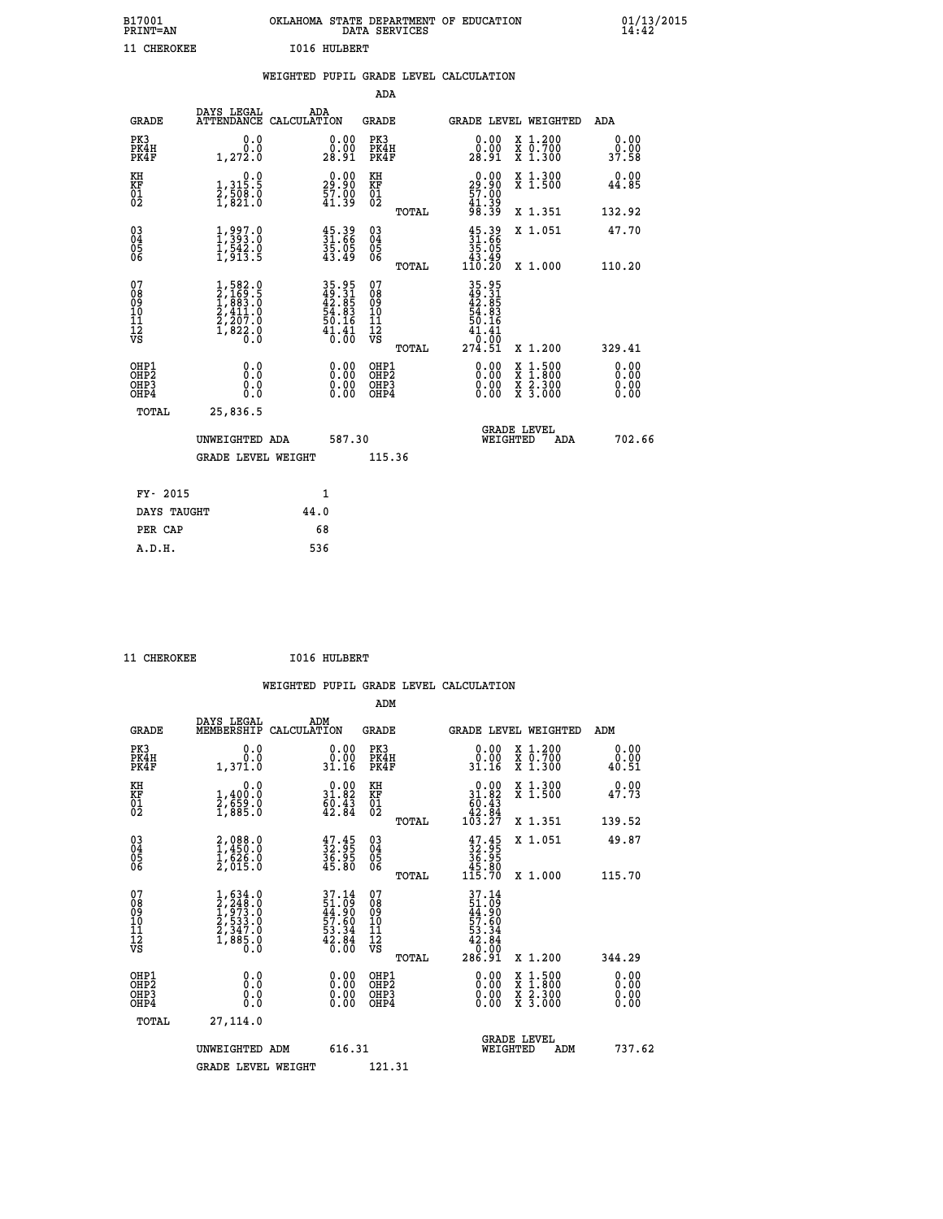| B17001<br><b>PRINT=AN</b> | OKLAHOMA STATE DEPARTMENT OF EDUCATION<br>DATA SERVICES | 01/13/2015 |
|---------------------------|---------------------------------------------------------|------------|
| 11<br>CHEROKEE            | 1016 HULBERT                                            |            |

|  |  | WEIGHTED PUPIL GRADE LEVEL CALCULATION |
|--|--|----------------------------------------|
|  |  |                                        |

|                                                                    |                                                                                                         |                                                                    | ADA                                       |       |                                                                                |                                                                                                  |                              |
|--------------------------------------------------------------------|---------------------------------------------------------------------------------------------------------|--------------------------------------------------------------------|-------------------------------------------|-------|--------------------------------------------------------------------------------|--------------------------------------------------------------------------------------------------|------------------------------|
| <b>GRADE</b>                                                       | DAYS LEGAL                                                                                              | ADA<br>ATTENDANCE CALCULATION                                      | <b>GRADE</b>                              |       |                                                                                | GRADE LEVEL WEIGHTED                                                                             | ADA                          |
| PK3<br>PK4H<br>PK4F                                                | 0.0<br>0.0<br>1,272.0                                                                                   | $\begin{smallmatrix} 0.00\\ 0.00\\ 28.91 \end{smallmatrix}$        | PK3<br>PK4H<br>PK4F                       |       | $\begin{smallmatrix} 0.00\\ 0.00\\ 28.91 \end{smallmatrix}$                    | X 1.200<br>X 0.700<br>X 1.300                                                                    | 0.00<br>0.00<br>37.58        |
| KH<br><b>KF</b><br>01<br>02                                        | 0.0<br>1, 315:5<br>2, 508:0<br>1, 821:0                                                                 | 29.90<br>$\frac{57.00}{41.39}$                                     | KH<br>KF<br>01<br>02                      |       | 29.90<br>$\frac{57.00}{41.39}$                                                 | X 1.300<br>X 1.500                                                                               | 0.00<br>44.85                |
|                                                                    |                                                                                                         |                                                                    |                                           | TOTAL |                                                                                | X 1.351                                                                                          | 132.92                       |
| $\begin{smallmatrix} 03 \\[-4pt] 04 \end{smallmatrix}$<br>05<br>06 | $\begin{smallmatrix} 1,997.0\\ 1,393.0\\ 1,542.0\\ 1,913.5 \end{smallmatrix}$                           | $\begin{smallmatrix} 45.39\ 31.66\ 35.05\ 43.49 \end{smallmatrix}$ | $\substack{03 \\ 04}$<br>Ŏ5<br>06         |       | $\begin{smallmatrix} 45.39\\ 31.66\\ 35.05\\ 43.49\\ 110.20 \end{smallmatrix}$ | X 1.051                                                                                          | 47.70                        |
|                                                                    |                                                                                                         |                                                                    |                                           | TOTAL |                                                                                | X 1.000                                                                                          | 110.20                       |
| 07<br>08<br>09<br>11<br>11<br>12<br>VS                             | $\begin{smallmatrix} 1,582.0\\ 2,169.5\\ 1,883.0\\ 2,411.0\\ 2,207.0\\ 1,822.0\\ 0.0 \end{smallmatrix}$ | 35.95<br>49.31<br>42.85<br>54.83<br>50.16<br>$\frac{41.41}{0.00}$  | 07<br>08<br>09<br>11<br>11<br>12<br>VS    |       | 35.95<br>42.85<br>42.83<br>54.83<br>50.16<br>50.16<br>41.41<br>72.99           |                                                                                                  |                              |
|                                                                    |                                                                                                         |                                                                    |                                           | TOTAL | 274.51                                                                         | X 1.200                                                                                          | 329.41                       |
| OHP1<br>OH <sub>P</sub> 2<br>OH <sub>P3</sub><br>OH <sub>P4</sub>  | 0.0<br>0.0<br>0.0                                                                                       | 0.00<br>$\begin{smallmatrix} 0.00 \ 0.00 \end{smallmatrix}$        | OHP1<br>OH <sub>P</sub> 2<br>OHP3<br>OHP4 |       | 0.00<br>0.00<br>0.00                                                           | $\begin{smallmatrix} x & 1 & 500 \\ x & 1 & 800 \\ x & 2 & 300 \\ x & 3 & 000 \end{smallmatrix}$ | 0.00<br>0.00<br>0.00<br>0.00 |
| TOTAL                                                              | 25,836.5                                                                                                |                                                                    |                                           |       |                                                                                |                                                                                                  |                              |
|                                                                    | UNWEIGHTED ADA                                                                                          | 587.30                                                             |                                           |       |                                                                                | GRADE LEVEL<br>WEIGHTED<br>ADA                                                                   | 702.66                       |
|                                                                    | <b>GRADE LEVEL WEIGHT</b>                                                                               |                                                                    | 115.36                                    |       |                                                                                |                                                                                                  |                              |
| FY- 2015                                                           |                                                                                                         | $\mathbf{1}$                                                       |                                           |       |                                                                                |                                                                                                  |                              |
| DAYS TAUGHT                                                        |                                                                                                         | 44.0                                                               |                                           |       |                                                                                |                                                                                                  |                              |
| PER CAP                                                            |                                                                                                         | 68                                                                 |                                           |       |                                                                                |                                                                                                  |                              |

| CHEROKEE |
|----------|

 **ADM**

**CHEROKEE 1016 HULBERT** 

| <b>GRADE</b>                                       | DAYS LEGAL<br>MEMBERSHIP                                                            | ADM<br>CALCULATION                                                   | <b>GRADE</b>                                       |       |                                                                                      |          | GRADE LEVEL WEIGHTED                     | ADM                   |  |
|----------------------------------------------------|-------------------------------------------------------------------------------------|----------------------------------------------------------------------|----------------------------------------------------|-------|--------------------------------------------------------------------------------------|----------|------------------------------------------|-----------------------|--|
| PK3<br>PK4H<br>PK4F                                | 0.0<br>0.0<br>1,371.0                                                               | $\begin{smallmatrix} 0.00\\ 0.00\\ 31.16 \end{smallmatrix}$          | PK3<br>PK4H<br>PK4F                                |       | 0.00<br>0.00<br>31.16                                                                |          | X 1.200<br>X 0.700<br>X 1.300            | 0.00<br>0.00<br>40.51 |  |
| KH<br>KF<br>01<br>02                               | 0.0<br>1,400:0<br>2,659:0<br>1,885:0                                                | $\begin{smallmatrix} 0.00\\ 31.82\\ 60.43\\ 42.84 \end{smallmatrix}$ | KH<br>KF<br>01<br>02                               |       | $\begin{smallmatrix}&&0.00\\11.82\\60.43\\42.84\\103.27\end{smallmatrix}$            |          | X 1.300<br>X 1.500                       | 0.00<br>47.73         |  |
|                                                    |                                                                                     |                                                                      |                                                    | TOTAL |                                                                                      |          | X 1.351                                  | 139.52                |  |
| $\begin{matrix} 03 \\ 04 \\ 05 \\ 06 \end{matrix}$ | 2,088.0<br>1,450.0<br>1,626.0<br>2,015.0                                            | $\begin{smallmatrix} 47.45\ 32.95\ 36.95\ 45.80 \end{smallmatrix}$   | $\begin{matrix} 03 \\ 04 \\ 05 \\ 06 \end{matrix}$ |       | $\begin{smallmatrix} 47.45\\ 32.95\\ 36.95\\ 45.80\\ 115.70 \end{smallmatrix}$       |          | X 1.051                                  | 49.87                 |  |
|                                                    |                                                                                     |                                                                      |                                                    | TOTAL |                                                                                      |          | X 1.000                                  | 115.70                |  |
| 07<br>089<br>090<br>1112<br>VS                     | $1,634.0$<br>$2,248.0$<br>$1,973.0$<br>$2,533.0$<br>$2,347.0$<br>$1,885.0$<br>$0.0$ | 37.14<br>51.09<br>44.90<br>57.60<br>53.34<br>53.34<br>42.84<br>6.00  | 07<br>08<br>09<br>01<br>11<br>11<br>12<br>VS       | TOTAL | $37.14$<br>$51.09$<br>$44.90$<br>$57.60$<br>$53.34$<br>$42.84$<br>$0.00$<br>$286.91$ |          | X 1.200                                  | 344.29                |  |
| OHP1<br>OH <sub>P</sub> <sub>2</sub><br>OHP3       | 0.0<br>0.0                                                                          | $0.00$<br>$0.00$                                                     | OHP1<br>OHP <sub>2</sub><br>OHP3                   |       | $0.00$<br>$0.00$                                                                     |          | X 1:500<br>X 1:800<br>X 2:300<br>X 3:000 | 0.00<br>0.00          |  |
| OH <sub>P4</sub><br>TOTAL                          | 0.0<br>27,114.0                                                                     | 0.00                                                                 | OHP4                                               |       | 0.00                                                                                 |          |                                          | 0.00                  |  |
|                                                    | UNWEIGHTED ADM                                                                      | 616.31                                                               |                                                    |       |                                                                                      | WEIGHTED | <b>GRADE LEVEL</b><br>ADM                | 737.62                |  |
|                                                    | <b>GRADE LEVEL WEIGHT</b>                                                           |                                                                      | 121.31                                             |       |                                                                                      |          |                                          |                       |  |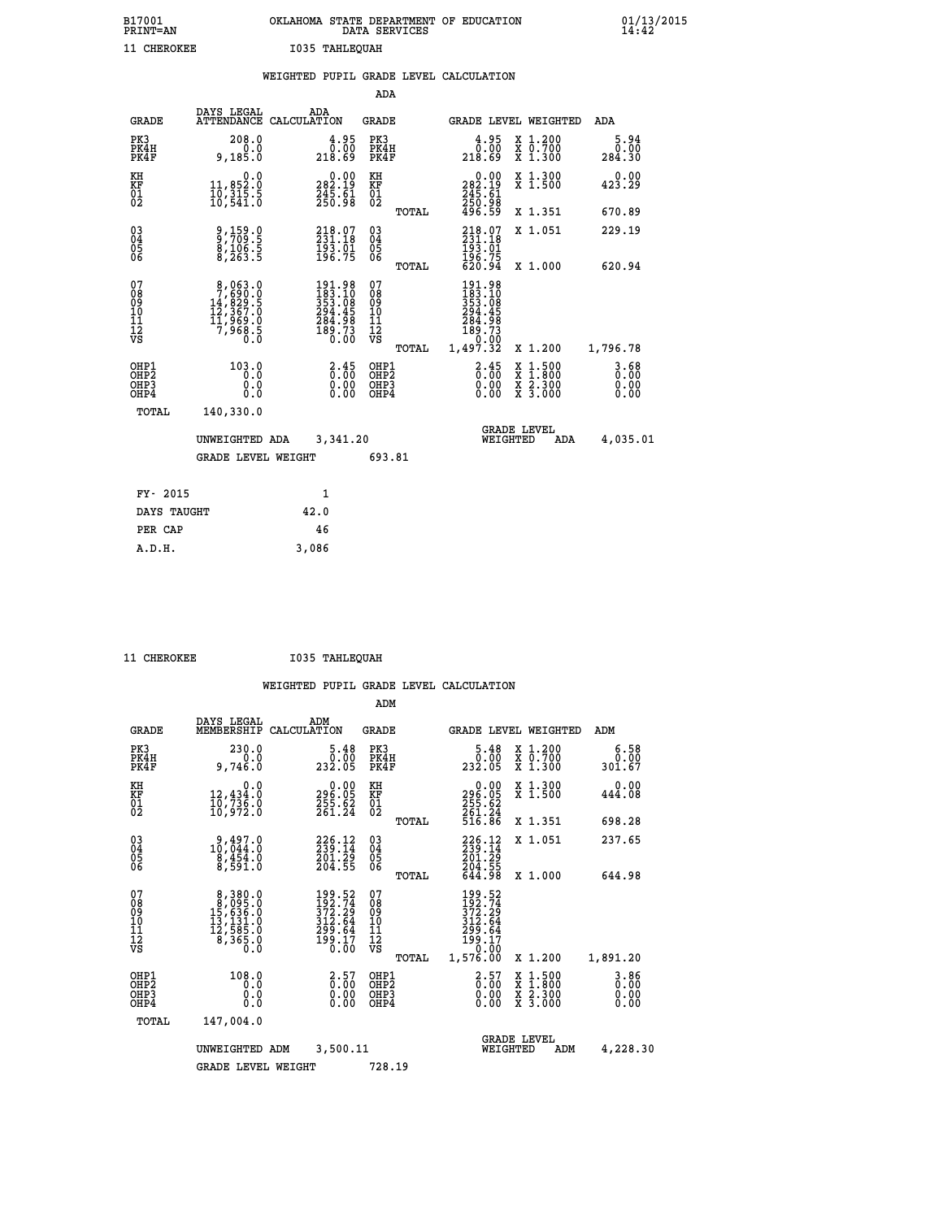| B17001<br><b>PRINT=AN</b> | OKLAHOMA STATE DEPARTMENT OF EDUCATION<br>DATA SERVICES | 01/13/2015 |
|---------------------------|---------------------------------------------------------|------------|
| 11 CHEROKEE               | I035 TAHLEQUAH                                          |            |

|  |  | WEIGHTED PUPIL GRADE LEVEL CALCULATION |
|--|--|----------------------------------------|
|  |  |                                        |

|                                                                    |                                                                                               |                                                                                            | ADA                                       |       |                                                                                  |                                                                                                  |                        |
|--------------------------------------------------------------------|-----------------------------------------------------------------------------------------------|--------------------------------------------------------------------------------------------|-------------------------------------------|-------|----------------------------------------------------------------------------------|--------------------------------------------------------------------------------------------------|------------------------|
| <b>GRADE</b>                                                       | DAYS LEGAL                                                                                    | ADA<br>ATTENDANCE CALCULATION                                                              | <b>GRADE</b>                              |       |                                                                                  | GRADE LEVEL WEIGHTED                                                                             | ADA                    |
| PK3<br>PK4H<br>PK4F                                                | 208.0<br>0.0<br>9,185.0                                                                       | $\begin{smallmatrix} 4.95\ 0.00\ 218.69 \end{smallmatrix}$                                 | PK3<br>PK4H<br>PK4F                       |       | $\begin{smallmatrix} 4.95\ 0.00\ 218.69 \end{smallmatrix}$                       | X 1.200<br>X 0.700<br>X 1.300                                                                    | 5.94<br>0.00<br>284.30 |
| KH<br><b>KF</b><br>01<br>02                                        | 0.0<br>11,852.0<br>10,315.5<br>10,541.0                                                       | $\begin{smallmatrix} &0.00\\ 282.19\\ 245.61\\ 250.98\end{smallmatrix}$                    | KH<br>KF<br>01<br>02                      |       | $\begin{smallmatrix} &0.00\\ 282.19\\ 245.61\\ 250.98\\ 496.59\end{smallmatrix}$ | X 1.300<br>X 1.500                                                                               | 0.00<br>423.29         |
|                                                                    |                                                                                               |                                                                                            |                                           | TOTAL |                                                                                  | X 1.351                                                                                          | 670.89                 |
| $\begin{smallmatrix} 03 \\[-4pt] 04 \end{smallmatrix}$<br>05<br>06 | 9,159.0<br>9,709.5<br>8,106.5<br>8,263.5                                                      | 218.07<br>231.18<br>$\frac{193.01}{196.75}$                                                | $\substack{03 \\ 04}$<br>05<br>06         | TOTAL | 218.07<br>231.18<br>193.01<br>196.75<br>620.94                                   | X 1.051<br>X 1.000                                                                               | 229.19<br>620.94       |
| 07<br>08901112<br>1112<br>VS                                       | $\begin{smallmatrix}8,063.0\\7,690.0\\14,829.5\\12,367.0\\11,969.0\\7,968.5\end{smallmatrix}$ | $\begin{smallmatrix}191.98\\183.10\\353.08\\294.45\\284.98\\189.73\\0.00\end{smallmatrix}$ | 07<br>08<br>09<br>11<br>11<br>12<br>VS    |       | 191.98<br>$183.108$<br>$353.08$<br>$294.45$<br>$284.98$<br>$189.73$<br>$0.02$    |                                                                                                  |                        |
|                                                                    |                                                                                               |                                                                                            |                                           | TOTAL | 1,497.32                                                                         | X 1.200                                                                                          | 1,796.78               |
| OHP1<br>OH <sub>P</sub> 2<br>OH <sub>P3</sub><br>OH <sub>P4</sub>  | 103.0<br>0.0<br>0.0<br>0.0                                                                    | $\frac{2.45}{0.00}$<br>$\begin{smallmatrix} 0.00 \ 0.00 \end{smallmatrix}$                 | OHP1<br>OH <sub>P</sub> 2<br>OHP3<br>OHP4 |       | $\frac{2.45}{0.00}$<br>0.00<br>0.00                                              | $\begin{smallmatrix} x & 1 & 500 \\ x & 1 & 800 \\ x & 2 & 300 \\ x & 3 & 000 \end{smallmatrix}$ | 3.68<br>0.00<br>0.00   |
| TOTAL                                                              | 140,330.0                                                                                     |                                                                                            |                                           |       |                                                                                  |                                                                                                  |                        |
|                                                                    | UNWEIGHTED ADA                                                                                | 3,341.20                                                                                   |                                           |       |                                                                                  | GRADE LEVEL<br>WEIGHTED<br>ADA                                                                   | 4,035.01               |
|                                                                    | <b>GRADE LEVEL WEIGHT</b>                                                                     |                                                                                            | 693.81                                    |       |                                                                                  |                                                                                                  |                        |
| FY- 2015                                                           |                                                                                               | $\mathbf{1}$                                                                               |                                           |       |                                                                                  |                                                                                                  |                        |
| DAYS TAUGHT                                                        |                                                                                               | 42.0                                                                                       |                                           |       |                                                                                  |                                                                                                  |                        |
| PER CAP                                                            |                                                                                               | 46                                                                                         |                                           |       |                                                                                  |                                                                                                  |                        |

 **A.D.H. 3,086**

 **11 CHEROKEE I035 TAHLEQUAH**

|                                                       |                                                                                                    |                                                                      | ADM                                                |                                                                                |                                          |                                  |
|-------------------------------------------------------|----------------------------------------------------------------------------------------------------|----------------------------------------------------------------------|----------------------------------------------------|--------------------------------------------------------------------------------|------------------------------------------|----------------------------------|
| <b>GRADE</b>                                          | DAYS LEGAL<br>MEMBERSHIP                                                                           | ADM<br>CALCULATION                                                   | <b>GRADE</b>                                       | <b>GRADE LEVEL WEIGHTED</b>                                                    |                                          | ADM                              |
| PK3<br>PK4H<br>PK4F                                   | 230.0<br>0.0<br>9,746.0                                                                            | 5.48<br>0.00<br>232.05                                               | PK3<br>PK4H<br>PK4F                                | $\begin{smallmatrix}5.48\0.00\\232.05\end{smallmatrix}$                        | X 1.200<br>X 0.700<br>X 1.300            | 6.58<br>0.00<br>301.67           |
| KH<br>KF<br>01<br>02                                  | 0.0<br>12,434.0<br>10,736.0<br>10,972.0                                                            | $\begin{smallmatrix} &0.00\,296.05\,255.62\,261.24\end{smallmatrix}$ | KH<br>KF<br>01<br>02                               | 0.00<br>296:05<br>255.62<br>261:24<br>516:86                                   | X 1.300<br>X 1.500                       | 0.00<br>444.08                   |
|                                                       |                                                                                                    |                                                                      | TOTAL                                              |                                                                                | X 1.351                                  | 698.28                           |
| 03<br>04<br>05<br>06                                  | $10, 497.0$<br>$10, 044.0$<br>$8, 454.0$<br>8,591.0                                                | 226.12<br>201.29<br>204.55                                           | $\begin{matrix} 03 \\ 04 \\ 05 \\ 06 \end{matrix}$ | 236.12<br>201.29                                                               | X 1.051                                  | 237.65                           |
|                                                       |                                                                                                    |                                                                      | TOTAL                                              | 204.55<br>644.98                                                               | X 1.000                                  | 644.98                           |
| 07<br>08<br>09<br>101<br>112<br>VS                    | $\begin{smallmatrix}8,380.0\\8,095.0\\15,636.0\\13,131.0\\12,585.0\\8,365.0\\0.0\end{smallmatrix}$ | 199.52<br>192.74<br>372.29<br>312.64<br>299.64<br>$\frac{155}{0.00}$ | 07<br>08<br>09<br>101<br>11<br>12<br>VS<br>TOTAL   | 199.52<br>192.74<br>372.29<br>312.64<br>299.64<br>199.17<br>52.000<br>1,576.00 | X 1.200                                  | 1,891.20                         |
| OHP1<br>OH <sub>P</sub> 2<br>OH <sub>P3</sub><br>OHP4 | 108.0<br>0.0<br>0.000                                                                              | $\begin{smallmatrix} 2.57\0.00 \end{smallmatrix}$<br>0.00            | OHP1<br>OHP2<br>OHP3<br>OHP4                       | $\begin{smallmatrix} 2.57\0.00 \end{smallmatrix}$<br>0.00                      | X 1:500<br>X 1:800<br>X 2:300<br>X 3:000 | $3.86$<br>$0.00$<br>0.00<br>0.00 |
| TOTAL                                                 | 147,004.0                                                                                          |                                                                      |                                                    |                                                                                |                                          |                                  |
|                                                       | UNWEIGHTED ADM                                                                                     | 3,500.11                                                             |                                                    | <b>GRADE LEVEL</b><br>WEIGHTED                                                 | ADM                                      | 4,228.30                         |
|                                                       | <b>GRADE LEVEL WEIGHT</b>                                                                          |                                                                      | 728.19                                             |                                                                                |                                          |                                  |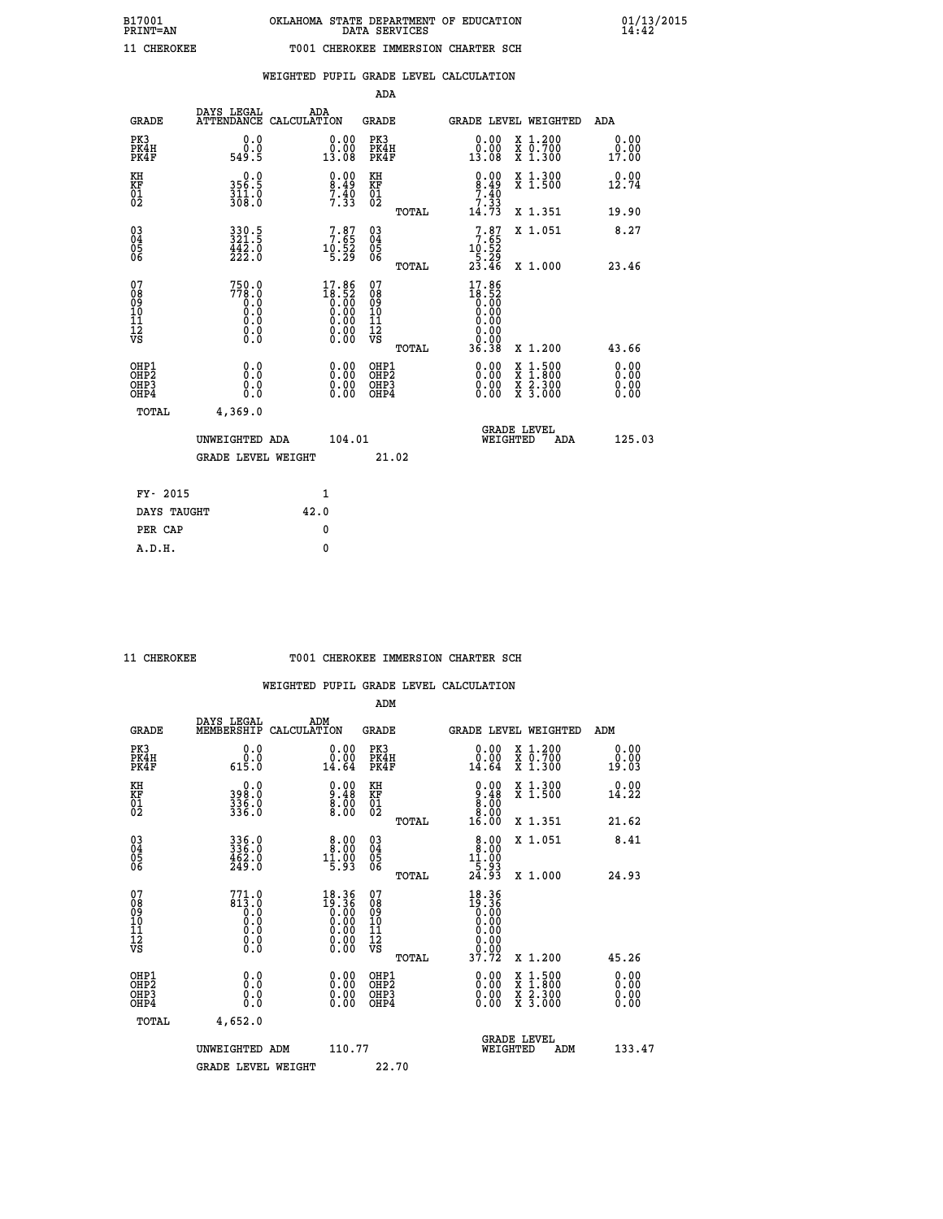| ---- |  | ., |
|------|--|----|
|      |  |    |
|      |  |    |
|      |  |    |
|      |  |    |
|      |  |    |

# **WEIGHTED PUPIL GRADE LEVEL CALCULATION**

|                                                    |                                                                 |                                                                                                        | ADA                                    |       |                                                                                                                                                                                                                                                                                                                                                       |                                               |                    |                              |
|----------------------------------------------------|-----------------------------------------------------------------|--------------------------------------------------------------------------------------------------------|----------------------------------------|-------|-------------------------------------------------------------------------------------------------------------------------------------------------------------------------------------------------------------------------------------------------------------------------------------------------------------------------------------------------------|-----------------------------------------------|--------------------|------------------------------|
| <b>GRADE</b>                                       | DAYS LEGAL<br><b>ATTENDANCE</b>                                 | ADA<br>CALCULATION                                                                                     | GRADE                                  |       | GRADE LEVEL WEIGHTED                                                                                                                                                                                                                                                                                                                                  |                                               |                    | <b>ADA</b>                   |
| PK3<br>PK4H<br>PK4F                                | 0.0<br>0.0<br>549.5                                             | 0.00<br>0.00<br>13.08                                                                                  | PK3<br>PK4H<br>PK4F                    |       | 0.00<br>0.00<br>13.08                                                                                                                                                                                                                                                                                                                                 | X 1.200<br>X 0.700<br>X 1.300                 |                    | 0.00<br>0.00<br>17.00        |
| KH<br><b>KF</b><br>01<br>02                        | $0.0$<br>356.5<br>311.0<br>308.0                                | $\begin{smallmatrix} 0.00\\ 8.49\\ 7.40\\ 7.33 \end{smallmatrix}$                                      | KH<br>KF<br>01<br>02                   |       | $0.00$<br>$8.49$<br>$7.40$<br>$7.33$<br>$14.73$                                                                                                                                                                                                                                                                                                       | X 1.300<br>X 1.500                            |                    | 0.00<br>12.74                |
|                                                    |                                                                 |                                                                                                        |                                        | TOTAL |                                                                                                                                                                                                                                                                                                                                                       | X 1.351                                       |                    | 19.90                        |
| $\begin{matrix} 03 \\ 04 \\ 05 \\ 06 \end{matrix}$ | $\begin{array}{l} 330.5 \\ 321.5 \\ 442.0 \\ 222.0 \end{array}$ | $7.87$<br>$10.52$<br>$10.52$<br>5.29                                                                   | 03<br>04<br>05<br>06                   |       | $7.87$<br>$7.65$<br>$10.52$<br>$5.29$<br>$23.46$                                                                                                                                                                                                                                                                                                      | X 1.051                                       |                    | 8.27                         |
|                                                    |                                                                 |                                                                                                        |                                        | TOTAL |                                                                                                                                                                                                                                                                                                                                                       | X 1.000                                       |                    | 23.46                        |
| 07<br>08<br>09<br>101<br>11<br>12<br>VS            | $750.0$<br>$778.0$<br>$0.0$<br>$0.0$<br>0.0<br>$\S.$            | $\begin{smallmatrix} 17.86 \\ 18.52 \\ 0.00 \\ 0.00 \\ 0.00 \\ 0.00 \\ 0.00 \\ 0.00 \end{smallmatrix}$ | 07<br>08<br>09<br>11<br>11<br>12<br>VS | TOTAL | 17.86<br>$\begin{smallmatrix} 1 & 0 & 0 & 0 \\ 0 & 0 & 0 & 0 \\ 0 & 0 & 0 & 0 \\ 0 & 0 & 0 & 0 \\ 0 & 0 & 0 & 0 \\ 0 & 0 & 0 & 0 \\ 0 & 0 & 0 & 0 \\ 0 & 0 & 0 & 0 \\ 0 & 0 & 0 & 0 \\ 0 & 0 & 0 & 0 \\ 0 & 0 & 0 & 0 \\ 0 & 0 & 0 & 0 \\ 0 & 0 & 0 & 0 \\ 0 & 0 & 0 & 0 \\ 0 & 0 & 0 & 0 \\ 0 & 0 & 0 & 0 \\ 0 & 0 & 0 & 0 \\ 0 & 0 & 0 & $<br>36.38 | X 1.200                                       |                    | 43.66                        |
|                                                    |                                                                 |                                                                                                        |                                        |       |                                                                                                                                                                                                                                                                                                                                                       |                                               |                    |                              |
| OHP1<br>OHP2<br>OHP3<br>OHP4                       | 0.0<br>0.0<br>0.0                                               | 0.00<br>$0.00$<br>0.00                                                                                 | OHP1<br>OHP2<br>OHP3<br>OHP4           |       | $0.00$<br>$0.00$<br>0.00                                                                                                                                                                                                                                                                                                                              | X<br>X<br>$\frac{x}{x}$ $\frac{5.300}{3.000}$ | $1.500$<br>$1.800$ | 0.00<br>0.00<br>0.00<br>0.00 |
| TOTAL                                              | 4,369.0                                                         |                                                                                                        |                                        |       |                                                                                                                                                                                                                                                                                                                                                       |                                               |                    |                              |
|                                                    | UNWEIGHTED ADA                                                  | 104.01                                                                                                 |                                        |       |                                                                                                                                                                                                                                                                                                                                                       | <b>GRADE LEVEL</b><br>WEIGHTED                | ADA                | 125.03                       |
|                                                    | <b>GRADE LEVEL WEIGHT</b>                                       |                                                                                                        |                                        | 21.02 |                                                                                                                                                                                                                                                                                                                                                       |                                               |                    |                              |
| FY- 2015                                           |                                                                 | $\mathbf{1}$                                                                                           |                                        |       |                                                                                                                                                                                                                                                                                                                                                       |                                               |                    |                              |
|                                                    |                                                                 |                                                                                                        |                                        |       |                                                                                                                                                                                                                                                                                                                                                       |                                               |                    |                              |
| DAYS TAUGHT                                        |                                                                 | 42.0                                                                                                   |                                        |       |                                                                                                                                                                                                                                                                                                                                                       |                                               |                    |                              |

**PER CAP** 0  **A.D.H. 0**

#### **11 CHEROKEE T001 CHEROKEE IMMERSION CHARTER SCH**

|                                                      |                                                     |                                                                                                        | ADM                                                 |       |                                                                                                                                                 |                                          |                              |
|------------------------------------------------------|-----------------------------------------------------|--------------------------------------------------------------------------------------------------------|-----------------------------------------------------|-------|-------------------------------------------------------------------------------------------------------------------------------------------------|------------------------------------------|------------------------------|
| <b>GRADE</b>                                         | DAYS LEGAL<br>MEMBERSHIP                            | ADM<br>CALCULATION                                                                                     | <b>GRADE</b>                                        |       |                                                                                                                                                 | GRADE LEVEL WEIGHTED                     | ADM                          |
| PK3<br>PK4H<br>PK4F                                  | 0.0<br>ة:ة<br>615.0                                 | 0.00<br>14.64                                                                                          | PK3<br>PK4H<br>PK4F                                 |       | 0.00<br>14.64                                                                                                                                   | X 1.200<br>X 0.700<br>X 1.300            | 0.00<br>0.00<br>19.03        |
| KH<br>KF<br>01<br>02                                 | 0.0<br>398.0<br>336.0<br>336.0                      | $\begin{smallmatrix} 0.00\\ 9.48\\ 8.00\\ 8.00 \end{smallmatrix}$                                      | KH<br>KF<br>01<br>02                                |       | $\begin{smallmatrix} 0.00\\ 9.48\\ 8.00\\ 8.00\\ 16.00 \end{smallmatrix}$                                                                       | X 1.300<br>X 1.500                       | $0.00$<br>14.22              |
|                                                      |                                                     |                                                                                                        |                                                     | TOTAL |                                                                                                                                                 | X 1.351                                  | 21.62                        |
| 03<br>04<br>05<br>06                                 | 336.0<br>336.0<br>462.0<br>249.0                    | $\begin{smallmatrix} 8.00\\ 8.00\\ 11.00\\ 5.93 \end{smallmatrix}$                                     | $\begin{array}{c} 03 \\ 04 \\ 05 \\ 06 \end{array}$ |       | $8.00$<br>$11.00$<br>$5.93$<br>$24.93$                                                                                                          | X 1.051                                  | 8.41                         |
|                                                      |                                                     |                                                                                                        |                                                     | TOTAL |                                                                                                                                                 | X 1.000                                  | 24.93                        |
| 07<br>08<br>09<br>101<br>112<br>VS                   | $771.0$<br>813.0<br>0.0<br>0.0<br>0.0<br>$\S.$ $\S$ | $\begin{smallmatrix} 18.36 \\ 19.36 \\ 0.00 \\ 0.00 \\ 0.00 \\ 0.00 \\ 0.00 \\ 0.00 \end{smallmatrix}$ | 07<br>08<br>09<br>11<br>11<br>12<br>VS              |       | $\begin{smallmatrix} 18 & 3 & 6 \\ 19 & 3 & 6 \\ 0 & 0 & 0 \\ 0 & 0 & 0 \\ 0 & 0 & 0 \\ 0 & 0 & 0 \\ 0 & 0 & 0 \\ 3 & 7 & 72 \end{smallmatrix}$ |                                          |                              |
|                                                      |                                                     |                                                                                                        |                                                     | TOTAL |                                                                                                                                                 | X 1.200                                  | 45.26                        |
| OHP1<br>OHP2<br>OH <sub>P3</sub><br>OH <sub>P4</sub> | 0.0<br>0.000                                        |                                                                                                        | OHP1<br>OHP2<br>OHP <sub>3</sub>                    |       | $0.00$<br>$0.00$<br>0.00                                                                                                                        | X 1:500<br>X 1:800<br>X 2:300<br>X 3:000 | 0.00<br>Ŏ.ŎŎ<br>Q.QQ<br>0.00 |
| TOTAL                                                | 4,652.0                                             |                                                                                                        |                                                     |       |                                                                                                                                                 |                                          |                              |
|                                                      | UNWEIGHTED ADM                                      | 110.77                                                                                                 |                                                     |       |                                                                                                                                                 | GRADE LEVEL<br>WEIGHTED<br>ADM           | 133.47                       |
|                                                      | <b>GRADE LEVEL WEIGHT</b>                           |                                                                                                        | 22.70                                               |       |                                                                                                                                                 |                                          |                              |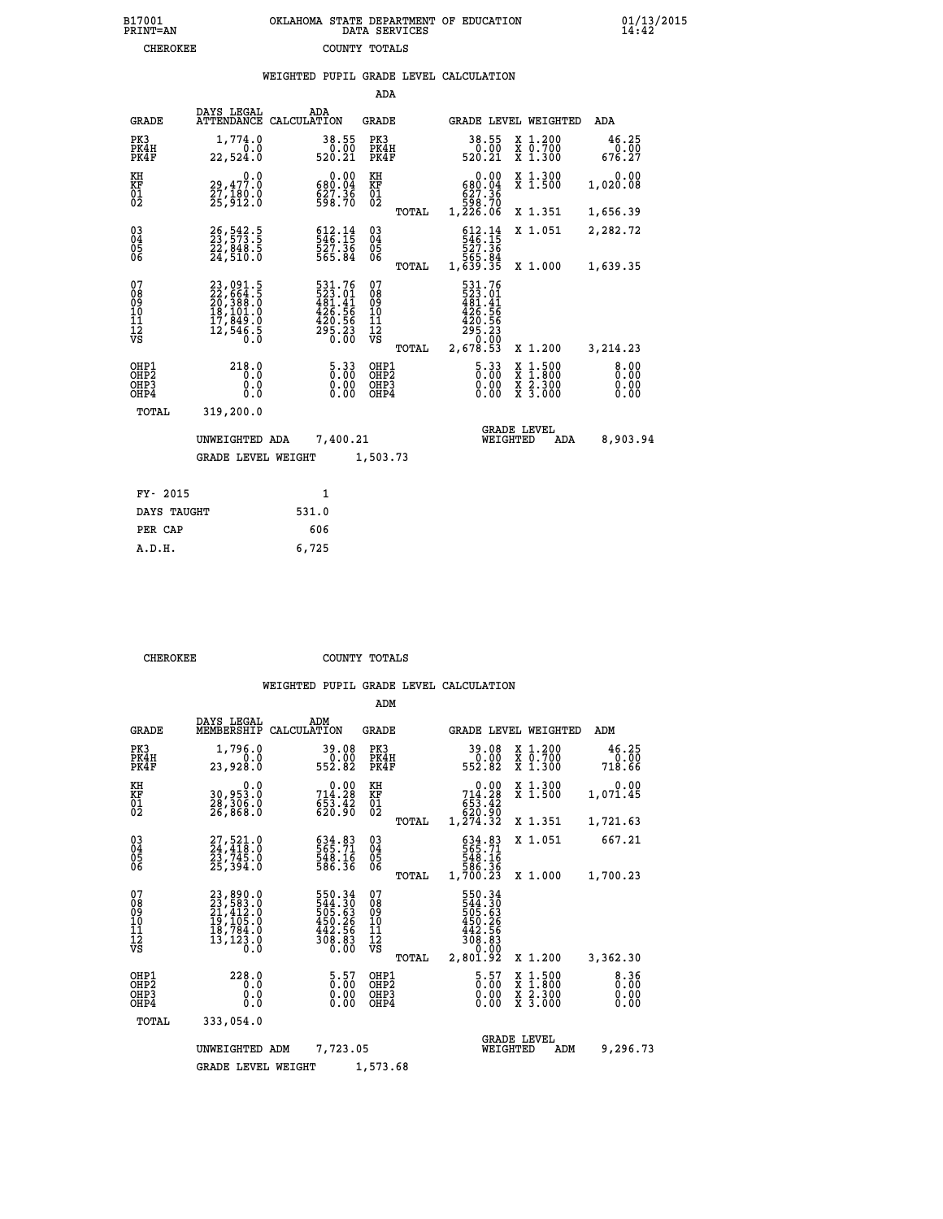|                                                                    |                                                                                           |                                                                                               | ADA                                            |       |                                                                                            |                                                                                                  |                              |
|--------------------------------------------------------------------|-------------------------------------------------------------------------------------------|-----------------------------------------------------------------------------------------------|------------------------------------------------|-------|--------------------------------------------------------------------------------------------|--------------------------------------------------------------------------------------------------|------------------------------|
| <b>GRADE</b>                                                       | DAYS LEGAL                                                                                | ADA<br>ATTENDANCE CALCULATION                                                                 | <b>GRADE</b>                                   |       |                                                                                            | GRADE LEVEL WEIGHTED                                                                             | ADA                          |
| PK3<br>PK4H<br>PK4F                                                | 1,774.0<br>0.0<br>22,524.0                                                                | 38.55<br>0.00<br>520.21                                                                       | PK3<br>PK4H<br>PK4F                            |       | 38.55<br>$\frac{0.00}{520.21}$                                                             | X 1.200<br>X 0.700<br>X 1.300                                                                    | 46.25<br>0.00<br>676.27      |
| KH<br>KF<br>01<br>02                                               | 0.0<br>29,477.0<br>27,180.0<br>25,912.0                                                   | 0.00<br>680.04<br>627.36<br>598.70                                                            | KH<br>KF<br>01<br>02                           |       | 0.00<br>680.04<br>627.36<br>598.70<br>1,226.06                                             | X 1.300<br>X 1.500                                                                               | 0.00<br>1,020.08             |
|                                                                    |                                                                                           |                                                                                               |                                                | TOTAL |                                                                                            | X 1.351                                                                                          | 1,656.39                     |
| $\begin{smallmatrix} 03 \\[-4pt] 04 \end{smallmatrix}$<br>Ŏ5<br>06 | 26, 542.5<br>23, 573.5<br>22, 848.5<br>24, 510.0                                          | $\begin{smallmatrix} 612\cdot 14\\ 546\cdot 15\\ 527\cdot 36\\ 565\cdot 84 \end{smallmatrix}$ | $\substack{03 \\ 04}$<br>$\substack{05 \\ 06}$ |       | 546:14<br>527.36<br>565.84<br>5639.35                                                      | X 1.051                                                                                          | 2,282.72                     |
|                                                                    |                                                                                           |                                                                                               |                                                | TOTAL |                                                                                            | X 1.000                                                                                          | 1,639.35                     |
| 07<br>08<br>09<br>101<br>11<br>12<br>VS                            | $23,091.5$<br>$22,664.5$<br>$20,388.0$<br>$18,101.0$<br>$17,849.0$<br>$12,546.5$<br>$0.0$ | 531.76<br>523.01<br>523.01<br>481.41<br>426.56<br>420.56<br>295.23<br>0.00                    | 07<br>08<br>09<br>11<br>11<br>12<br>VS         |       | 531.76<br>523.01<br>481.41<br>426.56<br>420.56<br>$2\bar{5}\, \frac{2}{3}\, \frac{3}{6}\,$ |                                                                                                  |                              |
|                                                                    |                                                                                           |                                                                                               |                                                | TOTAL | 2,678.53                                                                                   | X 1.200                                                                                          | 3,214.23                     |
| OHP1<br>OHP <sub>2</sub><br>OHP3<br>OH <sub>P4</sub>               | 218.0<br>0.0<br>0.0<br>0.0                                                                | $5.33$<br>0.00<br>0.00                                                                        | OHP1<br>OHP2<br>OHP3<br>OHP4                   |       | $5.33$<br>$0.00$<br>0.00                                                                   | $\begin{smallmatrix} x & 1 & 500 \\ x & 1 & 800 \\ x & 2 & 300 \\ x & 3 & 000 \end{smallmatrix}$ | 8.00<br>0.00<br>0.00<br>0.00 |
| TOTAL                                                              | 319,200.0                                                                                 |                                                                                               |                                                |       |                                                                                            |                                                                                                  |                              |
|                                                                    | UNWEIGHTED ADA                                                                            | 7,400.21                                                                                      |                                                |       |                                                                                            | <b>GRADE LEVEL</b><br>WEIGHTED<br>ADA                                                            | 8,903.94                     |
|                                                                    | <b>GRADE LEVEL WEIGHT</b>                                                                 |                                                                                               | 1,503.73                                       |       |                                                                                            |                                                                                                  |                              |
| FY- 2015                                                           |                                                                                           | $\mathbf{1}$                                                                                  |                                                |       |                                                                                            |                                                                                                  |                              |
| DAYS TAUGHT                                                        |                                                                                           | 531.0                                                                                         |                                                |       |                                                                                            |                                                                                                  |                              |
| PER CAP                                                            |                                                                                           | 606                                                                                           |                                                |       |                                                                                            |                                                                                                  |                              |

 **A.D.H. 6,725**

**CHEROKEE COUNTY TOTALS** 

|                                                       |                                                                                                                                                                                                 |                                                                            | ADM                                             |                                                                              |                                          |                              |
|-------------------------------------------------------|-------------------------------------------------------------------------------------------------------------------------------------------------------------------------------------------------|----------------------------------------------------------------------------|-------------------------------------------------|------------------------------------------------------------------------------|------------------------------------------|------------------------------|
| <b>GRADE</b>                                          | DAYS LEGAL<br>MEMBERSHIP                                                                                                                                                                        | ADM<br>CALCULATION                                                         | <b>GRADE</b>                                    | GRADE LEVEL WEIGHTED                                                         |                                          | ADM                          |
| PK3<br>PK4H<br>PK4F                                   | 1,796.0<br>0.0<br>23,928.0                                                                                                                                                                      | 39.08<br>$\frac{0.00}{552.82}$                                             | PK3<br>PK4H<br>PK4F                             | 39.08<br>0.00<br>552.82                                                      | X 1.200<br>X 0.700<br>X 1.300            | 46.25<br>0.00<br>718.66      |
| KH<br>KF<br>01<br>02                                  | 0.0<br>30,953.0<br>28,306.0<br>26,868.0                                                                                                                                                         | 714.28<br>653.42<br>620.90                                                 | KH<br>KF<br>01<br>02                            | 714.28<br>653.42<br>620.90<br>1,274.32                                       | X 1.300<br>X 1.500                       | 0.00<br>1,071.45             |
|                                                       |                                                                                                                                                                                                 |                                                                            | TOTAL                                           |                                                                              | X 1.351                                  | 1,721.63                     |
| 03<br>04<br>05<br>06                                  | 27, 521.0<br>24, 418.0<br>23, 745.0<br>25,394.0                                                                                                                                                 | 634.83<br>565.71<br>548.16<br>586.36                                       | $\substack{03 \\ 04}$<br>0500                   | 634.83<br>565.71<br>548.16<br>586.36<br>1,700.23                             | X 1.051                                  | 667.21                       |
|                                                       |                                                                                                                                                                                                 |                                                                            | TOTAL                                           |                                                                              | X 1.000                                  | 1,700.23                     |
| 07<br>08<br>09<br>11<br>11<br>12<br>VS                | $\begin{smallmatrix} 23\,, & 890\,. & 0\\ 23\,, & 583\,. & 0\\ 21\,, & 412\,. & 0\\ 19\,, & 105\,. & 0\\ 18\,, & 784\,. & 0\\ 13\,, & 123\,. & 0\\ 0\,. & 0\,. & 0\,. & 0\,. \end{smallmatrix}$ | 550.34<br>544.30<br>505.63<br>505.26<br>450.26<br>442.56<br>308.83<br>0.00 | 07<br>08<br>09<br>11<br>11<br>12<br>VS<br>TOTAL | 550.34<br>544.30<br>505.63<br>450.26<br>442.56<br>308.83<br>0.00<br>2,801.92 | X 1.200                                  | 3,362.30                     |
| OHP1<br>OH <sub>P</sub> 2<br>OH <sub>P3</sub><br>OHP4 | 228.0<br>0.0<br>0.000                                                                                                                                                                           | $\begin{smallmatrix} 5.57\ 0.00 \ 0.00 \end{smallmatrix}$<br>0.00          | OHP1<br>OHP2<br>OHP3<br>OHP4                    | $\begin{smallmatrix} 5.57\ 0.00 \ 0.00 \end{smallmatrix}$<br>0.00            | X 1:500<br>X 1:800<br>X 2:300<br>X 3:000 | 8.36<br>0.00<br>0.00<br>0.00 |
| TOTAL                                                 | 333,054.0                                                                                                                                                                                       |                                                                            |                                                 |                                                                              |                                          |                              |
|                                                       | UNWEIGHTED                                                                                                                                                                                      | 7,723.05<br>ADM                                                            |                                                 | <b>GRADE LEVEL</b><br>WEIGHTED                                               | ADM                                      | 9,296.73                     |
|                                                       | <b>GRADE LEVEL WEIGHT</b>                                                                                                                                                                       |                                                                            | 1,573.68                                        |                                                                              |                                          |                              |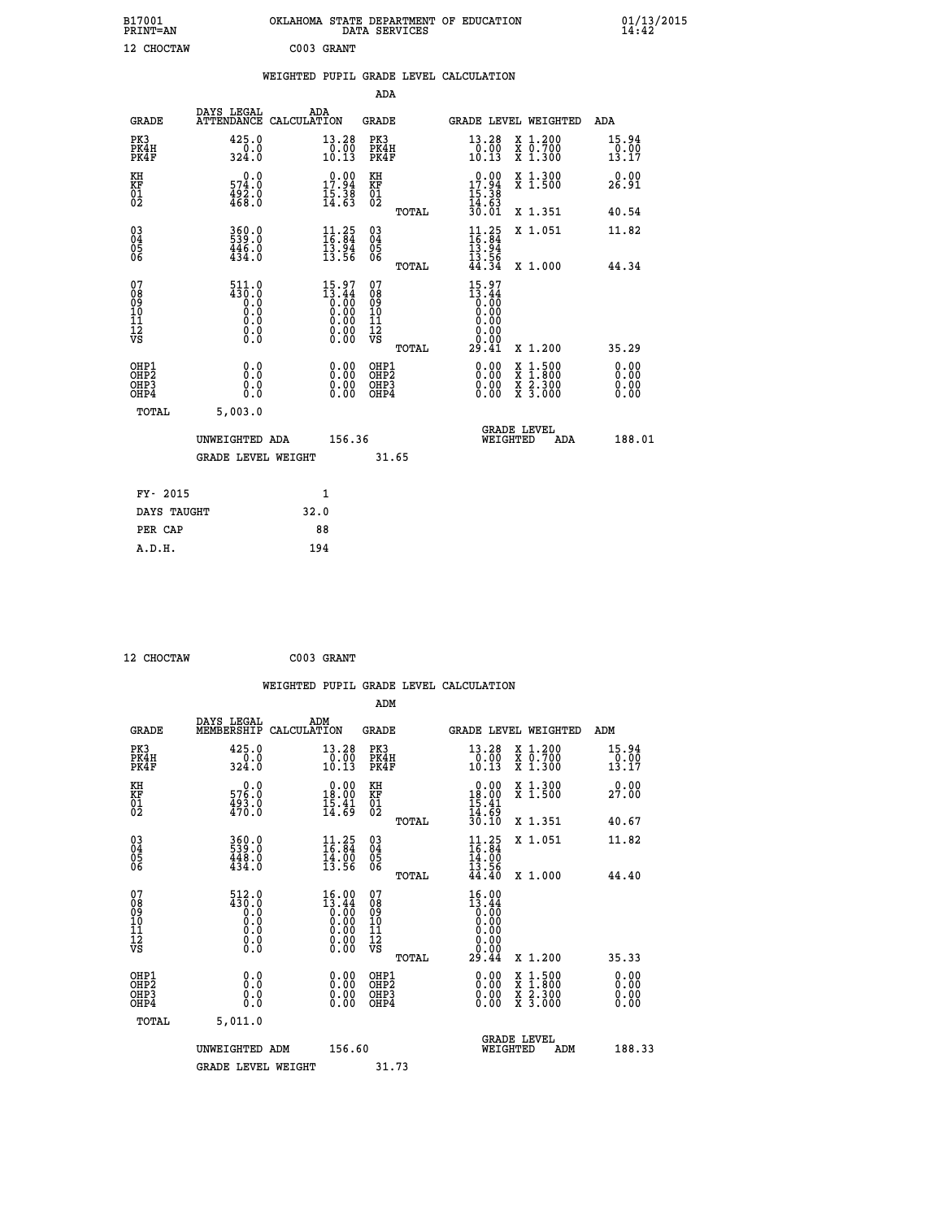| B17001<br>PRINT=AN                       |                                                                                   | OKLAHOMA STATE DEPARTMENT OF EDUCATION                                                                | DATA SERVICES                                      |                                                                                       |                                                                                                                                           | $01/13/2015$<br>14:42        |  |
|------------------------------------------|-----------------------------------------------------------------------------------|-------------------------------------------------------------------------------------------------------|----------------------------------------------------|---------------------------------------------------------------------------------------|-------------------------------------------------------------------------------------------------------------------------------------------|------------------------------|--|
| 12 CHOCTAW                               |                                                                                   | C003 GRANT                                                                                            |                                                    |                                                                                       |                                                                                                                                           |                              |  |
|                                          |                                                                                   | WEIGHTED PUPIL GRADE LEVEL CALCULATION                                                                |                                                    |                                                                                       |                                                                                                                                           |                              |  |
|                                          |                                                                                   |                                                                                                       | <b>ADA</b>                                         |                                                                                       |                                                                                                                                           |                              |  |
| GRADE                                    | DAYS LEGAL                                                                        | ADA<br>ATTENDANCE CALCULATION                                                                         | GRADE                                              | GRADE LEVEL WEIGHTED                                                                  |                                                                                                                                           | ADA                          |  |
| PK3<br>PK4H<br>PK4F                      | 425.0<br>0.0<br>324.Ŏ                                                             | 13.28<br>$\frac{0.00}{10.13}$                                                                         | PK3<br>PK4H<br>PK4F                                | 13.28<br>$\frac{0.00}{10.13}$                                                         | X 1.200<br>X 0.700<br>X 1.300                                                                                                             | 15.94<br>0.00<br>13.17       |  |
| KH<br>KF<br>01<br>02                     | $0.0$<br>574.0<br>$\frac{492.0}{468.0}$                                           | $\begin{smallmatrix} 0.00\\ 17.94\\ 15.38\\ 14.63 \end{smallmatrix}$                                  | KH<br><b>KF</b><br>01<br>02                        | 17.94<br>$\frac{15}{14}$ $\cdot\frac{38}{63}$<br>$\frac{30}{30}$ $\cdot\frac{01}{01}$ | X 1.300<br>X 1.500                                                                                                                        | 0.00<br>26.91                |  |
|                                          |                                                                                   |                                                                                                       | TOTAL                                              |                                                                                       | X 1.351                                                                                                                                   | 40.54                        |  |
| 03<br>04<br>05<br>06                     | $\begin{smallmatrix} 360.0 \ 539.0 \ 446.0 \ 434.0 \end{smallmatrix}$             | $\frac{11}{16}$ : $\frac{25}{84}$<br>$\frac{13.94}{13.56}$                                            | $\begin{matrix} 03 \\ 04 \\ 05 \\ 06 \end{matrix}$ | $\frac{11}{16} : 25$<br>13.94<br>$\frac{13.56}{44.34}$                                | X 1.051                                                                                                                                   | 11.82                        |  |
| 07                                       | 511.0                                                                             |                                                                                                       | TOTAL<br>07                                        | 15.97                                                                                 | X 1.000                                                                                                                                   | 44.34                        |  |
| 08901112<br>1112<br>VS                   | $\begin{smallmatrix} 430.8\\ -20.8\\ -20.8\end{smallmatrix}$<br>0.0<br>$\S.$ $\S$ | $\begin{smallmatrix} 15.97\ 13.44\ 0.00\ 0.00\ 0.00\ 0.00\ 0.00\ 0.00\ 0.00\ 0.00\ \end{smallmatrix}$ | 08<br>09<br>11<br>11<br>12<br>VS                   | $\begin{smallmatrix} 13.44 \ 0.00 \ 0.00 \end{smallmatrix}$<br>0.00<br>0.00<br>ŏ:ŏŏ   |                                                                                                                                           |                              |  |
|                                          |                                                                                   |                                                                                                       | TOTAL                                              | 29.41                                                                                 | X 1.200                                                                                                                                   | 35.29                        |  |
| OHP1<br>OHP2<br>OH <sub>P3</sub><br>OHP4 | 0.0<br>Ō.Ō<br>0.0<br>0.0                                                          | 0.00<br>$\begin{smallmatrix} 0.00 \ 0.00 \end{smallmatrix}$                                           | OHP1<br>OH <sub>P</sub> 2<br>OHP3<br>OHP4          | 0.00<br>0.00<br>0.00                                                                  | $\begin{smallmatrix} \mathtt{X} & 1\cdot500\\ \mathtt{X} & 1\cdot800\\ \mathtt{X} & 2\cdot300\\ \mathtt{X} & 3\cdot000 \end{smallmatrix}$ | 0.00<br>0.00<br>0.00<br>0.00 |  |
| <b>TOTAL</b>                             | 5,003.0                                                                           |                                                                                                       |                                                    |                                                                                       |                                                                                                                                           |                              |  |
|                                          | UNWEIGHTED ADA                                                                    | 156.36                                                                                                |                                                    | WEIGHTED                                                                              | <b>GRADE LEVEL</b><br>ADA                                                                                                                 | 188.01                       |  |
|                                          | <b>GRADE LEVEL WEIGHT</b>                                                         |                                                                                                       | 31.65                                              |                                                                                       |                                                                                                                                           |                              |  |
| FY- 2015                                 |                                                                                   | 1                                                                                                     |                                                    |                                                                                       |                                                                                                                                           |                              |  |
| DAYS TAUGHT                              |                                                                                   | 32.0                                                                                                  |                                                    |                                                                                       |                                                                                                                                           |                              |  |
| PER CAP                                  |                                                                                   | 88                                                                                                    |                                                    |                                                                                       |                                                                                                                                           |                              |  |

 **12 CHOCTAW C003 GRANT WEIGHTED PUPIL GRADE LEVEL CALCULATION ADM DAYS LEGAL ADM GRADE MEMBERSHIP CALCULATION GRADE GRADE LEVEL WEIGHTED ADM PK3 425.0 13.28 PK3 13.28 X 1.200 15.94 PK4H 0.0 0.00 PK4H 0.00 X 0.700 0.00 PK4F 324.0 10.13 PK4F 10.13 X 1.300 13.17 KH 0.0 0.00 KH 0.00 X 1.300 0.00 KF 576.0 18.00 KF 18.00 X 1.500 27.00 01 493.0 15.41 01 15.41** 02 470.0 14.69 02 <sub>noman</sub> 14.69  **TOTAL 30.10 X 1.351 40.67 03 360.0 11.25 03 11.25 X 1.051 11.82 04 539.0 16.84 04 16.84 05 448.0 14.00 05 14.00** 06 434.0 13.56 06 <sub>momas</sub> 13.56  **TOTAL 44.40 X 1.000 44.40 07 512.0 16.00 07 16.00 08 430.0 13.44 08 13.44 03 0.00 0.00 0.000 0.000 10 0.0 0.00 10 0.00 11 0.0 0.00 11 0.00 12 0.0 0.00 12 0.00 VS 0.0 0.00 VS 0.00 TOTAL 29.44 X 1.200 35.33 OHP1 0.0 0.00 OHP1 0.00 X 1.500 0.00 OHP2 0.0 0.00 OHP2 0.00 X 1.800 0.00 OHP3 0.0 0.00 OHP3 0.00 X 2.300 0.00 OHP4 0.0 0.00 OHP4 0.00 X 3.000 0.00 TOTAL 5,011.0 GRADE LEVEL UNWEIGHTED ADM 156.60 WEIGHTED ADM 188.33** GRADE LEVEL WEIGHT 31.73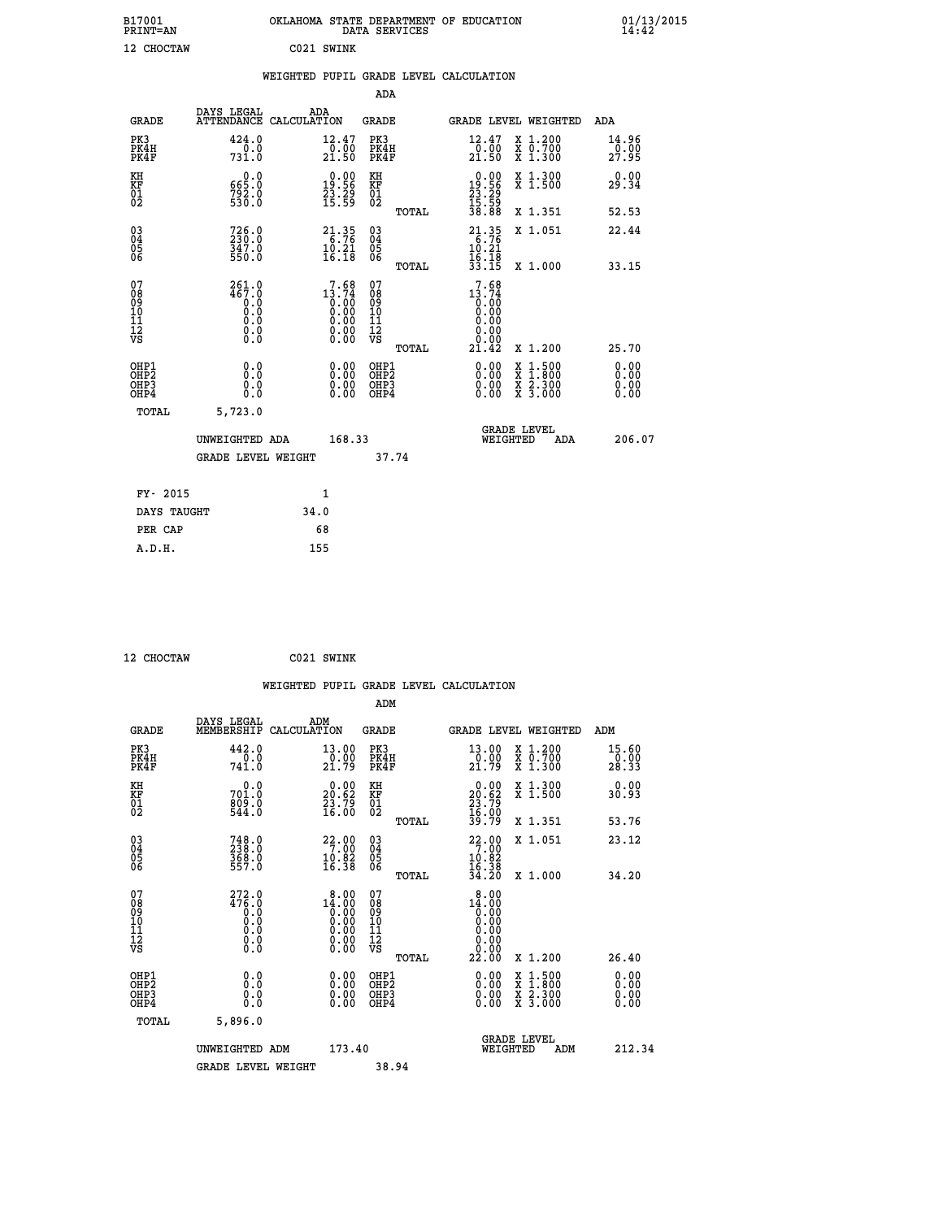| B17001<br><b>PRINT=AN</b>                          |                                             | OKLAHOMA STATE DEPARTMENT OF EDUCATION |                                                                                                           |                                                    | DATA SERVICES |                                                                              |                                              |                                                                                                  | 01/13/2015<br>14:42          |  |
|----------------------------------------------------|---------------------------------------------|----------------------------------------|-----------------------------------------------------------------------------------------------------------|----------------------------------------------------|---------------|------------------------------------------------------------------------------|----------------------------------------------|--------------------------------------------------------------------------------------------------|------------------------------|--|
| 12 CHOCTAW                                         |                                             |                                        | C021 SWINK                                                                                                |                                                    |               |                                                                              |                                              |                                                                                                  |                              |  |
|                                                    |                                             | WEIGHTED PUPIL GRADE LEVEL CALCULATION |                                                                                                           |                                                    |               |                                                                              |                                              |                                                                                                  |                              |  |
|                                                    |                                             |                                        |                                                                                                           | <b>ADA</b>                                         |               |                                                                              |                                              |                                                                                                  |                              |  |
| GRADE                                              | DAYS LEGAL<br>ATTENDANCE CALCULATION        | ADA                                    |                                                                                                           | GRADE                                              |               |                                                                              |                                              | GRADE LEVEL WEIGHTED                                                                             | ADA                          |  |
| PK3<br>PK4H<br>PK4F                                | 424.0<br>0.0<br>731.0                       |                                        | 12.47<br>0.00<br>21.50                                                                                    | PK3<br>PK4H<br>PK4F                                |               | 12.47<br>21.50                                                               | 0.00                                         | X 1.200<br>X 0.700<br>X 1.300                                                                    | 14.96<br>0.00<br>27.95       |  |
| KH<br>KF<br>01<br>02                               | 0.0<br>665.0<br>$792.0$<br>530.0            |                                        | $\begin{smallmatrix} 0.00\\19.56\\23.29\\15.59 \end{smallmatrix}$                                         | KH<br>KF<br>01<br>02                               |               | $\begin{smallmatrix} 0.00\\ 19.56\\ 23.29\\ 15.59\\ 38.88 \end{smallmatrix}$ |                                              | X 1.300<br>$\overline{x}$ 1.500                                                                  | 0.00<br>29.34                |  |
|                                                    |                                             |                                        |                                                                                                           |                                                    | TOTAL         |                                                                              |                                              | X 1.351                                                                                          | 52.53                        |  |
| $\begin{matrix} 03 \\ 04 \\ 05 \\ 06 \end{matrix}$ | $726.0$<br>$230.0$<br>347.0<br>550.0        |                                        | $\begin{array}{r} 21.35 \\ 6.76 \\ 10.21 \\ 16.18 \end{array}$                                            | $\begin{matrix} 03 \\ 04 \\ 05 \\ 06 \end{matrix}$ |               | $21.35$<br>$6.76$<br>10.21<br>16.18                                          |                                              | X 1.051                                                                                          | 22.44                        |  |
|                                                    |                                             |                                        |                                                                                                           |                                                    | <b>TOTAL</b>  | 33.15                                                                        |                                              | X 1.000                                                                                          | 33.15                        |  |
| 07<br>08<br>09<br>10<br>11<br>Ī2<br>VS             | 261.0<br>467.0<br>0.0<br>Ō.Ō<br>0.0<br>0.00 |                                        | $13.74$<br>$0.00$<br>$0.00$<br>0.00<br>$\begin{smallmatrix} 0.00 & 0.00 \\ 0.00 & 0.00 \end{smallmatrix}$ | 07<br>08<br>09<br>10<br>11<br>ĪŽ<br>VŠ             | TOTAL         | 13.74<br>21.42                                                               | 7.68<br>0:00<br>0.00<br>0.00<br>0.00<br>0.00 | X 1.200                                                                                          | 25.70                        |  |
| OHP1<br>OHP <sub>2</sub><br>OHP3<br>OHP4           | 0.000<br>0.0<br>0.0                         |                                        | 0.00<br>0.00<br>0.00                                                                                      | OHP1<br>OH <sub>P</sub> 2<br>OHP3<br>OHP4          |               |                                                                              | 0.00<br>0.00<br>0.00                         | $\begin{smallmatrix} x & 1 & 500 \\ x & 1 & 800 \\ x & 2 & 300 \\ x & 3 & 000 \end{smallmatrix}$ | 0.00<br>0.00<br>0.00<br>0.00 |  |
| TOTAL                                              | 5,723.0                                     |                                        |                                                                                                           |                                                    |               |                                                                              |                                              |                                                                                                  |                              |  |
|                                                    | UNWEIGHTED ADA                              |                                        | 168.33                                                                                                    |                                                    |               |                                                                              | <b>GRADE LEVEL</b><br>WEIGHTED               | ADA                                                                                              | 206.07                       |  |
|                                                    | <b>GRADE LEVEL WEIGHT</b>                   |                                        |                                                                                                           |                                                    | 37.74         |                                                                              |                                              |                                                                                                  |                              |  |
| FY- 2015                                           |                                             |                                        | 1                                                                                                         |                                                    |               |                                                                              |                                              |                                                                                                  |                              |  |
| DAYS TAUGHT                                        |                                             | 34.0                                   |                                                                                                           |                                                    |               |                                                                              |                                              |                                                                                                  |                              |  |
| PER CAP                                            |                                             |                                        | 68                                                                                                        |                                                    |               |                                                                              |                                              |                                                                                                  |                              |  |
| A.D.H.                                             |                                             | 155                                    |                                                                                                           |                                                    |               |                                                                              |                                              |                                                                                                  |                              |  |

| 12 CHOCTAW | C021 SWINK |
|------------|------------|
|            |            |

|                                                      |                                                                                          |                                                                      | WEIGHTED PUPIL GRADE LEVEL CALCULATION |                                                                          |                                                                            |                                |
|------------------------------------------------------|------------------------------------------------------------------------------------------|----------------------------------------------------------------------|----------------------------------------|--------------------------------------------------------------------------|----------------------------------------------------------------------------|--------------------------------|
|                                                      |                                                                                          |                                                                      | ADM                                    |                                                                          |                                                                            |                                |
| <b>GRADE</b>                                         | DAYS LEGAL<br>MEMBERSHIP                                                                 | ADM<br>CALCULATION                                                   | <b>GRADE</b>                           | GRADE LEVEL WEIGHTED                                                     |                                                                            | ADM                            |
| PK3<br>PK4H<br>PK4F                                  | 442.0<br>741.0                                                                           | 13.00<br>$\frac{0.00}{21.79}$                                        | PK3<br>PK4H<br>PK4F                    | 13.00<br>$\frac{0.00}{21.79}$                                            | X 1.200<br>X 0.700<br>X 1.300                                              | 15.60<br>$\frac{70.00}{28.33}$ |
| KH<br>KF<br>01<br>02                                 | 0.0<br>701:0<br>809:0<br>544:0                                                           | $\begin{smallmatrix} 0.00\\ 20.62\\ 23.79\\ 16.00 \end{smallmatrix}$ | KH<br>KF<br>01<br>02                   | $\begin{smallmatrix} 0.00\\20.62\\23.79\\16.00\\39.79 \end{smallmatrix}$ | X 1.300<br>X 1.500                                                         | 0.00<br>30.93                  |
|                                                      |                                                                                          |                                                                      | TOTAL                                  |                                                                          | X 1.351                                                                    | 53.76                          |
| $\begin{matrix} 03 \\ 04 \\ 05 \\ 06 \end{matrix}$   | 748.0<br>238.0<br>368.0<br>557.0                                                         | $\begin{array}{r} 22.00 \\ 7.00 \\ 10.82 \\ 16.38 \end{array}$       | 03<br>04<br>05<br>06                   | $22.00$<br>$7.00$<br>$10.82$<br>$16.38$                                  | X 1.051                                                                    | 23.12                          |
|                                                      |                                                                                          |                                                                      | TOTAL                                  | 34.20                                                                    | X 1.000                                                                    | 34.20                          |
| 07<br>08<br>09<br>101<br>11<br>12<br>VS              | $^{272}_{476}$ :0<br>$\begin{smallmatrix} 0.0 & 0 \ 0.0 & 0 \ 0.0 & 0 \end{smallmatrix}$ | $1\overset{8}{\phantom{1}0}\,\overset{.00}{\phantom{1}0}\,\,$        | 07<br>08<br>09<br>11<br>11<br>12<br>VS | 8.00<br>$14.00$<br>$0.00$<br>$0.00$<br>0.00<br>0.00                      |                                                                            |                                |
|                                                      |                                                                                          |                                                                      | TOTAL                                  | 22.00                                                                    | X 1.200                                                                    | 26.40                          |
| OHP1<br>OHP2<br>OH <sub>P3</sub><br>OH <sub>P4</sub> | 0.0<br>0.000                                                                             | 0.00<br>0.00<br>0.00                                                 | OHP1<br>OHP2<br>OHP3<br>OHP4           | $0.00$<br>$0.00$<br>0.00                                                 | $\frac{x}{x}$ $\frac{1.500}{1.800}$<br>$\frac{x}{x}$ $\frac{5:300}{3:000}$ | 0.00<br>0.00<br>0.00<br>0.00   |
| TOTAL                                                | 5,896.0                                                                                  |                                                                      |                                        |                                                                          |                                                                            |                                |
|                                                      | UNWEIGHTED ADM                                                                           | 173.40                                                               |                                        | <b>GRADE LEVEL</b><br>WEIGHTED                                           | ADM                                                                        | 212.34                         |
|                                                      | <b>GRADE LEVEL WEIGHT</b>                                                                |                                                                      | 38.94                                  |                                                                          |                                                                            |                                |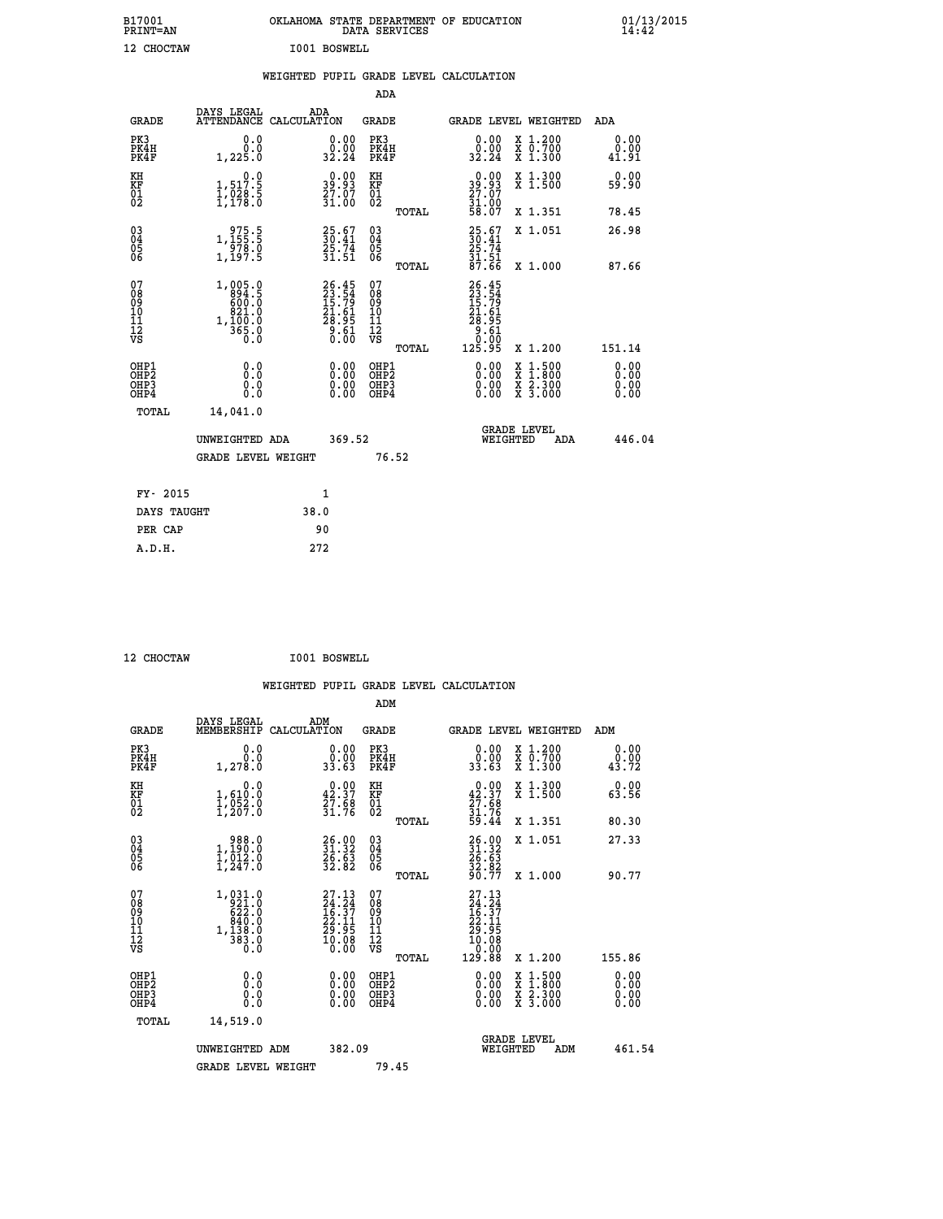| B17001<br><b>PRINT=AN</b> | OKLAHOMA<br>. STATE DEPARTMENT OF EDUCATION<br>DATA SERVICES | 01/13/2015<br>14:42 |
|---------------------------|--------------------------------------------------------------|---------------------|
| 12 CHOCTAW                | I001 BOSWELL                                                 |                     |

|  |  | WEIGHTED PUPIL GRADE LEVEL CALCULATION |
|--|--|----------------------------------------|
|  |  |                                        |

|                                                                              |                                                                     |                                                                         | ADA                                                |                                                                                                                                                                      |                              |
|------------------------------------------------------------------------------|---------------------------------------------------------------------|-------------------------------------------------------------------------|----------------------------------------------------|----------------------------------------------------------------------------------------------------------------------------------------------------------------------|------------------------------|
| <b>GRADE</b>                                                                 | DAYS LEGAL                                                          | ADA<br>ATTENDANCE CALCULATION                                           | GRADE                                              | GRADE LEVEL WEIGHTED                                                                                                                                                 | ADA                          |
| PK3<br>PK4H<br>PK4F                                                          | 0.0<br>0.0<br>1,225.0                                               | 0.00<br>0.00<br>32.24                                                   | PK3<br>PK4H<br>PK4F                                | 0.00<br>X 1.200<br>X 0.700<br>X 1.300<br>0.00<br>32.24                                                                                                               | 0.00<br>0.00<br>41.91        |
| KH<br>KF<br>01<br>02                                                         | 0.0<br>1,517.5<br>1,028.5<br>1,178.0                                | 0.00<br>193<br>$\frac{27.07}{31.00}$                                    | KH<br>KF<br>01<br>02                               | 39.93<br>27.07<br>31.00<br>58.07<br>X 1.300<br>X 1.500                                                                                                               | 0.00<br>59.90                |
|                                                                              |                                                                     |                                                                         | TOTAL                                              | X 1.351                                                                                                                                                              | 78.45                        |
| $^{03}_{04}$<br>Ŏ5<br>06                                                     | $\begin{array}{c} 975.5 \\ 1,155.5 \\ 978.0 \\ 1,197.5 \end{array}$ | $\frac{25.67}{30.41}$<br>$\frac{25.74}{39.74}$<br>31.51                 | $\begin{matrix} 03 \\ 04 \\ 05 \\ 06 \end{matrix}$ | $\frac{25.67}{30.41}$<br>X 1.051<br>25.74<br>$\frac{31.51}{87.66}$                                                                                                   | 26.98                        |
|                                                                              |                                                                     |                                                                         | TOTAL                                              | X 1.000                                                                                                                                                              | 87.66                        |
| 07<br>08<br>09<br>11<br>11<br>12<br>VS                                       | 1,005.0<br>894.5<br>$1, \frac{821}{100}$ .0<br>0.055.0<br>0.0       | $26.45$<br>$23.54$<br>$15.79$<br>$21.61$<br>$28.95$<br>$3.61$<br>$0.60$ | 07<br>08<br>09<br>11<br>11<br>12<br>VS<br>TOTAL    | 26.45<br>23.54<br>15.79<br>21.61<br>28.95<br>28.61<br>0.60<br>125.95<br>X 1.200                                                                                      | 151.14                       |
| OHP1<br>OH <sub>P</sub> <sub>2</sub><br>OH <sub>P3</sub><br>OH <sub>P4</sub> | 0.0<br>Ō.Ō<br>0.0<br>0.0                                            | 0.00<br>0.00<br>0.00                                                    | OHP1<br>OHP <sub>2</sub><br>OHP3<br>OHP4           | 0.00<br>$\begin{smallmatrix} \mathtt{X} & 1\cdot500 \\ \mathtt{X} & 1\cdot800 \\ \mathtt{X} & 2\cdot300 \\ \mathtt{X} & 3\cdot000 \end{smallmatrix}$<br>0.00<br>0.00 | 0.00<br>0.00<br>0.00<br>0.00 |
|                                                                              | TOTAL<br>14,041.0                                                   |                                                                         |                                                    |                                                                                                                                                                      |                              |
|                                                                              | UNWEIGHTED ADA                                                      | 369.52                                                                  |                                                    | <b>GRADE LEVEL</b><br>WEIGHTED<br>ADA                                                                                                                                | 446.04                       |
|                                                                              | <b>GRADE LEVEL WEIGHT</b>                                           |                                                                         | 76.52                                              |                                                                                                                                                                      |                              |
|                                                                              | FY- 2015                                                            | 1                                                                       |                                                    |                                                                                                                                                                      |                              |
|                                                                              | DAYS TAUGHT                                                         | 38.0                                                                    |                                                    |                                                                                                                                                                      |                              |
|                                                                              | PER CAP                                                             | 90                                                                      |                                                    |                                                                                                                                                                      |                              |
|                                                                              | A.D.H.                                                              | 272                                                                     |                                                    |                                                                                                                                                                      |                              |

| <b>CHOCTAW</b> |
|----------------|

CHOCTAW **1001 BOSWELL** 

| <b>GRADE</b>                                       | DAYS LEGAL<br>MEMBERSHIP                                                                       | ADM<br>CALCULATION                                                                                 | <b>GRADE</b>                                       |       | GRADE LEVEL WEIGHTED                                                                                                                                                                                                                                                           |                                          | ADM                          |  |
|----------------------------------------------------|------------------------------------------------------------------------------------------------|----------------------------------------------------------------------------------------------------|----------------------------------------------------|-------|--------------------------------------------------------------------------------------------------------------------------------------------------------------------------------------------------------------------------------------------------------------------------------|------------------------------------------|------------------------------|--|
| PK3<br>PK4H<br>PK4F                                | 0.0<br>1, 278.0                                                                                | $\begin{smallmatrix} 0.00\\ 0.00\\ 33.63 \end{smallmatrix}$                                        | PK3<br>PK4H<br>PK4F                                |       | $\begin{smallmatrix} 0.00\\ 0.00\\ 33.63 \end{smallmatrix}$                                                                                                                                                                                                                    | X 1.200<br>X 0.700<br>X 1.300            | 0.00<br>$\frac{0.00}{43.72}$ |  |
| KH<br>KF<br>01<br>02                               | 0.0<br>$\frac{1}{1}, \frac{610}{952}$ .0<br>1,207.0                                            | $\begin{smallmatrix} 0.00\\ 42.37\\ 27.68\\ 31.76 \end{smallmatrix}$                               | KH<br>KF<br>01<br>02                               |       | $0.00\n42.37\n27.68\n31.76\n59.44$                                                                                                                                                                                                                                             | X 1.300<br>X 1.500                       | 0.00<br>63.56                |  |
|                                                    |                                                                                                |                                                                                                    |                                                    | TOTAL |                                                                                                                                                                                                                                                                                | X 1.351                                  | 80.30                        |  |
| $\begin{matrix} 03 \\ 04 \\ 05 \\ 06 \end{matrix}$ | $\begin{smallmatrix} & 988.0\\1,190.0\\1,012.0\\1,247.0 \end{smallmatrix}$                     | 26.00<br>31.32<br>26.63<br>32.82                                                                   | $\begin{matrix} 03 \\ 04 \\ 05 \\ 06 \end{matrix}$ |       | $26.90$<br>$31.32$<br>$26.63$<br>$32.82$<br>$90.77$                                                                                                                                                                                                                            | X 1.051                                  | 27.33                        |  |
|                                                    |                                                                                                |                                                                                                    |                                                    | TOTAL |                                                                                                                                                                                                                                                                                | X 1.000                                  | 90.77                        |  |
| 07<br>089<br>090<br>1112<br>VS                     | 1,031.0<br>$1, \frac{92110}{62210}$<br>$62210$<br>$84010$<br>$1, \frac{13810}{38310}$<br>$0.0$ | $\begin{smallmatrix} 27.13 \\ 24.24 \\ 16.37 \\ 22.11 \\ 29.95 \\ 10.08 \\ 0.00 \end{smallmatrix}$ | 07<br>08<br>09<br>11<br>11<br>12<br>VS             | TOTAL | $\begin{smallmatrix} 27.13\\ 24.24\\ 16.37\\ 16.37\\ 22.11\\ 29.95\\ 10.08\\ 0.000\\ 129.88 \end{smallmatrix}$                                                                                                                                                                 | X 1.200                                  | 155.86                       |  |
| OHP1<br>OHP2<br>OH <sub>P3</sub><br>OHP4           | 0.0<br>0.000                                                                                   |                                                                                                    | OHP1<br>OHP2<br>OHP3<br>OHP4                       |       | $\begin{smallmatrix} 0.00 & 0.00 & 0.00 & 0.00 & 0.00 & 0.00 & 0.00 & 0.00 & 0.00 & 0.00 & 0.00 & 0.00 & 0.00 & 0.00 & 0.00 & 0.00 & 0.00 & 0.00 & 0.00 & 0.00 & 0.00 & 0.00 & 0.00 & 0.00 & 0.00 & 0.00 & 0.00 & 0.00 & 0.00 & 0.00 & 0.00 & 0.00 & 0.00 & 0.00 & 0.00 & 0.0$ | X 1:500<br>X 1:800<br>X 2:300<br>X 3:000 | 0.00<br>0.00<br>0.00         |  |
| TOTAL                                              | 14,519.0                                                                                       |                                                                                                    |                                                    |       |                                                                                                                                                                                                                                                                                |                                          |                              |  |
|                                                    | UNWEIGHTED<br>ADM                                                                              | 382.09                                                                                             |                                                    |       | WEIGHTED                                                                                                                                                                                                                                                                       | <b>GRADE LEVEL</b><br>ADM                | 461.54                       |  |
|                                                    | <b>GRADE LEVEL WEIGHT</b>                                                                      |                                                                                                    | 79.45                                              |       |                                                                                                                                                                                                                                                                                |                                          |                              |  |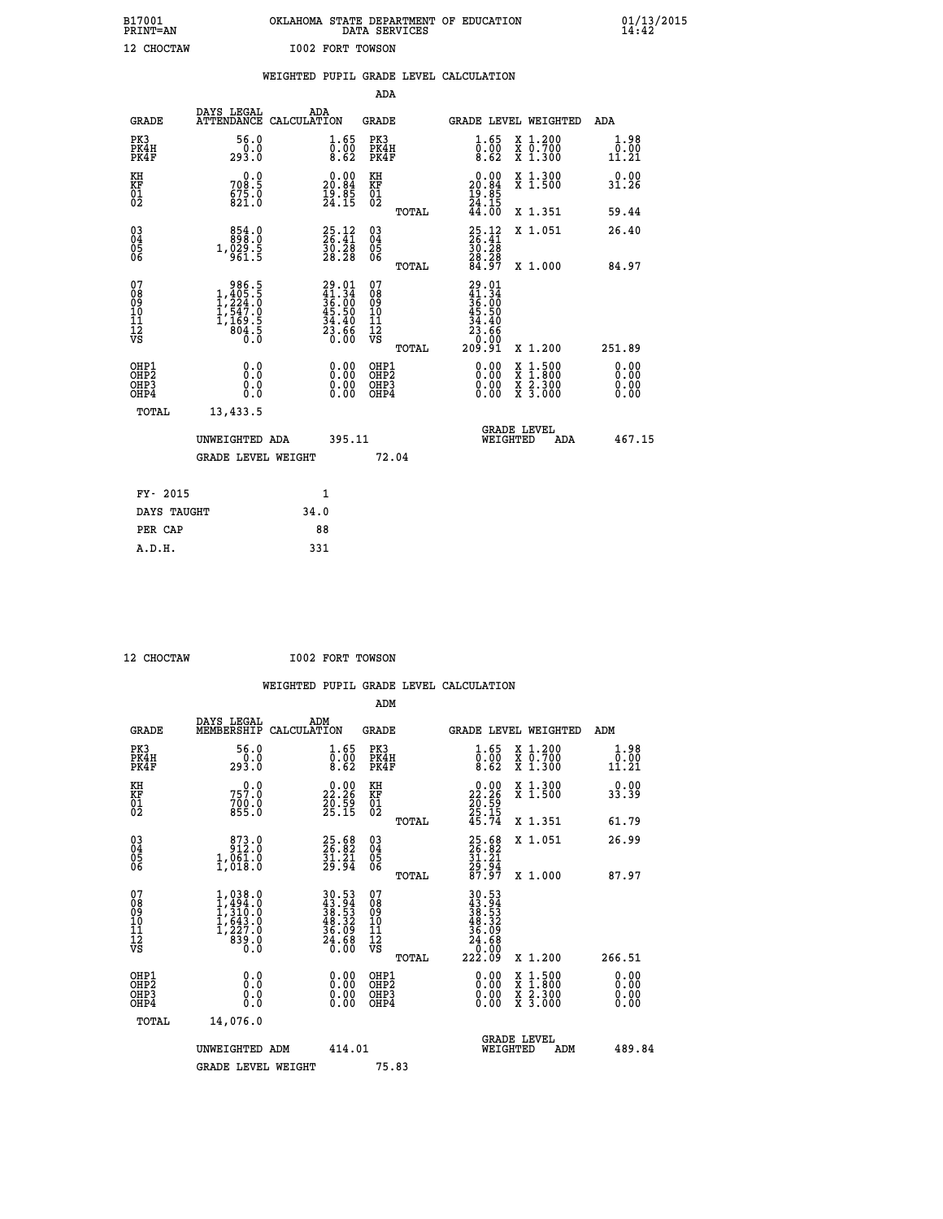| B17001          | OKLAHOMA STATE DEPARTMENT OF EDUCATION |
|-----------------|----------------------------------------|
| <b>PRINT=AN</b> | DATA SERVICES                          |
| 12 CHOCTAW      | <b>I002 FORT TOWSON</b>                |

|                                                                    |                                                                                                         | WEIGHTED PUPIL GRADE LEVEL CALCULATION                                            |                                                     |       |                                                                              |                                                                                                                                           |                               |
|--------------------------------------------------------------------|---------------------------------------------------------------------------------------------------------|-----------------------------------------------------------------------------------|-----------------------------------------------------|-------|------------------------------------------------------------------------------|-------------------------------------------------------------------------------------------------------------------------------------------|-------------------------------|
|                                                                    |                                                                                                         |                                                                                   | <b>ADA</b>                                          |       |                                                                              |                                                                                                                                           |                               |
| <b>GRADE</b>                                                       | DAYS LEGAL<br><b>ATTENDANCE</b>                                                                         | ADA<br>CALCULATION                                                                | <b>GRADE</b>                                        |       |                                                                              | GRADE LEVEL WEIGHTED                                                                                                                      | ADA                           |
| PK3<br>PK4H<br>PK4F                                                | 56.0<br>293.0                                                                                           | $\substack{1.65 \\ 0.00 \\ 8.62}$                                                 | PK3<br>PK4H<br>PK4F                                 |       | 1.65<br>$\overline{0.00}$<br>8.62                                            | X 1.200<br>X 0.700<br>X 1.300                                                                                                             | 1.98<br>0.00<br>11.21         |
| KH<br>KF<br>01<br>02                                               | 0.0<br>708.5<br>$675.0$<br>821.0                                                                        | $\begin{smallmatrix} 0.00\\ 20.84\\ 19.85\\ 24.15 \end{smallmatrix}$              | KH<br>KF<br>01<br>02                                |       | $\begin{smallmatrix} 0.00\\ 20.84\\ 19.85\\ 24.15\\ 44.00 \end{smallmatrix}$ | X 1.300<br>X 1.500                                                                                                                        | 0.00<br>31.26                 |
|                                                                    |                                                                                                         |                                                                                   |                                                     | TOTAL |                                                                              | X 1.351                                                                                                                                   | 59.44                         |
| $\begin{smallmatrix} 03 \\[-4pt] 04 \end{smallmatrix}$<br>Ŏ5<br>06 | $\begin{smallmatrix}854.0\\898.0\\1,029.5\\961.5\end{smallmatrix}$                                      | $\begin{smallmatrix} 25.12\ 26.41\ 30.28\ 28.28 \end{smallmatrix}$                | $\begin{array}{c} 03 \\ 04 \\ 05 \\ 06 \end{array}$ |       | $25.12$<br>$26.41$<br>$30.28$<br>$28.28$<br>$84.97$                          | X 1.051                                                                                                                                   | 26.40                         |
|                                                                    |                                                                                                         |                                                                                   |                                                     | TOTAL |                                                                              | X 1.000                                                                                                                                   | 84.97                         |
| 07<br>08<br>09<br>111<br>12<br>VS                                  | $\begin{smallmatrix} & 986.5\\1,405.5\\1,224.0\\1,547.0\\1,547.0\\1,169.5\\804.5\\0.0\end{smallmatrix}$ | $29.01$<br>$41.34$<br>$36.00$<br>$45.50$<br>$45.40$<br>$34.40$<br>$23.66$<br>0.00 | 07<br>08901112<br>1112<br>VS                        | TOTAL | 29.01<br>41.34<br>$36.00$<br>$45.50$<br>$34.40$<br>$23.66$<br>$209.91$       | X 1.200                                                                                                                                   | 251.89                        |
| OHP1<br>OHP2<br>OH <sub>P3</sub><br>OHP4                           | 0.0<br>0.0<br>0.0                                                                                       | $\begin{smallmatrix} 0.00 \ 0.00 \ 0.00 \ 0.00 \end{smallmatrix}$                 | OHP1<br>OHP2<br>OHP3<br>OHP4                        |       | 0.00<br>0.00<br>0.00                                                         | $\begin{smallmatrix} \mathtt{X} & 1\cdot500\\ \mathtt{X} & 1\cdot800\\ \mathtt{X} & 2\cdot300\\ \mathtt{X} & 3\cdot000 \end{smallmatrix}$ | 0.00<br>Ō. ŌŌ<br>0.00<br>0.00 |
| TOTAL                                                              | 13,433.5                                                                                                |                                                                                   |                                                     |       |                                                                              |                                                                                                                                           |                               |
|                                                                    | UNWEIGHTED ADA                                                                                          | 395.11                                                                            |                                                     |       | WEIGHTED                                                                     | <b>GRADE LEVEL</b><br>ADA                                                                                                                 | 467.15                        |
|                                                                    | <b>GRADE LEVEL WEIGHT</b>                                                                               |                                                                                   |                                                     | 72.04 |                                                                              |                                                                                                                                           |                               |
| FY- 2015                                                           |                                                                                                         | $\mathbf{1}$                                                                      |                                                     |       |                                                                              |                                                                                                                                           |                               |
| DAYS TAUGHT                                                        |                                                                                                         | 34.0                                                                              |                                                     |       |                                                                              |                                                                                                                                           |                               |
| PER CAP                                                            |                                                                                                         | 88                                                                                |                                                     |       |                                                                              |                                                                                                                                           |                               |

 **A.D.H. 331**

 **12 CHOCTAW I002 FORT TOWSON**

| <b>GRADE</b>                                         | DAYS LEGAL<br>MEMBERSHIP                                                          | ADM<br>CALCULATION                                                       | <b>GRADE</b>                                        |       |                                                                                                     |          | GRADE LEVEL WEIGHTED                     | ADM                   |
|------------------------------------------------------|-----------------------------------------------------------------------------------|--------------------------------------------------------------------------|-----------------------------------------------------|-------|-----------------------------------------------------------------------------------------------------|----------|------------------------------------------|-----------------------|
| PK3<br>PK4H<br>PK4F                                  | 56.0<br>293.0                                                                     | $\substack{1.65 \\ 0.00 \\ 8.62}$                                        | PK3<br>PK4H<br>PK4F                                 |       | $\substack{1.65 \\ 0.00 \\ 8.62}$                                                                   |          | X 1.200<br>X 0.700<br>X 1.300            | 1.98<br>0.00<br>11.21 |
| KH<br>KF<br>01<br>02                                 | 0.0<br>757:0<br>700:0<br>855:0                                                    | $\begin{smallmatrix} 0.00\\ 22.26\\ 20.59\\ 25.15 \end{smallmatrix}$     | KH<br>KF<br>01<br>02                                |       | $\begin{smallmatrix} 0.00\\ 22.26\\ 20.59\\ 25.15\\ 45.74 \end{smallmatrix}$                        |          | X 1.300<br>X 1.500                       | 0.00<br>33.39         |
|                                                      |                                                                                   |                                                                          |                                                     | TOTAL |                                                                                                     |          | X 1.351                                  | 61.79                 |
| $\begin{matrix} 03 \\ 04 \\ 05 \\ 06 \end{matrix}$   | 873.0<br>$1,061.0$<br>$1,018.0$                                                   | $25.68$<br>$26.82$<br>$31.21$<br>$29.94$                                 | $\begin{array}{c} 03 \\ 04 \\ 05 \\ 06 \end{array}$ |       | 25.68<br>26.82<br>31.21<br>29.94<br>87.97                                                           |          | X 1.051                                  | 26.99                 |
|                                                      |                                                                                   |                                                                          |                                                     | TOTAL |                                                                                                     |          | X 1.000                                  | 87.97                 |
| 07<br>08<br>09<br>11<br>11<br>12<br>VS               | $1,494.0$<br>$1,494.0$<br>$1,310.0$<br>$1,643.0$<br>$1,227.0$<br>$839.0$<br>$0.0$ | $30.53$<br>$43.94$<br>$38.53$<br>$48.32$<br>$36.09$<br>$24.68$<br>$0.00$ | 07<br>08<br>09<br>11<br>11<br>12<br>VS              | TOTAL | $\begin{smallmatrix} 30.53\ 43.94\ 38.53\ 38.532\ 48.329\ 46.68\ 24.680\ 222.09\ \end{smallmatrix}$ |          | X 1.200                                  | 266.51                |
| OHP1<br>OHP <sub>2</sub><br>OH <sub>P3</sub><br>OHP4 | 0.0<br>0.000                                                                      |                                                                          | OHP1<br>OHP <sub>2</sub><br>OHP3<br>OHP4            |       |                                                                                                     |          | X 1:500<br>X 1:800<br>X 2:300<br>X 3:000 | 0.00<br>0.00<br>0.00  |
| TOTAL                                                | 14,076.0                                                                          |                                                                          |                                                     |       |                                                                                                     |          |                                          |                       |
|                                                      | UNWEIGHTED ADM                                                                    | 414.01                                                                   |                                                     |       |                                                                                                     | WEIGHTED | <b>GRADE LEVEL</b><br>ADM                | 489.84                |
|                                                      | <b>GRADE LEVEL WEIGHT</b>                                                         |                                                                          | 75.83                                               |       |                                                                                                     |          |                                          |                       |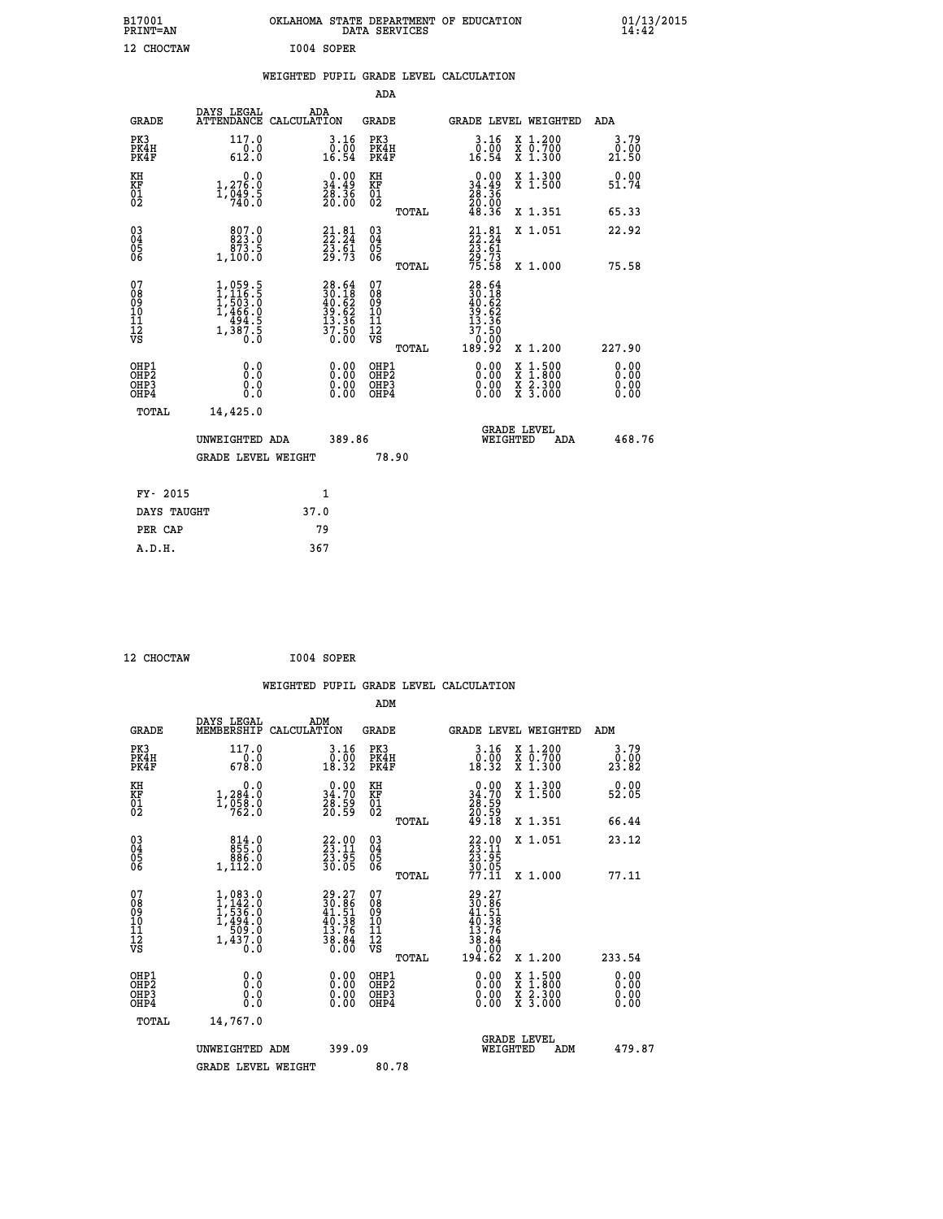| B17001<br>PRINT=AN                     |                                                                                   | OKLAHOMA STATE DEPARTMENT OF EDUCATION                                   | DATA SERVICES                                      |                                                                              |                                                                                          | $01/13/2015$<br>14:42 |
|----------------------------------------|-----------------------------------------------------------------------------------|--------------------------------------------------------------------------|----------------------------------------------------|------------------------------------------------------------------------------|------------------------------------------------------------------------------------------|-----------------------|
| 12 CHOCTAW                             |                                                                                   | I004 SOPER                                                               |                                                    |                                                                              |                                                                                          |                       |
|                                        |                                                                                   | WEIGHTED PUPIL GRADE LEVEL CALCULATION                                   |                                                    |                                                                              |                                                                                          |                       |
|                                        |                                                                                   |                                                                          | <b>ADA</b>                                         |                                                                              |                                                                                          |                       |
| <b>GRADE</b>                           | DAYS LEGAL                                                                        | ADA<br>ATTENDANCE CALCULATION                                            | GRADE                                              |                                                                              | GRADE LEVEL WEIGHTED                                                                     | ADA                   |
| PK3<br>PK4H<br>PK4F                    | 117.0<br>0.0<br>612.0                                                             | 3.16<br>$0.00$<br>16.54                                                  | PK3<br>PK4H<br>PK4F                                | $3.16$<br>$0.00$<br>16.54                                                    | X 1.200<br>X 0.700<br>X 1.300                                                            | 3.79<br>0.00<br>21.50 |
| KH<br>KF<br>01<br>02                   | 0.0<br>1,276.0<br>$\frac{1}{7}\frac{0}{40}$ : 5                                   | $\begin{smallmatrix} 0.00\\ 34.49\\ 28.36\\ 20.00 \end{smallmatrix}$     | KH<br><b>KF</b><br>01<br>02                        | $\begin{smallmatrix} 0.00\\ 34.49\\ 28.36\\ 20.00\\ 48.36 \end{smallmatrix}$ | X 1.300<br>X 1.500                                                                       | 0.00<br>51.74         |
|                                        |                                                                                   |                                                                          | TOTAL                                              |                                                                              | X 1.351                                                                                  | 65.33                 |
| $\substack{03 \ 04}$<br>ŎŜ<br>06       | 807.0<br>873.5<br>1,100.0                                                         | $21.81$<br>$22.24$<br>$\frac{23.61}{29.73}$                              | $\begin{matrix} 03 \\ 04 \\ 05 \\ 06 \end{matrix}$ | $21.81$<br>$22.24$<br>23.61                                                  | X 1.051                                                                                  | 22.92                 |
|                                        |                                                                                   |                                                                          | TOTAL                                              | 29.73<br>75.58                                                               | X 1.000                                                                                  | 75.58                 |
| 07<br>08<br>09<br>11<br>11<br>12<br>VS | $1,059.5$<br>$1,116.5$<br>$1,503.0$<br>$1,466.0$<br>$494.5$<br>$1,387.5$<br>$0.0$ | $28.64$<br>$30.18$<br>$40.62$<br>$39.62$<br>$13.36$<br>$37.50$<br>$0.00$ | 07<br>$\frac{0.8}{0.9}$<br>ίÒ<br>īĭ<br>ĪŽ<br>VŠ    | $28.64$<br>$30.18$<br>$40.62$<br>$39.62$<br>$13.36$<br>37<br>7.50            |                                                                                          |                       |
|                                        |                                                                                   |                                                                          | <b>TOTAL</b>                                       | 189.92                                                                       | X 1.200                                                                                  | 227.90                |
| OHP1<br>ŎHP2<br>OHP3<br>OHP4           | 0.0<br>0.0<br>0.0                                                                 | 0.00<br>0.00<br>0.00                                                     | OHP1<br>OHP <sub>2</sub><br>OHP3<br>OHP4           | 0.00<br>0.00<br>0.00                                                         | $\begin{smallmatrix} x & 1.500 \\ x & 1.800 \\ x & 2.300 \\ x & 3.000 \end{smallmatrix}$ | 0.00<br>0.00<br>0.00  |
| TOTAL                                  | 14,425.0                                                                          |                                                                          |                                                    |                                                                              |                                                                                          |                       |
|                                        | UNWEIGHTED ADA                                                                    | 389.86                                                                   |                                                    | WEIGHTED                                                                     | <b>GRADE LEVEL</b><br>ADA                                                                | 468.76                |
|                                        | <b>GRADE LEVEL WEIGHT</b>                                                         |                                                                          | 78.90                                              |                                                                              |                                                                                          |                       |
|                                        |                                                                                   |                                                                          |                                                    |                                                                              |                                                                                          |                       |
| FY- 2015                               |                                                                                   | 1                                                                        |                                                    |                                                                              |                                                                                          |                       |
| DAYS TAUGHT<br>PER CAP                 |                                                                                   | 37.0<br>79                                                               |                                                    |                                                                              |                                                                                          |                       |
| A.D.H.                                 |                                                                                   | 367                                                                      |                                                    |                                                                              |                                                                                          |                       |

 **12 CHOCTAW I004 SOPER**

 **WEIGHTED PUPIL GRADE LEVEL CALCULATION ADM** DAYS\_LEGAL \_\_\_ \_\_\_ ADM

| <b>GRADE</b>                                       | MEMBERSHIP                                                                        | CALCULATION                                                           | <b>GRADE</b>                                                 |       | <b>GRADE LEVEL WEIGHTED</b>                                                                     |                                                                                                  | ADM                   |  |
|----------------------------------------------------|-----------------------------------------------------------------------------------|-----------------------------------------------------------------------|--------------------------------------------------------------|-------|-------------------------------------------------------------------------------------------------|--------------------------------------------------------------------------------------------------|-----------------------|--|
| PK3<br>PK4H<br>PK4F                                | 117.0<br>$\frac{-0.0}{678.0}$                                                     | $\begin{smallmatrix} 3.16 \\ 0.00 \\ 18.32 \end{smallmatrix}$         | PK3<br>PK4H<br>PK4F                                          |       | $\begin{smallmatrix} 3.16 \\ 0.00 \\ 18.32 \end{smallmatrix}$                                   | X 1.200<br>X 0.700<br>X 1.300                                                                    | 3.79<br>0.00<br>23.82 |  |
| KH<br>KF<br>01<br>02                               | 0.0<br>$1,284.0$<br>$1,958.0$<br>$762.0$                                          | $\begin{smallmatrix} 0.00\\ 34.70\\ 28.59\\ 20.59 \end{smallmatrix}$  | KH<br>KF<br>01<br>02                                         |       | $\begin{smallmatrix} 0.00\\ 34.70\\ 28.59\\ 20.59\\ 49.18 \end{smallmatrix}$                    | X 1.300<br>X 1.500                                                                               | 0.00<br>52.05         |  |
|                                                    |                                                                                   |                                                                       |                                                              | TOTAL |                                                                                                 | X 1.351                                                                                          | 66.44                 |  |
| $\begin{matrix} 03 \\ 04 \\ 05 \\ 06 \end{matrix}$ | $\begin{smallmatrix}8&14&.0\\8&55&.0\\8&86&.0\\1&,112&.0\end{smallmatrix}$        | $\begin{smallmatrix} 22.00\\ 23.11\\ 23.95\\ 30.05 \end{smallmatrix}$ | $\begin{smallmatrix} 03 \\[-4pt] 04 \end{smallmatrix}$<br>Ŏ5 |       | $22.00$<br>$23.11$<br>$23.95$<br>$30.05$<br>$77.11$                                             | X 1.051                                                                                          | 23.12                 |  |
|                                                    |                                                                                   |                                                                       | ŌĞ                                                           | TOTAL |                                                                                                 | X 1.000                                                                                          | 77.11                 |  |
| 07<br>0890112<br>1112<br>VS                        | 1,083.0<br>$1, 142.0$<br>$1, 536.0$<br>$1, 494.0$<br>$509.0$<br>$1, 437.0$<br>0.0 | $29.27\n30.86\n41.51\n40.38\n13.76\n38.84\n0.00$                      | 07<br>08<br>09<br>11<br>11<br>12<br>VS                       |       | $\begin{smallmatrix} 29.27\ 30.86\ 41.51\ 40.38\ 43.76\ 38.84\ 0.00\ 194.62\ \end{smallmatrix}$ |                                                                                                  |                       |  |
|                                                    |                                                                                   |                                                                       |                                                              | TOTAL |                                                                                                 | X 1.200                                                                                          | 233.54                |  |
| OHP1<br>OHP2<br>OH <sub>P3</sub><br>OHP4           | 0.0<br>0.0<br>0.0                                                                 | 0.00<br>0.00<br>0.00                                                  | OHP1<br>OHP2<br>OHP3<br>OHP4                                 |       | $0.00$<br>$0.00$<br>0.00                                                                        | $\begin{smallmatrix} x & 1 & 500 \\ x & 1 & 800 \\ x & 2 & 300 \\ x & 3 & 000 \end{smallmatrix}$ | 0.00<br>0.00<br>0.00  |  |
| TOTAL                                              | 14,767.0                                                                          |                                                                       |                                                              |       |                                                                                                 |                                                                                                  |                       |  |
|                                                    | UNWEIGHTED ADM                                                                    | 399.09                                                                |                                                              |       | <b>GRADE LEVEL</b><br>WEIGHTED                                                                  | ADM                                                                                              | 479.87                |  |
|                                                    | <b>GRADE LEVEL WEIGHT</b>                                                         |                                                                       | 80.78                                                        |       |                                                                                                 |                                                                                                  |                       |  |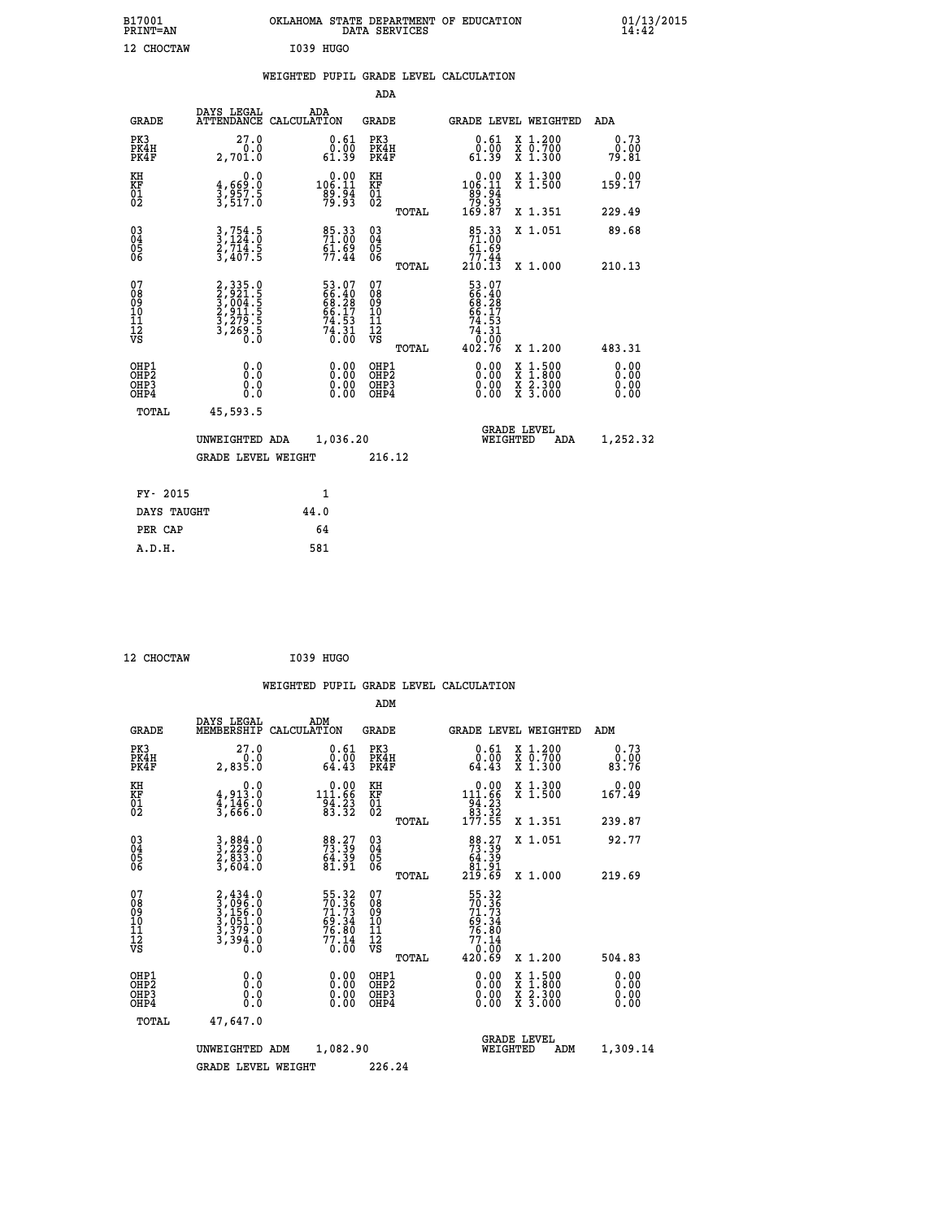| B17001<br>PRINT=AN                                |                                                                      | OKLAHOMA STATE DEPARTMENT OF EDUCATION                          | DATA SERVICES                                          |                                                                         |                                                                                          | $01/13/2015$<br>14:42 |
|---------------------------------------------------|----------------------------------------------------------------------|-----------------------------------------------------------------|--------------------------------------------------------|-------------------------------------------------------------------------|------------------------------------------------------------------------------------------|-----------------------|
| 12 CHOCTAW                                        |                                                                      | I039 HUGO                                                       |                                                        |                                                                         |                                                                                          |                       |
|                                                   |                                                                      | WEIGHTED PUPIL GRADE LEVEL CALCULATION                          |                                                        |                                                                         |                                                                                          |                       |
|                                                   |                                                                      |                                                                 | <b>ADA</b>                                             |                                                                         |                                                                                          |                       |
| <b>GRADE</b>                                      | DAYS LEGAL                                                           | ADA<br>ATTENDANCE CALCULATION                                   | <b>GRADE</b>                                           |                                                                         | GRADE LEVEL WEIGHTED ADA                                                                 |                       |
| PK3<br>PK4H<br>PK4F                               | 27.0<br>0.0<br>2,701.0                                               | 0.61<br>$\begin{array}{c} 0.00 \\ -0.39 \end{array}$            | PK3<br>PK4H<br>PK4F                                    | 0.61<br>0.00<br>61.39                                                   | X 1.200<br>X 0.700<br>X 1.300                                                            | 0.73<br>0.00<br>79.81 |
| KH<br>KF<br>$\begin{matrix} 01 \ 02 \end{matrix}$ | 0.0<br>$\frac{4}{3}, \frac{669}{957}$ . 5<br>3,517. 6                | $\begin{array}{c} 0.00 \\ 106.11 \\ 89.94 \\ 79.93 \end{array}$ | KH<br>KF<br>$\overline{01}$                            | $0.00$<br>106.11                                                        | X 1.300<br>X 1.500                                                                       | 0.00<br>159.17        |
|                                                   |                                                                      |                                                                 | TOTAL                                                  | $\frac{189}{79} \cdot \frac{154}{93}$<br>169.87                         | X 1.351                                                                                  | 229.49                |
| 03<br>04<br>05<br>06                              | $3, 754.5$<br>$3, 714.5$<br>$2, 714.5$<br>$3, 407.5$                 | 85.33<br>71.00<br>$61.69$<br>$77.44$                            | $\begin{matrix} 03 \\ 04 \\ 05 \\ 06 \end{matrix}$     | $\frac{85.33}{71.00}$<br><u>61</u> .69                                  | X 1.051                                                                                  | 89.68                 |
|                                                   |                                                                      |                                                                 | TOTAL                                                  | $77.44$<br>210.13                                                       | X 1.000                                                                                  | 210.13                |
| 07<br>Ŏġ<br>09<br>10<br>11<br>12<br>VS            | 2, 335.0<br>3, 921.5<br>3, 004.5<br>2, 911.5<br>3, 279.5<br>3, 269.5 | 53.07<br>66.40<br>68.28<br>66.17<br>74.53<br>74.31<br>74.31     | 07<br>ŏġ<br>09<br>ίÒ<br>īi<br>ĪŽ<br>VŠ<br><b>TOTAL</b> | 53.07<br>66.40<br>66.17<br>74:53<br>$\frac{35}{6}$<br>74<br>0<br>402.76 | X 1.200                                                                                  | 483.31                |
| OHP1                                              | 0.0                                                                  |                                                                 | OHP1                                                   | 0.00                                                                    |                                                                                          |                       |
| OHP <sub>2</sub><br>OH <sub>P3</sub><br>OHP4      | Ō.Ō<br>0.0<br>0.0                                                    | 0.00<br>$\begin{smallmatrix} 0.00 \ 0.00 \end{smallmatrix}$     | OHP <sub>2</sub><br>OHP3<br>OHP4                       | 0.00<br>0.00                                                            | $\begin{smallmatrix} x & 1.500 \\ x & 1.800 \\ x & 2.300 \\ x & 3.000 \end{smallmatrix}$ | 0.00<br>0.00<br>0.00  |
| <b>TOTAL</b>                                      | 45,593.5                                                             |                                                                 |                                                        |                                                                         |                                                                                          |                       |
|                                                   | UNWEIGHTED ADA                                                       | 1,036.20                                                        |                                                        | WEIGHTED                                                                | <b>GRADE LEVEL</b><br>ADA                                                                | 1,252.32              |
|                                                   | <b>GRADE LEVEL WEIGHT</b>                                            |                                                                 | 216.12                                                 |                                                                         |                                                                                          |                       |
| FY- 2015                                          |                                                                      | 1                                                               |                                                        |                                                                         |                                                                                          |                       |
| DAYS TAUGHT                                       |                                                                      | 44.0                                                            |                                                        |                                                                         |                                                                                          |                       |
| PER CAP                                           |                                                                      | 64                                                              |                                                        |                                                                         |                                                                                          |                       |
| A.D.H.                                            |                                                                      | 581                                                             |                                                        |                                                                         |                                                                                          |                       |

| 12 CHOCTAW | I039 HUGO |
|------------|-----------|

|                                                    |                                                                       |                    |                                                                                  |                                               |       | WEIGHTED PUPIL GRADE LEVEL CALCULATION                                                                                                                                                                                                                                         |                                                                                                  |                       |
|----------------------------------------------------|-----------------------------------------------------------------------|--------------------|----------------------------------------------------------------------------------|-----------------------------------------------|-------|--------------------------------------------------------------------------------------------------------------------------------------------------------------------------------------------------------------------------------------------------------------------------------|--------------------------------------------------------------------------------------------------|-----------------------|
|                                                    |                                                                       |                    |                                                                                  | ADM                                           |       |                                                                                                                                                                                                                                                                                |                                                                                                  |                       |
| <b>GRADE</b>                                       | DAYS LEGAL<br>MEMBERSHIP                                              | ADM<br>CALCULATION |                                                                                  | <b>GRADE</b>                                  |       |                                                                                                                                                                                                                                                                                | <b>GRADE LEVEL WEIGHTED</b>                                                                      | ADM                   |
| PK3<br>PK4H<br>PK4F                                | 27.0<br>2,835.0                                                       |                    | $0.61$<br>$0.00$<br>64.43                                                        | PK3<br>PK4H<br>PK4F                           |       | $\begin{smallmatrix} 0.61\ 0.00\ 64.43 \end{smallmatrix}$                                                                                                                                                                                                                      | X 1.200<br>X 0.700<br>X 1.300                                                                    | 0.73<br>0.00<br>83.76 |
| KH<br>KF<br>01<br>02                               | $4,913.0$<br>$4,146.0$<br>$3,666.0$                                   |                    | $\begin{array}{r} 0.00 \\[-4pt] 11.66 \\[-4pt] 94.23 \\[-4pt] 83.32 \end{array}$ | KH<br>KF<br>01<br>02                          |       | $\begin{array}{r} 0.00 \\[-4pt] 111.66 \\[-4pt] 94.23 \\[-4pt] 83.32 \\[-4pt] 177.55 \end{array}$                                                                                                                                                                              | X 1.300<br>X 1.500                                                                               | $0.00$<br>167.49      |
|                                                    |                                                                       |                    |                                                                                  |                                               | TOTAL |                                                                                                                                                                                                                                                                                | X 1.351                                                                                          | 239.87                |
| $\begin{matrix} 03 \\ 04 \\ 05 \\ 06 \end{matrix}$ | 3,884.0<br>3,229.0<br>2,833.0<br>3,604.0                              |                    | 88.27<br>73.39<br>64.39<br>81.91                                                 | 03<br>04<br>05<br>06                          |       | $\begin{smallmatrix}88.27\73.39\64.39\81.91\219.69\end{smallmatrix}$                                                                                                                                                                                                           | X 1.051                                                                                          | 92.77                 |
|                                                    |                                                                       |                    |                                                                                  |                                               | TOTAL |                                                                                                                                                                                                                                                                                | X 1.000                                                                                          | 219.69                |
| 07<br>0890112<br>1112<br>VS                        | 2,434.0<br>3,096.0<br>3,156.0<br>3,155.0<br>3,379.0<br>3,394.0<br>0.0 |                    | 55.32<br>70.36<br>71.73<br>69.34<br>69.34<br>76.80<br>77.14<br>0.00              | 07<br>08<br>09<br>001<br>11<br>11<br>12<br>VS |       | $\begin{array}{r} 55\cdot 32\\ 70\cdot 36\\ 71\cdot 73\\ 69\cdot 34\\ 76\cdot 80\\ 77\cdot 14\\ 0\cdot 00\\ 420\cdot 69 \end{array}$                                                                                                                                           |                                                                                                  |                       |
|                                                    |                                                                       |                    |                                                                                  |                                               | TOTAL |                                                                                                                                                                                                                                                                                | $X_1.200$                                                                                        | 504.83                |
| OHP1<br>OHP2<br>OHP <sub>3</sub><br>OHP4           | 0.0<br>0.000                                                          |                    | $\begin{smallmatrix} 0.00 \ 0.00 \ 0.00 \ 0.00 \end{smallmatrix}$                | OHP1<br>OHP2<br>OHP3<br>OHP4                  |       | $\begin{smallmatrix} 0.00 & 0.00 & 0.00 & 0.00 & 0.00 & 0.00 & 0.00 & 0.00 & 0.00 & 0.00 & 0.00 & 0.00 & 0.00 & 0.00 & 0.00 & 0.00 & 0.00 & 0.00 & 0.00 & 0.00 & 0.00 & 0.00 & 0.00 & 0.00 & 0.00 & 0.00 & 0.00 & 0.00 & 0.00 & 0.00 & 0.00 & 0.00 & 0.00 & 0.00 & 0.00 & 0.0$ | $\begin{smallmatrix} x & 1 & 500 \\ x & 1 & 800 \\ x & 2 & 300 \\ x & 3 & 000 \end{smallmatrix}$ | 0.00<br>0.00<br>0.00  |
| TOTAL                                              | 47,647.0                                                              |                    |                                                                                  |                                               |       |                                                                                                                                                                                                                                                                                |                                                                                                  |                       |
|                                                    | UNWEIGHTED ADM                                                        |                    | 1,082.90                                                                         |                                               |       |                                                                                                                                                                                                                                                                                | <b>GRADE LEVEL</b><br>WEIGHTED<br>ADM                                                            | 1,309.14              |
|                                                    | <b>GRADE LEVEL WEIGHT</b>                                             |                    |                                                                                  | 226.24                                        |       |                                                                                                                                                                                                                                                                                |                                                                                                  |                       |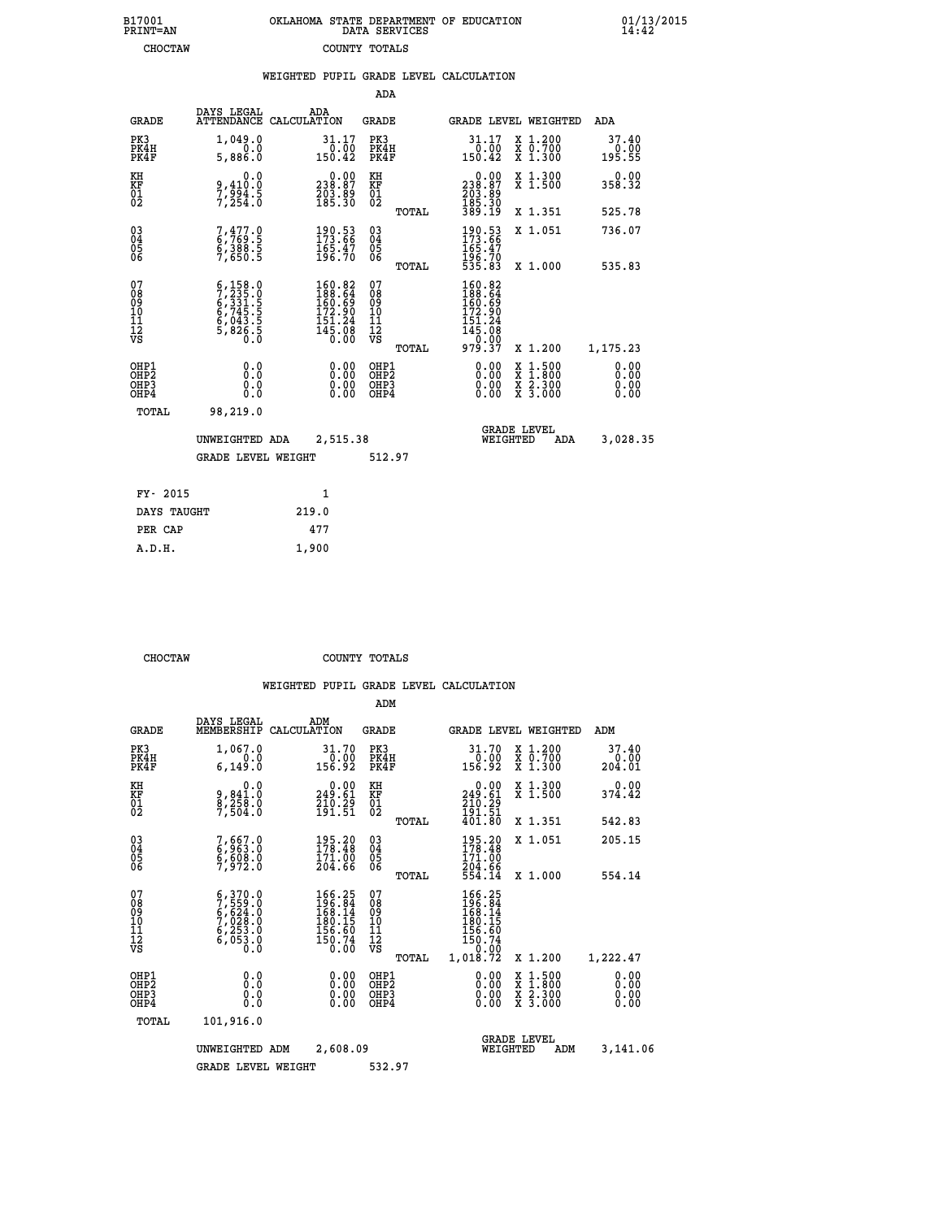| B17001          | OKLAHOMA STATE DEPARTMENT OF EDUCATION |
|-----------------|----------------------------------------|
| <b>PRINT=AN</b> | DATA SERVICES                          |
| <b>CHOCTAW</b>  | COUNTY TOTALS                          |

|                                                                  |                                                                                                                                                    |       |                                                                                                       |                                                     |       | WEIGHTED PUPIL GRADE LEVEL CALCULATION                                                                                |                                          |                              |
|------------------------------------------------------------------|----------------------------------------------------------------------------------------------------------------------------------------------------|-------|-------------------------------------------------------------------------------------------------------|-----------------------------------------------------|-------|-----------------------------------------------------------------------------------------------------------------------|------------------------------------------|------------------------------|
|                                                                  |                                                                                                                                                    |       |                                                                                                       | ADA                                                 |       |                                                                                                                       |                                          |                              |
| <b>GRADE</b>                                                     | DAYS LEGAL<br>ATTENDANCE CALCULATION                                                                                                               | ADA   |                                                                                                       | <b>GRADE</b>                                        |       | <b>GRADE LEVEL WEIGHTED</b>                                                                                           |                                          | <b>ADA</b>                   |
| PK3<br>PK4H<br>PK4F                                              | 1,049.0<br>0.0<br>5,886.0                                                                                                                          |       | $\begin{smallmatrix} 31.17\\ 0.00\\ 150.42 \end{smallmatrix}$                                         | PK3<br>PK4H<br>PK4F                                 |       | $\begin{smallmatrix} 31.17\\ 0.00\\ 150.42 \end{smallmatrix}$                                                         | X 1.200<br>X 0.700<br>X 1.300            | 37.40<br>$0.00$<br>195.55    |
| KH<br>KF<br>01<br>02                                             | 0.0<br>9,410:0<br>7,994:5<br>7,254:0                                                                                                               |       | $\begin{smallmatrix} 0.00\\ 238.87\\ 203.89\\ 185.30 \end{smallmatrix}$                               | KH<br>KF<br>01<br>02                                |       | $\begin{smallmatrix} 0.00\\ 238.87\\ 203.89\\ 185.30 \end{smallmatrix}$                                               | X 1.300<br>X 1.500                       | 0.00<br>358.32               |
|                                                                  |                                                                                                                                                    |       |                                                                                                       |                                                     | TOTAL | 389.19                                                                                                                | X 1.351                                  | 525.78                       |
| 03<br>04<br>05<br>06                                             | 7,477.0<br>6,769.5<br>6,388.5<br>7,650.5                                                                                                           |       | 190.53<br>173.66<br>165.47<br>196.70                                                                  | $\begin{array}{c} 03 \\ 04 \\ 05 \\ 06 \end{array}$ |       | 190.53<br>173.66<br>165.47<br>196.70<br>535.83                                                                        | X 1.051                                  | 736.07                       |
|                                                                  |                                                                                                                                                    |       |                                                                                                       |                                                     | TOTAL |                                                                                                                       | X 1.000                                  | 535.83                       |
| 07<br>08<br>09<br>11<br>11<br>12<br>VS                           | $\begin{smallmatrix} 6\,,\,158\,.\,0\\ 7\,,\,235\,.\,0\\ 6\,,\,331\,.\,5\\ 6\,,\,745\,.\\ 6\,,\,043\,.\\ 5\,,\,826\,.\\ 0\,.\\ 0\end{smallmatrix}$ |       | $160.82$<br>$188.64$<br>$160.69$<br>$\begin{array}{r} 172.90 \\ 151.24 \\ 145.08 \\ 0.00 \end{array}$ | 07<br>08<br>09<br>11<br>11<br>12<br>VS              | TOTAL | $\begin{smallmatrix} 160.82\\ 188.64\\ 160.69\\ 162.90\\ 172.90\\ 151.24\\ 145.08\\ 0.007\\ 979.37 \end{smallmatrix}$ | X 1.200                                  | 1,175.23                     |
| OHP1<br>OH <sub>P</sub> <sub>2</sub><br>OH <sub>P3</sub><br>OHP4 | 0.0<br>0.0<br>0.0                                                                                                                                  |       | $0.00$<br>$0.00$<br>0.00                                                                              | OHP1<br>OHP <sub>2</sub><br>OHP3<br>OHP4            |       | 0.00<br>0.00<br>0.00                                                                                                  | X 1:500<br>X 1:800<br>X 2:300<br>X 3:000 | 0.00<br>0.00<br>0.00<br>0.00 |
| TOTAL                                                            | 98,219.0                                                                                                                                           |       |                                                                                                       |                                                     |       |                                                                                                                       |                                          |                              |
|                                                                  | UNWEIGHTED ADA                                                                                                                                     |       | 2,515.38                                                                                              |                                                     |       | WEIGHTED                                                                                                              | <b>GRADE LEVEL</b><br>ADA                | 3,028.35                     |
|                                                                  | <b>GRADE LEVEL WEIGHT</b>                                                                                                                          |       |                                                                                                       | 512.97                                              |       |                                                                                                                       |                                          |                              |
| FY- 2015                                                         |                                                                                                                                                    |       | 1                                                                                                     |                                                     |       |                                                                                                                       |                                          |                              |
| DAYS TAUGHT                                                      |                                                                                                                                                    | 219.0 |                                                                                                       |                                                     |       |                                                                                                                       |                                          |                              |
| PER CAP                                                          |                                                                                                                                                    | 477   |                                                                                                       |                                                     |       |                                                                                                                       |                                          |                              |

| DAYS TAUGHT | 219.0 |
|-------------|-------|
| PER CAP     | 477   |
| A.D.H.      | 1,900 |
|             |       |

 **CHOCTAW COUNTY TOTALS**

|                                                    |                                                                                                                                               |                                                                                                      | ADM                                                   |                                                                                                             |                                                                                                                     |                                |
|----------------------------------------------------|-----------------------------------------------------------------------------------------------------------------------------------------------|------------------------------------------------------------------------------------------------------|-------------------------------------------------------|-------------------------------------------------------------------------------------------------------------|---------------------------------------------------------------------------------------------------------------------|--------------------------------|
| <b>GRADE</b>                                       | DAYS LEGAL<br>MEMBERSHIP                                                                                                                      | ADM<br>CALCULATION                                                                                   | <b>GRADE</b>                                          |                                                                                                             | <b>GRADE LEVEL WEIGHTED</b>                                                                                         | ADM                            |
| PK3<br>PK4H<br>PK4F                                | 1,067.0<br>0.0<br>6, 149.0                                                                                                                    | 31.70<br>$\frac{0.00}{156.92}$                                                                       | PK3<br>PK4H<br>PK4F                                   | 31.70<br>$\frac{0.00}{156.92}$                                                                              | X 1.200<br>X 0.700<br>X 1.300                                                                                       | 37.40<br>$\frac{0.00}{204.01}$ |
| KH<br>KF<br>01<br>02                               | 0.0<br>9,841:0<br>8,258.0<br>7,504:0                                                                                                          | $0.00$<br>249.61<br>$\frac{7}{19}$ $\frac{7}{19}$ $\frac{7}{15}$ $\frac{7}{15}$                      | KH<br>KF<br>01<br>02                                  | $\begin{smallmatrix} &0.00\\ 249.61\end{smallmatrix}$<br>$\frac{210}{191}$ $\cdot\frac{25}{51}$<br>$401.80$ | X 1.300<br>X 1.500                                                                                                  | 0.00<br>374.42                 |
|                                                    |                                                                                                                                               |                                                                                                      | TOTAL                                                 |                                                                                                             | X 1.351                                                                                                             | 542.83                         |
| $\begin{matrix} 03 \\ 04 \\ 05 \\ 06 \end{matrix}$ | 7,667.0<br>6,963.0<br>6,608.0<br>7,972.0                                                                                                      | 195.20<br>178.48<br>171.00<br>204.66                                                                 | $\begin{array}{c} 03 \\ 04 \\ 05 \\ 06 \end{array}$   | $195.20$<br>$178.48$<br>$171.00$<br>$204.66$<br>$554.14$                                                    | X 1.051                                                                                                             | 205.15                         |
|                                                    |                                                                                                                                               |                                                                                                      | TOTAL                                                 |                                                                                                             | X 1.000                                                                                                             | 554.14                         |
| 07<br>08<br>09<br>101<br>11<br>12<br>VS            | $\begin{smallmatrix} 6\,, & 370.0\\ 7\,, & 559.0\\ 6\,, & 624.0\\ 7\,, & 028.0\\ 6\,, & 253.0\\ 6\,, & 053.0\\ 0\,. & 0\,. \end{smallmatrix}$ | $\begin{smallmatrix} 166.25\\196.84\\168.14\\168.15\\180.15\\156.60\\150.74\\0.00 \end{smallmatrix}$ | 07<br>08<br>09<br>01<br>11<br>11<br>12<br>VS<br>TOTAL | $166.25$<br>$196.84$<br>$168.14$<br>$180.15$<br>$156.60$<br>$150.74$<br>$0.00$<br>$1,018.72$                | X 1.200                                                                                                             | 1,222.47                       |
| OHP1<br>OHP2<br>OHP3<br>OH <sub>P4</sub>           |                                                                                                                                               |                                                                                                      | OHP1<br>OHP2<br>OHP3<br>OHP4                          | 0.00<br>0.00                                                                                                | $\begin{array}{l} \mathtt{X} & 1.500 \\ \mathtt{X} & 1.800 \\ \mathtt{X} & 2.300 \\ \mathtt{X} & 3.000 \end{array}$ | 0.00<br>0.00<br>0.00           |
| TOTAL                                              | 101,916.0                                                                                                                                     |                                                                                                      |                                                       |                                                                                                             |                                                                                                                     |                                |
|                                                    | UNWEIGHTED                                                                                                                                    | 2,608.09<br>ADM                                                                                      |                                                       |                                                                                                             | <b>GRADE LEVEL</b><br>WEIGHTED<br>ADM                                                                               | 3,141.06                       |
|                                                    | <b>GRADE LEVEL WEIGHT</b>                                                                                                                     |                                                                                                      | 532.97                                                |                                                                                                             |                                                                                                                     |                                |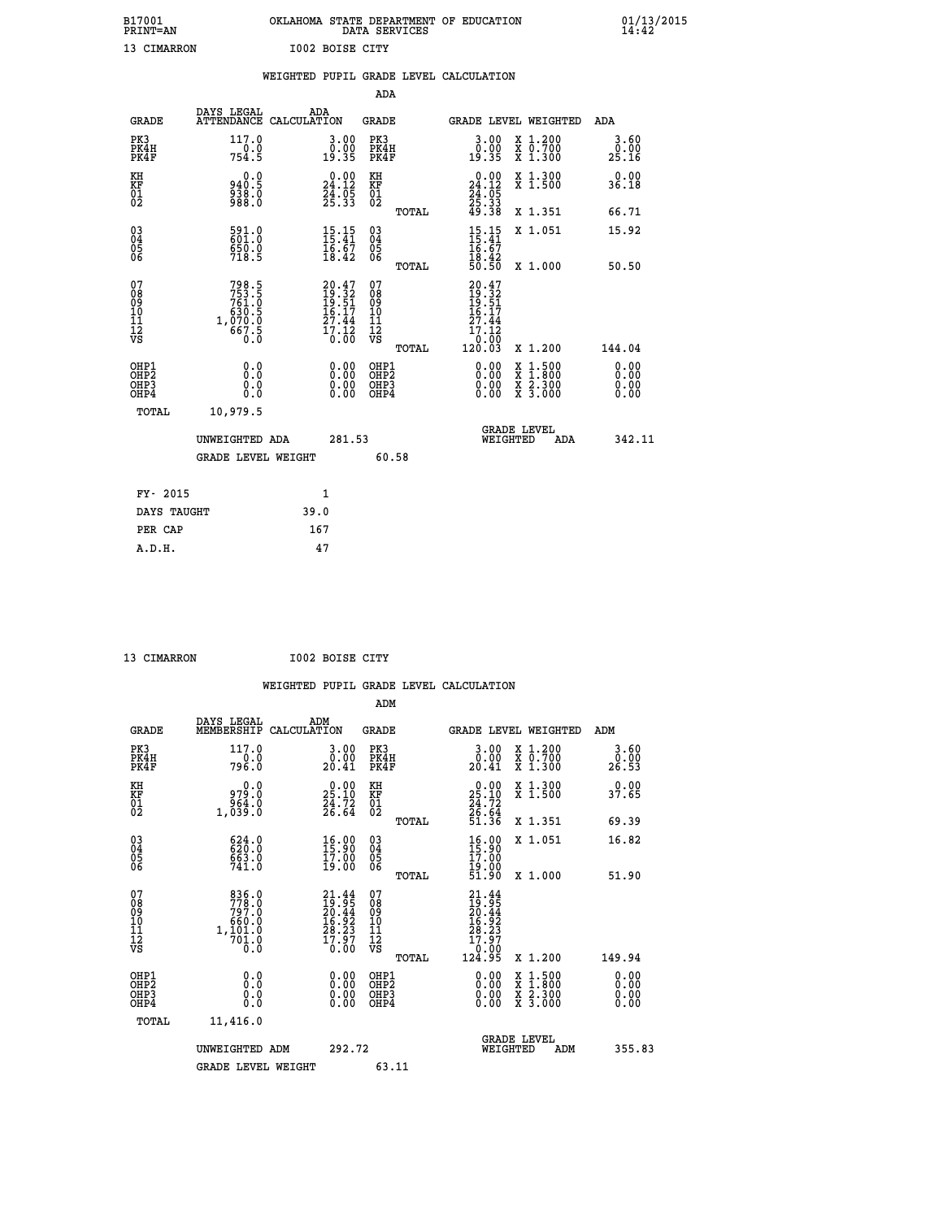| B17001<br><b>PRINT=AN</b> |             |                        | OKLAHOMA STATE DEPARTMENT OF EDUCATION<br>DATA SERVICES |  |
|---------------------------|-------------|------------------------|---------------------------------------------------------|--|
|                           | 13 CIMARRON | <b>I002 BOISE CITY</b> |                                                         |  |

|                                                      |                                                                           | WEIGHTED PUPIL GRADE LEVEL CALCULATION                                                |                                                     |       |                                                                                 |                                                                |                       |
|------------------------------------------------------|---------------------------------------------------------------------------|---------------------------------------------------------------------------------------|-----------------------------------------------------|-------|---------------------------------------------------------------------------------|----------------------------------------------------------------|-----------------------|
|                                                      |                                                                           |                                                                                       | <b>ADA</b>                                          |       |                                                                                 |                                                                |                       |
| <b>GRADE</b>                                         | DAYS LEGAL                                                                | ADA<br>ATTENDANCE CALCULATION                                                         | <b>GRADE</b>                                        |       |                                                                                 | GRADE LEVEL WEIGHTED                                           | ADA                   |
| PK3<br>PK4H<br>PK4F                                  | 117.0<br>754.5                                                            | 3.00<br>$\begin{smallmatrix} 0.00 \\ 0.35 \end{smallmatrix}$                          | PK3<br>PK4H<br>PK4F                                 |       | 3.00<br>0.00<br>19.35                                                           | X 1.200<br>X 0.700<br>X 1.300                                  | 3.60<br>0.00<br>25.16 |
| KH<br>KF<br>01<br>02                                 | 0.0<br>8:048<br>838:0<br>988:0                                            | $\begin{smallmatrix} 0.00\\24.12\\24.05\\25.33 \end{smallmatrix}$                     | KH<br>KF<br>01<br>02                                |       | $\begin{smallmatrix} 0.00\\24.12\\24.05\\25.33\\49.38 \end{smallmatrix}$        | X 1.300<br>X 1.500                                             | 0.00<br>36.18         |
|                                                      |                                                                           |                                                                                       |                                                     | TOTAL |                                                                                 | X 1.351                                                        | 66.71                 |
| $\begin{matrix} 03 \\ 04 \\ 05 \\ 06 \end{matrix}$   | 591.0<br>$\frac{650.0}{718.5}$                                            | 15:15<br>$\frac{16}{18}\cdot\frac{67}{42}$                                            | $\begin{array}{c} 03 \\ 04 \\ 05 \\ 06 \end{array}$ |       | $15.15$<br>$15.41$<br>$16.67$<br>$18.42$<br>$50.50$                             | X 1.051                                                        | 15.92                 |
|                                                      |                                                                           |                                                                                       |                                                     | TOTAL |                                                                                 | X 1.000                                                        | 50.50                 |
| 07<br>08<br>09<br>11<br>11<br>12<br>VS               | $798.5$<br>$753.5$<br>$761.0$<br>$630.5$<br>$1,070.0$<br>$667.5$<br>$0.0$ | $\begin{smallmatrix} 20.47\\19.32\\19.51\\16.17\\27.44\\17.12\\0.00\end{smallmatrix}$ | 07<br>08<br>09<br>11<br>11<br>12<br>VS              | TOTAL | $20.47$<br>$19.32$<br>$19.51$<br>$16.17$<br>$27.44$<br>ī7.I2<br>10:00<br>120.03 | X 1.200                                                        | 144.04                |
| OHP1<br>OHP <sub>2</sub><br>OH <sub>P3</sub><br>OHP4 | 0.0<br>0.0<br>Ō.Ō                                                         | 0.00<br>$\begin{smallmatrix} 0.00 \ 0.00 \end{smallmatrix}$                           | OHP1<br>OHP2<br>OHP3<br>OHP4                        |       | 0.00<br>0.00<br>0.00                                                            | $1:500$<br>$1:800$<br>X 1:500<br>X 1:800<br>X 2:300<br>X 3:000 | 0.00<br>0.00<br>0.00  |
| TOTAL                                                | 10,979.5                                                                  |                                                                                       |                                                     |       |                                                                                 |                                                                |                       |
|                                                      | UNWEIGHTED ADA                                                            | 281.53                                                                                |                                                     |       | WEIGHTED                                                                        | <b>GRADE LEVEL</b><br>ADA                                      | 342.11                |
|                                                      | <b>GRADE LEVEL WEIGHT</b>                                                 |                                                                                       | 60.58                                               |       |                                                                                 |                                                                |                       |
| FY- 2015                                             |                                                                           | $\mathbf{1}$                                                                          |                                                     |       |                                                                                 |                                                                |                       |
| DAYS TAUGHT                                          |                                                                           | 39.0                                                                                  |                                                     |       |                                                                                 |                                                                |                       |
| PER CAP                                              |                                                                           | 167                                                                                   |                                                     |       |                                                                                 |                                                                |                       |

 **A.D.H. 47**

 **13 CIMARRON I002 BOISE CITY**

| <b>GRADE</b>                                       | DAYS LEGAL<br>MEMBERSHIP                                                              | ADM<br>CALCULATION                   | <b>GRADE</b>                                        |       | <b>GRADE LEVEL WEIGHTED</b>                                                                |                                          | ADM                   |  |
|----------------------------------------------------|---------------------------------------------------------------------------------------|--------------------------------------|-----------------------------------------------------|-------|--------------------------------------------------------------------------------------------|------------------------------------------|-----------------------|--|
| PK3<br>PK4H<br>PK4F                                | 117.0<br>796.0                                                                        | 3.00<br>0.00<br>20.41                | PK3<br>PK4H<br>PK4F                                 |       | $\begin{smallmatrix} 3.00\\ 0.00\\ 20.41 \end{smallmatrix}$                                | X 1.200<br>x 0.700<br>x 1.300            | 3.60<br>0.00<br>26.53 |  |
| KH<br>KF<br>01<br>02                               | 0.0<br>979.0<br>1,039.0                                                               | $25.10$<br>$24.72$<br>$26.64$        | KH<br>KF<br>01<br>02                                |       | $\begin{smallmatrix} 0.00\\ 25.10\\ 24.72\\ 26.64\\ 51.36 \end{smallmatrix}$               | X 1.300<br>X 1.500                       | 0.00<br>37.65         |  |
|                                                    |                                                                                       |                                      |                                                     | TOTAL |                                                                                            | X 1.351                                  | 69.39                 |  |
| $\begin{matrix} 03 \\ 04 \\ 05 \\ 06 \end{matrix}$ | $624.0$<br>$620.0$<br>$663.0$<br>$741.0$                                              | 16.90<br>17.00<br>19.00              | $\begin{array}{c} 03 \\ 04 \\ 05 \\ 06 \end{array}$ |       | $\begin{smallmatrix} 16.00\\ 15.90\\ 17.00\\ 19.00\\ 51.90 \end{smallmatrix}$              | X 1.051                                  | 16.82                 |  |
|                                                    |                                                                                       |                                      |                                                     | TOTAL |                                                                                            | X 1.000                                  | 51.90                 |  |
| 07<br>08<br>09<br>101<br>112<br>VS                 | $\begin{smallmatrix}836.0\\778.0\\797.0\\660.0\\1,101.0\\701.0\\0.0\end{smallmatrix}$ | $21.4419.9520.4416.9228.2317.970.00$ | 07<br>08<br>09<br>11<br>11<br>12<br>VS              | TOTAL | $\begin{smallmatrix} 21.44\ 19.95\ 20.44\ 20.52\ 16.923\ 17.970\ 124.95 \end{smallmatrix}$ | X 1.200                                  | 149.94                |  |
| OHP1<br>OHP <sub>2</sub><br>OHP3<br>OHP4           | 0.0<br>$\begin{smallmatrix} 0.0 & 0 \ 0.0 & 0 \end{smallmatrix}$                      |                                      | OHP1<br>OHP2<br>OHP3<br>OHP4                        |       |                                                                                            | X 1:500<br>X 1:800<br>X 2:300<br>X 3:000 | 0.00<br>0.00<br>0.00  |  |
| TOTAL                                              | 11,416.0                                                                              |                                      |                                                     |       |                                                                                            |                                          |                       |  |
|                                                    | UNWEIGHTED ADM                                                                        | 292.72                               |                                                     |       | WEIGHTED                                                                                   | <b>GRADE LEVEL</b><br>ADM                | 355.83                |  |
|                                                    | <b>GRADE LEVEL WEIGHT</b>                                                             |                                      | 63.11                                               |       |                                                                                            |                                          |                       |  |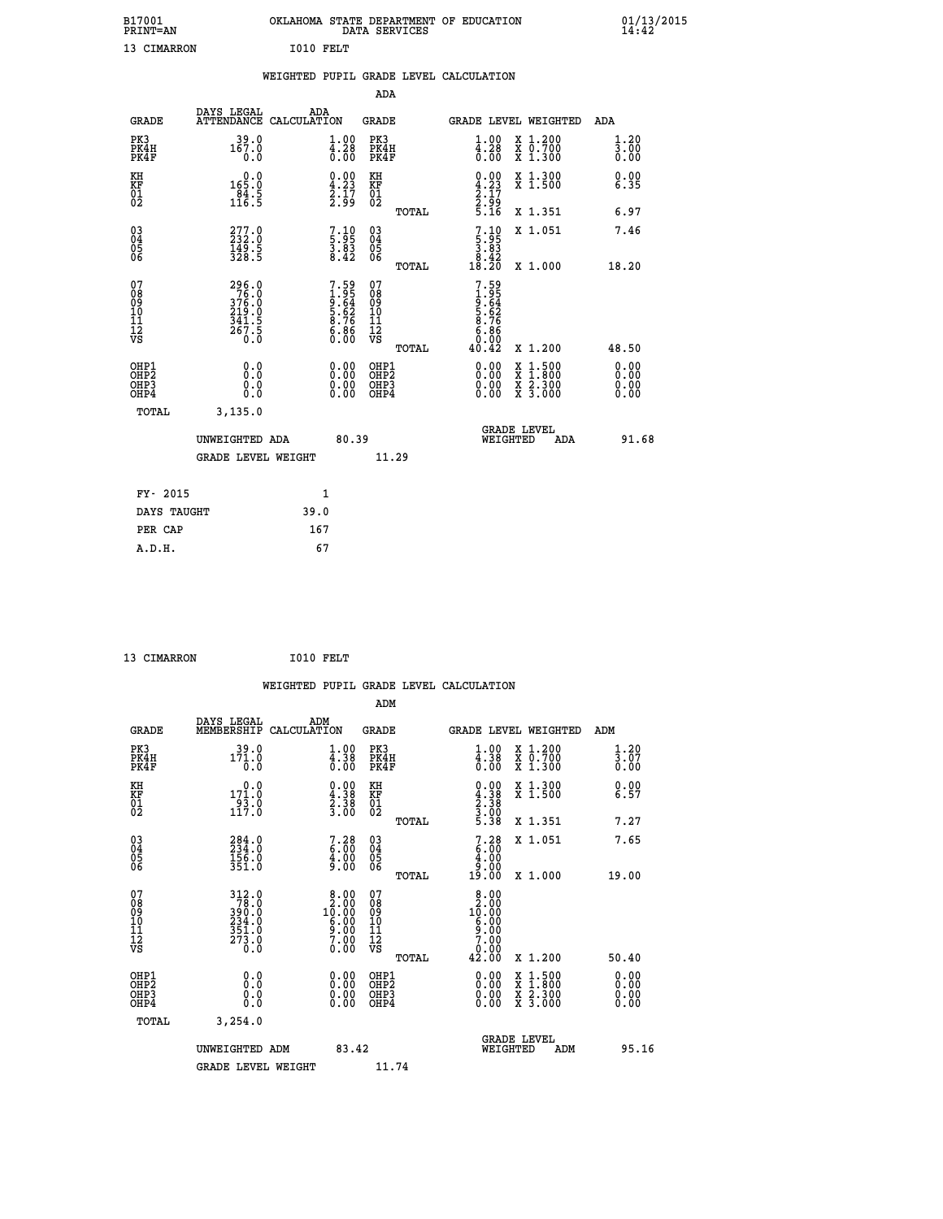| B17001<br><b>PRINT=AN</b> |           | OKLAHOMA STATE DEPARTMENT OF EDUCATION<br>DATA SERVICES |  |
|---------------------------|-----------|---------------------------------------------------------|--|
| 13 CIMARRON               | I010 FELT |                                                         |  |

|                                                                    |                                                              | WEIGHTED PUPIL GRADE LEVEL CALCULATION |                                                                    |                                                     |       |                                                                                                                                                                                                                                                                                |                                                                                                                                              |                              |
|--------------------------------------------------------------------|--------------------------------------------------------------|----------------------------------------|--------------------------------------------------------------------|-----------------------------------------------------|-------|--------------------------------------------------------------------------------------------------------------------------------------------------------------------------------------------------------------------------------------------------------------------------------|----------------------------------------------------------------------------------------------------------------------------------------------|------------------------------|
|                                                                    |                                                              |                                        |                                                                    | <b>ADA</b>                                          |       |                                                                                                                                                                                                                                                                                |                                                                                                                                              |                              |
| <b>GRADE</b>                                                       | DAYS LEGAL<br><b>ATTENDANCE</b>                              | ADA<br>CALCULATION                     |                                                                    | <b>GRADE</b>                                        |       |                                                                                                                                                                                                                                                                                | GRADE LEVEL WEIGHTED                                                                                                                         | ADA                          |
| PK3<br>PK4H<br>PK4F                                                | 39.0<br>167.0<br>0.0                                         |                                        | $\begin{smallmatrix} 1.00\\ 4.28\\ 0.00 \end{smallmatrix}$         | PK3<br>PK4H<br>PK4F                                 |       | $\begin{smallmatrix} 1.00\\ 4.28\\ 0.00 \end{smallmatrix}$                                                                                                                                                                                                                     | X 1.200<br>X 0.700<br>X 1.300                                                                                                                | 1.20<br>3.00<br>0.00         |
| KH<br>KF<br>01<br>02                                               | $\begin{array}{c} 0.0 \\ 165.0 \\ 84.5 \\ 116.5 \end{array}$ |                                        | $\begin{smallmatrix} 0.00\ 4.23\ 2.17\ 2.99 \end{smallmatrix}$     | KH<br>KF<br>01<br>02                                |       | $\begin{smallmatrix} 0.00\ 4.23\ 2.17\ 2.99\ 5.16 \end{smallmatrix}$                                                                                                                                                                                                           | X 1.300<br>X 1.500                                                                                                                           | 0.00<br>6.35                 |
|                                                                    |                                                              |                                        |                                                                    |                                                     | TOTAL |                                                                                                                                                                                                                                                                                | X 1.351                                                                                                                                      | 6.97                         |
| $\begin{smallmatrix} 03 \\[-4pt] 04 \end{smallmatrix}$<br>Ŏ5<br>06 | 277.0<br>232.0<br>149.5<br>328.5                             |                                        | 7.10<br>5.95<br>3.83<br>8.42                                       | $\begin{array}{c} 03 \\ 04 \\ 05 \\ 06 \end{array}$ |       | $\begin{smallmatrix}7.10\\5.95\\3.83\\8.42\\18.20\end{smallmatrix}$                                                                                                                                                                                                            | X 1.051                                                                                                                                      | 7.46                         |
|                                                                    |                                                              |                                        |                                                                    |                                                     | TOTAL |                                                                                                                                                                                                                                                                                | X 1.000                                                                                                                                      | 18.20                        |
| 07<br>0890112<br>1112<br>VS                                        | 296.0<br>76.0<br>376.0<br>219.0<br>241.5<br>341.5<br>267.5   |                                        | $7.59$<br>$1.95$<br>$9.64$<br>$5.62$<br>$8.76$<br>$8.76$<br>$6.86$ | 07<br>08901112<br>1112<br>VS                        | TOTAL | $7.59$<br>$1.95$<br>$9.64$<br>$5.62$<br>$6.76$<br>$6.86$<br>$6.00$<br>$40.42$                                                                                                                                                                                                  | X 1.200                                                                                                                                      | 48.50                        |
| OHP1<br>OHP2<br>OH <sub>P3</sub><br>OHP4                           | 0.0<br>0.0<br>0.0                                            |                                        | $\begin{smallmatrix} 0.00 \ 0.00 \ 0.00 \ 0.00 \end{smallmatrix}$  | OHP1<br>OHP2<br>OHP3<br>OHP4                        |       | $\begin{smallmatrix} 0.00 & 0.00 & 0.00 & 0.00 & 0.00 & 0.00 & 0.00 & 0.00 & 0.00 & 0.00 & 0.00 & 0.00 & 0.00 & 0.00 & 0.00 & 0.00 & 0.00 & 0.00 & 0.00 & 0.00 & 0.00 & 0.00 & 0.00 & 0.00 & 0.00 & 0.00 & 0.00 & 0.00 & 0.00 & 0.00 & 0.00 & 0.00 & 0.00 & 0.00 & 0.00 & 0.0$ | $\begin{smallmatrix} \mathtt{X} & 1\cdot500 \\ \mathtt{X} & 1\cdot800 \\ \mathtt{X} & 2\cdot300 \\ \mathtt{X} & 3\cdot000 \end{smallmatrix}$ | 0.00<br>0.00<br>0.00<br>0.00 |
| <b>TOTAL</b>                                                       | 3,135.0                                                      |                                        |                                                                    |                                                     |       |                                                                                                                                                                                                                                                                                |                                                                                                                                              |                              |
|                                                                    | UNWEIGHTED ADA                                               |                                        | 80.39                                                              |                                                     |       | WEIGHTED                                                                                                                                                                                                                                                                       | <b>GRADE LEVEL</b><br>ADA                                                                                                                    | 91.68                        |
|                                                                    | <b>GRADE LEVEL WEIGHT</b>                                    |                                        |                                                                    | 11.29                                               |       |                                                                                                                                                                                                                                                                                |                                                                                                                                              |                              |
| FY- 2015                                                           |                                                              | $\mathbf{1}$                           |                                                                    |                                                     |       |                                                                                                                                                                                                                                                                                |                                                                                                                                              |                              |
| DAYS TAUGHT                                                        |                                                              | 39.0                                   |                                                                    |                                                     |       |                                                                                                                                                                                                                                                                                |                                                                                                                                              |                              |
| PER CAP                                                            |                                                              | 167                                    |                                                                    |                                                     |       |                                                                                                                                                                                                                                                                                |                                                                                                                                              |                              |

```
13 CIMARRON 1010 FELT
```
 **A.D.H. 67**

 **B17001<br>PRINT=AN** 

|                                                    |                                                                                         |                    |                                                                                                                          |                                   |       | WEIGHTED PUPIL GRADE LEVEL CALCULATION                                                                                                                                                                                                                                         |                                                                                                  |                                   |       |
|----------------------------------------------------|-----------------------------------------------------------------------------------------|--------------------|--------------------------------------------------------------------------------------------------------------------------|-----------------------------------|-------|--------------------------------------------------------------------------------------------------------------------------------------------------------------------------------------------------------------------------------------------------------------------------------|--------------------------------------------------------------------------------------------------|-----------------------------------|-------|
|                                                    |                                                                                         |                    |                                                                                                                          | ADM                               |       |                                                                                                                                                                                                                                                                                |                                                                                                  |                                   |       |
| <b>GRADE</b>                                       | DAYS LEGAL<br>MEMBERSHIP                                                                | ADM<br>CALCULATION |                                                                                                                          | <b>GRADE</b>                      |       | <b>GRADE LEVEL WEIGHTED</b>                                                                                                                                                                                                                                                    |                                                                                                  | ADM                               |       |
| PK3<br>PK4H<br>PK4F                                | $39.0$<br>171.0<br>0.0                                                                  |                    | $\begin{smallmatrix} 1.00\\ 4.38\\ 0.00 \end{smallmatrix}$                                                               | PK3<br>PK4H<br>PK4F               |       | $\begin{smallmatrix} 1.00\\ 4.38\\ 0.00 \end{smallmatrix}$                                                                                                                                                                                                                     | X 1.200<br>X 0.700<br>X 1.300                                                                    | 1.20<br>$\overline{3.07}$<br>0.00 |       |
| KH<br>KF<br>01<br>02                               | 0.0<br>171.0<br>$\frac{1}{117}$ .0                                                      |                    | $\begin{smallmatrix} 0.00\\ 4.38\\ 2.38\\ 3.00 \end{smallmatrix}$                                                        | KH<br>KF<br>01<br>02              |       | $\begin{smallmatrix} 0.00\\ 4.38\\ 2.38\\ 3.08\\ 3.00\\ 5.38 \end{smallmatrix}$                                                                                                                                                                                                | X 1.300<br>X 1.500                                                                               | 0.00<br>6.57                      |       |
|                                                    |                                                                                         |                    |                                                                                                                          |                                   | TOTAL |                                                                                                                                                                                                                                                                                | X 1.351                                                                                          | 7.27                              |       |
| $\begin{matrix} 03 \\ 04 \\ 05 \\ 06 \end{matrix}$ | 284.0<br>234.0<br>156.0<br>351.0                                                        |                    | $\begin{smallmatrix}7.28\6.00\\4.00\\9.00\end{smallmatrix}$                                                              | $\substack{03 \\ 04}$<br>Ŏ5<br>06 |       | $\begin{smallmatrix}7.28\6.00\\4.00\9.00\end{smallmatrix}$                                                                                                                                                                                                                     | X 1.051                                                                                          | 7.65                              |       |
|                                                    |                                                                                         |                    |                                                                                                                          |                                   | TOTAL | 19.00                                                                                                                                                                                                                                                                          | X 1.000                                                                                          | 19.00                             |       |
| 07<br>0890112<br>1112<br>VS                        | $\begin{array}{r} 312.0 \\ 78.0 \\ 390.0 \\ 234.0 \\ 351.0 \\ 273.0 \\ 0.0 \end{array}$ |                    | $\begin{smallmatrix} 8.00\ 2.00\ 10.00 \end{smallmatrix}$<br>$\begin{array}{c} 6.00 \\ 9.00 \\ 7.00 \\ 0.00 \end{array}$ | 07<br>08901123<br>1112<br>VS      | TOTAL | $\begin{smallmatrix} 8.00 \\ 2.00 \\ 10.00 \\ 6.00 \\ 9.00 \\ 7.00 \\ 0.00 \\ 0.00 \\ \end{smallmatrix}$<br>42.00                                                                                                                                                              | $X_1.200$                                                                                        | 50.40                             |       |
|                                                    |                                                                                         |                    |                                                                                                                          |                                   |       |                                                                                                                                                                                                                                                                                |                                                                                                  | 0.00                              |       |
| OHP1<br>OHP2<br>OH <sub>P3</sub><br>OHP4           | 0.0<br>0.000                                                                            |                    | $\begin{smallmatrix} 0.00 \ 0.00 \ 0.00 \ 0.00 \end{smallmatrix}$                                                        | OHP1<br>OHP2<br>OHP3<br>OHP4      |       | $\begin{smallmatrix} 0.00 & 0.00 & 0.00 & 0.00 & 0.00 & 0.00 & 0.00 & 0.00 & 0.00 & 0.00 & 0.00 & 0.00 & 0.00 & 0.00 & 0.00 & 0.00 & 0.00 & 0.00 & 0.00 & 0.00 & 0.00 & 0.00 & 0.00 & 0.00 & 0.00 & 0.00 & 0.00 & 0.00 & 0.00 & 0.00 & 0.00 & 0.00 & 0.00 & 0.00 & 0.00 & 0.0$ | $\begin{smallmatrix} x & 1 & 500 \\ x & 1 & 800 \\ x & 2 & 300 \\ x & 3 & 000 \end{smallmatrix}$ | Ō. ŌŌ<br>0.00<br>0.00             |       |
| TOTAL                                              | 3,254.0                                                                                 |                    |                                                                                                                          |                                   |       |                                                                                                                                                                                                                                                                                |                                                                                                  |                                   |       |
|                                                    | UNWEIGHTED ADM                                                                          |                    | 83.42                                                                                                                    |                                   |       | <b>GRADE LEVEL</b><br>WEIGHTED                                                                                                                                                                                                                                                 | ADM                                                                                              |                                   | 95.16 |
|                                                    | <b>GRADE LEVEL WEIGHT</b>                                                               |                    |                                                                                                                          | 11.74                             |       |                                                                                                                                                                                                                                                                                |                                                                                                  |                                   |       |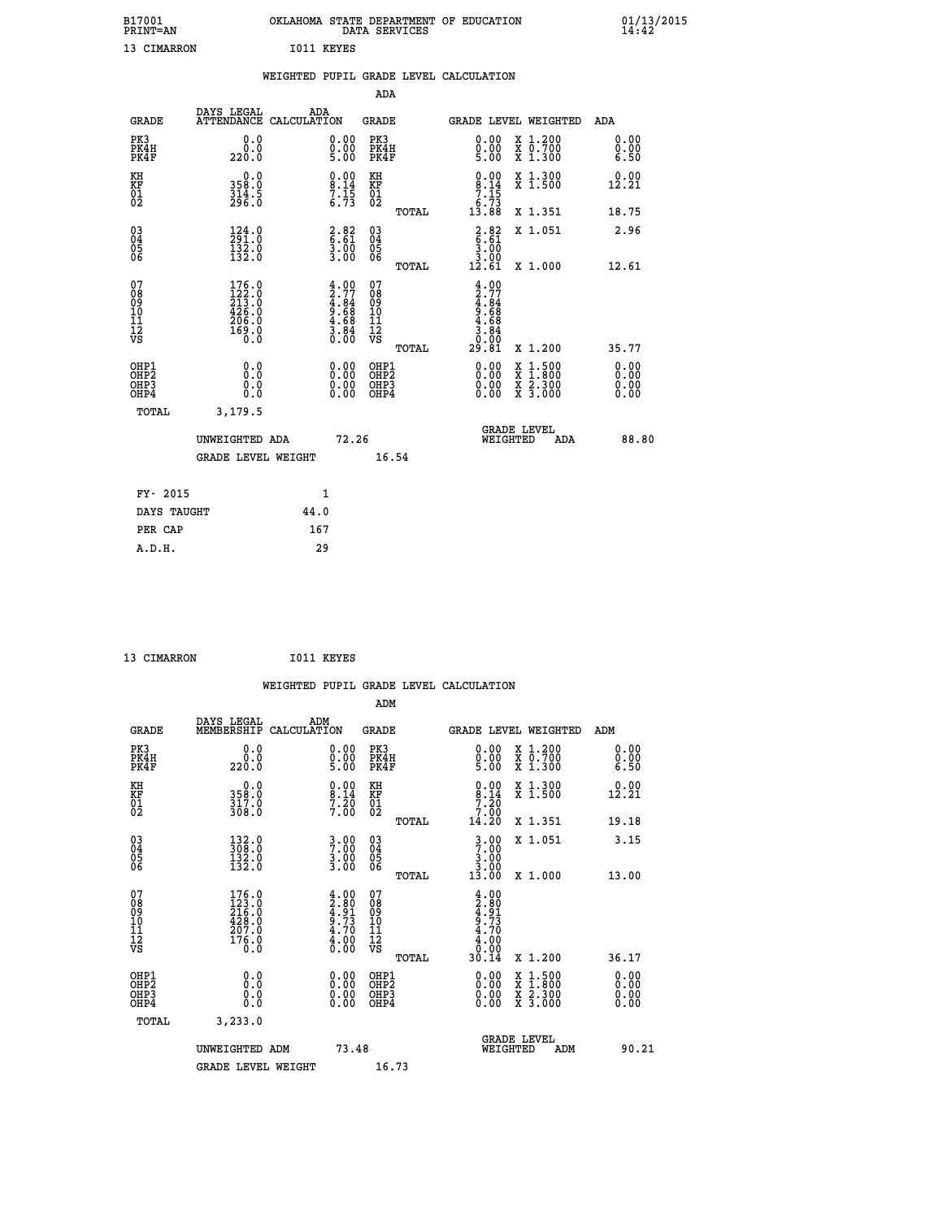| B17001<br><b>PRINT=AN</b> | OKLAHOMA STATE DEPARTMENT OF EDUCATION<br>DATA SERVICES |  |
|---------------------------|---------------------------------------------------------|--|
| 13 CIMARRON               | I011 KEYES                                              |  |

|                                                                    |                                                                  | WEIGHTED PUPIL GRADE LEVEL CALCULATION                             |                                        |       |                                                                       |                                                                                                                                           |                              |
|--------------------------------------------------------------------|------------------------------------------------------------------|--------------------------------------------------------------------|----------------------------------------|-------|-----------------------------------------------------------------------|-------------------------------------------------------------------------------------------------------------------------------------------|------------------------------|
|                                                                    |                                                                  |                                                                    | ADA                                    |       |                                                                       |                                                                                                                                           |                              |
| <b>GRADE</b>                                                       | DAYS LEGAL ADA ATTENDANCE CALCULATION                            |                                                                    | GRADE                                  |       |                                                                       | GRADE LEVEL WEIGHTED                                                                                                                      | ADA                          |
| PK3<br>PK4H<br>PK4F                                                | 0.0<br>0.0<br>220.0                                              | 0.00<br>$0.00$<br>5.00                                             | PK3<br>PK4H<br>PK4F                    |       | 0.00<br>$0.00$<br>5.00                                                | X 1.200<br>X 0.700<br>X 1.300                                                                                                             | 0.00<br>0.00<br>6.50         |
| KH<br>KF<br>01<br>02                                               | $358.0$<br>$314.5$<br>$296.0$                                    | $\begin{array}{c} 0.00 \\ 8.14 \\ 7.15 \\ 6.73 \end{array}$        | KH<br>KF<br>01<br>02                   |       | $\begin{smallmatrix} 0.00\\8.14\\7.15\\6.73\\13.88 \end{smallmatrix}$ | X 1.300<br>X 1.500                                                                                                                        | 0.00<br>12.21                |
|                                                                    |                                                                  |                                                                    |                                        | TOTAL |                                                                       | X 1.351                                                                                                                                   | 18.75                        |
| $\begin{smallmatrix} 03 \\[-4pt] 04 \end{smallmatrix}$<br>Ŏ5<br>06 | 124.0<br>291.0<br>$\frac{1}{132}$ .0                             | $\begin{array}{c} 2.82 \\ 6.61 \\ 3.00 \\ 3.00 \end{array}$        | $\substack{03 \\ 04}$<br>05<br>06      |       | $\begin{array}{r} 2.82 \\ 6.61 \\ 3.00 \\ 3.00 \\ 12.61 \end{array}$  | X 1.051                                                                                                                                   | 2.96                         |
|                                                                    |                                                                  |                                                                    |                                        | TOTAL |                                                                       | X 1.000                                                                                                                                   | 12.61                        |
| 07<br>08<br>09<br>11<br>11<br>12<br>VS                             | $176.0$<br>$122.0$<br>$213.0$<br>$426.0$<br>$\frac{266}{169}$ :0 | $4.00$<br>$2.77$<br>$4.84$<br>$9.68$<br>$4.68$<br>$3.84$<br>$0.00$ | 07<br>08<br>09<br>11<br>11<br>12<br>VS | TOTAL | $4.77$<br>$4.84$<br>$9.68$<br>$4.68$<br>$3.84$<br>Ŏ.ŌŌ<br>29.81       | X 1.200                                                                                                                                   | 35.77                        |
| OHP1<br>OHP2<br>OH <sub>P3</sub><br>OH <sub>P4</sub>               | 0.0<br>Ō.Ō<br>0.0<br>0.0                                         | 0.00<br>$\begin{smallmatrix} 0.00 \ 0.00 \end{smallmatrix}$        | OHP1<br>OHP2<br>OHP3<br>OHP4           |       |                                                                       | $\begin{smallmatrix} \mathtt{X} & 1\cdot500\\ \mathtt{X} & 1\cdot800\\ \mathtt{X} & 2\cdot300\\ \mathtt{X} & 3\cdot000 \end{smallmatrix}$ | 0.00<br>ŏ:ŏŏ<br>0.00<br>0.00 |
| TOTAL                                                              | 3,179.5                                                          |                                                                    |                                        |       |                                                                       |                                                                                                                                           |                              |
|                                                                    | UNWEIGHTED ADA                                                   |                                                                    | 72.26                                  |       | WEIGHTED                                                              | <b>GRADE LEVEL</b><br>ADA                                                                                                                 | 88.80                        |
|                                                                    | <b>GRADE LEVEL WEIGHT</b>                                        |                                                                    |                                        | 16.54 |                                                                       |                                                                                                                                           |                              |
| FY- 2015                                                           |                                                                  | $\mathbf{1}$                                                       |                                        |       |                                                                       |                                                                                                                                           |                              |
| DAYS TAUGHT                                                        |                                                                  | 44.0                                                               |                                        |       |                                                                       |                                                                                                                                           |                              |
| PER CAP                                                            |                                                                  | 167                                                                |                                        |       |                                                                       |                                                                                                                                           |                              |

| 13 CIMARRON | I011 KEYES |
|-------------|------------|
|             |            |

|                                                    |                                                                                              |                    |                                                                    |                                   |       | WEIGHTED PUPIL GRADE LEVEL CALCULATION                                                                                                                                                                                                                                         |                                                                                                  |                      |       |
|----------------------------------------------------|----------------------------------------------------------------------------------------------|--------------------|--------------------------------------------------------------------|-----------------------------------|-------|--------------------------------------------------------------------------------------------------------------------------------------------------------------------------------------------------------------------------------------------------------------------------------|--------------------------------------------------------------------------------------------------|----------------------|-------|
|                                                    |                                                                                              |                    |                                                                    | ADM                               |       |                                                                                                                                                                                                                                                                                |                                                                                                  |                      |       |
| <b>GRADE</b>                                       | DAYS LEGAL<br>MEMBERSHIP                                                                     | ADM<br>CALCULATION |                                                                    | <b>GRADE</b>                      |       | <b>GRADE LEVEL WEIGHTED</b>                                                                                                                                                                                                                                                    |                                                                                                  | ADM                  |       |
| PK3<br>PK4H<br>PK4F                                | 0.0<br>0.0<br>220.0                                                                          |                    | $\begin{smallmatrix} 0.00 \ 0.00 \ 5.00 \end{smallmatrix}$         | PK3<br>PK4H<br>PK4F               |       | $\begin{smallmatrix} 0.00 \\ 0.00 \\ 5.00 \end{smallmatrix}$                                                                                                                                                                                                                   | X 1.200<br>X 0.700<br>X 1.300                                                                    | 0.00<br>0.00<br>6.50 |       |
| KH<br>KF<br>01<br>02                               | $\begin{smallmatrix}&&0\cdot0\\3\,5\,8\cdot0\\3\,1\,7\cdot0\\3\,0\,8\cdot0\end{smallmatrix}$ |                    | $\begin{smallmatrix} 0.00\ 8.14\ 7.20\ 7.00 \end{smallmatrix}$     | KH<br>KF<br>01<br>02              |       | $\begin{smallmatrix} 0.00\\8.14\\7.20\\7.00\\14.20 \end{smallmatrix}$                                                                                                                                                                                                          | X 1.300<br>X 1.500                                                                               | 0.00<br>12.21        |       |
|                                                    |                                                                                              |                    |                                                                    |                                   | TOTAL |                                                                                                                                                                                                                                                                                | X 1.351                                                                                          | 19.18                |       |
| $\begin{matrix} 03 \\ 04 \\ 05 \\ 06 \end{matrix}$ | $\begin{smallmatrix} 132.0\\ 308.0\\ 132.0\\ 132.0 \end{smallmatrix}$                        |                    | $\frac{3}{7}\cdot\frac{00}{00}$<br>$\frac{3}{3}\cdot\frac{00}{00}$ | $\substack{03 \\ 04}$<br>Ŏ5<br>06 |       | $3.00$<br>$3.00$<br>$3.00$                                                                                                                                                                                                                                                     | X 1.051                                                                                          | 3.15                 |       |
|                                                    |                                                                                              |                    |                                                                    |                                   | TOTAL | 13.00                                                                                                                                                                                                                                                                          | X 1.000                                                                                          | 13.00                |       |
| 07<br>0890112<br>1112<br>VS                        | $\begin{smallmatrix} 176.0\\ 123.0\\ 216.0\\ 428.0\\ 207.0\\ 176.0\\ 0.0 \end{smallmatrix}$  |                    | $4.00\n4.80\n4.73\n5.73\n4.70\n4.00\n0.00$                         | 07<br>08901123<br>1112<br>VS      | TOTAL | $4.00$<br>$2.80$<br>$4.91$<br>$9.73$<br>$4.70$<br>$0.00$<br>30.14                                                                                                                                                                                                              | $X_1.200$                                                                                        | 36.17                |       |
| OHP1<br>OHP2<br>OH <sub>P3</sub><br>OHP4           | 0.0<br>0.000                                                                                 |                    | $\begin{smallmatrix} 0.00 \ 0.00 \ 0.00 \ 0.00 \end{smallmatrix}$  | OHP1<br>OHP2<br>OHP3<br>OHP4      |       | $\begin{smallmatrix} 0.00 & 0.00 & 0.00 & 0.00 & 0.00 & 0.00 & 0.00 & 0.00 & 0.00 & 0.00 & 0.00 & 0.00 & 0.00 & 0.00 & 0.00 & 0.00 & 0.00 & 0.00 & 0.00 & 0.00 & 0.00 & 0.00 & 0.00 & 0.00 & 0.00 & 0.00 & 0.00 & 0.00 & 0.00 & 0.00 & 0.00 & 0.00 & 0.00 & 0.00 & 0.00 & 0.0$ | $\begin{smallmatrix} x & 1 & 500 \\ x & 1 & 800 \\ x & 2 & 300 \\ x & 3 & 000 \end{smallmatrix}$ | 0.00<br>0.00<br>0.00 |       |
| TOTAL                                              | 3,233.0                                                                                      |                    |                                                                    |                                   |       |                                                                                                                                                                                                                                                                                |                                                                                                  |                      |       |
|                                                    | UNWEIGHTED ADM                                                                               |                    | 73.48                                                              |                                   |       | WEIGHTED                                                                                                                                                                                                                                                                       | <b>GRADE LEVEL</b><br>ADM                                                                        |                      | 90.21 |
|                                                    | <b>GRADE LEVEL WEIGHT</b>                                                                    |                    |                                                                    | 16.73                             |       |                                                                                                                                                                                                                                                                                |                                                                                                  |                      |       |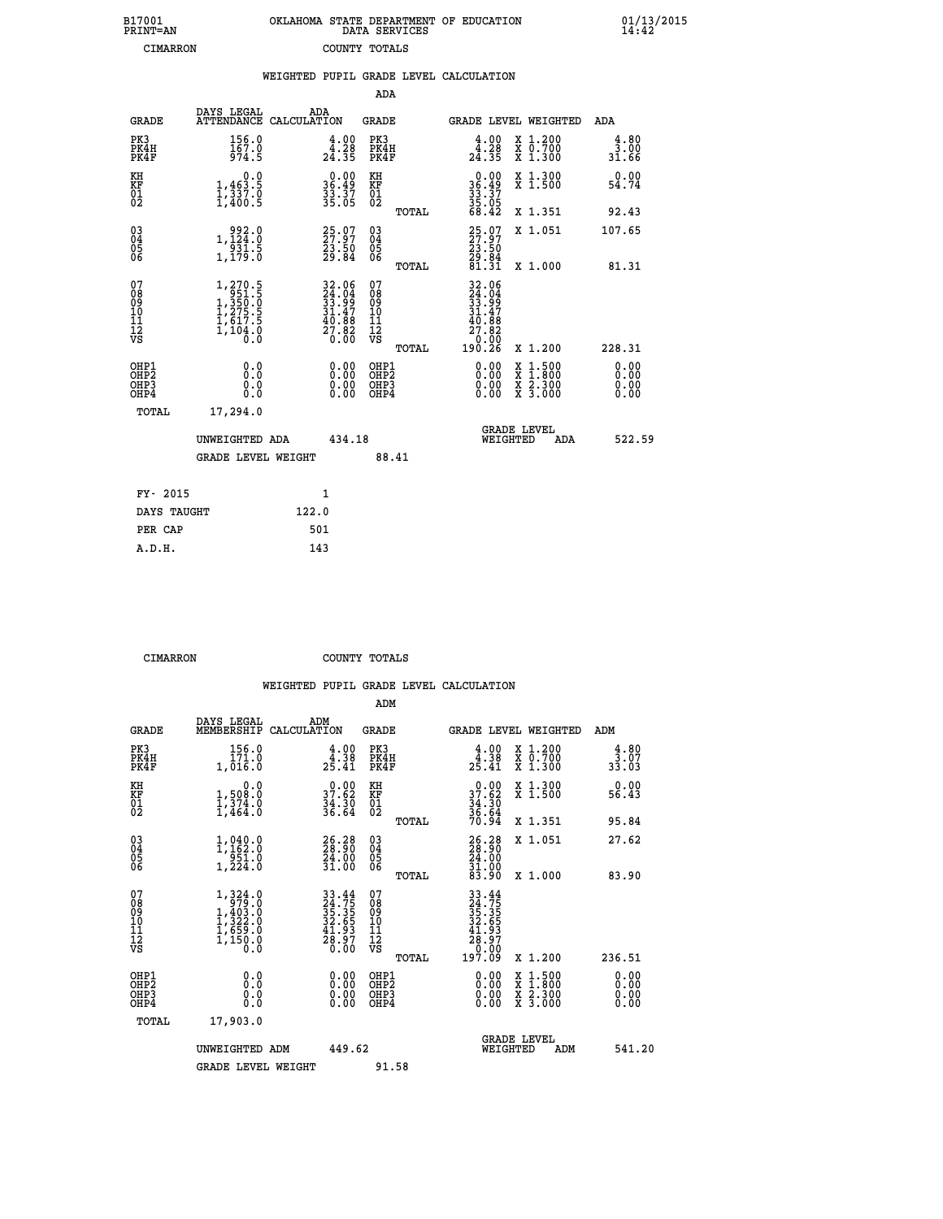| B17001          | OKLAHOMA STATE DEPARTMENT OF EDUCATION |
|-----------------|----------------------------------------|
| <b>PRINT=AN</b> | DATA SERVICES                          |
| CIMARRON        | COUNTY TOTALS                          |

|                                                    |                                                                                                       |       |                                                                                              |                                                                  |       | WEIGHTED PUPIL GRADE LEVEL CALCULATION                                                                                               |                                                                                                                                           |                              |
|----------------------------------------------------|-------------------------------------------------------------------------------------------------------|-------|----------------------------------------------------------------------------------------------|------------------------------------------------------------------|-------|--------------------------------------------------------------------------------------------------------------------------------------|-------------------------------------------------------------------------------------------------------------------------------------------|------------------------------|
|                                                    |                                                                                                       |       |                                                                                              | ADA                                                              |       |                                                                                                                                      |                                                                                                                                           |                              |
| <b>GRADE</b>                                       | DAYS LEGAL<br>ATTENDANCE CALCULATION                                                                  | ADA   |                                                                                              | <b>GRADE</b>                                                     |       |                                                                                                                                      | GRADE LEVEL WEIGHTED                                                                                                                      | ADA                          |
| PK3<br>PK4H<br>PK4F                                | 156.0<br>167.0<br>974.5                                                                               |       | $\begin{smallmatrix} 4.00\\ 4.28\\ 24.35 \end{smallmatrix}$                                  | PK3<br>PK4H<br>PK4F                                              |       | $\begin{smallmatrix} 4.00\\ 4.28\\ 24.35 \end{smallmatrix}$                                                                          | X 1.200<br>X 0.700<br>X 1.300                                                                                                             | 4.80<br>3:00<br>31:66        |
| KH<br>KF<br>01<br>02                               | 0.0<br>$\frac{1}{1}, \frac{463}{337}$ .0<br>1,400.5                                                   |       | $\begin{smallmatrix} 0.00\\ 36.49\\ 33.37\\ 33.05 \end{smallmatrix}$                         | KH<br>KF<br>01<br>02                                             |       | $\begin{array}{r} 0.00 \\ 36.49 \\ 33.37 \\ 35.05 \\ 68.42 \end{array}$                                                              | X 1.300<br>X 1.500                                                                                                                        | 0.00<br>54.74                |
|                                                    |                                                                                                       |       |                                                                                              |                                                                  | TOTAL |                                                                                                                                      | X 1.351                                                                                                                                   | 92.43                        |
| $\begin{matrix} 03 \\ 04 \\ 05 \\ 06 \end{matrix}$ | $\begin{smallmatrix} & 992.0\\ 1,124.0\\ 931.5\\ 1,179.0 \end{smallmatrix}$                           |       | 25.07<br>27.97<br>23.50<br>29.84                                                             | 03<br>04<br>05<br>06                                             |       | 25.97<br>27.97<br>23.50<br>29.84<br>81.31                                                                                            | X 1.051                                                                                                                                   | 107.65                       |
|                                                    |                                                                                                       |       |                                                                                              |                                                                  | TOTAL |                                                                                                                                      | X 1.000                                                                                                                                   | 81.31                        |
| 07<br>0890112<br>1112<br>VS                        | $\begin{smallmatrix} 1,270.5\\ 951.5\\ 1,350.0\\ 1,275.5\\ 1,617.5\\ 1,104.0\\ 0.0 \end{smallmatrix}$ |       | $\begin{smallmatrix} 32.06\\ 24.04\\ 33.99\\ 31.47\\ 40.88\\ 27.82\\ 0.00 \end{smallmatrix}$ | 07<br>08<br>09<br>11<br>11<br>12<br>VS                           |       | $\begin{array}{r} 32\cdot06 \\ 24\cdot04 \\ 33\cdot99 \\ 31\cdot47 \\ 40\cdot88 \\ 27\cdot82 \\ 0\cdot000 \\ 190\cdot26 \end{array}$ |                                                                                                                                           |                              |
|                                                    |                                                                                                       |       |                                                                                              |                                                                  | TOTAL |                                                                                                                                      | X 1.200                                                                                                                                   | 228.31                       |
| OHP1<br>OH <sub>P</sub> 2<br>OHP3<br>OHP4          | 0.0<br>0.0<br>Ō.Ō                                                                                     |       | $0.00$<br>$0.00$<br>0.00                                                                     | OHP1<br>OHP <sub>2</sub><br>OHP <sub>3</sub><br>OHP <sub>4</sub> |       | 0.00<br>0.00                                                                                                                         | $\begin{smallmatrix} \mathtt{X} & 1\cdot500\\ \mathtt{X} & 1\cdot800\\ \mathtt{X} & 2\cdot300\\ \mathtt{X} & 3\cdot000 \end{smallmatrix}$ | 0.00<br>0.00<br>0.00<br>0.00 |
| <b>TOTAL</b>                                       | 17,294.0                                                                                              |       |                                                                                              |                                                                  |       |                                                                                                                                      |                                                                                                                                           |                              |
|                                                    | UNWEIGHTED ADA                                                                                        |       | 434.18                                                                                       |                                                                  |       |                                                                                                                                      | GRADE LEVEL<br>WEIGHTED<br>ADA                                                                                                            | 522.59                       |
|                                                    | <b>GRADE LEVEL WEIGHT</b>                                                                             |       |                                                                                              | 88.41                                                            |       |                                                                                                                                      |                                                                                                                                           |                              |
| FY- 2015                                           |                                                                                                       |       | $\mathbf{1}$                                                                                 |                                                                  |       |                                                                                                                                      |                                                                                                                                           |                              |
| DAYS TAUGHT                                        |                                                                                                       | 122.0 |                                                                                              |                                                                  |       |                                                                                                                                      |                                                                                                                                           |                              |
|                                                    |                                                                                                       |       |                                                                                              |                                                                  |       |                                                                                                                                      |                                                                                                                                           |                              |

| 122.0 |
|-------|
| 501   |
| 143   |
|       |
|       |

 **CIMARRON COUNTY TOTALS**

|                                                      |                                                                                                                     |                                                                          | ADM                                                 |                                                                         |                                          |                              |
|------------------------------------------------------|---------------------------------------------------------------------------------------------------------------------|--------------------------------------------------------------------------|-----------------------------------------------------|-------------------------------------------------------------------------|------------------------------------------|------------------------------|
| <b>GRADE</b>                                         | DAYS LEGAL<br>MEMBERSHIP                                                                                            | ADM<br>CALCULATION                                                       | <b>GRADE</b>                                        | GRADE LEVEL WEIGHTED                                                    |                                          | ADM                          |
| PK3<br>PK4H<br>PK4F                                  | 156.0<br>171.0<br>1,016.0                                                                                           | $\begin{smallmatrix} 4.00\\ 4.38\\ 25.41 \end{smallmatrix}$              | PK3<br>PK4H<br>PK4F                                 | $\begin{smallmatrix} 4.00\\ 4.38\\ 25.41 \end{smallmatrix}$             | X 1.200<br>X 0.700<br>X 1.300            | 4.80<br>∂∂.;3<br>33.03       |
| KH<br>KF<br>01<br>02                                 | 0.0<br>$1,50$ $8.0$<br>$1,374.0$<br>$1,464.0$                                                                       | $37.62$<br>$34.30$<br>$36.64$                                            | KH<br>KF<br>01<br>02                                | $\begin{array}{r} 0.00 \\ 37.62 \\ 34.30 \\ 36.64 \\ 70.94 \end{array}$ | X 1.300<br>X 1.500                       | 0.00<br>56.43                |
|                                                      |                                                                                                                     |                                                                          | TOTAL                                               |                                                                         | X 1.351                                  | 95.84                        |
| 03<br>04<br>05<br>06                                 | $1, 040.0$<br>$1, 162.0$<br>$951.0$<br>1,224.0                                                                      | 26.28<br>$\frac{54.00}{31.00}$                                           | $\begin{array}{c} 03 \\ 04 \\ 05 \\ 06 \end{array}$ | 26.28<br>24.00<br>$\frac{31.00}{83.90}$                                 | X 1.051                                  | 27.62                        |
|                                                      |                                                                                                                     |                                                                          | TOTAL                                               |                                                                         | X 1.000                                  | 83.90                        |
| 07<br>08<br>09<br>101<br>112<br>VS                   | $\begin{smallmatrix} 1,324\ .0\\ 979\ .0\\ 1,403\ .0\\ 1,322\ .0\\ 1,659\ .0\\ 1,150\ .0\\ 0\ .0 \end{smallmatrix}$ | $33.44$<br>$24.75$<br>$35.35$<br>$32.65$<br>$41.93$<br>$28.97$<br>$0.00$ | 07<br>08<br>09<br>11<br>11<br>12<br>VS<br>TOTAL     | 197.09                                                                  | X 1.200                                  | 236.51                       |
|                                                      |                                                                                                                     |                                                                          |                                                     |                                                                         |                                          |                              |
| OHP1<br>OHP2<br>OH <sub>P3</sub><br>OH <sub>P4</sub> | 0.0<br>0.000                                                                                                        | $0.00$<br>$0.00$<br>0.00                                                 | OHP1<br>OHP2<br>OHP <sub>3</sub>                    | $0.00$<br>$0.00$<br>0.00                                                | X 1:500<br>X 1:800<br>X 2:300<br>X 3:000 | 0.00<br>0.00<br>0.00<br>0.00 |
| TOTAL                                                | 17,903.0                                                                                                            |                                                                          |                                                     |                                                                         |                                          |                              |
|                                                      | UNWEIGHTED ADM                                                                                                      | 449.62                                                                   |                                                     | <b>GRADE LEVEL</b><br>WEIGHTED                                          | ADM                                      | 541.20                       |
|                                                      | <b>GRADE LEVEL WEIGHT</b>                                                                                           |                                                                          | 91.58                                               |                                                                         |                                          |                              |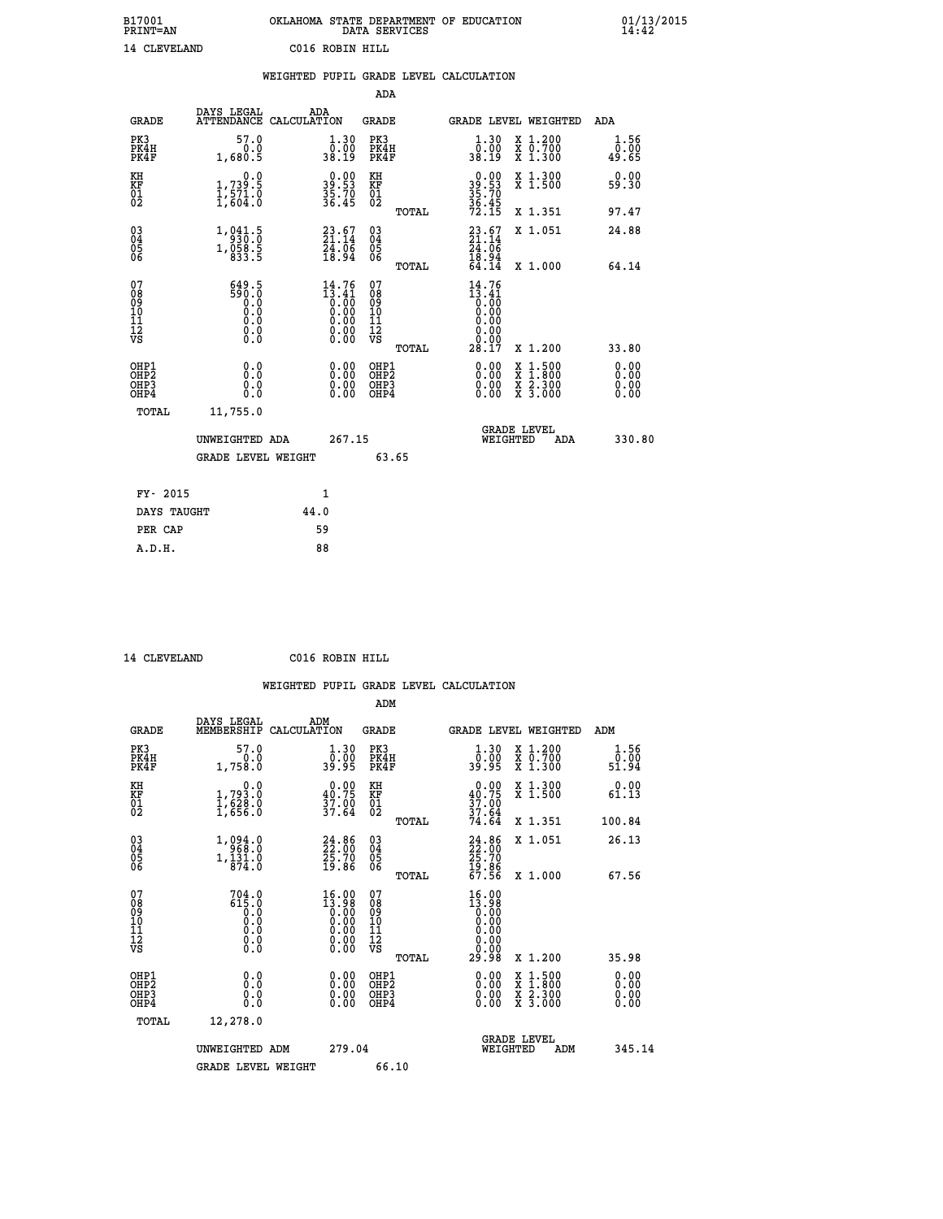| B17001<br><b>PRINT=AN</b> | OKLAHOMA STATE DEPARTMENT OF EDUCATION<br>DATA SERVICES |  |
|---------------------------|---------------------------------------------------------|--|
| 14 CLEVELAND              | C016 ROBIN HILL                                         |  |

|                                                                    |                                            | WEIGHTED PUPIL GRADE LEVEL CALCULATION                                                        |                                                 |                                                                                                                                                           |                       |
|--------------------------------------------------------------------|--------------------------------------------|-----------------------------------------------------------------------------------------------|-------------------------------------------------|-----------------------------------------------------------------------------------------------------------------------------------------------------------|-----------------------|
|                                                                    |                                            |                                                                                               | <b>ADA</b>                                      |                                                                                                                                                           |                       |
| <b>GRADE</b>                                                       | DAYS LEGAL                                 | ADA<br>ATTENDANCE CALCULATION                                                                 | GRADE                                           | GRADE LEVEL WEIGHTED                                                                                                                                      | ADA                   |
| PK3<br>PK4H<br>PK4F                                                | 57.0<br>0.0<br>1,680.5                     | $\begin{smallmatrix} 1.30\ 0.00\ 38.19 \end{smallmatrix}$                                     | PK3<br>PK4H<br>PK4F                             | $\begin{smallmatrix} 1.30\ 0.00\ 38.19 \end{smallmatrix}$<br>X 1.200<br>X 0.700<br>X 1.300                                                                | 1.56<br>0.00<br>49.65 |
| KH<br>KF<br>$\overline{01}$                                        | 0.0<br>$1,739.5$<br>$1,571.0$<br>$1,604.0$ | 39.90<br>$\frac{35.70}{36.45}$                                                                | KH<br>KF<br>01<br>02                            | $39.53$<br>$35.70$<br>$35.45$<br>$72.15$<br>X 1.300<br>X 1.500                                                                                            | 0.00<br>59.30         |
|                                                                    |                                            |                                                                                               | TOTAL                                           | X 1.351                                                                                                                                                   | 97.47                 |
| $\begin{smallmatrix} 03 \\[-4pt] 04 \end{smallmatrix}$<br>Ŏ5<br>06 | 1, 941.5<br>1,058.5<br>833.5               | $23.67$<br>$21.14$<br>$24.06$<br>$18.94$                                                      | $\substack{03 \\ 04}$<br>$\frac{05}{06}$        | $23.67$<br>21.14<br>X 1.051<br>24.06                                                                                                                      | 24.88                 |
|                                                                    |                                            |                                                                                               | TOTAL                                           | $\frac{18.94}{64.14}$<br>X 1.000                                                                                                                          | 64.14                 |
| 07<br>08<br>09<br>11<br>11<br>12<br>VS                             | 649.5<br>590.0<br>0.000<br>0.0<br>$\S.$    | 14.76<br>$\begin{array}{c} 13.41 \\ 0.00 \\ 0.00 \\ 0.00 \\ 0.00 \\ 0.00 \end{array}$<br>0.00 | 07<br>08<br>09<br>11<br>11<br>12<br>VS<br>TOTAL | 14.76<br>$\begin{smallmatrix} 13.41 \ 0.00 \ 0.00 \end{smallmatrix}$<br>0.00<br>0.00<br>0.00<br>X 1.200<br>28.17                                          | 33.80                 |
| OHP1<br>OHP2<br>OHP3<br>OHP4                                       | 0.0<br>Ō.Ō<br>0.0<br>0.0                   | $\begin{smallmatrix} 0.00 \ 0.00 \ 0.00 \ 0.00 \end{smallmatrix}$                             | OHP1<br>OHP2<br>OHP3<br>OHP4                    | 0.00<br>$\begin{smallmatrix} \mathtt{X} & 1\cdot500\\ \mathtt{X} & 1\cdot800\\ \mathtt{X} & 2\cdot300\\ \mathtt{X} & 3\cdot000 \end{smallmatrix}$<br>0.00 | 0.00<br>0.00<br>0.00  |
| TOTAL                                                              | 11,755.0                                   |                                                                                               |                                                 |                                                                                                                                                           |                       |
|                                                                    | UNWEIGHTED ADA                             | 267.15                                                                                        |                                                 | <b>GRADE LEVEL</b><br>WEIGHTED                                                                                                                            | 330.80<br>ADA         |
|                                                                    | <b>GRADE LEVEL WEIGHT</b>                  |                                                                                               | 63.65                                           |                                                                                                                                                           |                       |
|                                                                    | FY- 2015                                   | $\mathbf{1}$                                                                                  |                                                 |                                                                                                                                                           |                       |
|                                                                    | DAYS TAUGHT                                | 44.0                                                                                          |                                                 |                                                                                                                                                           |                       |
|                                                                    | PER CAP                                    | 59                                                                                            |                                                 |                                                                                                                                                           |                       |

 **14 CLEVELAND C016 ROBIN HILL**

 **WEIGHTED PUPIL GRADE LEVEL CALCULATION ADM DAYS LEGAL ADM**

| <b>GRADE</b>                                       | -----<br>MEMBERSHIP CALCULATION                         |                                                                                                                                          | GRADE                             |       |                                                                                     |          | GRADE LEVEL WEIGHTED                                                                                                                      | ADM                          |  |
|----------------------------------------------------|---------------------------------------------------------|------------------------------------------------------------------------------------------------------------------------------------------|-----------------------------------|-------|-------------------------------------------------------------------------------------|----------|-------------------------------------------------------------------------------------------------------------------------------------------|------------------------------|--|
| PK3<br>PK4H<br>PK4F                                | 57.0<br>0.0<br>1,758.0                                  | 1.30<br>0.00<br>39.95                                                                                                                    | PK3<br>PK4H<br>PK4F               |       | 1.30<br>0.00<br>39.95                                                               |          | X 1.200<br>X 0.700<br>X 1.300                                                                                                             | 1.56<br>0.00<br>51.94        |  |
| KH<br>KF<br>01<br>02                               | 0.0<br>$\frac{1}{1}, \frac{793}{628}$ .0<br>1,628.0     | $\begin{smallmatrix} 0.00\\ 40.75\\ 37.00\\ 37.64 \end{smallmatrix}$                                                                     | KH<br><b>KF</b><br>01<br>02       |       | 0.00<br>$37.00$<br>$37.00$<br>$37.64$<br>$74.64$                                    |          | X 1.300<br>X 1.500                                                                                                                        | 0.00<br>61.13                |  |
|                                                    |                                                         |                                                                                                                                          |                                   | TOTAL |                                                                                     |          | X 1.351                                                                                                                                   | 100.84                       |  |
| $\begin{matrix} 03 \\ 04 \\ 05 \\ 06 \end{matrix}$ | 1,094.0<br>$1,\overline{\substack{1\3\1.0}}$<br>$874.0$ | $\begin{smallmatrix} 24.86 \\ 22.00 \\ 25.70 \\ 19.86 \end{smallmatrix}$                                                                 | $\substack{03 \\ 04}$<br>05<br>06 |       | 24.86<br>$\frac{25.70}{19.86}$<br>67.56                                             |          | X 1.051                                                                                                                                   | 26.13                        |  |
|                                                    |                                                         |                                                                                                                                          |                                   | TOTAL |                                                                                     |          | X 1.000                                                                                                                                   | 67.56                        |  |
| 07<br>08<br>09<br>101<br>11<br>12<br>VS            | 704.0<br>615.0<br>Ŏ:Ŏ<br>O:Ŏ<br>Ō:Ō<br>$\S.$            | $\begin{smallmatrix} 16.00\\[-4pt] 13.98\\[-4pt] 0.00\\[-4pt] 0.00\\[-4pt] 0.00\\[-4pt] 0.00\\[-4pt] 0.00\\[-4pt] 0.00\end{smallmatrix}$ | 07<br>08901123<br>1112<br>VS      |       | 16.00<br>$\begin{smallmatrix} 13.98 \\[-4pt] 0.00\end{smallmatrix}$<br>0.00<br>0.00 |          |                                                                                                                                           |                              |  |
|                                                    |                                                         |                                                                                                                                          |                                   | TOTAL | 29.98                                                                               |          | X 1.200                                                                                                                                   | 35.98                        |  |
| OHP1<br>OHP2<br>OH <sub>P3</sub><br>OHP4           | 0.0<br>0.0<br>Ŏ.Ŏ                                       | 0.00<br>0.00<br>0.00                                                                                                                     | OHP1<br>OHP2<br>OHP3<br>OHP4      |       | $0.00$<br>$0.00$<br>0.00                                                            |          | $\begin{smallmatrix} \mathtt{X} & 1\cdot500\\ \mathtt{X} & 1\cdot800\\ \mathtt{X} & 2\cdot300\\ \mathtt{X} & 3\cdot000 \end{smallmatrix}$ | 0.00<br>0.00<br>0.00<br>0.00 |  |
| TOTAL                                              | 12,278.0                                                |                                                                                                                                          |                                   |       |                                                                                     |          |                                                                                                                                           |                              |  |
|                                                    | UNWEIGHTED ADM                                          | 279.04                                                                                                                                   |                                   |       |                                                                                     | WEIGHTED | <b>GRADE LEVEL</b><br>ADM                                                                                                                 | 345.14                       |  |
|                                                    | <b>GRADE LEVEL WEIGHT</b>                               |                                                                                                                                          | 66.10                             |       |                                                                                     |          |                                                                                                                                           |                              |  |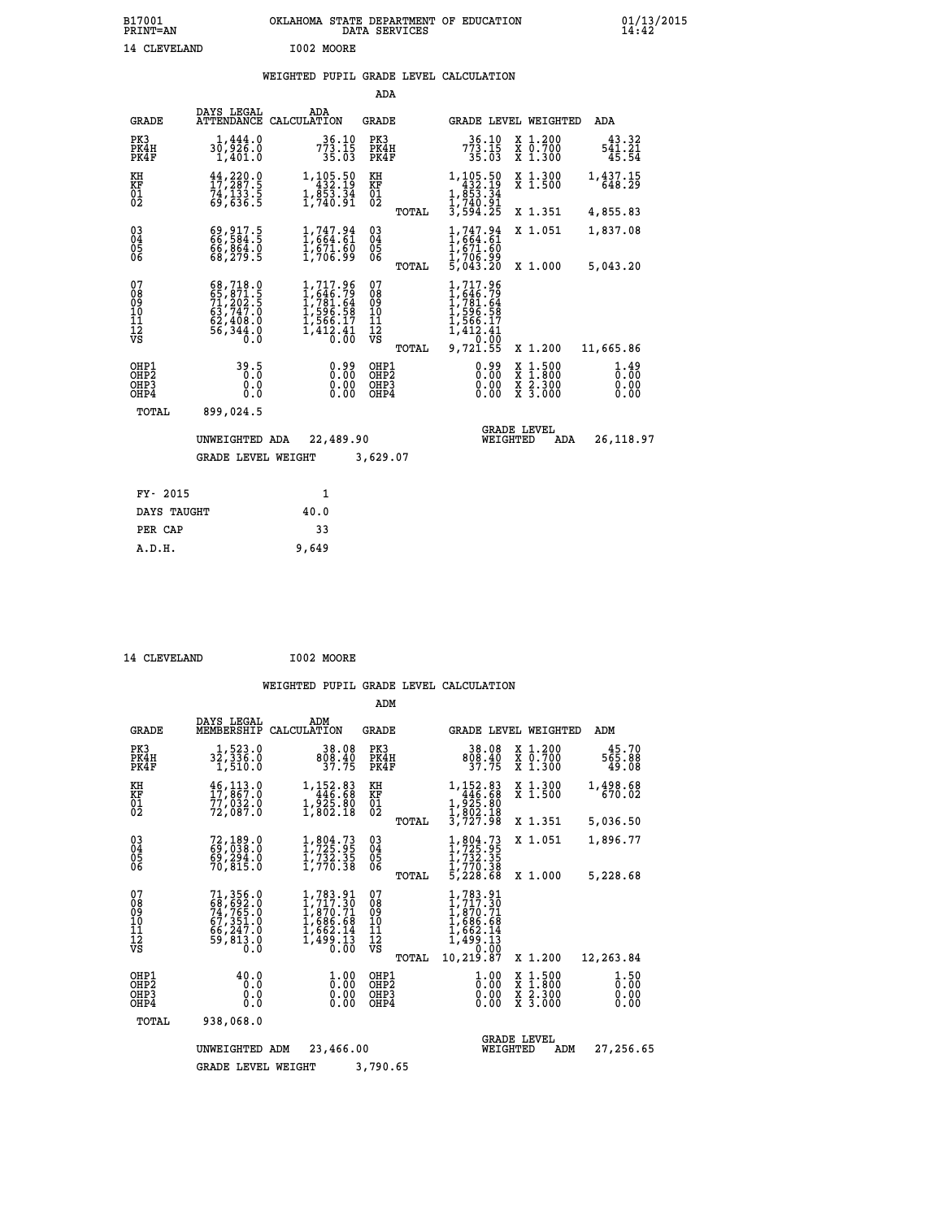# **WEIGHTED PUPIL GRADE LEVEL CALCULATION**

|                                                                    |                                                                                                               |                                                                                                  | ADA                                       |                                                                                                              |                                                                            |                                                             |
|--------------------------------------------------------------------|---------------------------------------------------------------------------------------------------------------|--------------------------------------------------------------------------------------------------|-------------------------------------------|--------------------------------------------------------------------------------------------------------------|----------------------------------------------------------------------------|-------------------------------------------------------------|
| <b>GRADE</b>                                                       | DAYS LEGAL<br><b>ATTENDANCE</b>                                                                               | ADA<br>CALCULATION                                                                               | <b>GRADE</b>                              |                                                                                                              | GRADE LEVEL WEIGHTED                                                       | <b>ADA</b>                                                  |
| PK3<br>PK4H<br>PK4F                                                | 1,444.0<br>30,926.0<br>1,401.0                                                                                | $773.15$<br>$35.03$                                                                              | PK3<br>PK4H<br>PK4F                       | $773.15$<br>$773.15$<br>$35.03$                                                                              | X 1.200<br>X 0.700<br>X 1.300                                              | 43.32<br>$\frac{5\bar{4}\bar{1}\cdot\bar{2}\bar{1}}{45.54}$ |
| KH<br>KF<br>$\overline{01}$                                        | 44,220.0<br>17,287.5<br>74,133.5<br>69,636.5                                                                  | 1,105.50<br>432.19<br>$1, \frac{55}{740}$ $\cdot\frac{34}{91}$                                   | KH<br>KF<br>$\overline{01}$               | 1, 105.50<br>432.19<br>1, 853.34<br>1, 740.91                                                                | X 1.300<br>X 1.500                                                         | 1,437.15<br>648.29                                          |
|                                                                    |                                                                                                               |                                                                                                  | TOTAL                                     | 3,594.25                                                                                                     | X 1.351                                                                    | 4,855.83                                                    |
| $\begin{smallmatrix} 03 \\[-4pt] 04 \end{smallmatrix}$<br>05<br>06 | 69,917.5<br>66,584.5<br>66,864.0<br>68,279.5                                                                  | 1,747.94<br>1,664.61<br>$\frac{1}{1}$ , 671.60<br>1,706.99                                       | $\substack{03 \\ 04}$<br>05<br>ŎĞ         | 1,747.94<br>1,664.61<br>1,671.60<br>1,706.99<br>5,043.20                                                     | X 1.051                                                                    | 1,837.08                                                    |
|                                                                    |                                                                                                               |                                                                                                  | TOTAL                                     |                                                                                                              | X 1.000                                                                    | 5,043.20                                                    |
| 07<br>08<br>09<br>11<br>11<br>12<br>VS                             | $\begin{smallmatrix} 68,718.0\\ 65,871.5\\ 71,202.5\\ 63,747.0\\ 62,408.0\\ 56,344.0\\ 0.0 \end{smallmatrix}$ | $1, 717.96$<br>$1, 646.79$<br>$1, 781.64$<br>$1, 596.58$<br>$1, 566.17$<br>$1, 412.41$<br>$0.00$ | 07<br>08<br>09<br>101<br>11<br>12<br>VS   | 1,717.96<br>$1, 646.79$<br>$1, 781.64$<br>$1, 596.58$<br>$1, 566.17$<br>$1, 412.41$<br>-7-- 0:00<br>9,721.55 |                                                                            |                                                             |
|                                                                    |                                                                                                               |                                                                                                  | TOTAL                                     |                                                                                                              | X 1.200                                                                    | 11,665.86                                                   |
| OHP1<br>OH <sub>P</sub> 2<br>OHP3<br>OHP4                          | 39.5<br>0.0<br>0.0                                                                                            | 0.99<br>0.00<br>0.00                                                                             | OHP1<br>OH <sub>P</sub> 2<br>OHP3<br>OHP4 | 0.99<br>0.00<br>0.00                                                                                         | $1:500$<br>$1:800$<br>X<br>X<br>$\frac{\ddot{x}}{x}$ $\frac{2.300}{3.000}$ | 1.49<br>0.00<br>0.00<br>0.00                                |
| TOTAL                                                              | 899,024.5                                                                                                     |                                                                                                  |                                           |                                                                                                              |                                                                            |                                                             |
|                                                                    | UNWEIGHTED ADA                                                                                                | 22,489.90                                                                                        |                                           | WEIGHTED                                                                                                     | <b>GRADE LEVEL</b><br>ADA                                                  | 26,118.97                                                   |
|                                                                    | <b>GRADE LEVEL WEIGHT</b>                                                                                     |                                                                                                  | 3,629.07                                  |                                                                                                              |                                                                            |                                                             |
| FY- 2015                                                           |                                                                                                               | 1                                                                                                |                                           |                                                                                                              |                                                                            |                                                             |
| DAYS TAUGHT                                                        |                                                                                                               | 40.0                                                                                             |                                           |                                                                                                              |                                                                            |                                                             |
| PER CAP                                                            |                                                                                                               | 33                                                                                               |                                           |                                                                                                              |                                                                            |                                                             |
|                                                                    |                                                                                                               |                                                                                                  |                                           |                                                                                                              |                                                                            |                                                             |

| 14 CLEVELAND | I002 MOORE |
|--------------|------------|
|              |            |

 **A.D.H. 9,649**

|                                                    |                                                                                  |                                                                                                           | ADM                                                |                                                                                               |                                          |                              |
|----------------------------------------------------|----------------------------------------------------------------------------------|-----------------------------------------------------------------------------------------------------------|----------------------------------------------------|-----------------------------------------------------------------------------------------------|------------------------------------------|------------------------------|
| <b>GRADE</b>                                       | DAYS LEGAL<br>MEMBERSHIP                                                         | ADM<br>CALCULATION                                                                                        | <b>GRADE</b>                                       | <b>GRADE LEVEL WEIGHTED</b>                                                                   |                                          | ADM                          |
| PK3<br>PK4H<br>PK4F                                | 1,523.0<br>32,336.0<br>1,510.0                                                   | 38.08<br>808.40<br>37.75                                                                                  | PK3<br>PK4H<br>PK4F                                | 38.08<br>808.40<br>37.75                                                                      | X 1.200<br>X 0.700<br>X 1.300            | 45.70<br>565.88<br>49.08     |
| KH<br>KF<br>01<br>02                               | $\frac{46,113.0}{17,867.0}$<br>77,ŏ32:Ŏ<br>72,ŏ87:Ŏ                              | 1,152.83<br>446.68<br>$1, \frac{5}{2}, \frac{5}{2}, \frac{5}{18}$                                         | KH<br>KF<br>$^{01}_{02}$                           | $\begin{smallmatrix}1,152.83\\446.68\\1,925.80\\1,802.18\\3,727.98\end{smallmatrix}$          | X 1.300<br>X 1.500                       | 1,498.68<br>670.02           |
|                                                    |                                                                                  |                                                                                                           | TOTAL                                              |                                                                                               | X 1.351                                  | 5,036.50                     |
| $\begin{matrix} 03 \\ 04 \\ 05 \\ 06 \end{matrix}$ | 72,189.0<br>69,038.0<br>69,294.0                                                 | $\frac{1}{1}, \frac{804}{725} . \frac{73}{95} \\ 1, \frac{732}{730} . \frac{35}{35} \\ 1, \frac{770}{38}$ | $\begin{matrix} 03 \\ 04 \\ 05 \\ 06 \end{matrix}$ | $1,804.73$<br>$1,725.95$<br>$1,732.35$<br>$1,770.38$<br>$5,228.68$                            | X 1.051                                  | 1,896.77                     |
|                                                    | 70,815.0                                                                         |                                                                                                           | TOTAL                                              |                                                                                               | X 1.000                                  | 5,228.68                     |
| 07<br>08<br>09<br>101<br>11<br>12<br>VS            | 71, 356.0<br>68, 692.0<br>74, 765.0<br>67, 351.0<br>66, 247.0<br>59,813.0<br>0.0 | $1, 783.91$<br>$1, 717.30$<br>$1, 870.71$<br>$1, 686.68$<br>$1, 662.14$<br>$1, 499.13$<br>$0.00$          | 07<br>08<br>09<br>11<br>11<br>12<br>VS<br>TOTAL    | 1,783.91<br>1,717.30<br>1,870.71<br>1,686.68<br>1,662.14<br>1,499.13<br>0.010.00<br>10,219.87 | X 1.200                                  | 12,263.84                    |
| OHP1<br>OHP <sub>2</sub><br>OHP3<br>OHP4           | 40.0<br>0.0<br>0.000                                                             | 0.000<br>$\begin{smallmatrix} 0.00 \ 0.00 \end{smallmatrix}$                                              | OHP1<br>OHP2<br>OHP3<br>OHP4                       | $\frac{1}{0}$ :00<br>0.00<br>0.00                                                             | X 1:500<br>X 1:800<br>X 2:300<br>X 3:000 | 1.50<br>0.00<br>0.00<br>0.00 |
| TOTAL                                              | 938,068.0                                                                        |                                                                                                           |                                                    |                                                                                               |                                          |                              |
|                                                    | UNWEIGHTED<br><b>GRADE LEVEL WEIGHT</b>                                          | 23,466.00<br>ADM                                                                                          | 3,790.65                                           | WEIGHTED                                                                                      | <b>GRADE LEVEL</b><br>ADM                | 27,256.65                    |
|                                                    |                                                                                  |                                                                                                           |                                                    |                                                                                               |                                          |                              |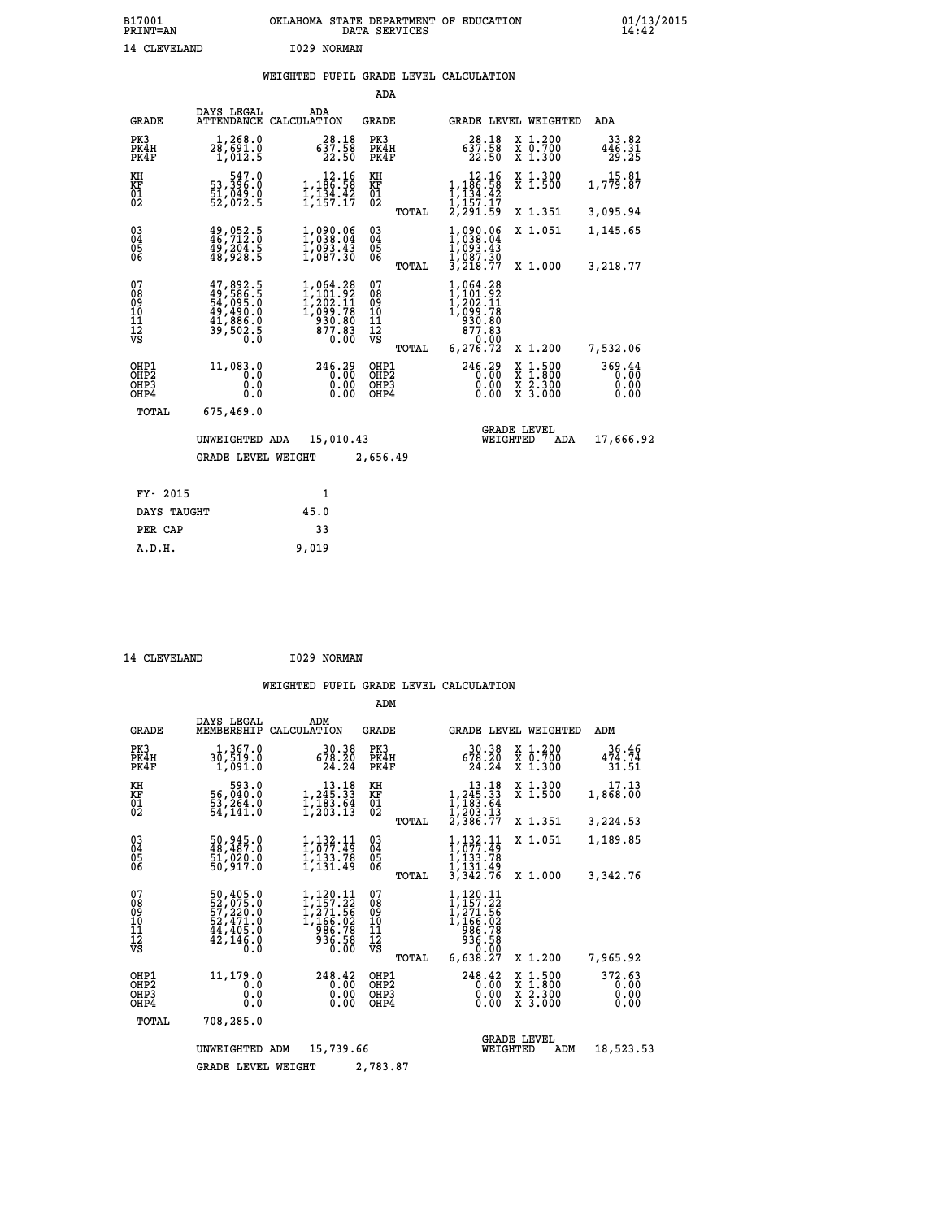# **B17001 OKLAHOMA STATE DEPARTMENT OF EDUCATION 01/13/2015 PRINT=AN DATA SERVICES 14:42** 14 CLEVELAND 1029 NORMAN

# **WEIGHTED PUPIL GRADE LEVEL CALCULATION**

|                                                                    |                                                                                           |                                                                                                                                              | ADA                                       |                                                                               |                                                       |                                |
|--------------------------------------------------------------------|-------------------------------------------------------------------------------------------|----------------------------------------------------------------------------------------------------------------------------------------------|-------------------------------------------|-------------------------------------------------------------------------------|-------------------------------------------------------|--------------------------------|
| <b>GRADE</b>                                                       | DAYS LEGAL<br><b>ATTENDANCE</b>                                                           | ADA<br>CALCULATION                                                                                                                           | GRADE                                     |                                                                               | <b>GRADE LEVEL WEIGHTED</b>                           | <b>ADA</b>                     |
| PK3<br>PK4H<br>PK4F                                                | 1,268.0<br>28,691.0<br>1,012.5                                                            | $\begin{smallmatrix} 28.18\\ 637.58\\ 22.50 \end{smallmatrix}$                                                                               | PK3<br>PK4H<br>PK4F                       | 28.18<br>637.58<br>22.50                                                      | X 1.200<br>X 0.700<br>X 1.300                         | 33.82<br>446.31<br>29.25       |
| KH<br>KF<br>01<br>02                                               | 547.0<br>53,396.0<br>$\frac{51}{52}$ , $\frac{749}{72}$ . 5                               | $\begin{array}{c} 12.16 \\ 1,186.58 \\ 1,134.42 \\ 1,157.17 \end{array}$                                                                     | KH<br>KF<br>$\overline{01}$               | $1, 186.58$<br>$1, 134.42$<br>$1, 134.42$<br>$1, 157.17$                      | X 1.300<br>X 1.500                                    | 15.81<br>1,779.87              |
|                                                                    |                                                                                           |                                                                                                                                              | TOTAL                                     | 2,291.59                                                                      | X 1.351                                               | 3,095.94                       |
| $\begin{smallmatrix} 03 \\[-4pt] 04 \end{smallmatrix}$<br>05<br>06 | 49,052.5<br>46,712.0<br>49,204.5<br>48,928.5                                              | 1,090.06<br>1,038.04<br>$\frac{1}{1}$ , 093.43<br>1, 087.30                                                                                  | $\substack{03 \\ 04}$<br>05<br>ŎĞ         | $1,090.06$<br>$1,038.04$<br>$1,093.43$<br>$1,087.30$<br>$3,218.77$            | X 1.051                                               | 1,145.65                       |
|                                                                    |                                                                                           |                                                                                                                                              | TOTAL                                     |                                                                               | X 1.000                                               | 3,218.77                       |
| 07<br>08<br>09<br>11<br>11<br>12<br>VS                             | $47,892.5$<br>$49,586.5$<br>$54,095.0$<br>$49,490.0$<br>$41,886.0$<br>$39,502.5$<br>$0.0$ | $\begin{smallmatrix} 1,064\cdot 28\\ 1,101\cdot 92\\ 1,202\cdot 11\\ 1,099\cdot 78\\ 930\cdot 80\\ 877\cdot 83\\ 0\cdot 00\end{smallmatrix}$ | 07<br>08<br>09<br>11<br>11<br>12<br>VS    | 1,064.28<br>$1, 201.92$<br>$1, 202.11$<br>$1, 099.78$<br>$930.80$<br>$877.83$ |                                                       |                                |
|                                                                    |                                                                                           |                                                                                                                                              | TOTAL                                     | 6, 276.72                                                                     | X 1.200                                               | 7,532.06                       |
| OHP1<br>OH <sub>P</sub> 2<br>OHP3<br>OHP4                          | 11,083.0<br>0.0<br>0.0<br>0.0                                                             | 246.29<br>0.00<br>0.00                                                                                                                       | OHP1<br>OH <sub>P</sub> 2<br>OHP3<br>OHP4 | 246.29<br>0.00<br>0.00<br>0.00                                                | X 1:500<br>$\frac{\ddot{x}}{x}$ $\frac{2.300}{3.000}$ | 369.44<br>0.00<br>0.00<br>0.00 |
| TOTAL                                                              | 675,469.0                                                                                 |                                                                                                                                              |                                           |                                                                               |                                                       |                                |
|                                                                    | UNWEIGHTED ADA                                                                            | 15,010.43                                                                                                                                    |                                           | WEIGHTED                                                                      | <b>GRADE LEVEL</b><br>ADA                             | 17,666.92                      |
|                                                                    | <b>GRADE LEVEL WEIGHT</b>                                                                 |                                                                                                                                              | 2,656.49                                  |                                                                               |                                                       |                                |
| FY- 2015                                                           |                                                                                           | 1                                                                                                                                            |                                           |                                                                               |                                                       |                                |
| DAYS TAUGHT                                                        |                                                                                           | 45.0                                                                                                                                         |                                           |                                                                               |                                                       |                                |
| PER CAP                                                            |                                                                                           | 33                                                                                                                                           |                                           |                                                                               |                                                       |                                |
|                                                                    |                                                                                           |                                                                                                                                              |                                           |                                                                               |                                                       |                                |

14 CLEVELAND 1029 NORMAN

 **A.D.H. 9,019**

|                                           |                                                                             |                                                                          | ADM                                             |                                                                                                           |                                                                                                  |                                |
|-------------------------------------------|-----------------------------------------------------------------------------|--------------------------------------------------------------------------|-------------------------------------------------|-----------------------------------------------------------------------------------------------------------|--------------------------------------------------------------------------------------------------|--------------------------------|
| <b>GRADE</b>                              | DAYS LEGAL<br>MEMBERSHIP                                                    | ADM<br>CALCULATION                                                       | <b>GRADE</b>                                    |                                                                                                           | <b>GRADE LEVEL WEIGHTED</b>                                                                      | ADM                            |
| PK3<br>PK4H<br>PK4F                       | 1,367.0<br>30,519.0<br>1,091.0                                              | 30.38<br>678.20<br>24.24                                                 | PK3<br>PK4H<br>PK4F                             | 30.38<br>678.20<br>24.24                                                                                  | X 1.200<br>X 0.700<br>X 1.300                                                                    | 36.46<br>474.74<br>31.51       |
| KH<br>KF<br>01<br>02                      | 593.0<br>56,040.0<br>53,264.0<br>54,141.0                                   | $\begin{array}{c} 13.18 \\ 1,245.33 \\ 1,183.64 \\ 1,203.13 \end{array}$ | KH<br>KF<br>01<br>02                            | $\begin{smallmatrix}&&13\cdot18\\1,245\cdot33\\1,183\cdot64\\1,203\cdot64\\2,386\cdot77\end{smallmatrix}$ | X 1.300<br>X 1.500                                                                               | 17.13<br>1,868.00              |
|                                           |                                                                             |                                                                          | TOTAL                                           |                                                                                                           | X 1.351                                                                                          | 3,224.53                       |
| 03<br>04<br>05<br>06                      | 50,945.0<br>48,487.0<br>51,020.0<br>50,917.0                                | 1, 132.11<br>1,133.78<br>1,131.49                                        | $\substack{03 \\ 04}$<br>05                     | $\frac{1}{1}$ , $\frac{132}{077}$ ; $\frac{11}{49}$<br>1,133.78<br>1,131.49                               | X 1.051                                                                                          | 1,189.85                       |
|                                           |                                                                             |                                                                          | TOTAL                                           | 3,342.76                                                                                                  | X 1.000                                                                                          | 3,342.76                       |
| 07<br>08<br>09<br>11<br>11<br>12<br>VS    | 50,405.0<br>52,075.0<br>57,220.0<br>52,471.0<br>44,405.0<br>42,146.0<br>0.0 | 1,120.11<br>1,157.22<br>1,271.56<br>1,166.02<br>986.78<br>936.58<br>0.00 | 07<br>08<br>09<br>11<br>11<br>12<br>VS<br>TOTAL | 1,120.11<br>1,157.22<br>I,271.56<br>1,166.02<br>986.78<br>936.58<br>0.00<br>6,638.27                      | X 1.200                                                                                          | 7,965.92                       |
| OHP1<br>OH <sub>P</sub> 2<br>OHP3<br>OHP4 | 11,179.0<br>0.0<br>0.0<br>Ŏ.Ŏ                                               | 248.42<br>0.00<br>0.00<br>0.00                                           | OHP1<br>OHP <sub>2</sub><br>OHP3<br>OHP4        | 248.42<br>0.00<br>0.00<br>0.00                                                                            | $\begin{smallmatrix} x & 1 & 500 \\ x & 1 & 800 \\ x & 2 & 300 \\ x & 3 & 000 \end{smallmatrix}$ | 372.63<br>0.00<br>0.00<br>0.00 |
| TOTAL                                     | 708,285.0                                                                   |                                                                          |                                                 |                                                                                                           |                                                                                                  |                                |
|                                           | UNWEIGHTED                                                                  | 15,739.66<br>ADM                                                         |                                                 | WEIGHTED                                                                                                  | <b>GRADE LEVEL</b><br>ADM                                                                        | 18,523.53                      |
|                                           | <b>GRADE LEVEL WEIGHT</b>                                                   |                                                                          | 2,783.87                                        |                                                                                                           |                                                                                                  |                                |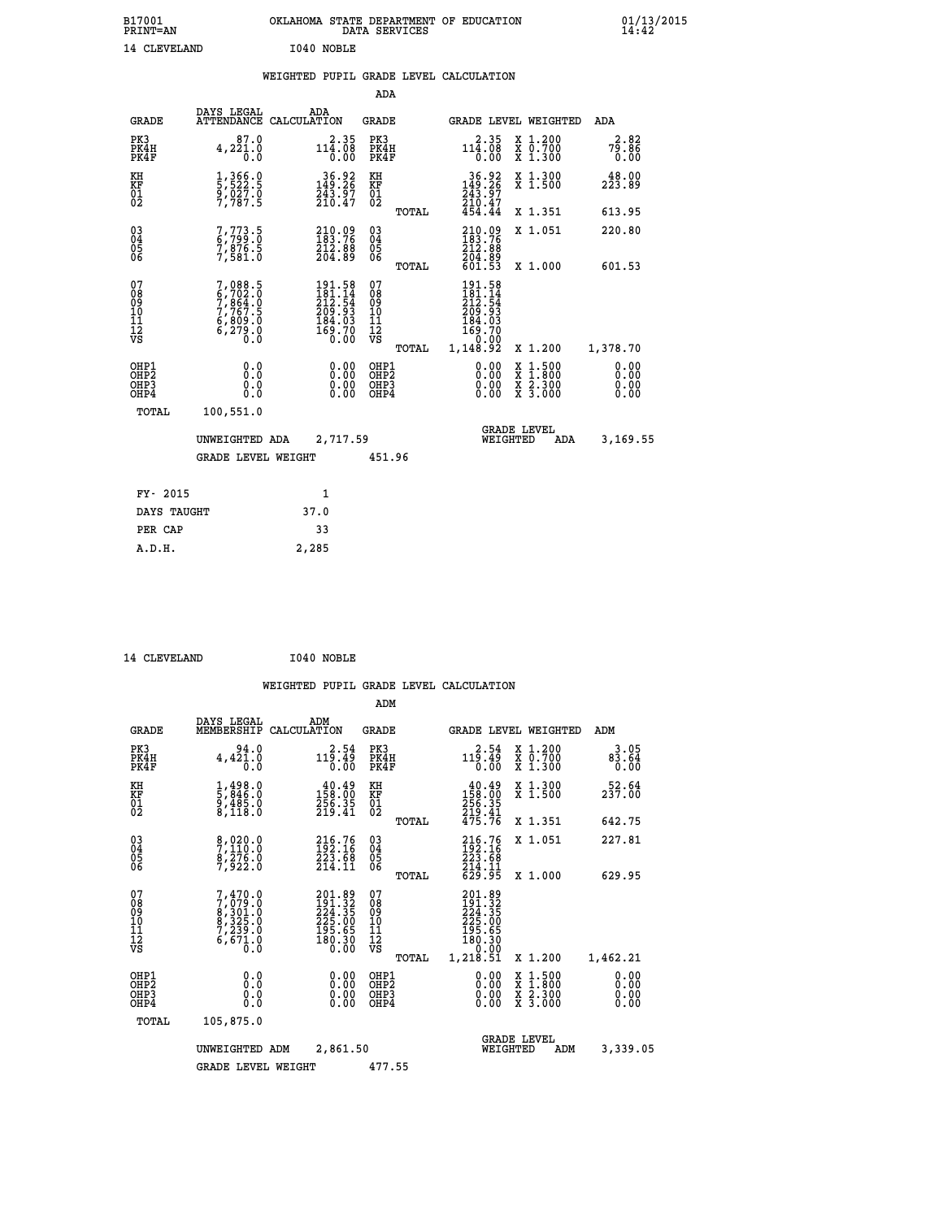| B17001<br>PRINT=AN | OKLAHOMA STATE DEPARTMENT OF EDUCATION<br>DATA SERVICES | $01/13/2015$<br>14:42 |
|--------------------|---------------------------------------------------------|-----------------------|
| 14 CLEVELAND       | I040 NOBLE                                              |                       |

# **WEIGHTED PUPIL GRADE LEVEL CALCULATION**

|                                                                  |                                                                                     |                                                                                             | ADA                                                 |       |                                                                                       |                                                                                                                                           |                                                             |
|------------------------------------------------------------------|-------------------------------------------------------------------------------------|---------------------------------------------------------------------------------------------|-----------------------------------------------------|-------|---------------------------------------------------------------------------------------|-------------------------------------------------------------------------------------------------------------------------------------------|-------------------------------------------------------------|
| <b>GRADE</b>                                                     | DAYS LEGAL                                                                          | ADA<br>ATTENDANCE CALCULATION                                                               | <b>GRADE</b>                                        |       |                                                                                       | GRADE LEVEL WEIGHTED                                                                                                                      | ADA                                                         |
| PK3<br>PK4H<br>PK4F                                              | 87.0<br>4,221.0                                                                     | $114.35$<br>$14.08$<br>0.00                                                                 | PK3<br>PK4H<br>PK4F                                 |       | $114.35$<br>$14.08$<br>0.00                                                           | X 1.200<br>X 0.700<br>X 1.300                                                                                                             | 2.82<br>$7\overline{9}\.\overline{8}\,\overline{6}$<br>0.00 |
| KH<br>KF<br>01<br>02                                             | 1,366.0<br>5,522.5<br>9,027.0<br>7,787.5                                            | 36.92<br>149.26<br>$\frac{243.57}{210.47}$                                                  | KH<br>KF<br>01<br>02                                |       | $\begin{smallmatrix} 36.92 \\ 149.26 \\ 243.97 \\ 210.47 \\ 454.44 \end{smallmatrix}$ | X 1.300<br>X 1.500                                                                                                                        | 48.00<br>223.89                                             |
|                                                                  |                                                                                     |                                                                                             |                                                     | TOTAL |                                                                                       | X 1.351                                                                                                                                   | 613.95                                                      |
| $\begin{matrix} 03 \\ 04 \\ 05 \\ 06 \end{matrix}$               | 7,773.5<br>6,799.0<br>7,876.5<br>7,581.0                                            | 210.09<br>183.76<br>212:88<br>204:89                                                        | $\begin{array}{c} 03 \\ 04 \\ 05 \\ 06 \end{array}$ |       | $210.09183.76212.88204.89601.53$                                                      | X 1.051                                                                                                                                   | 220.80                                                      |
|                                                                  |                                                                                     |                                                                                             |                                                     | TOTAL |                                                                                       | X 1.000                                                                                                                                   | 601.53                                                      |
| 07<br>08<br>09<br>11<br>11<br>12<br>VS                           | $7,088.5$<br>$6,702.0$<br>$7,864.0$<br>$7,767.5$<br>$6,809.0$<br>$6,279.0$<br>$0.0$ | $\begin{smallmatrix} 191.58\\181.14\\212.54\\209.93\\184.03\\169.70\\0.00\end{smallmatrix}$ | 07<br>08<br>09<br>101<br>112<br>VS                  |       | 191.58<br>$181.14$<br>$212.54$<br>$209.93$<br>$184.03$<br>$169.70$<br>$$ 0.00         |                                                                                                                                           |                                                             |
|                                                                  |                                                                                     |                                                                                             |                                                     | TOTAL | 1,148.92                                                                              | X 1.200                                                                                                                                   | 1,378.70                                                    |
| OHP1<br>OH <sub>P</sub> <sub>2</sub><br>OH <sub>P3</sub><br>OHP4 | 0.0<br>0.0<br>0.0                                                                   | $\begin{smallmatrix} 0.00 \ 0.00 \ 0.00 \ 0.00 \end{smallmatrix}$                           | OHP1<br>OHP <sub>2</sub><br>OHP3<br>OHP4            |       | $0.00$<br>$0.00$<br>0.00                                                              | $\begin{smallmatrix} \mathtt{X} & 1\cdot500\\ \mathtt{X} & 1\cdot800\\ \mathtt{X} & 2\cdot300\\ \mathtt{X} & 3\cdot000 \end{smallmatrix}$ | 0.00<br>0.00<br>0.00<br>0.00                                |
| <b>TOTAL</b>                                                     | 100,551.0                                                                           |                                                                                             |                                                     |       |                                                                                       |                                                                                                                                           |                                                             |
|                                                                  | UNWEIGHTED ADA                                                                      | 2,717.59                                                                                    |                                                     |       |                                                                                       | <b>GRADE LEVEL</b><br>WEIGHTED<br>ADA                                                                                                     | 3,169.55                                                    |
|                                                                  | <b>GRADE LEVEL WEIGHT</b>                                                           |                                                                                             | 451.96                                              |       |                                                                                       |                                                                                                                                           |                                                             |
|                                                                  |                                                                                     |                                                                                             |                                                     |       |                                                                                       |                                                                                                                                           |                                                             |
| FY- 2015                                                         |                                                                                     | 1                                                                                           |                                                     |       |                                                                                       |                                                                                                                                           |                                                             |
| DAYS TAUGHT                                                      |                                                                                     | 37.0                                                                                        |                                                     |       |                                                                                       |                                                                                                                                           |                                                             |
| PER CAP                                                          |                                                                                     | 33                                                                                          |                                                     |       |                                                                                       |                                                                                                                                           |                                                             |

| 14 CLEVELAND | I040 NOBLE |
|--------------|------------|
|              |            |

 **A.D.H. 2,285**

|                                          |                                                                                     |                                                                                                    | ADM                                                 |       |                                                                               |          |                                          |                              |
|------------------------------------------|-------------------------------------------------------------------------------------|----------------------------------------------------------------------------------------------------|-----------------------------------------------------|-------|-------------------------------------------------------------------------------|----------|------------------------------------------|------------------------------|
| <b>GRADE</b>                             | DAYS LEGAL<br>MEMBERSHIP                                                            | ADM<br>CALCULATION                                                                                 | <b>GRADE</b>                                        |       |                                                                               |          | <b>GRADE LEVEL WEIGHTED</b>              | ADM                          |
| PK3<br>PK4H<br>PK4F                      | 94.0<br>$4,42\overline{1}\cdot\overline{0}$                                         | 2.54<br>119.49<br>0.00                                                                             | PK3<br>PK4H<br>PK4F                                 |       | 2.54<br>119.49<br>0.00                                                        |          | X 1.200<br>X 0.700<br>X 1.300            | 3.05<br>83.64<br>0.00        |
| KH<br>KF<br>01<br>02                     | $\frac{1}{5}, \frac{498}{846}.0$<br>9,485.0<br>8,118.0                              | $\begin{smallmatrix} 40.49\\158.00\\256.35\\219.41\end{smallmatrix}$                               | KH<br>KF<br>01<br>02                                |       | $\begin{smallmatrix} 40.49\\158.00\\256.35\\219.41\\475.76 \end{smallmatrix}$ |          | X 1.300<br>X 1.500                       | 52.64<br>237.00              |
|                                          |                                                                                     |                                                                                                    |                                                     | TOTAL |                                                                               |          | X 1.351                                  | 642.75                       |
| 03<br>04<br>05<br>06                     | 8,020.0<br>7,110.0<br>8,276.0<br>7,922.0                                            | 216.76<br>192.16<br>223.68<br>214.11                                                               | $\begin{array}{c} 03 \\ 04 \\ 05 \\ 06 \end{array}$ |       | 216.76<br>192.16<br>223.68<br>214.11<br>629.95                                |          | X 1.051                                  | 227.81                       |
|                                          |                                                                                     |                                                                                                    |                                                     | TOTAL |                                                                               |          | X 1.000                                  | 629.95                       |
| 07<br>08<br>09<br>101<br>11<br>12<br>VS  | $7,470.0$<br>$7,079.0$<br>$8,301.0$<br>$8,325.0$<br>$7,239.0$<br>$6,671.0$<br>$0.0$ | 201.89<br>191.32<br>224.35<br>$\begin{smallmatrix} 225.700\\195.65\\180.30\\0.00\end{smallmatrix}$ | 07<br>08<br>09<br>11<br>11<br>12<br>VS              | TOTAL | 201.89<br>191.32<br>224.35<br>225.00<br>195.65<br>180.30<br>0.00<br>1,218.51  |          | X 1.200                                  | 1,462.21                     |
| OHP1<br>OHP2<br>OH <sub>P3</sub><br>OHP4 | 0.0<br>0.000                                                                        | $0.00$<br>$0.00$<br>0.00                                                                           | OHP1<br>OHP2<br>OHP <sub>3</sub>                    |       | $0.00$<br>$0.00$<br>0.00                                                      |          | X 1:500<br>X 1:800<br>X 2:300<br>X 3:000 | 0.00<br>0.00<br>0.00<br>0.00 |
| TOTAL                                    | 105,875.0                                                                           |                                                                                                    |                                                     |       |                                                                               |          |                                          |                              |
|                                          | UNWEIGHTED                                                                          | 2,861.50<br>ADM                                                                                    |                                                     |       |                                                                               | WEIGHTED | <b>GRADE LEVEL</b><br>ADM                | 3,339.05                     |
|                                          | <b>GRADE LEVEL WEIGHT</b>                                                           |                                                                                                    | 477.55                                              |       |                                                                               |          |                                          |                              |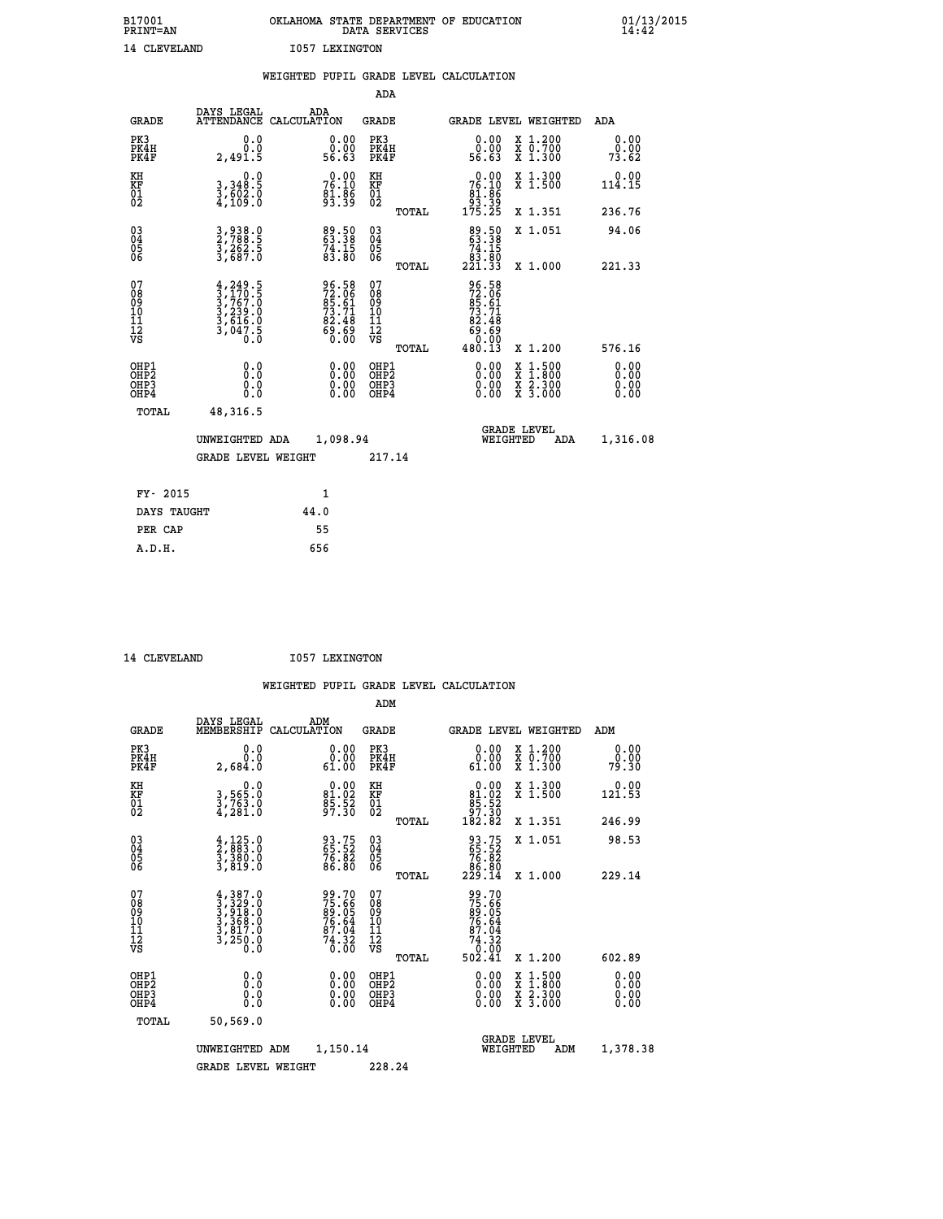| B17001<br><b>PRINT=AN</b> |                | OKLAHOMA STATE DEPARTMENT OF EDUCATION<br>DATA SERVICES |  |
|---------------------------|----------------|---------------------------------------------------------|--|
| 14 CLEVELAND              | 1057 LEXINGTON |                                                         |  |

|                                              |                                                                                     | WEIGHTED PUPIL GRADE LEVEL CALCULATION                            |                                  |       |                                                                                                                                                                                                                                                                                |                                                                                        |                       |
|----------------------------------------------|-------------------------------------------------------------------------------------|-------------------------------------------------------------------|----------------------------------|-------|--------------------------------------------------------------------------------------------------------------------------------------------------------------------------------------------------------------------------------------------------------------------------------|----------------------------------------------------------------------------------------|-----------------------|
|                                              |                                                                                     |                                                                   | ADA                              |       |                                                                                                                                                                                                                                                                                |                                                                                        |                       |
| <b>GRADE</b>                                 | DAYS LEGAL                                                                          | ADA<br>ATTENDANCE CALCULATION                                     | <b>GRADE</b>                     |       |                                                                                                                                                                                                                                                                                | <b>GRADE LEVEL WEIGHTED</b>                                                            | ADA                   |
| PK3<br>PK4H<br>PK4F                          | 0.0<br>Ō.Ō<br>2,491.5                                                               | $\begin{smallmatrix} 0.00\\ 0.00\\ 56.63 \end{smallmatrix}$       | PK3<br>PK4H<br>PK4F              |       | $\begin{smallmatrix} 0.00\\ 0.00\\ 56.63 \end{smallmatrix}$                                                                                                                                                                                                                    | X 1.200<br>X 0.700<br>X 1.300                                                          | 0.00<br>0.00<br>73.62 |
| KH<br>KF<br>01<br>02                         | 0.0<br>3,348:5<br>3,602:0<br>4,109:0                                                | 76.00<br>$\frac{81.86}{93.39}$                                    | KH<br>KF<br>01<br>02             |       | $\begin{smallmatrix}&&0&.00\\76&.10\\81&.86\\93&.39\\175&.25\end{smallmatrix}$                                                                                                                                                                                                 | X 1.300<br>X 1.500                                                                     | $0.00$<br>114.15      |
|                                              |                                                                                     |                                                                   |                                  | TOTAL |                                                                                                                                                                                                                                                                                | X 1.351                                                                                | 236.76                |
| $^{03}_{04}$<br>Ŏ5                           | 3,938.0<br>2,788.5<br>3,262.5<br>3,687.0                                            | $\begin{array}{l} 89.50 \\ 63.38 \\ 74.15 \\ 83.80 \end{array}$   | 03<br>04<br>05<br>06             |       | $\begin{smallmatrix}89.50\\63.38\\74.15\\83.80\\221.33\end{smallmatrix}$                                                                                                                                                                                                       | X 1.051                                                                                | 94.06                 |
| 06                                           |                                                                                     |                                                                   |                                  | TOTAL |                                                                                                                                                                                                                                                                                | X 1.000                                                                                | 221.33                |
| 07<br>08<br>09<br>01<br>11<br>11<br>12<br>VS | $4,249.5$<br>$3,767.0$<br>$3,763.0$<br>$3,239.0$<br>$3,616.0$<br>$3,047.5$<br>$0.0$ | 96.58<br>72.06<br>85.61<br>73.71<br>82.48<br>69.69<br>60.00       | 0789901112<br>009011112<br>VS    | TOTAL | 96.58<br>72.061<br>85.61<br>83.71<br>82.48<br>69.69<br>0.000<br>480.13                                                                                                                                                                                                         | X 1.200                                                                                | 576.16                |
| OHP1<br>OHP2<br>OHP3<br>OHP4                 | 0.0<br>0.0<br>0.0                                                                   | $\begin{smallmatrix} 0.00 \ 0.00 \ 0.00 \ 0.00 \end{smallmatrix}$ | OHP1<br>OHP2<br>OHP <sub>3</sub> |       | $\begin{smallmatrix} 0.00 & 0.00 & 0.00 & 0.00 & 0.00 & 0.00 & 0.00 & 0.00 & 0.00 & 0.00 & 0.00 & 0.00 & 0.00 & 0.00 & 0.00 & 0.00 & 0.00 & 0.00 & 0.00 & 0.00 & 0.00 & 0.00 & 0.00 & 0.00 & 0.00 & 0.00 & 0.00 & 0.00 & 0.00 & 0.00 & 0.00 & 0.00 & 0.00 & 0.00 & 0.00 & 0.0$ | $\begin{smallmatrix} 1.500\ 1.800\ 2.300\ 3.000 \end{smallmatrix}$<br>X<br>X<br>X<br>X | 0.00<br>0.00          |
| TOTAL                                        | 48,316.5                                                                            |                                                                   |                                  |       |                                                                                                                                                                                                                                                                                |                                                                                        |                       |
|                                              | UNWEIGHTED ADA                                                                      | 1,098.94                                                          |                                  |       | WEIGHTED                                                                                                                                                                                                                                                                       | <b>GRADE LEVEL</b><br>ADA                                                              | 1,316.08              |
|                                              | <b>GRADE LEVEL WEIGHT</b>                                                           |                                                                   | 217.14                           |       |                                                                                                                                                                                                                                                                                |                                                                                        |                       |
| FY- 2015                                     |                                                                                     | $\mathbf{1}$                                                      |                                  |       |                                                                                                                                                                                                                                                                                |                                                                                        |                       |
| DAYS TAUGHT                                  |                                                                                     | 44.0                                                              |                                  |       |                                                                                                                                                                                                                                                                                |                                                                                        |                       |
| PER CAP                                      |                                                                                     | 55                                                                |                                  |       |                                                                                                                                                                                                                                                                                |                                                                                        |                       |

 **ADM**

14 CLEVELAND **I057 LEXINGTON** 

| <b>GRADE</b>                                       | DAYS LEGAL<br>MEMBERSHIP                                                            | ADM<br>CALCULATION                                                | <b>GRADE</b>                                          |                                                                           |                                | <b>GRADE LEVEL WEIGHTED</b>              | ADM                   |
|----------------------------------------------------|-------------------------------------------------------------------------------------|-------------------------------------------------------------------|-------------------------------------------------------|---------------------------------------------------------------------------|--------------------------------|------------------------------------------|-----------------------|
| PK3<br>PK4H<br>PK4F                                | 0.0<br>0.0<br>2,684.0                                                               | $\begin{smallmatrix} 0.00\\ 0.00\\ 61.00 \end{smallmatrix}$       | PK3<br>PK4H<br>PK4F                                   |                                                                           | 0.00<br>0.00<br>61.00          | X 1.200<br>X 0.700<br>X 1.300            | 0.00<br>0.00<br>79.30 |
| KH<br>KF<br>01<br>02                               | 0.0<br>3,565:0<br>3,763:0<br>4,281:0                                                | $\begin{smallmatrix} 0.00\\81.02\\85.52\\97.30 \end{smallmatrix}$ | KH<br>KF<br>01<br>02                                  | $\begin{smallmatrix}&&0.00\\81.02\\85.52\\97.30\\182.82\end{smallmatrix}$ |                                | X 1.300<br>X 1.500                       | 0.00<br>121.53        |
|                                                    |                                                                                     |                                                                   |                                                       | TOTAL                                                                     |                                | X 1.351                                  | 246.99                |
| $\begin{matrix} 03 \\ 04 \\ 05 \\ 06 \end{matrix}$ | $\frac{4}{2}, \frac{125}{883}.0$<br>3, 380.0<br>3, 819.0                            | 93.75<br>65.52<br>76.82<br>86.80                                  | $\begin{matrix} 03 \\ 04 \\ 05 \\ 06 \end{matrix}$    | 93.75<br>65.52<br>76.82<br>86.80<br>229.14                                |                                | X 1.051                                  | 98.53                 |
|                                                    |                                                                                     |                                                                   | TOTAL                                                 |                                                                           |                                | X 1.000                                  | 229.14                |
| 07<br>08<br>09<br>101<br>11<br>12<br>VS            | $4,387.0$<br>$3,329.0$<br>$3,318.0$<br>$3,368.0$<br>$3,817.0$<br>$3,250.0$<br>$0.0$ | 99.70<br>75.66<br>89.05<br>76.64<br>76.04<br>74.32<br>74.32       | 07<br>08<br>09<br>01<br>11<br>11<br>12<br>VS<br>TOTAL | 99.70<br>75.66<br>89.05<br>76.64<br>74.32<br>74.32<br>02.41<br>502.41     |                                | X 1.200                                  | 602.89                |
| OHP1<br>OHP2<br>OHP3<br>OHP4                       | 0.0<br>0.000                                                                        | $\begin{smallmatrix} 0.00 \ 0.00 \ 0.00 \ 0.00 \end{smallmatrix}$ | OHP1<br>OHP2<br>OHP3<br>OHP4                          |                                                                           | $0.00$<br>$0.00$<br>0.00       | X 1:500<br>X 1:800<br>X 2:300<br>X 3:000 | 0.00<br>0.00<br>0.00  |
| TOTAL                                              | 50,569.0                                                                            |                                                                   |                                                       |                                                                           |                                |                                          |                       |
|                                                    | UNWEIGHTED                                                                          | 1,150.14<br>ADM                                                   |                                                       |                                                                           | <b>GRADE LEVEL</b><br>WEIGHTED | ADM                                      | 1,378.38              |
|                                                    | <b>GRADE LEVEL WEIGHT</b>                                                           |                                                                   | 228.24                                                |                                                                           |                                |                                          |                       |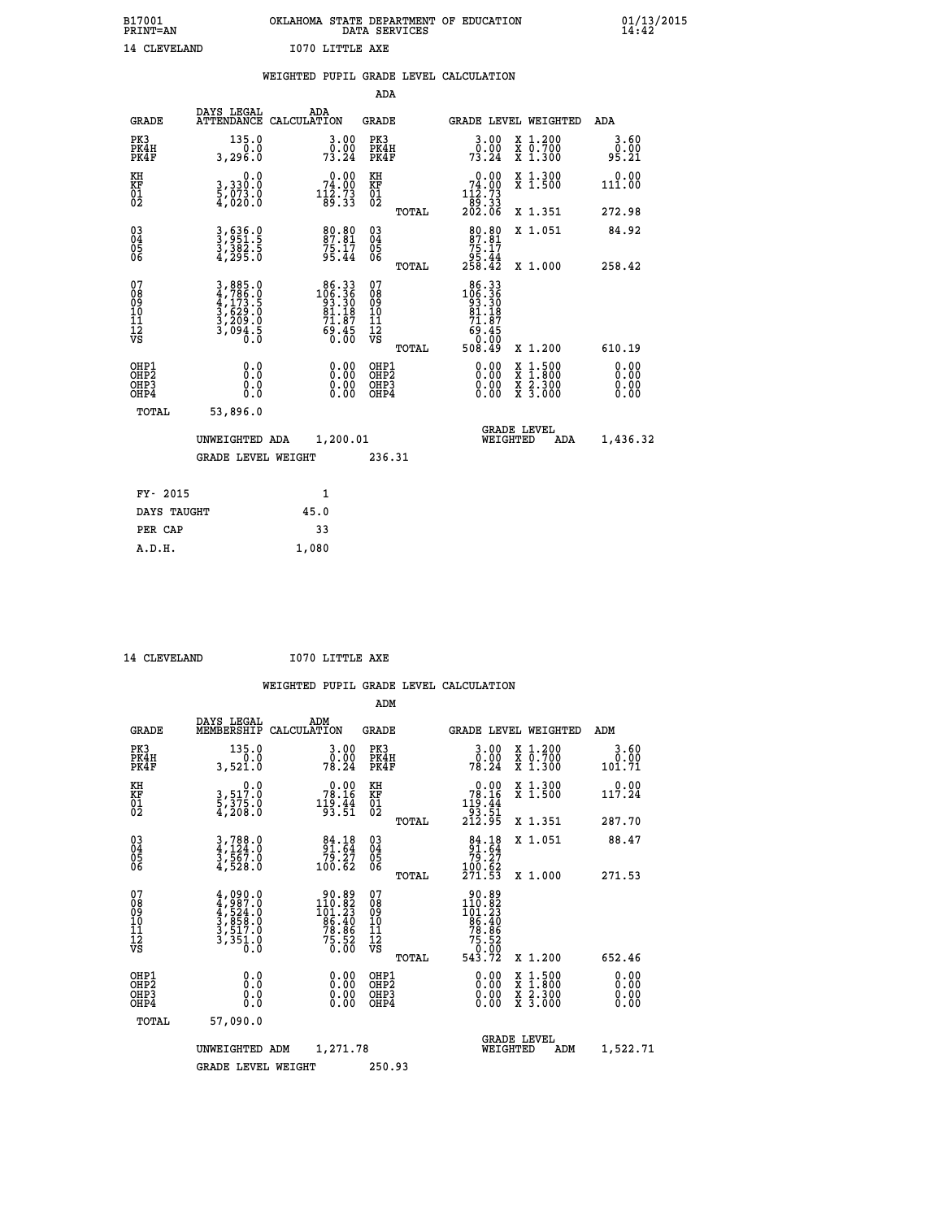| B17001          | OKLAHOMA STATE DEPARTMENT OF EDUCATION |
|-----------------|----------------------------------------|
| <b>PRINT=AN</b> | DATA SERVICES                          |
| 14 CLEVELAND    | I070 LITTLE AXE                        |

 **B17001 OKLAHOMA STATE DEPARTMENT OF EDUCATION 01/13/2015**

|                                                                    |                                                                | WEIGHTED PUPIL GRADE LEVEL CALCULATION                                                        |                                                    |       |                                                                                                            |                                          |                              |
|--------------------------------------------------------------------|----------------------------------------------------------------|-----------------------------------------------------------------------------------------------|----------------------------------------------------|-------|------------------------------------------------------------------------------------------------------------|------------------------------------------|------------------------------|
|                                                                    |                                                                |                                                                                               | <b>ADA</b>                                         |       |                                                                                                            |                                          |                              |
| <b>GRADE</b>                                                       | DAYS LEGAL                                                     | ADA<br>ATTENDANCE CALCULATION                                                                 | <b>GRADE</b>                                       |       |                                                                                                            | GRADE LEVEL WEIGHTED                     | ADA                          |
| PK3<br>PK4H<br>PK4F                                                | 135.0<br>3,296.0                                               | $\frac{3 \cdot 00}{0 \cdot 00}$<br>73.24                                                      | PK3<br>PK4H<br>PK4F                                |       | $\frac{3 \cdot 00}{0 \cdot 00}$<br>73.24                                                                   | X 1.200<br>X 0.700<br>X 1.300            | 3.60<br>0.00<br>95.21        |
| KH<br>KF<br>01<br>02                                               | 0.0<br>3,330:0<br>5,073:0<br>4,020:0                           | $\begin{smallmatrix}&&0&.00\\74&.00\\112&.73\\89&.33\end{smallmatrix}$                        | KH<br>KF<br>01<br>02                               |       | $\begin{smallmatrix} &0.00\\ &74.00\\ &112.73\\ &89.33\\ &202.06\end{smallmatrix}$                         | X 1.300<br>X 1.500                       | 0.00<br>111.00               |
|                                                                    |                                                                |                                                                                               |                                                    | TOTAL |                                                                                                            | X 1.351                                  | 272.98                       |
| $\begin{smallmatrix} 03 \\[-4pt] 04 \end{smallmatrix}$<br>05<br>06 | 3,636.0<br>3,951.5<br>3,382.5<br>4,295.0                       | 80.80<br>87.81<br>75.17<br>95.44                                                              | $\begin{matrix} 03 \\ 04 \\ 05 \\ 06 \end{matrix}$ |       | 80.80<br>$87.81$<br>$75.17$<br>$95.44$<br>$258.42$                                                         | X 1.051                                  | 84.92                        |
|                                                                    |                                                                |                                                                                               |                                                    | TOTAL |                                                                                                            | X 1.000                                  | 258.42                       |
| 07<br>08<br>09<br>11<br>11<br>12<br>VS                             | 3,885.0<br>4,786.0<br>4,173.5<br>5,629.0<br>3,209.0<br>3,094.5 | $\begin{smallmatrix} 86.33\\ 106.36\\ 93.36\\ 81.18\\ 71.87\\ 69.45\\ 0.00 \end{smallmatrix}$ | 07<br>08<br>09<br>11<br>11<br>12<br>VS             | TOTAL | $\begin{smallmatrix} 86.33\\ 106.36\\ 93.30\\ 81.18 \end{smallmatrix}$<br>71.87<br>69.45<br>0.00<br>508.49 | X 1.200                                  | 610.19                       |
| OHP1<br>OHP2<br>OH <sub>P3</sub><br>OH <sub>P4</sub>               | 0.0<br>Ō.Ō<br>0.0<br>0.0                                       | 0.00<br>$\begin{smallmatrix} 0.00 \ 0.00 \end{smallmatrix}$                                   | OHP1<br>OHP2<br>OHP3<br>OHP4                       |       | 0.00<br>0.00                                                                                               | X 1:500<br>X 1:800<br>X 2:300<br>X 3:000 | 0.00<br>ŏ:ŏŏ<br>0.00<br>0.00 |
| TOTAL                                                              | 53,896.0                                                       |                                                                                               |                                                    |       |                                                                                                            |                                          |                              |
|                                                                    | UNWEIGHTED ADA                                                 | 1,200.01                                                                                      |                                                    |       | WEIGHTED                                                                                                   | <b>GRADE LEVEL</b><br>ADA                | 1,436.32                     |
|                                                                    | <b>GRADE LEVEL WEIGHT</b>                                      |                                                                                               | 236.31                                             |       |                                                                                                            |                                          |                              |
| FY- 2015                                                           |                                                                | $\mathbf{1}$                                                                                  |                                                    |       |                                                                                                            |                                          |                              |
| DAYS TAUGHT                                                        |                                                                | 45.0                                                                                          |                                                    |       |                                                                                                            |                                          |                              |
| PER CAP                                                            |                                                                | 33                                                                                            |                                                    |       |                                                                                                            |                                          |                              |

14 CLEVELAND **I070 LITTLE AXE** 

 **A.D.H. 1,080**

|                                          |                                                                                     |                                                                          | ADM                                                |       |                                                                                                        |                                          |                              |
|------------------------------------------|-------------------------------------------------------------------------------------|--------------------------------------------------------------------------|----------------------------------------------------|-------|--------------------------------------------------------------------------------------------------------|------------------------------------------|------------------------------|
| <b>GRADE</b>                             | DAYS LEGAL<br>MEMBERSHIP                                                            | ADM<br>CALCULATION                                                       | <b>GRADE</b>                                       |       |                                                                                                        | <b>GRADE LEVEL WEIGHTED</b>              | ADM                          |
| PK3<br>PK4H<br>PK4F                      | 135.0<br>0.0<br>3,521.0                                                             | 3.00<br>ŏ:ŏŏ<br>78:24                                                    | PK3<br>PK4H<br>PK4F                                |       | $\begin{smallmatrix} 3.00\ 0.00\ 78.24 \end{smallmatrix}$                                              | X 1.200<br>X 0.700<br>X 1.300            | 3.60<br>0.00<br>101.71       |
| KH<br>KF<br>01<br>02                     | 0.0<br>3,517.0<br>5,375.0<br>4,208.0                                                | $78.16$<br>$119.44$<br>$19.44$<br>$93.51$                                | KH<br>KF<br>01<br>02                               |       | $\begin{smallmatrix} &0.00\\ &78.16\\ 119.44\\ &93.51\\ 212.95 \end{smallmatrix}$                      | X 1.300<br>X 1.500                       | 117.24                       |
|                                          |                                                                                     |                                                                          |                                                    | TOTAL |                                                                                                        | X 1.351                                  | 287.70                       |
| 03<br>04<br>05<br>06                     | $3,788.0$<br>$4,124.0$<br>$3,567.0$<br>$4,528.0$                                    | $\begin{array}{c} 84.18 \\ 91.64 \\ 79.27 \\ 100.62 \end{array}$         | $\begin{matrix} 03 \\ 04 \\ 05 \\ 06 \end{matrix}$ |       | $\begin{smallmatrix}84.18\\91.64\\79.27\\100.62\\271.53\end{smallmatrix}$                              | X 1.051                                  | 88.47                        |
|                                          |                                                                                     |                                                                          |                                                    | TOTAL |                                                                                                        | X 1.000                                  | 271.53                       |
| 07<br>08<br>09<br>101<br>112<br>VS       | $4,987.0$<br>$4,987.0$<br>$4,524.0$<br>$3,858.0$<br>$3,517.0$<br>$3,351.0$<br>$0.0$ | $\frac{90.89}{101.82}$<br>$\frac{86.40}{78.86}$<br>$\frac{78.86}{75.52}$ | 07<br>08<br>09<br>11<br>11<br>12<br>VS             | TOTAL | $\begin{array}{r} 90.89 \\ 110.82 \\ 101.23 \\ 86.40 \\ 78.86 \\ 75.52 \\ 75.52 \\ 543.72 \end{array}$ | X 1.200                                  | 652.46                       |
| OHP1<br>OHP2<br>OH <sub>P3</sub><br>OHP4 | 0.0<br>0.000                                                                        |                                                                          | OHP1<br>OHP2<br>OHP <sub>3</sub>                   |       | $0.00$<br>$0.00$<br>0.00                                                                               | X 1:500<br>X 1:800<br>X 2:300<br>X 3:000 | 0.00<br>0.00<br>0.00<br>0.00 |
| TOTAL                                    | 57,090.0                                                                            |                                                                          |                                                    |       |                                                                                                        |                                          |                              |
|                                          | UNWEIGHTED                                                                          | 1,271.78<br>ADM                                                          |                                                    |       | WEIGHTED                                                                                               | <b>GRADE LEVEL</b><br>ADM                | 1,522.71                     |
|                                          | <b>GRADE LEVEL WEIGHT</b>                                                           |                                                                          | 250.93                                             |       |                                                                                                        |                                          |                              |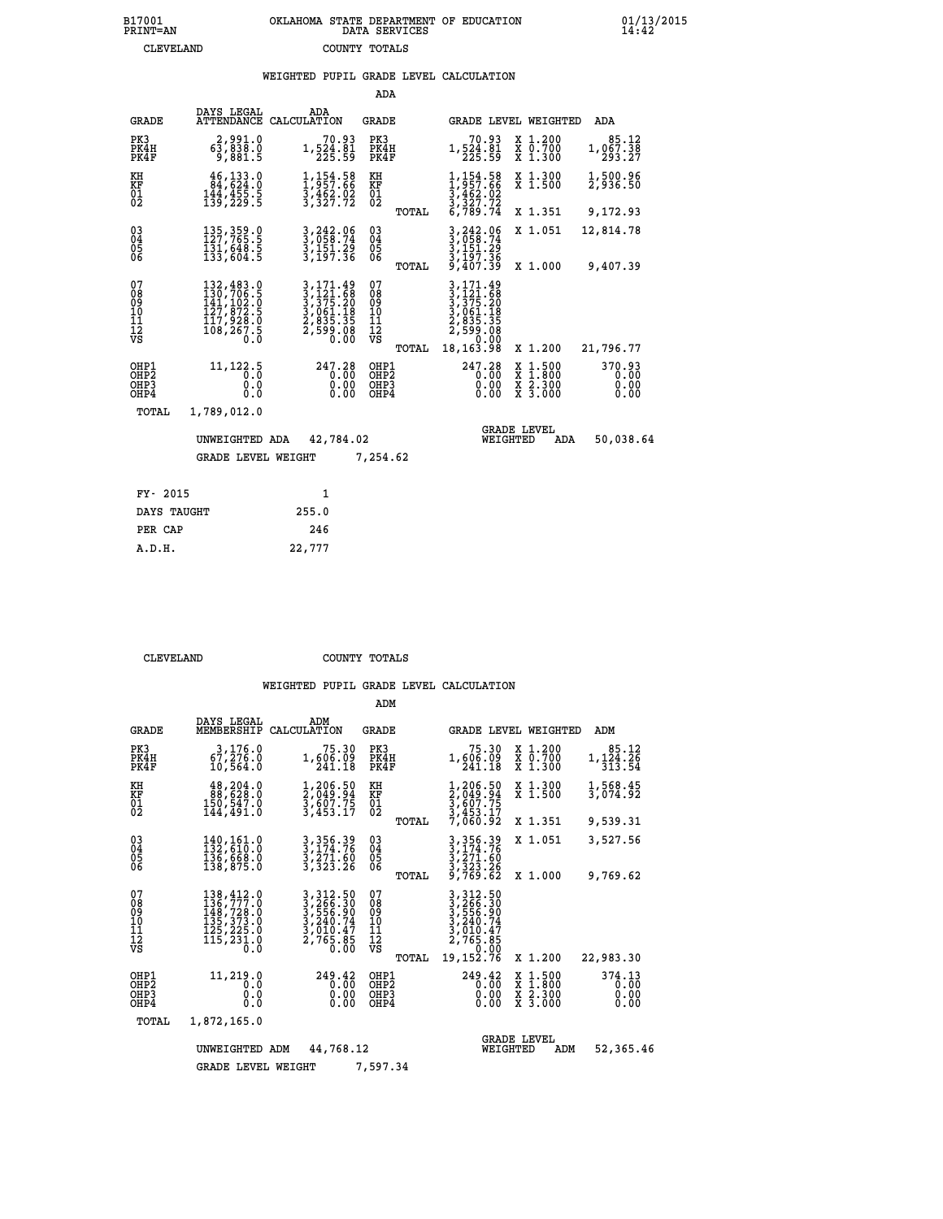# **B17001 OKLAHOMA STATE DEPARTMENT OF EDUCATION 01/13/2015 PRINT=AN DATA SERVICES 14:42 CLEVELAND COUNTY TOTALS**

### **WEIGHTED PUPIL GRADE LEVEL CALCULATION**

|                                                                    |                                                                                                                                                       |                                                                                                                                                                                                    | ADA                                       |       |                                                                                         |                                |                                                                                                   |                                |
|--------------------------------------------------------------------|-------------------------------------------------------------------------------------------------------------------------------------------------------|----------------------------------------------------------------------------------------------------------------------------------------------------------------------------------------------------|-------------------------------------------|-------|-----------------------------------------------------------------------------------------|--------------------------------|---------------------------------------------------------------------------------------------------|--------------------------------|
| <b>GRADE</b>                                                       | DAYS LEGAL<br>ATTENDANCE                                                                                                                              | ADA<br>CALCULATION                                                                                                                                                                                 | GRADE                                     |       |                                                                                         |                                | GRADE LEVEL WEIGHTED                                                                              | ADA                            |
| PK3<br>PK4H<br>PK4F                                                | 2,991.0<br>63,838.0<br>9,881.5                                                                                                                        | 70.93<br>1,524.81<br>225.59                                                                                                                                                                        | PK3<br>PK4H<br>PK4F                       |       | 70.93<br>1,524.81<br>225.59                                                             |                                | X 1.200<br>$\begin{array}{c} \overline{x} & \overline{0}.700 \\ \overline{x} & 1.300 \end{array}$ | 85.12<br>1,067.38<br>293.27    |
| KH<br>KF<br>$\overline{01}$                                        | 46,133.0<br>84,624.0<br>$\frac{144}{139}, \frac{455}{229}$ : 5                                                                                        | 1,154.58<br>1,957.66<br>3,462.02<br>3,327.72                                                                                                                                                       | KH<br>KF<br>$\overline{01}$               |       | $1,154.58$<br>$1,957.66$<br>$3,462.02$<br>$3,327.72$<br>$6,789.74$                      |                                | X 1.300<br>$\overline{x}$ 1.500                                                                   | 1,500.96<br>2,936.50           |
|                                                                    |                                                                                                                                                       |                                                                                                                                                                                                    |                                           | TOTAL |                                                                                         |                                | X 1.351                                                                                           | 9,172.93                       |
| $\begin{smallmatrix} 03 \\[-4pt] 04 \end{smallmatrix}$<br>05<br>06 | 135, 359.0<br>127, 765.5<br>131,648.5<br>133,604.5                                                                                                    | 3,242.06<br>3,058.74<br>3,151.29<br>3,197.36                                                                                                                                                       | $\substack{03 \\ 04}$<br>$\frac{05}{06}$  |       | 3, 242.06<br>3, 058.74<br>3, 151.29<br>3, 197.36<br>9, 407.39                           |                                | X 1.051                                                                                           | 12,814.78                      |
|                                                                    |                                                                                                                                                       |                                                                                                                                                                                                    |                                           | TOTAL |                                                                                         |                                | X 1.000                                                                                           | 9,407.39                       |
| 07<br>08<br>09<br>11<br>11<br>12<br>VS                             | $\begin{smallmatrix} 132,483\cdot 0\\ 130,706\cdot 5\\ 141,102\cdot 0\\ 127,872\cdot 5\\ 117,928\cdot 0\\ 108,267\cdot 5\\ 0\cdot 0\end{smallmatrix}$ | $\begin{smallmatrix} 3\,,\,171\,.\,49\\[-1mm] 3\,,\,121\,.\,68\\[-1mm] 3\,,\,375\,.\,20\\[-1mm] 3\,,\,061\,.\,18\\[-1mm] 2\,,\,835\,.\,35\\[-1mm] 2\,,\,599\,.\,08\\[-1mm] 0\,. \end{smallmatrix}$ | 07<br>089<br>101<br>111<br>VS             |       | 3, 171.49<br>3, 121.68<br>3, 375.20<br>3, 061.18<br>2, 835.35<br>2, 599.08<br>2, 599.08 |                                |                                                                                                   |                                |
|                                                                    |                                                                                                                                                       |                                                                                                                                                                                                    |                                           | TOTAL | 18, 163. 98                                                                             |                                | X 1.200                                                                                           | 21,796.77                      |
| OHP1<br>OHP2<br>OHP3<br>OHP4                                       | 11, 122.5<br>0.0<br>0.0<br>0.0                                                                                                                        | 247.28<br>0.00<br>0.00<br>0.00                                                                                                                                                                     | OHP1<br>OH <sub>P</sub> 2<br>OHP3<br>OHP4 |       | 247.28<br>0.00<br>0.00<br>0.00                                                          |                                | $\frac{x}{x}$ $\frac{1.500}{1.800}$<br>X 2.300<br>X 3.000                                         | 370.93<br>0.00<br>0.00<br>0.00 |
| TOTAL                                                              | 1,789,012.0                                                                                                                                           |                                                                                                                                                                                                    |                                           |       |                                                                                         |                                |                                                                                                   |                                |
|                                                                    | UNWEIGHTED ADA                                                                                                                                        | 42,784.02                                                                                                                                                                                          |                                           |       |                                                                                         | <b>GRADE LEVEL</b><br>WEIGHTED | ADA                                                                                               | 50,038.64                      |
|                                                                    | <b>GRADE LEVEL WEIGHT</b>                                                                                                                             |                                                                                                                                                                                                    | 7,254.62                                  |       |                                                                                         |                                |                                                                                                   |                                |
|                                                                    |                                                                                                                                                       |                                                                                                                                                                                                    |                                           |       |                                                                                         |                                |                                                                                                   |                                |
| FY- 2015                                                           |                                                                                                                                                       | $\mathbf{1}$                                                                                                                                                                                       |                                           |       |                                                                                         |                                |                                                                                                   |                                |
| DAYS TAUGHT                                                        |                                                                                                                                                       | 255.0                                                                                                                                                                                              |                                           |       |                                                                                         |                                |                                                                                                   |                                |

 **PER CAP 246 A.D.H. 22,777**

 **CLEVELAND COUNTY TOTALS**

|                                                      |                                                                                         |                                                                                             | ADM                                      |                                                                                                                           |                                                                                          |                                |
|------------------------------------------------------|-----------------------------------------------------------------------------------------|---------------------------------------------------------------------------------------------|------------------------------------------|---------------------------------------------------------------------------------------------------------------------------|------------------------------------------------------------------------------------------|--------------------------------|
| <b>GRADE</b>                                         | DAYS LEGAL<br>MEMBERSHIP                                                                | ADM<br>CALCULATION                                                                          | <b>GRADE</b>                             |                                                                                                                           | <b>GRADE LEVEL WEIGHTED</b>                                                              | ADM                            |
| PK3<br>PK4H<br>PK4F                                  | 3,176.0<br>67, 276.0<br>10,564.0                                                        | 75.30<br>1,606.09<br>241.18                                                                 | PK3<br>PK4H<br>PK4F                      | 75.30<br>1,606.09<br>241.18                                                                                               | X 1.200<br>X 0.700<br>X 1.300                                                            | 85.12<br>1,124.26<br>313.54    |
| KH<br>KF<br>01<br>02                                 | 48,204.0<br>88,638.0<br>150,547.0<br>144,491.0                                          | 1,206.50<br>$\frac{2}{3}, \frac{049}{607}$<br>3,607.75<br>3,453.17                          | KH<br>KF<br>01<br>02                     | 1,206.50<br>2,049.94<br>3,607.75<br>3,453.17                                                                              | X 1.300<br>X 1.500                                                                       | 1,568.45<br>3,074.92           |
|                                                      |                                                                                         |                                                                                             | TOTAL                                    | 7,060.92                                                                                                                  | X 1.351                                                                                  | 9,539.31                       |
| $\begin{matrix} 03 \\ 04 \\ 05 \\ 06 \end{matrix}$   | 140,161.0<br>132,610.0<br>136,668.0                                                     | 3, 356.39<br>3, 174.76<br>3, 271.60<br>3,323.26                                             | $\substack{03 \\ 04}$<br>05              | 3,356.39<br>3,174.76<br>3,271.60<br>3,323.26<br>9,769.62                                                                  | X 1.051                                                                                  | 3,527.56                       |
|                                                      | 138,875.0                                                                               |                                                                                             | TOTAL                                    |                                                                                                                           | X 1.000                                                                                  | 9,769.62                       |
| 07<br>08<br>09<br>101<br>11<br>12<br>VS              | 138,412.0<br>$1367777.0$<br>$1487728.0$<br>$135733.0$<br>$125725.0$<br>115,231.0<br>0.0 | 3,312.50<br>$3, 266.30$<br>$3, 556.90$<br>$3, 240.74$<br>$3, 010.47$<br>$2, 765.85$<br>0.00 | 07<br>089<br>101<br>111<br>VS<br>TOTAL   | 3,312.50<br>$\frac{3}{3}, \frac{266}{556}$ . $\frac{30}{90}$<br>3, 240. 74<br>3,010.47<br>2,765.85<br>0.00<br>19, 152. 76 | X 1.200                                                                                  | 22,983.30                      |
| OHP1<br>OH <sub>P</sub> <sub>2</sub><br>OHP3<br>OHP4 | 11,219.0<br>0.0<br>0.0<br>Ŏ.Ŏ                                                           | 249.42<br>0.00<br>0.00<br>0.00                                                              | OHP1<br>OHP <sub>2</sub><br>OHP3<br>OHP4 | 249.42<br>0.00<br>0.00<br>0.00                                                                                            | $\begin{array}{c} x & 1.500 \\ x & 1.800 \\ x & 2.300 \end{array}$<br>X <sub>3.000</sub> | 374.13<br>0.00<br>0.00<br>0.00 |
| TOTAL                                                | 1,872,165.0                                                                             |                                                                                             |                                          |                                                                                                                           |                                                                                          |                                |
|                                                      | UNWEIGHTED<br><b>GRADE LEVEL WEIGHT</b>                                                 | 44,768.12<br>ADM                                                                            | 7,597.34                                 | WEIGHTED                                                                                                                  | <b>GRADE LEVEL</b><br>ADM                                                                | 52,365.46                      |
|                                                      |                                                                                         |                                                                                             |                                          |                                                                                                                           |                                                                                          |                                |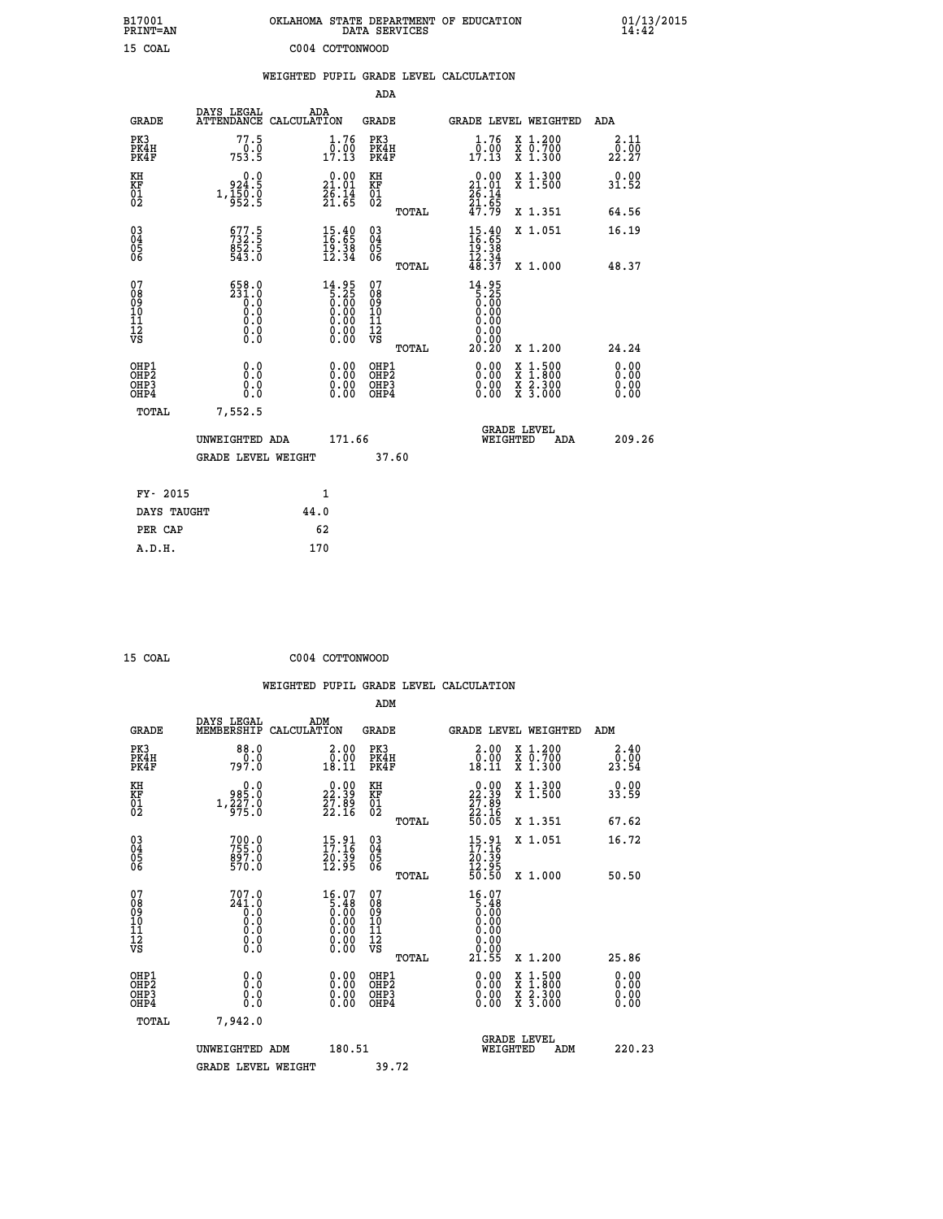| B17001<br>PRINT=AN               |                                                               | OKLAHOMA STATE DEPARTMENT OF EDUCATION                                | DATA SERVICES                                      |                                                         |                                                                                                                                      | $01/13/2015$<br>14:42 |  |
|----------------------------------|---------------------------------------------------------------|-----------------------------------------------------------------------|----------------------------------------------------|---------------------------------------------------------|--------------------------------------------------------------------------------------------------------------------------------------|-----------------------|--|
| 15 COAL                          |                                                               | C004 COTTONWOOD                                                       |                                                    |                                                         |                                                                                                                                      |                       |  |
|                                  |                                                               | WEIGHTED PUPIL GRADE LEVEL CALCULATION                                |                                                    |                                                         |                                                                                                                                      |                       |  |
|                                  |                                                               |                                                                       | ADA                                                |                                                         |                                                                                                                                      |                       |  |
| <b>GRADE</b>                     | DAYS LEGAL                                                    | ADA<br>ATTENDANCE CALCULATION                                         | GRADE                                              |                                                         | GRADE LEVEL WEIGHTED                                                                                                                 | ADA                   |  |
| PK3<br>PK4H<br>PK4F              | 77.5<br>0.0<br>753.5                                          | 1.76<br>$1\overline{7}\cdot 13$                                       | PK3<br>PK4H<br>PK4F                                | 1.76<br>$1\overline{7}.00$<br>17.13                     | X 1.200<br>X 0.700<br>X 1.300                                                                                                        | 2.11<br>0.00<br>22.27 |  |
| KH<br>KF<br>$\frac{01}{02}$      | 924.5<br>$1,\frac{1}{9}\overline{5}\overline{0}.\overline{0}$ | $21.00$<br>21.01<br>$\frac{2}{6}$ : $\frac{1}{6}$                     | КH<br><b>KF</b><br>01<br>02                        | $21.00$<br>21.01<br>$\frac{2}{6}$ : $\frac{1}{6}$       | X 1.300<br>X 1.500                                                                                                                   | 0.00<br>31.52         |  |
|                                  |                                                               |                                                                       | TOTAL                                              | 47.79                                                   | X 1.351                                                                                                                              | 64.56                 |  |
| 030404<br>ŌĞ                     | 677.5<br>732.5<br>852.5<br>543.0                              | $\begin{smallmatrix} 15.40\\ 16.65\\ 19.38\\ 12.34 \end{smallmatrix}$ | $\begin{matrix} 03 \\ 04 \\ 05 \\ 06 \end{matrix}$ | 15.40<br>16.65<br>$\frac{19.38}{12.34}$                 | X 1.051                                                                                                                              | 16.19                 |  |
| 07                               | 658.0                                                         |                                                                       | <b>TOTAL</b><br>07                                 | 48.37                                                   | X 1.000                                                                                                                              | 48.37                 |  |
| 08<br>09<br>11<br>11<br>12<br>VS | 231.0<br>Ŏ.Ŏ<br>0.0<br>0.0                                    | $14.95\n5.25\n0.00\n0.00\n0.00\n0.00\n0.00$                           | 08<br>09<br>10<br>Īĺ<br>$\frac{1}{\sqrt{2}}$       | $14.95$<br>5.25<br>0.00<br>0.00<br>0.00<br>0.00<br>0.00 |                                                                                                                                      |                       |  |
| OHP1                             |                                                               |                                                                       | TOTAL<br>OHP1                                      | 20.20                                                   | X 1.200                                                                                                                              | 24.24<br>0.00         |  |
| OHP <sub>2</sub><br>OHP3<br>OHP4 | 0.0<br>0.0<br>0.0                                             | 0.00<br>$\begin{smallmatrix} 0.00 \ 0.00 \end{smallmatrix}$           | OH <sub>P</sub> 2<br>OHP3<br>OHP4                  | 0.00<br>0.00<br>0.00                                    | $\begin{smallmatrix} \mathtt{X} & 1 & 500 \\ \mathtt{X} & 1 & 800 \\ \mathtt{X} & 2 & 300 \\ \mathtt{X} & 3 & 000 \end{smallmatrix}$ | 0.00<br>0.00<br>0.00  |  |
| TOTAL                            | 7,552.5                                                       |                                                                       |                                                    |                                                         |                                                                                                                                      |                       |  |
|                                  | UNWEIGHTED ADA                                                | 171.66                                                                |                                                    | WEIGHTED                                                | <b>GRADE LEVEL</b><br>ADA                                                                                                            | 209.26                |  |
|                                  | GRADE LEVEL WEIGHT                                            |                                                                       | 37.60                                              |                                                         |                                                                                                                                      |                       |  |
| FY- 2015                         |                                                               | 1                                                                     |                                                    |                                                         |                                                                                                                                      |                       |  |
| DAYS TAUGHT                      |                                                               | 44.0                                                                  |                                                    |                                                         |                                                                                                                                      |                       |  |
| PER CAP                          |                                                               | 62                                                                    |                                                    |                                                         |                                                                                                                                      |                       |  |

 **WEIGHTED PUPIL GRADE LEVEL CALCULATION ADM DAYS LEGAL ADM GRADE MEMBERSHIP CALCULATION GRADE GRADE LEVEL WEIGHTED ADM PK3 88.0 2.00 PK3 2.00 X 1.200 2.40 PK4H 0.0 0.00 PK4H 0.00 X 0.700 0.00 PK4F 797.0 18.11 PK4F 18.11 X 1.300 23.54 KH 0.0 0.00 KH 0.00 X 1.300 0.00 KF 985.0 22.39 KF 22.39 X 1.500 33.59 01 1,227.0 27.89 01 27.89 02 975.0 22.16 02 22.16 TOTAL 50.05 X 1.351 67.62 03 700.0 15.91 03 15.91 X 1.051 16.72 04 755.0 17.16 04 17.16 05 897.0 20.39 05 20.39** 06 570.0 12.95 06 <sub>memax</sub> 12.95  **TOTAL 50.50 X 1.000 50.50 07 707.0 16.07 07 16.07 08 241.0 5.48 08 5.48 03 0.00 0.00 0.000 0.000 10 0.0 0.00 10 0.00 11 0.0 0.00 11 0.00 12 0.0 0.00 12 0.00 VS 0.0 0.00 VS 0.00 TOTAL 21.55 X 1.200 25.86 OHE1 0.00 0.00 0.000 OHE1 0.00 X 1.500 0.00 OHES 0.0 0.0 0.00 OHES 0.00 X 1.800 0.00 OHP3 0.0 0.00 OHP3 0.00 X 2.300 0.00 OHP4 0.0 0.00 OHP4 0.00 X 3.000 0.00 TOTAL 7,942.0 GRADE LEVEL UNWEIGHTED ADM 180.51 WEIGHTED ADM 220.23** GRADE LEVEL WEIGHT 39.72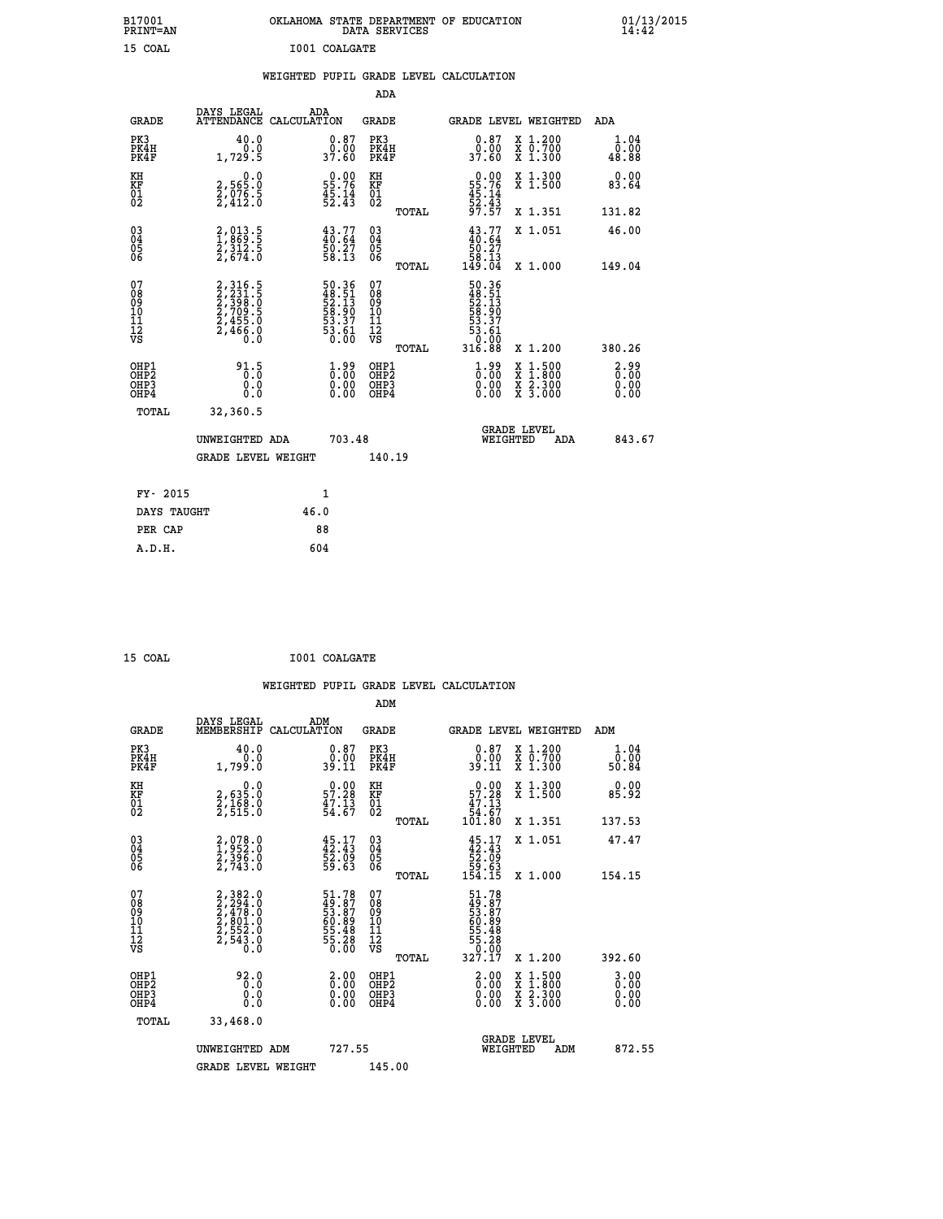| B17001<br>PRINT=AN                     |                                                                             | OKLAHOMA STATE DEPARTMENT OF EDUCATION                               |                                                              | DATA SERVICES                |                                                                         |                                          | $01/13/2015$<br>14:42            |
|----------------------------------------|-----------------------------------------------------------------------------|----------------------------------------------------------------------|--------------------------------------------------------------|------------------------------|-------------------------------------------------------------------------|------------------------------------------|----------------------------------|
| 15 COAL                                |                                                                             | I001 COALGATE                                                        |                                                              |                              |                                                                         |                                          |                                  |
|                                        |                                                                             | WEIGHTED PUPIL GRADE LEVEL CALCULATION                               |                                                              |                              |                                                                         |                                          |                                  |
|                                        |                                                                             |                                                                      |                                                              | ADA                          |                                                                         |                                          |                                  |
| <b>GRADE</b>                           | DAYS LEGAL                                                                  | ADA<br>ATTENDANCE CALCULATION                                        | <b>GRADE</b>                                                 |                              |                                                                         | GRADE LEVEL WEIGHTED                     | ADA                              |
| PK3<br>PK4H<br>PK4F                    | 40.0<br>0.0<br>1,729.5                                                      | 0.87<br>0.00<br>37.60                                                | PK3                                                          | PK4H<br>PK4F                 | 0.87<br>0.00<br>37.60                                                   | X 1.200<br>X 0.700<br>X 1.300            | 1.04<br>0.00<br>48.88            |
| KH<br>KF<br>$\frac{01}{02}$            | 0.0<br>2,565:0<br>2,076:5<br>2,412:0                                        | $\begin{smallmatrix} 0.00\\ 55.76\\ 45.14\\ 52.43 \end{smallmatrix}$ | КH<br><b>KF</b><br>01<br>02                                  |                              | $\begin{array}{r} 0.00 \\ 55.76 \\ 45.14 \\ 52.43 \\ 97.57 \end{array}$ | X 1.300<br>X 1.500                       | 0.00<br>83.64                    |
|                                        |                                                                             |                                                                      |                                                              | TOTAL                        |                                                                         | X 1.351                                  | 131.82                           |
| $^{03}_{04}$<br>Ŏ5<br>06               | 2,013.5<br>1,869.5<br>2,312.5<br>2,674.0                                    | $43.77$<br>$40.64$<br>$50.27$<br>$58.13$                             | $03\overline{4}$<br>$\begin{matrix} 0.5 \\ 0.6 \end{matrix}$ |                              | $43.77$<br>$40.64$<br>50.27<br>58.13                                    | X 1.051                                  | 46.00                            |
|                                        |                                                                             |                                                                      |                                                              | TOTAL                        | 149.04                                                                  | X 1.000                                  | 149.04                           |
| 07<br>08<br>09<br>10<br>11<br>īž<br>VS | 2, 316.5<br>2, 231.5<br>2, 398.0<br>2, 709.5<br>2, 455.0<br>2, 466.0<br>Ō.Ō | 50.36<br>48.51<br>52.13<br>53.90<br>53.37<br>53.61<br>50.00          | 07<br>08<br>09<br>101<br>11<br>12<br>VS                      | TOTAL                        | 50.36<br>48.51<br>52.13<br>53.90<br>53.37<br>53.61<br>0.00<br>316.88    | X 1.200                                  | 380.26                           |
|                                        |                                                                             |                                                                      |                                                              |                              |                                                                         |                                          |                                  |
| OHP1<br>OHP2<br>OHP3<br>OHP4           | 91.5<br>0.0<br>0.0                                                          | $1.99$<br>$0.00$<br>0.00                                             |                                                              | OHP1<br>OHP2<br>OHP3<br>OHP4 | $1.99$<br>$0.00$<br>0.00<br>0.00                                        | X 1:500<br>X 1:800<br>X 2:300<br>X 3:000 | $2.99$<br>$0.00$<br>0.00<br>0.00 |
| <b>TOTAL</b>                           | 32,360.5                                                                    |                                                                      |                                                              |                              |                                                                         |                                          |                                  |
|                                        | UNWEIGHTED ADA                                                              |                                                                      | 703.48                                                       |                              |                                                                         | <b>GRADE LEVEL</b><br>WEIGHTED<br>ADA    | 843.67                           |
|                                        | <b>GRADE LEVEL WEIGHT</b>                                                   |                                                                      |                                                              | 140.19                       |                                                                         |                                          |                                  |
| FY- 2015                               |                                                                             | 1                                                                    |                                                              |                              |                                                                         |                                          |                                  |
| DAYS TAUGHT                            |                                                                             | 46.0                                                                 |                                                              |                              |                                                                         |                                          |                                  |
|                                        |                                                                             |                                                                      |                                                              |                              |                                                                         |                                          |                                  |

| DAYS TAUGHT | 46.0 |
|-------------|------|
| PER CAP     | 88   |
| A.D.H.      | 604  |
|             |      |

| 15 COAL | I001 COALGATE |
|---------|---------------|
|         |               |

 **WEIGHTED PUPIL GRADE LEVEL CALCULATION ADM DAYS LEGAL ADM GRADE MEMBERSHIP CALCULATION GRADE GRADE LEVEL WEIGHTED ADM PK3 40.0 0.87 PK3 0.87 X 1.200 1.04 PK4H 0.0 0.00 PK4H 0.00 X 0.700 0.00 PK4F 1,799.0 39.11 PK4F 39.11 X 1.300 50.84 KH 0.0 0.00 KH 0.00 X 1.300 0.00 KF 2,635.0 57.28 KF 57.28 X 1.500 85.92** 01 2,168.0 47.13 01 47.13<br>02 2,515.0 54.67 02 54.67  **TOTAL 101.80 X 1.351 137.53 03 2,078.0 45.17 03 45.17 X 1.051 47.47 04 1,952.0 42.43 04 42.43 05 2,396.0 52.09 05 52.09 06 2,743.0 59.63 06 59.63 TOTAL 154.15 X 1.000 154.15**  $\begin{array}{cccc} 07 & 2,392.0 & 51.78 & 07 & 51.78 \ 08 & 2,478.0 & 49.87 & 08 & 49.87 \ 10 & 2,801.0 & 60.89 & 10 & 60.89 \ 11 & 2,554.0 & 55.48 & 11 & 55.48 \ \hline \textrm{vs} & 2,543.0 & 55.48 & 11 & 55.48 \ 12 & 55.48 & 12 & 55.48 \ 13 & 55.48 & 13 & 55.48 \ 14 & 55$  **TOTAL 327.17 X 1.200 392.60 OHP1 92.0 2.00 OHP1 2.00 X 1.500 3.00 OHP2 0.0 0.00 OHP2 0.00 X 1.800 0.00 OHP3 0.0 0.00 OHP3 0.00 X 2.300 0.00 OHP4 0.0 0.00 OHP4 0.00 X 3.000 0.00 TOTAL 33,468.0 GRADE LEVEL UNWEIGHTED ADM 727.55 WEIGHTED ADM 872.55 GRADE LEVEL WEIGHT 145.00**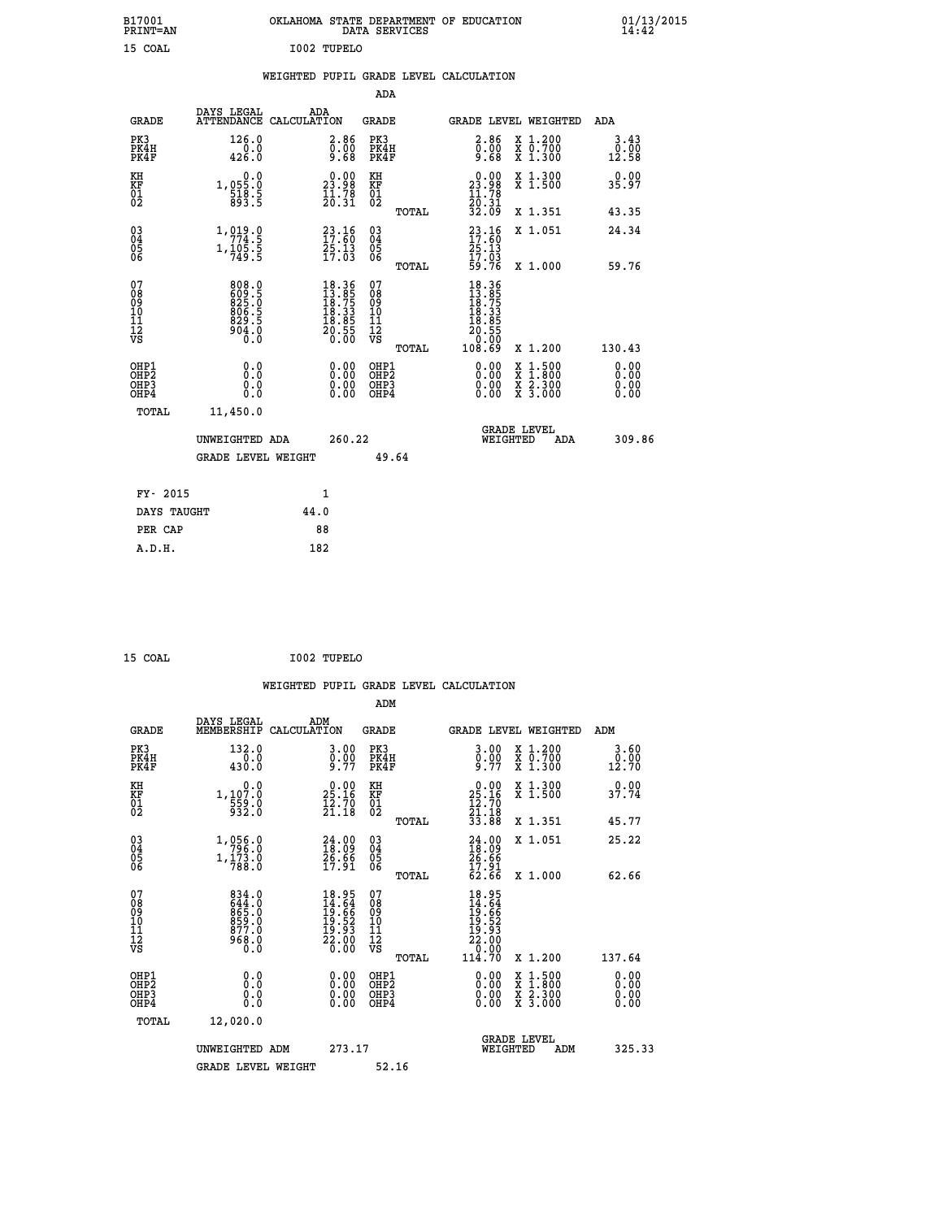| B17001<br>PRINT=AN                        |                                                                    | OKLAHOMA STATE DEPARTMENT OF EDUCATION                                                                 |                                                    | DATA SERVICES |                                                                              |                                                                                                  | $01/13/2015$<br>14:42 |
|-------------------------------------------|--------------------------------------------------------------------|--------------------------------------------------------------------------------------------------------|----------------------------------------------------|---------------|------------------------------------------------------------------------------|--------------------------------------------------------------------------------------------------|-----------------------|
| 15 COAL                                   |                                                                    | I002 TUPELO                                                                                            |                                                    |               |                                                                              |                                                                                                  |                       |
|                                           |                                                                    | WEIGHTED PUPIL GRADE LEVEL CALCULATION                                                                 |                                                    |               |                                                                              |                                                                                                  |                       |
|                                           |                                                                    |                                                                                                        | ADA                                                |               |                                                                              |                                                                                                  |                       |
| GRADE                                     | DAYS LEGAL                                                         | ADA<br>ATTENDANCE CALCULATION                                                                          | GRADE                                              |               |                                                                              | GRADE LEVEL WEIGHTED                                                                             | ADA                   |
| PK3<br>PK4H<br>PK4F                       | 126.0<br>0.0<br>426.0                                              | 2.86<br>0.00<br>9.68                                                                                   | PK3<br>PK4H<br>PK4F                                |               | 2.86<br>0.00<br>9.68                                                         | X 1.200<br>X 0.700<br>X 1.300                                                                    | 3.43<br>0.00<br>12.58 |
| KH<br>KF<br>$\frac{01}{02}$               | 0.0<br>1,055:0<br>518:5<br>5.893                                   | $\begin{smallmatrix} 0.00\\ 23.98\\ 11.78\\ 20.31 \end{smallmatrix}$                                   | KH<br>KF<br>$\begin{matrix} 01 \ 02 \end{matrix}$  |               | $\begin{smallmatrix} 0.00\\ 23.98\\ 11.78\\ 20.31\\ 32.09 \end{smallmatrix}$ | X 1.300<br>X 1.500                                                                               | 0.00<br>35.97         |
|                                           |                                                                    |                                                                                                        |                                                    | TOTAL         |                                                                              | X 1.351                                                                                          | 43.35                 |
| $\substack{03 \ 04}$<br>ŏ5<br>06          | 1,919.9<br>$1, \frac{1}{1}0\overline{5}\cdot\overline{5}$<br>749.5 | $\begin{smallmatrix} 23\cdot 16\\ 17\cdot 60\\ 25\cdot 13\\ 17\cdot 03 \end{smallmatrix}$              | $\begin{matrix} 03 \\ 04 \\ 05 \\ 06 \end{matrix}$ |               | $23.16$<br>$17.60$<br>25.13                                                  | X 1.051                                                                                          | 24.34                 |
|                                           |                                                                    |                                                                                                        |                                                    | TOTAL         | $\frac{17.03}{59.76}$                                                        | X 1.000                                                                                          | 59.76                 |
| 07<br>08<br>09<br>11<br>11<br>12<br>VS    | 808.0<br>825.5<br>$\frac{806}{829}$ .5<br>Ō.Ō                      | $\begin{smallmatrix} 18.36 \\ 13.85 \\ 18.75 \\ 18.33 \\ 18.33 \\ 18.85 \\ 20.55 \\ \end{smallmatrix}$ | 07<br>08<br>09<br>10<br>īĭ<br>12<br>VS             |               | 18.365<br>13.75<br>18.75<br>18.33<br>18.85<br>20.55<br>20.90                 |                                                                                                  |                       |
|                                           |                                                                    |                                                                                                        |                                                    | TOTAL         | 108.69                                                                       | X 1.200                                                                                          | 130.43                |
| OHP1<br>OH <sub>P</sub> 2<br>OHP3<br>OHP4 | 0.0<br>0.0<br>0.0                                                  | 0.00<br>0.00<br>0.00                                                                                   | OHP1<br>OH <sub>P</sub> 2<br>OHP3<br>OHP4          |               | 0.00<br>0.00<br>0.00                                                         | $\begin{smallmatrix} x & 1 & 500 \\ x & 1 & 800 \\ x & 2 & 300 \\ x & 3 & 000 \end{smallmatrix}$ | 0.00<br>0.00<br>0.00  |
| TOTAL                                     | 11,450.0                                                           |                                                                                                        |                                                    |               |                                                                              |                                                                                                  |                       |
|                                           | UNWEIGHTED ADA                                                     | 260.22                                                                                                 |                                                    |               |                                                                              | <b>GRADE LEVEL</b><br>WEIGHTED<br>ADA                                                            | 309.86                |
|                                           | <b>GRADE LEVEL WEIGHT</b>                                          |                                                                                                        |                                                    | 49.64         |                                                                              |                                                                                                  |                       |
| FY- 2015                                  |                                                                    | 1                                                                                                      |                                                    |               |                                                                              |                                                                                                  |                       |
| DAYS TAUGHT                               |                                                                    | 44.0                                                                                                   |                                                    |               |                                                                              |                                                                                                  |                       |
| PER CAP                                   |                                                                    | 88                                                                                                     |                                                    |               |                                                                              |                                                                                                  |                       |

| 15 COAL | I002 TUPELO |
|---------|-------------|
| ___     |             |

 **WEIGHTED PUPIL GRADE LEVEL CALCULATION ADM DAYS LEGAL ADM GRADE MEMBERSHIP CALCULATION GRADE GRADE LEVEL WEIGHTED ADM PK3 132.0 3.00 PK3 3.00 X 1.200 3.60 PK4H 0.0 0.00 PK4H 0.00 X 0.700 0.00 PK4F 430.0 9.77 PK4F 9.77 X 1.300 12.70 KH 0.0 0.00 KH 0.00 X 1.300 0.00 KF 1,107.0 25.16 KF 25.16 X 1.500 37.74 01 559.0 12.70 01 12.70 02 932.0 21.18 02 21.18 TOTAL 33.88 X 1.351 45.77 03 1,056.0 24.00 03 24.00 X 1.051 25.22 04 796.0 18.09 04 18.09 05 1,173.0 26.66 05 26.66** 06 788.0 17.91 06 <sub>memas</sub> 17.91  **TOTAL 62.66 X 1.000 62.66 07 834.0 18.95 07 18.95 08 644.0 14.64 08 14.64 09 865.0 19.66 09 19.66 10 859.0 19.52 10 19.52 11 877.0 19.93 11 19.93 12 968.0 22.00 12 22.00 VS** 0.0 0.00 VS 0.00 0.00 1, 0.00  **TOTAL 114.70 X 1.200 137.64 OHP1 0.0 0.00 OHP1 0.00 X 1.500 0.00 OHP2 0.0 0.00 OHP2 0.00 X 1.800 0.00 OHP3 0.0 0.00 OHP3 0.00 X 2.300 0.00 OHP4 0.0 0.00 OHP4 0.00 X 3.000 0.00 TOTAL 12,020.0 GRADE LEVEL UNWEIGHTED ADM 273.17 WEIGHTED ADM 325.33** GRADE LEVEL WEIGHT 52.16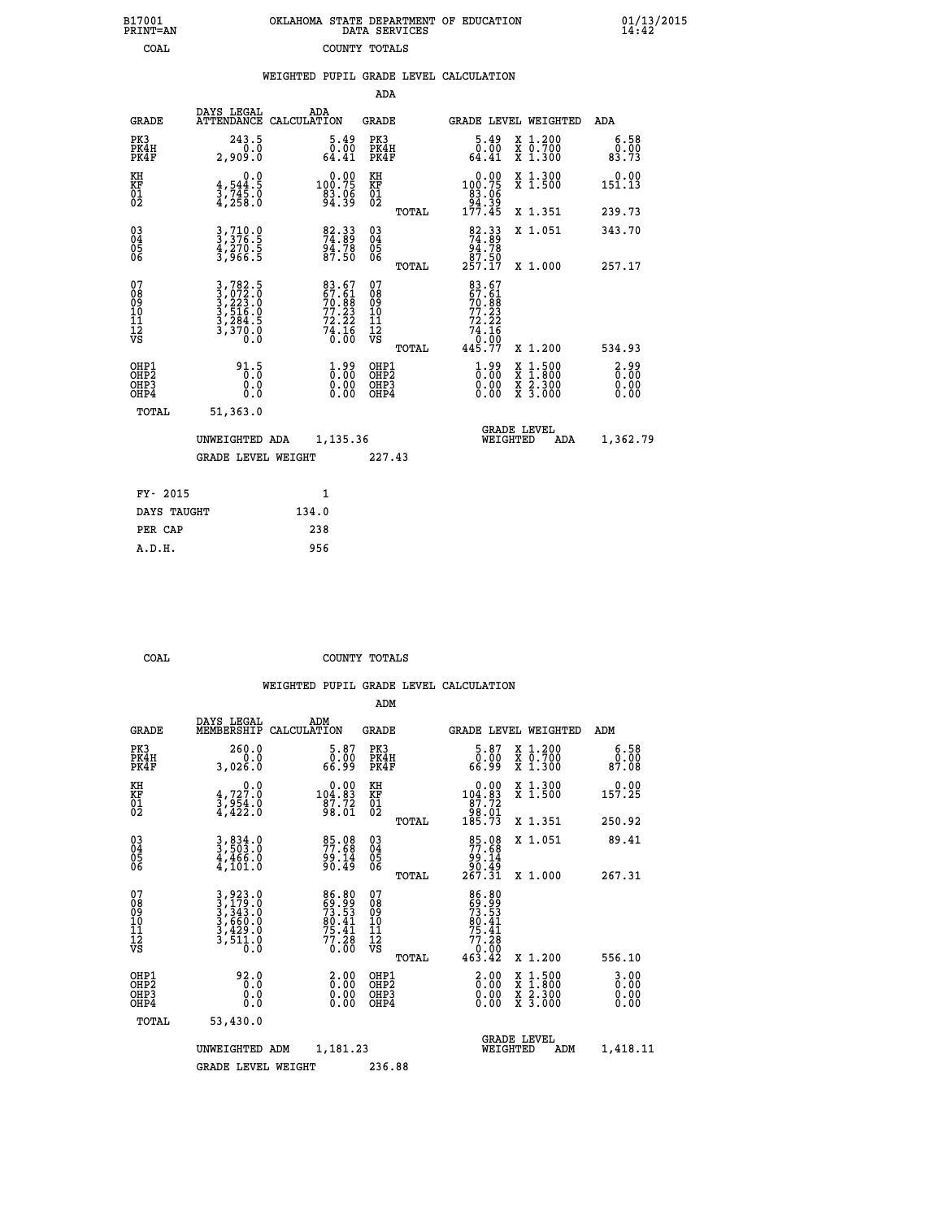| 7001<br>INT=AN | OKLAHOMA STATE DEPARTMENT OF EDUCATION<br>DATA SERVICES |  |  |
|----------------|---------------------------------------------------------|--|--|
| COAL           | COUNTY TOTALS                                           |  |  |

 **B17001 OKLAHOMA STATE DEPARTMENT OF EDUCATION 01/13/2015**

|                                              |                                                                                                                                   | WEIGHTED PUPIL GRADE LEVEL CALCULATION                           |                                                    |       |                                                                                     |                                                                                        |                          |
|----------------------------------------------|-----------------------------------------------------------------------------------------------------------------------------------|------------------------------------------------------------------|----------------------------------------------------|-------|-------------------------------------------------------------------------------------|----------------------------------------------------------------------------------------|--------------------------|
|                                              |                                                                                                                                   |                                                                  | ADA                                                |       |                                                                                     |                                                                                        |                          |
| <b>GRADE</b>                                 | DAYS LEGAL                                                                                                                        | ADA<br>ATTENDANCE CALCULATION                                    | <b>GRADE</b>                                       |       |                                                                                     | <b>GRADE LEVEL WEIGHTED</b>                                                            | ADA                      |
| PK3<br>PK4H<br>PK4F                          | 243.5<br>0.0<br>2,909.0                                                                                                           | $\frac{5.49}{0.00}$<br>64.41                                     | PK3<br>PK4H<br>PK4F                                |       | $\frac{5.49}{0.00}$<br>64.41                                                        | X 1.200<br>X 0.700<br>X 1.300                                                          | 6.58<br>0.00<br>83.73    |
| KH<br>KF<br>01<br>02                         | 0.0<br>$\frac{4}{3}, \frac{544}{745}$ .0<br>4,258.0                                                                               | $0.00$<br>100.75<br>$\frac{83.06}{94.39}$                        | KH<br>KF<br>01<br>02                               |       | $\begin{smallmatrix}&&0.00\\100.75\\83.06\\94.39\\177.45\end{smallmatrix}$          | X 1.300<br>X 1.500                                                                     | $0.00$<br>151.13         |
|                                              |                                                                                                                                   |                                                                  |                                                    | TOTAL |                                                                                     | X 1.351                                                                                | 239.73                   |
| $^{03}_{04}$<br>05                           | 3, 710.0<br>3, 376.5<br>4, 270.5<br>3, 966.5                                                                                      | 82.33<br>74.89<br>94.78<br>87.50                                 | $\begin{matrix} 03 \\ 04 \\ 05 \\ 06 \end{matrix}$ |       | $\begin{smallmatrix}82.33\\74.89\\94.78\\87.50\\257.17\end{smallmatrix}$            | X 1.051                                                                                | 343.70                   |
| 06                                           |                                                                                                                                   |                                                                  |                                                    | TOTAL |                                                                                     | X 1.000                                                                                | 257.17                   |
| 07<br>08<br>09<br>01<br>11<br>11<br>12<br>VS | $\begin{smallmatrix} 3\,,782\,.5\\ 3\,,072\,.0\\ 3\,,223\,.0\\ 3\,,516\,.0\\ 3\,,284\,.5\\ 3\,,370\,.0\\ 0\,.0 \end{smallmatrix}$ | 83.67<br>67.61<br>70.88<br>77.23<br>$72.22$<br>$74.16$<br>$0.00$ | 07<br>08<br>09<br>101<br>11<br>12<br>VS            | TOTAL | 83.67<br>67.61<br>70.88<br>77.23<br>72.22<br>$74.16$<br>0.00<br>445.77              | X 1.200                                                                                | 534.93                   |
| OHP1<br>OHP2<br>OH <sub>P3</sub><br>OHP4     | 91.5<br>0.0<br>0.0                                                                                                                | $\begin{smallmatrix} 1.99\ 0.00\ 0.00 \end{smallmatrix}$         | OHP1<br>OHP2<br>OHP3<br>OHP4                       |       | $\begin{smallmatrix} 1.99 \\[-4pt] 0.00\\[-4pt] 0.00\\[-4pt] 0.00\end{smallmatrix}$ | $\begin{smallmatrix} 1.500\ 1.800\ 2.300\ 3.000 \end{smallmatrix}$<br>X<br>X<br>X<br>X | $2.99$<br>$0.00$<br>0.00 |
| TOTAL                                        | 51,363.0                                                                                                                          |                                                                  |                                                    |       |                                                                                     |                                                                                        |                          |
|                                              | UNWEIGHTED ADA                                                                                                                    | 1,135.36                                                         |                                                    |       | WEIGHTED                                                                            | <b>GRADE LEVEL</b><br>ADA                                                              | 1,362.79                 |
|                                              | <b>GRADE LEVEL WEIGHT</b>                                                                                                         |                                                                  | 227.43                                             |       |                                                                                     |                                                                                        |                          |
| FY- 2015                                     |                                                                                                                                   | $\mathbf{1}$                                                     |                                                    |       |                                                                                     |                                                                                        |                          |
| DAYS TAUGHT                                  |                                                                                                                                   | 134.0                                                            |                                                    |       |                                                                                     |                                                                                        |                          |
| PER CAP                                      |                                                                                                                                   | 238                                                              |                                                    |       |                                                                                     |                                                                                        |                          |

 **A.D.H. 956**

 **B17001<br>PRINT=AN** 

 **COAL COUNTY TOTALS**

|                                           |                                                                                     |                                                                              | ADM                                                 |       |                                                                            |                                          |                                  |
|-------------------------------------------|-------------------------------------------------------------------------------------|------------------------------------------------------------------------------|-----------------------------------------------------|-------|----------------------------------------------------------------------------|------------------------------------------|----------------------------------|
| <b>GRADE</b>                              | DAYS LEGAL<br>MEMBERSHIP                                                            | ADM<br>CALCULATION                                                           | <b>GRADE</b>                                        |       |                                                                            | <b>GRADE LEVEL WEIGHTED</b>              | ADM                              |
| PK3<br>PK4H<br>PK4F                       | 260.0<br>0.0<br>3,026.0                                                             | $\substack{5.87\\0.00\\66.99}$                                               | PK3<br>PK4H<br>PK4F                                 |       | $\begin{smallmatrix}5.87\0.00\\66.99\end{smallmatrix}$                     | X 1.200<br>X 0.700<br>X 1.300            | 6.58<br>ŏ:ŏŏ<br>87:08            |
| KH<br>KF<br>01<br>02                      | 0.0<br>$\frac{4}{3}, \frac{727}{954}$ .0<br>4,422.0                                 | $\substack{ \begin{array}{c} 0.00 \\ 104.83 \\ 87.72 \\ 98.01 \end{array} }$ | KH<br>KF<br>01<br>02                                |       | $\begin{smallmatrix}&&0.00\\104.83\\87.72\\98.01\\185.73\end{smallmatrix}$ | X 1.300<br>X 1.500                       | $0.00$<br>157.25                 |
|                                           |                                                                                     |                                                                              |                                                     | TOTAL |                                                                            | X 1.351                                  | 250.92                           |
| 03<br>04<br>05<br>06                      | 3,834.0<br>3,503.0<br>4,466.0<br>4,101.0                                            | 85.08<br>77.68<br>14.00<br>90.49                                             | $\begin{array}{c} 03 \\ 04 \\ 05 \\ 06 \end{array}$ |       | 85.08<br>77.68<br>14: ۈۈ<br>49.49<br>267: 31                               | X 1.051                                  | 89.41                            |
|                                           |                                                                                     |                                                                              |                                                     | TOTAL |                                                                            | X 1.000                                  | 267.31                           |
| 07<br>08<br>09<br>101<br>112<br>VS        | $3,923.0$<br>$3,179.0$<br>$3,343.0$<br>$3,660.0$<br>$3,429.0$<br>$3,511.0$<br>$0.0$ | 86.80<br>59.53<br>73.53<br>80.41<br>75.41<br>77.28<br>0.00                   | 07<br>08<br>09<br>11<br>11<br>12<br>VS              | TOTAL | $86.80$<br>$53.53$<br>$80.41$<br>$75.41$<br>$77.28$<br>$0.00$<br>$463.42$  | X 1.200                                  | 556.10                           |
|                                           |                                                                                     |                                                                              |                                                     |       |                                                                            |                                          |                                  |
| OHP1<br>OHP2<br>OH <sub>P</sub> 3<br>OHP4 | 92.0<br>0.000                                                                       | $\begin{smallmatrix} 2.00\ 0.00\ 0.00 \end{smallmatrix}$                     | OHP1<br>OHP2<br>OHP <sub>3</sub>                    |       | $\begin{smallmatrix} 2.00 \ 0.00 \ 0.00 \end{smallmatrix}$<br>0.00         | X 1:500<br>X 1:800<br>X 2:300<br>X 3:000 | $3.00$<br>$0.00$<br>0.00<br>0.00 |
| TOTAL                                     | 53,430.0                                                                            |                                                                              |                                                     |       |                                                                            |                                          |                                  |
|                                           | UNWEIGHTED                                                                          | 1,181.23<br>ADM                                                              |                                                     |       |                                                                            | <b>GRADE LEVEL</b><br>WEIGHTED<br>ADM    | 1,418.11                         |
|                                           | <b>GRADE LEVEL WEIGHT</b>                                                           |                                                                              | 236.88                                              |       |                                                                            |                                          |                                  |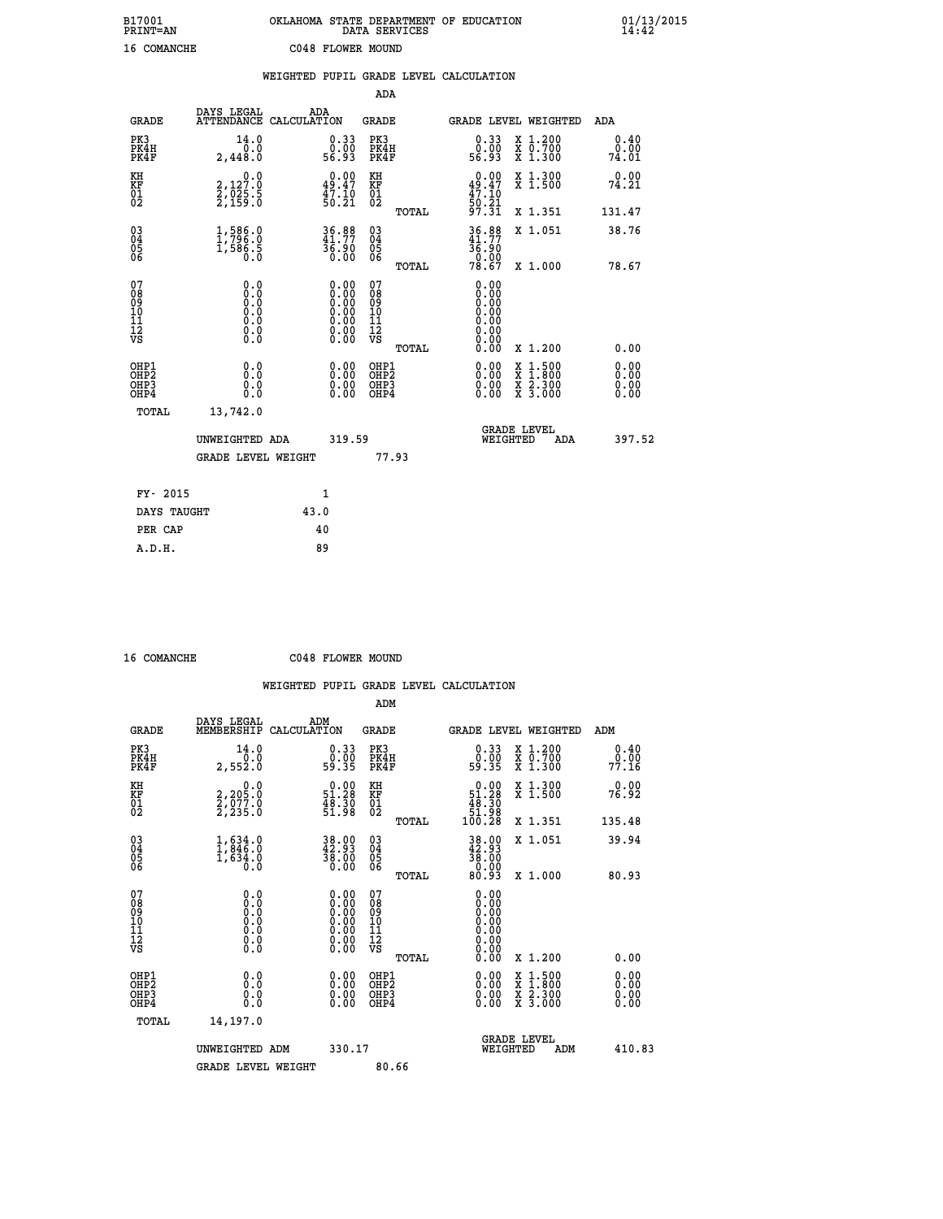| B17001<br><b>PRINT=AN</b> | OKLAHOMA STATE DEPARTMENT OF EDUCATION<br>DATA SERVICES | 01/13/2015 |
|---------------------------|---------------------------------------------------------|------------|
| 16 COMANCHE               | C048 FLOWER MOUND                                       |            |

|                                                    |                                                                                      | WEIGHTED PUPIL GRADE LEVEL CALCULATION                                                   |                                                 |                                                                          |                              |
|----------------------------------------------------|--------------------------------------------------------------------------------------|------------------------------------------------------------------------------------------|-------------------------------------------------|--------------------------------------------------------------------------|------------------------------|
|                                                    |                                                                                      |                                                                                          | ADA                                             |                                                                          |                              |
| <b>GRADE</b>                                       | DAYS LEGAL                                                                           | ADA<br>ATTENDANCE CALCULATION                                                            | <b>GRADE</b>                                    | GRADE LEVEL WEIGHTED                                                     | ADA                          |
| PK3<br>PK4H<br>PK4F                                | 14.0<br>0.0<br>2,448.0                                                               | $\begin{smallmatrix} 0.33\ 0.00\ 56.93 \end{smallmatrix}$                                | PK3<br>PK4H<br>PK4F                             | 0.33<br>X 1.200<br>X 0.700<br>X 1.300<br>0.00<br>56.93                   | 0.40<br>0.00<br>74.01        |
| KH<br>KF<br>01<br>02                               | 0.0<br>2,127:0<br>2,025:5<br>2,159:0                                                 | $\begin{smallmatrix} 0.00\\ 49.47\\ 47.10\\ 50.21 \end{smallmatrix}$                     | KH<br>KF<br>01<br>02                            | $0.00$<br>$49.47$<br>$47.10$<br>$50.21$<br>$97.31$<br>X 1.300<br>X 1.500 | 0.00<br>74.21                |
|                                                    |                                                                                      |                                                                                          | TOTAL                                           | X 1.351                                                                  | 131.47                       |
| $\begin{matrix} 03 \\ 04 \\ 05 \\ 06 \end{matrix}$ | 1,586.0<br>1,588.5                                                                   | 36.88<br>36.90<br>0.00                                                                   | $\substack{03 \\ 04}$<br>Ŏ5<br>06               | 36.88<br>X 1.051<br>$\frac{36.90}{0.00}$<br>78.67                        | 38.76                        |
|                                                    |                                                                                      |                                                                                          | TOTAL                                           | X 1.000                                                                  | 78.67                        |
| 07<br>08<br>09<br>101<br>112<br>VS                 | 0.0<br>$\begin{smallmatrix} 0.0 & 0 \ 0.0 & 0 \ 0.0 & 0 \ 0.0 & 0 \end{smallmatrix}$ | $\begin{smallmatrix} 0.00 \ 0.00 \ 0.00 \ 0.00 \ 0.00 \end{smallmatrix}$<br>Ŏ.ŎŎ<br>O.OO | 07<br>08<br>09<br>11<br>11<br>12<br>VS<br>TOTAL | 0.00<br>0.00<br>0.00<br>0.00<br>0.00<br>0.00<br>0.00<br>X 1.200          | 0.00                         |
| OHP1<br>OHP2<br>OH <sub>P3</sub><br>OHP4           | 0.0<br>0.0<br>0.0                                                                    | $\begin{smallmatrix} 0.00 \ 0.00 \ 0.00 \ 0.00 \end{smallmatrix}$                        | OHP1<br>OHP2<br>OHP3<br>OHP4                    | X 1:500<br>X 1:800<br>X 2:300<br>X 3:000                                 | 0.00<br>0.00<br>0.00<br>0.00 |
|                                                    | TOTAL<br>13,742.0                                                                    |                                                                                          |                                                 |                                                                          |                              |
|                                                    | UNWEIGHTED ADA                                                                       | 319.59                                                                                   |                                                 | <b>GRADE LEVEL</b><br>WEIGHTED<br>ADA                                    | 397.52                       |
|                                                    | <b>GRADE LEVEL WEIGHT</b>                                                            |                                                                                          | 77.93                                           |                                                                          |                              |
|                                                    | FY- 2015                                                                             | $\mathbf{1}$                                                                             |                                                 |                                                                          |                              |
|                                                    | DAYS TAUGHT                                                                          | 43.0                                                                                     |                                                 |                                                                          |                              |
|                                                    | PER CAP                                                                              | 40                                                                                       |                                                 |                                                                          |                              |

| 16 | <b>COMANCHE</b> |
|----|-----------------|

 **ADM**

 **16 COMANCHE C048 FLOWER MOUND**

| <b>GRADE</b>                                       | DAYS LEGAL<br>MEMBERSHIP                                                                          | ADM<br>CALCULATION                                                   | <b>GRADE</b>                                       |       | GRADE LEVEL WEIGHTED                                                                                                                                                                                                                                                           |          |                                                                             | ADM |                       |
|----------------------------------------------------|---------------------------------------------------------------------------------------------------|----------------------------------------------------------------------|----------------------------------------------------|-------|--------------------------------------------------------------------------------------------------------------------------------------------------------------------------------------------------------------------------------------------------------------------------------|----------|-----------------------------------------------------------------------------|-----|-----------------------|
| PK3<br>PK4H<br>PK4F                                | 14.0<br>0.0<br>2,552.0                                                                            | $0.33$<br>$0.00$<br>59.35                                            | PK3<br>PK4H<br>PK4F                                |       | $\begin{smallmatrix} 0.33\ 0.00\ 59.35 \end{smallmatrix}$                                                                                                                                                                                                                      |          | $\begin{smallmatrix} x & 1.200 \\ x & 0.700 \end{smallmatrix}$<br>$X$ 1.300 |     | 0.40<br>0.00<br>77.16 |
| KH<br>KF<br>01<br>02                               | 0.0<br>2,205:0<br>2,077:0<br>2,235:0                                                              | $\begin{smallmatrix} 0.00\\ 51.28\\ 48.30\\ 51.98 \end{smallmatrix}$ | KH<br>KF<br>01<br>02                               |       | $\begin{smallmatrix}&&0.00\\51.28\\48.30\\51.98\\100.28\end{smallmatrix}$                                                                                                                                                                                                      |          | X 1.300<br>X 1.500                                                          |     | 0.00<br>76.92         |
|                                                    |                                                                                                   |                                                                      |                                                    | TOTAL |                                                                                                                                                                                                                                                                                |          | X 1.351                                                                     |     | 135.48                |
| $\begin{matrix} 03 \\ 04 \\ 05 \\ 06 \end{matrix}$ | $\frac{1}{1}$ , $\begin{array}{c} 634.0 \\ 846.0 \\ 1,634.0 \end{array}$<br>0.0                   | 38.00<br>42.93<br>38.00<br>0.00                                      | $\begin{matrix} 03 \\ 04 \\ 05 \\ 06 \end{matrix}$ |       | $\begin{smallmatrix} 38.00\\ 42.93\\ 38.00\\ 0.00\\ 0.93 \end{smallmatrix}$                                                                                                                                                                                                    |          | X 1.051                                                                     |     | 39.94                 |
|                                                    |                                                                                                   |                                                                      |                                                    | TOTAL |                                                                                                                                                                                                                                                                                |          | X 1.000                                                                     |     | 80.93                 |
| 07<br>08<br>09<br>101<br>11<br>12<br>VS            | $\begin{smallmatrix} 0.0 & 0 \ 0.0 & 0 \ 0.0 & 0 \ 0.0 & 0 \ 0.0 & 0 \ 0.0 & 0 \end{smallmatrix}$ | 0.00                                                                 | 07<br>08<br>09<br>11<br>11<br>12<br>VS             | TOTAL | 0.00                                                                                                                                                                                                                                                                           |          | X 1.200                                                                     |     | 0.00                  |
| OHP1<br>OHP2<br>OH <sub>P3</sub>                   | 0.0<br>0.000                                                                                      | $0.00$<br>$0.00$                                                     | OHP1<br>OHP2<br>OHP3                               |       | $\begin{smallmatrix} 0.00 & 0.00 & 0.00 & 0.00 & 0.00 & 0.00 & 0.00 & 0.00 & 0.00 & 0.00 & 0.00 & 0.00 & 0.00 & 0.00 & 0.00 & 0.00 & 0.00 & 0.00 & 0.00 & 0.00 & 0.00 & 0.00 & 0.00 & 0.00 & 0.00 & 0.00 & 0.00 & 0.00 & 0.00 & 0.00 & 0.00 & 0.00 & 0.00 & 0.00 & 0.00 & 0.0$ |          | X 1:500<br>X 1:800<br>X 2:300<br>X 3:000                                    |     | $0.00$<br>$0.00$      |
| OHP4<br>TOTAL                                      | 14,197.0                                                                                          | 0.00                                                                 | OHP4                                               |       |                                                                                                                                                                                                                                                                                |          |                                                                             |     | 0.00                  |
|                                                    |                                                                                                   |                                                                      |                                                    |       |                                                                                                                                                                                                                                                                                |          | <b>GRADE LEVEL</b>                                                          |     |                       |
|                                                    | UNWEIGHTED                                                                                        | 330.17<br>ADM                                                        |                                                    |       |                                                                                                                                                                                                                                                                                | WEIGHTED | ADM                                                                         |     | 410.83                |
|                                                    | <b>GRADE LEVEL WEIGHT</b>                                                                         |                                                                      | 80.66                                              |       |                                                                                                                                                                                                                                                                                |          |                                                                             |     |                       |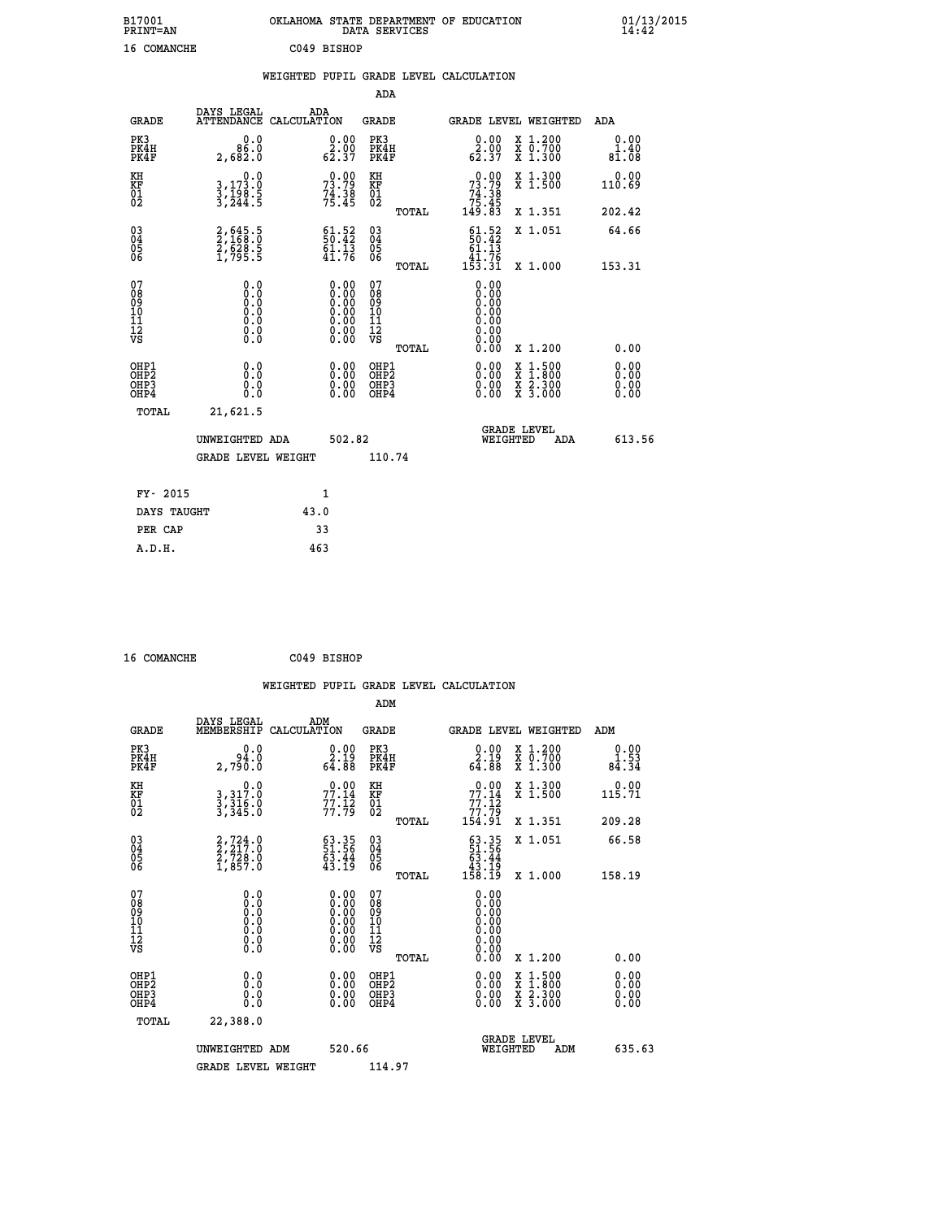| B17001<br><b>PRINT=AN</b> | OKLAHOMA STATE DEPARTMENT OF EDUCATION<br>DATA SERVICES | 01/13/2015 |
|---------------------------|---------------------------------------------------------|------------|
| 16 COMANCHE               | C049 BISHOP                                             |            |

|                                                                    |                                                                                    |                                                                                          | ADA                                    |        |                                                                               |                                                                                          |                       |
|--------------------------------------------------------------------|------------------------------------------------------------------------------------|------------------------------------------------------------------------------------------|----------------------------------------|--------|-------------------------------------------------------------------------------|------------------------------------------------------------------------------------------|-----------------------|
| <b>GRADE</b>                                                       | DAYS LEGAL                                                                         | ADA<br>ATTENDANCE CALCULATION                                                            | <b>GRADE</b>                           |        |                                                                               | <b>GRADE LEVEL WEIGHTED</b>                                                              | ADA                   |
| PK3<br>PK4H<br>PK4F                                                | 0.0<br>86.0<br>2,682.0                                                             | $\begin{smallmatrix} 0.00\\ 2.00\\ 62.37 \end{smallmatrix}$                              | PK3<br>PK4H<br>PK4F                    |        | 0.00<br>$\frac{2.00}{62.37}$                                                  | X 1.200<br>X 0.700<br>X 1.300                                                            | 0.00<br>1.40<br>81.08 |
| KH<br>KF<br>01<br>02                                               | 0.0<br>3,173.0<br>3,198.5<br>3,244.5                                               | $73.79$<br>$73.79$<br>$74.38$<br>$75.45$                                                 | KH<br>KF<br>01<br>02                   |        | $\begin{smallmatrix} &0.00\ 73.79\ 74.38\ 75.45\ 149.83\end{smallmatrix}$     | X 1.300<br>X 1.500                                                                       | 0.00<br>110.69        |
|                                                                    |                                                                                    |                                                                                          |                                        | TOTAL  |                                                                               | X 1.351                                                                                  | 202.42                |
| $\begin{smallmatrix} 03 \\[-4pt] 04 \end{smallmatrix}$<br>Ŏ5<br>06 | 2,645.5<br>2,168.0<br>2,628.5<br>1,795.5                                           | $\begin{smallmatrix} 61.52\ 50.42\ 61.13\ 41.76 \end{smallmatrix}$                       | 03<br>04<br>05<br>06                   |        | $51.52$<br>$50.42$<br>$\begin{array}{r} 61.13 \\ 41.76 \\ 153.31 \end{array}$ | X 1.051                                                                                  | 64.66                 |
|                                                                    |                                                                                    |                                                                                          |                                        | TOTAL  |                                                                               | X 1.000                                                                                  | 153.31                |
| 07<br>08<br>09<br>11<br>11<br>12<br>VS                             | 0.0<br>$\begin{smallmatrix} 0.0 & 0 \ 0.0 & 0 \ 0.0 & 0 \end{smallmatrix}$<br>0.00 | $\begin{smallmatrix} 0.00 \ 0.00 \ 0.00 \ 0.00 \ 0.00 \end{smallmatrix}$<br>Ŏ.ŎŎ<br>O.OO | 07<br>08<br>09<br>11<br>11<br>12<br>VS |        | 0.00<br>0.00<br>0.00<br>0.00<br>0.00                                          |                                                                                          |                       |
|                                                                    |                                                                                    |                                                                                          |                                        | TOTAL  | 0.00                                                                          | X 1.200                                                                                  | 0.00                  |
| OHP1<br>OHP2<br>OH <sub>P3</sub><br>OHP4                           | 0.0<br>0.0<br>0.0                                                                  | $0.00$<br>$0.00$<br>0.00                                                                 | OHP1<br>OHP2<br>OHP3<br>OHP4           |        |                                                                               | $\begin{smallmatrix} x & 1.500 \\ x & 1.800 \\ x & 2.300 \\ x & 3.000 \end{smallmatrix}$ | 0.00<br>0.00<br>0.00  |
| TOTAL                                                              | 21,621.5                                                                           |                                                                                          |                                        |        |                                                                               |                                                                                          |                       |
|                                                                    | UNWEIGHTED ADA                                                                     |                                                                                          | 502.82                                 |        |                                                                               | <b>GRADE LEVEL</b><br>WEIGHTED<br>ADA                                                    | 613.56                |
|                                                                    | <b>GRADE LEVEL WEIGHT</b>                                                          |                                                                                          |                                        | 110.74 |                                                                               |                                                                                          |                       |
| FY- 2015                                                           |                                                                                    | $\mathbf{1}$                                                                             |                                        |        |                                                                               |                                                                                          |                       |
| DAYS TAUGHT                                                        |                                                                                    | 43.0                                                                                     |                                        |        |                                                                               |                                                                                          |                       |
| PER CAP                                                            |                                                                                    | 33                                                                                       |                                        |        |                                                                               |                                                                                          |                       |

| 16 COMANCHE<br>C049 BISHOP |
|----------------------------|
|----------------------------|

 **WEIGHTED PUPIL GRADE LEVEL CALCULATION ADM DAYS LEGAL ADM GRADE MEMBERSHIP CALCULATION GRADE GRADE LEVEL WEIGHTED ADM PK3 0.0 0.00 PK3 0.00 X 1.200 0.00 PK4H 94.0 2.19 PK4H 2.19 X 0.700 1.53 PK4F 2,790.0 64.88 PK4F 64.88 X 1.300 84.34 KH 0.0 0.00 KH 0.00 X 1.300 0.00 KF 3,317.0 77.14 KF 77.14 X 1.500 115.71 EXH**<br> **KF**<br> **01**<br> **02**<br> **3,316.0**<br> **5,316.0**<br> **77.79**<br> **77.79**<br> **77.79**<br> **77.79**<br> **62 02 3,345.0 77.79 02 77.79 TOTAL 154.91 X 1.351 209.28 03 2,724.0 63.35 03 63.35 X 1.051 66.58 04 2,217.0 51.56 04 51.56 05 2,728.0 63.44 05 63.44 06 1,857.0 43.19 06 43.19 TOTAL 158.19 X 1.000 158.19 07 0.0 0.00 07 0.00 08 0.0 0.00 08 0.00 03 0.00 0.00 0.000 0.000 10 0.0 0.00 10 0.00 11 0.0 0.00 11 0.00 12 0.0 0.00 12 0.00 VS** 0.0 0.00 VS 0.00 0.00  **TOTAL 0.00 X 1.200 0.00 OHP1 0.0 0.00 OHP1 0.00 X 1.500 0.00 OHP2 0.0 0.00 OHP2 0.00 X 1.800 0.00 OHP3 0.0 0.00 OHP3 0.00 X 2.300 0.00 OHP4 0.0 0.00 OHP4 0.00 X 3.000 0.00 TOTAL 22,388.0 GRADE LEVEL UNWEIGHTED ADM 520.66 WEIGHTED ADM 635.63 GRADE LEVEL WEIGHT 114.97**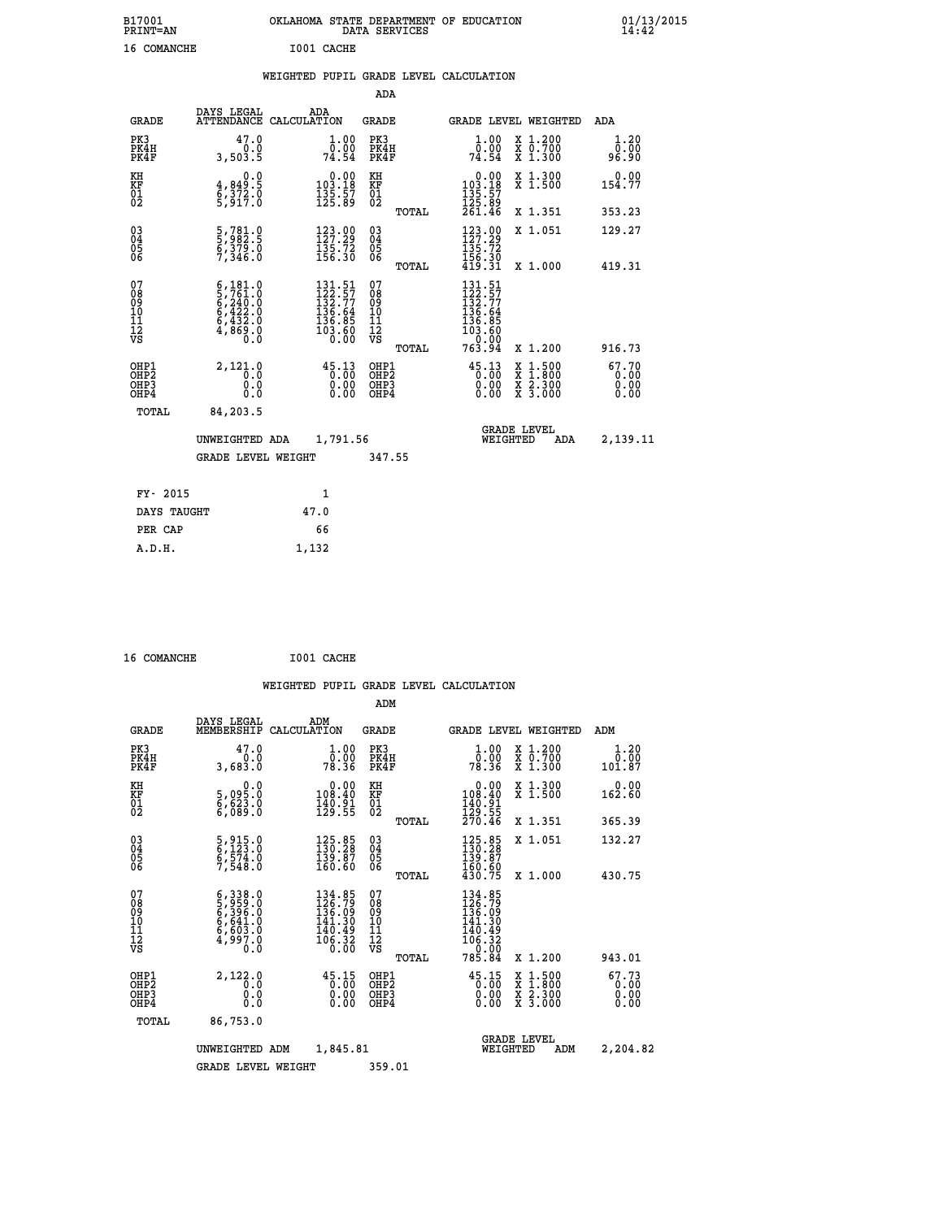| B17001<br>PRINT=AN | OKLAHOMA STATE DEPARTMENT OF EDUCATION<br>DATA SERVICES | 01/13/2015<br>14:42 |
|--------------------|---------------------------------------------------------|---------------------|
| 16 COMANCHE        | I001 CACHE                                              |                     |

|  |  | WEIGHTED PUPIL GRADE LEVEL CALCULATION |
|--|--|----------------------------------------|
|  |  |                                        |

|                                                                              |                                                                                                                                                           |                                                                                                    | ADA                                     |       |                                                                                                    |                                                                                                  |                               |
|------------------------------------------------------------------------------|-----------------------------------------------------------------------------------------------------------------------------------------------------------|----------------------------------------------------------------------------------------------------|-----------------------------------------|-------|----------------------------------------------------------------------------------------------------|--------------------------------------------------------------------------------------------------|-------------------------------|
| <b>GRADE</b>                                                                 | DAYS LEGAL<br><b>ATTENDANCE</b>                                                                                                                           | ADA<br>CALCULATION                                                                                 | <b>GRADE</b>                            |       |                                                                                                    | <b>GRADE LEVEL WEIGHTED</b>                                                                      | ADA                           |
| PK3<br>PK4H<br>PK4F                                                          | 47.0<br>0.0<br>3,503.5                                                                                                                                    | 1.00<br>$\overline{0}$ .00<br>74.54                                                                | PK3<br>PK4H<br>PK4F                     |       | 1.00<br>0.00<br>74.54                                                                              | X 1.200<br>X 0.700<br>X 1.300                                                                    | 1.20<br>0.00<br>96.90         |
| KH<br>KF<br>01<br>02                                                         | $\begin{smallmatrix} 0.0\\4,849.5\\6,372.0\\5,917.0 \end{smallmatrix}$                                                                                    | $\begin{smallmatrix} &0.00\\ 103.18\\ 135.57\\ 125.89\end{smallmatrix}$                            | KH<br>KF<br>01<br>02                    |       | $\begin{smallmatrix} &0.00\\ 103.18\\ 135.57\\ 125.89\\ 261.46\end{smallmatrix}$                   | X 1.300<br>X 1.500                                                                               | 0.00<br>154.77                |
|                                                                              |                                                                                                                                                           |                                                                                                    |                                         | TOTAL |                                                                                                    | X 1.351                                                                                          | 353.23                        |
| $\begin{matrix} 03 \\ 04 \\ 05 \\ 06 \end{matrix}$                           | 5,781.0<br>5,982.5<br>6,379.0<br>7,346.0                                                                                                                  | $\begin{array}{l} 123\cdot 99\\127\cdot 29\\135\cdot 72\\156\cdot 30 \end{array}$                  | $^{03}_{04}$<br>05<br>06                |       | $\begin{array}{l} 123\cdot 00\\ 127\cdot 29\\ 135\cdot 72\\ 156\cdot 30\\ 419\cdot 31 \end{array}$ | X 1.051                                                                                          | 129.27                        |
|                                                                              |                                                                                                                                                           |                                                                                                    |                                         | TOTAL |                                                                                                    | X 1.000                                                                                          | 419.31                        |
| 07<br>08<br>09<br>11<br>11<br>12<br>VS                                       | $\begin{smallmatrix} 6\,,\,181\,.\,0\\ 5\,,\,761\,.\,0\\ 6\,,\,240\,.\,0\\ 6\,,\,422\,.\,0\\ 6\,,\,432\,.\,0\\ 4\,,\,869\,.\,0\\ 0\,.0 \end{smallmatrix}$ | $\begin{smallmatrix} 131.51\\ 122.57\\ 132.77\\ 136.64\\ 136.85\\ 133.60\\ 0.00 \end{smallmatrix}$ | 07<br>08<br>09<br>101<br>11<br>12<br>VS | TOTAL | 131.51<br>$122.57$<br>$132.77$<br>$136.64$<br>$136.85$<br>$103.60$<br>0.00<br>763.94               | X 1.200                                                                                          | 916.73                        |
| OHP1<br>OH <sub>P</sub> <sub>2</sub><br>OH <sub>P3</sub><br>OH <sub>P4</sub> | 2,121.0<br>0.0<br>0.0<br>0.0                                                                                                                              | $45.13$<br>0.00<br>0.00<br>0.00                                                                    | OHP1<br>OHP2<br>OHP3<br>OHP4            |       | $\begin{smallmatrix} 45\cdot 13\\ 0\cdot 00\\ 0\cdot 00\\ 0\cdot 00 \end{smallmatrix}$             | $\begin{smallmatrix} x & 1 & 500 \\ x & 1 & 800 \\ x & 2 & 300 \\ x & 3 & 000 \end{smallmatrix}$ | 67.70<br>0.00<br>0.00<br>0.00 |
| TOTAL                                                                        | 84,203.5                                                                                                                                                  |                                                                                                    |                                         |       |                                                                                                    |                                                                                                  |                               |
|                                                                              | UNWEIGHTED ADA                                                                                                                                            | 1,791.56                                                                                           |                                         |       |                                                                                                    | <b>GRADE LEVEL</b><br>WEIGHTED<br>ADA                                                            | 2,139.11                      |
|                                                                              | <b>GRADE LEVEL WEIGHT</b>                                                                                                                                 |                                                                                                    | 347.55                                  |       |                                                                                                    |                                                                                                  |                               |
| FY- 2015                                                                     |                                                                                                                                                           | $\mathbf{1}$                                                                                       |                                         |       |                                                                                                    |                                                                                                  |                               |
| DAYS TAUGHT                                                                  |                                                                                                                                                           | 47.0                                                                                               |                                         |       |                                                                                                    |                                                                                                  |                               |
|                                                                              |                                                                                                                                                           |                                                                                                    |                                         |       |                                                                                                    |                                                                                                  |                               |

| 16 COMANCHE | I001 CACHE |
|-------------|------------|
|             |            |

**PER CAP** 66

 **A.D.H. 1,132**

|                                                      |                                                                       | WEIGHTED PUPIL GRADE LEVEL CALCULATION                                  |                                                     |       |                                                                                      |                                          |                        |
|------------------------------------------------------|-----------------------------------------------------------------------|-------------------------------------------------------------------------|-----------------------------------------------------|-------|--------------------------------------------------------------------------------------|------------------------------------------|------------------------|
|                                                      |                                                                       |                                                                         | ADM                                                 |       |                                                                                      |                                          |                        |
| <b>GRADE</b>                                         | DAYS LEGAL<br>MEMBERSHIP                                              | ADM<br>CALCULATION                                                      | <b>GRADE</b>                                        |       |                                                                                      | GRADE LEVEL WEIGHTED                     | ADM                    |
| PK3<br>PK4H<br>PK4F                                  | 47.0<br>0.0<br>3,683.0                                                | $\frac{1}{0}$ : 00<br>78.36                                             | PK3<br>PK4H<br>PK4F                                 |       | $1.00$<br>$0.00$<br>78.36                                                            | X 1.200<br>X 0.700<br>X 1.300            | 1.20<br>0.00<br>101.87 |
| KH<br>KF<br>01<br>02                                 | 0.0<br>5,095.0<br>6,623.0<br>6,089.0                                  | $\begin{smallmatrix} &0.00\\ 108.40\\ 140.91\\ 129.55\end{smallmatrix}$ | KH<br>KF<br>01<br>02                                |       | $\begin{smallmatrix} &0.00\\ 108.40\\ 140.91\\ 129.55\\ 270.46\end{smallmatrix}$     | X 1.300<br>X 1.500                       | 0.00<br>162.60         |
|                                                      |                                                                       |                                                                         |                                                     | TOTAL |                                                                                      | X 1.351                                  | 365.39                 |
| $\begin{matrix} 03 \\ 04 \\ 05 \\ 06 \end{matrix}$   | 5,915.0<br>6,123.0<br>6,574.0<br>7,548.0                              | 125.85<br>130.28<br>$\frac{139.87}{160.60}$                             | $\begin{array}{c} 03 \\ 04 \\ 05 \\ 06 \end{array}$ |       | 125.85<br>130.28<br>139.87<br>160.60                                                 | X 1.051                                  | 132.27                 |
|                                                      |                                                                       |                                                                         |                                                     | TOTAL | 430.75                                                                               | X 1.000                                  | 430.75                 |
| 07<br>0890112<br>1112<br>VS                          | 6,338.0<br>5,959.0<br>6,396.0<br>6,641.0<br>6,603.0<br>4,997.0<br>0.0 | 134.85<br>126.79<br>136.09<br>141.30<br>140.49<br>$\frac{106.32}{0.00}$ | 07<br>08<br>09<br>11<br>11<br>12<br>VS              |       | 134.85<br>126.79<br>136.09<br>$141.30$<br>$140.49$<br>$106.32$<br>$0.00$<br>$785.84$ |                                          |                        |
|                                                      |                                                                       |                                                                         |                                                     | TOTAL |                                                                                      | X 1.200                                  | 943.01                 |
| OHP1<br>OHP <sub>2</sub><br>OH <sub>P3</sub><br>OHP4 | 2,122.0<br>0.0<br>0.000                                               | $45.15$<br>0.00<br>0.00                                                 | OHP1<br>OHP2<br>OHP <sub>3</sub>                    |       | $45.15$<br>0.00<br>0.00                                                              | X 1:500<br>X 1:800<br>X 2:300<br>X 3:000 | 67.73<br>0.00<br>0.00  |
| TOTAL                                                | 86,753.0                                                              |                                                                         |                                                     |       |                                                                                      |                                          |                        |
|                                                      | UNWEIGHTED ADM                                                        | 1,845.81                                                                |                                                     |       | WEIGHTED                                                                             | <b>GRADE LEVEL</b><br>ADM                | 2,204.82               |
|                                                      | <b>GRADE LEVEL WEIGHT</b>                                             |                                                                         | 359.01                                              |       |                                                                                      |                                          |                        |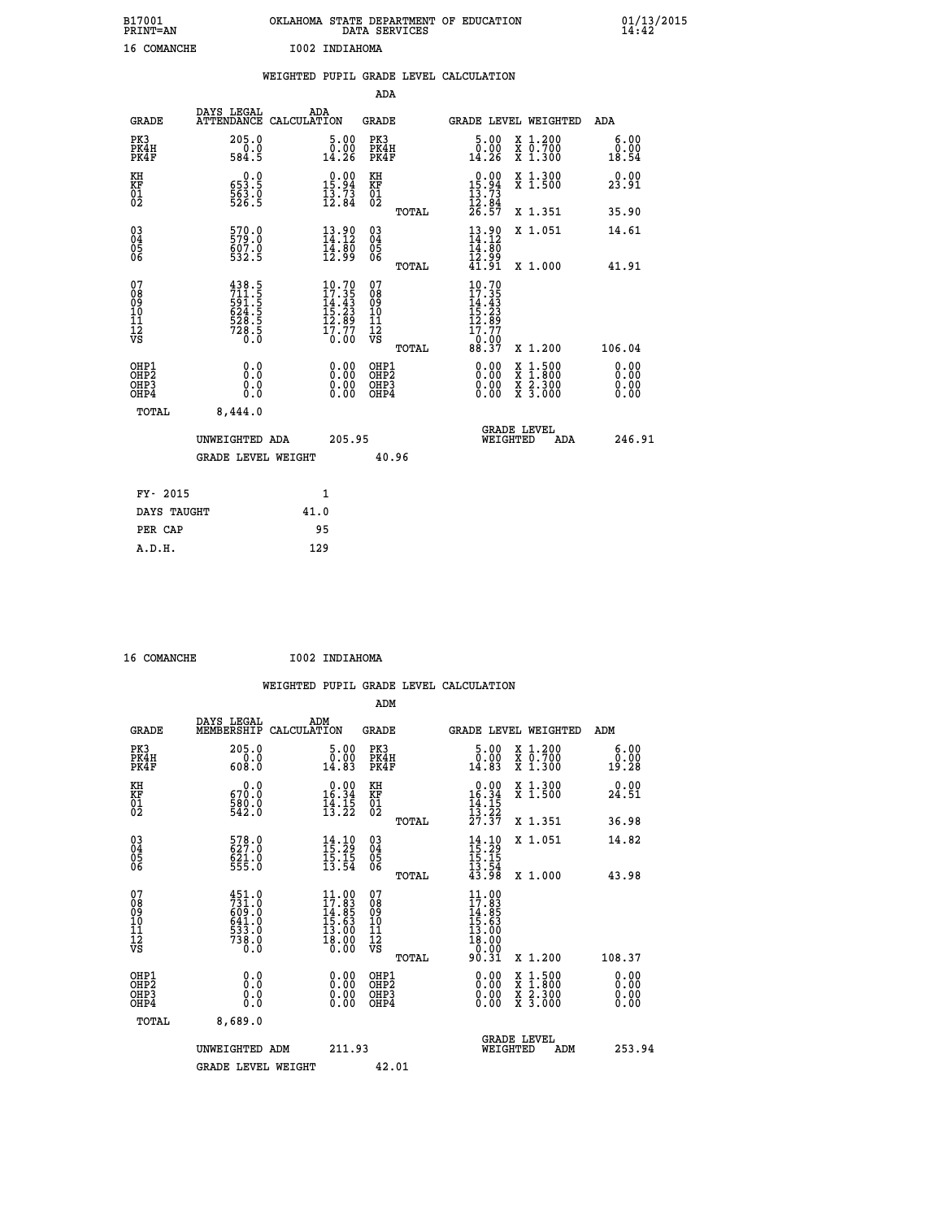| B17001<br>PRINT-AN                                   |                                                                     | OKLAHOMA STATE DEPARTMENT OF EDUCATION<br>DATA SERVICES                                            |                                                    |                                                                                                                    |                                                            | $01/13/2015$<br>14:42        |  |
|------------------------------------------------------|---------------------------------------------------------------------|----------------------------------------------------------------------------------------------------|----------------------------------------------------|--------------------------------------------------------------------------------------------------------------------|------------------------------------------------------------|------------------------------|--|
| 16 COMANCHE                                          |                                                                     | I002 INDIAHOMA                                                                                     |                                                    |                                                                                                                    |                                                            |                              |  |
|                                                      |                                                                     | WEIGHTED PUPIL GRADE LEVEL CALCULATION                                                             |                                                    |                                                                                                                    |                                                            |                              |  |
|                                                      |                                                                     |                                                                                                    | ADA                                                |                                                                                                                    |                                                            |                              |  |
| <b>GRADE</b>                                         | DAYS LEGAL                                                          | ADA<br>ATTENDANCE CALCULATION                                                                      | <b>GRADE</b>                                       | GRADE LEVEL WEIGHTED                                                                                               |                                                            | ADA                          |  |
| PK3<br>PK4H<br>PK4F                                  | $205.0$<br>$584.5$                                                  | 5.00<br>0.00<br>14.26                                                                              | PK3<br>PK4H<br>PK4F                                | $\begin{smallmatrix} 5.00\\ 0.00\\ 14.26 \end{smallmatrix}$                                                        | X 1.200<br>X 0.700<br>X 1.300                              | 6.00<br>0.00<br>18.54        |  |
| KH<br>KF<br>01<br>02                                 | $\begin{smallmatrix} 0.0\\ 553.5\\ 563.0\\ 526.5 \end{smallmatrix}$ | $0.00$<br>15.94<br>$\frac{13.73}{12.84}$                                                           | KH<br>KF<br>$\begin{matrix} 0 \\ 2 \end{matrix}$   | $\begin{array}{r} 0.00 \\ 15.94 \\ 13.73 \\ 12.84 \\ 26.57 \end{array}$                                            | X 1.300<br>X 1.500                                         | 0.00<br>23.91                |  |
|                                                      |                                                                     |                                                                                                    | TOTAL                                              |                                                                                                                    | X 1.351                                                    | 35.90                        |  |
| 03<br>04<br>05<br>06                                 | 570.0<br>579.0<br>607.0<br>532.5                                    | 13.90<br>14.12<br>$\frac{14}{12}$ $\frac{80}{99}$                                                  | $\begin{matrix} 03 \\ 04 \\ 05 \\ 06 \end{matrix}$ | $13.90$<br>$14.12$<br>$14.80$<br>$12.99$<br>$41.91$                                                                | X 1.051                                                    | 14.61                        |  |
|                                                      |                                                                     |                                                                                                    | TOTAL                                              |                                                                                                                    | $X_1.000$                                                  | 41.91                        |  |
| 07<br>08<br>09<br>111<br>12<br>VS                    | 438.5<br>711.5<br>591.5<br>524.5<br>628.5<br>728.5<br>728.5         | $\begin{smallmatrix} 10.70 \\ 17.35 \\ 14.43 \\ 15.23 \\ 12.89 \\ 17.77 \end{smallmatrix}$<br>0.00 | 07<br>08901112<br>1112<br>VS<br>TOTAL              | $\begin{smallmatrix} 10.70 \\ 17.35 \\ 14.43 \\ 15.23 \\ 12.89 \\ 17.77 \end{smallmatrix}$<br>$\frac{0.00}{88.37}$ | X 1.200                                                    | 106.04                       |  |
| OHP1<br>OHP2<br>OH <sub>P3</sub><br>OH <sub>P4</sub> | 0.000<br>$\begin{smallmatrix} 0.5 \ 0.0 \end{smallmatrix}$          | 0.00<br>0.00                                                                                       | OHP1<br>OHP2<br>OHP3<br>OHP4                       | 0.00<br>0.00<br>0.00                                                                                               | X 1:500<br>$\frac{x}{x}$ $\frac{2 \cdot 300}{3 \cdot 000}$ | 0.00<br>0.00<br>0.00<br>0.00 |  |
| TOTAL                                                | 8,444.0                                                             |                                                                                                    |                                                    |                                                                                                                    |                                                            |                              |  |

|             | UNWEIGHTED ADA            |      | 205.95 |       | <b>GRADE LEVEL</b><br>WEIGHTED | ADA | 246.91 |
|-------------|---------------------------|------|--------|-------|--------------------------------|-----|--------|
|             | <b>GRADE LEVEL WEIGHT</b> |      |        | 40.96 |                                |     |        |
| FY- 2015    |                           |      | 1      |       |                                |     |        |
| DAYS TAUGHT |                           | 41.0 |        |       |                                |     |        |
| PER CAP     |                           | 95   |        |       |                                |     |        |
| A.D.H.      |                           | 129  |        |       |                                |     |        |
|             |                           |      |        |       |                                |     |        |

 **16 COMANCHE I002 INDIAHOMA**

|                                                      |                                                                         |                    |                                                                                                    |                              |       | WEIGHTED PUPIL GRADE LEVEL CALCULATION                                                                                                                                                                                                                                         |                                                                                                  |                       |        |
|------------------------------------------------------|-------------------------------------------------------------------------|--------------------|----------------------------------------------------------------------------------------------------|------------------------------|-------|--------------------------------------------------------------------------------------------------------------------------------------------------------------------------------------------------------------------------------------------------------------------------------|--------------------------------------------------------------------------------------------------|-----------------------|--------|
|                                                      |                                                                         |                    |                                                                                                    | ADM                          |       |                                                                                                                                                                                                                                                                                |                                                                                                  |                       |        |
| <b>GRADE</b>                                         | DAYS LEGAL<br>MEMBERSHIP                                                | ADM<br>CALCULATION |                                                                                                    | <b>GRADE</b>                 |       | <b>GRADE LEVEL WEIGHTED</b>                                                                                                                                                                                                                                                    |                                                                                                  | ADM                   |        |
| PK3<br>PK4H<br>PK4F                                  | 205.0<br>$\begin{array}{c} 0.0 \\ 608.0 \end{array}$                    |                    | 5.00<br>0.00<br>14.83                                                                              | PK3<br>PK4H<br>PK4F          |       | $\begin{smallmatrix}5.00\0.00\\14.83\end{smallmatrix}$                                                                                                                                                                                                                         | X 1.200<br>X 0.700<br>X 1.300                                                                    | 6.00<br>0.00<br>19.28 |        |
| KH<br>KF<br>01<br>02                                 | 0.0<br>670:0<br>580:0<br>542:0                                          |                    | $\begin{smallmatrix} 0.00\\16.34\\14.15\\13.22 \end{smallmatrix}$                                  | KH<br>KF<br>01<br>02         |       | $\begin{array}{r} 0.00 \\ 16.34 \\ 14.15 \\ 13.22 \\ 27.37 \end{array}$                                                                                                                                                                                                        | X 1.300<br>X 1.500                                                                               | 0.00<br>24.51         |        |
|                                                      |                                                                         |                    |                                                                                                    |                              | TOTAL |                                                                                                                                                                                                                                                                                | X 1.351                                                                                          | 36.98                 |        |
| $\begin{matrix} 03 \\ 04 \\ 05 \\ 06 \end{matrix}$   | 578.0<br>621.0<br>555.0                                                 |                    | $\begin{smallmatrix} 14\cdot 10\\ 15\cdot 29\\ 15\cdot 15\\ 13\cdot 54 \end{smallmatrix}$          | 03<br>04<br>05<br>06         |       | $14.10$<br>$15.29$<br>$15.15$<br>$13.54$<br>$43.98$                                                                                                                                                                                                                            | X 1.051                                                                                          | 14.82                 |        |
|                                                      |                                                                         |                    |                                                                                                    |                              | TOTAL |                                                                                                                                                                                                                                                                                | X 1.000                                                                                          | 43.98                 |        |
| 07<br>0890112<br>1112<br>VS                          | $451.0$<br>$731.0$<br>$609.0$<br>$641.0$<br>$533.0$<br>$738.0$<br>$0.0$ |                    | $\begin{smallmatrix} 11.00 \\ 17.83 \\ 14.85 \\ 15.63 \\ 13.00 \\ 18.00 \\ 0.00 \end{smallmatrix}$ | 07<br>08901123<br>1122<br>VS | TOTAL | $\begin{array}{l} 11\cdot00\\ 17\cdot83\\ 14\cdot85\\ 15\cdot63\\ 13\cdot00\\ 18\cdot00\\ 0\cdot00\\ 90\cdot31 \end{array}$                                                                                                                                                    | $X_1.200$                                                                                        | 108.37                |        |
| OHP1<br>OHP2<br>OH <sub>P3</sub><br>OH <sub>P4</sub> | 0.0<br>0.000                                                            |                    | $\begin{smallmatrix} 0.00 \ 0.00 \ 0.00 \ 0.00 \end{smallmatrix}$                                  | OHP1<br>OHP2<br>OHP3<br>OHP4 |       | $\begin{smallmatrix} 0.00 & 0.00 & 0.00 & 0.00 & 0.00 & 0.00 & 0.00 & 0.00 & 0.00 & 0.00 & 0.00 & 0.00 & 0.00 & 0.00 & 0.00 & 0.00 & 0.00 & 0.00 & 0.00 & 0.00 & 0.00 & 0.00 & 0.00 & 0.00 & 0.00 & 0.00 & 0.00 & 0.00 & 0.00 & 0.00 & 0.00 & 0.00 & 0.00 & 0.00 & 0.00 & 0.0$ | $\begin{smallmatrix} x & 1 & 500 \\ x & 1 & 800 \\ x & 2 & 300 \\ x & 3 & 000 \end{smallmatrix}$ | 0.00<br>0.00<br>0.00  |        |
| TOTAL                                                | 8,689.0                                                                 |                    |                                                                                                    |                              |       |                                                                                                                                                                                                                                                                                |                                                                                                  |                       |        |
|                                                      | UNWEIGHTED ADM                                                          |                    | 211.93                                                                                             |                              |       | WEIGHTED                                                                                                                                                                                                                                                                       | <b>GRADE LEVEL</b><br>ADM                                                                        |                       | 253.94 |
|                                                      | <b>GRADE LEVEL WEIGHT</b>                                               |                    |                                                                                                    | 42.01                        |       |                                                                                                                                                                                                                                                                                |                                                                                                  |                       |        |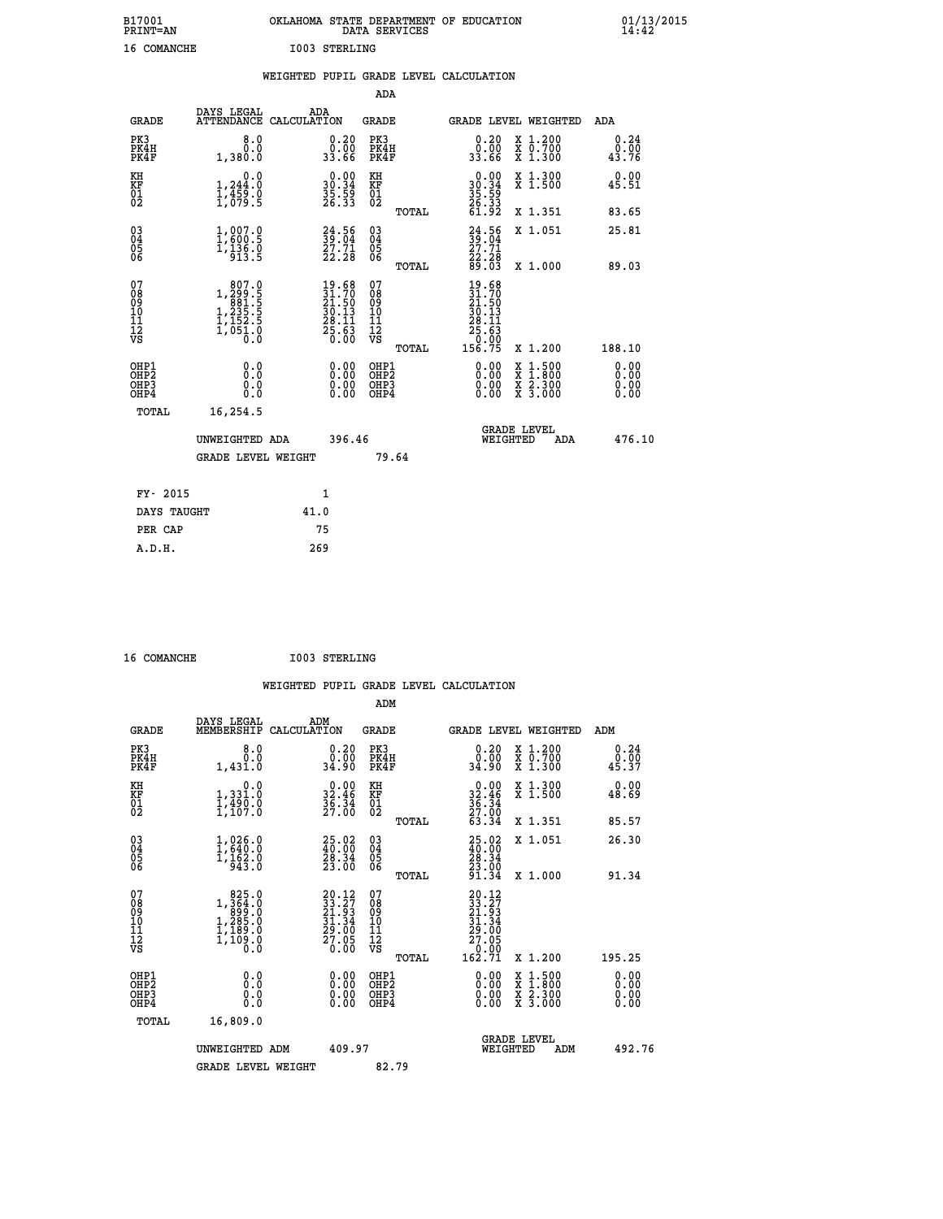| B17001          | OKLAHOMA STATE DEPARTMENT OF EDUCATION |
|-----------------|----------------------------------------|
| <b>PRINT=AN</b> | DATA SERVICES                          |
| 16 COMANCHE     | <b>I003 STERLING</b>                   |

 **B17001 OKLAHOMA STATE DEPARTMENT OF EDUCATION 01/13/2015**

|                                                                    |                                                                                                                    |                                                                                              | ADA                                       |       |                                                                              |                                                    |                              |
|--------------------------------------------------------------------|--------------------------------------------------------------------------------------------------------------------|----------------------------------------------------------------------------------------------|-------------------------------------------|-------|------------------------------------------------------------------------------|----------------------------------------------------|------------------------------|
| <b>GRADE</b>                                                       | DAYS LEGAL                                                                                                         | ADA<br>ATTENDANCE CALCULATION                                                                | <b>GRADE</b>                              |       |                                                                              | GRADE LEVEL WEIGHTED                               | <b>ADA</b>                   |
| PK3<br>PK4H<br>PK4F                                                | 8.0<br>0.0<br>1,380.0                                                                                              | $\begin{smallmatrix} 0.20\\ 0.00\\ 33.66 \end{smallmatrix}$                                  | PK3<br>PK4H<br>PK4F                       |       | $\begin{smallmatrix} 0.20 \\ 0.00 \\ 33.66 \end{smallmatrix}$                | X 1.200<br>X 0.700<br>X 1.300                      | 0.24<br>0.00<br>43.76        |
| KH<br>KF<br>01<br>02                                               | 0.0<br>$1,244.0$<br>$1,459.0$<br>$1,079.5$                                                                         | $\begin{smallmatrix} 0.00\\ 30.34\\ 35.59\\ 26.33 \end{smallmatrix}$                         | KH<br>KF<br>01<br>02                      |       | $\begin{smallmatrix} 0.00\\ 30.34\\ 35.39\\ 26.33\\ 61.92 \end{smallmatrix}$ | X 1.300<br>X 1.500                                 | 0.00<br>45.51                |
|                                                                    |                                                                                                                    |                                                                                              |                                           | TOTAL |                                                                              | X 1.351                                            | 83.65                        |
| $\begin{smallmatrix} 03 \\[-4pt] 04 \end{smallmatrix}$<br>Ŏ5<br>ŌĞ | $1,007.0$<br>$1,600.5$<br>$1,136.0$<br>$913.5$                                                                     | 39:56<br>$\frac{27.71}{22.28}$                                                               | $\substack{03 \\ 04}$<br>05<br>06         | TOTAL | $24.56$<br>$39.04$<br>$27.71$<br>$22.28$<br>$89.03$                          | X 1.051<br>X 1.000                                 | 25.81<br>89.03               |
| 07<br>08<br>09<br>11<br>11<br>12<br>VS                             | $\begin{smallmatrix} & 807.0 \\ 1,299.5 \\ 881.5 \\ 1,235.5 \\ 1,152.5 \\ 1,152.5 \\ 0.0 \\ 0.0 \end{smallmatrix}$ | $\begin{smallmatrix} 19.68\\ 31.70\\ 21.50\\ 30.13\\ 28.11\\ 25.63\\ 0.00 \end{smallmatrix}$ | 07<br>08<br>09<br>11<br>11<br>12<br>VS    |       | 19.68<br>31.70<br>21.50<br>30.13<br>28:11<br>25:63<br>0.00<br>156:75         |                                                    |                              |
|                                                                    |                                                                                                                    |                                                                                              |                                           | TOTAL |                                                                              | X 1.200                                            | 188.10                       |
| OHP1<br>OH <sub>P</sub> 2<br>OHP3<br>OHP4                          | 0.0<br>Ō.Ō<br>0.0<br>0.0                                                                                           | 0.00<br>$\begin{smallmatrix} 0.00 \ 0.00 \end{smallmatrix}$                                  | OHP1<br>OH <sub>P</sub> 2<br>OHP3<br>OHP4 |       | 0.00<br>0.00<br>0.00                                                         | $1:500$<br>$1:800$<br>X<br>X<br>X 2.300<br>X 3.000 | 0.00<br>0.00<br>0.00<br>0.00 |
| TOTAL                                                              | 16,254.5                                                                                                           |                                                                                              |                                           |       |                                                                              |                                                    |                              |
|                                                                    | UNWEIGHTED ADA                                                                                                     | 396.46                                                                                       |                                           |       |                                                                              | <b>GRADE LEVEL</b><br>WEIGHTED<br>ADA              | 476.10                       |
|                                                                    | <b>GRADE LEVEL WEIGHT</b>                                                                                          |                                                                                              |                                           | 79.64 |                                                                              |                                                    |                              |
| FY- 2015                                                           |                                                                                                                    | 1                                                                                            |                                           |       |                                                                              |                                                    |                              |
| DAYS TAUGHT                                                        |                                                                                                                    | 41.0                                                                                         |                                           |       |                                                                              |                                                    |                              |
| PER CAP                                                            |                                                                                                                    | 75                                                                                           |                                           |       |                                                                              |                                                    |                              |
|                                                                    |                                                                                                                    |                                                                                              |                                           |       |                                                                              |                                                    |                              |

| 16 COMANCHE |  |
|-------------|--|
|             |  |

 **A.D.H. 269**

16 COMANCHE 1003 STERLING

|                              |                                                                                                                                    | WEIGHTED PUPIL GRADE LEVEL CALCULATION                                      |                                                     |                                                                                         |                                            |                               |
|------------------------------|------------------------------------------------------------------------------------------------------------------------------------|-----------------------------------------------------------------------------|-----------------------------------------------------|-----------------------------------------------------------------------------------------|--------------------------------------------|-------------------------------|
|                              |                                                                                                                                    |                                                                             | ADM                                                 |                                                                                         |                                            |                               |
| <b>GRADE</b>                 | DAYS LEGAL<br>MEMBERSHIP                                                                                                           | ADM<br>CALCULATION                                                          | <b>GRADE</b>                                        | GRADE LEVEL WEIGHTED                                                                    |                                            | ADM                           |
| PK3<br>PK4H<br>PK4F          | 8.0<br>0.0<br>1,431.0                                                                                                              | 0.20<br>0.00<br>34.90                                                       | PK3<br>PK4H<br>PK4F                                 | 0.20<br>ةةٍ∶ة<br>34:90                                                                  | X 1.200<br>X 0.700<br>$\overline{x}$ 1.300 | 0.24<br>0.00<br>45.37         |
| KH<br>KF<br>01<br>02         | 0.0<br>1,331:0<br>1,490:0<br>1,107:0                                                                                               | $\begin{smallmatrix} 0.00\\ 32.46\\ 36.34\\ 27.00 \end{smallmatrix}$        | KH<br>KF<br>01<br>02                                | $\begin{array}{r} 0.00 \\ 32.46 \\ 36.34 \\ 27.00 \end{array}$                          | X 1.300<br>X 1.500                         | 0.00<br>48.69                 |
|                              |                                                                                                                                    |                                                                             | TOTAL                                               | 63.34                                                                                   | X 1.351                                    | 85.57                         |
| 03<br>04<br>05<br>06         | 1,026.0<br>$\frac{1}{943}$ .0                                                                                                      | $\begin{smallmatrix} 25.02\ 40.00\ 28.34\ 23.00 \end{smallmatrix}$          | $\begin{array}{c} 03 \\ 04 \\ 05 \\ 06 \end{array}$ | 25.02<br>$\begin{smallmatrix} 40.06 \\ 28.34 \\ 23.00 \\ 91.34 \end{smallmatrix}$       | X 1.051                                    | 26.30                         |
|                              |                                                                                                                                    |                                                                             | TOTAL                                               |                                                                                         | X 1.000                                    | 91.34                         |
| 07<br>08901112<br>1112<br>VS | $\begin{smallmatrix} & 825 & 0\\ 1, & 364 & 0\\ 899 & 0\\ 1, & 285 & 0\\ 1, & 189 & 0\\ 1, & 109 & 0\\ 0 & 0 & 0\end{smallmatrix}$ | $20.12$<br>$33.27$<br>$21.93$<br>$31.34$<br>$29.00$<br>$\frac{55.05}{0.00}$ | 07<br>08<br>09<br>11<br>11<br>12<br>VS<br>TOTAL     | $20.12$<br>$33.27$<br>$21.93$<br>$31.34$<br>$29.00$<br>$27.05$<br>$\frac{6.00}{162.71}$ | X 1.200                                    | 195.25                        |
| OHP1<br>OHP2<br>OHP3<br>OHP4 | 0.0<br>Ŏ.Ŏ<br>0.0                                                                                                                  | 0.00<br>$\begin{smallmatrix} 0.00 \ 0.00 \end{smallmatrix}$                 | OHP1<br>OHP2<br>OHP3<br>OHP4                        | 0.00<br>0.00<br>0.00                                                                    | X 1:500<br>X 2.300<br>X 3.000              | 0.00<br>Ō. ŌŌ<br>0.00<br>0.00 |
| TOTAL                        | 16,809.0                                                                                                                           |                                                                             |                                                     |                                                                                         |                                            |                               |
|                              | UNWEIGHTED ADM                                                                                                                     | 409.97                                                                      |                                                     | GRADE LEVEL<br>WEIGHTED                                                                 | ADM                                        | 492.76                        |
|                              | <b>GRADE LEVEL WEIGHT</b>                                                                                                          |                                                                             | 82.79                                               |                                                                                         |                                            |                               |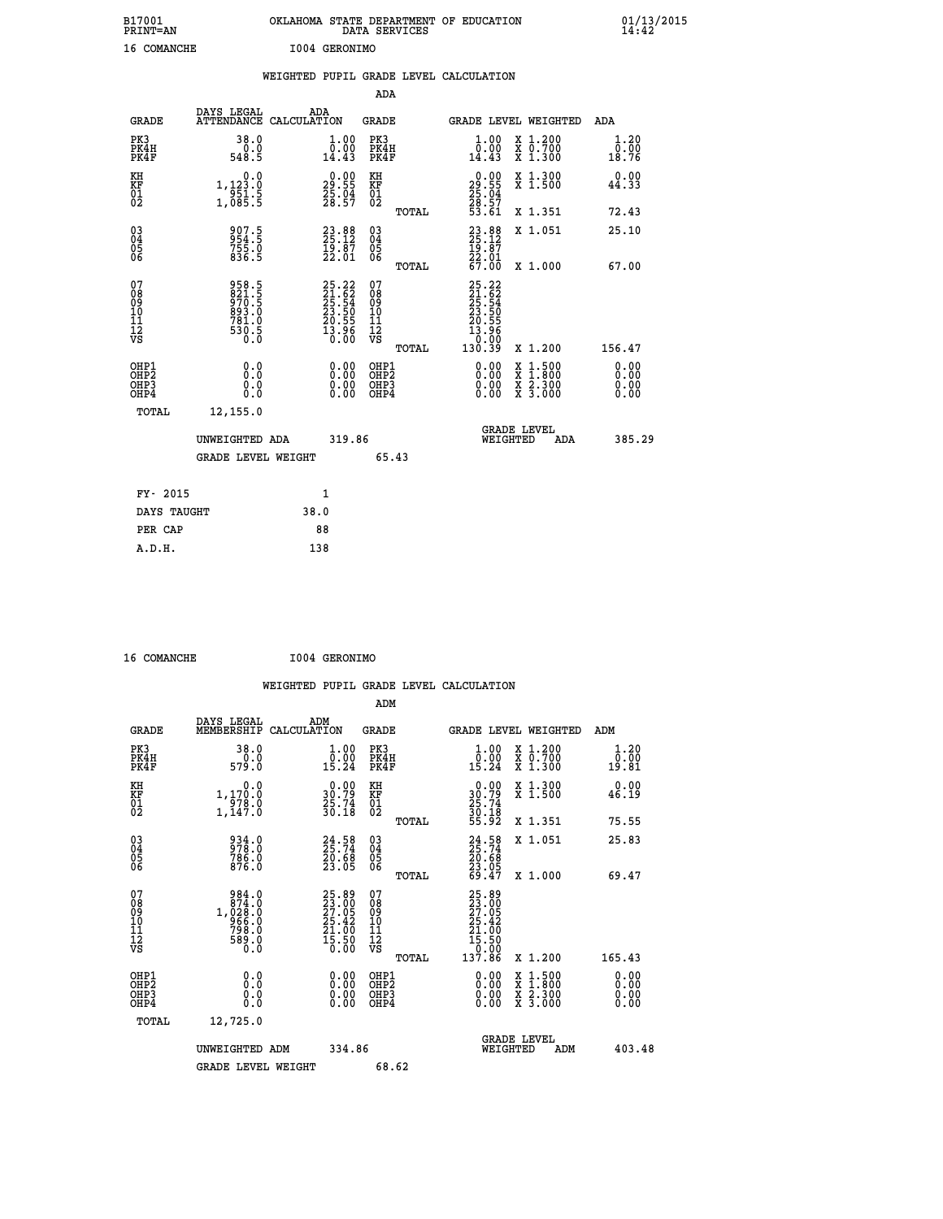| B17001<br><b>PRINT=AN</b> | OKLAHOMA STATE DEPARTMENT OF EDUCATION<br>DATA SERVICES | 01/13/2015 |
|---------------------------|---------------------------------------------------------|------------|
| 16<br>COMANCHE            | I004 GERONIMO                                           |            |

|                              |                                                                       |      |                                                                      |                                        |       | WEIGHTED PUPIL GRADE LEVEL CALCULATION                                   |                                                                                                  |                               |
|------------------------------|-----------------------------------------------------------------------|------|----------------------------------------------------------------------|----------------------------------------|-------|--------------------------------------------------------------------------|--------------------------------------------------------------------------------------------------|-------------------------------|
|                              |                                                                       |      |                                                                      | <b>ADA</b>                             |       |                                                                          |                                                                                                  |                               |
| <b>GRADE</b>                 | DAYS LEGAL ADA ATTENDANCE CALCULATION                                 |      |                                                                      | <b>GRADE</b>                           |       |                                                                          | GRADE LEVEL WEIGHTED                                                                             | ADA                           |
| PK3<br>PK4H<br>PK4F          | 38.0<br>0.0<br>548.5                                                  |      | 1.00<br>$\bar{0}.\tilde{0}\tilde{0}$<br>14.43                        | PK3<br>PK4H<br>PK4F                    |       | $\begin{smallmatrix} 1.00\\ 0.00\\ 14.43 \end{smallmatrix}$              | X 1.200<br>X 0.700<br>X 1.300                                                                    | 1.20<br>0.00<br>18.76         |
| KH<br>KF<br>01<br>02         | $\begin{smallmatrix}&&&0.0\\1,123.0\\951.5\\1,085.5\end{smallmatrix}$ |      | $\begin{smallmatrix} 0.00\\ 29.55\\ 25.04\\ 28.57 \end{smallmatrix}$ | KH<br>KF<br>01<br>02                   |       | $\begin{smallmatrix} 0.00\\29.55\\25.04\\28.57\\53.61 \end{smallmatrix}$ | X 1.300<br>X 1.500                                                                               | 0.00<br>44.33                 |
|                              |                                                                       |      |                                                                      |                                        | TOTAL |                                                                          | X 1.351                                                                                          | 72.43                         |
| $^{03}_{04}$<br>Ŏ5<br>06     | 907.5<br>954.5<br>755.0<br>836.5                                      |      | $23.88$<br>$25.12$<br>$19.87$<br>$22.01$                             | $^{03}_{04}$<br>$\frac{05}{06}$        |       | $23.88$<br>$25.12$<br>$19.87$<br>$22.01$<br>$67.00$                      | X 1.051                                                                                          | 25.10                         |
|                              |                                                                       |      |                                                                      |                                        | TOTAL |                                                                          | X 1.000                                                                                          | 67.00                         |
| 07<br>08901112<br>1112<br>VS | 958.5<br>821.5<br>970.5<br>993.0<br>893.0<br>781.0<br>530.5<br>530.5  |      | 25.22<br>21.62<br>25.54<br>23.50<br>20.55<br>20.55<br>13.96          | 07<br>08<br>09<br>11<br>11<br>12<br>VS |       | 25.22<br>21.62<br>25.54<br>23.50<br>20.556<br>20.556<br>130.39<br>130.39 |                                                                                                  |                               |
|                              |                                                                       |      |                                                                      |                                        | TOTAL |                                                                          | X 1.200                                                                                          | 156.47                        |
| OHP1<br>OHP2<br>OHP3<br>OHP4 | 0.0<br>0.0<br>0.0                                                     |      | 0.00<br>$\begin{smallmatrix} 0.00 \ 0.00 \end{smallmatrix}$          | OHP1<br>OHP2<br>OHP3<br>OHP4           |       | 0.00<br>0.00<br>0.00                                                     | $\begin{smallmatrix} x & 1 & 500 \\ x & 1 & 800 \\ x & 2 & 300 \\ x & 3 & 000 \end{smallmatrix}$ | 0.00<br>Ō. ŌŌ<br>0.00<br>0.00 |
| TOTAL                        | 12,155.0                                                              |      |                                                                      |                                        |       |                                                                          |                                                                                                  |                               |
|                              | UNWEIGHTED ADA                                                        |      | 319.86                                                               |                                        |       |                                                                          | <b>GRADE LEVEL</b><br>WEIGHTED<br>ADA                                                            | 385.29                        |
|                              | <b>GRADE LEVEL WEIGHT</b>                                             |      |                                                                      |                                        | 65.43 |                                                                          |                                                                                                  |                               |
| FY- 2015                     |                                                                       |      | $\mathbf{1}$                                                         |                                        |       |                                                                          |                                                                                                  |                               |
| DAYS TAUGHT                  |                                                                       | 38.0 |                                                                      |                                        |       |                                                                          |                                                                                                  |                               |
| PER CAP                      |                                                                       | 88   |                                                                      |                                        |       |                                                                          |                                                                                                  |                               |
| A.D.H.                       |                                                                       | 138  |                                                                      |                                        |       |                                                                          |                                                                                                  |                               |

 **16 COMANCHE I004 GERONIMO**

 **WEIGHTED PUPIL GRADE LEVEL CALCULATION ADM DAYS LEGAL ADM GRADE MEMBERSHIP CALCULATION GRADE GRADE LEVEL WEIGHTED ADM PK3 38.0 1.00 PK3 1.00 X 1.200 1.20 PK4H 0.0 0.00 PK4H 0.00 X 0.700 0.00 PK4F 579.0 15.24 PK4F 15.24 X 1.300 19.81 01 25.74 01 25.74**  $02$  1,147.0  $30.18$  02  $_{\text{norm}}$   $\frac{30.18}{}$  **04 978.0 25.74 04 25.74 05 786.0 20.68 05 20.68 06 876.0 23.05 06 23.05 07 984.0 25.89 07 25.89 08 874.0 23.00 08 23.00 09 1,028.0 27.05 09 27.05 10 966.0 25.42 10 25.42 11 798.0 21.00 11 21.00 12 589.0 15.50 12 15.50**

| ΚH<br>KF<br>01<br>02                                 | 0.0<br>1,170.0<br>978.0<br>1,147.0                                        | $\begin{smallmatrix} 0.00\\ 30.79\\ 25.74\\ 30.18 \end{smallmatrix}$                         | KH<br>KF<br>01<br>02                     | $\begin{smallmatrix} 0.00\\ 30.79\\ 25.74\\ 30.18\\ 55.92 \end{smallmatrix}$                | X 1.300<br>X 1.500                       | 0.00<br>46.19            |
|------------------------------------------------------|---------------------------------------------------------------------------|----------------------------------------------------------------------------------------------|------------------------------------------|---------------------------------------------------------------------------------------------|------------------------------------------|--------------------------|
|                                                      |                                                                           |                                                                                              | TOTAL                                    |                                                                                             | X 1.351                                  | 75.55                    |
| $\begin{matrix} 03 \\ 04 \\ 05 \\ 06 \end{matrix}$   | 934.0<br>978.0<br>786.0<br>876.0                                          | $24.58$<br>25.74<br>20.68<br>23.05                                                           | $\substack{03 \\ 04}$<br>05<br>ŎĞ        | 24.58<br>25.74<br>20.68<br>23.05                                                            | X 1.051                                  | 25.83                    |
|                                                      |                                                                           |                                                                                              | TOTAL                                    | 69.47                                                                                       | X 1.000                                  | 69.47                    |
| 07<br>08<br>09<br>101<br>11<br>12<br>VS              | 984.0<br>$1, 028.0$<br>$1, 028.0$<br>$966.0$<br>$798.0$<br>$589.0$<br>0.0 | $\begin{smallmatrix} 25.89\\ 23.00\\ 27.05\\ 25.42\\ 21.00\\ 15.50\\ 0.00 \end{smallmatrix}$ | 07<br>08<br>09<br>11<br>11<br>12<br>VS   | $\begin{smallmatrix} 25.89\ 23.005\ 27.052\ 25.42\ 21.00\ 15.50\ 137.86\ \end{smallmatrix}$ |                                          |                          |
|                                                      |                                                                           |                                                                                              | TOTAL                                    |                                                                                             | X 1.200                                  | 165.43                   |
| OHP1<br>OHP <sub>2</sub><br>OH <sub>P3</sub><br>OHP4 | 0.000000<br>Ŏ.Ŏ                                                           | $0.00$<br>$0.00$<br>0.00                                                                     | OHP1<br>OHP <sub>2</sub><br>OHP3<br>OHP4 | $0.00$<br>$0.00$<br>0.00                                                                    | X 1:500<br>X 1:800<br>X 2:300<br>X 3:000 | $0.00$<br>$0.00$<br>0.00 |
| TOTAL                                                | 12,725.0                                                                  |                                                                                              |                                          |                                                                                             |                                          |                          |
|                                                      | UNWEIGHTED ADM                                                            | 334.86                                                                                       |                                          |                                                                                             | <b>GRADE LEVEL</b><br>WEIGHTED<br>ADM    | 403.48                   |

 **GRADE LEVEL WEIGHT 68.62**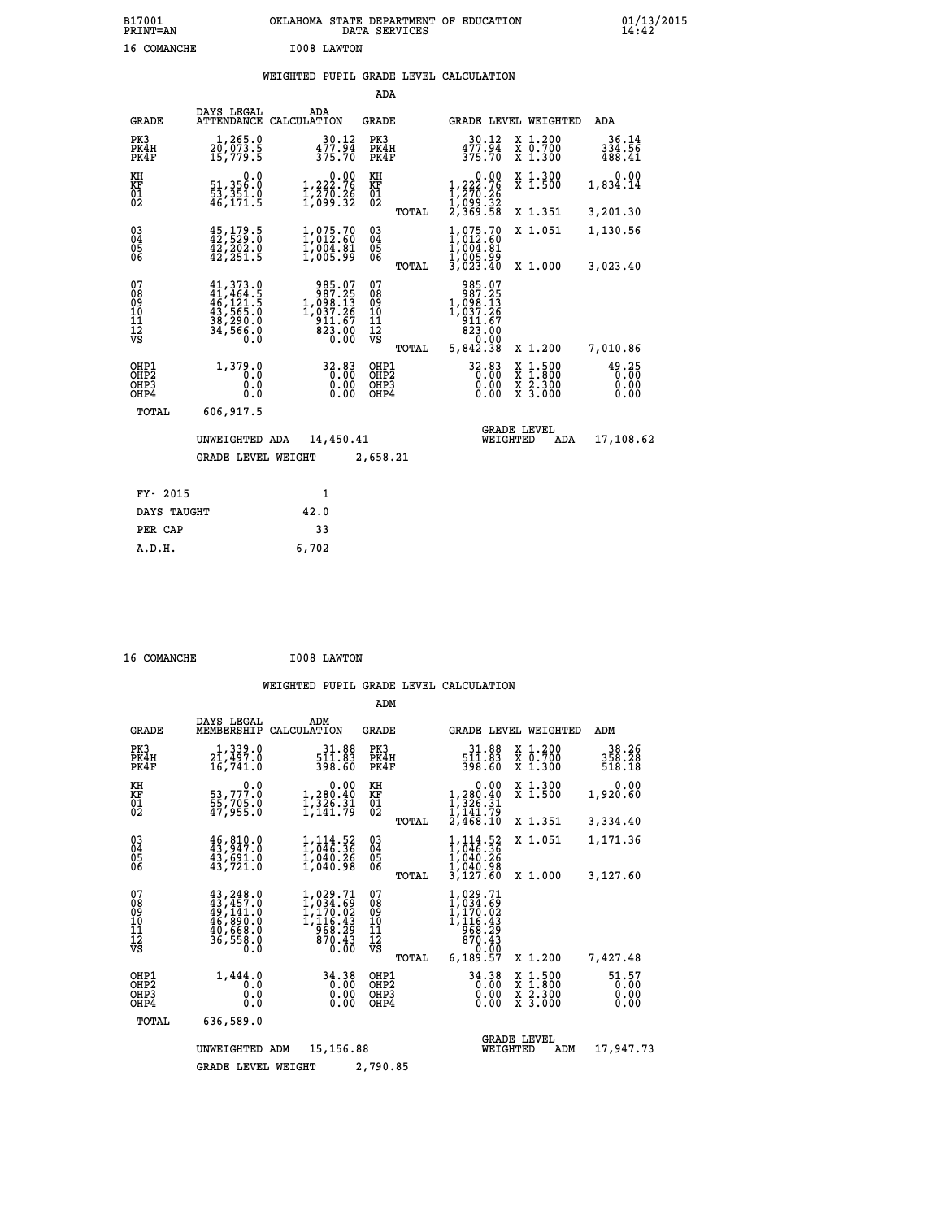| B17001<br><b>PRINT=AN</b> | OKLAHOMA STATE DEPARTMENT OF EDUCATION<br>DATA SERVICES |  |
|---------------------------|---------------------------------------------------------|--|
| 16 COMANCHE               | I008 LAWTON                                             |  |

# **WEIGHTED PUPIL GRADE LEVEL CALCULATION**

|                                                                  |                                                                                   |                                                                                                     | ADA                                                                             |                                                                                                                                            |                                                                                                                                      |                               |  |
|------------------------------------------------------------------|-----------------------------------------------------------------------------------|-----------------------------------------------------------------------------------------------------|---------------------------------------------------------------------------------|--------------------------------------------------------------------------------------------------------------------------------------------|--------------------------------------------------------------------------------------------------------------------------------------|-------------------------------|--|
| <b>GRADE</b>                                                     | DAYS LEGAL                                                                        | ADA<br>ATTENDANCE CALCULATION                                                                       | <b>GRADE</b>                                                                    |                                                                                                                                            | GRADE LEVEL WEIGHTED                                                                                                                 | ADA                           |  |
| PK3<br>PK4H<br>PK4F                                              | 1,265.0<br>20,073.5<br>15,779.5                                                   | $30.12$<br>$477.94$<br>$375.70$                                                                     | PK3<br>PK4H<br>PK4F                                                             | 30.12<br>477.94<br>375.70                                                                                                                  | X 1.200<br>X 0.700<br>X 1.300                                                                                                        | 36.14<br>334.56<br>488.41     |  |
| KH<br>KF<br>01<br>02                                             | 0.0<br>51,356.0<br>53,351.0<br>46,171.5                                           | $\begin{smallmatrix}&&0.00\\1,222.76\\1,270.26\\1,099.32\end{smallmatrix}$                          | KH<br>KF<br>01<br>02                                                            | 0.00<br>$1,222.76$<br>$1,270.26$<br>$1,099.32$<br>$2,369.58$                                                                               | X 1.300<br>X 1.500                                                                                                                   | 0.00<br>1,834.14              |  |
|                                                                  |                                                                                   |                                                                                                     | TOTAL                                                                           |                                                                                                                                            | X 1.351                                                                                                                              | 3,201.30                      |  |
| $^{03}_{04}$<br>Ŏ5<br>06                                         | $45,179.5$<br>$42,529.0$<br>$42, 202.0$<br>$42, 251.5$                            | 1,075.70<br>1,012:60<br>$\frac{1}{1}$ , 004.81<br>1,005.99                                          | $\substack{03 \\ 04}$<br>$\begin{smallmatrix} 0 & 5 \\ 0 & 6 \end{smallmatrix}$ | $1,012.60$<br>$1,004.81$<br>$1,004.81$<br>$1,005.99$<br>$3,023.40$                                                                         | X 1.051                                                                                                                              | 1,130.56                      |  |
|                                                                  |                                                                                   |                                                                                                     | TOTAL                                                                           |                                                                                                                                            | X 1.000                                                                                                                              | 3,023.40                      |  |
| 07<br>08<br>09<br>10<br>11<br>12<br>VS                           | 41, 373.0<br>41, 464.5<br>46, 121.5<br>43, 565.0<br>38, 290.0<br>34, 566.0<br>Ō.Ō | $\begin{array}{r} 985.07 \\ 987.25 \\ 1,098.13 \\ 1,037.26 \\ 911.67 \\ 823.00 \\ 0.00 \end{array}$ | 07<br>08<br>09<br>11<br>11<br>12<br>VS                                          | $\begin{array}{r} 985.07 \\ 987.25 \\ 1,098.13 \\ 1,037.26 \\ 911.67 \\ 823.00 \\ 7.00 \\ 8.00 \\ 9.0 \\ 9.0 \\ 9.0 \\ 9.0 \\ \end{array}$ |                                                                                                                                      |                               |  |
|                                                                  |                                                                                   |                                                                                                     | TOTAL                                                                           | 5,842.38                                                                                                                                   | X 1.200                                                                                                                              | 7,010.86                      |  |
| OHP1<br>OH <sub>P</sub> <sub>2</sub><br>OH <sub>P3</sub><br>OHP4 | 1,379.0<br>0.0<br>0.0<br>0.0                                                      | 32.83<br>0.00<br>0.00<br>0.00                                                                       | OHP1<br>OH <sub>P</sub> 2<br>OHP3<br>OHP4                                       | 32.83<br>0.00<br>0.00                                                                                                                      | $\begin{smallmatrix} \mathtt{X} & 1 & 500 \\ \mathtt{X} & 1 & 800 \\ \mathtt{X} & 2 & 300 \\ \mathtt{X} & 3 & 000 \end{smallmatrix}$ | 49.25<br>0.00<br>0.00<br>0.00 |  |
| <b>TOTAL</b>                                                     | 606,917.5                                                                         |                                                                                                     |                                                                                 |                                                                                                                                            |                                                                                                                                      |                               |  |
|                                                                  | UNWEIGHTED ADA                                                                    |                                                                                                     | 14,450.41                                                                       |                                                                                                                                            | <b>GRADE LEVEL</b><br>WEIGHTED<br>ADA                                                                                                |                               |  |
|                                                                  | GRADE LEVEL WEIGHT                                                                |                                                                                                     | 2,658.21                                                                        |                                                                                                                                            |                                                                                                                                      |                               |  |
|                                                                  |                                                                                   |                                                                                                     |                                                                                 |                                                                                                                                            |                                                                                                                                      |                               |  |
| FY- 2015                                                         |                                                                                   | 1                                                                                                   |                                                                                 |                                                                                                                                            |                                                                                                                                      |                               |  |
| DAYS TAUGHT                                                      |                                                                                   | 42.0                                                                                                |                                                                                 |                                                                                                                                            |                                                                                                                                      |                               |  |
| PER CAP                                                          |                                                                                   | 33                                                                                                  |                                                                                 |                                                                                                                                            |                                                                                                                                      |                               |  |

 **16 COMANCHE I008 LAWTON**

 **A.D.H. 6,702**

|                                           |                                                                                  |                                                                                                                                                                                        | ADM                                             |                                                                                                 |                                                                                                  |                               |
|-------------------------------------------|----------------------------------------------------------------------------------|----------------------------------------------------------------------------------------------------------------------------------------------------------------------------------------|-------------------------------------------------|-------------------------------------------------------------------------------------------------|--------------------------------------------------------------------------------------------------|-------------------------------|
| <b>GRADE</b>                              | DAYS LEGAL<br>MEMBERSHIP                                                         | ADM<br>CALCULATION                                                                                                                                                                     | <b>GRADE</b>                                    | <b>GRADE LEVEL WEIGHTED</b>                                                                     |                                                                                                  | ADM                           |
| PK3<br>PK4H<br>PK4F                       | 1,339.0<br>21,497.0<br>16,741.0                                                  | 31.88<br>511.03<br>398.60                                                                                                                                                              | PK3<br>PK4H<br>PK4F                             | $\frac{31.88}{511.83}$<br>398.60                                                                | $\begin{smallmatrix} x & 1.200 \\ x & 0.700 \end{smallmatrix}$<br>X 1.300                        | 38.26<br>358.28<br>518.18     |
| KH<br>KF<br>01<br>02                      | 0.0<br>53,777:0<br>55,705:0<br>47,955:0                                          | $\begin{smallmatrix}&&0.00\\1,280.40\\1,326.31\\1,141.79\end{smallmatrix}$                                                                                                             | KH<br>KF<br>01<br>02                            | $\begin{smallmatrix}&&0.00\\1,280.40\\1,326.31\\1,341.79\\2,468.10\end{smallmatrix}$            | X 1.300<br>X 1.500                                                                               | 0.00<br>1,920.60              |
|                                           |                                                                                  |                                                                                                                                                                                        | TOTAL                                           |                                                                                                 | X 1.351                                                                                          | 3,334.40                      |
| 03<br>04<br>05<br>06                      | $46,810.0$<br>$43,947.0$<br>43,691.0<br>43,721.0                                 | $1,114.52$<br>1,046.36<br>1,040.26<br>1,040.98                                                                                                                                         | $\substack{03 \\ 04}$<br>05                     | $1,114.52$<br>1,046.36<br>1,040.26<br>1,040.98                                                  | X 1.051                                                                                          | 1,171.36                      |
|                                           |                                                                                  |                                                                                                                                                                                        | TOTAL                                           | 3,127.60                                                                                        | X 1.000                                                                                          | 3,127.60                      |
| 07<br>08<br>09<br>11<br>11<br>12<br>VS    | 43,248.0<br>$43, 457.0$<br>$49, 141.0$<br>$46, 890.0$<br>$40, 668.0$<br>36,558.0 | 1,029.71<br>$\frac{1}{1}$ , $\frac{0}{1}$ , $\frac{1}{2}$ , $\frac{0}{2}$ , $\frac{0}{4}$<br>$\frac{1}{2}$ , $\frac{1}{2}$ , $\frac{0}{2}$ , $\frac{1}{2}$<br>968.29<br>870.43<br>0.00 | 07<br>08<br>09<br>11<br>11<br>12<br>VS<br>TOTAL | $1,029.71$<br>$1,034.69$<br>$1,170.02$<br>$1,116.43$<br>$968.29$<br>870.43<br>0.00<br>6, 189.57 | X 1.200                                                                                          | 7,427.48                      |
| OHP1<br>OH <sub>P</sub> 2<br>OHP3<br>OHP4 | 1,444.0<br>0.0<br>0.0<br>Ŏ.Ŏ                                                     | 34.38<br>0.00<br>0.00<br>0.00                                                                                                                                                          | OHP1<br>OHP <sub>2</sub><br>OHP3<br>OHP4        | 34.38<br>0.00<br>0.00<br>0.00                                                                   | $\begin{smallmatrix} x & 1 & 500 \\ x & 1 & 800 \\ x & 2 & 300 \\ x & 3 & 000 \end{smallmatrix}$ | 51.57<br>0.00<br>0.00<br>0.00 |
| TOTAL                                     | 636,589.0                                                                        |                                                                                                                                                                                        |                                                 |                                                                                                 |                                                                                                  |                               |
|                                           | UNWEIGHTED                                                                       | 15, 156.88<br>ADM                                                                                                                                                                      |                                                 | WEIGHTED                                                                                        | <b>GRADE LEVEL</b><br>ADM                                                                        | 17,947.73                     |
|                                           | <b>GRADE LEVEL WEIGHT</b>                                                        |                                                                                                                                                                                        | 2,790.85                                        |                                                                                                 |                                                                                                  |                               |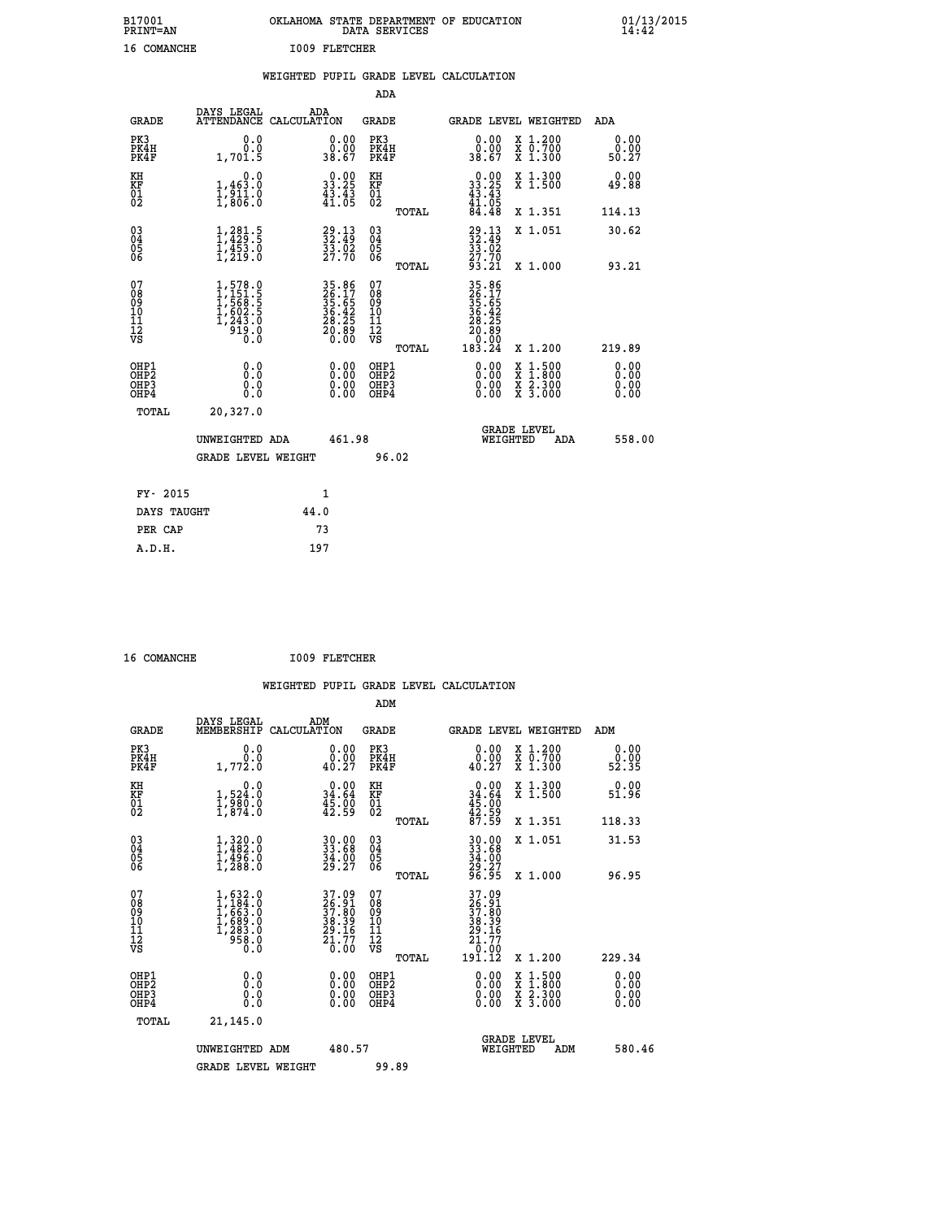| B17001<br><b>PRINT=AN</b> | OKLAHOMA<br>. STATE DEPARTMENT OF EDUCATION<br>DATA SERVICES | 01/13/2015<br>14:42 |
|---------------------------|--------------------------------------------------------------|---------------------|
| 16<br>COMANCHE            | <b>I009 FLETCHER</b>                                         |                     |

|  |  | WEIGHTED PUPIL GRADE LEVEL CALCULATION |
|--|--|----------------------------------------|
|  |  |                                        |

|                                                                  |                                                                                                   |                                                                      | ADA                                                |       |                                                                   |  |                                                                                          |                              |
|------------------------------------------------------------------|---------------------------------------------------------------------------------------------------|----------------------------------------------------------------------|----------------------------------------------------|-------|-------------------------------------------------------------------|--|------------------------------------------------------------------------------------------|------------------------------|
| <b>GRADE</b>                                                     | DAYS LEGAL                                                                                        | ADA<br>ATTENDANCE CALCULATION                                        | <b>GRADE</b>                                       |       | GRADE LEVEL WEIGHTED                                              |  |                                                                                          | ADA                          |
| PK3<br>PK4H<br>PK4F                                              | 0.0<br>0.0<br>1,701.5                                                                             | $\begin{smallmatrix} 0.00\\ 0.00\\ 38.67 \end{smallmatrix}$          | PK3<br>PK4H<br>PK4F                                |       | $\begin{smallmatrix} 0.00\\ 0.00\\ 38.67 \end{smallmatrix}$       |  | X 1.200<br>X 0.700<br>X 1.300                                                            | 0.00<br>0.00<br>50.27        |
| KH<br>KF<br>01<br>02                                             | 0.0<br>$\frac{1}{1}, \frac{4}{9}$ $\frac{3}{1}$ $\cdot \frac{0}{8}$<br>$\frac{1}{1}, \frac{0}{8}$ | $\begin{smallmatrix} 0.00\\ 33.25\\ 43.43\\ 41.05 \end{smallmatrix}$ | KH<br>KF<br>01<br>02                               |       | $0.00$<br>$33.25$<br>$43.43$<br>$41.05$<br>$84.48$                |  | X 1.300<br>X 1.500                                                                       | 0.00<br>49.88                |
|                                                                  |                                                                                                   |                                                                      |                                                    | TOTAL |                                                                   |  | X 1.351                                                                                  | 114.13                       |
| $\begin{matrix} 03 \\ 04 \\ 05 \\ 06 \end{matrix}$               | 1,281.5<br>$\frac{1}{4}$ , $\frac{1}{2}$ , $\frac{5}{3}$ , $\frac{5}{0}$                          | $32.13$<br>32.49<br>$\frac{35.02}{27.70}$                            | $\begin{matrix} 03 \\ 04 \\ 05 \\ 06 \end{matrix}$ |       | 29.13<br>32.49<br>33.02<br>27.70<br>27.70<br>93.21                |  | X 1.051                                                                                  | 30.62                        |
|                                                                  |                                                                                                   |                                                                      |                                                    | TOTAL |                                                                   |  | X 1.000                                                                                  | 93.21                        |
| 07<br>08<br>09<br>11<br>11<br>12<br>VS                           | $1,578.0$<br>$1,151.5$<br>$1,568.5$<br>$1,602.5$<br>$1,243.0$<br>$919.0$<br>0.0                   | 35.86<br>26.17<br>35.65<br>36.42<br>36.28<br>28.25<br>20.89          | 07<br>08<br>09<br>11<br>11<br>12<br>VS             |       | 35.86<br>26.175<br>35.652<br>36.425<br>28.285<br>20.890<br>183.24 |  |                                                                                          |                              |
|                                                                  |                                                                                                   |                                                                      |                                                    | TOTAL |                                                                   |  | X 1.200                                                                                  | 219.89                       |
| OHP1<br>OH <sub>P</sub> <sub>2</sub><br>OH <sub>P3</sub><br>OHP4 | 0.0<br>0.0<br>0.0                                                                                 | $\begin{smallmatrix} 0.00 \ 0.00 \ 0.00 \ 0.00 \end{smallmatrix}$    | OHP1<br>OHP <sub>2</sub><br>OHP3<br>OHP4           |       | $0.00$<br>$0.00$<br>0.00                                          |  | $\begin{smallmatrix} x & 1.500 \\ x & 1.800 \\ x & 2.300 \\ x & 3.000 \end{smallmatrix}$ | 0.00<br>0.00<br>0.00<br>0.00 |
| <b>TOTAL</b>                                                     | 20,327.0                                                                                          |                                                                      |                                                    |       |                                                                   |  |                                                                                          |                              |
| UNWEIGHTED ADA                                                   |                                                                                                   | 461.98                                                               |                                                    |       | <b>GRADE LEVEL</b><br>WEIGHTED<br>ADA                             |  |                                                                                          | 558.00                       |
|                                                                  | <b>GRADE LEVEL WEIGHT</b>                                                                         |                                                                      |                                                    | 96.02 |                                                                   |  |                                                                                          |                              |
|                                                                  |                                                                                                   |                                                                      |                                                    |       |                                                                   |  |                                                                                          |                              |
| FY- 2015                                                         |                                                                                                   | 1                                                                    |                                                    |       |                                                                   |  |                                                                                          |                              |
| DAYS TAUGHT                                                      |                                                                                                   | 44.0                                                                 |                                                    |       |                                                                   |  |                                                                                          |                              |
| PER CAP                                                          |                                                                                                   | 73                                                                   |                                                    |       |                                                                   |  |                                                                                          |                              |

 **16 COMANCHE I009 FLETCHER**

 **A.D.H. 197**

| <b>GRADE</b>                                         | DAYS LEGAL<br>MEMBERSHIP                                                        | ADM<br>CALCULATION                                                   | <b>GRADE</b>                                        |       |                                                                                                     | GRADE LEVEL WEIGHTED                     | ADM                          |  |
|------------------------------------------------------|---------------------------------------------------------------------------------|----------------------------------------------------------------------|-----------------------------------------------------|-------|-----------------------------------------------------------------------------------------------------|------------------------------------------|------------------------------|--|
| PK3<br>PK4H<br>PK4F                                  | 0.0<br>1,772.0                                                                  | 0.00<br>40.27                                                        | PK3<br>PK4H<br>PK4F                                 |       | 0.00<br>0.00<br>40.27                                                                               | X 1.200<br>X 0.700<br>X 1.300            | 0.00<br>ة.ة<br>52.35         |  |
| KH<br>KF<br>01<br>02                                 | 0.0<br>$1,524.0$<br>$1,980.0$<br>$1,874.0$                                      | $\begin{smallmatrix} 0.00\\ 34.64\\ 45.00\\ 42.59 \end{smallmatrix}$ | KH<br>KF<br>01<br>02                                |       | $0.00$<br>$34.64$<br>$45.00$<br>$42.59$<br>$87.59$                                                  | X 1.300<br>X 1.500                       | 0.00<br>51.96                |  |
|                                                      |                                                                                 |                                                                      |                                                     | TOTAL |                                                                                                     | X 1.351                                  | 118.33                       |  |
| $\begin{matrix} 03 \\ 04 \\ 05 \\ 06 \end{matrix}$   | $1,320.0$<br>$1,482.0$<br>$1,496.0$<br>$1,288.0$                                | 30.00<br>33.68<br>34.00<br>29.27                                     | $\begin{array}{c} 03 \\ 04 \\ 05 \\ 06 \end{array}$ |       | 30.00<br>33.68<br>34.00<br>29.27<br>26.95                                                           | X 1.051                                  | 31.53                        |  |
|                                                      |                                                                                 |                                                                      |                                                     | TOTAL |                                                                                                     | X 1.000                                  | 96.95                        |  |
| 07<br>08<br>09<br>11<br>11<br>12<br>VS               | $1,632.0$<br>$1,184.0$<br>$1,663.0$<br>$1,689.0$<br>$1,283.0$<br>$958.0$<br>0.0 | 37.09<br>26.91<br>37.80<br>38.39<br>29.16<br>29.17<br>21.77<br>0.00  | 07<br>08<br>09<br>11<br>11<br>12<br>VS              | TOTAL | $\begin{array}{r} 37.09 \\ 26.91 \\ 37.80 \\ 38.39 \\ 29.16 \\ 21.77 \\ 0.00 \\ 191.12 \end{array}$ | X 1.200                                  | 229.34                       |  |
| OHP1<br>OHP <sub>2</sub><br>OH <sub>P3</sub><br>OHP4 | 0.0<br>Ō.Ō<br>0.0                                                               |                                                                      | OHP1<br>OHP <sub>2</sub><br>OHP3<br>OHP4            |       |                                                                                                     | X 1:500<br>X 1:800<br>X 2:300<br>X 3:000 | 0.00<br>0.00<br>0.00<br>0.00 |  |
| TOTAL                                                | 21,145.0                                                                        |                                                                      |                                                     |       |                                                                                                     |                                          |                              |  |
|                                                      | UNWEIGHTED ADM                                                                  | 480.57                                                               |                                                     |       | WEIGHTED                                                                                            | <b>GRADE LEVEL</b><br>ADM                | 580.46                       |  |
|                                                      | <b>GRADE LEVEL WEIGHT</b>                                                       |                                                                      | 99.89                                               |       |                                                                                                     |                                          |                              |  |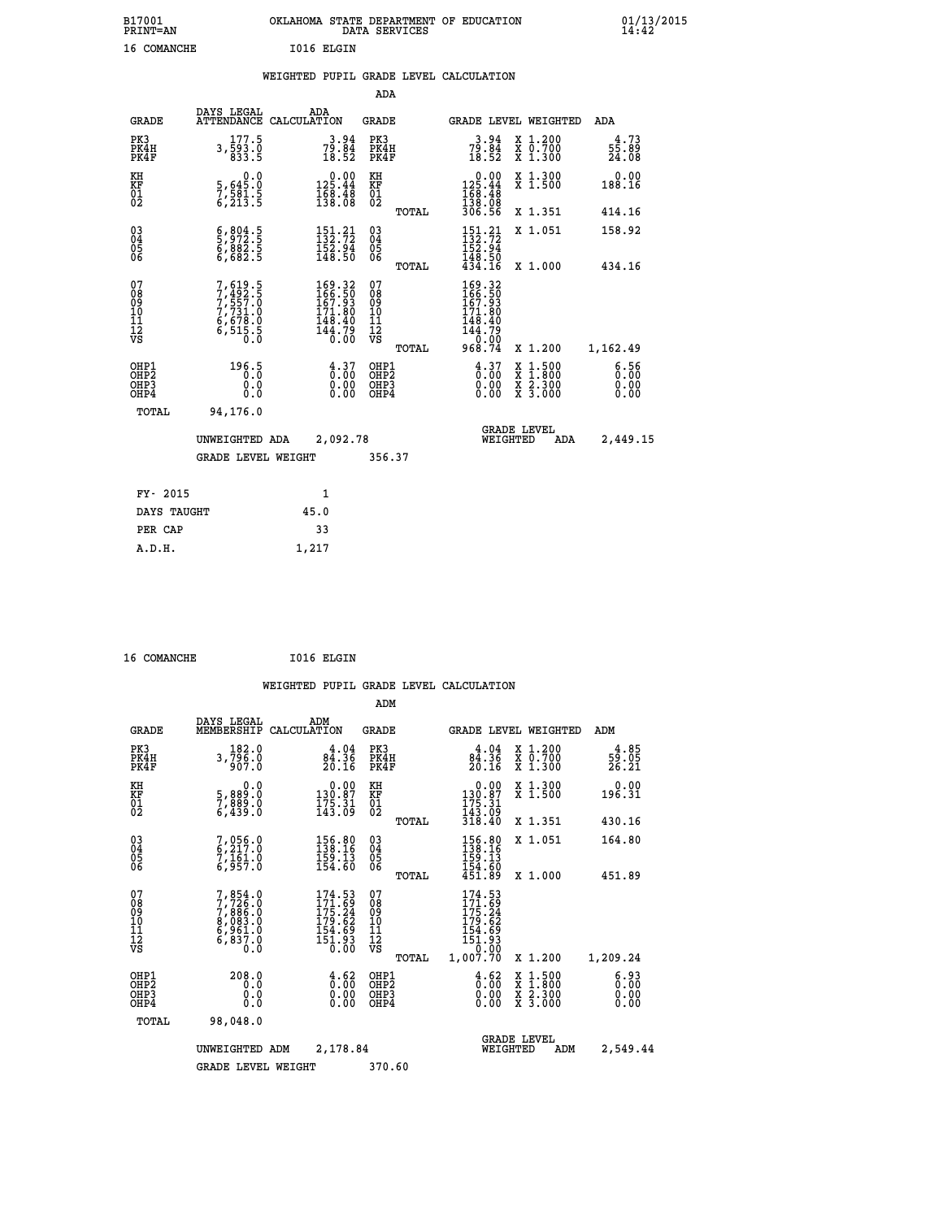| B17001<br>PRINT=AN | <b>OKLAHOMA</b><br>STATE DEPARTMENT OF EDUCATION<br>SERVICES<br>DATA | 01/13/2015<br>14:42 |
|--------------------|----------------------------------------------------------------------|---------------------|
| 16<br>COMANCHE     | I016 ELGIN                                                           |                     |

# **WEIGHTED PUPIL GRADE LEVEL CALCULATION**

|                                                    |                                                                         |                                                                                                    | ADA                                    |       |                                                                                                        |                                          |                          |
|----------------------------------------------------|-------------------------------------------------------------------------|----------------------------------------------------------------------------------------------------|----------------------------------------|-------|--------------------------------------------------------------------------------------------------------|------------------------------------------|--------------------------|
| <b>GRADE</b>                                       | DAYS LEGAL<br><b>ATTENDANCE</b>                                         | ADA<br>CALCULATION                                                                                 | <b>GRADE</b>                           |       |                                                                                                        | GRADE LEVEL WEIGHTED                     | ADA                      |
| PK3<br>PK4H<br>PK4F                                | 177.5<br>$3, \overline{5}93.0$<br>833.5                                 | $79.84$<br>$18.52$                                                                                 | PK3<br>PK4H<br>PK4F                    |       | $79.84$<br>$18.52$                                                                                     | X 1.200<br>X 0.700<br>X 1.300            | $3.73$<br>55.89<br>24.08 |
| KH<br>KF<br>01<br>02                               | $\begin{smallmatrix}&&&0.0\\5,645.0\\7,581.5\\6,213.5\end{smallmatrix}$ | $\begin{smallmatrix} &0.00\\ 125.44\\ 168.48\\ 138.08 \end{smallmatrix}$                           | KH<br>KF<br>01<br>02                   |       | $\begin{array}{c} 0.00 \\ 125.44 \\ 168.48 \\ 138.08 \\ 306.56 \end{array}$                            | X 1.300<br>X 1.500                       | 0.00<br>188.16           |
|                                                    |                                                                         |                                                                                                    |                                        | TOTAL |                                                                                                        | X 1.351                                  | 414.16                   |
| $\begin{matrix} 03 \\ 04 \\ 05 \\ 06 \end{matrix}$ | $\frac{6}{5}, \frac{804}{972}$ : 5<br>6, 882: 5<br>6, 682: 5            | $151.21$<br>$132.72$<br>$152.94$<br>$148.50$                                                       | $\substack{03 \\ 04}$<br>Ŏ5<br>06      |       | $\begin{array}{c} 151\cdot 21 \\ 132\cdot 72 \\ 152\cdot 94 \\ 148\cdot 50 \\ 434\cdot 16 \end{array}$ | X 1.051                                  | 158.92                   |
|                                                    |                                                                         |                                                                                                    |                                        | TOTAL |                                                                                                        | X 1.000                                  | 434.16                   |
| 07<br>089<br>090<br>1112<br>VS                     | 7,619.5<br>7,492.5<br>7,557.0<br>7,731.0<br>6,678.0<br>6,515.5<br>0.0   | $\begin{smallmatrix} 169.32\\ 166.50\\ 167.93\\ 171.80\\ 148.40\\ 144.79\\ 0.00 \end{smallmatrix}$ | 07<br>08<br>09<br>11<br>11<br>12<br>VS | TOTAL | 169.32<br>166.50<br>167.93<br>171.80<br>$148.40$<br>$144.79$<br>$0.00$<br>968.74                       | X 1.200                                  | 1,162.49                 |
| OHP1<br>OHP2<br>OH <sub>P3</sub><br>OHP4           | 196.5<br>0.000                                                          | $\frac{4.37}{0.00}$<br>$\begin{smallmatrix} 0.00 \ 0.00 \end{smallmatrix}$                         | OHP1<br>OHP2<br>OHP3<br>OHP4           |       | $\begin{smallmatrix} 4.37\ 0.00\ 0.00 \end{smallmatrix}$                                               | X 1:500<br>X 1:800<br>X 2:300<br>X 3:000 | 6.56<br>0.00<br>0.00     |
| TOTAL                                              | 94,176.0                                                                |                                                                                                    |                                        |       |                                                                                                        |                                          |                          |
|                                                    | UNWEIGHTED ADA                                                          | 2,092.78                                                                                           |                                        |       | WEIGHTED                                                                                               | <b>GRADE LEVEL</b><br>ADA                | 2,449.15                 |
|                                                    | <b>GRADE LEVEL WEIGHT</b>                                               |                                                                                                    | 356.37                                 |       |                                                                                                        |                                          |                          |
| FY- 2015                                           |                                                                         | $\mathbf{1}$                                                                                       |                                        |       |                                                                                                        |                                          |                          |
| DAYS TAUGHT                                        |                                                                         | 45.0                                                                                               |                                        |       |                                                                                                        |                                          |                          |
|                                                    |                                                                         |                                                                                                    |                                        |       |                                                                                                        |                                          |                          |

| 16 COMANCHE | I016 ELGIN |
|-------------|------------|

PER CAP 33  **A.D.H. 1,217**

 **WEIGHTED PUPIL GRADE LEVEL CALCULATION ADM DAYS LEGAL ADM GRADE MEMBERSHIP CALCULATION GRADE GRADE LEVEL WEIGHTED ADM**

| PK3<br>PK4H<br>PK4F                                | 182.0<br>3,796.0<br>907.0                                                           | $84.36$<br>$20.16$                                                      | PK3<br>PK4H<br>PK4F                                |       | $84.36$<br>$20.16$                                                | X 1.200<br>X 0.700<br>X 1.300                                                                                       | $\frac{4.85}{59.05}$<br>26.21                                     |
|----------------------------------------------------|-------------------------------------------------------------------------------------|-------------------------------------------------------------------------|----------------------------------------------------|-------|-------------------------------------------------------------------|---------------------------------------------------------------------------------------------------------------------|-------------------------------------------------------------------|
| KH<br>KF<br>01<br>02                               | 0.0<br>5,889:0<br>7,889:0<br>6,439:0                                                | $\begin{smallmatrix} &0.00\\ 130.87\\ 175.31\\ 143.09\end{smallmatrix}$ | KH<br>KF<br>$^{01}_{02}$                           |       | 0.00<br>$130.87$<br>$175.31$<br>$143.09$<br>$318.40$              | X 1.300<br>X 1.500                                                                                                  | 0.00<br>196.31                                                    |
|                                                    |                                                                                     |                                                                         |                                                    | TOTAL |                                                                   | X 1.351                                                                                                             | 430.16                                                            |
| $\begin{matrix} 03 \\ 04 \\ 05 \\ 06 \end{matrix}$ | 7,056.0<br>6,217.0<br>7,161.0<br>6,957.0                                            | 156.80<br>138.16<br>$\frac{159}{154.60}$                                | $\begin{matrix} 03 \\ 04 \\ 05 \\ 06 \end{matrix}$ |       | 156.80<br>138.16<br>$\frac{159}{154}$ . $\frac{13}{60}$           | X 1.051                                                                                                             | 164.80                                                            |
|                                                    |                                                                                     |                                                                         |                                                    | TOTAL | 451.89                                                            | X 1.000                                                                                                             | 451.89                                                            |
| 07<br>08<br>09<br>101<br>11<br>12<br>VS            | $7,854.0$<br>$7,726.0$<br>$7,886.0$<br>$8,083.0$<br>$6,961.0$<br>$6,837.0$<br>$0.0$ | 174.53<br>171.69<br>175.24<br>179.62<br>154.69<br>151.93<br>0.00        | 07<br>08<br>09<br>11<br>11<br>12<br>VS             |       | 174.53<br>171.694<br>175.24<br>179.62<br>154.69<br>151.93<br>0.00 |                                                                                                                     |                                                                   |
|                                                    |                                                                                     |                                                                         |                                                    | TOTAL | 1,007.70                                                          | X 1.200                                                                                                             | 1,209.24                                                          |
| OHP1<br>OHP2<br>OH <sub>P3</sub><br>OHP4           | 208.0<br>0.0<br>0.000                                                               | $\begin{smallmatrix} 4.62\ 6.00\ 0.00\ 0.00 \end{smallmatrix}$          | OHP1<br>OHP2<br>OHP3<br>OHP4                       |       | $\begin{smallmatrix} 4.62\ 0.00\ 0.00 \end{smallmatrix}$          | $\begin{array}{l} \mathtt{X} & 1.500 \\ \mathtt{X} & 1.800 \\ \mathtt{X} & 2.300 \\ \mathtt{X} & 3.000 \end{array}$ | $\begin{smallmatrix} 6.93\ 0.00 \ 0.00 \end{smallmatrix}$<br>0.00 |
| TOTAL                                              | 98,048.0                                                                            |                                                                         |                                                    |       |                                                                   |                                                                                                                     |                                                                   |
|                                                    | UNWEIGHTED<br>ADM                                                                   | 2,178.84                                                                |                                                    |       |                                                                   | <b>GRADE LEVEL</b><br>WEIGHTED<br>ADM                                                                               | 2,549.44                                                          |
|                                                    | <b>GRADE LEVEL WEIGHT</b>                                                           |                                                                         | 370.60                                             |       |                                                                   |                                                                                                                     |                                                                   |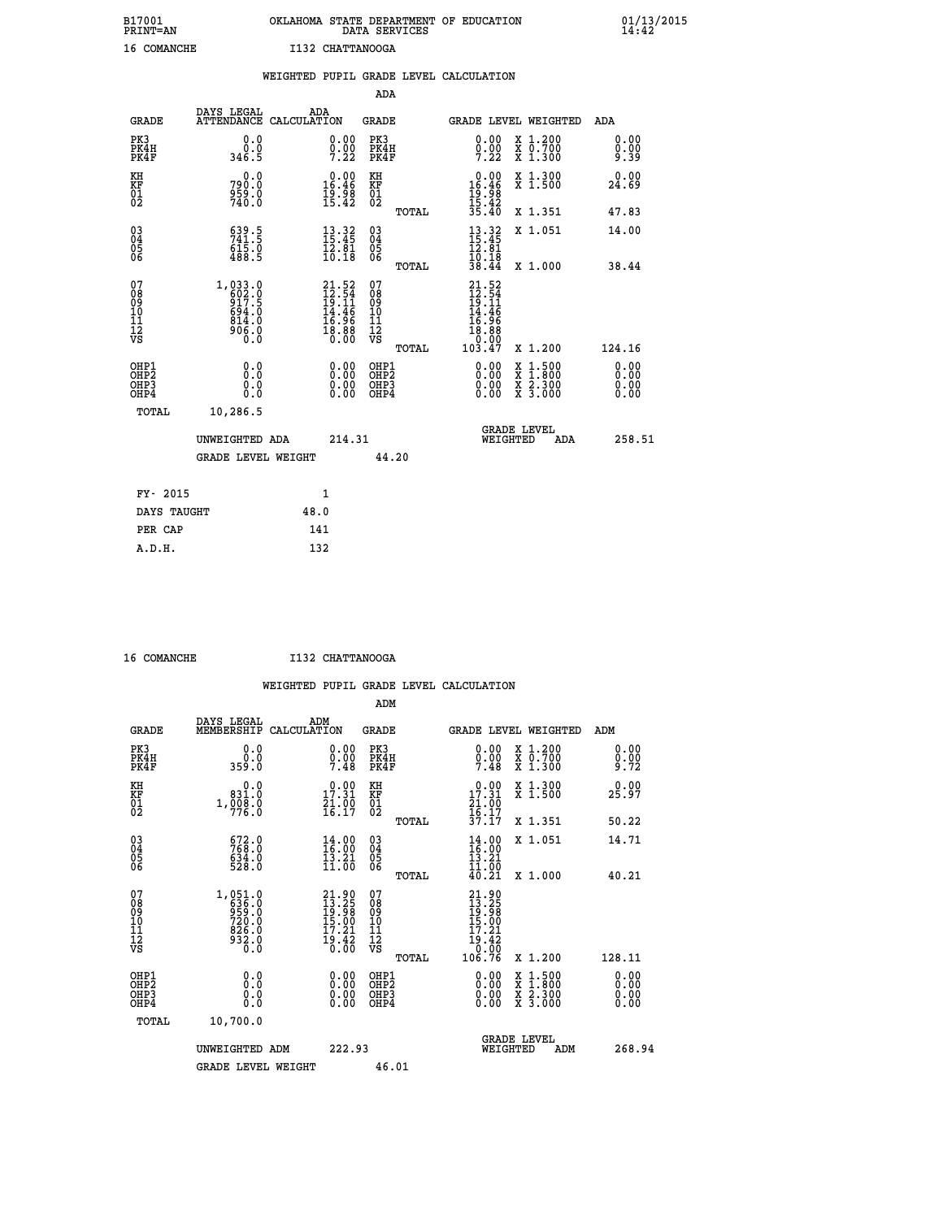| B17001<br><b>PRINT=AN</b> | OKLAHOMA STATE DEPARTMENT OF EDUCATION<br>DATA SERVICES |
|---------------------------|---------------------------------------------------------|
| 16 COMANCHE               | I132 CHATTANOOGA                                        |

|                                                                    |                                                                                            | WEIGHTED PUPIL GRADE LEVEL CALCULATION                                                             |                                                     |       |                                                                                                                              |                                                                                          |                              |
|--------------------------------------------------------------------|--------------------------------------------------------------------------------------------|----------------------------------------------------------------------------------------------------|-----------------------------------------------------|-------|------------------------------------------------------------------------------------------------------------------------------|------------------------------------------------------------------------------------------|------------------------------|
|                                                                    |                                                                                            |                                                                                                    | <b>ADA</b>                                          |       |                                                                                                                              |                                                                                          |                              |
| <b>GRADE</b>                                                       | DAYS LEGAL                                                                                 | ADA<br>ATTENDANCE CALCULATION                                                                      | GRADE                                               |       |                                                                                                                              | GRADE LEVEL WEIGHTED                                                                     | ADA                          |
| PK3<br>PK4H<br>PK4F                                                | 0.0<br>ة:ة<br>346.5                                                                        | $\substack{0.00\\0.00\\7.22}$                                                                      | PK3<br>PK4H<br>PK4F                                 |       | 0.00<br>$\frac{0}{7}$ :22                                                                                                    | X 1.200<br>X 0.700<br>X 1.300                                                            | 0.00<br>9:99                 |
| KH<br>KF<br>01<br>02                                               | 0.0<br>790.0<br>959.0<br>740.0                                                             | $16.00$<br>$16.46$<br>$\frac{19.98}{15.42}$                                                        | KH<br>KF<br>01<br>02                                |       | $\begin{array}{r} 0.00 \\ 16.46 \\ 19.98 \\ 15.42 \\ 35.40 \end{array}$                                                      | X 1.300<br>X 1.500                                                                       | 0.00<br>24.69                |
|                                                                    |                                                                                            |                                                                                                    |                                                     | TOTAL |                                                                                                                              | X 1.351                                                                                  | 47.83                        |
| $\begin{smallmatrix} 03 \\[-4pt] 04 \end{smallmatrix}$<br>Ŏ5<br>06 | $539.5$<br>$741.5$<br>$615.0$<br>$488.5$                                                   | $\begin{array}{c} 13\cdot 32\\ 15\cdot 45\\ 12\cdot 81\\ 10\cdot 18 \end{array}$                   | $\begin{array}{c} 03 \\ 04 \\ 05 \\ 06 \end{array}$ |       | $13.32$<br>$15.45$<br>$12.81$<br>$10.18$<br>$38.44$                                                                          | X 1.051                                                                                  | 14.00                        |
|                                                                    |                                                                                            |                                                                                                    |                                                     | TOTAL |                                                                                                                              | X 1.000                                                                                  | 38.44                        |
| 07<br>08<br>09<br>11<br>11<br>12<br>VS                             | 1,033.0<br>602.0<br>917.5<br>694.0<br>$\begin{array}{c} 814.0 \\ 906.0 \\ 0.0 \end{array}$ | $\begin{smallmatrix} 21.52 \\ 12.54 \\ 19.11 \\ 14.46 \\ 16.96 \\ 18.88 \\ 0.00 \end{smallmatrix}$ | 07<br>08<br>09<br>11<br>11<br>12<br>VS              | TOTAL | 21.52<br>$\frac{12.54}{19.11}$<br>$\frac{14.46}{14.46}$<br>$\begin{array}{r} 16.36 \\ 16.88 \\ 0.00 \\ 0.103.47 \end{array}$ | X 1.200                                                                                  | 124.16                       |
| OHP1<br>OHP2<br>OH <sub>P3</sub><br>OHP4                           | 0.0<br>0.0<br>0.0                                                                          | $\begin{smallmatrix} 0.00 \ 0.00 \ 0.00 \ 0.00 \end{smallmatrix}$                                  | OHP1<br>OHP2<br>OHP3<br>OHP4                        |       | 0.00<br>0.00<br>0.00                                                                                                         | $\begin{smallmatrix} x & 1.500 \\ x & 1.800 \\ x & 2.300 \\ x & 3.000 \end{smallmatrix}$ | 0.00<br>0.00<br>0.00<br>0.00 |
| TOTAL                                                              | 10,286.5                                                                                   |                                                                                                    |                                                     |       |                                                                                                                              |                                                                                          |                              |
|                                                                    | UNWEIGHTED ADA                                                                             |                                                                                                    | 214.31                                              |       | WEIGHTED                                                                                                                     | <b>GRADE LEVEL</b><br>ADA                                                                | 258.51                       |
|                                                                    | GRADE LEVEL WEIGHT                                                                         |                                                                                                    |                                                     | 44.20 |                                                                                                                              |                                                                                          |                              |
| FY- 2015                                                           |                                                                                            | $\mathbf{1}$                                                                                       |                                                     |       |                                                                                                                              |                                                                                          |                              |
| DAYS TAUGHT                                                        |                                                                                            | 48.0                                                                                               |                                                     |       |                                                                                                                              |                                                                                          |                              |
| PER CAP                                                            |                                                                                            | 141                                                                                                |                                                     |       |                                                                                                                              |                                                                                          |                              |

 **16 COMANCHE I132 CHATTANOOGA**

|                                                    |                                                                           |                    |                                                                                                     |                                        |       | WEIGHTED PUPIL GRADE LEVEL CALCULATION                                         |                                                                                                                                           |                              |  |
|----------------------------------------------------|---------------------------------------------------------------------------|--------------------|-----------------------------------------------------------------------------------------------------|----------------------------------------|-------|--------------------------------------------------------------------------------|-------------------------------------------------------------------------------------------------------------------------------------------|------------------------------|--|
|                                                    |                                                                           |                    |                                                                                                     | ADM                                    |       |                                                                                |                                                                                                                                           |                              |  |
| <b>GRADE</b>                                       | DAYS LEGAL<br>MEMBERSHIP                                                  | ADM<br>CALCULATION |                                                                                                     | <b>GRADE</b>                           |       | GRADE LEVEL WEIGHTED                                                           |                                                                                                                                           | ADM                          |  |
| PK3<br>PK4H<br>PK4F                                | 0.0<br>0.0<br>359.0                                                       |                    | 0.00<br>0.00<br>7.48                                                                                | PK3<br>PK4H<br>PK4F                    |       | 0.00<br>$\frac{0}{7}.\frac{0}{48}$                                             | X 1.200<br>X 0.700<br>$\overline{x}$ 1.300                                                                                                | 0.00<br>0.00<br>9.72         |  |
| KH<br>KF<br>01<br>02                               | 0.0<br>831.0<br>1,000.0                                                   |                    | 17.31<br>$\frac{71.00}{16.17}$                                                                      | KH<br>KF<br>01<br>02                   |       | 17.31<br>$\frac{21}{16}$ : 00<br>$\frac{1}{37}$ : 17                           | X 1.300<br>X 1.500                                                                                                                        | 0.00<br>25.97                |  |
|                                                    |                                                                           |                    |                                                                                                     |                                        | TOTAL |                                                                                | X 1.351                                                                                                                                   | 50.22                        |  |
| $\begin{matrix} 03 \\ 04 \\ 05 \\ 06 \end{matrix}$ | 672.0<br>768.0<br>$634.0$<br>528.0                                        |                    | $14.00$<br>$16.00$<br>13.21<br>11.00                                                                | $\substack{03 \\ 04}$<br>05<br>ŌĞ      |       | 14.00<br>16.00<br>13.21                                                        | X 1.051                                                                                                                                   | 14.71                        |  |
|                                                    |                                                                           |                    |                                                                                                     |                                        | TOTAL | $\frac{11}{40}$ $\frac{50}{21}$                                                | X 1.000                                                                                                                                   | 40.21                        |  |
| 07<br>08<br>09<br>101<br>112<br>VS                 | $1,051.0$<br>$636.0$<br>$959.0$<br>$720.0$<br>$826.0$<br>$932.0$<br>$0.0$ |                    | $\begin{smallmatrix} 21.90\ 13.25\ 19.98\ 15.00 \end{smallmatrix}$<br>17.21<br>$\frac{19.42}{0.00}$ | 07<br>08<br>09<br>11<br>11<br>12<br>VS | TOTAL | $21.90$<br>$13.25$<br>$19.98$<br>$15.00$<br>$17.21$<br>19:42<br>0.00<br>106.76 | X 1.200                                                                                                                                   | 128.11                       |  |
| OHP1<br>OHP2<br>OH <sub>P3</sub><br>OHP4           | 0.0<br>0.0<br>0.0                                                         |                    | 0.00<br>$\begin{smallmatrix} 0.00 \ 0.00 \end{smallmatrix}$                                         | OHP1<br>OHP2<br>OHP3<br>OHP4           |       | 0.00<br>0.00                                                                   | $\begin{smallmatrix} \mathtt{X} & 1\cdot500\\ \mathtt{X} & 1\cdot800\\ \mathtt{X} & 2\cdot300\\ \mathtt{X} & 3\cdot000 \end{smallmatrix}$ | 0.00<br>0.00<br>0.00<br>0.00 |  |
| TOTAL                                              | 10,700.0                                                                  |                    |                                                                                                     |                                        |       |                                                                                |                                                                                                                                           |                              |  |
|                                                    | UNWEIGHTED ADM<br>GRADE LEVEL WEIGHT                                      |                    | 222.93                                                                                              | 46.01                                  |       | WEIGHTED                                                                       | <b>GRADE LEVEL</b><br>ADM                                                                                                                 | 268.94                       |  |
|                                                    |                                                                           |                    |                                                                                                     |                                        |       |                                                                                |                                                                                                                                           |                              |  |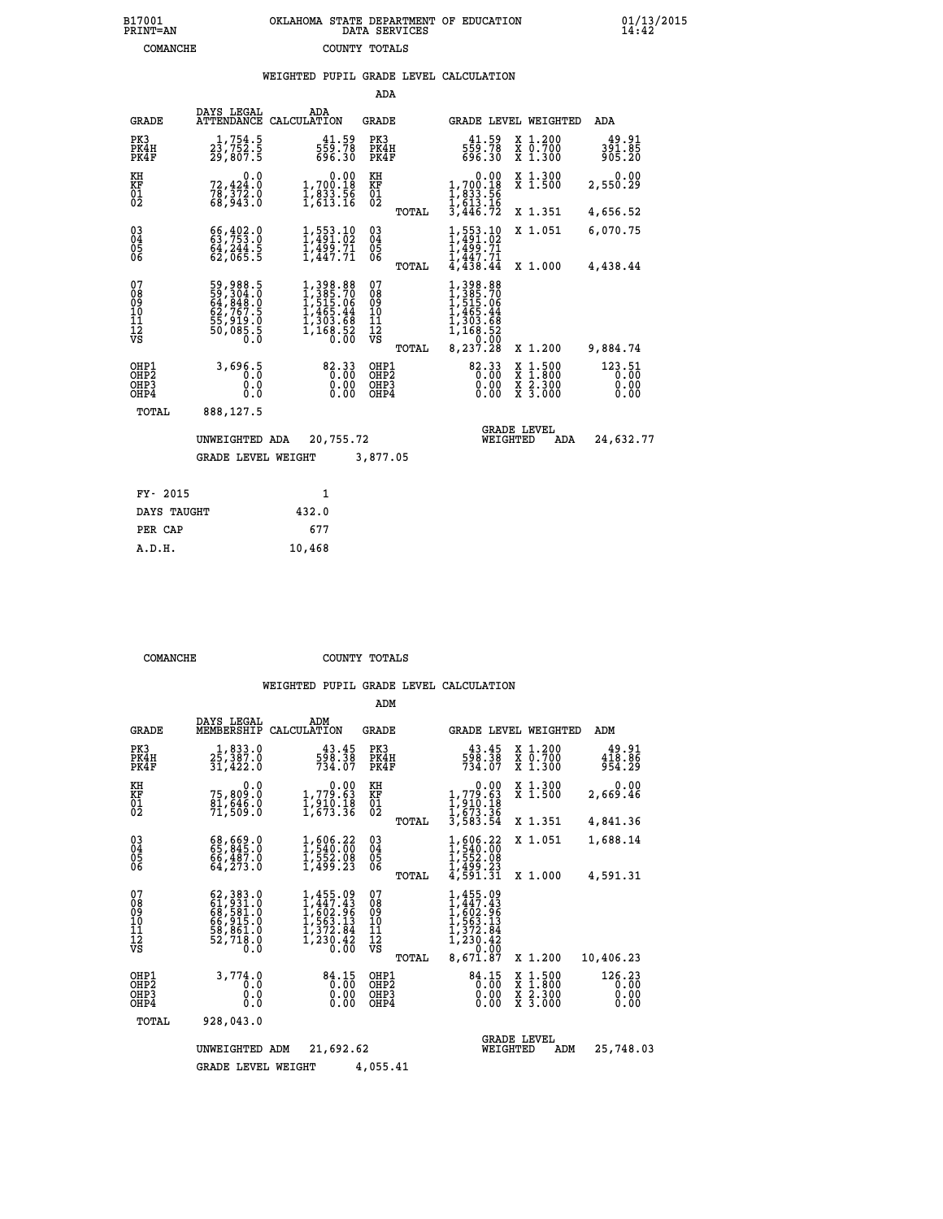# **B17001 OKLAHOMA STATE DEPARTMENT OF EDUCATION 01/13/2015 PRINT=AN DATA SERVICES 14:42 COMANCHE COUNTY TOTALS**

### **WEIGHTED PUPIL GRADE LEVEL CALCULATION**

|                                                       |                                                                                         |                                                                                                                                                               | ADA                                                |       |                                                                                                                    |                                          |                                |
|-------------------------------------------------------|-----------------------------------------------------------------------------------------|---------------------------------------------------------------------------------------------------------------------------------------------------------------|----------------------------------------------------|-------|--------------------------------------------------------------------------------------------------------------------|------------------------------------------|--------------------------------|
| <b>GRADE</b>                                          | DAYS LEGAL<br><b>ATTENDANCE</b>                                                         | ADA<br>CALCULATION                                                                                                                                            | <b>GRADE</b>                                       |       |                                                                                                                    | GRADE LEVEL WEIGHTED                     | <b>ADA</b>                     |
| PK3<br>PK4H<br>PK4F                                   | 1,754.5<br>$2\overline{3}$ , 752.5<br>29, 807.5                                         | 41.59<br>559.78<br>696.30                                                                                                                                     | PK3<br>PK4H<br>PK4F                                |       | 41.59<br>559.78<br>696.30                                                                                          | X 1.200<br>X 0.700<br>X 1.300            | 49.91<br>391.85<br>905.20      |
| KH<br><b>KF</b><br>01<br>02                           | 0.0<br>72,424.0<br>$78,372.0$<br>68,943.0                                               | $\begin{smallmatrix} &0.00\\ 1,700.18\\ 1,833.56\\ 1,613.16\end{smallmatrix}$                                                                                 | KH<br>KF<br>01<br>02                               |       | $\begin{smallmatrix}&&0.00\\1,700.18\\1,833.56\\1,613.16\\3,446.72\end{smallmatrix}$                               | X 1.300<br>X 1.500                       | 0.00<br>2,550.29               |
|                                                       |                                                                                         |                                                                                                                                                               |                                                    | TOTAL |                                                                                                                    | X 1.351                                  | 4,656.52                       |
| $\begin{matrix} 03 \\ 04 \\ 05 \\ 06 \end{matrix}$    | 66, 402.0<br>$64,244.5$<br>$62,065.5$                                                   | 1,553.10<br>1,491.02<br>1,499.71<br>1,447.71                                                                                                                  | $\begin{matrix} 03 \\ 04 \\ 05 \\ 06 \end{matrix}$ |       | $\frac{553.10}{491.02}$<br>$\frac{1}{4}$ , $\frac{499}{47}$ , $\frac{71}{4}$ , $\frac{447}{438}$ , $\frac{44}{44}$ | X 1.051                                  | 6,070.75                       |
|                                                       |                                                                                         |                                                                                                                                                               |                                                    | TOTAL |                                                                                                                    | X 1.000                                  | 4,438.44                       |
| 07<br>08<br>09<br>101<br>11<br>12<br>VS               | 59, 988.5<br>59, 304.0<br>64, 848.0<br>62, 767.5<br>55, 919.0<br>55, 085.5<br>50, 085.5 | $\begin{smallmatrix} 1,398.88\\[-1.2mm] 1,385.70\\[-1.2mm] 1,515.06\\[-1.2mm] 1,465.44\\[-1.2mm] 1,303.68\\[-1.2mm] 1,168.52\\[-1.2mm] 0.00\end{smallmatrix}$ | 07<br>08<br>09<br>101<br>11<br>12<br>VS            |       | 398.88<br>$1,385.70$<br>$1,515.06$<br>$1,465.44$<br>$1,303.68$<br>$1,168.52$<br>$0.000$                            |                                          |                                |
|                                                       |                                                                                         |                                                                                                                                                               |                                                    | TOTAL | 8,237.28                                                                                                           | X 1.200                                  | 9,884.74                       |
| OHP1<br>OH <sub>P</sub> 2<br>OH <sub>P3</sub><br>OHP4 | 3,696.5<br>0.0<br>0.0                                                                   | 82.33<br>0.00<br>0.00                                                                                                                                         | OHP1<br>OHP <sub>2</sub><br>OHP3<br>OHP4           |       | 82.33<br>0.00                                                                                                      | X 1:500<br>X 1:800<br>X 2:300<br>X 3:000 | 123.51<br>0.00<br>0.00<br>0.00 |
| TOTAL                                                 | 888,127.5                                                                               |                                                                                                                                                               |                                                    |       |                                                                                                                    |                                          |                                |
|                                                       | UNWEIGHTED ADA                                                                          | 20,755.72                                                                                                                                                     |                                                    |       | <b>GRADE LEVEL</b><br>WEIGHTED                                                                                     | ADA                                      | 24,632.77                      |
|                                                       | <b>GRADE LEVEL WEIGHT</b>                                                               |                                                                                                                                                               | 3,877.05                                           |       |                                                                                                                    |                                          |                                |
| FY- 2015                                              |                                                                                         | $\mathbf{1}$                                                                                                                                                  |                                                    |       |                                                                                                                    |                                          |                                |
| DAYS TAUGHT                                           |                                                                                         | 432.0                                                                                                                                                         |                                                    |       |                                                                                                                    |                                          |                                |
|                                                       |                                                                                         |                                                                                                                                                               |                                                    |       |                                                                                                                    |                                          |                                |

| DAYS TAUGHT | 432.0  |
|-------------|--------|
| PER CAP     | 677    |
| A.D.H.      | 10,468 |
|             |        |

 **COMANCHE COUNTY TOTALS**

|                                           |                                                                             |                                                                                 | ADM                                                      |                                                                                                                                                                                              |                                                                                                  |                                |
|-------------------------------------------|-----------------------------------------------------------------------------|---------------------------------------------------------------------------------|----------------------------------------------------------|----------------------------------------------------------------------------------------------------------------------------------------------------------------------------------------------|--------------------------------------------------------------------------------------------------|--------------------------------|
| <b>GRADE</b>                              | DAYS LEGAL<br>MEMBERSHIP                                                    | ADM<br>CALCULATION                                                              | <b>GRADE</b>                                             | <b>GRADE LEVEL WEIGHTED</b>                                                                                                                                                                  |                                                                                                  | ADM                            |
| PK3<br>PK4H<br>PK4F                       | 1,833.0<br>25,387.0<br>31,422.0                                             | 43.45<br>598.38<br>734.07                                                       | PK3<br>PK4H<br>PK4F                                      | 43.45<br>598.38<br>734.07                                                                                                                                                                    | $\begin{smallmatrix} x & 1.200 \\ x & 0.700 \end{smallmatrix}$<br>X 1.300                        | 49.91<br>418.86<br>954.29      |
| KH<br>KF<br>01<br>02                      | 0.0<br>75,809.0<br>$\frac{81}{71}, \frac{646}{509}.0$                       | $\begin{smallmatrix}&&0.00\\1,779.63\\1,910.18\\1,673.36\end{smallmatrix}$      | KH<br>KF<br>01<br>02<br>TOTAL                            | $\begin{smallmatrix} &0.00\\1,779.63\\1,910.18\\1,673.36\\3,583.54\end{smallmatrix}$                                                                                                         | X 1.300<br>X 1.500<br>X 1.351                                                                    | 0.00<br>2,669.46<br>4,841.36   |
| 03<br>04<br>05<br>06                      | 68,669.0<br>66,487.0<br>64, 273.0                                           | 1,606.22<br>1,540.00<br>1,552.00<br>1,499.23                                    | $\substack{03 \\ 04}$<br>05                              | 1,606.22<br>1,540.00<br>1,552.08<br>1,499.23                                                                                                                                                 | X 1.051                                                                                          | 1,688.14                       |
| 07<br>08<br>09<br>11<br>11<br>12<br>VS    | 62,383.0<br>61,931.0<br>68,581.0<br>66,915.0<br>58,861.0<br>52,718.0<br>0.0 | 1,455.09<br>1,447.43<br>ī, 602.96<br>1,563.13<br>ī, š72.84<br>1, 230.42<br>0.00 | TOTAL<br>07<br>08<br>09<br>11<br>11<br>12<br>VS<br>TOTAL | 4,591.31<br>1,455.09<br>1,447.43<br>$1, \overline{60}$<br>$1, \overline{563}$<br>$1, \overline{372}$<br>$1, \overline{372}$<br>$1, \overline{230}$<br>$0, \overline{42}$<br>0.00<br>8,671.87 | X 1.000<br>X 1.200                                                                               | 4,591.31<br>10,406.23          |
| OHP1<br>OH <sub>P</sub> 2<br>OHP3<br>OHP4 | 3,774.0<br>0.0<br>0.0<br>Ŏ.Ŏ                                                | 84.15<br>0.00<br>0.00<br>0.00                                                   | OHP1<br>OHP <sub>2</sub><br>OHP3<br>OHP4                 | 84.15<br>0.00<br>0.00<br>0.00                                                                                                                                                                | $\begin{smallmatrix} x & 1 & 500 \\ x & 1 & 800 \\ x & 2 & 300 \\ x & 3 & 000 \end{smallmatrix}$ | 126.23<br>0.00<br>0.00<br>0.00 |
| TOTAL                                     | 928,043.0<br>UNWEIGHTED<br><b>GRADE LEVEL WEIGHT</b>                        | 21,692.62<br>ADM                                                                | 4,055.41                                                 | WEIGHTED                                                                                                                                                                                     | <b>GRADE LEVEL</b><br>ADM                                                                        | 25,748.03                      |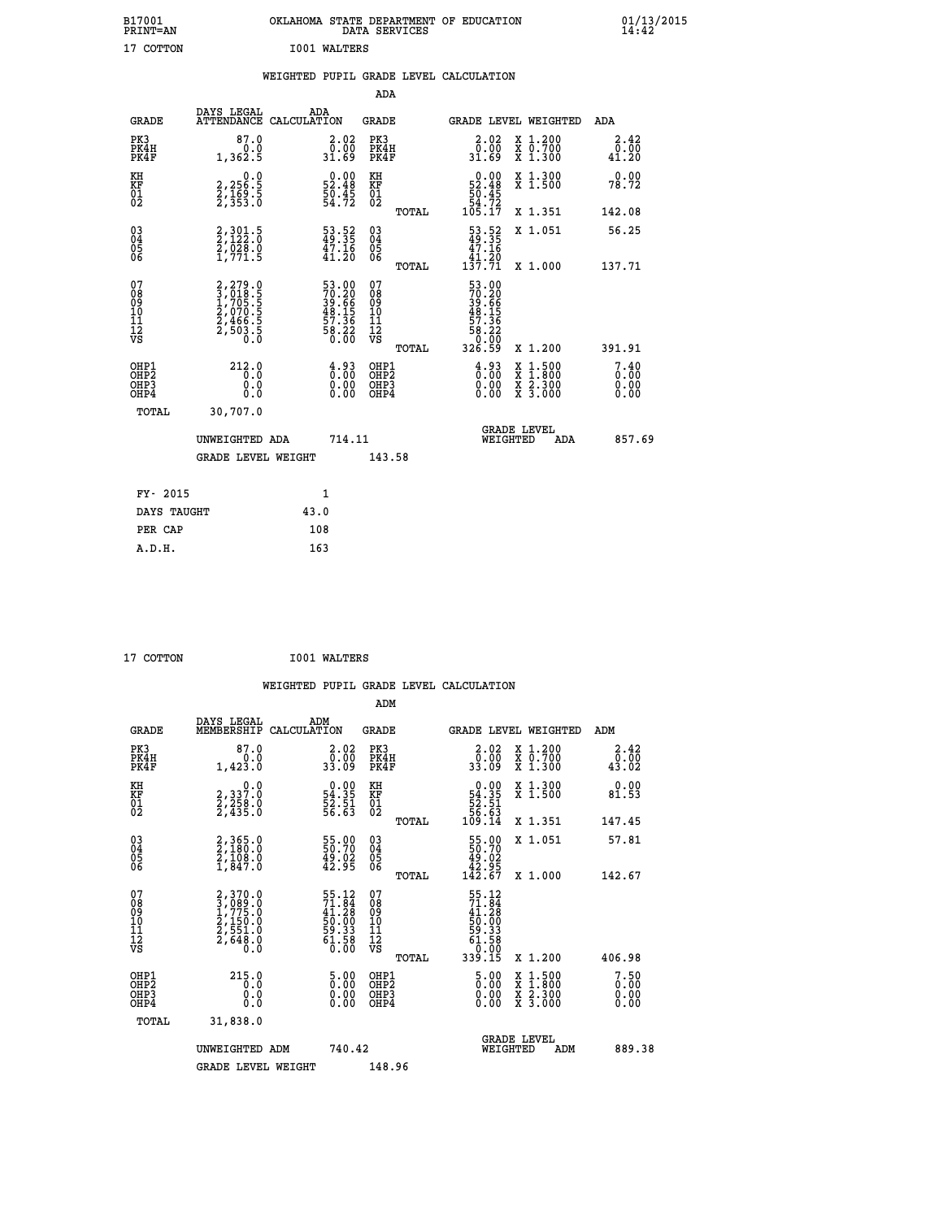| B17001<br>PRINT=AN                     |                                                                       |                                                                      |                                                                            | OKLAHOMA STATE DEPARTMENT OF EDUCATION<br>DATA SERVICES      |                                                                               |                                                                                          | $01/13/2015$<br>14:42 |
|----------------------------------------|-----------------------------------------------------------------------|----------------------------------------------------------------------|----------------------------------------------------------------------------|--------------------------------------------------------------|-------------------------------------------------------------------------------|------------------------------------------------------------------------------------------|-----------------------|
| 17 COTTON                              |                                                                       | <b>IO01 WALTERS</b>                                                  |                                                                            |                                                              |                                                                               |                                                                                          |                       |
|                                        |                                                                       |                                                                      |                                                                            | WEIGHTED PUPIL GRADE LEVEL CALCULATION                       |                                                                               |                                                                                          |                       |
|                                        |                                                                       |                                                                      |                                                                            | ADA                                                          |                                                                               |                                                                                          |                       |
| <b>GRADE</b>                           | DAYS LEGAL                                                            | ADA<br>ATTENDANCE CALCULATION                                        |                                                                            | GRADE                                                        |                                                                               | GRADE LEVEL WEIGHTED                                                                     | ADA                   |
| PK3<br>PK4H<br>PK4F                    | 87.0<br>0.0<br>1,362.5                                                | 31.69                                                                | 2.02<br>0.00                                                               | PK3<br>PK4H<br>PK4F                                          | 2.02<br>0.00<br>31.69                                                         | X 1.200<br>X 0.700<br>X 1.300                                                            | 2.42<br>0.00<br>41.20 |
| KH<br>KF<br>01<br>02                   | 0.0<br>2,256:5<br>2,169:5<br>2,353:0                                  | $\begin{smallmatrix} 0.00\\ 52.48\\ 50.45\\ 54.72 \end{smallmatrix}$ |                                                                            | KH<br><b>KF</b><br>01<br>02                                  | $\begin{smallmatrix} &0.00\\ 52.48\\ 50.45\\ 54.72\\ 105.17\end{smallmatrix}$ | X 1.300<br>X 1.500                                                                       | 0.00<br>78.72         |
|                                        |                                                                       |                                                                      |                                                                            | TOTAL                                                        |                                                                               | X 1.351                                                                                  | 142.08                |
| $^{03}_{04}$<br>Ŏ5<br>06               | $2,301.5$<br>2,122.0<br>2,028.0<br>1,771.5                            | 53.52<br>$\frac{47.16}{41.20}$                                       |                                                                            | $03\overline{4}$<br>$\begin{matrix} 0.5 \\ 0.6 \end{matrix}$ | 53.52<br>47.16<br>41.20                                                       | X 1.051                                                                                  | 56.25                 |
|                                        |                                                                       |                                                                      |                                                                            | TOTAL                                                        | 137.71                                                                        | X 1.000                                                                                  | 137.71                |
| 07<br>08<br>09<br>11<br>11<br>12<br>VS | 2,279.0<br>3,018.5<br>3,705.5<br>1,705.5<br>2,466.5<br>2,503.5<br>0.0 | 53.00<br>70.20<br>39.66<br>39.15<br>48.15<br>57.36<br>58.22<br>58.20 |                                                                            | 07<br>08<br>09<br>10<br>īĭ<br>12<br>VS                       | 53.00<br>70.20<br>39.66<br>38.15<br>48.15<br>57.36<br>58.220                  |                                                                                          |                       |
| OHP1                                   | 212.0                                                                 |                                                                      |                                                                            | TOTAL<br>OHP1                                                | 326.59                                                                        | X 1.200                                                                                  | 391.91<br>7.40        |
| OH <sub>P</sub> 2<br>OHP3<br>OHP4      | 0.0<br>0.0<br>0.0                                                     |                                                                      | $\frac{4.93}{0.00}$<br>$\begin{smallmatrix} 0.00 \ 0.00 \end{smallmatrix}$ | OH <sub>P</sub> 2<br>OHP3<br>OHP4                            | $\frac{4.93}{0.00}$<br>$0.00$<br>0.00                                         | $\begin{smallmatrix} x & 1.500 \\ x & 1.800 \\ x & 2.300 \\ x & 3.000 \end{smallmatrix}$ | 0.00<br>0.00<br>0.00  |
| <b>TOTAL</b>                           | 30,707.0                                                              |                                                                      |                                                                            |                                                              |                                                                               |                                                                                          |                       |
|                                        | UNWEIGHTED ADA                                                        |                                                                      | 714.11                                                                     |                                                              | WEIGHTED                                                                      | <b>GRADE LEVEL</b><br>ADA                                                                | 857.69                |
|                                        | <b>GRADE LEVEL WEIGHT</b>                                             |                                                                      |                                                                            | 143.58                                                       |                                                                               |                                                                                          |                       |
| FY- 2015                               |                                                                       | 1                                                                    |                                                                            |                                                              |                                                                               |                                                                                          |                       |
| DAYS TAUGHT                            |                                                                       | 43.0                                                                 |                                                                            |                                                              |                                                                               |                                                                                          |                       |
| PER CAP                                |                                                                       | 108                                                                  |                                                                            |                                                              |                                                                               |                                                                                          |                       |

| 17 COTTON | <b>IO01 WALTERS</b> |
|-----------|---------------------|

 **WEIGHTED PUPIL GRADE LEVEL CALCULATION ADM DAYS LEGAL ADM GRADE MEMBERSHIP CALCULATION GRADE GRADE LEVEL WEIGHTED ADM PK3 87.0 2.02 PK3 2.02 X 1.200 2.42 PK4H 0.0 0.00 PK4H 0.00 X 0.700 0.00 PK4F 1,423.0 33.09 PK4F 33.09 X 1.300 43.02 KH 0.0 0.00 KH 0.00 X 1.300 0.00 KF 2,337.0 54.35 KF 54.35 X 1.500 81.53 01 2,258.0 52.51 01 52.51 02 2,435.0 56.63 02 56.63 TOTAL 109.14 X 1.351 147.45 03 2,365.0 55.00 03 55.00 X 1.051 57.81 04 2,180.0 50.70 04 50.70 05 2,108.0 49.02 05 49.02 06 1,847.0 42.95 06 42.95 TOTAL 142.67 X 1.000 142.67**  $\begin{array}{cccc} 07 & 2,370.0 & 55.12 & 07 & 55.12 \ 08 & 3,089 & 7,055.0 & 71.84 & 08 & 71.28 \ 10 & 2,150.0 & 50.00 & 10 & 50.00 \ 11 & 2,554.0 & 50.00 & 10 & 50.00 \ 12 & 2,5648.0 & 59.33 & 11 & 59.33 \ 12 & 59.33 & 2,648.0 & 61.58 & 12 & 61.58 \ 13 & 61.58 &$  **TOTAL 339.15 X 1.200 406.98 OHP1 215.0 5.00 OHP1 5.00 X 1.500 7.50 OHP2 0.0 0.00 OHP2 0.00 X 1.800 0.00 OHP3 0.0 0.00 OHP3 0.00 X 2.300 0.00 OHP4 0.0 0.00 OHP4 0.00 X 3.000 0.00 TOTAL 31,838.0 GRADE LEVEL UNWEIGHTED ADM 740.42 WEIGHTED ADM 889.38** GRADE LEVEL WEIGHT 148.96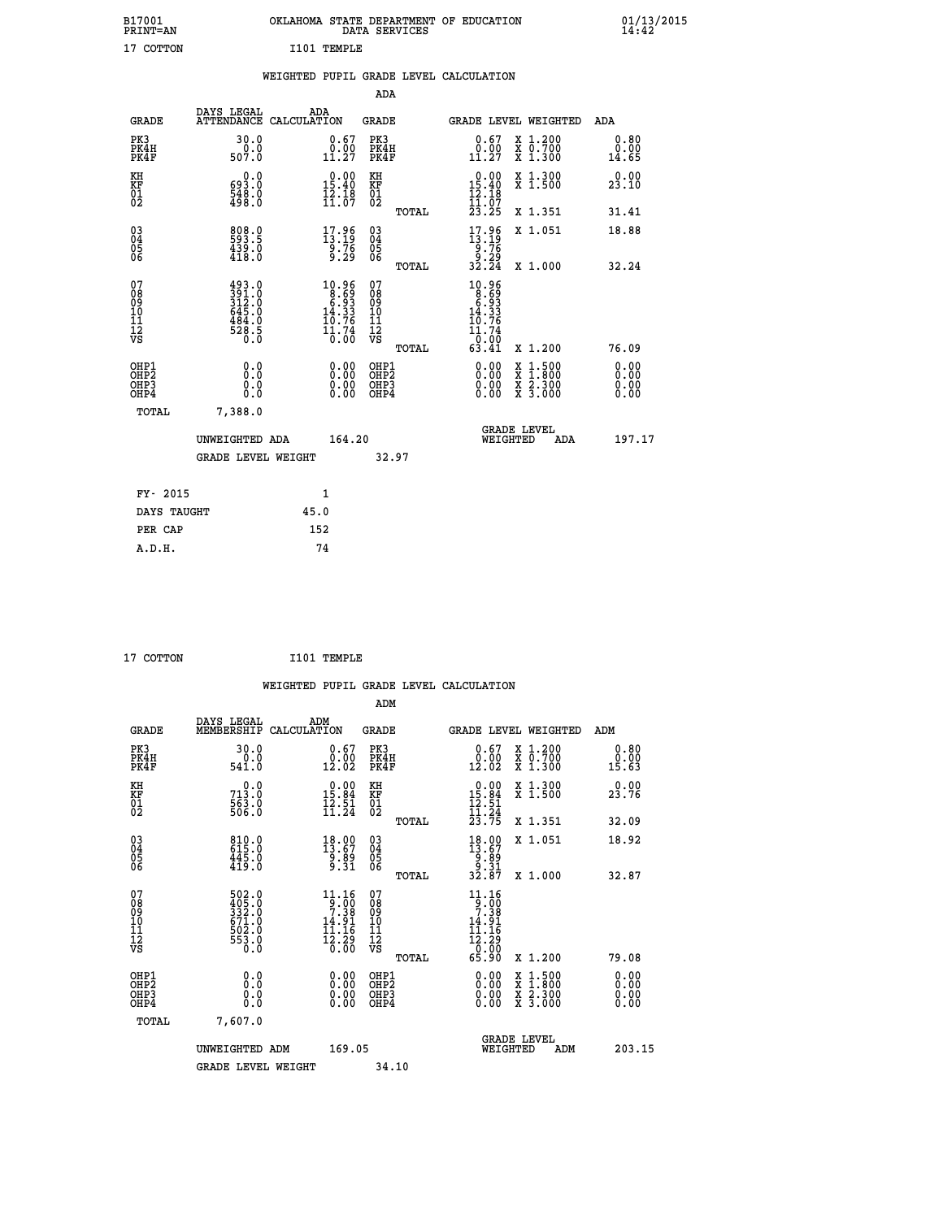| B17001<br>PRINT=AN               |                                                                         | OKLAHOMA STATE DEPARTMENT OF EDUCATION                                                                                   | DATA SERVICES                                                 |                                                                                             |                                                                                                                                      | $01/13/2015$<br>14:42 |  |
|----------------------------------|-------------------------------------------------------------------------|--------------------------------------------------------------------------------------------------------------------------|---------------------------------------------------------------|---------------------------------------------------------------------------------------------|--------------------------------------------------------------------------------------------------------------------------------------|-----------------------|--|
| 17 COTTON                        |                                                                         | I101 TEMPLE                                                                                                              |                                                               |                                                                                             |                                                                                                                                      |                       |  |
|                                  |                                                                         | WEIGHTED PUPIL GRADE LEVEL CALCULATION                                                                                   |                                                               |                                                                                             |                                                                                                                                      |                       |  |
|                                  |                                                                         |                                                                                                                          | ADA                                                           |                                                                                             |                                                                                                                                      |                       |  |
| <b>GRADE</b>                     | DAYS LEGAL                                                              | ADA<br>ATTENDANCE CALCULATION                                                                                            | GRADE                                                         |                                                                                             | GRADE LEVEL WEIGHTED                                                                                                                 | ADA                   |  |
| PK3<br>PK4H<br>PK4F              | 30.0<br>0.0<br>507.0                                                    | 0.67<br>$\begin{smallmatrix} \v{0} \ \v{1} \ \v{2} \end{smallmatrix}$                                                    | PK3<br>PK4H<br>PK4F                                           | 0.67<br>$\begin{smallmatrix} \v{0} \ \v{1} \ \v{2} \end{smallmatrix}$                       | X 1.200<br>X 0.700<br>X 1.300                                                                                                        | 0.80<br>0.00<br>14.65 |  |
| KH<br>KF<br>$\frac{01}{02}$      | 0.0<br>693.0<br>548.0<br>498.0                                          | $0.00$<br>$15.40$<br>$\frac{1}{1}\cdot\frac{1}{0}\cdot\frac{1}{0}$                                                       | KH<br><b>KF</b><br>01<br>02                                   | $0.00$<br>$15.40$<br>$\frac{1}{11}$ $\frac{1}{07}$                                          | X 1.300<br>X 1.500                                                                                                                   | 0.00<br>23.10         |  |
|                                  |                                                                         |                                                                                                                          | <b>TOTAL</b>                                                  | 23.25                                                                                       | X 1.351                                                                                                                              | 31.41                 |  |
| 03<br>04<br>05<br>06             | 808.0<br>$\frac{459.0}{418.0}$                                          | $\begin{smallmatrix} 17.96\\13.19\\9.76\\9.29 \end{smallmatrix}$                                                         | $\begin{matrix} 03 \\ 04 \\ 05 \\ 06 \end{matrix}$            | $\begin{array}{c} 17.96 \\ 13.19 \\ 9.76 \\ 9.29 \\ 32.24 \end{array}$                      | X 1.051                                                                                                                              | 18.88                 |  |
| 07                               |                                                                         |                                                                                                                          | <b>TOTAL</b><br>07                                            | 10.96                                                                                       | X 1.000                                                                                                                              | 32.24                 |  |
| 08<br>09<br>11<br>11<br>12<br>VS | $391.0$<br>$391.0$<br>$312.0$<br>$645.0$<br>$484.0$<br>$528.5$<br>$0.0$ | $\begin{array}{r} 10.96 \\ 8.69 \\ 6.93 \\ 14.33 \end{array}$<br>$\frac{1}{0}$ $\frac{1}{0}$ $\frac{7}{0}$ $\frac{4}{0}$ | Ŏ8<br>09<br>10<br>$\frac{11}{12}$<br>$\frac{12}{18}$<br>TOTAL | $\begin{array}{r} 18.699 \\ -8.93 \\ -14.33 \\ 19.76 \end{array}$<br>11.74<br>0.00<br>63.41 | X 1.200                                                                                                                              | 76.09                 |  |
| OHP1                             |                                                                         |                                                                                                                          | OHP1                                                          |                                                                                             |                                                                                                                                      | 0.00                  |  |
| OHP <sub>2</sub><br>OHP3<br>OHP4 | 0.0<br>0.0<br>0.0                                                       | 0.00<br>$\begin{smallmatrix} 0.00 \ 0.00 \end{smallmatrix}$                                                              | OH <sub>P</sub> 2<br>OHP3<br>OHP4                             | 0.00<br>$0.00$<br>0.00                                                                      | $\begin{smallmatrix} \mathtt{X} & 1 & 500 \\ \mathtt{X} & 1 & 800 \\ \mathtt{X} & 2 & 300 \\ \mathtt{X} & 3 & 000 \end{smallmatrix}$ | 0.00<br>0.00<br>0.00  |  |
| TOTAL                            | 7,388.0                                                                 |                                                                                                                          |                                                               |                                                                                             |                                                                                                                                      |                       |  |
|                                  | UNWEIGHTED ADA                                                          | 164.20                                                                                                                   |                                                               | WEIGHTED                                                                                    | <b>GRADE LEVEL</b><br>ADA                                                                                                            | 197.17                |  |
|                                  | <b>GRADE LEVEL WEIGHT</b>                                               |                                                                                                                          | 32.97                                                         |                                                                                             |                                                                                                                                      |                       |  |
| FY- 2015                         |                                                                         | 1                                                                                                                        |                                                               |                                                                                             |                                                                                                                                      |                       |  |
| DAYS TAUGHT                      |                                                                         | 45.0                                                                                                                     |                                                               |                                                                                             |                                                                                                                                      |                       |  |
| PER CAP                          |                                                                         | 152                                                                                                                      |                                                               |                                                                                             |                                                                                                                                      |                       |  |

| $-$ |
|-----|
|-----|

 **WEIGHTED PUPIL GRADE LEVEL CALCULATION ADM DAYS LEGAL ADM GRADE MEMBERSHIP CALCULATION GRADE GRADE LEVEL WEIGHTED ADM PK3 30.0 0.67 PK3 0.67 X 1.200 0.80 PK4H 0.0 0.00 PK4H 0.00 X 0.700 0.00 PK4F 541.0 12.02 PK4F 12.02 X 1.300 15.63 KH 0.0 0.00 KH 0.00 X 1.300 0.00 KF 713.0 15.84 KF 15.84 X 1.500 23.76 01 12.51 01 12.51 12.51**  $\frac{02}{2}$  506.0  $\frac{11.24}{2}$   $\frac{02}{2}$   $\frac{11.24}{2}$  **TOTAL 23.75 X 1.351 32.09 03 810.0 18.00 03 18.00 X 1.051 18.92 04 615.0 13.67 04 13.67 05 445.0 9.89 05 9.89 06 419.0 9.31 06 9.31 TOTAL 32.87 X 1.000 32.87 07 502.0 11.16 07 11.16 08 405.0 9.00 08 9.00 09 332.0 7.38 09 7.38 10 671.0 14.91 10 14.91 11 502.0 11.16 11 11.16 12 553.0 12.29 12 12.29 VS 0.0 0.00 VS 0.00**  $\begin{array}{cccc} 502.0 & 11.16 & 07 & 11.16 & 07 & 01.16 & 07 & 01.16 & 07 & 01.16 & 07 & 01.16 & 07 & 01.16 & 07 & 01.16 & 07 & 01.16 & 07 & 01.16 & 07 & 01.16 & 01.16 & 01.16 & 01.16 & 01.16 & 01.16 & 01.16 & 01.16 & 01.16 & 01.16 & 01.16 & 01.16 & 01.16 & 01.1$  **OHP1 0.0 0.00 OHP1 0.00 X 1.500 0.00 OHP2 0.0 0.00 OHP2 0.00 X 1.800 0.00 OHP3 0.0 0.00 OHP3 0.00 X 2.300 0.00 OHP4 0.0 0.00 OHP4 0.00 X 3.000 0.00 TOTAL 7,607.0 GRADE LEVEL UNWEIGHTED ADM 169.05 WEIGHTED ADM 203.15** GRADE LEVEL WEIGHT 34.10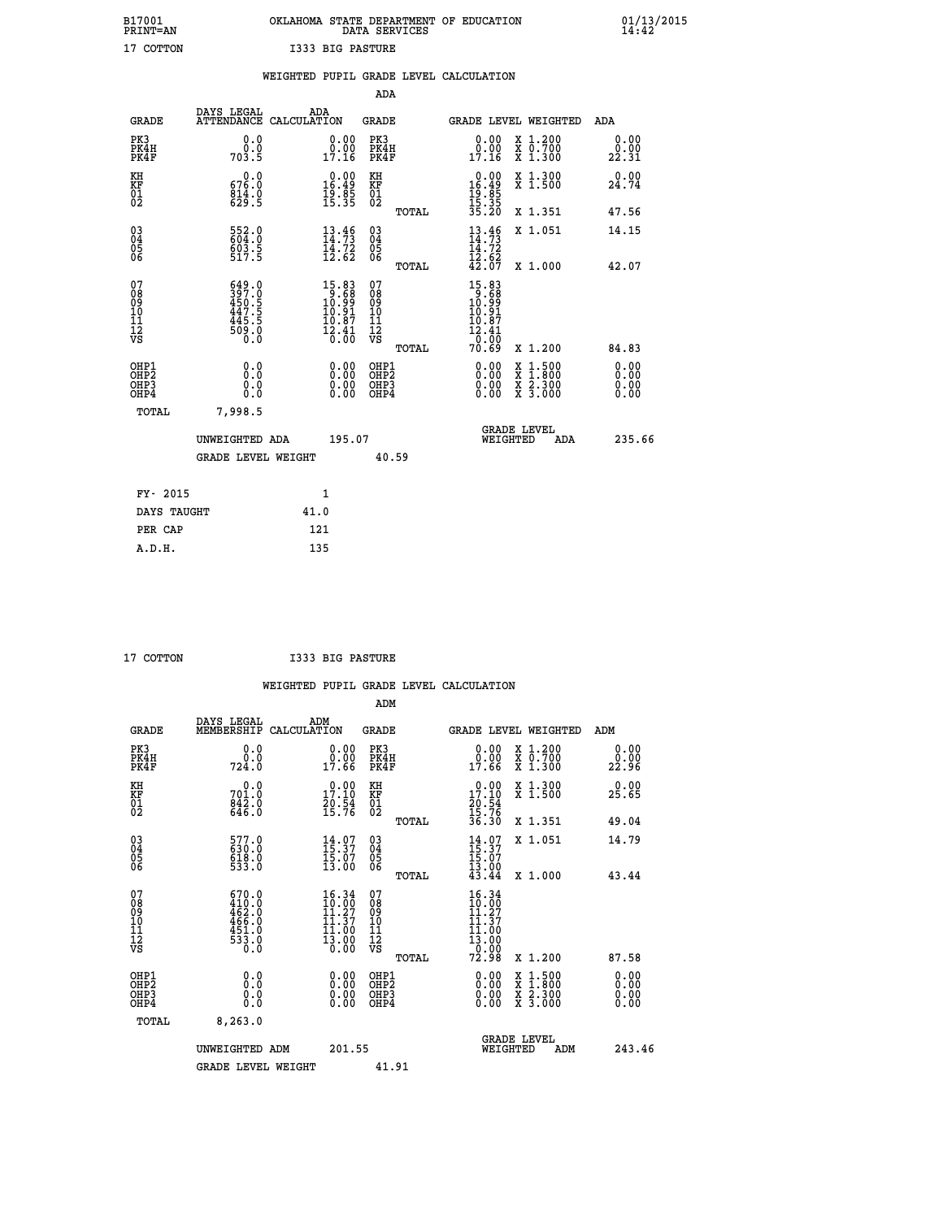|                  | OKLAHOMA STATE DEPARTMENT OF EDUCATION<br>DATA SERVICES |  |
|------------------|---------------------------------------------------------|--|
| I333 BIG PASTURE |                                                         |  |

 **B17001 OKLAHOMA STATE DEPARTMENT OF EDUCATION 01/13/2015**

|                                                                    |                                                                    | WEIGHTED PUPIL GRADE LEVEL CALCULATION                                              |                                        |       |                                                                                      |                                                                                                           |                      |
|--------------------------------------------------------------------|--------------------------------------------------------------------|-------------------------------------------------------------------------------------|----------------------------------------|-------|--------------------------------------------------------------------------------------|-----------------------------------------------------------------------------------------------------------|----------------------|
|                                                                    |                                                                    |                                                                                     | <b>ADA</b>                             |       |                                                                                      |                                                                                                           |                      |
| <b>GRADE</b>                                                       | DAYS LEGAL<br><b>ATTENDANCE</b>                                    | ADA<br>CALCULATION                                                                  | <b>GRADE</b>                           |       | GRADE LEVEL WEIGHTED                                                                 |                                                                                                           | ADA                  |
| PK3<br>PK4H<br>PK4F                                                | 0.0<br>ة:ة<br>703:5                                                | $\begin{smallmatrix} 0.00\\ 0.00\\ 17.16 \end{smallmatrix}$                         | PK3<br>PK4H<br>PK4F                    |       | 0.00<br>0:00<br>17:16                                                                | X 1.200<br>X 0.700<br>X 1.300                                                                             | 0.00<br>22.31        |
| KH<br>KF<br>01<br>02                                               | 0.0<br>676.0<br>814.0<br>629.5                                     | $\begin{array}{c} 0.00 \\ 16.49 \\ 19.85 \\ 15.35 \end{array}$                      | KH<br>KF<br>01<br>02                   |       | 0.00<br>$16.49$<br>$19.85$<br>$15.35$<br>$35.20$                                     | X 1.300<br>X 1.500                                                                                        | 0.00<br>24.74        |
|                                                                    |                                                                    |                                                                                     |                                        | TOTAL |                                                                                      | X 1.351                                                                                                   | 47.56                |
| $\begin{smallmatrix} 03 \\[-4pt] 04 \end{smallmatrix}$<br>Ŏ5<br>06 | 552.0<br>604.0<br>603.5<br>517.5                                   | $13.46$<br>$14.73$<br>$14.72$<br>$12.62$                                            | $\substack{03 \\ 04}$<br>Ŏ5<br>06      |       | $13.46$<br>$14.73$<br>$14.72$<br>$12.62$<br>$42.07$                                  | X 1.051                                                                                                   | 14.15                |
|                                                                    |                                                                    |                                                                                     |                                        | TOTAL |                                                                                      | X 1.000                                                                                                   | 42.07                |
| 07<br>08901112<br>1112<br>VS                                       | $\frac{649.0}{397.0}$<br>450.5<br>447.5<br>445.5<br>509.0<br>500.0 | $\begin{smallmatrix}15.83\\9.68\\10.99\\10.91\\10.87\\12.41\\0.00\end{smallmatrix}$ | 07<br>08<br>09<br>11<br>11<br>12<br>VS | TOTAL | $15.83$<br>$10.68$<br>$10.99$<br>$10.91$<br>$10.87$<br>$\frac{12.41}{0.00}$<br>70.69 | X 1.200                                                                                                   | 84.83                |
| OHP1<br>OHP2<br>OHP3<br>OHP4                                       | 0.0<br>0.0<br>0.0                                                  | 0.00<br>$\begin{smallmatrix} 0.00 \ 0.00 \end{smallmatrix}$                         | OHP1<br>OHP2<br>OHP3<br>OHP4           |       | 0.00<br>0.00<br>0.00                                                                 | 1:500<br>$\begin{smallmatrix} x & 1 & 500 \\ x & 1 & 800 \\ x & 2 & 300 \\ x & 3 & 000 \end{smallmatrix}$ | 0.00<br>0.00<br>0.00 |
| <b>TOTAL</b>                                                       | 7,998.5                                                            |                                                                                     |                                        |       |                                                                                      |                                                                                                           |                      |
|                                                                    | UNWEIGHTED ADA                                                     | 195.07                                                                              |                                        |       | WEIGHTED                                                                             | <b>GRADE LEVEL</b><br>ADA                                                                                 | 235.66               |
|                                                                    | <b>GRADE LEVEL WEIGHT</b>                                          |                                                                                     |                                        | 40.59 |                                                                                      |                                                                                                           |                      |
| FY- 2015                                                           |                                                                    | $\mathbf{1}$                                                                        |                                        |       |                                                                                      |                                                                                                           |                      |
| DAYS TAUGHT                                                        |                                                                    | 41.0                                                                                |                                        |       |                                                                                      |                                                                                                           |                      |
| PER CAP                                                            |                                                                    | 121                                                                                 |                                        |       |                                                                                      |                                                                                                           |                      |

| 17 COTTON |  |
|-----------|--|

 **A.D.H. 135**

 **ADM**

 **B17001<br>PRINT=AN<br>17 COTTON** 

**COTTON 17333 BIG PASTURE** 

| <b>GRADE</b>                                         | DAYS LEGAL<br>MEMBERSHIP                                                                    | ADM<br>CALCULATION                                                                            | <b>GRADE</b>                                  |       | GRADE LEVEL WEIGHTED                                                                                       |                                          | ADM                    |  |
|------------------------------------------------------|---------------------------------------------------------------------------------------------|-----------------------------------------------------------------------------------------------|-----------------------------------------------|-------|------------------------------------------------------------------------------------------------------------|------------------------------------------|------------------------|--|
| PK3<br>PK4H<br>PK4F                                  | 0.0<br>0.0<br>724.0                                                                         | $\begin{smallmatrix} 0.00\\ 0.00\\ 17.66 \end{smallmatrix}$                                   | PK3<br>PK4H<br>PK4F                           |       | $\begin{smallmatrix} 0.00\\ 0.00\\ 17.66 \end{smallmatrix}$                                                | X 1.200<br>X 0.700<br>X 1.300            | 0.00<br>22.90<br>22.96 |  |
| KH<br>KF<br>01<br>02                                 | 0.0<br>701.0<br>842.0<br>646.0                                                              | 17.10<br>$\frac{20.54}{15.76}$                                                                | KH<br>KF<br>$\overline{01}$                   |       | 17.10<br>$\frac{20.54}{15.76}$<br>36.30                                                                    | X 1.300<br>X 1.500                       | 0.00<br>25.65          |  |
|                                                      |                                                                                             |                                                                                               |                                               | TOTAL |                                                                                                            | X 1.351                                  | 49.04                  |  |
| $\begin{matrix} 03 \\ 04 \\ 05 \\ 06 \end{matrix}$   | 577.0<br>630.0<br>618.0<br>533.0                                                            | $14.07$<br>$15.37$<br>$15.07$<br>$13.00$                                                      | $\substack{03 \\ 04}$<br>Ŏ5<br>06             |       | $14.07$<br>$15.37$<br>$15.07$<br>$13.00$<br>$43.44$                                                        | X 1.051                                  | 14.79                  |  |
|                                                      |                                                                                             |                                                                                               |                                               | TOTAL |                                                                                                            | X 1.000                                  | 43.44                  |  |
| 07<br>08<br>09<br>101<br>112<br>VS                   | $\begin{smallmatrix} 670.0\\ 410.0\\ 462.0\\ 466.0\\ 451.0\\ 533.0\\ 0.0 \end{smallmatrix}$ | 16.34<br>$\begin{smallmatrix} 10.00 \ 11.27 \ 11.37 \ 11.00 \ 13.00 \ 0.00 \end{smallmatrix}$ | 07<br>08<br>09<br>001<br>11<br>11<br>12<br>VS | TOTAL | 16.34<br>$\begin{smallmatrix} 10.34 \\ 10.00 \\ 11.37 \\ 11.30 \\ 13.00 \\ 0.00 \\ 2.98 \end{smallmatrix}$ | X 1.200                                  | 87.58                  |  |
| OHP1<br>OHP <sub>2</sub><br>OH <sub>P3</sub><br>OHP4 | 0.0<br>0.000                                                                                |                                                                                               | OHP1<br>OHP2<br>OHP3<br>OHP4                  |       | 0.00<br>$0.00$<br>0.00                                                                                     | X 1:500<br>X 1:800<br>X 2:300<br>X 3:000 | 0.00<br>0.00<br>0.00   |  |
| TOTAL                                                | 8,263.0                                                                                     |                                                                                               |                                               |       |                                                                                                            |                                          |                        |  |
|                                                      | UNWEIGHTED ADM                                                                              | 201.55                                                                                        |                                               |       | WEIGHTED                                                                                                   | <b>GRADE LEVEL</b><br>ADM                | 243.46                 |  |
|                                                      | <b>GRADE LEVEL WEIGHT</b>                                                                   |                                                                                               | 41.91                                         |       |                                                                                                            |                                          |                        |  |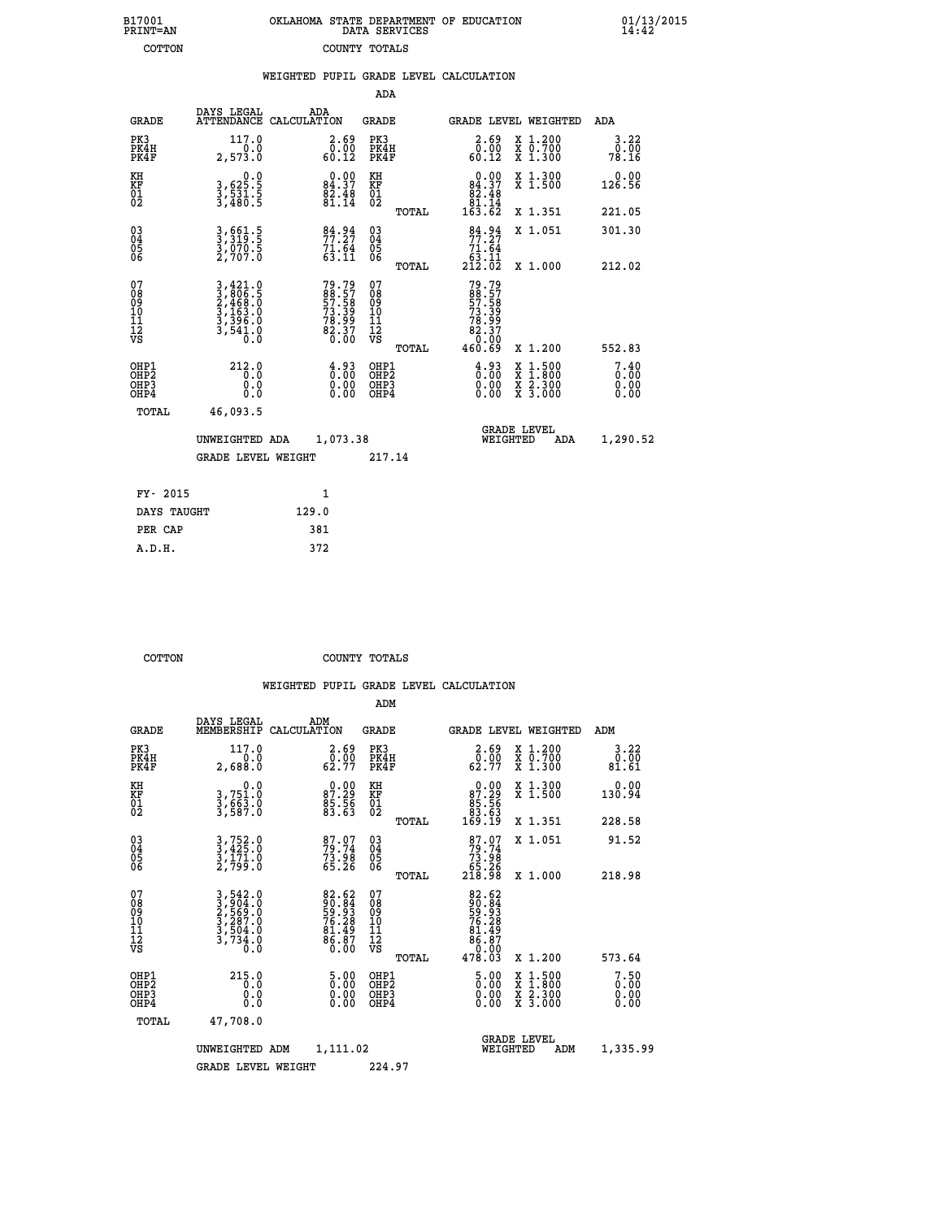| 7001<br>INT=AN |  | OKLAHOMA STATE DEPARTMENT OF EDUCATION<br>DATA SERVICES |  |
|----------------|--|---------------------------------------------------------|--|
| COTTON         |  | COUNTY TOTALS                                           |  |

 **B17001 OKLAHOMA STATE DEPARTMENT OF EDUCATION 01/13/2015**

|                                                       |                                                                                                                                               |       |                                                                       |                                           |       | WEIGHTED PUPIL GRADE LEVEL CALCULATION                                    |                                                                                                  |                              |
|-------------------------------------------------------|-----------------------------------------------------------------------------------------------------------------------------------------------|-------|-----------------------------------------------------------------------|-------------------------------------------|-------|---------------------------------------------------------------------------|--------------------------------------------------------------------------------------------------|------------------------------|
|                                                       |                                                                                                                                               |       |                                                                       | ADA                                       |       |                                                                           |                                                                                                  |                              |
| <b>GRADE</b>                                          | DAYS LEGAL<br>ATTENDANCE CALCULATION                                                                                                          | ADA   |                                                                       | <b>GRADE</b>                              |       | <b>GRADE LEVEL WEIGHTED</b>                                               |                                                                                                  | ADA                          |
| PK3<br>PK4H<br>PK4F                                   | 117.0<br>2,573.0                                                                                                                              |       | $\begin{smallmatrix} 2.69\0.00\60.12\end{smallmatrix}$                | PK3<br>PK4H<br>PK4F                       |       | $\begin{smallmatrix} 2.69\0.00\\60.12\end{smallmatrix}$                   | X 1.200<br>X 0.700<br>X 1.300                                                                    | 3.22<br>0.00<br>78.16        |
| KH<br>KF<br>01<br>02                                  | $\begin{smallmatrix}&&&0.0\\3,625.5\\3,531.5\\3,480.5\end{smallmatrix}$                                                                       |       | $\begin{smallmatrix} 0.00\\84.37\\82.48\\81.14 \end{smallmatrix}$     | KH<br>KF<br>01<br>02                      |       | $\begin{smallmatrix}&&0.00\\84.37\\82.48\\81.14\\163.62\end{smallmatrix}$ | X 1.300<br>X 1.500                                                                               | 0.00<br>126.56               |
|                                                       |                                                                                                                                               |       |                                                                       |                                           | TOTAL |                                                                           | X 1.351                                                                                          | 221.05                       |
| $\begin{matrix} 03 \\ 04 \\ 05 \\ 06 \end{matrix}$    | 3,661.5<br>3,319.5<br>3,070.5<br>2,707.0                                                                                                      |       | $\frac{84.94}{77.27}$<br>$71.\overline{64}\63.11$                     | $\substack{03 \\ 04}$<br>05<br>06         |       | $\frac{84.94}{77.27}$                                                     | X 1.051                                                                                          | 301.30                       |
|                                                       |                                                                                                                                               |       |                                                                       |                                           | TOTAL | $\frac{71.64}{63.11}$<br>212.02                                           | X 1.000                                                                                          | 212.02                       |
| 07<br>08<br>09<br>101<br>112<br>VS                    | $\begin{smallmatrix} 3\,,\,421\,.0\\ 3\,,\,806\,.5\\ 2\,,\,468\,.0\\ 3\,,\,163\,.0\\ 3\,,\,396\,.0\\ 3\,,\,541\,.0\\ 0\,.0 \end{smallmatrix}$ |       | 79.79<br>88.57<br>57.58<br>57.58<br>73.39<br>78.99<br>82.37<br>82.370 | 07<br>08<br>09<br>11<br>11<br>12<br>VS    |       | 79.79<br>88.57<br>57.58<br>57.58<br>78.399<br>82.370<br>82.370            |                                                                                                  |                              |
|                                                       |                                                                                                                                               |       |                                                                       |                                           | TOTAL | 460.69                                                                    | X 1.200                                                                                          | 552.83                       |
| OHP1<br>OH <sub>P</sub> 2<br>OHP3<br>OH <sub>P4</sub> | 212.0<br>0.0<br>0.0<br>0.0                                                                                                                    |       | $\frac{4.93}{0.00}$<br>$0.00$<br>0.00                                 | OHP1<br>OH <sub>P</sub> 2<br>OHP3<br>OHP4 |       | $\begin{smallmatrix} 4.93\ 0.00\ 0.00 \end{smallmatrix}$<br>0.00          | $\begin{smallmatrix} x & 1 & 500 \\ x & 1 & 800 \\ x & 2 & 300 \\ x & 3 & 000 \end{smallmatrix}$ | 7.40<br>0.00<br>0.00<br>0.00 |
| <b>TOTAL</b>                                          | 46,093.5                                                                                                                                      |       |                                                                       |                                           |       |                                                                           |                                                                                                  |                              |
|                                                       | UNWEIGHTED ADA                                                                                                                                |       | 1,073.38                                                              |                                           |       | WEIGHTED                                                                  | <b>GRADE LEVEL</b><br>ADA                                                                        | 1,290.52                     |
|                                                       | <b>GRADE LEVEL WEIGHT</b>                                                                                                                     |       |                                                                       | 217.14                                    |       |                                                                           |                                                                                                  |                              |
| FY- 2015                                              |                                                                                                                                               |       | $\mathbf{1}$                                                          |                                           |       |                                                                           |                                                                                                  |                              |
| DAYS TAUGHT                                           |                                                                                                                                               | 129.0 |                                                                       |                                           |       |                                                                           |                                                                                                  |                              |
| סגי סתם                                               |                                                                                                                                               | 381   |                                                                       |                                           |       |                                                                           |                                                                                                  |                              |

| 11- 4013    |       |  |
|-------------|-------|--|
| DAYS TAUGHT | 129.0 |  |
| PER CAP     | 381   |  |
| A.D.H.      | 372   |  |
|             |       |  |
|             |       |  |

 **B17001<br>PRINT=AN** 

 **COTTON COUNTY TOTALS**

|                                           |                                                                                                                                                           |                                                                        | ADM                                                 |       |                                                                                                              |                                          |                       |
|-------------------------------------------|-----------------------------------------------------------------------------------------------------------------------------------------------------------|------------------------------------------------------------------------|-----------------------------------------------------|-------|--------------------------------------------------------------------------------------------------------------|------------------------------------------|-----------------------|
| <b>GRADE</b>                              | DAYS LEGAL<br>MEMBERSHIP                                                                                                                                  | ADM<br>CALCULATION                                                     | <b>GRADE</b>                                        |       |                                                                                                              | <b>GRADE LEVEL WEIGHTED</b>              | ADM                   |
| PK3<br>PK4H<br>PK4F                       | 117.0<br>2,688.0                                                                                                                                          | $\begin{smallmatrix} 2.69\0.00\\62.77 \end{smallmatrix}$               | PK3<br>PK4H<br>PK4F                                 |       | $\begin{array}{c} 2.69 \\ 0.00 \\ 62.77 \end{array}$                                                         | X 1.200<br>X 0.700<br>X 1.300            | 3.22<br>0.00<br>81.61 |
| KH<br>KF<br>01<br>02                      | 0.0<br>3,751.0<br>3,663.0<br>3,587.0                                                                                                                      | $\begin{smallmatrix} 0.00\\ 87.29\\ 85.56\\ 83.63\\ \end{smallmatrix}$ | KH<br>KF<br>01<br>02                                |       | $\begin{smallmatrix} &0.00\ 87.29\ 85.56\ 83.63\ 169.19\ \end{smallmatrix}$                                  | X 1.300<br>X 1.500                       | 0.00<br>130.94        |
|                                           |                                                                                                                                                           |                                                                        |                                                     | TOTAL |                                                                                                              | X 1.351                                  | 228.58                |
| 03<br>04<br>05<br>06                      | 3,752.0<br>3,425.0<br>3,171.0<br>2,799.0                                                                                                                  | 87.07<br>79.74<br>73.98<br>65.26                                       | $\begin{array}{c} 03 \\ 04 \\ 05 \\ 06 \end{array}$ |       | $87.07$<br>$79.74$<br>$73.98$<br>$65.26$<br>$218.98$                                                         | X 1.051                                  | 91.52                 |
|                                           |                                                                                                                                                           |                                                                        |                                                     | TOTAL |                                                                                                              | X 1.000                                  | 218.98                |
| 07<br>08<br>09<br>101<br>11<br>12<br>VS   | $\begin{smallmatrix} 3\,,\,542\,.\,0\\ 2\,,\,904\,.\,0\\ 2\,,\,569\,.\,0\\ 3\,,\,287\,.\,0\\ 3\,,\,504\,.\,0\\ 3\,,\,734\,.\,0\\ 0\,.0 \end{smallmatrix}$ | 82.62<br>90.84<br>59.93<br>76.28<br>76.28<br>81.49<br>86.87            | 07<br>08<br>09<br>11<br>11<br>12<br>VS              |       | $\begin{array}{r} 82.62 \\ 90.84 \\ 59.38 \\ 76.28 \\ 76.49 \\ 81.49 \\ 86.87 \\ 0.00 \\ 478.03 \end{array}$ |                                          |                       |
|                                           |                                                                                                                                                           |                                                                        |                                                     | TOTAL |                                                                                                              | X 1.200                                  | 573.64                |
| OHP1<br>OHP2<br>OH <sub>P</sub> 3<br>OHP4 | 215.0<br>0.000                                                                                                                                            | $\begin{smallmatrix} 5.00\ 0.00\ 0.00 \end{smallmatrix}$               | OHP1<br>OHP2<br>OHP <sub>3</sub>                    |       | $\frac{5.00}{0.00}$<br>0.00                                                                                  | X 1:500<br>X 1:800<br>X 2:300<br>X 3:000 | 7.50                  |
| TOTAL                                     | 47,708.0                                                                                                                                                  |                                                                        |                                                     |       |                                                                                                              |                                          |                       |
|                                           | UNWEIGHTED                                                                                                                                                | 1,111.02<br>ADM                                                        |                                                     |       |                                                                                                              | GRADE LEVEL<br>WEIGHTED<br>ADM           | 1,335.99              |
|                                           | <b>GRADE LEVEL WEIGHT</b>                                                                                                                                 |                                                                        | 224.97                                              |       |                                                                                                              |                                          |                       |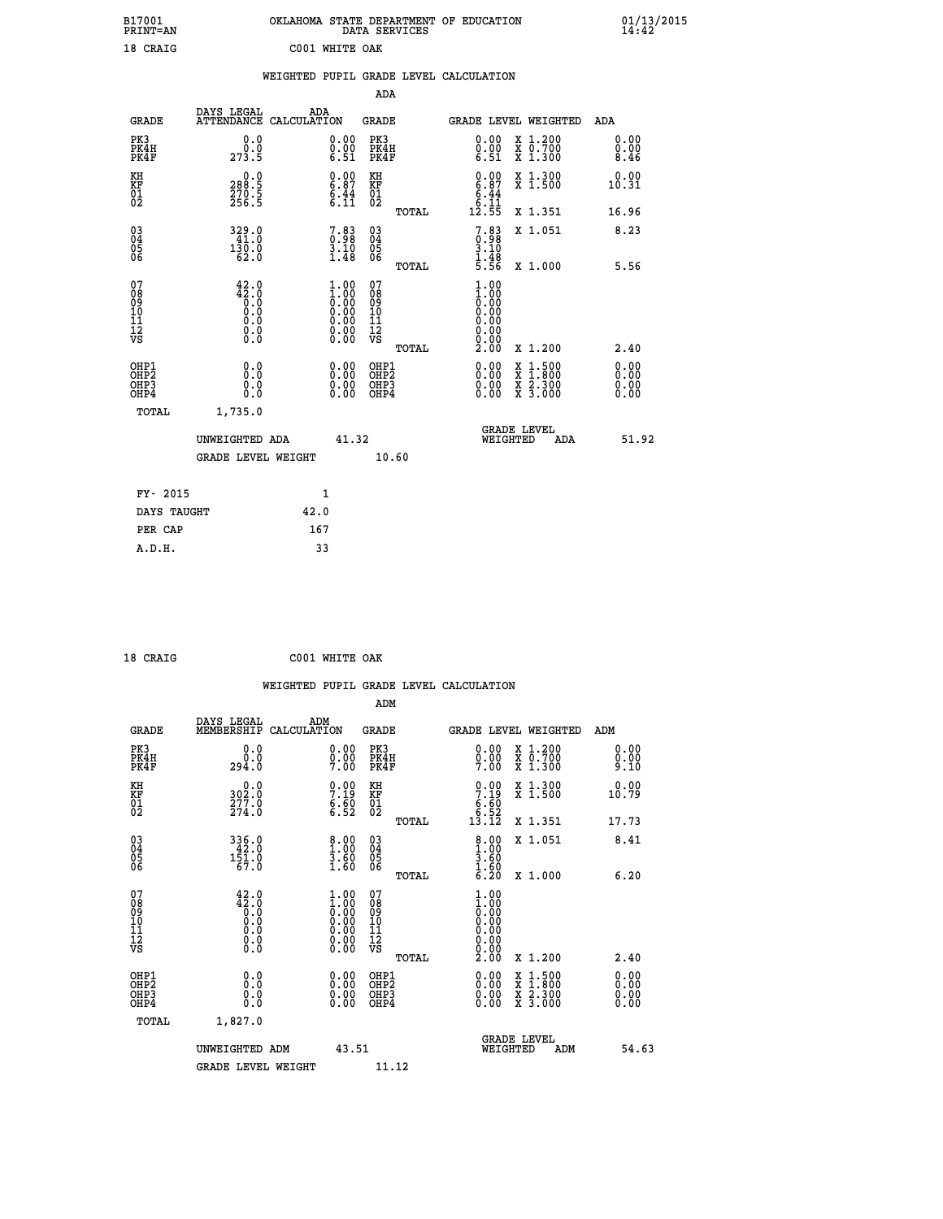| B17001<br>PRINT=AN                                |                                                                                              | OKLAHOMA STATE DEPARTMENT OF EDUCATION                                                       | DATA SERVICES                                              |              |                                                             |                                                                                                                                           | $01/13/2015$<br>14:42        |  |
|---------------------------------------------------|----------------------------------------------------------------------------------------------|----------------------------------------------------------------------------------------------|------------------------------------------------------------|--------------|-------------------------------------------------------------|-------------------------------------------------------------------------------------------------------------------------------------------|------------------------------|--|
| 18 CRAIG                                          |                                                                                              | C001 WHITE OAK                                                                               |                                                            |              |                                                             |                                                                                                                                           |                              |  |
|                                                   |                                                                                              | WEIGHTED PUPIL GRADE LEVEL CALCULATION                                                       |                                                            |              |                                                             |                                                                                                                                           |                              |  |
|                                                   |                                                                                              |                                                                                              | ADA                                                        |              |                                                             |                                                                                                                                           |                              |  |
| <b>GRADE</b>                                      | DAYS LEGAL                                                                                   | ADA<br>ATTENDANCE CALCULATION                                                                | GRADE                                                      |              |                                                             | GRADE LEVEL WEIGHTED                                                                                                                      | ADA                          |  |
| PK3<br>PK4H<br>PK4F                               | 0.0<br>0.0<br>273.5                                                                          | 0.00<br>$\begin{smallmatrix} 0.00 \ 6.51 \end{smallmatrix}$                                  | PK3<br>PK4H<br>PK4F                                        |              | 0.00<br>$\begin{smallmatrix} 0.00 \ 6.51 \end{smallmatrix}$ | X 1.200<br>X 0.700<br>X 1.300                                                                                                             | 0.00<br>0.00<br>8.46         |  |
| KH<br>KF<br>$\begin{matrix} 01 \ 02 \end{matrix}$ | 0.0<br>$\frac{288.5}{270.5}$                                                                 | $0.00$<br>$6.87$<br>$\frac{6.44}{6.11}$                                                      | KH<br><b>KF</b><br>01<br>02                                |              | $0.00$<br>$6.87$<br>$\frac{6.44}{6.11}$                     | $\begin{smallmatrix} x & 1.300 \\ x & 1.500 \end{smallmatrix}$                                                                            | 0.00<br>10.31                |  |
|                                                   |                                                                                              |                                                                                              |                                                            | <b>TOTAL</b> | 12.55                                                       | X 1.351                                                                                                                                   | 16.96                        |  |
| 03<br>04<br>05<br>06                              | 329.0<br>130.0<br>62.0                                                                       | $7.83\n3.10\n3.10\n1.48$                                                                     | $\begin{matrix} 03 \\ 04 \\ 05 \\ 06 \end{matrix}$         |              | 7.83<br>0.98<br>3.10<br>$\frac{1}{5}$ : $\frac{48}{56}$     | X 1.051                                                                                                                                   | 8.23                         |  |
|                                                   |                                                                                              |                                                                                              |                                                            | TOTAL        |                                                             | X 1.000                                                                                                                                   | 5.56                         |  |
| 07<br>08<br>09<br>11<br>11<br>12<br>VS            | $42.0$<br>$42.0$<br>$0.0$<br>Ŏ.Ŏ<br>$\begin{smallmatrix} 0.16 \ 0.0 \ 0.0 \end{smallmatrix}$ | $\begin{smallmatrix} 1.00\ 1.00\ 0.00\ 0.00\ 0.00\ 0.00\ 0.00\ 0.00\ 0.00 \end{smallmatrix}$ | 07<br>Ŏġ<br>09<br>ίÒ<br>$\frac{11}{12}$<br>$\frac{12}{18}$ |              | 1.00<br>$\frac{1}{0}$ :00<br>0.00<br>0.00<br>0.00<br>0.00   |                                                                                                                                           |                              |  |
|                                                   |                                                                                              |                                                                                              |                                                            | TOTAL        | 2.00                                                        | X 1.200                                                                                                                                   | 2.40                         |  |
| OHP1<br>OHP2<br>OHP3<br>OHP4                      | 0.0<br>Ŏ.Ō<br>0.0<br>0.0                                                                     | 0.00<br>0.00<br>0.00                                                                         | OHP1<br>OHP <sub>2</sub><br>OHP3<br>OHP4                   |              | 0.00<br>0.00<br>0.00                                        | $\begin{smallmatrix} \mathtt{X} & 1\cdot500\\ \mathtt{X} & 1\cdot800\\ \mathtt{X} & 2\cdot300\\ \mathtt{X} & 3\cdot000 \end{smallmatrix}$ | 0.00<br>0.00<br>0.00<br>0.00 |  |
| TOTAL                                             | 1,735.0                                                                                      |                                                                                              |                                                            |              |                                                             |                                                                                                                                           |                              |  |
|                                                   | UNWEIGHTED ADA<br><b>GRADE LEVEL WEIGHT</b>                                                  | 41.32                                                                                        | 10.60                                                      |              | WEIGHTED                                                    | <b>GRADE LEVEL</b><br>ADA                                                                                                                 | 51.92                        |  |
|                                                   |                                                                                              |                                                                                              |                                                            |              |                                                             |                                                                                                                                           |                              |  |
| FY- 2015                                          |                                                                                              | 1                                                                                            |                                                            |              |                                                             |                                                                                                                                           |                              |  |
| DAYS TAUGHT                                       |                                                                                              | 42.0                                                                                         |                                                            |              |                                                             |                                                                                                                                           |                              |  |
| PER CAP                                           |                                                                                              | 167                                                                                          |                                                            |              |                                                             |                                                                                                                                           |                              |  |

| 18 CRAIG | C001 WHITE OAK |  |
|----------|----------------|--|

|                                                    |                                                               |                    |                                                                                                                                            |                                                     |       | WEIGHTED PUPIL GRADE LEVEL CALCULATION                               |                                          |                      |       |
|----------------------------------------------------|---------------------------------------------------------------|--------------------|--------------------------------------------------------------------------------------------------------------------------------------------|-----------------------------------------------------|-------|----------------------------------------------------------------------|------------------------------------------|----------------------|-------|
|                                                    |                                                               |                    |                                                                                                                                            | ADM                                                 |       |                                                                      |                                          |                      |       |
| <b>GRADE</b>                                       | DAYS LEGAL<br>MEMBERSHIP                                      | ADM<br>CALCULATION |                                                                                                                                            | <b>GRADE</b>                                        |       | <b>GRADE LEVEL WEIGHTED</b>                                          |                                          | ADM                  |       |
| PK3<br>PK4H<br>PK4F                                | 0.0<br>0.0<br>294.0                                           |                    | $\substack{0.00\\0.00\\7.00}$                                                                                                              | PK3<br>PK4H<br>PK4F                                 |       | $0.00$<br>$0.00$<br>7.00                                             | X 1.200<br>X 0.700<br>X 1.300            | 0.00<br>0.00<br>9.10 |       |
| KH<br>KF<br>01<br>02                               | $302.0$<br>$277.0$<br>$274.0$                                 |                    | $\begin{array}{c} 0.00 \\ 7.19 \\ 6.50 \\ 6.52 \end{array}$                                                                                | KH<br>KF<br>01<br>02                                |       | $\begin{array}{c} 0.00 \\ 7.19 \\ 6.60 \\ 6.52 \\ 13.12 \end{array}$ | X 1.300<br>X 1.500                       | 0.00<br>10.79        |       |
|                                                    |                                                               |                    |                                                                                                                                            |                                                     | TOTAL |                                                                      | X 1.351                                  | 17.73                |       |
| $\begin{matrix} 03 \\ 04 \\ 05 \\ 06 \end{matrix}$ | $\begin{array}{r} 336.0 \\ 42.0 \\ 151.0 \\ 67.0 \end{array}$ |                    | $\begin{smallmatrix} 8.00\\ 1.00\\ 3.60\\ 1.60 \end{smallmatrix}$                                                                          | $\begin{array}{c} 03 \\ 04 \\ 05 \\ 06 \end{array}$ |       | $\begin{array}{c} 8.00 \\ 1.00 \\ 3.60 \\ 1.60 \end{array}$          | X 1.051                                  | 8.41                 |       |
|                                                    |                                                               |                    |                                                                                                                                            |                                                     | TOTAL | $\overline{6}$ . 20                                                  | X 1.000                                  | 6.20                 |       |
| 07<br>0890112<br>1112<br>VS                        | $42.0$<br>$0.0$<br>$0.0$<br>$0.0$<br>$0.0$<br>$\S.$ $\S$      |                    | $\begin{smallmatrix} 1.00\ 1.00\ 0.00\ 0.00\ 0.00 \end{smallmatrix}$<br>$\begin{smallmatrix} 0.00 & 0.00 \\ 0.00 & 0.00 \end{smallmatrix}$ | 07<br>08<br>09<br>11<br>11<br>12<br>VS              | TOTAL | 1.00<br>$\frac{1}{0}$ :00<br>0.00<br>0.00<br>0.00<br>ž.ŏŏ            | X 1.200                                  | 2.40                 |       |
| OHP1<br>OHP <sub>2</sub><br>OH <sub>P3</sub>       | 0.0<br>0.000                                                  |                    | $0.00$<br>$0.00$                                                                                                                           | OHP1<br>OHP <sub>2</sub><br>OHP <sub>3</sub>        |       | 0.00<br>0.00                                                         | X 1:500<br>X 1:800<br>X 2:300<br>X 3:000 | 0.00<br>0.00         |       |
| OHP4                                               |                                                               |                    | 0.00                                                                                                                                       |                                                     |       | 0.00                                                                 |                                          | 0.00                 |       |
| TOTAL                                              | 1,827.0                                                       |                    |                                                                                                                                            |                                                     |       |                                                                      |                                          |                      |       |
|                                                    | UNWEIGHTED ADM                                                |                    | 43.51                                                                                                                                      |                                                     |       | WEIGHTED                                                             | <b>GRADE LEVEL</b><br>ADM                |                      | 54.63 |
|                                                    | <b>GRADE LEVEL WEIGHT</b>                                     |                    |                                                                                                                                            | 11.12                                               |       |                                                                      |                                          |                      |       |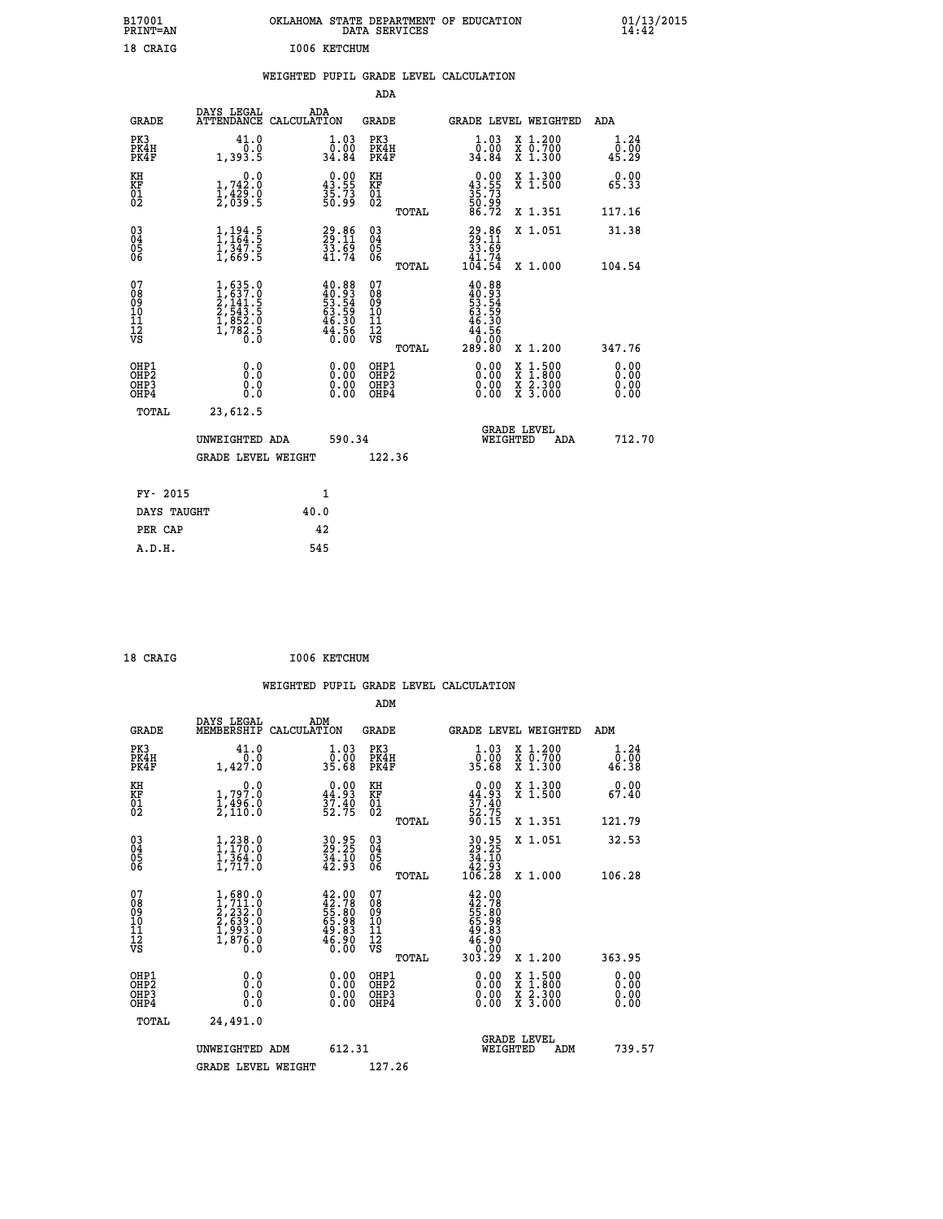| B17001<br>PRINT=AN                       |                                                                                                               | OKLAHOMA STATE DEPARTMENT OF EDUCATION                                   | DATA SERVICES                                                      |                                                                    |                                                                                                     | $01/13/2015$<br>14:42    |  |
|------------------------------------------|---------------------------------------------------------------------------------------------------------------|--------------------------------------------------------------------------|--------------------------------------------------------------------|--------------------------------------------------------------------|-----------------------------------------------------------------------------------------------------|--------------------------|--|
| 18 CRAIG                                 |                                                                                                               | I006 KETCHUM                                                             |                                                                    |                                                                    |                                                                                                     |                          |  |
|                                          |                                                                                                               | WEIGHTED PUPIL GRADE LEVEL CALCULATION                                   | ADA                                                                |                                                                    |                                                                                                     |                          |  |
| <b>GRADE</b>                             | DAYS LEGAL                                                                                                    | ADA<br>ATTENDANCE CALCULATION                                            | <b>GRADE</b>                                                       | GRADE LEVEL WEIGHTED                                               |                                                                                                     | ADA                      |  |
| PK3<br>PK4H<br>PK4F                      | 41.0<br>0.0<br>1,393.5                                                                                        | 1.03<br>ةةٍ:ة<br>34.84                                                   | PK3<br>PK4H<br>PK4F                                                | 1.03<br>ةةٍ:ة<br>34∶34                                             | X 1.200<br>X 0.700<br>X 1.300                                                                       | 1.24<br>0.00<br>45.29    |  |
| KH<br>KF<br>01<br>02                     | 0.0<br>$1,742.0$<br>$1,429.0$<br>$2,039.5$                                                                    | $\begin{smallmatrix} 0.00\\ 43.55\\ 35.73\\ 50.99 \end{smallmatrix}$     | KH<br>KF<br>01<br>02                                               | $0.00\n43.55\n35.73\n50.99\n56.72$                                 | X 1.300<br>X 1.500                                                                                  | 0.00<br>65.33            |  |
|                                          |                                                                                                               |                                                                          | TOTAL                                                              |                                                                    | X 1.351                                                                                             | 117.16                   |  |
| 030404<br>06                             | $\frac{1}{1}, \frac{194}{164}$<br>$\frac{1}{347}$<br>$\frac{1}{5}$<br>$\frac{347}{1,669}$<br>$\frac{5}{5}$    | 29.86<br>29.11<br>33.69<br>41.74                                         | $\begin{matrix} 03 \\ 04 \\ 05 \\ 06 \end{matrix}$<br><b>TOTAL</b> | 29.86<br>29.11<br>33.69<br>41.74<br>104.54                         | X 1.051                                                                                             | 31.38                    |  |
| 07<br>08<br>09<br>10<br>11<br>12<br>VS   | $\begin{smallmatrix} 1, 635.0\\ 1, 637.0\\ 2, 141.5\\ 2, 543.5\\ 1, 852.0\\ 1, 782.5\\ 0.0 \end{smallmatrix}$ | $40.88$<br>$49.93$<br>$53.54$<br>$63.59$<br>$46.30$<br>$44.56$<br>$0.00$ | 07<br>08<br>09<br>10<br>11<br>12<br>VS                             | $40.88$<br>$40.93$<br>$53.54$<br>$52.59$<br>46.30<br>44.56<br>0.00 | X 1.000                                                                                             | 104.54                   |  |
| OHP1<br>OHP <sub>2</sub><br>OHP3<br>OHP4 | 0.0<br>0.0<br>0.0                                                                                             | 0.00<br>0.00                                                             | TOTAL<br>OHP1<br>OHP <sub>2</sub><br>OHP3<br>OHP4                  | 289.80<br>0.00<br>0.00                                             | X 1.200<br>$\begin{smallmatrix} x & 1.500 \\ x & 1.800 \\ x & 2.300 \\ x & 3.000 \end{smallmatrix}$ | 347.76<br>0.00<br>0.0000 |  |
| TOTAL                                    | 23,612.5                                                                                                      |                                                                          |                                                                    |                                                                    |                                                                                                     |                          |  |
|                                          | UNWEIGHTED ADA                                                                                                | 590.34                                                                   |                                                                    | <b>GRADE LEVEL</b><br>WEIGHTED                                     | ADA                                                                                                 | 712.70                   |  |
|                                          | <b>GRADE LEVEL WEIGHT</b>                                                                                     |                                                                          | 122.36                                                             |                                                                    |                                                                                                     |                          |  |
| FY- 2015                                 |                                                                                                               | 1                                                                        |                                                                    |                                                                    |                                                                                                     |                          |  |
| DAYS TAUGHT                              |                                                                                                               | 40.0                                                                     |                                                                    |                                                                    |                                                                                                     |                          |  |
| PER CAP                                  |                                                                                                               | 42                                                                       |                                                                    |                                                                    |                                                                                                     |                          |  |

| 18 CRAIG |  | I006 KETCHUM |
|----------|--|--------------|
|          |  |              |

 **WEIGHTED PUPIL GRADE LEVEL CALCULATION ADM DAYS LEGAL ADM GRADE MEMBERSHIP CALCULATION GRADE GRADE LEVEL WEIGHTED ADM PK3 41.0 1.03 PK3 1.03 X 1.200 1.24 PK4H 0.0 0.00 PK4H 0.00 X 0.700 0.00 PK4F 1,427.0 35.68 PK4F 35.68 X 1.300 46.38 KH 0.0 0.00 KH 0.00 X 1.300 0.00 KF 1,797.0 44.93 KF 44.93 X 1.500 67.40 01 1,496.0 37.40 01 37.40 02 2,110.0 52.75 02 52.75 TOTAL 90.15 X 1.351 121.79 03 1,238.0 30.95 03 30.95 X 1.051 32.53 04 1,170.0 29.25 04 29.25 05 1,364.0 34.10 05 34.10 06 1,717.0 42.93 06 42.93 TOTAL 106.28 X 1.000 106.28**  $\begin{array}{cccc} 07 & 1,680.0 & 42.00 & 07 & 42.00 \ 08 & 1,711.0 & 42.00 & 08 & 42.00 \ 09 & 2,232.0 & 55.80 & 08 & 45.78 \ 10 & 2,639.0 & 65.98 & 10 & 65.98 \ 11 & 1,993.0 & 49.83 & 11 & 49.83 \ \hline \textrm{vs} & 1,8976.0 & 40.90 & 12 & 46.90 \ 0.0 & 0.00 & \textrm{vs} &$  **TOTAL 303.29 X 1.200 363.95 OHP1 0.0 0.00 OHP1 0.00 X 1.500 0.00 OHP2 0.0 0.00 OHP2 0.00 X 1.800 0.00 OHP3 0.0 0.00 OHP3 0.00 X 2.300 0.00 OHP4 0.0 0.00 OHP4 0.00 X 3.000 0.00 TOTAL 24,491.0 GRADE LEVEL UNWEIGHTED ADM 612.31 WEIGHTED ADM 739.57** GRADE LEVEL WEIGHT 127.26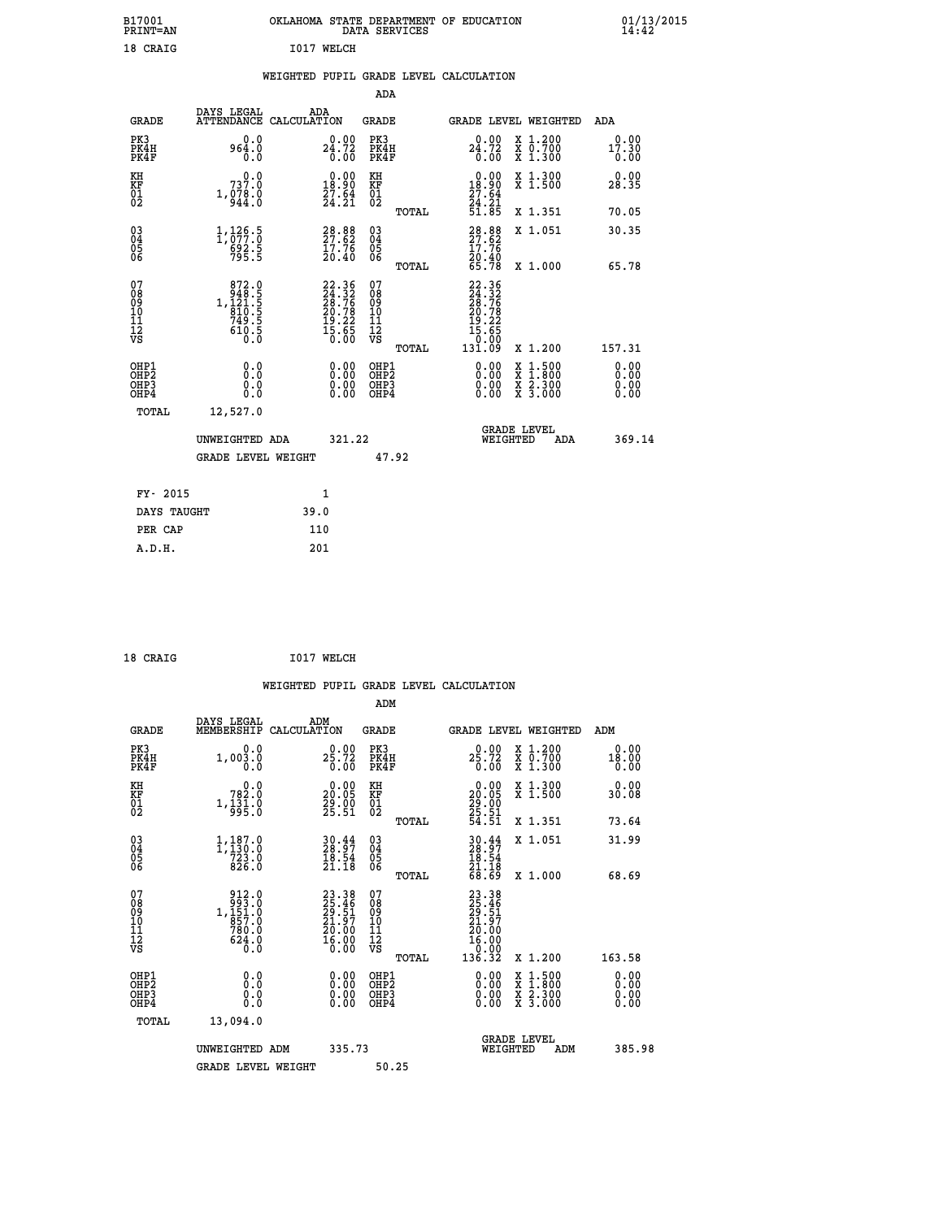| B17001<br><b>PRINT=AN</b> | OKLAHOMA STATE DEPARTMENT OF EDUCATION<br>DATA SERVICES | 01/13/2015 |
|---------------------------|---------------------------------------------------------|------------|
| 18 CRAIG                  | I017<br>WELCH                                           |            |

#### **WEIGHTED PUPIL GRADE LEVEL CALCULATION**

|                                                                    |                                                                                                |                                                                | ADA                                                 |       |                                                                       |                                                                                                                                           |                               |
|--------------------------------------------------------------------|------------------------------------------------------------------------------------------------|----------------------------------------------------------------|-----------------------------------------------------|-------|-----------------------------------------------------------------------|-------------------------------------------------------------------------------------------------------------------------------------------|-------------------------------|
| <b>GRADE</b>                                                       | DAYS LEGAL                                                                                     | ADA<br>ATTENDANCE CALCULATION                                  | <b>GRADE</b>                                        |       |                                                                       | GRADE LEVEL WEIGHTED                                                                                                                      | ADA                           |
| PK3<br>PK4H<br>PK4F                                                | 0.0<br>964.0<br>0.0                                                                            | 24.72<br>0.00                                                  | PK3<br>PK4H<br>PK4F                                 |       | 24.72<br>0.00                                                         | X 1.200<br>X 0.700<br>X 1.300                                                                                                             | 0.00<br>17.30<br>0.00         |
| KH<br>KF<br>01<br>02                                               | 0.0<br>737.0<br>1, 978.0                                                                       | $0.00$<br>18.90<br>$\frac{27.64}{24.21}$                       | KH<br>KF<br>01<br>02                                |       | 18.90<br>$\frac{27.64}{24.21}$<br>51.85                               | X 1.300<br>X 1.500                                                                                                                        | 0.00<br>28.35                 |
|                                                                    |                                                                                                |                                                                |                                                     | TOTAL |                                                                       | X 1.351                                                                                                                                   | 70.05                         |
| $\begin{smallmatrix} 03 \\[-4pt] 04 \end{smallmatrix}$<br>Ŏ5<br>06 | $\frac{1}{1}$ , $\frac{126}{077}$ : $\overline{0}$<br>$\frac{692.5}{795.5}$                    | 28.88<br>27.62<br>17.76<br>10.40                               | $\begin{array}{c} 03 \\ 04 \\ 05 \\ 06 \end{array}$ |       | $28.88$<br>27.62<br>$\frac{17.76}{20.40}$<br>65.78                    | X 1.051                                                                                                                                   | 30.35                         |
|                                                                    |                                                                                                |                                                                |                                                     | TOTAL |                                                                       | X 1.000                                                                                                                                   | 65.78                         |
| 07<br>08<br>09<br>01<br>11<br>11<br>12<br>VS                       | $\begin{smallmatrix}872.0\\948.5\\1.421.5\\1.510.5\\810.5\\749.5\\610.5\\0.0\end{smallmatrix}$ | $22.36$<br>$24.32$<br>$28.76$<br>$20.78$<br>$19.22$<br>$15.65$ | 07<br>08<br>09<br>11<br>11<br>12<br>VS              |       | 22.36<br>24.32<br>28.76<br>20.78<br>20.78<br>19.22<br>15.650<br>30.00 |                                                                                                                                           |                               |
|                                                                    |                                                                                                |                                                                |                                                     | TOTAL | 131.09                                                                | X 1.200                                                                                                                                   | 157.31                        |
| OHP1<br>OHP <sub>2</sub><br>OH <sub>P3</sub><br>OHP4               | 0.0<br>0.0<br>0.0                                                                              | 0.00<br>$\begin{smallmatrix} 0.00 \ 0.00 \end{smallmatrix}$    | OHP1<br>OHP <sub>2</sub><br>OHP <sub>3</sub>        |       | 0.00<br>0.00                                                          | $\begin{smallmatrix} \mathtt{X} & 1\cdot500\\ \mathtt{X} & 1\cdot800\\ \mathtt{X} & 2\cdot300\\ \mathtt{X} & 3\cdot000 \end{smallmatrix}$ | 0.00<br>Ō. ŌŌ<br>0.00<br>0.00 |
| TOTAL                                                              | 12,527.0                                                                                       |                                                                |                                                     |       |                                                                       |                                                                                                                                           |                               |
|                                                                    | UNWEIGHTED ADA                                                                                 | 321.22                                                         |                                                     |       |                                                                       | <b>GRADE LEVEL</b><br>WEIGHTED<br>ADA                                                                                                     | 369.14                        |
|                                                                    | <b>GRADE LEVEL WEIGHT</b>                                                                      |                                                                |                                                     | 47.92 |                                                                       |                                                                                                                                           |                               |
| FY- 2015                                                           |                                                                                                | 1                                                              |                                                     |       |                                                                       |                                                                                                                                           |                               |
| DAYS TAUGHT                                                        |                                                                                                | 39.0                                                           |                                                     |       |                                                                       |                                                                                                                                           |                               |
| PER CAP                                                            |                                                                                                | 110                                                            |                                                     |       |                                                                       |                                                                                                                                           |                               |

 **18 CRAIG I017 WELCH**

 **A.D.H. 201**

 **WEIGHTED PUPIL GRADE LEVEL CALCULATION ADM DAYS LEGAL ADM GRADE MEMBERSHIP CALCULATION GRADE GRADE LEVEL WEIGHTED ADM PK3 0.0 0.00 PK3 0.00 X 1.200 0.00 PK4H 1,003.0 25.72 PK4H 25.72 X 0.700 18.00 PK4F 0.0 0.00 PK4F 0.00 X 1.300 0.00 KH 0.0 0.00 KH 0.00 X 1.300 0.00 KF 782.0 20.05 KF 20.05 X 1.500 30.08 01 1,131.0 29.00 01 29.00 02 995.0 25.51 02 25.51 TOTAL 54.51 X 1.351 73.64 03 1,187.0 30.44 03 30.44 X 1.051 31.99 04 1,130.0 28.97 04 28.97 05 723.0 18.54 05 18.54 06 826.0 21.18 06 21.18 TOTAL 68.69 X 1.000 68.69** 07 912.0 23.38 07 23.38<br>
08 1,151.0 25.51 08 29.51<br>
10 1,51.0 21.97 10 21.97<br>
11 780.0 20.00 11 20.00<br> **VS 62**<br>
12 16.00 VS 0.000 12<br>
12 16.00 912.0 23.38 07<br>
993.0 25.46 08<br>
1,151.0 25.46 08<br>
857.0 21.57 10<br>
857.0 21.57 10<br>
780.0 20.00 11<br>
624.0 16.00 12<br>
70.0 0 30.00 12<br>
TOTAL 136.32 x 1.200 163.58  **OHP1 0.0 0.00 OHP1 0.00 X 1.500 0.00 OHP2 0.0 0.00 OHP2 0.00 X 1.800 0.00 OHP3 0.0 0.00 OHP3 0.00 X 2.300 0.00 OHP4 0.0 0.00 OHP4 0.00 X 3.000 0.00 TOTAL 13,094.0 GRADE LEVEL UNWEIGHTED ADM 335.73 WEIGHTED ADM 385.98** GRADE LEVEL WEIGHT 50.25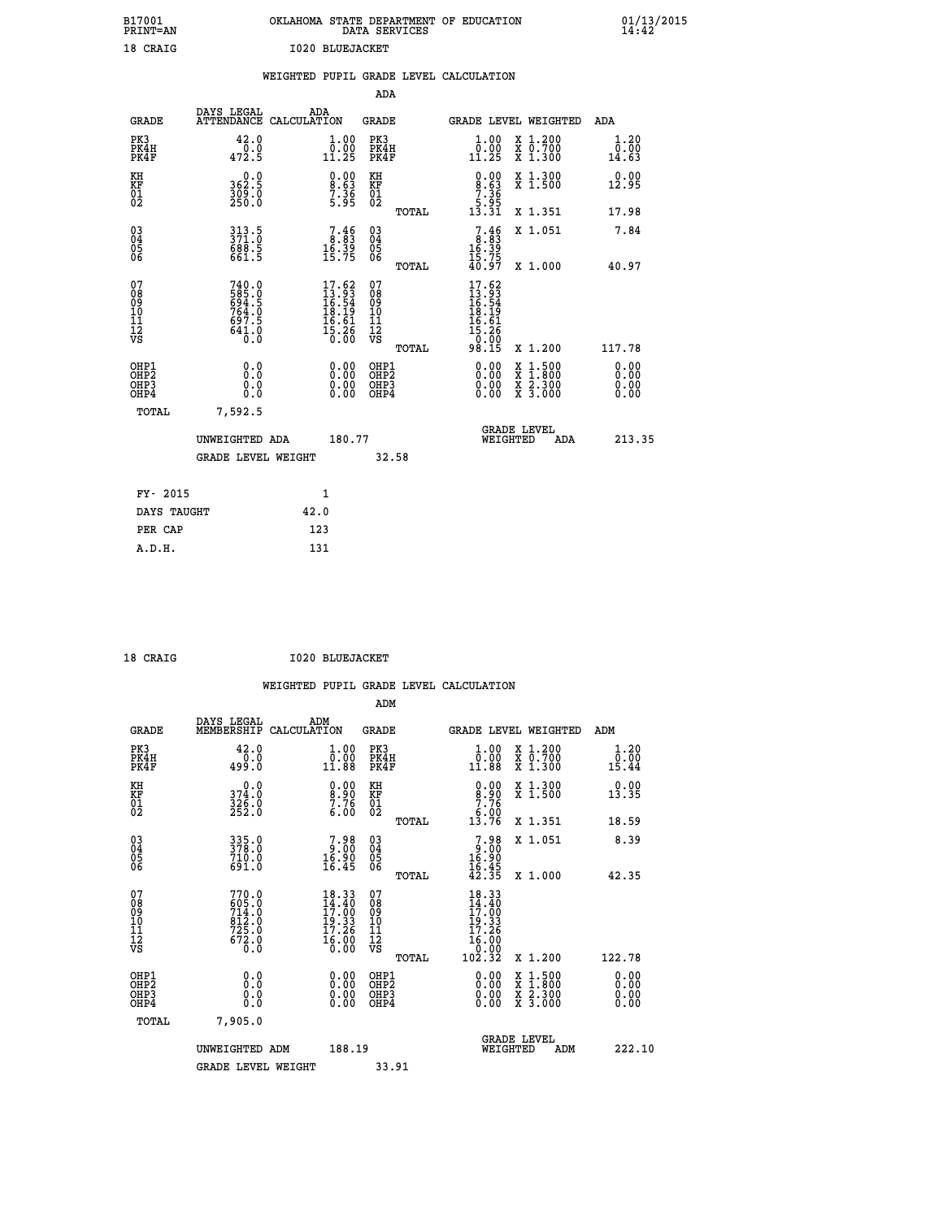| B17001<br>PRINT=AN                     |                                                                           |                                                                   | DATA SERVICES                            | OKLAHOMA STATE DEPARTMENT OF EDUCATION                                  |                                                                                                  | $01/13/2015$<br>14:42 |  |
|----------------------------------------|---------------------------------------------------------------------------|-------------------------------------------------------------------|------------------------------------------|-------------------------------------------------------------------------|--------------------------------------------------------------------------------------------------|-----------------------|--|
| 18 CRAIG                               |                                                                           | <b>I020 BLUEJACKET</b>                                            |                                          |                                                                         |                                                                                                  |                       |  |
|                                        |                                                                           | WEIGHTED PUPIL GRADE LEVEL CALCULATION                            |                                          |                                                                         |                                                                                                  |                       |  |
|                                        |                                                                           |                                                                   | ADA                                      |                                                                         |                                                                                                  |                       |  |
| GRADE                                  | DAYS LEGAL<br>ATTENDANCE CALCULATION                                      | ADA                                                               | GRADE                                    | GRADE LEVEL WEIGHTED                                                    |                                                                                                  | ADA                   |  |
| PK3<br>PK4H<br>PK4F                    | 42.0<br>472.5                                                             | 1.00<br>$\overline{0}$ :00<br>11:25                               | PK3<br>PK4H<br>PK4F                      | $\substack{1.00\\0.00\\11.25}$                                          | X 1.200<br>X 0.700<br>X 1.300                                                                    | 1.20<br>0.00<br>14.63 |  |
| KH<br>KF<br>$\overline{01}$            | 0.0<br>362.5<br>309.0<br>250.0                                            | $\begin{smallmatrix} 0.00\\8.63\\7.36\\5.95 \end{smallmatrix}$    | KH<br>KF<br>01<br>02                     | 8:63<br>$\begin{array}{c} 7.36 \\ 5.95 \\ 13.31 \end{array}$            | X 1.300<br>X 1.500                                                                               | 0.00<br>12.95         |  |
|                                        |                                                                           |                                                                   | TOTAL                                    |                                                                         | X 1.351                                                                                          | 17.98                 |  |
| $03\overline{4}$<br>$\frac{05}{06}$    | $313.5$<br>$371.0$<br>$68\overline{3}.5$<br>661.5                         | $7.46$<br>$8.83$<br>$16.39$<br>$15.75$                            | $\substack{03 \\ 04}$<br>Ŏ5<br>ŎĞ        | $\frac{7.46}{8.83}$<br>$\frac{16.39}{15.75}$<br>$40.97$                 | X 1.051                                                                                          | 7.84                  |  |
|                                        |                                                                           |                                                                   | TOTAL                                    |                                                                         | X 1.000                                                                                          | 40.97                 |  |
| 07<br>Ŏ8<br>09<br>10<br>īĭ<br>ĪŹ<br>VS | 740.0<br>$\frac{585}{694}$ : $\frac{6}{764}$ : 0<br>697.5<br>641.0<br>0.0 | $17.62$<br>$13.93$<br>$16.54$<br>$19.19$<br>$\frac{16.61}{15.26}$ | 07<br>08<br>09<br>10<br>īĭ<br>ĪŽ<br>VŠ   | 17.62<br>$13.93$<br>$16.54$<br>$16.19$<br>$16.61$<br>$15.260$<br>$0.90$ |                                                                                                  |                       |  |
| OHP1                                   |                                                                           |                                                                   | TOTAL                                    | 98.15                                                                   | X 1.200                                                                                          | 117.78<br>0.00        |  |
| OHP <sub>2</sub><br>OHP3<br>OHP4       | 0.0<br>0.0<br>0.0                                                         | 0.00<br>0.00<br>0.00                                              | OHP1<br>OHP <sub>2</sub><br>OHP3<br>OHP4 | 0.00<br>0.00<br>0.00                                                    | $\begin{smallmatrix} x & 1 & 500 \\ x & 1 & 800 \\ x & 2 & 300 \\ x & 3 & 000 \end{smallmatrix}$ | 0.00<br>0.00<br>0.00  |  |
| TOTAL                                  | 7,592.5                                                                   |                                                                   |                                          |                                                                         |                                                                                                  |                       |  |
|                                        | UNWEIGHTED ADA                                                            | 180.77                                                            |                                          | <b>GRADE LEVEL</b><br>WEIGHTED                                          | ADA                                                                                              | 213.35                |  |
|                                        | <b>GRADE LEVEL WEIGHT</b>                                                 |                                                                   | 32.58                                    |                                                                         |                                                                                                  |                       |  |
| FY- 2015                               |                                                                           | 1                                                                 |                                          |                                                                         |                                                                                                  |                       |  |
| DAYS TAUGHT                            |                                                                           | 42.0                                                              |                                          |                                                                         |                                                                                                  |                       |  |
| PER CAP                                |                                                                           | 123                                                               |                                          |                                                                         |                                                                                                  |                       |  |
| A.D.H.                                 |                                                                           | 131                                                               |                                          |                                                                         |                                                                                                  |                       |  |

| 18 CRAIG |  | <b>I020 BLUEJACKET</b> |
|----------|--|------------------------|
|          |  |                        |

|                                                    |                                                      |                                                           |                    |                                                                                |                                              |       | WEIGHTED PUPIL GRADE LEVEL CALCULATION                                                                    |          |                                          |                               |  |
|----------------------------------------------------|------------------------------------------------------|-----------------------------------------------------------|--------------------|--------------------------------------------------------------------------------|----------------------------------------------|-------|-----------------------------------------------------------------------------------------------------------|----------|------------------------------------------|-------------------------------|--|
|                                                    |                                                      |                                                           |                    |                                                                                | ADM                                          |       |                                                                                                           |          |                                          |                               |  |
|                                                    | <b>GRADE</b>                                         | DAYS LEGAL<br>MEMBERSHIP                                  | ADM<br>CALCULATION |                                                                                | <b>GRADE</b>                                 |       |                                                                                                           |          | <b>GRADE LEVEL WEIGHTED</b>              | ADM                           |  |
|                                                    | PK3<br>PK4H<br>PK4F                                  | 42.0<br>0.0<br>499.0                                      |                    | 1.00<br>0.00<br>11.88                                                          | PK3<br>PK4H<br>PK4F                          |       | $\begin{smallmatrix} 1.00\\ 0.00\\ 11.88 \end{smallmatrix}$                                               |          | X 1.200<br>X 0.700<br>X 1.300            | 1.20<br>0.00<br>15.44         |  |
| KH<br>KF<br>01<br>02                               |                                                      | 0.0<br>374.0<br>$\frac{3}{252}$ .0                        |                    | $\begin{smallmatrix} 0.00\ 8.90\ 7.76\ 6.00 \end{smallmatrix}$                 | KH<br>KF<br>01<br>02                         |       | $\begin{smallmatrix} 0.00\\ 8.90\\ 7.76\\ 6.00 \end{smallmatrix}$                                         |          | X 1.300<br>X 1.500                       | 0.00<br>13.35                 |  |
|                                                    |                                                      |                                                           |                    |                                                                                |                                              | TOTAL | 13.76                                                                                                     |          | X 1.351                                  | 18.59                         |  |
| $\begin{matrix} 03 \\ 04 \\ 05 \\ 06 \end{matrix}$ |                                                      | 335.0<br>378.0<br>710.0<br>691.0                          |                    | 7.98<br>9.00<br>16.90<br>16.45                                                 | 03<br>04<br>05<br>06                         |       | $7.98$<br>$16.90$<br>$16.45$<br>$16.45$<br>$42.35$                                                        |          | X 1.051                                  | 8.39                          |  |
|                                                    |                                                      |                                                           |                    |                                                                                |                                              | TOTAL |                                                                                                           |          | X 1.000                                  | 42.35                         |  |
| 07<br>0890112<br>1112<br>VS                        |                                                      | 770.0<br>605.0<br>714.0<br>812.0<br>725.0<br>672.0<br>Ō.O |                    | $18.33$<br>$14.40$<br>$17.00$<br>$\frac{19.33}{17.26}$<br>$\frac{16.00}{0.00}$ | 07<br>08901112<br>1112<br>VS                 |       | $18.33$<br>$14.40$<br>$17.00$<br>$\begin{array}{r} 19.33 \\ 17.26 \\ 16.00 \\ 0.00 \\ 102.32 \end{array}$ |          | X 1.200                                  |                               |  |
|                                                    |                                                      |                                                           |                    |                                                                                |                                              | TOTAL |                                                                                                           |          |                                          | 122.78                        |  |
|                                                    | OHP1<br>OHP <sub>2</sub><br>OH <sub>P3</sub><br>OHP4 | 0.0<br>0.000                                              |                    | $0.00$<br>$0.00$<br>0.00                                                       | OHP1<br>OHP <sub>2</sub><br>OHP <sub>3</sub> |       | 0.00<br>0.00<br>0.00                                                                                      |          | X 1:500<br>X 1:800<br>X 2:300<br>X 3:000 | 0.00<br>Ō. ŌŌ<br>0.00<br>0.00 |  |
|                                                    | TOTAL                                                | 7,905.0                                                   |                    |                                                                                |                                              |       |                                                                                                           |          |                                          |                               |  |
|                                                    |                                                      | UNWEIGHTED ADM                                            |                    | 188.19                                                                         |                                              |       |                                                                                                           | WEIGHTED | <b>GRADE LEVEL</b><br>ADM                | 222.10                        |  |
|                                                    |                                                      | GRADE LEVEL WEIGHT                                        |                    |                                                                                | 33.91                                        |       |                                                                                                           |          |                                          |                               |  |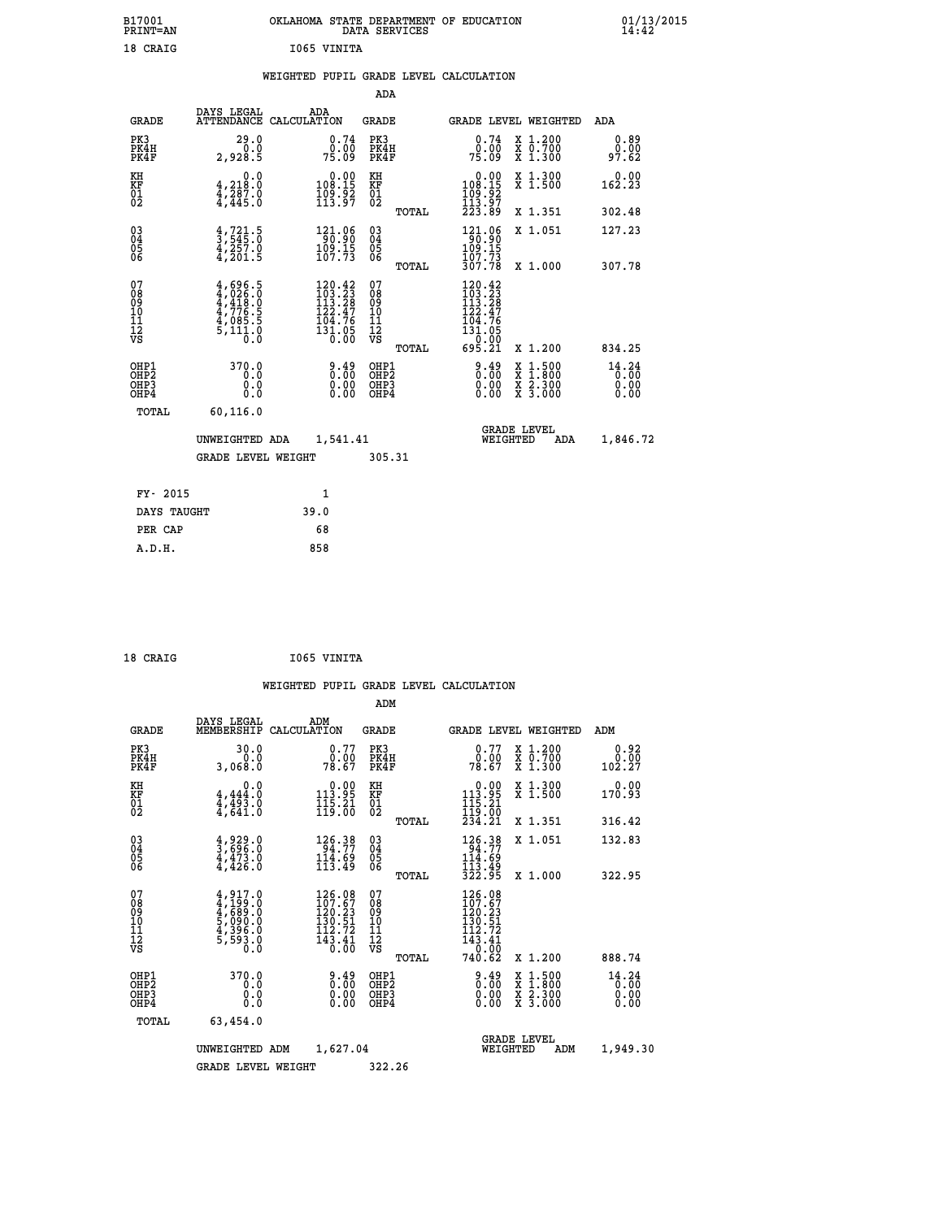| B17001<br><b>PRINT=AN</b> | OKLAHOMA STATE DEPARTMENT OF EDUCATION<br>DATA SERVICES | 01/13/2015 |
|---------------------------|---------------------------------------------------------|------------|
| 18 CRAIG                  | 1065 VINITA                                             |            |

# **WEIGHTED PUPIL GRADE LEVEL CALCULATION**

|                                                    |                                                                                     |                                                                                                     |                        | ADA                                                 |       |                                                                                   |          |                                                                  |                                   |
|----------------------------------------------------|-------------------------------------------------------------------------------------|-----------------------------------------------------------------------------------------------------|------------------------|-----------------------------------------------------|-------|-----------------------------------------------------------------------------------|----------|------------------------------------------------------------------|-----------------------------------|
| <b>GRADE</b>                                       | DAYS LEGAL<br><b>ATTENDANCE</b>                                                     | ADA<br>CALCULATION                                                                                  |                        | GRADE                                               |       |                                                                                   |          | <b>GRADE LEVEL WEIGHTED</b>                                      | <b>ADA</b>                        |
| PK3<br>PK4H<br>PK4F                                | 29.0<br>0.0<br>2,928.5                                                              |                                                                                                     | 0.74<br>0.00<br>75.09  | PK3<br>PK4H<br>PK4F                                 |       | 0.74<br>0.00<br>75.09                                                             |          | X 1.200<br>X 0.700<br>X 1.300                                    | 0.89<br>0.00<br>97.62             |
| KH<br><b>KF</b><br>01<br>02                        | 0.0<br>$\frac{4}{4}$ , 218:0<br>$\frac{4}{4}$ , 287:0<br>$\frac{4}{4}$ , 445:0      | $0.00$<br>108.15<br>$\frac{109}{113}\frac{52}{97}$                                                  |                        | KH<br>KF<br>01<br>02                                |       | $\begin{smallmatrix} &0.00\\ 108.15\\ 109.92\\ 113.97\\ 223.89\end{smallmatrix}$  |          | X 1.300<br>X 1.500                                               | 0.00<br>162.23                    |
|                                                    |                                                                                     |                                                                                                     |                        |                                                     | TOTAL |                                                                                   |          | X 1.351                                                          | 302.48                            |
| $\begin{matrix} 03 \\ 04 \\ 05 \\ 06 \end{matrix}$ | $\frac{4}{3}, \frac{721}{545}$ .0<br>$\frac{4}{4}, \frac{257}{201}$ .0<br>4,201.5   | $\begin{array}{r} 121.06 \\ 90.90 \\ 109.15 \\ 107.73 \end{array}$                                  |                        | $\begin{array}{c} 03 \\ 04 \\ 05 \\ 06 \end{array}$ |       | $\begin{array}{c} 121.06 \\ 90.90 \\ 109.15 \\ 107.73 \\ 307.78 \end{array}$      |          | X 1.051                                                          | 127.23                            |
|                                                    |                                                                                     |                                                                                                     |                        |                                                     | TOTAL |                                                                                   |          | X 1.000                                                          | 307.78                            |
| 07<br>08<br>09<br>101<br>11<br>12<br>VS            | $4,696.5$<br>$4,926.0$<br>$4,418.0$<br>$4,776.5$<br>$4,085.5$<br>$5,111.0$<br>$0.0$ | $\begin{smallmatrix} 120.42\\103.23\\113.28\\112.47\\124.76\\104.76\\131.05\\0.00\end{smallmatrix}$ |                        | 07<br>08<br>09<br>11<br>11<br>12<br>VS              | TOTAL | 120.42<br>$1203.23$<br>$113.28$<br>$122.47$<br>$104.765$<br>$131.050$<br>$695.21$ |          | X 1.200                                                          | 834.25                            |
| OHP1<br>OHP2<br>OHP3<br>OHP4                       | 370.0<br>0.0<br>0.0<br>0.0                                                          |                                                                                                     | 0.49<br>$0.00$<br>0.00 | OHP1<br>OHP2<br>OHP3<br>OHP4                        |       | 0.49<br>0.00<br>0.00                                                              | X        | $1.500$<br>$1.800$<br>$\frac{\ddot{x}}{x}$ $\frac{5.300}{3.000}$ | $14.24$<br>$0.00$<br>0.00<br>0.00 |
| TOTAL                                              | 60, 116.0                                                                           |                                                                                                     |                        |                                                     |       |                                                                                   |          |                                                                  |                                   |
|                                                    | UNWEIGHTED ADA                                                                      | 1,541.41                                                                                            |                        |                                                     |       |                                                                                   | WEIGHTED | <b>GRADE LEVEL</b><br>ADA                                        | 1,846.72                          |
|                                                    | <b>GRADE LEVEL WEIGHT</b>                                                           |                                                                                                     |                        | 305.31                                              |       |                                                                                   |          |                                                                  |                                   |
| FY- 2015                                           |                                                                                     | $\mathbf{1}$                                                                                        |                        |                                                     |       |                                                                                   |          |                                                                  |                                   |
| DAYS TAUGHT                                        |                                                                                     | 39.0                                                                                                |                        |                                                     |       |                                                                                   |          |                                                                  |                                   |
|                                                    |                                                                                     |                                                                                                     |                        |                                                     |       |                                                                                   |          |                                                                  |                                   |

| CRATG |  |
|-------|--|
|       |  |

 **PER CAP 68 A.D.H. 858**

8 CRAIG **1065 VINITA** 

|                                                      |                                                                                     |             |                                                                                                                                            | ADM                                                 |       |                                                                                                            |                                |                                          |                        |
|------------------------------------------------------|-------------------------------------------------------------------------------------|-------------|--------------------------------------------------------------------------------------------------------------------------------------------|-----------------------------------------------------|-------|------------------------------------------------------------------------------------------------------------|--------------------------------|------------------------------------------|------------------------|
| <b>GRADE</b>                                         | DAYS LEGAL<br>MEMBERSHIP                                                            | CALCULATION | ADM                                                                                                                                        | <b>GRADE</b>                                        |       |                                                                                                            |                                | <b>GRADE LEVEL WEIGHTED</b>              | ADM                    |
| PK3<br>PK4H<br>PK4F                                  | 30.0<br>0.0<br>3,068.0                                                              |             | 0.77<br>0.00<br>78.67                                                                                                                      | PK3<br>PK4H<br>PK4F                                 |       | 0.77<br>0.00<br>78.67                                                                                      |                                | X 1.200<br>X 0.700<br>X 1.300            | 0.92<br>0.00<br>102.27 |
| KH<br>KF<br>01<br>02                                 | 0.0<br>$\frac{4}{4}, \frac{444}{493}$ .0<br>$\frac{4}{4}, \frac{493}{641}$ .0       |             | $\begin{array}{c} 0.00 \\ 113.95 \\ 115.21 \\ 119.00 \end{array}$                                                                          | KH<br>KF<br>01<br>02                                |       | $\begin{array}{c} 0.00 \\ 113.95 \\ 115.21 \\ 119.00 \\ 234.21 \end{array}$                                |                                | X 1.300<br>X 1.500                       | 0.00<br>170.93         |
|                                                      |                                                                                     |             |                                                                                                                                            |                                                     | TOTAL |                                                                                                            |                                | X 1.351                                  | 316.42                 |
| 03<br>04<br>05<br>06                                 | $\frac{4}{3}, \frac{929}{696}.0$<br>$\frac{4}{4}, \frac{473}{426}.0$                |             | 126.38<br>$\frac{1\bar{1}\bar{4}\cdot\hat{6}\bar{9}}{113.49}$                                                                              | $\begin{array}{c} 03 \\ 04 \\ 05 \\ 06 \end{array}$ |       | 126.38<br>94.77<br>114.69<br>113.49<br>322.95                                                              |                                | X 1.051                                  | 132.83                 |
|                                                      |                                                                                     |             |                                                                                                                                            |                                                     | TOTAL |                                                                                                            |                                | X 1.000                                  | 322.95                 |
| 07<br>08<br>09<br>101<br>112<br>VS                   | $4,917.0$<br>$4,199.0$<br>$4,689.0$<br>$5,090.0$<br>$4,396.0$<br>$5,593.0$<br>$0.0$ |             | 126.08<br>107.67<br>120.23<br>$\frac{1}{1}\overline{30}\cdot\overline{51}\n$<br>112.72<br>$\frac{1}{4}$ $\frac{3}{8}$ $\cdot \frac{4}{00}$ | 07<br>08<br>09<br>11<br>11<br>12<br>VS              | TOTAL | 126.08<br>107.67<br>120.23<br>130.51<br>$\begin{array}{c} 112.72 \\ 143.41 \\ -0.00 \end{array}$<br>740.62 |                                | X 1.200                                  | 888.74                 |
| OHP1<br>OHP2<br>OH <sub>P3</sub><br>OH <sub>P4</sub> | 370.0<br>0.0<br>0.000                                                               |             | $0.49\n0.00$<br>0.00                                                                                                                       | OHP1<br>OHP2<br>OHP3<br>OHP4                        |       | $0.49$<br>$0.00$<br>$0.00$<br>0.00                                                                         |                                | X 1:500<br>X 1:800<br>X 2:300<br>X 3:000 | 14.24<br>0.00<br>0.00  |
| TOTAL                                                | 63,454.0                                                                            |             |                                                                                                                                            |                                                     |       |                                                                                                            |                                |                                          |                        |
|                                                      | UNWEIGHTED                                                                          | ADM         | 1,627.04                                                                                                                                   |                                                     |       |                                                                                                            | <b>GRADE LEVEL</b><br>WEIGHTED | ADM                                      | 1,949.30               |
|                                                      | <b>GRADE LEVEL WEIGHT</b>                                                           |             |                                                                                                                                            | 322.26                                              |       |                                                                                                            |                                |                                          |                        |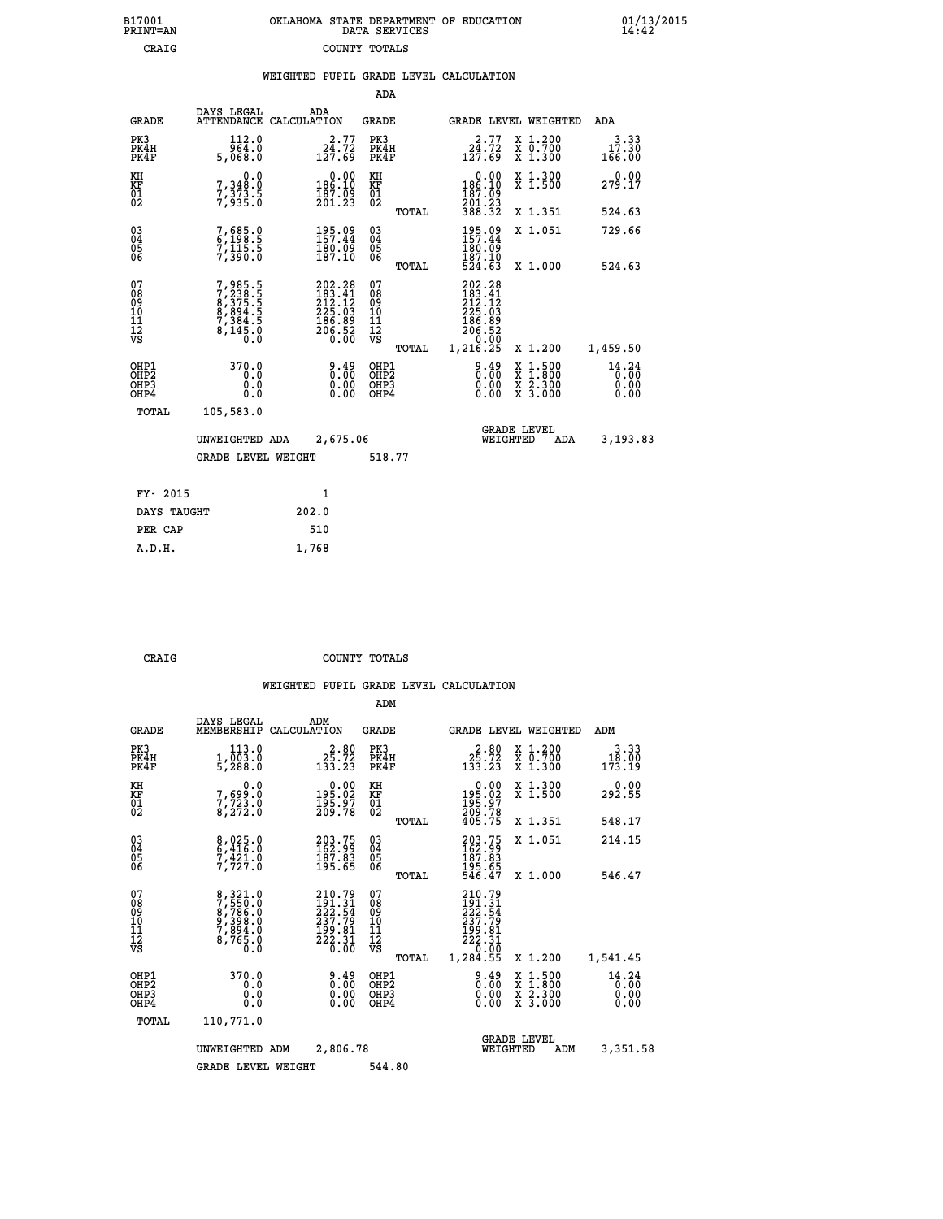| OKLAHOMA STATE DEPARTMENT OF EDUCATION<br>DATA SERVICES |  |
|---------------------------------------------------------|--|
| COUNTY TOTALS                                           |  |

 **B17001 OKLAHOMA STATE DEPARTMENT OF EDUCATION 01/13/2015**

|  |  | WEIGHTED PUPIL GRADE LEVEL CALCULATION |
|--|--|----------------------------------------|
|  |  |                                        |

|                                                                    |                                                                         |                                                                              | ADA                                      |       |                                                                              |                                                                                                  |                                    |
|--------------------------------------------------------------------|-------------------------------------------------------------------------|------------------------------------------------------------------------------|------------------------------------------|-------|------------------------------------------------------------------------------|--------------------------------------------------------------------------------------------------|------------------------------------|
| <b>GRADE</b>                                                       | DAYS LEGAL                                                              | ADA<br>ATTENDANCE CALCULATION                                                | <b>GRADE</b>                             |       |                                                                              | GRADE LEVEL WEIGHTED                                                                             | ADA                                |
| PK3<br>PK4H<br>PK4F                                                | 112.0<br>964.0<br>5,068.0                                               | $24.77$<br>$124.72$<br>$127.69$                                              | PK3<br>PK4H<br>PK4F                      |       | $24.77$<br>$124.72$<br>$127.69$                                              | X 1.200<br>X 0.700<br>X 1.300                                                                    | 3.33<br>$1\,\, 7.30\,\, \\ 166.00$ |
| KH<br><b>KF</b><br>01<br>02                                        | 0.0<br>7,348:0<br>7,373:5<br>7,935:0                                    | $0.00$<br>186.10<br>$\frac{187.09}{201.23}$                                  | KH<br>KF<br>01<br>02                     |       | $0.00$<br>186.10<br>187:09<br>201:23<br>388:32                               | X 1.300<br>X 1.500                                                                               | 0.00<br>279.17                     |
|                                                                    |                                                                         |                                                                              |                                          | TOTAL |                                                                              | X 1.351                                                                                          | 524.63                             |
| $\begin{smallmatrix} 03 \\[-4pt] 04 \end{smallmatrix}$<br>Ŏ5<br>06 | 7,685.0<br>6,198.5<br>7,115.5<br>7,390.0                                | 195.09<br>157.44<br>$\frac{180.09}{187.10}$                                  | $\substack{03 \\ 04}$<br>05<br>06        |       | 195.09<br>157.44<br>$\frac{180}{187}$ $\frac{10}{10}$<br>$\frac{524}{53}$    | X 1.051                                                                                          | 729.66                             |
|                                                                    |                                                                         |                                                                              |                                          | TOTAL |                                                                              | X 1.000                                                                                          | 524.63                             |
| 07<br>08901112<br>1112<br>VS                                       | 7,985.5<br>7,238.55<br>8,375.55<br>8,894.5<br>7,384.5<br>8,145.0<br>0.0 | 202.28<br>$212.12$<br>$212.12$<br>$225.03$<br>$186.89$<br>$206.52$<br>$0.00$ | 07<br>08<br>09<br>11<br>11<br>12<br>VS   |       | 202.28<br>$283.41$<br>$212.12$<br>$225.03$<br>$186.89$<br>$206.52$<br>$0.02$ |                                                                                                  |                                    |
|                                                                    |                                                                         |                                                                              |                                          | TOTAL | 1,216.25                                                                     | X 1.200                                                                                          | 1,459.50                           |
| OHP1<br>OH <sub>P</sub> 2<br>OH <sub>P3</sub><br>OH <sub>P4</sub>  | 370.0<br>0.0<br>0.0<br>0.0                                              | 0.49<br>$\begin{smallmatrix} 0.00 \ 0.00 \end{smallmatrix}$                  | OHP1<br>OHP <sub>2</sub><br>OHP3<br>OHP4 |       | $0.49$<br>$0.00$<br>0.00<br>0.00                                             | $\begin{smallmatrix} x & 1 & 500 \\ x & 1 & 800 \\ x & 2 & 300 \\ x & 3 & 000 \end{smallmatrix}$ | 14.24<br>0.00<br>0.00<br>0.00      |
| TOTAL                                                              | 105,583.0                                                               |                                                                              |                                          |       |                                                                              |                                                                                                  |                                    |
|                                                                    | UNWEIGHTED ADA                                                          | 2,675.06                                                                     |                                          |       |                                                                              | GRADE LEVEL<br>WEIGHTED<br>ADA                                                                   | 3,193.83                           |
|                                                                    | <b>GRADE LEVEL WEIGHT</b>                                               |                                                                              | 518.77                                   |       |                                                                              |                                                                                                  |                                    |
| FY- 2015                                                           |                                                                         | $\mathbf{1}$                                                                 |                                          |       |                                                                              |                                                                                                  |                                    |
| DAYS TAUGHT                                                        |                                                                         | 202.0                                                                        |                                          |       |                                                                              |                                                                                                  |                                    |
| PER CAP                                                            |                                                                         | 510                                                                          |                                          |       |                                                                              |                                                                                                  |                                    |

 **A.D.H. 1,768**

B17001<br>PRINT=AN<br>CRAIG

 **CRAIG COUNTY TOTALS**

|                                          |                                                                 |                                                                                                                                                                                   | ADM                                                 |                                                                                                    |                                          |                                   |
|------------------------------------------|-----------------------------------------------------------------|-----------------------------------------------------------------------------------------------------------------------------------------------------------------------------------|-----------------------------------------------------|----------------------------------------------------------------------------------------------------|------------------------------------------|-----------------------------------|
| <b>GRADE</b>                             | DAYS LEGAL<br>MEMBERSHIP                                        | ADM<br>CALCULATION                                                                                                                                                                | <b>GRADE</b>                                        | <b>GRADE LEVEL WEIGHTED</b>                                                                        |                                          | ADM                               |
| PK3<br>PK4H<br>PK4F                      | 113.0<br>$\frac{1}{5}$ , $\frac{0}{288}$ .0                     | $2\frac{2}{5}\cdot\frac{80}{72}$<br>133.23                                                                                                                                        | PK3<br>PK4H<br>PK4F                                 | $2\frac{2}{5}.72$<br>133.23                                                                        | X 1.200<br>X 0.700<br>X 1.300            | 3.33<br>18.00<br>173.19           |
| KH<br>KF<br>01<br>02                     | 0.0<br>7,699:0<br>7,723:0<br>8,272:0                            | $\begin{smallmatrix} 0.00\\195.02\\195.97\\209.78 \end{smallmatrix}$                                                                                                              | KH<br>KF<br>01<br>02                                | $\begin{smallmatrix} &0.00\195.02\195.97\209.78\405.75 \end{smallmatrix}$                          | X 1.300<br>X 1.500                       | 292.90                            |
|                                          |                                                                 |                                                                                                                                                                                   | TOTAL                                               |                                                                                                    | X 1.351                                  | 548.17                            |
| 03<br>04<br>05<br>06                     | 8,025.0<br>6,416.0<br>7,421.0<br>7,727.0                        | 203.75<br>162.99<br>187.83<br>195.65                                                                                                                                              | $\begin{array}{c} 03 \\ 04 \\ 05 \\ 06 \end{array}$ | 203.75<br>162.99<br>187.83<br>195.65<br>546.47                                                     | X 1.051                                  | 214.15                            |
|                                          |                                                                 |                                                                                                                                                                                   | TOTAL                                               |                                                                                                    | X 1.000                                  | 546.47                            |
| 07<br>08<br>09<br>101<br>112<br>VS       | 8,321.0<br>7,550.0<br>8,786.0<br>8,7894.0<br>7,894.0<br>8,765.0 | 210.79<br>$\begin{smallmatrix} 1 & 3 & 1 & 3 \\ 1 & 2 & 1 & 3 \\ 2 & 2 & 5 & 4 \\ 2 & 3 & 7 & 7 & 9 \\ 1 & 9 & 9 & 8 & 1 \\ 2 & 2 & 3 & 3 & 1 \\ 0 & 0 & 0 & 0 \end{smallmatrix}$ | 07<br>08<br>09<br>11<br>11<br>12<br>VS<br>TOTAL     | 210.79<br>191.31<br>222.54<br>237.79<br>$\frac{199.81}{222.31}$<br>$\frac{0.00}{0.00}$<br>1,284.55 | X 1.200                                  | 1,541.45                          |
| OHP1<br>OHP2<br>OH <sub>P3</sub><br>OHP4 | 370.0<br>0.000                                                  | $0.49\n0.00$<br>0.00                                                                                                                                                              | OHP1<br>OHP2<br>OHP <sub>3</sub>                    | $0.49$<br>$0.00$<br>$0.00$<br>0.00                                                                 | X 1:500<br>X 1:800<br>X 2:300<br>X 3:000 | $14.24$<br>$0.00$<br>0.00<br>0.00 |
| TOTAL                                    | 110,771.0                                                       |                                                                                                                                                                                   |                                                     |                                                                                                    |                                          |                                   |
|                                          | UNWEIGHTED ADM                                                  | 2,806.78                                                                                                                                                                          |                                                     | <b>GRADE LEVEL</b><br>WEIGHTED                                                                     | ADM                                      | 3,351.58                          |
|                                          | <b>GRADE LEVEL WEIGHT</b>                                       |                                                                                                                                                                                   | 544.80                                              |                                                                                                    |                                          |                                   |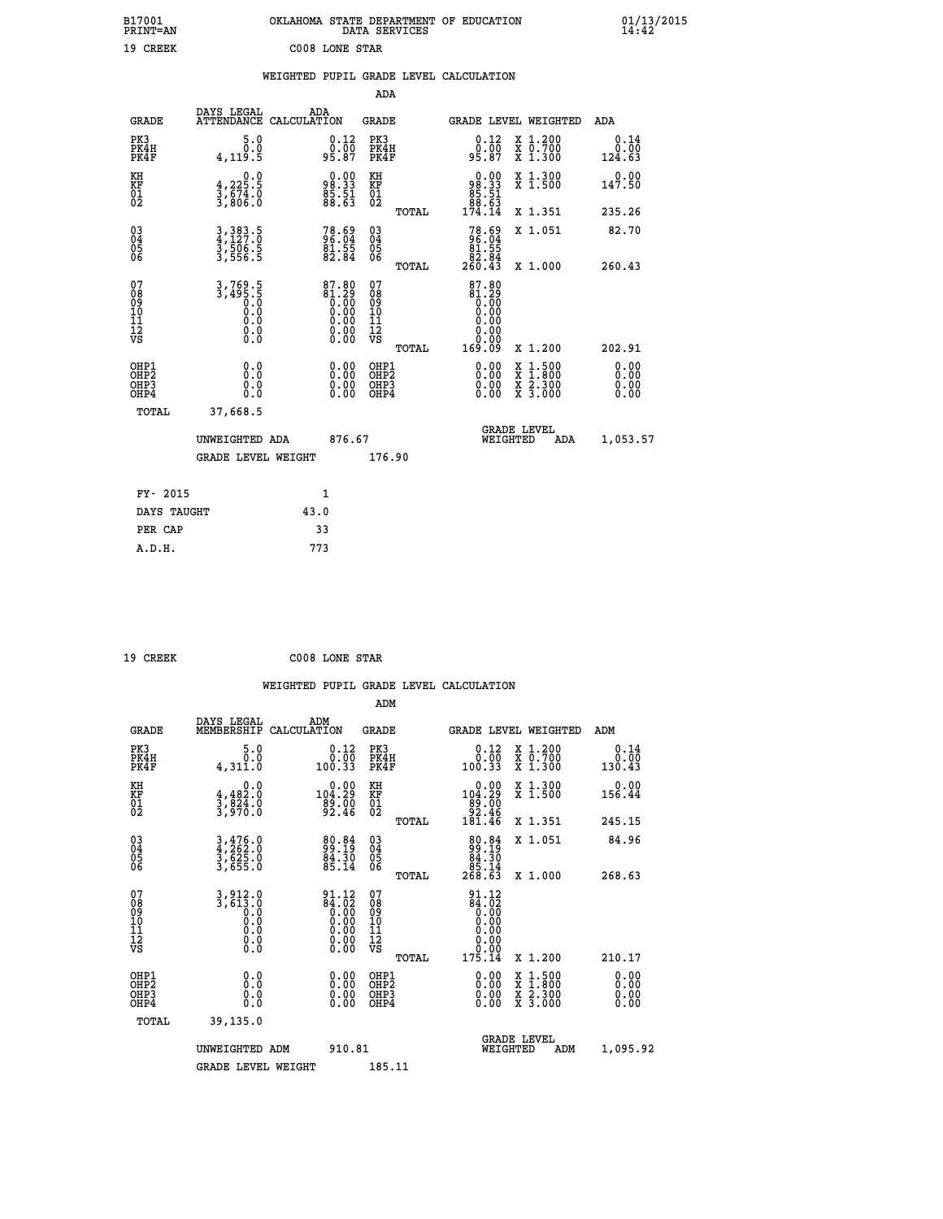| B17001<br>PRINT=AN                                |                                                     | OKLAHOMA STATE DEPARTMENT OF EDUCATION                                                                 | DATA SERVICES                                        |                                                                                  |                                                                                                                                           | $01/13/2015$<br>14:42        |  |
|---------------------------------------------------|-----------------------------------------------------|--------------------------------------------------------------------------------------------------------|------------------------------------------------------|----------------------------------------------------------------------------------|-------------------------------------------------------------------------------------------------------------------------------------------|------------------------------|--|
| 19 CREEK                                          |                                                     | C008 LONE STAR                                                                                         |                                                      |                                                                                  |                                                                                                                                           |                              |  |
|                                                   |                                                     | WEIGHTED PUPIL GRADE LEVEL CALCULATION                                                                 |                                                      |                                                                                  |                                                                                                                                           |                              |  |
|                                                   |                                                     |                                                                                                        | ADA                                                  |                                                                                  |                                                                                                                                           |                              |  |
| <b>GRADE</b>                                      | DAYS LEGAL                                          | ADA<br>ATTENDANCE CALCULATION                                                                          | GRADE                                                |                                                                                  | GRADE LEVEL WEIGHTED                                                                                                                      | ADA                          |  |
| PK3<br>PK4H<br>PK4F                               | 5.0<br>0.0<br>4, 119.5                              | 0.12<br>95.87                                                                                          | PK3<br>PK4H<br>PK4F                                  | 0.12<br>95.87                                                                    | X 1.200<br>X 0.700<br>X 1.300                                                                                                             | 0.14<br>0.00<br>124.63       |  |
| KH<br>KF<br>$\begin{matrix} 01 \ 02 \end{matrix}$ | 0.0<br>$\frac{4}{3}, \frac{225}{674}$ .0<br>3,806.0 | 98.33<br>98.33<br>85.51<br>88.63                                                                       | KH<br><b>KF</b><br>01<br>02                          | $\begin{smallmatrix} 0.00 \\ 98.33 \\ 85.31 \\ 51.51 \\ 89.53 \end{smallmatrix}$ | X 1.300<br>X 1.500                                                                                                                        | 0.00<br>147.50               |  |
|                                                   |                                                     |                                                                                                        | <b>TOTAL</b>                                         | 174.14                                                                           | X 1.351                                                                                                                                   | 235.26                       |  |
| 030404<br>ŎĞ                                      | 3, 383.5<br>4, 127.0<br>3, 506.5<br>3, 556.5        | 78.69<br>96.04<br>81.55<br>82.84                                                                       | $\begin{matrix} 03 \\ 04 \\ 05 \\ 06 \end{matrix}$   | 78.69<br>96.04<br>81.55<br>260.43                                                | X 1.051                                                                                                                                   | 82.70                        |  |
| 07                                                |                                                     |                                                                                                        | <b>TOTAL</b><br>07                                   |                                                                                  | X 1.000                                                                                                                                   | 260.43                       |  |
| 08<br>09<br>11<br>11<br>12<br>VS                  | $3, 769.5$<br>$3, 495.5$<br>Ŏ.Ŏ<br>0.0<br>0.0       | $\begin{smallmatrix} 87.80 \\ 81.29 \\ 0.00 \\ 0.00 \\ 0.00 \\ 0.00 \\ 0.00 \\ 0.00 \end{smallmatrix}$ | 08<br>09<br>10<br>$\frac{11}{12}$<br>$\frac{12}{18}$ | $87.80$<br>$81.29$<br>$0.00$<br>0.00<br>0.00<br>0.00<br>0.00                     |                                                                                                                                           |                              |  |
|                                                   |                                                     |                                                                                                        | TOTAL                                                | 169.09                                                                           | X 1.200                                                                                                                                   | 202.91                       |  |
| OHP1<br>OHP <sub>2</sub><br>OHP3<br>OHP4          | 0.0<br>0.0<br>0.0                                   |                                                                                                        | OHP1<br>OH <sub>P</sub> 2<br>OHP3<br>OHP4            | 0.00<br>$0.00$<br>0.00                                                           | $\begin{smallmatrix} \mathtt{X} & 1\cdot500\\ \mathtt{X} & 1\cdot800\\ \mathtt{X} & 2\cdot300\\ \mathtt{X} & 3\cdot000 \end{smallmatrix}$ | 0.00<br>0.00<br>0.00<br>0.00 |  |
| TOTAL                                             | 37,668.5                                            |                                                                                                        |                                                      |                                                                                  |                                                                                                                                           |                              |  |
|                                                   | UNWEIGHTED ADA                                      | 876.67                                                                                                 |                                                      | WEIGHTED                                                                         | <b>GRADE LEVEL</b><br>ADA                                                                                                                 | 1,053.57                     |  |
|                                                   | <b>GRADE LEVEL WEIGHT</b>                           |                                                                                                        | 176.90                                               |                                                                                  |                                                                                                                                           |                              |  |
| FY- 2015                                          |                                                     | 1                                                                                                      |                                                      |                                                                                  |                                                                                                                                           |                              |  |
| DAYS TAUGHT                                       |                                                     | 43.0                                                                                                   |                                                      |                                                                                  |                                                                                                                                           |                              |  |
| PER CAP                                           |                                                     | 33                                                                                                     |                                                      |                                                                                  |                                                                                                                                           |                              |  |

| 19 CREEK | C008 LONE STAR |  |
|----------|----------------|--|
|          |                |  |

 **WEIGHTED PUPIL GRADE LEVEL CALCULATION ADM DAYS LEGAL ADM GRADE MEMBERSHIP CALCULATION GRADE GRADE LEVEL WEIGHTED ADM PK3 5.0 0.12 PK3 0.12 X 1.200 0.14 PK4H 0.0 0.00 PK4H 0.00 X 0.700 0.00 PK4F 4,311.0 100.33 PK4F 100.33 X 1.300 130.43 KH 0.0 0.00 KH 0.00 X 1.300 0.00 KF 4,482.0 104.29 KF 104.29 X 1.500 156.44 01 3,824.0 89.00 01 89.00 02 3,970.0 92.46 02 92.46 TOTAL 181.46 X 1.351 245.15 03 3,476.0 80.84 03 80.84 X 1.051 84.96** 04 4,262.0 99.19 04 19.19<br>05 3,625.0 84.30<br>06 3,655.0 85.14 06 <sub>89.14</sub> 85.14  **TOTAL 268.63 X 1.000 268.63** 07 3,912.0 91.12 07<br>
08 3,613.0 84.02 08 84.02<br>
09 0.00 0.00 10 0.00<br>
10 0.0 0.00 10 0.00<br>
11 0.0 0.00 11 0.00<br>
12 0.00<br>
VS 0.0 0.00 VS 0.00  **TOTAL 175.14 X 1.200 210.17 OHE1 0.00 0.00 0.000 OHE1 0.00 X 1.500 0.00 OHES 0.0 0.0 0.00 OHES 0.00 X 1.800 0.00 OHP3 0.0 0.00 OHP3 0.00 X 2.300 0.00 OHP4 0.0 0.00 OHP4 0.00 X 3.000 0.00 TOTAL 39,135.0 GRADE LEVEL UNWEIGHTED ADM 910.81 WEIGHTED ADM 1,095.92** GRADE LEVEL WEIGHT 185.11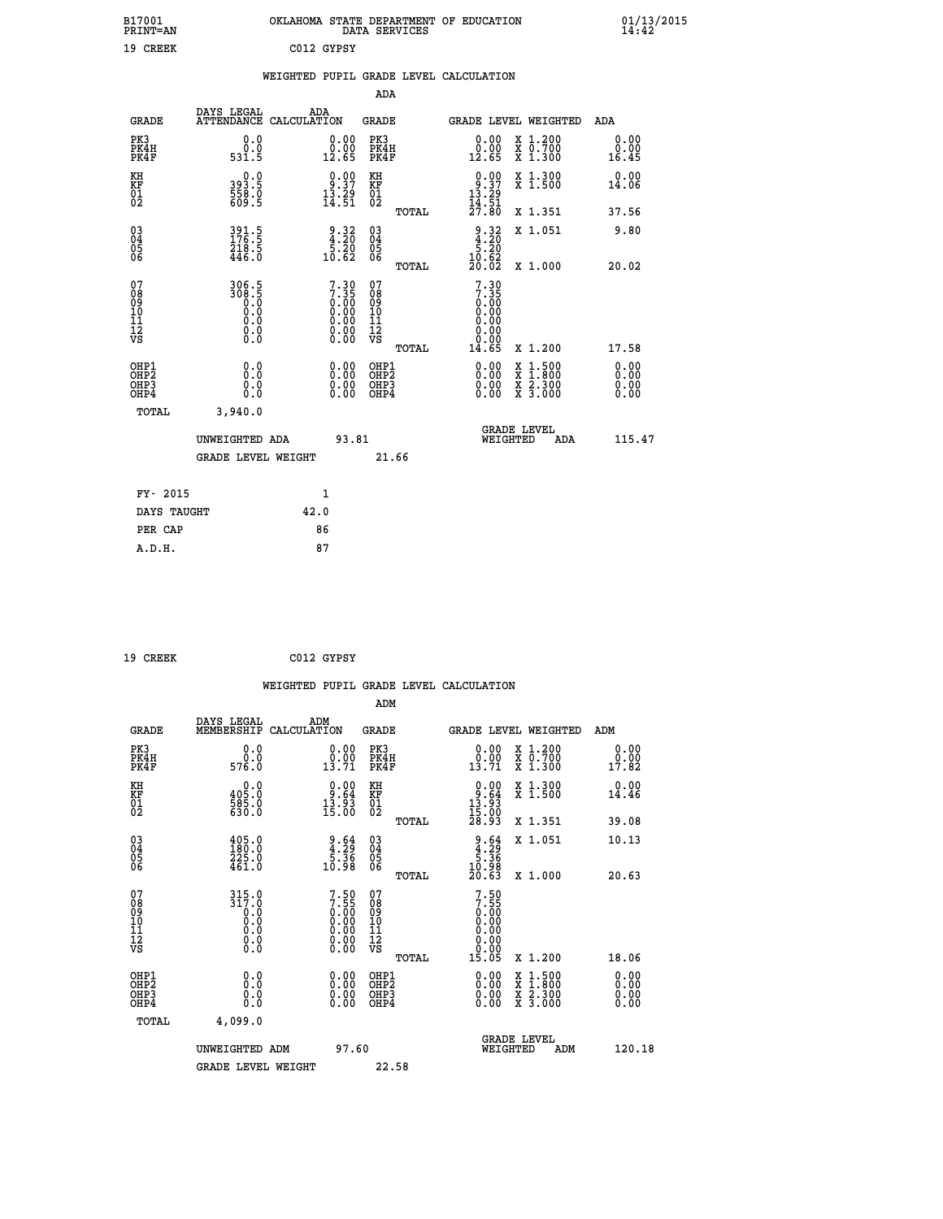| B17001<br><b>PRINT=AN</b>                                        |                                             |                                                                                              | DATA SERVICES                             | OKLAHOMA STATE DEPARTMENT OF EDUCATION                                                             | 01/13/2015<br>14:42          |
|------------------------------------------------------------------|---------------------------------------------|----------------------------------------------------------------------------------------------|-------------------------------------------|----------------------------------------------------------------------------------------------------|------------------------------|
| 19 CREEK                                                         |                                             | C012 GYPSY                                                                                   |                                           |                                                                                                    |                              |
|                                                                  |                                             |                                                                                              |                                           | WEIGHTED PUPIL GRADE LEVEL CALCULATION                                                             |                              |
|                                                                  |                                             |                                                                                              | ADA                                       |                                                                                                    |                              |
| GRADE                                                            | DAYS LEGAL                                  | ADA<br>ATTENDANCE CALCULATION                                                                | GRADE                                     | GRADE LEVEL WEIGHTED                                                                               | ADA                          |
| PK3<br>PK4H<br>PK4F                                              | 0.0<br>0.0<br>531.5                         | 0.00<br>0.00<br>12.65                                                                        | PK3<br>PK4H<br>PK4F                       | X 1.200<br>0.00<br>0.00<br>X 0.700<br>X 1.300<br>12.65                                             | 0.00<br>0.00<br>16.45        |
| KH<br>KF<br>$\overline{01}$                                      | 0.0<br>393.5<br>$\frac{558}{609}$ .5        | $\begin{smallmatrix} 0.00\\ 9.37\\ 13.29\\ 14.51 \end{smallmatrix}$                          | KH<br>KF<br>01<br>02                      | $0.90$<br>$13.37$<br>$13.29$<br>$14.51$<br>$27.80$<br>X 1.300<br>X 1.500                           | 0.00<br>14.06                |
|                                                                  |                                             |                                                                                              | TOTAL                                     | X 1.351                                                                                            | 37.56                        |
| $^{03}_{04}$<br>Ŏ5<br>ŎĞ                                         | 391.5<br>176.5<br>218.5<br>446.0            | $\begin{array}{c} 9 \cdot 32 \\ 4 \cdot 20 \\ 5 \cdot 20 \\ 10 \cdot 62 \end{array}$         | 030404<br>ŎĞ                              | $\frac{9.32}{4.20}$<br>X 1.051<br>10.62                                                            | 9.80                         |
| 07                                                               | 306.5                                       |                                                                                              | TOTAL<br>07                               | 20.02<br>X 1.000<br>7.30                                                                           | 20.02                        |
| 08<br>09<br>10<br>11<br>12<br>VS                                 | 308.5<br>Ŏ.Ŏ<br>0.0<br>0.0<br>0.00          | 7.30<br>7.35<br>0.00<br>0.00<br>0.00<br>$\begin{smallmatrix} 0.00 \\ 0.00 \end{smallmatrix}$ | 08<br>09<br>10<br>11<br>12<br>VS<br>TOTAL | 7.35<br>0.00<br>0.00<br>0.00<br>0.00<br>0.00<br>14.65<br>X 1.200                                   | 17.58                        |
| OHP1<br>OH <sub>P</sub> <sub>2</sub><br>OH <sub>P3</sub><br>OHP4 | 0.0<br>ŏ:ŏ<br>0.0<br>0.0                    | 0.00<br>0.00<br>0.00                                                                         | OHP1<br>OH <sub>P</sub> 2<br>OHP3<br>OHP4 | 0.00<br>$\frac{x}{x}$ $\frac{1.500}{1.800}$<br>$\frac{x}{x}$ $\frac{5.300}{3.000}$<br>0.00<br>0.00 | 0.00<br>0.00<br>0.00<br>0.00 |
| TOTAL                                                            | 3,940.0                                     |                                                                                              |                                           |                                                                                                    |                              |
|                                                                  | UNWEIGHTED ADA<br><b>GRADE LEVEL WEIGHT</b> | 93.81                                                                                        | 21.66                                     | <b>GRADE LEVEL</b><br>WEIGHTED                                                                     | 115.47<br>ADA                |
|                                                                  |                                             |                                                                                              |                                           |                                                                                                    |                              |
| FY- 2015                                                         |                                             | 1                                                                                            |                                           |                                                                                                    |                              |
| DAYS TAUGHT                                                      |                                             | 42.0<br>86                                                                                   |                                           |                                                                                                    |                              |
| PER CAP                                                          |                                             |                                                                                              |                                           |                                                                                                    |                              |

 **19 CREEK C012 GYPSY**

 **WEIGHTED PUPIL GRADE LEVEL CALCULATION ADM DAYS LEGAL ADM GRADE MEMBERSHIP CALCULATION GRADE GRADE LEVEL WEIGHTED ADM PK3 0.0 0.00 PK3 0.00 X 1.200 0.00 PK4H 0.0 0.00 PK4H 0.00 X 0.700 0.00 PK4F 576.0 13.71 PK4F 13.71 X 1.300 17.82 KH 0.0 0.00 KH 0.00 X 1.300 0.00 KF 405.0 9.64 KF 9.64 X 1.500 14.46 01 585.0 13.93 01 13.93** 02 630.0 15.00 02 <sub>noman</sub> 15.00  **TOTAL 28.93 X 1.351 39.08 03 405.0 9.64 03 9.64 X 1.051 10.13 04 180.0 4.29 04 4.29 05 225.0 5.36 05 5.36** 06 461.0 10.98 06 <sub>momas</sub> 10.98  **TOTAL 20.63 X 1.000 20.63 07 315.0 7.50 07 7.50 08 317.0 7.55 08 7.55 03 0.00 0.00 0.000 0.000 10 0.0 0.00 10 0.00 11 0.0 0.00 11 0.00 12 0.0 0.00 12 0.00 VS 0.0 0.00 VS 0.00 TOTAL 15.05 X 1.200 18.06 OHP1 0.0 0.00 OHP1 0.00 X 1.500 0.00 OHP2 0.0 0.00 OHP2 0.00 X 1.800 0.00 OHP3 0.0 0.00 OHP3 0.00 X 2.300 0.00 OHP4 0.0 0.00 OHP4 0.00 X 3.000 0.00 TOTAL 4,099.0 GRADE LEVEL UNWEIGHTED ADM 97.60 WEIGHTED ADM 120.18** GRADE LEVEL WEIGHT 22.58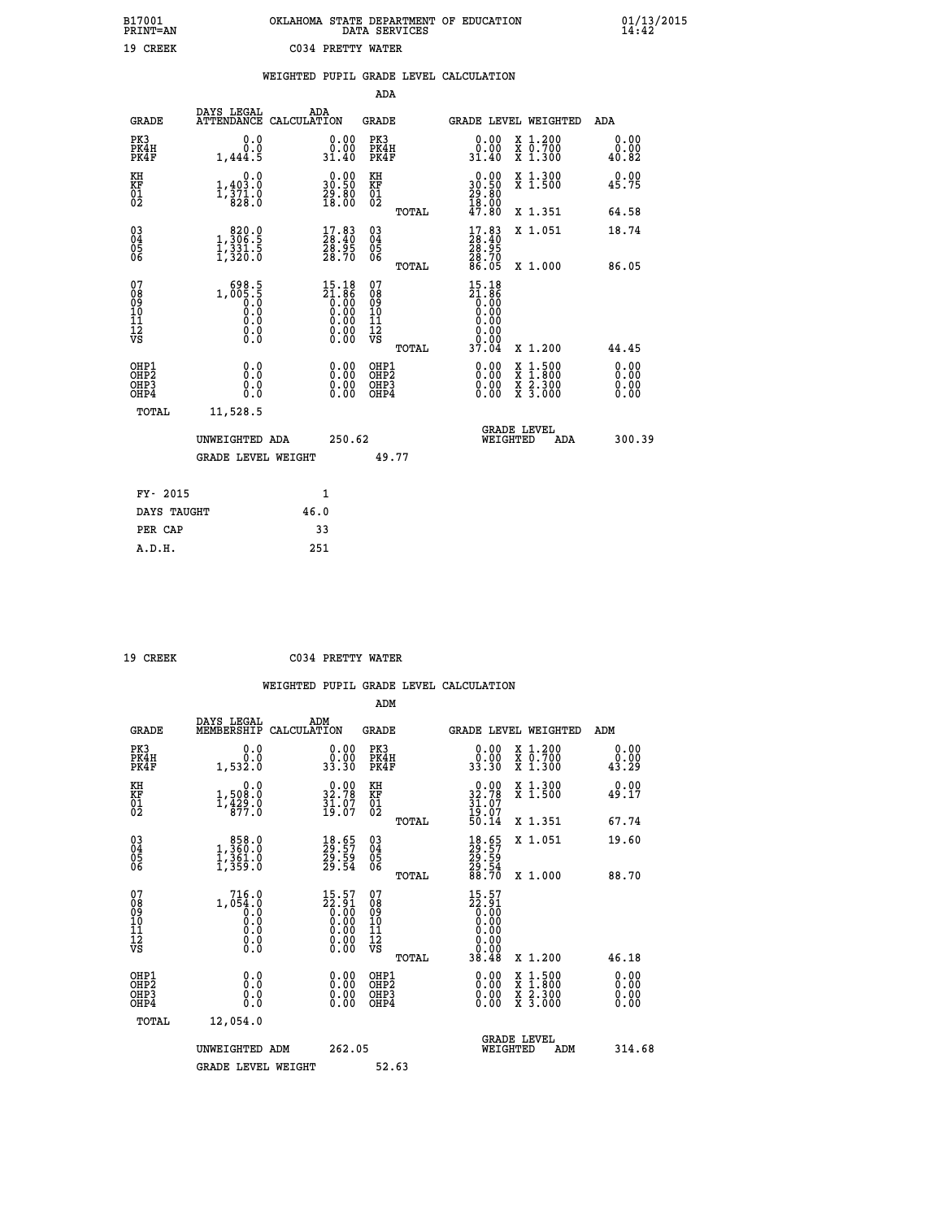# **B17001 OKLAHOMA STATE DEPARTMENT OF EDUCATION 01/13/2015 PRINT=AN DATA SERVICES 14:42 19 CREEK C034 PRETTY WATER**

|                                                                    |                                                                               |                                                                                         | ADA                                          |       |                                                                                  |                                                                                                                                           |                              |
|--------------------------------------------------------------------|-------------------------------------------------------------------------------|-----------------------------------------------------------------------------------------|----------------------------------------------|-------|----------------------------------------------------------------------------------|-------------------------------------------------------------------------------------------------------------------------------------------|------------------------------|
| <b>GRADE</b>                                                       | DAYS LEGAL                                                                    | ADA<br>ATTENDANCE CALCULATION                                                           | <b>GRADE</b>                                 |       |                                                                                  | GRADE LEVEL WEIGHTED                                                                                                                      | <b>ADA</b>                   |
| PK3<br>PK4H<br>PK4F                                                | 0.0<br>0.0<br>1,444.5                                                         | 0.00<br>31.40                                                                           | PK3<br>PK4H<br>PK4F                          |       | 0.00<br>ŏ:ŏŏ<br>31.40                                                            | X 1.200<br>X 0.700<br>X 1.300                                                                                                             | 0.00<br>0.00<br>40.82        |
| KH<br>KF<br>01<br>02                                               | 0.0<br>$1, 403.0$<br>$1, 371.0$<br>$828.0$                                    | $\begin{smallmatrix} 0.00\\ 30.50\\ 29.80\\ 18.00 \end{smallmatrix}$                    | KH<br>KF<br>01<br>02                         |       | $\begin{smallmatrix} 0.00\\ 30.50\\ 29.80\\ 18.00\\ 47.80 \end{smallmatrix}$     | X 1.300<br>X 1.500                                                                                                                        | 0.00<br>45.75                |
|                                                                    |                                                                               |                                                                                         |                                              | TOTAL |                                                                                  | X 1.351                                                                                                                                   | 64.58                        |
| $\begin{smallmatrix} 03 \\[-4pt] 04 \end{smallmatrix}$<br>Ŏ5<br>06 | $\begin{smallmatrix} & 820.0\\ 1,306.5\\ 1,331.5\\ 1,320.0 \end{smallmatrix}$ | $\begin{smallmatrix} 17.83\ 28.40\ 28.95\ 28.70 \end{smallmatrix}$                      | $\substack{03 \\ 04}$<br>Ŏ5<br>06            |       | $\begin{smallmatrix} 17.83\ 28.40\ 28.95\ 28.70\ 28.70\ 86.05 \end{smallmatrix}$ | X 1.051                                                                                                                                   | 18.74                        |
|                                                                    |                                                                               |                                                                                         |                                              | TOTAL |                                                                                  | X 1.000                                                                                                                                   | 86.05                        |
| 07<br>08<br>09<br>101<br>11<br>12<br>VS                            | $1, 005.5$<br>0.0<br>0.0<br>0.0<br>0.0<br>0.0<br>0.0                          | $\begin{smallmatrix} 15.18\\21.86\\0.00\\0.00\\0.00\\0.00\\0.00\\0.00\end{smallmatrix}$ | 07<br>08<br>09<br>11<br>11<br>12<br>VS       |       | $15.18$<br>$21.86$<br>$0.00$<br>$0.00$<br>0.00<br>0.00                           |                                                                                                                                           |                              |
|                                                                    |                                                                               |                                                                                         |                                              | TOTAL | 37.04                                                                            | X 1.200                                                                                                                                   | 44.45                        |
| OHP1<br>OHP <sub>2</sub><br>OH <sub>P3</sub><br>OHP4               | 0.0<br>0.0<br>0.0                                                             | 0.00<br>$\begin{smallmatrix} 0.00 \ 0.00 \end{smallmatrix}$                             | OHP1<br>OHP <sub>2</sub><br>OHP <sub>3</sub> |       | 0.00<br>0.00                                                                     | $\begin{smallmatrix} \mathtt{X} & 1\cdot500\\ \mathtt{X} & 1\cdot800\\ \mathtt{X} & 2\cdot300\\ \mathtt{X} & 3\cdot000 \end{smallmatrix}$ | 0.00<br>0.00<br>0.00<br>0.00 |
| TOTAL                                                              | 11,528.5                                                                      |                                                                                         |                                              |       |                                                                                  |                                                                                                                                           |                              |
|                                                                    | UNWEIGHTED ADA                                                                | 250.62                                                                                  |                                              |       |                                                                                  | <b>GRADE LEVEL</b><br>WEIGHTED<br>ADA                                                                                                     | 300.39                       |
|                                                                    | <b>GRADE LEVEL WEIGHT</b>                                                     |                                                                                         |                                              | 49.77 |                                                                                  |                                                                                                                                           |                              |
| FY- 2015                                                           |                                                                               | 1                                                                                       |                                              |       |                                                                                  |                                                                                                                                           |                              |
| DAYS TAUGHT                                                        |                                                                               | 46.0                                                                                    |                                              |       |                                                                                  |                                                                                                                                           |                              |
| PER CAP                                                            |                                                                               | 33                                                                                      |                                              |       |                                                                                  |                                                                                                                                           |                              |

| ı<br>ш |
|--------|
|        |

 **A.D.H. 251**

 **19 CREEK C034 PRETTY WATER**

|                                                    |                                                                                                       |                                                                    | ADM                                                |                                                                                                                                                                                                                                                                                |                                                                                                                     |                        |
|----------------------------------------------------|-------------------------------------------------------------------------------------------------------|--------------------------------------------------------------------|----------------------------------------------------|--------------------------------------------------------------------------------------------------------------------------------------------------------------------------------------------------------------------------------------------------------------------------------|---------------------------------------------------------------------------------------------------------------------|------------------------|
| <b>GRADE</b>                                       | DAYS LEGAL<br>MEMBERSHIP                                                                              | ADM<br>CALCULATION                                                 | <b>GRADE</b>                                       |                                                                                                                                                                                                                                                                                | GRADE LEVEL WEIGHTED                                                                                                | ADM                    |
| PK3<br>PK4H<br>PK4F                                | 0.0<br>0.0<br>1,532.0                                                                                 | 0.00<br>33.30                                                      | PK3<br>PK4H<br>PK4F                                | $\begin{smallmatrix} 0.00\\ 0.00\\ 33.30 \end{smallmatrix}$                                                                                                                                                                                                                    | X 1.200<br>X 0.700<br>X 1.300                                                                                       | 0.00<br>0.00ْ<br>43.29 |
| KH<br>KF<br>01<br>02                               | 0.0<br>$1,508.0$<br>$1,429.0$<br>$877.0$                                                              | 32.78<br>$\frac{31.07}{19.07}$                                     | KH<br>KF<br>01<br>02                               | $0.00$<br>$32.78$<br>$31.07$<br>$19.07$<br>$50.14$                                                                                                                                                                                                                             | X 1.300<br>X 1.500                                                                                                  | 0.00<br>49.17          |
|                                                    |                                                                                                       |                                                                    | TOTAL                                              |                                                                                                                                                                                                                                                                                | X 1.351                                                                                                             | 67.74                  |
| $\begin{matrix} 03 \\ 04 \\ 05 \\ 06 \end{matrix}$ | $\begin{smallmatrix} & 858.0 \ 1,360.0 \ 1,361.0 \ 1,359.0 \end{smallmatrix}$                         | 18.65<br>29.57<br>29.59<br>29.54                                   | $\begin{matrix} 03 \\ 04 \\ 05 \\ 06 \end{matrix}$ | 18.65<br>29.57<br>29.59<br>28.70                                                                                                                                                                                                                                               | X 1.051                                                                                                             | 19.60                  |
|                                                    |                                                                                                       |                                                                    | TOTAL                                              |                                                                                                                                                                                                                                                                                | X 1.000                                                                                                             | 88.70                  |
| 07<br>08<br>09<br>10<br>11<br>11<br>12<br>VS       | 716.0<br>1,054.0<br>$\begin{smallmatrix} 1 \ 0 \ 0 \ 0 \ 0 \ 0 \ 0 \ 0 \ 0 \ 0 \ 0 \end{smallmatrix}$ | $15.57$<br>$22.91$<br>$0.00$<br>$0.00$<br>$0.00$<br>$0.00$<br>0.00 | 07<br>08<br>09<br>11<br>11<br>12<br>VS<br>TOTAL    | $15.57$<br>$22.91$<br>$0.00$<br>$0.00$<br>$0.00$<br>0.00<br>38.48                                                                                                                                                                                                              | X 1.200                                                                                                             | 46.18                  |
| OHP1<br>OHP2<br>OHP3<br>OHP4                       | 0.0<br>0.000                                                                                          | $\begin{smallmatrix} 0.00 \ 0.00 \ 0.00 \ 0.00 \end{smallmatrix}$  | OHP1<br>OHP2<br>OHP3<br>OHP4                       | $\begin{smallmatrix} 0.00 & 0.00 & 0.00 & 0.00 & 0.00 & 0.00 & 0.00 & 0.00 & 0.00 & 0.00 & 0.00 & 0.00 & 0.00 & 0.00 & 0.00 & 0.00 & 0.00 & 0.00 & 0.00 & 0.00 & 0.00 & 0.00 & 0.00 & 0.00 & 0.00 & 0.00 & 0.00 & 0.00 & 0.00 & 0.00 & 0.00 & 0.00 & 0.00 & 0.00 & 0.00 & 0.0$ | $\begin{array}{l} \mathtt{X} & 1.500 \\ \mathtt{X} & 1.800 \\ \mathtt{X} & 2.300 \\ \mathtt{X} & 3.000 \end{array}$ | 0.00<br>0.00<br>0.00   |
| TOTAL                                              | 12,054.0                                                                                              |                                                                    |                                                    |                                                                                                                                                                                                                                                                                |                                                                                                                     |                        |
|                                                    | UNWEIGHTED ADM                                                                                        | 262.05                                                             |                                                    | WEIGHTED                                                                                                                                                                                                                                                                       | <b>GRADE LEVEL</b><br>ADM                                                                                           | 314.68                 |
|                                                    | <b>GRADE LEVEL WEIGHT</b>                                                                             |                                                                    | 52.63                                              |                                                                                                                                                                                                                                                                                |                                                                                                                     |                        |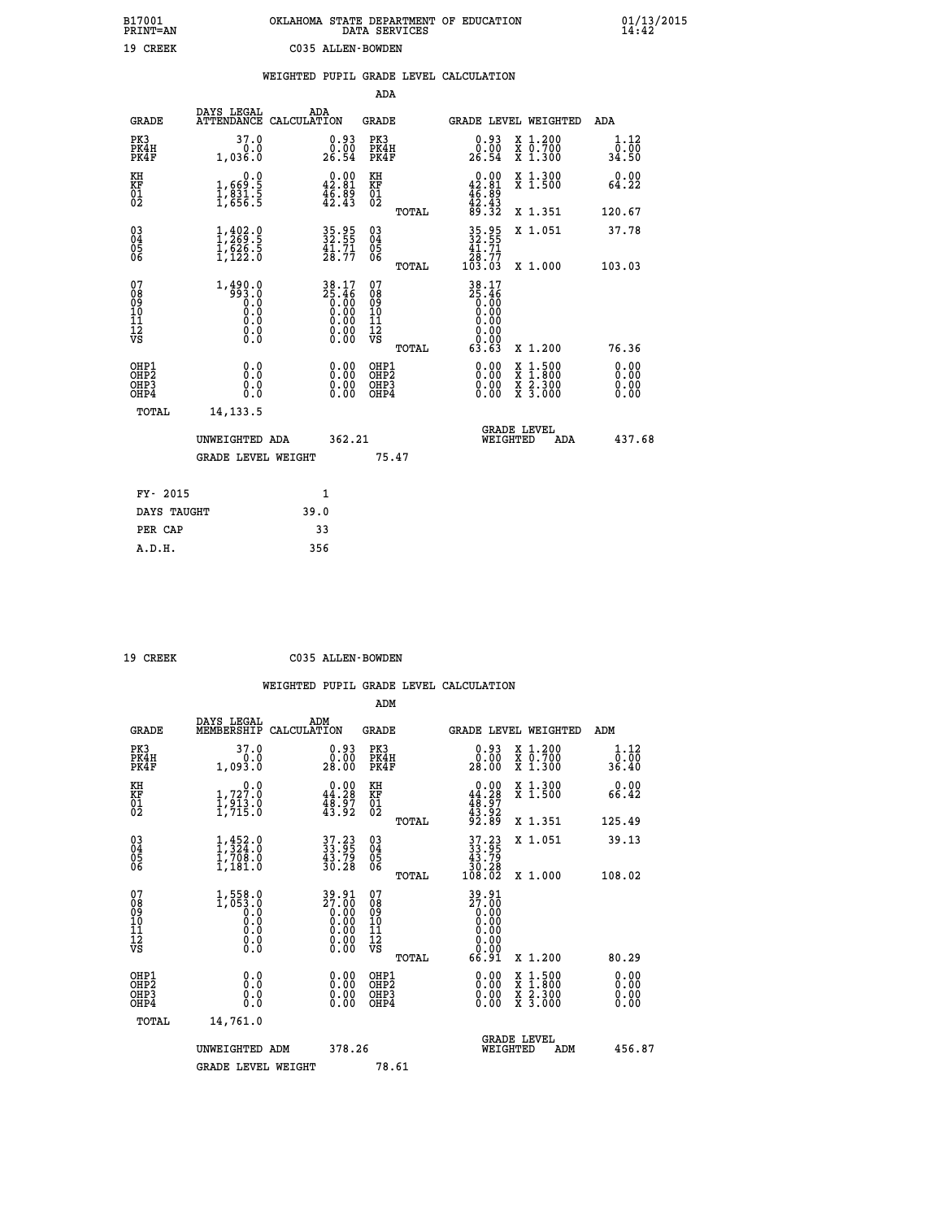| B17001<br>PRINT=AN | OKLAHOMA STATE DEPARTMENT OF EDUCATION<br>DATA SERVICES | 01/13/2015<br>14:42 |
|--------------------|---------------------------------------------------------|---------------------|
| 19 CREEK           | C035 ALLEN-BOWDEN                                       |                     |

|                                                                    |                                                      | WEIGHTED PUPIL GRADE LEVEL CALCULATION                                         |                                      |       |                                                                 |                                                                                                                                              |                       |
|--------------------------------------------------------------------|------------------------------------------------------|--------------------------------------------------------------------------------|--------------------------------------|-------|-----------------------------------------------------------------|----------------------------------------------------------------------------------------------------------------------------------------------|-----------------------|
|                                                                    |                                                      |                                                                                | ADA                                  |       |                                                                 |                                                                                                                                              |                       |
| <b>GRADE</b>                                                       | DAYS LEGAL                                           | ADA<br>ATTENDANCE CALCULATION                                                  | <b>GRADE</b>                         |       |                                                                 | GRADE LEVEL WEIGHTED                                                                                                                         | ADA                   |
| PK3<br>PK4H<br>PK4F                                                | 37.0<br>0.0<br>1,036.0                               | $\begin{smallmatrix} 0.93\ 0.00\ 26.54 \end{smallmatrix}$                      | PK3<br>PK4H<br>PK4F                  |       | $\begin{smallmatrix} 0.93\ 0.00\ 26.54 \end{smallmatrix}$       | X 1.200<br>X 0.700<br>X 1.300                                                                                                                | 1.12<br>0.00<br>34.50 |
| KH<br>KF<br>01<br>02                                               | 0.0<br>1,669:5<br>1,831:5<br>1,656:5                 | $0.00$<br>42.81<br>$\frac{46.89}{42.43}$                                       | KH<br>KF<br>01<br>02                 |       | $0.00$<br>$42.81$<br>$46.89$<br>$42.43$<br>$89.32$              | X 1.300<br>X 1.500                                                                                                                           | 0.00<br>64.22         |
|                                                                    |                                                      |                                                                                |                                      | TOTAL |                                                                 | X 1.351                                                                                                                                      | 120.67                |
| $\begin{smallmatrix} 03 \\[-4pt] 04 \end{smallmatrix}$<br>05<br>06 | $1, 402.9$<br>$1, 269.5$<br>$1, 626.5$<br>$1, 122.0$ | $35.95$<br>$32.55$<br>$41.71$<br>28.77                                         | $^{03}_{04}$<br>0500                 |       | 35.95<br>32.55<br>41.71                                         | X 1.051                                                                                                                                      | 37.78                 |
|                                                                    |                                                      |                                                                                |                                      | TOTAL | $\frac{\bar{2}\bar{8}\cdot\dot{7}\bar{7}}{103\cdot03}$          | X 1.000                                                                                                                                      | 103.03                |
| 07<br>08<br>09<br>10<br>11<br>11<br>12<br>VS                       |                                                      | $38.17$<br>$25.46$<br>$0.00$<br>$0.00$<br>$0.00$<br>$0.00$<br>$0.00$<br>$0.00$ | 078<br>089<br>0011<br>11<br>12<br>VS | TOTAL | 38.17<br>35:46<br>0.00<br>0.00<br>0.00<br>0.00<br>0.00<br>63.63 | X 1.200                                                                                                                                      | 76.36                 |
| OHP1<br>OHP2<br>OH <sub>P</sub> 3<br>OH <sub>P4</sub>              | 0.0<br>0.0<br>0.0                                    | 0.00<br>$\begin{smallmatrix} 0.00 \ 0.00 \end{smallmatrix}$                    | OHP1<br>OHP2<br>OHP3<br>OHP4         |       | 0.00<br>0.00                                                    | $\begin{smallmatrix} \mathtt{X} & 1\cdot500 \\ \mathtt{X} & 1\cdot800 \\ \mathtt{X} & 2\cdot300 \\ \mathtt{X} & 3\cdot000 \end{smallmatrix}$ | 0.00<br>0.00<br>0.00  |
| TOTAL                                                              | 14, 133.5                                            |                                                                                |                                      |       |                                                                 |                                                                                                                                              |                       |
|                                                                    | UNWEIGHTED ADA                                       | 362.21                                                                         |                                      |       | WEIGHTED                                                        | <b>GRADE LEVEL</b><br>ADA                                                                                                                    | 437.68                |
|                                                                    | <b>GRADE LEVEL WEIGHT</b>                            |                                                                                |                                      | 75.47 |                                                                 |                                                                                                                                              |                       |
| FY- 2015                                                           |                                                      | $\mathbf{1}$                                                                   |                                      |       |                                                                 |                                                                                                                                              |                       |
| DAYS TAUGHT                                                        |                                                      | 39.0                                                                           |                                      |       |                                                                 |                                                                                                                                              |                       |
| PER CAP                                                            |                                                      | 33                                                                             |                                      |       |                                                                 |                                                                                                                                              |                       |

 **ADM**

 **19 CREEK C035 ALLEN-BOWDEN**

| <b>GRADE</b>                                       | DAYS LEGAL<br>MEMBERSHIP                                            | ADM<br>CALCULATION                                                                                    | <b>GRADE</b>                                       |       | GRADE LEVEL WEIGHTED                                                                                                                                                                                                                        |                                          |     | ADM                   |  |
|----------------------------------------------------|---------------------------------------------------------------------|-------------------------------------------------------------------------------------------------------|----------------------------------------------------|-------|---------------------------------------------------------------------------------------------------------------------------------------------------------------------------------------------------------------------------------------------|------------------------------------------|-----|-----------------------|--|
| PK3<br>PK4H<br>PK4F                                | 37.0<br>0.0<br>1,093.0                                              | $0.93$<br>$0.00$<br>28.00                                                                             | PK3<br>PK4H<br>PK4F                                |       | $\begin{smallmatrix} 0.93\ 0.00\ 28.00 \end{smallmatrix}$                                                                                                                                                                                   | X 1.200<br>X 0.700<br>$X$ 1.300          |     | 1.12<br>0.00<br>36.40 |  |
| KH<br>KF<br>01<br>02                               | 0.0<br>$\frac{1}{1}, \frac{727}{913}$ .0<br>1,913.0                 | $\begin{smallmatrix} 0.00\\ 44.28\\ 48.37\\ 43.92 \end{smallmatrix}$                                  | KH<br>KF<br>01<br>02                               |       | $0.00$<br>$44.28$<br>$48.97$<br>$43.92$<br>$92.89$                                                                                                                                                                                          | X 1.300<br>X 1.500                       |     | 0.00<br>66.42         |  |
|                                                    |                                                                     |                                                                                                       |                                                    | TOTAL |                                                                                                                                                                                                                                             | X 1.351                                  |     | 125.49                |  |
| $\begin{matrix} 03 \\ 04 \\ 05 \\ 06 \end{matrix}$ | $1, 452.0$<br>$1, 708.0$<br>$1, 708.0$<br>$1, 181.0$                | 37.23<br>33.95<br>43.79<br>30.28                                                                      | $\begin{matrix} 03 \\ 04 \\ 05 \\ 06 \end{matrix}$ |       | $\begin{smallmatrix} 37.23\\ 33.95\\ 43.79\\ 30.28\\ 108.02 \end{smallmatrix}$                                                                                                                                                              | X 1.051                                  |     | 39.13                 |  |
|                                                    |                                                                     |                                                                                                       |                                                    | TOTAL |                                                                                                                                                                                                                                             | X 1.000                                  |     | 108.02                |  |
| 07<br>08<br>09<br>101<br>11<br>12<br>VS            | $1,558.0$<br>$1,053.0$<br>$0.0$<br>$0.0$<br>$0.0$<br>$0.0$<br>$0.0$ | $\begin{smallmatrix} 39.91\ 27.00\ 0.00\ 0.00\ 0.00\ 0.00\ 0.00\ 0.00\ 0.00\ 0.00\ \end{smallmatrix}$ | 07<br>08<br>09<br>11<br>11<br>12<br>VS             | TOTAL | $\begin{smallmatrix} 39.91\ 27.00\ 0.00\ 0.00\ 0.00\ 0.00\ 0.00\ 0.00\ 0.00\ 0.00\ 0.00\ 0.00\ 6.91\ 0.91\ 0.91\ 0.01\ 0.01\ 0.01\ 0.01\ 0.01\ 0.01\ 0.01\ 0.01\ 0.01\ 0.01\ 0.01\ 0.01\ 0.01\ 0.01\ 0.01\ 0.01\ 0.01\ 0.01\ 0.01\ 0.01\ 0$ | X 1.200                                  |     | 80.29                 |  |
| OHP1<br>OHP2<br>OH <sub>P3</sub><br>OHP4           | 0.0<br>0.000                                                        | $0.00$<br>$0.00$<br>0.00                                                                              | OHP1<br>OHP2<br>OHP3<br>OHP4                       |       |                                                                                                                                                                                                                                             | X 1:500<br>X 1:800<br>X 2:300<br>X 3:000 |     | 0.00<br>0.00<br>0.00  |  |
| TOTAL                                              | 14,761.0                                                            |                                                                                                       |                                                    |       |                                                                                                                                                                                                                                             |                                          |     |                       |  |
|                                                    | UNWEIGHTED                                                          | 378.26<br>ADM                                                                                         |                                                    |       | WEIGHTED                                                                                                                                                                                                                                    | <b>GRADE LEVEL</b>                       | ADM | 456.87                |  |
|                                                    | <b>GRADE LEVEL WEIGHT</b>                                           |                                                                                                       | 78.61                                              |       |                                                                                                                                                                                                                                             |                                          |     |                       |  |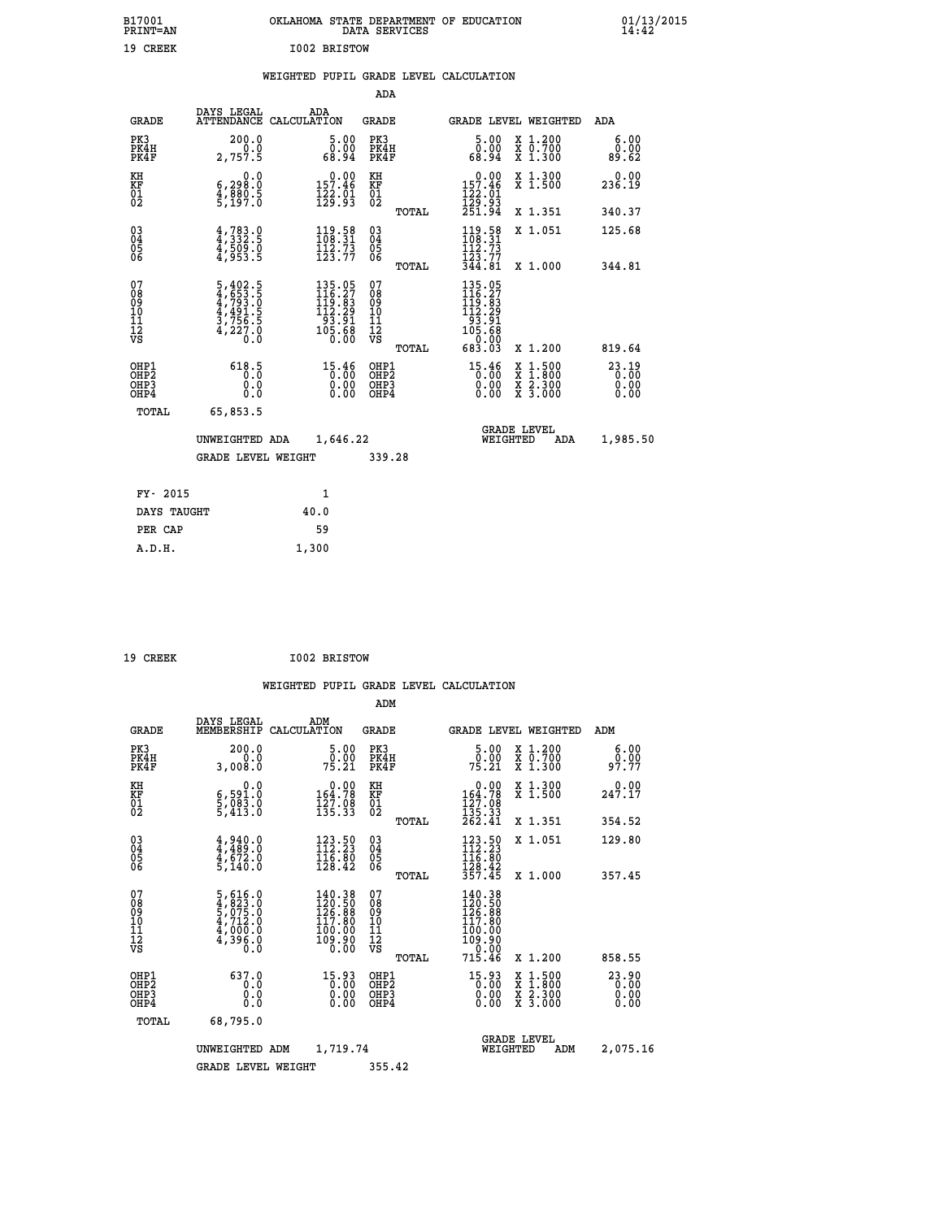| B17001<br><b>PRINT=AN</b> | OKLAHOMA STATE DEPARTMENT OF EDUCATION<br>DATA SERVICES | 01/13/2015 |
|---------------------------|---------------------------------------------------------|------------|
| 19<br>CREEK               | I002 BRISTOW                                            |            |

# **WEIGHTED PUPIL GRADE LEVEL CALCULATION**

|                                                                    |                                                                |                                                                                            | ADA                                          |       |                                                                                                                       |                                          |                                 |
|--------------------------------------------------------------------|----------------------------------------------------------------|--------------------------------------------------------------------------------------------|----------------------------------------------|-------|-----------------------------------------------------------------------------------------------------------------------|------------------------------------------|---------------------------------|
| <b>GRADE</b>                                                       | DAYS LEGAL                                                     | ADA<br>ATTENDANCE CALCULATION                                                              | <b>GRADE</b>                                 |       |                                                                                                                       | <b>GRADE LEVEL WEIGHTED</b>              | <b>ADA</b>                      |
| PK3<br>PK4H<br>PK4F                                                | 200.0<br>0.0<br>2,757.5                                        | 5.00<br>0.00<br>68.94                                                                      | PK3<br>PK4H<br>PK4F                          |       | 5.00<br>ŏÖ.ÖŎ<br>68.94                                                                                                | X 1.200<br>X 0.700<br>X 1.300            | 6.00<br>0.00<br>89.62           |
| KH<br>KF<br>01<br>02                                               | 0.0<br>6,298:0<br>4,880:5<br>5,197:0                           | $0.00$<br>157.46<br>$\frac{1}{2}$ $\frac{2}{3}$ $\cdot$ $\frac{5}{3}$                      | KH<br>KF<br>01<br>02                         |       | $0.00$<br>157.46<br>$\frac{12201}{12993}$<br>251.94                                                                   | X 1.300<br>X 1.500                       | 0.00<br>236.19                  |
|                                                                    |                                                                |                                                                                            |                                              | TOTAL |                                                                                                                       | X 1.351                                  | 340.37                          |
| $\begin{smallmatrix} 03 \\[-4pt] 04 \end{smallmatrix}$<br>Ŏ5<br>06 | $4,332.5$<br>$4,509.0$<br>$4,953.5$                            | $\begin{array}{l} 119.58 \\[-4pt] 108.31 \\[-4pt] 112.73 \\[-4pt] 123.77 \end{array}$      | $\substack{03 \\ 04}$<br>Ŏ5<br>06            |       | $\begin{array}{c} 119.58 \\[-4pt] 108.31 \\[-4pt] 112.73 \\[-4pt] 123.77 \\[-4pt] 344.81 \end{array}$                 | X 1.051                                  | 125.68                          |
|                                                                    |                                                                |                                                                                            |                                              | TOTAL |                                                                                                                       | X 1.000                                  | 344.81                          |
| 07<br>08<br>09<br>101<br>11<br>12<br>VS                            | 5,402.5<br>4,653.5<br>4,793.0<br>4,491.5<br>3,756.5<br>4,227.0 | $\begin{smallmatrix} 135.05\\116.27\\119.83\\112.29\\93.91\\105.68\\0.00\end{smallmatrix}$ | 07<br>08<br>09<br>11<br>11<br>12<br>VS       |       | $\begin{array}{r} 135\cdot 05\\ 116\cdot 27\\ 119\cdot 83\\ 112\cdot 29\\ 93\cdot 91\\ 105\cdot 68\\ 0\\ \end{array}$ |                                          |                                 |
|                                                                    |                                                                |                                                                                            |                                              | TOTAL | 683.03                                                                                                                | X 1.200                                  | 819.64                          |
| OHP1<br>OHP <sub>2</sub><br>OH <sub>P3</sub><br>OHP4               | 618.5<br>0.0<br>0.0                                            | 15.46<br>0.00                                                                              | OHP1<br>OHP <sub>2</sub><br>OHP <sub>3</sub> |       | 15.46<br>0.00                                                                                                         | X 1:500<br>X 1:800<br>X 2:300<br>X 3:000 | $23.19$<br>0.00<br>0.00<br>0.00 |
| TOTAL                                                              | 65,853.5                                                       |                                                                                            |                                              |       |                                                                                                                       |                                          |                                 |
|                                                                    | UNWEIGHTED ADA                                                 | 1,646.22                                                                                   |                                              |       |                                                                                                                       | <b>GRADE LEVEL</b><br>WEIGHTED<br>ADA    | 1,985.50                        |
|                                                                    | <b>GRADE LEVEL WEIGHT</b>                                      |                                                                                            | 339.28                                       |       |                                                                                                                       |                                          |                                 |
| FY- 2015                                                           |                                                                | 1                                                                                          |                                              |       |                                                                                                                       |                                          |                                 |
| DAYS TAUGHT                                                        |                                                                | 40.0                                                                                       |                                              |       |                                                                                                                       |                                          |                                 |
| PER CAP                                                            |                                                                | 59                                                                                         |                                              |       |                                                                                                                       |                                          |                                 |

| CREEK |  |
|-------|--|

 **A.D.H. 1,300**

 **19 CREEK I002 BRISTOW**

|                                               |                                                                                                 |                                                                                       | ADM                                                 |       |                                                                                      |                                          |                                   |  |
|-----------------------------------------------|-------------------------------------------------------------------------------------------------|---------------------------------------------------------------------------------------|-----------------------------------------------------|-------|--------------------------------------------------------------------------------------|------------------------------------------|-----------------------------------|--|
| <b>GRADE</b>                                  | DAYS LEGAL<br>MEMBERSHIP                                                                        | ADM<br>CALCULATION                                                                    | <b>GRADE</b>                                        |       |                                                                                      | <b>GRADE LEVEL WEIGHTED</b>              | ADM                               |  |
| PK3<br>PK4H<br>PK4F                           | 200.0<br>0.0<br>3,008.0                                                                         | 5.00<br>_0.00<br>75.21                                                                | PK3<br>PK4H<br>PK4F                                 |       | $\frac{5.00}{0.00}$<br>75.21                                                         | X 1.200<br>X 0.700<br>X 1.300            | 6.00<br>0.00<br>97.77             |  |
| KH<br>KF<br>01<br>02                          | 0.0<br>6,591.0<br>5,083.0<br>5,413.0                                                            | $\begin{smallmatrix} &0.00\\ 164.78\\ 127.08\\ 135.33\end{smallmatrix}$               | KH<br>KF<br>01<br>02                                |       | $\begin{smallmatrix} &0.00\\ 164.78\\ 127.08\\ 135.33\\ 262.41\end{smallmatrix}$     | X 1.300<br>X 1.500                       | 247.17                            |  |
|                                               |                                                                                                 |                                                                                       |                                                     | TOTAL |                                                                                      | X 1.351                                  | 354.52                            |  |
| 03<br>04<br>05<br>06                          | $4,940.0$<br>$4,489.0$<br>$4,672.0$<br>$5,140.0$                                                | $\begin{array}{l} 123.50 \\[-4pt] 112.23 \\[-4pt] 116.80 \\[-4pt] 128.42 \end{array}$ | $\begin{array}{c} 03 \\ 04 \\ 05 \\ 06 \end{array}$ |       | $123.50$<br>$112.23$<br>$116.80$<br>$128.42$<br>$357.45$                             | X 1.051                                  | 129.80                            |  |
|                                               |                                                                                                 |                                                                                       |                                                     | TOTAL |                                                                                      | X 1.000                                  | 357.45                            |  |
| 07<br>08<br>09<br>101<br>112<br>VS            | $\begin{smallmatrix}5,616.0\\4,823.0\\5,075.0\\4,712.0\\4,000.0\\4,396.0\\0.0\end{smallmatrix}$ | $140.38$<br>$120.50$<br>$126.88$<br>117.80<br>100.00<br>109.90<br>0.00                | 07<br>08<br>09<br>11<br>11<br>12<br>VS              | TOTAL | $140.38$<br>$120.50$<br>$126.88$<br>$117.80$<br>100:00<br>109:90<br>--0:00<br>715.46 | X 1.200                                  | 858.55                            |  |
| OHP1                                          | 637.0                                                                                           |                                                                                       |                                                     |       |                                                                                      |                                          |                                   |  |
| OH <sub>P</sub> 2<br>OH <sub>P3</sub><br>OHP4 | 0.0<br>0.000                                                                                    | $15.93$<br>0.00<br>0.00                                                               | OHP1<br>OHP2<br>OHP3<br>OHP4                        |       | $15.93$<br>0.00<br>0.00                                                              | X 1:500<br>X 1:800<br>X 2:300<br>X 3:000 | $23.90$<br>$0.00$<br>0.00<br>0.00 |  |
| TOTAL                                         | 68,795.0                                                                                        |                                                                                       |                                                     |       |                                                                                      |                                          |                                   |  |
|                                               | UNWEIGHTED                                                                                      | 1,719.74<br>ADM                                                                       |                                                     |       | WEIGHTED                                                                             | <b>GRADE LEVEL</b><br>ADM                | 2,075.16                          |  |
|                                               | <b>GRADE LEVEL WEIGHT</b>                                                                       |                                                                                       | 355.42                                              |       |                                                                                      |                                          |                                   |  |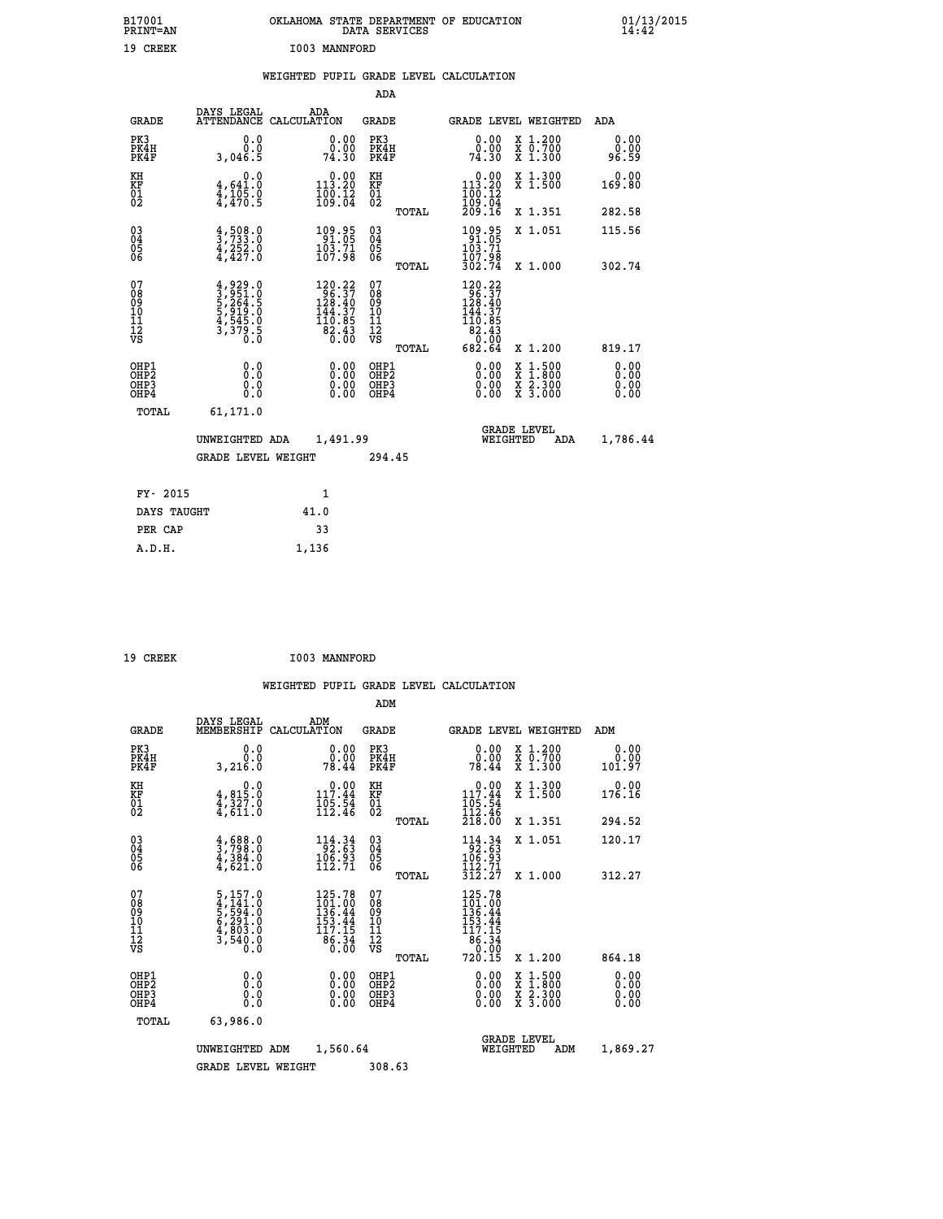| B17001<br>PRINT=AN               |                                                                                     | OKLAHOMA STATE DEPARTMENT OF EDUCATION                                                                                                   | DATA SERVICES                                      |                                                        |                                                                                                                                           | $01/13/2015$<br>14:42        |
|----------------------------------|-------------------------------------------------------------------------------------|------------------------------------------------------------------------------------------------------------------------------------------|----------------------------------------------------|--------------------------------------------------------|-------------------------------------------------------------------------------------------------------------------------------------------|------------------------------|
| 19 CREEK                         |                                                                                     | I003 MANNFORD                                                                                                                            |                                                    |                                                        |                                                                                                                                           |                              |
|                                  |                                                                                     | WEIGHTED PUPIL GRADE LEVEL CALCULATION                                                                                                   |                                                    |                                                        |                                                                                                                                           |                              |
|                                  |                                                                                     |                                                                                                                                          | <b>ADA</b>                                         |                                                        |                                                                                                                                           |                              |
| <b>GRADE</b>                     | DAYS LEGAL                                                                          | ADA<br>ATTENDANCE CALCULATION                                                                                                            | GRADE                                              |                                                        | GRADE LEVEL WEIGHTED                                                                                                                      | ADA                          |
| PK3<br>PK4H<br>PK4F              | 0.0<br>0.0<br>3,046.5                                                               | 0.00<br>0.00<br>74.30                                                                                                                    | PK3<br>PK4H<br>PK4F                                | 0.00<br>0.00<br>74.30                                  | X 1.200<br>X 0.700<br>X 1.300                                                                                                             | 0.00<br>0.00<br>96.59        |
| KH<br>KF<br>01<br>02             | 0.0<br>$\frac{4}{4}, \frac{641}{105}$ .0<br>$\frac{4}{4}, \frac{105}{470}$ .5       | $0.00$<br>113.20<br>$\frac{100}{109}$ : $\frac{12}{04}$                                                                                  | KH<br><b>KF</b><br>01<br>02                        | $0.00$<br>113.20<br>$\frac{100.12}{109.04}$<br>209.16  | X 1.300<br>X 1.500                                                                                                                        | 0.00<br>169.80               |
|                                  |                                                                                     |                                                                                                                                          | TOTAL                                              |                                                        | X 1.351                                                                                                                                   | 282.58                       |
| 030404<br>ŎĞ                     | $\frac{4}{3}, \frac{508}{733}$ .0<br>4,252.0<br>4,427.0                             | 109.95<br>91.05<br>103.71<br>107.98                                                                                                      | $\begin{matrix} 03 \\ 04 \\ 05 \\ 06 \end{matrix}$ | 109.95<br>103.71<br>$\frac{107.98}{302.74}$            | X 1.051                                                                                                                                   | 115.56                       |
| 07                               |                                                                                     |                                                                                                                                          | TOTAL<br>07                                        |                                                        | X 1.000                                                                                                                                   | 302.74                       |
| 08<br>09<br>10<br>11<br>Ī2<br>VS | $4,929.0$<br>$3,951.0$<br>$5,264.5$<br>$5,919.0$<br>$4,545.0$<br>$3,379.5$<br>$0.0$ | $\begin{array}{l} 120.22 \\ 96.37 \\ 128.40 \\ 144.37 \end{array}$<br>$\begin{array}{r} 110.85 \\[-4pt] 82.43 \\[-4pt] 0.00 \end{array}$ | 08<br>09<br>101<br>11<br>12<br>VS                  | 120.22<br>96.37<br>128.40<br>144.37<br>110.05<br>82.43 |                                                                                                                                           |                              |
|                                  |                                                                                     |                                                                                                                                          | TOTAL                                              | $0.\overline{00}$<br>682.64                            | X 1.200                                                                                                                                   | 819.17                       |
| OHP1<br>OHP2<br>OHP3<br>OHP4     | 0.0<br>0.0<br>0.0<br>0.0                                                            | 0.00<br>0.00<br>0.00                                                                                                                     | OHP1<br>OHP2<br>OHP3<br>OHP4                       | 0.00<br>0.00<br>0.00                                   | $\begin{smallmatrix} \mathtt{X} & 1\cdot500\\ \mathtt{X} & 1\cdot800\\ \mathtt{X} & 2\cdot300\\ \mathtt{X} & 3\cdot000 \end{smallmatrix}$ | 0.00<br>0.00<br>0.00<br>0.00 |
| TOTAL                            | 61,171.0                                                                            |                                                                                                                                          |                                                    |                                                        |                                                                                                                                           |                              |
|                                  | UNWEIGHTED ADA                                                                      | 1,491.99                                                                                                                                 |                                                    | WEIGHTED                                               | <b>GRADE LEVEL</b><br>ADA                                                                                                                 | 1,786.44                     |
|                                  | <b>GRADE LEVEL WEIGHT</b>                                                           |                                                                                                                                          | 294.45                                             |                                                        |                                                                                                                                           |                              |
| FY- 2015                         |                                                                                     | 1                                                                                                                                        |                                                    |                                                        |                                                                                                                                           |                              |
| DAYS TAUGHT                      |                                                                                     | 41.0                                                                                                                                     |                                                    |                                                        |                                                                                                                                           |                              |
| PER CAP                          |                                                                                     | 33                                                                                                                                       |                                                    |                                                        |                                                                                                                                           |                              |

| 19 CREEK |  | I003 MANNFORD |
|----------|--|---------------|
|----------|--|---------------|

 **A.D.H. 1,136**

 **ADM DAYS LEGAL ADM GRADE MEMBERSHIP CALCULATION GRADE GRADE LEVEL WEIGHTED ADM PK3 0.0 0.00 PK3 0.00 X 1.200 0.00 PK4H 0.0 0.00 PK4H 0.00 X 0.700 0.00 PK4F 3,216.0 78.44 PK4F 78.44 X 1.300 101.97 KH 0.0 0.00 KH 0.00 X 1.300 0.00 KF 4,815.0 117.44 KF 117.44 X 1.500 176.16** 01 4,327.0 105.54 01 105.54<br>02 4,611.0 112.46 02 <sub>-----</sub> 112.46  **TOTAL 218.00 X 1.351 294.52 04 3,798.0 92.63 04 92.63 05 4,384.0 106.93 05 106.93** 06 4,621.0 112.71 06 <sub>nomai</sub> 1<sub>12</sub>.71  **07 5,157.0 125.78 07 125.78 08 4,141.0 101.00 08 101.00 09 5,594.0 136.44 09 136.44 10 6,291.0 153.44 10 153.44 11 4,803.0 117.15 11 117.15**

| $\begin{matrix} 03 \\ 04 \\ 05 \\ 06 \end{matrix}$   | $\frac{4}{3}, \frac{688}{798}.0$<br>$\frac{4}{3}, \frac{384}{301}.0$<br>$\frac{4}{621}.0$ | $\begin{array}{r} 114.34 \\[-4pt] 92.63 \\[-4pt] 106.93 \\[-4pt] 112.71 \end{array}$ | $\begin{matrix} 03 \\ 04 \\ 05 \\ 06 \end{matrix}$<br>TOTAL | X 1.051<br>$114.34$<br>$106.93$<br>$106.93$<br>$112.71$<br>312.27<br>X 1.000                       | 120.17<br>312.27                                                                                                                                                                                                                                                               |
|------------------------------------------------------|-------------------------------------------------------------------------------------------|--------------------------------------------------------------------------------------|-------------------------------------------------------------|----------------------------------------------------------------------------------------------------|--------------------------------------------------------------------------------------------------------------------------------------------------------------------------------------------------------------------------------------------------------------------------------|
| 07<br>08<br>09<br>101<br>11<br>12<br>VS              | 5,157.0<br>4,141.0<br>5,594.0<br>6,291.0<br>4,803.0<br>3,540.0<br>0.0                     | 125.78<br>$\frac{1}{136}$ $\frac{1}{44}$<br>153.44<br>$\frac{117.15}{86.34}$         | 078<br>089<br>0011<br>11<br>12<br>VS<br>TOTAL               | 125.78<br>$\frac{101}{136}.99$<br>$153.44$<br>$117.15$<br>$86.34$<br>$0.00$<br>$720.15$<br>X 1.200 | 864.18                                                                                                                                                                                                                                                                         |
| OHP1<br>OHP <sub>2</sub><br>OH <sub>P3</sub><br>OHP4 | 0.00000<br>Ō.Ō                                                                            | 0.00                                                                                 | OHP1<br>OHP <sub>2</sub><br>OHP3<br>OHP4                    | $0.00$<br>0.00<br>x 1.500<br>x 1.800<br>x 2.300<br>0.00<br>X <sub>3.000</sub>                      | $\begin{smallmatrix} 0.00 & 0.00 & 0.00 & 0.00 & 0.00 & 0.00 & 0.00 & 0.00 & 0.00 & 0.00 & 0.00 & 0.00 & 0.00 & 0.00 & 0.00 & 0.00 & 0.00 & 0.00 & 0.00 & 0.00 & 0.00 & 0.00 & 0.00 & 0.00 & 0.00 & 0.00 & 0.00 & 0.00 & 0.00 & 0.00 & 0.00 & 0.00 & 0.00 & 0.00 & 0.00 & 0.0$ |
| TOTAL                                                | 63,986.0<br>UNWEIGHTED ADM                                                                | 1,560.64                                                                             |                                                             | <b>GRADE LEVEL</b><br>WEIGHTED                                                                     | 1,869.27<br>ADM                                                                                                                                                                                                                                                                |
|                                                      | <b>GRADE LEVEL WEIGHT</b>                                                                 |                                                                                      | 308.63                                                      |                                                                                                    |                                                                                                                                                                                                                                                                                |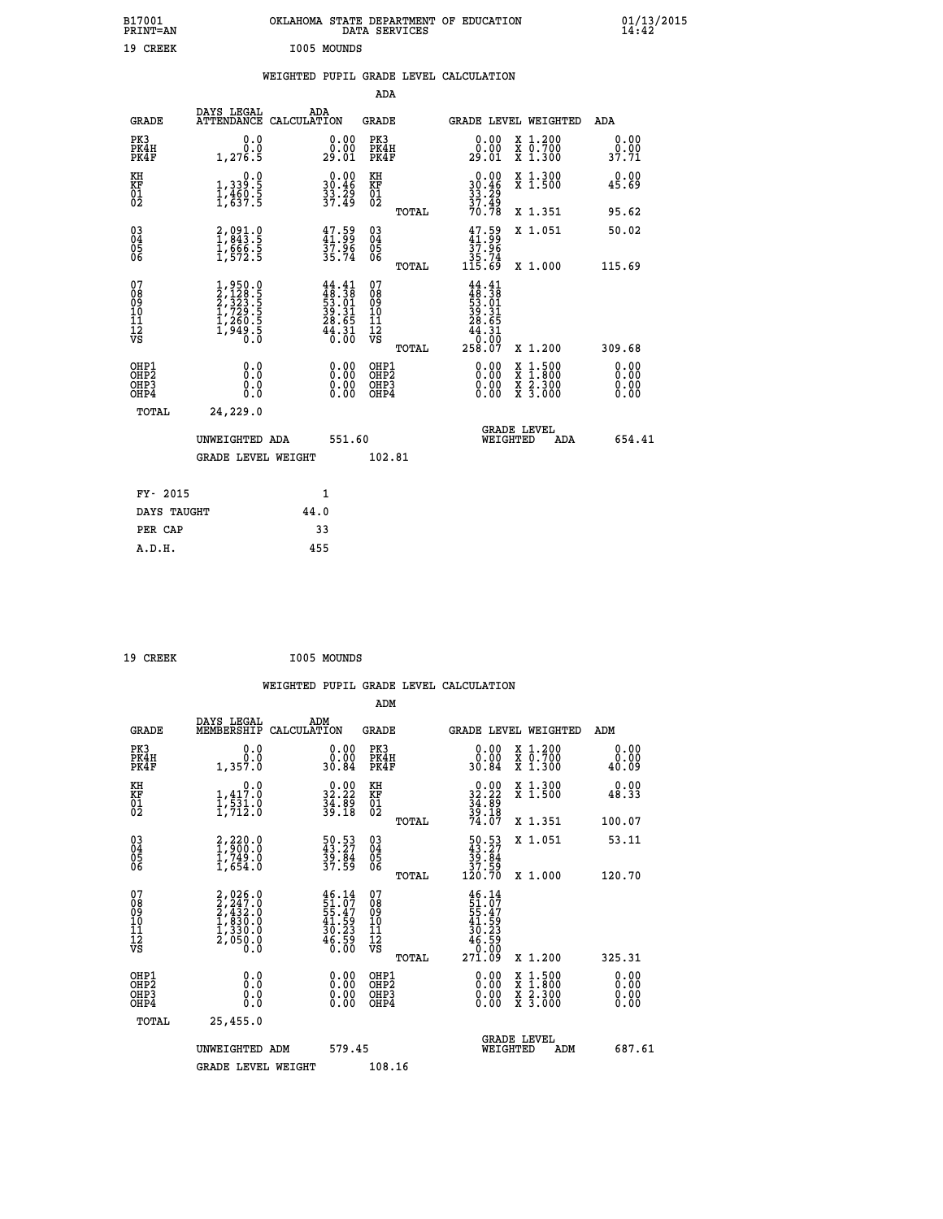| B17001<br>PRINT=AN                     |                                                                                                  | OKLAHOMA STATE DEPARTMENT OF EDUCATION                                   | DATA SERVICES                                      |                                                                              |                                                                                                  | $01/13/2015$<br>14:42 |
|----------------------------------------|--------------------------------------------------------------------------------------------------|--------------------------------------------------------------------------|----------------------------------------------------|------------------------------------------------------------------------------|--------------------------------------------------------------------------------------------------|-----------------------|
| 19 CREEK                               |                                                                                                  | I005 MOUNDS                                                              |                                                    |                                                                              |                                                                                                  |                       |
|                                        |                                                                                                  | WEIGHTED PUPIL GRADE LEVEL CALCULATION                                   |                                                    |                                                                              |                                                                                                  |                       |
|                                        |                                                                                                  |                                                                          | <b>ADA</b>                                         |                                                                              |                                                                                                  |                       |
| <b>GRADE</b>                           | DAYS LEGAL                                                                                       | ADA<br>ATTENDANCE CALCULATION                                            | GRADE                                              |                                                                              | GRADE LEVEL WEIGHTED                                                                             | ADA                   |
| PK3<br>PK4H<br>PK4F                    | 0.0<br>0.0<br>1,276.5                                                                            | 0.00<br>0.00<br>29.01                                                    | PK3<br>PK4H<br>PK4F                                | 0.00<br>0.00<br>29.01                                                        | X 1.200<br>X 0.700<br>X 1.300                                                                    | 0.00<br>0.00<br>37.71 |
| KH<br>KF<br>$\overline{01}$            | 0.0<br>1,339:5<br>1,460:5<br>1,637:5                                                             | $\begin{smallmatrix} 0.00\\ 30.46\\ 33.29\\ 37.49 \end{smallmatrix}$     | KH<br>KF<br>01<br>02                               | $\begin{array}{c} 0.00 \\ 30.46 \\ 33.29 \\ 37.49 \end{array}$               | X 1.300<br>X 1.500                                                                               | 0.00<br>45.69         |
|                                        |                                                                                                  |                                                                          | TOTAL                                              | 70.78                                                                        | X 1.351                                                                                          | 95.62                 |
| $03\overline{4}$<br>Õ5<br>ŎĞ           | 2,091.0<br>1,843.5<br>1,666.5<br>1,572.5                                                         | $47.59$<br>$41.99$<br>$37.96$<br>$35.74$                                 | $\begin{matrix} 03 \\ 04 \\ 05 \\ 06 \end{matrix}$ | $47.59$<br>$41.99$<br>37.96                                                  | X 1.051                                                                                          | 50.02                 |
|                                        |                                                                                                  |                                                                          | TOTAL                                              | 35.74<br>115.69                                                              | X 1.000                                                                                          | 115.69                |
| 07<br>08<br>09<br>10<br>11<br>12<br>VS | $\begin{smallmatrix} 1,950.0\\2,128.5\\2,323.5\\1,729.5\\1,260.5\\1,949.5\\0.0\end{smallmatrix}$ | $44.41$<br>$48.38$<br>$53.01$<br>$39.31$<br>$28.65$<br>$44.31$<br>$0.00$ | 07<br>08<br>09<br>10<br>Īľ<br>12<br>VS             | $44.41$<br>$48.38$<br>$53.01$<br>$39.31$<br>28.65<br>44.31<br>0.00<br>258.07 | X 1.200                                                                                          | 309.68                |
| OHP1                                   | 0.0                                                                                              |                                                                          | TOTAL<br>OHP1                                      |                                                                              |                                                                                                  | 0.00                  |
| OHP <sub>2</sub><br>OHP3<br>OHP4       | Ō.Ō<br>0.0<br>0.0                                                                                | 0.00<br>$\begin{smallmatrix} 0.00 \ 0.00 \end{smallmatrix}$              | OHP <sub>2</sub><br>OHP3<br>OHP4                   | 0.00<br>0.00<br>0.00                                                         | $\begin{smallmatrix} x & 1 & 500 \\ x & 1 & 800 \\ x & 2 & 300 \\ x & 3 & 000 \end{smallmatrix}$ | 0.00<br>0.0000        |
| TOTAL                                  | 24,229.0                                                                                         |                                                                          |                                                    |                                                                              |                                                                                                  |                       |
|                                        | UNWEIGHTED ADA                                                                                   | 551.60                                                                   |                                                    | WEIGHTED                                                                     | <b>GRADE LEVEL</b><br>ADA                                                                        | 654.41                |
|                                        | <b>GRADE LEVEL WEIGHT</b>                                                                        |                                                                          | 102.81                                             |                                                                              |                                                                                                  |                       |
| FY- 2015                               |                                                                                                  | 1                                                                        |                                                    |                                                                              |                                                                                                  |                       |
| DAYS TAUGHT                            |                                                                                                  | 44.0                                                                     |                                                    |                                                                              |                                                                                                  |                       |
| PER CAP                                |                                                                                                  | 33                                                                       |                                                    |                                                                              |                                                                                                  |                       |

| 19 CREEK | I005 MOUNDS |
|----------|-------------|

 **WEIGHTED PUPIL GRADE LEVEL CALCULATION ADM DAYS LEGAL ADM GRADE MEMBERSHIP CALCULATION GRADE GRADE LEVEL WEIGHTED ADM PK3 0.0 0.00 PK3 0.00 X 1.200 0.00 PK4H 0.0 0.00 PK4H 0.00 X 0.700 0.00 PK4F 1,357.0 30.84 PK4F 30.84 X 1.300 40.09 KH 0.0 0.00 KH 0.00 X 1.300 0.00 KF 1,417.0 32.22 KF 32.22 X 1.500 48.33 01 1,531.0 34.89 01 34.89 02 1,712.0 39.18 02 39.18 TOTAL 74.07 X 1.351 100.07 03 2,220.0 50.53 03 50.53 X 1.051 53.11 04 1,900.0 43.27 04 43.27 05 1,749.0 39.84 05 39.84 06 1,654.0 37.59 06 37.59 TOTAL 120.70 X 1.000 120.70**  $\begin{array}{cccc} 07 & 2,026.0 & 46.14 & 07 & 46.14 \ 08 & 2,247.0 & 51.07 & 08 & 51.07 \ 09 & 2,432.0 & 55.47 & 09 & 55.47 \ 10 & 1,830.0 & 41.59 & 10 & 41.59 \ 11 & 1,330.0 & 30.23 & 11 & 30.23 \ \hline \textrm{vs} & 2,050.0 & 6 & 6 & 79 \ 0.0 & 0.0 & 0.0 & 0.0 & 0.0 & 0.$  $\begin{tabular}{@{}lllllllllll@{}}\textbf{46.14} & 07 & \textbf{46.14}\\ \textbf{55.47} & 08 & \textbf{55.47}\\ \textbf{51.59} & 10 & \textbf{41.59}\\ \textbf{40.23} & 11 & \textbf{40.52}\\ \textbf{46.59} & 12 & \textbf{46.59}\\ \textbf{46.59} & 12 & \textbf{46.59}\\ \textbf{59.12} & 14 & \textbf{40.52}\\ \textbf{6.59} & 12 & \textbf{46.59}\\ \textbf{$  **OHP1 0.0 0.00 OHP1 0.00 X 1.500 0.00 OHP2 0.0 0.00 OHP2 0.00 X 1.800 0.00 OHP3 0.0 0.00 OHP3 0.00 X 2.300 0.00 OHP4 0.0 0.00 OHP4 0.00 X 3.000 0.00 TOTAL 25,455.0 GRADE LEVEL UNWEIGHTED ADM 579.45 WEIGHTED ADM 687.61** GRADE LEVEL WEIGHT 108.16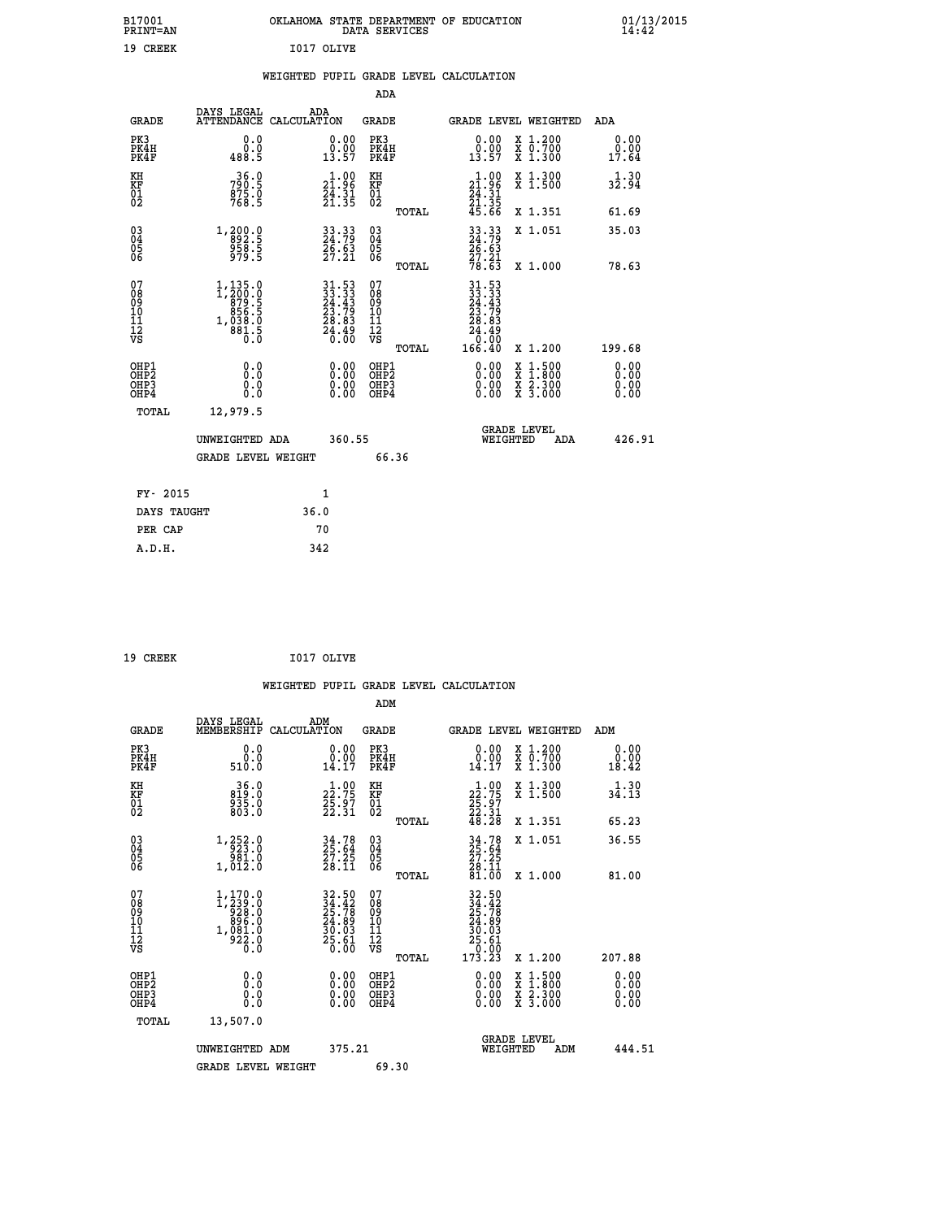|            | OKLAHOMA STATE DEPARTMENT OF EDUCATION<br>DATA SERVICES |  |
|------------|---------------------------------------------------------|--|
| T017 OLTVE |                                                         |  |

|  |  | WEIGHTED PUPIL GRADE LEVEL CALCULATION |
|--|--|----------------------------------------|
|  |  |                                        |

|                                                                    |                                                                                                           |                                                                          |                                                                   | ADA                                       |       |                                                                                                            |                                          |                              |
|--------------------------------------------------------------------|-----------------------------------------------------------------------------------------------------------|--------------------------------------------------------------------------|-------------------------------------------------------------------|-------------------------------------------|-------|------------------------------------------------------------------------------------------------------------|------------------------------------------|------------------------------|
| <b>GRADE</b>                                                       | DAYS LEGAL<br>ATTENDANCE CALCULATION                                                                      | ADA                                                                      |                                                                   | <b>GRADE</b>                              |       |                                                                                                            | GRADE LEVEL WEIGHTED                     | ADA                          |
| PK3<br>PK4H<br>PK4F                                                | 0.0<br>ة:ة<br>488.5                                                                                       |                                                                          | $\begin{smallmatrix} 0.00\\ 0.00\\ 13.57 \end{smallmatrix}$       | PK3<br>PK4H<br>PK4F                       |       | $\begin{smallmatrix} 0.00\\ 0.00\\ 13.57 \end{smallmatrix}$                                                | X 1.200<br>X 0.700<br>X 1.300            | 0.00<br>0.00<br>17.64        |
| KH<br>KF<br>01<br>02                                               | 36.0<br>790:5<br>875:0<br>768:5                                                                           |                                                                          | $\begin{smallmatrix} 1.00\\21.96\\24.31\\21.35 \end{smallmatrix}$ | KH<br>KF<br>01<br>02                      |       | $\begin{smallmatrix} 1.00\\21.96\\24.31\\21.35\\45.66 \end{smallmatrix}$                                   | X 1.300<br>X 1.500                       | 1.30<br>32.94                |
|                                                                    |                                                                                                           |                                                                          |                                                                   |                                           | TOTAL |                                                                                                            | X 1.351                                  | 61.69                        |
| $\begin{smallmatrix} 03 \\[-4pt] 04 \end{smallmatrix}$<br>Ŏ5<br>06 | 1,200.0<br>892.5<br>958.5<br>979.5                                                                        | 33.33<br>24.79<br>26.63<br>27.21                                         |                                                                   | $\substack{03 \\ 04}$<br>05<br>06         |       | 33.33<br>24.79<br>26.63<br>27.21<br>78.63                                                                  | X 1.051                                  | 35.03                        |
|                                                                    |                                                                                                           |                                                                          |                                                                   |                                           | TOTAL |                                                                                                            | X 1.000                                  | 78.63                        |
| 07<br>08<br>09<br>11<br>11<br>12<br>VS                             | $\begin{smallmatrix} 1,135.0\\ 1,200.0\\ 879.5\\ 856.5\\ 856.5\\ 1,038.0\\ 881.5\\ 0.0 \end{smallmatrix}$ | $31.53$<br>$23.33$<br>$24.43$<br>$23.79$<br>$28.83$<br>$24.49$<br>$0.00$ |                                                                   | 07<br>08<br>09<br>11<br>11<br>12<br>VS    |       | $\begin{array}{@{}ll} 31.53 \\ 33.33 \\ 24.43 \\ 23.79 \\ 28.83 \\ 24.49 \\ 24.49 \\ 26.90 \\ \end{array}$ |                                          |                              |
|                                                                    |                                                                                                           |                                                                          |                                                                   |                                           | TOTAL | 166.40                                                                                                     | X 1.200                                  | 199.68                       |
| OHP1<br>OH <sub>P</sub> 2<br>OH <sub>P3</sub><br>OH <sub>P4</sub>  | 0.0<br>0.0<br>0.0                                                                                         |                                                                          | 0.00<br>$\begin{smallmatrix} 0.00 \ 0.00 \end{smallmatrix}$       | OHP1<br>OH <sub>P</sub> 2<br>OHP3<br>OHP4 |       | 0.00<br>0.00<br>0.00                                                                                       | X 1:500<br>X 1:800<br>X 2:300<br>X 3:000 | 0.00<br>0.00<br>0.00<br>0.00 |
| TOTAL                                                              | 12,979.5                                                                                                  |                                                                          |                                                                   |                                           |       |                                                                                                            |                                          |                              |
|                                                                    | UNWEIGHTED ADA                                                                                            |                                                                          | 360.55                                                            |                                           |       |                                                                                                            | GRADE LEVEL<br>WEIGHTED<br>ADA           | 426.91                       |
|                                                                    | <b>GRADE LEVEL WEIGHT</b>                                                                                 |                                                                          |                                                                   | 66.36                                     |       |                                                                                                            |                                          |                              |
| FY- 2015                                                           |                                                                                                           | $\mathbf{1}$                                                             |                                                                   |                                           |       |                                                                                                            |                                          |                              |
| DAYS TAUGHT                                                        |                                                                                                           | 36.0                                                                     |                                                                   |                                           |       |                                                                                                            |                                          |                              |
| PER CAP                                                            |                                                                                                           | 70                                                                       |                                                                   |                                           |       |                                                                                                            |                                          |                              |

| 19 CREEK | I017 OLIVE |
|----------|------------|

 **B17001<br>PRINT=AN<br>19 CREEK** 

|                                                    |                                                      |                                                                                                           |                    |                                                                          |                                                     |       | WEIGHTED PUPIL GRADE LEVEL CALCULATION                                                                  |                                          |        |                               |
|----------------------------------------------------|------------------------------------------------------|-----------------------------------------------------------------------------------------------------------|--------------------|--------------------------------------------------------------------------|-----------------------------------------------------|-------|---------------------------------------------------------------------------------------------------------|------------------------------------------|--------|-------------------------------|
|                                                    |                                                      |                                                                                                           |                    |                                                                          | ADM                                                 |       |                                                                                                         |                                          |        |                               |
|                                                    | <b>GRADE</b>                                         | DAYS LEGAL<br>MEMBERSHIP                                                                                  | ADM<br>CALCULATION |                                                                          | <b>GRADE</b>                                        |       |                                                                                                         | <b>GRADE LEVEL WEIGHTED</b>              | ADM    |                               |
| PK3                                                | PK4H<br>PK4F                                         | 0.0<br>0.0<br>510.0                                                                                       |                    | 0.00<br>14.17                                                            | PK3<br>PK4H<br>PK4F                                 |       | $\begin{smallmatrix} 0.00\\ 0.00\\ 14.17 \end{smallmatrix}$                                             | X 1.200<br>X 0.700<br>X 1.300            | 18.42  | 0.00<br>0.00                  |
| KH<br>KF<br>01<br>02                               |                                                      | $36.0$<br>$819.0$<br>$935.0$<br>$803.0$                                                                   |                    | $\begin{smallmatrix} 1.00\\22.75\\25.97\\22.31 \end{smallmatrix}$        | KH<br>KF<br>01<br>02                                |       | $\begin{smallmatrix} 1.00\\22.75\\25.97\\22.31\\48.28 \end{smallmatrix}$                                | X 1.300<br>X 1.500                       | 34.13  | 1.30                          |
|                                                    |                                                      |                                                                                                           |                    |                                                                          |                                                     | TOTAL |                                                                                                         | X 1.351                                  | 65.23  |                               |
| $\begin{matrix} 03 \\ 04 \\ 05 \\ 06 \end{matrix}$ |                                                      | $\begin{smallmatrix} 1,252\cdot 0\\ -923\cdot 0\\ 981\cdot 0\\ 1,012\cdot 0 \end{smallmatrix}$            |                    | $34.78$<br>$25.64$<br>$27.25$<br>$28.11$                                 | $\begin{array}{c} 03 \\ 04 \\ 05 \\ 06 \end{array}$ |       | $34.78$<br>$25.64$<br>$27.25$<br>$28.11$<br>$81.00$                                                     | X 1.051                                  | 36.55  |                               |
|                                                    |                                                      |                                                                                                           |                    |                                                                          |                                                     | TOTAL |                                                                                                         | X 1.000                                  | 81.00  |                               |
| 07<br>0890112<br>1112<br>VS                        |                                                      | $\begin{smallmatrix} 1,170.0\\ 1,239.0\\ 928.0\\ 896.0\\ 896.0\\ 1,081.0\\ 922.0\\ 0.0 \end{smallmatrix}$ |                    | $32.50$<br>$25.78$<br>$25.78$<br>$24.89$<br>$30.03$<br>$25.61$<br>$0.00$ | 07<br>08901112<br>1112<br>VS                        |       | $\begin{smallmatrix} 32.50\ 34.42\ 25.78\ 24.89\ 30.03\ 10.501\ 25.61\ 0.103\ 173.23 \end{smallmatrix}$ |                                          |        |                               |
|                                                    |                                                      |                                                                                                           |                    |                                                                          |                                                     | TOTAL |                                                                                                         | X 1.200                                  | 207.88 |                               |
|                                                    | OHP1<br>OHP <sub>2</sub><br>OH <sub>P3</sub><br>OHP4 | 0.0<br>0.000                                                                                              |                    | $0.00$<br>$0.00$<br>0.00                                                 | OHP1<br>OHP <sub>2</sub><br>OHP <sub>3</sub>        |       | 0.00<br>0.00<br>0.00                                                                                    | X 1:500<br>X 1:800<br>X 2:300<br>X 3:000 |        | 0.00<br>Ō. ŌŌ<br>0.00<br>0.00 |
|                                                    | TOTAL                                                | 13,507.0                                                                                                  |                    |                                                                          |                                                     |       |                                                                                                         |                                          |        |                               |
|                                                    |                                                      | UNWEIGHTED ADM                                                                                            |                    | 375.21                                                                   |                                                     |       | WEIGHTED                                                                                                | <b>GRADE LEVEL</b><br>ADM                |        | 444.51                        |
|                                                    |                                                      | <b>GRADE LEVEL WEIGHT</b>                                                                                 |                    |                                                                          | 69.30                                               |       |                                                                                                         |                                          |        |                               |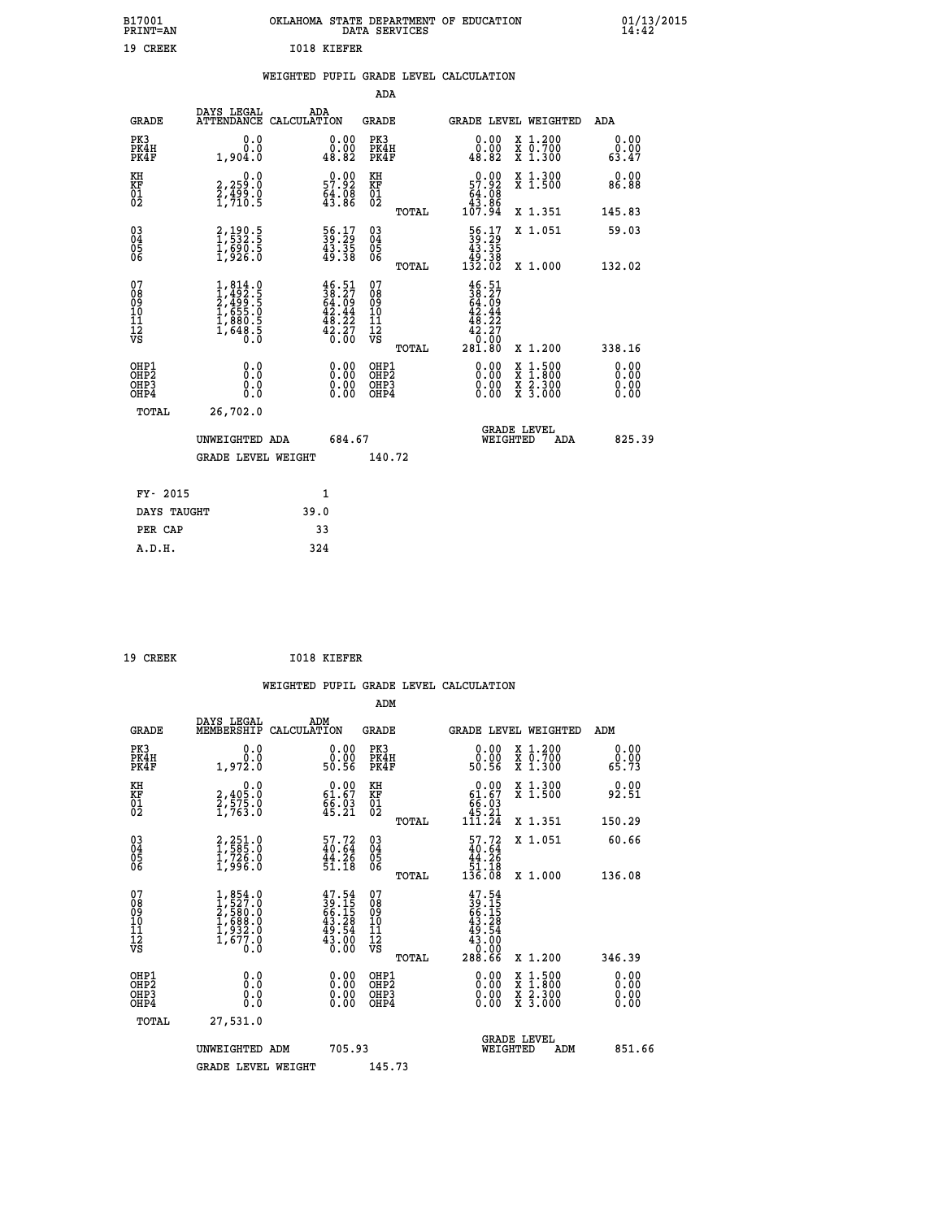| OKLAHOMA STATE DEPARTMENT OF EDUCATION<br>DATA SERVICES |  |
|---------------------------------------------------------|--|
| T018 KTRFFR                                             |  |

## **WEIGHTED PUPIL GRADE LEVEL CALCULATION**

|                                                                    |                                                                                     |                                                                                                                                                                                        | ADA                                                 |       |                                                                                   |                                          |                              |
|--------------------------------------------------------------------|-------------------------------------------------------------------------------------|----------------------------------------------------------------------------------------------------------------------------------------------------------------------------------------|-----------------------------------------------------|-------|-----------------------------------------------------------------------------------|------------------------------------------|------------------------------|
| <b>GRADE</b>                                                       | DAYS LEGAL                                                                          | ADA<br>ATTENDANCE CALCULATION                                                                                                                                                          | <b>GRADE</b>                                        |       |                                                                                   | GRADE LEVEL WEIGHTED                     | ADA                          |
| PK3<br>PK4H<br>PK4F                                                | 0.0<br>0.0<br>1,904.0                                                               | $\begin{smallmatrix} 0.00\\ 0.00\\ 48.82 \end{smallmatrix}$                                                                                                                            | PK3<br>PK4H<br>PK4F                                 |       | 0.00<br>$\begin{smallmatrix} \texttt{0}.0 \ \texttt{0}.82 \end{smallmatrix}$      | X 1.200<br>X 0.700<br>X 1.300            | 0.00<br>0.00<br>63.47        |
| KH<br><b>KF</b><br>01<br>02                                        | 0.0<br>2,259:0<br>2,499:0<br>1,710:5                                                | $0.00$<br>57.92<br>$\frac{64.08}{43.86}$                                                                                                                                               | KH<br>KF<br>01<br>02                                |       | $0.00$<br>57.92<br>$\begin{smallmatrix} 64.08\\ 43.86\\ 107.94 \end{smallmatrix}$ | X 1.300<br>X 1.500                       | 0.00<br>86.88                |
|                                                                    |                                                                                     |                                                                                                                                                                                        |                                                     | TOTAL |                                                                                   | X 1.351                                  | 145.83                       |
| $\begin{smallmatrix} 03 \\[-4pt] 04 \end{smallmatrix}$<br>05<br>06 | 2,190.5<br>1,532.5<br>1,690.5<br>1,926.0                                            | 56.17<br>39.29<br>43.35<br>49.38                                                                                                                                                       | $\begin{array}{c} 03 \\ 04 \\ 05 \\ 06 \end{array}$ |       | $\begin{smallmatrix} 56.17\\ 39.29\\ 43.35\\ 49.38\\ 132.02 \end{smallmatrix}$    | X 1.051                                  | 59.03                        |
|                                                                    |                                                                                     |                                                                                                                                                                                        |                                                     | TOTAL |                                                                                   | X 1.000                                  | 132.02                       |
| 07<br>08<br>09<br>11<br>11<br>12<br>VS                             | $1,814.0$<br>$2,492.5$<br>$2,499.5$<br>$1,655.0$<br>$1,880.5$<br>$1,648.5$<br>$0.0$ | $\begin{smallmatrix} 4\,6\, \cdot\, 5\, 1\\ 3\, 8\, \cdot\, 27\\ 6\, 4\, \cdot\, 09\\ 4\, 2\, \cdot\, 44\\ 4\, 8\, \cdot\, 22\\ 4\, 2\, \cdot\, 27\\ 0\, \cdot\, 00 \end{smallmatrix}$ | 07<br>08<br>09<br>11<br>11<br>12<br>VS              |       | $46.51$<br>$38.27$<br>$64.09$<br>$42.44$<br>$48.22$<br>$42.27$<br>0.00            |                                          |                              |
|                                                                    |                                                                                     |                                                                                                                                                                                        |                                                     | TOTAL | 281.80                                                                            | X 1.200                                  | 338.16                       |
| OHP1<br>OH <sub>P</sub> 2<br>OH <sub>P3</sub><br>OH <sub>P4</sub>  | 0.0<br>0.0<br>0.0                                                                   | 0.00<br>$\begin{smallmatrix} 0.00 \ 0.00 \end{smallmatrix}$                                                                                                                            | OHP1<br>OHP <sub>2</sub><br>OHP3<br>OHP4            |       | 0.00<br>0.00<br>0.00                                                              | X 1:500<br>X 1:800<br>X 2:300<br>X 3:000 | 0.00<br>0.00<br>0.00<br>0.00 |
| TOTAL                                                              | 26,702.0                                                                            |                                                                                                                                                                                        |                                                     |       |                                                                                   |                                          |                              |
|                                                                    | UNWEIGHTED ADA                                                                      | 684.67                                                                                                                                                                                 |                                                     |       |                                                                                   | GRADE LEVEL<br>WEIGHTED<br>ADA           | 825.39                       |
|                                                                    | <b>GRADE LEVEL WEIGHT</b>                                                           |                                                                                                                                                                                        | 140.72                                              |       |                                                                                   |                                          |                              |
| FY- 2015                                                           |                                                                                     | $\mathbf{1}$                                                                                                                                                                           |                                                     |       |                                                                                   |                                          |                              |
| DAYS TAUGHT                                                        |                                                                                     | 39.0                                                                                                                                                                                   |                                                     |       |                                                                                   |                                          |                              |
| PER CAP                                                            |                                                                                     | 33                                                                                                                                                                                     |                                                     |       |                                                                                   |                                          |                              |

| 19 CREEK | 1018 KIEFER |
|----------|-------------|

 **A.D.H. 324**

 **ADM**

 **B17001<br>PRINT=AN 19 CREEK I018 KIEFER**

| <b>GRADE</b>                                       | DAYS LEGAL<br>MEMBERSHIP                                                            | ADM<br>CALCULATION                                                       | <b>GRADE</b>                                        |       | GRADE LEVEL WEIGHTED                                                                       |                                          | ADM                   |  |
|----------------------------------------------------|-------------------------------------------------------------------------------------|--------------------------------------------------------------------------|-----------------------------------------------------|-------|--------------------------------------------------------------------------------------------|------------------------------------------|-----------------------|--|
| PK3<br>PK4H<br>PK4F                                | 0.0<br>1,972.0                                                                      | $\begin{smallmatrix} 0.00\\ 0.00\\ 50.56 \end{smallmatrix}$              | PK3<br>PK4H<br>PK4F                                 |       | $\begin{smallmatrix} 0.00\\ 0.00\\ 50.56 \end{smallmatrix}$                                | X 1.200<br>X 0.700<br>X 1.300            | 0.00<br>0.00<br>65.73 |  |
| KH<br>KF<br>01<br>02                               | 0.0<br>2,405:0<br>2,575:0<br>1,763:0                                                | $\begin{smallmatrix} 0.00\\ 61.67\\ 66.03\\ 45.21 \end{smallmatrix}$     | KH<br>KF<br>01<br>02                                |       | $\begin{smallmatrix} &0.00\ 61.67\ 66.03\ 45.21\ 111.24\ \end{smallmatrix}$                | X 1.300<br>X 1.500                       | 0.00<br>92.51         |  |
|                                                    |                                                                                     |                                                                          |                                                     | TOTAL |                                                                                            | X 1.351                                  | 150.29                |  |
| $\begin{matrix} 03 \\ 04 \\ 05 \\ 06 \end{matrix}$ | 2,251.0<br>1,585.0<br>1,726.0<br>1,996.0                                            | 57.72<br>$\frac{44.26}{51.18}$                                           | $\begin{array}{c} 03 \\ 04 \\ 05 \\ 06 \end{array}$ |       | $\begin{array}{c} 57.72 \\ 40.64 \\ 44.26 \\ 51.18 \\ 136.08 \end{array}$                  | X 1.051                                  | 60.66                 |  |
|                                                    |                                                                                     |                                                                          |                                                     | TOTAL |                                                                                            | X 1.000                                  | 136.08                |  |
| 07<br>08901112<br>1112<br>VS                       | $1,854.0$<br>$2,527.0$<br>$2,580.0$<br>$1,688.0$<br>$1,932.0$<br>$1,677.0$<br>$0.0$ | $47.54$<br>$39.15$<br>$66.15$<br>$43.28$<br>$49.54$<br>$43.00$<br>$0.00$ | 07<br>08901112<br>1112<br>VS                        | TOTAL | $\begin{smallmatrix} 47.54\ 39.15\ 66.158\ 43.28\ 49.54\ 43.00\ 288.66\ \end{smallmatrix}$ | X 1.200                                  | 346.39                |  |
| OHP1<br>OHP2<br>OHP3<br>OHP4                       | 0.0<br>$\begin{smallmatrix} 0.0 & 0 \ 0.0 & 0 \end{smallmatrix}$                    |                                                                          | OHP1<br>OHP2<br>OHP3<br>OHP4                        |       |                                                                                            | X 1:500<br>X 1:800<br>X 2:300<br>X 3:000 | 0.00<br>0.00<br>0.00  |  |
| TOTAL                                              | 27,531.0                                                                            |                                                                          |                                                     |       |                                                                                            |                                          |                       |  |
|                                                    | UNWEIGHTED<br>ADM                                                                   | 705.93                                                                   |                                                     |       | WEIGHTED                                                                                   | <b>GRADE LEVEL</b><br>ADM                | 851.66                |  |
|                                                    | <b>GRADE LEVEL WEIGHT</b>                                                           |                                                                          | 145.73                                              |       |                                                                                            |                                          |                       |  |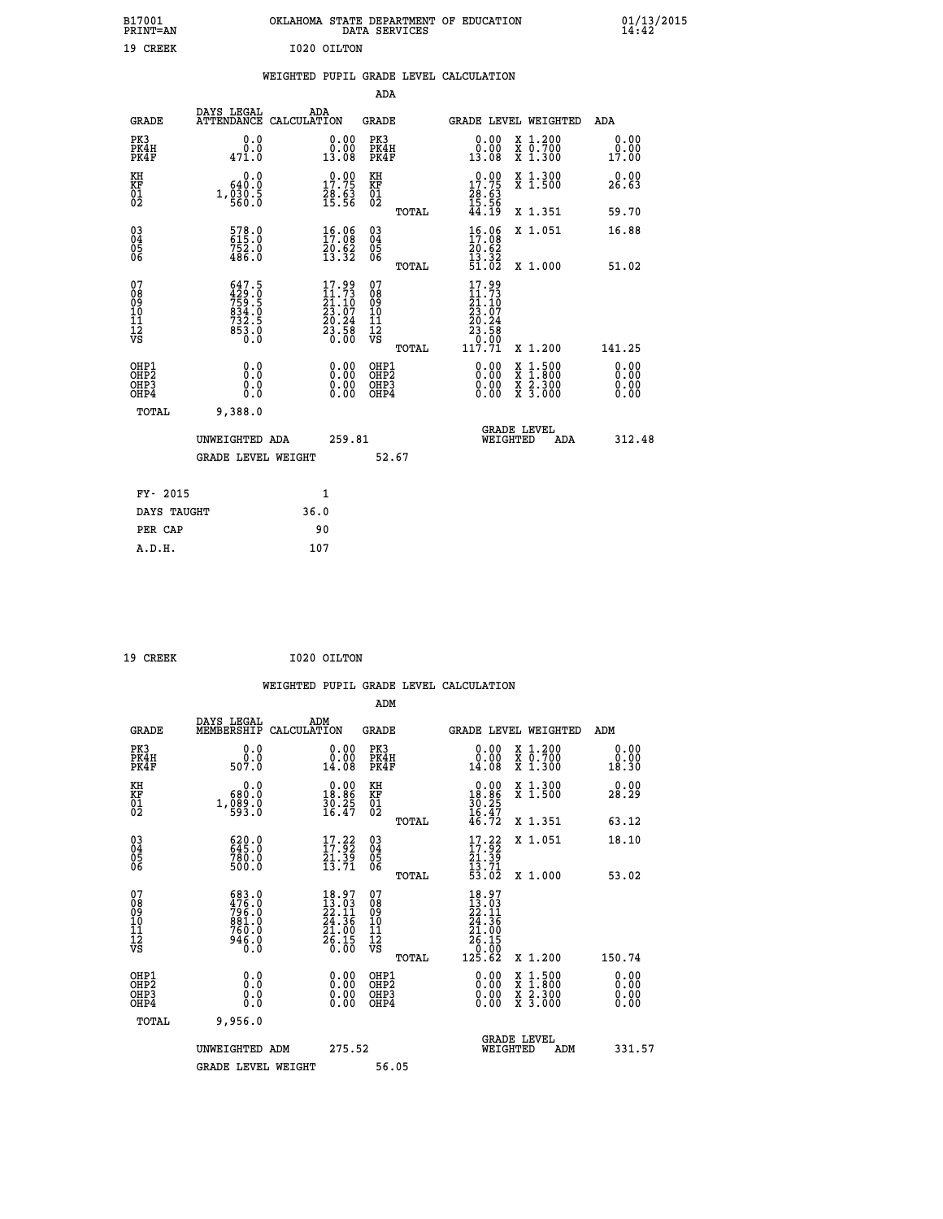| B17001<br>PRINT=AN                           |                                                                         | OKLAHOMA STATE DEPARTMENT OF EDUCATION                                                | DATA SERVICES                                        |                                                                   |                                          | $01/13/2015$<br>14:42        |  |
|----------------------------------------------|-------------------------------------------------------------------------|---------------------------------------------------------------------------------------|------------------------------------------------------|-------------------------------------------------------------------|------------------------------------------|------------------------------|--|
| 19 CREEK                                     |                                                                         | I020 OILTON                                                                           |                                                      |                                                                   |                                          |                              |  |
|                                              |                                                                         | WEIGHTED PUPIL GRADE LEVEL CALCULATION                                                |                                                      |                                                                   |                                          |                              |  |
|                                              |                                                                         |                                                                                       | ADA                                                  |                                                                   |                                          |                              |  |
| <b>GRADE</b>                                 | DAYS LEGAL                                                              | ADA<br>ATTENDANCE CALCULATION                                                         | GRADE                                                |                                                                   | GRADE LEVEL WEIGHTED                     | ADA                          |  |
| PK3<br>PK4H<br>PK4F                          | 0.0<br>0.0<br>471.0                                                     | 0.00<br>0.00<br>13.08                                                                 | PK3<br>PK4H<br>PK4F                                  | 0.00<br>0.00<br>13.08                                             | X 1.200<br>X 0.700<br>X 1.300            | 0.00<br>0.00<br>17.00        |  |
| KH<br>KF<br>$\frac{01}{02}$                  | 0.0<br>640.0<br>$1, \frac{0}{560}.\frac{5}{0}$                          | 17.75<br>$\frac{28.63}{15.56}$                                                        | KH<br>KF<br>01<br>02                                 | $\begin{array}{c} 0.00 \\ 17.75 \\ 28.63 \\ 15.56 \end{array}$    | X 1.300<br>X 1.500                       | 0.00<br>26.63                |  |
|                                              |                                                                         |                                                                                       | TOTAL                                                | 44.19                                                             | X 1.351                                  | 59.70                        |  |
| 03<br>04<br>05<br>06                         | 578.0<br>615.0<br>752.0<br>486.0                                        | 16.06<br>$\frac{20.62}{13.32}$                                                        | $\begin{matrix} 03 \\ 04 \\ 05 \\ 06 \end{matrix}$   | $16.06$<br>$17.08$<br>20.62<br>$\frac{13}{51}$ $\frac{32}{02}$    | X 1.051                                  | 16.88                        |  |
|                                              |                                                                         |                                                                                       | TOTAL<br>07                                          |                                                                   | X 1.000                                  | 51.02                        |  |
| 07<br>08<br>09<br>10<br>11<br>11<br>12<br>VS | $647.5$<br>$759.5$<br>$759.5$<br>$834.0$<br>$732.5$<br>$853.0$<br>$0.0$ | $\begin{smallmatrix} 17.99\\11.73\\21.10\\23.07\\20.24\\23.58\\0.00\end{smallmatrix}$ | 08<br>09<br>10<br>$\frac{11}{12}$<br>$\frac{12}{18}$ | $17.99$<br>$11.73$<br>$21.10$<br>$23.97$<br>$\frac{20.24}{23.58}$ |                                          |                              |  |
|                                              |                                                                         |                                                                                       | TOTAL                                                | 117.71                                                            | X 1.200                                  | 141.25                       |  |
| OHP1<br>OHP2<br>OHP3<br>OHP4                 | 0.0<br>0.0<br>0.0<br>0.0                                                | 0.00<br>$\begin{smallmatrix} 0.00 \ 0.00 \end{smallmatrix}$                           | OHP1<br>OH <sub>P</sub> 2<br>OHP3<br>OHP4            | 0.00<br>0.00<br>0.00                                              | X 1:500<br>X 1:800<br>X 2:300<br>X 3:000 | 0.00<br>0.00<br>0.00<br>0.00 |  |
| TOTAL                                        | 9,388.0                                                                 |                                                                                       |                                                      |                                                                   |                                          |                              |  |
|                                              | UNWEIGHTED ADA                                                          | 259.81                                                                                |                                                      | WEIGHTED                                                          | <b>GRADE LEVEL</b><br>ADA                | 312.48                       |  |
|                                              | GRADE LEVEL WEIGHT                                                      |                                                                                       | 52.67                                                |                                                                   |                                          |                              |  |
| FY- 2015                                     |                                                                         | 1                                                                                     |                                                      |                                                                   |                                          |                              |  |
| DAYS TAUGHT                                  |                                                                         | 36.0                                                                                  |                                                      |                                                                   |                                          |                              |  |
| PER CAP                                      |                                                                         | 90                                                                                    |                                                      |                                                                   |                                          |                              |  |

| 19 CREEK |  |  | I020 OILTON |
|----------|--|--|-------------|

 **WEIGHTED PUPIL GRADE LEVEL CALCULATION ADM DAYS LEGAL ADM GRADE MEMBERSHIP CALCULATION GRADE GRADE LEVEL WEIGHTED ADM PK3 0.0 0.00 PK3 0.00 X 1.200 0.00 PK4H 0.0 0.00 PK4H 0.00 X 0.700 0.00 PK4F 507.0 14.08 PK4F 14.08 X 1.300 18.30 KH 0.0 0.00 KH 0.00 X 1.300 0.00 KF 680.0 18.86 KF 18.86 X 1.500 28.29 01 1,089.0 30.25 01 30.25 02 593.0 16.47 02 16.47 TOTAL 46.72 X 1.351 63.12 03 620.0 17.22 03 17.22 X 1.051 18.10 04 645.0 17.92 04 17.92 05 780.0 21.39 05 21.39** 06 500.0 13.71 06  $\frac{13.71}{23.71}$  **TOTAL 53.02 X 1.000 53.02 07 683.0 18.97 07 18.97 08 476.0 13.03 08 13.03 09 796.0 22.11 09 22.11 10 881.0 24.36 10 24.36 11 760.0 21.00 11 21.00 12 946.0 26.15 12 26.15 VS** 0.0 0.00 VS 0.00 0.00 1000  **TOTAL 125.62 X 1.200 150.74 OHP1 0.0 0.00 OHP1 0.00 X 1.500 0.00 OHP2 0.0 0.00 OHP2 0.00 X 1.800 0.00 OHP3 0.0 0.00 OHP3 0.00 X 2.300 0.00 OHP4 0.0 0.00 OHP4 0.00 X 3.000 0.00 TOTAL 9,956.0 GRADE LEVEL UNWEIGHTED ADM 275.52 WEIGHTED ADM 331.57 GRADE LEVEL WEIGHT 56.05**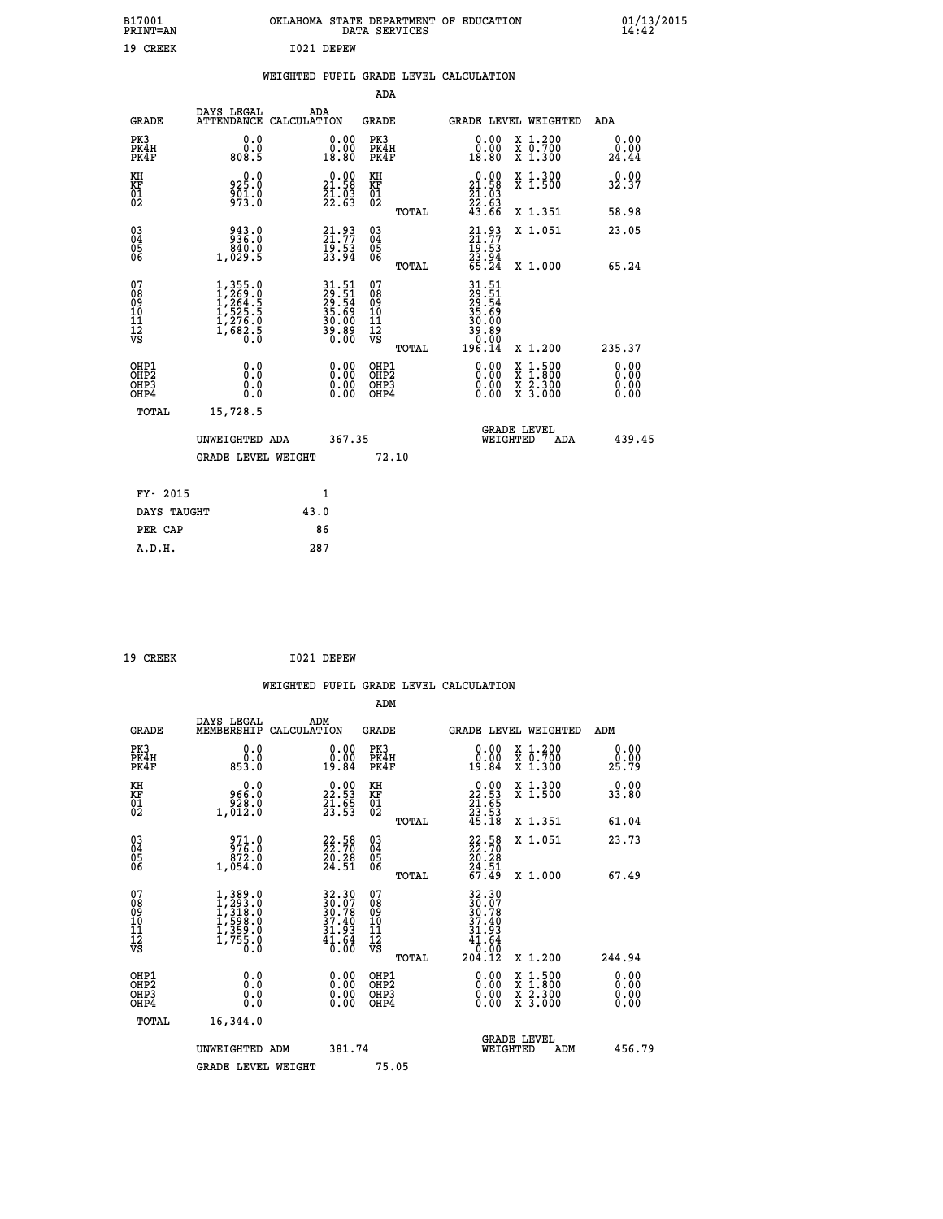| B17001<br><b>PRINT=AN</b>                          |                                                                        | OKLAHOMA STATE DEPARTMENT OF EDUCATION             | DATA SERVICES                             |                                                                      |                                                                                    | 01/13/2015<br>14:42          |  |
|----------------------------------------------------|------------------------------------------------------------------------|----------------------------------------------------|-------------------------------------------|----------------------------------------------------------------------|------------------------------------------------------------------------------------|------------------------------|--|
| 19 CREEK                                           |                                                                        | I021 DEPEW                                         |                                           |                                                                      |                                                                                    |                              |  |
|                                                    |                                                                        | WEIGHTED PUPIL GRADE LEVEL CALCULATION             |                                           |                                                                      |                                                                                    |                              |  |
|                                                    |                                                                        |                                                    | ADA                                       |                                                                      |                                                                                    |                              |  |
| <b>GRADE</b>                                       | DAYS LEGAL<br>ATTENDANCE CALCULATION                                   | ADA                                                | <b>GRADE</b>                              | GRADE LEVEL WEIGHTED                                                 |                                                                                    | ADA                          |  |
| PK3<br>PK4H<br>PK4F                                | 0.0<br>0.0<br>808.5                                                    | 0.00<br>0.00<br>18.80                              | PK3<br>PK4H<br>PK4F                       | 0.00<br>0.00<br>18.80                                                | X 1.200<br>X 0.700<br>X 1.300                                                      | 0.00<br>0.00<br>24.44        |  |
| KH<br>KF<br>01<br>02                               | 0.0<br>925.0<br>$\frac{5}{9}\overline{0}\overline{1}\cdot 0$           | 21.58<br>$\frac{21.03}{22.63}$                     | КH<br><b>KF</b><br>01<br>02               | 21.58<br>$\frac{21}{22}$ : $\frac{03}{63}$<br>43.66                  | X 1.300<br>X 1.500                                                                 | 0.00<br>32.37                |  |
|                                                    |                                                                        |                                                    | TOTAL                                     |                                                                      | X 1.351                                                                            | 58.98                        |  |
| $\begin{matrix} 03 \\ 04 \\ 05 \\ 06 \end{matrix}$ | 943.0<br>936.0<br>840.0<br>1,029.5                                     | $21.93$<br>$21.77$<br>$19.53$<br>$23.94$           | 03<br>04<br>05<br>06                      | $21.93$<br>$21.77$<br>$\frac{19.53}{23.94}$<br>65.24                 | X 1.051                                                                            | 23.05                        |  |
|                                                    |                                                                        |                                                    | TOTAL                                     |                                                                      | X 1.000                                                                            | 65.24                        |  |
| 07<br>08<br>09<br>10<br>11<br>12<br>νs             | 1,355.0<br>1,269.0<br>1,264.5<br>1,525.5<br>1,5276.0<br>1,682.5<br>0.0 | 31.51<br>29.54<br>29.54<br>35.69<br>30.00<br>39.80 | 07<br>08<br>09<br>11<br>11<br>VS<br>TOTAL | 31.51<br>29.51<br>29.54<br>35.69<br>30.00<br>39.89<br>0.00<br>196.14 | X 1.200                                                                            | 235.37                       |  |
| OHP1<br>OHP2<br>OHP3<br>OHP4                       | 0.0<br>Ŏ.Ŏ<br>0.0<br>0.0                                               | 0.00<br>0.00<br>0.00                               | OHP1<br>OHP2<br>OHP3<br>OHP4              | 0.00<br>0.00<br>0.00                                                 | $\frac{x}{x}$ $\frac{1.500}{x}$<br>$\frac{x}{x}$ $\frac{2 \cdot 300}{3 \cdot 000}$ | 0.00<br>Ŏ.ŎŎ<br>0.00<br>0.00 |  |
| TOTAL                                              | 15,728.5                                                               |                                                    |                                           | <b>GRADE LEVEL</b>                                                   |                                                                                    |                              |  |
|                                                    | UNWEIGHTED ADA                                                         | 367.35                                             |                                           | WEIGHTED                                                             | ADA                                                                                | 439.45                       |  |
|                                                    | <b>GRADE LEVEL WEIGHT</b>                                              |                                                    | 72.10                                     |                                                                      |                                                                                    |                              |  |
| FY- 2015                                           |                                                                        | 1                                                  |                                           |                                                                      |                                                                                    |                              |  |
| DAYS TAUGHT                                        |                                                                        | 43.0                                               |                                           |                                                                      |                                                                                    |                              |  |
| PER CAP                                            |                                                                        | 86                                                 |                                           |                                                                      |                                                                                    |                              |  |
| A.D.H.                                             |                                                                        | 287                                                |                                           |                                                                      |                                                                                    |                              |  |

| 19 CREEK | I021 DEPEW |
|----------|------------|
|          |            |

|                                                    |                                                                                     |                    |                                                                                           |                                              |       | WEIGHTED PUPIL GRADE LEVEL CALCULATION                                                                              |                                                                                                  |        |                      |
|----------------------------------------------------|-------------------------------------------------------------------------------------|--------------------|-------------------------------------------------------------------------------------------|----------------------------------------------|-------|---------------------------------------------------------------------------------------------------------------------|--------------------------------------------------------------------------------------------------|--------|----------------------|
|                                                    |                                                                                     |                    |                                                                                           | ADM                                          |       |                                                                                                                     |                                                                                                  |        |                      |
| <b>GRADE</b>                                       | DAYS LEGAL<br>MEMBERSHIP                                                            | ADM<br>CALCULATION |                                                                                           | <b>GRADE</b>                                 |       | GRADE LEVEL WEIGHTED                                                                                                |                                                                                                  | ADM    |                      |
| PK3<br>PK4H<br>PK4F                                | 0.0<br>ŏ.ŏ<br>853.O                                                                 |                    | $\begin{smallmatrix} 0.00\\ 0.00\\ 19.84 \end{smallmatrix}$                               | PK3<br>PK4H<br>PK4F                          |       | $\begin{smallmatrix} 0.00\\ 0.00\\ 19.84 \end{smallmatrix}$                                                         | X 1.200<br>X 0.700<br>X 1.300                                                                    | 25.79  | 0.00<br>0.00         |
| KH<br>KF<br>01<br>02                               | $\begin{smallmatrix} & & 0.0\, 966.0\, 928.0\, 1,012.0 \end{smallmatrix}$           |                    | $\begin{smallmatrix} 0.00\\ 22.53\\ 21.53\\ 23.55 \end{smallmatrix}$                      | KH<br>KF<br>01<br>02                         |       | $\begin{smallmatrix} 0.00\\ 22.53\\ 21.65\\ 23.53\\ 45.18 \end{smallmatrix}$                                        | X 1.300<br>X 1.500                                                                               | 33.80  | 0.00                 |
|                                                    |                                                                                     |                    |                                                                                           |                                              | TOTAL |                                                                                                                     | X 1.351                                                                                          | 61.04  |                      |
| $\begin{matrix} 03 \\ 04 \\ 05 \\ 06 \end{matrix}$ | 971.0<br>976.0<br>972.0<br>1,054.0                                                  |                    | 22.58<br>$\frac{20.28}{24.51}$                                                            | 03<br>04<br>05<br>06                         |       | $22.58$<br>$22.70$<br>$20.28$<br>$24.51$<br>$67.49$                                                                 | X 1.051                                                                                          | 23.73  |                      |
|                                                    |                                                                                     |                    |                                                                                           |                                              | TOTAL |                                                                                                                     | X 1.000                                                                                          | 67.49  |                      |
| 07<br>0890112<br>1112<br>VS                        | $1,389.0$<br>$1,293.0$<br>$1,318.0$<br>$1,598.0$<br>$1,359.0$<br>$1,755.0$<br>$0.0$ |                    | $\begin{array}{r} 32.30 \\ 30.07 \\ 30.78 \\ 37.40 \\ 31.93 \\ 41.64 \\ 0.00 \end{array}$ | 07<br>08<br>09<br>09<br>10<br>11<br>12<br>VS | TOTAL | 32.30<br>30.07<br>30.78<br>37.40<br>31.93<br>$\begin{array}{r} 4\overline{1}\cdot 64 \\ 0.00 \\ 204.12 \end{array}$ | X 1.200                                                                                          | 244.94 |                      |
|                                                    |                                                                                     |                    |                                                                                           |                                              |       |                                                                                                                     |                                                                                                  |        |                      |
| OHP1<br>OHP2<br>OH <sub>P3</sub><br>OHP4           | 0.0<br>0.000                                                                        |                    | $\begin{smallmatrix} 0.00 \ 0.00 \ 0.00 \ 0.00 \end{smallmatrix}$                         | OHP1<br>OHP2<br>OHP <sub>3</sub>             |       |                                                                                                                     | $\begin{smallmatrix} x & 1 & 500 \\ x & 1 & 800 \\ x & 2 & 300 \\ x & 3 & 000 \end{smallmatrix}$ |        | 0.00<br>0.00<br>0.00 |
| TOTAL                                              | 16,344.0                                                                            |                    |                                                                                           |                                              |       |                                                                                                                     |                                                                                                  |        |                      |
|                                                    | UNWEIGHTED ADM                                                                      |                    | 381.74                                                                                    |                                              |       | WEIGHTED                                                                                                            | <b>GRADE LEVEL</b><br>ADM                                                                        |        | 456.79               |
|                                                    | <b>GRADE LEVEL WEIGHT</b>                                                           |                    |                                                                                           | 75.05                                        |       |                                                                                                                     |                                                                                                  |        |                      |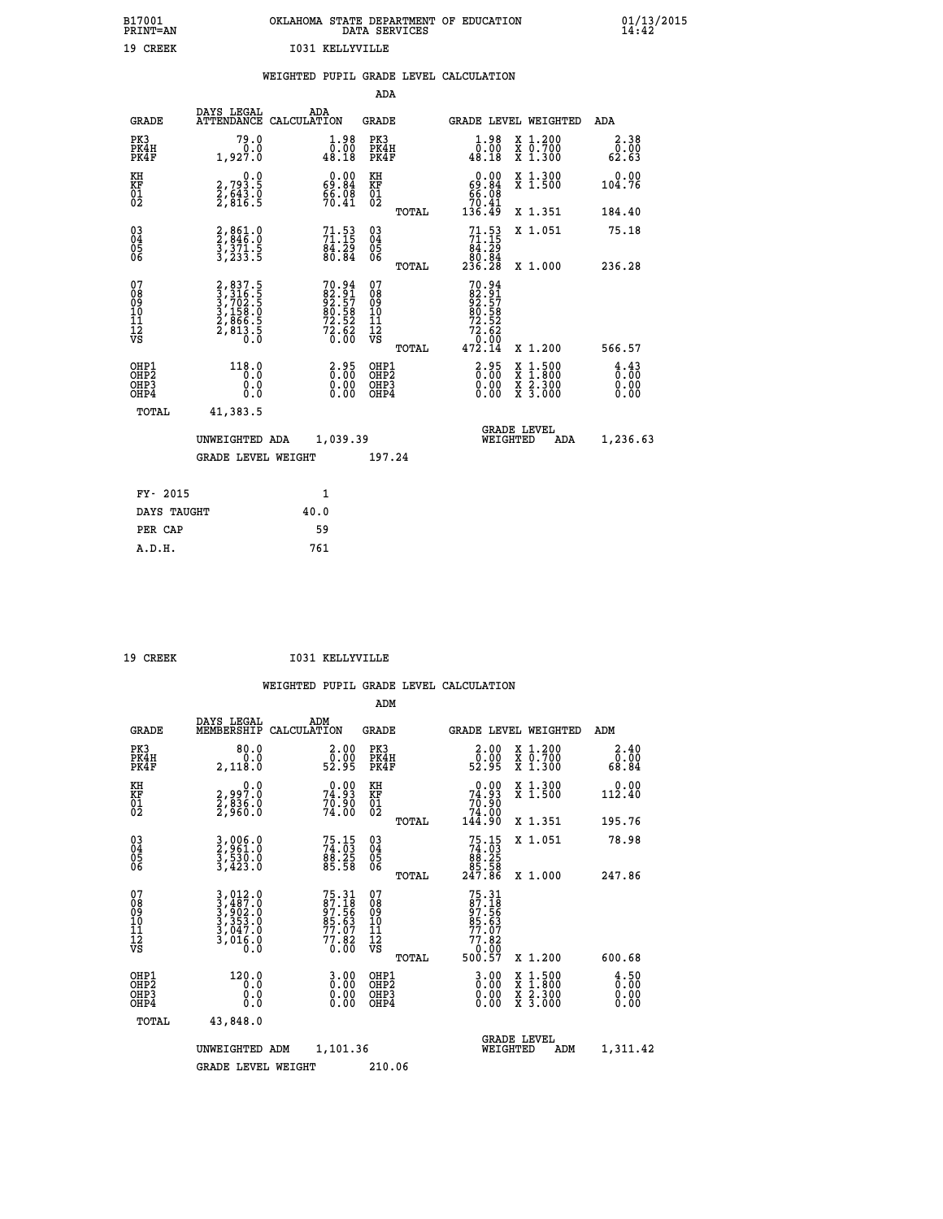| B17001<br><b>PRINT=AN</b> | OKLAHOMA STATE DEPARTMENT OF EDUCATION<br>DATA SERVICES | 01/13/2015 |
|---------------------------|---------------------------------------------------------|------------|
| 19<br>CREEK               | 1031 KELLYVILLE                                         |            |

|                                                          |                                                                                                               |      |                                                                          |                                                    |       | WEIGHTED PUPIL GRADE LEVEL CALCULATION                        |                                                                                                  |                                            |
|----------------------------------------------------------|---------------------------------------------------------------------------------------------------------------|------|--------------------------------------------------------------------------|----------------------------------------------------|-------|---------------------------------------------------------------|--------------------------------------------------------------------------------------------------|--------------------------------------------|
|                                                          |                                                                                                               |      |                                                                          | ADA                                                |       |                                                               |                                                                                                  |                                            |
| <b>GRADE</b>                                             | DAYS LEGAL<br>ATTENDANCE CALCULATION                                                                          |      | ADA                                                                      | GRADE                                              |       |                                                               | GRADE LEVEL WEIGHTED                                                                             | ADA                                        |
| PK3<br>PK4H<br>PK4F                                      | 79.0<br>0.0<br>1,927.0                                                                                        |      | $\begin{smallmatrix} 1.98 \\ 0.00 \\ 48.18 \end{smallmatrix}$            | PK3<br>PK4H<br>PK4F                                |       | $\begin{smallmatrix} 1.98 \\ 0.00 \\ 48.18 \end{smallmatrix}$ | X 1.200<br>X 0.700<br>X 1.300                                                                    | 2.38<br>0.00<br>62.63                      |
| KH<br><b>KF</b><br>01<br>02                              | 0.0<br>2,793.5<br>2,643.0<br>2,816.5                                                                          |      | $\begin{smallmatrix} 0.00\\ 69.84\\ 66.08\\ 70.41 \end{smallmatrix}$     | KH<br>KF<br>01<br>02                               |       | 0.00<br>$69.84$<br>66.08<br>70.41<br>136.49                   | X 1.300<br>X 1.500                                                                               | 0.00<br>104.76                             |
|                                                          |                                                                                                               |      |                                                                          |                                                    | TOTAL |                                                               | X 1.351                                                                                          | 184.40                                     |
| 030404<br>ŎĞ                                             | 2,861.0<br>2,846.0<br>3,371.5<br>3,233.5                                                                      |      | 71.53<br>71.15<br>84.29<br>80.84                                         | $\begin{matrix} 03 \\ 04 \\ 05 \\ 06 \end{matrix}$ |       | $71.53$<br>$71.15$<br>$8\bar{4}$ . 29                         | X 1.051                                                                                          | 75.18                                      |
|                                                          |                                                                                                               |      |                                                                          |                                                    | TOTAL | 80.04<br>236.28                                               | X 1.000                                                                                          | 236.28                                     |
| 07<br>08<br>09<br>11<br>11<br>12<br>VS                   | $\begin{smallmatrix} 2, 837.5\\ 3, 316.5\\ 3, 702.5\\ 3, 702.5\\ 2, 866.5\\ 2, 813.5\\ 0.0 \end{smallmatrix}$ |      | $70.94$<br>$82.91$<br>$92.57$<br>$80.58$<br>$72.52$<br>$72.62$<br>$0.00$ | 07<br>08<br>09<br>11<br>11<br>12<br>VS             |       | 70.94<br>82.91<br>92.57<br>80.58<br>72.52<br>72.62<br>73.99   |                                                                                                  |                                            |
|                                                          |                                                                                                               |      |                                                                          |                                                    | TOTAL | 472.14                                                        | X 1.200                                                                                          | 566.57                                     |
| OHP1<br>OHP <sub>2</sub><br>OHP3<br>OHP4<br><b>TOTAL</b> | $118.0$<br>$0.0$<br>0.0<br>0.0<br>41,383.5                                                                    |      | 2.95<br>0.00<br>0.00<br>0.00                                             | OHP1<br>OHP <sub>2</sub><br>OHP3<br>OHP4           |       | $2.95$<br>$0.00$<br>$0.00$<br>0.00                            | $\begin{smallmatrix} x & 1 & 500 \\ x & 1 & 800 \\ x & 2 & 300 \\ x & 3 & 000 \end{smallmatrix}$ | $\frac{4}{0}:\frac{4}{00}$<br>0.00<br>0.00 |
|                                                          |                                                                                                               |      |                                                                          |                                                    |       |                                                               | <b>GRADE LEVEL</b>                                                                               |                                            |
|                                                          | UNWEIGHTED ADA                                                                                                |      | 1,039.39                                                                 |                                                    |       |                                                               | WEIGHTED<br>ADA                                                                                  | 1,236.63                                   |
|                                                          | <b>GRADE LEVEL WEIGHT</b>                                                                                     |      |                                                                          | 197.24                                             |       |                                                               |                                                                                                  |                                            |
| FY- 2015                                                 |                                                                                                               |      | 1                                                                        |                                                    |       |                                                               |                                                                                                  |                                            |
| DAYS TAUGHT                                              |                                                                                                               | 40.0 |                                                                          |                                                    |       |                                                               |                                                                                                  |                                            |
| PER CAP                                                  |                                                                                                               |      | 59                                                                       |                                                    |       |                                                               |                                                                                                  |                                            |
| A.D.H.                                                   |                                                                                                               |      | 761                                                                      |                                                    |       |                                                               |                                                                                                  |                                            |

19 CREEK 1031 KELLYVILLE

|                                    |                                          |                                                                                                                                                            |                                                                     | ADM                                                 |       |                                                                                   |                                          |                        |
|------------------------------------|------------------------------------------|------------------------------------------------------------------------------------------------------------------------------------------------------------|---------------------------------------------------------------------|-----------------------------------------------------|-------|-----------------------------------------------------------------------------------|------------------------------------------|------------------------|
|                                    | <b>GRADE</b>                             | DAYS LEGAL<br>MEMBERSHIP<br>CALCULATION                                                                                                                    | ADM                                                                 | <b>GRADE</b>                                        |       |                                                                                   | GRADE LEVEL WEIGHTED                     | ADM                    |
| PK3                                | PK4H<br>PK4F                             | 80.0<br>0.0<br>2,118.0                                                                                                                                     | $\begin{smallmatrix} 2.00\\ 0.00\\ 52.95 \end{smallmatrix}$         | PK3<br>PK4H<br>PK4F                                 |       | $\begin{smallmatrix} 2.00\\ 0.00\\ 52.95 \end{smallmatrix}$                       | X 1.200<br>X 0.700<br>X 1.300            | 2.40<br>ŏŌ.ŌŎ<br>88.84 |
| KH<br>KF<br>01<br>02               |                                          | 0.0<br>2,997:0<br>2,836:0<br>2,966:0                                                                                                                       | 74.93<br>70.90<br>74.00                                             | KH<br>KF<br>01<br>02                                |       | $\begin{smallmatrix} &0.00\ 74.93\ 70.90\ 74.00\ 74.00\ 144.90 \end{smallmatrix}$ | X 1.300<br>X 1.500                       | 0.00<br>112.40         |
|                                    |                                          |                                                                                                                                                            |                                                                     |                                                     | TOTAL |                                                                                   | X 1.351                                  | 195.76                 |
| 03<br>04<br>05<br>06               |                                          | 3,006.0<br>2,961.0<br>3,530.0<br>3,423.0                                                                                                                   | 75.15<br>74.03<br>88.25<br>85.58                                    | $\begin{array}{c} 03 \\ 04 \\ 05 \\ 06 \end{array}$ |       | $75.15\n74.03\n88.25\n85.58\n247.86$                                              | X 1.051                                  | 78.98                  |
|                                    |                                          |                                                                                                                                                            |                                                                     |                                                     | TOTAL |                                                                                   | X 1.000                                  | 247.86                 |
| 07<br>08<br>09<br>101<br>112<br>VS |                                          | $\begin{smallmatrix} 3\,,\,012\,.\,0\\ 3\,,\,487\,.\,0\\ 3\,,\,902\,.\,0\\ 3\,,\,353\,.\,0\\ 3\,,\,047\,.\,0\\ 3\,,\,016\,.\,0\\ 0\,.\,0\end{smallmatrix}$ | 75.31<br>87.18<br>97.56<br>95.63<br>85.07<br>77.82<br>77.82<br>0.00 | 07<br>08<br>09<br>11<br>11<br>12<br>VS              |       | 75.31<br>87.18<br>97.56<br>85.63<br>85.63<br>77.82<br>77.82<br>00.07              |                                          |                        |
|                                    |                                          |                                                                                                                                                            |                                                                     |                                                     | TOTAL | 500.57                                                                            | X 1.200                                  | 600.68                 |
|                                    | OHP1<br>OHP2<br>OH <sub>P3</sub><br>OHP4 | 120.0<br>0.000                                                                                                                                             | $0.00$<br>$0.00$<br>0.00                                            | OHP1<br>OHP2<br>OHP <sub>3</sub>                    |       | $0.00$<br>$0.00$<br>0.00                                                          | X 1:500<br>X 1:800<br>X 2:300<br>X 3:000 | 4.50<br>0.00<br>0.00   |
|                                    | TOTAL                                    | 43,848.0                                                                                                                                                   |                                                                     |                                                     |       |                                                                                   |                                          |                        |
|                                    |                                          | UNWEIGHTED<br>ADM                                                                                                                                          | 1,101.36                                                            |                                                     |       | WEIGHTED                                                                          | <b>GRADE LEVEL</b><br>ADM                | 1,311.42               |
|                                    |                                          | <b>GRADE LEVEL WEIGHT</b>                                                                                                                                  |                                                                     | 210.06                                              |       |                                                                                   |                                          |                        |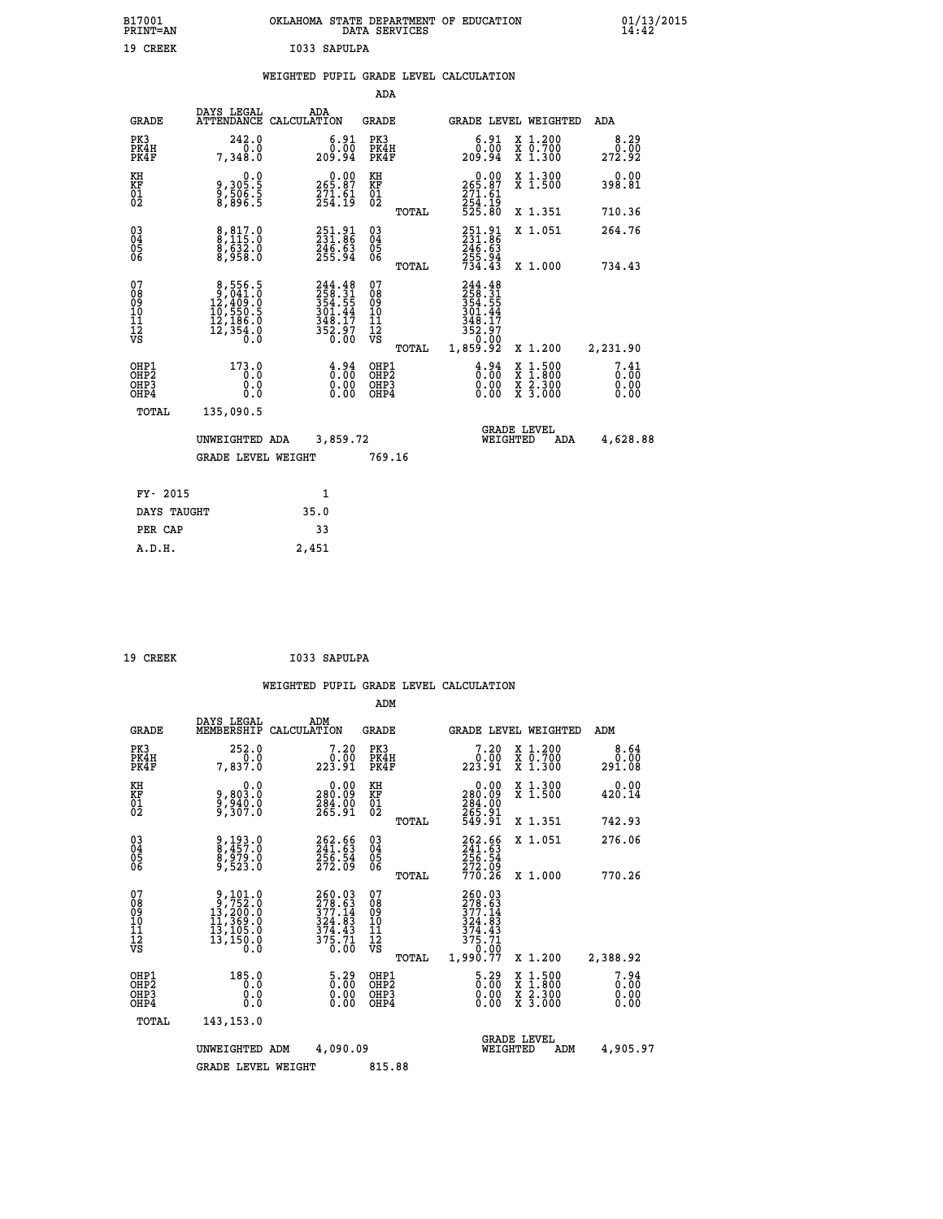| B17001<br><b>PRINT=AN</b> | OKLAHOMA<br>. STATE DEPARTMENT OF EDUCATION<br>DATA SERVICES | 01/13/2015<br>14:42 |
|---------------------------|--------------------------------------------------------------|---------------------|
| 19 CREEK                  | I033 SAPULPA                                                 |                     |

|  |  | WEIGHTED PUPIL GRADE LEVEL CALCULATION |
|--|--|----------------------------------------|
|  |  |                                        |

|                                           |                                                                                                     |                                                                                | ADA                                       |       |                                                                                   |                                                                                                                                      |                              |
|-------------------------------------------|-----------------------------------------------------------------------------------------------------|--------------------------------------------------------------------------------|-------------------------------------------|-------|-----------------------------------------------------------------------------------|--------------------------------------------------------------------------------------------------------------------------------------|------------------------------|
| <b>GRADE</b>                              | DAYS LEGAL                                                                                          | ADA<br>ATTENDANCE CALCULATION                                                  | GRADE                                     |       | <b>GRADE LEVEL WEIGHTED</b>                                                       |                                                                                                                                      | ADA                          |
| PK3<br>PK4H<br>PK4F                       | 242.0<br>0.0<br>7,348.0                                                                             | $6.91$<br>$0.00$<br>209.94                                                     | PK3<br>PK4H<br>PK4F                       |       | $6.91$<br>$0.00$<br>209.94                                                        | X 1.200<br>X 0.700<br>X 1.300                                                                                                        | 8.29<br>0.00<br>272.92       |
| KH<br>KF<br>01<br>02                      | 0.0<br>9,305:5<br>9,506:5<br>8,896:5                                                                | $\begin{smallmatrix} &0.00\\ 265.87\\ 271.61\\ 254.19\end{smallmatrix}$        | KH<br>KF<br>01<br>02                      |       | $\begin{smallmatrix} &0.00\\ 265.87\\ 271.61\\ 254.19\\ 525.80 \end{smallmatrix}$ | X 1.300<br>X 1.500                                                                                                                   | 0.00<br>398.81               |
|                                           |                                                                                                     |                                                                                |                                           | TOTAL |                                                                                   | X 1.351                                                                                                                              | 710.36                       |
| $^{03}_{04}$<br>Ŏ5<br>06                  | $8,817.0$<br>$8,115.0$<br>$\frac{8}{8}, \frac{6}{958}.0$                                            | 251.91<br>231.86<br>$\frac{246.63}{255.94}$                                    | $\substack{03 \\ 04}$<br>05<br>06         |       | 251.91<br>231.86<br>246.63<br>255.94<br>734.43                                    | X 1.051                                                                                                                              | 264.76                       |
|                                           |                                                                                                     |                                                                                |                                           | TOTAL |                                                                                   | X 1.000                                                                                                                              | 734.43                       |
| 07<br>08<br>09<br>11<br>11<br>12<br>VS    | $\begin{smallmatrix}8,556.5\\9,041.0\\12,409.0\\10,550.5\\12,186.0\\12,354.0\\0.0\end{smallmatrix}$ | $244.48$<br>$258.31$<br>$354.55$<br>$301.44$<br>$348.17$<br>$352.97$<br>$0.00$ | 07<br>08<br>09<br>11<br>11<br>12<br>VS    | TOTAL | 244.48<br>258.31<br>354.55<br>301.44<br>348.17<br>352.97<br>0.00<br>1,859.92      | X 1.200                                                                                                                              | 2,231.90                     |
| OHP1<br>OH <sub>P</sub> 2<br>OHP3<br>OHP4 | 173.0<br>0.0<br>0.0<br>0.0                                                                          | $\frac{4}{0}$ : $\frac{94}{00}$<br>0.00<br>0.00                                | OHP1<br>OH <sub>P</sub> 2<br>OHP3<br>OHP4 |       | $\frac{4}{0}$ : $\frac{94}{00}$<br>0.00<br>0.00                                   | $\begin{smallmatrix} \mathtt{X} & 1 & 500 \\ \mathtt{X} & 1 & 800 \\ \mathtt{X} & 2 & 300 \\ \mathtt{X} & 3 & 000 \end{smallmatrix}$ | 7.41<br>0.00<br>0.00<br>0.00 |
| TOTAL                                     | 135,090.5                                                                                           |                                                                                |                                           |       |                                                                                   |                                                                                                                                      |                              |
|                                           | UNWEIGHTED ADA<br><b>GRADE LEVEL WEIGHT</b>                                                         | 3,859.72                                                                       | 769.16                                    |       | WEIGHTED                                                                          | <b>GRADE LEVEL</b><br>ADA                                                                                                            | 4,628.88                     |
| FY- 2015                                  |                                                                                                     | $\mathbf{1}$                                                                   |                                           |       |                                                                                   |                                                                                                                                      |                              |
|                                           |                                                                                                     |                                                                                |                                           |       |                                                                                   |                                                                                                                                      |                              |
| DAYS TAUGHT                               |                                                                                                     | 35.0                                                                           |                                           |       |                                                                                   |                                                                                                                                      |                              |
| PER CAP                                   |                                                                                                     | 33                                                                             |                                           |       |                                                                                   |                                                                                                                                      |                              |
| A.D.H.                                    |                                                                                                     | 2,451                                                                          |                                           |       |                                                                                   |                                                                                                                                      |                              |

| 19 CREEK | I033 SAPULPA |
|----------|--------------|

|                                          |                                                                                                             |                                                                            | ADM                                                 |                                                                                |                                          |                        |
|------------------------------------------|-------------------------------------------------------------------------------------------------------------|----------------------------------------------------------------------------|-----------------------------------------------------|--------------------------------------------------------------------------------|------------------------------------------|------------------------|
| <b>GRADE</b>                             | DAYS LEGAL<br>MEMBERSHIP                                                                                    | ADM<br>CALCULATION                                                         | <b>GRADE</b>                                        | GRADE LEVEL WEIGHTED                                                           |                                          | ADM                    |
| PK3<br>PK4H<br>PK4F                      | 252.0<br>7,837.0                                                                                            | 7.20<br>ةة:ف<br>223.91                                                     | PK3<br>PK4H<br>PK4F                                 | 7.20<br>ةة:ف<br>223.91                                                         | X 1.200<br>X 0.700<br>X 1.300            | 8.64<br>0.00<br>291.08 |
| KH<br>KF<br>01<br>02                     | 0.0<br>9,803.0<br>9,940.0<br>9,307.0                                                                        | 0.00<br>0.092<br>284.00<br>265.91                                          | KH<br>KF<br>01<br>02                                | $\begin{smallmatrix} &0.00\ 280.09\ 284.00\ 265.91\ 549.91\ \end{smallmatrix}$ | X 1.300<br>X 1.500                       | 0.00<br>420.14         |
|                                          |                                                                                                             |                                                                            | TOTAL                                               |                                                                                | X 1.351                                  | 742.93                 |
| 03<br>04<br>05<br>06                     | 9,193.0<br>8,457.0<br>8,979.0<br>9,523.0                                                                    | 262.66<br>241.63<br>256.54<br>272.09                                       | $\begin{array}{c} 03 \\ 04 \\ 05 \\ 06 \end{array}$ | 262.66<br>241.63<br>256.54<br>272.09<br>770.26                                 | X 1.051                                  | 276.06                 |
|                                          |                                                                                                             |                                                                            | TOTAL                                               |                                                                                | X 1.000                                  | 770.26                 |
| 07<br>08<br>09<br>101<br>112<br>VS       | $\begin{smallmatrix} 9,101.0\\ 9,752.0\\ 13,200.0\\ 11,369.0\\ 13,105.0\\ 13,150.0\\ 0.0 \end{smallmatrix}$ | 260.03<br>278.63<br>$377.14$<br>$324.83$<br>$374.43$<br>$375.71$<br>$0.00$ | 07<br>08<br>09<br>11<br>11<br>12<br>VS<br>TOTAL     | 260.03<br>278.63<br>377.14<br>324.83<br>$\frac{374.43}{375.71}$<br>1,990.77    | X 1.200                                  | 2,388.92               |
| OHP1<br>OHP2<br>OH <sub>P3</sub><br>OHP4 | 185.0<br>0.0<br>0.000                                                                                       | $\begin{smallmatrix} 5.29\ 0.00 \ 0.00 \end{smallmatrix}$<br>0.00          | OHP1<br>OHP2<br>OHP3<br>OHP4                        | $\begin{smallmatrix} 5.29 \ 0.00 \ 0.00 \end{smallmatrix}$<br>0.00             | X 1:500<br>X 1:800<br>X 2:300<br>X 3:000 | 7.94<br>0.00<br>0.00   |
| TOTAL                                    | 143, 153.0                                                                                                  |                                                                            |                                                     |                                                                                |                                          |                        |
|                                          | UNWEIGHTED ADM                                                                                              | 4,090.09                                                                   |                                                     | <b>GRADE LEVEL</b><br>WEIGHTED                                                 | ADM                                      | 4,905.97               |
|                                          | <b>GRADE LEVEL WEIGHT</b>                                                                                   |                                                                            | 815.88                                              |                                                                                |                                          |                        |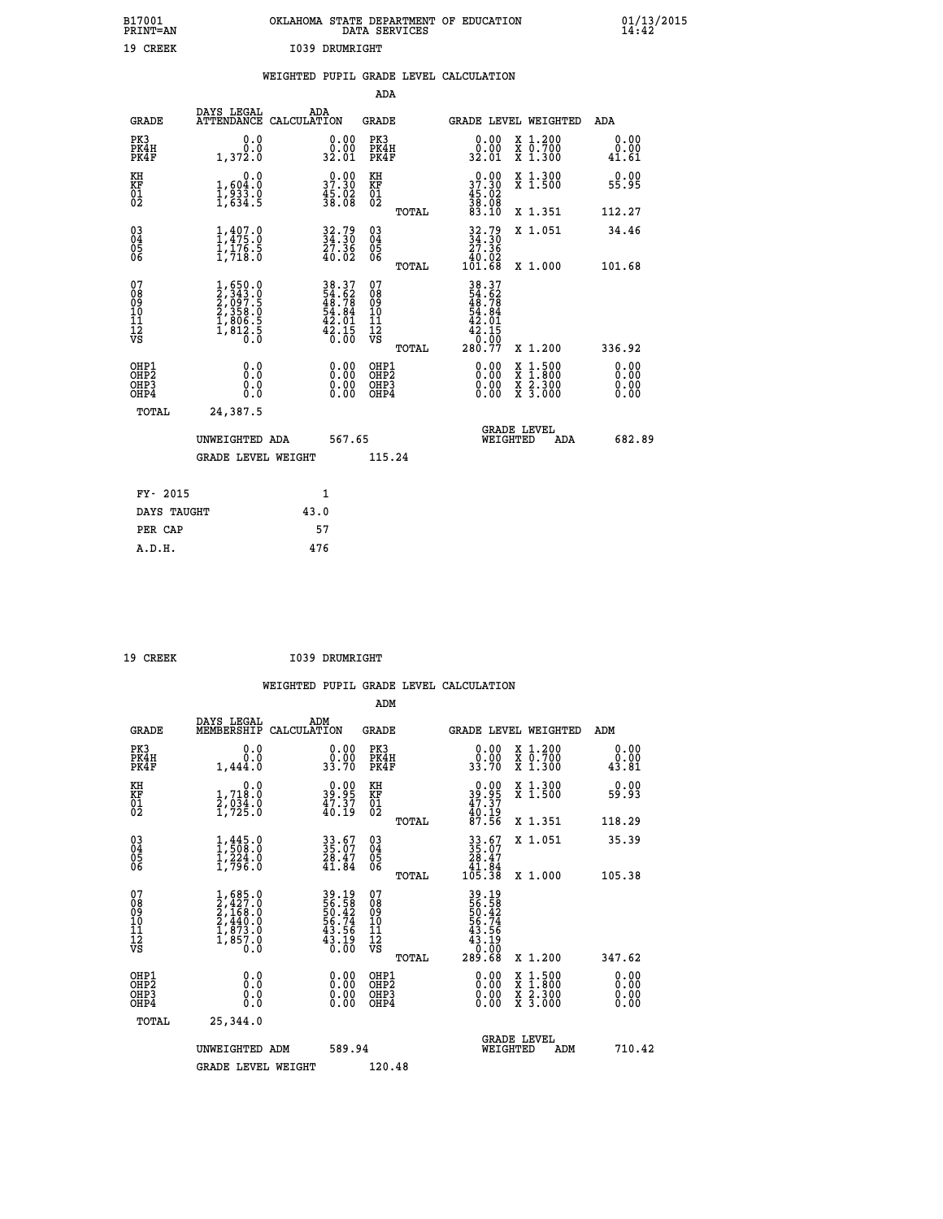| B17001<br><b>PRINT=AN</b> | OKLAHOMA STATE DEPARTMENT OF EDUCATION<br>DATA SERVICES | 01/13/2015 |
|---------------------------|---------------------------------------------------------|------------|
| 19<br><b>CREEK</b>        | 1039<br>DRUMRIGHT                                       |            |

|  |  | WEIGHTED PUPIL GRADE LEVEL CALCULATION |
|--|--|----------------------------------------|
|  |  |                                        |

|                                                                    |                                                                                     |                                                                     | ADA                                        |                                                                                                                          |                              |
|--------------------------------------------------------------------|-------------------------------------------------------------------------------------|---------------------------------------------------------------------|--------------------------------------------|--------------------------------------------------------------------------------------------------------------------------|------------------------------|
| <b>GRADE</b>                                                       | DAYS LEGAL                                                                          | ADA<br>ATTENDANCE CALCULATION                                       | <b>GRADE</b>                               | GRADE LEVEL WEIGHTED                                                                                                     | ADA                          |
| PK3<br>PK4H<br>PK4F                                                | 0.0<br>0.0<br>1,372.0                                                               | 0.00<br>32.01                                                       | PK3<br>PK4H<br>PK4F                        | 0.00<br>X 1.200<br>X 0.700<br>X 1.300<br>0.00<br>32.01                                                                   | 0.00<br>0.00<br>41.61        |
| KH<br><b>KF</b><br>01<br>02                                        | 0.0<br>$\frac{1}{1}, \frac{604}{933}$ .0<br>1,634.5                                 | 37.30<br>$\frac{45.02}{38.08}$                                      | KH<br>KF<br>01<br>02                       | X 1.300<br>X 1.500<br>37.30<br>$\frac{45.02}{38.08}$<br>83.10                                                            | 0.00<br>55.95                |
|                                                                    |                                                                                     |                                                                     | TOTAL                                      | X 1.351                                                                                                                  | 112.27                       |
| $\begin{smallmatrix} 03 \\[-4pt] 04 \end{smallmatrix}$<br>05<br>06 | $1,407.0$<br>$1,475.0$<br>$1,176.5$<br>$1,718.0$                                    | $34.30$<br>$27.36$<br>$40.02$                                       | $\substack{03 \\ 04}$<br>05<br>06<br>TOTAL | $32.79\n34.30\n27.36\n40.02\n101.68$<br>X 1.051<br>X 1.000                                                               | 34.46<br>101.68              |
| 07<br>08<br>09<br>11<br>11<br>12<br>VS                             | $1,650.0$<br>$2,343.0$<br>$2,097.5$<br>$2,358.0$<br>$1,806.5$<br>$1,812.5$<br>$0.0$ | 38.37<br>54.62<br>48.78<br>48.84<br>54.84<br>42.01<br>42.15<br>6.00 | 07<br>08<br>09<br>11<br>11<br>12<br>VS     | 38.37<br>54.62<br>48.78<br>54.84<br>54.01<br>42.15<br>42.150                                                             |                              |
|                                                                    |                                                                                     |                                                                     | TOTAL                                      | 280.77<br>X 1.200                                                                                                        | 336.92                       |
| OHP1<br>OH <sub>P2</sub><br>OH <sub>P3</sub><br>OH <sub>P4</sub>   | 0.0<br>0.0<br>0.0                                                                   | 0.00<br>0.00<br>0.00                                                | OHP1<br>OH <sub>P</sub> 2<br>OHP3<br>OHP4  | 0.00<br>$\begin{smallmatrix} x & 1 & 500 \\ x & 1 & 800 \\ x & 2 & 300 \\ x & 3 & 000 \end{smallmatrix}$<br>0.00<br>0.00 | 0.00<br>0.00<br>0.00<br>0.00 |
| TOTAL                                                              | 24,387.5                                                                            |                                                                     |                                            |                                                                                                                          |                              |
|                                                                    | UNWEIGHTED ADA                                                                      | 567.65                                                              |                                            | GRADE LEVEL<br>WEIGHTED<br>ADA                                                                                           | 682.89                       |
|                                                                    | <b>GRADE LEVEL WEIGHT</b>                                                           |                                                                     | 115.24                                     |                                                                                                                          |                              |
|                                                                    | FY- 2015                                                                            | $\mathbf{1}$                                                        |                                            |                                                                                                                          |                              |
|                                                                    | DAYS TAUGHT                                                                         | 43.0                                                                |                                            |                                                                                                                          |                              |
|                                                                    | PER CAP                                                                             | 57                                                                  |                                            |                                                                                                                          |                              |

| 19 CREEK | I039 DRUMRIGHT |
|----------|----------------|

 **WEIGHTED PUPIL GRADE LEVEL CALCULATION ADM DAYS LEGAL ADM GRADE MEMBERSHIP CALCULATION GRADE GRADE LEVEL WEIGHTED ADM PK3 0.0 0.00 PK3 0.00 X 1.200 0.00 PK4H 0.0 0.00 PK4H 0.00 X 0.700 0.00 PK4F 1,444.0 33.70 PK4F 33.70 X 1.300 43.81 KH 0.0 0.00 KH 0.00 X 1.300 0.00 KF 1,718.0 39.95 KF 39.95 X 1.500 59.93 KH 2,000 2,000 2,000 2,000 2,000 2,000 2,000 2,000 2,000 2,000 2,000 2,000 2,000 2,000 2,000 2,000 2,000 2,00**<br> **02** 2,723.0 2,000 2,000 2,723.0 2,000 2,000 2,000 2,000 2,000 2,000 2,000 2,000 2,000 2,000 2,000 2,000 2,00  **02 1,725.0 40.19 02 40.19 TOTAL 87.56 X 1.351 118.29 03 1,445.0 33.67 03 33.67 X 1.051 35.39 04 1,508.0 35.07 04 35.07 05 1,224.0 28.47 05 28.47** 06 1,796.0 41.84 06 <sub>momas</sub> 41.84  **TOTAL 105.38 X 1.000 105.38 07 1,685.0 39.19 07 39.19 08 2,427.0 56.58 08 56.58 09 2,168.0 50.42 09 50.42 10 2,440.0 56.74 10 56.74 11 1,873.0 43.56 11 43.56 12 1,857.0 43.19 12 43.19 VS 0.0 0.00 VS 0.00**  $\begin{array}{cccc} 39.19 & 07 & 39.19 \ 56.52 & 08 & 56.52 \ 56.74 & 10 & 56.74 \ 43.19 & 12 & 43.19 \ 43.16 & 11 & 43.19 \ 43.19 & 12 & 43.19 \ 66.74 & 11 & 43.19 \ 707 \text{AL} & 289.68 & x & 1.200 & 347.62 \ 0.00 & 0 \text{HPP3} & 0.00 & \text{X} & 1.500 & 0.00 \ 0.00 & 0.00$  **OHP1 0.0 0.00 OHP1 0.00 X 1.500 0.00 OHP2 0.0 0.00 OHP2 0.00 X 1.800 0.00 OHP3 0.0 0.00 OHP3 0.00 X 2.300 0.00 OHP4 0.0 0.00 OHP4 0.00 X 3.000 0.00 TOTAL 25,344.0 GRADE LEVEL UNWEIGHTED ADM 589.94 WEIGHTED ADM 710.42 GRADE LEVEL WEIGHT 120.48**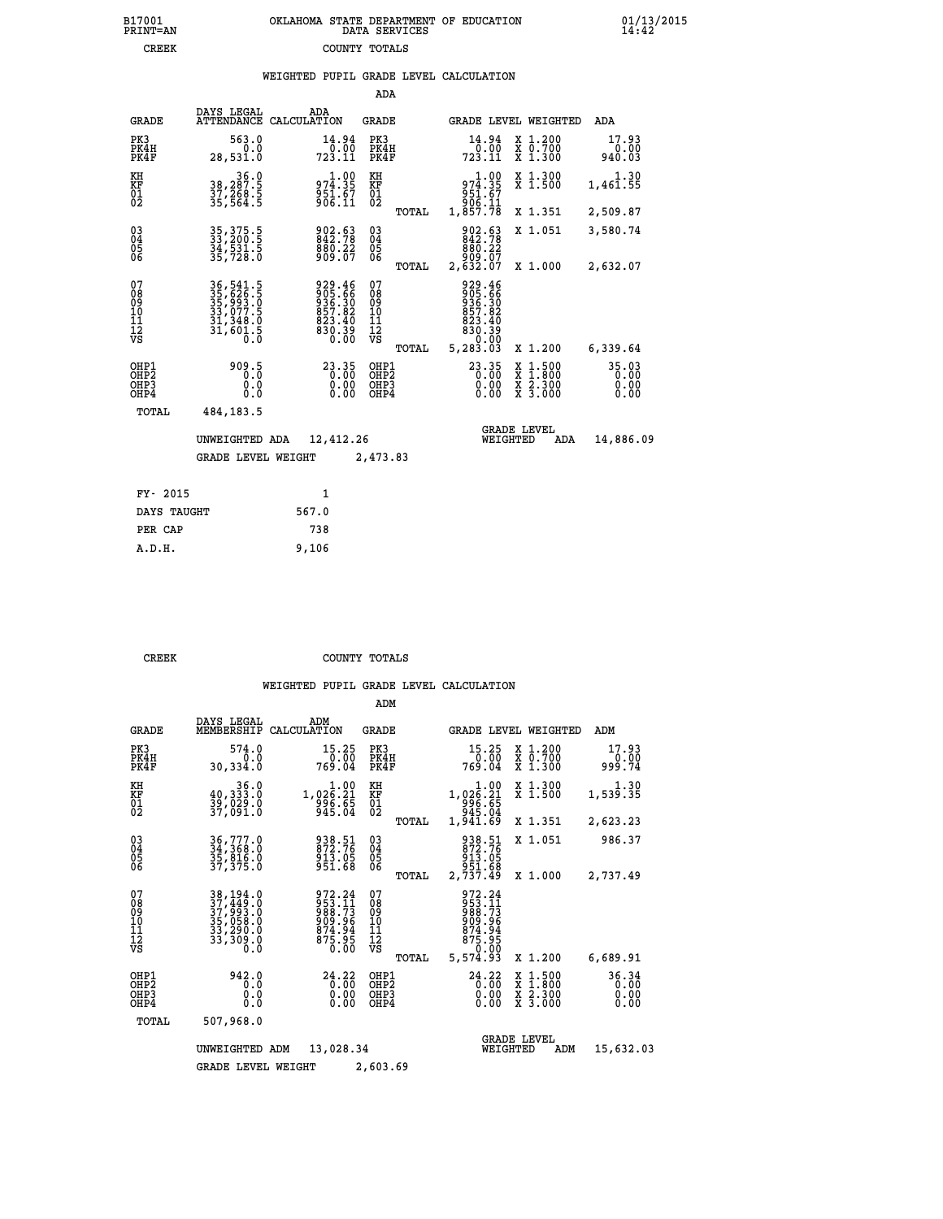|  | OKLAHOMA STATE DEPARTMENT OF EDUCATION<br>DATA SERVICES |  |
|--|---------------------------------------------------------|--|
|  | COUNTY TOTALS                                           |  |

 **B17001 OKLAHOMA STATE DEPARTMENT OF EDUCATION 01/13/2015**

|  |  | WEIGHTED PUPIL GRADE LEVEL CALCULATION |
|--|--|----------------------------------------|
|  |  |                                        |

|                                                       |                                                                            |                                                                      | ADA                                                |       |                                                                              |                                |                                          |                               |
|-------------------------------------------------------|----------------------------------------------------------------------------|----------------------------------------------------------------------|----------------------------------------------------|-------|------------------------------------------------------------------------------|--------------------------------|------------------------------------------|-------------------------------|
| <b>GRADE</b>                                          | DAYS LEGAL<br><b>ATTENDANCE</b>                                            | ADA<br>CALCULATION                                                   | <b>GRADE</b>                                       |       |                                                                              |                                | <b>GRADE LEVEL WEIGHTED</b>              | ADA                           |
| PK3<br>PK4H<br>PK4F                                   | 563.0<br>0.0<br>28,531.0                                                   | 14.94<br>723.11                                                      | PK3<br>PK4H<br>PK4F                                |       | 14.94<br>0.00<br>723.11                                                      |                                | X 1.200<br>X 0.700<br>X 1.300            | 17.93<br>0.00<br>940.03       |
| KH<br>KF<br>01<br>02                                  | 36.0<br>38,287.5<br>37,268.5<br>35,564.5                                   | 974.35<br>$\frac{5}{306}$ $\frac{57}{11}$                            | KH<br>KF<br>01<br>02                               |       | 974.00<br>63.159<br>906.11<br>1,857.78                                       |                                | X 1.300<br>X 1.500                       | 1.30<br>1,461.55              |
|                                                       |                                                                            |                                                                      |                                                    | TOTAL |                                                                              |                                | X 1.351                                  | 2,509.87                      |
| $\begin{matrix} 03 \\ 04 \\ 05 \\ 06 \end{matrix}$    | 35, 375.5<br>33, 200.5<br>34, 531.5<br>35, 728.0                           | 902.63<br>842.78<br>$880.22$<br>909.07                               | $\begin{matrix} 03 \\ 04 \\ 05 \\ 06 \end{matrix}$ |       | 902.63<br>842.78<br>886.22<br>909.07<br>07.632.67                            |                                | X 1.051                                  | 3,580.74                      |
|                                                       |                                                                            |                                                                      |                                                    | TOTAL |                                                                              |                                | X 1.000                                  | 2,632.07                      |
| 07<br>08<br>09<br>101<br>11<br>12<br>VS               | 36, 541.5<br>35, 626.5<br>35, 626.5<br>33, 077.5<br>31, 348.0<br>31, 601.5 | 929.46<br>905.66<br>936.30<br>857.82<br>823.40<br>$830.39$<br>$0.00$ | 07<br>08<br>09<br>101<br>11<br>12<br>VS            | TOTAL | 929.46<br>905.66<br>936.30<br>857.82<br>823.40<br>830.39<br>0.00<br>5,283.03 |                                | X 1.200                                  | 6,339.64                      |
| OHP1<br>OH <sub>P</sub> 2<br>OH <sub>P3</sub><br>OHP4 | 909.5<br>0.0<br>0.0                                                        | $\begin{smallmatrix} 23.35\ 0.00\ 0.00\ 0.00 \end{smallmatrix}$      | OHP1<br>OHP <sub>2</sub><br>OHP <sub>3</sub>       |       | $23.35$<br>$0.00$<br>0.00                                                    |                                | X 1:500<br>X 1:800<br>X 2:300<br>X 3:000 | 35.03<br>0.00<br>0.00<br>0.00 |
| TOTAL                                                 | 484, 183.5                                                                 |                                                                      |                                                    |       |                                                                              |                                |                                          |                               |
|                                                       | UNWEIGHTED ADA                                                             | 12,412.26                                                            |                                                    |       |                                                                              | <b>GRADE LEVEL</b><br>WEIGHTED | ADA                                      | 14,886.09                     |
|                                                       | <b>GRADE LEVEL WEIGHT</b>                                                  |                                                                      | 2,473.83                                           |       |                                                                              |                                |                                          |                               |
| FY- 2015                                              |                                                                            | $\mathbf{1}$                                                         |                                                    |       |                                                                              |                                |                                          |                               |
| DAYS TAUGHT                                           |                                                                            | 567.0                                                                |                                                    |       |                                                                              |                                |                                          |                               |
|                                                       |                                                                            |                                                                      |                                                    |       |                                                                              |                                |                                          |                               |

| DAYS TAUGHT | 567.0 |
|-------------|-------|
| PER CAP     | 738   |
| A.D.H.      | 9,106 |
|             |       |

B17001<br>PRINT=AN<br>CREEK

**CREEK COUNTY TOTALS** 

|                                                       |                                                                                                            |                                                                 | ADM                                              |                                                                                                                            |                                                                           |                               |
|-------------------------------------------------------|------------------------------------------------------------------------------------------------------------|-----------------------------------------------------------------|--------------------------------------------------|----------------------------------------------------------------------------------------------------------------------------|---------------------------------------------------------------------------|-------------------------------|
| <b>GRADE</b>                                          | DAYS LEGAL<br>MEMBERSHIP                                                                                   | ADM<br>CALCULATION                                              | <b>GRADE</b>                                     | <b>GRADE LEVEL WEIGHTED</b>                                                                                                |                                                                           | ADM                           |
| PK3<br>PK4H<br>PK4F                                   | 574.0<br>0.0<br>30,334.0                                                                                   | 15.25<br>0.00<br>769.04                                         | PK3<br>PK4H<br>PK4F                              | 15.25<br>0.00<br>769.04                                                                                                    | $\begin{smallmatrix} x & 1.200 \\ x & 0.700 \end{smallmatrix}$<br>X 1.300 | 17.93<br>0.00<br>999.74       |
| KH<br>KF<br>01<br>02                                  | 36.0<br>40,333.0<br>39,029.0<br>37,091.0                                                                   | $\begin{array}{r} 1.00 \\ 1.02 \\ 996 \\ 945.04 \\ \end{array}$ | KH<br>KF<br>01<br>02                             | 1.00<br>1,026.21<br>996.65<br>945.04<br>1,941.69                                                                           | X 1.300<br>X 1.500                                                        | 1,539.35                      |
|                                                       |                                                                                                            |                                                                 | TOTAL                                            |                                                                                                                            | X 1.351                                                                   | 2,623.23                      |
| 03<br>04<br>05<br>06                                  | 36,777.0<br>34,368.0<br>35,816.0<br>37,375.0                                                               | 938.51<br>872.76<br>913.05<br>951.68                            | $^{03}_{04}$<br>05<br>06                         | 938.51<br>872.76<br>913.05<br>951.68                                                                                       | X 1.051                                                                   | 986.37                        |
|                                                       |                                                                                                            |                                                                 | TOTAL                                            | 2,737.49                                                                                                                   | X 1.000                                                                   | 2,737.49                      |
| 07<br>08<br>09<br>11<br>11<br>12<br>VS                | $\begin{smallmatrix} 38,194.0\\ 37,449.0\\ 37,993.0\\ 35,058.0\\ 33,290.0\\ 33,309.0\\ 0\end{smallmatrix}$ | 972.24<br>953.11<br>988.73<br>909.96<br>$\frac{874.94}{875.95}$ | 07<br>08<br>09<br>101<br>11<br>12<br>VS<br>TOTAL | 972.24<br>$\frac{5}{9}$ $\frac{5}{8}$ $\frac{3}{7}$ $\frac{1}{3}$<br>909.96<br>$874.94$<br>$875.95$<br>$-0.00$<br>5,574.93 | X 1.200                                                                   | 6,689.91                      |
| OHP1<br>OH <sub>P</sub> 2<br>OH <sub>P3</sub><br>OHP4 | 942.0<br>0.0<br>0.000                                                                                      | 24.22<br>0.00<br>0.00                                           | OHP1<br>OHP2<br>OHP3<br>OHP4                     | 24.22<br>$0.00$<br>0.00<br>0.00                                                                                            | X 1:500<br>X 1:800<br>X 2:300<br>X 3:000                                  | 36.34<br>0.00<br>0.00<br>0.00 |
| TOTAL                                                 | 507,968.0                                                                                                  |                                                                 |                                                  |                                                                                                                            |                                                                           |                               |
|                                                       | UNWEIGHTED                                                                                                 | 13,028.34<br>ADM                                                |                                                  | WEIGHTED                                                                                                                   | <b>GRADE LEVEL</b><br>ADM                                                 | 15,632.03                     |
|                                                       | <b>GRADE LEVEL WEIGHT</b>                                                                                  |                                                                 | 2,603.69                                         |                                                                                                                            |                                                                           |                               |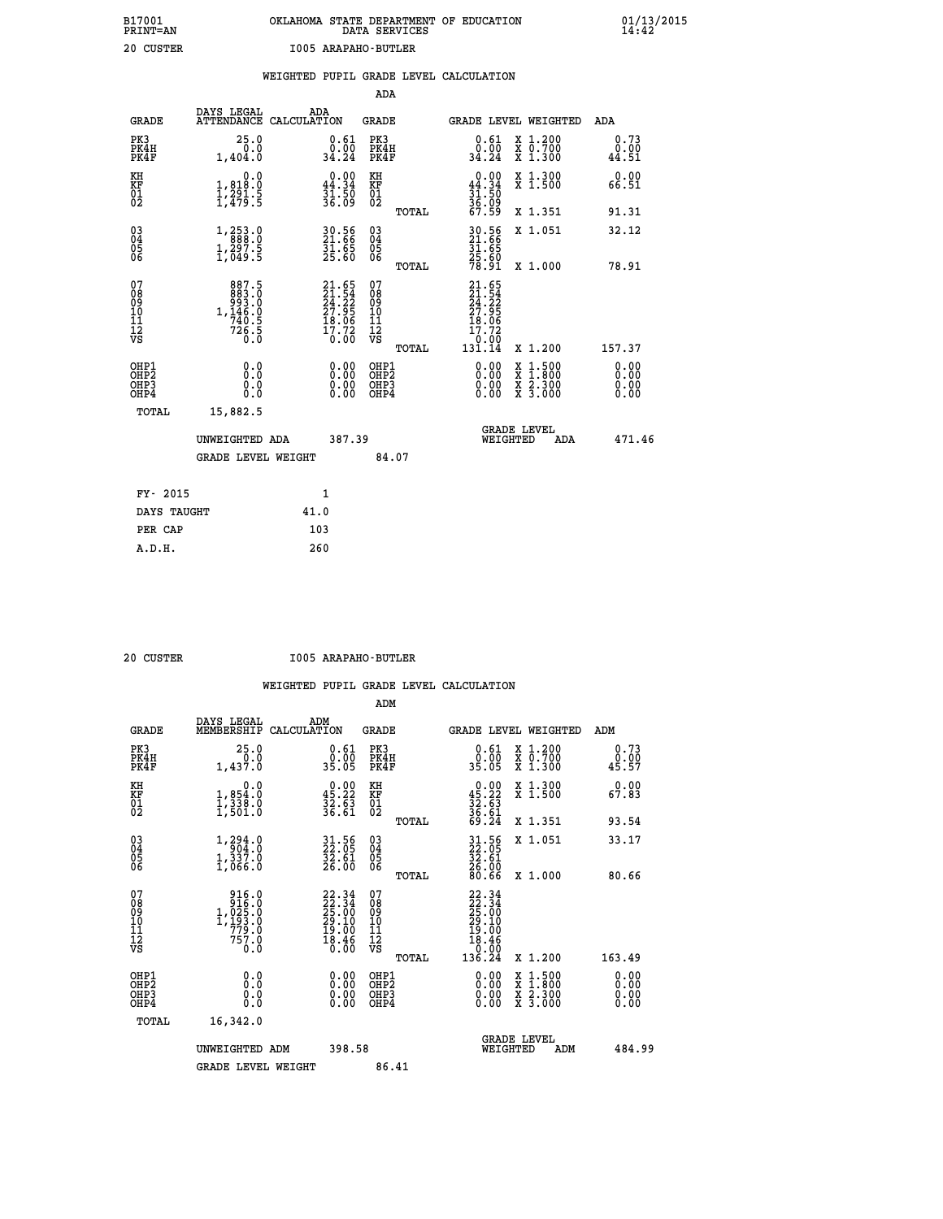# **B17001 OKLAHOMA STATE DEPARTMENT OF EDUCATION 01/13/2015 PRINT=AN DATA SERVICES 14:42 20 CUSTER I005 ARAPAHO-BUTLER**

|                                                       |                                                                                                                                      |                                                                      |                                                    | WEIGHTED PUPIL GRADE LEVEL CALCULATION                                    |                                                                                          |                       |
|-------------------------------------------------------|--------------------------------------------------------------------------------------------------------------------------------------|----------------------------------------------------------------------|----------------------------------------------------|---------------------------------------------------------------------------|------------------------------------------------------------------------------------------|-----------------------|
|                                                       |                                                                                                                                      |                                                                      | ADA                                                |                                                                           |                                                                                          |                       |
| <b>GRADE</b>                                          |                                                                                                                                      | DAYS LEGAL ADA ATTENDANCE CALCULATION                                | GRADE                                              | GRADE LEVEL WEIGHTED                                                      |                                                                                          | ADA                   |
| PK3<br>PK4H<br>PK4F                                   | 25.0<br>0.0<br>1,404.0                                                                                                               | $\begin{smallmatrix} 0.61\ 0.00\\ 34.24 \end{smallmatrix}$           | PK3<br>PK4H<br>PK4F                                | 0.61<br>0.00<br>34.24                                                     | X 1.200<br>X 0.700<br>X 1.300                                                            | 0.73<br>0.00<br>44.51 |
| KH<br>KF<br>01<br>02                                  | $\begin{smallmatrix}&&&0.0\\1,818.0\\1,291.5\\1,479.5\end{smallmatrix}$                                                              | $\begin{smallmatrix} 0.00\\ 44.34\\ 31.50\\ 36.09 \end{smallmatrix}$ | KH<br>KF<br>01<br>02                               | $0.00\n44.34\n31.50\n36.09\n67.59$                                        | X 1.300<br>X 1.500                                                                       | 0.00<br>66.51         |
|                                                       |                                                                                                                                      |                                                                      | TOTAL                                              |                                                                           | X 1.351                                                                                  | 91.31                 |
| 03<br>04<br>05<br>06                                  | $\begin{smallmatrix} 1\,, & 2\,5\,3\,. & 0 \\ 8\,8\,8\,8\,. & 0 \\ 1\,, & 2\,9\,7\,. & 5 \\ 1\,, & 0\,4\,9\,. & 5 \end{smallmatrix}$ | 30.56<br>21.66<br>31.65<br>25.60                                     | $\begin{matrix} 03 \\ 04 \\ 05 \\ 06 \end{matrix}$ | 30.56<br>21.66<br>31.65                                                   | X 1.051                                                                                  | 32.12                 |
|                                                       |                                                                                                                                      |                                                                      | TOTAL                                              | 25.60<br>78.91                                                            | X 1.000                                                                                  | 78.91                 |
| 07<br>0890112<br>1112<br>VS                           | $\begin{smallmatrix}887.5\\883.0\\993.0\\1,146.0\\740.5\\726.5\\0.0\end{smallmatrix}$                                                | $21.65$<br>$24.22$<br>$27.95$<br>$18.06$<br>$17.72$<br>$0.00$        | 07<br>08901112<br>1112<br>VS<br>TOTAL              | 21.65<br>$\frac{21.54}{24.22}$<br>18.06<br>17.72<br>$\frac{6:00}{131.14}$ | X 1.200                                                                                  | 157.37                |
| OHP1<br>OHP2<br>OH <sub>P</sub> 3<br>OH <sub>P4</sub> | 0.0<br>0.0<br>0.0                                                                                                                    | 0.00<br>$\begin{smallmatrix} 0.00 \ 0.00 \end{smallmatrix}$          | OHP1<br>OHP2<br>OHP3<br>OHP4                       | 0.00<br>0.00                                                              | $\begin{smallmatrix} x & 1.500 \\ x & 1.800 \\ x & 2.300 \\ x & 3.000 \end{smallmatrix}$ | 0.00<br>0.00<br>0.00  |
| TOTAL                                                 | 15,882.5                                                                                                                             |                                                                      |                                                    |                                                                           |                                                                                          |                       |
|                                                       | UNWEIGHTED ADA                                                                                                                       | 387.39                                                               |                                                    | WEIGHTED                                                                  | <b>GRADE LEVEL</b><br>ADA                                                                | 471.46                |
|                                                       | <b>GRADE LEVEL WEIGHT</b>                                                                                                            |                                                                      | 84.07                                              |                                                                           |                                                                                          |                       |
| FY- 2015                                              |                                                                                                                                      | 1                                                                    |                                                    |                                                                           |                                                                                          |                       |
| DAYS TAUGHT                                           |                                                                                                                                      | 41.0                                                                 |                                                    |                                                                           |                                                                                          |                       |
| PER CAP                                               |                                                                                                                                      | 103                                                                  |                                                    |                                                                           |                                                                                          |                       |

 **A.D.H. 260**

 **20 CUSTER I005 ARAPAHO-BUTLER**

|                                                      |                                                                                                                     |                                                                    | ADM                                                 |                                                                                    |                                          |                              |
|------------------------------------------------------|---------------------------------------------------------------------------------------------------------------------|--------------------------------------------------------------------|-----------------------------------------------------|------------------------------------------------------------------------------------|------------------------------------------|------------------------------|
| <b>GRADE</b>                                         | DAYS LEGAL<br>MEMBERSHIP                                                                                            | ADM<br>CALCULATION                                                 | <b>GRADE</b>                                        | GRADE LEVEL WEIGHTED                                                               |                                          | ADM                          |
| PK3<br>PK4H<br>PK4F                                  | 25.0<br>0.0<br>1,437.0                                                                                              | $\begin{smallmatrix} 0.61\ 0.00 \ 35.05 \end{smallmatrix}$         | PK3<br>PK4H<br>PK4F                                 | $\begin{smallmatrix} 0.61\ 0.00 \ 35.05 \end{smallmatrix}$                         | X 1.200<br>X 0.700<br>X 1.300            | 0.73<br>0.00<br>45.57        |
| KH<br>KF<br>01<br>02                                 | 0.0<br>$1,854.0$<br>$1,338.0$<br>$1,501.0$                                                                          | $0.00$<br>45.22<br>$\frac{32.63}{36.61}$                           | KH<br>KF<br>01<br>02                                | $0.00\n45.22\n32.63\n36.61\n69.24$                                                 | X 1.300<br>X 1.500                       | 0.00<br>67.83                |
|                                                      |                                                                                                                     |                                                                    | TOTAL                                               |                                                                                    | X 1.351                                  | 93.54                        |
| 03<br>04<br>05<br>06                                 | $1, 294.0$<br>$1, 337.0$<br>$1, 066.0$                                                                              | $\begin{smallmatrix} 31.56\ 22.05\ 32.61\ 26.00 \end{smallmatrix}$ | $\begin{array}{c} 03 \\ 04 \\ 05 \\ 06 \end{array}$ | $\begin{smallmatrix} 31.56\\ 22.05\\ 32.61\\ 26.00\\ 80.66 \end{smallmatrix}$      | X 1.051                                  | 33.17                        |
|                                                      |                                                                                                                     |                                                                    | TOTAL                                               |                                                                                    | X 1.000                                  | 80.66                        |
| 07<br>08<br>09<br>101<br>112<br>VS                   | $\begin{smallmatrix} & 916.0\\ & 916.0\\ & 025.0\\ 1,025.0\\ 1,193.0\\ & 779.0\\ & 757.0\\ & 0.0 \end{smallmatrix}$ | $22.3422.3425.0029.1019.0018.460.00$                               | 07<br>08<br>09<br>11<br>11<br>12<br>VS<br>TOTAL     | $22.34$<br>$22.34$<br>$25.00$<br>$29.10$<br>$19.00$<br>$18.46$<br>$0.90$<br>136.24 | X 1.200                                  | 163.49                       |
| OHP1<br>OHP2<br>OH <sub>P3</sub><br>OH <sub>P4</sub> | 0.0<br>0.000                                                                                                        | $0.00$<br>$0.00$<br>0.00                                           | OHP1<br>OHP2<br>OHP <sub>3</sub>                    | $0.00$<br>$0.00$<br>0.00                                                           | X 1:500<br>X 1:800<br>X 2:300<br>X 3:000 | 0.00<br>0.00<br>0.00<br>0.00 |
| TOTAL                                                | 16,342.0                                                                                                            |                                                                    |                                                     |                                                                                    |                                          |                              |
|                                                      | UNWEIGHTED ADM                                                                                                      | 398.58                                                             |                                                     | WEIGHTED                                                                           | <b>GRADE LEVEL</b><br>ADM                | 484.99                       |
|                                                      | <b>GRADE LEVEL WEIGHT</b>                                                                                           |                                                                    | 86.41                                               |                                                                                    |                                          |                              |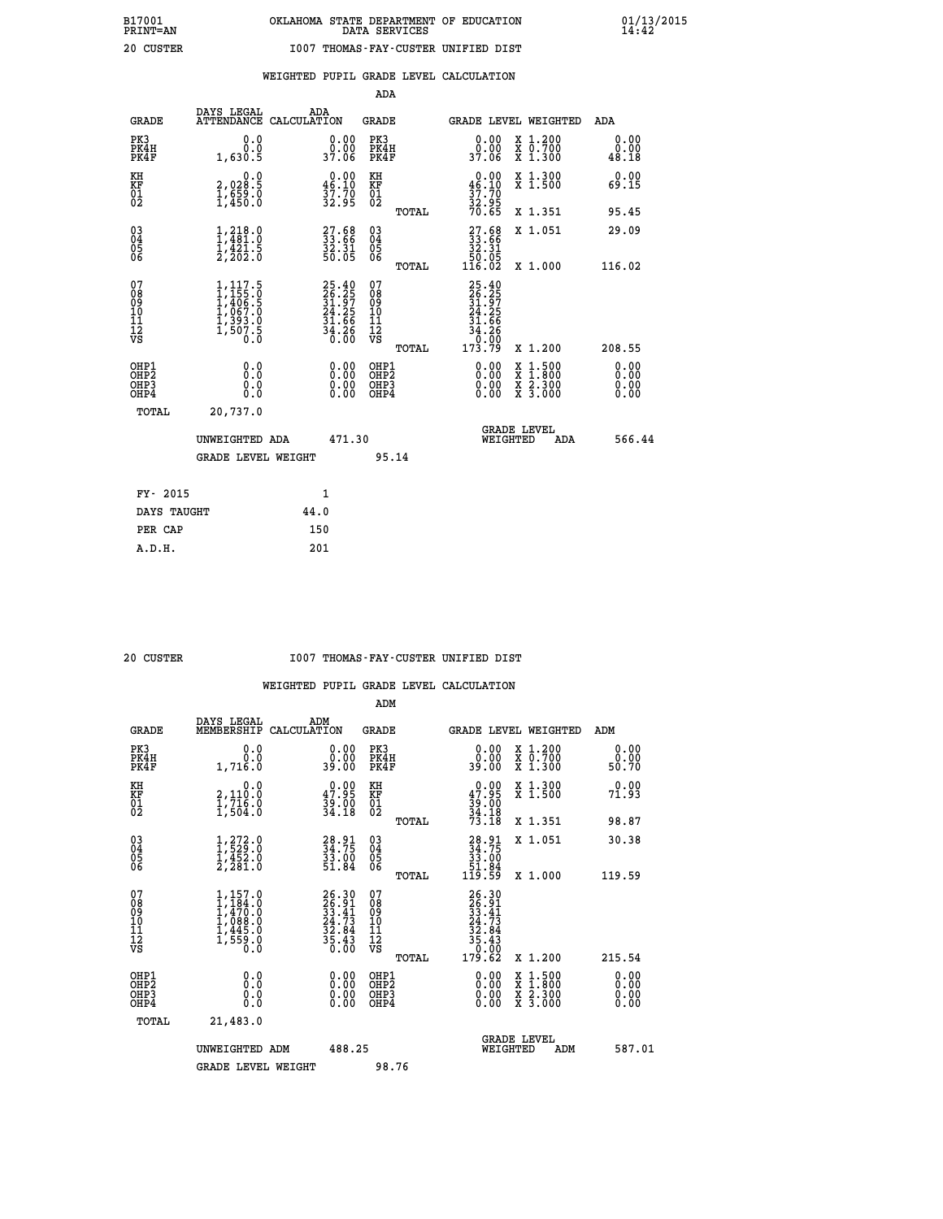### **WEIGHTED PUPIL GRADE LEVEL CALCULATION**

|                                                                    |                                                      |                                                                                   |      |                                                                       | ADA                                                 |       |                                                                                              |          |                                                                                          |                              |
|--------------------------------------------------------------------|------------------------------------------------------|-----------------------------------------------------------------------------------|------|-----------------------------------------------------------------------|-----------------------------------------------------|-------|----------------------------------------------------------------------------------------------|----------|------------------------------------------------------------------------------------------|------------------------------|
|                                                                    | <b>GRADE</b>                                         | DAYS LEGAL<br>ATTENDANCE CALCULATION                                              | ADA  |                                                                       | <b>GRADE</b>                                        |       |                                                                                              |          | GRADE LEVEL WEIGHTED                                                                     | ADA                          |
|                                                                    | PK3<br>PK4H<br>PK4F                                  | 0.0<br>0.0<br>1,630.5                                                             |      | 0.00<br>0.00<br>37.06                                                 | PK3<br>PK4H<br>PK4F                                 |       | 0.00<br>ةة.ة<br>37.06                                                                        |          | X 1.200<br>X 0.700<br>X 1.300                                                            | 0.00<br>0.00<br>48.18        |
| KH<br>KF<br>01<br>02                                               |                                                      | 0.0<br>2,028:5<br>1,659:0<br>1,450:0                                              |      | $0.00$<br>46.10<br>$\frac{37.70}{32.95}$                              | KH<br>KF<br>01<br>02                                |       | $0.00$<br>46.10<br>$\frac{37.70}{32.95}$<br>70.65                                            |          | X 1.300<br>X 1.500                                                                       | 0.00<br>69.15                |
|                                                                    |                                                      |                                                                                   |      |                                                                       |                                                     | TOTAL |                                                                                              |          | X 1.351                                                                                  | 95.45                        |
| $\begin{smallmatrix} 03 \\[-4pt] 04 \end{smallmatrix}$<br>Ŏ5<br>06 |                                                      | $1, 218.0$<br>$1, 481.0$<br>$1, 421.5$<br>$2, 202.0$                              |      | $\begin{smallmatrix} 27.68\\ 33.66\\ 32.31\\ 50.05 \end{smallmatrix}$ | $\begin{array}{c} 03 \\ 04 \\ 05 \\ 06 \end{array}$ |       | $\begin{smallmatrix} 27.68\\ 33.66\\ 32.31\\ 50.05\\ 116.02 \end{smallmatrix}$               |          | X 1.051                                                                                  | 29.09                        |
|                                                                    |                                                      |                                                                                   |      |                                                                       |                                                     | TOTAL |                                                                                              |          | X 1.000                                                                                  | 116.02                       |
| 07<br>08<br>09<br>101<br>11<br>12<br>VS                            |                                                      | $1,117.5$<br>$1,455.0$<br>$1,406.5$<br>$1,067.0$<br>$1,393.0$<br>$1,507.5$<br>0.0 |      | $25.4026.2531.9724.2531.6634.2636.00$                                 | 07<br>08<br>09<br>101<br>11<br>12<br>VS             |       | 25.40<br>26.25<br>31.97<br>24.25<br>31.66<br>$\frac{3\ddot{4}\cdot\breve{2}\breve{6}}{0.00}$ |          |                                                                                          |                              |
|                                                                    |                                                      |                                                                                   |      |                                                                       |                                                     | TOTAL | 173.79                                                                                       |          | X 1.200                                                                                  | 208.55                       |
|                                                                    | OHP1<br>OHP <sub>2</sub><br>OH <sub>P3</sub><br>OHP4 | 0.0<br>0.0<br>0.0                                                                 |      | 0.00<br>$\begin{smallmatrix} 0.00 \ 0.00 \end{smallmatrix}$           | OHP1<br>OHP2<br>OHP <sub>3</sub>                    |       | 0.00<br>0.00                                                                                 |          | $\begin{smallmatrix} x & 1.500 \\ x & 1.800 \\ x & 2.300 \\ x & 3.000 \end{smallmatrix}$ | 0.00<br>0.00<br>0.00<br>0.00 |
|                                                                    | TOTAL                                                | 20,737.0                                                                          |      |                                                                       |                                                     |       |                                                                                              |          |                                                                                          |                              |
|                                                                    |                                                      | UNWEIGHTED ADA                                                                    |      | 471.30                                                                |                                                     |       |                                                                                              | WEIGHTED | <b>GRADE LEVEL</b><br>ADA                                                                | 566.44                       |
|                                                                    |                                                      | <b>GRADE LEVEL WEIGHT</b>                                                         |      |                                                                       |                                                     | 95.14 |                                                                                              |          |                                                                                          |                              |
|                                                                    | FY- 2015                                             |                                                                                   |      | 1                                                                     |                                                     |       |                                                                                              |          |                                                                                          |                              |
|                                                                    | DAYS TAUGHT                                          |                                                                                   | 44.0 |                                                                       |                                                     |       |                                                                                              |          |                                                                                          |                              |
|                                                                    | PER CAP                                              |                                                                                   | 150  |                                                                       |                                                     |       |                                                                                              |          |                                                                                          |                              |

 **A.D.H. 201**

#### **20 CUSTER I007 THOMAS-FAY-CUSTER UNIFIED DIST**

|                                                       |                                                                                     |                                                                      | ADM                                                 |                                                                                                                                              |                                          |                              |
|-------------------------------------------------------|-------------------------------------------------------------------------------------|----------------------------------------------------------------------|-----------------------------------------------------|----------------------------------------------------------------------------------------------------------------------------------------------|------------------------------------------|------------------------------|
| <b>GRADE</b>                                          | DAYS LEGAL<br>MEMBERSHIP                                                            | ADM<br>CALCULATION                                                   | <b>GRADE</b>                                        |                                                                                                                                              | <b>GRADE LEVEL WEIGHTED</b>              | ADM                          |
| PK3<br>PK4H<br>PK4F                                   | 0.0<br>0.0<br>1,716.0                                                               | $\begin{smallmatrix} 0.00\\ 0.00\\ 39.00 \end{smallmatrix}$          | PK3<br>PK4H<br>PK4F                                 | $\begin{smallmatrix} 0.00\\ 0.00\\ 0.00 \end{smallmatrix}$                                                                                   | X 1.200<br>X 0.700<br>X 1.300            | 0.00<br>ŏ:ŏŏ<br>50:70        |
| KH<br>KF<br>01<br>02                                  | 0.0<br>2,110:0<br>1,716:0<br>1,504:0                                                | $\begin{smallmatrix} 0.00\\ 47.95\\ 39.00\\ 34.18 \end{smallmatrix}$ | KH<br>KF<br>01<br>02                                | $\begin{smallmatrix} 0.00\\ 47.95\\ 39.00\\ 34.18\\ 73.18 \end{smallmatrix}$                                                                 | X 1.300<br>X 1.500                       | 0.00<br>71.93                |
|                                                       |                                                                                     |                                                                      | TOTAL                                               |                                                                                                                                              | X 1.351                                  | 98.87                        |
| 03<br>04<br>05<br>06                                  | $1, 272.0$<br>$1, 529.0$<br>$1, 452.0$<br>$2, 281.0$                                | 28.91<br>34.75<br>33.00<br>51.84                                     | $\begin{array}{c} 03 \\ 04 \\ 05 \\ 06 \end{array}$ | $\begin{smallmatrix} 28.91\ 34.75\ 33.00\ 51.84\ 119.59 \end{smallmatrix}$                                                                   | X 1.051                                  | 30.38                        |
|                                                       |                                                                                     |                                                                      | TOTAL                                               |                                                                                                                                              | X 1.000                                  | 119.59                       |
| 07<br>08<br>09<br>101<br>112<br>VS                    | $1,157.0$<br>$1,484.0$<br>$1,470.0$<br>$1,088.0$<br>$1,445.0$<br>$1,559.0$<br>$0.0$ | $26.3026.9133.4124.7332.8435.4335.43$                                | 07<br>08<br>09<br>11<br>11<br>12<br>VS              | $\begin{array}{r} 26\cdot 30 \\ 26\cdot 91 \\ 33\cdot 41 \\ 24\cdot 73 \\ 22\cdot 84 \\ 35\cdot 43 \\ 50\cdot 00 \\ 179\cdot 62 \end{array}$ |                                          |                              |
|                                                       |                                                                                     |                                                                      | TOTAL                                               |                                                                                                                                              | X 1.200                                  | 215.54                       |
| OHP1<br>OHP2<br>OH <sub>P</sub> 3<br>OH <sub>P4</sub> | 0.0<br>0.000                                                                        |                                                                      | OHP1<br>OHP2<br>OHP <sub>3</sub>                    | $0.00$<br>$0.00$<br>0.00                                                                                                                     | X 1:500<br>X 1:800<br>X 2:300<br>X 3:000 | 0.00<br>0.00<br>0.00<br>0.00 |
| TOTAL                                                 | 21,483.0                                                                            |                                                                      |                                                     |                                                                                                                                              |                                          |                              |
|                                                       | UNWEIGHTED ADM                                                                      | 488.25                                                               |                                                     | WEIGHTED                                                                                                                                     | <b>GRADE LEVEL</b><br>ADM                | 587.01                       |
|                                                       | <b>GRADE LEVEL WEIGHT</b>                                                           |                                                                      | 98.76                                               |                                                                                                                                              |                                          |                              |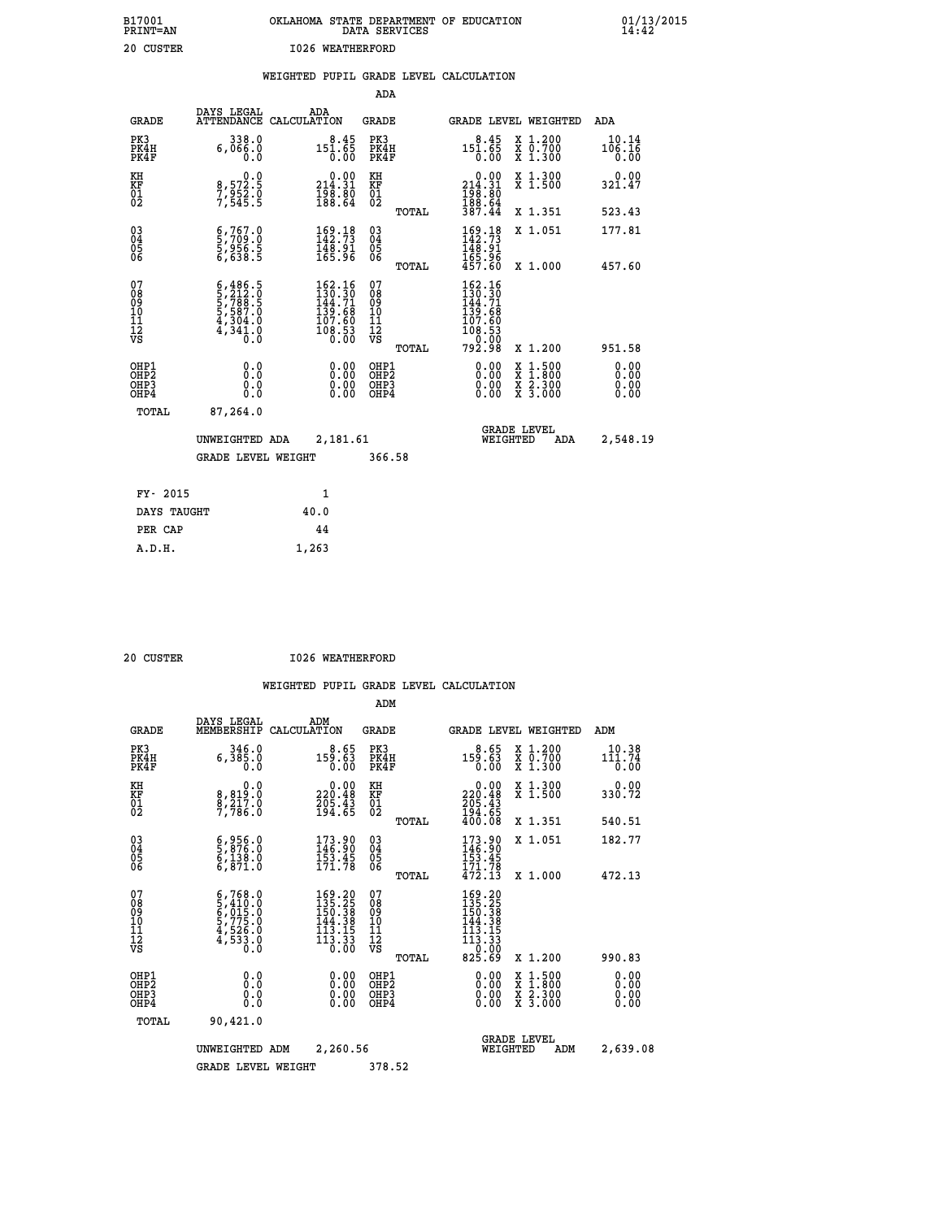| OKLAHOMA STATE DEPARTMENT OF EDUCATION<br>DATA SERVICES |  |
|---------------------------------------------------------|--|
| T026 WEATHERFORD                                        |  |

 **B17001 OKLAHOMA STATE DEPARTMENT OF EDUCATION 01/13/2015**

### **WEIGHTED PUPIL GRADE LEVEL CALCULATION**

|                                                                    |                                                                                                                                   |                                                                                                                         | ADA                                                 |       |                                                                                  |                                          |                               |
|--------------------------------------------------------------------|-----------------------------------------------------------------------------------------------------------------------------------|-------------------------------------------------------------------------------------------------------------------------|-----------------------------------------------------|-------|----------------------------------------------------------------------------------|------------------------------------------|-------------------------------|
| <b>GRADE</b>                                                       | DAYS LEGAL                                                                                                                        | ADA<br>ATTENDANCE CALCULATION                                                                                           | <b>GRADE</b>                                        |       |                                                                                  | GRADE LEVEL WEIGHTED                     | ADA                           |
| PK3<br>PK4H<br>PK4F                                                | $338.0$<br>0.066.0<br>0.0                                                                                                         | $8.45$<br>151.65<br>0.00                                                                                                | PK3<br>PK4H<br>PK4F                                 |       | $8.45$<br>151.65<br>$\overline{0}$ .00                                           | X 1.200<br>X 0.700<br>X 1.300            | 10.14<br>106.16<br>0.00       |
| KH<br>KF<br>01<br>02                                               | $\begin{smallmatrix}&&&0.0\\8,572.5\\7,952.0\\7,545.5\end{smallmatrix}$                                                           | $\begin{smallmatrix}&&0.00\\214.31\\198.80\\188.64\end{smallmatrix}$                                                    | KH<br>KF<br>01<br>02                                |       | $\begin{smallmatrix} &0.00\\ 214.31\\ 198.80\\ 188.64\\ 387.44\end{smallmatrix}$ | X 1.300<br>X 1.500                       | 0.00<br>321.47                |
|                                                                    |                                                                                                                                   |                                                                                                                         |                                                     | TOTAL |                                                                                  | X 1.351                                  | 523.43                        |
| $\begin{smallmatrix} 03 \\[-4pt] 04 \end{smallmatrix}$<br>Ŏ5<br>06 | $\frac{6}{5}, \frac{767}{709} . 0 \\ \frac{5}{6}, \frac{956}{638} . 5$                                                            | 169.18<br>142.73<br>148.91<br>165.96                                                                                    | $\begin{array}{c} 03 \\ 04 \\ 05 \\ 06 \end{array}$ |       | $169.18142.73148.91165.96457.60$                                                 | X 1.051                                  | 177.81                        |
|                                                                    |                                                                                                                                   |                                                                                                                         |                                                     | TOTAL |                                                                                  | X 1.000                                  | 457.60                        |
| 07<br>08<br>09<br>101<br>11<br>12<br>VS                            | $\begin{smallmatrix} 6\,,486\,,5\\ 5\,,212\,.0\\ 5\,,788\,.5\\ 5\,,587\,.0\\ 4\,,304\,.0\\ 4\,,341\,.0\\ 0\,.0 \end{smallmatrix}$ | $\frac{162.16}{130.30}$<br>$\frac{144.71}{144.71}$<br>$\begin{array}{r} 139.68 \\ 107.60 \\ 108.53 \\ 0.00 \end{array}$ | 07<br>08<br>09<br>11<br>11<br>12<br>VS              |       | 162.16<br>130.30<br>144.71<br>139.68<br>107.60<br>108.53<br>0.00                 |                                          |                               |
|                                                                    |                                                                                                                                   |                                                                                                                         |                                                     | TOTAL | 792.98                                                                           | X 1.200                                  | 951.58                        |
| OHP1<br>OHP <sub>2</sub><br>OH <sub>P3</sub><br>OHP4               | 0.0<br>0.000                                                                                                                      | 0.00<br>$\begin{smallmatrix} 0.00 \ 0.00 \end{smallmatrix}$                                                             | OHP1<br>OHP2<br>OHP <sub>3</sub>                    |       | 0.00<br>0.00                                                                     | X 1:500<br>X 1:800<br>X 2:300<br>X 3:000 | 0.00<br>Ō. ŌŌ<br>0.00<br>0.00 |
| TOTAL                                                              | 87,264.0                                                                                                                          |                                                                                                                         |                                                     |       |                                                                                  |                                          |                               |
|                                                                    | UNWEIGHTED ADA                                                                                                                    | 2,181.61                                                                                                                |                                                     |       |                                                                                  | <b>GRADE LEVEL</b><br>WEIGHTED<br>ADA    | 2,548.19                      |
|                                                                    | <b>GRADE LEVEL WEIGHT</b>                                                                                                         |                                                                                                                         | 366.58                                              |       |                                                                                  |                                          |                               |
| FY- 2015                                                           |                                                                                                                                   | $\mathbf{1}$                                                                                                            |                                                     |       |                                                                                  |                                          |                               |
| DAYS TAUGHT                                                        |                                                                                                                                   | 40.0                                                                                                                    |                                                     |       |                                                                                  |                                          |                               |
| PER CAP                                                            |                                                                                                                                   | 44                                                                                                                      |                                                     |       |                                                                                  |                                          |                               |

| 20 CUSTER |  | 1026 WEATHERFORD |
|-----------|--|------------------|
|           |  |                  |

 **A.D.H. 1,263**

 **B17001<br>PRINT=AN 20 CUSTER** 

|                                          |                                                                                                                                               |                                                                          | ADM                                                 |                                                                                                                   |                                          |                              |
|------------------------------------------|-----------------------------------------------------------------------------------------------------------------------------------------------|--------------------------------------------------------------------------|-----------------------------------------------------|-------------------------------------------------------------------------------------------------------------------|------------------------------------------|------------------------------|
| <b>GRADE</b>                             | DAYS LEGAL<br>MEMBERSHIP                                                                                                                      | ADM<br>CALCULATION                                                       | <b>GRADE</b>                                        |                                                                                                                   | <b>GRADE LEVEL WEIGHTED</b>              | ADM                          |
| PK3<br>PK4H<br>PK4F                      | 346.0<br>6,385.0<br>0.0                                                                                                                       | $8.65$<br>159.63<br>0.00                                                 | PK3<br>PK4H<br>PK4F                                 | 159.63<br>0.00                                                                                                    | X 1.200<br>X 0.700<br>X 1.300            | 10.38<br>111.74<br>0.00      |
| KH<br>KF<br>01<br>02                     | 0.0<br>8,819:0<br>8,217:0<br>7,786:0                                                                                                          | $\begin{smallmatrix} 0.00\\ 220.48\\ 205.43\\ 194.65 \end{smallmatrix}$  | KH<br>KF<br>01<br>02                                | $\begin{smallmatrix} &0.00\\ 220.48\\ 205.43\\ 194.65\\ 400.08 \end{smallmatrix}$                                 | X 1.300<br>X 1.500                       | 0.00<br>330.72               |
|                                          |                                                                                                                                               |                                                                          | TOTAL                                               |                                                                                                                   | X 1.351                                  | 540.51                       |
| 03<br>04<br>05<br>06                     | $\begin{smallmatrix} 6 & 956 & 0 \\ 5 & 876 & 0 \\ 6 & 138 & 0 \\ 6 & 871 & 0 \end{smallmatrix}$                                              | 173.90<br>146.90<br>$\frac{153}{171.78}$                                 | $\begin{array}{c} 03 \\ 04 \\ 05 \\ 06 \end{array}$ | $173.90$<br>$146.90$<br>$153.45$<br>$171.78$<br>$472.13$                                                          | X 1.051                                  | 182.77                       |
|                                          |                                                                                                                                               |                                                                          | TOTAL                                               |                                                                                                                   | X 1.000                                  | 472.13                       |
| 07<br>08<br>09<br>101<br>11<br>12<br>VS  | $\begin{smallmatrix} 6\,,768\,.\,0\\ 5\,,410\,.\,0\\ 6\,,015\,.\,0\\ 5\,,775\,.\,0\\ 4\,,526\,.\,0\\ 4\,,533\,.\,0\\ 0\,.0 \end{smallmatrix}$ | $169.20$<br>$135.25$<br>$150.38$<br>$144.38$<br>113.15<br>113.33<br>0.00 | 07<br>08<br>09<br>11<br>11<br>12<br>VS<br>TOTAL     | $169.20$<br>$135.25$<br>$150.38$<br>$144.38$<br>$\begin{array}{c} 113.15 \\ 113.33 \\ 0.00 \\ 825.69 \end{array}$ | X 1.200                                  | 990.83                       |
| OHP1<br>OHP2<br>OH <sub>P3</sub><br>OHP4 | 0.0<br>0.000                                                                                                                                  | $0.00$<br>$0.00$<br>0.00                                                 | OHP1<br>OHP2<br>OHP <sub>3</sub>                    | $0.00$<br>$0.00$<br>0.00                                                                                          | X 1:500<br>X 1:800<br>X 2:300<br>X 3:000 | 0.00<br>0.00<br>0.00<br>0.00 |
| TOTAL                                    | 90,421.0                                                                                                                                      |                                                                          |                                                     |                                                                                                                   |                                          |                              |
|                                          | UNWEIGHTED<br>ADM                                                                                                                             | 2,260.56                                                                 |                                                     | WEIGHTED                                                                                                          | <b>GRADE LEVEL</b><br>ADM                | 2,639.08                     |
|                                          | <b>GRADE LEVEL WEIGHT</b>                                                                                                                     |                                                                          | 378.52                                              |                                                                                                                   |                                          |                              |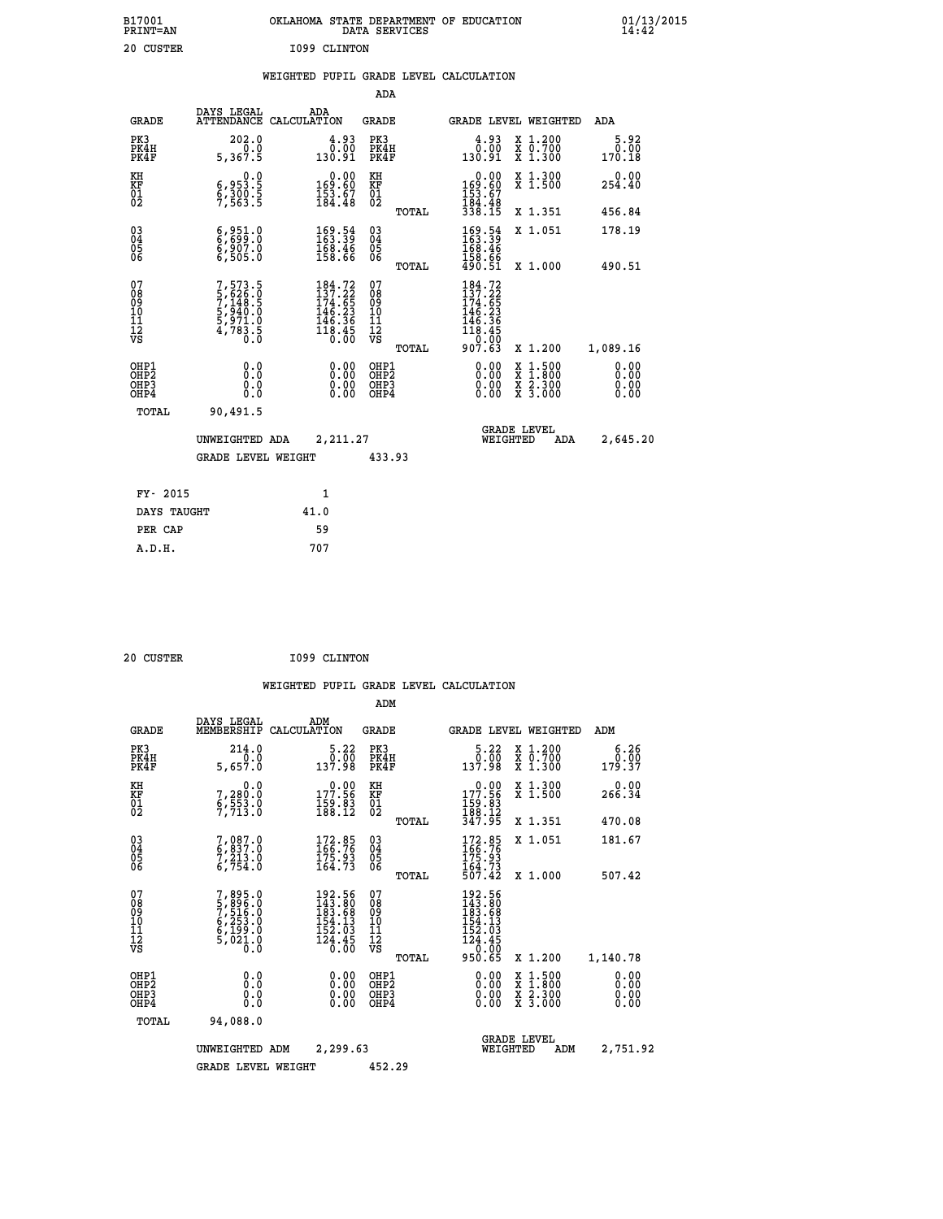| B17001<br>PRINT=AN | OKLAHOMA STATE DEPARTMENT OF EDUCATION<br>DATA SERVICES | 01/13/2015<br>14:42 |
|--------------------|---------------------------------------------------------|---------------------|
| 20 CUSTER          | 1099 CLINTON                                            |                     |

## **WEIGHTED PUPIL GRADE LEVEL CALCULATION**

|                                                                              |                                                                           |                                                                                                                               | ADA                                                |       |                                                                                                                                             |                                                                                                                                           |                              |
|------------------------------------------------------------------------------|---------------------------------------------------------------------------|-------------------------------------------------------------------------------------------------------------------------------|----------------------------------------------------|-------|---------------------------------------------------------------------------------------------------------------------------------------------|-------------------------------------------------------------------------------------------------------------------------------------------|------------------------------|
| <b>GRADE</b>                                                                 | DAYS LEGAL                                                                | ADA<br>ATTENDANCE CALCULATION                                                                                                 | GRADE                                              |       | <b>GRADE LEVEL WEIGHTED</b>                                                                                                                 |                                                                                                                                           | ADA                          |
| PK3<br>PK4H<br>PK4F                                                          | 202.0<br>0.0<br>5,367.5                                                   | 4.93<br>0.00<br>130.91                                                                                                        | PK3<br>PK4H<br>PK4F                                |       | 4.93<br>0.00<br>130.91                                                                                                                      | X 1.200<br>X 0.700<br>X 1.300                                                                                                             | 5.92<br>0.00<br>170.18       |
| KH<br>KF<br>01<br>02                                                         | 0.0<br>6,953.5<br>6,300.5<br>7,563.5                                      | $\begin{smallmatrix}&&0.00\\169.60\\153.67\\184.48\end{smallmatrix}$                                                          | KH<br>KF<br>01<br>02                               |       | $\begin{smallmatrix} &0.00\\ 169.60\\ 153.67\\ 184.48\\ 338.15\end{smallmatrix}$                                                            | X 1.300<br>X 1.500                                                                                                                        | 0.00<br>254.40               |
|                                                                              |                                                                           |                                                                                                                               |                                                    | TOTAL |                                                                                                                                             | X 1.351                                                                                                                                   | 456.84                       |
| $\begin{matrix} 03 \\ 04 \\ 05 \\ 06 \end{matrix}$                           | 6,951.0<br>6,699.0<br>6,907.0<br>6,505.0                                  | $\begin{smallmatrix} 169.54\ 163.39\ 168.46\ 158.66 \end{smallmatrix}$                                                        | $\begin{matrix} 03 \\ 04 \\ 05 \\ 06 \end{matrix}$ |       | 169.54<br>163.39<br>168.46<br>158.66                                                                                                        | X 1.051                                                                                                                                   | 178.19                       |
|                                                                              |                                                                           |                                                                                                                               |                                                    | TOTAL | 490.51                                                                                                                                      | X 1.000                                                                                                                                   | 490.51                       |
| 07<br>08<br>09<br>11<br>11<br>12<br>VS                                       | 7,573.5<br>5,626.0<br>7,144.5<br>7,144.5<br>5,971.0<br>5,971.0<br>4,783.5 | $\begin{smallmatrix} 184\cdot72\\ 137\cdot22\\ 174\cdot65\\ 146\cdot23\\ 146\cdot36\\ 118\cdot45\\ 0\cdot00\end{smallmatrix}$ | 07<br>08<br>09<br>11<br>11<br>12<br>VS             | TOTAL | $\begin{smallmatrix} 184\cdot72\\ 137\cdot22\\ 174\cdot65\\ 146\cdot23\\ 146\cdot36\\ 118\cdot45\\ 0\cdot00\\ 907\cdot63 \end{smallmatrix}$ | X 1.200                                                                                                                                   | 1,089.16                     |
| OHP1<br>OH <sub>P</sub> <sub>2</sub><br>OH <sub>P3</sub><br>OH <sub>P4</sub> | 0.0<br>Ō.Ō<br>0.0<br>0.0                                                  | 0.00<br>0.00<br>0.00                                                                                                          | OHP1<br>OHP2<br>OHP3<br>OHP4                       |       | 0.00<br>0.00<br>0.00                                                                                                                        | $\begin{smallmatrix} \mathtt{X} & 1\cdot500\\ \mathtt{X} & 1\cdot800\\ \mathtt{X} & 2\cdot300\\ \mathtt{X} & 3\cdot000 \end{smallmatrix}$ | 0.00<br>0.00<br>0.00<br>0.00 |
| TOTAL                                                                        | 90,491.5                                                                  |                                                                                                                               |                                                    |       |                                                                                                                                             |                                                                                                                                           |                              |
|                                                                              | UNWEIGHTED ADA                                                            | 2,211.27                                                                                                                      |                                                    |       | WEIGHTED                                                                                                                                    | <b>GRADE LEVEL</b><br>ADA                                                                                                                 | 2,645.20                     |
|                                                                              | <b>GRADE LEVEL WEIGHT</b>                                                 |                                                                                                                               | 433.93                                             |       |                                                                                                                                             |                                                                                                                                           |                              |
| FY- 2015                                                                     |                                                                           | 1                                                                                                                             |                                                    |       |                                                                                                                                             |                                                                                                                                           |                              |
| DAYS TAUGHT                                                                  |                                                                           | 41.0                                                                                                                          |                                                    |       |                                                                                                                                             |                                                                                                                                           |                              |
| PER CAP                                                                      |                                                                           | 59                                                                                                                            |                                                    |       |                                                                                                                                             |                                                                                                                                           |                              |
| A.D.H.                                                                       |                                                                           | 707                                                                                                                           |                                                    |       |                                                                                                                                             |                                                                                                                                           |                              |

| 20 CUSTER | I099 CLINTON |
|-----------|--------------|

 **A.D.H. 707**

|                                          |                                                                                     |                                                                                                      | ADM                                                 |                                                                            |                                          |                              |
|------------------------------------------|-------------------------------------------------------------------------------------|------------------------------------------------------------------------------------------------------|-----------------------------------------------------|----------------------------------------------------------------------------|------------------------------------------|------------------------------|
| <b>GRADE</b>                             | DAYS LEGAL<br>MEMBERSHIP                                                            | ADM<br>CALCULATION                                                                                   | <b>GRADE</b>                                        | <b>GRADE LEVEL WEIGHTED</b>                                                |                                          | ADM                          |
| PK3<br>PK4H<br>PK4F                      | 214.0<br>5,657.0                                                                    | 5.22<br>0.00<br>137.98                                                                               | PK3<br>PK4H<br>PK4F                                 | $\begin{smallmatrix}5.22\0.00\\0.00\\137.98\end{smallmatrix}$              | X 1.200<br>X 0.700<br>X 1.300            | 6.26<br>0.00<br>179.37       |
| KH<br>KF<br>01<br>02                     | 0.0<br>7,280:0<br>6,553:0<br>7,713:0                                                | $\begin{smallmatrix} &0.00\\ 177.56\\ 159.83\\ 188.12\end{smallmatrix}$                              | KH<br>KF<br>01<br>02                                | 177.96<br>$\frac{159}{188}$ : $\frac{83}{12}$<br>$\frac{347}{195}$         | X 1.300<br>X 1.500                       | 0.00<br>266.34               |
|                                          |                                                                                     |                                                                                                      | TOTAL                                               |                                                                            | X 1.351                                  | 470.08                       |
| 03<br>04<br>05<br>06                     | 7,087.0<br>6,837.0<br>7,213.0<br>6,754.0                                            | $\frac{172.85}{166.76}$<br>$\frac{175.93}{164.73}$                                                   | $\begin{array}{c} 03 \\ 04 \\ 05 \\ 06 \end{array}$ | $172.85$<br>$166.76$<br>$175.93$<br>$164.73$<br>$507.42$                   | X 1.051                                  | 181.67                       |
|                                          |                                                                                     |                                                                                                      | TOTAL                                               |                                                                            | X 1.000                                  | 507.42                       |
| 07<br>08<br>09<br>101<br>112<br>VS       | $7,895.0$<br>$5,896.0$<br>$7,516.0$<br>$6,253.0$<br>$6,199.0$<br>$5,021.0$<br>$0.0$ | $\begin{smallmatrix} 192.56\\143.80\\183.68\\154.13\\154.13\\152.03\\124.45\\0.00 \end{smallmatrix}$ | 07<br>08<br>09<br>11<br>11<br>12<br>VS<br>TOTAL     | 192.56<br>143.80<br>183.68<br>154.13<br>152.03<br>124.45<br>0.00<br>950.65 | X 1.200                                  | 1,140.78                     |
| OHP1<br>OHP2<br>OH <sub>P3</sub><br>OHP4 | 0.0<br>0.000                                                                        | $0.00$<br>$0.00$<br>0.00                                                                             | OHP1<br>OHP2<br>OHP <sub>3</sub>                    | $0.00$<br>$0.00$<br>0.00                                                   | X 1:500<br>X 1:800<br>X 2:300<br>X 3:000 | 0.00<br>0.00<br>0.00<br>0.00 |
| TOTAL                                    | 94,088.0                                                                            |                                                                                                      |                                                     |                                                                            |                                          |                              |
|                                          | UNWEIGHTED                                                                          | 2,299.63<br>ADM                                                                                      |                                                     | <b>GRADE LEVEL</b><br>WEIGHTED                                             | ADM                                      | 2,751.92                     |
|                                          | <b>GRADE LEVEL WEIGHT</b>                                                           |                                                                                                      | 452.29                                              |                                                                            |                                          |                              |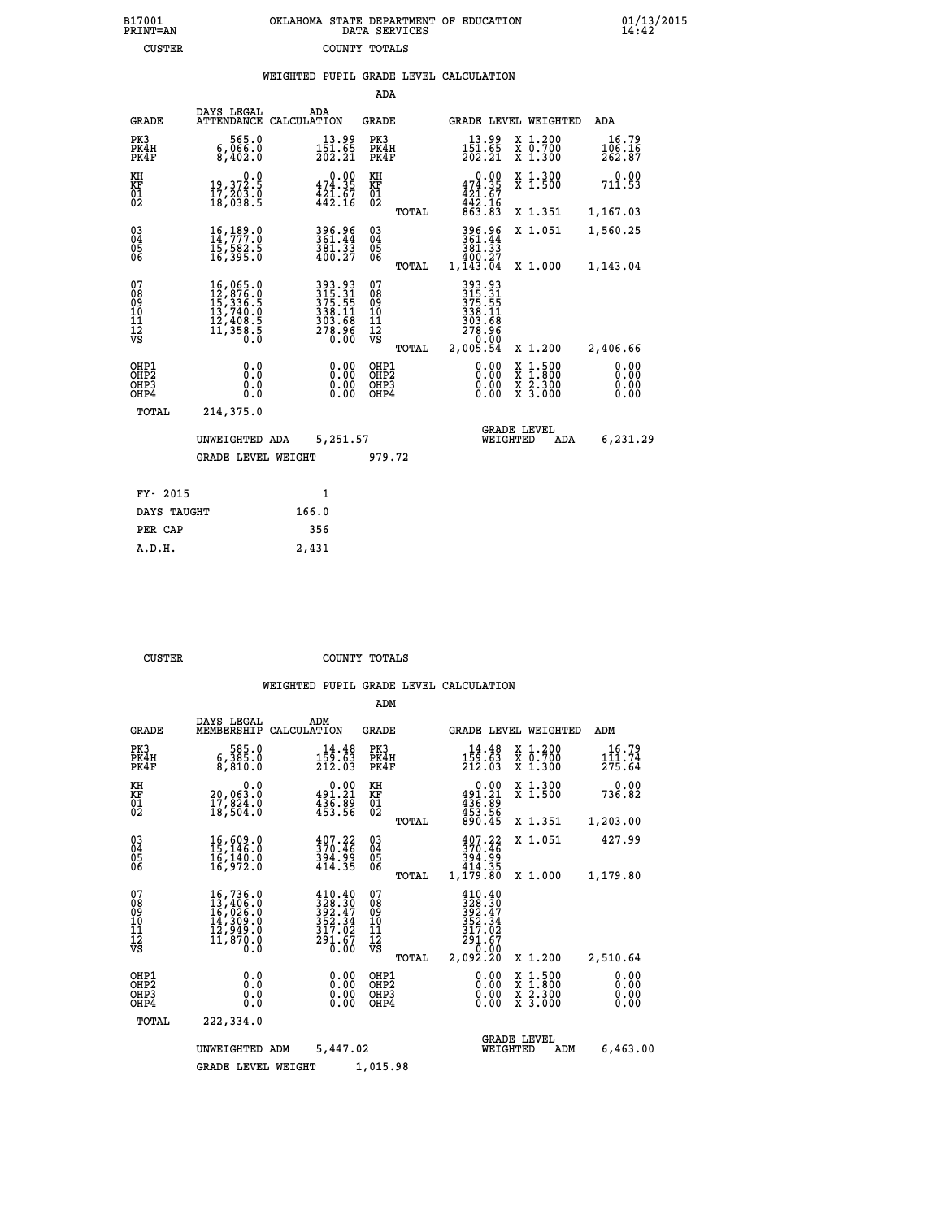|  | OKLAHOMA STATE DEPARTMENT OF EDUCATION<br>DATA SERVICES |  |
|--|---------------------------------------------------------|--|
|  | COUNTY TOTALS                                           |  |

 **B17001 OKLAHOMA STATE DEPARTMENT OF EDUCATION 01/13/2015**

|  |  | WEIGHTED PUPIL GRADE LEVEL CALCULATION |
|--|--|----------------------------------------|
|  |  |                                        |

| DAYS LEGAL                                      | ADA                                                                                                                                                                                                                                                                | <b>GRADE</b>                                                                                                                                                                                                                                                                                                   | <b>GRADE LEVEL WEIGHTED</b><br>ADA                                                                   |                                                                                                                                                                                                                                                                                                                                                              |
|-------------------------------------------------|--------------------------------------------------------------------------------------------------------------------------------------------------------------------------------------------------------------------------------------------------------------------|----------------------------------------------------------------------------------------------------------------------------------------------------------------------------------------------------------------------------------------------------------------------------------------------------------------|------------------------------------------------------------------------------------------------------|--------------------------------------------------------------------------------------------------------------------------------------------------------------------------------------------------------------------------------------------------------------------------------------------------------------------------------------------------------------|
| 565.0<br>6,066.0<br>8,402.0                     | $13.99$<br>$151.65$<br>$202.21$                                                                                                                                                                                                                                    | PK3<br>PK4H<br>PK4F                                                                                                                                                                                                                                                                                            | X 1.200<br>X 0.700<br>X 1.300<br>16.79<br>$13.99$<br>$151.65$<br>$202.21$<br>$\frac{106.16}{262.87}$ |                                                                                                                                                                                                                                                                                                                                                              |
|                                                 |                                                                                                                                                                                                                                                                    |                                                                                                                                                                                                                                                                                                                | X 1.300<br>X 1.500<br>0.00<br>711.53                                                                 |                                                                                                                                                                                                                                                                                                                                                              |
|                                                 |                                                                                                                                                                                                                                                                    | TOTAL                                                                                                                                                                                                                                                                                                          | X 1.351<br>1,167.03                                                                                  |                                                                                                                                                                                                                                                                                                                                                              |
| 16, 189.0<br>14, 777: 0<br>15,582.5<br>16,395.0 | 396.96<br>361.44<br>381.33<br>400.27                                                                                                                                                                                                                               | $\begin{matrix} 03 \\ 04 \\ 05 \\ 06 \end{matrix}$                                                                                                                                                                                                                                                             | 396.96<br>361.44<br>X 1.051<br>1,560.25                                                              |                                                                                                                                                                                                                                                                                                                                                              |
|                                                 |                                                                                                                                                                                                                                                                    |                                                                                                                                                                                                                                                                                                                |                                                                                                      |                                                                                                                                                                                                                                                                                                                                                              |
|                                                 |                                                                                                                                                                                                                                                                    | 08<br>09<br>11<br>11<br>12<br>VS                                                                                                                                                                                                                                                                               | 278.96<br>0.00                                                                                       |                                                                                                                                                                                                                                                                                                                                                              |
|                                                 |                                                                                                                                                                                                                                                                    |                                                                                                                                                                                                                                                                                                                |                                                                                                      |                                                                                                                                                                                                                                                                                                                                                              |
| 0.0<br>$0.\overline{0}$                         | 0.00                                                                                                                                                                                                                                                               | OHP <sub>2</sub><br>OHP3<br>OHP4                                                                                                                                                                                                                                                                               | 0.00<br>0.00<br>0.00<br>0.00<br>0.00                                                                 |                                                                                                                                                                                                                                                                                                                                                              |
| 214,375.0                                       |                                                                                                                                                                                                                                                                    |                                                                                                                                                                                                                                                                                                                |                                                                                                      |                                                                                                                                                                                                                                                                                                                                                              |
|                                                 |                                                                                                                                                                                                                                                                    |                                                                                                                                                                                                                                                                                                                | <b>GRADE LEVEL</b>                                                                                   |                                                                                                                                                                                                                                                                                                                                                              |
|                                                 |                                                                                                                                                                                                                                                                    |                                                                                                                                                                                                                                                                                                                |                                                                                                      |                                                                                                                                                                                                                                                                                                                                                              |
|                                                 |                                                                                                                                                                                                                                                                    |                                                                                                                                                                                                                                                                                                                |                                                                                                      |                                                                                                                                                                                                                                                                                                                                                              |
|                                                 |                                                                                                                                                                                                                                                                    |                                                                                                                                                                                                                                                                                                                |                                                                                                      |                                                                                                                                                                                                                                                                                                                                                              |
| DAYS TAUGHT                                     | 166.0                                                                                                                                                                                                                                                              |                                                                                                                                                                                                                                                                                                                |                                                                                                      |                                                                                                                                                                                                                                                                                                                                                              |
|                                                 | 356                                                                                                                                                                                                                                                                |                                                                                                                                                                                                                                                                                                                |                                                                                                      |                                                                                                                                                                                                                                                                                                                                                              |
|                                                 | 2,431                                                                                                                                                                                                                                                              |                                                                                                                                                                                                                                                                                                                |                                                                                                      |                                                                                                                                                                                                                                                                                                                                                              |
|                                                 | $\begin{smallmatrix}&&&0.0\\19,372.5\\17,203.0\\18,038.5\end{smallmatrix}$<br>$\begin{smallmatrix} 16\,, & 065\,, & 0\\ 12\,, & 876\,, & 0\\ 15\,, & 336\,, & 5\\ 13\,, & 740\,, & 0\\ 12\,, & 408\,, & 5\\ 11\,, & 358\,, & 5\\ 0\,. & 0\end{smallmatrix}$<br>0.0 | ATTENDANCE CALCULATION<br>$\begin{smallmatrix} &0.00\\ 474.35\\ 421.67\\ 442.16\end{smallmatrix}$<br>$\begin{array}{r} 393\cdot 93 \\ 315\cdot 31 \\ 375\cdot 55 \\ 338\cdot 11 \\ 303\cdot 68 \\ 278\cdot 96 \\ 0\cdot 00 \end{array}$<br>0.00<br>UNWEIGHTED ADA<br><b>GRADE LEVEL WEIGHT</b><br>$\mathbf{1}$ | KH<br>KF<br>01<br>02<br>TOTAL<br>07<br>TOTAL<br>OHP1<br>5,251.57<br>979.72                           | ADA<br>$0.00$<br>$474.35$<br>$421.67$<br>$442.16$<br>$863.83$<br>381.33<br>400.27<br>1,143.04<br>1,143.04<br>X 1.000<br>393.93<br>315.31<br>375.55<br>338.11<br>303.68<br>2,005.54<br>X 1.200<br>2,406.66<br>0.00<br>0.00<br>$\begin{smallmatrix} x & 1 & 500 \\ x & 1 & 800 \\ x & 2 & 300 \\ x & 3 & 000 \end{smallmatrix}$<br>6,231.29<br>WEIGHTED<br>ADA |

B17001<br>PRINT=AN<br>CUSTER

 **CUSTER COUNTY TOTALS**

|                                                       |                                                                      |                                                                                                                      | ADM                                              |                                                                                                |                                                                                                  |                              |
|-------------------------------------------------------|----------------------------------------------------------------------|----------------------------------------------------------------------------------------------------------------------|--------------------------------------------------|------------------------------------------------------------------------------------------------|--------------------------------------------------------------------------------------------------|------------------------------|
| <b>GRADE</b>                                          | DAYS LEGAL<br>MEMBERSHIP                                             | ADM<br>CALCULATION                                                                                                   | <b>GRADE</b>                                     | <b>GRADE LEVEL WEIGHTED</b>                                                                    |                                                                                                  | ADM                          |
| PK3<br>PK4H<br>PK4F                                   | 585.0<br>6,385.0<br>8,810.0                                          | 14.48<br>$\frac{159.63}{212.03}$                                                                                     | PK3<br>PK4H<br>PK4F                              | 14.48<br>$\frac{159.63}{212.03}$                                                               | $\begin{smallmatrix} x & 1.200 \\ x & 0.700 \end{smallmatrix}$<br>X 1.300                        | 16.79<br>111.74<br>275.64    |
| KH<br>KF<br>01<br>02                                  | 0.0<br>20,063:0<br>17,824:0<br>18,504:0                              | $\begin{smallmatrix} &0.00\\ 491.21\\ 436.89\\ 435.56\end{smallmatrix}$                                              | KH<br>KF<br>01<br>02                             | 0.00<br>$491.21$<br>$436.89$<br>$453.56$<br>$890.45$                                           | X 1.300<br>X 1.500                                                                               | 0.00<br>736.82               |
|                                                       |                                                                      |                                                                                                                      | TOTAL                                            |                                                                                                | X 1.351                                                                                          | 1,203.00                     |
| 03<br>04<br>05<br>06                                  | 16,609.0<br>15,146.0<br>16,140.0<br>16,972.0                         | $\frac{407.22}{370.46}$<br>394.99<br>414.35                                                                          | $^{03}_{04}$<br>0500                             | $\frac{407.22}{370.46}$<br>394.99<br>414.35                                                    | X 1.051                                                                                          | 427.99                       |
|                                                       |                                                                      |                                                                                                                      | TOTAL                                            | 1,179.80                                                                                       | X 1.000                                                                                          | 1,179.80                     |
| 07<br>08<br>09<br>101<br>112<br>VS                    | 16,736.0<br>13,406.0<br>16,026.0<br>14,309.0<br>13,949.0<br>11,870.0 | $\begin{array}{l} 410.40 \\ 328.30 \\ 392.47 \\ 352.34 \end{array}$<br>317.02<br>$\frac{2\bar{5}1.\tilde{6}7}{0.00}$ | 07<br>08<br>09<br>101<br>11<br>12<br>VS<br>TOTAL | 410.40<br>328.30<br>392.47<br>352.34<br>317.02<br>$\frac{2\overline{9}1.67}{0.00}$<br>2,092.20 | X 1.200                                                                                          | 2,510.64                     |
| OHP1<br>OH <sub>P</sub> 2<br>OH <sub>P3</sub><br>OHP4 | 0.0<br>0.000                                                         | $0.00$<br>$0.00$<br>0.00                                                                                             | OHP1<br>OHP2<br>OHP3<br>OHP4                     | $0.00$<br>$0.00$<br>0.00                                                                       | $\begin{smallmatrix} x & 1 & 500 \\ x & 1 & 800 \\ x & 2 & 300 \\ x & 3 & 000 \end{smallmatrix}$ | 0.00<br>0.00<br>0.00<br>0.00 |
| TOTAL                                                 | 222,334.0                                                            |                                                                                                                      |                                                  |                                                                                                |                                                                                                  |                              |
|                                                       | UNWEIGHTED ADM                                                       | 5,447.02                                                                                                             |                                                  | <b>GRADE LEVEL</b><br>WEIGHTED                                                                 | ADM                                                                                              | 6,463.00                     |
|                                                       | <b>GRADE LEVEL WEIGHT</b>                                            |                                                                                                                      | 1,015.98                                         |                                                                                                |                                                                                                  |                              |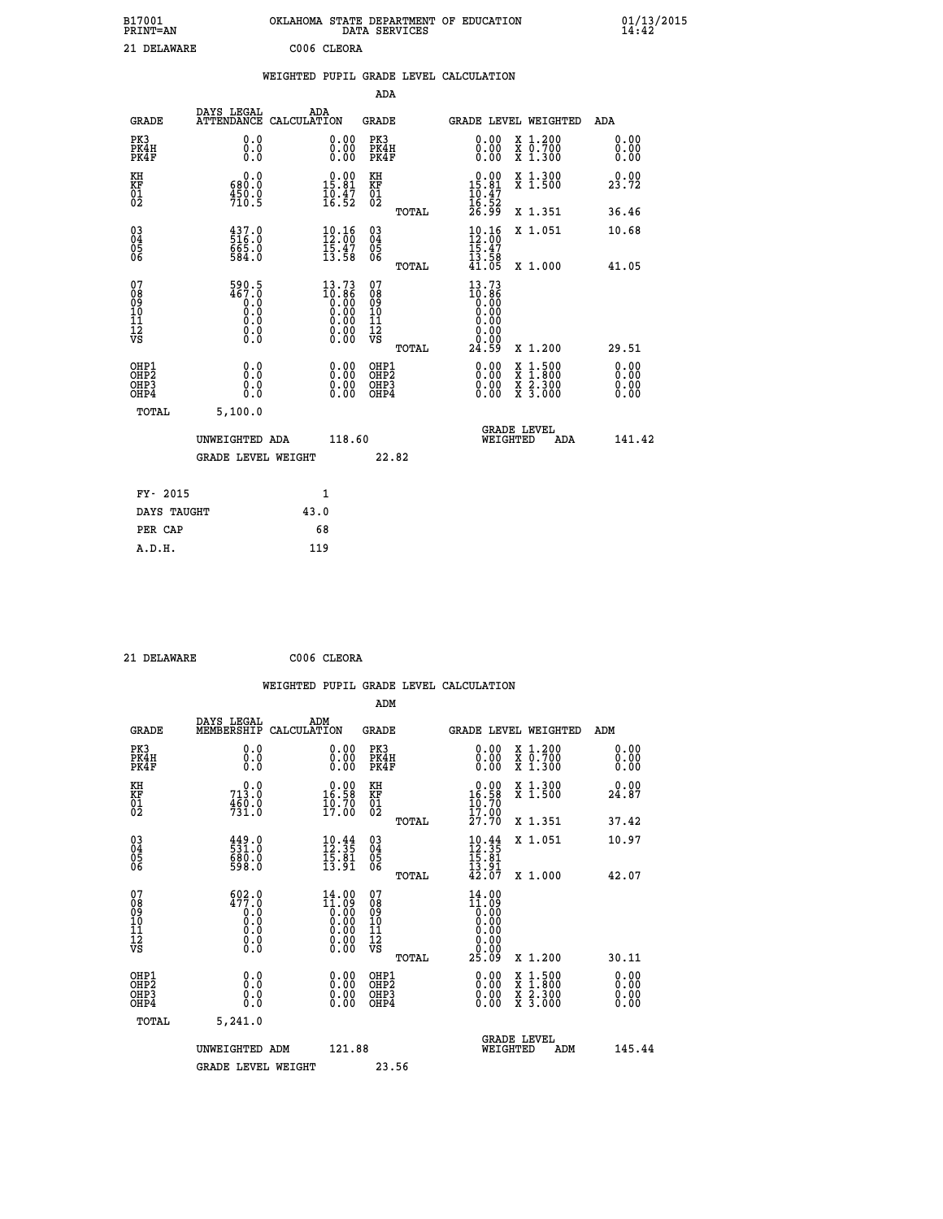| B17001<br><b>PRINT=AN</b> | OKLAHOMA STATE DEPARTMENT OF EDUCATION<br>DATA SERVICES | 01/13/2015 |
|---------------------------|---------------------------------------------------------|------------|
| 21 DELAWARE               | C006 CLEORA                                             |            |

|  |  | WEIGHTED PUPIL GRADE LEVEL CALCULATION |
|--|--|----------------------------------------|
|  |  |                                        |

|                                                    |                                                                                                |                    |                                                                    | ADA                                                 |       |                                                                         |        |                                                                |                              |
|----------------------------------------------------|------------------------------------------------------------------------------------------------|--------------------|--------------------------------------------------------------------|-----------------------------------------------------|-------|-------------------------------------------------------------------------|--------|----------------------------------------------------------------|------------------------------|
| <b>GRADE</b>                                       | DAYS LEGAL<br><b>ATTENDANCE</b>                                                                | ADA<br>CALCULATION |                                                                    | GRADE                                               |       |                                                                         |        | GRADE LEVEL WEIGHTED                                           | <b>ADA</b>                   |
| PK3<br>PK4H<br>PK4F                                | 0.0<br>0.0<br>0.0                                                                              |                    | 0.00<br>$\begin{smallmatrix} 0.00 \ 0.00 \end{smallmatrix}$        | PK3<br>PK4H<br>PK4F                                 |       | 0.00<br>0.00                                                            |        | X 1.200<br>X 0.700<br>X 1.300                                  | 0.00<br>0.00<br>0.00         |
| KH<br><b>KF</b><br>01<br>02                        | 0.0<br>680.0<br>$\frac{450.0}{710.5}$                                                          |                    | $0.00$<br>15.81<br>$\frac{10.47}{16.52}$                           | KH<br>KF<br>01<br>02                                |       | $\begin{array}{r} 0.00 \\ 15.81 \\ 10.47 \\ 16.52 \\ 26.99 \end{array}$ |        | X 1.300<br>$\overline{x}$ 1.500                                | 0.00<br>23.72                |
|                                                    |                                                                                                |                    |                                                                    |                                                     | TOTAL |                                                                         |        | X 1.351                                                        | 36.46                        |
| $\begin{matrix} 03 \\ 04 \\ 05 \\ 06 \end{matrix}$ | $\begin{smallmatrix} 437.0\\ 516.0\\ 665.0\\ 584.0 \end{smallmatrix}$                          |                    | $10.16$<br>$12.00$<br>$\bar{1}\bar{5}\cdot\bar{4}\bar{7}$<br>13.58 | $\begin{array}{c} 03 \\ 04 \\ 05 \\ 06 \end{array}$ |       | $10.16$<br>$12.00$<br>$15.47$<br>$13.58$                                |        | X 1.051                                                        | 10.68                        |
|                                                    |                                                                                                |                    |                                                                    |                                                     | TOTAL | 41.05                                                                   |        | X 1.000                                                        | 41.05                        |
| 07<br>08<br>09<br>101<br>11<br>12<br>VS            | 590.5<br>467.0<br>$\begin{smallmatrix} 0.0 & 0 \ 0.0 & 0 \ 0.0 & 0 \end{smallmatrix}$<br>$\S.$ |                    | 13.73<br>10:86<br>0:00<br>0:00<br>0:00<br>ŏ.ŏŏ                     | 07<br>08<br>09<br>11<br>11<br>12<br>VS              |       | 13.73<br>10:86<br>0.00<br>0.00<br>0.00<br>0.00                          |        |                                                                |                              |
|                                                    |                                                                                                |                    |                                                                    |                                                     | TOTAL | 24.59                                                                   |        | X 1.200                                                        | 29.51                        |
| OHP1<br>OHP2<br>OHP3<br>OHP4                       | 0.0<br>0.0<br>0.0                                                                              |                    | 0.00<br>$0.00$<br>0.00                                             | OHP1<br>OHP2<br>OHP3<br>OHP4                        |       | $0.00$<br>$0.00$<br>0.00                                                | X<br>X | $1:500$<br>1:800<br>$\frac{\ddot{x}}{x}$ $\frac{5.300}{3.000}$ | 0.00<br>0.00<br>0.00<br>0.00 |
| TOTAL                                              | 5,100.0                                                                                        |                    |                                                                    |                                                     |       |                                                                         |        |                                                                |                              |
|                                                    | UNWEIGHTED ADA                                                                                 |                    | 118.60                                                             |                                                     |       | WEIGHTED                                                                |        | <b>GRADE LEVEL</b><br>ADA                                      | 141.42                       |
|                                                    | <b>GRADE LEVEL WEIGHT</b>                                                                      |                    |                                                                    |                                                     | 22.82 |                                                                         |        |                                                                |                              |
| FY- 2015                                           |                                                                                                | $\mathbf{1}$       |                                                                    |                                                     |       |                                                                         |        |                                                                |                              |
| DAYS TAUGHT                                        |                                                                                                | 43.0               |                                                                    |                                                     |       |                                                                         |        |                                                                |                              |
|                                                    |                                                                                                |                    |                                                                    |                                                     |       |                                                                         |        |                                                                |                              |

**PER CAP** 68  **A.D.H. 119**

 **21 DELAWARE C006 CLEORA WEIGHTED PUPIL GRADE LEVEL CALCULATION ADM DAYS LEGAL ADM GRADE MEMBERSHIP CALCULATION GRADE GRADE LEVEL WEIGHTED ADM PK3 0.0 0.00 PK3 0.00 X 1.200 0.00 PK4H 0.0 0.00 PK4H 0.00 X 0.700 0.00 PK4F 0.0 0.00 PK4F 0.00 X 1.300 0.00 KH 0.0 0.00 KH 0.00 X 1.300 0.00 KF 713.0 16.58 KF 16.58 X 1.500 24.87 01 460.0 10.70 01 10.70** 02 731.0 17.00 02 <sub>nomaa</sub> 17.00  **TOTAL 27.70 X 1.351 37.42 03 449.0 10.44 03 10.44 X 1.051 10.97 04 531.0 12.35 04 12.35 05 680.0 15.81 05 15.81** 06 598.0 13.91 06 <sub>nomai</sub> 13.91  **TOTAL 42.07 X 1.000 42.07 07 602.0 14.00 07 14.00 08 477.0 11.09 08 11.09 03 0.00 0.00 0.000 0.000 10 0.0 0.00 10 0.00 11 0.0 0.00 11 0.00 12 0.0 0.00 12 0.00 VS** 0.0 0.00 VS 0.00 0.00 0.00  **TOTAL 25.09 X 1.200 30.11 OHP1 0.0 0.00 OHP1 0.00 X 1.500 0.00 OHP2 0.0 0.00 OHP2 0.00 X 1.800 0.00 OHP3 0.0 0.00 OHP3 0.00 X 2.300 0.00 OHP4 0.0 0.00 OHP4 0.00 X 3.000 0.00 TOTAL 5,241.0 GRADE LEVEL UNWEIGHTED ADM 121.88 WEIGHTED ADM 145.44** GRADE LEVEL WEIGHT 23.56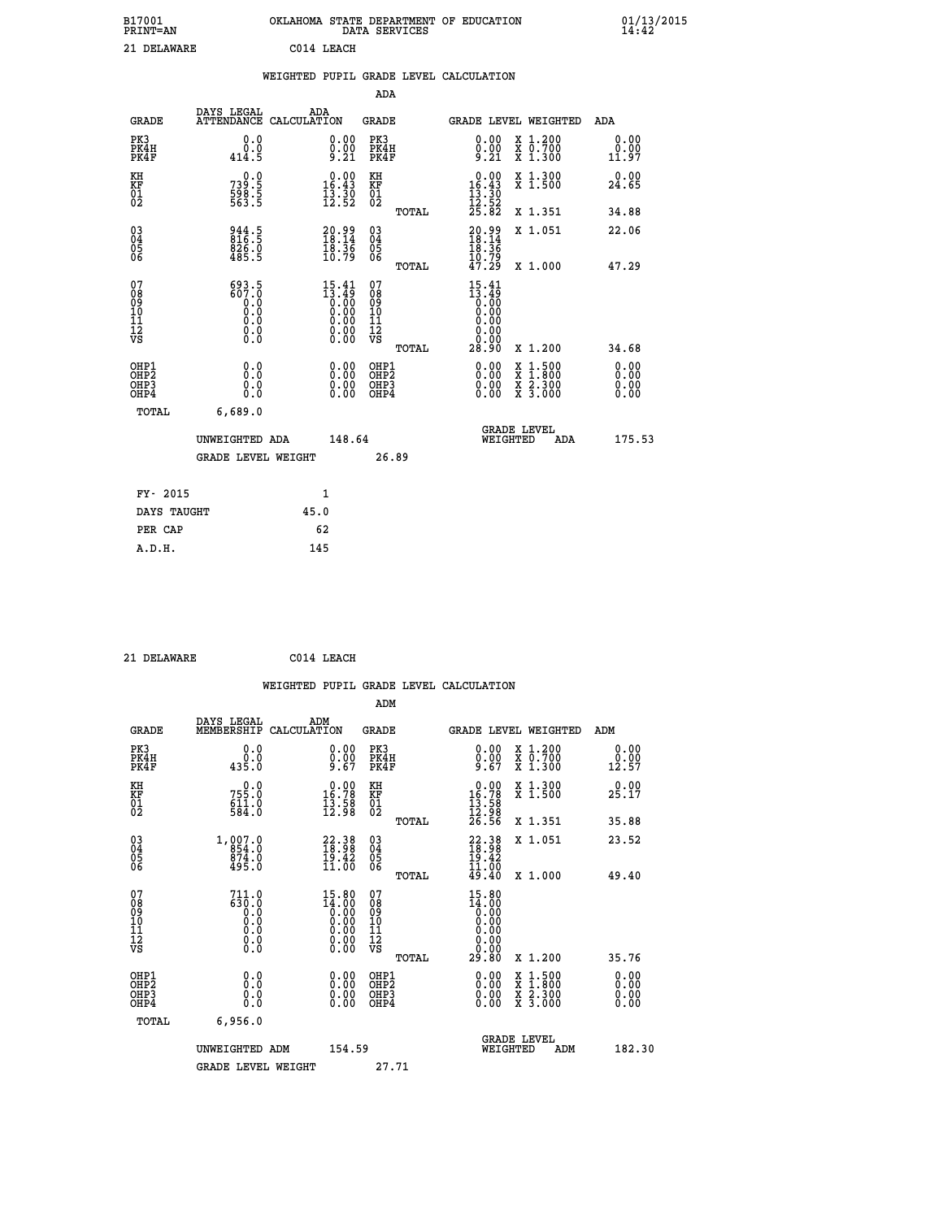| B17001<br><b>PRINT=AN</b> | OKLAHOMA STATE DEPARTMENT OF EDUCATION<br>DATA SERVICES |  |
|---------------------------|---------------------------------------------------------|--|
| 21 DELAWARE               | C014 LEACH                                              |  |

|                                          |                                                | WEIGHTED PUPIL GRADE LEVEL CALCULATION                                                  |                                                                   |                                          |       |                                                                         |                                                                                          |                              |
|------------------------------------------|------------------------------------------------|-----------------------------------------------------------------------------------------|-------------------------------------------------------------------|------------------------------------------|-------|-------------------------------------------------------------------------|------------------------------------------------------------------------------------------|------------------------------|
|                                          |                                                |                                                                                         |                                                                   | <b>ADA</b>                               |       |                                                                         |                                                                                          |                              |
| <b>GRADE</b>                             | DAYS LEGAL                                     | ADA<br>ATTENDANCE CALCULATION                                                           |                                                                   | <b>GRADE</b>                             |       | GRADE LEVEL WEIGHTED                                                    |                                                                                          | <b>ADA</b>                   |
| PK3<br>PK4H<br>PK4F                      | 0.0<br>0.0<br>414.5                            |                                                                                         | 0.00<br>$\frac{0.00}{9.21}$                                       | PK3<br>PK4H<br>PK4F                      |       | 0.00<br>$\frac{0.00}{9.21}$                                             | X 1.200<br>X 0.700<br>X 1.300                                                            | 0.00<br>0.00<br>11.97        |
| KH<br>KF<br>01<br>02                     | $739.5$<br>598.5<br>563.5                      | $0.00$<br>16.43<br>$\frac{13}{12}$ $\frac{30}{52}$                                      |                                                                   | KH<br><b>KF</b><br>01<br>02              |       | $\begin{array}{r} 0.00 \\ 16.43 \\ 13.30 \\ 12.52 \\ 25.82 \end{array}$ | X 1.300<br>X 1.500                                                                       | 0.00<br>24.65                |
|                                          |                                                |                                                                                         |                                                                   |                                          | TOTAL |                                                                         | X 1.351                                                                                  | 34.88                        |
| $^{03}_{04}$<br>Ŏ5<br>06                 | 944.5<br>816.5<br>$826.0$<br>485.5             | $\begin{smallmatrix} 20.99\\18.14\\18.36\\10.79 \end{smallmatrix}$                      |                                                                   | $\substack{03 \\ 04}$<br>$\frac{05}{06}$ |       | $\frac{20.99}{18.14}$                                                   | X 1.051                                                                                  | 22.06                        |
|                                          |                                                |                                                                                         |                                                                   |                                          | TOTAL | $\frac{10.79}{47.29}$                                                   | X 1.000                                                                                  | 47.29                        |
| 07<br>08<br>09<br>11<br>11<br>12<br>VS   | $693.5$<br>$607.0$<br>0.0<br>Ō.Ō<br>0.0<br>Ŏ.Ŏ | $\begin{smallmatrix} 15.41\\13.49\\0.00\\0.00\\0.00\\0.00\\0.00\\0.00\end{smallmatrix}$ |                                                                   | 07<br>08<br>09<br>11<br>11<br>12<br>VS   | TOTAL | 15.41<br>13.49<br>0.00<br>0.00<br>0.00<br>28.90                         | X 1.200                                                                                  | 34.68                        |
| OHP1<br>OH <sub>P2</sub><br>OHP3<br>OHP4 | 0.0<br>ŏ.ŏ<br>0.0<br>0.0                       |                                                                                         | $\begin{smallmatrix} 0.00 \ 0.00 \ 0.00 \ 0.00 \end{smallmatrix}$ | OHP1<br>OHP <sub>2</sub><br>OHP3<br>OHP4 |       | 0.00<br>Ŏ.ŎŎ<br>0.00                                                    | $\begin{smallmatrix} x & 1.500 \\ x & 1.800 \\ x & 2.300 \\ x & 3.000 \end{smallmatrix}$ | 0.00<br>0.00<br>0.00<br>0.00 |
| TOTAL                                    | 6,689.0                                        |                                                                                         |                                                                   |                                          |       |                                                                         |                                                                                          |                              |
|                                          | UNWEIGHTED ADA                                 |                                                                                         | 148.64                                                            |                                          |       | WEIGHTED                                                                | <b>GRADE LEVEL</b><br>ADA                                                                | 175.53                       |
|                                          | <b>GRADE LEVEL WEIGHT</b>                      |                                                                                         |                                                                   | 26.89                                    |       |                                                                         |                                                                                          |                              |
| FY- 2015                                 |                                                | $\mathbf{1}$                                                                            |                                                                   |                                          |       |                                                                         |                                                                                          |                              |
| DAYS TAUGHT                              |                                                | 45.0                                                                                    |                                                                   |                                          |       |                                                                         |                                                                                          |                              |
| PER CAP                                  |                                                | 62                                                                                      |                                                                   |                                          |       |                                                                         |                                                                                          |                              |

 **21 DELAWARE C014 LEACH**

 **A.D.H. 145**

 **B17001<br>PRINT=AN** 

|                                                    |                                                           |                    |                                                                                                        |                                        |       | WEIGHTED PUPIL GRADE LEVEL CALCULATION                                                                                                                                                                                                                                         |                                          |       |                      |
|----------------------------------------------------|-----------------------------------------------------------|--------------------|--------------------------------------------------------------------------------------------------------|----------------------------------------|-------|--------------------------------------------------------------------------------------------------------------------------------------------------------------------------------------------------------------------------------------------------------------------------------|------------------------------------------|-------|----------------------|
|                                                    |                                                           |                    |                                                                                                        | ADM                                    |       |                                                                                                                                                                                                                                                                                |                                          |       |                      |
| <b>GRADE</b>                                       | DAYS LEGAL<br>MEMBERSHIP                                  | ADM<br>CALCULATION |                                                                                                        | GRADE                                  |       | <b>GRADE LEVEL WEIGHTED</b>                                                                                                                                                                                                                                                    |                                          | ADM   |                      |
| PK3<br>PK4H<br>PK4F                                | 0.0<br>ة:ة<br>435:0                                       |                    | $0.00$<br>$0.00$<br>$9.67$                                                                             | PK3<br>PK4H<br>PK4F                    |       | $0.00$<br>$0.00$<br>$9.67$                                                                                                                                                                                                                                                     | X 1.200<br>X 0.700<br>X 1.300            | 12.57 | 0.00<br>0.00         |
| KH<br>KF<br>01<br>02                               | $755.0$<br>$611.0$<br>$584.0$                             |                    | $\begin{smallmatrix} 0.00\\ 16.78\\ 13.58\\ 12.98 \end{smallmatrix}$                                   | KH<br>KF<br>01<br>02                   |       | $\begin{smallmatrix} 0.00\\ 16.78\\ 13.58\\ 12.98\\ 26.56 \end{smallmatrix}$                                                                                                                                                                                                   | X 1.300<br>X 1.500                       | 25.17 | 0.00                 |
|                                                    |                                                           |                    |                                                                                                        |                                        | TOTAL |                                                                                                                                                                                                                                                                                | X 1.351                                  | 35.88 |                      |
| $\begin{matrix} 03 \\ 04 \\ 05 \\ 06 \end{matrix}$ | $1,007.0$<br>854.0<br>874.0<br>495.0                      |                    | $\begin{smallmatrix} 22.38\\ 18.98\\ 19.42\\ 11.00 \end{smallmatrix}$                                  | 03<br>04<br>05<br>06                   |       | $22.3818.9819.4211.0049.40$                                                                                                                                                                                                                                                    | X 1.051                                  | 23.52 |                      |
|                                                    |                                                           |                    |                                                                                                        |                                        | TOTAL |                                                                                                                                                                                                                                                                                | X 1.000                                  | 49.40 |                      |
| 07<br>08<br>09<br>101<br>112<br>VS                 | $711.0$<br>$630.0$<br>$0.0$<br>$0.0$<br>0.0<br>$\S.$ $\S$ |                    | $\begin{smallmatrix} 15.80 \\ 14.00 \\ 0.00 \\ 0.00 \\ 0.00 \\ 0.00 \\ 0.00 \\ 0.00 \end{smallmatrix}$ | 07<br>08<br>09<br>11<br>11<br>12<br>VS | TOTAL | 15.80<br>$\begin{smallmatrix} 14.000 14.000 0.000 \end{smallmatrix}$<br>0.00<br>0.00<br>29.80                                                                                                                                                                                  | X 1.200                                  | 35.76 |                      |
| OHP1                                               |                                                           |                    |                                                                                                        | OHP1                                   |       |                                                                                                                                                                                                                                                                                |                                          |       | 0.00                 |
| OHP <sub>2</sub><br>OHP3<br>OHP4                   | 0.0<br>0.000                                              |                    | $0.00$<br>$0.00$<br>0.00                                                                               | OHP <sub>2</sub><br>OHP3<br>OHP4       |       | $\begin{smallmatrix} 0.00 & 0.00 & 0.00 & 0.00 & 0.00 & 0.00 & 0.00 & 0.00 & 0.00 & 0.00 & 0.00 & 0.00 & 0.00 & 0.00 & 0.00 & 0.00 & 0.00 & 0.00 & 0.00 & 0.00 & 0.00 & 0.00 & 0.00 & 0.00 & 0.00 & 0.00 & 0.00 & 0.00 & 0.00 & 0.00 & 0.00 & 0.00 & 0.00 & 0.00 & 0.00 & 0.0$ | X 1:500<br>X 1:800<br>X 2:300<br>X 3:000 |       | 0.00<br>0.00<br>0.00 |
| TOTAL                                              | 6,956.0                                                   |                    |                                                                                                        |                                        |       |                                                                                                                                                                                                                                                                                |                                          |       |                      |
|                                                    | UNWEIGHTED ADM                                            |                    | 154.59                                                                                                 |                                        |       | WEIGHTED                                                                                                                                                                                                                                                                       | <b>GRADE LEVEL</b><br>ADM                |       | 182.30               |
|                                                    | <b>GRADE LEVEL WEIGHT</b>                                 |                    |                                                                                                        | 27.71                                  |       |                                                                                                                                                                                                                                                                                |                                          |       |                      |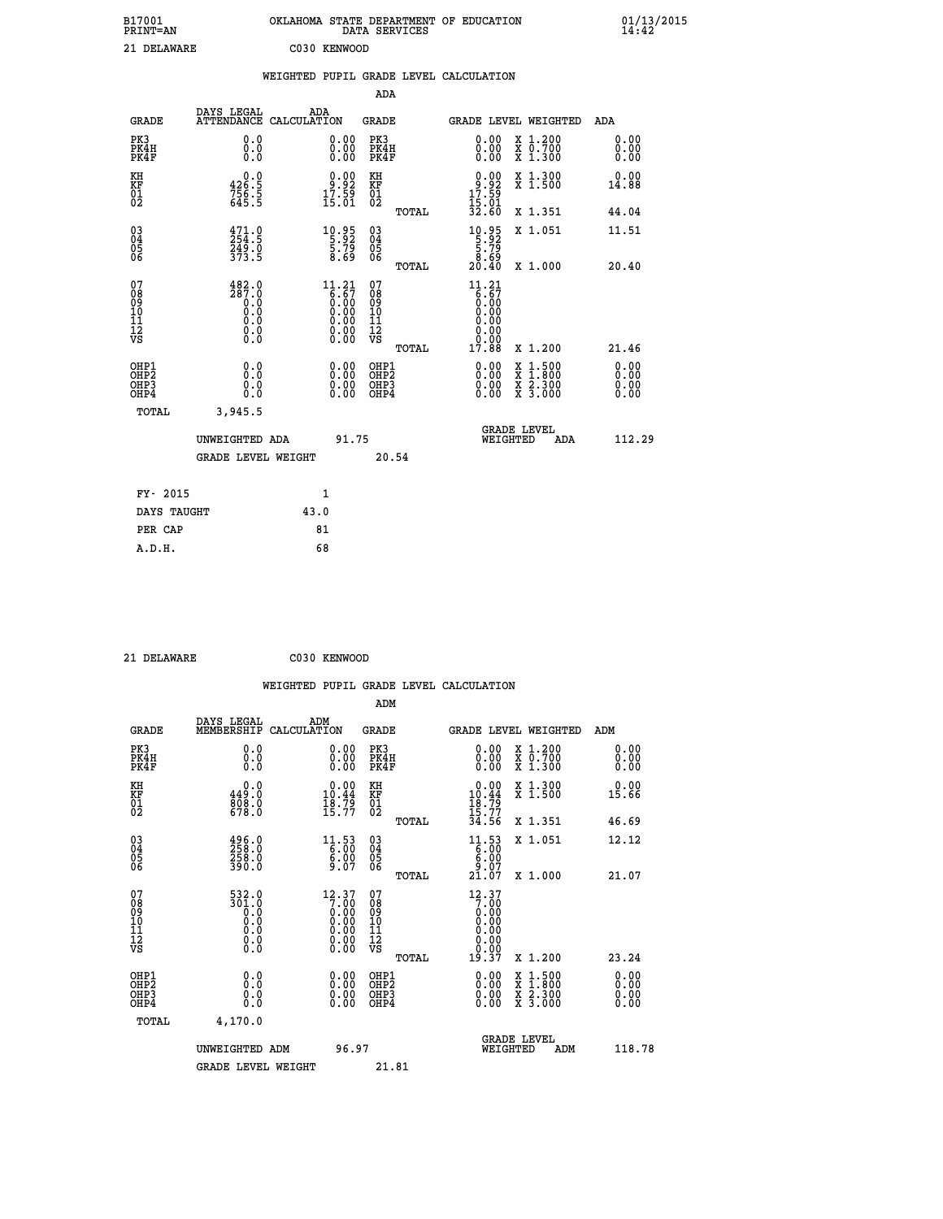| B17001<br><b>PRINT=AN</b> | OKLAHOMA STATE DEPARTMENT OF EDUCATION<br>DATA SERVICES |  | 01/13/2015 |
|---------------------------|---------------------------------------------------------|--|------------|
| 21 DELAWARE               | C030 KENWOOD                                            |  |            |

|                                                    |                                                | WEIGHTED PUPIL GRADE LEVEL CALCULATION |                      |       |                               |                                 |                 |
|----------------------------------------------------|------------------------------------------------|----------------------------------------|----------------------|-------|-------------------------------|---------------------------------|-----------------|
|                                                    |                                                |                                        | ADA                  |       |                               |                                 |                 |
| GRADE                                              | DAYS LEGAL                                     | ADA<br>ATTENDANCE CALCULATION          | GRADE                |       | GRADE LEVEL WEIGHTED          |                                 | ADA             |
| PK3<br>PK4H<br>PK4F                                | 0.0000<br>0.0                                  | 0.0000<br>0.00                         | PK3<br>PK4H<br>PK4F  |       | 0.0000<br>0.00                | X 1.200<br>X 0.700<br>$X$ 1.300 |                 |
| KH<br>KF<br>01<br>02                               | $326.5$<br>$756.5$<br>$645.5$                  | 9:92<br>$17.59$<br>$15.01$             | KH<br>KF<br>01<br>02 |       | 9:92<br>$17.59$<br>$15.01$    | X 1.300<br>X <sub>1.500</sub>   | $0.00$<br>14.88 |
|                                                    |                                                |                                        |                      | TOTAL | 32.60                         | X 1.351                         | 44.04           |
| $\begin{matrix} 03 \\ 04 \\ 05 \\ 06 \end{matrix}$ | $\frac{471}{254}$ : 9<br>$\frac{749.0}{373.5}$ | $10.95$<br>5.92<br>5.79<br>8.69        | 030404<br>06         |       | 10.95<br>5.92<br>5.79<br>8.69 | X 1.051                         | 11.51           |
|                                                    |                                                |                                        |                      | TOTAL | 2Ŏ<br>.40                     | X 1.000                         | 20.40           |

| 078<br>089<br>0910<br>111<br>12<br>VS                | $\frac{482.0}{287.0}$<br>$\begin{smallmatrix} 0.0 & 0 \ 0.0 & 0 \ 0.0 & 0 \ 0.0 & 0 \end{smallmatrix}$ |      | 11.21<br>ま:67<br>0:00<br>0:00<br>0:00<br>0:00                     | 07<br>08<br>09<br>11<br>11<br>12<br>VS<br>TOTAL | 11.21<br>$\begin{array}{c} 6.67 \ 6.00 \ 0.00 \ 0.00 \ 0.00 \end{array}$<br>17.88 | X 1.200                                                                                               | 21.46                                                                                                                                                                                                                                                                          |
|------------------------------------------------------|--------------------------------------------------------------------------------------------------------|------|-------------------------------------------------------------------|-------------------------------------------------|-----------------------------------------------------------------------------------|-------------------------------------------------------------------------------------------------------|--------------------------------------------------------------------------------------------------------------------------------------------------------------------------------------------------------------------------------------------------------------------------------|
| OHP1<br>OHP <sub>2</sub><br>OH <sub>P3</sub><br>OHP4 | 0.0<br>0.000                                                                                           |      | $\begin{smallmatrix} 0.00 \ 0.00 \ 0.00 \ 0.00 \end{smallmatrix}$ | OHP1<br>OHP <sub>2</sub><br>OHP3<br>OHP4        |                                                                                   | $\begin{smallmatrix} x & 1.500 \\ x & 1.800 \end{smallmatrix}$<br>$\frac{x}{x}$ $\frac{5:300}{3:000}$ | $\begin{smallmatrix} 0.00 & 0.00 & 0.00 & 0.00 & 0.00 & 0.00 & 0.00 & 0.00 & 0.00 & 0.00 & 0.00 & 0.00 & 0.00 & 0.00 & 0.00 & 0.00 & 0.00 & 0.00 & 0.00 & 0.00 & 0.00 & 0.00 & 0.00 & 0.00 & 0.00 & 0.00 & 0.00 & 0.00 & 0.00 & 0.00 & 0.00 & 0.00 & 0.00 & 0.00 & 0.00 & 0.0$ |
| TOTAL                                                | 3,945.5                                                                                                |      |                                                                   |                                                 |                                                                                   | <b>GRADE LEVEL</b>                                                                                    |                                                                                                                                                                                                                                                                                |
|                                                      | UNWEIGHTED ADA                                                                                         |      | 91.75                                                             |                                                 | WEIGHTED                                                                          | ADA                                                                                                   | 112.29                                                                                                                                                                                                                                                                         |
|                                                      | <b>GRADE LEVEL WEIGHT</b>                                                                              |      |                                                                   | 20.54                                           |                                                                                   |                                                                                                       |                                                                                                                                                                                                                                                                                |
| FY- 2015                                             |                                                                                                        |      | 1                                                                 |                                                 |                                                                                   |                                                                                                       |                                                                                                                                                                                                                                                                                |
| DAVS MANCHM                                          |                                                                                                        | 43 O |                                                                   |                                                 |                                                                                   |                                                                                                       |                                                                                                                                                                                                                                                                                |

| CLUA TIT    |      |
|-------------|------|
| DAYS TAUGHT | 43.0 |
| PER CAP     | 81   |
| A.D.H.      | 68   |
|             |      |

 **21 DELAWARE C030 KENWOOD**

|                                  |                                                                                      |                    |                                                                                                |                                                     |       | WEIGHTED PUPIL GRADE LEVEL CALCULATION                                                                                             |                                          |                      |  |
|----------------------------------|--------------------------------------------------------------------------------------|--------------------|------------------------------------------------------------------------------------------------|-----------------------------------------------------|-------|------------------------------------------------------------------------------------------------------------------------------------|------------------------------------------|----------------------|--|
|                                  |                                                                                      |                    |                                                                                                | ADM                                                 |       |                                                                                                                                    |                                          |                      |  |
| <b>GRADE</b>                     | DAYS LEGAL<br>MEMBERSHIP                                                             | ADM<br>CALCULATION |                                                                                                | <b>GRADE</b>                                        |       | <b>GRADE LEVEL WEIGHTED</b>                                                                                                        |                                          | ADM                  |  |
| PK3<br>PK4H<br>PK4F              | 0.0<br>0.0<br>0.0                                                                    |                    | 0.0000<br>ŏ.ŏŏ                                                                                 | PK3<br>PK4H<br>PK4F                                 |       | 0.00<br>0.00                                                                                                                       | X 1.200<br>X 0.700<br>X 1.300            | 0.00<br>0.00<br>0.00 |  |
| KH<br>KF<br>01<br>02             | 0.0<br>449.0<br>808.0<br>678.0                                                       |                    | $0.00$<br>10.44<br>$\frac{18.79}{15.77}$                                                       | KH<br>KF<br>$\begin{matrix} 01 \ 02 \end{matrix}$   |       | $0.00$<br>$10.44$<br>$18.79$<br>$15.77$<br>$34.56$                                                                                 | X 1.300<br>X 1.500                       | 0.00<br>15.66        |  |
|                                  |                                                                                      |                    |                                                                                                |                                                     | TOTAL |                                                                                                                                    | X 1.351                                  | 46.69                |  |
| 03<br>04<br>05<br>06             | 496.0<br>258.0<br>258.0<br>390.0                                                     |                    | $\begin{smallmatrix} 11.53\ 6.00\ 6.00\ 9.07 \end{smallmatrix}$                                | $\begin{array}{c} 03 \\ 04 \\ 05 \\ 06 \end{array}$ |       | $\begin{smallmatrix} 11\cdot 53\\[-1.2mm] 6\cdot 00\\[-1.2mm] 6\cdot 00\\[-1.2mm] 9\cdot 07\\[-1.2mm] 21\cdot 07\end{smallmatrix}$ | X 1.051                                  | 12.12                |  |
|                                  |                                                                                      |                    |                                                                                                |                                                     | TOTAL |                                                                                                                                    | X 1.000                                  | 21.07                |  |
| 07<br>08901112<br>1112<br>VS     | $\begin{smallmatrix} 532.0\\ 301.0\\ 0\\ 0\\ 0\\ 0\\ 0\\ \end{smallmatrix}$<br>0.000 |                    | $\begin{smallmatrix} 12.37\ 7.00\ 0.00\ 0.00\ 0.00\ 0.00\ 0.00\ 0.00\ 0.00\ \end{smallmatrix}$ | 07<br>08901112<br>1112<br>VS                        | TOTAL | 12.37<br>7.000000000000<br>0.00<br>0.00<br>19.37                                                                                   | X 1.200                                  | 23.24                |  |
| OHP1                             |                                                                                      |                    |                                                                                                | OHP1                                                |       |                                                                                                                                    |                                          |                      |  |
| OHP <sub>2</sub><br>OHP3<br>OHP4 | 0.0<br>0.0<br>Ŏ.Ŏ                                                                    |                    | $0.00$<br>$0.00$<br>0.00                                                                       | OHP <sub>2</sub><br>OHP3<br>OHP4                    |       | 0.00<br>$0.00$<br>0.00                                                                                                             | X 1:500<br>X 1:800<br>X 2:300<br>X 3:000 | 0.00<br>0.00<br>0.00 |  |
| TOTAL                            | 4,170.0                                                                              |                    |                                                                                                |                                                     |       |                                                                                                                                    |                                          |                      |  |
|                                  | UNWEIGHTED ADM                                                                       |                    | 96.97                                                                                          |                                                     |       | <b>GRADE LEVEL</b><br>WEIGHTED                                                                                                     | ADM                                      | 118.78               |  |
|                                  | <b>GRADE LEVEL WEIGHT</b>                                                            |                    |                                                                                                | 21.81                                               |       |                                                                                                                                    |                                          |                      |  |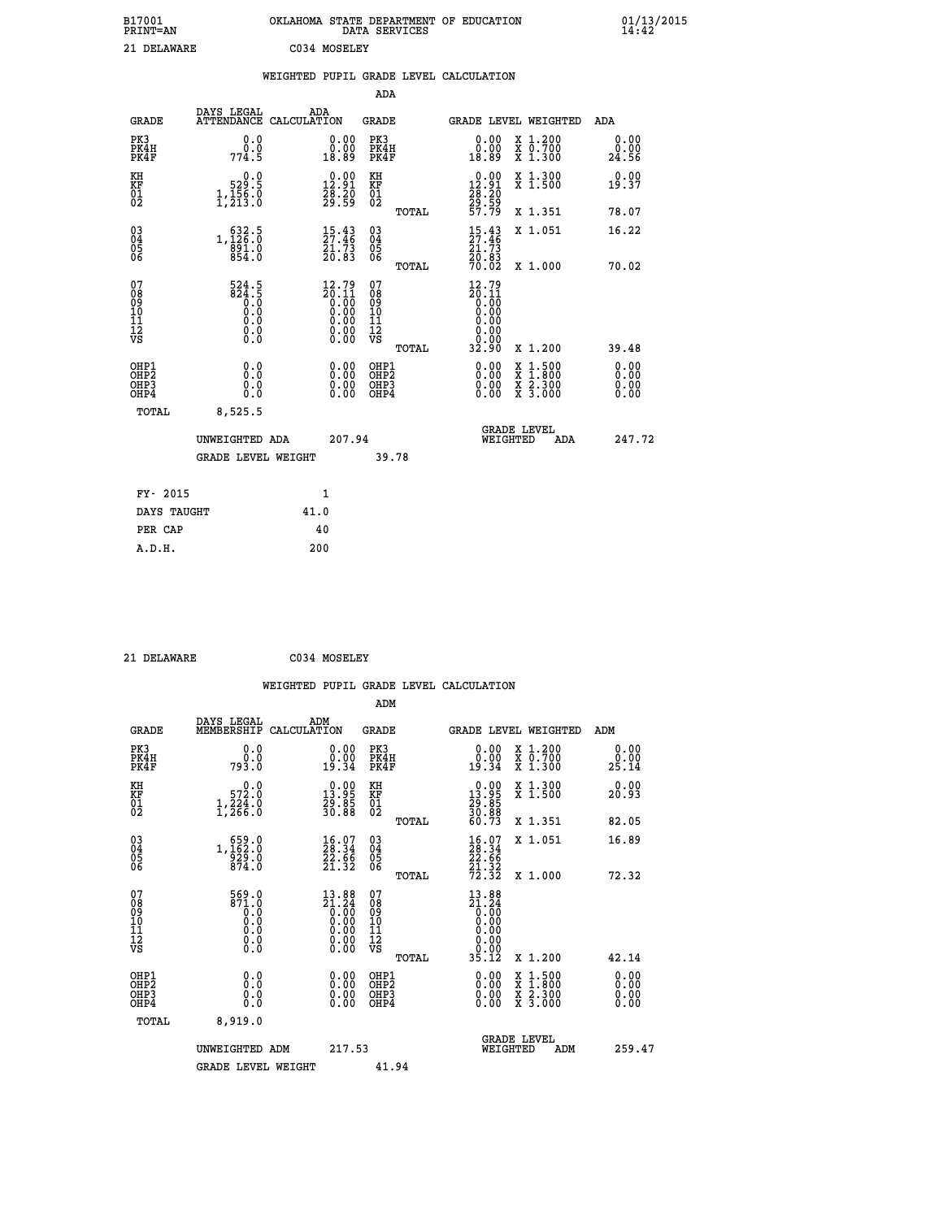| B17001<br>PRINT=AN | . STATE DEPARTMENT OF EDUCATION<br><b>OKLAHOMA</b><br>DATA SERVICES | 01/13/2015<br>14:42 |
|--------------------|---------------------------------------------------------------------|---------------------|
| 21 DELAWARE        | C034 MOSELEY                                                        |                     |

| 41 <i>D</i> yyniya                                                 |                                                                             |      | COUT RODDDIA                                                                                           |                                        |       |                                                                                                |                                                                                          |                              |
|--------------------------------------------------------------------|-----------------------------------------------------------------------------|------|--------------------------------------------------------------------------------------------------------|----------------------------------------|-------|------------------------------------------------------------------------------------------------|------------------------------------------------------------------------------------------|------------------------------|
|                                                                    |                                                                             |      |                                                                                                        |                                        |       | WEIGHTED PUPIL GRADE LEVEL CALCULATION                                                         |                                                                                          |                              |
|                                                                    |                                                                             |      |                                                                                                        | <b>ADA</b>                             |       |                                                                                                |                                                                                          |                              |
| <b>GRADE</b>                                                       | DAYS LEGAL<br>ATTENDANCE CALCULATION                                        |      | ADA                                                                                                    | GRADE                                  |       | <b>GRADE LEVEL WEIGHTED</b>                                                                    |                                                                                          | ADA                          |
| PK3<br>PK4H<br>PK4F                                                | 0.0<br>0.0<br>774.5                                                         |      | 0.00<br>18.89                                                                                          | PK3<br>PK4H<br>PK4F                    |       | 0.00<br>0.00<br>18.89                                                                          | X 1.200<br>X 0.700<br>X 1.300                                                            | 0.00<br>0.00<br>24.56        |
| KH<br>KF<br>01<br>02                                               | 0.0<br>529:5<br>1,156:0<br>1,213:0                                          |      | $\begin{smallmatrix} 0.00\\ 12.91\\ 28.20\\ 29.59 \end{smallmatrix}$                                   | KH<br>KF<br>01<br>02                   |       | $\begin{smallmatrix} 0.00\\ 12.91\\ 28.20\\ 29.59\\ 57.79 \end{smallmatrix}$                   | X 1.300<br>X 1.500                                                                       | 0.00<br>19.37                |
|                                                                    |                                                                             |      |                                                                                                        |                                        | TOTAL |                                                                                                | X 1.351                                                                                  | 78.07                        |
| $\begin{smallmatrix} 03 \\[-4pt] 04 \end{smallmatrix}$<br>05<br>06 | 1, 126:5<br>891.0<br>854.0                                                  |      | $\frac{15}{27}:\frac{43}{46}$<br>21.73<br>20.83                                                        | $\substack{03 \\ 04}$<br>0500          |       | $\frac{15.43}{27.46}$<br>$\frac{21.73}{20.83}$                                                 | X 1.051                                                                                  | 16.22                        |
|                                                                    |                                                                             |      |                                                                                                        |                                        | TOTAL | 70.02                                                                                          | X 1.000                                                                                  | 70.02                        |
| 07<br>08<br>09<br>11<br>11<br>12<br>VS                             | $\begin{array}{c} 524.5 \\ 824.5 \\ 0.5 \\ 0.0 \end{array}$<br>Ō.Ō<br>$\S.$ |      | $\begin{smallmatrix} 12.79 \\ 20.11 \\ 0.00 \\ 0.00 \\ 0.00 \\ 0.00 \\ 0.00 \\ 0.00 \end{smallmatrix}$ | 07<br>08<br>09<br>11<br>11<br>12<br>VS |       | $\begin{smallmatrix} 12.79 \\ 20.11 \\ 0.00 \\ 0.00 \end{smallmatrix}$<br>0.00<br>0.00<br>0.00 |                                                                                          |                              |
|                                                                    |                                                                             |      |                                                                                                        |                                        | TOTAL | 32.90                                                                                          | X 1.200                                                                                  | 39.48                        |
| OHP1<br>OHP <sub>2</sub><br>OHP3<br>OHP4                           | 0.0<br>0.0<br>0.0                                                           |      | 0.00<br>$\begin{smallmatrix} 0.00 \ 0.00 \end{smallmatrix}$                                            | OHP1<br>OHP2<br>OHP3<br>OHP4           |       | 0.00<br>0.00<br>0.00                                                                           | $\begin{smallmatrix} x & 1.500 \\ x & 1.800 \\ x & 2.300 \\ x & 3.000 \end{smallmatrix}$ | 0.00<br>Ŏ.ŎŎ<br>0.00<br>0.00 |
| <b>TOTAL</b>                                                       | 8,525.5                                                                     |      |                                                                                                        |                                        |       |                                                                                                |                                                                                          |                              |
|                                                                    | UNWEIGHTED ADA                                                              |      | 207.94                                                                                                 |                                        |       | WEIGHTED                                                                                       | <b>GRADE LEVEL</b><br>ADA                                                                | 247.72                       |
|                                                                    | <b>GRADE LEVEL WEIGHT</b>                                                   |      |                                                                                                        |                                        | 39.78 |                                                                                                |                                                                                          |                              |
| FY- 2015                                                           |                                                                             |      | 1                                                                                                      |                                        |       |                                                                                                |                                                                                          |                              |
| DAYS TAUGHT                                                        |                                                                             | 41.0 |                                                                                                        |                                        |       |                                                                                                |                                                                                          |                              |
| PER CAP                                                            |                                                                             |      | 40                                                                                                     |                                        |       |                                                                                                |                                                                                          |                              |

 **21 DELAWARE C034 MOSELEY**

 **A.D.H. 200**

| ADM                                                                                                                                                                                                                                                                                                                      |                       |
|--------------------------------------------------------------------------------------------------------------------------------------------------------------------------------------------------------------------------------------------------------------------------------------------------------------------------|-----------------------|
| DAYS LEGAL<br>ADM<br>MEMBERSHIP<br><b>GRADE</b><br>CALCULATION<br><b>GRADE</b><br>GRADE LEVEL WEIGHTED<br>ADM                                                                                                                                                                                                            |                       |
| PK3<br>$\begin{smallmatrix} 0.00\\ 0.00\\ 19.34 \end{smallmatrix}$<br>PK3<br>$\begin{smallmatrix} 0.00\\ 0.00\\ 19.34 \end{smallmatrix}$<br>X 1.200<br>X 0.700<br>X 1.300<br>0.0<br>PK4H<br>0.0<br>PK4H<br>PK4F<br>793.0<br>PK4F                                                                                         | 0.00<br>0.00<br>25.14 |
| $\begin{smallmatrix} 0.00\\ 13.95\\ 29.85\\ 30.88\\ 60.73 \end{smallmatrix}$<br>X 1.300<br>X 1.500<br>KH<br>$\begin{smallmatrix} 0.00\\ 13.95\\ 29.85\\ 30.88 \end{smallmatrix}$<br>KH<br>$\begin{smallmatrix}&&0.0\\572.0\\1,224.0\\1,266.0\end{smallmatrix}$<br>KF<br>01<br>02<br>KF<br>01<br>02                       | 0.00<br>20.93         |
| X 1.351<br>TOTAL                                                                                                                                                                                                                                                                                                         | 82.05                 |
| $\begin{matrix} 03 \\ 04 \\ 05 \\ 06 \end{matrix}$<br>$\begin{smallmatrix} 16.07\\ 28.34\\ 22.66\\ 21.32\\ 72.32 \end{smallmatrix}$<br>$1, \begin{smallmatrix} 659.0\\ 162.0\\ 929.0\\ 874.0 \end{smallmatrix}$<br>03<br>04<br>05<br>06<br>X 1.051<br>$\begin{smallmatrix} 16.07\ 28.34\ 22.66\ 21.32 \end{smallmatrix}$ | 16.89                 |
| TOTAL<br>X 1.000                                                                                                                                                                                                                                                                                                         | 72.32                 |
| 07<br>07<br>13.88<br>569.0<br>871.0<br>$\begin{smallmatrix} 13.88\\21.24\\0.00\\0.00\\0.00\\0.00\\0.00\\0.00\end{smallmatrix}$<br>08<br>09<br>101<br>112<br>VS<br>08<br>09<br>11<br>11<br>12<br>VS<br>$21.24$<br>0.00<br>0.00<br>0.00<br>0.00<br>0.00<br>35.12<br>ŏ:ŏ<br>0:0<br>0:0<br>$\S.$<br>X 1.200                  | 42.14                 |
| TOTAL                                                                                                                                                                                                                                                                                                                    |                       |
| OHP1<br>OHP2<br>0.00<br>0.0<br>$0.00$<br>$0.00$<br>OHP1<br>OHP2<br>X 1:500<br>X 1:800<br>X 2:300<br>X 3:000<br>0.00<br>0.000<br>OHP3<br>OHP <sub>3</sub><br>0.00<br>0.00<br>OHP4                                                                                                                                         | 0.00<br>0.00<br>0.00  |
| 8,919.0<br>TOTAL                                                                                                                                                                                                                                                                                                         |                       |
| <b>GRADE LEVEL</b><br>217.53<br>UNWEIGHTED ADM<br>WEIGHTED<br>ADM<br><b>GRADE LEVEL WEIGHT</b><br>41.94                                                                                                                                                                                                                  | 259.47                |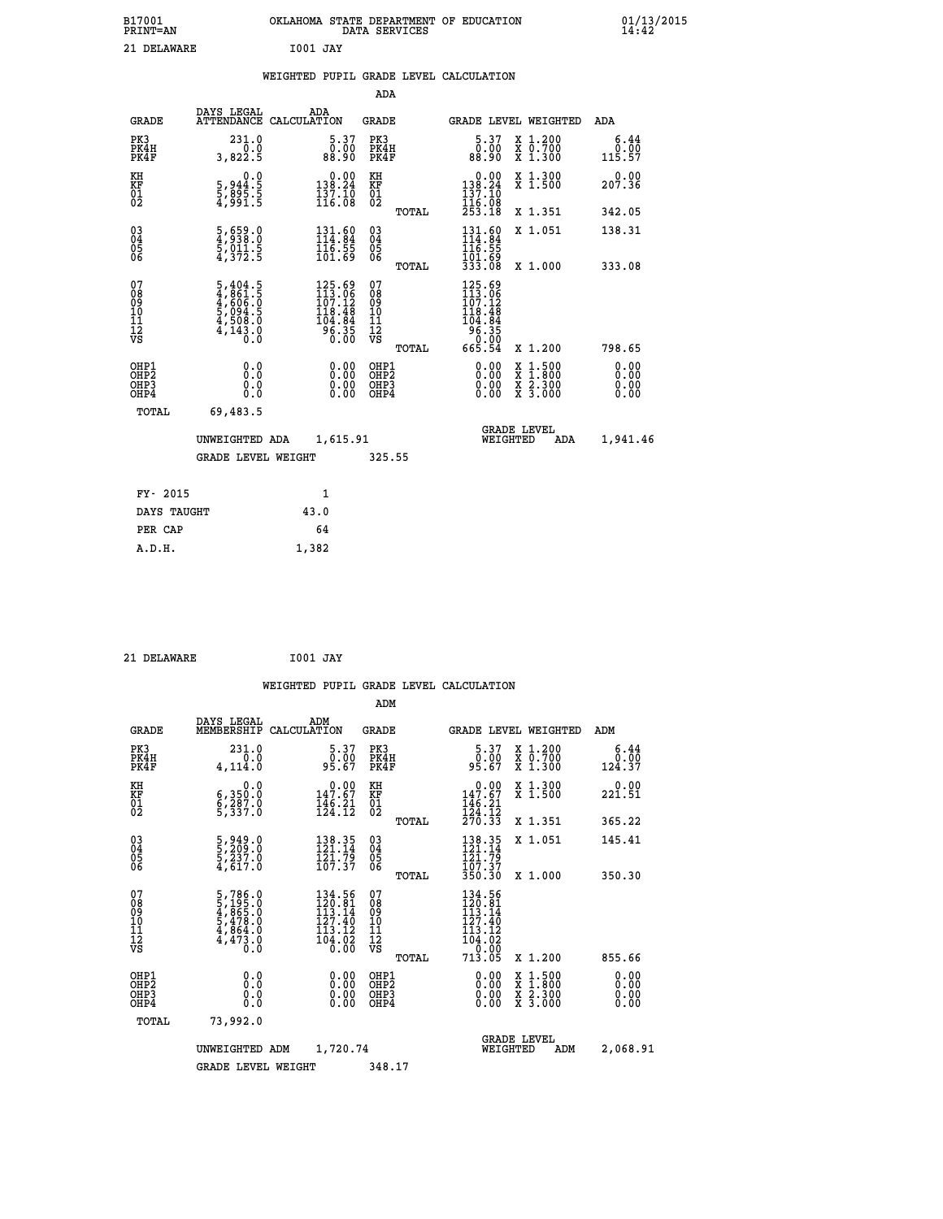| B17001<br><b>PRINT=AN</b>                          |                                                                                                 | OKLAHOMA STATE DEPARTMENT OF EDUCATION<br>DATA SERVICES                                    |                                          |                                                                                                                                                                   | 01/13/2015                   |
|----------------------------------------------------|-------------------------------------------------------------------------------------------------|--------------------------------------------------------------------------------------------|------------------------------------------|-------------------------------------------------------------------------------------------------------------------------------------------------------------------|------------------------------|
| 21 DELAWARE                                        |                                                                                                 | <b>I001 JAY</b>                                                                            |                                          |                                                                                                                                                                   |                              |
|                                                    |                                                                                                 | WEIGHTED PUPIL GRADE LEVEL CALCULATION                                                     |                                          |                                                                                                                                                                   |                              |
|                                                    |                                                                                                 |                                                                                            | ADA                                      |                                                                                                                                                                   |                              |
| <b>GRADE</b>                                       | DAYS LEGAL                                                                                      | ADA<br>ATTENDANCE CALCULATION                                                              | GRADE                                    | <b>GRADE LEVEL WEIGHTED</b>                                                                                                                                       | ADA                          |
| PK3<br>PK4H<br>PK4F                                | 231.0<br>3,822.5                                                                                | $\begin{smallmatrix} 5.37\ 0.00\ 88.90 \end{smallmatrix}$                                  | PK3<br>PK4H<br>PK4F                      | $\begin{smallmatrix} 5.37\ 0.00\ 88.90 \end{smallmatrix}$<br>X 1.200<br>X 0.700<br>X 1.300                                                                        | 6.44<br>0.00<br>115.57       |
| KH<br>KF<br>01<br>02                               | 0.0<br>5,944:5<br>5,895:5<br>4,991:5                                                            | $\begin{smallmatrix} &0.00\\ 138.24\\ 137.10\\ 116.08\end{smallmatrix}$                    | KH<br>KF<br>01<br>02                     | X 1.300<br>X 1.500<br>0.00<br>138.24<br>137.10<br>116.08<br>253.18                                                                                                | 0.00<br>207.36               |
|                                                    |                                                                                                 |                                                                                            | TOTAL                                    | X 1.351                                                                                                                                                           | 342.05                       |
| $\begin{matrix} 03 \\ 04 \\ 05 \\ 06 \end{matrix}$ | $\frac{5}{4}, \frac{659}{938}.0 \ \frac{5}{5}, \frac{011}{372}.5$                               | $\begin{array}{l} 131.60 \\ 114.84 \\ 116.55 \\ 101.69 \end{array}$                        | 03<br>04<br>05<br>06<br>TOTAL            | 131.60<br>X 1.051<br>116.55<br>101.69<br>333.08<br>X 1,000                                                                                                        | 138.31<br>333.08             |
| 078901112<br>00901112<br>VS                        | $\begin{smallmatrix}5,404.5\\4,861.5\\4,606.0\\5,094.5\\4,508.0\\4,143.0\\0.0\end{smallmatrix}$ | $\begin{smallmatrix} 125.69\\113.06\\107.12\\118.48\\104.84\\96.35\\0.00\end{smallmatrix}$ | 0789011128<br>TOTAL                      | 125.69<br>113.06<br>107.12<br>118.48<br>104.84<br>$56.35$<br>0.00<br>665.54<br>X 1.200                                                                            | 798.65                       |
| OHP1<br>OHP2<br>OHP3<br>OH <sub>P4</sub>           | 0.000<br>0.0<br>0.0                                                                             | 0.00<br>0.00                                                                               | OHP1<br>OHP <sub>2</sub><br>OHP3<br>OHP4 | 0.00<br>$\begin{smallmatrix} \mathtt{X} & 1\cdot500\\ \mathtt{X} & 1\cdot800\\ \mathtt{X} & 2\cdot300\\ \mathtt{X} & 3\cdot000 \end{smallmatrix}$<br>0.00<br>0.00 | 0.00<br>0.00<br>0.00<br>0.00 |
| TOTAL                                              | 69,483.5                                                                                        |                                                                                            |                                          |                                                                                                                                                                   |                              |
|                                                    | UNWEIGHTED ADA<br><b>GRADE LEVEL WEIGHT</b>                                                     | 1,615.91                                                                                   | 325.55                                   | <b>GRADE LEVEL</b><br>WEIGHTED<br>ADA                                                                                                                             | 1,941.46                     |
|                                                    |                                                                                                 |                                                                                            |                                          |                                                                                                                                                                   |                              |
| FY- 2015                                           |                                                                                                 | 1                                                                                          |                                          |                                                                                                                                                                   |                              |

| 21 DELAWARE | <b>I001 JAY</b> |  |
|-------------|-----------------|--|

 **DAYS TAUGHT 43.0 PER CAP** 64  **A.D.H. 1,382**

 **ADM DAYS LEGAL ADM GRADE MEMBERSHIP CALCULATION GRADE GRADE LEVEL WEIGHTED ADM PK3 231.0 5.37 PK3 5.37 X 1.200 6.44 PK4H 0.0 0.00 PK4H 0.00 X 0.700 0.00 PK4F 4,114.0 95.67 PK4F 95.67 X 1.300 124.37 KH 0.0 0.00 KH 0.00 X 1.300 0.00 KF 6,350.0 147.67 KF 147.67 X 1.500 221.51**  $\begin{array}{cccc} \text{KH} & \hspace{1.5cm} 0.0 & \hspace{1.5cm} 0.00 & \text{KH} \\ \text{KF} & \hspace{1.5cm} 6,350.0 & \hspace{1.5cm} 147.67 & \text{KF} \\ 01 & \hspace{1.5cm} 6,337.0 & \hspace{1.5cm} 146.21 & \hspace{1.5cm} 02 \\ \end{array}$ 

|                                                    | <b>GRADE LEVEL WEIGHT</b>                                                           |                                                | 348.17                                             |       |                                                                                          |                                                                                                                     |                          |
|----------------------------------------------------|-------------------------------------------------------------------------------------|------------------------------------------------|----------------------------------------------------|-------|------------------------------------------------------------------------------------------|---------------------------------------------------------------------------------------------------------------------|--------------------------|
|                                                    | UNWEIGHTED<br>ADM                                                                   | 1,720.74                                       |                                                    |       |                                                                                          | <b>GRADE LEVEL</b><br>WEIGHTED<br>ADM                                                                               | 2,068.91                 |
| TOTAL                                              | 73,992.0                                                                            |                                                |                                                    |       |                                                                                          |                                                                                                                     |                          |
| OHP1<br>OHP <sub>2</sub><br>OHP3<br>OHP4           | 0.0<br>0.000                                                                        | $0.00$<br>$0.00$<br>0.00                       | OHP1<br>OHP <sub>2</sub><br>OHP3<br>OHP4           |       | $0.00$<br>$0.00$<br>0.00                                                                 | $\begin{array}{l} \mathtt{X} & 1.500 \\ \mathtt{X} & 1.800 \\ \mathtt{X} & 2.300 \\ \mathtt{X} & 3.000 \end{array}$ | $0.00$<br>$0.00$<br>0.00 |
| 07<br>08<br>09<br>101<br>11<br>12<br>VS            | $5,786.0$<br>$5,195.0$<br>$4,865.0$<br>$5,478.0$<br>$4,864.0$<br>$4,473.0$<br>$0.0$ | 127.40<br>113.12<br>$\frac{104.02}{0.00}$      | 07<br>08<br>09<br>001<br>11<br>11<br>12<br>VS      | TOTAL | $\begin{smallmatrix} 127.40\\ 113.12\\ 104.02\\ 0.00\\ 713.05 \end{smallmatrix}$         | X 1.200                                                                                                             | 855.66                   |
|                                                    |                                                                                     | 134.56<br>$\frac{1}{113}$ , $\frac{5}{14}$     |                                                    |       | 134.56<br>$\frac{1}{1}\overline{2}\overline{0}\cdot\overline{0}\overline{1}\overline{4}$ |                                                                                                                     |                          |
| $\begin{matrix} 03 \\ 04 \\ 05 \\ 06 \end{matrix}$ | 5,949.0<br>5,209.0<br>5,237.0<br>4,617.0                                            | 138.35<br>121.14<br>$12\bar{1}$ , 79<br>107.37 | $\begin{matrix} 03 \\ 04 \\ 05 \\ 06 \end{matrix}$ | TOTAL | 138.35<br>121.14<br>121.79<br>107.37<br>350.30                                           | X 1.000                                                                                                             | 350.30                   |
|                                                    |                                                                                     |                                                |                                                    | TOTAL |                                                                                          | X 1.351<br>X 1.051                                                                                                  | 365.22<br>145.41         |
| ŏż                                                 | $\frac{8}{3}$ , $\frac{53}{7}$ . $\frac{8}{9}$                                      | 124:12                                         | ŏż                                                 |       | 124:12<br>270.33                                                                         |                                                                                                                     |                          |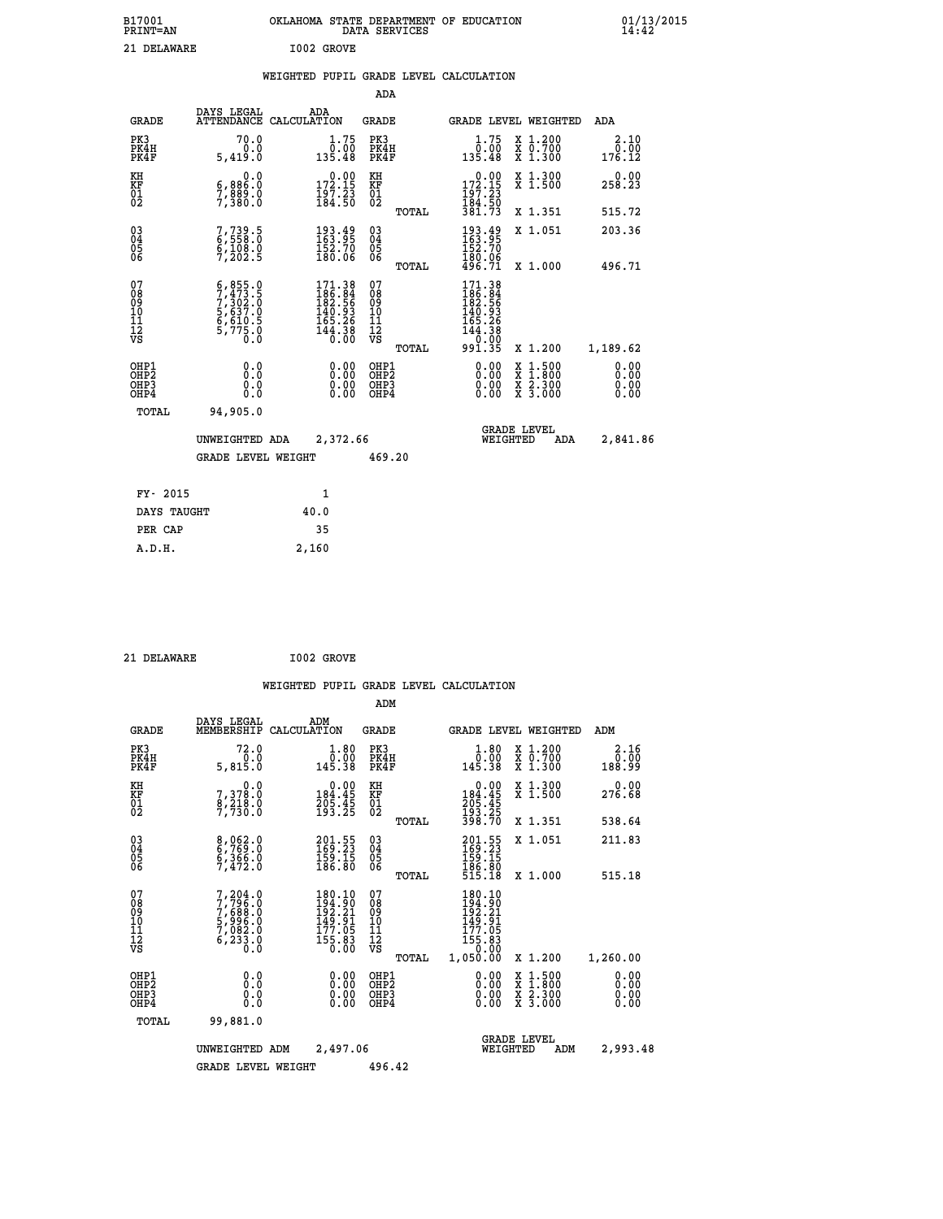| B17001<br><b>PRINT=AN</b> | OKLAHOMA STATE DEPARTMENT OF EDUCATION<br>DATA SERVICES | 01/13/2015 |
|---------------------------|---------------------------------------------------------|------------|
| 21 DELAWARE               | I002 GROVE                                              |            |

### **WEIGHTED PUPIL GRADE LEVEL CALCULATION**

|                                              |                                                                                                                                                                                    |                                                                                                    | ADA                                     |       |                                                                                                     |                                                                                                  |                              |
|----------------------------------------------|------------------------------------------------------------------------------------------------------------------------------------------------------------------------------------|----------------------------------------------------------------------------------------------------|-----------------------------------------|-------|-----------------------------------------------------------------------------------------------------|--------------------------------------------------------------------------------------------------|------------------------------|
| <b>GRADE</b>                                 | DAYS LEGAL                                                                                                                                                                         | ADA<br>ATTENDANCE CALCULATION                                                                      | GRADE                                   |       |                                                                                                     | GRADE LEVEL WEIGHTED                                                                             | ADA                          |
| PK3<br>PK4H<br>PK4F                          | 70.0<br>0.0<br>5,419.0                                                                                                                                                             | 1.75<br>0.00<br>135.48                                                                             | PK3<br>PK4H<br>PK4F                     |       | 1.75<br>ةُ:ة<br>135.48                                                                              | X 1.200<br>X 0.700<br>X 1.300                                                                    | 2.10<br>0.00<br>176.12       |
| KH<br>KF<br>01<br>02                         | 0.0<br>6,886.0<br>7,880.0                                                                                                                                                          | $\begin{smallmatrix} 0.00\\ 172.15\\ 197.23\\ 184.50 \end{smallmatrix}$                            | KH<br>KF<br>01<br>02                    |       | 0.00<br>$172.15$<br>$197.23$                                                                        | X 1.300<br>X 1.500                                                                               | 0.00<br>258.23               |
|                                              |                                                                                                                                                                                    |                                                                                                    |                                         | TOTAL | 184.50<br>381.73                                                                                    | X 1.351                                                                                          | 515.72                       |
| $^{03}_{04}$<br>Ŏ5<br>06                     | 7,739.5<br>6,558.0<br>6,108.0<br>7,202.5                                                                                                                                           | $\begin{smallmatrix} 193.49\\163.95\\152.70\\180.06 \end{smallmatrix}$                             | $\substack{03 \\ 04}$<br>05<br>06       |       | 193.49<br>163.95<br>152.70<br>180.06<br>496.71                                                      | X 1.051                                                                                          | 203.36                       |
|                                              |                                                                                                                                                                                    |                                                                                                    |                                         | TOTAL |                                                                                                     | X 1.000                                                                                          | 496.71                       |
| 07<br>08<br>09<br>10<br>11<br>11<br>12<br>VS | $\begin{smallmatrix} 6\,, & 855\,. & 0\\ 7\,, & 473\,. & 5\\ 7\,, & 302\,. & 0\\ 5\,, & 637\,. & 0\\ 6\,, & 610\,. & 5\\ 5\,, & 775\,. & 0\\ 0\,. & 0\,. & 0\,. \end{smallmatrix}$ | $\begin{smallmatrix} 171.38\\ 186.84\\ 182.56\\ 140.93\\ 165.26\\ 144.38\\ 0.00 \end{smallmatrix}$ | 07<br>08<br>09<br>101<br>11<br>12<br>VS | TOTAL | $\begin{smallmatrix} 171.38\\186.34\\182.56\\140.93\\165.26\\144.38\\0.00\\991.35\end{smallmatrix}$ | X 1.200                                                                                          | 1,189.62                     |
| OHP1<br>OHP2<br>OH <sub>P3</sub><br>OHP4     | 0.0<br>Ō.Ō<br>0.0<br>0.0                                                                                                                                                           | $0.00$<br>$0.00$<br>0.00                                                                           | OHP1<br>OHP2<br>OHP3<br>OHP4            |       | 0.00<br>0.00                                                                                        | $\begin{smallmatrix} x & 1 & 500 \\ x & 1 & 800 \\ x & 2 & 300 \\ x & 3 & 000 \end{smallmatrix}$ | 0.00<br>0.00<br>0.00<br>0.00 |
| TOTAL                                        | 94,905.0                                                                                                                                                                           |                                                                                                    |                                         |       |                                                                                                     |                                                                                                  |                              |
|                                              | UNWEIGHTED ADA                                                                                                                                                                     | 2,372.66                                                                                           |                                         |       | WEIGHTED                                                                                            | <b>GRADE LEVEL</b><br>ADA                                                                        | 2,841.86                     |
|                                              | <b>GRADE LEVEL WEIGHT</b>                                                                                                                                                          |                                                                                                    | 469.20                                  |       |                                                                                                     |                                                                                                  |                              |
| FY- 2015                                     |                                                                                                                                                                                    | 1                                                                                                  |                                         |       |                                                                                                     |                                                                                                  |                              |
| DAYS TAUGHT                                  |                                                                                                                                                                                    | 40.0                                                                                               |                                         |       |                                                                                                     |                                                                                                  |                              |
| PER CAP                                      |                                                                                                                                                                                    | 35                                                                                                 |                                         |       |                                                                                                     |                                                                                                  |                              |
| an u                                         |                                                                                                                                                                                    | <b>2150</b>                                                                                        |                                         |       |                                                                                                     |                                                                                                  |                              |

21 DELAWARE **I002 GROVE** 

 **A.D.H. 2,160**

 **ADM**

| <b>GRADE</b>                                         | DAYS LEGAL<br>MEMBERSHIP                                                | ADM<br>CALCULATION                                                                                   | <b>GRADE</b>                                       |       |                                                                                                                       | <b>GRADE LEVEL WEIGHTED</b>              | ADM                          |
|------------------------------------------------------|-------------------------------------------------------------------------|------------------------------------------------------------------------------------------------------|----------------------------------------------------|-------|-----------------------------------------------------------------------------------------------------------------------|------------------------------------------|------------------------------|
| PK3<br>PK4H<br>PK4F                                  | 72.0<br>5,815.0                                                         | $\begin{smallmatrix} 1.80\ 0.00\ 145.38 \end{smallmatrix}$                                           | PK3<br>PK4H<br>PK4F                                |       | 1.80<br>ة: ق<br>145.38                                                                                                | X 1.200<br>X 0.700<br>X 1.300            | 2.16<br>0.00<br>188.99       |
| KH<br>KF<br>01<br>02                                 | $\begin{smallmatrix}&&&0.0\\7,378.0\\8,218.0\\7,730.0\end{smallmatrix}$ | $0.00$<br>184.45<br>$\frac{205}{193}\cdot\frac{45}{25}$                                              | KH<br>KF<br>01<br>02                               |       | $\begin{smallmatrix} &0.00\\ 184.45\\ 205.45\\ 193.25\\ 398.70 \end{smallmatrix}$                                     | X 1.300<br>X 1.500                       | 0.00<br>276.68               |
|                                                      |                                                                         |                                                                                                      |                                                    | TOTAL |                                                                                                                       | X 1.351                                  | 538.64                       |
| $\begin{matrix} 03 \\ 04 \\ 05 \\ 06 \end{matrix}$   | 8,062.0<br>6,769.0<br>6,366.0<br>7,472.0                                | $\begin{smallmatrix} 201\cdot55\169\cdot23\159\cdot15\186\cdot80 \end{smallmatrix}$                  | $\begin{matrix} 03 \\ 04 \\ 05 \\ 06 \end{matrix}$ |       | $201.55$<br>$169.23$<br>$159.15$<br>$186.80$<br>$515.18$                                                              | X 1.051                                  | 211.83                       |
|                                                      |                                                                         |                                                                                                      |                                                    | TOTAL |                                                                                                                       | X 1.000                                  | 515.18                       |
| 07<br>089<br>090<br>1112<br>VS                       | 7,204.0<br>7,796.0<br>7,688.0<br>5,996.0<br>7,082.0<br>6,233.8          | $\begin{smallmatrix} 180.10\\194.90\\192.21\\149.91\\149.91\\177.05\\155.83\\0.00 \end{smallmatrix}$ | 07<br>08901112<br>1112<br>VS                       | TOTAL | 180.10<br>$\begin{array}{r} 194.90 \\ 194.90 \\ 192.21 \\ 149.91 \\ 177.05 \\ 155.83 \\ 0.00 \\ 1,050.00 \end{array}$ | X 1.200                                  | 1,260.00                     |
| OHP1<br>OH <sub>P</sub> <sub>2</sub><br>OHP3<br>OHP4 | 0.0<br>0.0<br>0.0                                                       | $0.00$<br>$0.00$<br>0.00                                                                             | OHP1<br>OHP <sub>2</sub><br>OHP3<br>OHP4           |       | $0.00$<br>$0.00$<br>0.00                                                                                              | X 1:500<br>X 1:800<br>X 2:300<br>X 3:000 | 0.00<br>0.00<br>0.00<br>0.00 |
| TOTAL                                                | 99,881.0                                                                |                                                                                                      |                                                    |       |                                                                                                                       |                                          |                              |
|                                                      | UNWEIGHTED                                                              | 2,497.06<br>ADM                                                                                      |                                                    |       | WEIGHTED                                                                                                              | <b>GRADE LEVEL</b><br>ADM                | 2,993.48                     |
|                                                      | <b>GRADE LEVEL WEIGHT</b>                                               |                                                                                                      | 496.42                                             |       |                                                                                                                       |                                          |                              |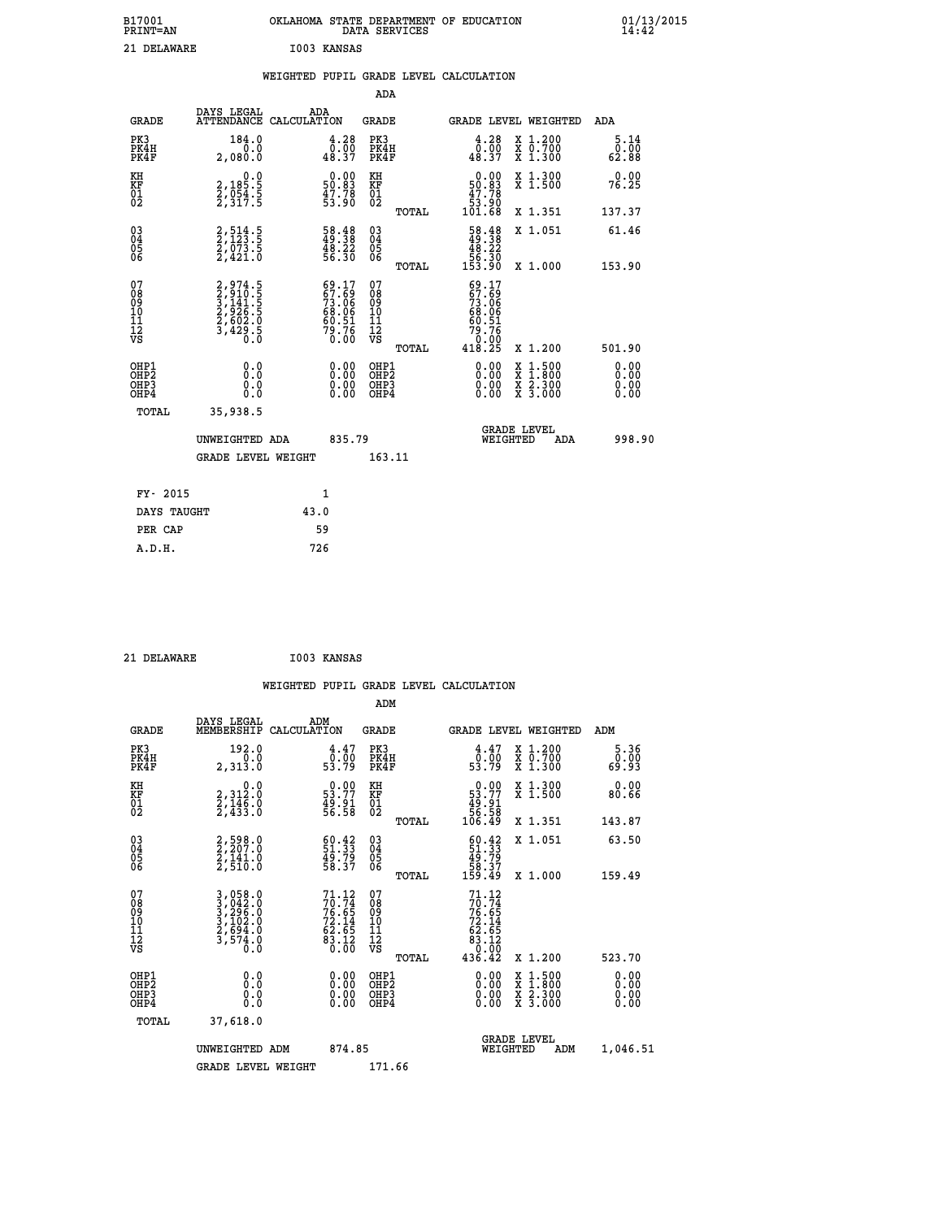| B17001<br><b>PRINT=AN</b> | OKLAHOMA STATE DEPARTMENT OF EDUCATION<br>DATA SERVICES | 01/13/2015<br>14:42 |
|---------------------------|---------------------------------------------------------|---------------------|
| 21<br>DELAWARE            | I003<br>KANSAS                                          |                     |

 **ADA**

 **PER CAP 59 A.D.H. 726**

|  |  | WEIGHTED PUPIL GRADE LEVEL CALCULATION |
|--|--|----------------------------------------|
|  |  |                                        |

| <b>GRADE</b>                                 | DAYS LEGAL<br><b>ATTENDANCE</b>                                         | ADA<br>CALCULATION |                                                                        | <b>GRADE</b>                                  |       |                                                                                                                                                                                                                                                                                | GRADE LEVEL WEIGHTED                     | <b>ADA</b>            |  |
|----------------------------------------------|-------------------------------------------------------------------------|--------------------|------------------------------------------------------------------------|-----------------------------------------------|-------|--------------------------------------------------------------------------------------------------------------------------------------------------------------------------------------------------------------------------------------------------------------------------------|------------------------------------------|-----------------------|--|
| PK3<br>PK4H<br>PK4F                          | 184.0<br>0.0<br>2,080.0                                                 |                    | 4.28<br>$\frac{0.00}{48.37}$                                           | PK3<br>PK4H<br>PK4F                           |       | 4.28<br>$\begin{smallmatrix} & 0.00 & 0 \ 0.37 & \end{smallmatrix}$                                                                                                                                                                                                            | X 1.200<br>X 0.700<br>X 1.300            | 5.14<br>0.00<br>62.88 |  |
| KH<br>KF<br>01<br>02                         | $\begin{smallmatrix}&&&0.0\\2,185.5\\2,054.5\\2,317.5\end{smallmatrix}$ |                    | $\begin{smallmatrix} 0.00\\ 50.83\\ 47.78\\ 53.90 \end{smallmatrix}$   | KH<br>KF<br>01<br>02                          |       | $\begin{smallmatrix} &0.00\ 50.83\ 47.78\ 53.90\ 101.68\ \end{smallmatrix}$                                                                                                                                                                                                    | X 1.300<br>X 1.500                       | 0.00<br>76.25         |  |
|                                              |                                                                         |                    |                                                                        |                                               | TOTAL |                                                                                                                                                                                                                                                                                | X 1.351                                  | 137.37                |  |
| 030404<br>06                                 | 2,514.5<br>2,123.5<br>2,073.5<br>2,421.0                                |                    | $\begin{smallmatrix} 58.48\\ 49.38\\ 48.22\\ 56.30 \end{smallmatrix}$  | 03<br>04<br>05<br>06                          |       | $\begin{smallmatrix} 58.48\\ 49.38\\ 48.22\\ 56.30\\ 53.90 \end{smallmatrix}$                                                                                                                                                                                                  | X 1.051                                  | 61.46                 |  |
|                                              |                                                                         |                    |                                                                        |                                               | TOTAL |                                                                                                                                                                                                                                                                                | X 1.000                                  | 153.90                |  |
| 07<br>08<br>09<br>10<br>11<br>11<br>12<br>VS | 2,974.5<br>3,910.5<br>3,141.5<br>3,422.5<br>2,602.0<br>3,429.5          |                    | $69.17$<br>$67.69$<br>$73.06$<br>$68.06$<br>$60.51$<br>$79.76$<br>0.00 | 07<br>08<br>09<br>001<br>11<br>11<br>12<br>VS | TOTAL | $69.17$<br>$67.69$<br>$73.06$<br>$68.06$<br>$60.51$<br>$79.76$<br>$0.00$<br>$418.25$                                                                                                                                                                                           | X 1.200                                  | 501.90                |  |
|                                              |                                                                         |                    |                                                                        |                                               |       |                                                                                                                                                                                                                                                                                |                                          |                       |  |
| OHP1<br>OHP2<br>OH <sub>P3</sub><br>OHP4     | 0.0<br>0.000                                                            |                    | $\begin{smallmatrix} 0.00 \ 0.00 \ 0.00 \ 0.00 \end{smallmatrix}$      | OHP1<br>OHP2<br>OHP3<br>OHP4                  |       | $\begin{smallmatrix} 0.00 & 0.00 & 0.00 & 0.00 & 0.00 & 0.00 & 0.00 & 0.00 & 0.00 & 0.00 & 0.00 & 0.00 & 0.00 & 0.00 & 0.00 & 0.00 & 0.00 & 0.00 & 0.00 & 0.00 & 0.00 & 0.00 & 0.00 & 0.00 & 0.00 & 0.00 & 0.00 & 0.00 & 0.00 & 0.00 & 0.00 & 0.00 & 0.00 & 0.00 & 0.00 & 0.0$ | X 1:500<br>X 1:800<br>X 2:300<br>X 3:000 | 0.00<br>0.00<br>0.00  |  |
| TOTAL                                        | 35,938.5                                                                |                    |                                                                        |                                               |       |                                                                                                                                                                                                                                                                                |                                          |                       |  |
|                                              | UNWEIGHTED ADA                                                          |                    | 835.79                                                                 |                                               |       | WEIGHTED                                                                                                                                                                                                                                                                       | <b>GRADE LEVEL</b><br>ADA                | 998.90                |  |
|                                              | <b>GRADE LEVEL WEIGHT</b>                                               |                    |                                                                        | 163.11                                        |       |                                                                                                                                                                                                                                                                                |                                          |                       |  |
| FY- 2015                                     |                                                                         |                    | 1                                                                      |                                               |       |                                                                                                                                                                                                                                                                                |                                          |                       |  |
|                                              |                                                                         |                    |                                                                        |                                               |       |                                                                                                                                                                                                                                                                                |                                          |                       |  |
| DAYS TAUGHT                                  |                                                                         | 43.0               |                                                                        |                                               |       |                                                                                                                                                                                                                                                                                |                                          |                       |  |

 **21 DELAWARE I003 KANSAS WEIGHTED PUPIL GRADE LEVEL CALCULATION ADM DAYS LEGAL ADM GRADE MEMBERSHIP CALCULATION GRADE GRADE LEVEL WEIGHTED ADM PK3 192.0 4.47 PK3 4.47 X 1.200 5.36 PK4H 0.0 0.00 PK4H 0.00 X 0.700 0.00 PK4F 2,313.0 53.79 PK4F 53.79 X 1.300 69.93 KH 0.0 0.00 KH 0.00 X 1.300 0.00 KF 2,312.0 53.77 KF 53.77 X 1.500 80.66 01 2,146.0 49.91 01 49.91 02 2,433.0 56.58 02 56.58 TOTAL 106.49 X 1.351 143.87 03 2,598.0 60.42 03 60.42 X 1.051 63.50 04 2,207.0 51.33 04 51.33 05 2,141.0 49.79 05 49.79 06 2,510.0 58.37 06 58.37 TOTAL 159.49 X 1.000 159.49**  $\begin{array}{cccc} 07 & 3\,, 058\,.0 & 71\,.12 & 07 & 71\,.12 \ 08 & 3\,, 042\,.0 & 76\,.65 & 09 & 76\,.65 \ 10 & 3\,, 102\,.0 & 72\,.14 & 10 & 72\,.14 \ 11 & 2\,, 594\,.0 & 62\,.65 & 11 & 62\,.65 \ 12 & 3\,, 574\,.0 & 62\,.65 & 11 & 62\,.65 \ 13 & 3\,, 574\,.0 & 83\,.12 & 83\,.12 \ \$  $\begin{array}{cccc} 71.12 & 07 & 71.12 & 17.74 \\ 70.74 & 08 & 70.74 \\ 72.14 & 10 & 72.14 \\ 72.14 & 10 & 72.14 \\ 83.12 & 12 & 62.5 \\ 83.12 & 12 & 83.12 \\ 0.00 & 081 \text{p12} & 0.00 & \texttt{X} & 1.500 \\ 0.00 & 081 \text{p2} & 0.00 & \texttt{X} & 1.500 \\ 0.00 & 081 \text{p3} & 0.00 & \$  **OHP1 0.0 0.00 OHP1 0.00 X 1.500 0.00 OHP2 0.0 0.00 OHP2 0.00 X 1.800 0.00 OHP3 0.0 0.00 OHP3 0.00 X 2.300 0.00 OHP4 0.0 0.00 OHP4 0.00 X 3.000 0.00 TOTAL 37,618.0 GRADE LEVEL UNWEIGHTED ADM 874.85 WEIGHTED ADM 1,046.51** GRADE LEVEL WEIGHT 171.66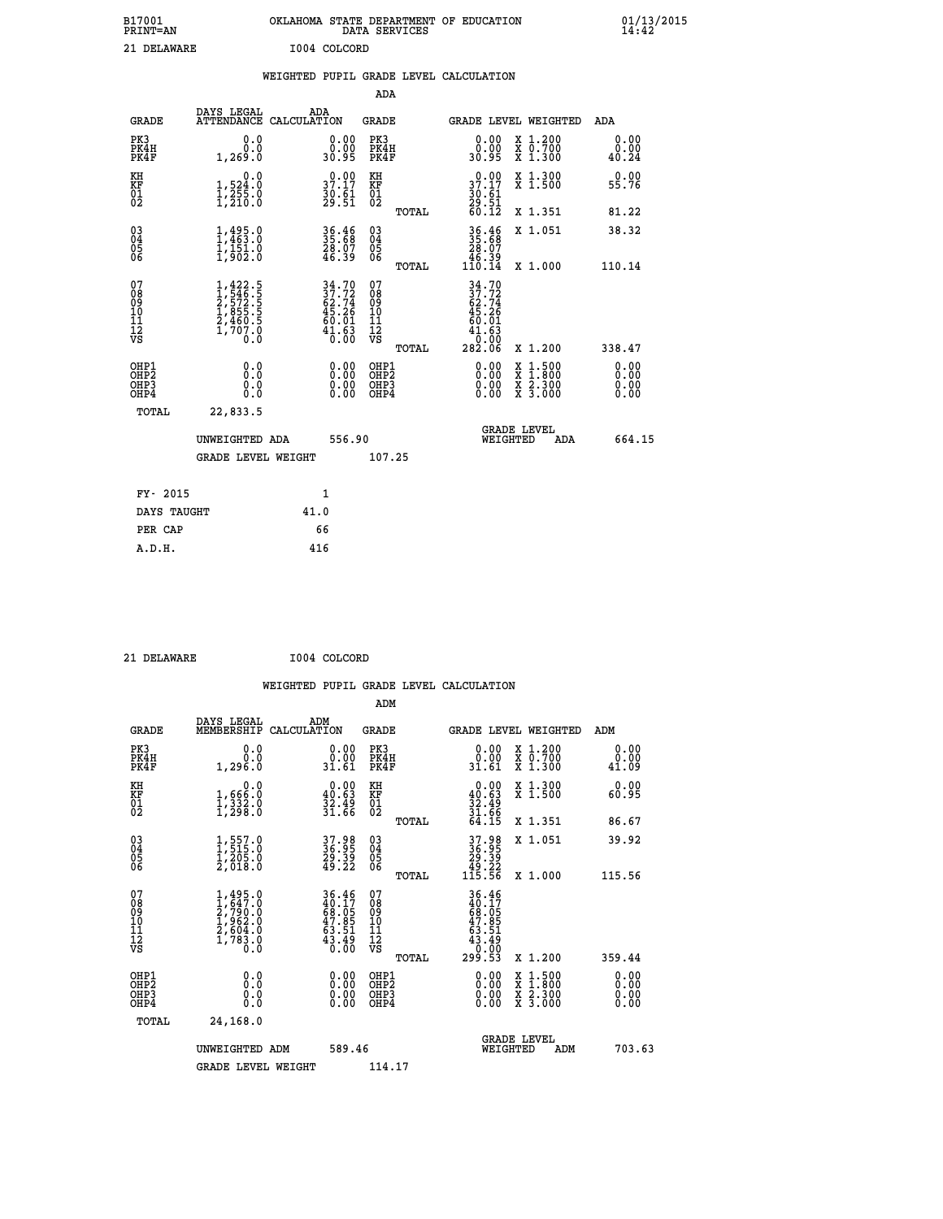| B17001<br><b>PRINT=AN</b> | OKLAHOMA STATE DEPARTMENT OF EDUCATION<br>DATA SERVICES | 01/13/2015 |
|---------------------------|---------------------------------------------------------|------------|
| 21 DELAWARE               | I004 COLCORD                                            |            |

|  |  | WEIGHTED PUPIL GRADE LEVEL CALCULATION |
|--|--|----------------------------------------|
|  |  |                                        |

|                                                                    |                                                                                                                                           |                                                                          | ADA                                       |        |                                                                        |                                          |                              |
|--------------------------------------------------------------------|-------------------------------------------------------------------------------------------------------------------------------------------|--------------------------------------------------------------------------|-------------------------------------------|--------|------------------------------------------------------------------------|------------------------------------------|------------------------------|
| <b>GRADE</b>                                                       | DAYS LEGAL<br>ATTENDANCE CALCULATION                                                                                                      | ADA                                                                      | <b>GRADE</b>                              |        |                                                                        | GRADE LEVEL WEIGHTED                     | ADA                          |
| PK3<br>PK4H<br>PK4F                                                | 0.0<br>0.0<br>1,269.0                                                                                                                     | $\begin{smallmatrix} 0.00\\ 0.00\\ 30.95 \end{smallmatrix}$              | PK3<br>PK4H<br>PK4F                       |        | 0.00<br>ŏ:ŏŏ<br>30:95                                                  | X 1.200<br>X 0.700<br>X 1.300            | 0.00<br>0.00<br>40.24        |
| KH<br><b>KF</b><br>01<br>02                                        | 0.0<br>$\frac{1}{1}, \frac{524}{255}$ .0<br>1,255.0                                                                                       | 37.17<br>$\frac{36}{29}\cdot\frac{61}{51}$                               | KH<br>KF<br>01<br>02                      |        | 37.17<br>$\frac{30}{29}$ : $\frac{51}{51}$<br>60.12                    | X 1.300<br>X 1.500                       | 0.00<br>55.76                |
|                                                                    |                                                                                                                                           |                                                                          |                                           | TOTAL  |                                                                        | X 1.351                                  | 81.22                        |
| $\begin{smallmatrix} 03 \\[-4pt] 04 \end{smallmatrix}$<br>Ŏ5<br>06 | 1,495.0<br>$\frac{1}{1}$ , $\frac{1}{9}$ , $\frac{5}{1}$ , $\frac{5}{9}$                                                                  | 36.46<br>35.68<br>28.07<br>46.39                                         | $\substack{03 \\ 04}$<br>Ŏ5<br>06         | TOTAL  | $36.4635.6828.0746.39110.14$                                           | X 1.051<br>X 1.000                       | 38.32<br>110.14              |
| 07<br>08<br>09<br>11<br>11<br>12<br>VS                             | $\begin{smallmatrix} 1,422\cdot 5\\ 1,546\cdot 5\\ 2,572\cdot 5\\ 1,855\cdot 5\\ 2,460\cdot 5\\ 1,707\cdot 0\\ 0\cdot 0\end{smallmatrix}$ | $34.70$<br>$37.72$<br>$62.74$<br>$45.26$<br>$60.01$<br>$41.63$<br>$0.00$ | 07<br>08<br>09<br>11<br>11<br>12<br>VS    |        | $34.70$<br>$37.72$<br>$62.74$<br>$45.26$<br>$60.01$<br>$41.63$<br>0.00 |                                          |                              |
|                                                                    |                                                                                                                                           |                                                                          |                                           | TOTAL  | 282.06                                                                 | X 1.200                                  | 338.47                       |
| OHP1<br>OH <sub>P</sub> 2<br>OH <sub>P3</sub><br>OH <sub>P4</sub>  | 0.0<br>0.0<br>0.0                                                                                                                         | 0.00<br>$\begin{smallmatrix} 0.00 \ 0.00 \end{smallmatrix}$              | OHP1<br>OH <sub>P</sub> 2<br>OHP3<br>OHP4 |        | 0.00<br>0.00<br>0.00                                                   | X 1:500<br>X 1:800<br>X 2:300<br>X 3:000 | 0.00<br>0.00<br>0.00<br>0.00 |
| TOTAL                                                              | 22,833.5                                                                                                                                  |                                                                          |                                           |        |                                                                        |                                          |                              |
|                                                                    | UNWEIGHTED ADA                                                                                                                            | 556.90                                                                   |                                           |        |                                                                        | GRADE LEVEL<br>WEIGHTED<br>ADA           | 664.15                       |
|                                                                    | <b>GRADE LEVEL WEIGHT</b>                                                                                                                 |                                                                          |                                           | 107.25 |                                                                        |                                          |                              |
| FY- 2015                                                           |                                                                                                                                           | $\mathbf{1}$                                                             |                                           |        |                                                                        |                                          |                              |
| DAYS TAUGHT                                                        |                                                                                                                                           | 41.0                                                                     |                                           |        |                                                                        |                                          |                              |
| PER CAP                                                            |                                                                                                                                           | 66                                                                       |                                           |        |                                                                        |                                          |                              |

| 21 DELAWARE |
|-------------|
|             |

 **ADM**

 **21 DELAWARE I004 COLCORD**

| <b>GRADE</b>                   | DAYS LEGAL<br>MEMBERSHIP                                                            | ADM<br>CALCULATION                                                   | <b>GRADE</b>                                        |       |                                                                       | <b>GRADE LEVEL WEIGHTED</b>              | ADM                   |  |
|--------------------------------|-------------------------------------------------------------------------------------|----------------------------------------------------------------------|-----------------------------------------------------|-------|-----------------------------------------------------------------------|------------------------------------------|-----------------------|--|
| PK3<br>PK4H<br>PK4F            | 0.0<br>0.0<br>1,296.0                                                               | $\begin{smallmatrix} 0.00\\ 0.00\\ 31.61 \end{smallmatrix}$          | PK3<br>PK4H<br>PK4F                                 |       | 0.00<br>$\begin{smallmatrix} \v{0} \ 0.00 \ 31.61 \end{smallmatrix}$  | X 1.200<br>X 0.700<br>X 1.300            | 0.00<br>0.00<br>41.09 |  |
| KH<br>KF<br>01<br>02           | 0.0<br>1,666:0<br>1,332:0<br>1,298:0                                                | $\begin{smallmatrix} 0.00\\ 40.63\\ 32.49\\ 31.66 \end{smallmatrix}$ | KH<br>KF<br>01<br>02                                |       | $0.00\n40.63\n32.49\n31.66\n64.15$                                    | X 1.300<br>X 1.500                       | 0.00<br>60.95         |  |
|                                |                                                                                     |                                                                      |                                                     | TOTAL |                                                                       | X 1.351                                  | 86.67                 |  |
| 03<br>04<br>05<br>06           | $1,557.0$<br>$1,205.0$<br>$1,205.0$<br>$2,018.0$                                    | 37.98<br>36.95<br>29.39<br>49.22                                     | $\begin{array}{c} 03 \\ 04 \\ 05 \\ 06 \end{array}$ |       | 37.98<br>36.95<br>29.39<br>49.22<br>115.56                            | X 1.051                                  | 39.92                 |  |
|                                |                                                                                     |                                                                      |                                                     | TOTAL |                                                                       | X 1.000                                  | 115.56                |  |
| 07<br>089<br>090<br>1112<br>VS | $1,495.0$<br>$2,799.0$<br>$2,790.0$<br>$1,962.0$<br>$2,604.0$<br>$1,783.0$<br>$0.0$ | 36.46<br>40.17<br>68.05<br>47.85<br>43.51<br>63.51<br>43.49          | 07<br>08<br>09<br>001<br>11<br>11<br>12<br>VS       | TOTAL | 36.46<br>40.175<br>68.05<br>63.51<br>43.51<br>43.40<br>0.00<br>299.53 | X 1.200                                  | 359.44                |  |
| OHP1<br>OHP2<br>OHP3<br>OHP4   | 0.0<br>0.000                                                                        |                                                                      | OHP1<br>OHP2<br>OHP3<br>OHP4                        |       | 0.00<br>$0.00$<br>0.00                                                | X 1:500<br>X 1:800<br>X 2:300<br>X 3:000 | 0.00<br>0.00<br>0.00  |  |
| TOTAL                          | 24,168.0                                                                            |                                                                      |                                                     |       |                                                                       |                                          |                       |  |
|                                | UNWEIGHTED<br>ADM                                                                   | 589.46                                                               |                                                     |       | WEIGHTED                                                              | <b>GRADE LEVEL</b><br>ADM                | 703.63                |  |
|                                | <b>GRADE LEVEL WEIGHT</b>                                                           |                                                                      | 114.17                                              |       |                                                                       |                                          |                       |  |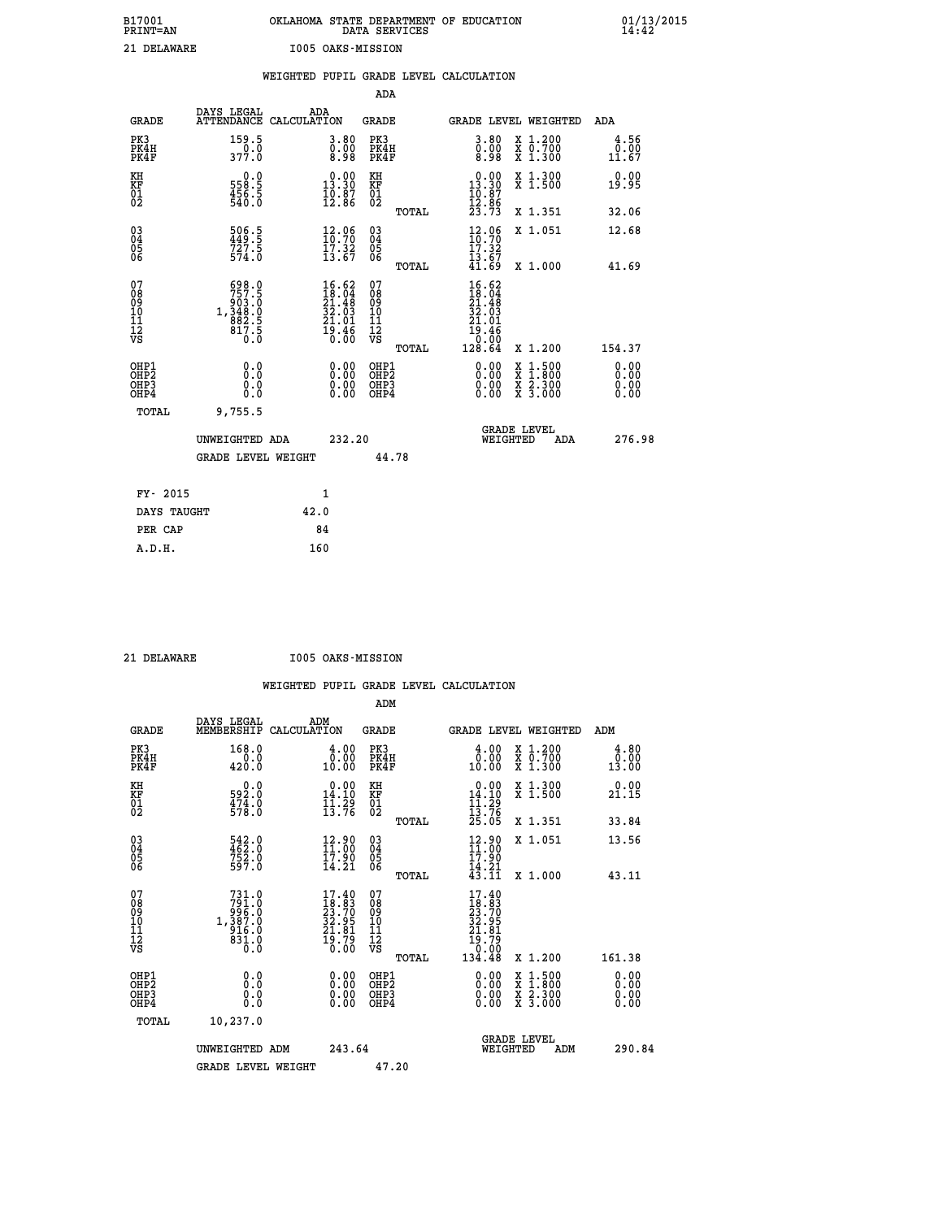| B17001<br><b>PRINT=AN</b> | OKLAHOMA STATE DEPARTMENT OF EDUCATION<br>DATA SERVICES | 01/13/2015<br>14:42 |
|---------------------------|---------------------------------------------------------|---------------------|
| 21 DELAWARE               | 1005 OAKS-MISSION                                       |                     |

|                                                                    |                                                                                              | WEIGHTED PUPIL GRADE LEVEL CALCULATION                                                       |                                                 |                                                                                                                                                           |                              |
|--------------------------------------------------------------------|----------------------------------------------------------------------------------------------|----------------------------------------------------------------------------------------------|-------------------------------------------------|-----------------------------------------------------------------------------------------------------------------------------------------------------------|------------------------------|
|                                                                    |                                                                                              |                                                                                              | ADA                                             |                                                                                                                                                           |                              |
| <b>GRADE</b>                                                       |                                                                                              | DAYS LEGAL ADA ATTENDANCE CALCULATION                                                        | GRADE                                           | GRADE LEVEL WEIGHTED                                                                                                                                      | ADA                          |
| PK3<br>PK4H<br>PK4F                                                | 159.5<br>0.0<br>377.0                                                                        | $\begin{smallmatrix} 3.80\ 0.00\ 8.98 \end{smallmatrix}$                                     | PK3<br>PK4H<br>PK4F                             | $\begin{smallmatrix} 3.80\ 0.00\ 8.98 \end{smallmatrix}$<br>X 1.200<br>X 0.700<br>X 1.300                                                                 | 4.56<br>0.00<br>11.67        |
| KH<br>KF<br>01<br>02                                               | $\begin{smallmatrix} 0.0\\ 558.5\\ 456.5\\ 540.0 \end{smallmatrix}$                          | $\begin{smallmatrix} 0.00\\13.30\\10.87\\12.86 \end{smallmatrix}$                            | KH<br>KF<br>01<br>02                            | $\begin{smallmatrix} 0.00\\13.30\\10.87\\12.86\\23.73 \end{smallmatrix}$<br>X 1.300<br>X 1.500                                                            | 0.00<br>19.95                |
|                                                                    |                                                                                              |                                                                                              | TOTAL                                           | X 1.351                                                                                                                                                   | 32.06                        |
| $\begin{smallmatrix} 03 \\[-4pt] 04 \end{smallmatrix}$<br>Ŏ5<br>06 | $\frac{506}{449}$ : 5<br>$\frac{727}{5}$<br>574.0                                            | $\frac{12.96}{10.70}$<br>17.32<br>13.67                                                      | $\substack{03 \\ 04}$<br>05<br>06               | 12.06<br>X 1.051<br>17.32                                                                                                                                 | 12.68                        |
|                                                                    |                                                                                              |                                                                                              | TOTAL                                           | $\bar{1}\bar{3}\cdot\bar{6}\bar{7}\ 41\cdot69$<br>X 1.000                                                                                                 | 41.69                        |
| 07<br>08<br>09<br>11<br>11<br>12<br>VS                             | $\begin{smallmatrix}698.0\\757.5\\903.0\\948.0\\1,348.0\\882.5\\817.5\\0.0\end{smallmatrix}$ | $\begin{smallmatrix} 16.62\\ 18.04\\ 21.48\\ 32.03\\ 21.01\\ 29.46\\ 0.00 \end{smallmatrix}$ | 07<br>08<br>09<br>11<br>11<br>12<br>VS<br>TOTAL | 16.62<br>$\frac{18}{21}$ $\cdot \frac{04}{48}$<br>$\frac{32}{2}$ $\cdot \frac{03}{2}$<br>$\frac{21.01}{19.46}$<br>0.00<br>128.64<br>X 1.200               | 154.37                       |
| OHP1<br>OHP2<br>OH <sub>P3</sub><br>OH <sub>P4</sub>               | 0.0<br>Ŏ.Ŏ<br>0.0<br>0.0                                                                     | 0.00<br>$\begin{smallmatrix} 0.00 \ 0.00 \end{smallmatrix}$                                  | OHP1<br>OHP2<br>OHP3<br>OHP4                    | 0.00<br>$\begin{smallmatrix} \mathtt{X} & 1\cdot500\\ \mathtt{X} & 1\cdot800\\ \mathtt{X} & 2\cdot300\\ \mathtt{X} & 3\cdot000 \end{smallmatrix}$<br>0.00 | 0.00<br>ŏ:ŏŏ<br>0.00<br>0.00 |
| TOTAL                                                              | 9,755.5                                                                                      |                                                                                              |                                                 |                                                                                                                                                           |                              |
|                                                                    | UNWEIGHTED ADA                                                                               | 232.20                                                                                       |                                                 | <b>GRADE LEVEL</b><br>WEIGHTED<br>ADA                                                                                                                     | 276.98                       |
|                                                                    | <b>GRADE LEVEL WEIGHT</b>                                                                    |                                                                                              | 44.78                                           |                                                                                                                                                           |                              |
| FY- 2015                                                           |                                                                                              | $\mathbf{1}$                                                                                 |                                                 |                                                                                                                                                           |                              |
| DAYS TAUGHT                                                        |                                                                                              | 42.0                                                                                         |                                                 |                                                                                                                                                           |                              |
| PER CAP                                                            |                                                                                              | 84                                                                                           |                                                 |                                                                                                                                                           |                              |

 **21 DELAWARE I005 OAKS-MISSION**

|                                                      |                                                                                              |                                                                   | ADM                                                 |                                                                                                                                                                                                           |                                          |                                                               |
|------------------------------------------------------|----------------------------------------------------------------------------------------------|-------------------------------------------------------------------|-----------------------------------------------------|-----------------------------------------------------------------------------------------------------------------------------------------------------------------------------------------------------------|------------------------------------------|---------------------------------------------------------------|
| <b>GRADE</b>                                         | DAYS LEGAL<br>MEMBERSHIP                                                                     | ADM<br>CALCULATION                                                | <b>GRADE</b>                                        |                                                                                                                                                                                                           | GRADE LEVEL WEIGHTED                     | ADM                                                           |
| PK3<br>PK4H<br>PK4F                                  | 168.0<br>0.0<br>420.0                                                                        | 4.00<br>0.00<br>10.00                                             | PK3<br>PK4H<br>PK4F                                 | $\begin{smallmatrix} 4.00\\ 0.00\\ 10.00 \end{smallmatrix}$                                                                                                                                               | X 1.200<br>X 0.700<br>X 1.300            | 4.80<br>$\begin{smallmatrix} & 0.00\ 13.00 \end{smallmatrix}$ |
| KH<br>KF<br>01<br>02                                 | 0.0<br>592.0<br>$\frac{47\overline{4}\cdot\overset{.}{0}}{578\cdot\overset{.}{0}}$           | $\begin{smallmatrix} 0.00\\14.10\\11.29\\13.76 \end{smallmatrix}$ | KH<br>KF<br>01<br>02                                | $0.00$<br>14.10<br>$\frac{11}{13}$ : $\frac{29}{76}$<br>$\frac{25}{25}$ : 05                                                                                                                              | X 1.300<br>X 1.500                       | 0.00<br>21.15                                                 |
|                                                      |                                                                                              |                                                                   | TOTAL                                               |                                                                                                                                                                                                           | X 1.351                                  | 33.84                                                         |
| 03<br>04<br>05<br>06                                 | 542.0<br>462.0<br>752.0<br>597.0                                                             | 12.90<br>11.00<br>$\frac{17.90}{14.21}$                           | $\begin{array}{c} 03 \\ 04 \\ 05 \\ 06 \end{array}$ | $12.90$<br>$11.00$<br>17.90<br>$\bar{1}\bar{4}\,\overline{\phantom{0}}\, \bar{2}\,\overline{\phantom{0}}\, \bar{1}\,\bar{4}\,\overline{\phantom{0}}\, \bar{3}\,\overline{\phantom{0}}\, \bar{1}\,\bar{1}$ | X 1.051                                  | 13.56                                                         |
|                                                      |                                                                                              |                                                                   | TOTAL                                               |                                                                                                                                                                                                           | X 1.000                                  | 43.11                                                         |
| 07<br>08<br>09<br>101<br>112<br>VS                   | $\begin{smallmatrix}731.0\\791.0\\996.0\\987.0\\1,387.0\\916.0\\831.0\\0.0\end{smallmatrix}$ | $17.4018.8323.7032.9521.8129.7919.790.00$                         | 07<br>08<br>09<br>11<br>11<br>12<br>VS<br>TOTAL     | 17.40<br>$18.83$<br>$23.70$<br>$32.95$<br>$21.81$<br>$19.790$<br>$0.00$<br>134.48                                                                                                                         | X 1.200                                  | 161.38                                                        |
|                                                      |                                                                                              |                                                                   |                                                     |                                                                                                                                                                                                           |                                          |                                                               |
| OHP1<br>OHP2<br>OH <sub>P3</sub><br>OH <sub>P4</sub> | 0.0<br>0.000                                                                                 | $0.00$<br>$0.00$<br>0.00                                          | OHP1<br>OHP2<br>OHP <sub>3</sub>                    | $0.00$<br>$0.00$<br>0.00                                                                                                                                                                                  | X 1:500<br>X 1:800<br>X 2:300<br>X 3:000 | 0.00<br>0.00<br>0.00<br>0.00                                  |
| TOTAL                                                | 10,237.0                                                                                     |                                                                   |                                                     |                                                                                                                                                                                                           |                                          |                                                               |
|                                                      | UNWEIGHTED ADM                                                                               | 243.64                                                            |                                                     | WEIGHTED                                                                                                                                                                                                  | <b>GRADE LEVEL</b><br>ADM                | 290.84                                                        |
|                                                      | <b>GRADE LEVEL WEIGHT</b>                                                                    |                                                                   | 47.20                                               |                                                                                                                                                                                                           |                                          |                                                               |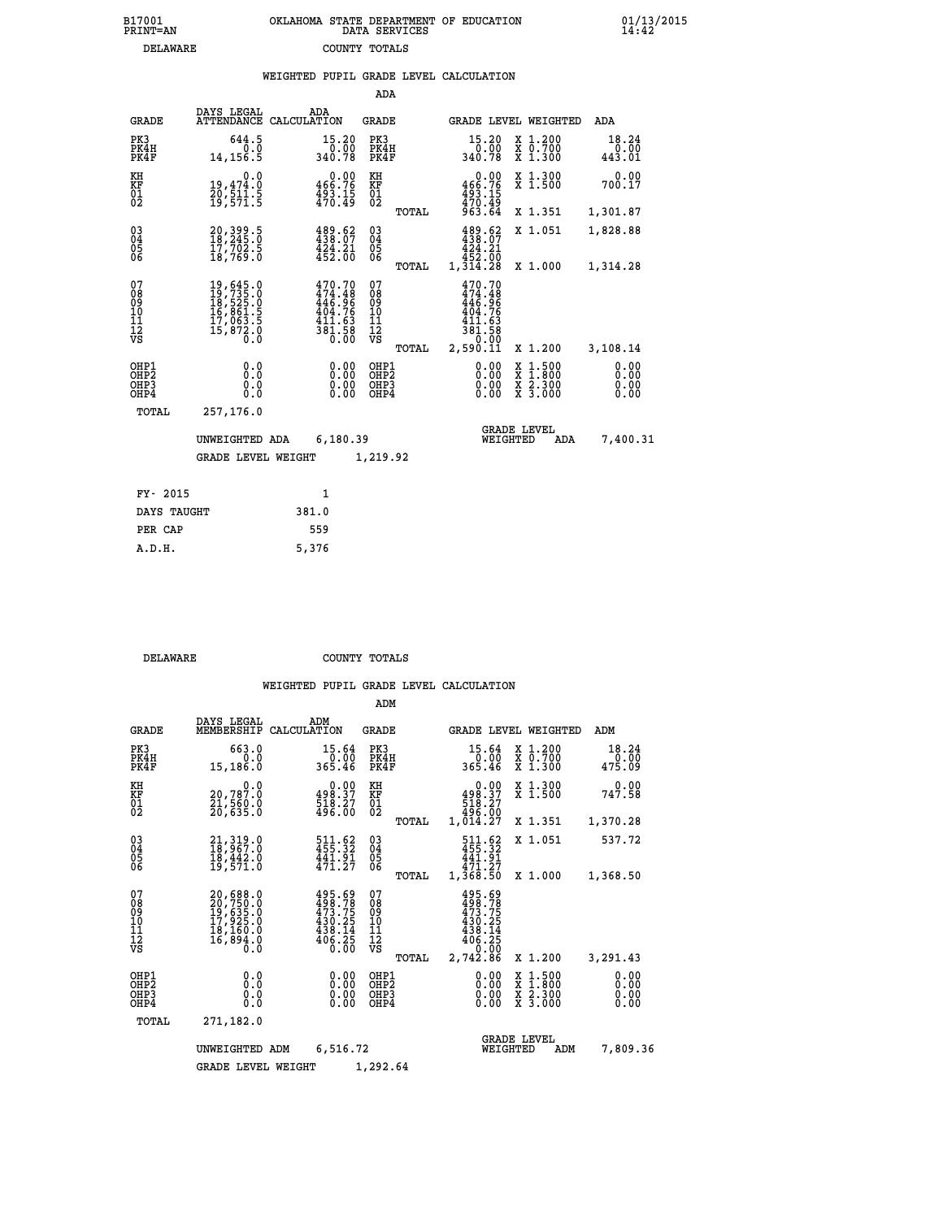| 7001<br>INT=AN | OKLAHOMA STATE DEPARTMENT OF EDUCATION<br>DATA SERVICES |  |
|----------------|---------------------------------------------------------|--|
| DELAWARE       | COUNTY TOTALS                                           |  |

 **B17001 OKLAHOMA STATE DEPARTMENT OF EDUCATION 01/13/2015**

|                                                              |                                                                                  | WEIGHTED PUPIL GRADE LEVEL CALCULATION                                                                      |                                                 |                                                                                             |                                                                                                                                              |                              |
|--------------------------------------------------------------|----------------------------------------------------------------------------------|-------------------------------------------------------------------------------------------------------------|-------------------------------------------------|---------------------------------------------------------------------------------------------|----------------------------------------------------------------------------------------------------------------------------------------------|------------------------------|
|                                                              |                                                                                  |                                                                                                             | ADA                                             |                                                                                             |                                                                                                                                              |                              |
| <b>GRADE</b>                                                 | DAYS LEGAL<br>ATTENDANCE                                                         | ADA<br>CALCULATION                                                                                          | <b>GRADE</b>                                    | GRADE LEVEL WEIGHTED                                                                        |                                                                                                                                              | ADA                          |
| PK3<br>PK4H<br>PK4F                                          | 644.5<br>0.0<br>14, 156.5                                                        | 15.20<br>0.00<br>340.78                                                                                     | PK3<br>PK4H<br>PK4F                             | 15.20<br>0.00<br>340.78                                                                     | X 1.200<br>X 0.700<br>X 1.300                                                                                                                | 18.24<br>0.00<br>443.01      |
| KH<br>KF<br>01<br>02                                         | 0.0<br>19,474.0<br>20,511.5<br>19,571.5                                          | $0.00$<br>466.76<br>$493.15$<br>$470.49$                                                                    | KH<br>KF<br>01<br>02                            | $0.00$<br>466.76<br>$493.15$<br>$470.49$<br>$963.64$                                        | X 1.300<br>X 1.500                                                                                                                           | 0.00<br>700.17               |
|                                                              |                                                                                  |                                                                                                             | TOTAL                                           |                                                                                             | X 1.351                                                                                                                                      | 1,301.87                     |
| $\begin{smallmatrix} 03 \\[-4pt] 04 \end{smallmatrix}$<br>05 | 20,399.5<br>18,245.0<br>17,702.5                                                 | 489.62<br>$\frac{1}{4}$ $\frac{2}{4}$ $\frac{1}{2}$ $\frac{2}{10}$                                          | $\substack{03 \\ 04}$<br>05                     | 489.62<br>424.21                                                                            | X 1.051                                                                                                                                      | 1,828.88                     |
| 06                                                           | 18,769.0                                                                         |                                                                                                             | 06<br>TOTAL                                     | 452.00<br>1,314.28                                                                          | X 1.000                                                                                                                                      | 1,314.28                     |
| 07<br>08<br>09<br>10<br>11<br>12<br>νs                       | 19,645.0<br>19,735.0<br>18,525.0<br>16,861.5<br>17,063.5<br>17,872.0<br>15,872.0 | $\begin{smallmatrix} 470.70\\ 474.48\\ 446.96\\ 446.76\\ 404.76\\ 411.63\\ 381.58\\ 0.00 \end{smallmatrix}$ | 07<br>08<br>09<br>10<br>11<br>12<br>VS<br>TOTAL | 470.70<br>$474.48$<br>$446.96$<br>$404.76$<br>$411.63$<br>$\frac{381.58}{0.00}$<br>2,590.ĭĭ | X 1.200                                                                                                                                      | 3,108.14                     |
| OHP1<br>OHP2<br>OHP3<br>OHP4                                 | 0.0<br>0.0<br>0.0                                                                | $\begin{smallmatrix} 0.00 \ 0.00 \ 0.00 \ 0.00 \end{smallmatrix}$                                           | OHP1<br>OHP2<br>OHP3<br>OHP4                    | 0.00<br>0.00                                                                                | $\begin{smallmatrix} \mathtt{X} & 1\cdot500 \\ \mathtt{X} & 1\cdot800 \\ \mathtt{X} & 2\cdot300 \\ \mathtt{X} & 3\cdot000 \end{smallmatrix}$ | 0.00<br>0.00<br>0.00<br>0.00 |
| TOTAL                                                        | 257,176.0                                                                        |                                                                                                             |                                                 |                                                                                             |                                                                                                                                              |                              |
|                                                              | UNWEIGHTED ADA                                                                   | 6,180.39                                                                                                    |                                                 | <b>GRADE LEVEL</b><br>WEIGHTED                                                              | ADA                                                                                                                                          | 7,400.31                     |
|                                                              | <b>GRADE LEVEL WEIGHT</b>                                                        |                                                                                                             | 1,219.92                                        |                                                                                             |                                                                                                                                              |                              |
| FY- 2015                                                     |                                                                                  | $\mathbf{1}$                                                                                                |                                                 |                                                                                             |                                                                                                                                              |                              |
| DAYS TAUGHT                                                  |                                                                                  | 381.0                                                                                                       |                                                 |                                                                                             |                                                                                                                                              |                              |
| PER CAP                                                      |                                                                                  | 559                                                                                                         |                                                 |                                                                                             |                                                                                                                                              |                              |

 **DELAWARE COUNTY TOTALS**

 **A.D.H. 5,376**

 **B17001<br>PRINT=AN** 

|                                                       |                                                                                           |                                                                         | ADM                                             |                                                                              |                                                                                                  |                              |
|-------------------------------------------------------|-------------------------------------------------------------------------------------------|-------------------------------------------------------------------------|-------------------------------------------------|------------------------------------------------------------------------------|--------------------------------------------------------------------------------------------------|------------------------------|
| <b>GRADE</b>                                          | DAYS LEGAL<br>MEMBERSHIP                                                                  | ADM<br>CALCULATION                                                      | <b>GRADE</b>                                    | GRADE LEVEL WEIGHTED                                                         |                                                                                                  | ADM                          |
| PK3<br>PK4H<br>PK4F                                   | 663.0<br>0.0<br>15,186.0                                                                  | 15.64<br>0.00<br>365.46                                                 | PK3<br>PK4H<br>PK4F                             | 15.64<br>0.00-<br>365.46                                                     | $\begin{array}{c} x & 1.200 \\ x & 0.700 \end{array}$<br>$X$ 1.300                               | 18.24<br>0.00<br>475.09      |
| KH<br>KF<br>01<br>02                                  | 0.0<br>20,787.0<br>21,560.0<br>20,635.0                                                   | $\begin{smallmatrix} 0.00\\ 498.37\\ 518.27\\ 496.00 \end{smallmatrix}$ | KH<br>KF<br>01<br>02                            | 0.00<br>$498.37$<br>$518.27$                                                 | X 1.300<br>X 1.500                                                                               | 0.00<br>747.58               |
|                                                       |                                                                                           |                                                                         | TOTAL                                           | 496.00<br>1,014.27                                                           | X 1.351                                                                                          | 1,370.28                     |
| 03<br>04<br>05<br>06                                  | 21, 319.0<br>18, 967.0<br>10, 442.0<br>19,571.0                                           | 511.62<br>455.32<br>441.91<br>471.27                                    | $\substack{03 \\ 04}$<br>05<br>06               | 511.62<br>455.32<br>441.91<br>471.27                                         | X 1.051                                                                                          | 537.72                       |
|                                                       |                                                                                           |                                                                         | TOTAL                                           | 1,368.50                                                                     | X 1.000                                                                                          | 1,368.50                     |
| 07<br>08<br>09<br>101<br>112<br>VS                    | $20,688.0$<br>$20,750.0$<br>$19,635.0$<br>$17,925.0$<br>$18,160.0$<br>$16,894.0$<br>$0.0$ | 495.69<br>498.78<br>473.75<br>430.25<br>$\frac{438.14}{406.25}$         | 07<br>08<br>09<br>11<br>11<br>12<br>VS<br>TOTAL | 495.69<br>498.78<br>473.75<br>430.25<br>438.14<br>406.25<br>0.00<br>2,742.86 | X 1.200                                                                                          | 3,291.43                     |
| OHP1<br>OH <sub>P</sub> 2<br>OH <sub>P3</sub><br>OHP4 | 0.0<br>0.000                                                                              | $0.00$<br>$0.00$<br>0.00                                                | OHP1<br>OHP2<br>OHP3<br>OHP4                    | $0.00$<br>$0.00$<br>0.00                                                     | $\begin{smallmatrix} x & 1 & 500 \\ x & 1 & 800 \\ x & 2 & 300 \\ x & 3 & 000 \end{smallmatrix}$ | 0.00<br>0.00<br>0.00<br>0.00 |
| TOTAL                                                 | 271,182.0                                                                                 |                                                                         |                                                 |                                                                              |                                                                                                  |                              |
|                                                       | UNWEIGHTED ADM                                                                            | 6,516.72                                                                |                                                 | WEIGHTED                                                                     | <b>GRADE LEVEL</b><br>ADM                                                                        | 7,809.36                     |
|                                                       | <b>GRADE LEVEL WEIGHT</b>                                                                 |                                                                         | 1,292.64                                        |                                                                              |                                                                                                  |                              |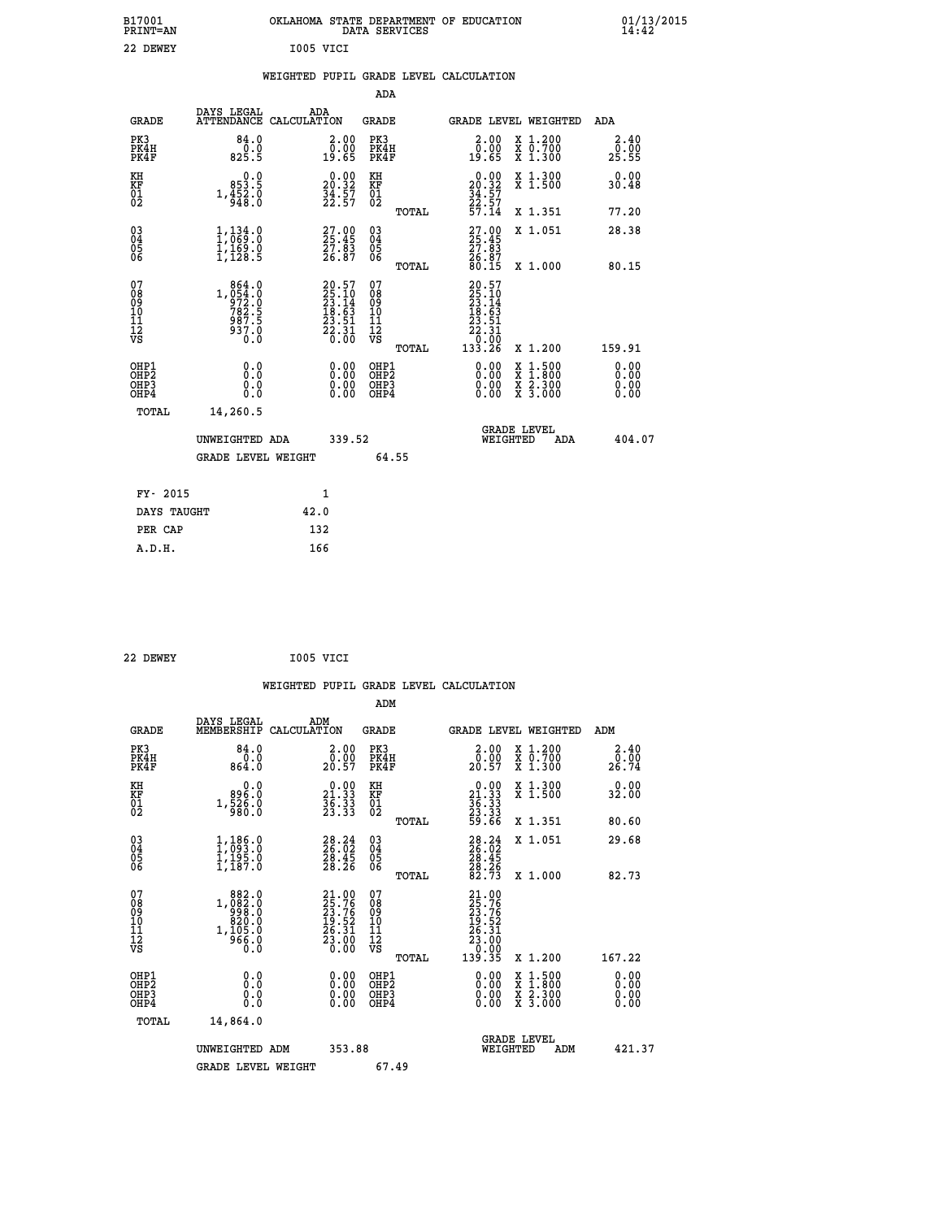| B17001<br>PRINT=AN                                 |                                                                                            | OKLAHOMA STATE DEPARTMENT OF EDUCATION                                   | DATA SERVICES                            |                                                                                        |                                                                                          | $01/13/2015$<br>14:42        |  |
|----------------------------------------------------|--------------------------------------------------------------------------------------------|--------------------------------------------------------------------------|------------------------------------------|----------------------------------------------------------------------------------------|------------------------------------------------------------------------------------------|------------------------------|--|
| 22 DEWEY                                           |                                                                                            | I005 VICI                                                                |                                          |                                                                                        |                                                                                          |                              |  |
|                                                    |                                                                                            | WEIGHTED PUPIL GRADE LEVEL CALCULATION                                   |                                          |                                                                                        |                                                                                          |                              |  |
|                                                    |                                                                                            |                                                                          | ADA                                      |                                                                                        |                                                                                          |                              |  |
| GRADE                                              | DAYS LEGAL                                                                                 | ADA<br>ATTENDANCE CALCULATION                                            | GRADE                                    |                                                                                        | GRADE LEVEL WEIGHTED                                                                     | ADA                          |  |
| PK3<br>PK4H<br>PK4F                                | 84.0<br>0.0<br>825.5                                                                       | 2.00<br>0.00<br>19.65                                                    | PK3<br>PK4H<br>PK4F                      | 2.00<br>0.00<br>19.65                                                                  | X 1.200<br>X 0.700<br>X 1.300                                                            | 2.40<br>0.00<br>25.55        |  |
| KH<br>KF<br>$^{01}_{02}$                           | 0.0<br>853.5<br>$1,\frac{352}{948}.0$                                                      | $\begin{smallmatrix} 0.00\\ 20.32\\ 34.57\\ 22.57 \end{smallmatrix}$     | KH<br>KF<br>$\overline{01}$              | $20.00$<br>20.32<br>$\frac{34}{22}$ : 57                                               | X 1.300<br>X 1.500                                                                       | 0.00<br>30.48                |  |
|                                                    |                                                                                            |                                                                          | TOTAL                                    | 57.14                                                                                  | X 1.351                                                                                  | 77.20                        |  |
| $\begin{matrix} 03 \\ 04 \\ 05 \\ 06 \end{matrix}$ | 1,134.0<br>$\frac{1}{1}$ , $\frac{1}{1}$ , $\frac{5}{1}$ , $\frac{5}{1}$                   | 27.00<br>25.45<br>27.83<br>26.87                                         | 03<br>04<br>05<br>06<br>TOTAL            | $27.00$<br>$25.45$<br>$27.83$<br>26.87<br>80.15                                        | X 1.051<br>X 1,000                                                                       | 28.38<br>80.15               |  |
| 07<br>08<br>09<br>11<br>11<br>12<br>VS             | 864.0<br>$\begin{array}{r} 1,054.0 \\ 972.0 \\ 782.5 \\ 987.5 \end{array}$<br>937.0<br>0.0 | $20.57$<br>$25.10$<br>$23.14$<br>$18.63$<br>$23.51$<br>$26.31$<br>$0.00$ | 07<br>08<br>09<br>10<br>11<br>12<br>VS   | 20.57<br>$\frac{25}{23}$ : 10<br>$\frac{23}{18}$ : 53<br>23.51<br>$\frac{55.31}{0.00}$ |                                                                                          |                              |  |
|                                                    |                                                                                            |                                                                          | TOTAL                                    | 133.26                                                                                 | X 1.200                                                                                  | 159.91                       |  |
| OHP1<br>OHP <sub>2</sub><br>OHP3<br>OHP4           | 0.0<br>Ō.Ō<br>0.0<br>0.0                                                                   | 0.00<br>0.00<br>0.00                                                     | OHP1<br>OHP <sub>2</sub><br>OHP3<br>OHP4 | 0.00<br>0.00<br>0.00                                                                   | $\begin{smallmatrix} x & 1.500 \\ x & 1.800 \\ x & 2.300 \\ x & 3.000 \end{smallmatrix}$ | 0.00<br>0.00<br>0.00<br>0.00 |  |
| TOTAL                                              | 14,260.5                                                                                   |                                                                          |                                          |                                                                                        |                                                                                          |                              |  |
|                                                    | UNWEIGHTED ADA                                                                             | 339.52                                                                   |                                          | WEIGHTED                                                                               | <b>GRADE LEVEL</b><br>ADA                                                                | 404.07                       |  |
|                                                    | <b>GRADE LEVEL WEIGHT</b>                                                                  |                                                                          | 64.55                                    |                                                                                        |                                                                                          |                              |  |
| FY- 2015                                           |                                                                                            | 1                                                                        |                                          |                                                                                        |                                                                                          |                              |  |
| DAYS TAUGHT                                        |                                                                                            | 42.0                                                                     |                                          |                                                                                        |                                                                                          |                              |  |
| PER CAP                                            |                                                                                            | 132                                                                      |                                          |                                                                                        |                                                                                          |                              |  |

| 22 DEWEY | I005 VICI |  |
|----------|-----------|--|
|          |           |  |

|                                                    |                                                                                                                                                                                     |                                                                      |                                                        | WEIGHTED PUPIL GRADE LEVEL CALCULATION                                                                 |                                          |                       |
|----------------------------------------------------|-------------------------------------------------------------------------------------------------------------------------------------------------------------------------------------|----------------------------------------------------------------------|--------------------------------------------------------|--------------------------------------------------------------------------------------------------------|------------------------------------------|-----------------------|
|                                                    |                                                                                                                                                                                     |                                                                      | ADM                                                    |                                                                                                        |                                          |                       |
| <b>GRADE</b>                                       | DAYS LEGAL<br>MEMBERSHIP                                                                                                                                                            | ADM<br>CALCULATION                                                   | <b>GRADE</b>                                           | <b>GRADE LEVEL WEIGHTED</b>                                                                            |                                          | ADM                   |
| PK3<br>PK4H<br>PK4F                                | 84.0<br>$0.0$<br>$0.864.0$                                                                                                                                                          | $\begin{smallmatrix} 2.00\0.00\\20.57\end{smallmatrix}$              | PK3<br>PK4H<br>PK4F                                    | $2.00$<br>$0.00$<br>20.57                                                                              | X 1.200<br>X 0.700<br>X 1.300            | 2.40<br>0.00<br>26.74 |
| KH<br>KF<br>01<br>02                               | $0.0$<br>0.968<br>$1, \frac{5}{9}$ $\frac{2}{8}$ $\frac{2}{5}$ $\frac{3}{8}$                                                                                                        | $\begin{smallmatrix} 0.00\\ 21.33\\ 36.33\\ 23.33 \end{smallmatrix}$ | KH<br>KF<br>01<br>02                                   | $\begin{smallmatrix} 0.00\\21.33\\36.33\\23.33\\29.66 \end{smallmatrix}$                               | X 1.300<br>X 1.500                       | 0.00<br>32.00         |
|                                                    |                                                                                                                                                                                     |                                                                      | TOTAL                                                  |                                                                                                        | X 1.351                                  | 80.60                 |
| $\begin{matrix} 03 \\ 04 \\ 05 \\ 06 \end{matrix}$ | $1,186.0$<br>$1,093.0$<br>$1,195.0$<br>$1,187.0$                                                                                                                                    | $\begin{smallmatrix} 28.24\ 26.02\ 28.45\ 28.26 \end{smallmatrix}$   | $\begin{array}{c} 03 \\ 04 \\ 05 \\ 06 \end{array}$    | $28.24$<br>$26.02$<br>$28.45$<br>$28.26$<br>$82.73$                                                    | X 1.051                                  | 29.68                 |
|                                                    |                                                                                                                                                                                     |                                                                      | TOTAL                                                  |                                                                                                        | X 1.000                                  | 82.73                 |
| 07<br>08<br>09<br>101<br>11<br>12<br>VS            | 882.0<br>$1, \begin{smallmatrix} 0 & 0 & 2 & 0 \\ 9 & 9 & 2 & 0 \\ 9 & 2 & 0 & 0 \\ 8 & 2 & 0 & 0 \\ 1 & 1 & 0 & 5 & 0 \\ 9 & 6 & 6 & 0 & 0 \\ 0 & 0 & 0 & 0 & 0 \end{smallmatrix}$ | 21.00<br>25.76<br>23.76<br>23.76<br>19.52<br>26.31<br>23.00<br>0.00  | 07<br>08<br>09<br>001<br>11<br>11<br>12<br>VS<br>TOTAL | $\begin{smallmatrix} 21.00\ 25.76\ 23.76\ 23.76\ 19.52\ 26.31\ 23.00\ 0.00\ 139.35\ \end{smallmatrix}$ | X 1.200                                  | 167.22                |
|                                                    |                                                                                                                                                                                     |                                                                      |                                                        |                                                                                                        |                                          | 0.00                  |
| OHP1<br>OHP2<br>OHP3<br>OHP4                       | 0.0<br>0.000                                                                                                                                                                        | $\begin{smallmatrix} 0.00 \ 0.00 \ 0.00 \ 0.00 \end{smallmatrix}$    | OHP1<br>OHP2<br>OHP3<br>OHP4                           |                                                                                                        | X 1:500<br>X 1:800<br>X 2:300<br>X 3:000 | Ŏ.ŎŎ<br>O.OO<br>0.00  |
| TOTAL                                              | 14,864.0                                                                                                                                                                            |                                                                      |                                                        |                                                                                                        |                                          |                       |
|                                                    | UNWEIGHTED ADM                                                                                                                                                                      | 353.88                                                               |                                                        | WEIGHTED                                                                                               | <b>GRADE LEVEL</b><br>ADM                | 421.37                |
|                                                    | <b>GRADE LEVEL WEIGHT</b>                                                                                                                                                           |                                                                      | 67.49                                                  |                                                                                                        |                                          |                       |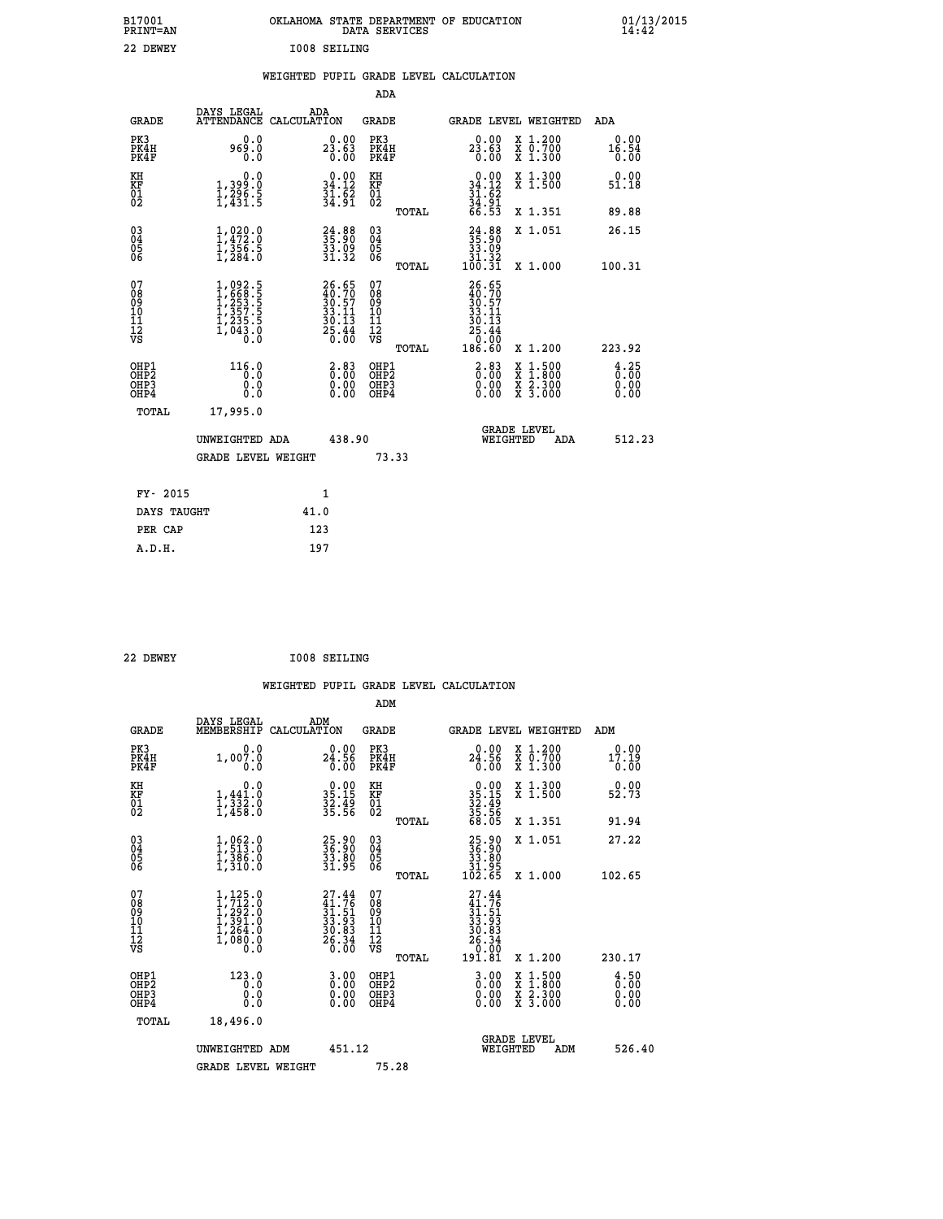| OKLAHOMA STATE DEPARTMENT OF EDUCATION<br>DATA SERVICES |  |
|---------------------------------------------------------|--|
| T008 SETLING                                            |  |

 **B17001 OKLAHOMA STATE DEPARTMENT OF EDUCATION 01/13/2015**

### **WEIGHTED PUPIL GRADE LEVEL CALCULATION**

|                                                                    |                                                                                                  |              |                                                                                              | ADA                                       |       |                                                                                |                                          |                                                 |
|--------------------------------------------------------------------|--------------------------------------------------------------------------------------------------|--------------|----------------------------------------------------------------------------------------------|-------------------------------------------|-------|--------------------------------------------------------------------------------|------------------------------------------|-------------------------------------------------|
| <b>GRADE</b>                                                       | DAYS LEGAL<br>ATTENDANCE CALCULATION                                                             | ADA          |                                                                                              | <b>GRADE</b>                              |       |                                                                                | <b>GRADE LEVEL WEIGHTED</b>              | ADA                                             |
| PK3<br>PK4H<br>PK4F                                                | 0.0<br>969.0<br>0.0                                                                              |              | 23.63<br>0.00                                                                                | PK3<br>PK4H<br>PK4F                       |       | 23.63<br>0.00                                                                  | X 1.200<br>X 0.700<br>X 1.300            | 0.00<br>16.54<br>0.00                           |
| KH<br>KF<br>01<br>02                                               | 0.0<br>1,399:0<br>1,296:5<br>1,431:5                                                             |              | $\begin{smallmatrix} 0.00\\ 34.12\\ 31.62\\ 34.91 \end{smallmatrix}$                         | KH<br>KF<br>01<br>02                      |       | $0.00$<br>34.12<br>$\frac{31}{34}$ : $\frac{62}{91}$<br>66.53                  | X 1.300<br>X 1.500                       | 0.00<br>51.18                                   |
|                                                                    |                                                                                                  |              |                                                                                              |                                           | TOTAL |                                                                                | X 1.351                                  | 89.88                                           |
| $\begin{smallmatrix} 03 \\[-4pt] 04 \end{smallmatrix}$<br>Ŏ5<br>06 | $1, 472.0$<br>$1, 472.0$<br>$1, 356.5$<br>$1, 284.0$                                             |              | 24:88<br>35:90<br>33:09<br>31:32                                                             | $\substack{03 \\ 04}$<br>Ŏ5<br>06         | TOTAL | $\begin{smallmatrix} 24.88\\ 35.90\\ 33.09\\ 31.32\\ 100.31 \end{smallmatrix}$ | X 1.051<br>X 1.000                       | 26.15<br>100.31                                 |
| 07<br>08901112<br>1112<br>VS                                       | $1,092.5$<br>$1,668.5$<br>$1,253.5$<br>$1,357.5$<br>$1,235.5$<br>$1,235.5$<br>$1,043.0$<br>$0.0$ |              | $\begin{smallmatrix} 26.65\\ 40.70\\ 30.57\\ 33.11\\ 30.13\\ 25.44\\ 0.00 \end{smallmatrix}$ | 07<br>08<br>09<br>11<br>11<br>12<br>VS    |       | $26.65$<br>$30.57$<br>$33.11$<br>$30.13$<br>$25.44$<br>$25.44$                 |                                          |                                                 |
|                                                                    |                                                                                                  |              |                                                                                              |                                           | TOTAL | 186.60                                                                         | X 1.200                                  | 223.92                                          |
| OHP1<br>OH <sub>P</sub> 2<br>OH <sub>P3</sub><br>OH <sub>P4</sub>  | 116.0<br>0.0<br>0.0<br>0.0                                                                       |              | $\begin{smallmatrix} 2.83\0.00\0.00\0.00 \end{smallmatrix}$                                  | OHP1<br>OH <sub>P</sub> 2<br>OHP3<br>OHP4 |       | $\begin{smallmatrix} 2.83\ 0.00 \ 0.00 \end{smallmatrix}$<br>0.00              | X 1:500<br>X 1:800<br>X 2:300<br>X 3:000 | $\frac{4}{0}$ : $\frac{25}{00}$<br>0.00<br>0.00 |
| TOTAL                                                              | 17,995.0                                                                                         |              |                                                                                              |                                           |       |                                                                                |                                          |                                                 |
|                                                                    | UNWEIGHTED ADA                                                                                   |              | 438.90                                                                                       |                                           |       |                                                                                | GRADE LEVEL<br>WEIGHTED<br>ADA           | 512.23                                          |
|                                                                    | <b>GRADE LEVEL WEIGHT</b>                                                                        |              |                                                                                              | 73.33                                     |       |                                                                                |                                          |                                                 |
| FY- 2015                                                           |                                                                                                  | $\mathbf{1}$ |                                                                                              |                                           |       |                                                                                |                                          |                                                 |
| DAYS TAUGHT                                                        |                                                                                                  | 41.0         |                                                                                              |                                           |       |                                                                                |                                          |                                                 |
| PER CAP                                                            |                                                                                                  | 123          |                                                                                              |                                           |       |                                                                                |                                          |                                                 |

 **22 DEWEY I008 SEILING**

 **A.D.H. 197**

 **ADM**

 **B17001<br>PRINT=AN** 22 DEWEY

| <b>GRADE</b>                                       | DAYS LEGAL<br>MEMBERSHIP CALCULATION                                                       | ADM                                                                      | <b>GRADE</b>                                        |                                                                                                            | GRADE LEVEL WEIGHTED                     | ADM                                 |
|----------------------------------------------------|--------------------------------------------------------------------------------------------|--------------------------------------------------------------------------|-----------------------------------------------------|------------------------------------------------------------------------------------------------------------|------------------------------------------|-------------------------------------|
| PK3<br>PK4H<br>PK4F                                | 0.0<br>1,007.0<br>0.0                                                                      | $24.90$<br>24.56<br>0.00                                                 | PK3<br>PK4H<br>PK4F                                 | 0.00<br>24.56<br>0.00                                                                                      | X 1.200<br>X 0.700<br>X 1.300            | 0.00<br>17.19<br>0.00               |
| KH<br>KF<br>01<br>02                               | 0.0<br>$1,332.0$<br>$1,332.0$<br>$1,458.0$                                                 | $35.15$<br>$32.49$<br>$35.56$                                            | KH<br>KF<br>01<br>02                                | $\begin{array}{r} 0.00 \\ 35.15 \\ 32.49 \\ 35.56 \\ 68.05 \end{array}$                                    | X 1.300<br>X 1.500                       | 0.00<br>52.73                       |
|                                                    |                                                                                            |                                                                          | TOTAL                                               |                                                                                                            | X 1.351                                  | 91.94                               |
| $\begin{matrix} 03 \\ 04 \\ 05 \\ 06 \end{matrix}$ | $1,962.0$<br>$1,513.0$<br>$1,386.0$<br>$1,310.0$                                           | 25.90<br>36.90<br>33.80<br>31.95                                         | $\begin{array}{c} 03 \\ 04 \\ 05 \\ 06 \end{array}$ | $\begin{smallmatrix} 25.90\\ 36.90\\ 33.80\\ 31.95\\ 102.65 \end{smallmatrix}$                             | X 1.051                                  | 27.22                               |
|                                                    |                                                                                            |                                                                          | TOTAL                                               |                                                                                                            | X 1.000                                  | 102.65                              |
| 07<br>08<br>09<br>101<br>11<br>12<br>VS            | $1, 7125.0$<br>$1, 712.0$<br>$1, 292.0$<br>$1, 391.0$<br>$1, 264.0$<br>$1, 080.0$<br>$0.0$ | $27.44$<br>$31.76$<br>$31.51$<br>$33.93$<br>$30.83$<br>$26.34$<br>$0.00$ | 078<br>089<br>0011<br>11<br>12<br>VS<br>TOTAL       | 27.44<br>$\begin{smallmatrix} 21.75\ 31.51\ 31.51\ 33.933\ 30.834\ 26.34\ 0.00\ 191.81\ \end{smallmatrix}$ | X 1.200                                  | 230.17                              |
| OHP1<br>OHP2<br>OHP3<br>OHP4                       | 123.0<br>0.0<br>0.000                                                                      | $\begin{smallmatrix} 3.00\ 0.00\ 0.00 \end{smallmatrix}$                 | OHP1<br>OHP2<br>OHP3<br>OHP4                        | $\begin{smallmatrix} 3 & 0 & 0 \\ 0 & 0 & 0 \\ 0 & 0 & 0 \\ 0 & 0 & 0 \end{smallmatrix}$                   | X 1:500<br>X 1:800<br>X 2:300<br>X 3:000 | $\frac{4.50}{0.00}$<br>0.00<br>0.00 |
| TOTAL                                              | 18,496.0                                                                                   |                                                                          |                                                     |                                                                                                            |                                          |                                     |
|                                                    | UNWEIGHTED<br>ADM                                                                          | 451.12                                                                   |                                                     | WEIGHTED                                                                                                   | <b>GRADE LEVEL</b><br>ADM                | 526.40                              |
|                                                    | <b>GRADE LEVEL WEIGHT</b>                                                                  |                                                                          | 75.28                                               |                                                                                                            |                                          |                                     |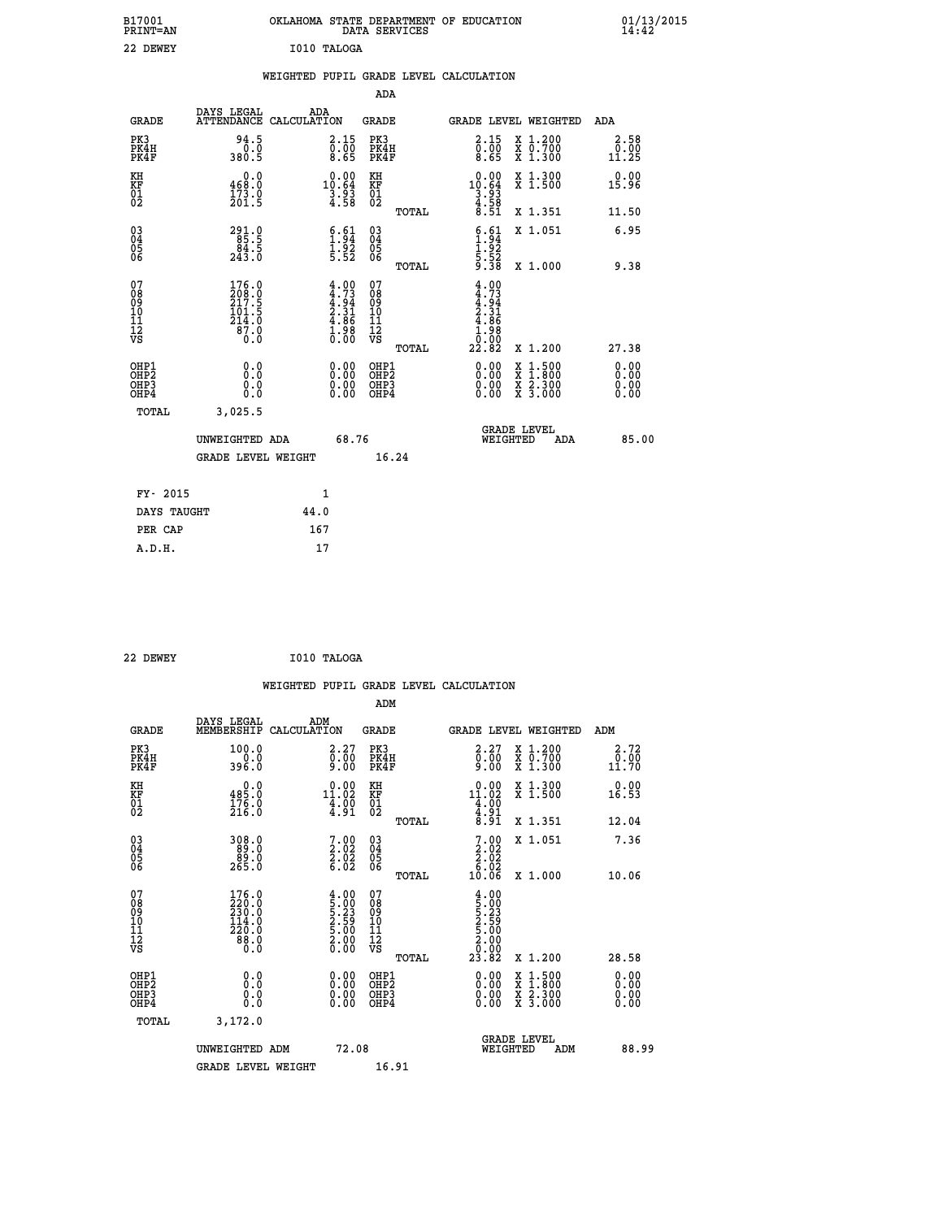| B17001<br>PRINT=AN               |                                                 | OKLAHOMA STATE DEPARTMENT OF EDUCATION                             | DATA SERVICES                                |                                                                                      |                                                                                                                                           | $01/13/2015$<br>14:42 |
|----------------------------------|-------------------------------------------------|--------------------------------------------------------------------|----------------------------------------------|--------------------------------------------------------------------------------------|-------------------------------------------------------------------------------------------------------------------------------------------|-----------------------|
| 22 DEWEY                         |                                                 | I010 TALOGA                                                        |                                              |                                                                                      |                                                                                                                                           |                       |
|                                  |                                                 | WEIGHTED PUPIL GRADE LEVEL CALCULATION                             |                                              |                                                                                      |                                                                                                                                           |                       |
|                                  |                                                 |                                                                    | <b>ADA</b>                                   |                                                                                      |                                                                                                                                           |                       |
| <b>GRADE</b>                     | DAYS LEGAL<br>ATTENDANCE CALCULATION            | ADA                                                                | <b>GRADE</b>                                 |                                                                                      | GRADE LEVEL WEIGHTED                                                                                                                      | ADA                   |
| PK3<br>PK4H<br>PK4F              | 94.5<br>0.0<br>380.5                            | 2.15<br>$\begin{smallmatrix} 0.100\ 0.65 \end{smallmatrix}$        | PK3<br>PK4H<br>PK4F                          | 2.15<br>$\begin{smallmatrix} 0.100 \\ 0.65 \end{smallmatrix}$                        | X 1.200<br>X 0.700<br>X 1.300                                                                                                             | 2.58<br>0.00<br>11.25 |
| KH<br>KF<br>01<br>02             | 0.0<br>468.0<br>$\frac{173.0}{201.5}$           | $\begin{smallmatrix} 0.00\\ 10.64\\ 3.93\\ 4.58 \end{smallmatrix}$ | KH<br>KF<br>01<br>02                         | $\begin{smallmatrix} 0.00\\ 10.64\\ 3.93\\ 4.58\\ 8.51 \end{smallmatrix}$            | X 1.300<br>X 1.500                                                                                                                        | 0.00<br>15.96         |
|                                  |                                                 |                                                                    | <b>TOTAL</b>                                 |                                                                                      | X 1.351                                                                                                                                   | 11.50                 |
| 03<br>04<br>05<br>06             | 291.9<br>85.5<br>84.5<br>243.0                  | $\begin{array}{c} 6.61 \\ 1.94 \\ 1.92 \\ 5.52 \end{array}$        | $^{03}_{04}$<br>$\frac{05}{06}$              | $\begin{array}{c} 6.61 \\ 1.94 \\ 1.92 \\ 5.52 \\ 9.38 \end{array}$                  | X 1.051                                                                                                                                   | 6.95                  |
| 07                               | 176.0                                           |                                                                    | <b>TOTAL</b><br>07                           |                                                                                      | X 1.000                                                                                                                                   | 9.38                  |
| 08<br>09<br>11<br>11<br>12<br>VS | 208:0<br>217:5<br>101:5<br>214.0<br>87.0<br>0.0 | $4.00$<br>$4.73$<br>$4.34$<br>$2.31$<br>$4.86$<br>$1.98$<br>$0.00$ | 08<br>09<br>10<br>11<br>$\frac{1}{\sqrt{2}}$ | $4.90$<br>$4.73$<br>$4.94$<br>$2.31$<br>$4.86$<br>$\frac{1}{0}$ : $\frac{88}{22.82}$ |                                                                                                                                           |                       |
|                                  |                                                 |                                                                    | TOTAL                                        |                                                                                      | X 1.200                                                                                                                                   | 27.38                 |
| OHP1<br>OHP2<br>OHP3<br>OHP4     | 0.000<br>0.0<br>0.0                             | $0.00$<br>$0.00$<br>0.00                                           | OHP1<br>OHP2<br>OHP3<br>OHP4                 | $0.00$<br>$0.00$<br>0.00                                                             | $\begin{smallmatrix} \mathtt{X} & 1\cdot500\\ \mathtt{X} & 1\cdot800\\ \mathtt{X} & 2\cdot300\\ \mathtt{X} & 3\cdot000 \end{smallmatrix}$ | 0.00<br>0.00<br>0.00  |
| TOTAL                            | 3,025.5                                         |                                                                    |                                              |                                                                                      |                                                                                                                                           |                       |
|                                  | UNWEIGHTED ADA                                  | 68.76                                                              |                                              | WEIGHTED                                                                             | <b>GRADE LEVEL</b><br>ADA                                                                                                                 | 85.00                 |
|                                  | <b>GRADE LEVEL WEIGHT</b>                       |                                                                    | 16.24                                        |                                                                                      |                                                                                                                                           |                       |
| FY- 2015                         |                                                 | 1                                                                  |                                              |                                                                                      |                                                                                                                                           |                       |
| DAYS TAUGHT                      |                                                 | 44.0                                                               |                                              |                                                                                      |                                                                                                                                           |                       |
| PER CAP                          |                                                 | 167                                                                |                                              |                                                                                      |                                                                                                                                           |                       |

| 22 DEWEY | I010 TALOGA |
|----------|-------------|
|          |             |

|                                                    |                                                                                     |                                                                                        | WEIGHTED PUPIL GRADE LEVEL CALCULATION              |                                                                                                                                                                                                                                                      |                                          |                              |
|----------------------------------------------------|-------------------------------------------------------------------------------------|----------------------------------------------------------------------------------------|-----------------------------------------------------|------------------------------------------------------------------------------------------------------------------------------------------------------------------------------------------------------------------------------------------------------|------------------------------------------|------------------------------|
|                                                    |                                                                                     |                                                                                        | ADM                                                 |                                                                                                                                                                                                                                                      |                                          |                              |
| <b>GRADE</b>                                       | DAYS LEGAL<br>MEMBERSHIP                                                            | ADM<br>CALCULATION                                                                     | <b>GRADE</b>                                        | <b>GRADE LEVEL WEIGHTED</b>                                                                                                                                                                                                                          |                                          | ADM                          |
| PK3<br>PK4H<br>PK4F                                | 100.0<br>396.0                                                                      | 2.27<br>$\frac{5}{9}.\overline{0}0$                                                    | PK3<br>PK4H<br>PK4F                                 | $\begin{smallmatrix} 2.27\ 0.00\ 9.00 \end{smallmatrix}$                                                                                                                                                                                             | X 1.200<br>X 0.700<br>X 1.300            | 2.72<br>0.00<br>11.70        |
| KH<br>KF<br>01<br>02                               | 485.0<br>$\frac{176}{216}$ .0                                                       | $\begin{smallmatrix} 0.00\\ 11.02\\ 4.90\\ 4.91 \end{smallmatrix}$                     | KH<br>KF<br>01<br>02                                | $\begin{array}{r} 0.00 \\ 11.02 \\ 4.00 \\ 4.91 \\ 8.91 \end{array}$                                                                                                                                                                                 | X 1.300<br>X 1.500                       | 0.00<br>16.53                |
|                                                    |                                                                                     |                                                                                        | TOTAL                                               |                                                                                                                                                                                                                                                      | X 1.351                                  | 12.04                        |
| $\begin{matrix} 03 \\ 04 \\ 05 \\ 06 \end{matrix}$ | 308.0<br>89.0<br>265.0                                                              | $\begin{smallmatrix}7.00\2.02\2.02\6.02\end{smallmatrix}$                              | $\begin{array}{c} 03 \\ 04 \\ 05 \\ 06 \end{array}$ | $7.00$<br>$2.02$<br>$2.02$<br>$6.02$                                                                                                                                                                                                                 | X 1.051                                  | 7.36                         |
|                                                    |                                                                                     |                                                                                        | TOTAL                                               | 10.06                                                                                                                                                                                                                                                | X 1.000                                  | 10.06                        |
| 07<br>0890112<br>1112<br>VS                        | $\begin{smallmatrix} 176.0\\220.0\\230.0\\114.0\\220.0\\88.0\\0.0\end{smallmatrix}$ | $\begin{smallmatrix} 4.00\,5.00\,5.23\,5.23\,2.59\,6.00\,2.00\,0.00 \end{smallmatrix}$ | 07<br>08901112<br>1112<br>VS<br>TOTAL               | $\begin{smallmatrix} 4.00\,5.23\,5.23\,2.59\,0.00\,0.00\,0.00\,0.00\,0.00\,0.00\,0.00\,0.00\,0.00\,0.00\,0.00\,0.00\,0.00\,0.00\,0.00\,0.00\,0.00\,0.00\,0.00\,0.00\,0.00\,0.00\,0.00\,0.00\,0.00\,0.00\,0.00\,0.00\,0.00\,0.00\,0.00\,0.0$<br>23.82 | X 1.200                                  | 28.58                        |
| OHP1<br>OHP <sub>2</sub><br>OHP3<br>OHP4           | 0.0<br>0.000                                                                        | $0.00$<br>$0.00$<br>0.00                                                               | OHP1<br>OHP <sub>2</sub><br>OHP <sub>3</sub>        | 0.00<br>0.00<br>0.00                                                                                                                                                                                                                                 | X 1:500<br>X 1:800<br>X 2:300<br>X 3:000 | 0.00<br>0.00<br>0.00<br>0.00 |
| TOTAL                                              | 3,172.0                                                                             |                                                                                        |                                                     |                                                                                                                                                                                                                                                      |                                          |                              |
|                                                    | UNWEIGHTED ADM                                                                      | 72.08                                                                                  |                                                     | <b>GRADE LEVEL</b><br>WEIGHTED                                                                                                                                                                                                                       | ADM                                      | 88.99                        |
|                                                    | <b>GRADE LEVEL WEIGHT</b>                                                           |                                                                                        | 16.91                                               |                                                                                                                                                                                                                                                      |                                          |                              |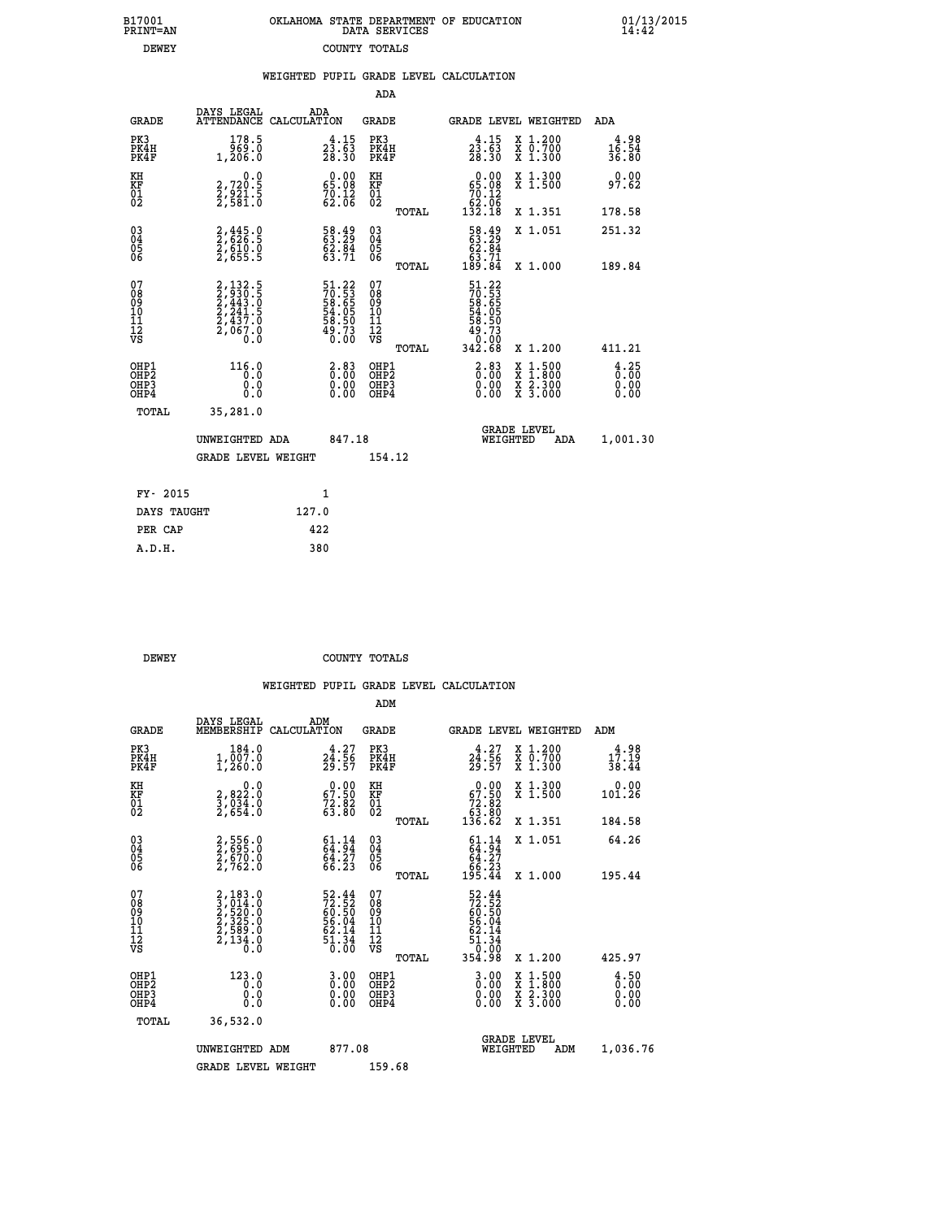| OKLAHOMA STATE DEPARTMENT OF EDUCATION | DATA SERVICES |  |
|----------------------------------------|---------------|--|
|                                        | COUNTY TOTALS |  |

B17001<br>PRINT=AN<br>DEWEY

 **B17001 OKLAHOMA STATE DEPARTMENT OF EDUCATION 01/13/2015**

|                                                      |                                                                             | WEIGHTED PUPIL GRADE LEVEL CALCULATION |                                                                             |                                              |       |                                                                                |                                          |                                                          |
|------------------------------------------------------|-----------------------------------------------------------------------------|----------------------------------------|-----------------------------------------------------------------------------|----------------------------------------------|-------|--------------------------------------------------------------------------------|------------------------------------------|----------------------------------------------------------|
|                                                      |                                                                             |                                        |                                                                             | ADA                                          |       |                                                                                |                                          |                                                          |
| <b>GRADE</b>                                         | DAYS LEGAL<br><b>ATTENDANCE</b>                                             | ADA<br>CALCULATION                     |                                                                             | <b>GRADE</b>                                 |       |                                                                                | <b>GRADE LEVEL WEIGHTED</b>              | ADA                                                      |
| PK3<br>PK4H<br>PK4F                                  | 178.5<br>969.0<br>1,206.0                                                   |                                        | $2\overline{3}\cdot\overline{6}\overline{3}\overline{28}\cdot\overline{30}$ | PK3<br>PK4H<br>PK4F                          |       | $2\overline{3}\cdot\overline{6}\overline{3}\overline{28}\cdot\overline{30}$    | X 1.200<br>X 0.700<br>X 1.300            | $16.54$<br>$36.54$<br>36.80                              |
| KH<br>KF<br>01<br>02                                 | 0.0<br>2,720:5<br>2,921:5<br>2,581:0                                        |                                        | $\begin{smallmatrix} 0.00\\ 65.08\\ 70.12\\ 62.06 \end{smallmatrix}$        | KH<br>KF<br>01<br>02                         |       | $\begin{smallmatrix} &0.00\ 65.08\ 70.12\ 62.06\ 132.18\end{smallmatrix}$      | X 1.300<br>X 1.500                       | 0.00<br>97.62                                            |
|                                                      |                                                                             |                                        |                                                                             |                                              | TOTAL |                                                                                | X 1.351                                  | 178.58                                                   |
| $\begin{matrix} 03 \\ 04 \\ 05 \\ 06 \end{matrix}$   | 2,445.0<br>2,626.5<br>2,610.0<br>2,655.5                                    |                                        | 58.49<br>63.29<br>62.84<br>63.71                                            | $03\overline{4}$<br>05<br>ŌĞ                 |       | $\begin{smallmatrix} 58.49\\ 63.29\\ 62.84\\ 63.71\\ 189.84 \end{smallmatrix}$ | X 1.051                                  | 251.32                                                   |
|                                                      |                                                                             |                                        |                                                                             |                                              | TOTAL |                                                                                | X 1.000                                  | 189.84                                                   |
| 07<br>08<br>09<br>09<br>10<br>11<br>12<br>VS         | 2, 132.5<br>2, 930.5<br>2, 443.0<br>2, 241.5<br>2, 437.0<br>2, 067.0<br>Ò.Ō |                                        | 51.22<br>70.53<br>58.65<br>54.05<br>54.50<br>58.50<br>49.73<br>0.00         | 07<br>08<br>09<br>01<br>11<br>11<br>17<br>VS | TOTAL | 51.22<br>70.53<br>58.65<br>54.05<br>58.50<br>58.73<br>0:00<br>342.68           | X 1.200                                  | 411.21                                                   |
| OHP1<br>OHP2<br>OH <sub>P3</sub><br>OH <sub>P4</sub> | $\begin{smallmatrix} 116.0\\ -0.0\\ 0.0\\ 0.0 \end{smallmatrix}$            |                                        | $\begin{smallmatrix} 2.83\ 0.00\ 0.00 \end{smallmatrix}$                    | OHP1<br>OHP <sub>2</sub><br>OHP3<br>OHP4     |       | $\begin{smallmatrix} 2.83\ 0.00\ 0.00 \end{smallmatrix}$                       | X 1:500<br>X 1:800<br>X 2:300<br>X 3:000 | $\begin{smallmatrix} 4.25\ 0.00\ 0.00 \end{smallmatrix}$ |
| $m \wedge m \wedge r$                                | 25.201.0                                                                    |                                        |                                                                             |                                              |       |                                                                                |                                          |                                                          |

| TOTAL<br>35,281.0 |                    |        |                                       |          |
|-------------------|--------------------|--------|---------------------------------------|----------|
| UNWEIGHTED ADA    |                    | 847.18 | <b>GRADE LEVEL</b><br>ADA<br>WEIGHTED | 1,001.30 |
|                   | GRADE LEVEL WEIGHT | 154.12 |                                       |          |
| FY- 2015          | 1                  |        |                                       |          |
| DAYS TAUGHT       | 127.0              |        |                                       |          |
| PER CAP           | 422                |        |                                       |          |
| A.D.H.            | 380                |        |                                       |          |

**DEWEY COUNTY TOTALS** 

|                                          |                                                                       |                                                                          | ADM                                                |                                                                                                                                             |                                          |                              |
|------------------------------------------|-----------------------------------------------------------------------|--------------------------------------------------------------------------|----------------------------------------------------|---------------------------------------------------------------------------------------------------------------------------------------------|------------------------------------------|------------------------------|
| <b>GRADE</b>                             | DAYS LEGAL<br>MEMBERSHIP                                              | ADM<br>CALCULATION                                                       | <b>GRADE</b>                                       | <b>GRADE LEVEL WEIGHTED</b>                                                                                                                 |                                          | ADM                          |
| PK3<br>PK4H<br>PK4F                      | 184.0<br>$1,\overline{0}\,0\overline{7}\cdot0$<br>1,260.0             | $24.27$<br>$24.56$<br>$29.57$                                            | PK3<br>PK4H<br>PK4F                                | $24.27$<br>$24.56$<br>$29.57$                                                                                                               | X 1.200<br>X 0.700<br>X 1.300            | 4.98<br>17.19<br>38.44       |
| KH<br>KF<br>01<br>02                     | 0.0<br>2,822:0<br>3,034:0<br>2,654:0                                  | $\begin{smallmatrix} 0.00\\ 67.50\\ 72.82\\ 63.80 \end{smallmatrix}$     | KH<br>KF<br>01<br>02                               | $\begin{smallmatrix} &0.00\ 67.50\ 72.82\ 63.80\ 136.62\end{smallmatrix}$                                                                   | X 1.300<br>X 1.500                       | 0.00<br>101.26               |
|                                          |                                                                       |                                                                          | TOTAL                                              |                                                                                                                                             | X 1.351                                  | 184.58                       |
| 03<br>04<br>05<br>06                     | 2,556.0<br>2,695.0<br>2,670.0<br>2,762.0                              | $61.14$<br>$64.94$<br>$\frac{64.27}{66.23}$                              | $\begin{matrix} 03 \\ 04 \\ 05 \\ 06 \end{matrix}$ | 64.34<br>64.27<br>66.23<br>195.44                                                                                                           | X 1.051                                  | 64.26                        |
|                                          |                                                                       |                                                                          | TOTAL                                              |                                                                                                                                             | X 1.000                                  | 195.44                       |
| 07<br>08<br>09<br>101<br>112<br>VS       | 2,183.0<br>3,014.0<br>2,520.0<br>2,589.0<br>2,589.0<br>2,134.0<br>0.0 | $52.44$<br>$72.52$<br>$60.50$<br>$56.04$<br>$62.14$<br>$51.34$<br>$0.00$ | 07<br>08<br>09<br>11<br>11<br>12<br>VS<br>TOTAL    | $\begin{array}{r} 52\cdot 44 \\ 72\cdot 52 \\ 60\cdot 50 \\ 56\cdot 04 \\ 52\cdot 14 \\ 51\cdot 34 \\ 0\cdot 00 \\ 354\cdot 98 \end{array}$ | X 1.200                                  | 425.97                       |
| OHP1<br>OHP2<br>OHP <sub>3</sub><br>OHP4 | 123.0<br>0.0<br>0.000                                                 | $\begin{smallmatrix} 3.00\ 0.00\ 0.00 \end{smallmatrix}$                 | OHP1<br>OHP2<br>OHP <sub>3</sub>                   | $0.00$<br>$0.00$<br>0.00                                                                                                                    | X 1:500<br>X 1:800<br>X 2:300<br>X 3:000 | 4.50<br>Ō.ŎŎ<br>Q.QQ<br>0.00 |
| TOTAL                                    | 36,532.0                                                              |                                                                          |                                                    |                                                                                                                                             |                                          |                              |
|                                          | UNWEIGHTED ADM                                                        | 877.08                                                                   |                                                    | WEIGHTED                                                                                                                                    | <b>GRADE LEVEL</b><br>ADM                | 1,036.76                     |
|                                          | <b>GRADE LEVEL WEIGHT</b>                                             |                                                                          | 159.68                                             |                                                                                                                                             |                                          |                              |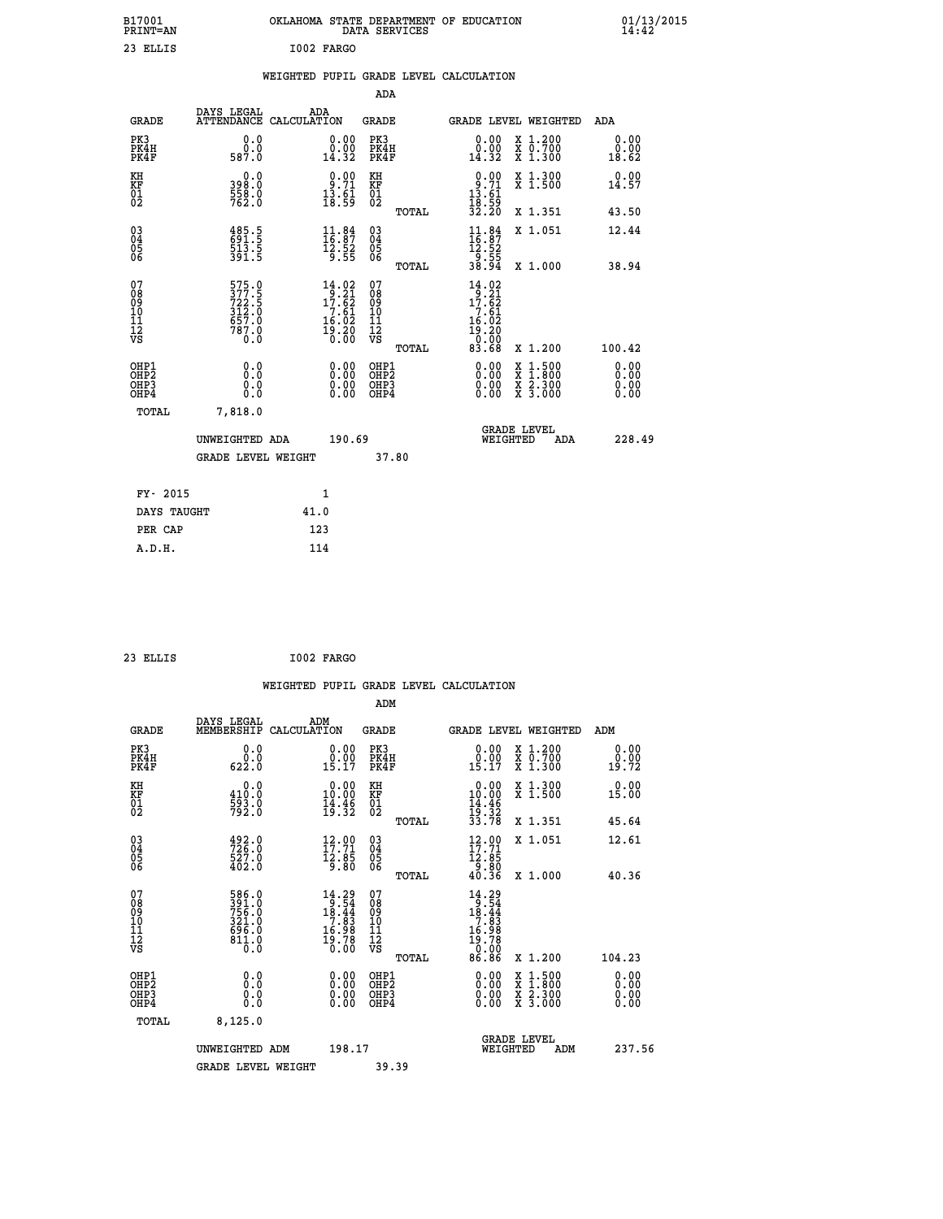| B17001<br><b>PRINT=AN</b>              |                                                           | OKLAHOMA STATE DEPARTMENT OF EDUCATION                                                                                                    | DATA SERVICES                                      |                                                                                                 |                                                                                                  | 01/13/2015                   |  |
|----------------------------------------|-----------------------------------------------------------|-------------------------------------------------------------------------------------------------------------------------------------------|----------------------------------------------------|-------------------------------------------------------------------------------------------------|--------------------------------------------------------------------------------------------------|------------------------------|--|
| 23 ELLIS                               |                                                           | I002 FARGO                                                                                                                                |                                                    |                                                                                                 |                                                                                                  |                              |  |
|                                        |                                                           | WEIGHTED PUPIL GRADE LEVEL CALCULATION                                                                                                    |                                                    |                                                                                                 |                                                                                                  |                              |  |
|                                        |                                                           |                                                                                                                                           | ADA                                                |                                                                                                 |                                                                                                  |                              |  |
| <b>GRADE</b>                           | DAYS LEGAL                                                | ADA<br>ATTENDANCE CALCULATION                                                                                                             | GRADE                                              | GRADE LEVEL WEIGHTED                                                                            |                                                                                                  | ADA                          |  |
| PK3<br>PK4H<br>PK4F                    | 0.0<br>0.0<br>587.0                                       | 0.00<br>$\begin{smallmatrix} 0.00 \ 14.32 \end{smallmatrix}$                                                                              | PK3<br>PK4H<br>PK4F                                | 0.00<br>ă:ŏŏ<br>14:32                                                                           | X 1.200<br>X 0.700<br>X 1.300                                                                    | 0.00<br>0.00<br>18.62        |  |
| KH<br>KF<br>01<br>02                   | 0.0<br>398.0<br>$\frac{558}{762}$ :0                      | $\begin{smallmatrix} 0.00\\ 9.71\\ 13.61\\ 18.59 \end{smallmatrix}$                                                                       | KH<br>KF<br>01<br>02                               | $0.90$<br>$13.71$<br>$13.61$<br>$18.59$<br>$32.20$                                              | X 1.300<br>X 1.500                                                                               | 0.00<br>14.57                |  |
|                                        |                                                           |                                                                                                                                           | TOTAL                                              |                                                                                                 | X 1.351                                                                                          | 43.50                        |  |
| $^{03}_{04}$<br>$\frac{05}{06}$        | 485.5<br>691.5<br>513.5<br>391.5                          | $\frac{11}{16}$ : 84<br>$\frac{12.52}{9.55}$                                                                                              | $\begin{matrix} 03 \\ 04 \\ 05 \\ 06 \end{matrix}$ | $\begin{array}{c} 11.84 \\[-4pt] 16.87 \\[-4pt] 12.52 \\[-4pt] 9.55 \\[-4pt] 38.94 \end{array}$ | X 1.051                                                                                          | 12.44                        |  |
|                                        |                                                           |                                                                                                                                           | TOTAL                                              |                                                                                                 | X 1.000                                                                                          | 38.94                        |  |
| 07<br>08<br>09<br>10<br>11<br>12<br>VS | 575.0<br>377.5<br>722.5<br>312.0<br>657.0<br>787.0<br>o:ŏ | $\begin{smallmatrix} 14.02\\[-1.2mm] 9.21\\[-1.2mm] 17.62\\[-1.2mm] 7.61\\[-1.2mm] 16.02\\[-1.2mm] 19.20\\[-1.2mm] 0.00\end{smallmatrix}$ | 07<br>08<br>09<br>10<br>11<br>12<br>VS<br>TOTAL    | $14.02$<br>$9.21$<br>$17.62$<br>$\frac{7}{16}$ $\cdot\frac{61}{92}$<br>19.20<br>0.00<br>83.68   | X 1.200                                                                                          | 100.42                       |  |
| OHP1<br>OHP2<br>OHP3<br>OHP4           | 0.0<br>0.0<br>0.0<br>0.0                                  | 0.00<br>$\begin{smallmatrix} 0.00 \ 0.00 \end{smallmatrix}$                                                                               | OHP1<br>OHP <sub>2</sub><br>OHP3<br>OHP4           | 0.00<br>0.00<br>0.00                                                                            | $\begin{smallmatrix} x & 1 & 500 \\ x & 1 & 800 \\ x & 2 & 300 \\ x & 3 & 000 \end{smallmatrix}$ | 0.00<br>0.00<br>0.00<br>0.00 |  |
| TOTAL                                  | 7,818.0                                                   |                                                                                                                                           |                                                    |                                                                                                 |                                                                                                  |                              |  |
|                                        | UNWEIGHTED ADA                                            | 190.69                                                                                                                                    |                                                    | <b>GRADE LEVEL</b><br>WEIGHTED                                                                  | ADA                                                                                              | 228.49                       |  |
|                                        | <b>GRADE LEVEL WEIGHT</b>                                 |                                                                                                                                           | 37.80                                              |                                                                                                 |                                                                                                  |                              |  |
| FY- 2015                               |                                                           | 1                                                                                                                                         |                                                    |                                                                                                 |                                                                                                  |                              |  |
| DAYS TAUGHT                            |                                                           | 41.0                                                                                                                                      |                                                    |                                                                                                 |                                                                                                  |                              |  |
| PER CAP                                |                                                           | 123                                                                                                                                       |                                                    |                                                                                                 |                                                                                                  |                              |  |
| A.D.H.                                 |                                                           | 114                                                                                                                                       |                                                    |                                                                                                 |                                                                                                  |                              |  |

| 23 ELLIS | I002 FARGO<br>__ |
|----------|------------------|
|          |                  |

|                                                    |                                                             |                    |                                                                                                                                           |                                        |       | WEIGHTED PUPIL GRADE LEVEL CALCULATION                                                                                     |                                          |     |                       |  |
|----------------------------------------------------|-------------------------------------------------------------|--------------------|-------------------------------------------------------------------------------------------------------------------------------------------|----------------------------------------|-------|----------------------------------------------------------------------------------------------------------------------------|------------------------------------------|-----|-----------------------|--|
|                                                    |                                                             |                    |                                                                                                                                           | ADM                                    |       |                                                                                                                            |                                          |     |                       |  |
| <b>GRADE</b>                                       | DAYS LEGAL<br>MEMBERSHIP                                    | ADM<br>CALCULATION |                                                                                                                                           | <b>GRADE</b>                           |       | <b>GRADE LEVEL WEIGHTED</b>                                                                                                |                                          |     | ADM                   |  |
| PK3<br>PK4H<br>PK4F                                | $\begin{smallmatrix} 0.0 \\ 0.0 \\ 622.0 \end{smallmatrix}$ |                    | $\begin{smallmatrix} 0.00\\ 0.00\\ 15.17 \end{smallmatrix}$                                                                               | PK3<br>PK4H<br>PK4F                    |       | $\begin{smallmatrix} 0.00\\ 0.00\\ 15.17 \end{smallmatrix}$                                                                | X 1.200<br>X 0.700<br>X 1.300            |     | 0.00<br>0.00<br>19.72 |  |
| KH<br>KF<br>01<br>02                               | 0.0<br>410:0<br>593:0<br>792:0                              |                    | 0.00<br>10.00<br>$\frac{1}{19}$ $\frac{3}{32}$                                                                                            | KH<br>KF<br>01<br>02                   |       | $\begin{array}{r} 0.00 \\ 10.00 \\ 14.46 \\ 19.32 \\ 33.78 \end{array}$                                                    | X 1.300<br>$\bar{x}$ 1.500               |     | 0.00<br>15.00         |  |
|                                                    |                                                             |                    |                                                                                                                                           |                                        | TOTAL |                                                                                                                            | X 1.351                                  |     | 45.64                 |  |
| $\begin{matrix} 03 \\ 04 \\ 05 \\ 06 \end{matrix}$ | $726.0$<br>$726.0$<br>$527.0$<br>$402.0$                    |                    | $\begin{array}{c} 12\cdot 00 \\ 17\cdot 71 \\ 12\cdot 85 \\ 9\cdot 80 \end{array}$                                                        | 03<br>04<br>05<br>06                   |       | $12.90$<br>$17.71$<br>$\frac{12.85}{9.80}$<br>40.36                                                                        | X 1.051                                  |     | 12.61                 |  |
|                                                    |                                                             |                    |                                                                                                                                           |                                        | TOTAL |                                                                                                                            | X 1.000                                  |     | 40.36                 |  |
| 07<br>08<br>09<br>11<br>11<br>12<br>VS             | 586.0<br>391.0<br>756.0<br>321.0<br>696.0<br>611.0<br>811.0 |                    | $\begin{smallmatrix} 14.29\\[-1.2mm] 9.54\\[-1.2mm] 18.44\\[-1.2mm] 7.83\\[-1.2mm] 16.98\\[-1.2mm] 19.78\\[-1.2mm] 0.00\end{smallmatrix}$ | 07<br>08<br>09<br>11<br>11<br>12<br>VS | TOTAL | $\begin{array}{r} 14\cdot 29\\18\cdot 54\\18\cdot 44\\7\cdot 89\\16\cdot 99\\19\cdot 70\\0\cdot 00\\86\cdot 86\end{array}$ | $X_1.200$                                |     | 104.23                |  |
| OHP1                                               |                                                             |                    |                                                                                                                                           |                                        |       |                                                                                                                            |                                          |     |                       |  |
| OHP <sub>2</sub><br>OHP3<br>OHP4                   | 0.0<br>0.000                                                |                    | $\begin{smallmatrix} 0.00 \ 0.00 \ 0.00 \ 0.00 \end{smallmatrix}$                                                                         | OHP1<br>OHP2<br>OHP <sub>3</sub>       |       | 0.00<br>0.00<br>0.00                                                                                                       | X 1:500<br>X 1:800<br>X 2:300<br>X 3:000 |     | 0.00<br>0.00<br>0.00  |  |
| TOTAL                                              | 8, 125.0                                                    |                    |                                                                                                                                           |                                        |       |                                                                                                                            |                                          |     |                       |  |
|                                                    | UNWEIGHTED ADM                                              |                    | 198.17                                                                                                                                    |                                        |       |                                                                                                                            | <b>GRADE LEVEL</b><br>WEIGHTED           | ADM | 237.56                |  |
|                                                    | <b>GRADE LEVEL WEIGHT</b>                                   |                    |                                                                                                                                           | 39.39                                  |       |                                                                                                                            |                                          |     |                       |  |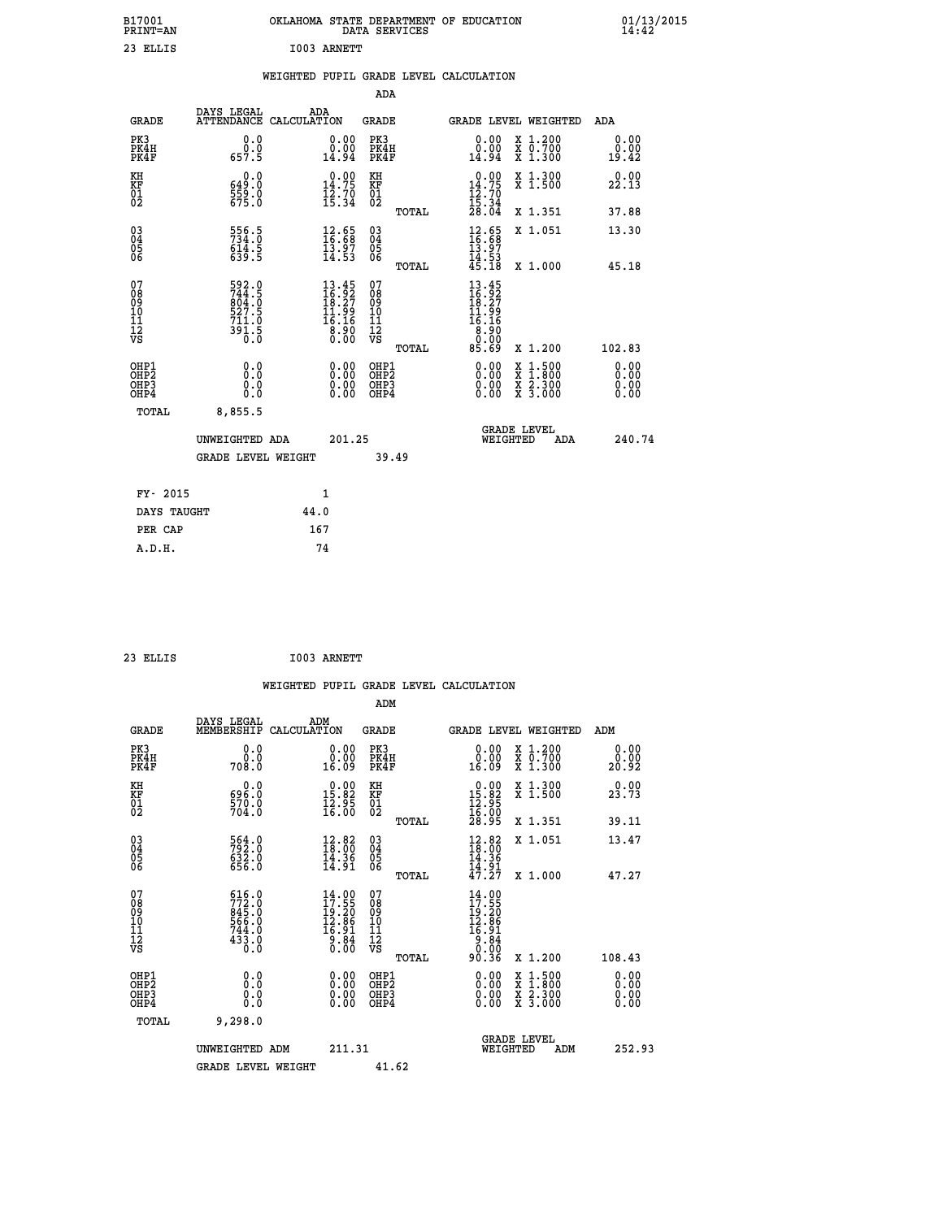| B17001<br>PRINT=AN               |                                                                                 | OKLAHOMA STATE DEPARTMENT OF EDUCATION                                                                                                                                                                                                                                                                                                                                                                                                                                                                                                                                        | DATA SERVICES                                         |                                                                                 |                                                                                          | $01/13/2015$<br>14:42 |  |
|----------------------------------|---------------------------------------------------------------------------------|-------------------------------------------------------------------------------------------------------------------------------------------------------------------------------------------------------------------------------------------------------------------------------------------------------------------------------------------------------------------------------------------------------------------------------------------------------------------------------------------------------------------------------------------------------------------------------|-------------------------------------------------------|---------------------------------------------------------------------------------|------------------------------------------------------------------------------------------|-----------------------|--|
| 23 ELLIS                         |                                                                                 | I003 ARNETT                                                                                                                                                                                                                                                                                                                                                                                                                                                                                                                                                                   |                                                       |                                                                                 |                                                                                          |                       |  |
|                                  |                                                                                 | WEIGHTED PUPIL GRADE LEVEL CALCULATION                                                                                                                                                                                                                                                                                                                                                                                                                                                                                                                                        |                                                       |                                                                                 |                                                                                          |                       |  |
|                                  |                                                                                 |                                                                                                                                                                                                                                                                                                                                                                                                                                                                                                                                                                               | ADA                                                   |                                                                                 |                                                                                          |                       |  |
| <b>GRADE</b>                     | DAYS LEGAL                                                                      | ADA<br>ATTENDANCE CALCULATION                                                                                                                                                                                                                                                                                                                                                                                                                                                                                                                                                 | GRADE                                                 |                                                                                 | GRADE LEVEL WEIGHTED                                                                     | ADA                   |  |
| PK3<br>PK4H<br>PK4F              | 0.0<br>0.0<br>657.5                                                             | 0.00<br>0.00<br>14.94                                                                                                                                                                                                                                                                                                                                                                                                                                                                                                                                                         | PK3<br>PK4H<br>PK4F                                   | 0.00<br>0.00<br>14.94                                                           | X 1.200<br>X 0.700<br>X 1.300                                                            | 0.00<br>0.00<br>19.42 |  |
| KH<br>KF<br>$\frac{01}{02}$      | 0.0<br>649.0<br>$\frac{559}{675}$ :0                                            | 14.75<br>$\frac{1}{2}$ $\frac{2}{3}$ $\frac{7}{4}$                                                                                                                                                                                                                                                                                                                                                                                                                                                                                                                            | КH<br><b>KF</b><br>01<br>02                           | $0.00$<br>14.75<br>$\frac{1}{2}$ $\frac{2}{5}$ $\cdot \frac{70}{34}$<br>$28.04$ | X 1.300<br>X 1.500                                                                       | 0.00<br>22.13         |  |
|                                  |                                                                                 |                                                                                                                                                                                                                                                                                                                                                                                                                                                                                                                                                                               | TOTAL                                                 |                                                                                 | X 1.351                                                                                  | 37.88                 |  |
| 030404<br>ŌĞ                     | 556.5<br>734.0<br>614.5<br>639.5                                                | $\frac{12.65}{16.68}$<br>$\frac{13.97}{14.53}$                                                                                                                                                                                                                                                                                                                                                                                                                                                                                                                                | $\begin{matrix} 03 \\ 04 \\ 05 \\ 06 \end{matrix}$    | $\frac{12}{16}$ : 68<br>13.97<br>$\frac{14}{45}.53$<br>45.18                    | X 1.051                                                                                  | 13.30                 |  |
| 07                               |                                                                                 |                                                                                                                                                                                                                                                                                                                                                                                                                                                                                                                                                                               | <b>TOTAL</b><br>07                                    | 13.45                                                                           | X 1.000                                                                                  | 45.18                 |  |
| 08<br>09<br>11<br>11<br>12<br>VS | 592.0<br>744.5<br>004.0<br>$\frac{527.5}{711.0}$<br>$3\bar{9}\bar{1}$ .5<br>ō.ŏ | $13.45$<br>$16.92$<br>$18.27$<br>$11.99$<br>$16.16$<br>$\begin{smallmatrix} \textcolor{red}{\textbf{8}}\ \textcolor{red}{\textbf{8}}\ \textcolor{red}{\textbf{9}}\ \textcolor{red}{\textbf{0}}\ \textcolor{red}{\textbf{0}}\ \textcolor{red}{\textbf{0}}\ \textcolor{red}{\textbf{0}}\ \textcolor{red}{\textbf{0}}\ \textcolor{red}{\textbf{0}}\ \textcolor{red}{\textbf{0}}\ \textcolor{red}{\textbf{0}}\ \textcolor{red}{\textbf{0}}\ \textcolor{red}{\textbf{0}}\ \textcolor{red}{\textbf{0}}\ \textcolor{red}{\textbf{0}}\ \textcolor{red}{\textbf{0}}\ \textcolor{red}{$ | $\frac{0.8}{0.9}$<br>ίŌ<br>Īĺ<br>$\frac{1}{\sqrt{2}}$ | $\frac{16.92}{18.27}$<br>11.99<br>16.16<br>8.90<br>0.00                         |                                                                                          |                       |  |
| OHP1                             | 0.0                                                                             |                                                                                                                                                                                                                                                                                                                                                                                                                                                                                                                                                                               | TOTAL<br>OHP1                                         | 85.69                                                                           | X 1.200                                                                                  | 102.83<br>0.00        |  |
| OHP <sub>2</sub><br>OHP3<br>OHP4 | Ō.Ō<br>0.0<br>0.0                                                               | 0.00<br>0.00<br>0.00                                                                                                                                                                                                                                                                                                                                                                                                                                                                                                                                                          | OH <sub>P</sub> 2<br>OHP3<br>OHP4                     | 0.00<br>0.00<br>0.00                                                            | $\begin{smallmatrix} x & 1.500 \\ x & 1.800 \\ x & 2.300 \\ x & 3.000 \end{smallmatrix}$ | 0.00<br>0.00<br>0.00  |  |
| TOTAL                            | 8,855.5                                                                         |                                                                                                                                                                                                                                                                                                                                                                                                                                                                                                                                                                               |                                                       |                                                                                 |                                                                                          |                       |  |
|                                  | UNWEIGHTED ADA                                                                  | 201.25                                                                                                                                                                                                                                                                                                                                                                                                                                                                                                                                                                        |                                                       | WEIGHTED                                                                        | <b>GRADE LEVEL</b><br>ADA                                                                | 240.74                |  |
|                                  | <b>GRADE LEVEL WEIGHT</b>                                                       |                                                                                                                                                                                                                                                                                                                                                                                                                                                                                                                                                                               | 39.49                                                 |                                                                                 |                                                                                          |                       |  |
| FY- 2015                         |                                                                                 | 1                                                                                                                                                                                                                                                                                                                                                                                                                                                                                                                                                                             |                                                       |                                                                                 |                                                                                          |                       |  |
| DAYS TAUGHT                      |                                                                                 | 44.0                                                                                                                                                                                                                                                                                                                                                                                                                                                                                                                                                                          |                                                       |                                                                                 |                                                                                          |                       |  |
| PER CAP                          |                                                                                 | 167                                                                                                                                                                                                                                                                                                                                                                                                                                                                                                                                                                           |                                                       |                                                                                 |                                                                                          |                       |  |

| 23 ELLIS | <b>I003 ARNETT</b> |
|----------|--------------------|
|          |                    |

 **WEIGHTED PUPIL GRADE LEVEL CALCULATION ADM DAYS LEGAL ADM GRADE MEMBERSHIP CALCULATION GRADE GRADE LEVEL WEIGHTED ADM PK3 0.0 0.00 PK3 0.00 X 1.200 0.00 PK4H 0.0 0.00 PK4H 0.00 X 0.700 0.00 PK4F 708.0 16.09 PK4F 16.09 X 1.300 20.92 KH 0.0 0.00 KH 0.00 X 1.300 0.00 KF 696.0 15.82 KF 15.82 X 1.500 23.73 01 570.0 12.95 01 12.95** 02 704.0 16.00 02 <sub>noman</sub> 16.00  **TOTAL 28.95 X 1.351 39.11 03 564.0 12.82 03 12.82 X 1.051 13.47 04 792.0 18.00 04 18.00 05 632.0 14.36 05 14.36** 06 656.0 14.91 06 <sub>memas</sub> 14.91  **TOTAL 47.27 X 1.000 47.27 07 616.0 14.00 07 14.00 08 772.0 17.55 08 17.55 09 845.0 19.20 09 19.20 10 566.0 12.86 10 12.86** 11 744.0 16.91 11<br>16.91  **12 433.0 9.84 12 9.84 VS** 0.0 0.00 VS 0.00 0.00  **TOTAL 90.36 X 1.200 108.43 OHP1 0.0 0.00 OHP1 0.00 X 1.500 0.00 OHP2 0.0 0.00 OHP2 0.00 X 1.800 0.00 OHP3 0.0 0.00 OHP3 0.00 X 2.300 0.00 OHP4 0.0 0.00 OHP4 0.00 X 3.000 0.00 TOTAL 9,298.0 GRADE LEVEL UNWEIGHTED ADM 211.31 WEIGHTED ADM 252.93** GRADE LEVEL WEIGHT 41.62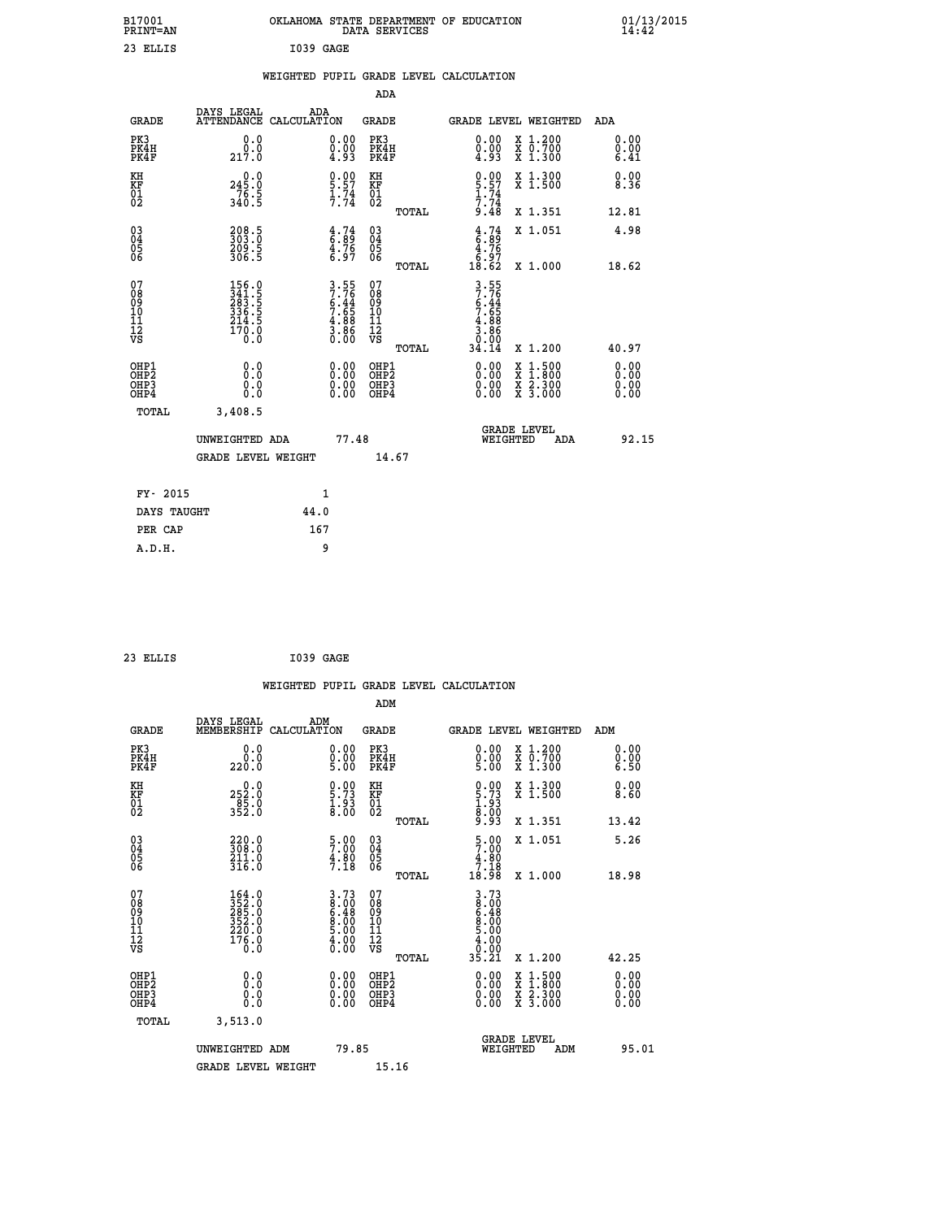| B17001<br><b>PRINT=AN</b>                             |                                                                  | OKLAHOMA STATE DEPARTMENT OF EDUCATION                         | DATA SERVICES                                                              |                                                                                                                       |                                                                                          | 01/13/2015<br>14:42          |  |
|-------------------------------------------------------|------------------------------------------------------------------|----------------------------------------------------------------|----------------------------------------------------------------------------|-----------------------------------------------------------------------------------------------------------------------|------------------------------------------------------------------------------------------|------------------------------|--|
| 23 ELLIS                                              |                                                                  | I039 GAGE                                                      |                                                                            |                                                                                                                       |                                                                                          |                              |  |
|                                                       |                                                                  | WEIGHTED PUPIL GRADE LEVEL CALCULATION                         |                                                                            |                                                                                                                       |                                                                                          |                              |  |
|                                                       |                                                                  |                                                                | ADA                                                                        |                                                                                                                       |                                                                                          |                              |  |
| <b>GRADE</b>                                          | DAYS LEGAL<br>ATTENDANCE CALCULATION                             | ADA                                                            | GRADE                                                                      | GRADE LEVEL WEIGHTED                                                                                                  |                                                                                          | ADA                          |  |
| PK3<br>PK4H<br>PK4F                                   | 0.0<br>0.0<br>217.0                                              | 0.00<br>$0.00$<br>4.93                                         | PK3<br>PK4H<br>PK4F                                                        | $\substack{0.00\\0.00\\4.93}$                                                                                         | X 1.200<br>X 0.700<br>X 1.300                                                            | 0.00<br>0.00<br>6.41         |  |
| KH<br>KF<br>$^{01}_{02}$                              | 245.0<br>$\frac{76.5}{340.5}$                                    | $\frac{0.00}{5.57}$<br>$\frac{1.74}{7.74}$                     | КH<br>KF<br>01<br>02                                                       | $0.90$<br>5.57<br>$1.74$<br>7.74                                                                                      | X 1.300<br>X 1.500                                                                       | 0.00<br>8.36                 |  |
|                                                       |                                                                  |                                                                | TOTAL                                                                      | 9.48                                                                                                                  | X 1.351                                                                                  | 12.81                        |  |
| $\substack{03 \\ 04}$<br>$\frac{05}{06}$              | 208.5<br>303.0<br>$\frac{209.5}{306.5}$                          | $\begin{array}{c} 4.74 \\ 6.89 \\ 4.76 \\ 6.97 \end{array}$    | 03<br>04<br>05<br>06                                                       | $\frac{4}{6} : 74$<br>4.76<br>$\begin{smallmatrix} \bar{6} \cdot \bar{9} \ \bar{1}8 \cdot \bar{6}2 \end{smallmatrix}$ | X 1.051                                                                                  | 4.98                         |  |
|                                                       |                                                                  |                                                                | TOTAL                                                                      |                                                                                                                       | X 1.000                                                                                  | 18.62                        |  |
| 07<br>08<br>09<br>11<br>11<br>12<br>VS                | 156.0<br>341.5<br>283.5<br>336.5<br>$\frac{214.5}{170.0}$<br>0.0 | $3.55$<br>7.76<br>6.44<br>6.65<br>7.65<br>4.88<br>3.86<br>0.00 | 07<br>08<br>09<br>10<br>$\frac{11}{12}$<br>$\frac{12}{18}$<br><b>TOTAL</b> | $3.55$<br>$7.76$<br>$6.44$<br>$7.65$<br>$\frac{4.88}{3.86}$<br>0.00<br>34.14                                          | X 1.200                                                                                  | 40.97                        |  |
| OHP1<br>OH <sub>P</sub> 2<br>OH <sub>P3</sub><br>OHP4 | 0.0<br>0.0<br>0.0<br>0.0                                         | $0.00$<br>$0.00$<br>0.00                                       | OHP1<br>OH <sub>P</sub> 2<br>OHP3<br>OHP4                                  | 0.00<br>0.00<br>0.00                                                                                                  | $\begin{smallmatrix} x & 1.500 \\ x & 1.800 \\ x & 2.300 \\ x & 3.000 \end{smallmatrix}$ | 0.00<br>0.00<br>0.00<br>0.00 |  |
| TOTAL                                                 | 3,408.5                                                          |                                                                |                                                                            |                                                                                                                       |                                                                                          |                              |  |
|                                                       | UNWEIGHTED ADA<br><b>GRADE LEVEL WEIGHT</b>                      | 77.48                                                          | 14.67                                                                      | <b>GRADE LEVEL</b><br>WEIGHTED                                                                                        | ADA                                                                                      | 92.15                        |  |
|                                                       |                                                                  |                                                                |                                                                            |                                                                                                                       |                                                                                          |                              |  |
| FY- 2015                                              |                                                                  | 1                                                              |                                                                            |                                                                                                                       |                                                                                          |                              |  |
| DAYS TAUGHT                                           |                                                                  | 44.0                                                           |                                                                            |                                                                                                                       |                                                                                          |                              |  |
| PER CAP                                               |                                                                  | 167                                                            |                                                                            |                                                                                                                       |                                                                                          |                              |  |

| 23 ELLIS | I039 GAGE |  |
|----------|-----------|--|
|          |           |  |

|                                                      |                                                                                                     |                                                                    |                                                     | WEIGHTED PUPIL GRADE LEVEL CALCULATION                                                                                                                                                                                                                                                                                                                                                                                      |                              |
|------------------------------------------------------|-----------------------------------------------------------------------------------------------------|--------------------------------------------------------------------|-----------------------------------------------------|-----------------------------------------------------------------------------------------------------------------------------------------------------------------------------------------------------------------------------------------------------------------------------------------------------------------------------------------------------------------------------------------------------------------------------|------------------------------|
|                                                      |                                                                                                     |                                                                    | ADM                                                 |                                                                                                                                                                                                                                                                                                                                                                                                                             |                              |
| <b>GRADE</b>                                         | DAYS LEGAL<br>MEMBERSHIP<br>CALCULATION                                                             | ADM                                                                | <b>GRADE</b>                                        | GRADE LEVEL WEIGHTED                                                                                                                                                                                                                                                                                                                                                                                                        | ADM                          |
| PK3<br>PK4H<br>PK4F                                  | 0.0<br>0.0<br>220.0                                                                                 | $\begin{smallmatrix} 0.00\\ 0.00\\ 5.00 \end{smallmatrix}$         | PK3<br>PK4H<br>PK4F                                 | $\begin{smallmatrix} 0.00 \\ 0.00 \\ 5.00 \end{smallmatrix}$<br>X 1.200<br>X 0.700<br>X 1.300                                                                                                                                                                                                                                                                                                                               | 0.00<br>0.00<br>6.50         |
| KH<br>KF<br>01<br>02                                 | 252.0<br>252.0<br>85.0<br>352.0                                                                     | $\begin{smallmatrix} 0.00\ 5.73\ 1.93\ 8.00 \end{smallmatrix}$     | KH<br>KF<br>01<br>02                                | $0.00$<br>5.73<br>1.93<br>8.00<br>8.93<br>X 1.300<br>X 1.500                                                                                                                                                                                                                                                                                                                                                                | 0.00<br>8.60                 |
|                                                      |                                                                                                     |                                                                    | TOTAL                                               | X 1.351                                                                                                                                                                                                                                                                                                                                                                                                                     | 13.42                        |
| $\begin{matrix} 03 \\ 04 \\ 05 \\ 06 \end{matrix}$   | 220.0<br>308.0<br>$\frac{211.0}{316.0}$                                                             | $\frac{5\cdot 00}{7\cdot 80}$<br>$\frac{4\cdot 80}{7\cdot 18}$     | $\begin{array}{c} 03 \\ 04 \\ 05 \\ 06 \end{array}$ | $\frac{5}{7}$ :00<br>X 1.051<br>$\frac{4.80}{7.18}$<br>18.98                                                                                                                                                                                                                                                                                                                                                                | 5.26                         |
|                                                      |                                                                                                     |                                                                    | TOTAL                                               | X 1.000                                                                                                                                                                                                                                                                                                                                                                                                                     | 18.98                        |
| 07<br>08<br>09<br>101<br>112<br>VS                   | $\begin{smallmatrix} 164.0\\ 352.0\\ 285.0\\ 352.0\\ 352.0\\ 220.0\\ 176.0\\ 0.0 \end{smallmatrix}$ | $3.73$<br>$8.00$<br>$6.48$<br>$8.00$<br>$5.00$<br>$4.00$<br>$0.00$ | 07<br>08<br>09<br>11<br>11<br>12<br>VS              | 3.73<br>8.00<br>6.48<br>6.00<br>5.00<br>4.00<br>0.00<br>35.21<br>X 1.200                                                                                                                                                                                                                                                                                                                                                    | 42.25                        |
|                                                      |                                                                                                     |                                                                    | TOTAL                                               |                                                                                                                                                                                                                                                                                                                                                                                                                             |                              |
| OHP1<br>OHP2<br>OH <sub>P3</sub><br>OH <sub>P4</sub> | 0.0<br>0.0<br>Ŏ.Ŏ                                                                                   | $\begin{smallmatrix} 0.00 \ 0.00 \ 0.00 \ 0.00 \end{smallmatrix}$  | OHP1<br>OHP2<br>OHP3<br>OHP4                        | $\begin{smallmatrix} 0.00 & 0.00 & 0.00 & 0.00 & 0.00 & 0.00 & 0.00 & 0.00 & 0.00 & 0.00 & 0.00 & 0.00 & 0.00 & 0.00 & 0.00 & 0.00 & 0.00 & 0.00 & 0.00 & 0.00 & 0.00 & 0.00 & 0.00 & 0.00 & 0.00 & 0.00 & 0.00 & 0.00 & 0.00 & 0.00 & 0.00 & 0.00 & 0.00 & 0.00 & 0.00 & 0.0$<br>$\begin{smallmatrix} \mathtt{X} & 1\cdot500\\ \mathtt{X} & 1\cdot800\\ \mathtt{X} & 2\cdot300\\ \mathtt{X} & 3\cdot000 \end{smallmatrix}$ | 0.00<br>0.00<br>0.00<br>0.00 |
| TOTAL                                                | 3,513.0                                                                                             |                                                                    |                                                     |                                                                                                                                                                                                                                                                                                                                                                                                                             |                              |
|                                                      | UNWEIGHTED ADM                                                                                      | 79.85                                                              |                                                     | GRADE LEVEL<br>WEIGHTED<br>ADM                                                                                                                                                                                                                                                                                                                                                                                              | 95.01                        |
|                                                      | <b>GRADE LEVEL WEIGHT</b>                                                                           |                                                                    | 15.16                                               |                                                                                                                                                                                                                                                                                                                                                                                                                             |                              |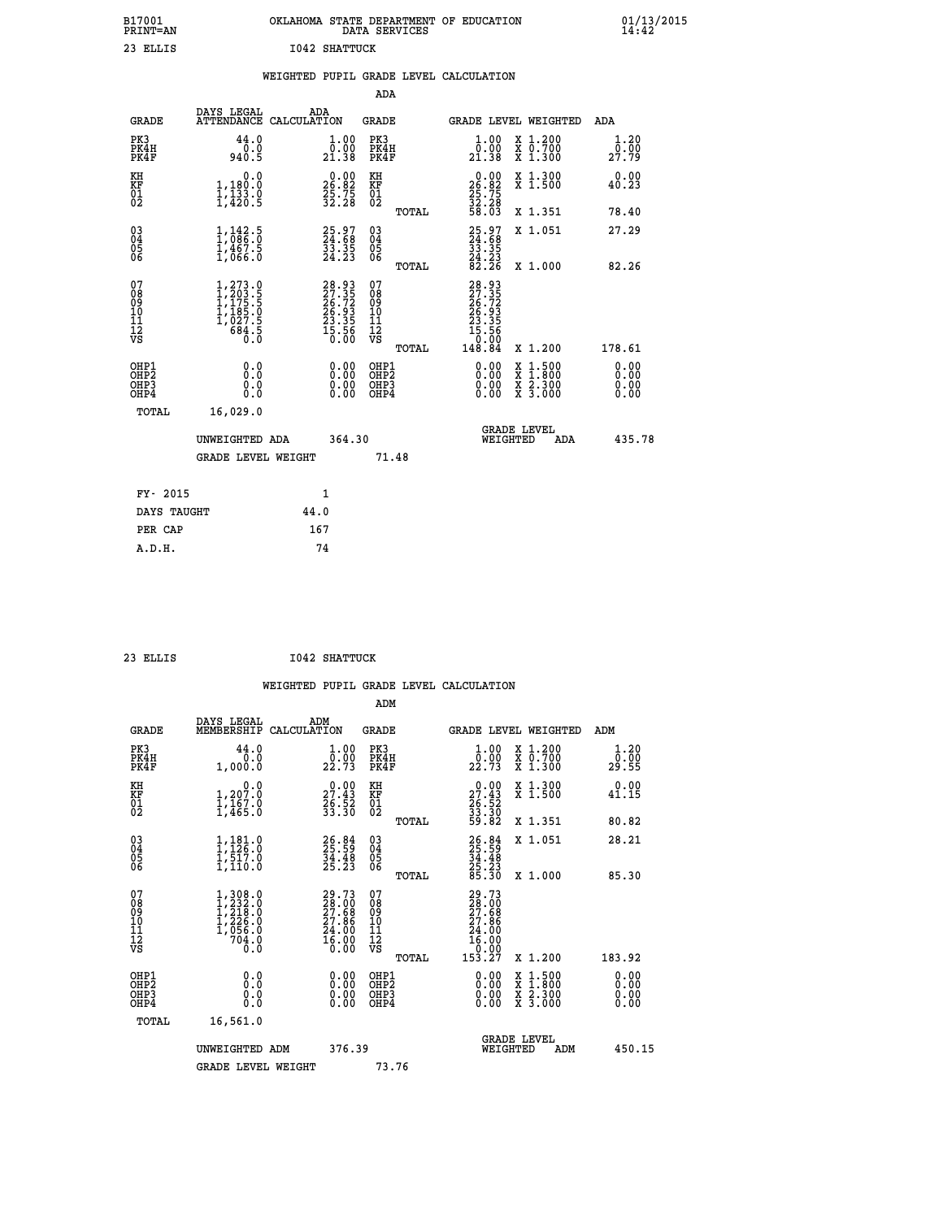| B17001<br>PRINT=AN                       |                                                                                                                                         | OKLAHOMA STATE DEPARTMENT OF EDUCATION                               | DATA SERVICES                                      |                                                                              |                                                                                    | 01/13/2015<br>14:42          |  |
|------------------------------------------|-----------------------------------------------------------------------------------------------------------------------------------------|----------------------------------------------------------------------|----------------------------------------------------|------------------------------------------------------------------------------|------------------------------------------------------------------------------------|------------------------------|--|
| 23 ELLIS                                 |                                                                                                                                         | <b>I042 SHATTUCK</b>                                                 |                                                    |                                                                              |                                                                                    |                              |  |
|                                          |                                                                                                                                         | WEIGHTED PUPIL GRADE LEVEL CALCULATION                               |                                                    |                                                                              |                                                                                    |                              |  |
|                                          |                                                                                                                                         |                                                                      | ADA                                                |                                                                              |                                                                                    |                              |  |
| GRADE                                    | DAYS LEGAL<br>ATTENDANCE CALCULATION                                                                                                    | ADA                                                                  | GRADE                                              | <b>GRADE LEVEL WEIGHTED</b>                                                  |                                                                                    | ADA                          |  |
| PK3<br>PK4H<br>PK4F                      | 44.0<br>0.0<br>940.5                                                                                                                    | $1.00$<br>$0.00$<br>21.38                                            | PK3<br>PK4H<br>PK4F                                | 1.00<br>0.00<br>21.38                                                        | X 1.200<br>X 0.700<br>X 1.300                                                      | 1.20<br>0.00<br>27.79        |  |
| KH<br>KF<br>$\overline{01}$              | 0.0<br>1,180.0<br>1,133.0<br>1,420.5                                                                                                    | $\begin{smallmatrix} 0.00\\ 26.82\\ 25.75\\ 32.28 \end{smallmatrix}$ | КH<br>KF<br>01<br>02                               | $\begin{smallmatrix} 0.00\\ 26.82\\ 25.75\\ 32.28\\ 58.03 \end{smallmatrix}$ | X 1.300<br>X 1.500                                                                 | 0.00<br>40.23                |  |
|                                          |                                                                                                                                         |                                                                      | TOTAL                                              |                                                                              | X 1.351                                                                            | 78.40                        |  |
| $03\overline{4}$<br>Ŏ5<br>06             | $\frac{1}{1}$ , $\frac{142}{0}$ ; $\frac{5}{0}$<br>$1, \frac{4}{6}, \frac{6}{6}, \frac{5}{6}$                                           | 25.97<br>24.68<br>33.35<br>24.23                                     | $\begin{matrix} 03 \\ 04 \\ 05 \\ 06 \end{matrix}$ | 25.97<br>33.35                                                               | X 1.051                                                                            | 27.29                        |  |
|                                          |                                                                                                                                         |                                                                      | TOTAL                                              | $\frac{24}{82}. \frac{23}{26}$                                               | X 1.000                                                                            | 82.26                        |  |
| 07<br>08<br>09<br>10<br>11<br>12<br>VS   | $\begin{smallmatrix} 1,273\cdot 0\\ 1,203\cdot 5\\ 1,175\cdot 5\\ 1,185\cdot 0\\ 1,027\cdot 5\\ 684\cdot 5\\ 0\cdot 0\end{smallmatrix}$ | $28.93\n27.35\n26.72\n26.93\n23.35\n23.35\n15.56\n0.00$              | 07<br>08<br>09<br>10<br>11<br>12<br>VS<br>TOTAL    | 28.93<br>27.35<br>26.72<br>26.93<br>23.35<br>.56<br>15<br>0.00<br>148.84     | X 1.200                                                                            | 178.61                       |  |
| OHP1<br>OHP2<br>OH <sub>P3</sub><br>OHP4 | 0.0<br>0.0<br>0.0<br>0.0                                                                                                                | 0.00<br>0.00<br>0.00                                                 | OHP1<br>OHP <sub>2</sub><br>OHP3<br>OHP4           | 0.00<br>0.00<br>0.00                                                         | $\frac{x}{x}$ $\frac{1.500}{x}$<br>$\frac{x}{x}$ $\frac{2 \cdot 300}{3 \cdot 000}$ | 0.00<br>0.00<br>0.00<br>0.00 |  |
| TOTAL                                    | 16,029.0                                                                                                                                |                                                                      |                                                    |                                                                              |                                                                                    |                              |  |
|                                          | UNWEIGHTED ADA                                                                                                                          | 364.30                                                               |                                                    | <b>GRADE LEVEL</b><br>WEIGHTED                                               | ADA                                                                                | 435.78                       |  |
|                                          | <b>GRADE LEVEL WEIGHT</b>                                                                                                               |                                                                      | 71.48                                              |                                                                              |                                                                                    |                              |  |
| FY- 2015                                 |                                                                                                                                         | 1                                                                    |                                                    |                                                                              |                                                                                    |                              |  |
| DAYS TAUGHT                              |                                                                                                                                         | 44.0                                                                 |                                                    |                                                                              |                                                                                    |                              |  |
| PER CAP                                  |                                                                                                                                         | 167                                                                  |                                                    |                                                                              |                                                                                    |                              |  |

| 23 ELLIS | <b>I042 SHATTUCK</b> |
|----------|----------------------|

 **ADM**

| <b>GRADE</b>                                       | DAYS LEGAL<br>MEMBERSHIP CALCULATION                                                                  | ADM                                                                                                | <b>GRADE</b>                                           |                                                                                                                    | GRADE LEVEL WEIGHTED                                                                                                | ADM                   |
|----------------------------------------------------|-------------------------------------------------------------------------------------------------------|----------------------------------------------------------------------------------------------------|--------------------------------------------------------|--------------------------------------------------------------------------------------------------------------------|---------------------------------------------------------------------------------------------------------------------|-----------------------|
| PK3<br>PK4H<br>PK4F                                | 44.0<br>0.0<br>1,000.0                                                                                | 1.00<br>0.00<br>22.73                                                                              | PK3<br>PK4H<br>PK4F                                    | $\frac{1}{0}$ : 00<br>22.73                                                                                        | X 1.200<br>X 0.700<br>X 1.300                                                                                       | 1.20<br>0.00<br>29.55 |
| KH<br>KF<br>01<br>02                               | 0.0<br>$1,207.0$<br>$1,167.0$<br>$1,465.0$                                                            | $\begin{smallmatrix} 0.00\\ 27.43\\ 26.52\\ 33.30 \end{smallmatrix}$                               | KH<br>KF<br>01<br>02                                   | $\begin{smallmatrix} 0.00\\ 27.43\\ 26.52\\ 33.30\\ 59.82 \end{smallmatrix}$                                       | X 1.300<br>X 1.500                                                                                                  | 0.00<br>41.15         |
|                                                    |                                                                                                       |                                                                                                    | TOTAL                                                  |                                                                                                                    | X 1.351                                                                                                             | 80.82                 |
| $\begin{matrix} 03 \\ 04 \\ 05 \\ 06 \end{matrix}$ | $1, 181.0$<br>$1, 126.0$<br>$1, 517.0$<br>$1, 110.0$                                                  | 26.84<br>25.59<br>34.48<br>25.23                                                                   | $\begin{array}{c} 03 \\ 04 \\ 05 \\ 06 \end{array}$    | 26.84<br>25.59<br>34.48<br>25.23<br>85.30                                                                          | X 1.051                                                                                                             | 28.21                 |
|                                                    |                                                                                                       |                                                                                                    | TOTAL                                                  |                                                                                                                    | X 1.000                                                                                                             | 85.30                 |
| 07<br>08<br>09<br>101<br>11<br>12<br>VS            | $\begin{smallmatrix} 1,308.0\\ 1,232.0\\ 1,218.0\\ 1,226.0\\ 1,056.0\\ 704.0\\ 0.0 \end{smallmatrix}$ | $\begin{smallmatrix} 29.73 \\ 28.00 \\ 27.68 \\ 27.86 \\ 24.00 \\ 16.00 \\ 0.00 \end{smallmatrix}$ | 07<br>08<br>09<br>001<br>11<br>11<br>12<br>VS<br>TOTAL | 29.73<br>$\begin{smallmatrix} 23 & 0 & 0 \\ 27 & 68 \\ 27 & 86 \\ 24 & 00 \\ 16 & 00 \\ 15 & 27 \end{smallmatrix}$ | X 1.200                                                                                                             | 183.92                |
| OHP1<br>OHP2<br>OHP3<br>OHP4                       | 0.0<br>0.000                                                                                          |                                                                                                    | OHP1<br>OHP2<br>OHP3<br>OHP4                           | $0.00$<br>$0.00$<br>0.00                                                                                           | $\begin{array}{l} \mathtt{X} & 1.500 \\ \mathtt{X} & 1.800 \\ \mathtt{X} & 2.300 \\ \mathtt{X} & 3.000 \end{array}$ | 0.00<br>0.00<br>0.00  |
| TOTAL                                              | 16,561.0                                                                                              |                                                                                                    |                                                        |                                                                                                                    |                                                                                                                     |                       |
|                                                    | UNWEIGHTED<br>ADM                                                                                     | 376.39                                                                                             |                                                        | WEIGHTED                                                                                                           | <b>GRADE LEVEL</b><br>ADM                                                                                           | 450.15                |
|                                                    | <b>GRADE LEVEL WEIGHT</b>                                                                             |                                                                                                    | 73.76                                                  |                                                                                                                    |                                                                                                                     |                       |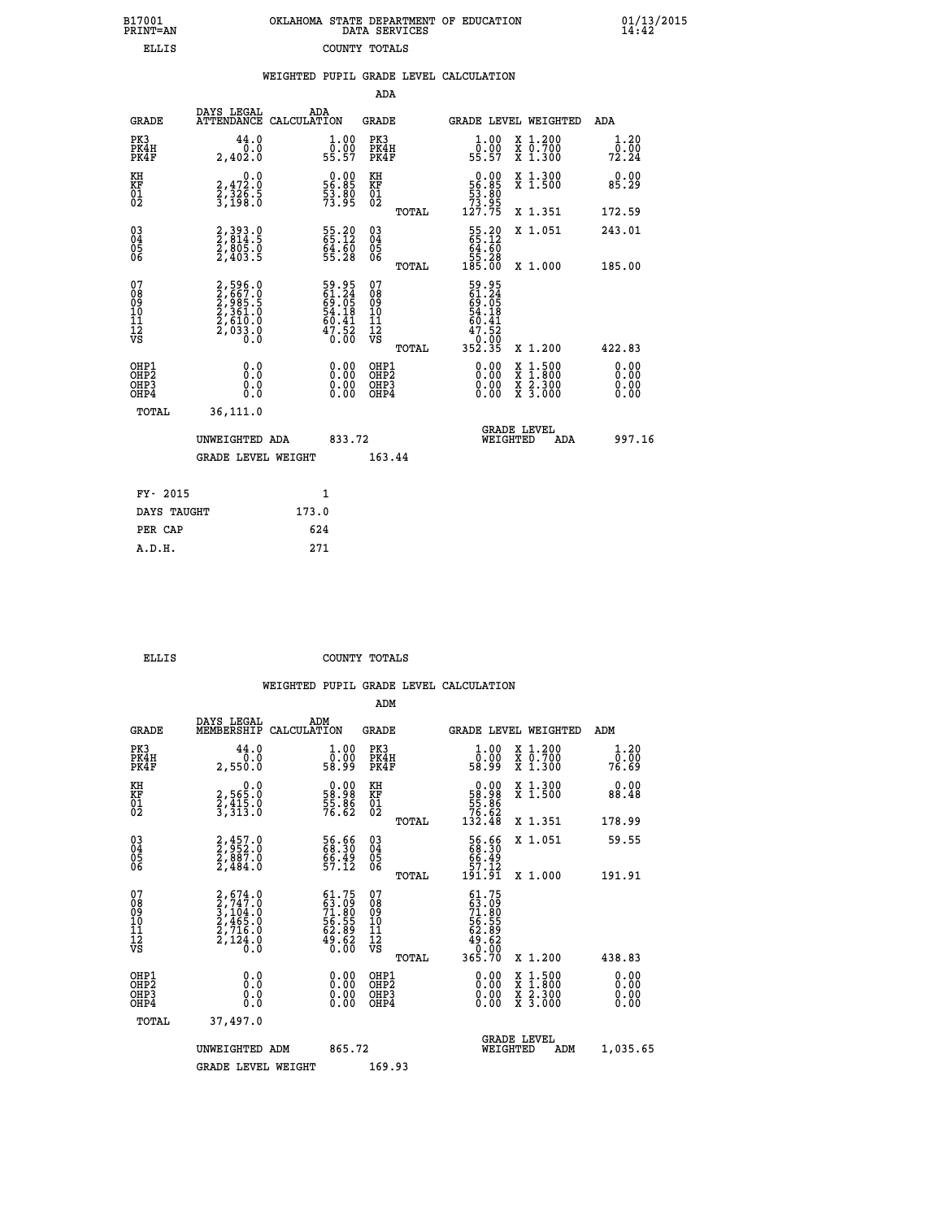| 7001<br>INT=AN | OKLAHOMA STATE DEPARTMENT OF EDUCATION | DATA SERVICES |  |
|----------------|----------------------------------------|---------------|--|
| ELLIS          |                                        | COUNTY TOTALS |  |

 **B17001 OKLAHOMA STATE DEPARTMENT OF EDUCATION 01/13/2015**

|                                              |                                                                |       |                                                                      |                                        |       | WEIGHTED PUPIL GRADE LEVEL CALCULATION                                                              |                                                                                                  |                              |
|----------------------------------------------|----------------------------------------------------------------|-------|----------------------------------------------------------------------|----------------------------------------|-------|-----------------------------------------------------------------------------------------------------|--------------------------------------------------------------------------------------------------|------------------------------|
|                                              |                                                                |       |                                                                      | <b>ADA</b>                             |       |                                                                                                     |                                                                                                  |                              |
| <b>GRADE</b>                                 | DAYS LEGAL<br>ATTENDANCE CALCULATION                           |       | ADA                                                                  | GRADE                                  |       |                                                                                                     | GRADE LEVEL WEIGHTED                                                                             | ADA                          |
| PK3<br>PK4H<br>PK4F                          | 44.0<br>0.0<br>2,402.0                                         |       | 1.00<br>ō:ŏŏ<br>55:57                                                | PK3<br>PK4H<br>PK4F                    |       | $1.00$<br>$0.00$<br>55.57                                                                           | X 1.200<br>X 0.700<br>X 1.300                                                                    | 1.20<br>0.00<br>72.24        |
| KH<br>KF<br>01<br>02                         | 0.0<br>2,472:0<br>2,326:5<br>3,198:0                           |       | $\begin{smallmatrix} 0.00\\ 56.85\\ 53.80\\ 73.95 \end{smallmatrix}$ | KH<br>KF<br>01<br>02                   |       | $\begin{smallmatrix} 0.00\\ 56.85\\ 53.80\\ 73.95\\ 127.75 \end{smallmatrix}$                       | X 1.300<br>X 1.500                                                                               | 0.00<br>85.29                |
|                                              |                                                                |       |                                                                      |                                        | TOTAL |                                                                                                     | X 1.351                                                                                          | 172.59                       |
| $\substack{03 \\ 04}$<br>05                  | 2,393.0<br>2,814.5<br>2,805.0<br>2,403.5                       |       | 55.20<br>65.12<br>$54.50$<br>55.28                                   | $\substack{03 \\ 04}$<br>05            |       | $\begin{smallmatrix} 55.20\ 65.12\ 64.60\ 55.28\ 185.00 \end{smallmatrix}$                          | X 1.051                                                                                          | 243.01                       |
| 06                                           |                                                                |       |                                                                      | 06                                     | TOTAL |                                                                                                     | X 1.000                                                                                          | 185.00                       |
| 07<br>08<br>09<br>10<br>11<br>11<br>12<br>VS | 2,596.0<br>2,667.0<br>2,985.5<br>2,361.0<br>2,610.0<br>2,033.0 |       | 59.95<br>61.24<br>69.05<br>54.18<br>54.18<br>60.41<br>47.52<br>0.00  | 07<br>08<br>09<br>11<br>11<br>12<br>VS |       | 59.95<br>61.24<br>69.05<br>54.18<br>50.41<br>$\begin{array}{r} 47.52 \\ 0.08 \\ 352.35 \end{array}$ |                                                                                                  |                              |
|                                              |                                                                |       |                                                                      |                                        | TOTAL |                                                                                                     | X 1.200                                                                                          | 422.83                       |
| OHP1<br>OHP <sub>2</sub><br>OHP3<br>OHP4     | 0.0<br>0.0<br>0.0                                              |       | $0.00$<br>$0.00$<br>0.00                                             | OHP1<br>OHP2<br>OHP3<br>OHP4           |       | $0.00$<br>$0.00$<br>0.00                                                                            | $\begin{smallmatrix} x & 1 & 500 \\ x & 1 & 800 \\ x & 2 & 300 \\ x & 3 & 000 \end{smallmatrix}$ | 0.00<br>0.00<br>0.00<br>0.00 |
| <b>TOTAL</b>                                 | 36,111.0                                                       |       |                                                                      |                                        |       |                                                                                                     |                                                                                                  |                              |
|                                              | UNWEIGHTED ADA                                                 |       | 833.72                                                               |                                        |       |                                                                                                     | <b>GRADE LEVEL</b><br>WEIGHTED<br>ADA                                                            | 997.16                       |
|                                              | <b>GRADE LEVEL WEIGHT</b>                                      |       |                                                                      | 163.44                                 |       |                                                                                                     |                                                                                                  |                              |
| FY- 2015                                     |                                                                |       | 1                                                                    |                                        |       |                                                                                                     |                                                                                                  |                              |
| DAYS TAUGHT                                  |                                                                | 173.0 |                                                                      |                                        |       |                                                                                                     |                                                                                                  |                              |
| PER CAP                                      |                                                                |       | 624                                                                  |                                        |       |                                                                                                     |                                                                                                  |                              |
| A.D.H.                                       |                                                                |       | 271                                                                  |                                        |       |                                                                                                     |                                                                                                  |                              |

 **B17001<br>PRINT=AN** 

 **ELLIS COUNTY TOTALS**

|                                          |                                                                                           |                                                                          | ADM                                                 |                                                                                     |                                          |                        |
|------------------------------------------|-------------------------------------------------------------------------------------------|--------------------------------------------------------------------------|-----------------------------------------------------|-------------------------------------------------------------------------------------|------------------------------------------|------------------------|
| <b>GRADE</b>                             | DAYS LEGAL<br>MEMBERSHIP                                                                  | ADM<br>CALCULATION                                                       | <b>GRADE</b>                                        | <b>GRADE LEVEL WEIGHTED</b>                                                         |                                          | ADM                    |
| PK3<br>PK4H<br>PK4F                      | 44.0<br>0.0<br>2,550.0                                                                    | $\begin{smallmatrix} 1.00\\ 0.00\\ 58.99 \end{smallmatrix}$              | PK3<br>PK4H<br>PK4F                                 | $\begin{smallmatrix} 1.00\\[-1mm] 0.00\\[-1mm] 58.99\end{smallmatrix}$              | X 1.200<br>X 0.700<br>X 1.300            | 1.20<br>ŏō:ōŏ<br>76.69 |
| KH<br>KF<br>01<br>02                     | 0.0<br>2,565.0<br>2,415.0<br>3,313.0                                                      | $\begin{smallmatrix} 0.00\\ 58.98\\ 55.86\\ 76.62 \end{smallmatrix}$     | KH<br>KF<br>01<br>02                                | $0.00\n58.98\n55.86\n76.62\n132.48$                                                 | X 1.300<br>X 1.500                       | 0.00<br>88.48          |
|                                          |                                                                                           |                                                                          | TOTAL                                               |                                                                                     | X 1.351                                  | 178.99                 |
| 03<br>04<br>05<br>06                     | $2,457.0$<br>$2,887.0$<br>$2,484.0$                                                       | 56.56<br>68.30<br>66.49<br>57.12                                         | $\begin{array}{c} 03 \\ 04 \\ 05 \\ 06 \end{array}$ | 56.66<br>68.30<br>66.49<br>57.12<br>191.91                                          | X 1.051                                  | 59.55                  |
|                                          |                                                                                           |                                                                          | TOTAL                                               |                                                                                     | X 1.000                                  | 191.91                 |
| 07<br>08<br>09<br>101<br>11<br>12<br>VS  | $2, 674.0$<br>$2, 747.0$<br>$3, 104.0$<br>$2, 465.0$<br>$2, 716.0$<br>$2, 124.0$<br>$0.0$ | $61.75$<br>$63.09$<br>$71.80$<br>$56.55$<br>$62.89$<br>$49.62$<br>$0.00$ | 07<br>08<br>09<br>11<br>11<br>12<br>VS<br>TOTAL     | $61.75$<br>$63.09$<br>$71.80$<br>$56.55$<br>$562.89$<br>$49.62$<br>$0.00$<br>365.70 | X 1.200                                  | 438.83                 |
| OHP1<br>OHP2<br>OH <sub>P3</sub><br>OHP4 |                                                                                           |                                                                          | OHP1<br>OHP2<br>OHP <sub>3</sub>                    | $0.00$<br>$0.00$<br>0.00                                                            | X 1:500<br>X 1:800<br>X 2:300<br>X 3:000 | 0.00<br>0.00<br>0.00   |
| TOTAL                                    | 37,497.0                                                                                  |                                                                          |                                                     |                                                                                     |                                          |                        |
|                                          | UNWEIGHTED<br>ADM                                                                         | 865.72                                                                   |                                                     |                                                                                     | GRADE LEVEL<br>WEIGHTED<br>ADM           | 1,035.65               |
|                                          | <b>GRADE LEVEL WEIGHT</b>                                                                 |                                                                          | 169.93                                              |                                                                                     |                                          |                        |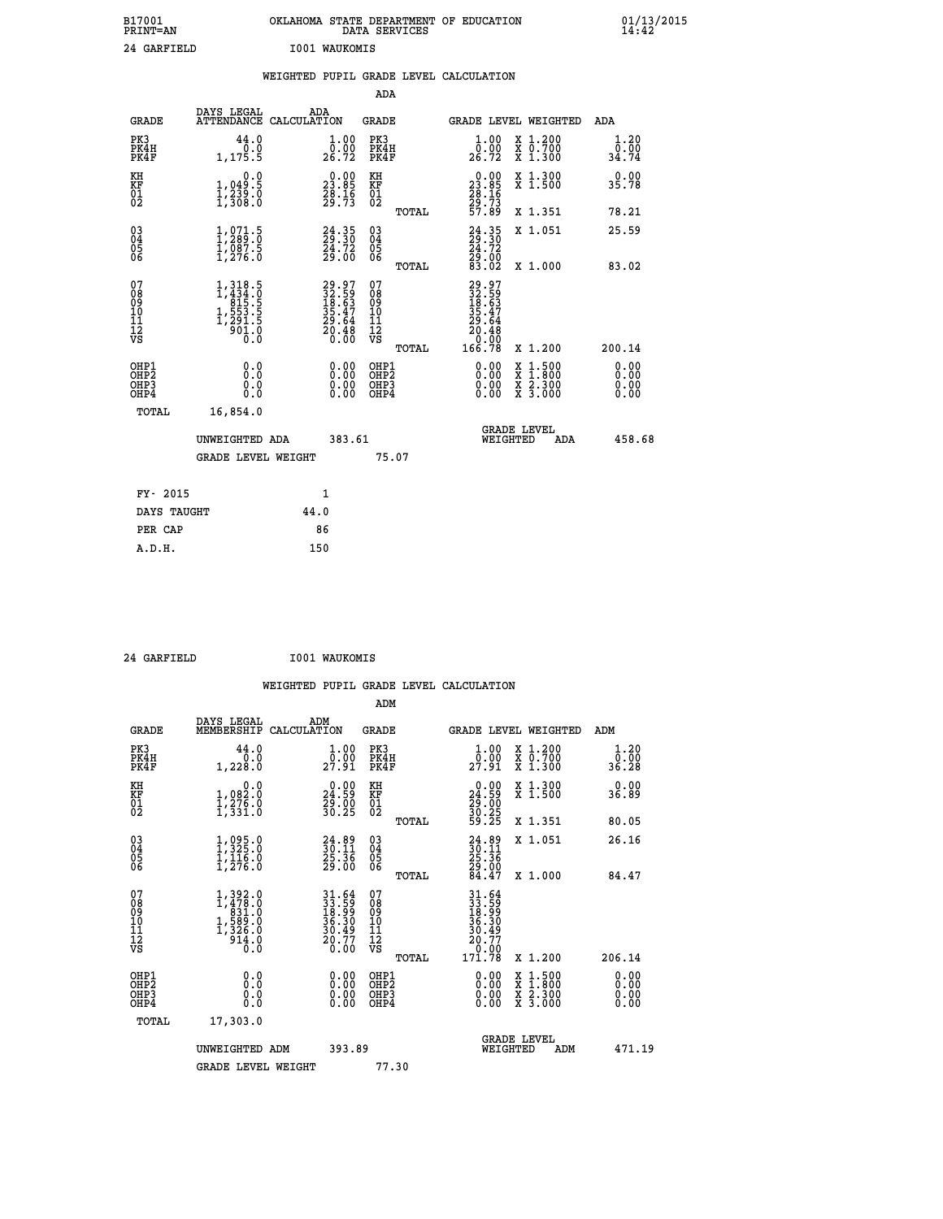| B17001<br>PRINT=AN                                |                                                                                             | OKLAHOMA STATE DEPARTMENT OF EDUCATION<br>DATA SERVICES              |                                                    |       |                                                                                                |                                                                                                                                           |     | 01/13/2015            |  |
|---------------------------------------------------|---------------------------------------------------------------------------------------------|----------------------------------------------------------------------|----------------------------------------------------|-------|------------------------------------------------------------------------------------------------|-------------------------------------------------------------------------------------------------------------------------------------------|-----|-----------------------|--|
| 24 GARFIELD                                       |                                                                                             | I001 WAUKOMIS                                                        |                                                    |       |                                                                                                |                                                                                                                                           |     |                       |  |
|                                                   |                                                                                             | WEIGHTED PUPIL GRADE LEVEL CALCULATION                               |                                                    |       |                                                                                                |                                                                                                                                           |     |                       |  |
|                                                   |                                                                                             |                                                                      | ADA                                                |       |                                                                                                |                                                                                                                                           |     |                       |  |
| <b>GRADE</b>                                      |                                                                                             | DAYS LEGAL ADA ATTENDANCE CALCULATION                                | <b>GRADE</b>                                       |       | GRADE LEVEL WEIGHTED                                                                           |                                                                                                                                           |     | ADA                   |  |
| PK3<br>PK4H<br>PK4F                               | 44.0<br>1, 175.5                                                                            | 1.00<br>0.00<br>26.72                                                | PK3<br>PK4H<br>PK4F                                |       | $\frac{1}{0}$ :00<br>26.72                                                                     | X 1.200<br>X 0.700<br>X 1.300                                                                                                             |     | 1.20<br>0.00<br>34.74 |  |
| KH<br>KF<br>$\begin{matrix} 01 \ 02 \end{matrix}$ | 0.0<br>1,049:5<br>1,239:0<br>1,308:0                                                        | $\begin{smallmatrix} 0.00\\ 23.85\\ 28.16\\ 29.73 \end{smallmatrix}$ | KH<br>KF<br>01<br>02                               |       | $\begin{smallmatrix} 0.00\\ 23.85\\ 28.16\\ 29.73\\ 57.89 \end{smallmatrix}$                   | X 1.300<br>X 1.500                                                                                                                        |     | 0.00<br>35.78         |  |
|                                                   |                                                                                             |                                                                      |                                                    | TOTAL |                                                                                                | X 1.351                                                                                                                                   |     | 78.21                 |  |
| 03<br>04<br>05<br>06                              | $1, 289 \ .0$<br>$1, 289 \ .0$<br>$1, 087 \ .5$<br>$1, 276 \ .0$                            | $24.35$<br>$24.30$<br>$24.72$<br>$29.00$                             | $\begin{matrix} 03 \\ 04 \\ 05 \\ 06 \end{matrix}$ |       | $24.35$<br>$24.72$<br>$29.00$<br>$83.02$                                                       | X 1.051                                                                                                                                   |     | 25.59                 |  |
|                                                   |                                                                                             |                                                                      |                                                    | TOTAL |                                                                                                | X 1.000                                                                                                                                   |     | 83.02                 |  |
| 07<br>08<br>09<br>11<br>11<br>12<br>VS            | $1,318.5$<br>$1,434.0$<br>$815.5$<br>$1,553.5$<br>$1,291.5$<br>$901.0$<br>$\overline{0}$ .0 | 29.97<br>32.59<br>18.63<br>35.47<br>29.64<br>20.48<br>20.48          | 07<br>08<br>09<br>11<br>11<br>12<br>VS             | TOTAL | $\begin{smallmatrix} 29.97\ 32.593\ 18.593\ 19.471\ 29.644\ 20.480\ 166.78\ \end{smallmatrix}$ | X 1.200                                                                                                                                   |     | 200.14                |  |
| OHP1<br>OHP2<br>OHP3<br>OHP4<br>TOTAL             | 0.0<br>0.0<br>0.0<br>16,854.0                                                               | 0.00<br>0.00<br>0.00                                                 | OHP1<br>OHP2<br>OHP3<br>OHP4                       |       | 0.00<br>0.00<br>0.00                                                                           | $\begin{smallmatrix} \mathtt{X} & 1\cdot500\\ \mathtt{X} & 1\cdot800\\ \mathtt{X} & 2\cdot300\\ \mathtt{X} & 3\cdot000 \end{smallmatrix}$ |     | 0.00<br>0.00<br>0.00  |  |
|                                                   | UNWEIGHTED ADA<br><b>GRADE LEVEL WEIGHT</b>                                                 | 383.61                                                               | 75.07                                              |       | WEIGHTED                                                                                       | <b>GRADE LEVEL</b>                                                                                                                        | ADA | 458.68                |  |

| FY- 2015    |      |
|-------------|------|
| DAYS TAUGHT | 44.0 |
| PER CAP     | 86   |
| A.D.H.      | 150  |
|             |      |

 **24 GARFIELD I001 WAUKOMIS**

| <b>GRADE</b>                                       | DAYS LEGAL<br>MEMBERSHIP                                                                                    | ADM<br>CALCULATION                                                       | <b>GRADE</b>                                       |       | GRADE LEVEL WEIGHTED                                                                                |                                          | ADM                   |        |
|----------------------------------------------------|-------------------------------------------------------------------------------------------------------------|--------------------------------------------------------------------------|----------------------------------------------------|-------|-----------------------------------------------------------------------------------------------------|------------------------------------------|-----------------------|--------|
| PK3<br>PK4H<br>PK4F                                | 44.0<br>1,228.0                                                                                             | $\begin{smallmatrix} 1.00\\ 0.00\\ 27.91 \end{smallmatrix}$              | PK3<br>PK4H<br>PK4F                                |       | $\frac{1}{0}$ : 00<br>27.91                                                                         | X 1.200<br>X 0.700<br>X 1.300            | 1.20<br>ō:ōŏ<br>36.28 |        |
| KH<br>KF<br>01<br>02                               | 0.0<br>$\frac{1}{1}, \frac{0}{2}, \frac{0}{6}$<br>$\frac{1}{1}, \frac{2}{3}, \frac{0}{3}, \frac{0}{3}$      | $\begin{smallmatrix} 0.00\\24.59\\29.00\\30.25 \end{smallmatrix}$        | KH<br>KF<br>01<br>02                               |       | $\begin{smallmatrix} 0.00\\24.59\\29.00\\30.25\\59.25 \end{smallmatrix}$                            | X 1.300<br>X 1.500                       | 0.00<br>36.89         |        |
|                                                    |                                                                                                             |                                                                          |                                                    | TOTAL |                                                                                                     | X 1.351                                  | 80.05                 |        |
| $\begin{matrix} 03 \\ 04 \\ 05 \\ 06 \end{matrix}$ | $1,325.0$<br>$1,325.0$<br>$1,116.0$<br>$1,276.0$                                                            | $\begin{smallmatrix} 24.89\\ 30.11\\ 25.36\\ 29.00 \end{smallmatrix}$    | $\begin{matrix} 03 \\ 04 \\ 05 \\ 06 \end{matrix}$ |       | $24.89$<br>$30.11$<br>$25.36$<br>$29.00$<br>$84.47$                                                 | X 1.051                                  | 26.16                 |        |
|                                                    |                                                                                                             |                                                                          |                                                    | TOTAL |                                                                                                     | X 1.000                                  | 84.47                 |        |
| 07<br>089<br>090<br>1112<br>VS                     | $\begin{smallmatrix} 1,392.0\\ 1,478.0\\ 831.0\\ 589.0\\ 1,589.0\\ 1,326.0\\ 914.0\\ 0.0 \end{smallmatrix}$ | $31.64$<br>$33.59$<br>$18.99$<br>$36.30$<br>$30.49$<br>$20.77$<br>$0.00$ | 07<br>08<br>09<br>11<br>11<br>12<br>VS             | TOTAL | $\begin{array}{r} 31.64 \\ 33.59 \\ 18.99 \\ 36.30 \\ 36.49 \\ 20.77 \\ 0.00 \\ 171.78 \end{array}$ | X 1.200                                  | 206.14                |        |
| OHP1<br>OHP2<br>OHP3<br>OHP4                       | 0.0<br>$\begin{smallmatrix} 0.0 & 0 \ 0.0 & 0 \end{smallmatrix}$                                            |                                                                          | OHP1<br>OHP2<br>OHP3<br>OHP4                       |       |                                                                                                     | X 1:500<br>X 1:800<br>X 2:300<br>X 3:000 | 0.00<br>0.00<br>0.00  |        |
| TOTAL                                              | 17,303.0                                                                                                    |                                                                          |                                                    |       |                                                                                                     |                                          |                       |        |
|                                                    | UNWEIGHTED ADM                                                                                              | 393.89                                                                   |                                                    |       | WEIGHTED                                                                                            | <b>GRADE LEVEL</b><br>ADM                |                       | 471.19 |
|                                                    | <b>GRADE LEVEL WEIGHT</b>                                                                                   |                                                                          | 77.30                                              |       |                                                                                                     |                                          |                       |        |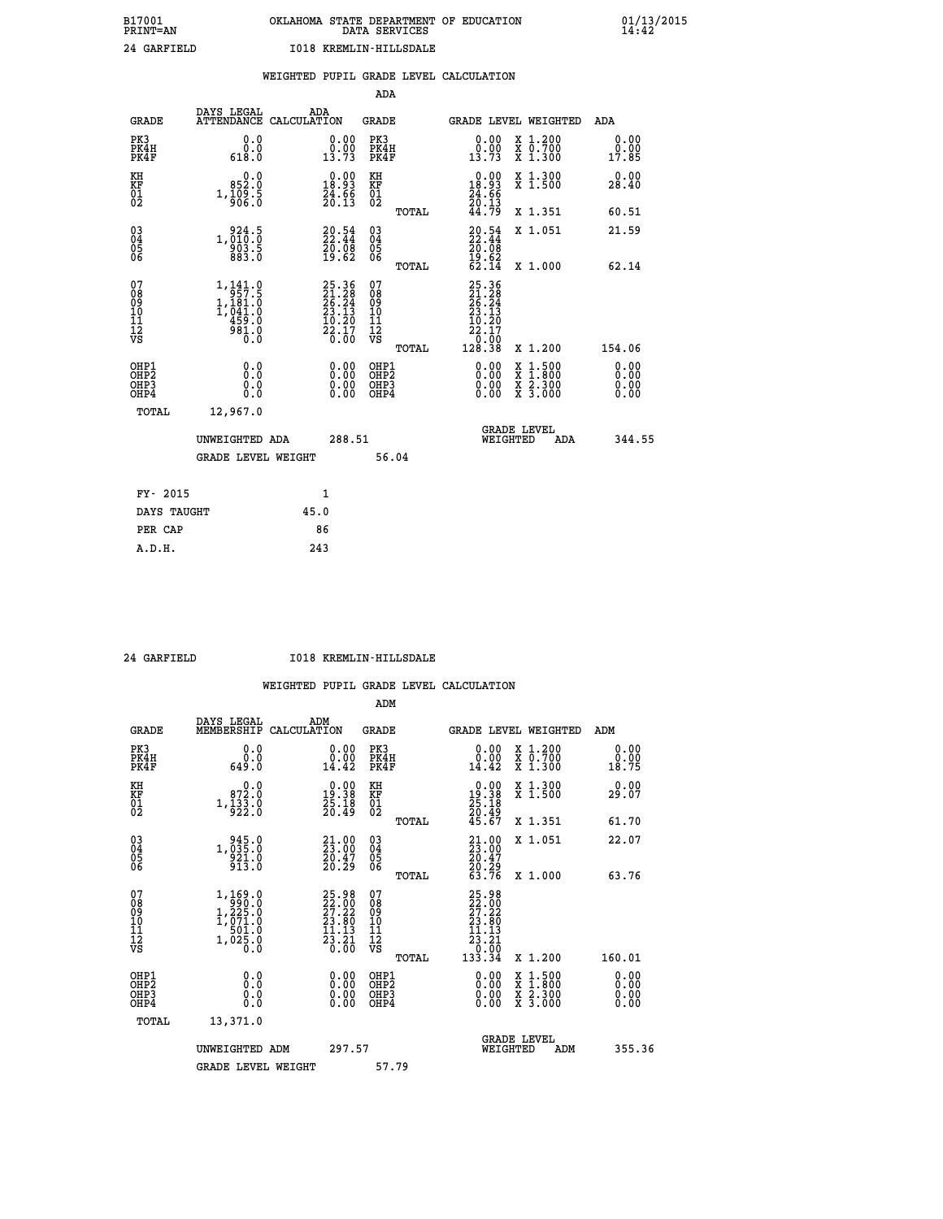# **B17001 OKLAHOMA STATE DEPARTMENT OF EDUCATION 01/13/2015 PRINT=AN DATA SERVICES 14:42 24 GARFIELD I018 KREMLIN-HILLSDALE**

|                                          |              |                                                                                               |      |                                                                    |                                          |       | WEIGHTED PUPIL GRADE LEVEL CALCULATION                                                              |                                                                                                                                           |     |                              |        |
|------------------------------------------|--------------|-----------------------------------------------------------------------------------------------|------|--------------------------------------------------------------------|------------------------------------------|-------|-----------------------------------------------------------------------------------------------------|-------------------------------------------------------------------------------------------------------------------------------------------|-----|------------------------------|--------|
|                                          |              |                                                                                               |      |                                                                    | ADA                                      |       |                                                                                                     |                                                                                                                                           |     |                              |        |
|                                          | <b>GRADE</b> | DAYS LEGAL<br>ATTENDANCE CALCULATION                                                          | ADA  |                                                                    | <b>GRADE</b>                             |       | GRADE LEVEL WEIGHTED                                                                                |                                                                                                                                           |     | ADA                          |        |
| PK3<br>PK4H<br>PK4F                      |              | 0.0<br>0.0<br>618.0                                                                           |      | $\begin{smallmatrix} 0.00\\ 0.00\\ 13.73 \end{smallmatrix}$        | PK3<br>PK4H<br>PK4F                      |       | 0.00<br>$\frac{0.00}{13.73}$                                                                        | X 1.200<br>X 0.700<br>X 1.300                                                                                                             |     | 0.00<br>0.00<br>17.85        |        |
| KH<br>KF<br>01<br>02                     |              | $0.0$<br>$0.25$<br>$1,\frac{1}{9}\overline{\smash{\big)}\,6}\cdot\overline{\smash{\big)}\,8}$ |      | $\begin{smallmatrix} 0.00\\18.93\\24.66\\20.13 \end{smallmatrix}$  | KH<br>KF<br>01<br>02                     |       | 0.00<br>18.93<br>$\frac{24}{20}$ : $\frac{6}{13}$                                                   | X 1.300<br>X 1.500                                                                                                                        |     | 0.00<br>28.40                |        |
|                                          |              |                                                                                               |      |                                                                    |                                          | TOTAL | 44.79                                                                                               | X 1.351                                                                                                                                   |     | 60.51                        |        |
| 03<br>04<br>05<br>06                     |              | 1,010:0<br>903.5                                                                              |      | $\begin{smallmatrix} 20.54\ 22.44\ 20.08\ 19.62 \end{smallmatrix}$ | $\substack{03 \\ 04}$<br>Ŏ5<br>06        |       | $\frac{20.54}{22.44}$                                                                               | X 1.051                                                                                                                                   |     | 21.59                        |        |
|                                          |              | 883.0                                                                                         |      |                                                                    |                                          | TOTAL | $\frac{19.62}{62.14}$                                                                               | X 1.000                                                                                                                                   |     | 62.14                        |        |
| 07<br>08<br>09<br>11<br>11<br>12<br>VS   |              | 1,141.0<br>$1, 181.0$<br>$1, 181.0$<br>$1, 041.0$<br>$459.0$<br>$981.0$<br>Ō.Ō                |      | $25.36$<br>$21.28$<br>$26.24$<br>$23.13$<br>$\frac{10.20}{22.17}$  | 07<br>08<br>09<br>11<br>11<br>12<br>VS   | TOTAL | 25.36<br>$\frac{21.28}{26.24}$<br>$\frac{25.24}{23.13}$<br>$\frac{10.20}{22.17}$<br>10:00<br>128.38 | X 1.200                                                                                                                                   |     | 154.06                       |        |
| OHP1<br>OHP <sub>2</sub><br>OHP3<br>OHP4 |              | 0.0<br>Ō.Ō<br>0.0<br>0.0                                                                      |      | $\begin{smallmatrix} 0.00 \ 0.00 \ 0.00 \ 0.00 \end{smallmatrix}$  | OHP1<br>OHP <sub>2</sub><br>OHP3<br>OHP4 |       | 0.00<br>$0.00$<br>0.00                                                                              | $\begin{smallmatrix} \mathtt{X} & 1\cdot500\\ \mathtt{X} & 1\cdot800\\ \mathtt{X} & 2\cdot300\\ \mathtt{X} & 3\cdot000 \end{smallmatrix}$ |     | 0.00<br>0.00<br>0.00<br>0.00 |        |
|                                          | TOTAL        | 12,967.0                                                                                      |      |                                                                    |                                          |       |                                                                                                     |                                                                                                                                           |     |                              |        |
|                                          |              | UNWEIGHTED ADA                                                                                |      | 288.51                                                             |                                          |       | WEIGHTED                                                                                            | <b>GRADE LEVEL</b>                                                                                                                        | ADA |                              | 344.55 |
|                                          |              | <b>GRADE LEVEL WEIGHT</b>                                                                     |      |                                                                    |                                          | 56.04 |                                                                                                     |                                                                                                                                           |     |                              |        |
|                                          | FY- 2015     |                                                                                               |      | 1                                                                  |                                          |       |                                                                                                     |                                                                                                                                           |     |                              |        |
|                                          | DAYS TAUGHT  |                                                                                               | 45.0 |                                                                    |                                          |       |                                                                                                     |                                                                                                                                           |     |                              |        |
|                                          | PER CAP      |                                                                                               |      | 86                                                                 |                                          |       |                                                                                                     |                                                                                                                                           |     |                              |        |

 **A.D.H. 243**

 **24 GARFIELD I018 KREMLIN-HILLSDALE**

|                                                      |                                                                                                      |                                                                                              | ADM                                                |                                                                                                     |                                          |                              |
|------------------------------------------------------|------------------------------------------------------------------------------------------------------|----------------------------------------------------------------------------------------------|----------------------------------------------------|-----------------------------------------------------------------------------------------------------|------------------------------------------|------------------------------|
| <b>GRADE</b>                                         | DAYS LEGAL<br>MEMBERSHIP                                                                             | ADM<br>CALCULATION                                                                           | <b>GRADE</b>                                       |                                                                                                     | GRADE LEVEL WEIGHTED                     | ADM                          |
| PK3<br>PK4H<br>PK4F                                  | 0.0<br>ة:ة<br>649:0                                                                                  | 0.00<br>0.00<br>14.42                                                                        | PK3<br>PK4H<br>PK4F                                | $\begin{smallmatrix} 0.00\\ 0.00\\ 14.42 \end{smallmatrix}$                                         | X 1.200<br>X 0.700<br>X 1.300            | 0.00<br>0.00<br>18.75        |
| KH<br>KF<br>01<br>02                                 | 0.0<br>872.0<br>$1,\frac{1}{9}\frac{3}{2}\frac{3}{2}\cdot\overset{.}{0}$                             | $\begin{smallmatrix} 0.00\\19.38\\25.18\\20.49 \end{smallmatrix}$                            | KH<br>KF<br>01<br>02                               | $\begin{smallmatrix} 0.00\\19.38\\25.18\\20.49\\45.67 \end{smallmatrix}$                            | X 1.300<br>X 1.500                       | 0.00<br>29.07                |
|                                                      |                                                                                                      |                                                                                              | TOTAL                                              |                                                                                                     | X 1.351                                  | 61.70                        |
| 03<br>04<br>05<br>06                                 | $1, \begin{smallmatrix} 945.0\\ 035.0\\ 921.0\\ 913.0 \end{smallmatrix}$                             | $\begin{smallmatrix} 21.00\\ 23.00\\ 20.47\\ 20.29 \end{smallmatrix}$                        | $\begin{matrix} 03 \\ 04 \\ 05 \\ 06 \end{matrix}$ | $21.0023.0020.4720.2963.76$                                                                         | X 1.051                                  | 22.07                        |
|                                                      |                                                                                                      |                                                                                              | TOTAL                                              |                                                                                                     | X 1.000                                  | 63.76                        |
| 07<br>08<br>09<br>101<br>112<br>VS                   | $\begin{smallmatrix} 1,169.0\\ 990.0\\ 1,225.0\\ 1,071.0\\ 501.0\\ 1,025.0 \end{smallmatrix}$<br>Ŏ.Ŏ | $\begin{smallmatrix} 25.98\\ 22.00\\ 27.22\\ 23.80\\ 11.13\\ 23.21\\ 0.00 \end{smallmatrix}$ | 07<br>08<br>09<br>11<br>11<br>12<br>VS             | 25.98<br>22.00<br>27.22<br>23.80<br>11.13<br>$\begin{array}{r} 23.21 \\ 0.00 \\ 133.34 \end{array}$ |                                          |                              |
|                                                      |                                                                                                      |                                                                                              | TOTAL                                              |                                                                                                     | X 1.200                                  | 160.01                       |
| OHP1<br>OHP2<br>OH <sub>P3</sub><br>OH <sub>P4</sub> | 0.0<br>0.000                                                                                         | $0.00$<br>$0.00$<br>0.00                                                                     | OHP1<br>OHP2<br>OHP <sub>3</sub>                   | $0.00$<br>$0.00$<br>0.00                                                                            | X 1:500<br>X 1:800<br>X 2:300<br>X 3:000 | 0.00<br>0.00<br>0.00<br>0.00 |
| TOTAL                                                | 13,371.0                                                                                             |                                                                                              |                                                    |                                                                                                     |                                          |                              |
|                                                      | UNWEIGHTED ADM                                                                                       | 297.57                                                                                       |                                                    | WEIGHTED                                                                                            | <b>GRADE LEVEL</b><br>ADM                | 355.36                       |
|                                                      | <b>GRADE LEVEL WEIGHT</b>                                                                            |                                                                                              | 57.79                                              |                                                                                                     |                                          |                              |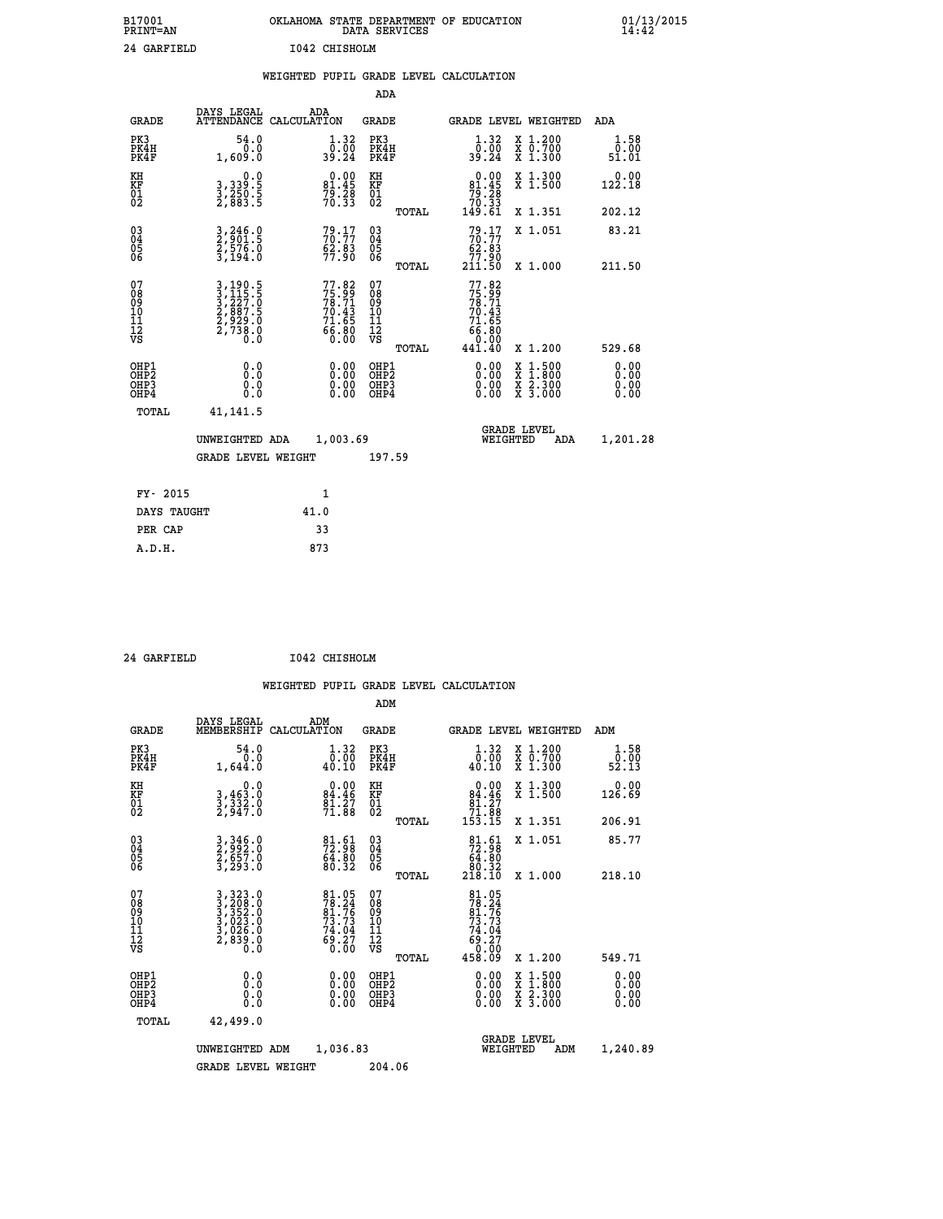| B17001<br><b>PRINT=AN</b> | OKLAHOMA<br>. STATE DEPARTMENT OF EDUCATION<br>DATA SERVICES | 01/13/2015<br>14:42 |
|---------------------------|--------------------------------------------------------------|---------------------|
| 24 GARFIELD               | 1042 CHISHOLM                                                |                     |

|                                                       |                                                                |      |                                                                          |                                                    |       | WEIGHTED PUPIL GRADE LEVEL CALCULATION                                             |                                                                                                                                              |                       |
|-------------------------------------------------------|----------------------------------------------------------------|------|--------------------------------------------------------------------------|----------------------------------------------------|-------|------------------------------------------------------------------------------------|----------------------------------------------------------------------------------------------------------------------------------------------|-----------------------|
|                                                       |                                                                |      |                                                                          | <b>ADA</b>                                         |       |                                                                                    |                                                                                                                                              |                       |
| <b>GRADE</b>                                          | DAYS LEGAL ADA ATTENDANCE CALCULATION                          |      |                                                                          | <b>GRADE</b>                                       |       | GRADE LEVEL WEIGHTED                                                               |                                                                                                                                              | ADA                   |
| PK3<br>PK4H<br>PK4F                                   | 54.0<br>0.0<br>1,609.0                                         |      | 1.32<br>$\frac{0.00}{39.24}$                                             | PK3<br>PK4H<br>PK4F                                |       | 1.32<br>$\frac{0.00}{39.24}$                                                       | X 1.200<br>X 0.700<br>X 1.300                                                                                                                | 1.58<br>0.00<br>51.01 |
| KH<br>KF<br>01<br>02                                  | 0.0<br>3,339:5<br>3,250:5<br>2,883:5                           |      | $\begin{smallmatrix} 0.00\\81.45\\79.28\\70.33 \end{smallmatrix}$        | KH<br>KF<br>01<br>02                               |       | $0.00\n81.45\n79.28\n70.33\n149.61$                                                | X 1.300<br>X 1.500                                                                                                                           | 0.00<br>122.18        |
|                                                       |                                                                |      |                                                                          |                                                    | TOTAL |                                                                                    | X 1.351                                                                                                                                      | 202.12                |
| 03<br>04<br>05<br>06                                  | 3,246.0<br>2,901.5<br>2,576.0<br>3,194.0                       |      | 79:17<br>$\frac{62.83}{77.90}$                                           | $\begin{matrix} 03 \\ 04 \\ 05 \\ 06 \end{matrix}$ |       | $79.17$<br>$70.77$<br>$62.83$<br>77.90                                             | X 1.051                                                                                                                                      | 83.21                 |
|                                                       |                                                                |      |                                                                          |                                                    | TOTAL | 211.50                                                                             | X 1.000                                                                                                                                      | 211.50                |
| 07<br>08<br>09<br>11<br>11<br>12<br>VS                | 3,190.5<br>3,115.5<br>3,227.0<br>2,887.5<br>2,929.0<br>2,738.0 |      | $77.82$<br>$75.99$<br>$78.71$<br>$70.43$<br>$71.65$<br>$66.80$<br>$0.00$ | 07<br>08<br>09<br>10<br>11<br>12<br>VS             |       | 77.82<br>$75.99$<br>$78.71$<br>$70.43$<br>$71.65$<br>$66.80$<br>$0.00$<br>$441.40$ |                                                                                                                                              |                       |
|                                                       |                                                                |      |                                                                          |                                                    | TOTAL |                                                                                    | X 1.200                                                                                                                                      | 529.68                |
| OHP1<br>OHP2<br>OH <sub>P</sub> 3<br>OH <sub>P4</sub> | 0.0<br>0.0<br>0.0                                              |      | 0.00<br>$\begin{smallmatrix} 0.00 \ 0.00 \end{smallmatrix}$              | OHP1<br>OHP2<br>OHP3<br>OHP4                       |       |                                                                                    | $\begin{smallmatrix} \mathtt{X} & 1\cdot500 \\ \mathtt{X} & 1\cdot800 \\ \mathtt{X} & 2\cdot300 \\ \mathtt{X} & 3\cdot000 \end{smallmatrix}$ | 0.00<br>0.00<br>0.00  |
| TOTAL                                                 | 41, 141.5                                                      |      |                                                                          |                                                    |       |                                                                                    |                                                                                                                                              |                       |
|                                                       | UNWEIGHTED ADA                                                 |      | 1,003.69                                                                 |                                                    |       | WEIGHTED                                                                           | <b>GRADE LEVEL</b><br>ADA                                                                                                                    | 1,201.28              |
|                                                       | <b>GRADE LEVEL WEIGHT</b>                                      |      |                                                                          | 197.59                                             |       |                                                                                    |                                                                                                                                              |                       |
| FY- 2015                                              |                                                                |      | $\mathbf{1}$                                                             |                                                    |       |                                                                                    |                                                                                                                                              |                       |
| DAYS TAUGHT                                           |                                                                | 41.0 |                                                                          |                                                    |       |                                                                                    |                                                                                                                                              |                       |
| PER CAP                                               |                                                                |      | 33                                                                       |                                                    |       |                                                                                    |                                                                                                                                              |                       |
| A.D.H.                                                |                                                                | 873  |                                                                          |                                                    |       |                                                                                    |                                                                                                                                              |                       |

 **24 GARFIELD I042 CHISHOLM**

|                                         |                                          |                                                                                                                                                                                               |     |                                                                      |                                                     |       | WEIGHTED PUPIL GRADE LEVEL CALCULATION                                                              |                                                                                                                                           |                       |
|-----------------------------------------|------------------------------------------|-----------------------------------------------------------------------------------------------------------------------------------------------------------------------------------------------|-----|----------------------------------------------------------------------|-----------------------------------------------------|-------|-----------------------------------------------------------------------------------------------------|-------------------------------------------------------------------------------------------------------------------------------------------|-----------------------|
|                                         |                                          |                                                                                                                                                                                               |     |                                                                      | ADM                                                 |       |                                                                                                     |                                                                                                                                           |                       |
|                                         | <b>GRADE</b>                             | DAYS LEGAL<br>MEMBERSHIP CALCULATION                                                                                                                                                          | ADM |                                                                      | <b>GRADE</b>                                        |       |                                                                                                     | GRADE LEVEL WEIGHTED                                                                                                                      | ADM                   |
|                                         | PK3<br>PK4H<br>PK4F                      | 54.0<br>0.0<br>1,644.0                                                                                                                                                                        |     | 1.32<br>$\frac{0.00}{40.10}$                                         | PK3<br>PK4H<br>PK4F                                 |       | 1.32<br>$\bar{0}.\bar{0}\bar{0} \over 40.10$                                                        | X 1.200<br><del>Χ</del> Ō:7ŎŎ<br>Χ 1:300                                                                                                  | 1.58<br>0.00<br>52.13 |
| KH<br>KF<br>01<br>02                    |                                          | 0.0<br>$\frac{3}{2}, \frac{4}{3}\frac{3}{2}.$ 0<br>2,947.0                                                                                                                                    |     | $\begin{smallmatrix} 0.00\\84.46\\81.27\\71.88 \end{smallmatrix}$    | KH<br>KF<br>01<br>02                                |       | $0.00$<br>84.46<br>81.27                                                                            | X 1.300<br>X 1.500                                                                                                                        | 0.00<br>126.69        |
|                                         |                                          |                                                                                                                                                                                               |     |                                                                      |                                                     | TOTAL | 71.88<br>153.15                                                                                     | X 1.351                                                                                                                                   | 206.91                |
| 03<br>04<br>05<br>06                    |                                          | 3, 346.0<br>2, 992.0<br>2, 657.0<br>3, 293.0                                                                                                                                                  |     | $\begin{smallmatrix} 81.61\ 72.98\ 64.80\ 80.32 \end{smallmatrix}$   | $\begin{array}{c} 03 \\ 04 \\ 05 \\ 06 \end{array}$ |       | $\begin{smallmatrix}81.61\\72.98\\64.80\\80.32\\218.10\end{smallmatrix}$                            | X 1.051                                                                                                                                   | 85.77                 |
|                                         |                                          |                                                                                                                                                                                               |     |                                                                      |                                                     | TOTAL |                                                                                                     | X 1.000                                                                                                                                   | 218.10                |
| 07<br>08<br>09<br>101<br>11<br>17<br>VS |                                          | $\begin{smallmatrix} 3\,,\,3\,2\,3\cdot\,0\\ 3\,,\,2\,0\,8\cdot\,0\\ 3\,,\,3\,5\,2\cdot\,0\\ 3\,,\,0\,2\,3\cdot\,0\\ 3\,,\,0\,2\,6\cdot\,0\\ 2\,,\,8\,3\,9\cdot\,0\\ 0\,\,0\end{smallmatrix}$ |     | 81.05<br>78.24<br>81.76<br>81.73<br>73.73<br>74.04<br>69.27<br>60.00 | 07<br>08<br>09<br>11<br>11<br>12<br>VS              | TOTAL | $\begin{array}{r} 81.05 \\ 78.24 \\ 81.76 \\ 73.73 \\ 74.04 \\ 69.27 \\ 0.00 \\ 458.09 \end{array}$ | X 1.200                                                                                                                                   | 549.71                |
|                                         | OHP1<br>OHP2<br>OH <sub>P3</sub><br>OHP4 | 0.0<br>0.0<br>0.0                                                                                                                                                                             |     | $\begin{smallmatrix} 0.00 \ 0.00 \ 0.00 \ 0.00 \end{smallmatrix}$    | OHP1<br>OHP2<br>OHP3<br>OHP4                        |       | $0.00$<br>$0.00$<br>0.00                                                                            | $\begin{smallmatrix} \mathtt{X} & 1\cdot500\\ \mathtt{X} & 1\cdot800\\ \mathtt{X} & 2\cdot300\\ \mathtt{X} & 3\cdot000 \end{smallmatrix}$ | 0.00<br>0.00<br>0.00  |
|                                         | TOTAL                                    | 42,499.0                                                                                                                                                                                      |     |                                                                      |                                                     |       |                                                                                                     |                                                                                                                                           |                       |
|                                         |                                          | UNWEIGHTED ADM                                                                                                                                                                                |     | 1,036.83                                                             |                                                     |       | WEIGHTED                                                                                            | <b>GRADE LEVEL</b><br>ADM                                                                                                                 | 1,240.89              |
|                                         |                                          | <b>GRADE LEVEL WEIGHT</b>                                                                                                                                                                     |     |                                                                      | 204.06                                              |       |                                                                                                     |                                                                                                                                           |                       |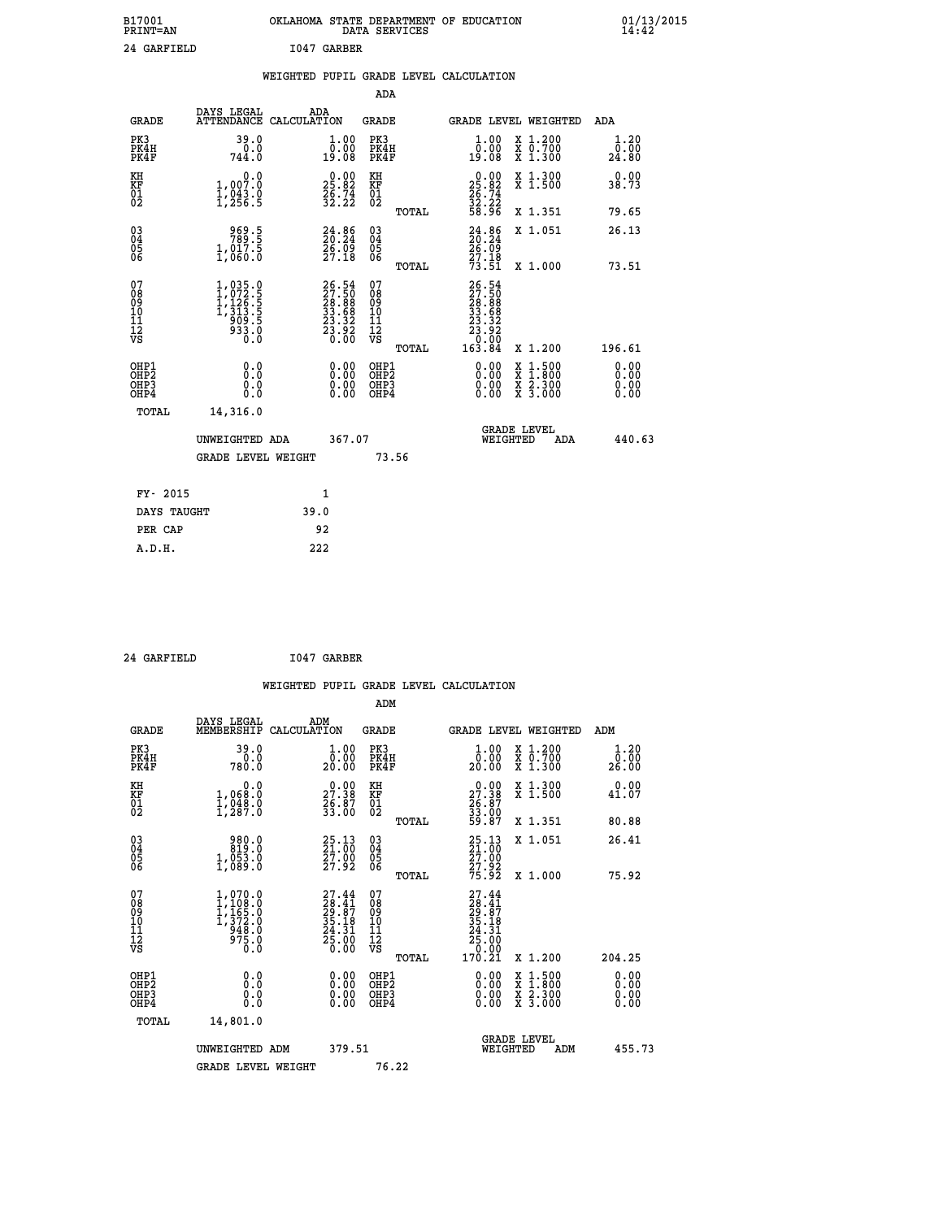| B17001<br><b>PRINT=AN</b> | OKLAHOMA STATE DEPARTMENT OF EDUCATION<br>DATA SERVICES | 01/13/2015<br>14:42 |
|---------------------------|---------------------------------------------------------|---------------------|
| 24 GARFIELD               | I047 GARBER                                             |                     |

|  |  | WEIGHTED PUPIL GRADE LEVEL CALCULATION |
|--|--|----------------------------------------|
|  |  |                                        |

|                                                                    |                                                                                 |                                                                          | ADA                                                 |       |                                                                                                              |                                                                                                                                           |                               |
|--------------------------------------------------------------------|---------------------------------------------------------------------------------|--------------------------------------------------------------------------|-----------------------------------------------------|-------|--------------------------------------------------------------------------------------------------------------|-------------------------------------------------------------------------------------------------------------------------------------------|-------------------------------|
| <b>GRADE</b>                                                       | DAYS LEGAL                                                                      | ADA<br>ATTENDANCE CALCULATION                                            | <b>GRADE</b>                                        |       |                                                                                                              | GRADE LEVEL WEIGHTED                                                                                                                      | <b>ADA</b>                    |
| PK3<br>PK4H<br>PK4F                                                | 39.0<br>0.0<br>744.0                                                            | 1.00<br>0.00<br>19.08                                                    | PK3<br>PK4H<br>PK4F                                 |       | 1.00<br>00.00<br>19:08                                                                                       | X 1.200<br>X 0.700<br>X 1.300                                                                                                             | 1.20<br>0.00<br>24.80         |
| KH<br>KF<br>01<br>02                                               | 0.0<br>1,007.0<br>1,043.0<br>1,256.5                                            | $\begin{smallmatrix} 0.00\\ 25.82\\ 26.74\\ 32.22 \end{smallmatrix}$     | KH<br>KF<br>01<br>02                                |       | $\begin{smallmatrix} 0.00\\ 25.82\\ 26.74\\ 32.22\\ 58.96 \end{smallmatrix}$                                 | X 1.300<br>X 1.500                                                                                                                        | 0.00<br>38.73                 |
|                                                                    |                                                                                 |                                                                          |                                                     | TOTAL |                                                                                                              | X 1.351                                                                                                                                   | 79.65                         |
| $\begin{smallmatrix} 03 \\[-4pt] 04 \end{smallmatrix}$<br>Ŏ5<br>06 | $\begin{smallmatrix} 969.5\\ 789.5\\ 1,017.5\\ 1,060.0 \end{smallmatrix}$       | $24.86$<br>$26.24$<br>$26.09$<br>$27.18$                                 | $\begin{array}{c} 03 \\ 04 \\ 05 \\ 06 \end{array}$ |       | $24.86$<br>$26.24$<br>$26.09$<br>$27.18$                                                                     | X 1.051                                                                                                                                   | 26.13                         |
|                                                                    |                                                                                 |                                                                          |                                                     | TOTAL | 73.51                                                                                                        | X 1.000                                                                                                                                   | 73.51                         |
| 07<br>08<br>09<br>01<br>11<br>11<br>12<br>VS                       | $1,035.0$<br>$1,072.5$<br>$1,126.5$<br>$1,313.5$<br>$909.5$<br>$933.0$<br>$0.0$ | $26.54$<br>$27.50$<br>$28.88$<br>$33.68$<br>$23.32$<br>$23.92$<br>$0.00$ | 07<br>08<br>09<br>101<br>11<br>12<br>VS             |       | $\begin{smallmatrix} 26.54\ 27.50\ 28.808\ 23.888\ 33.582\ 23.322\ 23.920\ 0.004\ 163.84\ \end{smallmatrix}$ |                                                                                                                                           |                               |
|                                                                    |                                                                                 |                                                                          |                                                     | TOTAL |                                                                                                              | X 1.200                                                                                                                                   | 196.61                        |
| OHP1<br>OHP <sub>2</sub><br>OH <sub>P3</sub><br>OHP4               | 0.0<br>0.000                                                                    | 0.00<br>$\begin{smallmatrix} 0.00 \ 0.00 \end{smallmatrix}$              | OHP1<br>OHP2<br>OHP <sub>3</sub>                    |       | 0.00<br>0.00                                                                                                 | $\begin{smallmatrix} \mathtt{X} & 1\cdot500\\ \mathtt{X} & 1\cdot800\\ \mathtt{X} & 2\cdot300\\ \mathtt{X} & 3\cdot000 \end{smallmatrix}$ | 0.00<br>Ō. ŌŌ<br>0.00<br>0.00 |
| TOTAL                                                              | 14,316.0                                                                        |                                                                          |                                                     |       |                                                                                                              |                                                                                                                                           |                               |
|                                                                    | UNWEIGHTED ADA                                                                  | 367.07                                                                   |                                                     |       |                                                                                                              | <b>GRADE LEVEL</b><br>WEIGHTED<br>ADA                                                                                                     | 440.63                        |
|                                                                    | <b>GRADE LEVEL WEIGHT</b>                                                       |                                                                          |                                                     | 73.56 |                                                                                                              |                                                                                                                                           |                               |
| FY- 2015                                                           |                                                                                 | 1                                                                        |                                                     |       |                                                                                                              |                                                                                                                                           |                               |
| DAYS TAUGHT                                                        |                                                                                 | 39.0                                                                     |                                                     |       |                                                                                                              |                                                                                                                                           |                               |
| PER CAP                                                            |                                                                                 | 92                                                                       |                                                     |       |                                                                                                              |                                                                                                                                           |                               |

 **24 GARFIELD I047 GARBER**

 **A.D.H. 222**

 **WEIGHTED PUPIL GRADE LEVEL CALCULATION ADM DAYS LEGAL ADM GRADE MEMBERSHIP CALCULATION GRADE GRADE LEVEL WEIGHTED ADM PK3 39.0 1.00 PK3 1.00 X 1.200 1.20 PK4H 0.0 0.00 PK4H 0.00 X 0.700 0.00 PK4F 780.0 20.00 PK4F 20.00 X 1.300 26.00 KH 0.0 0.00 KH 0.00 X 1.300 0.00 KF 1,068.0 27.38 KF 27.38 X 1.500 41.07 01 1,048.0 26.87 01 26.87 02 1,287.0 33.00 02 33.00 TOTAL 59.87 X 1.351 80.88**

|                                                      |                                                                               |                                                                          |                                                    | TUTAL | <b>DJ.</b> 67                                                                                                         | A 1.991                                                                                                                              | <b>00.00</b>                                                                                                                                                                                                                                                                   |
|------------------------------------------------------|-------------------------------------------------------------------------------|--------------------------------------------------------------------------|----------------------------------------------------|-------|-----------------------------------------------------------------------------------------------------------------------|--------------------------------------------------------------------------------------------------------------------------------------|--------------------------------------------------------------------------------------------------------------------------------------------------------------------------------------------------------------------------------------------------------------------------------|
| $\begin{matrix} 03 \\ 04 \\ 05 \\ 06 \end{matrix}$   | 980.0<br>819.0<br>$1,053.0$<br>$1,089.0$                                      | 25.13<br>21.00<br>27.00<br>27.92                                         | $\begin{matrix} 03 \\ 04 \\ 05 \\ 06 \end{matrix}$ | TOTAL | 25.13<br>21.00<br>27.92<br>27.92<br>75.92                                                                             | X 1.051<br>X 1.000                                                                                                                   | 26.41<br>75.92                                                                                                                                                                                                                                                                 |
| 07<br>08<br>09<br>11<br>11<br>12<br>VS               | 1,070.0<br>$1,108.0$<br>$1,165.0$<br>$1,372.0$<br>$948.0$<br>$975.0$<br>$0.0$ | $27.44$<br>$28.41$<br>$29.87$<br>$35.18$<br>$24.31$<br>$25.00$<br>$0.00$ | 07<br>08<br>09<br>101<br>11<br>12<br>VS            | TOTAL | $\begin{smallmatrix} 27.44 \\ 28.41 \\ 29.87 \\ 29.87 \\ 35.18 \\ 24.31 \\ 25.00 \\ 0.00 \\ 170.21 \end{smallmatrix}$ | X 1.200                                                                                                                              | 204.25                                                                                                                                                                                                                                                                         |
| OHP1<br>OHP <sub>2</sub><br>OH <sub>P3</sub><br>OHP4 | 0.0<br>0.0<br>Ō.Ō                                                             |                                                                          | OHP1<br>OHP <sub>2</sub><br>OHP3<br>OHP4           |       |                                                                                                                       | $\begin{smallmatrix} \mathtt{X} & 1 & 500 \\ \mathtt{X} & 1 & 800 \\ \mathtt{X} & 2 & 300 \\ \mathtt{X} & 3 & 000 \end{smallmatrix}$ | $\begin{smallmatrix} 0.00 & 0.00 & 0.00 & 0.00 & 0.00 & 0.00 & 0.00 & 0.00 & 0.00 & 0.00 & 0.00 & 0.00 & 0.00 & 0.00 & 0.00 & 0.00 & 0.00 & 0.00 & 0.00 & 0.00 & 0.00 & 0.00 & 0.00 & 0.00 & 0.00 & 0.00 & 0.00 & 0.00 & 0.00 & 0.00 & 0.00 & 0.00 & 0.00 & 0.00 & 0.00 & 0.0$ |
| TOTAL                                                | 14,801.0<br>UNWEIGHTED ADM                                                    | 379.51                                                                   |                                                    |       | WEIGHTED                                                                                                              | <b>GRADE LEVEL</b><br>ADM                                                                                                            | 455.73                                                                                                                                                                                                                                                                         |
|                                                      | <b>GRADE LEVEL WEIGHT</b>                                                     |                                                                          | 76.22                                              |       |                                                                                                                       |                                                                                                                                      |                                                                                                                                                                                                                                                                                |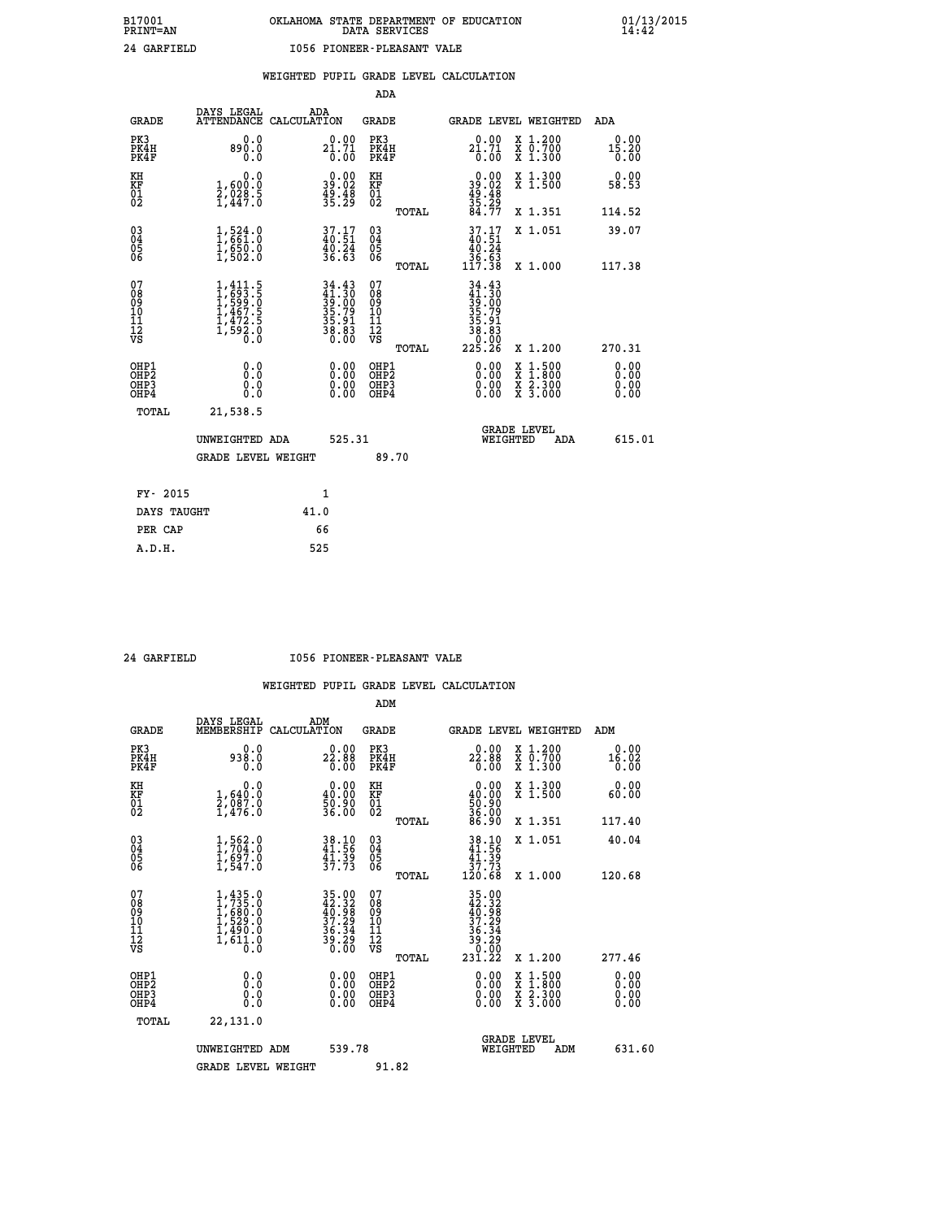| GARFIELD |  |
|----------|--|
|----------|--|

### **WEIGHTED PUPIL GRADE LEVEL CALCULATION**

|                                                    |                                                                                   |                                                                                           | ADA                                    |       |                                                                                                     |   |                                                           |                              |
|----------------------------------------------------|-----------------------------------------------------------------------------------|-------------------------------------------------------------------------------------------|----------------------------------------|-------|-----------------------------------------------------------------------------------------------------|---|-----------------------------------------------------------|------------------------------|
| <b>GRADE</b>                                       | DAYS LEGAL<br><b>ATTENDANCE</b>                                                   | ADA<br>CALCULATION                                                                        | GRADE                                  |       | GRADE LEVEL WEIGHTED                                                                                |   |                                                           | <b>ADA</b>                   |
| PK3<br>PK4H<br>PK4F                                | 0.0<br>890.0<br>0.0                                                               | 0.00<br>$2\overline{1}\cdot 7\overline{1}\over 0\cdot 0\overline{0}$                      | PK3<br>PK4H<br>PK4F                    |       | 0.00<br>$2\overline{1}\cdot 7\overline{1}$<br>$0.00$                                                |   | X 1.200<br>X 0.700<br>X 1.300                             | 0.00<br>15.20<br>0.00        |
| KH<br><b>KF</b><br>01<br>02                        | 0.0<br>1,600:0<br>2,028:5<br>1,447:0                                              | $\begin{smallmatrix} 0.00\\ 39.02\\ 49.48\\ 35.29 \end{smallmatrix}$                      | KH<br>KF<br>01<br>02                   |       | $0.00$<br>$39.02$<br>$49.48$<br>$35.29$<br>$84.77$                                                  |   | X 1.300<br>X 1.500                                        | 0.00<br>58.53                |
|                                                    |                                                                                   |                                                                                           |                                        | TOTAL |                                                                                                     |   | X 1.351                                                   | 114.52                       |
| $\begin{matrix} 03 \\ 04 \\ 05 \\ 06 \end{matrix}$ | $\begin{smallmatrix} 1,524.0\\ 1,661.0\\ 1,650.0\\ 1,502.0 \end{smallmatrix}$     | $37.17$<br>$40.51$<br>$\frac{1}{36}$ $\frac{21}{63}$                                      | 03<br>04<br>05<br>06                   |       | $37.17$<br>$40.51$<br>$40.24$<br>$36.63$<br>$117.38$                                                |   | X 1.051                                                   | 39.07                        |
|                                                    |                                                                                   |                                                                                           |                                        | TOTAL |                                                                                                     |   | X 1.000                                                   | 117.38                       |
| 07<br>08<br>09<br>101<br>11<br>12<br>VS            | $1,411.5$<br>$1,693.5$<br>$1,599.0$<br>$1,467.5$<br>$1,472.5$<br>$1,592.0$<br>0.0 | $\begin{array}{r} 34.43 \\ 41.30 \\ 39.00 \\ 35.79 \\ 35.91 \\ 36.83 \\ 0.00 \end{array}$ | 07<br>08<br>09<br>11<br>11<br>12<br>VS | TOTAL | $\begin{smallmatrix} 34.43\ 41.30\ 39.009\ 35.791\ 35.81\ 36.83\ 30.000\ 225.26\ \end{smallmatrix}$ |   | X 1.200                                                   | 270.31                       |
| OHP1<br>OHP2<br>OHP3<br>OH <sub>P4</sub>           | 0.0<br>0.0<br>0.0                                                                 | 0.00<br>$0.00$<br>0.00                                                                    | OHP1<br>OHP2<br>OHP3<br>OHP4           |       | $0.00$<br>$0.00$<br>0.00                                                                            | X | $1.500$<br>$1.800$<br>$\frac{x}{x}$ $\frac{5.300}{3.000}$ | 0.00<br>0.00<br>0.00<br>0.00 |
| TOTAL                                              | 21,538.5                                                                          |                                                                                           |                                        |       |                                                                                                     |   |                                                           |                              |
|                                                    | UNWEIGHTED ADA                                                                    | 525.31                                                                                    |                                        |       | WEIGHTED                                                                                            |   | <b>GRADE LEVEL</b><br>ADA                                 | 615.01                       |
|                                                    | <b>GRADE LEVEL WEIGHT</b>                                                         |                                                                                           |                                        | 89.70 |                                                                                                     |   |                                                           |                              |
| FY- 2015                                           |                                                                                   | $\mathbf{1}$                                                                              |                                        |       |                                                                                                     |   |                                                           |                              |
| DAYS TAUGHT                                        |                                                                                   | 41.0                                                                                      |                                        |       |                                                                                                     |   |                                                           |                              |
|                                                    |                                                                                   |                                                                                           |                                        |       |                                                                                                     |   |                                                           |                              |

**PER CAP** 66  **A.D.H. 525**

### **24 GARFIELD I056 PIONEER-PLEASANT VALE**

|                                                      |                                                                                                   |                                                                                            | ADM                                                |                                                                                                               |                                          |                              |
|------------------------------------------------------|---------------------------------------------------------------------------------------------------|--------------------------------------------------------------------------------------------|----------------------------------------------------|---------------------------------------------------------------------------------------------------------------|------------------------------------------|------------------------------|
| <b>GRADE</b>                                         | DAYS LEGAL<br>MEMBERSHIP                                                                          | ADM<br>CALCULATION                                                                         | <b>GRADE</b>                                       | <b>GRADE LEVEL WEIGHTED</b>                                                                                   |                                          | ADM                          |
| PK3<br>PK4H<br>PK4F                                  | 0.0<br>938.0<br>0.0                                                                               | 22.88<br>0.00                                                                              | PK3<br>PK4H<br>PK4F                                | 22.88<br>0.00                                                                                                 | X 1.200<br>X 0.700<br>X 1.300            | 0.00<br>16.02<br>0.00        |
| KH<br>KF<br>01<br>02                                 | 0.0<br>$\frac{1}{2}, \begin{smallmatrix} 640.0 & 0 \\ 987.0 & 0 \\ 1,476.0 & 0 \end{smallmatrix}$ | $0.00$<br>40.00<br>50.90<br>36.00                                                          | KH<br>KF<br>01<br>02                               | $\begin{smallmatrix} 0.00\\ 40.00\\ 50.90\\ 36.90\\ 86.90 \end{smallmatrix}$                                  | X 1.300<br>X 1.500                       | 0.00<br>60.00                |
|                                                      |                                                                                                   |                                                                                            | TOTAL                                              |                                                                                                               | X 1.351                                  | 117.40                       |
| 03<br>04<br>05<br>06                                 | $1,562.0$<br>$1,704.0$<br>$1,697.0$<br>$1,547.0$                                                  | 38.10<br>41.56<br>$\frac{41.39}{37.73}$                                                    | $\begin{matrix} 03 \\ 04 \\ 05 \\ 06 \end{matrix}$ | $\begin{array}{r} 38.10 \\ 41.56 \\ 41.39 \\ 37.73 \\ 120.68 \end{array}$                                     | X 1.051                                  | 40.04                        |
|                                                      |                                                                                                   |                                                                                            | TOTAL                                              |                                                                                                               | X 1.000                                  | 120.68                       |
| 07<br>08<br>09<br>101<br>112<br>VS                   | $1,435.0$<br>$1,735.0$<br>$1,680.0$<br>$1,529.0$<br>$1,490.0$<br>$1,611.0$<br>$0.0$               | $\begin{array}{l} 35.00 \\ 42.32 \\ 40.98 \\ 37.29 \\ 36.34 \\ 39.29 \\ 30.00 \end{array}$ | 07<br>08<br>09<br>11<br>11<br>12<br>VS<br>TOTAL    | $\begin{array}{@{}ll} 35.00 \\ 42.32 \\ 40.98 \\ 37.29 \\ 36.34 \\ 39.29 \\ 39.29 \\ 0 \end{array}$<br>23ĭ.22 | X 1.200                                  | 277.46                       |
| OHP1<br>OHP2<br>OH <sub>P3</sub><br>OH <sub>P4</sub> | 0.0<br>0.000                                                                                      | $0.00$<br>$0.00$<br>0.00                                                                   | OHP1<br>OHP2<br>OHP <sub>3</sub>                   | $0.00$<br>$0.00$<br>0.00                                                                                      | X 1:500<br>X 1:800<br>X 2:300<br>X 3:000 | 0.00<br>0.00<br>0.00<br>0.00 |
| TOTAL                                                | 22,131.0                                                                                          |                                                                                            |                                                    |                                                                                                               |                                          |                              |
|                                                      | UNWEIGHTED ADM                                                                                    | 539.78                                                                                     |                                                    | <b>GRADE LEVEL</b><br>WEIGHTED                                                                                | ADM                                      | 631.60                       |
|                                                      | <b>GRADE LEVEL WEIGHT</b>                                                                         |                                                                                            | 91.82                                              |                                                                                                               |                                          |                              |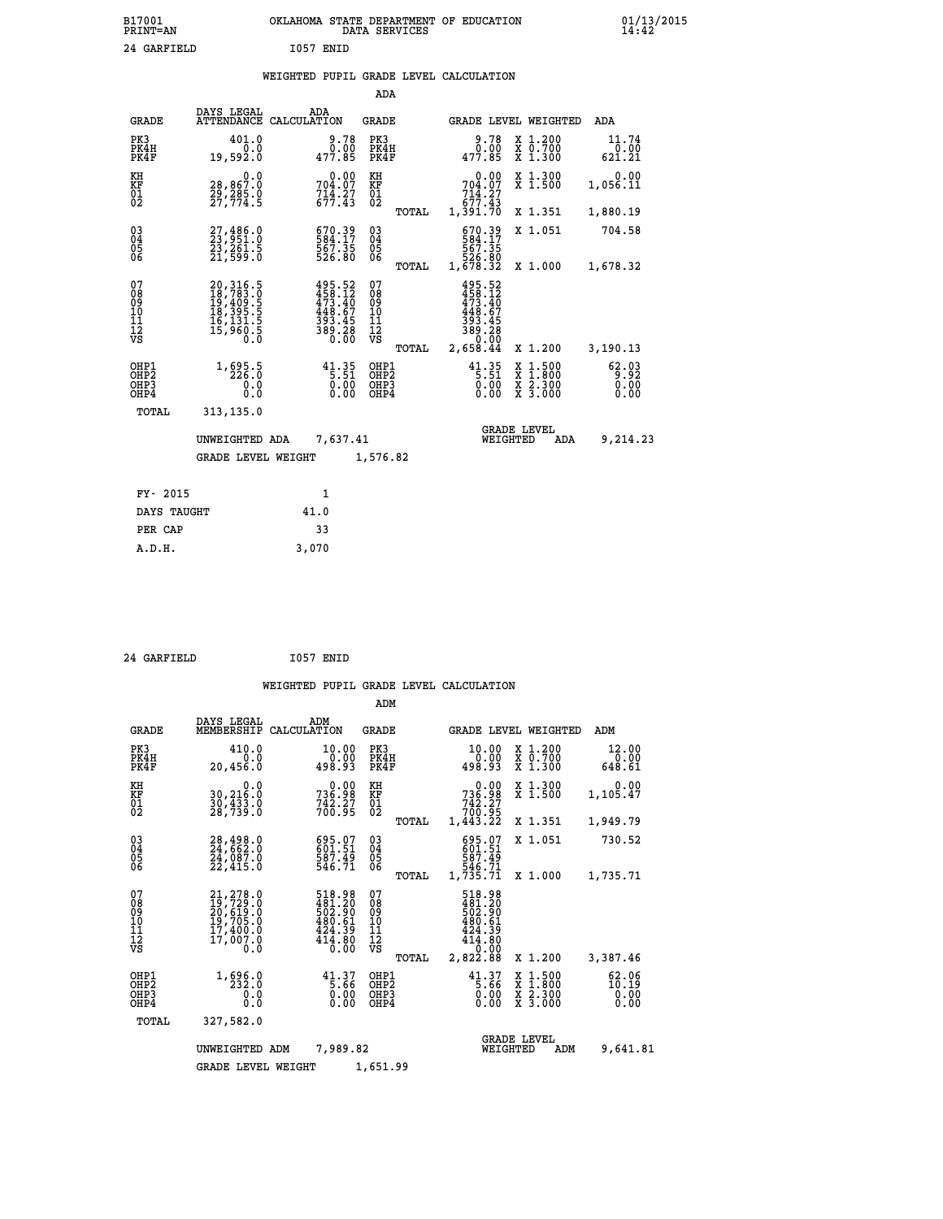| B17001<br><b>PRINT=AN</b> | OKLAHOMA<br>STATE DEPARTMENT OF EDUCATION<br>SERVICES<br>DATA | 01/13/2015 |
|---------------------------|---------------------------------------------------------------|------------|
| 24<br>GARFIELD            | 1057<br>ENID                                                  |            |

|  |  | WEIGHTED PUPIL GRADE LEVEL CALCULATION |
|--|--|----------------------------------------|
|  |  |                                        |

|                                           |                                                                                                                                           |                                                                                                    | ADA                                             |                                                                                  |                                                                                                  |                                                |
|-------------------------------------------|-------------------------------------------------------------------------------------------------------------------------------------------|----------------------------------------------------------------------------------------------------|-------------------------------------------------|----------------------------------------------------------------------------------|--------------------------------------------------------------------------------------------------|------------------------------------------------|
| <b>GRADE</b>                              | DAYS LEGAL                                                                                                                                | ADA<br>ATTENDANCE CALCULATION                                                                      | GRADE                                           |                                                                                  | GRADE LEVEL WEIGHTED                                                                             | ADA                                            |
| PK3<br>PK4H<br>PK4F                       | 401.0<br>0.0<br>19,592.0                                                                                                                  | 9.78<br>0.00<br>477.85                                                                             | PK3<br>PK4H<br>PK4F                             | 9.78<br>0.00<br>477.85                                                           | X 1.200<br>X 0.700<br>X 1.300                                                                    | 11.74<br>$\overset{0.00}{\underset{621.21}{}}$ |
| KH<br>KF<br>01<br>02                      | 0.0<br>28,867.0<br>29,285.0<br>27,774.5                                                                                                   | $704.07$<br>$714.27$<br>$677.43$                                                                   | KH<br>KF<br>01<br>02                            | $704.07$<br>$714.27$<br>$677.43$                                                 | X 1.300<br>X 1.500                                                                               | 0.00<br>1,056.11                               |
|                                           |                                                                                                                                           |                                                                                                    | TOTAL                                           | 1,391.70                                                                         | X 1.351                                                                                          | 1,880.19                                       |
| 03<br>04<br>05<br>06                      | 27,486.0<br>23,951.0<br>23,261.5<br>21,599.0                                                                                              | 670.39<br>584.17<br>567.35<br>526.80                                                               | 03<br>04<br>05<br>06                            | 670.39<br>584.17<br>567.35<br>526.80<br>1,678.32                                 | X 1.051                                                                                          | 704.58                                         |
|                                           |                                                                                                                                           |                                                                                                    | TOTAL                                           |                                                                                  | X 1.000                                                                                          | 1,678.32                                       |
| 07<br>08<br>09<br>10<br>11<br>12<br>VS    | $\begin{smallmatrix} 20,316\,,\,5\\ 18,783\,,\,9\\ 19,409\,,\,5\\ 18,395\,,\,5\\ 16,131\,,\,5\\ 15,960\,,\,5\\ 0\,.0\\ \end{smallmatrix}$ | $\begin{smallmatrix} 495.52\\ 458.12\\ 473.40\\ 443.67\\ 393.45\\ 393.28\\ 0.00 \end{smallmatrix}$ | 07<br>08<br>09<br>11<br>11<br>12<br>VS<br>TOTAL | 495.52<br>458.12<br>473.40<br>448.67<br>393<br>.45<br>389.28<br>0.00<br>2,658.44 | X 1.200                                                                                          | 3,190.13                                       |
|                                           |                                                                                                                                           |                                                                                                    |                                                 |                                                                                  |                                                                                                  |                                                |
| OHP1<br>OH <sub>P</sub> 2<br>OHP3<br>OHP4 | 1, 695.5<br>0.0<br>0.0                                                                                                                    | 41.35<br>0.00                                                                                      | OHP1<br>OHP <sub>2</sub><br>OHP3<br>OHP4        | $41.35$<br>5:51<br>0.00<br>0.00                                                  | $\begin{smallmatrix} x & 1 & 500 \\ x & 1 & 800 \\ x & 2 & 300 \\ x & 3 & 000 \end{smallmatrix}$ | 62.03<br>0.00<br>0.00                          |
| TOTAL                                     | 313,135.0                                                                                                                                 |                                                                                                    |                                                 |                                                                                  |                                                                                                  |                                                |
|                                           | UNWEIGHTED ADA<br><b>GRADE LEVEL WEIGHT</b>                                                                                               | 7,637.41                                                                                           | 1,576.82                                        | WEIGHTED                                                                         | <b>GRADE LEVEL</b><br>ADA                                                                        | 9,214.23                                       |
|                                           |                                                                                                                                           |                                                                                                    |                                                 |                                                                                  |                                                                                                  |                                                |
|                                           | FY- 2015                                                                                                                                  | $\mathbf{1}$                                                                                       |                                                 |                                                                                  |                                                                                                  |                                                |
|                                           | DAYS TAUGHT                                                                                                                               | 41.0                                                                                               |                                                 |                                                                                  |                                                                                                  |                                                |
| PER CAP                                   |                                                                                                                                           | 33                                                                                                 |                                                 |                                                                                  |                                                                                                  |                                                |
| A.D.H.                                    |                                                                                                                                           | 3,070                                                                                              |                                                 |                                                                                  |                                                                                                  |                                                |

| 24 GARFIELD | I057 ENID |  |
|-------------|-----------|--|
|             |           |  |

| <b>GRADE</b>                                       | DAYS LEGAL<br>MEMBERSHIP                                                                       | ADM<br>CALCULATION                                                         | GRADE                                           | GRADE LEVEL WEIGHTED                                                                   |                                          | ADM                                |
|----------------------------------------------------|------------------------------------------------------------------------------------------------|----------------------------------------------------------------------------|-------------------------------------------------|----------------------------------------------------------------------------------------|------------------------------------------|------------------------------------|
| PK3<br>PK4H<br>PK4F                                | 410.0<br>0.0<br>20,456.0                                                                       | 10.00<br>$0.00$<br>498.93                                                  | PK3<br>PK4H<br>PK4F                             | 10.00<br>0.00<br>498.93                                                                | X 1.200<br>X 0.700<br>X 1.300            | 12.00<br>0.00<br>648.61            |
| KH<br>KF<br>01<br>02                               | 0.0<br>30,216.0<br>30,433.0<br>28,739.0                                                        | 0.00<br>736.98<br>$7\frac{3}{2}\cdot\frac{5}{2}\cdot\frac{7}{2}$           | KH<br>KF<br>01<br>02                            | 0.00<br>736.98<br>742.27<br>700.95                                                     | X 1.300<br>$\bar{x}$ 1.500               | 0.00<br>1,105.47                   |
|                                                    |                                                                                                |                                                                            | TOTAL                                           | 1,443.22                                                                               | X 1.351                                  | 1,949.79                           |
| $\begin{matrix} 03 \\ 04 \\ 05 \\ 06 \end{matrix}$ | 28,498.0<br>24,662.0<br>24,087.0                                                               | 695.07<br>601:51<br>587.49<br>546.71                                       | $\substack{03 \\ 04}$<br>0500                   | 695.07<br>601.51<br>587.49                                                             | X 1.051                                  | 730.52                             |
|                                                    | 22,415.0                                                                                       |                                                                            | TOTAL                                           | 546.71<br>1,735.71                                                                     | X 1.000                                  | 1,735.71                           |
| 07<br>08<br>09<br>101<br>112<br>VS                 | 21, 278.0<br>19, 729.0<br>20, 619.0<br>20, 619.0<br>19, 705.0<br>17, 400.0<br>17, 007.0<br>0.0 | 518.98<br>$481.20$<br>$502.90$<br>$480.61$<br>$424.39$<br>$414.80$<br>0.00 | 07<br>08<br>09<br>10<br>11<br>12<br>VS<br>TOTAL | 518.98<br>$481.20$<br>$502.90$<br>$480.61$<br>$424.39$<br>$414.80$<br>0.00<br>2,822.88 | X 1.200                                  | 3,387.46                           |
| OHP1<br>OHP <sub>2</sub><br>OHP3<br>OHP4           | 1,696.0<br>0.0<br>0.0                                                                          | $\begin{smallmatrix} 41.37\\ 5.66\\ 0.00\\ 0.00 \end{smallmatrix}$         | OHP1<br>OH <sub>P</sub> 2<br>OHP3<br>OHP4       | $41.37$<br>$5.66$<br>0.00                                                              | X 1:500<br>X 1:800<br>X 2:300<br>X 3:000 | $52.96$<br>$10.19$<br>0.00<br>0.00 |
| TOTAL                                              | 327,582.0                                                                                      |                                                                            |                                                 |                                                                                        |                                          |                                    |
|                                                    | UNWEIGHTED                                                                                     | 7,989.82<br>ADM                                                            |                                                 | <b>GRADE LEVEL</b><br>WEIGHTED                                                         | ADM                                      | 9,641.81                           |
|                                                    | <b>GRADE LEVEL WEIGHT</b>                                                                      |                                                                            | 1,651.99                                        |                                                                                        |                                          |                                    |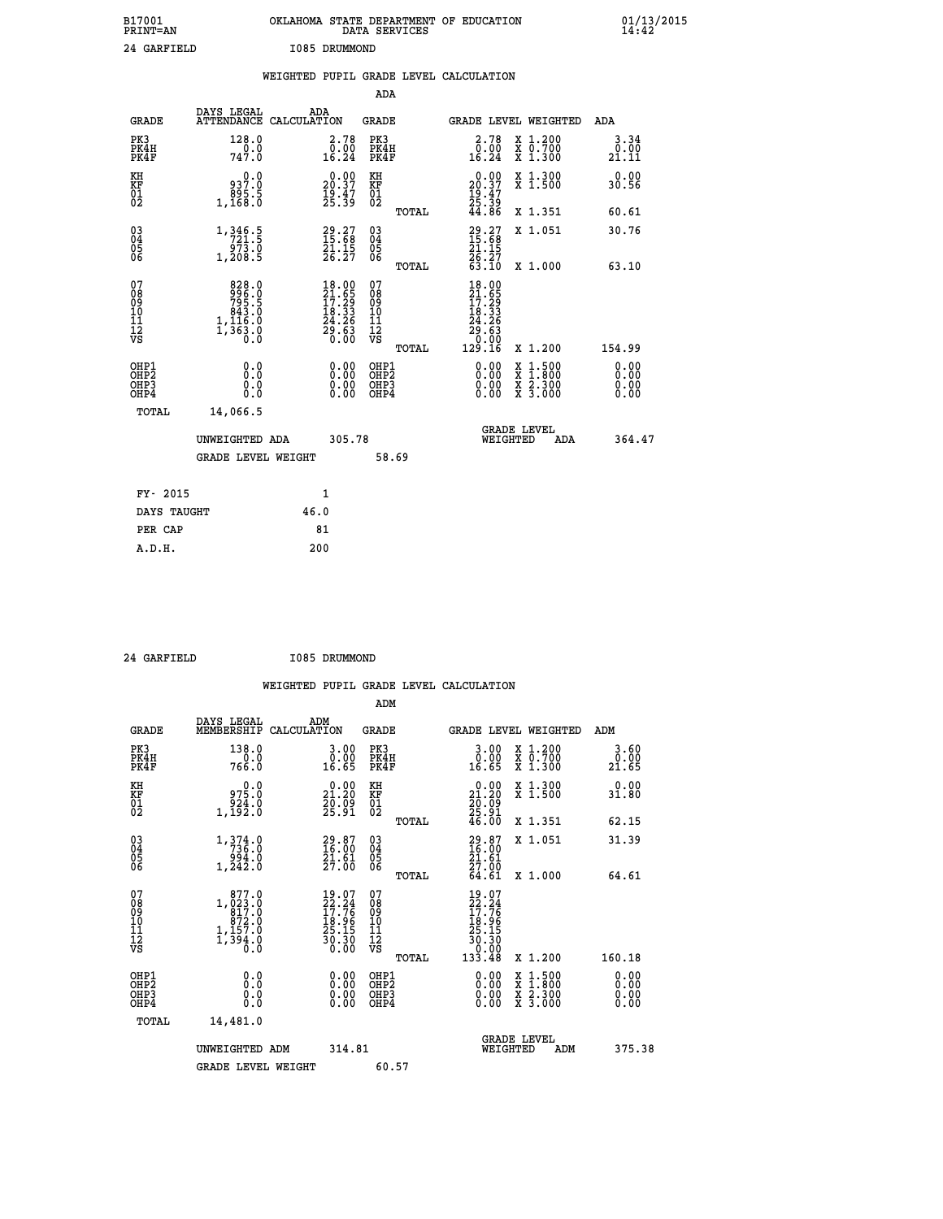| B17001<br>PRINT=AN               |                                                                              | OKLAHOMA STATE DEPARTMENT OF EDUCATION                                 | DATA SERVICES                                         |                                                                                 |                                                                                                                                      | $01/13/2015$<br>14:42 |  |
|----------------------------------|------------------------------------------------------------------------------|------------------------------------------------------------------------|-------------------------------------------------------|---------------------------------------------------------------------------------|--------------------------------------------------------------------------------------------------------------------------------------|-----------------------|--|
| 24 GARFIELD                      |                                                                              | I085 DRUMMOND                                                          |                                                       |                                                                                 |                                                                                                                                      |                       |  |
|                                  |                                                                              | WEIGHTED PUPIL GRADE LEVEL CALCULATION                                 |                                                       |                                                                                 |                                                                                                                                      |                       |  |
|                                  |                                                                              |                                                                        | ADA                                                   |                                                                                 |                                                                                                                                      |                       |  |
| <b>GRADE</b>                     | DAYS LEGAL                                                                   | ADA<br>ATTENDANCE CALCULATION                                          | GRADE                                                 |                                                                                 | GRADE LEVEL WEIGHTED                                                                                                                 | ADA                   |  |
| PK3<br>PK4H<br>PK4F              | 128.0<br>0.0<br>747.0                                                        | 2.78<br>$\overline{0.00}$<br>16.24                                     | PK3<br>PK4H<br>PK4F                                   | 2.78<br>$\frac{0.00}{16.24}$                                                    | X 1.200<br>X 0.700<br>X 1.300                                                                                                        | 3.34<br>0.00<br>21.11 |  |
| KH<br>KF<br>$\frac{01}{02}$      | 0.0<br>0: 937<br>895.5<br>1, 168.0                                           | 20.00<br>$\frac{19.47}{25.39}$                                         | КH<br><b>KF</b><br>01<br>02                           | 20.00<br>$\frac{19}{25}$ $\cdot \frac{47}{39}$                                  | X 1.300<br>X 1.500                                                                                                                   | 0.00<br>30.56         |  |
|                                  |                                                                              |                                                                        | <b>TOTAL</b>                                          | 44.86                                                                           | X 1.351                                                                                                                              | 60.61                 |  |
| 03<br>04<br>05<br>ŎĞ             | 1, 346.5<br>721.5<br>973.0<br>1,208.5                                        | 29.27<br>15.68<br>21.15<br>26.27                                       | $\begin{matrix} 03 \\ 04 \\ 05 \\ 06 \end{matrix}$    | 29.27<br>15.68<br>21.15<br>$\frac{26:27}{63:10}$                                | X 1.051                                                                                                                              | 30.76                 |  |
| 07                               | 828.0                                                                        | 18.00                                                                  | <b>TOTAL</b><br>07                                    | 18.00                                                                           | X 1.000                                                                                                                              | 63.10                 |  |
| 08<br>09<br>10<br>11<br>12<br>VS | $\begin{array}{r} 996.0 \\ 795.5 \\ 843.0 \\ 1,116.0 \end{array}$<br>1,363.8 | $\frac{21.65}{17.29}$<br>$\frac{18.33}{24.26}$<br>$\frac{55.63}{0.00}$ | Ŏġ<br>09<br>ίŌ<br>Īĺ<br>$\frac{1}{\sqrt{2}}$<br>TOTAL | $\frac{21}{17}$ : $\frac{25}{29}$<br>18: 33<br>24.26<br>29.63<br>0.00<br>129.16 | X 1.200                                                                                                                              | 154.99                |  |
| OHP1                             | 0.0                                                                          | 0.00                                                                   | OHP1                                                  | 0.00                                                                            |                                                                                                                                      | 0.00                  |  |
| OHP <sub>2</sub><br>OHP3<br>OHP4 | Ō.Ō<br>0.0<br>0.0                                                            | $\begin{smallmatrix} 0.00 \ 0.00 \end{smallmatrix}$                    | OH <sub>P</sub> 2<br>OHP3<br>OHP4                     | 0.00<br>0.00                                                                    | $\begin{smallmatrix} \mathtt{X} & 1 & 500 \\ \mathtt{X} & 1 & 800 \\ \mathtt{X} & 2 & 300 \\ \mathtt{X} & 3 & 000 \end{smallmatrix}$ | 0.00<br>0.00<br>0.00  |  |
| TOTAL                            | 14,066.5                                                                     |                                                                        |                                                       |                                                                                 |                                                                                                                                      |                       |  |
|                                  | UNWEIGHTED ADA                                                               | 305.78                                                                 |                                                       |                                                                                 | <b>GRADE LEVEL</b><br>WEIGHTED<br>ADA                                                                                                | 364.47                |  |
|                                  | <b>GRADE LEVEL WEIGHT</b>                                                    |                                                                        | 58.69                                                 |                                                                                 |                                                                                                                                      |                       |  |
| FY- 2015                         |                                                                              | 1                                                                      |                                                       |                                                                                 |                                                                                                                                      |                       |  |
| DAYS TAUGHT                      |                                                                              | 46.0                                                                   |                                                       |                                                                                 |                                                                                                                                      |                       |  |
| PER CAP                          |                                                                              | 81                                                                     |                                                       |                                                                                 |                                                                                                                                      |                       |  |

 **24 GARFIELD I085 DRUMMOND**

 **WEIGHTED PUPIL GRADE LEVEL CALCULATION ADM DAYS LEGAL ADM GRADE MEMBERSHIP CALCULATION GRADE GRADE LEVEL WEIGHTED ADM PK3 138.0 3.00 PK3 3.00 X 1.200 3.60 PK4H 0.0 0.00 PK4H 0.00 X 0.700 0.00 PK4F 766.0 16.65 PK4F 16.65 X 1.300 21.65 KH 0.0 0.00 KH 0.00 X 1.300 0.00 KF 975.0 21.20 KF 21.20 X 1.500 31.80 01 924.0 20.09 01 20.09 02 1,192.0 25.91 02 25.91 TOTAL 46.00 X 1.351 62.15 03 1,374.0 29.87 03 29.87 X 1.051 31.39 04 736.0 16.00 04 16.00 05 994.0 21.61 05 21.61 06 1,242.0 27.00 06 27.00 TOTAL 64.61 X 1.000 64.61**  $\begin{array}{cccc} 07 & 877.0 & 19.07 & 19.07 \ 08 & 1,023.0 & 22.24 & 08 & 27.24 \ 09 & 817.0 & 17.76 & 09 & 17.76 \ 10 & 872.0 & 18.96 & 10 & 18.96 \ 11 & 1,157.0 & 25.15 & 11 & 25.15 \ \hline} & 7 & 39.0 & 30.30 & 12 & 30.30 \ \hline} & 0 & 0 & 0 & 0 & 0 & 0 \ \hline} & 0 & 0 & 0$  **TOTAL 133.48 X 1.200 160.18 OHP1 0.0 0.00 OHP1 0.00 X 1.500 0.00 OHP2 0.0 0.00 OHP2 0.00 X 1.800 0.00 OHP3 0.0 0.00 OHP3 0.00 X 2.300 0.00 OHP4 0.0 0.00 OHP4 0.00 X 3.000 0.00 TOTAL 14,481.0 GRADE LEVEL UNWEIGHTED ADM 314.81 WEIGHTED ADM 375.38** GRADE LEVEL WEIGHT 60.57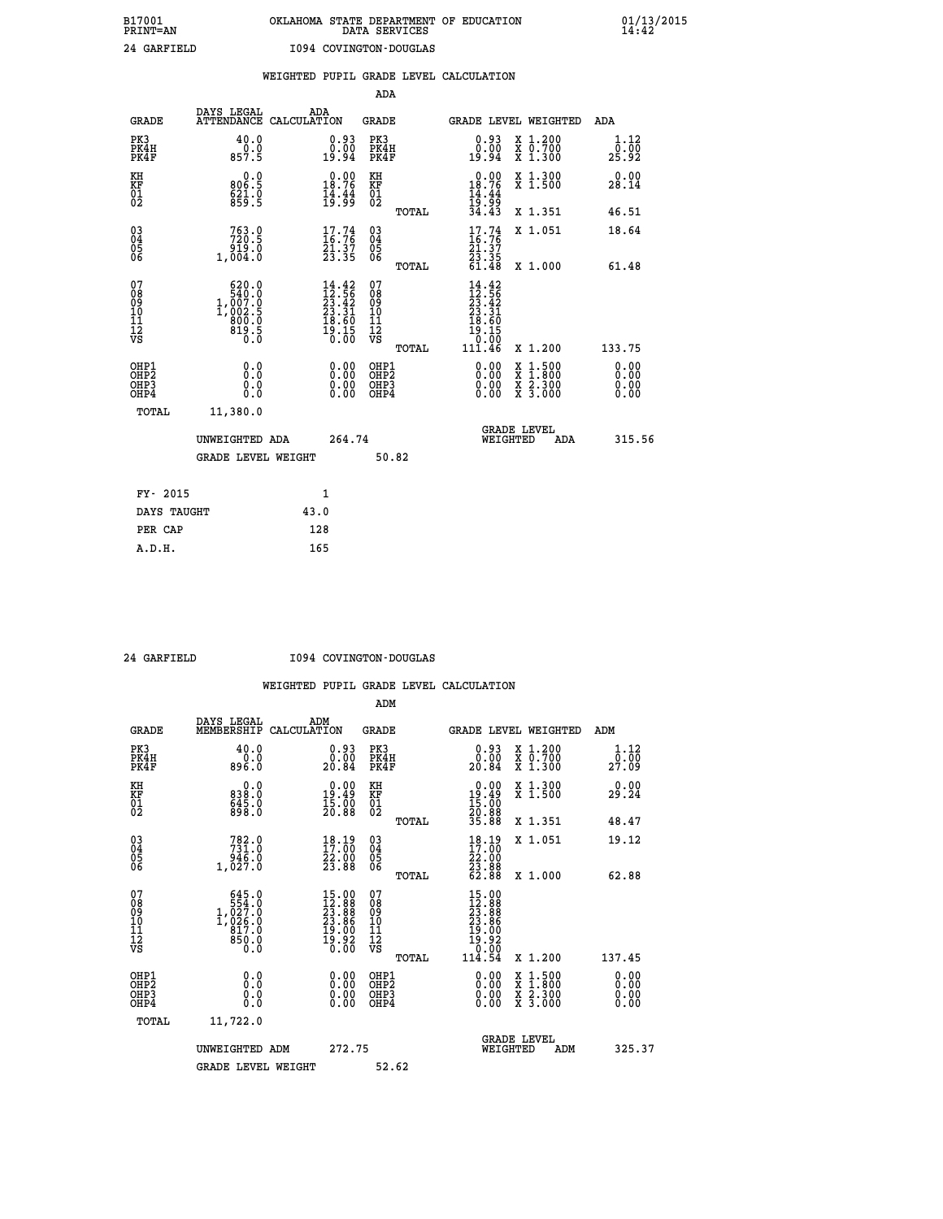# **B17001 OKLAHOMA STATE DEPARTMENT OF EDUCATION 01/13/2015 PRINT=AN DATA SERVICES 14:42 24 GARFIELD I094 COVINGTON-DOUGLAS**

|                                           |                                                                                                                                                       | WEIGHTED PUPIL GRADE LEVEL CALCULATION                                   |                                                    |       |                                                                                 |                                                                                        |                              |
|-------------------------------------------|-------------------------------------------------------------------------------------------------------------------------------------------------------|--------------------------------------------------------------------------|----------------------------------------------------|-------|---------------------------------------------------------------------------------|----------------------------------------------------------------------------------------|------------------------------|
|                                           |                                                                                                                                                       |                                                                          | <b>ADA</b>                                         |       |                                                                                 |                                                                                        |                              |
| <b>GRADE</b>                              |                                                                                                                                                       | DAYS LEGAL ADA ATTENDANCE CALCULATION                                    | <b>GRADE</b>                                       |       |                                                                                 | GRADE LEVEL WEIGHTED                                                                   | ADA                          |
| PK3<br>PK4H<br>PK4F                       | 40.0<br>$\frac{0.0}{857.5}$                                                                                                                           | $\begin{smallmatrix} 0.93\ 0.00\ 19.94 \end{smallmatrix}$                | PK3<br>PK4H<br>PK4F                                |       | 0.93<br>0.00<br>19.94                                                           | X 1.200<br>X 0.700<br>X 1.300                                                          | 1.12<br>0.00<br>25.92        |
| KH<br>KF<br>01<br>02                      | 0.0<br>806.5<br>$621.0$<br>859.5                                                                                                                      | $0.00$<br>18.76<br>$\frac{1}{19}$ $\frac{1}{9}$ $\frac{4}{9}$            | KH<br><b>KF</b><br>01<br>02                        |       | $0.00$<br>$18.76$<br>$14.44$<br>$19.99$<br>$34.43$                              | X 1.300<br>X 1.500                                                                     | 0.00<br>28.14                |
|                                           |                                                                                                                                                       |                                                                          |                                                    | TOTAL |                                                                                 | X 1.351                                                                                | 46.51                        |
| $^{03}_{04}$<br>05<br>06                  | 753.9<br>919.0                                                                                                                                        | $17.74$<br>$16.76$<br>21.37<br>23.35                                     | $\begin{matrix} 03 \\ 04 \\ 05 \\ 06 \end{matrix}$ |       | $17.74$<br>$16.76$<br>$\frac{21.37}{23.35}$<br>61.48                            | X 1.051                                                                                | 18.64                        |
|                                           | 1,004.0                                                                                                                                               |                                                                          |                                                    | TOTAL |                                                                                 | X 1.000                                                                                | 61.48                        |
| 07<br>08<br>09<br>11<br>11<br>12<br>VS    | $\begin{smallmatrix} &620.0\\[-1.2mm] &540.0\\[-1.2mm] &1.007.0\\[-1.2mm] &1.002.5\\[-1.2mm] &800.0\\[-1.2mm] &819.5\\[-1.2mm] &0.0\end{smallmatrix}$ | $14.42$<br>$12.56$<br>$23.42$<br>$23.31$<br>$18.60$<br>$19.15$<br>$0.00$ | 07<br>08<br>09<br>11<br>11<br>12<br>VS             | TOTAL | $14.42$<br>$12.56$<br>$23.42$<br>$23.31$<br>$18.60$<br>īš.ĭš<br>10:00<br>111.46 | X 1.200                                                                                | 133.75                       |
| OHP1<br>OH <sub>P</sub> 2<br>OHP3<br>OHP4 | 0.0<br>0.0<br>0.0                                                                                                                                     | 0.0000<br>$0.00$<br>0.00                                                 | OHP1<br>OHP2<br>OHP3<br>OHP4                       |       | 0.00<br>0.00<br>0.00                                                            | $1:500$<br>1:800<br>$\frac{\text{X}}{\text{X}}$<br>$\frac{x}{x}$ $\frac{5:300}{3:000}$ | 0.00<br>0.00<br>0.00<br>0.00 |
| <b>TOTAL</b>                              | 11,380.0                                                                                                                                              |                                                                          |                                                    |       |                                                                                 |                                                                                        |                              |
|                                           | UNWEIGHTED ADA                                                                                                                                        | 264.74                                                                   |                                                    |       |                                                                                 | GRADE LEVEL<br>WEIGHTED<br>ADA                                                         | 315.56                       |
|                                           | <b>GRADE LEVEL WEIGHT</b>                                                                                                                             |                                                                          |                                                    | 50.82 |                                                                                 |                                                                                        |                              |
| FY- 2015                                  |                                                                                                                                                       | $\mathbf{1}$                                                             |                                                    |       |                                                                                 |                                                                                        |                              |
| DAYS TAUGHT                               |                                                                                                                                                       | 43.0                                                                     |                                                    |       |                                                                                 |                                                                                        |                              |
| PER CAP                                   |                                                                                                                                                       | 128                                                                      |                                                    |       |                                                                                 |                                                                                        |                              |

 **A.D.H. 165**

 **24 GARFIELD I094 COVINGTON-DOUGLAS**

|                                                      |                                                                                                       |                                                                                                    | ADM                                                 |                                                                                                               |                                          |                                                        |
|------------------------------------------------------|-------------------------------------------------------------------------------------------------------|----------------------------------------------------------------------------------------------------|-----------------------------------------------------|---------------------------------------------------------------------------------------------------------------|------------------------------------------|--------------------------------------------------------|
| <b>GRADE</b>                                         | DAYS LEGAL<br>MEMBERSHIP                                                                              | ADM<br>CALCULATION                                                                                 | <b>GRADE</b>                                        | GRADE LEVEL WEIGHTED                                                                                          |                                          | ADM                                                    |
| PK3<br>PK4H<br>PK4F                                  | 40.0<br>0.0<br>896.0                                                                                  | 0.93<br>0.00<br>20.84                                                                              | PK3<br>PK4H<br>PK4F                                 | $\begin{smallmatrix} 0.93\ 0.00\\ 20.84 \end{smallmatrix}$                                                    | X 1.200<br>X 0.700<br>X 1.300            | 1.12<br>$2\bar{?}\,\, \bar{.}\,\, \bar{0}\,\, \bar{9}$ |
| KH<br>KF<br>01<br>02                                 | 0.0<br>838.0<br>645.0<br>898.0                                                                        | $\begin{smallmatrix} 0.00\\19.49\\15.00\\20.88 \end{smallmatrix}$                                  | KH<br>KF<br>01<br>02                                | $\begin{smallmatrix} 0.00\\ 19.49\\ 15.00\\ 20.88\\ 35.88 \end{smallmatrix}$                                  | X 1.300<br>X 1.500                       | 0.00<br>29.24                                          |
|                                                      |                                                                                                       |                                                                                                    | TOTAL                                               |                                                                                                               | X 1.351                                  | 48.47                                                  |
| 03<br>04<br>05<br>06                                 | $782.0\n731.0\n946.0\n1,027.0$                                                                        | $18.19$<br>$17.00$<br>22.00<br>23.88                                                               | $\begin{array}{c} 03 \\ 04 \\ 05 \\ 06 \end{array}$ | $18.19$<br>$17.00$<br>$\frac{22.00}{23.88}$                                                                   | X 1.051                                  | 19.12                                                  |
|                                                      |                                                                                                       |                                                                                                    | TOTAL                                               |                                                                                                               | X 1.000                                  | 62.88                                                  |
| 07<br>08<br>09<br>101<br>112<br>VS                   | 645.0<br>$\begin{smallmatrix} 554.0 \\ 1,027.0 \\ 1,026.0 \\ 817.0 \end{smallmatrix}$<br>850.0<br>0.0 | $\begin{smallmatrix} 15.00 \\ 12.88 \\ 23.88 \\ 23.86 \\ 19.00 \\ 19.92 \\ 0.00 \end{smallmatrix}$ | 07<br>08<br>09<br>11<br>11<br>12<br>VS              | $\begin{smallmatrix} 15.00 \\ 12.88 \\ 23.88 \\ 23.86 \\ 19.00 \\ 19.92 \\ 0.00 \\ 1.00 \\ \end{smallmatrix}$ |                                          |                                                        |
|                                                      |                                                                                                       |                                                                                                    | TOTAL                                               | 114.54                                                                                                        | X 1.200                                  | 137.45                                                 |
| OHP1<br>OHP2<br>OH <sub>P3</sub><br>OH <sub>P4</sub> | 0.0<br>0.000                                                                                          | $0.00$<br>$0.00$<br>0.00                                                                           | OHP1<br>OHP2<br>OHP <sub>3</sub>                    | $0.00$<br>$0.00$<br>0.00                                                                                      | X 1:500<br>X 1:800<br>X 2:300<br>X 3:000 | 0.00<br>0.00<br>0.00<br>0.00                           |
| TOTAL                                                | 11,722.0                                                                                              |                                                                                                    |                                                     |                                                                                                               |                                          |                                                        |
|                                                      | UNWEIGHTED ADM                                                                                        | 272.75                                                                                             |                                                     | WEIGHTED                                                                                                      | <b>GRADE LEVEL</b><br>ADM                | 325.37                                                 |
|                                                      | <b>GRADE LEVEL WEIGHT</b>                                                                             |                                                                                                    | 52.62                                               |                                                                                                               |                                          |                                                        |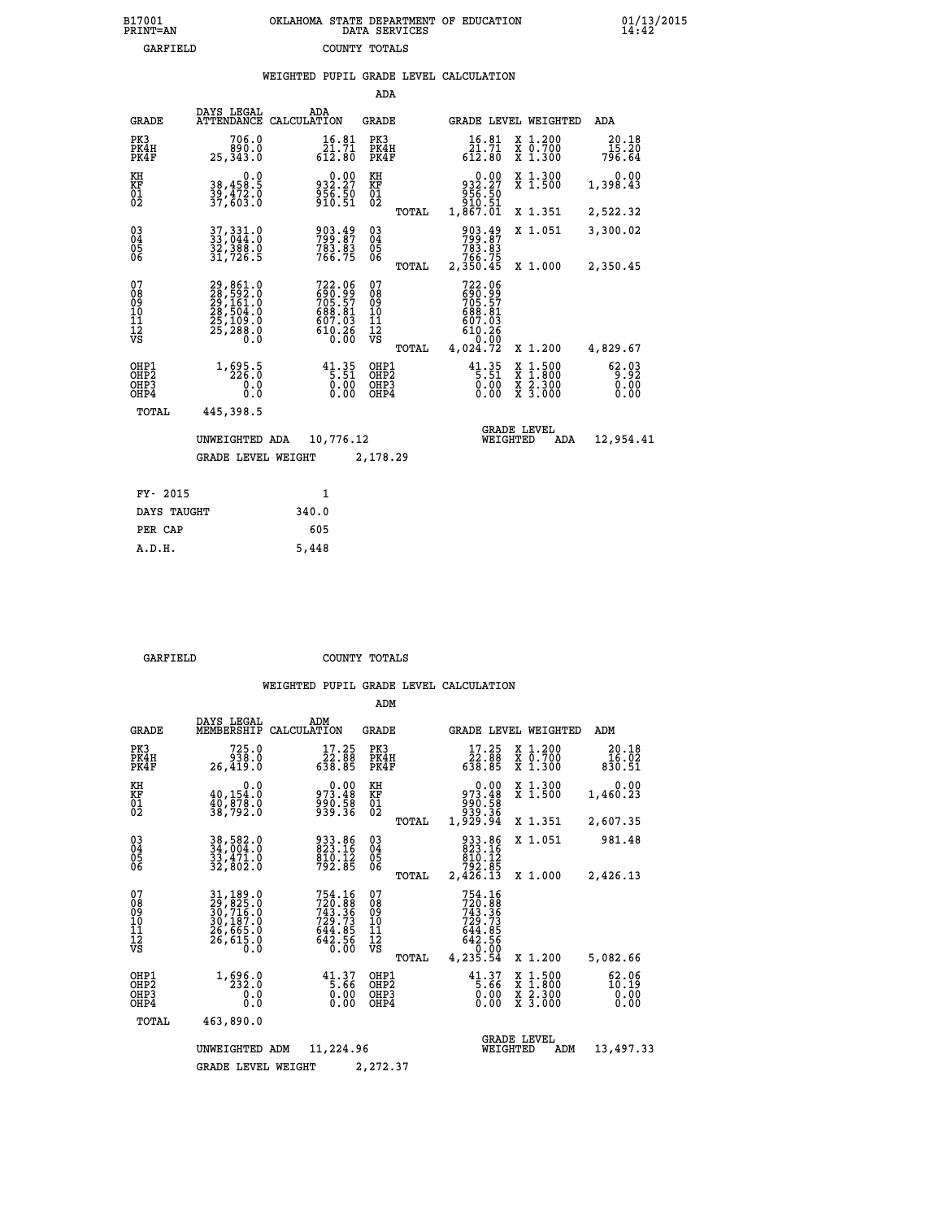| 7001<br>INT=AN | OKLAHOMA STATE DEPARTMENT OF EDUCATION<br>DATA SERVICES |  |
|----------------|---------------------------------------------------------|--|
| GARFIELD       | COUNTY TOTALS                                           |  |

|                                                    |                                                                             |                                                                 | ADA                                    |       |                                                                                                  |                                |                                                                  |                          |
|----------------------------------------------------|-----------------------------------------------------------------------------|-----------------------------------------------------------------|----------------------------------------|-------|--------------------------------------------------------------------------------------------------|--------------------------------|------------------------------------------------------------------|--------------------------|
| <b>GRADE</b>                                       | DAYS LEGAL<br><b>ATTENDANCE</b>                                             | ADA<br>CALCULATION                                              | GRADE                                  |       |                                                                                                  |                                | GRADE LEVEL WEIGHTED                                             | <b>ADA</b>               |
| PK3<br>PK4H<br>PK4F                                | 706.0<br>890.0<br>25, 343.0                                                 | 16.81<br>$\bar{21}.\bar{7}\bar{1}\612.80$                       | PK3<br>PK4H<br>PK4F                    |       | 16.81<br>$\frac{\bar{2}\dot{1}\cdot\bar{7}\bar{1}}{612.80}$                                      |                                | X 1.200<br>X 0.700<br>X 1.300                                    | 20.18<br>15.20<br>796.64 |
| KH<br><b>KF</b><br>01<br>02                        | 0.0<br>38,458.5<br>39,472.0<br>37,603.0                                     | $0.00$<br>932.27<br>$\frac{556}{910.51}$                        | KH<br>KF<br>$\overline{01}$            |       | 0.00<br>932.27<br>63.56<br>910.51<br>1,867.01                                                    |                                | X 1.300<br>$\overline{x}$ 1.500                                  | 0.00<br>1,398.43         |
|                                                    |                                                                             |                                                                 |                                        | TOTAL |                                                                                                  |                                | X 1.351                                                          | 2,522.32                 |
| $\begin{matrix} 03 \\ 04 \\ 05 \\ 06 \end{matrix}$ | 37, 331.0<br>33, 044.0<br>32,388.0<br>31,726.5                              | 903.49<br>799.87<br>783.83<br>766.75                            | $\substack{03 \\ 04}$<br>05<br>06      |       | 903.49<br>799.87<br>783.83<br>766.75<br>2,350.45                                                 |                                | X 1.051                                                          | 3,300.02                 |
|                                                    |                                                                             |                                                                 |                                        | TOTAL |                                                                                                  |                                | X 1.000                                                          | 2,350.45                 |
| 07<br>08<br>09<br>11<br>11<br>12<br>VS             | 29,861.0<br>28,592.0<br>29,161.0<br>28,504.0<br>25,109.0<br>25,288.0<br>Ŏ.Ŏ | 722.06<br>690.99<br>705.57<br>688.81<br>607.03<br>610.26        | 07<br>08<br>09<br>11<br>11<br>12<br>VS |       | 722.06<br>$\begin{smallmatrix} 282.99 \\ 705.57 \\ 688.81 \\ 697.03 \end{smallmatrix}$<br>610.26 |                                |                                                                  |                          |
|                                                    |                                                                             |                                                                 |                                        | TOTAL | 4,024.72                                                                                         |                                | X 1.200                                                          | 4,829.67                 |
| OHP1<br>OHP2<br>OHP3<br>OHP4                       | 1, 695.5<br>0.0<br>0.0                                                      | $41.35$<br>$5.51$<br>$\begin{matrix} 0.00 \\ 0.00 \end{matrix}$ | OHP1<br>OHP2<br>OHP3<br>OHP4           |       | $41.35$<br>$5.51$<br>$\begin{matrix} 0.00 \\ 0.00 \end{matrix}$                                  | X                              | $1.500$<br>$1.800$<br>$\frac{\ddot{x}}{x}$ $\frac{5.300}{3.000}$ | 62.03<br>0.00<br>0.00    |
| TOTAL                                              | 445,398.5                                                                   |                                                                 |                                        |       |                                                                                                  |                                |                                                                  |                          |
|                                                    | UNWEIGHTED ADA                                                              | 10,776.12                                                       |                                        |       |                                                                                                  | <b>GRADE LEVEL</b><br>WEIGHTED | ADA                                                              | 12,954.41                |
|                                                    | <b>GRADE LEVEL WEIGHT</b>                                                   |                                                                 | 2,178.29                               |       |                                                                                                  |                                |                                                                  |                          |
|                                                    |                                                                             |                                                                 |                                        |       |                                                                                                  |                                |                                                                  |                          |
| FY- 2015                                           |                                                                             | $\mathbf{1}$                                                    |                                        |       |                                                                                                  |                                |                                                                  |                          |
| DAYS TAUGHT                                        |                                                                             | 340.0                                                           |                                        |       |                                                                                                  |                                |                                                                  |                          |

| CLUA TIT    |       |
|-------------|-------|
| DAYS TAUGHT | 340.0 |
| PER CAP     | 605   |
| A.D.H.      | 5,448 |
|             |       |

 **B17001<br>PRINT=AN** 

 **GARFIELD COUNTY TOTALS**

|                                           |                                                                             |                                                                                                                   | ADM                                              |                                                                                                                                     |                                                                           |                                |
|-------------------------------------------|-----------------------------------------------------------------------------|-------------------------------------------------------------------------------------------------------------------|--------------------------------------------------|-------------------------------------------------------------------------------------------------------------------------------------|---------------------------------------------------------------------------|--------------------------------|
| <b>GRADE</b>                              | DAYS LEGAL<br>MEMBERSHIP                                                    | ADM<br>CALCULATION                                                                                                | <b>GRADE</b>                                     | GRADE LEVEL WEIGHTED                                                                                                                |                                                                           | ADM                            |
| PK3<br>PK4H<br>PK4F                       | 725.0<br>938.0<br>26,419.0                                                  | 17.25<br>$\frac{22.88}{638.85}$                                                                                   | PK3<br>PK4H<br>PK4F                              | 17.25<br>88.85<br>638.85                                                                                                            | $\begin{smallmatrix} x & 1.200 \\ x & 0.700 \end{smallmatrix}$<br>X 1.300 | 20.18<br>16.02<br>830.51       |
| KH<br>KF<br>01<br>02                      | 0.0<br>$\frac{40,154.0}{40,878.0}$<br>38,792.0                              | $0.00$<br>973.48<br>990.58<br>939.36                                                                              | KH<br>KF<br>01<br>02                             | $0.00$<br>973.48<br>58. زوو<br>38. ووو<br>34. 929, 1                                                                                | X 1.300<br>X 1.500                                                        | 0.00<br>1,460.23               |
|                                           |                                                                             |                                                                                                                   | TOTAL                                            |                                                                                                                                     | X 1.351                                                                   | 2,607.35                       |
| 03<br>04<br>05<br>06                      | 38,582.0<br>34,004.0<br>33,471.0<br>32,802.0                                | 933.86<br>823.16<br>$\frac{810}{792.85}$                                                                          | $\substack{03 \\ 04}$<br>05<br>06                | 933.86<br>823.16<br>810.12<br>792.85                                                                                                | X 1.051                                                                   | 981.48                         |
|                                           |                                                                             |                                                                                                                   | TOTAL                                            | 2,426.13                                                                                                                            | X 1.000                                                                   | 2,426.13                       |
| 07<br>08<br>09<br>11<br>11<br>12<br>VS    | 31,189.0<br>29,825.0<br>30,716.0<br>30,187.0<br>26,665.0<br>26,615.0<br>0.0 | 754.16<br>720.88<br>743.36<br>729.73<br>$6\bar{4}\bar{4}\cdot\bar{8}\bar{5}\64\bar{2}\cdot\bar{5}\bar{6}$<br>0.00 | 07<br>08<br>09<br>101<br>11<br>12<br>VS<br>TOTAL | 754.16<br>$720.88$<br>$743.36$<br>$729.73$<br>$6\bar{4}\bar{4}\cdot\bar{8}\bar{5}\64\bar{2}\cdot\bar{5}\bar{6}$<br>0.00<br>4,235.54 | X 1.200                                                                   | 5,082.66                       |
| OHP1<br>OH <sub>P</sub> 2<br>OHP3<br>OHP4 | 1, 696.0<br>0.0<br>Ŏ.Ŏ                                                      | $41.37$<br>5.66<br>0.00<br>0.00                                                                                   | OHP1<br>OHP <sub>2</sub><br>OHP3<br>OHP4         | $41.37$<br>5.66<br>0.00<br>0.00                                                                                                     | X 1:500<br>X 1:800<br>X 2:300<br>X 3:000                                  | 62.06<br>10:19<br>0.00<br>0.00 |
| TOTAL                                     | 463,890.0                                                                   |                                                                                                                   |                                                  |                                                                                                                                     |                                                                           |                                |
|                                           | UNWEIGHTED                                                                  | 11,224.96<br>ADM                                                                                                  |                                                  | <b>GRADE LEVEL</b><br>WEIGHTED                                                                                                      | ADM                                                                       | 13,497.33                      |
|                                           | <b>GRADE LEVEL WEIGHT</b>                                                   |                                                                                                                   | 2,272.37                                         |                                                                                                                                     |                                                                           |                                |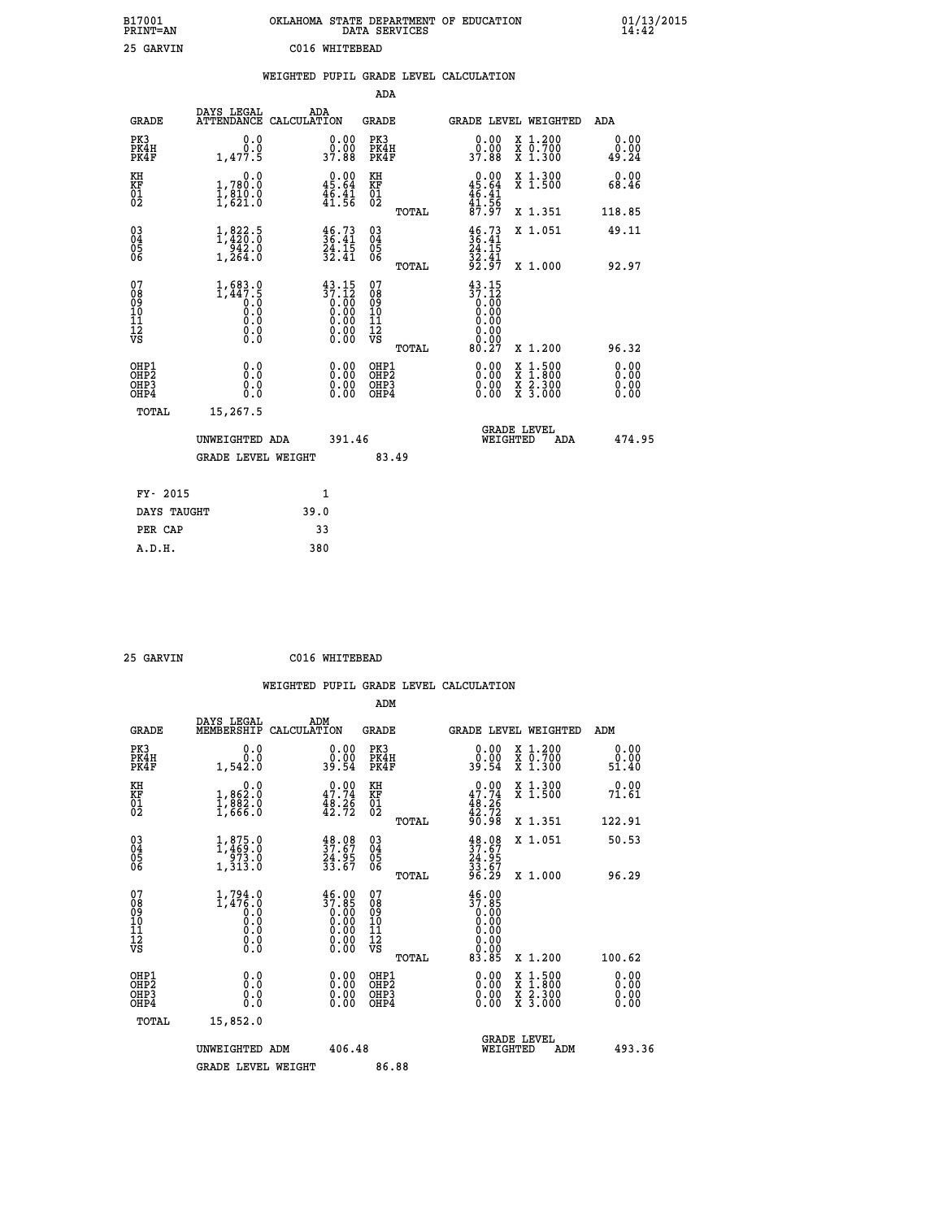| B17001<br>PRINT=AN                           |                                                                                                      | OKLAHOMA STATE DEPARTMENT OF EDUCATION                                                                                                                                                                                                                                                                                         | DATA SERVICES                                      |                                                         |                                          | $01/13/2015$<br>14:42        |  |
|----------------------------------------------|------------------------------------------------------------------------------------------------------|--------------------------------------------------------------------------------------------------------------------------------------------------------------------------------------------------------------------------------------------------------------------------------------------------------------------------------|----------------------------------------------------|---------------------------------------------------------|------------------------------------------|------------------------------|--|
| 25 GARVIN                                    |                                                                                                      | C016 WHITEBEAD                                                                                                                                                                                                                                                                                                                 |                                                    |                                                         |                                          |                              |  |
|                                              |                                                                                                      | WEIGHTED PUPIL GRADE LEVEL CALCULATION                                                                                                                                                                                                                                                                                         |                                                    |                                                         |                                          |                              |  |
|                                              |                                                                                                      |                                                                                                                                                                                                                                                                                                                                | ADA                                                |                                                         |                                          |                              |  |
| <b>GRADE</b>                                 | DAYS LEGAL                                                                                           | ADA<br>ATTENDANCE CALCULATION                                                                                                                                                                                                                                                                                                  | GRADE                                              |                                                         | GRADE LEVEL WEIGHTED                     | ADA                          |  |
| PK3<br>PK4H<br>PK4F                          | 0.0<br>0.0<br>1,477.5                                                                                | 0.00<br>0.00<br>37.88                                                                                                                                                                                                                                                                                                          | PK3<br>PK4H<br>PK4F                                | 0.00<br>0.00<br>37.88                                   | X 1.200<br>X 0.700<br>X 1.300            | 0.00<br>0.00<br>49.24        |  |
| KH<br>KF<br>$\frac{01}{02}$                  | 0.0<br>1,780.0<br>$\frac{1}{2}$ , $\frac{8}{21}$ , $\frac{0}{0}$                                     | 0.00<br>45.64<br>$\frac{1}{4}$ $\frac{5}{1}$ $\cdot \frac{4}{5}$ $\frac{1}{6}$                                                                                                                                                                                                                                                 | KH<br>KF<br>01<br>02                               | $0.00$<br>45.64<br>$\frac{46}{41}$ $\cdot\frac{41}{56}$ | X 1.300<br>X 1.500                       | 0.00<br>68.46                |  |
|                                              |                                                                                                      |                                                                                                                                                                                                                                                                                                                                | TOTAL                                              | 87.97                                                   | X 1.351                                  | 118.85                       |  |
| 030404<br>ŎĞ                                 | $\begin{smallmatrix} 1, & 822\cdot5\\ 1, & 420\cdot0\\ 942\cdot0\\ 1, & 264\cdot0 \end{smallmatrix}$ | $\frac{46.73}{36.41}$<br>$\frac{24.15}{32.41}$                                                                                                                                                                                                                                                                                 | $\begin{matrix} 03 \\ 04 \\ 05 \\ 06 \end{matrix}$ | $\frac{46.73}{36.41}$<br>24.15<br>$\frac{32.41}{92.97}$ | X 1.051                                  | 49.11                        |  |
|                                              |                                                                                                      |                                                                                                                                                                                                                                                                                                                                | TOTAL<br>07                                        |                                                         | X 1.000                                  | 92.97                        |  |
| 07<br>08<br>09<br>10<br>11<br>11<br>12<br>VS | $1,683.0$<br>$1,447.5$<br>$0.0$<br>0.0<br>0.0<br>$\S.$ $\S$                                          | $\begin{smallmatrix} 4\,3\cdot\,15\\[-1.2mm] 3\,7\cdot\,12\\[-1.2mm] 0\cdot\,00\\[-1.2mm] 0\cdot\,00\\[-1.2mm] 0\cdot\,00\\[-1.2mm] 0\cdot\,00\\[-1.2mm] 0\cdot\,00\\[-1.2mm] 0\cdot\,00\\[-1.2mm] 0\cdot\,00\\[-1.2mm] 0\cdot\,00\\[-1.2mm] 0\cdot\,00\\[-1.2mm] 0\cdot\,00\\[-1.2mm] 0\cdot\,00\\[-1.2mm] 0\cdot\,00\\[-1.2$ | $\frac{11}{12}$<br>$\frac{12}{18}$                 | $43.15$<br>$37.12$<br>$0.00$<br>$0.00$<br>0.00<br>0.00  |                                          |                              |  |
|                                              |                                                                                                      |                                                                                                                                                                                                                                                                                                                                | TOTAL                                              | 80.27                                                   | X 1.200                                  | 96.32                        |  |
| OHP1<br>OHP2<br>OHP3<br>OHP4                 | 0.0<br>0.0<br>0.0<br>0.0                                                                             | 0.00<br>$\begin{smallmatrix} 0.00 \ 0.00 \end{smallmatrix}$                                                                                                                                                                                                                                                                    | OHP1<br>OH <sub>P</sub> 2<br>OHP3<br>OHP4          | 0.00<br>0.00<br>0.00                                    | X 1:500<br>X 1:800<br>X 2:300<br>X 3:000 | 0.00<br>0.00<br>0.00<br>0.00 |  |
| TOTAL                                        | 15,267.5                                                                                             |                                                                                                                                                                                                                                                                                                                                |                                                    |                                                         |                                          |                              |  |
|                                              | UNWEIGHTED ADA                                                                                       | 391.46                                                                                                                                                                                                                                                                                                                         |                                                    | WEIGHTED                                                | <b>GRADE LEVEL</b><br>ADA                | 474.95                       |  |
|                                              | <b>GRADE LEVEL WEIGHT</b>                                                                            |                                                                                                                                                                                                                                                                                                                                | 83.49                                              |                                                         |                                          |                              |  |
| FY- 2015                                     |                                                                                                      | 1                                                                                                                                                                                                                                                                                                                              |                                                    |                                                         |                                          |                              |  |
| DAYS TAUGHT                                  |                                                                                                      | 39.0                                                                                                                                                                                                                                                                                                                           |                                                    |                                                         |                                          |                              |  |
| PER CAP                                      |                                                                                                      | 33                                                                                                                                                                                                                                                                                                                             |                                                    |                                                         |                                          |                              |  |

| אדזזמגי בפ |  |
|------------|--|

 **25 GARVIN C016 WHITEBEAD**

 **WEIGHTED PUPIL GRADE LEVEL CALCULATION ADM DAYS LEGAL ADM GRADE MEMBERSHIP CALCULATION GRADE GRADE LEVEL WEIGHTED ADM PK3 0.0 0.00 PK3 0.00 X 1.200 0.00 PK4H 0.0 0.00 PK4H 0.00 X 0.700 0.00 PK4F 1,542.0 39.54 PK4F 39.54 X 1.300 51.40 KH 0.0 0.00 KH 0.00 X 1.300 0.00 KF 1,862.0 47.74 KF 47.74 X 1.500 71.61 01 1,882.0 48.26 01 48.26 02 1,666.0 42.72 02 42.72 TOTAL 90.98 X 1.351 122.91 03 1,875.0 48.08 03 48.08 X 1.051 50.53 04 1,469.0 37.67 04 37.67 05 973.0 24.95 05 24.95 06 1,313.0 33.67 06 33.67 TOTAL 96.29 X 1.000 96.29 07** 1,794.0 46.00 07 46.00<br>
08 1,476.0 37.85 08 37.85<br>
10 0.0 0.00 10 0.00<br>
11 0.0 0.00 11 0.00<br>
12 0.00 0.00 12 0.00<br>
VS 0.0 0.00 VS 0.00 **EXECUTE:**<br> **EXECUTE:**<br> **EXECUTE:**<br> **EXECUTE:**<br> **EXECUTE:**<br> **EXECUTE:**<br> **EXECUTE:**<br> **EXECUTE:**<br> **EXECUTE:**<br> **EXECUTE:**<br> **EXECUTE:**<br> **EXECUTE:**<br> **EXECUTE:**<br> **EXECUTE:**<br> **EXECUTE:**<br> **EXECUTE:**<br> **EXECUTE:**<br> **EXECUTE:**<br> **EXECU OHP1 0.0 0.00 OHP1 0.00 X 1.500 0.00 OHP2 0.0 0.00 OHP2 0.00 X 1.800 0.00 OHP3 0.0 0.00 OHP3 0.00 X 2.300 0.00 OHP4 0.0 0.00 OHP4 0.00 X 3.000 0.00 TOTAL 15,852.0 GRADE LEVEL UNWEIGHTED ADM 406.48 WEIGHTED ADM 493.36** GRADE LEVEL WEIGHT 86.88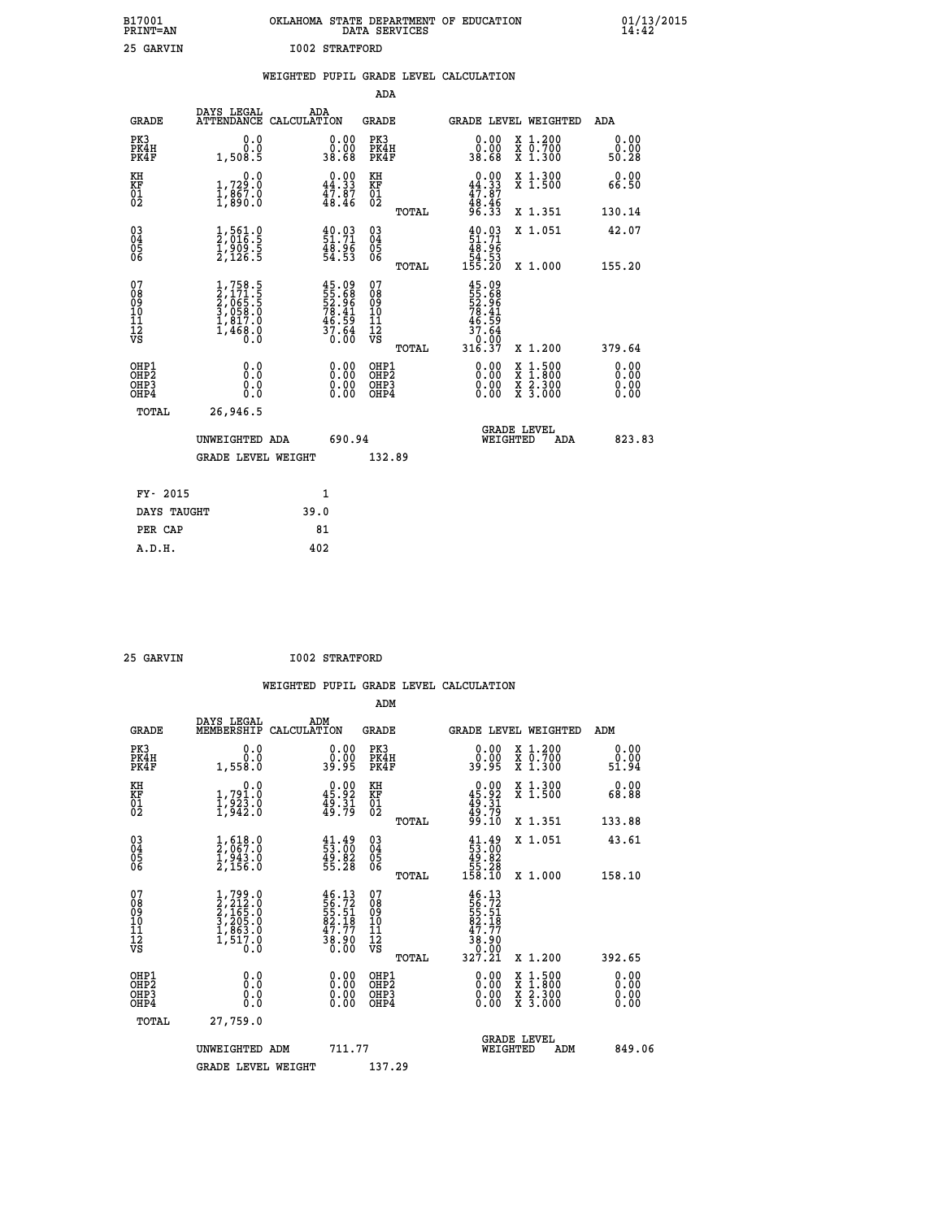|                       | OKLAHOMA STATE DEPARTMENT OF EDUCATION<br>DATA SERVICES |  |
|-----------------------|---------------------------------------------------------|--|
| <b>I002 STRATFORD</b> |                                                         |  |

|                                                    |                                                                        | WEIGHTED PUPIL GRADE LEVEL CALCULATION                              |                                                     |              |                                                                            |                                                                                                  |                               |
|----------------------------------------------------|------------------------------------------------------------------------|---------------------------------------------------------------------|-----------------------------------------------------|--------------|----------------------------------------------------------------------------|--------------------------------------------------------------------------------------------------|-------------------------------|
|                                                    |                                                                        |                                                                     | <b>ADA</b>                                          |              |                                                                            |                                                                                                  |                               |
| <b>GRADE</b>                                       | DAYS LEGAL<br><b>ATTENDANCE</b>                                        | ADA<br>CALCULATION                                                  | <b>GRADE</b>                                        |              |                                                                            | GRADE LEVEL WEIGHTED                                                                             | ADA                           |
| PK3<br>PK4H<br>PK4F                                | 0.0<br>0.0<br>1,508.5                                                  | $\begin{smallmatrix} 0.00\\ 0.00\\ 38.68 \end{smallmatrix}$         | PK3<br>PK4H<br>PK4F                                 |              | $\begin{smallmatrix} 0.00\\ 0.00\\ 38.68 \end{smallmatrix}$                | X 1.200<br>X 0.700<br>X 1.300                                                                    | 0.00<br>0.00<br>50.28         |
| KH<br>KF<br>01<br>02                               | 0.0<br>1,729:0<br>1,867:0<br>1,890:0                                   | $0.00$<br>44.33<br>$\frac{47.87}{48.46}$                            | KH<br>KF<br>01<br>02                                |              | $0.00\n44.33\n47.87\n48.46\n96.33$                                         | X 1.300<br>X 1.500                                                                               | 0.00<br>66.50                 |
|                                                    |                                                                        |                                                                     |                                                     | <b>TOTAL</b> |                                                                            | X 1.351                                                                                          | 130.14                        |
| $\begin{matrix} 03 \\ 04 \\ 05 \\ 06 \end{matrix}$ | $\frac{1}{2}, \frac{561}{016}$ .<br>1,909.5<br>2,126.5                 | $\begin{smallmatrix} 40.03\ 51.71\ 48.96\ 54.53 \end{smallmatrix}$  | $\begin{array}{c} 03 \\ 04 \\ 05 \\ 06 \end{array}$ |              | $\begin{smallmatrix} 40.03\ 51.71\ 48.96\ 54.53\ 155.20 \end{smallmatrix}$ | X 1.051                                                                                          | 42.07                         |
|                                                    |                                                                        |                                                                     |                                                     | TOTAL        |                                                                            | X 1.000                                                                                          | 155.20                        |
| 07<br>0890112<br>1112<br>VS                        | $1,758.5$<br>$2,065.5$<br>$3,058.0$<br>$1,817.0$<br>$1,468.0$<br>$0.0$ | 45.09<br>55.68<br>52.96<br>78.41<br>78.59<br>46.59<br>37.64<br>0.00 | 07<br>08901112<br>1112<br>VS                        | TOTAL        | 45.09<br>55.68<br>52.96<br>78.41<br>78.59<br>45.64<br>0:00<br>316.37       | X 1.200                                                                                          | 379.64                        |
| OHP1<br>OHP2<br>OH <sub>P3</sub><br>OHP4           | 0.0<br>0.0<br>0.0                                                      | $\begin{smallmatrix} 0.00 \ 0.00 \ 0.00 \ 0.00 \end{smallmatrix}$   | OHP1<br>OHP2<br>OHP3<br>OHP4                        |              | 0.00<br>0.00<br>0.00                                                       | $\begin{smallmatrix} x & 1 & 500 \\ x & 1 & 800 \\ x & 2 & 300 \\ x & 3 & 000 \end{smallmatrix}$ | 0.00<br>Ō. ŌŌ<br>0.00<br>0.00 |
| <b>TOTAL</b>                                       | 26,946.5                                                               |                                                                     |                                                     |              |                                                                            |                                                                                                  |                               |
|                                                    | UNWEIGHTED ADA                                                         | 690.94                                                              |                                                     |              | WEIGHTED                                                                   | <b>GRADE LEVEL</b><br>ADA                                                                        | 823.83                        |
|                                                    | <b>GRADE LEVEL WEIGHT</b>                                              |                                                                     | 132.89                                              |              |                                                                            |                                                                                                  |                               |
| FY- 2015                                           |                                                                        | $\mathbf{1}$                                                        |                                                     |              |                                                                            |                                                                                                  |                               |
| DAYS TAUGHT                                        |                                                                        | 39.0                                                                |                                                     |              |                                                                            |                                                                                                  |                               |
| PER CAP                                            |                                                                        | 81                                                                  |                                                     |              |                                                                            |                                                                                                  |                               |

 **A.D.H. 402**

 **B17001<br>PRINT=AN<br>25 GARVIN** 

 **25 GARVIN I002 STRATFORD**

| <b>GRADE</b>                                       | DAYS LEGAL<br>MEMBERSHIP                                                            | ADM<br>CALCULATION                                                                                                                                                            | <b>GRADE</b>                                        |       |                                                                                                               |          | GRADE LEVEL WEIGHTED                                                                             | ADM                   |  |
|----------------------------------------------------|-------------------------------------------------------------------------------------|-------------------------------------------------------------------------------------------------------------------------------------------------------------------------------|-----------------------------------------------------|-------|---------------------------------------------------------------------------------------------------------------|----------|--------------------------------------------------------------------------------------------------|-----------------------|--|
| PK3<br>PK4H<br>PK4F                                | 0.0<br>$0.0$<br>1,558.0                                                             | $\begin{smallmatrix} 0.00\\ 0.00\\ 39.95 \end{smallmatrix}$                                                                                                                   | PK3<br>PK4H<br>PK4F                                 |       | $\begin{smallmatrix} 0.00\\ 0.00\\ 39.95 \end{smallmatrix}$                                                   |          | X 1.200<br>X 0.700<br>X 1.300                                                                    | 0.00<br>0.00<br>51.94 |  |
| KH<br>KF<br>01<br>02                               | 0.0<br>1,791.0<br>1,923.0<br>1,942.0                                                | $\begin{smallmatrix} 0.00\\ 45.92\\ 49.31\\ 49.79 \end{smallmatrix}$                                                                                                          | KH<br>KF<br>01<br>02                                |       | $0.00$<br>$45.92$<br>$49.31$<br>$49.79$<br>$99.10$                                                            |          | X 1.300<br>X 1.500                                                                               | 0.00<br>68.88         |  |
|                                                    |                                                                                     |                                                                                                                                                                               |                                                     | TOTAL |                                                                                                               |          | X 1.351                                                                                          | 133.88                |  |
| $\begin{matrix} 03 \\ 04 \\ 05 \\ 06 \end{matrix}$ | $\frac{1}{2}, \substack{618.0\\067.0\\1,943.0\\2,156.0$                             | $\begin{smallmatrix} 41.49\\ 53.00\\ 49.82\\ 55.28 \end{smallmatrix}$                                                                                                         | $\begin{array}{c} 03 \\ 04 \\ 05 \\ 06 \end{array}$ |       | $\begin{smallmatrix} 41.49\\ 53.00\\ 49.82\\ 55.28\\ 158.10 \end{smallmatrix}$                                |          | X 1.051                                                                                          | 43.61                 |  |
|                                                    |                                                                                     |                                                                                                                                                                               |                                                     | TOTAL |                                                                                                               |          | X 1.000                                                                                          | 158.10                |  |
| 07<br>08<br>09<br>11<br>11<br>12<br>VS             | $1,799.0$<br>$2,212.0$<br>$2,165.0$<br>$3,205.0$<br>$1,863.0$<br>$1,517.0$<br>$0.0$ | $\begin{smallmatrix} 4\,6\, \cdot\, 13\\ 5\,6\, \cdot\, 72\\ 5\,5\, \cdot\, 51\\ 8\,2\, \cdot\, 18\\ 4\,7\, \cdot\, 77\\ 3\,8\, \cdot\, 90\\ 0\, \cdot\, 00\end{smallmatrix}$ | 07<br>08<br>09<br>11<br>11<br>12<br>VS              |       | $\begin{smallmatrix} 46.13\\ 56.72\\ 55.71\\ 52.51\\ 82.18\\ 47.77\\ 38.90\\ 0.00\\ 327.21 \end{smallmatrix}$ |          |                                                                                                  |                       |  |
|                                                    |                                                                                     |                                                                                                                                                                               |                                                     | TOTAL |                                                                                                               |          | X 1.200                                                                                          | 392.65                |  |
| OHP1<br>OHP2<br>OH <sub>P3</sub><br>OHP4           | 0.0<br>0.000                                                                        | $0.00$<br>$0.00$<br>0.00                                                                                                                                                      | OHP1<br>OHP2<br>OHP <sub>3</sub>                    |       | $0.00$<br>$0.00$<br>0.00                                                                                      |          | $\begin{smallmatrix} x & 1 & 500 \\ x & 1 & 800 \\ x & 2 & 300 \\ x & 3 & 000 \end{smallmatrix}$ | 0.00<br>0.00<br>0.00  |  |
| TOTAL                                              | 27,759.0                                                                            |                                                                                                                                                                               |                                                     |       |                                                                                                               |          |                                                                                                  |                       |  |
|                                                    | UNWEIGHTED ADM                                                                      | 711.77                                                                                                                                                                        |                                                     |       |                                                                                                               | WEIGHTED | <b>GRADE LEVEL</b><br>ADM                                                                        | 849.06                |  |
|                                                    | <b>GRADE LEVEL WEIGHT</b>                                                           |                                                                                                                                                                               | 137.29                                              |       |                                                                                                               |          |                                                                                                  |                       |  |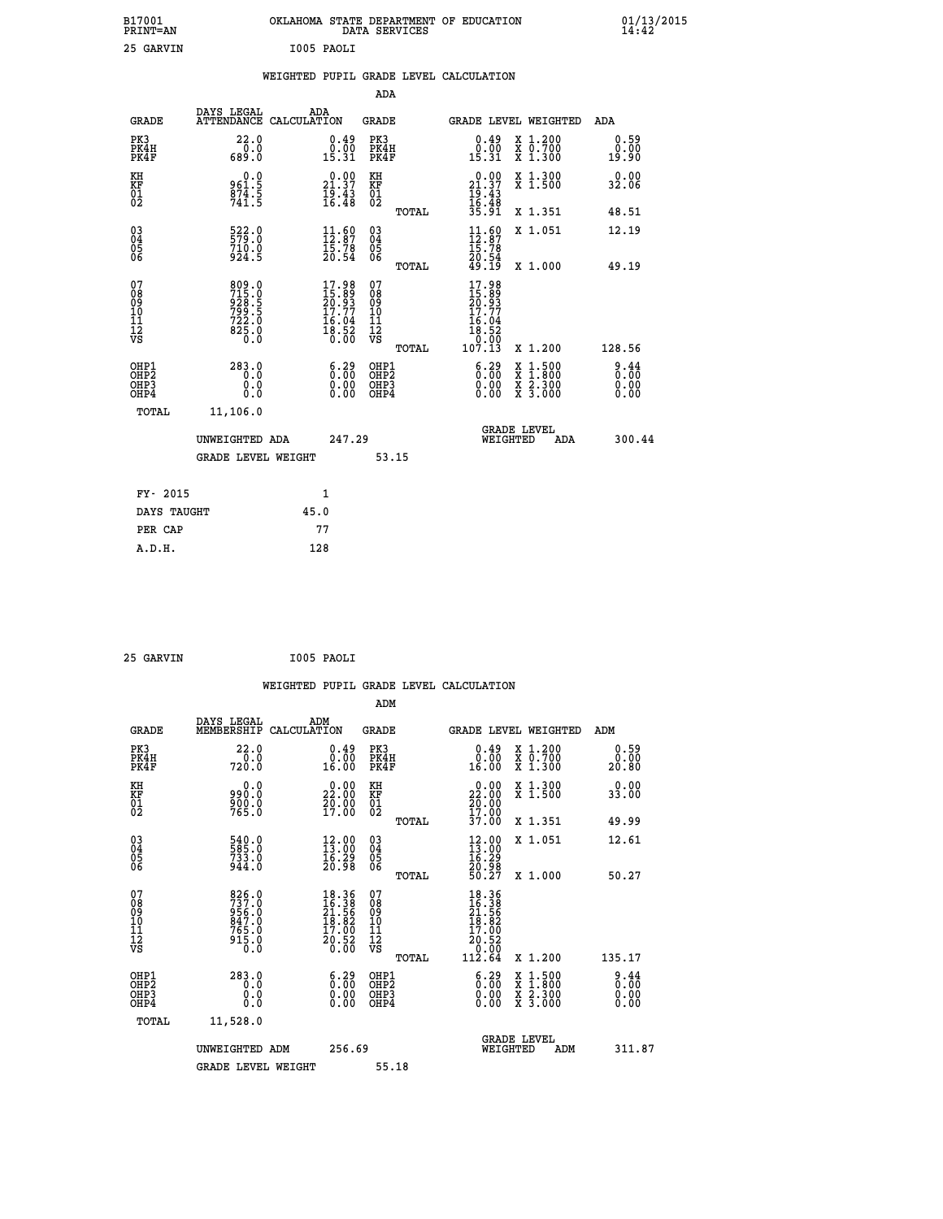| B17001<br><b>PRINT=AN</b>                             |                                                             | OKLAHOMA STATE DEPARTMENT OF EDUCATION                            | DATA SERVICES                                          |                                                                                                                                                              |                                                                                          | 01/13/2015<br>14:42          |  |
|-------------------------------------------------------|-------------------------------------------------------------|-------------------------------------------------------------------|--------------------------------------------------------|--------------------------------------------------------------------------------------------------------------------------------------------------------------|------------------------------------------------------------------------------------------|------------------------------|--|
| 25 GARVIN                                             |                                                             | I005 PAOLI                                                        |                                                        |                                                                                                                                                              |                                                                                          |                              |  |
|                                                       |                                                             | WEIGHTED PUPIL GRADE LEVEL CALCULATION                            |                                                        |                                                                                                                                                              |                                                                                          |                              |  |
|                                                       |                                                             |                                                                   | ADA                                                    |                                                                                                                                                              |                                                                                          |                              |  |
| <b>GRADE</b>                                          | DAYS LEGAL<br>ATTENDANCE CALCULATION                        | ADA                                                               | GRADE                                                  | GRADE LEVEL WEIGHTED                                                                                                                                         |                                                                                          | ADA                          |  |
| PK3<br>PK4H<br>PK4F                                   | 22.0<br>0.0<br>689.0                                        | $\begin{smallmatrix} 0.49\ 0.00\ 15.31 \end{smallmatrix}$         | PK3<br>PK4H<br>PK4F                                    | $\begin{smallmatrix} 0.49 \\ 0.00 \\ 15.31 \end{smallmatrix}$                                                                                                | X 1.200<br>X 0.700<br>X 1.300                                                            | 0.59<br>0.00<br>19.90        |  |
| KH<br>KF<br>$^{01}_{02}$                              | 0.0<br>961:5<br>874:5<br>741:5                              | 21.37<br>$\frac{19.43}{16.48}$                                    | КH<br>KF<br>01<br>02                                   | 21.37<br>19.43                                                                                                                                               | X 1.300<br>X 1.500                                                                       | 0.00<br>32.06                |  |
|                                                       |                                                             |                                                                   | TOTAL                                                  | 16:48<br>35:91                                                                                                                                               | X 1.351                                                                                  | 48.51                        |  |
| $\substack{03 \\ 04}$<br>$\frac{05}{06}$              | 522.0<br>710.0<br>$9\bar{2}\bar{4}$ .5                      | 11.69<br>15:78<br>20:54                                           | $\substack{03 \\ 04}$<br>$\substack{05 \\ 06}$         | $11.60$<br>$12.87$<br>15.78                                                                                                                                  | X 1.051                                                                                  | 12.19                        |  |
|                                                       |                                                             |                                                                   | TOTAL                                                  | 20.54<br>49.19                                                                                                                                               | X 1.000                                                                                  | 49.19                        |  |
| 07<br>08<br>09<br>11<br>11<br>12<br>VS                | 809.0<br>715.0<br>928.5<br>799.5<br>$722.0$<br>825.0<br>0.0 | $17.98$<br>$15.89$<br>$20.93$<br>$17.77$<br>$\frac{16.04}{18.52}$ | 07<br>08<br>09<br>10<br>Īľ<br>12<br>VS<br><b>TOTAL</b> | 17.98<br>$\frac{15}{20}$ : $\frac{89}{3}$<br>$\frac{17}{3}$ : 77<br>16.04<br>$\overline{18}\cdot\overline{52}\over \overline{0}\cdot\overline{00}$<br>107.13 | X 1.200                                                                                  | 128.56                       |  |
| OHP1<br>OH <sub>P</sub> 2<br>OH <sub>P3</sub><br>OHP4 | 283.0<br>0.0<br>0.0<br>0.0                                  | $6.29$<br>$0.00$<br>0.00<br>0.00                                  | OHP1<br>OH <sub>P</sub> 2<br>OHP3<br>OHP4              | 6.29<br>0.00<br>0.00                                                                                                                                         | $\begin{smallmatrix} x & 1.500 \\ x & 1.800 \\ x & 2.300 \\ x & 3.000 \end{smallmatrix}$ | 9.44<br>0.00<br>0.00<br>0.00 |  |
| TOTAL                                                 | 11,106.0                                                    |                                                                   |                                                        |                                                                                                                                                              |                                                                                          |                              |  |
|                                                       | UNWEIGHTED ADA                                              | 247.29                                                            |                                                        | <b>GRADE LEVEL</b><br>WEIGHTED                                                                                                                               | ADA                                                                                      | 300.44                       |  |
|                                                       | <b>GRADE LEVEL WEIGHT</b>                                   |                                                                   | 53.15                                                  |                                                                                                                                                              |                                                                                          |                              |  |
| FY- 2015                                              |                                                             | 1                                                                 |                                                        |                                                                                                                                                              |                                                                                          |                              |  |
| DAYS TAUGHT                                           |                                                             | 45.0                                                              |                                                        |                                                                                                                                                              |                                                                                          |                              |  |
| PER CAP                                               |                                                             | 77                                                                |                                                        |                                                                                                                                                              |                                                                                          |                              |  |

| 25 GARVIN | I005 PAOLI |
|-----------|------------|

|                                                                              |                                                             | WEIGHTED PUPIL GRADE LEVEL CALCULATION                                                             |                                                     |       |                                                                                                     |                                                                                          |                                     |
|------------------------------------------------------------------------------|-------------------------------------------------------------|----------------------------------------------------------------------------------------------------|-----------------------------------------------------|-------|-----------------------------------------------------------------------------------------------------|------------------------------------------------------------------------------------------|-------------------------------------|
|                                                                              |                                                             |                                                                                                    | ADM                                                 |       |                                                                                                     |                                                                                          |                                     |
| <b>GRADE</b>                                                                 | DAYS LEGAL<br>MEMBERSHIP                                    | ADM<br>CALCULATION                                                                                 | <b>GRADE</b>                                        |       |                                                                                                     | <b>GRADE LEVEL WEIGHTED</b>                                                              | ADM                                 |
| PK3<br>PK4H<br>PK4F                                                          | 22.0<br>720.0                                               | $0.49$<br>$0.00$<br>16.00                                                                          | PK3<br>PK4H<br>PK4F                                 |       | $0.49$<br>$0.00$<br>16.00                                                                           | X 1.200<br>X 0.700<br>X 1.300                                                            | 0.59<br>0.00<br>20.80               |
| KH<br>KF<br>01<br>02                                                         | 0.0<br>990.0<br>900.0<br>765.0                              | 22.00<br>$\frac{20.00}{17.00}$                                                                     | KH<br>KF<br>01<br>02                                |       | $\begin{smallmatrix} 0.00\\ 22.00\\ 20.00\\ 17.00 \end{smallmatrix}$                                | X 1.300<br>X 1.500                                                                       | 0.00<br>33.00                       |
|                                                                              |                                                             |                                                                                                    |                                                     | TOTAL | 37.00                                                                                               | X 1.351                                                                                  | 49.99                               |
| $\begin{matrix} 03 \\ 04 \\ 05 \\ 06 \end{matrix}$                           | 540.0<br>585.0<br>733.0<br>944.0                            | $\begin{smallmatrix} 12.00\\13.00\\16.29\\20.98 \end{smallmatrix}$                                 | $\begin{array}{c} 03 \\ 04 \\ 05 \\ 06 \end{array}$ |       | 12.00<br>$\frac{16.29}{20.98}$<br>50.27                                                             | X 1.051                                                                                  | 12.61                               |
|                                                                              |                                                             |                                                                                                    |                                                     | TOTAL |                                                                                                     | X 1.000                                                                                  | 50.27                               |
| 07<br>08<br>09<br>101<br>112<br>VS                                           | 826.0<br>737.0<br>956.0<br>847.0<br>847.0<br>765.0<br>915.0 | $\begin{smallmatrix} 18.36 \\ 16.38 \\ 21.56 \\ 18.82 \\ 17.00 \\ 20.52 \\ 0.00 \end{smallmatrix}$ | 07<br>08<br>09<br>11<br>11<br>12<br>VS              | TOTAL | $\begin{array}{r} 18.36 \\ 16.38 \\ 21.58 \\ 18.82 \\ 17.00 \\ 20.52 \\ 0.00 \\ 112.64 \end{array}$ | X 1.200                                                                                  | 135.17                              |
| OHP1<br>OH <sub>P</sub> <sub>2</sub><br>OH <sub>P3</sub><br>OH <sub>P4</sub> | 283.0<br>0.0<br>0.0<br>0.0                                  | $\begin{smallmatrix} 6.29\ 0.00\ 0.00 \end{smallmatrix}$                                           | OHP1<br>OHP2<br>OHP3<br>OHP4                        |       | $\begin{smallmatrix} 6.29\ 0.00\ 0.00 \end{smallmatrix}$                                            | $\begin{smallmatrix} x & 1.500 \\ x & 1.800 \\ x & 2.300 \\ x & 3.000 \end{smallmatrix}$ | $\frac{9.44}{0.00}$<br>0.00<br>0.00 |
| TOTAL                                                                        | 11,528.0                                                    |                                                                                                    |                                                     |       |                                                                                                     |                                                                                          |                                     |
|                                                                              | UNWEIGHTED ADM                                              | 256.69                                                                                             |                                                     |       | WEIGHTED                                                                                            | <b>GRADE LEVEL</b><br>ADM                                                                | 311.87                              |
|                                                                              | <b>GRADE LEVEL WEIGHT</b>                                   |                                                                                                    | 55.18                                               |       |                                                                                                     |                                                                                          |                                     |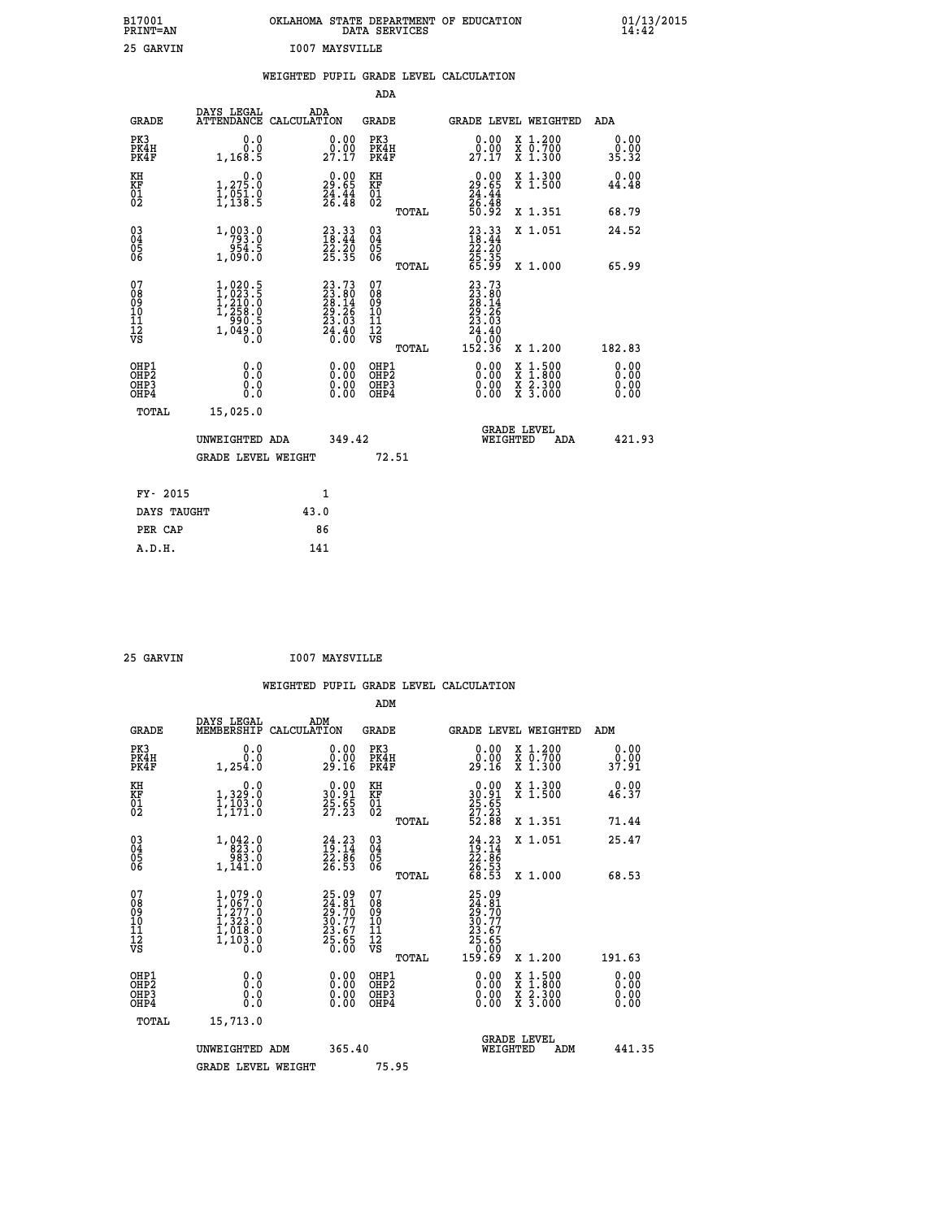| B17001<br><b>PRINT=AN</b> | OKLAHOMA STATE DEPARTMENT OF EDUCATION<br>DATA SERVICES | 01/13/2015 |
|---------------------------|---------------------------------------------------------|------------|
| 25 GARVIN                 | 1007 MAYSVILLE                                          |            |

|                                                                    |                                                                                   | WEIGHTED PUPIL GRADE LEVEL CALCULATION                                          |                                                 |                                                                                                                          |                                                                                                                           |
|--------------------------------------------------------------------|-----------------------------------------------------------------------------------|---------------------------------------------------------------------------------|-------------------------------------------------|--------------------------------------------------------------------------------------------------------------------------|---------------------------------------------------------------------------------------------------------------------------|
|                                                                    |                                                                                   |                                                                                 | <b>ADA</b>                                      |                                                                                                                          |                                                                                                                           |
| <b>GRADE</b>                                                       | DAYS LEGAL                                                                        | ADA<br>ATTENDANCE CALCULATION                                                   | GRADE                                           | GRADE LEVEL WEIGHTED                                                                                                     | ADA                                                                                                                       |
| PK3<br>PK4H<br>PK4F                                                | 0.0<br>0.0<br>1,168.5                                                             | $\begin{smallmatrix} 0.00\\ 0.00\\ 27.17 \end{smallmatrix}$                     | PK3<br>PK4H<br>PK4F                             | 0.00<br>$29.00$<br>$27.17$                                                                                               | X 1.200<br>X 0.700<br>X 1.300<br>0.00<br>0.00<br>35.32                                                                    |
| KH<br>KF<br>01<br>02                                               | 1,275.0<br>$\frac{1}{1}, \frac{0}{138}$ : 9                                       | $29.00$<br>29.65<br>$\frac{24}{26}$ : $\frac{44}{48}$                           | KH<br>KF<br>01<br>02                            | 0.00<br>$29.65$<br>$24.44$<br>$26.48$<br>$50.92$                                                                         | 0.00<br>X 1.300<br>X 1.500<br>44.48                                                                                       |
|                                                                    |                                                                                   |                                                                                 | TOTAL                                           |                                                                                                                          | X 1.351<br>68.79                                                                                                          |
| $\begin{smallmatrix} 03 \\[-4pt] 04 \end{smallmatrix}$<br>Ŏ5<br>06 | 1, 003.0<br>ة.430<br>1,090.0                                                      | $\begin{smallmatrix} 23\cdot33\18\cdot44\22\cdot20\25\cdot35 \end{smallmatrix}$ | $\substack{03 \\ 04}$<br>Ŏ5<br>06               | $\begin{smallmatrix} 23.33\ 18.44\ 22.20\ 25.35\ 65.99 \end{smallmatrix}$                                                | X 1.051<br>24.52                                                                                                          |
|                                                                    |                                                                                   |                                                                                 | TOTAL                                           |                                                                                                                          | X 1.000<br>65.99                                                                                                          |
| 07<br>08<br>09<br>11<br>11<br>12<br>VS                             | $1,020.5$<br>$1,023.5$<br>$1,210.0$<br>$1,258.0$<br>$990.5$<br>$1,049.0$<br>$0.0$ | $23.7323.8028.1429.2623.0324.400.00$                                            | 07<br>08<br>09<br>11<br>11<br>12<br>VS<br>TOTAL | $\begin{smallmatrix} 23\cdot73\23\cdot80\28\cdot14\29\cdot26\23\cdot26\24\cdot40\0\cdot00\0\152\cdot36\end{smallmatrix}$ | 182.83<br>X 1.200                                                                                                         |
| OHP1<br>OHP2<br>OHP3<br>OHP4                                       | 0.0<br>Ō.Ō<br>0.0<br>0.0                                                          | $\begin{smallmatrix} 0.00 \ 0.00 \ 0.00 \ 0.00 \end{smallmatrix}$               | OHP1<br>OHP2<br>OHP3<br>OHP4                    | 0.00<br>0.00                                                                                                             | $\begin{smallmatrix} x & 1.500 \\ x & 1.800 \\ x & 2.300 \\ x & 3.000 \end{smallmatrix}$<br>0.00<br>Ō. ŌŌ<br>0.00<br>0.00 |
|                                                                    | TOTAL<br>15,025.0                                                                 |                                                                                 |                                                 |                                                                                                                          |                                                                                                                           |
|                                                                    | UNWEIGHTED ADA                                                                    | 349.42                                                                          |                                                 | <b>GRADE LEVEL</b><br>WEIGHTED                                                                                           | 421.93<br>ADA                                                                                                             |
|                                                                    | <b>GRADE LEVEL WEIGHT</b>                                                         |                                                                                 | 72.51                                           |                                                                                                                          |                                                                                                                           |
|                                                                    | FY- 2015                                                                          | $\mathbf{1}$                                                                    |                                                 |                                                                                                                          |                                                                                                                           |
|                                                                    | DAYS TAUGHT                                                                       | 43.0                                                                            |                                                 |                                                                                                                          |                                                                                                                           |
|                                                                    | PER CAP                                                                           | 86                                                                              |                                                 |                                                                                                                          |                                                                                                                           |

 **A.D.H. 141**

 **25 GARVIN I007 MAYSVILLE**

|                                                   |                |                                                | ADM                  |                                                                         |                                                             |
|---------------------------------------------------|----------------|------------------------------------------------|----------------------|-------------------------------------------------------------------------|-------------------------------------------------------------|
| GRADE                                             | DAYS LEGAL     | ADM<br>MEMBERSHIP CALCULATION                  | <b>GRADE</b>         | <b>GRADE LEVEL WEIGHTED</b>                                             | ADM                                                         |
| PK3<br>PK4H<br>PK4F                               | 0.O<br>1,254.0 | 0.00<br>0.00<br>29.16                          | PK3<br>PK4H<br>PK4F  | X 1.200<br>0.00<br>00<br>0.700<br>x<br>29.16<br>x<br>1,300              | $\begin{smallmatrix} 0.00\\ 0.00\\ 37.91 \end{smallmatrix}$ |
| ΚH<br>KF<br>$\begin{matrix} 01 \ 02 \end{matrix}$ | 1,329<br>⊥∪ ⊃  | 0.00<br>30.91<br>$\frac{25}{27}.\overline{23}$ | KH<br>KF<br>01<br>Ō2 | X 1.300<br>0.00<br>30.91<br>X <sub>1.500</sub><br>$\frac{25.65}{27.23}$ | $0.00$<br>46.37                                             |
|                                                   |                |                                                |                      |                                                                         |                                                             |

| $\begin{matrix} 01 \\ 02 \end{matrix}$             | $\frac{1}{1}$ , $\frac{1}{1}$ , $\frac{3}{1}$ , $\frac{3}{1}$ , $\frac{3}{1}$       | $\frac{25.85}{27.23}$                                                                                                                                                                                                                                                          | $\frac{61}{02}$                                    | <b>AL.JUU</b>                                                                                                       | <b>TO.JI</b>                                                                                                                                                                                                                                                                   |
|----------------------------------------------------|-------------------------------------------------------------------------------------|--------------------------------------------------------------------------------------------------------------------------------------------------------------------------------------------------------------------------------------------------------------------------------|----------------------------------------------------|---------------------------------------------------------------------------------------------------------------------|--------------------------------------------------------------------------------------------------------------------------------------------------------------------------------------------------------------------------------------------------------------------------------|
|                                                    |                                                                                     |                                                                                                                                                                                                                                                                                | TOTAL                                              | 25.65<br>27.23<br>52.88<br>X 1.351                                                                                  | 71.44                                                                                                                                                                                                                                                                          |
| $\begin{matrix} 03 \\ 04 \\ 05 \\ 06 \end{matrix}$ | 1, 042.0<br>983.0<br>1,141.0                                                        | $24.23$<br>$19.14$<br>$22.86$<br>$26.53$                                                                                                                                                                                                                                       | $\begin{matrix} 03 \\ 04 \\ 05 \\ 06 \end{matrix}$ | $24.23$<br>$19.14$<br>$22.86$<br>$26.53$<br>$68.53$<br>X 1.051                                                      | 25.47                                                                                                                                                                                                                                                                          |
|                                                    |                                                                                     |                                                                                                                                                                                                                                                                                | TOTAL                                              | X 1.000                                                                                                             | 68.53                                                                                                                                                                                                                                                                          |
| 07<br>08<br>09<br>10<br>11<br>11<br>12<br>VS       | $1,079.0$<br>$1,277.0$<br>$1,277.0$<br>$1,323.0$<br>$1,018.0$<br>$1,103.0$<br>$0.0$ | 25.09<br>24.81<br>29.70<br>30.77<br>23.67<br>25.65<br>25.65                                                                                                                                                                                                                    | 07<br>08<br>09<br>11<br>11<br>12<br>VS<br>TOTAL    | 25.09<br>24.81<br>29.77<br>20.77<br>23.67<br>25.65<br>25.65<br>00.00<br>159.69<br>X 1.200                           | 191.63                                                                                                                                                                                                                                                                         |
| OHP1<br>OHP <sub>2</sub><br>OHP3<br>OHP4           | 0.000000<br>Ŏ.Ŏ                                                                     | $\begin{smallmatrix} 0.00 & 0.00 & 0.00 & 0.00 & 0.00 & 0.00 & 0.00 & 0.00 & 0.00 & 0.00 & 0.00 & 0.00 & 0.00 & 0.00 & 0.00 & 0.00 & 0.00 & 0.00 & 0.00 & 0.00 & 0.00 & 0.00 & 0.00 & 0.00 & 0.00 & 0.00 & 0.00 & 0.00 & 0.00 & 0.00 & 0.00 & 0.00 & 0.00 & 0.00 & 0.00 & 0.0$ | OHP1<br>OHP <sub>2</sub><br>OHP3<br>OHP4           | $\begin{array}{l} \mathtt{X} & 1.500 \\ \mathtt{X} & 1.800 \\ \mathtt{X} & 2.300 \\ \mathtt{X} & 3.000 \end{array}$ | $\begin{smallmatrix} 0.00 & 0.00 & 0.00 & 0.00 & 0.00 & 0.00 & 0.00 & 0.00 & 0.00 & 0.00 & 0.00 & 0.00 & 0.00 & 0.00 & 0.00 & 0.00 & 0.00 & 0.00 & 0.00 & 0.00 & 0.00 & 0.00 & 0.00 & 0.00 & 0.00 & 0.00 & 0.00 & 0.00 & 0.00 & 0.00 & 0.00 & 0.00 & 0.00 & 0.00 & 0.00 & 0.0$ |
| TOTAL                                              | 15,713.0                                                                            |                                                                                                                                                                                                                                                                                |                                                    |                                                                                                                     |                                                                                                                                                                                                                                                                                |
|                                                    | UNWEIGHTED ADM                                                                      | 365.40                                                                                                                                                                                                                                                                         |                                                    | <b>GRADE LEVEL</b><br>WEIGHTED<br>ADM                                                                               | 441.35                                                                                                                                                                                                                                                                         |
|                                                    | <b>GRADE LEVEL WEIGHT</b>                                                           |                                                                                                                                                                                                                                                                                | 75.95                                              |                                                                                                                     |                                                                                                                                                                                                                                                                                |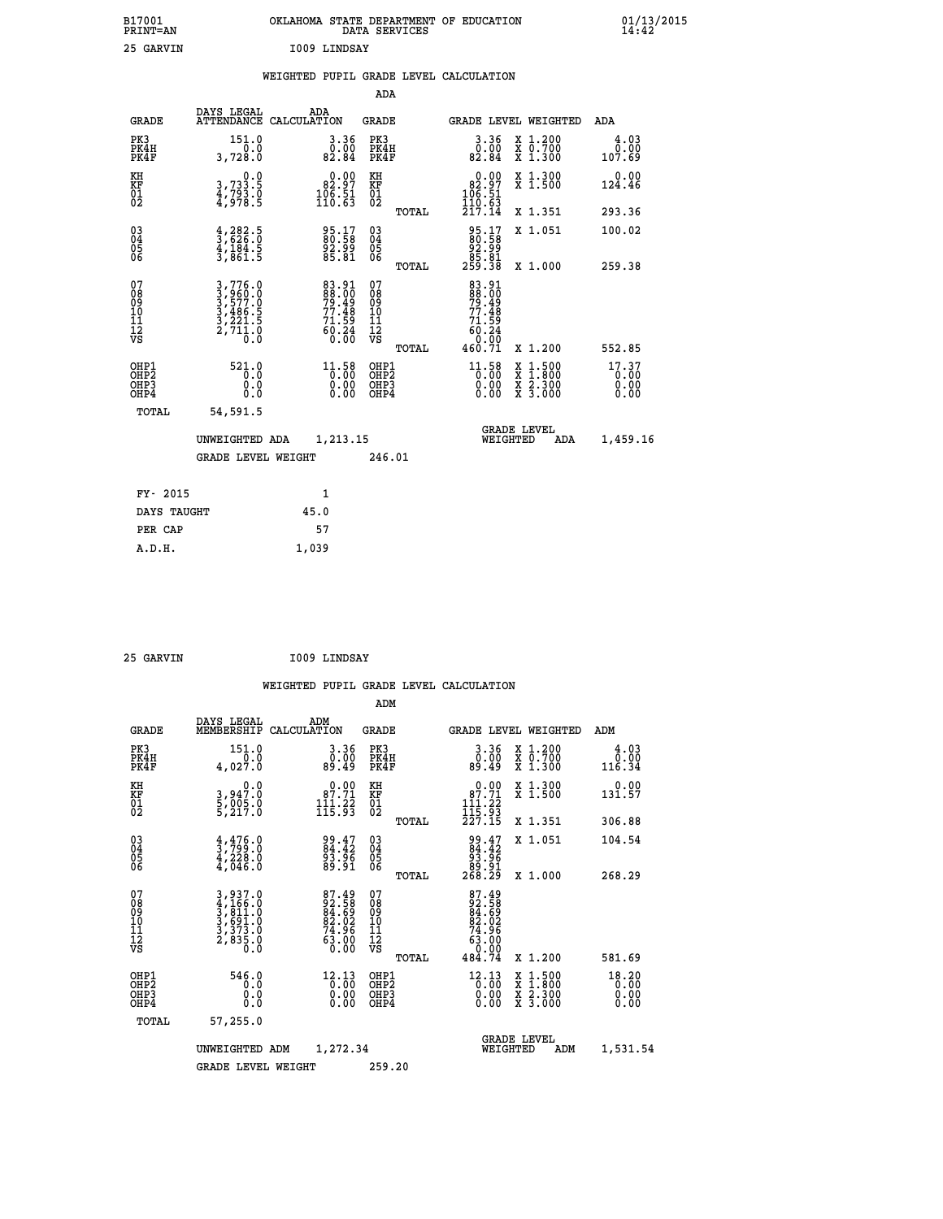| B17001<br><b>PRINT=AN</b> | OKLAHOMA<br>. STATE DEPARTMENT OF EDUCATION<br>DATA SERVICES | 01/13/2015<br>14:42 |
|---------------------------|--------------------------------------------------------------|---------------------|
| 25<br>GARVIN              | 1009 LINDSAY                                                 |                     |

|  |  | WEIGHTED PUPIL GRADE LEVEL CALCULATION |
|--|--|----------------------------------------|
|  |  |                                        |

|                                                                    |                                                                                                                                               |                                                                                                                                                                       | ADA                                       |       |                                                                  |                                          |                               |
|--------------------------------------------------------------------|-----------------------------------------------------------------------------------------------------------------------------------------------|-----------------------------------------------------------------------------------------------------------------------------------------------------------------------|-------------------------------------------|-------|------------------------------------------------------------------|------------------------------------------|-------------------------------|
| <b>GRADE</b>                                                       | DAYS LEGAL                                                                                                                                    | ADA<br>ATTENDANCE CALCULATION                                                                                                                                         | <b>GRADE</b>                              |       | <b>GRADE LEVEL WEIGHTED</b>                                      |                                          | <b>ADA</b>                    |
| PK3<br>PK4H<br>PK4F                                                | 151.0<br>0.0<br>3,728.0                                                                                                                       | 3.36<br>$\begin{smallmatrix} \textcolor{red}{\textbf{0}}\ \textcolor{red}{\textbf{0}}\ \textcolor{red}{\textbf{82}}\ \textcolor{red}{\textbf{84}}\ \end{smallmatrix}$ | PK3<br>PK4H<br>PK4F                       |       | 3.36<br>0.00<br>82.84                                            | X 1.200<br>X 0.700<br>X 1.300            | 4.03<br>0.00<br>107.69        |
| KH<br><b>KF</b><br>01<br>02                                        | 0.0<br>3,733.5<br>4,793.0<br>4,978.5                                                                                                          | 82.97<br>$\frac{106}{110.63}$                                                                                                                                         | KH<br>KF<br>01<br>02                      |       | 0.00<br>$\begin{array}{r} 82.97 \\ 106.51 \\ 110.63 \end{array}$ | X 1.300<br>X 1.500                       | 0.00<br>124.46                |
|                                                                    |                                                                                                                                               |                                                                                                                                                                       |                                           | TOTAL | 217.14                                                           | X 1.351                                  | 293.36                        |
| $\begin{smallmatrix} 03 \\[-4pt] 04 \end{smallmatrix}$<br>Ŏ5<br>06 | $\frac{4}{3}, \frac{282}{626}$ .0<br>4,184.5<br>3,861.5                                                                                       | 95.17<br>80.58<br>92.99<br>85.81                                                                                                                                      | $\substack{03 \\ 04}$<br>Ŏ5<br>06         |       | 95.17<br>80.58<br>92.99<br>85.81<br>259.38                       | X 1.051                                  | 100.02                        |
|                                                                    |                                                                                                                                               |                                                                                                                                                                       |                                           | TOTAL |                                                                  | X 1.000                                  | 259.38                        |
| 07<br>08901112<br>1112<br>VS                                       | $\begin{smallmatrix} 3\,,\,776\,.0\\ 3\,,\,960\,.0\\ 3\,,\,577\,.0\\ 3\,,\,486\,.5\\ 3\,,\,221\,.5\\ 2\,,\,711\,.0\\ 0\,.0 \end{smallmatrix}$ | 83.91<br>88.00<br>79.49<br>77.48<br>71.59<br>60.24<br>60.24                                                                                                           | 07<br>08<br>09<br>11<br>11<br>12<br>VS    |       | 83.91<br>88.00<br>79.49<br>77.48<br>71.59<br>60.24<br>0.00       |                                          |                               |
|                                                                    |                                                                                                                                               |                                                                                                                                                                       |                                           | TOTAL | 460.71                                                           | X 1.200                                  | 552.85                        |
| OHP1<br>OH <sub>P</sub> 2<br>OH <sub>P3</sub><br>OH <sub>P4</sub>  | 521.0<br>0.0<br>0.0<br>0.0                                                                                                                    | $11.58$<br>$0.00$<br>0.00<br>0.00                                                                                                                                     | OHP1<br>OH <sub>P</sub> 2<br>OHP3<br>OHP4 |       | $11.58$<br>$0.00$<br>0.00<br>0.00                                | X 1:500<br>X 1:800<br>X 2:300<br>X 3:000 | 17.37<br>0.00<br>0.00<br>0.00 |
| TOTAL                                                              | 54,591.5                                                                                                                                      |                                                                                                                                                                       |                                           |       |                                                                  |                                          |                               |
|                                                                    | UNWEIGHTED ADA                                                                                                                                | 1,213.15                                                                                                                                                              |                                           |       |                                                                  | GRADE LEVEL<br>WEIGHTED<br>ADA           | 1,459.16                      |
|                                                                    | <b>GRADE LEVEL WEIGHT</b>                                                                                                                     |                                                                                                                                                                       | 246.01                                    |       |                                                                  |                                          |                               |
| FY- 2015                                                           |                                                                                                                                               | $\mathbf{1}$                                                                                                                                                          |                                           |       |                                                                  |                                          |                               |
| DAYS TAUGHT                                                        |                                                                                                                                               | 45.0                                                                                                                                                                  |                                           |       |                                                                  |                                          |                               |
| PER CAP                                                            |                                                                                                                                               | 57                                                                                                                                                                    |                                           |       |                                                                  |                                          |                               |

| 25 GARVIN | I009 LINDSAY |
|-----------|--------------|

 **A.D.H. 1,039**

| <b>GRADE</b>                                         | DAYS LEGAL<br>MEMBERSHIP                                                                                                                                                            | ADM<br>CALCULATION                                                                                            | <b>GRADE</b>                                        |       | <b>GRADE LEVEL WEIGHTED</b>                                                                                  |                                          | ADM                      |  |
|------------------------------------------------------|-------------------------------------------------------------------------------------------------------------------------------------------------------------------------------------|---------------------------------------------------------------------------------------------------------------|-----------------------------------------------------|-------|--------------------------------------------------------------------------------------------------------------|------------------------------------------|--------------------------|--|
| PK3<br>PK4H<br>PK4F                                  | 151.0<br>4,027.0                                                                                                                                                                    | 3.36<br>00.0<br>49.49                                                                                         | PK3<br>PK4H<br>PK4F                                 |       | 3.36<br>ةة:ة<br>49:49                                                                                        | X 1.200<br>X 0.700<br>X 1.300            | 4.03<br>$0.00$<br>116.34 |  |
| KH<br>KF<br>01<br>02                                 | 0.0<br>3,947:0<br>5,005:0<br>5,217:0                                                                                                                                                | $\begin{smallmatrix} &0.00\\ 87.71\\111.22\\115.93\end{smallmatrix}$                                          | KH<br>KF<br>01<br>02                                |       | 0.00<br>$87.71$<br>$111.22$<br>$115.93$<br>$227.15$                                                          | X 1.300<br>X 1.500                       | 0.00<br>131.57           |  |
|                                                      |                                                                                                                                                                                     |                                                                                                               |                                                     | TOTAL |                                                                                                              | X 1.351                                  | 306.88                   |  |
| 03<br>04<br>05<br>06                                 | $\frac{4}{3}, \frac{476}{799}.0$<br>$\frac{4}{4}, \frac{228}{046}.0$                                                                                                                | 99.47<br>84.42<br>93.96<br>89.91                                                                              | $\begin{array}{c} 03 \\ 04 \\ 05 \\ 06 \end{array}$ |       | $\begin{smallmatrix} 99.47\\ 84.42\\ 93.96\\ 89.91\\ 268.29 \end{smallmatrix}$                               | X 1.051                                  | 104.54                   |  |
|                                                      |                                                                                                                                                                                     |                                                                                                               |                                                     | TOTAL |                                                                                                              | X 1.000                                  | 268.29                   |  |
| 07<br>08<br>09<br>11<br>11<br>12<br>VS               | $\begin{smallmatrix} 3\,, & 937\, . \, 0\\ 4\,, & 166\, . \, 0\\ 3\,, & 811\, . \, 0\\ 3\,, & 691\, . \, 0\\ 3\,, & 373\, . \, 0\\ 2\,, & 835\, . \, 0\\ 0\,. & 0\end{smallmatrix}$ | $\begin{array}{l} 87.49 \\ 92.58 \\ 84.69 \\ 82.02 \\ 74.96 \\ 73.00 \\ 63.00 \\ \end{array}$                 | 07<br>08<br>09<br>11<br>11<br>12<br>VS              | TOTAL | $\begin{array}{r} 87.49 \\ 92.58 \\ 84.59 \\ 82.02 \\ 74.96 \\ 74.96 \\ 63.00 \\ 0.00 \\ 484.74 \end{array}$ | X 1.200                                  | 581.69                   |  |
| OHP1<br>OH <sub>P</sub> <sub>2</sub><br>OHP3<br>OHP4 | 546.0<br>0.0<br>0.0<br>0.0                                                                                                                                                          | $\begin{smallmatrix} 12\cdot 13\\[-1.2mm] 0\cdot 00\\[-1.2mm] 0\cdot 00\\[-1.2mm] 0\cdot 00\end{smallmatrix}$ | OHP1<br>OHP <sub>2</sub><br>OHP3<br>OHP4            |       | $\begin{smallmatrix} 12.13\ 0.00 \ 0.00 \end{smallmatrix}$<br>0.00                                           | X 1:500<br>X 1:800<br>X 2:300<br>X 3:000 | 18.20<br>0.00<br>0.00    |  |
| TOTAL                                                | 57,255.0                                                                                                                                                                            |                                                                                                               |                                                     |       |                                                                                                              |                                          |                          |  |
|                                                      | UNWEIGHTED ADM                                                                                                                                                                      | 1,272.34                                                                                                      |                                                     |       | WEIGHTED                                                                                                     | <b>GRADE LEVEL</b><br>ADM                | 1,531.54                 |  |
|                                                      | <b>GRADE LEVEL WEIGHT</b>                                                                                                                                                           |                                                                                                               | 259.20                                              |       |                                                                                                              |                                          |                          |  |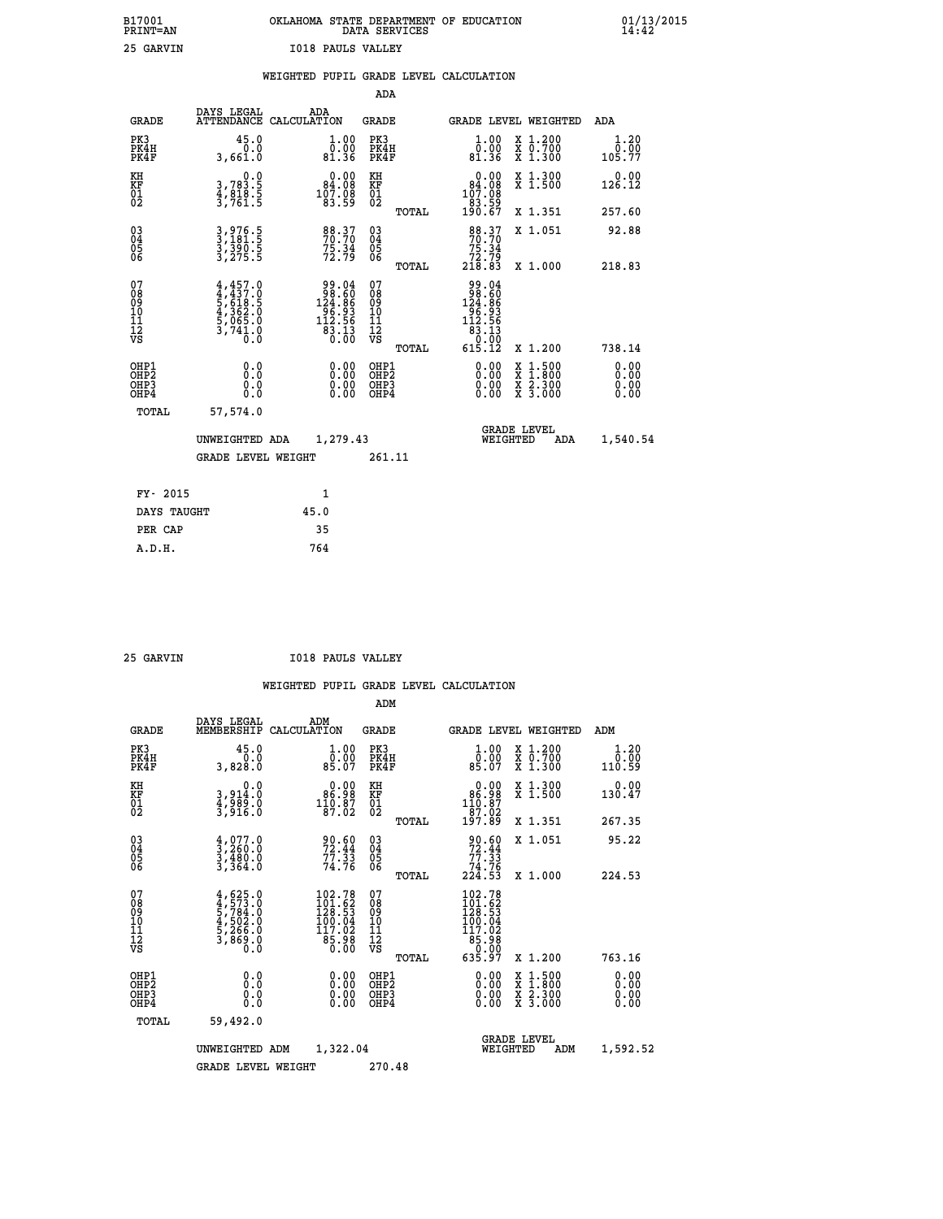| B17001<br>PRINT=AN | OKLAHOMA STATE DEPARTMENT OF EDUCATION<br>DATA SERVICES | 01/13/2015<br>14:42 |
|--------------------|---------------------------------------------------------|---------------------|
| 25 GARVIN          | <b>I018 PAULS VALLEY</b>                                |                     |

|                                                       |                                                                                   | WEIGHTED PUPIL GRADE LEVEL CALCULATION                                                               |                                                    |       |                                                                                                                |                                                                                                  |                              |
|-------------------------------------------------------|-----------------------------------------------------------------------------------|------------------------------------------------------------------------------------------------------|----------------------------------------------------|-------|----------------------------------------------------------------------------------------------------------------|--------------------------------------------------------------------------------------------------|------------------------------|
|                                                       |                                                                                   |                                                                                                      | <b>ADA</b>                                         |       |                                                                                                                |                                                                                                  |                              |
| <b>GRADE</b>                                          | DAYS LEGAL                                                                        | ADA<br>ATTENDANCE CALCULATION                                                                        | GRADE                                              |       |                                                                                                                | GRADE LEVEL WEIGHTED                                                                             | ADA                          |
| PK3<br>PK4H<br>PK4F                                   | 45.0<br>0.0<br>3,661.0                                                            | $\begin{smallmatrix} 1.00\\ 0.00\\ 81.36 \end{smallmatrix}$                                          | PK3<br>PK4H<br>PK4F                                |       | 1.00<br>ŏ:ŏŏ<br>81.36                                                                                          | X 1.200<br>X 0.700<br>X 1.300                                                                    | 1.20<br>0.00<br>105.77       |
| KH<br>KF<br>01<br>02                                  | $\begin{smallmatrix}&&&0.0\\3.783.5\\4.818.5\\3.761.5\end{smallmatrix}$           | $\begin{smallmatrix} &0.00\\ 84.08\\ 107.08\\ 183.59\end{smallmatrix}$                               | KH<br>KF<br>01<br>02                               |       | 0.00<br>$\begin{smallmatrix} 84.08 \\ 107.08 \\ 83.59 \\ 190.67 \end{smallmatrix}$                             | X 1.300<br>X 1.500                                                                               | 0.00<br>126.12               |
|                                                       |                                                                                   |                                                                                                      |                                                    | TOTAL |                                                                                                                | X 1.351                                                                                          | 257.60                       |
| $\begin{matrix} 03 \\ 04 \\ 05 \\ 06 \end{matrix}$    | 3,976.5<br>3,181.5<br>3,390.5<br>3,275.5                                          | 88.37<br>70.70<br>75.34<br>72.79                                                                     | $\begin{matrix} 03 \\ 04 \\ 05 \\ 06 \end{matrix}$ |       | 88.37<br>70.70<br>75.34                                                                                        | X 1.051                                                                                          | 92.88                        |
|                                                       |                                                                                   |                                                                                                      |                                                    | TOTAL | 213.79<br>218.83                                                                                               | X 1.000                                                                                          | 218.83                       |
| 07<br>08901112<br>1112<br>VS                          | $4,457.0$<br>$5,618.5$<br>$5,618.5$<br>$4,362.0$<br>$5,065.0$<br>$3,741.0$<br>0.0 | $\begin{array}{r} 99.04 \\ 98.60 \\ 124.86 \\ 96.93 \\ 96.93 \\ 112.56 \\ 83.13 \\ 0.00 \end{array}$ | 07<br>08<br>09<br>11<br>11<br>12<br>VS             |       | $\begin{array}{r} 99.04 \\ 98.60 \\ 124.86 \\ 96.93 \\ 12.56 \\ 112.56 \\ 83.13 \\ 0.00 \\ 615.12 \end{array}$ |                                                                                                  |                              |
|                                                       |                                                                                   |                                                                                                      |                                                    | TOTAL |                                                                                                                | X 1.200                                                                                          | 738.14                       |
| OH <sub>P1</sub><br>OH <sub>P</sub> 2<br>OHP3<br>OHP4 | 0.0<br>0.0<br>0.0                                                                 | $\begin{smallmatrix} 0.00 \ 0.00 \ 0.00 \ 0.00 \end{smallmatrix}$                                    | OHP1<br>OH <sub>P</sub> 2<br>OHP3<br>OHP4          |       | 0.00<br>0.00                                                                                                   | $\begin{smallmatrix} x & 1 & 500 \\ x & 1 & 800 \\ x & 2 & 300 \\ x & 3 & 000 \end{smallmatrix}$ | 0.00<br>0.00<br>0.00<br>0.00 |
| TOTAL                                                 | 57,574.0                                                                          |                                                                                                      |                                                    |       |                                                                                                                |                                                                                                  |                              |
|                                                       | UNWEIGHTED ADA                                                                    | 1,279.43                                                                                             |                                                    |       | WEIGHTED                                                                                                       | <b>GRADE LEVEL</b><br><b>ADA</b>                                                                 | 1,540.54                     |
|                                                       | <b>GRADE LEVEL WEIGHT</b>                                                         |                                                                                                      | 261.11                                             |       |                                                                                                                |                                                                                                  |                              |
| FY- 2015                                              |                                                                                   | 1                                                                                                    |                                                    |       |                                                                                                                |                                                                                                  |                              |
| DAYS TAUGHT                                           |                                                                                   | 45.0                                                                                                 |                                                    |       |                                                                                                                |                                                                                                  |                              |
| PER CAP                                               |                                                                                   | 35                                                                                                   |                                                    |       |                                                                                                                |                                                                                                  |                              |
| A.D.H.                                                |                                                                                   | 764                                                                                                  |                                                    |       |                                                                                                                |                                                                                                  |                              |

 **25 GARVIN I018 PAULS VALLEY**

|                                          |                                                                                                  |                                                                         | ADM                                                |       |                                                                                           |                                          |                              |
|------------------------------------------|--------------------------------------------------------------------------------------------------|-------------------------------------------------------------------------|----------------------------------------------------|-------|-------------------------------------------------------------------------------------------|------------------------------------------|------------------------------|
| <b>GRADE</b>                             | DAYS LEGAL<br>MEMBERSHIP                                                                         | ADM<br>CALCULATION                                                      | <b>GRADE</b>                                       |       |                                                                                           | GRADE LEVEL WEIGHTED                     | ADM                          |
| PK3<br>PK4H<br>PK4F                      | 45.0<br>3,828.0                                                                                  | 1.00<br>ŏ:ŏŏ<br>85:07                                                   | PK3<br>PK4H<br>PK4F                                |       | $\begin{smallmatrix} 1.00\\ 0.00\\ 85.07 \end{smallmatrix}$                               | X 1.200<br>X 0.700<br>X 1.300            | 1.20<br>0.00<br>110.59       |
| KH<br>KF<br>01<br>02                     | 0.0<br>3,914:0<br>4,989:0<br>3,916:0                                                             | $\begin{smallmatrix} &0.00\\ 86.98\\ 110.87\\ 187.02 \end{smallmatrix}$ | KH<br>KF<br>01<br>02                               |       | $\begin{smallmatrix} &0.00\\ 86.98\\ 110.87\\ 137.02\\ 197.89\end{smallmatrix}$           | X 1.300<br>X 1.500                       | 0.00<br>130.47               |
|                                          |                                                                                                  |                                                                         |                                                    | TOTAL |                                                                                           | X 1.351                                  | 267.35                       |
| 03<br>04<br>05<br>06                     | $\begin{smallmatrix} 4 & 077 & 0 \\ 3 & 260 & 0 \\ 3 & 480 & 0 \\ 3 & 364 & 0 \end{smallmatrix}$ | $\frac{90.60}{72.44}$<br>$\frac{77.33}{74.76}$                          | $\begin{matrix} 03 \\ 04 \\ 05 \\ 06 \end{matrix}$ |       | $90.60$<br>$72.44$<br>$77.33$<br>$74.76$<br>$224.53$                                      | X 1.051                                  | 95.22                        |
|                                          |                                                                                                  |                                                                         |                                                    | TOTAL |                                                                                           | X 1.000                                  | 224.53                       |
| 07<br>08<br>09<br>101<br>112<br>VS       | $4,625.0$<br>$4,573.0$<br>$5,784.0$<br>$4,502.0$<br>$5,266.0$<br>$3,869.0$                       | $102.78$<br>$101.62$<br>$128.53$<br>100:04<br>117:02<br>85:98<br>0:00   | 07<br>08<br>09<br>11<br>11<br>12<br>VS             | TOTAL | $102.78$<br>$101.62$<br>$129.53$<br>$160.04$<br>$117.02$<br>$85.98$<br>$0.00$<br>$635.97$ | X 1.200                                  | 763.16                       |
| OHP1<br>OHP2<br>OH <sub>P3</sub><br>OHP4 | 0.0<br>0.000                                                                                     |                                                                         | OHP1<br>OHP2<br>OHP <sub>3</sub>                   |       | $0.00$<br>$0.00$<br>0.00                                                                  | X 1:500<br>X 1:800<br>X 2:300<br>X 3:000 | 0.00<br>0.00<br>0.00<br>0.00 |
| TOTAL                                    | 59,492.0                                                                                         |                                                                         |                                                    |       |                                                                                           |                                          |                              |
|                                          | UNWEIGHTED                                                                                       | 1,322.04<br>ADM                                                         |                                                    |       | WEIGHTED                                                                                  | <b>GRADE LEVEL</b><br>ADM                | 1,592.52                     |
|                                          | <b>GRADE LEVEL WEIGHT</b>                                                                        |                                                                         | 270.48                                             |       |                                                                                           |                                          |                              |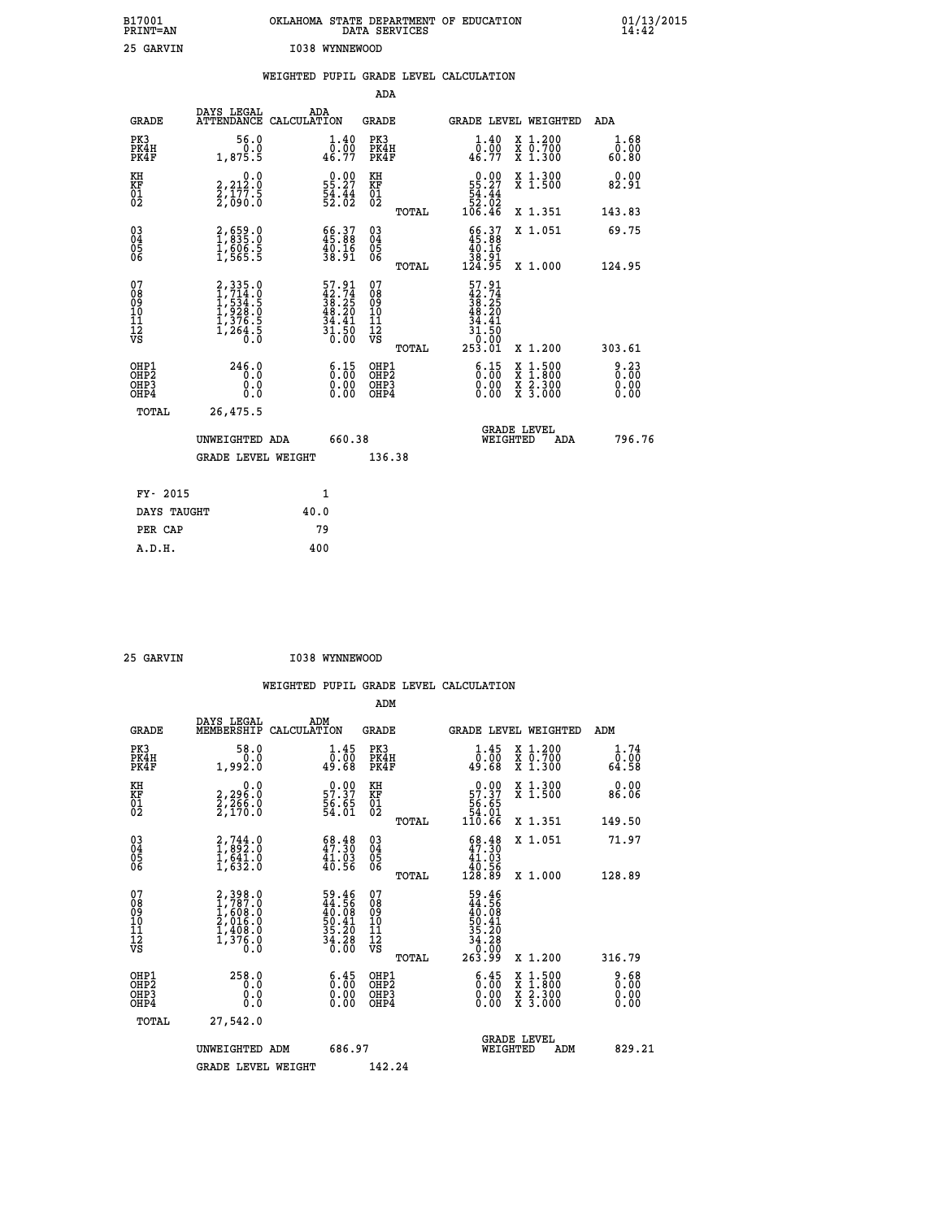| B17001<br>PRINT=AN               |                                                                | OKLAHOMA STATE DEPARTMENT OF EDUCATION                                   | DATA SERVICES                                        |                                                                           |                                          | $01/13/2015$<br>14:42        |  |
|----------------------------------|----------------------------------------------------------------|--------------------------------------------------------------------------|------------------------------------------------------|---------------------------------------------------------------------------|------------------------------------------|------------------------------|--|
| 25 GARVIN                        |                                                                | I038 WYNNEWOOD                                                           |                                                      |                                                                           |                                          |                              |  |
|                                  |                                                                | WEIGHTED PUPIL GRADE LEVEL CALCULATION                                   |                                                      |                                                                           |                                          |                              |  |
|                                  |                                                                |                                                                          | ADA                                                  |                                                                           |                                          |                              |  |
| <b>GRADE</b>                     | DAYS LEGAL                                                     | ADA<br>ATTENDANCE CALCULATION                                            | GRADE                                                |                                                                           | GRADE LEVEL WEIGHTED                     | ADA                          |  |
| PK3<br>PK4H<br>PK4F              | 56.0<br>0.0<br>1,875.5                                         | $\begin{smallmatrix}1.40\0.00\\46.77\end{smallmatrix}$                   | PK3<br>PK4H<br>PK4F                                  | 1.40<br>$\frac{\bar{0} \cdot \bar{0} \bar{0}}{46.77}$                     | X 1.200<br>X 0.700<br>X 1.300            | 1.68<br>0.00<br>60.80        |  |
| KH<br>KF<br>$\frac{01}{02}$      | 0.0<br>2,212:0<br>2,177:5<br>2,090:0                           | $0.00$<br>55.27<br>$\frac{54}{52}$ : $\frac{44}{02}$                     | KH<br>KF<br>01<br>02                                 | $\begin{smallmatrix}&&0.00\\55.27\\54.44\\52.02\\106.46\end{smallmatrix}$ | X 1.300<br>X 1.500                       | 0.00<br>82.91                |  |
|                                  |                                                                |                                                                          | TOTAL                                                |                                                                           | X 1.351                                  | 143.83                       |  |
| 030404<br>06                     | 2,659.0<br>1,835.0<br>1,606.5<br>1,565.5                       | 66.37<br>45.88<br>40.16<br>38.91                                         | $\begin{matrix} 03 \\ 04 \\ 05 \\ 06 \end{matrix}$   | $\frac{66.37}{45.88}$<br>38.91                                            | X 1.051                                  | 69.75                        |  |
| 07                               |                                                                |                                                                          | <b>TOTAL</b><br>07                                   | 124.95                                                                    | X 1.000                                  | 124.95                       |  |
| 08<br>09<br>11<br>11<br>12<br>VS | 2,335.0<br>1,714.0<br>1,534.5<br>1,928.0<br>1,376.5<br>1,264.5 | $57.91$<br>$42.74$<br>$38.25$<br>$48.20$<br>$34.41$<br>$31.50$<br>$0.00$ | 08<br>09<br>10<br>$\frac{11}{12}$<br>$\frac{12}{18}$ | 57.91<br>42.74<br>38.25<br>48.20<br>34<br>.41<br>31.50                    |                                          |                              |  |
|                                  |                                                                |                                                                          | TOTAL                                                | 253.01                                                                    | X 1.200                                  | 303.61                       |  |
| OHP1<br>OHP2<br>OHP3<br>OHP4     | 246.0<br>0.0<br>0.0<br>0.0                                     | 6:15<br>$\begin{smallmatrix} 0.00 \ 0.00 \end{smallmatrix}$              | OHP1<br>OH <sub>P</sub> 2<br>OHP3<br>OHP4            | 6:15<br>0.00<br>0.00                                                      | X 1:500<br>X 1:800<br>X 2:300<br>X 3:000 | 9.23<br>0.00<br>0.00<br>0.00 |  |
| TOTAL                            | 26,475.5                                                       |                                                                          |                                                      |                                                                           |                                          |                              |  |
|                                  | UNWEIGHTED ADA                                                 | 660.38                                                                   |                                                      | WEIGHTED                                                                  | <b>GRADE LEVEL</b><br>ADA                | 796.76                       |  |
|                                  | <b>GRADE LEVEL WEIGHT</b>                                      |                                                                          | 136.38                                               |                                                                           |                                          |                              |  |
| FY- 2015                         |                                                                | 1                                                                        |                                                      |                                                                           |                                          |                              |  |
| DAYS TAUGHT                      |                                                                | 40.0                                                                     |                                                      |                                                                           |                                          |                              |  |
| PER CAP                          |                                                                | 79                                                                       |                                                      |                                                                           |                                          |                              |  |

| 25 GARVIN | I038 WYNNEWOOD |
|-----------|----------------|
|           |                |

 **WEIGHTED PUPIL GRADE LEVEL CALCULATION ADM DAYS LEGAL ADM GRADE MEMBERSHIP CALCULATION GRADE GRADE LEVEL WEIGHTED ADM PK3 58.0 1.45 PK3 1.45 X 1.200 1.74 PK4H 0.0 0.00 PK4H 0.00 X 0.700 0.00 PK4F 1,992.0 49.68 PK4F 49.68 X 1.300 64.58 KH 0.0 0.00 KH 0.00 X 1.300 0.00 KF 2,296.0 57.37 KF 57.37 X 1.500 86.06 01 2,266.0 56.65 01 56.65 02 2,170.0 54.01 02 54.01 TOTAL 110.66 X 1.351 149.50 03 2,744.0 68.48 03 68.48 X 1.051 71.97 04 1,892.0 47.30 04 47.30 05 1,641.0 41.03 05 41.03** 06 1,632.0 40.56 06 <sub>momas</sub> 40.56  **TOTAL 128.89 X 1.000 128.89**  $\begin{array}{cccc} 07 & 2,398.0 & 59.46 & 07 & 59.46 \ 08 & 1,787.0 & 44.56 & 08 & 44.56 \ 09 & 1,608.0 & 40.08 & 09 & 40.08 \ 10 & 2,016.0 & 50.41 & 10 & 50.41 \ 11 & 1,408.0 & 35.20 & 11 & 35.20 \ \hline \textrm{vs} & 1,376.0 & 36.30 & 0 & 0 & 0 & 0 & 0 \ 0.0 & 0.0 & 0 & 0 &$  **TOTAL 263.99 X 1.200 316.79 OHP1 258.0 6.45 OHP1 6.45 X 1.500 9.68 OHP2 0.0 0.00 OHP2 0.00 X 1.800 0.00 OHP3 0.0 0.00 OHP3 0.00 X 2.300 0.00 OHP4 0.0 0.00 OHP4 0.00 X 3.000 0.00 TOTAL 27,542.0 GRADE LEVEL UNWEIGHTED ADM 686.97 WEIGHTED ADM 829.21 GRADE LEVEL WEIGHT 142.24**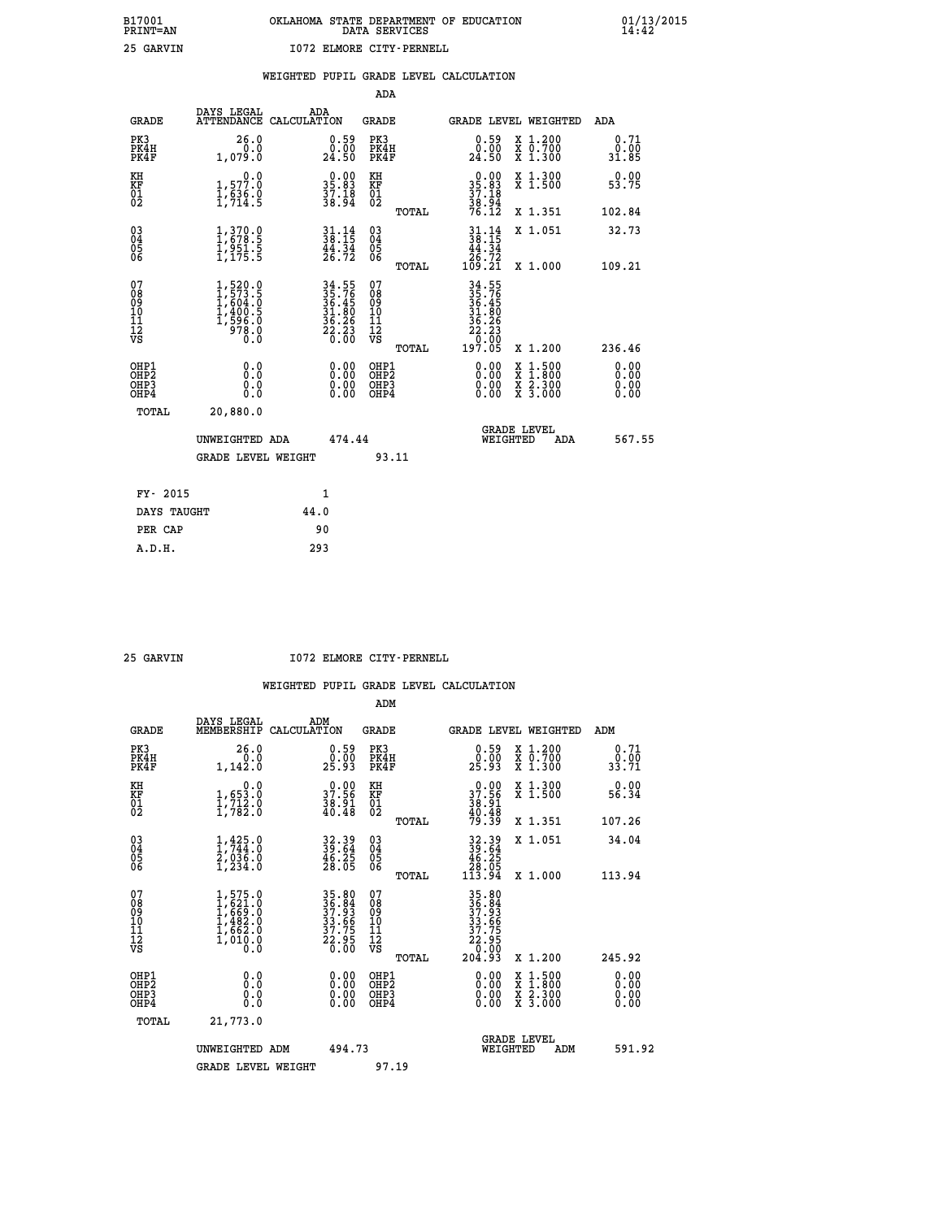|                                          |      | ADA                                                                                                                                                                                                                                                                                                                                                                                      |                                                                                                                                                                                                                                                                                                                                                                                                                                       |                                                                                                                                                                                                                                                                                                |
|------------------------------------------|------|------------------------------------------------------------------------------------------------------------------------------------------------------------------------------------------------------------------------------------------------------------------------------------------------------------------------------------------------------------------------------------------|---------------------------------------------------------------------------------------------------------------------------------------------------------------------------------------------------------------------------------------------------------------------------------------------------------------------------------------------------------------------------------------------------------------------------------------|------------------------------------------------------------------------------------------------------------------------------------------------------------------------------------------------------------------------------------------------------------------------------------------------|
| <b>GRADE</b>                             | ADA  | <b>GRADE</b>                                                                                                                                                                                                                                                                                                                                                                             | GRADE LEVEL WEIGHTED                                                                                                                                                                                                                                                                                                                                                                                                                  | <b>ADA</b>                                                                                                                                                                                                                                                                                     |
| PK3<br>PK4H<br>PK4F                      |      | PK3<br>PK4H<br>PK4F                                                                                                                                                                                                                                                                                                                                                                      | $\begin{smallmatrix} 0.59\ 0.00\ 24.50 \end{smallmatrix}$<br>X 1.200<br>X 0.700<br>X 1.300                                                                                                                                                                                                                                                                                                                                            | 0.71<br>0.00<br>31.85                                                                                                                                                                                                                                                                          |
|                                          |      | KH                                                                                                                                                                                                                                                                                                                                                                                       | X 1.300<br>X 1.500                                                                                                                                                                                                                                                                                                                                                                                                                    | 0.00<br>53.75                                                                                                                                                                                                                                                                                  |
|                                          |      | TOTAL                                                                                                                                                                                                                                                                                                                                                                                    | X 1.351                                                                                                                                                                                                                                                                                                                                                                                                                               | 102.84                                                                                                                                                                                                                                                                                         |
|                                          |      | $\substack{03 \\ 04}$<br>$\substack{05 \\ 06}$                                                                                                                                                                                                                                                                                                                                           | X 1.051                                                                                                                                                                                                                                                                                                                                                                                                                               | 32.73                                                                                                                                                                                                                                                                                          |
|                                          |      |                                                                                                                                                                                                                                                                                                                                                                                          |                                                                                                                                                                                                                                                                                                                                                                                                                                       | 109.21                                                                                                                                                                                                                                                                                         |
|                                          |      |                                                                                                                                                                                                                                                                                                                                                                                          |                                                                                                                                                                                                                                                                                                                                                                                                                                       |                                                                                                                                                                                                                                                                                                |
|                                          |      | TOTAL                                                                                                                                                                                                                                                                                                                                                                                    | X 1.200                                                                                                                                                                                                                                                                                                                                                                                                                               | 236.46                                                                                                                                                                                                                                                                                         |
| OHP1<br>OHP <sub>2</sub><br>OHP3<br>OHP4 |      | OH <sub>P</sub> 2<br>OHP3<br>OHP4                                                                                                                                                                                                                                                                                                                                                        | X<br>X<br>0.00<br>X 2.300<br>X 3.000<br>0.00                                                                                                                                                                                                                                                                                                                                                                                          | 0.00<br>0.00<br>0.00<br>0.00                                                                                                                                                                                                                                                                   |
| TOTAL                                    |      |                                                                                                                                                                                                                                                                                                                                                                                          |                                                                                                                                                                                                                                                                                                                                                                                                                                       |                                                                                                                                                                                                                                                                                                |
|                                          |      |                                                                                                                                                                                                                                                                                                                                                                                          | <b>GRADE LEVEL</b><br>WEIGHTED<br>ADA                                                                                                                                                                                                                                                                                                                                                                                                 | 567.55                                                                                                                                                                                                                                                                                         |
|                                          |      | 93.11                                                                                                                                                                                                                                                                                                                                                                                    |                                                                                                                                                                                                                                                                                                                                                                                                                                       |                                                                                                                                                                                                                                                                                                |
| FY- 2015                                 | 1    |                                                                                                                                                                                                                                                                                                                                                                                          |                                                                                                                                                                                                                                                                                                                                                                                                                                       |                                                                                                                                                                                                                                                                                                |
| DAYS TAUGHT                              | 44.0 |                                                                                                                                                                                                                                                                                                                                                                                          |                                                                                                                                                                                                                                                                                                                                                                                                                                       |                                                                                                                                                                                                                                                                                                |
| PER CAP                                  | 90   |                                                                                                                                                                                                                                                                                                                                                                                          |                                                                                                                                                                                                                                                                                                                                                                                                                                       |                                                                                                                                                                                                                                                                                                |
|                                          |      | DAYS LEGAL<br>ATTENDANCE CALCULATION<br>26.0<br>0.0<br>1,079.0<br>0.0<br>1,577.0<br>$\frac{1}{2}, \frac{6}{2}\frac{3}{4}$ : 9<br>$\begin{smallmatrix} 1,370.0\\ 1,678.5\\ 1,951.5\\ 1,175.5 \end{smallmatrix}$<br>$1,520.0$<br>$1,573.5$<br>$1,604.0$<br>$1,400.5$<br>$1,596.0$<br>$978.0$<br>0.0<br>0.0<br>Ō.Ō<br>0.0<br>0.0<br>20,880.0<br>UNWEIGHTED ADA<br><b>GRADE LEVEL WEIGHT</b> | $\begin{smallmatrix} 0.59\ 0.00\ 24.50 \end{smallmatrix}$<br>$\begin{smallmatrix} 0.00\\ 35.83\\ 37.18\\ 38.94 \end{smallmatrix}$<br>KF<br>01<br>02<br>$\frac{31}{38}:\frac{14}{15}$<br>$\frac{44}{26}$ : $\frac{34}{72}$<br>TOTAL<br>34.55<br>35.76<br>36.45<br>36.45<br>31.80<br>36.26<br>22.23<br>20.00<br>07<br>08<br>09<br>11<br>11<br>12<br>VS<br>OHP1<br>0.00<br>$\begin{smallmatrix} 0.00 \ 0.00 \end{smallmatrix}$<br>474.44 | $35.83$<br>$37.18$<br>$38.94$<br>$76.12$<br>$\begin{array}{c} 31\cdot 14 \\ 38\cdot 15 \\ 44\cdot 34 \\ 26\cdot 72 \\ 109\cdot 21 \end{array}$<br>X 1.000<br>34.55<br>35.76<br>36.45<br>31.80<br>$\begin{array}{r} 36.26 \\ 22.23 \\ 0.60 \\ 197.05 \end{array}$<br>0.00<br>$1:500$<br>$1:800$ |

 **25 GARVIN I072 ELMORE CITY-PERNELL**

|                                          |                                                                                     |                                                                      | ADM                                                 |                                                                       |                                          |                              |
|------------------------------------------|-------------------------------------------------------------------------------------|----------------------------------------------------------------------|-----------------------------------------------------|-----------------------------------------------------------------------|------------------------------------------|------------------------------|
| <b>GRADE</b>                             | DAYS LEGAL<br>MEMBERSHIP                                                            | ADM<br>CALCULATION                                                   | <b>GRADE</b>                                        |                                                                       | GRADE LEVEL WEIGHTED                     | ADM                          |
| PK3<br>PK4H<br>PK4F                      | 26.0<br>1, 142.0                                                                    | $\begin{smallmatrix} 0.59\ 0.00 \ 25.93 \end{smallmatrix}$           | PK3<br>PK4H<br>PK4F                                 | $\begin{smallmatrix} 0.59\ 0.00 \ 25.93 \end{smallmatrix}$            | X 1.200<br>X 0.700<br>X 1.300            | 0.71<br>0.00<br>33.71        |
| KH<br>KF<br>01<br>02                     | 0.0<br>$\frac{1}{1}, \frac{653}{712}$ .0<br>1,712.0                                 | $\begin{smallmatrix} 0.00\\ 37.56\\ 38.91\\ 40.48 \end{smallmatrix}$ | KH<br>KF<br>01<br>02                                | $37.56$<br>$38.91$<br>$38.91$<br>$40.48$<br>$79.39$                   | X 1.300<br>X 1.500                       | 0.00<br>56.34                |
|                                          |                                                                                     |                                                                      | TOTAL                                               |                                                                       | X 1.351                                  | 107.26                       |
| 03<br>04<br>05<br>06                     | $1, 425.0$<br>$2, 036.0$<br>$1, 234.0$                                              | 32.39<br>39.64<br>46.25<br>28.05                                     | $\begin{array}{c} 03 \\ 04 \\ 05 \\ 06 \end{array}$ | $32.39$<br>$39.64$<br>$46.25$<br>$28.05$<br>$113.94$                  | X 1.051                                  | 34.04                        |
|                                          |                                                                                     |                                                                      | TOTAL                                               |                                                                       | X 1.000                                  | 113.94                       |
| 07<br>08<br>09<br>101<br>112<br>VS       | $1,575.0$<br>$1,621.0$<br>$1,669.0$<br>$1,482.0$<br>$1,662.0$<br>$1,010.0$<br>$0.0$ | 35.80<br>36.84<br>37.93<br>33.66<br>37.75<br>22.95<br>22.95          | 07<br>08<br>09<br>11<br>11<br>12<br>VS<br>TOTAL     | 35.80<br>36.84<br>37.93<br>33.66<br>37.75<br>22.95<br>22.95<br>204.93 | X 1.200                                  | 245.92                       |
| OHP1<br>OHP2<br>OHP <sub>3</sub><br>OHP4 | 0.0<br>$\begin{smallmatrix} 0.0 & 0 \ 0.0 & 0 \end{smallmatrix}$                    |                                                                      | OHP1<br>OHP2<br>OHP <sub>3</sub>                    | $0.00$<br>$0.00$<br>0.00                                              | X 1:500<br>X 1:800<br>X 2:300<br>X 3:000 | 0.00<br>0.00<br>0.00<br>0.00 |
| TOTAL                                    | 21,773.0                                                                            |                                                                      |                                                     |                                                                       |                                          |                              |
|                                          | UNWEIGHTED ADM                                                                      | 494.73                                                               |                                                     | WEIGHTED                                                              | <b>GRADE LEVEL</b><br>ADM                | 591.92                       |
|                                          | <b>GRADE LEVEL WEIGHT</b>                                                           |                                                                      | 97.19                                               |                                                                       |                                          |                              |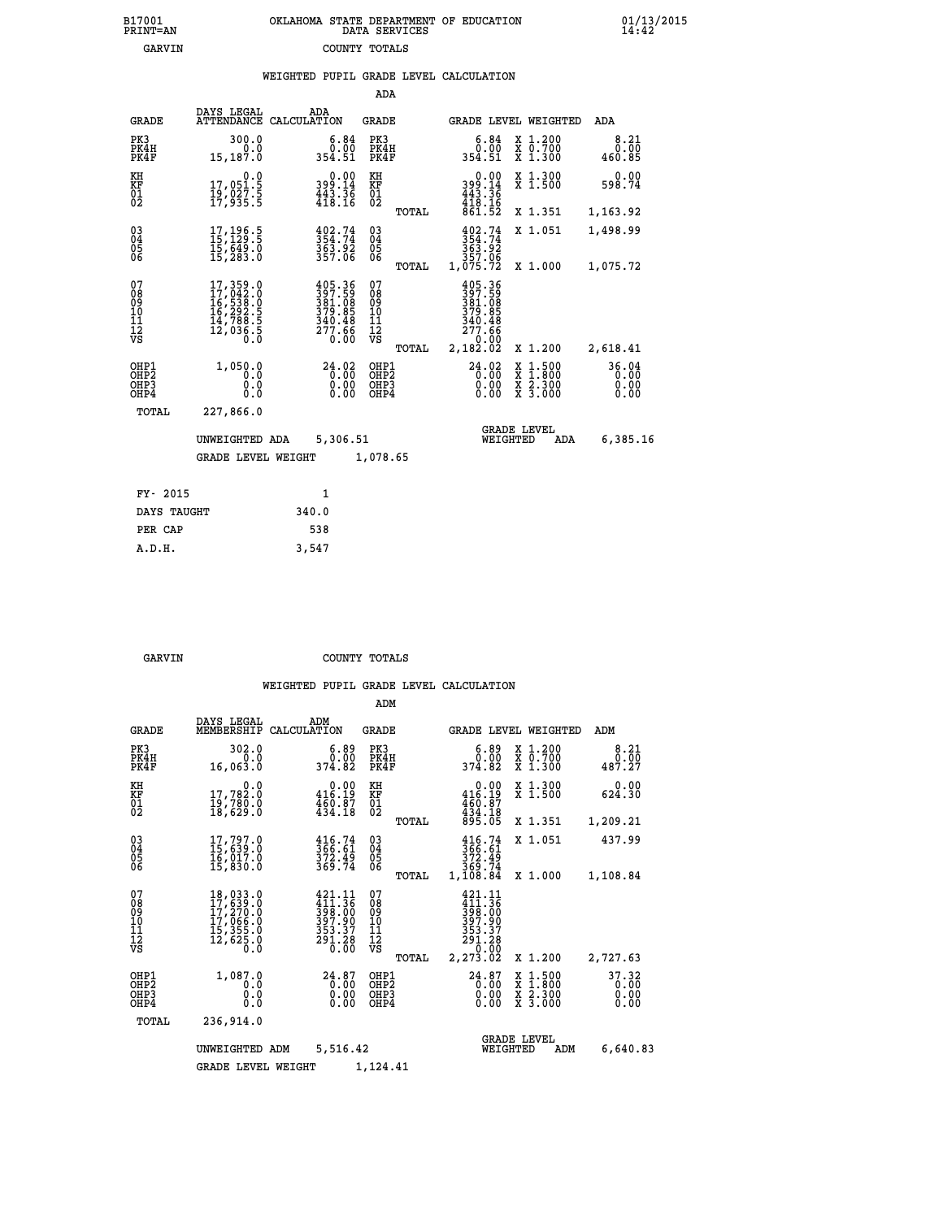|  | OKLAHOMA STATE DEPARTMENT OF EDUCATION<br>DATA SERVICES |  |
|--|---------------------------------------------------------|--|
|  | COUNTY TOTALS                                           |  |

|  |  | WEIGHTED PUPIL GRADE LEVEL CALCULATION |
|--|--|----------------------------------------|
|  |  |                                        |

|                                                                    |                                                                                                  |                                                                  | ADA                                                               |       |                                                                                                  |                                                                                                  |                               |
|--------------------------------------------------------------------|--------------------------------------------------------------------------------------------------|------------------------------------------------------------------|-------------------------------------------------------------------|-------|--------------------------------------------------------------------------------------------------|--------------------------------------------------------------------------------------------------|-------------------------------|
| <b>GRADE</b>                                                       | DAYS LEGAL                                                                                       | ADA<br>ATTENDANCE CALCULATION                                    | <b>GRADE</b>                                                      |       |                                                                                                  | GRADE LEVEL WEIGHTED                                                                             | ADA                           |
| PK3<br>PK4H<br>PK4F                                                | 300.0<br>0.0<br>15,187.0                                                                         | $\begin{smallmatrix} 6.84\ 0.00\ 354.51\ \end{smallmatrix}$      | PK3<br>PK4H<br>PK4F                                               |       | 6.84<br>ة.ة<br>354.51                                                                            | X 1.200<br>X 0.700<br>X 1.300                                                                    | 8.21<br>0.00<br>460.85        |
| KH<br><b>KF</b><br>01<br>02                                        | 0.0<br>17,051.5<br>19,027.5<br>17,935.5                                                          | 399.14<br>443.36<br>418.16                                       | KH<br>KF<br>01<br>02                                              |       | 0.00<br>14.geç<br>$443.36$<br>$418.16$<br>$861.52$                                               | X 1.300<br>X 1.500                                                                               | 0.00<br>598.74                |
|                                                                    |                                                                                                  |                                                                  |                                                                   | TOTAL |                                                                                                  | X 1.351                                                                                          | 1,163.92                      |
| $\begin{smallmatrix} 03 \\[-4pt] 04 \end{smallmatrix}$<br>05<br>06 | 17, 196.5<br>15,649.0<br>15,283.0                                                                | $354.74$<br>$363.92$<br>$363.92$<br>$357.06$                     | $\substack{03 \\ 04}$<br>$\begin{matrix} 0.5 \\ 0.6 \end{matrix}$ |       | 402.74<br>$\frac{354.74}{363.92}$<br>363.92                                                      | X 1.051                                                                                          | 1,498.99                      |
|                                                                    |                                                                                                  |                                                                  |                                                                   | TOTAL | 1,075.72                                                                                         | X 1.000                                                                                          | 1,075.72                      |
| 07<br>08<br>09<br>11<br>11<br>12<br>VS                             | $\begin{smallmatrix}17,359.0\\17,042.0\\16,538.0\\16,292.5\\14,788.5\\12,036.5\end{smallmatrix}$ | 405.36<br>397.59<br>381.08<br>379.85<br>340.48<br>277.66<br>0.00 | 07<br>08<br>09<br>11<br>11<br>12<br>VS                            |       | 405.36<br>397.59<br>$\frac{381}{379}. \frac{68}{85}$<br>$\frac{340}{277}. \frac{48}{66}$<br>0.00 |                                                                                                  |                               |
|                                                                    |                                                                                                  |                                                                  |                                                                   | TOTAL | 2,182.02                                                                                         | X 1.200                                                                                          | 2,618.41                      |
| OHP1<br>OH <sub>P2</sub><br>OH <sub>P3</sub><br>OH <sub>P4</sub>   | 1,050.0<br>0.0<br>0.0<br>0.0                                                                     | 24.02<br>0.00<br>0.00<br>0.00                                    | OHP1<br>OH <sub>P</sub> 2<br>OHP3<br>OHP4                         |       | 24.02<br>0.00<br>0.00<br>0.00                                                                    | $\begin{smallmatrix} x & 1 & 500 \\ x & 1 & 800 \\ x & 2 & 300 \\ x & 3 & 000 \end{smallmatrix}$ | 36.04<br>0.00<br>0.00<br>0.00 |
| TOTAL                                                              | 227,866.0                                                                                        |                                                                  |                                                                   |       |                                                                                                  |                                                                                                  |                               |
|                                                                    | UNWEIGHTED ADA                                                                                   | 5,306.51                                                         |                                                                   |       |                                                                                                  | <b>GRADE LEVEL</b><br>WEIGHTED<br>ADA                                                            | 6,385.16                      |
|                                                                    | <b>GRADE LEVEL WEIGHT</b>                                                                        |                                                                  | 1,078.65                                                          |       |                                                                                                  |                                                                                                  |                               |
| FY- 2015                                                           |                                                                                                  | $\mathbf{1}$                                                     |                                                                   |       |                                                                                                  |                                                                                                  |                               |
| DAYS TAUGHT                                                        |                                                                                                  | 340.0                                                            |                                                                   |       |                                                                                                  |                                                                                                  |                               |
| PER CAP                                                            |                                                                                                  | 538                                                              |                                                                   |       |                                                                                                  |                                                                                                  |                               |

| ۱RV | г |  |  |
|-----|---|--|--|

 **A.D.H. 3,547**

B17001<br>PRINT=AN<br>GARVIN

**GARVIN** COUNTY TOTALS

|                                                       |                                                                               |                                                                                                  | ADM                                              |                                                                             |                                                                                                  |                               |
|-------------------------------------------------------|-------------------------------------------------------------------------------|--------------------------------------------------------------------------------------------------|--------------------------------------------------|-----------------------------------------------------------------------------|--------------------------------------------------------------------------------------------------|-------------------------------|
| <b>GRADE</b>                                          | DAYS LEGAL<br>MEMBERSHIP                                                      | ADM<br>CALCULATION                                                                               | <b>GRADE</b>                                     | GRADE LEVEL WEIGHTED                                                        |                                                                                                  | ADM                           |
| PK3<br>PK4H<br>PK4F                                   | 302.0<br>0.0<br>16,063.0                                                      | 6.89<br>0.00<br>374.82                                                                           | PK3<br>PK4H<br>PK4F                              | 0.89<br>374.82                                                              | $\begin{array}{c} x & 1.200 \\ x & 0.700 \end{array}$<br>$X$ 1.300                               | 8.21<br>0.00<br>487.27        |
| KH<br>KF<br>01<br>02                                  | 0.0<br>$\frac{17}{19}, \frac{782}{780}.0 \ \frac{18}{18}, \frac{629}{62}, 0$  | $0.00$<br>416.19<br>$\frac{4}{4}$ $\frac{5}{9}$ $\frac{5}{18}$                                   | KH<br>KF<br>01<br>02                             | 0.00<br>416.19<br>$\frac{460.87}{434.18}$<br>895.05                         | X 1.300<br>X 1.500                                                                               | 0.00<br>624.30                |
|                                                       |                                                                               |                                                                                                  | TOTAL                                            |                                                                             | X 1.351                                                                                          | 1,209.21                      |
| 03<br>04<br>05<br>06                                  | 17,797.0<br>15,639.0<br>16,017.0<br>15,830.0                                  | 366.74<br>372.49<br>373.74                                                                       | $^{03}_{04}$<br>0500                             | $366.61$<br>$372.49$<br>$369.74$<br>$1,108.84$                              | X 1.051                                                                                          | 437.99                        |
|                                                       |                                                                               |                                                                                                  | TOTAL                                            |                                                                             | X 1.000                                                                                          | 1,108.84                      |
| 07<br>08<br>09<br>11<br>11<br>12<br>VS                | 18,033.0<br>17,639.0<br>$17,270.0$<br>17,066.0<br>15,355.0<br>12,625.0<br>0.0 | 421.11<br>$\frac{1}{398}$ : $\frac{3}{60}$<br>$\frac{397}{397}$ : 90<br>353.37<br>291.28<br>0.00 | 07<br>08<br>09<br>101<br>11<br>12<br>VS<br>TOTAL | 421.11<br>411.36<br>398.00<br>397.90<br>$\frac{353.37}{291.28}$<br>2,273.02 | X 1.200                                                                                          | 2,727.63                      |
| OHP1<br>OH <sub>P</sub> 2<br>OH <sub>P3</sub><br>OHP4 | 1,087.0<br>0.0<br>0.000                                                       | $24.87$<br>0.00<br>0.00<br>0.00                                                                  | OHP1<br>OHP2<br>OHP3<br>OHP4                     | $24.87$<br>0.00<br>0.00<br>0.00                                             | $\begin{smallmatrix} x & 1 & 500 \\ x & 1 & 800 \\ x & 2 & 300 \\ x & 3 & 000 \end{smallmatrix}$ | 37.32<br>0.00<br>0.00<br>0.00 |
| TOTAL                                                 | 236,914.0                                                                     |                                                                                                  |                                                  |                                                                             |                                                                                                  |                               |
| 5,516.42<br>UNWEIGHTED ADM                            |                                                                               |                                                                                                  | 1,124.41                                         | WEIGHTED                                                                    | <b>GRADE LEVEL</b><br>ADM                                                                        | 6,640.83                      |
|                                                       | <b>GRADE LEVEL WEIGHT</b>                                                     |                                                                                                  |                                                  |                                                                             |                                                                                                  |                               |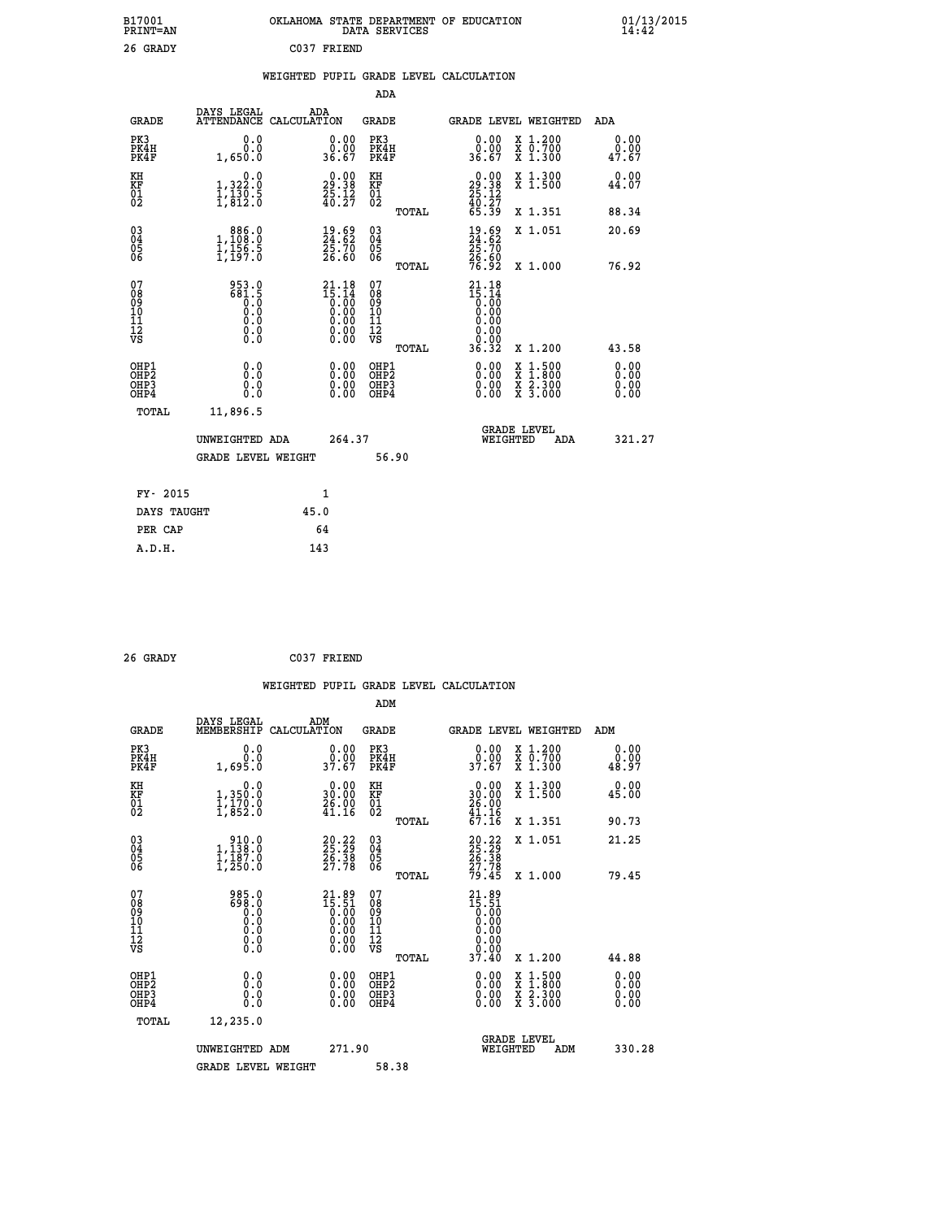| B17001<br><b>PRINT=AN</b> | OKLAHOMA STATE DEPARTMENT OF EDUCATION<br>DATA SERVICES | 01/13/2015 |
|---------------------------|---------------------------------------------------------|------------|
| 26 GRADY                  | C037 FRIEND                                             |            |

## **WEIGHTED PUPIL GRADE LEVEL CALCULATION**

|                                                    |                                                                                     |                                                                                              | ADA                                    |       |                                                                                                                                                                                                                                                                                                                                                       |        |                                                                  |                              |
|----------------------------------------------------|-------------------------------------------------------------------------------------|----------------------------------------------------------------------------------------------|----------------------------------------|-------|-------------------------------------------------------------------------------------------------------------------------------------------------------------------------------------------------------------------------------------------------------------------------------------------------------------------------------------------------------|--------|------------------------------------------------------------------|------------------------------|
| <b>GRADE</b>                                       | DAYS LEGAL<br><b>ATTENDANCE</b>                                                     | ADA<br>CALCULATION                                                                           | GRADE                                  |       | GRADE LEVEL WEIGHTED                                                                                                                                                                                                                                                                                                                                  |        |                                                                  | <b>ADA</b>                   |
| PK3<br>PK4H<br>PK4F                                | 0.0<br>0.0<br>1,650.0                                                               | 0.00<br>0.00<br>36.67                                                                        | PK3<br>PK4H<br>PK4F                    |       | 0.00<br>ة.ة.<br>36.67                                                                                                                                                                                                                                                                                                                                 |        | X 1.200<br>X 0.700<br>X 1.300                                    | 0.00<br>0.00<br>47.67        |
| KH<br><b>KF</b><br>01<br>02                        | 0.0<br>1, 322:0<br>1, 130:5<br>1, 812:0                                             | $29.38$<br>$25.38$<br>$25.12$<br>$40.27$                                                     | KH<br>KF<br>01<br>02                   |       | $\begin{smallmatrix} 0.00\\29.38\\25.12\\40.27\\65.39 \end{smallmatrix}$                                                                                                                                                                                                                                                                              |        | X 1.300<br>X 1.500                                               | 0.00<br>44.07                |
|                                                    |                                                                                     |                                                                                              |                                        | TOTAL |                                                                                                                                                                                                                                                                                                                                                       |        | X 1.351                                                          | 88.34                        |
| $\begin{matrix} 03 \\ 04 \\ 05 \\ 06 \end{matrix}$ | $\begin{smallmatrix} & 886.0\\ 1,108.0\\ 1,156.5\\ 1,197.0 \end{smallmatrix}$       | $\frac{19}{24}.\substack{69}{62}$<br>$\frac{25}{25}.\substack{70}{70}$<br>$\substack{26.60}$ | 03<br>04<br>05<br>06                   |       | $\frac{19}{24}.\substack{69}{62}$<br>$\frac{25}{26}.\substack{70}{70}$<br>$\frac{26}{76}.\substack{60}{92}$                                                                                                                                                                                                                                           |        | X 1.051                                                          | 20.69                        |
|                                                    |                                                                                     |                                                                                              |                                        | TOTAL |                                                                                                                                                                                                                                                                                                                                                       |        | X 1.000                                                          | 76.92                        |
| 07<br>08<br>09<br>101<br>11<br>12<br>VS            | 953.0<br>$\begin{smallmatrix} 681.5\\ 0.0\\ 0.0\\ 0.0\\ \end{smallmatrix}$<br>$\S.$ | $21.18$<br>$15.14$<br>$0.00$<br>$0.00$<br>$0.00$<br>$0.00$<br>Ŏ.ŎŎ                           | 07<br>08<br>09<br>11<br>11<br>12<br>VS | TOTAL | 21.18<br>$\begin{smallmatrix} 1 & 1 & 1 & 2 \\ 1 & 5 & 0 & 0 \\ 0 & 0 & 0 & 0 \\ 0 & 0 & 0 & 0 \\ 0 & 0 & 0 & 0 \\ 0 & 0 & 0 & 0 \\ 0 & 0 & 0 & 0 \\ 0 & 0 & 0 & 0 \\ 0 & 0 & 0 & 0 \\ 0 & 0 & 0 & 0 \\ 0 & 0 & 0 & 0 \\ 0 & 0 & 0 & 0 \\ 0 & 0 & 0 & 0 \\ 0 & 0 & 0 & 0 \\ 0 & 0 & 0 & 0 \\ 0 & 0 & 0 & 0 \\ 0 & 0 & 0 & 0 \\ 0 & 0 & 0 & $<br>36.32 |        | X 1.200                                                          | 43.58                        |
| OHP1<br>OHP2<br>OHP3<br>OHP4                       | 0.0<br>0.0<br>0.0                                                                   | 0.00<br>$\begin{smallmatrix} 0.00 \ 0.00 \end{smallmatrix}$                                  | OHP1<br>OHP2<br>OHP3<br>OHP4           |       | $0.00$<br>$0.00$<br>0.00                                                                                                                                                                                                                                                                                                                              | X<br>X | $1.500$<br>$1.800$<br>$\frac{\ddot{x}}{x}$ $\frac{5.300}{3.000}$ | 0.00<br>0.00<br>0.00<br>0.00 |
| TOTAL                                              | 11,896.5                                                                            |                                                                                              |                                        |       | <b>GRADE LEVEL</b>                                                                                                                                                                                                                                                                                                                                    |        |                                                                  |                              |
|                                                    | UNWEIGHTED ADA                                                                      | 264.37                                                                                       |                                        |       | WEIGHTED                                                                                                                                                                                                                                                                                                                                              |        | ADA                                                              | 321.27                       |
|                                                    | <b>GRADE LEVEL WEIGHT</b>                                                           |                                                                                              |                                        | 56.90 |                                                                                                                                                                                                                                                                                                                                                       |        |                                                                  |                              |
| FY- 2015                                           |                                                                                     | $\mathbf{1}$                                                                                 |                                        |       |                                                                                                                                                                                                                                                                                                                                                       |        |                                                                  |                              |
| DAYS TAUGHT                                        |                                                                                     | 45.0                                                                                         |                                        |       |                                                                                                                                                                                                                                                                                                                                                       |        |                                                                  |                              |

| 26 GRADY | C037 FRIEND |
|----------|-------------|
|          |             |

**PER CAP** 64

 **A.D.H. 143**

| <b>GRADE</b>                                       | DAYS LEGAL<br>MEMBERSHIP                                                                                                                             | ADM<br>CALCULATION                                                                                    | <b>GRADE</b>                                       |       |                                                                              | GRADE LEVEL WEIGHTED                     | ADM                   |  |
|----------------------------------------------------|------------------------------------------------------------------------------------------------------------------------------------------------------|-------------------------------------------------------------------------------------------------------|----------------------------------------------------|-------|------------------------------------------------------------------------------|------------------------------------------|-----------------------|--|
| PK3<br>PK4H<br>PK4F                                | 0.0<br>0.695.0                                                                                                                                       | $\begin{smallmatrix} 0.00\\ 0.00\\ 37.67 \end{smallmatrix}$                                           | PK3<br>PK4H<br>PK4F                                |       | $\begin{smallmatrix} 0.00\\ 0.00\\ 37.67 \end{smallmatrix}$                  | X 1.200<br>X 0.700<br>X 1.300            | 0.00<br>0.00<br>48.97 |  |
| KH<br>KF<br>01<br>02                               | 0.0<br>1,350:0<br>1,170:0<br>1,852:0                                                                                                                 | $\begin{smallmatrix} 0.00\\ 30.00\\ 26.00\\ 41.16 \end{smallmatrix}$                                  | KH<br>KF<br>01<br>02                               |       | $\begin{smallmatrix} 0.00\\ 30.00\\ 26.00\\ 41.16\\ 67.16 \end{smallmatrix}$ | X 1.300<br>X 1.500                       | 0.00<br>45.00         |  |
|                                                    |                                                                                                                                                      |                                                                                                       |                                                    | TOTAL |                                                                              | X 1.351                                  | 90.73                 |  |
| $\begin{matrix} 03 \\ 04 \\ 05 \\ 06 \end{matrix}$ | $\begin{smallmatrix} & 910.0\\1,138.0\\1,187.0\\1,250.0 \end{smallmatrix}$                                                                           | $20.22$<br>$25.29$<br>$26.38$<br>$27.78$                                                              | $\begin{matrix} 03 \\ 04 \\ 05 \\ 06 \end{matrix}$ |       | 20:22<br>25:29<br>26:38<br>27:78<br>27:45                                    | X 1.051                                  | 21.25                 |  |
|                                                    |                                                                                                                                                      |                                                                                                       |                                                    | TOTAL |                                                                              | X 1.000                                  | 79.45                 |  |
| 07<br>089<br>090<br>1112<br>VS                     | $\begin{smallmatrix} 9 & 8 & 5 & 0 \\ 6 & 9 & 8 & 0 \\ 0 & 0 & 0 \\ 0 & 0 & 0 \\ 0 & 0 & 0 \\ 0 & 0 & 0 \\ 0 & 0 & 0 \\ 0 & 0 & 0 \end{smallmatrix}$ | $\begin{smallmatrix} 21.89\ 15.51\ 0.00\ 0.00\ 0.00\ 0.00\ 0.00\ 0.00\ 0.00\ 0.00\ \end{smallmatrix}$ | 07<br>08901112<br>1112<br>VS                       | TOTAL | $21.8915.510.000.000.000.000.0037.40$                                        | X 1.200                                  | 44.88                 |  |
| OHP1<br>OHP2<br>OHP3<br>OHP4                       | 0.0<br>$\begin{smallmatrix} 0.0 & 0 \ 0.0 & 0 \end{smallmatrix}$                                                                                     |                                                                                                       | OHP1<br>OHP2<br>OHP3<br>OHP4                       |       |                                                                              | X 1:500<br>X 1:800<br>X 2:300<br>X 3:000 | 0.00<br>0.00<br>0.00  |  |
| TOTAL                                              | 12,235.0                                                                                                                                             |                                                                                                       |                                                    |       |                                                                              |                                          |                       |  |
|                                                    | UNWEIGHTED ADM                                                                                                                                       | 271.90                                                                                                |                                                    |       | WEIGHTED                                                                     | <b>GRADE LEVEL</b><br>ADM                | 330.28                |  |
|                                                    | <b>GRADE LEVEL WEIGHT</b>                                                                                                                            |                                                                                                       | 58.38                                              |       |                                                                              |                                          |                       |  |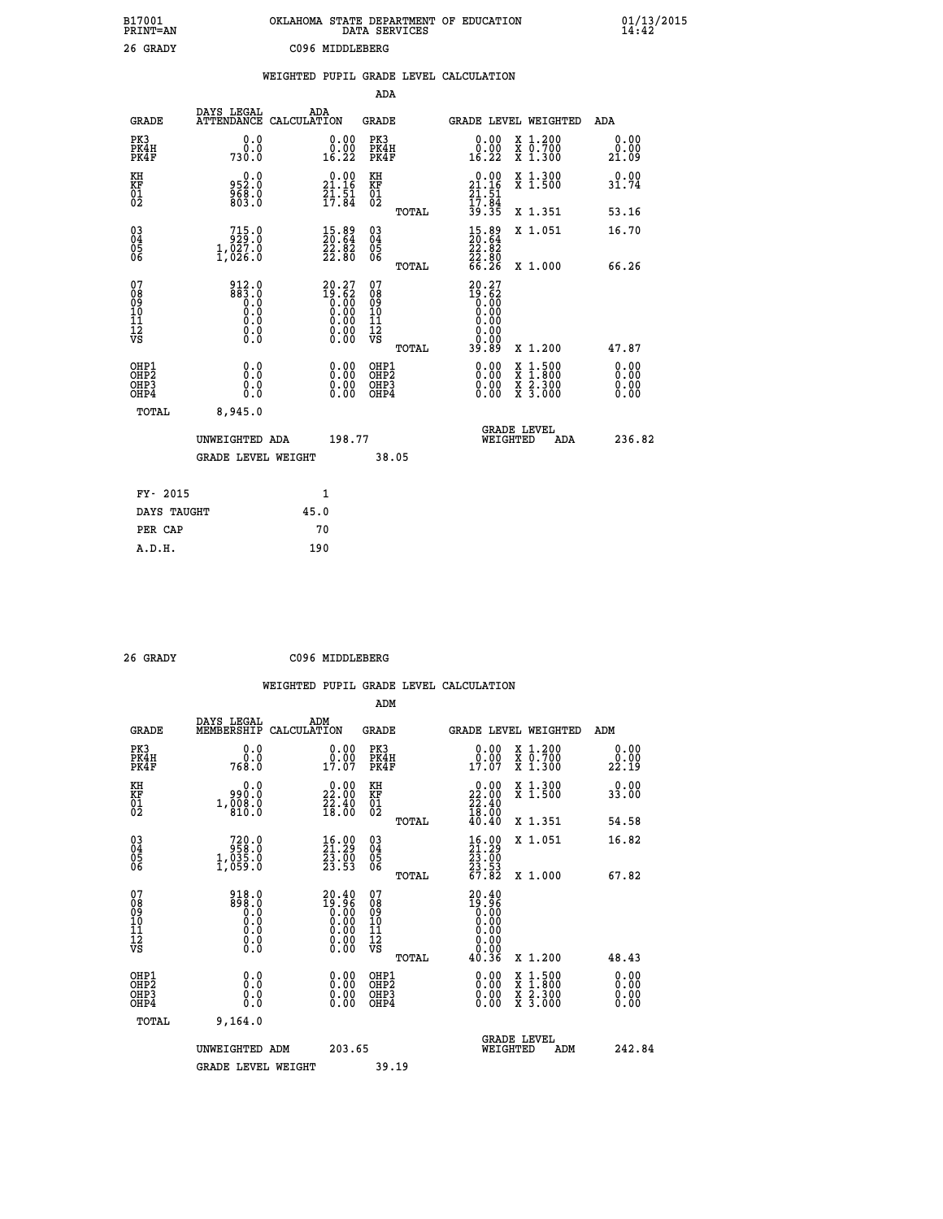| B17001<br>PRINT=AN                           |                                                                            | OKLAHOMA STATE DEPARTMENT OF EDUCATION                                                                   | DATA SERVICES                                      |                                                                        |                                                                                          | $01/13/2015$<br>14:42 |
|----------------------------------------------|----------------------------------------------------------------------------|----------------------------------------------------------------------------------------------------------|----------------------------------------------------|------------------------------------------------------------------------|------------------------------------------------------------------------------------------|-----------------------|
| 26 GRADY                                     |                                                                            | C096 MIDDLEBERG                                                                                          |                                                    |                                                                        |                                                                                          |                       |
|                                              |                                                                            | WEIGHTED PUPIL GRADE LEVEL CALCULATION                                                                   |                                                    |                                                                        |                                                                                          |                       |
|                                              |                                                                            |                                                                                                          | <b>ADA</b>                                         |                                                                        |                                                                                          |                       |
| <b>GRADE</b>                                 | DAYS LEGAL                                                                 | ADA<br>ATTENDANCE CALCULATION                                                                            | <b>GRADE</b>                                       |                                                                        | GRADE LEVEL WEIGHTED                                                                     | ADA                   |
| PK3<br>PK4H<br>PK4F                          | 0.0<br>0.0<br>730.0                                                        | 0.00<br>$0.00$<br>16.22                                                                                  | PK3<br>PK4H<br>PK4F                                | $\substack{0.00\\0.00\\16.22}$                                         | X 1.200<br>X 0.700<br>X 1.300                                                            | 0.00<br>0.00<br>21.09 |
| KH<br>KF<br>01<br>02                         | 0.0<br>952.0<br>$\frac{568}{803}$ .0                                       | $\begin{smallmatrix} 0.00\\ 21.16\\ 21.51\\ 17.84 \end{smallmatrix}$                                     | KH<br>KF<br>$\overline{01}$                        | 21.16                                                                  | X 1.300<br>X 1.500                                                                       | 0.00<br>31.74         |
|                                              |                                                                            |                                                                                                          | TOTAL                                              | $\frac{21}{17}$ : $\frac{51}{84}$<br>$\frac{39}{35}$ : $\frac{35}{35}$ | X 1.351                                                                                  | 53.16                 |
| $\substack{03 \ 04}$<br>ŎŜ<br>06             | $\begin{smallmatrix} 715.0\\ 929.0\\ 1.027.0 \end{smallmatrix}$<br>1,026.0 | $\begin{smallmatrix} 15.89\ 20.64\ 22.82\ 22.80 \end{smallmatrix}$                                       | $\begin{matrix} 03 \\ 04 \\ 05 \\ 06 \end{matrix}$ | 15.89<br>20.64<br>$\frac{22.82}{22.80}$<br>66.26                       | X 1.051                                                                                  | 16.70                 |
|                                              |                                                                            |                                                                                                          | TOTAL                                              |                                                                        | X 1.000                                                                                  | 66.26                 |
| 07<br>08<br>09<br>11<br>11<br>12<br>VS       | 912.0<br>0.68<br>0.0<br>Ō.Ō<br>$\S.$ $\S$                                  | $20.27$<br>$19.62$<br>$0.00$<br>$0.00$<br>$0.00$<br>$\begin{smallmatrix} 0.00 \\ 0.00 \end{smallmatrix}$ | 07<br>$\frac{0.8}{0.9}$<br>ίÒ<br>īi<br>ĪŽ<br>VŠ    | 20.27<br>$\frac{53.52}{0.00}$<br>0.00<br>0.00<br>0.00<br>ŏ:ŏŏ          |                                                                                          |                       |
| OHP1                                         | 0.0                                                                        |                                                                                                          | <b>TOTAL</b><br>OHP1                               | 39.89                                                                  | X 1.200                                                                                  | 47.87                 |
| OHP <sub>2</sub><br>OH <sub>P3</sub><br>OHP4 | Ō.Ō<br>0.0<br>0.0                                                          | 0.00<br>$\begin{smallmatrix} 0.00 \ 0.00 \end{smallmatrix}$                                              | OHP <sub>2</sub><br>OHP3<br>OHP4                   | 0.00<br>0.00<br>0.00                                                   | $\begin{smallmatrix} x & 1.500 \\ x & 1.800 \\ x & 2.300 \\ x & 3.000 \end{smallmatrix}$ | 0.00<br>0.00<br>0.00  |
| <b>TOTAL</b>                                 | 8,945.0                                                                    |                                                                                                          |                                                    |                                                                        |                                                                                          |                       |
|                                              | UNWEIGHTED ADA                                                             | 198.77                                                                                                   |                                                    | WEIGHTED                                                               | <b>GRADE LEVEL</b><br>ADA                                                                | 236.82                |
|                                              | <b>GRADE LEVEL WEIGHT</b>                                                  |                                                                                                          | 38.05                                              |                                                                        |                                                                                          |                       |
| FY- 2015                                     |                                                                            | 1                                                                                                        |                                                    |                                                                        |                                                                                          |                       |
| DAYS TAUGHT                                  |                                                                            | 45.0                                                                                                     |                                                    |                                                                        |                                                                                          |                       |
| PER CAP                                      |                                                                            | 70                                                                                                       |                                                    |                                                                        |                                                                                          |                       |
| A.D.H.                                       |                                                                            | 190                                                                                                      |                                                    |                                                                        |                                                                                          |                       |

| 26 GRADY | C096 MIDDLEBERG |
|----------|-----------------|
|          |                 |

|                                                    |                                                                                                                                                         |                                                                                                        | ADM                                          |       |                                                                                                                                                                                                                                                                                |                                          |                          |
|----------------------------------------------------|---------------------------------------------------------------------------------------------------------------------------------------------------------|--------------------------------------------------------------------------------------------------------|----------------------------------------------|-------|--------------------------------------------------------------------------------------------------------------------------------------------------------------------------------------------------------------------------------------------------------------------------------|------------------------------------------|--------------------------|
| <b>GRADE</b>                                       | DAYS LEGAL<br>MEMBERSHIP                                                                                                                                | ADM<br>CALCULATION                                                                                     | <b>GRADE</b>                                 |       |                                                                                                                                                                                                                                                                                | GRADE LEVEL WEIGHTED                     | ADM                      |
| PK3<br>PK4H<br>PK4F                                | 0.0<br>ŏ:ŏ<br>768:0                                                                                                                                     | $\begin{smallmatrix} 0.00\\ 0.00\\ 17.07 \end{smallmatrix}$                                            | PK3<br>PK4H<br>PK4F                          |       | $\begin{smallmatrix} 0.00\\ 0.00\\ 17.07 \end{smallmatrix}$                                                                                                                                                                                                                    | X 1.200<br>X 0.700<br>X 1.300            | 0.00<br>22.19            |
| KH<br>KF<br>01<br>02                               | 0.0<br>ة:ۆوو<br>1,008.0<br>810.0                                                                                                                        | $\begin{smallmatrix} 0.00\\ 22.00\\ 22.40\\ 18.00 \end{smallmatrix}$                                   | KH<br>KF<br>01<br>02                         |       | $\begin{smallmatrix} 0.00\\ 22.00\\ 22.40\\ 18.00\\ 40.40 \end{smallmatrix}$                                                                                                                                                                                                   | X 1.300<br>X 1.500                       | 0.00<br>33.00            |
|                                                    |                                                                                                                                                         |                                                                                                        |                                              | TOTAL |                                                                                                                                                                                                                                                                                | X 1.351                                  | 54.58                    |
| $\begin{matrix} 03 \\ 04 \\ 05 \\ 06 \end{matrix}$ | $720.0$<br>$958.0$<br>$1,035.0$<br>$1,059.0$                                                                                                            | $\begin{smallmatrix} 16.00\\ 21.29\\ 23.00\\ 23.53 \end{smallmatrix}$                                  | 03<br>04<br>05<br>06                         |       | $\begin{smallmatrix} 16.00\\21.29\\23.00\\23.53\\67.82 \end{smallmatrix}$                                                                                                                                                                                                      | X 1.051                                  | 16.82                    |
|                                                    |                                                                                                                                                         |                                                                                                        |                                              | TOTAL |                                                                                                                                                                                                                                                                                | $X_1.000$                                | 67.82                    |
| 07<br>08<br>09<br>101<br>11<br>17<br>VS            | $\begin{smallmatrix} 9 & 1 & 8 & . & 0 \\ 8 & 9 & 8 & . & 0 \\ 0 & 0 & . & 0 \\ 0 & . & 0 & . \\ 0 & . & 0 \\ 0 & . & 0 \\ 0 & . & 0 \end{smallmatrix}$ | $\begin{smallmatrix} 20.40\\ 19.96\\ 0.00\\ 0.00\\ 0.00\\ 0.00\\ 0.00\\ 0.00\\ 0.00 \end{smallmatrix}$ | 07<br>08<br>09<br>01<br>11<br>11<br>12<br>VS |       | $\begin{smallmatrix} 20.40 \\ 19.96 \\ 0.00 \\ 0.00 \\ 0.00 \\ 0.00 \\ 0.00 \\ 0.00 \\ 0.00 \\ \end{smallmatrix}$                                                                                                                                                              |                                          |                          |
|                                                    |                                                                                                                                                         |                                                                                                        |                                              | TOTAL | 40.36                                                                                                                                                                                                                                                                          | X 1.200                                  | 48.43                    |
| OHP1<br>OHP2<br>OH <sub>P3</sub><br>OHP4           |                                                                                                                                                         |                                                                                                        | OHP1<br>OHP2<br>OHP3<br>OHP4                 |       | $\begin{smallmatrix} 0.00 & 0.00 & 0.00 & 0.00 & 0.00 & 0.00 & 0.00 & 0.00 & 0.00 & 0.00 & 0.00 & 0.00 & 0.00 & 0.00 & 0.00 & 0.00 & 0.00 & 0.00 & 0.00 & 0.00 & 0.00 & 0.00 & 0.00 & 0.00 & 0.00 & 0.00 & 0.00 & 0.00 & 0.00 & 0.00 & 0.00 & 0.00 & 0.00 & 0.00 & 0.00 & 0.0$ | X 1:500<br>X 1:800<br>X 2:300<br>X 3:000 | $0.00$<br>$0.00$<br>0.00 |
| TOTAL                                              | 9,164.0                                                                                                                                                 |                                                                                                        |                                              |       |                                                                                                                                                                                                                                                                                |                                          |                          |
|                                                    | UNWEIGHTED ADM                                                                                                                                          | 203.65                                                                                                 |                                              |       | WEIGHTED                                                                                                                                                                                                                                                                       | <b>GRADE LEVEL</b><br>ADM                | 242.84                   |
|                                                    | <b>GRADE LEVEL WEIGHT</b>                                                                                                                               |                                                                                                        | 39.19                                        |       |                                                                                                                                                                                                                                                                                |                                          |                          |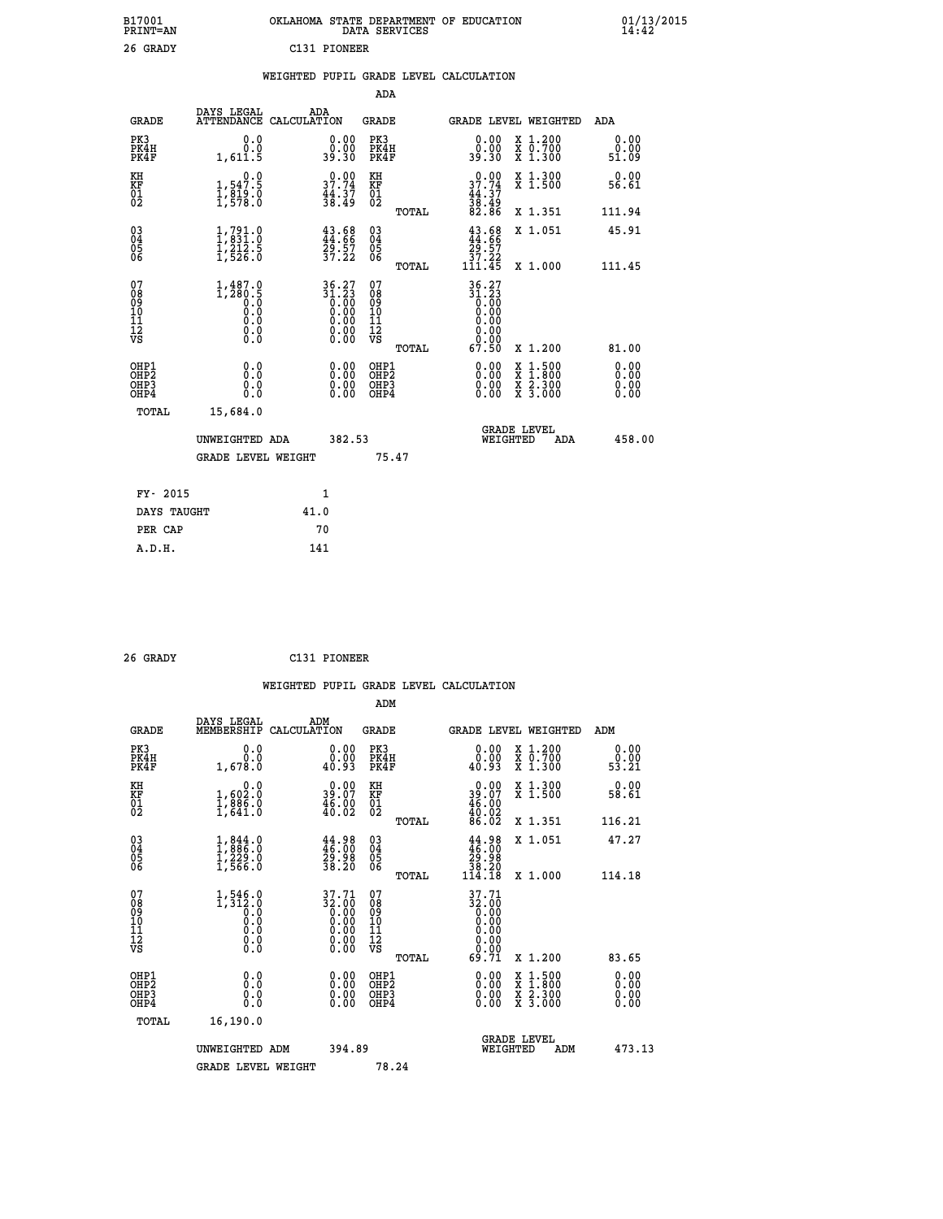| B17001<br>PRINT=AN | . STATE DEPARTMENT OF EDUCATION<br><b>OKLAHOMA</b><br>DATA SERVICES | $01/13/2015$<br>14:42 |
|--------------------|---------------------------------------------------------------------|-----------------------|
| 26 GRADY           | C131 PIONEER                                                        |                       |

### **WEIGHTED PUPIL GRADE LEVEL CALCULATION**

|                                                    |                                                                                                                |                                                                                                      |        | ADA                                    |       |                                                                                                                        |        |                                                                  |                       |
|----------------------------------------------------|----------------------------------------------------------------------------------------------------------------|------------------------------------------------------------------------------------------------------|--------|----------------------------------------|-------|------------------------------------------------------------------------------------------------------------------------|--------|------------------------------------------------------------------|-----------------------|
| <b>GRADE</b>                                       | DAYS LEGAL<br><b>ATTENDANCE</b>                                                                                | ADA<br>CALCULATION                                                                                   |        | GRADE                                  |       |                                                                                                                        |        | GRADE LEVEL WEIGHTED                                             | <b>ADA</b>            |
| PK3<br>PK4H<br>PK4F                                | 0.0<br>0.0<br>1,611.5                                                                                          | 0.00<br>0.00<br>39.30                                                                                |        | PK3<br>PK4H<br>PK4F                    |       | 0.00<br>0.00<br>39.30                                                                                                  |        | X 1.200<br>X 0.700<br>X 1.300                                    | 0.00<br>0.00<br>51.09 |
| KH<br><b>KF</b><br>01<br>02                        | 0.0<br>$\frac{1}{1}, \frac{547}{819}$ .0<br>1,819.0                                                            | 37.74<br>$\frac{44.37}{38.49}$                                                                       |        | KH<br>KF<br>01<br>02                   |       | $0.00$<br>$37.74$<br>$44.37$<br>$38.49$<br>$82.86$                                                                     |        | X 1.300<br>X 1.500                                               | 0.00<br>56.61         |
|                                                    |                                                                                                                |                                                                                                      |        |                                        | TOTAL |                                                                                                                        |        | X 1.351                                                          | 111.94                |
| $\begin{matrix} 03 \\ 04 \\ 05 \\ 06 \end{matrix}$ | $\begin{smallmatrix} 1,791.0\\ 1,831.0\\ 1,212.5\\ 1,526.0 \end{smallmatrix}$                                  | $43.68$<br>$44.66$<br>$29.57$<br>$37.22$                                                             |        | 03<br>04<br>05<br>06                   |       | $43.68$<br>$44.66$<br>$29.57$<br>$37.22$<br>$111.45$                                                                   |        | X 1.051                                                          | 45.91                 |
|                                                    |                                                                                                                |                                                                                                      |        |                                        | TOTAL |                                                                                                                        |        | X 1.000                                                          | 111.45                |
| 07<br>08<br>09<br>101<br>11<br>12<br>VS            | $\underset{0.0}{\overset{1,487.0}{\underset{280.5}{\underset{0.0}{\underset{0.0}{\underset{0.0}}}}}}$<br>$\S.$ | $\begin{array}{@{}ll} 36.27 \\ 31.23 \\ 0.00 \\ 0.00 \\ 0.00 \\ 0.00 \\ 0.00 \\ \end{array}$<br>Ŏ.ŎŎ |        | 07<br>08<br>09<br>11<br>11<br>12<br>VS | TOTAL | $\begin{smallmatrix} 36 & 27 \\ 31 & 23 \\ 0 & 00 \\ 0 & 00 \\ 0 & 00 \\ 0 & 00 \\ \end{smallmatrix}$<br>0.00<br>67.50 |        | X 1.200                                                          | 81.00                 |
|                                                    |                                                                                                                |                                                                                                      |        |                                        |       |                                                                                                                        |        |                                                                  | 0.00                  |
| OHP1<br>OHP2<br>OHP3<br>OHP4                       | 0.0<br>0.0<br>0.0                                                                                              | 0.00<br>$0.00$<br>0.00                                                                               |        | OHP1<br>OHP2<br>OHP3<br>OHP4           |       | $0.00$<br>$0.00$<br>0.00                                                                                               | X<br>X | $1.500$<br>$1.800$<br>$\frac{\ddot{x}}{x}$ $\frac{5.300}{3.000}$ | 0.00<br>0.00<br>0.00  |
| TOTAL                                              | 15,684.0                                                                                                       |                                                                                                      |        |                                        |       |                                                                                                                        |        |                                                                  |                       |
|                                                    | UNWEIGHTED ADA                                                                                                 |                                                                                                      | 382.53 |                                        |       | WEIGHTED                                                                                                               |        | <b>GRADE LEVEL</b><br>ADA                                        | 458.00                |
|                                                    | <b>GRADE LEVEL WEIGHT</b>                                                                                      |                                                                                                      |        | 75.47                                  |       |                                                                                                                        |        |                                                                  |                       |
| FY- 2015                                           |                                                                                                                | $\mathbf{1}$                                                                                         |        |                                        |       |                                                                                                                        |        |                                                                  |                       |
| DAYS TAUGHT                                        |                                                                                                                | 41.0                                                                                                 |        |                                        |       |                                                                                                                        |        |                                                                  |                       |
|                                                    |                                                                                                                |                                                                                                      |        |                                        |       |                                                                                                                        |        |                                                                  |                       |

| 26 GRADY | C131 PIONEER |
|----------|--------------|

PER CAP 70<br>A.D.H. 141

 **A.D.H. 141**

|                                          |                                                              |                                                                      | ADM                                                 |       |                                                                                                         |                                          |                       |
|------------------------------------------|--------------------------------------------------------------|----------------------------------------------------------------------|-----------------------------------------------------|-------|---------------------------------------------------------------------------------------------------------|------------------------------------------|-----------------------|
| <b>GRADE</b>                             | DAYS LEGAL<br>MEMBERSHIP                                     | ADM<br>CALCULATION                                                   | <b>GRADE</b>                                        |       |                                                                                                         | GRADE LEVEL WEIGHTED                     | ADM                   |
| PK3<br>PK4H<br>PK4F                      | 0.0<br>ة:ة<br>1,678.0                                        | $\begin{smallmatrix} 0.00\\ 0.00\\ 0.93 \end{smallmatrix}$           | PK3<br>PK4H<br>PK4F                                 |       | $\begin{smallmatrix} 0.00\\ 0.00\\ 0.93 \end{smallmatrix}$                                              | X 1.200<br>X 0.700<br>X 1.300            | 0.00<br>0.00<br>53.21 |
| KH<br>KF<br>01<br>02                     | 0.0<br>$\frac{1}{1}, \frac{602}{886}$ .0<br>1,641.0          | $\begin{smallmatrix} 0.00\\ 39.07\\ 46.00\\ 40.02 \end{smallmatrix}$ | KH<br>KF<br>01<br>02                                |       | $\begin{smallmatrix} 0.00\\ 39.07\\ 46.00\\ 40.02\\ 86.02 \end{smallmatrix}$                            | X 1.300<br>X 1.500                       | 0.00<br>58.61         |
|                                          |                                                              |                                                                      |                                                     | TOTAL |                                                                                                         | X 1.351                                  | 116.21                |
| 03<br>04<br>05<br>06                     | $1,844.0$<br>$1,886.0$<br>$1,229.0$<br>1,566.0               | $\frac{44}{46}$ .00<br>$\frac{29}{38}$ .98<br>38.20                  | $\begin{array}{c} 03 \\ 04 \\ 05 \\ 06 \end{array}$ |       | $\begin{smallmatrix} 44.98\\ 46.00\\ 29.98\\ 38.20\\ 114.18 \end{smallmatrix}$                          | X 1.051                                  | 47.27                 |
|                                          |                                                              |                                                                      |                                                     | TOTAL |                                                                                                         | X 1.000                                  | 114.18                |
| 07<br>08<br>09<br>101<br>112<br>VS       | $1, 546.0$<br>$1, 312.0$<br>$0.0$<br>$0.0$<br>$0.0$<br>$\S.$ | $37.71$<br>$32.00$<br>$0.00$<br>$0.00$<br>$0.00$<br>$0.00$<br>$0.00$ | 07<br>08<br>09<br>11<br>11<br>12<br>VS              |       | 37.71<br>$\begin{array}{c} 32.600 \\ 0.000 \\ 0.000 \\ 0.000 \\ 0.000 \\ 0.000 \\ 0.000 \\ \end{array}$ |                                          |                       |
|                                          |                                                              |                                                                      |                                                     | TOTAL | 69.71                                                                                                   | X 1.200                                  | 83.65                 |
| OHP1<br>OHP2<br>OH <sub>P3</sub><br>OHP4 | 0.0<br>0.000                                                 | $0.00$<br>$0.00$<br>0.00                                             | OHP1<br>OHP2<br>OHP <sub>3</sub>                    |       | $0.00$<br>$0.00$<br>0.00                                                                                | X 1:500<br>X 1:800<br>X 2:300<br>X 3:000 | 0.00<br>0.00<br>0.00  |
| TOTAL                                    | 16,190.0                                                     |                                                                      |                                                     |       |                                                                                                         |                                          |                       |
|                                          | UNWEIGHTED ADM                                               | 394.89                                                               |                                                     |       | WEIGHTED                                                                                                | <b>GRADE LEVEL</b><br>ADM                | 473.13                |
|                                          | <b>GRADE LEVEL WEIGHT</b>                                    |                                                                      | 78.24                                               |       |                                                                                                         |                                          |                       |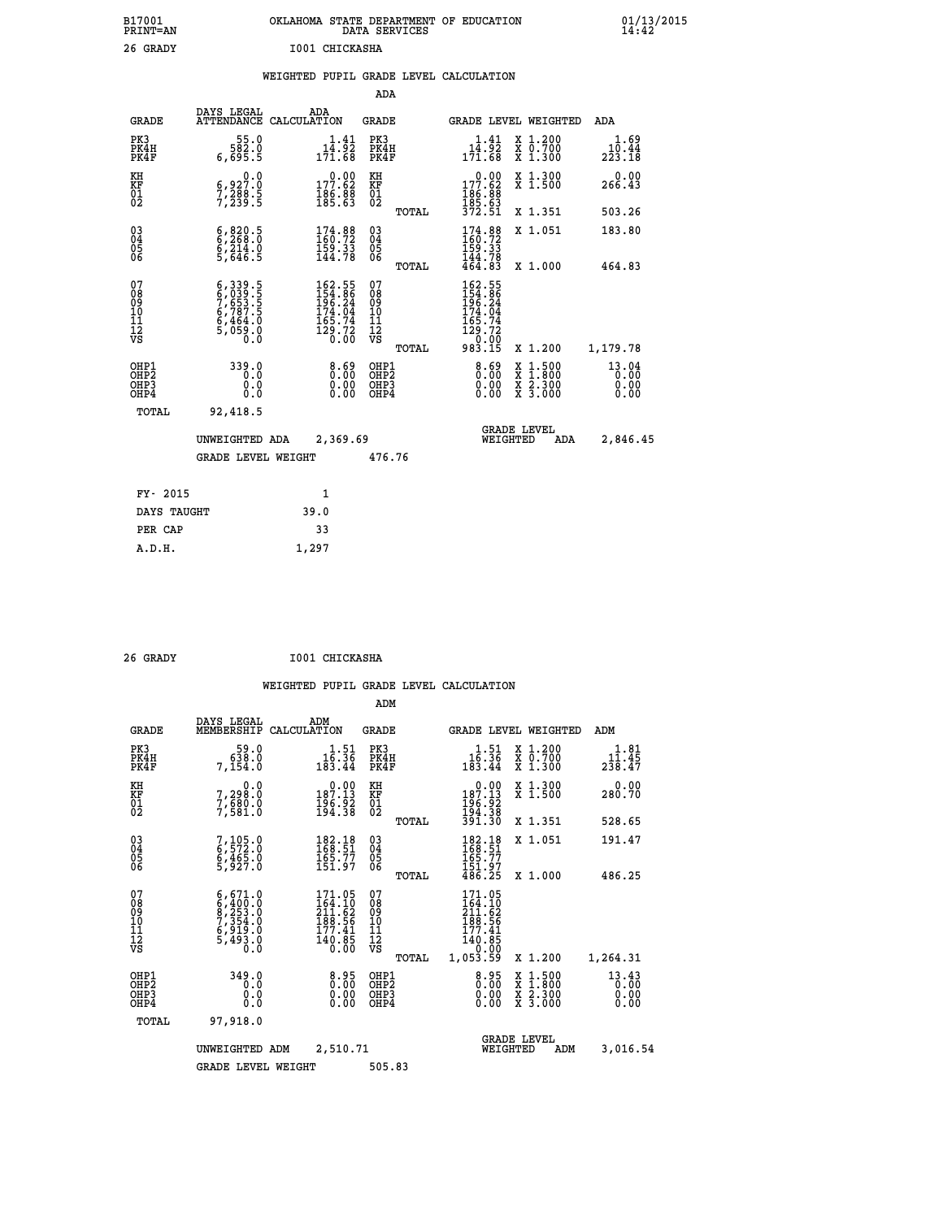| B17001<br>PRINT=AN                                 |                                                                                                                  | OKLAHOMA STATE DEPARTMENT OF EDUCATION                                                              | DATA SERVICES                            |       |                                                                                                                 |                                                                                                                                           |                         | 01/13/2015 |
|----------------------------------------------------|------------------------------------------------------------------------------------------------------------------|-----------------------------------------------------------------------------------------------------|------------------------------------------|-------|-----------------------------------------------------------------------------------------------------------------|-------------------------------------------------------------------------------------------------------------------------------------------|-------------------------|------------|
| 26 GRADY                                           |                                                                                                                  | I001 CHICKASHA                                                                                      |                                          |       |                                                                                                                 |                                                                                                                                           |                         |            |
|                                                    |                                                                                                                  | WEIGHTED PUPIL GRADE LEVEL CALCULATION                                                              |                                          |       |                                                                                                                 |                                                                                                                                           |                         |            |
|                                                    |                                                                                                                  |                                                                                                     | ADA                                      |       |                                                                                                                 |                                                                                                                                           |                         |            |
| <b>GRADE</b>                                       | DAYS LEGAL                                                                                                       | ADA<br>ATTENDANCE CALCULATION                                                                       | <b>GRADE</b>                             |       | GRADE LEVEL WEIGHTED                                                                                            |                                                                                                                                           | ADA                     |            |
| PK3<br>PK4H<br>PK4F                                | 55.0<br>582.0<br>6,695.5                                                                                         | $14.41$<br>$14.92$<br>171.68                                                                        | PK3<br>PK4H<br>PK4F                      |       | 1.41<br>$1\bar{4}$ .92<br>171.68                                                                                | X 1.200<br>X 0.700<br>X 1.300                                                                                                             | 1.69<br>10.44<br>223.18 |            |
| KH<br>KF<br>01<br>02                               | $\begin{smallmatrix} 0 & 0 & 0 \\ 6 & 9 & 2 & 7 & 0 \\ 7 & 2 & 8 & 8 & 5 \\ 7 & 2 & 3 & 9 & 5 \end{smallmatrix}$ | $\begin{smallmatrix} &0.00\\ 177.62\\ 186.88\\ 185.63\end{smallmatrix}$                             | KH<br>KF<br>01<br>02                     |       | $\begin{smallmatrix} &0.00\\ 177.62\\ 186.88\\ 185.63\\ 372.51 \end{smallmatrix}$                               | X 1.300<br>X 1.500                                                                                                                        | 0.00<br>266.43          |            |
|                                                    |                                                                                                                  |                                                                                                     |                                          | TOTAL |                                                                                                                 | X 1.351                                                                                                                                   | 503.26                  |            |
| $\begin{matrix} 03 \\ 04 \\ 05 \\ 06 \end{matrix}$ | $\begin{smallmatrix} 6, 820.5\\ 6, 268.0\\ 6, 214.0\\ 5, 646.5 \end{smallmatrix}$                                | $\begin{smallmatrix} 174.88\\ 160.72\\ 159.33\\ 144.78 \end{smallmatrix}$                           | 03<br>04<br>05<br>06                     |       | 174.88<br>159.33<br>144.78                                                                                      | X 1.051                                                                                                                                   | 183.80                  |            |
|                                                    |                                                                                                                  |                                                                                                     |                                          | TOTAL | 464.83                                                                                                          | X 1,000                                                                                                                                   | 464.83                  |            |
| 078901112<br>00010112<br>VS                        | $6,339.5$<br>$6,039.5$<br>$7,653.5$<br>$6,787.5$<br>$6,464.0$<br>$5,059.0$<br>$0.0$                              | $\begin{smallmatrix} 162.55\\154.86\\196.24\\174.04\\165.74\\165.74\\129.72\\0.00\end{smallmatrix}$ | 07890112<br>00901112<br>VS               |       | 162.55<br>$154.86$<br>$196.24$<br>$174.04$<br>$\begin{array}{c} 165.74 \\ 129.72 \\ 9.00 \\ 983.15 \end{array}$ |                                                                                                                                           |                         |            |
|                                                    |                                                                                                                  |                                                                                                     |                                          | TOTAL |                                                                                                                 | X 1.200                                                                                                                                   | 1,179.78                |            |
| OHP1<br>OHP2<br>OH <sub>P3</sub><br>OHP4           | 339.0<br>0.0<br>0.0<br>0.0                                                                                       | 0.69<br>$\begin{smallmatrix} 0.00 \ 0.00 \end{smallmatrix}$                                         | OHP1<br>OHP <sub>2</sub><br>OHP3<br>OHP4 |       | 8.69<br>0.00<br>0.00                                                                                            | $\begin{smallmatrix} \mathtt{X} & 1\cdot500\\ \mathtt{X} & 1\cdot800\\ \mathtt{X} & 2\cdot300\\ \mathtt{X} & 3\cdot000 \end{smallmatrix}$ | 13.04<br>0.00<br>0.00   |            |
| TOTAL                                              | 92,418.5                                                                                                         |                                                                                                     |                                          |       |                                                                                                                 |                                                                                                                                           |                         |            |
|                                                    | UNWEIGHTED ADA<br><b>GRADE LEVEL WEIGHT</b>                                                                      | 2,369.69                                                                                            | 476.76                                   |       | WEIGHTED                                                                                                        | <b>GRADE LEVEL</b><br>ADA                                                                                                                 | 2,846.45                |            |
|                                                    |                                                                                                                  |                                                                                                     |                                          |       |                                                                                                                 |                                                                                                                                           |                         |            |

| FY- 2015    |       |
|-------------|-------|
| DAYS TAUGHT | 39.0  |
| PER CAP     | 33    |
| A.D.H.      | 1,297 |

| 26 GRADY | I001 CHICKASHA |
|----------|----------------|

|                                                    |                                                                                           |                                                                                            | ADM                                                 |                                                                                            |                                          |                                                      |
|----------------------------------------------------|-------------------------------------------------------------------------------------------|--------------------------------------------------------------------------------------------|-----------------------------------------------------|--------------------------------------------------------------------------------------------|------------------------------------------|------------------------------------------------------|
| <b>GRADE</b>                                       | DAYS LEGAL<br>MEMBERSHIP                                                                  | ADM<br>CALCULATION                                                                         | <b>GRADE</b>                                        | <b>GRADE LEVEL WEIGHTED</b>                                                                |                                          | ADM                                                  |
| PK3<br>PK4H<br>PK4F                                | 59.0<br>0.859<br>7,154.0                                                                  | $1.51$<br>$16.36$<br>183.44                                                                | PK3<br>PK4H<br>PK4F                                 | $\begin{smallmatrix}&&1.51\16.36\183.44\end{smallmatrix}$                                  | X 1.200<br>X 0.700<br>X 1.300            | $1.81$<br>$11.45$<br>$2\bar{3}\bar{8}\cdot 4\bar{7}$ |
| KH<br>KF<br>01<br>02                               | 0.0<br>7,298:0<br>7,680:0<br>7,581:0                                                      | $\begin{smallmatrix}&&0\cdot 00\\187.13\\196.92\\194.38\end{smallmatrix}$                  | KH<br>KF<br>01<br>02                                | $\begin{smallmatrix} &0.00\\ 187.13\\ 196.92\\ 194.38\\ 391.30\end{smallmatrix}$           | X 1.300<br>X 1.500                       | 0.00<br>280.70                                       |
|                                                    |                                                                                           |                                                                                            | TOTAL                                               |                                                                                            | X 1.351                                  | 528.65                                               |
| $\begin{matrix} 03 \\ 04 \\ 05 \\ 06 \end{matrix}$ | 7,105.0<br>6,572.0<br>6,465.0<br>5,927.0                                                  | $\begin{smallmatrix} 182\cdot 18\\168\cdot 51\\165\cdot 77\\151\cdot 97 \end{smallmatrix}$ | $\begin{array}{c} 03 \\ 04 \\ 05 \\ 06 \end{array}$ | 182.18<br>168.51<br>165.77<br>151.97<br>486.25                                             | X 1.051                                  | 191.47                                               |
|                                                    |                                                                                           |                                                                                            | TOTAL                                               |                                                                                            | X 1.000                                  | 486.25                                               |
| 07<br>0890112<br>1112<br>VS                        | $6, 400.0$<br>$6, 400.0$<br>$9, 253.0$<br>$7, 354.0$<br>$6, 919.0$<br>$5, 493.0$<br>$0.0$ | 171.05<br>$\frac{164.10}{211.62}$<br>$\frac{188.56}{177.41}$<br>$\frac{140.85}{0.00}$      | 07<br>08<br>09<br>11<br>11<br>12<br>VS<br>TOTAL     | 171.05<br>$\frac{164.10}{211.62}$<br>$\frac{188.56}{177.41}$<br>140.05<br>0.00<br>1,053.59 | X 1.200                                  | 1,264.31                                             |
| OHP1<br>OHP2<br>OH <sub>P3</sub><br>OHP4           | 349.0<br>0.0<br>0.0<br>0.0                                                                | $0.00$<br>$0.00$<br>ŏ.ŏŏ                                                                   | OHP1<br>OHP2<br>OHP3<br>OHP4                        | 0.95<br>0.00<br>0.00                                                                       | X 1:500<br>X 1:800<br>X 2:300<br>X 3:000 | 13.43<br>0.00<br>0.00<br>0.00                        |
| TOTAL                                              | 97,918.0                                                                                  |                                                                                            |                                                     |                                                                                            |                                          |                                                      |
|                                                    |                                                                                           | UNWEIGHTED ADM<br>2,510.71                                                                 |                                                     | <b>GRADE LEVEL</b><br>WEIGHTED<br>ADM                                                      |                                          | 3,016.54                                             |
|                                                    | <b>GRADE LEVEL WEIGHT</b>                                                                 |                                                                                            | 505.83                                              |                                                                                            |                                          |                                                      |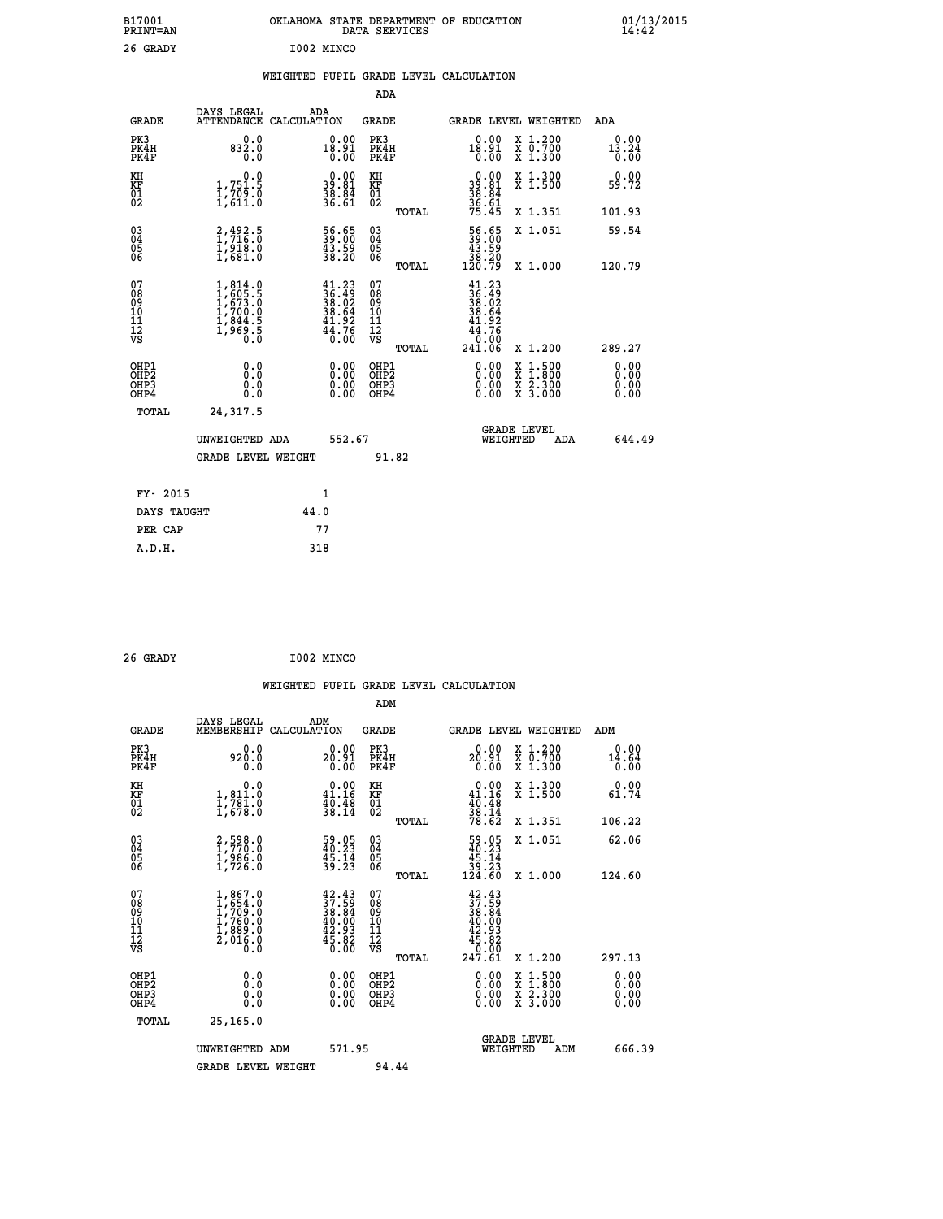| B17001<br>PRINT=AN<br>26 GRADY                       |                                                                                   | I002 MINCO                                                                   | OKLAHOMA STATE DEPARTMENT OF EDUCATION<br>DATA SERVICES |                                                                                                   |                                                                                          | $01/13/2015$<br>14:42 |
|------------------------------------------------------|-----------------------------------------------------------------------------------|------------------------------------------------------------------------------|---------------------------------------------------------|---------------------------------------------------------------------------------------------------|------------------------------------------------------------------------------------------|-----------------------|
|                                                      |                                                                                   |                                                                              | WEIGHTED PUPIL GRADE LEVEL CALCULATION<br>ADA           |                                                                                                   |                                                                                          |                       |
| <b>GRADE</b>                                         | DAYS LEGAL<br>ATTENDANCE CALCULATION                                              | ADA                                                                          | <b>GRADE</b>                                            |                                                                                                   | GRADE LEVEL WEIGHTED                                                                     | ADA                   |
| PK3<br>PK4H<br>PK4F                                  | 0.0<br>832.0<br>0.0                                                               | 0.00<br>18.91<br>0.00                                                        | PK3<br>PK4H<br>PK4F                                     | $\substack{0.00\\18.91\\0.00}$                                                                    | X 1.200<br>X 0.700<br>X 1.300                                                            | 0.00<br>13.24<br>0.00 |
| KH<br>KF<br>01<br>02                                 | $\begin{smallmatrix}&&&0.0\\1.751.5\\1.709.0\\1.611.0\end{smallmatrix}$           | $\begin{smallmatrix} 0.00\\ 39.81\\ 38.84\\ 38.84\\ 36.61 \end{smallmatrix}$ | KH<br>KF<br>01<br>02                                    | $39.81$<br>$38.84$<br>$36.61$<br>$75.45$                                                          | X 1.300<br>X 1.500                                                                       | 0.00<br>59.72         |
|                                                      |                                                                                   |                                                                              | TOTAL                                                   |                                                                                                   | X 1.351                                                                                  | 101.93                |
| $\begin{matrix} 03 \\ 04 \\ 05 \\ 06 \end{matrix}$   | $^{2,492.5}_{1,716.0}$<br>$^{1,918.0}_{1,918.0}$<br>$^{1,918.0}_{1,681.0}$        | 56.65<br>39.00<br>43.59<br>38.20                                             | 03<br>04<br>05<br>06                                    | $\begin{smallmatrix} 56.65\\ 39.00\\ 43.59\\ 38.20\\ 120.79 \end{smallmatrix}$                    | X 1.051                                                                                  | 59.54                 |
|                                                      |                                                                                   |                                                                              | TOTAL                                                   |                                                                                                   | X 1.000                                                                                  | 120.79                |
| 07<br>08<br>09<br>11<br>11<br>12<br>VS               | $1,814.0$<br>$1,605.5$<br>$1,673.0$<br>$1,700.0$<br>$1,844.5$<br>$1,969.5$<br>0.0 | $41.23$<br>$36.49$<br>$38.62$<br>$38.64$<br>$41.92$<br>$44.76$<br>$0.00$     | 07<br>ŏġ<br>09<br>ίŌ<br>īī<br>ĪŻ<br>VŜ<br>TOTAL         | $\frac{41.23}{36.49}$<br>$\begin{array}{c} 38.64 \\ 41.92 \\ 44.76 \\ 0.00 \end{array}$<br>241.06 | X 1.200                                                                                  | 289.27                |
| OHP1<br>OHP <sub>2</sub><br>OH <sub>P3</sub><br>OHP4 | 0.0<br>0.0<br>0.0<br>0.0                                                          | 0.00<br>$\begin{smallmatrix} 0.00 \ 0.00 \end{smallmatrix}$                  | OHP1<br>OHP <sub>2</sub><br>OHP3<br>OHP4                | 0.00<br>0.00<br>0.00                                                                              | $\begin{smallmatrix} x & 1.500 \\ x & 1.800 \\ x & 2.300 \\ x & 3.000 \end{smallmatrix}$ | 0.00<br>0.00<br>0.00  |
| <b>TOTAL</b>                                         | 24,317.5                                                                          |                                                                              |                                                         |                                                                                                   |                                                                                          |                       |
|                                                      | UNWEIGHTED ADA                                                                    | 552.67                                                                       |                                                         | WEIGHTED                                                                                          | <b>GRADE LEVEL</b><br>ADA                                                                | 644.49                |
|                                                      | <b>GRADE LEVEL WEIGHT</b>                                                         |                                                                              | 91.82                                                   |                                                                                                   |                                                                                          |                       |
|                                                      |                                                                                   |                                                                              |                                                         |                                                                                                   |                                                                                          |                       |
| FY- 2015                                             |                                                                                   | 1                                                                            |                                                         |                                                                                                   |                                                                                          |                       |
| DAYS TAUGHT                                          |                                                                                   | 44.0                                                                         |                                                         |                                                                                                   |                                                                                          |                       |
| PER CAP<br>A.D.H.                                    |                                                                                   | 77<br>318                                                                    |                                                         |                                                                                                   |                                                                                          |                       |

| 26 GRADY | I002 MINCO |
|----------|------------|
|          |            |

|                                                    |                                                                                      |                    |                                                                                              |                                              |       | WEIGHTED PUPIL GRADE LEVEL CALCULATION                                                                                                   |                                                                                                  |        |                              |
|----------------------------------------------------|--------------------------------------------------------------------------------------|--------------------|----------------------------------------------------------------------------------------------|----------------------------------------------|-------|------------------------------------------------------------------------------------------------------------------------------------------|--------------------------------------------------------------------------------------------------|--------|------------------------------|
|                                                    |                                                                                      |                    |                                                                                              | ADM                                          |       |                                                                                                                                          |                                                                                                  |        |                              |
| <b>GRADE</b>                                       | DAYS LEGAL<br>MEMBERSHIP                                                             | ADM<br>CALCULATION |                                                                                              | <b>GRADE</b>                                 |       | <b>GRADE LEVEL WEIGHTED</b>                                                                                                              |                                                                                                  | ADM    |                              |
| PK3<br>PK4H<br>PK4F                                | 0.0<br>920.0<br>0.0                                                                  |                    | 0.00<br>20.91<br>0.00                                                                        | PK3<br>PK4H<br>PK4F                          |       | 0.00<br>$20.91$<br>$0.00$                                                                                                                | X 1.200<br>X 0.700<br>X 1.300                                                                    |        | 0.00<br>$\frac{14.64}{0.00}$ |
| KH<br>KF<br>01<br>02                               | 0.0<br>1,811.0<br>1,781.0<br>1,678.0                                                 |                    | $\begin{smallmatrix} 0.00\\ 41.16\\ 40.48\\ 38.14 \end{smallmatrix}$                         | KH<br>KF<br>01<br>02                         |       | $\begin{smallmatrix} &0.00\\ 41.16\\ 40.48\\ 38.14\\ 78.62 \end{smallmatrix}$                                                            | X 1.300<br>X 1.500                                                                               |        | 0.00<br>61.74                |
|                                                    |                                                                                      |                    |                                                                                              |                                              | TOTAL |                                                                                                                                          | X 1.351                                                                                          | 106.22 |                              |
| $\begin{matrix} 03 \\ 04 \\ 05 \\ 06 \end{matrix}$ | 2,598.0<br>1,770.0<br>1,986.0<br>1,726.0                                             |                    | $\frac{59.05}{40.23}$<br>$\frac{45.14}{39.23}$                                               | $^{03}_{04}$<br>Ŏ5<br>06                     |       | $\begin{array}{r} 59.05 \\ 40.23 \\ 45.14 \\ 39.23 \\ 124.60 \end{array}$                                                                | X 1.051                                                                                          |        | 62.06                        |
|                                                    |                                                                                      |                    |                                                                                              |                                              | TOTAL |                                                                                                                                          | X 1.000                                                                                          | 124.60 |                              |
| 07<br>0890112<br>1112<br>VS                        | $1,867.0$<br>$1,7654.0$<br>$1,760.0$<br>$1,760.0$<br>$1,889.0$<br>$2,016.0$<br>$0.0$ |                    | $\begin{smallmatrix} 42.43\\ 37.59\\ 38.84\\ 40.00\\ 42.93\\ 45.82\\ 0.00 \end{smallmatrix}$ | 07<br>08<br>09<br>09<br>10<br>11<br>12<br>VS |       | $\begin{smallmatrix} 42\cdot43\\ 37\cdot59\\ 38\cdot84\\ 40\cdot90\\ 42\cdot93\\ 45\cdot80\\ 0\cdot000\\ 247\cdot61\\ \end{smallmatrix}$ |                                                                                                  |        |                              |
|                                                    |                                                                                      |                    |                                                                                              |                                              | TOTAL |                                                                                                                                          | $X_1.200$                                                                                        | 297.13 |                              |
| OHP1<br>OHP2<br>OH <sub>P3</sub><br>OHP4           | 0.0<br>0.000                                                                         |                    | $\begin{smallmatrix} 0.00 \ 0.00 \ 0.00 \ 0.00 \end{smallmatrix}$                            | OHP1<br>OHP2<br>OHP3<br>OHP4                 |       |                                                                                                                                          | $\begin{smallmatrix} x & 1 & 500 \\ x & 1 & 800 \\ x & 2 & 300 \\ x & 3 & 000 \end{smallmatrix}$ |        | 0.00<br>0.00<br>0.00         |
| TOTAL                                              | 25,165.0                                                                             |                    |                                                                                              |                                              |       |                                                                                                                                          |                                                                                                  |        |                              |
|                                                    | UNWEIGHTED ADM                                                                       |                    | 571.95                                                                                       |                                              |       | WEIGHTED                                                                                                                                 | <b>GRADE LEVEL</b><br>ADM                                                                        |        | 666.39                       |
|                                                    | <b>GRADE LEVEL WEIGHT</b>                                                            |                    |                                                                                              | 94.44                                        |       |                                                                                                                                          |                                                                                                  |        |                              |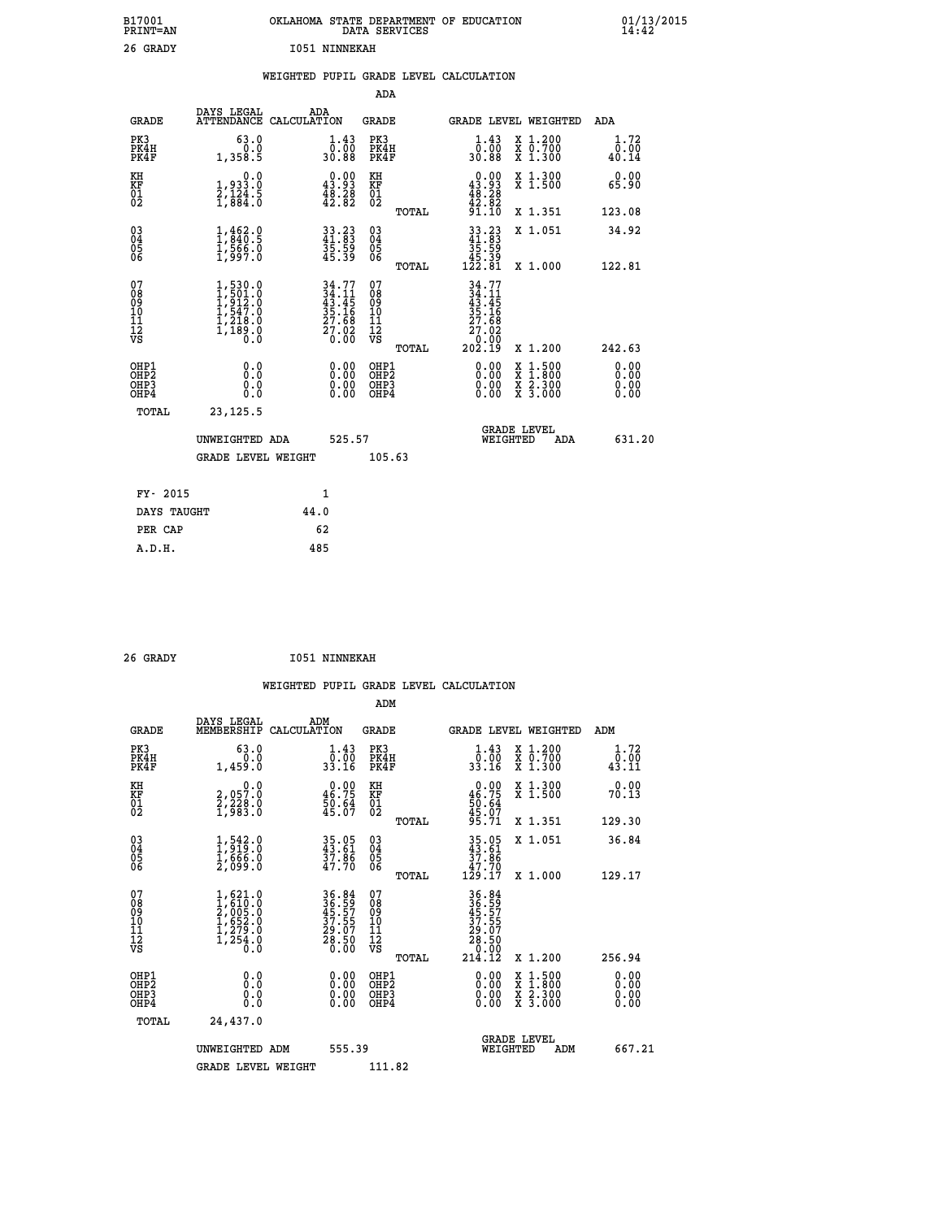| B17001<br>PRINT=AN                           |                                                                                     | OKLAHOMA STATE DEPARTMENT OF EDUCATION                                   | DATA SERVICES                                      |                                                                                                           |                                                                                          | $01/13/2015$<br>14:42 |
|----------------------------------------------|-------------------------------------------------------------------------------------|--------------------------------------------------------------------------|----------------------------------------------------|-----------------------------------------------------------------------------------------------------------|------------------------------------------------------------------------------------------|-----------------------|
| 26 GRADY                                     |                                                                                     | <b>I051 NINNEKAH</b>                                                     |                                                    |                                                                                                           |                                                                                          |                       |
|                                              |                                                                                     | WEIGHTED PUPIL GRADE LEVEL CALCULATION                                   |                                                    |                                                                                                           |                                                                                          |                       |
|                                              |                                                                                     |                                                                          | <b>ADA</b>                                         |                                                                                                           |                                                                                          |                       |
| <b>GRADE</b>                                 | DAYS LEGAL                                                                          | ADA<br>ATTENDANCE CALCULATION                                            | <b>GRADE</b>                                       |                                                                                                           | GRADE LEVEL WEIGHTED ADA                                                                 |                       |
| PK3<br>PK4H<br>PK4F                          | 63.0<br>0.0<br>1,358.5                                                              | $\frac{1}{0}$ : $\frac{43}{00}$<br>30.88                                 | PK3<br>PK4H<br>PK4F                                | $1.43$<br>$0.00$<br>30.88                                                                                 | X 1.200<br>X 0.700<br>X 1.300                                                            | 1.72<br>0.00<br>40.14 |
| KH<br>KF<br>$\frac{01}{02}$                  | 0.0<br>1,933.0<br>2,124.5<br>1,884.0                                                | $\begin{smallmatrix} 0.00\\ 43.93\\ 48.28\\ 42.82 \end{smallmatrix}$     | KH<br>KF<br>$\overline{01}$                        | $\begin{smallmatrix} 0.00\\ 43.93\\ 48.28\\ 42.82\\ 43.92 \end{smallmatrix}$                              | X 1.300<br>X 1.500                                                                       | 0.00<br>65.90         |
|                                              |                                                                                     |                                                                          | TOTAL                                              | 91.10                                                                                                     | X 1.351                                                                                  | 123.08                |
| $\substack{03 \ 04}$<br>ŎŜ<br>06             | $1, 462.9$<br>$1, 840.5$<br>$1, 566.0$<br>$1, 997.0$                                | 33.23<br>41.83<br>35.59<br>45.39                                         | $\begin{matrix} 03 \\ 04 \\ 05 \\ 06 \end{matrix}$ | $33.23$<br>41.83<br>35.59                                                                                 | X 1.051                                                                                  | 34.92                 |
|                                              |                                                                                     |                                                                          | TOTAL                                              | 45.39<br>122.81                                                                                           | X 1.000                                                                                  | 122.81                |
| 07<br>Ŏġ<br>09<br>10<br>11<br>12<br>VS       | $1,530.0$<br>$1,501.0$<br>$1,912.0$<br>$1,547.0$<br>$1,218.0$<br>$1,189.0$<br>$0.0$ | $34.77$<br>$34.11$<br>$43.45$<br>$35.16$<br>$27.68$<br>$27.02$<br>$0.00$ | 07<br>$\frac{0.8}{0.9}$<br>ίŌ<br>īī<br>ĪŽ<br>VŠ    | 34.77<br>$\frac{3}{4}$ : $\frac{1}{4}$<br>$\frac{35}{27}. \frac{16}{68}$<br>$\frac{27}{9}. \frac{02}{90}$ |                                                                                          |                       |
| OHP1                                         | 0.0                                                                                 |                                                                          | <b>TOTAL</b><br>OHP1                               | 202.19                                                                                                    | X 1.200                                                                                  | 242.63                |
| OHP <sub>2</sub><br>OH <sub>P3</sub><br>OHP4 | Ō.Ō<br>0.0<br>0.0                                                                   | 0.00<br>0.00<br>0.00                                                     | OHP <sub>2</sub><br>OHP3<br>OHP4                   | 0.00<br>0.00<br>0.00                                                                                      | $\begin{smallmatrix} x & 1.500 \\ x & 1.800 \\ x & 2.300 \\ x & 3.000 \end{smallmatrix}$ | 0.00<br>0.00<br>0.00  |
| <b>TOTAL</b>                                 | 23, 125.5                                                                           |                                                                          |                                                    |                                                                                                           |                                                                                          |                       |
| UNWEIGHTED ADA                               |                                                                                     | 525.57                                                                   |                                                    | WEIGHTED                                                                                                  | <b>GRADE LEVEL</b><br>ADA                                                                | 631.20                |
|                                              | <b>GRADE LEVEL WEIGHT</b>                                                           |                                                                          | 105.63                                             |                                                                                                           |                                                                                          |                       |
| FY- 2015                                     |                                                                                     | 1                                                                        |                                                    |                                                                                                           |                                                                                          |                       |
| DAYS TAUGHT                                  |                                                                                     | 44.0                                                                     |                                                    |                                                                                                           |                                                                                          |                       |
| PER CAP                                      |                                                                                     | 62                                                                       |                                                    |                                                                                                           |                                                                                          |                       |
| A.D.H.                                       |                                                                                     | 485                                                                      |                                                    |                                                                                                           |                                                                                          |                       |

| 26 GRADY |  |  | <b>I051 NINNEKAH</b> |
|----------|--|--|----------------------|

|                                          |                                                                                     |                                                                      | ADM                                                 |       |                                                                                                                                                                                                                                                                                |                                          |                              |
|------------------------------------------|-------------------------------------------------------------------------------------|----------------------------------------------------------------------|-----------------------------------------------------|-------|--------------------------------------------------------------------------------------------------------------------------------------------------------------------------------------------------------------------------------------------------------------------------------|------------------------------------------|------------------------------|
| <b>GRADE</b>                             | DAYS LEGAL<br>MEMBERSHIP                                                            | ADM<br>CALCULATION                                                   | <b>GRADE</b>                                        |       |                                                                                                                                                                                                                                                                                | GRADE LEVEL WEIGHTED                     | ADM                          |
| PK3<br>PK4H<br>PK4F                      | 63.0<br>0.0<br>1,459.0                                                              | $\begin{smallmatrix} 1.43\ 0.00\ 33.16 \end{smallmatrix}$            | PK3<br>PK4H<br>PK4F                                 |       | $\frac{1 \cdot 43}{0 \cdot 00}$<br>33.16                                                                                                                                                                                                                                       | X 1.200<br>X 0.700<br>X 1.300            | 1.72<br>$\frac{0.00}{43.11}$ |
| KH<br>KF<br>01<br>02                     | 0.0<br>2,057.0<br>2,228.0<br>1,983.0                                                | $\begin{smallmatrix} 0.00\\ 46.75\\ 50.64\\ 45.07 \end{smallmatrix}$ | KH<br>KF<br>01<br>02                                |       | $0.00$<br>$46.75$<br>$50.64$<br>$45.07$<br>$95.71$                                                                                                                                                                                                                             | X 1.300<br>X 1.500                       | 0.00<br>70.13                |
|                                          |                                                                                     |                                                                      |                                                     | TOTAL |                                                                                                                                                                                                                                                                                | X 1.351                                  | 129.30                       |
| 03<br>04<br>05<br>06                     | $\frac{1}{1}$ , $\frac{542}{919}$ .0<br>$\frac{1}{666}$ .0<br>$\frac{2}{999}$ .0    | 35.05<br>43.61<br>37.86<br>47.70                                     | $\begin{array}{c} 03 \\ 04 \\ 05 \\ 06 \end{array}$ |       | $\begin{array}{c} 35.05 \\ 43.61 \\ 37.86 \\ 47.70 \\ 129.17 \end{array}$                                                                                                                                                                                                      | X 1.051                                  | 36.84                        |
|                                          |                                                                                     |                                                                      |                                                     | TOTAL |                                                                                                                                                                                                                                                                                | X 1.000                                  | 129.17                       |
| 07<br>08<br>09<br>101<br>11<br>12<br>VS  | $1,621.0$<br>$2,005.0$<br>$2,005.0$<br>$1,652.0$<br>$1,279.0$<br>$1,254.0$<br>$0.0$ | 36.84<br>36.59<br>45.57<br>37.55<br>39.07<br>28.50<br>28.50          | 07<br>08<br>09<br>001<br>11<br>11<br>12<br>VS       |       | $\begin{array}{r} 36\cdot84 \\ 36\cdot59 \\ 45\cdot57 \\ 37\cdot557 \\ 29\cdot07 \\ 28\cdot50 \\ 0.00 \\ 214\cdot12 \end{array}$                                                                                                                                               |                                          |                              |
|                                          |                                                                                     |                                                                      |                                                     | TOTAL |                                                                                                                                                                                                                                                                                | X 1.200                                  | 256.94                       |
| OHP1<br>OHP2<br>OHP3<br>OH <sub>P4</sub> |                                                                                     |                                                                      | OHP1<br>OHP2<br>OHP <sub>3</sub>                    |       | $\begin{smallmatrix} 0.00 & 0.00 & 0.00 & 0.00 & 0.00 & 0.00 & 0.00 & 0.00 & 0.00 & 0.00 & 0.00 & 0.00 & 0.00 & 0.00 & 0.00 & 0.00 & 0.00 & 0.00 & 0.00 & 0.00 & 0.00 & 0.00 & 0.00 & 0.00 & 0.00 & 0.00 & 0.00 & 0.00 & 0.00 & 0.00 & 0.00 & 0.00 & 0.00 & 0.00 & 0.00 & 0.0$ | X 1:500<br>X 1:800<br>X 2:300<br>X 3:000 | $0.00$<br>$0.00$<br>0.00     |
| TOTAL                                    | 24,437.0                                                                            |                                                                      |                                                     |       |                                                                                                                                                                                                                                                                                |                                          |                              |
|                                          | UNWEIGHTED                                                                          | 555.39<br>ADM                                                        |                                                     |       |                                                                                                                                                                                                                                                                                | GRADE LEVEL<br>WEIGHTED<br>ADM           | 667.21                       |
|                                          | <b>GRADE LEVEL WEIGHT</b>                                                           |                                                                      | 111.82                                              |       |                                                                                                                                                                                                                                                                                |                                          |                              |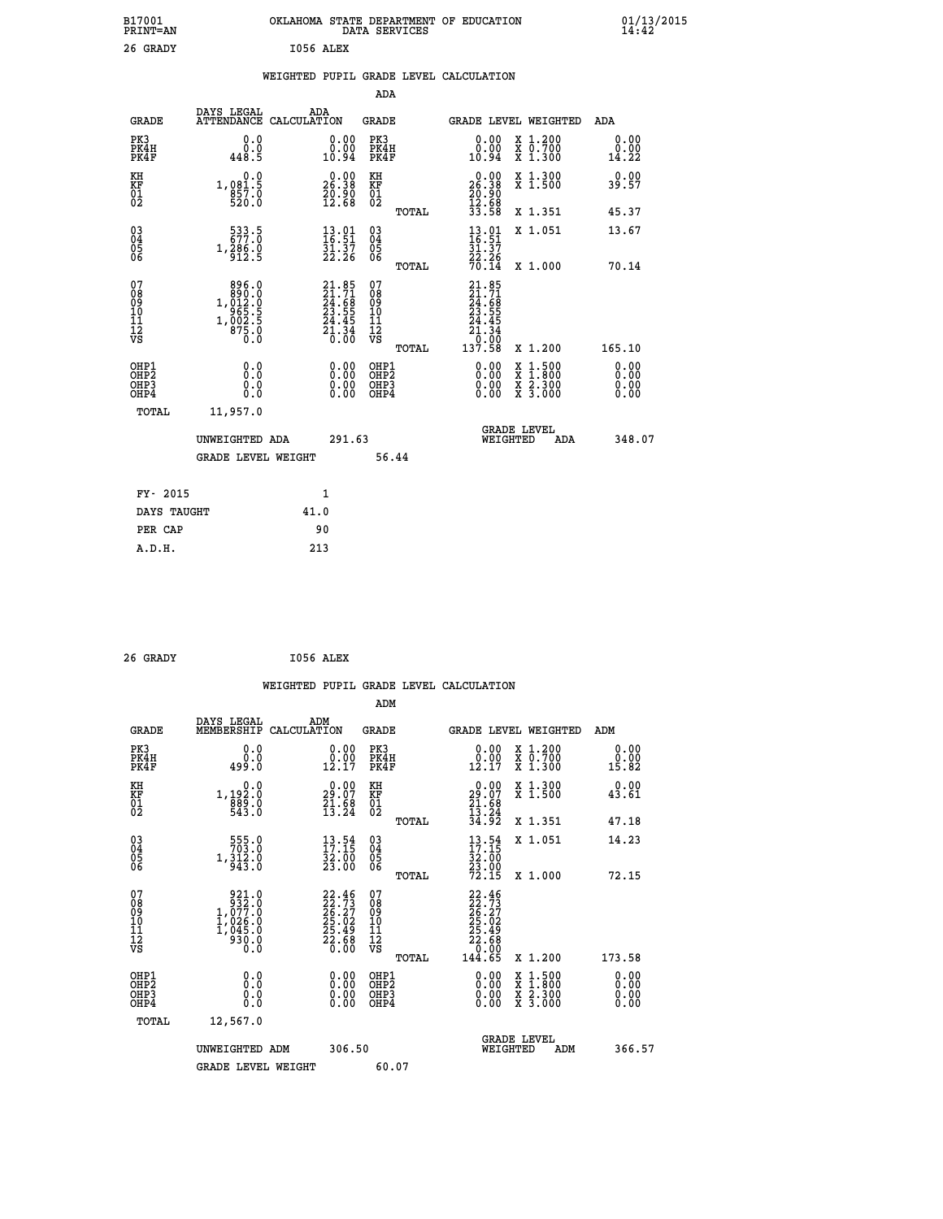| B17001<br>PRINT=AN          |                                                       | OKLAHOMA STATE DEPARTMENT OF EDUCATION                                   | DATA SERVICES                                                       |                                                                                                                                                                          |                                                                                                                                           | $01/13/2015$<br>14:42 |  |
|-----------------------------|-------------------------------------------------------|--------------------------------------------------------------------------|---------------------------------------------------------------------|--------------------------------------------------------------------------------------------------------------------------------------------------------------------------|-------------------------------------------------------------------------------------------------------------------------------------------|-----------------------|--|
| 26 GRADY                    |                                                       | I056 ALEX                                                                |                                                                     |                                                                                                                                                                          |                                                                                                                                           |                       |  |
|                             |                                                       | WEIGHTED PUPIL GRADE LEVEL CALCULATION                                   |                                                                     |                                                                                                                                                                          |                                                                                                                                           |                       |  |
|                             |                                                       |                                                                          | ADA                                                                 |                                                                                                                                                                          |                                                                                                                                           |                       |  |
| <b>GRADE</b>                | DAYS LEGAL                                            | ADA<br>ATTENDANCE CALCULATION                                            | GRADE                                                               |                                                                                                                                                                          | GRADE LEVEL WEIGHTED                                                                                                                      | ADA                   |  |
| PK3<br>PK4H<br>PK4F         | 0.0<br>0.0<br>448.5                                   | 0.00<br>0.00<br>10.94                                                    | PK3<br>PK4H<br>PK4F                                                 | 0.00<br>0.00<br>10.94                                                                                                                                                    | X 1.200<br>X 0.700<br>X 1.300                                                                                                             | 0.00<br>0.00<br>14.22 |  |
| KH<br>KF<br>$\frac{01}{02}$ | 0.0<br>1,0 <u>81</u> .5<br>857.0                      | 26.90<br>20.90<br>12.68                                                  | KH<br>KF<br>01<br>02                                                | 26.90<br>20.90<br>12.68                                                                                                                                                  | X 1.300<br>X 1.500                                                                                                                        | 0.00<br>39.57         |  |
|                             |                                                       |                                                                          | TOTAL                                                               | 33.58                                                                                                                                                                    | X 1.351                                                                                                                                   | 45.37                 |  |
| 030404<br>ŎĞ                | 533.5<br>1,286.0<br>912.5                             | $\begin{smallmatrix} 13.01\ 16.51\ 31.37\ 22.26 \end{smallmatrix}$       | $\begin{matrix} 03 \\ 04 \\ 05 \\ 06 \end{matrix}$                  | $\frac{13.01}{16.51}$<br>$\frac{2\bar{2}\cdot 26}{70.14}$                                                                                                                | X 1.051                                                                                                                                   | 13.67                 |  |
|                             | 896.0                                                 |                                                                          | TOTAL                                                               |                                                                                                                                                                          | X 1.000                                                                                                                                   | 70.14                 |  |
| 078901112<br>00010112<br>VS | $1,012.0$<br>$965.5$<br>$1,002.5$<br>$875.0$<br>$0.0$ | $21.85$<br>$24.71$<br>$24.68$<br>$23.55$<br>$24.45$<br>$21.34$<br>$0.00$ | 07<br>08<br>09<br>10<br>$\frac{11}{12}$<br>$\frac{12}{18}$<br>TOTAL | $21.85$<br>$21.71$<br>$24.68$<br>$23.55$<br>$24.45$<br>$\begin{array}{c} 2\overline{1} \cdot \overline{3} \ 0 \cdot \overline{0} \ 0 \ \overline{1} \ 37.58 \end{array}$ | X 1.200                                                                                                                                   | 165.10                |  |
| OHP1                        | 0.0                                                   | 0.00                                                                     | OHP1                                                                | 0.00                                                                                                                                                                     |                                                                                                                                           | 0.00                  |  |
| OHP2<br>OHP3<br>OHP4        | 0.0<br>0.0<br>0.0                                     | $\begin{smallmatrix} 0.00 \ 0.00 \end{smallmatrix}$                      | OH <sub>P</sub> 2<br>OHP3<br>OHP4                                   | 0.00<br>0.00                                                                                                                                                             | $\begin{smallmatrix} \mathtt{X} & 1\cdot500\\ \mathtt{X} & 1\cdot800\\ \mathtt{X} & 2\cdot300\\ \mathtt{X} & 3\cdot000 \end{smallmatrix}$ | 0.00<br>0.00<br>0.00  |  |
| TOTAL                       | 11,957.0                                              |                                                                          |                                                                     |                                                                                                                                                                          |                                                                                                                                           |                       |  |
|                             | UNWEIGHTED ADA                                        | 291.63                                                                   |                                                                     | WEIGHTED                                                                                                                                                                 | <b>GRADE LEVEL</b><br>ADA                                                                                                                 | 348.07                |  |
|                             | <b>GRADE LEVEL WEIGHT</b>                             |                                                                          | 56.44                                                               |                                                                                                                                                                          |                                                                                                                                           |                       |  |
| FY- 2015                    |                                                       | 1                                                                        |                                                                     |                                                                                                                                                                          |                                                                                                                                           |                       |  |
| DAYS TAUGHT                 |                                                       | 41.0                                                                     |                                                                     |                                                                                                                                                                          |                                                                                                                                           |                       |  |
| PER CAP                     |                                                       | 90                                                                       |                                                                     |                                                                                                                                                                          |                                                                                                                                           |                       |  |

| 26 GRADY |  |  | I056 ALEX |
|----------|--|--|-----------|

 **WEIGHTED PUPIL GRADE LEVEL CALCULATION ADM DAYS LEGAL ADM GRADE MEMBERSHIP CALCULATION GRADE GRADE LEVEL WEIGHTED ADM PK3 0.0 0.00 PK3 0.00 X 1.200 0.00 PK4H 0.0 0.00 PK4H 0.00 X 0.700 0.00 PK4F 499.0 12.17 PK4F 12.17 X 1.300 15.82 KH 0.0 0.00 KH 0.00 X 1.300 0.00 KF 1,192.0 29.07 KF 29.07 X 1.500 43.61** 01 889.0 21.68 01 21.58<br>02 543.0 13.24 02 <sub>memaa</sub> 13.24  **TOTAL 34.92 X 1.351 47.18 03 555.0 13.54 03 13.54 X 1.051 14.23 04 703.0 17.15 04 17.15 05 1,312.0 32.00 05 32.00 06 943.0 23.00 06 23.00 TOTAL 72.15 X 1.000 72.15 07 921.0 22.46 07 22.46 08 932.0 22.73 08 22.73 09 1,077.0 26.27 09 26.27 10 1,026.0 25.02 10 25.02 11 1,045.0 25.49 11 25.49 12 930.0 22.68 12 22.68 VS 0.0 0.00 VS 0.00 TOTAL 144.65 X 1.200 173.58 OHE1 0.00 0.00 0.000 OHE1 0.00 X 1.500 0.00 OHES 0.0 0.0 0.00 OHES 0.00 X 1.800 0.00 OHP3 0.0 0.00 OHP3 0.00 X 2.300 0.00 OHP4 0.0 0.00 OHP4 0.00 X 3.000 0.00 TOTAL 12,567.0 GRADE LEVEL UNWEIGHTED ADM 306.50 WEIGHTED ADM 366.57** GRADE LEVEL WEIGHT 60.07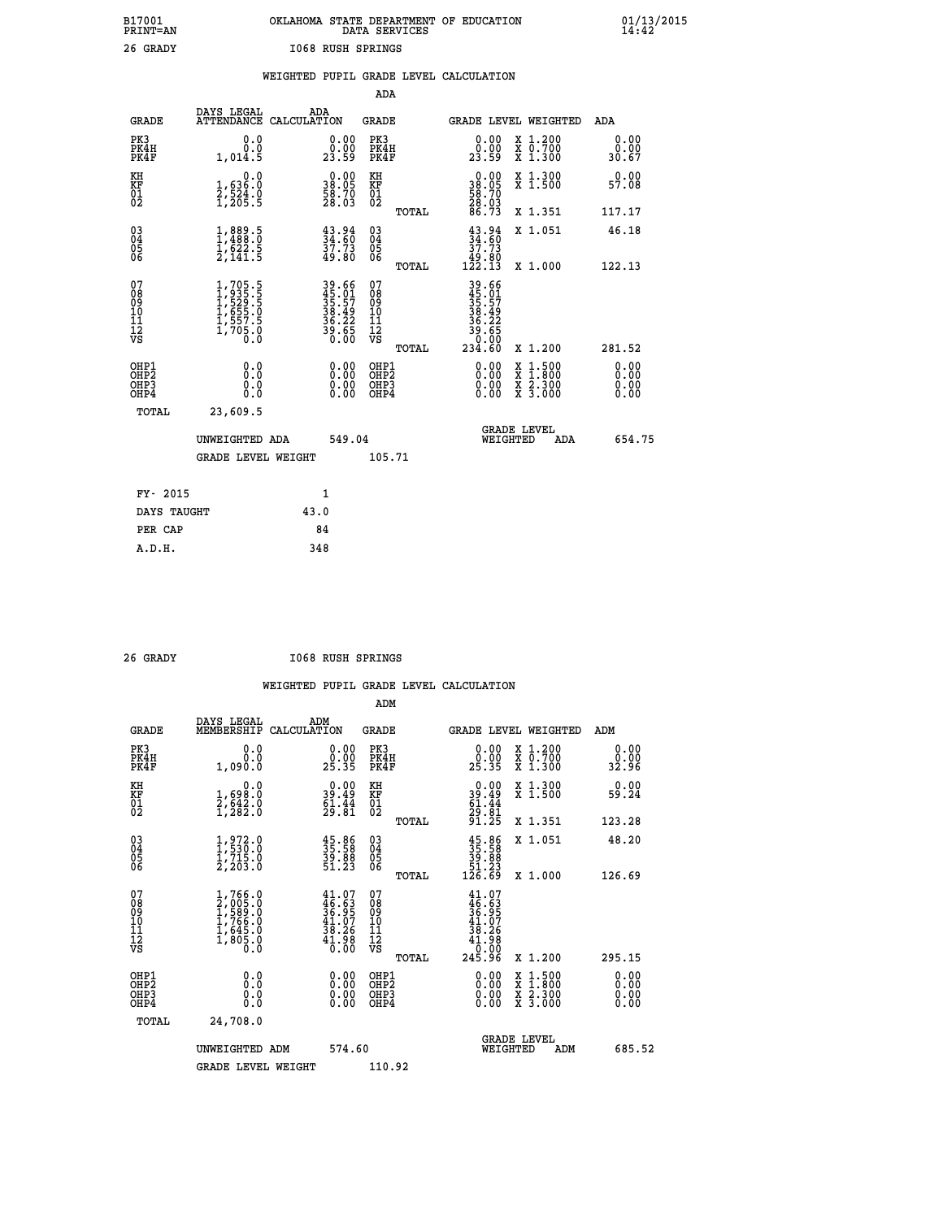|                          | OKLAHOMA STATE DEPARTMENT OF EDUCATION<br>DATA SERVICES |  |
|--------------------------|---------------------------------------------------------|--|
| <b>I068 RUSH SPRINGS</b> |                                                         |  |

|                                                                    |                                                                |                                                                        |                                                     | ADA    |                                                                             |                                          |                               |
|--------------------------------------------------------------------|----------------------------------------------------------------|------------------------------------------------------------------------|-----------------------------------------------------|--------|-----------------------------------------------------------------------------|------------------------------------------|-------------------------------|
| <b>GRADE</b>                                                       | DAYS LEGAL                                                     | ADA<br>ATTENDANCE CALCULATION                                          | <b>GRADE</b>                                        |        |                                                                             | GRADE LEVEL WEIGHTED                     | ADA                           |
| PK3<br>PK4H<br>PK4F                                                | 0.0<br>0.0<br>1,014.5                                          | $\begin{smallmatrix} 0.00\\ 0.00\\ 23.59 \end{smallmatrix}$            | PK3<br>PK4H<br>PK4F                                 |        | $\begin{smallmatrix} 0.00\\ 0.00\\ 23.59 \end{smallmatrix}$                 | X 1.200<br>X 0.700<br>X 1.300            | 0.00<br>0.00<br>30.67         |
| KH<br>KF<br>01<br>02                                               | 0.0<br>1,636:0<br>2,524.0<br>1,205:5                           | $\begin{smallmatrix} 0.00\\ 38.05\\ 58.70\\ 28.03\\ \end{smallmatrix}$ | KH<br>KF<br>01<br>02                                |        | $\begin{smallmatrix} 0.00\\ 38.05\\ 58.70\\ 28.03\\ 6.73 \end{smallmatrix}$ | X 1.300<br>X 1.500                       | 0.00<br>57.08                 |
|                                                                    |                                                                |                                                                        |                                                     | TOTAL  |                                                                             | X 1.351                                  | 117.17                        |
| $\begin{smallmatrix} 03 \\[-4pt] 04 \end{smallmatrix}$<br>Ŏ5<br>06 | $1,889.5$<br>$1,488.0$<br>$1,622.5$<br>$2,141.5$               | $34.80$<br>$34.60$<br>$37.73$<br>$49.80$                               | $\begin{array}{c} 03 \\ 04 \\ 05 \\ 06 \end{array}$ |        | $\begin{smallmatrix} 43.94\ 34.60\ 37.73\ 49.80\ 122.13\ \end{smallmatrix}$ | X 1.051                                  | 46.18                         |
|                                                                    |                                                                |                                                                        |                                                     | TOTAL  |                                                                             | X 1.000                                  | 122.13                        |
| 07<br>08<br>09<br>01<br>11<br>11<br>12<br>VS                       | 1,705.5<br>1,935.5<br>1,529.5<br>1,655.0<br>1,557.5<br>1,705.0 | 39.66<br>45.91<br>35.57<br>38.49<br>36.22<br>39.65<br>39.60            | 07<br>08<br>09<br>11<br>11<br>12<br>VS              |        | $39.66$<br>$35.57$<br>$38.492$<br>$36.222$<br>$30.650$<br>$234.60$          |                                          |                               |
|                                                                    |                                                                |                                                                        |                                                     | TOTAL  |                                                                             | X 1.200                                  | 281.52                        |
| OHP1<br>OHP <sub>2</sub><br>OH <sub>P3</sub><br>OHP4               | 0.0<br>0.000                                                   | 0.00<br>$\begin{smallmatrix} 0.00 \ 0.00 \end{smallmatrix}$            | OHP1<br>OHP2<br>OHP <sub>3</sub>                    |        | 0.00<br>0.00                                                                | X 1:500<br>X 1:800<br>X 2:300<br>X 3:000 | 0.00<br>Ō. ŌŌ<br>0.00<br>0.00 |
| TOTAL                                                              | 23,609.5                                                       |                                                                        |                                                     |        |                                                                             |                                          |                               |
|                                                                    | UNWEIGHTED ADA                                                 |                                                                        | 549.04                                              |        |                                                                             | <b>GRADE LEVEL</b><br>WEIGHTED<br>ADA    | 654.75                        |
|                                                                    | <b>GRADE LEVEL WEIGHT</b>                                      |                                                                        |                                                     | 105.71 |                                                                             |                                          |                               |
| FY- 2015                                                           |                                                                | 1                                                                      |                                                     |        |                                                                             |                                          |                               |
| DAYS TAUGHT                                                        |                                                                | 43.0                                                                   |                                                     |        |                                                                             |                                          |                               |
| PER CAP                                                            |                                                                | 84                                                                     |                                                     |        |                                                                             |                                          |                               |

| RAT |
|-----|

 **A.D.H. 348**

 **B17001<br>PRINT=AN<br>26 GRADY** 

 **26 GRADY I068 RUSH SPRINGS**

|                                           |                                                                                     |                                                                                               | ADM                                                 |       |                                                                                                    |                                          |                              |
|-------------------------------------------|-------------------------------------------------------------------------------------|-----------------------------------------------------------------------------------------------|-----------------------------------------------------|-------|----------------------------------------------------------------------------------------------------|------------------------------------------|------------------------------|
| <b>GRADE</b>                              | DAYS LEGAL<br>MEMBERSHIP                                                            | ADM<br>CALCULATION                                                                            | <b>GRADE</b>                                        |       |                                                                                                    | <b>GRADE LEVEL WEIGHTED</b>              | ADM                          |
| PK3<br>PK4H<br>PK4F                       | 0.0<br>0.0<br>1,090.0                                                               | $\begin{smallmatrix} 0.00\\ 0.00\\ 25.35 \end{smallmatrix}$                                   | PK3<br>PK4H<br>PK4F                                 |       | $\begin{smallmatrix} 0.00\\ 0.00\\ 25.35 \end{smallmatrix}$                                        | X 1.200<br>X 0.700<br>X 1.300            | 0.00<br>ةة:ة<br>32:96        |
| KH<br>KF<br>01<br>02                      | 0.0<br>1,698.0<br>2,642.0<br>1,282.0                                                | $\begin{smallmatrix} 0.00\\ 39.49\\ 61.44\\ 29.81 \end{smallmatrix}$                          | KH<br>KF<br>01<br>02                                |       | $0.00$<br>$39.49$<br>$61.44$<br>$29.81$<br>$91.25$                                                 | X 1.300<br>X 1.500                       | 0.00<br>59.24                |
|                                           |                                                                                     |                                                                                               |                                                     | TOTAL |                                                                                                    | X 1.351                                  | 123.28                       |
| 03<br>04<br>05<br>06                      | $1,972.0$<br>$1,530.0$<br>$1,715.0$<br>$2,203.0$                                    | $\begin{smallmatrix} 45.86\\ 35.58\\ 39.88\\ 51.23 \end{smallmatrix}$                         | $\begin{array}{c} 03 \\ 04 \\ 05 \\ 06 \end{array}$ |       | $35.86$<br>$39.88$<br>$51.23$<br>$126.69$                                                          | X 1.051                                  | 48.20                        |
|                                           |                                                                                     |                                                                                               |                                                     | TOTAL |                                                                                                    | X 1.000                                  | 126.69                       |
| 07<br>08<br>09<br>101<br>112<br>VS        | $1,766.0$<br>$2,005.0$<br>$1,589.0$<br>$1,766.0$<br>$1,645.0$<br>$1,805.0$<br>$0.0$ | $\begin{smallmatrix} 41.07\\ 46.63\\ 36.95\\ 41.07\\ 38.26\\ 41.98\\ 40.00 \end{smallmatrix}$ | 07<br>08<br>09<br>11<br>11<br>12<br>VS              | TOTAL | $\begin{smallmatrix} 41.07\ 46.63\ 36.957\ 41.076\ 38.26\ 41.98\ 0.000\ 245.96\ \end{smallmatrix}$ | X 1.200                                  | 295.15                       |
| OHP1<br>OHP2<br>OH <sub>P</sub> 3<br>OHP4 | 0.0<br>$\begin{smallmatrix} 0.0 & 0 \ 0.0 & 0 \end{smallmatrix}$                    |                                                                                               | OHP1<br>OHP2<br>OHP <sub>3</sub>                    |       | $0.00$<br>$0.00$<br>0.00                                                                           | X 1:500<br>X 1:800<br>X 2:300<br>X 3:000 | 0.00<br>0.00<br>0.00<br>0.00 |
| TOTAL                                     | 24,708.0                                                                            |                                                                                               |                                                     |       |                                                                                                    |                                          |                              |
|                                           | UNWEIGHTED ADM                                                                      | 574.60                                                                                        |                                                     |       | WEIGHTED                                                                                           | <b>GRADE LEVEL</b><br>ADM                | 685.52                       |
|                                           | <b>GRADE LEVEL WEIGHT</b>                                                           |                                                                                               | 110.92                                              |       |                                                                                                    |                                          |                              |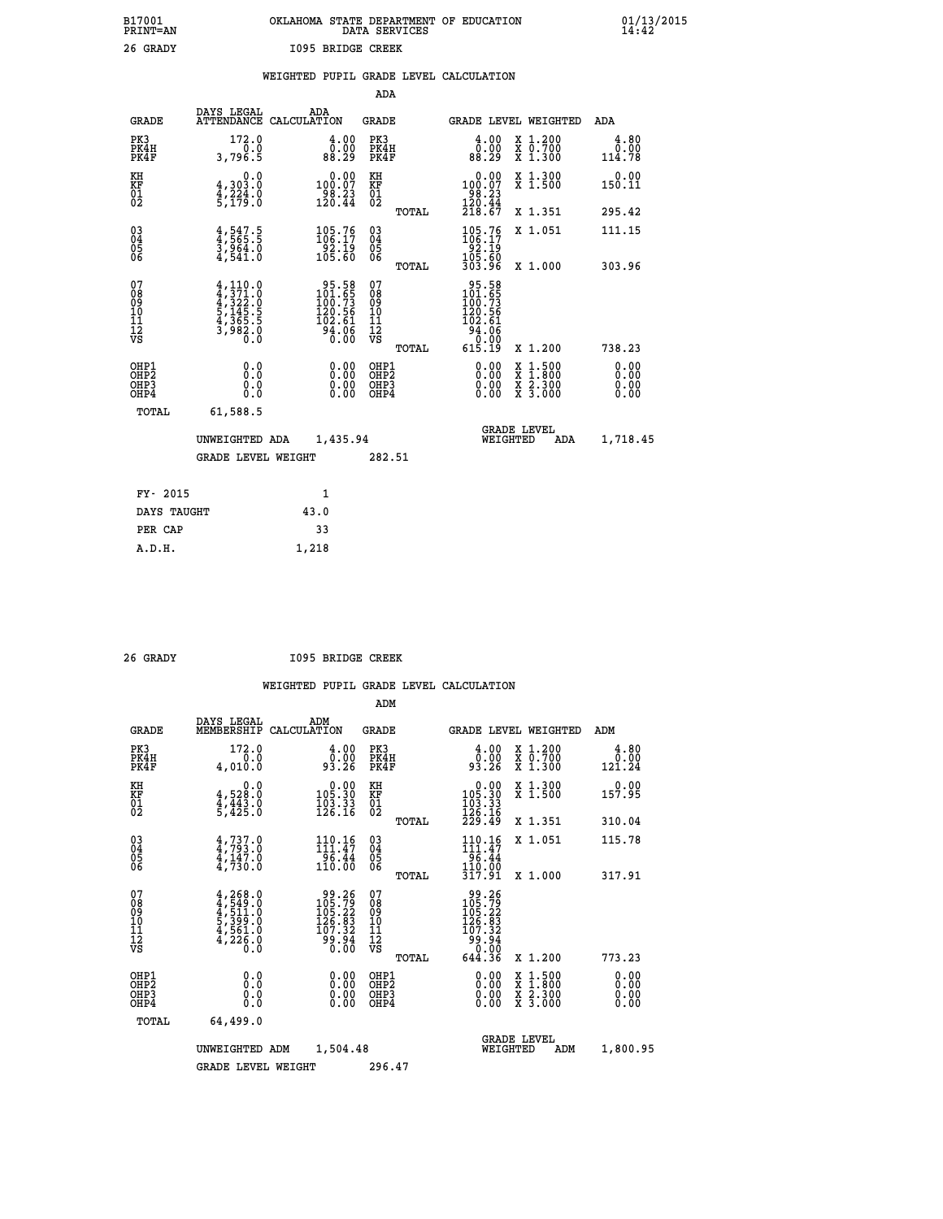| B17001          | OKLAHOMA STATE DEPARTMENT OF EDUCATION |
|-----------------|----------------------------------------|
| <b>PRINT=AN</b> | DATA SERVICES                          |
| 26 GRADY        | 1095 BRIDGE CREEK                      |

|  |  | WEIGHTED PUPIL GRADE LEVEL CALCULATION |
|--|--|----------------------------------------|
|  |  |                                        |

|                                                                    |                                                                                         |                                                                                               | ADA                                                               |       |                                                                  |                                                                                                  |                              |
|--------------------------------------------------------------------|-----------------------------------------------------------------------------------------|-----------------------------------------------------------------------------------------------|-------------------------------------------------------------------|-------|------------------------------------------------------------------|--------------------------------------------------------------------------------------------------|------------------------------|
| <b>GRADE</b>                                                       | DAYS LEGAL                                                                              | ADA<br>ATTENDANCE CALCULATION                                                                 | <b>GRADE</b>                                                      |       | <b>GRADE LEVEL WEIGHTED</b>                                      |                                                                                                  | <b>ADA</b>                   |
| PK3<br>PK4H<br>PK4F                                                | 172.0<br>0.0<br>3,796.5                                                                 | $\begin{smallmatrix} 4.00\\ 0.00\\ 88.29 \end{smallmatrix}$                                   | PK3<br>PK4H<br>PK4F                                               |       | 4.00<br>ŏ:ŏŏ<br>88:29                                            | X 1.200<br>X 0.700<br>X 1.300                                                                    | 4.80<br>0.00<br>114.78       |
| KH<br><b>KF</b><br>01<br>02                                        | 0.0<br>4,303.0<br>4,224.0<br>5,179.0                                                    | $0.00$<br>100.07<br>$\frac{188.23}{120.44}$                                                   | KH<br><b>KF</b><br>01<br>02                                       |       | 0.00<br>$100.07$<br>$120.23$<br>$120.44$<br>$218.67$             | X 1.300<br>X 1.500                                                                               | 0.00<br>150.11               |
|                                                                    |                                                                                         |                                                                                               |                                                                   | TOTAL |                                                                  | X 1.351                                                                                          | 295.42                       |
| $\begin{smallmatrix} 03 \\[-4pt] 04 \end{smallmatrix}$<br>Ŏ5<br>06 | $\frac{4}{3}, \frac{547}{565}.\frac{5}{3}$<br>3,964.0<br>4,541.0                        | $\begin{array}{c} 105\cdot 76\\106\cdot 17\\92\cdot 19\\105\cdot 60 \end{array}$              | $\substack{03 \\ 04}$<br>$\begin{matrix} 0.5 \\ 0.6 \end{matrix}$ |       | $105.76$<br>$106.17$<br>$92.19$<br>$105.60$<br>$303.96$          | X 1.051                                                                                          | 111.15                       |
|                                                                    |                                                                                         |                                                                                               |                                                                   | TOTAL |                                                                  | X 1.000                                                                                          | 303.96                       |
| 07<br>08901112<br>1112<br>VS                                       | $4,371.0$<br>$4,371.0$<br>$4,322.0$<br>$5,145.5$<br>$5,145.5$<br>$4,365.5$<br>$3,982.0$ | $\begin{array}{r} 95.58 \\ 101.65 \\ 100.73 \\ 120.56 \\ 102.61 \\ 94.06 \\ 0.00 \end{array}$ | 07<br>08<br>09<br>11<br>11<br>12<br>VS                            |       | 95.58<br>101.65<br>100.73<br>120.56<br>102.61<br>94.06<br>94.000 |                                                                                                  |                              |
|                                                                    |                                                                                         |                                                                                               |                                                                   | TOTAL | 615.19                                                           | X 1.200                                                                                          | 738.23                       |
| OHP1<br>OH <sub>P</sub> 2<br>OH <sub>P3</sub><br>OH <sub>P4</sub>  | 0.0<br>0.0<br>0.0                                                                       | 0.00<br>0.00<br>0.00                                                                          | OHP1<br>OH <sub>P</sub> 2<br>OHP3<br>OHP4                         |       | 0.00<br>0.00<br>0.00                                             | $\begin{smallmatrix} x & 1 & 500 \\ x & 1 & 800 \\ x & 2 & 300 \\ x & 3 & 000 \end{smallmatrix}$ | 0.00<br>0.00<br>0.00<br>0.00 |
| TOTAL                                                              | 61,588.5                                                                                |                                                                                               |                                                                   |       |                                                                  |                                                                                                  |                              |
|                                                                    | UNWEIGHTED ADA                                                                          | 1,435.94                                                                                      |                                                                   |       | GRADE LEVEL<br>WEIGHTED                                          | ADA                                                                                              | 1,718.45                     |
|                                                                    | <b>GRADE LEVEL WEIGHT</b>                                                               |                                                                                               | 282.51                                                            |       |                                                                  |                                                                                                  |                              |
| FY- 2015                                                           |                                                                                         | $\mathbf{1}$                                                                                  |                                                                   |       |                                                                  |                                                                                                  |                              |
| DAYS TAUGHT                                                        |                                                                                         | 43.0                                                                                          |                                                                   |       |                                                                  |                                                                                                  |                              |
| PER CAP                                                            |                                                                                         | 33                                                                                            |                                                                   |       |                                                                  |                                                                                                  |                              |

 **A.D.H. 1,218**

 **26 GRADY I095 BRIDGE CREEK**

|                                                      |                                                                                     |                                                                         | ADM                                                 |                                                                                                   |                                          |                              |
|------------------------------------------------------|-------------------------------------------------------------------------------------|-------------------------------------------------------------------------|-----------------------------------------------------|---------------------------------------------------------------------------------------------------|------------------------------------------|------------------------------|
|                                                      | DAYS LEGAL<br><b>GRADE</b><br>MEMBERSHIP                                            | ADM<br>CALCULATION                                                      | <b>GRADE</b>                                        | <b>GRADE LEVEL WEIGHTED</b>                                                                       |                                          | ADM                          |
| PK3<br>PK4H<br>PK4F                                  | 172.0<br>0.0<br>4,010.0                                                             | 4.00<br>0:00<br>93:26                                                   | PK3<br>PK4H<br>PK4F                                 | $\begin{smallmatrix} 4.00\\ 0.00\\ 93.26 \end{smallmatrix}$                                       | X 1.200<br>X 0.700<br>X 1.300            | 4.80<br>0.00<br>121.24       |
| KH<br>KF<br>01<br>02                                 | 0.0<br>$4,528.0$<br>$4,443.0$<br>$5,425.0$                                          | $\begin{smallmatrix} &0.00\\ 105.30\\ 103.33\\ 126.16\end{smallmatrix}$ | KH<br>KF<br>01<br>02                                | $\begin{smallmatrix} &0.00\\ 105.30\\ 103.33\\ 126.16\\ 229.49\end{smallmatrix}$                  | X 1.300<br>X 1.500                       | 0.00<br>157.95               |
|                                                      |                                                                                     |                                                                         | TOTAL                                               |                                                                                                   | X 1.351                                  | 310.04                       |
| 03<br>04<br>05<br>06                                 | $4,737.0$<br>$4,793.0$<br>$4,147.0$<br>$4,730.0$                                    | $110.16$<br>$111.47$<br>96.44<br>110.00                                 | $\begin{array}{c} 03 \\ 04 \\ 05 \\ 06 \end{array}$ | $\begin{array}{c} 110\cdot 16\\ 111\cdot 47\\ 96\cdot 44\\ 110\cdot 00\\ 317\cdot 91 \end{array}$ | X 1.051                                  | 115.78                       |
|                                                      |                                                                                     |                                                                         | TOTAL                                               |                                                                                                   | X 1.000                                  | 317.91                       |
| 07<br>08<br>09<br>101<br>112<br>VS                   | $4,268.0$<br>$4,549.0$<br>$5,391.0$<br>$5,399.0$<br>$4,561.0$<br>$4,226.0$<br>$0.0$ | $\frac{99.26}{105.79}$<br>126:83<br>107:32<br>99:94<br>0:00             | 07<br>08<br>09<br>11<br>11<br>12<br>VS<br>TOTAL     | 99.26<br>105.792<br>105.223<br>126.83<br>107.324<br>99.94<br>644.36                               | X 1.200                                  | 773.23                       |
| OHP1<br>OHP2<br>OH <sub>P3</sub><br>OH <sub>P4</sub> | 0.0<br>0.000                                                                        | $0.00$<br>$0.00$<br>0.00                                                | OHP1<br>OHP2<br>OHP <sub>3</sub>                    | $0.00$<br>$0.00$<br>0.00                                                                          | X 1:500<br>X 1:800<br>X 2:300<br>X 3:000 | 0.00<br>0.00<br>0.00<br>0.00 |
|                                                      | TOTAL<br>64,499.0                                                                   |                                                                         |                                                     |                                                                                                   |                                          |                              |
|                                                      | UNWEIGHTED                                                                          | 1,504.48<br>ADM                                                         |                                                     | <b>GRADE LEVEL</b><br>WEIGHTED                                                                    | ADM                                      | 1,800.95                     |
|                                                      | <b>GRADE LEVEL WEIGHT</b>                                                           |                                                                         | 296.47                                              |                                                                                                   |                                          |                              |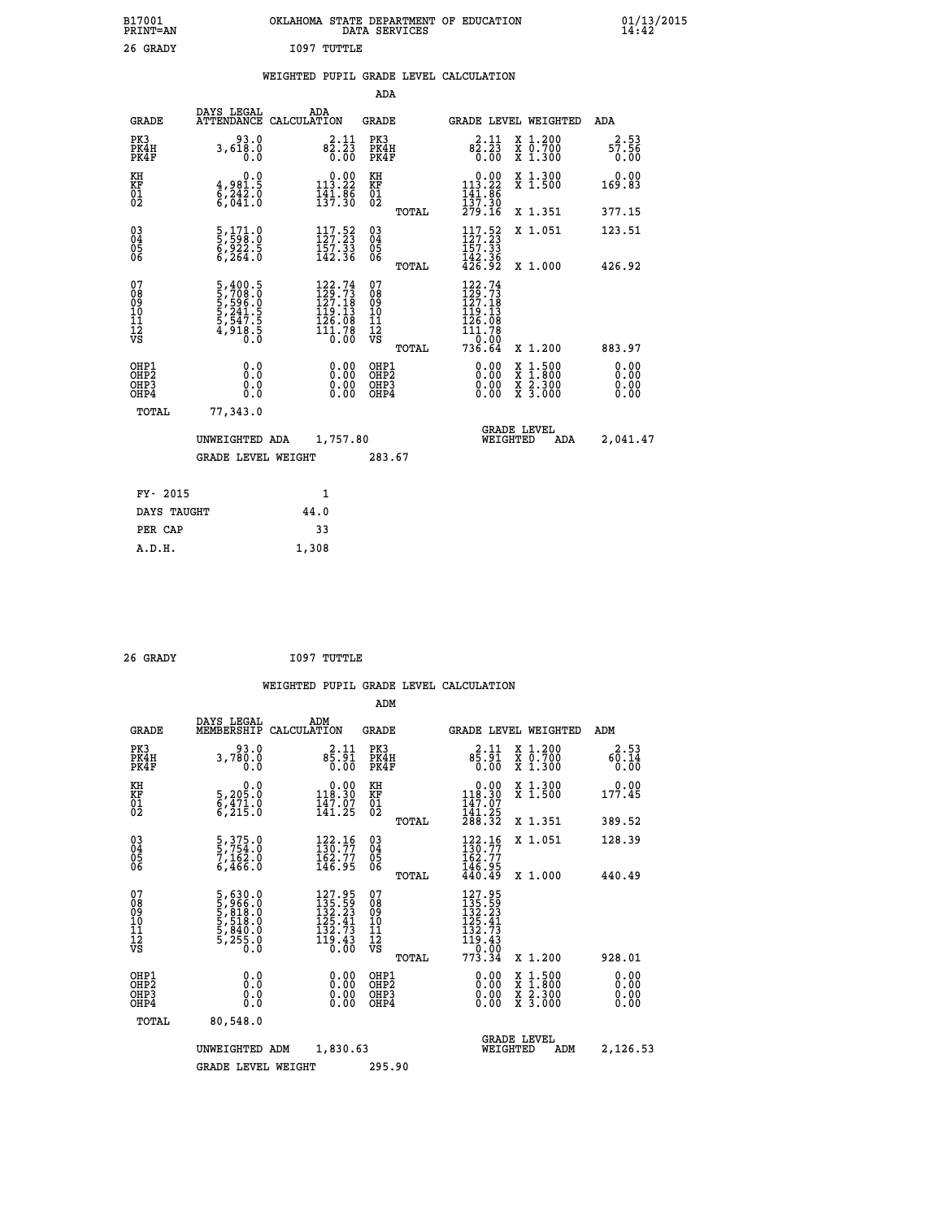| B17001<br><b>PRINT=AN</b> | OKLAHOMA STATE DEPARTMENT OF EDUCATION<br>DATA SERVICES | 01/13/2015 |
|---------------------------|---------------------------------------------------------|------------|
| 26 GRADY                  | IO97<br>TUTTLE                                          |            |

### **WEIGHTED PUPIL GRADE LEVEL CALCULATION**

|                                                                    |                                                                       |                                                                                                                               | ADA                                    |       |                                                                                                                               |                                                                                                                                           |                              |
|--------------------------------------------------------------------|-----------------------------------------------------------------------|-------------------------------------------------------------------------------------------------------------------------------|----------------------------------------|-------|-------------------------------------------------------------------------------------------------------------------------------|-------------------------------------------------------------------------------------------------------------------------------------------|------------------------------|
| <b>GRADE</b>                                                       | DAYS LEGAL                                                            | ADA<br>ATTENDANCE CALCULATION                                                                                                 | <b>GRADE</b>                           |       |                                                                                                                               | GRADE LEVEL WEIGHTED                                                                                                                      | ADA                          |
| PK3<br>PK4H<br>PK4F                                                | 93.0<br>3,618.0<br>0.0                                                | $82.11$<br>$82.23$<br>$\overline{0}$ . $\overline{0}$                                                                         | PK3<br>PK4H<br>PK4F                    |       | $82.11$<br>$82.23$<br>0.00                                                                                                    | X 1.200<br>X 0.700<br>X 1.300                                                                                                             | 2.53<br>57.56<br>0.00        |
| KH<br>KF<br>01<br>02                                               | 0.0<br>4,981.5<br>6,242.0<br>6,041.0                                  | $0.00$<br>113.22<br>$\frac{1}{4}$ $\frac{1}{3}$ $\frac{1}{7}$ $\cdot$ $\frac{8}{3}$ $\frac{8}{0}$                             | KH<br>KF<br>01<br>02                   |       | $0.00$<br>113.22<br>$\frac{141}{137}$ $\frac{86}{30}$<br>$\frac{279}{16}$                                                     | X 1.300<br>X 1.500                                                                                                                        | 0.00<br>169.83               |
|                                                                    |                                                                       |                                                                                                                               |                                        | TOTAL |                                                                                                                               | X 1.351                                                                                                                                   | 377.15                       |
| $\begin{smallmatrix} 03 \\[-4pt] 04 \end{smallmatrix}$<br>Ŏ5<br>06 | 5,171.0<br>5,598.0<br>6,922.5<br>6,264.0                              | $117.52$<br>$127.23$<br>$\frac{157.33}{142.36}$                                                                               | $\substack{03 \\ 04}$<br>Ŏ5<br>06      |       | 117.52<br>$\frac{157.33}{142.36}$<br>$\frac{42.36}{426.92}$                                                                   | X 1.051                                                                                                                                   | 123.51                       |
|                                                                    |                                                                       |                                                                                                                               |                                        | TOTAL |                                                                                                                               | X 1.000                                                                                                                                   | 426.92                       |
| 07<br>08<br>09<br>101<br>11<br>12<br>VS                            | 5,400.5<br>5,708.0<br>5,596.0<br>5,541.5<br>5,547.5<br>4,918.5<br>0.0 | $\begin{smallmatrix} 122\cdot74\\ 129\cdot73\\ 127\cdot18\\ 119\cdot13\\ 126\cdot08\\ 111\cdot78\\ 0\cdot00\end{smallmatrix}$ | 07<br>08<br>09<br>11<br>11<br>12<br>VS |       | $\begin{array}{r} 122\cdot 74 \\ 129\cdot 73 \\ 127\cdot 18 \\ 119\cdot 13 \\ 126\cdot 08 \\ 111\cdot 78 \end{array}$<br>0.00 |                                                                                                                                           |                              |
|                                                                    |                                                                       |                                                                                                                               |                                        | TOTAL | 736.64                                                                                                                        | X 1.200                                                                                                                                   | 883.97                       |
| OHP1<br>OHP <sub>2</sub><br>OH <sub>P3</sub><br>OHP4               | 0.0<br>0.0<br>0.0                                                     | 0.00<br>$\begin{smallmatrix} 0.00 \ 0.00 \end{smallmatrix}$                                                                   | OHP1<br>OHP2<br>OHP <sub>3</sub>       |       | 0.00<br>0.00                                                                                                                  | $\begin{smallmatrix} \mathtt{X} & 1\cdot500\\ \mathtt{X} & 1\cdot800\\ \mathtt{X} & 2\cdot300\\ \mathtt{X} & 3\cdot000 \end{smallmatrix}$ | 0.00<br>0.00<br>0.00<br>0.00 |
| TOTAL                                                              | 77,343.0                                                              |                                                                                                                               |                                        |       |                                                                                                                               |                                                                                                                                           |                              |
|                                                                    | UNWEIGHTED ADA                                                        | 1,757.80                                                                                                                      |                                        |       |                                                                                                                               | <b>GRADE LEVEL</b><br>WEIGHTED<br>ADA                                                                                                     | 2,041.47                     |
|                                                                    | <b>GRADE LEVEL WEIGHT</b>                                             |                                                                                                                               | 283.67                                 |       |                                                                                                                               |                                                                                                                                           |                              |
| FY- 2015                                                           |                                                                       | 1                                                                                                                             |                                        |       |                                                                                                                               |                                                                                                                                           |                              |
| DAYS TAUGHT                                                        |                                                                       | 44.0                                                                                                                          |                                        |       |                                                                                                                               |                                                                                                                                           |                              |
| PER CAP                                                            |                                                                       | 33                                                                                                                            |                                        |       |                                                                                                                               |                                                                                                                                           |                              |

| 26 GRADY | 1097 TUTTLE |
|----------|-------------|

 **A.D.H. 1,308**

|                                                      |                                                                       |                    |                                                                                                       | ADM                                                 |       |                                                                                                             |          |                                          |                              |  |
|------------------------------------------------------|-----------------------------------------------------------------------|--------------------|-------------------------------------------------------------------------------------------------------|-----------------------------------------------------|-------|-------------------------------------------------------------------------------------------------------------|----------|------------------------------------------|------------------------------|--|
| <b>GRADE</b>                                         | DAYS LEGAL<br>MEMBERSHIP                                              | ADM<br>CALCULATION |                                                                                                       | <b>GRADE</b>                                        |       |                                                                                                             |          | <b>GRADE LEVEL WEIGHTED</b>              | ADM                          |  |
| PK3<br>PK4H<br>PK4F                                  | 93.0<br>3,780.0<br>0.0                                                |                    | 2.11<br>85.91<br>0.00                                                                                 | PK3<br>PK4H<br>PK4F                                 |       | $8\frac{2}{5}:\frac{11}{91}$<br>0.00                                                                        |          | X 1.200<br>X 0.700<br>X 1.300            | 2.53<br>60.14<br>0.00        |  |
| KH<br>KF<br>01<br>02                                 | 0.0<br>5,205:0<br>6,471:0<br>6,215:0                                  |                    | $\begin{smallmatrix} &0.00\\ 118.30\\ 147.07\\ 141.25\end{smallmatrix}$                               | KH<br>KF<br>01<br>02                                |       | $\begin{smallmatrix}&&0.00\\118.30\\147.07\\141.25\\288.32\end{smallmatrix}$                                |          | X 1.300<br>X 1.500                       | 177.45                       |  |
|                                                      |                                                                       |                    |                                                                                                       |                                                     | TOTAL |                                                                                                             |          | X 1.351                                  | 389.52                       |  |
| 03<br>04<br>05<br>06                                 | 5, 375.0<br>5, 754.0<br>7, 162.0<br>6, 466.0                          |                    | $\frac{122}{130}. \frac{16}{77}$<br>$\frac{162.77}{146.95}$                                           | $\begin{array}{c} 03 \\ 04 \\ 05 \\ 06 \end{array}$ |       | $\frac{122}{130}$ : 77<br>162.77<br>146.95<br>440.49                                                        |          | X 1.051                                  | 128.39                       |  |
|                                                      |                                                                       |                    |                                                                                                       |                                                     | TOTAL |                                                                                                             |          | X 1.000                                  | 440.49                       |  |
| 07<br>08<br>09<br>101<br>11<br>12<br>VS              | 5,630.0<br>5,966.0<br>5,818.0<br>5,518.0<br>5,840.0<br>5,255.0<br>0.0 |                    | $127.95$<br>$135.59$<br>$132.23$<br>$\begin{array}{c} 125.41 \\ 132.73 \\ 119.43 \\ 0.00 \end{array}$ | 07<br>08<br>09<br>11<br>11<br>12<br>VS              |       | $\begin{smallmatrix} 127.95\\ 135.59\\ 132.23\\ 125.41\\ 132.73\\ 119.43\\ 0.00\\ 773.34 \end{smallmatrix}$ |          |                                          |                              |  |
|                                                      |                                                                       |                    |                                                                                                       |                                                     | TOTAL |                                                                                                             |          | X 1.200                                  | 928.01                       |  |
| OHP1<br>OHP2<br>OH <sub>P3</sub><br>OH <sub>P4</sub> | 0.0<br>0.000                                                          |                    |                                                                                                       | OHP1<br>OHP2<br>OHP <sub>3</sub>                    |       | $0.00$<br>$0.00$<br>0.00                                                                                    |          | X 1:500<br>X 1:800<br>X 2:300<br>X 3:000 | 0.00<br>0.00<br>0.00<br>0.00 |  |
| TOTAL                                                | 80,548.0                                                              |                    |                                                                                                       |                                                     |       |                                                                                                             |          |                                          |                              |  |
|                                                      | UNWEIGHTED                                                            | ADM                | 1,830.63                                                                                              |                                                     |       |                                                                                                             | WEIGHTED | <b>GRADE LEVEL</b><br>ADM                | 2,126.53                     |  |
|                                                      | <b>GRADE LEVEL WEIGHT</b>                                             |                    |                                                                                                       | 295.90                                              |       |                                                                                                             |          |                                          |                              |  |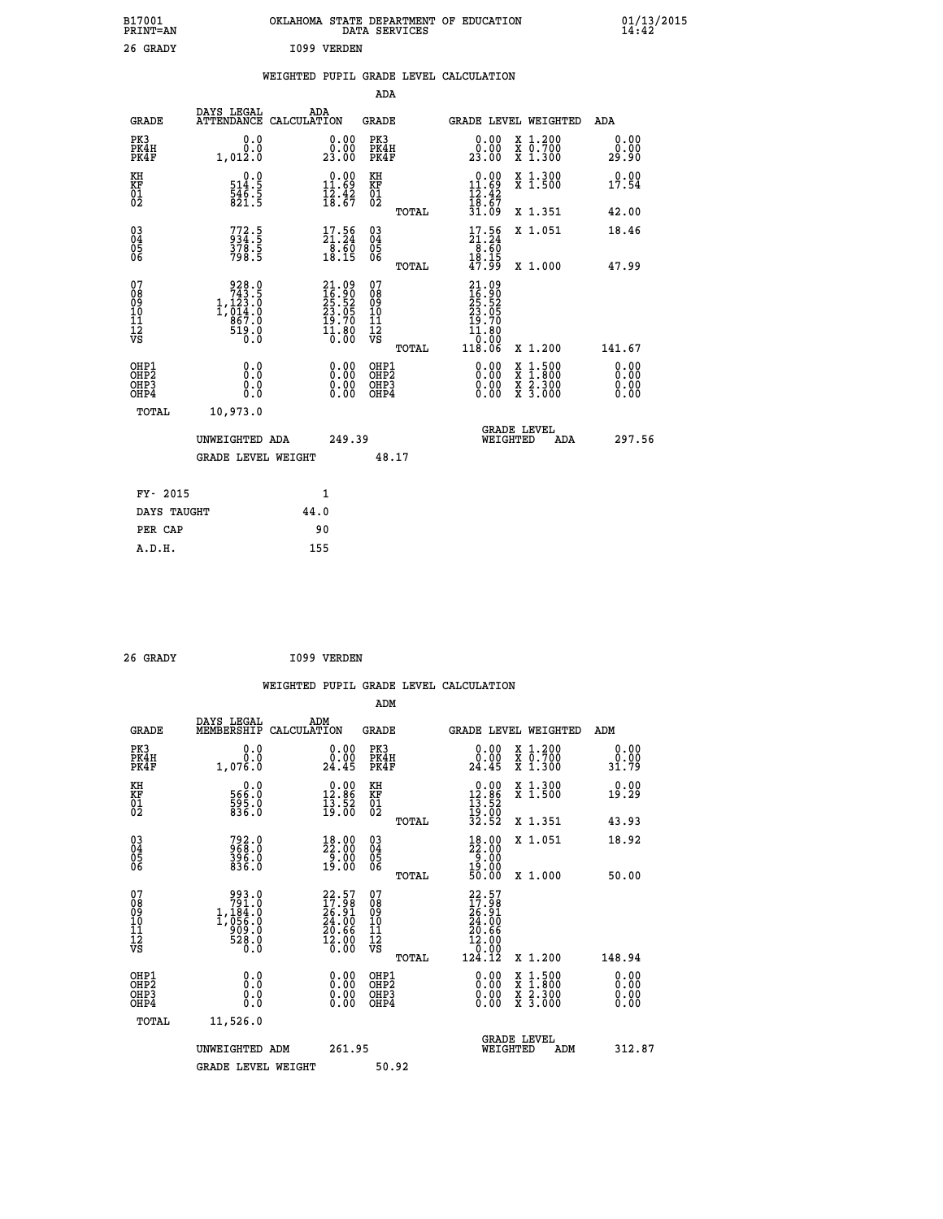| B17001<br>PRINT=AN                           |                                                                              | OKLAHOMA STATE DEPARTMENT OF EDUCATION                                 | DATA SERVICES                                        |                                                                                                   |                                          | $01/13/2015$<br>14:42 |  |
|----------------------------------------------|------------------------------------------------------------------------------|------------------------------------------------------------------------|------------------------------------------------------|---------------------------------------------------------------------------------------------------|------------------------------------------|-----------------------|--|
| 26 GRADY                                     |                                                                              | 1099 VERDEN                                                            |                                                      |                                                                                                   |                                          |                       |  |
|                                              |                                                                              | WEIGHTED PUPIL GRADE LEVEL CALCULATION                                 |                                                      |                                                                                                   |                                          |                       |  |
|                                              |                                                                              |                                                                        | ADA                                                  |                                                                                                   |                                          |                       |  |
| <b>GRADE</b>                                 | DAYS LEGAL                                                                   | ADA<br>ATTENDANCE CALCULATION                                          | GRADE                                                |                                                                                                   | GRADE LEVEL WEIGHTED                     | ADA                   |  |
| PK3<br>PK4H<br>PK4F                          | 0.0<br>0.0<br>1,012.0                                                        | 0.00<br>0.00<br>23.00                                                  | PK3<br>PK4H<br>PK4F                                  | 0.00<br>0.00<br>23.00                                                                             | X 1.200<br>X 0.700<br>X 1.300            | 0.00<br>0.00<br>29.90 |  |
| KH<br>ΚF<br>$\frac{01}{02}$                  | 0.0<br>514.5<br>$\frac{546.5}{821.5}$                                        | $0.00$<br>11.69<br>$\frac{1}{2}$ , $\frac{3}{6}$                       | KH<br>KF<br>01<br>02                                 | $\begin{array}{c} 0.00 \\ 11.69 \\ 12.42 \\ 18.67 \end{array}$                                    | X 1.300<br>X 1.500                       | 0.00<br>17.54         |  |
|                                              |                                                                              |                                                                        | TOTAL                                                | 31.09                                                                                             | X 1.351                                  | 42.00                 |  |
| 03<br>04<br>05<br>06                         | 772.5<br>934.5<br>378.5<br>798.5                                             | $\frac{17.56}{21.24}$<br>$\begin{array}{c} 78.60 \\ 18.15 \end{array}$ | $\begin{matrix} 03 \\ 04 \\ 05 \\ 06 \end{matrix}$   | $\frac{17.56}{21.24}$<br>$\overline{8}.\overline{60}$<br>18.15                                    | X 1.051                                  | 18.46                 |  |
|                                              |                                                                              |                                                                        | TOTAL<br>07                                          | 47.99                                                                                             | X 1.000                                  | 47.99                 |  |
| 07<br>08<br>09<br>10<br>11<br>11<br>12<br>VS | $928.0$<br>$743.5$<br>$1,123.0$<br>$1,014.0$<br>867.0<br>$\frac{519.0}{0.0}$ | 21.09<br>16.90<br>25.52<br>23.05<br>23.05<br>19.70<br>11.80<br>11.80   | 08<br>09<br>10<br>$\frac{11}{12}$<br>$\frac{12}{18}$ | $21.09$<br>$16.90$<br>$25.52$<br>$23.05$<br>19.70<br>$\overline{1}\overline{1}\cdot\overline{80}$ |                                          |                       |  |
|                                              |                                                                              |                                                                        | TOTAL                                                | 118.06                                                                                            | X 1.200                                  | 141.67<br>0.00        |  |
| OHP1<br>OHP2<br>OHP3<br>OHP4                 | 0.0<br>0.0<br>0.0<br>0.0                                                     | 0.00<br>$\begin{smallmatrix} 0.00 \ 0.00 \end{smallmatrix}$            | OHP1<br>OH <sub>P</sub> 2<br>OHP3<br>OHP4            | 0.00<br>0.00<br>0.00                                                                              | X 1:500<br>X 1:800<br>X 2:300<br>X 3:000 | 0.00<br>0.00<br>0.00  |  |
| TOTAL                                        | 10,973.0                                                                     |                                                                        |                                                      |                                                                                                   |                                          |                       |  |
|                                              | UNWEIGHTED ADA                                                               | 249.39                                                                 |                                                      | WEIGHTED                                                                                          | <b>GRADE LEVEL</b><br>ADA                | 297.56                |  |
|                                              | <b>GRADE LEVEL WEIGHT</b>                                                    |                                                                        | 48.17                                                |                                                                                                   |                                          |                       |  |
| FY- 2015                                     |                                                                              | 1                                                                      |                                                      |                                                                                                   |                                          |                       |  |
| DAYS TAUGHT                                  |                                                                              | 44.0                                                                   |                                                      |                                                                                                   |                                          |                       |  |
| PER CAP                                      |                                                                              | 90                                                                     |                                                      |                                                                                                   |                                          |                       |  |

| 26 GRADY |  |  | 1099 VERDEN |
|----------|--|--|-------------|

 **WEIGHTED PUPIL GRADE LEVEL CALCULATION ADM DAYS LEGAL ADM GRADE MEMBERSHIP CALCULATION GRADE GRADE LEVEL WEIGHTED ADM PK3 0.0 0.00 PK3 0.00 X 1.200 0.00 PK4H 0.0 0.00 PK4H 0.00 X 0.700 0.00 PK4F 1,076.0 24.45 PK4F 24.45 X 1.300 31.79 KH 0.0 0.00 KH 0.00 X 1.300 0.00 KF 566.0 12.86 KF 12.86 X 1.500 19.29 01 595.0 13.52 01 13.52** 02 836.0 19.00 02 <sub>noman</sub> 19.00  **TOTAL 32.52 X 1.351 43.93 03 792.0 18.00 03 18.00 X 1.051 18.92 04 968.0 22.00 04 22.00 05 396.0 9.00 05 9.00** 06 836.0 19.00 06 <sub>momas</sub> 19.00  **TOTAL 50.00 X 1.000 50.00** 07 993.0 22.57 07 22.57<br>
08 1,184.0 26.91 08 16.91<br>
10 1,056.0 24.00 10 24.00<br>
11 909.0 20.66 11 20.66<br>
12 909.0 12.000 VS 0.000<br>
VS 528.0 16.00 VS 0.000  **TOTAL 124.12 X 1.200 148.94 OHP1 0.0 0.00 OHP1 0.00 X 1.500 0.00 OHP2 0.0 0.00 OHP2 0.00 X 1.800 0.00 OHP3 0.0 0.00 OHP3 0.00 X 2.300 0.00 OHP4 0.0 0.00 OHP4 0.00 X 3.000 0.00 TOTAL 11,526.0 GRADE LEVEL UNWEIGHTED ADM 261.95 WEIGHTED ADM 312.87** GRADE LEVEL WEIGHT 50.92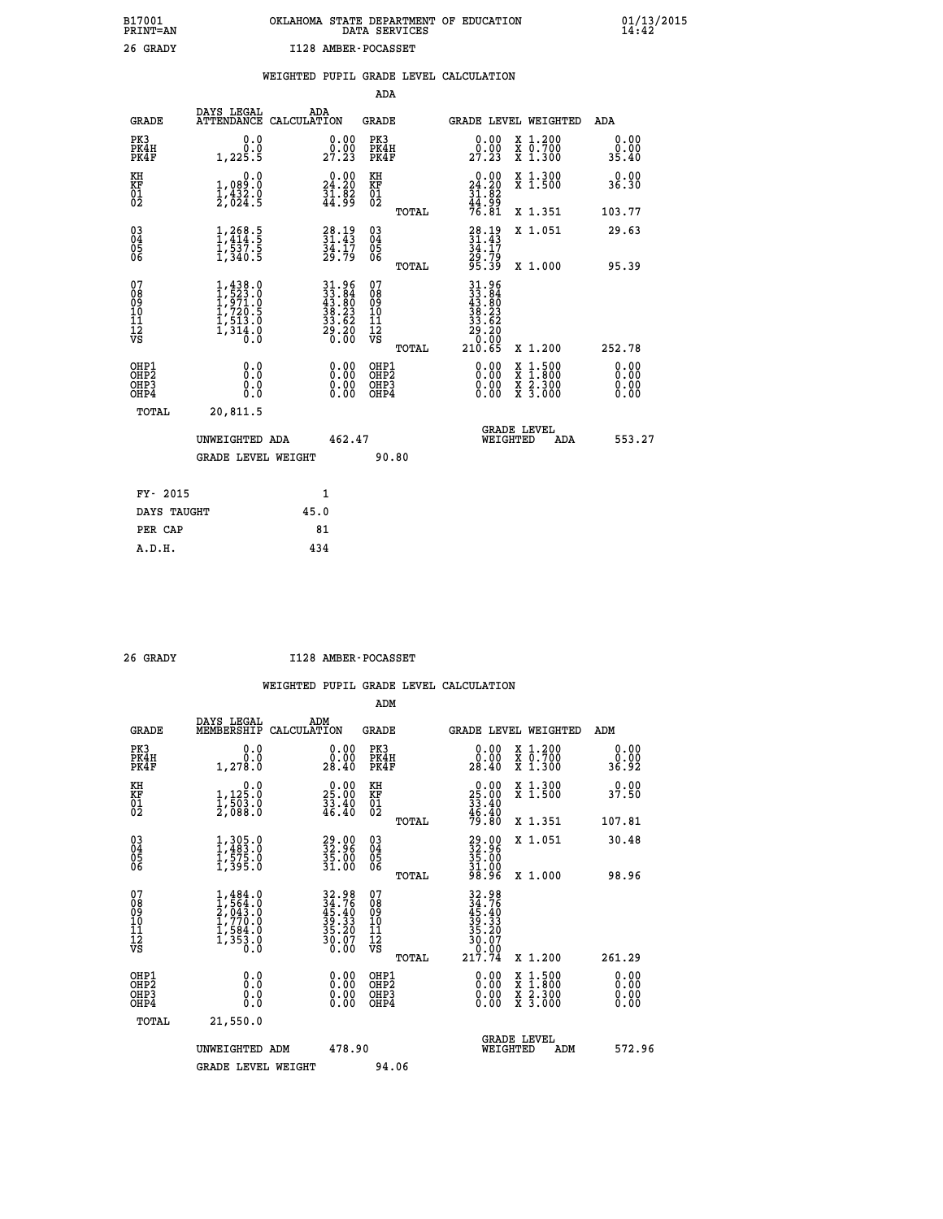| B17001<br><b>PRINT=AN</b> | OKLAHOMA STATE DEPARTMENT OF EDUCATION<br>DATA SERVICES |  |
|---------------------------|---------------------------------------------------------|--|
| 26 GRADY                  | I128 AMBER-POCASSET                                     |  |

|  |  | WEIGHTED PUPIL GRADE LEVEL CALCULATION |
|--|--|----------------------------------------|
|  |  |                                        |

|                                                                    |                                                                                                         |                                                                         | ADA                                            |       |                                                                                                      |                                          |                              |
|--------------------------------------------------------------------|---------------------------------------------------------------------------------------------------------|-------------------------------------------------------------------------|------------------------------------------------|-------|------------------------------------------------------------------------------------------------------|------------------------------------------|------------------------------|
| <b>GRADE</b>                                                       | DAYS LEGAL<br>ATTENDANCE CALCULATION                                                                    | ADA                                                                     | <b>GRADE</b>                                   |       |                                                                                                      | GRADE LEVEL WEIGHTED                     | ADA                          |
| PK3<br>PK4H<br>PK4F                                                | 0.0<br>0.0<br>1,225.5                                                                                   | $\begin{smallmatrix} 0.00\\ 0.00\\ 27.23 \end{smallmatrix}$             | PK3<br>PK4H<br>PK4F                            |       | 0.00<br>$\frac{0.00}{27.23}$                                                                         | X 1.200<br>X 0.700<br>X 1.300            | 0.00<br>0.00<br>35.40        |
| KH<br><b>KF</b><br>01<br>02                                        | 0.0<br>$1,089.0$<br>$1,432.0$<br>$2,024.5$                                                              | 24.20<br>$\frac{51.82}{44.99}$                                          | KH<br>KF<br>01<br>02                           |       | 24.20<br>$\frac{31.82}{44.99}$<br>$\frac{44.82}{76.81}$                                              | X 1.300<br>X 1.500                       | 0.00<br>36.30                |
|                                                                    |                                                                                                         |                                                                         |                                                | TOTAL |                                                                                                      | X 1.351                                  | 103.77                       |
| $\begin{smallmatrix} 03 \\[-4pt] 04 \end{smallmatrix}$<br>Ŏ5<br>06 | $1, 268.5$<br>$1, 414.5$<br>$1, 537.5$<br>$1, 340.5$                                                    | $31.49$<br>31.43<br>$\frac{3\bar{4}\cdot\bar{1}\bar{7}}{29.79}$         | $\substack{03 \\ 04}$<br>$\substack{05 \\ 06}$ | TOTAL | 28.19<br>31.43<br>34.17<br>29.79<br>29.39                                                            | X 1.051<br>X 1.000                       | 29.63<br>95.39               |
| 07<br>08901112<br>1112<br>VS                                       | $\begin{smallmatrix} 1,438.0\\ 1,523.0\\ 1,971.0\\ 1,720.5\\ 1,513.0\\ 1,314.0\\ 0.0 \end{smallmatrix}$ | $31.96$<br>$33.84$<br>$43.80$<br>$38.23$<br>$33.62$<br>$29.20$<br>20.00 | 07<br>08<br>09<br>11<br>11<br>12<br>VS         |       | $\begin{array}{r} 31.96 \\ 33.84 \\ 43.86 \\ 43.80 \\ 38.23 \\ 29.20 \\ 20.00 \\ 210.65 \end{array}$ |                                          |                              |
|                                                                    |                                                                                                         |                                                                         |                                                | TOTAL |                                                                                                      | X 1.200                                  | 252.78                       |
| OHP1<br>OH <sub>P</sub> 2<br>OH <sub>P3</sub><br>OH <sub>P4</sub>  | 0.0<br>0.0<br>0.0                                                                                       | 0.00<br>$\begin{smallmatrix} 0.00 \ 0.00 \end{smallmatrix}$             | OHP1<br>OH <sub>P</sub> 2<br>OHP3<br>OHP4      |       | 0.00<br>0.00<br>0.00                                                                                 | X 1:500<br>X 1:800<br>X 2:300<br>X 3:000 | 0.00<br>0.00<br>0.00<br>0.00 |
| TOTAL                                                              | 20,811.5                                                                                                |                                                                         |                                                |       |                                                                                                      |                                          |                              |
|                                                                    | UNWEIGHTED ADA                                                                                          | 462.47                                                                  |                                                |       |                                                                                                      | GRADE LEVEL<br>WEIGHTED<br>ADA           | 553.27                       |
|                                                                    | <b>GRADE LEVEL WEIGHT</b>                                                                               |                                                                         |                                                | 90.80 |                                                                                                      |                                          |                              |
| FY- 2015                                                           |                                                                                                         | $\mathbf{1}$                                                            |                                                |       |                                                                                                      |                                          |                              |
| DAYS TAUGHT                                                        |                                                                                                         | 45.0                                                                    |                                                |       |                                                                                                      |                                          |                              |
| PER CAP                                                            |                                                                                                         | 81                                                                      |                                                |       |                                                                                                      |                                          |                              |

 **A.D.H. 434**

 **B17001<br>PRINT=AN** 

 **26 GRADY I128 AMBER-POCASSET**

|                                          |                                                                                     |                                                                          | ADM                                                 |                                                                                                     |                                          |                              |
|------------------------------------------|-------------------------------------------------------------------------------------|--------------------------------------------------------------------------|-----------------------------------------------------|-----------------------------------------------------------------------------------------------------|------------------------------------------|------------------------------|
| <b>GRADE</b>                             | DAYS LEGAL<br>MEMBERSHIP                                                            | ADM<br>CALCULATION                                                       | <b>GRADE</b>                                        | <b>GRADE LEVEL WEIGHTED</b>                                                                         |                                          | ADM                          |
| PK3<br>PK4H<br>PK4F                      | 0.0<br>ة:ة<br>1,278.0                                                               | $\begin{smallmatrix} 0.00\\ 0.00\\ 28.40 \end{smallmatrix}$              | PK3<br>PK4H<br>PK4F                                 | $\begin{smallmatrix} 0.00\\ 0.00\\ 28.40 \end{smallmatrix}$                                         | X 1.200<br>X 0.700<br>X 1.300            | 0.00<br>ة.ة.<br>36.92        |
| KH<br>KF<br>01<br>02                     | 0.0<br>$1,125.0$<br>$1,503.0$<br>2,088.0                                            | $\begin{smallmatrix} 0.00\\ 25.00\\ 33.40\\ 46.40 \end{smallmatrix}$     | KH<br>KF<br>01<br>02                                | $\begin{smallmatrix} 0.00\\ 25.00\\ 33.40\\ 46.40\\ 79.80 \end{smallmatrix}$                        | X 1.300<br>X 1.500                       | 0.00<br>37.50                |
|                                          |                                                                                     |                                                                          | TOTAL                                               |                                                                                                     | X 1.351                                  | 107.81                       |
| 03<br>04<br>05<br>06                     | $1,305.0$<br>$1,483.0$<br>$1,575.0$<br>$1,395.0$                                    | $\begin{smallmatrix} 29.00\\ 32.96\\ 35.00\\ 31.00 \end{smallmatrix}$    | $\begin{array}{c} 03 \\ 04 \\ 05 \\ 06 \end{array}$ | $\begin{smallmatrix} 29.00\\ 32.96\\ 35.00\\ 31.00\\ 98.96 \end{smallmatrix}$                       | X 1.051                                  | 30.48                        |
|                                          |                                                                                     |                                                                          | TOTAL                                               |                                                                                                     | X 1.000                                  | 98.96                        |
| 07<br>08<br>09<br>101<br>112<br>VS       | $1,484.0$<br>$1,564.0$<br>$2,043.0$<br>$1,770.0$<br>$1,584.0$<br>$1,353.0$<br>$0.0$ | $32.98$<br>$34.76$<br>$45.40$<br>$39.33$<br>$35.20$<br>$30.07$<br>$0.00$ | 07<br>08<br>09<br>11<br>11<br>12<br>VS<br>TOTAL     | $\begin{array}{r} 32.98 \\ 34.76 \\ 45.40 \\ 39.33 \\ 36.20 \\ 30.07 \\ 0.00 \\ 217.74 \end{array}$ | X 1.200                                  | 261.29                       |
| OHP1<br>OHP2<br>OHP <sub>3</sub><br>OHP4 | 0.0<br>0.000                                                                        |                                                                          | OHP1<br>OHP2<br>OHP <sub>3</sub>                    | $0.00$<br>$0.00$<br>0.00                                                                            | X 1:500<br>X 1:800<br>X 2:300<br>X 3:000 | 0.00<br>0.00<br>0.00<br>0.00 |
| TOTAL                                    | 21,550.0                                                                            |                                                                          |                                                     |                                                                                                     |                                          |                              |
|                                          | UNWEIGHTED ADM                                                                      | 478.90                                                                   |                                                     |                                                                                                     | GRADE LEVEL<br>WEIGHTED<br>ADM           | 572.96                       |
|                                          | <b>GRADE LEVEL WEIGHT</b>                                                           |                                                                          | 94.06                                               |                                                                                                     |                                          |                              |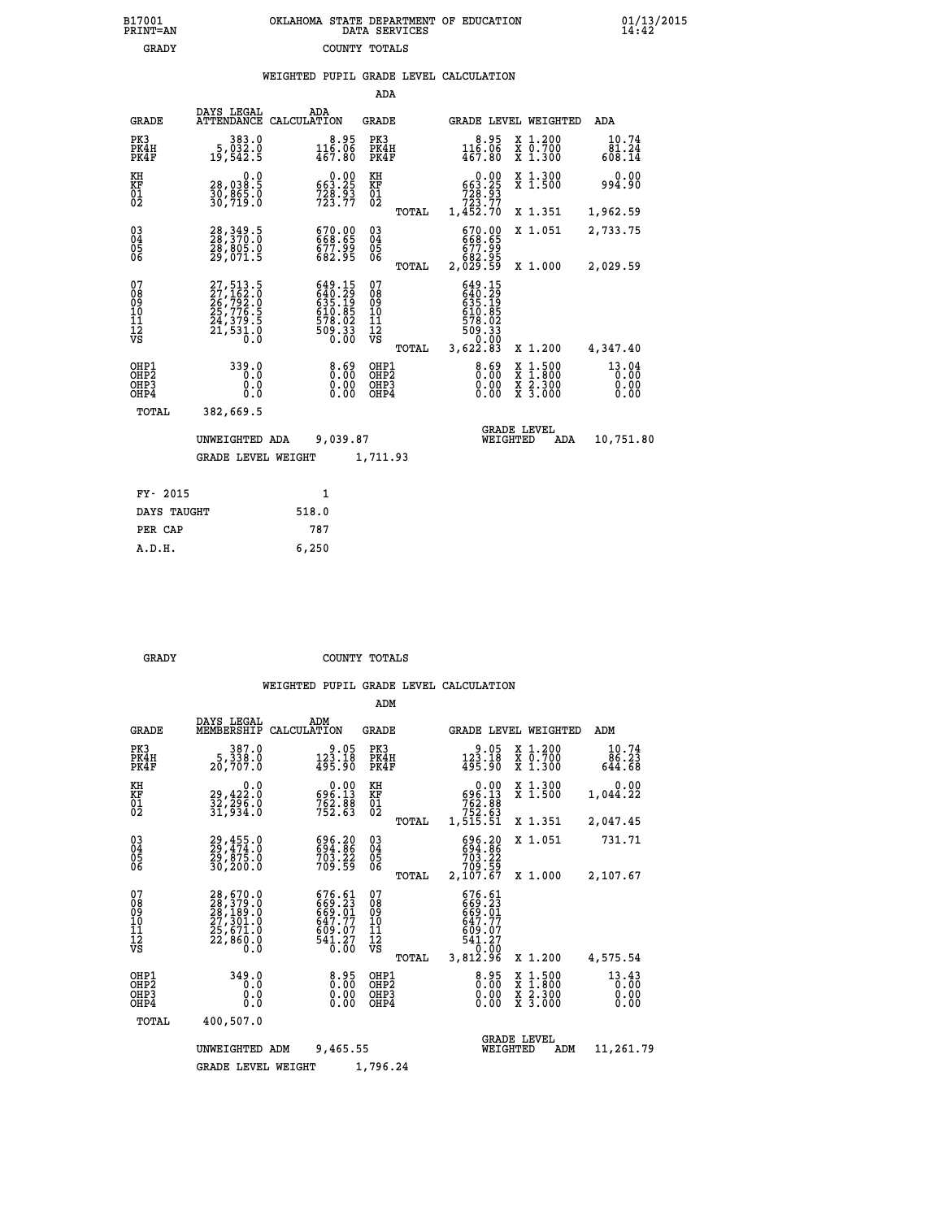|  | OKLAHOMA STATE DEPARTMENT OF EDUCATION<br>DATA SERVICES |  |
|--|---------------------------------------------------------|--|
|  | COUNTY TOTALS                                           |  |

|  |  | WEIGHTED PUPIL GRADE LEVEL CALCULATION |
|--|--|----------------------------------------|
|  |  |                                        |

|                                                                    |                                                                                           |                                                                                                              | ADA                                    |       |                                                                      |                                                                                          |                               |
|--------------------------------------------------------------------|-------------------------------------------------------------------------------------------|--------------------------------------------------------------------------------------------------------------|----------------------------------------|-------|----------------------------------------------------------------------|------------------------------------------------------------------------------------------|-------------------------------|
| <b>GRADE</b>                                                       | DAYS LEGAL                                                                                | ADA<br>ATTENDANCE CALCULATION                                                                                | <b>GRADE</b>                           |       |                                                                      | GRADE LEVEL WEIGHTED                                                                     | ADA                           |
| PK3<br>PK4H<br>PK4F                                                | 383.0<br>5,032.0<br>19,542.5                                                              | 8.95<br>$116.06$<br>$467.80$                                                                                 | PK3<br>PK4H<br>PK4F                    |       | 8.95<br>$116.06$<br>$467.80$                                         | $\begin{smallmatrix} x & 1.200 \\ x & 0.700 \end{smallmatrix}$<br>$X_1.300$              | 10.74<br>81.24<br>608.14      |
| KH<br>KF<br>01<br>02                                               | 0.0<br>28,038.5<br>30,865.0<br>30,719.0                                                   | $0.00$<br>663.25<br>$728.93$<br>$723.77$                                                                     | KH<br>KF<br>01<br>02                   |       | $0.00$<br>663.25<br>$728.93$<br>$723.77$                             | X 1.300<br>X 1.500                                                                       | 0.00<br>994.90                |
|                                                                    |                                                                                           |                                                                                                              |                                        | TOTAL | 1,452.70                                                             | X 1.351                                                                                  | 1,962.59                      |
| $\begin{smallmatrix} 03 \\[-4pt] 04 \end{smallmatrix}$<br>Ŏ5<br>06 | 28, 349.5<br>28, 370.0<br>28, 805.0<br>29, 071.5                                          | 670.00<br>668.65<br>677.99<br>682.95                                                                         | $\substack{03 \\ 04}$<br>Ŏ5<br>06      |       | 670.00<br>668.65<br>677.99<br>682.95<br>2,029.59                     | X 1.051                                                                                  | 2,733.75                      |
|                                                                    |                                                                                           |                                                                                                              |                                        | TOTAL |                                                                      | X 1.000                                                                                  | 2,029.59                      |
| 07<br>08<br>09<br>101<br>11<br>12<br>VS                            | $27,513.5$<br>$27,162.0$<br>$26,792.0$<br>$25,776.5$<br>$24,379.5$<br>$21,531.0$<br>$0.0$ | $\begin{smallmatrix} 649.15\\ 640.29\\ 635.19\\ 635.195\\ 610.85\\ 578.02\\ 509.33\\ 0.00 \end{smallmatrix}$ | 07<br>08<br>09<br>11<br>11<br>12<br>VS |       | 649.15<br>640.29<br>635.195<br>610.85<br>610.85<br>578.023<br>509.33 |                                                                                          |                               |
|                                                                    |                                                                                           |                                                                                                              |                                        | TOTAL | 3,622.83                                                             | X 1.200                                                                                  | 4,347.40                      |
| OHP1<br>OHP <sub>2</sub><br>OH <sub>P3</sub><br>OH <sub>P4</sub>   | 339.0<br>0.0<br>0.0<br>0.0                                                                | 0.69<br>0.00                                                                                                 | OHP1<br>OHP2<br>OHP3<br>OHP4           |       | $8.69$<br>0.00<br>0.00                                               | $\begin{smallmatrix} x & 1.500 \\ x & 1.800 \\ x & 2.300 \\ x & 3.000 \end{smallmatrix}$ | 13.04<br>0.00<br>0.00<br>0.00 |
| TOTAL                                                              | 382,669.5                                                                                 |                                                                                                              |                                        |       |                                                                      |                                                                                          |                               |
|                                                                    | UNWEIGHTED ADA                                                                            | 9,039.87                                                                                                     |                                        |       |                                                                      | <b>GRADE LEVEL</b><br>WEIGHTED<br>ADA                                                    | 10,751.80                     |
|                                                                    | <b>GRADE LEVEL WEIGHT</b>                                                                 |                                                                                                              | 1,711.93                               |       |                                                                      |                                                                                          |                               |
| FY- 2015                                                           |                                                                                           | $\mathbf{1}$                                                                                                 |                                        |       |                                                                      |                                                                                          |                               |
| DAYS TAUGHT                                                        |                                                                                           | 518.0                                                                                                        |                                        |       |                                                                      |                                                                                          |                               |
| PER CAP                                                            |                                                                                           | 787                                                                                                          |                                        |       |                                                                      |                                                                                          |                               |

 **A.D.H. 6,250**

B17001<br>PRINT=AN<br>GRADY

 **GRADY COUNTY TOTALS**

|                                                       |                                                                                           |                                                                         | ADM                                              |                                                                              |                                                                                                  |                               |
|-------------------------------------------------------|-------------------------------------------------------------------------------------------|-------------------------------------------------------------------------|--------------------------------------------------|------------------------------------------------------------------------------|--------------------------------------------------------------------------------------------------|-------------------------------|
| <b>GRADE</b>                                          | DAYS LEGAL<br>MEMBERSHIP                                                                  | ADM<br>CALCULATION                                                      | <b>GRADE</b>                                     | <b>GRADE LEVEL WEIGHTED</b>                                                  |                                                                                                  | ADM                           |
| PK3<br>PK4H<br>PK4F                                   | 387.0<br>5,338.0<br>20,707.0                                                              | 9.05<br>123.18<br>495.90                                                | PK3<br>PK4H<br>PK4F                              | 9.05<br>$123.18$<br>$495.90$                                                 | $\begin{smallmatrix} x & 1.200 \\ x & 0.700 \end{smallmatrix}$<br>X 1.300                        | 10.74<br>86.23<br>644.68      |
| KH<br>KF<br>01<br>02                                  | 0.0<br>29,422:0<br>32,296:0<br>31,934:0                                                   | $\begin{smallmatrix} &0.00\\ 696.13\\ 762.88\\ 752.63\end{smallmatrix}$ | KH<br>KF<br>01<br>02                             | 0.00<br>$596.13$<br>$762.88$<br>$752.63$<br>$1,515.51$                       | X 1.300<br>X 1.500                                                                               | 0.00<br>1,044.22              |
|                                                       |                                                                                           |                                                                         | TOTAL                                            |                                                                              | X 1.351                                                                                          | 2,047.45                      |
| 03<br>04<br>05<br>06                                  | 29,455.0<br>29,474.0<br>29,875.0<br>30,200.0                                              | 696.20<br>694.86<br>703.22<br>709.59                                    | $\substack{03 \\ 04}$<br>0500                    | 696.20<br>694.86<br>703.22<br>709.59                                         | X 1.051                                                                                          | 731.71                        |
|                                                       |                                                                                           |                                                                         | TOTAL                                            | 2,107.67                                                                     | X 1.000                                                                                          | 2,107.67                      |
| 07<br>08<br>09<br>11<br>11<br>12<br>VS                | $28,670.0$<br>$28,379.0$<br>$28,189.0$<br>$27,301.0$<br>$25,671.0$<br>$22,860.0$<br>$0.0$ | 676.61<br>669.23<br>669.01<br>647.77<br>609.07<br>541.27                | 07<br>08<br>09<br>101<br>11<br>12<br>VS<br>TOTAL | 676.61<br>669.23<br>669.01<br>647.77<br>609.07<br>541.27<br>0.00<br>3,812.96 | X 1.200                                                                                          | 4,575.54                      |
| OHP1<br>OH <sub>P</sub> 2<br>OH <sub>P3</sub><br>OHP4 | 349.0<br>0.0<br>0.0<br>Ŏ.Ŏ                                                                | 0.95<br>0.00<br>0.00                                                    | OHP1<br>OHP2<br>OHP3<br>OHP4                     | $0.00$<br>$0.00$<br>0.00                                                     | $\begin{smallmatrix} x & 1 & 500 \\ x & 1 & 800 \\ x & 2 & 300 \\ x & 3 & 000 \end{smallmatrix}$ | 13.43<br>0.00<br>0.00<br>0.00 |
| TOTAL                                                 | 400,507.0                                                                                 |                                                                         |                                                  |                                                                              |                                                                                                  |                               |
|                                                       | UNWEIGHTED ADM                                                                            | 9,465.55                                                                |                                                  | <b>GRADE LEVEL</b><br>WEIGHTED                                               | ADM                                                                                              | 11,261.79                     |
|                                                       | <b>GRADE LEVEL WEIGHT</b>                                                                 |                                                                         | 1,796.24                                         |                                                                              |                                                                                                  |                               |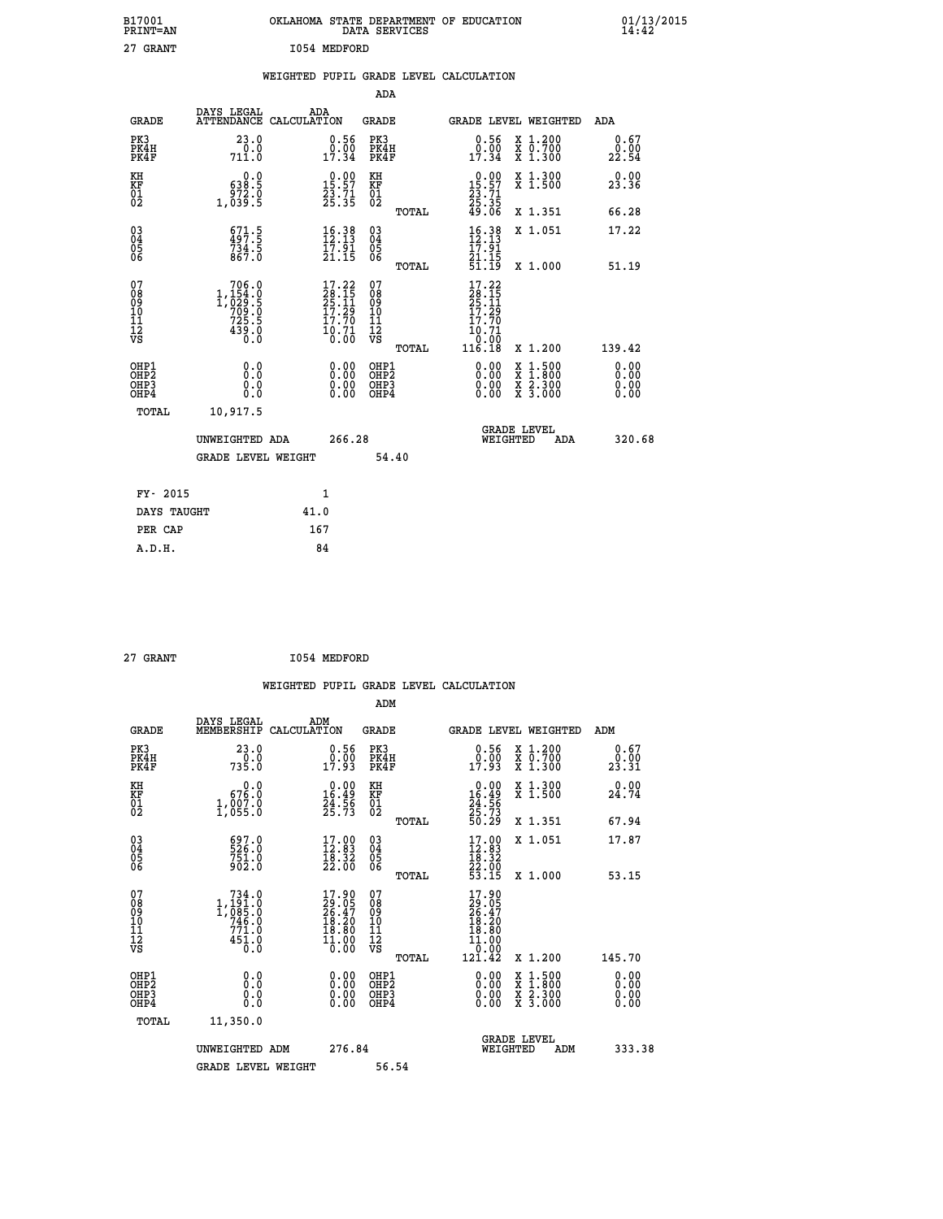| B17001<br>PRINT=AN                                 |                                                                  | OKLAHOMA STATE DEPARTMENT OF EDUCATION DATA SERVICES                                               |                                                    |                                                                              |                                                                                                                                      | $01/13/2015$<br>14:42        |  |
|----------------------------------------------------|------------------------------------------------------------------|----------------------------------------------------------------------------------------------------|----------------------------------------------------|------------------------------------------------------------------------------|--------------------------------------------------------------------------------------------------------------------------------------|------------------------------|--|
| 27 GRANT                                           |                                                                  | 1054 MEDFORD                                                                                       |                                                    |                                                                              |                                                                                                                                      |                              |  |
|                                                    |                                                                  | WEIGHTED PUPIL GRADE LEVEL CALCULATION                                                             |                                                    |                                                                              |                                                                                                                                      |                              |  |
|                                                    |                                                                  |                                                                                                    | ADA                                                |                                                                              |                                                                                                                                      |                              |  |
| <b>GRADE</b>                                       | DAYS LEGAL<br>ATTENDANCE CALCULATION                             | <b>ADA</b>                                                                                         | GRADE                                              | <b>GRADE LEVEL WEIGHTED</b>                                                  |                                                                                                                                      | ADA                          |  |
| PK3<br>PK4H<br>PK4F                                | 23.0<br>711.0                                                    | 0.56<br>$0.00$<br>$17.34$                                                                          | PK3<br>PK4H<br>PK4F                                | 0.56<br>$\frac{0.00}{17.34}$                                                 | X 1.200<br>$\begin{smallmatrix} 7 & 0.700 \\ X & 1.300 \end{smallmatrix}$                                                            | 0.67<br>0.00<br>22.54        |  |
| KH<br>KF<br>$\overline{01}$                        | 0.0<br>638.5<br>972.0                                            | $\begin{smallmatrix} 0.00\\ 15.57\\ 23.71\\ 25.35 \end{smallmatrix}$                               | KH<br>KF<br>01<br>02                               | $\begin{smallmatrix} 0.00\\ 15.57\\ 23.71\\ 25.35\\ 49.06 \end{smallmatrix}$ | X 1.300<br>X 1.500                                                                                                                   | 0.00<br>23.36                |  |
|                                                    | 1,039.5                                                          |                                                                                                    | TOTAL                                              |                                                                              | X 1.351                                                                                                                              | 66.28                        |  |
| $\begin{matrix} 03 \\ 04 \\ 05 \\ 06 \end{matrix}$ | $\frac{671.5}{734.5}$<br>867.0                                   | $16.38$<br>$12.13$<br>17.91<br>21.15                                                               | $\begin{matrix} 03 \\ 04 \\ 05 \\ 06 \end{matrix}$ | $\frac{16}{12}$ : $\frac{38}{13}$<br>17.91<br>21.15                          | X 1.051                                                                                                                              | 17.22                        |  |
|                                                    |                                                                  |                                                                                                    | TOTAL                                              | 51.19                                                                        | X 1.000                                                                                                                              | 51.19                        |  |
| 07<br>08<br>09<br>11<br>11<br>12<br>VS             | 706.0<br>$1,\substack{154\\029\\199}$<br>$725.5$<br>439.0<br>Ō.Ō | $\begin{smallmatrix} 17.22 \\ 28.15 \\ 25.11 \\ 17.29 \\ 17.70 \\ 10.71 \\ 0.00 \end{smallmatrix}$ | 07<br>08<br>09<br>11<br>11<br>VS<br>TOTAL          | 17.22<br>$\frac{26}{25}.15$<br>17.29<br>17.70<br>10.71<br>0.00<br>116.18     | X 1.200                                                                                                                              | 139.42                       |  |
| OHP1<br>OHP2<br>OH <sub>P3</sub><br>OHP4           | 0.0<br>Ŏ.Ŏ<br>0.0<br>0.0                                         | 0.0000<br>0.00<br>0.00                                                                             | OHP1<br>OHP <sub>2</sub><br>OHP3<br>OHP4           | 0.00<br>0.00<br>0.00                                                         | $\begin{smallmatrix} \mathtt{X} & 1 & 500 \\ \mathtt{X} & 1 & 800 \\ \mathtt{X} & 2 & 300 \\ \mathtt{X} & 3 & 000 \end{smallmatrix}$ | 0.00<br>0.00<br>0.00<br>0.00 |  |
| TOTAL                                              | 10,917.5                                                         |                                                                                                    |                                                    |                                                                              |                                                                                                                                      |                              |  |
|                                                    | UNWEIGHTED ADA                                                   | 266.28                                                                                             |                                                    | WEIGHTED                                                                     | <b>GRADE LEVEL</b><br>ADA                                                                                                            | 320.68                       |  |
|                                                    | <b>GRADE LEVEL WEIGHT</b>                                        |                                                                                                    | 54.40                                              |                                                                              |                                                                                                                                      |                              |  |
| FY- 2015                                           |                                                                  | 1                                                                                                  |                                                    |                                                                              |                                                                                                                                      |                              |  |
|                                                    |                                                                  |                                                                                                    |                                                    |                                                                              |                                                                                                                                      |                              |  |

| FY- 2015    |      |
|-------------|------|
| DAYS TAUGHT | 41.0 |
| PER CAP     | 167  |
| A.D.H.      | 84   |
|             |      |

| I054 MEDFORD<br>27 GRANT |
|--------------------------|
|--------------------------|

 **WEIGHTED PUPIL GRADE LEVEL CALCULATION ADM DAYS LEGAL ADM GRADE MEMBERSHIP CALCULATION GRADE GRADE LEVEL WEIGHTED ADM PK3 23.0 0.56 PK3 0.56 X 1.200 0.67 PK4H 0.0 0.00 PK4H 0.00 X 0.700 0.00 PK4F 735.0 17.93 PK4F 17.93 X 1.300 23.31 KH 0.0 0.00 KH 0.00 X 1.300 0.00 KF 676.0 16.49 KF 16.49 X 1.500 24.74 01 1,007.0 24.56 01 24.56 02 1,055.0 25.73 02 25.73 TOTAL 50.29 X 1.351 67.94 03 697.0 17.00 03 17.00 X 1.051 17.87 04 526.0 12.83 04 12.83 05 751.0 18.32 05 18.32 06 902.0 22.00 06 22.00 TOTAL 53.15 X 1.000 53.15** 07 134.0 17.90 07 17.90<br>
08 1,191.0 29.05 08 26.47<br>
10 1,085.0 26.47 09 26.47<br>
10 746.0 18.20 10 18.20<br>
11 771.0 18.80 11 18.20<br>
12 451.0 10.00 VS 0.000<br>
10.00 VS 0.000  **TOTAL 121.42 X 1.200 145.70 OHP1 0.0 0.00 OHP1 0.00 X 1.500 0.00 OHP2 0.0 0.00 OHP2 0.00 X 1.800 0.00 OHP3 0.0 0.00 OHP3 0.00 X 2.300 0.00 OHP4 0.0 0.00 OHP4 0.00 X 3.000 0.00 TOTAL 11,350.0 GRADE LEVEL UNWEIGHTED ADM 276.84 WEIGHTED ADM 333.38 GRADE LEVEL WEIGHT 56.54**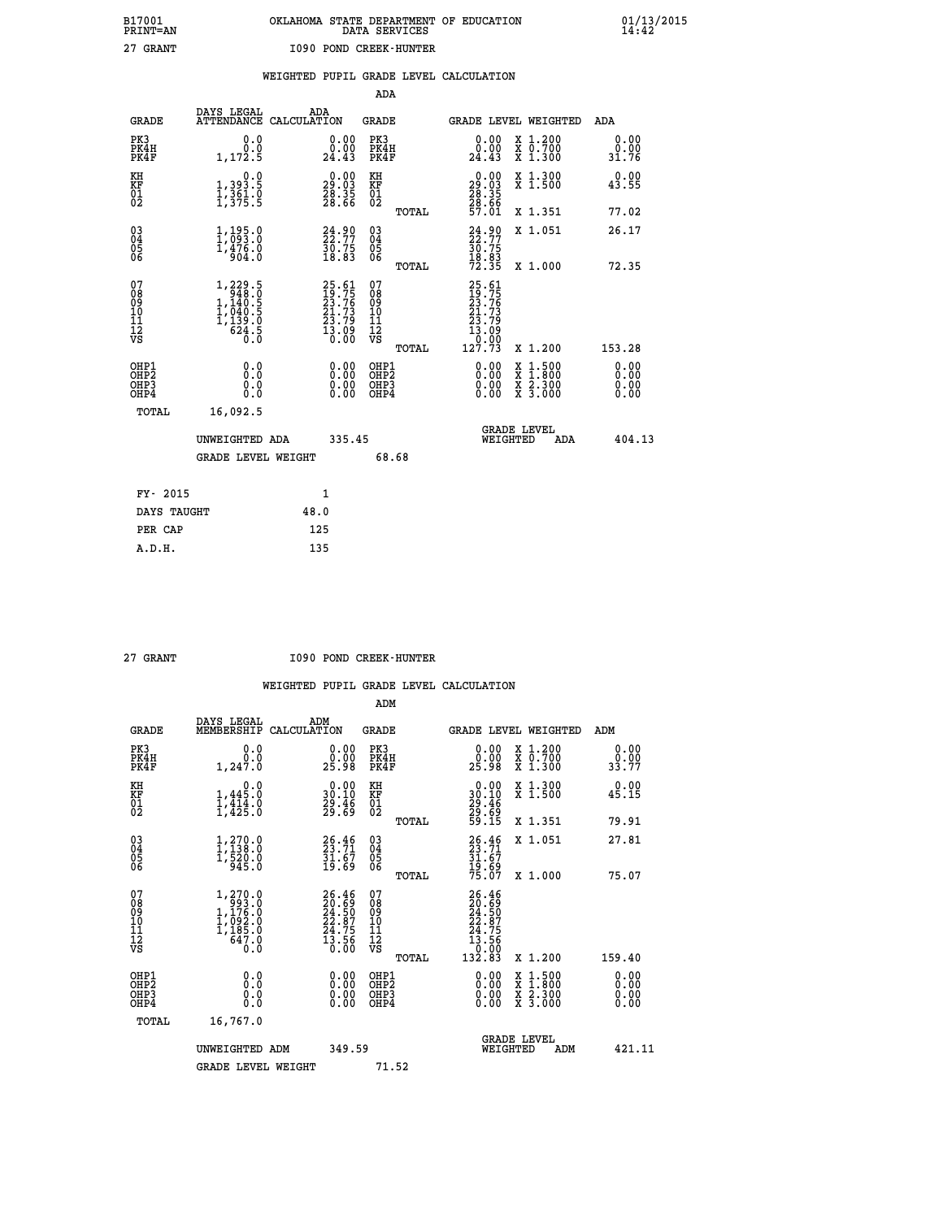|  | OKLAHOMA STATE DEPARTMENT OF EDUCATION<br>DATA SERVICES |  |
|--|---------------------------------------------------------|--|
|  | 1090 POND CREEK-HUNTER                                  |  |

|  |  | WEIGHTED PUPIL GRADE LEVEL CALCULATION |
|--|--|----------------------------------------|
|  |  |                                        |

|                                                                    |                                                                                                     |                                                                          | ADA                                        |                                                                          |                                                                                                  |                              |
|--------------------------------------------------------------------|-----------------------------------------------------------------------------------------------------|--------------------------------------------------------------------------|--------------------------------------------|--------------------------------------------------------------------------|--------------------------------------------------------------------------------------------------|------------------------------|
| <b>GRADE</b>                                                       | DAYS LEGAL                                                                                          | ADA<br>ATTENDANCE CALCULATION                                            | <b>GRADE</b>                               | GRADE LEVEL WEIGHTED                                                     |                                                                                                  | ADA                          |
| PK3<br>PK4H<br>PK4F                                                | 0.0<br>0.0<br>1,172.5                                                                               | 0.00<br>24.43                                                            | PK3<br>PK4H<br>PK4F                        | 0.00<br>ă:≬č<br>24.43                                                    | X 1.200<br>X 0.700<br>X 1.300                                                                    | 0.00<br>0.00<br>31.76        |
| KH<br><b>KF</b><br>01<br>02                                        | 0.0<br>1,393.5<br>1,361.0<br>1,375.5                                                                | $\begin{smallmatrix} 0.00\\29.03\\28.35\\28.66 \end{smallmatrix}$        | KH<br>KF<br>01<br>02                       | $\begin{smallmatrix} 0.00\\29.03\\28.35\\28.66\\57.01 \end{smallmatrix}$ | X 1.300<br>X 1.500                                                                               | 0.00<br>43.55                |
|                                                                    |                                                                                                     |                                                                          | TOTAL                                      |                                                                          | X 1.351                                                                                          | 77.02                        |
| $\begin{smallmatrix} 03 \\[-4pt] 04 \end{smallmatrix}$<br>05<br>06 | 1,195.0<br>1,476.0<br>904.0                                                                         | 24.90<br>22.77<br>30.75<br>18.83                                         | $\substack{03 \\ 04}$<br>05<br>06<br>TOTAL | $24.90$<br>$22.77$<br>$30.75$<br>$18.83$<br>$72.35$                      | X 1.051<br>X 1.000                                                                               | 26.17<br>72.35               |
| 07<br>08901112<br>1112<br>VS                                       | $\begin{smallmatrix} 1,229.5\\ 948.0\\ 1,140.5\\ 1,040.5\\ 1,039.0\\ 624.5\\ 0.0 \end{smallmatrix}$ | $25.61$<br>$19.75$<br>$23.76$<br>$21.73$<br>$23.79$<br>$13.09$<br>$0.00$ | 07<br>08901112<br>1112<br>VS               | 25.61<br>19.75<br>23.76<br>21.73<br>23.79<br>13.09<br>3.99               |                                                                                                  |                              |
|                                                                    |                                                                                                     |                                                                          | TOTAL                                      | 127.73                                                                   | X 1.200                                                                                          | 153.28                       |
| OHP1<br>OH <sub>P</sub> 2<br>OH <sub>P3</sub><br>OH <sub>P4</sub>  | 0.0<br>0.0<br>0.0                                                                                   | 0.00<br>$\begin{smallmatrix} 0.00 \ 0.00 \end{smallmatrix}$              | OHP1<br>OHP <sub>2</sub><br>OHP3<br>OHP4   | 0.00<br>0.00<br>0.00                                                     | $\begin{smallmatrix} x & 1 & 500 \\ x & 1 & 800 \\ x & 2 & 300 \\ x & 3 & 000 \end{smallmatrix}$ | 0.00<br>0.00<br>0.00<br>0.00 |
| TOTAL                                                              | 16,092.5                                                                                            |                                                                          |                                            |                                                                          |                                                                                                  |                              |
|                                                                    | UNWEIGHTED ADA                                                                                      | 335.45                                                                   |                                            | GRADE LEVEL<br>WEIGHTED                                                  | ADA                                                                                              | 404.13                       |
|                                                                    | <b>GRADE LEVEL WEIGHT</b>                                                                           |                                                                          | 68.68                                      |                                                                          |                                                                                                  |                              |
|                                                                    | FY- 2015                                                                                            | $\mathbf{1}$                                                             |                                            |                                                                          |                                                                                                  |                              |
|                                                                    | DAYS TAUGHT                                                                                         | 48.0                                                                     |                                            |                                                                          |                                                                                                  |                              |
|                                                                    | PER CAP                                                                                             | 125                                                                      |                                            |                                                                          |                                                                                                  |                              |

| ÷<br>атгп<br>. . |
|------------------|
|                  |
|                  |

 **A.D.H. 135**

 **B17001<br>PRINT=AN<br>27 GRANT** 

 **27 GRANT I090 POND CREEK-HUNTER**

|                                                      |                                                                                                     |                                                                      | ADM                                                |                                                                              |                                          |                              |
|------------------------------------------------------|-----------------------------------------------------------------------------------------------------|----------------------------------------------------------------------|----------------------------------------------------|------------------------------------------------------------------------------|------------------------------------------|------------------------------|
| <b>GRADE</b>                                         | DAYS LEGAL<br>MEMBERSHIP                                                                            | ADM<br>CALCULATION                                                   | <b>GRADE</b>                                       | <b>GRADE LEVEL WEIGHTED</b>                                                  |                                          | ADM                          |
| PK3<br>PK4H<br>PK4F                                  | 0.0<br>ة:ة<br>1,247.0                                                                               | $\begin{smallmatrix} 0.00\\ 0.00\\ 25.98 \end{smallmatrix}$          | PK3<br>PK4H<br>PK4F                                | $\begin{smallmatrix} 0.00\\ 0.00\\ 25.98 \end{smallmatrix}$                  | X 1.200<br>X 0.700<br>X 1.300            | 0.00<br>0.00<br>33.77        |
| KH<br>KF<br>01<br>02                                 | 0.0<br>$1,445.0$<br>$1,414.0$<br>$1,425.0$                                                          | $\begin{smallmatrix} 0.00\\ 30.10\\ 29.46\\ 29.69 \end{smallmatrix}$ | KH<br>KF<br>01<br>02                               | $\begin{smallmatrix} 0.00\\ 30.10\\ 29.46\\ 29.69\\ 59.15 \end{smallmatrix}$ | X 1.300<br>X 1.500                       | 0.00<br>45.15                |
|                                                      |                                                                                                     |                                                                      | TOTAL                                              |                                                                              | X 1.351                                  | 79.91                        |
| 03<br>04<br>05<br>06                                 | $\begin{smallmatrix} 1,270.0\\ 1,138.0\\ 1,520.0\\ 945.0 \end{smallmatrix}$                         | 26.46<br>$\frac{51.67}{19.69}$                                       | $\begin{matrix} 03 \\ 04 \\ 05 \\ 06 \end{matrix}$ | 26.46<br>23.71<br>31.67<br>31.69<br>19.69                                    | X 1.051                                  | 27.81                        |
|                                                      |                                                                                                     |                                                                      | TOTAL                                              |                                                                              | X 1.000                                  | 75.07                        |
| 07<br>08<br>09<br>101<br>112<br>VS                   | $\begin{smallmatrix} 1,270.0\\ 993.0\\ 1,176.0\\ 1,092.0\\ 1,185.0\\ 647.0\\ 0.0 \end{smallmatrix}$ | $26.46$<br>$20.69$<br>$24.50$<br>$22.87$<br>$24.75$<br>$13.56$       | 07<br>08<br>09<br>11<br>11<br>12<br>VS             | $26.46$<br>$24.50$<br>$24.75$<br>$24.75$<br>$13.56$<br>$132.83$              |                                          |                              |
|                                                      |                                                                                                     |                                                                      | TOTAL                                              |                                                                              | X 1.200                                  | 159.40                       |
| OHP1<br>OHP2<br>OHP <sub>3</sub><br>OH <sub>P4</sub> | 0.0<br>$\begin{smallmatrix} 0.0 & 0 \ 0.0 & 0 \end{smallmatrix}$                                    |                                                                      | OHP1<br>OHP2<br>OHP <sub>3</sub>                   | $0.00$<br>$0.00$<br>0.00                                                     | X 1:500<br>X 1:800<br>X 2:300<br>X 3:000 | 0.00<br>0.00<br>0.00<br>0.00 |
| TOTAL                                                | 16,767.0                                                                                            |                                                                      |                                                    |                                                                              |                                          |                              |
|                                                      | UNWEIGHTED ADM                                                                                      | 349.59                                                               |                                                    | WEIGHTED                                                                     | <b>GRADE LEVEL</b><br>ADM                | 421.11                       |
|                                                      | <b>GRADE LEVEL WEIGHT</b>                                                                           |                                                                      | 71.52                                              |                                                                              |                                          |                              |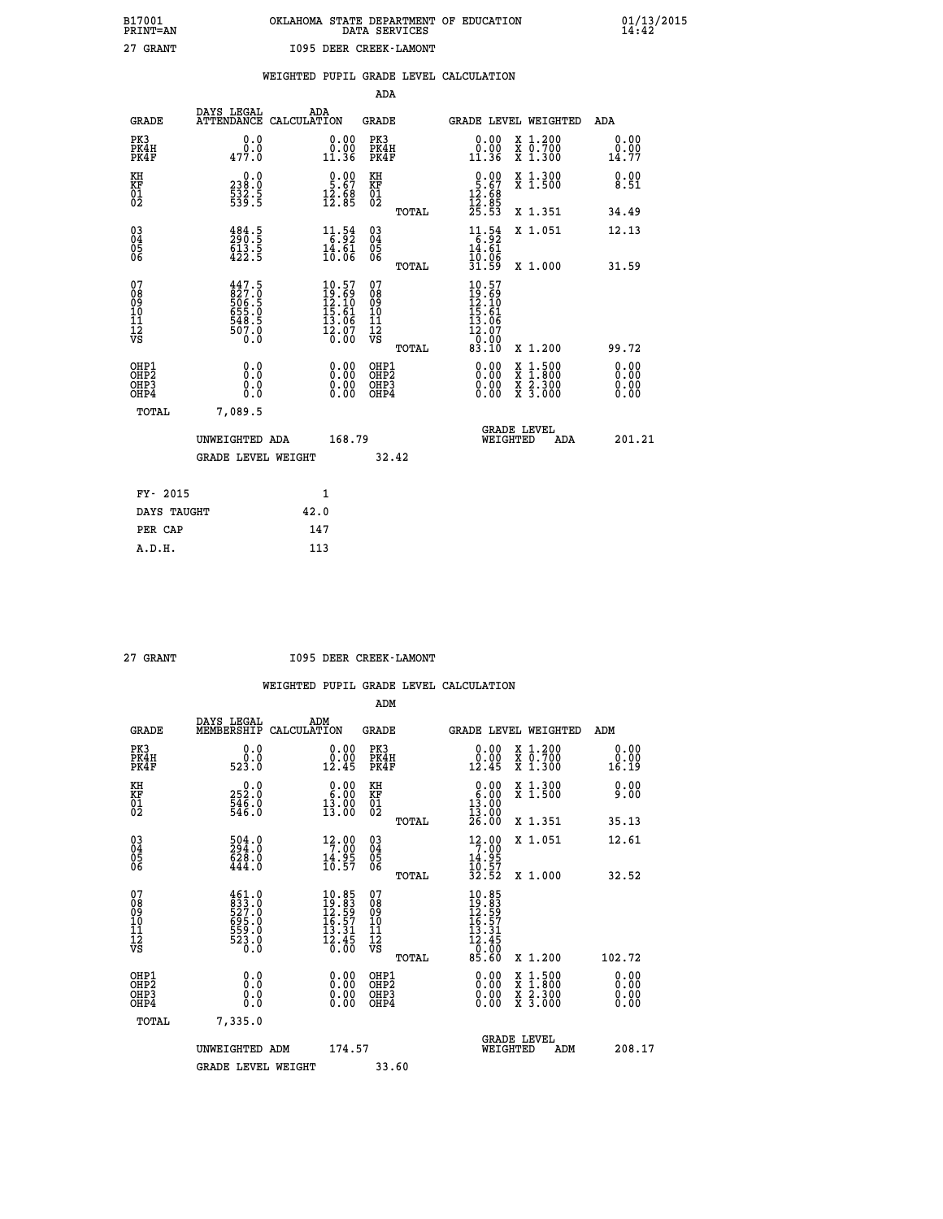| OKLAHOMA STATE DEPARTMENT OF EDUCATION<br>DATA SERVICES |  |
|---------------------------------------------------------|--|
| 1095 DEER CREEK-LAMONT                                  |  |

|  |  | WEIGHTED PUPIL GRADE LEVEL CALCULATION |
|--|--|----------------------------------------|
|  |  |                                        |

|                                                                    |                                                                                         |              |                                                                                                          | ADA                                       |       |                                                                          |                                          |                              |
|--------------------------------------------------------------------|-----------------------------------------------------------------------------------------|--------------|----------------------------------------------------------------------------------------------------------|-------------------------------------------|-------|--------------------------------------------------------------------------|------------------------------------------|------------------------------|
| <b>GRADE</b>                                                       | DAYS LEGAL<br>ATTENDANCE CALCULATION                                                    | ADA          |                                                                                                          | <b>GRADE</b>                              |       |                                                                          | GRADE LEVEL WEIGHTED                     | ADA                          |
| PK3<br>PK4H<br>PK4F                                                | 0.0<br>477.0                                                                            |              | $\begin{smallmatrix} 0.00\\ 0.00\\ 11.36 \end{smallmatrix}$                                              | PK3<br>PK4H<br>PK4F                       |       | 0.00<br>ŏ:ŏŏ<br>11:36                                                    | X 1.200<br>X 0.700<br>X 1.300            | 0.00<br>0.00<br>14.77        |
| KH<br>KF<br>01<br>02                                               | 0.0<br>238:0<br>532:5<br>539:5                                                          |              | $0.00$<br>5.67<br>$\frac{12.88}{12.85}$                                                                  | KH<br>KF<br>01<br>02                      |       | $\begin{array}{c} 0.00 \\ 5.67 \\ 12.68 \\ 12.85 \\ 25.53 \end{array}$   | X 1.300<br>X 1.500                       | 0.00<br>8.51                 |
|                                                                    |                                                                                         |              |                                                                                                          |                                           | TOTAL |                                                                          | X 1.351                                  | 34.49                        |
| $\begin{smallmatrix} 03 \\[-4pt] 04 \end{smallmatrix}$<br>Ŏ5<br>06 | $\begin{smallmatrix} 4\,84\cdot5\\ 290\cdot5\\ 613\cdot5\\ 422\cdot5 \end{smallmatrix}$ |              | $\begin{array}{r} 11\cdot 54\\[-1.2mm] 14\cdot 61\\[-1.2mm] 10\cdot 06\end{array}$                       | $\substack{03 \\ 04}$<br>05<br>06         |       | 11.54<br>$\frac{14.61}{10.06}$                                           | X 1.051                                  | 12.13                        |
|                                                                    |                                                                                         |              |                                                                                                          |                                           | TOTAL | 31.59                                                                    | X 1.000                                  | 31.59                        |
| 07<br>08901112<br>1112<br>VS                                       | 447.5<br>827.0<br>506.5<br>5655.0<br>6548.5<br>507.0<br>0.0                             |              | $10.57$<br>$19.69$<br>$12.10$<br>$15.61$<br>$13.06$<br>$\frac{1}{2} \cdot \frac{0}{0} \cdot \frac{7}{0}$ | 07<br>08<br>09<br>11<br>11<br>12<br>VS    |       | $10.57$<br>$12.10$<br>$12.10$<br>$15.61$<br>$13.06$<br>$12.07$<br>$0.90$ |                                          |                              |
|                                                                    |                                                                                         |              |                                                                                                          |                                           | TOTAL | 83.10                                                                    | X 1.200                                  | 99.72                        |
| OHP1<br>OH <sub>P</sub> 2<br>OH <sub>P3</sub><br>OH <sub>P4</sub>  | 0.0<br>0.0<br>0.0                                                                       |              | 0.00<br>$\begin{smallmatrix} 0.00 \ 0.00 \end{smallmatrix}$                                              | OHP1<br>OH <sub>P</sub> 2<br>OHP3<br>OHP4 |       | 0.00<br>0.00<br>0.00                                                     | X 1:500<br>X 1:800<br>X 2:300<br>X 3:000 | 0.00<br>0.00<br>0.00<br>0.00 |
| TOTAL                                                              | 7,089.5                                                                                 |              |                                                                                                          |                                           |       |                                                                          |                                          |                              |
|                                                                    | UNWEIGHTED ADA                                                                          |              | 168.79                                                                                                   |                                           |       |                                                                          | GRADE LEVEL<br>WEIGHTED<br>ADA           | 201.21                       |
|                                                                    | <b>GRADE LEVEL WEIGHT</b>                                                               |              |                                                                                                          | 32.42                                     |       |                                                                          |                                          |                              |
| FY- 2015                                                           |                                                                                         | $\mathbf{1}$ |                                                                                                          |                                           |       |                                                                          |                                          |                              |
| DAYS TAUGHT                                                        |                                                                                         | 42.0         |                                                                                                          |                                           |       |                                                                          |                                          |                              |
| PER CAP                                                            |                                                                                         | 147          |                                                                                                          |                                           |       |                                                                          |                                          |                              |

| ъ          |
|------------|
| 1.NTM<br>≏ |
|            |

 **A.D.H. 113**

 **B17001<br>PRINT=AN<br>27 GRANT** 

 **27 GRANT I095 DEER CREEK-LAMONT**

|                                                      |                                                                       |                                                                                                  | ADM                                                 |                                                                                                                  |                                          |                       |
|------------------------------------------------------|-----------------------------------------------------------------------|--------------------------------------------------------------------------------------------------|-----------------------------------------------------|------------------------------------------------------------------------------------------------------------------|------------------------------------------|-----------------------|
| <b>GRADE</b>                                         | DAYS LEGAL<br>MEMBERSHIP                                              | ADM<br>CALCULATION                                                                               | <b>GRADE</b>                                        | GRADE LEVEL WEIGHTED                                                                                             |                                          | ADM                   |
| PK3<br>PK4H<br>PK4F                                  | 0.0<br>ة:ة<br>523.0                                                   | 0.00<br>12.45                                                                                    | PK3<br>PK4H<br>PK4F                                 | $\begin{smallmatrix} 0.00\\ 0.00\\ 12.45 \end{smallmatrix}$                                                      | X 1.200<br>X 0.700<br>X 1.300            | 0.00<br>0.00<br>16.19 |
| KH<br>KF<br>01<br>02                                 | $\begin{smallmatrix} 0.0\\ 252.0\\ 546.0\\ 546.0\\ \end{smallmatrix}$ | $\begin{smallmatrix} 0.00\\ 6.00\\ 13.00\\ 13.00 \end{smallmatrix}$                              | KH<br>KF<br>01<br>02                                | $\begin{smallmatrix} 0.00\\ 6.00\\ 13.00\\ 13.00\\ 26.00 \end{smallmatrix}$                                      | X 1.300<br>X 1.500                       | 0.00<br>9.00          |
|                                                      |                                                                       |                                                                                                  | TOTAL                                               |                                                                                                                  | X 1.351                                  | 35.13                 |
| 03<br>04<br>05<br>06                                 | 504:0<br>294:0<br>628:0<br>444.0                                      | 12.00<br>$\frac{14.95}{10.57}$                                                                   | $\begin{array}{c} 03 \\ 04 \\ 05 \\ 06 \end{array}$ | 12.00<br>$\frac{14.95}{10.57}$<br>32.52                                                                          | X 1.051                                  | 12.61                 |
|                                                      |                                                                       |                                                                                                  | TOTAL                                               |                                                                                                                  | X 1.000                                  | 32.52                 |
| 07<br>08<br>09<br>101<br>112<br>VS                   | 461.0<br>833.0<br>527.0<br>525.0<br>559.0<br>523.0<br>6.0             | $\begin{array}{l} 10.85 \\ 19.83 \\ 12.59 \\ 16.57 \\ 13.31 \end{array}$<br>$\frac{15.45}{0.00}$ | 07<br>08<br>09<br>11<br>11<br>12<br>VS<br>TOTAL     | $\begin{smallmatrix} 10.85 \\ 19.83 \\ 12.59 \\ 16.57 \\ 16.31 \\ 12.45 \\ 0 \\ 0 \\ \end{smallmatrix}$<br>85.60 | X 1.200                                  | 102.72                |
| OHP1<br>OHP2<br>OH <sub>P3</sub><br>OH <sub>P4</sub> | 0.0<br>0.000                                                          |                                                                                                  | OHP1<br>OHP2<br>OHP <sub>3</sub>                    | $0.00$<br>$0.00$<br>0.00                                                                                         | X 1:500<br>X 1:800<br>X 2:300<br>X 3:000 | 0.00<br>0.00<br>0.00  |
| TOTAL                                                | 7,335.0                                                               |                                                                                                  |                                                     |                                                                                                                  |                                          |                       |
|                                                      | UNWEIGHTED ADM                                                        | 174.57                                                                                           |                                                     |                                                                                                                  | GRADE LEVEL<br>WEIGHTED<br>ADM           | 208.17                |
|                                                      | <b>GRADE LEVEL WEIGHT</b>                                             |                                                                                                  | 33.60                                               |                                                                                                                  |                                          |                       |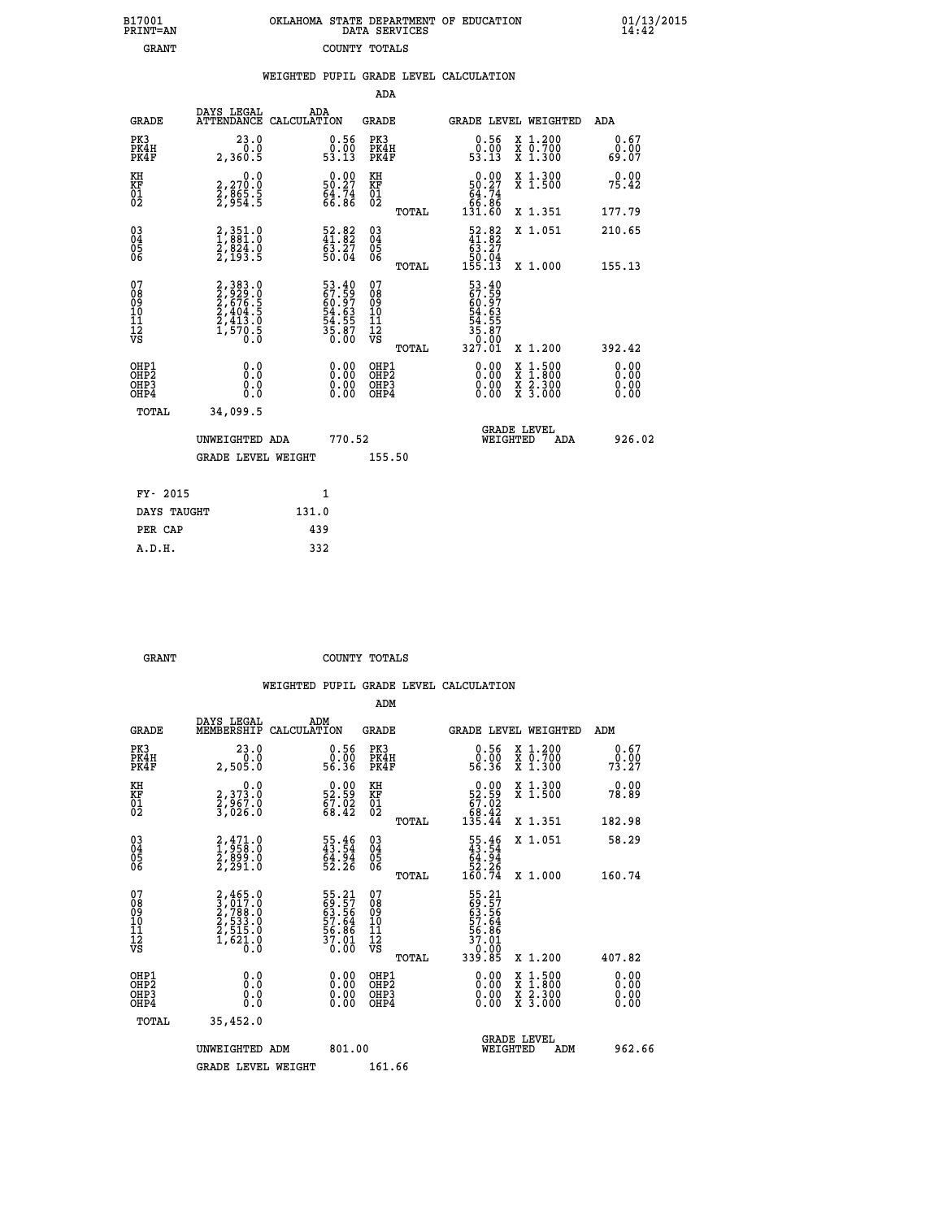|  | OKLAHOMA STATE DEPARTMENT OF EDUCATION<br>DATA SERVICES |  |
|--|---------------------------------------------------------|--|
|  | COUNTY TOTALS                                           |  |

| B17001<br><b>PRINT=AN</b>                                          |                                                                | OKLAHOMA STATE DEPARTMENT OF EDUCATION                               | DATA SERVICES                                      |       |                                                                                                     |                                                                                          | $\frac{01}{14}:$ $\frac{13}{42}$ |
|--------------------------------------------------------------------|----------------------------------------------------------------|----------------------------------------------------------------------|----------------------------------------------------|-------|-----------------------------------------------------------------------------------------------------|------------------------------------------------------------------------------------------|----------------------------------|
| <b>GRANT</b>                                                       |                                                                |                                                                      | COUNTY TOTALS                                      |       |                                                                                                     |                                                                                          |                                  |
|                                                                    |                                                                | WEIGHTED PUPIL GRADE LEVEL CALCULATION                               | <b>ADA</b>                                         |       |                                                                                                     |                                                                                          |                                  |
| <b>GRADE</b>                                                       | DAYS LEGAL                                                     | ADA<br>ATTENDANCE CALCULATION                                        | <b>GRADE</b>                                       |       |                                                                                                     | GRADE LEVEL WEIGHTED                                                                     | ADA                              |
| PK3<br>PK4H<br>PK4F                                                | 23.0<br>0.0<br>2,360.5                                         | $\begin{smallmatrix} 0.56\\ 0.00\\ 53.13 \end{smallmatrix}$          | PK3<br>PK4H<br>PK4F                                |       | $\begin{smallmatrix} 0.56\ 0.00 \ 53.13 \end{smallmatrix}$                                          | X 1.200<br>X 0.700<br>X 1.300                                                            | 0.67<br>0.00<br>69.07            |
| KH<br>KF<br>01<br>02                                               | 0.0<br>2,270.0<br>2,865.5<br>2,954.5                           | $\begin{smallmatrix} 0.00\\ 50.27\\ 64.74\\ 66.86 \end{smallmatrix}$ | KH<br>KF<br>01<br>02                               |       | 0.00<br>$50.27$<br>64.74<br>66.86<br>131.60                                                         | X 1.300<br>X 1.500                                                                       | 0.00<br>75.42                    |
|                                                                    |                                                                |                                                                      |                                                    | TOTAL |                                                                                                     | X 1.351                                                                                  | 177.79                           |
| $\begin{smallmatrix} 03 \\[-4pt] 04 \end{smallmatrix}$<br>Ŏ5<br>ŎĞ | 2,351.0<br>1,881.0<br>2,824.0<br>2,193.5                       | $\begin{smallmatrix} 52.82\ 41.82\ 63.27\ 50.04\ \end{smallmatrix}$  | $\begin{matrix} 03 \\ 04 \\ 05 \\ 06 \end{matrix}$ |       | $\begin{smallmatrix} 52.82\\ 41.82\\ 63.27\\ 50.04\\ 155.13\\ \end{smallmatrix}$                    | X 1.051                                                                                  | 210.65                           |
|                                                                    |                                                                |                                                                      |                                                    | TOTAL |                                                                                                     | X 1.000                                                                                  | 155.13                           |
| 07<br>08<br>09<br>101<br>112<br>VS                                 | 2,383.0<br>2,929.0<br>2,676.5<br>2,404.5<br>2,413.0<br>1,570.5 | 53.40<br>67.59<br>60.97<br>54.63<br>54.55<br>55.87<br>35.87          | 07<br>08<br>09<br>11<br>11<br>12<br>VS             | TOTAL | 53.40<br>$\frac{67.59}{60.97}$<br>$\frac{54.63}{54.55}$<br>$\frac{54.55}{35.87}$<br>0,0;0<br>327.01 | X 1.200                                                                                  | 392.42                           |
| OHP1<br>OHP <sub>2</sub><br>OH <sub>P3</sub><br>OHP4               | 0.0<br>Ŏ.Ŏ<br>0.0<br>0.0                                       | 0.00<br>0.00<br>0.00                                                 | OHP1<br>OHP2<br>OHP3<br>OHP4                       |       | 0.00<br>0.00<br>0.00                                                                                | $\begin{smallmatrix} x & 1.500 \\ x & 1.800 \\ x & 2.300 \\ x & 3.000 \end{smallmatrix}$ | 0.00<br>ŏ:ŏŏ<br>0.00<br>0.00     |
| TOTAL                                                              | 34,099.5                                                       |                                                                      |                                                    |       |                                                                                                     |                                                                                          |                                  |
|                                                                    | UNWEIGHTED ADA                                                 | 770.52                                                               |                                                    |       |                                                                                                     | <b>GRADE LEVEL</b><br>WEIGHTED<br>ADA                                                    | 926.02                           |
|                                                                    | <b>GRADE LEVEL WEIGHT</b>                                      |                                                                      | 155.50                                             |       |                                                                                                     |                                                                                          |                                  |
| FY- 2015                                                           |                                                                | 1                                                                    |                                                    |       |                                                                                                     |                                                                                          |                                  |
| DAYS TAUGHT                                                        |                                                                | 131.0                                                                |                                                    |       |                                                                                                     |                                                                                          |                                  |
| PER CAP                                                            |                                                                | 439                                                                  |                                                    |       |                                                                                                     |                                                                                          |                                  |

GRANT **GRANT** COUNTY TOTALS

 **A.D.H. 332**

|                                          |                                                                                     |                                                                      | ADM                                                 |       |                                                                               |                                          |                        |
|------------------------------------------|-------------------------------------------------------------------------------------|----------------------------------------------------------------------|-----------------------------------------------------|-------|-------------------------------------------------------------------------------|------------------------------------------|------------------------|
| <b>GRADE</b>                             | DAYS LEGAL<br>MEMBERSHIP                                                            | ADM<br>CALCULATION                                                   | <b>GRADE</b>                                        |       |                                                                               | <b>GRADE LEVEL WEIGHTED</b>              | ADM                    |
| PK3<br>PK4H<br>PK4F                      | 23.0<br>2,505.0                                                                     | $\begin{smallmatrix} 0.56 \\ 0.00 \\ 56.36 \end{smallmatrix}$        | PK3<br>PK4H<br>PK4F                                 |       | $\begin{smallmatrix} 0.56 \\ 0.00 \\ 56.36 \end{smallmatrix}$                 | X 1.200<br>X 0.700<br>X 1.300            | 0.67<br>79:00<br>73:27 |
| KH<br>KF<br>01<br>02                     | 0.0<br>2,373.0<br>2,967.0<br>3,026.0                                                | $\begin{smallmatrix} 0.00\\ 52.59\\ 67.02\\ 68.42 \end{smallmatrix}$ | KH<br>KF<br>01<br>02                                |       | $\begin{smallmatrix} &0.00\\ 52.59\\ 67.02\\ 68.42\\ 135.44\end{smallmatrix}$ | X 1.300<br>X 1.500                       | 0.00<br>78.89          |
|                                          |                                                                                     |                                                                      |                                                     | TOTAL |                                                                               | X 1.351                                  | 182.98                 |
| 03<br>04<br>05<br>06                     | 2,471.0<br>1,958.0<br>2,899.0<br>2,291.0                                            | 55.46<br>43.54<br>64.94<br>52.26                                     | $\begin{array}{c} 03 \\ 04 \\ 05 \\ 06 \end{array}$ |       | $55.46$<br>$43.54$<br>$64.94$<br>$52.26$<br>$160.74$                          | X 1.051                                  | 58.29                  |
|                                          |                                                                                     |                                                                      |                                                     | TOTAL |                                                                               | X 1.000                                  | 160.74                 |
| 07<br>08<br>09<br>101<br>112<br>VS       | $2,465.0$<br>$3,717.0$<br>$2,788.0$<br>$2,533.0$<br>$2,515.0$<br>$1,621.0$<br>$0.0$ | 55.21<br>69.57<br>63.56<br>57.64<br>56.86<br>56.01<br>37.01          | 07<br>08<br>09<br>11<br>11<br>12<br>VS              |       | 55.21<br>69.57<br>63.564<br>57.64<br>56.861<br>53.01<br>33.85                 |                                          |                        |
|                                          |                                                                                     |                                                                      |                                                     | TOTAL |                                                                               | X 1.200                                  | 407.82                 |
| OHP1<br>OHP2<br>OHP <sub>3</sub><br>OHP4 |                                                                                     |                                                                      | OHP1<br>OHP2<br>OHP <sub>3</sub>                    |       | $0.00$<br>$0.00$<br>0.00                                                      | X 1:500<br>X 1:800<br>X 2:300<br>X 3:000 | 0.00<br>0.00<br>0.00   |
| TOTAL                                    | 35,452.0                                                                            |                                                                      |                                                     |       |                                                                               |                                          |                        |
|                                          | UNWEIGHTED<br>ADM                                                                   | 801.00                                                               |                                                     |       |                                                                               | GRADE LEVEL<br>WEIGHTED<br>ADM           | 962.66                 |
|                                          | <b>GRADE LEVEL WEIGHT</b>                                                           |                                                                      | 161.66                                              |       |                                                                               |                                          |                        |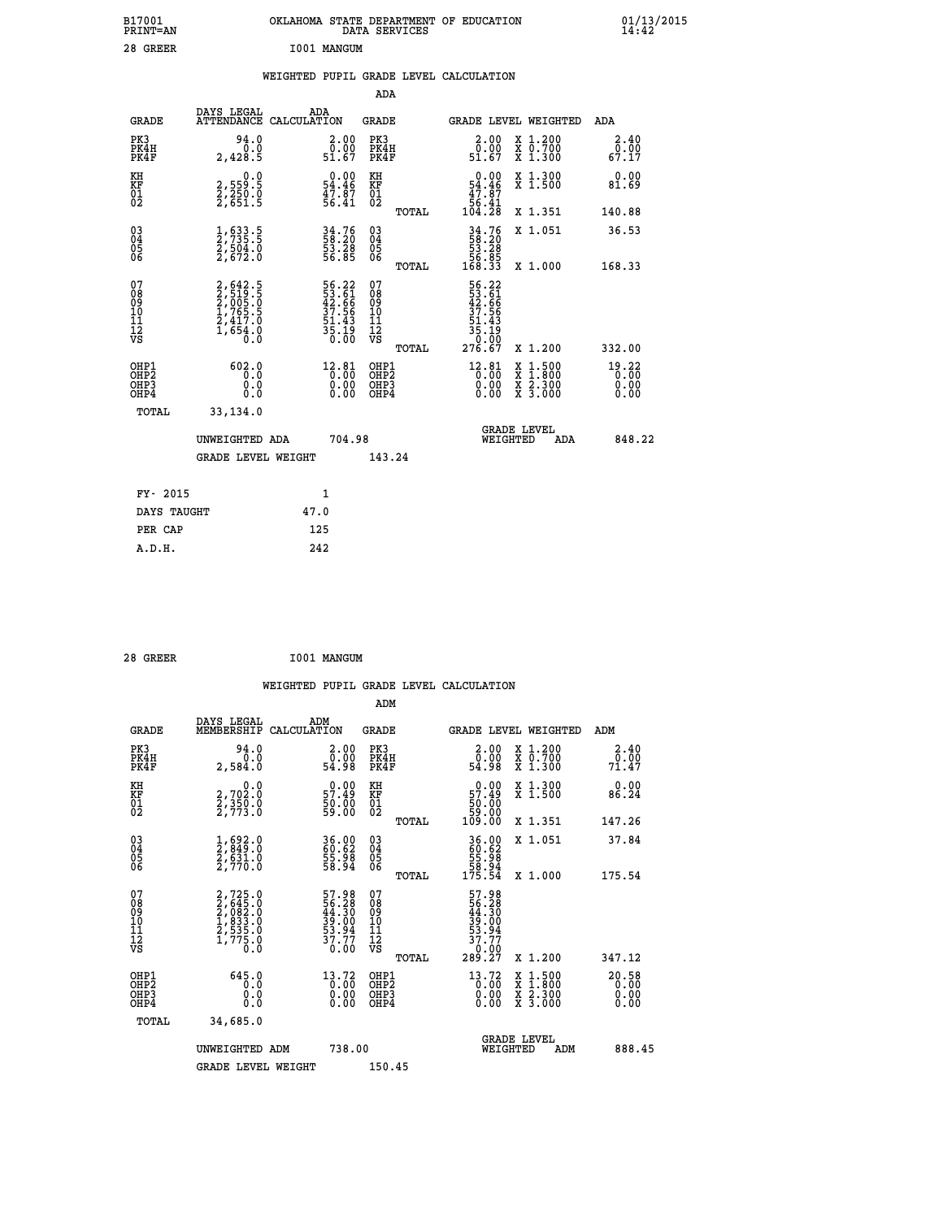| B17001<br>PRINT=AN                        |                                                                                                               | OKLAHOMA STATE DEPARTMENT OF EDUCATION                      | DATA SERVICES                                      |                                                           |                                                                                                  | $01/13/2015$<br>14:42         |
|-------------------------------------------|---------------------------------------------------------------------------------------------------------------|-------------------------------------------------------------|----------------------------------------------------|-----------------------------------------------------------|--------------------------------------------------------------------------------------------------|-------------------------------|
| 28 GREER                                  |                                                                                                               | I001 MANGUM                                                 |                                                    |                                                           |                                                                                                  |                               |
|                                           |                                                                                                               | WEIGHTED PUPIL GRADE LEVEL CALCULATION                      |                                                    |                                                           |                                                                                                  |                               |
|                                           |                                                                                                               |                                                             | ADA                                                |                                                           |                                                                                                  |                               |
| <b>GRADE</b>                              | DAYS LEGAL                                                                                                    | ADA<br>ATTENDANCE CALCULATION                               | GRADE                                              |                                                           | GRADE LEVEL WEIGHTED                                                                             | <b>ADA</b>                    |
| PK3<br>PK4H<br>PK4F                       | 94.0<br>0.0<br>2,428.5                                                                                        | 2.00<br>0.00<br>51.67                                       | PK3<br>PK4H<br>PK4F                                | 2.00<br>0.00<br>51.67                                     | X 1.200<br>X 0.700<br>X 1.300                                                                    | 2.40<br>0.00<br>67.17         |
| KH<br>KF<br>$\frac{01}{02}$               | 0.0<br>2,559:5<br>2,250:0<br>2,651:5                                                                          | $0.00$<br>54.46<br>47.87<br>56.41                           | KH<br>KF<br>$\begin{matrix} 01 \ 02 \end{matrix}$  | $0.00$<br>54.46<br>$\frac{47.87}{56.41}$                  | X 1.300<br>X 1.500                                                                               | 0.00<br>81.69                 |
|                                           |                                                                                                               |                                                             | TOTAL                                              | 104.28                                                    | X 1.351                                                                                          | 140.88                        |
| $\substack{03 \ 04}$<br>ŏ5<br>06          | 1,633.5<br>2,735.5<br>2,504.0<br>2,672.0                                                                      | 34.76<br>58.20<br>53.28<br>56.85                            | $\begin{matrix} 03 \\ 04 \\ 05 \\ 06 \end{matrix}$ | $34.76$<br>58.20<br>53.28<br>56.85<br>56.33               | X 1.051                                                                                          | 36.53                         |
|                                           |                                                                                                               |                                                             | TOTAL                                              |                                                           | X 1.000                                                                                          | 168.33                        |
| 07<br>08<br>09<br>11<br>11<br>12<br>VS    | $\begin{smallmatrix} 2, 642.5\\ 2, 519.5\\ 2, 005.0\\ 1, 765.5\\ 2, 417.0\\ 1, 654.0\\ 0.0 \end{smallmatrix}$ | 56.22<br>53.61<br>42.66<br>37.56<br>51.43<br>55.19<br>35.19 | 07<br>08<br>09<br>101<br>11<br>12<br>VS            | 56.22<br>53.61<br>42.66<br>37.56<br>$\frac{51.43}{35.19}$ |                                                                                                  |                               |
|                                           |                                                                                                               |                                                             | <b>TOTAL</b>                                       | 276.67                                                    | X 1.200                                                                                          | 332.00                        |
| OHP1<br>OH <sub>P</sub> 2<br>OHP3<br>OHP4 | 602.0<br>0.0<br>0.0<br>0.0                                                                                    | $12.81$<br>0.00<br>0.00<br>0.00                             | OHP1<br>OH <sub>P</sub> 2<br>OHP3<br>OHP4          | $12.81$ <sub>0</sub> .00<br>0.00<br>0.00                  | $\begin{smallmatrix} x & 1 & 500 \\ x & 1 & 800 \\ x & 2 & 300 \\ x & 3 & 000 \end{smallmatrix}$ | 19.22<br>0.00<br>0.00<br>0.00 |
| TOTAL                                     | 33,134.0                                                                                                      |                                                             |                                                    |                                                           |                                                                                                  |                               |
|                                           | UNWEIGHTED ADA                                                                                                | 704.98                                                      |                                                    |                                                           | <b>GRADE LEVEL</b><br>WEIGHTED<br>ADA                                                            | 848.22                        |
|                                           | <b>GRADE LEVEL WEIGHT</b>                                                                                     |                                                             | 143.24                                             |                                                           |                                                                                                  |                               |
| FY- 2015                                  |                                                                                                               | 1                                                           |                                                    |                                                           |                                                                                                  |                               |
| DAYS TAUGHT                               |                                                                                                               | 47.0                                                        |                                                    |                                                           |                                                                                                  |                               |
| PER CAP                                   |                                                                                                               | 125                                                         |                                                    |                                                           |                                                                                                  |                               |

| I001 MANGUM<br>28 GREER |
|-------------------------|
|-------------------------|

 **WEIGHTED PUPIL GRADE LEVEL CALCULATION ADM DAYS LEGAL ADM GRADE MEMBERSHIP CALCULATION GRADE GRADE LEVEL WEIGHTED ADM PK3 94.0 2.00 PK3 2.00 X 1.200 2.40 PK4H 0.0 0.00 PK4H 0.00 X 0.700 0.00 PK4F 2,584.0 54.98 PK4F 54.98 X 1.300 71.47 KH 0.0 0.00 KH 0.00 X 1.300 0.00 KF 2,702.0 57.49 KF 57.49 X 1.500 86.24 01 2,350.0 50.00 01 50.00 02 2,773.0 59.00 02 59.00 TOTAL 109.00 X 1.351 147.26 03 1,692.0 36.00 03 36.00 X 1.051 37.84 04 2,849.0 60.62 04 60.62 05 2,631.0 55.98 05 55.98 06 2,770.0 58.94 06 58.94 TOTAL 175.54 X 1.000 175.54**  $\begin{array}{cccc} 07 & 2,725.0 & 57.98 & 07 & 57.98 \ 08 & 2,645.0 & 56.28 & 08 & 56.28 \ 09 & 2,683.0 & 44.30 & 09 & 44.30 \ 10 & 1,833.0 & 39.00 & 10 & 39.00 \ 11 & 2,775.0 & 53.94 & 11 & 53.94 \ 12 & 7,775.0 & 37.77 & 12 & 57.77 \ 6.8 & 1,775.0 & 30.00 & 0 & 0 &$  $\begin{array}{cccc} 725.0 & 57.98 & 07 & 57.98 \\ 645.0 & 56.28 & 08 & 56.28 \\ 933.0 & 49.30 & 10 & 49.30 \\ 833.0 & 39.00 & 10 & 39.00 \\ 535.0 & 53.94 & 11 & 53.90 \\ 775.0 & 37.97 & 12 & 57.97 \\ 775.0 & 37.97 & 12 & 37.77 \\ 70.0 & 37.97 & 12 & 37.77 \\ 70.0 & 37.77 &$  **OHP1 645.0 13.72 OHP1 13.72 X 1.500 20.58 OHP2 0.0 0.00 OHP2 0.00 X 1.800 0.00 OHP3 0.0 0.00 OHP3 0.00 X 2.300 0.00 OHP4 0.0 0.00 OHP4 0.00 X 3.000 0.00 TOTAL 34,685.0 GRADE LEVEL UNWEIGHTED ADM 738.00 WEIGHTED ADM 888.45 GRADE LEVEL WEIGHT 150.45**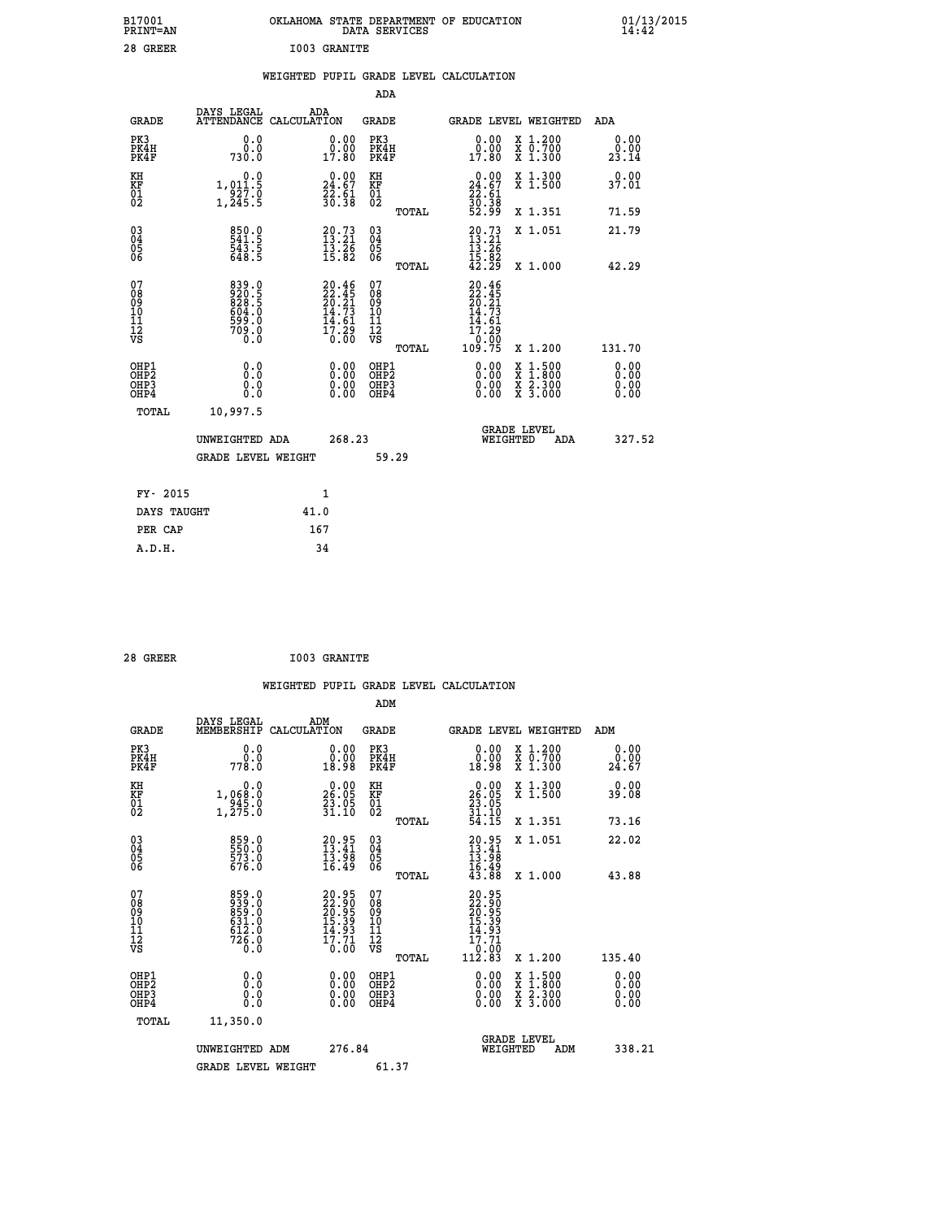| B17001<br><b>PRINT=AN</b> | OKLAHOMA STATE DEPARTMENT OF EDUCATION<br>DATA SERVICES | 01/13/2015 |
|---------------------------|---------------------------------------------------------|------------|
| 28<br>GREER               | I003 GRANITE                                            |            |

|  |  | WEIGHTED PUPIL GRADE LEVEL CALCULATION |
|--|--|----------------------------------------|
|  |  |                                        |

|                                                                    |                                                             |      |                                                                          | ADA                                          |       |                                                                          |                                                                                          |                              |
|--------------------------------------------------------------------|-------------------------------------------------------------|------|--------------------------------------------------------------------------|----------------------------------------------|-------|--------------------------------------------------------------------------|------------------------------------------------------------------------------------------|------------------------------|
| <b>GRADE</b>                                                       | DAYS LEGAL<br>ATTENDANCE CALCULATION                        | ADA  |                                                                          | <b>GRADE</b>                                 |       | GRADE LEVEL WEIGHTED                                                     |                                                                                          | ADA                          |
| PK3<br>PK4H<br>PK4F                                                | 0.0<br>0.0<br>730.0                                         |      | 0.00<br>0.00<br>17.80                                                    | PK3<br>PK4H<br>PK4F                          |       | 0.00<br>ŏ:ŏŏ<br>17:80                                                    | X 1.200<br>X 0.700<br>X 1.300                                                            | 0.00<br>0.00<br>23.14        |
| KH<br>KF<br>01<br>02                                               | 0.0<br>1,011.5<br>927.0<br>1,245.5                          |      | $\begin{smallmatrix} 0.00\\ 24.67\\ 22.61\\ 30.38 \end{smallmatrix}$     | KH<br>KF<br>01<br>02                         |       | $\begin{smallmatrix} 0.00\\24.67\\22.61\\30.38\\52.99 \end{smallmatrix}$ | X 1.300<br>X 1.500                                                                       | 0.00<br>37.01                |
|                                                                    |                                                             |      |                                                                          |                                              | TOTAL |                                                                          | X 1.351                                                                                  | 71.59                        |
| $\begin{smallmatrix} 03 \\[-4pt] 04 \end{smallmatrix}$<br>Ŏ5<br>06 | 850.0<br>541.5<br>543.5<br>648.5                            |      | $20.73$<br>$13.21$<br>$\bar{1}\bar{3}\cdot 2\bar{6}$<br>15.82            | $\substack{03 \\ 04}$<br>Ŏ5<br>06            |       | $20.73$<br>$13.21$<br>$13.26$<br>$15.82$<br>$42.29$                      | X 1.051                                                                                  | 21.79                        |
|                                                                    |                                                             |      |                                                                          |                                              | TOTAL |                                                                          | X 1.000                                                                                  | 42.29                        |
| 07<br>08<br>09<br>101<br>11<br>12<br>VS                            | 839.0<br>920.5<br>828.5<br>804.0<br>699.0<br>599.0<br>709.0 |      | $20.46$<br>$22.45$<br>$20.21$<br>$14.73$<br>$14.61$<br>$17.29$<br>$0.00$ | 07<br>08<br>09<br>101<br>11<br>12<br>VS      |       | $20.46$<br>$22.45$<br>$20.21$<br>$14.73$<br>$14.61$<br>17.29<br>0.00     |                                                                                          |                              |
|                                                                    |                                                             |      |                                                                          |                                              | TOTAL | 109.75                                                                   | X 1.200                                                                                  | 131.70                       |
| OHP1<br>OHP <sub>2</sub><br>OH <sub>P3</sub><br>OH <sub>P4</sub>   | 0.0<br>Ō.Ō<br>0.0<br>$0.\overline{0}$                       |      | 0.00<br>$\begin{smallmatrix} 0.00 \ 0.00 \end{smallmatrix}$              | OHP1<br>OHP <sub>2</sub><br>OHP <sub>3</sub> |       | 0.00<br>0.00                                                             | $\begin{smallmatrix} x & 1.500 \\ x & 1.800 \\ x & 2.300 \\ x & 3.000 \end{smallmatrix}$ | 0.00<br>0.00<br>0.00<br>0.00 |
| TOTAL                                                              | 10,997.5                                                    |      |                                                                          |                                              |       |                                                                          |                                                                                          |                              |
|                                                                    | UNWEIGHTED ADA                                              |      | 268.23                                                                   |                                              |       | WEIGHTED                                                                 | <b>GRADE LEVEL</b><br>ADA                                                                | 327.52                       |
|                                                                    | <b>GRADE LEVEL WEIGHT</b>                                   |      |                                                                          |                                              | 59.29 |                                                                          |                                                                                          |                              |
| FY- 2015                                                           |                                                             |      | 1                                                                        |                                              |       |                                                                          |                                                                                          |                              |
| DAYS TAUGHT                                                        |                                                             | 41.0 |                                                                          |                                              |       |                                                                          |                                                                                          |                              |
| PER CAP                                                            |                                                             | 167  |                                                                          |                                              |       |                                                                          |                                                                                          |                              |

| 28 GREER | I003 GRANITE |
|----------|--------------|
|          |              |

 **WEIGHTED PUPIL GRADE LEVEL CALCULATION ADM DAYS LEGAL ADM GRADE MEMBERSHIP CALCULATION GRADE GRADE LEVEL WEIGHTED ADM PK3 0.0 0.00 PK3 0.00 X 1.200 0.00 PK4H 0.0 0.00 PK4H 0.00 X 0.700 0.00 PK4F 778.0 18.98 PK4F 18.98 X 1.300 24.67 KH 0.0 0.00 KH 0.00 X 1.300 0.00 KF 1,068.0 26.05 KF 26.05 X 1.500 39.08 01 945.0 23.05 01 23.05 02 1,275.0 31.10 02 31.10 TOTAL 54.15 X 1.351 73.16 03 859.0 20.95 03 20.95 X 1.051 22.02 04 550.0 13.41 04 13.41 05 573.0 13.98 05 13.98** 06 676.0 16.49 06 <sub>memax</sub> 16.49  **TOTAL 43.88 X 1.000 43.88**  $\begin{array}{cccc} 07 & 855\cdot 0 & 20.95 & 07 & 20.95 \\ 08 & 939\cdot 0 & 22.95 & 07 & 22.95 \\ 09 & 859\cdot 0 & 26.95 & 09 & 20.95 \\ 10 & 611.0 & 15.39 & 10 & 15.39 \\ 11 & 612.0 & 14.93 & 11 & 4.93 \\ 12 & 726.0 & 17.71 & 12 & 17.71 \\ 18 & 0.0 & 0.0 & \text{VSS} & 112.83 & 1.20$  **OHP1 0.0 0.00 OHP1 0.00 X 1.500 0.00 OHP2 0.0 0.00 OHP2 0.00 X 1.800 0.00 OHP3 0.0 0.00 OHP3 0.00 X 2.300 0.00 OHP4 0.0 0.00 OHP4 0.00 X 3.000 0.00 TOTAL 11,350.0 GRADE LEVEL UNWEIGHTED ADM 276.84 WEIGHTED ADM 338.21** GRADE LEVEL WEIGHT 61.37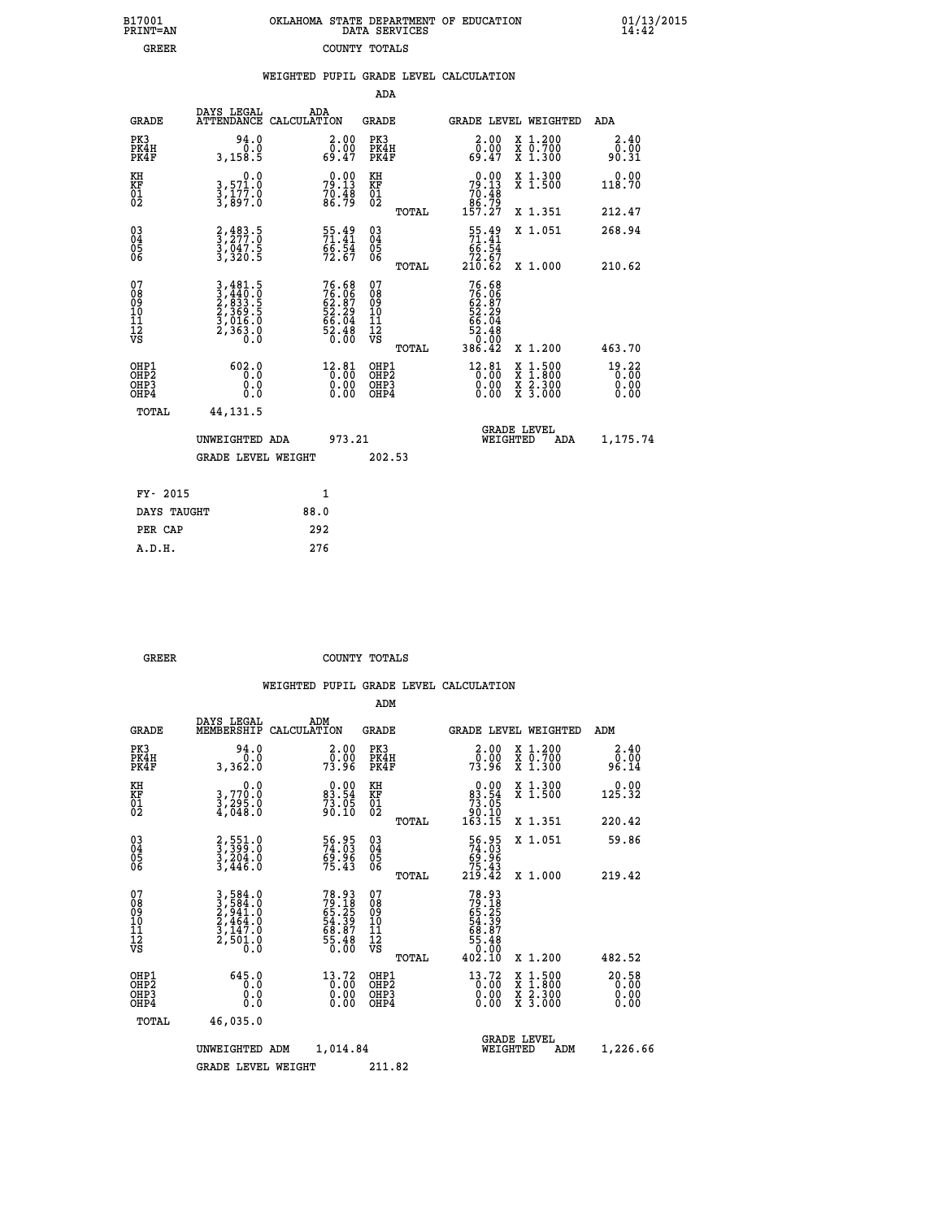|  | DATA SERVICES | OKLAHOMA STATE DEPARTMENT OF EDUCATION |
|--|---------------|----------------------------------------|
|  | COUNTY TOTALS |                                        |

 **B17001<br>PRINT=AN<br>GREER** 

 **A.D.H. 276**

 **B17001 OKLAHOMA STATE DEPARTMENT OF EDUCATION 01/13/2015**

| 2.40<br>0.00<br>90.31           |
|---------------------------------|
| 0.00<br>118.70                  |
| 212.47                          |
| 268.94<br>210.62                |
| 463.70                          |
| $19.22$<br>0.00<br>0.00<br>0.00 |
| 1,175.74                        |
|                                 |
|                                 |
|                                 |
|                                 |
|                                 |
|                                 |

| GREER | COUNTY TOTALS |  |
|-------|---------------|--|

|                                         |                                          |                                                                                                                                               |                    |                                                                   | ADM                                                 |       |                                                                             |                                          |                       |
|-----------------------------------------|------------------------------------------|-----------------------------------------------------------------------------------------------------------------------------------------------|--------------------|-------------------------------------------------------------------|-----------------------------------------------------|-------|-----------------------------------------------------------------------------|------------------------------------------|-----------------------|
|                                         | <b>GRADE</b>                             | DAYS LEGAL<br>MEMBERSHIP                                                                                                                      | ADM<br>CALCULATION |                                                                   | <b>GRADE</b>                                        |       |                                                                             | <b>GRADE LEVEL WEIGHTED</b>              | ADM                   |
| PK3                                     | PK4H<br>PK4F                             | 94.0<br>0.0<br>3,362.0                                                                                                                        |                    | $\begin{array}{c} 2.00 \\ 0.00 \\ 73.96 \end{array}$              | PK3<br>PK4H<br>PK4F                                 |       | $\begin{smallmatrix} 2.00\\[-1.2mm] 0.00\\[-1.2mm] 73.96\end{smallmatrix}$  | X 1.200<br>X 0.700<br>X 1.300            | 2.40<br>ةة:ة<br>96.14 |
| KH<br>KF<br>01<br>02                    |                                          | 0.0<br>3,770:0<br>3,295:0<br>4,048:0                                                                                                          |                    | $\begin{smallmatrix} 0.00\\83.54\\73.05\\90.10 \end{smallmatrix}$ | KH<br>KF<br>01<br>02                                |       | $\begin{smallmatrix} &0.00\ 83.54\ 73.05\ 90.10\ 163.15\ \end{smallmatrix}$ | X 1.300<br>X 1.500                       | $0.00$<br>125.32      |
|                                         |                                          |                                                                                                                                               |                    |                                                                   |                                                     | TOTAL |                                                                             | X 1.351                                  | 220.42                |
| 03<br>04<br>05<br>06                    |                                          | $\begin{smallmatrix} 2, 551.0\\ 3, 399.0\\ 3, 204.0\\ 3, 446.0 \end{smallmatrix}$                                                             |                    | 56.95<br>74.03<br>69.96<br>75.43                                  | $\begin{array}{c} 03 \\ 04 \\ 05 \\ 06 \end{array}$ |       | $\begin{smallmatrix}56.95\74.03\69.96\75.43\219.42\end{smallmatrix}$        | X 1.051                                  | 59.86                 |
|                                         |                                          |                                                                                                                                               |                    |                                                                   |                                                     | TOTAL |                                                                             | X 1.000                                  | 219.42                |
| 07<br>08<br>09<br>101<br>11<br>12<br>VS |                                          | $\begin{smallmatrix} 3\,,\,584\,.0\\ 3\,,\,584\,.0\\ 2\,,\,941\,.0\\ 2\,,\,464\,.0\\ 3\,,\,147\,.0\\ 2\,,\,501\,.0\\ 0\,.0 \end{smallmatrix}$ |                    | 78.93<br>79.18<br>65.25<br>65.39<br>58.87<br>55.48<br>55.48       | 07<br>08<br>09<br>11<br>11<br>12<br>VS              | TOTAL | 78.93<br>79.185<br>65.25<br>65.397<br>68.48<br>55.48<br>00.90<br>402.10     | X 1.200                                  | 482.52                |
|                                         |                                          |                                                                                                                                               |                    |                                                                   |                                                     |       |                                                                             |                                          |                       |
|                                         | OHP1<br>OHP2<br>OHP <sub>3</sub><br>OHP4 | 645.0<br>0.0<br>0.000                                                                                                                         |                    | 13.72<br>0.00<br>0.00                                             | OHP1<br>OHP2<br>OHP <sub>3</sub>                    |       | $^{13}_{0.00}$<br>0.00                                                      | X 1:500<br>X 1:800<br>X 2:300<br>X 3:000 | 20.58<br>0.00<br>0.00 |
|                                         | TOTAL                                    | 46,035.0                                                                                                                                      |                    |                                                                   |                                                     |       |                                                                             |                                          |                       |
|                                         |                                          | UNWEIGHTED                                                                                                                                    | ADM                | 1,014.84                                                          |                                                     |       | WEIGHTED                                                                    | <b>GRADE LEVEL</b><br>ADM                | 1,226.66              |
|                                         |                                          | <b>GRADE LEVEL WEIGHT</b>                                                                                                                     |                    |                                                                   | 211.82                                              |       |                                                                             |                                          |                       |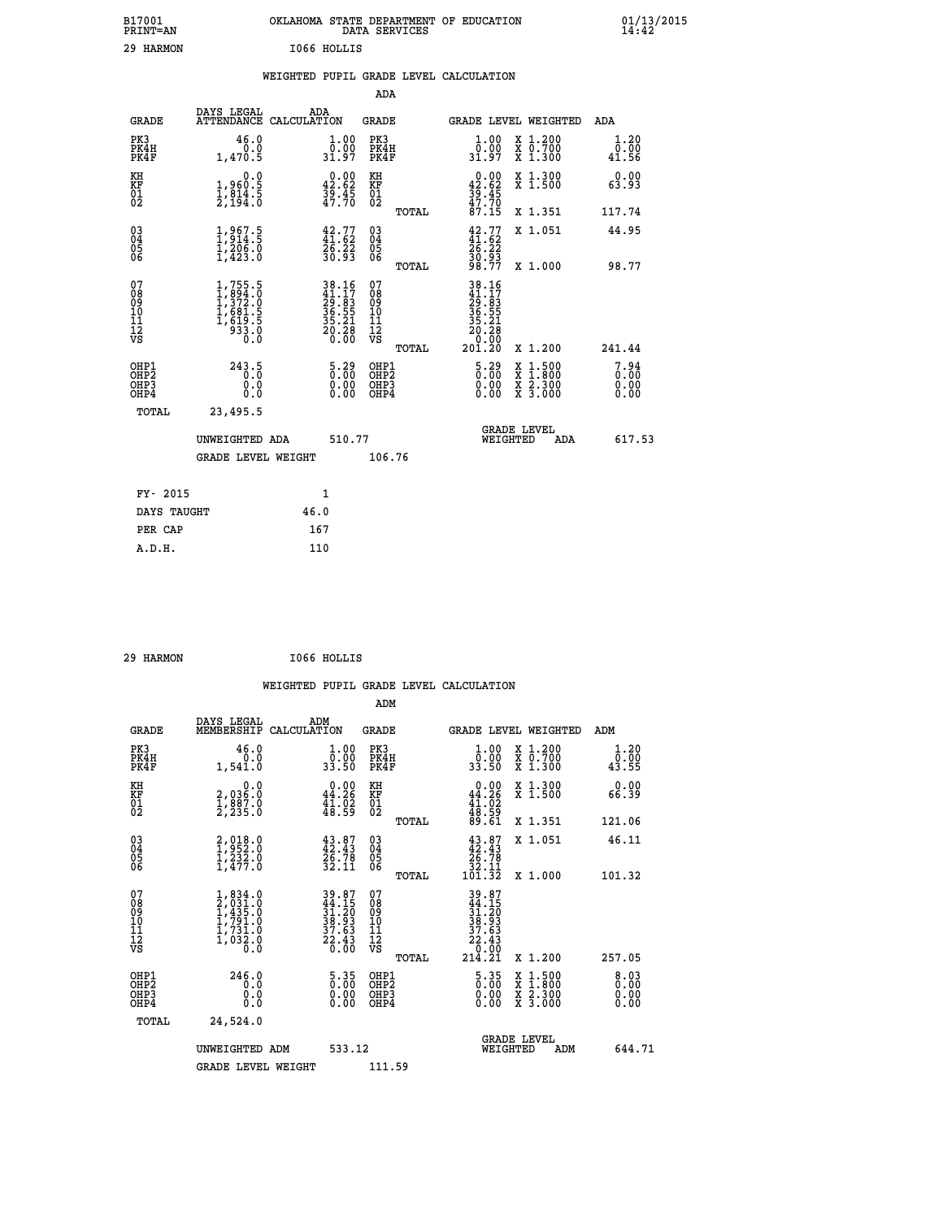| B17001<br>PRINT=AN                                 |                                                                                   |                                                                                      |                            | DATA SERVICES                            | OKLAHOMA STATE DEPARTMENT OF EDUCATION                 |                                                                                          | $01/13/2015$<br>14:42            |  |
|----------------------------------------------------|-----------------------------------------------------------------------------------|--------------------------------------------------------------------------------------|----------------------------|------------------------------------------|--------------------------------------------------------|------------------------------------------------------------------------------------------|----------------------------------|--|
| 29 HARMON                                          |                                                                                   | I066 HOLLIS                                                                          |                            |                                          |                                                        |                                                                                          |                                  |  |
|                                                    |                                                                                   |                                                                                      |                            |                                          | WEIGHTED PUPIL GRADE LEVEL CALCULATION                 |                                                                                          |                                  |  |
|                                                    |                                                                                   |                                                                                      |                            | ADA                                      |                                                        |                                                                                          |                                  |  |
| <b>GRADE</b>                                       | DAYS LEGAL                                                                        | ADA<br>ATTENDANCE CALCULATION                                                        |                            | <b>GRADE</b>                             | GRADE LEVEL WEIGHTED                                   |                                                                                          | ADA                              |  |
| PK3<br>PK4H<br>PK4F                                | 46.0<br>0.0<br>1,470.5                                                            | 31.97                                                                                | 1.00<br>$\overline{0}$ .00 | PK3<br>PK4H<br>PK4F                      | 1.00<br>0.00<br>31.97                                  | X 1.200<br>X 0.700<br>X 1.300                                                            | 1.20<br>0.00<br>41.56            |  |
| KH<br>KF<br>$\overline{01}$                        | 0.0<br>1,960:5<br>1,814:5<br>2,194:0                                              | $\begin{smallmatrix} 0.00\\ 42.62\\ 39.45\\ 47.70 \end{smallmatrix}$                 |                            | KH<br>KF<br>01<br>02                     | $42.00$<br>42.62<br>$\frac{35}{47}$ : $\frac{45}{70}$  | X 1.300<br>X 1.500                                                                       | 0.00<br>63.93                    |  |
|                                                    |                                                                                   |                                                                                      |                            | <b>TOTAL</b>                             | 87.15                                                  | X 1.351                                                                                  | 117.74                           |  |
| $\begin{matrix} 03 \\ 04 \\ 05 \\ 06 \end{matrix}$ | $1,967.5$<br>$1,914.5$<br>$1,206.0$<br>$1,423.0$                                  | $42.77$<br>$41.62$<br>$26.22$<br>$30.93$                                             |                            | 03<br>04<br>05<br>06                     | $42.77$<br>$41.62$<br>$26.22$<br>$\frac{30.93}{98.77}$ | X 1.051                                                                                  | 44.95                            |  |
|                                                    |                                                                                   |                                                                                      |                            | <b>TOTAL</b>                             |                                                        | X 1.000                                                                                  | 98.77                            |  |
| 07<br>08<br>09<br>10<br>11<br>11<br>12<br>VS       | $1,755.5$<br>$1,894.0$<br>$1,372.0$<br>$1,681.5$<br>$1,619.5$<br>$933.0$<br>$0.0$ | $\begin{array}{r} 38.16 \\ 41.17 \\ 29.83 \\ 36.55 \\ 35.21 \\ 20.28 \\ \end{array}$ |                            | 07<br>08<br>09<br>10<br>11<br>12<br>VS   | $\frac{20.28}{0.00}$                                   |                                                                                          |                                  |  |
|                                                    |                                                                                   |                                                                                      |                            | TOTAL                                    | 201.20                                                 | X 1.200                                                                                  | 241.44                           |  |
| OHP1<br>OHP <sub>2</sub><br>OHP3<br>OHP4           | 243.5<br>0.0<br>0.0<br>0.0                                                        |                                                                                      | $5.29$<br>$0.00$<br>0.00   | OHP1<br>OHP <sub>2</sub><br>OHP3<br>OHP4 | $5.29$<br>$0.00$<br>0.00<br>0.00                       | $\begin{smallmatrix} x & 1.500 \\ x & 1.800 \\ x & 2.300 \\ x & 3.000 \end{smallmatrix}$ | $7.94$<br>$0.00$<br>0.00<br>0.00 |  |
| TOTAL                                              | 23,495.5                                                                          |                                                                                      |                            |                                          |                                                        |                                                                                          |                                  |  |
|                                                    | UNWEIGHTED ADA                                                                    |                                                                                      | 510.77                     |                                          | WEIGHTED                                               | <b>GRADE LEVEL</b><br>ADA                                                                | 617.53                           |  |
|                                                    | GRADE LEVEL WEIGHT                                                                |                                                                                      |                            | 106.76                                   |                                                        |                                                                                          |                                  |  |
| FY- 2015                                           |                                                                                   | 1                                                                                    |                            |                                          |                                                        |                                                                                          |                                  |  |
| DAYS TAUGHT                                        |                                                                                   | 46.0                                                                                 |                            |                                          |                                                        |                                                                                          |                                  |  |
| PER CAP                                            |                                                                                   | 167                                                                                  |                            |                                          |                                                        |                                                                                          |                                  |  |

 **29 HARMON I066 HOLLIS**

|                                                      |                                                                                     |                                                                                           | WEIGHTED PUPIL GRADE LEVEL CALCULATION              |                                                                                                                                                           |                                          |                        |
|------------------------------------------------------|-------------------------------------------------------------------------------------|-------------------------------------------------------------------------------------------|-----------------------------------------------------|-----------------------------------------------------------------------------------------------------------------------------------------------------------|------------------------------------------|------------------------|
|                                                      |                                                                                     |                                                                                           | ADM                                                 |                                                                                                                                                           |                                          |                        |
| <b>GRADE</b>                                         | DAYS LEGAL<br>MEMBERSHIP                                                            | ADM<br>CALCULATION                                                                        | <b>GRADE</b>                                        | <b>GRADE LEVEL WEIGHTED</b>                                                                                                                               |                                          | ADM                    |
| PK3<br>PK4H<br>PK4F                                  | 46.0<br>0.0<br>1,541.0                                                              | $\begin{smallmatrix} 1.00\\ 0.00\\ 33.50 \end{smallmatrix}$                               | PK3<br>PK4H<br>PK4F                                 | $\frac{1}{0}$ : 00<br>33.50                                                                                                                               | X 1.200<br>X 0.700<br>X 1.300            | 1.20<br>_0.00<br>43.55 |
| KH<br>KF<br>01<br>02                                 | $\begin{smallmatrix} & & 0.0\ 2.036.0\ 1.887.0\ 2.235.0 \end{smallmatrix}$          | $0.00$<br>44.26<br>$\frac{1}{48}$ $\frac{1}{59}$                                          | KH<br>KF<br>01<br>02                                | $0.00$<br>44.26<br>$\frac{41.02}{48.59}$<br>89.61                                                                                                         | X 1.300<br>X 1.500                       | 0.00<br>66.39          |
|                                                      |                                                                                     |                                                                                           | TOTAL                                               |                                                                                                                                                           | X 1.351                                  | 121.06                 |
| $\begin{matrix} 03 \\ 04 \\ 05 \\ 06 \end{matrix}$   | $2,018.0$<br>$1,232.0$<br>$1,232.0$<br>$1,477.0$                                    | $43.87$<br>$42.43$<br>$26.78$<br>$32.11$                                                  | $\begin{array}{c} 03 \\ 04 \\ 05 \\ 06 \end{array}$ | $\begin{smallmatrix} 43.87\\ 42.43\\ 26.78\\ 32.11\\ 101.32 \end{smallmatrix}$                                                                            | X 1.051                                  | 46.11                  |
|                                                      |                                                                                     |                                                                                           | TOTAL                                               |                                                                                                                                                           | X 1.000                                  | 101.32                 |
| 07<br>0890112<br>1112<br>VS                          | $1,834.0$<br>$2,031.0$<br>$1,435.0$<br>$1,731.0$<br>$1,731.0$<br>$1,032.0$<br>$0.0$ | $\begin{array}{r} 39.87 \\ 44.15 \\ 31.20 \\ 38.93 \\ 37.63 \\ 22.43 \\ 0.00 \end{array}$ | 07<br>08<br>09<br>001<br>11<br>11<br>12<br>VS       | $\begin{array}{r} 39 \cdot 87 \\ 44 \cdot 150 \\ 31 \cdot 203 \\ 38 \cdot 933 \\ 27 \cdot 633 \\ 22 \cdot 430 \\ 0 \cdot 000 \\ 214 \cdot 21 \end{array}$ |                                          |                        |
|                                                      |                                                                                     |                                                                                           | TOTAL                                               |                                                                                                                                                           | X 1.200                                  | 257.05                 |
| OHP1<br>OHP <sub>2</sub><br>OH <sub>P3</sub><br>OHP4 | 246.0<br>0.0<br>0.000                                                               | $\frac{5.35}{0.00}$<br>0.00<br>0.00                                                       | OHP1<br>OHP2<br>OHP <sub>3</sub>                    | 5.35<br>0.00<br>0.00                                                                                                                                      | X 1:500<br>X 1:800<br>X 2:300<br>X 3:000 | 8.03<br>0.00<br>0.00   |
| TOTAL                                                | 24,524.0                                                                            |                                                                                           |                                                     |                                                                                                                                                           |                                          |                        |
|                                                      | UNWEIGHTED ADM                                                                      | 533.12                                                                                    |                                                     | <b>GRADE LEVEL</b><br>WEIGHTED                                                                                                                            | ADM                                      | 644.71                 |
|                                                      | <b>GRADE LEVEL WEIGHT</b>                                                           |                                                                                           | 111.59                                              |                                                                                                                                                           |                                          |                        |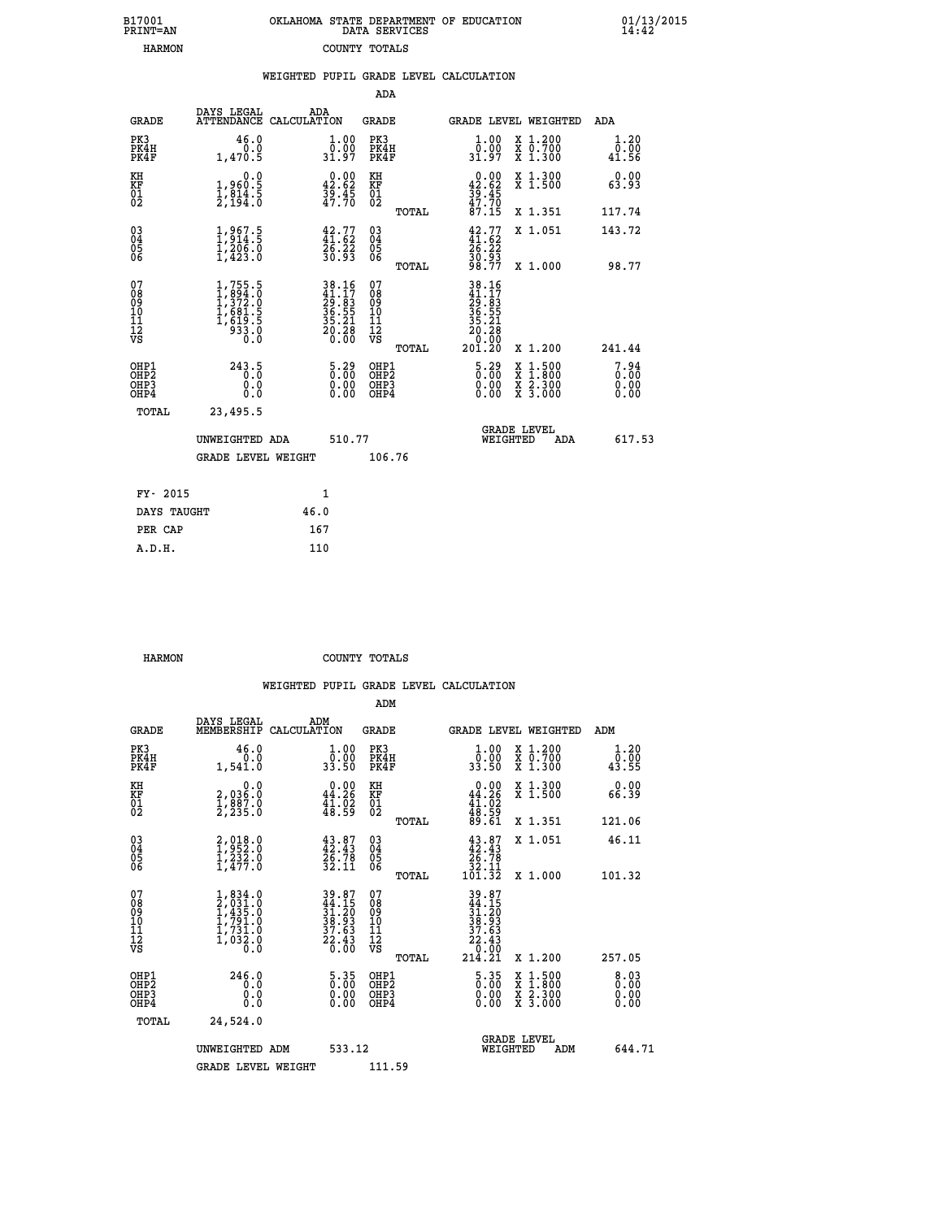| 7001<br>INT=AN |  | OKLAHOMA STATE DEPARTMENT OF EDUCATION<br>DATA SERVICES |  |  |
|----------------|--|---------------------------------------------------------|--|--|
| HARMON         |  | COUNTY TOTALS                                           |  |  |

|                                                       |                                                                                       |      |                                                                                           |                                          |       | WEIGHTED PUPIL GRADE LEVEL CALCULATION              |                                                                                                  |                              |
|-------------------------------------------------------|---------------------------------------------------------------------------------------|------|-------------------------------------------------------------------------------------------|------------------------------------------|-------|-----------------------------------------------------|--------------------------------------------------------------------------------------------------|------------------------------|
|                                                       |                                                                                       |      |                                                                                           | ADA                                      |       |                                                     |                                                                                                  |                              |
| <b>GRADE</b>                                          | DAYS LEGAL<br>ATTENDANCE CALCULATION                                                  | ADA  |                                                                                           | <b>GRADE</b>                             |       | <b>GRADE LEVEL WEIGHTED</b>                         |                                                                                                  | ADA                          |
| PK3<br>PK4H<br>PK4F                                   | 46.0<br>0.0<br>1,470.5                                                                |      | $\begin{smallmatrix} 1.00\\[-1.2mm] 0.00\\[-1.2mm] 31.97\end{smallmatrix}$                | PK3<br>PK4H<br>PK4F                      |       | 1.0000<br>31.97                                     | X 1.200<br>X 0.700<br>X 1.300                                                                    | 1.20<br>0.00<br>41.56        |
| KH<br>KF<br>01<br>02                                  | 0.0<br>1,960:5<br>1,814:5<br>2,194:0                                                  |      | $\begin{smallmatrix} 0.00\\ 42.62\\ 39.45\\ 47.70 \end{smallmatrix}$                      | KH<br>KF<br>01<br>02                     |       | $0.00$<br>42.62                                     | X 1.300<br>X 1.500                                                                               | 0.00<br>63.93                |
|                                                       |                                                                                       |      |                                                                                           |                                          | TOTAL | $\frac{36}{47}$ : $\frac{45}{70}$<br>87.15          | X 1.351                                                                                          | 117.74                       |
| $\begin{matrix} 03 \\ 04 \\ 05 \\ 06 \end{matrix}$    | $1,967.5$<br>1,914.5<br>$\frac{1}{2}$ , $\frac{2}{4}$ , $\frac{2}{3}$ , $\frac{2}{0}$ |      | $42.77$<br>$41.62$<br>26:22<br>30:93                                                      | $\substack{03 \\ 04}$<br>05<br>06        |       | $42.77$<br>$41.62$<br>$26.22$<br>$30.93$<br>$98.77$ | X 1.051                                                                                          | 143.72                       |
|                                                       |                                                                                       |      |                                                                                           |                                          | TOTAL |                                                     | X 1.000                                                                                          | 98.77                        |
| 07<br>08<br>09<br>101<br>112<br>VS                    | $1,755.5$<br>$1,894.0$<br>$1,372.0$<br>$1,681.5$<br>$1,619.5$<br>$933.0$<br>0.0       |      | $\begin{array}{r} 38.16 \\ 41.17 \\ 29.83 \\ 36.55 \\ 35.21 \\ 20.28 \\ 0.00 \end{array}$ | 07<br>08<br>09<br>11<br>11<br>12<br>VS   |       | 0.00                                                |                                                                                                  |                              |
|                                                       |                                                                                       |      |                                                                                           |                                          | TOTAL | 201.20                                              | X 1.200                                                                                          | 241.44                       |
| OHP1<br>OH <sub>P</sub> 2<br>OHP3<br>OH <sub>P4</sub> | 243.5<br>0.0<br>0.0                                                                   |      | $\frac{5.29}{0.00}$<br>$0.00$<br>0.00                                                     | OHP1<br>OHP <sub>2</sub><br>OHP3<br>OHP4 |       | $\frac{5.29}{0.00}$<br>0.00                         | $\begin{smallmatrix} x & 1 & 500 \\ x & 1 & 800 \\ x & 2 & 300 \\ x & 3 & 000 \end{smallmatrix}$ | 7.94<br>0.00<br>0.00<br>0.00 |
| <b>TOTAL</b>                                          | 23,495.5                                                                              |      |                                                                                           |                                          |       |                                                     |                                                                                                  |                              |
|                                                       | UNWEIGHTED ADA                                                                        |      | 510.77                                                                                    |                                          |       | WEIGHTED                                            | <b>GRADE LEVEL</b><br>ADA                                                                        | 617.53                       |
|                                                       | <b>GRADE LEVEL WEIGHT</b>                                                             |      |                                                                                           | 106.76                                   |       |                                                     |                                                                                                  |                              |
| FY- 2015                                              |                                                                                       |      | $\mathbf{1}$                                                                              |                                          |       |                                                     |                                                                                                  |                              |
| DAYS TAUGHT                                           |                                                                                       | 46.0 |                                                                                           |                                          |       |                                                     |                                                                                                  |                              |
| סגי סתם                                               |                                                                                       | 167  |                                                                                           |                                          |       |                                                     |                                                                                                  |                              |

| -------------- | ------ |
|----------------|--------|
| PER CAP        | 167    |
| A.D.H.         | 110    |
|                |        |
|                |        |

 **B17001<br>PRINT=AN** 

 **HARMON COUNTY TOTALS**

|                                                      |                                                                                     |                                                                                           | ADM                                                |       |                                                                                |                                          |                              |
|------------------------------------------------------|-------------------------------------------------------------------------------------|-------------------------------------------------------------------------------------------|----------------------------------------------------|-------|--------------------------------------------------------------------------------|------------------------------------------|------------------------------|
| <b>GRADE</b>                                         | DAYS LEGAL<br>MEMBERSHIP                                                            | ADM<br>CALCULATION                                                                        | <b>GRADE</b>                                       |       |                                                                                | <b>GRADE LEVEL WEIGHTED</b>              | ADM                          |
| PK3<br>PK4H<br>PK4F                                  | 46.0<br>0.0<br>1,541.0                                                              | 1.00<br>ō:ŏŏ<br>33:50                                                                     | PK3<br>PK4H<br>PK4F                                |       | $\begin{smallmatrix} 1.00\\ 0.00\\ 33.50 \end{smallmatrix}$                    | X 1.200<br>X 0.700<br>X 1.300            | 1.20<br>0:00<br>43.55        |
| KH<br>KF<br>01<br>02                                 | 0.0<br>2,036:0<br>1,887:0<br>2,235:0                                                | $0.00$<br>44.26<br>$\frac{4}{48}$ : $\frac{5}{29}$                                        | KH<br>KF<br>01<br>02                               |       | $0.00\n44.26\n41.02\n48.59\n48.51\n89.61$                                      | X 1.300<br>X 1.500                       | 0.00<br>66.39                |
|                                                      |                                                                                     |                                                                                           |                                                    | TOTAL |                                                                                | X 1.351                                  | 121.06                       |
| 03<br>04<br>05<br>06                                 | $2,018.0$<br>$1,952.0$<br>$1,232.0$<br>$1,477.0$                                    | $43.87$<br>$42.43$<br>$26.78$<br>$32.11$                                                  | $\begin{matrix} 03 \\ 04 \\ 05 \\ 06 \end{matrix}$ |       | $\begin{smallmatrix} 43.87\\ 42.43\\ 26.78\\ 32.11\\ 101.32 \end{smallmatrix}$ | X 1.051                                  | 46.11                        |
|                                                      |                                                                                     |                                                                                           |                                                    | TOTAL |                                                                                | X 1.000                                  | 101.32                       |
| 07<br>08<br>09<br>101<br>112<br>VS                   | $1,834.0$<br>$2,031.0$<br>$1,435.0$<br>$1,731.0$<br>$1,731.0$<br>$1,032.0$<br>$0.0$ | $\begin{array}{r} 39.87 \\ 44.15 \\ 31.20 \\ 38.93 \\ 37.63 \\ 22.43 \\ 0.00 \end{array}$ | 07<br>08<br>09<br>11<br>11<br>12<br>VS             | TOTAL | 214.21                                                                         | X 1.200                                  | 257.05                       |
| OHP1<br>OHP2<br>OH <sub>P3</sub><br>OH <sub>P4</sub> | 246.0<br>0.0<br>0.000                                                               | $\begin{smallmatrix} 5\cdot 35\0.00\0.00 \end{smallmatrix}$                               | OHP1<br>OHP2<br>OHP <sub>3</sub>                   |       | $\begin{smallmatrix} 5.35\ 0.00 \ 0.00 \end{smallmatrix}$<br>0.00              | X 1:500<br>X 1:800<br>X 2:300<br>X 3:000 | 8.03<br>0.00<br>0.00<br>0.00 |
| TOTAL                                                | 24,524.0                                                                            |                                                                                           |                                                    |       |                                                                                |                                          |                              |
|                                                      | UNWEIGHTED ADM                                                                      | 533.12                                                                                    |                                                    |       | WEIGHTED                                                                       | <b>GRADE LEVEL</b><br>ADM                | 644.71                       |
|                                                      | <b>GRADE LEVEL WEIGHT</b>                                                           |                                                                                           | 111.59                                             |       |                                                                                |                                          |                              |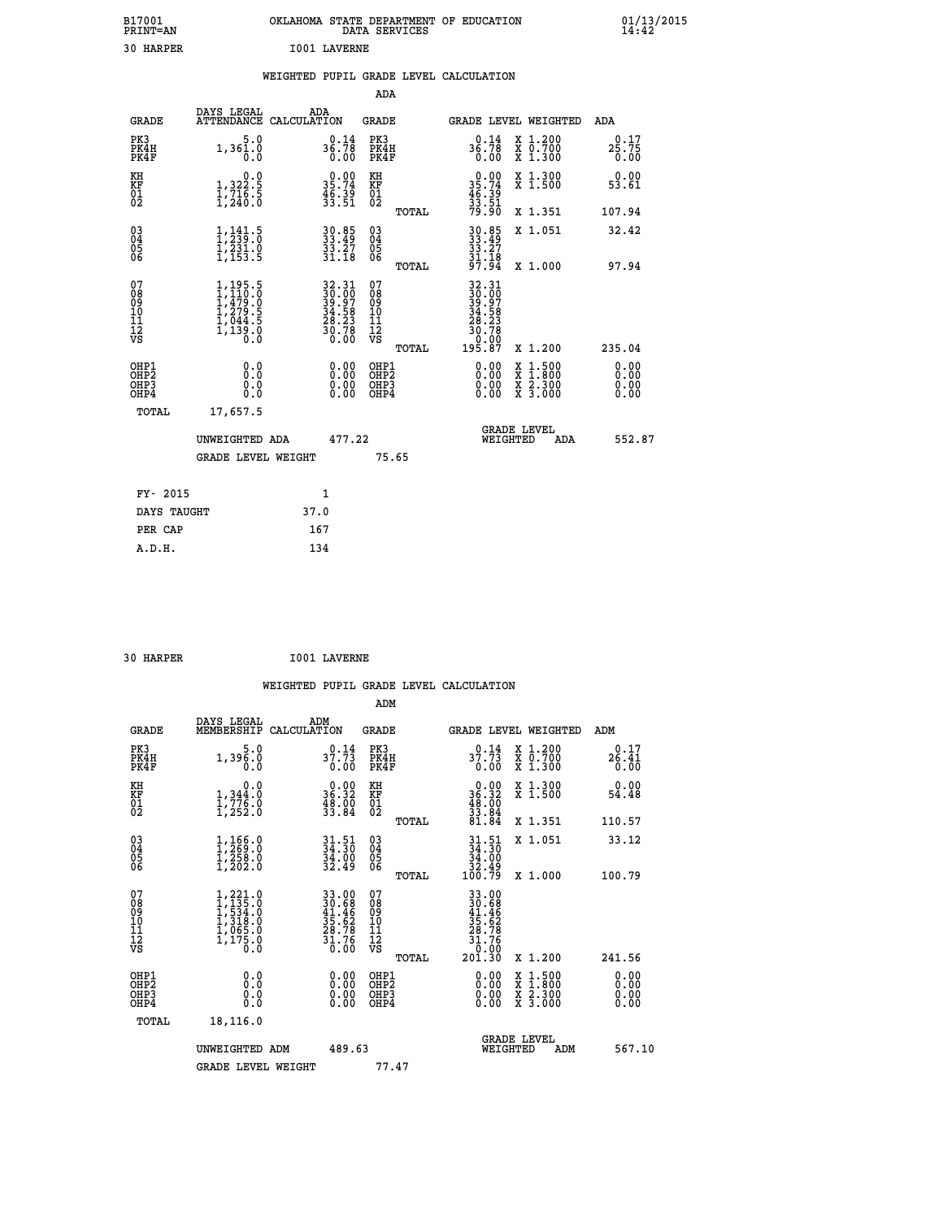| B17001<br>PRINT=AN  | OKLAHOMA STATE DEPARTMENT OF EDUCATION<br>DATA SERVICES | $01/13/2015$<br>14:42 |
|---------------------|---------------------------------------------------------|-----------------------|
| 30<br><b>HARPER</b> | <b>I001 LAVERNE</b>                                     |                       |

### **WEIGHTED PUPIL GRADE LEVEL CALCULATION**

|                                                    |                                                                                            |                                                                      | ADA                                                 |       |                                                                                             |                                          |                              |
|----------------------------------------------------|--------------------------------------------------------------------------------------------|----------------------------------------------------------------------|-----------------------------------------------------|-------|---------------------------------------------------------------------------------------------|------------------------------------------|------------------------------|
| <b>GRADE</b>                                       | DAYS LEGAL                                                                                 | ADA<br>ATTENDANCE CALCULATION                                        | <b>GRADE</b>                                        |       |                                                                                             | GRADE LEVEL WEIGHTED                     | ADA                          |
| PK3<br>PK4H<br>PK4F                                | 5.0<br>$1,36\overline{)}\cdot\overline{0}$                                                 | $36.78$<br>0.00                                                      | PK3<br>PK4H<br>PK4F                                 |       | 0.14<br>36.78<br>0.00                                                                       | X 1.200<br>X 0.700<br>X 1.300            | 0.17<br>$25.75$<br>$0.00$    |
| KH<br>KF<br>01<br>02                               | $\begin{smallmatrix}&&&0.0\\1,322.5\\1,716.5\\1,240.0\end{smallmatrix}$                    | $\begin{smallmatrix} 0.00\\ 35.74\\ 46.39\\ 33.51 \end{smallmatrix}$ | KH<br>KF<br>01<br>02                                |       | $\begin{array}{r} 0.00 \\ 35.74 \\ 46.39 \\ 33.51 \\ 79.90 \end{array}$                     | X 1.300<br>X 1.500                       | 0.00<br>53.61                |
|                                                    |                                                                                            |                                                                      |                                                     | TOTAL |                                                                                             | X 1.351                                  | 107.94                       |
| $\begin{matrix} 03 \\ 04 \\ 05 \\ 06 \end{matrix}$ | $\frac{1}{2}, \frac{1}{2}, \frac{4}{9}$ : 5<br>$\frac{1}{2}, \frac{231}{153}$ .<br>1,153.5 | $30.85$<br>33.49<br>$\frac{33.27}{31.18}$                            | $\begin{array}{c} 03 \\ 04 \\ 05 \\ 06 \end{array}$ | TOTAL | 30.85<br>33.49<br>33.27<br>31.18<br>97.94                                                   | X 1.051<br>X 1.000                       | 32.42<br>97.94               |
| 07                                                 |                                                                                            |                                                                      | 07                                                  |       |                                                                                             |                                          |                              |
| 08<br>09<br>11<br>11<br>12<br>VS                   | $1,195.5$<br>$1,479.0$<br>$1,479.0$<br>$1,279.5$<br>$1,044.5$<br>$1,139.0$<br>$0.0$        | $32.31$<br>$39.97$<br>$34.58$<br>$28.23$<br>$30.78$<br>$0.00$        | 08<br>09<br>11<br>11<br>12<br>VS                    |       | $\begin{smallmatrix} 32.31\ 30.00\ 39.97\ 34.583\ 28.230\ 30.700\ 195.87 \end{smallmatrix}$ |                                          |                              |
|                                                    |                                                                                            |                                                                      |                                                     | TOTAL |                                                                                             | X 1.200                                  | 235.04                       |
| OHP1<br>OHP2<br>OH <sub>P3</sub><br>OHP4           | 0.0<br>0.0<br>0.0                                                                          | $\begin{smallmatrix} 0.00 \ 0.00 \ 0.00 \ 0.00 \end{smallmatrix}$    | OHP1<br>OHP2<br>OHP3<br>OHP4                        |       |                                                                                             | X 1:500<br>X 1:800<br>X 2:300<br>X 3:000 | 0.00<br>0.00<br>0.00<br>0.00 |
| <b>TOTAL</b>                                       | 17,657.5                                                                                   |                                                                      |                                                     |       |                                                                                             |                                          |                              |
|                                                    | UNWEIGHTED ADA                                                                             | 477.22                                                               |                                                     |       |                                                                                             | <b>GRADE LEVEL</b><br>WEIGHTED<br>ADA    | 552.87                       |
|                                                    | <b>GRADE LEVEL WEIGHT</b>                                                                  |                                                                      |                                                     | 75.65 |                                                                                             |                                          |                              |
| FY- 2015                                           |                                                                                            | 1                                                                    |                                                     |       |                                                                                             |                                          |                              |
| DAYS TAUGHT                                        |                                                                                            | 37.0                                                                 |                                                     |       |                                                                                             |                                          |                              |
| PER CAP                                            |                                                                                            | 167                                                                  |                                                     |       |                                                                                             |                                          |                              |
|                                                    |                                                                                            |                                                                      |                                                     |       |                                                                                             |                                          |                              |

| 30 HARPER |  | <b>I001 LAVERNE</b> |
|-----------|--|---------------------|

 **A.D.H. 134**

| <b>GRADE</b>                                         | DAYS LEGAL<br>MEMBERSHIP                                                                                | ADM<br>CALCULATION                                                   | <b>GRADE</b>                                 |       |                                                                                                                                             | GRADE LEVEL WEIGHTED                                                                                                                      | ADM                          |  |
|------------------------------------------------------|---------------------------------------------------------------------------------------------------------|----------------------------------------------------------------------|----------------------------------------------|-------|---------------------------------------------------------------------------------------------------------------------------------------------|-------------------------------------------------------------------------------------------------------------------------------------------|------------------------------|--|
| PK3<br>PK4H<br>PK4F                                  | $1,39\overline{6}\cdot 0$<br>0.0                                                                        | 0.14<br>37.73<br>0.00                                                | PK3<br>PK4H<br>PK4F                          |       | 0.14<br>37.73<br>0.00                                                                                                                       | X 1.200<br>X 0.700<br>X 1.300                                                                                                             | 0.17<br>26.41<br>0.00        |  |
| KH<br>KF<br>01<br>02                                 | 0.0<br>$\frac{1}{1}$ , 344.0<br>$\frac{1}{1}$ , 776.0<br>$1$ , 252.0                                    | $\begin{smallmatrix} 0.00\\ 36.32\\ 48.00\\ 33.84 \end{smallmatrix}$ | KH<br>KF<br>01<br>02                         |       | $\begin{smallmatrix}&&0.00\\36.32\\48.00\\33.84\\81.84\end{smallmatrix}$                                                                    | X 1.300<br>X 1.500                                                                                                                        | 0.00<br>54.48                |  |
|                                                      |                                                                                                         |                                                                      |                                              | TOTAL |                                                                                                                                             | X 1.351                                                                                                                                   | 110.57                       |  |
| $\begin{matrix} 03 \\ 04 \\ 05 \\ 06 \end{matrix}$   | $1, 166.0$<br>$1, 258.0$<br>$1, 258.0$<br>$1, 202.0$                                                    | $34.30$<br>$34.30$<br>$34.00$<br>$32.49$                             | 03<br>04<br>05<br>06                         |       | $31.51$<br>$34.30$<br>$34.00$<br>$32.49$<br>$100.79$                                                                                        | X 1.051                                                                                                                                   | 33.12                        |  |
|                                                      |                                                                                                         |                                                                      |                                              | TOTAL |                                                                                                                                             | X 1.000                                                                                                                                   | 100.79                       |  |
| 07<br>08<br>09<br>101<br>112<br>VS                   | $\begin{smallmatrix} 1,221.0\\ 1,135.0\\ 1,534.0\\ 1,318.0\\ 1,065.0\\ 1,175.0\\ 0.0 \end{smallmatrix}$ | 33.00<br>30.68<br>41.46<br>41.46<br>35.62<br>28.78<br>31.76<br>31.76 | 07<br>08<br>09<br>01<br>11<br>11<br>12<br>VS |       | $\begin{array}{r} 33\cdot 00 \\ 30\cdot 68 \\ 41\cdot 46 \\ 35\cdot 62 \\ 28\cdot 78 \\ 31\cdot 76 \\ 0\cdot 00 \\ 201\cdot 30 \end{array}$ |                                                                                                                                           |                              |  |
|                                                      |                                                                                                         |                                                                      |                                              | TOTAL |                                                                                                                                             | X 1.200                                                                                                                                   | 241.56                       |  |
| OHP1<br>OHP <sub>2</sub><br>OH <sub>P3</sub><br>OHP4 | 0.0<br>0.0<br>0.0                                                                                       | $0.00$<br>$0.00$<br>0.00                                             | OHP1<br>OHP <sub>2</sub><br>OHP3<br>OHP4     |       |                                                                                                                                             | $\begin{smallmatrix} \mathtt{X} & 1\cdot500\\ \mathtt{X} & 1\cdot800\\ \mathtt{X} & 2\cdot300\\ \mathtt{X} & 3\cdot000 \end{smallmatrix}$ | 0.00<br>0.00<br>0.00<br>0.00 |  |
| TOTAL                                                | 18,116.0                                                                                                |                                                                      |                                              |       |                                                                                                                                             |                                                                                                                                           |                              |  |
|                                                      | UNWEIGHTED ADM                                                                                          | 489.63                                                               |                                              |       | WEIGHTED                                                                                                                                    | <b>GRADE LEVEL</b><br>ADM                                                                                                                 | 567.10                       |  |
|                                                      | <b>GRADE LEVEL WEIGHT</b>                                                                               |                                                                      | 77.47                                        |       |                                                                                                                                             |                                                                                                                                           |                              |  |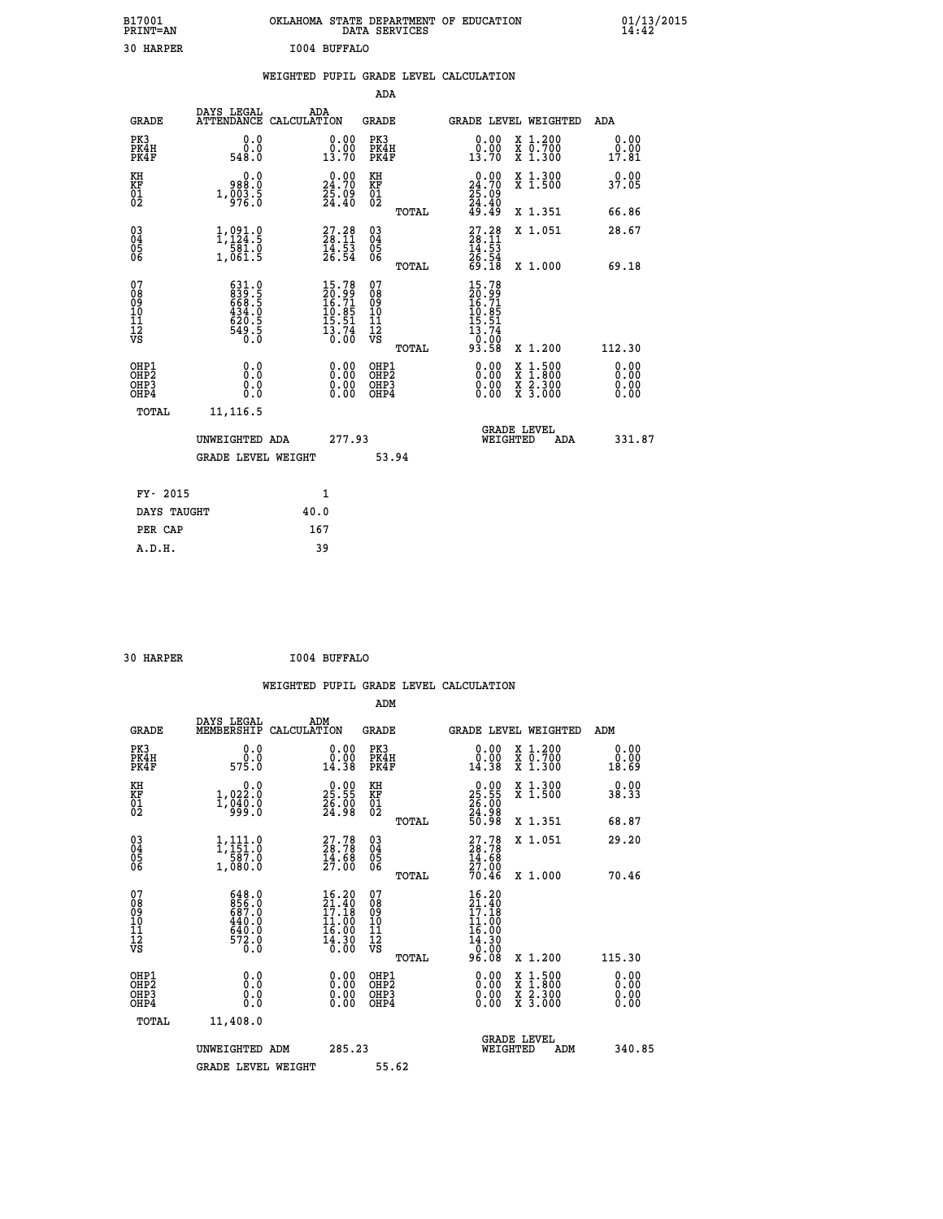| B17001<br><b>PRINT=AN</b> | OKLAHOMA STATE DEPARTMENT OF EDUCATION<br>DATA SERVICES | 01/13/2015 |
|---------------------------|---------------------------------------------------------|------------|
| 30<br><b>HARPER</b>       | I004 BUFFALO                                            |            |

|  |  | WEIGHTED PUPIL GRADE LEVEL CALCULATION |
|--|--|----------------------------------------|
|  |  |                                        |

|                                                                    |                                                                                          |                                                                   |                      | ADA                                                               |       |                                                                                     |                                                                                                  |                              |
|--------------------------------------------------------------------|------------------------------------------------------------------------------------------|-------------------------------------------------------------------|----------------------|-------------------------------------------------------------------|-------|-------------------------------------------------------------------------------------|--------------------------------------------------------------------------------------------------|------------------------------|
| <b>GRADE</b>                                                       | DAYS LEGAL<br>ATTENDANCE CALCULATION                                                     | ADA                                                               |                      | <b>GRADE</b>                                                      |       |                                                                                     | GRADE LEVEL WEIGHTED                                                                             | ADA                          |
| PK3<br>PK4H<br>PK4F                                                | 0.0<br>$0.0$<br>548.0                                                                    | $\begin{smallmatrix} 0.00\\ 0.00\\ 13.70 \end{smallmatrix}$       |                      | PK3<br>PK4H<br>PK4F                                               |       | 0.00<br>ŏ:ŏŏ<br>13:70                                                               | X 1.200<br>X 0.700<br>X 1.300                                                                    | 0.00<br>0.00<br>17.81        |
| KH<br><b>KF</b><br>01<br>02                                        | 0.0<br>988.0<br>$1,\overline{0}\,\overline{0}\,\overline{3}\,\overline{3}\,\overline{5}$ | 24.70<br>$\frac{25.09}{24.40}$                                    |                      | KH<br>KF<br>01<br>02                                              |       | 24.70<br>$\frac{25.09}{24.40}$<br>49.49                                             | X 1.300<br>X 1.500                                                                               | 0.00<br>37.05                |
|                                                                    |                                                                                          |                                                                   |                      |                                                                   | TOTAL |                                                                                     | X 1.351                                                                                          | 66.86                        |
| $\begin{smallmatrix} 03 \\[-4pt] 04 \end{smallmatrix}$<br>05<br>06 | 1, 091.9<br>$\frac{1}{1,061.5}$                                                          | $27.28$<br>$28.11$<br>$14.53$<br>$26.54$                          |                      | $\substack{03 \\ 04}$<br>$\begin{matrix} 0.5 \\ 0.6 \end{matrix}$ |       | $27.28$<br>$28.11$<br>$14.53$<br>$26.54$<br>$69.18$                                 | X 1.051                                                                                          | 28.67                        |
|                                                                    |                                                                                          |                                                                   |                      |                                                                   | TOTAL |                                                                                     | X 1.000                                                                                          | 69.18                        |
| 07<br>08901112<br>1112<br>VS                                       | 631.0<br>839.5<br>668.5<br>6434.0<br>434.5<br>549.5<br>549.5                             | 15.78<br>20.99<br>16.71<br>10.85<br>15.51<br>$\frac{13.74}{0.00}$ |                      | 07<br>08<br>09<br>11<br>11<br>12<br>VS                            |       | $15.78$<br>$20.99$<br>$16.71$<br>$10.85$<br>$15.51$<br>$13.74$<br>$0.00$<br>$93.58$ |                                                                                                  |                              |
|                                                                    |                                                                                          |                                                                   |                      |                                                                   | TOTAL |                                                                                     | X 1.200                                                                                          | 112.30                       |
| OHP1<br>OH <sub>P2</sub><br>OH <sub>P3</sub><br>OH <sub>P4</sub>   | 0.0<br>0.0<br>0.0                                                                        |                                                                   | 0.00<br>0.00<br>0.00 | OHP1<br>OH <sub>P</sub> 2<br>OHP3<br>OHP4                         |       | 0.00<br>0.00<br>0.00                                                                | $\begin{smallmatrix} x & 1 & 500 \\ x & 1 & 800 \\ x & 2 & 300 \\ x & 3 & 000 \end{smallmatrix}$ | 0.00<br>0.00<br>0.00<br>0.00 |
| TOTAL                                                              | 11, 116.5                                                                                |                                                                   |                      |                                                                   |       |                                                                                     |                                                                                                  |                              |
|                                                                    | UNWEIGHTED ADA                                                                           |                                                                   | 277.93               |                                                                   |       |                                                                                     | GRADE LEVEL<br>WEIGHTED<br>ADA                                                                   | 331.87                       |
|                                                                    | <b>GRADE LEVEL WEIGHT</b>                                                                |                                                                   |                      | 53.94                                                             |       |                                                                                     |                                                                                                  |                              |
| FY- 2015                                                           |                                                                                          | $\mathbf{1}$                                                      |                      |                                                                   |       |                                                                                     |                                                                                                  |                              |
| DAYS TAUGHT                                                        |                                                                                          | 40.0                                                              |                      |                                                                   |       |                                                                                     |                                                                                                  |                              |
| PER CAP                                                            |                                                                                          | 167                                                               |                      |                                                                   |       |                                                                                     |                                                                                                  |                              |

| 30 HARPER | I004 BUFFALO |
|-----------|--------------|
|           |              |

 **ADM DAYS LEGAL ADM GRADE MEMBERSHIP CALCULATION GRADE GRADE LEVEL WEIGHTED ADM PK3 0.0 0.00 PK3 0.00 X 1.200 0.00 PK4H 0.0 0.00 PK4H 0.00 X 0.700 0.00 PK4F 575.0 14.38 PK4F 14.38 X 1.300 18.69 KH 0.0 0.00 KH 0.00 X 1.300 0.00 KF 1,022.0 25.55 KF 25.55 X 1.500 38.33 01 1,040.0 26.00 01 26.00 02 999.0 24.98 02 24.98**

|                                                    | <b>GRADE LEVEL WEIGHT</b>                                        |                                                                                         | 55.62                                              |                                                                                                                                |                                                  |                                                                                                                                                                                                                                                                                |
|----------------------------------------------------|------------------------------------------------------------------|-----------------------------------------------------------------------------------------|----------------------------------------------------|--------------------------------------------------------------------------------------------------------------------------------|--------------------------------------------------|--------------------------------------------------------------------------------------------------------------------------------------------------------------------------------------------------------------------------------------------------------------------------------|
|                                                    | UNWEIGHTED ADM                                                   | 285.23                                                                                  |                                                    | WEIGHTED                                                                                                                       | <b>GRADE LEVEL</b><br>ADM                        | 340.85                                                                                                                                                                                                                                                                         |
| TOTAL                                              | 11,408.0                                                         |                                                                                         |                                                    |                                                                                                                                |                                                  |                                                                                                                                                                                                                                                                                |
| OHP1<br>OHP2<br>OH <sub>P3</sub><br>OHP4           | 0.0<br>0.0<br>0.0                                                | 0.00<br>0.00<br>0.00                                                                    | OHP1<br>OHP <sub>2</sub><br>OHP3<br>OHP4           |                                                                                                                                | x 1.500<br>x 1.800<br>x 2.300<br>$\bar{x}$ 3.000 | $\begin{smallmatrix} 0.00 & 0.00 & 0.00 & 0.00 & 0.00 & 0.00 & 0.00 & 0.00 & 0.00 & 0.00 & 0.00 & 0.00 & 0.00 & 0.00 & 0.00 & 0.00 & 0.00 & 0.00 & 0.00 & 0.00 & 0.00 & 0.00 & 0.00 & 0.00 & 0.00 & 0.00 & 0.00 & 0.00 & 0.00 & 0.00 & 0.00 & 0.00 & 0.00 & 0.00 & 0.00 & 0.0$ |
| 07<br>08<br>09<br>101<br>11<br>12<br>VS            | 648.0<br>856.0<br>687.0<br>440.0<br>640.0<br>$\frac{572.0}{0.0}$ | $\begin{array}{c} 21.40 \\ 17.18 \\ 11.00 \\ 16.00 \end{array}$<br>$\frac{14.30}{0.00}$ | 08<br>09<br>101<br>11<br>12<br>VS<br>TOTAL         | $\begin{smallmatrix} 16 & 20\\ 21 & 40\\ 17 & 18\\ 11 & 00\\ 14 & 00\\ 16 & 00\\ 14 & 30\\ 0 & 00\\ 96 & 08 \end{smallmatrix}$ | X 1.200                                          | 115.30                                                                                                                                                                                                                                                                         |
|                                                    | 1,080.0                                                          | 14.68<br>27.00<br>16.20                                                                 | TOTAL<br>07                                        | $27.7828.7814.6827.0070.46$                                                                                                    | X 1.000                                          | 70.46                                                                                                                                                                                                                                                                          |
| $\begin{matrix} 03 \\ 04 \\ 05 \\ 06 \end{matrix}$ | $\frac{1}{1}, \frac{111}{151}.0$<br>$\frac{587}{10}$             | $27.78$<br>$28.78$                                                                      | $\begin{matrix} 03 \\ 04 \\ 05 \\ 06 \end{matrix}$ |                                                                                                                                | X 1.051                                          | 29.20                                                                                                                                                                                                                                                                          |
|                                                    |                                                                  |                                                                                         | TOTAL                                              | 50.98                                                                                                                          | X 1.351                                          | 68.87                                                                                                                                                                                                                                                                          |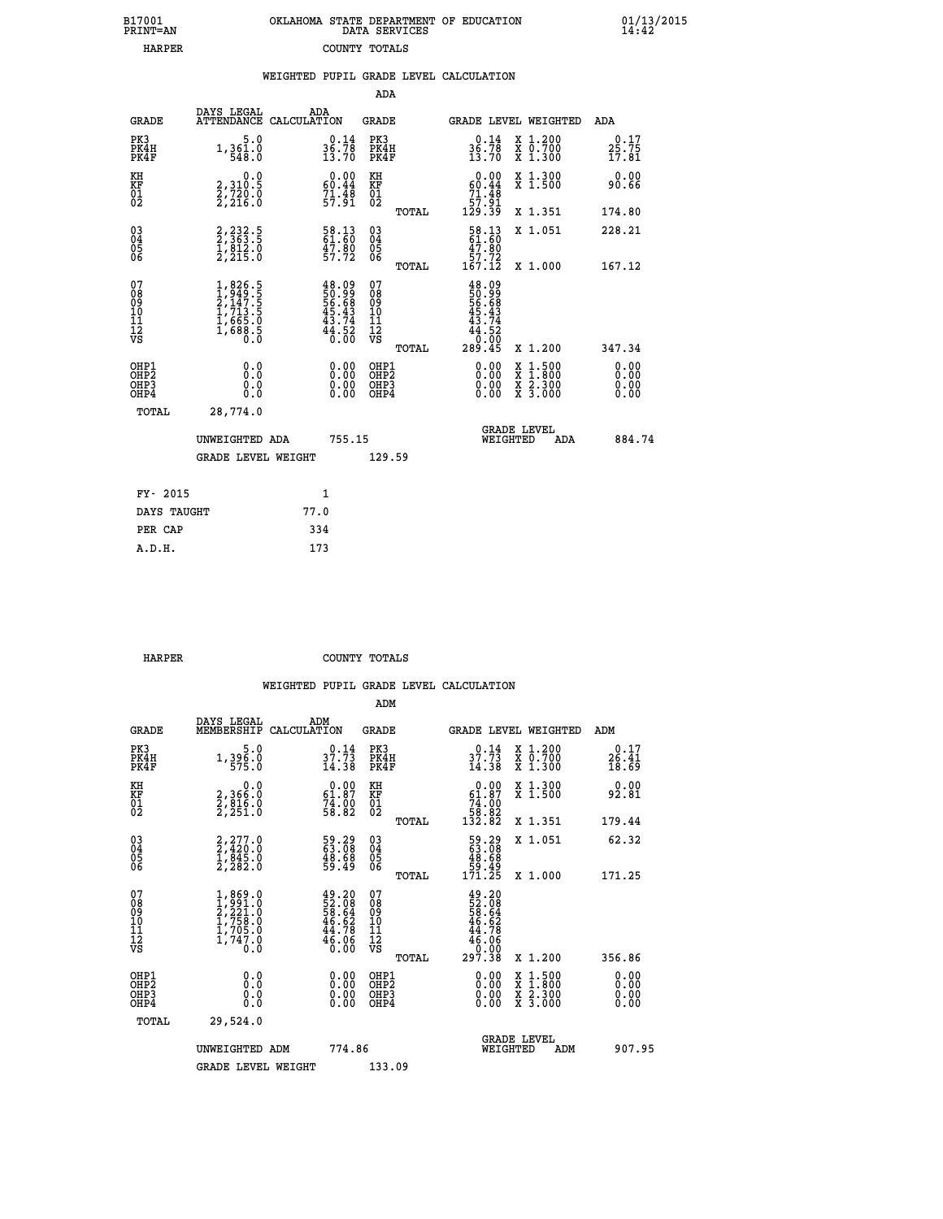| 7001<br>INT=AN | OKLAHOMA STATE DEPARTMENT OF EDUCATION | DATA SERVICES |  |
|----------------|----------------------------------------|---------------|--|
| <b>HARPER</b>  |                                        | COUNTY TOTALS |  |

|                                              |                                                                                     | WEIGHTED PUPIL GRADE LEVEL CALCULATION                                |                                        |       |                                                                                                                                                                                                                                                                                |                                                                                                                                              |                        |
|----------------------------------------------|-------------------------------------------------------------------------------------|-----------------------------------------------------------------------|----------------------------------------|-------|--------------------------------------------------------------------------------------------------------------------------------------------------------------------------------------------------------------------------------------------------------------------------------|----------------------------------------------------------------------------------------------------------------------------------------------|------------------------|
|                                              |                                                                                     |                                                                       | <b>ADA</b>                             |       |                                                                                                                                                                                                                                                                                |                                                                                                                                              |                        |
| <b>GRADE</b>                                 | DAYS LEGAL                                                                          | ADA<br>ATTENDANCE CALCULATION                                         | <b>GRADE</b>                           |       |                                                                                                                                                                                                                                                                                | GRADE LEVEL WEIGHTED                                                                                                                         | ADA                    |
| PK3<br>PK4H<br>PK4F                          | $1,361.0$<br>548.0                                                                  | $36.78$<br>$13.70$                                                    | PK3<br>PK4H<br>PK4F                    |       | $36.78$<br>13.70                                                                                                                                                                                                                                                               | X 1.200<br>X 0.700<br>X 1.300                                                                                                                | 0.17<br>25.75<br>ī7.81 |
| KH<br>KF<br>01<br>02                         | 0.0<br>2, 310:5<br>2, 720:0<br>2, 216:0                                             | $0.00$<br>60.44<br>$71.48$<br>57.91                                   | KH<br>KF<br>01<br>02                   |       | $0.00$<br>60.44<br>$\begin{array}{r} 71.48 \\ 57.91 \\ 129.39 \end{array}$                                                                                                                                                                                                     | X 1.300<br>X 1.500                                                                                                                           | 0.00<br>90.66          |
|                                              |                                                                                     |                                                                       |                                        | TOTAL |                                                                                                                                                                                                                                                                                | X 1.351                                                                                                                                      | 174.80                 |
| $^{03}_{04}$<br>05                           | $2, 232.5$<br>$2, 363.5$<br>$1, 812.0$<br>$2, 215.0$                                | 58.13<br>61.60<br>47.80<br>57.72                                      | $^{03}_{04}$<br>$\frac{05}{06}$        |       | 58.13<br>61.60                                                                                                                                                                                                                                                                 | X 1.051                                                                                                                                      | 228.21                 |
| 06                                           |                                                                                     |                                                                       |                                        | TOTAL | $\begin{smallmatrix} 47.80\\ 57.72\\ 167.12 \end{smallmatrix}$                                                                                                                                                                                                                 | X 1.000                                                                                                                                      | 167.12                 |
| 07<br>08<br>09<br>01<br>11<br>11<br>12<br>VS | $1,826.5$<br>$2,147.5$<br>$2,147.5$<br>$1,713.5$<br>$1,665.0$<br>$1,688.5$<br>$0.0$ | $48.09$<br>50.99<br>56.68<br>56.43<br>45.43<br>43.74<br>44.52<br>0.00 | 07<br>08<br>09<br>10<br>11<br>12<br>VS | TOTAL | $48.09$<br>$56.99$<br>$56.68$<br>$45.434$<br>$44.52$<br>$0.005$<br>$289.45$                                                                                                                                                                                                    | X 1.200                                                                                                                                      | 347.34                 |
| OHP1<br>OHP2<br>OHP3<br>OHP4                 | 0.0<br>0.000                                                                        | $\begin{smallmatrix} 0.00 \ 0.00 \ 0.00 \ 0.00 \end{smallmatrix}$     | OHP1<br>OHP2<br>OHP <sub>3</sub>       |       | $\begin{smallmatrix} 0.00 & 0.00 & 0.00 & 0.00 & 0.00 & 0.00 & 0.00 & 0.00 & 0.00 & 0.00 & 0.00 & 0.00 & 0.00 & 0.00 & 0.00 & 0.00 & 0.00 & 0.00 & 0.00 & 0.00 & 0.00 & 0.00 & 0.00 & 0.00 & 0.00 & 0.00 & 0.00 & 0.00 & 0.00 & 0.00 & 0.00 & 0.00 & 0.00 & 0.00 & 0.00 & 0.0$ | $\begin{smallmatrix} \mathtt{X} & 1\cdot500 \\ \mathtt{X} & 1\cdot800 \\ \mathtt{X} & 2\cdot300 \\ \mathtt{X} & 3\cdot000 \end{smallmatrix}$ | 0.00<br>0.00           |
| TOTAL                                        | 28,774.0                                                                            |                                                                       |                                        |       |                                                                                                                                                                                                                                                                                |                                                                                                                                              |                        |
|                                              | UNWEIGHTED ADA                                                                      | 755.15                                                                |                                        |       | WEIGHTED                                                                                                                                                                                                                                                                       | <b>GRADE LEVEL</b><br>ADA                                                                                                                    | 884.74                 |
|                                              | <b>GRADE LEVEL WEIGHT</b>                                                           |                                                                       | 129.59                                 |       |                                                                                                                                                                                                                                                                                |                                                                                                                                              |                        |
| FY- 2015                                     |                                                                                     | $\mathbf{1}$                                                          |                                        |       |                                                                                                                                                                                                                                                                                |                                                                                                                                              |                        |
| DAYS TAUGHT                                  |                                                                                     | 77.0                                                                  |                                        |       |                                                                                                                                                                                                                                                                                |                                                                                                                                              |                        |
| PER CAP                                      |                                                                                     | 334                                                                   |                                        |       |                                                                                                                                                                                                                                                                                |                                                                                                                                              |                        |

| A.D.H. | 173 |
|--------|-----|
|        |     |
|        |     |

 **B17001<br>PRINT=AN** 

 **HARPER COUNTY TOTALS**

|                                          |                                                                        |                                                                      | ADM                                                 |                                                                                                                                               |                                                                                                                                           |                               |
|------------------------------------------|------------------------------------------------------------------------|----------------------------------------------------------------------|-----------------------------------------------------|-----------------------------------------------------------------------------------------------------------------------------------------------|-------------------------------------------------------------------------------------------------------------------------------------------|-------------------------------|
| <b>GRADE</b>                             | DAYS LEGAL<br>MEMBERSHIP                                               | ADM<br>CALCULATION                                                   | <b>GRADE</b>                                        |                                                                                                                                               | GRADE LEVEL WEIGHTED                                                                                                                      | ADM                           |
| PK3<br>PK4H<br>PK4F                      | $1,396.0$<br>575.0                                                     | $37.73$<br>$14.38$                                                   | PK3<br>PK4H<br>PK4F                                 | 37.73<br>14.38                                                                                                                                | X 1.200<br>X 0.700<br>X 1.300                                                                                                             | 0.17<br>$\frac{26.41}{18.69}$ |
| KH<br>KF<br>01<br>02                     | 0.0<br>2,366:0<br>2,816:0<br>2,251:0                                   | $\begin{smallmatrix} 0.00\\ 61.87\\ 74.00\\ 58.82 \end{smallmatrix}$ | KH<br>KF<br>01<br>02                                | $\begin{smallmatrix}&&0.00\\ 61.87\\74.00\\58.82\\132.82\end{smallmatrix}$                                                                    | X 1.300<br>X 1.500                                                                                                                        | 0.00<br>92.81                 |
|                                          |                                                                        |                                                                      | TOTAL                                               |                                                                                                                                               | X 1.351                                                                                                                                   | 179.44                        |
| 03<br>04<br>05<br>06                     | $2, 277.0$<br>$2, 420.0$<br>$1, 845.0$<br>2,282.0                      | 59.29<br>63.08<br>48.68<br>59.49                                     | $\begin{array}{c} 03 \\ 04 \\ 05 \\ 06 \end{array}$ | $\begin{smallmatrix} 59.29\\ 63.08\\ 48.68\\ 59.49\\ 171.25 \end{smallmatrix}$                                                                | X 1.051                                                                                                                                   | 62.32                         |
|                                          |                                                                        |                                                                      | TOTAL                                               |                                                                                                                                               | X 1.000                                                                                                                                   | 171.25                        |
| 07<br>08<br>09<br>101<br>112<br>VS       | $1,869.0$<br>$2,221.0$<br>$2,758.0$<br>$1,705.0$<br>$1,747.0$<br>$0.0$ | $49.2052.0858.6446.6244.7846.060.00$                                 | 07<br>08<br>09<br>11<br>11<br>12<br>VS<br>TOTAL     | $\begin{smallmatrix} 49\cdot 20\\ 52\cdot 08\\ 58\cdot 64\\ 46\cdot 62\\ 44\cdot 78\\ 46\cdot 06\\ 0\cdot 00\\ 297\cdot 38 \end{smallmatrix}$ | X 1.200                                                                                                                                   | 356.86                        |
| OHP1<br>OHP2<br>OH <sub>P3</sub><br>OHP4 | 0.0<br>0.000                                                           | $0.00$<br>$0.00$<br>0.00                                             | OHP1<br>OHP2<br>OHP <sub>3</sub><br>OHP4            | $0.00$<br>$0.00$<br>0.00                                                                                                                      | $\begin{smallmatrix} \mathtt{X} & 1\cdot500\\ \mathtt{X} & 1\cdot800\\ \mathtt{X} & 2\cdot300\\ \mathtt{X} & 3\cdot000 \end{smallmatrix}$ | 0.00<br>0.00<br>0.00<br>0.00  |
| TOTAL                                    | 29,524.0                                                               |                                                                      |                                                     |                                                                                                                                               |                                                                                                                                           |                               |
|                                          | UNWEIGHTED ADM                                                         | 774.86                                                               |                                                     | WEIGHTED                                                                                                                                      | <b>GRADE LEVEL</b><br>ADM                                                                                                                 | 907.95                        |
|                                          | <b>GRADE LEVEL WEIGHT</b>                                              |                                                                      | 133.09                                              |                                                                                                                                               |                                                                                                                                           |                               |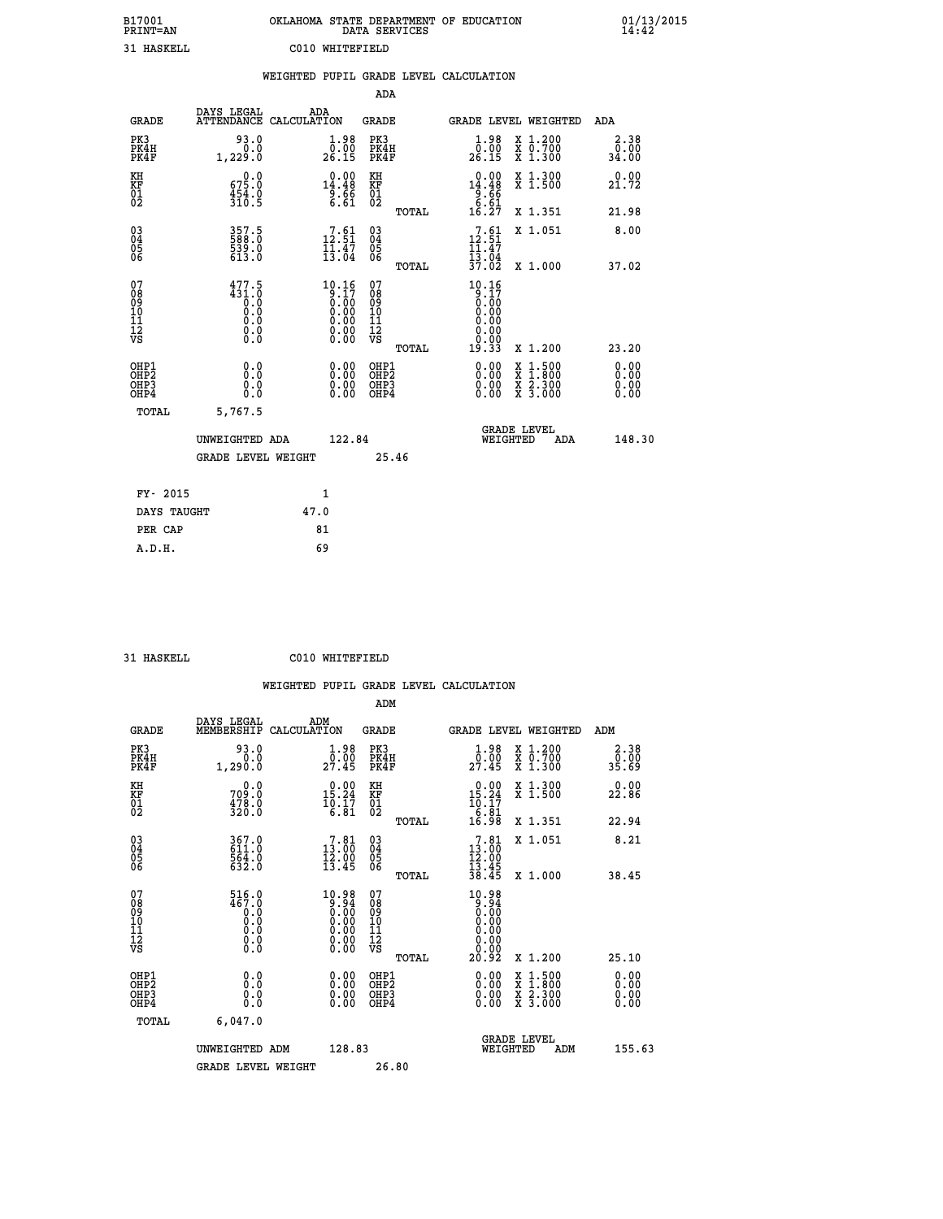| B17001<br>PRINT=AN | OKLAHOMA STATE DEPARTMENT OF EDUCATION<br>DATA SERVICES | 01/13/2015<br>14:42 |
|--------------------|---------------------------------------------------------|---------------------|
| 31 HASKELL         | C010 -<br>WHTTEFTELD                                    |                     |

|                                                                    |                                                  | WEIGHTED PUPIL GRADE LEVEL CALCULATION                                               |                                                 |                                                                                                                                           |                       |
|--------------------------------------------------------------------|--------------------------------------------------|--------------------------------------------------------------------------------------|-------------------------------------------------|-------------------------------------------------------------------------------------------------------------------------------------------|-----------------------|
|                                                                    |                                                  |                                                                                      | <b>ADA</b>                                      |                                                                                                                                           |                       |
| <b>GRADE</b>                                                       |                                                  | DAYS LEGAL ADA ATTENDANCE CALCULATION                                                | <b>GRADE</b>                                    | GRADE LEVEL WEIGHTED                                                                                                                      | ADA                   |
| PK3<br>PK4H<br>PK4F                                                | 93.0<br>1,229:0                                  | $\begin{smallmatrix} 1.98\ 0.00\\ 26.15 \end{smallmatrix}$                           | PK3<br>PK4H<br>PK4F                             | $\begin{smallmatrix}1.98\0.00\\26.15\end{smallmatrix}$<br>X 1.200<br>X 0.700<br>X 1.300                                                   | 2.38<br>0.00<br>34.00 |
| KH<br>KF<br>01<br>02                                               | 0.0<br>$67\overline{5}\cdot 0$<br>454.0<br>310.5 | $14.48$<br>$9.66$<br>$6.61$                                                          | KH<br>KF<br>01<br>02                            | $\begin{array}{r} 0.00 \\ 14.48 \\ -14.66 \\ 6.61 \\ 6.27 \end{array}$<br>X 1.300<br>X 1.500                                              | 0.00<br>21.72         |
|                                                                    |                                                  |                                                                                      | TOTAL                                           | X 1.351                                                                                                                                   | 21.98                 |
| $\begin{smallmatrix} 03 \\[-4pt] 04 \end{smallmatrix}$<br>Ŏ5<br>06 | 357.5<br>588.0<br>539.0<br>613.0                 | 12:51<br>$\frac{11.47}{13.04}$                                                       | 03<br>04<br>05<br>06                            | $7.61$<br>2.51<br>X 1.051<br>2                                                                                                            | 8.00                  |
|                                                                    |                                                  |                                                                                      | TOTAL                                           | $\frac{11.47}{13.04}$<br>$\frac{37.04}{37.02}$<br>X 1.000                                                                                 | 37.02                 |
| 07<br>08<br>09<br>11<br>11<br>12<br>VS                             | 477.5                                            | 10.16<br>$\begin{array}{c} 0.17 \\ 0.00 \\ 0.00 \\ 0.00 \\ 0.00 \\ 0.00 \end{array}$ | 07<br>08<br>09<br>11<br>11<br>12<br>VS<br>TOTAL | 10.16<br>$\frac{5}{0}$ . $\frac{7}{0}$<br>0.00<br>0.00<br>0.00<br>0.00<br>19.33<br>X 1.200                                                | 23.20                 |
| OHP1<br>OHP2<br>OHP3<br>OH <sub>P4</sub>                           | 0.0<br>0.0<br>0.0                                | $\begin{smallmatrix} 0.00 \ 0.00 \ 0.00 \ 0.00 \end{smallmatrix}$                    | OHP1<br>OHP2<br>OHP3<br>OHP4                    | $\begin{smallmatrix} \mathtt{X} & 1\cdot500\\ \mathtt{X} & 1\cdot800\\ \mathtt{X} & 2\cdot300\\ \mathtt{X} & 3\cdot000 \end{smallmatrix}$ | 0.00<br>0.00<br>0.00  |
| TOTAL                                                              | 5,767.5                                          |                                                                                      |                                                 |                                                                                                                                           |                       |
|                                                                    | UNWEIGHTED ADA                                   | 122.84                                                                               |                                                 | <b>GRADE LEVEL</b><br>WEIGHTED                                                                                                            | 148.30<br><b>ADA</b>  |
|                                                                    | GRADE LEVEL WEIGHT                               |                                                                                      | 25.46                                           |                                                                                                                                           |                       |
| FY- 2015                                                           |                                                  | 1                                                                                    |                                                 |                                                                                                                                           |                       |
| DAYS TAUGHT                                                        |                                                  | 47.0                                                                                 |                                                 |                                                                                                                                           |                       |
| PER CAP                                                            |                                                  | 81                                                                                   |                                                 |                                                                                                                                           |                       |

 **31 HASKELL C010 WHITEFIELD**

|                                                    |                                                                                                                                                           |                    |                                                                                                                                                                      |                                   |       | WEIGHTED PUPIL GRADE LEVEL CALCULATION                                      |                                                                                                  |                        |  |
|----------------------------------------------------|-----------------------------------------------------------------------------------------------------------------------------------------------------------|--------------------|----------------------------------------------------------------------------------------------------------------------------------------------------------------------|-----------------------------------|-------|-----------------------------------------------------------------------------|--------------------------------------------------------------------------------------------------|------------------------|--|
|                                                    |                                                                                                                                                           |                    |                                                                                                                                                                      | ADM                               |       |                                                                             |                                                                                                  |                        |  |
| <b>GRADE</b>                                       | DAYS LEGAL<br>MEMBERSHIP                                                                                                                                  | ADM<br>CALCULATION |                                                                                                                                                                      | <b>GRADE</b>                      |       | <b>GRADE LEVEL WEIGHTED</b>                                                 |                                                                                                  | ADM                    |  |
| PK3<br>PK4H<br>PK4F                                | 93.0<br>0.0<br>1,290.0                                                                                                                                    |                    | $\frac{1}{0}$ :00<br>27.45                                                                                                                                           | PK3<br>PK4H<br>PK4F               |       | $\frac{1 \cdot 98}{0 \cdot 00}$<br>27.45                                    | X 1.200<br>X 0.700<br>X 1.300                                                                    | 2.38<br>ōŏ.ōō<br>89.85 |  |
| KH<br>KF<br>01<br>02                               | 0.0<br>709.0<br>478.0<br>320.0                                                                                                                            |                    | $\begin{smallmatrix} 0.00\\ 15.24\\ 10.17\\ 6.81 \end{smallmatrix}$                                                                                                  | KH<br>KF<br>01<br>02              |       | $\begin{smallmatrix} 0.00\\ 15.24\\ 10.17\\ 6.81\\ 16.98 \end{smallmatrix}$ | X 1.300<br>X 1.500                                                                               | 22.86                  |  |
|                                                    |                                                                                                                                                           |                    |                                                                                                                                                                      |                                   | TOTAL |                                                                             | X 1.351                                                                                          | 22.94                  |  |
| $\begin{matrix} 03 \\ 04 \\ 05 \\ 06 \end{matrix}$ | 367.0<br>564:0<br>632:0                                                                                                                                   |                    | $13.81$<br>$13.00$<br>$\frac{15.00}{13.45}$                                                                                                                          | $\substack{03 \\ 04}$<br>Ŏ5<br>06 |       | $7.81$<br>$13.00$<br>$12.00$<br>$13.45$                                     | X 1.051                                                                                          | 8.21                   |  |
|                                                    |                                                                                                                                                           |                    |                                                                                                                                                                      |                                   | TOTAL | 38.45                                                                       | X 1.000                                                                                          | 38.45                  |  |
| 07<br>0890112<br>1112<br>VS                        | $\frac{516.0}{467.0}$<br>$\begin{smallmatrix} 0.0 & 0 \ 0.0 & 0 \end{smallmatrix}$<br>$\begin{smallmatrix} 0.0 & 0 \ 0.0 & 0 \ 0.0 & 0 \end{smallmatrix}$ |                    | $\begin{smallmatrix} 10.98\\[-1.2mm] 9.94\\[-1.2mm] 0.00\\[-1.2mm] 0.00\\[-1.2mm] 0.00\\[-1.2mm] 0.00\\[-1.2mm] 0.00\\[-1.2mm] 0.00\\[-1.2mm] 0.00\end{smallmatrix}$ | 07<br>08901112<br>1112<br>VS      | TOTAL | $10.98\n0.94\n0.00\n0.00$<br>0.00<br>0.00<br>20.92                          | $X_1.200$                                                                                        | 25.10                  |  |
| OHP1<br>OHP2<br>OH <sub>P3</sub>                   | 0.0                                                                                                                                                       |                    | $\begin{smallmatrix} 0.00 \ 0.00 \ 0.00 \ 0.00 \end{smallmatrix}$                                                                                                    | OHP1<br>OHP2                      |       |                                                                             | $\begin{smallmatrix} x & 1 & 500 \\ x & 1 & 800 \\ x & 2 & 300 \\ x & 3 & 000 \end{smallmatrix}$ | 0.00<br>Ō. ŌŌ<br>0.00  |  |
| OHP4                                               | 0.000                                                                                                                                                     |                    |                                                                                                                                                                      | OHP <sub>3</sub>                  |       |                                                                             |                                                                                                  | 0.00                   |  |
| TOTAL                                              | 6,047.0                                                                                                                                                   |                    |                                                                                                                                                                      |                                   |       |                                                                             |                                                                                                  |                        |  |
|                                                    | UNWEIGHTED ADM                                                                                                                                            |                    | 128.83                                                                                                                                                               |                                   |       | WEIGHTED                                                                    | <b>GRADE LEVEL</b><br>ADM                                                                        | 155.63                 |  |
|                                                    | <b>GRADE LEVEL WEIGHT</b>                                                                                                                                 |                    |                                                                                                                                                                      | 26.80                             |       |                                                                             |                                                                                                  |                        |  |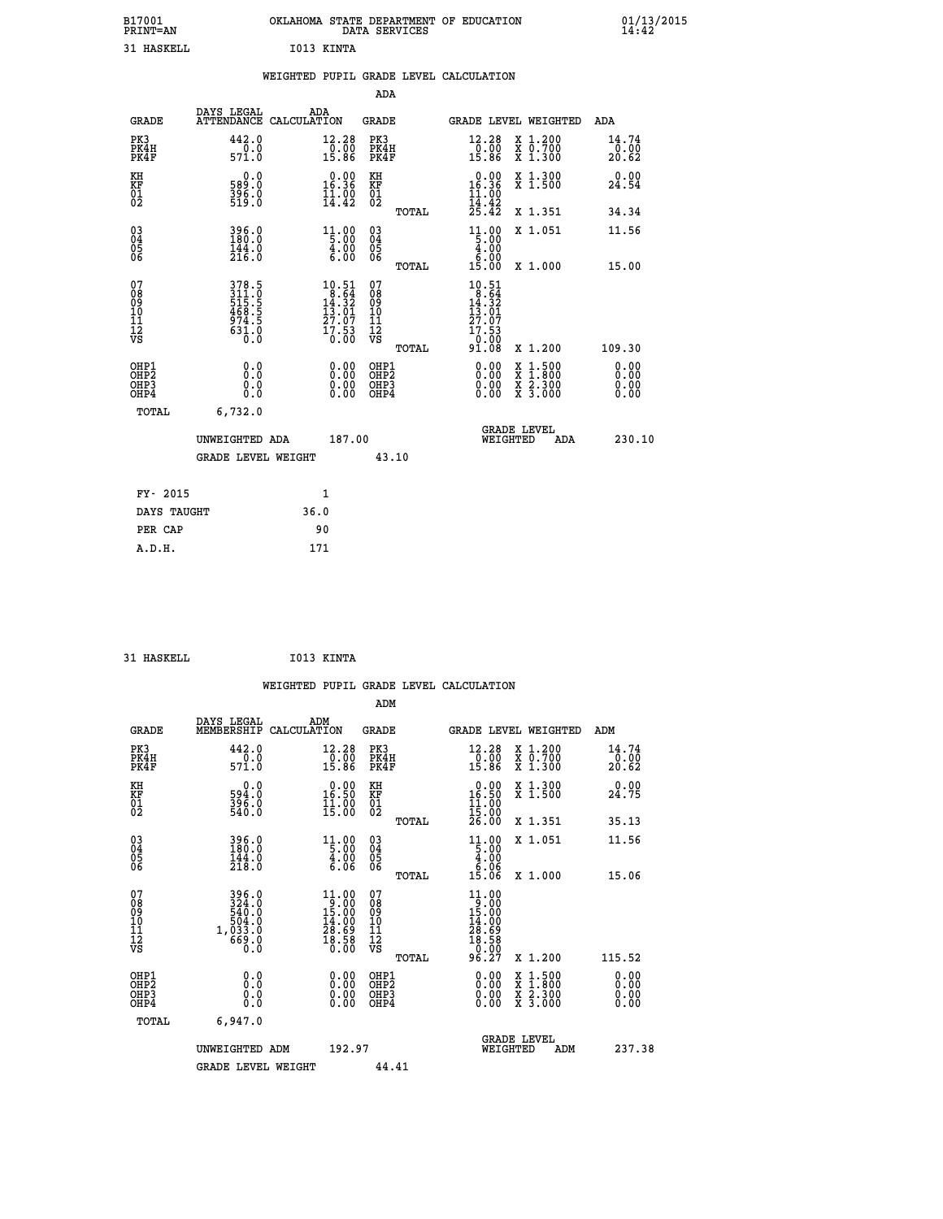| B17001<br><b>PRINT=AN</b><br>31 HASKELL |                                | OKLAHOMA<br>I013 KINTA                           | DATA SERVICES               | STATE DEPARTMENT | OF<br>EDUCATION                                                          | 01/13/2015<br>14:42    |
|-----------------------------------------|--------------------------------|--------------------------------------------------|-----------------------------|------------------|--------------------------------------------------------------------------|------------------------|
|                                         |                                | WEIGHTED PUPIL GRADE LEVEL CALCULATION           |                             |                  |                                                                          |                        |
|                                         | DAYS LEGAL                     |                                                  | ADA                         |                  |                                                                          |                        |
| GRADE                                   |                                | ADA<br>ATTENDANCE CALCULATION                    | GRADE                       |                  | GRADE LEVEL WEIGHTED                                                     | ADA                    |
| PK3<br>PK4H<br>PK4F                     | 442.0<br>0.0<br>571.0          | 12.28<br>0.00<br>15.86                           | PK3<br>PK4H<br>PK4F         |                  | 12.28<br>$X_1.200$<br>0.00<br>X 0.700<br>15.86<br>$X_1.300$              | 14.74<br>0.00<br>20.62 |
| KH<br>KF<br>01<br>02                    | 0.0<br>589:0<br>396:0<br>519:0 | 0.00<br>16.36<br>$\frac{1}{14}$ : $\frac{0}{42}$ | КH<br><b>KF</b><br>01<br>02 |                  | 0.00<br>X 1.300<br>16.36<br>X 1.500<br>$\frac{11}{14}$ : $\frac{00}{42}$ | 0.00<br>24.54          |
|                                         |                                |                                                  |                             | TOTAL            | .42<br>25<br>X 1.351                                                     | 34.34                  |

 **03 396.0 11.00 03 11.00 X 1.051 11.56**

 **TOTAL 15.00 X 1.000 15.00**

 **04 180.0 5.00 04 5.00 05 144.0 4.00 05 4.00 06 216.0 6.00 06 6.00**

| 07<br>08<br>09<br>101<br>11<br>12<br>VS<br>378.5<br>311.0<br>515.5<br>5468.5<br>468.5<br>974.5<br>631.0<br>$\begin{smallmatrix}1&0.51\\8.64\\14.32\\13.01\\27.07\\17.53\\91.08\end{smallmatrix}$<br>07<br>$\begin{smallmatrix}1&0.51\\8.64\\14.32\\13.01\\27.07\\17.53\\0.00\end{smallmatrix}$<br>08<br>09<br>11<br>11<br>12<br>VS<br>109.30<br>X 1.200<br>TOTAL<br>OHP1<br>$\begin{smallmatrix} 0.00 & 0.00 & 0.00 & 0.00 & 0.00 & 0.00 & 0.00 & 0.00 & 0.00 & 0.00 & 0.00 & 0.00 & 0.00 & 0.00 & 0.00 & 0.00 & 0.00 & 0.00 & 0.00 & 0.00 & 0.00 & 0.00 & 0.00 & 0.00 & 0.00 & 0.00 & 0.00 & 0.00 & 0.00 & 0.00 & 0.00 & 0.00 & 0.00 & 0.00 & 0.00 & 0.0$<br>OHP1<br>OHP2<br>$\begin{array}{l} \mathtt{X} & 1.500 \\ \mathtt{X} & 1.800 \\ \mathtt{X} & 2.300 \\ \mathtt{X} & 3.000 \end{array}$<br>OHP2<br>OH <sub>P3</sub><br>OHP3<br>OHP4<br>OHP4 | <b>19.00</b>                                                                                                                                                                                                                                                                   | A 1.000 | <b>19.00</b> | 101.QU |  |  |  |
|-------------------------------------------------------------------------------------------------------------------------------------------------------------------------------------------------------------------------------------------------------------------------------------------------------------------------------------------------------------------------------------------------------------------------------------------------------------------------------------------------------------------------------------------------------------------------------------------------------------------------------------------------------------------------------------------------------------------------------------------------------------------------------------------------------------------------------------------------------|--------------------------------------------------------------------------------------------------------------------------------------------------------------------------------------------------------------------------------------------------------------------------------|---------|--------------|--------|--|--|--|
|                                                                                                                                                                                                                                                                                                                                                                                                                                                                                                                                                                                                                                                                                                                                                                                                                                                       |                                                                                                                                                                                                                                                                                |         |              |        |  |  |  |
|                                                                                                                                                                                                                                                                                                                                                                                                                                                                                                                                                                                                                                                                                                                                                                                                                                                       | $\begin{smallmatrix} 0.00 & 0.00 & 0.00 & 0.00 & 0.00 & 0.00 & 0.00 & 0.00 & 0.00 & 0.00 & 0.00 & 0.00 & 0.00 & 0.00 & 0.00 & 0.00 & 0.00 & 0.00 & 0.00 & 0.00 & 0.00 & 0.00 & 0.00 & 0.00 & 0.00 & 0.00 & 0.00 & 0.00 & 0.00 & 0.00 & 0.00 & 0.00 & 0.00 & 0.00 & 0.00 & 0.0$ |         |              |        |  |  |  |
| 6,732.0<br>TOTAL                                                                                                                                                                                                                                                                                                                                                                                                                                                                                                                                                                                                                                                                                                                                                                                                                                      |                                                                                                                                                                                                                                                                                |         |              |        |  |  |  |
| <b>GRADE LEVEL</b><br>187.00<br>UNWEIGHTED ADA<br>WEIGHTED<br>ADA                                                                                                                                                                                                                                                                                                                                                                                                                                                                                                                                                                                                                                                                                                                                                                                     | 230.10                                                                                                                                                                                                                                                                         |         |              |        |  |  |  |
| 43.10<br><b>GRADE LEVEL WEIGHT</b>                                                                                                                                                                                                                                                                                                                                                                                                                                                                                                                                                                                                                                                                                                                                                                                                                    |                                                                                                                                                                                                                                                                                |         |              |        |  |  |  |
| $\mathbf{1}$<br>FY- 2015                                                                                                                                                                                                                                                                                                                                                                                                                                                                                                                                                                                                                                                                                                                                                                                                                              |                                                                                                                                                                                                                                                                                |         |              |        |  |  |  |
| 36.0<br>DAYS TAUGHT                                                                                                                                                                                                                                                                                                                                                                                                                                                                                                                                                                                                                                                                                                                                                                                                                                   |                                                                                                                                                                                                                                                                                |         |              |        |  |  |  |
| 90<br>PER CAP                                                                                                                                                                                                                                                                                                                                                                                                                                                                                                                                                                                                                                                                                                                                                                                                                                         |                                                                                                                                                                                                                                                                                |         |              |        |  |  |  |

| 31 HASKELL | I013 KINTA |
|------------|------------|

|                                                                              |                                                        |                                                                                                           |                                                          | WEIGHTED PUPIL GRADE LEVEL CALCULATION                                                                                                                                                                                                                                         |                                                                                                                                           |                              |
|------------------------------------------------------------------------------|--------------------------------------------------------|-----------------------------------------------------------------------------------------------------------|----------------------------------------------------------|--------------------------------------------------------------------------------------------------------------------------------------------------------------------------------------------------------------------------------------------------------------------------------|-------------------------------------------------------------------------------------------------------------------------------------------|------------------------------|
|                                                                              |                                                        |                                                                                                           | ADM                                                      |                                                                                                                                                                                                                                                                                |                                                                                                                                           |                              |
| <b>GRADE</b>                                                                 | DAYS LEGAL<br>MEMBERSHIP                               | ADM<br>CALCULATION                                                                                        | <b>GRADE</b>                                             | <b>GRADE LEVEL WEIGHTED</b>                                                                                                                                                                                                                                                    |                                                                                                                                           | ADM                          |
| PK3<br>PK4H<br>PK4F                                                          | 442.0<br>$\frac{1}{571.0}$                             | 12.28<br>$\frac{0.00}{15.86}$                                                                             | PK3<br>PK4H<br>PK4F                                      | 12.28<br>$\frac{0.00}{15.86}$                                                                                                                                                                                                                                                  | X 1.200<br>X 0.700<br>X 1.300                                                                                                             | 14.74<br>-ō:óō<br>20.62      |
| KH<br>KF<br>01<br>02                                                         | 0.0<br>594:0<br>396:0<br>540:0                         | $\begin{smallmatrix} 0.00\\ 16.50\\ 11.00\\ 15.00 \end{smallmatrix}$                                      | KH<br>KF<br>01<br>02                                     | $\begin{smallmatrix} 0.00\\ 16.50\\ 11.00 \end{smallmatrix}$                                                                                                                                                                                                                   | X 1.300<br>X 1.500                                                                                                                        | 0.00<br>24.75                |
|                                                                              |                                                        |                                                                                                           | TOTAL                                                    | 15:00<br>26.00                                                                                                                                                                                                                                                                 | X 1.351                                                                                                                                   | 35.13                        |
| $\begin{matrix} 03 \\ 04 \\ 05 \\ 06 \end{matrix}$                           | 396.0<br>180.0<br>$\frac{144.0}{218.0}$                | $\begin{array}{r} 11.00 \\[-4pt] 5.00 \\[-4pt] 4.00 \\[-4pt] 6.06 \end{array}$                            | $\begin{array}{c} 03 \\ 04 \\ 05 \\ 06 \end{array}$      | $\begin{array}{r} 11.00 \\[-4pt] 5.00 \\[-4pt] 4.00 \\[-4pt] 6.06 \\[-4pt] 15.06 \end{array}$                                                                                                                                                                                  | X 1.051                                                                                                                                   | 11.56                        |
| 07<br>08<br>09<br>101<br>112<br>VS                                           | $324.0\n324.0\n540.0\n504.0\n1,033.0\n669.0\n0.0$      | 11.00<br>$\frac{15.00}{15.00}$<br>$\begin{smallmatrix} 14.00 \\ 28.69 \\ 18.58 \\ 0.00 \end{smallmatrix}$ | TOTAL<br>07<br>08<br>09<br>11<br>11<br>12<br>VS<br>TOTAL | 11.00<br>$13.000$<br>$15.000$<br>$14.000$<br>$28.509$<br>$10.000$<br>96.27                                                                                                                                                                                                     | X 1.000<br>X 1.200                                                                                                                        | 15.06<br>115.52              |
| OHP1<br>OH <sub>P</sub> <sub>2</sub><br>OH <sub>P3</sub><br>OH <sub>P4</sub> | 0.0<br>0.000                                           | 0.00<br>0.00<br>0.00                                                                                      | OHP1<br>OH <sub>P</sub> 2<br>OHP3<br>OHP4                | $\begin{smallmatrix} 0.00 & 0.00 & 0.00 & 0.00 & 0.00 & 0.00 & 0.00 & 0.00 & 0.00 & 0.00 & 0.00 & 0.00 & 0.00 & 0.00 & 0.00 & 0.00 & 0.00 & 0.00 & 0.00 & 0.00 & 0.00 & 0.00 & 0.00 & 0.00 & 0.00 & 0.00 & 0.00 & 0.00 & 0.00 & 0.00 & 0.00 & 0.00 & 0.00 & 0.00 & 0.00 & 0.0$ | $\begin{smallmatrix} \mathtt{X} & 1\cdot500\\ \mathtt{X} & 1\cdot800\\ \mathtt{X} & 2\cdot300\\ \mathtt{X} & 3\cdot000 \end{smallmatrix}$ | 0.00<br>0.00<br>0.00<br>0.00 |
| TOTAL                                                                        | 6,947.0<br>UNWEIGHTED ADM<br><b>GRADE LEVEL WEIGHT</b> | 192.97                                                                                                    | 44.41                                                    | <b>GRADE LEVEL</b><br>WEIGHTED                                                                                                                                                                                                                                                 | ADM                                                                                                                                       | 237.38                       |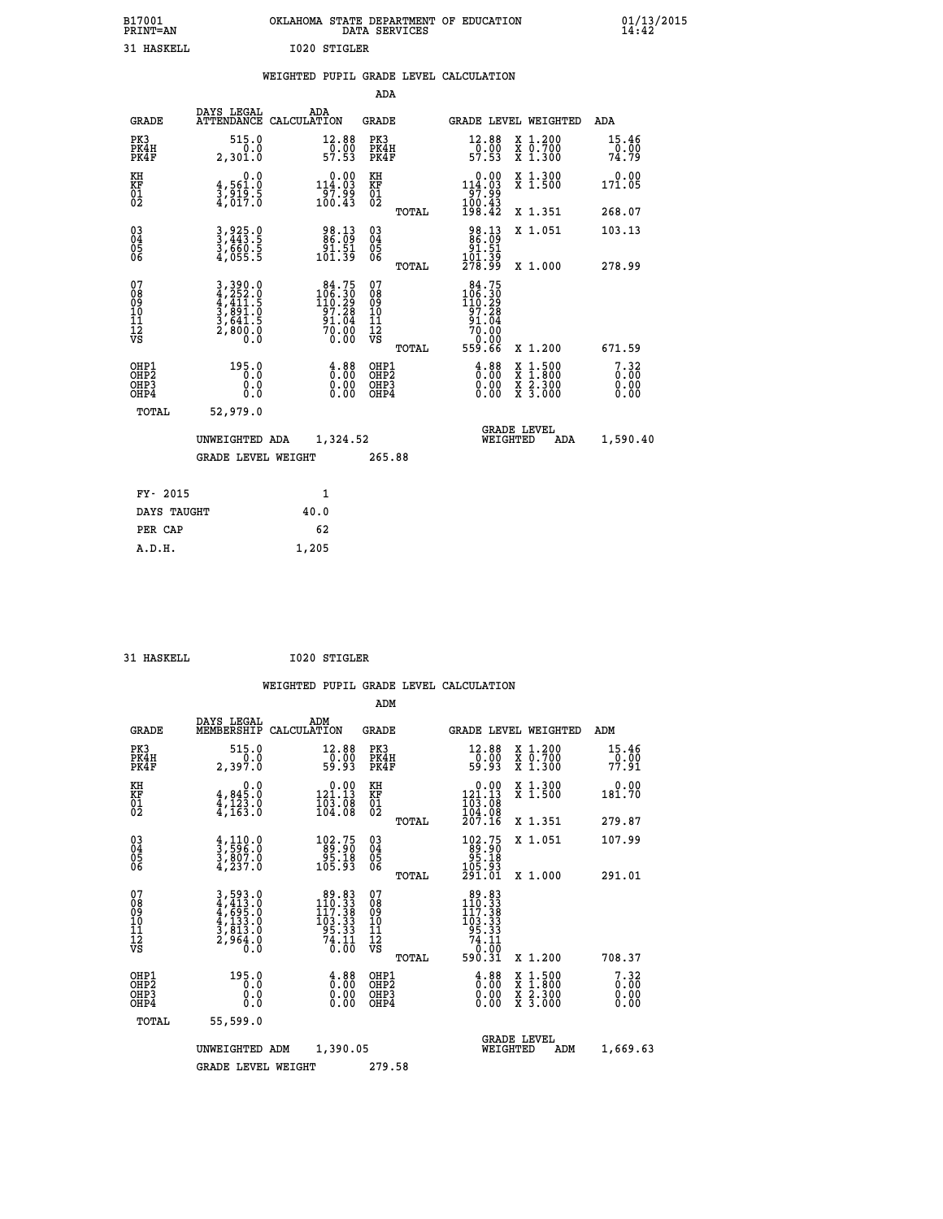| B17001<br><b>PRINT=AN</b> | OKLAHOMA STATE DEPARTMENT OF EDUCATION<br>DATA SERVICES | 01/13/2015<br>14:42 |
|---------------------------|---------------------------------------------------------|---------------------|
| HASKELL.<br>.             | 1020<br>STIGLER                                         |                     |

| 31 HASKELL                                            |                                                                                                                                               |      | 1020 STIGLER                                                                            |                                                    |       |                                                          |                                                                                                                                              |                                  |
|-------------------------------------------------------|-----------------------------------------------------------------------------------------------------------------------------------------------|------|-----------------------------------------------------------------------------------------|----------------------------------------------------|-------|----------------------------------------------------------|----------------------------------------------------------------------------------------------------------------------------------------------|----------------------------------|
|                                                       |                                                                                                                                               |      |                                                                                         |                                                    |       | WEIGHTED PUPIL GRADE LEVEL CALCULATION                   |                                                                                                                                              |                                  |
|                                                       |                                                                                                                                               |      |                                                                                         | ADA                                                |       |                                                          |                                                                                                                                              |                                  |
| <b>GRADE</b>                                          | DAYS LEGAL ADA ATTENDANCE CALCULATION                                                                                                         |      |                                                                                         | <b>GRADE</b>                                       |       |                                                          | GRADE LEVEL WEIGHTED                                                                                                                         | ADA                              |
| PK3<br>PK4H<br>PK4F                                   | 515.0<br>0.0<br>2,301.0                                                                                                                       |      | 12.88<br>$\frac{5}{57}$ . 00                                                            | PK3<br>PK4H<br>PK4F                                |       | 12.88<br>$\frac{1}{57}.00$<br>57.53                      | X 1.200<br>X 0.700<br>X 1.300                                                                                                                | 15.46<br>-ŏ:ŌŎ<br>74.79          |
| KH<br><b>KF</b><br>01<br>02                           | 0.0<br>$\frac{4}{3}, \frac{561}{919}$ . 5<br>$\frac{4}{917}$ . 5                                                                              |      | $\begin{smallmatrix}&&0&.00\\114&.03\\97&.99\\100&.43\end{smallmatrix}$                 | KH<br>KF<br>01<br>02                               |       | 0.00<br>$114.03$<br>$97.99$<br>$100.43$<br>$198.42$      | X 1.300<br>X 1.500                                                                                                                           | 0.00<br>171.05                   |
|                                                       |                                                                                                                                               |      |                                                                                         |                                                    | TOTAL |                                                          | X 1.351                                                                                                                                      | 268.07                           |
| $^{03}_{04}$<br>05<br>06                              | 3,925.0<br>3,443.5<br>3,660.5<br>4,055.5                                                                                                      |      | 98.13<br>86.09<br>91.51<br>101.39                                                       | $\begin{matrix} 03 \\ 04 \\ 05 \\ 06 \end{matrix}$ |       | 98.13<br>86.09<br>91.51                                  | X 1.051                                                                                                                                      | 103.13                           |
|                                                       |                                                                                                                                               |      |                                                                                         |                                                    | TOTAL | 101.39<br>278.99                                         | X 1.000                                                                                                                                      | 278.99                           |
| 07<br>08<br>09<br>101<br>112<br>VS                    | $\begin{smallmatrix} 3\,,\,390\,.0\\ 4\,,\,252\,.0\\ 4\,,\,411\,.5\\ 3\,,\,891\,.0\\ 3\,,\,641\,.5\\ 2\,,\,800\,.0\\ 0\,.0 \end{smallmatrix}$ |      | $\begin{smallmatrix} 84.75\\106.30\\110.29\\97.28\\91.04\\70.00\\0.00\end{smallmatrix}$ | 07<br>08901112<br>1112<br>VS                       |       | $84.75$<br>$106.30$<br>110.29<br>97.28<br>91.04<br>70.00 |                                                                                                                                              |                                  |
|                                                       |                                                                                                                                               |      |                                                                                         |                                                    | TOTAL | ةة:ة<br>559.66                                           | X 1.200                                                                                                                                      | 671.59                           |
| OHP1<br>OH <sub>P</sub> 2<br>OH <sub>P3</sub><br>OHP4 | 195.0<br>0.0<br>0.0<br>0.0                                                                                                                    |      | $\begin{smallmatrix} 4.88\ 0.00\ 0.00\ 0.00 \end{smallmatrix}$                          | OHP1<br>OH <sub>P</sub> 2<br>OHP3<br>OHP4          |       | 3.88<br>0.00                                             | $\begin{smallmatrix} \mathtt{X} & 1\cdot500 \\ \mathtt{X} & 1\cdot800 \\ \mathtt{X} & 2\cdot300 \\ \mathtt{X} & 3\cdot000 \end{smallmatrix}$ | $7.32$<br>$0.00$<br>0.00<br>0.00 |
| TOTAL                                                 | 52,979.0                                                                                                                                      |      |                                                                                         |                                                    |       |                                                          |                                                                                                                                              |                                  |
|                                                       | UNWEIGHTED ADA                                                                                                                                |      | 1,324.52                                                                                |                                                    |       |                                                          | GRADE LEVEL<br>WEIGHTED<br>ADA                                                                                                               | 1,590.40                         |
|                                                       | <b>GRADE LEVEL WEIGHT</b>                                                                                                                     |      |                                                                                         | 265.88                                             |       |                                                          |                                                                                                                                              |                                  |
| FY- 2015                                              |                                                                                                                                               |      | 1                                                                                       |                                                    |       |                                                          |                                                                                                                                              |                                  |
| DAYS TAUGHT                                           |                                                                                                                                               | 40.0 |                                                                                         |                                                    |       |                                                          |                                                                                                                                              |                                  |
| PER CAP                                               |                                                                                                                                               |      | 62                                                                                      |                                                    |       |                                                          |                                                                                                                                              |                                  |

 **31 HASKELL I020 STIGLER**

 **A.D.H. 1,205**

 **ADM**

| <b>GRADE</b>                                       | DAYS LEGAL<br>MEMBERSHIP                                              | ADM<br>CALCULATION                                                                                                        | <b>GRADE</b>                                       |       | GRADE LEVEL WEIGHTED                                                                                                                    |                                          | ADM                              |  |
|----------------------------------------------------|-----------------------------------------------------------------------|---------------------------------------------------------------------------------------------------------------------------|----------------------------------------------------|-------|-----------------------------------------------------------------------------------------------------------------------------------------|------------------------------------------|----------------------------------|--|
| PK3<br>PK4H<br>PK4F                                | 515.0<br>0.0<br>2,397.0                                               | 12.88<br>$\frac{1}{59}.\overline{\overset{0}{99}}$                                                                        | PK3<br>PK4H<br>PK4F                                |       | 12.88<br>$\frac{1}{59}$ .00<br>59.93                                                                                                    | X 1.200<br>X 0.700<br>X 1.300            | 15.46<br>0.00<br>77.91           |  |
| KH<br>KF<br>01<br>02                               | 0.0<br>$4,845.0$<br>$4,123.0$<br>$4,163.0$                            | $\begin{smallmatrix} &0.00\\ 121.13\\ 103.08\\ 104.08 \end{smallmatrix}$                                                  | KH<br>KF<br>01<br>02                               |       | $\begin{smallmatrix} &0.00\\ 121.13\\ 103.08\\ 104.08\\ 207.16\end{smallmatrix}$                                                        | X 1.300<br>X 1.500                       | 0.00<br>181.70                   |  |
|                                                    |                                                                       |                                                                                                                           |                                                    | TOTAL |                                                                                                                                         | X 1.351                                  | 279.87                           |  |
| $\begin{matrix} 03 \\ 04 \\ 05 \\ 06 \end{matrix}$ | $\frac{4}{3}, \frac{110}{596}.0$<br>3,807.0<br>4,237.0                | $\begin{array}{r} 102\cdot 75 \\ 89\cdot 90 \\ 95\cdot 18 \\ 105\cdot 93 \end{array}$                                     | $\begin{matrix} 03 \\ 04 \\ 05 \\ 06 \end{matrix}$ |       | $\begin{smallmatrix} 102\cdot75\\89\cdot90\\95\cdot18\\105\cdot93\\291\cdot01\end{smallmatrix}$                                         | X 1.051                                  | 107.99                           |  |
|                                                    |                                                                       |                                                                                                                           |                                                    | TOTAL |                                                                                                                                         | $X_1.000$                                | 291.01                           |  |
| 07<br>08<br>09<br>101<br>11<br>12<br>VS            | 3,593.0<br>4,413.0<br>4,695.0<br>4,133.0<br>3,813.0<br>2,964.0<br>0.0 | $\begin{array}{r} 89\cdot 83\\ 110\cdot 33\\ 117\cdot 38\\ 103\cdot 33\\ 95\cdot 33\\ 74\cdot 11\\ 0\cdot 00 \end{array}$ | 078<br>089<br>0011<br>11<br>11<br>12<br>VS         | TOTAL | $\begin{array}{r} 89\cdot 83\\ 110\cdot 33\\ 117\cdot 38\\ 103\cdot 33\\ 95\cdot 33\\ 74\cdot 11\\ 0\cdot 00\\ 590\cdot 31 \end{array}$ | X 1.200                                  | 708.37                           |  |
| OHP1                                               | 195.0                                                                 |                                                                                                                           | OHP1                                               |       |                                                                                                                                         |                                          |                                  |  |
| OHP <sub>2</sub><br>OH <sub>P3</sub><br>OHP4       | 0.0<br>0.000                                                          | $\begin{smallmatrix} 4.88\ 0.00\ 0.00 \end{smallmatrix}$                                                                  | OHP2<br>OHP3<br>OHP4                               |       | $\frac{4.88}{0.00}$<br>$0.00$<br>0.00                                                                                                   | X 1:500<br>X 1:800<br>X 2:300<br>X 3:000 | $7.32$<br>$0.00$<br>0.00<br>0.00 |  |
| TOTAL                                              | 55,599.0                                                              |                                                                                                                           |                                                    |       |                                                                                                                                         |                                          |                                  |  |
|                                                    | UNWEIGHTED                                                            | 1,390.05<br>ADM                                                                                                           |                                                    |       | <b>GRADE LEVEL</b><br>WEIGHTED                                                                                                          | ADM                                      | 1,669.63                         |  |
|                                                    | <b>GRADE LEVEL WEIGHT</b>                                             |                                                                                                                           | 279.58                                             |       |                                                                                                                                         |                                          |                                  |  |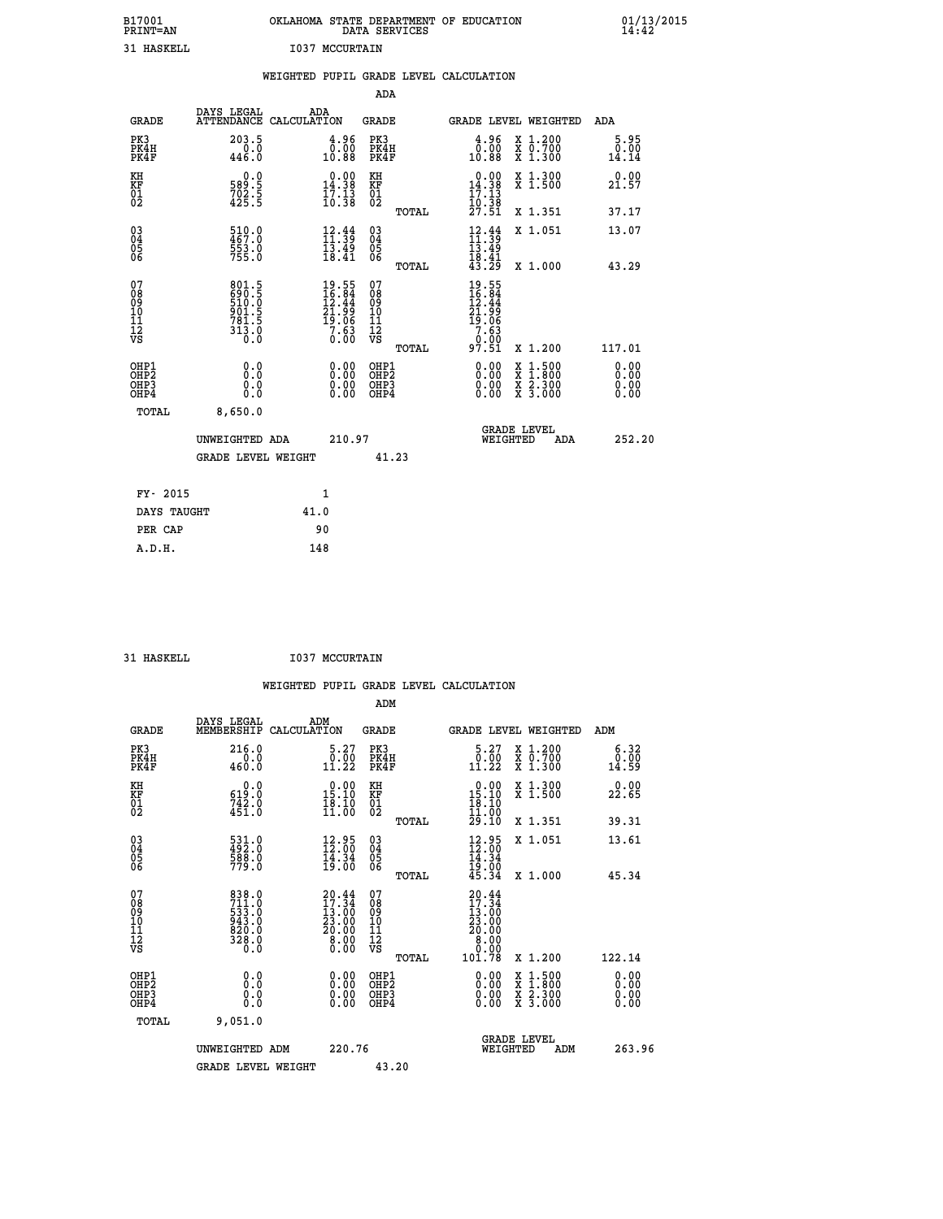| B17001<br>PRINT=AN<br>31 HASKELL |                                                                 | OKLAHOMA<br>I037<br>MCCURTAIN                     | STATE DEPARTMENT<br>DATA SERVICES |       | OF<br><b>EDUCATION</b>                                                             | 01/13/2015<br>14:42   |
|----------------------------------|-----------------------------------------------------------------|---------------------------------------------------|-----------------------------------|-------|------------------------------------------------------------------------------------|-----------------------|
|                                  |                                                                 | WEIGHTED PUPIL GRADE LEVEL CALCULATION            |                                   |       |                                                                                    |                       |
|                                  |                                                                 |                                                   | ADA                               |       |                                                                                    |                       |
| GRADE                            | DAYS LEGAL                                                      | ADA<br>ATTENDANCE CALCULATION                     | GRADE                             |       | GRADE LEVEL WEIGHTED                                                               | ADA                   |
| PK3<br>PK4H<br>PK4F              | 203.5<br>0.0<br>446.0                                           | 4.96<br>0.00<br>10.88                             | PK3<br>PK4H<br>PK4F               |       | $\frac{4.96}{0.00}$<br>X 1.200<br>X 0.700<br>10.88<br>X <sub>1.300</sub>           | 5.95<br>0.00<br>14.14 |
| KH<br>KF<br>01<br>02             | $\begin{smallmatrix} 0.0\\589.5\\702.5\\425.5\end{smallmatrix}$ | 0.00<br>14.38<br>$\frac{1}{10}$ ; $\frac{13}{38}$ | КH<br><b>KF</b><br>01<br>02       |       | 0.00<br>X 1.300<br>14.38<br>$X$ 1.500<br>$\frac{17.13}{10.38}$<br>$\frac{27.51}{}$ | 0.00<br>21.57         |
|                                  |                                                                 |                                                   |                                   | TOTAL | X 1.351                                                                            | 37.17                 |

| <b>BATTA MATTATION</b>                               | $\sim$                                                      |                                                                                   |                                               |       |                                                                 |                                          |     |                                                                                                                                                                                                                                                                                |
|------------------------------------------------------|-------------------------------------------------------------|-----------------------------------------------------------------------------------|-----------------------------------------------|-------|-----------------------------------------------------------------|------------------------------------------|-----|--------------------------------------------------------------------------------------------------------------------------------------------------------------------------------------------------------------------------------------------------------------------------------|
| FY- 2015                                             |                                                             | $\mathbf{1}$                                                                      |                                               |       |                                                                 |                                          |     |                                                                                                                                                                                                                                                                                |
|                                                      | <b>GRADE LEVEL WEIGHT</b>                                   |                                                                                   | 41.23                                         |       |                                                                 |                                          |     |                                                                                                                                                                                                                                                                                |
|                                                      | UNWEIGHTED ADA                                              | 210.97                                                                            |                                               |       | WEIGHTED                                                        | <b>GRADE LEVEL</b>                       | ADA | 252.20                                                                                                                                                                                                                                                                         |
| TOTAL                                                | 8,650.0                                                     |                                                                                   |                                               |       |                                                                 |                                          |     |                                                                                                                                                                                                                                                                                |
| OHP1<br>OHP <sub>2</sub><br>OH <sub>P3</sub><br>OHP4 | 0.0<br>0.0<br>0.0                                           |                                                                                   | OHP1<br>OHP <sub>2</sub><br>OHP3<br>OHP4      |       |                                                                 | X 1:500<br>X 1:800<br>X 2:300<br>X 3:000 |     | $\begin{smallmatrix} 0.00 & 0.00 & 0.00 & 0.00 & 0.00 & 0.00 & 0.00 & 0.00 & 0.00 & 0.00 & 0.00 & 0.00 & 0.00 & 0.00 & 0.00 & 0.00 & 0.00 & 0.00 & 0.00 & 0.00 & 0.00 & 0.00 & 0.00 & 0.00 & 0.00 & 0.00 & 0.00 & 0.00 & 0.00 & 0.00 & 0.00 & 0.00 & 0.00 & 0.00 & 0.00 & 0.0$ |
| 07<br>08<br>09<br>001<br>11<br>11<br>12<br>VS        | 801.5<br>690.5<br>510.0<br>510.5<br>901.5<br>781.5<br>313.0 | $19.55$<br>$16.84$<br>$12.44$<br>$21.99$<br>$19.06$<br>$7.63$<br>$0.00$           | 07<br>08<br>09<br>001<br>11<br>11<br>12<br>VS | TOTAL | 19.55<br>16.844<br>12.444<br>21.996<br>21.063<br>7.630<br>97.51 | X 1.200                                  |     | 117.01                                                                                                                                                                                                                                                                         |
|                                                      |                                                             |                                                                                   |                                               |       |                                                                 |                                          |     |                                                                                                                                                                                                                                                                                |
| 03<br>04<br>05<br>06                                 | 510.0<br>467.0<br>553.0<br>755.0                            | $\begin{array}{c} 12.44 \\[-4pt] 11.39 \\[-4pt] 13.49 \\[-4pt] 18.41 \end{array}$ | 03<br>04<br>05<br>06                          | TOTAL | $12.44$<br>$13.49$<br>$13.49$<br>$18.41$<br>$43.29$             | X 1.051<br>X 1.000                       |     | 13.07<br>43.29                                                                                                                                                                                                                                                                 |

| DAYS TAUGHT | 41.0 |
|-------------|------|
| PER CAP     | 90   |
| A.D.H.      | 148  |
|             |      |

31 HASKELL **I037 MCCURTAIN** 

|                                                      |                                                                                     |                                                                       |        |                                          |       | WEIGHTED PUPIL GRADE LEVEL CALCULATION                                                                                                                                                                                                                                                                                                                 |                                          |                              |  |
|------------------------------------------------------|-------------------------------------------------------------------------------------|-----------------------------------------------------------------------|--------|------------------------------------------|-------|--------------------------------------------------------------------------------------------------------------------------------------------------------------------------------------------------------------------------------------------------------------------------------------------------------------------------------------------------------|------------------------------------------|------------------------------|--|
|                                                      |                                                                                     |                                                                       |        | ADM                                      |       |                                                                                                                                                                                                                                                                                                                                                        |                                          |                              |  |
| <b>GRADE</b>                                         | DAYS LEGAL<br>MEMBERSHIP                                                            | ADM<br>CALCULATION                                                    |        | <b>GRADE</b>                             |       | GRADE LEVEL WEIGHTED                                                                                                                                                                                                                                                                                                                                   |                                          | ADM                          |  |
| PK3<br>PK4H<br>PK4F                                  | 216.0<br>0.0<br>460.0                                                               | $\substack{5.27\\0.00\\11.22}$                                        |        | PK3<br>PK4H<br>PK4F                      |       | $\substack{5.27\\0.00\\11.22}$                                                                                                                                                                                                                                                                                                                         | X 1.200<br>X 0.700<br>X 1.300            | 6.32<br>0.00<br>14.59        |  |
| KH<br>KF<br>01<br>02                                 | 0.0<br>$\frac{619}{742}$ $\cdot 0$<br>$451$                                         | 15.10<br>$\frac{18.10}{11.00}$                                        |        | KH<br>KF<br>01<br>02                     |       | $\begin{smallmatrix} 0.00\\15.10\\18.10\\11.00 \end{smallmatrix}$                                                                                                                                                                                                                                                                                      | X 1.300<br>$\bar{x}$ 1.500               | 0.00<br>22.65                |  |
|                                                      |                                                                                     |                                                                       |        |                                          | TOTAL | 29.10                                                                                                                                                                                                                                                                                                                                                  | X 1.351                                  | 39.31                        |  |
| $\begin{matrix} 03 \\ 04 \\ 05 \\ 06 \end{matrix}$   | 531.0<br>492.0<br>588.0<br>779.0                                                    | $\begin{smallmatrix} 12.95\\ 12.00\\ 14.34\\ 19.00 \end{smallmatrix}$ |        | 03<br>04<br>05<br>06                     |       | $12.95$<br>$14.34$<br>$19.00$<br>$19.00$<br>$45.34$                                                                                                                                                                                                                                                                                                    | X 1.051                                  | 13.61                        |  |
|                                                      |                                                                                     |                                                                       |        |                                          | TOTAL |                                                                                                                                                                                                                                                                                                                                                        | $X_1.000$                                | 45.34                        |  |
| 07<br>08<br>09<br>11<br>11<br>12<br>VS               | $\begin{smallmatrix}838.0\\711.0\\533.0\\943.0\\820.0\\328.0\\0.0\end{smallmatrix}$ | $20.44$<br>$17.34$<br>13:00<br>23.00<br>20.00<br>8.00<br>Ō. ÕÕ        |        | 07<br>08<br>09<br>11<br>11<br>12<br>VS   |       | $20.44$<br>$17.34$<br>$\begin{smallmatrix} 1 & 1 & 1 & 0 & 0 \\ 2 & 3 & 0 & 0 & 0 \\ 2 & 0 & 0 & 0 & 0 \\ 0 & 0 & 0 & 0 & 0 \\ 0 & 0 & 0 & 0 & 0 \\ 0 & 0 & 0 & 0 & 0 \\ 0 & 0 & 0 & 0 & 0 \\ 0 & 0 & 0 & 0 & 0 \\ 0 & 0 & 0 & 0 & 0 \\ 0 & 0 & 0 & 0 & 0 \\ 0 & 0 & 0 & 0 & 0 \\ 0 & 0 & 0 & 0 & 0 \\ 0 & 0 & 0 & 0 & 0 \\ 0 & 0 & 0 & 0 & 0 \\ 0 & $ |                                          |                              |  |
|                                                      |                                                                                     |                                                                       |        |                                          | TOTAL | 101.78                                                                                                                                                                                                                                                                                                                                                 | X 1.200                                  | 122.14                       |  |
| OHP1<br>OHP <sub>2</sub><br>OHP3<br>OH <sub>P4</sub> | 0.0<br>0.000                                                                        | 0.00<br>0.00<br>0.00                                                  |        | OHP1<br>OHP <sub>2</sub><br>OHP3<br>OHP4 |       | 0.00<br>0.00<br>0.00                                                                                                                                                                                                                                                                                                                                   | X 1:500<br>X 1:800<br>X 2:300<br>X 3:000 | 0.00<br>0.00<br>0.00<br>0.00 |  |
| TOTAL                                                | 9,051.0                                                                             |                                                                       |        |                                          |       |                                                                                                                                                                                                                                                                                                                                                        |                                          |                              |  |
|                                                      | UNWEIGHTED ADM                                                                      |                                                                       | 220.76 |                                          |       | <b>GRADE LEVEL</b><br>WEIGHTED                                                                                                                                                                                                                                                                                                                         | ADM                                      | 263.96                       |  |
|                                                      | <b>GRADE LEVEL WEIGHT</b>                                                           |                                                                       |        | 43.20                                    |       |                                                                                                                                                                                                                                                                                                                                                        |                                          |                              |  |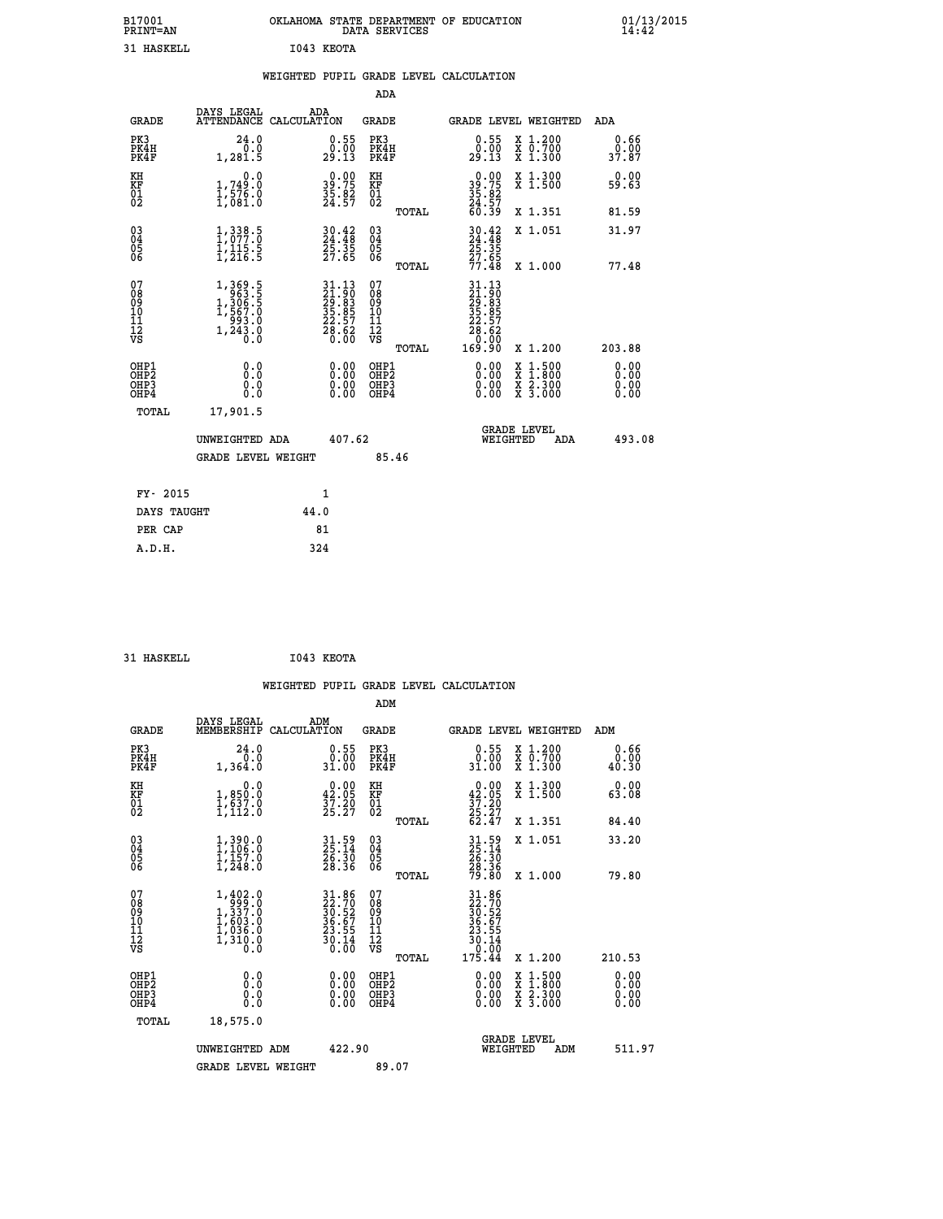| B17001<br>PRINT=AN                        |                                                                                         |            |                                                                                        | DATA SERVICES                                      |              | OKLAHOMA STATE DEPARTMENT OF EDUCATION                               |          |                                                                                                  | 01/13/2015<br>14:42   |  |
|-------------------------------------------|-----------------------------------------------------------------------------------------|------------|----------------------------------------------------------------------------------------|----------------------------------------------------|--------------|----------------------------------------------------------------------|----------|--------------------------------------------------------------------------------------------------|-----------------------|--|
| 31 HASKELL                                |                                                                                         | I043 KEOTA |                                                                                        |                                                    |              |                                                                      |          |                                                                                                  |                       |  |
|                                           |                                                                                         |            |                                                                                        |                                                    |              | WEIGHTED PUPIL GRADE LEVEL CALCULATION                               |          |                                                                                                  |                       |  |
|                                           |                                                                                         |            |                                                                                        | ADA                                                |              |                                                                      |          |                                                                                                  |                       |  |
| GRADE                                     | DAYS LEGAL<br>ATTENDANCE CALCULATION                                                    | ADA        |                                                                                        | GRADE                                              |              |                                                                      |          | GRADE LEVEL WEIGHTED                                                                             | ADA                   |  |
| PK3<br>PK4H<br>PK4F                       | 24.0<br>0.0<br>1,281.5                                                                  |            | 0.55<br>29.13                                                                          | PK3<br>PK4H<br>PK4F                                |              | 0.55<br>29.13                                                        |          | X 1.200<br>X 0.700<br>X 1.300                                                                    | 0.66<br>0.00<br>37.87 |  |
| KH<br>KF<br>01<br>02                      | 0.0<br>$\frac{1}{1}, \frac{749}{576}$ .0<br>1,576.0                                     |            | $39.75$<br>$35.75$<br>$35.82$<br>$24.57$                                               | KH<br>KF<br>$\overline{01}$                        |              | $39.75$<br>$35.82$<br>$24.57$                                        |          | X 1.300<br>X 1.500                                                                               | 0.00<br>59.63         |  |
|                                           |                                                                                         |            |                                                                                        |                                                    | <b>TOTAL</b> | 60.39                                                                |          | X 1.351                                                                                          | 81.59                 |  |
| $03\overline{4}$<br>$\substack{05 \\ 06}$ | $1,338.5$<br>$1,077.0$<br>$\frac{1}{1}$ , $\frac{1}{2}$ , $\frac{1}{5}$ , $\frac{5}{5}$ |            | $30.42$<br>$24.48$<br>$25.35$<br>$27.65$                                               | $\begin{matrix} 03 \\ 04 \\ 05 \\ 06 \end{matrix}$ |              | $30.42$<br>24.48<br>25.35<br>27.65                                   |          | X 1.051                                                                                          | 31.97                 |  |
|                                           |                                                                                         |            |                                                                                        |                                                    | <b>TOTAL</b> | 77.48                                                                |          | X 1.000                                                                                          | 77.48                 |  |
| 07<br>08<br>09<br>11<br>11<br>12<br>VS    | $1,369.5$<br>$1,306.5$<br>$1,567.0$<br>$993.0$<br>$1,243.0$<br>$0.0$                    |            | $\begin{smallmatrix} 31.13\ 21.90\ 29.83\ 35.85\ 22.57\ 28.62\ 0.00 \end{smallmatrix}$ | 07<br>νs                                           | TOTAL        | 31.13<br>21.90<br>29.83<br>35.85<br>32.57<br>28.62<br>0.00<br>169.90 |          | X 1.200                                                                                          | 203.88                |  |
| OHP1<br>OHP2<br>OHP3<br>OHP4              | 0.000<br>0.0<br>0.0                                                                     |            | 0.00<br>0.00<br>0.00                                                                   | OHP1<br>OHP2<br>OHP3<br>OHP4                       |              | 0.00<br>0.00<br>0.00                                                 |          | $\begin{smallmatrix} x & 1 & 500 \\ x & 1 & 800 \\ x & 2 & 300 \\ x & 3 & 000 \end{smallmatrix}$ | 0.00<br>0.00<br>0.00  |  |
| TOTAL                                     | 17,901.5                                                                                |            |                                                                                        |                                                    |              |                                                                      |          |                                                                                                  |                       |  |
|                                           | UNWEIGHTED ADA                                                                          |            | 407.62                                                                                 |                                                    |              |                                                                      | WEIGHTED | <b>GRADE LEVEL</b><br>ADA                                                                        | 493.08                |  |
|                                           | <b>GRADE LEVEL WEIGHT</b>                                                               |            |                                                                                        | 85.46                                              |              |                                                                      |          |                                                                                                  |                       |  |
| FY- 2015                                  |                                                                                         |            | 1                                                                                      |                                                    |              |                                                                      |          |                                                                                                  |                       |  |
| DAYS TAUGHT                               |                                                                                         | 44.0       |                                                                                        |                                                    |              |                                                                      |          |                                                                                                  |                       |  |
| PER CAP                                   |                                                                                         | 81         |                                                                                        |                                                    |              |                                                                      |          |                                                                                                  |                       |  |
| A.D.H.                                    |                                                                                         | 324        |                                                                                        |                                                    |              |                                                                      |          |                                                                                                  |                       |  |

```
 31 HASKELL I043 KEOTA
```

|                                                    |                      |                                                                                                       |                    |                                                                                                    |                                        |       | WEIGHTED PUPIL GRADE LEVEL CALCULATION                                                                                                                                                                                                                                         |                                                                                                                                           |     |                       |
|----------------------------------------------------|----------------------|-------------------------------------------------------------------------------------------------------|--------------------|----------------------------------------------------------------------------------------------------|----------------------------------------|-------|--------------------------------------------------------------------------------------------------------------------------------------------------------------------------------------------------------------------------------------------------------------------------------|-------------------------------------------------------------------------------------------------------------------------------------------|-----|-----------------------|
|                                                    |                      |                                                                                                       |                    |                                                                                                    | ADM                                    |       |                                                                                                                                                                                                                                                                                |                                                                                                                                           |     |                       |
|                                                    | <b>GRADE</b>         | DAYS LEGAL<br>MEMBERSHIP                                                                              | ADM<br>CALCULATION |                                                                                                    | GRADE                                  |       | GRADE LEVEL WEIGHTED                                                                                                                                                                                                                                                           |                                                                                                                                           | ADM |                       |
|                                                    | PK3<br>PK4H<br>PK4F  | 24.0<br>0.0<br>1,364.0                                                                                |                    | $0.55$<br>$0.00$<br>31.00                                                                          | PK3<br>PK4H<br>PK4F                    |       | $\begin{smallmatrix} 0.55\\ 0.00\\ 31.00 \end{smallmatrix}$                                                                                                                                                                                                                    | X 1.200<br>X 0.700<br>X 1.300                                                                                                             |     | 0.66<br>0.00<br>40.30 |
| KH<br>KF<br>01<br>02                               |                      | 0.0<br>1,850.0<br>1,637.0<br>1,112.0                                                                  |                    | $\begin{smallmatrix} 0.00\\ 42.05\\ 37.20\\ 25.27 \end{smallmatrix}$                               | KH<br>KF<br>01<br>02                   |       | $0.00\n42.05\n37.20\n25.27\n62.47$                                                                                                                                                                                                                                             | X 1.300<br>X 1.500                                                                                                                        |     | 0.00<br>63.08         |
|                                                    |                      |                                                                                                       |                    |                                                                                                    |                                        | TOTAL |                                                                                                                                                                                                                                                                                | X 1.351                                                                                                                                   |     | 84.40                 |
| $\begin{matrix} 03 \\ 04 \\ 05 \\ 06 \end{matrix}$ |                      | $1,390.0$<br>$1,106.0$<br>$1,157.0$<br>$1,248.0$                                                      |                    | 31.59<br>25.14<br>26.30<br>28.36                                                                   | 03<br>04<br>05<br>06                   |       | 31.59<br>25.14<br>26.30<br>28.36<br>79.80                                                                                                                                                                                                                                      | X 1.051                                                                                                                                   |     | 33.20                 |
|                                                    |                      |                                                                                                       |                    |                                                                                                    |                                        | TOTAL |                                                                                                                                                                                                                                                                                | X 1.000                                                                                                                                   |     | 79.80                 |
| 07<br>08<br>09<br>101<br>112<br>VS                 |                      | $\begin{smallmatrix} 1,402.0\\ 999.0\\ 1,337.0\\ 1,603.0\\ 1,036.0\\ 1,310.0\\ 0.0 \end{smallmatrix}$ |                    | $\begin{array}{l} 31.86 \\ 22.70 \\ 30.52 \\ 36.67 \\ 23.55 \\ 23.14 \\ 30.14 \\ 0.00 \end{array}$ | 07<br>08<br>09<br>11<br>11<br>12<br>VS | TOTAL | $\begin{array}{r} 31.86 \\ 22.70 \\ 30.52 \\ 36.67 \\ 23.55 \\ 23.55 \\ 30.14 \\ 0.00 \\ 175.44 \end{array}$                                                                                                                                                                   | X 1.200                                                                                                                                   |     | 210.53                |
|                                                    | OHP1                 |                                                                                                       |                    |                                                                                                    | OHP1                                   |       |                                                                                                                                                                                                                                                                                |                                                                                                                                           |     |                       |
|                                                    | OHP2<br>OHP3<br>OHP4 | 0.0<br>0.000                                                                                          |                    | 0.00<br>0.00<br>0.00                                                                               | OHP <sub>2</sub><br>OHP3<br>OHP4       |       | $\begin{smallmatrix} 0.00 & 0.00 & 0.00 & 0.00 & 0.00 & 0.00 & 0.00 & 0.00 & 0.00 & 0.00 & 0.00 & 0.00 & 0.00 & 0.00 & 0.00 & 0.00 & 0.00 & 0.00 & 0.00 & 0.00 & 0.00 & 0.00 & 0.00 & 0.00 & 0.00 & 0.00 & 0.00 & 0.00 & 0.00 & 0.00 & 0.00 & 0.00 & 0.00 & 0.00 & 0.00 & 0.0$ | $\begin{smallmatrix} \mathtt{X} & 1\cdot500\\ \mathtt{X} & 1\cdot800\\ \mathtt{X} & 2\cdot300\\ \mathtt{X} & 3\cdot000 \end{smallmatrix}$ |     | 0.00<br>0.00<br>0.00  |
|                                                    | TOTAL                | 18,575.0                                                                                              |                    |                                                                                                    |                                        |       |                                                                                                                                                                                                                                                                                |                                                                                                                                           |     |                       |
|                                                    |                      | UNWEIGHTED ADM                                                                                        |                    | 422.90                                                                                             |                                        |       | WEIGHTED                                                                                                                                                                                                                                                                       | <b>GRADE LEVEL</b><br>ADM                                                                                                                 |     | 511.97                |
|                                                    |                      | <b>GRADE LEVEL WEIGHT</b>                                                                             |                    |                                                                                                    | 89.07                                  |       |                                                                                                                                                                                                                                                                                |                                                                                                                                           |     |                       |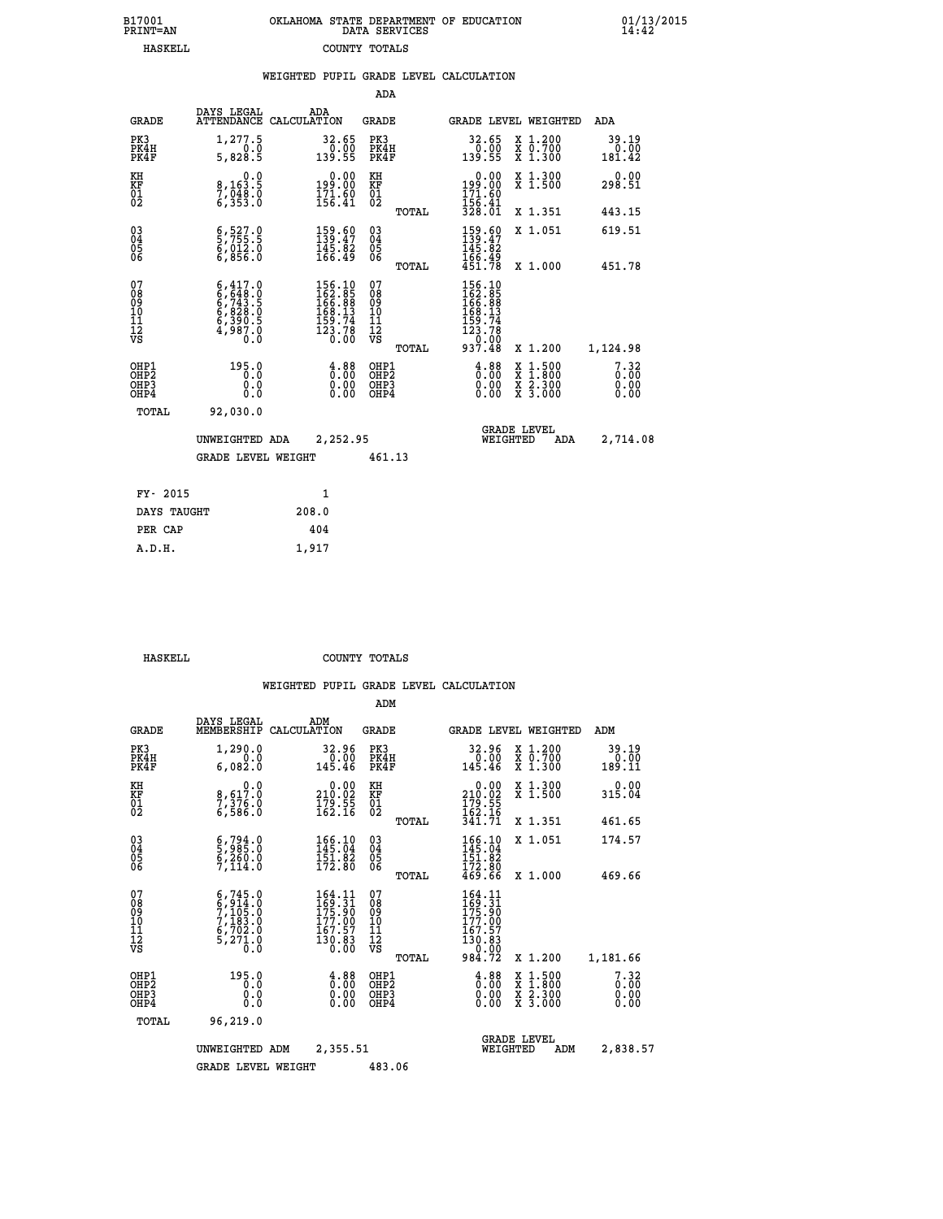| 7001<br>INT=AN |  | OKLAHOMA STATE DEPARTMENT OF EDUCATION<br>DATA SERVICES |  |
|----------------|--|---------------------------------------------------------|--|
| HASKELL        |  | COUNTY TOTALS                                           |  |

|                                              |                                                                                     | WEIGHTED PUPIL GRADE LEVEL CALCULATION                                                                      |                                                  |                                                                                                                     |                                                                                                                                           |                                  |
|----------------------------------------------|-------------------------------------------------------------------------------------|-------------------------------------------------------------------------------------------------------------|--------------------------------------------------|---------------------------------------------------------------------------------------------------------------------|-------------------------------------------------------------------------------------------------------------------------------------------|----------------------------------|
|                                              |                                                                                     |                                                                                                             | ADA                                              |                                                                                                                     |                                                                                                                                           |                                  |
| <b>GRADE</b>                                 | DAYS LEGAL<br>ATTENDANCE                                                            | ADA<br>CALCULATION                                                                                          | <b>GRADE</b>                                     | GRADE LEVEL WEIGHTED                                                                                                |                                                                                                                                           | ADA                              |
| PK3<br>PK4H<br>PK4F                          | 1,277.5<br>0.0<br>5,828.5                                                           | $32.65$<br>$0.00$<br>$139.55$                                                                               | PK3<br>PK4H<br>PK4F                              | 32.65<br>$\begin{array}{c} 0.00 \\ -0.55 \end{array}$                                                               | X 1.200<br>X 0.700<br>X 1.300                                                                                                             | 39.19<br>0.00<br>181.42          |
| KH<br>KF<br>01<br>02                         | $\begin{smallmatrix}&&&0.0\\8,163.5\\7,048.0\\6,353.0\end{smallmatrix}$             | $0.00$<br>199.00<br>$\frac{171.60}{156.41}$                                                                 | KH<br>KF<br>01<br>02                             | $\begin{smallmatrix} &0.00\\ 199.00\\ 171.60\\ 156.41\\ 328.01 \end{smallmatrix}$                                   | X 1.300<br>X 1.500                                                                                                                        | 0.00<br>298.51                   |
|                                              |                                                                                     |                                                                                                             | TOTAL                                            |                                                                                                                     | X 1.351                                                                                                                                   | 443.15                           |
| $^{03}_{04}$<br>Ŏ5<br>06                     | $\begin{smallmatrix} 6, 527.0 \ 5, 755.5 \ 6, 012.0 \ 6, 856.0 \end{smallmatrix}$   | $\begin{smallmatrix} 159.60\\ 139.47\\ 145.82\\ 166.49 \end{smallmatrix}$                                   | $\substack{03 \\ 04}$<br>05<br>06                | $159.60$<br>$139.47$<br>$145.82$<br>$166.49$                                                                        | X 1.051                                                                                                                                   | 619.51                           |
|                                              |                                                                                     |                                                                                                             | TOTAL                                            | 451.78                                                                                                              | X 1.000                                                                                                                                   | 451.78                           |
| 07<br>08<br>09<br>01<br>11<br>11<br>12<br>VS | $6,417.0$<br>$6,648.0$<br>$6,743.5$<br>$6,828.0$<br>$6,390.5$<br>$4,987.0$<br>$0.0$ | $\begin{smallmatrix} 156.10\\ 162.85\\ 166.89\\ 166.39\\ 168.13\\ 159.74\\ 123.78\\ 0.00 \end{smallmatrix}$ | 07<br>08<br>09<br>101<br>11<br>12<br>VS<br>TOTAL | $\begin{smallmatrix} 156.10\\ 162.8\\ 166.89\\ 166.89\\ 168.13\\ 159.74\\ 123.78\\ 0.00\\ 937.48 \end{smallmatrix}$ | X 1.200                                                                                                                                   | 1,124.98                         |
| OHP1<br>OH <sub>P</sub> 2<br>OHP3<br>OHP4    | 195.0<br>0.0<br>0.0<br>0.0                                                          | $\begin{smallmatrix} 4.88\ 0.00\ 0.00 \end{smallmatrix}$                                                    | OHP1<br>OHP <sub>2</sub><br>OHP3<br>OHP4         | $\begin{smallmatrix} 4.88\ 0.00\ 0.00 \end{smallmatrix}$                                                            | $\begin{smallmatrix} \mathtt{X} & 1\cdot500\\ \mathtt{X} & 1\cdot800\\ \mathtt{X} & 2\cdot300\\ \mathtt{X} & 3\cdot000 \end{smallmatrix}$ | $7.32$<br>$0.00$<br>0.00<br>0.00 |
| TOTAL                                        | 92,030.0                                                                            |                                                                                                             |                                                  |                                                                                                                     |                                                                                                                                           |                                  |
|                                              | UNWEIGHTED ADA                                                                      | 2,252.95                                                                                                    |                                                  | <b>GRADE LEVEL</b><br>WEIGHTED                                                                                      | ADA                                                                                                                                       | 2,714.08                         |
|                                              | <b>GRADE LEVEL WEIGHT</b>                                                           |                                                                                                             | 461.13                                           |                                                                                                                     |                                                                                                                                           |                                  |
| FY- 2015                                     |                                                                                     | $\mathbf{1}$                                                                                                |                                                  |                                                                                                                     |                                                                                                                                           |                                  |
| DAYS TAUGHT                                  |                                                                                     | 208.0                                                                                                       |                                                  |                                                                                                                     |                                                                                                                                           |                                  |
| PER CAP                                      |                                                                                     | 404                                                                                                         |                                                  |                                                                                                                     |                                                                                                                                           |                                  |

 **A.D.H. 1,917**

 **B17001<br>PRINT=AN** 

 **HASKELL COUNTY TOTALS**

|                                          |                                                                                     |                                                                              | ADM                                                 |       |                                                                                                        |                                          |                                |
|------------------------------------------|-------------------------------------------------------------------------------------|------------------------------------------------------------------------------|-----------------------------------------------------|-------|--------------------------------------------------------------------------------------------------------|------------------------------------------|--------------------------------|
| <b>GRADE</b>                             | DAYS LEGAL<br>MEMBERSHIP                                                            | ADM<br>CALCULATION                                                           | <b>GRADE</b>                                        |       | GRADE LEVEL WEIGHTED                                                                                   |                                          | ADM                            |
| PK3<br>PK4H<br>PK4F                      | 1,290.0<br>0.0<br>6,082.0                                                           | 32.96<br>0.00<br>145.46                                                      | PK3<br>PK4H<br>PK4F                                 |       | $32.96$<br>$0.00$<br>$145.46$                                                                          | X 1.200<br>X 0.700<br>X 1.300            | 39.19<br>0.00<br>189.11        |
| KH<br>KF<br>01<br>02                     | 0.0<br>8,617:0<br>7,376:0<br>6,586:0                                                | $\begin{smallmatrix} &0.00\\ 210.02\\ 179.55\\ 162.16\end{smallmatrix}$      | KH<br>KF<br>01<br>02                                |       | 0.00<br>210:02<br>179:55<br>162:16<br>341:71                                                           | X 1.300<br>X 1.500                       | 0.00<br>315.04                 |
|                                          |                                                                                     |                                                                              |                                                     | TOTAL |                                                                                                        | X 1.351                                  | 461.65                         |
| 03<br>04<br>05<br>06                     | $\frac{6}{5}, \frac{794}{985}.0$<br>6,260.0<br>7,114.0                              | 166.10<br>145.04<br>151.02<br>172.00                                         | $\begin{array}{c} 03 \\ 04 \\ 05 \\ 06 \end{array}$ |       | 166.10<br>$\frac{1\overline{5}1.8\overline{2}}{172.80}$<br>469.66                                      | X 1.051                                  | 174.57                         |
|                                          |                                                                                     |                                                                              |                                                     | TOTAL |                                                                                                        | X 1.000                                  | 469.66                         |
| 07<br>08<br>09<br>101<br>112<br>VS       | $6,745.0$<br>$7,105.0$<br>$7,105.0$<br>$7,183.0$<br>$6,702.0$<br>$5,271.0$<br>$0.0$ | $164.11$<br>$169.31$<br>$175.90$<br>$177.00$<br>$167.57$<br>$130.83$<br>0.00 | 07<br>08<br>09<br>11<br>11<br>12<br>VS              | TOTAL | 164.11<br>169.31<br>175.90<br>177.00<br>$\begin{smallmatrix} 167.57\ 130.83\ 984.72 \end{smallmatrix}$ | X 1.200                                  | 1,181.66                       |
| OHP1<br>OHP2<br>OH <sub>P3</sub><br>OHP4 | 195.0<br>0.0<br>0.000                                                               | $\begin{smallmatrix} 4.88\ 0.00 \ 0.00 \end{smallmatrix}$<br>0.00            | OHP1<br>OHP2<br>OHP3<br>OHP4                        |       | $\begin{smallmatrix} 4.88\ 0.00 \ 0.00 \end{smallmatrix}$<br>0.00                                      | X 1:500<br>X 1:800<br>X 2:300<br>X 3:000 | 7.32<br>$0.00$<br>0.00<br>0.00 |
| TOTAL                                    | 96,219.0                                                                            |                                                                              |                                                     |       |                                                                                                        |                                          |                                |
|                                          | 2,355.51<br>UNWEIGHTED<br>ADM                                                       |                                                                              |                                                     |       | WEIGHTED                                                                                               | <b>GRADE LEVEL</b><br>ADM                | 2,838.57                       |
|                                          | <b>GRADE LEVEL WEIGHT</b>                                                           |                                                                              | 483.06                                              |       |                                                                                                        |                                          |                                |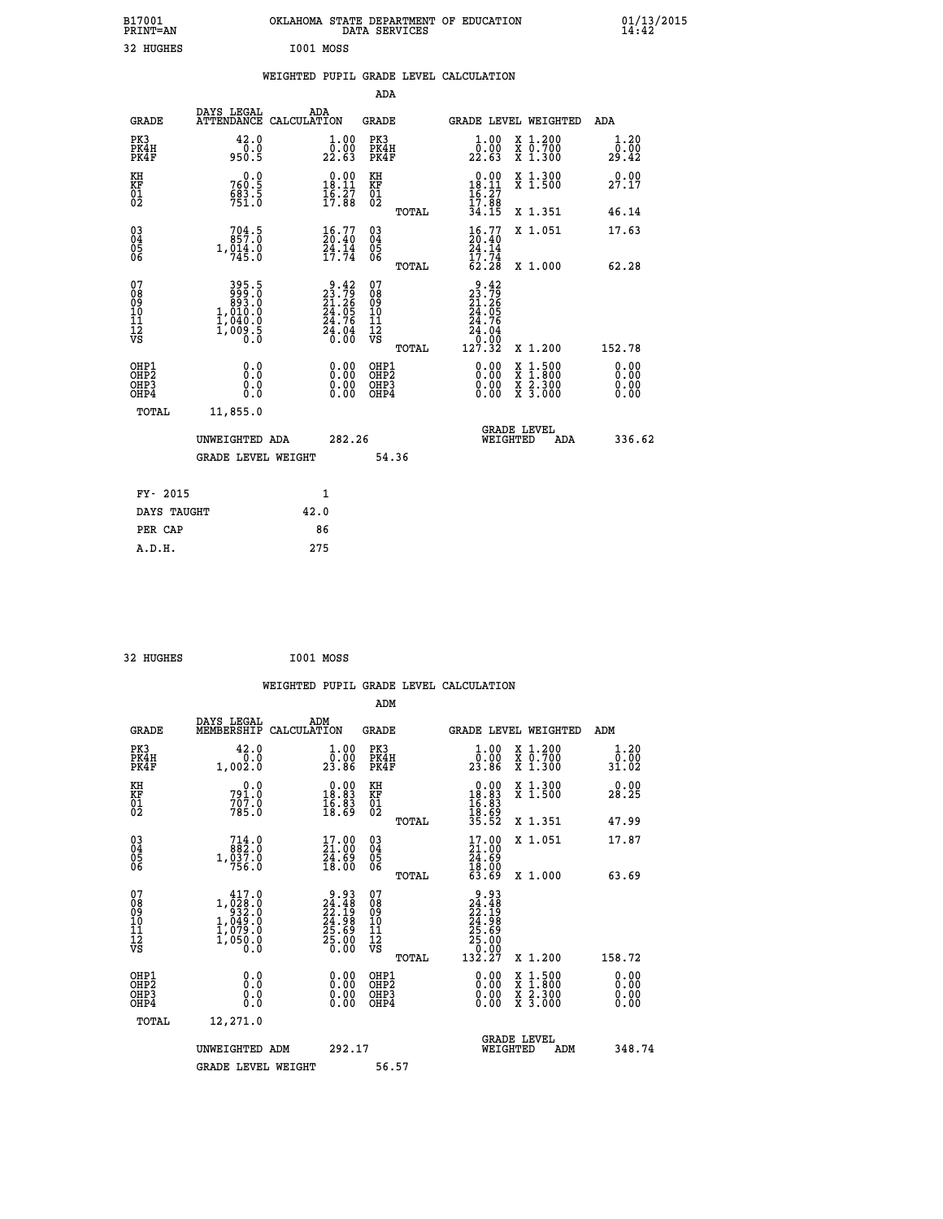| B17001<br>PRINT=AN                                 |                                                         | OKLAHOMA STATE DEPARTMENT OF EDUCATION                                  | DATA SERVICES                                      |                                                                          |                                                                                                  | 01/13/2015<br>14:42          |  |
|----------------------------------------------------|---------------------------------------------------------|-------------------------------------------------------------------------|----------------------------------------------------|--------------------------------------------------------------------------|--------------------------------------------------------------------------------------------------|------------------------------|--|
| 32 HUGHES                                          |                                                         | I001 MOSS                                                               |                                                    |                                                                          |                                                                                                  |                              |  |
|                                                    |                                                         | WEIGHTED PUPIL GRADE LEVEL CALCULATION                                  |                                                    |                                                                          |                                                                                                  |                              |  |
|                                                    |                                                         |                                                                         | <b>ADA</b>                                         |                                                                          |                                                                                                  |                              |  |
| GRADE                                              | DAYS LEGAL                                              | ADA<br>ATTENDANCE CALCULATION                                           | GRADE                                              | GRADE LEVEL WEIGHTED                                                     |                                                                                                  | ADA                          |  |
| PK3<br>PK4H<br>PK4F                                | 42.0<br>0.0<br>950.5                                    | 1.00<br>0.00<br>22.63                                                   | PK3<br>PK4H<br>PK4F                                | 1.00<br>0.00<br>22.63                                                    | X 1.200<br>X 0.700<br>X 1.300                                                                    | 1.20<br>0.00<br>29.42        |  |
| KH<br>KF<br>01<br>02                               | 0.0<br>760.5<br>$\frac{683.5}{751.0}$                   | $\begin{smallmatrix} 0.00\\18.11\\16.27\\17.88 \end{smallmatrix}$       | KH<br>KF<br>01<br>02                               | $0.00$<br>18.11<br>$\frac{16}{17}$ : $\frac{27}{34}$ : $\frac{8}{35}$    | X 1.300<br>X 1.500                                                                               | 0.00<br>27.17                |  |
|                                                    |                                                         |                                                                         | TOTAL                                              |                                                                          | X 1.351                                                                                          | 46.14                        |  |
| $\begin{matrix} 03 \\ 04 \\ 05 \\ 06 \end{matrix}$ | $704.5$<br>857.0<br>1,014.0<br>745.0                    | $\begin{smallmatrix} 16.77\\ 20.40\\ 24.14\\ 17.74 \end{smallmatrix}$   | $\begin{matrix} 03 \\ 04 \\ 05 \\ 06 \end{matrix}$ | $\frac{16}{20}.77$<br>24.14<br>17.74                                     | X 1.051                                                                                          | 17.63                        |  |
|                                                    |                                                         |                                                                         | <b>TOTAL</b>                                       | 62.28                                                                    | X 1.000                                                                                          | 62.28                        |  |
| 07<br>08<br>09<br>10<br>11<br>Ī2<br>VS             | 395.5<br>0. 893<br>893<br>1,010.0<br>1,040.0<br>1,000.5 | $9.42$<br>$23.79$<br>$21.26$<br>$24.05$<br>$24.76$<br>$24.04$<br>$0.00$ | 07<br>08<br>09<br>10<br>11<br>ĪŽ<br>VŠ<br>TOTAL    | $\frac{9.42}{23.79}$<br>24.05<br>24.76<br>24.04<br>$\frac{0.00}{127.32}$ | X 1.200                                                                                          | 152.78                       |  |
| OHP1<br>OHP <sub>2</sub><br>OHP3<br>OHP4           | 0.0<br>Ō.Ō<br>0.0<br>0.0                                | 0.00<br>0.00<br>0.00                                                    | OHP1<br>OH <sub>P</sub> 2<br>OHP3<br>OHP4          | 0.00<br>0.00<br>0.00                                                     | $\begin{smallmatrix} x & 1 & 500 \\ x & 1 & 800 \\ x & 2 & 300 \\ x & 3 & 000 \end{smallmatrix}$ | 0.00<br>0.00<br>0.00<br>0.00 |  |
| TOTAL                                              | 11,855.0                                                |                                                                         |                                                    |                                                                          |                                                                                                  |                              |  |
|                                                    | UNWEIGHTED ADA                                          | 282.26                                                                  |                                                    | <b>GRADE LEVEL</b><br>WEIGHTED                                           | ADA                                                                                              | 336.62                       |  |
|                                                    | <b>GRADE LEVEL WEIGHT</b>                               |                                                                         | 54.36                                              |                                                                          |                                                                                                  |                              |  |
| FY- 2015                                           |                                                         | 1                                                                       |                                                    |                                                                          |                                                                                                  |                              |  |
| DAYS TAUGHT                                        |                                                         | 42.0                                                                    |                                                    |                                                                          |                                                                                                  |                              |  |
| PER CAP                                            |                                                         | 86                                                                      |                                                    |                                                                          |                                                                                                  |                              |  |
| A.D.H.                                             |                                                         | 275                                                                     |                                                    |                                                                          |                                                                                                  |                              |  |

| 32 HUGHES | I001 MOSS |  |
|-----------|-----------|--|
|           |           |  |

|                                                    |                                                                                                                                                                                                                                                                                                                                                    |                                                                              |                                                       | WEIGHTED PUPIL GRADE LEVEL CALCULATION                                                                                                                                                                                                                                         |                                                                                                  |                              |
|----------------------------------------------------|----------------------------------------------------------------------------------------------------------------------------------------------------------------------------------------------------------------------------------------------------------------------------------------------------------------------------------------------------|------------------------------------------------------------------------------|-------------------------------------------------------|--------------------------------------------------------------------------------------------------------------------------------------------------------------------------------------------------------------------------------------------------------------------------------|--------------------------------------------------------------------------------------------------|------------------------------|
|                                                    |                                                                                                                                                                                                                                                                                                                                                    |                                                                              | ADM                                                   |                                                                                                                                                                                                                                                                                |                                                                                                  |                              |
| <b>GRADE</b>                                       | DAYS LEGAL<br>MEMBERSHIP                                                                                                                                                                                                                                                                                                                           | ADM<br>CALCULATION                                                           | <b>GRADE</b>                                          | GRADE LEVEL WEIGHTED                                                                                                                                                                                                                                                           |                                                                                                  | ADM                          |
| PK3<br>PK4H<br>PK4F                                | 42.0<br>0.0<br>1,002.0                                                                                                                                                                                                                                                                                                                             | $\begin{smallmatrix} 1.00\\ 0.00\\ 23.86 \end{smallmatrix}$                  | PK3<br>PK4H<br>PK4F                                   | $\begin{smallmatrix} 1.00\\ 0.00\\ 23.86 \end{smallmatrix}$                                                                                                                                                                                                                    | X 1.200<br>X 0.700<br>X 1.300                                                                    | 1.20<br>0.00<br>31.02        |
| KH<br>KF<br>01<br>02                               | 0.0<br>791.0<br>707.0<br>785.0                                                                                                                                                                                                                                                                                                                     | $\begin{smallmatrix} 0.00\\ 18.83\\ 16.83\\ 16.83\\ 18.69 \end{smallmatrix}$ | KH<br>KF<br>01<br>02                                  | $\begin{array}{r} 0.00 \\ 18.83 \\ 16.83 \\ 16.83 \\ 18.69 \\ 35.52 \end{array}$                                                                                                                                                                                               | X 1.300<br>X 1.500                                                                               | 0.00<br>28.25                |
|                                                    |                                                                                                                                                                                                                                                                                                                                                    |                                                                              | TOTAL                                                 |                                                                                                                                                                                                                                                                                | X 1.351                                                                                          | 47.99                        |
| $\begin{matrix} 03 \\ 04 \\ 05 \\ 06 \end{matrix}$ | $\begin{smallmatrix} 714.0\\ 882.0\\ 1,037.0\\ 756.0 \end{smallmatrix}$                                                                                                                                                                                                                                                                            | $\begin{smallmatrix} 17.00\\ 21.00\\ 24.69\\ 18.00 \end{smallmatrix}$        | $\begin{array}{c} 03 \\ 04 \\ 05 \\ 06 \end{array}$   | $\begin{smallmatrix} 17.00 \\ 21.00 \\ 24.69 \\ 18.00 \\ 53.69 \end{smallmatrix}$                                                                                                                                                                                              | X 1.051                                                                                          | 17.87                        |
|                                                    |                                                                                                                                                                                                                                                                                                                                                    |                                                                              | TOTAL                                                 |                                                                                                                                                                                                                                                                                | X 1.000                                                                                          | 63.69                        |
| 07<br>08<br>09<br>101<br>11<br>12<br>VS            | 417.0<br>$\begin{smallmatrix}1, & 0 & 0 & 0 & 0 & 0 \\ 0 & 0 & 0 & 0 & 0 & 0 \\ 1 & 0 & 0 & 0 & 0 & 0 \\ 1 & 0 & 0 & 0 & 0 & 0 \\ 0 & 0 & 0 & 0 & 0 & 0 \\ 0 & 0 & 0 & 0 & 0 & 0 \\ 0 & 0 & 0 & 0 & 0 & 0 \\ 0 & 0 & 0 & 0 & 0 & 0 \\ 0 & 0 & 0 & 0 & 0 & 0 \\ 0 & 0 & 0 & 0 & 0 & 0 \\ 0 & 0 & 0 & 0 & 0 & 0 \\ 0 & 0 & 0 & 0 & 0 & $<br>1,0.50.0 | $9.93\n24.48\n22.19\n24.98\n25.69\n25.00\n0.00$                              | 07<br>08<br>09<br>01<br>11<br>11<br>12<br>VS<br>TOTAL | 9.93<br>$\begin{smallmatrix} 24.148 \\ 22.198 \\ 24.198 \\ 24.989 \\ 25.690 \\ 25.000 \\ 132.27 \end{smallmatrix}$                                                                                                                                                             | X 1.200                                                                                          | 158.72                       |
| OHP1<br>OHP2<br>OHP3<br>OHP4                       | 0.0<br>0.000                                                                                                                                                                                                                                                                                                                                       | $\begin{smallmatrix} 0.00 \ 0.00 \ 0.00 \ 0.00 \end{smallmatrix}$            | OHP1<br>OHP2<br>OHP3<br>OHP4                          | $\begin{smallmatrix} 0.00 & 0.00 & 0.00 & 0.00 & 0.00 & 0.00 & 0.00 & 0.00 & 0.00 & 0.00 & 0.00 & 0.00 & 0.00 & 0.00 & 0.00 & 0.00 & 0.00 & 0.00 & 0.00 & 0.00 & 0.00 & 0.00 & 0.00 & 0.00 & 0.00 & 0.00 & 0.00 & 0.00 & 0.00 & 0.00 & 0.00 & 0.00 & 0.00 & 0.00 & 0.00 & 0.0$ | $\begin{smallmatrix} x & 1 & 500 \\ x & 1 & 800 \\ x & 2 & 300 \\ x & 3 & 000 \end{smallmatrix}$ | 0.00<br>Ŏ.ŎŎ<br>O.OO<br>0.00 |
| TOTAL                                              | 12,271.0                                                                                                                                                                                                                                                                                                                                           |                                                                              |                                                       |                                                                                                                                                                                                                                                                                |                                                                                                  |                              |
|                                                    | UNWEIGHTED ADM                                                                                                                                                                                                                                                                                                                                     | 292.17                                                                       |                                                       | WEIGHTED                                                                                                                                                                                                                                                                       | <b>GRADE LEVEL</b><br>ADM                                                                        | 348.74                       |
|                                                    | <b>GRADE LEVEL WEIGHT</b>                                                                                                                                                                                                                                                                                                                          |                                                                              | 56.57                                                 |                                                                                                                                                                                                                                                                                |                                                                                                  |                              |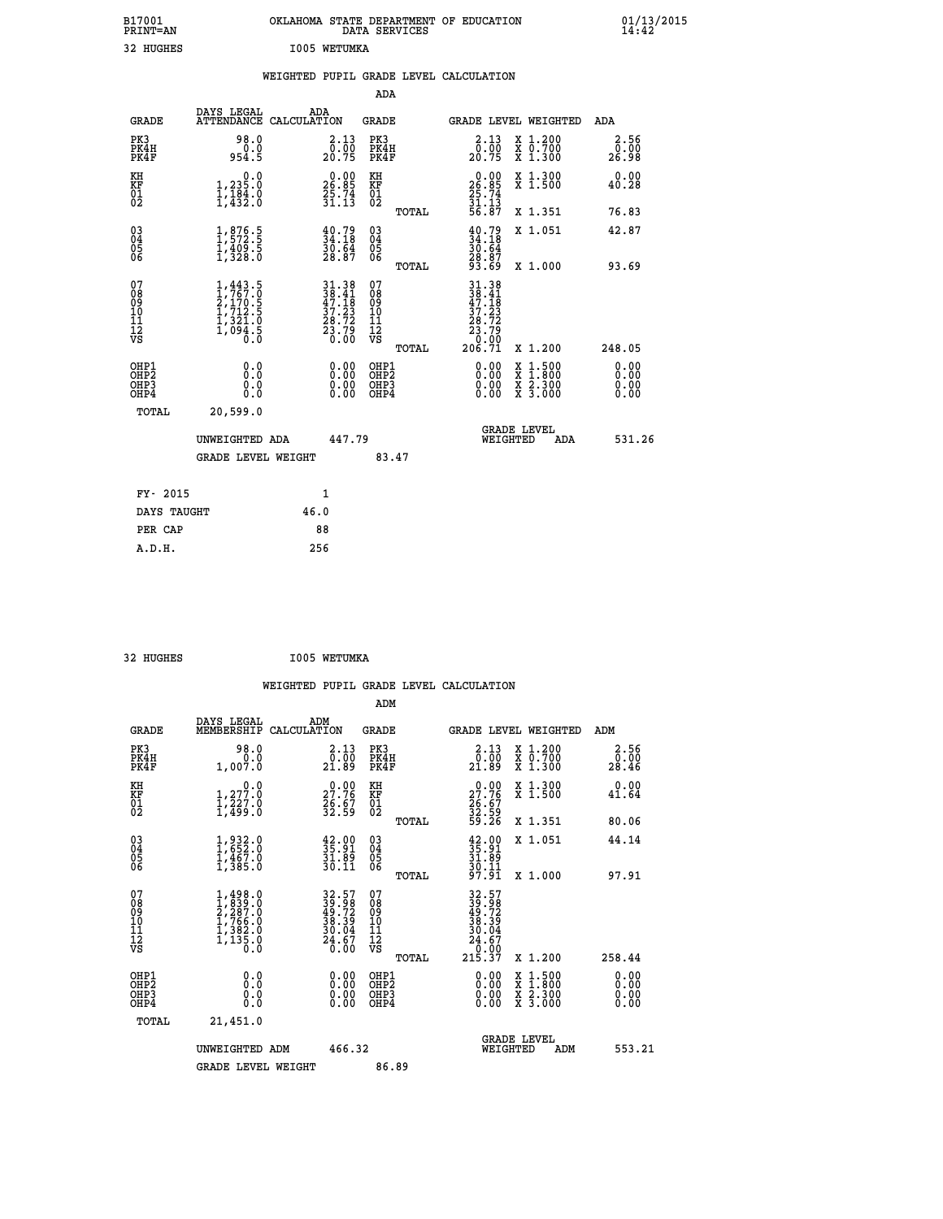| B17001<br>PRINT=AN                                |                                                                                            | OKLAHOMA STATE DEPARTMENT OF EDUCATION DATA SERVICES               |                                                 |                                                                                                                                                                                                                                                     |                                                                                                                                           | $01/13/2015$<br>14:42        |
|---------------------------------------------------|--------------------------------------------------------------------------------------------|--------------------------------------------------------------------|-------------------------------------------------|-----------------------------------------------------------------------------------------------------------------------------------------------------------------------------------------------------------------------------------------------------|-------------------------------------------------------------------------------------------------------------------------------------------|------------------------------|
| 32 HUGHES                                         |                                                                                            | I005 WETUMKA                                                       |                                                 |                                                                                                                                                                                                                                                     |                                                                                                                                           |                              |
|                                                   |                                                                                            | WEIGHTED PUPIL GRADE LEVEL CALCULATION                             | ADA                                             |                                                                                                                                                                                                                                                     |                                                                                                                                           |                              |
|                                                   | DAYS LEGAL                                                                                 | ADA                                                                |                                                 |                                                                                                                                                                                                                                                     |                                                                                                                                           |                              |
| <b>GRADE</b>                                      |                                                                                            | ATTENDANCE CALCULATION                                             | <b>GRADE</b>                                    |                                                                                                                                                                                                                                                     | <b>GRADE LEVEL WEIGHTED</b>                                                                                                               | ADA                          |
| PK3<br>PK4H<br>PK4F                               | 98.0<br>954.5                                                                              | 2.13<br>$\frac{0.00}{20.75}$                                       | PK3<br>PK4H<br>PK4F                             | 2.13<br>$\begin{smallmatrix} 0.001 0.001 0.001 0.001 0.001 0.001 0.001 0.001 0.001 0.001 0.001 0.001 0.001 0.001 0.001 0.001 0.001 0.001 0.001 0.001 0.001 0.001 0.001 0.001 0.001 0.001 0.001 0.001 0.001 0.001 0.001 0.001 0.001 0.001 0.001 0.0$ | X 1.200<br>X 0.700<br>X 1.300                                                                                                             | 2.56<br>0.00<br>26.98        |
| KH<br>KF<br>$\begin{matrix} 01 \ 02 \end{matrix}$ | 0.0<br>1,235:0<br>1,184:0<br>1,432:0                                                       | $26.85$<br>$25.74$<br>$31.13$                                      | KH<br>KF<br>$\overline{01}$                     | $26.85$<br>$25.74$<br>$31.13$<br>$56.87$                                                                                                                                                                                                            | X 1.300<br>X 1.500                                                                                                                        | 0.00<br>40.28                |
|                                                   |                                                                                            |                                                                    | TOTAL                                           |                                                                                                                                                                                                                                                     | X 1.351                                                                                                                                   | 76.83                        |
| $\substack{03 \ 04}$<br>Ŏ5                        | $\frac{1}{1}, \frac{876}{572}$ .<br>$\frac{1,409.5}{1,328.0}$                              | $\begin{smallmatrix} 40.79\ 34.18\ 30.64\ 28.87 \end{smallmatrix}$ | $03\overline{4}$<br>Ŏ5<br>06                    | $\frac{40.79}{34.18}$<br>30.64                                                                                                                                                                                                                      | X 1.051                                                                                                                                   | 42.87                        |
| 06                                                |                                                                                            |                                                                    | TOTAL                                           | 28.87<br>93.69                                                                                                                                                                                                                                      | X 1.000                                                                                                                                   | 93.69                        |
| 07<br>ŏġ<br>09<br>īō<br>īĭ<br>īā<br>VS            | $1, 443.5$<br>$2, 1767.0$<br>$2, 170.5$<br>$1, 712.5$<br>$1, 321.0$<br>$1, 094.5$<br>$0.0$ | 31.38<br>38.41<br>47.18<br>37.23<br>38.72<br>$\frac{23:75}{0:00}$  | 07<br>08<br>09<br>10<br>īĭ<br>īā<br>VŠ<br>TOTAL | 31.38<br>$\begin{smallmatrix} 34 & 36 \\ 38 & 41 \\ 47 & 18 \\ 37 & 23 \\ 28 & 72 \\ 23 & 79 \\ 20 & 00 \\ 20 & 71 \end{smallmatrix}$                                                                                                               | X 1.200                                                                                                                                   | 248.05                       |
| OHP1<br>OHP2<br>OH <sub>P3</sub><br>OHP4          | 0.0<br>0.0<br>0.0                                                                          | 0.00<br>0.00<br>0.00                                               | OHP1<br>OHP2<br>OHP3<br>OHP4                    | 0.00<br>0.00<br>0.00                                                                                                                                                                                                                                | $\begin{smallmatrix} \mathtt{X} & 1\cdot500\\ \mathtt{X} & 1\cdot800\\ \mathtt{X} & 2\cdot300\\ \mathtt{X} & 3\cdot000 \end{smallmatrix}$ | 0.00<br>0.00<br>0.00<br>0.00 |
| <b>TOTAL</b>                                      | 20,599.0                                                                                   |                                                                    |                                                 |                                                                                                                                                                                                                                                     |                                                                                                                                           |                              |
|                                                   | UNWEIGHTED ADA                                                                             | 447.79                                                             |                                                 |                                                                                                                                                                                                                                                     | <b>GRADE LEVEL</b><br>WEIGHTED<br>ADA                                                                                                     | 531.26                       |
|                                                   | <b>GRADE LEVEL WEIGHT</b>                                                                  |                                                                    | 83.47                                           |                                                                                                                                                                                                                                                     |                                                                                                                                           |                              |
| FY- 2015                                          |                                                                                            | 1                                                                  |                                                 |                                                                                                                                                                                                                                                     |                                                                                                                                           |                              |
|                                                   | DAYS TAUGHT                                                                                | 46.0                                                               |                                                 |                                                                                                                                                                                                                                                     |                                                                                                                                           |                              |
| PER CAP                                           |                                                                                            | 88                                                                 |                                                 |                                                                                                                                                                                                                                                     |                                                                                                                                           |                              |

| 32 HUGHES | I005 WETUMKA |
|-----------|--------------|

|                                                    |                                                                                     |                                                                            | ADM                                                 |       |                                                                                                                                                                                                                                                                                |                                          |                                                |
|----------------------------------------------------|-------------------------------------------------------------------------------------|----------------------------------------------------------------------------|-----------------------------------------------------|-------|--------------------------------------------------------------------------------------------------------------------------------------------------------------------------------------------------------------------------------------------------------------------------------|------------------------------------------|------------------------------------------------|
| <b>GRADE</b>                                       | DAYS LEGAL<br>MEMBERSHIP                                                            | ADM<br>CALCULATION                                                         | <b>GRADE</b>                                        |       |                                                                                                                                                                                                                                                                                | <b>GRADE LEVEL WEIGHTED</b>              | ADM                                            |
| PK3<br>PK4H<br>PK4F                                | 98.0<br>1,007.0                                                                     | $\begin{smallmatrix} 2\cdot 13\\ 0\cdot 00\\ 21\cdot 89 \end{smallmatrix}$ | PK3<br>PK4H<br>PK4F                                 |       | 2.13<br>$\begin{smallmatrix} 0.100\ 21.89 \end{smallmatrix}$                                                                                                                                                                                                                   | X 1.200<br>X 0.700<br>X 1.300            | 2.56<br>$\frac{\bar{0}.\bar{0}\bar{0}}{28.46}$ |
| KH<br>KF<br>01<br>02                               | 0.0<br>$\frac{1}{1}, \frac{277}{227}$ .0<br>1,439:0                                 | $\begin{smallmatrix} 0.00\\ 27.76\\ 26.67\\ 32.59 \end{smallmatrix}$       | KH<br>KF<br>01<br>02                                |       | $27.76$<br>$26.67$<br>$32.59$<br>$39.26$                                                                                                                                                                                                                                       | X 1.300<br>X 1.500                       | 0.00<br>41.64                                  |
|                                                    |                                                                                     |                                                                            |                                                     | TOTAL |                                                                                                                                                                                                                                                                                | X 1.351                                  | 80.06                                          |
| $\begin{matrix} 03 \\ 04 \\ 05 \\ 06 \end{matrix}$ | $1,932.0$<br>$1,652.0$<br>$1,467.0$<br>$1,385.0$                                    | $\begin{smallmatrix} 42.00\\ 35.91\\ 31.89\\ 30.11 \end{smallmatrix}$      | $\begin{array}{c} 03 \\ 04 \\ 05 \\ 06 \end{array}$ |       | $35.91$<br>$31.89$<br>$30.11$<br>$97.91$                                                                                                                                                                                                                                       | X 1.051                                  | 44.14                                          |
|                                                    |                                                                                     |                                                                            |                                                     | TOTAL |                                                                                                                                                                                                                                                                                | $X_1.000$                                | 97.91                                          |
| 07<br>08<br>09<br>101<br>11<br>12<br>VS            | $1,498.0$<br>$2,287.0$<br>$2,766.0$<br>$1,766.0$<br>$1,382.0$<br>$1,135.0$<br>$0.0$ | $32.57$<br>$39.72$<br>$49.72$<br>$38.39$<br>$30.04$<br>$24.67$<br>$0.00$   | 07<br>08<br>09<br>001<br>11<br>11<br>12<br>VS       |       | $32.57$<br>$39.98$<br>$49.72$<br>$38.394$<br>$30.04$<br>$24.67$<br>$0.007$<br>$215.37$                                                                                                                                                                                         |                                          |                                                |
|                                                    |                                                                                     |                                                                            |                                                     | TOTAL |                                                                                                                                                                                                                                                                                | X 1.200                                  | 258.44                                         |
| OHP1<br>OHP2<br>OHP3<br>OH <sub>P4</sub>           |                                                                                     |                                                                            | OHP1<br>OHP2<br>OHP <sub>3</sub>                    |       | $\begin{smallmatrix} 0.00 & 0.00 & 0.00 & 0.00 & 0.00 & 0.00 & 0.00 & 0.00 & 0.00 & 0.00 & 0.00 & 0.00 & 0.00 & 0.00 & 0.00 & 0.00 & 0.00 & 0.00 & 0.00 & 0.00 & 0.00 & 0.00 & 0.00 & 0.00 & 0.00 & 0.00 & 0.00 & 0.00 & 0.00 & 0.00 & 0.00 & 0.00 & 0.00 & 0.00 & 0.00 & 0.0$ | X 1:500<br>X 1:800<br>X 2:300<br>X 3:000 | $0.00$<br>$0.00$<br>0.00                       |
| TOTAL                                              | 21,451.0                                                                            |                                                                            |                                                     |       |                                                                                                                                                                                                                                                                                |                                          |                                                |
|                                                    | UNWEIGHTED ADM                                                                      | 466.32                                                                     |                                                     |       |                                                                                                                                                                                                                                                                                | GRADE LEVEL<br>WEIGHTED<br>ADM           | 553.21                                         |
|                                                    | <b>GRADE LEVEL WEIGHT</b>                                                           |                                                                            | 86.89                                               |       |                                                                                                                                                                                                                                                                                |                                          |                                                |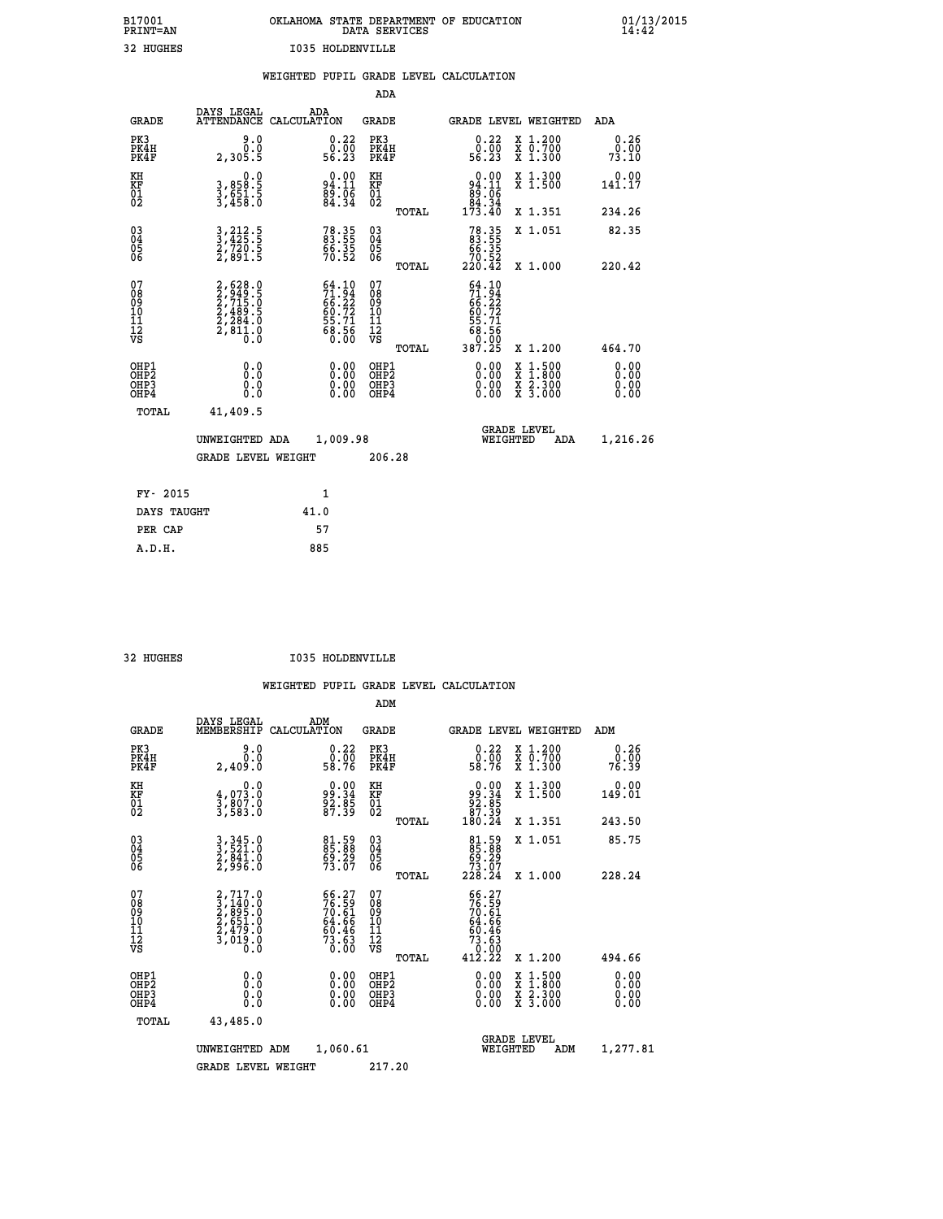|                         | OKLAHOMA STATE DEPARTMENT OF EDUCATION<br>DATA SERVICES |  |
|-------------------------|---------------------------------------------------------|--|
| <b>I035 HOLDENVILLE</b> |                                                         |  |

|  |  | WEIGHTED PUPIL GRADE LEVEL CALCULATION |
|--|--|----------------------------------------|
|  |  |                                        |

|                                                                   |                                                                                     |                                                                          | ADA                                                 |       |                                                                                 |                                          |                              |
|-------------------------------------------------------------------|-------------------------------------------------------------------------------------|--------------------------------------------------------------------------|-----------------------------------------------------|-------|---------------------------------------------------------------------------------|------------------------------------------|------------------------------|
| <b>GRADE</b>                                                      | DAYS LEGAL<br><b>ATTENDANCE</b>                                                     | ADA<br>CALCULATION                                                       | <b>GRADE</b>                                        |       | <b>GRADE LEVEL WEIGHTED</b>                                                     |                                          | ADA                          |
| PK3<br>PK4H<br>PK4F                                               | 9.0<br>0.0<br>2,305.5                                                               | $\begin{smallmatrix} 0.22\ 0.00 \ 56.23 \end{smallmatrix}$               | PK3<br>PK4H<br>PK4F                                 |       | $\begin{smallmatrix} 0.22\ 0.00 \ 56.23 \end{smallmatrix}$                      | X 1.200<br>X 0.700<br>X 1.300            | 0.26<br>0.00<br>73.10        |
| KH<br>KF<br>01<br>02                                              | 0.0<br>3,858:5<br>3,651:5<br>3,458:0                                                | $94.11$<br>$89.06$<br>$84.34$                                            | KH<br>KF<br>01<br>02                                |       | $\begin{smallmatrix} &0.00\\ 94.11\\ 89.06\\ 84.34\\ 173.40\end{smallmatrix}$   | X 1.300<br>X 1.500                       | 0.00<br>141.17               |
|                                                                   |                                                                                     |                                                                          |                                                     | TOTAL |                                                                                 | X 1.351                                  | 234.26                       |
| $^{03}_{04}$<br>Ŏ5<br>06                                          | 3,212.5<br>3,425.5<br>2,720.5<br>2,891.5                                            | 78.35<br>83.55<br>66.35<br>70.52                                         | $\begin{array}{c} 03 \\ 04 \\ 05 \\ 06 \end{array}$ |       | $78.3583.5566.3570.52220.42$                                                    | X 1.051                                  | 82.35                        |
|                                                                   |                                                                                     |                                                                          |                                                     | TOTAL |                                                                                 | X 1.000                                  | 220.42                       |
| 07<br>08901112<br>1112<br>VS                                      | $2,628.0$<br>$2,715.0$<br>$2,715.0$<br>$2,489.5$<br>$2,284.0$<br>$2,811.0$<br>$0.0$ | $54.10$<br>$71.94$<br>$66.22$<br>$60.72$<br>$55.71$<br>$58.56$<br>$0.00$ | 07<br>08<br>09<br>11<br>11<br>12<br>VS              |       | 64.10<br>$71.94$<br>$66.22$<br>$66.72$<br>$60.72$<br>$55.71$<br>$68.56$<br>0.00 |                                          |                              |
|                                                                   |                                                                                     |                                                                          |                                                     | TOTAL | 387.25                                                                          | X 1.200                                  | 464.70                       |
| OHP1<br>OH <sub>P</sub> 2<br>OH <sub>P3</sub><br>OH <sub>P4</sub> | 0.0<br>0.0<br>0.0                                                                   | $\begin{smallmatrix} 0.00 \ 0.00 \ 0.00 \ 0.00 \end{smallmatrix}$        | OHP1<br>OH <sub>P</sub> 2<br>OHP3<br>OHP4           |       | 0.00<br>0.00<br>0.00                                                            | X 1:500<br>X 1:800<br>X 2:300<br>X 3:000 | 0.00<br>0.00<br>0.00<br>0.00 |
| TOTAL                                                             | 41,409.5                                                                            |                                                                          |                                                     |       |                                                                                 |                                          |                              |
|                                                                   | UNWEIGHTED ADA                                                                      | 1,009.98                                                                 |                                                     |       |                                                                                 | GRADE LEVEL<br>WEIGHTED<br>ADA           | 1,216.26                     |
|                                                                   | <b>GRADE LEVEL WEIGHT</b>                                                           |                                                                          | 206.28                                              |       |                                                                                 |                                          |                              |
| FY- 2015                                                          |                                                                                     | $\mathbf{1}$                                                             |                                                     |       |                                                                                 |                                          |                              |
| DAYS TAUGHT                                                       |                                                                                     | 41.0                                                                     |                                                     |       |                                                                                 |                                          |                              |
| PER CAP                                                           |                                                                                     | 57                                                                       |                                                     |       |                                                                                 |                                          |                              |

 **A.D.H. 885**

 **B17001<br>PRINT=AN<br>32 HUGHES** 

32 HUGHES **I035 HOLDENVILLE** 

|                                          |                                                                                     |                                                                    | ADM                                                 |                                                                                      |                                          |                       |
|------------------------------------------|-------------------------------------------------------------------------------------|--------------------------------------------------------------------|-----------------------------------------------------|--------------------------------------------------------------------------------------|------------------------------------------|-----------------------|
|                                          | DAYS LEGAL<br>MEMBERSHIP<br><b>GRADE</b>                                            | ADM<br>CALCULATION                                                 | <b>GRADE</b>                                        | GRADE LEVEL WEIGHTED                                                                 |                                          | ADM                   |
| PK3<br>PK4H<br>PK4F                      | 9.0<br>0.0<br>2,409.0                                                               | $\begin{smallmatrix} 0.22\ 0.00\ 58.76 \end{smallmatrix}$          | PK3<br>PK4H<br>PK4F                                 | $\begin{smallmatrix} 0.22\ 0.00\ 58.76 \end{smallmatrix}$                            | X 1.200<br>X 0.700<br>X 1.300            | 0.26<br>ŏ:ōŏ<br>76:39 |
| KH<br>KF<br>01<br>02                     | 0.0<br>4,073.0<br>3,807.0<br>3,583.0                                                | $\begin{smallmatrix} 0.00\\ 9.34\\ 2.34\\ 87.39 \end{smallmatrix}$ | KH<br>KF<br>01<br>02                                | $\begin{smallmatrix} &0.00\99.34\92.85\87.39\180.24\end{smallmatrix}$                | X 1.300<br>X 1.500                       | 0.00<br>149.01        |
|                                          |                                                                                     |                                                                    | TOTAL                                               |                                                                                      | X 1.351                                  | 243.50                |
| 03<br>04<br>05<br>06                     | 3, 345.0<br>3, 521.0<br>2, 841.0<br>2, 996.0                                        | 81.59<br>85.88<br>69.29<br>73.07                                   | $\begin{array}{c} 03 \\ 04 \\ 05 \\ 06 \end{array}$ | $\begin{smallmatrix}81.59\\85.88\\69.29\\73.07\\228.24\end{smallmatrix}$             | X 1.051                                  | 85.75                 |
|                                          |                                                                                     |                                                                    | TOTAL                                               |                                                                                      | X 1.000                                  | 228.24                |
| 07<br>08<br>09<br>101<br>11<br>12<br>VS  | $2,717.0$<br>$3,140.0$<br>$2,895.0$<br>$2,651.0$<br>$2,479.0$<br>$3,019.0$<br>$0.0$ | 66.27<br>76.59<br>70.61<br>64.66<br>60.46<br>73.63<br>73.63        | 07<br>08<br>09<br>11<br>11<br>12<br>VS              | $56.27$<br>$76.59$<br>$70.61$<br>$64.66$<br>$60.46$<br>$73.63$<br>$0.00$<br>$412.22$ |                                          |                       |
|                                          |                                                                                     |                                                                    | TOTAL                                               |                                                                                      | X 1.200                                  | 494.66                |
| OHP1<br>OHP2<br>OHP <sub>3</sub><br>OHP4 |                                                                                     |                                                                    | OHP1<br>OHP2<br>OHP <sub>3</sub>                    | $0.00$<br>$0.00$<br>0.00                                                             | X 1:500<br>X 1:800<br>X 2:300<br>X 3:000 | 0.00<br>0.00<br>0.00  |
|                                          | TOTAL<br>43,485.0                                                                   |                                                                    |                                                     |                                                                                      |                                          |                       |
|                                          | UNWEIGHTED                                                                          | 1,060.61                                                           | <b>GRADE LEVEL</b><br>WEIGHTED<br>ADM               |                                                                                      |                                          |                       |
|                                          |                                                                                     | <b>GRADE LEVEL WEIGHT</b>                                          | 217.20                                              |                                                                                      |                                          |                       |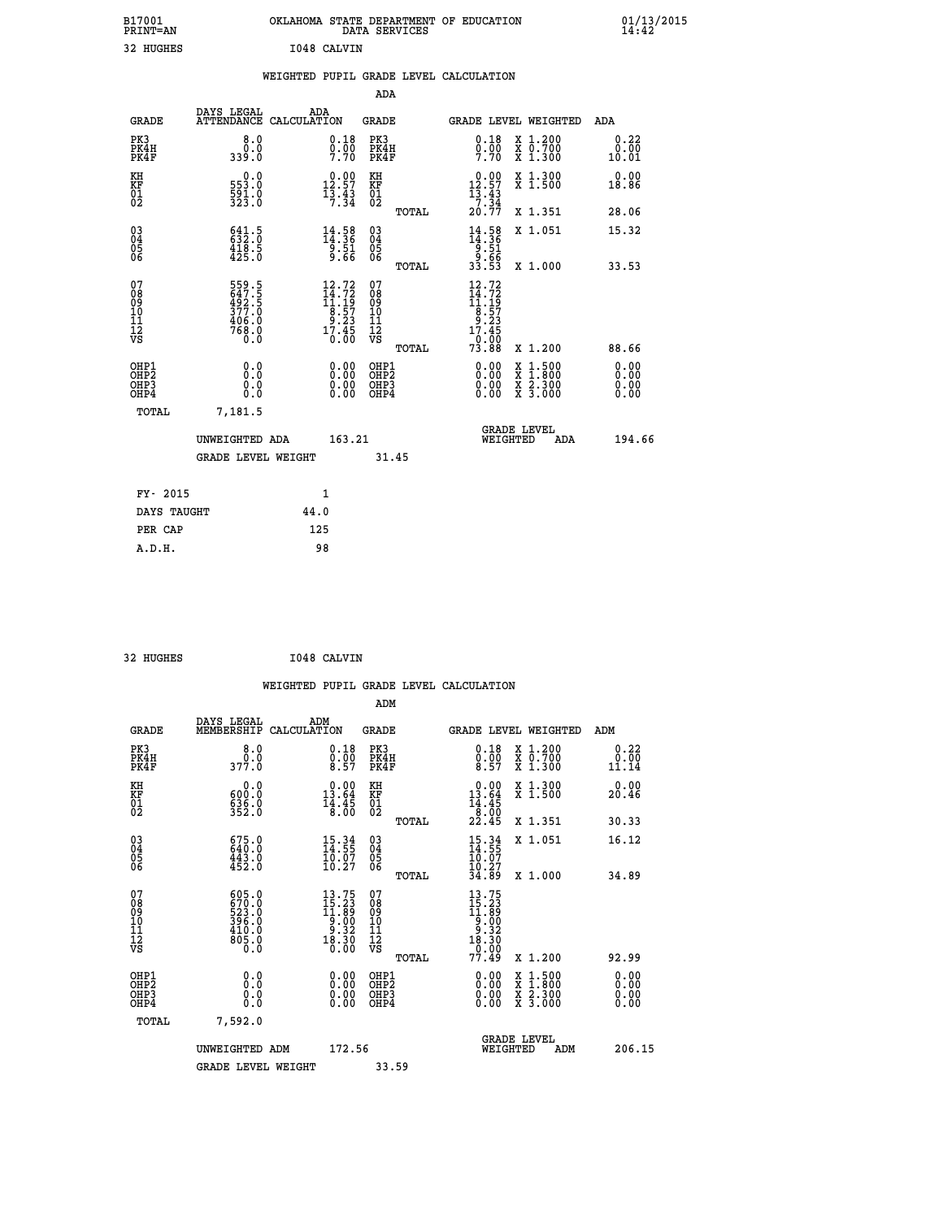| B17001<br>PRINT=AN                     |                                                           |             |                                                                     | OKLAHOMA STATE DEPARTMENT OF EDUCATION<br>DATA SERVICES      |                                                                               |                                                                                          | $01/13/2015$<br>14:42 |
|----------------------------------------|-----------------------------------------------------------|-------------|---------------------------------------------------------------------|--------------------------------------------------------------|-------------------------------------------------------------------------------|------------------------------------------------------------------------------------------|-----------------------|
| 32 HUGHES                              |                                                           | I048 CALVIN |                                                                     |                                                              |                                                                               |                                                                                          |                       |
|                                        |                                                           |             |                                                                     | WEIGHTED PUPIL GRADE LEVEL CALCULATION                       |                                                                               |                                                                                          |                       |
|                                        |                                                           |             |                                                                     | ADA                                                          |                                                                               |                                                                                          |                       |
| <b>GRADE</b>                           | DAYS LEGAL<br>ATTENDANCE CALCULATION                      | ADA         |                                                                     | GRADE                                                        |                                                                               | GRADE LEVEL WEIGHTED                                                                     | ADA                   |
| PK3<br>PK4H<br>PK4F                    | 8.0<br>0.0<br>339.0                                       |             | 0.18<br>$\frac{0}{7}$ : $\frac{0}{70}$                              | PK3<br>PK4H<br>PK4F                                          | 0.18<br>$0.00$<br>7.70                                                        | X 1.200<br>X 0.700<br>X 1.300                                                            | 0.22<br>0.00<br>10.01 |
| KH<br>KF<br>01<br>02                   | 0.0<br>553.0<br>591.0<br>323.0                            |             | $\begin{smallmatrix} 0.00\\ 12.57\\ 13.43\\ 7.34 \end{smallmatrix}$ | KH<br><b>KF</b><br>01<br>02                                  | 0.00<br>12.57<br>$\frac{13}{7} \cdot \frac{43}{34}$<br>20.77                  | X 1.300<br>X 1.500                                                                       | 0.00<br>18.86         |
|                                        |                                                           |             |                                                                     | TOTAL                                                        |                                                                               | X 1.351                                                                                  | 28.06                 |
| $^{03}_{04}$<br>Ŏ5<br>06               | $641.5$<br>$632.0$<br>$418.5$<br>$425.0$                  |             | $\frac{14}{14}$ : 58<br>$\frac{51}{9.66}$                           | $03\overline{4}$<br>$\begin{matrix} 0.5 \\ 0.6 \end{matrix}$ | $\frac{14}{14}$ : 58<br>$\frac{1}{9}$ : 51<br>33.53<br>33.53                  | X 1.051                                                                                  | 15.32                 |
|                                        |                                                           |             |                                                                     | TOTAL                                                        |                                                                               | X 1.000                                                                                  | 33.53                 |
| 07<br>08<br>09<br>10<br>11<br>12<br>VS | 559.5<br>647.5<br>492.5<br>377.0<br>406.0<br>768.0<br>Ō.Ō |             | 12.72<br>$14.72$<br>$11.19$<br>$8.57$<br>$9.23$<br>$17.45$<br>0.00  | 07<br>08<br>09<br>10<br>īĭ<br>12<br>VS<br>TOTAL              | 12.72<br>$14.72$<br>$11.19$<br>$8.57$<br>$9.23$<br>$17.45$<br>$9.00$<br>73.88 | X 1.200                                                                                  | 88.66                 |
| OHP1                                   |                                                           |             |                                                                     | OHP1                                                         |                                                                               |                                                                                          | 0.00                  |
| OH <sub>P</sub> 2<br>OHP3<br>OHP4      | 0.0<br>0.0<br>0.0                                         |             | 0.00<br>0.00<br>0.00                                                | OH <sub>P</sub> 2<br>OHP3<br>OHP4                            | 0.00<br>0.00<br>0.00                                                          | $\begin{smallmatrix} x & 1.500 \\ x & 1.800 \\ x & 2.300 \\ x & 3.000 \end{smallmatrix}$ | 0.00<br>0.00<br>0.00  |
| TOTAL                                  | 7,181.5                                                   |             |                                                                     |                                                              |                                                                               |                                                                                          |                       |
|                                        | UNWEIGHTED ADA                                            |             | 163.21                                                              |                                                              | WEIGHTED                                                                      | <b>GRADE LEVEL</b><br>ADA                                                                | 194.66                |
|                                        | <b>GRADE LEVEL WEIGHT</b>                                 |             |                                                                     | 31.45                                                        |                                                                               |                                                                                          |                       |
| FY- 2015                               |                                                           | 1           |                                                                     |                                                              |                                                                               |                                                                                          |                       |
| DAYS TAUGHT                            |                                                           | 44.0        |                                                                     |                                                              |                                                                               |                                                                                          |                       |
| PER CAP                                |                                                           | 125         |                                                                     |                                                              |                                                                               |                                                                                          |                       |

32 HUGHES **I048 CALVIN** 

 **A.D.H. 98**

 **WEIGHTED PUPIL GRADE LEVEL CALCULATION ADM DAYS LEGAL ADM GRADE MEMBERSHIP CALCULATION GRADE GRADE LEVEL WEIGHTED ADM PK3 8.0 0.18 PK3 0.18 X 1.200 0.22 PK4H 0.0 0.00 PK4H 0.00 X 0.700 0.00 PK4F 377.0 8.57 PK4F 8.57 X 1.300 11.14 KH 0.0 0.00 KH 0.00 X 1.300 0.00 KF 600.0 13.64 KF 13.64 X 1.500 20.46 01** 636.0 **14.45** 01 **14.45 02 352.0 8.00 02 8.00 TOTAL 22.45 X 1.351 30.33 03 675.0 15.34 03 15.34 X 1.051 16.12 04 640.0 14.55 04 14.55 05 443.0 10.07 05 10.07** 06  $452.0$  10.27 06  $\frac{10}{27}$  **TOTAL 34.89 X 1.000 34.89 07 605.0 13.75 07 13.75 08 670.0 15.23 08 15.23 09 523.0 11.89 09 11.89 10 396.0 9.00 10 9.00 11 410.0 9.32 11 9.32 12 805.0 18.30 12 18.30 VS 0.0 0.00 VS 0.00 TOTAL 77.49 X 1.200 92.99 OHP1 0.0 0.00 OHP1 0.00 X 1.500 0.00 OHP2 0.0 0.00 OHP2 0.00 X 1.800 0.00 OHP3 0.0 0.00 OHP3 0.00 X 2.300 0.00 OHP4 0.0 0.00 OHP4 0.00 X 3.000 0.00 TOTAL 7,592.0 GRADE LEVEL UNWEIGHTED ADM 172.56 WEIGHTED ADM 206.15** GRADE LEVEL WEIGHT 33.59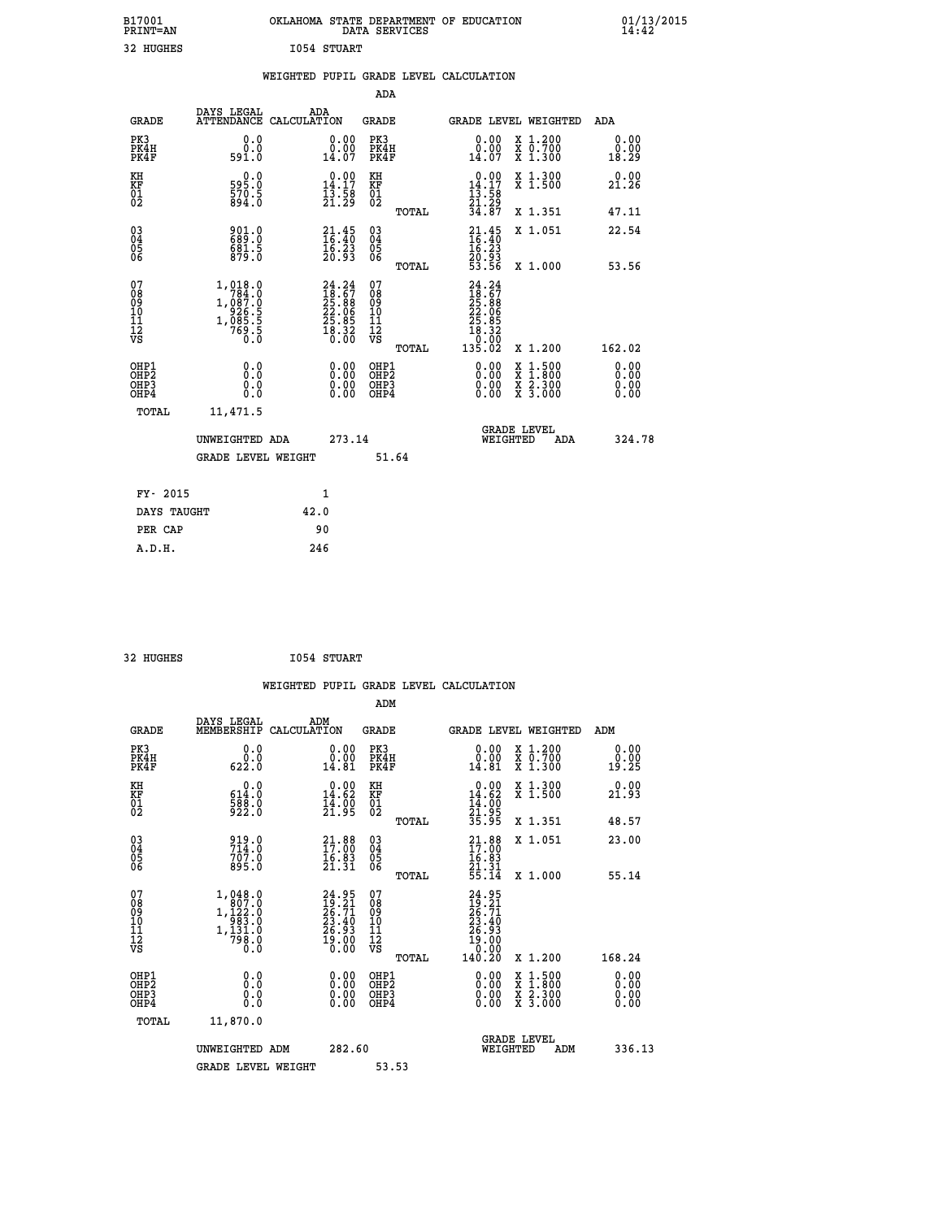| B17001<br>PRINT=AN | OKLAHOMA STATE DEPARTMENT OF EDUCATION<br>DATA SERVICES | $01/13/2015$<br>14:42 |
|--------------------|---------------------------------------------------------|-----------------------|
| 32 HUGHES          | 1054 STUART                                             |                       |
|                    | WEIGHTED PUPIL GRADE LEVEL CALCULATION                  |                       |
|                    | ADA                                                     |                       |

| <b>GRADE</b>                                         | DAYS LEGAL<br><b>ATTENDANCE</b>                                                                           | ADA<br>CALCULATION                                                                        |                                                             | <b>GRADE</b>                                       |       |                                                                                                                                                                                                                                                                                | GRADE LEVEL WEIGHTED                                                                                                                      | ADA                   |
|------------------------------------------------------|-----------------------------------------------------------------------------------------------------------|-------------------------------------------------------------------------------------------|-------------------------------------------------------------|----------------------------------------------------|-------|--------------------------------------------------------------------------------------------------------------------------------------------------------------------------------------------------------------------------------------------------------------------------------|-------------------------------------------------------------------------------------------------------------------------------------------|-----------------------|
| PK3<br>PK4H<br>PK4F                                  | 0.0<br>0.0<br>591.0                                                                                       | $\begin{smallmatrix} 0.00 \ 14.07 \end{smallmatrix}$                                      | 0.00                                                        | PK3<br>PK4H<br>PK4F                                |       | 0.00<br>0.00<br>14.07                                                                                                                                                                                                                                                          | X 1.200<br>X 0.700<br>X 1.300                                                                                                             | 0.00<br>0.00<br>18.29 |
| KH<br>KF<br>01<br>02                                 | 0.0<br>595.0<br>570.5<br>894.0                                                                            | $\begin{array}{c} 0.00 \\ 14.17 \\ 13.58 \\ 21.29 \end{array}$                            |                                                             | KH<br>KF<br>01<br>02                               |       | $\begin{array}{c} 0.00 \\ 14.17 \\ 13.58 \\ 21.29 \\ 34.87 \end{array}$                                                                                                                                                                                                        | X 1.300<br>X 1.500                                                                                                                        | 0.00<br>21.26         |
|                                                      |                                                                                                           |                                                                                           |                                                             |                                                    | TOTAL |                                                                                                                                                                                                                                                                                | X 1.351                                                                                                                                   | 47.11                 |
| $\begin{matrix} 03 \\ 04 \\ 05 \\ 06 \end{matrix}$   | 901.0<br>689.0<br>681.5<br>879.0                                                                          | $\begin{smallmatrix} 21\cdot 45\\ 16\cdot 40\\ 16\cdot 23\\ 20\cdot 93 \end{smallmatrix}$ |                                                             | $\begin{matrix} 03 \\ 04 \\ 05 \\ 06 \end{matrix}$ |       | $21.45$<br>$16.40$<br>$16.23$<br>$20.93$<br>$23.56$                                                                                                                                                                                                                            | X 1.051                                                                                                                                   | 22.54                 |
|                                                      |                                                                                                           |                                                                                           |                                                             |                                                    | TOTAL |                                                                                                                                                                                                                                                                                | X 1.000                                                                                                                                   | 53.56                 |
| 07<br>08<br>09<br>101<br>11<br>12<br>VS              | $\begin{smallmatrix} 1,018.0\\ 784.0\\ 1,087.0\\ 926.5\\ 926.5\\ 1,085.5\\ 769.5\\ 0.0 \end{smallmatrix}$ | $24.2418.6725.8822.0625.8525.8518.320.00$                                                 |                                                             | 07<br>08<br>09<br>01<br>11<br>11<br>12<br>VS       | TOTAL | $\begin{smallmatrix} 24.24\18.67\25.88\22.086\22.985\25.821\18.320\0.02\135.02\end{smallmatrix}$                                                                                                                                                                               | X 1.200                                                                                                                                   | 162.02                |
|                                                      |                                                                                                           |                                                                                           |                                                             |                                                    |       |                                                                                                                                                                                                                                                                                |                                                                                                                                           | 0.00                  |
| OHP1<br>OHP2<br>OH <sub>P3</sub><br>OH <sub>P4</sub> | 0.0<br>0.000                                                                                              |                                                                                           | 0.00<br>$\begin{smallmatrix} 0.00 \ 0.00 \end{smallmatrix}$ | OHP1<br>OHP2<br>OHP3<br>OHP4                       |       | $\begin{smallmatrix} 0.00 & 0.00 & 0.00 & 0.00 & 0.00 & 0.00 & 0.00 & 0.00 & 0.00 & 0.00 & 0.00 & 0.00 & 0.00 & 0.00 & 0.00 & 0.00 & 0.00 & 0.00 & 0.00 & 0.00 & 0.00 & 0.00 & 0.00 & 0.00 & 0.00 & 0.00 & 0.00 & 0.00 & 0.00 & 0.00 & 0.00 & 0.00 & 0.00 & 0.00 & 0.00 & 0.0$ | $\begin{smallmatrix} \mathtt{X} & 1\cdot500\\ \mathtt{X} & 1\cdot800\\ \mathtt{X} & 2\cdot300\\ \mathtt{X} & 3\cdot000 \end{smallmatrix}$ | 0.00<br>0.0000        |
| TOTAL                                                | 11,471.5                                                                                                  |                                                                                           |                                                             |                                                    |       |                                                                                                                                                                                                                                                                                |                                                                                                                                           |                       |
|                                                      | UNWEIGHTED ADA                                                                                            |                                                                                           | 273.14                                                      |                                                    |       | WEIGHTED                                                                                                                                                                                                                                                                       | <b>GRADE LEVEL</b><br>ADA                                                                                                                 | 324.78                |
|                                                      | <b>GRADE LEVEL WEIGHT</b>                                                                                 |                                                                                           |                                                             |                                                    | 51.64 |                                                                                                                                                                                                                                                                                |                                                                                                                                           |                       |
| FY- 2015                                             |                                                                                                           | $\mathbf{1}$                                                                              |                                                             |                                                    |       |                                                                                                                                                                                                                                                                                |                                                                                                                                           |                       |
| DAYS TAUGHT                                          |                                                                                                           | 42.0                                                                                      |                                                             |                                                    |       |                                                                                                                                                                                                                                                                                |                                                                                                                                           |                       |
|                                                      |                                                                                                           |                                                                                           |                                                             |                                                    |       |                                                                                                                                                                                                                                                                                |                                                                                                                                           |                       |

| 32 HUGHES | I054 STUART |
|-----------|-------------|
|           |             |

 **PER CAP 90 A.D.H. 246**

 **WEIGHTED PUPIL GRADE LEVEL CALCULATION ADM DAYS LEGAL ADM GRADE MEMBERSHIP CALCULATION GRADE GRADE LEVEL WEIGHTED ADM PK3 0.0 0.00 PK3 0.00 X 1.200 0.00 PK4H 0.0 0.00 PK4H 0.00 X 0.700 0.00 PK4F 622.0 14.81 PK4F 14.81 X 1.300 19.25 KH 0.0 0.00 KH 0.00 X 1.300 0.00 KF 614.0 14.62 KF 14.62 X 1.500 21.93 01 588.0 14.00 01 14.00 02 922.0 21.95 02 21.95 TOTAL 35.95 X 1.351 48.57 03 919.0 21.88 03 21.88 X 1.051 23.00 04 714.0 17.00 04 17.00 05 707.0 16.83 05 16.83** 06 895.0 21.31 06 <sub>memax</sub> 21.31  **TOTAL 55.14 X 1.000 55.14**  $\begin{array}{cccc} 07 & 1,048.0 & 24.95 & 07 & 24.95 \ 08 & 1,122.0 & 16 & 19.21 & 08 & 12.21 \ 09 & 1,122.0 & 26.71 & 09 & 26.71 \ 10 & 1,131.0 & 26.34 & 10 & 23.40 \ 11 & 1,131.0 & 26.93 & 11 & 26.93 \ 12 & 798.0 & 19.00 & 12 & 26.93 \ \hline \textrm{vs} & 798.0 & 19.00 &$  $\begin{array}{cccc} 24.95 & 07 & 24.95 \ 23.40 & 10 & 28.71 \ 23.40 & 11 & 23.40 \ 25.93 & 11 & 28.740 \ 25.93 & 11 & 26.93 \ 19.00 & 12 & 19.00 \ 10.00 & 12 & 140.20 \ 10.00 & 12 & 0.00 \ 10.00 & 12 & 0.00 \ 10.00 & 12 & 0.00 \ 10.00 & 10.00 & 10.00 \ 0.00 & 0.00 &$  **OHP1 0.0 0.00 OHP1 0.00 X 1.500 0.00 OHP2 0.0 0.00 OHP2 0.00 X 1.800 0.00 OHP3 0.0 0.00 OHP3 0.00 X 2.300 0.00 OHP4 0.0 0.00 OHP4 0.00 X 3.000 0.00 TOTAL 11,870.0 GRADE LEVEL UNWEIGHTED ADM 282.60 WEIGHTED ADM 336.13** GRADE LEVEL WEIGHT 53.53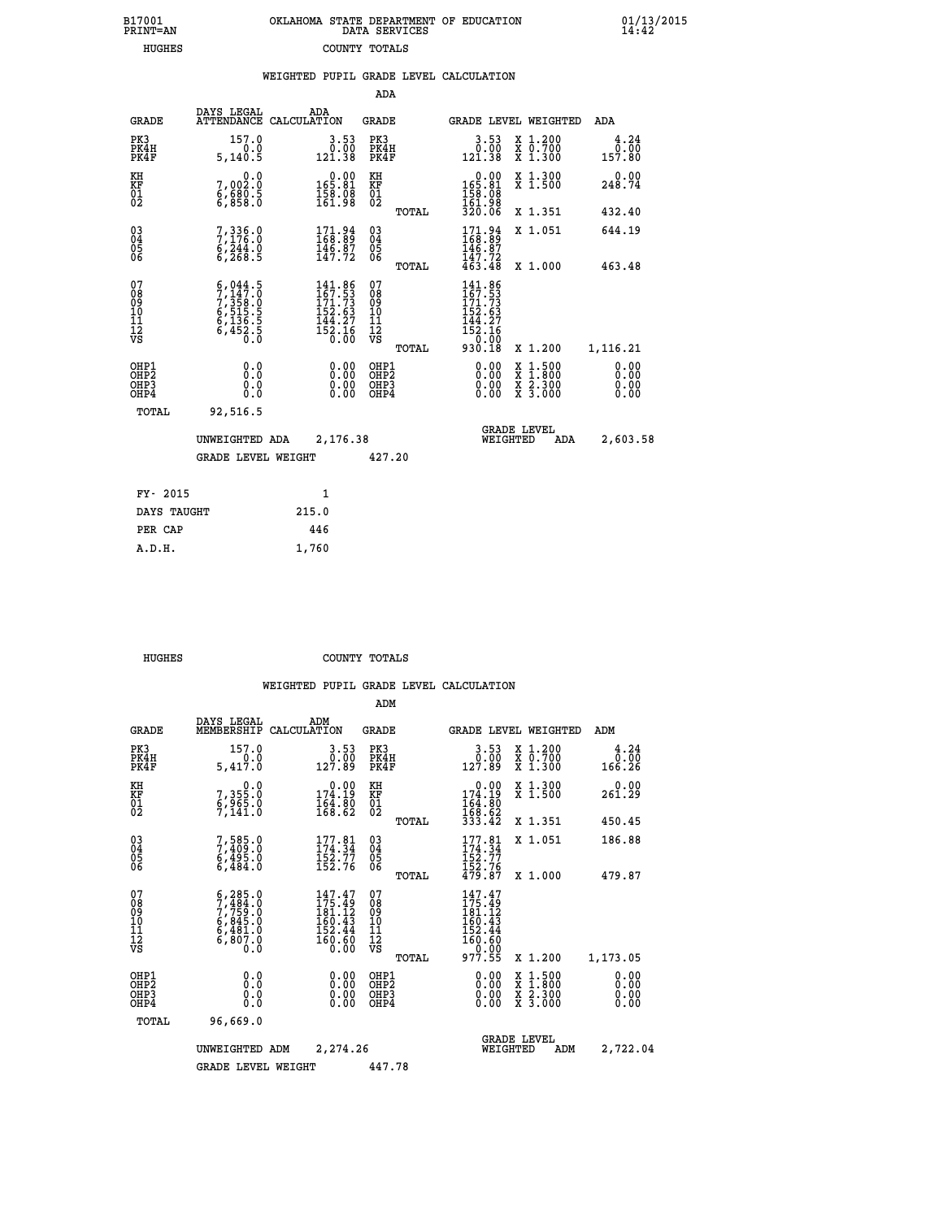|  | OKLAHOMA STATE DEPARTMENT OF EDUCATION<br>DATA SERVICES |  |
|--|---------------------------------------------------------|--|
|  | COUNTY TOTALS                                           |  |

B17001<br>PRINT=AN<br>HUGHES

 **B17001 OKLAHOMA STATE DEPARTMENT OF EDUCATION 01/13/2015**

|                                                                    |                                                                                     |                                                                              | ADA                                       |       |                                                                                 |                                                                                                  |                              |
|--------------------------------------------------------------------|-------------------------------------------------------------------------------------|------------------------------------------------------------------------------|-------------------------------------------|-------|---------------------------------------------------------------------------------|--------------------------------------------------------------------------------------------------|------------------------------|
| <b>GRADE</b>                                                       | DAYS LEGAL                                                                          | ADA<br>ATTENDANCE CALCULATION                                                | <b>GRADE</b>                              |       |                                                                                 | GRADE LEVEL WEIGHTED                                                                             | <b>ADA</b>                   |
| PK3<br>PK4H<br>PK4F                                                | 157.0<br>0.0<br>5,140.5                                                             | $3.53$<br>$0.00$<br>121.38                                                   | PK3<br>PK4H<br>PK4F                       |       | $\begin{smallmatrix} 3.53\ 0.00\ 121.38 \end{smallmatrix}$                      | X 1.200<br>X 0.700<br>X 1.300                                                                    | 4.24<br>0.00<br>157.80       |
| KH<br><b>KF</b><br>01<br>02                                        | 0.0<br>7,002:0<br>6,680:5<br>6,858:0                                                | $\begin{smallmatrix} &0.00\\ 165.81\\ 158.08\\ 154.98\end{smallmatrix}$      | KH<br>KF<br>01<br>02                      |       | $165.81$<br>$158.98$<br>$161.98$                                                | X 1.300<br>X 1.500                                                                               | 0.00<br>248.74               |
|                                                                    |                                                                                     |                                                                              |                                           | TOTAL | 320.06                                                                          | X 1.351                                                                                          | 432.40                       |
| $\begin{smallmatrix} 03 \\[-4pt] 04 \end{smallmatrix}$<br>05<br>06 | $7,336.0$<br>$7,176.0$<br>$6,244.0$<br>$6,268.5$                                    | $\begin{smallmatrix} 171.94 \\ 168.89 \\ 146.87 \\ 147.72 \end{smallmatrix}$ | $\substack{03 \\ 04}$<br>05<br>06         |       | 171.94<br>168.89<br>$146.87$<br>$147.72$<br>$463.48$                            | X 1.051                                                                                          | 644.19                       |
|                                                                    |                                                                                     |                                                                              |                                           | TOTAL |                                                                                 | X 1.000                                                                                          | 463.48                       |
| 07<br>08<br>09<br>11<br>11<br>12<br>VS                             | $5,044.5$<br>$7,147.0$<br>$7,358.0$<br>$6,515.5$<br>$6,136.5$<br>$6,452.5$<br>$0.0$ | 141.86<br>$167.53$<br>$171.73$<br>$152.63$<br>$144.27$<br>$152.16$<br>$0.00$ | 07<br>08<br>09<br>11<br>11<br>12<br>VS    |       | 141.86<br>$\frac{167.53}{171.73}$<br>$152.63$<br>$144.27$<br>$152.16$<br>$0.90$ |                                                                                                  |                              |
|                                                                    |                                                                                     |                                                                              |                                           | TOTAL | 930.18                                                                          | X 1.200                                                                                          | 1,116.21                     |
| OHP1<br>OH <sub>P2</sub><br>OH <sub>P3</sub><br>OH <sub>P4</sub>   | 0.0<br>0.0<br>0.0                                                                   | 0.00<br>0.00<br>0.00                                                         | OHP1<br>OH <sub>P</sub> 2<br>OHP3<br>OHP4 |       | 0.00<br>0.00<br>0.00                                                            | $\begin{smallmatrix} x & 1 & 500 \\ x & 1 & 800 \\ x & 2 & 300 \\ x & 3 & 000 \end{smallmatrix}$ | 0.00<br>0.00<br>0.00<br>0.00 |
| TOTAL                                                              | 92,516.5                                                                            |                                                                              |                                           |       |                                                                                 |                                                                                                  |                              |
|                                                                    | UNWEIGHTED ADA                                                                      | 2,176.38                                                                     |                                           |       |                                                                                 | GRADE LEVEL<br>WEIGHTED<br>ADA                                                                   | 2,603.58                     |
|                                                                    | <b>GRADE LEVEL WEIGHT</b>                                                           |                                                                              | 427.20                                    |       |                                                                                 |                                                                                                  |                              |
| FY- 2015                                                           |                                                                                     | $\mathbf{1}$                                                                 |                                           |       |                                                                                 |                                                                                                  |                              |
| DAYS TAUGHT                                                        |                                                                                     | 215.0                                                                        |                                           |       |                                                                                 |                                                                                                  |                              |
| PER CAP                                                            |                                                                                     | 446                                                                          |                                           |       |                                                                                 |                                                                                                  |                              |

 **A.D.H. 1,760**

 **HUGHES COUNTY TOTALS**

|                                          |                                                                                           |                                                                                      | ADM                                                |                                                                                   |                                          |                                     |
|------------------------------------------|-------------------------------------------------------------------------------------------|--------------------------------------------------------------------------------------|----------------------------------------------------|-----------------------------------------------------------------------------------|------------------------------------------|-------------------------------------|
| <b>GRADE</b>                             | DAYS LEGAL<br>MEMBERSHIP                                                                  | ADM<br>CALCULATION                                                                   | <b>GRADE</b>                                       | GRADE LEVEL WEIGHTED                                                              |                                          | ADM                                 |
| PK3<br>PK4H<br>PK4F                      | 157.0<br>0.0<br>5,417.0                                                                   | 3.53<br>$\begin{smallmatrix} & 0 & 0 & 0 \\ 1 & 2 & 7 & 89 \end{smallmatrix}$        | PK3<br>PK4H<br>PK4F                                | 3.53<br>00.00<br>127.89                                                           | X 1.200<br>X 0.700<br>X 1.300            | 4.24<br>$0.\overline{0}0$<br>166.26 |
| KH<br>KF<br>01<br>02                     | 0.0<br>7,355:0<br>6,965:0<br>7,141:0                                                      | $\begin{smallmatrix} &0.00\\ 174.19\\ 164.80\\ 168.62\end{smallmatrix}$              | KH<br>KF<br>01<br>02                               | $\begin{array}{c} 0.00 \\ 174.19 \\ 164.80 \\ 168.62 \\ 333.42 \end{array}$       | X 1.300<br>X 1.500                       | 0.00<br>261.29                      |
|                                          |                                                                                           |                                                                                      | TOTAL                                              |                                                                                   | X 1.351                                  | 450.45                              |
| 03<br>04<br>05<br>06                     | 7,585.0<br>7,409.0<br>6,495.0<br>6,484.0                                                  | $177.81$<br>$174.34$<br>$\frac{152.77}{152.76}$                                      | $\begin{matrix} 03 \\ 04 \\ 05 \\ 06 \end{matrix}$ | $177.81$<br>$174.34$<br>$\frac{152.77}{152.76}$<br>$\frac{479.87}{157}$           | X 1.051                                  | 186.88                              |
|                                          |                                                                                           |                                                                                      | TOTAL                                              |                                                                                   | X 1.000                                  | 479.87                              |
| 07<br>08<br>09<br>101<br>112<br>VS       | $5, 285.0$<br>$7, 484.0$<br>$7, 759.0$<br>$6, 845.0$<br>$6, 481.0$<br>$6, 807.0$<br>$0.0$ | 147.47<br>175.49<br>181.12<br>160.43<br>152.44<br>$\overline{160}$ . $\overline{60}$ | 07<br>08<br>09<br>11<br>11<br>12<br>VS<br>TOTAL    | $147.47$<br>$175.49$<br>$181.12$<br>160:43<br>152:44<br>160:60<br>20:00<br>977.55 | X 1.200                                  | 1,173.05                            |
| OHP1<br>OHP2<br>OH <sub>P3</sub><br>OHP4 | 0.0<br>0.000                                                                              | $0.00$<br>$0.00$<br>0.00                                                             | OHP1<br>OHP2<br>OHP <sub>3</sub>                   | $0.00$<br>$0.00$<br>0.00                                                          | X 1:500<br>X 1:800<br>X 2:300<br>X 3:000 | 0.00<br>0.00<br>0.00<br>0.00        |
| TOTAL                                    | 96,669.0                                                                                  |                                                                                      |                                                    |                                                                                   |                                          |                                     |
|                                          | UNWEIGHTED                                                                                | 2,274.26<br>ADM                                                                      |                                                    | <b>GRADE LEVEL</b><br>WEIGHTED                                                    | ADM                                      | 2,722.04                            |
|                                          | <b>GRADE LEVEL WEIGHT</b>                                                                 |                                                                                      | 447.78                                             |                                                                                   |                                          |                                     |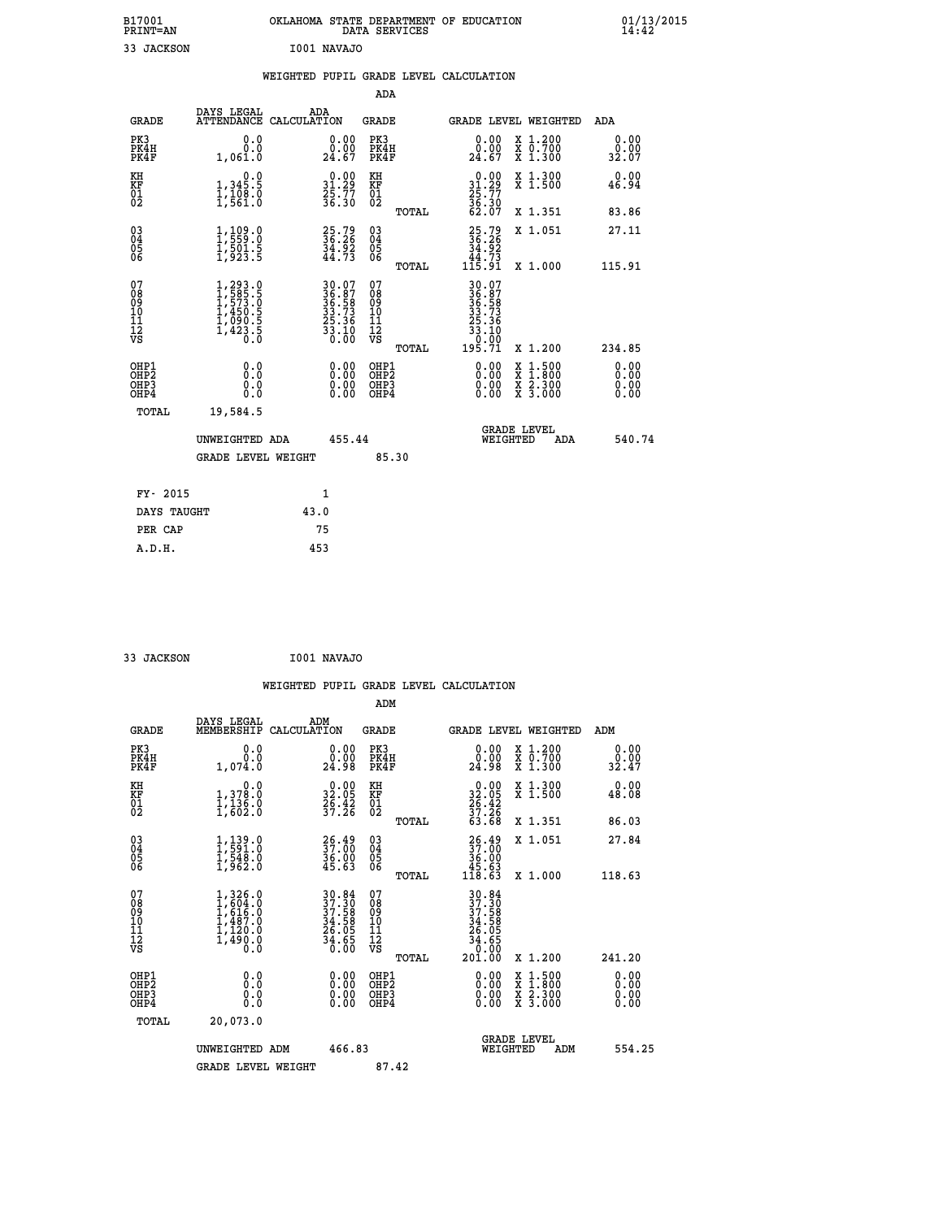| B17001<br><b>PRINT=AN</b> | OKLAHOMA STATE DEPARTMENT OF EDUCATION<br>DATA SERVICES | 01/13/2015 |
|---------------------------|---------------------------------------------------------|------------|
| JACKSON                   | I001 NAVAJO                                             |            |

|  |  | WEIGHTED PUPIL GRADE LEVEL CALCULATION |
|--|--|----------------------------------------|
|  |  |                                        |

|                                                                    |                                                                                                                                           |              |                                                                                           | ADA                                    |       |                                                                              |          |                                                                                                                                           |                       |
|--------------------------------------------------------------------|-------------------------------------------------------------------------------------------------------------------------------------------|--------------|-------------------------------------------------------------------------------------------|----------------------------------------|-------|------------------------------------------------------------------------------|----------|-------------------------------------------------------------------------------------------------------------------------------------------|-----------------------|
| <b>GRADE</b>                                                       | DAYS LEGAL<br>ATTENDANCE CALCULATION                                                                                                      | ADA          |                                                                                           | <b>GRADE</b>                           |       |                                                                              |          | GRADE LEVEL WEIGHTED                                                                                                                      | ADA                   |
| PK3<br>PK4H<br>PK4F                                                | 0.0<br>0.0<br>1,061.0                                                                                                                     |              | 0.00<br>0.00<br>24.67                                                                     | PK3<br>PK4H<br>PK4F                    |       | 0.00<br>0.00<br>24.67                                                        |          | X 1.200<br>X 0.700<br>X 1.300                                                                                                             | 0.00<br>0.00<br>32.07 |
| KH<br>KF<br>$\begin{matrix} 0 \\ 2 \end{matrix}$                   | 0.0<br>1,345.5<br>1,108.0<br>1,561.0                                                                                                      |              | $\begin{smallmatrix} 0.00\\ 31.29\\ 25.77\\ 36.30 \end{smallmatrix}$                      | KH<br>KF<br>01<br>02                   |       | $\begin{smallmatrix} 0.00\\ 31.29\\ 25.77\\ 36.30\\ 62.07 \end{smallmatrix}$ |          | X 1.300<br>X 1.500                                                                                                                        | 0.00<br>46.94         |
|                                                                    |                                                                                                                                           |              |                                                                                           |                                        | TOTAL |                                                                              |          | X 1.351                                                                                                                                   | 83.86                 |
| $\begin{smallmatrix} 03 \\[-4pt] 04 \end{smallmatrix}$<br>Ŏ5<br>06 | $\frac{1}{1}, \frac{109}{559} . 0 \\ 1, 501 . 5 \\ 1, 923 . 5$                                                                            |              | 25.79<br>36.26<br>34.92<br>44.73                                                          | 03<br>04<br>05<br>06                   |       | $25.79$<br>$36.26$<br>$34.92$<br>$44.73$<br>$115.91$                         |          | X 1.051                                                                                                                                   | 27.11                 |
|                                                                    |                                                                                                                                           |              |                                                                                           |                                        | TOTAL |                                                                              |          | X 1.000                                                                                                                                   | 115.91                |
| 07<br>08<br>09<br>11<br>11<br>12<br>VS                             | $\begin{smallmatrix} 1,293\cdot 0\\ 1,585\cdot 5\\ 1,573\cdot 0\\ 1,450\cdot 5\\ 1,090\cdot 5\\ 1,423\cdot 5\\ 0\cdot 0\end{smallmatrix}$ |              | $\begin{array}{r} 30.07 \\ 36.58 \\ 36.58 \\ 33.73 \\ 25.36 \\ 33.10 \\ 0.00 \end{array}$ | 07<br>08<br>09<br>11<br>11<br>12<br>VS |       | 30.07<br>36.58<br>36.58<br>33.73<br>25.36<br>33.100<br>30.99                 |          |                                                                                                                                           |                       |
|                                                                    |                                                                                                                                           |              |                                                                                           |                                        | TOTAL | 195.71                                                                       |          | X 1.200                                                                                                                                   | 234.85                |
| OHP1<br>OHP2<br>OH <sub>P3</sub><br>OHP4                           | 0.0<br>0.0<br>0.0                                                                                                                         |              | $0.00$<br>$0.00$<br>0.00                                                                  | OHP1<br>OHP2<br>OHP3<br>OHP4           |       |                                                                              |          | $\begin{smallmatrix} \mathtt{X} & 1\cdot500\\ \mathtt{X} & 1\cdot800\\ \mathtt{X} & 2\cdot300\\ \mathtt{X} & 3\cdot000 \end{smallmatrix}$ | 0.00<br>0.00<br>0.00  |
| TOTAL                                                              | 19,584.5                                                                                                                                  |              |                                                                                           |                                        |       |                                                                              |          |                                                                                                                                           |                       |
|                                                                    | UNWEIGHTED ADA                                                                                                                            |              | 455.44                                                                                    |                                        |       |                                                                              | WEIGHTED | <b>GRADE LEVEL</b><br>ADA                                                                                                                 | 540.74                |
|                                                                    | <b>GRADE LEVEL WEIGHT</b>                                                                                                                 |              |                                                                                           |                                        | 85.30 |                                                                              |          |                                                                                                                                           |                       |
| FY- 2015                                                           |                                                                                                                                           | $\mathbf{1}$ |                                                                                           |                                        |       |                                                                              |          |                                                                                                                                           |                       |
| DAYS TAUGHT                                                        |                                                                                                                                           | 43.0         |                                                                                           |                                        |       |                                                                              |          |                                                                                                                                           |                       |
| PER CAP                                                            |                                                                                                                                           | 75           |                                                                                           |                                        |       |                                                                              |          |                                                                                                                                           |                       |

 **33 JACKSON I001 NAVAJO**

 **A.D.H. 453**

 **WEIGHTED PUPIL GRADE LEVEL CALCULATION ADM DAYS LEGAL ADM GRADE MEMBERSHIP CALCULATION GRADE GRADE LEVEL WEIGHTED ADM PK3 0.0 0.00 PK3 0.00 X 1.200 0.00 PK4H 0.0 0.00 PK4H 0.00 X 0.700 0.00 PK4F 1,074.0 24.98 PK4F 24.98 X 1.300 32.47 KH 0.0 0.00 KH 0.00 X 1.300 0.00 KF 1,378.0 32.05 KF 32.05 X 1.500 48.08** 01 1,136.0 26.42 01 26.42<br>02 1,602.0 39.<del>1</del>6 02 <sub>momen</sub> 39.26  **TOTAL 63.68 X 1.351 86.03 03 1,139.0 26.49 03 26.49 X 1.051 27.84 04 1,591.0 37.00 04 37.00 05 1,548.0 36.00 05 36.00 06 1,962.0 45.63 06 45.63 TOTAL 118.63 X 1.000 118.63**  $\begin{array}{cccc} 07 & 1,326.0 & 30.84 & 07 & 30.84 \\ 08 & 1,616.0 & 37.36 & 08 & 37.58 \\ 09 & 1,616.0 & 37.58 & 09 & 37.58 \\ 10 & 1,487.0 & 34.58 & 10 & 34.58 \\ 11 & 1,120.0 & 26.05 & 11 & 26.05 \\ 12 & 1,490.0 & 34.65 & 12 & 34.65 \\ \sqrt{3} & 0.0 & 36.05 & \sqrt{3} & 3 &$ **30.84 07**<br> **37.30 08**<br> **37.30 08**<br> **34.58 10**<br> **34.58 10**<br> **34.58 11**<br> **34.58**<br> **36.00**<br> **34.58**<br> **34.58<br>
<b>34.58**<br> **34.58<br>
<b>34.58**<br> **34.58<br>
<b>34.58**<br> **34.58<br>
<b>34.58**<br> **34.58<br>
<b>34.58**<br> **34.58**<br> **34.58<br>
<b>34.58**<br> **34.58**<br> **34 OHP1 0.0 0.00 OHP1 0.00 X 1.500 0.00 OHP2 0.0 0.00 OHP2 0.00 X 1.800 0.00 OHP3 0.0 0.00 OHP3 0.00 X 2.300 0.00 OHP4 0.0 0.00 OHP4 0.00 X 3.000 0.00 TOTAL 20,073.0 GRADE LEVEL UNWEIGHTED ADM 466.83 WEIGHTED ADM 554.25** GRADE LEVEL WEIGHT 87.42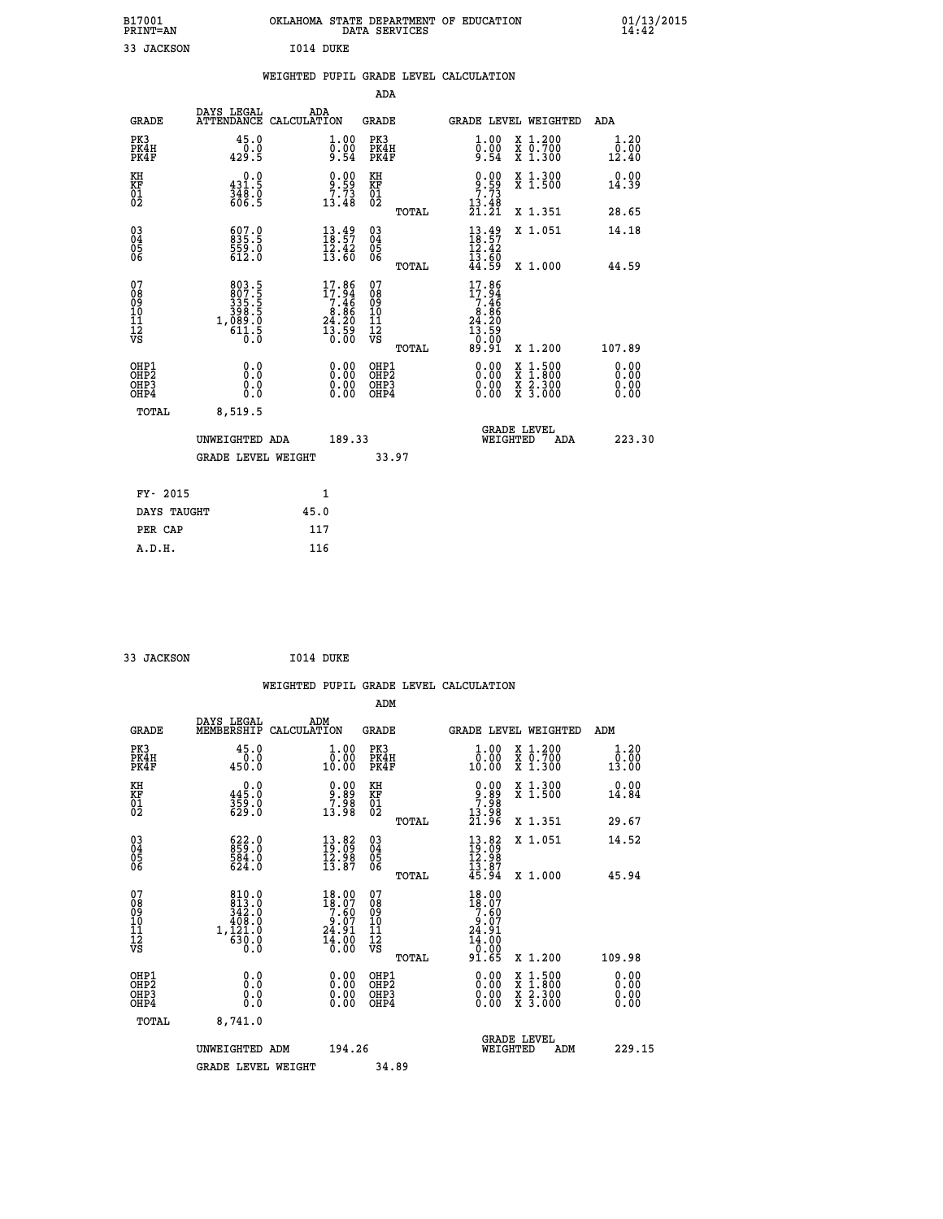| B17001<br>PRINT=AN                                    |                                                                                                       | OKLAHOMA STATE DEPARTMENT OF EDUCATION DATA SERVICES                   |                                                    |       |                                                                                   |                                                                                                                                           | 01/13/2015                   |
|-------------------------------------------------------|-------------------------------------------------------------------------------------------------------|------------------------------------------------------------------------|----------------------------------------------------|-------|-----------------------------------------------------------------------------------|-------------------------------------------------------------------------------------------------------------------------------------------|------------------------------|
| 33 JACKSON                                            |                                                                                                       | I014 DUKE                                                              |                                                    |       |                                                                                   |                                                                                                                                           |                              |
|                                                       |                                                                                                       | WEIGHTED PUPIL GRADE LEVEL CALCULATION                                 |                                                    |       |                                                                                   |                                                                                                                                           |                              |
|                                                       |                                                                                                       |                                                                        | ADA                                                |       |                                                                                   |                                                                                                                                           |                              |
| <b>GRADE</b>                                          | DAYS LEGAL                                                                                            | ADA<br>ATTENDANCE CALCULATION                                          | GRADE                                              |       |                                                                                   | <b>GRADE LEVEL WEIGHTED</b>                                                                                                               | <b>ADA</b>                   |
| PK3<br>PK4H<br>PK4F                                   | 45.0<br>$\frac{0.0}{429.5}$                                                                           | 1.00<br>$\bar{0}.\bar{0}\bar{0}$<br>9.54                               | PK3<br>PK4H<br>PK4F                                |       | $\begin{smallmatrix} 1.00 \\ 0.00 \\ 9.54 \end{smallmatrix}$                      | X 1.200<br>X 0.700<br>X 1.300                                                                                                             | 1.20<br>0.00<br>12.40        |
| KH<br>KF<br>01<br>02                                  | 0.0<br>$\frac{431.5}{348.9}$                                                                          | $9.59$<br>$7.73$<br>$13.48$                                            | KH<br>KF<br>01<br>02                               |       | $\begin{array}{c} 0.00 \\ 9.59 \\ 7.73 \\ 13.49 \end{array}$                      | X 1.300<br>X 1.500                                                                                                                        | 0.00<br>14.39                |
|                                                       |                                                                                                       |                                                                        |                                                    | TOTAL | 21.21                                                                             | X 1.351                                                                                                                                   | 28.65                        |
| 03<br>04<br>05<br>06                                  | 607.0<br>835.5<br>559.0<br>612.0                                                                      | $\frac{13.49}{18.57}$<br>$\frac{15.42}{13.60}$                         | $\begin{matrix} 03 \\ 04 \\ 05 \\ 06 \end{matrix}$ |       | $\frac{13.49}{18.57}$<br>12.42                                                    | X 1.051                                                                                                                                   | 14.18                        |
|                                                       |                                                                                                       |                                                                        |                                                    | TOTAL | $1\bar{3}.6\bar{0}$<br>44.59                                                      | X 1.000                                                                                                                                   | 44.59                        |
| 07<br>08<br>09<br>10<br>11<br>ĪŽ<br>VS                | $\begin{smallmatrix} 803.5\\ 807.5\\ 335.5\\ 336.5\\ 398.5\\ 1,089.0\\ 611.5\\ 0.0 \end{smallmatrix}$ | $17.86$<br>$17.94$<br>$7.46$<br>$8.86$<br>$24.20$<br>$13.59$<br>$0.00$ | 07<br>08<br>09<br>10<br>īī<br>$\frac{1}{\sqrt{2}}$ | TOTAL | 17.86<br>$\frac{17.94}{7.46}$<br>$8.86$<br>24.20<br>$\frac{13.59}{0.00}$<br>89.91 | X 1.200                                                                                                                                   | 107.89                       |
| OHP1<br>OH <sub>P</sub> 2<br>OH <sub>P3</sub><br>OHP4 | 0.0<br>0.0<br>0.0<br>0.0                                                                              | 0.00<br>0.00                                                           | OHP1<br>OHP <sub>2</sub><br>OHP3<br>OHP4           |       | 0.00<br>ŏ:ŏŏ<br>0.00<br>0.00                                                      | $\begin{smallmatrix} \mathtt{X} & 1\cdot500\\ \mathtt{X} & 1\cdot800\\ \mathtt{X} & 2\cdot300\\ \mathtt{X} & 3\cdot000 \end{smallmatrix}$ | 0.00<br>0.00<br>0.00<br>0.00 |
| <b>TOTAL</b>                                          | 8,519.5                                                                                               |                                                                        |                                                    |       |                                                                                   |                                                                                                                                           |                              |
|                                                       | UNWEIGHTED ADA                                                                                        | 189.33                                                                 |                                                    |       | WEIGHTED                                                                          | <b>GRADE LEVEL</b><br>ADA                                                                                                                 | 223.30                       |
|                                                       | <b>GRADE LEVEL WEIGHT</b>                                                                             |                                                                        | 33.97                                              |       |                                                                                   |                                                                                                                                           |                              |
| FY- 2015                                              |                                                                                                       | 1                                                                      |                                                    |       |                                                                                   |                                                                                                                                           |                              |
| DAYS TAUGHT                                           |                                                                                                       | 45.0                                                                   |                                                    |       |                                                                                   |                                                                                                                                           |                              |
|                                                       |                                                                                                       |                                                                        |                                                    |       |                                                                                   |                                                                                                                                           |                              |

| FY- 2015    | 1    |
|-------------|------|
| DAYS TAUGHT | 45.0 |
| PER CAP     | 117  |
| A.D.H.      | 116  |
|             |      |

| 33 JACKSON | I014 DUKE |
|------------|-----------|
|            |           |

 **WEIGHTED PUPIL GRADE LEVEL CALCULATION ADM DAYS LEGAL ADM GRADE MEMBERSHIP CALCULATION GRADE GRADE LEVEL WEIGHTED ADM PK3 45.0 1.00 PK3 1.00 X 1.200 1.20 PK4H 0.0 0.00 PK4H 0.00 X 0.700 0.00 PK4F 450.0 10.00 PK4F 10.00 X 1.300 13.00 KH 0.0 0.00 KH 0.00 X 1.300 0.00 KF 445.0 9.89 KF 9.89 X 1.500 14.84 01 359.0 7.98 01 7.98**  $02 \t\t 629.0 \t\t 13.98 \t 02 \t 13.28$  **TOTAL 21.96 X 1.351 29.67 03 622.0 13.82 03 13.82 X 1.051 14.52 04 859.0 19.09 04 19.09 05 584.0 12.98 05 12.98**  $06$  624.0 13.87 06  $\frac{13.87}{2}$  6  **TOTAL 45.94 X 1.000 45.94** 07 810.0 18.00 07 18.00<br>
08 813.0 18.07 08 18.07<br>
10 408.0 9.07 10 9.07<br>
11 1,121.0 24.91 11 24.90<br>
vs 630.0 16.00 vs 0.00<br>
13 630.0 16.00 vs 0.000  **TOTAL 91.65 X 1.200 109.98 OHP1 0.0 0.00 OHP1 0.00 X 1.500 0.00 OHP2 0.0 0.00 OHP2 0.00 X 1.800 0.00 OHP3 0.0 0.00 OHP3 0.00 X 2.300 0.00 OHP4 0.0 0.00 OHP4 0.00 X 3.000 0.00 TOTAL 8,741.0 GRADE LEVEL UNWEIGHTED ADM 194.26 WEIGHTED ADM 229.15** GRADE LEVEL WEIGHT 34.89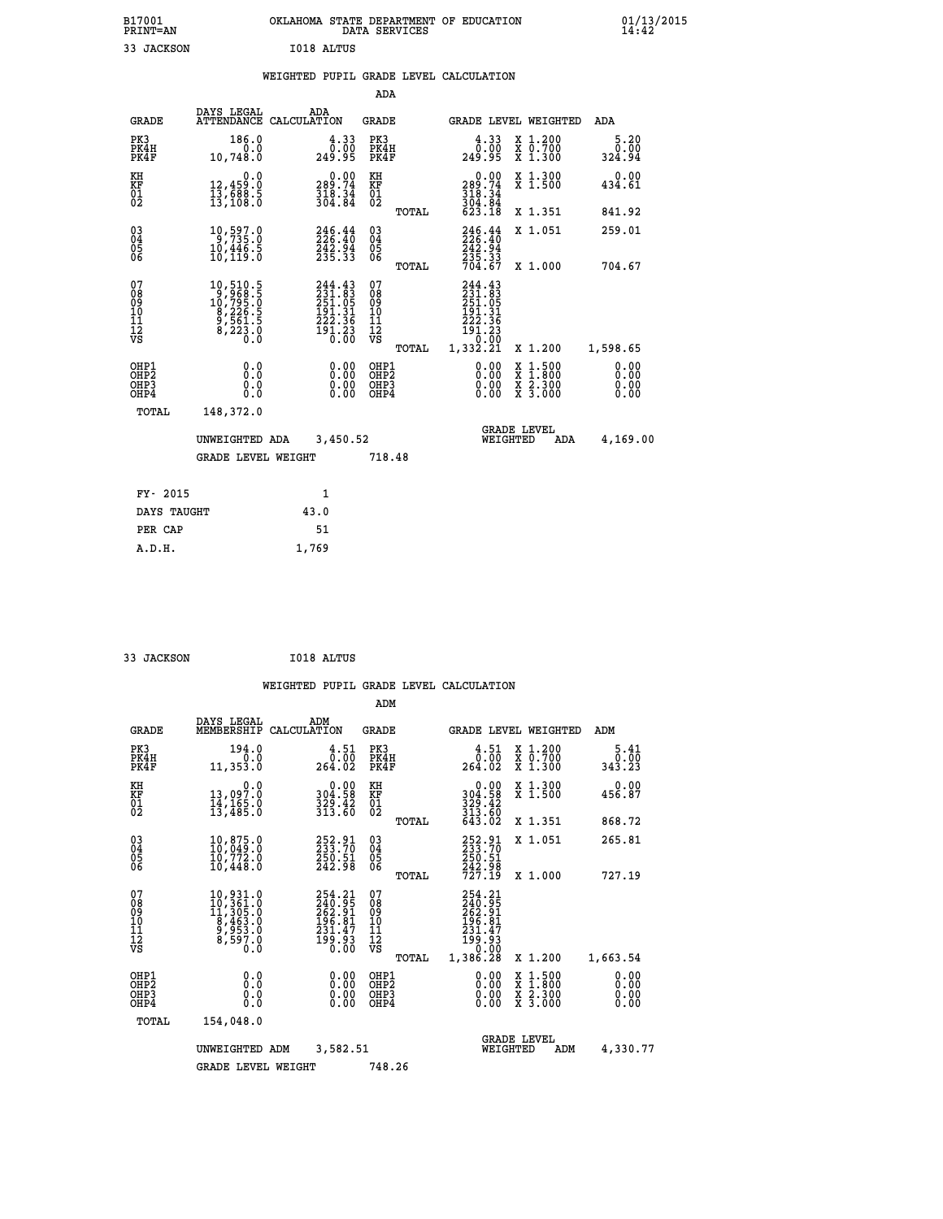| B17001<br>PRINT=AN                                   |                                                                                                                 | OKLAHOMA STATE DEPARTMENT OF EDUCATION                                  | DATA SERVICES                                      |                                                                                  |                                                                                    | 01/13/2015<br>14:42          |  |
|------------------------------------------------------|-----------------------------------------------------------------------------------------------------------------|-------------------------------------------------------------------------|----------------------------------------------------|----------------------------------------------------------------------------------|------------------------------------------------------------------------------------|------------------------------|--|
| 33 JACKSON                                           |                                                                                                                 | I018 ALTUS                                                              |                                                    |                                                                                  |                                                                                    |                              |  |
|                                                      |                                                                                                                 | WEIGHTED PUPIL GRADE LEVEL CALCULATION                                  |                                                    |                                                                                  |                                                                                    |                              |  |
|                                                      |                                                                                                                 |                                                                         | ADA                                                |                                                                                  |                                                                                    |                              |  |
| GRADE                                                | DAYS LEGAL                                                                                                      | ADA<br>ATTENDANCE CALCULATION                                           | GRADE                                              | GRADE LEVEL WEIGHTED                                                             |                                                                                    | ADA                          |  |
| PK3<br>PK4H<br>PK4F                                  | 186.0<br>0.0<br>10,748.0                                                                                        | $\frac{4.33}{0.00}$<br>249.95                                           | PK3<br>PK4H<br>PK4F                                | 4.33<br>0.00<br>249.95                                                           | X 1.200<br>X 0.700<br>X 1.300                                                      | 5.20<br>0.00<br>324.94       |  |
| KH<br>KF<br>$\overline{01}$                          | 0.0<br>12, 459.0<br>$\frac{13}{13}, \frac{68}{108}$ : 5                                                         | $\begin{smallmatrix} 0.00\\ 289.74\\ 318.34\\ 304.84 \end{smallmatrix}$ | KH<br>KF<br>01<br>02                               | $\begin{smallmatrix} &0.00\\ 289.74\\ 318.34\\ 304.84\\ 623.18\end{smallmatrix}$ | X 1.300<br>X 1.500                                                                 | 0.00<br>434.61               |  |
|                                                      |                                                                                                                 |                                                                         | TOTAL                                              |                                                                                  | X 1.351                                                                            | 841.92                       |  |
| $\substack{03 \\ 04}$<br>Ŏ5<br>06                    | 10,597.0<br>10,446.5<br>10,119.0                                                                                | $246.44$<br>$226.40$<br>242.94<br>235.33                                | $\begin{matrix} 03 \\ 04 \\ 05 \\ 06 \end{matrix}$ | 246.44<br>242.94                                                                 | X 1.051                                                                            | 259.01                       |  |
|                                                      |                                                                                                                 |                                                                         | TOTAL                                              | 235.33<br>704.67                                                                 | X 1,000                                                                            | 704.67                       |  |
| 07<br>08<br>09<br>10<br>11<br>12<br>VS               | $\begin{smallmatrix} 10, 510.5\\ 9, 968.5\\ 10, 795.0\\ 8, 226.5\\ 9, 561.5\\ 8, 223.0\\ 0.0 \end{smallmatrix}$ | $244.43231.83251.05191.31222.36191.230.00$                              | 07<br>08<br>09<br>10<br>II<br>12<br>VS<br>TOTAL    | 244.43<br>231.83<br>251.05<br>191.<br>222.36<br>191.23<br>0.00<br>1,332.21       | X 1.200                                                                            | 1,598.65                     |  |
| OHP1<br>OHP <sub>2</sub><br>OH <sub>P3</sub><br>OHP4 | 0.0<br>0.0<br>0.0<br>0.0                                                                                        | 0.00<br>0.00<br>0.00                                                    | OHP1<br>OH <sub>P</sub> 2<br>OHP3<br>OHP4          | 0.00<br>0.00<br>0.00                                                             | $\frac{x}{x}$ $1.500$<br>$\frac{\overline{x}}{\overline{x}}$ $\frac{2.300}{3.000}$ | 0.00<br>0.00<br>0.00<br>0.00 |  |
| TOTAL                                                | 148,372.0                                                                                                       |                                                                         |                                                    |                                                                                  |                                                                                    |                              |  |
|                                                      | UNWEIGHTED ADA                                                                                                  | 3,450.52                                                                |                                                    | <b>GRADE LEVEL</b><br>WEIGHTED                                                   | ADA                                                                                | 4,169.00                     |  |
|                                                      | <b>GRADE LEVEL WEIGHT</b>                                                                                       |                                                                         | 718.48                                             |                                                                                  |                                                                                    |                              |  |
| FY- 2015                                             |                                                                                                                 | 1                                                                       |                                                    |                                                                                  |                                                                                    |                              |  |
| DAYS TAUGHT                                          |                                                                                                                 | 43.0                                                                    |                                                    |                                                                                  |                                                                                    |                              |  |
| PER CAP                                              |                                                                                                                 | 51                                                                      |                                                    |                                                                                  |                                                                                    |                              |  |

```
 33 JACKSON I018 ALTUS
```
 **A.D.H. 1,769**

 **ADM**

| <b>GRADE</b>                                       | DAYS LEGAL                                                                                                                                                                     | ADM<br>MEMBERSHIP CALCULATION                                          | <b>GRADE</b>                                        |       |                                                                             |          | GRADE LEVEL WEIGHTED                                                                             | ADM                           |
|----------------------------------------------------|--------------------------------------------------------------------------------------------------------------------------------------------------------------------------------|------------------------------------------------------------------------|-----------------------------------------------------|-------|-----------------------------------------------------------------------------|----------|--------------------------------------------------------------------------------------------------|-------------------------------|
| PK3<br>PK4H<br>PK4F                                | 194.0<br>0.0<br>11, 353.0                                                                                                                                                      | 4.51<br>0.00<br>264.02                                                 | PK3<br>PK4H<br>PK4F                                 |       | 4.51<br>0.00<br>264.02                                                      |          | X 1.200<br>X 0.700<br>X 1.300                                                                    | 5.41<br>$\frac{0.00}{343.23}$ |
| KH<br>KF<br>01<br>02                               | 0.0<br>13,097:0<br>14,165:0<br>13,485:0                                                                                                                                        | $304.58$<br>$329.42$<br>$313.60$                                       | KH<br>KF<br>01<br>02                                |       | 0.00<br>304:58<br>329:42<br>313:60<br>643:02                                |          | X 1.300<br>X 1.500                                                                               | 0.00<br>456.87                |
|                                                    |                                                                                                                                                                                |                                                                        |                                                     | TOTAL |                                                                             |          | X 1.351                                                                                          | 868.72                        |
| $\begin{matrix} 03 \\ 04 \\ 05 \\ 06 \end{matrix}$ | $\begin{smallmatrix} 10, 875.0\\ 10, 049.0\\ 10, 772.0\\ 10, 448.0 \end{smallmatrix}$                                                                                          | 252.91<br>233.70<br>250.51<br>242.98                                   | $\begin{array}{c} 03 \\ 04 \\ 05 \\ 06 \end{array}$ |       | 252.91<br>233.70<br>250.51<br>242.98<br>727.19                              |          | X 1.051                                                                                          | 265.81                        |
|                                                    |                                                                                                                                                                                |                                                                        |                                                     | TOTAL |                                                                             |          | X 1.000                                                                                          | 727.19                        |
| 07<br>08<br>09<br>101<br>11<br>12<br>VS            | $\begin{smallmatrix} 10\,, & 931\cdot 0\\ 10\,, & 361\cdot 0\\ 11\,, & 305\cdot 0\\ 8\,, & 463\cdot 0\\ 9\,, & 953\cdot 0\\ 8\,, & 597\cdot 0\\ 0\,. & 0\,. \end{smallmatrix}$ | 254.21<br>$\frac{740.95}{262.91}$<br>196.81<br>$\frac{231.47}{199.93}$ | 07<br>08<br>09<br>001<br>11<br>11<br>12<br>VS       |       | 254.21<br>240.95<br>262.91<br>195.81<br>$\frac{231.47}{199.93}$<br>1,386.28 |          | X 1.200                                                                                          |                               |
|                                                    |                                                                                                                                                                                |                                                                        |                                                     | TOTAL |                                                                             |          |                                                                                                  | 1,663.54                      |
| OHP1<br>OHP <sub>2</sub><br>OHP3<br>OHP4           | 0.0<br>0.000                                                                                                                                                                   | $0.00$<br>$0.00$<br>0.00                                               | OHP1<br>OHP2<br>OHP3<br>OHP4                        |       |                                                                             |          | $\begin{smallmatrix} x & 1 & 500 \\ x & 1 & 800 \\ x & 2 & 300 \\ x & 3 & 000 \end{smallmatrix}$ | 0.00<br>0.00<br>0.00<br>0.00  |
| TOTAL                                              | 154,048.0                                                                                                                                                                      |                                                                        |                                                     |       |                                                                             |          |                                                                                                  |                               |
|                                                    | UNWEIGHTED                                                                                                                                                                     | 3,582.51<br>ADM                                                        |                                                     |       |                                                                             | WEIGHTED | <b>GRADE LEVEL</b><br>ADM                                                                        | 4,330.77                      |
|                                                    | <b>GRADE LEVEL WEIGHT</b>                                                                                                                                                      |                                                                        | 748.26                                              |       |                                                                             |          |                                                                                                  |                               |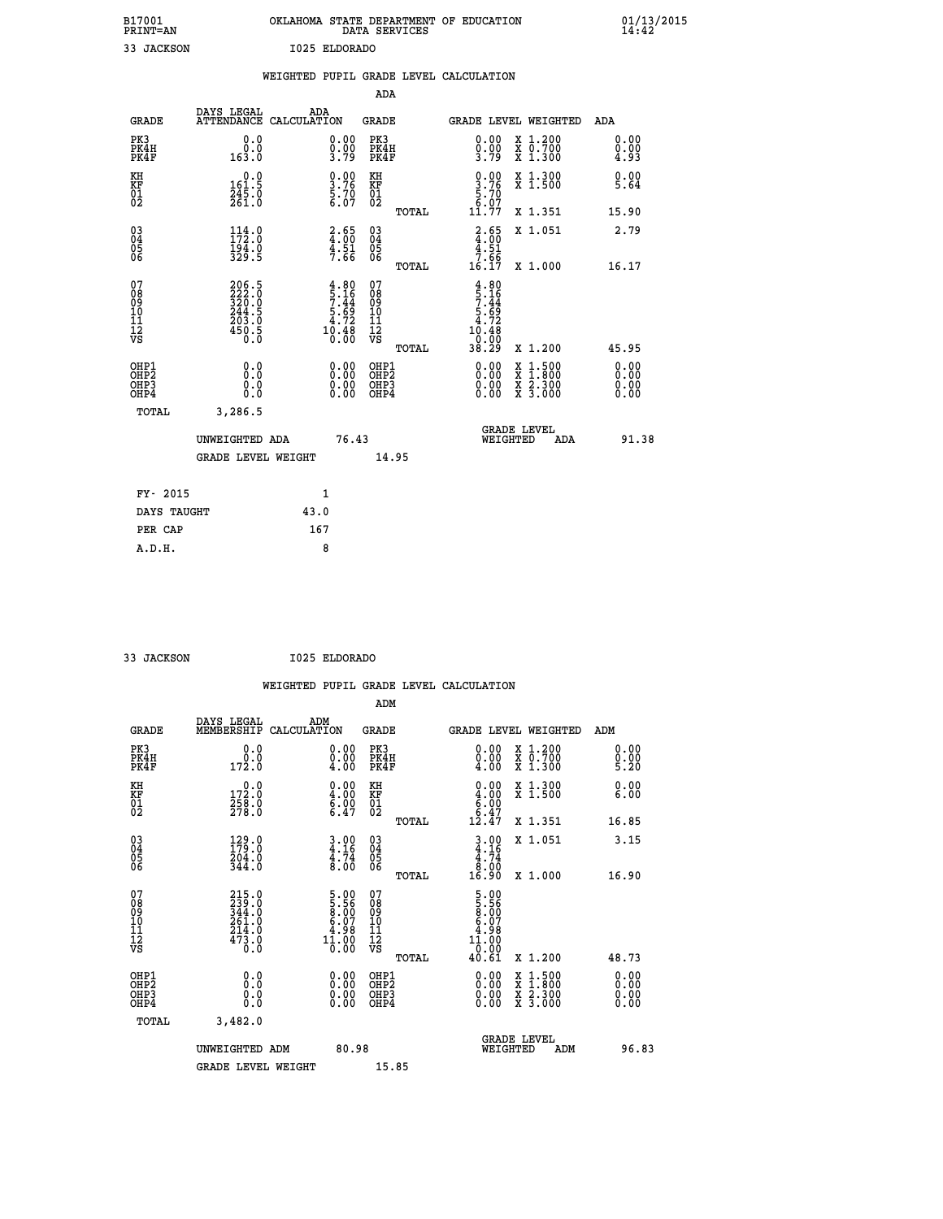| B17001<br>PRINT=AN | OKLAHOMA STATE DEPARTMENT OF EDUCATION<br>DATA SERVICES | $01/13/2015$<br>14:42 |
|--------------------|---------------------------------------------------------|-----------------------|
| 33 JACKSON         | I025 ELDORADO                                           |                       |
|                    | WEIGHTED PUPIL GRADE LEVEL CALCULATION                  |                       |

|                                                      |                                                    |                                                                      | ADA                                                  |       |                                                             |                                                                                                                                           |                              |
|------------------------------------------------------|----------------------------------------------------|----------------------------------------------------------------------|------------------------------------------------------|-------|-------------------------------------------------------------|-------------------------------------------------------------------------------------------------------------------------------------------|------------------------------|
| <b>GRADE</b>                                         | DAYS LEGAL                                         | ADA<br>ATTENDANCE CALCULATION                                        | <b>GRADE</b>                                         |       |                                                             | GRADE LEVEL WEIGHTED                                                                                                                      | ADA                          |
| PK3<br>PK4H<br>PK4F                                  | 0.0<br>0.0<br>163.0                                | $\begin{smallmatrix} 0.00\\ 0.00\\ 3.79 \end{smallmatrix}$           | PK3<br>PK4H<br>PK4F                                  |       | 0.00<br>$\frac{0.00}{3.79}$                                 | X 1.200<br>X 0.700<br>X 1.300                                                                                                             | 0.00<br>0.00<br>4.93         |
| KH<br>KF<br>01<br>02                                 | $0.0$<br>161.5<br>$\frac{245.0}{261.0}$            | $\frac{0.00}{3.76}$<br>5.70<br>6.07                                  | KH<br>KF<br>01<br>02                                 |       | $\begin{array}{c} 0.00 \\ 3.76 \\ 5.70 \\ 6.07 \end{array}$ | X 1.300<br>X 1.500                                                                                                                        | 0.00<br>5.64                 |
|                                                      |                                                    |                                                                      |                                                      | TOTAL | 11.77                                                       | X 1.351                                                                                                                                   | 15.90                        |
| $\begin{matrix} 03 \\ 04 \\ 05 \\ 06 \end{matrix}$   | $114.0$<br>$172.0$<br>$\frac{194.0}{329.5}$        | $\frac{2.65}{4.51}$<br>$\frac{4.51}{7.66}$                           | 03<br>04<br>05<br>06                                 |       | $2.65$<br>$4.51$<br>$7.51$                                  | X 1.051                                                                                                                                   | 2.79                         |
|                                                      |                                                    |                                                                      |                                                      | TOTAL | 16.17                                                       | X 1.000                                                                                                                                   | 16.17                        |
| 07<br>08<br>09<br>10<br>11<br>11<br>12<br>VS         | 206.5<br>222.0<br>320.0<br>344.5<br>203.0<br>450.5 | $4.80$<br>$5.16$<br>$7.44$<br>$5.69$<br>$4.72$<br>$10.480$<br>$0.00$ | 07<br>08<br>09<br>001<br>11<br>11<br>12<br>VS        |       | $4.80$<br>$5.16$<br>$7.44$<br>$5.69$<br>$4.72$<br>10.48     |                                                                                                                                           |                              |
|                                                      |                                                    |                                                                      |                                                      | TOTAL | -0:00<br>38.29                                              | X 1.200                                                                                                                                   | 45.95                        |
| OHP1<br>OHP <sub>2</sub><br>OHP3<br>OH <sub>P4</sub> | 0.0<br>0.000                                       | $\begin{smallmatrix} 0.00 \ 0.00 \ 0.00 \ 0.00 \end{smallmatrix}$    | OHP1<br>OHP2<br>OHP <sub>3</sub><br>OHP <sub>4</sub> |       | 0.00<br>0.00                                                | $\begin{smallmatrix} \mathtt{X} & 1\cdot500\\ \mathtt{X} & 1\cdot800\\ \mathtt{X} & 2\cdot300\\ \mathtt{X} & 3\cdot000 \end{smallmatrix}$ | 0.00<br>0.00<br>0.00<br>0.00 |
| TOTAL                                                | 3,286.5                                            |                                                                      |                                                      |       |                                                             |                                                                                                                                           |                              |
|                                                      | UNWEIGHTED ADA                                     | 76.43                                                                |                                                      |       |                                                             | GRADE LEVEL<br>WEIGHTED<br>ADA                                                                                                            | 91.38                        |
|                                                      | <b>GRADE LEVEL WEIGHT</b>                          |                                                                      | 14.95                                                |       |                                                             |                                                                                                                                           |                              |
| FY- 2015                                             |                                                    | 1                                                                    |                                                      |       |                                                             |                                                                                                                                           |                              |
| DAYS TAUGHT                                          |                                                    | 43.0                                                                 |                                                      |       |                                                             |                                                                                                                                           |                              |
| PER CAP                                              |                                                    | 167                                                                  |                                                      |       |                                                             |                                                                                                                                           |                              |

 **33 JACKSON I025 ELDORADO**

|                                                    |                                                                       |                    |                                                                                         |                              |       | WEIGHTED PUPIL GRADE LEVEL CALCULATION                                                                                                |                                                                                                  |                      |       |
|----------------------------------------------------|-----------------------------------------------------------------------|--------------------|-----------------------------------------------------------------------------------------|------------------------------|-------|---------------------------------------------------------------------------------------------------------------------------------------|--------------------------------------------------------------------------------------------------|----------------------|-------|
|                                                    |                                                                       |                    |                                                                                         | ADM                          |       |                                                                                                                                       |                                                                                                  |                      |       |
| <b>GRADE</b>                                       | DAYS LEGAL<br>MEMBERSHIP                                              | ADM<br>CALCULATION |                                                                                         | <b>GRADE</b>                 |       | <b>GRADE LEVEL WEIGHTED</b>                                                                                                           |                                                                                                  | ADM                  |       |
| PK3<br>PK4H<br>PK4F                                | 0.0<br>$0.0$<br>172.0                                                 |                    | 0.00<br>$\begin{smallmatrix} 0.00 & 0 \ 4.00 & \end{smallmatrix}$                       | PK3<br>PK4H<br>PK4F          |       | $\begin{smallmatrix} 0.00 \\ 0.00 \\ 4.00 \end{smallmatrix}$                                                                          | X 1.200<br>X 0.700<br>X 1.300                                                                    | 0.00<br>0.00<br>5.20 |       |
| KH<br>KF<br>01<br>02                               | $\begin{smallmatrix} 0.0\\ 172.0\\ 258.0\\ 278.0 \end{smallmatrix}$   |                    | $\begin{smallmatrix} 0.00\ 4.00\ 6.00\ 6.47 \end{smallmatrix}$                          | KH<br>KF<br>01<br>02         |       | $\begin{smallmatrix} 0.00\\ 4.00\\ 6.00\\ 6.47\\ 12.47 \end{smallmatrix}$                                                             | X 1.300<br>X 1.500                                                                               | 0.00<br>6.00         |       |
|                                                    |                                                                       |                    |                                                                                         |                              | TOTAL |                                                                                                                                       | X 1.351                                                                                          | 16.85                |       |
| $\begin{matrix} 03 \\ 04 \\ 05 \\ 06 \end{matrix}$ | $\begin{smallmatrix} 129.0\\ 179.0\\ 204.0\\ 344.0 \end{smallmatrix}$ |                    | $3.00$<br>$4.16$<br>$4.74$<br>$8.00$                                                    | $^{03}_{04}$<br>05<br>06     |       | $3.00$<br>$4.16$<br>$4.74$<br>$8.00$                                                                                                  | X 1.051                                                                                          | 3.15                 |       |
|                                                    |                                                                       |                    |                                                                                         |                              | TOTAL | 16.90                                                                                                                                 | X 1.000                                                                                          | 16.90                |       |
| 07<br>0890112<br>1112<br>VS                        | $215.0$<br>$239.0$<br>$344.0$<br>$261.0$<br>$214.0$<br>$473.0$<br>0.0 |                    | $\begin{smallmatrix} 5.00\\ 5.56\\ 8.00\\ 6.07\\ 4.98\\ 11.00\\ 0.00 \end{smallmatrix}$ | 07<br>08901123<br>1112<br>VS | TOTAL | $\begin{array}{c} 5\cdot 00 \\ 5\cdot 56 \\ 8\cdot 00 \\ 6\cdot 07 \\ 4\cdot 98 \\ 11\cdot 00 \\ 0\cdot 00 \\ 40\cdot 61 \end{array}$ | $X_1.200$                                                                                        | 48.73                |       |
| OHP1<br>OHP2<br>OH <sub>P3</sub><br>OHP4           | 0.0<br>0.000                                                          |                    | $\begin{smallmatrix} 0.00 \ 0.00 \ 0.00 \ 0.00 \end{smallmatrix}$                       | OHP1<br>OHP2<br>OHP3<br>OHP4 |       |                                                                                                                                       | $\begin{smallmatrix} x & 1 & 500 \\ x & 1 & 800 \\ x & 2 & 300 \\ x & 3 & 000 \end{smallmatrix}$ | 0.00<br>0.00<br>0.00 |       |
| TOTAL                                              | 3,482.0                                                               |                    |                                                                                         |                              |       |                                                                                                                                       |                                                                                                  |                      |       |
|                                                    | UNWEIGHTED ADM                                                        |                    | 80.98                                                                                   |                              |       | <b>GRADE LEVEL</b><br>WEIGHTED                                                                                                        | ADM                                                                                              |                      | 96.83 |
|                                                    | <b>GRADE LEVEL WEIGHT</b>                                             |                    |                                                                                         | 15.85                        |       |                                                                                                                                       |                                                                                                  |                      |       |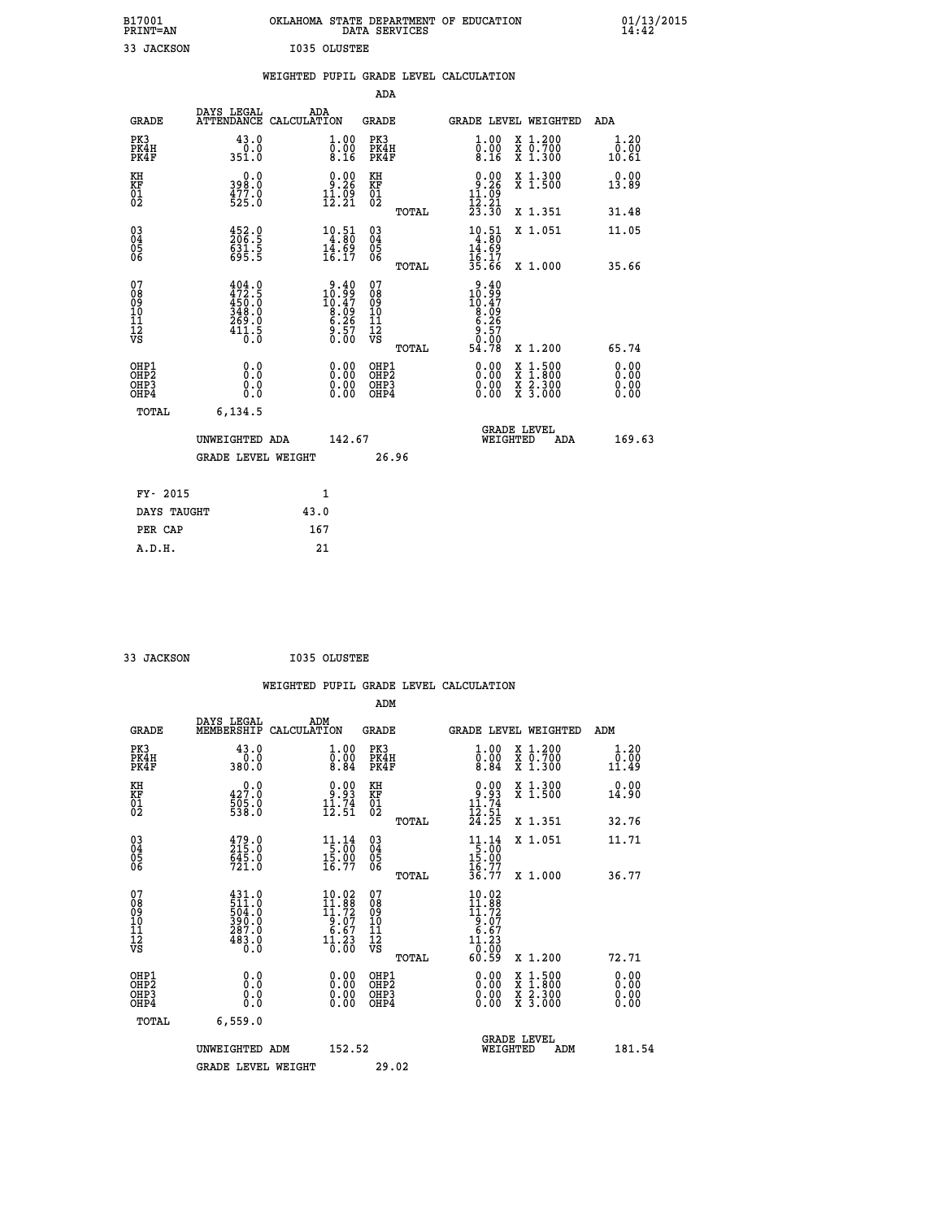| B17001<br><b>PRINT=AN</b> | OKLAHOMA<br>. STATE DEPARTMENT OF EDUCATION<br>DATA SERVICES | 01/13/2015<br>14:42 |
|---------------------------|--------------------------------------------------------------|---------------------|
| 33<br>JACKSON             | <b>I035 OLUSTEE</b>                                          |                     |

|                                                                    |                                                                                                                                                              | WEIGHTED PUPIL GRADE LEVEL CALCULATION                                                   |                                        |       |                                                                                                |                                                                                          |                              |
|--------------------------------------------------------------------|--------------------------------------------------------------------------------------------------------------------------------------------------------------|------------------------------------------------------------------------------------------|----------------------------------------|-------|------------------------------------------------------------------------------------------------|------------------------------------------------------------------------------------------|------------------------------|
|                                                                    |                                                                                                                                                              |                                                                                          | <b>ADA</b>                             |       |                                                                                                |                                                                                          |                              |
| <b>GRADE</b>                                                       | DAYS LEGAL                                                                                                                                                   | ADA<br>ATTENDANCE CALCULATION                                                            | GRADE                                  |       |                                                                                                | GRADE LEVEL WEIGHTED                                                                     | ADA                          |
| PK3<br>PK4H<br>PK4F                                                | 43.0<br>$0.0$<br>351.0                                                                                                                                       | $\begin{smallmatrix} 1.00\ 0.00\ 8.16 \end{smallmatrix}$                                 | PK3<br>PK4H<br>PK4F                    |       | 1.00<br>$\overline{0}$ .00<br>8.16                                                             | X 1.200<br>X 0.700<br>X 1.300                                                            | 1.20<br>0.00<br>10.61        |
| KH<br>KF<br>01<br>02                                               | 0.0<br>398.0<br>$\frac{477.0}{525.0}$                                                                                                                        | $\begin{smallmatrix} 0.00\\ 9.26\\ 11.09\\ 12.21 \end{smallmatrix}$                      | KH<br>KF<br>01<br>02                   |       | $\begin{array}{c} 0.00 \\ 9.26 \\ 11.09 \\ 12.21 \\ 23.30 \end{array}$                         | X 1.300<br>X 1.500                                                                       | 0.00<br>13.89                |
|                                                                    |                                                                                                                                                              |                                                                                          |                                        | TOTAL |                                                                                                | X 1.351                                                                                  | 31.48                        |
| $\begin{smallmatrix} 03 \\[-4pt] 04 \end{smallmatrix}$<br>05<br>06 | 452.0<br>206.5<br>631.5<br>695.5                                                                                                                             | $\begin{array}{r} 10.51 \\ 4.80 \\ 14.69 \\ 16.17 \end{array}$                           | $\substack{03 \\ 04}$<br>05<br>06      |       | $\begin{array}{r} 10.51 \\ 4.80 \\ 14.69 \\ 16.17 \\ 35.66 \end{array}$                        | X 1.051                                                                                  | 11.05                        |
|                                                                    |                                                                                                                                                              |                                                                                          |                                        | TOTAL |                                                                                                | X 1.000                                                                                  | 35.66                        |
| 07<br>08<br>09<br>11<br>11<br>12<br>VS                             | $\begin{smallmatrix} 4\,0\,4\cdot\,0\\ 4\,7\,2\cdot\,5\\ 4\,5\,0\cdot\,0\\ 3\,4\,8\cdot\,0\\ 2\,6\,9\cdot\,0\\ 4\,1\,1\cdot\,5\\ 0\cdot\,0\end{smallmatrix}$ | $\begin{smallmatrix} 9.40\\ 10.99\\ 10.47\\ 8.09\\ 6.26\\ 9.57\\ 0.00 \end{smallmatrix}$ | 07<br>08<br>09<br>11<br>11<br>12<br>VS | TOTAL | $\begin{array}{c} 9.40 \\ 10.99 \\ 10.47 \\ 8.09 \\ 6.26 \\ 9.57 \\ 9.90 \end{array}$<br>54.78 | X 1.200                                                                                  | 65.74                        |
| OHP1<br>OHP2<br>OH <sub>P3</sub><br>OHP4                           | 0.0<br>0.0<br>0.0                                                                                                                                            | $\begin{smallmatrix} 0.00 \ 0.00 \ 0.00 \ 0.00 \end{smallmatrix}$                        | OHP1<br>OHP2<br>OHP3<br>OHP4           |       | 0.00<br>0.00<br>0.00                                                                           | $\begin{smallmatrix} x & 1.500 \\ x & 1.800 \\ x & 2.300 \\ x & 3.000 \end{smallmatrix}$ | 0.00<br>0.00<br>0.00<br>0.00 |
| TOTAL                                                              | 6,134.5                                                                                                                                                      |                                                                                          |                                        |       |                                                                                                |                                                                                          |                              |
|                                                                    | UNWEIGHTED ADA                                                                                                                                               | 142.67                                                                                   |                                        |       | WEIGHTED                                                                                       | <b>GRADE LEVEL</b><br>ADA                                                                | 169.63                       |
|                                                                    | <b>GRADE LEVEL WEIGHT</b>                                                                                                                                    |                                                                                          |                                        | 26.96 |                                                                                                |                                                                                          |                              |
| FY- 2015                                                           |                                                                                                                                                              | $\mathbf{1}$                                                                             |                                        |       |                                                                                                |                                                                                          |                              |
| DAYS TAUGHT                                                        |                                                                                                                                                              | 43.0                                                                                     |                                        |       |                                                                                                |                                                                                          |                              |
| PER CAP                                                            |                                                                                                                                                              | 167                                                                                      |                                        |       |                                                                                                |                                                                                          |                              |

| וארא בארגד. רב |
|----------------|

 **33 JACKSON I035 OLUSTEE**

|                                                      |                                                           |                    |                                                                                                                               |                                                     |       | WEIGHTED PUPIL GRADE LEVEL CALCULATION                       |                                          |                       |  |
|------------------------------------------------------|-----------------------------------------------------------|--------------------|-------------------------------------------------------------------------------------------------------------------------------|-----------------------------------------------------|-------|--------------------------------------------------------------|------------------------------------------|-----------------------|--|
|                                                      |                                                           |                    |                                                                                                                               | ADM                                                 |       |                                                              |                                          |                       |  |
| <b>GRADE</b>                                         | DAYS LEGAL<br>MEMBERSHIP                                  | ADM<br>CALCULATION |                                                                                                                               | <b>GRADE</b>                                        |       | GRADE LEVEL WEIGHTED                                         |                                          | ADM                   |  |
| PK3<br>PK4H<br>PK4F                                  | 43.0<br>$0.0$ 380.0                                       |                    | 1.00<br>$\overline{0}\cdot\overline{0}\overline{0}\overline{4}$                                                               | PK3<br>PK4H<br>PK4F                                 |       | $\begin{smallmatrix} 1.00 \\ 0.00 \\ 8.84 \end{smallmatrix}$ | X 1.200<br>X 0.700<br>X 1.300            | 1.20<br>0.00<br>11.49 |  |
| KH<br>KF<br>01<br>02                                 | 427.0<br>$\frac{505.0}{538.0}$                            |                    | $\begin{smallmatrix} 0.00\\ 9.93\\ 11.74\\ 12.51 \end{smallmatrix}$                                                           | KH<br>KF<br>01<br>02                                |       | $0.93$<br>$11.74$<br>$12.51$<br>$24.25$                      | X 1.300<br>X 1.500                       | 0.00<br>14.90         |  |
|                                                      |                                                           |                    |                                                                                                                               |                                                     | TOTAL |                                                              | X 1.351                                  | 32.76                 |  |
| $\begin{matrix} 03 \\ 04 \\ 05 \\ 06 \end{matrix}$   | 479.0<br>215.0<br>645.0<br>721.0                          |                    | $\begin{array}{r} 11 \cdot 14 \\[-4pt] 5 \cdot 00 \\[-4pt] 15 \cdot 90 \\[-4pt] 16 \cdot 77 \end{array}$                      | $\begin{array}{c} 03 \\ 04 \\ 05 \\ 06 \end{array}$ |       | 11.14<br>$\frac{15:60}{15:90}$<br>15.92                      | X 1.051                                  | 11.71                 |  |
|                                                      |                                                           |                    |                                                                                                                               |                                                     | TOTAL | 36.77                                                        | X 1.000                                  | 36.77                 |  |
| 07<br>0890112<br>1112<br>VS                          | 431.0<br>511.0<br>504.0<br>390.0<br>287.0<br>483.0<br>0.0 |                    | $\begin{smallmatrix} 10.02\\11.88\\11.72 \end{smallmatrix}$<br>$\begin{array}{r} 16.67 \\ -6.67 \\ 11.23 \\ 0.00 \end{array}$ | 07<br>08901112<br>1112<br>VS                        | TOTAL | 60.59                                                        | X 1.200                                  | 72.71                 |  |
| OHP1<br>OHP <sub>2</sub><br>OH <sub>P3</sub><br>OHP4 | 0.0<br>0.000                                              |                    | $0.00$<br>$0.00$<br>0.00                                                                                                      | OHP1<br>OHP <sub>2</sub><br>OHP <sub>3</sub>        |       | 0.00<br>0.00<br>0.00                                         | X 1:500<br>X 1:800<br>X 2:300<br>X 3:000 | 0.00<br>0.00<br>0.00  |  |
| TOTAL                                                | 6,559.0                                                   |                    |                                                                                                                               |                                                     |       |                                                              |                                          |                       |  |
|                                                      | UNWEIGHTED ADM                                            |                    | 152.52                                                                                                                        |                                                     |       | WEIGHTED                                                     | <b>GRADE LEVEL</b><br>ADM                | 181.54                |  |
|                                                      | <b>GRADE LEVEL WEIGHT</b>                                 |                    |                                                                                                                               | 29.02                                               |       |                                                              |                                          |                       |  |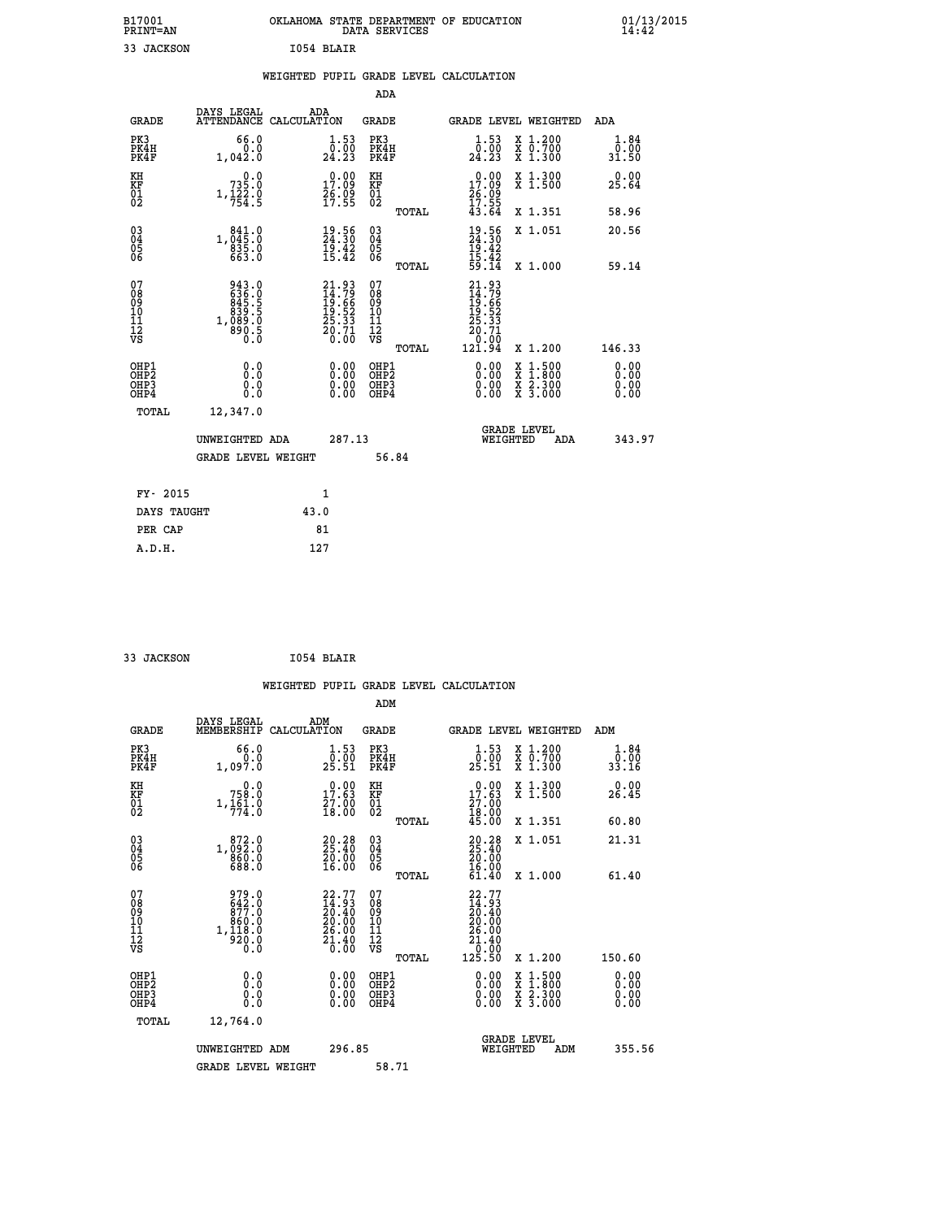| B17001<br>PRINT=AN                       |                                                           | OKLAHOMA STATE DEPARTMENT OF EDUCATION<br>DATA SERVICES               |                                                    |                                                                                                   |                                                                                          | $01/13/2015$<br>14:42 |  |
|------------------------------------------|-----------------------------------------------------------|-----------------------------------------------------------------------|----------------------------------------------------|---------------------------------------------------------------------------------------------------|------------------------------------------------------------------------------------------|-----------------------|--|
| 33 JACKSON                               |                                                           | I054 BLAIR                                                            |                                                    |                                                                                                   |                                                                                          |                       |  |
|                                          |                                                           | WEIGHTED PUPIL GRADE LEVEL CALCULATION                                |                                                    |                                                                                                   |                                                                                          |                       |  |
|                                          |                                                           |                                                                       | ADA                                                |                                                                                                   |                                                                                          |                       |  |
| <b>GRADE</b>                             |                                                           | DAYS LEGAL ADA ATTENDANCE CALCULATION                                 | GRADE                                              | <b>GRADE LEVEL WEIGHTED</b>                                                                       |                                                                                          | ADA                   |  |
| PK3<br>PK4H<br>PK4F                      | 66.0<br>0.0<br>1.042.0                                    | 1.53<br>$\frac{\bar{0} \cdot \bar{0} \bar{0}}{24.23}$                 | PK3<br>PK4H<br>PK4F                                | $\frac{1}{0}$ : 53<br>24.23                                                                       | X 1.200<br>X 0.700<br>X 1.300                                                            | 1.84<br>0.00<br>31.50 |  |
| KH<br>KF<br>01<br>02                     | 0.0<br>$735.0$<br>1, $122.0$<br>754.5                     | 17.09<br>$\frac{26.09}{17.55}$                                        | KH<br>KF<br>01<br>02                               | 17.09<br>26:09<br>17:55                                                                           | X 1.300<br>X 1.500                                                                       | 0.00<br>25.64         |  |
|                                          |                                                           |                                                                       | TOTAL                                              | 43.64                                                                                             | X 1.351                                                                                  | 58.96                 |  |
| 03<br>04<br>05<br>06                     | $\substack{841.0 \\ 045.0 \\ 835.0 \\ 663.0}$             | $\begin{smallmatrix} 19.56\\ 24.30\\ 19.42\\ 15.42 \end{smallmatrix}$ | $\begin{matrix} 03 \\ 04 \\ 05 \\ 06 \end{matrix}$ | 19.56<br>24.30<br>19.42<br>15.42<br>59.14                                                         | X 1.051                                                                                  | 20.56                 |  |
|                                          |                                                           |                                                                       | TOTAL                                              |                                                                                                   | X 1.000                                                                                  | 59.14                 |  |
| 07<br>08<br>09<br>10<br>11<br>12<br>VS   | 943.0<br>636.0<br>645.5<br>845.5<br>890.5<br>890.5<br>0.0 | 21.93<br>14.79<br>19.66<br>19.52<br>25.33<br>20.71<br>20.00           | 0789011128<br>TOTAL                                | $\begin{smallmatrix} 21.93\ 14.79\ 19.66\ 19.523\ 25.331\ 20.71\ 0.00\ 121.94\ \end{smallmatrix}$ | X 1.200                                                                                  | 146.33                |  |
|                                          |                                                           |                                                                       |                                                    |                                                                                                   |                                                                                          | 0.00                  |  |
| OHP1<br>OHP2<br>OH <sub>P3</sub><br>OHP4 | 0.0<br>0.0<br>0.0                                         | 0.00<br>0.00<br>0.00                                                  | OHP1<br>OHP2<br>OHP3<br>OHP4                       | 0.00<br>0.00<br>0.00                                                                              | $\begin{smallmatrix} x & 1.500 \\ x & 1.800 \\ x & 2.300 \\ x & 3.000 \end{smallmatrix}$ | Ō. ŌŌ<br>0.00<br>0.00 |  |
| TOTAL                                    | 12,347.0                                                  |                                                                       |                                                    |                                                                                                   |                                                                                          |                       |  |
|                                          | UNWEIGHTED ADA                                            | 287.13                                                                |                                                    | WEIGHTED                                                                                          | <b>GRADE LEVEL</b><br>ADA                                                                | 343.97                |  |
|                                          | <b>GRADE LEVEL WEIGHT</b>                                 |                                                                       | 56.84                                              |                                                                                                   |                                                                                          |                       |  |

| FY- 2015    | 1    |
|-------------|------|
| DAYS TAUGHT | 43.0 |
| PER CAP     | 81   |
| A.D.H.      | 127  |
|             |      |

```
 33 JACKSON I054 BLAIR
```

|                                                      |                                                                                               |                                                                             |              |                                              |       | WEIGHTED PUPIL GRADE LEVEL CALCULATION                                                                                    |                                                                                                                     |                               |  |
|------------------------------------------------------|-----------------------------------------------------------------------------------------------|-----------------------------------------------------------------------------|--------------|----------------------------------------------|-------|---------------------------------------------------------------------------------------------------------------------------|---------------------------------------------------------------------------------------------------------------------|-------------------------------|--|
|                                                      |                                                                                               |                                                                             |              | ADM                                          |       |                                                                                                                           |                                                                                                                     |                               |  |
| <b>GRADE</b>                                         | DAYS LEGAL<br>MEMBERSHIP                                                                      | ADM<br>CALCULATION                                                          |              | <b>GRADE</b>                                 |       | GRADE LEVEL WEIGHTED                                                                                                      |                                                                                                                     | ADM                           |  |
| PK3<br>PK4H<br>PK4F                                  | 66.0<br>0.0<br>1,097.0                                                                        | $\frac{1}{0}$ : 53<br>25.51                                                 |              | PK3<br>PK4H<br>PK4F                          |       | $\frac{1}{0}$ : 53<br>25.51                                                                                               | X 1.200<br>X 0.700<br>X 1.300                                                                                       | 1.84<br>0.00<br>33.16         |  |
| KH<br>KF<br>01<br>02                                 | 0.0<br>758.0<br>$1, \frac{1}{7}$ $\frac{6}{1}$ $\cdot \frac{0}{0}$                            | $\begin{smallmatrix} 0.00\\ 17.63\\ 27.00\\ 18.00 \end{smallmatrix}$        |              | KH<br>KF<br>01<br>02                         |       | $\begin{smallmatrix} 0.00\\ 17.63\\ 27.00\\ 18.00\\ 45.00 \end{smallmatrix}$                                              | X 1.300<br>X 1.500                                                                                                  | 0.00<br>26.45                 |  |
|                                                      |                                                                                               |                                                                             |              |                                              | TOTAL |                                                                                                                           | X 1.351                                                                                                             | 60.80                         |  |
| $\begin{matrix} 03 \\ 04 \\ 05 \\ 06 \end{matrix}$   | 1,092:0<br>$860.0$<br>688.0                                                                   | $\begin{smallmatrix} 20.28\\ 25.40\\ 20.00\\ 16.00 \end{smallmatrix}$       |              | 03<br>04<br>05<br>06                         |       | $20.28$<br>$25.40$<br>$20.00$<br>16.00                                                                                    | X 1.051                                                                                                             | 21.31                         |  |
| 07                                                   |                                                                                               |                                                                             |              | 07                                           | TOTAL | 61.40                                                                                                                     | X 1.000                                                                                                             | 61.40                         |  |
| 0890112<br>1112<br>VS                                | $\begin{smallmatrix} 979.0\\ 642.0\\ 877.0\\ 860.0\\ 1,118.0\\ 920.0\\ 0.0 \end{smallmatrix}$ | $22.77$<br>$14.93$<br>$20.40$<br>$20.00$<br>$26.00$<br>$\frac{51.40}{0.00}$ |              | 08<br>09<br>11<br>11<br>12<br>VS             |       | $\begin{smallmatrix} 22\cdot77\14\cdot93\20\cdot40\20\cdot00\026\cdot00\011\cdot40\0\cdot00\0125\cdot50\end{smallmatrix}$ |                                                                                                                     |                               |  |
|                                                      |                                                                                               |                                                                             |              |                                              | TOTAL |                                                                                                                           | X 1.200                                                                                                             | 150.60                        |  |
| OHP1<br>OHP <sub>2</sub><br>OH <sub>P3</sub><br>OHP4 | 0.0<br>0.000                                                                                  | 0.00                                                                        | 0.00<br>0.00 | OHP1<br>OHP <sub>2</sub><br>OHP <sub>3</sub> |       | 0.00<br>0.00<br>0.00                                                                                                      | $\begin{array}{l} \mathtt{X} & 1.500 \\ \mathtt{X} & 1.800 \\ \mathtt{X} & 2.300 \\ \mathtt{X} & 3.000 \end{array}$ | 0.00<br>Ō. ŌŌ<br>0.00<br>0.00 |  |
| TOTAL                                                | 12,764.0                                                                                      |                                                                             |              |                                              |       |                                                                                                                           |                                                                                                                     |                               |  |
|                                                      | UNWEIGHTED ADM                                                                                |                                                                             | 296.85       |                                              |       | WEIGHTED                                                                                                                  | <b>GRADE LEVEL</b><br>ADM                                                                                           | 355.56                        |  |
|                                                      | <b>GRADE LEVEL WEIGHT</b>                                                                     |                                                                             |              | 58.71                                        |       |                                                                                                                           |                                                                                                                     |                               |  |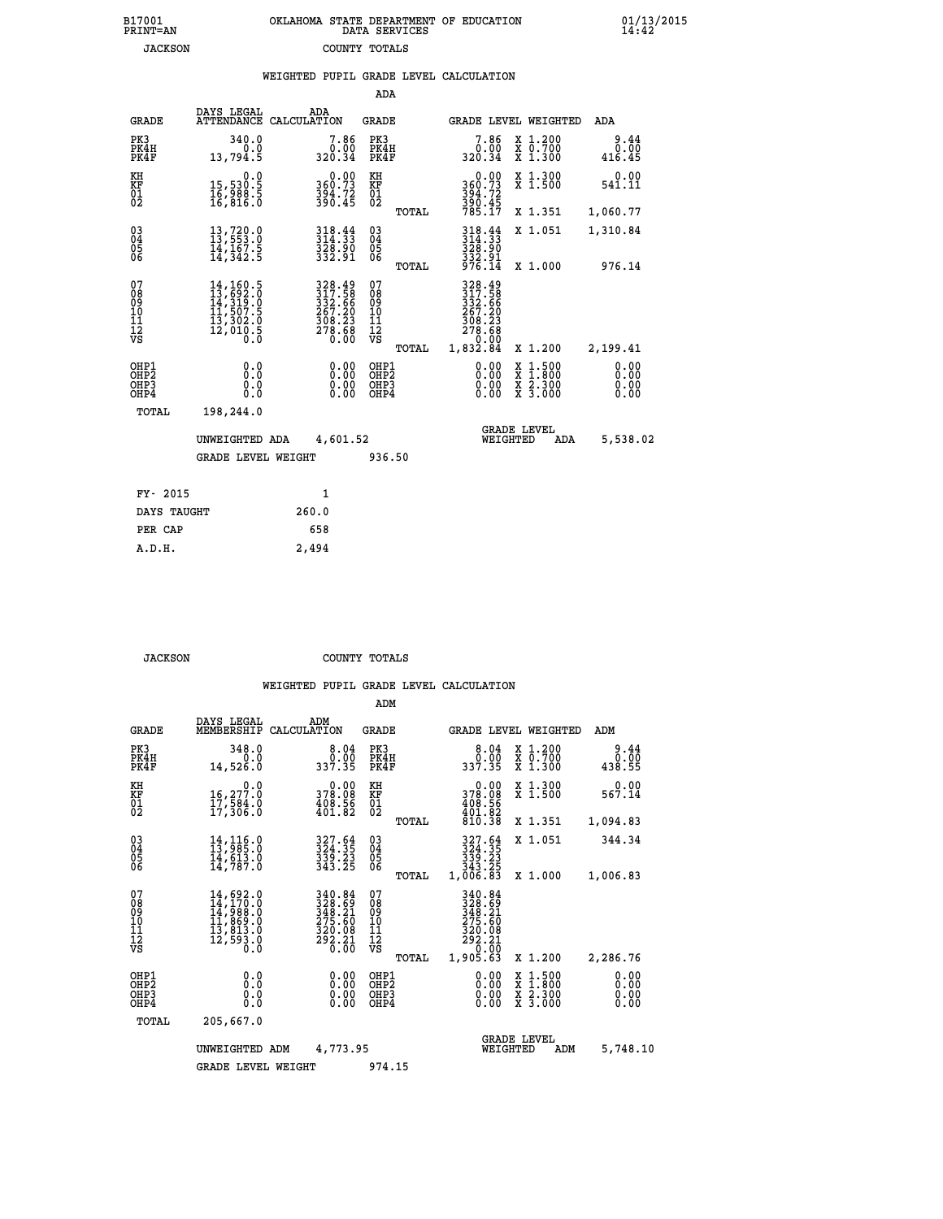| B17001<br><b>PRINT=AN</b> | OKLAHOMA STATE DEPARTMENT OF EDUCATION<br>DATA SERVICES | 01/13/2015 |
|---------------------------|---------------------------------------------------------|------------|
| JACKSON                   | COUNTY TOTALS                                           |            |

|                                                       |                                                                                                                                                       |                                                                              |                                           | WEIGHTED PUPIL GRADE LEVEL CALCULATION                           |                                                                                                                                      |                              |
|-------------------------------------------------------|-------------------------------------------------------------------------------------------------------------------------------------------------------|------------------------------------------------------------------------------|-------------------------------------------|------------------------------------------------------------------|--------------------------------------------------------------------------------------------------------------------------------------|------------------------------|
|                                                       |                                                                                                                                                       |                                                                              | <b>ADA</b>                                |                                                                  |                                                                                                                                      |                              |
| <b>GRADE</b>                                          | DAYS LEGAL                                                                                                                                            | ADA<br>ATTENDANCE CALCULATION                                                | <b>GRADE</b>                              | GRADE LEVEL WEIGHTED                                             |                                                                                                                                      | ADA                          |
| PK3<br>PK4H<br>PK4F                                   | 340.0<br>0.0<br>13,794.5                                                                                                                              | $7.86$<br>320.34                                                             | PK3<br>PK4H<br>PK4F                       | 7.86<br>ة<br>320.34                                              | X 1.200<br>X 0.700<br>X 1.300                                                                                                        | 9.44<br>0.00<br>416.45       |
| KH<br>KF<br>01<br>02                                  | 0.0<br>15,530.5<br>16,988.5<br>16,816.0                                                                                                               | 360.73<br>394.72<br>396.45                                                   | KH<br>KF<br>01<br>02                      | $0.00$<br>$360.73$<br>$394.72$<br>$390.45$<br>$785.17$           | X 1.300<br>X 1.500                                                                                                                   | 0.00<br>541.11               |
|                                                       |                                                                                                                                                       |                                                                              | TOTAL                                     |                                                                  | X 1.351                                                                                                                              | 1,060.77                     |
| $^{03}_{04}$<br>05<br>06                              | $\begin{smallmatrix} 13\,,\,720\cdot 0\\ 13\,,\,553\cdot 0\\ 14\,,\,167\cdot 5\\ 14\,,\,342\cdot 5 \end{smallmatrix}$                                 | 318.44<br>314.33<br>328.90<br>332.91                                         | $^{03}_{04}$<br>$\frac{05}{06}$           | 318.44<br>314.33<br>328.90                                       | X 1.051                                                                                                                              | 1,310.84                     |
|                                                       |                                                                                                                                                       |                                                                              | TOTAL                                     | 332.91<br>976.14                                                 | X 1.000                                                                                                                              | 976.14                       |
| 07<br>08<br>09<br>11<br>11<br>12<br>VS                | $\begin{smallmatrix} 14\,,\,160\,.5\\ 13\,,\,692\,.0\\ 14\,,\,319\,.0\\ 11\,,\,507\,.5\\ 13\,,\,302\,.0\\ 12\,,\,010\,.5\\ 0\,.0\\ \end{smallmatrix}$ | 328.49<br>317.58<br>332.666<br>3367.20<br>267.20<br>308.23<br>278.68<br>0.00 | 07<br>08<br>09<br>11<br>11<br>12<br>VS    | 328.49<br>317.58<br>332.66<br>267.20<br>308.23<br>278.68<br>0.00 |                                                                                                                                      |                              |
|                                                       |                                                                                                                                                       |                                                                              | TOTAL                                     | 1,832.84                                                         | X 1.200                                                                                                                              | 2,199.41                     |
| OH <sub>P1</sub><br>OH <sub>P</sub> 2<br>OHP3<br>OHP4 | 0.0<br>0.0<br>0.0                                                                                                                                     | $0.00$<br>$0.00$<br>0.00                                                     | OHP1<br>OH <sub>P</sub> 2<br>OHP3<br>OHP4 | 0.00<br>0.00                                                     | $\begin{smallmatrix} \mathtt{X} & 1 & 500 \\ \mathtt{X} & 1 & 800 \\ \mathtt{X} & 2 & 300 \\ \mathtt{X} & 3 & 000 \end{smallmatrix}$ | 0.00<br>0.00<br>0.00<br>0.00 |
| TOTAL                                                 | 198,244.0                                                                                                                                             |                                                                              |                                           |                                                                  |                                                                                                                                      |                              |
|                                                       | UNWEIGHTED ADA                                                                                                                                        | 4,601.52                                                                     |                                           | <b>GRADE LEVEL</b><br>WEIGHTED                                   | ADA                                                                                                                                  | 5,538.02                     |
|                                                       | <b>GRADE LEVEL WEIGHT</b>                                                                                                                             |                                                                              | 936.50                                    |                                                                  |                                                                                                                                      |                              |
| FY- 2015                                              |                                                                                                                                                       | 1                                                                            |                                           |                                                                  |                                                                                                                                      |                              |
| DAYS TAUGHT                                           |                                                                                                                                                       | 260.0                                                                        |                                           |                                                                  |                                                                                                                                      |                              |
| PER CAP                                               |                                                                                                                                                       | 658                                                                          |                                           |                                                                  |                                                                                                                                      |                              |
| A.D.H.                                                |                                                                                                                                                       | 2,494                                                                        |                                           |                                                                  |                                                                                                                                      |                              |

 **JACKSON COUNTY TOTALS**

|                                                       |                                                                                                                                                     |                                                                      | ADM                                     |        |                                                                                   |          |                                                                    |                              |  |
|-------------------------------------------------------|-----------------------------------------------------------------------------------------------------------------------------------------------------|----------------------------------------------------------------------|-----------------------------------------|--------|-----------------------------------------------------------------------------------|----------|--------------------------------------------------------------------|------------------------------|--|
| <b>GRADE</b>                                          | DAYS LEGAL<br>MEMBERSHIP                                                                                                                            | ADM<br>CALCULATION                                                   | <b>GRADE</b>                            |        |                                                                                   |          | GRADE LEVEL WEIGHTED                                               | ADM                          |  |
| PK3<br>PK4H<br>PK4F                                   | 348.0<br>0.0<br>14,526.0                                                                                                                            | 8.04<br>0.00<br>337.35                                               | PK3<br>PK4H<br>PK4F                     |        | 8.04<br>ةة:ة<br>337.35                                                            |          | $\begin{array}{c} x & 1.200 \\ x & 0.700 \end{array}$<br>$X$ 1.300 | 9.44<br>0.00<br>438.55       |  |
| KH<br>KF<br>01<br>02                                  | 0.0<br>16,277.0<br>17,584.0<br>17,306.0                                                                                                             | $\begin{smallmatrix} &0.00\ 378.08\ 408.56\ 401.82\end{smallmatrix}$ | KH<br>KF<br>01<br>02                    |        | $\begin{smallmatrix} &0.00\\ 378.08\\ 408.56\\ 401.82\\ 810.38 \end{smallmatrix}$ |          | X 1.300<br>X 1.500                                                 | 0.00<br>567.14               |  |
|                                                       |                                                                                                                                                     |                                                                      |                                         | TOTAL  |                                                                                   |          | X 1.351                                                            | 1,094.83                     |  |
| 03<br>04<br>05<br>06                                  | $14, 116.0$<br>$13, 985.0$<br>$14, 613.0$<br>14,787.0                                                                                               | 327.64<br>324.35<br>339.23<br>343.25                                 | $\substack{03 \\ 04}$<br>05<br>06       |        | 327.64<br>324.35<br>339.23<br>343.25                                              |          | X 1.051                                                            | 344.34                       |  |
|                                                       |                                                                                                                                                     |                                                                      |                                         | TOTAL  | 1,006.83                                                                          |          | X 1.000                                                            | 1,006.83                     |  |
| 07<br>08<br>09<br>101<br>112<br>VS                    | $\begin{smallmatrix} 14\,,\,692\,.0\\ 14\,,\,170\,.0\\ 14\,,\,988\,.0\\ 11\,,\,869\,.0\\ 13\,,\,813\,.0\\ 12\,,\,593\,.0\\ 0\,.0 \end{smallmatrix}$ | 340.84<br>328.69<br>348.21<br>275.60<br>$\frac{320.08}{292.21}$      | 07<br>08<br>09<br>101<br>11<br>12<br>VS | TOTAL  | 340.84<br>328:69<br>348:21<br>275:60<br>320.08<br>292.21<br>0.00<br>1,905.63      |          | X 1.200                                                            | 2,286.76                     |  |
| OHP1<br>OH <sub>P</sub> 2<br>OH <sub>P3</sub><br>OHP4 | 0.0<br>0.000                                                                                                                                        | $0.00$<br>$0.00$<br>0.00                                             | OHP1<br>OHP2<br>OHP3<br>OHP4            |        | $0.00$<br>$0.00$<br>0.00                                                          |          | X 1:500<br>X 1:800<br>X 2:300<br>X 3:000                           | 0.00<br>0.00<br>0.00<br>0.00 |  |
| TOTAL                                                 | 205,667.0                                                                                                                                           |                                                                      |                                         |        |                                                                                   |          |                                                                    |                              |  |
|                                                       | 4,773.95<br>UNWEIGHTED<br>ADM                                                                                                                       |                                                                      |                                         |        |                                                                                   | WEIGHTED | <b>GRADE LEVEL</b><br>ADM                                          | 5,748.10                     |  |
|                                                       | <b>GRADE LEVEL WEIGHT</b>                                                                                                                           |                                                                      |                                         | 974.15 |                                                                                   |          |                                                                    |                              |  |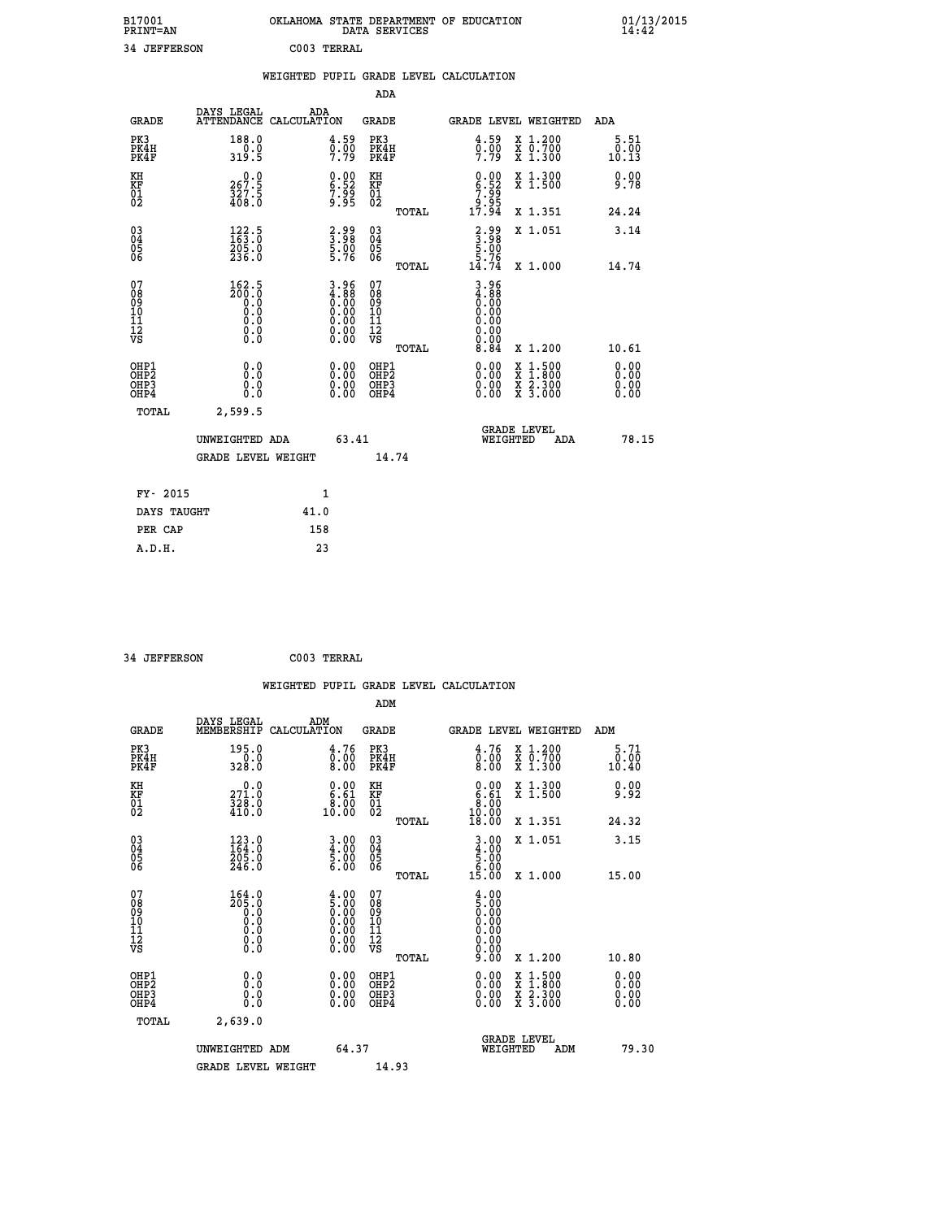| B17001<br><b>PRINT=AN</b> | OKLAHOMA STATE DEPARTMENT OF EDUCATION<br>DATA SERVICES | 01/13/2015 |
|---------------------------|---------------------------------------------------------|------------|
| 34<br><b>JEFFERSON</b>    | C003 TERRAL                                             |            |

|                                           |                                                                                                  | WEIGHTED PUPIL GRADE LEVEL CALCULATION                                                        |                                        |       |                                                              |                                                              |                              |
|-------------------------------------------|--------------------------------------------------------------------------------------------------|-----------------------------------------------------------------------------------------------|----------------------------------------|-------|--------------------------------------------------------------|--------------------------------------------------------------|------------------------------|
|                                           |                                                                                                  |                                                                                               | ADA                                    |       |                                                              |                                                              |                              |
| <b>GRADE</b>                              | DAYS LEGAL<br>ATTENDANCE CALCULATION                                                             | ADA                                                                                           | <b>GRADE</b>                           |       |                                                              | GRADE LEVEL WEIGHTED                                         | ADA                          |
| PK3<br>PK4H<br>PK4F                       | 188.0<br>319.5                                                                                   | 4.59<br>$\frac{0.00}{7.79}$                                                                   | PK3<br>PK4H<br>PK4F                    |       | 4.59<br>$\frac{0.00}{7.79}$                                  | X 1.200<br>X 0.700<br>X 1.300                                | 5.51<br>0.00<br>10.13        |
| KH<br><b>KF</b><br>01<br>02               | $\begin{smallmatrix} 0.0\\ 267.5\\ 327.5\\ 408.0 \end{smallmatrix}$                              | $\begin{smallmatrix} 0.00\ 6.52\ 7.99\ 9.95 \end{smallmatrix}$                                | KH<br>KF<br>01<br>02                   |       | $0.00$<br>$6.52$<br>$7.99$<br>$9.95$<br>$17.94$              | X 1.300<br>X 1.500                                           | $0.00$<br>9.78               |
|                                           |                                                                                                  |                                                                                               |                                        | TOTAL |                                                              | X 1.351                                                      | 24.24                        |
| 03<br>04<br>05<br>06                      | $\frac{122.5}{163.0}$<br>205.0<br>236.0                                                          | $\frac{2.99}{3.98}$<br>5.00<br>5.76                                                           | 03<br>04<br>05<br>06                   |       | $3.98$<br>$5.98$<br>$5.76$                                   | X 1.051                                                      | 3.14                         |
|                                           |                                                                                                  |                                                                                               |                                        | TOTAL | 14.74                                                        | X 1.000                                                      | 14.74                        |
| 07<br>08<br>09<br>101<br>11<br>12<br>VS   | $\frac{162.5}{200.0}$<br>$\begin{smallmatrix} 0.5 & 0 \ 0.0 & 0 \end{smallmatrix}$<br>$\S.$ $\S$ | $\begin{smallmatrix} 3.96\ 4.88\ 0.00\ 0.00\ 0.00\ 0.00\ 0.00\ 0.00\ 0.00\ \end{smallmatrix}$ | 07<br>08<br>09<br>10<br>11<br>12<br>VS | TOTAL | $3.96$<br>$4.88$<br>$0.00$<br>$0.00$<br>0.00<br>0.00<br>8.84 | X 1.200                                                      | 10.61                        |
| OHP1<br>OH <sub>P</sub> 2<br>OHP3<br>OHP4 | 0.0<br>0.0<br>0.0                                                                                | 0.00<br>$0.00$<br>0.00                                                                        | OHP1<br>OHP2<br>OHP3<br>OHP4           |       | 0.00<br>0.00                                                 | $1:500$<br>1:800<br>X<br>$\frac{x}{x}$ $\frac{5:300}{3:000}$ | 0.00<br>0.00<br>0.00<br>0.00 |
| <b>TOTAL</b>                              | 2,599.5                                                                                          |                                                                                               |                                        |       |                                                              |                                                              |                              |
|                                           | UNWEIGHTED ADA                                                                                   | 63.41                                                                                         |                                        |       | WEIGHTED                                                     | <b>GRADE LEVEL</b><br><b>ADA</b>                             | 78.15                        |
|                                           | <b>GRADE LEVEL WEIGHT</b>                                                                        |                                                                                               |                                        | 14.74 |                                                              |                                                              |                              |
| FY- 2015                                  |                                                                                                  | $\mathbf{1}$                                                                                  |                                        |       |                                                              |                                                              |                              |
| DAYS TAUGHT                               |                                                                                                  | 41.0                                                                                          |                                        |       |                                                              |                                                              |                              |
| PER CAP                                   |                                                                                                  | 158                                                                                           |                                        |       |                                                              |                                                              |                              |

 **34 JEFFERSON C003 TERRAL**

 **WEIGHTED PUPIL GRADE LEVEL CALCULATION ADM DAYS LEGAL ADM GRADE MEMBERSHIP CALCULATION GRADE GRADE LEVEL WEIGHTED ADM PK3 195.0 4.76 PK3 4.76 X 1.200 5.71 PK4H 0.0 0.00 PK4H 0.00 X 0.700 0.00 PK4F 328.0 8.00 PK4F 8.00 X 1.300 10.40 KH 0.0 0.00 KH 0.00 X 1.300 0.00 KF 271.0 6.61 KF 6.61 X 1.500 9.92 01 328.0 8.00 01 8.00** 02 410.0 10.00 02 <sub>noman</sub> 10.00  **TOTAL 18.00 X 1.351 24.32 03 123.0 3.00 03 3.00 X 1.051 3.15 04 164.0 4.00 04 4.00 05 205.0 5.00 05 5.00** 06 246.0 **6.00 06 محسنة 06 246.0 TOTAL 15.00 X 1.000 15.00 07 164.0 4.00 07 4.00 08 205.0 5.00 08 5.00 03 0.00 0.00 0.000 0.000 10 0.0 0.00 10 0.00 11 0.0 0.00 11 0.00 12 0.0 0.00 12 0.00 VS** 0.0 0.00 VS 0.00 0.00  **TOTAL 9.00 X 1.200 10.80 OHP1 0.0 0.00 OHP1 0.00 X 1.500 0.00 OHP2 0.0 0.00 OHP2 0.00 X 1.800 0.00 OHP3 0.0 0.00 OHP3 0.00 X 2.300 0.00 OHP4 0.0 0.00 OHP4 0.00 X 3.000 0.00 TOTAL 2,639.0** UNWEIGHTED ADM 64.37  **UNWEIGHTED ADM 64.37 WEIGHTED ADM 79.30** GRADE LEVEL WEIGHT 14.93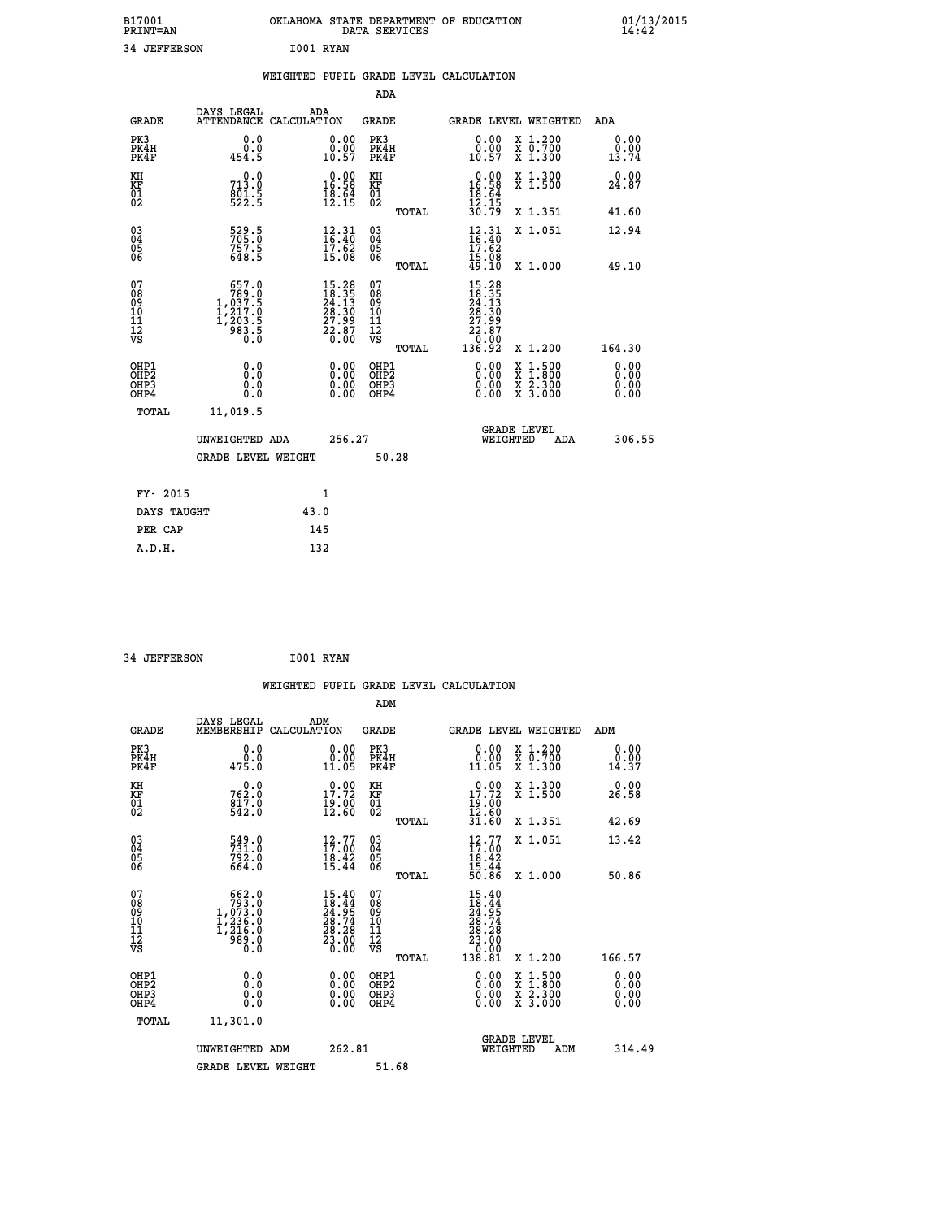| B17001<br>PRINT=AN                                |                                                                                                     | OKLAHOMA STATE DEPARTMENT OF EDUCATION                                        | DATA SERVICES                                              |                                                            |                                                                                          | $01/13/2015$<br>14:42        |  |
|---------------------------------------------------|-----------------------------------------------------------------------------------------------------|-------------------------------------------------------------------------------|------------------------------------------------------------|------------------------------------------------------------|------------------------------------------------------------------------------------------|------------------------------|--|
| 34 JEFFERSON                                      |                                                                                                     | I001 RYAN                                                                     |                                                            |                                                            |                                                                                          |                              |  |
|                                                   |                                                                                                     | WEIGHTED PUPIL GRADE LEVEL CALCULATION                                        |                                                            |                                                            |                                                                                          |                              |  |
|                                                   |                                                                                                     |                                                                               | ADA                                                        |                                                            |                                                                                          |                              |  |
| GRADE                                             | DAYS LEGAL                                                                                          | ADA<br>ATTENDANCE CALCULATION                                                 | GRADE                                                      |                                                            | GRADE LEVEL WEIGHTED                                                                     | ADA                          |  |
| PK3<br>PK4H<br>PK4F                               | 0.0<br>0.0<br>454.5                                                                                 | 0.00<br>0.00<br>10.57                                                         | PK3<br>PK4H<br>PK4F                                        | 0.00<br>0.00<br>10.57                                      | X 1.200<br>x 0.700<br>x 1.300                                                            | 0.00<br>0.00<br>13.74        |  |
| KH<br>KF<br>$\begin{matrix} 01 \ 02 \end{matrix}$ | 713.0<br>$\frac{801.5}{522.5}$                                                                      | $\begin{smallmatrix} 0.00\\ 16.58\\ 18.54\\ 18.64\\ 12.15 \end{smallmatrix}$  | ΚH<br><b>KF</b><br>01<br>02                                | $0.00$<br>16.58<br>$\frac{18.64}{12.15}$                   | X 1.300<br>X 1.500                                                                       | 0.00<br>24.87                |  |
|                                                   |                                                                                                     |                                                                               | TOTAL                                                      | 30.79                                                      | X 1.351                                                                                  | 41.60                        |  |
| 03<br>04<br>05<br>06                              | 529.5<br>705.0<br>757.5<br>648.5                                                                    | $\begin{array}{c} 12\cdot 31\\16\cdot 40\\17\cdot 62\\15\cdot 08 \end{array}$ | $\begin{matrix} 03 \\ 04 \\ 05 \\ 06 \end{matrix}$         | $\frac{12}{16}$ : 40<br>17.62<br>15.08                     | X 1.051                                                                                  | 12.94                        |  |
|                                                   |                                                                                                     |                                                                               | TOTAL                                                      | 49.10                                                      | X 1.000                                                                                  | 49.10                        |  |
| 07<br>08<br>09<br>11<br>11<br>12<br>VS            | $\begin{smallmatrix} & 657.0\\ 789.0\\ 1,037.5\\ 1,217.0\\ 1,203.5\\ 983.5\\ 0.0 \end{smallmatrix}$ | $15.28\n18.35\n24.13\n28.30\n27.99\n22.87\n0.00$                              | 07<br>08<br>09<br>10<br>$\frac{11}{12}$<br>$\frac{12}{18}$ | 15.28<br>18.35<br>24.13<br>28.30<br>27.99<br>22.87<br>0.00 |                                                                                          |                              |  |
|                                                   |                                                                                                     |                                                                               | TOTAL                                                      | 136.92                                                     | X 1.200                                                                                  | 164.30                       |  |
| OHP1<br>OHP2<br>OHP3<br>OHP4                      | 0.0<br>0.0<br>0.0<br>0.0                                                                            | 0.00<br>0.00<br>0.00                                                          | OHP1<br>OHP <sub>2</sub><br>OHP3<br>OHP4                   | 0.00<br>0.00<br>0.00                                       | $\begin{smallmatrix} x & 1.500 \\ x & 1.800 \\ x & 2.300 \\ x & 3.000 \end{smallmatrix}$ | 0.00<br>0.00<br>0.00<br>0.00 |  |
| <b>TOTAL</b>                                      | 11,019.5                                                                                            |                                                                               |                                                            |                                                            |                                                                                          |                              |  |
|                                                   | UNWEIGHTED ADA                                                                                      | 256.27                                                                        |                                                            | WEIGHTED                                                   | <b>GRADE LEVEL</b><br>ADA                                                                | 306.55                       |  |
|                                                   | <b>GRADE LEVEL WEIGHT</b>                                                                           |                                                                               | 50.28                                                      |                                                            |                                                                                          |                              |  |
| FY- 2015                                          |                                                                                                     | 1                                                                             |                                                            |                                                            |                                                                                          |                              |  |
| DAYS TAUGHT                                       |                                                                                                     | 43.0                                                                          |                                                            |                                                            |                                                                                          |                              |  |
| PER CAP                                           |                                                                                                     | 145                                                                           |                                                            |                                                            |                                                                                          |                              |  |

 **34 JEFFERSON I001 RYAN**

|                                                    |                                                                                                     | WEIGHTED PUPIL GRADE LEVEL CALCULATION                                                             |                                                       |                                                                                                         |                                          |                              |
|----------------------------------------------------|-----------------------------------------------------------------------------------------------------|----------------------------------------------------------------------------------------------------|-------------------------------------------------------|---------------------------------------------------------------------------------------------------------|------------------------------------------|------------------------------|
|                                                    |                                                                                                     |                                                                                                    | ADM                                                   |                                                                                                         |                                          |                              |
| <b>GRADE</b>                                       | DAYS LEGAL<br>MEMBERSHIP                                                                            | ADM<br>CALCULATION                                                                                 | GRADE                                                 | GRADE LEVEL WEIGHTED                                                                                    |                                          | ADM                          |
| PK3<br>PK4H<br>PK4F                                | 0.0<br>ة:ة<br>475:0                                                                                 | $0.00$<br>$0.00$<br>11.05                                                                          | PK3<br>PK4H<br>PK4F                                   | 0.00<br>11.05                                                                                           | X 1.200<br>X 0.700<br>X 1.300            | 0.00<br>0.00<br>14.37        |
| KH<br>KF<br>01<br>02                               | 762.0<br>817.0<br>817.0<br>542.0                                                                    | 17.72<br>$\frac{19.00}{12.60}$                                                                     | KH<br>KF<br>01<br>02                                  | 0.00<br>$\frac{17.72}{19.00}$<br>$\frac{12.60}{12.50}$                                                  | X 1.300<br>X 1.500                       | 0.00<br>26.58                |
|                                                    |                                                                                                     |                                                                                                    | TOTAL                                                 | 31.60                                                                                                   | X 1.351                                  | 42.69                        |
| $\begin{matrix} 03 \\ 04 \\ 05 \\ 06 \end{matrix}$ | 549.0<br>731.0<br>792.0<br>664.0                                                                    | $12.77$<br>$17.00$<br>$\frac{18.42}{15.44}$                                                        | $\begin{matrix} 03 \\ 04 \\ 05 \\ 06 \end{matrix}$    | $12.77$<br>$17.00$<br>$18.42$<br>$15.44$<br>$50.86$                                                     | X 1.051                                  | 13.42                        |
|                                                    |                                                                                                     |                                                                                                    | TOTAL                                                 |                                                                                                         | X 1.000                                  | 50.86                        |
| 07<br>08<br>09<br>101<br>11<br>12<br>VS            | $\begin{smallmatrix} & 662.0\\ 793.0\\ 1,073.0\\ 1,236.0\\ 1,216.0\\ 989.0\\ 0.0 \end{smallmatrix}$ | $\begin{smallmatrix} 15.40 \\ 18.44 \\ 24.95 \\ 28.74 \\ 28.28 \\ 23.00 \\ 0.00 \end{smallmatrix}$ | 07<br>08<br>09<br>01<br>11<br>11<br>12<br>VS<br>TOTAL | $\begin{smallmatrix} 15.40\ 18.44\ 24.95\ 24.74\ 28.74\ 28.28\ 23.00\ 0.001\ 138.81\ \end{smallmatrix}$ | X 1.200                                  | 166.57                       |
| OHP1<br>OHP <sub>2</sub><br>OHP3<br>OHP4           | 0.0<br>0.0<br>0.0                                                                                   | $\begin{smallmatrix} 0.00 \ 0.00 \ 0.00 \ 0.00 \end{smallmatrix}$                                  | OHP1<br>OHP2<br>OHP3<br>OHP4                          | $0.00$<br>$0.00$<br>0.00                                                                                | X 1:500<br>X 1:800<br>X 2:300<br>X 3:000 | 0.00<br>Ŏ.ŎŎ<br>0.00<br>0.00 |
| TOTAL                                              | 11,301.0                                                                                            |                                                                                                    |                                                       |                                                                                                         |                                          |                              |
|                                                    | UNWEIGHTED ADM                                                                                      | 262.81                                                                                             |                                                       | <b>GRADE LEVEL</b><br>WEIGHTED                                                                          | ADM                                      | 314.49                       |
|                                                    | <b>GRADE LEVEL WEIGHT</b>                                                                           |                                                                                                    | 51.68                                                 |                                                                                                         |                                          |                              |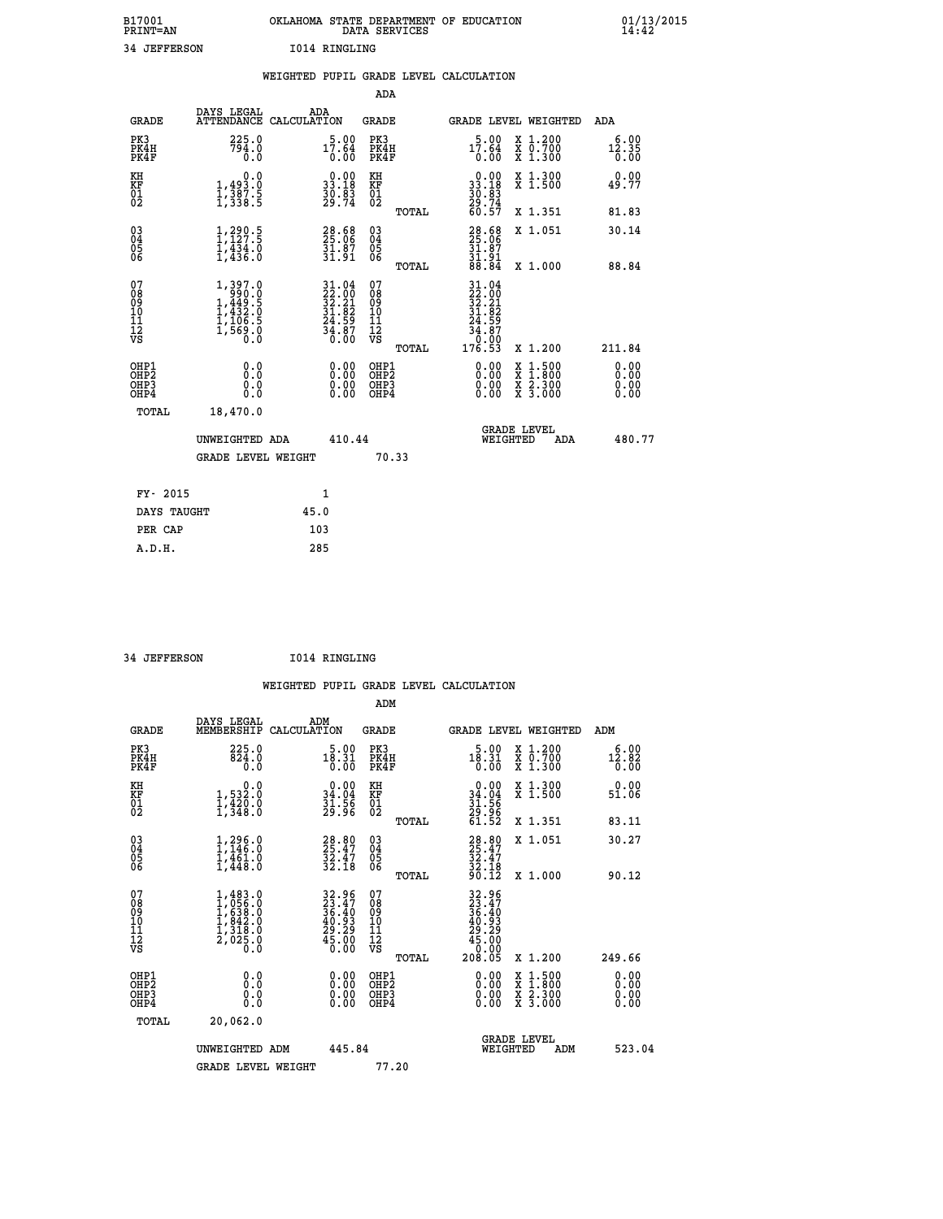| B17001          | OKLAHOMA STATE DEPARTMENT OF EDUCATION |
|-----------------|----------------------------------------|
| <b>PRINT=AN</b> | DATA SERVICES                          |
| 34 JEFFERSON    | 1014 RINGLING                          |

|                                          |                                                                                           |      |                                          |                                        |       | WEIGHTED PUPIL GRADE LEVEL CALCULATION                                                                                                                          |                                                                                                  |                              |
|------------------------------------------|-------------------------------------------------------------------------------------------|------|------------------------------------------|----------------------------------------|-------|-----------------------------------------------------------------------------------------------------------------------------------------------------------------|--------------------------------------------------------------------------------------------------|------------------------------|
|                                          |                                                                                           |      |                                          | <b>ADA</b>                             |       |                                                                                                                                                                 |                                                                                                  |                              |
| <b>GRADE</b>                             | DAYS LEGAL<br>ATTENDANCE CALCULATION                                                      |      | ADA                                      | GRADE                                  |       |                                                                                                                                                                 | GRADE LEVEL WEIGHTED                                                                             | ADA                          |
| PK3<br>PK4H<br>PK4F                      | 225.0<br>794.0<br>0.0                                                                     |      | 5.00<br>17.64<br>0.00                    | PK3<br>PK4H<br>PK4F                    |       | $17.00$<br>17.64<br>0.00                                                                                                                                        | X 1.200<br>X 0.700<br>X 1.300                                                                    | 6.00<br>12.35<br>0.00        |
| KH<br>KF<br>01<br>02                     | 0.0<br>$\frac{1}{1}, \frac{493}{387}$ . 5<br>1, 338. 5                                    |      | $0.00$<br>33.18<br>$\frac{30.83}{29.74}$ | KH<br>KF<br>01<br>02                   |       | $\begin{smallmatrix} 0.00\\ 33.18\\ 30.83\\ 29.74\\ 60.57 \end{smallmatrix}$                                                                                    | X 1.300<br>X 1.500                                                                               | 0.00<br>49.77                |
|                                          |                                                                                           |      |                                          |                                        | TOTAL |                                                                                                                                                                 | X 1.351                                                                                          | 81.83                        |
| $\substack{03 \\ 04}$<br>05<br>06        | $1, 290.5$<br>$1, 127.5$<br>$\frac{1}{4}$ , $\frac{1}{4}$ , $\frac{3}{4}$ , $\frac{1}{6}$ |      | 28.68<br>25.06<br>$\frac{31.87}{31.91}$  | $\substack{03 \\ 04}$<br>05            |       | $28.68$<br>$25.06$<br>$\frac{31.87}{31.91}$<br>$88.84$                                                                                                          | X 1.051                                                                                          | 30.14                        |
|                                          |                                                                                           |      |                                          |                                        | TOTAL |                                                                                                                                                                 | X 1.000                                                                                          | 88.84                        |
| 07<br>08<br>09<br>11<br>11<br>12<br>VS   | 1,397.0<br>$1,449.5$<br>$1,449.5$<br>$1,432.0$<br>$1,106.5$<br>$1,569.0$                  |      | $31.0422.0032.2131.8224.5934.8736.00$    | 07<br>08<br>09<br>11<br>11<br>12<br>VS |       | 31.04<br>$\frac{2}{32}$ : $\frac{2}{31}$<br>$\frac{3}{21}$ : $\frac{2}{32}$<br>24.59<br>$\begin{array}{r} 5\overline{4} : 87 \\ 0 : 00 \\ 176 : 53 \end{array}$ |                                                                                                  |                              |
|                                          |                                                                                           |      |                                          |                                        | TOTAL |                                                                                                                                                                 | X 1.200                                                                                          | 211.84                       |
| OHP1<br>OHP <sub>2</sub><br>OHP3<br>OHP4 | 0.0<br>Ō.Ō<br>0.0<br>0.0                                                                  |      | $0.00$<br>$0.00$<br>0.00                 | OHP1<br>OHP2<br>OHP3<br>OHP4           |       | $0.00$<br>$0.00$<br>0.00                                                                                                                                        | $\begin{smallmatrix} x & 1 & 500 \\ x & 1 & 800 \\ x & 2 & 300 \\ x & 3 & 000 \end{smallmatrix}$ | 0.00<br>0.00<br>0.00<br>0.00 |
| <b>TOTAL</b>                             | 18,470.0                                                                                  |      |                                          |                                        |       |                                                                                                                                                                 |                                                                                                  |                              |
|                                          | UNWEIGHTED ADA                                                                            |      | 410.44                                   |                                        |       |                                                                                                                                                                 | <b>GRADE LEVEL</b><br>WEIGHTED<br>ADA                                                            | 480.77                       |
|                                          | <b>GRADE LEVEL WEIGHT</b>                                                                 |      |                                          | 70.33                                  |       |                                                                                                                                                                 |                                                                                                  |                              |
| FY- 2015                                 |                                                                                           |      | 1                                        |                                        |       |                                                                                                                                                                 |                                                                                                  |                              |
| DAYS TAUGHT                              |                                                                                           | 45.0 |                                          |                                        |       |                                                                                                                                                                 |                                                                                                  |                              |
| PER CAP                                  |                                                                                           | 103  |                                          |                                        |       |                                                                                                                                                                 |                                                                                                  |                              |
| A.D.H.                                   |                                                                                           | 285  |                                          |                                        |       |                                                                                                                                                                 |                                                                                                  |                              |

 **34 JEFFERSON I014 RINGLING**

 **ADM**

| <b>GRADE</b>                                         | DAYS LEGAL<br>MEMBERSHIP CALCULATION                                              | ADM                                                                      | <b>GRADE</b>                                  |       | GRADE LEVEL WEIGHTED                                                                                          |                                          | ADM                          |  |
|------------------------------------------------------|-----------------------------------------------------------------------------------|--------------------------------------------------------------------------|-----------------------------------------------|-------|---------------------------------------------------------------------------------------------------------------|------------------------------------------|------------------------------|--|
| PK3<br>PK4H<br>PK4F                                  | 225.0<br>824.0<br>0.0                                                             | $18.31$<br>$0.00$<br>$0.00$                                              | PK3<br>PK4H<br>PK4F                           |       | 5.00<br>$18.31$<br>$0.00$                                                                                     | X 1.200<br>X 0.700<br>X 1.300            | 6.00<br>$\frac{12.82}{0.00}$ |  |
| KH<br>KF<br>01<br>02                                 | $\begin{smallmatrix}&&&0.0\\1,532.0\\1,420.0\\1,348.0\end{smallmatrix}$           | $34.00$<br>34.04<br>$\frac{31.56}{29.96}$                                | KH<br>KF<br>01<br>02                          |       | $0.00$<br>$34.04$<br>$31.56$<br>$29.96$<br>$61.52$                                                            | X 1.300<br>X 1.500                       | 0.00<br>51.06                |  |
|                                                      |                                                                                   |                                                                          |                                               | TOTAL |                                                                                                               | X 1.351                                  | 83.11                        |  |
| $\begin{matrix} 03 \\ 04 \\ 05 \\ 06 \end{matrix}$   | $1, 296.0$<br>$1, 146.0$<br>$1, 461.0$<br>$1, 448.0$                              | 28.80<br>25.47<br>32.47<br>32.18                                         | $\substack{03 \\ 04}$<br>05<br>06             |       | 28.80<br>25.47<br>32.47<br>32.18<br>90.12                                                                     | X 1.051                                  | 30.27                        |  |
|                                                      |                                                                                   |                                                                          |                                               | TOTAL |                                                                                                               | X 1.000                                  | 90.12                        |  |
| 07<br>08<br>09<br>101<br>11<br>12<br>VS              | $1,483.0$<br>$1,656.0$<br>$1,638.0$<br>$1,842.0$<br>$1,318.0$<br>$2,025.0$<br>0.0 | $32.96$<br>$23.47$<br>$36.40$<br>$40.93$<br>$29.29$<br>$45.00$<br>$0.00$ | 07<br>08<br>09<br>001<br>11<br>11<br>12<br>VS | TOTAL | $\begin{smallmatrix} 32.96\\ 23.47\\ 36.40\\ 36.40\\ 40.93\\ 29.29\\ 45.00\\ 0.00\\ 208.05 \end{smallmatrix}$ | X 1.200                                  | 249.66                       |  |
| OHP1<br>OHP <sub>2</sub><br>OH <sub>P3</sub><br>OHP4 | 0.0<br>0.000                                                                      | $\begin{smallmatrix} 0.00 \ 0.00 \ 0.00 \ 0.00 \end{smallmatrix}$        | OHP1<br>OHP2<br>OHP3<br>OHP4                  |       | 0.00<br>0.00                                                                                                  | X 1:500<br>X 1:800<br>X 2:300<br>X 3:000 | 0.00<br>0.00<br>0.00         |  |
| TOTAL                                                | 20,062.0                                                                          |                                                                          |                                               |       |                                                                                                               |                                          |                              |  |
|                                                      | UNWEIGHTED<br>ADM                                                                 | 445.84                                                                   |                                               |       | WEIGHTED                                                                                                      | <b>GRADE LEVEL</b><br>ADM                | 523.04                       |  |
|                                                      | <b>GRADE LEVEL WEIGHT</b>                                                         |                                                                          | 77.20                                         |       |                                                                                                               |                                          |                              |  |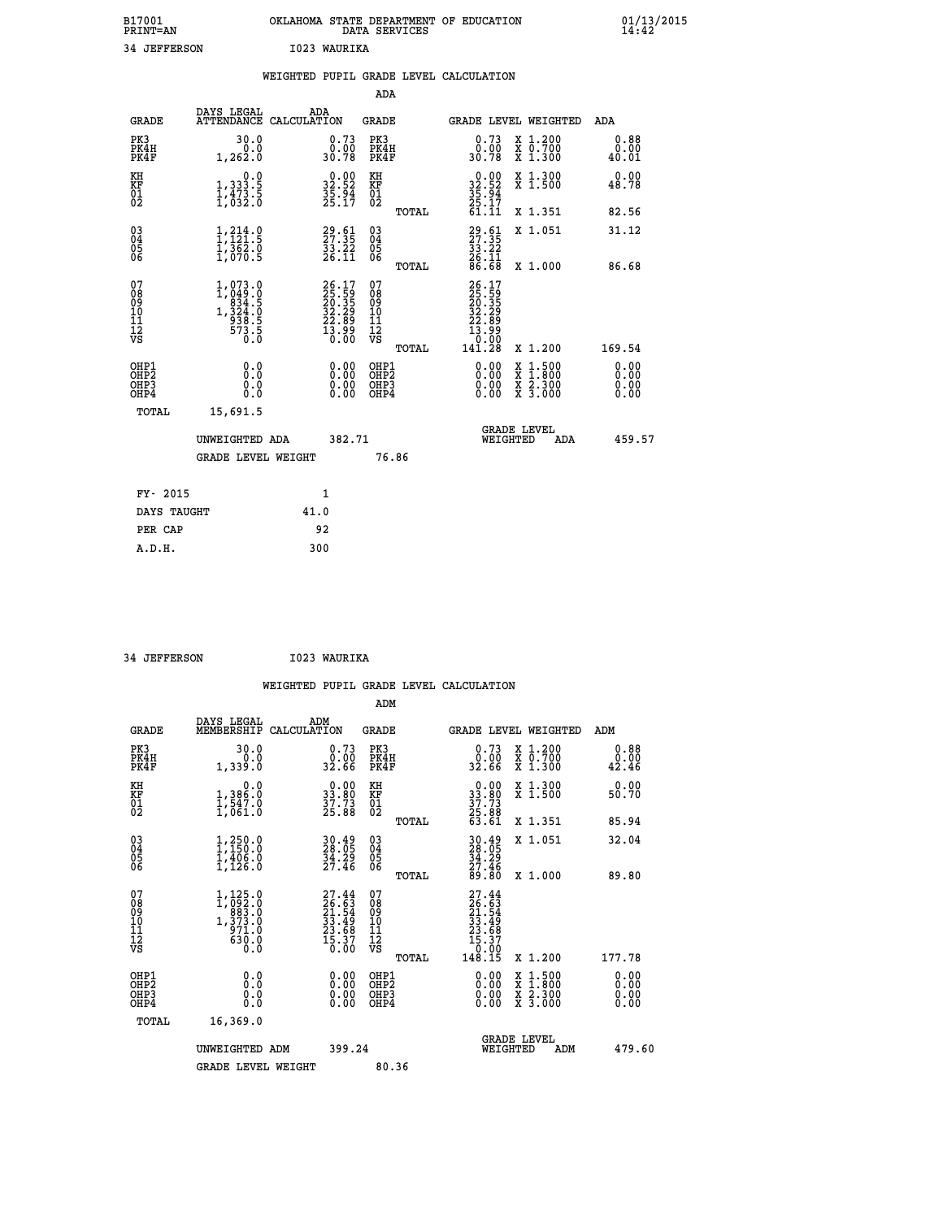| B17001<br><b>PRINT=AN</b> | OKLAHOMA<br>. STATE DEPARTMENT OF EDUCATION<br>DATA SERVICES | 01/13/2015<br>14:42 |
|---------------------------|--------------------------------------------------------------|---------------------|
| 34<br><b>JEFFERSON</b>    | 1023 WAURIKA                                                 |                     |

|                                                    |                                                                                                                 | WEIGHTED PUPIL GRADE LEVEL CALCULATION                                                       |                                        |       |                                                                                               |                                                              |                              |
|----------------------------------------------------|-----------------------------------------------------------------------------------------------------------------|----------------------------------------------------------------------------------------------|----------------------------------------|-------|-----------------------------------------------------------------------------------------------|--------------------------------------------------------------|------------------------------|
|                                                    |                                                                                                                 |                                                                                              | <b>ADA</b>                             |       |                                                                                               |                                                              |                              |
| <b>GRADE</b>                                       | DAYS LEGAL<br><b>ATTENDANCE</b>                                                                                 | ADA<br>CALCULATION                                                                           | <b>GRADE</b>                           |       | GRADE LEVEL WEIGHTED                                                                          |                                                              | ADA                          |
| PK3<br>PK4H<br>PK4F                                | 30.0<br>0.0<br>1,262.0                                                                                          | $\begin{smallmatrix} 0.73 \\ 0.00 \\ 30.78 \end{smallmatrix}$                                | PK3<br>PK4H<br>PK4F                    |       | $0.73$<br>$0.00$<br>30.78                                                                     | X 1.200<br>X 0.700<br>X 1.300                                | 0.88<br>0.00<br>40.01        |
| KH<br>KF<br>01<br>02                               | 0.0<br>1, 333:5<br>1, 473:5<br>1, 632:0                                                                         | $32.52$<br>$35.52$<br>$35.94$<br>$25.17$                                                     | KH<br>KF<br>01<br>02                   |       | $32.52$<br>$35.94$<br>$25.17$<br>$61.11$                                                      | X 1.300<br>X 1.500                                           | 0.00<br>48.78                |
|                                                    |                                                                                                                 |                                                                                              |                                        | TOTAL |                                                                                               | X 1.351                                                      | 82.56                        |
| $\begin{matrix} 03 \\ 04 \\ 05 \\ 06 \end{matrix}$ | $\frac{1}{2}, \frac{214}{121}$ : 9<br>$\frac{1}{3}$ , $\frac{2}{3}$ , $\frac{2}{3}$ , $\frac{2}{3}$             | $29.61$<br>$27.35$<br>$33.22$<br>$26.11$                                                     | 03<br>04<br>05<br>06                   |       | $29.51$<br>$27.35$<br>$33.22$<br>$26.11$<br>$86.68$                                           | X 1.051                                                      | 31.12                        |
|                                                    |                                                                                                                 |                                                                                              |                                        | TOTAL |                                                                                               | X 1.000                                                      | 86.68                        |
| 07<br>08901112<br>1112<br>VS                       | $\begin{smallmatrix} 1,073 & 0\\ 1,049 & 0\\ 0834 & 5\\ 1,324 & 5\\ 938 & 5\\ 573 & 5\\ 0 & 0\end{smallmatrix}$ | $\begin{smallmatrix} 26.17\\ 25.59\\ 20.35\\ 32.29\\ 22.89\\ 13.99\\ 0.00 \end{smallmatrix}$ | 07<br>08<br>09<br>11<br>11<br>12<br>VS | TOTAL | $\begin{smallmatrix} 26.17\ 25.59\ 20.359\ 22.299\ 22.899\ 13.990\ 141.28\ \end{smallmatrix}$ | X 1.200                                                      | 169.54                       |
| OHP1<br>OHP2<br>OH <sub>P3</sub><br>OHP4           | 0.0<br>Ō.Ō<br>Ō.Ō                                                                                               | 0.0000<br>$\begin{smallmatrix} 0.00 \ 0.00 \end{smallmatrix}$                                | OHP1<br>OHP2<br>OHP3<br>OHP4           |       | 0.00<br>0.00<br>0.00                                                                          | $1:500$<br>1:800<br>X 1:500<br>X 1:800<br>X 2:300<br>X 3:000 | 0.00<br>0.00<br>0.00<br>0.00 |
| <b>TOTAL</b>                                       | 15,691.5                                                                                                        |                                                                                              |                                        |       |                                                                                               |                                                              |                              |
|                                                    | UNWEIGHTED ADA                                                                                                  | 382.71                                                                                       |                                        |       | WEIGHTED                                                                                      | <b>GRADE LEVEL</b><br>ADA                                    | 459.57                       |
|                                                    | <b>GRADE LEVEL WEIGHT</b>                                                                                       |                                                                                              | 76.86                                  |       |                                                                                               |                                                              |                              |
| FY- 2015                                           |                                                                                                                 | 1                                                                                            |                                        |       |                                                                                               |                                                              |                              |
| DAYS TAUGHT                                        |                                                                                                                 | 41.0                                                                                         |                                        |       |                                                                                               |                                                              |                              |
| PER CAP                                            |                                                                                                                 | 92                                                                                           |                                        |       |                                                                                               |                                                              |                              |

| 34 JEFFERSON | I023 WAURIKA |
|--------------|--------------|

|                                                    |                                                         | WEIGHTED |                                                                      |                             |       | PUPIL GRADE LEVEL CALCULATION |                                                                              |                                                           |                                                                  |
|----------------------------------------------------|---------------------------------------------------------|----------|----------------------------------------------------------------------|-----------------------------|-------|-------------------------------|------------------------------------------------------------------------------|-----------------------------------------------------------|------------------------------------------------------------------|
|                                                    |                                                         |          |                                                                      | ADM                         |       |                               |                                                                              |                                                           |                                                                  |
| GRADE                                              | DAYS LEGAL<br>MEMBERSHIP CALCULATION                    |          | ADM                                                                  | GRADE                       |       |                               |                                                                              | GRADE LEVEL WEIGHTED                                      | ADM                                                              |
| PK3<br>PK4H<br>PK4F                                | 30.0<br>0.0<br>1,339.0                                  |          | 0.73<br>0.00<br>32.66                                                | PK3<br>PK4H<br>PK4F         |       |                               | $0.73$<br>$0.00$<br>32.66                                                    | X 1.200<br>$\overline{x}$ $\overline{0.700}$<br>$X$ 1.300 | $\begin{smallmatrix} 0.88\ 0.00000 \ 0.000000 \end{smallmatrix}$ |
| KH<br>KF<br>01<br>02                               | 0.0<br>1,386.0<br>1,547.0<br>1,061.0                    |          | $\begin{smallmatrix} 0.00\\ 33.80\\ 37.73\\ 25.88 \end{smallmatrix}$ | KH<br><b>KF</b><br>01<br>02 |       |                               | $\begin{smallmatrix} 0.00\\ 33.80\\ 37.73\\ 25.88\\ 63.61 \end{smallmatrix}$ | X 1.300<br>X 1.500                                        | 0.00<br>50.70                                                    |
|                                                    |                                                         |          |                                                                      |                             | TOTAL |                               |                                                                              | X 1.351                                                   | 85.94                                                            |
| $\begin{matrix} 03 \\ 04 \\ 05 \\ 06 \end{matrix}$ | 1,250.0<br>1,150.0<br>1,406.0<br>$\overline{1}$ , 126.0 |          | $\frac{30.49}{28.05}$<br>34.29<br>27.46                              | 030404<br>06                | TOTAL |                               | $30.49$<br>$28.05$<br>$\frac{54}{27}.$ $\frac{29}{46}$<br>89.80              | X 1.051<br>X 1.000                                        | 32.04<br>89.80                                                   |
| 0708                                               | 1,125.0<br>1, 0.000<br>Ā                                |          | 27.44<br>$\frac{26.63}{21}$                                          | 07<br>88                    |       |                               | 27.44<br>$\frac{56.63}{29}$                                                  |                                                           |                                                                  |

| PK4H<br>PK4F                                       | 0.0<br>1,339.0                                                                                                 | $\begin{smallmatrix} 0.00\\ 32.66 \end{smallmatrix}$                     | PK4H<br>PK4F                                                | $\begin{smallmatrix} 0.00\\ 32.66 \end{smallmatrix}$                                                                  | X 0.700<br>X 1.300                                                                               | 0.00<br>42.46                                                                                                                                                                                                                                                                  |
|----------------------------------------------------|----------------------------------------------------------------------------------------------------------------|--------------------------------------------------------------------------|-------------------------------------------------------------|-----------------------------------------------------------------------------------------------------------------------|--------------------------------------------------------------------------------------------------|--------------------------------------------------------------------------------------------------------------------------------------------------------------------------------------------------------------------------------------------------------------------------------|
| KH<br>KF<br>01<br>02                               | 0.0<br>1,386:0<br>1,547:0<br>1,061:0                                                                           | $\begin{smallmatrix} 0.00\\ 33.80\\ 37.73\\ 25.88 \end{smallmatrix}$     | KH<br>KF<br>01<br>02                                        | 0.00<br>$33.80$<br>$37.73$<br>$25.88$<br>$63.61$                                                                      | X 1.300<br>X 1.500                                                                               | 0.00<br>50.70                                                                                                                                                                                                                                                                  |
|                                                    |                                                                                                                |                                                                          | TOTAL                                                       |                                                                                                                       | X 1.351                                                                                          | 85.94                                                                                                                                                                                                                                                                          |
| $\begin{matrix} 03 \\ 04 \\ 05 \\ 06 \end{matrix}$ | $1, 250.0$<br>$1, 150.0$<br>$1, 406.0$<br>$1, 126.0$                                                           | 30.49<br>28.05<br>34.29<br>27.46                                         | $\begin{matrix} 03 \\ 04 \\ 05 \\ 06 \end{matrix}$<br>TOTAL | $30.49$<br>$34.29$<br>$34.29$<br>$27.46$<br>$89.80$                                                                   | X 1.051<br>X 1.000                                                                               | 32.04<br>89.80                                                                                                                                                                                                                                                                 |
| 07<br>08<br>09<br>101<br>11<br>12<br>VS            | $\begin{smallmatrix} 1,125 & 0\\ 1,092 & 0\\ 983 & 0\\ 1,373 & 0\\ 971 & 0\\ 630 & 0\\ 0 & 0\end{smallmatrix}$ | $27.44$<br>$26.63$<br>$21.54$<br>$33.49$<br>$23.68$<br>$15.37$<br>$0.00$ | 078<br>089<br>0011<br>11<br>12<br>VS<br>TOTAL               | $\begin{smallmatrix} 27.44 \\ 26.63 \\ 21.54 \\ 23.54 \\ 33.49 \\ 23.68 \\ 15.37 \\ 0.00 \\ 148.15 \end{smallmatrix}$ | X 1.200                                                                                          | 177.78                                                                                                                                                                                                                                                                         |
| OHP1<br>OHP2<br>OH <sub>P3</sub><br>OHP4           | $\begin{smallmatrix} 0.0 \ 0.0 \ 0.0 \end{smallmatrix}$                                                        | $0.00$<br>$0.00$<br>0.00                                                 | OHP1<br>OHP <sub>2</sub><br>OHP3<br>OHP4                    |                                                                                                                       | $\begin{smallmatrix} x & 1 & 500 \\ x & 1 & 800 \\ x & 2 & 300 \\ x & 3 & 000 \end{smallmatrix}$ | $\begin{smallmatrix} 0.00 & 0.00 & 0.00 & 0.00 & 0.00 & 0.00 & 0.00 & 0.00 & 0.00 & 0.00 & 0.00 & 0.00 & 0.00 & 0.00 & 0.00 & 0.00 & 0.00 & 0.00 & 0.00 & 0.00 & 0.00 & 0.00 & 0.00 & 0.00 & 0.00 & 0.00 & 0.00 & 0.00 & 0.00 & 0.00 & 0.00 & 0.00 & 0.00 & 0.00 & 0.00 & 0.0$ |
| TOTAL                                              | 16,369.0                                                                                                       |                                                                          |                                                             |                                                                                                                       |                                                                                                  |                                                                                                                                                                                                                                                                                |
|                                                    | UNWEIGHTED ADM                                                                                                 | 399.24                                                                   |                                                             | WEIGHTED                                                                                                              | <b>GRADE LEVEL</b><br>ADM                                                                        | 479.60                                                                                                                                                                                                                                                                         |
|                                                    | <b>GRADE LEVEL WEIGHT</b>                                                                                      |                                                                          | 80.36                                                       |                                                                                                                       |                                                                                                  |                                                                                                                                                                                                                                                                                |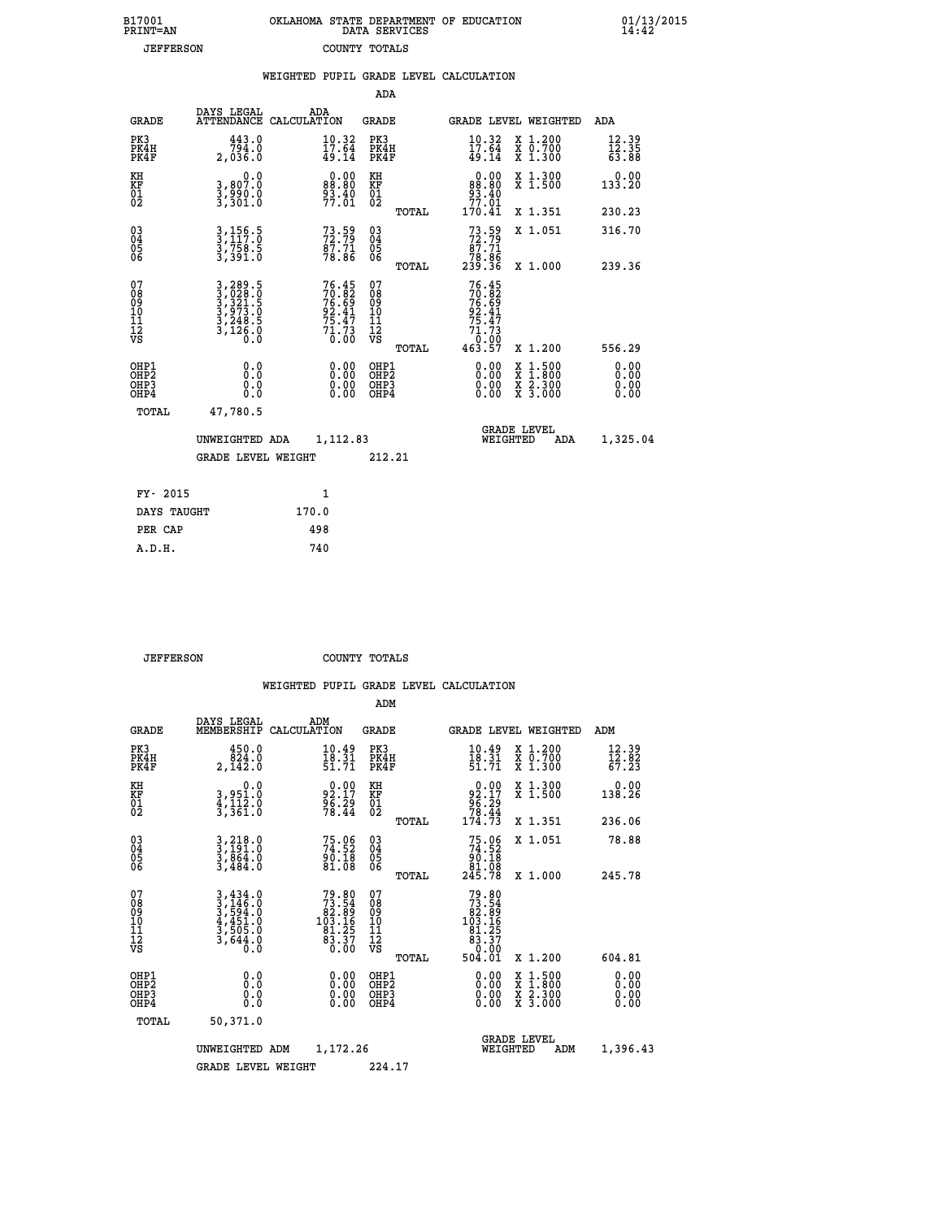| 7001<br>INT=AN   |  | OKLAHOMA STATE DEPARTMENT OF EDUCATION<br>DATA SERVICES |  |
|------------------|--|---------------------------------------------------------|--|
| <b>JEFFERSON</b> |  | COUNTY TOTALS                                           |  |

|                                                                    |                                                                                                                                                                                | WEIGHTED PUPIL GRADE LEVEL CALCULATION                            |                                                 |                                                                                               |                                |
|--------------------------------------------------------------------|--------------------------------------------------------------------------------------------------------------------------------------------------------------------------------|-------------------------------------------------------------------|-------------------------------------------------|-----------------------------------------------------------------------------------------------|--------------------------------|
|                                                                    |                                                                                                                                                                                |                                                                   | <b>ADA</b>                                      |                                                                                               |                                |
| <b>GRADE</b>                                                       | DAYS LEGAL                                                                                                                                                                     | ADA<br>ATTENDANCE CALCULATION                                     | GRADE                                           | GRADE LEVEL WEIGHTED                                                                          | ADA                            |
| PK3<br>PK4H<br>PK4F                                                | 443.0<br>794.0<br>2,036.0                                                                                                                                                      | $\frac{10.32}{17.64}$<br>49.14                                    | PK3<br>PK4H<br>PK4F                             | $\frac{10 \cdot 32}{17 \cdot 64}$<br>49.14<br>X 1.200<br>X 0.700<br>X 1.300                   | $\frac{12.39}{12.35}$<br>63.88 |
| KH<br>KF<br>01<br>02                                               | 0.0<br>3,807.0<br>3,990.0<br>3,301.0                                                                                                                                           | $0.00$<br>$0.00$<br>$\frac{93.40}{77.01}$                         | KH<br>KF<br>01<br>02                            | 0.00<br>X 1.300<br>X 1.500<br>88.80<br>$\frac{93.40}{77.01}$                                  | $0.00$<br>133.20               |
|                                                                    |                                                                                                                                                                                |                                                                   | TOTAL                                           | 170.41<br>X 1.351                                                                             | 230.23                         |
| $\begin{smallmatrix} 03 \\[-4pt] 04 \end{smallmatrix}$<br>Ŏ5<br>06 | 3,156.5<br>3,117.0<br>3,758.5<br>3,391.0                                                                                                                                       | $73.59$<br>$72.79$<br>$\frac{87.71}{78.86}$                       | $^{03}_{04}$<br>05<br>06                        | $73.59$<br>$87.71$<br>X 1.051                                                                 | 316.70                         |
|                                                                    |                                                                                                                                                                                |                                                                   | TOTAL                                           | 38:85<br>239:36<br>X 1.000                                                                    | 239.36                         |
| 07<br>08<br>09<br>11<br>11<br>12<br>VS                             | $\begin{smallmatrix} 3\,, & 289\,. & 5\\ 3\,, & 028\,. & 0\\ 3\,, & 321\,. & 5\\ 3\,, & 973\,. & 0\\ 3\,, & 248\,. & 5\\ 3\,, & 126\,. & 0\\ 0\,. & 0\,. & 0\end{smallmatrix}$ | 76.45<br>70.82<br>76.69<br>92.41<br>75.47<br>71.73<br>0.00        | 07<br>08<br>09<br>11<br>11<br>12<br>VS<br>TOTAL | 76.45<br>$70.82$<br>$76.89$<br>$92.41$<br>$75.47$<br>$71.73$<br>$0.00$<br>$463.57$<br>X 1.200 | 556.29                         |
| OHP1<br>OH <sub>P</sub> 2<br>OHP3<br>OHP4                          | 0.0<br>0.0<br>0.0                                                                                                                                                              | $\begin{smallmatrix} 0.00 \ 0.00 \ 0.00 \ 0.00 \end{smallmatrix}$ | OHP1<br>OHP <sub>2</sub><br>OHP3<br>OHP4        | $\begin{smallmatrix} x & 1.500 \\ x & 1.800 \\ x & 2.300 \\ x & 3.000 \end{smallmatrix}$      | 0.00<br>0.00<br>0.00<br>0.00   |
| TOTAL                                                              | 47,780.5                                                                                                                                                                       |                                                                   |                                                 |                                                                                               |                                |
|                                                                    | UNWEIGHTED ADA                                                                                                                                                                 | 1,112.83                                                          |                                                 | <b>GRADE LEVEL</b><br>WEIGHTED<br>ADA                                                         | 1,325.04                       |
|                                                                    | <b>GRADE LEVEL WEIGHT</b>                                                                                                                                                      |                                                                   | 212.21                                          |                                                                                               |                                |
|                                                                    | FY- 2015                                                                                                                                                                       | $\mathbf{1}$                                                      |                                                 |                                                                                               |                                |
|                                                                    | DAYS TAUGHT                                                                                                                                                                    | 170.0                                                             |                                                 |                                                                                               |                                |
|                                                                    | PER CAP                                                                                                                                                                        | 498                                                               |                                                 |                                                                                               |                                |

 **JEFFERSON COUNTY TOTALS**

 **A.D.H. 740**

 **B17001<br>PRINT=AN** 

|                                          |                                                                                                                                                               |                                                                                              | ADM                                                 |                                                                                            |                                          |                                |
|------------------------------------------|---------------------------------------------------------------------------------------------------------------------------------------------------------------|----------------------------------------------------------------------------------------------|-----------------------------------------------------|--------------------------------------------------------------------------------------------|------------------------------------------|--------------------------------|
| <b>GRADE</b>                             | DAYS LEGAL<br>MEMBERSHIP                                                                                                                                      | ADM<br>CALCULATION                                                                           | <b>GRADE</b>                                        | GRADE LEVEL WEIGHTED                                                                       |                                          | ADM                            |
| PK3<br>PK4H<br>PK4F                      | 450.0<br>824.0<br>2,142.0                                                                                                                                     | 10.49<br>$\frac{18.31}{51.71}$                                                               | PK3<br>PK4H<br>PK4F                                 | $\frac{10.49}{18.31}$<br>51.71                                                             | X 1.200<br>X 0.700<br>X 1.300            | $\frac{12.39}{12.82}$<br>67.23 |
| KH<br>KF<br>01<br>02                     | 0.0<br>3,951.0<br>4,112.0<br>3,361.0                                                                                                                          | $92.17$<br>$96.29$<br>$78.44$                                                                | KH<br>KF<br>01<br>02                                | $0.00$<br>$92.17$<br>$96.29$<br>$78.44$<br>$174.73$                                        | X 1.300<br>X 1.500                       | 0.00<br>138.26                 |
|                                          |                                                                                                                                                               |                                                                                              | TOTAL                                               |                                                                                            | X 1.351                                  | 236.06                         |
| 03<br>04<br>05<br>06                     | $3, 218.0$<br>$3, 191.0$<br>$3, 864.0$<br>$3, 484.0$                                                                                                          | 75.96<br>$\frac{6}{81.08}$                                                                   | $\begin{array}{c} 03 \\ 04 \\ 05 \\ 06 \end{array}$ | $75.06$<br>$74.52$<br>$90.18$<br>$81.08$<br>$245.78$                                       | X 1.051                                  | 78.88                          |
|                                          |                                                                                                                                                               |                                                                                              | TOTAL                                               |                                                                                            | X 1.000                                  | 245.78                         |
| 07<br>08<br>09<br>101<br>11<br>12<br>VS  | $\begin{smallmatrix} 3\,,\,434\,.\,0\\ 3\,,\,146\,.\,0\\ 3\,,\,594\,.\,0\\ 4\,,\,451\,.\,0\\ 3\,,\,505\,.\,0\\ 3\,,\,644\,.\,0\\ 0\,.\,0\\ \end{smallmatrix}$ | $\begin{smallmatrix}79.80\\73.54\\82.89\\83.105\\81.25\\81.35\\83.37\\0.00\end{smallmatrix}$ | 07<br>08<br>09<br>11<br>11<br>12<br>VS              | $\begin{smallmatrix}79.80\\73.54\\82.89\\103.165\\81.257\\81.370\\0&0.00\end{smallmatrix}$ |                                          |                                |
|                                          |                                                                                                                                                               |                                                                                              | TOTAL                                               | 504.01                                                                                     | X 1.200                                  | 604.81                         |
| OHP1<br>OHP2<br>OHP <sub>3</sub><br>OHP4 |                                                                                                                                                               |                                                                                              | OHP1<br>OHP2<br>OHP <sub>3</sub>                    | $0.00$<br>$0.00$<br>0.00                                                                   | X 1:500<br>X 1:800<br>X 2:300<br>X 3:000 | 0.00<br>0.00<br>0.00           |
| TOTAL                                    | 50,371.0                                                                                                                                                      |                                                                                              |                                                     |                                                                                            |                                          |                                |
|                                          | UNWEIGHTED                                                                                                                                                    | 1,172.26<br>ADM                                                                              |                                                     | <b>GRADE LEVEL</b><br>WEIGHTED                                                             | ADM                                      | 1,396.43                       |
|                                          | <b>GRADE LEVEL WEIGHT</b>                                                                                                                                     |                                                                                              | 224.17                                              |                                                                                            |                                          |                                |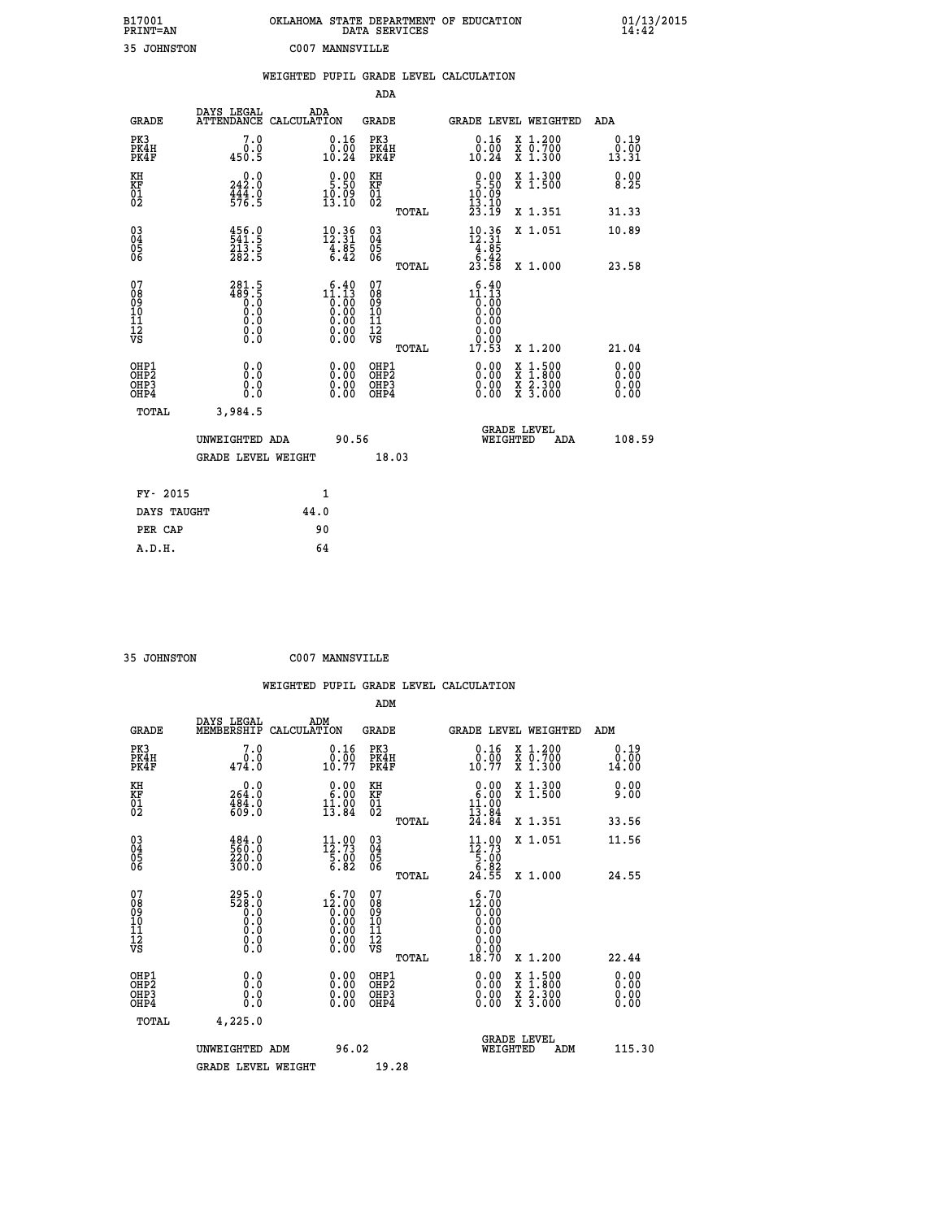| B17001<br>PRINT=AN                     |                                                                                                               | OKLAHOMA STATE DEPARTMENT OF EDUCATION                                                                                                                                                                                                                                                                                                    | DATA SERVICES                                               |                                                                                                                         |                                          | $01/13/2015$<br>14:42        |
|----------------------------------------|---------------------------------------------------------------------------------------------------------------|-------------------------------------------------------------------------------------------------------------------------------------------------------------------------------------------------------------------------------------------------------------------------------------------------------------------------------------------|-------------------------------------------------------------|-------------------------------------------------------------------------------------------------------------------------|------------------------------------------|------------------------------|
| 35 JOHNSTON                            |                                                                                                               | C007 MANNSVILLE                                                                                                                                                                                                                                                                                                                           |                                                             |                                                                                                                         |                                          |                              |
|                                        |                                                                                                               | WEIGHTED PUPIL GRADE LEVEL CALCULATION                                                                                                                                                                                                                                                                                                    | <b>ADA</b>                                                  |                                                                                                                         |                                          |                              |
| <b>GRADE</b>                           | DAYS LEGAL<br>ATTENDANCE CALCULATION                                                                          | ADA                                                                                                                                                                                                                                                                                                                                       | <b>GRADE</b>                                                |                                                                                                                         | GRADE LEVEL WEIGHTED                     | ADA                          |
| PK3<br>PK4H<br>PK4F                    | 7.0<br>0.0<br>450.5                                                                                           | 0.16<br>0.00<br>10.24                                                                                                                                                                                                                                                                                                                     | PK3<br>PK4H<br>PK4F                                         | 0.16<br>0.00<br>10.24                                                                                                   | X 1.200<br>X 0.700<br>X 1.300            | 0.19<br>0.00<br>13.31        |
| KH<br>KF<br>$\frac{01}{02}$            | 242.0<br>$\frac{44}{376}$ : 9                                                                                 | $9:90$<br>5:50<br>$\frac{10.09}{13.10}$                                                                                                                                                                                                                                                                                                   | КH<br><b>KF</b><br>01<br>02                                 | $0.00$<br>5.50<br>$\frac{10.09}{13.10}$                                                                                 | X 1.300<br>X 1.500                       | 0.00<br>8.25                 |
|                                        |                                                                                                               |                                                                                                                                                                                                                                                                                                                                           | TOTAL                                                       | 23.I9                                                                                                                   | X 1.351                                  | 31.33                        |
| 03<br>04<br>05<br>06                   | $\begin{smallmatrix} 4\,5\,6\cdot\,9\\ 5\,4\,1\cdot\,5\\ 2\,1\,3\cdot\,5\\ 2\,8\,2\cdot\,5 \end{smallmatrix}$ | $\begin{array}{r} 10 \cdot 36 \\ 12 \cdot 31 \\ 4 \cdot 85 \\ 6 \cdot 42 \end{array}$                                                                                                                                                                                                                                                     | $\begin{matrix} 03 \\ 04 \\ 05 \\ 06 \end{matrix}$<br>TOTAL | $\frac{10.36}{12.31}$<br>$\begin{array}{r} 4.85 \\ 6.42 \\ 23.58 \end{array}$                                           | X 1.051<br>X 1.000                       | 10.89<br>23.58               |
| 07<br>08<br>09<br>10<br>11<br>iż<br>vs | 281.5<br>$\frac{489.5}{0.0}$<br>Ŏ.Ŏ<br>0.0<br>0.0                                                             | $\begin{smallmatrix} 6 & 4 & 0 \\ 1 & 1 & 13 \\ 0 & 0 & 0 \\ 0 & 0 & 0 \\ 0 & 0 & 0 \\ 0 & 0 & 0 \\ 0 & 0 & 0 \\ 0 & 0 & 0 \\ 0 & 0 & 0 \\ 0 & 0 & 0 \\ 0 & 0 & 0 \\ 0 & 0 & 0 \\ 0 & 0 & 0 \\ 0 & 0 & 0 \\ 0 & 0 & 0 \\ 0 & 0 & 0 \\ 0 & 0 & 0 \\ 0 & 0 & 0 \\ 0 & 0 & 0 \\ 0 & 0 & 0 \\ 0 & 0 & 0 \\ 0 & 0 & 0 \\ 0 & 0 & 0 \\ 0 & 0 &$ | 07<br>08<br>09<br>101<br>11<br>12<br>VS<br>TOTAL            | $1^{\frac{6}{1}\cdot\frac{40}{13}}_{\begin{smallmatrix} 0.00\ 0.00 \end{smallmatrix}}$<br>0.00<br>0.00<br>0.00<br>17.53 | X 1.200                                  | 21.04                        |
| OHP1<br>OHP2<br>OHP3<br>OHP4           | 0.0<br>0.0<br>0.0<br>0.0                                                                                      | 0.00<br>0.00<br>0.00                                                                                                                                                                                                                                                                                                                      | OHP1<br>OHP <sub>2</sub><br>OHP3<br>OHP4                    | 0.00<br>0.00<br>0.00                                                                                                    | X 1:500<br>X 1:800<br>X 2:300<br>X 3:000 | 0.00<br>0.00<br>0.00<br>0.00 |
| TOTAL                                  | 3,984.5                                                                                                       |                                                                                                                                                                                                                                                                                                                                           |                                                             |                                                                                                                         |                                          |                              |
|                                        | UNWEIGHTED ADA                                                                                                | 90.56                                                                                                                                                                                                                                                                                                                                     |                                                             | WEIGHTED                                                                                                                | <b>GRADE LEVEL</b><br>ADA                | 108.59                       |
|                                        | <b>GRADE LEVEL WEIGHT</b>                                                                                     |                                                                                                                                                                                                                                                                                                                                           | 18.03                                                       |                                                                                                                         |                                          |                              |
| FY- 2015                               |                                                                                                               | 1                                                                                                                                                                                                                                                                                                                                         |                                                             |                                                                                                                         |                                          |                              |
| DAYS TAUGHT<br>PER CAP                 |                                                                                                               | 44.0<br>90                                                                                                                                                                                                                                                                                                                                |                                                             |                                                                                                                         |                                          |                              |
|                                        |                                                                                                               |                                                                                                                                                                                                                                                                                                                                           |                                                             |                                                                                                                         |                                          |                              |

| <b>25 TOUNICHON</b> |  |
|---------------------|--|

 **35 JOHNSTON C007 MANNSVILLE**

|                                                      |                                                     |                    |                                                                                     |                                                     |       | WEIGHTED PUPIL GRADE LEVEL CALCULATION                                      |                                          |               |                              |
|------------------------------------------------------|-----------------------------------------------------|--------------------|-------------------------------------------------------------------------------------|-----------------------------------------------------|-------|-----------------------------------------------------------------------------|------------------------------------------|---------------|------------------------------|
|                                                      |                                                     |                    |                                                                                     | ADM                                                 |       |                                                                             |                                          |               |                              |
| <b>GRADE</b>                                         | DAYS LEGAL<br>MEMBERSHIP                            | ADM<br>CALCULATION |                                                                                     | <b>GRADE</b>                                        |       | <b>GRADE LEVEL WEIGHTED</b>                                                 |                                          | ADM           |                              |
| PK3<br>PK4H<br>PK4F                                  | 7.0<br>0.0<br>474.0                                 |                    | $\begin{smallmatrix} 0.16 \\ 0.00 \\ 10.77 \end{smallmatrix}$                       | PK3<br>PK4H<br>PK4F                                 |       | $\begin{smallmatrix} 0.16 \\ 0.00 \\ 10.77 \end{smallmatrix}$               | X 1.200<br>X 0.700<br>X 1.300            | 0.00<br>14.00 | 0.19                         |
| KH<br>KF<br>01<br>02                                 | 0.0<br>264:0<br>484:0<br>609:0                      |                    | $\begin{smallmatrix} 0.00\\ 6.00\\ 11.00\\ 13.84 \end{smallmatrix}$                 | KH<br>KF<br>01<br>02                                |       | $\begin{smallmatrix} 0.00\\ 6.00\\ 11.00\\ 13.84\\ 24.84 \end{smallmatrix}$ | X 1.300<br>$\overline{x}$ 1.500          |               | 0.00<br>9.00                 |
|                                                      |                                                     |                    |                                                                                     |                                                     | TOTAL |                                                                             | X 1.351                                  | 33.56         |                              |
| 03<br>04<br>05<br>06                                 | 484.0<br>220.0<br>300.0                             |                    | $\begin{smallmatrix} 11\cdot 00\\12\cdot 73\\5\cdot 00\\6\cdot 82\end{smallmatrix}$ | $\begin{array}{c} 03 \\ 04 \\ 05 \\ 06 \end{array}$ |       | $11.99$<br>$12.73$<br>$5.00$<br>$5.82$                                      | X 1.051                                  | 11.56         |                              |
|                                                      |                                                     |                    |                                                                                     |                                                     | TOTAL | 24.55                                                                       | $X_1.000$                                | 24.55         |                              |
| 07<br>08<br>09<br>11<br>11<br>12<br>VS               | 295.0<br>528.0<br>520.0<br>0.0<br>0.0<br>$\S.$ $\S$ |                    | 0.00                                                                                | 07<br>08<br>09<br>11<br>11<br>12<br>VS              | TOTAL | 6.70<br>0.00<br>18.70                                                       | X 1.200                                  | 22.44         |                              |
| OHP1<br>OHP <sub>2</sub><br>OHP3<br>OH <sub>P4</sub> | 0.0<br>0.000                                        |                    | $0.00$<br>$0.00$<br>0.00                                                            | OHP1<br>OHP2<br>OHP <sub>3</sub>                    |       | 0.00<br>0.00<br>0.00                                                        | X 1:500<br>X 1:800<br>X 2:300<br>X 3:000 |               | 0.00<br>Ŏ.ŎŎ<br>0.00<br>0.00 |
| TOTAL                                                | 4,225.0                                             |                    |                                                                                     |                                                     |       |                                                                             |                                          |               |                              |
|                                                      | UNWEIGHTED ADM                                      |                    | 96.02                                                                               |                                                     |       | <b>GRADE LEVEL</b><br>WEIGHTED                                              | ADM                                      |               | 115.30                       |
|                                                      | <b>GRADE LEVEL WEIGHT</b>                           |                    |                                                                                     | 19.28                                               |       |                                                                             |                                          |               |                              |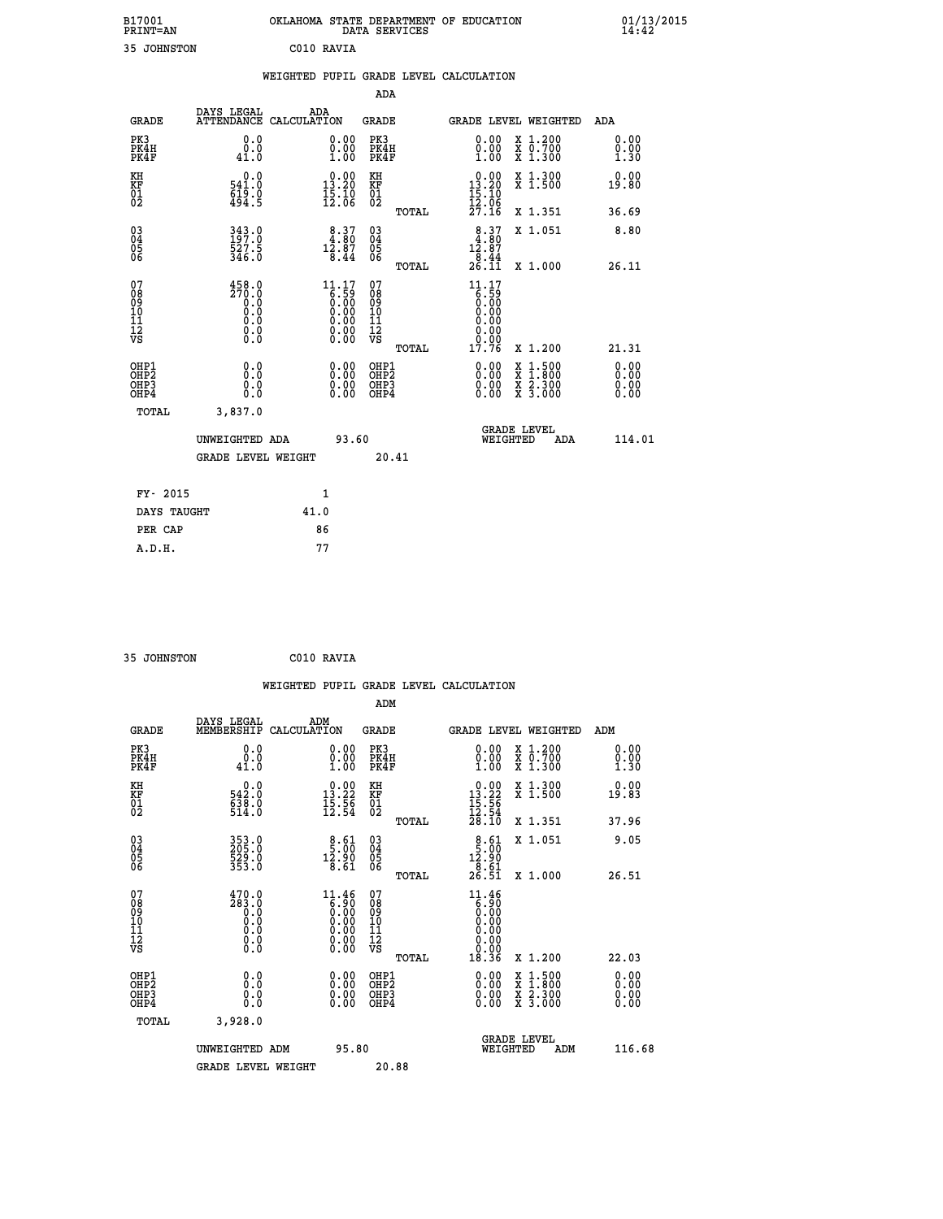|            | OKLAHOMA STATE DEPARTMENT OF EDUCATION<br>DATA SERVICES |  |
|------------|---------------------------------------------------------|--|
| C010 RAVTA |                                                         |  |

|  |  | WEIGHTED PUPIL GRADE LEVEL CALCULATION |
|--|--|----------------------------------------|

|                                                    |                                                                              |                                                |                                                                                                      | ADA                                      |       |                                                                            |                                                                                                                                              |                              |
|----------------------------------------------------|------------------------------------------------------------------------------|------------------------------------------------|------------------------------------------------------------------------------------------------------|------------------------------------------|-------|----------------------------------------------------------------------------|----------------------------------------------------------------------------------------------------------------------------------------------|------------------------------|
|                                                    | <b>GRADE</b>                                                                 | DAYS LEGAL                                     | ADA<br>ATTENDANCE CALCULATION                                                                        | GRADE                                    |       |                                                                            | GRADE LEVEL WEIGHTED                                                                                                                         | ADA                          |
|                                                    | PK3<br>PK4H<br>PK4F                                                          | 0.0<br>0.0<br>41.0                             | 0.00<br>$\begin{smallmatrix} 0.00 \ 1.00 \end{smallmatrix}$                                          | PK3<br>PK4H<br>PK4F                      |       | 0.00<br>0.00<br>1.00                                                       | X 1.200<br>X 0.700<br>X 1.300                                                                                                                | 0.00<br>0.00<br>1.30         |
| KH<br>KF<br>01<br>02                               |                                                                              | 0.0<br>541.0<br>$\frac{519}{494}$ . 9          | $\begin{smallmatrix} 0.00\\13.20\\15.10\\12.06 \end{smallmatrix}$                                    | KH<br><b>KF</b><br>01<br>02              |       | $\begin{smallmatrix} 0.00\\13.20\\15.10\\12.06 \end{smallmatrix}$          | X 1.300<br>X 1.500                                                                                                                           | 0.00<br>19.80                |
|                                                    |                                                                              |                                                |                                                                                                      |                                          | TOTAL | 27.16                                                                      | X 1.351                                                                                                                                      | 36.69                        |
| $\begin{matrix} 03 \\ 04 \\ 05 \\ 06 \end{matrix}$ |                                                                              | $343.0$<br>$197.0$<br>527.5<br>346.0           | $\begin{smallmatrix} 8 & 37 \\ 4 & 80 \\ 12 & 87 \\ 8 & 44 \end{smallmatrix}$                        | 03<br>04<br>05<br>06                     |       | $\begin{smallmatrix} 8.37\\ 4.80\\ 12.87\\ 8.44\\ 26.11 \end{smallmatrix}$ | X 1.051                                                                                                                                      | 8.80                         |
|                                                    |                                                                              |                                                |                                                                                                      |                                          | TOTAL |                                                                            | X 1.000                                                                                                                                      | 26.11                        |
| 07<br>08<br>09<br>11<br>11<br>12<br>VS             |                                                                              | $\frac{458.0}{270.0}$<br>Ō.O<br>0.000<br>$\S.$ | $\begin{smallmatrix} 11.17\ 6.59\ 0.00\ 0.00\ 0.00\ 0.00\ 0.00\ 0.00\ 0.00\ 0.00\ \end{smallmatrix}$ | 07<br>08<br>09<br>101<br>11<br>12<br>VS  | TOTAL | $11.17$<br>6.59<br>0.00<br>0.00<br>0.00<br>0.00<br>17.76                   | X 1.200                                                                                                                                      | 21.31                        |
|                                                    | OHP1<br>OH <sub>P</sub> <sub>2</sub><br>OH <sub>P3</sub><br>OH <sub>P4</sub> | 0.0<br>Ō.Ō<br>0.0<br>0.0                       | 0.00<br>0.00<br>0.00                                                                                 | OHP1<br>OHP <sub>2</sub><br>OHP3<br>OHP4 |       | 0.00<br>0.00<br>0.00                                                       | $\begin{smallmatrix} \mathtt{X} & 1\cdot500 \\ \mathtt{X} & 1\cdot800 \\ \mathtt{X} & 2\cdot300 \\ \mathtt{X} & 3\cdot000 \end{smallmatrix}$ | 0.00<br>0.00<br>0.00<br>0.00 |
|                                                    | TOTAL                                                                        | 3,837.0                                        |                                                                                                      |                                          |       |                                                                            |                                                                                                                                              |                              |
|                                                    |                                                                              | UNWEIGHTED ADA                                 |                                                                                                      | 93.60                                    |       | WEIGHTED                                                                   | <b>GRADE LEVEL</b><br>ADA                                                                                                                    | 114.01                       |
|                                                    |                                                                              | <b>GRADE LEVEL WEIGHT</b>                      |                                                                                                      |                                          | 20.41 |                                                                            |                                                                                                                                              |                              |
|                                                    | FY- 2015                                                                     |                                                | 1                                                                                                    |                                          |       |                                                                            |                                                                                                                                              |                              |
|                                                    | DAYS TAUGHT                                                                  |                                                | 41.0                                                                                                 |                                          |       |                                                                            |                                                                                                                                              |                              |
|                                                    | PER CAP                                                                      |                                                | 86                                                                                                   |                                          |       |                                                                            |                                                                                                                                              |                              |
|                                                    | A.D.H.                                                                       |                                                | 77                                                                                                   |                                          |       |                                                                            |                                                                                                                                              |                              |

| 35 JOHNSTON | C010 RAVIA |
|-------------|------------|
|             |            |

B17001<br>PRINT=AN<br>35 JOHNSTON

|                                                    |                                                                                                  | WEIGHTED PUPIL GRADE LEVEL CALCULATION                                                               |                                                     |       |                                                                         |                                                                                                  |                                                             |
|----------------------------------------------------|--------------------------------------------------------------------------------------------------|------------------------------------------------------------------------------------------------------|-----------------------------------------------------|-------|-------------------------------------------------------------------------|--------------------------------------------------------------------------------------------------|-------------------------------------------------------------|
|                                                    |                                                                                                  |                                                                                                      | ADM                                                 |       |                                                                         |                                                                                                  |                                                             |
| <b>GRADE</b>                                       | DAYS LEGAL<br>MEMBERSHIP                                                                         | ADM<br>CALCULATION                                                                                   | <b>GRADE</b>                                        |       |                                                                         | <b>GRADE LEVEL WEIGHTED</b>                                                                      | ADM                                                         |
| PK3<br>PK4H<br>PK4F                                | 0.0<br>0.0<br>41.0                                                                               | $\begin{smallmatrix} 0.00\\ 0.00\\ 1.00 \end{smallmatrix}$                                           | PK3<br>PK4H<br>PK4F                                 |       | $\begin{smallmatrix} 0.00 \\ 0.00 \\ 1.00 \end{smallmatrix}$            | X 1.200<br>X 0.700<br>X 1.300                                                                    | 0.00<br>$\begin{smallmatrix} 0.00 \ 1.30 \end{smallmatrix}$ |
| KH<br>KF<br>01<br>02                               | 0.0<br>542:0<br>638:0<br>514:0                                                                   | $\begin{array}{r} 0.00 \\ 13.22 \\ 15.56 \\ 12.54 \end{array}$                                       | KH<br>KF<br>01<br>02                                |       | $\begin{array}{r} 0.00 \\ 13.22 \\ 15.56 \\ 12.54 \\ 28.10 \end{array}$ | X 1.300<br>X 1.500                                                                               | 0.00<br>19.83                                               |
|                                                    |                                                                                                  |                                                                                                      |                                                     | TOTAL |                                                                         | X 1.351                                                                                          | 37.96                                                       |
| $\begin{matrix} 03 \\ 04 \\ 05 \\ 06 \end{matrix}$ | 353.0<br>205.0<br>529.0<br>353.0                                                                 | $\begin{smallmatrix} 8.61\ 5.00\ 12.90\ 8.61\ \end{smallmatrix}$                                     | $\begin{array}{c} 03 \\ 04 \\ 05 \\ 06 \end{array}$ |       | $\begin{array}{r} 8.61 \\ 5.00 \\ 12.90 \\ 8.61 \end{array}$            | X 1.051                                                                                          | 9.05                                                        |
|                                                    |                                                                                                  |                                                                                                      |                                                     | TOTAL | 26.51                                                                   | X 1.000                                                                                          | 26.51                                                       |
| 07<br>08<br>09<br>11<br>11<br>12<br>VS             | $\frac{470.0}{283.0}$<br>$\begin{smallmatrix} 0.59 \ 0.0 \end{smallmatrix}$<br>0.0<br>$\S.$ $\S$ | $\begin{smallmatrix} 11.46\ 6.90\ 0.00\ 0.00\ 0.00\ 0.00\ 0.00\ 0.00\ 0.00\ 0.00\ \end{smallmatrix}$ | 07<br>08<br>09<br>11<br>11<br>12<br>VS              |       | $11.46$<br>6.90<br>0.00<br>0.00<br>0.00<br>0.00                         |                                                                                                  |                                                             |
|                                                    |                                                                                                  |                                                                                                      |                                                     | TOTAL | 18.36                                                                   | X 1.200                                                                                          | 22.03                                                       |
| OHP1<br>OHP <sub>2</sub><br>OHP3<br>OHP4           | 0.0<br>0.000                                                                                     | 0.00<br>0.00<br>0.00                                                                                 | OHP1<br>OH <sub>P</sub> 2<br>OHP3<br>OHP4           |       | $0.00$<br>$0.00$<br>0.00                                                | $\begin{smallmatrix} x & 1 & 500 \\ x & 1 & 800 \\ x & 2 & 300 \\ x & 3 & 000 \end{smallmatrix}$ | 0.00<br>0.00<br>0.00                                        |
| TOTAL                                              | 3,928.0                                                                                          |                                                                                                      |                                                     |       |                                                                         |                                                                                                  |                                                             |
|                                                    | UNWEIGHTED ADM                                                                                   | 95.80                                                                                                |                                                     |       | WEIGHTED                                                                | <b>GRADE LEVEL</b><br>ADM                                                                        | 116.68                                                      |
|                                                    | <b>GRADE LEVEL WEIGHT</b>                                                                        |                                                                                                      | 20.88                                               |       |                                                                         |                                                                                                  |                                                             |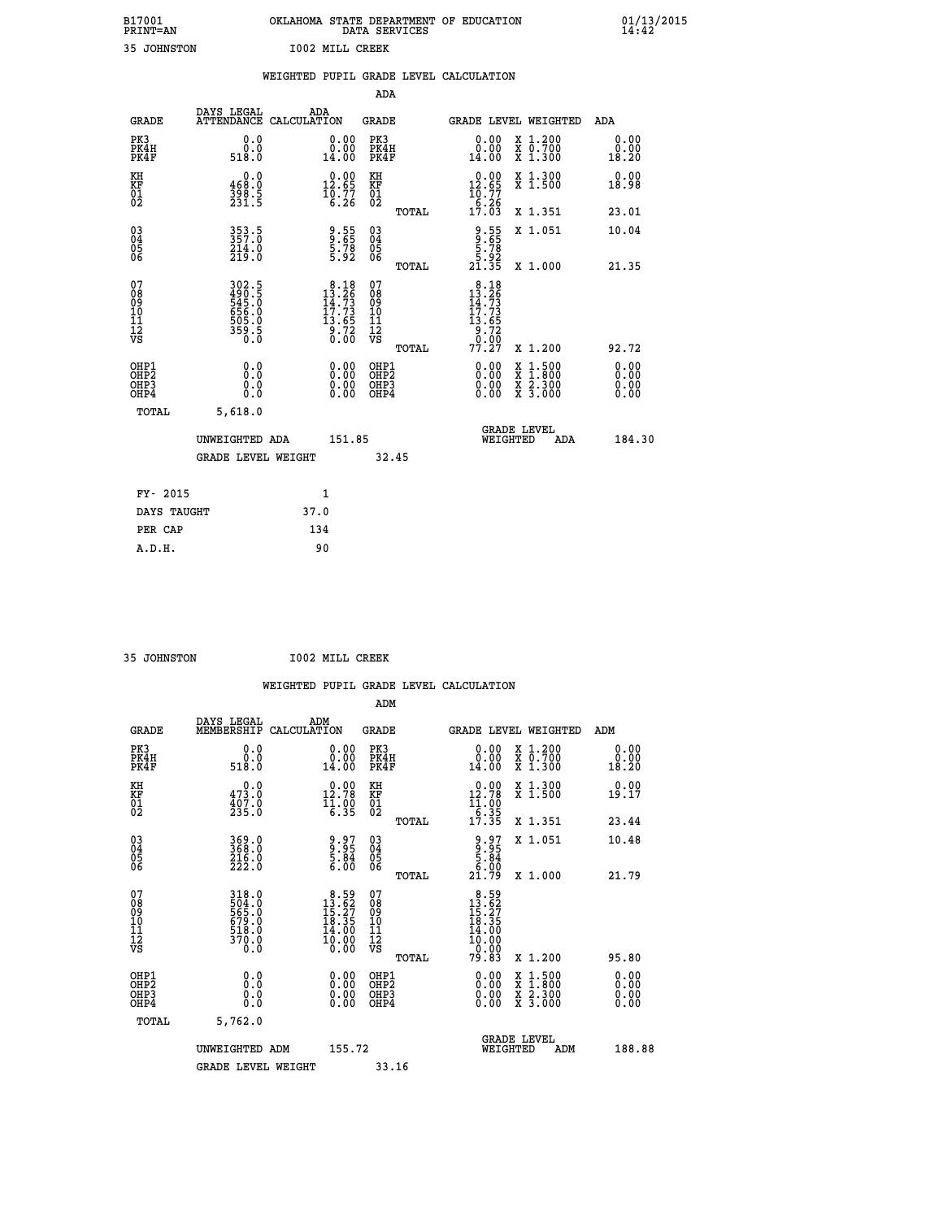| B17001          | OKLAHOMA STATE DEPARTMENT OF EDUCATION |
|-----------------|----------------------------------------|
| <b>PRINT=AN</b> | DATA SERVICES                          |
| 35 JOHNSTON     | <b>IOO2 MILL CREEK</b>                 |

|                                        |                                                             | WEIGHTED PUPIL GRADE LEVEL CALCULATION                                                    |                                                    |       |                                                                                      |                                                                                        |                        |
|----------------------------------------|-------------------------------------------------------------|-------------------------------------------------------------------------------------------|----------------------------------------------------|-------|--------------------------------------------------------------------------------------|----------------------------------------------------------------------------------------|------------------------|
|                                        |                                                             |                                                                                           | <b>ADA</b>                                         |       |                                                                                      |                                                                                        |                        |
| <b>GRADE</b>                           |                                                             | DAYS LEGAL ADA ATTENDANCE CALCULATION                                                     | <b>GRADE</b>                                       |       |                                                                                      | GRADE LEVEL WEIGHTED                                                                   | ADA                    |
| PK3<br>PK4H<br>PK4F                    | 0.0<br>ة:ة<br>518.0                                         | $\begin{smallmatrix} 0.00\\ 0.00\\ 14.00 \end{smallmatrix}$                               | PK3<br>PK4H<br>PK4F                                |       | 0.00<br>0.00<br>14.00                                                                | X 1.200<br>X 0.700<br>X 1.300                                                          | 0.00<br>0.00<br>18.20  |
| KH<br>KF<br>01<br>02                   | 0.0<br>$\frac{468.0}{398.5}$<br>231.5                       | $\begin{smallmatrix} 0.00\\ 12.65\\ 10.77\\ 6.26 \end{smallmatrix}$                       | KH<br><b>KF</b><br>01<br>02                        |       | $\begin{smallmatrix} 0.00\\ 12.65\\ 10.77\\ 6.26\\ 17.03 \end{smallmatrix}$          | X 1.300<br>X 1.500                                                                     | 0.00<br>18.98          |
|                                        |                                                             |                                                                                           |                                                    | TOTAL |                                                                                      | X 1.351                                                                                | 23.01                  |
| $^{03}_{04}$<br>Ŏ5<br>06               | 353.5<br>357.0<br>214.0<br>219.0                            | 9:55<br>9:65<br>5:78<br>5:92                                                              | $\begin{matrix} 03 \\ 04 \\ 05 \\ 06 \end{matrix}$ |       | $\begin{array}{c} 9.55 \\ 9.65 \\ 5.78 \\ 5.92 \\ 21.35 \end{array}$                 | X 1.051                                                                                | 10.04                  |
|                                        |                                                             |                                                                                           |                                                    | TOTAL |                                                                                      | X 1.000                                                                                | 21.35                  |
| 07<br>08<br>09<br>11<br>11<br>12<br>VS | 302.5<br>490.5<br>545.0<br>545.0<br>656.0<br>505.0<br>359.5 | $\begin{smallmatrix}8&.18\\13&.26\\14&.73\\17&.73\\13&.65\\9&.72\\0&.00\end{smallmatrix}$ | 07<br>08<br>09<br>11<br>11<br>12<br>VS             | TOTAL | $\begin{smallmatrix} 8.18\\13.26\\14.73\\17.73\\13.65\\9.72\\77.27\end{smallmatrix}$ | X 1.200                                                                                | 92.72                  |
| OHP1<br>OHP2<br>OHP3<br>OHP4           | 0.0<br>0.0<br>Ō.Ō                                           | 0.0000<br>$0.00$<br>0.00                                                                  | OHP1<br>OHP2<br>OHP3<br>OHP4                       |       | 0.00<br>0.00<br>0.00                                                                 | $1:500$<br>1:800<br>$\frac{\text{X}}{\text{X}}$<br>$\frac{x}{x}$ $\frac{5:300}{3:000}$ | 0.0000<br>0.00<br>0.00 |
| <b>TOTAL</b>                           | 5,618.0                                                     |                                                                                           |                                                    |       |                                                                                      |                                                                                        |                        |
|                                        | UNWEIGHTED ADA                                              | 151.85                                                                                    |                                                    |       |                                                                                      | GRADE LEVEL<br>WEIGHTED<br>ADA                                                         | 184.30                 |
|                                        | <b>GRADE LEVEL WEIGHT</b>                                   |                                                                                           | 32.45                                              |       |                                                                                      |                                                                                        |                        |
| FY- 2015                               |                                                             | $\mathbf{1}$                                                                              |                                                    |       |                                                                                      |                                                                                        |                        |
| DAYS TAUGHT                            |                                                             | 37.0                                                                                      |                                                    |       |                                                                                      |                                                                                        |                        |
| PER CAP                                |                                                             | 134                                                                                       |                                                    |       |                                                                                      |                                                                                        |                        |

 **35 JOHNSTON I002 MILL CREEK**

|                                                    |                                                               |                    |                                                                                     |                                          |       | WEIGHTED PUPIL GRADE LEVEL CALCULATION                                                                                                                                                                                                                                         |                                          |                              |  |
|----------------------------------------------------|---------------------------------------------------------------|--------------------|-------------------------------------------------------------------------------------|------------------------------------------|-------|--------------------------------------------------------------------------------------------------------------------------------------------------------------------------------------------------------------------------------------------------------------------------------|------------------------------------------|------------------------------|--|
|                                                    |                                                               |                    |                                                                                     | ADM                                      |       |                                                                                                                                                                                                                                                                                |                                          |                              |  |
| <b>GRADE</b>                                       | DAYS LEGAL<br>MEMBERSHIP                                      | ADM<br>CALCULATION |                                                                                     | <b>GRADE</b>                             |       | GRADE LEVEL WEIGHTED                                                                                                                                                                                                                                                           |                                          | ADM                          |  |
| PK3<br>PK4H<br>PK4F                                | 0.0<br>ة:ة<br>518:0                                           |                    | 0.00<br>14.00                                                                       | PK3<br>PK4H<br>PK4F                      |       | 0.00<br>14.00                                                                                                                                                                                                                                                                  | X 1.200<br>X 0.700<br>X 1.300            | 0.00<br>0.00<br>18.20        |  |
| KH<br>KF<br>01<br>02                               | $\begin{smallmatrix} &0.0\473.0\407.0\235.0\end{smallmatrix}$ |                    | $\begin{smallmatrix} 0.00\\ 12.78\\ 11.90\\ 6.35 \end{smallmatrix}$                 | KH<br>KF<br>01<br>02                     |       | $\begin{array}{c} 0.00 \\[-4pt] 12.78 \\[-4pt] 11.00 \\[-4pt] 5.35 \\[-4pt] 17.35 \end{array}$                                                                                                                                                                                 | X 1.300<br>X 1.500                       | 0.00<br>19.17                |  |
|                                                    |                                                               |                    |                                                                                     |                                          | TOTAL |                                                                                                                                                                                                                                                                                | X 1.351                                  | 23.44                        |  |
| $\begin{matrix} 03 \\ 04 \\ 05 \\ 06 \end{matrix}$ | 369.0<br>368.0<br>216.0<br>222.0                              |                    | $9.95$<br>$5.84$<br>$6.00$                                                          | 03<br>04<br>05<br>06                     |       | $\begin{array}{r} 9.97 \\ 9.95 \\ 5.84 \\ 6.00 \\ 21.79 \end{array}$                                                                                                                                                                                                           | X 1.051                                  | 10.48                        |  |
|                                                    |                                                               |                    |                                                                                     |                                          | TOTAL |                                                                                                                                                                                                                                                                                | X 1.000                                  | 21.79                        |  |
| 07<br>08901112<br>1112<br>VS                       | 318.0<br>504.0<br>565.0<br>5679.0<br>679.0<br>518.0<br>370.0  |                    | $\begin{smallmatrix}8.59\\13.62\\15.27\\18.35\\14.00\\10.00\\0.00\end{smallmatrix}$ | 07<br>08<br>09<br>11<br>11<br>12<br>VS   |       | $8.59$<br>$13.62$<br>$15.27$<br>$19.35$<br>$\begin{smallmatrix} 14.00 \\ 10.00 \\ 0.00 \\ 79.83 \end{smallmatrix}$                                                                                                                                                             |                                          |                              |  |
|                                                    |                                                               |                    |                                                                                     |                                          | TOTAL |                                                                                                                                                                                                                                                                                | X 1.200                                  | 95.80                        |  |
| OHP1<br>OHP2<br>OH <sub>P3</sub><br>OHP4           | 0.0<br>0.000                                                  |                    | $0.00$<br>$0.00$<br>0.00                                                            | OHP1<br>OHP2<br>OHP <sub>3</sub><br>OHP4 |       | $\begin{smallmatrix} 0.00 & 0.00 & 0.00 & 0.00 & 0.00 & 0.00 & 0.00 & 0.00 & 0.00 & 0.00 & 0.00 & 0.00 & 0.00 & 0.00 & 0.00 & 0.00 & 0.00 & 0.00 & 0.00 & 0.00 & 0.00 & 0.00 & 0.00 & 0.00 & 0.00 & 0.00 & 0.00 & 0.00 & 0.00 & 0.00 & 0.00 & 0.00 & 0.00 & 0.00 & 0.00 & 0.0$ | X 1:500<br>X 1:800<br>X 2:300<br>X 3:000 | 0.00<br>Ŏ.ŎŎ<br>Q.QQ<br>0.00 |  |
| TOTAL                                              | 5,762.0                                                       |                    |                                                                                     |                                          |       |                                                                                                                                                                                                                                                                                |                                          |                              |  |
|                                                    | UNWEIGHTED ADM<br><b>GRADE LEVEL WEIGHT</b>                   |                    | 155.72                                                                              | 33.16                                    |       |                                                                                                                                                                                                                                                                                | GRADE LEVEL<br>WEIGHTED<br>ADM           | 188.88                       |  |
|                                                    |                                                               |                    |                                                                                     |                                          |       |                                                                                                                                                                                                                                                                                |                                          |                              |  |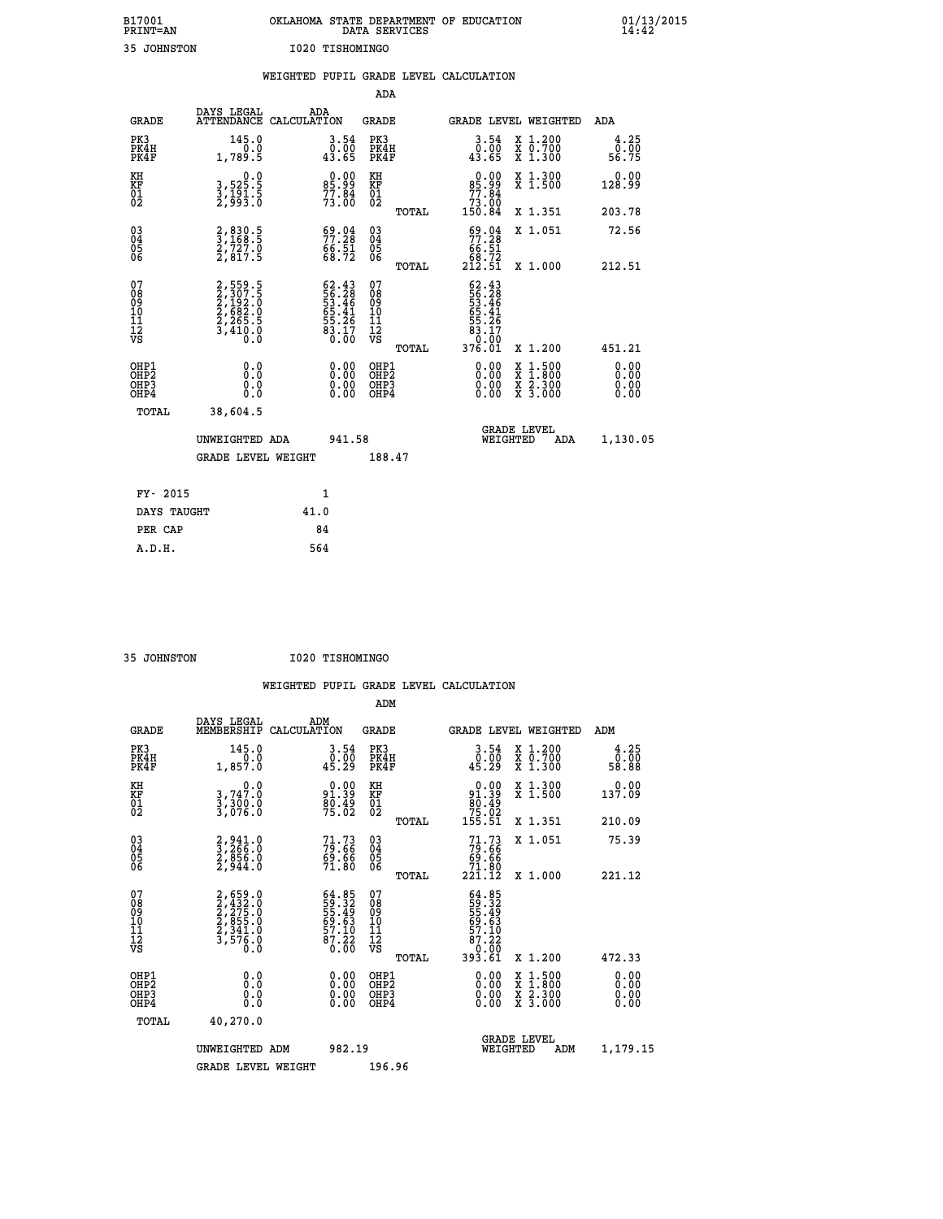| B17001          | OKLAHOMA STATE DEPARTMENT OF EDUCATION |
|-----------------|----------------------------------------|
| <b>PRINT=AN</b> | DATA SERVICES                          |
| 35 JOHNSTON     | I020 TISHOMINGO                        |

|                                                                    |                                                                         | WEIGHTED PUPIL GRADE LEVEL CALCULATION                             |                                                     |       |                                                                                                             |                                                                                                                                              |                              |
|--------------------------------------------------------------------|-------------------------------------------------------------------------|--------------------------------------------------------------------|-----------------------------------------------------|-------|-------------------------------------------------------------------------------------------------------------|----------------------------------------------------------------------------------------------------------------------------------------------|------------------------------|
|                                                                    |                                                                         |                                                                    | <b>ADA</b>                                          |       |                                                                                                             |                                                                                                                                              |                              |
| <b>GRADE</b>                                                       | DAYS LEGAL                                                              | ADA<br>ATTENDANCE CALCULATION                                      | <b>GRADE</b>                                        |       |                                                                                                             | GRADE LEVEL WEIGHTED                                                                                                                         | <b>ADA</b>                   |
| PK3<br>PK4H<br>PK4F                                                | 145.0<br>1,789.5                                                        | $\begin{smallmatrix} 3.54\ 0.00\ 43.65 \end{smallmatrix}$          | PK3<br>PK4H<br>PK4F                                 |       | $\begin{smallmatrix} 3.54\ 0.00\ 43.65 \end{smallmatrix}$                                                   | X 1.200<br>X 0.700<br>X 1.300                                                                                                                | 4.25<br>ō:ōŏ<br>56:75        |
| KH<br>KF<br>01<br>02                                               | $\begin{smallmatrix}&&&0.0\\3,525.5\\3,191.5\\2,993.0\end{smallmatrix}$ | $85.99$<br>$77.84$<br>$73.00$                                      | KH<br>KF<br>01<br>02                                |       | 0.00<br>85.99<br>77.84                                                                                      | X 1.300<br>X 1.500                                                                                                                           | 0.00<br>128.99               |
|                                                                    |                                                                         |                                                                    |                                                     | TOTAL | 00.é†<br>150.84                                                                                             | X 1.351                                                                                                                                      | 203.78                       |
| $\begin{smallmatrix} 03 \\[-4pt] 04 \end{smallmatrix}$<br>Ŏ5<br>06 | 2,830.5<br>3,168.5<br>2,727.0<br>2,817.5                                | $\begin{smallmatrix} 69.04\ 77.28\ 66.51\ 68.72 \end{smallmatrix}$ | $\begin{array}{c} 03 \\ 04 \\ 05 \\ 06 \end{array}$ |       | $59.04$<br>$77.28$<br>$66.51$<br>$68.72$<br>$212.51$                                                        | X 1.051                                                                                                                                      | 72.56                        |
|                                                                    |                                                                         |                                                                    |                                                     | TOTAL |                                                                                                             | X 1.000                                                                                                                                      | 212.51                       |
| 07<br>08<br>09<br>11<br>11<br>12<br>VS                             | 2,559.5<br>2,307.5<br>2,192.0<br>2,682.0<br>2,265.5<br>3,410.0          | $62.4356.2853.4655.4165.4155.2683.170.00$                          | 07<br>08<br>09<br>11<br>11<br>12<br>VS              | TOTAL | $56.28$<br>$55.28$<br>$53.46$<br>$65.41$<br>$\begin{array}{r} 55.26 \\ 83.17 \\ 0.00 \\ 376.01 \end{array}$ | X 1.200                                                                                                                                      | 451.21                       |
| OHP1<br>OHP2<br>OH <sub>P3</sub><br>OH <sub>P4</sub>               | 0.0<br>0.0<br>0.0                                                       | 0.00<br>$\begin{smallmatrix} 0.00 \ 0.00 \end{smallmatrix}$        | OHP1<br>OHP2<br>OHP3<br>OHP4                        |       | $0.00$<br>$0.00$<br>0.00                                                                                    | $\begin{smallmatrix} \mathtt{X} & 1\cdot500 \\ \mathtt{X} & 1\cdot800 \\ \mathtt{X} & 2\cdot300 \\ \mathtt{X} & 3\cdot000 \end{smallmatrix}$ | 0.00<br>0.00<br>0.00<br>0.00 |
| TOTAL                                                              | 38,604.5                                                                |                                                                    |                                                     |       |                                                                                                             |                                                                                                                                              |                              |
|                                                                    | UNWEIGHTED ADA                                                          | 941.58                                                             |                                                     |       | WEIGHTED                                                                                                    | <b>GRADE LEVEL</b><br>ADA                                                                                                                    | 1,130.05                     |
|                                                                    | GRADE LEVEL WEIGHT                                                      |                                                                    | 188.47                                              |       |                                                                                                             |                                                                                                                                              |                              |
| FY- 2015                                                           |                                                                         | $\mathbf{1}$                                                       |                                                     |       |                                                                                                             |                                                                                                                                              |                              |
| DAYS TAUGHT                                                        |                                                                         | 41.0                                                               |                                                     |       |                                                                                                             |                                                                                                                                              |                              |
| PER CAP                                                            |                                                                         | 84                                                                 |                                                     |       |                                                                                                             |                                                                                                                                              |                              |

 **35 JOHNSTON I020 TISHOMINGO**

 **A.D.H. 564**

 **ADM**

| <b>GRADE</b>                                         | DAYS LEGAL<br>MEMBERSHIP                                                      | ADM<br>CALCULATION                                                   | <b>GRADE</b>                                        |       |                                                                                                                                                                                                                                                                                |          | GRADE LEVEL WEIGHTED                     | ADM                          |  |
|------------------------------------------------------|-------------------------------------------------------------------------------|----------------------------------------------------------------------|-----------------------------------------------------|-------|--------------------------------------------------------------------------------------------------------------------------------------------------------------------------------------------------------------------------------------------------------------------------------|----------|------------------------------------------|------------------------------|--|
| PK3<br>PK4H<br>PK4F                                  | 145.0<br>1,857.0                                                              | $\begin{smallmatrix} 3.54\ 0.00\ 45.29 \end{smallmatrix}$            | PK3<br>PK4H<br>PK4F                                 |       | $\begin{smallmatrix} 3.54\ 0.00\ 45.29 \end{smallmatrix}$                                                                                                                                                                                                                      |          | X 1.200<br>X 0.700<br>X 1.300            | $\frac{4.25}{0.00}$<br>58.88 |  |
| KH<br>KF<br>01<br>02                                 | $\begin{smallmatrix}&&&0.0\\3.747.0\\3.300.0\\3.076.0\end{smallmatrix}$       | 91.39<br>91.39<br>80.49<br>75.02                                     | KH<br>KF<br>01<br>02                                |       | $0.00$<br>$91.39$<br>$80.49$<br>$75.02$<br>$155.51$                                                                                                                                                                                                                            |          | X 1.300<br>X 1.500                       | 0.00<br>137.09               |  |
|                                                      |                                                                               |                                                                      |                                                     | TOTAL |                                                                                                                                                                                                                                                                                |          | X 1.351                                  | 210.09                       |  |
| $\begin{matrix} 03 \\ 04 \\ 05 \\ 06 \end{matrix}$   | $\begin{smallmatrix} 2,941.0\\ 3,266.0\\ 2,856.0\\ 2,944.0 \end{smallmatrix}$ | 79.73<br>79.66<br>69.66<br>71.80                                     | $\begin{array}{c} 03 \\ 04 \\ 05 \\ 06 \end{array}$ |       | $71.73\n79.66\n69.66\n71.80\n221.12$                                                                                                                                                                                                                                           |          | X 1.051                                  | 75.39                        |  |
|                                                      |                                                                               |                                                                      |                                                     | TOTAL |                                                                                                                                                                                                                                                                                |          | X 1.000                                  | 221.12                       |  |
| 07<br>089<br>090<br>1112<br>VS                       | 2,659.0<br>2,432.0<br>2,275.0<br>2,855.0<br>2,341.0<br>3,576.0                | 64.85<br>59.32<br>55.49<br>55.49<br>69.63<br>57.10<br>87.22<br>87.22 | 07<br>08<br>09<br>001<br>11<br>11<br>12<br>VS       | TOTAL | $64.85$<br>$59.32$<br>$55.49$<br>$56.49$<br>$69.53$<br>$57.10$<br>$87.22$<br>$0.000$<br>$393.61$                                                                                                                                                                               |          | X 1.200                                  | 472.33                       |  |
| OHP1<br>OHP <sub>2</sub><br>OHP3<br>OH <sub>P4</sub> | 0.0<br>0.0<br>Ŏ.Ŏ                                                             |                                                                      | OHP1<br>OHP <sub>2</sub><br>OHP3<br>OHP4            |       | $\begin{smallmatrix} 0.00 & 0.00 & 0.00 & 0.00 & 0.00 & 0.00 & 0.00 & 0.00 & 0.00 & 0.00 & 0.00 & 0.00 & 0.00 & 0.00 & 0.00 & 0.00 & 0.00 & 0.00 & 0.00 & 0.00 & 0.00 & 0.00 & 0.00 & 0.00 & 0.00 & 0.00 & 0.00 & 0.00 & 0.00 & 0.00 & 0.00 & 0.00 & 0.00 & 0.00 & 0.00 & 0.0$ |          | X 1:500<br>X 1:800<br>X 2:300<br>X 3:000 | $0.00$<br>$0.00$<br>0.00     |  |
| TOTAL                                                | 40,270.0                                                                      |                                                                      |                                                     |       |                                                                                                                                                                                                                                                                                |          |                                          |                              |  |
|                                                      | UNWEIGHTED                                                                    | 982.19<br>ADM                                                        |                                                     |       |                                                                                                                                                                                                                                                                                | WEIGHTED | <b>GRADE LEVEL</b><br>ADM                | 1,179.15                     |  |
|                                                      | <b>GRADE LEVEL WEIGHT</b>                                                     |                                                                      | 196.96                                              |       |                                                                                                                                                                                                                                                                                |          |                                          |                              |  |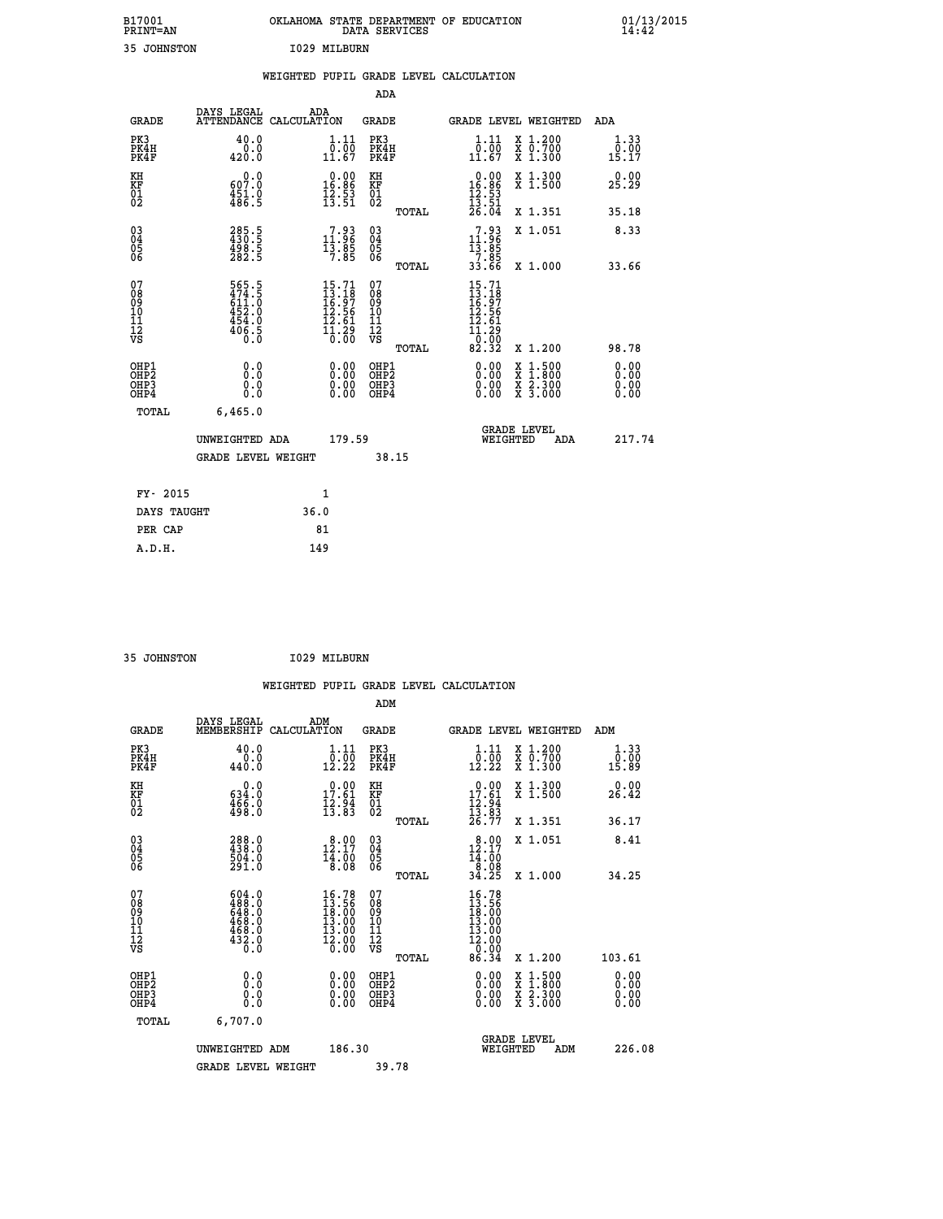| 35 JOHNSTON<br>I029 MILBURN<br>WEIGHTED PUPIL GRADE LEVEL CALCULATION<br>ADA<br>DAYS LEGAL<br>ADA<br>ATTENDANCE CALCULATION<br><b>GRADE</b><br>GRADE<br><b>GRADE LEVEL WEIGHTED</b><br>ADA<br>PK3<br>40.0<br>1.11<br>PK3<br>1.11<br>X 1.200<br>X 0.700<br>X 1.300<br>1.33<br>PK4H<br>$\overline{0}$ . $\overline{0}$<br>0.00<br>0.0<br>PK4H<br>0.00<br>420.0<br>11.67<br>PK4F<br>11.67<br>PK4F<br>15.17<br>KH<br>$\begin{array}{r} 0.00 \\ 16.86 \\ 12.53 \\ 13.51 \end{array}$<br>$0.00$<br>16.86<br>0.0<br>KH<br>X 1.300<br>X 1.500<br>0.00<br>KF<br>607.0<br>451.0<br>486.5<br>KF<br>01<br>02<br>25.29<br>$\overline{01}$<br>$\frac{12}{13}$ : 53<br>$\frac{13}{26}$ : 51<br><b>TOTAL</b><br>X 1.351<br>35.18<br>285.5<br>430.5<br>498.5<br>282.5<br>$\begin{matrix} 03 \\ 04 \\ 05 \\ 06 \end{matrix}$<br>$\begin{smallmatrix}7.93\11.96\\13.85\\7.85\end{smallmatrix}$<br>11:93<br>03<br>04<br>05<br>06<br>X 1.051<br>8.33<br>13.85<br>$\frac{7}{33}.85$<br>33.66<br>X 1.000<br>TOTAL<br>33.66<br>07<br>$15.71$<br>$13.18$<br>$16.97$<br>$12.56$<br>565.5<br>474.5<br>611.0<br>452.0<br>454.0<br>$15.71$<br>$13.18$<br>$16.97$<br>$12.56$<br>$12.61$<br>$11.29$<br>$0.00$<br>07<br>08<br>09<br>10<br>11<br>08<br>09<br>11<br>11<br>VS<br>12.61<br>ĪŹ<br>VS<br>$\frac{406.5}{0.0}$<br>$\overline{1}\overline{1}$ . $\overline{2}\overline{9}$<br>$\overline{0}$ . 00<br>82.32<br>TOTAL<br>X 1.200<br>98.78<br>0.00<br>OHP1<br>0.0<br>0.00<br>OHP1<br>$\begin{smallmatrix} x & 1.500 \\ x & 1.800 \\ x & 2.300 \\ x & 3.000 \end{smallmatrix}$<br>0.00<br>OHP <sub>2</sub><br>OHP <sub>2</sub><br>0.00<br>0.00<br>0.00<br>OHP3<br>0.0<br>OHP3<br>0.0000<br>0.00<br>OHP4<br>0.0<br>OHP4<br><b>TOTAL</b><br>6,465.0<br><b>GRADE LEVEL</b><br>179.59<br>WEIGHTED<br>217.74<br>UNWEIGHTED ADA<br>ADA<br><b>GRADE LEVEL WEIGHT</b><br>38.15<br>FY- 2015<br>1<br>DAYS TAUGHT<br>36.0 | B17001<br>PRINT=AN |  |  | DATA SERVICES | OKLAHOMA STATE DEPARTMENT OF EDUCATION |  | $01/13/2015$<br>14:42 |
|-----------------------------------------------------------------------------------------------------------------------------------------------------------------------------------------------------------------------------------------------------------------------------------------------------------------------------------------------------------------------------------------------------------------------------------------------------------------------------------------------------------------------------------------------------------------------------------------------------------------------------------------------------------------------------------------------------------------------------------------------------------------------------------------------------------------------------------------------------------------------------------------------------------------------------------------------------------------------------------------------------------------------------------------------------------------------------------------------------------------------------------------------------------------------------------------------------------------------------------------------------------------------------------------------------------------------------------------------------------------------------------------------------------------------------------------------------------------------------------------------------------------------------------------------------------------------------------------------------------------------------------------------------------------------------------------------------------------------------------------------------------------------------------------------------------------------------------------------------------------------------------|--------------------|--|--|---------------|----------------------------------------|--|-----------------------|
|                                                                                                                                                                                                                                                                                                                                                                                                                                                                                                                                                                                                                                                                                                                                                                                                                                                                                                                                                                                                                                                                                                                                                                                                                                                                                                                                                                                                                                                                                                                                                                                                                                                                                                                                                                                                                                                                                   |                    |  |  |               |                                        |  |                       |
|                                                                                                                                                                                                                                                                                                                                                                                                                                                                                                                                                                                                                                                                                                                                                                                                                                                                                                                                                                                                                                                                                                                                                                                                                                                                                                                                                                                                                                                                                                                                                                                                                                                                                                                                                                                                                                                                                   |                    |  |  |               |                                        |  |                       |
|                                                                                                                                                                                                                                                                                                                                                                                                                                                                                                                                                                                                                                                                                                                                                                                                                                                                                                                                                                                                                                                                                                                                                                                                                                                                                                                                                                                                                                                                                                                                                                                                                                                                                                                                                                                                                                                                                   |                    |  |  |               |                                        |  |                       |
|                                                                                                                                                                                                                                                                                                                                                                                                                                                                                                                                                                                                                                                                                                                                                                                                                                                                                                                                                                                                                                                                                                                                                                                                                                                                                                                                                                                                                                                                                                                                                                                                                                                                                                                                                                                                                                                                                   |                    |  |  |               |                                        |  |                       |
|                                                                                                                                                                                                                                                                                                                                                                                                                                                                                                                                                                                                                                                                                                                                                                                                                                                                                                                                                                                                                                                                                                                                                                                                                                                                                                                                                                                                                                                                                                                                                                                                                                                                                                                                                                                                                                                                                   |                    |  |  |               |                                        |  |                       |
|                                                                                                                                                                                                                                                                                                                                                                                                                                                                                                                                                                                                                                                                                                                                                                                                                                                                                                                                                                                                                                                                                                                                                                                                                                                                                                                                                                                                                                                                                                                                                                                                                                                                                                                                                                                                                                                                                   |                    |  |  |               |                                        |  |                       |
|                                                                                                                                                                                                                                                                                                                                                                                                                                                                                                                                                                                                                                                                                                                                                                                                                                                                                                                                                                                                                                                                                                                                                                                                                                                                                                                                                                                                                                                                                                                                                                                                                                                                                                                                                                                                                                                                                   |                    |  |  |               |                                        |  |                       |
|                                                                                                                                                                                                                                                                                                                                                                                                                                                                                                                                                                                                                                                                                                                                                                                                                                                                                                                                                                                                                                                                                                                                                                                                                                                                                                                                                                                                                                                                                                                                                                                                                                                                                                                                                                                                                                                                                   |                    |  |  |               |                                        |  |                       |
|                                                                                                                                                                                                                                                                                                                                                                                                                                                                                                                                                                                                                                                                                                                                                                                                                                                                                                                                                                                                                                                                                                                                                                                                                                                                                                                                                                                                                                                                                                                                                                                                                                                                                                                                                                                                                                                                                   |                    |  |  |               |                                        |  |                       |
|                                                                                                                                                                                                                                                                                                                                                                                                                                                                                                                                                                                                                                                                                                                                                                                                                                                                                                                                                                                                                                                                                                                                                                                                                                                                                                                                                                                                                                                                                                                                                                                                                                                                                                                                                                                                                                                                                   |                    |  |  |               |                                        |  |                       |
|                                                                                                                                                                                                                                                                                                                                                                                                                                                                                                                                                                                                                                                                                                                                                                                                                                                                                                                                                                                                                                                                                                                                                                                                                                                                                                                                                                                                                                                                                                                                                                                                                                                                                                                                                                                                                                                                                   |                    |  |  |               |                                        |  |                       |
|                                                                                                                                                                                                                                                                                                                                                                                                                                                                                                                                                                                                                                                                                                                                                                                                                                                                                                                                                                                                                                                                                                                                                                                                                                                                                                                                                                                                                                                                                                                                                                                                                                                                                                                                                                                                                                                                                   |                    |  |  |               |                                        |  |                       |
|                                                                                                                                                                                                                                                                                                                                                                                                                                                                                                                                                                                                                                                                                                                                                                                                                                                                                                                                                                                                                                                                                                                                                                                                                                                                                                                                                                                                                                                                                                                                                                                                                                                                                                                                                                                                                                                                                   |                    |  |  |               |                                        |  |                       |
|                                                                                                                                                                                                                                                                                                                                                                                                                                                                                                                                                                                                                                                                                                                                                                                                                                                                                                                                                                                                                                                                                                                                                                                                                                                                                                                                                                                                                                                                                                                                                                                                                                                                                                                                                                                                                                                                                   |                    |  |  |               |                                        |  |                       |

| FY- 2015    | 1    |
|-------------|------|
| DAYS TAUGHT | 36.0 |
| PER CAP     | 81   |
| A.D.H.      | 149  |
|             |      |

| 35 JOHNSTON | 1029 MILBURN |
|-------------|--------------|
|             |              |

|                                                    |                                                                                                                                                                                         |                    |                                                                              |                                   |       | WEIGHTED PUPIL GRADE LEVEL CALCULATION                                                                                                                                                                                                                                         |                                                                                                  |     |                               |  |
|----------------------------------------------------|-----------------------------------------------------------------------------------------------------------------------------------------------------------------------------------------|--------------------|------------------------------------------------------------------------------|-----------------------------------|-------|--------------------------------------------------------------------------------------------------------------------------------------------------------------------------------------------------------------------------------------------------------------------------------|--------------------------------------------------------------------------------------------------|-----|-------------------------------|--|
|                                                    |                                                                                                                                                                                         |                    |                                                                              | ADM                               |       |                                                                                                                                                                                                                                                                                |                                                                                                  |     |                               |  |
| <b>GRADE</b>                                       | DAYS LEGAL<br>MEMBERSHIP                                                                                                                                                                | ADM<br>CALCULATION |                                                                              | <b>GRADE</b>                      |       | GRADE LEVEL WEIGHTED                                                                                                                                                                                                                                                           |                                                                                                  |     | ADM                           |  |
| PK3<br>PK4H<br>PK4F                                | 40.0<br>440.0                                                                                                                                                                           |                    | 1.11<br>$\frac{0.00}{12.22}$                                                 | PK3<br>PK4H<br>PK4F               |       | $1.11$<br>$0.00$<br>12.22                                                                                                                                                                                                                                                      | X 1.200<br>X 0.700<br>X 1.300                                                                    |     | 1.33<br>0.00<br>15.89         |  |
| KH<br>KF<br>01<br>02                               | $\begin{smallmatrix} &0.0\ 634.0\ 466.0\ 498.0 \end{smallmatrix}$                                                                                                                       |                    | $\begin{array}{c} 0.00 \\ 17.61 \\ 12.94 \\ 13.83 \end{array}$               | KH<br>KF<br>01<br>02              |       | $\begin{array}{r} 0.00 \\ 17.61 \\ 12.94 \\ 13.83 \\ 26.77 \end{array}$                                                                                                                                                                                                        | X 1.300<br>X 1.500                                                                               |     | 0.00<br>26.42                 |  |
|                                                    |                                                                                                                                                                                         |                    |                                                                              |                                   | TOTAL |                                                                                                                                                                                                                                                                                | X 1.351                                                                                          |     | 36.17                         |  |
| $\begin{matrix} 03 \\ 04 \\ 05 \\ 06 \end{matrix}$ | 288.0<br>438.0<br>504.0<br>501.0                                                                                                                                                        |                    | 12.00<br>$\frac{14.00}{8.08}$                                                | $\substack{03 \\ 04}$<br>Ŏ5<br>06 |       | 12.17<br>$\frac{1}{8}.\overline{00}$                                                                                                                                                                                                                                           | X 1.051                                                                                          |     | 8.41                          |  |
|                                                    |                                                                                                                                                                                         |                    |                                                                              |                                   | TOTAL | 34.25                                                                                                                                                                                                                                                                          | X 1.000                                                                                          |     | 34.25                         |  |
| 07<br>0890112<br>1112<br>VS                        | $\begin{smallmatrix} 6 & 0 & 4 & 0 & 0 \\ 4 & 8 & 8 & 0 & 0 \\ 6 & 4 & 8 & 0 & 0 \\ 4 & 6 & 8 & 0 & 0 \\ 4 & 6 & 8 & 0 & 0 \\ 4 & 3 & 2 & 0 & 0 \\ 0 & 0 & 0 & 0 & 0 \end{smallmatrix}$ |                    | $16.78$<br>$13.56$<br>18:00<br>13:00<br>13.00<br>$\frac{1}{2}.\overline{00}$ | 07<br>08901123<br>1112<br>VS      | TOTAL | $16.78$<br>$13.56$<br>$18.00$<br>$13.00$<br>$13.00$<br>$\frac{12.00}{0.00}$<br>86.34                                                                                                                                                                                           | X 1.200                                                                                          |     | 103.61                        |  |
| OHP1<br>OHP2<br>OH <sub>P3</sub><br>OHP4           | 0.0<br>0.000                                                                                                                                                                            |                    | $\begin{smallmatrix} 0.00 \ 0.00 \ 0.00 \ 0.00 \end{smallmatrix}$            | OHP1<br>OHP2<br>OHP <sub>3</sub>  |       | $\begin{smallmatrix} 0.00 & 0.00 & 0.00 & 0.00 & 0.00 & 0.00 & 0.00 & 0.00 & 0.00 & 0.00 & 0.00 & 0.00 & 0.00 & 0.00 & 0.00 & 0.00 & 0.00 & 0.00 & 0.00 & 0.00 & 0.00 & 0.00 & 0.00 & 0.00 & 0.00 & 0.00 & 0.00 & 0.00 & 0.00 & 0.00 & 0.00 & 0.00 & 0.00 & 0.00 & 0.00 & 0.0$ | $\begin{smallmatrix} x & 1 & 500 \\ x & 1 & 800 \\ x & 2 & 300 \\ x & 3 & 000 \end{smallmatrix}$ |     | 0.00<br>Ō. ŌŌ<br>0.00<br>0.00 |  |
| TOTAL                                              | 6,707.0                                                                                                                                                                                 |                    |                                                                              |                                   |       |                                                                                                                                                                                                                                                                                |                                                                                                  |     |                               |  |
|                                                    | UNWEIGHTED ADM                                                                                                                                                                          |                    | 186.30                                                                       |                                   |       | WEIGHTED                                                                                                                                                                                                                                                                       | <b>GRADE LEVEL</b>                                                                               | ADM | 226.08                        |  |
|                                                    | <b>GRADE LEVEL WEIGHT</b>                                                                                                                                                               |                    |                                                                              | 39.78                             |       |                                                                                                                                                                                                                                                                                |                                                                                                  |     |                               |  |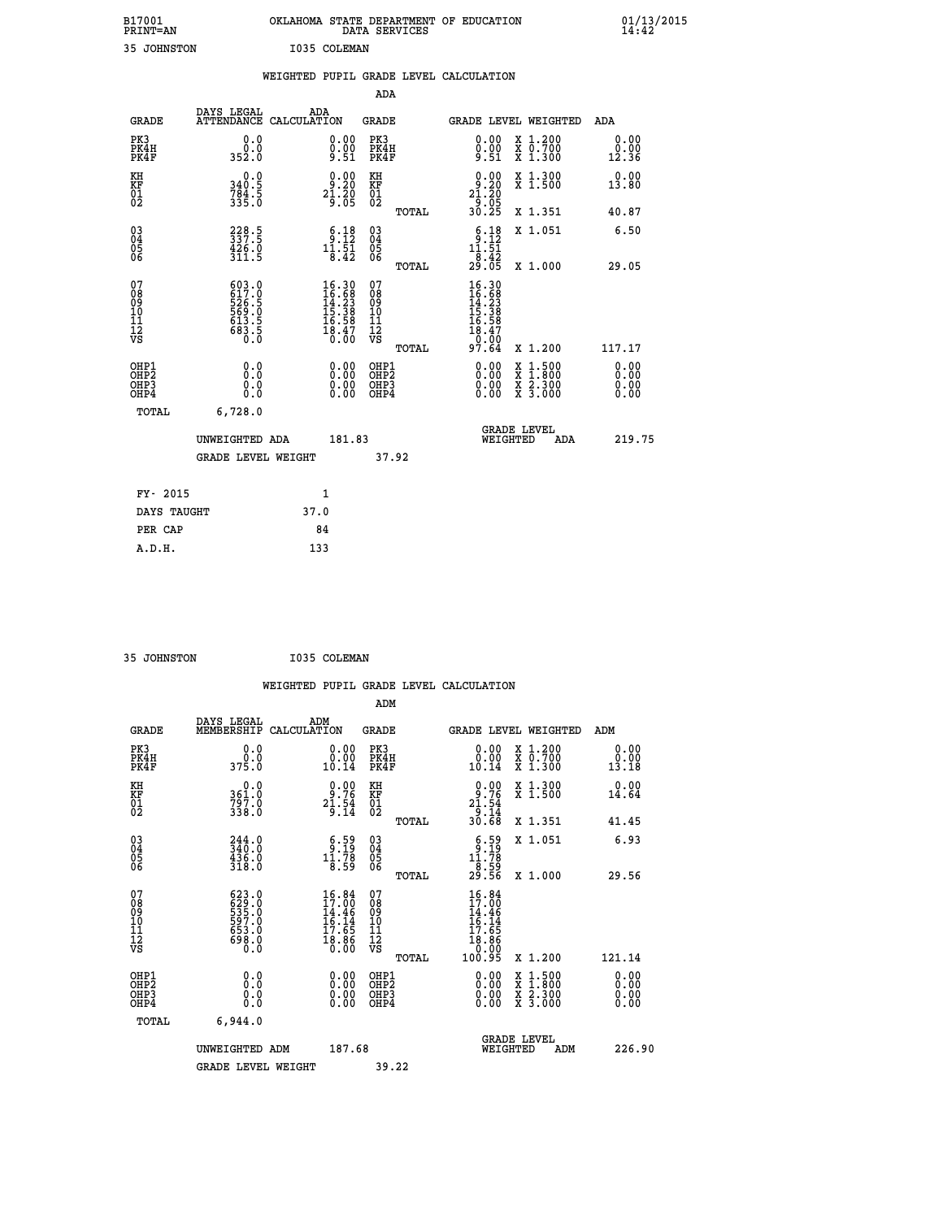| B17001<br><b>PRINT=AN</b> |             | OKLAHOMA STATE DEPARTMENT OF EDUCATION<br>DATA SERVICES |  |
|---------------------------|-------------|---------------------------------------------------------|--|
|                           | 35 JOHNSTON | I035 COLEMAN                                            |  |

|                                                                    |                                                             |      |                                                                                                             |                                                    |       | WEIGHTED PUPIL GRADE LEVEL CALCULATION                                                                                                                                                                                                                                                                                                  |                                          |                              |
|--------------------------------------------------------------------|-------------------------------------------------------------|------|-------------------------------------------------------------------------------------------------------------|----------------------------------------------------|-------|-----------------------------------------------------------------------------------------------------------------------------------------------------------------------------------------------------------------------------------------------------------------------------------------------------------------------------------------|------------------------------------------|------------------------------|
|                                                                    |                                                             |      |                                                                                                             | ADA                                                |       |                                                                                                                                                                                                                                                                                                                                         |                                          |                              |
| <b>GRADE</b>                                                       | DAYS LEGAL<br>ATTENDANCE CALCULATION                        | ADA  |                                                                                                             | GRADE                                              |       | GRADE LEVEL WEIGHTED                                                                                                                                                                                                                                                                                                                    |                                          | ADA                          |
| PK3<br>PK4H<br>PK4F                                                | 0.0<br>0.0<br>352.0                                         |      | $\begin{smallmatrix} 0.00\ 0.00\ 9.51 \end{smallmatrix}$                                                    | PK3<br>PK4H<br>PK4F                                |       | 0.00<br>$\frac{0.00}{9.51}$                                                                                                                                                                                                                                                                                                             | X 1.200<br>X 0.700<br>X 1.300            | 0.00<br>0.00<br>12.36        |
| KH<br>KF<br>01<br>02                                               | 0.0<br>$340.5$<br>$784.5$<br>$335.0$                        |      | $\begin{smallmatrix} 0.00\\ -9.20\\ 21.20\\ -9.05 \end{smallmatrix}$                                        | KH<br>KF<br>01<br>02                               |       | $\begin{array}{c} 0.00 \\ 9.20 \\ 21.20 \\ 9.05 \\ 30.25 \end{array}$                                                                                                                                                                                                                                                                   | X 1.300<br>X 1.500                       | 0.00<br>13.80                |
|                                                                    |                                                             |      |                                                                                                             |                                                    | TOTAL |                                                                                                                                                                                                                                                                                                                                         | X 1.351                                  | 40.87                        |
| $\begin{smallmatrix} 03 \\[-4pt] 04 \end{smallmatrix}$<br>Ŏ5<br>06 | 228.5<br>337.5<br>426.0<br>311.5                            |      | $\overset{6}{\substack{5.18 \\ 11.51 \\ 8.42}}$                                                             | $\begin{matrix} 03 \\ 04 \\ 05 \\ 06 \end{matrix}$ |       | $\begin{smallmatrix} 6\cdot 18\\ 9\cdot 12\\ 11\cdot 51\\ 8\cdot 42\\ 29\cdot 05 \end{smallmatrix}$                                                                                                                                                                                                                                     | X 1.051                                  | 6.50                         |
|                                                                    |                                                             |      |                                                                                                             |                                                    | TOTAL |                                                                                                                                                                                                                                                                                                                                         | X 1.000                                  | 29.05                        |
| 07<br>08<br>09<br>101<br>11<br>12<br>VS                            | 603.0<br>617.0<br>526.5<br>569.0<br>563.5<br>683.5<br>683.5 |      | $\begin{smallmatrix} 16.30 \\ 16.68 \\ 14.23 \\ 15.38 \\ 15.38 \\ 16.58 \\ 16.47 \\ 0.00 \end{smallmatrix}$ | 07<br>08<br>09<br>001<br>11<br>11<br>12<br>VS      | TOTAL | $\begin{smallmatrix} 16 & 3 & 0 \\ 16 & 6 & 8 \\ 14 & 2 & 3 \\ 15 & 3 & 8 \\ 15 & 5 & 8 \\ 16 & 5 & 8 \\ 16 & 4 & 7 \\ 9 & 0 & 0 \\ 9 & 0 & 6 \\ 4 & 0 & 0 \\ 9 & 0 & 6 \\ 4 & 1 & 0 \\ 9 & 0 & 6 \\ 4 & 1 & 0 \\ 9 & 0 & 6 \\ 4 & 1 & 0 \\ 9 & 0 & 6 \\ 4 & 1 & 0 \\ 9 & 0 & 6 \\ 4 & 1 & 0 \\ 1 & 0 & 0 \\ 1 & 0 & 0 \\ 1 & 0 & 0 \\$ | X 1.200                                  | 117.17                       |
| OHP1<br>OH <sub>P</sub> <sub>2</sub><br>OHP3<br>OHP4               | 0.0<br>0.0<br>0.0                                           |      | $0.00$<br>$0.00$<br>0.00                                                                                    | OHP1<br>OHP2<br>OHP3<br>OHP4                       |       |                                                                                                                                                                                                                                                                                                                                         | X 1:500<br>X 1:800<br>X 2:300<br>X 3:000 | 0.00<br>0.00<br>0.00<br>0.00 |
| TOTAL                                                              | 6,728.0                                                     |      |                                                                                                             |                                                    |       |                                                                                                                                                                                                                                                                                                                                         |                                          |                              |
|                                                                    | UNWEIGHTED ADA<br><b>GRADE LEVEL WEIGHT</b>                 |      | 181.83                                                                                                      |                                                    | 37.92 | WEIGHTED                                                                                                                                                                                                                                                                                                                                | <b>GRADE LEVEL</b><br>ADA                | 219.75                       |
|                                                                    |                                                             |      |                                                                                                             |                                                    |       |                                                                                                                                                                                                                                                                                                                                         |                                          |                              |
| FY- 2015                                                           |                                                             |      | $\mathbf{1}$                                                                                                |                                                    |       |                                                                                                                                                                                                                                                                                                                                         |                                          |                              |
| DAYS TAUGHT                                                        |                                                             | 37.0 |                                                                                                             |                                                    |       |                                                                                                                                                                                                                                                                                                                                         |                                          |                              |
| תגי ססם                                                            |                                                             |      | O <sub>A</sub>                                                                                              |                                                    |       |                                                                                                                                                                                                                                                                                                                                         |                                          |                              |

| DAYS TAUGHT | 37.0 |
|-------------|------|
| PER CAP     | 84   |
| A.D.H.      | 133  |
|             |      |

|                                                    |                                                                       |                    |                                                                                                                              |                                              |       | WEIGHTED PUPIL GRADE LEVEL CALCULATION                                                                                     |                                                                                                  |                       |        |
|----------------------------------------------------|-----------------------------------------------------------------------|--------------------|------------------------------------------------------------------------------------------------------------------------------|----------------------------------------------|-------|----------------------------------------------------------------------------------------------------------------------------|--------------------------------------------------------------------------------------------------|-----------------------|--------|
|                                                    |                                                                       |                    |                                                                                                                              | ADM                                          |       |                                                                                                                            |                                                                                                  |                       |        |
| <b>GRADE</b>                                       | DAYS LEGAL<br>MEMBERSHIP                                              | ADM<br>CALCULATION |                                                                                                                              | <b>GRADE</b>                                 |       | GRADE LEVEL WEIGHTED                                                                                                       |                                                                                                  | ADM                   |        |
| PK3<br>PK4H<br>PK4F                                | 0.0<br>ة:ة<br>375:0                                                   |                    | 0.00<br>10.14                                                                                                                | PK3<br>PK4H<br>PK4F                          |       | 0.00<br>10.14                                                                                                              | X 1.200<br>X 0.700<br>X 1.300                                                                    | 0.00<br>0.00<br>13.18 |        |
| KH<br>KF<br>01<br>02                               | $361.0$<br>$797.0$<br>$338.0$                                         |                    | $0.00$<br>$0.76$<br>$21.54$<br>$9.14$                                                                                        | KH<br>KF<br>01<br>02                         |       | $0.00$<br>$9.76$<br>$21.54$<br>$9.14$<br>$30.68$                                                                           | X 1.300<br>X 1.500                                                                               | 0.00<br>14.64         |        |
|                                                    |                                                                       |                    |                                                                                                                              |                                              | TOTAL |                                                                                                                            | X 1.351                                                                                          | 41.45                 |        |
| $\begin{matrix} 03 \\ 04 \\ 05 \\ 06 \end{matrix}$ | $\begin{smallmatrix} 244.0\\ 340.0\\ 436.0\\ 318.0 \end{smallmatrix}$ |                    | $\begin{smallmatrix} 6.59\\ 9.19\\ 11.78\\ 8.59 \end{smallmatrix}$                                                           | 03<br>04<br>05<br>06                         |       | $\begin{array}{c} 6:59 \\ 9:19 \\ 11:78 \\ 8:59 \\ 29:56 \end{array}$                                                      | X 1.051                                                                                          | 6.93                  |        |
|                                                    |                                                                       |                    |                                                                                                                              |                                              | TOTAL |                                                                                                                            | X 1.000                                                                                          | 29.56                 |        |
| 07<br>0890112<br>1112<br>VS                        | 623.0<br>629.0<br>535.0<br>597.0<br>653.0<br>698.0<br>698.0           |                    | $\begin{array}{r} 16\cdot 84 \\ 17\cdot 00 \\ 14\cdot 46 \\ 16\cdot 14 \\ 17\cdot 65 \\ 18\cdot 86 \\ 0\cdot 00 \end{array}$ | 07<br>08<br>09<br>01<br>11<br>11<br>12<br>VS | TOTAL | 16.84<br>17.00<br>$\frac{14.46}{16.14}$<br>$\frac{17.65}{17.65}$<br>$\begin{array}{c} 16.86 \\ 0.06 \\ 100.95 \end{array}$ | $X_1.200$                                                                                        | 121.14                |        |
| OHP1<br>OHP2<br>OH <sub>P3</sub><br>OHP4           | 0.0<br>0.000                                                          |                    | $\begin{smallmatrix} 0.00 \ 0.00 \ 0.00 \ 0.00 \end{smallmatrix}$                                                            | OHP1<br>OHP2<br>OHP <sub>3</sub>             |       |                                                                                                                            | $\begin{smallmatrix} x & 1 & 500 \\ x & 1 & 800 \\ x & 2 & 300 \\ x & 3 & 000 \end{smallmatrix}$ | 0.00<br>0.00<br>0.00  |        |
| TOTAL                                              | 6.944.0                                                               |                    |                                                                                                                              |                                              |       |                                                                                                                            |                                                                                                  |                       |        |
|                                                    | UNWEIGHTED ADM                                                        |                    | 187.68                                                                                                                       |                                              |       | WEIGHTED                                                                                                                   | <b>GRADE LEVEL</b><br>ADM                                                                        |                       | 226.90 |
|                                                    | <b>GRADE LEVEL WEIGHT</b>                                             |                    |                                                                                                                              | 39.22                                        |       |                                                                                                                            |                                                                                                  |                       |        |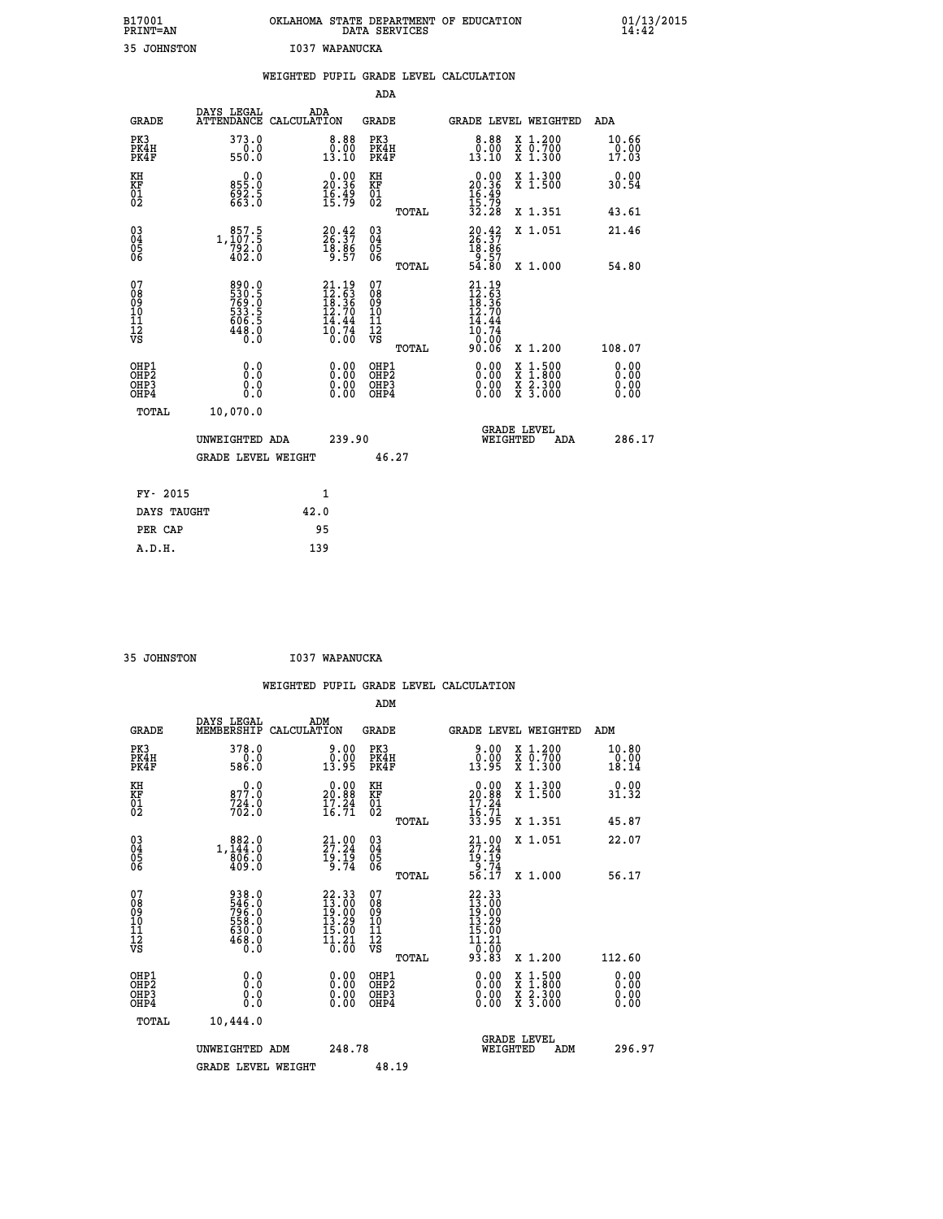| B17001          | OKLAHOMA STATE DEPARTMENT OF EDUCATION |
|-----------------|----------------------------------------|
| <b>PRINT=AN</b> | DATA SERVICES                          |
| 35 JOHNSTON     | I037 WAPANUCKA                         |

|                                                                    |                                                                          |      |                                                                                   |                                                     |       | WEIGHTED PUPIL GRADE LEVEL CALCULATION                                                                                                          |                                                                                                                                              |                        |
|--------------------------------------------------------------------|--------------------------------------------------------------------------|------|-----------------------------------------------------------------------------------|-----------------------------------------------------|-------|-------------------------------------------------------------------------------------------------------------------------------------------------|----------------------------------------------------------------------------------------------------------------------------------------------|------------------------|
|                                                                    |                                                                          |      |                                                                                   | <b>ADA</b>                                          |       |                                                                                                                                                 |                                                                                                                                              |                        |
| <b>GRADE</b>                                                       | DAYS LEGAL<br>ATTENDANCE CALCULATION                                     | ADA  |                                                                                   | GRADE                                               |       |                                                                                                                                                 | GRADE LEVEL WEIGHTED                                                                                                                         | ADA                    |
| PK3<br>PK4H<br>PK4F                                                | 373.0<br>0.0<br>550.0                                                    |      | $\begin{smallmatrix} 8.88\ 0.00013.10 \end{smallmatrix}$                          | PK3<br>PK4H<br>PK4F                                 |       | $\begin{smallmatrix} 8.88\ 0.00013.10 \end{smallmatrix}$                                                                                        | X 1.200<br>X 0.700<br>X 1.300                                                                                                                | 10.66<br>0.00<br>17.03 |
| KH<br>KF<br>01<br>02                                               | 0.0<br>855:0<br>692:5<br>663:0                                           |      | $\begin{smallmatrix} 0.00\\ 20.36\\ 16.49\\ 15.79 \end{smallmatrix}$              | KH<br>KF<br>01<br>02                                |       | $\begin{smallmatrix} 0.00\\ 20.36\\ 16.49\\ 15.79\\ 32.28 \end{smallmatrix}$                                                                    | X 1.300<br>X 1.500                                                                                                                           | 0.00<br>30.54          |
|                                                                    |                                                                          |      |                                                                                   |                                                     | TOTAL |                                                                                                                                                 | X 1.351                                                                                                                                      | 43.61                  |
| $\begin{smallmatrix} 03 \\[-4pt] 04 \end{smallmatrix}$<br>Ŏ5<br>06 | $1, \begin{smallmatrix} 857.5\\ 107.5\\ 792.0\\ 402.0 \end{smallmatrix}$ |      | $20.42$<br>$26.37$<br>$18.86$<br>$9.57$                                           | $\begin{array}{c} 03 \\ 04 \\ 05 \\ 06 \end{array}$ |       | $20.42$<br>$26.37$<br>$18.86$<br>$9.57$<br>$54.80$                                                                                              | X 1.051                                                                                                                                      | 21.46                  |
|                                                                    |                                                                          |      |                                                                                   |                                                     | TOTAL |                                                                                                                                                 | X 1.000                                                                                                                                      | 54.80                  |
| 07<br>08<br>09<br>11<br>11<br>12<br>VS                             | 890.0<br>530.5<br>769.0<br>533.5<br>506.5<br>606.5<br>448.0              |      | $21.19$<br>$12.53$<br>$18.36$<br>$12.70$<br>$\frac{1}{10}$ $\frac{1}{74}$<br>0.00 | 07<br>08<br>09<br>11<br>11<br>12<br>VS              | TOTAL | 21.19<br>$\frac{1}{2}$ $\frac{1}{8}$ $\cdot$ $\frac{5}{3}$ $\frac{5}{1}$ $\frac{3}{2}$ $\cdot$ $\frac{7}{9}$<br>14.44<br>10.74<br>0.00<br>90.06 | X 1.200                                                                                                                                      | 108.07                 |
| OHP1<br>OHP2<br>OH <sub>P3</sub><br>OHP4                           | 0.0<br>0.0<br>Ō.Ō                                                        |      | 0.00<br>$\begin{smallmatrix} 0.00 \ 0.00 \end{smallmatrix}$                       | OHP1<br>OHP2<br>OHP3<br>OHP4                        |       |                                                                                                                                                 | $\begin{smallmatrix} \mathtt{X} & 1\cdot500 \\ \mathtt{X} & 1\cdot800 \\ \mathtt{X} & 2\cdot300 \\ \mathtt{X} & 3\cdot000 \end{smallmatrix}$ | 0.00<br>0.00<br>0.00   |
| TOTAL                                                              | 10,070.0                                                                 |      |                                                                                   |                                                     |       |                                                                                                                                                 |                                                                                                                                              |                        |
|                                                                    | UNWEIGHTED ADA                                                           |      | 239.90                                                                            |                                                     |       | WEIGHTED                                                                                                                                        | <b>GRADE LEVEL</b><br>ADA                                                                                                                    | 286.17                 |
|                                                                    | <b>GRADE LEVEL WEIGHT</b>                                                |      |                                                                                   |                                                     | 46.27 |                                                                                                                                                 |                                                                                                                                              |                        |
| FY- 2015                                                           |                                                                          |      | 1                                                                                 |                                                     |       |                                                                                                                                                 |                                                                                                                                              |                        |
| DAYS TAUGHT                                                        |                                                                          | 42.0 |                                                                                   |                                                     |       |                                                                                                                                                 |                                                                                                                                              |                        |
| PER CAP                                                            |                                                                          |      | 95                                                                                |                                                     |       |                                                                                                                                                 |                                                                                                                                              |                        |

 **35 JOHNSTON I037 WAPANUCKA**

|                                                      |                                                             |                    |                                                                                             |                                                     |       | WEIGHTED PUPIL GRADE LEVEL CALCULATION                                                                          |                                                                                                                                           |                               |        |
|------------------------------------------------------|-------------------------------------------------------------|--------------------|---------------------------------------------------------------------------------------------|-----------------------------------------------------|-------|-----------------------------------------------------------------------------------------------------------------|-------------------------------------------------------------------------------------------------------------------------------------------|-------------------------------|--------|
|                                                      |                                                             |                    |                                                                                             | ADM                                                 |       |                                                                                                                 |                                                                                                                                           |                               |        |
| <b>GRADE</b>                                         | DAYS LEGAL<br>MEMBERSHIP                                    | ADM<br>CALCULATION |                                                                                             | <b>GRADE</b>                                        |       | <b>GRADE LEVEL WEIGHTED</b>                                                                                     |                                                                                                                                           | ADM                           |        |
| PK3<br>PK4H<br>PK4F                                  | 378.0<br>586.0                                              |                    | 0.00<br>13.95                                                                               | PK3<br>PK4H<br>PK4F                                 |       | 9.00<br>0.00<br>13.95                                                                                           | X 1.200<br>X 0.700<br>X 1.300                                                                                                             | 10.80<br>$\frac{0.00}{18.14}$ |        |
| KH<br>KF<br>01<br>02                                 | 877.0<br>$724.0$<br>$702.0$                                 |                    | $\begin{smallmatrix} 0.00\\ 20.88\\ 17.24\\ 16.71 \end{smallmatrix}$                        | KH<br>KF<br>01<br>02                                |       | $\begin{smallmatrix} 0.00\\ 20.88\\ 17.24\\ 16.71\\ 33.95 \end{smallmatrix}$                                    | X 1.300<br>X 1.500                                                                                                                        | 0.00<br>31.32                 |        |
|                                                      |                                                             |                    |                                                                                             |                                                     | TOTAL |                                                                                                                 | X 1.351                                                                                                                                   | 45.87                         |        |
| $\begin{matrix} 03 \\ 04 \\ 05 \\ 06 \end{matrix}$   | $1, \frac{882}{144}$ $0$<br>$906.0$<br>409.0                |                    | $21.00$<br>$27.24$<br>$19.19$<br>$9.74$                                                     | $\begin{array}{c} 03 \\ 04 \\ 05 \\ 06 \end{array}$ |       | $21.00$<br>$27.24$<br>$19.19$<br>$9.74$<br>$56.17$                                                              | X 1.051                                                                                                                                   | 22.07                         |        |
|                                                      |                                                             |                    |                                                                                             |                                                     | TOTAL |                                                                                                                 | X 1.000                                                                                                                                   | 56.17                         |        |
| 07<br>08<br>09<br>11<br>11<br>12<br>VS               | 938.0<br>546.0<br>796.0<br>558.0<br>530.0<br>630.0<br>468.0 |                    | $\begin{smallmatrix} 22.33\ 13.00\ 19.00\ 11.29 \end{smallmatrix}$<br>$\frac{15.00}{11.21}$ | 07<br>08<br>09<br>11<br>11<br>12<br>VS              |       | $\begin{array}{r} 22\cdot 33 \\ 13\cdot 00 \\ 19\cdot 00 \\ 13\cdot 29 \\ 15\cdot 00 \\ 11\cdot 21 \end{array}$ |                                                                                                                                           |                               |        |
|                                                      |                                                             |                    |                                                                                             |                                                     | TOTAL | _0:00<br>93.83                                                                                                  | X 1.200                                                                                                                                   | 112.60                        |        |
| OHP1<br>OHP <sub>2</sub><br>OH <sub>P3</sub><br>OHP4 | 0.0<br>0.0<br>Ŏ.Ŏ                                           |                    | $0.00$<br>$0.00$<br>0.00                                                                    | OHP1<br>OHP <sub>2</sub><br>OHP3<br>OHP4            |       | $0.00$<br>$0.00$<br>0.00                                                                                        | $\begin{smallmatrix} \mathtt{X} & 1\cdot500\\ \mathtt{X} & 1\cdot800\\ \mathtt{X} & 2\cdot300\\ \mathtt{X} & 3\cdot000 \end{smallmatrix}$ | 0.00<br>Ō. ŌŌ<br>0.00<br>0.00 |        |
| TOTAL                                                | 10,444.0                                                    |                    |                                                                                             |                                                     |       |                                                                                                                 |                                                                                                                                           |                               |        |
|                                                      | UNWEIGHTED ADM<br><b>GRADE LEVEL WEIGHT</b>                 |                    | 248.78                                                                                      | 48.19                                               |       | WEIGHTED                                                                                                        | <b>GRADE LEVEL</b><br>ADM                                                                                                                 |                               | 296.97 |
|                                                      |                                                             |                    |                                                                                             |                                                     |       |                                                                                                                 |                                                                                                                                           |                               |        |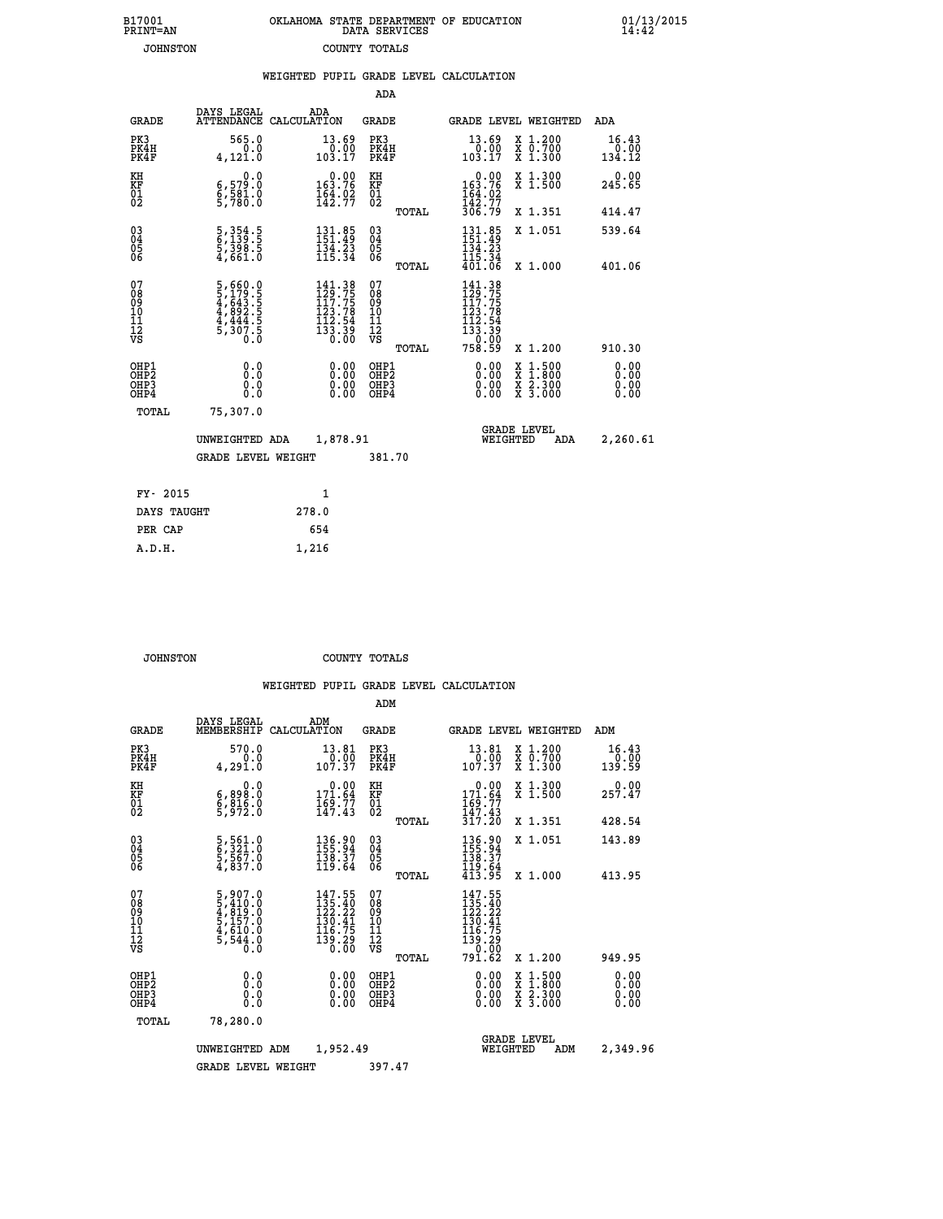| 7001<br>INT=AN  |  | OKLAHOMA STATE DEPARTMENT OF EDUCATION<br>DATA SERVICES |  |
|-----------------|--|---------------------------------------------------------|--|
| <b>JOHNSTON</b> |  | COUNTY TOTALS                                           |  |

|                                           |                                                                |       |                                                                                                       |                                           |       | WEIGHTED PUPIL GRADE LEVEL CALCULATION                                                                              |                               |                                                                                                                                                               |                              |
|-------------------------------------------|----------------------------------------------------------------|-------|-------------------------------------------------------------------------------------------------------|-------------------------------------------|-------|---------------------------------------------------------------------------------------------------------------------|-------------------------------|---------------------------------------------------------------------------------------------------------------------------------------------------------------|------------------------------|
|                                           |                                                                |       |                                                                                                       | ADA                                       |       |                                                                                                                     |                               |                                                                                                                                                               |                              |
| <b>GRADE</b>                              | DAYS LEGAL<br>ATTENDANCE CALCULATION                           | ADA   |                                                                                                       | <b>GRADE</b>                              |       | GRADE LEVEL WEIGHTED                                                                                                |                               |                                                                                                                                                               | ADA                          |
| PK3<br>PK4H<br>PK4F                       | 565.0<br>0.0<br>4,121.0                                        |       | $\begin{smallmatrix} 13.69\ 0.00 \ 103.17 \end{smallmatrix}$                                          | PK3<br>PK4H<br>PK4F                       |       | $\begin{smallmatrix} 13.69\ 0.00\ 103.17 \end{smallmatrix}$                                                         | X 1.200<br>X 0.700<br>X 1.300 |                                                                                                                                                               | 16.43<br>$0.00$<br>134.12    |
| KH<br>KF<br>01<br>02                      | 0.0<br>6,579.0<br>6,581.0<br>5,780.0                           |       | $0.00$<br>163.76<br>$\frac{164}{142}.92$                                                              | KH<br>KF<br>01<br>02                      |       | $163.76$<br>$164.02$<br>$142.77$                                                                                    | X 1.300<br>X 1.500            |                                                                                                                                                               | 0.00<br>245.65               |
|                                           |                                                                |       |                                                                                                       |                                           | TOTAL | 306.79                                                                                                              | X 1.351                       |                                                                                                                                                               | 414.47                       |
| 03<br>04<br>05<br>06                      | 5, 354.5<br>6, 139.5<br>5, 398.5<br>4, 661.0                   |       | $131.85$<br>$151.49$<br>$\frac{134}{115}$ $\frac{23}{34}$                                             | $\substack{03 \\ 04}$<br>Ŏ5<br>06         |       | $131.85$<br>$151.49$<br>$\frac{134}{115}$ $\cdot \frac{25}{34}$<br>$\frac{401}{06}$                                 | X 1.051                       |                                                                                                                                                               | 539.64                       |
|                                           |                                                                |       |                                                                                                       |                                           | TOTAL |                                                                                                                     |                               | X 1.000                                                                                                                                                       | 401.06                       |
| 07<br>08<br>09<br>11<br>11<br>12<br>VS    | 5,660.0<br>5,179.5<br>4,643.5<br>4,892.5<br>4,444.5<br>5,307.5 |       | $141.38$<br>$129.75$<br>$117.75$<br>$\begin{array}{r} 123.78 \\ 112.54 \\ 133.39 \\ 0.00 \end{array}$ | 07<br>089<br>101<br>111<br>VS             | TOTAL | 141.38<br>129.75<br>117. <u>7</u> 5<br>$\begin{array}{c} 1123.78 \\ 112.54 \\ 133.39 \\ 0.00 \\ 758.59 \end{array}$ |                               | X 1.200                                                                                                                                                       | 910.30                       |
| OHP1<br>OH <sub>P</sub> 2<br>OHP3<br>OHP4 | 0.0<br>Ō.Ō<br>0.0<br>Ŏ.Ŏ                                       |       | $0.00$<br>$0.00$<br>0.00                                                                              | OHP1<br>OH <sub>P</sub> 2<br>OHP3<br>OHP4 |       | 0.00<br>0.00<br>0.00                                                                                                |                               | $\frac{1:500}{2:300}$<br>$\begin{smallmatrix} \mathtt{X} & 1 & 500 \\ \mathtt{X} & 1 & 800 \\ \mathtt{X} & 2 & 300 \\ \mathtt{X} & 3 & 000 \end{smallmatrix}$ | 0.00<br>0.00<br>0.00<br>0.00 |
| TOTAL                                     | 75,307.0                                                       |       |                                                                                                       |                                           |       |                                                                                                                     |                               |                                                                                                                                                               |                              |
| UNWEIGHTED ADA                            |                                                                |       | 1,878.91                                                                                              |                                           |       | <b>GRADE LEVEL</b><br>WEIGHTED<br><b>ADA</b>                                                                        |                               |                                                                                                                                                               | 2,260.61                     |
|                                           | GRADE LEVEL WEIGHT                                             |       |                                                                                                       | 381.70                                    |       |                                                                                                                     |                               |                                                                                                                                                               |                              |
| FY- 2015                                  |                                                                |       | $\mathbf{1}$                                                                                          |                                           |       |                                                                                                                     |                               |                                                                                                                                                               |                              |
| DAYS TAUGHT                               |                                                                | 278.0 |                                                                                                       |                                           |       |                                                                                                                     |                               |                                                                                                                                                               |                              |
| PER CAP                                   |                                                                | 654   |                                                                                                       |                                           |       |                                                                                                                     |                               |                                                                                                                                                               |                              |

| DAYS TAUGHT | 278.0 |  |
|-------------|-------|--|
| PER CAP     | 654   |  |
| A.D.H.      | 1,216 |  |
|             |       |  |

 **B17001<br>PRINT=AN** 

 **JOHNSTON COUNTY TOTALS**

|                                                      |                                                                       |                                                                                                                                                      | ADM                                                |                                                                                                                 |                                          |                                |
|------------------------------------------------------|-----------------------------------------------------------------------|------------------------------------------------------------------------------------------------------------------------------------------------------|----------------------------------------------------|-----------------------------------------------------------------------------------------------------------------|------------------------------------------|--------------------------------|
| <b>GRADE</b>                                         | DAYS LEGAL<br>MEMBERSHIP                                              | ADM<br>CALCULATION                                                                                                                                   | <b>GRADE</b>                                       |                                                                                                                 | GRADE LEVEL WEIGHTED                     | ADM                            |
| PK3<br>PK4H<br>PK4F                                  | 570.0<br>0.0<br>4,291.0                                               | 13.81<br>$\frac{0.00}{107.37}$                                                                                                                       | PK3<br>PK4H<br>PK4F                                | 13.81<br>$\begin{array}{c} 70.00 \\ 107.37 \end{array}$                                                         | X 1.200<br>X 0.700<br>X 1.300            | 16.43<br>$\frac{0.00}{139.59}$ |
| KH<br>KF<br>01<br>02                                 | 0.0<br>6,898:0<br>6,816:0<br>5,972:0                                  | $\begin{smallmatrix} &0.00\\ 171.64\\ 169.77\\ 147.43\end{smallmatrix}$                                                                              | KH<br>KF<br>01<br>02                               | $0.00$<br>$171.64$<br>$169.77$<br>$147.43$                                                                      | X 1.300<br>X 1.500                       | 257.47                         |
|                                                      |                                                                       |                                                                                                                                                      | TOTAL                                              | 317.20                                                                                                          | X 1.351                                  | 428.54                         |
| 03<br>04<br>05<br>06                                 | 5,561.0<br>6,321.0<br>5,567.0<br>4,837.0                              | 136.90<br>155.94<br>$\frac{138.37}{119.64}$                                                                                                          | $\begin{matrix} 03 \\ 04 \\ 05 \\ 06 \end{matrix}$ | $\begin{array}{c} 136.90 \\ 155.94 \\ 138.37 \\ 119.64 \\ 413.95 \end{array}$                                   | X 1.051                                  | 143.89                         |
|                                                      |                                                                       |                                                                                                                                                      | TOTAL                                              |                                                                                                                 | X 1.000                                  | 413.95                         |
| 07<br>08<br>09<br>101<br>112<br>VS                   | 5,907.0<br>5,410.0<br>4,819.0<br>5,157.0<br>4,610.0<br>5,544.0<br>6.0 | $147.55$<br>$135.40$<br>$122.22$<br>$\frac{1}{1}\overline{30}\cdot\overline{41}\atop 116\cdot\overline{75}$<br>$\frac{1}{3}\frac{3}{0}.\frac{2}{00}$ | 07<br>08<br>09<br>11<br>11<br>12<br>VS             | $147.55$<br>$135.40$<br>$122.22$<br>130.41<br>$\begin{array}{r} 116.75 \\ 139.29 \\ 0.60 \\ 791.62 \end{array}$ |                                          |                                |
|                                                      |                                                                       |                                                                                                                                                      | TOTAL                                              |                                                                                                                 | X 1.200                                  | 949.95                         |
| OHP1<br>OHP2<br>OH <sub>P3</sub><br>OH <sub>P4</sub> | 0.0<br>0.000                                                          | $0.00$<br>$0.00$<br>0.00                                                                                                                             | OHP1<br>OHP2<br>OHP3<br>OHP4                       | $0.00$<br>$0.00$<br>0.00                                                                                        | X 1:500<br>X 1:800<br>X 2:300<br>X 3:000 | 0.00<br>0.00<br>0.00<br>0.00   |
| TOTAL                                                | 78,280.0                                                              |                                                                                                                                                      |                                                    |                                                                                                                 |                                          |                                |
|                                                      | UNWEIGHTED                                                            | 1,952.49<br>ADM                                                                                                                                      |                                                    | WEIGHTED                                                                                                        | <b>GRADE LEVEL</b><br>ADM                | 2,349.96                       |
|                                                      | <b>GRADE LEVEL WEIGHT</b>                                             |                                                                                                                                                      | 397.47                                             |                                                                                                                 |                                          |                                |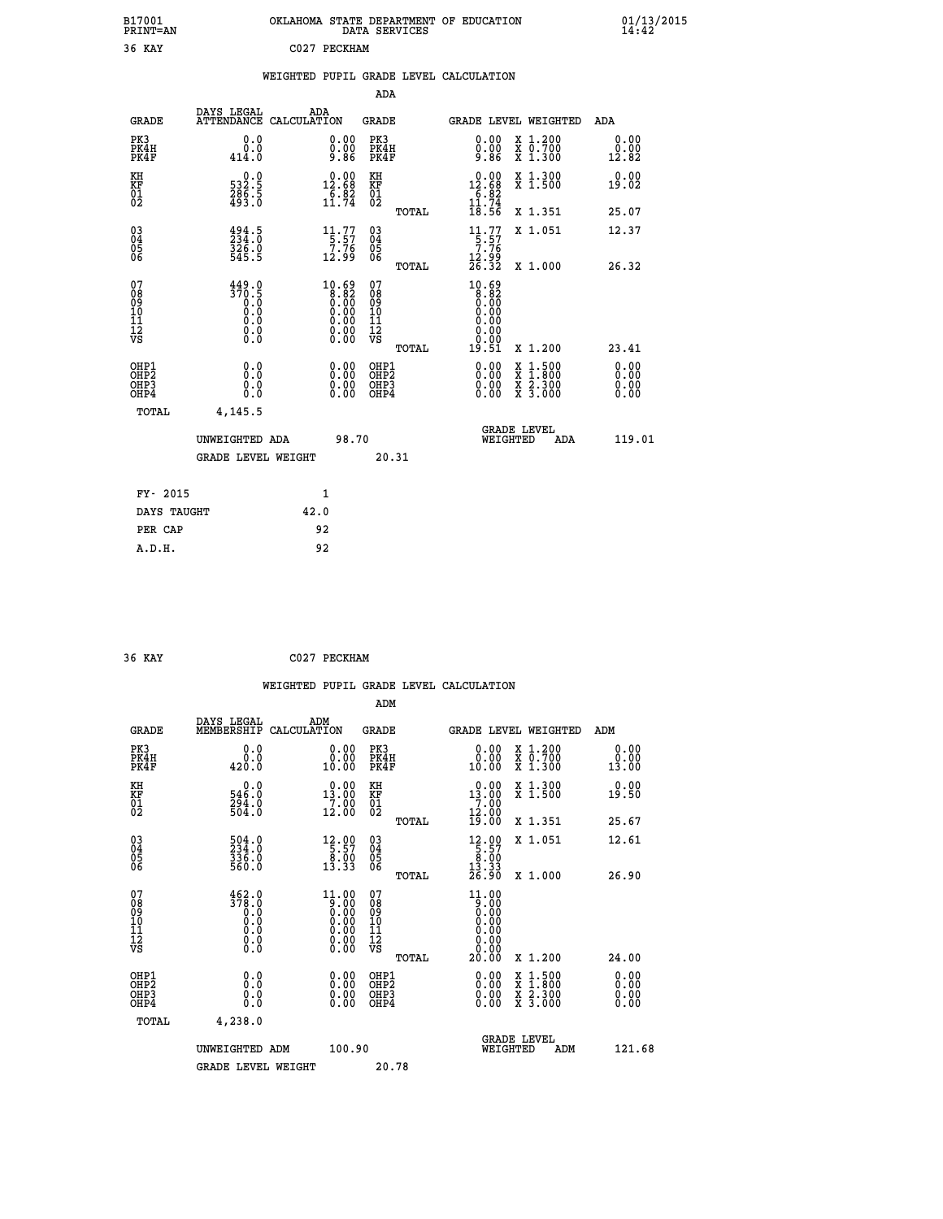| B17001<br><b>PRINT=AN</b> | OKLAHOMA STATE DEPARTMENT OF EDUCATION<br>DATA SERVICES | 01/13/2015<br>14:42 |
|---------------------------|---------------------------------------------------------|---------------------|
| 36<br>KAY                 | 2027<br>PECKHAM                                         |                     |

|  |  | WEIGHTED PUPIL GRADE LEVEL CALCULATION |
|--|--|----------------------------------------|
|  |  |                                        |

|                                                       |                                                                                   |                                                                                                | ADA                                                |       |                                                                                                |                                          |     |                              |
|-------------------------------------------------------|-----------------------------------------------------------------------------------|------------------------------------------------------------------------------------------------|----------------------------------------------------|-------|------------------------------------------------------------------------------------------------|------------------------------------------|-----|------------------------------|
| <b>GRADE</b>                                          | DAYS LEGAL<br><b>ATTENDANCE</b>                                                   | ADA<br>CALCULATION                                                                             | <b>GRADE</b>                                       |       | GRADE LEVEL WEIGHTED                                                                           |                                          |     | <b>ADA</b>                   |
| PK3<br>PK4H<br>PK4F                                   | 0.0<br>0.0<br>414.0                                                               | 0.00<br>Ŏ.ŎŎ<br>9.86                                                                           | PK3<br>PK4H<br>PK4F                                |       | 0.00<br>Ŏ.ŎŎ<br>9.86                                                                           | X 1.200<br>X 0.700<br>X 1.300            |     | 0.00<br>0.00<br>12.82        |
| KH<br>KF<br>01<br>02                                  | 532.5<br>$\frac{286}{493}$ . 5                                                    | $\begin{smallmatrix} 0.00\\12.68\\6.82\\11.74 \end{smallmatrix}$                               | KH<br>KF<br>01<br>02                               |       | $\begin{smallmatrix} 0.00\\ 12.68\\ 6.82\\ 11.74\\ 18.56 \end{smallmatrix}$                    | X 1.300<br>X 1.500                       |     | 0.00<br>19.02                |
|                                                       |                                                                                   |                                                                                                |                                                    | TOTAL |                                                                                                | X 1.351                                  |     | 25.07                        |
| $\begin{matrix} 03 \\ 04 \\ 05 \\ 06 \end{matrix}$    | $\begin{smallmatrix} 494.5\\ 234.0\\ 326.0\\ 545.5 \end{smallmatrix}$             | $11.77$<br>$5.57$<br>$7.76$<br>12.99                                                           | $\begin{matrix} 03 \\ 04 \\ 05 \\ 06 \end{matrix}$ |       | $\begin{array}{c} 11.77 \\[-4pt] 5.57 \\[-4pt] 7.76 \\[-4pt] 12.99 \\[-4pt] 26.32 \end{array}$ | X 1.051                                  |     | 12.37                        |
|                                                       |                                                                                   |                                                                                                |                                                    | TOTAL |                                                                                                | X 1.000                                  |     | 26.32                        |
| 07<br>08<br>09<br>10<br>11<br>11<br>12<br>VS          | 449.0<br>$\begin{smallmatrix} 370.5\\ 0.0\\ 0.0\\ 0.0 \end{smallmatrix}$<br>$\S.$ | $\begin{smallmatrix} 10.69\ 8.82\ 0.00\ 0.00\ 0.00\ 0.00\ 0.00\ 0.00\ 0.00\ \end{smallmatrix}$ | 07<br>08<br>09<br>11<br>11<br>12<br>VS             | TOTAL | $10.69$<br>$8.82$<br>$0.00$<br>$0.00$<br>$0.00$<br>0.00<br>0.00<br>19.51                       | X 1.200                                  |     | 23.41                        |
| OHP1<br>OH <sub>P2</sub><br>OH <sub>P</sub> 3<br>OHP4 | 0.0<br>0.0<br>0.0                                                                 | $\begin{smallmatrix} 0.00 \ 0.00 \ 0.00 \ 0.00 \end{smallmatrix}$                              | OHP1<br>OHP2<br>OHP3<br>OHP4                       |       | $0.00$<br>$0.00$<br>0.00                                                                       | X 1:500<br>X 1:800<br>X 2:300<br>X 3:000 |     | 0.00<br>0.00<br>0.00<br>0.00 |
| TOTAL                                                 | 4,145.5                                                                           |                                                                                                |                                                    |       |                                                                                                |                                          |     |                              |
|                                                       | UNWEIGHTED ADA                                                                    | 98.70                                                                                          |                                                    |       |                                                                                                | <b>GRADE LEVEL</b><br>WEIGHTED           | ADA | 119.01                       |
|                                                       | <b>GRADE LEVEL WEIGHT</b>                                                         |                                                                                                |                                                    | 20.31 |                                                                                                |                                          |     |                              |
| FY- 2015                                              |                                                                                   | 1                                                                                              |                                                    |       |                                                                                                |                                          |     |                              |
| DAYS TAUGHT                                           |                                                                                   | 42.0                                                                                           |                                                    |       |                                                                                                |                                          |     |                              |
|                                                       |                                                                                   |                                                                                                |                                                    |       |                                                                                                |                                          |     |                              |

| 36 KAY | C027 PECKHAM |
|--------|--------------|
|        |              |

 **PER CAP 92 A.D.H. 92**

 **WEIGHTED PUPIL GRADE LEVEL CALCULATION ADM DAYS LEGAL ADM GRADE MEMBERSHIP CALCULATION GRADE GRADE LEVEL WEIGHTED ADM PK3 0.0 0.00 PK3 0.00 X 1.200 0.00 PK4H 0.0 0.00 PK4H 0.00 X 0.700 0.00 PK4F 420.0 10.00 PK4F 10.00 X 1.300 13.00 KH 0.0 0.00 KH 0.00 X 1.300 0.00 KF 546.0 13.00 KF 13.00 X 1.500 19.50 01 294.0 7.00 01 7.00**  $02$  504.0 12.00 02  $12.00$   $12.00$  **TOTAL 19.00 X 1.351 25.67 03 504.0 12.00 03 12.00 X 1.051 12.61 04 234.0 5.57 04 5.57 62 336.0 8.00 8.00 8.00 8.00** 06 560.0 13.33 06 <sub>momas</sub> 13.33  **TOTAL 26.90 X 1.000 26.90 07 462.0 11.00 07 11.00 08 378.0 9.00 08 9.00 03 0.00 0.00 0.000 0.000 10 0.0 0.00 10 0.00 11 0.0 0.00 11 0.00 12 0.0 0.00 12 0.00 VS** 0.0 0.00 VS 0.00 0.00 0.00  $\begin{array}{cccc} 462.0 & 11.00 & 07 & 11.00 & 0 & 10.00 & 0.00 & 0.00 & 0.00 & 0.00 & 0.00 & 0.00 & 0.00 & 0.00 & 0.00 & 0.00 & 0.00 & 0.00 & 0.00 & 0.00 & 0.00 & 0.00 & 0.00 & 0.00 & 0.00 & 0.00 & 0.00 & 0.00 & 0.00 & 0.00 & 0.00 & 0.00 & 0.00 & 0.00 & 0.00 & 0.0$  **OHP1 0.0 0.00 OHP1 0.00 X 1.500 0.00 OHP2 0.0 0.00 OHP2 0.00 X 1.800 0.00 OHP3 0.0 0.00 OHP3 0.00 X 2.300 0.00 OHP4 0.0 0.00 OHP4 0.00 X 3.000 0.00 TOTAL 4,238.0 GRADE LEVEL UNWEIGHTED ADM 100.90 WEIGHTED ADM 121.68** GRADE LEVEL WEIGHT 20.78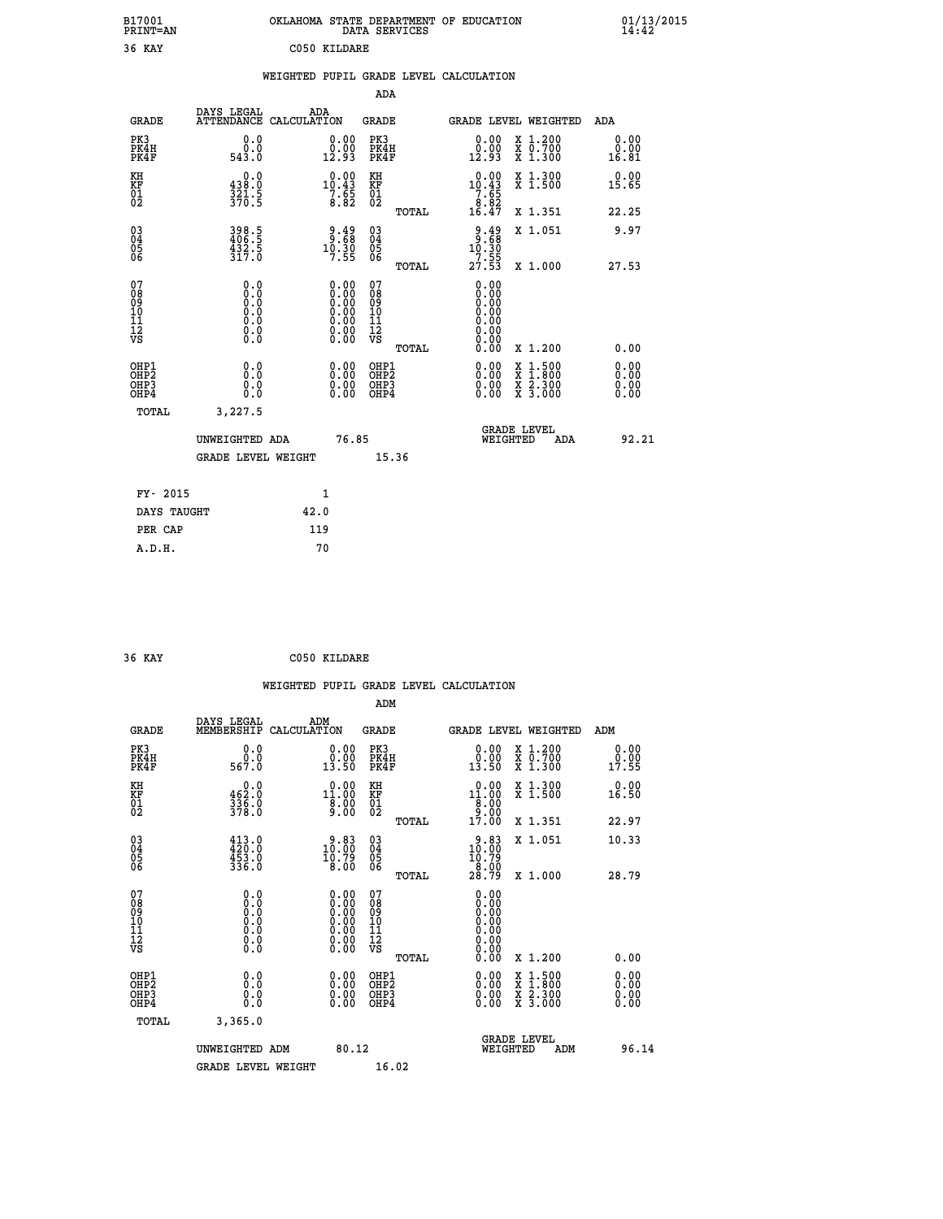| B17001<br>PRINT=AN                                 |                                         | OKLAHOMA STATE DEPARTMENT OF EDUCATION                          | DATA SERVICES                                    |                                                                            |                                                                                          | 01/13/2015                   |  |
|----------------------------------------------------|-----------------------------------------|-----------------------------------------------------------------|--------------------------------------------------|----------------------------------------------------------------------------|------------------------------------------------------------------------------------------|------------------------------|--|
| 36 KAY                                             |                                         | C050 KILDARE                                                    |                                                  |                                                                            |                                                                                          |                              |  |
|                                                    |                                         | WEIGHTED PUPIL GRADE LEVEL CALCULATION                          | ADA                                              |                                                                            |                                                                                          |                              |  |
| <b>GRADE</b>                                       | DAYS LEGAL<br>ATTENDANCE CALCULATION    | ADA                                                             | GRADE                                            |                                                                            | GRADE LEVEL WEIGHTED                                                                     | ADA                          |  |
| PK3<br>PK4H<br>PK4F                                | 0.0<br>0.0<br>543.0                     | 0.00<br>$\frac{0.00}{12.93}$                                    | PK3<br>PK4H<br>PK4F                              | 0.00<br>0.00<br>12.93                                                      | X 1.200<br>X 0.700<br>X 1.300                                                            | 0.00<br>0.00<br>16.81        |  |
| KH<br>KF<br>$\overline{01}$                        | 0.0<br>438.0<br>$\frac{321.5}{370.5}$   | $\begin{smallmatrix} 0.00\\10.43\\7.65\\8.82 \end{smallmatrix}$ | KH<br>KF<br>$\overline{01}_0$                    | $\begin{smallmatrix} 0.00\\ 10.43\\ 7.65\\ 8.82\\ 16.47 \end{smallmatrix}$ | X 1.300<br>X 1.500                                                                       | 0.00<br>15.65                |  |
|                                                    |                                         |                                                                 | TOTAL                                            |                                                                            | X 1.351                                                                                  | 22.25                        |  |
| $\begin{matrix} 03 \\ 04 \\ 05 \\ 06 \end{matrix}$ | 398.5<br>406.5<br>432.5<br>317.0        | $\begin{array}{c} 9.49 \\ 9.58 \\ 10.30 \\ 7.55 \end{array}$    | 03<br>04<br>05<br>06                             | $9.49$<br>$9.68$<br>10.30                                                  | X 1.051                                                                                  | 9.97                         |  |
|                                                    |                                         |                                                                 | TOTAL                                            | $\frac{77.55}{27.53}$                                                      | X 1,000                                                                                  | 27.53                        |  |
| 07<br>08<br>09<br>11<br>11<br>12<br>VS             | 0.0<br>0.0<br>Ō.Ŏ<br>Ŏ.Ŏ<br>0.0<br>0.00 | 0.00<br>0.00<br>0.00                                            | 07<br>08<br>09<br>101<br>11<br>12<br>VS<br>TOTAL | 0.00<br>0.00<br>0.00<br>0.00<br>0.00<br>0.00<br>0.00<br>0.00               | X 1.200                                                                                  | 0.00                         |  |
| OHP1<br>OHP <sub>2</sub><br>OHP3<br>OHP4           | 0.0<br>0.0<br>0.0<br>0.0                | $0.00$<br>$0.00$<br>0.00                                        | OHP1<br>OHP <sub>2</sub><br>OHP3<br>OHP4         | 0.00<br>0.00<br>0.00                                                       | $\begin{smallmatrix} x & 1.500 \\ x & 1.800 \\ x & 2.300 \\ x & 3.000 \end{smallmatrix}$ | 0.00<br>0.00<br>0.00<br>0.00 |  |
| TOTAL                                              | 3,227.5                                 |                                                                 |                                                  |                                                                            |                                                                                          |                              |  |
|                                                    | UNWEIGHTED ADA<br>GRADE LEVEL WEIGHT    | 76.85                                                           | 15.36                                            | WEIGHTED                                                                   | <b>GRADE LEVEL</b><br>ADA                                                                | 92.21                        |  |
|                                                    |                                         |                                                                 |                                                  |                                                                            |                                                                                          |                              |  |
| FY- 2015                                           |                                         | 1                                                               |                                                  |                                                                            |                                                                                          |                              |  |
| DAYS TAUGHT                                        |                                         | 42.0                                                            |                                                  |                                                                            |                                                                                          |                              |  |
| PER CAP                                            |                                         | 119                                                             |                                                  |                                                                            |                                                                                          |                              |  |
| A.D.H.                                             |                                         | 70                                                              |                                                  |                                                                            |                                                                                          |                              |  |

| 36 KAY | C050 KILDARE |
|--------|--------------|
|        |              |

|                                                    |                                                                                      |                    |                                                                                                                                 |                                                     |       | WEIGHTED PUPIL GRADE LEVEL CALCULATION                                     |                                          |                       |       |
|----------------------------------------------------|--------------------------------------------------------------------------------------|--------------------|---------------------------------------------------------------------------------------------------------------------------------|-----------------------------------------------------|-------|----------------------------------------------------------------------------|------------------------------------------|-----------------------|-------|
|                                                    |                                                                                      |                    |                                                                                                                                 | ADM                                                 |       |                                                                            |                                          |                       |       |
| <b>GRADE</b>                                       | DAYS LEGAL<br>MEMBERSHIP                                                             | ADM<br>CALCULATION |                                                                                                                                 | <b>GRADE</b>                                        |       | GRADE LEVEL WEIGHTED                                                       |                                          | ADM                   |       |
| PK3<br>PK4H<br>PK4F                                | 0.0<br>ŏ:ŏ<br>567:0                                                                  |                    | $\begin{smallmatrix} 0.00\\ 0.00\\ 13.50 \end{smallmatrix}$                                                                     | PK3<br>PK4H<br>PK4F                                 |       | $\begin{smallmatrix} 0.00\\ 0.00\\ 13.50 \end{smallmatrix}$                | X 1.200<br>X 0.700<br>X 1.300            | 0.00<br>0.00<br>17.55 |       |
| KH<br>KF<br>01<br>02                               | $0.0$<br>$0.20$<br>$\frac{336}{378}$ :0                                              |                    | $\begin{smallmatrix} 0.00\\ 11.00\\ 8.00\\ 9.00 \end{smallmatrix}$                                                              | KH<br>KF<br>01<br>02                                |       | $\begin{smallmatrix} 0.00\\ 11.00\\ 8.00\\ 9.00\\ 17.00 \end{smallmatrix}$ | X 1.300<br>X 1.500                       | 0.00<br>16.50         |       |
|                                                    |                                                                                      |                    |                                                                                                                                 |                                                     | TOTAL |                                                                            | X 1.351                                  | 22.97                 |       |
| $\begin{matrix} 03 \\ 04 \\ 05 \\ 06 \end{matrix}$ | $413.0$<br>$420.0$<br>$453.0$<br>$336.0$                                             |                    | $\begin{smallmatrix} 9.83\ 10.00\ 10.79\ 8.00 \end{smallmatrix}$                                                                | $\begin{array}{c} 03 \\ 04 \\ 05 \\ 06 \end{array}$ |       | $\begin{smallmatrix} 9.83\ 10.00\ 10.79\ 8.00 \end{smallmatrix}$           | X 1.051                                  | 10.33                 |       |
|                                                    |                                                                                      |                    |                                                                                                                                 |                                                     | TOTAL | 28.79                                                                      | X 1.000                                  | 28.79                 |       |
| 07<br>0890112<br>1112<br>VS                        | 0.0<br>$\begin{smallmatrix} 0.0 & 0 \ 0.0 & 0 \ 0.0 & 0 \ 0.0 & 0 \end{smallmatrix}$ |                    | $\begin{smallmatrix} 0.00 \ 0.00 \ 0.00 \ 0.00 \ 0.00 \end{smallmatrix}$<br>$\begin{smallmatrix} 0.00 \ 0.00 \end{smallmatrix}$ | 07<br>08<br>09<br>11<br>11<br>12<br>VS              | TOTAL | 0.00<br>0.00<br>0.00<br>0.00<br>0.00<br>0.00                               | X 1.200                                  | 0.00                  |       |
| OHP1<br>OHP <sub>2</sub><br>OHP3<br>OHP4           | 0.0<br>0.000                                                                         |                    | $0.00$<br>$0.00$<br>0.00                                                                                                        | OHP1<br>OHP <sub>2</sub><br>OHP <sub>3</sub>        |       | 0.00<br>0.00<br>0.00                                                       | X 1:500<br>X 1:800<br>X 2:300<br>X 3:000 | 0.00<br>0.00<br>0.00  |       |
| TOTAL                                              | 3,365.0                                                                              |                    |                                                                                                                                 |                                                     |       |                                                                            |                                          |                       |       |
|                                                    | UNWEIGHTED ADM                                                                       |                    | 80.12                                                                                                                           |                                                     |       | <b>GRADE LEVEL</b><br>WEIGHTED                                             | ADM                                      |                       | 96.14 |
|                                                    | <b>GRADE LEVEL WEIGHT</b>                                                            |                    |                                                                                                                                 | 16.02                                               |       |                                                                            |                                          |                       |       |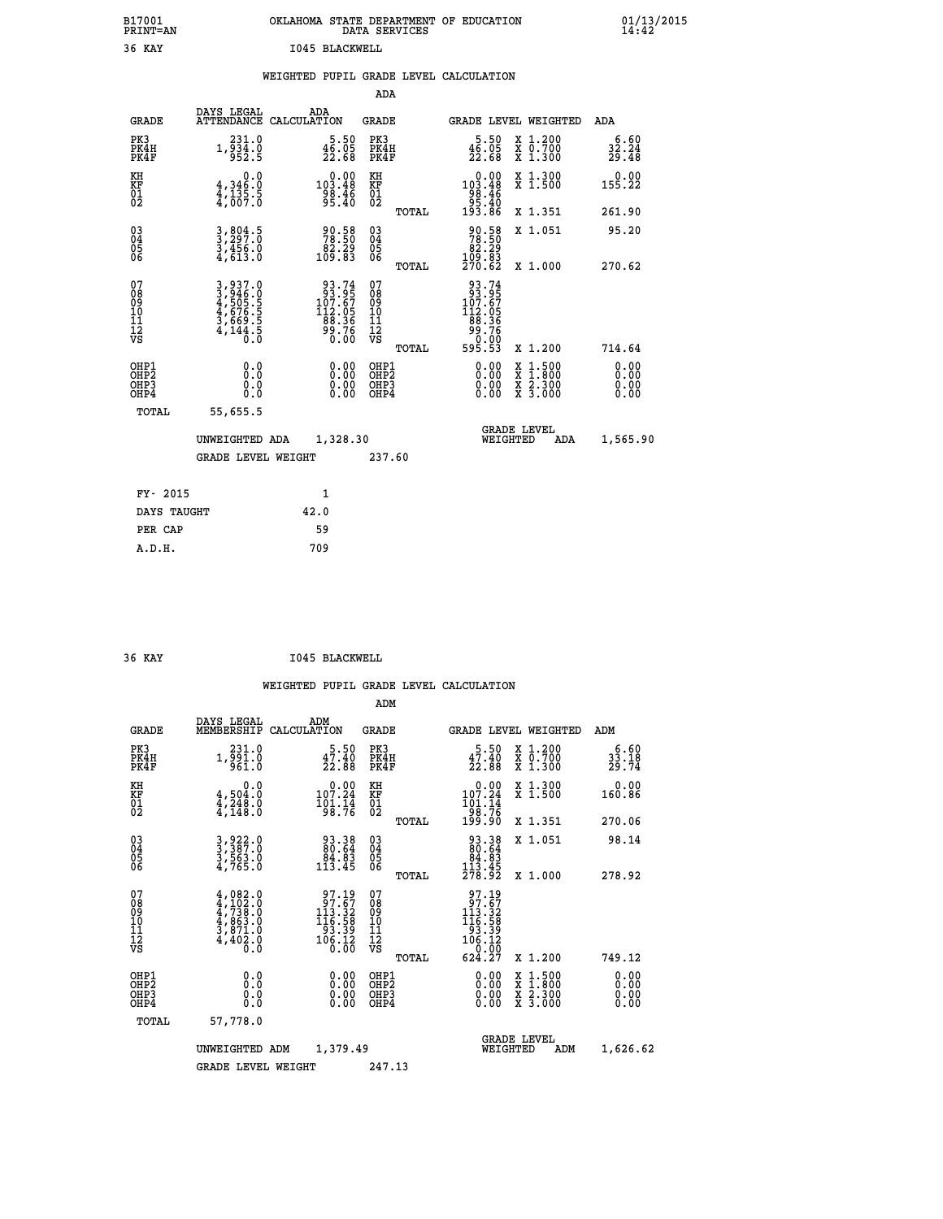| B17001<br>PRINT=AN | . STATE DEPARTMENT OF EDUCATION<br>OKLAHOMA<br>DATA SERVICES | $01/13/2015$<br>14:42 |
|--------------------|--------------------------------------------------------------|-----------------------|
| 36<br>KAY          | 1045 BLACKWELL                                               |                       |

## **WEIGHTED PUPIL GRADE LEVEL CALCULATION**

|                                                       |                                                                           |                                                                                                | ADA                                                 |       |                                                                                                        |                                          |                               |
|-------------------------------------------------------|---------------------------------------------------------------------------|------------------------------------------------------------------------------------------------|-----------------------------------------------------|-------|--------------------------------------------------------------------------------------------------------|------------------------------------------|-------------------------------|
| <b>GRADE</b>                                          | DAYS LEGAL                                                                | ADA<br>ATTENDANCE CALCULATION                                                                  | <b>GRADE</b>                                        |       | GRADE LEVEL WEIGHTED                                                                                   |                                          | ADA                           |
| PK3<br>PK4H<br>PK4F                                   | 231.0<br>$1,\overline{9}\overline{3}\overline{4}\overline{1}\overline{6}$ | $\frac{5.50}{46.05}$<br>22.68                                                                  | PK3<br>PK4H<br>PK4F                                 |       | 5.50<br>$\frac{45.05}{22.68}$                                                                          | X 1.200<br>X 0.700<br>X 1.300            | 6.60<br>$\frac{32.24}{29.48}$ |
| KH<br>KF<br>01<br>02                                  | 0.0<br>$4,346.0$<br>$4,135.5$<br>$4,007.0$                                | $\begin{smallmatrix}&&0.00\\103.48\\98.46\\95.40\end{smallmatrix}$                             | KH<br>KF<br>01<br>02                                |       | 0.00<br>103:48<br>98:46<br>95:46<br>193:86                                                             | X 1.300<br>X 1.500                       | 0.00<br>155.22                |
|                                                       |                                                                           |                                                                                                |                                                     | TOTAL |                                                                                                        | X 1.351                                  | 261.90                        |
| $^{03}_{04}$<br>Ŏ5<br>06                              | 3,804.5<br>$\frac{3}{4}, \frac{4}{6}$ $\frac{5}{3}$ $\frac{3}{6}$         | 90:58<br>78:50<br>82:29<br>109:83                                                              | $\begin{array}{c} 03 \\ 04 \\ 05 \\ 06 \end{array}$ |       | 90.58<br>78.50<br>82.29<br>109.83<br>270.62                                                            | X 1.051                                  | 95.20                         |
|                                                       |                                                                           |                                                                                                |                                                     | TOTAL |                                                                                                        | X 1.000                                  | 270.62                        |
| 07<br>08<br>09<br>11<br>11<br>12<br>VS                | 3,937.0<br>3,946.0<br>4,505.5<br>4,676.5<br>3,669.5<br>4,144.5            | $\begin{smallmatrix} 93.74\\ 93.95\\ 107.67\\ 112.05\\ 88.36\\ 99.76\\ 0.00 \end{smallmatrix}$ | 07<br>08<br>09<br>101<br>11<br>12<br>VS             |       | $\begin{array}{r} 93.74 \\ 93.95 \\ 107.67 \\ 112.05 \\ 88.36 \\ 99.76 \\ 90.00 \\ 595.53 \end{array}$ |                                          |                               |
|                                                       |                                                                           |                                                                                                |                                                     | TOTAL |                                                                                                        | X 1.200                                  | 714.64                        |
| OHP1<br>OH <sub>P</sub> 2<br>OH <sub>P3</sub><br>OHP4 | 0.0<br>Ō.Ō<br>0.0<br>0.0                                                  | $0.00$<br>$0.00$<br>0.00                                                                       | OHP1<br>OHP <sub>2</sub><br>OHP3<br>OHP4            |       | 0.00<br>0.00<br>0.00                                                                                   | X 1:500<br>X 1:800<br>X 2:300<br>X 3:000 | 0.00<br>0.00<br>0.00<br>0.00  |
| TOTAL                                                 | 55,655.5                                                                  |                                                                                                |                                                     |       |                                                                                                        |                                          |                               |
|                                                       | UNWEIGHTED ADA                                                            | 1,328.30                                                                                       |                                                     |       | <b>GRADE LEVEL</b><br>WEIGHTED                                                                         | ADA                                      | 1,565.90                      |
|                                                       | <b>GRADE LEVEL WEIGHT</b>                                                 |                                                                                                | 237.60                                              |       |                                                                                                        |                                          |                               |
|                                                       |                                                                           |                                                                                                |                                                     |       |                                                                                                        |                                          |                               |
| FY- 2015                                              |                                                                           | $\mathbf{1}$                                                                                   |                                                     |       |                                                                                                        |                                          |                               |
| DAYS TAUGHT                                           |                                                                           | 42.0                                                                                           |                                                     |       |                                                                                                        |                                          |                               |
| PER CAP                                               |                                                                           | 59                                                                                             |                                                     |       |                                                                                                        |                                          |                               |

| 36 KAY | 1045 BLACKWELL |
|--------|----------------|

 **A.D.H. 709**

|                                                    |                                                                                                                                                                                                                                            |                                                                                                 | ADM                                                 |                                                                                                           |                                          |                      |
|----------------------------------------------------|--------------------------------------------------------------------------------------------------------------------------------------------------------------------------------------------------------------------------------------------|-------------------------------------------------------------------------------------------------|-----------------------------------------------------|-----------------------------------------------------------------------------------------------------------|------------------------------------------|----------------------|
| <b>GRADE</b>                                       | DAYS LEGAL<br>MEMBERSHIP                                                                                                                                                                                                                   | ADM<br>CALCULATION                                                                              | <b>GRADE</b>                                        |                                                                                                           | GRADE LEVEL WEIGHTED                     | ADM                  |
| PK3<br>PK4H<br>PK4F                                | 231.0<br>$1,\overline{5}\,\overline{5}\,\overline{1}\,\overline{0}\,\overline{0}$                                                                                                                                                          | 5.50<br>$\frac{47.40}{22.88}$                                                                   | PK3<br>PK4H<br>PK4F                                 | $\frac{5 \cdot 50}{22 \cdot 88}$                                                                          | X 1.200<br>X 0.700<br>X 1.300            | $33.18$<br>$29.74$   |
| KH<br>KF<br>01<br>02                               | 0.0<br>$\frac{4}{1}, \frac{504}{248}$ .0<br>$\frac{4}{4}, \frac{248}{148}$ .0                                                                                                                                                              | $0.00$<br>107.24<br>$\frac{101.74}{98.76}$                                                      | KH<br>KF<br>01<br>02                                | $0.00$<br>107.24<br>$\frac{101.14}{98.76}$<br>199.90                                                      | X 1.300<br>X 1.500                       | 0.00<br>160.86       |
|                                                    |                                                                                                                                                                                                                                            |                                                                                                 | TOTAL                                               |                                                                                                           | X 1.351                                  | 270.06               |
| $\begin{matrix} 03 \\ 04 \\ 05 \\ 06 \end{matrix}$ | 3,922.0<br>3,387.0<br>3,563.0<br>4,765.0                                                                                                                                                                                                   | $\begin{smallmatrix} 93.38\ 80.64\ 84.83\ 113.45 \end{smallmatrix}$                             | $\begin{array}{c} 03 \\ 04 \\ 05 \\ 06 \end{array}$ | $\begin{smallmatrix} 93.38\\ 80.64\\ 84.83\\ 113.45\\ 278.92 \end{smallmatrix}$                           | X 1.051                                  | 98.14                |
|                                                    |                                                                                                                                                                                                                                            |                                                                                                 | TOTAL                                               |                                                                                                           | X 1.000                                  | 278.92               |
| 07<br>08<br>09<br>101<br>11<br>12<br>VS            | $\begin{smallmatrix} 4\,,\,0 & 8 & 2\, \cdot\,0 \\ 4\,,\,1 & 0 & 2\, \cdot\,0 \\ 4\,,\,7 & 3 & 8\, \cdot\,0 \\ 4\,,\,8 & 6 & 3\, \cdot\,0 \\ 3\,,\,8 & 7 & 1\, \cdot\,0 \\ 4\,,\,4 & 0 & 2\, \cdot\,0 \\ 0\, \cdot\,0\, \end{smallmatrix}$ | $\begin{smallmatrix} 97.19\\ 97.67\\ 113.32\\ 116.58\\ 93.39\\ 106.12\\ 0.00 \end{smallmatrix}$ | 07<br>08<br>09<br>11<br>11<br>12<br>VS<br>TOTAL     | $\begin{array}{r} 97.19 \\ 97.67 \\ 113.32 \\ 116.58 \\ 93.39 \\ 106.12 \\ 0.00 \\ \end{array}$<br>624.27 | X 1.200                                  | 749.12               |
|                                                    |                                                                                                                                                                                                                                            |                                                                                                 |                                                     |                                                                                                           |                                          |                      |
| OHP1<br>OHP2<br>OH <sub>P3</sub><br>OHP4           | 0.0<br>$\begin{smallmatrix} 0.0 & 0 \ 0.0 & 0 \end{smallmatrix}$                                                                                                                                                                           | $0.00$<br>$0.00$<br>0.00                                                                        | OHP1<br>OHP2<br>OHP <sub>3</sub>                    | $0.00$<br>$0.00$<br>0.00                                                                                  | X 1:500<br>X 1:800<br>X 2:300<br>X 3:000 | 0.00<br>0.00<br>0.00 |
| TOTAL                                              | 57,778.0                                                                                                                                                                                                                                   |                                                                                                 |                                                     |                                                                                                           |                                          |                      |
|                                                    | UNWEIGHTED<br>ADM                                                                                                                                                                                                                          |                                                                                                 | 1,379.49                                            |                                                                                                           | <b>GRADE LEVEL</b><br>WEIGHTED<br>ADM    |                      |
|                                                    | <b>GRADE LEVEL WEIGHT</b>                                                                                                                                                                                                                  |                                                                                                 | 247.13                                              |                                                                                                           |                                          |                      |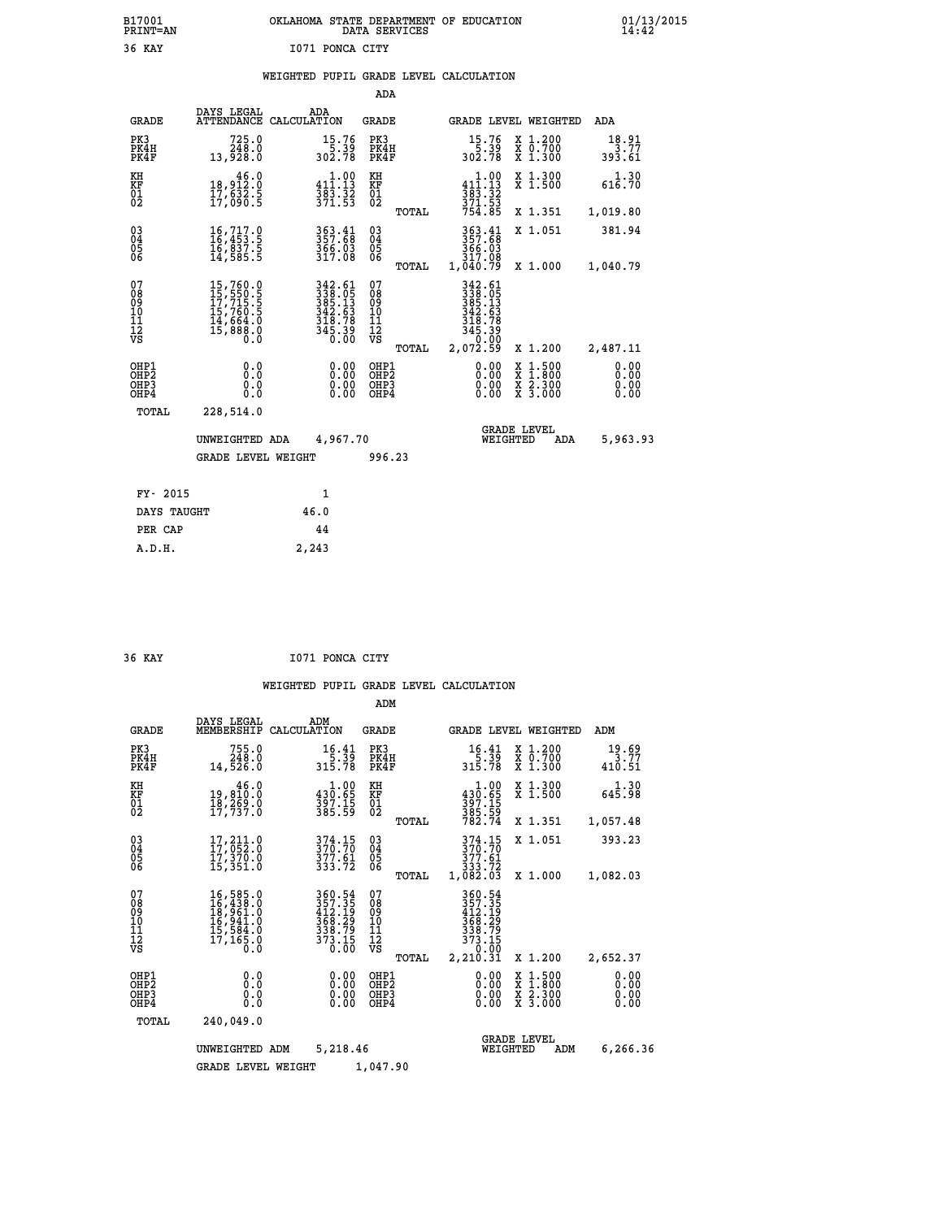# **B17001 OKLAHOMA STATE DEPARTMENT OF EDUCATION 01/13/2015 PRINT=AN DATA SERVICES 14:42 36 KAY I071 PONCA CITY**

## **WEIGHTED PUPIL GRADE LEVEL CALCULATION**

|                                                                    |                                                                                                                                                                         |                                                                                                          | ADA                                                 |       |                                                                             |                                          |                              |
|--------------------------------------------------------------------|-------------------------------------------------------------------------------------------------------------------------------------------------------------------------|----------------------------------------------------------------------------------------------------------|-----------------------------------------------------|-------|-----------------------------------------------------------------------------|------------------------------------------|------------------------------|
| <b>GRADE</b>                                                       | DAYS LEGAL                                                                                                                                                              | ADA<br>ATTENDANCE CALCULATION                                                                            | <b>GRADE</b>                                        |       |                                                                             | GRADE LEVEL WEIGHTED                     | ADA                          |
| PK3<br>PK4H<br>PK4F                                                | $725.0$<br>248.0<br>13,928.0                                                                                                                                            | $15.76$<br>$5.39$<br>$302.78$                                                                            | PK3<br>PK4H<br>PK4F                                 |       | $\begin{array}{c} 15.76 \\ 5.39 \\ 302.78 \end{array}$                      | X 1.200<br>X 0.700<br>X 1.300            | 18.91<br>3.77<br>393.61      |
| KH<br>KF<br>01<br>02                                               | 46.0<br>18,912:0<br>17,632:5<br>17,090:5                                                                                                                                | $\begin{array}{c} 1.00 \\ 411.13 \\ 383.32 \\ 371.53 \end{array}$                                        | KH<br>KF<br>01<br>02                                |       | $\begin{array}{c} 1.00 \\ 411.13 \\ 383.32 \\ 371.53 \\ 754.85 \end{array}$ | X 1.300<br>X 1.500                       | 1.30<br>616.70               |
|                                                                    |                                                                                                                                                                         |                                                                                                          |                                                     | TOTAL |                                                                             | X 1.351                                  | 1,019.80                     |
| $\begin{smallmatrix} 03 \\[-4pt] 04 \end{smallmatrix}$<br>Ŏ5<br>06 | $\begin{smallmatrix} 16\,,\,717\cdot\,0\\ 16\,,\,453\cdot\,5\\ 16\,,\,837\cdot\,5\\ 14\,,\,585\cdot\,5 \end{smallmatrix}$                                               | 363.41<br>357:68<br>366.03<br>317.08                                                                     | $\begin{array}{c} 03 \\ 04 \\ 05 \\ 06 \end{array}$ |       | 363.41<br>357.68<br>366.03<br>317.08                                        | X 1.051                                  | 381.94                       |
|                                                                    |                                                                                                                                                                         |                                                                                                          |                                                     | TOTAL | 1,040.79                                                                    | X 1.000                                  | 1,040.79                     |
| 07<br>08<br>09<br>101<br>11<br>12<br>VS                            | $\begin{smallmatrix} 15 \,, 760 \,, 0 \\ 15 \,, 550 \,, 5 \\ 17 \,, 715 \,, 5 \\ 15 \,, 760 \,, 5 \\ 14 \,, 664 \,, 0 \\ 15 \,, 888 \,, 0 \\ 0 \,, 0 \end{smallmatrix}$ | $\begin{array}{r} 342.61 \\ 338.05 \\ 385.13 \\ 342.63 \\ 318.78 \\ 318.7 \\ 345.39 \\ 0.00 \end{array}$ | 07<br>08<br>09<br>11<br>11<br>12<br>VS              |       | 342.61<br>338.05<br>385.13<br>342.63<br>348.78<br>345.39<br>Ō.ŎŎ            |                                          |                              |
|                                                                    |                                                                                                                                                                         |                                                                                                          |                                                     | TOTAL | 2,072.59                                                                    | X 1.200                                  | 2,487.11                     |
| OHP1<br>OHP <sub>2</sub><br>OH <sub>P3</sub><br>OHP4               | 0.0<br>0.0<br>0.0                                                                                                                                                       | 0.00<br>$\begin{smallmatrix} 0.00 \ 0.00 \end{smallmatrix}$                                              | OHP1<br>OHP2<br>OHP <sub>3</sub>                    |       | 0.00<br>0.00                                                                | X 1:500<br>X 1:800<br>X 2:300<br>X 3:000 | 0.00<br>0.00<br>0.00<br>0.00 |
| TOTAL                                                              | 228,514.0                                                                                                                                                               |                                                                                                          |                                                     |       |                                                                             |                                          |                              |
|                                                                    | UNWEIGHTED ADA                                                                                                                                                          | 4,967.70                                                                                                 |                                                     |       |                                                                             | <b>GRADE LEVEL</b><br>WEIGHTED<br>ADA    | 5,963.93                     |
|                                                                    | GRADE LEVEL WEIGHT                                                                                                                                                      |                                                                                                          | 996.23                                              |       |                                                                             |                                          |                              |
| FY- 2015                                                           |                                                                                                                                                                         | $\mathbf{1}$                                                                                             |                                                     |       |                                                                             |                                          |                              |
| DAYS TAUGHT                                                        |                                                                                                                                                                         | 46.0                                                                                                     |                                                     |       |                                                                             |                                          |                              |
| PER CAP                                                            |                                                                                                                                                                         | 44                                                                                                       |                                                     |       |                                                                             |                                          |                              |

 **A.D.H. 2,243**

 **36 KAY I071 PONCA CITY**

|                                                       |                                                                                                                                                     |                                                                         | ADM                                              |                                                                              |                                          |                              |
|-------------------------------------------------------|-----------------------------------------------------------------------------------------------------------------------------------------------------|-------------------------------------------------------------------------|--------------------------------------------------|------------------------------------------------------------------------------|------------------------------------------|------------------------------|
| <b>GRADE</b>                                          | DAYS LEGAL<br>MEMBERSHIP                                                                                                                            | ADM<br>CALCULATION                                                      | <b>GRADE</b>                                     | <b>GRADE LEVEL WEIGHTED</b>                                                  |                                          | ADM                          |
| PK3<br>PK4H<br>PK4F                                   | 755.0<br>248.0<br>14,526.0                                                                                                                          | 16.41<br>$\frac{5:39}{315:78}$                                          | PK3<br>PK4H<br>PK4F                              | $16.41$<br>5.39<br>315.78                                                    | X 1.200<br>X 0.700<br>X 1.300            | 19.69<br>3.77<br>410.51      |
| KH<br>KF<br>01<br>02                                  | 46.0<br>19,810:0<br>18,269:0<br>17,737:0                                                                                                            | $\begin{array}{c} 1.00 \\ 430.65 \\ 397.15 \\ 385.59 \end{array}$       | KH<br>KF<br>01<br>02                             | $\begin{smallmatrix}&&1.00\\430.65\\397.15\\385.59\\782.74\end{smallmatrix}$ | X 1.300<br>X 1.500                       | 1.30<br>645.98               |
|                                                       |                                                                                                                                                     |                                                                         | TOTAL                                            |                                                                              | X 1.351                                  | 1,057.48                     |
| 03<br>04<br>05<br>06                                  | $17,211.0$<br>$17,052.0$<br>$17,370.0$<br>15,351.0                                                                                                  | 374.15<br>370.70<br>377.61<br>333.72                                    | $\substack{03 \\ 04}$<br>05                      | 374.15<br>370.70<br>377.61<br>333.72                                         | X 1.051                                  | 393.23                       |
|                                                       |                                                                                                                                                     |                                                                         | TOTAL                                            | 1,082.03                                                                     | X 1.000                                  | 1,082.03                     |
| 07<br>08<br>09<br>101<br>112<br>VS                    | $\begin{smallmatrix} 16\,,\,585\,.0\\ 16\,,\,438\,.0\\ 18\,,\,961\,.0\\ 16\,,\,941\,.0\\ 15\,,\,584\,.0\\ 17\,,\,165\,.0\\ 0\,.0 \end{smallmatrix}$ | 360.54<br>357.35<br>412.19<br>368.29<br>338.79<br>$\frac{373.15}{0.00}$ | 07<br>08<br>09<br>101<br>11<br>12<br>VS<br>TOTAL | 360.54<br>357.35<br>412.19<br>368.22<br>338.79<br>373.15<br>0.00<br>2,210.31 | X 1.200                                  | 2,652.37                     |
| OHP1<br>OH <sub>P</sub> 2<br>OH <sub>P3</sub><br>OHP4 | 0.0<br>0.000                                                                                                                                        | $0.00$<br>$0.00$<br>0.00                                                | OHP1<br>OHP2<br>OHP3<br>OHP4                     | $0.00$<br>$0.00$<br>0.00                                                     | X 1:500<br>X 1:800<br>X 2:300<br>X 3:000 | 0.00<br>0.00<br>0.00<br>0.00 |
| TOTAL                                                 | 240,049.0                                                                                                                                           |                                                                         |                                                  |                                                                              |                                          |                              |
|                                                       | UNWEIGHTED ADM                                                                                                                                      | 5,218.46                                                                |                                                  | <b>GRADE LEVEL</b><br>WEIGHTED                                               | ADM                                      | 6,266.36                     |
|                                                       | <b>GRADE LEVEL WEIGHT</b>                                                                                                                           |                                                                         | 1,047.90                                         |                                                                              |                                          |                              |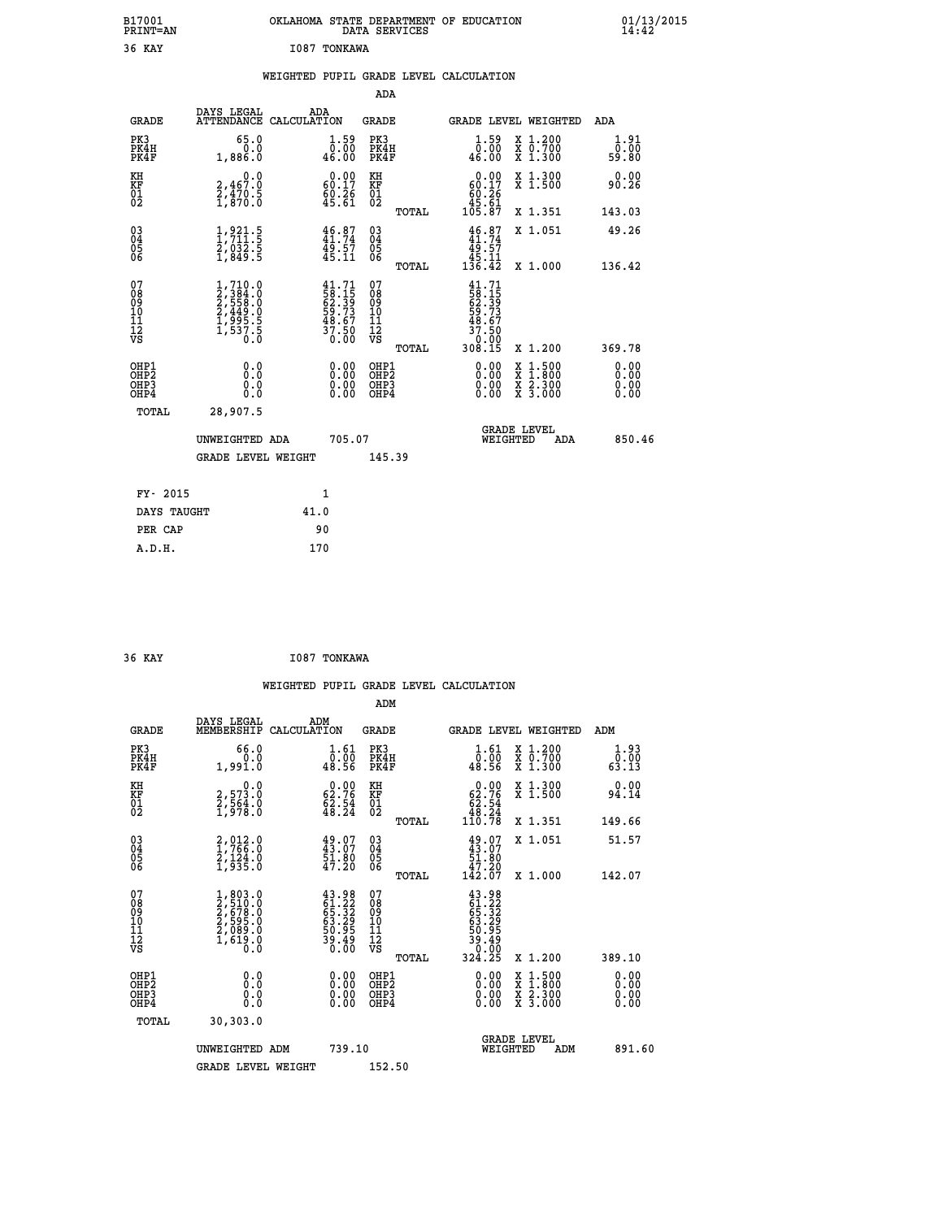| B17001<br><b>PRINT=AN</b> | OKLAHOMA STATE DEPARTMENT OF EDUCATION<br>DATA SERVICES | 01/13/2015<br>14:42 |
|---------------------------|---------------------------------------------------------|---------------------|
| 36<br>KAY                 | I087<br>TONKAWA                                         |                     |

|  |  | WEIGHTED PUPIL GRADE LEVEL CALCULATION |
|--|--|----------------------------------------|
|  |  |                                        |

|                                                                    |                                                                                                    |                                                                          |                                                             | ADA                                                 |       |                                                                                 |                                          |                               |
|--------------------------------------------------------------------|----------------------------------------------------------------------------------------------------|--------------------------------------------------------------------------|-------------------------------------------------------------|-----------------------------------------------------|-------|---------------------------------------------------------------------------------|------------------------------------------|-------------------------------|
| <b>GRADE</b>                                                       | DAYS LEGAL<br>ATTENDANCE CALCULATION                                                               | ADA                                                                      |                                                             | <b>GRADE</b>                                        |       | GRADE LEVEL WEIGHTED                                                            |                                          | ADA                           |
| PK3<br>PK4H<br>PK4F                                                | 65.0<br>0.0<br>1,886.0                                                                             | $\begin{smallmatrix} 1.59\ 0.00\ 46.00 \end{smallmatrix}$                |                                                             | PK3<br>PK4H<br>PK4F                                 |       | $\begin{smallmatrix} 1.59 \\ 0.00 \\ 46.00 \end{smallmatrix}$                   | X 1.200<br>X 0.700<br>X 1.300            | 1.91<br>0.00<br>59.80         |
| KH<br>KF<br>01<br>02                                               | 0.0<br>2,467:0<br>2,470:5<br>1,870:0                                                               | $0.00$<br>60.17<br>$\frac{80.26}{45.61}$                                 |                                                             | KH<br>KF<br>01<br>02                                |       | 0.00<br>$60.17$<br>60.26<br>61.61<br>105.87                                     | X 1.300<br>X 1.500                       | 0.00<br>90.26                 |
|                                                                    |                                                                                                    |                                                                          |                                                             |                                                     | TOTAL |                                                                                 | X 1.351                                  | 143.03                        |
| $\begin{smallmatrix} 03 \\[-4pt] 04 \end{smallmatrix}$<br>Ŏ5<br>06 | $\frac{1}{2}, \frac{9}{211}$ :<br>$\frac{5}{2}, \frac{032}{932}$ :<br>$\frac{5}{1}, \frac{849}{5}$ | $46.87$<br>$41.74$<br>$49.57$<br>$45.11$                                 |                                                             | $\begin{array}{c} 03 \\ 04 \\ 05 \\ 06 \end{array}$ |       | $46.87$<br>$41.74$<br>$49.57$<br>$45.11$<br>$136.42$                            | X 1.051                                  | 49.26                         |
|                                                                    |                                                                                                    |                                                                          |                                                             |                                                     | TOTAL |                                                                                 | X 1.000                                  | 136.42                        |
| 07<br>08<br>09<br>101<br>11<br>12<br>VS                            | $1, 710.0$<br>$2, 384.0$<br>$2, 558.0$<br>$2, 449.0$<br>$1, 995.5$<br>$1, 537.5$<br>$0.0$          | $41.71$<br>$58.15$<br>$62.39$<br>$59.73$<br>$48.67$<br>$37.50$<br>$0.00$ |                                                             | 07<br>08<br>09<br>11<br>11<br>12<br>VS              |       | $41.71$<br>58.15<br>62.39<br>62.73<br>59.73<br>48.67<br>37.50<br>0.00<br>308.15 |                                          |                               |
|                                                                    |                                                                                                    |                                                                          |                                                             |                                                     | TOTAL |                                                                                 | X 1.200                                  | 369.78                        |
| OHP1<br>OHP <sub>2</sub><br>OH <sub>P3</sub><br>OHP4               | 0.0<br>0.000                                                                                       |                                                                          | 0.00<br>$\begin{smallmatrix} 0.00 \ 0.00 \end{smallmatrix}$ | OHP1<br>OHP2<br>OHP <sub>3</sub>                    |       | 0.00<br>0.00                                                                    | X 1:500<br>X 1:800<br>X 2:300<br>X 3:000 | 0.00<br>Ō. ŌŌ<br>0.00<br>0.00 |
| TOTAL                                                              | 28,907.5                                                                                           |                                                                          |                                                             |                                                     |       |                                                                                 |                                          |                               |
|                                                                    | UNWEIGHTED ADA                                                                                     |                                                                          | 705.07                                                      |                                                     |       | WEIGHTED                                                                        | <b>GRADE LEVEL</b><br>ADA                | 850.46                        |
|                                                                    | <b>GRADE LEVEL WEIGHT</b>                                                                          |                                                                          |                                                             | 145.39                                              |       |                                                                                 |                                          |                               |
| FY- 2015                                                           |                                                                                                    | 1                                                                        |                                                             |                                                     |       |                                                                                 |                                          |                               |
| DAYS TAUGHT                                                        |                                                                                                    | 41.0                                                                     |                                                             |                                                     |       |                                                                                 |                                          |                               |
| PER CAP                                                            |                                                                                                    | 90                                                                       |                                                             |                                                     |       |                                                                                 |                                          |                               |

| 36 KAY | I087 TONKAWA |
|--------|--------------|
|        |              |

 **WEIGHTED PUPIL GRADE LEVEL CALCULATION ADM DAYS LEGAL ADM GRADE MEMBERSHIP CALCULATION GRADE GRADE LEVEL WEIGHTED ADM PK3 66.0 1.61 PK3 1.61 X 1.200 1.93 PK4H 0.0 0.00 PK4H 0.00 X 0.700 0.00 PK4F 1,991.0 48.56 PK4F 48.56 X 1.300 63.13 KH 0.0 0.00 KH 0.00 X 1.300 0.00 KF 2,573.0 62.76 KF 62.76 X 1.500 94.14 01 2,564.0 62.54 01 62.54 02 1,978.0 48.24 02 48.24 TOTAL 110.78 X 1.351 149.66 03 2,012.0 49.07 03 49.07 X 1.051 51.57 04 1,766.0 43.07 04 43.07 05 2,124.0 51.80 05 51.80** 06 1,935.0 47.20 06 <sub>momas</sub> 47.20  **TOTAL 142.07 X 1.000 142.07**  $\begin{array}{cccc} 07 & 1,803.0 & 43.98 & 07 & 43.98 \ 08 & 2,510.0 & 65.32 & 08 & 65.32 \ 09 & 2,578.0 & 65.32 & 09 & 65.32 \ 10 & 2,595.0 & 63.29 & 10 & 63.29 \ 11 & 2,089.0 & 50.95 & 11 & 50.95 \ 12 & 1,619.0 & 39.49 & 12 & 39.49 \ 15 & 0.0 & 30.60 & \n\end{array}$  **TOTAL 324.25 X 1.200 389.10 OHP1 0.0 0.00 OHP1 0.00 X 1.500 0.00 OHP2 0.0 0.00 OHP2 0.00 X 1.800 0.00 OHP3 0.0 0.00 OHP3 0.00 X 2.300 0.00 OHP4 0.0 0.00 OHP4 0.00 X 3.000 0.00 TOTAL 30,303.0 GRADE LEVEL UNWEIGHTED ADM 739.10 WEIGHTED ADM 891.60** GRADE LEVEL WEIGHT 152.50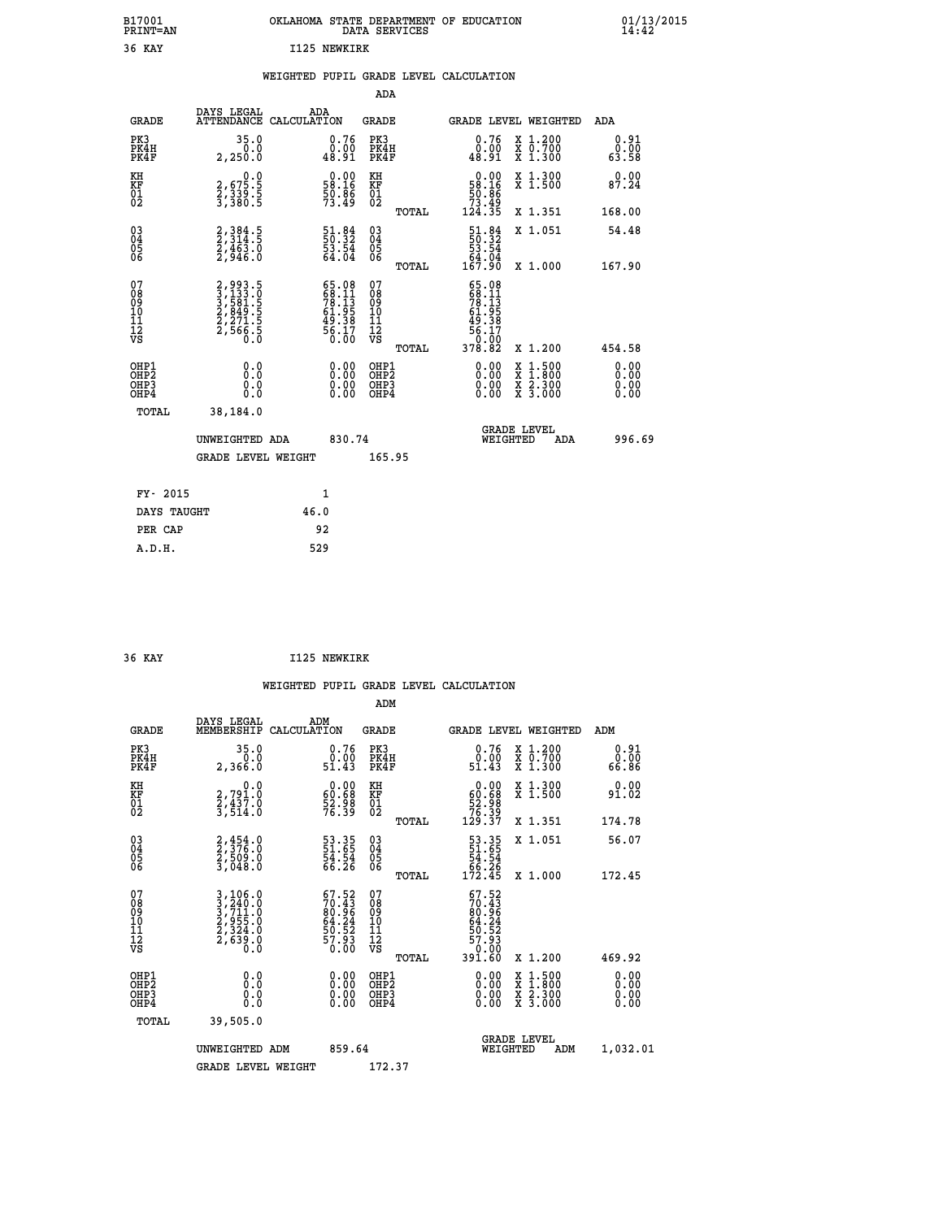| B17001<br><b>PRINT=AN</b> | OKLAHOMA<br>. STATE DEPARTMENT OF EDUCATION<br>DATA SERVICES | 01/13/2015<br>14:42 |
|---------------------------|--------------------------------------------------------------|---------------------|
| 36 KAY                    | I125 NEWKIRK                                                 |                     |

|  |  | WEIGHTED PUPIL GRADE LEVEL CALCULATION |
|--|--|----------------------------------------|
|  |  |                                        |

|                                                       |                                                                        |                                                                                              | ADA                                       |       |                                                                                      |                                          |                              |
|-------------------------------------------------------|------------------------------------------------------------------------|----------------------------------------------------------------------------------------------|-------------------------------------------|-------|--------------------------------------------------------------------------------------|------------------------------------------|------------------------------|
| <b>GRADE</b>                                          | DAYS LEGAL                                                             | ADA<br>ATTENDANCE CALCULATION                                                                | <b>GRADE</b>                              |       | <b>GRADE LEVEL WEIGHTED</b>                                                          |                                          | ADA                          |
| PK3<br>PK4H<br>PK4F                                   | 35.0<br>2,250.0                                                        | 0.76<br>0.00<br>10.91                                                                        | PK3<br>PK4H<br>PK4F                       |       | 0.76<br>0.00<br>48.91                                                                | X 1.200<br>X 0.700<br>X 1.300            | 0.91<br>0.00<br>63.58        |
| KH<br>KF<br>01<br>02                                  | $\begin{smallmatrix} 0.0\\2,675.5\\2,339.5\\3,380.5 \end{smallmatrix}$ | $\begin{smallmatrix} 0.00\\ 58.16\\ 50.86\\ 73.49 \end{smallmatrix}$                         | KH<br>KF<br>01<br>02                      |       | $\begin{smallmatrix} &0.00\\ 58.16\\ 50.86\\ 73.49\\ 124.35\end{smallmatrix}$        | X 1.300<br>X 1.500                       | 0.00<br>87.24                |
|                                                       |                                                                        |                                                                                              |                                           | TOTAL |                                                                                      | X 1.351                                  | 168.00                       |
| 03<br>04<br>05<br>06                                  | 2, 384 . 5<br>2, 314 . 5<br>2, 463 . 0<br>2, 946 . 0                   | $\begin{smallmatrix} 51\cdot 84\ 50\cdot 32\ 53\cdot 54\ 64\cdot 04 \end{smallmatrix}$       | 03<br>04<br>05<br>06                      |       | $\begin{smallmatrix} 51.84\ 50.32\ 53.54\ 64.04\ 167.90 \end{smallmatrix}$           | X 1.051                                  | 54.48                        |
|                                                       |                                                                        |                                                                                              |                                           | TOTAL |                                                                                      | X 1.000                                  | 167.90                       |
| 07<br>08<br>09<br>11<br>11<br>12<br>VS                | 2,993.5<br>3,133.0<br>3,584.5<br>2,849.5<br>2,271.5<br>2,566.5         | $\begin{smallmatrix} 65.08\\ 68.11\\ 78.13\\ 61.95\\ 49.38\\ 56.17\\ 0.00 \end{smallmatrix}$ | 07<br>08<br>09<br>11<br>11<br>12<br>VS    | TOTAL | $65.08$<br>$78.11$<br>$78.13$<br>$61.95$<br>$49.38$<br>$56.170$<br>$70.02$<br>378.82 | X 1.200                                  | 454.58                       |
| OHP1<br>OH <sub>P</sub> 2<br>OH <sub>P3</sub><br>OHP4 | 0.0<br>0.0<br>0.0                                                      | 0.00<br>$\begin{smallmatrix} 0.00 \ 0.00 \end{smallmatrix}$                                  | OHP1<br>OH <sub>P</sub> 2<br>OHP3<br>OHP4 |       | 0.00<br>0.00<br>0.00                                                                 | X 1:500<br>X 1:800<br>X 2:300<br>X 3:000 | 0.00<br>0.00<br>0.00<br>0.00 |
| TOTAL                                                 | 38,184.0                                                               |                                                                                              |                                           |       |                                                                                      |                                          |                              |
|                                                       | UNWEIGHTED ADA                                                         | 830.74                                                                                       |                                           |       | WEIGHTED                                                                             | <b>GRADE LEVEL</b><br>ADA                | 996.69                       |
|                                                       | <b>GRADE LEVEL WEIGHT</b>                                              |                                                                                              | 165.95                                    |       |                                                                                      |                                          |                              |
| FY- 2015                                              |                                                                        | $\mathbf{1}$                                                                                 |                                           |       |                                                                                      |                                          |                              |
| DAYS TAUGHT                                           |                                                                        | 46.0                                                                                         |                                           |       |                                                                                      |                                          |                              |
|                                                       |                                                                        |                                                                                              |                                           |       |                                                                                      |                                          |                              |
| PER CAP                                               |                                                                        | 92                                                                                           |                                           |       |                                                                                      |                                          |                              |
| A.D.H.                                                |                                                                        | 529                                                                                          |                                           |       |                                                                                      |                                          |                              |

|                                          |                                                                                                                                               |                                                                          | ADM                                                 |                                                                             |                                          |                       |
|------------------------------------------|-----------------------------------------------------------------------------------------------------------------------------------------------|--------------------------------------------------------------------------|-----------------------------------------------------|-----------------------------------------------------------------------------|------------------------------------------|-----------------------|
| <b>GRADE</b>                             | DAYS LEGAL<br>MEMBERSHIP                                                                                                                      | ADM<br>CALCULATION                                                       | <b>GRADE</b>                                        |                                                                             | <b>GRADE LEVEL WEIGHTED</b>              | ADM                   |
| PK3<br>PK4H<br>PK4F                      | 35.0<br>0.0<br>2,366.0                                                                                                                        | 0.76<br>ŏ:óŏ<br>51.43                                                    | PK3<br>PK4H<br>PK4F                                 | 0.76<br>ŏ:óŏ<br>51.43                                                       | X 1.200<br>X 0.700<br>X 1.300            | 0.91<br>00.0<br>86.86 |
| KH<br>KF<br>01<br>02                     | 0.0<br>2,791.0<br>2,437.0<br>3,514.0                                                                                                          | $\begin{smallmatrix} 0.00\\ 60.68\\ 52.98\\ 76.39 \end{smallmatrix}$     | KH<br>KF<br>01<br>02                                | $\begin{smallmatrix} &0.00\ 60.68\ 52.98\ 76.39\ 129.37\ \end{smallmatrix}$ | X 1.300<br>X 1.500                       | 0.00<br>91.02         |
|                                          |                                                                                                                                               |                                                                          | TOTAL                                               |                                                                             | X 1.351                                  | 174.78                |
| 03<br>04<br>05<br>06                     | $2,376.0$<br>$2,509.0$<br>$3,048.0$                                                                                                           | 53.35<br>51.65<br>54.54<br>66.26                                         | $\begin{array}{c} 03 \\ 04 \\ 05 \\ 06 \end{array}$ | $\begin{array}{r} 53.35 \\ 51.65 \\ 54.54 \\ 66.26 \\ 172.45 \end{array}$   | X 1.051                                  | 56.07                 |
|                                          |                                                                                                                                               |                                                                          | TOTAL                                               |                                                                             | X 1.000                                  | 172.45                |
| 07<br>08<br>09<br>101<br>11<br>12<br>VS  | $\begin{smallmatrix} 3\,,\,106\,.0\\ 3\,,\,240\,.0\\ 3\,,\,711\,.0\\ 2\,,\,955\,.0\\ 2\,,\,324\,.0\\ 2\,,\,639\,.0\\ 0\,.0 \end{smallmatrix}$ | $57.52$<br>$70.43$<br>$80.96$<br>$64.24$<br>$55.52$<br>$57.93$<br>$0.00$ | 07<br>08<br>09<br>09<br>10<br>11<br>12<br>VS        | $67.52$<br>$70.43$<br>$80.96$<br>$64.24$<br>$55.52$<br>$57.93$<br>$0.90$    |                                          |                       |
|                                          |                                                                                                                                               |                                                                          | TOTAL                                               | 39ĭ.čŏ                                                                      | X 1.200                                  | 469.92                |
| OHP1<br>OHP2<br>OH <sub>P3</sub><br>OHP4 |                                                                                                                                               |                                                                          | OHP1<br>OHP2<br>OHP <sub>3</sub><br>OHP4            | $0.00$<br>$0.00$<br>0.00                                                    | X 1:500<br>X 1:800<br>X 2:300<br>X 3:000 | 0.00<br>0.00<br>0.00  |
| TOTAL                                    | 39,505.0                                                                                                                                      |                                                                          |                                                     |                                                                             |                                          |                       |
|                                          | UNWEIGHTED<br>ADM                                                                                                                             | 859.64                                                                   |                                                     |                                                                             | <b>GRADE LEVEL</b><br>WEIGHTED<br>ADM    | 1,032.01              |
|                                          | <b>GRADE LEVEL WEIGHT</b>                                                                                                                     |                                                                          | 172.37                                              |                                                                             |                                          |                       |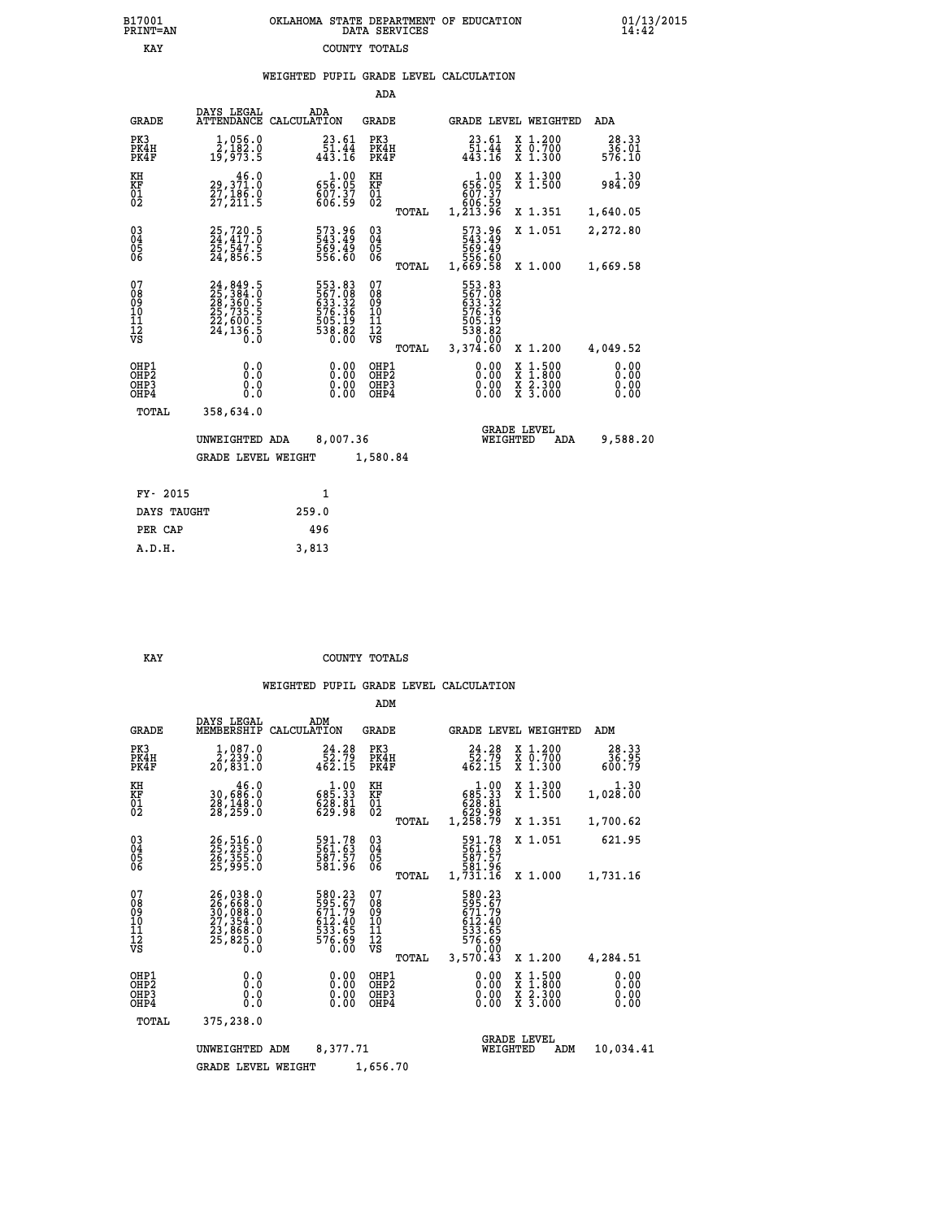## **B17001 OKLAHOMA STATE DEPARTMENT OF EDUCATION 01/13/2015 PRINT=AN DATA SERVICES 14:42 EXAY** COUNTY TOTALS

## **WEIGHTED PUPIL GRADE LEVEL CALCULATION**

|                                                    |                                                                                  |             |                                                                                      | ADA                                                 |       |                                                                                     |                                |                                          |                              |
|----------------------------------------------------|----------------------------------------------------------------------------------|-------------|--------------------------------------------------------------------------------------|-----------------------------------------------------|-------|-------------------------------------------------------------------------------------|--------------------------------|------------------------------------------|------------------------------|
| <b>GRADE</b>                                       | DAYS LEGAL<br><b>ATTENDANCE</b>                                                  | CALCULATION | ADA                                                                                  | GRADE                                               |       |                                                                                     |                                | GRADE LEVEL WEIGHTED                     | <b>ADA</b>                   |
| PK3<br>PK4H<br>PK4F                                | 1,056.0<br>$\frac{\bar{2}}{19}, \frac{\bar{1}}{9}\frac{\bar{2}}{73}.5$           |             | 23.61<br>$\frac{51.44}{443.16}$                                                      | PK3<br>PK4H<br>PK4F                                 |       | 23.61<br>$\frac{51.44}{443.16}$                                                     |                                | X 1.200<br>X 0.700<br>X 1.300            | 28.33<br>36.01<br>576.10     |
| KH<br><b>KF</b><br>01<br>02                        | 46.0<br>29,371.0<br>27,186.0<br>27,211.5                                         |             | 656.09<br>607.37<br>606.59                                                           | KH<br>KF<br>$\overline{01}$                         |       | $1.00$<br>656.05<br>607.37                                                          |                                | X 1.300<br>X 1.500                       | 1.30<br>984.09               |
|                                                    |                                                                                  |             |                                                                                      |                                                     | TOTAL | ۆŠ:ۆۆ<br>1,213.96                                                                   |                                | X 1.351                                  | 1,640.05                     |
| $\begin{matrix} 03 \\ 04 \\ 05 \\ 06 \end{matrix}$ | 25,720.5<br>24,417.0<br>25,547.5<br>24,856.5                                     |             | 573.96<br>543.49<br>569.49<br>556.60                                                 | $\begin{array}{c} 03 \\ 04 \\ 05 \\ 06 \end{array}$ |       | 573.96<br>543.49<br>569.49<br>556.60<br>1,669.58                                    |                                | X 1.051                                  | 2,272.80                     |
|                                                    |                                                                                  |             |                                                                                      |                                                     | TOTAL |                                                                                     |                                | X 1.000                                  | 1,669.58                     |
| 07<br>08<br>09<br>11<br>11<br>12<br>VS             | 24,849.5<br>25,384.0<br>28,360.5<br>28,735.5<br>22,600.5<br>22,600.5<br>24,136.5 |             | 553.83<br>567.08<br>533.32<br>633.32<br>576.36<br>505.19<br>505.19<br>538.82<br>0.00 | 07<br>08<br>09<br>101<br>11<br>12<br>VS             | TOTAL | 553.83<br>567.088<br>633.32<br>676.36<br>576.38.82<br>538.82<br>538.820<br>3,374.60 |                                | X 1.200                                  | 4,049.52                     |
| OHP1<br>OHP2<br>OHP3<br>OHP4                       | 0.0<br>0.0<br>0.0                                                                |             | 0.00<br>$0.00$<br>0.00                                                               | OHP1<br>OHP2<br>OHP3<br>OHP4                        |       |                                                                                     | 0.00<br>X<br>X<br>0.00<br>0.00 | $1.500$<br>$1.800$<br>X 2.300<br>X 3.000 | 0.00<br>0.00<br>0.00<br>0.00 |
| TOTAL                                              | 358,634.0                                                                        |             |                                                                                      |                                                     |       |                                                                                     |                                |                                          |                              |
|                                                    | UNWEIGHTED ADA                                                                   |             | 8,007.36                                                                             |                                                     |       |                                                                                     | <b>GRADE LEVEL</b><br>WEIGHTED | ADA                                      | 9,588.20                     |
|                                                    | <b>GRADE LEVEL WEIGHT</b>                                                        |             |                                                                                      | 1,580.84                                            |       |                                                                                     |                                |                                          |                              |
| FY- 2015                                           |                                                                                  |             | $\mathbf{1}$                                                                         |                                                     |       |                                                                                     |                                |                                          |                              |
| DAYS TAUGHT                                        |                                                                                  | 259.0       |                                                                                      |                                                     |       |                                                                                     |                                |                                          |                              |
|                                                    |                                                                                  |             |                                                                                      |                                                     |       |                                                                                     |                                |                                          |                              |

 **PER CAP 496 A.D.H. 3,813**

#### **EXAY** COUNTY TOTALS

|                                                       |                                                                                                                                                                                                 |                                                                                      | ADM                                              |                                                                                        |                                                                                                  |                              |
|-------------------------------------------------------|-------------------------------------------------------------------------------------------------------------------------------------------------------------------------------------------------|--------------------------------------------------------------------------------------|--------------------------------------------------|----------------------------------------------------------------------------------------|--------------------------------------------------------------------------------------------------|------------------------------|
| <b>GRADE</b>                                          | DAYS LEGAL<br>MEMBERSHIP                                                                                                                                                                        | ADM<br>CALCULATION                                                                   | <b>GRADE</b>                                     | <b>GRADE LEVEL WEIGHTED</b>                                                            |                                                                                                  | ADM                          |
| PK3<br>PK4H<br>PK4F                                   | 1,087.0<br>2,239.0<br>20,831.0                                                                                                                                                                  | 24.28<br>$\frac{52.79}{462.15}$                                                      | PK3<br>PK4H<br>PK4F                              | 24.28<br>52.79<br>462.15                                                               | $\begin{array}{c} x & 1.200 \\ x & 0.700 \end{array}$<br>X 1.300                                 | 28.33<br>36.95<br>600.79     |
| KH<br>KF<br>01<br>02                                  | 46.0<br>30,686:0<br>28,148:0<br>28,259:0                                                                                                                                                        | $\begin{smallmatrix}&&1\cdot00\\685\cdot33\\628\cdot81\\629\cdot98\end{smallmatrix}$ | KH<br>KF<br>01<br>02                             | $\begin{smallmatrix}&&1.00\\685.33\\628.31\\628.81\\629.98\\1,258.79\end{smallmatrix}$ | X 1.300<br>X 1.500                                                                               | 1.30<br>1,028.00             |
|                                                       |                                                                                                                                                                                                 |                                                                                      | TOTAL                                            |                                                                                        | X 1.351                                                                                          | 1,700.62                     |
| 03<br>04<br>05<br>06                                  | 26,516.0<br>25,235.0<br>26,355.0<br>25,995.0                                                                                                                                                    | 591.78<br>561.63<br>587.57<br>581.96                                                 | $^{03}_{04}$<br>0500                             | 591.78<br>561.63<br>587.57<br>581.96<br>1,731.16                                       | X 1.051                                                                                          | 621.95                       |
|                                                       |                                                                                                                                                                                                 |                                                                                      | TOTAL                                            |                                                                                        | X 1.000                                                                                          | 1,731.16                     |
| 07<br>08<br>09<br>11<br>11<br>12<br>VS                | $\begin{smallmatrix} 26\,, & 038\,. & 0\\ 26\,, & 668\,. & 0\\ 30\,, & 088\,. & 0\\ 27\,, & 354\,. & 0\\ 23\,, & 868\,. & 0\\ 25\,, & 825\,. & 0\\ 0\,. & 0\,. & 0\,. & 0\,. \end{smallmatrix}$ | 580.23<br>525.67<br>671.79<br>612.40<br>533.65<br>576.69<br>576.60                   | 07<br>08<br>09<br>101<br>11<br>12<br>VS<br>TOTAL | 580.23<br>595.67<br>671.79<br>612.40<br>533.65<br>576.690<br>576.690<br>3,570.43       | X 1.200                                                                                          | 4,284.51                     |
| OHP1<br>OH <sub>P</sub> 2<br>OH <sub>P3</sub><br>OHP4 | 0.0<br>0.000                                                                                                                                                                                    | $0.00$<br>$0.00$<br>0.00                                                             | OHP1<br>OHP2<br>OHP3<br>OHP4                     | $0.00$<br>$0.00$<br>0.00                                                               | $\begin{smallmatrix} x & 1 & 500 \\ x & 1 & 800 \\ x & 2 & 300 \\ x & 3 & 000 \end{smallmatrix}$ | 0.00<br>0.00<br>0.00<br>0.00 |
| TOTAL                                                 | 375,238.0                                                                                                                                                                                       |                                                                                      |                                                  |                                                                                        |                                                                                                  |                              |
|                                                       | UNWEIGHTED                                                                                                                                                                                      | 8,377.71<br>ADM                                                                      |                                                  | <b>GRADE LEVEL</b><br>WEIGHTED                                                         | ADM                                                                                              | 10,034.41                    |
|                                                       | <b>GRADE LEVEL WEIGHT</b>                                                                                                                                                                       |                                                                                      | 1,656.70                                         |                                                                                        |                                                                                                  |                              |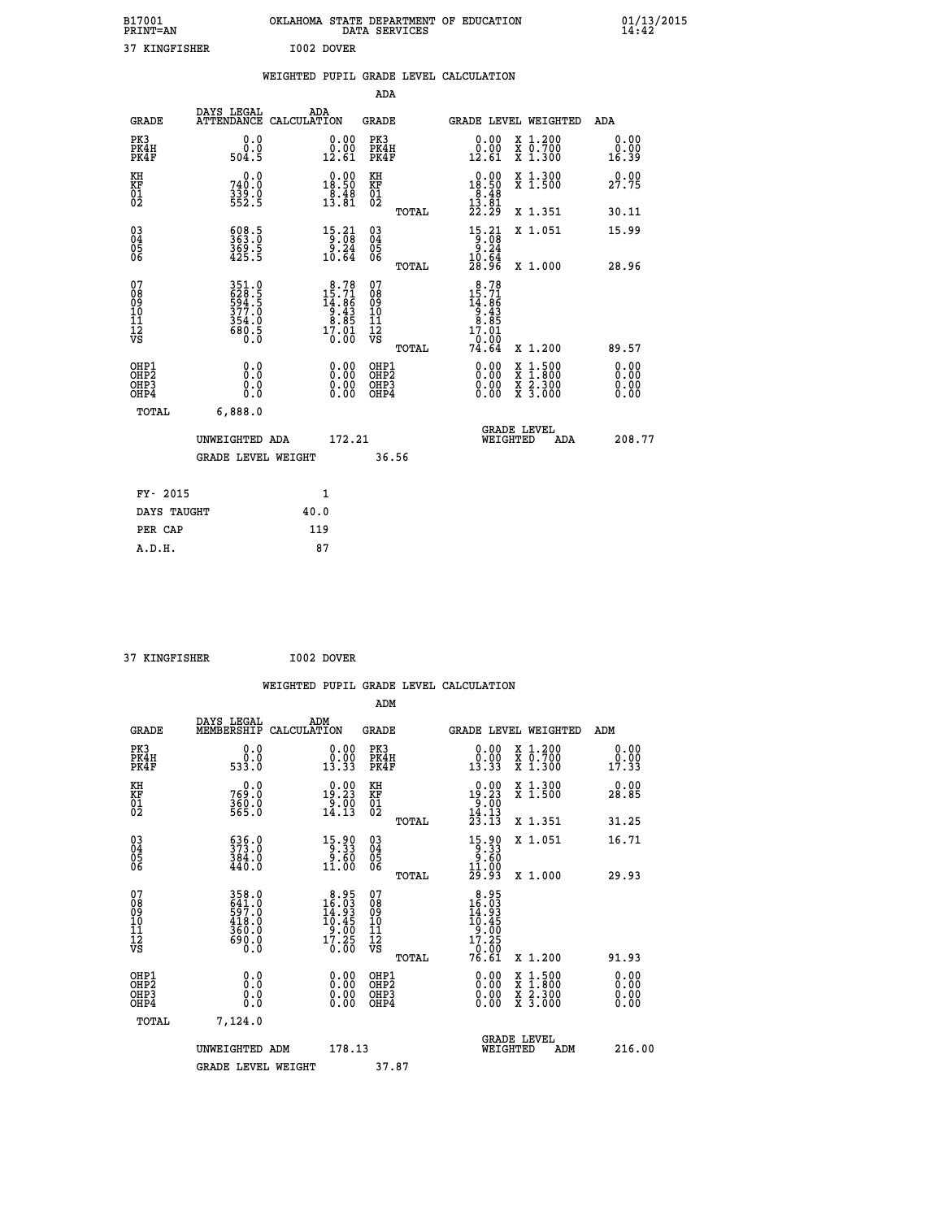| B17001<br>PRINT=AN  |                                      | OKLAHOMA |                       | DATA SERVICES       | STATE DEPARTMENT | OF<br><b>EDUCATION</b>                 |                            | 01/13/2015<br>14:42   |  |
|---------------------|--------------------------------------|----------|-----------------------|---------------------|------------------|----------------------------------------|----------------------------|-----------------------|--|
| KINGFISHER<br>37    |                                      |          | I002 DOVER            |                     |                  |                                        |                            |                       |  |
|                     |                                      |          |                       |                     |                  | WEIGHTED PUPIL GRADE LEVEL CALCULATION |                            |                       |  |
|                     |                                      |          |                       | ADA                 |                  |                                        |                            |                       |  |
| GRADE               | DAYS LEGAL<br>ATTENDANCE CALCULATION | ADA      |                       | GRADE               |                  |                                        | GRADE LEVEL WEIGHTED       | ADA                   |  |
| PK3<br>PK4H<br>PK4F | 0.0<br>۵<br>504.5                    |          | 0.00<br>0.00<br>12.61 | PK3<br>PK4H<br>PK4F |                  | 0.00<br>.00<br>12.61                   | X 1.200<br>.700<br>X 1.300 | 0.00<br>0.00<br>16.39 |  |

| PK4H<br>PK4F                                         | v.v<br>504.5                                                         | 0.00<br>12.61                                                                                                  | <b>PK4H</b><br>PK4F                              | 0.00<br>12.61                                                                                                             | $\begin{smallmatrix} 1 & 0 & .700 \\ X & 1 & .300 \end{smallmatrix}$                             | $v \cdot v$<br>16.39 |
|------------------------------------------------------|----------------------------------------------------------------------|----------------------------------------------------------------------------------------------------------------|--------------------------------------------------|---------------------------------------------------------------------------------------------------------------------------|--------------------------------------------------------------------------------------------------|----------------------|
| KH<br>KF<br>01<br>02                                 | 0.0<br>740:0<br>339:0<br>552:5                                       | $\begin{smallmatrix} 0.00\\18.50\\8.48\\13.81 \end{smallmatrix}$                                               | KH<br>KF<br>01<br>02                             | $\begin{smallmatrix}&&0.00\\18.50\\8.48\\13.81\\22.29\end{smallmatrix}$                                                   | X 1.300<br>X 1.500                                                                               | 0.00<br>27.75        |
|                                                      |                                                                      |                                                                                                                | TOTAL                                            |                                                                                                                           | X 1.351                                                                                          | 30.11                |
| $\begin{matrix} 03 \\ 04 \\ 05 \\ 06 \end{matrix}$   | 508.5<br>363.0<br>369.5<br>425.5                                     | $\begin{array}{r} 15 \cdot 21 \\ 9 \cdot 08 \\ 9 \cdot 24 \\ 10 \cdot 64 \end{array}$                          | $\substack{03 \\ 04}$<br>Ŏ5<br>06<br>TOTAL       | $\begin{array}{r} 15 \cdot 21 \\ 9 \cdot 08 \\ 9 \cdot 24 \\ 10 \cdot 64 \\ 28 \cdot 96 \end{array}$                      | X 1.051<br>X 1.000                                                                               | 15.99<br>28.96       |
| 07<br>08<br>09<br>101<br>112<br>VS                   | 351.0<br>628.5<br>594.5<br>577.0<br>377.0<br>354.0<br>680.5<br>680.5 | $\begin{smallmatrix} 8\cdot78\\15\cdot71\\14\cdot86\\9\cdot43\\8\cdot85\\17\cdot01\\0\cdot00\end{smallmatrix}$ | 07<br>08<br>09<br>101<br>11<br>12<br>VS<br>TOTAL | $\begin{smallmatrix} 8\cdot78\\15\cdot71\\14\cdot86\\9\cdot43\\8\cdot85\\17\cdot01\\0\cdot00\\74\cdot64\end{smallmatrix}$ | X 1.200                                                                                          | 89.57                |
| OHP1<br>OHP <sub>2</sub><br>OH <sub>P3</sub><br>OHP4 |                                                                      | $0.00$<br>$0.00$<br>0.00                                                                                       | OHP1<br>OH <sub>P</sub> 2<br>OHP3<br>OHP4        |                                                                                                                           | $\begin{smallmatrix} x & 1 & 500 \\ x & 1 & 800 \\ x & 2 & 300 \\ x & 3 & 000 \end{smallmatrix}$ | 0.00                 |
| TOTAL                                                | 6,888.0                                                              |                                                                                                                |                                                  |                                                                                                                           |                                                                                                  |                      |
|                                                      | UNWEIGHTED ADA                                                       | 172.21                                                                                                         |                                                  |                                                                                                                           | <b>GRADE LEVEL</b><br>WEIGHTED<br>ADA                                                            | 208.77               |
|                                                      | <b>GRADE LEVEL WEIGHT</b>                                            |                                                                                                                | 36.56                                            |                                                                                                                           |                                                                                                  |                      |
| $\frac{1}{2}$                                        |                                                                      | $\overline{\phantom{a}}$                                                                                       |                                                  |                                                                                                                           |                                                                                                  |                      |

| FY- 2015    |      |
|-------------|------|
| DAYS TAUGHT | 40.0 |
| PER CAP     | 119  |
| A.D.H.      | 87   |
|             |      |

```
 37 KINGFISHER I002 DOVER
```

|                                                          |                                                                       |                                                                                                      |                                                     |       | WEIGHTED PUPIL GRADE LEVEL CALCULATION                                                           |                                          |                       |
|----------------------------------------------------------|-----------------------------------------------------------------------|------------------------------------------------------------------------------------------------------|-----------------------------------------------------|-------|--------------------------------------------------------------------------------------------------|------------------------------------------|-----------------------|
|                                                          |                                                                       |                                                                                                      |                                                     | ADM   |                                                                                                  |                                          |                       |
| <b>GRADE</b>                                             | DAYS LEGAL<br>MEMBERSHIP                                              | ADM<br>CALCULATION                                                                                   | <b>GRADE</b>                                        |       |                                                                                                  | <b>GRADE LEVEL WEIGHTED</b>              | ADM                   |
| PK3<br>PK4H<br>PK4F                                      | 0.000<br>533.0                                                        | $\begin{smallmatrix} 0.00\\ 0.00\\ 13.33 \end{smallmatrix}$                                          | PK3<br>PK4H<br>PK4F                                 |       | $\begin{smallmatrix} 0.00\\ 0.00\\ 13.33 \end{smallmatrix}$                                      | X 1.200<br>X 0.700<br>X 1.300            | 0.00<br>0.00<br>17.33 |
| KH<br>KF<br>01<br>02                                     | 0.0<br>769.0<br>$\frac{360}{565}$ .0                                  | $0.00$<br>19.23<br>$\frac{5}{14}$ . 00<br>14.13                                                      | KH<br>KF<br>01<br>02                                |       | $\begin{array}{r} 0.00 \\ 19.23 \\ 9.00 \\ 14.13 \\ 23.13 \end{array}$                           | X 1.300<br>X 1.500                       | 0.00<br>28.85         |
|                                                          |                                                                       |                                                                                                      |                                                     | TOTAL |                                                                                                  | X 1.351                                  | 31.25                 |
| $\begin{matrix} 03 \\ 04 \\ 05 \\ 06 \end{matrix}$       | $\begin{smallmatrix} 636.0\\ 373.0\\ 384.0\\ 440.0 \end{smallmatrix}$ | $\begin{smallmatrix} 15\cdot90\\[-1mm] 9\cdot33\\[-1mm] 9\cdot60\\[-1mm] 11\cdot00\end{smallmatrix}$ | $\begin{array}{c} 03 \\ 04 \\ 05 \\ 06 \end{array}$ |       | $15.90$<br>$9.33$<br>$9.60$<br>$11.00$                                                           | X 1.051                                  | 16.71                 |
|                                                          |                                                                       |                                                                                                      |                                                     | TOTAL | 29.93                                                                                            | $X_1.000$                                | 29.93                 |
| 07<br>08<br>09<br>11<br>11<br>12<br>VS                   | 358.0<br>641.0<br>597.0<br>418.0<br>360.0<br>ō.ŏö<br>0.0              | $\begin{smallmatrix}8.95\\16.03\\14.93\\10.45\\9.00\\17.25\\0.00\end{smallmatrix}$                   | 07<br>08<br>09<br>11<br>11<br>12<br>VS              | TOTAL | $\begin{array}{r} 8.95 \\ 16.03 \\ 14.93 \\ 10.45 \\ 9.00 \\ 17.25 \end{array}$<br>0.00<br>76.61 | X 1.200                                  | 91.93                 |
| OHP1                                                     |                                                                       |                                                                                                      |                                                     |       |                                                                                                  |                                          |                       |
| OHP <sub>2</sub><br>OH <sub>P3</sub><br>OH <sub>P4</sub> | 0.0<br>0.000                                                          | $0.00$<br>$0.00$<br>0.00                                                                             | OHP1<br>OHP2<br>OHP <sub>3</sub>                    |       | 0.00<br>0.00<br>0.00                                                                             | X 1:500<br>X 1:800<br>X 2:300<br>X 3:000 | 0.00<br>0.00<br>0.00  |
| TOTAL                                                    | 7,124.0                                                               |                                                                                                      |                                                     |       |                                                                                                  |                                          |                       |
|                                                          | UNWEIGHTED ADM                                                        |                                                                                                      | 178.13                                              |       | WEIGHTED                                                                                         | <b>GRADE LEVEL</b><br>ADM                | 216.00                |
|                                                          | <b>GRADE LEVEL WEIGHT</b>                                             |                                                                                                      |                                                     | 37.87 |                                                                                                  |                                          |                       |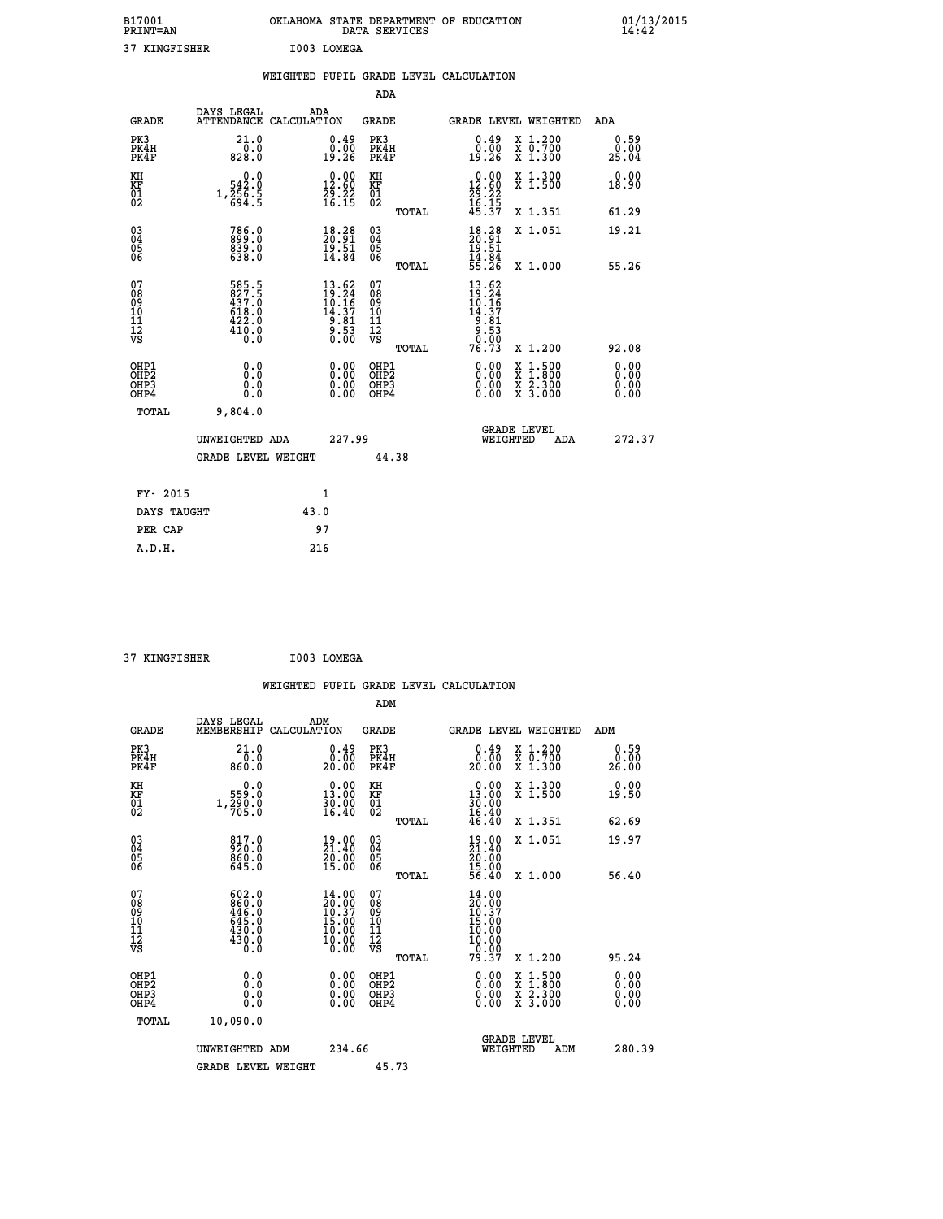| B17001<br><b>PRINT=AN</b>       | OKLAHOMA STATE DEPARTMENT OF EDUCATION<br>SERVICES<br>DATA | 01/13/2015<br>14:42 |
|---------------------------------|------------------------------------------------------------|---------------------|
| ר כ<br><b><i>KINCRISHER</i></b> | τηης<br><b>T.OMRCA</b>                                     |                     |

| 37 KINGFISHER                            |                                                             |      | I003 LOMEGA                                                                         |                              |       |                                                                         |                                                                                                                                              |                               |
|------------------------------------------|-------------------------------------------------------------|------|-------------------------------------------------------------------------------------|------------------------------|-------|-------------------------------------------------------------------------|----------------------------------------------------------------------------------------------------------------------------------------------|-------------------------------|
|                                          |                                                             |      |                                                                                     |                              |       | WEIGHTED PUPIL GRADE LEVEL CALCULATION                                  |                                                                                                                                              |                               |
|                                          |                                                             |      |                                                                                     | <b>ADA</b>                   |       |                                                                         |                                                                                                                                              |                               |
| <b>GRADE</b>                             | DAYS LEGAL<br>ATTENDANCE CALCULATION                        |      | ADA                                                                                 | <b>GRADE</b>                 |       |                                                                         | GRADE LEVEL WEIGHTED                                                                                                                         | ADA                           |
| PK3<br>PK4H<br>PK4F                      | 21.0<br>0.0<br>828.0                                        |      | 0.49<br>0.00<br>19.26                                                               | PK3<br>PK4H<br>PK4F          |       | $0.49$<br>$0.00$<br>19.26                                               | X 1.200<br>X 0.700<br>X 1.300                                                                                                                | 0.59<br>0.00<br>25.04         |
| KH<br>KF<br>01<br>02                     | 0.0<br>542:0<br>1,256:5<br>694:5                            |      | $\begin{smallmatrix} 0.00\\ 12.60\\ 29.22\\ 16.15 \end{smallmatrix}$                | KH<br>KF<br>01<br>02         |       | $\begin{array}{r} 0.00 \\ 12.60 \\ 29.22 \\ 16.15 \\ 45.37 \end{array}$ | X 1.300<br>X 1.500                                                                                                                           | 0.00<br>18.90                 |
|                                          |                                                             |      |                                                                                     |                              | TOTAL |                                                                         | X 1.351                                                                                                                                      | 61.29                         |
| 03<br>04<br>05<br>06                     | 786.0<br>899.0<br>839.0<br>638.0                            |      | $\begin{smallmatrix} 18.28\\ 20.91\\ 19.51\\ 14.84 \end{smallmatrix}$               | 03<br>04<br>05<br>06         |       | $18.28$<br>$20.91$<br>$19.51$<br>$14.84$<br>$55.26$                     | X 1.051                                                                                                                                      | 19.21                         |
|                                          |                                                             |      |                                                                                     |                              | TOTAL |                                                                         | X 1.000                                                                                                                                      | 55.26                         |
| 07<br>089<br>090<br>1112<br>VS           | 585.5<br>827.5<br>437.0<br>437.0<br>618.0<br>422.0<br>410.0 |      | $\begin{smallmatrix} 13.62\\19.24\\10.16\\14.37\\9.81\\9.53\\0.00\end{smallmatrix}$ | 07<br>08901112<br>1112<br>VS |       | 13.62<br>$19.24$<br>$10.16$<br>$14.37$<br>$9.81$<br>$9.533$<br>$9.92$   |                                                                                                                                              |                               |
|                                          |                                                             |      |                                                                                     |                              | TOTAL | 76.73                                                                   | X 1.200                                                                                                                                      | 92.08                         |
| OHP1<br>OHP <sub>2</sub><br>OHP3<br>OHP4 | 0.0<br>0.0<br>0.0                                           |      | $\begin{smallmatrix} 0.00 \ 0.00 \ 0.00 \ 0.00 \end{smallmatrix}$                   | OHP1<br>OHP2<br>OHP3<br>OHP4 |       | 0.00<br>0.00                                                            | $\begin{smallmatrix} \mathtt{X} & 1\cdot500 \\ \mathtt{X} & 1\cdot800 \\ \mathtt{X} & 2\cdot300 \\ \mathtt{X} & 3\cdot000 \end{smallmatrix}$ | 0.00<br>Ō. ŌŌ<br>0.00<br>0.00 |
| <b>TOTAL</b>                             | 9,804.0                                                     |      |                                                                                     |                              |       |                                                                         |                                                                                                                                              |                               |
|                                          | UNWEIGHTED ADA                                              |      | 227.99                                                                              |                              |       |                                                                         | GRADE LEVEL<br>WEIGHTED<br>ADA                                                                                                               | 272.37                        |
|                                          | <b>GRADE LEVEL WEIGHT</b>                                   |      |                                                                                     |                              | 44.38 |                                                                         |                                                                                                                                              |                               |
| FY- 2015                                 |                                                             |      | 1                                                                                   |                              |       |                                                                         |                                                                                                                                              |                               |
| DAYS TAUGHT                              |                                                             | 43.0 |                                                                                     |                              |       |                                                                         |                                                                                                                                              |                               |
| PER CAP                                  |                                                             |      | 97                                                                                  |                              |       |                                                                         |                                                                                                                                              |                               |

 **37 KINGFISHER I003 LOMEGA**

 **WEIGHTED PUPIL GRADE LEVEL CALCULATION ADM DAYS LEGAL ADM GRADE MEMBERSHIP CALCULATION GRADE GRADE LEVEL WEIGHTED ADM PK3 21.0 0.49 PK3 0.49 X 1.200 0.59 PK4H 0.0 0.00 PK4H 0.00 X 0.700 0.00 PK4F 860.0 20.00 PK4F 20.00 X 1.300 26.00 KH 0.0 0.00 KH 0.00 X 1.300 0.00 KF 559.0 13.00 KF 13.00 X 1.500 19.50**  $\begin{array}{cccc} \text{KH} & \hspace{1.5cm} 0.0 & \hspace{1.5cm} 0.00 & \text{KH} \\ \text{KF} & \hspace{1.5cm} 559.0 & \hspace{1.5cm} 13.00 & \text{KF} \\ 02 & \hspace{1.5cm} 1.790 \cdot 0 & \hspace{1.5cm} 16.40 & 02 \end{array}$ 02 705.0 16.40 02 <sub>noman</sub> 16.40  **TOTAL 46.40 X 1.351 62.69 03 817.0 19.00 03 19.00 X 1.051 19.97 04 920.0 21.40 04 21.40 62 860.0 30.00 25 30.00** 06 645.0 15.00 06 <sub>momas</sub> 1<u>5</u>.00  **TOTAL 56.40 X 1.000 56.40 07 602.0 14.00 07 14.00 08 860.0 20.00 08 20.00 09 446.0 10.37 09 10.37 10 645.0 15.00 10 15.00 11 430.0 10.00 11 10.00 12 10.00 12 10.00 11 10.00 11 11 VS 0.0 0.00 VS 0.00 TOTAL 79.37 X 1.200 95.24 OHP1 0.0 0.00 OHP1 0.00 X 1.500 0.00 OHP2 0.0 0.00 OHP2 0.00 X 1.800 0.00 OHP3 0.0 0.00 OHP3 0.00 X 2.300 0.00 OHP4 0.0 0.00 OHP4 0.00 X 3.000 0.00 TOTAL 10,090.0 GRADE LEVEL UNWEIGHTED ADM 234.66 WEIGHTED ADM 280.39** GRADE LEVEL WEIGHT 45.73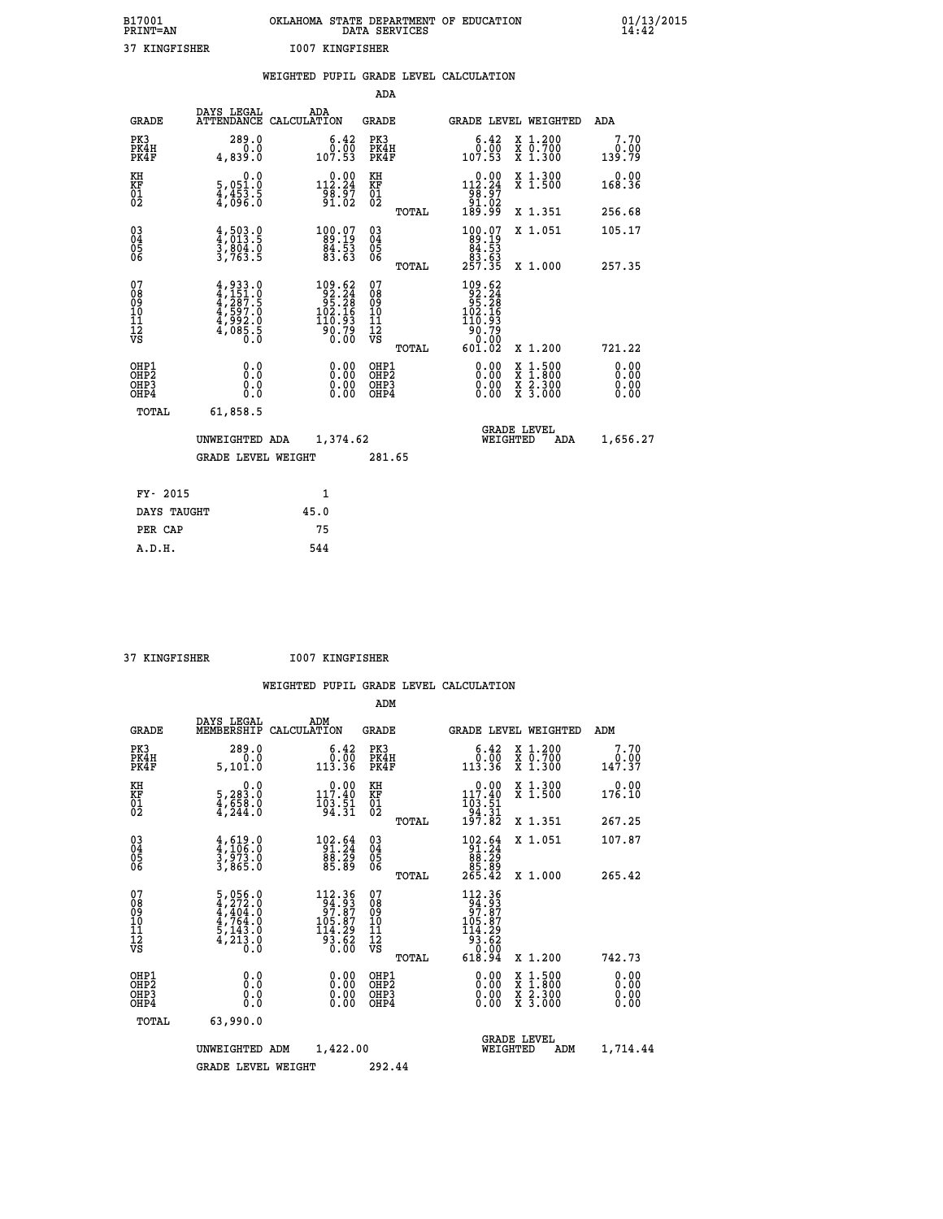| B17001<br>PRINT=AN | OKLAHOMA STATE DEPARTMENT OF EDUCATION<br>DATA SERVICES | 01/13/2015<br>14:42 |
|--------------------|---------------------------------------------------------|---------------------|
| 37 KINGFISHER      | 1007 KINGFISHER                                         |                     |

|                                           |                                                                                      | WEIGHTED PUPIL GRADE LEVEL CALCULATION                                                          |                                        |       |                                                                                                                                         |                                                                   |                              |
|-------------------------------------------|--------------------------------------------------------------------------------------|-------------------------------------------------------------------------------------------------|----------------------------------------|-------|-----------------------------------------------------------------------------------------------------------------------------------------|-------------------------------------------------------------------|------------------------------|
|                                           |                                                                                      |                                                                                                 | <b>ADA</b>                             |       |                                                                                                                                         |                                                                   |                              |
| <b>GRADE</b>                              |                                                                                      | DAYS LEGAL ADA ATTENDANCE CALCULATION                                                           | <b>GRADE</b>                           |       |                                                                                                                                         | GRADE LEVEL WEIGHTED                                              | ADA                          |
| PK3<br>PK4H<br>PK4F                       | 289.0<br>4,839.0                                                                     | $\begin{smallmatrix} 6.42\ 0.00\ 107.53 \end{smallmatrix}$                                      | PK3<br>PK4H<br>PK4F                    |       | 6.42<br>0.00<br>53.011                                                                                                                  | X 1.200<br>X 0.700<br>X 1.300                                     | 7.70<br>0.00<br>139.79       |
| KH<br><b>KF</b><br>01<br>02               | 0.0<br>5,051.0<br>4,453.5<br>4,096.0                                                 |                                                                                                 | KH<br>KF<br>01<br>02                   |       | $\begin{array}{c} 0.00 \\[-4pt] 112.24 \\[-4pt] 98.97 \\[-4pt] 91.02 \\[-4pt] 189.99 \end{array}$                                       | X 1.300<br>X 1.500                                                | 0.00<br>168.36               |
|                                           |                                                                                      |                                                                                                 |                                        | TOTAL |                                                                                                                                         | X 1.351                                                           | 256.68                       |
| $^{03}_{04}$<br>05<br>06                  | $4,503.0$<br>$4,013.5$<br>$3,804.0$<br>$3,763.5$                                     | $\begin{smallmatrix} 100.07\\ 89.19\\ 84.53\\ 83.63 \end{smallmatrix}$                          | $\substack{03 \\ 04}$<br>Ŏ5<br>06      |       | $\begin{smallmatrix} 100.07\\ 89.19\\ 84.53\\ 83.63\\ 257.35 \end{smallmatrix}$                                                         | X 1.051                                                           | 105.17                       |
|                                           |                                                                                      |                                                                                                 |                                        | TOTAL |                                                                                                                                         | X 1.000                                                           | 257.35                       |
| 07<br>08<br>09<br>11<br>11<br>12<br>VS    | $4,933.0$<br>$4,151.0$<br>$4,287.5$<br>$4,5992.0$<br>$4,992.0$<br>$4,085.5$<br>$0.0$ | $\begin{smallmatrix} 109.62\\ 92.24\\ 95.28\\ 102.16\\ 110.93\\ 90.79\\ 0.00 \end{smallmatrix}$ | 07<br>08<br>09<br>11<br>11<br>12<br>VS | TOTAL | $\begin{array}{r} 109.62 \\ 92.24 \\ 95.28 \\ 102.16 \\ 110.93 \end{array}$<br>$\begin{array}{r} 150.79 \\ -0.00 \\ 601.02 \end{array}$ | X 1.200                                                           | 721.22                       |
| OHP1<br>OH <sub>P</sub> 2<br>OHP3<br>OHP4 | 0.0<br>0.0<br>Ō.Ō                                                                    | 0.0000<br>$\begin{smallmatrix} 0.00 \ 0.00 \end{smallmatrix}$                                   | OHP1<br>OHP2<br>OHP3<br>OHP4           |       | 0.00<br>0.00<br>0.00                                                                                                                    | $1:500$<br>1:800<br>X<br>X<br>$\frac{x}{x}$ $\frac{5:300}{3:000}$ | 0.00<br>0.00<br>0.00<br>0.00 |
| <b>TOTAL</b>                              | 61,858.5                                                                             |                                                                                                 |                                        |       |                                                                                                                                         |                                                                   |                              |
|                                           | UNWEIGHTED ADA                                                                       | 1,374.62                                                                                        |                                        |       |                                                                                                                                         | GRADE LEVEL<br>WEIGHTED<br>ADA                                    | 1,656.27                     |
|                                           | <b>GRADE LEVEL WEIGHT</b>                                                            |                                                                                                 | 281.65                                 |       |                                                                                                                                         |                                                                   |                              |
| FY- 2015                                  |                                                                                      | $\mathbf{1}$                                                                                    |                                        |       |                                                                                                                                         |                                                                   |                              |
| DAYS TAUGHT                               |                                                                                      | 45.0                                                                                            |                                        |       |                                                                                                                                         |                                                                   |                              |
| PER CAP                                   |                                                                                      | 75                                                                                              |                                        |       |                                                                                                                                         |                                                                   |                              |

 **37 KINGFISHER I007 KINGFISHER**

|                                          |                                                                                                                                       |                                                                                                                                                | ADM                                                |                                                                                                                                                                |                                          |                              |
|------------------------------------------|---------------------------------------------------------------------------------------------------------------------------------------|------------------------------------------------------------------------------------------------------------------------------------------------|----------------------------------------------------|----------------------------------------------------------------------------------------------------------------------------------------------------------------|------------------------------------------|------------------------------|
| <b>GRADE</b>                             | DAYS LEGAL<br>MEMBERSHIP                                                                                                              | ADM<br>CALCULATION                                                                                                                             | <b>GRADE</b>                                       | <b>GRADE LEVEL WEIGHTED</b>                                                                                                                                    |                                          | ADM                          |
| PK3<br>PK4H<br>PK4F                      | 289.0<br>0.0<br>5,101.0                                                                                                               | 6.42<br>0:00<br>113:36                                                                                                                         | PK3<br>PK4H<br>PK4F                                | $\begin{smallmatrix} 6.42\ 0.00\ 113.36 \end{smallmatrix}$                                                                                                     | X 1.200<br>X 0.700<br>X 1.300            | 7.70<br>$0.00$<br>147.37     |
| KH<br>KF<br>01<br>02                     | 0.0<br>$\frac{5}{4}, \frac{283}{54}$<br>$\frac{3}{4}$ , $\frac{658}{244}$ .0                                                          | $0.00$<br>117.40<br>$\frac{1}{9}$ $\frac{3}{3}$ $\frac{5}{3}$                                                                                  | KH<br>KF<br>01<br>02                               | $0.00$<br>117.40<br>$\begin{array}{c} 103.51 \\ 94.31 \\ 197.82 \end{array}$                                                                                   | X 1.300<br>X 1.500                       | 0.00<br>176.10               |
|                                          |                                                                                                                                       |                                                                                                                                                | TOTAL                                              |                                                                                                                                                                | X 1.351                                  | 267.25                       |
| 03<br>04<br>05<br>06                     | $\frac{4}{3}, \frac{619}{106}.0$<br>$\frac{3}{3}, \frac{973}{865}.0$                                                                  | $\begin{smallmatrix} 102.64\\ 91.24\\ 88.29\\ 85.89 \end{smallmatrix}$                                                                         | $\begin{matrix} 03 \\ 04 \\ 05 \\ 06 \end{matrix}$ | $\begin{smallmatrix} 102.64 \\ 91.24 \\ 88.29 \\ 85.89 \\ 265.42 \end{smallmatrix}$                                                                            | X 1.051                                  | 107.87                       |
|                                          |                                                                                                                                       |                                                                                                                                                | TOTAL                                              |                                                                                                                                                                | X 1.000                                  | 265.42                       |
| 07<br>08<br>09<br>101<br>112<br>VS       | $\begin{smallmatrix}5\,,\,056\,.0\\4\,,\,272\,.0\\4\,,\,404\,.0\\4\,,\,764\,.0\\5\,,\,143\,.0\\4\,,\,213\,.0\\0\,.0\end{smallmatrix}$ | $\begin{smallmatrix} 112.36\\[-1.2mm] 94.93\\[-1.2mm] 97.87\\[-1.2mm] 105.87\\[-1.2mm] 114.29\\[-1.2mm] 93.62\\[-1.2mm] 0.00\end{smallmatrix}$ | 07<br>08<br>09<br>11<br>11<br>12<br>VS<br>TOTAL    | $\begin{smallmatrix} 112.36\\[-1.2mm] 94.93\\[-1.2mm] 97.87\\[-1.2mm] 105.87\\[-1.2mm] 14.29\\[-1.2mm] 93.62\\[-1.2mm] 0.00\\[-1.2mm] 618.94\end{smallmatrix}$ | X 1.200                                  | 742.73                       |
| OHP1<br>OHP2<br>OH <sub>P3</sub><br>OHP4 | 0.0<br>0.000                                                                                                                          | $0.00$<br>$0.00$<br>0.00                                                                                                                       | OHP1<br>OHP2<br>OHP <sub>3</sub>                   | $0.00$<br>$0.00$<br>0.00                                                                                                                                       | X 1:500<br>X 1:800<br>X 2:300<br>X 3:000 | 0.00<br>0.00<br>0.00<br>0.00 |
|                                          | TOTAL<br>63,990.0                                                                                                                     |                                                                                                                                                |                                                    |                                                                                                                                                                |                                          |                              |
|                                          | UNWEIGHTED                                                                                                                            | 1,422.00<br>ADM                                                                                                                                |                                                    | <b>GRADE LEVEL</b><br>WEIGHTED                                                                                                                                 | ADM                                      | 1,714.44                     |
|                                          | <b>GRADE LEVEL WEIGHT</b>                                                                                                             |                                                                                                                                                | 292.44                                             |                                                                                                                                                                |                                          |                              |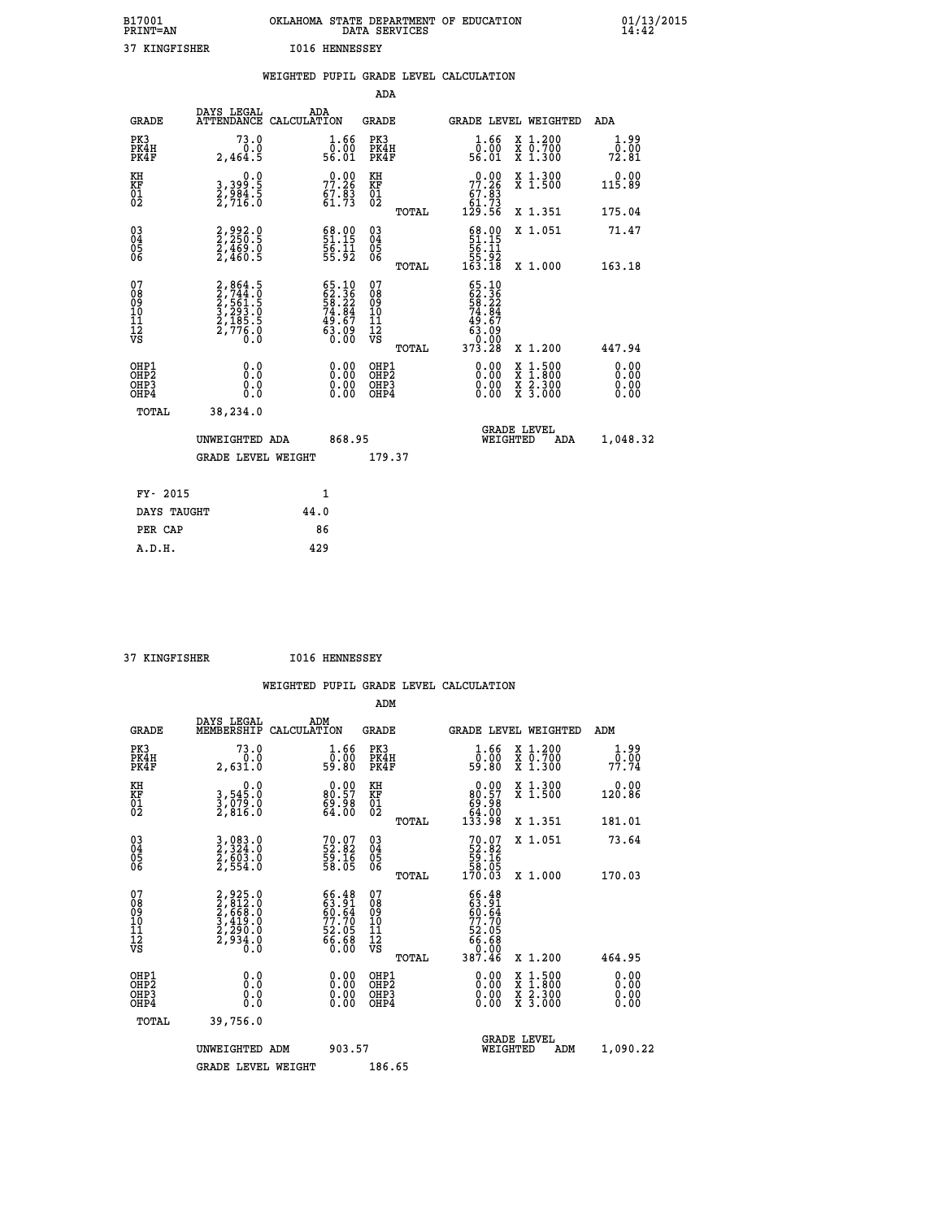| B17001<br><b>PRINT=AN</b> | OKLAHOMA<br>STATE DEPARTMENT OF EDUCATION<br>DATA SERVICES | $01/13/2015$<br>14:42 |
|---------------------------|------------------------------------------------------------|-----------------------|
| 37<br>KINGFISHER          | I016<br>HENNESSEY                                          |                       |

|                                                    |                                                                                  | WEIGHTED PUPIL GRADE LEVEL CALCULATION                                |                                                      |       |                                                                                                                                          |                                                                                        |                       |
|----------------------------------------------------|----------------------------------------------------------------------------------|-----------------------------------------------------------------------|------------------------------------------------------|-------|------------------------------------------------------------------------------------------------------------------------------------------|----------------------------------------------------------------------------------------|-----------------------|
|                                                    |                                                                                  |                                                                       | ADA                                                  |       |                                                                                                                                          |                                                                                        |                       |
| <b>GRADE</b>                                       | DAYS LEGAL                                                                       | ADA<br>ATTENDANCE CALCULATION                                         | <b>GRADE</b>                                         |       |                                                                                                                                          | GRADE LEVEL WEIGHTED                                                                   | ADA                   |
| PK3<br>PK4H<br>PK4F                                | 73.0<br>0.0<br>2,464.5                                                           | 1.66<br>ŏ:ŏŏ<br>56:01                                                 | PK3<br>PK4H<br>PK4F                                  |       | 1.66<br>ŏ.ŏŏ<br>56.O1                                                                                                                    | X 1.200<br>X 0.700<br>X 1.300                                                          | 1.99<br>0.00<br>72.81 |
| KH<br>KF<br>01<br>02                               | 0.0<br>3, 399:5<br>2, 984:5<br>2, 716:0                                          | $77.26$<br>$67.83$<br>$61.73$                                         | KH<br>KF<br>01<br>02                                 |       | $\begin{smallmatrix} &0.00\ 77.26\ 67.83\ 61.73\ 129.56\ \end{smallmatrix}$                                                              | X 1.300<br>X 1.500                                                                     | 0.00<br>115.89        |
|                                                    |                                                                                  |                                                                       |                                                      | TOTAL |                                                                                                                                          | X 1.351                                                                                | 175.04                |
| $\begin{matrix} 03 \\ 04 \\ 05 \\ 06 \end{matrix}$ | 2,992.0<br>2,250.5<br>2,469.0<br>2,460.5                                         | $\begin{smallmatrix} 68.00\\ 51.15\\ 56.11\\ 55.92 \end{smallmatrix}$ | 03<br>04<br>05<br>06                                 |       | $\begin{array}{c} 68.00 \\ 51.15 \\ 56.11 \\ 55.92 \\ 163.18 \end{array}$                                                                | X 1.051                                                                                | 71.47                 |
|                                                    |                                                                                  |                                                                       |                                                      | TOTAL |                                                                                                                                          | X 1.000                                                                                | 163.18                |
| 07<br>089<br>090<br>1112<br>VS                     | 2, 864.5<br>2, 744.0<br>2, 561.5<br>2, 561.5<br>3, 293.0<br>2, 185.5<br>2, 776.0 | 65.10<br>62.36<br>58.22<br>74.84<br>74.67<br>49.67<br>63.09<br>0.00   | 07<br>08<br>09<br>10<br>11<br>12<br>VS               | TOTAL | $\begin{smallmatrix} 65 & 10 \\ 62 & 36 \\ 58 & 22 \\ 74 & 84 \\ 74 & 84 \\ 49 & 67 \\ 63 & 09 \\ 0 & 000 \\ 373 & 28 \end{smallmatrix}$ | X 1.200                                                                                | 447.94                |
| OHP1<br>OHP2<br>OHP3<br>OHP4                       | 0.0<br>Ŏ.Ŏ<br>0.0<br>0.0                                                         | 0.00<br>$0.00$<br>0.00                                                | OHP1<br>OHP2<br>OHP <sub>3</sub><br>OHP <sub>4</sub> |       | $0.00$<br>$0.00$<br>0.00                                                                                                                 | $\begin{smallmatrix} 1.500\ 1.800\ 2.300\ 3.000 \end{smallmatrix}$<br>X<br>X<br>X<br>X | 0.00<br>0.00<br>0.00  |
| TOTAL                                              | 38,234.0                                                                         |                                                                       |                                                      |       |                                                                                                                                          |                                                                                        |                       |
|                                                    | UNWEIGHTED ADA                                                                   | 868.95                                                                |                                                      |       | WEIGHTED                                                                                                                                 | <b>GRADE LEVEL</b><br>ADA                                                              | 1,048.32              |
|                                                    | <b>GRADE LEVEL WEIGHT</b>                                                        |                                                                       | 179.37                                               |       |                                                                                                                                          |                                                                                        |                       |
| FY- 2015                                           |                                                                                  | $\mathbf{1}$                                                          |                                                      |       |                                                                                                                                          |                                                                                        |                       |
| DAYS TAUGHT                                        |                                                                                  | 44.0                                                                  |                                                      |       |                                                                                                                                          |                                                                                        |                       |
| PER CAP                                            |                                                                                  | 86                                                                    |                                                      |       |                                                                                                                                          |                                                                                        |                       |

 **37 KINGFISHER I016 HENNESSEY**

 **A.D.H. 429**

 **ADM**

| <b>GRADE</b>                                       | DAYS LEGAL<br>MEMBERSHIP                                                  | ADM<br>CALCULATION                                                   | <b>GRADE</b>                                        |       |                                                                                                                                                                                                                                                                                |          | <b>GRADE LEVEL WEIGHTED</b>              | ADM                                                       |
|----------------------------------------------------|---------------------------------------------------------------------------|----------------------------------------------------------------------|-----------------------------------------------------|-------|--------------------------------------------------------------------------------------------------------------------------------------------------------------------------------------------------------------------------------------------------------------------------------|----------|------------------------------------------|-----------------------------------------------------------|
| PK3<br>PK4H<br>PK4F                                | 73.0<br>0.0<br>2,631.0                                                    | $\begin{smallmatrix} 1.66\ 0.00\\ 59.80 \end{smallmatrix}$           | PK3<br>PK4H<br>PK4F                                 |       | $\frac{1.66}{0.00}$<br>59.80                                                                                                                                                                                                                                                   |          | X 1.200<br>X 0.700<br>X 1.300            | 1.99<br>$7\overline{7}\cdot\overline{7}\cdot\overline{7}$ |
| KH<br>KF<br>01<br>02                               | $\begin{smallmatrix}&&&0.0\\3,545.0\\3,079.0\\2,816.0\end{smallmatrix}$   | $\begin{smallmatrix} 0.00\\ 80.57\\ 69.98\\ 64.00 \end{smallmatrix}$ | KH<br>KF<br>01<br>02                                |       | $\begin{smallmatrix} &0.00\ 80.57\ 69.98\ 64.00\ 133.98\ \end{smallmatrix}$                                                                                                                                                                                                    |          | X 1.300<br>X 1.500                       | 0.00<br>120.86                                            |
|                                                    |                                                                           |                                                                      |                                                     | TOTAL |                                                                                                                                                                                                                                                                                |          | X 1.351                                  | 181.01                                                    |
| $\begin{matrix} 03 \\ 04 \\ 05 \\ 06 \end{matrix}$ | 3,083.0<br>2,324.0<br>2,603.0<br>2,554.0                                  | $70.07$<br>52.82<br>59.16<br>58.05                                   | $\begin{array}{c} 03 \\ 04 \\ 05 \\ 06 \end{array}$ |       | $70.0752.8259.1658.05170.03$                                                                                                                                                                                                                                                   |          | X 1.051                                  | 73.64                                                     |
|                                                    |                                                                           |                                                                      |                                                     | TOTAL |                                                                                                                                                                                                                                                                                |          | X 1.000                                  | 170.03                                                    |
| 07<br>08<br>09<br>101<br>11<br>12<br>VS            | 2,925.0<br>2,812.0<br>2,668.0<br>3,419.0<br>3,419.0<br>2,290.0<br>2,934.0 | 66.48<br>63.91<br>60.64<br>77.70<br>52.05<br>56.68<br>66.68          | 07<br>08<br>09<br>001<br>11<br>11<br>12<br>VS       | TOTAL | $\begin{smallmatrix} 66 & 48 \\ 63 & 91 \\ 60 & 64 \\ 77 & 70 \\ 72 & 05 \\ 66 & 68 \\ 0 & 00 \\ 387 & 46 \end{smallmatrix}$                                                                                                                                                   |          | X 1.200                                  | 464.95                                                    |
| OHP1<br>OHP2<br>OHP3<br>OHP4                       |                                                                           | $\begin{smallmatrix} 0.00 \ 0.00 \ 0.00 \ 0.00 \end{smallmatrix}$    | OHP1<br>OHP2<br>OHP3<br>OHP4                        |       | $\begin{smallmatrix} 0.00 & 0.00 & 0.00 & 0.00 & 0.00 & 0.00 & 0.00 & 0.00 & 0.00 & 0.00 & 0.00 & 0.00 & 0.00 & 0.00 & 0.00 & 0.00 & 0.00 & 0.00 & 0.00 & 0.00 & 0.00 & 0.00 & 0.00 & 0.00 & 0.00 & 0.00 & 0.00 & 0.00 & 0.00 & 0.00 & 0.00 & 0.00 & 0.00 & 0.00 & 0.00 & 0.0$ |          | X 1:500<br>X 1:800<br>X 2:300<br>X 3:000 | 0.00<br>0.00<br>0.00                                      |
| TOTAL                                              | 39,756.0                                                                  |                                                                      |                                                     |       |                                                                                                                                                                                                                                                                                |          |                                          |                                                           |
|                                                    | UNWEIGHTED                                                                | 903.57<br>ADM                                                        |                                                     |       |                                                                                                                                                                                                                                                                                | WEIGHTED | <b>GRADE LEVEL</b><br>ADM                | 1,090.22                                                  |
|                                                    | <b>GRADE LEVEL WEIGHT</b>                                                 |                                                                      | 186.65                                              |       |                                                                                                                                                                                                                                                                                |          |                                          |                                                           |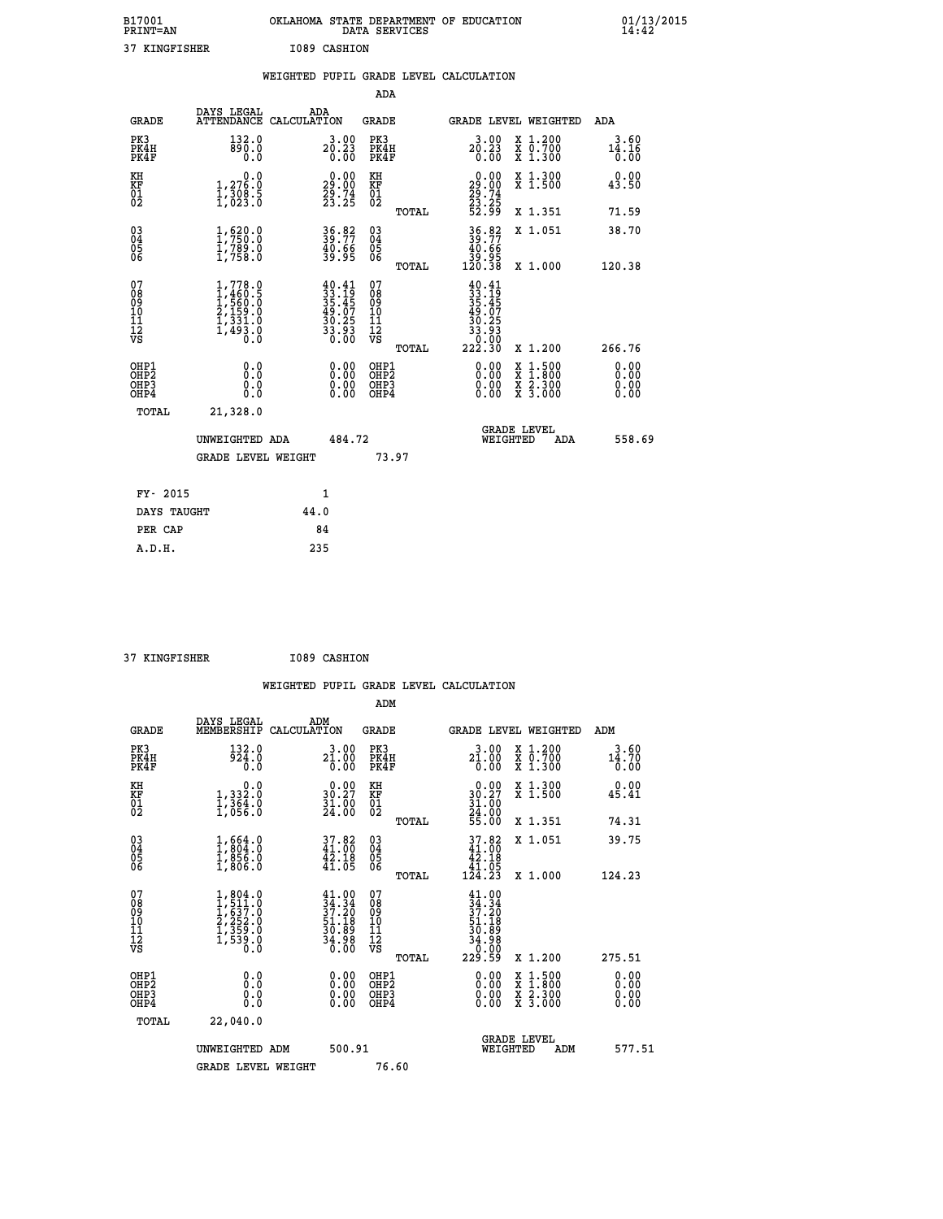| B17001<br><b>PRINT=AN</b> | OKLAHOMA STATE DEPARTMENT OF EDUCATION<br>DATA SERVICES |  |
|---------------------------|---------------------------------------------------------|--|
| 37 KINGFISHER             | I089 CASHION                                            |  |

 **B17001 OKLAHOMA STATE DEPARTMENT OF EDUCATION 01/13/2015**

|                     |                                      | WEIGHTED PUPIL GRADE LEVEL CALCULATION |                       |                     |       |              |                               |                       |
|---------------------|--------------------------------------|----------------------------------------|-----------------------|---------------------|-------|--------------|-------------------------------|-----------------------|
|                     |                                      |                                        |                       | ADA                 |       |              |                               |                       |
| <b>GRADE</b>        | DAYS LEGAL<br>ATTENDANCE CALCULATION | ADA                                    |                       | <b>GRADE</b>        |       |              | <b>GRADE LEVEL WEIGHTED</b>   | ADA                   |
| PK3<br>PK4H<br>PK4F | 132.0<br>890.0                       |                                        | 3.00<br>20.23<br>0.00 | PK3<br>PK4H<br>PK4F | 20.23 | 3.00<br>0.00 | X 1.200<br>X 0.700<br>X 1.300 | 3.60<br>14.16<br>0.00 |
| <b>TFTT</b>         | $\sim$ $\sim$                        |                                        | 0.00                  | <b>TFTT</b>         |       |              | 0.00 TT-1.000                 | 0.00                  |

| KH<br>KF<br>01<br>02                               | $\begin{smallmatrix} 0.0 \ 1.276.0 \ 1.308.5 \ 1.023.0 \end{smallmatrix}$           | $\begin{smallmatrix} 0.00\\ 29.00\\ 29.74\\ 23.25 \end{smallmatrix}$     | KH<br>KF<br>01<br>02                               | TOTAL          | $\begin{smallmatrix} 0.00\ 29.00\ 29.74\ 23.25\ 52.99 \end{smallmatrix}$                              | X 1.300<br>X 1.500<br>X 1.351                                                                                                             | $\begin{smallmatrix} 0.00\\ 43.50 \end{smallmatrix}$<br>71.59 |
|----------------------------------------------------|-------------------------------------------------------------------------------------|--------------------------------------------------------------------------|----------------------------------------------------|----------------|-------------------------------------------------------------------------------------------------------|-------------------------------------------------------------------------------------------------------------------------------------------|---------------------------------------------------------------|
| $\begin{matrix} 03 \\ 04 \\ 05 \\ 06 \end{matrix}$ | $\begin{smallmatrix} 1,620.0\\ 1,750.0\\ 1,789.0\\ 1,758.0 \end{smallmatrix}$       | 36.82<br>39.77<br>40.66<br>39.95                                         | $\begin{matrix} 03 \\ 04 \\ 05 \\ 06 \end{matrix}$ |                | $36.82$<br>$39.77$<br>$40.66$<br>$39.95$<br>$120.38$                                                  | X 1.051                                                                                                                                   | 38.70                                                         |
| 07<br>08<br>09<br>10<br>11<br>11<br>12<br>VS       | $1,778.0$<br>$1,460.5$<br>$1,560.0$<br>$2,159.0$<br>$1,331.0$<br>$1,493.0$<br>$0.0$ | $40.41$<br>$33.19$<br>$35.45$<br>$49.07$<br>$30.25$<br>$33.93$<br>$0.00$ | 078<br>089<br>0011<br>11<br>12<br>VS               | TOTAL<br>TOTAL | $\begin{smallmatrix} 40.41\ 33.19\ 35.457\ 49.075\ 49.075\ 30.253\ 30.000\ 222.30\ \end{smallmatrix}$ | X 1.000<br>X 1.200                                                                                                                        | 120.38<br>266.76                                              |
| OHP1<br>OHP2<br>OHP3<br>OHP4<br>TOTAL              | 0.00000<br>Ŏ.Ŏ<br>21,328.0                                                          |                                                                          | OHP1<br>OHP2<br>OHP <sub>3</sub>                   |                |                                                                                                       | $\begin{smallmatrix} \mathtt{X} & 1\cdot500\\ \mathtt{X} & 1\cdot800\\ \mathtt{X} & 2\cdot300\\ \mathtt{X} & 3\cdot000 \end{smallmatrix}$ | $0.00$<br>$0.00$<br>0.00                                      |
|                                                    | UNWEIGHTED ADA<br><b>GRADE LEVEL WEIGHT</b>                                         | 484.72                                                                   |                                                    | 73.97          | WEIGHTED                                                                                              | <b>GRADE LEVEL</b><br>ADA                                                                                                                 | 558.69                                                        |
| FY- 2015                                           |                                                                                     | $\mathbf{1}$                                                             |                                                    |                |                                                                                                       |                                                                                                                                           |                                                               |
|                                                    |                                                                                     |                                                                          |                                                    |                |                                                                                                       |                                                                                                                                           |                                                               |

| FY- 2015    |      |
|-------------|------|
| DAYS TAUGHT | 44.0 |
| PER CAP     | 84   |
| A.D.H.      | 235  |
|             |      |

| 37 KINGFISHER | I089 CASHION |
|---------------|--------------|
|               |              |

 **B17001<br>PRINT=AN** 

 **WEIGHTED PUPIL GRADE LEVEL CALCULATION ADM DAYS LEGAL ADM GRADE MEMBERSHIP CALCULATION GRADE GRADE LEVEL WEIGHTED ADM**

| ىسىت                                                 | MEMBERSHIF CADCODAIION                                                            |                                                                                              | تتسمى                                              | GRADE DEVED WEIGHIED                                                          |                                                                                                                                           | בעת                                                                                                                                                                                                                                                                            |
|------------------------------------------------------|-----------------------------------------------------------------------------------|----------------------------------------------------------------------------------------------|----------------------------------------------------|-------------------------------------------------------------------------------|-------------------------------------------------------------------------------------------------------------------------------------------|--------------------------------------------------------------------------------------------------------------------------------------------------------------------------------------------------------------------------------------------------------------------------------|
| PK3<br>PK4H<br>PK4F                                  | 132.0<br>924.0<br>0.0                                                             | $2\overset{3}{1}\cdot \overset{0}{\underset{0}{00}}$                                         | PK3<br>PK4H<br>PK4F                                | $2\overset{3}{1}\cdot\overset{0}{\underset{0}{0}}\overset{0}{0}$              | X 1.200<br>X 0.700<br>X 1.300                                                                                                             | 3.60<br>$\frac{14.70}{0.00}$                                                                                                                                                                                                                                                   |
| KH<br>KF<br>01<br>02                                 | $\begin{smallmatrix}&&&0.0\\1,332.0\\1,364.0\\1,056.0\end{smallmatrix}$           | $\begin{smallmatrix} 0.00\\ 30.27\\ 31.00\\ 24.00 \end{smallmatrix}$                         | KH<br>KF<br>01<br>02                               | $\begin{smallmatrix} &0.00\\ 30.27\\ 31.00\\ 24.00\\ 55.00 \end{smallmatrix}$ | X 1.300<br>X 1.500                                                                                                                        | 0.00<br>45.41                                                                                                                                                                                                                                                                  |
|                                                      |                                                                                   |                                                                                              | TOTAL                                              |                                                                               | X 1.351                                                                                                                                   | 74.31                                                                                                                                                                                                                                                                          |
| 03<br>04<br>05<br>06                                 | $\begin{smallmatrix} 1,664.0\\ 1,804.0\\ 1,856.0\\ 1,806.0 \end{smallmatrix}$     | $37.82$<br>$41.00$<br>$42.18$<br>$41.05$                                                     | $\begin{matrix} 03 \\ 04 \\ 05 \\ 06 \end{matrix}$ | $\begin{array}{c} 37.82 \\ 41.00 \\ 42.18 \\ 41.05 \\ 124.23 \end{array}$     | X 1.051                                                                                                                                   | 39.75                                                                                                                                                                                                                                                                          |
|                                                      |                                                                                   |                                                                                              | TOTAL                                              |                                                                               | X 1.000                                                                                                                                   | 124.23                                                                                                                                                                                                                                                                         |
| 07<br>08<br>09<br>101<br>11<br>12<br>VS              | $1,804.0$<br>$1,511.0$<br>$1,637.0$<br>$2,252.0$<br>$1,359.0$<br>$1,539.0$<br>0.0 | $\begin{smallmatrix} 41.00\\ 34.34\\ 37.20\\ 51.18\\ 30.89\\ 34.98\\ 0.00 \end{smallmatrix}$ | 07<br>08<br>09<br>01<br>11<br>11<br>12<br>VS       | $34.34$<br>$37.20$<br>$37.18$<br>$30.89$<br>$34.98$<br>$0.00$<br>$229.59$     |                                                                                                                                           |                                                                                                                                                                                                                                                                                |
|                                                      |                                                                                   |                                                                                              | TOTAL                                              |                                                                               | X 1.200                                                                                                                                   | 275.51                                                                                                                                                                                                                                                                         |
| OHP1<br>OHP <sub>2</sub><br>OH <sub>P3</sub><br>OHP4 | $\begin{smallmatrix} 0.0 \ 0.0 \ 0.0 \end{smallmatrix}$                           | $\begin{smallmatrix} 0.00 \ 0.00 \ 0.00 \ 0.00 \end{smallmatrix}$                            | OHP1<br>OHP <sub>2</sub><br>OHP3<br>OHP4           |                                                                               | $\begin{smallmatrix} \mathtt{X} & 1\cdot500\\ \mathtt{X} & 1\cdot800\\ \mathtt{X} & 2\cdot300\\ \mathtt{X} & 3\cdot000 \end{smallmatrix}$ | $\begin{smallmatrix} 0.00 & 0.00 & 0.00 & 0.00 & 0.00 & 0.00 & 0.00 & 0.00 & 0.00 & 0.00 & 0.00 & 0.00 & 0.00 & 0.00 & 0.00 & 0.00 & 0.00 & 0.00 & 0.00 & 0.00 & 0.00 & 0.00 & 0.00 & 0.00 & 0.00 & 0.00 & 0.00 & 0.00 & 0.00 & 0.00 & 0.00 & 0.00 & 0.00 & 0.00 & 0.00 & 0.0$ |
| TOTAL                                                | 22,040.0                                                                          |                                                                                              |                                                    |                                                                               |                                                                                                                                           |                                                                                                                                                                                                                                                                                |
|                                                      | UNWEIGHTED ADM                                                                    | 500.91                                                                                       |                                                    | <b>GRADE LEVEL</b><br>WEIGHTED                                                | ADM                                                                                                                                       | 577.51                                                                                                                                                                                                                                                                         |
|                                                      | <b>GRADE LEVEL WEIGHT</b>                                                         |                                                                                              | 76.60                                              |                                                                               |                                                                                                                                           |                                                                                                                                                                                                                                                                                |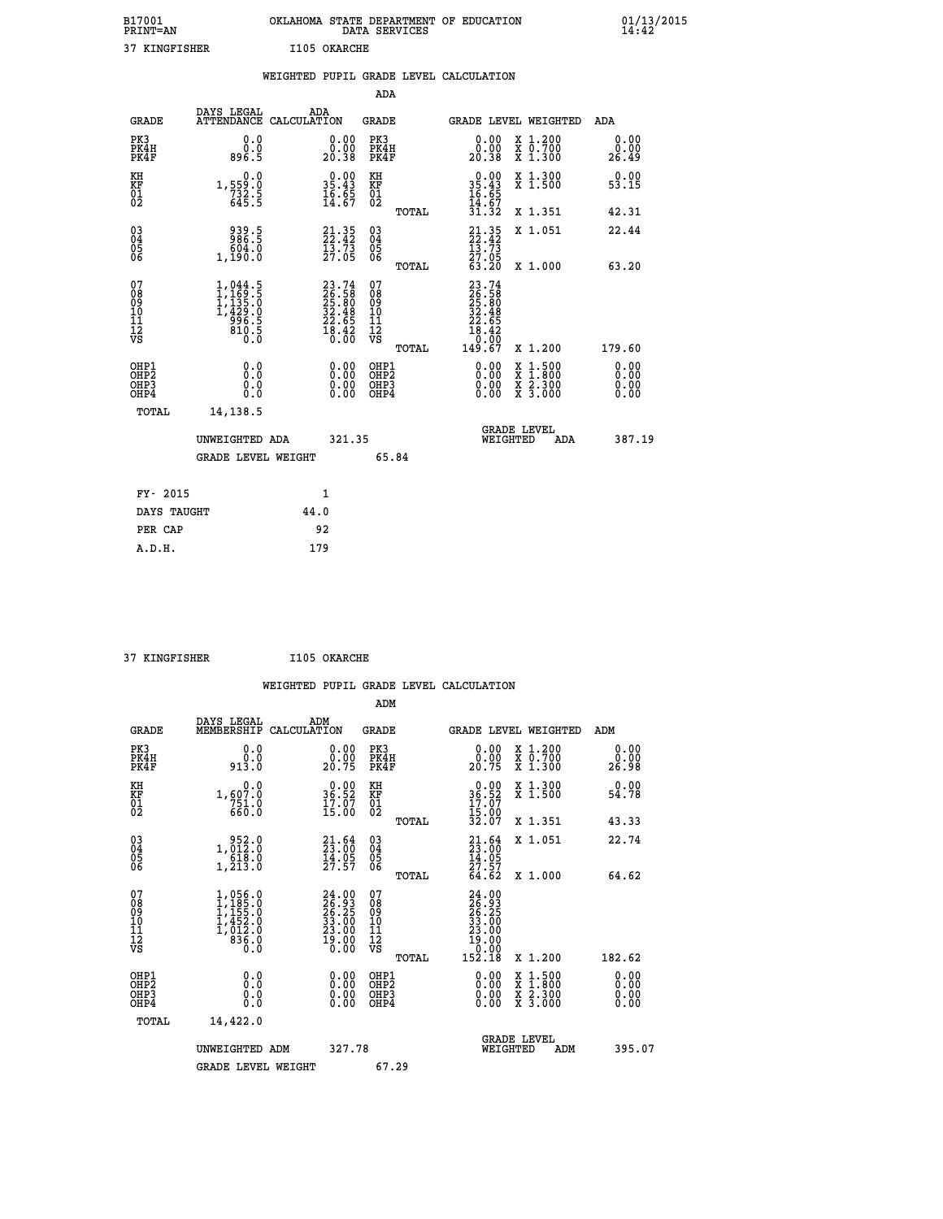| B17001<br><b>PRINT=AN</b> | OKLAHOMA STATE DEPARTMENT OF EDUCATION<br>DATA SERVICES |  |
|---------------------------|---------------------------------------------------------|--|
| 37 KINGFISHER             | I105 OKARCHE                                            |  |

 **B17001 OKLAHOMA STATE DEPARTMENT OF EDUCATION 01/13/2015**

|                                                    |                                                                                     | WEIGHTED PUPIL GRADE LEVEL CALCULATION                                   |                                                 |                                                                                                                                    |                              |
|----------------------------------------------------|-------------------------------------------------------------------------------------|--------------------------------------------------------------------------|-------------------------------------------------|------------------------------------------------------------------------------------------------------------------------------------|------------------------------|
|                                                    |                                                                                     |                                                                          | ADA                                             |                                                                                                                                    |                              |
| <b>GRADE</b>                                       | DAYS LEGAL                                                                          | ADA<br>ATTENDANCE CALCULATION                                            | <b>GRADE</b>                                    | GRADE LEVEL WEIGHTED                                                                                                               | ADA                          |
| PK3<br>PK4H<br>PK4F                                | 0.0<br>0.0<br>896.5                                                                 | 0.00<br>ŏ:ŏŏ<br>20:38                                                    | PK3<br>PK4H<br>PK4F                             | 0.00<br>X 1.200<br>X 0.700<br>X 1.300<br>0.00<br>20.38                                                                             | 0.00<br>0.00<br>26.49        |
| KH<br>KF<br>01<br>02                               | $\begin{smallmatrix}&&&0\cdot0\\1,559\cdot0\\732\cdot5\\645\cdot5\end{smallmatrix}$ | $\begin{smallmatrix} 0.00\\ 35.43\\ 16.65\\ 14.67 \end{smallmatrix}$     | KH<br>KF<br>01<br>02                            | X 1.300<br>X 1.500<br>$0.00$<br>$35.43$<br>$16.65$<br>$14.67$<br>$31.32$                                                           | 0.00<br>53.15                |
|                                                    |                                                                                     |                                                                          | TOTAL                                           | X 1.351                                                                                                                            | 42.31                        |
| $\begin{matrix} 03 \\ 04 \\ 05 \\ 06 \end{matrix}$ | 939.5<br>986.5<br>0.604<br>1,190.0                                                  | $21.35$<br>$22.42$<br>$\frac{15.75}{27.05}$                              | 03<br>04<br>05<br>06                            | $21.35$<br>$22.42$<br>$13.73$<br>$27.05$<br>X 1.051                                                                                | 22.44                        |
|                                                    |                                                                                     |                                                                          | TOTAL                                           | 63.20<br>X 1.000                                                                                                                   | 63.20                        |
| 07<br>08<br>09<br>101<br>112<br>VS                 | $1,044.5$<br>$1,169.5$<br>$1,135.0$<br>$1,429.0$<br>$996.5$<br>$810.5$<br>$0.0$     | $23.74$<br>$26.58$<br>$25.80$<br>$32.48$<br>$22.65$<br>$18.42$<br>$0.00$ | 07<br>08<br>09<br>11<br>11<br>12<br>VS<br>TOTAL | $\begin{smallmatrix} 23\cdot74\26\cdot58\025\cdot80\032\cdot48\012\cdot65\018\cdot42\0.007\149\cdot67\end{smallmatrix}$<br>X 1.200 | 179.60                       |
| OHP1<br>OHP2<br>OHP3<br>OHP4                       | 0.0<br>0.0<br>0.0                                                                   | 0.00<br>$0.00$<br>0.00                                                   | OHP1<br>OHP2<br>OHP3<br>OHP4                    | 0.00<br>X 1:500<br>X 1:800<br>X 2:300<br>X 3:000<br>0.00<br>0.00                                                                   | 0.00<br>0.00<br>0.00<br>0.00 |
| <b>TOTAL</b>                                       | 14,138.5                                                                            |                                                                          |                                                 |                                                                                                                                    |                              |
|                                                    | UNWEIGHTED ADA                                                                      | 321.35                                                                   |                                                 | <b>GRADE LEVEL</b><br>WEIGHTED<br>ADA                                                                                              | 387.19                       |
|                                                    | GRADE LEVEL WEIGHT                                                                  |                                                                          | 65.84                                           |                                                                                                                                    |                              |
| FY- 2015                                           |                                                                                     | 1                                                                        |                                                 |                                                                                                                                    |                              |
|                                                    | DAYS TAUGHT                                                                         | 44.0                                                                     |                                                 |                                                                                                                                    |                              |
| PER CAP                                            |                                                                                     | 92                                                                       |                                                 |                                                                                                                                    |                              |

| -- | ------------ |  |
|----|--------------|--|

 **A.D.H. 179**

 **B17001<br>PRINT=AN** 

 **37 KINGFISHER I105 OKARCHE**

 **ADM DAYS LEGAL ADM GRADE MEMBERSHIP CALCULATION GRADE GRADE LEVEL WEIGHTED ADM PK3 0.0 0.00 PK3 0.00 X 1.200 0.00 PK4H 0.0 0.00 PK4H 0.00 X 0.700 0.00 PK4F 913.0 20.75 PK4F 20.75 X 1.300 26.98 KH 0.0 0.00 KH 0.00 X 1.300 0.00**

|                                                      | <b>GRADE LEVEL WEIGHT</b>                                                                                          |                                                                    | 67.29                                                       |                                                                                                                              |                          |
|------------------------------------------------------|--------------------------------------------------------------------------------------------------------------------|--------------------------------------------------------------------|-------------------------------------------------------------|------------------------------------------------------------------------------------------------------------------------------|--------------------------|
|                                                      | UNWEIGHTED ADM                                                                                                     | 327.78                                                             |                                                             | <b>GRADE LEVEL</b><br>WEIGHTED<br>ADM                                                                                        | 395.07                   |
| TOTAL                                                | 14,422.0                                                                                                           |                                                                    |                                                             |                                                                                                                              |                          |
| OHP1<br>OHP <sub>2</sub><br>OH <sub>P3</sub><br>OHP4 | 0.0<br>0.0<br>0.0                                                                                                  | 0.00                                                               | OHP1<br>OHP <sub>2</sub><br>OHP3<br>OHP4                    | $0.00$<br>$0.00$<br>$\begin{smallmatrix} x & 1 & 500 \\ x & 1 & 800 \\ x & 2 & 300 \\ x & 3 & 000 \end{smallmatrix}$<br>0.00 | $0.00$<br>$0.00$<br>0.00 |
| 07<br>08<br>09<br>001<br>11<br>11<br>12<br>VS        | $\begin{smallmatrix} 1,056.0\\ 1,185.0\\ 1,155.0\\ 1,452.0\\ 1,612.0\\ 836.0\\ 0.0 \end{smallmatrix}$              | $24.0026.9326.2533.0023.0029.00$<br>0.00                           | 07<br>08<br>09<br>11<br>11<br>12<br>VS<br>TOTAL             | $\begin{smallmatrix} 24.00\ 26.93\ 26.25\ 33.00\ 33.00\ 23.00\ 19.00\ 0.00\ 152.18\ \end{smallmatrix}$<br>X 1.200            | 182.62                   |
| $\begin{matrix} 03 \\ 04 \\ 05 \\ 06 \end{matrix}$   | $\begin{smallmatrix} & 9 & 5 & 2 & 0 \\ 1 & 0 & 1 & 2 & 0 \\ 6 & 1 & 8 & 0 \\ 1 & 2 & 1 & 3 & 0 \end{smallmatrix}$ | $\begin{smallmatrix} 21.64\ 23.00\ 14.05\ 27.57 \end{smallmatrix}$ | $\begin{matrix} 03 \\ 04 \\ 05 \\ 06 \end{matrix}$<br>TOTAL | $23.66$<br>$14.05$<br>$27.57$<br>$64.62$<br>X 1.051<br>X 1.000                                                               | 22.74<br>64.62           |
| <b>KF</b><br>01<br>02                                | 1,607.0<br>751.0<br>660.0                                                                                          | 36.52<br>17.07<br>15.00                                            | <b>KF</b><br>01<br>02<br>TOTAL                              | $36.52$<br>$17.07$<br>$15.00$<br>$32.07$<br>X 1.351                                                                          | 43.33                    |
|                                                      |                                                                                                                    |                                                                    |                                                             | X 1.500                                                                                                                      | 54.78                    |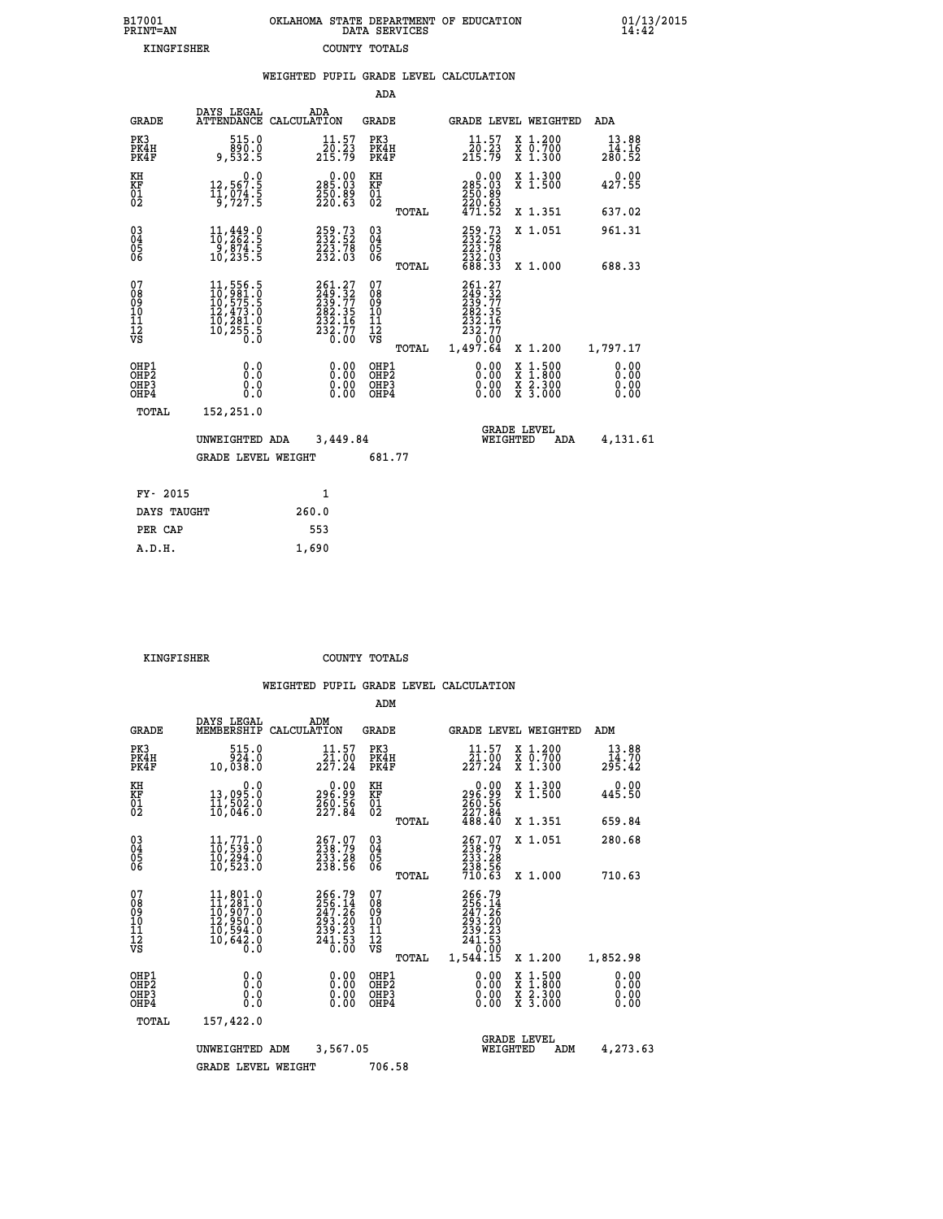| B17001<br>PRINT=AN | OKLAHOMA STATE DEPARTMENT OF EDUCATION<br>DATA SERVICES | 01/13/2015<br>14:42 |
|--------------------|---------------------------------------------------------|---------------------|
| KINGFISHER         | COUNTY TOTALS                                           |                     |

|                                                                    |                                                                                                                                                     | WEIGHTED PUPIL GRADE LEVEL CALCULATION                           |                                        |       |                                                                                                                                                     |                                                                                                                                           |                              |
|--------------------------------------------------------------------|-----------------------------------------------------------------------------------------------------------------------------------------------------|------------------------------------------------------------------|----------------------------------------|-------|-----------------------------------------------------------------------------------------------------------------------------------------------------|-------------------------------------------------------------------------------------------------------------------------------------------|------------------------------|
|                                                                    |                                                                                                                                                     |                                                                  | <b>ADA</b>                             |       |                                                                                                                                                     |                                                                                                                                           |                              |
| <b>GRADE</b>                                                       |                                                                                                                                                     | DAYS LEGAL ADA ATTENDANCE CALCULATION                            | <b>GRADE</b>                           |       | GRADE LEVEL WEIGHTED                                                                                                                                |                                                                                                                                           | ADA                          |
| PK3<br>PK4H<br>PK4F                                                | 515.0<br>890.0<br>9,532.5                                                                                                                           | $\substack{11\cdot57\\20\cdot23\\215\cdot79}$                    | PK3<br>PK4H<br>PK4F                    |       | $\frac{11.57}{20.23}$<br>215.79                                                                                                                     | X 1.200<br>X 0.700<br>X 1.300                                                                                                             | 13.88<br>14.16<br>280.52     |
| KH<br>KF<br>01<br>02                                               | 0.0<br>12,567.5<br>11,074.5<br>9,727.5                                                                                                              | $\substack{285.03\\250.89\\250.63}$                              | KH<br>KF<br>01<br>02                   |       | 0.00<br>285:03<br>250:89<br>220:63<br>471:52                                                                                                        | X 1.300<br>X 1.500                                                                                                                        | 0.00<br>427.55               |
|                                                                    |                                                                                                                                                     |                                                                  |                                        | TOTAL |                                                                                                                                                     | X 1.351                                                                                                                                   | 637.02                       |
| $\begin{smallmatrix} 03 \\[-4pt] 04 \end{smallmatrix}$<br>Ŏ5<br>06 | 11,449.0<br>-9,874.5<br>10,235.5                                                                                                                    | 259.73<br>232:52<br>223:78<br>232:03                             | $\substack{03 \\ 04}$<br>0500          |       | 259.73<br>232.52<br>223.78<br>232.03<br>688.33                                                                                                      | X 1.051                                                                                                                                   | 961.31                       |
|                                                                    |                                                                                                                                                     |                                                                  |                                        | TOTAL |                                                                                                                                                     | X 1.000                                                                                                                                   | 688.33                       |
| 07<br>08<br>09<br>10<br>11<br>12<br>νs                             | $\begin{smallmatrix} 11\,,\,556\,.5\\ 10\,,\,981\,.0\\ 10\,,\,575\,.5\\ 12\,,\,473\,.0\\ 10\,,\,281\,.0\\ 10\,,\,255\,.5\\ 0\,.0 \end{smallmatrix}$ | 261.27<br>249.32<br>239.77<br>282.35<br>232.16<br>232.77<br>0.00 | 07<br>08<br>09<br>11<br>11<br>12<br>VS |       | 261.27<br>$\begin{smallmatrix} 244 & .27 \ 2339 & .77 \ 2332 & .16 \ 232 & .16 \ 232 & .77 \ 232 & .77 \ 232 & .77 \ 1,497 & .64 \end{smallmatrix}$ |                                                                                                                                           |                              |
|                                                                    |                                                                                                                                                     |                                                                  |                                        | TOTAL |                                                                                                                                                     | X 1.200                                                                                                                                   | 1,797.17                     |
| OHP1<br>OHP2<br>OHP3<br>OHP4                                       | 0.0<br>0.0<br>0.0                                                                                                                                   | 0.00<br>$\begin{smallmatrix} 0.00 \ 0.00 \end{smallmatrix}$      | OHP1<br>OHP2<br>OHP3<br>OHP4           |       | 0.00<br>0.00<br>0.00                                                                                                                                | $\begin{smallmatrix} \mathtt{X} & 1\cdot500\\ \mathtt{X} & 1\cdot800\\ \mathtt{X} & 2\cdot300\\ \mathtt{X} & 3\cdot000 \end{smallmatrix}$ | 0.00<br>ŏ:ŏŏ<br>0.00<br>0.00 |
| TOTAL                                                              | 152,251.0                                                                                                                                           |                                                                  |                                        |       |                                                                                                                                                     |                                                                                                                                           |                              |
|                                                                    | UNWEIGHTED ADA                                                                                                                                      | 3,449.84                                                         |                                        |       | <b>GRADE LEVEL</b><br>WEIGHTED                                                                                                                      | ADA                                                                                                                                       | 4,131.61                     |
|                                                                    | <b>GRADE LEVEL WEIGHT</b>                                                                                                                           |                                                                  | 681.77                                 |       |                                                                                                                                                     |                                                                                                                                           |                              |
| FY- 2015                                                           |                                                                                                                                                     | $\mathbf{1}$                                                     |                                        |       |                                                                                                                                                     |                                                                                                                                           |                              |
| DAYS TAUGHT                                                        |                                                                                                                                                     | 260.0                                                            |                                        |       |                                                                                                                                                     |                                                                                                                                           |                              |
| PER CAP                                                            |                                                                                                                                                     | 553                                                              |                                        |       |                                                                                                                                                     |                                                                                                                                           |                              |
| A.D.H.                                                             |                                                                                                                                                     | 1,690                                                            |                                        |       |                                                                                                                                                     |                                                                                                                                           |                              |

 **KINGFISHER COUNTY TOTALS**

|                                                    |                                                                                                                     |                                                                                                                                                                 | ADM                                                  |                                                                                               |                                                                                                  |                              |
|----------------------------------------------------|---------------------------------------------------------------------------------------------------------------------|-----------------------------------------------------------------------------------------------------------------------------------------------------------------|------------------------------------------------------|-----------------------------------------------------------------------------------------------|--------------------------------------------------------------------------------------------------|------------------------------|
| <b>GRADE</b>                                       | DAYS LEGAL<br>MEMBERSHIP                                                                                            | ADM<br>CALCULATION                                                                                                                                              | GRADE                                                | <b>GRADE LEVEL WEIGHTED</b>                                                                   |                                                                                                  | ADM                          |
| PK3<br>PK4H<br>PK4F                                | 515.0<br>924.0<br>10,038.0                                                                                          | 11.57<br>21.00<br>227.24                                                                                                                                        | PK3<br>PK4H<br>PK4F                                  | 11.57<br>21.00<br>227.24                                                                      | X 1.200<br>X 0.700<br>X 1.300                                                                    | 13.88<br>14.70<br>295.42     |
| KH<br>KF<br>01<br>02                               | 0.0<br>13,095.0<br>11,502.0<br>10,046.0                                                                             | $\substack{0.00\\296.99\\260.56\\227.84}$                                                                                                                       | KH<br>KF<br>01<br>02                                 | $\begin{smallmatrix} &0.00\\ 296.99\\ 260.56\\ 227.84\\ 488.40\end{smallmatrix}$              | X 1.300<br>X 1.500                                                                               | 0.00<br>445.50               |
|                                                    |                                                                                                                     |                                                                                                                                                                 | TOTAL                                                |                                                                                               | X 1.351                                                                                          | 659.84                       |
| $\begin{matrix} 03 \\ 04 \\ 05 \\ 06 \end{matrix}$ | $11,771.0$<br>$10,539.0$<br>10, 294.0<br>10,523.0                                                                   | 257.07<br>238.79<br>233.28<br>238.56                                                                                                                            | $\begin{array}{c} 03 \\ 04 \\ 05 \\ 06 \end{array}$  | 267.07<br>238.79<br>233.28<br>238.56                                                          | X 1.051                                                                                          | 280.68                       |
|                                                    |                                                                                                                     |                                                                                                                                                                 | TOTAL                                                | 710.63                                                                                        | X 1.000                                                                                          | 710.63                       |
| 07<br>08<br>09<br>101<br>11<br>12<br>VS            | $\begin{smallmatrix} 11, 801.0\\ 11, 281.0\\ 10, 907.0\\ 12, 950.0\\ 10, 594.0\\ 10, 642.0\\ 0.0 \end{smallmatrix}$ | 266.79<br>$\frac{256}{247}\cdot\frac{14}{26}$<br>$\begin{smallmatrix} 2\bar{3} & 2 & 2 & 2 \ 23 & 2 & 2 & 3 \ 24 & 1 & 5 & 5 \ 0 & 0 & 0 & 0 \end{smallmatrix}$ | 07<br>08<br>09<br>11<br>11<br>12<br>VS<br>TOTAL      | 266.79<br>$\frac{256}{247}.$ $\frac{14}{26}$<br>293:20<br>239:23<br>241:53<br>--?<br>1,544.15 | X 1.200                                                                                          | 1,852.98                     |
| OHP1<br>OHP2<br>OH <sub>P3</sub><br>OHP4           | 0.0<br>0.000                                                                                                        | $0.00$<br>$0.00$<br>0.00                                                                                                                                        | OHP1<br>OHP2<br>OHP <sub>3</sub><br>OHP <sub>4</sub> | $0.00$<br>$0.00$<br>0.00                                                                      | $\begin{smallmatrix} x & 1 & 500 \\ x & 1 & 800 \\ x & 2 & 300 \\ x & 3 & 000 \end{smallmatrix}$ | 0.00<br>0.00<br>0.00<br>0.00 |
| TOTAL                                              | 157,422.0                                                                                                           |                                                                                                                                                                 |                                                      |                                                                                               |                                                                                                  |                              |
|                                                    | UNWEIGHTED                                                                                                          | 3,567.05<br>ADM                                                                                                                                                 |                                                      | WEIGHTED                                                                                      | <b>GRADE LEVEL</b><br>ADM                                                                        | 4,273.63                     |
|                                                    | <b>GRADE LEVEL WEIGHT</b>                                                                                           |                                                                                                                                                                 | 706.58                                               |                                                                                               |                                                                                                  |                              |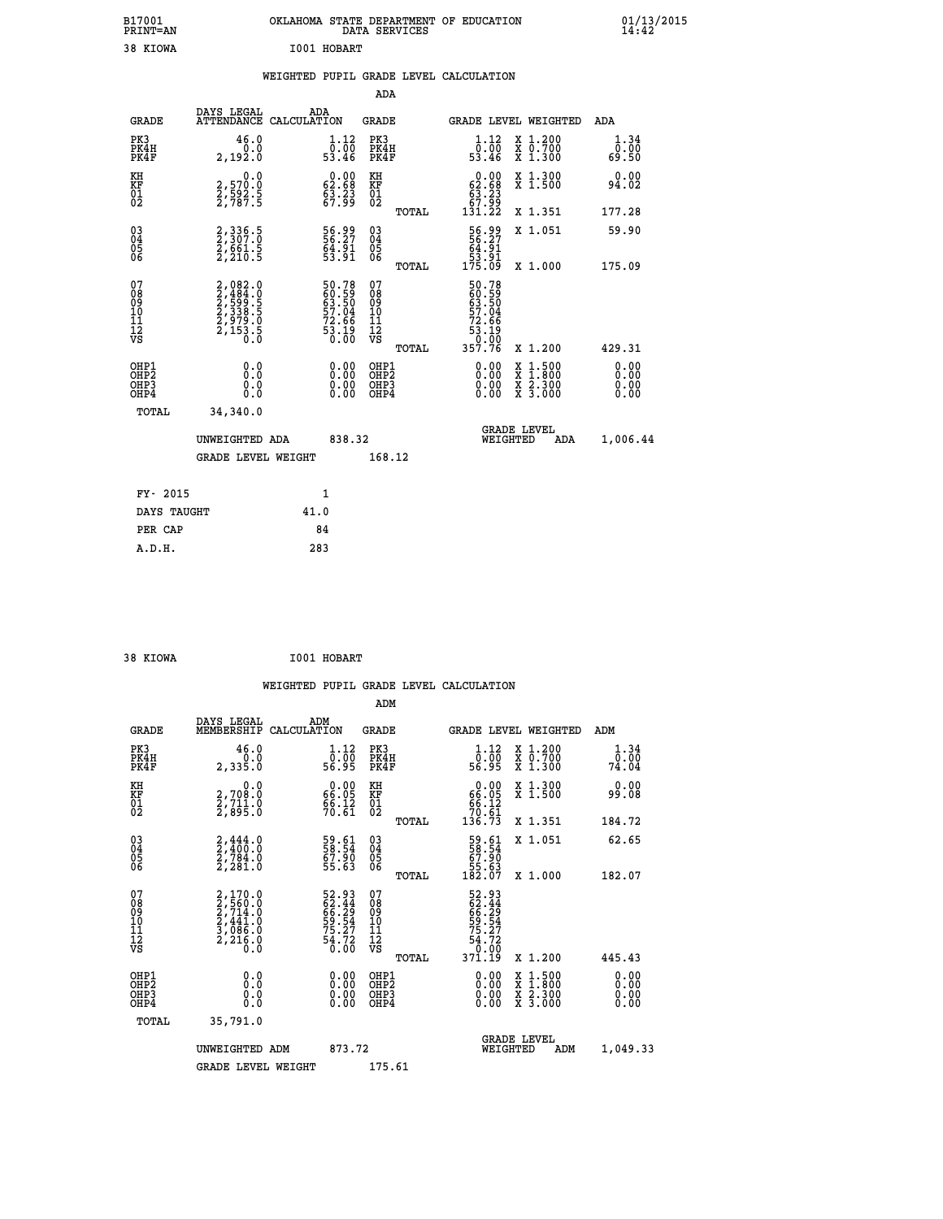| B17001<br>PRINT=AN           |                                                                            | OKLAHOMA STATE DEPARTMENT OF EDUCATION                               | DATA SERVICES                                        |                                                                   |                                                                                                                                           | $01/13/2015$<br>14:42        |  |
|------------------------------|----------------------------------------------------------------------------|----------------------------------------------------------------------|------------------------------------------------------|-------------------------------------------------------------------|-------------------------------------------------------------------------------------------------------------------------------------------|------------------------------|--|
| 38 KIOWA                     |                                                                            | I001 HOBART                                                          |                                                      |                                                                   |                                                                                                                                           |                              |  |
|                              |                                                                            | WEIGHTED PUPIL GRADE LEVEL CALCULATION                               |                                                      |                                                                   |                                                                                                                                           |                              |  |
|                              |                                                                            |                                                                      | ADA                                                  |                                                                   |                                                                                                                                           |                              |  |
| <b>GRADE</b>                 | DAYS LEGAL                                                                 | ADA<br>ATTENDANCE CALCULATION                                        | GRADE                                                |                                                                   | GRADE LEVEL WEIGHTED                                                                                                                      | ADA                          |  |
| PK3<br>PK4H<br>PK4F          | 46.0<br>0.0<br>2,192.0                                                     | 1.12<br>ō:ōō<br>53.46                                                | PK3<br>PK4H<br>PK4F                                  | 1.12<br>ō:ōō<br>53.46                                             | X 1.200<br>X 0.700<br>X 1.300                                                                                                             | 1.34<br>0.00<br>69.50        |  |
| KH<br>KF<br>01<br>02         | 0.0<br>2,570.0<br>2,592.5<br>2,787.5                                       | 62.68<br>$\frac{5}{67}$ $\frac{23}{99}$                              | KH<br>KF<br>01<br>02                                 | $0.00$<br>62.68<br>$\frac{63}{67}$ $\frac{23}{131}$<br>131.22     | X 1.300<br>X 1.500                                                                                                                        | 0.00<br>94.02                |  |
|                              |                                                                            |                                                                      | TOTAL                                                |                                                                   | X 1.351                                                                                                                                   | 177.28                       |  |
| 03<br>04<br>05<br>06         | 2, 336.5<br>2, 307.0<br>2, 661.5<br>2, 210.5                               | 56.99<br>56.27<br>64.91<br>53.91                                     | $\begin{matrix} 03 \\ 04 \\ 05 \\ 06 \end{matrix}$   | 56.99<br>56.27<br>64.91<br>53.91<br>175.09                        | X 1.051                                                                                                                                   | 59.90                        |  |
|                              |                                                                            |                                                                      | TOTAL<br>07                                          |                                                                   | X 1.000                                                                                                                                   | 175.09                       |  |
| 078901112<br>00901112<br>VS  | $2,082.0$<br>$2,484.0$<br>$2,599.5$<br>$2,338.5$<br>$2,979.0$<br>$2,153.5$ | 50.78<br>60.59<br>63.50<br>57.04<br>57.66<br>72.66<br>53.19<br>53.10 | 08<br>09<br>10<br>$\frac{11}{12}$<br>$\frac{12}{18}$ | 50.78<br>60.59<br>63.50<br>57.04<br>72.66<br>$\frac{55.19}{0.00}$ |                                                                                                                                           |                              |  |
|                              |                                                                            |                                                                      | TOTAL                                                | 357.76                                                            | X 1.200                                                                                                                                   | 429.31                       |  |
| OHP1<br>OHP2<br>OHP3<br>OHP4 | 0.0<br>0.0<br>0.0<br>0.0                                                   | 0.00<br>$\begin{smallmatrix} 0.00 \ 0.00 \end{smallmatrix}$          | OHP1<br>OHP <sub>2</sub><br>OHP3<br>OHP4             | 0.00<br>0.00<br>0.00                                              | $\begin{smallmatrix} \mathtt{X} & 1\cdot500\\ \mathtt{X} & 1\cdot800\\ \mathtt{X} & 2\cdot300\\ \mathtt{X} & 3\cdot000 \end{smallmatrix}$ | 0.00<br>0.00<br>0.00<br>0.00 |  |
| TOTAL                        | 34,340.0                                                                   |                                                                      |                                                      |                                                                   |                                                                                                                                           |                              |  |
|                              | UNWEIGHTED ADA                                                             | 838.32                                                               |                                                      | WEIGHTED                                                          | <b>GRADE LEVEL</b><br>ADA                                                                                                                 | 1,006.44                     |  |
|                              | <b>GRADE LEVEL WEIGHT</b>                                                  |                                                                      | 168.12                                               |                                                                   |                                                                                                                                           |                              |  |
| FY- 2015                     |                                                                            | 1                                                                    |                                                      |                                                                   |                                                                                                                                           |                              |  |
| DAYS TAUGHT                  |                                                                            | 41.0                                                                 |                                                      |                                                                   |                                                                                                                                           |                              |  |
| PER CAP                      |                                                                            | 84                                                                   |                                                      |                                                                   |                                                                                                                                           |                              |  |

| 38 KIOWA                                  | I001 HOBART |
|-------------------------------------------|-------------|
| $\sim$ $\sim$ $\sim$ $\sim$ $\sim$ $\sim$ |             |

 **WEIGHTED PUPIL GRADE LEVEL CALCULATION ADM DAYS LEGAL ADM GRADE MEMBERSHIP CALCULATION GRADE GRADE LEVEL WEIGHTED ADM PK3 46.0 1.12 PK3 1.12 X 1.200 1.34 PK4H 0.0 0.00 PK4H 0.00 X 0.700 0.00 PK4F 2,335.0 56.95 PK4F 56.95 X 1.300 74.04 KH 0.0 0.00 KH 0.00 X 1.300 0.00 KF 2,708.0 66.05 KF 66.05 X 1.500 99.08 01 2,711.0 66.12 01 66.12 02 2,895.0 70.61 02 70.61 TOTAL 136.73 X 1.351 184.72 03 2,444.0 59.61 03 59.61 X 1.051 62.65 04 2,400.0 58.54 04 58.54 05 2,784.0 67.90 05 67.90 06 2,281.0 55.63 06 55.63 TOTAL 182.07 X 1.000 182.07 07 2,170.0 52.93 07 52.93 08 2,560.0 62.44 08 62.44 09 2,714.0 66.29 09 66.29 10 2,441.0 59.54 10 59.54 11 3,086.0 75.27 11 75.27 12 2,216.0 54.72 12 54.72 VS 0.0 0.00 VS 0.00**  $\begin{array}{cccc} 52.93 & 07 & 52.93 & 52.93 \ 62.44 & 08 & 62.44 \ 59.54 & 10 & 65.24 \ 59.54 & 11 & 75.27 \ 75.27 & 11 & 75.27 \ 75.27 & 12 & 75.27 \ 6.00 & 08 & 70.00 \ 60.00 & 08112 & 0.00 & 0.00 & 0.00 \ 0.00 & 0.00 & 0.00 & 0.00 & 0.00 \ 0.00 & 0.00 & 0.00 &$  **OHP1 0.0 0.00 OHP1 0.00 X 1.500 0.00 OHP2 0.0 0.00 OHP2 0.00 X 1.800 0.00 OHP3 0.0 0.00 OHP3 0.00 X 2.300 0.00 OHP4 0.0 0.00 OHP4 0.00 X 3.000 0.00 TOTAL 35,791.0 GRADE LEVEL UNWEIGHTED ADM 873.72 WEIGHTED ADM 1,049.33** GRADE LEVEL WEIGHT 175.61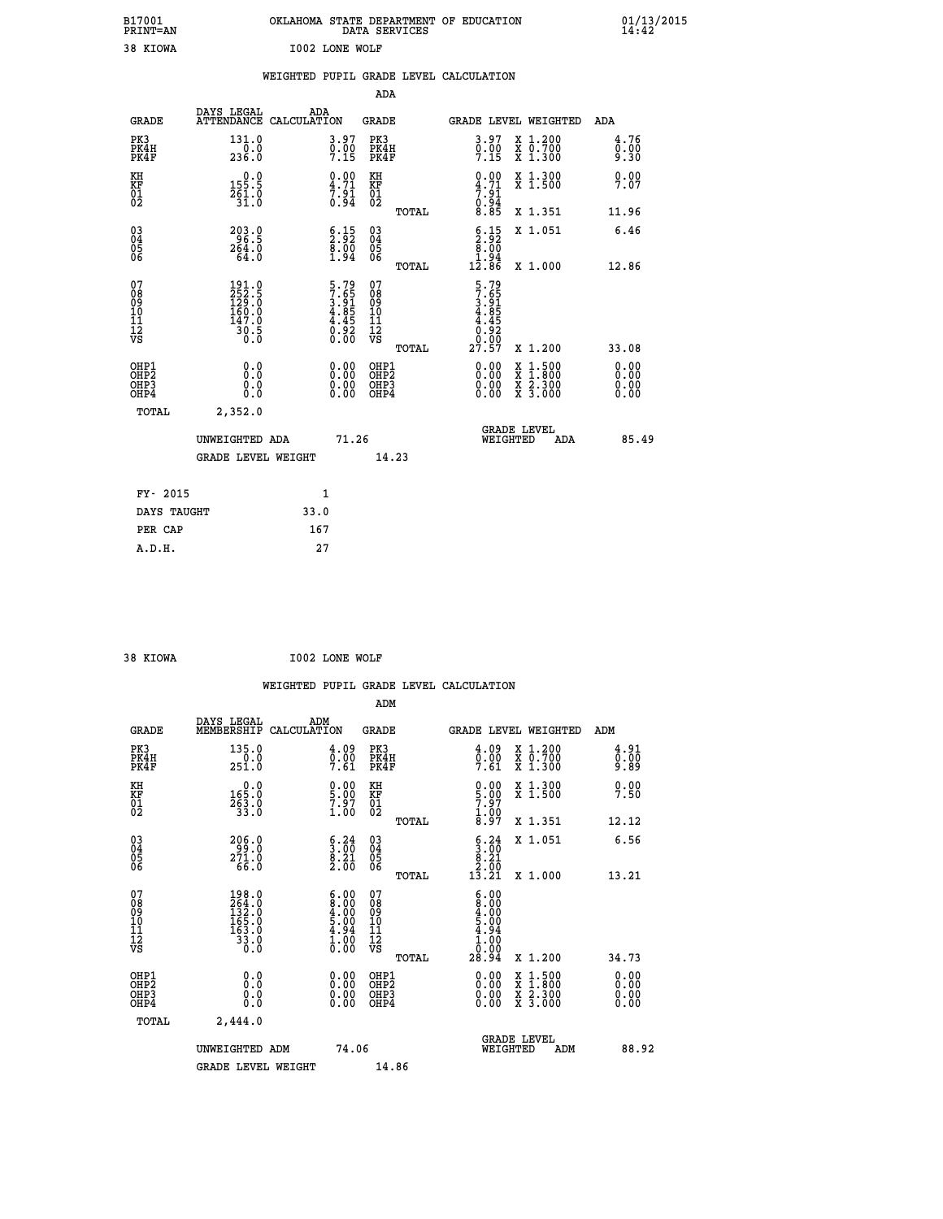| B17001<br><b>PRINT=AN</b> | OKLAHOMA STATE DEPARTMENT OF EDUCATION<br>DATA SERVICES | 01/13/2015 |
|---------------------------|---------------------------------------------------------|------------|
| 38 KIOWA                  | I002 LONE WOLF                                          |            |

|                                           |                                                                 |      |                                                                |                                                                    |       | WEIGHTED PUPIL GRADE LEVEL CALCULATION                               |                                                                                                  |                              |
|-------------------------------------------|-----------------------------------------------------------------|------|----------------------------------------------------------------|--------------------------------------------------------------------|-------|----------------------------------------------------------------------|--------------------------------------------------------------------------------------------------|------------------------------|
|                                           |                                                                 |      |                                                                | ADA                                                                |       |                                                                      |                                                                                                  |                              |
| <b>GRADE</b>                              | DAYS LEGAL<br>ATTENDANCE CALCULATION                            |      | ADA                                                            | GRADE                                                              |       |                                                                      | GRADE LEVEL WEIGHTED                                                                             | ADA                          |
| PK3<br>PK4H<br>PK4F                       | 131.0<br>$\frac{0.0}{236.0}$                                    |      | $\begin{smallmatrix} 3.97\ 0.00\ 7.15 \end{smallmatrix}$       | PK3<br>PK4H<br>PK4F                                                |       | $\begin{smallmatrix} 3.97\ 0.00\ 7.15 \end{smallmatrix}$             | X 1.200<br>X 0.700<br>X 1.300                                                                    | 4.76<br>0.00<br>9.30         |
| KH<br>KF<br>01<br>02                      | $0.0$<br>155.5<br>$\frac{261.0}{31.0}$                          |      | $\begin{smallmatrix} 0.00\ 4.71\ 7.91\ 0.94 \end{smallmatrix}$ | KH<br>KF<br>01<br>02                                               |       | $0.00$<br>$4.71$<br>$7.91$<br>$0.94$<br>$8.85$                       | X 1.300<br>X 1.500                                                                               | 0.00<br>7.07                 |
|                                           |                                                                 |      |                                                                |                                                                    | TOTAL |                                                                      | X 1.351                                                                                          | 11.96                        |
| 03040405<br>06                            | $203.0$<br>$264.0$<br>$264.0$<br>$64.0$                         |      | $\begin{smallmatrix} 6.15\ 2.92\ 8.00\ 1.94 \end{smallmatrix}$ | $\begin{smallmatrix} 03 \\[-4pt] 04 \end{smallmatrix}$<br>05<br>06 |       | $\begin{array}{c} 6.15 \\ 2.92 \\ 8.00 \\ 1.94 \\ 12.86 \end{array}$ | X 1.051                                                                                          | 6.46                         |
|                                           |                                                                 |      |                                                                |                                                                    | TOTAL |                                                                      | X 1.000                                                                                          | 12.86                        |
| 07<br>08<br>09<br>11<br>11<br>12<br>VS    | 191.0<br>252.5<br>129.0<br>160.0<br>147.0<br>$\frac{36.5}{0.0}$ |      | $5.79$<br>$7.65$<br>$3.81$<br>$4.85$<br>$4.45$<br>ō:§ž<br>0.00 | 07<br>08<br>09<br>101<br>11<br>12<br>VS                            |       | 5.795<br>7.651<br>3.955<br>4.855<br>4.90.00<br>27.57                 |                                                                                                  |                              |
|                                           |                                                                 |      |                                                                |                                                                    | TOTAL |                                                                      | X 1.200                                                                                          | 33.08                        |
| OHP1<br>OH <sub>P</sub> 2<br>OHP3<br>OHP4 | 0.0<br>0.0<br>$0.\overline{0}$                                  |      | $0.00$<br>$0.00$<br>0.00                                       | OHP1<br>OHP <sub>2</sub><br>OHP3<br>OHP4                           |       |                                                                      | $\begin{smallmatrix} x & 1 & 500 \\ x & 1 & 800 \\ x & 2 & 300 \\ x & 3 & 000 \end{smallmatrix}$ | 0.00<br>0.00<br>0.00<br>0.00 |
| <b>TOTAL</b>                              | 2,352.0                                                         |      |                                                                |                                                                    |       |                                                                      |                                                                                                  |                              |
|                                           | UNWEIGHTED ADA                                                  |      | 71.26                                                          |                                                                    |       | WEIGHTED                                                             | <b>GRADE LEVEL</b><br>ADA                                                                        | 85.49                        |
|                                           | GRADE LEVEL WEIGHT                                              |      |                                                                |                                                                    | 14.23 |                                                                      |                                                                                                  |                              |
| FY- 2015                                  |                                                                 |      | 1                                                              |                                                                    |       |                                                                      |                                                                                                  |                              |
| DAYS TAUGHT                               |                                                                 | 33.0 |                                                                |                                                                    |       |                                                                      |                                                                                                  |                              |
| PER CAP                                   |                                                                 |      | 167                                                            |                                                                    |       |                                                                      |                                                                                                  |                              |

| 38 KIOWA | I002 LONE WOLF |  |
|----------|----------------|--|

 **WEIGHTED PUPIL GRADE LEVEL CALCULATION ADM DAYS LEGAL ADM GRADE MEMBERSHIP CALCULATION GRADE GRADE LEVEL WEIGHTED ADM PK3 135.0 4.09 PK3 4.09 X 1.200 4.91 PK4H 0.0 0.00 PK4H 0.00 X 0.700 0.00 PK4F 251.0 7.61 PK4F 7.61 X 1.300 9.89 KH 0.0 0.00 KH 0.00 X 1.300 0.00 KF 165.0 5.00 KF 5.00 X 1.500 7.50 01** 263.0 7.97 01 7.97  **02 33.0 1.00 02 1.00 TOTAL 8.97 X 1.351 12.12 03 206.0 6.24 03 6.24 X 1.051 6.56 04 99.0 3.00 04 3.00 05 271.0 8.21 05 8.21 06 66.0 2.00 06 2.00 TOTAL 13.21 X 1.000 13.21** 07 198.0 6.00 07 6.00<br>
08 264.0 8.00 08 8.00<br>
10 165.0 5.00 10 5.00<br>
11 165.0 4.94 11 4.94<br>
12 33.0 1.00 12<br>
VS 3.0 0.00 VS 0.000  **TOTAL 28.94 X 1.200 34.73 OHP1 0.0 0.00 OHP1 0.00 X 1.500 0.00 OHP2 0.0 0.00 OHP2 0.00 X 1.800 0.00 OHP3 0.0 0.00 OHP3 0.00 X 2.300 0.00 OHP4 0.0 0.00 OHP4 0.00 X 3.000 0.00 TOTAL 2,444.0 GRADE LEVEL UNWEIGHTED ADM 74.06 WEIGHTED ADM 88.92** GRADE LEVEL WEIGHT 14.86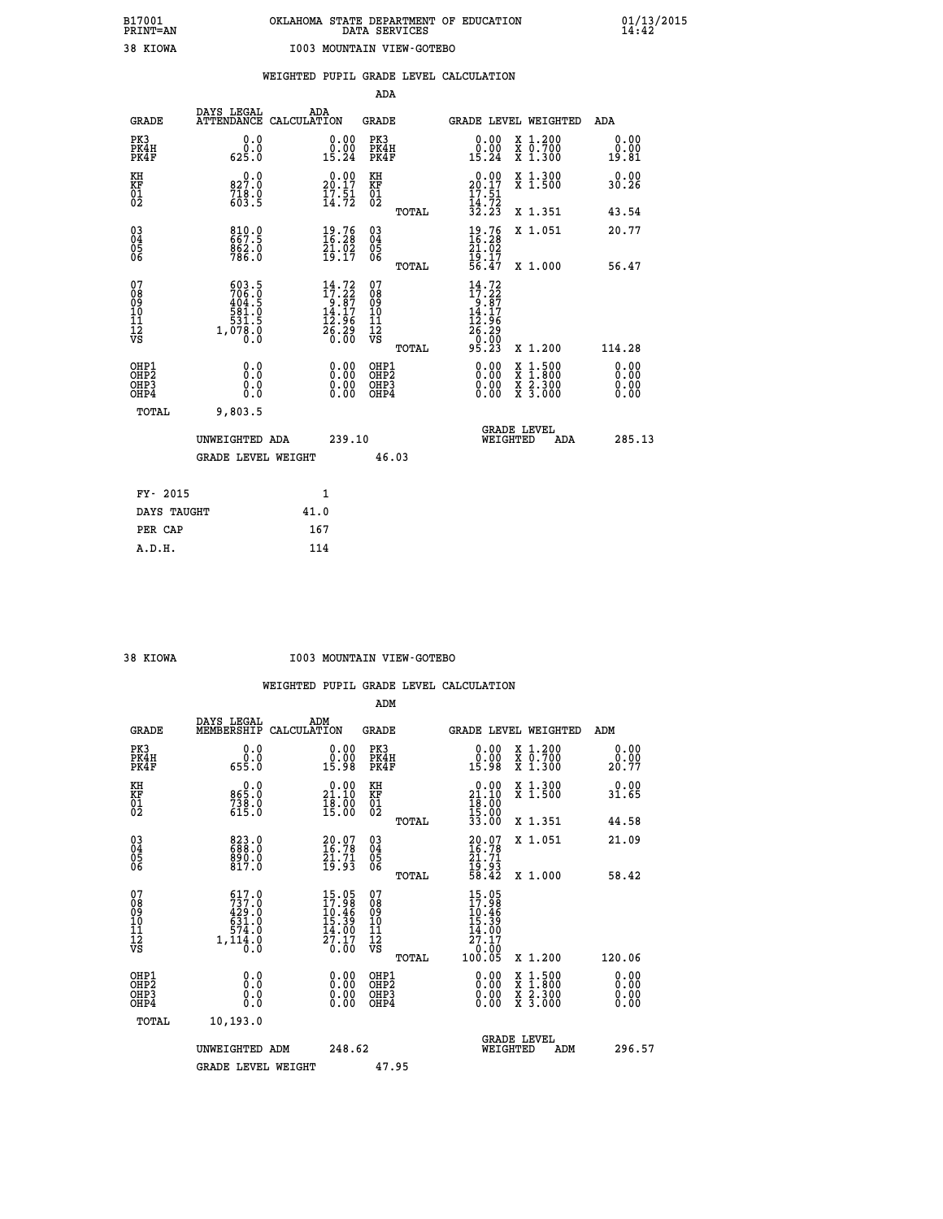|                                                                    |                                                            |                                                                                                                      | ADA                                      |       |                                                                         |                                                                                          |                              |
|--------------------------------------------------------------------|------------------------------------------------------------|----------------------------------------------------------------------------------------------------------------------|------------------------------------------|-------|-------------------------------------------------------------------------|------------------------------------------------------------------------------------------|------------------------------|
| <b>GRADE</b>                                                       | DAYS LEGAL                                                 | ADA<br>ATTENDANCE CALCULATION                                                                                        | <b>GRADE</b>                             |       |                                                                         | GRADE LEVEL WEIGHTED                                                                     | ADA                          |
| PK3<br>PK4H<br>PK4F                                                | 0.0<br>$0.0$<br>$0.25.0$                                   | $\begin{smallmatrix} 0.00\\ 0.00\\ 15.24 \end{smallmatrix}$                                                          | PK3<br>PK4H<br>PK4F                      |       | 0.00<br>$\substack{0.001 \ 15.24}$                                      | X 1.200<br>X 0.700<br>X 1.300                                                            | 0.00<br>0.00<br>19.81        |
| KH<br>KF<br>01<br>02                                               | 0.0<br>827.0<br>718.0<br>603.5                             | $20.00$<br>20.17<br>$\frac{17.51}{14.72}$                                                                            | KH<br>KF<br>01<br>02                     |       | $20.00$<br>20.17<br>$\frac{17.51}{14.72}$<br>$\frac{32.23}$             | X 1.300<br>X 1.500                                                                       | 0.00<br>30.26                |
|                                                                    |                                                            |                                                                                                                      |                                          | TOTAL |                                                                         | X 1.351                                                                                  | 43.54                        |
| $\begin{smallmatrix} 03 \\[-4pt] 04 \end{smallmatrix}$<br>Ŏ5<br>06 | 810.067.5<br>862.0<br>786.0                                | $19.76$<br>$16.28$<br>$21.02$<br>$19.17$                                                                             | $\substack{03 \\ 04}$<br>Ŏ5<br>06        |       | $\frac{19.76}{16.28}$<br>$\frac{21.02}{19.17}$<br>56.47                 | X 1.051                                                                                  | 20.77                        |
|                                                                    |                                                            |                                                                                                                      |                                          | TOTAL |                                                                         | X 1.000                                                                                  | 56.47                        |
| 07<br>08<br>09<br>101<br>11<br>12<br>VS                            | 603.5<br>706.0<br>404.5<br>581.0<br>31.5<br>1,078.0<br>0.0 | $\begin{array}{c} 14\cdot72 \\ 17\cdot22 \\ 9\cdot87 \\ 14\cdot17 \\ 12\cdot96 \\ 26\cdot29 \\ 0\cdot00 \end{array}$ | 07<br>08<br>09<br>101<br>11<br>12<br>VS  |       | $14.72$<br>$17.22$<br>$9.87$<br>$14.17$<br>$12.96$<br>$26.29$<br>$0.99$ |                                                                                          |                              |
|                                                                    |                                                            |                                                                                                                      |                                          | TOTAL | 95.23                                                                   | X 1.200                                                                                  | 114.28                       |
| OHP1<br>OHP <sub>2</sub><br>OH <sub>P3</sub><br>OH <sub>P4</sub>   | 0.0<br>Ō.Ō<br>0.0<br>0.0                                   | 0.00<br>$\begin{smallmatrix} 0.00 \ 0.00 \end{smallmatrix}$                                                          | OHP1<br>OHP <sub>2</sub><br>OHP3<br>OHP4 |       | 0.00<br>0.00                                                            | $\begin{smallmatrix} x & 1.500 \\ x & 1.800 \\ x & 2.300 \\ x & 3.000 \end{smallmatrix}$ | 0.00<br>0.00<br>0.00<br>0.00 |
| TOTAL                                                              | 9,803.5                                                    |                                                                                                                      |                                          |       |                                                                         |                                                                                          |                              |
|                                                                    | UNWEIGHTED ADA                                             | 239.10                                                                                                               |                                          |       |                                                                         | <b>GRADE LEVEL</b><br>WEIGHTED<br>ADA                                                    | 285.13                       |
|                                                                    | <b>GRADE LEVEL WEIGHT</b>                                  |                                                                                                                      | 46.03                                    |       |                                                                         |                                                                                          |                              |
| FY- 2015                                                           |                                                            | 1                                                                                                                    |                                          |       |                                                                         |                                                                                          |                              |
| DAYS TAUGHT                                                        |                                                            | 41.0                                                                                                                 |                                          |       |                                                                         |                                                                                          |                              |
| PER CAP                                                            |                                                            | 167                                                                                                                  |                                          |       |                                                                         |                                                                                          |                              |

#### **38 KIOWA I003 MOUNTAIN VIEW-GOTEBO**

|                                                      |                                                             |                                                                                                                  | ADM                                                 |                                                                              |                                          |                              |
|------------------------------------------------------|-------------------------------------------------------------|------------------------------------------------------------------------------------------------------------------|-----------------------------------------------------|------------------------------------------------------------------------------|------------------------------------------|------------------------------|
| <b>GRADE</b>                                         | DAYS LEGAL<br>MEMBERSHIP                                    | ADM<br>CALCULATION                                                                                               | <b>GRADE</b>                                        | GRADE LEVEL WEIGHTED                                                         |                                          | ADM                          |
| PK3<br>PK4H<br>PK4F                                  | 0.0<br>ة:ة<br>655.0                                         | 0.00<br>ă:ŏă<br>15:98                                                                                            | PK3<br>PK4H<br>PK4F                                 | $\begin{smallmatrix} 0.00\\ 0.00\\ 15.98 \end{smallmatrix}$                  | X 1.200<br>X 0.700<br>X 1.300            | 0.00<br>0.00<br>20.77        |
| KH<br>KF<br>01<br>02                                 | 0.0<br>865.0<br>$738.0$<br>615.0                            | $\begin{smallmatrix} 0.00\\ 21.10\\ 18.00\\ 15.00 \end{smallmatrix}$                                             | KH<br>KF<br>01<br>02                                | $\begin{smallmatrix} 0.00\\ 21.10\\ 18.00\\ 15.00\\ 33.00 \end{smallmatrix}$ | X 1.300<br>X 1.500                       | 0.00<br>31.65                |
|                                                      |                                                             |                                                                                                                  | TOTAL                                               |                                                                              | X 1.351                                  | 44.58                        |
| 03<br>04<br>05<br>06                                 | 823.0<br>688.0<br>890.0<br>817.0                            | $20.07$<br>16:78<br>$\frac{21.71}{19.93}$                                                                        | $\begin{array}{c} 03 \\ 04 \\ 05 \\ 06 \end{array}$ | $20.07$<br>16:78<br>$\frac{21.71}{19.93}$<br>58.42                           | X 1.051                                  | 21.09                        |
|                                                      |                                                             |                                                                                                                  | TOTAL                                               |                                                                              | X 1.000                                  | 58.42                        |
| 07<br>08<br>09<br>101<br>112<br>VS                   | 617.0<br>737.0<br>429.0<br>631.0<br>574.0<br>1,114.0<br>0.0 | $15.95$<br>$17.98$<br>$\begin{smallmatrix} 1&6&1&4&8\\ 1&5&.&39\\ 1&4&.&00\\ 2&7&.&17\\ 0&.&00\end{smallmatrix}$ | 07<br>08<br>09<br>11<br>11<br>12<br>VS              | 15.05<br>17.98<br>10:46<br>15:39<br>$\frac{14.00}{27.17}$<br>0.00<br>100.05  |                                          |                              |
|                                                      |                                                             |                                                                                                                  | TOTAL                                               |                                                                              | X 1.200                                  | 120.06                       |
| OHP1<br>OHP2<br>OH <sub>P3</sub><br>OH <sub>P4</sub> | 0.0<br>0.000                                                | $0.00$<br>$0.00$<br>0.00                                                                                         | OHP1<br>OHP2<br>OHP <sub>3</sub>                    | $0.00$<br>$0.00$<br>0.00                                                     | X 1:500<br>X 1:800<br>X 2:300<br>X 3:000 | 0.00<br>0.00<br>0.00<br>0.00 |
| TOTAL                                                | 10,193.0                                                    |                                                                                                                  |                                                     |                                                                              |                                          |                              |
|                                                      | UNWEIGHTED ADM                                              | 248.62                                                                                                           |                                                     | <b>GRADE LEVEL</b><br>WEIGHTED                                               | ADM                                      | 296.57                       |
|                                                      | <b>GRADE LEVEL WEIGHT</b>                                   |                                                                                                                  | 47.95                                               |                                                                              |                                          |                              |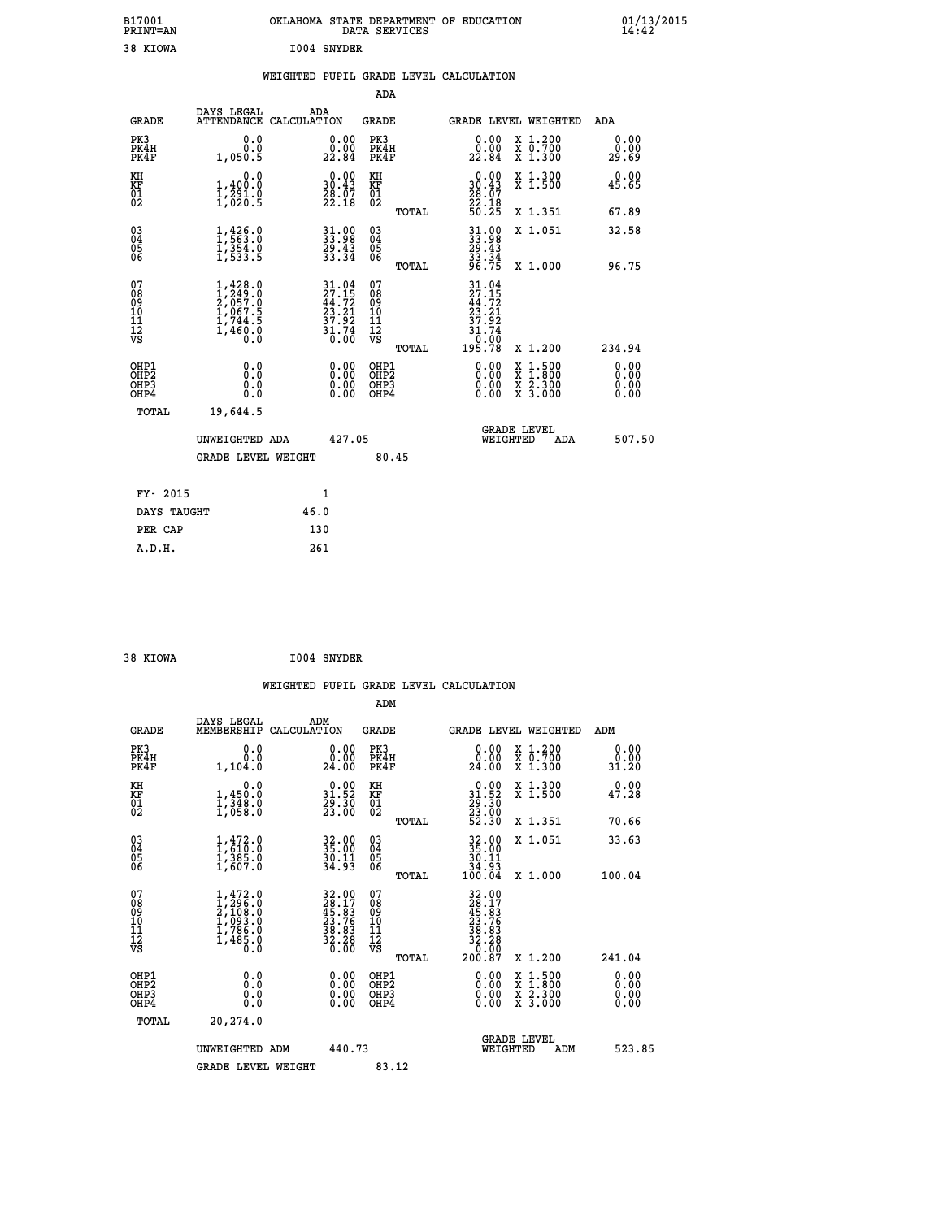| B17001<br>PRINT=AN                                 |                                                                               | OKLAHOMA STATE DEPARTMENT OF EDUCATION                                                    | DATA SERVICES                                      |                                                                              |                                                                            | 01/13/2015                   |  |
|----------------------------------------------------|-------------------------------------------------------------------------------|-------------------------------------------------------------------------------------------|----------------------------------------------------|------------------------------------------------------------------------------|----------------------------------------------------------------------------|------------------------------|--|
| 38 KIOWA                                           |                                                                               | I004 SNYDER                                                                               |                                                    |                                                                              |                                                                            |                              |  |
|                                                    |                                                                               | WEIGHTED PUPIL GRADE LEVEL CALCULATION                                                    |                                                    |                                                                              |                                                                            |                              |  |
|                                                    |                                                                               |                                                                                           | ADA                                                |                                                                              |                                                                            |                              |  |
| <b>GRADE</b>                                       | DAYS LEGAL                                                                    | ADA<br>ATTENDANCE CALCULATION                                                             | GRADE                                              | GRADE LEVEL WEIGHTED                                                         |                                                                            | ADA                          |  |
| PK3<br>PK4H<br>PK4F                                | 0.0<br>0.0<br>1,050.5                                                         | 0.00<br>0.00<br>22.84                                                                     | PK3<br>PK4H<br>PK4F                                | 0.00<br>0.00<br>22.84                                                        | X 1.200<br>X 0.700<br>X 1.300                                              | 0.00<br>0.00<br>29.69        |  |
| KH<br>KF<br>01<br>02                               | 0.0<br>1,400.0<br>1,291.0<br>1,020.5                                          | 0.00<br>30.43<br>$\frac{28.07}{22.18}$                                                    | KH<br>KF<br>01<br>02                               | $\begin{smallmatrix} 0.00\\ 30.43\\ 28.07\\ 22.18\\ 50.25 \end{smallmatrix}$ | X 1.300<br>X 1.500                                                         | 0.00<br>45.65                |  |
|                                                    |                                                                               |                                                                                           | TOTAL                                              |                                                                              | X 1.351                                                                    | 67.89                        |  |
| $\begin{matrix} 03 \\ 04 \\ 05 \\ 06 \end{matrix}$ | $1, 426.0$<br>$1, 563.0$<br>$1, 354.0$<br>$1, 533.5$                          | $31.98$<br>$33.98$<br>$29.43$<br>$33.34$                                                  | $\begin{matrix} 03 \\ 04 \\ 05 \\ 06 \end{matrix}$ | $31.98$<br>$33.98$<br>$29.43$<br>$33.34$<br>$96.75$                          | X 1.051                                                                    | 32.58                        |  |
|                                                    |                                                                               |                                                                                           | TOTAL                                              |                                                                              | X 1.000                                                                    | 96.75                        |  |
| 07<br>08<br>09<br>10<br>11<br>12<br>VS             | 1,428.0<br>1,249.0<br>2,057.0<br>$1,067.5$<br>$1,744.5$<br>$1,460.0$<br>$0.0$ | $\begin{array}{c} 31.04 \\ 27.15 \\ 44.72 \\ 23.21 \\ 37.92 \\ 31.74 \\ 0.00 \end{array}$ | 07<br>08<br>09<br>10<br>11<br>12<br>VS<br>TOTAL    | $\frac{31.04}{27.15}$<br>23.21<br>37.92<br>31.74<br>0:00<br>195.78           | X 1.200                                                                    | 234.94                       |  |
| OHP1<br>OHP2<br>OHP3<br>OHP4                       | 0.0<br>0.0<br>0.0<br>0.0                                                      | 0.00<br>0.00<br>0.00                                                                      | OHP1<br>OHP <sub>2</sub><br>OHP3<br>OHP4           | 0.00<br>0.00<br>0.00                                                         | $\frac{x}{x}$ $\frac{1.500}{1.800}$<br>$\frac{x}{x}$ $\frac{5.300}{3.000}$ | 0.00<br>0.00<br>0.00<br>0.00 |  |
| TOTAL                                              | 19,644.5                                                                      |                                                                                           |                                                    |                                                                              |                                                                            |                              |  |
|                                                    | UNWEIGHTED ADA                                                                | 427.05                                                                                    |                                                    | <b>GRADE LEVEL</b><br>WEIGHTED                                               | ADA                                                                        | 507.50                       |  |
|                                                    | <b>GRADE LEVEL WEIGHT</b>                                                     |                                                                                           | 80.45                                              |                                                                              |                                                                            |                              |  |
| FY- 2015                                           |                                                                               | 1                                                                                         |                                                    |                                                                              |                                                                            |                              |  |
| DAYS TAUGHT                                        |                                                                               | 46.0                                                                                      |                                                    |                                                                              |                                                                            |                              |  |
| PER CAP                                            |                                                                               | 130                                                                                       |                                                    |                                                                              |                                                                            |                              |  |

| 38 KIOWA |  |  | 1004 SNYDER |
|----------|--|--|-------------|

 **WEIGHTED PUPIL GRADE LEVEL CALCULATION ADM DAYS LEGAL ADM GRADE MEMBERSHIP CALCULATION GRADE GRADE LEVEL WEIGHTED ADM PK3 0.0 0.00 PK3 0.00 X 1.200 0.00 PK4H 0.0 0.00 PK4H 0.00 X 0.700 0.00 PK4F 1,104.0 24.00 PK4F 24.00 X 1.300 31.20 KH 0.0 0.00 KH 0.00 X 1.300 0.00 KF 1,450.0 31.52 KF 31.52 X 1.500 47.28 01 1,348.0 29.30 01 29.30 02 1,058.0 23.00 02 23.00 TOTAL 52.30 X 1.351 70.66 03 1,472.0 32.00 03 32.00 X 1.051 33.63 04 1,610.0 35.00 04 35.00 05 1,385.0 30.11 05 30.11 06 1,607.0 34.93 06 34.93 TOTAL 100.04 X 1.000 100.04**  $\begin{array}{cccc} 07 & 1,472.0 & 32.00 & 07 & 32.00 \ 08 & 1,296.0 & 26.17 & 08 & 28.11 \ 08 & 10 & 1,093.0 & 25.183 & 09 & 45.83 \ 10 & 1,093.0 & 23.76 & 10 & 23.76 \ 11 & 1,786.0 & 38.83 & 11 & 38.83 \ 12 & 766.0 & 36.83 & 12 & 32.28 \ \hline \end{array}$  $\begin{array}{cccc} 32.00 & 07 & 32.00 & 7 & 22.00 & 7 & 22.00 & 7 & 22.00 & 7 & 22.00 & 7 & 22.00 & 7 & 22.00 & 7 & 22.00 & 7 & 22.00 & 7 & 22.00 & 7 & 22.00 & 7 & 22.00 & 7 & 22.00 & 7 & 22.00 & 7 & 22.00 & 7 & 22.00 & 7 & 22.00 & 7 & 22.00 & 7 & 22.00 & 7 & 22.00 & 7 & 2$  **OHP1 0.0 0.00 OHP1 0.00 X 1.500 0.00 OHP2 0.0 0.00 OHP2 0.00 X 1.800 0.00 OHP3 0.0 0.00 OHP3 0.00 X 2.300 0.00 OHP4 0.0 0.00 OHP4 0.00 X 3.000 0.00 TOTAL 20,274.0 GRADE LEVEL UNWEIGHTED ADM 440.73 WEIGHTED ADM 523.85** GRADE LEVEL WEIGHT 83.12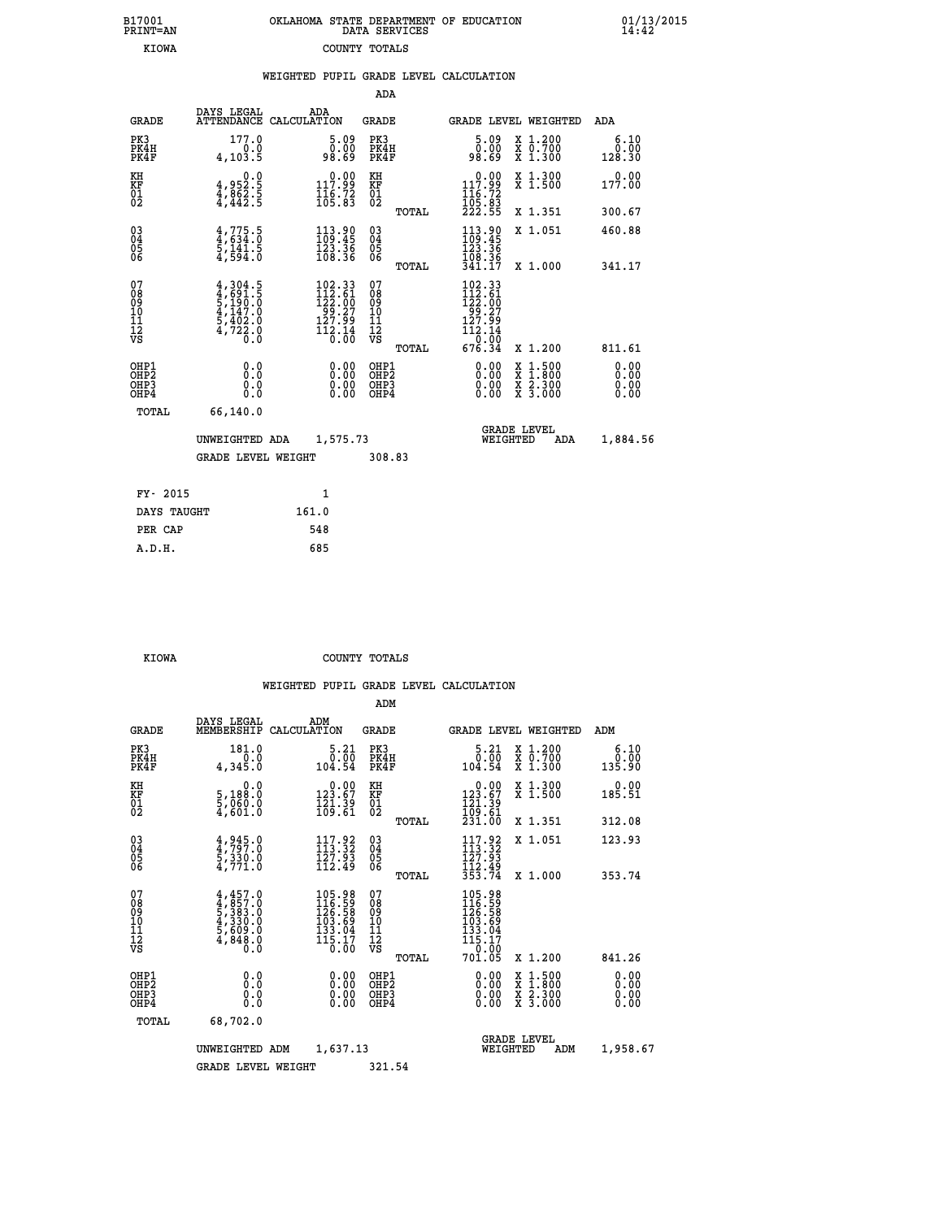| 7001<br>INT=AN |  | OKLAHOMA STATE DEPARTMENT OF EDUCATION<br>DATA SERVICES |  |
|----------------|--|---------------------------------------------------------|--|
| <b>KIOWA</b>   |  | COUNTY TOTALS                                           |  |

 **WEIGHTED PUPIL GRADE LEVEL CALCULATION**

 **B17001 OKLAHOMA STATE DEPARTMENT OF EDUCATION 01/13/2015**

|                                          |                                                                                     |                                                                                                                                     | <b>ADA</b>                                          |       |                                                                                                                                                         |                                          |                               |
|------------------------------------------|-------------------------------------------------------------------------------------|-------------------------------------------------------------------------------------------------------------------------------------|-----------------------------------------------------|-------|---------------------------------------------------------------------------------------------------------------------------------------------------------|------------------------------------------|-------------------------------|
| <b>GRADE</b>                             | DAYS LEGAL<br><b>ATTENDANCE</b>                                                     | ADA<br>CALCULATION                                                                                                                  | <b>GRADE</b>                                        |       |                                                                                                                                                         | <b>GRADE LEVEL WEIGHTED</b>              | ADA                           |
| PK3<br>PK4H<br>PK4F                      | 177.0<br>4, 103.5                                                                   | $\begin{smallmatrix} 5.09\ 0.00\ 98.69 \end{smallmatrix}$                                                                           | PK3<br>PK4H<br>PK4F                                 |       | 5.09<br>00.0<br>08.89                                                                                                                                   | X 1.200<br>X 0.700<br>X 1.300            | 6.10<br>0.00<br>128.30        |
| KH<br>KF<br>01<br>02                     | $4,952.5$<br>$4,862.5$<br>$4,442.5$                                                 | $\begin{array}{c} 0.00 \\ 117.99 \\ 116.72 \\ 105.83 \end{array}$                                                                   | KH<br>KF<br>01<br>02                                |       | 0.00<br>117.99<br>116.72<br>105.83<br>222.55                                                                                                            | X 1.300<br>X 1.500                       | 0.00<br>177.00                |
|                                          |                                                                                     |                                                                                                                                     |                                                     | TOTAL |                                                                                                                                                         | X 1.351                                  | 300.67                        |
| $^{03}_{04}$<br>Ŏ5<br>06                 | $4,775.5$<br>$4,634.0$<br>$5,141.5$<br>$4,594.0$                                    | $\begin{array}{l} 113\cdot 90\\109\cdot 45\\123\cdot 36\\108\cdot 36 \end{array}$                                                   | $\begin{array}{c} 03 \\ 04 \\ 05 \\ 06 \end{array}$ |       | $113.90$<br>$109.45$<br>$123.36$<br>$108.36$<br>$341.17$                                                                                                | X 1.051                                  | 460.88                        |
|                                          |                                                                                     |                                                                                                                                     |                                                     | TOTAL |                                                                                                                                                         | X 1.000                                  | 341.17                        |
| 07<br>08<br>09<br>10<br>11<br>12<br>VS   | $4,304.5$<br>$5,190.0$<br>$5,190.0$<br>$4,147.0$<br>$5,402.0$<br>$4,722.0$<br>$0.0$ | $\begin{smallmatrix} 102\cdot 33\\ 112\cdot 61\\ 122\cdot 00\\ 99\cdot 27\\ 127\cdot 99\\ 112\cdot 14\\ 0\cdot 00\end{smallmatrix}$ | 07<br>08<br>09<br>11<br>11<br>12<br>VS              |       | $\begin{smallmatrix} 102.33\\ 112.61\\ 122.00\\ 99.27\\ 127.99 \end{smallmatrix}$<br>$\begin{array}{r} 112.14 \\[-4pt] 0.00 \\[-4pt] 676.34\end{array}$ |                                          |                               |
|                                          |                                                                                     |                                                                                                                                     |                                                     | TOTAL |                                                                                                                                                         | X 1.200                                  | 811.61                        |
| OHP1<br>OHP2<br>OH <sub>P3</sub><br>OHP4 | 0.0<br>0.000                                                                        | 0.00<br>$\begin{smallmatrix} 0.00 \ 0.00 \end{smallmatrix}$                                                                         | OHP1<br>OHP2<br>OHP3<br>OHP4                        |       | 0.00<br>0.00<br>0.00                                                                                                                                    | X 1:500<br>X 1:800<br>X 2:300<br>X 3:000 | 0.00<br>Ō. ŌŌ<br>0.00<br>0.00 |
| TOTAL                                    | 66,140.0                                                                            |                                                                                                                                     |                                                     |       |                                                                                                                                                         |                                          |                               |
|                                          | UNWEIGHTED ADA                                                                      | 1,575.73                                                                                                                            |                                                     |       |                                                                                                                                                         | GRADE LEVEL<br>WEIGHTED<br>ADA           | 1,884.56                      |
| <b>GRADE LEVEL WEIGHT</b>                |                                                                                     |                                                                                                                                     | 308.83                                              |       |                                                                                                                                                         |                                          |                               |
| FY- 2015                                 |                                                                                     | $\mathbf{1}$                                                                                                                        |                                                     |       |                                                                                                                                                         |                                          |                               |
| DAYS TAUGHT                              |                                                                                     | 161.0                                                                                                                               |                                                     |       |                                                                                                                                                         |                                          |                               |
|                                          |                                                                                     |                                                                                                                                     |                                                     |       |                                                                                                                                                         |                                          |                               |
| PER CAP                                  |                                                                                     | 548                                                                                                                                 |                                                     |       |                                                                                                                                                         |                                          |                               |

 **A.D.H. 685**

 **B17001<br>PRINT=AN** 

 **KIOWA COUNTY TOTALS**

|                                          |                                                                                         |                                                                                                                  | ADM                                                 |                                                                                                           |                                          |                        |
|------------------------------------------|-----------------------------------------------------------------------------------------|------------------------------------------------------------------------------------------------------------------|-----------------------------------------------------|-----------------------------------------------------------------------------------------------------------|------------------------------------------|------------------------|
| <b>GRADE</b>                             | DAYS LEGAL<br>MEMBERSHIP                                                                | ADM<br>CALCULATION                                                                                               | <b>GRADE</b>                                        | <b>GRADE LEVEL WEIGHTED</b>                                                                               |                                          | ADM                    |
| PK3<br>PK4H<br>PK4F                      | 181.0<br>0.0<br>4,345.0                                                                 | 5.21<br>$\begin{array}{c} 0.00 \\ -0.54 \end{array}$                                                             | PK3<br>PK4H<br>PK4F                                 | $5.21$<br>$0.00$<br>104.54                                                                                | X 1.200<br>X 0.700<br>X 1.300            | 6.10<br>0.00<br>135.90 |
| KH<br>KF<br>01<br>02                     | 0.0<br>5,188:0<br>5,060.0<br>4,601:0                                                    | $\begin{array}{c} 0.00 \\ 123.67 \\ 121.39 \\ 169.61 \end{array}$                                                | KH<br>KF<br>01<br>02                                | $\begin{smallmatrix} &0.00\\ 123.67\\ 121.39\\ 109.61\\ 231.00 \end{smallmatrix}$                         | X 1.300<br>X 1.500                       | 0.00<br>185.51         |
|                                          |                                                                                         |                                                                                                                  | TOTAL                                               |                                                                                                           | X 1.351                                  | 312.08                 |
| 03<br>04<br>05<br>06                     | $4,945.0$<br>$5,330.0$<br>$4,771.0$                                                     | $117.92$<br>$113.32$<br>127.93<br>112.49                                                                         | $\begin{array}{c} 03 \\ 04 \\ 05 \\ 06 \end{array}$ | $\frac{117.92}{113.32}$<br>$\frac{127.92}{127.93}$<br>$\frac{112.49}{353.74}$                             | X 1.051                                  | 123.93                 |
|                                          |                                                                                         |                                                                                                                  | TOTAL                                               |                                                                                                           | X 1.000                                  | 353.74                 |
| 07<br>08<br>09<br>101<br>112<br>VS       | $4,457.0$<br>$4,857.0$<br>$5,383.0$<br>$4,330.0$<br>$5,609.0$<br>$5,609.0$<br>$4,848.0$ | 105.98<br>116.59<br>126.58<br>103.69<br>133.04<br>$\overline{115}.\overline{17}$<br>$\overline{0}.\overline{00}$ | 07<br>08<br>09<br>11<br>11<br>12<br>VS<br>TOTAL     | $\begin{array}{r} 105.98 \\ 116.59 \\ 126.58 \\ 103.69 \\ 133.04 \\ 115.17 \\ 0.00 \end{array}$<br>701.05 | X 1.200                                  | 841.26                 |
|                                          |                                                                                         |                                                                                                                  |                                                     |                                                                                                           |                                          | 0.00                   |
| OHP1<br>OHP2<br>OH <sub>P3</sub><br>OHP4 | 0.0<br>0.000                                                                            | $0.00$<br>$0.00$<br>0.00                                                                                         | OHP1<br>OHP2<br>OHP <sub>3</sub>                    | $0.00$<br>$0.00$<br>0.00                                                                                  | X 1:500<br>X 1:800<br>X 2:300<br>X 3:000 | 0.00<br>0.00<br>0.00   |
|                                          | TOTAL<br>68,702.0                                                                       |                                                                                                                  |                                                     |                                                                                                           |                                          |                        |
|                                          | UNWEIGHTED                                                                              | 1,637.13<br>ADM                                                                                                  |                                                     | <b>GRADE LEVEL</b><br>WEIGHTED                                                                            | ADM                                      | 1,958.67               |
|                                          | <b>GRADE LEVEL WEIGHT</b>                                                               |                                                                                                                  | 321.54                                              |                                                                                                           |                                          |                        |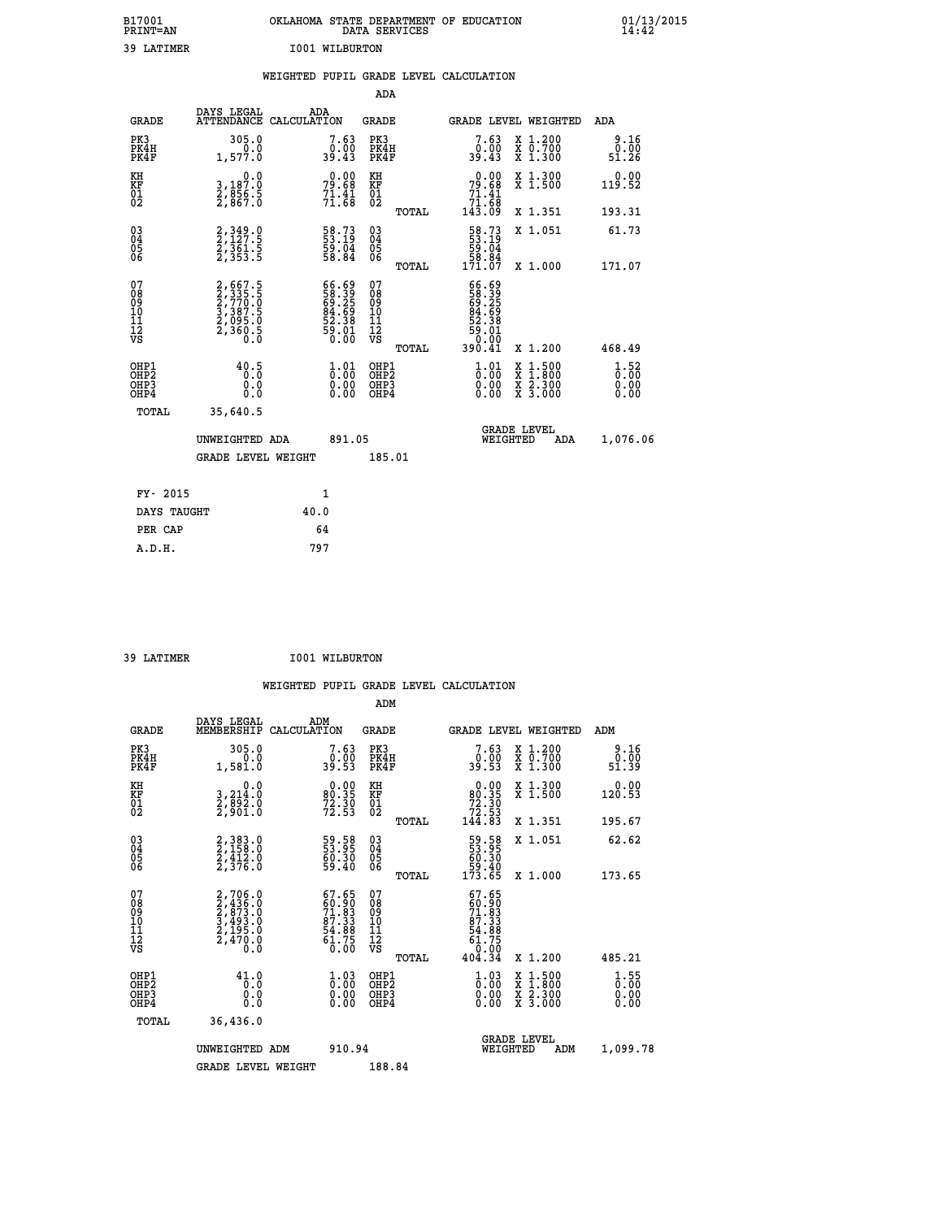| B17001<br>PRINT=AN                       |                                                                                                         | OKLAHOMA STATE DEPARTMENT OF EDUCATION                                     | DATA SERVICES                                              |                                                                           |                                                                                          | $01/13/2015$<br>14:42          |
|------------------------------------------|---------------------------------------------------------------------------------------------------------|----------------------------------------------------------------------------|------------------------------------------------------------|---------------------------------------------------------------------------|------------------------------------------------------------------------------------------|--------------------------------|
| 39 LATIMER                               |                                                                                                         | <b>I001 WILBURTON</b>                                                      |                                                            |                                                                           |                                                                                          |                                |
|                                          |                                                                                                         | WEIGHTED PUPIL GRADE LEVEL CALCULATION                                     |                                                            |                                                                           |                                                                                          |                                |
|                                          |                                                                                                         |                                                                            | <b>ADA</b>                                                 |                                                                           |                                                                                          |                                |
| <b>GRADE</b>                             | DAYS LEGAL                                                                                              | ADA<br>ATTENDANCE CALCULATION                                              | <b>GRADE</b>                                               |                                                                           | GRADE LEVEL WEIGHTED                                                                     | ADA                            |
| PK3<br>PK4H<br>PK4F                      | 305.0<br>0.0<br>1,577.0                                                                                 | 7.63<br>0.00<br>39.43                                                      | PK3<br>PK4H<br>PK4F                                        | 7.63<br>$0.00$<br>39.43                                                   | X 1.200<br>X 0.700<br>X 1.300                                                            | 9.16<br>0.00<br>51.26          |
| KH<br>KF<br>01<br>02                     | 0.0<br>3,187:0<br>2,856:5<br>2,867:0                                                                    | $79.68$<br>$71.41$<br>$71.68$                                              | KH<br>KF<br>01<br>02                                       | $\begin{smallmatrix} &0.00\\79.68\\71.41\\71.68\\143.09\end{smallmatrix}$ | X 1.300<br>X 1.500                                                                       | 0.00<br>119.52                 |
|                                          |                                                                                                         |                                                                            | TOTAL                                                      |                                                                           | X 1.351                                                                                  | 193.31                         |
| 03<br>04<br>05<br>06                     | 2, 349.0<br>2, 127.5<br>2, 361.5<br>2, 353.5                                                            | 58.73<br>53.19<br>59.04<br>58.84                                           | $\begin{matrix} 03 \\ 04 \\ 05 \\ 06 \end{matrix}$         | 58.73<br>53.19<br>$\frac{59}{58}$ $\cdot \frac{64}{84}$<br>171.07         | X 1.051                                                                                  | 61.73                          |
|                                          |                                                                                                         |                                                                            | TOTAL                                                      |                                                                           | X 1.000                                                                                  | 171.07                         |
| 07<br>08<br>09<br>11<br>11<br>12<br>VS   | $\begin{smallmatrix} 2,667.5\\ 2,335.5\\ 2,770.0\\ 3,387.5\\ 2,095.0\\ 2,360.5\\ 0.0 \end{smallmatrix}$ | 66.69<br>58.39<br>69.25<br>64.69<br>52.38<br>59.01<br>50.00                | 07<br>08<br>09<br>10<br>$\frac{11}{12}$<br>$\frac{12}{18}$ | 66.69<br>58.39<br>69.25<br>84.69<br>52.38<br>59.01<br>ةة:ة<br>390.41      |                                                                                          |                                |
|                                          |                                                                                                         |                                                                            | TOTAL                                                      |                                                                           | X 1.200                                                                                  | 468.49                         |
| OHP1<br>OHP <sub>2</sub><br>OHP3<br>OHP4 | 40.5<br>0.0<br>0.0                                                                                      | $\frac{1}{0}$ : 01<br>$\begin{smallmatrix} 0.00 \\ 0.00 \end{smallmatrix}$ | OHP1<br>OHP <sub>2</sub><br>OHP3<br>OHP4                   | 1.01<br>0.00                                                              | $\begin{smallmatrix} x & 1.500 \\ x & 1.800 \\ x & 2.300 \\ x & 3.000 \end{smallmatrix}$ | $1.52$<br>0.00<br>0.00<br>0.00 |
| TOTAL                                    | 35,640.5                                                                                                |                                                                            |                                                            |                                                                           |                                                                                          |                                |
|                                          | UNWEIGHTED ADA                                                                                          | 891.05                                                                     |                                                            | WEIGHTED                                                                  | <b>GRADE LEVEL</b><br>ADA                                                                | 1,076.06                       |
|                                          | <b>GRADE LEVEL WEIGHT</b>                                                                               |                                                                            | 185.01                                                     |                                                                           |                                                                                          |                                |
| FY- 2015                                 |                                                                                                         | 1                                                                          |                                                            |                                                                           |                                                                                          |                                |
| DAYS TAUGHT                              |                                                                                                         | 40.0                                                                       |                                                            |                                                                           |                                                                                          |                                |
| PER CAP                                  |                                                                                                         | 64                                                                         |                                                            |                                                                           |                                                                                          |                                |

| 39 LATIMER | <b>I001 WILBURTON</b> |
|------------|-----------------------|
|            |                       |

 **WEIGHTED PUPIL GRADE LEVEL CALCULATION ADM DAYS LEGAL ADM GRADE MEMBERSHIP CALCULATION GRADE GRADE LEVEL WEIGHTED ADM PK3 305.0 7.63 PK3 7.63 X 1.200 9.16 PK4H 0.0 0.00 PK4H 0.00 X 0.700 0.00 PK4F 1,581.0 39.53 PK4F 39.53 X 1.300 51.39 KH 0.0 0.00 KH 0.00 X 1.300 0.00 KF 3,214.0 80.35 KF 80.35 X 1.500 120.53 01 2,892.0 72.30 01 72.30 02 2,901.0 72.53 02 72.53 TOTAL 144.83 X 1.351 195.67 03 2,383.0 59.58 03 59.58 X 1.051 62.62 04 2,158.0 53.95 04 53.95 05 2,412.0 60.30 05 60.30 06 2,376.0 59.40 06 59.40 TOTAL 173.65 X 1.000 173.65**  $\begin{array}{cccc} 07 & 2,706.0 & 67.65 & 07 & 67.65 \ 08 & 2,436.0 & 60.90 & 60.90 \ 09 & 2,433.0 & 71.83 & 09 & 60.90 \ 10 & 3,493.0 & 87.33 & 10 & 87.33 \ 11 & 2,1495.0 & 54.88 & 11 & 54.88 \ 12 & 74.70 & 0 & 61.75 & 12 & 61.75 \ \hline\end{array}$  **TOTAL 404.34 X 1.200 485.21 OHP1 41.0 1.03 OHP1 1.03 X 1.500 1.55 OHP2 0.0 0.00 OHP2 0.00 X 1.800 0.00 OHP3 0.0 0.00 OHP3 0.00 X 2.300 0.00 OHP4 0.0 0.00 OHP4 0.00 X 3.000 0.00 TOTAL 36,436.0 GRADE LEVEL UNWEIGHTED ADM 910.94 WEIGHTED ADM 1,099.78 GRADE LEVEL WEIGHT 188.84**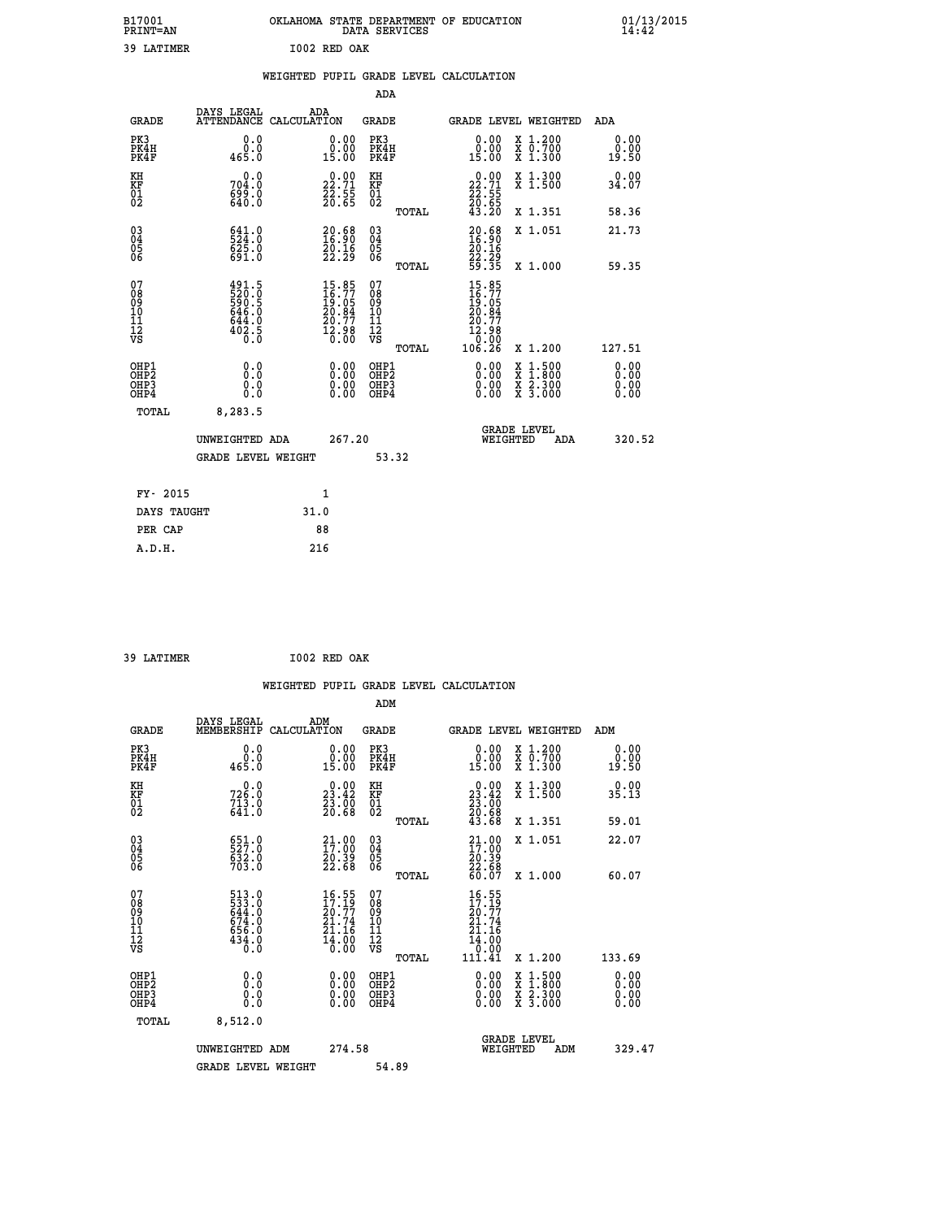|   |              | OKLAHOMA STATE DEPARTMENT OF EDUCATION<br>DATA SERVICES |  |
|---|--------------|---------------------------------------------------------|--|
| R | T002 RED OAK |                                                         |  |

 **B17001 OKLAHOMA STATE DEPARTMENT OF EDUCATION 01/13/2015**

| 39 LATIMER                                                         |                                                            |      | I002 RED OAK                                                          |                                        |              |                                                                                                                |                                                                                                                                      |                       |
|--------------------------------------------------------------------|------------------------------------------------------------|------|-----------------------------------------------------------------------|----------------------------------------|--------------|----------------------------------------------------------------------------------------------------------------|--------------------------------------------------------------------------------------------------------------------------------------|-----------------------|
|                                                                    |                                                            |      |                                                                       |                                        |              | WEIGHTED PUPIL GRADE LEVEL CALCULATION                                                                         |                                                                                                                                      |                       |
|                                                                    |                                                            |      |                                                                       | ADA                                    |              |                                                                                                                |                                                                                                                                      |                       |
| <b>GRADE</b>                                                       | DAYS LEGAL<br>ATTENDANCE CALCULATION                       |      | ADA                                                                   | <b>GRADE</b>                           |              |                                                                                                                | GRADE LEVEL WEIGHTED                                                                                                                 | ADA                   |
| PK3<br>PK4H<br>PK4F                                                | 0.0<br>0.0<br>465.0                                        |      | 0.00<br>0.00<br>15.00                                                 | PK3<br>PK4H<br>PK4F                    |              | 0.0000<br>15.00                                                                                                | X 1.200<br>X 0.700<br>X 1.300                                                                                                        | 0.00<br>0.00<br>19.50 |
| KH<br>KF<br>01<br>02                                               | 0.0<br>704.0<br>699.0<br>640.0                             |      | $\begin{smallmatrix} 0.00\\ 22.71\\ 23.55\\ 26.65 \end{smallmatrix}$  | KH<br>KF<br>01<br>02                   |              | $\begin{smallmatrix} 0.00\\ 22.71\\ 22.55\\ 20.65\\ 43.20 \end{smallmatrix}$                                   | X 1.300<br>X 1.500                                                                                                                   | 0.00<br>34.07         |
|                                                                    |                                                            |      |                                                                       |                                        | TOTAL        |                                                                                                                | X 1.351                                                                                                                              | 58.36                 |
| $\begin{smallmatrix} 03 \\[-4pt] 04 \end{smallmatrix}$<br>Ŏ5<br>06 | 541.0<br>625.0<br>691.0                                    |      | $\begin{smallmatrix} 20.68\\ 16.90\\ 20.16\\ 22.29 \end{smallmatrix}$ | $\substack{03 \\ 04}$<br>05<br>06      |              | $20.6816.9020.1622.2959.35$                                                                                    | X 1.051                                                                                                                              | 21.73                 |
|                                                                    |                                                            |      |                                                                       |                                        | TOTAL        |                                                                                                                | X 1.000                                                                                                                              | 59.35                 |
| 07<br>08<br>09<br>01<br>11<br>11<br>12<br>VS                       | 491.5<br>520.6<br>590.5<br>646.0<br>644.0<br>6402.5<br>0.0 |      | 15.85<br>16.77<br>19.05<br>20.84<br>20.77<br>$\frac{52.98}{0.00}$     | 07<br>08<br>09<br>11<br>11<br>12<br>VS | <b>TOTAL</b> | 15.85<br>$\frac{16}{16}$ . 77<br>$\frac{19}{20}$ . 84<br>$\frac{20}{7}$ . 77<br>$\frac{12.98}{0.00}$<br>106.26 | X 1.200                                                                                                                              | 127.51                |
| OHP1<br>OHP <sub>2</sub><br>OH <sub>P3</sub><br>OH <sub>P4</sub>   | 0.0<br>0.0<br>0.0                                          |      | 0.00<br>0.00<br>0.00                                                  | OHP1<br>OHP2<br>OHP3<br>OHP4           |              | 0.00<br>0.00<br>0.00                                                                                           | $\begin{smallmatrix} \mathtt{X} & 1 & 500 \\ \mathtt{X} & 1 & 800 \\ \mathtt{X} & 2 & 300 \\ \mathtt{X} & 3 & 000 \end{smallmatrix}$ | 0.00<br>0.00<br>0.00  |
| TOTAL                                                              | 8,283.5                                                    |      |                                                                       |                                        |              |                                                                                                                |                                                                                                                                      |                       |
|                                                                    | UNWEIGHTED ADA                                             |      | 267.20                                                                |                                        |              | WEIGHTED                                                                                                       | <b>GRADE LEVEL</b><br>ADA                                                                                                            | 320.52                |
|                                                                    | <b>GRADE LEVEL WEIGHT</b>                                  |      |                                                                       |                                        | 53.32        |                                                                                                                |                                                                                                                                      |                       |
| FY- 2015                                                           |                                                            |      | 1                                                                     |                                        |              |                                                                                                                |                                                                                                                                      |                       |
| DAYS TAUGHT                                                        |                                                            | 31.0 |                                                                       |                                        |              |                                                                                                                |                                                                                                                                      |                       |
| PER CAP                                                            |                                                            |      | 88                                                                    |                                        |              |                                                                                                                |                                                                                                                                      |                       |
| A.D.H.                                                             |                                                            |      | 216                                                                   |                                        |              |                                                                                                                |                                                                                                                                      |                       |

 **39 LATIMER I002 RED OAK**

 **B17001<br>PRINT=AN** 

|                                                      |                                                             |                                                                                             |                                                 | WEIGHTED PUPIL GRADE LEVEL CALCULATION                                                                         |                                          |                              |
|------------------------------------------------------|-------------------------------------------------------------|---------------------------------------------------------------------------------------------|-------------------------------------------------|----------------------------------------------------------------------------------------------------------------|------------------------------------------|------------------------------|
|                                                      |                                                             |                                                                                             | ADM                                             |                                                                                                                |                                          |                              |
| <b>GRADE</b>                                         | DAYS LEGAL<br>MEMBERSHIP CALCULATION                        | ADM                                                                                         | <b>GRADE</b>                                    | GRADE LEVEL WEIGHTED                                                                                           |                                          | ADM                          |
| PK3<br>PK4H<br>PK4F                                  | 0.0<br>ة:ة<br>465.0                                         | $\begin{smallmatrix} 0.00\\ 0.00\\ 15.00 \end{smallmatrix}$                                 | PK3<br>PK4H<br>PK4F                             | $\begin{smallmatrix} 0.00\\ 0.00\\ 15.00 \end{smallmatrix}$                                                    | X 1.200<br>X 0.700<br>X 1.300            | 0.00<br>0.00<br>19.50        |
| KH<br>KF<br>01<br>02                                 | $726.0$<br>$713.0$<br>$641.0$                               | $\begin{smallmatrix} 0.00\\ 23.42\\ 23.60\\ 20.68 \end{smallmatrix}$                        | KH<br>KF<br>01<br>02                            | $\begin{smallmatrix} 0.00\\ 23.42\\ 23.00\\ 20.68\\ 43.68 \end{smallmatrix}$                                   | X 1.300<br>X 1.500                       | 0.00<br>35.13                |
|                                                      |                                                             |                                                                                             | TOTAL                                           |                                                                                                                | X 1.351                                  | 59.01                        |
| $\begin{matrix} 03 \\ 04 \\ 05 \\ 06 \end{matrix}$   | 651.0<br>527.0<br>632.0<br>703.0                            | 21.00<br>$\frac{20.39}{22.68}$                                                              | 03<br>04<br>05<br>06                            | $\begin{smallmatrix} 21.00 \\ 17.00 \\ 20.39 \\ 22.68 \\ 60.07 \end{smallmatrix}$                              | X 1.051                                  | 22.07                        |
|                                                      |                                                             |                                                                                             | TOTAL                                           |                                                                                                                | X 1.000                                  | 60.07                        |
| 07<br>08<br>09<br>101<br>112<br>VS                   | 513.0<br>533.0<br>644.0<br>674.0<br>656.0<br>656.0<br>434.0 | $\frac{16.55}{17.19}$<br>$\frac{21.74}{21.16}$<br>$\frac{1}{6}$ $\frac{1}{6}$ $\frac{1}{6}$ | 07<br>08<br>09<br>11<br>11<br>12<br>VS<br>TOTAL | $16.55$<br>$17.19$<br>20:77<br>21.74<br>21.16<br>$\begin{smallmatrix} 14.700 11.41 \ 111.41 \end{smallmatrix}$ | X 1.200                                  | 133.69                       |
| OHP1<br>OHP2<br>OH <sub>P3</sub><br>OH <sub>P4</sub> | 0.0<br>0.000                                                |                                                                                             | OHP1<br>OHP2<br>OHP3<br>OHP4                    |                                                                                                                | X 1:500<br>X 1:800<br>X 2:300<br>X 3:000 | 0.00<br>0.00<br>0.00<br>0.00 |
| TOTAL                                                | 8,512.0                                                     |                                                                                             |                                                 |                                                                                                                |                                          |                              |
|                                                      | UNWEIGHTED ADM                                              | 274.58                                                                                      |                                                 | <b>GRADE LEVEL</b><br>WEIGHTED                                                                                 | ADM                                      | 329.47                       |
|                                                      | <b>GRADE LEVEL WEIGHT</b>                                   |                                                                                             | 54.89                                           |                                                                                                                |                                          |                              |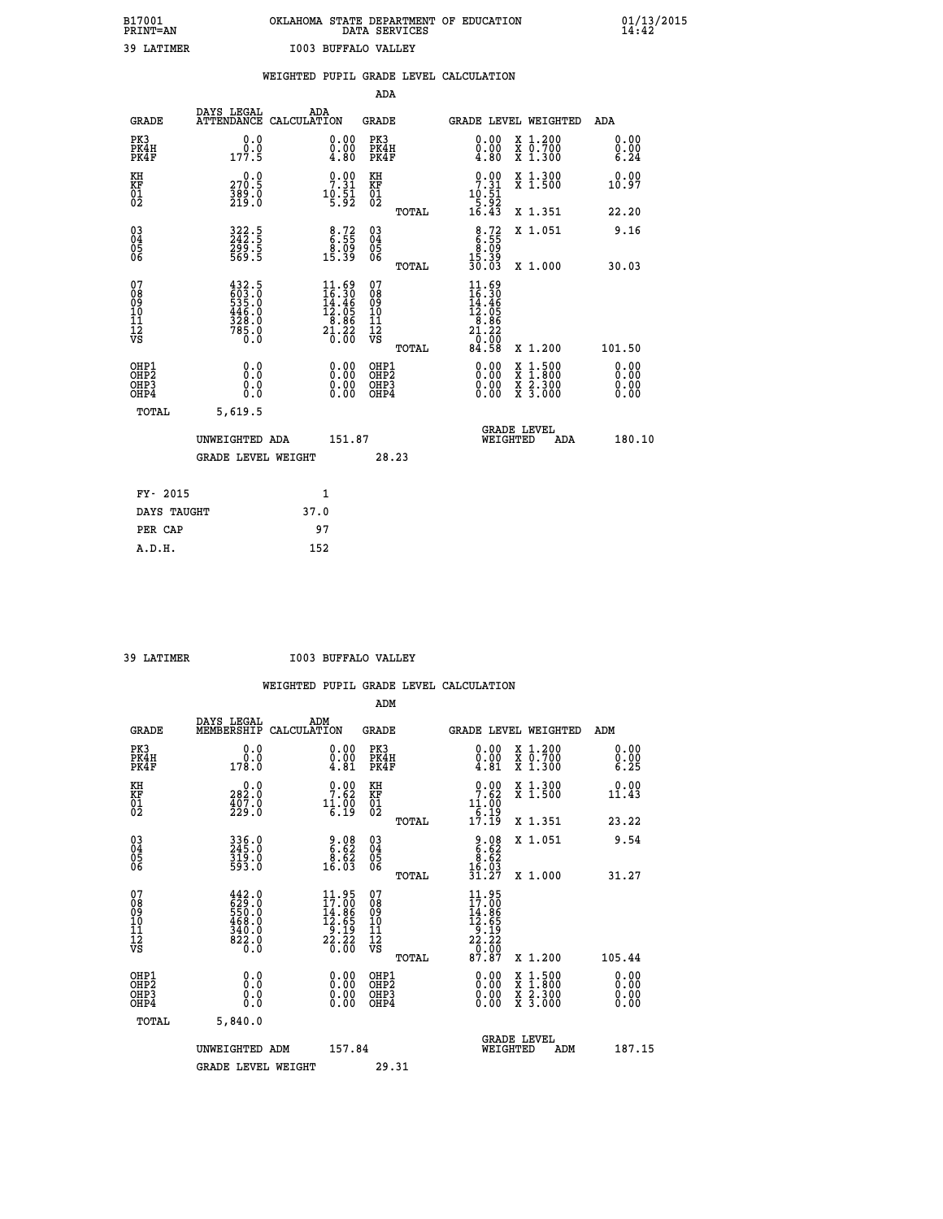# **B17001 OKLAHOMA STATE DEPARTMENT OF EDUCATION 01/13/2015 PRINT=AN DATA SERVICES 14:42 39 LATIMER I003 BUFFALO VALLEY**

|  |  |  |  | WEIGHTED PUPIL GRADE LEVEL CALCULATION |
|--|--|--|--|----------------------------------------|
|--|--|--|--|----------------------------------------|

|                                                                    |                                                                                                                                                                |      |                                                                                                                               | ADA                                                 |       |                                                                                             |                                          |                               |
|--------------------------------------------------------------------|----------------------------------------------------------------------------------------------------------------------------------------------------------------|------|-------------------------------------------------------------------------------------------------------------------------------|-----------------------------------------------------|-------|---------------------------------------------------------------------------------------------|------------------------------------------|-------------------------------|
| <b>GRADE</b>                                                       | DAYS LEGAL<br>ATTENDANCE CALCULATION                                                                                                                           | ADA  |                                                                                                                               | <b>GRADE</b>                                        |       |                                                                                             | GRADE LEVEL WEIGHTED                     | ADA                           |
| PK3<br>PK4H<br>PK4F                                                | 0.0<br>$0.0$<br>177.5                                                                                                                                          |      | $\begin{smallmatrix} 0.00 \ 0.00 \ 4.80 \end{smallmatrix}$                                                                    | PK3<br>PK4H<br>PK4F                                 |       | 0.00<br>$\begin{smallmatrix}0.00\\ -0.80\end{smallmatrix}$                                  | X 1.200<br>X 0.700<br>X 1.300            | 0.00<br>$0.00$<br>6.24        |
| KH<br>KF<br>01<br>02                                               | 0.0<br>270.5<br>$\frac{389}{219}$ :0                                                                                                                           |      | $9.00$<br>7.31<br>$10.51$<br>5.92                                                                                             | KH<br>KF<br>01<br>02                                |       | 7.31<br>$10.51$<br>$5.92$<br>$16.43$                                                        | X 1.300<br>X 1.500                       | 0.00<br>10.97                 |
|                                                                    |                                                                                                                                                                |      |                                                                                                                               |                                                     | TOTAL |                                                                                             | X 1.351                                  | 22.20                         |
| $\begin{smallmatrix} 03 \\[-4pt] 04 \end{smallmatrix}$<br>Ŏ5<br>06 | 322.5<br>242.5<br>299.5<br>569.5                                                                                                                               |      | $\begin{smallmatrix} 8.72\ 6.55\ 8.09\ 15.39 \end{smallmatrix}$                                                               | $\begin{array}{c} 03 \\ 04 \\ 05 \\ 06 \end{array}$ |       | $8.72$<br>$8.55$<br>$8.09$<br>$15.39$<br>$30.03$                                            | X 1.051                                  | 9.16                          |
|                                                                    |                                                                                                                                                                |      |                                                                                                                               |                                                     | TOTAL |                                                                                             | X 1.000                                  | 30.03                         |
| 07<br>08<br>09<br>01<br>11<br>11<br>12<br>VS                       | $\begin{smallmatrix} 4\,3\,2\cdot5\\ 6\,0\,3\cdot0\\ 5\,3\,5\cdot0\\ 4\,4\,6\cdot0\\ 4\,4\,6\cdot0\\ 3\,2\,8\cdot0\\ 7\,8\,5\cdot0\\ 0\cdot0\end{smallmatrix}$ |      | $\begin{array}{l} 11.69 \\[-2pt] 16.30 \\[-2pt] 14.46 \\[-2pt] 12.05 \\[-2pt] 8.86 \\[-2pt] 21.20 \\[-2pt] 20.00 \end{array}$ | 07<br>08<br>09<br>101<br>11<br>12<br>VS             |       | $\begin{array}{l} 11.69 \\ 16.30 \\ 14.46 \\ 12.05 \\ 8.86 \\ 21.20 \\ 0.00 \\ \end{array}$ |                                          |                               |
|                                                                    |                                                                                                                                                                |      |                                                                                                                               |                                                     | TOTAL | 84.58                                                                                       | X 1.200                                  | 101.50                        |
| OHP1<br>OHP <sub>2</sub><br>OH <sub>P3</sub><br>OHP4               | 0.0<br>0.000                                                                                                                                                   |      | 0.00<br>$\begin{smallmatrix} 0.00 \ 0.00 \end{smallmatrix}$                                                                   | OHP1<br>OHP <sub>2</sub><br>OHP <sub>3</sub>        |       | 0.00<br>0.00                                                                                | X 1:500<br>X 1:800<br>X 2:300<br>X 3:000 | 0.00<br>Ō. ŌŌ<br>0.00<br>0.00 |
| TOTAL                                                              | 5,619.5                                                                                                                                                        |      |                                                                                                                               |                                                     |       |                                                                                             |                                          |                               |
|                                                                    | UNWEIGHTED ADA                                                                                                                                                 |      | 151.87                                                                                                                        |                                                     |       | WEIGHTED                                                                                    | <b>GRADE LEVEL</b><br>ADA                | 180.10                        |
|                                                                    | GRADE LEVEL WEIGHT                                                                                                                                             |      |                                                                                                                               |                                                     | 28.23 |                                                                                             |                                          |                               |
| FY- 2015                                                           |                                                                                                                                                                | 1    |                                                                                                                               |                                                     |       |                                                                                             |                                          |                               |
| DAYS TAUGHT                                                        |                                                                                                                                                                | 37.0 |                                                                                                                               |                                                     |       |                                                                                             |                                          |                               |
| PER CAP                                                            |                                                                                                                                                                | 97   |                                                                                                                               |                                                     |       |                                                                                             |                                          |                               |

 **A.D.H. 152**

 **39 LATIMER I003 BUFFALO VALLEY**

|                                                      |                                                                                                                                                             |                                                                                         | ADM                                                 |                                                                               |                                          |                                                                            |
|------------------------------------------------------|-------------------------------------------------------------------------------------------------------------------------------------------------------------|-----------------------------------------------------------------------------------------|-----------------------------------------------------|-------------------------------------------------------------------------------|------------------------------------------|----------------------------------------------------------------------------|
| <b>GRADE</b>                                         | DAYS LEGAL<br>MEMBERSHIP                                                                                                                                    | ADM<br>CALCULATION                                                                      | <b>GRADE</b>                                        | GRADE LEVEL WEIGHTED                                                          |                                          | ADM                                                                        |
| PK3<br>PK4H<br>PK4F                                  | 0.0<br>ة:ة<br>178:0                                                                                                                                         | $\begin{smallmatrix} 0.00\\ 0.00\\ 4.81 \end{smallmatrix}$                              | PK3<br>PK4H<br>PK4F                                 | $\begin{smallmatrix} 0.00 \\ 0.00 \\ 4.81 \end{smallmatrix}$                  | X 1.200<br>X 0.700<br>X 1.300            | 0.00<br>$\begin{smallmatrix} 0.00 & 0.01 \\ 0.25 & 0.01 \end{smallmatrix}$ |
| KH<br>KF<br>01<br>02                                 | $\begin{smallmatrix} 0.0\\ 282.0\\ 407.0\\ 229.0 \end{smallmatrix}$                                                                                         | 7.62<br>$11.00$<br>6.19                                                                 | KH<br>KF<br>01<br>02                                | 7.62<br>$11.00$<br>$6.19$<br>$17.19$                                          | X 1.300<br>X 1.500                       | 0.00<br>11.43                                                              |
|                                                      |                                                                                                                                                             |                                                                                         | TOTAL                                               |                                                                               | X 1.351                                  | 23.22                                                                      |
| 03<br>04<br>05<br>06                                 | 336.0<br>245.0<br>319.0<br>593.0                                                                                                                            | $\begin{smallmatrix} 9.08\ 6.62\ 8.62\ 8.62\ 16.03 \end{smallmatrix}$                   | $\begin{array}{c} 03 \\ 04 \\ 05 \\ 06 \end{array}$ | $\begin{array}{r} 9.08 \\ 6.62 \\ 8.62 \\ 16.03 \\ 31.27 \end{array}$         | X 1.051                                  | 9.54                                                                       |
|                                                      |                                                                                                                                                             |                                                                                         | TOTAL                                               |                                                                               | X 1.000                                  | 31.27                                                                      |
| 07<br>08<br>09<br>101<br>112<br>VS                   | $\begin{smallmatrix} 4 & 4 & 2 & 0 \\ 6 & 2 & 9 & 0 \\ 5 & 5 & 0 & 0 \\ 4 & 6 & 8 & 0 \\ 3 & 4 & 0 & 0 \\ 3 & 2 & 2 & 0 \\ 6 & 2 & 0 & 0 \end{smallmatrix}$ | $\begin{array}{c} 11.95 \\ 17.00 \\ 14.86 \\ 12.65 \\ 9.19 \\ 2.23 \\ 0.00 \end{array}$ | 07<br>08<br>09<br>11<br>11<br>12<br>VS<br>TOTAL     | 11.95<br>17.00<br>$14.865$<br>$12.65$<br>$2.19$<br>$2.22$<br>$0.007$<br>87.87 | X 1.200                                  | 105.44                                                                     |
|                                                      |                                                                                                                                                             |                                                                                         |                                                     |                                                                               |                                          | 0.00                                                                       |
| OHP1<br>OHP2<br>OH <sub>P3</sub><br>OH <sub>P4</sub> | 0.0<br>0.000                                                                                                                                                |                                                                                         | OHP1<br>OHP2<br>OHP <sub>3</sub>                    | $0.00$<br>$0.00$<br>0.00                                                      | X 1:500<br>X 1:800<br>X 2:300<br>X 3:000 | Ŏ.ŎŎ<br>Q.QQ<br>0.00                                                       |
| TOTAL                                                | 5,840.0                                                                                                                                                     |                                                                                         |                                                     |                                                                               |                                          |                                                                            |
|                                                      | UNWEIGHTED ADM                                                                                                                                              | 157.84                                                                                  |                                                     |                                                                               | GRADE LEVEL<br>WEIGHTED<br>ADM           | 187.15                                                                     |
|                                                      | <b>GRADE LEVEL WEIGHT</b>                                                                                                                                   |                                                                                         | 29.31                                               |                                                                               |                                          |                                                                            |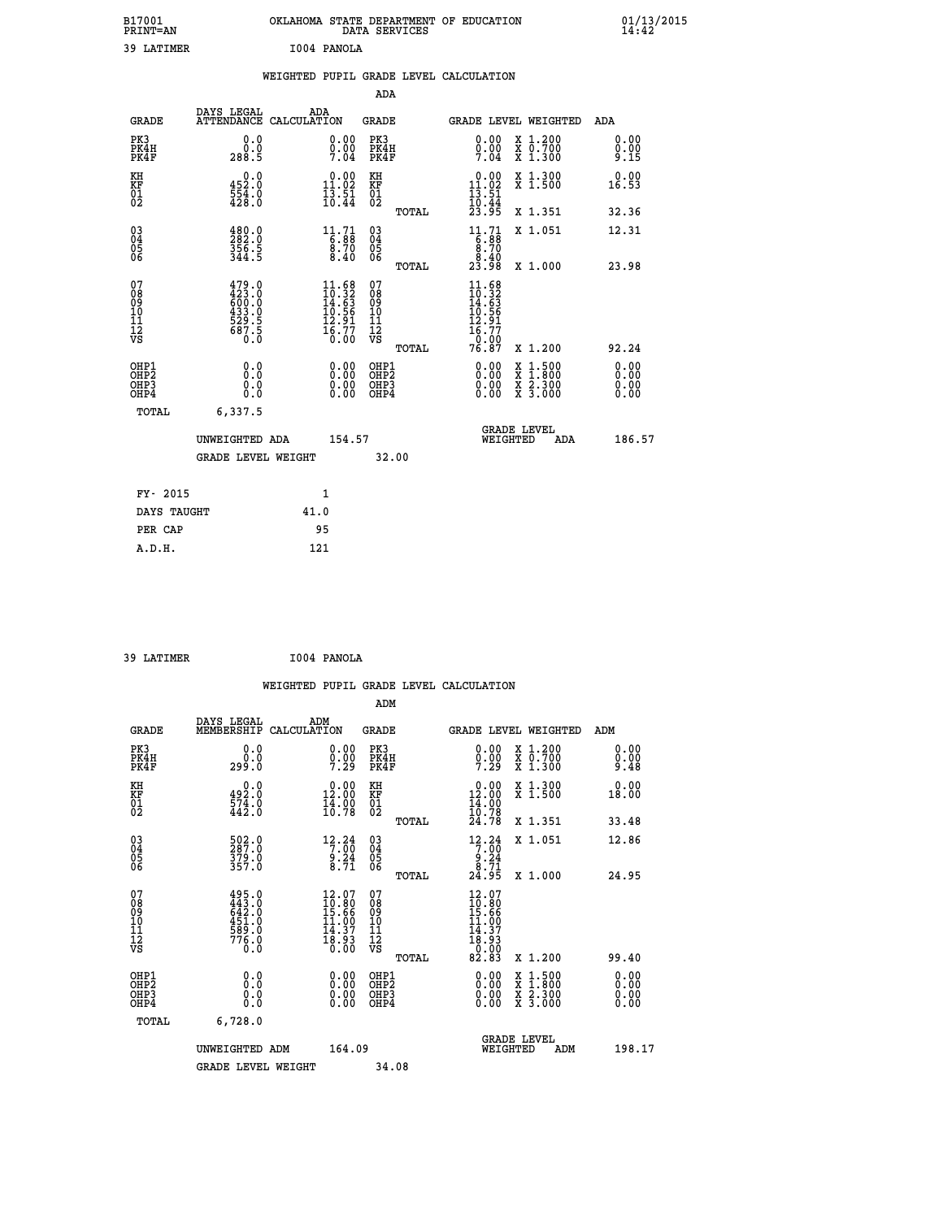| B17001<br>PRINT=AN                                |                                                                      | OKLAHOMA STATE DEPARTMENT OF EDUCATION |                                                                          | DATA SERVICES                                                               |       |                                                                             |                                                                                                                                           | $01/13/2015$<br>14:42 |
|---------------------------------------------------|----------------------------------------------------------------------|----------------------------------------|--------------------------------------------------------------------------|-----------------------------------------------------------------------------|-------|-----------------------------------------------------------------------------|-------------------------------------------------------------------------------------------------------------------------------------------|-----------------------|
| 39 LATIMER                                        |                                                                      | I004 PANOLA                            |                                                                          |                                                                             |       |                                                                             |                                                                                                                                           |                       |
|                                                   |                                                                      | WEIGHTED PUPIL GRADE LEVEL CALCULATION |                                                                          |                                                                             |       |                                                                             |                                                                                                                                           |                       |
|                                                   |                                                                      |                                        |                                                                          | <b>ADA</b>                                                                  |       |                                                                             |                                                                                                                                           |                       |
| <b>GRADE</b>                                      | DAYS LEGAL                                                           | ADA<br>ATTENDANCE CALCULATION          |                                                                          | GRADE                                                                       |       |                                                                             | GRADE LEVEL WEIGHTED                                                                                                                      | ADA                   |
| PK3<br>PK4H<br>PK4F                               | 0.0<br>0.0<br>288.5                                                  |                                        | 0.00<br>$\frac{0}{7}.\overline{0}\frac{0}{4}$                            | PK3<br>PK4H<br>PK4F                                                         |       | $\begin{smallmatrix} 0.00 \\ 0.00 \\ 7.04 \end{smallmatrix}$                | X 1.200<br>X 0.700<br>X 1.300                                                                                                             | 0.00<br>0.00<br>9.15  |
| KH<br>ΚF<br>$\begin{matrix} 01 \ 02 \end{matrix}$ | 0.0<br>$\frac{452}{554}$ $\frac{5}{6}$<br>$\frac{428}{30}$           |                                        | $\begin{smallmatrix} 0.00\\ 11.02\\ 13.51\\ 10.44 \end{smallmatrix}$     | ΚH<br>KF<br>01<br>02                                                        |       | $0.00$<br>11.02<br>$\frac{13}{10}$ : $\frac{51}{44}$<br>23.95               | X 1.300<br>X 1.500                                                                                                                        | 0.00<br>16.53         |
|                                                   |                                                                      |                                        |                                                                          |                                                                             | TOTAL |                                                                             | X 1.351                                                                                                                                   | 32.36                 |
| 03<br>04<br>05<br>06                              | 480.0<br>$\frac{356}{344}$ .5                                        |                                        | $11.71$<br>6:88<br>9:70<br>8.40                                          | $\begin{matrix} 03 \\ 04 \\ 05 \\ 06 \end{matrix}$                          |       | $11.71$<br>6:88<br>9:70<br>8.40                                             | X 1.051                                                                                                                                   | 12.31                 |
|                                                   |                                                                      |                                        |                                                                          |                                                                             | TOTAL | 23.98                                                                       | X 1.000                                                                                                                                   | 23.98                 |
| 07<br>08<br>09<br>10<br>11<br>ĪŻ<br>VS            | 479.0<br>423.0<br>600.0<br>633.0<br>433.0<br>529.5<br>687.5<br>687.5 |                                        | $11.68$<br>$10.32$<br>$14.63$<br>$10.56$<br>$12.91$<br>$16.77$<br>$0.00$ | 07<br>$\frac{0.8}{0.9}$<br>$\frac{10}{11}$<br>$\frac{12}{12}$<br>$\sqrt{8}$ | TOTAL | $11.68$<br>$10.32$<br>$14.63$<br>$10.56$<br>$12.91$<br>$\frac{16.77}{0.00}$ |                                                                                                                                           | 92.24                 |
| OHP1                                              |                                                                      |                                        |                                                                          | OHP1                                                                        |       | 76.87                                                                       | X 1.200                                                                                                                                   |                       |
| ŎHP2<br>OHP3<br>OHP4                              | 0.0<br>0.0<br>0.0                                                    |                                        | 0.00<br>0.00<br>0.00                                                     | OHP <sub>2</sub><br>OHP3<br>OHP4                                            |       | 0.00<br>0.00<br>0.00                                                        | $\begin{smallmatrix} \mathtt{X} & 1\cdot500\\ \mathtt{X} & 1\cdot800\\ \mathtt{X} & 2\cdot300\\ \mathtt{X} & 3\cdot000 \end{smallmatrix}$ | 0.00<br>0.00<br>0.00  |
| TOTAL                                             | 6,337.5                                                              |                                        |                                                                          |                                                                             |       |                                                                             |                                                                                                                                           |                       |
|                                                   | UNWEIGHTED ADA                                                       |                                        | 154.57                                                                   |                                                                             |       |                                                                             | <b>GRADE LEVEL</b><br>WEIGHTED<br>ADA                                                                                                     | 186.57                |
|                                                   | <b>GRADE LEVEL WEIGHT</b>                                            |                                        |                                                                          | 32.00                                                                       |       |                                                                             |                                                                                                                                           |                       |
|                                                   |                                                                      |                                        |                                                                          |                                                                             |       |                                                                             |                                                                                                                                           |                       |
| FY- 2015                                          |                                                                      | 1                                      |                                                                          |                                                                             |       |                                                                             |                                                                                                                                           |                       |
| DAYS TAUGHT<br>PER CAP                            |                                                                      | 41.0<br>95                             |                                                                          |                                                                             |       |                                                                             |                                                                                                                                           |                       |
| A.D.H.                                            |                                                                      | 121                                    |                                                                          |                                                                             |       |                                                                             |                                                                                                                                           |                       |

| 39 LATIMER | I004 PANOLA |
|------------|-------------|
|            |             |

|                                                      |                                                               | WEIGHTED PUPIL GRADE LEVEL CALCULATION                                                                   |                                                     |       |                                                                                     |                                          |                               |
|------------------------------------------------------|---------------------------------------------------------------|----------------------------------------------------------------------------------------------------------|-----------------------------------------------------|-------|-------------------------------------------------------------------------------------|------------------------------------------|-------------------------------|
|                                                      |                                                               |                                                                                                          | ADM                                                 |       |                                                                                     |                                          |                               |
| <b>GRADE</b>                                         | DAYS LEGAL<br>MEMBERSHIP                                      | ADM<br>CALCULATION                                                                                       | <b>GRADE</b>                                        |       |                                                                                     | <b>GRADE LEVEL WEIGHTED</b>              | ADM                           |
| PK3<br>PK4H<br>PK4F                                  | 0.0<br>0.0<br>299.0                                           | $\substack{0.00\\0.00\\7.29}$                                                                            | PK3<br>PK4H<br>PK4F                                 |       | $\begin{smallmatrix} 0.00 \\ 0.00 \\ 7.29 \end{smallmatrix}$                        | X 1.200<br>X 0.700<br>X 1.300            | 0.00<br>0.00<br>9.48          |
| KH<br>KF<br>01<br>02                                 | 492.0<br>574.0<br>442.0                                       | $\begin{smallmatrix} 0.00\\ 12.00\\ 14.90\\ 16.78 \end{smallmatrix}$                                     | KH<br>KF<br>01<br>02                                |       | $\begin{smallmatrix} 0.00\\ 12.00\\ 14.00\\ 10.78 \end{smallmatrix}$                | X 1.300<br>X 1.500                       | 0.00<br>18.00                 |
|                                                      |                                                               |                                                                                                          |                                                     | TOTAL | 24.78                                                                               | X 1.351                                  | 33.48                         |
| $\begin{matrix} 03 \\ 04 \\ 05 \\ 06 \end{matrix}$   | 502.0<br>287.0<br>379.0<br>357.0                              | $\begin{array}{r} 12\cdot 24 \\ 7\cdot 00 \\ 9\cdot 24 \\ 8\cdot 71 \end{array}$                         | $\begin{array}{c} 03 \\ 04 \\ 05 \\ 06 \end{array}$ |       | $12.24$<br>$7.00$<br>$9.24$<br>$8.71$                                               | X 1.051                                  | 12.86                         |
|                                                      |                                                               |                                                                                                          |                                                     | TOTAL | 24.95                                                                               | X 1.000                                  | 24.95                         |
| 07<br>0890112<br>1112<br>VS                          | 495.0<br>443.0<br>642.0<br>6451.0<br>589.0<br>5776.0<br>776.0 | $\frac{12.07}{10.80}$<br>$\frac{15.66}{15.66}$<br>$\frac{11.00}{14.37}$<br>$\frac{13.90}{18.93}$<br>0.00 | 07<br>08901112<br>1112<br>VS                        | TOTAL | $12.07$<br>$10.80$<br>$15.66$<br>$11.007$<br>$14.37$<br>$18.93$<br>$0.003$<br>82.83 | X 1.200                                  | 99.40                         |
| OHP1<br>OHP <sub>2</sub><br>OH <sub>P3</sub><br>OHP4 | 0.0<br>0.000                                                  | $0.00$<br>$0.00$<br>0.00                                                                                 | OHP1<br>OHP <sub>2</sub><br>OHP <sub>3</sub>        |       | 0.00<br>0.00<br>0.00                                                                | X 1:500<br>X 1:800<br>X 2:300<br>X 3:000 | 0.00<br>Ō. ŌŌ<br>0.00<br>0.00 |
| TOTAL                                                | 6,728.0                                                       |                                                                                                          |                                                     |       |                                                                                     |                                          |                               |
|                                                      | UNWEIGHTED ADM                                                | 164.09                                                                                                   |                                                     |       | WEIGHTED                                                                            | <b>GRADE LEVEL</b><br>ADM                | 198.17                        |
|                                                      | <b>GRADE LEVEL WEIGHT</b>                                     |                                                                                                          | 34.08                                               |       |                                                                                     |                                          |                               |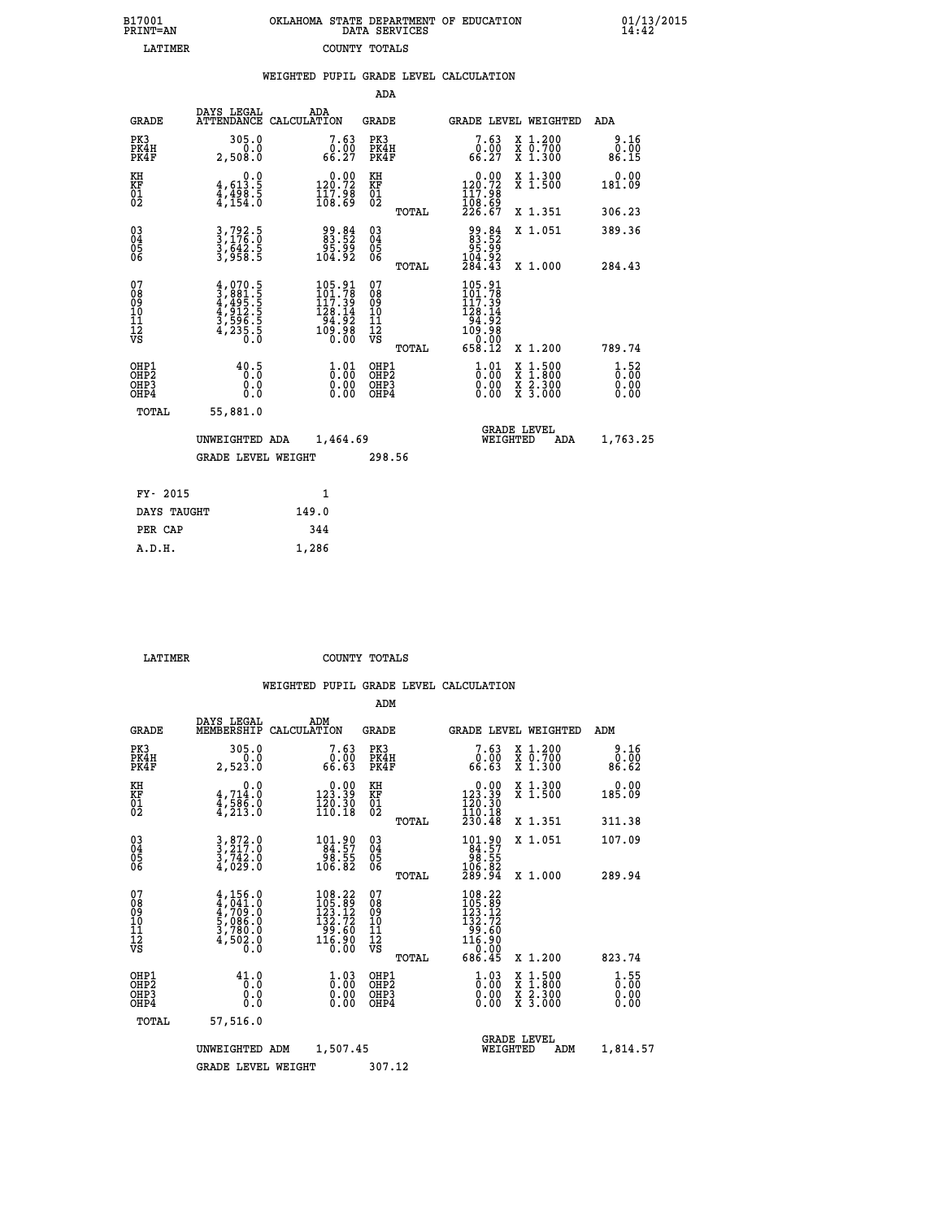| B17001          | OKLAHOMA STATE DEPARTMENT OF EDUCATION |
|-----------------|----------------------------------------|
| <b>PRINT=AN</b> | DATA SERVICES                          |
| <b>T.ATTMER</b> | COUNTY TOTALS                          |

 **B17001 OKLAHOMA STATE DEPARTMENT OF EDUCATION 01/13/2015**

|                                                       |                                                                                                                                                                                                               | WEIGHTED PUPIL GRADE LEVEL CALCULATION                                                            |                                                     |                                                                                                       |                                          |                          |
|-------------------------------------------------------|---------------------------------------------------------------------------------------------------------------------------------------------------------------------------------------------------------------|---------------------------------------------------------------------------------------------------|-----------------------------------------------------|-------------------------------------------------------------------------------------------------------|------------------------------------------|--------------------------|
|                                                       |                                                                                                                                                                                                               |                                                                                                   | ADA                                                 |                                                                                                       |                                          |                          |
| <b>GRADE</b>                                          | DAYS LEGAL                                                                                                                                                                                                    | ADA<br>ATTENDANCE CALCULATION                                                                     | <b>GRADE</b>                                        | <b>GRADE LEVEL WEIGHTED</b>                                                                           |                                          | ADA                      |
| PK3<br>PK4H<br>PK4F                                   | 305.0<br>0.0<br>2,508.0                                                                                                                                                                                       | $7.63\n6.00\n66.27$                                                                               | PK3<br>PK4H<br>PK4F                                 | $7.63\n6.00\n66.27$                                                                                   | X 1.200<br>X 0.700<br>X 1.300            | 0.16<br>86.15            |
| KH<br>KF<br>01<br>02                                  | $4,613.5$<br>$4,498.5$<br>$4,154.0$                                                                                                                                                                           | $\begin{smallmatrix} 0.00\\ 120.72\\ 117.98\\ 108.69 \end{smallmatrix}$                           | KH<br>KF<br>01<br>02                                | $\begin{smallmatrix} &0.00\\ 120.72\\ 117.98\\ 108.69\\ 226.67\end{smallmatrix}$                      | X 1.300<br>X 1.500                       | $0.00$<br>181.09         |
|                                                       |                                                                                                                                                                                                               |                                                                                                   | TOTAL                                               |                                                                                                       | X 1.351                                  | 306.23                   |
| 03<br>04<br>05<br>06                                  | 3,792.5<br>3,176.0<br>3,642.5<br>3,958.5                                                                                                                                                                      | 99:84<br>83:52<br>95:99<br>104:92                                                                 | $\begin{array}{c} 03 \\ 04 \\ 05 \\ 06 \end{array}$ | 84.88<br>83.52<br>85.99<br>104.92                                                                     | X 1.051                                  | 389.36                   |
|                                                       |                                                                                                                                                                                                               |                                                                                                   | TOTAL                                               | 284.43                                                                                                | X 1.000                                  | 284.43                   |
| 07<br>08<br>09<br>01<br>11<br>11<br>12<br>VS          | $\begin{smallmatrix} 4\,,\,0\,70\,. \,5\,\\ 3\,,\,881\,. \,5\,\\ 4\,,\,495\,. \,5\,\\ 4\,,\,9\,12\,. \,5\,\\ 4\,,\,9\,12\,. \,5\,\\ 3\,,\,596\,. \,5\,\\ 4\,,\,2\,35\,. \,5\,\\ 0\,. \,0\, \end{smallmatrix}$ | $\begin{smallmatrix} 105.91\\ 101.78\\ 117.39\\ 128.14\\ 94.92\\ 109.98\\ 0.00 \end{smallmatrix}$ | 07<br>08<br>09<br>101<br>11<br>12<br>VS<br>TOTAL    | $\begin{smallmatrix} 105.91\\101.78\\117.39\\128.14\\94.92\\109.98\\ 0.00\\ 658.12 \end{smallmatrix}$ | X 1.200                                  | 789.74                   |
| OHP1<br>OH <sub>P</sub> 2<br>OH <sub>P3</sub><br>OHP4 | 40.5<br>0.0<br>0.0                                                                                                                                                                                            | $\begin{smallmatrix} 1.01 \ 0.00 \ 0.00 \ 0.00 \end{smallmatrix}$                                 | OHP1<br>OHP <sub>2</sub><br>OHP <sub>3</sub>        | $\begin{smallmatrix} 1 & 0 & 1 \\ 0 & 0 & 0 \\ 0 & 0 & 0 \\ 0 & 0 & 0 \end{smallmatrix}$              | X 1:500<br>X 1:800<br>X 2:300<br>X 3:000 | $1.52$<br>$0.00$<br>0.00 |
| TOTAL                                                 | 55,881.0                                                                                                                                                                                                      |                                                                                                   |                                                     |                                                                                                       |                                          |                          |
|                                                       | UNWEIGHTED ADA                                                                                                                                                                                                | 1,464.69                                                                                          |                                                     | <b>GRADE LEVEL</b><br>WEIGHTED                                                                        | ADA                                      | 1,763.25                 |
|                                                       | <b>GRADE LEVEL WEIGHT</b>                                                                                                                                                                                     |                                                                                                   | 298.56                                              |                                                                                                       |                                          |                          |
| FY- 2015                                              |                                                                                                                                                                                                               | $\mathbf{1}$                                                                                      |                                                     |                                                                                                       |                                          |                          |
| DAYS TAUGHT                                           |                                                                                                                                                                                                               | 149.0                                                                                             |                                                     |                                                                                                       |                                          |                          |
| PER CAP                                               |                                                                                                                                                                                                               | 344                                                                                               |                                                     |                                                                                                       |                                          |                          |

 **A.D.H. 1,286**

 **LATIMER COUNTY TOTALS**

|                                                    |                                                                                      |                                                                                                   | ADM                                                   |                                                                                                                                            |                                                                                                  |                                                  |
|----------------------------------------------------|--------------------------------------------------------------------------------------|---------------------------------------------------------------------------------------------------|-------------------------------------------------------|--------------------------------------------------------------------------------------------------------------------------------------------|--------------------------------------------------------------------------------------------------|--------------------------------------------------|
| <b>GRADE</b>                                       | DAYS LEGAL<br>MEMBERSHIP                                                             | ADM<br>CALCULATION                                                                                | <b>GRADE</b>                                          |                                                                                                                                            | <b>GRADE LEVEL WEIGHTED</b>                                                                      | ADM                                              |
| PK3<br>PK4H<br>PK4F                                | 305.0<br>0.0<br>2,523.0                                                              | 7.63<br>0.00<br>66.63                                                                             | PK3<br>PK4H<br>PK4F                                   | 7.63<br>0.00<br>66.63                                                                                                                      | X 1.200<br>X 0.700<br>X 1.300                                                                    | 9.16<br>0.00<br>86.62                            |
| KH<br>KF<br>01<br>02                               | 0.0<br>$\frac{4}{3}, \frac{714}{586}$ .0<br>$\frac{4}{3}, \frac{213}{3}$ .0          | $0.00$<br>123.39<br>$\frac{150}{110}.$ $\frac{30}{18}$                                            | KH<br>KF<br>01<br>02                                  | $0.00$<br>123.39<br>$\frac{1}{1}\begin{smallmatrix} 2 & 0 & 3 & 0 \\ 1 & 0 & 1 & 0 \end{smallmatrix}$                                      | X 1.300<br>X 1.500                                                                               | 0.00<br>185.09                                   |
|                                                    |                                                                                      |                                                                                                   | TOTAL                                                 | 230.48                                                                                                                                     | X 1.351                                                                                          | 311.38                                           |
| $\begin{matrix} 03 \\ 04 \\ 05 \\ 06 \end{matrix}$ | $3, 872.0$<br>$3, 742.0$<br>$3, 742.0$<br>$4, 029.0$                                 | $\begin{array}{r} 101.90 \\ 84.57 \\ 98.55 \\ 106.82 \end{array}$                                 | $\begin{array}{c} 03 \\ 04 \\ 05 \\ 06 \end{array}$   | $\begin{smallmatrix} 101.90\\ 84.57\\ 98.55\\ 106.82\\ 289.94 \end{smallmatrix}$                                                           | X 1.051                                                                                          | 107.09                                           |
|                                                    |                                                                                      |                                                                                                   | TOTAL                                                 |                                                                                                                                            | X 1.000                                                                                          | 289.94                                           |
| 07<br>08<br>09<br>01<br>11<br>11<br>12<br>VS       | $4,156.0$<br>$4,7041.0$<br>$4,709.0$<br>$5,086.0$<br>$3,780.0$<br>$4,502.0$<br>$0.0$ | 108.22<br>$\begin{smallmatrix} 105.89\\123.12\\132.72\\99.60\\116.90 \end{smallmatrix}$<br>Ŏ.ÕŎ   | 07<br>08<br>09<br>01<br>11<br>11<br>12<br>VS<br>TOTAL | $\begin{smallmatrix} 108\cdot22\\ 105\cdot89\\ 123\cdot12\\ 132\cdot72\\ 99\cdot60\\ 116\cdot90\\ 0\cdot00\\ 686\cdot45 \end{smallmatrix}$ | X 1.200                                                                                          | 823.74                                           |
| OHP1<br>OHP2<br>OH <sub>P3</sub><br>OHP4           | 41.0<br>0.000                                                                        | $\overset{1}{\underset{0}{0}}\,\overset{0}{\overset{0}{0}}\,\overset{0}{\underset{0}{0}}$<br>0.00 | OHP1<br>OHP2<br>OHP3<br>OHP4                          | $\begin{smallmatrix} 1.03 \ 0.00 \ 0.00 \end{smallmatrix}$<br>0.00                                                                         | $\begin{smallmatrix} x & 1 & 500 \\ x & 1 & 800 \\ x & 2 & 300 \\ x & 3 & 000 \end{smallmatrix}$ | $\frac{1}{0}$ : 55<br>$\frac{5}{0}$ . 00<br>0.00 |
| TOTAL                                              | 57,516.0                                                                             |                                                                                                   |                                                       |                                                                                                                                            |                                                                                                  |                                                  |
|                                                    | UNWEIGHTED                                                                           | 1,507.45<br>ADM                                                                                   |                                                       | WEIGHTED                                                                                                                                   | <b>GRADE LEVEL</b><br>ADM                                                                        | 1,814.57                                         |
|                                                    | <b>GRADE LEVEL WEIGHT</b>                                                            |                                                                                                   | 307.12                                                |                                                                                                                                            |                                                                                                  |                                                  |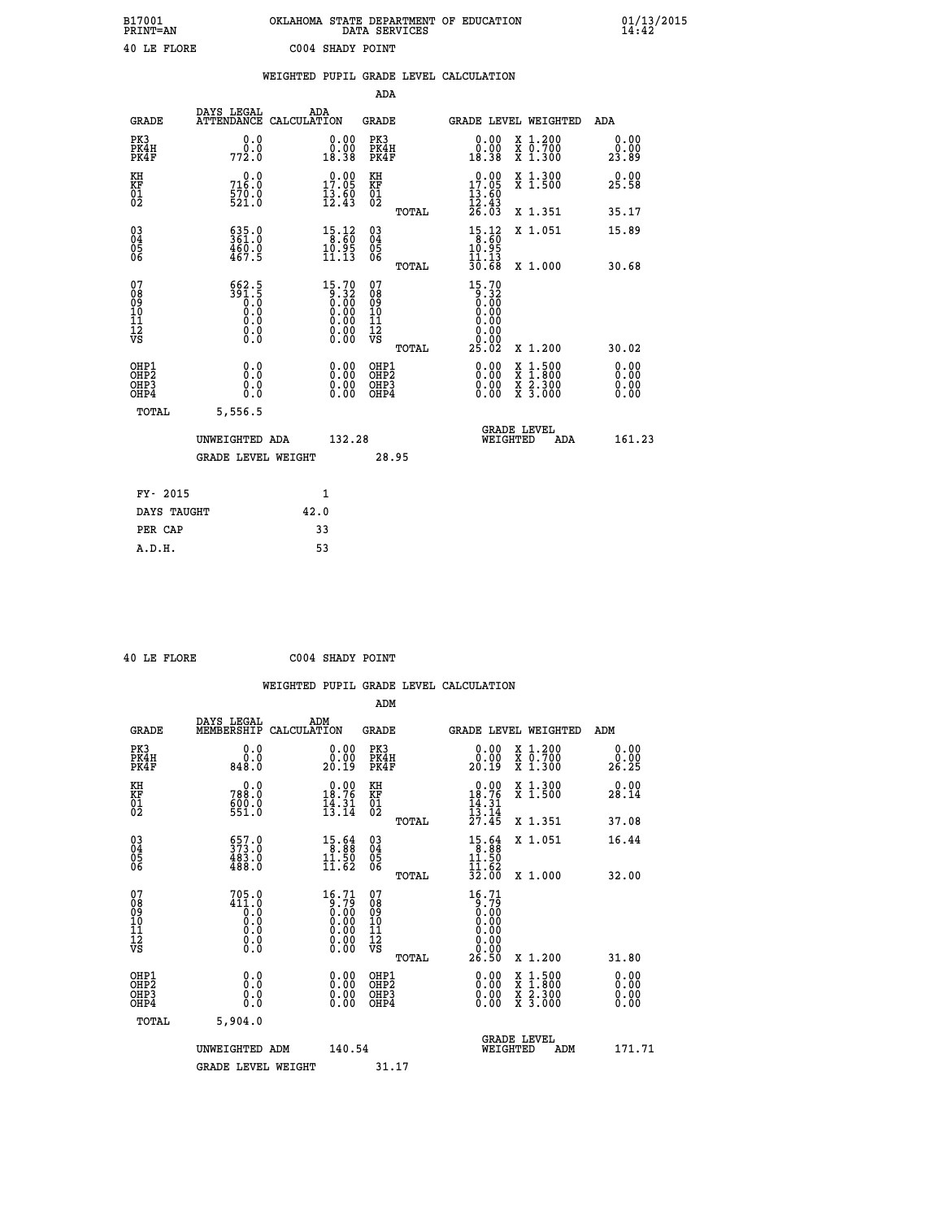| B17001<br><b>PRINT=AN</b> | OKLAHOMA STATE DEPARTMENT OF EDUCATION<br>DATA SERVICES | 01/13/2015 |
|---------------------------|---------------------------------------------------------|------------|
| 40 LE FLORE               | C004 SHADY POINT                                        |            |

|                                                                    |                                                             |      |                                                                                      |                                                    |       | WEIGHTED PUPIL GRADE LEVEL CALCULATION                                                                                                                                                                                                                                         |                                                                                                                                           |                       |
|--------------------------------------------------------------------|-------------------------------------------------------------|------|--------------------------------------------------------------------------------------|----------------------------------------------------|-------|--------------------------------------------------------------------------------------------------------------------------------------------------------------------------------------------------------------------------------------------------------------------------------|-------------------------------------------------------------------------------------------------------------------------------------------|-----------------------|
|                                                                    |                                                             |      |                                                                                      | ADA                                                |       |                                                                                                                                                                                                                                                                                |                                                                                                                                           |                       |
| <b>GRADE</b>                                                       | DAYS LEGAL<br>ATTENDANCE CALCULATION                        | ADA  |                                                                                      | <b>GRADE</b>                                       |       |                                                                                                                                                                                                                                                                                | GRADE LEVEL WEIGHTED                                                                                                                      | ADA                   |
| PK3<br>PK4H<br>PK4F                                                | 0.0<br>772.0                                                |      | $\begin{smallmatrix} 0.00\\ 0.00\\ 18.38 \end{smallmatrix}$                          | PK3<br>PK4H<br>PK4F                                |       | 0.00<br>ةة.ة<br>18:38                                                                                                                                                                                                                                                          | X 1.200<br>X 0.700<br>X 1.300                                                                                                             | 0.00<br>0.00<br>23.89 |
| KH<br>KF<br>01<br>02                                               | 0.0<br>716.0<br>570.0<br>521.0                              |      | 17.00<br>$\frac{13.60}{12.43}$                                                       | KH<br>KF<br>01<br>02                               |       | 17.09<br>$\frac{13.60}{12.43}$<br>$\frac{26.03}{26.03}$                                                                                                                                                                                                                        | X 1.300<br>X 1.500                                                                                                                        | 0.00<br>25.58         |
|                                                                    |                                                             |      |                                                                                      |                                                    | TOTAL |                                                                                                                                                                                                                                                                                | X 1.351                                                                                                                                   | 35.17                 |
| $\begin{smallmatrix} 03 \\[-4pt] 04 \end{smallmatrix}$<br>Ŏ5<br>06 | $635.0$<br>$361.0$<br>$\frac{460.0}{467.5}$                 |      | $\begin{array}{l} 15\cdot 12\\ 8\cdot 60\\ 10\cdot 95\\ 11\cdot 13 \end{array}$      | $\begin{matrix} 03 \\ 04 \\ 05 \\ 06 \end{matrix}$ |       | $15.12$<br>$8.60$<br>$10.95$<br>$11.13$                                                                                                                                                                                                                                        | X 1.051                                                                                                                                   | 15.89                 |
|                                                                    |                                                             |      |                                                                                      |                                                    | TOTAL | 30.68                                                                                                                                                                                                                                                                          | X 1.000                                                                                                                                   | 30.68                 |
| 07<br>08<br>09<br>11<br>11<br>12<br>VS                             | $562.5$<br>$391.5$<br>$0.0$<br>$0.0$<br>$0.0$<br>$\S.$ $\S$ |      | 15.70<br>$\begin{array}{c} 0.32 \\ 0.00 \\ 0.00 \\ 0.00 \\ 0.00 \\ 0.00 \end{array}$ | 07<br>08<br>09<br>11<br>11<br>12<br>VS             | TOTAL | $\begin{smallmatrix} 15.70 \\ 9.32 \\ 0.00 \\ 0.00 \\ 0.00 \\ 0.00 \end{smallmatrix}$<br>0.00<br>0.00<br>25.02                                                                                                                                                                 | X 1.200                                                                                                                                   | 30.02                 |
| OHP1<br>OHP2<br>OH <sub>P3</sub><br>OH <sub>P4</sub>               | 0.0<br>0.0<br>0.0                                           |      | 0.00<br>$\begin{smallmatrix} 0.00 \ 0.00 \end{smallmatrix}$                          | OHP1<br>OHP2<br>OHP3<br>OHP4                       |       | $\begin{smallmatrix} 0.00 & 0.00 & 0.00 & 0.00 & 0.00 & 0.00 & 0.00 & 0.00 & 0.00 & 0.00 & 0.00 & 0.00 & 0.00 & 0.00 & 0.00 & 0.00 & 0.00 & 0.00 & 0.00 & 0.00 & 0.00 & 0.00 & 0.00 & 0.00 & 0.00 & 0.00 & 0.00 & 0.00 & 0.00 & 0.00 & 0.00 & 0.00 & 0.00 & 0.00 & 0.00 & 0.0$ | $\begin{smallmatrix} \mathtt{X} & 1\cdot500\\ \mathtt{X} & 1\cdot800\\ \mathtt{X} & 2\cdot300\\ \mathtt{X} & 3\cdot000 \end{smallmatrix}$ | 0.00<br>0.00<br>0.00  |
| TOTAL                                                              | 5,556.5                                                     |      |                                                                                      |                                                    |       |                                                                                                                                                                                                                                                                                |                                                                                                                                           |                       |
|                                                                    | UNWEIGHTED ADA                                              |      | 132.28                                                                               |                                                    |       | WEIGHTED                                                                                                                                                                                                                                                                       | <b>GRADE LEVEL</b><br>ADA                                                                                                                 | 161.23                |
|                                                                    | <b>GRADE LEVEL WEIGHT</b>                                   |      |                                                                                      | 28.95                                              |       |                                                                                                                                                                                                                                                                                |                                                                                                                                           |                       |
| FY- 2015                                                           |                                                             | 1    |                                                                                      |                                                    |       |                                                                                                                                                                                                                                                                                |                                                                                                                                           |                       |
| DAYS TAUGHT                                                        |                                                             | 42.0 |                                                                                      |                                                    |       |                                                                                                                                                                                                                                                                                |                                                                                                                                           |                       |
| PER CAP                                                            |                                                             | 33   |                                                                                      |                                                    |       |                                                                                                                                                                                                                                                                                |                                                                                                                                           |                       |

 **ADM**

 **40 LE FLORE C004 SHADY POINT**

| <b>GRADE</b>                                       | DAYS LEGAL<br>MEMBERSHIP                                                                                          | ADM<br>CALCULATION                                             | <b>GRADE</b>                                       |       |                                                                                                                                                                                                                                                                                |          | <b>GRADE LEVEL WEIGHTED</b>              | ADM                   |
|----------------------------------------------------|-------------------------------------------------------------------------------------------------------------------|----------------------------------------------------------------|----------------------------------------------------|-------|--------------------------------------------------------------------------------------------------------------------------------------------------------------------------------------------------------------------------------------------------------------------------------|----------|------------------------------------------|-----------------------|
| PK3<br>PK4H<br>PK4F                                | 0.0<br>$0.0$<br>$0.848$                                                                                           | $\begin{smallmatrix} 0.00\\ 0.00\\ 20.19 \end{smallmatrix}$    | PK3<br>PK4H<br>PK4F                                |       | $\begin{smallmatrix} 0.00\\ 0.00\\ 20.19 \end{smallmatrix}$                                                                                                                                                                                                                    |          | X 1.200<br>X 0.700<br>X 1.300            | 0.00<br>0.00<br>26.25 |
| KH<br>KF<br>01<br>02                               | 788.0<br>600.0                                                                                                    | 18.76<br>$\frac{1}{13}$ $\frac{3}{14}$                         | KH<br>KF<br>01<br>02                               |       | $\begin{array}{r} 0.00 \\ 18.76 \\ 14.31 \\ 13.14 \\ 27.45 \end{array}$                                                                                                                                                                                                        |          | X 1.300<br>X 1.500                       | 0.00<br>28.14         |
|                                                    |                                                                                                                   |                                                                |                                                    | TOTAL |                                                                                                                                                                                                                                                                                |          | X 1.351                                  | 37.08                 |
| $\begin{matrix} 03 \\ 04 \\ 05 \\ 06 \end{matrix}$ | $\begin{smallmatrix} 657.0\\ 373.0\\ 483.0\\ 488.0 \end{smallmatrix}$                                             | $\begin{array}{r} 15.64 \\ 8.88 \\ 11.50 \\ 11.62 \end{array}$ | $\begin{matrix} 03 \\ 04 \\ 05 \\ 06 \end{matrix}$ |       | $\begin{array}{r} 15.64 \\ 8.88 \\ 11.50 \\ 11.62 \\ 32.00 \end{array}$                                                                                                                                                                                                        |          | X 1.051                                  | 16.44                 |
|                                                    |                                                                                                                   |                                                                |                                                    | TOTAL |                                                                                                                                                                                                                                                                                |          | X 1.000                                  | 32.00                 |
| 07<br>089<br>090<br>1112<br>VS                     | 705.0<br>$\begin{smallmatrix} 411.0 & 0 \\ 0.0 & 0 \\ 0.0 & 0 \\ 0.0 & 0 \\ 0.0 & 0 \\ 0.0 & 0 \end{smallmatrix}$ | $16.71\n9.79\n0.00\n0.00\n0.00\n0.00\n0.00$                    | 07<br>08<br>09<br>01<br>11<br>11<br>12<br>VS       |       | $\begin{smallmatrix} 16 & .71 \\ 9 & .79 \\ 0 & .00 \\ 0 & .00 \\ 0 & .00 \\ 0 & .00 \\ 0 & .00 \\ 2 & .50 \\ \end{smallmatrix}$                                                                                                                                               |          |                                          |                       |
|                                                    |                                                                                                                   |                                                                |                                                    | TOTAL |                                                                                                                                                                                                                                                                                |          | X 1.200                                  | 31.80                 |
| OHP1<br>OHP2<br>OH <sub>P3</sub><br>OHP4           | 0.0<br>0.000                                                                                                      |                                                                | OHP1<br>OHP2<br>OHP3<br>OHP4                       |       | $\begin{smallmatrix} 0.00 & 0.00 & 0.00 & 0.00 & 0.00 & 0.00 & 0.00 & 0.00 & 0.00 & 0.00 & 0.00 & 0.00 & 0.00 & 0.00 & 0.00 & 0.00 & 0.00 & 0.00 & 0.00 & 0.00 & 0.00 & 0.00 & 0.00 & 0.00 & 0.00 & 0.00 & 0.00 & 0.00 & 0.00 & 0.00 & 0.00 & 0.00 & 0.00 & 0.00 & 0.00 & 0.0$ |          | X 1:500<br>X 1:800<br>X 2:300<br>X 3:000 | 0.00<br>0.00<br>0.00  |
| TOTAL                                              | 5,904.0                                                                                                           |                                                                |                                                    |       |                                                                                                                                                                                                                                                                                |          |                                          |                       |
|                                                    | UNWEIGHTED ADM                                                                                                    | 140.54                                                         |                                                    |       |                                                                                                                                                                                                                                                                                | WEIGHTED | <b>GRADE LEVEL</b><br>ADM                | 171.71                |
|                                                    | <b>GRADE LEVEL WEIGHT</b>                                                                                         |                                                                | 31.17                                              |       |                                                                                                                                                                                                                                                                                |          |                                          |                       |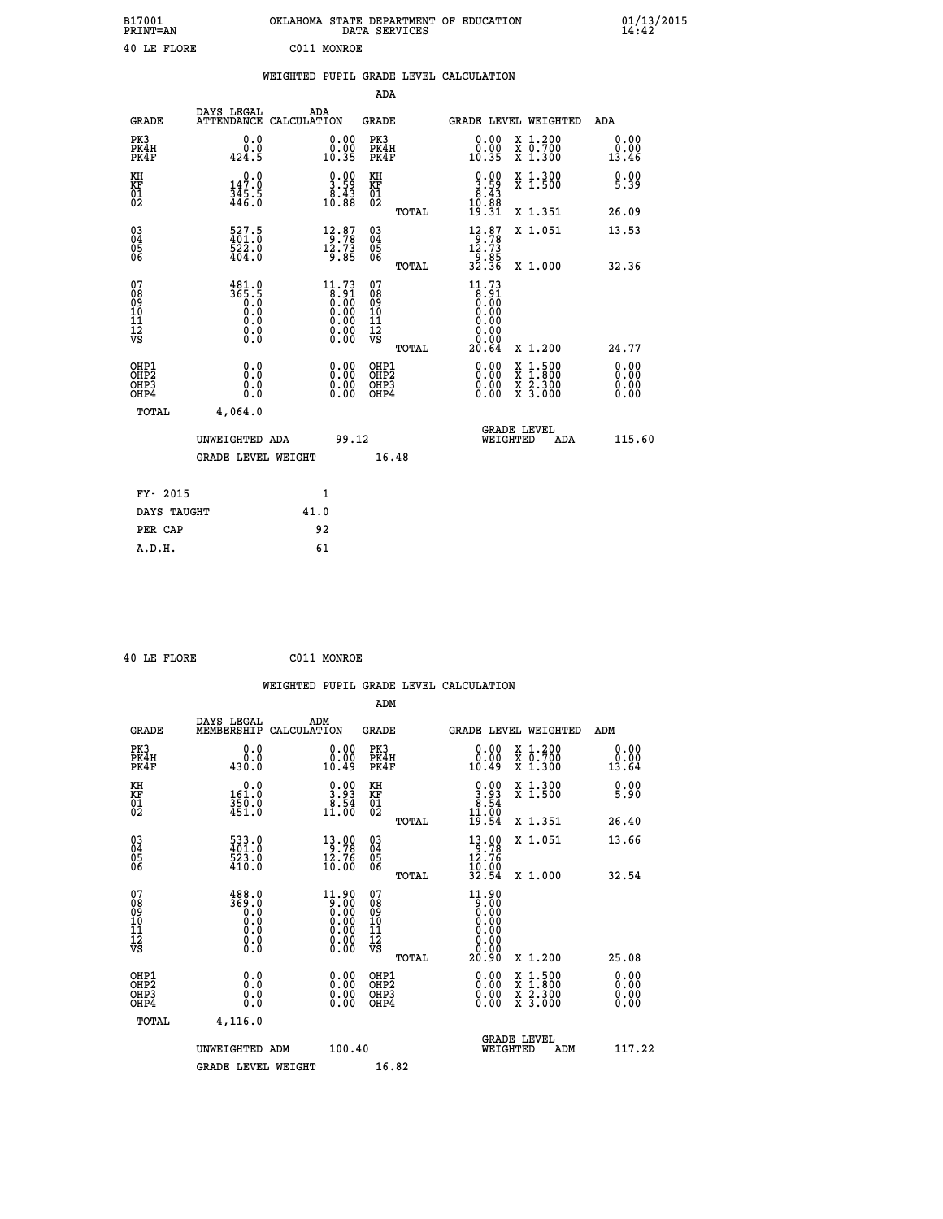| B17001<br><b>PRINT=AN</b> | OKLAHOMA STATE DEPARTMENT OF EDUCATION<br>DATA SERVICES | 01/13/2015 |
|---------------------------|---------------------------------------------------------|------------|
| 40 LE FLORE               | C011<br>MONROE                                          |            |

|                                           |                                                                                       |      |                                                                                                |                                                    |       | WEIGHTED PUPIL GRADE LEVEL CALCULATION                                                         |                                                                                          |                              |
|-------------------------------------------|---------------------------------------------------------------------------------------|------|------------------------------------------------------------------------------------------------|----------------------------------------------------|-------|------------------------------------------------------------------------------------------------|------------------------------------------------------------------------------------------|------------------------------|
|                                           |                                                                                       |      |                                                                                                | <b>ADA</b>                                         |       |                                                                                                |                                                                                          |                              |
| <b>GRADE</b>                              | DAYS LEGAL<br>ATTENDANCE CALCULATION                                                  | ADA  |                                                                                                | <b>GRADE</b>                                       |       |                                                                                                | GRADE LEVEL WEIGHTED                                                                     | ADA                          |
| PK3<br>PK4H<br>PK4F                       | 0.0<br>0.0<br>424.5                                                                   |      | 0.00<br>$\substack{0.001 \ 0.35}$                                                              | PK3<br>PK4H<br>PK4F                                |       | 0.00<br>0.00<br>10.35                                                                          | X 1.200<br>X 0.700<br>X 1.300                                                            | 0.00<br>0.00<br>13.46        |
| KH<br>KF<br>01<br>02                      | 147.0<br>$\frac{345.5}{446.0}$                                                        |      | $\frac{0.00}{3.59}$<br>$\frac{8.43}{10.88}$                                                    | KH<br>KF<br>01<br>02                               |       | $\begin{smallmatrix} 0.00\\ 3.59\\ 8.43\\ 10.88\\ 19.31 \end{smallmatrix}$                     | X 1.300<br>X 1.500                                                                       | 0.00<br>5.39                 |
|                                           |                                                                                       |      |                                                                                                |                                                    | TOTAL |                                                                                                | X 1.351                                                                                  | 26.09                        |
| $^{03}_{04}$<br>Ŏ5<br>06                  | $\frac{527.5}{401.0}$<br>522.0<br>404.0                                               |      | $\begin{array}{c} 12\cdot 87 \\ 9\cdot 78 \\ 12\cdot 73 \\ 9\cdot 85 \end{array}$              | $\begin{matrix} 03 \\ 04 \\ 05 \\ 06 \end{matrix}$ |       | $\begin{array}{c} 12.87 \\[-4pt] 9.78 \\[-4pt] 12.73 \\[-4pt] 9.85 \\[-4pt] 32.36 \end{array}$ | X 1.051                                                                                  | 13.53                        |
|                                           |                                                                                       |      |                                                                                                |                                                    | TOTAL |                                                                                                | X 1.000                                                                                  | 32.36                        |
| 07<br>08<br>09<br>11<br>11<br>12<br>VS    | 481.0<br>365.5<br>$\begin{smallmatrix} 0.1 & 0 \ 0.0 & 0 \ 0.0 & 0 \end{smallmatrix}$ |      | $\begin{smallmatrix} 11.73\ 8.91\ 0.00\ 0.00\ 0.00\ 0.00\ 0.00\ 0.00\ 0.00\ \end{smallmatrix}$ | 07<br>08<br>09<br>11<br>11<br>12<br>VS             |       | $11.73$<br>$8.91$<br>$0.00$<br>0.00<br>0.00<br>0.00                                            |                                                                                          |                              |
|                                           |                                                                                       |      |                                                                                                |                                                    | TOTAL | 20.64                                                                                          | X 1.200                                                                                  | 24.77                        |
| OHP1<br>OH <sub>P</sub> 2<br>OHP3<br>OHP4 | 0.0<br>0.0<br>0.0                                                                     |      | $\begin{smallmatrix} 0.00 \ 0.00 \ 0.00 \ 0.00 \end{smallmatrix}$                              | OHP1<br>OH <sub>P</sub> 2<br>OHP3<br>OHP4          |       | 0.00<br>0.00                                                                                   | $\begin{smallmatrix} x & 1.500 \\ x & 1.800 \\ x & 2.300 \\ x & 3.000 \end{smallmatrix}$ | 0.00<br>0.00<br>0.00<br>0.00 |
| <b>TOTAL</b>                              | 4,064.0                                                                               |      |                                                                                                |                                                    |       |                                                                                                |                                                                                          |                              |
|                                           | UNWEIGHTED ADA                                                                        |      | 99.12                                                                                          |                                                    |       | WEIGHTED                                                                                       | <b>GRADE LEVEL</b><br>ADA                                                                | 115.60                       |
|                                           | <b>GRADE LEVEL WEIGHT</b>                                                             |      |                                                                                                |                                                    | 16.48 |                                                                                                |                                                                                          |                              |
| FY- 2015                                  |                                                                                       |      | 1                                                                                              |                                                    |       |                                                                                                |                                                                                          |                              |
| DAYS TAUGHT                               |                                                                                       | 41.0 |                                                                                                |                                                    |       |                                                                                                |                                                                                          |                              |
| PER CAP                                   |                                                                                       |      | 92                                                                                             |                                                    |       |                                                                                                |                                                                                          |                              |
| A.D.H.                                    |                                                                                       |      | 61                                                                                             |                                                    |       |                                                                                                |                                                                                          |                              |

 **40 LE FLORE C011 MONROE**

 **A.D.H. 61**

| <b>GRADE</b>                                       | DAYS LEGAL<br>MEMBERSHIP                                                                                                                         | ADM<br>CALCULATION                                                                                                                                                   | <b>GRADE</b>                                       |       |                                                                                                                                                                                                                                                                                | GRADE LEVEL WEIGHTED                     | ADM                                                |  |
|----------------------------------------------------|--------------------------------------------------------------------------------------------------------------------------------------------------|----------------------------------------------------------------------------------------------------------------------------------------------------------------------|----------------------------------------------------|-------|--------------------------------------------------------------------------------------------------------------------------------------------------------------------------------------------------------------------------------------------------------------------------------|------------------------------------------|----------------------------------------------------|--|
| PK3<br>PK4H<br>PK4F                                | 0.0<br>$0.0$<br>0.043                                                                                                                            | 0.00<br>10.49                                                                                                                                                        | PK3<br>PK4H<br>PK4F                                |       | $\begin{smallmatrix} 0.00\\ 0.00\\ 10.49 \end{smallmatrix}$                                                                                                                                                                                                                    | X 1.200<br>X 0.700<br>X 1.300            | 0.00<br>$\overset{0.00}{\phantom{00.00}}\,\,13.64$ |  |
| KH<br>KF<br>01<br>02                               | 0.0<br>$\frac{161.0}{350.0}$<br>451.0                                                                                                            | $\begin{smallmatrix} 0.00\\ 3.93\\ 8.54\\ 11.00 \end{smallmatrix}$                                                                                                   | KH<br>KF<br>01<br>02                               |       | $\begin{smallmatrix} 0.00\\ 3.93\\ 8.54\\ 11.00\\ 19.54 \end{smallmatrix}$                                                                                                                                                                                                     | X 1.300<br>X 1.500                       | 0.00<br>5.90                                       |  |
|                                                    |                                                                                                                                                  |                                                                                                                                                                      |                                                    | TOTAL |                                                                                                                                                                                                                                                                                | X 1.351                                  | 26.40                                              |  |
| $\begin{matrix} 03 \\ 04 \\ 05 \\ 06 \end{matrix}$ | 533.0<br>401.0<br>523.0<br>410.0                                                                                                                 | $\begin{array}{c} 13\cdot 90 \\ 9\cdot 78 \\ 12\cdot 76 \\ 10\cdot 00 \end{array}$                                                                                   | $\begin{matrix} 03 \\ 04 \\ 05 \\ 06 \end{matrix}$ |       | $\begin{array}{r} 13 \cdot 90 \\ 12 \cdot 76 \\ 12 \cdot 76 \\ 10 \cdot 00 \\ 32 \cdot 54 \end{array}$                                                                                                                                                                         | X 1.051                                  | 13.66                                              |  |
|                                                    |                                                                                                                                                  |                                                                                                                                                                      |                                                    | TOTAL |                                                                                                                                                                                                                                                                                | X 1.000                                  | 32.54                                              |  |
| 07<br>089<br>090<br>1112<br>VS                     | $\begin{smallmatrix} 4\,8\,8\cdot\,0\\ 3\,6\,9\cdot\,0\\ 0\cdot\,0\\ 0\cdot\,0\\ 0\cdot\,0\\ 0\cdot\,0\\ 0\cdot\,0\\ 0\cdot\,0\end{smallmatrix}$ | $\begin{smallmatrix} 11.90\\[-1.2mm] 9.00\\[-1.2mm] 0.00\\[-1.2mm] 0.00\\[-1.2mm] 0.00\\[-1.2mm] 0.00\\[-1.2mm] 0.00\\[-1.2mm] 0.00\\[-1.2mm] 0.00\end{smallmatrix}$ | 07<br>08901112<br>1112<br>VS                       | TOTAL | $\begin{array}{c} 11.90 \\ 9.00 \\ 0.00 \\ 0.00 \\ 0.00 \\ 0.00 \\ 0.00 \\ 0.00 \\ 20.90 \end{array}$                                                                                                                                                                          | X 1.200                                  | 25.08                                              |  |
| OHP1<br>OHP2<br>OH <sub>P3</sub><br>OHP4           | 0.0<br>0.000                                                                                                                                     |                                                                                                                                                                      | OHP1<br>OHP2<br>OHP3<br>OHP4                       |       | $\begin{smallmatrix} 0.00 & 0.00 & 0.00 & 0.00 & 0.00 & 0.00 & 0.00 & 0.00 & 0.00 & 0.00 & 0.00 & 0.00 & 0.00 & 0.00 & 0.00 & 0.00 & 0.00 & 0.00 & 0.00 & 0.00 & 0.00 & 0.00 & 0.00 & 0.00 & 0.00 & 0.00 & 0.00 & 0.00 & 0.00 & 0.00 & 0.00 & 0.00 & 0.00 & 0.00 & 0.00 & 0.0$ | X 1:500<br>X 1:800<br>X 2:300<br>X 3:000 | 0.00<br>0.00<br>0.00                               |  |
| TOTAL                                              | 4,116.0                                                                                                                                          |                                                                                                                                                                      |                                                    |       |                                                                                                                                                                                                                                                                                |                                          |                                                    |  |
|                                                    | UNWEIGHTED ADM                                                                                                                                   | 100.40                                                                                                                                                               |                                                    |       | WEIGHTED                                                                                                                                                                                                                                                                       | <b>GRADE LEVEL</b><br>ADM                | 117.22                                             |  |
|                                                    | <b>GRADE LEVEL WEIGHT</b>                                                                                                                        |                                                                                                                                                                      | 16.82                                              |       |                                                                                                                                                                                                                                                                                |                                          |                                                    |  |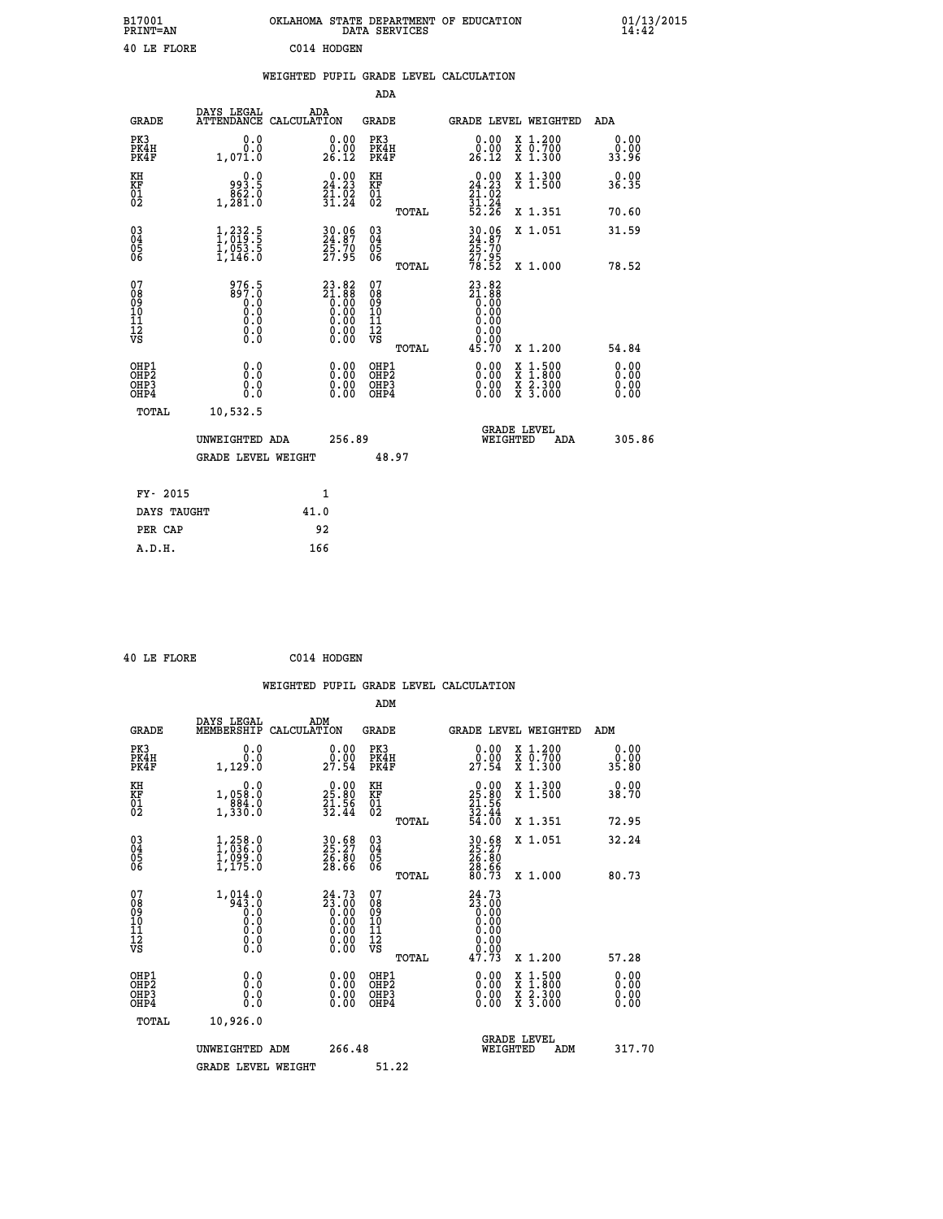| B17001<br><b>PRINT=AN</b> | OKLAHOMA STATE DEPARTMENT OF EDUCATION<br>DATA SERVICES | 01/13/2015 |
|---------------------------|---------------------------------------------------------|------------|
| 40 LE FLORE               | C014 HODGEN                                             |            |

|                                                                    |                                                                                            |                                                                                                                        | ADA                                                               |       |                                                              |                                                                                                  |                              |
|--------------------------------------------------------------------|--------------------------------------------------------------------------------------------|------------------------------------------------------------------------------------------------------------------------|-------------------------------------------------------------------|-------|--------------------------------------------------------------|--------------------------------------------------------------------------------------------------|------------------------------|
| <b>GRADE</b>                                                       | DAYS LEGAL                                                                                 | ADA<br>ATTENDANCE CALCULATION                                                                                          | <b>GRADE</b>                                                      |       | <b>GRADE LEVEL WEIGHTED</b>                                  |                                                                                                  | ADA                          |
| PK3<br>PK4H<br>PK4F                                                | 0.0<br>0.0<br>1,071.0                                                                      | $\begin{smallmatrix} 0.00\\ 0.00\\ 26.12 \end{smallmatrix}$                                                            | PK3<br>PK4H<br>PK4F                                               |       | 0.00<br>$\begin{smallmatrix} 0.00 \ 26.12 \end{smallmatrix}$ | X 1.200<br>X 0.700<br>X 1.300                                                                    | 0.00<br>0.00<br>33.96        |
| KH<br>KF<br>01<br>02                                               | 0.0<br>993.5<br>1,281:0                                                                    | 24.23<br>$\frac{21}{31}$ : $\frac{22}{34}$                                                                             | KH<br>KF<br>01<br>02                                              |       | 24.23<br>$\frac{21.02}{31.24}$<br>52.24                      | X 1.300<br>X 1.500                                                                               | 0.00<br>36.35                |
|                                                                    |                                                                                            |                                                                                                                        |                                                                   | TOTAL |                                                              | X 1.351                                                                                          | 70.60                        |
| $\begin{smallmatrix} 03 \\[-4pt] 04 \end{smallmatrix}$<br>05<br>06 | $\frac{1}{2}$ , $\frac{232}{019}$ . 5<br>$\frac{1}{1}$ , $\frac{053}{146}$ . $\frac{5}{0}$ | 30.06<br>24.87<br>25.70<br>27.95                                                                                       | $\substack{03 \\ 04}$<br>$\begin{matrix} 0.5 \\ 0.6 \end{matrix}$ | TOTAL | 30.06<br>24.87<br>25.70<br>27.95<br>78.52                    | X 1.051<br>X 1.000                                                                               | 31.59<br>78.52               |
| 07<br>08<br>09<br>11<br>11<br>12<br>VS                             | 976.5<br>897.0<br>$\begin{smallmatrix}0.0 \ 0.0 \ 0.0 \end{smallmatrix}$<br>$\S.$          | $23.82$<br>$21.88$<br>$0.00$<br>$0.00$<br>$0.00$<br>$\begin{smallmatrix} 0.00 & 0.00 \\ 0.00 & 0.00 \end{smallmatrix}$ | 07<br>08<br>09<br>11<br>11<br>12<br>VS                            |       | $23.82$<br>$21.88$<br>$0.00$<br>$0.00$<br>0.00<br>0.00       |                                                                                                  |                              |
|                                                                    |                                                                                            |                                                                                                                        |                                                                   | TOTAL | 45.70                                                        | X 1.200                                                                                          | 54.84                        |
| OHP1<br>OH <sub>P2</sub><br>OH <sub>P3</sub><br>OH <sub>P4</sub>   | 0.0<br>0.0<br>0.0                                                                          | 0.00<br>0.00<br>0.00                                                                                                   | OHP1<br>OH <sub>P</sub> 2<br>OHP3<br>OHP4                         |       | 0.00<br>0.00<br>0.00                                         | $\begin{smallmatrix} x & 1 & 500 \\ x & 1 & 800 \\ x & 2 & 300 \\ x & 3 & 000 \end{smallmatrix}$ | 0.00<br>0.00<br>0.00<br>0.00 |
| TOTAL                                                              | 10,532.5                                                                                   |                                                                                                                        |                                                                   |       |                                                              |                                                                                                  |                              |
|                                                                    | UNWEIGHTED ADA                                                                             | 256.89                                                                                                                 |                                                                   |       |                                                              | GRADE LEVEL<br>WEIGHTED<br>ADA                                                                   | 305.86                       |
|                                                                    | <b>GRADE LEVEL WEIGHT</b>                                                                  |                                                                                                                        |                                                                   | 48.97 |                                                              |                                                                                                  |                              |
| FY- 2015                                                           |                                                                                            | $\mathbf{1}$                                                                                                           |                                                                   |       |                                                              |                                                                                                  |                              |
| DAYS TAUGHT                                                        |                                                                                            | 41.0                                                                                                                   |                                                                   |       |                                                              |                                                                                                  |                              |
| PER CAP                                                            |                                                                                            | 92                                                                                                                     |                                                                   |       |                                                              |                                                                                                  |                              |

 **40 LE FLORE C014 HODGEN**

| <b>GRADE</b>                             | DAYS LEGAL<br>MEMBERSHIP                                                                   | ADM<br>CALCULATION                                                                                                                                                                                                                | <b>GRADE</b>                                       |       |                                                                                                                                                                                                                                                                                | <b>GRADE LEVEL WEIGHTED</b>              | ADM                   |  |
|------------------------------------------|--------------------------------------------------------------------------------------------|-----------------------------------------------------------------------------------------------------------------------------------------------------------------------------------------------------------------------------------|----------------------------------------------------|-------|--------------------------------------------------------------------------------------------------------------------------------------------------------------------------------------------------------------------------------------------------------------------------------|------------------------------------------|-----------------------|--|
| PK3<br>PK4H<br>PK4F                      | 0.0<br>0.0<br>1,129.0                                                                      | $\begin{smallmatrix} 0.00\\ 0.00\\ 27.54 \end{smallmatrix}$                                                                                                                                                                       | PK3<br>PK4H<br>PK4F                                |       | 0.00<br>$29.90$<br>$27.54$                                                                                                                                                                                                                                                     | X 1.200<br>X 0.700<br>X 1.300            | 0.00<br>0.00<br>35.80 |  |
| KH<br>KF<br>01<br>02                     | 0.0<br>1,058:0<br>884.0<br>1,330:0                                                         | $\begin{smallmatrix} 0.00\\ 25.80\\ 21.56\\ 32.44 \end{smallmatrix}$                                                                                                                                                              | KH<br>KF<br>01<br>02                               |       | $\begin{smallmatrix} 0.00\\ 25.80\\ 21.56\\ 32.44\\ 54.00 \end{smallmatrix}$                                                                                                                                                                                                   | X 1.300<br>X 1.500                       | 0.00<br>38.70         |  |
|                                          |                                                                                            |                                                                                                                                                                                                                                   |                                                    | TOTAL |                                                                                                                                                                                                                                                                                | X 1.351                                  | 72.95                 |  |
| 03<br>04<br>05<br>06                     | $\begin{smallmatrix} 1,258.0\\ 1,036.0\\ 1,099.0\\ 1,175.0 \end{smallmatrix}$              | 30.68<br>25.27<br>26.80<br>28.66                                                                                                                                                                                                  | $\begin{matrix} 03 \\ 04 \\ 05 \\ 06 \end{matrix}$ |       | 30.68<br>25.27<br>26.80<br>28.66<br>30.73                                                                                                                                                                                                                                      | X 1.051                                  | 32.24                 |  |
|                                          |                                                                                            |                                                                                                                                                                                                                                   |                                                    | TOTAL |                                                                                                                                                                                                                                                                                | X 1.000                                  | 80.73                 |  |
| 07<br>089<br>090<br>1112<br>VS           | $1, 014.0$<br>$943.0$<br>$0.0$<br>$\begin{smallmatrix} 0.10 \ 0.0 \ 0.0 \end{smallmatrix}$ | ${\overset{24}{\phantom{1}23}}\,\overset{73}{\underset{0.00}{\phantom{1}00}}\,\,\overset{73}{\underset{0.00}{\phantom{1}00}}\,\,\overset{73}{\underset{0.00}{\phantom{1}00}}\,\,\overset{73}{\underset{0.00}{\phantom{1}00}}\,\,$ | 07<br>08<br>09<br>01<br>11<br>11<br>12<br>VS       | TOTAL | 24.73<br>$23.000$<br>0.000<br>0.000<br>0.000<br>0.000<br>47.73                                                                                                                                                                                                                 | X 1.200                                  | 57.28                 |  |
| OHP1<br>OHP2<br>OH <sub>P3</sub><br>OHP4 | 0.0<br>0.000                                                                               |                                                                                                                                                                                                                                   | OHP1<br>OHP2<br>OHP3<br>OHP4                       |       | $\begin{smallmatrix} 0.00 & 0.00 & 0.00 & 0.00 & 0.00 & 0.00 & 0.00 & 0.00 & 0.00 & 0.00 & 0.00 & 0.00 & 0.00 & 0.00 & 0.00 & 0.00 & 0.00 & 0.00 & 0.00 & 0.00 & 0.00 & 0.00 & 0.00 & 0.00 & 0.00 & 0.00 & 0.00 & 0.00 & 0.00 & 0.00 & 0.00 & 0.00 & 0.00 & 0.00 & 0.00 & 0.0$ | X 1:500<br>X 1:800<br>X 2:300<br>X 3:000 | 0.00<br>0.00<br>0.00  |  |
| TOTAL                                    | 10,926.0                                                                                   |                                                                                                                                                                                                                                   |                                                    |       |                                                                                                                                                                                                                                                                                |                                          |                       |  |
|                                          | UNWEIGHTED                                                                                 | 266.48<br>ADM                                                                                                                                                                                                                     |                                                    |       | WEIGHTED                                                                                                                                                                                                                                                                       | <b>GRADE LEVEL</b><br>ADM                | 317.70                |  |
|                                          | <b>GRADE LEVEL WEIGHT</b>                                                                  |                                                                                                                                                                                                                                   | 51.22                                              |       |                                                                                                                                                                                                                                                                                |                                          |                       |  |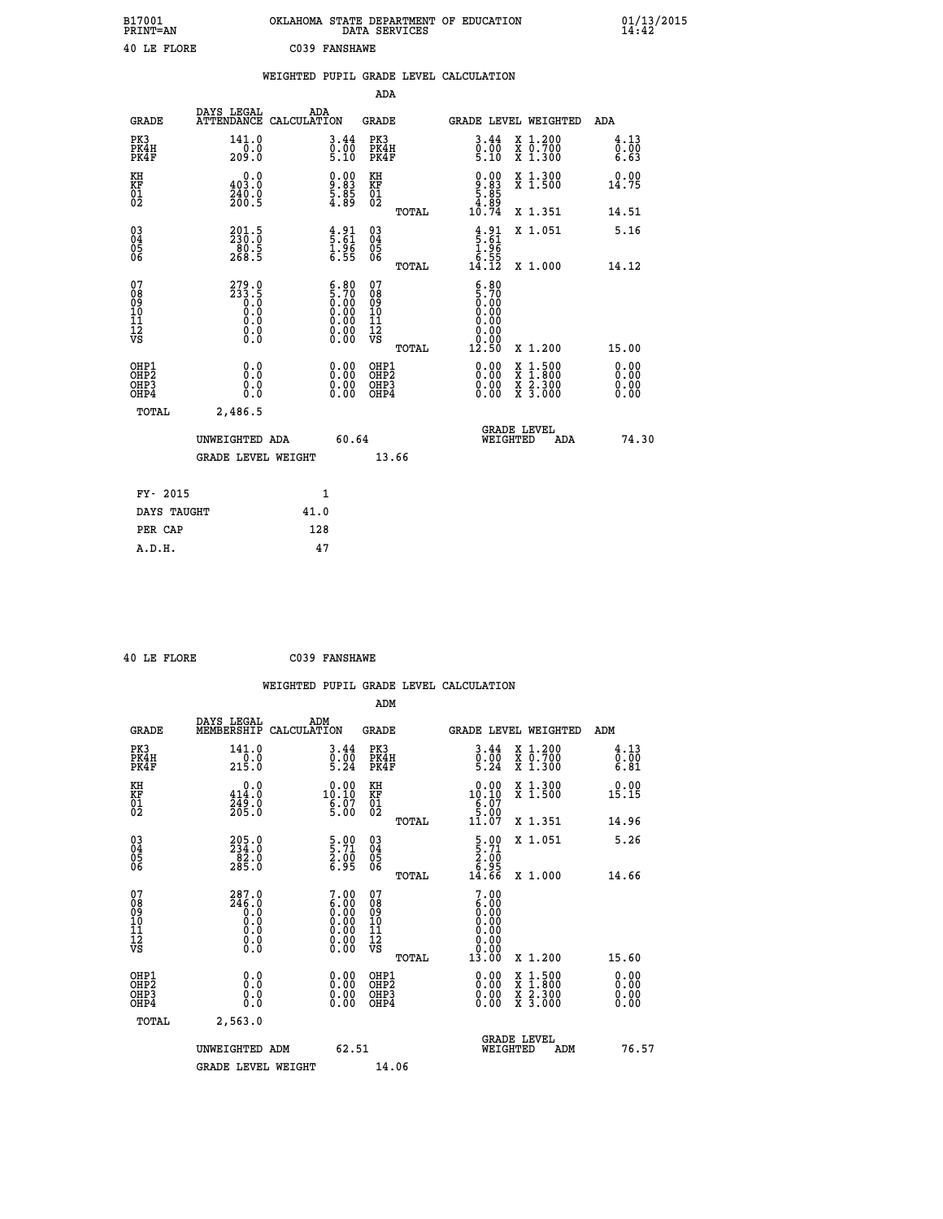| B17001<br><b>PRINT=AN</b> | OKLAHOMA STATE DEPARTMENT OF EDUCATION<br>DATA SERVICES | 01/13/2015<br>14:42 |
|---------------------------|---------------------------------------------------------|---------------------|
| 40 LE FLORE               | C039 FANSHAWE                                           |                     |

|                                                      |                                                             |                    |                                                                |                                                     |       | WEIGHTED PUPIL GRADE LEVEL CALCULATION                                                  |                                                                                                                                           |                      |
|------------------------------------------------------|-------------------------------------------------------------|--------------------|----------------------------------------------------------------|-----------------------------------------------------|-------|-----------------------------------------------------------------------------------------|-------------------------------------------------------------------------------------------------------------------------------------------|----------------------|
|                                                      |                                                             |                    |                                                                | ADA                                                 |       |                                                                                         |                                                                                                                                           |                      |
| <b>GRADE</b>                                         | DAYS LEGAL<br><b>ATTENDANCE</b>                             | ADA<br>CALCULATION |                                                                | <b>GRADE</b>                                        |       |                                                                                         | GRADE LEVEL WEIGHTED                                                                                                                      | ADA                  |
| PK3<br>PK4H<br>PK4F                                  | 141.0<br>$\frac{1}{209}$ .0                                 |                    | $\begin{smallmatrix} 3.44\ 0.00\ 5.10 \end{smallmatrix}$       | PK3<br>PK4H<br>PK4F                                 |       | $\begin{smallmatrix} 3 & 44 \\ 0 & 00 \\ 5 & 10 \end{smallmatrix}$                      | X 1.200<br>X 0.700<br>X 1.300                                                                                                             | 4.13<br>0.00<br>6.63 |
| KH<br>KF<br>01<br>02                                 | 0.0<br>403.0<br>$\frac{240.0}{200.5}$                       |                    | $\begin{smallmatrix} 0.00\ 9.83\ 5.85\ 4.89 \end{smallmatrix}$ | KH<br>KF<br>01<br>02                                |       | $\begin{smallmatrix} 0.00\\9.83\\5.85\\4.89\\10.74 \end{smallmatrix}$                   | X 1.300<br>X 1.500                                                                                                                        | 0.00<br>14.75        |
|                                                      |                                                             |                    |                                                                |                                                     | TOTAL |                                                                                         | X 1.351                                                                                                                                   | 14.51                |
| $^{03}_{04}$<br>Ŏ5<br>06                             | $201.5$<br>$230.0$<br>$\frac{80.5}{268.5}$                  |                    | $\begin{array}{c} 4.91 \\ 5.61 \\ 1.96 \\ 6.55 \end{array}$    | $\begin{array}{c} 03 \\ 04 \\ 05 \\ 06 \end{array}$ |       | $\begin{array}{c} 4.91 \\ 5.61 \\ 1.96 \\ 6.55 \\ 14.12 \end{array}$                    | X 1.051                                                                                                                                   | 5.16                 |
|                                                      |                                                             |                    |                                                                |                                                     | TOTAL |                                                                                         | X 1.000                                                                                                                                   | 14.12                |
| 07<br>08<br>09<br>11<br>11<br>12<br>VS               | $279.0$<br>$233.5$<br>$0.0$<br>$0.0$<br>$0.0$<br>$\S.$ $\S$ |                    | $\frac{6.80}{5.70}$<br>86:50<br>0.00<br>0.00<br>0.00           | 07<br>08<br>09<br>101<br>11<br>12<br>VS             | TOTAL | $\begin{smallmatrix} 6.80\ 5.70\ 0.00\ 0.00 \end{smallmatrix}$<br>0.00<br>0.00<br>12.50 | X 1.200                                                                                                                                   | 15.00                |
| OHP1<br>OHP <sub>2</sub><br>OH <sub>P3</sub><br>OHP4 | 0.0<br>0.0<br>Ō.Ō                                           |                    | 0.00<br>$\begin{smallmatrix} 0.00 \ 0.00 \end{smallmatrix}$    | OHP1<br>OHP2<br>OHP3<br>OHP4                        |       | 0.00<br>0.00<br>0.00                                                                    | $\begin{smallmatrix} \mathtt{X} & 1\cdot500\\ \mathtt{X} & 1\cdot800\\ \mathtt{X} & 2\cdot300\\ \mathtt{X} & 3\cdot000 \end{smallmatrix}$ | 0.00<br>0.00<br>0.00 |
| TOTAL                                                | 2,486.5                                                     |                    |                                                                |                                                     |       |                                                                                         |                                                                                                                                           |                      |
|                                                      | UNWEIGHTED ADA                                              |                    | 60.64                                                          |                                                     |       | WEIGHTED                                                                                | <b>GRADE LEVEL</b><br><b>ADA</b>                                                                                                          | 74.30                |
|                                                      | <b>GRADE LEVEL WEIGHT</b>                                   |                    |                                                                |                                                     | 13.66 |                                                                                         |                                                                                                                                           |                      |
| FY- 2015                                             |                                                             | $\mathbf{1}$       |                                                                |                                                     |       |                                                                                         |                                                                                                                                           |                      |
| DAYS TAUGHT                                          |                                                             | 41.0               |                                                                |                                                     |       |                                                                                         |                                                                                                                                           |                      |
| PER CAP                                              |                                                             | 128                |                                                                |                                                     |       |                                                                                         |                                                                                                                                           |                      |

|  | 40 LE FLORE | C039 FANSHAWE |
|--|-------------|---------------|

|                                                    |                                                                                             |                    |                                                                   |                                   |       | WEIGHTED PUPIL GRADE LEVEL CALCULATION                                                                                                                                                                                                                                         |                                                                                                  |                       |       |
|----------------------------------------------------|---------------------------------------------------------------------------------------------|--------------------|-------------------------------------------------------------------|-----------------------------------|-------|--------------------------------------------------------------------------------------------------------------------------------------------------------------------------------------------------------------------------------------------------------------------------------|--------------------------------------------------------------------------------------------------|-----------------------|-------|
|                                                    |                                                                                             |                    |                                                                   | ADM                               |       |                                                                                                                                                                                                                                                                                |                                                                                                  |                       |       |
| <b>GRADE</b>                                       | DAYS LEGAL<br>MEMBERSHIP                                                                    | ADM<br>CALCULATION |                                                                   | <b>GRADE</b>                      |       | <b>GRADE LEVEL WEIGHTED</b>                                                                                                                                                                                                                                                    |                                                                                                  | ADM                   |       |
| PK3<br>PK4H<br>PK4F                                | 141.0<br>215.0                                                                              |                    | 3.44<br>$\frac{0.00}{5.24}$                                       | PK3<br>PK4H<br>PK4F               |       | $\begin{smallmatrix} 3.44\ 0.00\ 5.24 \end{smallmatrix}$                                                                                                                                                                                                                       | X 1.200<br>X 0.700<br>X 1.300                                                                    | 4.13<br>0.00<br>6.81  |       |
| KH<br>KF<br>01<br>02                               | 0.0<br>$\frac{414.0}{249.0}$<br>$\frac{249.0}{205.0}$                                       |                    | $\begin{smallmatrix} 0.00\\10.10\\6.07\\5.00 \end{smallmatrix}$   | KH<br>KF<br>01<br>02              |       | $\begin{smallmatrix} 0.00\\10.10\\6.07\\5.00\\11.07 \end{smallmatrix}$                                                                                                                                                                                                         | X 1.300<br>X 1.500                                                                               | 0.00<br>15.15         |       |
|                                                    |                                                                                             |                    |                                                                   |                                   | TOTAL |                                                                                                                                                                                                                                                                                | X 1.351                                                                                          | 14.96                 |       |
| $\begin{matrix} 03 \\ 04 \\ 05 \\ 06 \end{matrix}$ | $\begin{smallmatrix} 205.0\\ 234.0\\ 82.0\\ 285.0 \end{smallmatrix}$                        |                    | 5.00<br>5.71<br>2.00<br>6.95                                      | $\substack{03 \\ 04}$<br>Ŏ5<br>06 |       | $\frac{5:90}{2:00}$<br>2.00<br>6.95                                                                                                                                                                                                                                            | X 1.051                                                                                          | 5.26                  |       |
|                                                    |                                                                                             |                    |                                                                   |                                   | TOTAL | 14.66                                                                                                                                                                                                                                                                          | X 1.000                                                                                          | 14.66                 |       |
| 07<br>0890112<br>1112<br>VS                        | 287.0<br>246.0<br>$\begin{smallmatrix} 0.0 & 0 \ 0.0 & 0 \end{smallmatrix}$<br>0.0<br>$\S.$ |                    | $7.00 \\ 6.00 \\ 0.00 \\ 0.00 \\ 0.00 \\ 0.00 \\ 0.00$            | 07<br>0890112<br>1112<br>VS       | TOTAL | 7.00<br>6.00<br>0.00<br>0.00<br>0.00<br>0.00<br>13.00                                                                                                                                                                                                                          | $X_1.200$                                                                                        | 15.60                 |       |
|                                                    |                                                                                             |                    |                                                                   |                                   |       |                                                                                                                                                                                                                                                                                |                                                                                                  | 0.00                  |       |
| OHP1<br>OHP2<br>OH <sub>P3</sub><br>OHP4           | 0.0<br>0.000                                                                                |                    | $\begin{smallmatrix} 0.00 \ 0.00 \ 0.00 \ 0.00 \end{smallmatrix}$ | OHP1<br>OHP2<br>OHP3<br>OHP4      |       | $\begin{smallmatrix} 0.00 & 0.00 & 0.00 & 0.00 & 0.00 & 0.00 & 0.00 & 0.00 & 0.00 & 0.00 & 0.00 & 0.00 & 0.00 & 0.00 & 0.00 & 0.00 & 0.00 & 0.00 & 0.00 & 0.00 & 0.00 & 0.00 & 0.00 & 0.00 & 0.00 & 0.00 & 0.00 & 0.00 & 0.00 & 0.00 & 0.00 & 0.00 & 0.00 & 0.00 & 0.00 & 0.0$ | $\begin{smallmatrix} x & 1 & 500 \\ x & 1 & 800 \\ x & 2 & 300 \\ x & 3 & 000 \end{smallmatrix}$ | Ō. ŌŌ<br>0.00<br>0.00 |       |
| TOTAL                                              | 2,563.0                                                                                     |                    |                                                                   |                                   |       |                                                                                                                                                                                                                                                                                |                                                                                                  |                       |       |
|                                                    | UNWEIGHTED ADM                                                                              |                    | 62.51                                                             |                                   |       | WEIGHTED                                                                                                                                                                                                                                                                       | <b>GRADE LEVEL</b><br>ADM                                                                        |                       | 76.57 |
|                                                    | <b>GRADE LEVEL WEIGHT</b>                                                                   |                    |                                                                   | 14.06                             |       |                                                                                                                                                                                                                                                                                |                                                                                                  |                       |       |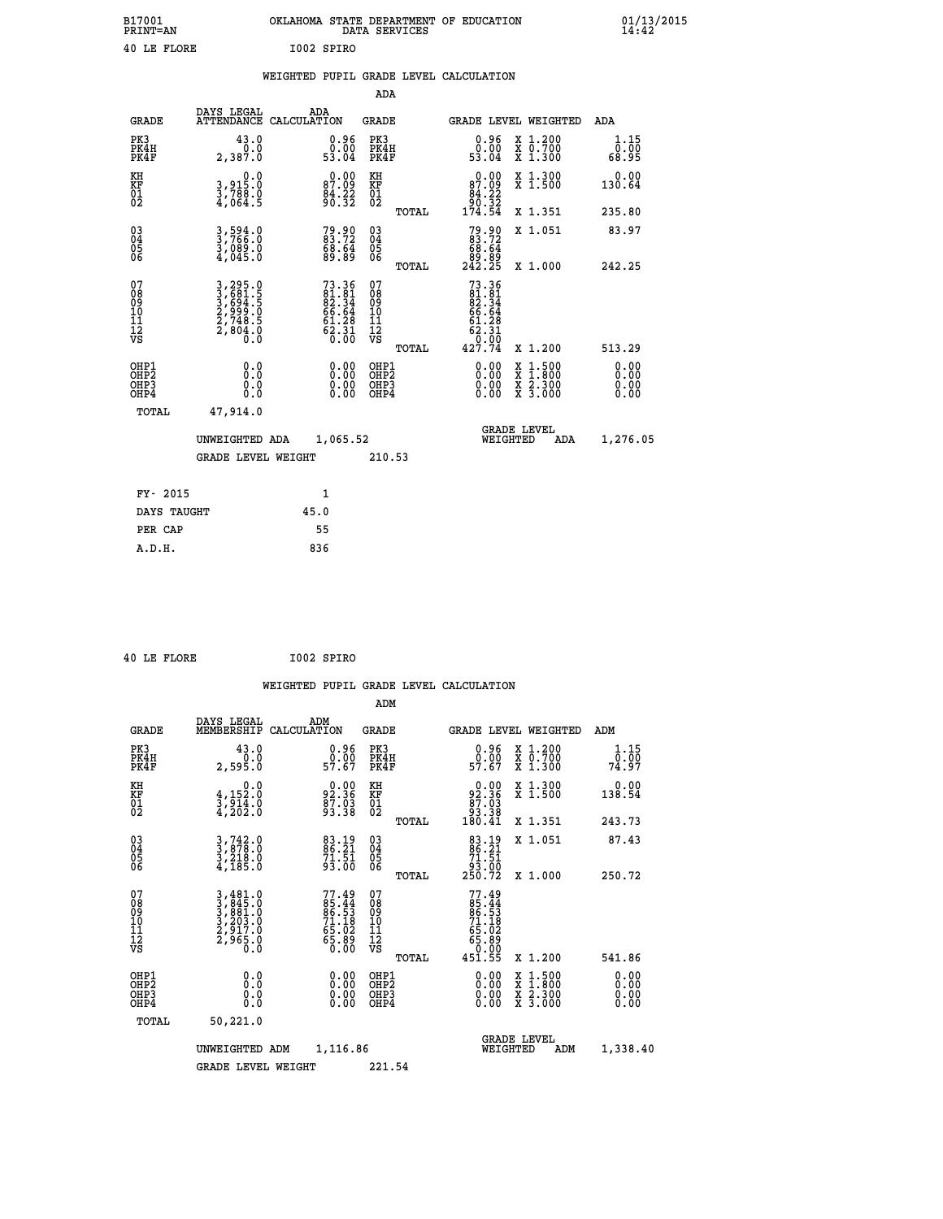| B17001<br>PRINT=AN | OKLAHOMA STATE DEPARTMENT OF EDUCATION<br>DATA SERVICES | 01/13/2015<br>14:42 |
|--------------------|---------------------------------------------------------|---------------------|
| 40 LE FLORE        | I002 SPIRO                                              |                     |

|  |  | WEIGHTED PUPIL GRADE LEVEL CALCULATION |
|--|--|----------------------------------------|
|  |  |                                        |

|                                                                              |                                                                       |                                                                       | ADA                                      |       |                                                                        |                                          |                              |
|------------------------------------------------------------------------------|-----------------------------------------------------------------------|-----------------------------------------------------------------------|------------------------------------------|-------|------------------------------------------------------------------------|------------------------------------------|------------------------------|
| <b>GRADE</b>                                                                 | DAYS LEGAL                                                            | ADA<br>ATTENDANCE CALCULATION                                         | <b>GRADE</b>                             |       | GRADE LEVEL WEIGHTED                                                   |                                          | ADA                          |
| PK3<br>PK4H<br>PK4F                                                          | 43.0<br>0.0<br>2,387.0                                                | $\begin{smallmatrix} 0.96 \\ 0.00 \\ 53.04 \end{smallmatrix}$         | PK3<br>PK4H<br>PK4F                      |       | $\begin{smallmatrix} 0.96 \\ 0.00 \\ 53.04 \end{smallmatrix}$          | X 1.200<br>X 0.700<br>X 1.300            | 1.15<br>0.00<br>68.95        |
| KH<br>KF<br>01<br>02                                                         | 0.0<br>3,915:0<br>3,788:0<br>4,064:5                                  | $\begin{smallmatrix} 0.00\\ 87.09\\ 84.22\\ 90.32 \end{smallmatrix}$  | KH<br>KF<br>01<br>02                     |       | 0.00<br>$87.09$<br>$84.22$<br>$90.32$<br>$174.54$                      | X 1.300<br>X 1.500                       | 0.00<br>130.64               |
|                                                                              |                                                                       |                                                                       |                                          | TOTAL |                                                                        | X 1.351                                  | 235.80                       |
| $^{03}_{04}$<br>Ŏ5<br>06                                                     | 3,594.0<br>3,766.0<br>3,089.0<br>4,045.0                              | $79.90$<br>$83.72$<br>$68.64$<br>$89.89$                              | $\substack{03 \\ 04}$<br>Ŏ5<br>06        |       | $79.9083.7268.6489.89242.25$                                           | X 1.051                                  | 83.97                        |
|                                                                              |                                                                       |                                                                       |                                          | TOTAL |                                                                        | X 1.000                                  | 242.25                       |
| 07<br>08901112<br>1112<br>VS                                                 | 3,295.0<br>3,681.5<br>3,694.5<br>3,999.0<br>2,748.5<br>2,804.0<br>0.0 | $73.36$<br>81.81<br>82.34<br>82.34<br>66.64<br>61.28<br>62.31<br>0.00 | 07<br>08<br>09<br>11<br>11<br>12<br>VS   |       | $73.36$<br>$81.81$<br>$82.34$<br>$66.64$<br>$61.28$<br>$62.31$<br>0.00 |                                          |                              |
|                                                                              |                                                                       |                                                                       |                                          | TOTAL | 427.74                                                                 | X 1.200                                  | 513.29                       |
| OHP1<br>OH <sub>P</sub> <sub>2</sub><br>OH <sub>P3</sub><br>OH <sub>P4</sub> | 0.0<br>0.000                                                          | $\begin{smallmatrix} 0.00 \ 0.00 \ 0.00 \ 0.00 \end{smallmatrix}$     | OHP1<br>OHP <sub>2</sub><br>OHP3<br>OHP4 |       | 0.00<br>0.00<br>0.00                                                   | X 1:500<br>X 1:800<br>X 2:300<br>X 3:000 | 0.00<br>0.00<br>0.00<br>0.00 |
| TOTAL                                                                        | 47,914.0                                                              |                                                                       |                                          |       |                                                                        |                                          |                              |
|                                                                              | UNWEIGHTED ADA                                                        | 1,065.52                                                              |                                          |       |                                                                        | GRADE LEVEL<br>WEIGHTED<br>ADA           | 1,276.05                     |
|                                                                              | <b>GRADE LEVEL WEIGHT</b>                                             |                                                                       | 210.53                                   |       |                                                                        |                                          |                              |
| FY- 2015                                                                     |                                                                       | $\mathbf{1}$                                                          |                                          |       |                                                                        |                                          |                              |
| DAYS TAUGHT                                                                  |                                                                       | 45.0                                                                  |                                          |       |                                                                        |                                          |                              |
| PER CAP                                                                      |                                                                       | 55                                                                    |                                          |       |                                                                        |                                          |                              |
|                                                                              |                                                                       |                                                                       |                                          |       |                                                                        |                                          |                              |

 **40 LE FLORE I002 SPIRO**

 **A.D.H. 836**

 **ADM**

| <b>GRADE</b>                                       | DAYS LEGAL                                                     | ADM<br>MEMBERSHIP CALCULATION                                        | <b>GRADE</b>                                           | GRADE LEVEL WEIGHTED                                                                                            |                                          | ADM                   |
|----------------------------------------------------|----------------------------------------------------------------|----------------------------------------------------------------------|--------------------------------------------------------|-----------------------------------------------------------------------------------------------------------------|------------------------------------------|-----------------------|
| PK3<br>PK4H<br>PK4F                                | 43.0<br>0.0<br>2,595.0                                         | $\begin{smallmatrix} 0.96 \\ 0.00 \\ 57.67 \end{smallmatrix}$        | PK3<br>PK4H<br>PK4F                                    | $0.96$<br>57.67                                                                                                 | X 1.200<br>X 0.700<br>X 1.300            | 1.15<br>0.00<br>74.97 |
| KH<br>KF<br>01<br>02                               | 0.0<br>$\frac{4}{3}, \frac{152}{914}$ .0<br>4,202.0            | $92.36$<br>$87.35$<br>$93.38$                                        | KH<br>KF<br>01<br>02                                   | $\begin{smallmatrix}&&0\,1\,0\\&2\,1\,3\,6\\&8\,7\,.\,0\,3\\&9\,3\,.\,3\,8\\&1\,8\,0\,.\,4\,1\end{smallmatrix}$ | X 1.300<br>X 1.500                       | 0.00<br>138.54        |
|                                                    |                                                                |                                                                      | TOTAL                                                  |                                                                                                                 | X 1.351                                  | 243.73                |
| $\begin{matrix} 03 \\ 04 \\ 05 \\ 06 \end{matrix}$ | $3, 742.0$<br>$3, 878.0$<br>$3, 218.0$<br>$4, 185.0$           | 83.19<br>86.21<br>71.51<br>93.00                                     | $\begin{matrix} 03 \\ 04 \\ 05 \\ 06 \end{matrix}$     | 83.19<br>86.21                                                                                                  | X 1.051                                  | 87.43                 |
|                                                    |                                                                |                                                                      | TOTAL                                                  | $\frac{71.51}{93.00}$<br>250.72                                                                                 | X 1.000                                  | 250.72                |
| 07<br>08<br>09<br>101<br>11<br>12<br>VS            | 3,481.0<br>3,845.0<br>3,881.0<br>3,203.0<br>2,917.0<br>2,965.0 | 77.49<br>85.44<br>86.53<br>71.18<br>71.18<br>65.02<br>65.89<br>60.00 | 07<br>08<br>09<br>001<br>11<br>11<br>12<br>VS<br>TOTAL | $77.49$<br>85.44<br>86.53<br>71.18<br>71.18<br>65.02<br>65.80<br>65.80<br>451.55                                | X 1.200                                  | 541.86                |
| OHP1<br>OHP2<br>OHP3<br>OHP4                       | 0.0<br>0.000                                                   | $\begin{smallmatrix} 0.00 \ 0.00 \ 0.00 \ 0.00 \end{smallmatrix}$    | OHP1<br>OHP2<br>OHP3<br>OHP4                           | $0.00$<br>$0.00$<br>0.00                                                                                        | X 1:500<br>X 1:800<br>X 2:300<br>X 3:000 | 0.00<br>0.00<br>0.00  |
| TOTAL                                              | 50,221.0                                                       |                                                                      |                                                        |                                                                                                                 |                                          |                       |
|                                                    | UNWEIGHTED                                                     | 1,116.86<br>ADM                                                      |                                                        | <b>GRADE LEVEL</b><br>WEIGHTED                                                                                  | ADM                                      | 1,338.40              |
|                                                    | <b>GRADE LEVEL WEIGHT</b>                                      |                                                                      | 221.54                                                 |                                                                                                                 |                                          |                       |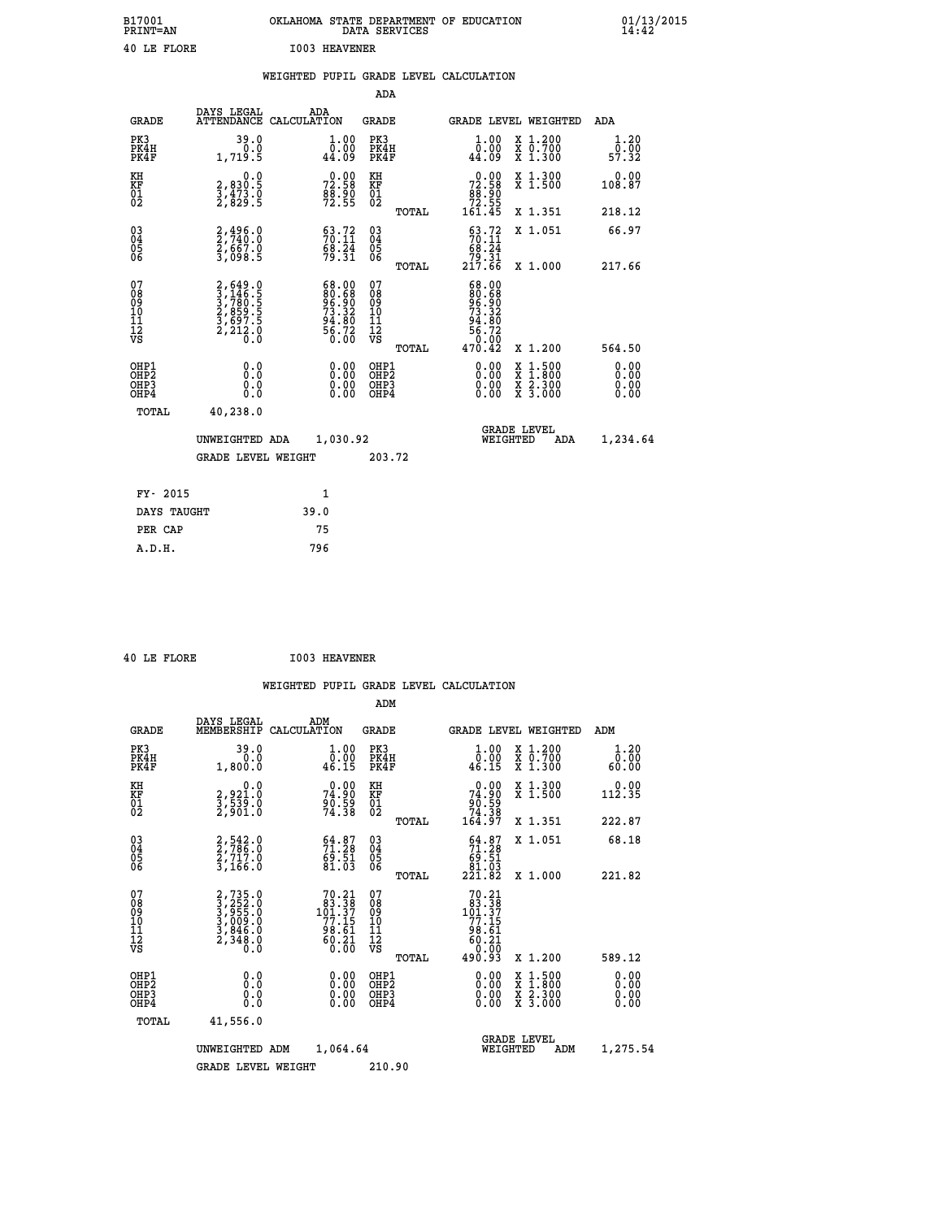| B17001<br><b>PRINT=AN</b> | OKLAHOMA STATE DEPARTMENT OF EDUCATION<br>DATA SERVICES | 01/13/2015 |
|---------------------------|---------------------------------------------------------|------------|
| 40 LE FLORE               | <b>I003 HEAVENER</b>                                    |            |

|                                |                                                                                     | WEIGHTED PUPIL GRADE LEVEL CALCULATION                                                        |                                                             |                                        |       |                                                                                                               |        |                                                           |                              |
|--------------------------------|-------------------------------------------------------------------------------------|-----------------------------------------------------------------------------------------------|-------------------------------------------------------------|----------------------------------------|-------|---------------------------------------------------------------------------------------------------------------|--------|-----------------------------------------------------------|------------------------------|
|                                |                                                                                     |                                                                                               |                                                             | <b>ADA</b>                             |       |                                                                                                               |        |                                                           |                              |
| <b>GRADE</b>                   | DAYS LEGAL<br><b>ATTENDANCE</b>                                                     | ADA<br>CALCULATION                                                                            |                                                             | <b>GRADE</b>                           |       |                                                                                                               |        | GRADE LEVEL WEIGHTED                                      | ADA                          |
| PK3<br>PK4H<br>PK4F            | 39.0<br>0.0<br>1,719.5                                                              | 44.09                                                                                         | $1.00$<br>$0.00$                                            | PK3<br>PK4H<br>PK4F                    |       | 1.00<br>0.00<br>44.09                                                                                         |        | X 1.200<br>X 0.700<br>X 1.300                             | 1.20<br>0.00<br>57.32        |
| KH<br>KF<br>01<br>02           | 0.0<br>2,830:5<br>3,473:0<br>2,829:5                                                | 72.58<br>88.90<br>72.55                                                                       |                                                             | KH<br>KF<br>01<br>02                   |       | $\begin{smallmatrix} &0.00\\72.58\\88.90\\72.55\\161.45\end{smallmatrix}$                                     |        | X 1.300<br>X 1.500                                        | 0.00<br>108.87               |
|                                |                                                                                     |                                                                                               |                                                             |                                        | TOTAL |                                                                                                               |        | X 1.351                                                   | 218.12                       |
| $^{03}_{04}$<br>Ŏ5<br>06       | 2, 496.0<br>$\frac{5}{3}, \frac{6}{698}.$ 8                                         | $53.72$<br>$70.11$<br>$\frac{68.24}{79.31}$                                                   |                                                             | $\substack{03 \\ 04}$<br>05<br>06      |       | $53.72$<br>$70.11$<br>$\begin{array}{r} 68.24 \\ 79.31 \\ 217.66 \end{array}$                                 |        | X 1.051                                                   | 66.97                        |
|                                |                                                                                     |                                                                                               |                                                             |                                        | TOTAL |                                                                                                               |        | X 1.000                                                   | 217.66                       |
| 07<br>089<br>090<br>1112<br>VS | $2,649.0$<br>$3,780.5$<br>$3,789.5$<br>$2,859.5$<br>$3,697.5$<br>$2,212.0$<br>$0.0$ | $\begin{smallmatrix} 68.00\\ 80.68\\ 96.90\\ 73.32\\ 94.80\\ 56.72\\ 56.00 \end{smallmatrix}$ |                                                             | 07<br>08<br>09<br>11<br>11<br>12<br>VS | TOTAL | $\begin{smallmatrix} 68.00\\ 80.68\\ 96.50\\ 73.32\\ 74.80\\ 94.80\\ 56.72\\ 0.00\\ 470.42 \end{smallmatrix}$ |        | X 1.200                                                   | 564.50                       |
| OHP1<br>OHP2<br>OHP3<br>OHP4   | 0.0<br>$0.\overline{0}$<br>Ō.Ō                                                      |                                                                                               | 0.00<br>$\begin{smallmatrix} 0.00 \ 0.00 \end{smallmatrix}$ | OHP1<br>OHP2<br>OHP3<br>OHP4           |       | 0.00<br>0.00<br>0.00                                                                                          | X<br>X | $1:500$<br>$1:800$<br>$\frac{x}{x}$ $\frac{5:300}{3:000}$ | 0.00<br>0.00<br>0.00<br>0.00 |
| <b>TOTAL</b>                   | 40,238.0                                                                            |                                                                                               |                                                             |                                        |       |                                                                                                               |        |                                                           |                              |
|                                | UNWEIGHTED ADA                                                                      | 1,030.92                                                                                      |                                                             |                                        |       |                                                                                                               |        | GRADE LEVEL<br>WEIGHTED<br>ADA                            | 1,234.64                     |
|                                | <b>GRADE LEVEL WEIGHT</b>                                                           |                                                                                               |                                                             | 203.72                                 |       |                                                                                                               |        |                                                           |                              |
| FY- 2015                       |                                                                                     | $\mathbf{1}$                                                                                  |                                                             |                                        |       |                                                                                                               |        |                                                           |                              |
| DAYS TAUGHT                    |                                                                                     | 39.0                                                                                          |                                                             |                                        |       |                                                                                                               |        |                                                           |                              |
| PER CAP                        |                                                                                     | 75                                                                                            |                                                             |                                        |       |                                                                                                               |        |                                                           |                              |

 **40 LE FLORE I003 HEAVENER**

 **A.D.H. 796**

 **ADM**

| <b>GRADE</b>                                 | DAYS LEGAL<br>MEMBERSHIP                                       | ADM<br>CALCULATION                                                                    | <b>GRADE</b>                                       |       | <b>GRADE LEVEL WEIGHTED</b>                                                            |                                          | ADM                   |  |
|----------------------------------------------|----------------------------------------------------------------|---------------------------------------------------------------------------------------|----------------------------------------------------|-------|----------------------------------------------------------------------------------------|------------------------------------------|-----------------------|--|
| PK3<br>PK4H<br>PK4F                          | 39.0<br>0.0<br>1,800.0                                         | $\begin{smallmatrix} 1.00\\ 0.00\\ 46.15 \end{smallmatrix}$                           | PK3<br>PK4H<br>PK4F                                |       | 1.00<br>$\frac{0.00}{46.15}$                                                           | X 1.200<br>X 0.700<br>X 1.300            | 1.20<br>0.00<br>60.00 |  |
| KH<br>KF<br>01<br>02                         | 0.0<br>2,921.0<br>3,539.0<br>2,901.0                           | $74.90$<br>$74.90$<br>$90.59$<br>$74.38$                                              | KH<br>KF<br>01<br>02                               |       | 74.90<br>63:59<br>74:38<br>164:97                                                      | X 1.300<br>X 1.500                       | $0.00$<br>112.35      |  |
|                                              |                                                                |                                                                                       |                                                    | TOTAL |                                                                                        | X 1.351                                  | 222.87                |  |
| 03<br>04<br>05<br>06                         | 2,542.0<br>2,786.0<br>2,717.0<br>3,166.0                       | $54.87$<br>$71.28$<br>$69.51$<br>$81.03$                                              | $\begin{matrix} 03 \\ 04 \\ 05 \\ 06 \end{matrix}$ |       | $54.87$<br>$71.28$<br>$69.51$<br>$81.03$<br>$221.82$                                   | X 1.051                                  | 68.18                 |  |
|                                              |                                                                |                                                                                       |                                                    | TOTAL |                                                                                        | X 1.000                                  | 221.82                |  |
| 07<br>08<br>09<br>101<br>11<br>12<br>VS      | 2,735.0<br>3,252.0<br>3,955.0<br>3,009.0<br>3,846.0<br>2,348.0 | $\begin{smallmatrix}70.21\\83.38\\101.37\\77.15\\98.61\\60.21\\0.00\end{smallmatrix}$ | 07<br>08<br>09<br>001<br>11<br>11<br>12<br>VS      | TOTAL | $\begin{smallmatrix}70.21\\83.38\\101.37\\77.15\\98.61\\60.21\\90.93\end{smallmatrix}$ | X 1.200                                  | 589.12                |  |
| OHP1                                         |                                                                |                                                                                       | OHP1                                               |       |                                                                                        |                                          |                       |  |
| OHP <sub>2</sub><br>OH <sub>P3</sub><br>OHP4 | 0.0<br>0.000                                                   | $\begin{smallmatrix} 0.00 \ 0.00 \ 0.00 \ 0.00 \end{smallmatrix}$                     | OHP <sub>2</sub><br>OHP3<br>OHP4                   |       | 0.00<br>$0.00$<br>0.00                                                                 | X 1:500<br>X 1:800<br>X 2:300<br>X 3:000 | 0.00<br>0.00<br>0.00  |  |
| TOTAL                                        | 41,556.0                                                       |                                                                                       |                                                    |       |                                                                                        |                                          |                       |  |
|                                              | UNWEIGHTED                                                     | 1,064.64<br>ADM                                                                       |                                                    |       | WEIGHTED                                                                               | <b>GRADE LEVEL</b><br>ADM                | 1,275.54              |  |
|                                              | <b>GRADE LEVEL WEIGHT</b>                                      |                                                                                       | 210.90                                             |       |                                                                                        |                                          |                       |  |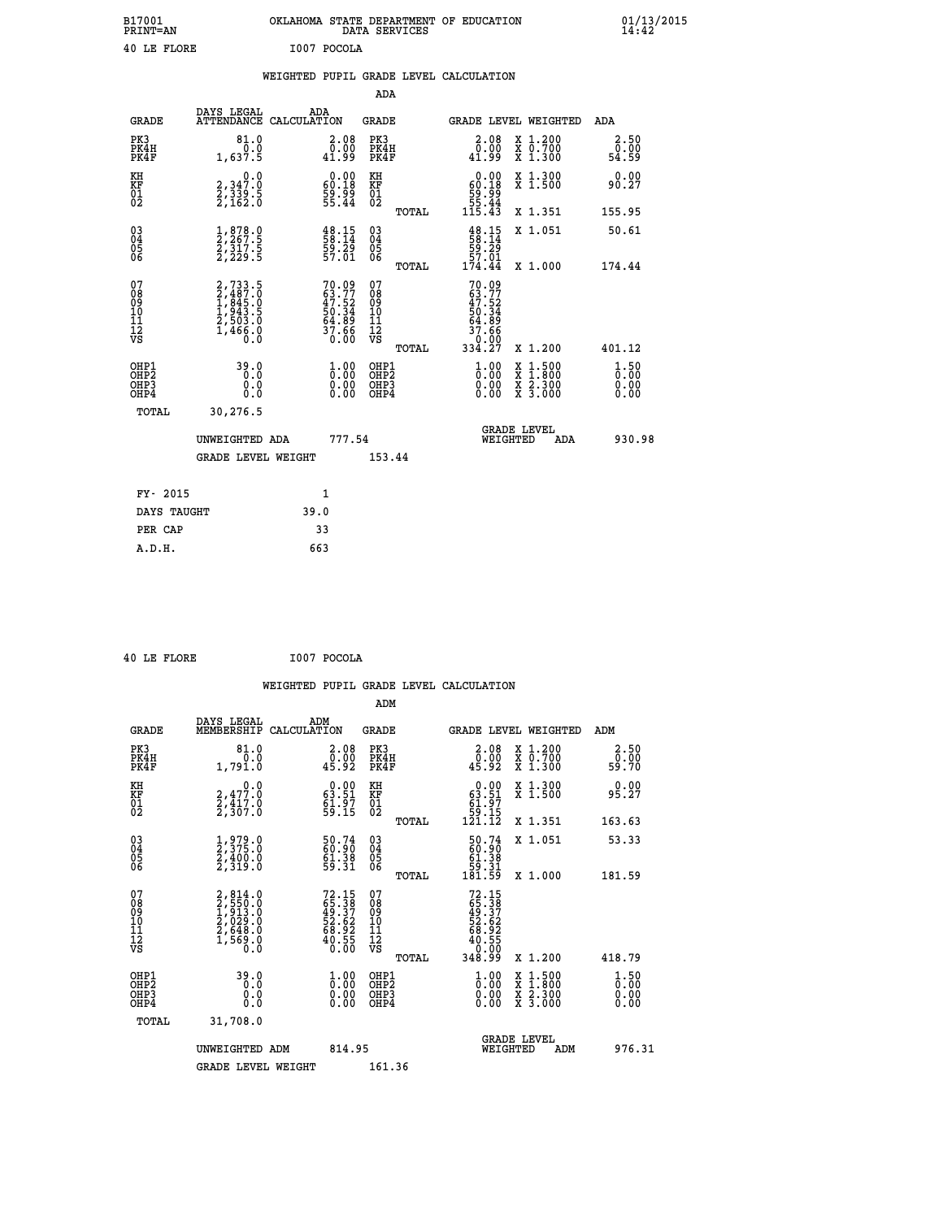| B17001<br>PRINT=AN | OKLAHOMA STATE DEPARTMENT OF EDUCATION<br>DATA SERVICES | $01/13/2015$<br>14:42 |
|--------------------|---------------------------------------------------------|-----------------------|
| 40 LE FLORE        | I007 POCOLA                                             |                       |

|  |  | WEIGHTED PUPIL GRADE LEVEL CALCULATION |
|--|--|----------------------------------------|
|  |  |                                        |

|                                                                              |                                                                                                |                                                                          | ADA                                                |       |                                                                                                         |                                                                                                                                           |                              |
|------------------------------------------------------------------------------|------------------------------------------------------------------------------------------------|--------------------------------------------------------------------------|----------------------------------------------------|-------|---------------------------------------------------------------------------------------------------------|-------------------------------------------------------------------------------------------------------------------------------------------|------------------------------|
| <b>GRADE</b>                                                                 | DAYS LEGAL                                                                                     | ADA<br>ATTENDANCE CALCULATION                                            | GRADE                                              |       | <b>GRADE LEVEL WEIGHTED</b>                                                                             |                                                                                                                                           | ADA                          |
| PK3<br>PK4H<br>PK4F                                                          | 81.0<br>0.0<br>1,637.5                                                                         | $\substack{2.08\\0.00\\41.99}$                                           | PK3<br>PK4H<br>PK4F                                |       | 2.08<br>0.00<br>41.99                                                                                   | X 1.200<br>X 0.700<br>X 1.300                                                                                                             | 2.50<br>0.00<br>54.59        |
| KH<br>KF<br>01<br>02                                                         | $\begin{smallmatrix} 0.0\\2,347.0\\2,339.5\\2,162.0 \end{smallmatrix}$                         | $\begin{smallmatrix} 0.00\\ 60.18\\ 59.99\\ 55.44 \end{smallmatrix}$     | KH<br>KF<br>01<br>02                               |       | $\begin{smallmatrix} &0.00\ 60.18\ 59.99\ 55.44\ 115.43\end{smallmatrix}$                               | X 1.300<br>X 1.500                                                                                                                        | 0.00<br>90.27                |
|                                                                              |                                                                                                |                                                                          |                                                    | TOTAL |                                                                                                         | X 1.351                                                                                                                                   | 155.95                       |
| $\begin{matrix} 03 \\ 04 \\ 05 \\ 06 \end{matrix}$                           | $\frac{1}{2}, \frac{878}{267}$ .<br>$\frac{2}{317}$ .<br>$\frac{5}{2}, \frac{317}{229}$ .<br>5 | $\begin{smallmatrix} 48.15\ 58.14\ 59.29\ 57.01\ \end{smallmatrix}$      | $\begin{matrix} 03 \\ 04 \\ 05 \\ 06 \end{matrix}$ |       | $\frac{48}{58}.15$<br>59:29<br>57.01                                                                    | X 1.051                                                                                                                                   | 50.61                        |
|                                                                              |                                                                                                |                                                                          |                                                    | TOTAL | 174.44                                                                                                  | X 1.000                                                                                                                                   | 174.44                       |
| 07<br>08<br>09<br>11<br>11<br>12<br>VS                                       | 2,733.5<br>2,487.0<br>1,845.0<br>1,943.5<br>2,503.0<br>1,466.0<br>0.0                          | $70.09$<br>$63.77$<br>$47.52$<br>$50.34$<br>$54.89$<br>$37.66$<br>$0.00$ | 07<br>08<br>09<br>11<br>11<br>12<br>VS             | TOTAL | $70.09$<br>$63.77$<br>$\begin{array}{r} 47.52 \\ 50.34 \\ 64.89 \\ 37.66 \\ 0.00 \\ 334.27 \end{array}$ | X 1.200                                                                                                                                   | 401.12                       |
| OHP1<br>OH <sub>P</sub> <sub>2</sub><br>OH <sub>P3</sub><br>OH <sub>P4</sub> | 39.0<br>0.0<br>0.0                                                                             | 0.000<br>0.00<br>0.00                                                    | OHP1<br>OHP2<br>OHP3<br>OHP4                       |       | 1.00<br>0.00<br>0.00                                                                                    | $\begin{smallmatrix} \mathtt{X} & 1\cdot500\\ \mathtt{X} & 1\cdot800\\ \mathtt{X} & 2\cdot300\\ \mathtt{X} & 3\cdot000 \end{smallmatrix}$ | 1.50<br>0.00<br>0.00<br>0.00 |
| TOTAL                                                                        | 30,276.5                                                                                       |                                                                          |                                                    |       |                                                                                                         |                                                                                                                                           |                              |
|                                                                              | UNWEIGHTED ADA                                                                                 | 777.54                                                                   |                                                    |       | WEIGHTED                                                                                                | <b>GRADE LEVEL</b><br>ADA                                                                                                                 | 930.98                       |
|                                                                              | <b>GRADE LEVEL WEIGHT</b>                                                                      |                                                                          | 153.44                                             |       |                                                                                                         |                                                                                                                                           |                              |
|                                                                              |                                                                                                |                                                                          |                                                    |       |                                                                                                         |                                                                                                                                           |                              |
| FY- 2015                                                                     |                                                                                                | 1                                                                        |                                                    |       |                                                                                                         |                                                                                                                                           |                              |
| DAYS TAUGHT                                                                  |                                                                                                | 39.0                                                                     |                                                    |       |                                                                                                         |                                                                                                                                           |                              |
| PER CAP                                                                      |                                                                                                | 33                                                                       |                                                    |       |                                                                                                         |                                                                                                                                           |                              |
| A.D.H.                                                                       |                                                                                                | 663                                                                      |                                                    |       |                                                                                                         |                                                                                                                                           |                              |

|  | 40 LE FLORE |  |
|--|-------------|--|

 **ADM**

 **A.D.H. 663**

0 LE FLORE **1007 POCOLA** 

| <b>GRADE</b>                                       | DAYS LEGAL<br>MEMBERSHIP CALCULATION                                                | ADM                                                                  | <b>GRADE</b>                                        |       |                                                                                     | GRADE LEVEL WEIGHTED                     | ADM                              |
|----------------------------------------------------|-------------------------------------------------------------------------------------|----------------------------------------------------------------------|-----------------------------------------------------|-------|-------------------------------------------------------------------------------------|------------------------------------------|----------------------------------|
| PK3<br>PK4H<br>PK4F                                | 81.0<br>0.0<br>1,791.0                                                              | $\begin{smallmatrix} 2.08\0.00\\0.00\\45.92\end{smallmatrix}$        | PK3<br>PK4H<br>PK4F                                 |       | $\begin{smallmatrix} 2.08\0.00\\0.00\\45.92\end{smallmatrix}$                       | X 1.200<br>X 0.700<br>X 1.300            | 2.50<br>ō:ŏŏ<br>59:70            |
| KH<br>KF<br>01<br>02                               | $\begin{smallmatrix} & & 0.0\ 2.477.0\ 2.417.0\ 2.307.0 \end{smallmatrix}$          | $\begin{smallmatrix} 0.00\\ 63.51\\ 61.97\\ 59.15 \end{smallmatrix}$ | KH<br>KF<br>01<br>02                                |       | $\begin{smallmatrix} &0.00\ 63.51\ 61.97\ 59.15\ 121.12\ \end{smallmatrix}$         | X 1.300<br>X 1.500                       | 0.00<br>95.27                    |
|                                                    |                                                                                     |                                                                      |                                                     | TOTAL |                                                                                     | X 1.351                                  | 163.63                           |
| $\begin{matrix} 03 \\ 04 \\ 05 \\ 06 \end{matrix}$ | 1,979.0<br>2,375.0<br>2,400.0<br>2,319.0                                            | 50.74<br>60.90<br>61.38<br>59.31                                     | $\begin{array}{c} 03 \\ 04 \\ 05 \\ 06 \end{array}$ |       | $\begin{smallmatrix} 50.74\ 60.90\ 61.38\ 59.31\ 181.59 \end{smallmatrix}$          | X 1.051                                  | 53.33                            |
|                                                    |                                                                                     |                                                                      |                                                     | TOTAL |                                                                                     | X 1.000                                  | 181.59                           |
| 07<br>08<br>09<br>101<br>11<br>12<br>VS            | $2,814.0$<br>$2,550.0$<br>$1,913.0$<br>$2,029.0$<br>$2,648.0$<br>$1,569.0$<br>$0.0$ | 72.15<br>65.387<br>49.37<br>52.62<br>52.62<br>68.92<br>60.55         | 07<br>08<br>09<br>001<br>11<br>11<br>12<br>VS       | TOTAL | $72.15$<br>$65.387$<br>$49.372$<br>$52.622$<br>$68.925$<br>$40.555$<br>$0.009$      | X 1.200                                  | 418.79                           |
| OHP1<br>OHP2<br>OHP3<br>OHP4                       | 39.0<br>0.0<br>0.000                                                                | $\begin{smallmatrix} 1.00\ 0.00\ 0.00 \end{smallmatrix}$             | OHP1<br>OHP2<br>OHP3<br>OHP4                        |       | $\begin{smallmatrix} 1.00 \\[-4pt] 0.00\\[-4pt] 0.00\\[-4pt] 0.00\end{smallmatrix}$ | X 1:500<br>X 1:800<br>X 2:300<br>X 3:000 | $1.50$<br>$0.00$<br>0.00<br>0.00 |
| TOTAL                                              | 31,708.0                                                                            |                                                                      |                                                     |       |                                                                                     |                                          |                                  |
|                                                    | UNWEIGHTED<br>ADM                                                                   | 814.95                                                               |                                                     |       | WEIGHTED                                                                            | <b>GRADE LEVEL</b><br>ADM                | 976.31                           |
|                                                    | <b>GRADE LEVEL WEIGHT</b>                                                           |                                                                      | 161.36                                              |       |                                                                                     |                                          |                                  |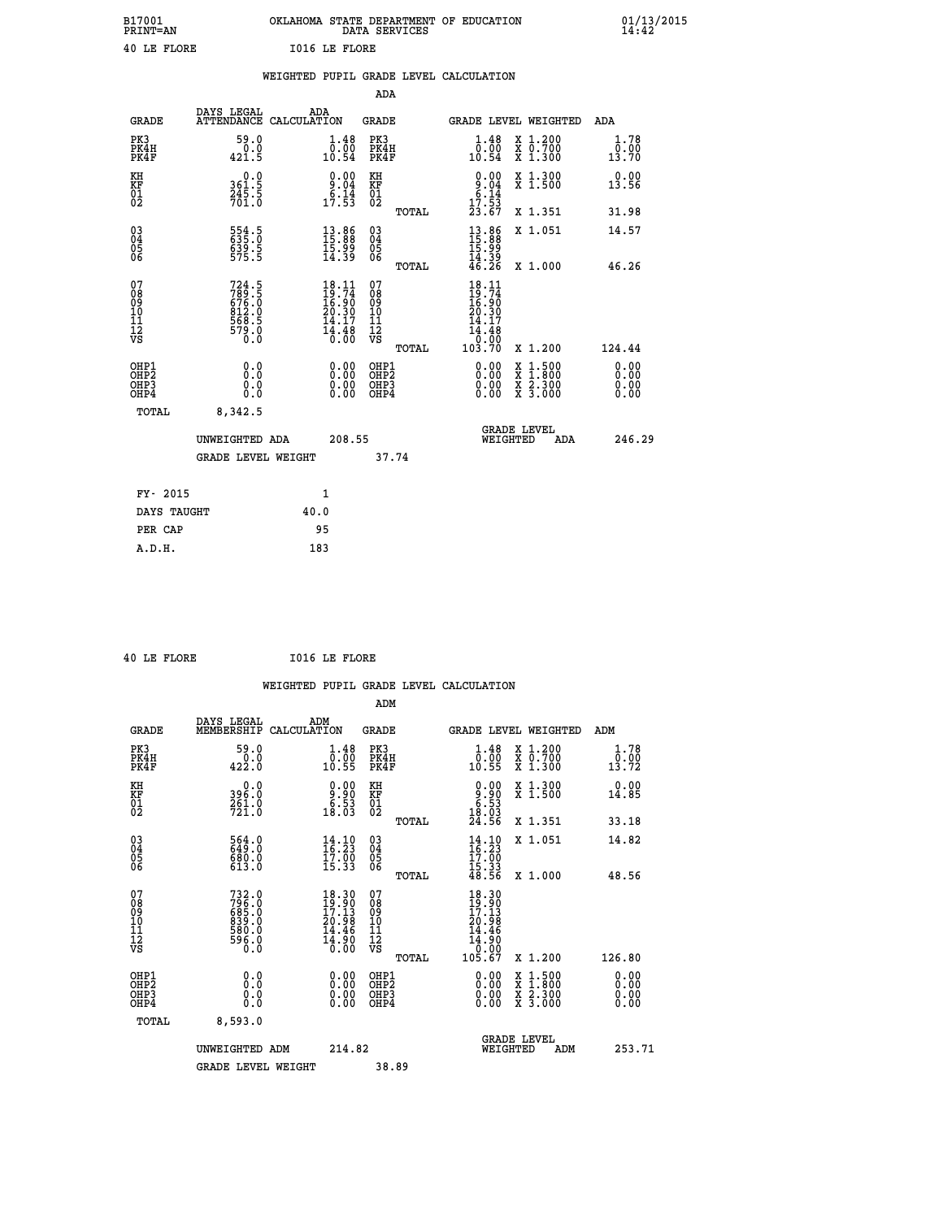| B17001<br><b>PRINT=AN</b> | OKLAHOMA<br>. STATE DEPARTMENT OF EDUCATION<br>DATA SERVICES | 01/13/2015<br>14:42 |
|---------------------------|--------------------------------------------------------------|---------------------|
| 40 LE FLORE               | <b>IO16 LE FLORE</b>                                         |                     |

|                                         |                                                             | WEIGHTED PUPIL GRADE LEVEL CALCULATION                                                                         |                                        |       |                                                                                                                       |                                                |                              |
|-----------------------------------------|-------------------------------------------------------------|----------------------------------------------------------------------------------------------------------------|----------------------------------------|-------|-----------------------------------------------------------------------------------------------------------------------|------------------------------------------------|------------------------------|
|                                         |                                                             |                                                                                                                | ADA                                    |       |                                                                                                                       |                                                |                              |
| <b>GRADE</b>                            | DAYS LEGAL                                                  | ADA<br>ATTENDANCE CALCULATION                                                                                  | <b>GRADE</b>                           |       |                                                                                                                       | GRADE LEVEL WEIGHTED                           | ADA                          |
| PK3<br>PK4H<br>PK4F                     | 59.0<br>$\frac{0.0}{421.5}$                                 | 1.48<br>$\begin{array}{c} 0.00 \\ 10.54 \end{array}$                                                           | PK3<br>PK4H<br>PK4F                    |       | 1.48<br>0.00<br>10.54                                                                                                 | X 1.200<br>X 0.700<br>X 1.300                  | 1.78<br>0.00<br>13.70        |
| KH<br><b>KF</b><br>01<br>02             | 0.0<br>$361.5$<br>$245.5$<br>$701.0$                        | $\begin{array}{c} 0.00 \\ 9.04 \\ 6.14 \\ 17.53 \end{array}$                                                   | KH<br>KF<br>01<br>02                   |       | $0.00$<br>$0.04$<br>$0.14$<br>$17.53$<br>$23.67$                                                                      | X 1.300<br>X 1.500                             | 0.00<br>13.56                |
|                                         |                                                             |                                                                                                                |                                        | TOTAL |                                                                                                                       | X 1.351                                        | 31.98                        |
| 03<br>04<br>05<br>06                    | 554.5<br>635.0<br>639.5<br>575.5                            | $\begin{smallmatrix} 13.86 \\ 15.88 \\ 15.99 \\ 14.39 \end{smallmatrix}$                                       | 03<br>04<br>05<br>06                   |       | $13.86$<br>$15.89$<br>$15.99$<br>$14.39$<br>$46.26$                                                                   | X 1.051                                        | 14.57                        |
|                                         |                                                             |                                                                                                                |                                        | TOTAL |                                                                                                                       | X 1.000                                        | 46.26                        |
| 07<br>08<br>09<br>101<br>11<br>12<br>VS | 724.5<br>789.5<br>676.0<br>612.0<br>812.0<br>568.5<br>579.0 | $18.11$<br>$19.74$<br>$16.90$<br>$20.30$<br>$14.17$<br>$\frac{1}{6}$ $\frac{1}{6}$ $\frac{1}{6}$ $\frac{6}{6}$ | 07<br>08<br>09<br>11<br>11<br>12<br>VS | TOTAL | $18.11$<br>$19.74$<br>$16.90$<br>$20.30$<br>17<br>$\begin{array}{r} 14.48 \\[-4pt] 10.08 \\[-4pt] 103.70 \end{array}$ | X 1.200                                        | 124.44                       |
| OHP1<br>OHP2<br>OHP3<br>OHP4            | 0.0<br>0.0<br>0.0                                           | 0.00<br>$\begin{smallmatrix} 0.00 \ 0.00 \end{smallmatrix}$                                                    | OHP1<br>OHP2<br>OHP3<br>OHP4           |       | 0.00<br>0.00<br>0.00                                                                                                  | X 1:500<br>$\frac{x}{x}$ $\frac{5:300}{3:000}$ | 0.00<br>0.00<br>0.00<br>0.00 |
| TOTAL                                   | 8,342.5                                                     |                                                                                                                |                                        |       |                                                                                                                       |                                                |                              |
|                                         | UNWEIGHTED ADA                                              | 208.55                                                                                                         |                                        |       | WEIGHTED                                                                                                              | <b>GRADE LEVEL</b><br>ADA                      | 246.29                       |
|                                         | <b>GRADE LEVEL WEIGHT</b>                                   |                                                                                                                |                                        | 37.74 |                                                                                                                       |                                                |                              |
| FY- 2015                                |                                                             | $\mathbf{1}$                                                                                                   |                                        |       |                                                                                                                       |                                                |                              |
| DAYS TAUGHT                             |                                                             | 40.0                                                                                                           |                                        |       |                                                                                                                       |                                                |                              |
| PER CAP                                 |                                                             | 95                                                                                                             |                                        |       |                                                                                                                       |                                                |                              |

| $\ddot{\phantom{1}}$ | - - | -- --- |
|----------------------|-----|--------|

 **40 LE FLORE I016 LE FLORE**

|                                                      |                                                             |                                                                                                                                    | ADM                                                 |       |                                                                                                         |                                          |                               |
|------------------------------------------------------|-------------------------------------------------------------|------------------------------------------------------------------------------------------------------------------------------------|-----------------------------------------------------|-------|---------------------------------------------------------------------------------------------------------|------------------------------------------|-------------------------------|
| <b>GRADE</b>                                         | DAYS LEGAL<br>MEMBERSHIP                                    | ADM<br>CALCULATION                                                                                                                 | <b>GRADE</b>                                        |       |                                                                                                         | GRADE LEVEL WEIGHTED                     | ADM                           |
| PK3<br>PK4H<br>PK4F                                  | 59.0<br>$\frac{0.0}{422.0}$                                 | $\begin{smallmatrix} 1.48\ 0.00\\ 10.55 \end{smallmatrix}$                                                                         | PK3<br>PK4H<br>PK4F                                 |       | $\begin{smallmatrix} 1.48\ 0.00\\ 10.55 \end{smallmatrix}$                                              | X 1.200<br>X 0.700<br>X 1.300            | 1.78<br>$\bar{0.00}$<br>13.72 |
| KH<br>KF<br>01<br>02                                 | 0.0<br>396:0<br>261:0<br>721:0                              | $\begin{smallmatrix} 0.00\\ 9.90\\ 6.53\\ 18.03 \end{smallmatrix}$                                                                 | KH<br>KF<br>01<br>02                                |       | $\begin{smallmatrix} 0.00\\ 9.90\\ 6.53\\ 18.03\\ 24.56 \end{smallmatrix}$                              | X 1.300<br>X 1.500                       | 0.00<br>14.85                 |
|                                                      |                                                             |                                                                                                                                    |                                                     | TOTAL |                                                                                                         | X 1.351                                  | 33.18                         |
| 03<br>04<br>05<br>06                                 | 564.0<br>680.0<br>613.0                                     | $\frac{14}{16}$ : 23<br>$\frac{17.00}{15.33}$                                                                                      | $\begin{array}{c} 03 \\ 04 \\ 05 \\ 06 \end{array}$ |       | $14.10$<br>$16.23$<br>$17.00$<br>$15.33$<br>$48.56$                                                     | X 1.051                                  | 14.82                         |
|                                                      |                                                             |                                                                                                                                    |                                                     | TOTAL |                                                                                                         | X 1.000                                  | 48.56                         |
| 07<br>08<br>09<br>101<br>112<br>VS                   | 732.0<br>796.0<br>685.0<br>639.0<br>830.0<br>586.0<br>596.0 | $\frac{18.30}{19.90}$<br>$\frac{17.13}{17.13}$<br>20.98<br>14.46<br>$\overline{1}\overline{4}\overline{.}\overline{9}\overline{0}$ | 07<br>08<br>09<br>11<br>11<br>12<br>VS              |       | 18.30<br>$\begin{smallmatrix} 19.30\ 19.11\ 17.13\ 20.98\ 14.46\ 14.90\ 0.00\ 105.67 \end{smallmatrix}$ |                                          |                               |
|                                                      |                                                             |                                                                                                                                    |                                                     | TOTAL |                                                                                                         | X 1.200                                  | 126.80                        |
| OHP1<br>OHP2<br>OH <sub>P3</sub><br>OH <sub>P4</sub> | 0.0<br>0.000                                                |                                                                                                                                    | OHP1<br>OHP2<br>OHP <sub>3</sub>                    |       | $0.00$<br>$0.00$<br>0.00                                                                                | X 1:500<br>X 1:800<br>X 2:300<br>X 3:000 | 0.00<br>0.00<br>0.00          |
| TOTAL                                                | 8,593.0                                                     |                                                                                                                                    |                                                     |       |                                                                                                         |                                          |                               |
|                                                      | UNWEIGHTED ADM                                              | 214.82                                                                                                                             |                                                     |       |                                                                                                         | GRADE LEVEL<br>WEIGHTED<br>ADM           | 253.71                        |
|                                                      | <b>GRADE LEVEL WEIGHT</b>                                   |                                                                                                                                    | 38.89                                               |       |                                                                                                         |                                          |                               |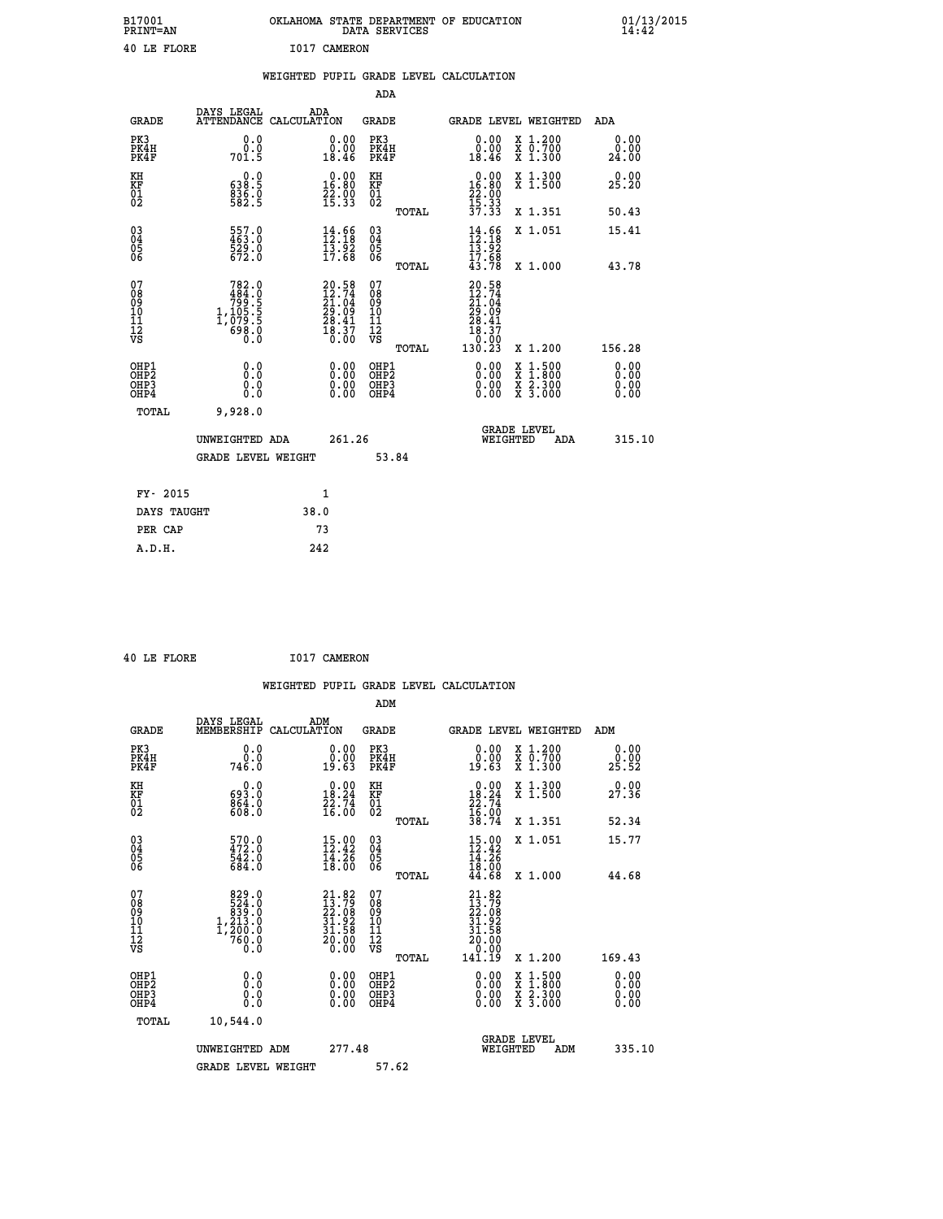| B17001<br>PRINT=AN | . STATE DEPARTMENT OF EDUCATION<br>OKLAHOMA<br>DATA SERVICES | $01/13/2015$<br>14:42 |
|--------------------|--------------------------------------------------------------|-----------------------|
| 40 LE FLORE        | I017 CAMERON                                                 |                       |

|                                                    |                                                                                             | WEIGHTED PUPIL GRADE LEVEL CALCULATION                                   |                                        |       |                                                                             |                                          |                              |
|----------------------------------------------------|---------------------------------------------------------------------------------------------|--------------------------------------------------------------------------|----------------------------------------|-------|-----------------------------------------------------------------------------|------------------------------------------|------------------------------|
|                                                    |                                                                                             |                                                                          | ADA                                    |       |                                                                             |                                          |                              |
| <b>GRADE</b>                                       | DAYS LEGAL                                                                                  | ADA<br>ATTENDANCE CALCULATION                                            | <b>GRADE</b>                           |       |                                                                             | GRADE LEVEL WEIGHTED                     | ADA                          |
| PK3<br>PK4H<br>PK4F                                | 0.0<br>0.0<br>701.5                                                                         | 0.00<br>ăČ.<br>18.46                                                     | PK3<br>PK4H<br>PK4F                    |       | 0.00<br>0.00<br>18.46                                                       | X 1.200<br>X 0.700<br>X 1.300            | 0.00<br>0.00<br>24.00        |
| KH<br>KF<br>01<br>02                               | $\begin{smallmatrix} &0.0\ 638.5\ 836.0\ 582.5\ \end{smallmatrix}$                          | $\begin{smallmatrix} 0.00\\ 16.80\\ 22.90\\ 15.33 \end{smallmatrix}$     | KH<br>KF<br>01<br>02                   |       | $\begin{smallmatrix} 0.00\\16.80\\22.00\\15.33\\37.33 \end{smallmatrix}$    | X 1.300<br>X 1.500                       | 0.00<br>25.20                |
|                                                    |                                                                                             |                                                                          |                                        | TOTAL |                                                                             | X 1.351                                  | 50.43                        |
| $\begin{matrix} 03 \\ 04 \\ 05 \\ 06 \end{matrix}$ | $557.0$<br>463.0<br>529.0<br>672.0                                                          | 14.66<br>$\frac{15.92}{17.68}$                                           | 03<br>04<br>05<br>06                   |       | $14.66$<br>$12.18$<br>$13.92$<br>$17.68$                                    | X 1.051                                  | 15.41                        |
|                                                    |                                                                                             |                                                                          |                                        | TOTAL | 43.78                                                                       | X 1.000                                  | 43.78                        |
| 07<br>08<br>09<br>101<br>112<br>VS                 | $\begin{smallmatrix}782.0\\484.0\\799.5\\71.105.5\\1.1079.5\\698.0\\698.0\end{smallmatrix}$ | $20.58$<br>$12.74$<br>$21.04$<br>$29.09$<br>$28.41$<br>$18.37$<br>$0.00$ | 07<br>08<br>09<br>11<br>11<br>12<br>VS | TOTAL | 20.58<br>12.74<br>21.04<br>29.09<br>28.41<br>$\frac{18.37}{0.00}$<br>130.23 | X 1.200                                  | 156.28                       |
| OHP1<br>OHP2<br>OHP3<br>OHP4                       | 0.0<br>0.0<br>0.0                                                                           | 0.00<br>$0.00$<br>0.00                                                   | OHP1<br>OHP2<br>OHP3<br>OHP4           |       | 0.00<br>0.00<br>0.00                                                        | X 1:500<br>X 1:800<br>X 2:300<br>X 3:000 | 0.00<br>0.00<br>0.00<br>0.00 |
| <b>TOTAL</b>                                       | 9,928.0                                                                                     |                                                                          |                                        |       |                                                                             |                                          |                              |
|                                                    | UNWEIGHTED ADA                                                                              | 261.26                                                                   |                                        |       | WEIGHTED                                                                    | <b>GRADE LEVEL</b><br>ADA                | 315.10                       |
|                                                    | GRADE LEVEL WEIGHT                                                                          |                                                                          |                                        | 53.84 |                                                                             |                                          |                              |
| FY- 2015                                           |                                                                                             | 1                                                                        |                                        |       |                                                                             |                                          |                              |
| DAYS TAUGHT                                        |                                                                                             | 38.0                                                                     |                                        |       |                                                                             |                                          |                              |
| PER CAP                                            |                                                                                             | 73                                                                       |                                        |       |                                                                             |                                          |                              |

|  | 40 LE FLORE | I017 CAMERON |
|--|-------------|--------------|

 **WEIGHTED PUPIL GRADE LEVEL CALCULATION ADM DAYS LEGAL ADM GRADE MEMBERSHIP CALCULATION GRADE GRADE LEVEL WEIGHTED ADM PK3** 0.0 0.00 PK3 0.00 X 1.200 0.00

| PK4H<br>PK4F                                       | 746.0                                                                                     | $\substack{0.00\19.63}$                                                                | PK4H<br>PK4F                                                 | $\substack{0.00\19.63}$                                                                                | X 0.700<br>X 1.300                                                                                                                   | 25.90                    |
|----------------------------------------------------|-------------------------------------------------------------------------------------------|----------------------------------------------------------------------------------------|--------------------------------------------------------------|--------------------------------------------------------------------------------------------------------|--------------------------------------------------------------------------------------------------------------------------------------|--------------------------|
| KH<br>KF<br>01<br>02                               | $\begin{smallmatrix} &0.0\ 693.0\ 864.0\ 608.0 \end{smallmatrix}$                         | $\begin{smallmatrix} 0.00\\18.24\\22.74\\16.00 \end{smallmatrix}$                      | KH<br>KF<br>01<br>02                                         | 0.00<br>$\begin{array}{r} 18.24 \\ 22.74 \\ 16.00 \\ 38.74 \end{array}$                                | X 1.300<br>X 1.500                                                                                                                   | 0.00<br>27.36            |
|                                                    |                                                                                           |                                                                                        | TOTAL                                                        |                                                                                                        | X 1.351                                                                                                                              | 52.34                    |
| $\begin{matrix} 03 \\ 04 \\ 05 \\ 06 \end{matrix}$ | $\frac{570}{472}$ :0<br>542.0<br>684.0                                                    | $15.00$<br>$12.42$<br>14.26<br>18.00                                                   | $\begin{array}{c} 03 \\ 04 \\ 05 \\ 06 \end{array}$<br>TOTAL | $15.00$<br>$12.42$<br>$14.26$<br>$18.00$<br>$44.68$                                                    | X 1.051<br>X 1.000                                                                                                                   | 15.77<br>44.68           |
| 07<br>08<br>09<br>101<br>11<br>12<br>VS            | $\begin{smallmatrix}829.0\\524.0\\839.0\\1,213.0\\1,200.0\\760.0\end{smallmatrix}$<br>Ō.Ō | $\begin{smallmatrix} 21.82\ 13.79\ 22.08\ 31.92\ 31.58\ 20.00\ 0.00 \end{smallmatrix}$ | 07<br>08<br>09<br>01<br>11<br>11<br>17<br>VS<br>TOTAL        | $\begin{smallmatrix} 21.82\ 13.79\ 22.08\ 21.92\ 31.92\ 31.58\ 20.00\ 0.00\ 141.19\ \end{smallmatrix}$ | X 1.200                                                                                                                              | 169.43                   |
| OHP1<br>OHP2<br>OHP3<br>OHP4                       | 0.0<br>0.000                                                                              | $0.00$<br>$0.00$<br>0.00                                                               | OHP1<br>OHP2<br>OHP3<br>OHP4                                 | $0.00$<br>$0.00$<br>0.00                                                                               | $\begin{smallmatrix} \mathtt{X} & 1 & 500 \\ \mathtt{X} & 1 & 800 \\ \mathtt{X} & 2 & 300 \\ \mathtt{X} & 3 & 000 \end{smallmatrix}$ | $0.00$<br>$0.00$<br>0.00 |
| TOTAL                                              | 10,544.0                                                                                  |                                                                                        |                                                              |                                                                                                        |                                                                                                                                      |                          |
|                                                    | UNWEIGHTED ADM                                                                            | 277.48                                                                                 |                                                              | WEIGHTED                                                                                               | <b>GRADE LEVEL</b><br>ADM                                                                                                            | 335.10                   |
|                                                    | <b>GRADE LEVEL WEIGHT</b>                                                                 |                                                                                        | 57.62                                                        |                                                                                                        |                                                                                                                                      |                          |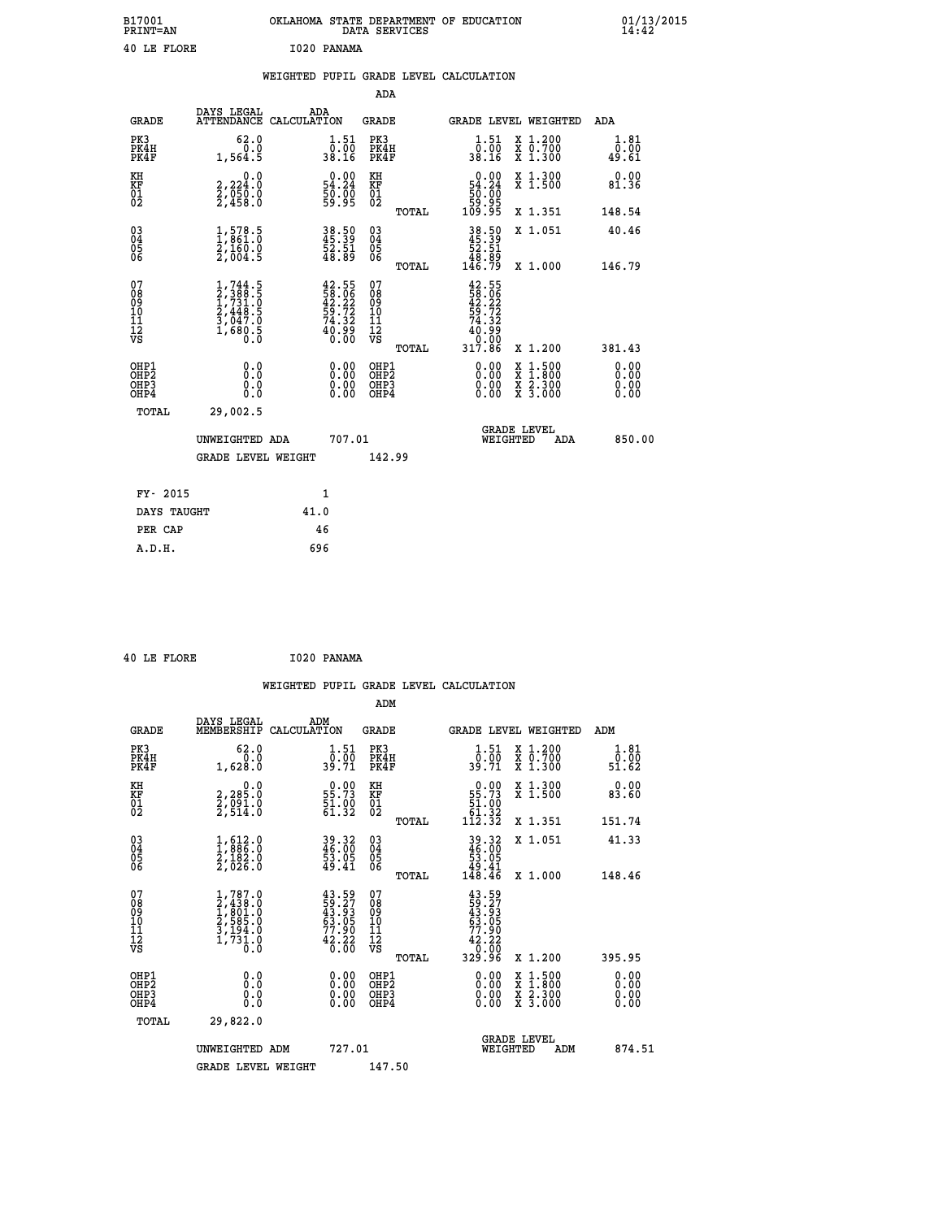| B17001<br><b>PRINT=AN</b> | OKLAHOMA STATE DEPARTMENT OF EDUCATION<br>DATA SERVICES | 01/13/2015 |
|---------------------------|---------------------------------------------------------|------------|
| 40 LE FLORE               | 1020 PANAMA                                             |            |

|                                                                    |                                                                                              | WEIGHTED PUPIL GRADE LEVEL CALCULATION                               |                        |                                          |       |                                                                                                                                                            |                                                                                          |                       |
|--------------------------------------------------------------------|----------------------------------------------------------------------------------------------|----------------------------------------------------------------------|------------------------|------------------------------------------|-------|------------------------------------------------------------------------------------------------------------------------------------------------------------|------------------------------------------------------------------------------------------|-----------------------|
|                                                                    |                                                                                              |                                                                      |                        | ADA                                      |       |                                                                                                                                                            |                                                                                          |                       |
| <b>GRADE</b>                                                       | DAYS LEGAL                                                                                   | ADA<br>ATTENDANCE CALCULATION                                        |                        | <b>GRADE</b>                             |       | GRADE LEVEL WEIGHTED                                                                                                                                       |                                                                                          | <b>ADA</b>            |
| PK3<br>PK4H<br>PK4F                                                | 62.0<br>0.0<br>1,564.5                                                                       | $\frac{1}{0}$ : 51<br>38.16                                          |                        | PK3<br>PK4H<br>PK4F                      |       | $\frac{1}{0}$ : 51<br>38.16                                                                                                                                | X 1.200<br>X 0.700<br>X 1.300                                                            | 1.81<br>0.00<br>49.61 |
| KH<br><b>KF</b><br>01<br>02                                        | 0.0<br>2,224:0<br>2,050:0<br>2,458:0                                                         | $\begin{smallmatrix} 0.00\\ 54.24\\ 50.00\\ 59.95 \end{smallmatrix}$ |                        | KH<br>KF<br>01<br>02                     |       | $0.00\n54.24\n50.00\n59.95\n109.95$                                                                                                                        | X 1.300<br>X 1.500                                                                       | 0.00<br>81.36         |
|                                                                    |                                                                                              |                                                                      |                        |                                          | TOTAL |                                                                                                                                                            | X 1.351                                                                                  | 148.54                |
| $\begin{smallmatrix} 03 \\[-4pt] 04 \end{smallmatrix}$<br>Ŏ5<br>ŎĞ | $\frac{1}{1}, \frac{578}{861}. \frac{5}{0}$<br>$\frac{2}{160}. \frac{160}{964}. \frac{5}{5}$ | 38.50<br>45.39<br>52.51<br>48.89                                     |                        | $\substack{03 \\ 04}$<br>05<br>06        |       | $38.50$<br>$45.39$<br>$52.51$<br>$48.89$<br>$146.79$                                                                                                       | X 1.051                                                                                  | 40.46                 |
|                                                                    |                                                                                              |                                                                      |                        |                                          | TOTAL |                                                                                                                                                            | X 1.000                                                                                  | 146.79                |
| 07<br>08<br>09<br>101<br>11<br>12<br>VS                            | $1,744.5$<br>$2,388.5$<br>$1,731.0$<br>$2,448.5$<br>$3,047.0$<br>$1,680.5$<br>$0.0$          | $42.5558.0642.2259.7274.3240.990.00$                                 |                        | 07<br>08901112<br>1112<br>VS             | TOTAL | $42.55$<br>$58.06$<br>$42.22$<br>$59.72$<br>$74.32$<br>$\begin{smallmatrix} 4\, \overline{0} & 9\, \overline{0} \\ 0 & 0 \\ 3\, 17 & 86 \end{smallmatrix}$ | X 1.200                                                                                  | 381.43                |
| OHP1                                                               | 0.0                                                                                          |                                                                      |                        |                                          |       |                                                                                                                                                            |                                                                                          | 0.00                  |
| OH <sub>P</sub> 2<br>OH <sub>P3</sub><br>OHP4                      | Ō.Ō<br>0.0<br>0.0                                                                            |                                                                      | 0.00<br>$0.00$<br>0.00 | OHP1<br>OHP <sub>2</sub><br>OHP3<br>OHP4 |       | $0.00$<br>$0.00$<br>0.00                                                                                                                                   | $\begin{smallmatrix} x & 1.500 \\ x & 1.800 \\ x & 2.300 \\ x & 3.000 \end{smallmatrix}$ | 0.00<br>0.00<br>0.00  |
| TOTAL                                                              | 29,002.5                                                                                     |                                                                      |                        |                                          |       |                                                                                                                                                            |                                                                                          |                       |
|                                                                    | UNWEIGHTED ADA                                                                               |                                                                      | 707.01                 |                                          |       | WEIGHTED                                                                                                                                                   | <b>GRADE LEVEL</b><br>ADA                                                                | 850.00                |
|                                                                    | <b>GRADE LEVEL WEIGHT</b>                                                                    |                                                                      |                        | 142.99                                   |       |                                                                                                                                                            |                                                                                          |                       |
| FY- 2015                                                           |                                                                                              | $\mathbf{1}$                                                         |                        |                                          |       |                                                                                                                                                            |                                                                                          |                       |
| DAYS TAUGHT                                                        |                                                                                              | 41.0                                                                 |                        |                                          |       |                                                                                                                                                            |                                                                                          |                       |
| PER CAP                                                            |                                                                                              | 46                                                                   |                        |                                          |       |                                                                                                                                                            |                                                                                          |                       |

 **40 LE FLORE I020 PANAMA**

 **A.D.H. 696**

 **WEIGHTED PUPIL GRADE LEVEL CALCULATION ADM DAYS LEGAL ADM GRADE MEMBERSHIP CALCULATION GRADE GRADE LEVEL WEIGHTED ADM**

| PK3<br>PK4H<br>PK4F                                | 62.0<br>1,628.0                                                                                      | $\frac{1}{0}$ : $\frac{51}{00}$<br>39.71                                 | PK3<br>PK4H<br>PK4F                          | $\frac{1}{0}$ : $\frac{51}{00}$<br>39.71                                                      | X 1.200<br>X 0.700<br>X 1.300            | 1.81<br>ō:ŏō<br>51:62 |
|----------------------------------------------------|------------------------------------------------------------------------------------------------------|--------------------------------------------------------------------------|----------------------------------------------|-----------------------------------------------------------------------------------------------|------------------------------------------|-----------------------|
| KH<br>KF<br>01<br>02                               | 0.0<br>2,285:0<br>2,091:0<br>2,514:0                                                                 | $\begin{smallmatrix} 0.00\\ 55.73\\ 51.90\\ 61.32 \end{smallmatrix}$     | KH<br>KF<br>$^{01}_{02}$                     | $\begin{smallmatrix} &0.00\,55.73\,51.00\,61.32\,112.32\end{smallmatrix}$                     | X 1.300<br>X 1.500                       | 0.00<br>83.60         |
|                                                    |                                                                                                      |                                                                          | TOTAL                                        |                                                                                               | X 1.351                                  | 151.74                |
| $\begin{matrix} 03 \\ 04 \\ 05 \\ 06 \end{matrix}$ | $\frac{1}{2}, \frac{612}{886} .0 \newline \frac{2}{182} .0 \newline \frac{2}{2}, \frac{182}{026} .0$ | 39.32<br>46.00<br>53.05<br>49.41                                         | 03<br>04<br>05<br>06                         | $39.32$<br>$46.00$<br>$53.05$<br>$49.41$<br>$148.46$                                          | X 1.051                                  | 41.33                 |
|                                                    |                                                                                                      |                                                                          | TOTAL                                        |                                                                                               | X 1.000                                  | 148.46                |
| 07<br>08<br>09<br>10<br>11<br>11<br>17<br>VS       | $1,787.0$<br>$2,438.0$<br>$1,801.0$<br>$2,585.0$<br>$3,194.0$<br>$1,731.0$<br>$0.0$                  | $43.59$<br>$59.27$<br>$43.93$<br>$63.05$<br>$77.90$<br>$42.22$<br>$6.00$ | 07<br>08<br>09<br>01<br>11<br>11<br>17<br>VS | $\begin{smallmatrix} 43.59\ 59.27\ 43.935\ 63.050\ 77.902\ 42.220\ 329.96\ \end{smallmatrix}$ |                                          |                       |
|                                                    |                                                                                                      |                                                                          | TOTAL                                        |                                                                                               | X 1.200                                  | 395.95                |
| OHP1<br>OHP2<br>OH <sub>P3</sub><br>OHP4           | $\begin{smallmatrix} 0.0 \ 0.0 \ 0.0 \end{smallmatrix}$                                              | $0.00$<br>$0.00$<br>0.00                                                 | OHP1<br>OHP2<br>OHP3<br>OHP4                 | $0.00$<br>$0.00$<br>0.00                                                                      | X 1:500<br>X 1:800<br>X 2:300<br>X 3:000 | 0.00<br>0.00<br>0.00  |
| TOTAL                                              | 29,822.0                                                                                             |                                                                          |                                              |                                                                                               |                                          |                       |
|                                                    | UNWEIGHTED ADM                                                                                       | 727.01                                                                   |                                              | <b>GRADE LEVEL</b><br>WEIGHTED                                                                | ADM                                      | 874.51                |
|                                                    | <b>GRADE LEVEL WEIGHT</b>                                                                            |                                                                          | 147.50                                       |                                                                                               |                                          |                       |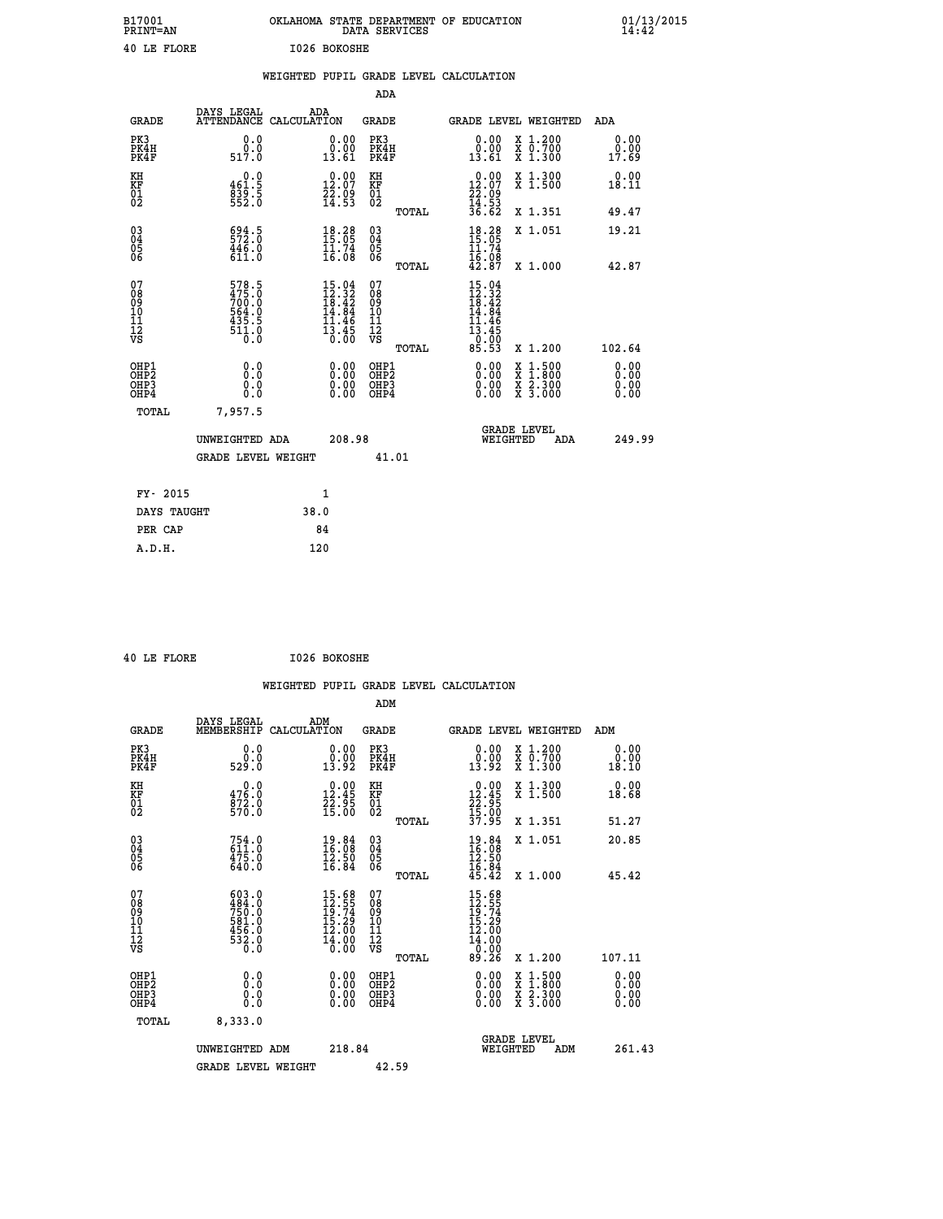| B17001<br><b>PRINT=AN</b> | OKLAHOMA STATE DEPARTMENT OF EDUCATION<br>DATA SERVICES | 01/13/2015 |
|---------------------------|---------------------------------------------------------|------------|
| 40 LE FLORE               | I026 BOKOSHE                                            |            |

|                                                      |                                                                       |      |                                                                                                                        |                                                    |       | WEIGHTED PUPIL GRADE LEVEL CALCULATION                                        |                                                                                                                                           |                              |
|------------------------------------------------------|-----------------------------------------------------------------------|------|------------------------------------------------------------------------------------------------------------------------|----------------------------------------------------|-------|-------------------------------------------------------------------------------|-------------------------------------------------------------------------------------------------------------------------------------------|------------------------------|
|                                                      |                                                                       |      |                                                                                                                        | ADA                                                |       |                                                                               |                                                                                                                                           |                              |
| <b>GRADE</b>                                         | DAYS LEGAL<br>ATTENDANCE CALCULATION                                  |      | ADA                                                                                                                    | GRADE                                              |       |                                                                               | GRADE LEVEL WEIGHTED                                                                                                                      | ADA                          |
| PK3<br>PK4H<br>PK4F                                  | 0.0<br>0.0<br>517.0                                                   |      | 0.00<br>0.00<br>13.61                                                                                                  | PK3<br>PK4H<br>PK4F                                |       | 0.00<br>0.00<br>13.61                                                         | X 1.200<br>X 0.700<br>X 1.300                                                                                                             | 0.00<br>0.00<br>17.69        |
| KH<br>KF<br>01<br>02                                 | 0.0<br>461.5<br>$839.5$<br>552.0                                      |      | 0.00<br>$\frac{12.07}{22.09}$<br>14.53                                                                                 | KH<br><b>KF</b><br>01<br>02                        |       | 0.00<br>$\frac{12.07}{22.09}$<br>$\frac{12.07}{14.53}$<br>$\frac{36.62}{2}$   | X 1.300<br>X 1.500                                                                                                                        | 0.00<br>18.11                |
|                                                      |                                                                       |      |                                                                                                                        |                                                    | TOTAL |                                                                               | X 1.351                                                                                                                                   | 49.47                        |
| 030404<br>ŌĞ                                         | $\begin{smallmatrix} 694.5\\ 572.0\\ 446.0\\ 611.0 \end{smallmatrix}$ |      | $18.28$<br>$15.05$<br>$11.74$<br>$16.08$                                                                               | $\begin{matrix} 03 \\ 04 \\ 05 \\ 06 \end{matrix}$ |       | $\frac{18.28}{15.05}$                                                         | X 1.051                                                                                                                                   | 19.21                        |
|                                                      |                                                                       |      |                                                                                                                        |                                                    | TOTAL | 16.08<br>42.87                                                                | X 1.000                                                                                                                                   | 42.87                        |
| 07<br>0890112<br>1112<br>VS                          | 578.5<br>475.0<br>700.0<br>564.0<br>5435.5<br>435.5<br>511.0          |      | $\begin{array}{c} 15\cdot 04\\ 12\cdot 32\\ 18\cdot 42\\ 14\cdot 84\\ 11\cdot 46\\ 13\cdot 45\\ 0\cdot 00 \end{array}$ | 07<br>08<br>09<br>11<br>11<br>12<br>VS             |       | $15.04$<br>$12.32$<br>$18.42$<br>$14.84$<br>11<br>.46<br>$\frac{13.45}{0.00}$ |                                                                                                                                           |                              |
|                                                      |                                                                       |      |                                                                                                                        |                                                    | TOTAL | 85.53                                                                         | X 1.200                                                                                                                                   | 102.64                       |
| OHP1<br>OHP <sub>2</sub><br>OH <sub>P3</sub><br>OHP4 | 0.0<br>Ō.Ō<br>0.0<br>0.0                                              |      | 0.00<br>0.00<br>0.00                                                                                                   | OHP1<br>OHP <sub>2</sub><br>OHP3<br>OHP4           |       | 0.00<br>0.00<br>0.00                                                          | $\begin{smallmatrix} \mathtt{X} & 1\cdot500\\ \mathtt{X} & 1\cdot800\\ \mathtt{X} & 2\cdot300\\ \mathtt{X} & 3\cdot000 \end{smallmatrix}$ | 0.00<br>0.00<br>0.00<br>0.00 |
| TOTAL                                                | 7,957.5                                                               |      |                                                                                                                        |                                                    |       |                                                                               |                                                                                                                                           |                              |
|                                                      | UNWEIGHTED ADA                                                        |      | 208.98                                                                                                                 |                                                    |       | WEIGHTED                                                                      | <b>GRADE LEVEL</b><br>ADA                                                                                                                 | 249.99                       |
|                                                      | <b>GRADE LEVEL WEIGHT</b>                                             |      |                                                                                                                        |                                                    | 41.01 |                                                                               |                                                                                                                                           |                              |
| FY- 2015                                             |                                                                       |      | 1                                                                                                                      |                                                    |       |                                                                               |                                                                                                                                           |                              |
| DAYS TAUGHT                                          |                                                                       | 38.0 |                                                                                                                        |                                                    |       |                                                                               |                                                                                                                                           |                              |
| PER CAP                                              |                                                                       |      | 84                                                                                                                     |                                                    |       |                                                                               |                                                                                                                                           |                              |
| A.D.H.                                               |                                                                       |      | 120                                                                                                                    |                                                    |       |                                                                               |                                                                                                                                           |                              |

 **40 LE FLORE I026 BOKOSHE**

| <b>GRADE</b>                                       | DAYS LEGAL<br>MEMBERSHIP                                                                                                                                                                | ADM<br>CALCULATION                                                   | <b>GRADE</b>                           |       | GRADE LEVEL WEIGHTED                                                                               |                                                                                                                                           | ADM    |                              |
|----------------------------------------------------|-----------------------------------------------------------------------------------------------------------------------------------------------------------------------------------------|----------------------------------------------------------------------|----------------------------------------|-------|----------------------------------------------------------------------------------------------------|-------------------------------------------------------------------------------------------------------------------------------------------|--------|------------------------------|
| PK3<br>PK4H<br>PK4F                                | 0.0<br>0.0<br>529.0                                                                                                                                                                     | 0.0000<br>13.92                                                      | PK3<br>PK4H<br>PK4F                    |       | 0.00<br>0.00<br>13.92                                                                              | X 1.200<br>X 0.700<br>X 1.300                                                                                                             |        | 0.00<br>0.00<br>18.10        |
| KH<br>KF<br>01<br>02                               | 0.0<br>$\frac{476.0}{872.0}$                                                                                                                                                            | $\begin{smallmatrix} 0.00\\ 12.45\\ 22.95\\ 15.00 \end{smallmatrix}$ | KH<br>KF<br>01<br>02                   |       | $\begin{smallmatrix} 0.00\\ 12.45\\ 22.95\\ 15.00\\ 37.95 \end{smallmatrix}$                       | X 1.300<br>X 1.500                                                                                                                        |        | 0.00<br>18.68                |
|                                                    |                                                                                                                                                                                         |                                                                      |                                        | TOTAL |                                                                                                    | X 1.351                                                                                                                                   |        | 51.27                        |
| $\begin{matrix} 03 \\ 04 \\ 05 \\ 06 \end{matrix}$ | $754.0$<br>611.0<br>475.0<br>640.0                                                                                                                                                      | $\begin{smallmatrix} 19.84\ 16.08\ 12.50\ 16.84 \end{smallmatrix}$   | 03<br>04<br>05<br>06                   |       | $19.84$<br>$16.98$<br>$12.50$<br>$16.84$<br>$45.42$                                                | X 1.051                                                                                                                                   |        | 20.85                        |
|                                                    |                                                                                                                                                                                         |                                                                      |                                        | TOTAL |                                                                                                    | X 1.000                                                                                                                                   |        | 45.42                        |
| 07<br>08<br>09<br>101<br>112<br>VS                 | $\begin{smallmatrix} 6 & 0 & 3 & 0 & 0 \\ 4 & 8 & 4 & 0 & 0 \\ 7 & 5 & 0 & 0 & 0 \\ 5 & 8 & 1 & 0 & 0 \\ 4 & 5 & 6 & 0 & 0 \\ 5 & 3 & 2 & 0 & 0 \\ 0 & 0 & 0 & 0 & 0 \end{smallmatrix}$ | 15.68<br>12.55<br>19.74<br>15.29<br>12.00<br>14.00<br>0.00           | 07<br>08<br>09<br>11<br>11<br>12<br>VS | TOTAL | $\begin{array}{r} 15.68 \\ 12.55 \\ 19.74 \\ 15.29 \\ 12.00 \\ 14.00 \\ 0.00 \\ 89.26 \end{array}$ | X 1.200                                                                                                                                   | 107.11 |                              |
| OHP1                                               |                                                                                                                                                                                         |                                                                      | OHP1                                   |       |                                                                                                    |                                                                                                                                           |        |                              |
| OH <sub>P</sub> <sub>2</sub><br>OHP3<br>OHP4       | 0.0<br>0.0<br>0.0                                                                                                                                                                       |                                                                      | OH <sub>P</sub> 2<br>OHP3<br>OHP4      |       |                                                                                                    | $\begin{smallmatrix} \mathtt{X} & 1\cdot500\\ \mathtt{X} & 1\cdot800\\ \mathtt{X} & 2\cdot300\\ \mathtt{X} & 3\cdot000 \end{smallmatrix}$ |        | 0.00<br>0.00<br>0.00<br>0.00 |
| TOTAL                                              | 8,333.0                                                                                                                                                                                 |                                                                      |                                        |       |                                                                                                    |                                                                                                                                           |        |                              |
|                                                    | UNWEIGHTED ADM                                                                                                                                                                          | 218.84                                                               |                                        |       | WEIGHTED                                                                                           | <b>GRADE LEVEL</b><br>ADM                                                                                                                 |        | 261.43                       |
|                                                    | <b>GRADE LEVEL WEIGHT</b>                                                                                                                                                               |                                                                      | 42.59                                  |       |                                                                                                    |                                                                                                                                           |        |                              |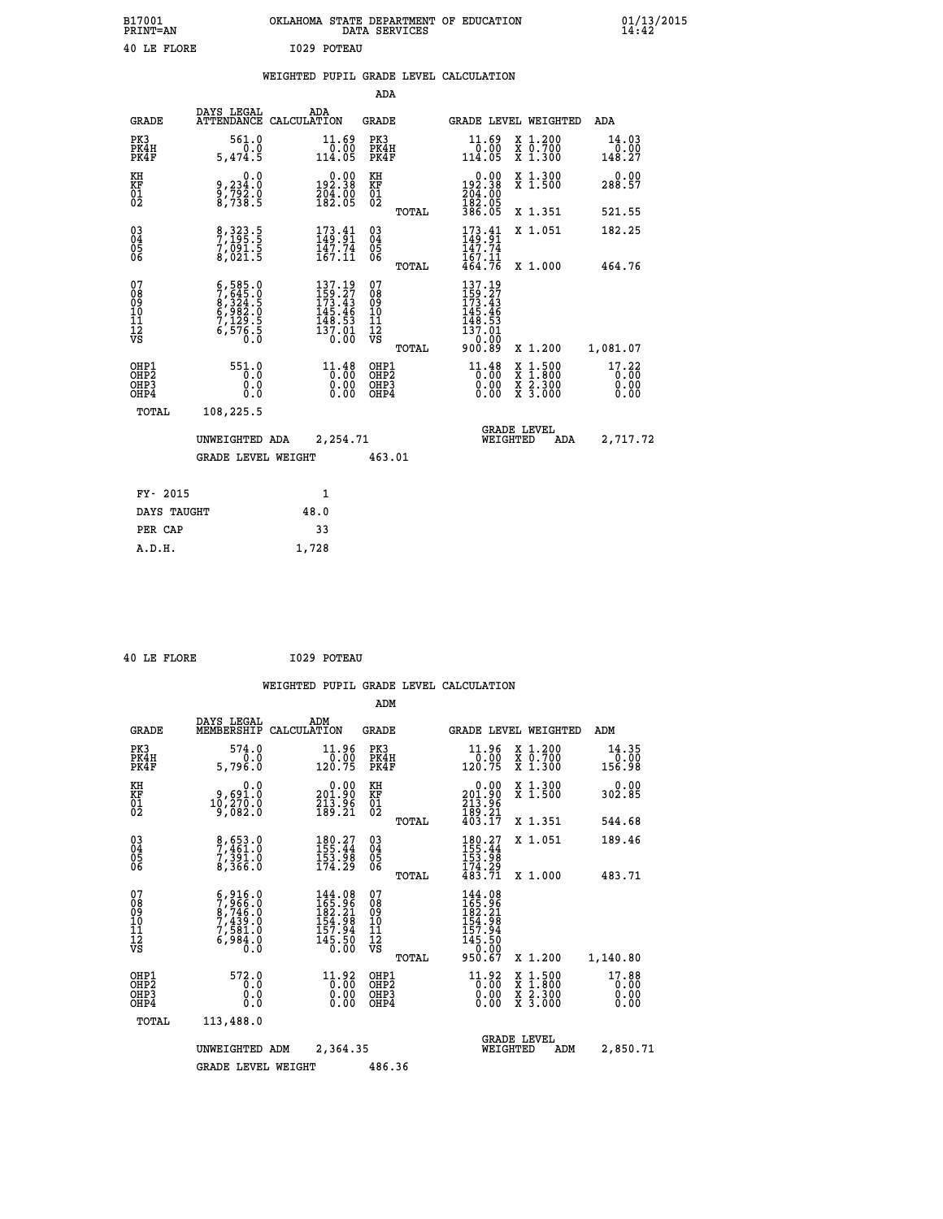| B17001<br><b>PRINT=AN</b> | OKLAHOMA STATE DEPARTMENT OF EDUCATION<br>DATA SERVICES | 01/13/2015<br>14:42 |
|---------------------------|---------------------------------------------------------|---------------------|
| 40 LE FLORE               | 1029 POTEAU                                             |                     |

|  |  | WEIGHTED PUPIL GRADE LEVEL CALCULATION |
|--|--|----------------------------------------|
|  |  |                                        |

|                                           |                                                                                                                     |                                                                                                                                | ADA                                       |       |                                                                                                     |                                                                                                  |                               |
|-------------------------------------------|---------------------------------------------------------------------------------------------------------------------|--------------------------------------------------------------------------------------------------------------------------------|-------------------------------------------|-------|-----------------------------------------------------------------------------------------------------|--------------------------------------------------------------------------------------------------|-------------------------------|
| <b>GRADE</b>                              | DAYS LEGAL                                                                                                          | ADA<br>ATTENDANCE CALCULATION                                                                                                  | GRADE                                     |       | GRADE LEVEL WEIGHTED                                                                                |                                                                                                  | ADA                           |
| PK3<br>PK4H<br>PK4F                       | 561.0<br>0.0<br>5,474.5                                                                                             | 11.69<br>$\frac{0.00}{114.05}$                                                                                                 | PK3<br>PK4H<br>PK4F                       |       | 11.69<br>$\frac{0.00}{114.05}$                                                                      | X 1.200<br>X 0.700<br>X 1.300                                                                    | 14.03<br>$0.00$<br>148.27     |
| KH<br>KF<br>01<br>02                      | 0.0<br>9,234:0<br>9,792:0<br>8,738:5                                                                                | $\begin{smallmatrix} &0.00\\192.38\\204.00\\182.05\end{smallmatrix}$                                                           | KH<br>KF<br>01<br>02                      |       | $\begin{smallmatrix} &0.00\\192.38\\204.00\\182.05\\386.05\end{smallmatrix}$                        | X 1.300<br>X 1.500                                                                               | 0.00<br>288.57                |
|                                           |                                                                                                                     |                                                                                                                                |                                           | TOTAL |                                                                                                     | X 1.351                                                                                          | 521.55                        |
| 03<br>04<br>05<br>06                      | 8, 323.5<br>7, 195.5<br>7, 091.5<br>8, 021.5                                                                        | $173.41$<br>$149.91$<br>$\frac{147.74}{167.11}$                                                                                | 03<br>04<br>05<br>06                      |       | $\frac{173}{149}$ : $\frac{41}{91}$<br>147.74<br>167.11                                             | X 1.051                                                                                          | 182.25                        |
|                                           |                                                                                                                     |                                                                                                                                |                                           | TOTAL | 464.76                                                                                              | X 1.000                                                                                          | 464.76                        |
| 07<br>08<br>09<br>11<br>11<br>12<br>VS    | $\begin{smallmatrix} 6,585.0\\ 7,645.0\\ 8,324.5\\ 6,982.5\\ 6,982.5\\ 7,129.5\\ 6,576.5\\ 0.0\\ \end{smallmatrix}$ | $\begin{smallmatrix} 137\cdot 19\\159\cdot 27\\173\cdot 43\\145\cdot 46\\148\cdot 53\\137\cdot 01\\0\cdot 00\end{smallmatrix}$ | 07<br>08<br>09<br>11<br>11<br>12<br>VS    | TOTAL | $\begin{smallmatrix} 137.19\\159.27\\173.43\\145.46\\148.53\\137.01\\0.00\\900.89\end{smallmatrix}$ | X 1.200                                                                                          | 1,081.07                      |
| OHP1<br>OH <sub>P</sub> 2<br>OHP3<br>OHP4 | 551.0<br>0.0<br>0.0<br>0.0                                                                                          | 11.48<br>0.00<br>0.00                                                                                                          | OHP1<br>OH <sub>P</sub> 2<br>OHP3<br>OHP4 |       | 11.48<br>0.00<br>0.00                                                                               | $\begin{smallmatrix} x & 1 & 500 \\ x & 1 & 800 \\ x & 2 & 300 \\ x & 3 & 000 \end{smallmatrix}$ | 17.22<br>0.00<br>0.00<br>0.00 |
| TOTAL                                     | 108,225.5                                                                                                           |                                                                                                                                |                                           |       |                                                                                                     |                                                                                                  |                               |
|                                           | UNWEIGHTED ADA                                                                                                      | 2,254.71                                                                                                                       |                                           |       | WEIGHTED                                                                                            | <b>GRADE LEVEL</b><br>ADA                                                                        | 2,717.72                      |
|                                           | <b>GRADE LEVEL WEIGHT</b>                                                                                           |                                                                                                                                | 463.01                                    |       |                                                                                                     |                                                                                                  |                               |
| FY- 2015                                  |                                                                                                                     | $\mathbf{1}$                                                                                                                   |                                           |       |                                                                                                     |                                                                                                  |                               |
|                                           |                                                                                                                     |                                                                                                                                |                                           |       |                                                                                                     |                                                                                                  |                               |
| DAYS TAUGHT                               |                                                                                                                     | 48.0                                                                                                                           |                                           |       |                                                                                                     |                                                                                                  |                               |
| PER CAP                                   |                                                                                                                     | 33                                                                                                                             |                                           |       |                                                                                                     |                                                                                                  |                               |
| A.D.H.                                    |                                                                                                                     | 1,728                                                                                                                          |                                           |       |                                                                                                     |                                                                                                  |                               |

|  | 40 LE FLORE |  |
|--|-------------|--|
|  |             |  |

 **40 LE FLORE I029 POTEAU**

|                                                       |                                                                                      |                                                                                      | ADM                                                 |                                                                                     |                                          |                               |
|-------------------------------------------------------|--------------------------------------------------------------------------------------|--------------------------------------------------------------------------------------|-----------------------------------------------------|-------------------------------------------------------------------------------------|------------------------------------------|-------------------------------|
| <b>GRADE</b>                                          | DAYS LEGAL<br>MEMBERSHIP                                                             | ADM<br>CALCULATION                                                                   | <b>GRADE</b>                                        | GRADE LEVEL WEIGHTED                                                                |                                          | ADM                           |
| PK3<br>PK4H<br>PK4F                                   | 574.0<br>0.0<br>5,796.0                                                              | 11.96<br>0.00<br>120.75                                                              | PK3<br>PK4H<br>PK4F                                 | $11.96$<br>$0.00$<br>120.75                                                         | X 1.200<br>X 0.700<br>X 1.300            | 14.35<br>0.00<br>156.98       |
| KH<br>KF<br>01<br>02                                  | 0.0<br>9,691.0<br>10,270.0<br>9,082.0                                                | $\begin{smallmatrix} &0.00\\ 201.90\\ 213.96\\ 189.21 \end{smallmatrix}$             | KH<br>KF<br>01<br>02                                | $\begin{smallmatrix} &0.00\\ 201.90\\ 213.96\\ 189.21\\ 403.17\end{smallmatrix}$    | X 1.300<br>X 1.500                       | 0.00<br>302.85                |
|                                                       |                                                                                      |                                                                                      | TOTAL                                               |                                                                                     | X 1.351                                  | 544.68                        |
| 03<br>04<br>05<br>06                                  | 8,653.0<br>7,461.0<br>7,391.0<br>8,366.0                                             | $180.27$<br>$155.44$<br>$153.98$<br>$174.29$                                         | $\begin{array}{c} 03 \\ 04 \\ 05 \\ 06 \end{array}$ | $180.27$<br>$155.44$<br>$153.98$<br>$174.29$<br>$483.71$                            | X 1.051                                  | 189.46                        |
|                                                       |                                                                                      |                                                                                      | TOTAL                                               |                                                                                     | X 1.000                                  | 483.71                        |
| 07<br>08<br>09<br>101<br>112<br>VS                    | $5,916.0$<br>$7,966.0$<br>$8,7439.0$<br>$7,439.0$<br>$7,581.0$<br>$6,984.0$<br>$0.0$ | $144.08$<br>$165.96$<br>$182.21$<br>$\frac{154.98}{157.94}$<br>$\frac{145.50}{0.00}$ | 07<br>08<br>09<br>11<br>11<br>12<br>VS<br>TOTAL     | 144.08<br>165.96<br>182.21<br>$154.98$<br>$157.94$<br>$145.50$<br>$-2.90$<br>950.67 | X 1.200                                  | 1,140.80                      |
| OHP1<br>OH <sub>P</sub> 2<br>OH <sub>P3</sub><br>OHP4 | 572.0<br>0.0<br>0.000                                                                | 11.92<br>$0.00$<br>0.00<br>0.00                                                      | OHP1<br>OHP2<br>OHP3<br>OHP4                        | $^{11.92}_{0.00}$<br>0.00                                                           | X 1:500<br>X 1:800<br>X 2:300<br>X 3:000 | 17.88<br>0.00<br>0.00<br>0.00 |
| TOTAL                                                 | 113,488.0                                                                            |                                                                                      |                                                     |                                                                                     |                                          |                               |
|                                                       | UNWEIGHTED ADM                                                                       | 2,364.35                                                                             |                                                     | <b>GRADE LEVEL</b><br>WEIGHTED                                                      | ADM                                      | 2,850.71                      |
|                                                       | <b>GRADE LEVEL WEIGHT</b>                                                            |                                                                                      | 486.36                                              |                                                                                     |                                          |                               |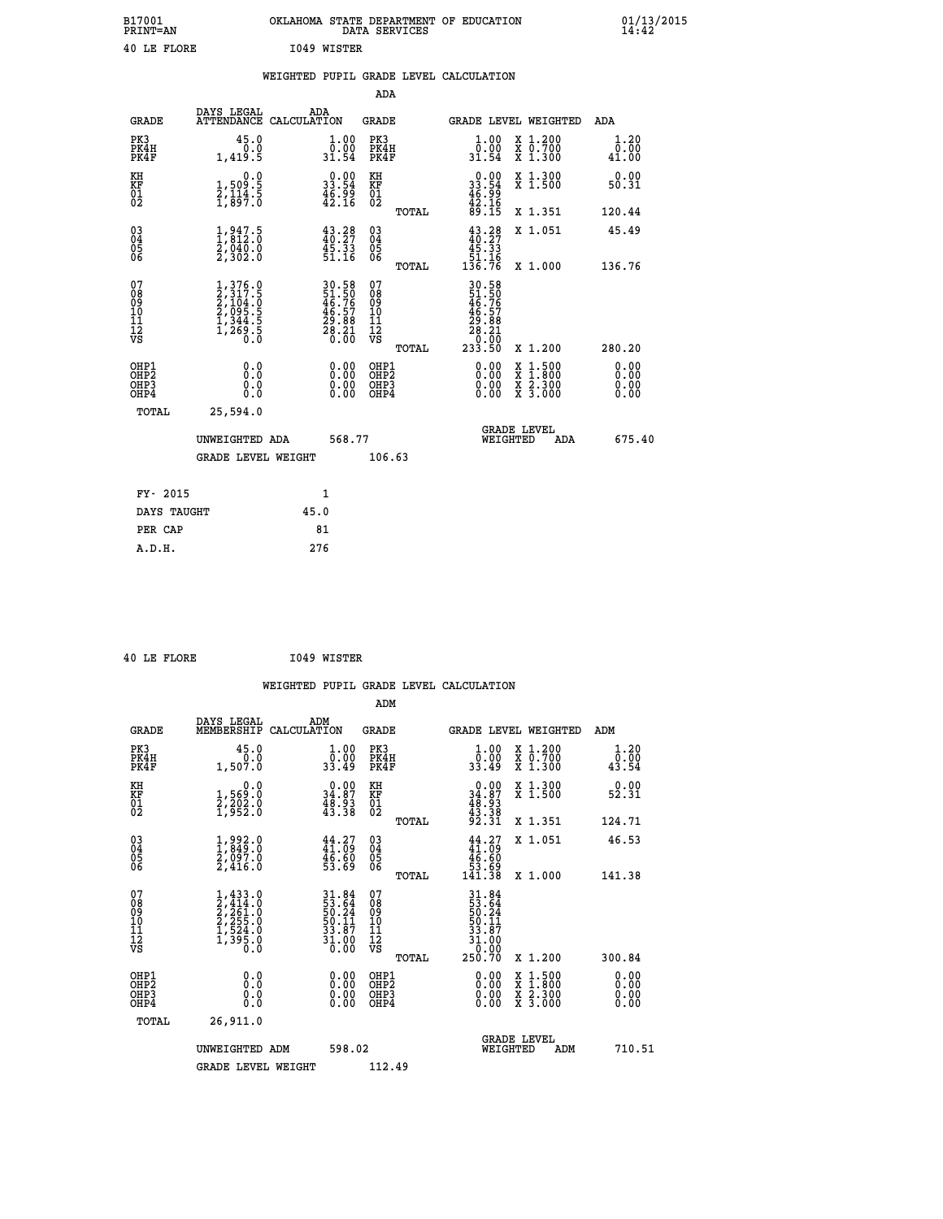| B17001<br>PRINT=AN | OKLAHOMA STATE DEPARTMENT OF EDUCATION<br>DATA SERVICES | $01/13/2015$<br>14:42 |
|--------------------|---------------------------------------------------------|-----------------------|
| 40 LE FLORE        | 1049 WISTER                                             |                       |

|                                                                              |                                                                                     |                                                                      | ADA                                                         |                                                                                              |                                                                                                                                           |                              |
|------------------------------------------------------------------------------|-------------------------------------------------------------------------------------|----------------------------------------------------------------------|-------------------------------------------------------------|----------------------------------------------------------------------------------------------|-------------------------------------------------------------------------------------------------------------------------------------------|------------------------------|
| <b>GRADE</b>                                                                 | DAYS LEGAL                                                                          | ADA<br>ATTENDANCE CALCULATION                                        | GRADE                                                       | <b>GRADE LEVEL WEIGHTED</b>                                                                  |                                                                                                                                           | ADA                          |
| PK3<br>PK4H<br>PK4F                                                          | 45.0<br>0.0<br>1,419.5                                                              | $\begin{smallmatrix} 1.00\\ 0.00\\ 31.54 \end{smallmatrix}$          | PK3<br>PK4H<br>PK4F                                         | 1.00<br>0.00<br>31.54                                                                        | X 1.200<br>X 0.700<br>X 1.300                                                                                                             | 1.20<br>0.00<br>41.00        |
| KH<br>KF<br>01<br>02                                                         | 0.0<br>1,509:5<br>2,114:5<br>1,897:0                                                | $\begin{smallmatrix} 0.00\\ 33.54\\ 46.99\\ 42.16 \end{smallmatrix}$ | KH<br>KF<br>01<br>02                                        | $\begin{smallmatrix} 0.00\\ 33.54\\ 46.99\\ 42.16\\ 89.15 \end{smallmatrix}$                 | X 1.300<br>X 1.500                                                                                                                        | 0.00<br>50.31                |
|                                                                              |                                                                                     |                                                                      | TOTAL                                                       |                                                                                              | X 1.351                                                                                                                                   | 120.44                       |
| $\begin{matrix} 03 \\ 04 \\ 05 \\ 06 \end{matrix}$                           | $\frac{1}{2}, \frac{947}{812}$ .0<br>$\frac{2}{9}$ , 040.0<br>2, 302.0              | $43.28$<br>$40.27$<br>$45.33$<br>$51.16$                             | $\begin{matrix} 03 \\ 04 \\ 05 \\ 06 \end{matrix}$<br>TOTAL | $\begin{array}{c} 43.28 \\ 40.27 \\ 45.33 \\ 51.16 \\ 136.76 \end{array}$                    | X 1.051<br>X 1.000                                                                                                                        | 45.49<br>136.76              |
| 07<br>08<br>09<br>11<br>11<br>12<br>VS                                       | $1,376.0$<br>$2,317.5$<br>$2,104.0$<br>$2,095.5$<br>$1,344.5$<br>$1,269.5$<br>$0.0$ | 30.58<br>51.50<br>46.76<br>46.57<br>29.88<br>28.20<br>28.20          | 07<br>08<br>09<br>11<br>11<br>12<br>VS<br>TOTAL             | $\begin{smallmatrix} 30.58\ 51.50\ 46.767\ 49.578\ 29.881\ 20.000\ 233.50 \end{smallmatrix}$ | X 1.200                                                                                                                                   | 280.20                       |
| OHP1<br>OH <sub>P</sub> <sub>2</sub><br>OH <sub>P3</sub><br>OH <sub>P4</sub> | 0.0<br>Ō.Ō<br>0.0<br>0.0                                                            | 0.00<br>$\begin{smallmatrix} 0.00 \ 0.00 \end{smallmatrix}$          | OHP1<br>OHP2<br>OHP3<br>OHP4                                | 0.00<br>0.00<br>0.00                                                                         | $\begin{smallmatrix} \mathtt{X} & 1\cdot500\\ \mathtt{X} & 1\cdot800\\ \mathtt{X} & 2\cdot300\\ \mathtt{X} & 3\cdot000 \end{smallmatrix}$ | 0.00<br>0.00<br>0.00<br>0.00 |
| TOTAL                                                                        | 25,594.0<br>UNWEIGHTED ADA<br><b>GRADE LEVEL WEIGHT</b>                             | 568.77                                                               | 106.63                                                      | <b>GRADE LEVEL</b><br>WEIGHTED                                                               | ADA                                                                                                                                       | 675.40                       |
|                                                                              | FY- 2015                                                                            | 1                                                                    |                                                             |                                                                                              |                                                                                                                                           |                              |
|                                                                              | DAYS TAUGHT                                                                         | 45.0                                                                 |                                                             |                                                                                              |                                                                                                                                           |                              |
|                                                                              | PER CAP                                                                             | 81                                                                   |                                                             |                                                                                              |                                                                                                                                           |                              |
|                                                                              | A.D.H.                                                                              | 276                                                                  |                                                             |                                                                                              |                                                                                                                                           |                              |

|  | 40 LE FLORE | 1049 WISTER |
|--|-------------|-------------|
|  |             |             |

| <b>GRADE</b>                             | DAYS LEGAL<br>MEMBERSHIP                                                            | ADM<br>CALCULATION                                                       | <b>GRADE</b>                                       |       |                                                                                                                                                                                                                                                                                |          | GRADE LEVEL WEIGHTED                     | ADM                    |
|------------------------------------------|-------------------------------------------------------------------------------------|--------------------------------------------------------------------------|----------------------------------------------------|-------|--------------------------------------------------------------------------------------------------------------------------------------------------------------------------------------------------------------------------------------------------------------------------------|----------|------------------------------------------|------------------------|
| PK3<br>PK4H<br>PK4F                      | 45.0<br>1,507.0                                                                     | $\begin{smallmatrix} 1.00\\ 0.00\\ 33.49 \end{smallmatrix}$              | PK3<br>PK4H<br>PK4F                                |       | $\begin{smallmatrix} 1.00\\ 0.00\\ 33.49 \end{smallmatrix}$                                                                                                                                                                                                                    |          | X 1.200<br>X 0.700<br>X 1.300            | 1.20<br>0.00≨<br>43.54 |
| KH<br>KF<br>01<br>02                     | 0.0<br>1,569:0<br>2,202:0<br>1,952:0                                                | $\begin{smallmatrix} 0.00\\ 34.87\\ 48.93\\ 43.38 \end{smallmatrix}$     | KH<br>KF<br>01<br>02                               |       | $0.00\n34.87\n48.93\n43.38\n92.31$                                                                                                                                                                                                                                             |          | X 1.300<br>X 1.500                       | 0.00<br>52.31          |
|                                          |                                                                                     |                                                                          |                                                    | TOTAL |                                                                                                                                                                                                                                                                                |          | X 1.351                                  | 124.71                 |
| 03<br>04<br>05<br>06                     | $\begin{smallmatrix} 1,992.0\\ 1,849.0\\ 2,097.0\\ 2,416.0 \end{smallmatrix}$       | $44.27$<br>$41.09$<br>$46.60$<br>$53.69$                                 | $\begin{matrix} 03 \\ 04 \\ 05 \\ 06 \end{matrix}$ |       | $44.27\n41.09\n46.60\n53.69\n141.38$                                                                                                                                                                                                                                           |          | X 1.051                                  | 46.53                  |
|                                          |                                                                                     |                                                                          |                                                    | TOTAL |                                                                                                                                                                                                                                                                                |          | X 1.000                                  | 141.38                 |
| 07<br>089<br>090<br>1112<br>VS           | $1,433.0$<br>$2,414.0$<br>$2,261.0$<br>$2,255.0$<br>$1,524.0$<br>$1,395.0$<br>$0.0$ | $31.84$<br>$53.64$<br>$50.24$<br>$50.11$<br>$33.87$<br>$31.00$<br>$0.00$ | 07<br>08<br>09<br>01<br>11<br>11<br>12<br>VS       | TOTAL | $\begin{array}{r} 31.84 \\ 53.64 \\ 50.24 \\ 50.11 \\ 50.11 \\ 33.87 \\ 31.00 \\ 0.00 \\ 250.70 \end{array}$                                                                                                                                                                   |          | X 1.200                                  | 300.84                 |
| OHP1<br>OHP2<br>OH <sub>P3</sub><br>OHP4 | 0.0<br>$\begin{smallmatrix} 0.0 & 0 \ 0.0 & 0 \end{smallmatrix}$                    |                                                                          | OHP1<br>OHP2<br>OHP3<br>OHP4                       |       | $\begin{smallmatrix} 0.00 & 0.00 & 0.00 & 0.00 & 0.00 & 0.00 & 0.00 & 0.00 & 0.00 & 0.00 & 0.00 & 0.00 & 0.00 & 0.00 & 0.00 & 0.00 & 0.00 & 0.00 & 0.00 & 0.00 & 0.00 & 0.00 & 0.00 & 0.00 & 0.00 & 0.00 & 0.00 & 0.00 & 0.00 & 0.00 & 0.00 & 0.00 & 0.00 & 0.00 & 0.00 & 0.0$ |          | X 1:500<br>X 1:800<br>X 2:300<br>X 3:000 | 0.00<br>0.00<br>0.00   |
| TOTAL                                    | 26,911.0                                                                            |                                                                          |                                                    |       |                                                                                                                                                                                                                                                                                |          |                                          |                        |
|                                          | UNWEIGHTED                                                                          | 598.02<br>ADM                                                            |                                                    |       |                                                                                                                                                                                                                                                                                | WEIGHTED | <b>GRADE LEVEL</b><br>ADM                | 710.51                 |
|                                          | <b>GRADE LEVEL WEIGHT</b>                                                           |                                                                          | 112.49                                             |       |                                                                                                                                                                                                                                                                                |          |                                          |                        |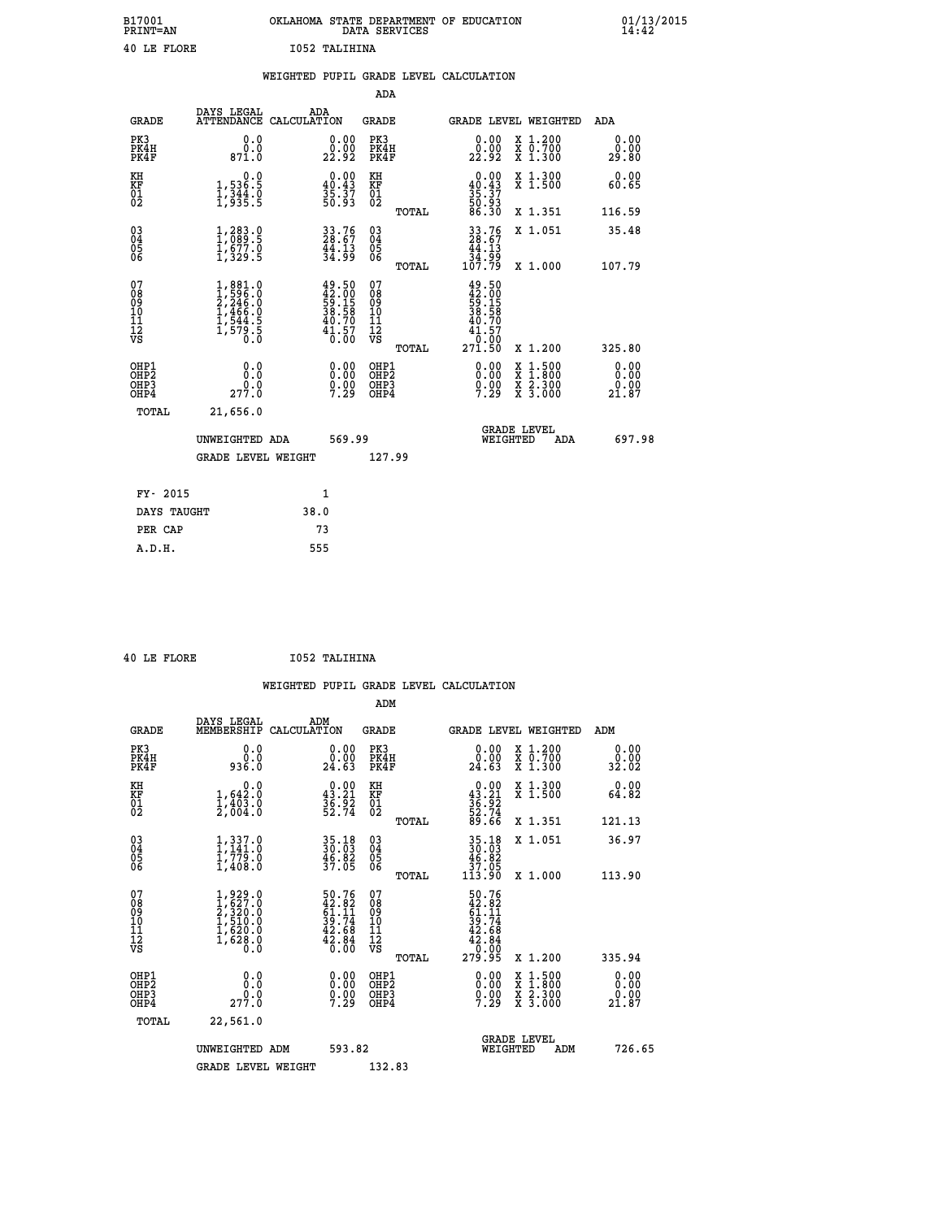| B17001<br>PRINT=AN | OKLAHOMA STATE DEPARTMENT OF EDUCATION<br>DATA SERVICES | 01/13/2015<br>14:42 |
|--------------------|---------------------------------------------------------|---------------------|
| 40 LE FLORE        | 1052 TALIHINA                                           |                     |

|                                                    |                                                                                                               |                    |                                                                          |                                        |       | WEIGHTED PUPIL GRADE LEVEL CALCULATION                                         |                  |                                           |                       |
|----------------------------------------------------|---------------------------------------------------------------------------------------------------------------|--------------------|--------------------------------------------------------------------------|----------------------------------------|-------|--------------------------------------------------------------------------------|------------------|-------------------------------------------|-----------------------|
|                                                    |                                                                                                               |                    |                                                                          | <b>ADA</b>                             |       |                                                                                |                  |                                           |                       |
| <b>GRADE</b>                                       | DAYS LEGAL<br><b>ATTENDANCE</b>                                                                               | ADA<br>CALCULATION |                                                                          | <b>GRADE</b>                           |       |                                                                                |                  | GRADE LEVEL WEIGHTED                      | ADA                   |
| PK3<br>PK4H<br>PK4F                                | 0.0<br>0.0<br>871.0                                                                                           |                    | $\begin{smallmatrix} 0.00\\ 0.00\\ 22.92 \end{smallmatrix}$              | PK3<br>PK4H<br>PK4F                    |       | 0.00<br>0.00<br>22.92                                                          |                  | X 1.200<br>X 0.700<br>X 1.300             | 0.00<br>0.00<br>29.80 |
| KH<br>KF<br>01<br>02                               | $\begin{smallmatrix}&&&0.0\\1,536.5\\1,344.0\\1,935.5\end{smallmatrix}$                                       |                    | $\begin{smallmatrix} 0.00\\ 40.43\\ 35.37\\ 50.93 \end{smallmatrix}$     | KH<br>KF<br>01<br>02                   |       | $0.00\n40.43\n35.37\n50.93\n50.30$                                             |                  | X 1.300<br>X 1.500                        | 0.00<br>60.65         |
|                                                    |                                                                                                               |                    |                                                                          |                                        | TOTAL |                                                                                |                  | X 1.351                                   | 116.59                |
| $\begin{matrix} 03 \\ 04 \\ 05 \\ 06 \end{matrix}$ | 1,283.9<br>$\frac{1}{3}, \frac{677}{329}$ .<br>1,329.5                                                        |                    | $33.76$<br>$28.67$<br>$\frac{44.13}{34.99}$                              | 03<br>04<br>05<br>06                   |       | $33.76$<br>$28.67$<br>$44.13$<br>$34.99$<br>$107.79$                           |                  | X 1.051                                   | 35.48                 |
|                                                    |                                                                                                               |                    |                                                                          |                                        | TOTAL |                                                                                |                  | X 1.000                                   | 107.79                |
| 07<br>08901112<br>1112<br>VS                       | $\begin{smallmatrix} 1, 881.0\\ 1, 596.0\\ 2, 246.0\\ 1, 466.0\\ 1, 544.5\\ 1, 579.5\\ 0.0 \end{smallmatrix}$ |                    | $49.50$<br>$42.00$<br>$59.15$<br>$38.58$<br>$40.70$<br>$41.57$<br>$0.00$ | 07<br>08<br>09<br>11<br>11<br>12<br>VS | TOTAL | 49.50<br>42.00<br>59.15<br>58.58<br>38.58<br>40.70<br>41.57<br>10.00<br>271.50 |                  | X 1.200                                   | 325.80                |
| OHP1<br>OHP2<br>OH <sub>P3</sub><br>OHP4           | 0.0<br>0.0<br>277.0                                                                                           |                    | 0.0000<br>$0.00$<br>7.29                                                 | OHP1<br>OHP2<br>OHP3<br>OHP4           |       | 0.00<br>$0.00$<br>7.29                                                         | X<br>X<br>X<br>X | $1:500$<br>1:800<br>$\frac{2.300}{3.000}$ | 0.00<br>0.00<br>21.87 |
| <b>TOTAL</b>                                       | 21,656.0                                                                                                      |                    |                                                                          |                                        |       |                                                                                |                  |                                           |                       |
|                                                    | UNWEIGHTED ADA                                                                                                |                    | 569.99                                                                   |                                        |       |                                                                                | WEIGHTED         | <b>GRADE LEVEL</b><br>ADA                 | 697.98                |
|                                                    | <b>GRADE LEVEL WEIGHT</b>                                                                                     |                    |                                                                          | 127.99                                 |       |                                                                                |                  |                                           |                       |
| FY- 2015                                           |                                                                                                               | 1                  |                                                                          |                                        |       |                                                                                |                  |                                           |                       |
| DAYS TAUGHT                                        |                                                                                                               | 38.0               |                                                                          |                                        |       |                                                                                |                  |                                           |                       |
| PER CAP                                            |                                                                                                               | 73                 |                                                                          |                                        |       |                                                                                |                  |                                           |                       |

 **ADM**

 **40 LE FLORE I052 TALIHINA**

| <b>GRADE</b>                                       | DAYS LEGAL<br>MEMBERSHIP CALCULATION                                                | ADM                                                                      | <b>GRADE</b>                                        |       |                                                                                                    |                                | GRADE LEVEL WEIGHTED                     | ADM                           |
|----------------------------------------------------|-------------------------------------------------------------------------------------|--------------------------------------------------------------------------|-----------------------------------------------------|-------|----------------------------------------------------------------------------------------------------|--------------------------------|------------------------------------------|-------------------------------|
| PK3<br>PK4H<br>PK4F                                | 0.0<br>ة:ة<br>936.0                                                                 | 0.0000<br>24.63                                                          | PK3<br>PK4H<br>PK4F                                 |       | $\begin{smallmatrix} 0.00\\ 0.00\\ 24.63 \end{smallmatrix}$                                        |                                | X 1.200<br>X 0.700<br>X 1.300            | 0.00<br>$\frac{0.00}{32.02}$  |
| KH<br>KF<br>01<br>02                               | 0.0<br>$1,642.0$<br>$1,403.0$<br>$2,004.0$                                          | $0.00$<br>$43.21$<br>$36.92$<br>$52.74$                                  | KH<br>KF<br>01<br>02                                |       | $0.00\n43.21\n36.92\n52.74\n53.66$                                                                 |                                | X 1.300<br>X 1.500                       | 0.00<br>64.82                 |
|                                                    |                                                                                     |                                                                          |                                                     | TOTAL |                                                                                                    |                                | X 1.351                                  | 121.13                        |
| $\begin{matrix} 03 \\ 04 \\ 05 \\ 06 \end{matrix}$ | $1,337.0$<br>$1,779.0$<br>$1,779.0$<br>$1,408.0$                                    | 35.18<br>30.03<br>46.82<br>37.05                                         | $\begin{array}{c} 03 \\ 04 \\ 05 \\ 06 \end{array}$ |       | $\begin{array}{c} 35\cdot 18 \\ 30\cdot 03 \\ 46\cdot 82 \\ 37\cdot 05 \\ 113\cdot 90 \end{array}$ |                                | X 1.051                                  | 36.97                         |
|                                                    |                                                                                     |                                                                          |                                                     | TOTAL |                                                                                                    |                                | X 1.000                                  | 113.90                        |
| 07<br>08<br>09<br>101<br>11<br>12<br>VS            | $1,929.0$<br>$2,320.0$<br>$2,320.0$<br>$1,510.0$<br>$1,620.0$<br>$1,628.0$<br>$0.0$ | $50.76$<br>$42.82$<br>$61.11$<br>$39.74$<br>$42.68$<br>$42.84$<br>$0.00$ | 07<br>08<br>09<br>001<br>11<br>11<br>12<br>VS       | TOTAL | $50.76$<br>$42.82$<br>$61.11$<br>$39.74$<br>$42.68$<br>$42.84$<br>$0.00$<br>$279.95$               |                                | X 1.200                                  | 335.94                        |
| OHP1<br>OHP2<br>OHP3<br>OHP4                       | 0.0<br>277.0                                                                        | $\begin{smallmatrix} 0.00\\ 0.00\\ 0.00\\ 7.29 \end{smallmatrix}$        | OHP1<br>OHP2<br>OHP3<br>OHP4                        |       | $\begin{smallmatrix} 0.00\\ 0.00\\ 0.00\\ 7.29 \end{smallmatrix}$                                  |                                | X 1:500<br>X 1:800<br>X 2:300<br>X 3:000 | 0.00<br>0.00<br>ŏ:ŏŏ<br>21.87 |
| TOTAL                                              | 22,561.0                                                                            |                                                                          |                                                     |       |                                                                                                    |                                |                                          |                               |
|                                                    | UNWEIGHTED                                                                          | 593.82<br>ADM                                                            |                                                     |       |                                                                                                    | <b>GRADE LEVEL</b><br>WEIGHTED | ADM                                      | 726.65                        |
|                                                    | <b>GRADE LEVEL WEIGHT</b>                                                           |                                                                          | 132.83                                              |       |                                                                                                    |                                |                                          |                               |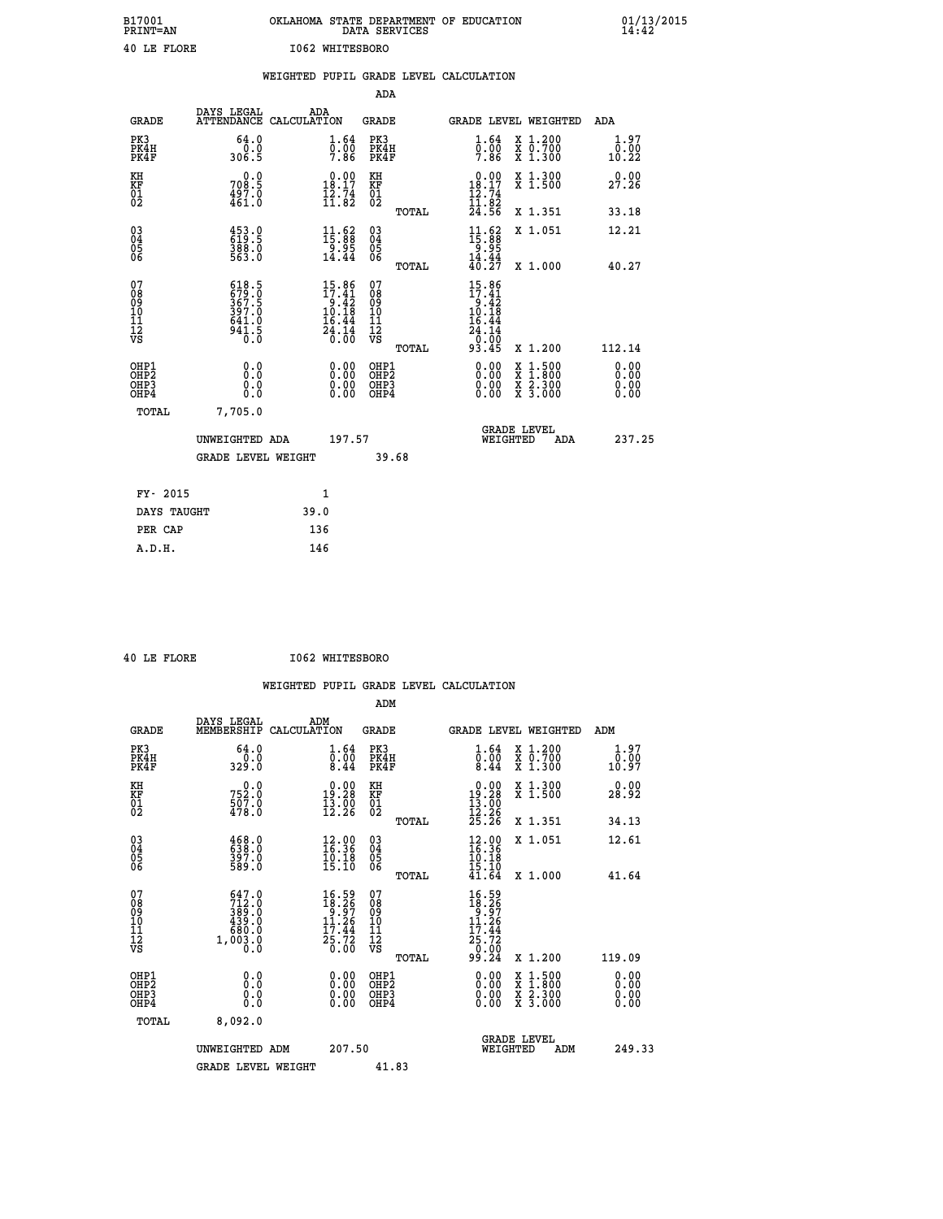| B17001<br><b>PRINT=AN</b> | OKLAHOMA STATE DEPARTMENT OF EDUCATION<br>DATA SERVICES | 01/13/2015 |
|---------------------------|---------------------------------------------------------|------------|
| 40 LE FLORE               | 1062 WHITESBORO                                         |            |

|                                                    |                                                            | WEIGHTED PUPIL GRADE LEVEL CALCULATION                                            |                                        |       |                                                                                   |                                                                                                  |                       |
|----------------------------------------------------|------------------------------------------------------------|-----------------------------------------------------------------------------------|----------------------------------------|-------|-----------------------------------------------------------------------------------|--------------------------------------------------------------------------------------------------|-----------------------|
|                                                    |                                                            |                                                                                   | ADA                                    |       |                                                                                   |                                                                                                  |                       |
| <b>GRADE</b>                                       | DAYS LEGAL                                                 | ADA<br>ATTENDANCE CALCULATION                                                     | <b>GRADE</b>                           |       | GRADE LEVEL WEIGHTED                                                              |                                                                                                  | ADA                   |
| PK3<br>PK4H<br>PK4F                                | 64.0<br>0.0<br>306.5                                       | 1.64<br>0.00<br>7.86                                                              | PK3<br>PK4H<br>PK4F                    |       | 1.64<br>0.00<br>7.86                                                              | X 1.200<br>X 0.700<br>X 1.300                                                                    | 1.97<br>0.00<br>10.22 |
| KH<br>KF<br>01<br>02                               | 708.9<br>$\frac{497.0}{461.0}$                             | $\begin{smallmatrix} 0.00\\18.17\\12.74\\11.82 \end{smallmatrix}$                 | KH<br>KF<br>01<br>02                   |       | $\begin{smallmatrix} 0.00\\18.17\\12.74\\11.82 \end{smallmatrix}$                 | X 1.300<br>X 1.500                                                                               | 0.00<br>27.26         |
|                                                    |                                                            |                                                                                   |                                        | TOTAL | 24.56                                                                             | X 1.351                                                                                          | 33.18                 |
| $\begin{matrix} 03 \\ 04 \\ 05 \\ 06 \end{matrix}$ | 453.9<br>$\frac{388.0}{563.0}$                             | $\begin{smallmatrix} 11.62\ 15.88\ 9.95\ 14.44 \end{smallmatrix}$                 | 03<br>04<br>05<br>06                   |       | $11.62$<br>$15.88$<br>$9.95$<br>$14.44$                                           | X 1.051                                                                                          | 12.21                 |
|                                                    |                                                            |                                                                                   |                                        | TOTAL | 40.27                                                                             | X 1.000                                                                                          | 40.27                 |
| 07<br>08<br>09<br>101<br>112<br>VS                 | 618.5<br>679.0<br>367.5<br>397.0<br>641.0<br>$\frac{5}{6}$ | $15.86$<br>$17.41$<br>$9.42$<br>$10.18$<br>$16.44$<br>$\frac{54}{0}:\frac{7}{00}$ | 07<br>08<br>09<br>11<br>11<br>12<br>VS | TOTAL | $15.86$<br>$17.41$<br>$9.42$<br>$10.18$<br>16.44<br>$\frac{24.14}{0.00}$<br>93.45 | X 1.200                                                                                          | 112.14                |
| OHP1<br>OHP2<br>OHP3<br>OHP4                       | 0.0<br>0.0<br>0.0                                          | 0.00<br>$0.00$<br>0.00                                                            | OHP1<br>OHP2<br>OHP3<br>OHP4           |       | 0.00<br>0.00<br>0.00                                                              | $\begin{smallmatrix} x & 1 & 500 \\ x & 1 & 800 \\ x & 2 & 300 \\ x & 3 & 000 \end{smallmatrix}$ | 0.00<br>0.00<br>0.00  |
| <b>TOTAL</b>                                       | 7,705.0                                                    |                                                                                   |                                        |       |                                                                                   |                                                                                                  |                       |
|                                                    | UNWEIGHTED ADA                                             | 197.57                                                                            |                                        |       | WEIGHTED                                                                          | <b>GRADE LEVEL</b><br>ADA                                                                        | 237.25                |
|                                                    | <b>GRADE LEVEL WEIGHT</b>                                  |                                                                                   | 39.68                                  |       |                                                                                   |                                                                                                  |                       |
| FY- 2015                                           |                                                            | 1                                                                                 |                                        |       |                                                                                   |                                                                                                  |                       |
|                                                    | DAYS TAUGHT                                                | 39.0                                                                              |                                        |       |                                                                                   |                                                                                                  |                       |
| PER CAP                                            |                                                            | 136                                                                               |                                        |       |                                                                                   |                                                                                                  |                       |

 **40 LE FLORE I062 WHITESBORO**

| <b>GRADE</b>                                                     | DAYS LEGAL<br>MEMBERSHIP                                                                              | ADM<br>CALCULATION                                                                                    | <b>GRADE</b>                                        |       |                                                                                           |          | GRADE LEVEL WEIGHTED                                                                                                                      | ADM                          |
|------------------------------------------------------------------|-------------------------------------------------------------------------------------------------------|-------------------------------------------------------------------------------------------------------|-----------------------------------------------------|-------|-------------------------------------------------------------------------------------------|----------|-------------------------------------------------------------------------------------------------------------------------------------------|------------------------------|
| PK3<br>PK4H<br>PK4F                                              | 64.0<br>329.0                                                                                         | $\overset{1}{\underset{8.44}{\scriptstyle 0.60}}\,\,\overset{64}{\underset{8.44}{\scriptstyle 0.60}}$ | PK3<br>PK4H<br>PK4F                                 |       | $\substack{1.64 \\ 0.00 \\ 8.44}$                                                         |          | X 1.200<br>X 0.700<br>X 1.300                                                                                                             | 1.97<br>0.00<br>10.97        |
| KH<br>KF<br>01<br>02                                             | $752.0$<br>$507.0$<br>$478.0$                                                                         | $\begin{smallmatrix} 0.00\\19.28\\13.00\\12.26 \end{smallmatrix}$                                     | KH<br>KF<br>01<br>02                                |       | $\begin{smallmatrix} &0.00\\ 19.28\\ 13.00\\ 12.26\\ 25.26 \end{smallmatrix}$             |          | X 1.300<br>X 1.500                                                                                                                        | 0.00<br>28.92                |
|                                                                  |                                                                                                       |                                                                                                       |                                                     | TOTAL |                                                                                           |          | X 1.351                                                                                                                                   | 34.13                        |
| 03<br>04<br>05<br>06                                             | 468.0<br>638.0<br>397.0<br>589.0                                                                      | $12.00$<br>$16.36$<br>$\frac{10.18}{15.10}$                                                           | $\begin{array}{c} 03 \\ 04 \\ 05 \\ 06 \end{array}$ |       | $\begin{smallmatrix} 12.00 \\ 16.36 \\ 10.18 \\ 15.10 \end{smallmatrix}$                  |          | X 1.051                                                                                                                                   | 12.61                        |
|                                                                  |                                                                                                       |                                                                                                       |                                                     | TOTAL | 41.64                                                                                     |          | X 1.000                                                                                                                                   | 41.64                        |
| 07<br>08<br>09<br>11<br>11<br>12<br>VS                           | $\begin{smallmatrix} 647.0\\ 712.0\\ 389.0\\ 439.0\\ 680.0\\ 680.0\\ 1,003.0\\ 0.0 \end{smallmatrix}$ | $\begin{smallmatrix} 16.59\\18.26\\9.97\\11.26\\17.44\\25.72\\0.00 \end{smallmatrix}$                 | 07<br>08<br>09<br>11<br>11<br>12<br>VS              | TOTAL | $16.59$<br>$18.26$<br>$9.97$<br>$11.26$<br>$\frac{17.44}{25.72}$<br>$\frac{60.00}{99.24}$ |          | X 1.200                                                                                                                                   | 119.09                       |
| OHP1<br>OH <sub>P</sub> <sub>2</sub><br>OH <sub>P3</sub><br>OHP4 | 0.0<br>0.000                                                                                          |                                                                                                       | OHP1<br>OHP <sub>2</sub><br>OHP <sub>3</sub>        |       |                                                                                           |          | $\begin{smallmatrix} \mathtt{X} & 1\cdot500\\ \mathtt{X} & 1\cdot800\\ \mathtt{X} & 2\cdot300\\ \mathtt{X} & 3\cdot000 \end{smallmatrix}$ | 0.00<br>0.00<br>0.00<br>0.00 |
| TOTAL                                                            | 8,092.0                                                                                               |                                                                                                       |                                                     |       |                                                                                           |          |                                                                                                                                           |                              |
|                                                                  | UNWEIGHTED ADM                                                                                        | 207.50                                                                                                |                                                     |       |                                                                                           | WEIGHTED | <b>GRADE LEVEL</b><br>ADM                                                                                                                 | 249.33                       |
|                                                                  | <b>GRADE LEVEL WEIGHT</b>                                                                             |                                                                                                       | 41.83                                               |       |                                                                                           |          |                                                                                                                                           |                              |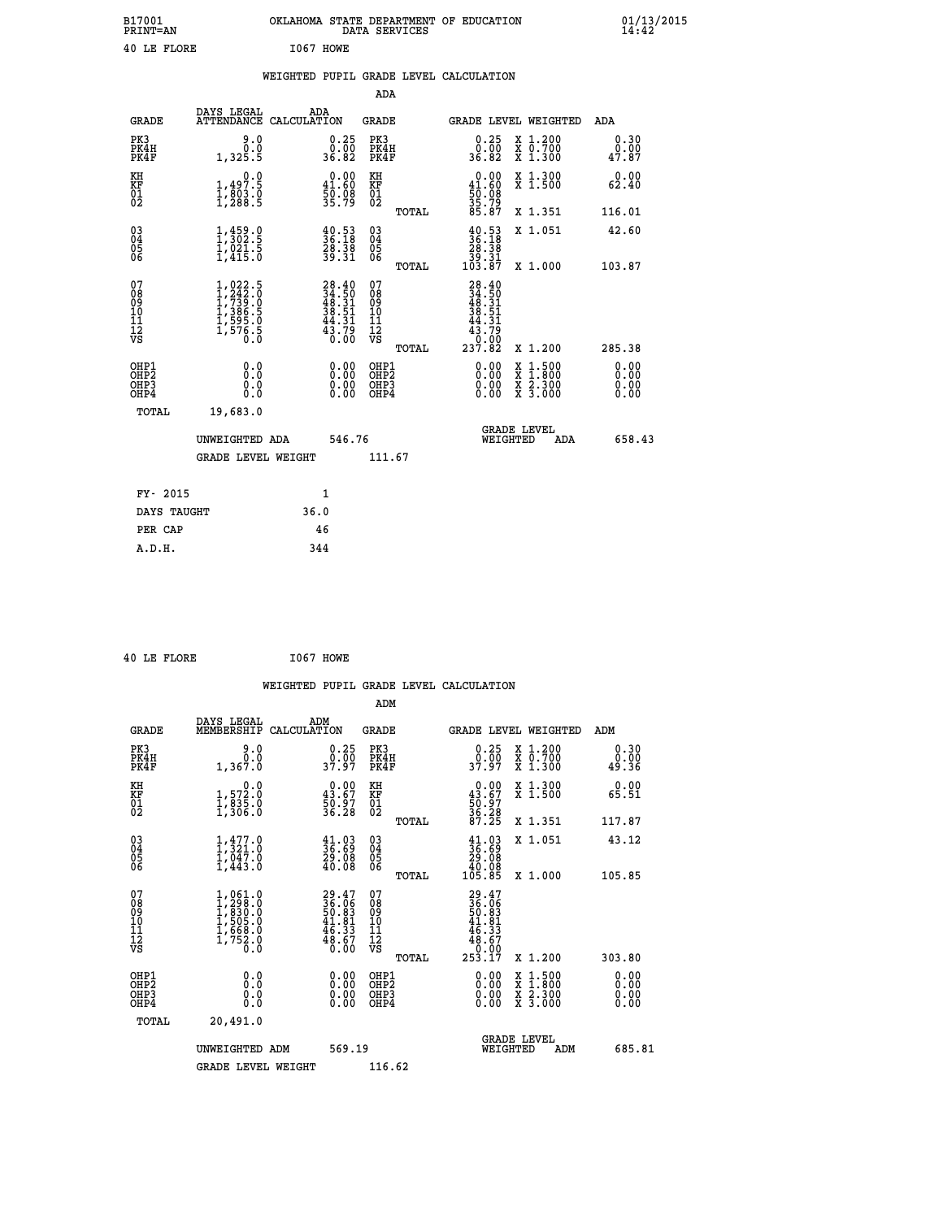| B17001<br><b>PRINT=AN</b> | OKLAHOMA STATE DEPARTMENT OF EDUCATION<br>SERVICES<br>DATA | 01/13/2015<br>14:42 |
|---------------------------|------------------------------------------------------------|---------------------|
| 40<br>LE FLORE            | I067<br>HOWE                                               |                     |

| 40 LE FLORE                                        |                                                                                         |      | I067 HOWE                                                                |                                                    |       |                                                                                |                                                                                                                                              |                        |
|----------------------------------------------------|-----------------------------------------------------------------------------------------|------|--------------------------------------------------------------------------|----------------------------------------------------|-------|--------------------------------------------------------------------------------|----------------------------------------------------------------------------------------------------------------------------------------------|------------------------|
|                                                    |                                                                                         |      |                                                                          |                                                    |       | WEIGHTED PUPIL GRADE LEVEL CALCULATION                                         |                                                                                                                                              |                        |
|                                                    |                                                                                         |      |                                                                          | ADA                                                |       |                                                                                |                                                                                                                                              |                        |
| <b>GRADE</b>                                       | DAYS LEGAL ADA<br>ATTENDANCE CALCULATION                                                |      |                                                                          | <b>GRADE</b>                                       |       |                                                                                | <b>GRADE LEVEL WEIGHTED</b>                                                                                                                  | <b>ADA</b>             |
| PK3<br>PK4H<br>PK4F                                | 0.06<br>1,325.5                                                                         |      | $\begin{smallmatrix} 0.25\ 0.00 \ 36.82 \end{smallmatrix}$               | PK3<br>PK4H<br>PK4F                                |       | $\begin{smallmatrix} 0.25\ 0.00 \ 36.82 \end{smallmatrix}$                     | X 1.200<br>X 0.700<br>X 1.300                                                                                                                | 0.30<br>0.00<br>47.87  |
| KH<br>KF<br>01<br>02                               | 0.0<br>1,497.5<br>1,803.0<br>1,288.5                                                    |      | $\begin{smallmatrix} 0.00\\ 41.60\\ 50.08\\ 35.79 \end{smallmatrix}$     | KH<br>KF<br>01<br>02                               |       | $0.00$<br>$41.60$<br>$50.08$<br>$35.79$<br>$85.87$                             | X 1.300<br>X 1.500                                                                                                                           | 0.00<br>62.40          |
|                                                    |                                                                                         |      |                                                                          |                                                    | TOTAL |                                                                                | X 1.351                                                                                                                                      | 116.01                 |
| $\begin{matrix} 03 \\ 04 \\ 05 \\ 06 \end{matrix}$ | $1, 459.0$<br>$1, 302.5$<br>$1, 021.5$<br>$1, 415.0$                                    |      | $\frac{40.53}{36.18}$<br>$\frac{28.38}{39.31}$                           | $\begin{matrix} 03 \\ 04 \\ 05 \\ 06 \end{matrix}$ |       | $\begin{smallmatrix} 40.53\\ 36.18\\ 28.38\\ 39.31\\ 103.87 \end{smallmatrix}$ | X 1.051                                                                                                                                      | 42.60                  |
|                                                    |                                                                                         |      |                                                                          |                                                    | TOTAL |                                                                                | X 1.000                                                                                                                                      | 103.87                 |
| 07<br>08<br>09<br>11<br>11<br>12<br>VS             | $1, 022.5$<br>$1, 242.0$<br>$1, 739.0$<br>$1, 386.5$<br>$1, 595.0$<br>$1, 576.5$<br>0.0 |      | $28.40$<br>$34.50$<br>$48.31$<br>$38.51$<br>$44.31$<br>$43.79$<br>$0.00$ | 07<br>08<br>09<br>11<br>11<br>12<br>VS             | TOTAL | $28.40$<br>$34.50$<br>$48.31$<br>$38.51$<br>44.31<br>3:75<br>0:00<br>237:82    | X 1.200                                                                                                                                      | 285.38                 |
| OHP1<br>OHP2<br>OHP3<br>OHP4                       | 0.0<br>0.0<br>0.0                                                                       |      | $0.00$<br>$0.00$<br>0.00                                                 | OHP1<br>OHP2<br>OHP3<br>OHP4                       |       | $0.00$<br>$0.00$<br>0.00                                                       | $\begin{smallmatrix} \mathtt{X} & 1\cdot500 \\ \mathtt{X} & 1\cdot800 \\ \mathtt{X} & 2\cdot300 \\ \mathtt{X} & 3\cdot000 \end{smallmatrix}$ | 0.0000<br>0.00<br>0.00 |
| TOTAL                                              | 19,683.0                                                                                |      |                                                                          |                                                    |       |                                                                                |                                                                                                                                              |                        |
|                                                    | UNWEIGHTED ADA                                                                          |      | 546.76                                                                   |                                                    |       |                                                                                | <b>GRADE LEVEL</b><br>WEIGHTED<br>ADA                                                                                                        | 658.43                 |
|                                                    | <b>GRADE LEVEL WEIGHT</b>                                                               |      |                                                                          | 111.67                                             |       |                                                                                |                                                                                                                                              |                        |
| FY- 2015                                           |                                                                                         |      | $\mathbf{1}$                                                             |                                                    |       |                                                                                |                                                                                                                                              |                        |
| DAYS TAUGHT                                        |                                                                                         | 36.0 |                                                                          |                                                    |       |                                                                                |                                                                                                                                              |                        |
| PER CAP                                            |                                                                                         |      | 46                                                                       |                                                    |       |                                                                                |                                                                                                                                              |                        |
| A.D.H.                                             |                                                                                         |      | 344                                                                      |                                                    |       |                                                                                |                                                                                                                                              |                        |

 **40 LE FLORE I067 HOWE**

|                                                      |                                                                                   |                                                                          |                                                     | WEIGHTED PUPIL GRADE LEVEL CALCULATION                                                                                                                                                                                                                                         |                                                                                                                                           |                              |
|------------------------------------------------------|-----------------------------------------------------------------------------------|--------------------------------------------------------------------------|-----------------------------------------------------|--------------------------------------------------------------------------------------------------------------------------------------------------------------------------------------------------------------------------------------------------------------------------------|-------------------------------------------------------------------------------------------------------------------------------------------|------------------------------|
|                                                      |                                                                                   |                                                                          | ADM                                                 |                                                                                                                                                                                                                                                                                |                                                                                                                                           |                              |
| <b>GRADE</b>                                         | DAYS LEGAL<br>MEMBERSHIP                                                          | ADM<br>CALCULATION                                                       | <b>GRADE</b>                                        | GRADE LEVEL WEIGHTED                                                                                                                                                                                                                                                           |                                                                                                                                           | ADM                          |
| PK3<br>PK4H<br>PK4F                                  | 9.0<br>0.0<br>1,367.0                                                             | $\begin{smallmatrix} 0.25\ 0.00\\ 37.97 \end{smallmatrix}$               | PK3<br>PK4H<br>PK4F                                 | $0.25$<br>37.97                                                                                                                                                                                                                                                                | X 1.200<br>X 0.700<br>X 1.300                                                                                                             | 0.30<br>0.00<br>49.36        |
| KH<br>KF<br>01<br>02                                 | $\begin{smallmatrix} & & 0.0\ 1.572.0\ 1.835.0\ 1.306.0 \end{smallmatrix}$        | $\begin{smallmatrix} 0.00\\ 43.67\\ 50.97\\ 36.28 \end{smallmatrix}$     | KH<br>KF<br>01<br>02                                | $0.00\n43.67\n50.97\n36.28\n87.25$                                                                                                                                                                                                                                             | X 1.300<br>X 1.500                                                                                                                        | 0.00<br>65.51                |
|                                                      |                                                                                   |                                                                          | TOTAL                                               |                                                                                                                                                                                                                                                                                | X 1.351                                                                                                                                   | 117.87                       |
| $\begin{matrix} 03 \\ 04 \\ 05 \\ 06 \end{matrix}$   | $1,321.0$<br>$1,047.0$<br>$1,043.0$<br>$1,443.0$                                  | $\frac{41.03}{36.69}$<br>$\frac{29.08}{40.08}$                           | $\begin{array}{c} 03 \\ 04 \\ 05 \\ 06 \end{array}$ | $\begin{smallmatrix} 41.03\ 36.69\ 29.08\ 40.08\ 105.85 \end{smallmatrix}$                                                                                                                                                                                                     | X 1.051                                                                                                                                   | 43.12                        |
|                                                      |                                                                                   |                                                                          | TOTAL                                               |                                                                                                                                                                                                                                                                                | X 1.000                                                                                                                                   | 105.85                       |
| 07<br>08<br>09<br>101<br>112<br>VS                   | $1,061.0$<br>$1,298.0$<br>$1,830.0$<br>$1,505.0$<br>$1,668.0$<br>$1,752.0$<br>0.0 | $29.47$<br>$36.06$<br>$50.83$<br>$41.81$<br>$46.33$<br>$48.67$<br>$0.00$ | 07<br>08<br>09<br>11<br>11<br>12<br>VS<br>TOTAL     | $\begin{smallmatrix} 29.47\ 36.06\ 50.831\ 41.811\ 46.337\ 48.670\ 253.17\ \end{smallmatrix}$                                                                                                                                                                                  | X 1.200                                                                                                                                   | 303.80                       |
|                                                      |                                                                                   |                                                                          |                                                     |                                                                                                                                                                                                                                                                                |                                                                                                                                           |                              |
| OHP1<br>OHP2<br>OH <sub>P3</sub><br>OH <sub>P4</sub> | 0.0<br>0.000                                                                      | $\begin{smallmatrix} 0.00 \ 0.00 \ 0.00 \ 0.00 \end{smallmatrix}$        | OHP1<br>OHP2<br>OHP3<br>OHP4                        | $\begin{smallmatrix} 0.00 & 0.00 & 0.00 & 0.00 & 0.00 & 0.00 & 0.00 & 0.00 & 0.00 & 0.00 & 0.00 & 0.00 & 0.00 & 0.00 & 0.00 & 0.00 & 0.00 & 0.00 & 0.00 & 0.00 & 0.00 & 0.00 & 0.00 & 0.00 & 0.00 & 0.00 & 0.00 & 0.00 & 0.00 & 0.00 & 0.00 & 0.00 & 0.00 & 0.00 & 0.00 & 0.0$ | $\begin{smallmatrix} \mathtt{X} & 1\cdot500\\ \mathtt{X} & 1\cdot800\\ \mathtt{X} & 2\cdot300\\ \mathtt{X} & 3\cdot000 \end{smallmatrix}$ | 0.00<br>0.00<br>0.00<br>0.00 |
| TOTAL                                                | 20,491.0                                                                          |                                                                          |                                                     |                                                                                                                                                                                                                                                                                |                                                                                                                                           |                              |
|                                                      | UNWEIGHTED ADM                                                                    | 569.19                                                                   |                                                     | <b>GRADE LEVEL</b><br>WEIGHTED                                                                                                                                                                                                                                                 | ADM                                                                                                                                       | 685.81                       |
|                                                      | <b>GRADE LEVEL WEIGHT</b>                                                         |                                                                          | 116.62                                              |                                                                                                                                                                                                                                                                                |                                                                                                                                           |                              |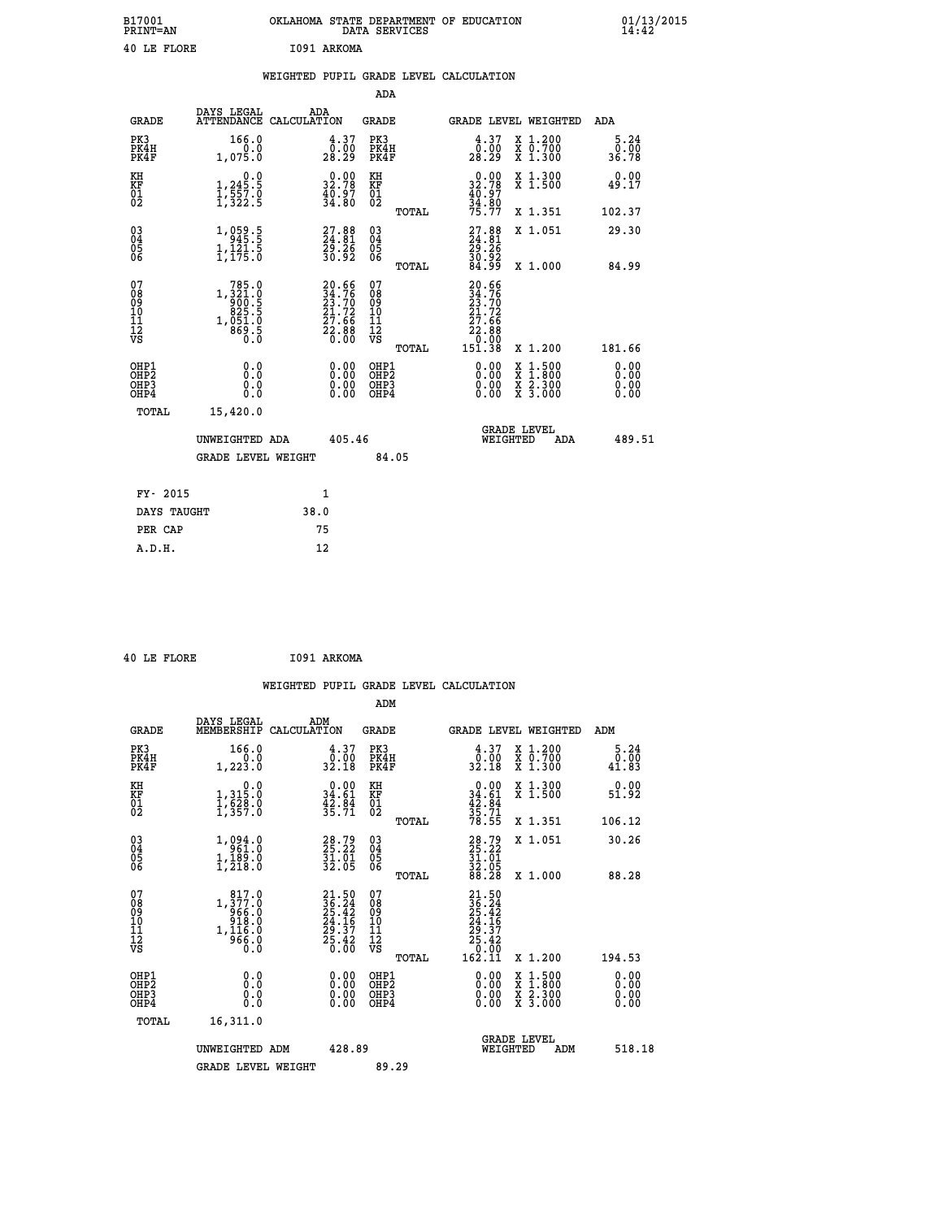| B17001<br><b>PRINT=AN</b> | OKLAHOMA STATE DEPARTMENT OF EDUCATION<br>DATA SERVICES | 01/13/2015 |
|---------------------------|---------------------------------------------------------|------------|
| 40 LE FLORE               | I091 ARKOMA                                             |            |

|                                                                    |                                                                                              |      |                                                                     |                                         |       | WEIGHTED PUPIL GRADE LEVEL CALCULATION                                                                                      |                                                                                                                                           |                              |
|--------------------------------------------------------------------|----------------------------------------------------------------------------------------------|------|---------------------------------------------------------------------|-----------------------------------------|-------|-----------------------------------------------------------------------------------------------------------------------------|-------------------------------------------------------------------------------------------------------------------------------------------|------------------------------|
|                                                                    |                                                                                              |      |                                                                     | ADA                                     |       |                                                                                                                             |                                                                                                                                           |                              |
| <b>GRADE</b>                                                       | DAYS LEGAL<br>ATTENDANCE CALCULATION                                                         | ADA  |                                                                     | <b>GRADE</b>                            |       |                                                                                                                             | GRADE LEVEL WEIGHTED                                                                                                                      | ADA                          |
| PK3<br>PK4H<br>PK4F                                                | 166.0<br>0.0<br>1,075.0                                                                      |      | $\begin{smallmatrix} 4.37\ 0.00\ 28.29 \end{smallmatrix}$           | PK3<br>PK4H<br>PK4F                     |       | 4.37<br>0.00<br>28.29                                                                                                       | X 1.200<br>X 0.700<br>X 1.300                                                                                                             | 5.24<br>0.00<br>36.78        |
| KH<br>KF<br>01<br>02                                               | $\begin{smallmatrix}&&&0.0\\1,245.5\\1,557.0\\1,322.5\end{smallmatrix}$                      |      | 32.78<br>$\frac{4}{3}\overline{0}\cdot\overset{.}{8}\overset{.}{0}$ | KH<br>KF<br>01<br>02                    |       | $\begin{smallmatrix} 0.00\\ 32.78\\ 40.97\\ 34.80\\ 75.77 \end{smallmatrix}$                                                | X 1.300<br>X 1.500                                                                                                                        | 0.00<br>49.17                |
|                                                                    |                                                                                              |      |                                                                     |                                         | TOTAL |                                                                                                                             | X 1.351                                                                                                                                   | 102.37                       |
| $\begin{smallmatrix} 03 \\[-4pt] 04 \end{smallmatrix}$<br>Ŏ5<br>06 | 1,059.5<br>945.5<br>1,121.5<br>1,175.0                                                       |      | 27.88<br>24.81<br>29.26<br>30.92                                    | $\substack{03 \\ 04}$<br>Ŏ5<br>06       |       | $27.88$<br>$24.81$<br>$29.26$<br>$30.92$<br>$84.99$                                                                         | X 1.051                                                                                                                                   | 29.30                        |
|                                                                    |                                                                                              |      |                                                                     |                                         | TOTAL |                                                                                                                             | X 1.000                                                                                                                                   | 84.99                        |
| 07<br>08<br>09<br>11<br>11<br>12<br>VS                             | $\begin{array}{r} 785.0 \\ 1,321.0 \\ 900.5 \\ 825.5 \\ 1,051.0 \\ 869.5 \\ 0.0 \end{array}$ |      | 20.66<br>34.76<br>23.70<br>21.72<br>27.66<br>22.88<br>22.88         | 07<br>08<br>09<br>101<br>11<br>12<br>VS |       | 20.66<br>$\frac{34}{23}\cdot\frac{76}{70}\n21\cdot72$<br>$\begin{smallmatrix} 27.66\ 22.88\ 0.00\ 151.38 \end{smallmatrix}$ |                                                                                                                                           |                              |
|                                                                    |                                                                                              |      |                                                                     |                                         | TOTAL |                                                                                                                             | X 1.200                                                                                                                                   | 181.66                       |
| OHP1<br>OH <sub>P</sub> 2<br>OH <sub>P3</sub><br>OH <sub>P4</sub>  | 0.0<br>Ō.Ō<br>0.0<br>0.0                                                                     |      | $0.00$<br>$0.00$<br>0.00                                            | OHP1<br>OHP2<br>OHP3<br>OHP4            |       | $0.00$<br>$0.00$<br>0.00                                                                                                    | $\begin{smallmatrix} \mathtt{X} & 1\cdot500\\ \mathtt{X} & 1\cdot800\\ \mathtt{X} & 2\cdot300\\ \mathtt{X} & 3\cdot000 \end{smallmatrix}$ | 0.00<br>0.00<br>0.00<br>0.00 |
| TOTAL                                                              | 15,420.0                                                                                     |      |                                                                     |                                         |       |                                                                                                                             |                                                                                                                                           |                              |
|                                                                    | UNWEIGHTED ADA                                                                               |      | 405.46                                                              |                                         |       | WEIGHTED                                                                                                                    | <b>GRADE LEVEL</b><br>ADA                                                                                                                 | 489.51                       |
|                                                                    | <b>GRADE LEVEL WEIGHT</b>                                                                    |      |                                                                     | 84.05                                   |       |                                                                                                                             |                                                                                                                                           |                              |
| FY- 2015                                                           |                                                                                              | 1    |                                                                     |                                         |       |                                                                                                                             |                                                                                                                                           |                              |
| DAYS TAUGHT                                                        |                                                                                              | 38.0 |                                                                     |                                         |       |                                                                                                                             |                                                                                                                                           |                              |
| PER CAP                                                            |                                                                                              | 75   |                                                                     |                                         |       |                                                                                                                             |                                                                                                                                           |                              |
| A.D.H.                                                             |                                                                                              | 12   |                                                                     |                                         |       |                                                                                                                             |                                                                                                                                           |                              |

 **40 LE FLORE I091 ARKOMA**

| <b>GRADE</b>                                             | DAYS LEGAL<br>MEMBERSHIP                                                                                                                                                    | ADM<br>CALCULATION                                                   | <b>GRADE</b>                                        |       |                                                                                                       |          | GRADE LEVEL WEIGHTED                     | ADM                   |
|----------------------------------------------------------|-----------------------------------------------------------------------------------------------------------------------------------------------------------------------------|----------------------------------------------------------------------|-----------------------------------------------------|-------|-------------------------------------------------------------------------------------------------------|----------|------------------------------------------|-----------------------|
| PK3<br>PK4H<br>PK4F                                      | 166.0<br>1,223.0                                                                                                                                                            | $\begin{smallmatrix} 4.37\ 0.00\ 32.18 \end{smallmatrix}$            | PK3<br>PK4H<br>PK4F                                 |       | $\begin{smallmatrix} 4.37\ 0.00\ 32.18 \end{smallmatrix}$                                             |          | X 1.200<br>X 0.700<br>X 1.300            | 5.24<br>0.00<br>41.83 |
| KH<br>KF<br>01<br>02                                     | 0.0<br>1, 315:0<br>1, 628:0<br>1, 357:0                                                                                                                                     | $\begin{smallmatrix} 0.00\\ 34.61\\ 42.84\\ 35.71 \end{smallmatrix}$ | KH<br>KF<br>01<br>02                                |       | $0.00$<br>$34.61$<br>$42.84$<br>$35.71$<br>$78.55$                                                    |          | X 1.300<br>X 1.500                       | 0.00<br>51.92         |
|                                                          |                                                                                                                                                                             |                                                                      |                                                     | TOTAL |                                                                                                       |          | X 1.351                                  | 106.12                |
| $\begin{matrix} 03 \\ 04 \\ 05 \\ 06 \end{matrix}$       | 1,094.0<br>$1, 189.0$<br>1,189.0<br>1,218.0                                                                                                                                 | 28.79<br>25.22<br>31.01<br>32.05                                     | $\begin{array}{c} 03 \\ 04 \\ 05 \\ 06 \end{array}$ |       | 28.79<br>25.22<br>31.01<br>32.05<br>88.28                                                             |          | X 1.051                                  | 30.26                 |
|                                                          |                                                                                                                                                                             |                                                                      |                                                     | TOTAL |                                                                                                       |          | X 1.000                                  | 88.28                 |
| 07<br>08<br>09<br>11<br>11<br>12<br>VS                   | $\begin{smallmatrix} 8 & 17 & . & 0 \\ 1 & , & 377 & . & 0 \\ 9 & 66 & . & 0 \\ 9 & 18 & . & 0 \\ 1 & , & 116 & . & 0 \\ 9 & 66 & . & 0 \\ 0 & . & 0 & . \end{smallmatrix}$ | $21.5036.2425.4224.1629.3725.420.00$                                 | 07<br>08<br>09<br>10<br>11<br>12<br>νs              | TOTAL | $\begin{smallmatrix} 21.50\\ 36.24\\ 25.42\\ 24.16\\ 29.37\\ 25.42\\ 0.00\\ 162.11 \end{smallmatrix}$ |          | X 1.200                                  | 194.53                |
| OHP1                                                     |                                                                                                                                                                             |                                                                      | OHP1                                                |       |                                                                                                       |          |                                          | 0.00                  |
| OH <sub>P</sub> <sub>2</sub><br>OH <sub>P3</sub><br>OHP4 | 0.0<br>0.0<br>Ŏ.Ŏ                                                                                                                                                           |                                                                      | OHP <sub>2</sub><br>OHP3<br>OHP4                    |       |                                                                                                       |          | X 1:500<br>X 1:800<br>X 2:300<br>X 3:000 | 0.00<br>0.00<br>0.00  |
| TOTAL                                                    | 16,311.0                                                                                                                                                                    |                                                                      |                                                     |       |                                                                                                       |          |                                          |                       |
|                                                          | UNWEIGHTED ADM                                                                                                                                                              | 428.89                                                               |                                                     |       |                                                                                                       | WEIGHTED | <b>GRADE LEVEL</b><br>ADM                | 518.18                |
|                                                          | <b>GRADE LEVEL WEIGHT</b>                                                                                                                                                   |                                                                      | 89.29                                               |       |                                                                                                       |          |                                          |                       |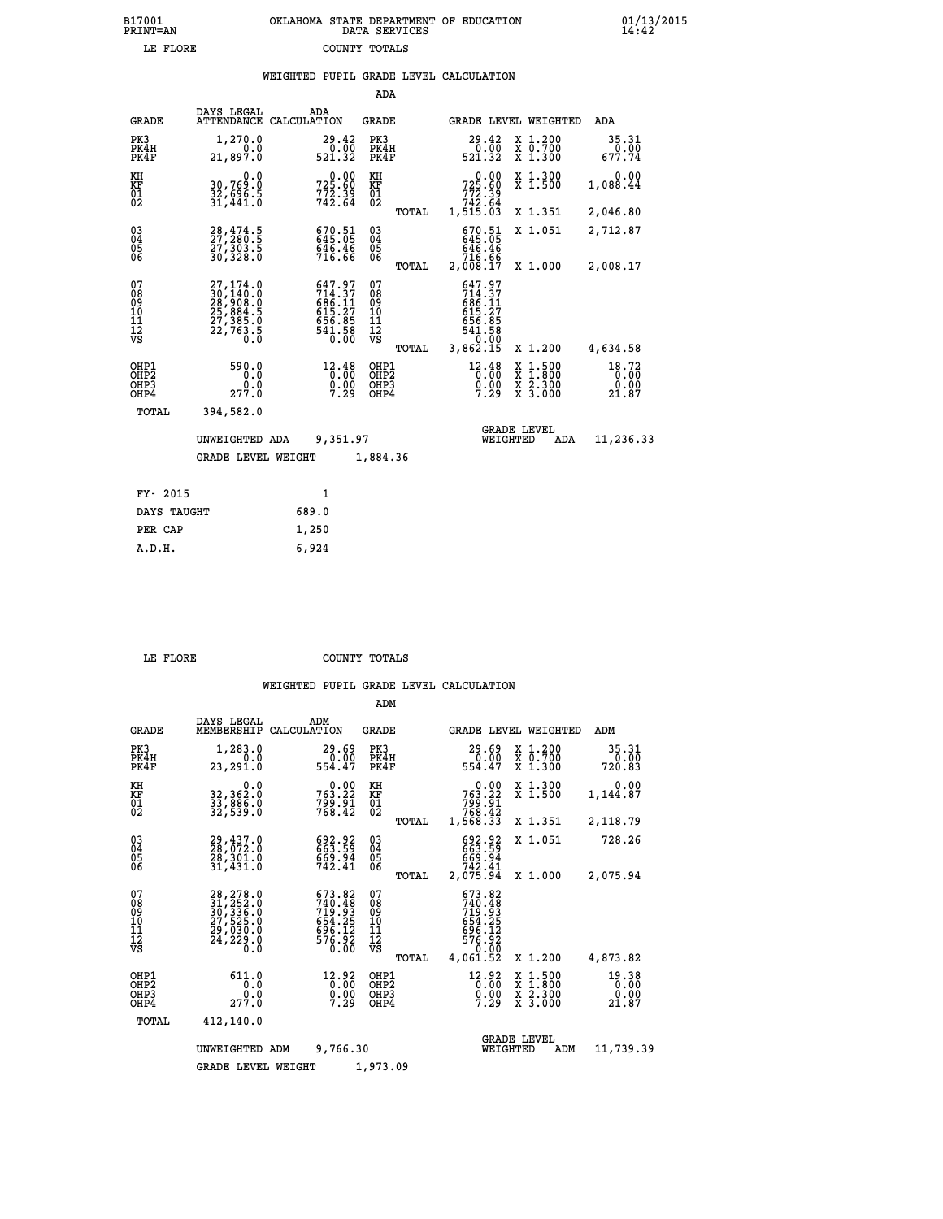|                                                    |                                                                                           |             |                                                                                | ADA                                    |       |                                                                                  |                                |                                                                                                   |                                |
|----------------------------------------------------|-------------------------------------------------------------------------------------------|-------------|--------------------------------------------------------------------------------|----------------------------------------|-------|----------------------------------------------------------------------------------|--------------------------------|---------------------------------------------------------------------------------------------------|--------------------------------|
| <b>GRADE</b>                                       | DAYS LEGAL<br><b>ATTENDANCE</b>                                                           | CALCULATION | ADA                                                                            | GRADE                                  |       |                                                                                  |                                | GRADE LEVEL WEIGHTED                                                                              | ADA                            |
| PK3<br>PK4H<br>PK4F                                | 1,270.0<br>0.0<br>21,897.0                                                                |             | 29.42<br>0.00<br>521.32                                                        | PK3<br>PK4H<br>PK4F                    |       | 29.42<br>521.32                                                                  | 0.00                           | X 1.200<br>$\begin{array}{c} \overline{x} & \overline{0}.700 \\ \overline{x} & 1.300 \end{array}$ | 35.31<br>0.00<br>677.74        |
| KH<br><b>KF</b><br>01<br>02                        | 0.0<br>30,769.0<br>32,696.5<br>31,441.0                                                   |             | 0.00<br>725.60<br>772.39<br>742.64                                             | KH<br>KF<br>$\overline{01}$            |       | 725.60<br>772.39<br>742.64<br>1,515.03                                           | 0.00                           | X 1.300<br>$\overline{x}$ 1.500                                                                   | 0.00<br>1,088.44               |
|                                                    |                                                                                           |             |                                                                                |                                        | TOTAL |                                                                                  |                                | X 1.351                                                                                           | 2,046.80                       |
| $\begin{matrix} 03 \\ 04 \\ 05 \\ 06 \end{matrix}$ | $28, 474.5$<br>$27, 280.5$<br>$27, 303.5$<br>30,328.0                                     |             | 670.51<br>645.05<br>646.46<br>716.66                                           | $\substack{03 \\ 04}$<br>05<br>06      |       | 670.51<br>645.05<br>$646.46$<br>$716.66$                                         |                                | X 1.051                                                                                           | 2,712.87                       |
|                                                    |                                                                                           |             |                                                                                |                                        | TOTAL | 2,008.17                                                                         |                                | X 1.000                                                                                           | 2,008.17                       |
| 07<br>08<br>09<br>11<br>11<br>12<br>VS             | $27,174.0$<br>$30,140.0$<br>$28,908.0$<br>$25,884.5$<br>$27,385.0$<br>$22,763.5$<br>$0.0$ |             | $647.97$<br>$714.37$<br>$686.11$<br>$615.27$<br>$656.85$<br>$541.58$<br>$0.00$ | 07<br>08<br>09<br>11<br>11<br>12<br>VS | TOTAL | 647.97<br>$714.37$<br>$686.11$<br>$615.27$<br>$656.85$<br>$541.58$<br>$3,862.15$ |                                | X 1.200                                                                                           | 4,634.58                       |
| OHP1<br>OHP2<br>OHP3<br>OHP4                       | 590.0<br>0.0<br>0.0<br>277.0                                                              |             | 12.48<br>0.00<br>$0.00$<br>7.29                                                | OHP1<br>OHP2<br>OHP3<br>OHP4           |       | 12.48                                                                            | X<br>X<br>$0.00$<br>7.29       | $1.500$<br>$1.800$<br>X 2.300<br>X 3.000                                                          | 18.72<br>0.00<br>0.00<br>21.87 |
| TOTAL                                              | 394,582.0                                                                                 |             |                                                                                |                                        |       |                                                                                  |                                |                                                                                                   |                                |
|                                                    | UNWEIGHTED ADA                                                                            |             | 9,351.97                                                                       |                                        |       |                                                                                  | <b>GRADE LEVEL</b><br>WEIGHTED | ADA                                                                                               | 11,236.33                      |
|                                                    | <b>GRADE LEVEL WEIGHT</b>                                                                 |             |                                                                                | 1,884.36                               |       |                                                                                  |                                |                                                                                                   |                                |
| FY- 2015                                           |                                                                                           |             | $\mathbf{1}$                                                                   |                                        |       |                                                                                  |                                |                                                                                                   |                                |
|                                                    |                                                                                           |             |                                                                                |                                        |       |                                                                                  |                                |                                                                                                   |                                |
| DAYS TAUGHT                                        |                                                                                           | 689.0       |                                                                                |                                        |       |                                                                                  |                                |                                                                                                   |                                |

|  | .OR |  |  |
|--|-----|--|--|

**PER CAP** 1,250  **A.D.H. 6,924**

COUNTY TOTALS

|                                                       |                                                                                                                                                                     |                                                                 | ADM                                             |                                                                                  |                                                                  |                                |
|-------------------------------------------------------|---------------------------------------------------------------------------------------------------------------------------------------------------------------------|-----------------------------------------------------------------|-------------------------------------------------|----------------------------------------------------------------------------------|------------------------------------------------------------------|--------------------------------|
| <b>GRADE</b>                                          | DAYS LEGAL<br>MEMBERSHIP                                                                                                                                            | ADM<br>CALCULATION                                              | <b>GRADE</b>                                    | GRADE LEVEL WEIGHTED                                                             |                                                                  | ADM                            |
| PK3<br>PK4H<br>PK4F                                   | 1,283.0<br>0.0<br>23,291.0                                                                                                                                          | 29.69<br>0.00<br>554.47                                         | PK3<br>PK4H<br>PK4F                             | 29.69<br>0.00<br>554.47                                                          | $\begin{array}{c} x & 1.200 \\ x & 0.700 \end{array}$<br>X 1.300 | 35.31<br>0.00<br>720.83        |
| KH<br>KF<br>01<br>02                                  | 0.0<br>32,362:0<br>33,886:0<br>32,539:0                                                                                                                             | $763.22$<br>$799.91$<br>$788.42$                                | KH<br>KF<br>01<br>02                            | 0.00<br>763.22<br>61.007<br>768.42<br>1,568.33                                   | X 1.300<br>X 1.500                                               | 0.00<br>1,144.87               |
|                                                       |                                                                                                                                                                     |                                                                 | TOTAL                                           |                                                                                  | X 1.351                                                          | 2,118.79                       |
| 03<br>04<br>05<br>06                                  | 29,437.0<br>28,072.0<br>29,301.0<br>31,431.0                                                                                                                        | 692.92<br>663.59<br>669.94<br>742.41                            | $^{03}_{04}$<br>05<br>06                        | 692.92<br>663.59<br>669.94<br>742.41                                             | X 1.051                                                          | 728.26                         |
|                                                       |                                                                                                                                                                     |                                                                 | TOTAL                                           | 2,075.94                                                                         | X 1.000                                                          | 2,075.94                       |
| 07<br>08<br>09<br>11<br>11<br>12<br>VS                | $\begin{smallmatrix} 28\,,\,278\,.\,0\\ 31\,,\,252\,. \,0\\ 30\,,\,336\,. \,0\\ 27\,,\,525\,. \,0\\ 29\,,\,030\,. \,0\\ 24\,,\,229\,. \,0\\ 0\,. \end{smallmatrix}$ | 673.82<br>740.48<br>719.93<br>654.25<br>$\frac{696.12}{576.92}$ | 07<br>08<br>09<br>11<br>11<br>12<br>VS<br>TOTAL | 673.82<br>740.48<br>719.93<br>654.25<br>$576.12$<br>$576.92$<br>0.00<br>4,061.52 | X 1.200                                                          | 4,873.82                       |
| OHP1<br>OH <sub>P</sub> 2<br>OH <sub>P3</sub><br>OHP4 | 611.0<br>0.0<br>277.0                                                                                                                                               | 12.92<br>0.00<br>7.29                                           | OHP1<br>OHP2<br>OHP3<br>OHP4                    | 12.92<br>0.00<br>$\frac{0}{7}$ :29                                               | X 1:500<br>X 1:800<br>X 2:300<br>X 3:000                         | 19.38<br>0.00<br>0.00<br>21.87 |
| TOTAL                                                 | 412,140.0                                                                                                                                                           |                                                                 |                                                 |                                                                                  |                                                                  |                                |
| 9,766.30<br>UNWEIGHTED ADM                            |                                                                                                                                                                     |                                                                 |                                                 |                                                                                  | <b>GRADE LEVEL</b><br>WEIGHTED<br>ADM                            | 11,739.39                      |
|                                                       | <b>GRADE LEVEL WEIGHT</b>                                                                                                                                           |                                                                 | 1,973.09                                        |                                                                                  |                                                                  |                                |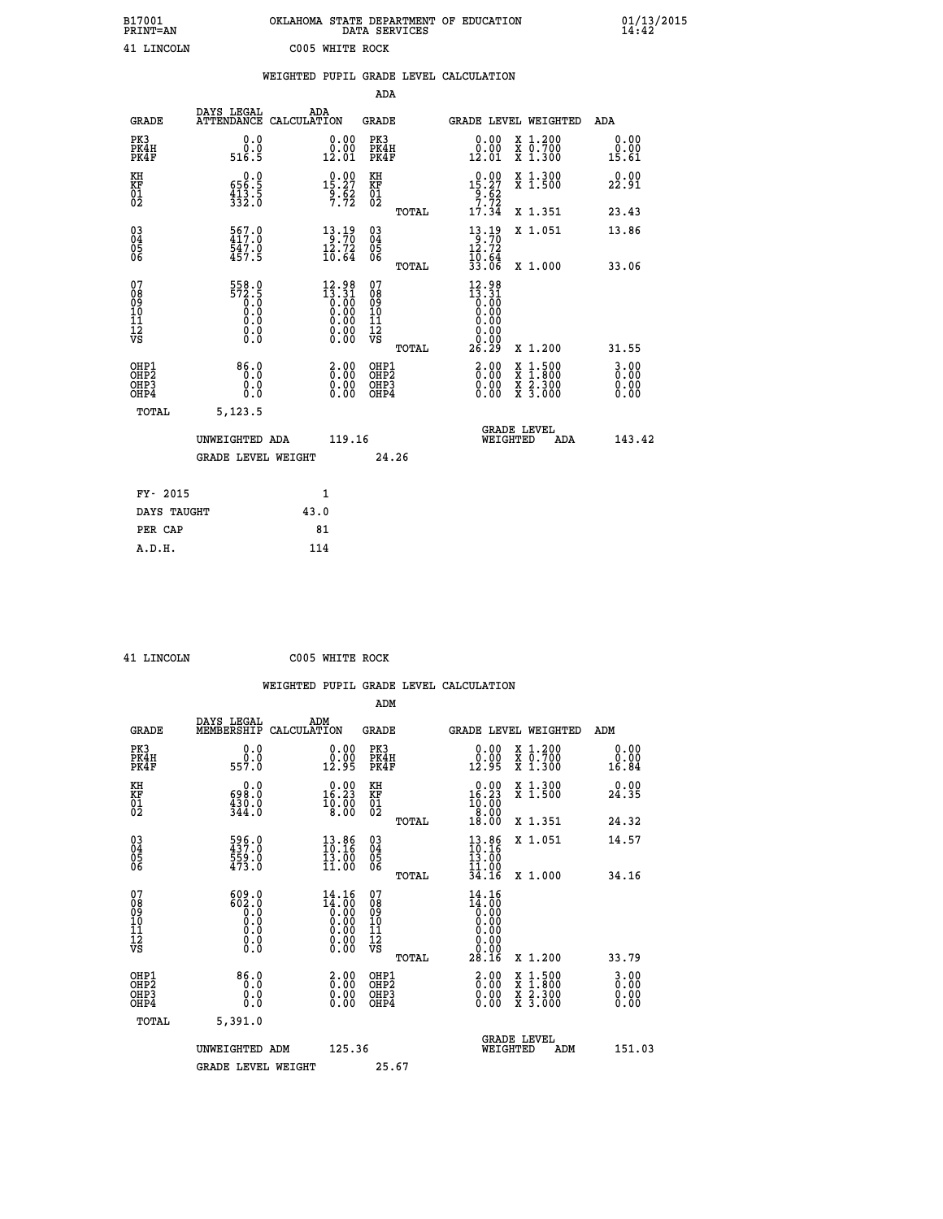| B17001<br>PRINT=AN                     |                                                   | OKLAHOMA STATE DEPARTMENT OF EDUCATION                                           | DATA SERVICES                                   |                                                               |                                                                                                                     | $01/13/2015$<br>14:42 |
|----------------------------------------|---------------------------------------------------|----------------------------------------------------------------------------------|-------------------------------------------------|---------------------------------------------------------------|---------------------------------------------------------------------------------------------------------------------|-----------------------|
| 41 LINCOLN                             |                                                   | C005 WHITE ROCK                                                                  |                                                 |                                                               |                                                                                                                     |                       |
|                                        |                                                   | WEIGHTED PUPIL GRADE LEVEL CALCULATION                                           |                                                 |                                                               |                                                                                                                     |                       |
|                                        |                                                   |                                                                                  | <b>ADA</b>                                      |                                                               |                                                                                                                     |                       |
| <b>GRADE</b>                           | DAYS LEGAL<br>ATTENDANCE CALCULATION              | ADA                                                                              | GRADE                                           | GRADE LEVEL WEIGHTED                                          |                                                                                                                     | ADA                   |
| PK3<br>PK4H<br>PK4F                    | 0.0<br>0.0<br>516.5                               | 0.00<br>$0.00$<br>$12.01$                                                        | PK3<br>PK4H<br>PK4F                             | 0.00<br>$\begin{smallmatrix} 0.00 \ 12.01 \end{smallmatrix}$  | X 1.200<br>X 0.700<br>X 1.300                                                                                       | 0.00<br>0.00<br>15.61 |
| KH<br>KF<br>$^{01}_{02}$               | 0.0<br>656.5<br>$\frac{413.5}{332.0}$             | $1,0.00$<br>15.27<br>$\frac{9.62}{7.72}$                                         | KH<br>KF<br>$^{01}_{02}$                        | $0.00$<br>15.27<br>$\frac{9}{7}.\frac{6}{72}$                 | X 1.300<br>X 1.500                                                                                                  | 0.00<br>22.91         |
|                                        |                                                   |                                                                                  | TOTAL                                           | 17.34                                                         | X 1.351                                                                                                             | 23.43                 |
| $03\overline{4}$<br>Ŏ5<br>ŎĞ           | $\frac{567.0}{417.0}$<br>547.0<br>457.5           | $\begin{array}{c} 13\cdot 19\\ -3\cdot 70\\ 12\cdot 72\\ 10\cdot 64 \end{array}$ | 030404<br>ŎĞ                                    | $13.19$<br>$12.72$<br>10.64                                   | X 1.051                                                                                                             | 13.86                 |
|                                        |                                                   |                                                                                  | <b>TOTAL</b>                                    | 33.06                                                         | X 1,000                                                                                                             | 33.06                 |
| 07<br>08<br>09<br>11<br>11<br>12<br>VS | 558.0<br>$\frac{572.5}{0.0}$<br>0.0<br>0.0<br>0.0 | $12.98$<br>$13.31$<br>$0.00$<br>$0.00$                                           | 07<br>08<br>09<br>10<br>īĭ<br>ĪŽ<br>VŠ<br>TOTAL | $12.98$<br>$13.31$<br>$0.00$<br>0.00<br>0.00<br>0.00<br>26.29 | X 1.200                                                                                                             | 31.55                 |
|                                        | 86.0                                              |                                                                                  |                                                 |                                                               |                                                                                                                     | 3.00                  |
| OHP1<br>OHP2<br>OHP3<br>OHP4           | 0.0<br>0.0<br>0.0                                 | 2.0000<br>0.00<br>0.00                                                           | OHP1<br>OHP2<br>OHP3<br>OHP4                    | 2.00<br>0.00<br>0.00                                          | $\begin{array}{l} \mathtt{X} & 1.500 \\ \mathtt{X} & 1.800 \\ \mathtt{X} & 2.300 \\ \mathtt{X} & 3.000 \end{array}$ | 0.00<br>0.00<br>0.00  |
| TOTAL                                  | 5,123.5                                           |                                                                                  |                                                 |                                                               |                                                                                                                     |                       |
|                                        | UNWEIGHTED ADA                                    | 119.16                                                                           |                                                 | <b>GRADE LEVEL</b>                                            | WEIGHTED ADA                                                                                                        | 143.42                |
|                                        | <b>GRADE LEVEL WEIGHT</b>                         |                                                                                  | 24.26                                           |                                                               |                                                                                                                     |                       |
| FY- 2015                               |                                                   | 1                                                                                |                                                 |                                                               |                                                                                                                     |                       |
| DAYS TAUGHT                            |                                                   | 43.0                                                                             |                                                 |                                                               |                                                                                                                     |                       |
| PER CAP                                |                                                   | 81                                                                               |                                                 |                                                               |                                                                                                                     |                       |
| A.D.H.                                 |                                                   | 114                                                                              |                                                 |                                                               |                                                                                                                     |                       |

 **41 LINCOLN C005 WHITE ROCK**

|                                                    |                                                                   |                    |                                                                                                   |                                   |       | WEIGHTED PUPIL GRADE LEVEL CALCULATION                             |                                                                                                                                           |                       |  |
|----------------------------------------------------|-------------------------------------------------------------------|--------------------|---------------------------------------------------------------------------------------------------|-----------------------------------|-------|--------------------------------------------------------------------|-------------------------------------------------------------------------------------------------------------------------------------------|-----------------------|--|
|                                                    |                                                                   |                    |                                                                                                   | ADM                               |       |                                                                    |                                                                                                                                           |                       |  |
| <b>GRADE</b>                                       | DAYS LEGAL<br>MEMBERSHIP                                          | ADM<br>CALCULATION |                                                                                                   | <b>GRADE</b>                      |       | GRADE LEVEL WEIGHTED                                               |                                                                                                                                           | ADM                   |  |
| PK3<br>PK4H<br>PK4F                                | 0.0<br>ة:ة<br>557.0                                               |                    | 0.00<br>12.95                                                                                     | PK3<br>PK4H<br>PK4F               |       | $\begin{smallmatrix} 0.00\\ 0.00\\ 12.95 \end{smallmatrix}$        | X 1.200<br>X 0.700<br>X 1.300                                                                                                             | 0.00<br>0.00<br>16.84 |  |
| KH<br>KF<br>01<br>02                               | $\begin{smallmatrix} &0.0\ 698.0\ 430.0\ 344.0 \end{smallmatrix}$ |                    | $\begin{smallmatrix} 0.00\\ 16.23\\ 10.00\\ 8.00 \end{smallmatrix}$                               | KH<br>KF<br>01<br>02              |       | $16.23$<br>$16.23$<br>$10.00$<br>$8.00$                            | X 1.300<br>X 1.500                                                                                                                        | 0.00<br>24.35         |  |
|                                                    |                                                                   |                    |                                                                                                   |                                   | TOTAL | 18.00                                                              | X 1.351                                                                                                                                   | 24.32                 |  |
| $\begin{matrix} 03 \\ 04 \\ 05 \\ 06 \end{matrix}$ | $596.0$<br>$437.0$<br>559.0<br>473.0                              |                    | 13.86<br>10.16<br>13.00<br>11.00                                                                  | $\substack{03 \\ 04}$<br>Ŏ5<br>06 |       | $\begin{smallmatrix} 13.86\ 10.16\ 13.00\ 11.00 \end{smallmatrix}$ | X 1.051                                                                                                                                   | 14.57                 |  |
|                                                    |                                                                   |                    |                                                                                                   |                                   | TOTAL | 34.16                                                              | X 1.000                                                                                                                                   | 34.16                 |  |
| 07<br>0890112<br>1112<br>VS                        | $609.0$<br>$602.0$<br>$0.0$<br>$0.0$<br>0.0<br>$\S.$              |                    | $14.16$<br>$14.00$<br>0.00<br>0.00<br>0.00<br>$\begin{smallmatrix} 0.00 \ 0.00 \end{smallmatrix}$ | 07<br>08901123<br>1112<br>VS      |       | $14.16$<br>$14.00$<br>$0.00$<br>$0.00$<br>0.00<br>0.00             |                                                                                                                                           |                       |  |
|                                                    |                                                                   |                    |                                                                                                   |                                   | TOTAL | 28.16                                                              | X 1.200                                                                                                                                   | 33.79                 |  |
| OHP1<br>OHP2<br>OH <sub>P3</sub><br>OHP4           | 86.0<br>0.0<br>0.000                                              |                    | $\begin{smallmatrix} 2.00\0.00\0.00 \end{smallmatrix}$                                            | OHP1<br>OHP2<br>OHP3<br>OHP4      |       | $\begin{smallmatrix} 2.00\\ 0.00\\ 0.00\\ 0.00 \end{smallmatrix}$  | $\begin{smallmatrix} \mathtt{X} & 1\cdot500\\ \mathtt{X} & 1\cdot800\\ \mathtt{X} & 2\cdot300\\ \mathtt{X} & 3\cdot000 \end{smallmatrix}$ | 3.00<br>0.00<br>0.00  |  |
| TOTAL                                              | 5,391.0                                                           |                    |                                                                                                   |                                   |       |                                                                    |                                                                                                                                           |                       |  |
|                                                    | UNWEIGHTED ADM                                                    |                    | 125.36                                                                                            |                                   |       | WEIGHTED                                                           | <b>GRADE LEVEL</b><br>ADM                                                                                                                 | 151.03                |  |
|                                                    | <b>GRADE LEVEL WEIGHT</b>                                         |                    |                                                                                                   | 25.67                             |       |                                                                    |                                                                                                                                           |                       |  |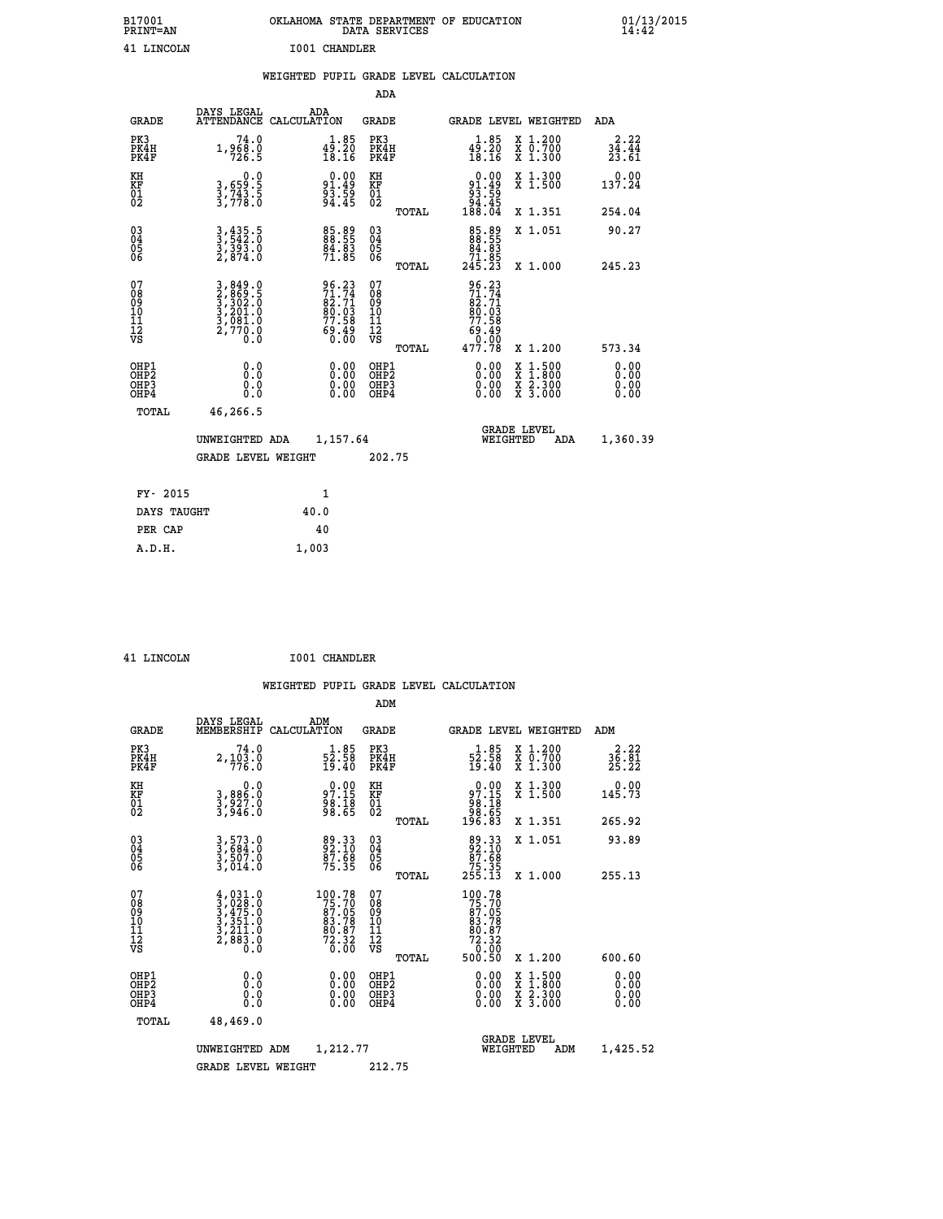| B17001<br><b>PRINT=AN</b>                            |                                                                       | OKLAHOMA STATE DEPARTMENT OF EDUCATION                      | DATA SERVICES                                      |                                                                   |                                                                                          | $01/13/2015$<br>14:42  |
|------------------------------------------------------|-----------------------------------------------------------------------|-------------------------------------------------------------|----------------------------------------------------|-------------------------------------------------------------------|------------------------------------------------------------------------------------------|------------------------|
| 41 LINCOLN                                           |                                                                       | I001 CHANDLER                                               |                                                    |                                                                   |                                                                                          |                        |
|                                                      |                                                                       | WEIGHTED PUPIL GRADE LEVEL CALCULATION                      |                                                    |                                                                   |                                                                                          |                        |
|                                                      |                                                                       |                                                             | <b>ADA</b>                                         |                                                                   |                                                                                          |                        |
| <b>GRADE</b>                                         | DAYS LEGAL                                                            | ADA<br>ATTENDANCE CALCULATION                               | <b>GRADE</b>                                       |                                                                   | GRADE LEVEL WEIGHTED                                                                     | ADA                    |
| PK3<br>PK4H<br>PK4F                                  | 74.0<br>1,968.0<br>726.5                                              | $\substack{1.85 \\ 49.20 \\ 18.16}$                         | PK3<br>PK4H<br>PK4F                                | $49.20$<br>$18.16$                                                | X 1.200<br>X 0.700<br>X 1.300                                                            | 2.22<br>34.44<br>23.61 |
| KH<br>KF<br>$\begin{matrix} 01 \ 02 \end{matrix}$    | 0.0<br>3,659:5<br>3,743:5<br>3,778:0                                  | $91.49$<br>$93.59$<br>$94.45$                               | KH<br>KF<br>$\overline{01}$                        | $0.00\n91.49\n93.59\n94.45\n188.04$                               | X 1.300<br>X 1.500                                                                       | 0.00<br>137.24         |
|                                                      |                                                                       |                                                             | TOTAL                                              |                                                                   | X 1.351                                                                                  | 254.04                 |
| 03<br>04<br>05<br>06                                 | $3, 435.5$<br>$3, 542.0$<br>$3, 393.0$<br>$2, 874.0$                  | 85.89<br>88.55<br>84.83<br>71.85                            | $\begin{matrix} 03 \\ 04 \\ 05 \\ 06 \end{matrix}$ | 85.89<br>88.55<br>84.83                                           | X 1.051                                                                                  | 90.27                  |
|                                                      |                                                                       |                                                             | TOTAL                                              | 71.05<br>245.23                                                   | X 1.000                                                                                  | 245.23                 |
| 07<br>Ŏġ<br>09<br>10<br>11<br>12<br>VS               | 3,849.0<br>2,869.5<br>3,302.0<br>3,201.0<br>3,081.0<br>2,770.0<br>0.0 | 96.23<br>71.74<br>82.71<br>80.03<br>77.58<br>ĕĕ:ĕà<br>0.00  | 07<br>ŏġ<br>09<br>ίÒ<br>īi<br>ĪŽ<br>VŠ             | 96.23<br>$\frac{71.74}{82.71}$<br>80.03<br>77.58<br>ĕĕ:ĕà<br>00.0 |                                                                                          |                        |
|                                                      |                                                                       |                                                             | <b>TOTAL</b>                                       | 477.78                                                            | X 1.200                                                                                  | 573.34                 |
| OHP1<br>OHP <sub>2</sub><br>OH <sub>P3</sub><br>OHP4 | 0.0<br>Ō.Ō<br>0.0<br>0.0                                              | 0.00<br>$\begin{smallmatrix} 0.00 \ 0.00 \end{smallmatrix}$ | OHP1<br>OHP <sub>2</sub><br>OHP3<br>OHP4           | 0.00<br>0.00<br>0.00                                              | $\begin{smallmatrix} x & 1.500 \\ x & 1.800 \\ x & 2.300 \\ x & 3.000 \end{smallmatrix}$ | 0.00<br>0.00<br>0.00   |
| <b>TOTAL</b>                                         | 46,266.5                                                              |                                                             |                                                    |                                                                   |                                                                                          |                        |
|                                                      | UNWEIGHTED ADA                                                        | 1,157.64                                                    |                                                    | WEIGHTED                                                          | <b>GRADE LEVEL</b><br>ADA                                                                | 1,360.39               |
|                                                      | <b>GRADE LEVEL WEIGHT</b>                                             |                                                             | 202.75                                             |                                                                   |                                                                                          |                        |
| FY- 2015                                             |                                                                       | 1                                                           |                                                    |                                                                   |                                                                                          |                        |
| DAYS TAUGHT                                          |                                                                       | 40.0                                                        |                                                    |                                                                   |                                                                                          |                        |
| PER CAP                                              |                                                                       | 40                                                          |                                                    |                                                                   |                                                                                          |                        |
| A.D.H.                                               |                                                                       | 1,003                                                       |                                                    |                                                                   |                                                                                          |                        |

 **41 LINCOLN I001 CHANDLER**

 **ADM**

| <b>GRADE</b>                                       | DAYS LEGAL<br>MEMBERSHIP                                                            | ADM<br>CALCULATION                                                                    | <b>GRADE</b>                                        |       |                                                                                                                                                                                                                                                                                | <b>GRADE LEVEL WEIGHTED</b>              | ADM                  |
|----------------------------------------------------|-------------------------------------------------------------------------------------|---------------------------------------------------------------------------------------|-----------------------------------------------------|-------|--------------------------------------------------------------------------------------------------------------------------------------------------------------------------------------------------------------------------------------------------------------------------------|------------------------------------------|----------------------|
| PK3<br>PK4H<br>PK4F                                | 74.0<br>$2,103.0$<br>776.0                                                          | $\frac{1}{52}$ : 58<br>19.40                                                          | PK3<br>PK4H<br>PK4F                                 |       | $\frac{1}{52}$ : $\frac{85}{19}$<br>19.40                                                                                                                                                                                                                                      | X 1.200<br>X 0.700<br>X 1.300            | 36.81<br>25.22       |
| KH<br>KF<br>01<br>02                               | 0.0<br>3,886:0<br>3,927:0<br>3,946:0                                                | $97.15$<br>$98.18$<br>$98.65$                                                         | KH<br>KF<br>01<br>02                                |       | $\begin{smallmatrix} &0.00\\ 97.15\\ 98.18\\ 98.65\\ 196.83\end{smallmatrix}$                                                                                                                                                                                                  | X 1.300<br>X 1.500                       | 0.00<br>145.73       |
|                                                    |                                                                                     |                                                                                       |                                                     | TOTAL |                                                                                                                                                                                                                                                                                | X 1.351                                  | 265.92               |
| $\begin{matrix} 03 \\ 04 \\ 05 \\ 06 \end{matrix}$ | $3,573.0$<br>$3,584.0$<br>$3,507.0$<br>$3,014.0$                                    | 89.33<br>92.10<br>87.68<br>75.35                                                      | $\begin{array}{c} 03 \\ 04 \\ 05 \\ 06 \end{array}$ |       | 89.33<br>82.10<br>87.68<br>75.35<br>255.13                                                                                                                                                                                                                                     | X 1.051                                  | 93.89                |
|                                                    |                                                                                     |                                                                                       |                                                     | TOTAL |                                                                                                                                                                                                                                                                                | X 1.000                                  | 255.13               |
| 07<br>08<br>09<br>101<br>11<br>12<br>VS            | $4,031.0$<br>$3,028.0$<br>$3,475.0$<br>$3,351.0$<br>$3,211.0$<br>$2,883.0$<br>$0.0$ | $\begin{smallmatrix}100.78\\75.70\\87.05\\83.78\\80.87\\72.32\\0.00\end{smallmatrix}$ | 07<br>08<br>09<br>001<br>11<br>11<br>12<br>VS       | TOTAL | 100.78<br>$75.705$<br>87.0583.78<br>83.78<br>80.87<br>72.320<br>500.50                                                                                                                                                                                                         | X 1.200                                  | 600.60               |
| OHP1<br>OHP2<br>OH <sub>P3</sub><br>OHP4           |                                                                                     | $\begin{smallmatrix} 0.00 \ 0.00 \ 0.00 \ 0.00 \end{smallmatrix}$                     | OHP1<br>OHP2<br>OHP3<br>OHP4                        |       | $\begin{smallmatrix} 0.00 & 0.00 & 0.00 & 0.00 & 0.00 & 0.00 & 0.00 & 0.00 & 0.00 & 0.00 & 0.00 & 0.00 & 0.00 & 0.00 & 0.00 & 0.00 & 0.00 & 0.00 & 0.00 & 0.00 & 0.00 & 0.00 & 0.00 & 0.00 & 0.00 & 0.00 & 0.00 & 0.00 & 0.00 & 0.00 & 0.00 & 0.00 & 0.00 & 0.00 & 0.00 & 0.0$ | X 1:500<br>X 1:800<br>X 2:300<br>X 3:000 | 0.00<br>0.00<br>0.00 |
| TOTAL                                              | 48,469.0                                                                            |                                                                                       |                                                     |       |                                                                                                                                                                                                                                                                                |                                          |                      |
|                                                    | UNWEIGHTED                                                                          | 1,212.77<br>ADM                                                                       |                                                     |       | WEIGHTED                                                                                                                                                                                                                                                                       | <b>GRADE LEVEL</b><br>ADM                | 1,425.52             |
|                                                    | <b>GRADE LEVEL WEIGHT</b>                                                           |                                                                                       | 212.75                                              |       |                                                                                                                                                                                                                                                                                |                                          |                      |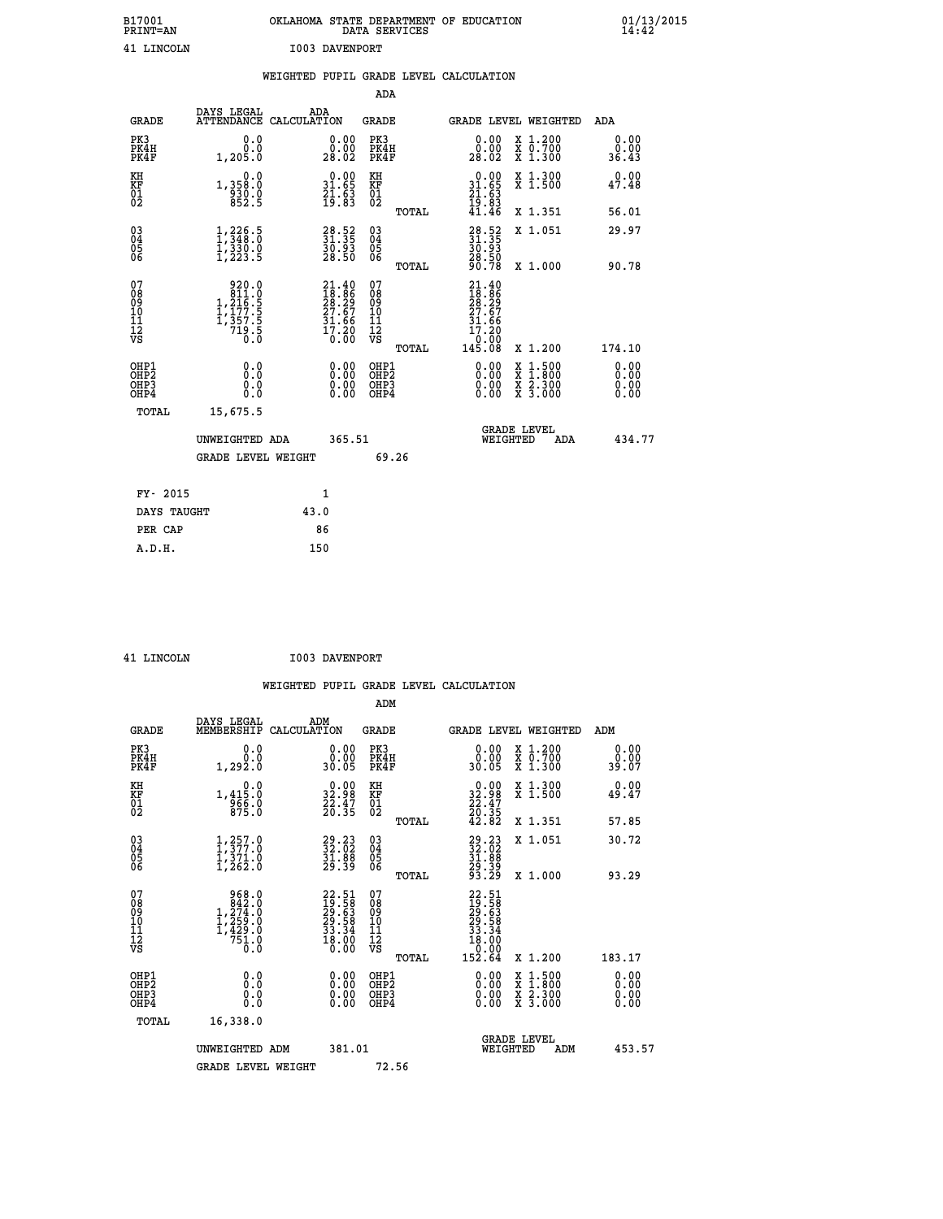| B17001<br>PRINT=AN                       |                                                                     |                       |                                                                      |                                                            |       | OKLAHOMA STATE DEPARTMENT OF EDUCATION<br>DATA SERVICES               |                                                                                          | $01/13/2015$<br>14:42        |  |
|------------------------------------------|---------------------------------------------------------------------|-----------------------|----------------------------------------------------------------------|------------------------------------------------------------|-------|-----------------------------------------------------------------------|------------------------------------------------------------------------------------------|------------------------------|--|
| 41 LINCOLN                               |                                                                     | <b>I003 DAVENPORT</b> |                                                                      |                                                            |       |                                                                       |                                                                                          |                              |  |
|                                          |                                                                     |                       |                                                                      |                                                            |       | WEIGHTED PUPIL GRADE LEVEL CALCULATION                                |                                                                                          |                              |  |
|                                          |                                                                     |                       |                                                                      | ADA                                                        |       |                                                                       |                                                                                          |                              |  |
| GRADE                                    | DAYS LEGAL<br>ATTENDANCE CALCULATION                                | ADA                   |                                                                      | GRADE                                                      |       |                                                                       | GRADE LEVEL WEIGHTED                                                                     | ADA                          |  |
| PK3<br>PK4H<br>PK4F                      | 0.0<br>0.0<br>1,205.0                                               |                       | 0.00<br>0.00<br>28.02                                                | PK3<br>PK4H<br>PK4F                                        |       | 0.00<br>0.00<br>28.02                                                 | X 1.200<br>X 0.700<br>X 1.300                                                            | 0.00<br>0.00<br>36.43        |  |
| KH<br>KF<br>$\overline{01}$              | 0.0<br>1,358:0<br>930:0<br>852:5                                    |                       | $\begin{smallmatrix} 0.00\\ 31.65\\ 21.63\\ 19.83 \end{smallmatrix}$ | KH<br>KF<br>01<br>02                                       |       | $0.00$<br>31.65<br>$\frac{21}{19}$ : $\frac{63}{83}$<br>$41.46$       | X 1.300<br>X 1.500                                                                       | 0.00<br>47.48                |  |
|                                          |                                                                     |                       |                                                                      |                                                            | TOTAL |                                                                       | X 1.351                                                                                  | 56.01                        |  |
| $\substack{03 \\ 04}$<br>$\frac{05}{06}$ | 1,348.5<br>$\frac{1}{2}, \frac{3}{2} \frac{3}{2} \cdot \frac{0}{5}$ |                       | $\begin{smallmatrix} 28.52\ 31.35\ 30.93\ 28.50 \end{smallmatrix}$   | $03\overline{4}$<br>Ŏ5<br>06                               |       | $33.52$<br>31.35<br>30.93<br>28.50<br>90.78                           | X 1.051                                                                                  | 29.97                        |  |
|                                          |                                                                     |                       |                                                                      |                                                            | TOTAL |                                                                       | X 1.000                                                                                  | 90.78                        |  |
| 07<br>08<br>09<br>10<br>11<br>12<br>VS   | 920.0<br>811.0<br>1,216.5<br>1,177.5<br>1,357.5<br>719.5<br>0.0     |                       | $21.4018.8628.2927.6731.6617.200.00$                                 | 07<br>08<br>09<br>10<br>$\frac{11}{12}$<br>$\frac{12}{18}$ | TOTAL | 21.40<br>18.86<br>28.29<br>27.67<br>31.66<br>17.20<br>07.0°<br>145.08 | X 1.200                                                                                  | 174.10                       |  |
| OHP1<br>OHP2<br>OHP3<br>OHP4             | 0.0<br>0.0<br>0.0<br>0.0                                            |                       | 0.00<br>0.00<br>0.00                                                 | OHP1<br>OHP <sub>2</sub><br>OHP3<br>OHP4                   |       | 0.00<br>0.00<br>0.00                                                  | $\begin{smallmatrix} x & 1.500 \\ x & 1.800 \\ x & 2.300 \\ x & 3.000 \end{smallmatrix}$ | 0.00<br>ŏ:ŏŏ<br>0.00<br>0.00 |  |
| TOTAL                                    | 15,675.5                                                            |                       |                                                                      |                                                            |       |                                                                       |                                                                                          |                              |  |
|                                          | UNWEIGHTED ADA                                                      |                       | 365.51                                                               |                                                            |       |                                                                       | <b>GRADE LEVEL</b><br>WEIGHTED<br>ADA                                                    | 434.77                       |  |
|                                          | <b>GRADE LEVEL WEIGHT</b>                                           |                       |                                                                      |                                                            | 69.26 |                                                                       |                                                                                          |                              |  |
| FY- 2015                                 |                                                                     | 1                     |                                                                      |                                                            |       |                                                                       |                                                                                          |                              |  |
| DAYS TAUGHT                              |                                                                     | 43.0                  |                                                                      |                                                            |       |                                                                       |                                                                                          |                              |  |

**PER CAP** 86  **A.D.H. 150**

 **41 LINCOLN I003 DAVENPORT**

|                                                    |                                                                                                    |                    |                                                                                                      |                                              |       | WEIGHTED PUPIL GRADE LEVEL CALCULATION                                                                                                                                                                                                                                         |                                                                                                  |        |                       |
|----------------------------------------------------|----------------------------------------------------------------------------------------------------|--------------------|------------------------------------------------------------------------------------------------------|----------------------------------------------|-------|--------------------------------------------------------------------------------------------------------------------------------------------------------------------------------------------------------------------------------------------------------------------------------|--------------------------------------------------------------------------------------------------|--------|-----------------------|
|                                                    |                                                                                                    |                    |                                                                                                      | ADM                                          |       |                                                                                                                                                                                                                                                                                |                                                                                                  |        |                       |
| <b>GRADE</b>                                       | DAYS LEGAL<br>MEMBERSHIP                                                                           | ADM<br>CALCULATION |                                                                                                      | <b>GRADE</b>                                 |       | GRADE LEVEL WEIGHTED                                                                                                                                                                                                                                                           |                                                                                                  | ADM    |                       |
| PK3<br>PK4H<br>PK4F                                | 0.0<br>0.0<br>1,292.0                                                                              |                    | $\begin{smallmatrix} 0.00\\ 0.00\\ 30.05 \end{smallmatrix}$                                          | PK3<br>PK4H<br>PK4F                          |       | $\begin{smallmatrix} 0.00\\ 0.00\\ 30.05 \end{smallmatrix}$                                                                                                                                                                                                                    | X 1.200<br>X 0.700<br>X 1.300                                                                    |        | 0.00<br>0.00<br>39.07 |
| KH<br>KF<br>01<br>02                               | 0.0<br>1, 415:0<br>956:0<br>875:0                                                                  |                    | $\begin{smallmatrix} 0.00\\ 32.98\\ 22.47\\ 26.35 \end{smallmatrix}$                                 | KH<br>KF<br>01<br>02                         |       | $\begin{smallmatrix} 0.00\\ 32.98\\ 22.47\\ 20.35\\ 42.82 \end{smallmatrix}$                                                                                                                                                                                                   | X 1.300<br>X 1.500                                                                               |        | 0.00<br>49.47         |
|                                                    |                                                                                                    |                    |                                                                                                      |                                              | TOTAL |                                                                                                                                                                                                                                                                                | X 1.351                                                                                          |        | 57.85                 |
| $\begin{matrix} 03 \\ 04 \\ 05 \\ 06 \end{matrix}$ | $\frac{1}{1}, \frac{257}{377}.0 \\ 1, \frac{371}{371}.0 \\ 1, \frac{262}{361}.0$                   |                    | $\begin{smallmatrix} 29.23\ 32.02\ 31.88\ 29.39 \end{smallmatrix}$                                   | 03<br>04<br>05<br>06                         |       | 29.23<br>32.02<br>31.88<br>29.39<br>29.29                                                                                                                                                                                                                                      | X 1.051                                                                                          |        | 30.72                 |
|                                                    |                                                                                                    |                    |                                                                                                      |                                              | TOTAL |                                                                                                                                                                                                                                                                                | X 1.000                                                                                          |        | 93.29                 |
| 07<br>0890112<br>1112<br>VS                        | $\begin{smallmatrix} &968.0\\ &842.0\\ 1,274.0\\ 1,259.0\\ 1,429.0\\ 751.0\\ 0.0\end{smallmatrix}$ |                    | $\begin{smallmatrix} 22.51\ 19.58\ 29.63\ 29.58\ 29.58\ 33.34\ 33.34\ 18.00\ 0.00 \end{smallmatrix}$ | 07<br>08<br>09<br>09<br>10<br>11<br>12<br>VS | TOTAL | $\begin{smallmatrix} 22.51\ 19.58\ 29.583\ 29.583\ 23.584\ 33.34\ 18.00\ 0.000\ 152.64\ \end{smallmatrix}$                                                                                                                                                                     | X 1.200                                                                                          | 183.17 |                       |
|                                                    |                                                                                                    |                    |                                                                                                      |                                              |       |                                                                                                                                                                                                                                                                                |                                                                                                  |        |                       |
| OHP1<br>OHP2<br>OHP <sub>3</sub><br>OHP4           | 0.0<br>0.000                                                                                       |                    | $\begin{smallmatrix} 0.00 \ 0.00 \ 0.00 \ 0.00 \end{smallmatrix}$                                    | OHP1<br>OHP2<br>OHP3<br>OHP4                 |       | $\begin{smallmatrix} 0.00 & 0.00 & 0.00 & 0.00 & 0.00 & 0.00 & 0.00 & 0.00 & 0.00 & 0.00 & 0.00 & 0.00 & 0.00 & 0.00 & 0.00 & 0.00 & 0.00 & 0.00 & 0.00 & 0.00 & 0.00 & 0.00 & 0.00 & 0.00 & 0.00 & 0.00 & 0.00 & 0.00 & 0.00 & 0.00 & 0.00 & 0.00 & 0.00 & 0.00 & 0.00 & 0.0$ | $\begin{smallmatrix} x & 1 & 500 \\ x & 1 & 800 \\ x & 2 & 300 \\ x & 3 & 000 \end{smallmatrix}$ |        | 0.00<br>0.00<br>0.00  |
| TOTAL                                              | 16,338.0                                                                                           |                    |                                                                                                      |                                              |       |                                                                                                                                                                                                                                                                                |                                                                                                  |        |                       |
|                                                    | UNWEIGHTED ADM                                                                                     |                    | 381.01                                                                                               |                                              |       | WEIGHTED                                                                                                                                                                                                                                                                       | <b>GRADE LEVEL</b><br>ADM                                                                        |        | 453.57                |
|                                                    | <b>GRADE LEVEL WEIGHT</b>                                                                          |                    |                                                                                                      | 72.56                                        |       |                                                                                                                                                                                                                                                                                |                                                                                                  |        |                       |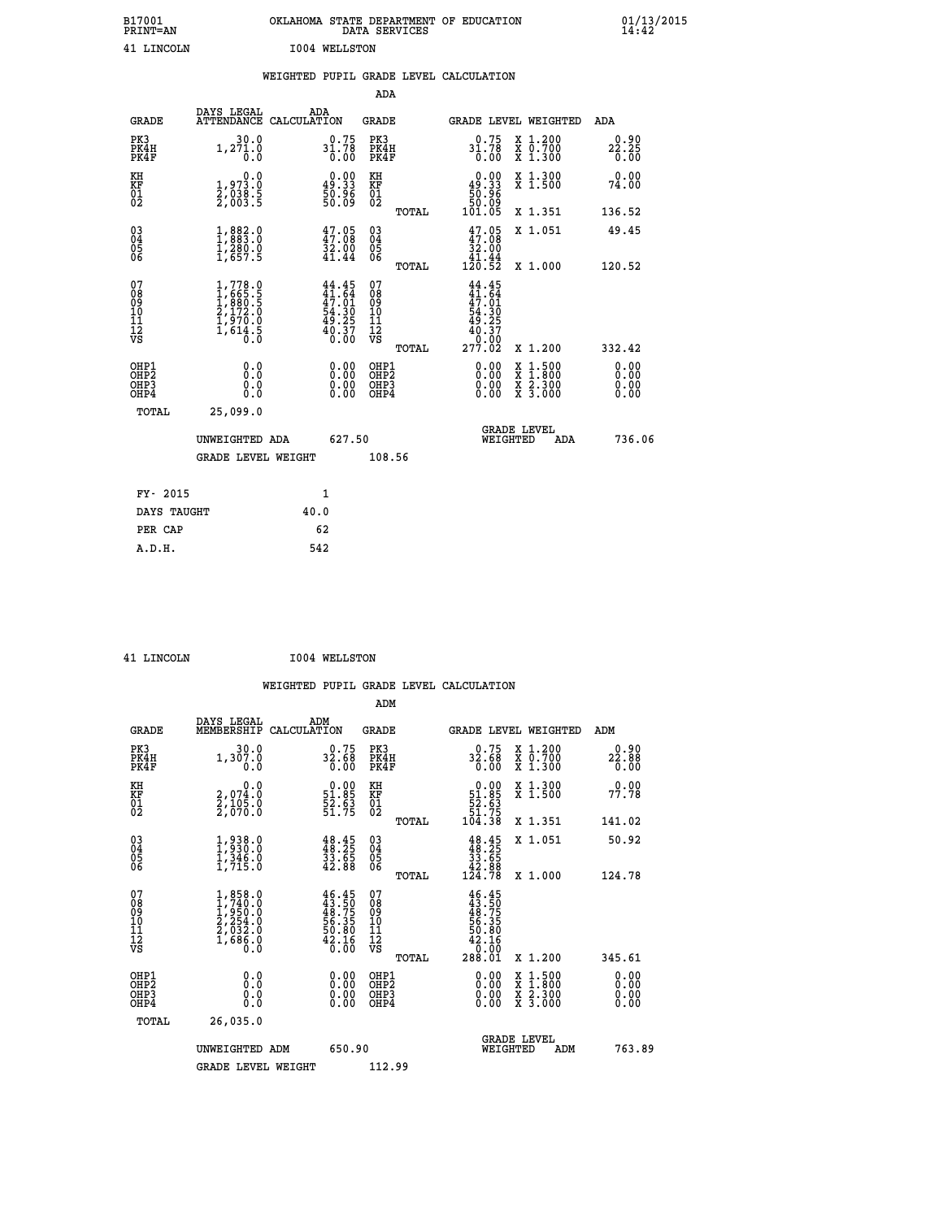| B17001<br><b>PRINT=AN</b> | OKLAHOMA STATE DEPARTMENT OF EDUCATION<br>DATA SERVICES | 01/13/2015 |
|---------------------------|---------------------------------------------------------|------------|
| 41 LINCOLN                | 1004 WELLSTON                                           |            |

## **WEIGHTED PUPIL GRADE LEVEL CALCULATION**

|                                                                    |                                                                                                                     |                                                                  | ADA                                                               |       |                                                               |                                          |                              |
|--------------------------------------------------------------------|---------------------------------------------------------------------------------------------------------------------|------------------------------------------------------------------|-------------------------------------------------------------------|-------|---------------------------------------------------------------|------------------------------------------|------------------------------|
| <b>GRADE</b>                                                       | DAYS LEGAL<br>ATTENDANCE CALCULATION                                                                                | ADA                                                              | <b>GRADE</b>                                                      |       |                                                               | GRADE LEVEL WEIGHTED                     | ADA                          |
| PK3<br>PK4H<br>PK4F                                                | 30.0<br>1, 271.0                                                                                                    | $31.78$<br>$31.78$<br>$0.00$                                     | PK3<br>PK4H<br>PK4F                                               |       | $31.78$<br>$31.78$<br>$0.00$                                  | X 1.200<br>X 0.700<br>X 1.300            | 0.90<br>22.25<br>0.00        |
| KH<br><b>KF</b><br>01<br>02                                        | 0.0<br>$\frac{1}{2}, \begin{smallmatrix} 9 & 7 & 3 & 0 \\ 2 & 0 & 3 & 8 & 5 \\ 2 & 0 & 0 & 3 & 5 \end{smallmatrix}$ | $0.00$<br>49.33<br>50.96<br>50.09                                | KH<br>KF<br>01<br>02                                              |       | $0.00$<br>49.33<br>$\frac{1}{50}$<br>$\frac{5}{50}$<br>101.05 | X 1.300<br>X 1.500                       | 0.00<br>74.00                |
|                                                                    |                                                                                                                     |                                                                  |                                                                   | TOTAL |                                                               | X 1.351                                  | 136.52                       |
| $\begin{smallmatrix} 03 \\[-4pt] 04 \end{smallmatrix}$<br>05<br>06 | 1,883.0<br>$\frac{1}{2}$ , $\frac{280}{657}$ . 5                                                                    | 47.05<br>$\frac{32.00}{41.44}$                                   | $\substack{03 \\ 04}$<br>$\begin{matrix} 0.5 \\ 0.6 \end{matrix}$ |       | $47.05\n32.00\n41.44\n120.52$                                 | X 1.051                                  | 49.45                        |
|                                                                    |                                                                                                                     |                                                                  |                                                                   | TOTAL |                                                               | X 1.000                                  | 120.52                       |
| 07<br>08901112<br>1112<br>VS                                       | $1,778.0$<br>$1,665.5$<br>$1,880.5$<br>$2,172.0$<br>$1,970.0$<br>$1,614.5$<br>0.0                                   | $44.45$<br>$41.64$<br>$47.01$<br>$54.30$<br>$49.257$<br>$40.370$ | 07<br>08<br>09<br>11<br>11<br>12<br>VS                            |       | 44.45<br>$41.64$<br>$47.01$<br>$54.305$<br>$49.257$<br>0.00   |                                          |                              |
|                                                                    |                                                                                                                     |                                                                  |                                                                   | TOTAL | 277.02                                                        | X 1.200                                  | 332.42                       |
| OHP1<br>OH <sub>P</sub> 2<br>OH <sub>P3</sub><br>OH <sub>P4</sub>  | 0.0<br>0.0<br>0.0                                                                                                   | 0.00<br>$\begin{smallmatrix} 0.00 \ 0.00 \end{smallmatrix}$      | OHP1<br>OH <sub>P</sub> 2<br>OHP3<br>OHP4                         |       | 0.00<br>0.00<br>0.00                                          | X 1:500<br>X 1:800<br>X 2:300<br>X 3:000 | 0.00<br>0.00<br>0.00<br>0.00 |
| TOTAL                                                              | 25,099.0                                                                                                            |                                                                  |                                                                   |       |                                                               |                                          |                              |
|                                                                    | UNWEIGHTED ADA                                                                                                      | 627.50                                                           |                                                                   |       |                                                               | GRADE LEVEL<br>WEIGHTED<br>ADA           | 736.06                       |
|                                                                    | <b>GRADE LEVEL WEIGHT</b>                                                                                           |                                                                  | 108.56                                                            |       |                                                               |                                          |                              |
| FY- 2015                                                           |                                                                                                                     | $\mathbf{1}$                                                     |                                                                   |       |                                                               |                                          |                              |
| DAYS TAUGHT                                                        |                                                                                                                     | 40.0                                                             |                                                                   |       |                                                               |                                          |                              |
| PER CAP                                                            |                                                                                                                     | 62                                                               |                                                                   |       |                                                               |                                          |                              |
|                                                                    |                                                                                                                     |                                                                  |                                                                   |       |                                                               |                                          |                              |

| <b>T.TNCOLN</b> |  |
|-----------------|--|

 **A.D.H. 542**

 **ADM**

**1004 WELLSTON** 

| <b>GRADE</b>                                       | DAYS LEGAL<br>MEMBERSHIP CALCULATION                                                                 | ADM                                                                      | <b>GRADE</b>                                        |       | GRADE LEVEL WEIGHTED                                                                                                                                                                                                                                                           |                                          | ADM                  |  |
|----------------------------------------------------|------------------------------------------------------------------------------------------------------|--------------------------------------------------------------------------|-----------------------------------------------------|-------|--------------------------------------------------------------------------------------------------------------------------------------------------------------------------------------------------------------------------------------------------------------------------------|------------------------------------------|----------------------|--|
| PK3<br>PK4H<br>PK4F                                | 30.0<br>1,307.0<br>0.0                                                                               | 32.58<br>0.00                                                            | PK3<br>PK4H<br>PK4F                                 |       | 0.75<br>32.68<br>$\overline{0}$ .00                                                                                                                                                                                                                                            | X 1.200<br>X 0.700<br>X 1.300            | 22.88<br>0.00        |  |
| KH<br>KF<br>01<br>02                               | 0.0<br>2,074:0<br>2,105:0<br>2,070:0                                                                 | $\begin{smallmatrix} 0.00\\ 51.85\\ 52.63\\ 51.75 \end{smallmatrix}$     | KH<br>KF<br>01<br>02                                |       | $0.00\n51.85\n52.63\n51.75\n104.38$                                                                                                                                                                                                                                            | X 1.300<br>X 1.500                       | 0.00<br>77.78        |  |
|                                                    |                                                                                                      |                                                                          |                                                     | TOTAL |                                                                                                                                                                                                                                                                                | X 1.351                                  | 141.02               |  |
| $\begin{matrix} 03 \\ 04 \\ 05 \\ 06 \end{matrix}$ | $\frac{1}{1}, \frac{938}{30}.0$<br>$\frac{1}{1}, \frac{346}{315}.0$<br>$\frac{1}{1}, \frac{715}{30}$ | $\begin{smallmatrix} 48.45\\ 48.25\\ 33.65\\ 42.88 \end{smallmatrix}$    | $\begin{array}{c} 03 \\ 04 \\ 05 \\ 06 \end{array}$ |       | $\begin{smallmatrix} 48.45\\ 48.25\\ 33.65\\ 42.88\\ 124.78 \end{smallmatrix}$                                                                                                                                                                                                 | X 1.051                                  | 50.92                |  |
|                                                    |                                                                                                      |                                                                          |                                                     | TOTAL |                                                                                                                                                                                                                                                                                | X 1.000                                  | 124.78               |  |
| 07<br>08<br>09<br>101<br>11<br>12<br>VS            | $1, 858.0$<br>$1, 740.0$<br>$1, 950.0$<br>$2, 254.0$<br>$2, 032.0$<br>$1, 686.0$<br>$0.0$            | $46.45$<br>$43.50$<br>$48.75$<br>$56.35$<br>$50.80$<br>$42.16$<br>$0.00$ | 078<br>089<br>0011<br>11<br>11<br>12<br>VS          | TOTAL | $45.45$<br>$43.50$<br>$48.75$<br>$56.35$<br>$50.80$<br>$42.16$<br>$0.00$<br>$288.01$                                                                                                                                                                                           | X 1.200                                  | 345.61               |  |
| OHP1<br>OHP2<br>OHP3<br>OHP4                       | 0.0<br>$\begin{smallmatrix} 0.0 & 0 \ 0.0 & 0 \end{smallmatrix}$                                     |                                                                          | OHP1<br>OHP2<br>OHP3<br>OHP4                        |       | $\begin{smallmatrix} 0.00 & 0.00 & 0.00 & 0.00 & 0.00 & 0.00 & 0.00 & 0.00 & 0.00 & 0.00 & 0.00 & 0.00 & 0.00 & 0.00 & 0.00 & 0.00 & 0.00 & 0.00 & 0.00 & 0.00 & 0.00 & 0.00 & 0.00 & 0.00 & 0.00 & 0.00 & 0.00 & 0.00 & 0.00 & 0.00 & 0.00 & 0.00 & 0.00 & 0.00 & 0.00 & 0.0$ | X 1:500<br>X 1:800<br>X 2:300<br>X 3:000 | 0.00<br>0.00<br>0.00 |  |
| TOTAL                                              | 26,035.0                                                                                             |                                                                          |                                                     |       |                                                                                                                                                                                                                                                                                |                                          |                      |  |
|                                                    | UNWEIGHTED<br>ADM                                                                                    | 650.90                                                                   |                                                     |       | WEIGHTED                                                                                                                                                                                                                                                                       | <b>GRADE LEVEL</b><br>ADM                | 763.89               |  |
|                                                    | <b>GRADE LEVEL WEIGHT</b>                                                                            |                                                                          | 112.99                                              |       |                                                                                                                                                                                                                                                                                |                                          |                      |  |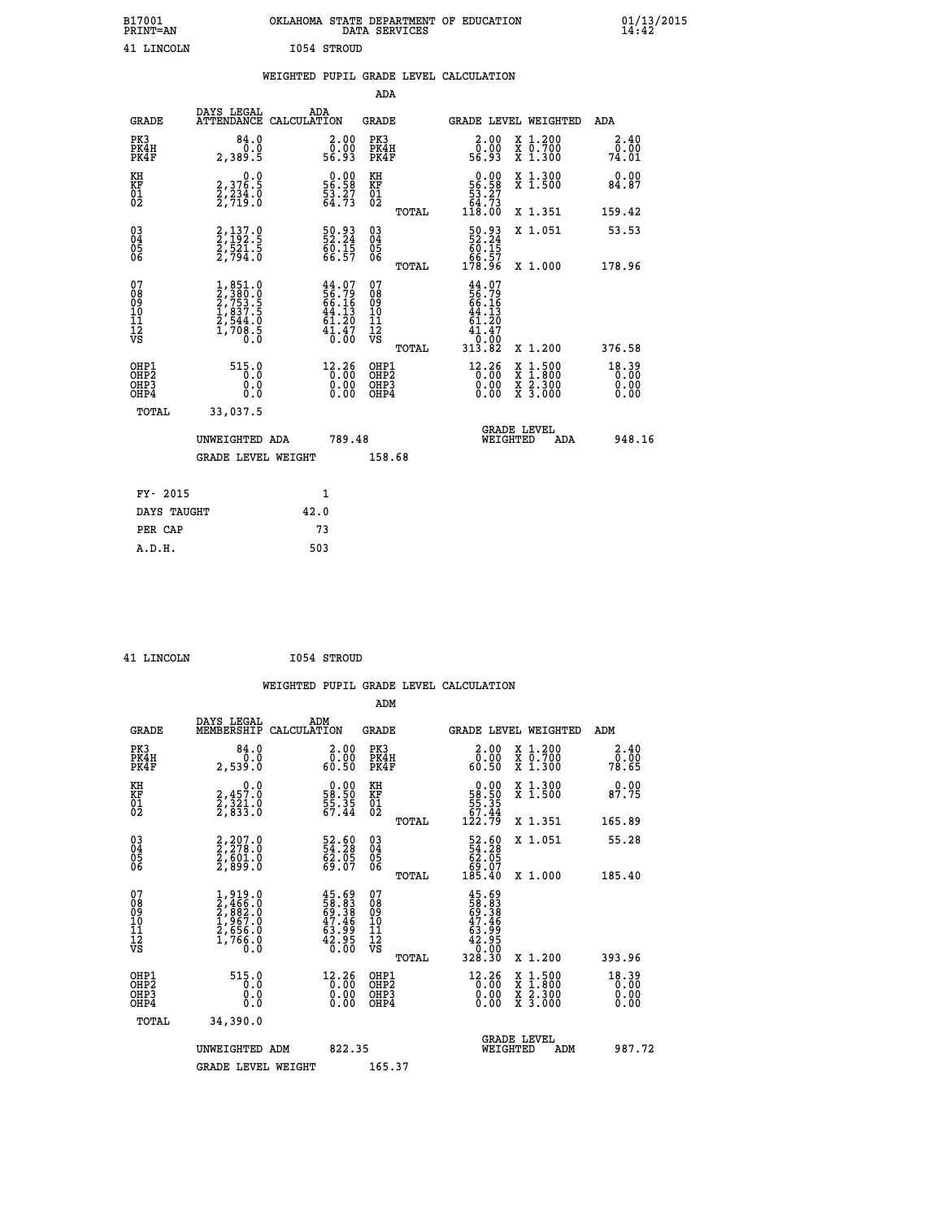| B17001          | OKLAHOMA STATE DEPARTMENT OF EDUCATION |
|-----------------|----------------------------------------|
| <b>PRINT=AN</b> | DATA SERVICES                          |
| 41 LINCOLN      | 1054 STROUD                            |

|  |  | WEIGHTED PUPIL GRADE LEVEL CALCULATION |
|--|--|----------------------------------------|
|  |  |                                        |

|                                                                    |                                                                                     |                                                                          |                      | ADA                                                               |       |                                                                                    |                                                                                                  |                               |
|--------------------------------------------------------------------|-------------------------------------------------------------------------------------|--------------------------------------------------------------------------|----------------------|-------------------------------------------------------------------|-------|------------------------------------------------------------------------------------|--------------------------------------------------------------------------------------------------|-------------------------------|
| <b>GRADE</b>                                                       | DAYS LEGAL<br>ATTENDANCE CALCULATION                                                | ADA                                                                      |                      | <b>GRADE</b>                                                      |       | GRADE LEVEL WEIGHTED                                                               |                                                                                                  | ADA                           |
| PK3<br>PK4H<br>PK4F                                                | 84.0<br>0.0<br>2,389.5                                                              | $\begin{smallmatrix} 2.00\\ 0.00\\ 56.93 \end{smallmatrix}$              |                      | PK3<br>PK4H<br>PK4F                                               |       | 2.00<br>ŏ:ŏŏ<br>56:93                                                              | X 1.200<br>X 0.700<br>X 1.300                                                                    | 2.40<br>0.00<br>74.01         |
| KH<br><b>KF</b><br>01<br>02                                        | 0.0<br>2,376.5<br>2,234.0<br>2,719.0                                                | $\begin{smallmatrix} 0.00\\ 56.58\\ 53.27\\ 64.73 \end{smallmatrix}$     |                      | KH<br>KF<br>01<br>02                                              |       | $\begin{smallmatrix} &0.00\\ 56.58\\ 53.27\\ 64.73\\ 118.00 \end{smallmatrix}$     | X 1.300<br>X 1.500                                                                               | 0.00<br>84.87                 |
|                                                                    |                                                                                     |                                                                          |                      |                                                                   | TOTAL |                                                                                    | X 1.351                                                                                          | 159.42                        |
| $\begin{smallmatrix} 03 \\[-4pt] 04 \end{smallmatrix}$<br>05<br>06 | 2,137.0<br>2,192.5<br>2,521.5<br>2,794.0                                            | 50.93<br>52.24<br>60.15<br>66.57                                         |                      | $\substack{03 \\ 04}$<br>$\begin{matrix} 0.5 \\ 0.6 \end{matrix}$ | TOTAL | $\begin{smallmatrix} 50.93 \\ 52.24 \\ 60.15 \\ 66.57 \\ 178.96 \end{smallmatrix}$ | X 1.051<br>X 1.000                                                                               | 53.53<br>178.96               |
| 07<br>08<br>09<br>11<br>11<br>12<br>VS                             | $1,851.0$<br>$2,753.5$<br>$2,753.5$<br>$1,837.5$<br>$2,544.0$<br>$1,708.5$<br>$0.0$ | $44.07$<br>$56.79$<br>$66.16$<br>$44.13$<br>$61.20$<br>$41.47$<br>$0.00$ |                      | 07<br>08<br>09<br>11<br>11<br>12<br>VS                            |       | $44.07$<br>$56.79$<br>$66.16$<br>$44.13$<br>$61.20$<br>$41.47$<br>$0.00$           |                                                                                                  |                               |
|                                                                    |                                                                                     |                                                                          |                      |                                                                   | TOTAL | 313.82                                                                             | X 1.200                                                                                          | 376.58                        |
| OHP1<br>OH <sub>P2</sub><br>OH <sub>P3</sub><br>OH <sub>P4</sub>   | 515.0<br>0.0<br>0.0<br>0.0                                                          | 12.26                                                                    | 0.00<br>0.00<br>0.00 | OHP1<br>OHP <sub>2</sub><br>OHP3<br>OHP4                          |       | $12.26$<br>$0.00$<br>0.00<br>0.00                                                  | $\begin{smallmatrix} x & 1 & 500 \\ x & 1 & 800 \\ x & 2 & 300 \\ x & 3 & 000 \end{smallmatrix}$ | 18.39<br>0.00<br>0.00<br>0.00 |
| TOTAL                                                              | 33,037.5                                                                            |                                                                          |                      |                                                                   |       |                                                                                    |                                                                                                  |                               |
|                                                                    | UNWEIGHTED ADA                                                                      |                                                                          | 789.48               |                                                                   |       |                                                                                    | GRADE LEVEL<br>WEIGHTED<br>ADA                                                                   | 948.16                        |
|                                                                    | <b>GRADE LEVEL WEIGHT</b>                                                           |                                                                          |                      | 158.68                                                            |       |                                                                                    |                                                                                                  |                               |
| FY- 2015                                                           |                                                                                     | $\mathbf{1}$                                                             |                      |                                                                   |       |                                                                                    |                                                                                                  |                               |
| DAYS TAUGHT                                                        |                                                                                     | 42.0                                                                     |                      |                                                                   |       |                                                                                    |                                                                                                  |                               |
| PER CAP                                                            |                                                                                     | 73                                                                       |                      |                                                                   |       |                                                                                    |                                                                                                  |                               |

| <b>T.TNCOLN</b> |  |
|-----------------|--|

**EXECUTE 1054 STROUD** 

| <b>GRADE</b>                                         | DAYS LEGAL<br>MEMBERSHIP                                                            | ADM<br>CALCULATION                                                                                      | <b>GRADE</b>                                        |       | GRADE LEVEL WEIGHTED                                                                 |                                          | ADM                           |  |
|------------------------------------------------------|-------------------------------------------------------------------------------------|---------------------------------------------------------------------------------------------------------|-----------------------------------------------------|-------|--------------------------------------------------------------------------------------|------------------------------------------|-------------------------------|--|
| PK3<br>PK4H<br>PK4F                                  | 84.0<br>0.0<br>2,539.0                                                              | $\begin{smallmatrix} 2.00\\ 0.00\\ 60.50 \end{smallmatrix}$                                             | PK3<br>PK4H<br>PK4F                                 |       | $\begin{smallmatrix} 2.00\\ 0.00\\ 0.50 \end{smallmatrix}$                           | X 1.200<br>X 0.700<br>X 1.300            | $2.40$<br>$0.00$<br>78.65     |  |
| KH<br>KF<br>01<br>02                                 | 0.0<br>2,457.0<br>2,321.0<br>2,833.0                                                | $\begin{smallmatrix} 0.00\\ 58.50\\ 55.35\\ 67.44 \end{smallmatrix}$                                    | KH<br>KF<br>$\overline{01}$                         |       | $\begin{smallmatrix} &0.00\\ 58.50\\ 55.35\\ 67.44\\ 122.79\end{smallmatrix}$        | X 1.300<br>X 1.500                       | 0.00<br>87.75                 |  |
|                                                      |                                                                                     |                                                                                                         |                                                     | TOTAL |                                                                                      | X 1.351                                  | 165.89                        |  |
| 03<br>04<br>05<br>06                                 | 2,207.0<br>2,278.0<br>2,601.0<br>2,899.0                                            | 52.60<br>54.28<br>62.05<br>69.07                                                                        | $\begin{array}{c} 03 \\ 04 \\ 05 \\ 06 \end{array}$ |       | $\begin{smallmatrix} 52.60\\ 54.28\\ 62.05\\ 69.07\\ 185.40 \end{smallmatrix}$       | X 1.051                                  | 55.28                         |  |
|                                                      |                                                                                     |                                                                                                         |                                                     | TOTAL |                                                                                      | X 1.000                                  | 185.40                        |  |
| 07<br>08<br>09<br>101<br>11<br>12<br>VS              | $1,919.0$<br>$2,466.0$<br>$2,882.0$<br>$1,967.0$<br>$2,656.0$<br>$1,766.0$<br>$0.0$ | $45.69$<br>58.383<br>69.38<br>63.99<br>42.95<br>42.950                                                  | 07<br>08<br>09<br>01<br>11<br>11<br>12<br>VS        | TOTAL | $45.69$<br>$58.38$<br>$69.38$<br>$63.96$<br>$42.95$<br>$42.95$<br>$0.00$<br>$328.30$ | X 1.200                                  | 393.96                        |  |
| OHP1<br>OHP2<br>OH <sub>P3</sub><br>OH <sub>P4</sub> | 515.0<br>0.0<br>0.000                                                               | $\begin{smallmatrix} 12\cdot 26\\[-1mm] 0\cdot 00\\[-1mm] 0\cdot 00\\[-1mm] 0\cdot 00\end{smallmatrix}$ | OHP1<br>OHP2<br>OHP3<br>OHP4                        |       | $^{12.26}_{0.00}$<br>0.00                                                            | X 1:500<br>X 1:800<br>X 2:300<br>X 3:000 | 18.39<br>0.00<br>0.00<br>0.00 |  |
| TOTAL                                                | 34,390.0                                                                            |                                                                                                         |                                                     |       |                                                                                      |                                          |                               |  |
|                                                      | UNWEIGHTED<br>ADM                                                                   | 822.35                                                                                                  |                                                     |       | WEIGHTED                                                                             | <b>GRADE LEVEL</b><br>ADM                | 987.72                        |  |
|                                                      | <b>GRADE LEVEL WEIGHT</b>                                                           |                                                                                                         | 165.37                                              |       |                                                                                      |                                          |                               |  |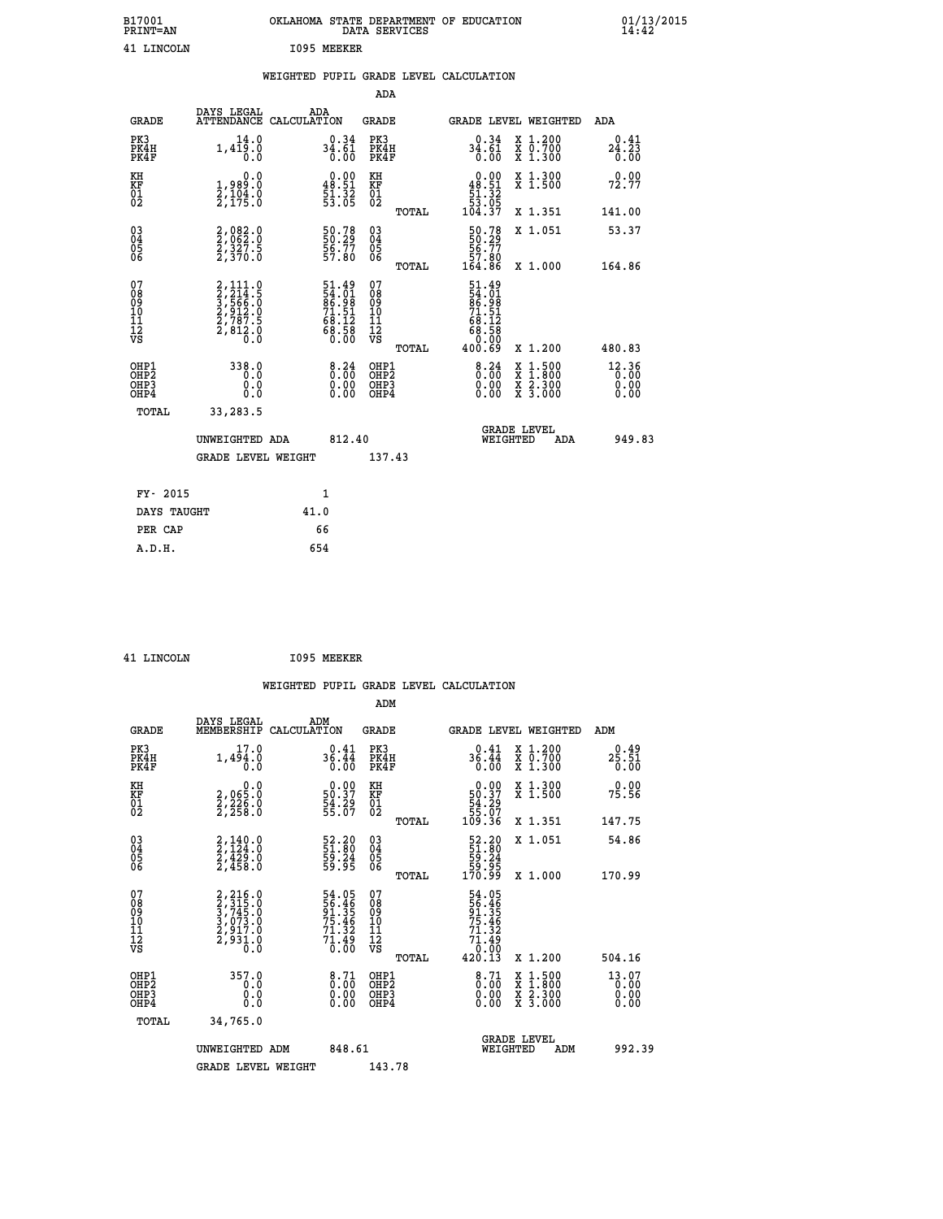| B17001<br><b>PRINT=AN</b> | OKLAHOMA STATE DEPARTMENT OF EDUCATION<br>DATA SERVICES | 01/13/2015<br>14:42 |
|---------------------------|---------------------------------------------------------|---------------------|
| 41<br>LINCOLN             | 1095<br>MEEKER                                          |                     |

|  |  | WEIGHTED PUPIL GRADE LEVEL CALCULATION |
|--|--|----------------------------------------|
|  |  |                                        |

|                                                                    |                                                                                           |              |                                                                      | ADA                                       |       |                                                                                      |                                          |                               |
|--------------------------------------------------------------------|-------------------------------------------------------------------------------------------|--------------|----------------------------------------------------------------------|-------------------------------------------|-------|--------------------------------------------------------------------------------------|------------------------------------------|-------------------------------|
| <b>GRADE</b>                                                       | DAYS LEGAL<br>ATTENDANCE CALCULATION                                                      | ADA          |                                                                      | <b>GRADE</b>                              |       |                                                                                      | GRADE LEVEL WEIGHTED                     | ADA                           |
| PK3<br>PK4H<br>PK4F                                                | 14.0<br>1,419.0<br>0.0                                                                    |              | $34.61$<br>$36.61$<br>0.00                                           | PK3<br>PK4H<br>PK4F                       |       | 0.34<br>34.61<br>0.00                                                                | X 1.200<br>X 0.700<br>X 1.300            | 0.41<br>24.23<br>0.00         |
| KH<br><b>KF</b><br>01<br>02                                        | 0.0<br>1,989:0<br>2,104:0<br>2,175:0                                                      |              | $\begin{smallmatrix} 0.00\\ 48.51\\ 51.32\\ 53.05 \end{smallmatrix}$ | KH<br>KF<br>01<br>02                      |       | $0.00$<br>48.51<br>$\frac{1}{51}$ $\frac{51}{32}$ $\frac{32}{53}$<br>104.37          | X 1.300<br>X 1.500                       | 0.00<br>72.77                 |
|                                                                    |                                                                                           |              |                                                                      |                                           | TOTAL |                                                                                      | X 1.351                                  | 141.00                        |
| $\begin{smallmatrix} 03 \\[-4pt] 04 \end{smallmatrix}$<br>Ŏ5<br>06 | 2,082.0<br>2,062.0<br>2,327.5<br>2,370.0                                                  |              | 50.78<br>50.29<br>56.77<br>57.80                                     | 03<br>04<br>05<br>06                      |       | $\begin{smallmatrix} 50.78\\ 50.29\\ 56.77\\ 57.80\\ 164.86 \end{smallmatrix}$       | X 1.051                                  | 53.37                         |
|                                                                    |                                                                                           |              |                                                                      |                                           | TOTAL |                                                                                      | X 1.000                                  | 164.86                        |
| 07<br>08901112<br>1112<br>VS                                       | $2, 214.5$<br>$3, 566.0$<br>$3, 566.0$<br>$2, 912.5$<br>$2, 787.5$<br>$2, 812.0$<br>$0.0$ |              | 51.49<br>54.01<br>86.98<br>71.51<br>71.51<br>68.12<br>68.58<br>68.58 | 07<br>08<br>09<br>11<br>11<br>12<br>VS    |       | $51.49$<br>$54.01$<br>$86.98$<br>$71.51$<br>$68.12$<br>$68.58$<br>$0.00$<br>$400.69$ |                                          |                               |
|                                                                    |                                                                                           |              |                                                                      |                                           | TOTAL |                                                                                      | X 1.200                                  | 480.83                        |
| OHP1<br>OH <sub>P</sub> 2<br>OH <sub>P3</sub><br>OH <sub>P4</sub>  | 338.0<br>0.0<br>0.0<br>0.0                                                                |              | 8:34<br>$\begin{smallmatrix} 0.00 \ 0.00 \end{smallmatrix}$          | OHP1<br>OH <sub>P</sub> 2<br>OHP3<br>OHP4 |       | $\frac{8.24}{0.00}$<br>0.00<br>0.00                                                  | X 1:500<br>X 1:800<br>X 2:300<br>X 3:000 | 12.36<br>0.00<br>0.00<br>0.00 |
| TOTAL                                                              | 33,283.5                                                                                  |              |                                                                      |                                           |       |                                                                                      |                                          |                               |
|                                                                    | UNWEIGHTED ADA                                                                            |              | 812.40                                                               |                                           |       |                                                                                      | GRADE LEVEL<br>WEIGHTED<br>ADA           | 949.83                        |
|                                                                    | <b>GRADE LEVEL WEIGHT</b>                                                                 |              |                                                                      | 137.43                                    |       |                                                                                      |                                          |                               |
| FY- 2015                                                           |                                                                                           | $\mathbf{1}$ |                                                                      |                                           |       |                                                                                      |                                          |                               |
| DAYS TAUGHT                                                        |                                                                                           | 41.0         |                                                                      |                                           |       |                                                                                      |                                          |                               |
| PER CAP                                                            |                                                                                           | 66           |                                                                      |                                           |       |                                                                                      |                                          |                               |

| LINCOLN |  |
|---------|--|

INCOLN 1095 MEEKER

 **WEIGHTED PUPIL GRADE LEVEL CALCULATION ADM DAYS LEGAL ADM GRADE MEMBERSHIP CALCULATION GRADE GRADE LEVEL WEIGHTED ADM**

| GRADE                                              | MEMBERSHIP CALCOLATION                                                                    |                                                                      | GRADE                                              |       | GRADE PRAFT METGHIED                                                           |                                                                                                                     | <b>ADM</b>                      |  |
|----------------------------------------------------|-------------------------------------------------------------------------------------------|----------------------------------------------------------------------|----------------------------------------------------|-------|--------------------------------------------------------------------------------|---------------------------------------------------------------------------------------------------------------------|---------------------------------|--|
| PK3<br>PK4H<br>PK4F                                | 1,494.0<br>0.0                                                                            | $36.44$<br>0.00                                                      | PK3<br>PK4H<br>PK4F                                |       | $36.44$<br>$0.00$                                                              | X 1.200<br>X 0.700<br>X 1.300                                                                                       | 0.49<br>$25.51$<br>$0.00$       |  |
| KH<br>KF<br>01<br>02                               | 0.0<br>2,065:0<br>2,226:0<br>2,258:0                                                      | $\begin{smallmatrix} 0.00\\ 50.37\\ 54.29\\ 55.07 \end{smallmatrix}$ | KH<br>KF<br>01<br>02                               |       | $\begin{smallmatrix} &0.00\ 50.37\ 54.29\ 55.07\ 109.36\ \end{smallmatrix}$    | X 1.300<br>X 1.500                                                                                                  | 0.00<br>75.56                   |  |
|                                                    |                                                                                           |                                                                      |                                                    | TOTAL |                                                                                | X 1.351                                                                                                             | 147.75                          |  |
| $\begin{matrix} 03 \\ 04 \\ 05 \\ 06 \end{matrix}$ | $2,140.0$<br>$2,429.0$<br>$2,429.0$<br>$2,458.0$                                          | 52.20<br>51.80<br>59.24<br>59.95                                     | $\begin{matrix} 03 \\ 04 \\ 05 \\ 06 \end{matrix}$ |       | $\begin{smallmatrix} 52.20\\ 51.80\\ 59.24\\ 59.95\\ 170.99 \end{smallmatrix}$ | X 1.051                                                                                                             | 54.86                           |  |
|                                                    |                                                                                           |                                                                      |                                                    | TOTAL |                                                                                | X 1.000                                                                                                             | 170.99                          |  |
| 07<br>08<br>09<br>101<br>11<br>12<br>VS            | $2, 216.0$<br>$3, 745.0$<br>$3, 745.0$<br>$3, 073.0$<br>$2, 917.0$<br>$2, 931.0$<br>$0.0$ | 54.05<br>56.46<br>91.35<br>75.46<br>71.32<br>71.49<br>0.00           | 07<br>08<br>09<br>01<br>11<br>11<br>12<br>VS       |       | 54.05<br>56.465<br>51.35<br>75.46<br>71.32<br>71.49<br>0.00<br>420.13          |                                                                                                                     |                                 |  |
|                                                    |                                                                                           |                                                                      |                                                    | TOTAL |                                                                                | X 1.200                                                                                                             | 504.16                          |  |
| OHP1<br>OHP2<br>OH <sub>P3</sub><br>OHP4           | 357.0<br>0.0<br>0.000                                                                     | $\begin{smallmatrix} 8.71\ 0.00\ 0.00\ 0.00 \end{smallmatrix}$       | OHP1<br>OHP2<br>OHP3<br>OHP4                       |       | $\begin{smallmatrix} 8\cdot71\0\cdot00\0\cdot00\0\cdot00\end{smallmatrix}$     | $\begin{array}{l} \mathtt{X} & 1.500 \\ \mathtt{X} & 1.800 \\ \mathtt{X} & 2.300 \\ \mathtt{X} & 3.000 \end{array}$ | $13.07$<br>0.00<br>0.00<br>0.00 |  |
| TOTAL                                              | 34,765.0                                                                                  |                                                                      |                                                    |       |                                                                                |                                                                                                                     |                                 |  |
|                                                    | UNWEIGHTED ADM                                                                            | 848.61                                                               |                                                    |       | WEIGHTED                                                                       | <b>GRADE LEVEL</b><br>ADM                                                                                           | 992.39                          |  |
|                                                    | <b>GRADE LEVEL WEIGHT</b>                                                                 |                                                                      | 143.78                                             |       |                                                                                |                                                                                                                     |                                 |  |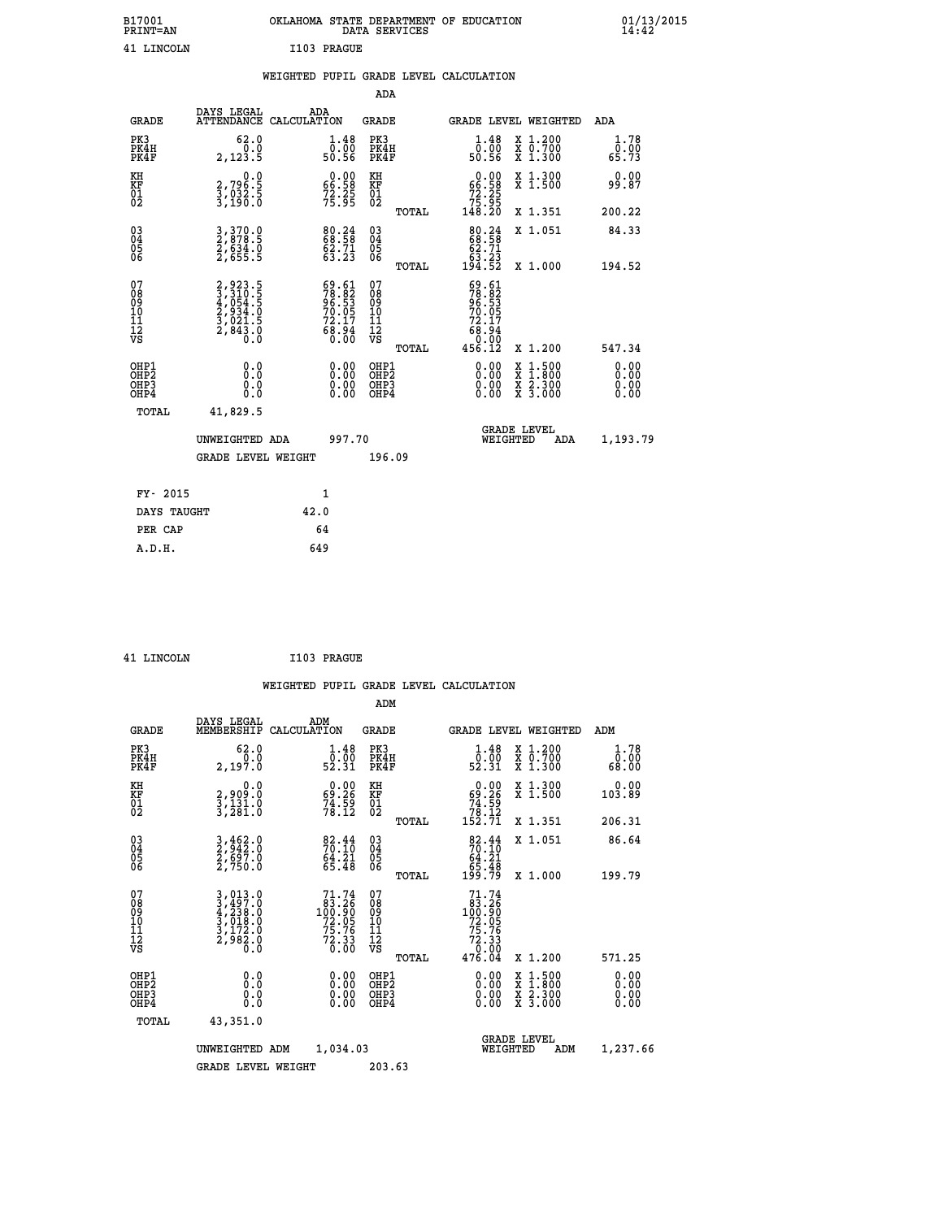| B17001<br><b>PRINT=AN</b> | OKLAHOMA STATE DEPARTMENT OF EDUCATION | DATA SERVICES |  |
|---------------------------|----------------------------------------|---------------|--|
| 41 LINCOLN                | I103 PRAGUE                            |               |  |

|  |  | WEIGHTED PUPIL GRADE LEVEL CALCULATION |
|--|--|----------------------------------------|
|  |  |                                        |

|                                                                    |                                                                           |                                                                      |                                        | ADA                                                 |       |                                                                             |                                          |                               |
|--------------------------------------------------------------------|---------------------------------------------------------------------------|----------------------------------------------------------------------|----------------------------------------|-----------------------------------------------------|-------|-----------------------------------------------------------------------------|------------------------------------------|-------------------------------|
| <b>GRADE</b>                                                       | DAYS LEGAL                                                                | ADA<br>ATTENDANCE CALCULATION                                        |                                        | <b>GRADE</b>                                        |       | <b>GRADE LEVEL WEIGHTED</b>                                                 |                                          | ADA                           |
| PK3<br>PK4H<br>PK4F                                                | 62.0<br>0.0<br>2,123.5                                                    | $\begin{smallmatrix}1.48\0.00\\50.56\end{smallmatrix}$               |                                        | PK3<br>PK4H<br>PK4F                                 |       | $\begin{smallmatrix} 1.48\ 0.00\\ 50.56 \end{smallmatrix}$                  | X 1.200<br>X 0.700<br>X 1.300            | 1.78<br>0.00<br>65.73         |
| KH<br>KF<br>01<br>02                                               | 0.0<br>2,796.5<br>3,032.5<br>3,190.0                                      | $\begin{smallmatrix} 0.00\\ 66.58\\ 72.25\\ 75.95 \end{smallmatrix}$ | KF<br>01<br>02                         | KH                                                  |       | $\begin{smallmatrix} &0.00\ 66.58\ 72.25\ 75.95\ 148.20\ \end{smallmatrix}$ | X 1.300<br>X 1.500                       | 0.00<br>99.87                 |
|                                                                    |                                                                           |                                                                      |                                        |                                                     | TOTAL |                                                                             | X 1.351                                  | 200.22                        |
| $\begin{smallmatrix} 03 \\[-4pt] 04 \end{smallmatrix}$<br>Ŏ5<br>06 | 3, 370.0<br>2, 878.5<br>2, 634.0<br>2, 655.5                              | 80.24<br>68.58<br>62.71<br>63.23                                     |                                        | $\begin{array}{c} 03 \\ 04 \\ 05 \\ 06 \end{array}$ |       | 80.24<br>68.58<br>62.71<br>63.23<br>194.52                                  | X 1.051                                  | 84.33                         |
|                                                                    |                                                                           |                                                                      |                                        |                                                     | TOTAL |                                                                             | X 1.000                                  | 194.52                        |
| 07<br>08<br>09<br>01<br>11<br>11<br>12<br>VS                       | 2,923.5<br>3,310.5<br>4,054.5<br>4,054.5<br>2,934.0<br>3,021.5<br>2,843.0 | 69.61<br>78.82<br>96.53<br>70.05<br>72.17<br>68.94<br>68.94          | 07<br>08<br>09<br>11<br>11<br>12<br>VS |                                                     |       | $59.61$<br>$78.82$<br>$96.53$<br>$70.05$<br>$72.17$<br>$68.94$<br>$9.90$    |                                          |                               |
|                                                                    |                                                                           |                                                                      |                                        |                                                     | TOTAL | 456.12                                                                      | X 1.200                                  | 547.34                        |
| OHP1<br>OHP <sub>2</sub><br>OH <sub>P3</sub><br>OHP4               | 0.0<br>0.000                                                              | 0.00<br>$\begin{smallmatrix} 0.00 \ 0.00 \end{smallmatrix}$          |                                        | OHP1<br>OHP2<br>OHP <sub>3</sub>                    |       | 0.00<br>0.00                                                                | X 1:500<br>X 1:800<br>X 2:300<br>X 3:000 | 0.00<br>Ō. ŌŌ<br>0.00<br>0.00 |
| TOTAL                                                              | 41,829.5                                                                  |                                                                      |                                        |                                                     |       |                                                                             |                                          |                               |
|                                                                    | UNWEIGHTED ADA                                                            |                                                                      | 997.70                                 |                                                     |       | WEIGHTED                                                                    | <b>GRADE LEVEL</b><br>ADA                | 1,193.79                      |
|                                                                    | <b>GRADE LEVEL WEIGHT</b>                                                 |                                                                      |                                        | 196.09                                              |       |                                                                             |                                          |                               |
| FY- 2015                                                           |                                                                           | 1                                                                    |                                        |                                                     |       |                                                                             |                                          |                               |
| DAYS TAUGHT                                                        |                                                                           | 42.0                                                                 |                                        |                                                     |       |                                                                             |                                          |                               |
| PER CAP                                                            |                                                                           | 64                                                                   |                                        |                                                     |       |                                                                             |                                          |                               |

| 41 LINCOLN | I103 PRAGUE |
|------------|-------------|
|            |             |

 **WEIGHTED PUPIL GRADE LEVEL CALCULATION ADM DAYS LEGAL ADM GRADE MEMBERSHIP CALCULATION GRADE GRADE LEVEL WEIGHTED ADM**

| PK3<br>PK4H<br>PK4F                                | 62.0<br>2,197.0                                                                                                                                                   | $\begin{smallmatrix} 1.48\ 0.00\\ 52.31 \end{smallmatrix}$                                          | PK3<br>PK4H<br>PK4F                                 | $\begin{smallmatrix}1.48\0.00\\52.31\end{smallmatrix}$                                                 | X 1.200<br>X 0.700<br>X 1.300            | 1.78<br>ŏ:óŏ<br>68:00        |
|----------------------------------------------------|-------------------------------------------------------------------------------------------------------------------------------------------------------------------|-----------------------------------------------------------------------------------------------------|-----------------------------------------------------|--------------------------------------------------------------------------------------------------------|------------------------------------------|------------------------------|
| KH<br>KF<br>01<br>02                               | 0.0<br>2,909:0<br>3,131:0<br>3,281:0                                                                                                                              | $\begin{smallmatrix} 0.00\\ 69.26\\ 74.59\\ 78.12 \end{smallmatrix}$                                | ΚH<br>KF<br>01<br>02                                | $\begin{smallmatrix} &0.00\\ 69.26\\ 74.59\\ 78.12\\ 152.71\end{smallmatrix}$                          | X 1.300<br>X 1.500                       | 0.00<br>103.89               |
|                                                    |                                                                                                                                                                   |                                                                                                     | TOTAL                                               |                                                                                                        | X 1.351                                  | 206.31                       |
| $\begin{matrix} 03 \\ 04 \\ 05 \\ 06 \end{matrix}$ | 3,462.0<br>2,942.0<br>2,697.0<br>2,750.0                                                                                                                          | $82.44$<br>$70.10$<br>$64.21$<br>$65.48$                                                            | $\begin{array}{c} 03 \\ 04 \\ 05 \\ 06 \end{array}$ | $82.44$<br>$70.10$<br>$64.21$<br>$65.48$<br>$199.79$                                                   | X 1.051                                  | 86.64                        |
|                                                    |                                                                                                                                                                   |                                                                                                     | TOTAL                                               |                                                                                                        | X 1.000                                  | 199.79                       |
| 07<br>0890112<br>1112<br>VS                        | $\begin{smallmatrix} 3\,,\,013\,. \ 0\\ 3\,,\,497\,. \ 0\\ 4\,,\,238\,. \ 0\\ 3\,,\,018\,. \ 0\\ 3\,,\,172\,. \ 0\\ 2\,,\,982\,. \ 0\\ 0\,. \ 0\end{smallmatrix}$ | $\begin{smallmatrix} 71.74 \\ 83.26 \\ 100.90 \\ 72.05 \\ 75.76 \\ 72.33 \\ 0.00 \end{smallmatrix}$ | 07<br>08<br>09<br>11<br>11<br>12<br>VS              | $\begin{smallmatrix} 71.74 \\ 83.26 \\ 100.90 \\ 72.05 \\ 75.76 \\ 72.33 \\ 0.00 \\ \end{smallmatrix}$ |                                          |                              |
|                                                    |                                                                                                                                                                   |                                                                                                     | TOTAL                                               | 476.04                                                                                                 | X 1.200                                  | 571.25                       |
| OHP1<br>OHP2<br>OH <sub>P3</sub><br>OHP4           |                                                                                                                                                                   | $\begin{smallmatrix} 0.00 \ 0.00 \ 0.00 \ 0.00 \end{smallmatrix}$                                   | OHP1<br>OHP2<br>OHP3<br>OHP4                        | $0.00$<br>$0.00$<br>0.00                                                                               | X 1:500<br>X 1:800<br>X 2:300<br>X 3:000 | 0.00<br>Ŏ.ŎŎ<br>Q.QQ<br>0.00 |
| TOTAL                                              | 43,351.0                                                                                                                                                          |                                                                                                     |                                                     |                                                                                                        |                                          |                              |
|                                                    | UNWEIGHTED<br>ADM                                                                                                                                                 | 1,034.03                                                                                            |                                                     |                                                                                                        | <b>GRADE LEVEL</b><br>WEIGHTED<br>ADM    | 1,237.66                     |
|                                                    | <b>GRADE LEVEL WEIGHT</b>                                                                                                                                         |                                                                                                     | 203.63                                              |                                                                                                        |                                          |                              |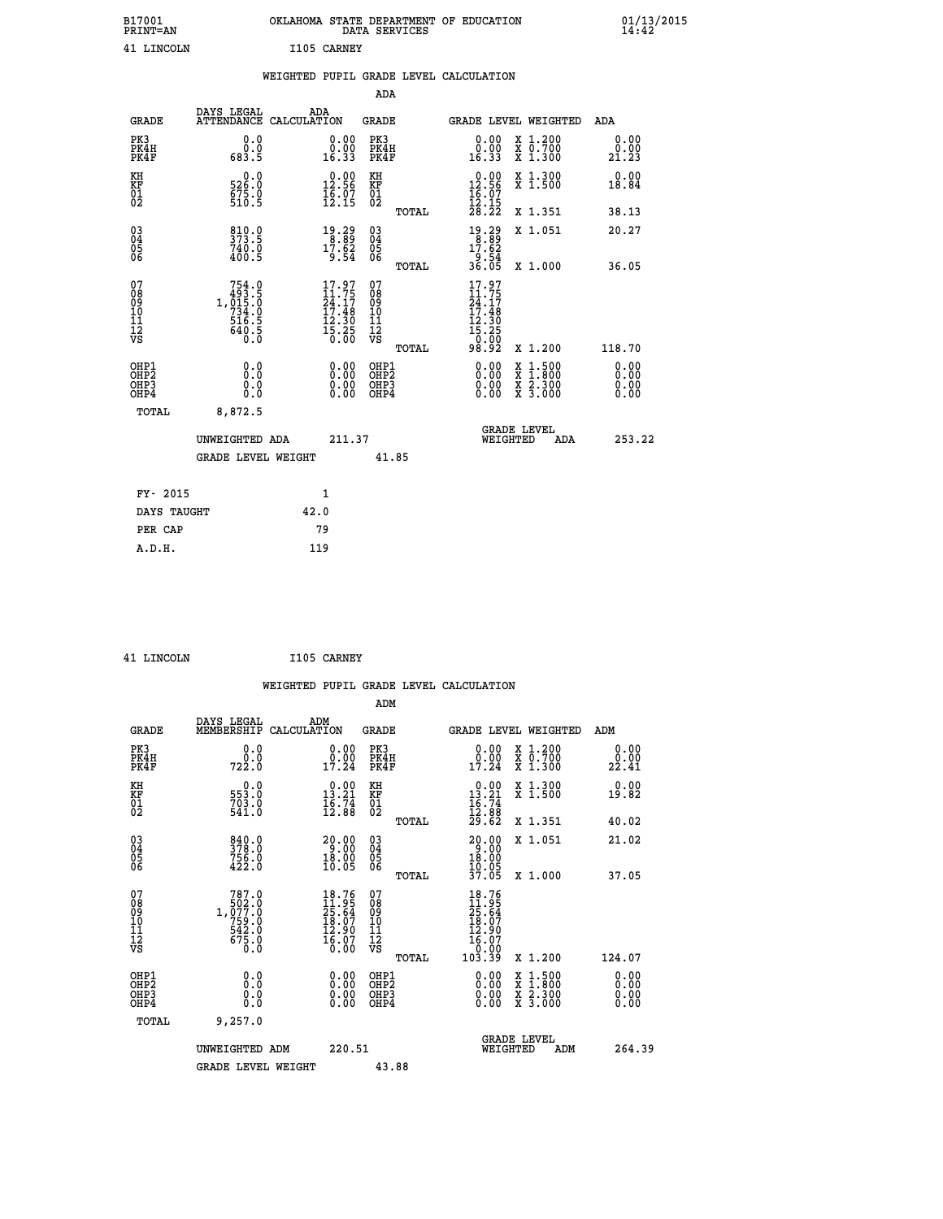| B17001<br>PRINT=AN | OKLAHOMA STATE DEPARTMENT OF EDUCATION<br>DATA SERVICES | $01/13/2015$<br>14:42 |
|--------------------|---------------------------------------------------------|-----------------------|
| 41 LINCOLN         | I105 CARNEY                                             |                       |

|                                           |                                                                                       | WEIGHTED PUPIL GRADE LEVEL CALCULATION                                   |                                                     |       |                                                                              |                                                                   |                              |
|-------------------------------------------|---------------------------------------------------------------------------------------|--------------------------------------------------------------------------|-----------------------------------------------------|-------|------------------------------------------------------------------------------|-------------------------------------------------------------------|------------------------------|
|                                           |                                                                                       |                                                                          | ADA                                                 |       |                                                                              |                                                                   |                              |
| <b>GRADE</b>                              | DAYS LEGAL                                                                            | ADA<br>ATTENDANCE CALCULATION                                            | <b>GRADE</b>                                        |       |                                                                              | GRADE LEVEL WEIGHTED                                              | ADA                          |
| PK3<br>PK4H<br>PK4F                       | 0.0<br>0.0<br>683.5                                                                   | 0.00<br>ŏ:ŏŏ<br>16:33                                                    | PK3<br>PK4H<br>PK4F                                 |       | 0.00<br>0.00<br>16.33                                                        | X 1.200<br>X 0.700<br>X 1.300                                     | 0.00<br>0.00<br>21.23        |
| KH<br><b>KF</b><br>01<br>02               | 526.0<br>$\frac{675}{510}$ . 9                                                        | $\begin{smallmatrix} 0.00\\ 12.56\\ 16.07\\ 12.15 \end{smallmatrix}$     | KH<br>KF<br>01<br>02                                |       | $\begin{smallmatrix} 0.00\\ 12.56\\ 16.07\\ 12.15\\ 28.22 \end{smallmatrix}$ | X 1.300<br>X 1.500                                                | 0.00<br>18.84                |
|                                           |                                                                                       |                                                                          |                                                     | TOTAL |                                                                              | X 1.351                                                           | 38.13                        |
| 03<br>04<br>05<br>06                      | 373.9<br>740.0<br>400.5                                                               | $\begin{array}{c} 19.29 \\ 8.89 \\ 17.62 \\ 9.54 \end{array}$            | $\begin{array}{c} 03 \\ 04 \\ 05 \\ 06 \end{array}$ |       | $\begin{array}{r} 19.29 \\ 8.89 \\ 17.62 \\ 9.54 \\ 36.05 \end{array}$       | X 1.051                                                           | 20.27                        |
|                                           |                                                                                       |                                                                          |                                                     | TOTAL |                                                                              | X 1.000                                                           | 36.05                        |
| 07<br>08<br>09<br>101<br>112<br>VS        | $\begin{smallmatrix}754.0\\493.5\\1,015.0\\734.0\\516.5\\640.5\\0.0\end{smallmatrix}$ | $17.97$<br>$24.17$<br>$24.17$<br>$17.48$<br>$12.30$<br>$15.25$<br>$0.00$ | 07<br>08<br>09<br>10<br>11<br>12<br>VS              | TOTAL | 17.97<br>11.75<br>24.17<br>17.48<br>12.30<br>$\frac{15.25}{0.00}$<br>98.92   | X 1.200                                                           | 118.70                       |
| OHP1<br>OH <sub>P</sub> 2<br>OHP3<br>OHP4 | 0.0<br>0.0<br>0.0                                                                     | 0.00<br>$0.00$<br>0.00                                                   | OHP1<br>OHP2<br>OHP3<br>OHP4                        |       | 0.00<br>0.00<br>0.00                                                         | $1:500$<br>1:800<br>X<br>X<br>$\frac{x}{x}$ $\frac{5:300}{3:000}$ | 0.00<br>0.00<br>0.00<br>0.00 |
| <b>TOTAL</b>                              | 8,872.5                                                                               |                                                                          |                                                     |       |                                                                              |                                                                   |                              |
|                                           | UNWEIGHTED ADA                                                                        | 211.37                                                                   |                                                     |       | WEIGHTED                                                                     | <b>GRADE LEVEL</b><br>ADA                                         | 253.22                       |
|                                           | <b>GRADE LEVEL WEIGHT</b>                                                             |                                                                          | 41.85                                               |       |                                                                              |                                                                   |                              |
| FY- 2015                                  |                                                                                       | $\mathbf{1}$                                                             |                                                     |       |                                                                              |                                                                   |                              |
| DAYS TAUGHT                               |                                                                                       | 42.0                                                                     |                                                     |       |                                                                              |                                                                   |                              |
| PER CAP                                   |                                                                                       | 79                                                                       |                                                     |       |                                                                              |                                                                   |                              |

 **41 LINCOLN I105 CARNEY**

 **A.D.H. 119**

|                                                      |                                                                                                           |                                                                                                               |                              |       | WEIGHTED PUPIL GRADE LEVEL CALCULATION                                                           |                                                                                                  |                               |
|------------------------------------------------------|-----------------------------------------------------------------------------------------------------------|---------------------------------------------------------------------------------------------------------------|------------------------------|-------|--------------------------------------------------------------------------------------------------|--------------------------------------------------------------------------------------------------|-------------------------------|
|                                                      |                                                                                                           |                                                                                                               | ADM                          |       |                                                                                                  |                                                                                                  |                               |
| <b>GRADE</b>                                         | DAYS LEGAL<br>MEMBERSHIP                                                                                  | ADM<br>CALCULATION                                                                                            | <b>GRADE</b>                 |       |                                                                                                  | GRADE LEVEL WEIGHTED                                                                             | ADM                           |
| PK3<br>PK4H<br>PK4F                                  | 0.0<br>722.0                                                                                              | 0.00<br>0.00<br>17.24                                                                                         | PK3<br>PK4H<br>PK4F          |       | $0.00$<br>0.00<br>17.24                                                                          | X 1.200<br>X 0.700<br>X 1.300                                                                    | 0.00<br>0.00<br>22.41         |
| KH<br>KF<br>01<br>02                                 | $\begin{smallmatrix} 0.0\\553.0\\703.0\\541.0\end{smallmatrix}$                                           | $\begin{smallmatrix} 0.00\\ 13.21\\ 16.74\\ 12.88 \end{smallmatrix}$                                          | KH<br>KF<br>01<br>02         |       | $\begin{smallmatrix}&&0&.00\\13&.21\\16&.74\\12&.88\\29&.62\end{smallmatrix}$                    | X 1.300<br>X 1.500                                                                               | 0.00<br>19.82                 |
|                                                      |                                                                                                           |                                                                                                               | $\substack{03 \\ 04}$        | TOTAL |                                                                                                  | X 1.351<br>X 1.051                                                                               | 40.02<br>21.02                |
| $\begin{matrix} 03 \\ 04 \\ 05 \\ 06 \end{matrix}$   | 840.0<br>378.0<br>756.0<br>422.0                                                                          | $\begin{smallmatrix} 20.00\\ 9.00\\ 18.00\\ 10.05 \end{smallmatrix}$                                          | Ŏ5<br>06                     | TOTAL | $20.00$<br>$18.00$<br>$10.05$<br>37.05                                                           | X 1.000                                                                                          | 37.05                         |
| 07<br>08<br>09<br>11<br>11<br>12<br>VS               | $\begin{smallmatrix} & 787.0\\ & 502.0\\ 077.0\\ 759.0\\ & 759.0\\ 542.0\\ 675.0\\ 0.0 \end{smallmatrix}$ | $18.76$<br>$11.95$<br>$25.64$<br>$\begin{smallmatrix} 18.07 \ 12.90 \ 16.07 \ 16.07 \ 0.00 \end{smallmatrix}$ | 07<br>08901123<br>1122<br>VS | TOTAL | $\begin{smallmatrix} 18.76\ 11.95\ 25.64\ 18.07\ 12.90\ 16.07\ 10.00\ 103.39\ \end{smallmatrix}$ | $X_1.200$                                                                                        | 124.07                        |
| OHP1<br>OHP <sub>2</sub><br>OH <sub>P3</sub><br>OHP4 | 0.0<br>0.000                                                                                              | $0.00$<br>$0.00$<br>0.00                                                                                      | OHP1<br>OHP2<br>OHP3<br>OHP4 |       | $0.00$<br>$0.00$<br>0.00                                                                         | $\begin{smallmatrix} x & 1 & 500 \\ x & 1 & 800 \\ x & 2 & 300 \\ x & 3 & 000 \end{smallmatrix}$ | 0.00<br>Ō. ŌŌ<br>0.00<br>0.00 |
| TOTAL                                                | 9,257.0<br>UNWEIGHTED ADM                                                                                 | 220.51                                                                                                        |                              |       | WEIGHTED                                                                                         | <b>GRADE LEVEL</b><br>ADM                                                                        | 264.39                        |
|                                                      | <b>GRADE LEVEL WEIGHT</b>                                                                                 |                                                                                                               |                              | 43.88 |                                                                                                  |                                                                                                  |                               |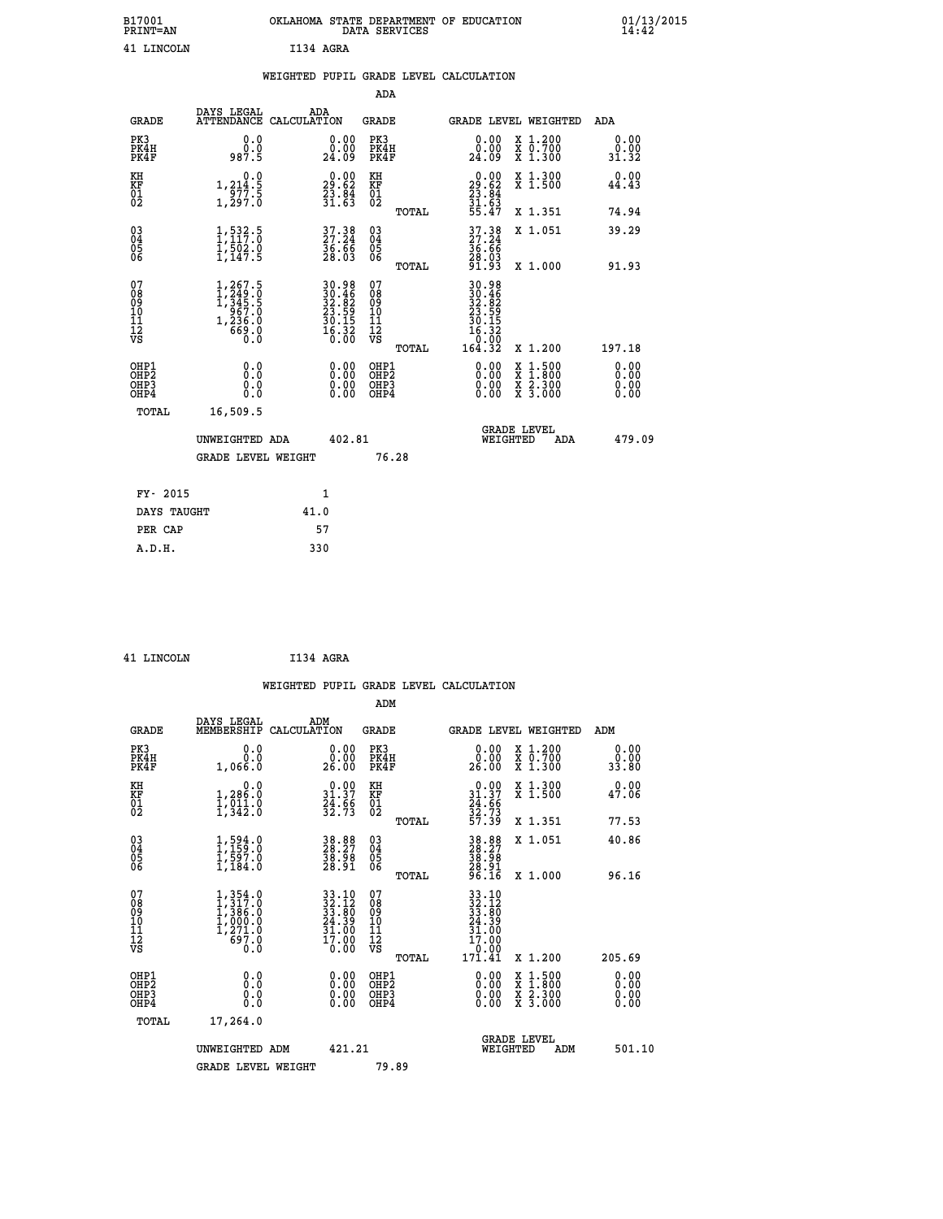|           | OKLAHOMA STATE DEPARTMENT OF EDUCATION<br>DATA SERVICES |  |
|-----------|---------------------------------------------------------|--|
| T134 AGRA |                                                         |  |

|                                                                    |                                                                                                             | WEIGHTED PUPIL GRADE LEVEL CALCULATION                                                    |                                                     |       |                                                                         |                                                                                                                                              |                              |
|--------------------------------------------------------------------|-------------------------------------------------------------------------------------------------------------|-------------------------------------------------------------------------------------------|-----------------------------------------------------|-------|-------------------------------------------------------------------------|----------------------------------------------------------------------------------------------------------------------------------------------|------------------------------|
|                                                                    |                                                                                                             |                                                                                           | <b>ADA</b>                                          |       |                                                                         |                                                                                                                                              |                              |
| <b>GRADE</b>                                                       | DAYS LEGAL                                                                                                  | ADA<br>ATTENDANCE CALCULATION                                                             | <b>GRADE</b>                                        |       | GRADE LEVEL WEIGHTED                                                    |                                                                                                                                              | <b>ADA</b>                   |
| PK3<br>PK4H<br>PK4F                                                | 0.0<br>ة:ۆ<br>987.5                                                                                         | $\begin{smallmatrix} 0.00\\ 0.00\\ 24.09 \end{smallmatrix}$                               | PK3<br>PK4H<br>PK4F                                 |       | 0.00<br>ةة.ة<br>24:09                                                   | X 1.200<br>X 0.700<br>X 1.300                                                                                                                | 0.00<br>$\frac{0.00}{31.32}$ |
| KH<br>KF<br>01<br>02                                               | 0.0<br>$1, 214.5$<br>$977.5$<br>$1, 297.0$                                                                  | $\begin{smallmatrix} 0.00\\29.62\\23.84\\31.63 \end{smallmatrix}$                         | KH<br>KF<br>01<br>02                                |       | $\begin{smallmatrix} 0.00\\29.62\\23.84\\31.63\\55.47\end{smallmatrix}$ | X 1.300<br>X 1.500                                                                                                                           | 0.00<br>44.43                |
|                                                                    |                                                                                                             |                                                                                           |                                                     | TOTAL |                                                                         | X 1.351                                                                                                                                      | 74.94                        |
| $\begin{smallmatrix} 03 \\[-4pt] 04 \end{smallmatrix}$<br>Ŏ5<br>06 | $1, 532.5$<br>$1, 117.0$<br>$1, 502.0$<br>$1, 147.5$                                                        | 37.38<br>27.24<br>36.66<br>28.03                                                          | $\begin{array}{c} 03 \\ 04 \\ 05 \\ 06 \end{array}$ |       | 37.38<br>27.24<br>36.66<br>28.03<br>28.93                               | X 1.051                                                                                                                                      | 39.29                        |
|                                                                    |                                                                                                             |                                                                                           |                                                     | TOTAL |                                                                         | X 1.000                                                                                                                                      | 91.93                        |
| 07<br>08<br>09<br>11<br>11<br>12<br>VS                             | $\begin{smallmatrix} 1,267.5\\ 1,249.0\\ 1,345.5\\ 345.5\\ 967.0\\ 1,236.0\\ 669.0\\ 0.0 \end{smallmatrix}$ | $\begin{array}{r} 30.98 \\ 30.46 \\ 32.82 \\ 23.59 \\ 30.15 \\ 16.32 \\ 0.00 \end{array}$ | 07<br>08<br>09<br>11<br>11<br>12<br>VS              | TOTAL | 30.98<br>30.46<br>32.82<br>23.59<br>30.15<br>16.32<br>0:00<br>164.32    | X 1.200                                                                                                                                      | 197.18                       |
| OHP1<br>OHP2<br>OH <sub>P3</sub><br>OH <sub>P4</sub>               | 0.0<br>Ō.Ō<br>0.0<br>0.0                                                                                    | 0.00<br>$\begin{smallmatrix} 0.00 \ 0.00 \end{smallmatrix}$                               | OHP1<br>OHP2<br>OHP3<br>OHP4                        |       | $0.00$<br>$0.00$<br>0.00                                                | $\begin{smallmatrix} \mathtt{X} & 1\cdot500 \\ \mathtt{X} & 1\cdot800 \\ \mathtt{X} & 2\cdot300 \\ \mathtt{X} & 3\cdot000 \end{smallmatrix}$ | 0.00<br>0.00<br>0.00<br>0.00 |
| TOTAL                                                              | 16,509.5                                                                                                    |                                                                                           |                                                     |       |                                                                         |                                                                                                                                              |                              |
|                                                                    | UNWEIGHTED ADA                                                                                              | 402.81                                                                                    |                                                     |       | WEIGHTED                                                                | <b>GRADE LEVEL</b><br>ADA                                                                                                                    | 479.09                       |
|                                                                    | GRADE LEVEL WEIGHT                                                                                          |                                                                                           | 76.28                                               |       |                                                                         |                                                                                                                                              |                              |
| FY- 2015                                                           |                                                                                                             | $\mathbf{1}$                                                                              |                                                     |       |                                                                         |                                                                                                                                              |                              |
| DAYS TAUGHT                                                        |                                                                                                             | 41.0                                                                                      |                                                     |       |                                                                         |                                                                                                                                              |                              |
| PER CAP                                                            |                                                                                                             | 57                                                                                        |                                                     |       |                                                                         |                                                                                                                                              |                              |

B17001<br>PRINT=AN<br>41 LINCOLN

 **41 LINCOLN I134 AGRA**

|                                                      |                                                                                                                     | WEIGHTED PUPIL GRADE LEVEL CALCULATION                                                                                 |                                               |       |                                                                              |                                                                            |                              |
|------------------------------------------------------|---------------------------------------------------------------------------------------------------------------------|------------------------------------------------------------------------------------------------------------------------|-----------------------------------------------|-------|------------------------------------------------------------------------------|----------------------------------------------------------------------------|------------------------------|
|                                                      |                                                                                                                     |                                                                                                                        | ADM                                           |       |                                                                              |                                                                            |                              |
| <b>GRADE</b>                                         | DAYS LEGAL<br>MEMBERSHIP                                                                                            | ADM<br>CALCULATION                                                                                                     | <b>GRADE</b>                                  |       | GRADE LEVEL WEIGHTED                                                         |                                                                            | ADM                          |
| PK3<br>PK4H<br>PK4F                                  | 0.0<br>0.0<br>1,066.0                                                                                               | 0.00<br>26.00                                                                                                          | PK3<br>PK4H<br>PK4F                           |       | 0.00<br>26.00                                                                | X 1.200<br>X 0.700<br>X 1.300                                              | 0.00<br>0.00<br>33.80        |
| KH<br>KF<br>01<br>02                                 | 0.0<br>1,286.0<br>$\frac{1}{2}, \frac{1}{342}$ : 0                                                                  | $\begin{smallmatrix} 0.00\\ 31.37\\ 24.66\\ 32.73 \end{smallmatrix}$                                                   | KH<br>KF<br>01<br>02                          |       | $\begin{smallmatrix} 0.00\\ 31.37\\ 24.66\\ 32.73\\ 57.39 \end{smallmatrix}$ | X 1.300<br>X 1.500                                                         | 0.00<br>47.06                |
|                                                      |                                                                                                                     |                                                                                                                        |                                               | TOTAL |                                                                              | X 1.351                                                                    | 77.53                        |
| $\begin{matrix} 03 \\ 04 \\ 05 \\ 06 \end{matrix}$   | $1,594.0$<br>$1,597.0$<br>$1,597.0$<br>$1,184.0$                                                                    | 38.88<br>28.27<br>38.98<br>28.91                                                                                       | 03<br>04<br>05<br>06                          |       | 38.88<br>28.27<br>38.98<br>28.91<br>26.16                                    | X 1.051                                                                    | 40.86                        |
|                                                      |                                                                                                                     |                                                                                                                        |                                               | TOTAL |                                                                              | X 1.000                                                                    | 96.16                        |
| 07<br>08<br>09<br>01<br>11<br>11<br>12<br>VS         | $\begin{smallmatrix} 1,354\ .0\\ 1,317\ .0\\ 1,386\ .0\\ 1,000\ .0\\ 1,271\ .0\\ 697\ .0\\ 0\ .0 \end{smallmatrix}$ | $\begin{array}{l} 33\cdot 10\\ 32\cdot 12\\ 33\cdot 80\\ 24\cdot 39\\ 31\cdot 00\\ 17\cdot 00\\ 0\cdot 00 \end{array}$ | 07<br>08<br>09<br>001<br>11<br>11<br>12<br>VS |       | 33.10<br>$32.12$<br>$33.80$<br>$24.39$<br>$31.00$<br>$17.00$<br>0.00         |                                                                            |                              |
|                                                      |                                                                                                                     |                                                                                                                        |                                               | TOTAL | 171.41                                                                       | X 1.200                                                                    | 205.69                       |
| OHP1<br>OHP2<br>OH <sub>P3</sub><br>OH <sub>P4</sub> | 0.0<br>0.000                                                                                                        | 0.00<br>0.00<br>0.00                                                                                                   | OHP1<br>OHP2<br>OHP3<br>OHP4                  |       | $0.00$<br>$0.00$<br>0.00                                                     | $\frac{x}{x}$ $\frac{1.500}{1.800}$<br>$\frac{x}{x}$ $\frac{5:300}{3:000}$ | 0.00<br>0.00<br>0.00<br>0.00 |
| TOTAL                                                | 17,264.0                                                                                                            |                                                                                                                        |                                               |       |                                                                              |                                                                            |                              |
|                                                      | UNWEIGHTED ADM                                                                                                      | 421.21                                                                                                                 |                                               |       | WEIGHTED                                                                     | <b>GRADE LEVEL</b>                                                         | 501.10<br>ADM                |
|                                                      | <b>GRADE LEVEL WEIGHT</b>                                                                                           |                                                                                                                        | 79.89                                         |       |                                                                              |                                                                            |                              |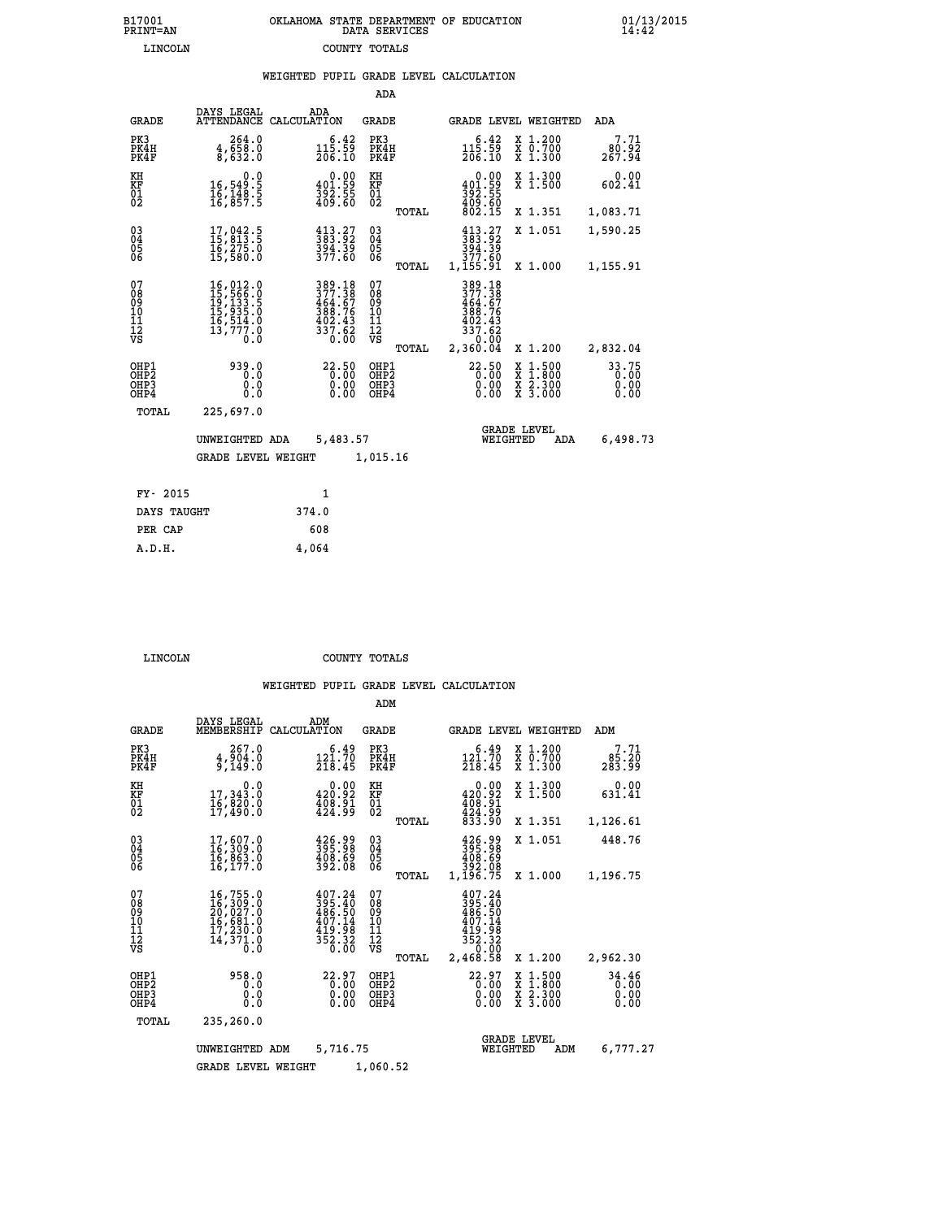| OKLAHOMA STATE DEPARTMENT OF EDUCATION<br>DATA SERVICES |  |
|---------------------------------------------------------|--|
| COUNTY TOTALS                                           |  |

 **B17001 OKLAHOMA STATE DEPARTMENT OF EDUCATION 01/13/2015**

|                                                                    |                                                                                       |                                                                                                                                | ADA                                      |                                                                                                                                      |                                                                                                  |                               |
|--------------------------------------------------------------------|---------------------------------------------------------------------------------------|--------------------------------------------------------------------------------------------------------------------------------|------------------------------------------|--------------------------------------------------------------------------------------------------------------------------------------|--------------------------------------------------------------------------------------------------|-------------------------------|
| <b>GRADE</b>                                                       | DAYS LEGAL                                                                            | ADA<br>ATTENDANCE CALCULATION                                                                                                  | <b>GRADE</b>                             |                                                                                                                                      | GRADE LEVEL WEIGHTED                                                                             | ADA                           |
| PK3<br>PK4H<br>PK4F                                                | 264.0<br>$\frac{4}{8}, \frac{6}{6}$ $\frac{5}{3}$ $\frac{3}{6}$ $\frac{3}{6}$         | $\begin{smallmatrix} 6.42\ 115.59\ 206.10 \end{smallmatrix}$                                                                   | PK3<br>PK4H<br>PK4F                      | $\begin{smallmatrix} & 6 & 42\\ 115 & 59\\ 206 & 10 \end{smallmatrix}$                                                               | X 1.200<br>X 0.700<br>X 1.300                                                                    | 7.71<br>80.92<br>267.94       |
| KH<br><b>KF</b><br>01<br>02                                        | 0.0<br>16,549:5<br>16,148:5<br>16,857:5                                               | $\begin{smallmatrix} 0.00\\ 401.59\\ 392.55\\ 409.60 \end{smallmatrix}$                                                        | KH<br>KF<br>01<br>02                     | 0.00<br>$\begin{smallmatrix} 4 & 0 & 1 & . & 59 \\ 3 & 9 & 2 & . & 55 \\ 4 & 0 & 9 & . & 60 \\ 8 & 0 & 2 & . & 15 \end{smallmatrix}$ | X 1.300<br>X 1.500                                                                               | 0.00<br>602.41                |
|                                                                    |                                                                                       |                                                                                                                                | TOTAL                                    |                                                                                                                                      | X 1.351                                                                                          | 1,083.71                      |
| $\begin{smallmatrix} 03 \\[-4pt] 04 \end{smallmatrix}$<br>05<br>06 | 17,042.5<br>15,013.5<br>16,275.0<br>15,580.0                                          | $413.27$<br>$383.92$<br>$\frac{394.39}{377.60}$                                                                                | $\substack{03 \\ 04}$<br>05<br>06        | $\begin{smallmatrix} 413.27\\ 383.92\\ 394.39\\ 377.89 \end{smallmatrix}$                                                            | X 1.051                                                                                          | 1,590.25                      |
|                                                                    |                                                                                       |                                                                                                                                | TOTAL                                    | 1,155.91                                                                                                                             | X 1.000                                                                                          | 1,155.91                      |
| 07<br>08<br>09<br>11<br>11<br>12<br>VS                             | 16,012.0<br>15,566.0<br>19,133.5<br>15,935.0<br>16,514.0<br>13,777.0<br>$0.\check{0}$ | $\begin{array}{r} 389\cdot 18\\ 377\cdot 38\\ 464\cdot 67\\ 388\cdot 76\\ 402\cdot 43\\ 337\cdot 62\\ 0\cdot 00\\ \end{array}$ | 07<br>08<br>09<br>11<br>11<br>12<br>VS   | 389.18<br>377.38<br>$464.67$<br>$388.76$<br>$402.43$<br>$337.62$                                                                     |                                                                                                  |                               |
|                                                                    |                                                                                       |                                                                                                                                | TOTAL                                    | 2,360.04                                                                                                                             | X 1.200                                                                                          | 2,832.04                      |
| OHP1<br>OH <sub>P2</sub><br>OH <sub>P3</sub><br>OH <sub>P4</sub>   | 939.0<br>0.0<br>0.0<br>0.0                                                            | 22.50<br>0.00<br>0.00<br>0.00                                                                                                  | OHP1<br>OHP <sub>2</sub><br>OHP3<br>OHP4 | 22.50<br>0.00<br>0.00<br>0.00                                                                                                        | $\begin{smallmatrix} x & 1 & 500 \\ x & 1 & 800 \\ x & 2 & 300 \\ x & 3 & 000 \end{smallmatrix}$ | 33.75<br>0.00<br>0.00<br>0.00 |
| TOTAL                                                              | 225,697.0                                                                             |                                                                                                                                |                                          |                                                                                                                                      |                                                                                                  |                               |
|                                                                    | UNWEIGHTED ADA                                                                        | 5,483.57                                                                                                                       |                                          | WEIGHTED                                                                                                                             | <b>GRADE LEVEL</b><br>ADA                                                                        | 6,498.73                      |
|                                                                    | <b>GRADE LEVEL WEIGHT</b>                                                             |                                                                                                                                | 1,015.16                                 |                                                                                                                                      |                                                                                                  |                               |
| FY- 2015                                                           |                                                                                       | $\mathbf{1}$                                                                                                                   |                                          |                                                                                                                                      |                                                                                                  |                               |
| DAYS TAUGHT                                                        |                                                                                       | 374.0                                                                                                                          |                                          |                                                                                                                                      |                                                                                                  |                               |
| PER CAP                                                            |                                                                                       | 608                                                                                                                            |                                          |                                                                                                                                      |                                                                                                  |                               |

| 5700T |  |  |
|-------|--|--|

 **A.D.H. 4,064**

B17001<br>PRINT=AN<br>LINCOLN

 **LINCOLN COUNTY TOTALS**

|                                                       |                                                                                                                                          |                                                                           | ADM                                              |                                                                          |                                                                                                  |                               |
|-------------------------------------------------------|------------------------------------------------------------------------------------------------------------------------------------------|---------------------------------------------------------------------------|--------------------------------------------------|--------------------------------------------------------------------------|--------------------------------------------------------------------------------------------------|-------------------------------|
| <b>GRADE</b>                                          | DAYS LEGAL<br>MEMBERSHIP                                                                                                                 | ADM<br>CALCULATION                                                        | <b>GRADE</b>                                     | GRADE LEVEL WEIGHTED                                                     |                                                                                                  | ADM                           |
| PK3<br>PK4H<br>PK4F                                   | 267.0<br>$\frac{4}{9}, \frac{904}{149}.0$                                                                                                | 6.49<br>121.70<br>218.45                                                  | PK3<br>PK4H<br>PK4F                              | 6.49<br>$\frac{12\tilde{1}\cdot\tilde{7}\tilde{0}}{218.45}$              | $\begin{array}{c} x & 1.200 \\ x & 0.700 \end{array}$<br>$X$ 1.300                               | 7.71<br>85.20<br>283.99       |
| KH<br>KF<br>01<br>02                                  | 0.0<br>17,343.0<br>16,020.0<br>17,490.0                                                                                                  | $\begin{smallmatrix} &0.00\\ 420.92\\ 408.91\\ 424.99\end{smallmatrix}$   | KH<br>KF<br>01<br>02                             | 0.00<br>420.92<br>408.91<br>424.99                                       | X 1.300<br>X 1.500                                                                               | 0.00<br>631.41                |
|                                                       |                                                                                                                                          |                                                                           | TOTAL                                            | 833.90                                                                   | X 1.351                                                                                          | 1,126.61                      |
| 03<br>04<br>05<br>06                                  | 17,607.0<br>16,309.0<br>16,863.0<br>16,177.0                                                                                             | $\begin{smallmatrix} 426.99\\ 395.98\\ 408.69\\ 392.08 \end{smallmatrix}$ | $^{03}_{04}$<br>0500                             | 426.99<br>395.98<br>408.69<br>392.08                                     | X 1.051                                                                                          | 448.76                        |
|                                                       |                                                                                                                                          |                                                                           | TOTAL                                            | 1,196.75                                                                 | X 1.000                                                                                          | 1,196.75                      |
| 07<br>08<br>09<br>101<br>112<br>VS                    | $\begin{smallmatrix} 16\,,755\,.0\\ 16\,,309\,.0\\ 20\,,027\,.0\\ 16\,,681\,.0\\ 17\,,230\,.0\\ 14\,,371\,.0\\ \end{smallmatrix}$<br>ō.ŏ | $395.40$<br>$395.40$<br>$486.50$<br>407.14<br>419:98<br>352.32<br>0.00    | 07<br>08<br>09<br>101<br>11<br>12<br>VS<br>TOTAL | 407.24<br>$\frac{395.40}{486.50}$<br>$\frac{419.98}{352.32}$<br>2,468.58 | X 1.200                                                                                          | 2,962.30                      |
| OHP1<br>OH <sub>P</sub> 2<br>OH <sub>P3</sub><br>OHP4 | 958.0<br>0.0<br>0.0<br>Ŏ.Ŏ                                                                                                               | 22.97<br>0.00<br>0.00                                                     | OHP1<br>OHP2<br>OHP3<br>OHP4                     | $22.97$<br>0.00<br>0.00<br>0.00                                          | $\begin{smallmatrix} x & 1 & 500 \\ x & 1 & 800 \\ x & 2 & 300 \\ x & 3 & 000 \end{smallmatrix}$ | 34.46<br>0.00<br>0.00<br>0.00 |
| TOTAL                                                 | 235,260.0                                                                                                                                |                                                                           |                                                  |                                                                          |                                                                                                  |                               |
|                                                       | UNWEIGHTED ADM                                                                                                                           | 5,716.75                                                                  |                                                  | <b>GRADE LEVEL</b><br>WEIGHTED                                           | ADM                                                                                              | 6,777.27                      |
|                                                       | <b>GRADE LEVEL WEIGHT</b>                                                                                                                |                                                                           | 1,060.52                                         |                                                                          |                                                                                                  |                               |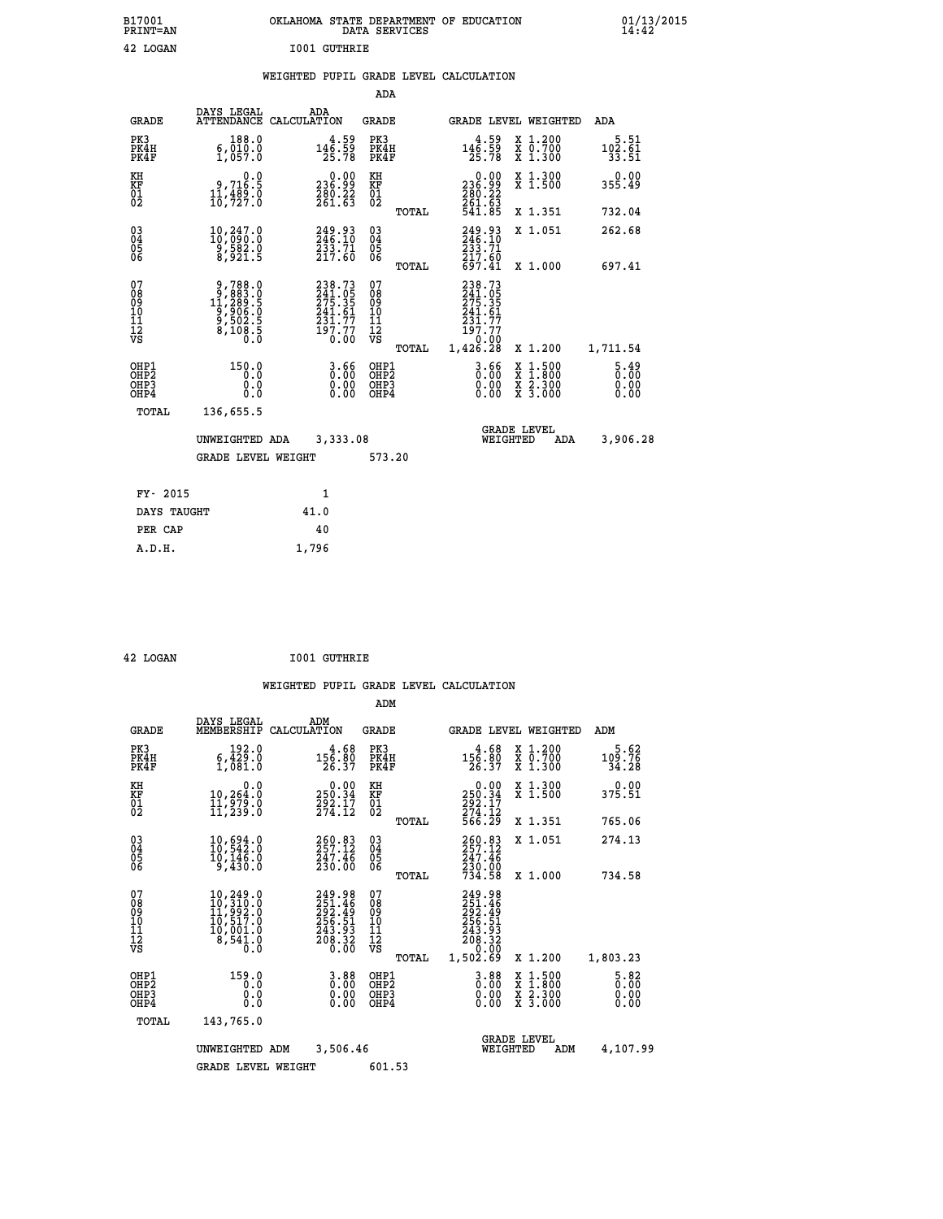| B17001          | OKLAHOMA STATE DEPARTMENT OF EDUCATION |
|-----------------|----------------------------------------|
| <b>PRINT=AN</b> | DATA SERVICES                          |
| 42 LOGAN        | <b>IO01 GUTHRIE</b>                    |

 **B17001 OKLAHOMA STATE DEPARTMENT OF EDUCATION 01/13/2015**

## **WEIGHTED PUPIL GRADE LEVEL CALCULATION**

|                                                    |                                                                                             |                                                                         | ADA                                    |       |                                                                                                                                               |                                                                |                                  |
|----------------------------------------------------|---------------------------------------------------------------------------------------------|-------------------------------------------------------------------------|----------------------------------------|-------|-----------------------------------------------------------------------------------------------------------------------------------------------|----------------------------------------------------------------|----------------------------------|
| <b>GRADE</b>                                       | DAYS LEGAL                                                                                  | ADA<br>ATTENDANCE CALCULATION                                           | <b>GRADE</b>                           |       |                                                                                                                                               | GRADE LEVEL WEIGHTED                                           | <b>ADA</b>                       |
| PK3<br>PK4H<br>PK4F                                | 188.0<br>$\frac{6}{1}, \frac{0}{057}.0$                                                     | $146.59$<br>$146.59$<br>$25.78$                                         | PK3<br>PK4H<br>PK4F                    |       | $146.59$<br>$146.59$<br>$25.78$                                                                                                               | X 1.200<br>X 0.700<br>X 1.300                                  | $102.61$<br>$33.51$              |
| KH<br>KF<br>01<br>02                               | 0.0<br>9,716.5<br>$\frac{11}{10}$ , $\frac{489}{727}$ .0                                    | 0.00<br>99.362<br>280.22<br>261.63                                      | KH<br>KF<br>01<br>02                   |       | $\begin{smallmatrix} &0.00\\ 236.99\\ 280.22\\ 261.63\\ 541.85\\ \end{smallmatrix}$                                                           | X 1.300<br>X 1.500                                             | 0.00<br>355.49                   |
|                                                    |                                                                                             |                                                                         |                                        | TOTAL |                                                                                                                                               | X 1.351                                                        | 732.04                           |
| $\begin{matrix} 03 \\ 04 \\ 05 \\ 06 \end{matrix}$ | $\substack{10,247.0\\10,090.0\\9,582.0\\8,921.5}$                                           | 249.93<br>246.10<br>233.71<br>217.60                                    | 03<br>04<br>05<br>06                   |       | 249.93<br>246.10<br>$\frac{233}{217}$ .60<br>697.41                                                                                           | X 1.051                                                        | 262.68                           |
|                                                    |                                                                                             |                                                                         |                                        | TOTAL |                                                                                                                                               | X 1.000                                                        | 697.41                           |
| 07<br>08<br>09<br>11<br>11<br>12<br>VS             | $\begin{smallmatrix}9,788.0\\9,883.0\\11,289.5\\9,906.0\\9,502.5\\8,108.5\end{smallmatrix}$ | 238.73<br>241.05<br>275.351<br>241.61<br>231.77<br>197.77<br>0.00       | 07<br>08<br>09<br>11<br>11<br>12<br>VS |       | 238.73<br>$\frac{241.05}{275.35}$<br>$\frac{241.61}{5}$<br>$\begin{smallmatrix} 2\,3\,1\,.77\ 197\,.77\ 190\,.00\ 1,426.28 \end{smallmatrix}$ |                                                                |                                  |
|                                                    |                                                                                             |                                                                         |                                        | TOTAL |                                                                                                                                               | X 1.200                                                        | 1,711.54                         |
| OHP1<br>OHP <sub>2</sub><br>OHP3<br>OHP4           | 150.0<br>0.0<br>0.0<br>0.0                                                                  | $3.66$<br>$0.00$<br>$\begin{smallmatrix} 0.00 \ 0.00 \end{smallmatrix}$ | OHP1<br>OHP2<br>OHP3<br>OHP4           |       | $\begin{smallmatrix} 3.66 \ 0.00 \ 0.00 \end{smallmatrix}$<br>0.00                                                                            | $1.500$<br>$1.800$<br>X<br>$\frac{x}{x}$ $\frac{5.300}{3.000}$ | $5.49$<br>$0.00$<br>0.00<br>0.00 |
| <b>TOTAL</b>                                       | 136,655.5                                                                                   |                                                                         |                                        |       |                                                                                                                                               |                                                                |                                  |
|                                                    | UNWEIGHTED ADA                                                                              | 3,333.08                                                                |                                        |       |                                                                                                                                               | <b>GRADE LEVEL</b><br>WEIGHTED<br><b>ADA</b>                   | 3,906.28                         |
|                                                    | <b>GRADE LEVEL WEIGHT</b>                                                                   |                                                                         | 573.20                                 |       |                                                                                                                                               |                                                                |                                  |
| FY- 2015                                           |                                                                                             | $\mathbf{1}$                                                            |                                        |       |                                                                                                                                               |                                                                |                                  |
| DAYS TAUGHT                                        |                                                                                             | 41.0                                                                    |                                        |       |                                                                                                                                               |                                                                |                                  |
| PER CAP                                            |                                                                                             | 40                                                                      |                                        |       |                                                                                                                                               |                                                                |                                  |
|                                                    |                                                                                             |                                                                         |                                        |       |                                                                                                                                               |                                                                |                                  |

 **42 LOGAN I001 GUTHRIE**

 **A.D.H. 1,796**

|                                                       |                                                                                                                                                       |                    |                                                                               | ADM                                    |       |                                                                              |          |                                          |                                     |
|-------------------------------------------------------|-------------------------------------------------------------------------------------------------------------------------------------------------------|--------------------|-------------------------------------------------------------------------------|----------------------------------------|-------|------------------------------------------------------------------------------|----------|------------------------------------------|-------------------------------------|
| <b>GRADE</b>                                          | DAYS LEGAL<br>MEMBERSHIP                                                                                                                              | ADM<br>CALCULATION |                                                                               | <b>GRADE</b>                           |       |                                                                              |          | GRADE LEVEL WEIGHTED                     | ADM                                 |
| PK3<br>PK4H<br>PK4F                                   | 192.0<br>6,429.0<br>1,081.0                                                                                                                           |                    | 4.68<br>$\frac{156.80}{26.37}$                                                | PK3<br>PK4H<br>PK4F                    |       | 4.68<br>156.80<br>26.37                                                      |          | X 1.200<br>X 0.700<br>X 1.300            | 5.62<br>109.76<br>34.28             |
| KH<br>KF<br>01<br>02                                  | 0.0<br>10,264:0<br>11,979:0<br>11,239:0                                                                                                               |                    | $\begin{smallmatrix} 0.00\\250.34\\292.17\\274.12\end{smallmatrix}$           | KH<br>KF<br>01<br>02                   |       | 0.00<br>250:34<br>292:17<br>274:12<br>566:29                                 |          | X 1.300<br>X 1.500                       | 0.00<br>375.51                      |
|                                                       |                                                                                                                                                       |                    |                                                                               |                                        | TOTAL |                                                                              |          | X 1.351                                  | 765.06                              |
| 03<br>04<br>05<br>06                                  | 10,694.0<br>10,542.0<br>10, 146.0<br>9,430.0                                                                                                          |                    | 260.83<br>257.12<br>247.46<br>230.00                                          | $^{03}_{04}$<br>0500                   |       | 260.83<br>247.46                                                             |          | X 1.051                                  | 274.13                              |
|                                                       |                                                                                                                                                       |                    |                                                                               |                                        | TOTAL | 230.00<br>734.58                                                             |          | X 1.000                                  | 734.58                              |
| 07<br>08<br>09<br>101<br>112<br>VS                    | $\begin{smallmatrix} 10,249\, . & 0\\ 10,310\, . & 0\\ 11,992\, . & 0\\ 10,517\, . & 0\\ 10,001\, . & 0\\ 8,541\, . & 0\\ 0\, . & 0\end{smallmatrix}$ |                    | 249.98<br>251.46<br>292.49<br>256.51<br>243.93<br>$\frac{5}{6}$ $\frac{5}{3}$ | 07<br>08<br>09<br>11<br>11<br>12<br>VS | TOTAL | 249.98<br>251.46<br>292.49<br>256.51<br>243.93<br>208.32<br>0.00<br>1,502.69 |          | X 1.200                                  | 1,803.23                            |
| OHP1<br>OH <sub>P</sub> 2<br>OH <sub>P3</sub><br>OHP4 | 159.0<br>0.0<br>0.000                                                                                                                                 |                    | 3.88<br>0.00<br>0.00<br>0.00                                                  | OHP1<br>OHP2<br>OHP3<br>OHP4           |       | $0.00$<br>$0.00$<br>0.00                                                     |          | X 1:500<br>X 1:800<br>X 2:300<br>X 3:000 | $\frac{5.82}{0.00}$<br>0.00<br>0.00 |
| TOTAL                                                 | 143,765.0                                                                                                                                             |                    |                                                                               |                                        |       |                                                                              |          |                                          |                                     |
|                                                       | 3,506.46<br>UNWEIGHTED ADM                                                                                                                            |                    |                                                                               |                                        |       | <b>GRADE LEVEL</b><br>WEIGHTED                                               | 4,107.99 |                                          |                                     |
|                                                       | <b>GRADE LEVEL WEIGHT</b>                                                                                                                             |                    |                                                                               | 601.53                                 |       |                                                                              |          |                                          |                                     |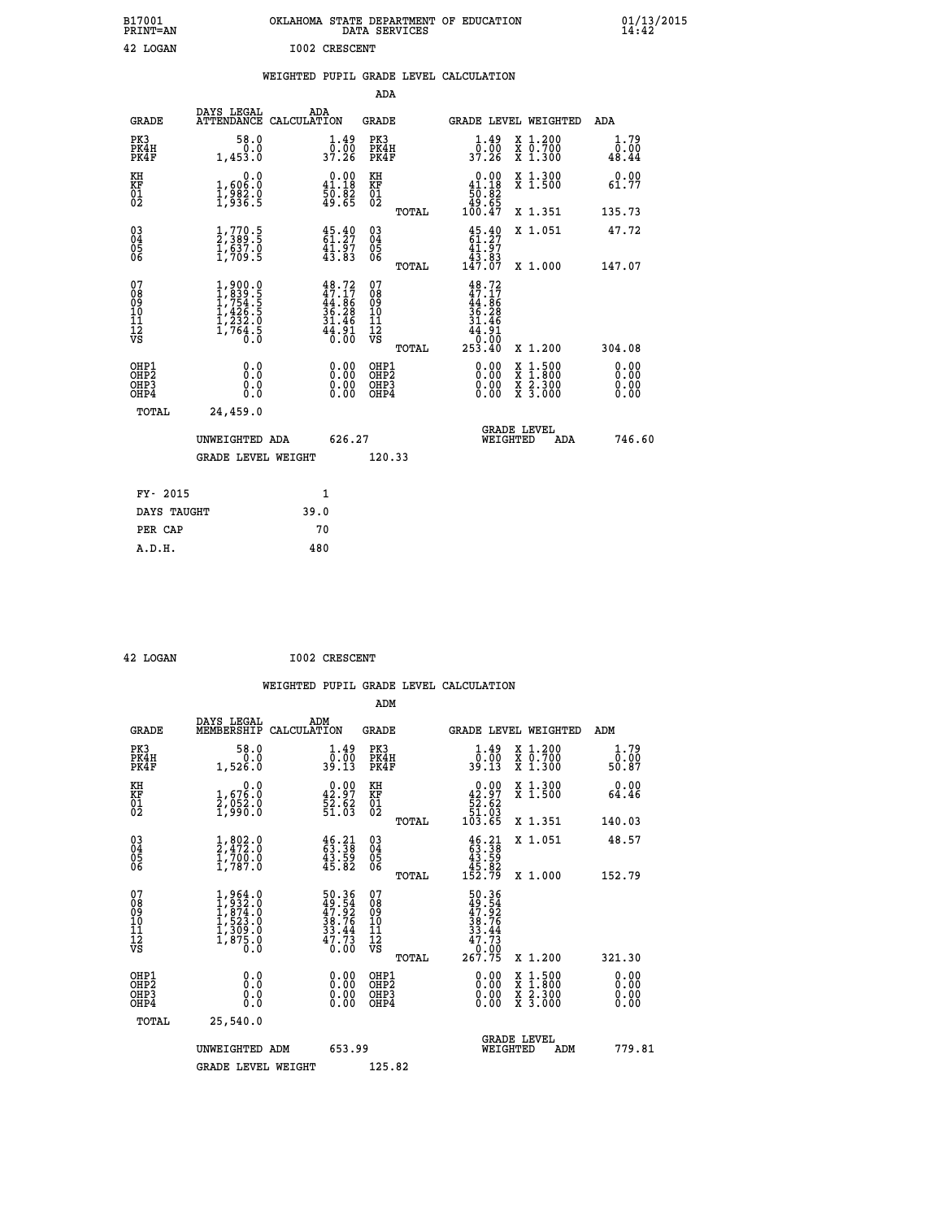| B17001<br>PRINT=AN                                 |                                                                                               |      |                                                                             |                                        | DATA SERVICES | OKLAHOMA STATE DEPARTMENT OF EDUCATION                                                    |                                                                                          |                       | $01/13/2015$<br>14:42 |
|----------------------------------------------------|-----------------------------------------------------------------------------------------------|------|-----------------------------------------------------------------------------|----------------------------------------|---------------|-------------------------------------------------------------------------------------------|------------------------------------------------------------------------------------------|-----------------------|-----------------------|
| 42 LOGAN                                           |                                                                                               |      | <b>I002 CRESCENT</b>                                                        |                                        |               |                                                                                           |                                                                                          |                       |                       |
|                                                    |                                                                                               |      |                                                                             | ADA                                    |               | WEIGHTED PUPIL GRADE LEVEL CALCULATION                                                    |                                                                                          |                       |                       |
| <b>GRADE</b>                                       | DAYS LEGAL<br>ATTENDANCE CALCULATION                                                          | ADA  |                                                                             | GRADE                                  |               |                                                                                           | GRADE LEVEL WEIGHTED                                                                     | ADA                   |                       |
| PK3<br>PK4H<br>PK4F                                | 58.0<br>0.0<br>1,453.0                                                                        |      | $\frac{1 \cdot 49}{0 \cdot 00}$<br>37.26                                    | PK3<br>PK4H<br>PK4F                    |               | $\frac{1 \cdot 49}{0 \cdot 00}$<br>37.26                                                  | X 1.200<br>X 0.700<br>X 1.300                                                            | 1.79<br>0.00<br>48.44 |                       |
| KH<br>KF<br>01<br>02                               | 0.0<br>1,606:0<br>1,982:0<br>1,936:5                                                          |      | $\begin{smallmatrix} 0.00\\ 41.18\\ 50.82\\ 49.65 \end{smallmatrix}$        | KH<br>KF<br>01<br>02                   |               | $0.00$<br>41.18<br>$\frac{50.82}{49.65}$                                                  | X 1.300<br>X 1.500                                                                       | 0.00<br>61.77         |                       |
|                                                    |                                                                                               |      |                                                                             |                                        | TOTAL         | 100.47                                                                                    | X 1.351                                                                                  | 135.73                |                       |
| $\begin{matrix} 03 \\ 04 \\ 05 \\ 06 \end{matrix}$ | $\frac{1}{2}$ , $\frac{770}{389}$ . 5<br>$\frac{1}{1}$ , $\frac{637}{50}$ . 0<br>$1$ , 709. 5 |      | $45.40$<br>$61.27$<br>$41.97$<br>$43.83$                                    | 03<br>04<br>05<br>06                   |               | $\frac{45.40}{61.27}$<br>41.97<br>43.83                                                   | X 1.051                                                                                  | 47.72                 |                       |
|                                                    |                                                                                               |      |                                                                             |                                        | TOTAL         | 147.07                                                                                    | X 1.000                                                                                  | 147.07                |                       |
| 07<br>08<br>09<br>10<br>11<br>Ī2<br>VS             | $1,900.0$<br>$1,754.5$<br>$1,754.5$<br>$1,426.5$<br>$1,232.0$<br>$1,764.5$<br>$0.0$           |      | $48.72$<br>$47.17$<br>$44.86$<br>$36.28$<br>$31.46$<br>$\frac{41.91}{0.00}$ | 07<br>08<br>09<br>10<br>11<br>12<br>VS | TOTAL         | $48.72$<br>$47.17$<br>$44.86$<br>$36.28$<br>3ĭ<br>46<br>$\frac{4\bar{4}}{0.00}$<br>253.40 | X 1.200                                                                                  | 304.08                |                       |
| OHP1<br>OHP <sub>2</sub><br>OHP3<br>OHP4           | 0.0<br>Ō.Ō<br>0.0<br>0.0                                                                      |      | 0.00<br>0.00<br>0.00                                                        | OHP1<br>OHP2<br>OHP3<br>OHP4           |               | 0.00<br>0.00<br>0.00                                                                      | $\begin{smallmatrix} x & 1.500 \\ x & 1.800 \\ x & 2.300 \\ x & 3.000 \end{smallmatrix}$ | 0.00<br>0.00<br>0.00  |                       |
| TOTAL                                              | 24,459.0                                                                                      |      |                                                                             |                                        |               |                                                                                           |                                                                                          |                       |                       |
|                                                    | UNWEIGHTED ADA                                                                                |      | 626.27                                                                      |                                        |               | WEIGHTED                                                                                  | <b>GRADE LEVEL</b><br>ADA                                                                | 746.60                |                       |
|                                                    | <b>GRADE LEVEL WEIGHT</b>                                                                     |      |                                                                             | 120.33                                 |               |                                                                                           |                                                                                          |                       |                       |
| FY- 2015                                           |                                                                                               |      | 1                                                                           |                                        |               |                                                                                           |                                                                                          |                       |                       |
| DAYS TAUGHT                                        |                                                                                               | 39.0 |                                                                             |                                        |               |                                                                                           |                                                                                          |                       |                       |
| PER CAP                                            |                                                                                               | 70   |                                                                             |                                        |               |                                                                                           |                                                                                          |                       |                       |
| A.D.H.                                             |                                                                                               | 480  |                                                                             |                                        |               |                                                                                           |                                                                                          |                       |                       |

| 42 LOGAN | <b>I002 CRESCENT</b> |
|----------|----------------------|
|          |                      |

| <b>GRADE</b>                                                     | DAYS LEGAL<br>MEMBERSHIP                                                                             | ADM<br>CALCULATION                                                     | <b>GRADE</b>                                        |       |                                                                                                                                               |          | GRADE LEVEL WEIGHTED                     | ADM                                           |  |
|------------------------------------------------------------------|------------------------------------------------------------------------------------------------------|------------------------------------------------------------------------|-----------------------------------------------------|-------|-----------------------------------------------------------------------------------------------------------------------------------------------|----------|------------------------------------------|-----------------------------------------------|--|
| PK3<br>PK4H<br>PK4F                                              | 58.0<br>1,526.0                                                                                      | $\frac{1}{0}$ : $\frac{49}{00}$<br>39.13                               | PK3<br>PK4H<br>PK4F                                 |       | $\begin{smallmatrix} 1.49 \\ 0.00 \\ 39.13 \end{smallmatrix}$                                                                                 |          | X 1.200<br>X 0.700<br>X 1.300            | 1.79<br>$\frac{\overline{0} \cdot 00}{50.87}$ |  |
| KH<br>KF<br>01<br>02                                             | 0.0<br>1,676:0<br>2,052:0<br>1,990:0                                                                 | $\begin{smallmatrix} 0.00\\ 42.97\\ 52.62\\ 51.03\\ \end{smallmatrix}$ | KH<br>KF<br>01<br>02                                |       | $\begin{smallmatrix}&&0.00\\42.97\\[-4pt] 52.62\\[-4pt] 51.03\\[-4pt] 103.65\end{smallmatrix}$                                                |          | X 1.300<br>X 1.500                       | 0.00<br>64.46                                 |  |
|                                                                  |                                                                                                      |                                                                        |                                                     | TOTAL |                                                                                                                                               |          | X 1.351                                  | 140.03                                        |  |
| $\begin{matrix} 03 \\ 04 \\ 05 \\ 06 \end{matrix}$               | $\frac{1}{2}, \frac{802}{472}$<br>$\frac{1}{700}$<br>$\frac{700}{1}, \frac{0}{787}$<br>$\frac{1}{0}$ | $46.21$<br>$63.38$<br>$43.59$<br>$45.82$                               | $\begin{array}{c} 03 \\ 04 \\ 05 \\ 06 \end{array}$ |       | $\begin{smallmatrix} 4 & 6 & 2 & 1 \\ 6 & 3 & 3 & 8 \\ 4 & 3 & 5 & 9 \\ 4 & 5 & 8 & 2 \\ 1 & 5 & 2 & 7 \\ 9 & 9 & 9 & 9 \\ \end{smallmatrix}$ |          | X 1.051                                  | 48.57                                         |  |
|                                                                  |                                                                                                      |                                                                        |                                                     | TOTAL |                                                                                                                                               |          | X 1.000                                  | 152.79                                        |  |
| 07<br>08<br>09<br>11<br>11<br>12<br>VS                           | $1,964.0$<br>$1,932.0$<br>$1,874.0$<br>$1,523.0$<br>$1,309.0$<br>$1,875.0$<br>0.0                    | 50.36<br>49.54<br>47.92<br>38.76<br>33.44<br>33.44<br>0.00             | 07<br>08<br>09<br>11<br>11<br>12<br>VS              | TOTAL | $\begin{array}{r} 50.36 \\ 49.54 \\ 47.92 \\ 38.76 \\ 33.44 \\ 47.73 \\ 0.00 \\ 267.75 \end{array}$                                           |          | X 1.200                                  | 321.30                                        |  |
| OHP1<br>OH <sub>P</sub> <sub>2</sub><br>OH <sub>P3</sub><br>OHP4 | 0.0<br>0.000                                                                                         |                                                                        | OHP1<br>OHP <sub>2</sub><br>OHP3<br>OHP4            |       |                                                                                                                                               |          | X 1:500<br>X 1:800<br>X 2:300<br>X 3:000 | 0.00<br>0.00<br>0.00<br>0.00                  |  |
| TOTAL                                                            | 25,540.0                                                                                             |                                                                        |                                                     |       |                                                                                                                                               |          |                                          |                                               |  |
|                                                                  | UNWEIGHTED ADM                                                                                       | 653.99                                                                 |                                                     |       |                                                                                                                                               | WEIGHTED | <b>GRADE LEVEL</b><br>ADM                | 779.81                                        |  |
|                                                                  | <b>GRADE LEVEL WEIGHT</b>                                                                            |                                                                        | 125.82                                              |       |                                                                                                                                               |          |                                          |                                               |  |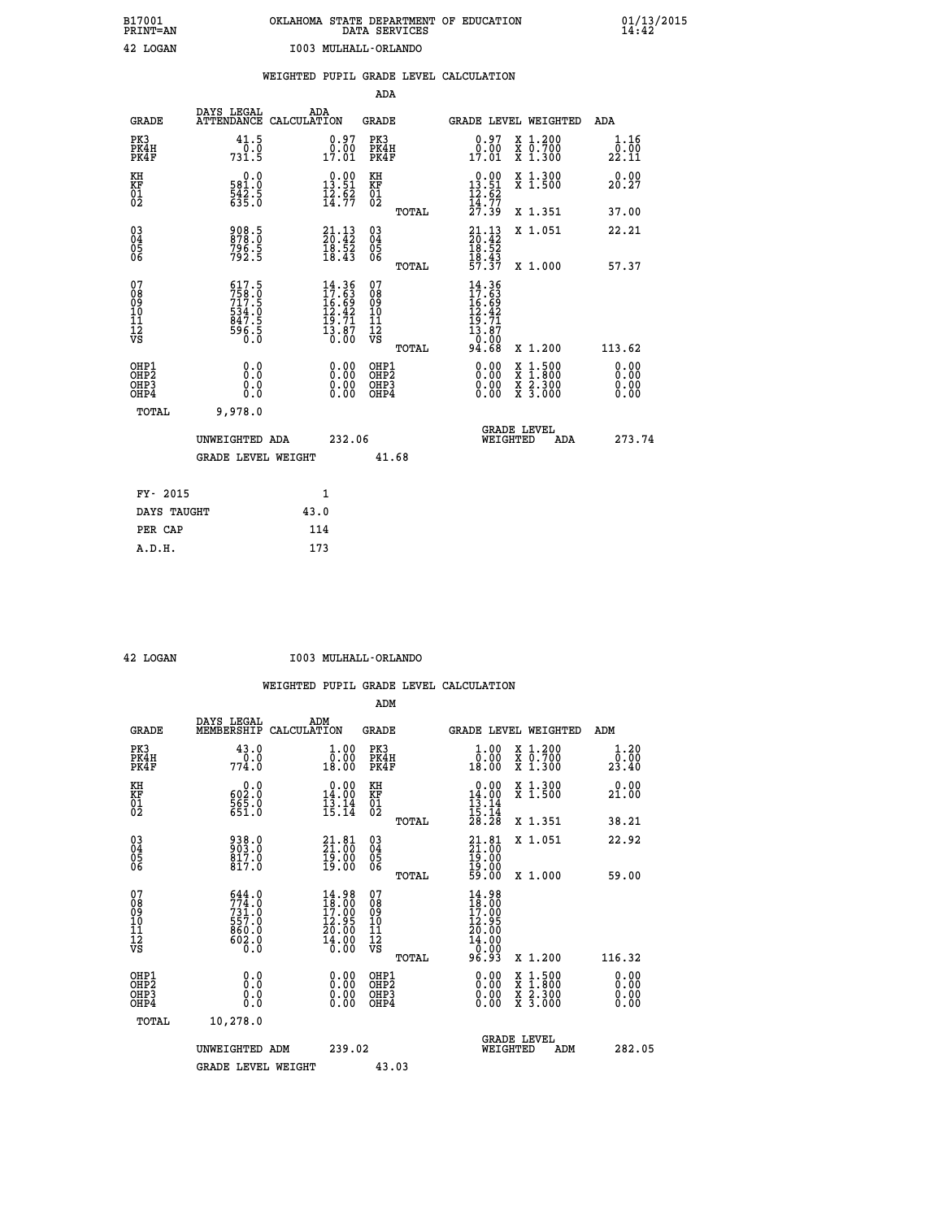| B17001<br><b>PRINT=AN</b> | OKLAHOMA STATE DEPARTMENT OF EDUCATION<br>DATA SERVICES | 01/13/2015 |
|---------------------------|---------------------------------------------------------|------------|
| 42 LOGAN                  | T003 MIILHALL-ORLANDO                                   |            |

| PRINT=AN                                  |                                                             | -------------- |                                                                                                    | DATA SERVICES                            |              | ----------                                                                  |                                                                                                  | ĭ4:42                 |
|-------------------------------------------|-------------------------------------------------------------|----------------|----------------------------------------------------------------------------------------------------|------------------------------------------|--------------|-----------------------------------------------------------------------------|--------------------------------------------------------------------------------------------------|-----------------------|
| 42 LOGAN                                  |                                                             |                | I003 MULHALL-ORLANDO                                                                               |                                          |              |                                                                             |                                                                                                  |                       |
|                                           |                                                             |                |                                                                                                    |                                          |              | WEIGHTED PUPIL GRADE LEVEL CALCULATION                                      |                                                                                                  |                       |
|                                           |                                                             |                |                                                                                                    | <b>ADA</b>                               |              |                                                                             |                                                                                                  |                       |
| <b>GRADE</b>                              | DAYS LEGAL<br>ATTENDANCE CALCULATION                        |                | ADA                                                                                                | GRADE                                    |              |                                                                             | GRADE LEVEL WEIGHTED ADA                                                                         |                       |
| PK3<br>PK4H<br>PK4F                       | $41.5$ <sub>0</sub> :0<br>731.5                             |                | $\begin{smallmatrix} 0.97\ 0.00\\ 17.01 \end{smallmatrix}$                                         | PK3<br>PK4H<br>PK4F                      |              | $\begin{smallmatrix} 0.97\ 0.00\\ 17.01 \end{smallmatrix}$                  | X 1.200<br>X 0.700<br>X 1.300                                                                    | 1.16<br>0.00<br>22.11 |
| KH<br>KF<br>01<br>02                      | 0.0<br>581.0<br>542.5<br>635.0                              |                | $\begin{smallmatrix} 0.00\\ 13.51\\ 12.52\\ 14.77 \end{smallmatrix}$                               | KH<br>KF<br>01<br>02                     |              | $\begin{array}{c} 0.00 \\ 13.51 \\ 12.62 \\ 14.77 \\ 27.39 \end{array}$     | X 1.300<br>X 1.500                                                                               | 0.00<br>20.27         |
|                                           |                                                             |                |                                                                                                    |                                          | TOTAL        |                                                                             | X 1.351                                                                                          | 37.00                 |
| 03<br>04<br>05<br>06                      | 908.5<br>878.0<br>796.5<br>792.5                            |                | $\begin{smallmatrix} 21\cdot 13\\ 20\cdot 42\\ 18\cdot 52\\ 18\cdot 43 \end{smallmatrix}$          | $^{03}_{04}$<br>0500                     |              | $21.13$<br>$20.42$<br>$18.52$<br>$18.43$<br>$57.37$                         | X 1.051                                                                                          | 22.21                 |
|                                           |                                                             |                |                                                                                                    |                                          | TOTAL        |                                                                             | X 1.000                                                                                          | 57.37                 |
| 07<br>089<br>090<br>1112<br>VS            | 617.5<br>758.0<br>717.5<br>534.0<br>534.0<br>847.5<br>596.5 |                | $\begin{smallmatrix} 14.36 \\ 17.63 \\ 16.69 \\ 12.42 \\ 19.71 \\ 13.87 \\ 0.00 \end{smallmatrix}$ | 07<br>08901112<br>1112<br>VS             |              | $\frac{14.36}{17.63}$<br>$16.69$<br>$12.42$<br>$19.71$<br>$13.87$<br>$0.00$ |                                                                                                  |                       |
|                                           |                                                             |                |                                                                                                    |                                          | <b>TOTAL</b> | 94.68                                                                       | X 1.200                                                                                          | 113.62                |
| OHP1<br>OH <sub>P</sub> 2<br>OHP3<br>OHP4 | 0.0<br>0.0<br>0.0                                           |                | $0.00$<br>$0.00$<br>0.00                                                                           | OHP1<br>OHP <sub>2</sub><br>OHP3<br>OHP4 |              |                                                                             | $\begin{smallmatrix} x & 1 & 500 \\ x & 1 & 800 \\ x & 2 & 300 \\ x & 3 & 000 \end{smallmatrix}$ | 0.00<br>0.00<br>0.00  |
| <b>TOTAL</b>                              | 9,978.0                                                     |                |                                                                                                    |                                          |              |                                                                             |                                                                                                  |                       |
|                                           | UNWEIGHTED ADA                                              |                | 232.06                                                                                             |                                          |              |                                                                             | GRADE LEVEL<br>WEIGHTED<br>ADA                                                                   | 273.74                |
|                                           | GRADE LEVEL WEIGHT                                          |                |                                                                                                    | 41.68                                    |              |                                                                             |                                                                                                  |                       |
|                                           |                                                             |                |                                                                                                    |                                          |              |                                                                             |                                                                                                  |                       |
| FY- 2015                                  |                                                             |                | 1                                                                                                  |                                          |              |                                                                             |                                                                                                  |                       |
| DAYS TAUGHT                               |                                                             | 43.0           |                                                                                                    |                                          |              |                                                                             |                                                                                                  |                       |
| PER CAP                                   |                                                             | 114            |                                                                                                    |                                          |              |                                                                             |                                                                                                  |                       |
| A.D.H.                                    |                                                             | 173            |                                                                                                    |                                          |              |                                                                             |                                                                                                  |                       |

 **42 LOGAN I003 MULHALL-ORLANDO**

|                                                      |                                                              |                                                                           | ADM                                                 |                                                                                                       |                                          |                              |
|------------------------------------------------------|--------------------------------------------------------------|---------------------------------------------------------------------------|-----------------------------------------------------|-------------------------------------------------------------------------------------------------------|------------------------------------------|------------------------------|
| <b>GRADE</b>                                         | DAYS LEGAL<br>MEMBERSHIP                                     | ADM<br>CALCULATION                                                        | <b>GRADE</b>                                        | GRADE LEVEL WEIGHTED                                                                                  |                                          | ADM                          |
| PK3<br>PK4H<br>PK4F                                  | 43.0<br>0.0<br>774.0                                         | 1.00<br>0.00<br>18.00                                                     | PK3<br>PK4H<br>PK4F                                 | $\begin{smallmatrix} 1.00\\ 0.00\\ 18.00 \end{smallmatrix}$                                           | X 1.200<br>X 0.700<br>X 1.300            | 1.20<br>_0.00<br>23.40       |
| KH<br>KF<br>01<br>02                                 | 0.0<br>$\frac{602.0}{565.0}$                                 | $\begin{array}{c} 0.00 \\ 14.00 \\ \hline 13.14 \\ 15.14 \end{array}$     | KH<br>KF<br>01<br>02                                | $\begin{array}{r} 0.00 \\ 14.00 \\ 13.14 \\ 15.14 \\ 28.28 \end{array}$                               | X 1.300<br>X 1.500                       | 0.00<br>21.00                |
|                                                      |                                                              |                                                                           | TOTAL                                               |                                                                                                       | X 1.351                                  | 38.21                        |
| $\begin{matrix} 03 \\ 04 \\ 05 \\ 06 \end{matrix}$   | 938.0<br>903.0<br>817.0<br>817.0                             | $\begin{smallmatrix} 21.81\ 21.00\ 19.00\ 19.00 \end{smallmatrix}$        | $\begin{array}{c} 03 \\ 04 \\ 05 \\ 06 \end{array}$ | $21.81$<br>$21.00$<br>$19.00$<br>$19.00$<br>$59.00$                                                   | X 1.051                                  | 22.92                        |
|                                                      |                                                              |                                                                           | TOTAL                                               |                                                                                                       | X 1.000                                  | 59.00                        |
| 07<br>08<br>09<br>101<br>112<br>VS                   | 644.0<br>774.00<br>731.0<br>557.0<br>560.0<br>602.0<br>602.0 | $14.98$<br>$18.00$<br>$17.00$<br>$12.95$<br>20.00<br>$\frac{14.00}{0.00}$ | 07<br>08<br>09<br>11<br>11<br>12<br>VS<br>TOTAL     | 14.98<br>$\begin{array}{r} 18.000 \\ 19.000 \\ 12.95 \\ 20.000 \\ 4.000 \\ 0.00 \end{array}$<br>96.93 | X 1.200                                  | 116.32                       |
|                                                      |                                                              |                                                                           |                                                     |                                                                                                       |                                          |                              |
| OHP1<br>OHP2<br>OH <sub>P3</sub><br>OH <sub>P4</sub> | 0.0<br>0.000                                                 | $0.00$<br>$0.00$<br>0.00                                                  | OHP1<br>OHP2<br>OHP3<br>OHP4                        | $0.00$<br>$0.00$<br>0.00                                                                              | X 1:500<br>X 1:800<br>X 2:300<br>X 3:000 | 0.00<br>0.00<br>0.00<br>0.00 |
| TOTAL                                                | 10,278.0                                                     |                                                                           |                                                     |                                                                                                       |                                          |                              |
|                                                      | UNWEIGHTED ADM                                               | 239.02                                                                    |                                                     | WEIGHTED                                                                                              | <b>GRADE LEVEL</b><br>ADM                | 282.05                       |
|                                                      | <b>GRADE LEVEL WEIGHT</b>                                    |                                                                           | 43.03                                               |                                                                                                       |                                          |                              |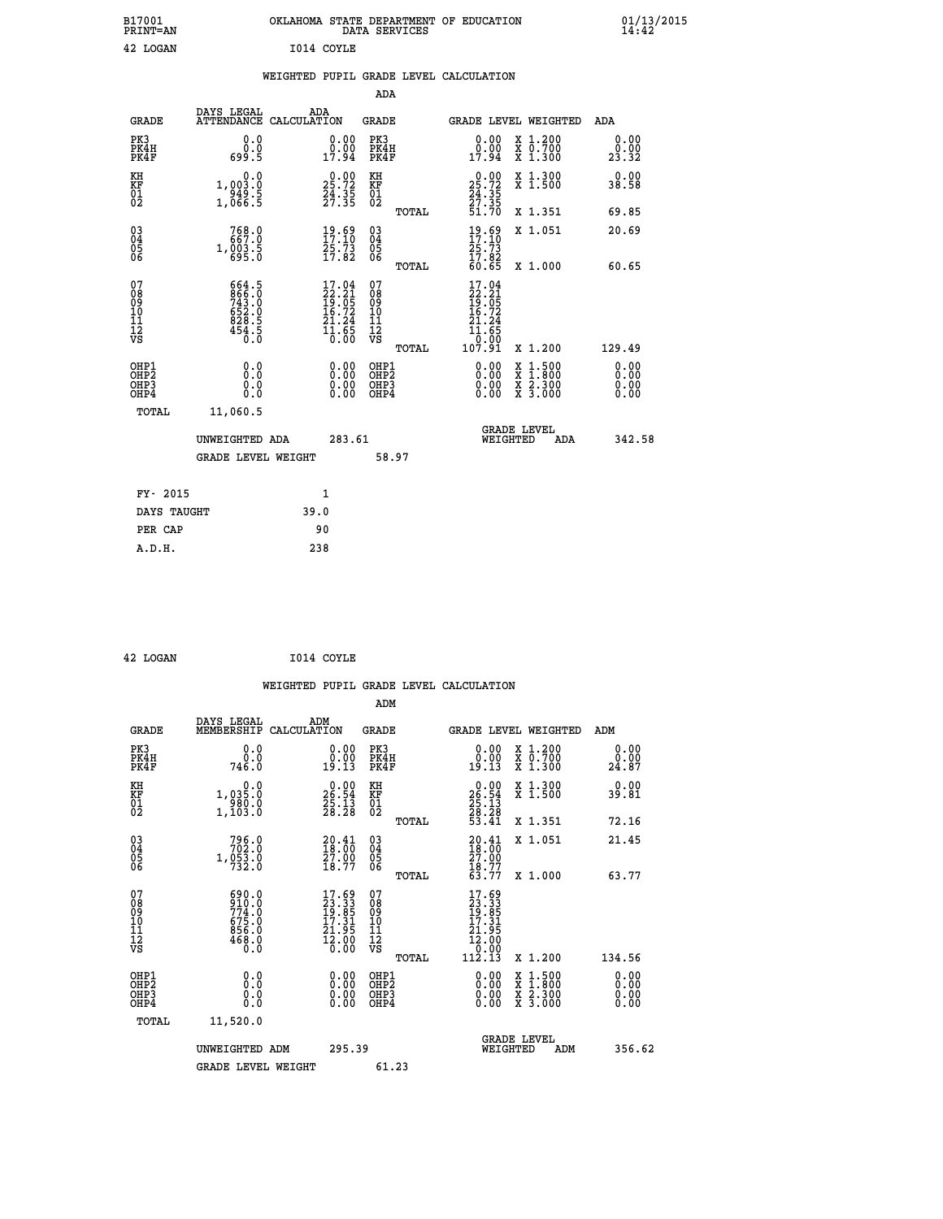| B17001<br><b>PRINT=AN</b> | OKLAHOMA<br>. STATE DEPARTMENT OF EDUCATION<br>DATA SERVICES | 01/13/2015<br>14:42 |
|---------------------------|--------------------------------------------------------------|---------------------|
| 42 LOGAN                  | I014 COYLE                                                   |                     |

|  |  | WEIGHTED PUPIL GRADE LEVEL CALCULATION |
|--|--|----------------------------------------|
|  |  |                                        |

|                                                                    |                                                                    |                                                                                                    |        | ADA                                       |       |                                                                           |                                          |                              |
|--------------------------------------------------------------------|--------------------------------------------------------------------|----------------------------------------------------------------------------------------------------|--------|-------------------------------------------|-------|---------------------------------------------------------------------------|------------------------------------------|------------------------------|
| <b>GRADE</b>                                                       | DAYS LEGAL                                                         | ADA<br>ATTENDANCE CALCULATION                                                                      |        | <b>GRADE</b>                              |       | GRADE LEVEL WEIGHTED                                                      |                                          | ADA                          |
| PK3<br>PK4H<br>PK4F                                                | 0.0<br>0.0<br>699.5                                                | $\begin{smallmatrix} 0.00\\ 0.00\\ 17.94 \end{smallmatrix}$                                        |        | PK3<br>PK4H<br>PK4F                       |       | 0.00<br>ă:ŏă<br>17:94                                                     | X 1.200<br>X 0.700<br>X 1.300            | 0.00<br>0.00<br>23.32        |
| KH<br><b>KF</b><br>01<br>02                                        | 0.0<br>1,003.0<br>$\frac{1}{3}$ , $\frac{3}{4}$ , $\frac{3}{5}$    | $29:00$<br>25.72<br>$\frac{24}{27}:\frac{35}{35}$                                                  |        | KH<br>KF<br>01<br>02                      |       | 25.72<br>$\frac{24}{27}$ : $\frac{35}{51}$<br>51.70                       | X 1.300<br>X 1.500                       | 0.00<br>38.58                |
|                                                                    |                                                                    |                                                                                                    |        |                                           | TOTAL |                                                                           | X 1.351                                  | 69.85                        |
| $\begin{smallmatrix} 03 \\[-4pt] 04 \end{smallmatrix}$<br>05<br>06 | 768.0<br>667.0<br>1,003.5                                          | $19.69$<br>$17.10$<br>25.73<br>17.82                                                               |        | $\substack{03 \\ 04}$<br>05<br>06         |       | $19.69$<br>$17.10$<br>25.73<br>17.82<br>60.65                             | X 1.051                                  | 20.69                        |
| 07<br>08901112<br>1112<br>VS                                       | 664.5<br>866.0<br>743.0<br>652.0<br>652.0<br>828.5<br>454.5<br>0.0 | $\begin{smallmatrix} 17.04 \\ 22.21 \\ 19.05 \\ 16.72 \\ 21.24 \\ 11.65 \\ 0.00 \end{smallmatrix}$ |        | 07<br>08<br>09<br>11<br>11<br>12<br>VS    | TOTAL | 17.04<br>$\frac{22.21}{19.05}$<br>$\frac{16.72}{16.72}$<br>21.24<br>11.65 | X 1.000                                  | 60.65                        |
|                                                                    |                                                                    |                                                                                                    |        |                                           | TOTAL | 0.00<br>107.91                                                            | X 1.200                                  | 129.49                       |
| OHP1<br>OH <sub>P2</sub><br>OH <sub>P3</sub><br>OH <sub>P4</sub>   | 0.0<br>0.0<br>0.0                                                  | 0.00<br>0.00<br>0.00                                                                               |        | OHP1<br>OH <sub>P</sub> 2<br>OHP3<br>OHP4 |       | 0.00<br>0.00<br>0.00                                                      | X 1:500<br>X 1:800<br>X 2:300<br>X 3:000 | 0.00<br>0.00<br>0.00<br>0.00 |
| TOTAL                                                              | 11,060.5                                                           |                                                                                                    |        |                                           |       |                                                                           |                                          |                              |
|                                                                    | UNWEIGHTED ADA                                                     |                                                                                                    | 283.61 |                                           |       |                                                                           | GRADE LEVEL<br>WEIGHTED<br>ADA           | 342.58                       |
|                                                                    | <b>GRADE LEVEL WEIGHT</b>                                          |                                                                                                    |        | 58.97                                     |       |                                                                           |                                          |                              |
| FY- 2015                                                           |                                                                    | $\mathbf{1}$                                                                                       |        |                                           |       |                                                                           |                                          |                              |
| DAYS TAUGHT                                                        |                                                                    | 39.0                                                                                               |        |                                           |       |                                                                           |                                          |                              |
| PER CAP                                                            |                                                                    | 90                                                                                                 |        |                                           |       |                                                                           |                                          |                              |

| 42 LOGAN | I014 COYLE |
|----------|------------|
|          |            |

|                                                      |                                                                       |                                                                                       | WEIGHTED PUPIL GRADE LEVEL CALCULATION                       |                                                                                                    |                              |
|------------------------------------------------------|-----------------------------------------------------------------------|---------------------------------------------------------------------------------------|--------------------------------------------------------------|----------------------------------------------------------------------------------------------------|------------------------------|
|                                                      |                                                                       |                                                                                       | ADM                                                          |                                                                                                    |                              |
| <b>GRADE</b>                                         | DAYS LEGAL<br>MEMBERSHIP<br>CALCULATION                               | ADM                                                                                   | <b>GRADE</b>                                                 | GRADE LEVEL WEIGHTED                                                                               | ADM                          |
| PK3<br>PK4H<br>PK4F                                  | 0.0<br>ة:ة<br>746.0                                                   | 0.00<br>19.13                                                                         | PK3<br>PK4H<br>PK4F                                          | $\begin{smallmatrix} 0.00\\ 0.00\\ 19.13 \end{smallmatrix}$<br>X 1.200<br>X 0.700<br>X 1.300       | 0.00<br>0.00<br>24.87        |
| KH<br>KF<br>01<br>02                                 | 0.0<br>1,035.0<br>$\frac{1}{1}$ , 103.0                               | $\begin{smallmatrix} 0.00\\ 26.54\\ 25.13\\ 28.28 \end{smallmatrix}$                  | KH<br>KF<br>01<br>02                                         | $\begin{smallmatrix} 0.00\\ 26.54\\ 25.13\\ 28.28\\ 53.41 \end{smallmatrix}$<br>X 1.300<br>X 1.500 | 0.00<br>39.81                |
| $\begin{matrix} 03 \\ 04 \\ 05 \\ 06 \end{matrix}$   | $796.0$<br>$702.0$<br>1,053.0<br>$732.0$                              | $\begin{smallmatrix} 20.41\\18.00\\27.00\\18.77 \end{smallmatrix}$                    | TOTAL<br>$\begin{array}{c} 03 \\ 04 \\ 05 \\ 06 \end{array}$ | X 1.351<br>X 1.051<br>$\begin{smallmatrix} 20.41\ 18.00\ 27.00\ 18.77\ 63.77 \end{smallmatrix}$    | 72.16<br>21.45               |
| 07                                                   |                                                                       |                                                                                       | TOTAL                                                        | X 1.000                                                                                            | 63.77                        |
| 0890112<br>1112<br>VS                                | $690.0$<br>$910.0$<br>$774.0$<br>$675.0$<br>$856.0$<br>$468.0$<br>Ō.Ō | $\begin{smallmatrix} 17.69\\23.33\\19.85\\17.31\\21.95\\21.00\\0.00\end{smallmatrix}$ | 07<br>08<br>09<br>01<br>11<br>11<br>12<br>VS<br>TOTAL        | $\begin{smallmatrix} 17.69\ 23.33\ 19.851\ 17.315\ 12.000\ 112.13 \end{smallmatrix}$<br>X 1.200    | 134.56                       |
| OHP1<br>OHP <sub>2</sub><br>OH <sub>P3</sub><br>OHP4 | 0.0<br>0.000                                                          | $0.00$<br>$0.00$<br>0.00                                                              | OHP1<br>OHP <sub>2</sub><br>OHP <sub>3</sub>                 | 0.00<br>X 1:500<br>X 1:800<br>X 2:300<br>X 3:000<br>0.00<br>0.00                                   | 0.00<br>0.00<br>0.00<br>0.00 |
| TOTAL                                                | 11,520.0<br>UNWEIGHTED ADM                                            | 295.39                                                                                |                                                              | <b>GRADE LEVEL</b><br>WEIGHTED<br>ADM                                                              | 356.62                       |
|                                                      | <b>GRADE LEVEL WEIGHT</b>                                             |                                                                                       | 61.23                                                        |                                                                                                    |                              |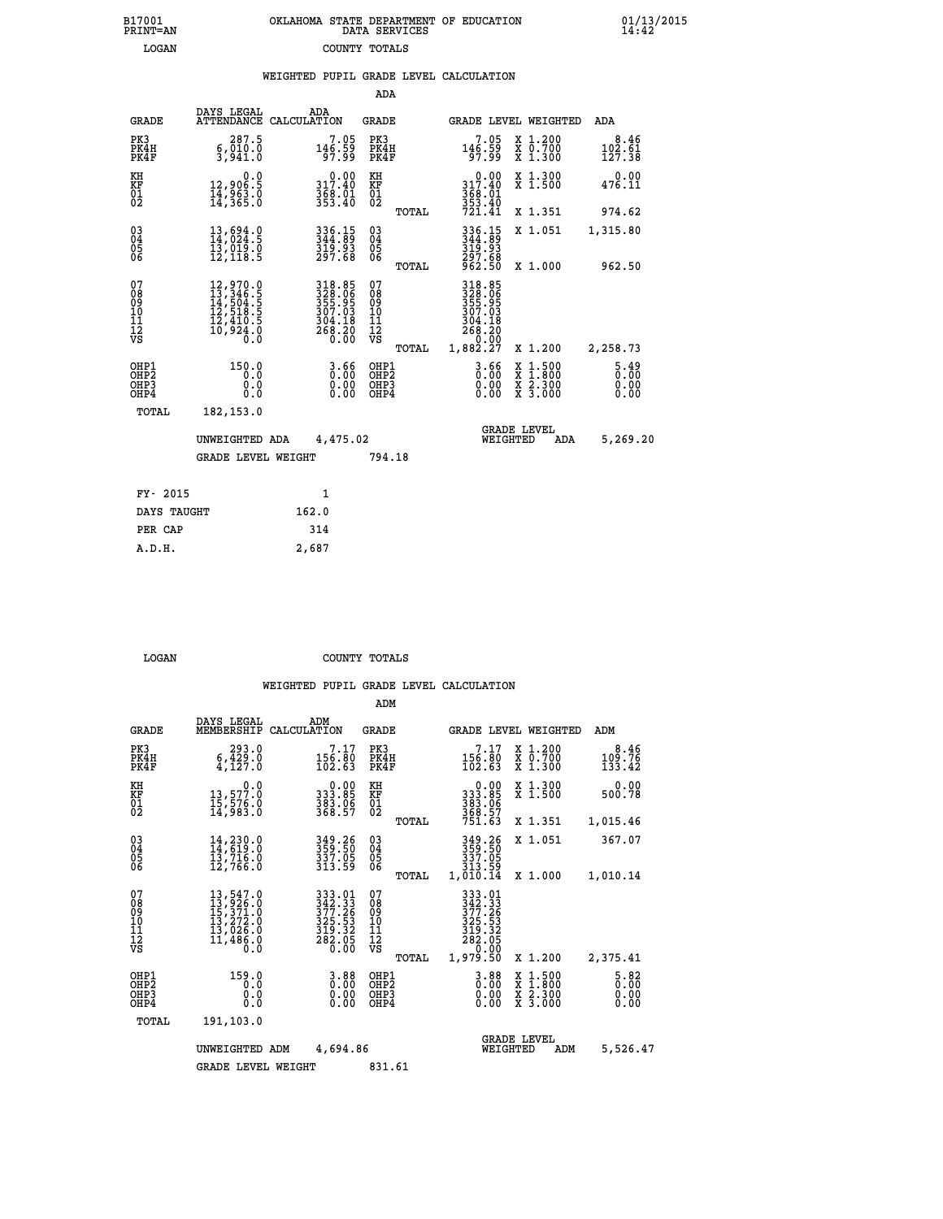|  | OKLAHOMA STATE DEPARTMENT OF EDUCATION<br>DATA SERVICES |  |
|--|---------------------------------------------------------|--|
|  | COUNTY TOTALS                                           |  |

B17001<br>PRINT=AN<br>LOGAN

 **B17001 OKLAHOMA STATE DEPARTMENT OF EDUCATION 01/13/2015**

|                                                                    |                                                                                                               |                                                                                                 | ADA                                               |       |                                                          |                                                                            |                                           |
|--------------------------------------------------------------------|---------------------------------------------------------------------------------------------------------------|-------------------------------------------------------------------------------------------------|---------------------------------------------------|-------|----------------------------------------------------------|----------------------------------------------------------------------------|-------------------------------------------|
| <b>GRADE</b>                                                       | DAYS LEGAL                                                                                                    | ADA<br>ATTENDANCE CALCULATION                                                                   | <b>GRADE</b>                                      |       |                                                          | GRADE LEVEL WEIGHTED                                                       | <b>ADA</b>                                |
| PK3<br>PK4H<br>PK4F                                                | 287.5<br>6,010.0<br>3.941.0                                                                                   | $7.05$<br>146.59<br>97.99                                                                       | PK3<br>PK4H<br>PK4F                               |       | $7.05$<br>146.59<br>97.99                                | X 1.200<br>X 0.700<br>X 1.300                                              | 8.46<br>$\frac{102}{127}$ $\frac{51}{38}$ |
| KH<br>KF<br>01<br>02                                               | 0.0<br>12,906.5<br>14,963.0<br>14,365.0                                                                       | 317.40<br>$368.01$<br>$353.40$                                                                  | KH<br>KF<br>$\begin{matrix} 01 \ 02 \end{matrix}$ |       | 0.00<br>317.40<br>368.01<br>353.40<br>721.41             | X 1.300<br>X 1.500                                                         | 0.00<br>476.11                            |
|                                                                    |                                                                                                               |                                                                                                 |                                                   | TOTAL |                                                          | X 1.351                                                                    | 974.62                                    |
| $\begin{smallmatrix} 03 \\[-4pt] 04 \end{smallmatrix}$<br>05<br>ŌĞ | 13,694.0<br>14,024.5<br>13,019.0<br>12,118.5                                                                  | 336.15<br>344.89<br>$\frac{319.93}{297.68}$                                                     | $\substack{03 \\ 04}$<br>$\substack{05 \\ 06}$    |       | 336.15<br>344.89<br>319:93<br>297:68<br>962:50           | X 1.051                                                                    | 1,315.80                                  |
|                                                                    |                                                                                                               |                                                                                                 |                                                   | TOTAL |                                                          | X 1.000                                                                    | 962.50                                    |
| 07<br>08<br>09<br>11<br>11<br>12<br>VS                             | $\begin{smallmatrix} 12,970.0\\ 13,346.5\\ 14,504.5\\ 12,518.5\\ 12,410.5\\ 10,924.0\\ 0.0 \end{smallmatrix}$ | $\begin{array}{r} 318.85 \\ 328.06 \\ 355.95 \\ 307.03 \\ 304.18 \\ 268.20 \\ 0.00 \end{array}$ | 07<br>08<br>09<br>11<br>11<br>12<br>VS            |       | 318.85<br>328.06<br>355.95<br>307.03<br>304.18<br>268.20 |                                                                            |                                           |
|                                                                    |                                                                                                               |                                                                                                 |                                                   | TOTAL | 0:00<br>1,882.27                                         | X 1.200                                                                    | 2,258.73                                  |
| OHP1<br>OH <sub>P</sub> 2<br>OHP3<br>OHP4                          | 150.0<br>0.0<br>0.0<br>0.0                                                                                    | 3.66<br>$\begin{smallmatrix} 0.00 \ 0.00 \end{smallmatrix}$                                     | OHP1<br>OH <sub>P</sub> 2<br>OHP3<br>OHP4         |       | 3.66<br>0.00<br>0.00                                     | $1:500$<br>$1:800$<br>X<br>X<br>$\frac{\ddot{x}}{x}$ $\frac{2.300}{3.000}$ | $5.49$<br>$0.00$<br>0.00<br>0.00          |
| TOTAL                                                              | 182, 153.0                                                                                                    |                                                                                                 |                                                   |       |                                                          |                                                                            |                                           |
|                                                                    | UNWEIGHTED ADA                                                                                                | 4,475.02                                                                                        |                                                   |       |                                                          | <b>GRADE LEVEL</b><br>WEIGHTED<br><b>ADA</b>                               | 5,269.20                                  |
|                                                                    | <b>GRADE LEVEL WEIGHT</b>                                                                                     |                                                                                                 | 794.18                                            |       |                                                          |                                                                            |                                           |
| FY- 2015                                                           |                                                                                                               | 1                                                                                               |                                                   |       |                                                          |                                                                            |                                           |
| DAYS TAUGHT                                                        |                                                                                                               | 162.0                                                                                           |                                                   |       |                                                          |                                                                            |                                           |
| PER CAP                                                            |                                                                                                               | 314                                                                                             |                                                   |       |                                                          |                                                                            |                                           |
|                                                                    |                                                                                                               |                                                                                                 |                                                   |       |                                                          |                                                                            |                                           |

 **LOGAN COUNTY TOTALS**

 **A.D.H. 2,687**

|                                                       |                                                                                                                                                                        |                                                                                                                                           | ADM                                             |                                                                                        |                                          |                                     |
|-------------------------------------------------------|------------------------------------------------------------------------------------------------------------------------------------------------------------------------|-------------------------------------------------------------------------------------------------------------------------------------------|-------------------------------------------------|----------------------------------------------------------------------------------------|------------------------------------------|-------------------------------------|
| <b>GRADE</b>                                          | DAYS LEGAL<br>MEMBERSHIP                                                                                                                                               | ADM<br>CALCULATION                                                                                                                        | <b>GRADE</b>                                    |                                                                                        | GRADE LEVEL WEIGHTED                     | ADM                                 |
| PK3<br>PK4H<br>PK4F                                   | 293.0<br>$\frac{6}{4}, \frac{\overline{4}}{127}.0$                                                                                                                     | 7.17<br>$\frac{156}{102}$ $\frac{80}{63}$                                                                                                 | PK3<br>PK4H<br>PK4F                             | 7.17<br>$\frac{156}{102}.$ $\frac{80}{63}$                                             | X 1.200<br>X 0.700<br>X 1.300            | 8.46<br>109.76<br>133.42            |
| KH<br>KF<br>01<br>02                                  | 0.0<br>13,577.0<br>15,576.0<br>14,983.0                                                                                                                                | $\begin{smallmatrix} &0.00\,333.85\,383.96\,368.57\end{smallmatrix}$                                                                      | KH<br>KF<br>01<br>02                            | $0.00$<br>$333.85$<br>$383.06$<br>$368.57$<br>$751.63$                                 | X 1.300<br>X 1.500                       | 0.00<br>500.78                      |
|                                                       |                                                                                                                                                                        |                                                                                                                                           | TOTAL                                           |                                                                                        | X 1.351                                  | 1,015.46                            |
| 03<br>04<br>05<br>06                                  | 14,230.0<br>14,619.0<br>13,716.0<br>12,766.0                                                                                                                           | 349.26<br>359.50<br>337.05<br>313.59                                                                                                      | $^{03}_{04}$<br>0500                            | 349.26<br>359.50<br>337.05<br>313.59                                                   | X 1.051                                  | 367.07                              |
|                                                       |                                                                                                                                                                        |                                                                                                                                           | TOTAL                                           | 1,010.14                                                                               | X 1.000                                  | 1,010.14                            |
| 07<br>08<br>09<br>101<br>112<br>VS                    | $\begin{smallmatrix} 13\,,\,547\,.\,0\\ 13\,,\,926\,. \,0\\ 15\,,\,371\,. \,0\\ 13\,,\,272\,. \,0\\ 13\,,\,026\,. \,0\\ 11\,,\,486\,. \,0\\ 0\,. \,0\end{smallmatrix}$ | $\begin{array}{r} 333 \cdot 01 \\ 342 \cdot 33 \\ 377 \cdot 26 \\ 325 \cdot 53 \\ 319 \cdot 32 \\ 282 \cdot 05 \\ 0 \cdot 00 \end{array}$ | 07<br>08<br>09<br>11<br>11<br>12<br>VS<br>TOTAL | 333.01<br>342.33<br>377.26<br>325.53<br>319.32<br>319.32<br>282.05<br>0.00<br>1,979.50 | X 1.200                                  | 2,375.41                            |
| OHP1<br>OH <sub>P</sub> 2<br>OH <sub>P3</sub><br>OHP4 | 159.0<br>0.0<br>0.000                                                                                                                                                  | 3.88<br>0.00<br>0.00<br>0.00                                                                                                              | OHP1<br>OHP2<br>OHP3<br>OHP4                    | $0.00$<br>$0.00$<br>0.00                                                               | X 1:500<br>X 1:800<br>X 2:300<br>X 3:000 | $\frac{5.82}{0.00}$<br>0.00<br>0.00 |
| TOTAL                                                 | 191,103.0                                                                                                                                                              |                                                                                                                                           |                                                 |                                                                                        |                                          |                                     |
|                                                       | UNWEIGHTED ADM                                                                                                                                                         | 4,694.86                                                                                                                                  |                                                 | WEIGHTED                                                                               | <b>GRADE LEVEL</b><br>ADM                | 5,526.47                            |
|                                                       | <b>GRADE LEVEL WEIGHT</b>                                                                                                                                              |                                                                                                                                           | 831.61                                          |                                                                                        |                                          |                                     |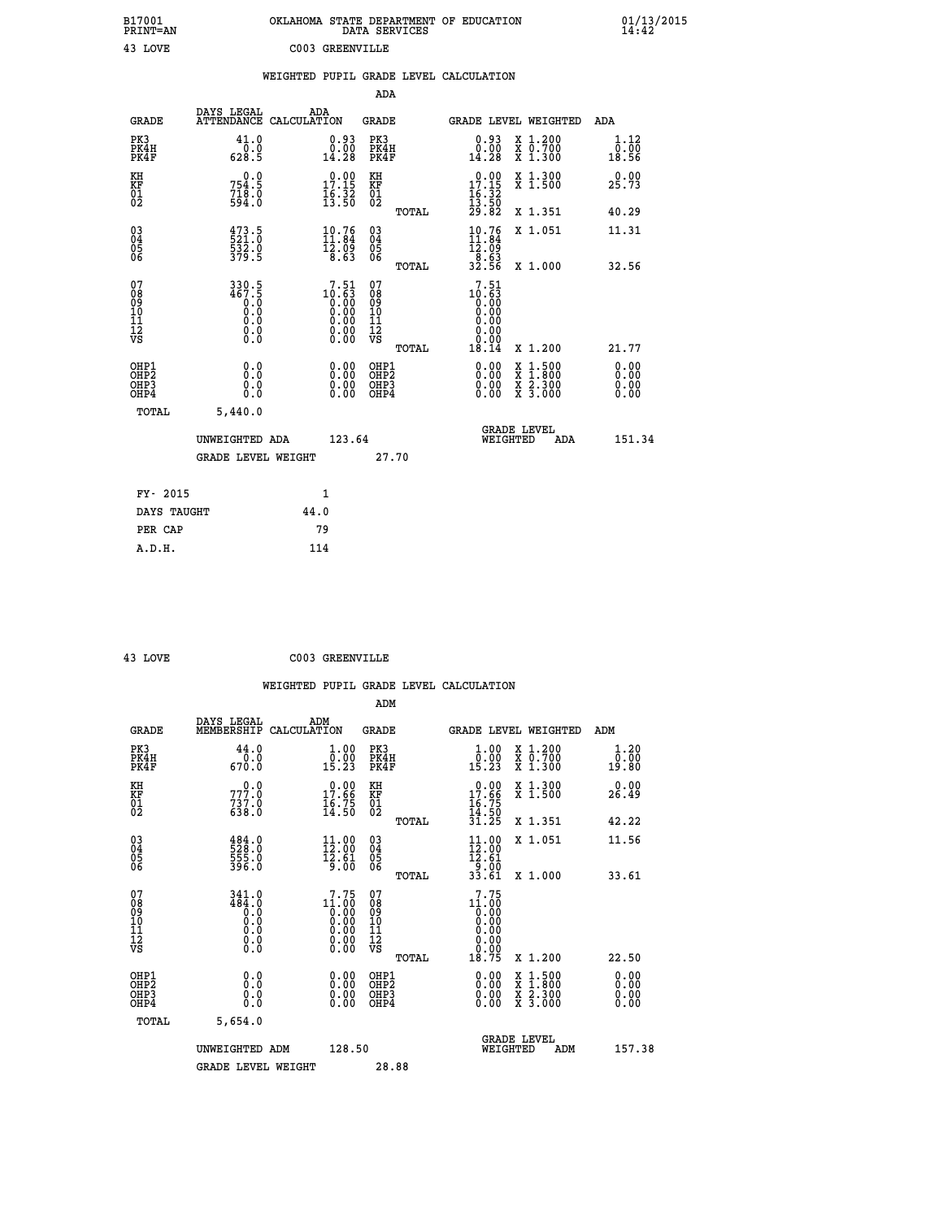|                              | B17001<br>PRINT=AN                       |                                                         |                                                                                    | OKLAHOMA STATE DEPARTMENT OF EDUCATION<br>DATA SERVICES             |                                                                               |                                                                                                                                           | 01/13/2015<br>14:42   |
|------------------------------|------------------------------------------|---------------------------------------------------------|------------------------------------------------------------------------------------|---------------------------------------------------------------------|-------------------------------------------------------------------------------|-------------------------------------------------------------------------------------------------------------------------------------------|-----------------------|
|                              | 43 LOVE                                  |                                                         | C003 GREENVILLE                                                                    |                                                                     |                                                                               |                                                                                                                                           |                       |
|                              |                                          |                                                         |                                                                                    | WEIGHTED PUPIL GRADE LEVEL CALCULATION                              |                                                                               |                                                                                                                                           |                       |
|                              |                                          |                                                         |                                                                                    | ADA                                                                 |                                                                               |                                                                                                                                           |                       |
|                              | DAYS LEGAL<br><b>GRADE</b>               | ADA<br>ATTENDANCE CALCULATION                           |                                                                                    | GRADE                                                               | GRADE LEVEL WEIGHTED                                                          |                                                                                                                                           | <b>ADA</b>            |
| PK3                          | PK4H<br>PK4F                             | 41.0<br>0.0<br>628.5                                    | $\substack{0.93 \\ 0.00 \\ 14.28}$                                                 | PK3<br>PK4H<br>PK4F                                                 | $\substack{0.93 \\ 0.00 \\ 14.28}$                                            | X 1.200<br>X 0.700<br>X 1.300                                                                                                             | 1.12<br>0.00<br>18.56 |
| KH<br>KF<br>01<br>02         |                                          | 0.0<br>754.5<br>$718.0$<br>594.0                        | 17.19<br>$\frac{16}{13}$ $\frac{32}{50}$                                           | KH<br><b>KF</b><br>01<br>02                                         | $\begin{smallmatrix} &0.00\\ 17.15\\ 16.32\\ 13.50\\ 29.82 \end{smallmatrix}$ | X 1.300<br>X 1.500                                                                                                                        | 0.00<br>25.73         |
|                              |                                          |                                                         |                                                                                    | TOTAL                                                               |                                                                               | X 1.351                                                                                                                                   | 40.29                 |
| 03<br>04<br>05<br>06         |                                          | 473.5<br>521.0<br>532.0<br>379.5                        | $\begin{smallmatrix} 10.76\\ 11.84\\ 12.02 \end{smallmatrix}$<br>$\overline{8.63}$ | $\begin{matrix} 03 \\ 04 \\ 05 \\ 06 \end{matrix}$                  | $10.76$<br>$11.84$<br>12.09                                                   | X 1.051                                                                                                                                   | 11.31                 |
|                              |                                          |                                                         |                                                                                    | <b>TOTAL</b>                                                        | $\frac{8.63}{32.56}$                                                          | X 1.000                                                                                                                                   | 32.56                 |
| 078901112<br>000101112<br>VS |                                          | $330.5$<br>$467.5$<br>$9.0$<br>Ŏ.Ŏ<br>0.0<br>$\S.$ $\S$ | $10.51$<br>$0.63$<br>$0.00$<br>$0.00$                                              | 07<br>08<br>09<br>10<br>$\frac{11}{12}$<br>$\frac{12}{18}$<br>TOTAL | $10.51$<br>$0.63$<br>0.00<br>0.00<br>0.00<br>18.14                            | X 1.200                                                                                                                                   | 21.77                 |
|                              |                                          |                                                         |                                                                                    |                                                                     |                                                                               |                                                                                                                                           | 0.00                  |
|                              | OHP1<br>OHP2<br>OH <sub>P3</sub><br>OHP4 | 0.0<br>0.0<br>0.0                                       | 0.00<br>0.00<br>0.00                                                               | OHP1<br>OHP2<br>OHP3<br>OHP4                                        | 0.00<br>0.00<br>0.00                                                          | $\begin{smallmatrix} \mathtt{X} & 1\cdot500\\ \mathtt{X} & 1\cdot800\\ \mathtt{X} & 2\cdot300\\ \mathtt{X} & 3\cdot000 \end{smallmatrix}$ | 0.00<br>0.00<br>0.00  |
|                              | TOTAL                                    | 5,440.0                                                 |                                                                                    |                                                                     |                                                                               |                                                                                                                                           |                       |
|                              |                                          | UNWEIGHTED ADA                                          | 123.64                                                                             |                                                                     | <b>GRADE LEVEL</b><br>WEIGHTED                                                | ADA                                                                                                                                       | 151.34                |
|                              |                                          | <b>GRADE LEVEL WEIGHT</b>                               |                                                                                    | 27.70                                                               |                                                                               |                                                                                                                                           |                       |
|                              | FY- 2015                                 |                                                         | 1                                                                                  |                                                                     |                                                                               |                                                                                                                                           |                       |
|                              | DAYS TAUGHT                              | 44.0                                                    |                                                                                    |                                                                     |                                                                               |                                                                                                                                           |                       |
|                              | PER CAP                                  | 79                                                      |                                                                                    |                                                                     |                                                                               |                                                                                                                                           |                       |

| 43 LOVE | C003 GREENVILLE |
|---------|-----------------|
|         |                 |

| <b>GRADE</b>                                       | DAYS LEGAL<br>MEMBERSHIP CALCULATION                                                            | ADM                                                                             | <b>GRADE</b>                                        |       | GRADE LEVEL WEIGHTED                                                         |                                                                                                                     |     | ADM |                       |
|----------------------------------------------------|-------------------------------------------------------------------------------------------------|---------------------------------------------------------------------------------|-----------------------------------------------------|-------|------------------------------------------------------------------------------|---------------------------------------------------------------------------------------------------------------------|-----|-----|-----------------------|
| PK3<br>PK4H<br>PK4F                                | 44.0<br>0.0<br>670.0                                                                            | 1.00<br>0.00<br>15.23                                                           | PK3<br>PK4H<br>PK4F                                 |       | $\begin{smallmatrix} 1.00\\ 0.00\\ 15.23 \end{smallmatrix}$                  | X 1.200<br>X 0.700<br>X 1.300                                                                                       |     |     | 1.20<br>0.00<br>19.80 |
| KH<br>KF<br>01<br>02                               | $777.0$<br>$737.0$<br>$638.0$                                                                   | 17.66<br>17.56<br>16.75<br>14.50                                                | KH<br>KF<br>01<br>02                                |       | $17.66$<br>$16.75$<br>$14.50$                                                | X 1.300<br>X 1.500                                                                                                  |     |     | 0.00<br>26.49         |
|                                                    |                                                                                                 |                                                                                 |                                                     | TOTAL | 31.25                                                                        | X 1.351                                                                                                             |     |     | 42.22                 |
| $\begin{matrix} 03 \\ 04 \\ 05 \\ 06 \end{matrix}$ | 484.0<br>528.0<br>555.0<br>396.0                                                                | $\begin{array}{c} 11\cdot 00\\ 12\cdot 00\\ 12\cdot 61\\ 9\cdot 00 \end{array}$ | $\begin{array}{c} 03 \\ 04 \\ 05 \\ 06 \end{array}$ |       | $\begin{smallmatrix} 11.00\\ 12.00\\ 12.61\\ 9.00\\ 33.61 \end{smallmatrix}$ | X 1.051                                                                                                             |     |     | 11.56                 |
|                                                    |                                                                                                 |                                                                                 |                                                     | TOTAL |                                                                              | X 1.000                                                                                                             |     |     | 33.61                 |
| 07<br>08<br>09<br>101<br>11<br>12<br>VS            | 341.0<br>484.0<br>$\begin{smallmatrix} 0.0 & 0 \ 0.0 & 0 \ 0.0 & 0 \ 0.0 & 0 \end{smallmatrix}$ | 7.75                                                                            | 07<br>08<br>09<br>01<br>11<br>11<br>12<br>VS        |       | 7.75<br>$11.000$<br>0.000<br>0.000<br>0.000<br>0.00                          |                                                                                                                     |     |     |                       |
|                                                    |                                                                                                 |                                                                                 |                                                     | TOTAL | 18.75                                                                        | X 1.200                                                                                                             |     |     | 22.50                 |
| OHP1<br>OHP2<br>OHP3<br>OHP4                       | 0.0<br>0.000                                                                                    |                                                                                 | OHP1<br>OHP2<br>OHP3<br>OHP4                        |       | $0.00$<br>$0.00$<br>0.00                                                     | $\begin{array}{l} \mathtt{X} & 1.500 \\ \mathtt{X} & 1.800 \\ \mathtt{X} & 2.300 \\ \mathtt{X} & 3.000 \end{array}$ |     |     | 0.00<br>0.00<br>0.00  |
| TOTAL                                              | 5,654.0                                                                                         |                                                                                 |                                                     |       |                                                                              |                                                                                                                     |     |     |                       |
|                                                    | UNWEIGHTED                                                                                      | 128.50<br>ADM                                                                   |                                                     |       | WEIGHTED                                                                     | <b>GRADE LEVEL</b>                                                                                                  | ADM |     | 157.38                |
|                                                    | <b>GRADE LEVEL WEIGHT</b>                                                                       |                                                                                 | 28.88                                               |       |                                                                              |                                                                                                                     |     |     |                       |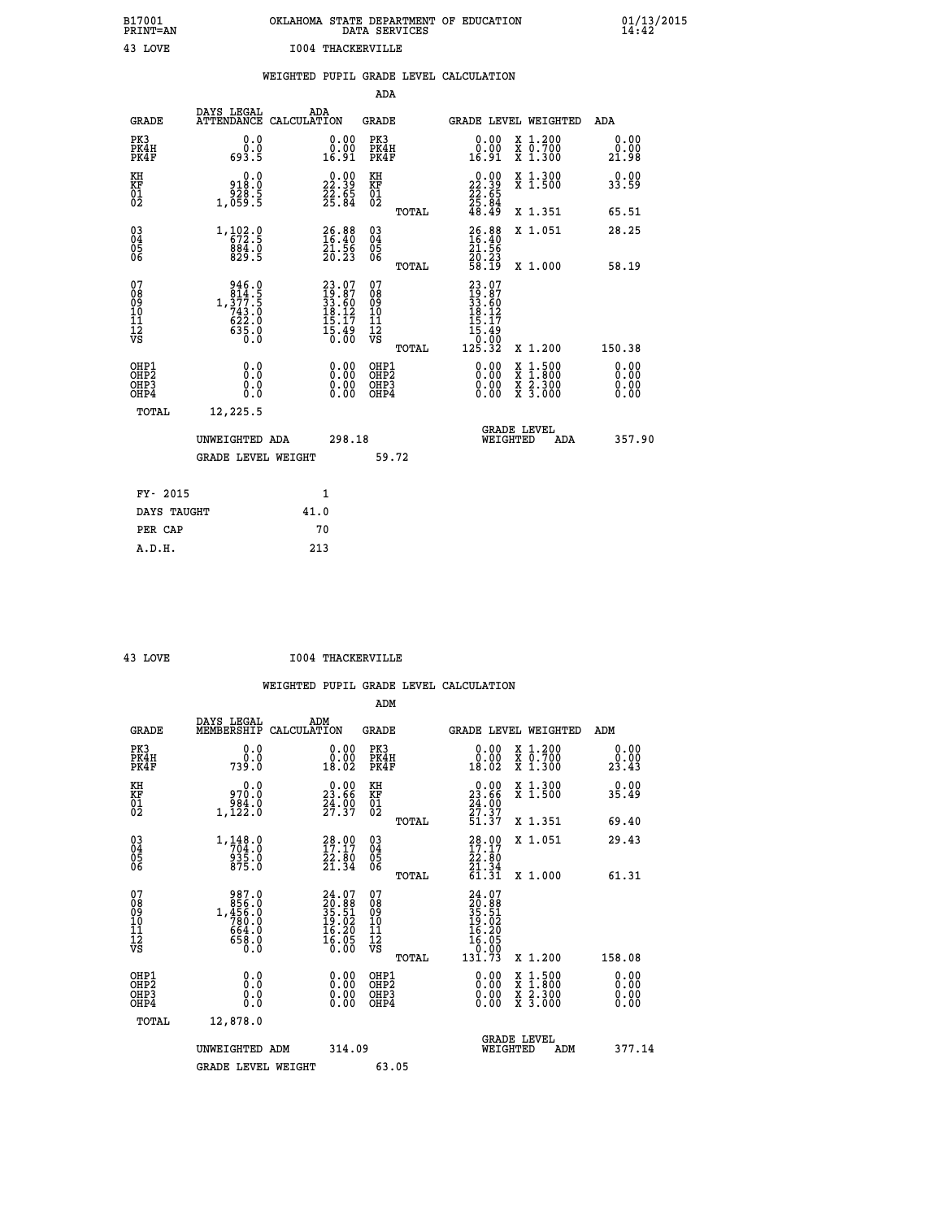| OKLAHOMA STATE DEPARTMENT OF EDUCATION<br>DATA SERVICES |  |
|---------------------------------------------------------|--|
| 1004 THACKERVILLE                                       |  |

 **B17001 OKLAHOMA STATE DEPARTMENT OF EDUCATION 01/13/2015**

|                                                    |                                                                               | WEIGHTED PUPIL GRADE LEVEL CALCULATION |                                                                          |                                                    |       |                                                                                                                  |                                                                          |                               |
|----------------------------------------------------|-------------------------------------------------------------------------------|----------------------------------------|--------------------------------------------------------------------------|----------------------------------------------------|-------|------------------------------------------------------------------------------------------------------------------|--------------------------------------------------------------------------|-------------------------------|
|                                                    |                                                                               |                                        |                                                                          | <b>ADA</b>                                         |       |                                                                                                                  |                                                                          |                               |
| <b>GRADE</b>                                       | DAYS LEGAL<br>ATTENDANCE                                                      | ADA<br>CALCULATION                     |                                                                          | <b>GRADE</b>                                       |       |                                                                                                                  | GRADE LEVEL WEIGHTED                                                     | ADA                           |
| PK3<br>PK4H<br>PK4F                                | 0.0<br>0.0<br>693.5                                                           |                                        | 0.00<br>0.00<br>16.91                                                    | PK3<br>PK4H<br>PK4F                                |       | 0.00<br>0.00<br>16.91                                                                                            | X 1.200<br>X 0.700<br>X 1.300                                            | 0.00<br>0.00<br>21.98         |
| KH<br><b>KF</b><br>01<br>02                        | 0.0<br>918.0<br>5.ۆ25<br>5.059,1                                              |                                        | $\begin{smallmatrix} 0.00\\ 22.39\\ 22.65\\ 25.84 \end{smallmatrix}$     | KH<br>KF<br>01<br>02                               |       | 0.00<br>$\begin{array}{r} 22.39 \\ 22.55 \\ 25.84 \\ 48.49 \end{array}$                                          | X 1.300<br>X 1.500                                                       | 0.00<br>33.59                 |
|                                                    |                                                                               |                                        |                                                                          |                                                    | TOTAL |                                                                                                                  | X 1.351                                                                  | 65.51                         |
| $\begin{matrix} 03 \\ 04 \\ 05 \\ 06 \end{matrix}$ | $1, \frac{102}{6}$ : $\frac{0}{2}$<br>884.0<br>829.5                          |                                        | $26.88$<br>$16.40$<br>$21.56$<br>$20.23$                                 | $\begin{matrix} 03 \\ 04 \\ 05 \\ 06 \end{matrix}$ |       | $26.8816.4021.5620.2358.19$                                                                                      | X 1.051                                                                  | 28.25                         |
|                                                    |                                                                               |                                        |                                                                          |                                                    | TOTAL |                                                                                                                  | X 1.000                                                                  | 58.19                         |
| 07<br>08<br>09<br>11<br>11<br>12<br>VS             | 946.0<br>$1, \frac{3}{3}$<br>$74.5$<br>$743.0$<br>$622.0$<br>$635.0$<br>$0.0$ |                                        | $23.07$<br>$19.87$<br>$33.60$<br>$18.12$<br>$15.17$<br>$15.49$<br>$0.00$ | 07<br>08<br>09<br>11<br>11<br>12<br>VS             |       | $\begin{smallmatrix} 23 & 07 \ 19 & 87 \ 33 & 602 \ 18 & 127 \ 15 & 179 \ 15 & 490 \ 125 & 32 \end{smallmatrix}$ |                                                                          |                               |
|                                                    |                                                                               |                                        |                                                                          |                                                    | TOTAL |                                                                                                                  | X 1.200                                                                  | 150.38                        |
| OHP1<br>OHP2<br>OHP3<br>OHP4                       | 0.0<br>Ŏ.Ŏ<br>0.0<br>0.0                                                      |                                        | 0.00<br>0.00<br>0.00                                                     | OHP1<br>OHP2<br>OHP3<br>OHP4                       |       | 0.00<br>0.00<br>0.00                                                                                             | $1:500$<br>1:800<br>X<br>$\frac{x}{x}$ $\frac{5}{3}$ : $\frac{500}{000}$ | 0.00<br>Ō. ŌŌ<br>0.00<br>0.00 |
| TOTAL                                              | 12,225.5                                                                      |                                        |                                                                          |                                                    |       |                                                                                                                  |                                                                          |                               |
|                                                    | UNWEIGHTED ADA                                                                |                                        | 298.18                                                                   |                                                    |       |                                                                                                                  | <b>GRADE LEVEL</b><br>WEIGHTED<br>ADA                                    | 357.90                        |
|                                                    | <b>GRADE LEVEL WEIGHT</b>                                                     |                                        |                                                                          | 59.72                                              |       |                                                                                                                  |                                                                          |                               |
| FY- 2015                                           |                                                                               | 1                                      |                                                                          |                                                    |       |                                                                                                                  |                                                                          |                               |
| DAYS TAUGHT                                        |                                                                               | 41.0                                   |                                                                          |                                                    |       |                                                                                                                  |                                                                          |                               |
| PER CAP                                            |                                                                               | 70                                     |                                                                          |                                                    |       |                                                                                                                  |                                                                          |                               |
| A.D.H.                                             |                                                                               | 213                                    |                                                                          |                                                    |       |                                                                                                                  |                                                                          |                               |

**B17001<br>PRINT=AN<br>43 LOVE** 

 **43 LOVE I004 THACKERVILLE**

|                                                      |                                                                                                       |                                                                          | ADM                                                 |                                                                              |                                          |                              |
|------------------------------------------------------|-------------------------------------------------------------------------------------------------------|--------------------------------------------------------------------------|-----------------------------------------------------|------------------------------------------------------------------------------|------------------------------------------|------------------------------|
| <b>GRADE</b>                                         | DAYS LEGAL<br>MEMBERSHIP                                                                              | ADM<br>CALCULATION                                                       | <b>GRADE</b>                                        |                                                                              | GRADE LEVEL WEIGHTED                     | ADM                          |
| PK3<br>PK4H<br>PK4F                                  | 0.0<br>ة:ة<br>739:0                                                                                   | 0.00<br>ŏ:ŏŏ<br>18:02                                                    | PK3<br>PK4H<br>PK4F                                 | $\begin{smallmatrix} 0.00\\ 0.00\\ 18.02 \end{smallmatrix}$                  | X 1.200<br>X 0.700<br>X 1.300            | 0.00<br>0.00<br>23.43        |
| KH<br>KF<br>01<br>02                                 | 0.0<br>970.0<br>0. 284<br>1,122                                                                       | $23.00$<br>23.66<br>$\frac{24.00}{27.37}$                                | KH<br>KF<br>01<br>02                                | $\begin{smallmatrix} 0.00\\ 23.66\\ 24.00\\ 27.37\\ 51.37 \end{smallmatrix}$ | X 1.300<br>X 1.500                       | 0.00<br>35.49                |
|                                                      |                                                                                                       |                                                                          | TOTAL                                               |                                                                              | X 1.351                                  | 69.40                        |
| 03<br>04<br>05<br>06                                 | $\begin{smallmatrix} 1\,,\,148\,. \,0\\ \,704\,. \,0\\ \,935\,. \,0\\ \,875\,. \,0 \end{smallmatrix}$ | $\begin{smallmatrix} 28.00\\ 17.17\\ 22.80\\ 21.34 \end{smallmatrix}$    | $\begin{array}{c} 03 \\ 04 \\ 05 \\ 06 \end{array}$ | $\frac{28.00}{17.17}$<br>22.80<br>21.34                                      | X 1.051                                  | 29.43                        |
|                                                      |                                                                                                       |                                                                          | TOTAL                                               | 61.31                                                                        | X 1.000                                  | 61.31                        |
| 07<br>08<br>09<br>101<br>112<br>VS                   | $\begin{smallmatrix} &987.0\\ &856.0\\ 1,456.0\\ &780.0\\ &664.0\\ &658.0\\ &0.0\end{smallmatrix}$    | $24.07$<br>$20.88$<br>$35.51$<br>$19.02$<br>$16.20$<br>$16.05$<br>$0.00$ | 07<br>08<br>09<br>11<br>11<br>12<br>VS              | 24.07<br>20.88<br>35.51<br>35.51<br>19.02<br>16.20<br>16.05<br>39.99         |                                          |                              |
|                                                      |                                                                                                       |                                                                          | TOTAL                                               | 131.73                                                                       | X 1.200                                  | 158.08                       |
| OHP1<br>OHP2<br>OH <sub>P3</sub><br>OH <sub>P4</sub> | 0.0<br>0.000                                                                                          | $0.00$<br>$0.00$<br>0.00                                                 | OHP1<br>OHP2<br>OHP <sub>3</sub>                    | $0.00$<br>$0.00$<br>0.00                                                     | X 1:500<br>X 1:800<br>X 2:300<br>X 3:000 | 0.00<br>0.00<br>0.00<br>0.00 |
| TOTAL                                                | 12,878.0                                                                                              |                                                                          |                                                     |                                                                              |                                          |                              |
|                                                      | UNWEIGHTED ADM                                                                                        | 314.09                                                                   |                                                     | WEIGHTED                                                                     | <b>GRADE LEVEL</b><br>ADM                | 377.14                       |
|                                                      | <b>GRADE LEVEL WEIGHT</b>                                                                             |                                                                          | 63.05                                               |                                                                              |                                          |                              |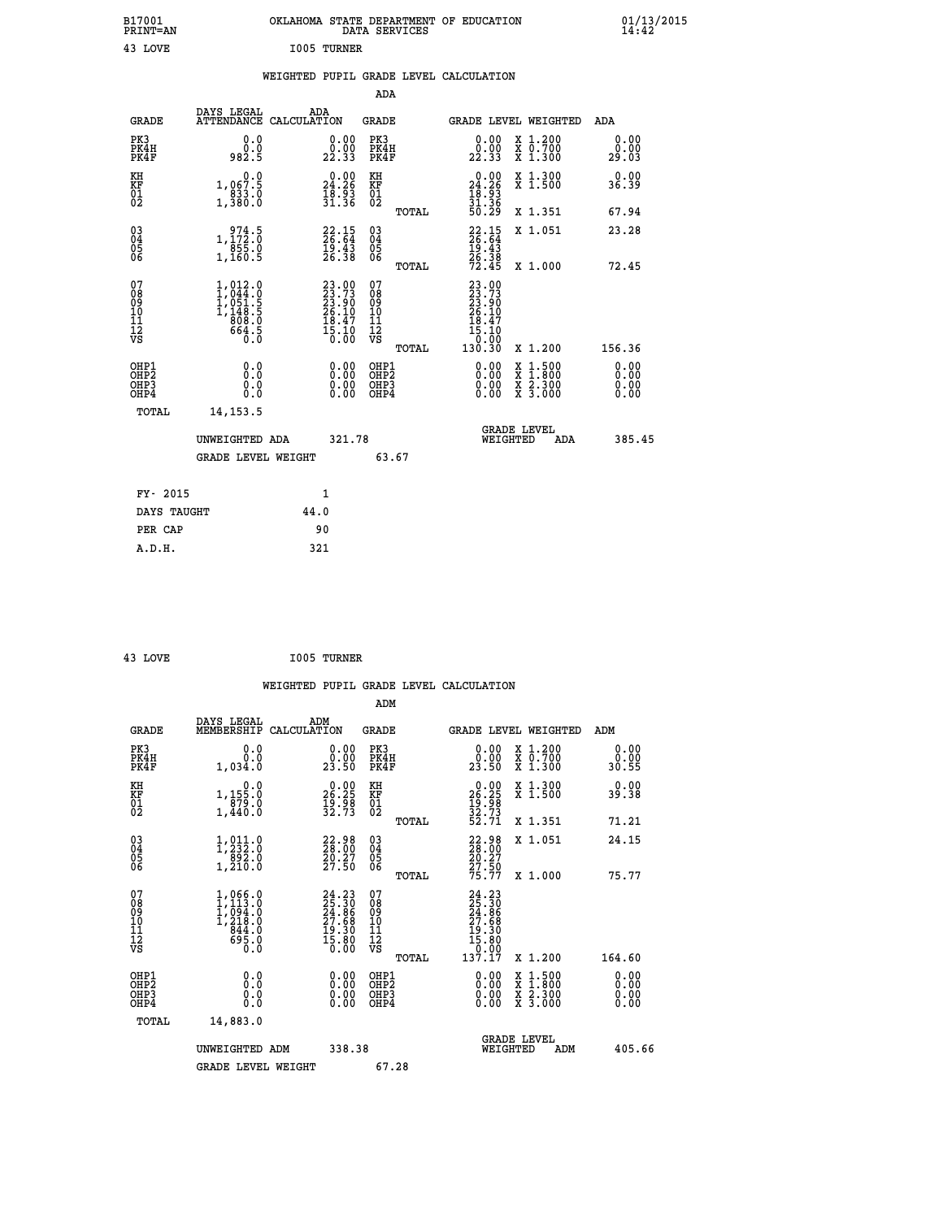| B17001<br>PRINT=AN                                   |                                                                    | OKLAHOMA STATE DEPARTMENT OF EDUCATION                              | DATA SERVICES                                      |                                                    |                                                                                                  | $01/13/2015$<br>14:42        |  |
|------------------------------------------------------|--------------------------------------------------------------------|---------------------------------------------------------------------|----------------------------------------------------|----------------------------------------------------|--------------------------------------------------------------------------------------------------|------------------------------|--|
| 43 LOVE                                              |                                                                    | I005 TURNER                                                         |                                                    |                                                    |                                                                                                  |                              |  |
|                                                      |                                                                    | WEIGHTED PUPIL GRADE LEVEL CALCULATION                              |                                                    |                                                    |                                                                                                  |                              |  |
|                                                      |                                                                    |                                                                     | ADA                                                |                                                    |                                                                                                  |                              |  |
| <b>GRADE</b>                                         | DAYS LEGAL<br>ATTENDANCE CALCULATION                               | ADA                                                                 | GRADE                                              |                                                    | GRADE LEVEL WEIGHTED                                                                             | ADA                          |  |
| PK3<br>PK4H<br>PK4F                                  | 0.0<br>0.0<br>982.5                                                | 0.00<br>22.33                                                       | PK3<br>PK4H<br>PK4F                                | 0.00<br>0.00<br>22.33                              | X 1.200<br>X 0.700<br>X 1.300                                                                    | 0.00<br>0.00<br>29.03        |  |
| KH<br>KF<br>01<br>02                                 | 0.0<br>1,067.5<br>$\frac{1}{1}, \frac{833}{80}$ :0                 | 24.26<br>$\frac{18.53}{31.36}$                                      | KH<br>KF<br>01<br>02                               | 24.26<br>$\frac{18.53}{31.36}$                     | X 1.300<br>X 1.500                                                                               | 0.00<br>36.39                |  |
|                                                      |                                                                    |                                                                     | TOTAL                                              | 50.29                                              | X 1.351                                                                                          | 67.94                        |  |
| 030404<br>06                                         | 1, 172.0<br>855.0<br>1,160.5                                       | $22.15$<br>$26.64$<br>$\frac{19.43}{26.38}$                         | $\begin{matrix} 03 \\ 04 \\ 05 \\ 06 \end{matrix}$ | 22.15<br>19.43<br>26.38<br>72.45                   | X 1.051                                                                                          | 23.28                        |  |
| 07<br>08<br>09<br>10<br>īĭ<br>Ī2<br>VS               | $1,012.0$<br>$1,044.0$<br>$1,051.5$<br>$1,148.5$<br>808.0<br>664.5 | 23.00<br>23.73<br>23.90<br>26.10<br>$\frac{18.47}{15.10}$           | TOTAL<br>07<br>08<br>09<br>10<br>11<br>ĪŻ<br>VŜ    | 23.00<br>23.73<br>23.90<br>26.10<br>18.47<br>15.10 | X 1,000                                                                                          | 72.45                        |  |
|                                                      |                                                                    |                                                                     | TOTAL                                              | 0.00<br>130.30                                     | X 1.200                                                                                          | 156.36                       |  |
| OHP1<br>OHP <sub>2</sub><br>OH <sub>P3</sub><br>OHP4 | 0.0<br>$0.\check{0}$<br>0.0<br>0.0                                 | 0.00<br>$\begin{smallmatrix} 0.00 & 0 \ 0.00 & 0 \end{smallmatrix}$ | OHP1<br>OHP <sub>2</sub><br>OHP3<br>OHP4           | 0.00<br>0.00<br>0.00                               | $\begin{smallmatrix} x & 1 & 500 \\ x & 1 & 800 \\ x & 2 & 300 \\ x & 3 & 000 \end{smallmatrix}$ | 0.00<br>0.00<br>0.00<br>0.00 |  |
| TOTAL                                                | 14, 153.5                                                          |                                                                     |                                                    |                                                    |                                                                                                  |                              |  |
|                                                      | UNWEIGHTED ADA                                                     | 321.78                                                              |                                                    | WEIGHTED                                           | <b>GRADE LEVEL</b><br>ADA                                                                        | 385.45                       |  |
|                                                      | <b>GRADE LEVEL WEIGHT</b>                                          |                                                                     | 63.67                                              |                                                    |                                                                                                  |                              |  |
| FY- 2015                                             |                                                                    | 1                                                                   |                                                    |                                                    |                                                                                                  |                              |  |
| DAYS TAUGHT                                          |                                                                    | 44.0                                                                |                                                    |                                                    |                                                                                                  |                              |  |
| PER CAP                                              |                                                                    | 90                                                                  |                                                    |                                                    |                                                                                                  |                              |  |

| 43 LOVE | I005 TURNER |
|---------|-------------|
|         |             |

 **WEIGHTED PUPIL GRADE LEVEL CALCULATION ADM DAYS LEGAL ADM GRADE MEMBERSHIP CALCULATION GRADE GRADE LEVEL WEIGHTED ADM PK3 0.0 0.00 PK3 0.00 X 1.200 0.00 PK4H 0.0 0.00 PK4H 0.00 X 0.700 0.00 PK4F 1,034.0 23.50 PK4F 23.50 X 1.300 30.55 KH 0.0 0.00 KH 0.00 X 1.300 0.00 KF 1,155.0 26.25 KF 26.25 X 1.500 39.38 01 879.0 19.98 01 19.98 02 1,440.0 32.73 02 32.73 TOTAL 52.71 X 1.351 71.21 03 1,011.0 22.98 03 22.98 X 1.051 24.15 04 1,232.0 28.00 04 28.00 05 892.0 20.27 05 20.27 06 1,210.0 27.50 06 27.50 TOTAL 75.77 X 1.000 75.77**  $\begin{array}{cccc} 07 & 1,066.0 & 24.23 & 07 & 24.23 \ 08 & 1,133.0 & 25.30 & 26.30 \ 09 & 1,094.0 & 24.86 & 09 & 24.86 \ 10 & 1,218.0 & 27.68 & 10 & 27.68 \ 11 & 844.0 & 19.30 & 11 & 19.30 \ 12 & 695.0 & 19.30 & 12 & 15.30 \ \nabla\mathbf{S} & 695.0 & 15.80 & \nabla\mathbf{S}$  **TOTAL 137.17 X 1.200 164.60 OHP1 0.0 0.00 OHP1 0.00 X 1.500 0.00 OHP2 0.0 0.00 OHP2 0.00 X 1.800 0.00 OHP3 0.0 0.00 OHP3 0.00 X 2.300 0.00 OHP4 0.0 0.00 OHP4 0.00 X 3.000 0.00 TOTAL 14,883.0 GRADE LEVEL UNWEIGHTED ADM 338.38 WEIGHTED ADM 405.66** GRADE LEVEL WEIGHT 67.28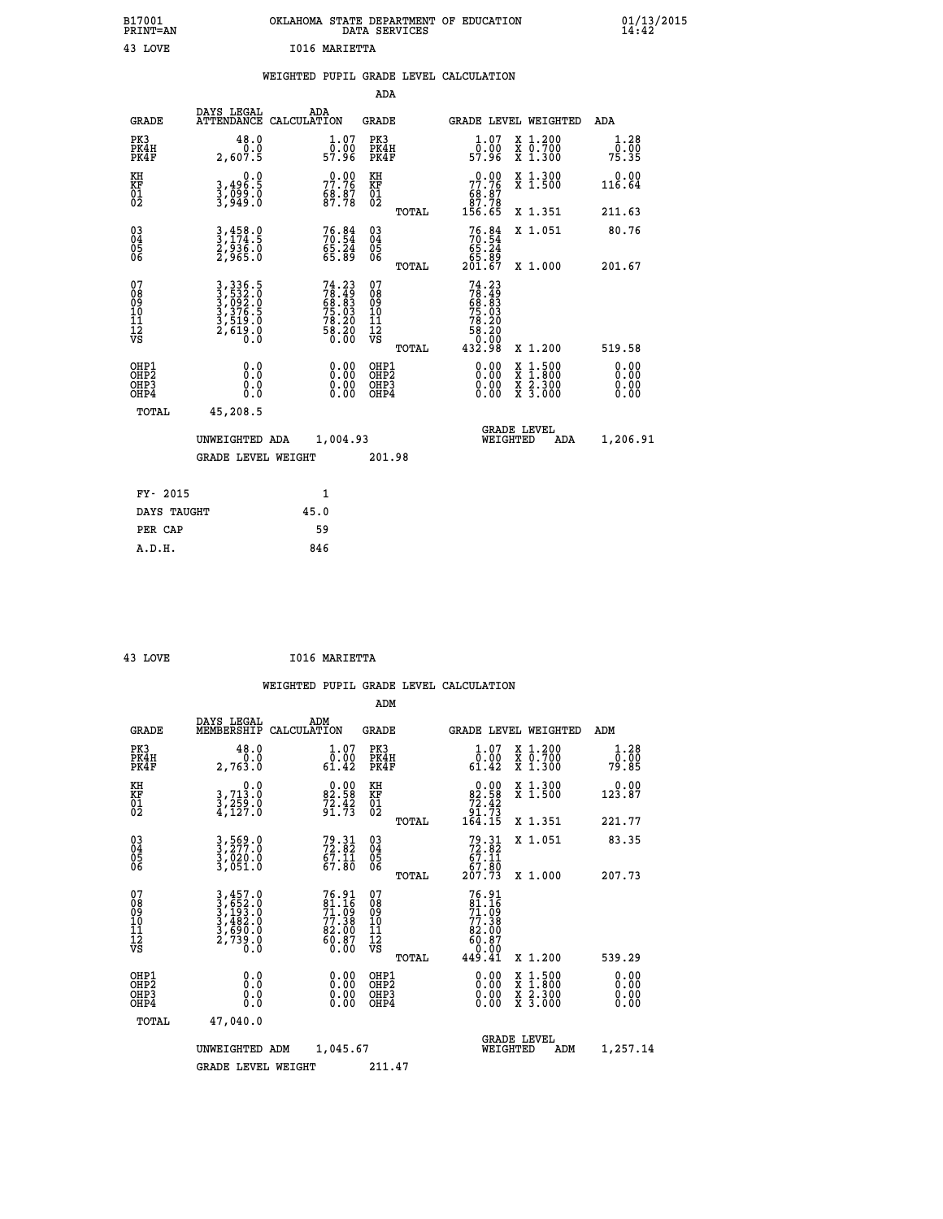| B17001<br>PRINT=AN                     |                                                                      | OKLAHOMA STATE DEPARTMENT OF EDUCATION    | DATA SERVICES                                          |                                                                           |                                                                                          | $01/13/2015$<br>14:42 |
|----------------------------------------|----------------------------------------------------------------------|-------------------------------------------|--------------------------------------------------------|---------------------------------------------------------------------------|------------------------------------------------------------------------------------------|-----------------------|
| 43 LOVE                                |                                                                      | I016 MARIETTA                             |                                                        |                                                                           |                                                                                          |                       |
|                                        |                                                                      | WEIGHTED PUPIL GRADE LEVEL CALCULATION    |                                                        |                                                                           |                                                                                          |                       |
|                                        |                                                                      |                                           | <b>ADA</b>                                             |                                                                           |                                                                                          |                       |
| <b>GRADE</b>                           | DAYS LEGAL                                                           | ADA<br>ATTENDANCE CALCULATION             | GRADE                                                  |                                                                           | GRADE LEVEL WEIGHTED                                                                     | ADA                   |
| PK3<br>PK4H<br>PK4F                    | 48.0<br>0.0<br>2,607.5                                               | $1.07$<br>0.00<br>57.96                   | PK3<br>PK4H<br>PK4F                                    | $1.07$<br>0.00<br>57.96                                                   | X 1.200<br>X 0.700<br>X 1.300                                                            | 1.28<br>0.00<br>75.35 |
| KH<br>KF<br>01<br>02                   | 0.0<br>3,496:5<br>3,099:0<br>3,949:0                                 | 77.76<br>$\frac{68.87}{87.78}$            | KH<br><b>KF</b><br>01<br>02                            | $\begin{smallmatrix} &0.00\\77.76\\68.87\\87.78\\156.65\end{smallmatrix}$ | X 1.300<br>X 1.500                                                                       | 0.00<br>116.64        |
|                                        |                                                                      |                                           | TOTAL                                                  |                                                                           | X 1.351                                                                                  | 211.63                |
| $\substack{03 \ 04}$<br>ŎŜ<br>06       | 3,458.0<br>3,174.5<br>2,936.0<br>2,965.0                             | $76.84$<br>$70.54$<br>$65.24$<br>$65.89$  | $\begin{matrix} 03 \\ 04 \\ 05 \\ 06 \end{matrix}$     | $76.84$<br>$56.54$<br>$65.24$<br>_85.89<br>201.67                         | X 1.051                                                                                  | 80.76                 |
|                                        |                                                                      |                                           | TOTAL                                                  |                                                                           | X 1.000                                                                                  | 201.67                |
| 07<br>08<br>09<br>11<br>11<br>12<br>VS | 3, 336.5<br>3, 532.0<br>3, 092.0<br>3, 376.5<br>3, 519.0<br>2, 619.0 | $74.2378.4968.8375.0378.2078.2058.200.00$ | 07<br>$\frac{0.8}{0.9}$<br>$\frac{10}{11}$<br>ĪŽ<br>VŠ | 74.23<br>$78.49$<br>$68.83$<br>$75.03$<br>$78.20$<br>58.20<br>ŏ:ōŏ        |                                                                                          |                       |
|                                        |                                                                      |                                           | <b>TOTAL</b>                                           | 432.98                                                                    | X 1.200                                                                                  | 519.58                |
| OHP1<br>ŎHP2<br>OHP3<br>OHP4           | 0.0<br>0.0<br>0.0                                                    | 0.00<br>0.00<br>0.00                      | OHP1<br>OHP2<br>OHP3<br>OHP4                           | 0.00<br>0.00<br>0.00                                                      | $\begin{smallmatrix} x & 1.500 \\ x & 1.800 \\ x & 2.300 \\ x & 3.000 \end{smallmatrix}$ | 0.00<br>0.00<br>0.00  |
| TOTAL                                  | 45,208.5                                                             |                                           |                                                        |                                                                           |                                                                                          |                       |
|                                        | UNWEIGHTED ADA                                                       | 1,004.93                                  |                                                        | WEIGHTED                                                                  | <b>GRADE LEVEL</b><br>ADA                                                                | 1,206.91              |
|                                        | <b>GRADE LEVEL WEIGHT</b>                                            |                                           | 201.98                                                 |                                                                           |                                                                                          |                       |
|                                        |                                                                      |                                           |                                                        |                                                                           |                                                                                          |                       |
| FY- 2015                               |                                                                      | 1                                         |                                                        |                                                                           |                                                                                          |                       |
| DAYS TAUGHT                            |                                                                      | 45.0                                      |                                                        |                                                                           |                                                                                          |                       |
| PER CAP<br>A.D.H.                      |                                                                      | 59<br>846                                 |                                                        |                                                                           |                                                                                          |                       |
|                                        |                                                                      |                                           |                                                        |                                                                           |                                                                                          |                       |

| 43 LOVE | I016 MARIETTA |
|---------|---------------|
|         |               |

|                                          |                                                                |                                                                      | ADM                                                |       |                                                                           |                                          |                       |
|------------------------------------------|----------------------------------------------------------------|----------------------------------------------------------------------|----------------------------------------------------|-------|---------------------------------------------------------------------------|------------------------------------------|-----------------------|
| <b>GRADE</b>                             | DAYS LEGAL<br>MEMBERSHIP                                       | ADM<br>CALCULATION                                                   | <b>GRADE</b>                                       |       |                                                                           | GRADE LEVEL WEIGHTED                     | ADM                   |
| PK3<br>PK4H<br>PK4F                      | 48.0<br>ة:ة<br>2,763.0                                         | $1.07$<br>$0.00$<br>61.42                                            | PK3<br>PK4H<br>PK4F                                |       | $\begin{smallmatrix} 1.07\ 0.00\\ 61.42 \end{smallmatrix}$                | X 1.200<br>X 0.700<br>X 1.300            | 1.28<br>0.00<br>79.85 |
| KH<br>KF<br>01<br>02                     | 0.0<br>3,713.0<br>3,259.0<br>4,127.0                           | $\begin{smallmatrix} 0.00\\ 82.58\\ 72.42\\ 91.73 \end{smallmatrix}$ | KH<br>KF<br>01<br>02                               |       | $\begin{smallmatrix}&&0.00\\82.58\\72.42\\91.73\\164.15\end{smallmatrix}$ | X 1.300<br>X 1.500                       | 0.00<br>123.87        |
|                                          |                                                                |                                                                      |                                                    | TOTAL |                                                                           | X 1.351                                  | 221.77                |
| 03<br>04<br>05<br>06                     | 3,569.0<br>3,277.0<br>3,020.0<br>3,051.0                       | $72.31$<br>$72.82$<br>$67.11$<br>$67.80$                             | $\begin{matrix} 03 \\ 04 \\ 05 \\ 06 \end{matrix}$ |       | $79.31$<br>$72.82$<br>$67.11$<br>$67.80$<br>$207.73$                      | X 1.051                                  | 83.35                 |
|                                          |                                                                |                                                                      |                                                    | TOTAL |                                                                           | X 1.000                                  | 207.73                |
| 07<br>08<br>09<br>101<br>11<br>12<br>VS  | 3,457.0<br>3,652.0<br>3,193.0<br>3,482.0<br>3,690.0<br>2,739.0 | $76.9181.1671.0977.3882.0060.8760.80$                                | 07<br>08<br>09<br>11<br>11<br>12<br>VS             | TOTAL | 76.91<br>81.16<br>71.09<br>77.38<br>82.007<br>60.870<br>449.41            | X 1.200                                  | 539.29                |
| OHP1<br>OHP2<br>OH <sub>P3</sub><br>OHP4 |                                                                |                                                                      | OHP1<br>OHP2<br>OHP <sub>3</sub>                   |       | $0.00$<br>$0.00$<br>0.00                                                  | X 1:500<br>X 1:800<br>X 2:300<br>X 3:000 | 0.00<br>0.00<br>0.00  |
| TOTAL                                    | 47,040.0                                                       |                                                                      |                                                    |       |                                                                           |                                          |                       |
|                                          | UNWEIGHTED ADM                                                 | 1,045.67                                                             |                                                    |       | WEIGHTED                                                                  | <b>GRADE LEVEL</b><br>ADM                | 1,257.14              |
|                                          | <b>GRADE LEVEL WEIGHT</b>                                      |                                                                      | 211.47                                             |       |                                                                           |                                          |                       |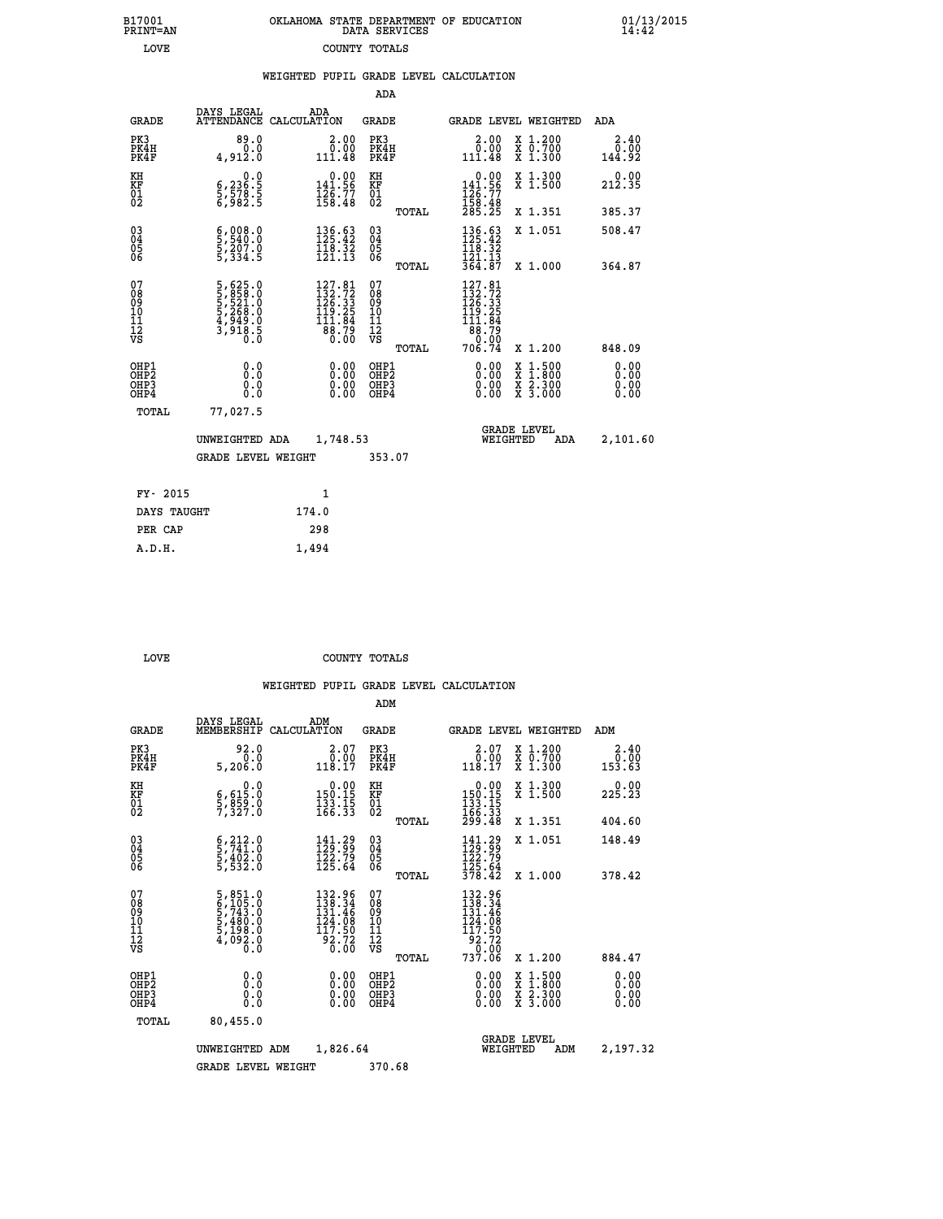| B17001          | OKLAHOMA STATE DEPARTMENT OF EDUCATION |
|-----------------|----------------------------------------|
| <b>PRINT=AN</b> | DATA SERVICES                          |
| LOVE            | COUNTY TOTALS                          |

 **B17001 OKLAHOMA STATE DEPARTMENT OF EDUCATION 01/13/2015**

|                                           |                                                                                           |                                                                                                            | ADA                                      |       |                                                                                                                 |                                                                                                                                      |                              |
|-------------------------------------------|-------------------------------------------------------------------------------------------|------------------------------------------------------------------------------------------------------------|------------------------------------------|-------|-----------------------------------------------------------------------------------------------------------------|--------------------------------------------------------------------------------------------------------------------------------------|------------------------------|
| <b>GRADE</b>                              | DAYS LEGAL                                                                                | ADA<br>ATTENDANCE CALCULATION                                                                              | GRADE                                    |       | <b>GRADE LEVEL WEIGHTED</b>                                                                                     |                                                                                                                                      | ADA                          |
| PK3<br>PK4H<br>PK4F                       | 89.0<br>0.0<br>4,912.0                                                                    | $\begin{smallmatrix} 2.00\\ 0.00\\ 111.48 \end{smallmatrix}$                                               | PK3<br>PK4H<br>PK4F                      |       | 2.00<br>ة.:ة<br>111.48                                                                                          | X 1.200<br>X 0.700<br>X 1.300                                                                                                        | 2.40<br>0.00<br>144.92       |
| KH<br>KF<br>01<br>02                      | 0.0<br>$\frac{6}{5}, \frac{236}{578}$ : 5<br>6,982 : 5                                    | $\begin{smallmatrix} &0.00\\ 141.56\\ 126.77\\ 158.48\end{smallmatrix}$                                    | KH<br>KF<br>01<br>02                     |       | $\begin{smallmatrix} &0.00\\141.56\\126.77\\158.48\\285.25\end{smallmatrix}$                                    | X 1.300<br>X 1.500                                                                                                                   | 0.00<br>212.35               |
|                                           |                                                                                           |                                                                                                            |                                          | TOTAL |                                                                                                                 | X 1.351                                                                                                                              | 385.37                       |
| 03<br>04<br>05<br>06                      | $\frac{6}{5}, \frac{008}{540}.0$<br>$\frac{5}{207}.0$<br>$\frac{207}{5}, \frac{0}{334}.5$ | $\begin{array}{l} 136\cdot 63 \\ 125\cdot 42 \\ 118\cdot 32 \\ 121\cdot 13 \end{array}$                    | 03<br>04<br>05<br>06                     |       | 136.63<br>$\frac{118}{121}$ $\frac{32}{13}$<br>$\frac{121}{364}$ $\frac{13}{87}$                                | X 1.051                                                                                                                              | 508.47                       |
|                                           |                                                                                           |                                                                                                            |                                          | TOTAL |                                                                                                                 | X 1.000                                                                                                                              | 364.87                       |
| 07<br>08<br>09<br>11<br>11<br>12<br>VS    | 5,625.0<br>5,858.0<br>5,521.0<br>5,268.0<br>5,268.0<br>4,949.0<br>3,918.5                 | $\begin{smallmatrix} 127.81\\ 132.72\\ 126.33\\ 126.33\\ 119.25\\ 111.84\\ 88.79\\ 0.00 \end{smallmatrix}$ | 07<br>08<br>09<br>11<br>11<br>12<br>VS   | TOTAL | $\begin{smallmatrix} 127.81\\ 132.72\\ 126.33\\ 119.25\\ 111.84\\ 88.79\\ 0\cdot\ 0\end{smallmatrix}$<br>706.74 | X 1.200                                                                                                                              | 848.09                       |
| OHP1<br>OH <sub>P</sub> 2<br>OHP3<br>OHP4 | 0.0<br>0.0<br>0.0                                                                         | 0.00<br>$\begin{smallmatrix} 0.00 \ 0.00 \end{smallmatrix}$                                                | OHP1<br>OHP <sub>2</sub><br>OHP3<br>OHP4 |       | 0.00<br>0.00<br>0.00                                                                                            | $\begin{smallmatrix} \mathtt{X} & 1 & 500 \\ \mathtt{X} & 1 & 800 \\ \mathtt{X} & 2 & 300 \\ \mathtt{X} & 3 & 000 \end{smallmatrix}$ | 0.00<br>0.00<br>0.00<br>0.00 |
| TOTAL                                     | 77,027.5                                                                                  |                                                                                                            |                                          |       |                                                                                                                 |                                                                                                                                      |                              |
|                                           | UNWEIGHTED ADA                                                                            | 1,748.53                                                                                                   |                                          |       | WEIGHTED                                                                                                        | <b>GRADE LEVEL</b><br>ADA                                                                                                            | 2,101.60                     |
|                                           | <b>GRADE LEVEL WEIGHT</b>                                                                 |                                                                                                            | 353.07                                   |       |                                                                                                                 |                                                                                                                                      |                              |
| FY- 2015                                  |                                                                                           | $\mathbf{1}$                                                                                               |                                          |       |                                                                                                                 |                                                                                                                                      |                              |
| DAYS TAUGHT                               |                                                                                           | 174.0                                                                                                      |                                          |       |                                                                                                                 |                                                                                                                                      |                              |
|                                           |                                                                                           |                                                                                                            |                                          |       |                                                                                                                 |                                                                                                                                      |                              |
| PER CAP                                   |                                                                                           | 298                                                                                                        |                                          |       |                                                                                                                 |                                                                                                                                      |                              |
| A.D.H.                                    |                                                                                           | 1,494                                                                                                      |                                          |       |                                                                                                                 |                                                                                                                                      |                              |

B17001<br>PRINT=AN<br>LOVE

**LOVE COUNTY TOTALS** 

|                                          |                                                                                                                                       |                                                                                                      | ADM                                                |                                                                                                  |                                          |                                                                                  |
|------------------------------------------|---------------------------------------------------------------------------------------------------------------------------------------|------------------------------------------------------------------------------------------------------|----------------------------------------------------|--------------------------------------------------------------------------------------------------|------------------------------------------|----------------------------------------------------------------------------------|
| <b>GRADE</b>                             | DAYS LEGAL<br>MEMBERSHIP                                                                                                              | ADM<br>CALCULATION                                                                                   | <b>GRADE</b>                                       | GRADE LEVEL WEIGHTED                                                                             |                                          | ADM                                                                              |
| PK3<br>PK4H<br>PK4F                      | 92.0<br>0.0<br>5,206.0                                                                                                                | $\begin{smallmatrix} 2.07\0.00\\118.17\end{smallmatrix}$                                             | PK3<br>PK4H<br>PK4F                                | $\begin{smallmatrix} 2.07\0.00\\118.17\end{smallmatrix}$                                         | X 1.200<br>X 0.700<br>X 1.300            | 2.40<br>$\begin{array}{c} \bar{0}\ .\ \bar{0}\ \bar{3}\ .\ \bar{6}\ \end{array}$ |
| KH<br>KF<br>01<br>02                     | 0.0<br>$\frac{6}{2}, \frac{615}{859}$ $\frac{5}{2}, \frac{8}{327}$                                                                    | $\begin{smallmatrix} &0.00\\ 150.15\\ 133.15\\ 166.33\end{smallmatrix}$                              | KH<br>KF<br>01<br>02                               | $\begin{array}{c} 0.00 \\ 150.15 \\ 133.15 \\ 166.33 \\ 299.48 \end{array}$                      | X 1.300<br>X 1.500                       | 225.23                                                                           |
|                                          |                                                                                                                                       |                                                                                                      | TOTAL                                              |                                                                                                  | X 1.351                                  | 404.60                                                                           |
| 03<br>04<br>05<br>06                     | $\begin{smallmatrix} 6 & 212 & 0 \\ 5 & 741 & 0 \\ 5 & 402 & 0 \\ 5 & 532 & 0 \end{smallmatrix}$                                      | $\begin{smallmatrix} 141.29\\ 129.99\\ 122.79\\ 125.64 \end{smallmatrix}$                            | $\begin{matrix} 03 \\ 04 \\ 05 \\ 06 \end{matrix}$ | $141.29$<br>$129.99$<br>$122.79$<br>$125.64$<br>$378.42$                                         | X 1.051                                  | 148.49                                                                           |
|                                          |                                                                                                                                       |                                                                                                      | TOTAL                                              |                                                                                                  | X 1.000                                  | 378.42                                                                           |
| 07<br>08<br>09<br>101<br>112<br>VS       | $\begin{smallmatrix}5\,,\,851\,.0\\6\,,\,105\,.0\\5\,,\,743\,.0\\5\,,\,480\,.0\\5\,,\,198\,.0\\4\,,\,092\,.0\\0\,.0\end{smallmatrix}$ | $132.96$<br>$138.34$<br>$131.46$<br>$\begin{array}{r} 124.78 \\ 117.50 \\ 92.72 \\ 6.00 \end{array}$ | 07<br>08<br>09<br>11<br>11<br>12<br>VS             | 132.96<br>138.34<br>131.46<br>124.08<br>$\begin{array}{l} 117.50 \\ 92.72 \\ 737.06 \end{array}$ |                                          |                                                                                  |
|                                          |                                                                                                                                       |                                                                                                      | TOTAL                                              |                                                                                                  | X 1.200                                  | 884.47                                                                           |
| OHP1<br>OHP2<br>OH <sub>P3</sub><br>OHP4 | 0.0<br>0.000                                                                                                                          |                                                                                                      | OHP1<br>OHP2<br>OHP <sub>3</sub>                   | $0.00$<br>$0.00$<br>0.00                                                                         | X 1:500<br>X 1:800<br>X 2:300<br>X 3:000 | 0.00<br>0.00<br>0.00<br>0.00                                                     |
| TOTAL                                    | 80,455.0                                                                                                                              |                                                                                                      |                                                    |                                                                                                  |                                          |                                                                                  |
|                                          | UNWEIGHTED ADM                                                                                                                        | 1,826.64                                                                                             |                                                    | <b>GRADE LEVEL</b><br>WEIGHTED                                                                   | ADM                                      | 2,197.32                                                                         |
|                                          | <b>GRADE LEVEL WEIGHT</b>                                                                                                             |                                                                                                      | 370.68                                             |                                                                                                  |                                          |                                                                                  |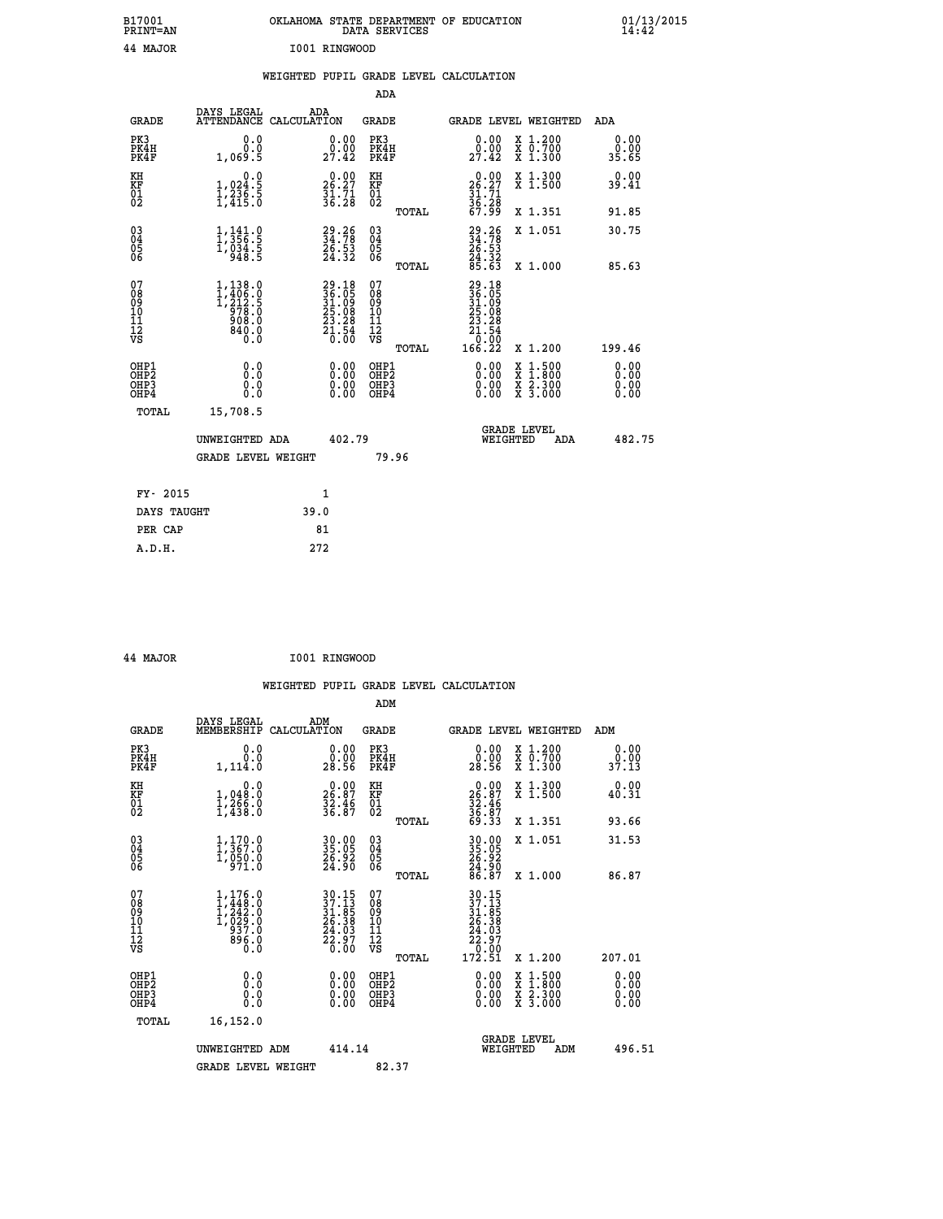| B17001<br>PRINT=AN                     |                                                                            | OKLAHOMA STATE DEPARTMENT OF EDUCATION                      | DATA SERVICES                                              |                                                                   |                                                                                          | $01/13/2015$<br>14:42 |  |
|----------------------------------------|----------------------------------------------------------------------------|-------------------------------------------------------------|------------------------------------------------------------|-------------------------------------------------------------------|------------------------------------------------------------------------------------------|-----------------------|--|
| 44 MAJOR                               |                                                                            | I001 RINGWOOD                                               |                                                            |                                                                   |                                                                                          |                       |  |
|                                        |                                                                            | WEIGHTED PUPIL GRADE LEVEL CALCULATION                      |                                                            |                                                                   |                                                                                          |                       |  |
|                                        |                                                                            |                                                             | ADA                                                        |                                                                   |                                                                                          |                       |  |
| <b>GRADE</b>                           | DAYS LEGAL                                                                 | ADA<br>ATTENDANCE CALCULATION                               | GRADE                                                      |                                                                   | GRADE LEVEL WEIGHTED                                                                     | ADA                   |  |
| PK3<br>PK4H<br>PK4F                    | 0.0<br>0.0<br>1,069.5                                                      | 0.00<br>0.00<br>27.42                                       | PK3<br>PK4H<br>PK4F                                        | 0.00<br>$29.00$<br>$27.42$                                        | X 1.200<br>X 0.700<br>X 1.300                                                            | 0.00<br>0.00<br>35.65 |  |
| KH<br>KF<br>$\frac{01}{02}$            | $\begin{smallmatrix}&&&0.0\\1,024.5\\1,236.5\\1,415.0\end{smallmatrix}$    | 26.27<br>$\frac{31.71}{36.28}$                              | КH<br><b>KF</b><br>01<br>02                                | $0.00$<br>$26.27$<br>$31.71$<br>$36.28$<br>$67.99$                | X 1.300<br>X 1.500                                                                       | 0.00<br>39.41         |  |
|                                        |                                                                            |                                                             | TOTAL                                                      |                                                                   | X 1.351                                                                                  | 91.85                 |  |
| 030404<br>ŎĞ                           | $\frac{1}{1}, \frac{141}{356}.\frac{0}{5}$<br>1,034.5<br>948.5             | 29.26<br>34.78<br>26.53<br>24.32                            | $\begin{matrix} 03 \\ 04 \\ 05 \\ 06 \end{matrix}$         | $29.26$<br>$34.78$<br>$26.53$<br>$24.32$<br>$85.63$               | X 1.051                                                                                  | 30.75                 |  |
|                                        |                                                                            |                                                             | <b>TOTAL</b>                                               |                                                                   | X 1.000                                                                                  | 85.63                 |  |
| 07<br>08<br>09<br>11<br>11<br>12<br>VS | $1, 138.0$<br>$1, 406.0$<br>$1, 212.5$<br>$978.0$<br>900.0<br>840.0<br>Ō.Ō | $29.1836.0531.0925.0823.2821.540.00$                        | 07<br>08<br>09<br>10<br>$\frac{11}{12}$<br>$\frac{12}{18}$ | 29.18<br>36.05<br>31.09<br>25.08<br>23.28<br>$\frac{51.54}{0.00}$ |                                                                                          |                       |  |
| OHP1                                   |                                                                            |                                                             | TOTAL<br>OHP1                                              | 166.22                                                            | X 1.200                                                                                  | 199.46<br>0.00        |  |
| OHP <sub>2</sub><br>OHP3<br>OHP4       | 0.0<br>0.0<br>0.0                                                          | 0.00<br>$\begin{smallmatrix} 0.00 \ 0.00 \end{smallmatrix}$ | OH <sub>P</sub> 2<br>OHP3<br>OHP4                          | 0.00<br>0.00<br>0.00                                              | $\begin{smallmatrix} x & 1.500 \\ x & 1.800 \\ x & 2.300 \\ x & 3.000 \end{smallmatrix}$ | 0.00<br>0.00<br>0.00  |  |
| TOTAL                                  | 15,708.5                                                                   |                                                             |                                                            |                                                                   |                                                                                          |                       |  |
|                                        | UNWEIGHTED ADA                                                             | 402.79                                                      |                                                            | WEIGHTED                                                          | <b>GRADE LEVEL</b><br>ADA                                                                | 482.75                |  |
|                                        | <b>GRADE LEVEL WEIGHT</b>                                                  |                                                             | 79.96                                                      |                                                                   |                                                                                          |                       |  |
| FY- 2015                               |                                                                            | 1                                                           |                                                            |                                                                   |                                                                                          |                       |  |
| DAYS TAUGHT                            |                                                                            | 39.0                                                        |                                                            |                                                                   |                                                                                          |                       |  |
| PER CAP                                |                                                                            | 81                                                          |                                                            |                                                                   |                                                                                          |                       |  |

| 44 MAJOR | I001 RINGWOOD |
|----------|---------------|
|          |               |

 **WEIGHTED PUPIL GRADE LEVEL CALCULATION ADM DAYS LEGAL ADM GRADE MEMBERSHIP CALCULATION GRADE GRADE LEVEL WEIGHTED ADM PK3 0.0 0.00 PK3 0.00 X 1.200 0.00 PK4H 0.0 0.00 PK4H 0.00 X 0.700 0.00 PK4F 1,114.0 28.56 PK4F 28.56 X 1.300 37.13 KH 0.0 0.00 KH 0.00 X 1.300 0.00 KF 1,048.0 26.87 KF 26.87 X 1.500 40.31** 01 1,266.0 32.46 01 32.46<br>02 1,438.0 36.87 02 36.87  **TOTAL 69.33 X 1.351 93.66 03 1,170.0 30.00 03 30.00 X 1.051 31.53 04 1,367.0 35.05 04 35.05 05 1,050.0 26.92 05 26.92 06 971.0 24.90 06 24.90 TOTAL 86.87 X 1.000 86.87**  $\begin{array}{cccc} 07 & 1,176.0 & 30.15 & 07 & 30.15 \ 08 & 1,448.0 & 37.13 & 08 & 37.13 \ 09 & 1,242.0 & 31.85 & 09 & 31.85 \ 10 & 1,029.0 & 26.38 & 10 & 26.38 \ 11 & 937.0 & 24.03 & 11 & 24.03 \ 12 & 936.0 & 24.03 & 12 & 24.03 \ \nabla\mathbf{S} & 6.0 & 76.0 & \nabla\mathbf{S$ **30.15**<br> **37.15**<br> **37.15**<br> **26.38**<br> **26.38**<br> **26.38**<br> **10.200**<br> **27.17**<br> **27.17**<br> **27.17**<br> **27.17**<br> **27.97**<br> **27.97**<br> **27.97**<br> **27.97**<br> **27.97**<br> **27.97**<br> **27.97**<br> **27.97**<br> **27.97**<br> **27.97**<br> **27.97**<br> **27.97**<br> **27.97**<br> **27.9 OHP1 0.0 0.00 OHP1 0.00 X 1.500 0.00 OHP2 0.0 0.00 OHP2 0.00 X 1.800 0.00 OHP3 0.0 0.00 OHP3 0.00 X 2.300 0.00 OHP4 0.0 0.00 OHP4 0.00 X 3.000 0.00 TOTAL 16,152.0 GRADE LEVEL UNWEIGHTED ADM 414.14 WEIGHTED ADM 496.51** GRADE LEVEL WEIGHT 82.37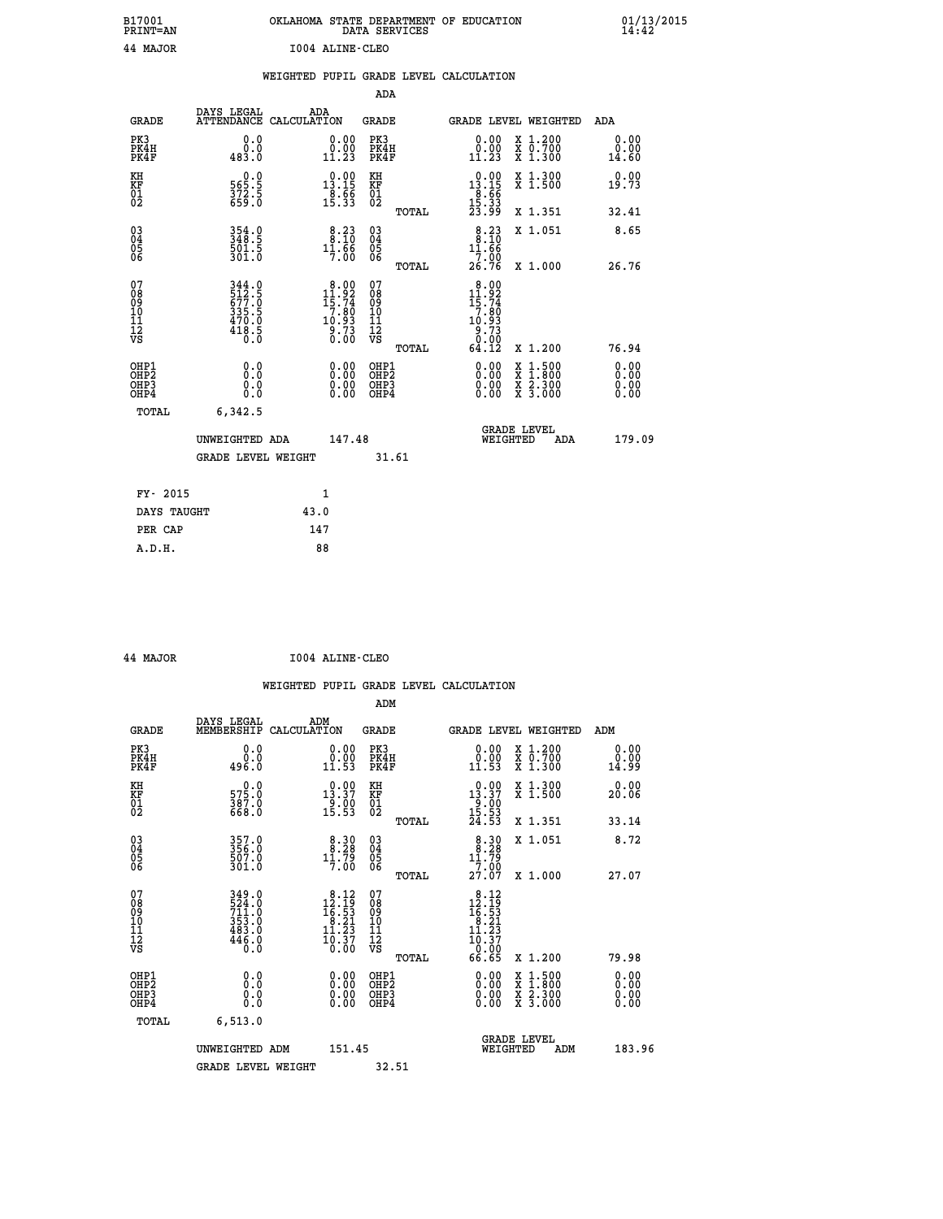| B17001<br><b>PRINT=AN</b> | OKLAHOMA STATE DEPARTMENT OF EDUCATION<br>DATA SERVICES | 01/13/2015 |
|---------------------------|---------------------------------------------------------|------------|
| 44 MAJOR                  | 1004 ALINE-CLEO                                         |            |

|                                                                    |                                           |                                                           |              |                                                                                    |                                                    |       | WEIGHTED PUPIL GRADE LEVEL CALCULATION                              |                                                                                                                     |                              |
|--------------------------------------------------------------------|-------------------------------------------|-----------------------------------------------------------|--------------|------------------------------------------------------------------------------------|----------------------------------------------------|-------|---------------------------------------------------------------------|---------------------------------------------------------------------------------------------------------------------|------------------------------|
|                                                                    |                                           |                                                           |              |                                                                                    | <b>ADA</b>                                         |       |                                                                     |                                                                                                                     |                              |
|                                                                    | <b>GRADE</b>                              | DAYS LEGAL<br>ATTENDANCE CALCULATION                      | ADA          |                                                                                    | <b>GRADE</b>                                       |       |                                                                     | GRADE LEVEL WEIGHTED                                                                                                | ADA                          |
| PK3                                                                | PK4H<br>PK4F                              | 0.0<br>0.0<br>483.0                                       |              | 0.00<br>$\begin{smallmatrix} 0.00 \ 11.23 \end{smallmatrix}$                       | PK3<br>PK4H<br>PK4F                                |       | 0.00<br>$\begin{smallmatrix} 0.00 \ 11.23 \end{smallmatrix}$        | X 1.200<br>X 0.700<br>X 1.300                                                                                       | 0.00<br>0.00<br>14.60        |
| KH<br>KF<br>01<br>02                                               |                                           | $0.0$<br>5.585<br>$\frac{372.5}{659.0}$                   |              | $0.00$<br>13.15<br>$\frac{18.56}{15.33}$                                           | KH<br>KF<br>01<br>02                               |       | 13.15<br>$\frac{18.56}{15.33}$                                      | X 1.300<br>X 1.500                                                                                                  | 0.00<br>19.73                |
|                                                                    |                                           |                                                           |              |                                                                                    |                                                    | TOTAL |                                                                     | X 1.351                                                                                                             | 32.41                        |
| $\begin{smallmatrix} 03 \\[-4pt] 04 \end{smallmatrix}$<br>Ŏ5<br>06 |                                           | 354.0<br>348.5<br>501.5<br>301.0                          |              | 8:38<br>$1\overline{1}\cdot\overline{6}\overline{6}$                               | $\begin{matrix} 03 \\ 04 \\ 05 \\ 06 \end{matrix}$ |       | $8.23$<br>$8.10$<br>11.66                                           | X 1.051                                                                                                             | 8.65                         |
|                                                                    |                                           |                                                           |              |                                                                                    |                                                    | TOTAL | 7.00<br>26.76                                                       | X 1.000                                                                                                             | 26.76                        |
| 07<br>08<br>09<br>11<br>11<br>12<br>VS                             |                                           | 344.0<br>512.5<br>677.0<br>335.5<br>470.0<br>418.5<br>6.0 |              | $\begin{smallmatrix} 8.00\\11.92\\15.74\\7.80\\10.93\\9.73\\0.00\end{smallmatrix}$ | 07<br>08<br>09<br>101<br>11<br>12<br>VS            |       | 8.00<br>$11.92$<br>$15.74$<br>$7.80$<br>$10.93$<br>$9.73$<br>$0.00$ |                                                                                                                     |                              |
|                                                                    |                                           |                                                           |              |                                                                                    |                                                    | TOTAL | 64.12                                                               | X 1.200                                                                                                             | 76.94                        |
|                                                                    | OHP1<br>OH <sub>P</sub> 2<br>OHP3<br>OHP4 | 0.0<br>0.0<br>0.0                                         |              | 0.00<br>$0.00$<br>0.00                                                             | OHP1<br>OHP <sub>2</sub><br>OHP3<br>OHP4           |       | 0.00<br>$0.00$<br>0.00                                              | $\begin{array}{l} \mathtt{X} & 1.500 \\ \mathtt{X} & 1.800 \\ \mathtt{X} & 2.300 \\ \mathtt{X} & 3.000 \end{array}$ | 0.00<br>0.00<br>0.00<br>0.00 |
|                                                                    | TOTAL                                     | 6,342.5                                                   |              |                                                                                    |                                                    |       |                                                                     |                                                                                                                     |                              |
|                                                                    |                                           | UNWEIGHTED ADA                                            |              | 147.48                                                                             |                                                    |       | WEIGHTED                                                            | <b>GRADE LEVEL</b><br>ADA                                                                                           | 179.09                       |
|                                                                    |                                           | <b>GRADE LEVEL WEIGHT</b>                                 |              |                                                                                    |                                                    | 31.61 |                                                                     |                                                                                                                     |                              |
|                                                                    | FY- 2015                                  |                                                           | $\mathbf{1}$ |                                                                                    |                                                    |       |                                                                     |                                                                                                                     |                              |
|                                                                    | DAYS TAUGHT                               |                                                           | 43.0         |                                                                                    |                                                    |       |                                                                     |                                                                                                                     |                              |
|                                                                    | PER CAP                                   |                                                           | 147          |                                                                                    |                                                    |       |                                                                     |                                                                                                                     |                              |
|                                                                    | A.D.H.                                    |                                                           | 88           |                                                                                    |                                                    |       |                                                                     |                                                                                                                     |                              |

 **44 MAJOR I004 ALINE-CLEO**

| <b>GRADE</b>                                       | DAYS LEGAL<br>MEMBERSHIP                                         | ADM<br>CALCULATION                                                                                                     | <b>GRADE</b>                                       |       | <b>GRADE LEVEL WEIGHTED</b>                                                                                                             |                                          | ADM                   |  |
|----------------------------------------------------|------------------------------------------------------------------|------------------------------------------------------------------------------------------------------------------------|----------------------------------------------------|-------|-----------------------------------------------------------------------------------------------------------------------------------------|------------------------------------------|-----------------------|--|
| PK3<br>PK4H<br>PK4F                                | 0.0<br>ة:ة<br>496.0                                              | $\begin{smallmatrix} 0.00\\ 0.00\\ 11.53 \end{smallmatrix}$                                                            | PK3<br>PK4H<br>PK4F                                |       | $\begin{smallmatrix} 0.00\\ 0.00\\ 11.53 \end{smallmatrix}$                                                                             | X 1.200<br>X 0.700<br>X 1.300            | 0.00<br>0.00<br>14.99 |  |
| KH<br>KF<br>01<br>02                               | $\begin{smallmatrix} &0.0\575.0\387.0\668.0\end{smallmatrix}$    | $\begin{smallmatrix} 0.00\\ 13.37\\ 9.00\\ 15.53 \end{smallmatrix}$                                                    | KH<br>KF<br>01<br>02                               |       | $\begin{array}{c} 0.00 \\ 13.37 \\ 9.00 \\ 15.53 \\ 24.53 \end{array}$                                                                  | X 1.300<br>X 1.500                       | 0.00<br>20.06         |  |
|                                                    |                                                                  |                                                                                                                        |                                                    | TOTAL |                                                                                                                                         | X 1.351                                  | 33.14                 |  |
| $\begin{matrix} 03 \\ 04 \\ 05 \\ 06 \end{matrix}$ | 357.0<br>356.0<br>507.0<br>301.0                                 | $\begin{smallmatrix}8.30\8.28\11.79\1.00\end{smallmatrix}$                                                             | $\begin{matrix} 03 \\ 04 \\ 05 \\ 06 \end{matrix}$ |       | $8.30$<br>$8.28$                                                                                                                        | X 1.051                                  | 8.72                  |  |
|                                                    |                                                                  |                                                                                                                        |                                                    | TOTAL | $\frac{11.79}{7.00}$<br>27.07                                                                                                           | X 1.000                                  | 27.07                 |  |
| 07<br>08901112<br>1112<br>VS                       | 349.0<br>524.0<br>711.0<br>353.0<br>483.0<br>446.0<br>446.0      | $\begin{smallmatrix} 8\cdot 12\\12\cdot 19\\16\cdot 53\\8\cdot 21\\11\cdot 23\\10\cdot 37\\0\cdot 00\end{smallmatrix}$ | 07<br>08<br>09<br>11<br>11<br>12<br>VS             | TOTAL | $\begin{array}{r} 8\cdot 12 \\ 12\cdot 19 \\ 16\cdot 53 \\ 8\cdot 21 \\ 11\cdot 23 \\ 10\cdot 37 \\ 0\cdot 09 \\ 6\cdot 65 \end{array}$ | X 1.200                                  | 79.98                 |  |
| OHP1<br>OHP2<br>OH <sub>P3</sub><br>OHP4           | 0.0<br>$\begin{smallmatrix} 0.0 & 0 \ 0.0 & 0 \end{smallmatrix}$ |                                                                                                                        | OHP1<br>OHP2<br>OHP3<br>OHP4                       |       |                                                                                                                                         | X 1:500<br>X 1:800<br>X 2:300<br>X 3:000 | 0.00<br>0.00<br>0.00  |  |
| TOTAL                                              | 6, 513.0                                                         |                                                                                                                        |                                                    |       |                                                                                                                                         |                                          |                       |  |
|                                                    | UNWEIGHTED ADM                                                   | 151.45                                                                                                                 |                                                    |       | WEIGHTED                                                                                                                                | <b>GRADE LEVEL</b><br>ADM                | 183.96                |  |
|                                                    | <b>GRADE LEVEL WEIGHT</b>                                        |                                                                                                                        | 32.51                                              |       |                                                                                                                                         |                                          |                       |  |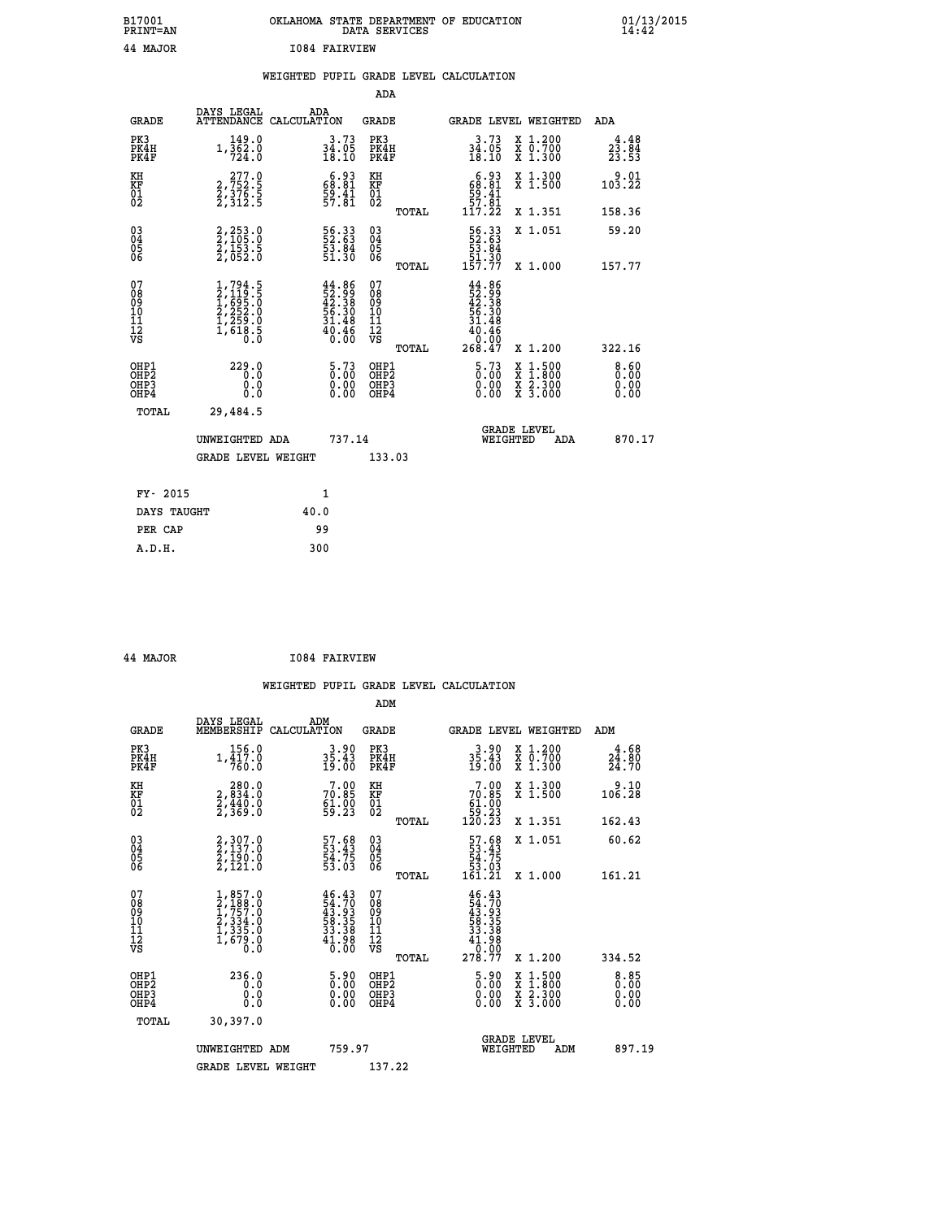| B17001<br><b>PRINT=AN</b> | OKLAHOMA STATE DEPARTMENT OF EDUCATION<br>DATA SERVICES |  |
|---------------------------|---------------------------------------------------------|--|
| 44 MAJOR                  | 1084 FAIRVIEW                                           |  |

 **B17001 OKLAHOMA STATE DEPARTMENT OF EDUCATION 01/13/2015**

|  |  | WEIGHTED PUPIL GRADE LEVEL CALCULATION |
|--|--|----------------------------------------|
|  |  |                                        |

|                                                                              |                                                                                     |                                                                          | ADA                                                |       |                                                                                                                |                                          |                                                        |
|------------------------------------------------------------------------------|-------------------------------------------------------------------------------------|--------------------------------------------------------------------------|----------------------------------------------------|-------|----------------------------------------------------------------------------------------------------------------|------------------------------------------|--------------------------------------------------------|
| <b>GRADE</b>                                                                 | DAYS LEGAL                                                                          | ADA<br>ATTENDANCE CALCULATION                                            | GRADE                                              |       | <b>GRADE LEVEL WEIGHTED</b>                                                                                    |                                          | ADA                                                    |
| PK3<br>PK4H<br>PK4F                                                          | 149.0<br>$1,\overline{\frac{3}{7}}\overline{\frac{6}{2}}\cdot\overset{.}{0}$        | $34.73$<br>$18.10$                                                       | PK3<br>PK4H<br>PK4F                                |       | 3.73<br>$\frac{34.05}{18.10}$                                                                                  | X 1.200<br>X 0.700<br>X 1.300            | 4.48<br>$2\bar{3}\cdot\bar{8}\bar{4}\over 23.5\bar{3}$ |
| KH<br>KF<br>01<br>02                                                         | 277.0<br>2,752.5<br>2,376.5<br>2,312.5                                              | $68.81$<br>$59.41$<br>$57.81$                                            | KH<br>KF<br>01<br>02                               |       | $6.93$<br>$68.81$<br>$59.41$<br>$57.81$                                                                        | X 1.300<br>X 1.500                       | 9.01<br>103.22                                         |
|                                                                              |                                                                                     |                                                                          |                                                    | TOTAL | 117.22                                                                                                         | X 1.351                                  | 158.36                                                 |
| $\begin{matrix} 03 \\ 04 \\ 05 \\ 06 \end{matrix}$                           | 2,253.0<br>2,105.0<br>2,153.5<br>2,052.0                                            | 56.33<br>52.63<br>53.84<br>51.30                                         | $\begin{matrix} 03 \\ 04 \\ 05 \\ 06 \end{matrix}$ |       | $\begin{array}{r} 56.33 \\ 52.63 \\ 53.84 \\ 51.30 \\ 157.77 \end{array}$                                      | X 1.051                                  | 59.20                                                  |
|                                                                              |                                                                                     |                                                                          |                                                    | TOTAL |                                                                                                                | X 1.000                                  | 157.77                                                 |
| 07<br>08<br>09<br>11<br>11<br>12<br>VS                                       | $1,794.5$<br>$2,119.5$<br>$1,695.0$<br>$2,252.0$<br>$1,259.0$<br>$1,618.5$<br>$0.0$ | $44.86$<br>$52.99$<br>$42.38$<br>$56.30$<br>$31.48$<br>$40.46$<br>$0.00$ | 07<br>08<br>09<br>11<br>11<br>12<br>VS             | TOTAL | $44.86$<br>$52.38$<br>$42.38$<br>$56.30$<br>$31.48$<br>$\begin{array}{r} 40.46 \\ -0.00 \\ 268.47 \end{array}$ | X 1.200                                  | 322.16                                                 |
| OHP1<br>OH <sub>P</sub> <sub>2</sub><br>OH <sub>P3</sub><br>OH <sub>P4</sub> | 229.0<br>0.0<br>0.0                                                                 | $5.73$<br>$0.00$<br>$\begin{smallmatrix} 0.00 \ 0.00 \end{smallmatrix}$  | OHP1<br>OHP2<br>OHP3<br>OHP4                       |       | $5.73$<br>$0.00$<br>0.00<br>0.00                                                                               | X 1:500<br>X 1:800<br>X 2:300<br>X 3:000 | 8.60<br>0.00<br>0.00<br>0.00                           |
| TOTAL                                                                        | 29,484.5                                                                            |                                                                          |                                                    |       |                                                                                                                |                                          |                                                        |
|                                                                              | UNWEIGHTED ADA                                                                      | 737.14                                                                   |                                                    |       | WEIGHTED                                                                                                       | <b>GRADE LEVEL</b><br>ADA                | 870.17                                                 |
|                                                                              | <b>GRADE LEVEL WEIGHT</b>                                                           |                                                                          | 133.03                                             |       |                                                                                                                |                                          |                                                        |
|                                                                              |                                                                                     |                                                                          |                                                    |       |                                                                                                                |                                          |                                                        |
| FY- 2015                                                                     |                                                                                     | 1                                                                        |                                                    |       |                                                                                                                |                                          |                                                        |
| DAYS TAUGHT                                                                  |                                                                                     | 40.0                                                                     |                                                    |       |                                                                                                                |                                          |                                                        |
| PER CAP                                                                      |                                                                                     | 99                                                                       |                                                    |       |                                                                                                                |                                          |                                                        |
| A.D.H.                                                                       |                                                                                     | 300                                                                      |                                                    |       |                                                                                                                |                                          |                                                        |

| <b>MAJOR</b> |  |
|--------------|--|

 **ADM**

 **A.D.H. 300**

 **B17001<br>PRINT=AN** 

**AJOR 1084 FAIRVIEW** 

| <b>GRADE</b>                                         | DAYS LEGAL ADM<br>MEMBERSHIP CALCULATION                                            |                                                                                                                                                      | <b>GRADE</b>                                       |       |                                                                                          |          | GRADE LEVEL WEIGHTED                     | ADM                            |
|------------------------------------------------------|-------------------------------------------------------------------------------------|------------------------------------------------------------------------------------------------------------------------------------------------------|----------------------------------------------------|-------|------------------------------------------------------------------------------------------|----------|------------------------------------------|--------------------------------|
| PK3<br>PK4H<br>PK4F                                  | 156.0<br>$1,\frac{1}{7}\frac{1}{6}$ , 0                                             | $35.43$<br>$19.00$                                                                                                                                   | PK3<br>PK4H<br>PK4F                                |       | $35.43$<br>$19.00$                                                                       |          | X 1.200<br>X 0.700<br>X 1.300            | $\frac{4.68}{24.80}$<br>24.70  |
| KH<br>KF<br>01<br>02                                 | 280.0<br>2,834:0<br>2,440:0<br>2,369:0                                              | $7.00$<br>$70.85$<br>$61.00$<br>$59.23$                                                                                                              | KH<br>KF<br>01<br>02                               |       | $7.00\n70.85\n61.00\n59.23\n120.23$                                                      |          | X 1.300<br>X 1.500                       | 9.10<br>106.28                 |
|                                                      |                                                                                     |                                                                                                                                                      |                                                    | TOTAL |                                                                                          |          | X 1.351                                  | 162.43                         |
| $\begin{matrix} 03 \\ 04 \\ 05 \\ 06 \end{matrix}$   | 2,307.0<br>2,137.0<br>2,190.0<br>2,121.0                                            | 57.68<br>53.43<br>54.75<br>53.03                                                                                                                     | $\begin{matrix} 03 \\ 04 \\ 05 \\ 06 \end{matrix}$ |       | $\begin{smallmatrix} 57.68\\ 53.43\\ 54.75\\ 53.03\\ 161.21 \end{smallmatrix}$           |          | X 1.051                                  | 60.62                          |
|                                                      |                                                                                     |                                                                                                                                                      |                                                    | TOTAL |                                                                                          |          | X 1.000                                  | 161.21                         |
| 07<br>08<br>09<br>101<br>11<br>12<br>VS              | $1,857.0$<br>$2,188.0$<br>$1,757.0$<br>$2,334.0$<br>$1,335.0$<br>$1,679.0$<br>$0.0$ | $\begin{smallmatrix} 4\,6\cdot4\,3\\ 5\,4\cdot7\,0\\ 4\,3\cdot9\,3\\ 5\,8\cdot3\,5\\ 3\,3\cdot3\,8\\ 4\,1\cdot9\,8\\ 0\cdot0\,0\\ \end{smallmatrix}$ | 07<br>08<br>09<br>001<br>11<br>11<br>12<br>VS      | TOTAL | $46.43\n43.70\n43.935\n58.35\n33.38\n41.988\n0.000\n278.77$                              |          | $X_1.200$                                | 334.52                         |
| OHP1<br>OHP <sub>2</sub><br>OH <sub>P3</sub><br>OHP4 | 236.0<br>0.0<br>0.000                                                               | $\begin{smallmatrix} 5 & 9 & 0 \\ 0 & 0 & 0 \\ 0 & 0 & 0 \\ 0 & 0 & 0 \end{smallmatrix}$                                                             | OHP1<br>OHP <sub>2</sub><br>OHP3<br>OHP4           |       | $\begin{smallmatrix} 5 & 9 & 0 \\ 0 & 0 & 0 \\ 0 & 0 & 0 \\ 0 & 0 & 0 \end{smallmatrix}$ |          | X 1:500<br>X 1:800<br>X 2:300<br>X 3:000 | $8.85$<br>0.00<br>0.00<br>0.00 |
| TOTAL                                                | 30,397.0                                                                            |                                                                                                                                                      |                                                    |       |                                                                                          |          |                                          |                                |
|                                                      | UNWEIGHTED ADM                                                                      | 759.97                                                                                                                                               |                                                    |       |                                                                                          | WEIGHTED | <b>GRADE LEVEL</b><br>ADM                | 897.19                         |
|                                                      | <b>GRADE LEVEL WEIGHT</b>                                                           |                                                                                                                                                      | 137.22                                             |       |                                                                                          |          |                                          |                                |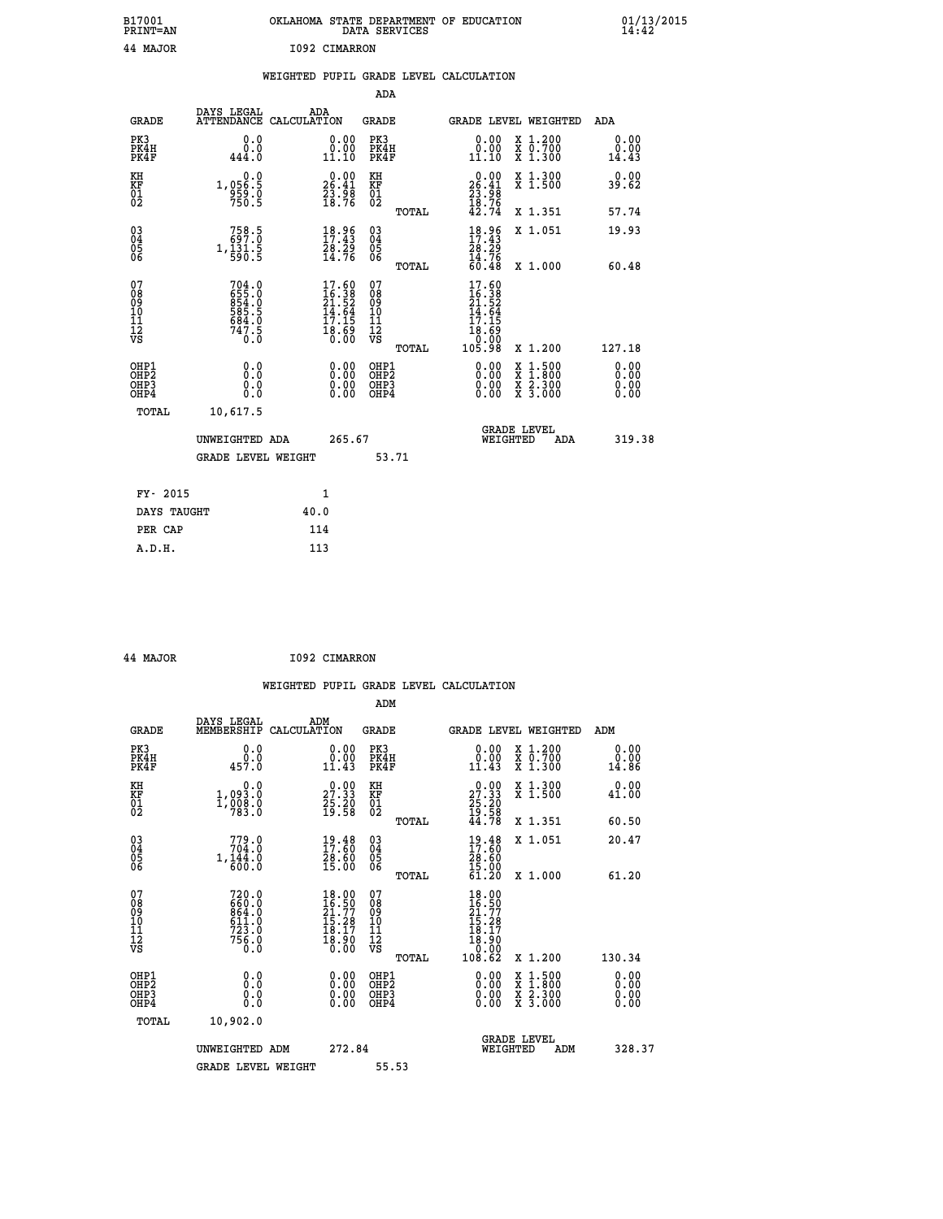| B17001<br>PRINT=AN               |                                                                         | OKLAHOMA STATE DEPARTMENT OF EDUCATION                                   | DATA SERVICES                                      |                                                                                         |                                                                                                                                           | $01/13/2015$<br>14:42        |  |
|----------------------------------|-------------------------------------------------------------------------|--------------------------------------------------------------------------|----------------------------------------------------|-----------------------------------------------------------------------------------------|-------------------------------------------------------------------------------------------------------------------------------------------|------------------------------|--|
| 44 MAJOR                         |                                                                         | I092 CIMARRON                                                            |                                                    |                                                                                         |                                                                                                                                           |                              |  |
|                                  |                                                                         | WEIGHTED PUPIL GRADE LEVEL CALCULATION                                   |                                                    |                                                                                         |                                                                                                                                           |                              |  |
|                                  |                                                                         |                                                                          | <b>ADA</b>                                         |                                                                                         |                                                                                                                                           |                              |  |
| GRADE                            | DAYS LEGAL                                                              | ADA<br>ATTENDANCE CALCULATION                                            | GRADE                                              | GRADE LEVEL WEIGHTED                                                                    |                                                                                                                                           | ADA                          |  |
| PK3<br>PK4H<br>PK4F              | 0.0<br>0.0<br>444.0                                                     | 0.00<br>$\begin{smallmatrix} 0.00 \ 11.10 \end{smallmatrix}$             | PK3<br>PK4H<br>PK4F                                | 0.00<br>$\begin{smallmatrix} 0.00 \ 11.10 \end{smallmatrix}$                            | X 1.200<br>X 0.700<br>X 1.300                                                                                                             | 0.00<br>0.00<br>14.43        |  |
| KH<br>KF<br>01<br>02             | 0.0<br>1,056.5<br>$\frac{959}{750.5}$                                   | $26.00$<br>26.41<br>$\frac{53.98}{18.76}$                                | KH<br>KF<br>01<br>02                               | $26.00$<br>26.41<br>$\frac{23}{18}$ : $\frac{36}{76}$<br>$42.74$                        | X 1.300<br>X 1.500                                                                                                                        | 0.00<br>39.62                |  |
|                                  |                                                                         |                                                                          | TOTAL                                              |                                                                                         | X 1.351                                                                                                                                   | 57.74                        |  |
| 03<br>04<br>05<br>06             | $\begin{smallmatrix} 758.5\\ 697.0\\ 1,131.5\\ 590.5 \end{smallmatrix}$ | $\begin{smallmatrix} 18.96\\ 17.43\\ 28.29\\ 14.76 \end{smallmatrix}$    | $\begin{matrix} 03 \\ 04 \\ 05 \\ 06 \end{matrix}$ | $18.96$<br>$17.43$<br>28.29<br>$\frac{14.76}{60.48}$                                    | X 1.051                                                                                                                                   | 19.93                        |  |
| 07                               |                                                                         |                                                                          | TOTAL<br>07                                        | 17.60                                                                                   | X 1.000                                                                                                                                   | 60.48                        |  |
| 08<br>09<br>11<br>11<br>12<br>VS | 704.0<br>655.0<br>854.0<br>854.0<br>584.0<br>684.0<br>747.5<br>0.0      | $17.60$<br>$16.38$<br>$21.52$<br>$14.64$<br>$17.15$<br>$18.69$<br>$0.00$ | 08<br>09<br>11<br>11<br>12<br>VS                   | $\begin{array}{c} 16.38 \\ 21.52 \\ 14.64 \\ 17.15 \end{array}$<br>$\frac{18.69}{0.00}$ |                                                                                                                                           |                              |  |
|                                  |                                                                         |                                                                          | TOTAL                                              | 105.98                                                                                  | X 1.200                                                                                                                                   | 127.18                       |  |
| OHP1<br>OHP2<br>OHP3<br>OHP4     | 0.0<br>0.0<br>0.0<br>0.0                                                | 0.00<br>$\begin{smallmatrix} 0.00 \ 0.00 \end{smallmatrix}$              | OHP1<br>OHP <sub>2</sub><br>OHP3<br>OHP4           | 0.00<br>0.00<br>0.00                                                                    | $\begin{smallmatrix} \mathtt{X} & 1\cdot500\\ \mathtt{X} & 1\cdot800\\ \mathtt{X} & 2\cdot300\\ \mathtt{X} & 3\cdot000 \end{smallmatrix}$ | 0.00<br>0.00<br>0.00<br>0.00 |  |
| <b>TOTAL</b>                     | 10,617.5                                                                |                                                                          |                                                    |                                                                                         |                                                                                                                                           |                              |  |
|                                  | UNWEIGHTED ADA                                                          | 265.67                                                                   |                                                    | WEIGHTED                                                                                | <b>GRADE LEVEL</b><br>ADA                                                                                                                 | 319.38                       |  |
|                                  | <b>GRADE LEVEL WEIGHT</b>                                               |                                                                          | 53.71                                              |                                                                                         |                                                                                                                                           |                              |  |
| FY- 2015                         |                                                                         | 1                                                                        |                                                    |                                                                                         |                                                                                                                                           |                              |  |
| DAYS TAUGHT                      |                                                                         | 40.0                                                                     |                                                    |                                                                                         |                                                                                                                                           |                              |  |
| PER CAP                          |                                                                         | 114                                                                      |                                                    |                                                                                         |                                                                                                                                           |                              |  |

| 44 MAJOR | I092 CIMARRON |
|----------|---------------|

 **WEIGHTED PUPIL GRADE LEVEL CALCULATION ADM DAYS LEGAL ADM GRADE MEMBERSHIP CALCULATION GRADE GRADE LEVEL WEIGHTED ADM PK3 0.0 0.00 PK3 0.00 X 1.200 0.00 PK4H 0.0 0.00 PK4H 0.00 X 0.700 0.00 PK4F 457.0 11.43 PK4F 11.43 X 1.300 14.86 KH 0.0 0.00 KH 0.00 X 1.300 0.00 KF 1,093.0 27.33 KF 27.33 X 1.500 41.00 01 1,008.0 25.20 01 25.20 02 783.0 19.58 02 19.58 TOTAL 44.78 X 1.351 60.50 03 779.0 19.48 03 19.48 X 1.051 20.47 04 704.0 17.60 04 17.60 05 1,144.0 28.60 05 28.60 06 600.0 15.00 06 15.00 TOTAL 61.20 X 1.000 61.20** 07 720.0 18.00 07 18.00<br>
08 664.0 16.50 18.77<br>
10 611.0 15.28 10 15.28<br>
11 723.0 18.90 12 18.90<br>
VS 756.0 18.90 VS 0.000  **TOTAL 108.62 X 1.200 130.34 OHP1 0.0 0.00 OHP1 0.00 X 1.500 0.00 OHP2 0.0 0.00 OHP2 0.00 X 1.800 0.00 OHP3 0.0 0.00 OHP3 0.00 X 2.300 0.00 OHP4 0.0 0.00 OHP4 0.00 X 3.000 0.00 TOTAL 10,902.0 GRADE LEVEL UNWEIGHTED ADM 272.84 WEIGHTED ADM 328.37** GRADE LEVEL WEIGHT 55.53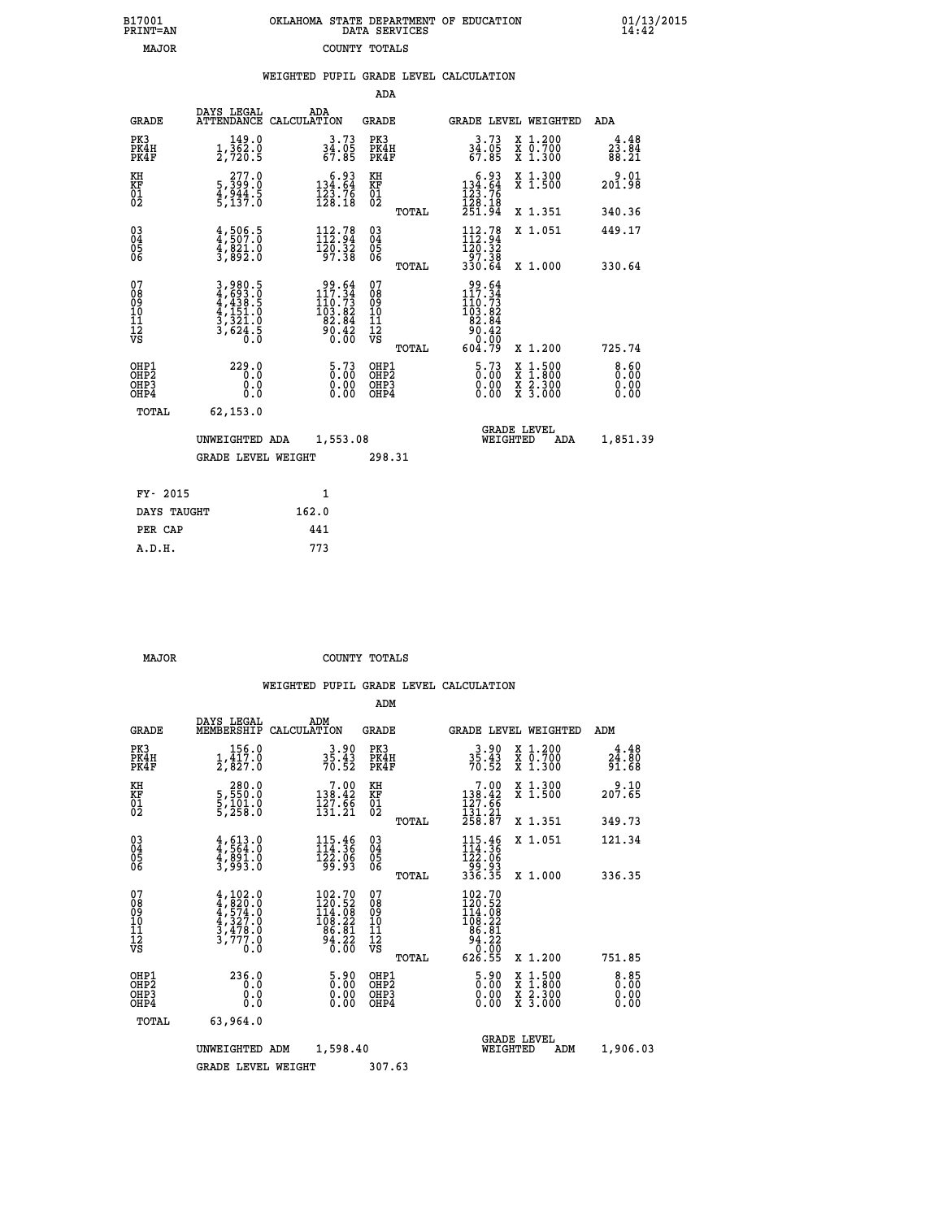| 7001<br>INT=AN | OKLAHOMA STATE DEPARTMENT OF EDUCATION<br>DATA SERVICES |  |
|----------------|---------------------------------------------------------|--|
| <b>MAJOR</b>   | COUNTY TOTALS                                           |  |

 **B17001 OKLAHOMA STATE DEPARTMENT OF EDUCATION 01/13/2015**

|  |  | WEIGHTED PUPIL GRADE LEVEL CALCULATION |
|--|--|----------------------------------------|
|  |  |                                        |

|                                                                              |                                                                 |                                                                                         | ADA                                                |                                                                                                                                                                                  |                              |
|------------------------------------------------------------------------------|-----------------------------------------------------------------|-----------------------------------------------------------------------------------------|----------------------------------------------------|----------------------------------------------------------------------------------------------------------------------------------------------------------------------------------|------------------------------|
| <b>GRADE</b>                                                                 | DAYS LEGAL                                                      | ADA<br>ATTENDANCE CALCULATION                                                           | GRADE                                              | <b>GRADE LEVEL WEIGHTED</b>                                                                                                                                                      | ADA                          |
| PK3<br>PK4H<br>PK4F                                                          | 149.0<br>$\frac{1}{2}, \frac{3}{7}$ $\frac{5}{2}$ $\frac{5}{5}$ | $34.73$<br>$34.05$<br>$67.85$                                                           | PK3<br>PK4H<br>PK4F                                | X 1.200<br>X 0.700<br>X 1.300<br>3.73<br>$\frac{34.05}{67.85}$                                                                                                                   | 4.48<br>23.84<br>88.21       |
| KH<br>KF<br>01<br>02                                                         | 277.0<br>5,399:0<br>4,944.5<br>5,137:0                          | $\begin{smallmatrix}&&6&.93\\134&.64\\123&.76\\128&.18\end{smallmatrix}$                | KH<br><b>KF</b><br>01<br>02                        | $\begin{smallmatrix} & 6 & .93\\134 & .64\\123 & .76\\128 & .18\\251 & .94\end{smallmatrix}$<br>X 1.300<br>X 1.500                                                               | 9.01<br>201.98               |
|                                                                              |                                                                 |                                                                                         | TOTAL                                              | X 1.351                                                                                                                                                                          | 340.36                       |
| $^{03}_{04}$<br>Ŏ5<br>06                                                     | 4,505.5<br>$\frac{4}{3}, \frac{8}{892}.0$                       | $\begin{array}{c} 112.78 \\[-4pt] 112.94 \\[-4pt] 120.32 \\[-4pt] 97.38 \end{array}$    | $\begin{matrix} 03 \\ 04 \\ 05 \\ 06 \end{matrix}$ | $112.78$<br>$112.94$<br>$120.32$<br>X 1.051<br>97.38                                                                                                                             | 449.17                       |
|                                                                              |                                                                 |                                                                                         | TOTAL                                              | 330.64<br>X 1.000                                                                                                                                                                | 330.64                       |
| 07<br>08<br>09<br>11<br>11<br>12<br>VS                                       | 3,980.5<br>4,693.0<br>4,438.5<br>4,151.0<br>3,321.0<br>3,624.5  | $\begin{smallmatrix}99.64\\117.34\\110.73\\103.82\\82.84\\90.42\\0.00\end{smallmatrix}$ | 07<br>08<br>09<br>101<br>11<br>12<br>VS<br>TOTAL   | $\begin{array}{r} 99.64 \\ 117.34 \\ 110.73 \\ 103.82 \\ 82.84 \\ 90.42 \\ 0.00 \\ 604.79 \end{array}$<br>X 1.200                                                                | 725.74                       |
| OHP1<br>OH <sub>P</sub> <sub>2</sub><br>OH <sub>P3</sub><br>OH <sub>P4</sub> | 229.0<br>0.0<br>0.0                                             | $5.73$<br>$0.00$<br>0.00<br>0.00                                                        | OHP1<br>OHP2<br>OHP3<br>OHP4                       | $5.73$<br>$0.00$<br>$\begin{smallmatrix} \mathtt{X} & 1\cdot500 \\ \mathtt{X} & 1\cdot800 \\ \mathtt{X} & 2\cdot300 \\ \mathtt{X} & 3\cdot000 \end{smallmatrix}$<br>0.00<br>0.00 | 8.60<br>0.00<br>0.00<br>0.00 |
| TOTAL                                                                        | 62, 153.0                                                       |                                                                                         |                                                    |                                                                                                                                                                                  |                              |
|                                                                              | UNWEIGHTED ADA                                                  | 1,553.08                                                                                |                                                    | <b>GRADE LEVEL</b><br>WEIGHTED<br>ADA                                                                                                                                            | 1,851.39                     |
|                                                                              | <b>GRADE LEVEL WEIGHT</b>                                       |                                                                                         | 298.31                                             |                                                                                                                                                                                  |                              |
|                                                                              | FY- 2015                                                        | $\mathbf{1}$                                                                            |                                                    |                                                                                                                                                                                  |                              |
|                                                                              | DAYS TAUGHT                                                     | 162.0                                                                                   |                                                    |                                                                                                                                                                                  |                              |
|                                                                              | PER CAP                                                         | 441                                                                                     |                                                    |                                                                                                                                                                                  |                              |
| A.D.H.                                                                       |                                                                 | 773                                                                                     |                                                    |                                                                                                                                                                                  |                              |

 **B17001<br>PRINT=AN** 

 **MAJOR COUNTY TOTALS**

|                                    |                                          |                                                                                                                                                             |                                                                                                 | ADM                                                |       |                                                                                                                                                       |                                          |                        |
|------------------------------------|------------------------------------------|-------------------------------------------------------------------------------------------------------------------------------------------------------------|-------------------------------------------------------------------------------------------------|----------------------------------------------------|-------|-------------------------------------------------------------------------------------------------------------------------------------------------------|------------------------------------------|------------------------|
|                                    | <b>GRADE</b>                             | DAYS LEGAL<br>MEMBERSHIP                                                                                                                                    | ADM<br>CALCULATION                                                                              | <b>GRADE</b>                                       |       | GRADE LEVEL WEIGHTED                                                                                                                                  |                                          | ADM                    |
|                                    | PK3<br>PK4H<br>PK4F                      | 156.0<br>$\frac{1}{2}$ , $\frac{1}{8}$ $\frac{1}{2}$ , $\frac{3}{8}$                                                                                        | $35.43$<br>$70.52$                                                                              | PK3<br>PK4H<br>PK4F                                |       | $3.90$<br>$35.43$<br>$70.52$                                                                                                                          | X 1.200<br>X 0.700<br>X 1.300            | 4.48<br>24.80<br>91.68 |
| KH<br>KF<br>01<br>02               |                                          | 280.0<br>5,550:0<br>5,101:0<br>5,258:0                                                                                                                      | $\begin{array}{c} 7\cdot 00 \\ 138\cdot 42 \\ 127\cdot 66 \\ 131\cdot 21 \end{array}$           | KH<br>KF<br>01<br>02                               |       | $\begin{array}{c} 7.00 \\ 138.42 \\ 127.66 \\ 131.21 \\ 258.87 \end{array}$                                                                           | X 1.300<br>X 1.500                       | 207.65                 |
|                                    |                                          |                                                                                                                                                             |                                                                                                 |                                                    | TOTAL |                                                                                                                                                       | X 1.351                                  | 349.73                 |
| 03<br>04<br>05<br>06               |                                          | $4, 613.0$<br>$4, 564.0$<br>$4, 891.0$<br>$3, 993.0$                                                                                                        | 115.46<br>114.36<br>122.06<br>99.93                                                             | $\begin{matrix} 03 \\ 04 \\ 05 \\ 06 \end{matrix}$ |       | $115.46$<br>$114.36$<br>$122.06$<br>$99.93$<br>$336.35$                                                                                               | X 1.051                                  | 121.34                 |
|                                    |                                          |                                                                                                                                                             |                                                                                                 |                                                    | TOTAL |                                                                                                                                                       | X 1.000                                  | 336.35                 |
| 07<br>08<br>09<br>101<br>112<br>VS |                                          | $\begin{smallmatrix} 4\,,\,102\,.\,0\\ 4\,,\,820\,.\,0\\ 4\,,\,574\,.\,0\\ 4\,,\,327\,.\,0\\ 3\,,\,478\,.\,0\\ 3\,,\,777\,.\,0\\ 0\,.\,0 \end{smallmatrix}$ | $\begin{smallmatrix} 102.70\\ 120.52\\ 14.08\\ 108.22\\ 96.81\\ 94.22\\ 0.00 \end{smallmatrix}$ | 07<br>08<br>09<br>11<br>11<br>12<br>VS             | TOTAL | $\begin{smallmatrix} 102\cdot70\\ 120\cdot52\\ 14\cdot08\\ 108\cdot22\\ 108\cdot81\\ 86\cdot81\\ 94\cdot22\\ 0\cdot00\\ 626\cdot55 \end{smallmatrix}$ | X 1.200                                  | 751.85                 |
|                                    | OHP1<br>OHP2<br>OH <sub>P3</sub><br>OHP4 | 236.0<br>0.0<br>0.000                                                                                                                                       | 5.90<br>0.00<br>0.00<br>0.00                                                                    | OHP1<br>OHP2<br>OHP <sub>3</sub>                   |       | $\frac{5.90}{0.00}$<br>0.00                                                                                                                           | X 1:500<br>X 1:800<br>X 2:300<br>X 3:000 | 0.85<br>0.00<br>0.00   |
|                                    | TOTAL                                    | 63,964.0                                                                                                                                                    |                                                                                                 |                                                    |       |                                                                                                                                                       |                                          |                        |
|                                    |                                          | UNWEIGHTED ADM                                                                                                                                              | 1,598.40                                                                                        |                                                    |       | WEIGHTED                                                                                                                                              | <b>GRADE LEVEL</b><br>ADM                | 1,906.03               |
|                                    |                                          | <b>GRADE LEVEL WEIGHT</b>                                                                                                                                   |                                                                                                 | 307.63                                             |       |                                                                                                                                                       |                                          |                        |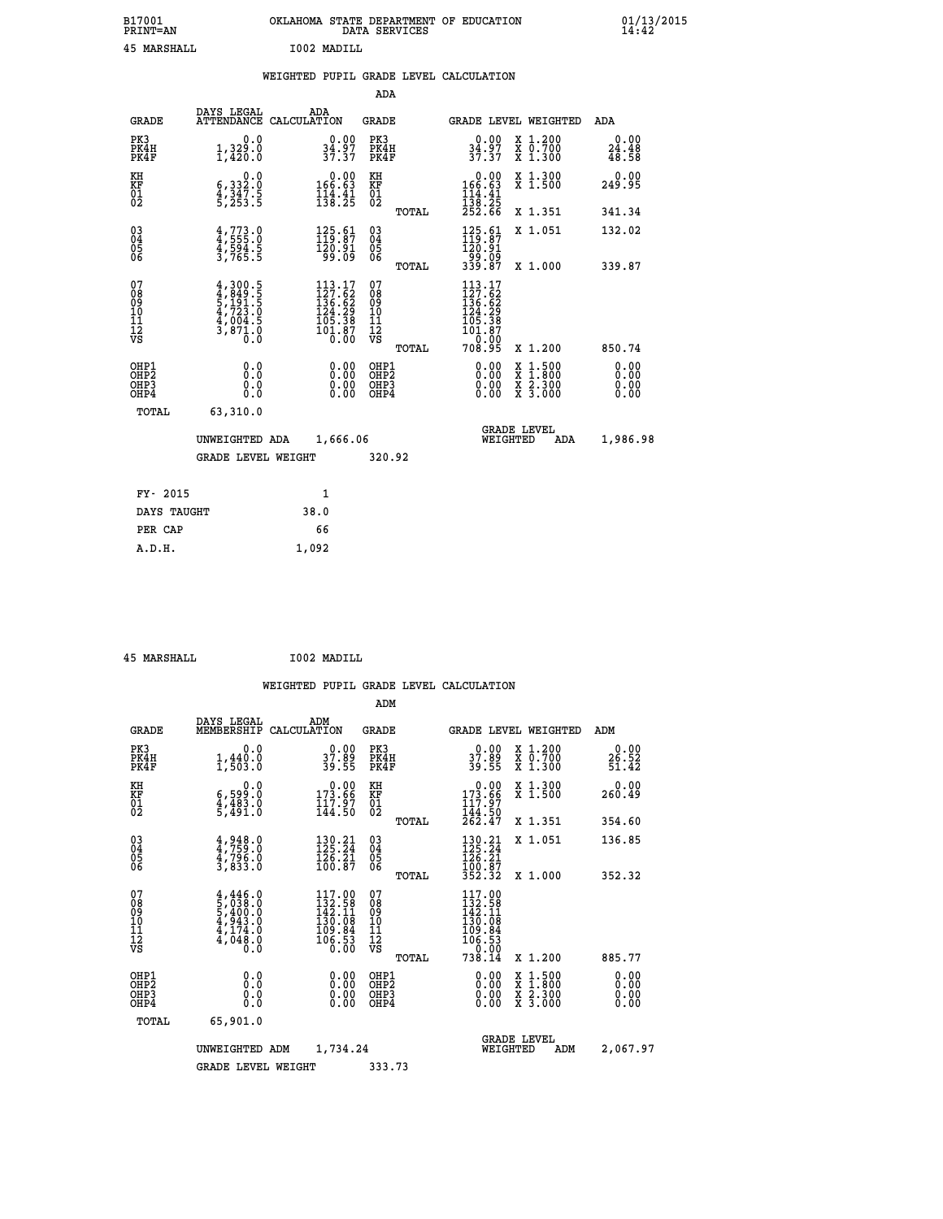| B17001<br><b>PRINT=AN</b> | OKLAHOMA STATE DEPARTMENT OF EDUCATION<br>DATA SERVICES |  |
|---------------------------|---------------------------------------------------------|--|
| 45 MARSHALL               | I002 MADILL                                             |  |

|  |  | WEIGHTED PUPIL GRADE LEVEL CALCULATION |
|--|--|----------------------------------------|
|  |  |                                        |

|                                                                    |                                                                                     |                                                                                                                                      | ADA                                       |       |                                                                                                                                                                                 |                                          |                              |
|--------------------------------------------------------------------|-------------------------------------------------------------------------------------|--------------------------------------------------------------------------------------------------------------------------------------|-------------------------------------------|-------|---------------------------------------------------------------------------------------------------------------------------------------------------------------------------------|------------------------------------------|------------------------------|
| <b>GRADE</b>                                                       | DAYS LEGAL<br><b>ATTENDANCE</b>                                                     | ADA<br>CALCULATION                                                                                                                   | <b>GRADE</b>                              |       | <b>GRADE LEVEL WEIGHTED</b>                                                                                                                                                     |                                          | ADA                          |
| PK3<br>PK4H<br>PK4F                                                | 0.0<br>1,329.0<br>1,420.0                                                           | $34.97$<br>$37.37$                                                                                                                   | PK3<br>PK4H<br>PK4F                       |       | $\begin{smallmatrix} 0.00\\ 34.97\\ 37.37 \end{smallmatrix}$                                                                                                                    | X 1.200<br>X 0.700<br>X 1.300            | 0.00<br>$24.48$<br>$48.58$   |
| KH<br><b>KF</b><br>01<br>02                                        | 0.0<br>$\frac{6}{4}, \frac{332}{347}$ . 5<br>5, 253. 5                              | $0.00$<br>\$166.63<br>$\frac{114}{138}$ $\cdot\frac{31}{25}$                                                                         | KH<br>KF<br>01<br>02                      |       | 0.00<br>$166.63$<br>$114.41$<br>$138.25$<br>$252.66$                                                                                                                            | X 1.300<br>X 1.500                       | 0.00<br>249.95               |
|                                                                    |                                                                                     |                                                                                                                                      |                                           | TOTAL |                                                                                                                                                                                 | X 1.351                                  | 341.34                       |
| $\begin{smallmatrix} 03 \\[-4pt] 04 \end{smallmatrix}$<br>Ŏ5<br>06 | $4,773.0$<br>$4,555.0$<br>$4,594.5$<br>$3,765.5$                                    | $\begin{smallmatrix} 125.61\\ 119.87\\ 120.91\\ 99.09 \end{smallmatrix}$                                                             | $\substack{03 \\ 04}$<br>05<br>06         |       | $\begin{array}{c} 125.61 \\[-4pt] 119.87 \\[-4pt] 120.91 \\[-4pt] 99.09 \\[-4pt] 339.87 \end{array}$                                                                            | X 1.051                                  | 132.02                       |
|                                                                    |                                                                                     |                                                                                                                                      |                                           | TOTAL |                                                                                                                                                                                 | X 1.000                                  | 339.87                       |
| 07<br>08901112<br>1112<br>VS                                       | $4,300.5$<br>$4,849.5$<br>$5,191.5$<br>$4,723.0$<br>$4,004.5$<br>$3,871.0$<br>$0.0$ | $\begin{smallmatrix} 113\cdot 17\\ 127\cdot 62\\ 136\cdot 62\\ 124\cdot 29\\ 105\cdot 38\\ 101\cdot 87\\ 0\cdot 00\end{smallmatrix}$ | 07<br>08<br>09<br>11<br>11<br>12<br>VS    |       | 113.17<br>$\begin{smallmatrix} 1 & 2 & 7 & 6 & 2 \\ 1 & 3 & 6 & 6 & 2 \\ 1 & 2 & 4 & 2 & 9 \\ 1 & 0 & 5 & 3 & 8 \\ 1 & 0 & 1 & 8 & 7 \\ 1 & 0 & 0 & 0 & 0 \\ \end{smallmatrix}$ |                                          |                              |
|                                                                    |                                                                                     |                                                                                                                                      |                                           | TOTAL | 708.95                                                                                                                                                                          | X 1.200                                  | 850.74                       |
| OHP1<br>OH <sub>P</sub> 2<br>OH <sub>P3</sub><br>OH <sub>P4</sub>  | 0.0<br>0.0<br>0.0                                                                   | 0.00<br>0.00<br>0.00                                                                                                                 | OHP1<br>OH <sub>P</sub> 2<br>OHP3<br>OHP4 |       | 0.00<br>0.00<br>0.00                                                                                                                                                            | X 1:500<br>X 1:800<br>X 2:300<br>X 3:000 | 0.00<br>0.00<br>0.00<br>0.00 |
| TOTAL                                                              | 63,310.0                                                                            |                                                                                                                                      |                                           |       |                                                                                                                                                                                 |                                          |                              |
|                                                                    | UNWEIGHTED ADA                                                                      | 1,666.06                                                                                                                             |                                           |       |                                                                                                                                                                                 | GRADE LEVEL<br>WEIGHTED<br>ADA           | 1,986.98                     |
|                                                                    | <b>GRADE LEVEL WEIGHT</b>                                                           |                                                                                                                                      | 320.92                                    |       |                                                                                                                                                                                 |                                          |                              |
| FY- 2015                                                           |                                                                                     | $\mathbf{1}$                                                                                                                         |                                           |       |                                                                                                                                                                                 |                                          |                              |
| DAYS TAUGHT                                                        |                                                                                     | 38.0                                                                                                                                 |                                           |       |                                                                                                                                                                                 |                                          |                              |
| PER CAP                                                            |                                                                                     | 66                                                                                                                                   |                                           |       |                                                                                                                                                                                 |                                          |                              |

 **45 MARSHALL I002 MADILL**

 **A.D.H. 1,092**

 **B17001<br>PRINT=AN** 

|                                          |                                                                                     |                                                                                                                                                                                       | ADM                                                |                                                                                      |                                          |                              |
|------------------------------------------|-------------------------------------------------------------------------------------|---------------------------------------------------------------------------------------------------------------------------------------------------------------------------------------|----------------------------------------------------|--------------------------------------------------------------------------------------|------------------------------------------|------------------------------|
| <b>GRADE</b>                             | DAYS LEGAL<br>MEMBERSHIP                                                            | ADM<br>CALCULATION                                                                                                                                                                    | <b>GRADE</b>                                       |                                                                                      | GRADE LEVEL WEIGHTED                     | ADM                          |
| PK3<br>PK4H<br>PK4F                      | 0.0<br>$1, 440.0$<br>$1, 503.0$                                                     | $\begin{smallmatrix} 0.00\\ 37.89\\ 39.55 \end{smallmatrix}$                                                                                                                          | PK3<br>PK4H<br>PK4F                                | $\begin{smallmatrix} 0.00\\ 37.89\\ 39.55 \end{smallmatrix}$                         | X 1.200<br>X 0.700<br>X 1.300            | 0.00<br>26.52<br>51.42       |
| KH<br>KF<br>01<br>02                     | 0.0<br>6,599:0<br>4,483:0<br>5,491:0                                                | $\begin{smallmatrix} &0.00\\ 173.66\\ 117.97\\ 144.50\end{smallmatrix}$                                                                                                               | KH<br>KF<br>01<br>02                               | $\begin{smallmatrix} &0.00\\ 173.66\\ 117.97\\ 144.50\\ 262.47\end{smallmatrix}$     | X 1.300<br>X 1.500                       | 0.00<br>260.49               |
|                                          |                                                                                     |                                                                                                                                                                                       | TOTAL                                              |                                                                                      | X 1.351                                  | 354.60                       |
| 03<br>04<br>05<br>06                     | 4,948.0<br>4,759.0<br>4,796.0<br>3,833.0                                            | $130.21$<br>$125.24$<br>126.21<br>100.87                                                                                                                                              | $\begin{matrix} 03 \\ 04 \\ 05 \\ 06 \end{matrix}$ | 130.21<br>125.24<br>$\frac{126}{100}$ $\frac{27}{87}$<br>$\frac{352}{32}$            | X 1.051                                  | 136.85                       |
|                                          |                                                                                     |                                                                                                                                                                                       | TOTAL                                              |                                                                                      | X 1.000                                  | 352.32                       |
| 07<br>08<br>09<br>101<br>112<br>VS       | $4,446.0$<br>$5,038.0$<br>$5,400.0$<br>$4,943.0$<br>$4,174.0$<br>$4,048.0$<br>$0.0$ | 117.00<br>132.58<br>142.11<br>$\begin{array}{r} 1\bar{3}\bar{0} \ .\ \bar{0}\bar{9} \ .\ \bar{8}\bar{4} \ 10\bar{9} \ .\ \bar{5}\bar{3} \ 0\ \bar{6} \ .\ \bar{0}\bar{0} \end{array}$ | 07<br>08<br>09<br>11<br>11<br>12<br>VS<br>TOTAL    | 117.00<br>132.58<br>142.11<br>$130.08$<br>$109.84$<br>$106.53$<br>$0.00$<br>$738.14$ | X 1.200                                  | 885.77                       |
| OHP1<br>OHP2<br>OH <sub>P3</sub><br>OHP4 | 0.0<br>0.000                                                                        | $0.00$<br>$0.00$<br>0.00                                                                                                                                                              | OHP1<br>OHP2<br>OHP <sub>3</sub>                   | $0.00$<br>$0.00$<br>0.00                                                             | X 1:500<br>X 1:800<br>X 2:300<br>X 3:000 | 0.00<br>0.00<br>0.00<br>0.00 |
| TOTAL                                    | 65,901.0                                                                            |                                                                                                                                                                                       |                                                    |                                                                                      |                                          |                              |
|                                          | UNWEIGHTED<br>ADM                                                                   | 1,734.24                                                                                                                                                                              |                                                    | WEIGHTED                                                                             | <b>GRADE LEVEL</b><br>ADM                | 2,067.97                     |
|                                          | <b>GRADE LEVEL WEIGHT</b>                                                           |                                                                                                                                                                                       | 333.73                                             |                                                                                      |                                          |                              |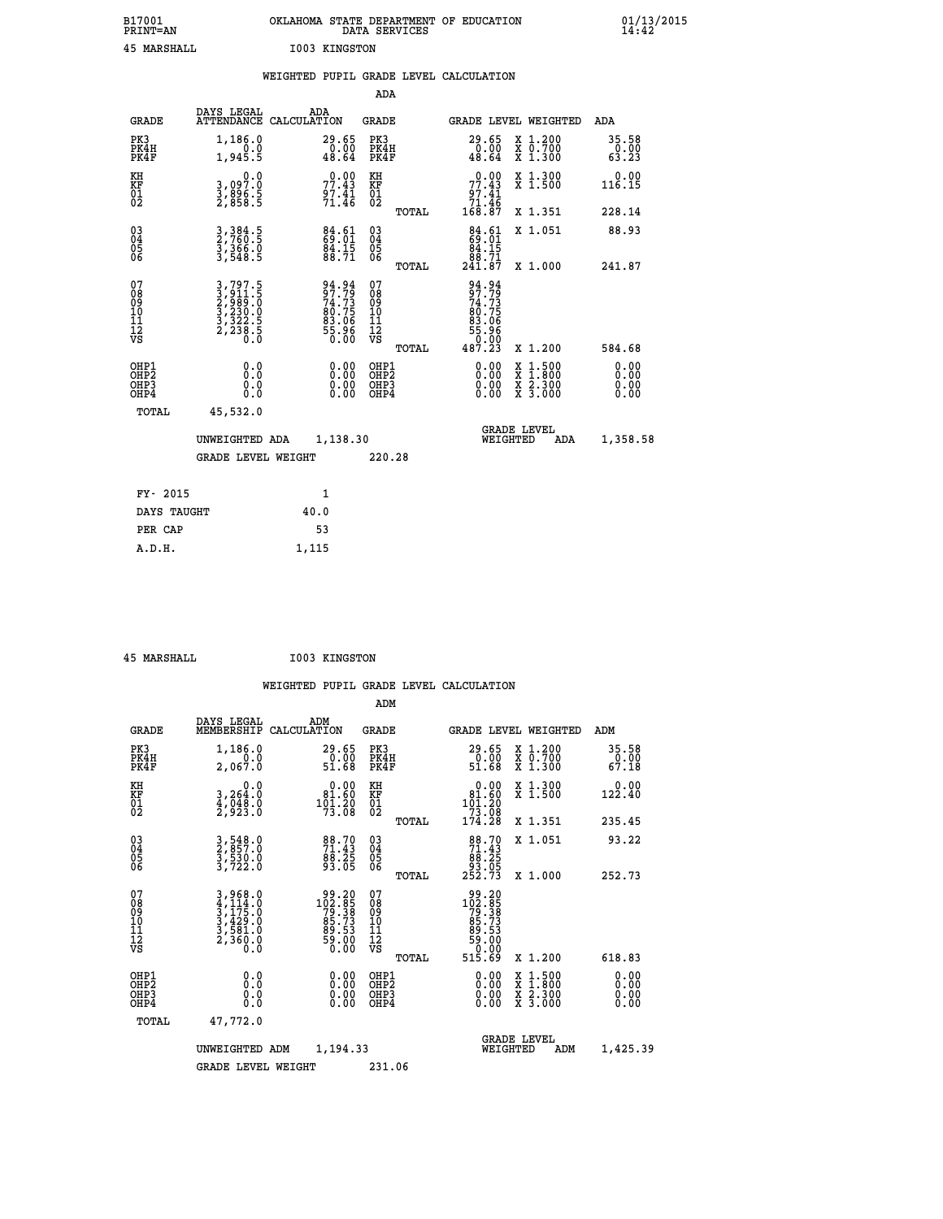| B17001<br><b>PRINT=AN</b> | OKLAHOMA STATE DEPARTMENT OF EDUCATION<br>DATA SERVICES | 01/13/2015 |
|---------------------------|---------------------------------------------------------|------------|
| 45<br>MARSHALL            | I003 KINGSTON                                           |            |

|                                                                    |                                                                                                                                                                                         | WEIGHTED PUPIL GRADE LEVEL CALCULATION                        |                                          |       |                                                                                |                                                                                                                                      |                                                               |
|--------------------------------------------------------------------|-----------------------------------------------------------------------------------------------------------------------------------------------------------------------------------------|---------------------------------------------------------------|------------------------------------------|-------|--------------------------------------------------------------------------------|--------------------------------------------------------------------------------------------------------------------------------------|---------------------------------------------------------------|
|                                                                    |                                                                                                                                                                                         |                                                               | ADA                                      |       |                                                                                |                                                                                                                                      |                                                               |
| <b>GRADE</b>                                                       | DAYS LEGAL                                                                                                                                                                              | ADA<br>ATTENDANCE CALCULATION                                 | <b>GRADE</b>                             |       |                                                                                | GRADE LEVEL WEIGHTED                                                                                                                 | ADA                                                           |
| PK3<br>PK4H<br>PK4F                                                | 1,186.0<br>0.0<br>1,945.5                                                                                                                                                               | 29.65<br>$\begin{smallmatrix} 0.00 \ 48.64 \end{smallmatrix}$ | PK3<br>PK4H<br>PK4F                      |       | 29.65<br>$\frac{0.00}{48.64}$                                                  | X 1.200<br>X 0.700<br>X 1.300                                                                                                        | 35.58<br>$\begin{smallmatrix} 0.00 \ 63.23 \end{smallmatrix}$ |
| KH<br><b>KF</b><br>01<br>02                                        | 0.0<br>3,097:0<br>3,896:5<br>2,858:5                                                                                                                                                    | 77.43<br>$\frac{97.41}{71.46}$                                | KH<br>KF<br>01<br>02                     |       | $0.00$<br>$77.43$<br>$97.41$<br>$71.46$<br>$168.87$                            | X 1.300<br>X 1.500                                                                                                                   | 0.00<br>116.15                                                |
|                                                                    |                                                                                                                                                                                         |                                                               |                                          | TOTAL |                                                                                | X 1.351                                                                                                                              | 228.14                                                        |
| $\begin{smallmatrix} 03 \\[-4pt] 04 \end{smallmatrix}$<br>05<br>ŎĞ | 3, 384.5<br>2, 760.5<br>3, 366.0<br>3, 548.5                                                                                                                                            | $84.61$<br>$84.15$<br>$84.15$<br>$88.71$                      | $\substack{03 \\ 04}$<br>0500            |       | $\begin{smallmatrix}84.61\\69.01\\84.15\\88.71\\241.87\end{smallmatrix}$       | X 1.051                                                                                                                              | 88.93                                                         |
|                                                                    |                                                                                                                                                                                         |                                                               |                                          | TOTAL |                                                                                | X 1.000                                                                                                                              | 241.87                                                        |
| 07<br>08<br>09<br>11<br>11<br>12<br>VS                             | $\begin{smallmatrix} 3\, ,\, 797\, .\, 5\\ 2\, ,\, 911\, .\, 5\\ 2\, ,\, 989\, .\, 0\\ 3\, ,\, 230\, .\, 0\\ 3\, ,\, 322\, .\, 5\\ 2\, ,\, 238\, .\, 5\\ 0\, .\, 0\, \end{smallmatrix}$ | 94.94<br>97.79<br>74.73<br>80.75<br>83.06<br>85.96<br>55.96   | 07<br>08<br>09<br>11<br>11<br>12<br>VS   |       | 94.94<br>97.73<br>74.73<br>80.75<br>83.06<br>83.06<br>55.96<br>50.00<br>487.23 |                                                                                                                                      |                                                               |
|                                                                    |                                                                                                                                                                                         |                                                               |                                          | TOTAL |                                                                                | X 1.200                                                                                                                              | 584.68                                                        |
| OHP1<br>OHP <sub>2</sub><br>OHP3<br>OHP4                           | 0.0<br>0.0<br>0.0                                                                                                                                                                       | 0.00<br>$\begin{smallmatrix} 0.00 \ 0.00 \end{smallmatrix}$   | OHP1<br>OHP <sub>2</sub><br>OHP3<br>OHP4 |       | 0.00<br>$0.00$<br>0.00                                                         | $\begin{smallmatrix} \mathtt{X} & 1 & 500 \\ \mathtt{X} & 1 & 800 \\ \mathtt{X} & 2 & 300 \\ \mathtt{X} & 3 & 000 \end{smallmatrix}$ | 0.00<br>0.00<br>0.00<br>0.00                                  |
| TOTAL                                                              | 45,532.0                                                                                                                                                                                |                                                               |                                          |       |                                                                                |                                                                                                                                      |                                                               |
|                                                                    | UNWEIGHTED ADA                                                                                                                                                                          | 1,138.30                                                      |                                          |       |                                                                                | <b>GRADE LEVEL</b><br>WEIGHTED<br>ADA                                                                                                | 1,358.58                                                      |
|                                                                    | <b>GRADE LEVEL WEIGHT</b>                                                                                                                                                               |                                                               | 220.28                                   |       |                                                                                |                                                                                                                                      |                                                               |
| FY- 2015                                                           |                                                                                                                                                                                         | 1                                                             |                                          |       |                                                                                |                                                                                                                                      |                                                               |
| DAYS TAUGHT                                                        |                                                                                                                                                                                         | 40.0                                                          |                                          |       |                                                                                |                                                                                                                                      |                                                               |
| PER CAP                                                            |                                                                                                                                                                                         | 53                                                            |                                          |       |                                                                                |                                                                                                                                      |                                                               |
| A.D.H.                                                             |                                                                                                                                                                                         | 1,115                                                         |                                          |       |                                                                                |                                                                                                                                      |                                                               |

 **45 MARSHALL I003 KINGSTON**

| <b>GRADE</b>                                       | DAYS LEGAL<br>MEMBERSHIP                                                                                                                                                       | ADM<br>CALCULATION                                                                                   | <b>GRADE</b>                                       |       | GRADE LEVEL WEIGHTED                                                                                                                                                                                                                                                           |                                          | ADM                           |  |
|----------------------------------------------------|--------------------------------------------------------------------------------------------------------------------------------------------------------------------------------|------------------------------------------------------------------------------------------------------|----------------------------------------------------|-------|--------------------------------------------------------------------------------------------------------------------------------------------------------------------------------------------------------------------------------------------------------------------------------|------------------------------------------|-------------------------------|--|
| PK3<br>PK4H<br>PK4F                                | 1,186.0<br>2,067.0                                                                                                                                                             | $\begin{smallmatrix} 29.65\ 0.00 \ 51.68 \end{smallmatrix}$                                          | PK3<br>PK4H<br>PK4F                                |       | 29.65<br>$\frac{0.00}{51.68}$                                                                                                                                                                                                                                                  | X 1.200<br>X 0.700<br>X 1.300            | 35.58<br>$\frac{0.00}{67.18}$ |  |
| KH<br>KF<br>01<br>02                               | 0.0<br>3,264:0<br>4,048.0<br>2,923:0                                                                                                                                           | $\begin{smallmatrix} &0.00\\ 81.60\\ 101.20\\ 73.08\end{smallmatrix}$                                | KH<br>KF<br>01<br>02                               |       | $\begin{smallmatrix} &0.00\\ 81.60\\ 101.20\\ 73.08\\ 174.28\end{smallmatrix}$                                                                                                                                                                                                 | X 1.300<br>X 1.500                       | $0.00$<br>122.40              |  |
|                                                    |                                                                                                                                                                                |                                                                                                      |                                                    | TOTAL |                                                                                                                                                                                                                                                                                | X 1.351                                  | 235.45                        |  |
| $\begin{matrix} 03 \\ 04 \\ 05 \\ 06 \end{matrix}$ | 3,548.0<br>2,857.0<br>3,530.0<br>3,722.0                                                                                                                                       | 88.70<br>71.43<br>88.25<br>93.05                                                                     | $\begin{matrix} 03 \\ 04 \\ 05 \\ 06 \end{matrix}$ |       | $\begin{smallmatrix}88.70\\71.43\\88.25\\93.05\\252.73\end{smallmatrix}$                                                                                                                                                                                                       | X 1.051                                  | 93.22                         |  |
|                                                    |                                                                                                                                                                                |                                                                                                      |                                                    | TOTAL |                                                                                                                                                                                                                                                                                | X 1.000                                  | 252.73                        |  |
| 07<br>089<br>090<br>1112<br>VS                     | $\begin{smallmatrix} 3\,, & 968\,. & 0\\ 4\,, & 114\,. & 0\\ 3\,, & 175\,. & 0\\ 3\,, & 429\,. & 0\\ 3\,, & 581\,. & 0\\ 2\,, & 360\,. & 0\\ 0\,. & 0\,. & 0\end{smallmatrix}$ | $\begin{smallmatrix} 99.20\\ 102.85\\ 79.38\\ 79.33\\ 85.73\\ 89.53\\ 9.00\\ 0.00 \end{smallmatrix}$ | 07<br>08<br>09<br>01<br>11<br>11<br>12<br>VS       | TOTAL | $\begin{array}{r} 99\cdot 20\\102\cdot 85\\79\cdot 33\\85\cdot 73\\89\cdot 53\\99\cdot 50\\59\cdot 00\\0\\515\cdot 69 \end{array}$                                                                                                                                             | X 1.200                                  | 618.83                        |  |
| OHP1<br>OHP2<br>OH <sub>P3</sub><br>OHP4           | $\begin{smallmatrix} 0.0 \ 0.0 \ 0.0 \end{smallmatrix}$                                                                                                                        | $\begin{smallmatrix} 0.00 \ 0.00 \ 0.00 \ 0.00 \end{smallmatrix}$                                    | OHP1<br>OHP2<br>OHP3<br>OHP4                       |       | $\begin{smallmatrix} 0.00 & 0.00 & 0.00 & 0.00 & 0.00 & 0.00 & 0.00 & 0.00 & 0.00 & 0.00 & 0.00 & 0.00 & 0.00 & 0.00 & 0.00 & 0.00 & 0.00 & 0.00 & 0.00 & 0.00 & 0.00 & 0.00 & 0.00 & 0.00 & 0.00 & 0.00 & 0.00 & 0.00 & 0.00 & 0.00 & 0.00 & 0.00 & 0.00 & 0.00 & 0.00 & 0.0$ | X 1:500<br>X 1:800<br>X 2:300<br>X 3:000 | 0.00<br>0.00<br>0.00          |  |
| TOTAL                                              | 47,772.0                                                                                                                                                                       |                                                                                                      |                                                    |       |                                                                                                                                                                                                                                                                                |                                          |                               |  |
|                                                    | UNWEIGHTED                                                                                                                                                                     | 1,194.33<br>ADM                                                                                      |                                                    |       | WEIGHTED                                                                                                                                                                                                                                                                       | <b>GRADE LEVEL</b><br>ADM                | 1,425.39                      |  |
|                                                    | <b>GRADE LEVEL WEIGHT</b>                                                                                                                                                      |                                                                                                      | 231.06                                             |       |                                                                                                                                                                                                                                                                                |                                          |                               |  |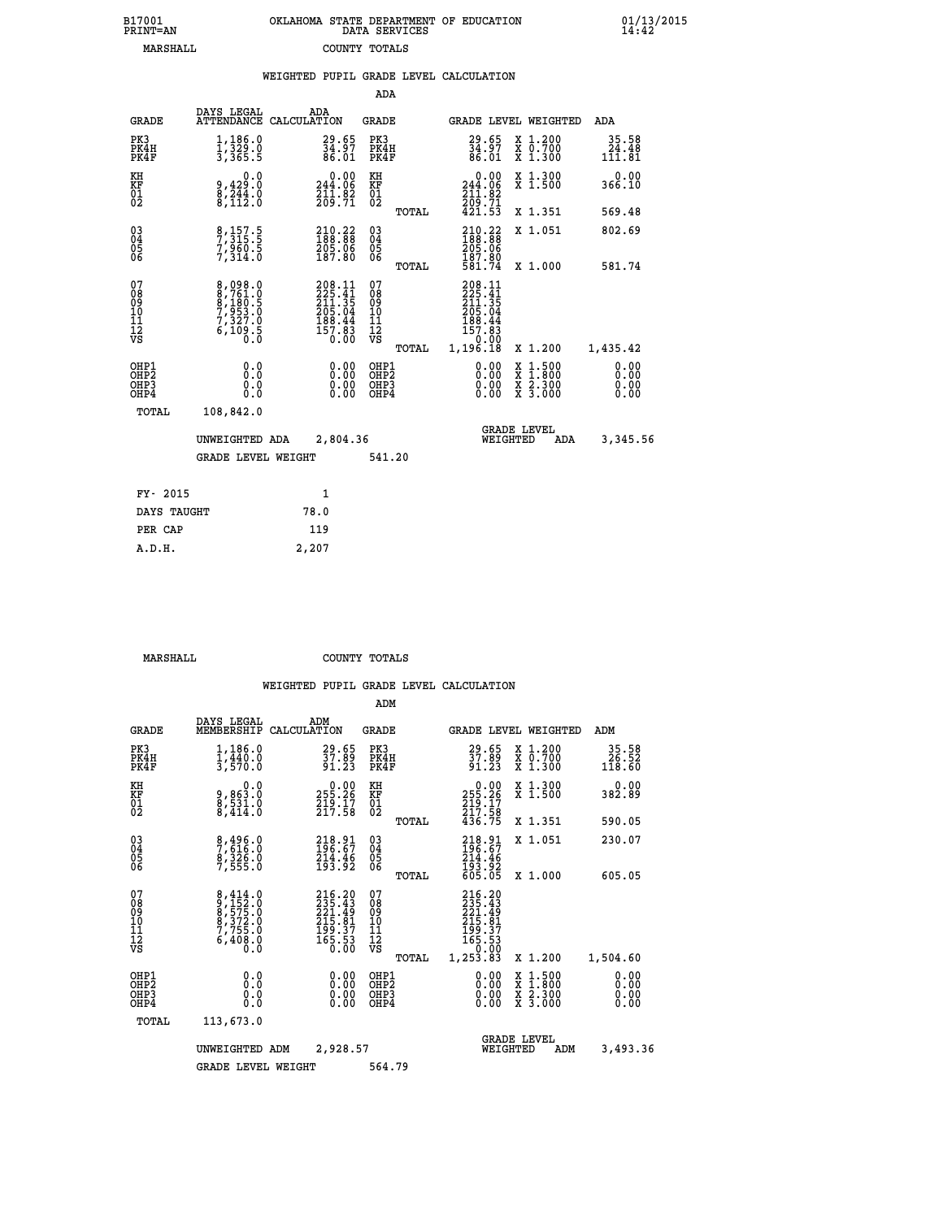| 7001<br>INT=AN |  | OKLAHOMA STATE DEPARTMENT OF EDUCATION<br>DATA SERVICES |  |
|----------------|--|---------------------------------------------------------|--|
| MARSHALL       |  | COUNTY TOTALS                                           |  |

 **B17001 OKLAHOMA STATE DEPARTMENT OF EDUCATION 01/13/2015**

|                                                              |                                                                |      |                                                                                |                                          |       | WEIGHTED PUPIL GRADE LEVEL CALCULATION                                                                |                                                                                                                                           |                                 |
|--------------------------------------------------------------|----------------------------------------------------------------|------|--------------------------------------------------------------------------------|------------------------------------------|-------|-------------------------------------------------------------------------------------------------------|-------------------------------------------------------------------------------------------------------------------------------------------|---------------------------------|
|                                                              |                                                                |      |                                                                                | ADA                                      |       |                                                                                                       |                                                                                                                                           |                                 |
| <b>GRADE</b>                                                 | DAYS LEGAL<br>ATTENDANCE CALCULATION                           | ADA  |                                                                                | GRADE                                    |       | GRADE LEVEL WEIGHTED                                                                                  |                                                                                                                                           | ADA                             |
| PK3<br>PK4H<br>PK4F                                          | 1,186.0<br>$\frac{1}{3}, \frac{3}{365}$ . $\frac{3}{5}$        |      | $\frac{29.65}{34.97}$<br>86.01                                                 | PK3<br>PK4H<br>PK4F                      |       | $\frac{29.65}{34.97}$<br>86.01                                                                        | X 1.200<br>X 0.700<br>X 1.300                                                                                                             | 35.58<br>$\frac{24.48}{111.81}$ |
| KH<br>KF<br>01<br>02                                         | 0.0<br>9,429:0<br>8,244:0<br>8,112:0                           |      | $0.00$<br>244.06<br>$\frac{211.82}{209.71}$                                    | KH<br>KF<br>$\overline{01}$              |       | 244.00<br>$\frac{211.82}{209.71}$                                                                     | X 1.300<br>X 1.500                                                                                                                        | 0.00<br>366.10                  |
|                                                              |                                                                |      |                                                                                |                                          | TOTAL | 421.53                                                                                                | X 1.351                                                                                                                                   | 569.48                          |
| $\begin{smallmatrix} 03 \\[-4pt] 04 \end{smallmatrix}$<br>Ŏ5 | 8,157.5<br>7,315.5<br>7,960.5<br>7,314.0                       |      | $\frac{210.22}{188.88}$                                                        | $\substack{03 \\ 04}$<br>05<br>06        |       | $\begin{smallmatrix} 210.22 \\ 188.88 \\ 205.06 \\ 187.80 \\ 581.74 \end{smallmatrix}$                | X 1.051                                                                                                                                   | 802.69                          |
| ŌĞ                                                           |                                                                |      | 187.80                                                                         |                                          | TOTAL |                                                                                                       | X 1.000                                                                                                                                   | 581.74                          |
| 07<br>08<br>09<br>11<br>11<br>12<br>VS                       | 8,098.0<br>8,761.0<br>8,180.5<br>7,953.0<br>7,327.0<br>6,109.5 |      | $208.11$<br>$225.41$<br>$211.35$<br>$205.04$<br>$188.44$<br>$157.83$<br>$0.00$ | 07<br>08<br>09<br>11<br>11<br>12<br>VS   | TOTAL | 208.11<br>$\frac{225}{211}$ $\frac{41}{35}$<br>$205.04$<br>$188.44$<br>$157.83$<br>$0.00$<br>1,196.18 | X 1.200                                                                                                                                   | 1,435.42                        |
| OHP1<br>OH <sub>P</sub> 2<br>OHP3<br>OHP4                    | 0.0<br>0.0<br>0.0                                              |      | $\begin{smallmatrix} 0.00 \ 0.00 \ 0.00 \ 0.00 \end{smallmatrix}$              | OHP1<br>OHP <sub>2</sub><br>OHP3<br>OHP4 |       | 0.00<br>$0.00$<br>0.00                                                                                | $\begin{smallmatrix} \mathtt{X} & 1\cdot500\\ \mathtt{X} & 1\cdot800\\ \mathtt{X} & 2\cdot300\\ \mathtt{X} & 3\cdot000 \end{smallmatrix}$ | 0.00<br>0.00<br>0.00<br>0.00    |
| TOTAL                                                        | 108,842.0                                                      |      |                                                                                |                                          |       |                                                                                                       |                                                                                                                                           |                                 |
|                                                              | UNWEIGHTED ADA                                                 |      | 2,804.36                                                                       |                                          |       | WEIGHTED                                                                                              | <b>GRADE LEVEL</b><br><b>ADA</b>                                                                                                          | 3,345.56                        |
|                                                              | <b>GRADE LEVEL WEIGHT</b>                                      |      |                                                                                | 541.20                                   |       |                                                                                                       |                                                                                                                                           |                                 |
| FY- 2015                                                     |                                                                |      | $\mathbf{1}$                                                                   |                                          |       |                                                                                                       |                                                                                                                                           |                                 |
| DAYS TAUGHT                                                  |                                                                | 78.0 |                                                                                |                                          |       |                                                                                                       |                                                                                                                                           |                                 |
| PER CAP                                                      |                                                                | 119  |                                                                                |                                          |       |                                                                                                       |                                                                                                                                           |                                 |

 **MARSHALL COUNTY TOTALS**

 **A.D.H. 2,207**

 **B17001<br>PRINT=AN** 

|                                          |                                                                |                                                                                      | ADM                                                 |                                                                                   |                                          |                              |
|------------------------------------------|----------------------------------------------------------------|--------------------------------------------------------------------------------------|-----------------------------------------------------|-----------------------------------------------------------------------------------|------------------------------------------|------------------------------|
| <b>GRADE</b>                             | DAYS LEGAL<br>MEMBERSHIP                                       | ADM<br>CALCULATION                                                                   | <b>GRADE</b>                                        | GRADE LEVEL WEIGHTED                                                              |                                          | ADM                          |
| PK3<br>PK4H<br>PK4F                      | 1,186.0<br>1,440.0<br>3,570.0                                  | $\frac{29.65}{37.89}$<br>91.23                                                       | PK3<br>PK4H<br>PK4F                                 | 29.65<br>37.89<br>91.23                                                           | X 1.200<br>X 0.700<br>X 1.300            | 35.58<br>26.52<br>118.60     |
| KH<br>KF<br>01<br>02                     | 0.0<br>9,863.0<br>8,531.0<br>8,414.0                           | $255.26$<br>$219.17$<br>$217.58$                                                     | KH<br>KF<br>01<br>02                                | $\begin{smallmatrix} &0.00\\ 255.26\\ 219.17\\ 217.58\\ 436.75 \end{smallmatrix}$ | X 1.300<br>X 1.500                       | 0.00<br>382.89               |
|                                          |                                                                |                                                                                      | TOTAL                                               |                                                                                   | X 1.351                                  | 590.05                       |
| 03<br>04<br>05<br>06                     | 8,496.0<br>7,616.0<br>8,326.0<br>7,555.0                       | 218.91<br>196.67<br>214.46<br>193.92                                                 | $\begin{array}{c} 03 \\ 04 \\ 05 \\ 06 \end{array}$ | 218.91<br>196.67<br>214.46<br>193.92<br>605.05                                    | X 1.051                                  | 230.07                       |
|                                          |                                                                |                                                                                      | TOTAL                                               |                                                                                   | X 1.000                                  | 605.05                       |
| 07<br>08<br>09<br>101<br>11<br>12<br>VS  | 8,414.0<br>9,152.0<br>8,575.0<br>8,372.0<br>7,755.0<br>6,408.0 | 216.20<br>235.43<br>221.49<br>$221.49$<br>$215.81$<br>$199.37$<br>$165.53$<br>$0.00$ | 07<br>08<br>09<br>11<br>11<br>12<br>VS<br>TOTAL     | 216.20<br>235.43<br>221.49<br>215.81<br>199.37<br>165.53<br>0.000<br>1, 253.83    | X 1.200                                  | 1,504.60                     |
| OHP1<br>OHP2<br>OH <sub>P3</sub><br>OHP4 | 0.0<br>0.000                                                   | $0.00$<br>$0.00$<br>0.00                                                             | OHP1<br>OHP2<br>OHP <sub>3</sub>                    | $0.00$<br>$0.00$<br>0.00                                                          | X 1:500<br>X 1:800<br>X 2:300<br>X 3:000 | 0.00<br>0.00<br>0.00<br>0.00 |
|                                          | TOTAL<br>113,673.0                                             |                                                                                      |                                                     |                                                                                   |                                          |                              |
|                                          | UNWEIGHTED                                                     | 2,928.57<br>ADM                                                                      |                                                     | <b>GRADE LEVEL</b><br>WEIGHTED                                                    | ADM                                      | 3,493.36                     |
|                                          | <b>GRADE LEVEL WEIGHT</b>                                      |                                                                                      | 564.79                                              |                                                                                   |                                          |                              |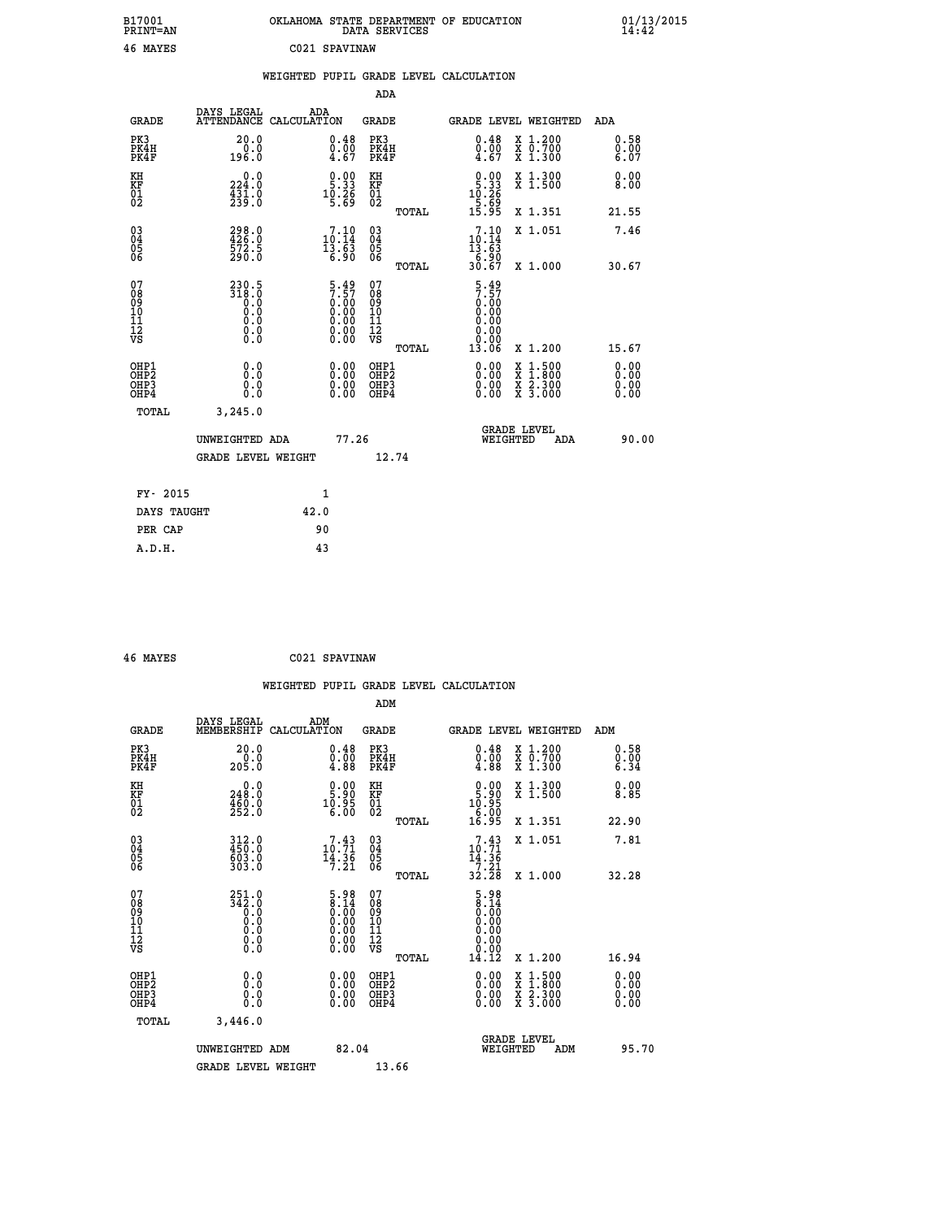| B17001<br>PRINT=AN                           |                                                                          | OKLAHOMA STATE DEPARTMENT OF EDUCATION                      | DATA SERVICES                                              |                                                                                       |                                          | $01/13/2015$<br>14:42        |  |
|----------------------------------------------|--------------------------------------------------------------------------|-------------------------------------------------------------|------------------------------------------------------------|---------------------------------------------------------------------------------------|------------------------------------------|------------------------------|--|
| 46 MAYES                                     |                                                                          | C021 SPAVINAW                                               |                                                            |                                                                                       |                                          |                              |  |
|                                              |                                                                          | WEIGHTED PUPIL GRADE LEVEL CALCULATION                      |                                                            |                                                                                       |                                          |                              |  |
|                                              |                                                                          |                                                             | ADA                                                        |                                                                                       |                                          |                              |  |
| <b>GRADE</b>                                 | DAYS LEGAL                                                               | ADA<br>ATTENDANCE CALCULATION                               | GRADE                                                      |                                                                                       | GRADE LEVEL WEIGHTED                     | ADA                          |  |
| PK3<br>PK4H<br>PK4F                          | 20.0<br>0.0<br>196.0                                                     | $\substack{0.48 \\ 0.00 \\ 4.67}$                           | PK3<br>PK4H<br>PK4F                                        | 0.48<br>$\begin{smallmatrix} \v{0} \ \v{0} \ \v{4} \ \v{6} \ \v{7} \end{smallmatrix}$ | X 1.200<br>X 0.700<br>X 1.300            | 0.58<br>0.00<br>6.07         |  |
| KH<br>ΚF<br>$\frac{01}{02}$                  | 224.0<br>$\frac{4}{2}$ $\frac{3}{2}$ $\frac{1}{9}$ $\cdot$ $\frac{0}{0}$ | $0.00$<br>5.33<br>$10.26$<br>5.69                           | KH<br>KF<br>01<br>02                                       | $0.00$<br>5.33<br>$10.26$<br>$5.69$<br>$15.95$                                        | X 1.300<br>X 1.500                       | 0.00<br>8.00                 |  |
|                                              |                                                                          |                                                             | TOTAL                                                      |                                                                                       | X 1.351                                  | 21.55                        |  |
| 03<br>04<br>05<br>06                         | 298.0<br>426.0<br>572.5<br>290.0                                         | 10:10<br>13.63<br>6.90                                      | $\begin{matrix} 03 \\ 04 \\ 05 \\ 06 \end{matrix}$         | 10:10<br>13.63<br>6.90                                                                | X 1.051                                  | 7.46                         |  |
|                                              | 230.5                                                                    |                                                             | <b>TOTAL</b>                                               | 30.67                                                                                 | X 1.000                                  | 30.67                        |  |
| 07<br>08<br>09<br>10<br>11<br>11<br>12<br>VS | $\frac{318.0}{0.0}$<br>0.0<br>0.0<br>$\S.$ $\S$                          | $5.497.570.000.000.000.000.000.00$                          | 07<br>08<br>09<br>10<br>$\frac{11}{12}$<br>$\frac{12}{18}$ | $\frac{5.49}{7.57}$<br>0.00<br>0.00<br>0.00                                           |                                          |                              |  |
|                                              |                                                                          |                                                             | TOTAL                                                      | 0.00<br>13.06                                                                         | X 1.200                                  | 15.67                        |  |
| OHP1<br>OHP2<br>OHP3<br>OHP4                 | 0.0<br>0.0<br>0.0<br>0.0                                                 | 0.00<br>$\begin{smallmatrix} 0.00 \ 0.00 \end{smallmatrix}$ | OHP1<br>OH <sub>P</sub> 2<br>OHP3<br>OHP4                  | 0.00<br>0.00<br>0.00                                                                  | X 1:500<br>X 1:800<br>X 2:300<br>X 3:000 | 0.00<br>0.00<br>0.00<br>0.00 |  |
| TOTAL                                        | 3,245.0                                                                  |                                                             |                                                            |                                                                                       |                                          |                              |  |
|                                              | UNWEIGHTED ADA                                                           | 77.26                                                       |                                                            | WEIGHTED                                                                              | <b>GRADE LEVEL</b><br>ADA                | 90.00                        |  |
|                                              | GRADE LEVEL WEIGHT                                                       |                                                             | 12.74                                                      |                                                                                       |                                          |                              |  |
| FY- 2015                                     |                                                                          | 1                                                           |                                                            |                                                                                       |                                          |                              |  |
| DAYS TAUGHT                                  |                                                                          | 42.0                                                        |                                                            |                                                                                       |                                          |                              |  |
| PER CAP                                      |                                                                          | 90                                                          |                                                            |                                                                                       |                                          |                              |  |

| 46 MAYES |  | C021 SPAVINAW |
|----------|--|---------------|
|----------|--|---------------|

 **WEIGHTED PUPIL GRADE LEVEL CALCULATION ADM DAYS LEGAL ADM GRADE MEMBERSHIP CALCULATION GRADE GRADE LEVEL WEIGHTED ADM PK3 20.0 0.48 PK3 0.48 X 1.200 0.58 PK4H 0.0 0.00 PK4H 0.00 X 0.700 0.00 PK4F 205.0 4.88 PK4F 4.88 X 1.300 6.34 KH 0.0 0.00 KH 0.00 X 1.300 0.00 KF 248.0 5.90 KF 5.90 X 1.500 8.85 01 460.0 10.95 01 10.95 02 252.0 6.00 02 6.00 TOTAL 16.95 X 1.351 22.90 03 312.0 7.43 03 7.43 X 1.051 7.81 04 450.0 10.71 04 10.71 05 603.0 14.36 05 14.36 06 303.0 7.21 06 7.21 TOTAL 32.28 X 1.000 32.28 07 251.0 5.98 07 5.98 08** 342.0 8.14 08 8.14 **03 0.00 0.00 0.000 0.000 10 0.0 0.00 10 0.00 11 0.0 0.00 11 0.00 12 0.0 0.00 12 0.00 VS 0.0 0.00 VS 0.00 TOTAL 14.12 X 1.200 16.94 OHE1 0.00 0.00 0.000 OHE1 0.00 X 1.500 0.00 OHES 0.0 0.0 0.00 OHES 0.00 X 1.800 0.00 OHP3 0.0 0.00 OHP3 0.00 X 2.300 0.00 OHP4 0.0 0.00 OHP4 0.00 X 3.000 0.00 TOTAL 3,446.0 GRADE LEVEL UNWEIGHTED ADM 82.04 WEIGHTED ADM 95.70** GRADE LEVEL WEIGHT 13.66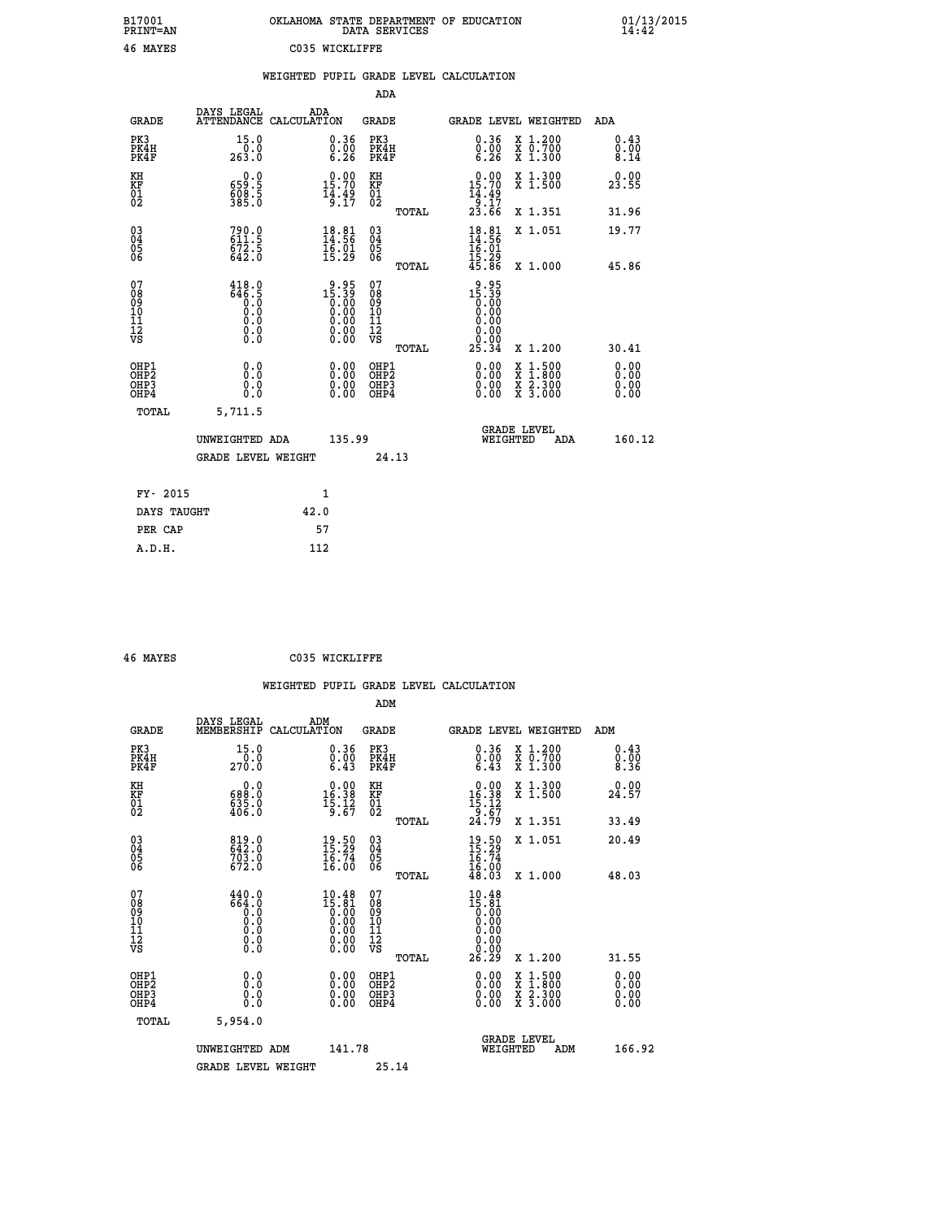| B17001<br>PRINT=AN                                   |                                                                                         | OKLAHOMA STATE DEPARTMENT OF EDUCATION                                                                                                                                                                                                                                                 | DATA SERVICES                                              |                                                          |                                                                                                                                           | $01/13/2015$<br>14:42        |
|------------------------------------------------------|-----------------------------------------------------------------------------------------|----------------------------------------------------------------------------------------------------------------------------------------------------------------------------------------------------------------------------------------------------------------------------------------|------------------------------------------------------------|----------------------------------------------------------|-------------------------------------------------------------------------------------------------------------------------------------------|------------------------------|
| 46 MAYES                                             |                                                                                         | C035 WICKLIFFE                                                                                                                                                                                                                                                                         |                                                            |                                                          |                                                                                                                                           |                              |
|                                                      |                                                                                         | WEIGHTED PUPIL GRADE LEVEL CALCULATION                                                                                                                                                                                                                                                 |                                                            |                                                          |                                                                                                                                           |                              |
|                                                      |                                                                                         |                                                                                                                                                                                                                                                                                        | ADA                                                        |                                                          |                                                                                                                                           |                              |
| <b>GRADE</b>                                         | DAYS LEGAL                                                                              | ADA<br>ATTENDANCE CALCULATION                                                                                                                                                                                                                                                          | GRADE                                                      | GRADE LEVEL WEIGHTED                                     |                                                                                                                                           | <b>ADA</b>                   |
| PK3<br>PK4H<br>PK4F                                  | 15.0<br>0.0<br>263.0                                                                    | 0.36<br>$\begin{smallmatrix} 0.00 & 0.00 & 0.00 & 0.00 & 0.00 & 0.00 & 0.00 & 0.00 & 0.00 & 0.00 & 0.00 & 0.00 & 0.00 & 0.00 & 0.00 & 0.00 & 0.00 & 0.00 & 0.00 & 0.00 & 0.00 & 0.00 & 0.00 & 0.00 & 0.00 & 0.00 & 0.00 & 0.00 & 0.00 & 0.00 & 0.00 & 0.00 & 0.00 & 0.00 & 0.00 & 0.0$ | PK3<br>PK4H<br>PK4F                                        | $\begin{smallmatrix} 0.36\ 0.00\ 6.26 \end{smallmatrix}$ | X 1.200<br>X 0.700<br>X 1.300                                                                                                             | 0.43<br>0.00<br>8.14         |
| KH<br>KF<br>$\frac{01}{02}$                          | 0.0<br>659:5<br>608:5<br>385:0                                                          | 15.70<br>$\frac{1}{9}$ : $\frac{4}{17}$                                                                                                                                                                                                                                                | KH<br><b>KF</b><br>01<br>02                                | 0.00<br>15.70<br>$\frac{14.49}{9.17}$<br>23.66           | X 1.300<br>X 1.500                                                                                                                        | 0.00<br>23.55                |
|                                                      |                                                                                         |                                                                                                                                                                                                                                                                                        | TOTAL                                                      |                                                          | X 1.351                                                                                                                                   | 31.96                        |
| 030404                                               | 790.0<br>611.5<br>672.5<br>642.0                                                        | $18.81$<br>$14.56$<br>$\frac{16.01}{15.29}$                                                                                                                                                                                                                                            | $^{03}_{04}$<br>0500                                       | $18.81$<br>$14.56$<br>$16.01$                            | X 1.051                                                                                                                                   | 19.77                        |
| ŎĞ                                                   |                                                                                         |                                                                                                                                                                                                                                                                                        | TOTAL                                                      | 15.29<br>45.86                                           | X 1.000                                                                                                                                   | 45.86                        |
| 07<br>ŏģ<br>09<br>10<br>iĭ<br>12<br>VS               | 418.0<br>646.5<br>0.0<br>0.0<br>$\begin{smallmatrix} 0.10\ 0.0 \ 0.0 \end{smallmatrix}$ | $2.95$<br>15.39<br>0.00                                                                                                                                                                                                                                                                | 07<br>ŏġ<br>09<br>ĭõ<br>$\frac{11}{12}$<br>$\frac{12}{18}$ | $2.95$<br>39.39<br>0.00<br>0.00<br>0.00<br>0.00<br>0.00  |                                                                                                                                           |                              |
|                                                      |                                                                                         |                                                                                                                                                                                                                                                                                        | TOTAL                                                      | 25.34                                                    | X 1.200                                                                                                                                   | 30.41                        |
| OHP1<br>OHP <sub>2</sub><br>OH <sub>P3</sub><br>OHP4 | 0.0<br>Ŏ.Ŏ<br>0.0<br>0.0                                                                | 0.00<br>0.00<br>0.00                                                                                                                                                                                                                                                                   | OHP1<br>OHP <sub>2</sub><br>OHP3<br>OHP4                   | 0.00<br>0.00<br>0.00                                     | $\begin{smallmatrix} \mathtt{X} & 1\cdot500\\ \mathtt{X} & 1\cdot800\\ \mathtt{X} & 2\cdot300\\ \mathtt{X} & 3\cdot000 \end{smallmatrix}$ | 0.00<br>0.00<br>0.00<br>0.00 |
| TOTAL                                                | 5,711.5                                                                                 |                                                                                                                                                                                                                                                                                        |                                                            |                                                          |                                                                                                                                           |                              |
|                                                      | UNWEIGHTED ADA                                                                          | 135.99                                                                                                                                                                                                                                                                                 |                                                            | WEIGHTED                                                 | <b>GRADE LEVEL</b><br>ADA                                                                                                                 | 160.12                       |
|                                                      | <b>GRADE LEVEL WEIGHT</b>                                                               |                                                                                                                                                                                                                                                                                        | 24.13                                                      |                                                          |                                                                                                                                           |                              |
| FY- 2015                                             |                                                                                         | 1                                                                                                                                                                                                                                                                                      |                                                            |                                                          |                                                                                                                                           |                              |
| DAYS TAUGHT                                          |                                                                                         | 42.0                                                                                                                                                                                                                                                                                   |                                                            |                                                          |                                                                                                                                           |                              |
| PER CAP                                              |                                                                                         | 57                                                                                                                                                                                                                                                                                     |                                                            |                                                          |                                                                                                                                           |                              |

 **46 MAYES C035 WICKLIFFE**

 **A.D.H. 112**

 **WEIGHTED PUPIL GRADE LEVEL CALCULATION ADM DAYS LEGAL ADM GRADE MEMBERSHIP CALCULATION GRADE GRADE LEVEL WEIGHTED ADM PK3 15.0 0.36 PK3 0.36 X 1.200 0.43 PK4H 0.0 0.00 PK4H 0.00 X 0.700 0.00 PK4F 270.0 6.43 PK4F 6.43 X 1.300 8.36 KH 0.0 0.00 KH 0.00 X 1.300 0.00 KF 688.0 16.38 KF 16.38 X 1.500 24.57 01 635.0 15.12 01 15.12 02 406.0 9.67 02 9.67 TOTAL 24.79 X 1.351 33.49 03 819.0 19.50 03 19.50 X 1.051 20.49 04 642.0 15.29 04 15.29 05 703.0 16.74 05 16.74** 06 672.0 16.00 06 <sub>memax</sub> 16.00  **TOTAL 48.03 X 1.000 48.03** 07 440.0 10.48 07 10.48<br>
08 664.0 15.81 08 15.81<br>
09 0.0 0.00 10 0.00<br>
10 0.0 0.00 10 0.00<br>
11 0.0 0.00 11 0.00<br>
12 0.00 0.00 12<br>
VS 0.0 0.00 VS 0.00  **TOTAL 26.29 X 1.200 31.55 OHP1 0.0 0.00 OHP1 0.00 X 1.500 0.00 OHP2 0.0 0.00 OHP2 0.00 X 1.800 0.00 OHP3 0.0 0.00 OHP3 0.00 X 2.300 0.00 OHP4 0.0 0.00 OHP4 0.00 X 3.000 0.00 TOTAL 5,954.0** UNWEIGHTED ADM 141.78  **UNWEIGHTED ADM 141.78 WEIGHTED ADM 166.92** GRADE LEVEL WEIGHT 25.14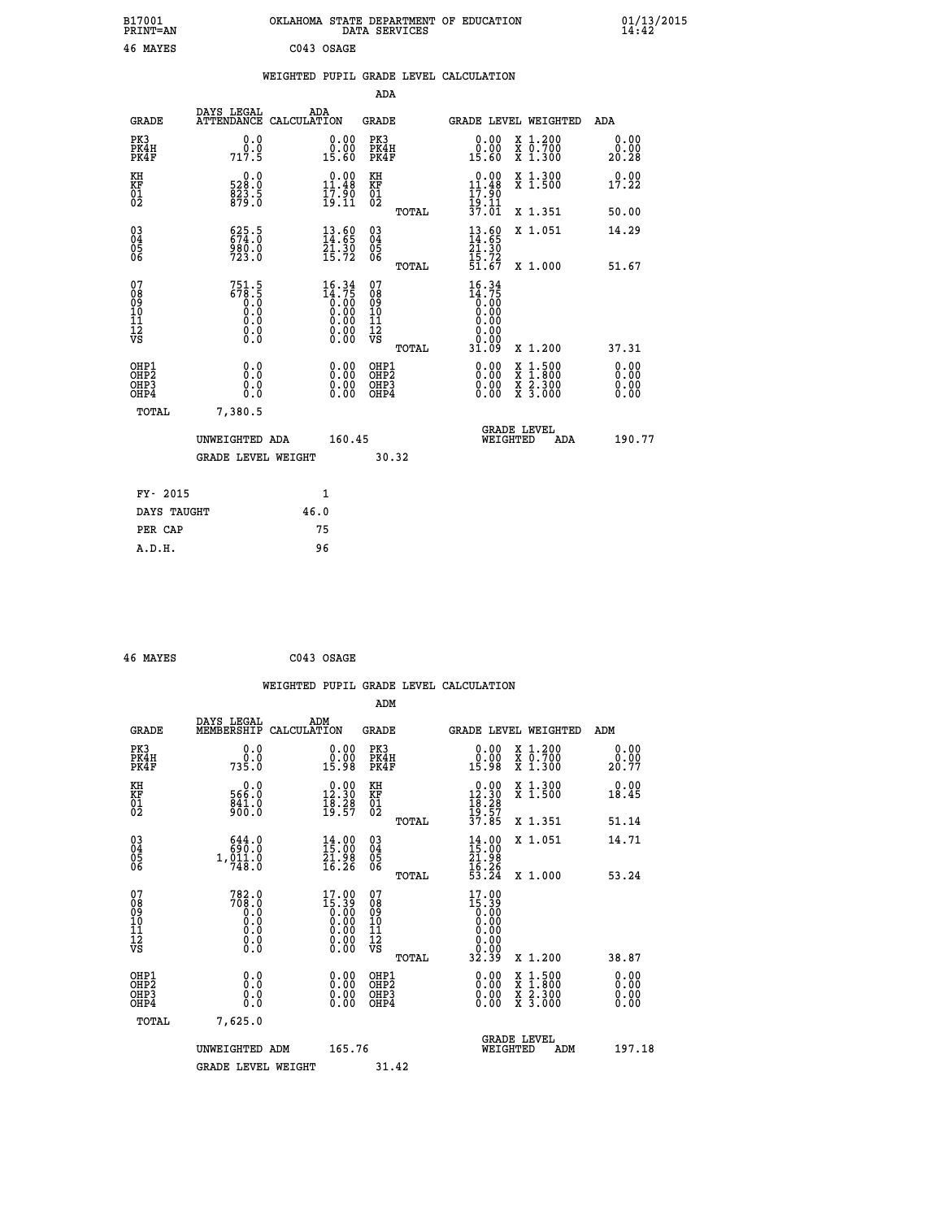| B17001<br>PRINT=AN                           |                                                         | OKLAHOMA STATE DEPARTMENT OF EDUCATION                               |        |                                                    | DATA SERVICES |                                                                |                                                                                                                                           | 01/13/2015            |  |
|----------------------------------------------|---------------------------------------------------------|----------------------------------------------------------------------|--------|----------------------------------------------------|---------------|----------------------------------------------------------------|-------------------------------------------------------------------------------------------------------------------------------------------|-----------------------|--|
| 46 MAYES                                     |                                                         | C043 OSAGE                                                           |        |                                                    |               |                                                                |                                                                                                                                           |                       |  |
|                                              |                                                         | WEIGHTED PUPIL GRADE LEVEL CALCULATION                               |        |                                                    |               |                                                                |                                                                                                                                           |                       |  |
|                                              |                                                         |                                                                      |        | ADA                                                |               |                                                                |                                                                                                                                           |                       |  |
| <b>GRADE</b>                                 | DAYS LEGAL                                              | ADA<br>ATTENDANCE CALCULATION                                        |        | GRADE                                              |               | <b>GRADE LEVEL WEIGHTED</b>                                    |                                                                                                                                           | ADA                   |  |
| PK3<br>PK4H<br>PK4F                          | 0.0<br>0.0<br>717.5                                     | 0.00<br>0.00<br>15.60                                                |        | PK3<br>PK4H<br>PK4F                                |               | 0.00<br>0.00<br>15.60                                          | X 1.200<br>X 0.700<br>X 1.300                                                                                                             | 0.00<br>0.00<br>20.28 |  |
| KH<br>KF<br>01<br>02                         | 0.0<br>528.0<br>823.5<br>879.0                          | $\begin{smallmatrix} 0.00\\ 11.48\\ 17.90\\ 19.11 \end{smallmatrix}$ |        | KH<br><b>KF</b><br>01<br>02                        |               | $0.00$<br>$11.48$<br>$17.90$<br>$19.11$                        | X 1.300<br>X 1.500                                                                                                                        | 0.00<br>17.22         |  |
|                                              |                                                         |                                                                      |        |                                                    | TOTAL         | $\overline{3}\overline{7}.\overline{0}\overline{1}$            | X 1.351                                                                                                                                   | 50.00                 |  |
| 03<br>04<br>05<br>06                         | $625.5$<br>$674.0$<br>980.0<br>723.0                    | $\frac{13.60}{14.65}$<br>$\frac{21:30}{15:72}$                       |        | $\begin{matrix} 03 \\ 04 \\ 05 \\ 06 \end{matrix}$ |               | $\frac{13}{14}$ : 69<br>21.30<br>15.72<br>51.67                | X 1.051                                                                                                                                   | 14.29                 |  |
|                                              |                                                         |                                                                      |        |                                                    | TOTAL         |                                                                | X 1.000                                                                                                                                   | 51.67                 |  |
| 07<br>08<br>09<br>11<br>11<br>12<br>VS       | $751.5$<br>$678.5$<br>$9.9$<br>0.0<br>0.0<br>$\S.$ $\S$ | $16.34\n14.75\n0.00\n0.00\n0.00\n0.00\n0.00$                         |        | 07<br>08<br>09<br>10<br>īĭ<br>12<br>VS             | TOTAL         | 16.34<br>$\frac{14.75}{0.00}$<br>0.00<br>0.00<br>0.00<br>31.09 | X 1.200                                                                                                                                   | 37.31                 |  |
| OHP1                                         | 0.0                                                     | 0.00                                                                 |        | OHP1                                               |               | 0.00                                                           |                                                                                                                                           | 0.00                  |  |
| OHP <sub>2</sub><br>OH <sub>P3</sub><br>OHP4 | 0.0<br>0.0                                              | $\begin{smallmatrix} 0.00 \ 0.00 \end{smallmatrix}$                  |        | OHP <sub>2</sub><br>OHP3<br>OHP4                   |               | 0.00<br>0.00                                                   | $\begin{smallmatrix} \mathtt{X} & 1\cdot500\\ \mathtt{X} & 1\cdot800\\ \mathtt{X} & 2\cdot300\\ \mathtt{X} & 3\cdot000 \end{smallmatrix}$ | 0.00<br>0.00<br>0.00  |  |
| TOTAL                                        | 7,380.5                                                 |                                                                      |        |                                                    |               |                                                                |                                                                                                                                           |                       |  |
|                                              | UNWEIGHTED ADA                                          |                                                                      | 160.45 |                                                    |               | WEIGHTED                                                       | <b>GRADE LEVEL</b><br>ADA                                                                                                                 | 190.77                |  |
|                                              | <b>GRADE LEVEL WEIGHT</b>                               |                                                                      |        |                                                    | 30.32         |                                                                |                                                                                                                                           |                       |  |
| FY- 2015                                     |                                                         | 1                                                                    |        |                                                    |               |                                                                |                                                                                                                                           |                       |  |
| DAYS TAUGHT                                  |                                                         | 46.0                                                                 |        |                                                    |               |                                                                |                                                                                                                                           |                       |  |
| PER CAP                                      |                                                         | 75                                                                   |        |                                                    |               |                                                                |                                                                                                                                           |                       |  |

| 46 MAYES | C043 OSAGE |
|----------|------------|
|          |            |

 **WEIGHTED PUPIL GRADE LEVEL CALCULATION ADM DAYS LEGAL ADM GRADE MEMBERSHIP CALCULATION GRADE GRADE LEVEL WEIGHTED ADM PK3 0.0 0.00 PK3 0.00 X 1.200 0.00 PK4H 0.0 0.00 PK4H 0.00 X 0.700 0.00 PK4F 735.0 15.98 PK4F 15.98 X 1.300 20.77 KH 0.0 0.00 KH 0.00 X 1.300 0.00 KF 566.0 12.30 KF 12.30 X 1.500 18.45 01 841.0 18.28 01 18.28**  $02$  900.0 19.57 02  $_{\text{norm}}$  19.57  **TOTAL 37.85 X 1.351 51.14 03 644.0 14.00 03 14.00 X 1.051 14.71 04 690.0 15.00 04 15.00 05 1,011.0 21.98 05 21.98** 06 748.0 16.26 06 <sub>momas</sub> 16.26  **TOTAL 53.24 X 1.000 53.24 07 782.0 17.00 07 17.00 08 708.0 15.39 08 15.39 03 0.00 0.00 0.000 0.000 10 0.0 0.00 10 0.00 11 0.0 0.00 11 0.00 12 0.0 0.00 12 0.00 VS** 0.0 0.00 VS 0.00 0.00  **TOTAL 32.39 X 1.200 38.87 OHP1 0.0 0.00 OHP1 0.00 X 1.500 0.00 OHP2 0.0 0.00 OHP2 0.00 X 1.800 0.00 OHP3 0.0 0.00 OHP3 0.00 X 2.300 0.00 OHP4 0.0 0.00 OHP4 0.00 X 3.000 0.00 TOTAL 7,625.0 GRADE LEVEL UNWEIGHTED ADM 165.76 WEIGHTED ADM 197.18 GRADE LEVEL WEIGHT 31.42**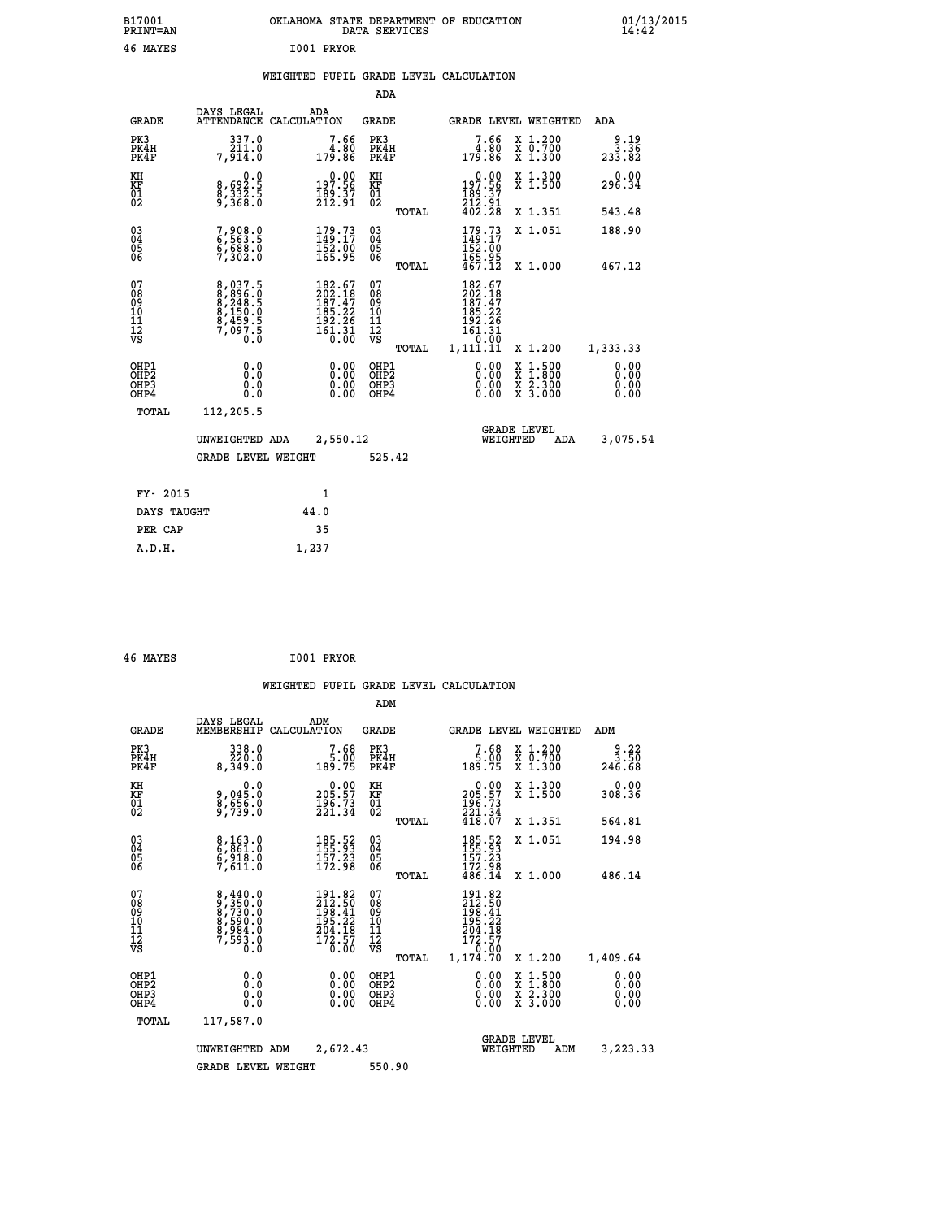| B17001<br><b>PRINT=AN</b>              |                                                                                          | OKLAHOMA STATE DEPARTMENT OF EDUCATION                                                             | DATA SERVICES                                   |                                                                                            |                                                                                                  | $01/13/2015$<br>14:42         |
|----------------------------------------|------------------------------------------------------------------------------------------|----------------------------------------------------------------------------------------------------|-------------------------------------------------|--------------------------------------------------------------------------------------------|--------------------------------------------------------------------------------------------------|-------------------------------|
| 46 MAYES                               |                                                                                          | I001 PRYOR                                                                                         |                                                 |                                                                                            |                                                                                                  |                               |
|                                        |                                                                                          | WEIGHTED PUPIL GRADE LEVEL CALCULATION                                                             | ADA                                             |                                                                                            |                                                                                                  |                               |
|                                        |                                                                                          |                                                                                                    |                                                 |                                                                                            |                                                                                                  |                               |
| <b>GRADE</b>                           | DAYS LEGAL                                                                               | ADA<br>ATTENDANCE CALCULATION                                                                      | GRADE                                           |                                                                                            | GRADE LEVEL WEIGHTED                                                                             | ADA                           |
| PK3<br>PK4H<br>PK4F                    | 337.0<br>211.0<br>7,914.0                                                                | 7.66<br>4.80<br>179.86                                                                             | PK3<br>PK4H<br>PK4F                             | 7.66<br>4.80<br>179.86                                                                     | X 1.200<br>X 0.700<br>X 1.300                                                                    | $\frac{9.19}{3.36}$<br>233.82 |
| KH<br>KF<br>01<br>02                   | 0.0<br>8,692:5<br>8,332:5<br>9,368:0                                                     | $\begin{smallmatrix} &0.00\\197.56\\189.37\\212.91\end{smallmatrix}$                               | KH<br>KF<br>01<br>02                            | 0.00<br>$197.56$<br>$189.37$<br>$212.91$<br>$402.28$                                       | X 1.300<br>X 1.500                                                                               | 0.00<br>296.34                |
|                                        |                                                                                          |                                                                                                    | TOTAL                                           |                                                                                            | X 1.351                                                                                          | 543.48                        |
| $\substack{03 \\ 04}$<br>Ŏ5<br>06      | $\frac{7}{9}, \frac{9}{9}, \frac{0}{9}, \frac{0}{9}$<br>$\frac{6}{7}, \frac{688}{302}.0$ | 179.73<br>152.00<br>165.95                                                                         | $^{03}_{04}$<br>05<br>06                        | $179.73$<br>$149.17$<br>152:00<br>165:95<br>467:12                                         | X 1.051                                                                                          | 188.90                        |
|                                        |                                                                                          |                                                                                                    | TOTAL                                           |                                                                                            | X 1.000                                                                                          | 467.12                        |
| 07<br>08<br>09<br>10<br>11<br>12<br>VS | 8,037.5<br>8,896.0<br>8,248.5<br>8,150.0<br>8,459.5<br>7,097.5                           | $\begin{smallmatrix} 182.67\\ 202.18\\ 187.47\\ 185.22\\ 192.26\\ 161.31\\ 0.00 \end{smallmatrix}$ | 07<br>08<br>09<br>10<br>īĭ<br>12<br>VS<br>TOTAL | 182.67<br>202.18<br>187.47<br>185.22<br>192.26<br>161.31<br>$\overline{0}$ .00<br>1,111.11 | X 1.200                                                                                          | 1,333.33                      |
| OHP1                                   | 0.0                                                                                      |                                                                                                    | OHP1                                            |                                                                                            |                                                                                                  | 0.00                          |
| OH <sub>P</sub> 2<br>OHP3<br>OHP4      | ŏ:ŏ<br>0.0<br>0.0                                                                        | 0.00<br>0.00                                                                                       | OH <sub>P</sub> 2<br>OHP3<br>OHP4               | 0.00<br>0.00<br>0.00                                                                       | $\begin{smallmatrix} x & 1 & 500 \\ x & 1 & 800 \\ x & 2 & 300 \\ x & 3 & 000 \end{smallmatrix}$ | 0.00<br>0.00<br>0.00          |
| TOTAL                                  | 112,205.5                                                                                |                                                                                                    |                                                 |                                                                                            |                                                                                                  |                               |
|                                        | UNWEIGHTED ADA                                                                           | 2,550.12                                                                                           |                                                 | WEIGHTED                                                                                   | <b>GRADE LEVEL</b><br>ADA                                                                        | 3,075.54                      |
|                                        | <b>GRADE LEVEL WEIGHT</b>                                                                |                                                                                                    | 525.42                                          |                                                                                            |                                                                                                  |                               |
| FY- 2015                               |                                                                                          | 1                                                                                                  |                                                 |                                                                                            |                                                                                                  |                               |
| DAYS TAUGHT                            |                                                                                          | 44.0                                                                                               |                                                 |                                                                                            |                                                                                                  |                               |
| PER CAP                                |                                                                                          | 35                                                                                                 |                                                 |                                                                                            |                                                                                                  |                               |

```
 46 MAYES I001 PRYOR
```
 **A.D.H. 1,237**

 **WEIGHTED PUPIL GRADE LEVEL CALCULATION ADM DAYS LEGAL ADM GRADE MEMBERSHIP CALCULATION GRADE GRADE LEVEL WEIGHTED ADM PK3 338.0 7.68 PK3 7.68 X 1.200 9.22 PK4H 220.0 5.00 PK4H 5.00 X 0.700 3.50 PK4F 8,349.0 189.75 PK4F 189.75 X 1.300 246.68** 0.00 KH و0.00 XH<br>RF 9,045.0 205.57 KF 205.57 X 1.500 308.36  **01 8,656.0 196.73 01 196.73** 0.00 KH<br>205.57 KF<br>196.73 01<br>221.34 02 TOTAL  **TOTAL 418.07 X 1.351 564.81 03 8,163.0 185.52 03 185.52 X 1.051 194.98 04 6,861.0 155.93 04 155.93 05 6,918.0 157.23 05 157.23 06 7,611.0 172.98 06 172.98 TOTAL 486.14 X 1.000 486.14**  $\begin{array}{cccc} 07 & 8 & 49.0 & 191.82 & 07 & 191.82 \ 08 & 9 & 350.0 & 198.41 & 09 & 198.41 \ 09 & 8 & 730.0 & 198.41 & 09 & 198.41 \ 10 & 8 & 590.0 & 198.22 & 10 & 198.42 \ 11 & 8 & 994.0 & 193.2 & 10 & 198.42 \ 12 & 7 & 593.0 & 172.57 & 12 & 172.57 \ 12 & 7 & 593$  **OHP1 0.0 0.00 OHP1 0.00 X 1.500 0.00 OHP2 0.0 0.00 OHP2 0.00 X 1.800 0.00 OHP3 0.0 0.00 OHP3 0.00 X 2.300 0.00 OHP4 0.0 0.00 OHP4 0.00 X 3.000 0.00 TOTAL 117,587.0 GRADE LEVEL UNWEIGHTED ADM 2,672.43 WEIGHTED ADM 3,223.33 GRADE LEVEL WEIGHT 550.90**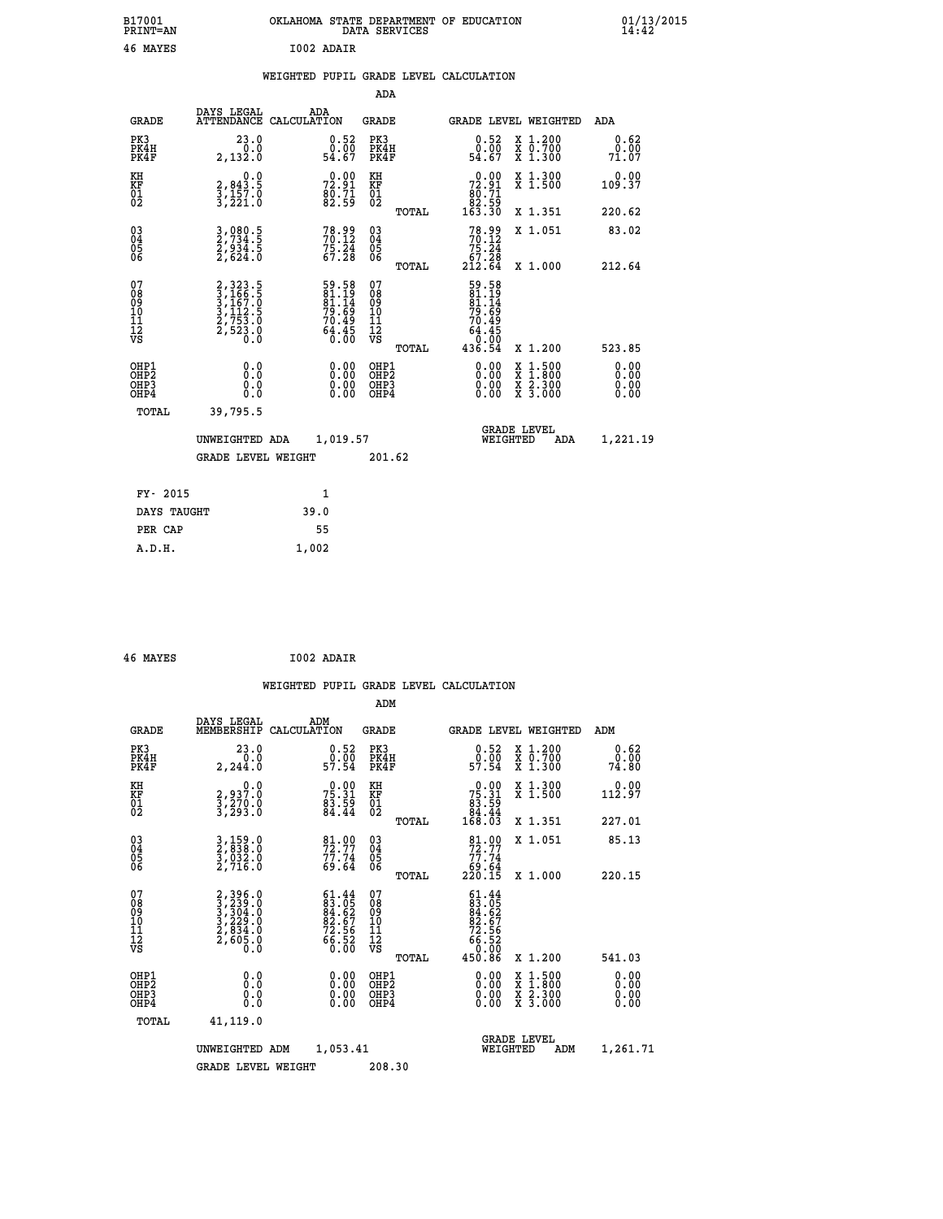| B17001<br><b>PRINT=AN</b>                          |                                                                             | OKLAHOMA STATE DEPARTMENT OF EDUCATION                             | DATA SERVICES                            |                                                                          |                                                                                                  | 01/13/2015<br>14:42          |  |
|----------------------------------------------------|-----------------------------------------------------------------------------|--------------------------------------------------------------------|------------------------------------------|--------------------------------------------------------------------------|--------------------------------------------------------------------------------------------------|------------------------------|--|
| 46 MAYES                                           |                                                                             | I002 ADAIR                                                         |                                          |                                                                          |                                                                                                  |                              |  |
|                                                    |                                                                             | WEIGHTED PUPIL GRADE LEVEL CALCULATION                             |                                          |                                                                          |                                                                                                  |                              |  |
|                                                    |                                                                             |                                                                    | <b>ADA</b>                               |                                                                          |                                                                                                  |                              |  |
| GRADE                                              | DAYS LEGAL                                                                  | ADA<br>ATTENDANCE CALCULATION                                      | GRADE                                    | <b>GRADE LEVEL WEIGHTED</b>                                              |                                                                                                  | ADA                          |  |
| PK3<br>PK4H<br>PK4F                                | 23.0<br>0.0<br>2,132.0                                                      | $0.52$<br>$0.00$<br>54.67                                          | PK3<br>PK4H<br>PK4F                      | 0.52<br>$\substack{0.00 \\ 54.67}$                                       | X 1.200<br>X 0.700<br>X 1.300                                                                    | 0.62<br>0.00<br>71.07        |  |
| KH<br>KF<br>01<br>02                               | 0.0<br>2,843.5<br>3,157.0<br>3,221.0                                        | 0.00<br>$\frac{72.91}{80.71}$<br>82.59                             | KH<br><b>KF</b><br>01<br>02              | 0.00<br>$72.91$<br>$80.71$                                               | X 1.300<br>X 1.500                                                                               | 0.00<br>109.37               |  |
|                                                    |                                                                             |                                                                    | TOTAL                                    | 82.59<br>163.30                                                          | X 1.351                                                                                          | 220.62                       |  |
| $\begin{matrix} 03 \\ 04 \\ 05 \\ 06 \end{matrix}$ | 3,080.5<br>2,734.5<br>2,934.5<br>2,624.0                                    | $78.99$<br>$70.12$<br>$75.24$<br>$67.28$                           | 030404<br>ŎĞ                             | 78.99<br>70.12<br>75.24<br>67.28                                         | X 1.051                                                                                          | 83.02                        |  |
|                                                    |                                                                             |                                                                    | TOTAL                                    | 212.64                                                                   | X 1.000                                                                                          | 212.64                       |  |
| 078901112<br>000101112<br>VS                       | 2, 323.5<br>3, 166.5<br>3, 167.0<br>3, 112.5<br>2, 753.0<br>2, 523.0<br>0.0 | 59.58<br>81.19<br>81.14<br>$79.69$<br>$70.49$<br>$64.45$<br>$0.00$ | 078901112<br>00010112<br>VS<br>TOTAL     | 59.58<br>81.19<br>81.14<br>79.69<br>70.49<br>.45<br>64<br>0.00<br>436.54 | X 1.200                                                                                          | 523.85                       |  |
| OHP1<br>OHP2<br>OHP3<br>OHP4                       | 0.0<br>Ō.Ō<br>0.0<br>0.0                                                    | 0.00<br>0.00<br>0.00                                               | OHP1<br>OHP <sub>2</sub><br>OHP3<br>OHP4 | 0.00<br>0.00<br>0.00                                                     | $\begin{smallmatrix} x & 1 & 500 \\ x & 1 & 800 \\ x & 2 & 300 \\ x & 3 & 000 \end{smallmatrix}$ | 0.00<br>0.00<br>0.00<br>0.00 |  |
| TOTAL                                              | 39,795.5                                                                    |                                                                    |                                          |                                                                          |                                                                                                  |                              |  |
|                                                    | UNWEIGHTED ADA                                                              | 1,019.57                                                           |                                          | <b>GRADE LEVEL</b><br>WEIGHTED                                           | ADA                                                                                              | 1,221.19                     |  |
|                                                    | <b>GRADE LEVEL WEIGHT</b>                                                   |                                                                    | 201.62                                   |                                                                          |                                                                                                  |                              |  |
| FY- 2015                                           |                                                                             | 1                                                                  |                                          |                                                                          |                                                                                                  |                              |  |
| DAYS TAUGHT                                        |                                                                             | 39.0                                                               |                                          |                                                                          |                                                                                                  |                              |  |
| PER CAP                                            |                                                                             | 55                                                                 |                                          |                                                                          |                                                                                                  |                              |  |

| 46 MAYES |  | I002 ADAIR |
|----------|--|------------|

 **A.D.H. 1,002**

 **WEIGHTED PUPIL GRADE LEVEL CALCULATION ADM DAYS LEGAL ADM GRADE MEMBERSHIP CALCULATION GRADE GRADE LEVEL WEIGHTED ADM PK3 23.0 0.52 PK3 0.52 X 1.200 0.62 PK4H 0.0 0.00 PK4H 0.00 X 0.700 0.00 PK4F 2,244.0 57.54 PK4F 57.54 X 1.300 74.80 KH 0.0 0.00 KH 0.00 X 1.300 0.00 KF 2,937.0 75.31 KF 75.31 X 1.500 112.97 01 3,270.0 83.59 01 83.59 02 3,293.0 84.44 02 84.44 TOTAL 168.03 X 1.351 227.01 03 3,159.0 81.00 03 81.00 X 1.051 85.13 04 2,838.0 72.77 04 72.77 05 3,032.0 77.74 05 77.74 06 2,716.0 69.64 06 69.64 TOTAL 220.15 X 1.000 220.15**  $\begin{array}{cccc} 07 & 2,3295.0 & 61.44 & 07 & 61.44 \ 08 & 3,239.0 & 83.05 & 0 & 83.05 \ 09 & 3,239.0 & 84.62 & 09 & 84.62 \ 10 & 3,229.0 & 82.67 & 10 & 82.67 \ 11 & 2,834.0 & 72.56 & 11 & 72.56 \ 12 & 72,605.0 & 60.50 & \sqrt{3} & \sqrt{3} & 72.56 \ \end{array}$  **TOTAL 450.86 X 1.200 541.03 OHP1 0.0 0.00 OHP1 0.00 X 1.500 0.00 OHP2 0.0 0.00 OHP2 0.00 X 1.800 0.00 OHP3 0.0 0.00 OHP3 0.00 X 2.300 0.00 OHP4 0.0 0.00 OHP4 0.00 X 3.000 0.00 TOTAL 41,119.0 GRADE LEVEL UNWEIGHTED ADM 1,053.41 WEIGHTED ADM 1,261.71** GRADE LEVEL WEIGHT 208.30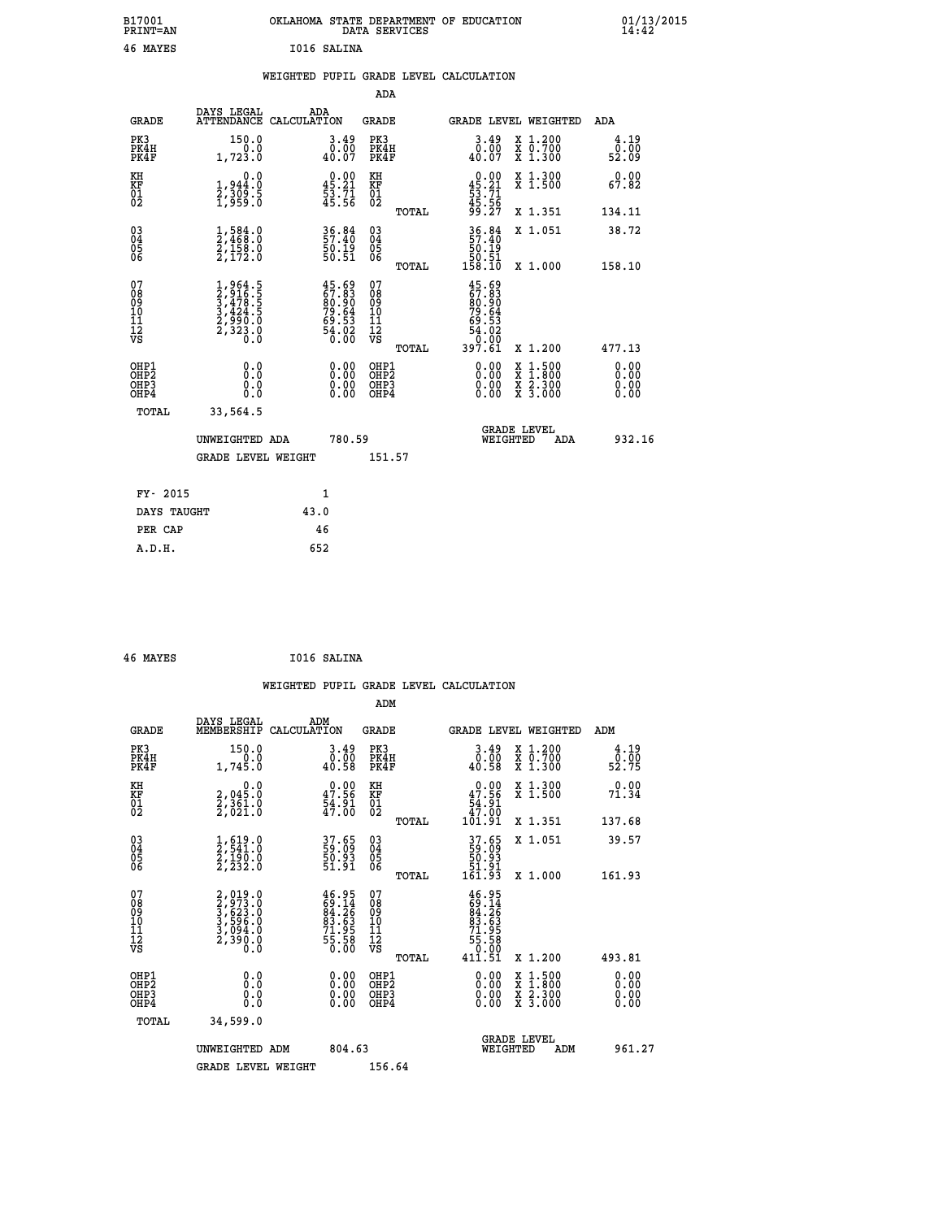| B17001<br><b>PRINT=AN</b> | OKLAHOMA STATE DEPARTMENT OF EDUCATION<br>DATA SERVICES | 01/13/2015 |
|---------------------------|---------------------------------------------------------|------------|
| 46 MAYES                  | I016 SALINA                                             |            |

## **WEIGHTED PUPIL GRADE LEVEL CALCULATION**

|                                                                    |                                                                                     |                                                                          | ADA                                                 |       |                                                                                                                 |                                                                                                                                           |                       |
|--------------------------------------------------------------------|-------------------------------------------------------------------------------------|--------------------------------------------------------------------------|-----------------------------------------------------|-------|-----------------------------------------------------------------------------------------------------------------|-------------------------------------------------------------------------------------------------------------------------------------------|-----------------------|
| <b>GRADE</b>                                                       | DAYS LEGAL<br>ATTENDANCE CALCULATION                                                | ADA                                                                      | <b>GRADE</b>                                        |       |                                                                                                                 | <b>GRADE LEVEL WEIGHTED</b>                                                                                                               | ADA                   |
| PK3<br>PK4H<br>PK4F                                                | 150.0<br>0.0<br>1,723.0                                                             | $3.49$<br>$0.00$<br>40.07                                                | PK3<br>PK4H<br>PK4F                                 |       | $\begin{smallmatrix} 3.49 \\ 0.00 \\ 40.07 \end{smallmatrix}$                                                   | X 1.200<br>X 0.700<br>X 1.300                                                                                                             | 4.19<br>0.00<br>52.09 |
| KH<br>KF<br>01<br>02                                               | 0.0<br>1,944:0<br>2,309:5<br>1,959:0                                                | $0.00$<br>45.21<br>53.71<br>45.56                                        | KH<br>KF<br>01<br>02                                |       | $\begin{smallmatrix} 0.00\\ 45.21\\ 53.71\\ 45.56\\ 99.27 \end{smallmatrix}$                                    | X 1.300<br>X 1.500                                                                                                                        | 0.00<br>67.82         |
|                                                                    |                                                                                     |                                                                          |                                                     | TOTAL |                                                                                                                 | X 1.351                                                                                                                                   | 134.11                |
| $\begin{smallmatrix} 03 \\[-4pt] 04 \end{smallmatrix}$<br>Ŏ5<br>06 | $\frac{1}{2}, \frac{584}{468}.0\\ \frac{2}{158}.0\\ \frac{2}{172}.0$                | 36.84<br>57.40<br>50.19<br>50.51                                         | $\begin{array}{c} 03 \\ 04 \\ 05 \\ 06 \end{array}$ |       | $36.84$<br>57.40<br>50.19<br>50.51<br>58.10                                                                     | X 1.051                                                                                                                                   | 38.72                 |
|                                                                    |                                                                                     |                                                                          |                                                     | TOTAL |                                                                                                                 | X 1.000                                                                                                                                   | 158.10                |
| 07<br>08<br>09<br>01<br>11<br>11<br>12<br>VS                       | $1,964.5$<br>$3,478.5$<br>$3,424.5$<br>$3,424.5$<br>$2,990.0$<br>$2,323.0$<br>$0.0$ | $45.69$<br>$67.83$<br>$80.90$<br>$79.64$<br>$79.53$<br>$64.02$<br>$0.00$ | 07<br>08<br>09<br>11<br>11<br>12<br>VS              |       | 45.69<br>$\begin{smallmatrix} 457.83\ 67.830\ 80.904\ 79.64\ 69.532\ 69.020\ 54.020\ 397.61\ \end{smallmatrix}$ |                                                                                                                                           |                       |
|                                                                    |                                                                                     |                                                                          |                                                     | TOTAL |                                                                                                                 | X 1.200                                                                                                                                   | 477.13                |
| OHP1<br><b>OHP2</b><br>OH <sub>P3</sub><br>OHP4                    | 0.0<br>0.0<br>0.0                                                                   | $0.00$<br>$0.00$<br>0.00                                                 | OHP1<br>OHP2<br>OHP3<br>OHP4                        |       | 0.00<br>0.00                                                                                                    | $\begin{smallmatrix} \mathtt{X} & 1\cdot500\\ \mathtt{X} & 1\cdot800\\ \mathtt{X} & 2\cdot300\\ \mathtt{X} & 3\cdot000 \end{smallmatrix}$ | 0.00<br>0.00<br>0.00  |
| TOTAL                                                              | 33,564.5                                                                            |                                                                          |                                                     |       |                                                                                                                 |                                                                                                                                           |                       |
|                                                                    | UNWEIGHTED ADA                                                                      | 780.59                                                                   |                                                     |       |                                                                                                                 | <b>GRADE LEVEL</b><br>WEIGHTED<br>ADA                                                                                                     | 932.16                |
|                                                                    | <b>GRADE LEVEL WEIGHT</b>                                                           |                                                                          | 151.57                                              |       |                                                                                                                 |                                                                                                                                           |                       |
| FY- 2015                                                           |                                                                                     | $\mathbf{1}$                                                             |                                                     |       |                                                                                                                 |                                                                                                                                           |                       |
| DAYS TAUGHT                                                        |                                                                                     | 43.0                                                                     |                                                     |       |                                                                                                                 |                                                                                                                                           |                       |
| PER CAP                                                            |                                                                                     | 46                                                                       |                                                     |       |                                                                                                                 |                                                                                                                                           |                       |

| 46 MAYES | I016 SALINA |
|----------|-------------|
|          |             |

 **A.D.H. 652**

 **WEIGHTED PUPIL GRADE LEVEL CALCULATION ADM DAYS LEGAL ADM GRADE MEMBERSHIP CALCULATION GRADE GRADE LEVEL WEIGHTED ADM PK3 150.0 3.49 PK3 3.49 X 1.200 4.19 PK4H 0.0 0.00 PK4H 0.00 X 0.700 0.00 PK4F 1,745.0 40.58 PK4F 40.58 X 1.300 52.75 KH 0.0 0.00 KH 0.00 X 1.300 0.00 KF 2,045.0 47.56 KF 47.56 X 1.500 71.34 01 2,361.0 54.91 01 54.91 02 2,021.0 47.00 02 47.00 TOTAL 101.91 X 1.351 137.68 03 1,619.0 37.65 03 37.65 X 1.051 39.57 04 2,541.0 59.09 04 59.09 05 2,190.0 50.93 05 50.93 06 2,232.0 51.91 06 51.91 TOTAL 161.93 X 1.000 161.93**  $\begin{array}{cccc} 07 & 2,019.0 & 46.95 & 07 & 46.95\ 08 & 2,733.0 & 69 & 64.26\ 10 & 3,523.0 & 84.26 & 08 & 64.26\ 11 & 3,596.0 & 83.63 & 10 & 83.63\ 12 & 3,994.0 & 71.95 & 11 & 71.95\ 12 & 73.90.0 & 56.0 & 75.58 & 12 & 71.95\ 13 & 71.95 & 2 & 0.0 & 5 & 0.0 &$  $\begin{array}{cccc} 46.95 & 07 & 46.95 \\ 69.14 & 08 & 69.14 \\ 81.26 & 99 & 84.26 \\ 93.63 & 10 & 81.26 \\ 93.63 & 11 & 71.95 \\ 55.58 & 12 & 75.58 \\ 55.58 & 12 & 55.58 \\ 0.00 & 0 \text{HP1} & 411.51 & x 1.200 & 493.81 \\ 0.00 & 0 \text{HP2} & 0.00 & x 1.500 & 0.00 \\ 0.00 & 0 \text{HP3$  **OHP1 0.0 0.00 OHP1 0.00 X 1.500 0.00 OHP2 0.0 0.00 OHP2 0.00 X 1.800 0.00 OHP3 0.0 0.00 OHP3 0.00 X 2.300 0.00 OHP4 0.0 0.00 OHP4 0.00 X 3.000 0.00 TOTAL 34,599.0 GRADE LEVEL UNWEIGHTED ADM 804.63 WEIGHTED ADM 961.27** GRADE LEVEL WEIGHT 156.64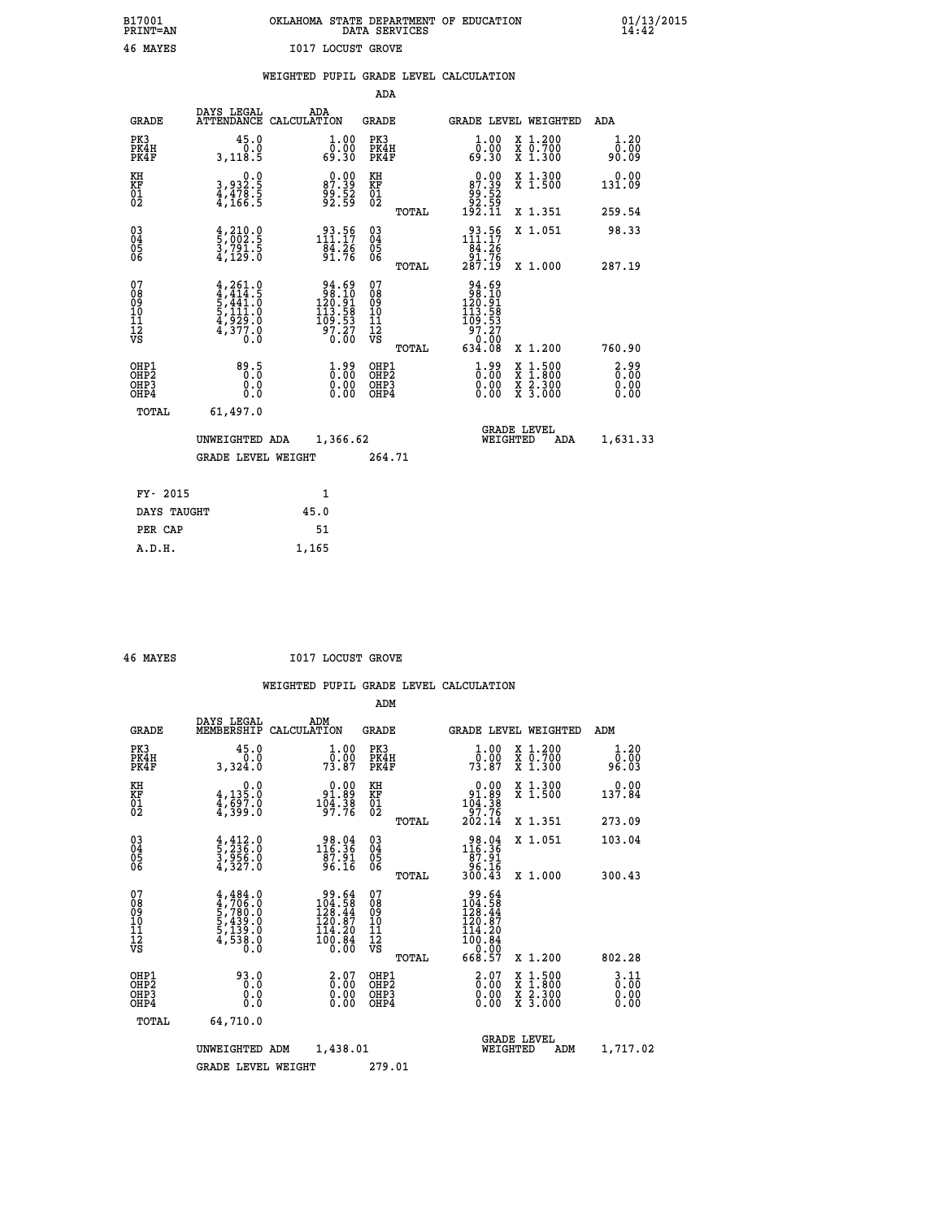## **B17001 OKLAHOMA STATE DEPARTMENT OF EDUCATION 01/13/2015 PRINT=AN DATA SERVICES 14:42 46 MAYES I017 LOCUST GROVE**

|                                                                    |                                                                                                         |                                                                                              | ADA                                    |       |                                                                                                        |                                          |                                  |
|--------------------------------------------------------------------|---------------------------------------------------------------------------------------------------------|----------------------------------------------------------------------------------------------|----------------------------------------|-------|--------------------------------------------------------------------------------------------------------|------------------------------------------|----------------------------------|
| <b>GRADE</b>                                                       | DAYS LEGAL                                                                                              | ADA<br>ATTENDANCE CALCULATION                                                                | <b>GRADE</b>                           |       | <b>GRADE LEVEL WEIGHTED</b>                                                                            |                                          | <b>ADA</b>                       |
| PK3<br>PK4H<br>PK4F                                                | 45.0<br>0.0<br>3,118.5                                                                                  | $\begin{smallmatrix} 1.00\\ 0.00\\ 69.30 \end{smallmatrix}$                                  | PK3<br>PK4H<br>PK4F                    |       | 1.00<br>ŏČ:Ŏŏ<br>03.9a                                                                                 | X 1.200<br>X 0.700<br>X 1.300            | 1.20<br>0.00<br>90.09            |
| KH<br>KF<br>01<br>02                                               | 0.0<br>3,932.5<br>4,478.5<br>4,166.5                                                                    | $\begin{smallmatrix} 0.00\\87.39\\99.52\\92.59 \end{smallmatrix}$                            | KH<br>KF<br>01<br>02                   |       | $0.00$<br>87.39<br>52. وُوَّ<br>53. 92<br>192. 11                                                      | X 1.300<br>X 1.500                       | 0.00<br>131.09                   |
|                                                                    |                                                                                                         |                                                                                              |                                        | TOTAL |                                                                                                        | X 1.351                                  | 259.54                           |
| $\begin{smallmatrix} 03 \\[-4pt] 04 \end{smallmatrix}$<br>Ŏ5<br>06 | $\frac{4}{5}, \frac{210}{002}$ :<br>3,791:5<br>4,129:0                                                  | $93.56$<br>111.17<br>`§4:26<br>91.76                                                         | $\substack{03 \\ 04}$<br>Ŏ5<br>06      |       | 111.56<br>$\begin{array}{r} 184.26 \\ 91.76 \\ 287.19 \end{array}$                                     | X 1.051                                  | 98.33                            |
|                                                                    |                                                                                                         |                                                                                              |                                        | TOTAL |                                                                                                        | X 1.000                                  | 287.19                           |
| 07<br>08<br>09<br>101<br>11<br>12<br>VS                            | $\begin{smallmatrix} 4,261.0\\ 4,414.5\\ 5,441.0\\ 5,111.0\\ 4,929.0\\ 4,377.0\\ 0.0 \end{smallmatrix}$ | $\begin{array}{r} 94.69 \\ 98.10 \\ 120.91 \\ 113.58 \\ 109.53 \\ 97.27 \\ 0.00 \end{array}$ | 07<br>08<br>09<br>11<br>11<br>12<br>VS |       | $\begin{array}{r} 94.69 \\ 98.10 \\ 120.91 \\ 113.58 \\ 109.53 \\ 97.27 \\ 0.00 \\ 634.08 \end{array}$ |                                          |                                  |
|                                                                    |                                                                                                         |                                                                                              |                                        | TOTAL |                                                                                                        | X 1.200                                  | 760.90                           |
| OHP1<br>OHP <sub>2</sub><br>OH <sub>P3</sub><br>OHP4               | 89.5<br>0.000                                                                                           | $\frac{1}{0}$ : 00<br>$\begin{smallmatrix} 0.00 \ 0.00 \end{smallmatrix}$                    | OHP1<br>OHP2<br>OHP <sub>3</sub>       |       | $1.99$<br>$0.00$<br>0.00                                                                               | X 1:500<br>X 1:800<br>X 2:300<br>X 3:000 | $2.99$<br>$0.00$<br>0.00<br>0.00 |
| TOTAL                                                              | 61,497.0                                                                                                |                                                                                              |                                        |       |                                                                                                        |                                          |                                  |
|                                                                    | UNWEIGHTED ADA                                                                                          | 1,366.62                                                                                     |                                        |       | WEIGHTED                                                                                               | <b>GRADE LEVEL</b><br>ADA                | 1,631.33                         |
|                                                                    | <b>GRADE LEVEL WEIGHT</b>                                                                               |                                                                                              | 264.71                                 |       |                                                                                                        |                                          |                                  |
| FY- 2015                                                           |                                                                                                         | 1                                                                                            |                                        |       |                                                                                                        |                                          |                                  |
| DAYS TAUGHT                                                        |                                                                                                         | 45.0                                                                                         |                                        |       |                                                                                                        |                                          |                                  |
| PER CAP                                                            |                                                                                                         | 51                                                                                           |                                        |       |                                                                                                        |                                          |                                  |

 **A.D.H. 1,165**

 **46 MAYES I017 LOCUST GROVE**

|                                           |                                                                                     |                                                                                                | ADM                                                 |       |                                                                                  |                                          |                                                                          |
|-------------------------------------------|-------------------------------------------------------------------------------------|------------------------------------------------------------------------------------------------|-----------------------------------------------------|-------|----------------------------------------------------------------------------------|------------------------------------------|--------------------------------------------------------------------------|
| <b>GRADE</b>                              | DAYS LEGAL<br>MEMBERSHIP                                                            | ADM<br>CALCULATION                                                                             | <b>GRADE</b>                                        |       | <b>GRADE LEVEL WEIGHTED</b>                                                      |                                          | ADM                                                                      |
| PK3<br>PK4H<br>PK4F                       | 45.0<br>0.0<br>3,324.0                                                              | $\frac{1 \cdot 00}{0 \cdot 00}$<br>73.87                                                       | PK3<br>PK4H<br>PK4F                                 |       | $\frac{1}{0}$ :00<br>73.87                                                       | X 1.200<br>X 0.700<br>X 1.300            | 1.20<br>0.00<br>96.03                                                    |
| KH<br>KF<br>01<br>02                      | 0.0<br>$\frac{4}{1}, \frac{135}{597}$ .0<br>$\frac{4}{399}$ .0                      | $\begin{smallmatrix} &0.00\\[-1.2mm] 91.89\\[-1.2mm] 104.38\\[-1.2mm] 97.76\end{smallmatrix}$  | KH<br>KF<br>01<br>02                                |       | $0.00$<br>$91.89$<br>$104.38$<br>$97.76$<br>$202.14$                             | X 1.300<br>X 1.500                       | 0.00<br>137.84                                                           |
|                                           |                                                                                     |                                                                                                |                                                     | TOTAL |                                                                                  | X 1.351                                  | 273.09                                                                   |
| 03<br>04<br>05<br>06                      | $\frac{4}{5}, \frac{412}{236}.0$<br>3,956.0<br>4,327.0                              | 98.04<br>116.36<br>$\overline{87.91}$<br>96.16                                                 | $\begin{array}{c} 03 \\ 04 \\ 05 \\ 06 \end{array}$ |       | $\begin{smallmatrix} 98.04\\ 116.36\\ 87.91\\ 96.16\\ 300.43 \end{smallmatrix}$  | X 1.051                                  | 103.04                                                                   |
|                                           |                                                                                     |                                                                                                |                                                     | TOTAL |                                                                                  | X 1.000                                  | 300.43                                                                   |
| 07<br>08<br>09<br>101<br>112<br>VS        | $4,484.0$<br>$4,706.0$<br>$5,780.0$<br>$5,439.0$<br>$5,139.0$<br>$4,538.0$<br>$0.0$ | $\frac{99.64}{104.58}$<br>$\begin{smallmatrix} 120.87\\114.20\\100.84\\0.00 \end{smallmatrix}$ | 07<br>08<br>09<br>11<br>11<br>12<br>VS              | TOTAL | $\frac{99.64}{104.58}$<br>$120.87$<br>$114.20$<br>$100.84$<br>$0.00$<br>$668.57$ | X 1.200                                  | 802.28                                                                   |
| OHP1<br>OHP2<br>OH <sub>P</sub> 3<br>OHP4 | 93.0<br>0.000                                                                       | $\begin{smallmatrix} 2.07 \ 0.00 \ 0.00 \end{smallmatrix}$<br>0.00                             | OHP1<br>OHP2<br>OHP <sub>3</sub>                    |       | $\begin{smallmatrix} 2.07 \ 0.00 \ 0.00 \end{smallmatrix}$<br>0.00               | X 1:500<br>X 1:800<br>X 2:300<br>X 3:000 | $\begin{smallmatrix} 3 & 11 \ 0 & 00 \ 0 & 00 \end{smallmatrix}$<br>0.00 |
| TOTAL                                     | 64,710.0                                                                            |                                                                                                |                                                     |       |                                                                                  |                                          |                                                                          |
|                                           | UNWEIGHTED                                                                          | 1,438.01<br>ADM                                                                                |                                                     |       | WEIGHTED                                                                         | <b>GRADE LEVEL</b><br>ADM                | 1,717.02                                                                 |
|                                           | <b>GRADE LEVEL WEIGHT</b>                                                           |                                                                                                | 279.01                                              |       |                                                                                  |                                          |                                                                          |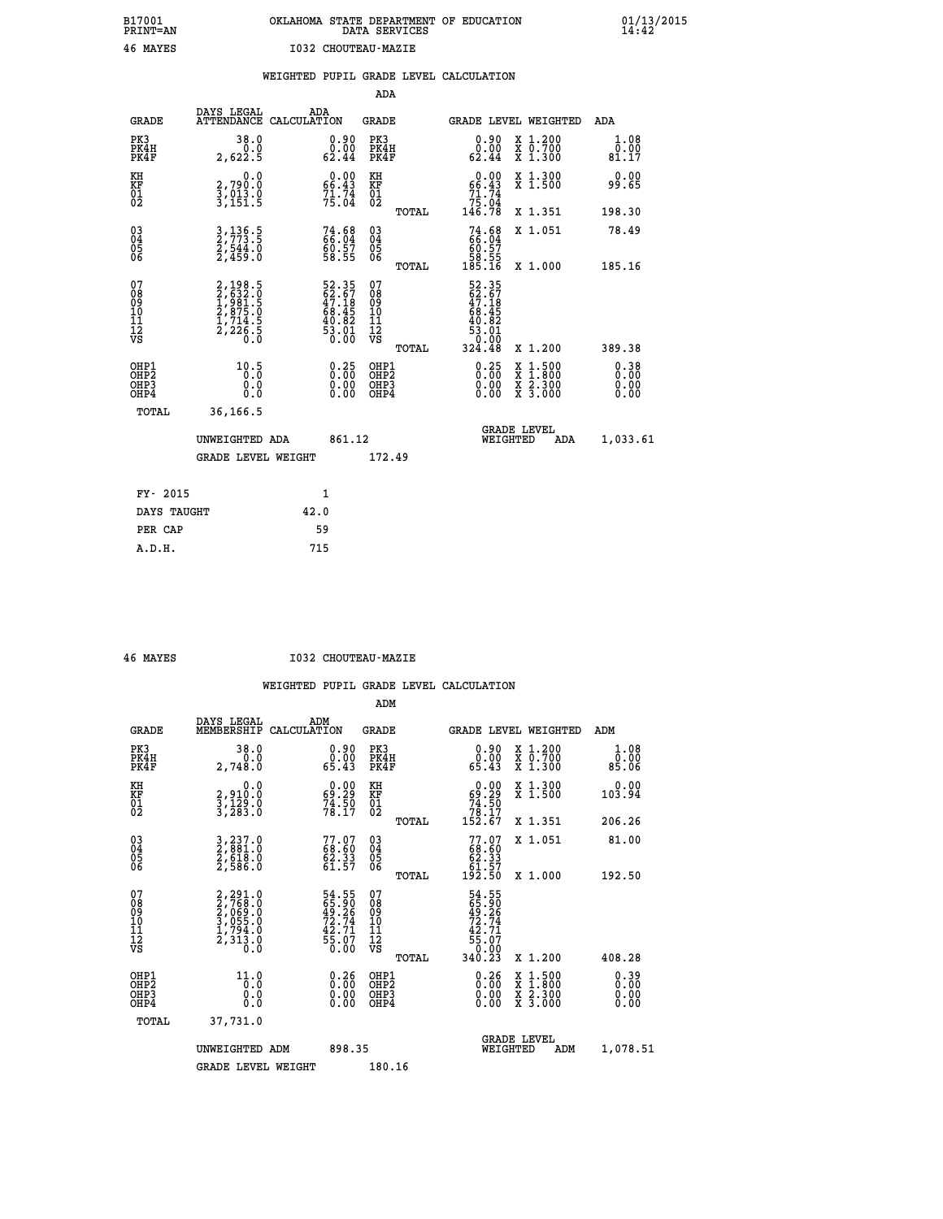| OKLAHOMA STATE DEPARTMENT OF EDUCATION<br>DATA SERVICES |  |
|---------------------------------------------------------|--|
| <b>I032 CHOUTEAU-MAZIE</b>                              |  |

|  |  | WEIGHTED PUPIL GRADE LEVEL CALCULATION |
|--|--|----------------------------------------|
|  |  |                                        |

|                                                                    |                                                                       |                                                                      | ADA                                                 |       |                                                                                                                                                      |                                          |                              |
|--------------------------------------------------------------------|-----------------------------------------------------------------------|----------------------------------------------------------------------|-----------------------------------------------------|-------|------------------------------------------------------------------------------------------------------------------------------------------------------|------------------------------------------|------------------------------|
| <b>GRADE</b>                                                       | DAYS LEGAL<br>ATTENDANCE CALCULATION                                  | ADA                                                                  | <b>GRADE</b>                                        |       |                                                                                                                                                      | <b>GRADE LEVEL WEIGHTED</b>              | ADA                          |
| PK3<br>PK4H<br>PK4F                                                | 38.0<br>0.0<br>2,622.5                                                | $\begin{smallmatrix} 0.90\\ 0.00\\ 62.44 \end{smallmatrix}$          | PK3<br>PK4H<br>PK4F                                 |       | $\begin{smallmatrix} 0.90\\ 0.00\\ 62.44 \end{smallmatrix}$                                                                                          | X 1.200<br>X 0.700<br>X 1.300            | 1.08<br>0.00<br>81.17        |
| KH<br><b>KF</b><br>01<br>02                                        | 0.0<br>2,790.0<br>3,013.0<br>3,151.5                                  | $0.00$<br>66.43<br>$71.74$<br>$75.04$                                | KH<br>KF<br>01<br>02                                |       | 0.00<br>$66.43$<br>$71.74$<br>$75.04$<br>$146.78$                                                                                                    | X 1.300<br>X 1.500                       | 0.00<br>99.65                |
|                                                                    |                                                                       |                                                                      |                                                     | TOTAL |                                                                                                                                                      | X 1.351                                  | 198.30                       |
| $\begin{smallmatrix} 03 \\[-4pt] 04 \end{smallmatrix}$<br>Ŏ5<br>06 | 3, 136.5<br>2, 773.5<br>2, 544.0<br>2, 459.0                          | $74.68$<br>$66.04$<br>$60.57$<br>58.55                               | $\begin{array}{c} 03 \\ 04 \\ 05 \\ 06 \end{array}$ |       | $74.6866.0460.5758.55185.16$                                                                                                                         | X 1.051                                  | 78.49                        |
| 07                                                                 |                                                                       |                                                                      | 07                                                  | TOTAL |                                                                                                                                                      | X 1.000                                  | 185.16                       |
| 08901112<br>1112<br>VS                                             | 2,198.5<br>2,632.0<br>1,981.5<br>2,875.0<br>1,714.5<br>2,226.5<br>0.0 | 52.35<br>62.67<br>47.18<br>46.45<br>68.45<br>40.82<br>53.01<br>50.00 | 08<br>09<br>11<br>11<br>12<br>VS                    |       | $\begin{array}{r} 52\cdot 35 \\ 62\cdot 67 \\ 47\cdot 18 \\ 68\cdot 45 \\ 68\cdot 45 \\ 40\cdot 82 \\ 53\cdot 01 \\ 0.00 \\ 324\cdot 48 \end{array}$ |                                          |                              |
|                                                                    |                                                                       |                                                                      |                                                     | TOTAL |                                                                                                                                                      | X 1.200                                  | 389.38                       |
| OHP1<br>OH <sub>P</sub> 2<br>OH <sub>P3</sub><br>OH <sub>P4</sub>  | 10.5<br>0.000                                                         | $\begin{smallmatrix} 0.25\ 0.00\ 0.00 \end{smallmatrix}$             | OHP1<br>OH <sub>P</sub> 2<br>OHP3<br>OHP4           |       | $\begin{smallmatrix} 0.25\\ 0.00\\ 0.00\\ 0.00 \end{smallmatrix}$                                                                                    | X 1:500<br>X 1:800<br>X 2:300<br>X 3:000 | 0.38<br>0.00<br>0.00<br>0.00 |
| TOTAL                                                              | 36,166.5                                                              |                                                                      |                                                     |       |                                                                                                                                                      |                                          |                              |
|                                                                    | UNWEIGHTED ADA                                                        | 861.12                                                               |                                                     |       |                                                                                                                                                      | GRADE LEVEL<br>WEIGHTED<br>ADA           | 1,033.61                     |
|                                                                    | <b>GRADE LEVEL WEIGHT</b>                                             |                                                                      | 172.49                                              |       |                                                                                                                                                      |                                          |                              |
| FY- 2015                                                           |                                                                       | $\mathbf{1}$                                                         |                                                     |       |                                                                                                                                                      |                                          |                              |
| DAYS TAUGHT                                                        |                                                                       | 42.0                                                                 |                                                     |       |                                                                                                                                                      |                                          |                              |
| PER CAP                                                            |                                                                       | 59                                                                   |                                                     |       |                                                                                                                                                      |                                          |                              |

 **A.D.H. 715**

 **B17001<br>PRINT=AN<br>46 MAYES** 

 **46 MAYES I032 CHOUTEAU-MAZIE**

|                                           |                                                                                           |                                                                      | ADM                                                 |       |                                                                                |                                          |                              |
|-------------------------------------------|-------------------------------------------------------------------------------------------|----------------------------------------------------------------------|-----------------------------------------------------|-------|--------------------------------------------------------------------------------|------------------------------------------|------------------------------|
| <b>GRADE</b>                              | DAYS LEGAL<br>MEMBERSHIP                                                                  | ADM<br>CALCULATION                                                   | <b>GRADE</b>                                        |       |                                                                                | <b>GRADE LEVEL WEIGHTED</b>              | ADM                          |
| PK3<br>PK4H<br>PK4F                       | 38.0<br>2,748.0                                                                           | $\begin{smallmatrix} 0.90\\ 0.00\\ 65.43 \end{smallmatrix}$          | PK3<br>PK4H<br>PK4F                                 |       | $\begin{smallmatrix} 0.90\\ 0.00\\ 65.43 \end{smallmatrix}$                    | X 1.200<br>X 0.700<br>X 1.300            | 1.08<br>0.00<br>85.06        |
| KH<br>KF<br>01<br>02                      | 0.0<br>2,910:0<br>3,129:0<br>3,283:0                                                      | $\begin{smallmatrix} 0.00\\ 69.29\\ 74.50\\ 78.17 \end{smallmatrix}$ | KH<br>KF<br>01<br>02                                |       | $0.00$<br>$69.29$<br>$74.50$<br>$78.17$<br>$152.67$                            | X 1.300<br>X 1.500                       | 0.00<br>103.94               |
|                                           |                                                                                           |                                                                      |                                                     | TOTAL |                                                                                | X 1.351                                  | 206.26                       |
| 03<br>04<br>05<br>06                      | 3,237.0<br>2,881.0<br>2,618.0<br>2,586.0                                                  | $77.07$<br>68.60<br>62.33<br>61.57                                   | $\begin{array}{c} 03 \\ 04 \\ 05 \\ 06 \end{array}$ |       | $77.07$<br>68.60<br>62.33<br>61.57<br>192.50                                   | X 1.051                                  | 81.00                        |
|                                           |                                                                                           |                                                                      |                                                     | TOTAL |                                                                                | X 1.000                                  | 192.50                       |
| 07<br>08<br>09<br>101<br>112<br>VS        | $2, 768.0$<br>$2, 768.0$<br>$3, 065.0$<br>$3, 055.0$<br>$1, 794.0$<br>$2, 313.0$<br>$0.0$ | 54.55<br>65.90<br>49.26<br>72.74<br>72.71<br>42.71<br>55.07<br>50.00 | 07<br>08<br>09<br>11<br>11<br>12<br>VS              | TOTAL | 54.55<br>65.90<br>49.26<br>72.74<br>72.71<br>42.71<br>55.07<br>55.07<br>340.23 | X 1.200                                  | 408.28                       |
| OHP1<br>OHP2<br>OH <sub>P</sub> 3<br>OHP4 | 11.0<br>0.0<br>0.000                                                                      | $\begin{smallmatrix} 0.26\ 0.00\ 0.00 \end{smallmatrix}$             | OHP1<br>OHP2<br>OHP <sub>3</sub>                    |       | $0.26$<br>$0.00$<br>0.00                                                       | X 1:500<br>X 1:800<br>X 2:300<br>X 3:000 | 0.39<br>0.00<br>0.00<br>0.00 |
| TOTAL                                     | 37,731.0                                                                                  |                                                                      |                                                     |       |                                                                                |                                          |                              |
|                                           | UNWEIGHTED ADM                                                                            | 898.35                                                               |                                                     |       | WEIGHTED                                                                       | <b>GRADE LEVEL</b><br>ADM                | 1,078.51                     |
|                                           | <b>GRADE LEVEL WEIGHT</b>                                                                 |                                                                      | 180.16                                              |       |                                                                                |                                          |                              |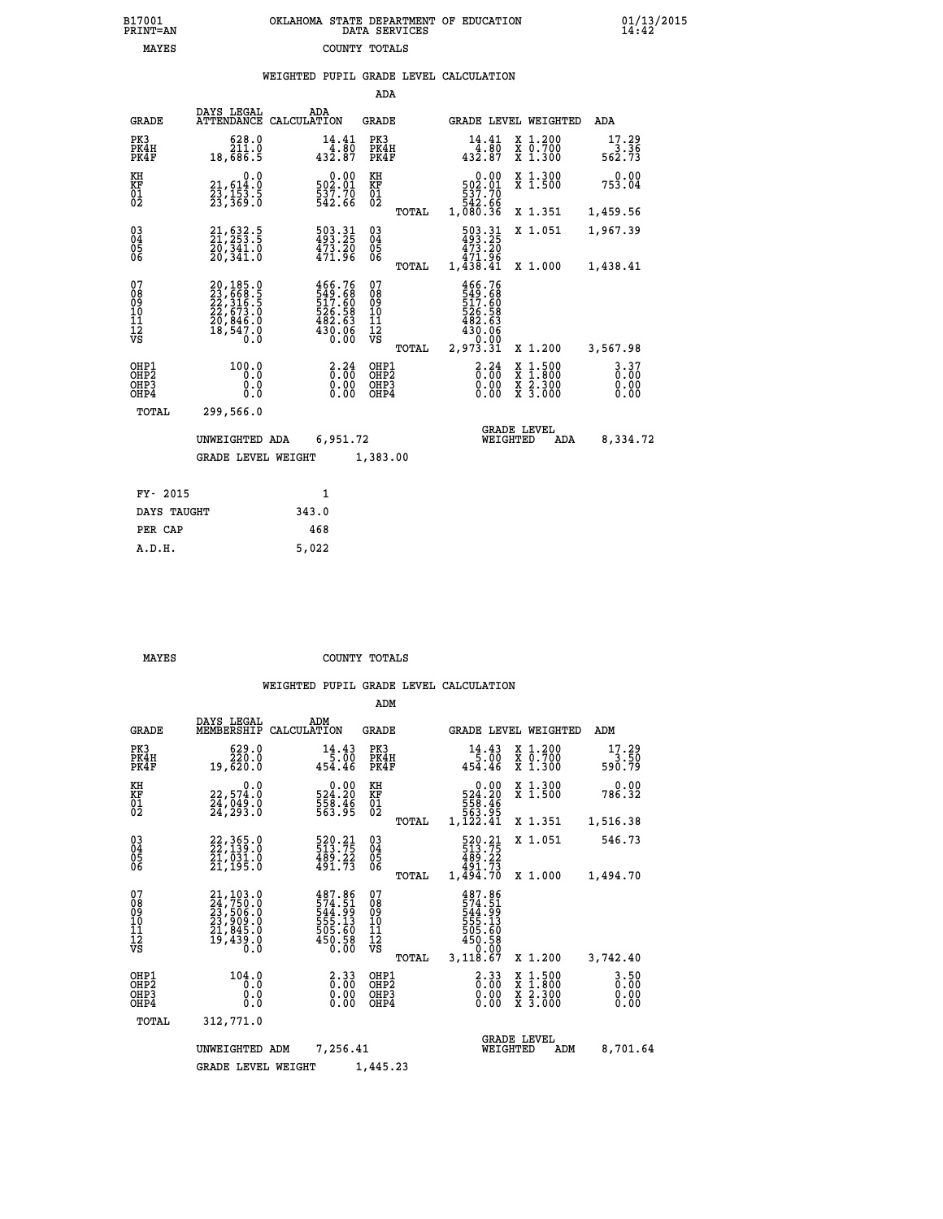| 7001<br>INT=AN | OKLAHOMA STATE DEPARTMENT OF EDUCATION<br>DATA SERVICES |  |
|----------------|---------------------------------------------------------|--|
| MAYES          | COUNTY TOTALS                                           |  |

|                                                    |                                                                             |             |                                                                  | ADA                                                               |       |                                                                                              |                                |                                          |                                  |
|----------------------------------------------------|-----------------------------------------------------------------------------|-------------|------------------------------------------------------------------|-------------------------------------------------------------------|-------|----------------------------------------------------------------------------------------------|--------------------------------|------------------------------------------|----------------------------------|
| <b>GRADE</b>                                       | DAYS LEGAL<br><b>ATTENDANCE</b>                                             | CALCULATION | ADA                                                              | GRADE                                                             |       |                                                                                              |                                | GRADE LEVEL WEIGHTED                     | <b>ADA</b>                       |
| PK3<br>PK4H<br>PK4F                                | 628.0<br>211.0<br>18,686.5                                                  |             | 14.41<br>4.80<br>432.87                                          | PK3<br>PK4H<br>PK4F                                               |       | 432.87                                                                                       | 14.41<br>4.80                  | X 1.200<br>X 0.700<br>X 1.300            | 17.29<br>3.36<br>562.73          |
| KH<br><b>KF</b><br>01<br>02                        | 0.0<br>21,614:0<br>23,153:5<br>23,369:0                                     |             | 0.00<br>502.01<br>537.70<br>542.66                               | KH<br>KF<br>$\overline{01}$                                       |       | 502.01<br>537.70<br>542.66<br>1,080.36                                                       | 0.00                           | X 1.300<br>$\overline{x}$ 1.500          | 0.00<br>753.04                   |
|                                                    |                                                                             |             |                                                                  |                                                                   | TOTAL |                                                                                              |                                | X 1.351                                  | 1,459.56                         |
| $\begin{matrix} 03 \\ 04 \\ 05 \\ 06 \end{matrix}$ | $21, 632.5$<br>$21, 253.5$<br>$20, 341.0$<br>20,341.0                       |             | 503.31<br>493.25<br>473.20<br>471.96                             | $\substack{03 \\ 04}$<br>$\begin{matrix} 0.5 \\ 0.6 \end{matrix}$ |       | 503.31<br>493.25<br>473.20<br>471.96<br>1,438.41                                             |                                | X 1.051                                  | 1,967.39                         |
|                                                    |                                                                             |             |                                                                  |                                                                   | TOTAL |                                                                                              |                                | X 1.000                                  | 1,438.41                         |
| 07<br>08<br>09<br>11<br>11<br>12<br>VS             | 20,185.0<br>23,668.5<br>22,316.5<br>22,673.0<br>20,846.0<br>18,547.0<br>0.0 |             | 466.76<br>549.68<br>517.60<br>526.58<br>482.63<br>430.06<br>0.00 | 07<br>08<br>09<br>11<br>11<br>12<br>VS                            | TOTAL | $466.76$<br>$549.68$<br>$517.60$<br>$526.58$<br>$482.63$<br>$430.06$<br>$0.00$<br>$2,973.31$ |                                | X 1.200                                  | 3,567.98                         |
| OHP1<br>OHP2<br>OHP3<br>OHP4                       | 100.0<br>0.0<br>0.0<br>0.0                                                  |             | $\frac{2.24}{0.00}$<br>$0.00$<br>$0.00$                          | OHP1<br>OHP2<br>OHP3<br>OHP4                                      |       |                                                                                              | 3.24<br>X<br>X<br>0.00<br>0.00 | $1.500$<br>$1.800$<br>X 2.300<br>X 3.000 | $3.37$<br>$0.00$<br>0.00<br>0.00 |
| TOTAL                                              | 299,566.0                                                                   |             |                                                                  |                                                                   |       |                                                                                              |                                |                                          |                                  |
|                                                    | UNWEIGHTED ADA                                                              |             | 6,951.72                                                         |                                                                   |       |                                                                                              | <b>GRADE LEVEL</b><br>WEIGHTED | ADA                                      | 8,334.72                         |
|                                                    | <b>GRADE LEVEL WEIGHT</b>                                                   |             |                                                                  | 1,383.00                                                          |       |                                                                                              |                                |                                          |                                  |
| FY- 2015                                           |                                                                             |             | $\mathbf{1}$                                                     |                                                                   |       |                                                                                              |                                |                                          |                                  |
|                                                    |                                                                             |             |                                                                  |                                                                   |       |                                                                                              |                                |                                          |                                  |
| DAYS TAUGHT                                        |                                                                             | 343.0       |                                                                  |                                                                   |       |                                                                                              |                                |                                          |                                  |

| DAID IAUGHI | <u>JIJ.V</u> |
|-------------|--------------|
| PER CAP     | 468          |
| A.D.H.      | 5,022        |
|             |              |

 **B17001<br>PRINT=AN** 

 **MAYES COUNTY TOTALS**

|                                                       |                                                                                                |                                                                   | ADM                                              |                                                                                               |                                                   |                                  |
|-------------------------------------------------------|------------------------------------------------------------------------------------------------|-------------------------------------------------------------------|--------------------------------------------------|-----------------------------------------------------------------------------------------------|---------------------------------------------------|----------------------------------|
| <b>GRADE</b>                                          | DAYS LEGAL<br>MEMBERSHIP                                                                       | ADM<br>CALCULATION                                                | <b>GRADE</b>                                     | <b>GRADE LEVEL WEIGHTED</b>                                                                   |                                                   | ADM                              |
| PK3<br>PK4H<br>PK4F                                   | 629.0<br>220.0<br>19,620.0                                                                     | 14.43<br>5.00<br>454.46                                           | PK3<br>PK4H<br>PK4F                              | 14.43<br>5.00<br>454.46                                                                       | X 1.200<br>$\bar{x}$ $\bar{0}$ . 700<br>$X$ 1.300 | 17.29<br>3.50<br>590.79          |
| KH<br>KF<br>01<br>02                                  | 0.0<br>22,574.0<br>24,049.0<br>24,293.0                                                        | $\begin{array}{c} 0.00 \\ 524.20 \\ 558.46 \\ 563.95 \end{array}$ | KH<br>KF<br>01<br>02                             | 0.00<br>524.20<br>558.46<br>563.95<br>1,122.41                                                | X 1.300<br>X 1.500                                | 0.00<br>786.32                   |
|                                                       |                                                                                                |                                                                   | TOTAL                                            |                                                                                               | X 1.351                                           | 1,516.38                         |
| 03<br>04<br>05<br>06                                  | 22, 365.0<br>22, 139.0<br>21, 031.0<br>21, 195.0                                               | 520.21<br>513.75<br>$\frac{489.22}{491.73}$                       | $^{03}_{04}$<br>05<br>06                         | 520.21<br>513.75<br>489.22<br>491.73                                                          | X 1.051                                           | 546.73                           |
|                                                       |                                                                                                |                                                                   | TOTAL                                            | 1,494.70                                                                                      | X 1.000                                           | 1,494.70                         |
| 07<br>08<br>09<br>11<br>11<br>12<br>VS                | 21, 103.0<br>24, 750.0<br>23, 506.0<br>23, 909.0<br>21, 845.0<br>21, 845.0<br>19, 439.0<br>Õ.Ŏ | 487.86<br>574.51<br>544.99<br>555.13<br>505.60<br>450.58<br>0.00  | 07<br>08<br>09<br>101<br>11<br>12<br>VS<br>TOTAL | 487.86<br>$\frac{574.51}{544.99}$<br>544.99<br>555.13<br>505.60<br>450.58<br>0.00<br>3,118.67 | X 1.200                                           | 3,742.40                         |
| OHP1<br>OH <sub>P</sub> 2<br>OH <sub>P3</sub><br>OHP4 | 104.0<br>0.0<br>0.0<br>Ŏ.Ŏ                                                                     | $\begin{smallmatrix} 2.33\ 0.00 \ 0.00 \end{smallmatrix}$<br>0.00 | OHP1<br>OHP2<br>OHP3<br>OHP4                     | $\begin{smallmatrix} 2.33\ 0.00 \ 0.00 \end{smallmatrix}$<br>0.00                             | X 1:500<br>X 1:800<br>X 2:300<br>X 3:000          | $3.50$<br>$0.00$<br>0.00<br>0.00 |
| TOTAL                                                 | 312,771.0                                                                                      |                                                                   |                                                  |                                                                                               |                                                   |                                  |
|                                                       | UNWEIGHTED ADM                                                                                 | 7,256.41                                                          |                                                  | WEIGHTED                                                                                      | <b>GRADE LEVEL</b><br>ADM                         | 8,701.64                         |
|                                                       | <b>GRADE LEVEL WEIGHT</b>                                                                      |                                                                   | 1,445.23                                         |                                                                                               |                                                   |                                  |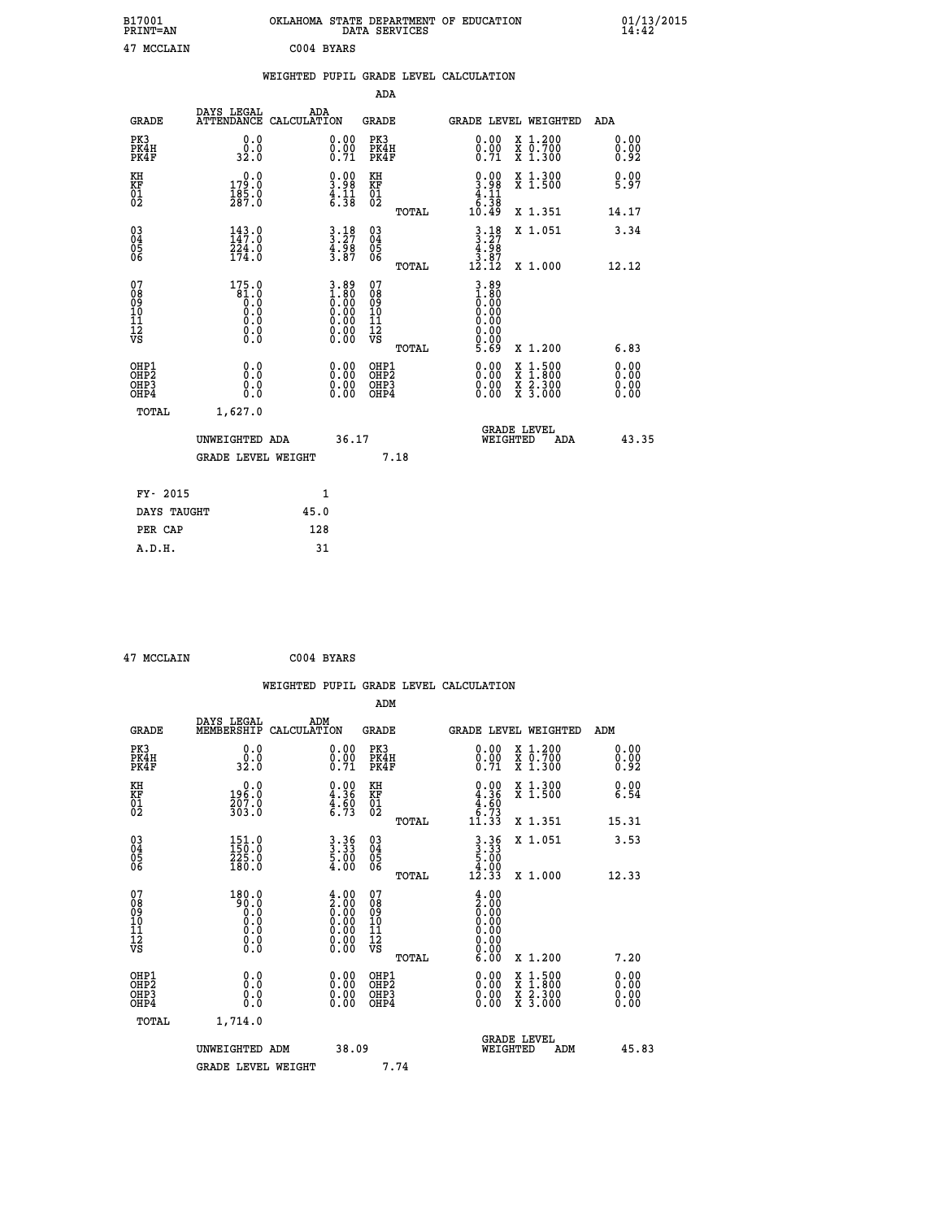| B17001<br>PRINT=AN<br>MCCLAIN<br>47 |                                       | OKLAHOMA<br>C004 BYARS                            | STATE DEPARTMENT<br>DATA SERVICES | OF EDUCATION                                                                         | 01/13/2015<br>14:42 |
|-------------------------------------|---------------------------------------|---------------------------------------------------|-----------------------------------|--------------------------------------------------------------------------------------|---------------------|
|                                     |                                       | WEIGHTED PUPIL GRADE LEVEL CALCULATION            |                                   |                                                                                      |                     |
|                                     |                                       |                                                   | ADA                               |                                                                                      |                     |
| GRADE                               | DAYS LEGAL                            | ADA<br>ATTENDANCE CALCULATION                     | GRADE                             | GRADE LEVEL WEIGHTED                                                                 | ADA                 |
| PK3<br>PK4H<br>PK4F                 | 0.0<br>0.0<br>32.0                    | 0.00<br>0.00<br>0.71                              | PK3<br>PK4H<br>PK4F               | 0.00<br>$X_1.200$<br>0.00<br>X 0.700<br>0.71<br>$X_1.300$                            | 0.00000<br>0.92     |
| KH<br><b>KF</b><br>01<br>02         | 0.0<br>179.0<br>$\frac{185.0}{287.0}$ | $\frac{0.00}{3.98}$<br>$\frac{4}{6}:\frac{1}{38}$ | KН<br>KF<br>$\frac{01}{02}$       | $\frac{0.00}{3.98}$<br>X 1.300<br>X 1.500<br>. 11<br>$\frac{4}{6}$ : $\frac{11}{38}$ | 0.00<br>5.97        |
|                                     |                                       |                                                   | $m \wedge m \wedge r$             | $5000$<br>2.54<br>77.4                                                               | 11 17               |

| $\frac{01}{2}$                                     | $\frac{185.0}{287.0}$                                                                             | $\frac{4}{6}$ : $\frac{11}{38}$                                                                                                                     | $\begin{smallmatrix}0&1\0&2\end{smallmatrix}$      | TOTAL | $\begin{array}{c} 4.11 \\ 6.38 \\ 10.49 \end{array}$                                                       | X 1.351                                                                                          | 14.17                    |
|----------------------------------------------------|---------------------------------------------------------------------------------------------------|-----------------------------------------------------------------------------------------------------------------------------------------------------|----------------------------------------------------|-------|------------------------------------------------------------------------------------------------------------|--------------------------------------------------------------------------------------------------|--------------------------|
| $\begin{matrix} 03 \\ 04 \\ 05 \\ 06 \end{matrix}$ | $143.0$<br>$147.0$<br>$224.0$<br>$174.0$                                                          | $3.27$<br>$4.98$<br>$3.87$                                                                                                                          | $\begin{matrix} 03 \\ 04 \\ 05 \\ 06 \end{matrix}$ | TOTAL | $3.27$<br>$4.98$<br>$3.87$<br>$12.12$                                                                      | X 1.051<br>X 1.000                                                                               | 3.34<br>12.12            |
| 07<br>08<br>09<br>11<br>11<br>12<br>VS             | 175.0<br>$\begin{smallmatrix} 61.0 & 0 \ 0.0 & 0 \ 0.0 & 0 \ 0.0 & 0 \ 0.0 & 0 \end{smallmatrix}$ | $\begin{array}{c} 3.89 \\[-2.0mm] 1.80 \\[-2.0mm] 0.00 \\[-2.0mm] 0.00 \\[-2.0mm] 0.00 \\[-2.0mm] 0.00 \\[-2.0mm] 0.00 \\[-2.0mm] 0.00 \end{array}$ | 07<br>08<br>09<br>101<br>11<br>12<br>VS            | TOTAL | $\begin{smallmatrix} 3.89\ 1.800\ 0.000\ 0.000\ 0.000\ 0.000\ 0.000\ 0.000\ 0.000\ 5.69 \end{smallmatrix}$ | X 1.200                                                                                          | 6.83                     |
| OHP1<br>OHP2<br>OHP <sub>3</sub><br>OHP4<br>TOTAL  | 0.0<br>0.000<br>1,627.0                                                                           |                                                                                                                                                     | OHP1<br>OHP2<br>OHP <sub>3</sub><br>OHP4           |       |                                                                                                            | $\begin{smallmatrix} x & 1 & 500 \\ x & 1 & 800 \\ x & 2 & 300 \\ x & 3 & 000 \end{smallmatrix}$ | $0.00$<br>$0.00$<br>0.00 |
|                                                    | UNWEIGHTED ADA<br><b>GRADE LEVEL WEIGHT</b>                                                       | 36.17                                                                                                                                               |                                                    | 7.18  | WEIGHTED                                                                                                   | <b>GRADE LEVEL</b><br>ADA                                                                        | 43.35                    |
| FY- 2015                                           |                                                                                                   | $\mathbf{1}$                                                                                                                                        |                                                    |       |                                                                                                            |                                                                                                  |                          |
| DAYS TAUGHT                                        | 45.0                                                                                              |                                                                                                                                                     |                                                    |       |                                                                                                            |                                                                                                  |                          |
| PER CAP                                            | 128                                                                                               |                                                                                                                                                     |                                                    |       |                                                                                                            |                                                                                                  |                          |

 **47 MCCLAIN C004 BYARS**

 **A.D.H. 31**

|                                                    |                                                                                                   |                    |                                                                                               |                                  |       | WEIGHTED PUPIL GRADE LEVEL CALCULATION                                                                                                                                                                                                                                         |                                                                                                  |                      |       |
|----------------------------------------------------|---------------------------------------------------------------------------------------------------|--------------------|-----------------------------------------------------------------------------------------------|----------------------------------|-------|--------------------------------------------------------------------------------------------------------------------------------------------------------------------------------------------------------------------------------------------------------------------------------|--------------------------------------------------------------------------------------------------|----------------------|-------|
|                                                    |                                                                                                   |                    |                                                                                               | ADM                              |       |                                                                                                                                                                                                                                                                                |                                                                                                  |                      |       |
| <b>GRADE</b>                                       | DAYS LEGAL<br>MEMBERSHIP                                                                          | ADM<br>CALCULATION |                                                                                               | <b>GRADE</b>                     |       | <b>GRADE LEVEL WEIGHTED</b>                                                                                                                                                                                                                                                    |                                                                                                  | ADM                  |       |
| PK3<br>PK4H<br>PK4F                                | 0.0<br>0.0<br>32.0                                                                                |                    | $\substack{0.00\\0.00\\0.71}$                                                                 | PK3<br>PK4H<br>PK4F              |       | $\begin{smallmatrix} 0.00 \ 0.00 \ 0.71 \end{smallmatrix}$                                                                                                                                                                                                                     | X 1.200<br>X 0.700<br>X 1.300                                                                    | 0.00<br>0.00<br>0.92 |       |
| KH<br>KF<br>01<br>02                               | $196.0$<br>$207.0$<br>$303.0$                                                                     |                    | $\begin{smallmatrix} 0.00\\ 4.36\\ 4.60\\ 6.73 \end{smallmatrix}$                             | KH<br>KF<br>01<br>02             |       | $\begin{smallmatrix} 0.00\\ 4.36\\ 4.60\\ 4.60\\ 6.73\\ 11.33 \end{smallmatrix}$                                                                                                                                                                                               | X 1.300<br>X 1.500                                                                               | 0.00<br>6.54         |       |
|                                                    |                                                                                                   |                    |                                                                                               |                                  | TOTAL |                                                                                                                                                                                                                                                                                | X 1.351                                                                                          | 15.31                |       |
| $\begin{matrix} 03 \\ 04 \\ 05 \\ 06 \end{matrix}$ | $\begin{smallmatrix} 151.0\\ 150.0\\ 225.0\\ 180.0 \end{smallmatrix}$                             |                    | $3.36$<br>$5.00$<br>$4.00$                                                                    | 03<br>04<br>05<br>06             |       | $3 \cdot 36$<br>$5 \cdot 00$<br>$4 \cdot 00$<br>$12 \cdot 33$                                                                                                                                                                                                                  | X 1.051                                                                                          | 3.53                 |       |
|                                                    |                                                                                                   |                    |                                                                                               |                                  | TOTAL |                                                                                                                                                                                                                                                                                | X 1.000                                                                                          | 12.33                |       |
| 07<br>0890112<br>1112<br>VS                        | 180.0<br>Ŏ.Ŏ<br>Ŏ.Ŏ<br>Ŏ.Ŏ<br>$\begin{smallmatrix} 0.0 & 0 \ 0.0 & 0 \ 0.0 & 0 \end{smallmatrix}$ |                    | $\begin{smallmatrix} 4.00\ 2.00\ 0.00\ 0.00\ 0.00\ 0.00\ 0.00\ 0.00\ 0.00\ \end{smallmatrix}$ | 07<br>08901112<br>1112<br>VS     | TOTAL | $\frac{4.00}{2.00}$<br>0.00<br>0.00<br>$\begin{smallmatrix} 0.00 \ 0.00 \end{smallmatrix}$<br>6.00                                                                                                                                                                             | $X_1.200$                                                                                        |                      | 7.20  |
| OHP1<br>OHP2<br>OH <sub>P3</sub><br>OHP4           | 0.0<br>0.000                                                                                      |                    | $\begin{smallmatrix} 0.00 \ 0.00 \ 0.00 \ 0.00 \end{smallmatrix}$                             | OHP1<br>OHP2<br>OHP <sub>3</sub> |       | $\begin{smallmatrix} 0.00 & 0.00 & 0.00 & 0.00 & 0.00 & 0.00 & 0.00 & 0.00 & 0.00 & 0.00 & 0.00 & 0.00 & 0.00 & 0.00 & 0.00 & 0.00 & 0.00 & 0.00 & 0.00 & 0.00 & 0.00 & 0.00 & 0.00 & 0.00 & 0.00 & 0.00 & 0.00 & 0.00 & 0.00 & 0.00 & 0.00 & 0.00 & 0.00 & 0.00 & 0.00 & 0.0$ | $\begin{smallmatrix} x & 1 & 500 \\ x & 1 & 800 \\ x & 2 & 300 \\ x & 3 & 000 \end{smallmatrix}$ | 0.00<br>0.00<br>0.00 |       |
| TOTAL                                              | 1,714.0                                                                                           |                    |                                                                                               |                                  |       |                                                                                                                                                                                                                                                                                |                                                                                                  |                      |       |
|                                                    | UNWEIGHTED ADM                                                                                    |                    | 38.09                                                                                         |                                  |       | WEIGHTED                                                                                                                                                                                                                                                                       | <b>GRADE LEVEL</b><br>ADM                                                                        |                      | 45.83 |
|                                                    | <b>GRADE LEVEL WEIGHT</b>                                                                         |                    |                                                                                               |                                  | 7.74  |                                                                                                                                                                                                                                                                                |                                                                                                  |                      |       |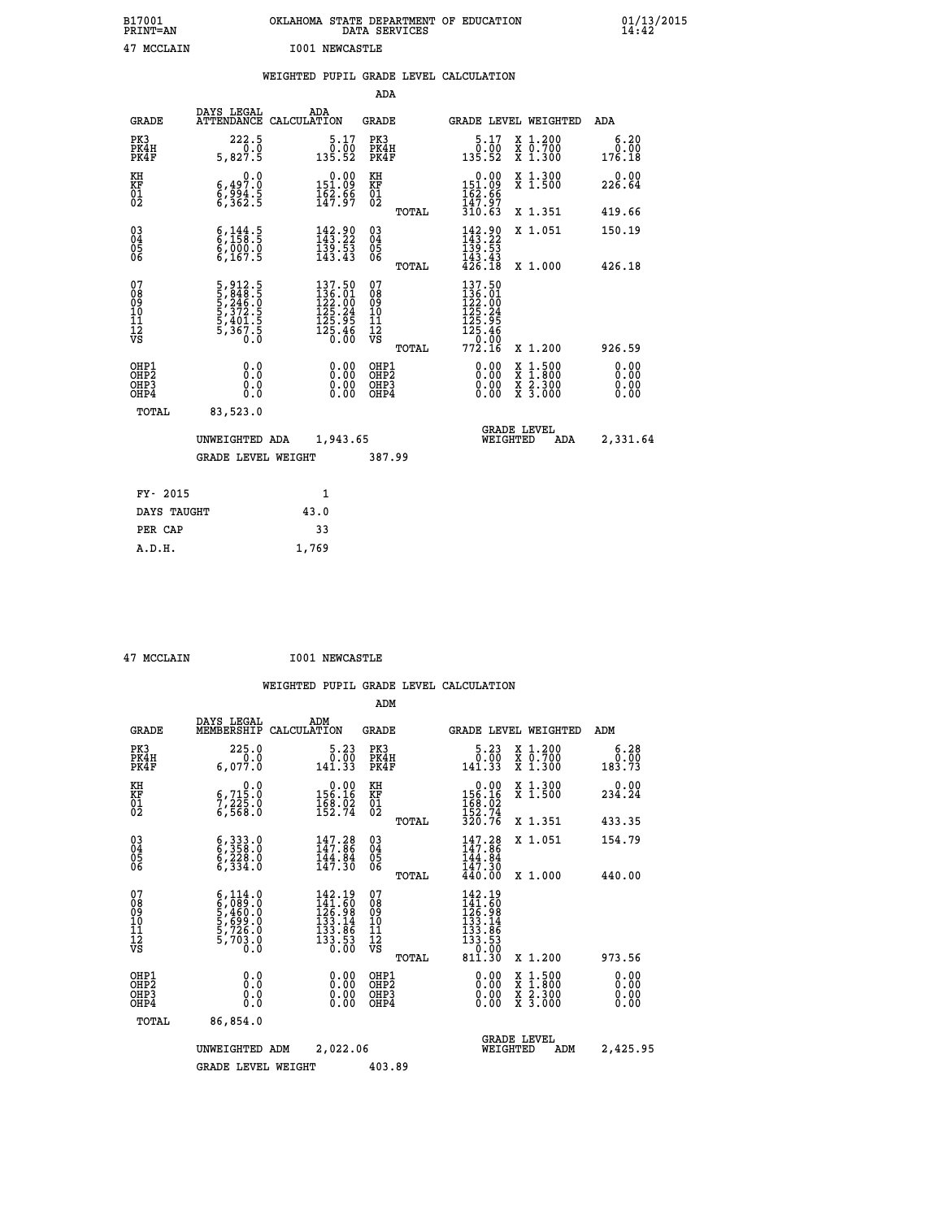| B17001<br>PRINT=AN                                            |                                                                             | OKLAHOMA STATE DEPARTMENT OF EDUCATION<br>DATA SERVICES                                     |                                                          |                                                                                               |                                                                                          | $01/13/2015$<br>14:42        |
|---------------------------------------------------------------|-----------------------------------------------------------------------------|---------------------------------------------------------------------------------------------|----------------------------------------------------------|-----------------------------------------------------------------------------------------------|------------------------------------------------------------------------------------------|------------------------------|
| 47 MCCLAIN                                                    |                                                                             | <b>I001 NEWCASTLE</b>                                                                       |                                                          |                                                                                               |                                                                                          |                              |
|                                                               |                                                                             | WEIGHTED PUPIL GRADE LEVEL CALCULATION                                                      |                                                          |                                                                                               |                                                                                          |                              |
|                                                               |                                                                             |                                                                                             | ADA                                                      |                                                                                               |                                                                                          |                              |
| <b>GRADE</b>                                                  | DAYS LEGAL                                                                  | ADA<br>ATTENDANCE CALCULATION                                                               | <b>GRADE</b>                                             | GRADE LEVEL WEIGHTED                                                                          |                                                                                          | ADA                          |
| PK3<br>PK4H<br>PK4F                                           | $222.5$<br>0.0<br>5,827.5                                                   | $\frac{5.17}{0.00}$<br>135.52                                                               | PK3<br>PK4H<br>PK4F                                      | $\begin{smallmatrix}5.17\0.00\135.52\end{smallmatrix}$                                        | X 1.200<br>X 0.700<br>X 1.300                                                            | 6.20<br>0.00<br>176.18       |
| KH<br>KF<br>$\overline{01}$                                   | 0.0<br>$\substack{6,497.0\\6,362.5}$                                        | $\begin{smallmatrix} &0.00\151.09\162.96\147.97\end{smallmatrix}$                           | KH<br>KF<br>01<br>02                                     | $0.00$<br>$151.09$<br>$162.99$<br>$147.97$                                                    | X 1.300<br>X 1.500                                                                       | 0.00<br>226.64               |
|                                                               |                                                                             |                                                                                             | TOTAL                                                    | 310.63                                                                                        | X 1.351                                                                                  | 419.66                       |
| $\substack{03 \\ 04}$<br>Ŏ5<br>06                             | $\frac{6}{158}$ : 5<br>$\frac{6}{6}, \frac{0}{167}. \frac{0}{5}$            | $\begin{smallmatrix} 142.90\\ 143.22\\ 139.53\\ 143.43 \end{smallmatrix}$                   | 03<br>04<br>05<br>06                                     | 142.90<br>139.53<br>143.43                                                                    | X 1.051                                                                                  | 150.19                       |
| 07<br>08<br>09<br>10<br>11<br>ĪŹ<br>VS                        | 5, 912.5<br>5, 848.5<br>5, 246.0<br>5, 372.5<br>5, 401.5<br>5, 367.5<br>0.0 | $\begin{smallmatrix} 137.50\\136.01\\122.00\\125.24\\125.95\\125.46\\0.00\end{smallmatrix}$ | TOTAL<br>07<br>08<br>09<br>10<br>11<br>ĪŽ<br>VŠ<br>TOTAL | 426.18<br>137.50<br>$\frac{136}{122}$ .00<br>125.24<br>125.95<br>125.46<br>$\frac{1}{772.16}$ | X 1.000<br>X 1.200                                                                       | 426.18<br>926.59             |
| OHP1<br>OHP <sub>2</sub><br>OH <sub>P3</sub><br>OHP4<br>TOTAL | 0.0<br>Ŏ.Ŏ<br>0.0<br>0.0<br>83,523.0                                        | 0.00<br>0.00<br>0.00                                                                        | OHP1<br>OH <sub>P</sub> 2<br>OHP3<br>OHP4                | 0.00<br>0.00<br>0.00                                                                          | $\begin{smallmatrix} x & 1.500 \\ x & 1.800 \\ x & 2.300 \\ x & 3.000 \end{smallmatrix}$ | 0.00<br>0.00<br>0.00<br>0.00 |
|                                                               | UNWEIGHTED ADA<br><b>GRADE LEVEL WEIGHT</b>                                 | 1,943.65                                                                                    | 387.99                                                   | <b>GRADE LEVEL</b><br>WEIGHTED                                                                | ADA                                                                                      | 2,331.64                     |
| FY- 2015                                                      |                                                                             | 1                                                                                           |                                                          |                                                                                               |                                                                                          |                              |
| DAYS TAUGHT                                                   |                                                                             | 43.0                                                                                        |                                                          |                                                                                               |                                                                                          |                              |

| $17$ MOOT 3 TM |  |
|----------------|--|

PER CAP 33  **A.D.H. 1,769**

 **47 MCCLAIN I001 NEWCASTLE**

|                                          |                                                                                     |                                                                                                     | ADM                                                 |                                                                                                  |                                          |                              |
|------------------------------------------|-------------------------------------------------------------------------------------|-----------------------------------------------------------------------------------------------------|-----------------------------------------------------|--------------------------------------------------------------------------------------------------|------------------------------------------|------------------------------|
| <b>GRADE</b>                             | DAYS LEGAL<br>MEMBERSHIP                                                            | ADM<br>CALCULATION                                                                                  | <b>GRADE</b>                                        | <b>GRADE LEVEL WEIGHTED</b>                                                                      |                                          | ADM                          |
| PK3<br>PK4H<br>PK4F                      | 225.0<br>6,077.0                                                                    | 5.23<br>0.00<br>141.33                                                                              | PK3<br>PK4H<br>PK4F                                 | $\begin{smallmatrix}5.23\0.00\\141.33\end{smallmatrix}$                                          | X 1.200<br>X 0.700<br>X 1.300            | 6.28<br>ة<br>183.73          |
| KH<br>KF<br>01<br>02                     | 0.0<br>$\frac{6}{7}, \frac{715}{225}$ .0<br>6,568.0                                 | $\begin{smallmatrix} &0.00\\ 156.16\\ 168.02\\ 152.74\end{smallmatrix}$                             | KH<br>KF<br>01<br>02                                | $0.00$<br>$156.16$<br>$168.02$<br>$152.74$<br>$320.76$                                           | X 1.300<br>X 1.500                       | 0.00<br>234.24               |
|                                          |                                                                                     |                                                                                                     | TOTAL                                               |                                                                                                  | X 1.351                                  | 433.35                       |
| 03<br>04<br>05<br>06                     | 6, 333.0<br>6, 358.0<br>6, 228.0<br>6,334.0                                         | $147.28$<br>$147.86$<br>$\frac{144.84}{147.30}$                                                     | $\begin{array}{c} 03 \\ 04 \\ 05 \\ 06 \end{array}$ | 147.28<br>$\frac{1\bar{4}4.84}{147.30}$<br>$440.00$                                              | X 1.051                                  | 154.79                       |
|                                          |                                                                                     |                                                                                                     | TOTAL                                               |                                                                                                  | X 1.000                                  | 440.00                       |
| 07<br>08<br>09<br>101<br>112<br>VS       | $6,089.0$<br>$6,089.0$<br>$5,460.0$<br>$5,699.0$<br>$5,726.0$<br>$5,703.0$<br>$0.0$ | $\begin{smallmatrix} 142.19\\141.60\\126.98\\133.14\\133.86\\133.86\\133.53\\0.00\end{smallmatrix}$ | 07<br>08<br>09<br>11<br>11<br>12<br>VS<br>TOTAL     | 142.19<br>$142.190$<br>$126.98$<br>$133.14$<br>$133.186$<br>$133.53$<br>$130.53$<br>$$<br>811.30 | X 1.200                                  | 973.56                       |
| OHP1<br>OHP2<br>OH <sub>P3</sub><br>OHP4 | 0.0<br>0.000                                                                        | $0.00$<br>$0.00$<br>0.00                                                                            | OHP1<br>OHP2<br>OHP <sub>3</sub>                    | $0.00$<br>$0.00$<br>0.00                                                                         | X 1:500<br>X 1:800<br>X 2:300<br>X 3:000 | 0.00<br>0.00<br>0.00<br>0.00 |
|                                          | TOTAL<br>86,854.0                                                                   |                                                                                                     |                                                     |                                                                                                  |                                          |                              |
|                                          | UNWEIGHTED                                                                          | 2,022.06<br>ADM                                                                                     |                                                     | <b>GRADE LEVEL</b><br>WEIGHTED                                                                   | ADM                                      | 2,425.95                     |
|                                          | <b>GRADE LEVEL WEIGHT</b>                                                           |                                                                                                     | 403.89                                              |                                                                                                  |                                          |                              |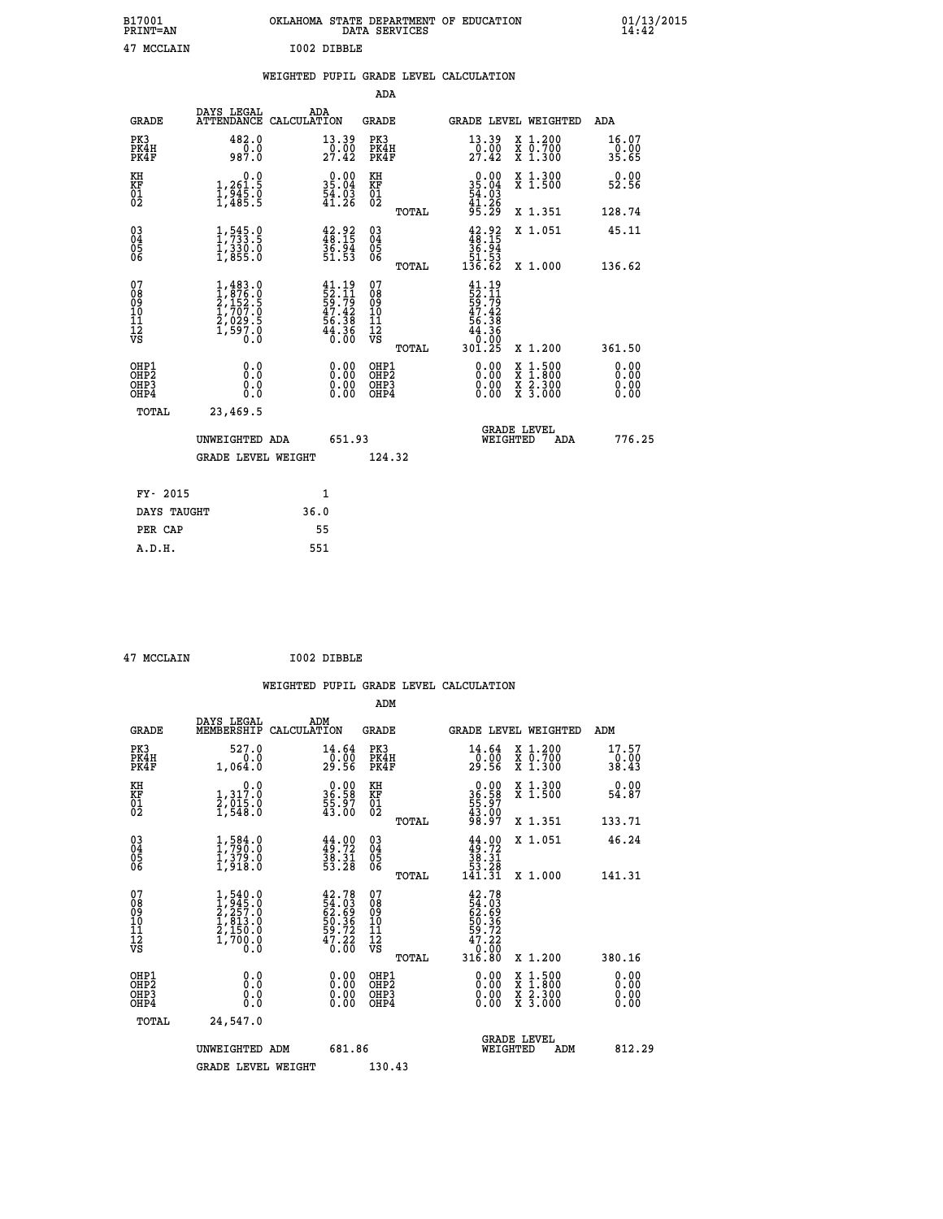| B17001<br><b>PRINT=AN</b> |             | OKLAHOMA STATE DEPARTMENT OF EDUCATION<br>DATA SERVICES |  |
|---------------------------|-------------|---------------------------------------------------------|--|
| 47 MCCLAIN                | I002 DIBBLE |                                                         |  |

|                                                                    |                                                                                                                      |                                                                          | ADA                                       |       |                                                                        |                                          |                              |
|--------------------------------------------------------------------|----------------------------------------------------------------------------------------------------------------------|--------------------------------------------------------------------------|-------------------------------------------|-------|------------------------------------------------------------------------|------------------------------------------|------------------------------|
| <b>GRADE</b>                                                       | DAYS LEGAL<br>ATTENDANCE CALCULATION                                                                                 | ADA                                                                      | <b>GRADE</b>                              |       |                                                                        | GRADE LEVEL WEIGHTED                     | ADA                          |
| PK3<br>PK4H<br>PK4F                                                | 482.0<br>$0.0$<br>987.0                                                                                              | 13.39<br>$\frac{0.00}{27.42}$                                            | PK3<br>PK4H<br>PK4F                       |       | $\begin{smallmatrix} 13 & 39 \\ 0 & 00 \\ 27 & 42 \end{smallmatrix}$   | X 1.200<br>X 0.700<br>X 1.300            | 16.07<br>0.00<br>35.65       |
| KH<br><b>KF</b><br>01<br>02                                        | 0.0<br>1,261:5<br>1,945.0<br>1,485:5                                                                                 | $\begin{smallmatrix} 0.00\\ 35.04\\ 54.03\\ 41.26 \end{smallmatrix}$     | KH<br>KF<br>01<br>02                      |       | 0.00<br>35.04<br>54.03<br>41.26<br>95.29                               | X 1.300<br>X 1.500                       | 0.00<br>52.56                |
|                                                                    |                                                                                                                      |                                                                          |                                           | TOTAL |                                                                        | X 1.351                                  | 128.74                       |
| $\begin{smallmatrix} 03 \\[-4pt] 04 \end{smallmatrix}$<br>Ŏ5<br>06 | $1, 545.9$<br>$1, 733.5$<br>$\frac{1}{3}, \frac{3}{855}$ .0                                                          | $42.92$<br>$48.15$<br>$36.94$<br>$51.53$                                 | $\substack{03 \\ 04}$<br>05<br>06         |       | $42.92$<br>$36.15$<br>$36.94$<br>$51.53$<br>$136.62$                   | X 1.051                                  | 45.11                        |
|                                                                    |                                                                                                                      |                                                                          |                                           | TOTAL |                                                                        | X 1.000                                  | 136.62                       |
| 07<br>08901112<br>1112<br>VS                                       | $\begin{smallmatrix} 1,483 & 0\\ 1,876 & 0\\ 2,152 & 5\\ 1,707 & 0\\ 2,029 & 5\\ 1,597 & 0\\ 0 & 0\end{smallmatrix}$ | $41.19$<br>$52.11$<br>$59.79$<br>$47.42$<br>$56.38$<br>$44.36$<br>$0.00$ | 07<br>08<br>09<br>11<br>11<br>12<br>VS    |       | $41.19$<br>$52.11$<br>$59.79$<br>$47.42$<br>$56.38$<br>$44.38$<br>0.00 |                                          |                              |
|                                                                    |                                                                                                                      |                                                                          |                                           | TOTAL | 301.25                                                                 | X 1.200                                  | 361.50                       |
| OHP1<br>OH <sub>P</sub> 2<br>OH <sub>P3</sub><br>OH <sub>P4</sub>  | 0.0<br>0.0<br>0.0                                                                                                    | 0.00<br>$\begin{smallmatrix} 0.00 \ 0.00 \end{smallmatrix}$              | OHP1<br>OH <sub>P</sub> 2<br>OHP3<br>OHP4 |       | 0.00<br>0.00<br>0.00                                                   | X 1:500<br>X 1:800<br>X 2:300<br>X 3:000 | 0.00<br>0.00<br>0.00<br>0.00 |
| TOTAL                                                              | 23,469.5                                                                                                             |                                                                          |                                           |       |                                                                        |                                          |                              |
|                                                                    | UNWEIGHTED ADA                                                                                                       | 651.93                                                                   |                                           |       |                                                                        | GRADE LEVEL<br>WEIGHTED<br>ADA           | 776.25                       |
|                                                                    | <b>GRADE LEVEL WEIGHT</b>                                                                                            |                                                                          | 124.32                                    |       |                                                                        |                                          |                              |
| FY- 2015                                                           |                                                                                                                      | $\mathbf{1}$                                                             |                                           |       |                                                                        |                                          |                              |
| DAYS TAUGHT                                                        |                                                                                                                      | 36.0                                                                     |                                           |       |                                                                        |                                          |                              |
| PER CAP                                                            |                                                                                                                      | 55                                                                       |                                           |       |                                                                        |                                          |                              |

 **47 MCCLAIN I002 DIBBLE**

 **A.D.H. 551**

 **ADM**

| <b>GRADE</b>                                       | DAYS LEGAL<br>MEMBERSHIP CALCULATION                                                              | ADM                                                                   | <b>GRADE</b>                                       |       |                                                                                      |                                | GRADE LEVEL WEIGHTED                                                        | ADM                           |
|----------------------------------------------------|---------------------------------------------------------------------------------------------------|-----------------------------------------------------------------------|----------------------------------------------------|-------|--------------------------------------------------------------------------------------|--------------------------------|-----------------------------------------------------------------------------|-------------------------------|
| PK3<br>PK4H<br>PK4F                                | 527.0<br>0.0<br>1,064.0                                                                           | 14.64<br>0.00<br>29.56                                                | PK3<br>PK4H<br>PK4F                                |       | 14.64<br>-0:00<br>29:56                                                              |                                | $\begin{smallmatrix} x & 1.200 \\ x & 0.700 \end{smallmatrix}$<br>$X_1.300$ | 17.57<br>$\frac{0.00}{38.43}$ |
| KH<br>KF<br>01<br>02                               | 0.0<br>1, 317:0<br>2, 015:0<br>1, 548:0                                                           | $\begin{smallmatrix} 0.00\\ 36.58\\ 55.97\\ 43.00 \end{smallmatrix}$  | KH<br>KF<br>01<br>02                               |       | $\begin{smallmatrix} 0.00\\ 36.58\\ 55.97\\ 43.00\\ 98.97 \end{smallmatrix}$         |                                | X 1.300<br>X 1.500                                                          | 0.00<br>54.87                 |
|                                                    |                                                                                                   |                                                                       |                                                    | TOTAL |                                                                                      |                                | X 1.351                                                                     | 133.71                        |
| $\begin{matrix} 03 \\ 04 \\ 05 \\ 06 \end{matrix}$ | $\begin{smallmatrix} 1, & 584 & 0\\ 1, & 790 & 0\\ 1, & 379 & 0\\ 1, & 918 & 0 \end{smallmatrix}$ | $44.00$<br>$49.72$<br>$38.31$<br>$53.28$                              | $\begin{matrix} 03 \\ 04 \\ 05 \\ 06 \end{matrix}$ |       | $\begin{array}{c} 44.00 \\ 49.72 \\ 38.31 \\ 53.28 \\ 141.31 \end{array}$            |                                | X 1.051                                                                     | 46.24                         |
|                                                    |                                                                                                   |                                                                       |                                                    | TOTAL |                                                                                      |                                | X 1.000                                                                     | 141.31                        |
| 07<br>08<br>09<br>101<br>11<br>12<br>VS            | $1,540.0$<br>$2,257.0$<br>$2,257.0$<br>$1,813.0$<br>$2,150.0$<br>$1,700.0$<br>$0.0$               | $42.78$<br>54.03<br>62.69<br>62.36<br>59.72<br>59.72<br>47.22<br>0.00 | 07<br>08<br>09<br>001<br>11<br>11<br>12<br>VS      | TOTAL | $42.78$<br>$54.03$<br>$62.69$<br>$59.36$<br>$59.72$<br>$47.22$<br>$0.00$<br>$316.80$ |                                | $X_1.200$                                                                   | 380.16                        |
| OHP1<br>OHP2<br>OH <sub>P3</sub><br>OHP4           | 0.0<br>0.000                                                                                      |                                                                       | OHP1<br>OHP2<br>OHP3<br>OHP4                       |       | 0.00<br>0.00                                                                         |                                | X 1:500<br>X 1:800<br>X 2:300<br>X 3:000                                    | 0.00<br>0.00<br>0.00          |
| TOTAL                                              | 24,547.0                                                                                          |                                                                       |                                                    |       |                                                                                      |                                |                                                                             |                               |
|                                                    | UNWEIGHTED ADM                                                                                    | 681.86                                                                |                                                    |       |                                                                                      | <b>GRADE LEVEL</b><br>WEIGHTED | ADM                                                                         | 812.29                        |
|                                                    | <b>GRADE LEVEL WEIGHT</b>                                                                         |                                                                       | 130.43                                             |       |                                                                                      |                                |                                                                             |                               |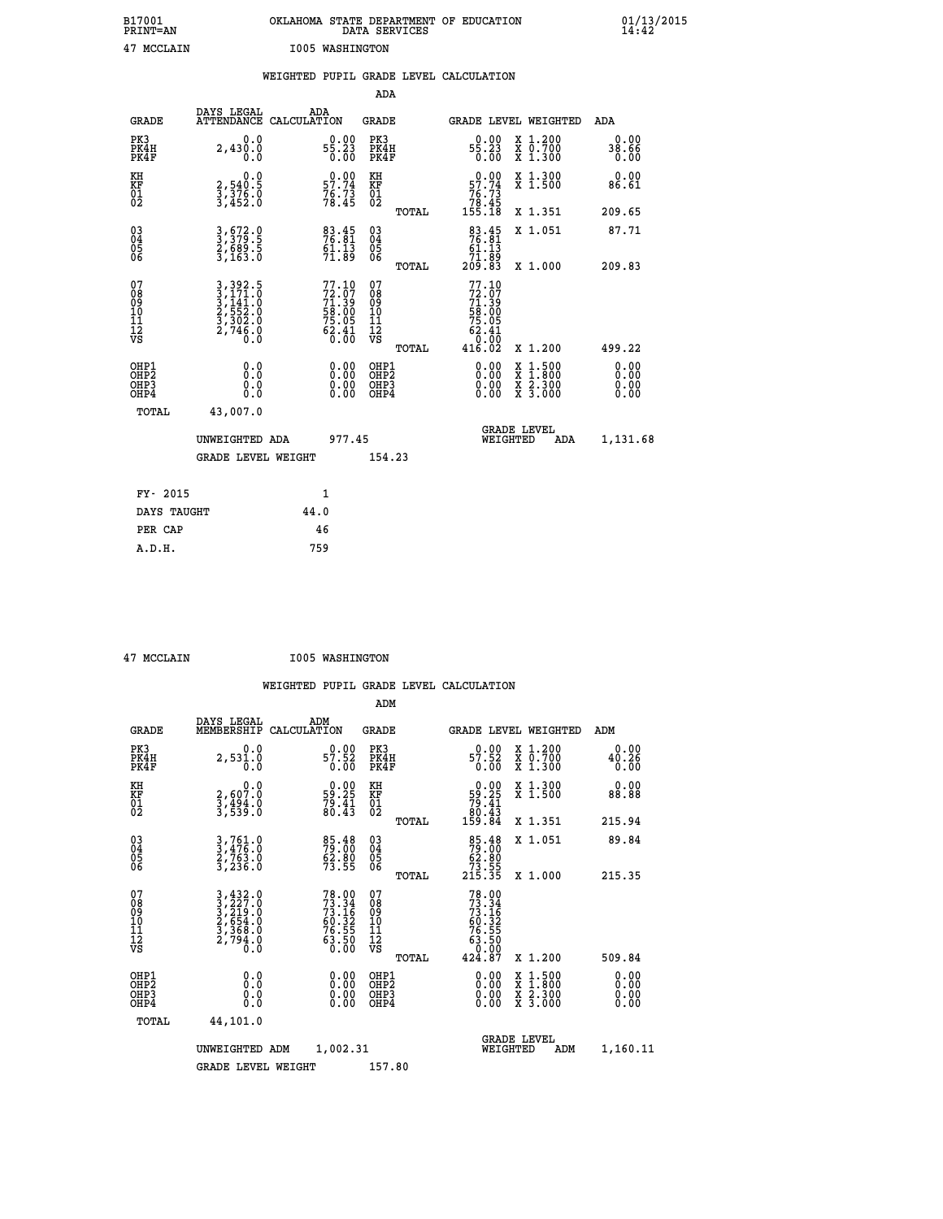| B17001<br><b>PRINT=AN</b> | OKLAHOMA STATE DEPARTMENT OF EDUCATION<br>DATA SERVICES | 01/13/2015 |
|---------------------------|---------------------------------------------------------|------------|
| 47 MCCLAIN                | 1005 WASHINGTON                                         |            |

|  |  | WEIGHTED PUPIL GRADE LEVEL CALCULATION |
|--|--|----------------------------------------|
|  |  |                                        |

|                                                                              |                                                                                                                                               |                                                                          |                                                                   | ADA                                                 |       |                                                                          |                                          |                              |
|------------------------------------------------------------------------------|-----------------------------------------------------------------------------------------------------------------------------------------------|--------------------------------------------------------------------------|-------------------------------------------------------------------|-----------------------------------------------------|-------|--------------------------------------------------------------------------|------------------------------------------|------------------------------|
| <b>GRADE</b>                                                                 | DAYS LEGAL<br><b>ATTENDANCE</b>                                                                                                               | ADA<br>CALCULATION                                                       |                                                                   | <b>GRADE</b>                                        |       | <b>GRADE LEVEL WEIGHTED</b>                                              |                                          | ADA                          |
| PK3<br>PK4H<br>PK4F                                                          | 0.0<br>2,430.0<br>Ŏ.Ŏ                                                                                                                         | $55.23\n0.00$                                                            |                                                                   | PK3<br>PK4H<br>PK4F                                 |       | $55.23$<br>0.00                                                          | X 1.200<br>X 0.700<br>X 1.300            | 0.00<br>38.66<br>0.00        |
| KH<br><b>KF</b><br>01<br>02                                                  | 0.0<br>2,540.5<br>3,376.0<br>3,452.0                                                                                                          | 57.74<br>$76:73$<br>$78:45$                                              |                                                                   | KH<br>KF<br>01<br>02                                |       | $0.00$<br>57.74<br>$76.73$<br>$78.45$<br>$155.18$                        | X 1.300<br>X 1.500                       | 0.00<br>86.61                |
|                                                                              |                                                                                                                                               |                                                                          |                                                                   |                                                     | TOTAL |                                                                          | X 1.351                                  | 209.65                       |
| $^{03}_{04}$<br>Ŏ5<br>06                                                     | 3,672.0<br>3,379.5<br>2,689.5<br>3,163.0                                                                                                      | $\begin{smallmatrix} 83.45\ 76.81\ 61.13\ 91.89 \end{smallmatrix}$       |                                                                   | $\begin{array}{c} 03 \\ 04 \\ 05 \\ 06 \end{array}$ | TOTAL | $\begin{smallmatrix}83.45\\76.81\\61.13\\71.89\\209.83\end{smallmatrix}$ | X 1.051<br>X 1.000                       | 87.71<br>209.83              |
| 07<br>08901112<br>1112<br>VS                                                 | $\begin{smallmatrix} 3\,,\,392\,.5\\ 3\,,\,171\,.0\\ 3\,,\,141\,.0\\ 2\,,\,552\,.0\\ 3\,,\,302\,.0\\ 2\,,\,746\,.0\\ 0\,.0 \end{smallmatrix}$ | $77.10$<br>$72.07$<br>$71.39$<br>$58.00$<br>$75.05$<br>$62.41$<br>$6.00$ |                                                                   | 07<br>08<br>09<br>11<br>11<br>12<br>VS              |       | 77.10<br>$72.07$<br>$71.39$<br>$58.005$<br>$75.05$<br>$62.41$<br>$0.00$  |                                          |                              |
|                                                                              |                                                                                                                                               |                                                                          |                                                                   |                                                     | TOTAL | 416.02                                                                   | X 1.200                                  | 499.22                       |
| OHP1<br>OH <sub>P</sub> <sub>2</sub><br>OH <sub>P3</sub><br>OH <sub>P4</sub> | 0.0<br>0.0<br>0.0                                                                                                                             |                                                                          | $\begin{smallmatrix} 0.00 \ 0.00 \ 0.00 \ 0.00 \end{smallmatrix}$ | OHP1<br>OHP <sub>2</sub><br>OHP3<br>OHP4            |       | 0.00<br>0.00<br>0.00                                                     | X 1:500<br>X 1:800<br>X 2:300<br>X 3:000 | 0.00<br>0.00<br>0.00<br>0.00 |
| TOTAL                                                                        | 43,007.0                                                                                                                                      |                                                                          |                                                                   |                                                     |       |                                                                          |                                          |                              |
|                                                                              | UNWEIGHTED ADA                                                                                                                                |                                                                          | 977.45                                                            |                                                     |       |                                                                          | GRADE LEVEL<br>WEIGHTED<br>ADA           | 1,131.68                     |
|                                                                              | <b>GRADE LEVEL WEIGHT</b>                                                                                                                     |                                                                          |                                                                   | 154.23                                              |       |                                                                          |                                          |                              |
| FY- 2015                                                                     |                                                                                                                                               | $\mathbf{1}$                                                             |                                                                   |                                                     |       |                                                                          |                                          |                              |
| DAYS TAUGHT                                                                  |                                                                                                                                               | 44.0                                                                     |                                                                   |                                                     |       |                                                                          |                                          |                              |
| PER CAP                                                                      |                                                                                                                                               | 46                                                                       |                                                                   |                                                     |       |                                                                          |                                          |                              |

| 47 MCCLAIN |
|------------|

 **ADM**

 **47 MCCLAIN I005 WASHINGTON**

| <b>GRADE</b>                            | DAYS LEGAL<br>MEMBERSHIP                                                                                                                                 | ADM<br>CALCULATION                                                       | <b>GRADE</b>                                        |       | <b>GRADE LEVEL WEIGHTED</b>                                                          |                                          | ADM                   |  |
|-----------------------------------------|----------------------------------------------------------------------------------------------------------------------------------------------------------|--------------------------------------------------------------------------|-----------------------------------------------------|-------|--------------------------------------------------------------------------------------|------------------------------------------|-----------------------|--|
| PK3<br>PK4H<br>PK4F                     | 0.0<br>2,531.0                                                                                                                                           | $0.00$<br>57.52<br>0.00                                                  | PK3<br>PK4H<br>PK4F                                 |       | 0.00<br>$\frac{57.52}{0.00}$                                                         | X 1.200<br>X 0.700<br>X 1.300            | 0.00<br>40.26<br>0.00 |  |
| KH<br>KF<br>01<br>02                    | $2,607.0$<br>$3,494.0$<br>$3,539.0$                                                                                                                      | $\begin{smallmatrix} 0.00\\ 59.25\\ 79.41\\ 80.43 \end{smallmatrix}$     | KH<br>KF<br>01<br>02                                |       | $\begin{smallmatrix} &0.00\\ 59.25\\ 79.41\\ 80.43\\ 159.84\end{smallmatrix}$        | X 1.300<br>X 1.500                       | 0.00<br>88.88         |  |
|                                         |                                                                                                                                                          |                                                                          |                                                     | TOTAL |                                                                                      | X 1.351                                  | 215.94                |  |
| 03<br>04<br>05<br>06                    | $3, 761.0$<br>$3, 476.0$<br>$2, 763.0$<br>$3, 236.0$                                                                                                     | 85.48<br>79.00<br>62.80<br>73.55                                         | $\begin{array}{c} 03 \\ 04 \\ 05 \\ 06 \end{array}$ |       | $\begin{array}{r} 85.48 \\ 79.00 \\ 62.80 \\ 73.55 \\ 215.35 \end{array}$            | X 1.051                                  | 89.84                 |  |
|                                         |                                                                                                                                                          |                                                                          |                                                     | TOTAL |                                                                                      | X 1.000                                  | 215.35                |  |
| 07<br>08<br>09<br>101<br>11<br>12<br>VS | $\begin{smallmatrix} 3\,,\,432\,.\,0\\ 3\,,\,227\,.\,0\\ 2\,,\,654\,.\,0\\ 2\,,\,654\,.\,0\\ 3\,,\,368\,.\,0\\ 2\,,\,794\,.\,0\\ 0\,. \end{smallmatrix}$ | $78.00$<br>$73.34$<br>$73.16$<br>$60.32$<br>$76.55$<br>$63.50$<br>$0.00$ | 07<br>08<br>09<br>001<br>11<br>11<br>12<br>VS       | TOTAL | $73.34$<br>$73.16$<br>$73.16$<br>$60.32$<br>$76.55$<br>$63.50$<br>$0.00$<br>$424.87$ | X 1.200                                  | 509.84                |  |
| OHP1                                    |                                                                                                                                                          |                                                                          |                                                     |       |                                                                                      |                                          |                       |  |
| OHP <sub>2</sub><br>OHP3<br>OHP4        | 0.0<br>0.000                                                                                                                                             | $\begin{smallmatrix} 0.00 \ 0.00 \ 0.00 \ 0.00 \end{smallmatrix}$        | OHP1<br>OHP2<br>OHP3<br>OHP4                        |       | 0.00<br>$0.00$<br>0.00                                                               | X 1:500<br>X 1:800<br>X 2:300<br>X 3:000 | 0.00<br>0.00<br>0.00  |  |
| TOTAL                                   | 44,101.0                                                                                                                                                 |                                                                          |                                                     |       |                                                                                      |                                          |                       |  |
|                                         | UNWEIGHTED                                                                                                                                               | 1,002.31<br>ADM                                                          |                                                     |       | WEIGHTED                                                                             | <b>GRADE LEVEL</b><br>ADM                | 1,160.11              |  |
|                                         | <b>GRADE LEVEL WEIGHT</b>                                                                                                                                |                                                                          | 157.80                                              |       |                                                                                      |                                          |                       |  |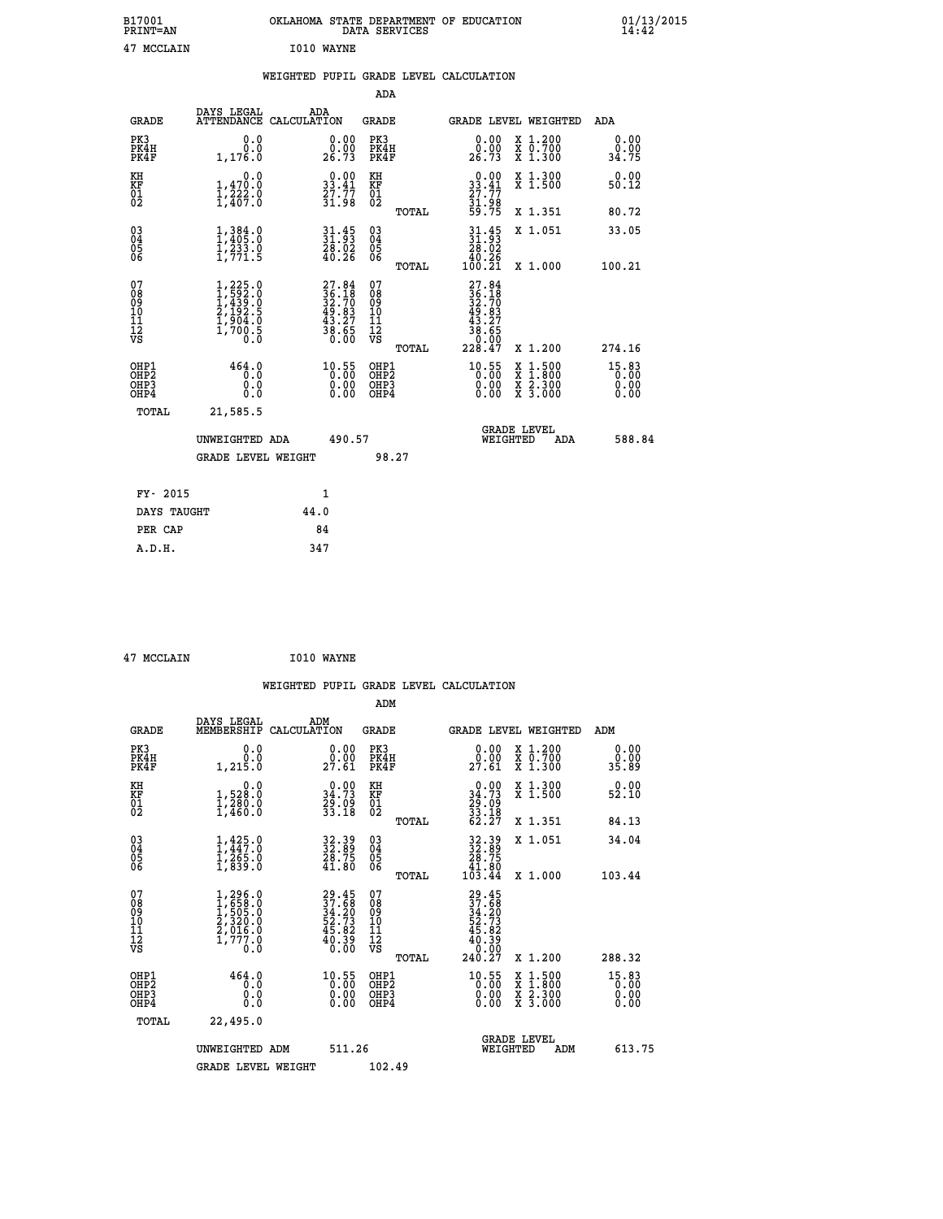| B17001<br>PRINT=AN | OKLAHOMA<br>. STATE DEPARTMENT OF EDUCATION<br>DATA SERVICES | 01/13/2015<br>14:42 |
|--------------------|--------------------------------------------------------------|---------------------|
| 47<br>MCCLAIN      | <b>IO10 WAYNE</b>                                            |                     |

|  |  | WEIGHTED PUPIL GRADE LEVEL CALCULATION |
|--|--|----------------------------------------|
|  |  |                                        |

|                                                                              |                                                                                             |                                                                          | ADA                                                         |                                                                                                                                                                    |                                 |
|------------------------------------------------------------------------------|---------------------------------------------------------------------------------------------|--------------------------------------------------------------------------|-------------------------------------------------------------|--------------------------------------------------------------------------------------------------------------------------------------------------------------------|---------------------------------|
| <b>GRADE</b>                                                                 | DAYS LEGAL                                                                                  | ADA<br>ATTENDANCE CALCULATION                                            | GRADE                                                       | <b>GRADE LEVEL WEIGHTED</b>                                                                                                                                        | ADA                             |
| PK3<br>PK4H<br>PK4F                                                          | 0.0<br>0.0<br>1,176.0                                                                       | 0.00<br>0.00<br>26.73                                                    | PK3<br>PK4H<br>PK4F                                         | X 1.200<br>X 0.700<br>X 1.300<br>0.00<br>0.00<br>26.73                                                                                                             | 0.00<br>0.00<br>34.75           |
| KH<br>KF<br>01<br>02                                                         | 0.0<br>$\frac{1}{1}, \frac{4}{222}$<br>$\frac{7}{27}$<br>$\frac{7}{207}$<br>$\frac{8}{207}$ | $\begin{smallmatrix} 0.00\\ 33.41\\ 27.77\\ 31.98 \end{smallmatrix}$     | KH<br>KF<br>01<br>02                                        | $\begin{array}{c} 0.00 \\ 33.41 \\ 27.77 \\ 31.98 \\ 59.75 \end{array}$<br>X 1.300<br>X 1.500                                                                      | 0.00<br>50.12                   |
|                                                                              |                                                                                             |                                                                          | TOTAL                                                       | X 1.351                                                                                                                                                            | 80.72                           |
| $^{03}_{04}$<br>Ŏ5<br>06                                                     | $1,384.0$<br>$1,405.0$<br>$1,233.0$<br>$1,771.5$                                            | 31.45<br>31.93<br>28.02<br>40.26                                         | $\begin{matrix} 03 \\ 04 \\ 05 \\ 06 \end{matrix}$<br>TOTAL | $31.45$<br>$31.93$<br>$28.02$<br>X 1.051<br>40.26<br>100.21<br>X 1.000                                                                                             | 33.05<br>100.21                 |
| 07<br>08<br>09<br>11<br>11<br>12<br>VS                                       | $1, 225.0$<br>$1, 592.0$<br>$1, 439.0$<br>$2, 192.5$<br>$1, 904.0$<br>$1, 700.5$<br>0.0     | $27.84$<br>$36.18$<br>$32.70$<br>$49.83$<br>$43.27$<br>$38.65$<br>$0.00$ | 07<br>08<br>09<br>11<br>11<br>12<br>VS<br>TOTAL             | 27.84<br>$36.18$<br>$32.70$<br>$49.83$<br>$43.27$<br>$38.65$<br>$30.99$<br>228.47<br>X 1.200                                                                       | 274.16                          |
| OHP1<br>OH <sub>P</sub> <sub>2</sub><br>OH <sub>P3</sub><br>OH <sub>P4</sub> | 464.0<br>0.0<br>0.0<br>0.0                                                                  | 10.55<br>0.00<br>0.00                                                    | OHP1<br>OHP2<br>OHP3<br>OHP4                                | 10.55<br>$\begin{smallmatrix} \mathtt{X} & 1\cdot500\\ \mathtt{X} & 1\cdot800\\ \mathtt{X} & 2\cdot300\\ \mathtt{X} & 3\cdot000 \end{smallmatrix}$<br>0.00<br>0.00 | $15.83$<br>0.00<br>0.00<br>0.00 |
| TOTAL                                                                        | 21,585.5<br>UNWEIGHTED ADA<br><b>GRADE LEVEL WEIGHT</b>                                     | 490.57                                                                   | 98.27                                                       | <b>GRADE LEVEL</b><br>WEIGHTED<br>ADA                                                                                                                              | 588.84                          |
|                                                                              | FY- 2015                                                                                    | 1                                                                        |                                                             |                                                                                                                                                                    |                                 |
|                                                                              | DAYS TAUGHT                                                                                 | 44.0                                                                     |                                                             |                                                                                                                                                                    |                                 |
|                                                                              | PER CAP                                                                                     | 84                                                                       |                                                             |                                                                                                                                                                    |                                 |
| A.D.H.                                                                       |                                                                                             | 347                                                                      |                                                             |                                                                                                                                                                    |                                 |

| 47 MCCLAIN |  |
|------------|--|
|            |  |

**MCCLAIN 1010 WAYNE** 

|                                                      |                                                                                     |                                                                          |                                              | WEIGHTED PUPIL GRADE LEVEL CALCULATION                                         |                                                           |                                   |
|------------------------------------------------------|-------------------------------------------------------------------------------------|--------------------------------------------------------------------------|----------------------------------------------|--------------------------------------------------------------------------------|-----------------------------------------------------------|-----------------------------------|
|                                                      |                                                                                     |                                                                          | ADM                                          |                                                                                |                                                           |                                   |
| <b>GRADE</b>                                         | DAYS LEGAL<br>MEMBERSHIP<br>CALCULATION                                             | ADM                                                                      | <b>GRADE</b>                                 | <b>GRADE LEVEL WEIGHTED</b>                                                    |                                                           | ADM                               |
| PK3<br>PK4H<br>PK4F                                  | 0.0<br>0.0<br>1,215.0                                                               | $0.00$<br>$0.00$<br>27.61                                                | PK3<br>PK4H<br>PK4F                          | $\begin{smallmatrix} 0.00\\ 0.00\\ 27.61 \end{smallmatrix}$                    | X 1.200<br>X 0.700<br>X 1.300                             | 0.00<br>0.00<br>35.89             |
| KH<br>KF<br>01<br>02                                 | 0.0<br>1,528:0<br>1,280:0<br>1,460:0                                                | $\begin{smallmatrix} 0.00\\ 34.73\\ 29.09\\ 33.18 \end{smallmatrix}$     | KH<br>KF<br>01<br>02                         | $0.00\n34.73\n29.09\n33.18\n62.27$                                             | X 1.300<br>X 1.500                                        | 0.00<br>52.10                     |
|                                                      |                                                                                     |                                                                          | TOTAL                                        |                                                                                | X 1.351                                                   | 84.13                             |
| $\begin{matrix} 03 \\ 04 \\ 05 \\ 06 \end{matrix}$   | $1,425.0$<br>$1,2447.0$<br>$1,265.0$<br>$1,839.0$                                   | 32.39<br>32.89<br>28.75<br>41.80                                         | 03<br>04<br>05<br>06                         | $\begin{smallmatrix} 32.39\\ 32.89\\ 28.75\\ 41.80\\ 103.44 \end{smallmatrix}$ | X 1.051                                                   | 34.04                             |
|                                                      |                                                                                     |                                                                          | TOTAL                                        |                                                                                | $X_1.000$                                                 | 103.44                            |
| 07<br>08<br>09<br>01<br>11<br>11<br>12<br>VS         | $1,296.0$<br>$1,658.0$<br>$1,505.0$<br>$2,320.0$<br>$2,016.0$<br>$1,777.0$<br>$0.0$ | $29.45$<br>$37.58$<br>$34.20$<br>$52.73$<br>$45.82$<br>$40.39$<br>$0.00$ | 07<br>08<br>09<br>01<br>11<br>11<br>12<br>VS | $29.45$<br>$37.58$<br>$34.20$<br>$52.73$<br>$45.82$<br>$40.39$<br>$0.99$       |                                                           |                                   |
|                                                      |                                                                                     |                                                                          | TOTAL                                        | 240.27                                                                         | X 1.200                                                   | 288.32                            |
| OHP1<br>OHP2<br>OH <sub>P3</sub><br>OH <sub>P4</sub> | 464.0<br>0.0<br>0.000                                                               | 10.55<br>0.00<br>0.00                                                    | OHP1<br>OHP2<br>OHP3<br>OHP4                 | $^{10.55}_{0.00}$<br>X<br>X<br>0.00                                            | $1.500$<br>$1.800$<br>$\frac{x}{x}$ $\frac{5:300}{3:000}$ | $15.83$<br>$0.00$<br>0.00<br>0.00 |
| TOTAL                                                | 22,495.0                                                                            |                                                                          |                                              |                                                                                |                                                           |                                   |
|                                                      | UNWEIGHTED<br>ADM                                                                   | 511.26                                                                   |                                              | <b>GRADE LEVEL</b><br>WEIGHTED                                                 | ADM                                                       | 613.75                            |
|                                                      | <b>GRADE LEVEL WEIGHT</b>                                                           |                                                                          | 102.49                                       |                                                                                |                                                           |                                   |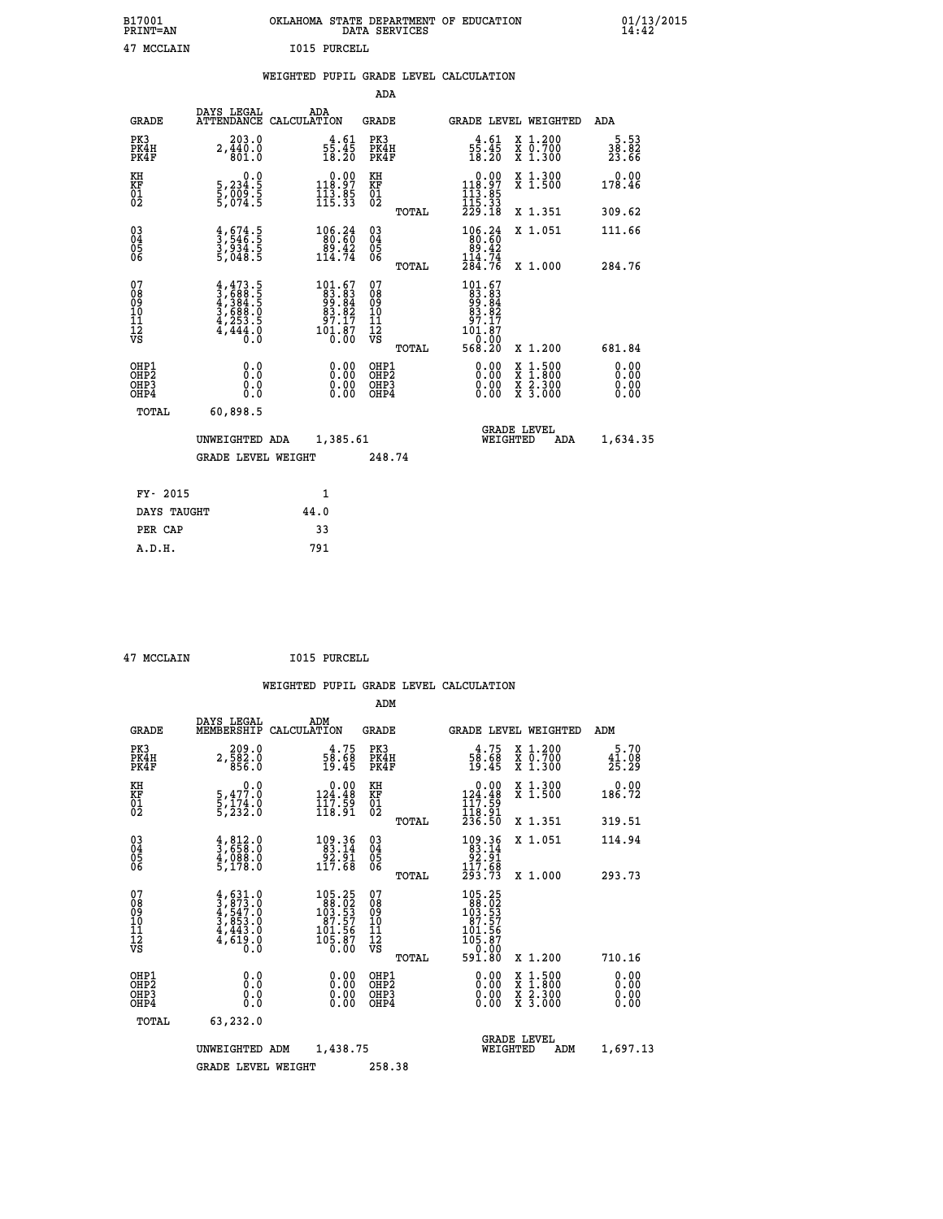| B17001          | OKLAHOMA STATE DEPARTMENT OF EDUCATION |
|-----------------|----------------------------------------|
| <b>PRINT=AN</b> | DATA SERVICES                          |
| 47 MCCLAIN      | I015 PURCELL                           |

|  |  | WEIGHTED PUPIL GRADE LEVEL CALCULATION |
|--|--|----------------------------------------|
|  |  |                                        |

|                                                                              |                                                                                     |                                                                                                | ADA                                                |       |                                                                                                                                                                                                              |                                                                                                                                           |                              |
|------------------------------------------------------------------------------|-------------------------------------------------------------------------------------|------------------------------------------------------------------------------------------------|----------------------------------------------------|-------|--------------------------------------------------------------------------------------------------------------------------------------------------------------------------------------------------------------|-------------------------------------------------------------------------------------------------------------------------------------------|------------------------------|
| <b>GRADE</b>                                                                 | DAYS LEGAL                                                                          | ADA<br>ATTENDANCE CALCULATION                                                                  | GRADE                                              |       | <b>GRADE LEVEL WEIGHTED</b>                                                                                                                                                                                  |                                                                                                                                           | ADA                          |
| PK3<br>PK4H<br>PK4F                                                          | 203.0<br>2,440.0                                                                    | $\frac{4 \cdot 61}{55 \cdot 45}$<br>18.20                                                      | PK3<br>PK4H<br>PK4F                                |       | $\frac{4 \cdot 61}{55 \cdot 45}$<br>18.20                                                                                                                                                                    | X 1.200<br>X 0.700<br>X 1.300                                                                                                             | 5.53<br>38.82<br>23.66       |
| KH<br>KF<br>01<br>02                                                         | 0.0<br>5,234:5<br>5,009:5<br>5,074:5                                                | $\begin{array}{c} 0.00 \\ 118.97 \\ 113.85 \\ 115.33 \end{array}$                              | KH<br>KF<br>01<br>02                               |       | $\begin{array}{c} 0.00 \\ 118.97 \\ 113.85 \\ 115.33 \\ 229.18 \end{array}$                                                                                                                                  | X 1.300<br>X 1.500                                                                                                                        | 0.00<br>178.46               |
|                                                                              |                                                                                     |                                                                                                |                                                    | TOTAL |                                                                                                                                                                                                              | X 1.351                                                                                                                                   | 309.62                       |
| $\begin{matrix} 03 \\ 04 \\ 05 \\ 06 \end{matrix}$                           | $\frac{4}{3}, \frac{674}{546}$ .<br>3,934.5<br>3,048.5                              | 106.24<br>80.60<br>$89.42$<br>114.74                                                           | $\begin{matrix} 03 \\ 04 \\ 05 \\ 06 \end{matrix}$ |       | 106.24<br>$\begin{array}{r} 180.60 \\ 89.42 \\ 144.74 \\ 284.76 \end{array}$                                                                                                                                 | X 1.051                                                                                                                                   | 111.66                       |
|                                                                              |                                                                                     |                                                                                                |                                                    | TOTAL |                                                                                                                                                                                                              | X 1.000                                                                                                                                   | 284.76                       |
| 07<br>08<br>09<br>11<br>11<br>12<br>VS                                       | $4,473.5$<br>$3,688.5$<br>$4,384.5$<br>$3,688.0$<br>$4,253.5$<br>$4,444.0$<br>$0.0$ | $\begin{smallmatrix} 101.67\\83.83\\99.84\\83.84\\87.17\\97.17\\101.87\\0.00\end{smallmatrix}$ | 07<br>08<br>09<br>11<br>11<br>12<br>VS             | TOTAL | $\begin{smallmatrix} 1 & 0 & 1 & . & 67 \\ 8 & 3 & . & 83 \\ 9 & 9 & . & 84 \\ 9 & . & 82 \\ 9 & . & . & 82 \\ 9 & . & . & 17 \\ 1 & 0 & . & . & 8 \\ 0 & . & 0 & 0 \\ 5 & 6 & 8 & . & 20 \end{smallmatrix}$ | X 1.200                                                                                                                                   | 681.84                       |
| OHP1<br>OH <sub>P</sub> <sub>2</sub><br>OH <sub>P3</sub><br>OH <sub>P4</sub> | 0.0<br>Ō.Ō<br>0.0<br>0.0                                                            | 0.00<br>0.00<br>0.00                                                                           | OHP1<br>OHP2<br>OHP3<br>OHP4                       |       | 0.00<br>0.00<br>0.00                                                                                                                                                                                         | $\begin{smallmatrix} \mathtt{X} & 1\cdot500\\ \mathtt{X} & 1\cdot800\\ \mathtt{X} & 2\cdot300\\ \mathtt{X} & 3\cdot000 \end{smallmatrix}$ | 0.00<br>0.00<br>0.00<br>0.00 |
| TOTAL                                                                        | 60,898.5                                                                            |                                                                                                |                                                    |       |                                                                                                                                                                                                              |                                                                                                                                           |                              |
|                                                                              | UNWEIGHTED ADA                                                                      | 1,385.61                                                                                       |                                                    |       | WEIGHTED                                                                                                                                                                                                     | <b>GRADE LEVEL</b><br>ADA                                                                                                                 | 1,634.35                     |
|                                                                              | <b>GRADE LEVEL WEIGHT</b>                                                           |                                                                                                | 248.74                                             |       |                                                                                                                                                                                                              |                                                                                                                                           |                              |
| FY- 2015                                                                     |                                                                                     | 1                                                                                              |                                                    |       |                                                                                                                                                                                                              |                                                                                                                                           |                              |
| DAYS TAUGHT                                                                  |                                                                                     | 44.0                                                                                           |                                                    |       |                                                                                                                                                                                                              |                                                                                                                                           |                              |
| PER CAP                                                                      |                                                                                     | 33                                                                                             |                                                    |       |                                                                                                                                                                                                              |                                                                                                                                           |                              |
| A.D.H.                                                                       |                                                                                     | 791                                                                                            |                                                    |       |                                                                                                                                                                                                              |                                                                                                                                           |                              |

 **47 MCCLAIN I015 PURCELL**

|                                                      |                                                                                     |                    |                                                                                                           | ADM                                                 |       |                                                                                                 |                                          |                               |
|------------------------------------------------------|-------------------------------------------------------------------------------------|--------------------|-----------------------------------------------------------------------------------------------------------|-----------------------------------------------------|-------|-------------------------------------------------------------------------------------------------|------------------------------------------|-------------------------------|
| <b>GRADE</b>                                         | DAYS LEGAL<br>MEMBERSHIP                                                            | ADM<br>CALCULATION |                                                                                                           | <b>GRADE</b>                                        |       |                                                                                                 | <b>GRADE LEVEL WEIGHTED</b>              | ADM                           |
| PK3<br>PK4H<br>PK4F                                  | 209.0<br>$2, \overline{582.0}$<br>856.0                                             |                    | $\frac{4.75}{58.68}$<br>19.45                                                                             | PK3<br>PK4H<br>PK4F                                 |       | $\frac{4.75}{58.68}$<br>19.45                                                                   | X 1.200<br>X 0.700<br>X 1.300            | 5.70<br>$\frac{41.08}{25.29}$ |
| KH<br>KF<br>01<br>02                                 | 0.0<br>5,477.0<br>5,174.0<br>5,232.0                                                |                    | $\begin{smallmatrix} &0.00\\124.48\\117.59\\118.91\end{smallmatrix}$                                      | KH<br>KF<br>01<br>02                                |       | $\begin{smallmatrix} &0.00\\ 124.48\\ 117.59\\ 118.91\\ 236.50 \end{smallmatrix}$               | X 1.300<br>X 1.500                       | 0.00<br>186.72                |
|                                                      |                                                                                     |                    |                                                                                                           |                                                     | TOTAL |                                                                                                 | X 1.351                                  | 319.51                        |
| 03<br>04<br>05<br>06                                 | $\frac{4}{3}, \frac{812}{658}.0$<br>$\frac{4}{5}, \frac{088}{178}.0$                |                    | 109.36<br>83.14<br>ةِ:30<br>117.68                                                                        | $\begin{array}{c} 03 \\ 04 \\ 05 \\ 06 \end{array}$ |       | $\begin{array}{r} 109.36 \\ 83.14 \\ 92.91 \\ 117.68 \end{array}$                               | X 1.051                                  | 114.94                        |
|                                                      |                                                                                     |                    |                                                                                                           |                                                     | TOTAL | 293.73                                                                                          | X 1.000                                  | 293.73                        |
| 07<br>08<br>09<br>101<br>112<br>VS                   | $4,631.0$<br>$4,547.0$<br>$4,547.0$<br>$3,853.0$<br>$4,443.0$<br>$4,619.0$<br>$0.0$ |                    | $\begin{smallmatrix} 105.25\\ 88.02\\ 103.53\\ 107.57\\ 87.57\\ 101.56\\ 105.87\\ 0.00 \end{smallmatrix}$ | 07<br>08<br>09<br>11<br>11<br>12<br>VS              |       | $\begin{smallmatrix} 105.25\\188.02\\103.53\\107.57\\87.57\\101.56\\105.87\\9\end{smallmatrix}$ |                                          |                               |
|                                                      |                                                                                     |                    |                                                                                                           |                                                     | TOTAL | 591.80                                                                                          | X 1.200                                  | 710.16                        |
| OHP1<br>OHP2<br>OH <sub>P3</sub><br>OH <sub>P4</sub> | 0.0<br>0.000                                                                        |                    | $0.00$<br>$0.00$<br>0.00                                                                                  | OHP1<br>OHP2<br>OHP <sub>3</sub>                    |       | $0.00$<br>$0.00$<br>0.00                                                                        | X 1:500<br>X 1:800<br>X 2:300<br>X 3:000 | 0.00<br>0.00<br>0.00<br>0.00  |
| TOTAL                                                | 63,232.0                                                                            |                    |                                                                                                           |                                                     |       |                                                                                                 |                                          |                               |
|                                                      | UNWEIGHTED                                                                          | ADM                | 1,438.75                                                                                                  |                                                     |       | WEIGHTED                                                                                        | <b>GRADE LEVEL</b><br>ADM                | 1,697.13                      |
|                                                      | <b>GRADE LEVEL WEIGHT</b>                                                           |                    |                                                                                                           | 258.38                                              |       |                                                                                                 |                                          |                               |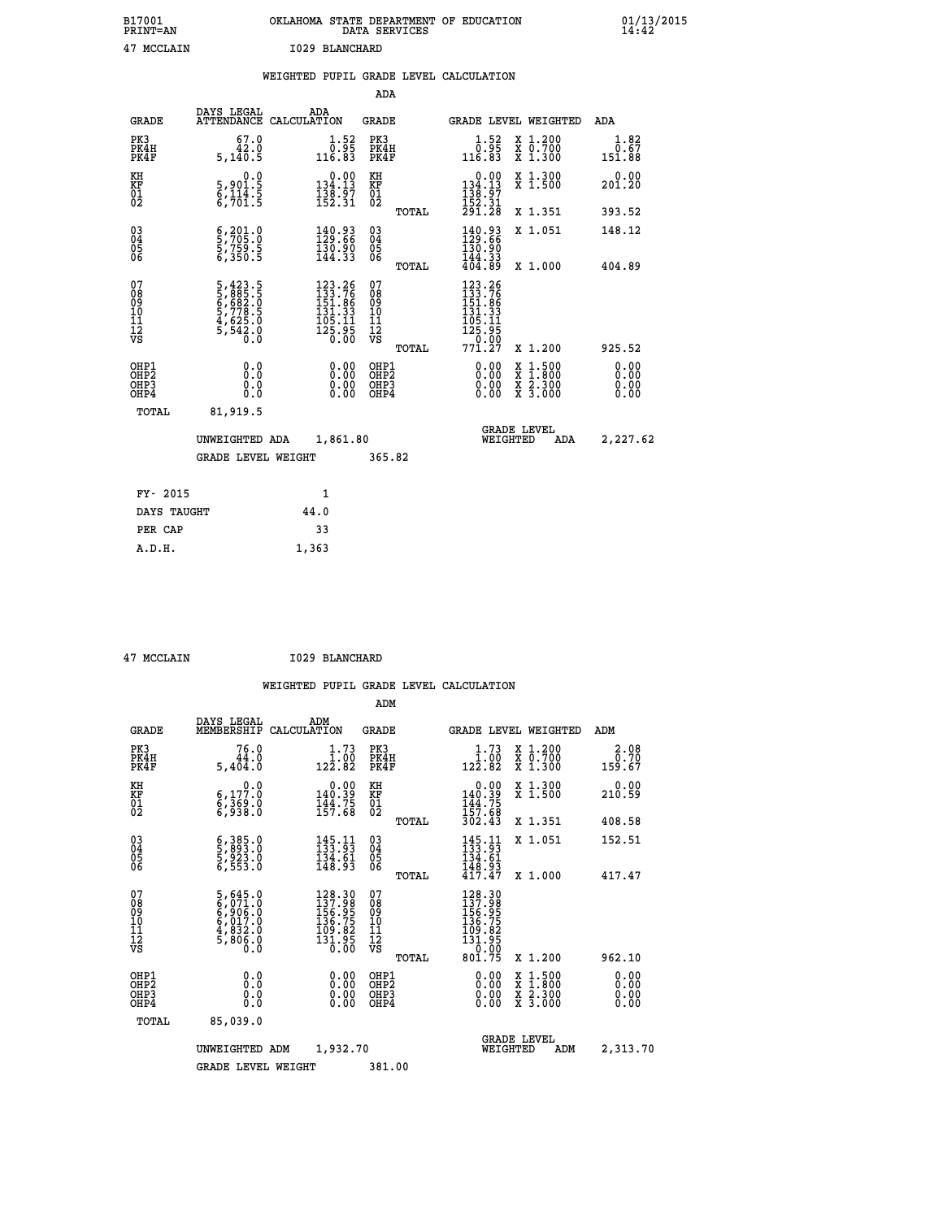| B17001<br><b>PRINT=AN</b> | OKLAHOMA<br>STATE DEPARTMENT OF EDUCATION<br>DATA SERVICES | $01/13/2015$<br>14:42 |
|---------------------------|------------------------------------------------------------|-----------------------|
| 47<br>MCCLAIN             | 1029 BLANCHARD                                             |                       |

|                                           |                                                                                             |                                                                           | ADA                                                 |                                                                                                                                                                     |                                                     |
|-------------------------------------------|---------------------------------------------------------------------------------------------|---------------------------------------------------------------------------|-----------------------------------------------------|---------------------------------------------------------------------------------------------------------------------------------------------------------------------|-----------------------------------------------------|
| <b>GRADE</b>                              | DAYS LEGAL                                                                                  | ADA<br>ATTENDANCE CALCULATION                                             | <b>GRADE</b>                                        | GRADE LEVEL WEIGHTED                                                                                                                                                | ADA                                                 |
| PK3<br>PK4H<br>PK4F                       | 67.0<br>42.0<br>5,140.5                                                                     | $\overset{1\cdot}{\underset{1\,6\cdot}{\overset{5\,2}{0}}}$<br>116.83     | PK3<br>PK4H<br>PK4F                                 | $\begin{smallmatrix} 1.52\ 0.95\ 116.83 \end{smallmatrix}$<br>X 1.200<br>X 0.700<br>X 1.300                                                                         | 1.82<br>$\frac{\overline{0}.\overline{67}}{151.88}$ |
| KH<br>KF<br>01<br>02                      | 0.0<br>5,901.5<br>6,114.5<br>6,701.5                                                        | $\begin{smallmatrix} 0.00\\134.13\\138.97\\152.31\end{smallmatrix}$       | KH<br>KF<br>01<br>02                                | $\begin{smallmatrix}&&0.00\\134.13\\138.97\\152.31\\291.28\end{smallmatrix}$<br>X 1.300<br>X 1.500                                                                  | 0.00<br>201.20                                      |
|                                           |                                                                                             |                                                                           | TOTAL                                               | X 1.351                                                                                                                                                             | 393.52                                              |
| $\substack{03 \\ 04}$<br>Ŏ5<br>06         | $\frac{6}{5}, \frac{201}{705}.\overset{0}{0} \ \frac{5}{6}, \frac{759}{350}.\overset{5}{5}$ | $\begin{smallmatrix} 140.93\\ 129.66\\ 130.90\\ 144.33 \end{smallmatrix}$ | $\begin{array}{c} 03 \\ 04 \\ 05 \\ 06 \end{array}$ | $140.93$<br>$129.66$<br>$130.90$<br>$144.33$<br>$404.89$<br>X 1.051                                                                                                 | 148.12                                              |
|                                           |                                                                                             |                                                                           | TOTAL                                               | X 1.000                                                                                                                                                             | 404.89                                              |
| 07<br>08<br>09<br>11<br>11<br>12<br>VS    | 5,423.5<br>5,885.5<br>6,682.0<br>6,778.5<br>5,778.5<br>4,625.0<br>5,542.0                   | 123.26<br>133.76<br>151.86<br>131.33<br>$\frac{105.11}{125.95}$           | 07<br>08<br>09<br>101<br>11<br>12<br>VS<br>TOTAL    | 123.26<br>133.76<br>151.86<br>131.33<br>$\frac{105}{125}$ $\frac{11}{95}$<br>$\frac{120.00}{771.27}$<br>X 1.200                                                     | 925.52                                              |
| OHP1<br>OH <sub>P</sub> 2<br>OHP3<br>OHP4 | 0.0<br>0.0<br>0.0                                                                           | 0.00<br>$\begin{smallmatrix} 0.00 \ 0.00 \end{smallmatrix}$               | OHP1<br>OHP <sub>2</sub><br>OHP3<br>OHP4            | 0.00<br>$\begin{smallmatrix} \mathtt{X} & 1\cdot500\\ \mathtt{X} & 1\cdot800\\ \mathtt{X} & 2\cdot300\\ \mathtt{X} & 3\cdot000 \end{smallmatrix}$<br>$0.00$<br>0.00 | 0.00<br>0.00<br>0.00<br>0.00                        |
| TOTAL                                     | 81,919.5                                                                                    |                                                                           |                                                     |                                                                                                                                                                     |                                                     |
|                                           | UNWEIGHTED ADA                                                                              | 1,861.80                                                                  |                                                     | <b>GRADE LEVEL</b><br>WEIGHTED<br>ADA                                                                                                                               | 2,227.62                                            |
|                                           | <b>GRADE LEVEL WEIGHT</b>                                                                   |                                                                           | 365.82                                              |                                                                                                                                                                     |                                                     |
| FY- 2015                                  |                                                                                             | 1                                                                         |                                                     |                                                                                                                                                                     |                                                     |
| DAYS TAUGHT                               |                                                                                             | 44.0                                                                      |                                                     |                                                                                                                                                                     |                                                     |
|                                           |                                                                                             |                                                                           |                                                     |                                                                                                                                                                     |                                                     |
| PER CAP                                   |                                                                                             | 33                                                                        |                                                     |                                                                                                                                                                     |                                                     |
| A.D.H.                                    |                                                                                             | 1,363                                                                     |                                                     |                                                                                                                                                                     |                                                     |

| 47 MCCLAIN |
|------------|

 **A.D.H. 1,363**

**MCCLAIN 1029 BLANCHARD** 

|                                    |                                                      |                                                                       |                                                                         | ADM                                                 |       |                                                                                                               |                                          |                        |  |
|------------------------------------|------------------------------------------------------|-----------------------------------------------------------------------|-------------------------------------------------------------------------|-----------------------------------------------------|-------|---------------------------------------------------------------------------------------------------------------|------------------------------------------|------------------------|--|
|                                    | <b>GRADE</b>                                         | DAYS LEGAL<br>MEMBERSHIP                                              | ADM<br>CALCULATION                                                      | <b>GRADE</b>                                        |       |                                                                                                               | <b>GRADE LEVEL WEIGHTED</b>              | ADM                    |  |
| PK3                                | PK4H<br>PK4F                                         | 76.0<br>44.0<br>5,404.0                                               | $\begin{smallmatrix} 1.73\ 1.00\ 122.82 \end{smallmatrix}$              | PK3<br>PK4H<br>PK4F                                 |       | $\begin{array}{c} 1.73 \\[-4pt] 1.00 \\[-4pt] 122.82\end{array}$                                              | X 1.200<br>X 0.700<br>X 1.300            | 2.08<br>0.70<br>159.67 |  |
| KH<br>KF<br>01<br>02               |                                                      | 0.0<br>6,177.0<br>6,369.0<br>6,938.0                                  | $\begin{array}{c} 0.00 \\ 140.39 \\ 144.75 \\ 157.68 \end{array}$       | KH<br>KF<br>01<br>02                                |       | 0.00<br>140.39<br>144.75<br>157.68<br>302.43                                                                  | X 1.300<br>X 1.500                       | 0.00<br>210.59         |  |
|                                    |                                                      |                                                                       |                                                                         |                                                     | TOTAL |                                                                                                               | X 1.351                                  | 408.58                 |  |
| 03<br>04<br>05<br>06               |                                                      | 6,385.0<br>5,893.0<br>5,923.0<br>6,553.0                              | $145.11$<br>$133.93$<br>$\frac{134.61}{148.93}$                         | $\begin{array}{c} 03 \\ 04 \\ 05 \\ 06 \end{array}$ |       | $\frac{145}{133}$ : $\frac{11}{93}$<br>$\frac{134}{91}$                                                       | X 1.051                                  | 152.51                 |  |
|                                    |                                                      |                                                                       |                                                                         |                                                     | TOTAL | $\frac{148.93}{417.47}$                                                                                       | X 1.000                                  | 417.47                 |  |
| 07<br>08<br>09<br>101<br>112<br>VS |                                                      | 5,645.0<br>6,071.0<br>6,906.0<br>6,017.0<br>4,832.0<br>5,806.0<br>0.0 | $128.30$<br>$137.98$<br>$156.95$<br>$136.75$<br>$\frac{109.82}{131.95}$ | 07<br>08<br>09<br>11<br>11<br>12<br>VS              | TOTAL | $\begin{smallmatrix} 128.30\\ 137.98\\ 156.955\\ 156.752\\ 139.82\\ 131.95\\ 0\\ \end{smallmatrix}$<br>801.75 | X 1.200                                  | 962.10                 |  |
|                                    |                                                      |                                                                       |                                                                         |                                                     |       |                                                                                                               |                                          | 0.00                   |  |
|                                    | OHP1<br>OHP2<br>OH <sub>P3</sub><br>OH <sub>P4</sub> | 0.0<br>0.000                                                          | $0.00$<br>$0.00$<br>0.00                                                | OHP1<br>OHP2<br>OHP3<br>OHP4                        |       | $0.00$<br>$0.00$<br>0.00                                                                                      | X 1:500<br>X 1:800<br>X 2:300<br>X 3:000 | 0.00<br>0.00<br>0.00   |  |
|                                    | TOTAL                                                | 85,039.0                                                              |                                                                         |                                                     |       |                                                                                                               |                                          |                        |  |
|                                    |                                                      | UNWEIGHTED<br>ADM                                                     | 1,932.70                                                                |                                                     |       | WEIGHTED                                                                                                      | <b>GRADE LEVEL</b><br>ADM                | 2,313.70               |  |
|                                    |                                                      | <b>GRADE LEVEL WEIGHT</b>                                             |                                                                         | 381.00                                              |       |                                                                                                               |                                          |                        |  |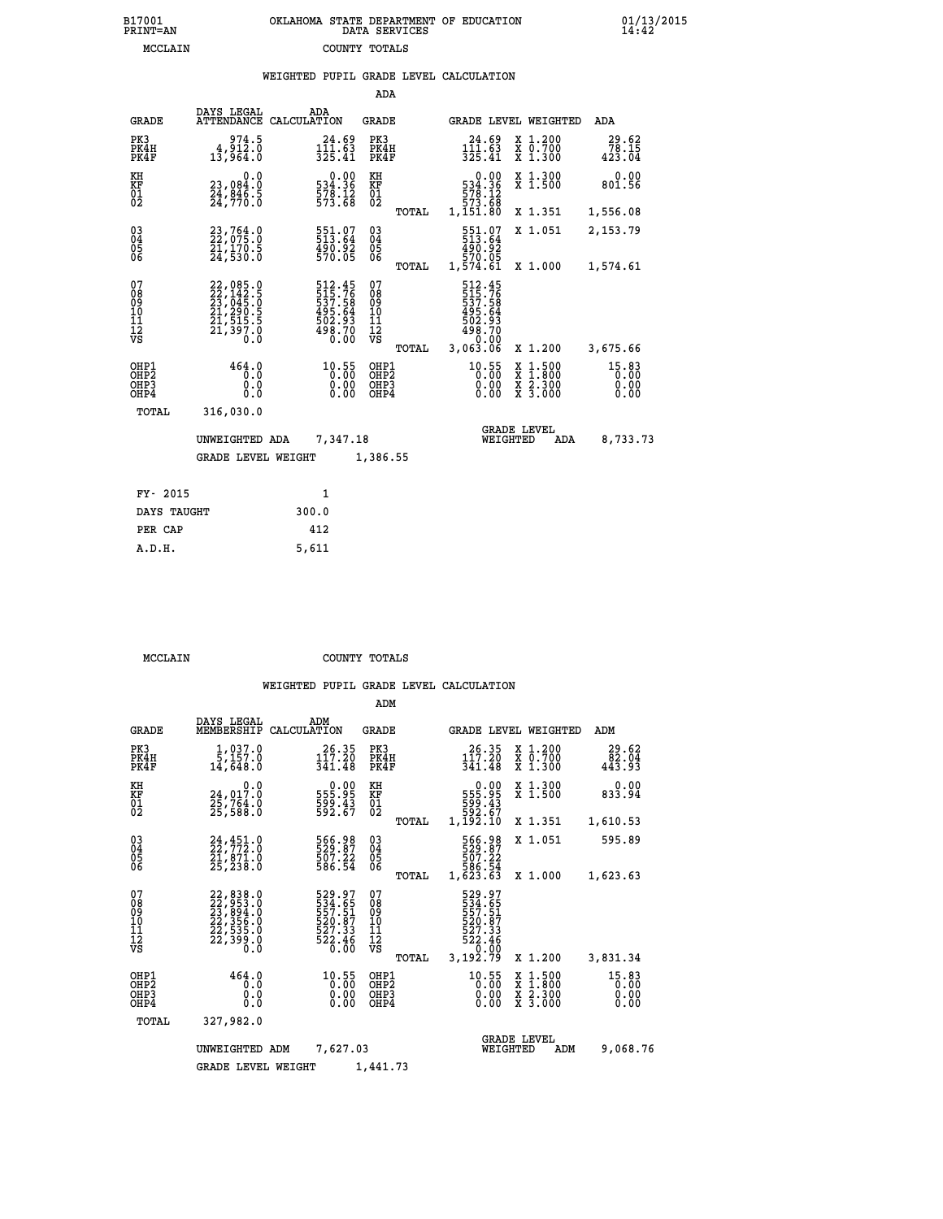| 7001<br>INT=AN | OKLAHOMA STATE DEPARTMENT OF EDUCATION<br>DATA SERVICES |  |
|----------------|---------------------------------------------------------|--|
| MCCLAIN        | COUNTY TOTALS                                           |  |

|                                                    |                                                                             |             |                                                                      | ADA                                    |       |                                                                                                 |                                |                                          |                                 |
|----------------------------------------------------|-----------------------------------------------------------------------------|-------------|----------------------------------------------------------------------|----------------------------------------|-------|-------------------------------------------------------------------------------------------------|--------------------------------|------------------------------------------|---------------------------------|
| <b>GRADE</b>                                       | DAYS LEGAL<br><b>ATTENDANCE</b>                                             | CALCULATION | ADA                                                                  | GRADE                                  |       |                                                                                                 |                                | GRADE LEVEL WEIGHTED                     | <b>ADA</b>                      |
| PK3<br>PK4H<br>PK4F                                | 974.5<br>4,912.0<br>13,964.0                                                |             | 24.69<br>111.63<br>325.41                                            | PK3<br>PK4H<br>PK4F                    |       | 24.69<br>111.63<br>325.41                                                                       |                                | X 1.200<br>X 0.700<br>X 1.300            | 29.62<br>78.15<br>423.04        |
| KH<br><b>KF</b><br>01<br>02                        | 0.0<br>23,084.0<br>24,046.5<br>24,770.0                                     |             | $\begin{smallmatrix}&&0.00\\534.36\\578.12\\573.68\end{smallmatrix}$ | KH<br>KF<br>01<br>02                   |       | $\begin{smallmatrix}5 & 34 & 36 \\ 5 & 78 & 12 \\ 5 & 73 & 68 \\ 1 & 151 & 80\end{smallmatrix}$ | 0.00                           | X 1.300<br>X 1.500                       | 0.00<br>801.56                  |
|                                                    |                                                                             |             |                                                                      |                                        | TOTAL |                                                                                                 |                                | X 1.351                                  | 1,556.08                        |
| $\begin{matrix} 03 \\ 04 \\ 05 \\ 06 \end{matrix}$ | 23,764.0<br>22,075.0<br>21,170.5<br>24,530.0                                |             | 551.07<br>513.64<br>490.92<br>570.05                                 | 03<br>04<br>05<br>06                   |       | 551.07<br>513.64<br>20.024<br>570.05<br>1,574.61                                                |                                | X 1.051                                  | 2,153.79                        |
|                                                    |                                                                             |             |                                                                      |                                        | TOTAL |                                                                                                 |                                | X 1.000                                  | 1,574.61                        |
| 07<br>08<br>09<br>11<br>11<br>12<br>VS             | 22,085.0<br>22,142.5<br>23,045.0<br>21,290.5<br>21,515.5<br>21,397.0<br>Ò.Ŏ |             | 512.45<br>515.76<br>537.58<br>495.64<br>502.93<br>498.70<br>0.00     | 07<br>08<br>09<br>11<br>11<br>12<br>VS | TOTAL | 512.45<br>515.76<br>537.58<br>537.58<br>495.64<br>502.93<br>498.70<br>0.00<br>3,063.06          |                                | X 1.200                                  | 3,675.66                        |
| OHP1<br>OHP2<br>OHP3<br>OHP4                       | 464.0<br>0.0<br>0.0<br>0.0                                                  |             | 10.55<br>$0.00$<br>0.00                                              | OHP1<br>OHP2<br>OHP3<br>OHP4           |       | 10.55                                                                                           | X<br>X<br>0.00<br>0.00         | $1.500$<br>$1.800$<br>X 2.300<br>X 3.000 | $15.83$<br>0.00<br>0.00<br>0.00 |
| TOTAL                                              | 316,030.0                                                                   |             |                                                                      |                                        |       |                                                                                                 |                                |                                          |                                 |
|                                                    | UNWEIGHTED ADA                                                              |             | 7,347.18                                                             |                                        |       |                                                                                                 | <b>GRADE LEVEL</b><br>WEIGHTED | ADA                                      | 8,733.73                        |
|                                                    | <b>GRADE LEVEL WEIGHT</b>                                                   |             |                                                                      | 1,386.55                               |       |                                                                                                 |                                |                                          |                                 |
|                                                    |                                                                             |             |                                                                      |                                        |       |                                                                                                 |                                |                                          |                                 |
| FY- 2015                                           |                                                                             |             | $\mathbf{1}$                                                         |                                        |       |                                                                                                 |                                |                                          |                                 |
| DAYS TAUGHT                                        |                                                                             | 300.0       |                                                                      |                                        |       |                                                                                                 |                                |                                          |                                 |

| 11 AVIJ     |       |
|-------------|-------|
| DAYS TAUGHT | 300.0 |
| PER CAP     | 412   |
| A.D.H.      | 5,611 |
|             |       |

 **MCCLAIN COUNTY TOTALS**

 **B17001<br>PRINT=AN** 

|                                                    |                                                                                                                                                                                                         |                                                                  | ADM                                                |                                                                             |                                                                                          |                                 |
|----------------------------------------------------|---------------------------------------------------------------------------------------------------------------------------------------------------------------------------------------------------------|------------------------------------------------------------------|----------------------------------------------------|-----------------------------------------------------------------------------|------------------------------------------------------------------------------------------|---------------------------------|
| <b>GRADE</b>                                       | DAYS LEGAL<br>MEMBERSHIP                                                                                                                                                                                | ADM<br>CALCULATION                                               | GRADE                                              | <b>GRADE LEVEL WEIGHTED</b>                                                 |                                                                                          | ADM                             |
| PK3<br>PK4H<br>PK4F                                | 1,037.0<br>$\overline{5}$ , 157.0<br>14,648.0                                                                                                                                                           | 26.35<br>117.20<br>341.48                                        | PK3<br>PK4H<br>PK4F                                | 26.35<br>117.20<br>341.48                                                   | X 1.200<br>x ō:7ŏŏ<br>x 1:300                                                            | 29.62<br>$\frac{82.04}{443.93}$ |
| KH<br>KF<br>01<br>02                               | 0.0<br>24,017.0<br>25,764.0<br>25,588.0                                                                                                                                                                 | 0.00<br>555.95<br>$\frac{599}{592}$ . $\frac{43}{67}$            | KH<br>KF<br>01<br>02                               | 0.00<br>555.95<br>599.43<br>592.67<br>1,192.10                              | X 1.300<br>X 1.500                                                                       | 0.00<br>833.94                  |
|                                                    |                                                                                                                                                                                                         |                                                                  | TOTAL                                              |                                                                             | X 1.351                                                                                  | 1,610.53                        |
| $\begin{matrix} 03 \\ 04 \\ 05 \\ 06 \end{matrix}$ | $24, 451.0$<br>$22, 772.0$<br>$21, 871.0$<br>$25, 238.0$                                                                                                                                                | 566.98<br>529.87<br>507.22<br>586.54                             | $\begin{matrix} 03 \\ 04 \\ 05 \\ 06 \end{matrix}$ | 566.98<br>529.87<br>507.22<br>586.54                                        | X 1.051                                                                                  | 595.89                          |
|                                                    |                                                                                                                                                                                                         |                                                                  | TOTAL                                              | 1,623.63                                                                    | X 1.000                                                                                  | 1,623.63                        |
| 07<br>08<br>09<br>101<br>11<br>12<br>VS            | $\begin{smallmatrix} 22\, , & 838\, . & 0\\ 22\, , & 953\, . & 0\\ 23\, , & 894\, . & 0\\ 22\, , & 356\, . & 0\\ 22\, , & 535\, . & 0\\ 22\, , & 399\, . & 0\\ 0\, . & 0\, . & 0\, . \end{smallmatrix}$ | 529.97<br>534.65<br>557.51<br>520.87<br>527.33<br>522.46<br>0.00 | 07<br>08<br>09<br>11<br>11<br>12<br>VS<br>TOTAL    | 529.97<br>534:65<br>557:51<br>520:87<br>$\frac{527.33}{522.46}$<br>3,192.79 | X 1.200                                                                                  | 3,831.34                        |
| OHP1<br>OHP2<br>OH <sub>P3</sub><br>OHP4           | 464.0<br>0.0<br>0.0<br>0.0                                                                                                                                                                              | $10.55$<br>$0.00$<br>$0.00$<br>0.00                              | OHP1<br>OH <sub>P</sub> 2<br>OHP3<br>OHP4          | $^{10.55}_{0.00}$<br>0.00                                                   | $\begin{smallmatrix} x & 1.500 \\ x & 1.800 \\ x & 2.300 \\ x & 3.000 \end{smallmatrix}$ | 15.83<br>0.00<br>0.00<br>0.00   |
|                                                    | TOTAL<br>327,982.0                                                                                                                                                                                      |                                                                  |                                                    |                                                                             |                                                                                          |                                 |
|                                                    | UNWEIGHTED                                                                                                                                                                                              | 7,627.03<br>ADM                                                  |                                                    | <b>GRADE LEVEL</b><br>WEIGHTED                                              | ADM                                                                                      | 9,068.76                        |
|                                                    | <b>GRADE LEVEL WEIGHT</b>                                                                                                                                                                               |                                                                  | 1,441.73                                           |                                                                             |                                                                                          |                                 |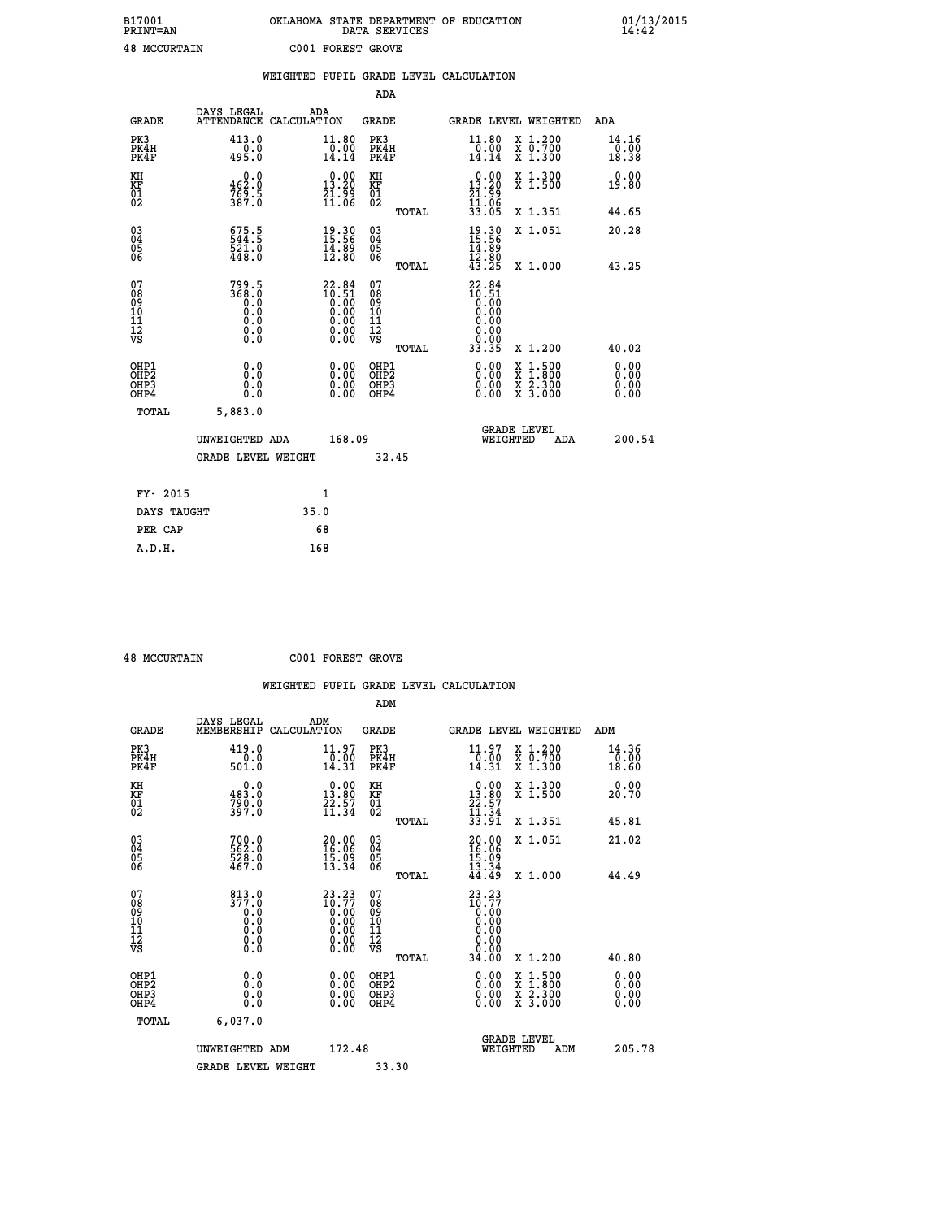| B17001<br><b>PRINT=AN</b> | OKLAHOMA STATE DEPARTMENT OF EDUCATION<br>DATA SERVICES | 01/13/2015 |
|---------------------------|---------------------------------------------------------|------------|
| <b>48 MCCURTAIN</b>       | C001 FOREST GROVE                                       |            |

|                                                    |                                         |                                                                                                                |                                                 | WEIGHTED PUPIL GRADE LEVEL CALCULATION                                                                           |                        |
|----------------------------------------------------|-----------------------------------------|----------------------------------------------------------------------------------------------------------------|-------------------------------------------------|------------------------------------------------------------------------------------------------------------------|------------------------|
|                                                    |                                         |                                                                                                                | ADA                                             |                                                                                                                  |                        |
| <b>GRADE</b>                                       | DAYS LEGAL                              | ADA<br>ATTENDANCE CALCULATION                                                                                  | <b>GRADE</b>                                    | GRADE LEVEL WEIGHTED                                                                                             | ADA                    |
| PK3<br>PK4H<br>PK4F                                | 413.0<br>$-0.0$<br>495.0                | 11.80<br>$\frac{1}{14}.00$<br>14.14                                                                            | PK3<br>PK4H<br>PK4F                             | 11.80<br>X 1.200<br>X 0.700<br>X 1.300<br>$\frac{0.00}{14.14}$                                                   | 14.16<br>0.00<br>18.38 |
| KH<br>KF<br>01<br>02                               | $0.0$<br>162.9<br>$\frac{769}{387.0}$   | $\begin{smallmatrix} 0.00\\13.20\\21.99\\11.06 \end{smallmatrix}$                                              | KH<br>KF<br>01<br>02                            | X 1.300<br>X 1.500<br>$\begin{array}{r} 0.00 \\ 13.20 \\ 21.99 \\ 11.06 \\ 33.05 \end{array}$                    | 0.00<br>19.80          |
|                                                    |                                         |                                                                                                                | TOTAL                                           | X 1.351                                                                                                          | 44.65                  |
| $\begin{matrix} 03 \\ 04 \\ 05 \\ 06 \end{matrix}$ | 575.5<br>$\frac{521.0}{448.0}$          | $19.30$<br>15:56<br>$\frac{14.89}{12.80}$                                                                      | $^{03}_{04}$<br>05<br>06                        | $19.3015.5614.8912.8043.25$<br>X 1.051                                                                           | 20.28                  |
|                                                    |                                         |                                                                                                                | TOTAL                                           | X 1.000                                                                                                          | 43.25                  |
| 07<br>08<br>09<br>101<br>112<br>VS                 | 799.5<br>368.0<br>0.0<br>0.000<br>$\S.$ | $\begin{smallmatrix} 22.84 \\ 10.51 \\ 0.00 \\ 0.00 \\ 0.00 \\ 0.00 \\ 0.00 \\ 0.00 \\ 0.00 \end{smallmatrix}$ | 07<br>08<br>09<br>11<br>11<br>12<br>VS<br>TOTAL | $22.84$<br>$10.51$<br>$0.00$<br>$0.00$<br>0.00<br>0.00<br>33.35<br>X 1.200                                       | 40.02                  |
| OHP1<br>OHP2<br>OHP3<br>OHP4                       | 0.0<br>0.0<br>0.0                       | 0.00<br>$0.00$<br>0.00                                                                                         | OHP1<br>OHP2<br>OHP3<br>OHP4                    | 0.00<br>$\begin{smallmatrix} x & 1.500 \\ x & 1.800 \\ x & 2.300 \\ x & 3.000 \end{smallmatrix}$<br>0.00<br>0.00 | 0.00<br>0.00<br>0.00   |
| <b>TOTAL</b>                                       | 5,883.0                                 |                                                                                                                |                                                 |                                                                                                                  |                        |
|                                                    | UNWEIGHTED ADA                          | 168.09                                                                                                         |                                                 | <b>GRADE LEVEL</b><br>WEIGHTED<br>ADA                                                                            | 200.54                 |
|                                                    | GRADE LEVEL WEIGHT                      |                                                                                                                | 32.45                                           |                                                                                                                  |                        |
| FY- 2015                                           |                                         | 1                                                                                                              |                                                 |                                                                                                                  |                        |
| DAYS TAUGHT                                        |                                         | 35.0                                                                                                           |                                                 |                                                                                                                  |                        |
| PER CAP                                            |                                         | 68                                                                                                             |                                                 |                                                                                                                  |                        |

 **48 MCCURTAIN C001 FOREST GROVE**

|                                                      |                                                                                                |                                                                                                                                                                                                                                                                                                                                                | ADM                                                 |       |                                                                       |                                          |                        |
|------------------------------------------------------|------------------------------------------------------------------------------------------------|------------------------------------------------------------------------------------------------------------------------------------------------------------------------------------------------------------------------------------------------------------------------------------------------------------------------------------------------|-----------------------------------------------------|-------|-----------------------------------------------------------------------|------------------------------------------|------------------------|
| <b>GRADE</b>                                         | DAYS LEGAL<br>MEMBERSHIP                                                                       | ADM<br>CALCULATION                                                                                                                                                                                                                                                                                                                             | <b>GRADE</b>                                        |       |                                                                       | GRADE LEVEL WEIGHTED                     | ADM                    |
| PK3<br>PK4H<br>PK4F                                  | 419.0<br>0.0<br>501.0                                                                          | 11.97<br>$\frac{0.00}{14.31}$                                                                                                                                                                                                                                                                                                                  | PK3<br>PK4H<br>PK4F                                 |       | $\substack{11.97 \\ 0.00 \\ 14.31}$                                   | X 1.200<br>X 0.700<br>X 1.300            | 14.36<br>0.00<br>18.60 |
| KH<br>KF<br>01<br>02                                 | 0.0<br>483.0<br>790.0<br>397.0                                                                 | $\begin{array}{c} 0.00 \\ 13.80 \\ 22.57 \\ 11.34 \end{array}$                                                                                                                                                                                                                                                                                 | KH<br>KF<br>01<br>02                                |       | $\begin{smallmatrix} 0.00\\13.80\\22.57\\11.34 \end{smallmatrix}$     | X 1.300<br>X 1.500                       | 0.00<br>20.70          |
|                                                      |                                                                                                |                                                                                                                                                                                                                                                                                                                                                |                                                     | TOTAL | 33.91                                                                 | X 1.351                                  | 45.81                  |
| 03<br>04<br>05<br>06                                 | 700.0<br>562.0<br>528.0<br>467.0                                                               | 20.00<br>16.06<br>$\frac{15.09}{13.34}$                                                                                                                                                                                                                                                                                                        | $\begin{array}{c} 03 \\ 04 \\ 05 \\ 06 \end{array}$ |       | $\begin{smallmatrix} 20.00\\ 16.06\\ 15.09\\ 13.34 \end{smallmatrix}$ | X 1.051                                  | 21.02                  |
|                                                      |                                                                                                |                                                                                                                                                                                                                                                                                                                                                |                                                     | TOTAL | 44.49                                                                 | X 1.000                                  | 44.49                  |
| 07<br>08<br>09<br>101<br>112<br>VS                   | 813.0<br>377.0<br>$\begin{smallmatrix} 0.0 & 0 \ 0.0 & 0 \ 0.0 & 0 \end{smallmatrix}$<br>$\S.$ | $\begin{smallmatrix} 23 & 23 \\ 10 & 77 \\ 0 & 00 \\ 0 & 00 \\ 0 & 00 \\ 0 & 00 \\ 0 & 00 \\ 0 & 00 \\ 0 & 00 \\ 0 & 00 \\ 0 & 00 \\ 0 & 00 \\ 0 & 0 \\ 0 & 0 \\ 0 & 0 \\ 0 & 0 \\ 0 & 0 \\ 0 & 0 \\ 0 & 0 \\ 0 & 0 \\ 0 & 0 \\ 0 & 0 \\ 0 & 0 \\ 0 & 0 \\ 0 & 0 \\ 0 & 0 \\ 0 & 0 \\ 0 & 0 \\ 0 & 0 \\ 0 & 0 \\ 0 & 0 \\ 0 & 0 \\ 0 & 0 \\ 0$ | 07<br>08<br>09<br>11<br>11<br>12<br>VS              |       | $23.23$<br>$10.77$<br>$0.00$<br>$0.00$                                |                                          |                        |
|                                                      |                                                                                                |                                                                                                                                                                                                                                                                                                                                                |                                                     | TOTAL | 34.00                                                                 | X 1.200                                  | 40.80                  |
| OHP1<br>OHP2<br>OH <sub>P3</sub><br>OH <sub>P4</sub> | 0.0<br>0.000                                                                                   | $0.00$<br>$0.00$<br>0.00                                                                                                                                                                                                                                                                                                                       | OHP1<br>OHP2<br>OHP <sub>3</sub>                    |       | $0.00$<br>$0.00$<br>0.00                                              | X 1:500<br>X 1:800<br>X 2:300<br>X 3:000 | 0.00<br>0.00<br>0.00   |
| TOTAL                                                | 6,037.0                                                                                        |                                                                                                                                                                                                                                                                                                                                                |                                                     |       |                                                                       |                                          |                        |
|                                                      | UNWEIGHTED ADM                                                                                 | 172.48                                                                                                                                                                                                                                                                                                                                         |                                                     |       | WEIGHTED                                                              | <b>GRADE LEVEL</b><br>ADM                | 205.78                 |
|                                                      | <b>GRADE LEVEL WEIGHT</b>                                                                      |                                                                                                                                                                                                                                                                                                                                                | 33.30                                               |       |                                                                       |                                          |                        |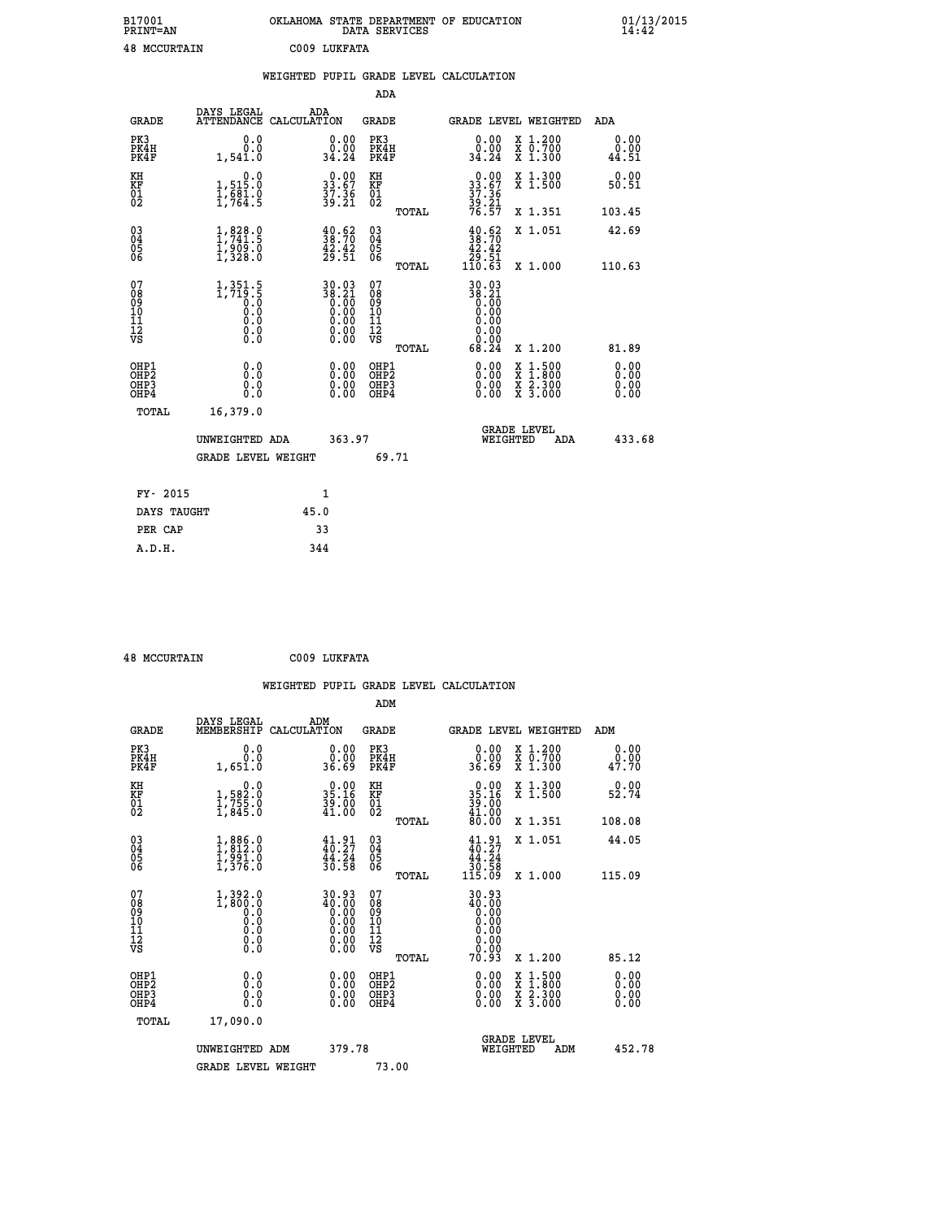| B17001<br><b>PRINT=AN</b> | OKLAHOMA<br>. STATE DEPARTMENT OF EDUCATION<br>DATA SERVICES | 01/13/2015<br>14:42 |
|---------------------------|--------------------------------------------------------------|---------------------|
| 48<br>MCCURTAIN           | C009 LUKFATA                                                 |                     |

|                                                                    |                                                               | WEIGHTED PUPIL GRADE LEVEL CALCULATION                      |                                         |       |                                                                                  |                                                                                                                                           |                                           |
|--------------------------------------------------------------------|---------------------------------------------------------------|-------------------------------------------------------------|-----------------------------------------|-------|----------------------------------------------------------------------------------|-------------------------------------------------------------------------------------------------------------------------------------------|-------------------------------------------|
|                                                                    |                                                               |                                                             | <b>ADA</b>                              |       |                                                                                  |                                                                                                                                           |                                           |
| <b>GRADE</b>                                                       | DAYS LEGAL<br><b>ATTENDANCE</b>                               | ADA<br>CALCULATION                                          | <b>GRADE</b>                            |       |                                                                                  | GRADE LEVEL WEIGHTED                                                                                                                      | ADA                                       |
| PK3<br>PK4H<br>PK4F                                                | 0.0<br>0.0<br>1,541.0                                         | $\begin{smallmatrix} 0.00\\ 0.00\\ 34.24 \end{smallmatrix}$ | PK3<br>PK4H<br>PK4F                     |       | 0.00<br>ةْ: Å<br>34.24                                                           | X 1.200<br>X 0.700<br>X 1.300                                                                                                             | 0.00<br>0.00<br>44.51                     |
| KH<br>KF<br>01<br>02                                               | 0.0<br>1,515:0<br>1,681:0<br>1,764:5                          | $33.67$<br>$37.36$<br>$39.21$                               | KH<br>KF<br>01<br>02                    |       | 0.00<br>$33.67$<br>$37.36$<br>$39.21$<br>$76.57$                                 | X 1.300<br>X 1.500                                                                                                                        | 0.00<br>50.51                             |
|                                                                    |                                                               |                                                             |                                         | TOTAL |                                                                                  | X 1.351                                                                                                                                   | 103.45                                    |
| $\begin{smallmatrix} 03 \\[-4pt] 04 \end{smallmatrix}$<br>Ŏ5<br>06 | $1, 828.0$<br>$1, 741.5$<br>$1, 909.0$<br>$1, 328.0$          | $\frac{40.62}{38.70}$<br>$\frac{42.42}{29.51}$              | $\substack{03 \\ 04}$<br>Ŏ5<br>06       |       | $\begin{smallmatrix} 40.62\\ 38.70\\ 42.42\\ 29.51\\ 110.63\\ \end{smallmatrix}$ | X 1.051                                                                                                                                   | 42.69                                     |
|                                                                    |                                                               |                                                             |                                         | TOTAL |                                                                                  | X 1.000                                                                                                                                   | 110.63                                    |
| 07<br>0890112<br>1112<br>VS                                        | $1,351.5$<br>$1,719.5$<br>$0.0$<br>$0.0$<br>0.0<br>$\S.$ $\S$ | 30.03<br>38.21                                              | 07<br>08<br>09<br>101<br>11<br>12<br>VS | TOTAL | 30.03<br>38:21<br>0.00<br>0.00<br>0.00<br>0.00<br>68.24                          | X 1.200                                                                                                                                   | 81.89                                     |
| OHP1<br>OHP2<br>OH <sub>P3</sub><br>OH <sub>P4</sub>               | 0.0<br>Ō.Ō<br>0.0<br>0.0                                      | 0.00<br>$\begin{smallmatrix} 0.00 \ 0.00 \end{smallmatrix}$ | OHP1<br>OHP2<br>OHP3<br>OHP4            |       | 0.00<br>0.00<br>0.00                                                             | $\begin{smallmatrix} \mathtt{X} & 1\cdot500\\ \mathtt{X} & 1\cdot800\\ \mathtt{X} & 2\cdot300\\ \mathtt{X} & 3\cdot000 \end{smallmatrix}$ | 0.00<br>$0.\overline{00}$<br>0.00<br>0.00 |
| TOTAL                                                              | 16,379.0                                                      |                                                             |                                         |       |                                                                                  |                                                                                                                                           |                                           |
|                                                                    | UNWEIGHTED ADA                                                | 363.97                                                      |                                         |       | WEIGHTED                                                                         | <b>GRADE LEVEL</b><br>ADA                                                                                                                 | 433.68                                    |
|                                                                    | <b>GRADE LEVEL WEIGHT</b>                                     |                                                             | 69.71                                   |       |                                                                                  |                                                                                                                                           |                                           |
| FY- 2015                                                           |                                                               | $\mathbf{1}$                                                |                                         |       |                                                                                  |                                                                                                                                           |                                           |
| DAYS TAUGHT                                                        |                                                               | 45.0                                                        |                                         |       |                                                                                  |                                                                                                                                           |                                           |
| PER CAP                                                            |                                                               | 33                                                          |                                         |       |                                                                                  |                                                                                                                                           |                                           |

| <b>48 MCCURTAIN</b>                                   |                                                                                                           |             | C009 LUKFATA                                                                     |                                                     |       |                                                                              |                                          |     |                               |  |
|-------------------------------------------------------|-----------------------------------------------------------------------------------------------------------|-------------|----------------------------------------------------------------------------------|-----------------------------------------------------|-------|------------------------------------------------------------------------------|------------------------------------------|-----|-------------------------------|--|
|                                                       |                                                                                                           |             |                                                                                  |                                                     |       | WEIGHTED PUPIL GRADE LEVEL CALCULATION                                       |                                          |     |                               |  |
|                                                       | DAYS LEGAL                                                                                                |             | ADM                                                                              | ADM                                                 |       |                                                                              |                                          |     |                               |  |
| <b>GRADE</b>                                          | MEMBERSHIP                                                                                                | CALCULATION |                                                                                  | <b>GRADE</b>                                        |       | <b>GRADE LEVEL WEIGHTED</b>                                                  |                                          |     | ADM                           |  |
| PK3<br>PK4H<br>PK4F                                   | 0.0<br>0.0<br>1,651.0                                                                                     |             | 0.00<br>0.00<br>36.69                                                            | PK3<br>PK4H<br>PK4F                                 |       | 0.00<br>0.00<br>36.69                                                        | X 1.200<br>X 0.700<br>X 1.300            |     | 0.00<br>0.00<br>47.70         |  |
| KH<br>KF<br>01<br>02                                  | $\begin{smallmatrix}&&&0.0\\1,582.0\\1,755.0\\1,845.0\end{smallmatrix}$                                   |             | $\begin{smallmatrix} 0.00\\ 35.16\\ 39.00\\ 41.00 \end{smallmatrix}$             | KH<br>KF<br>01<br>02                                |       | $\begin{smallmatrix} 0.00\\ 35.16\\ 39.00\\ 41.00\\ 80.00 \end{smallmatrix}$ | X 1.300<br>X 1.500                       |     | 0.00<br>52.74                 |  |
|                                                       |                                                                                                           |             |                                                                                  |                                                     | TOTAL |                                                                              | X 1.351                                  |     | 108.08                        |  |
| $\begin{matrix} 03 \\ 04 \\ 05 \\ 06 \end{matrix}$    | $1,886.0$<br>$1,812.0$<br>$1,991.0$<br>$1,376.0$                                                          |             | $\begin{array}{c} 41\cdot 91\\ 40\cdot 27\\ 44\cdot 24\\ 30\cdot 58 \end{array}$ | $\begin{array}{c} 03 \\ 04 \\ 05 \\ 06 \end{array}$ | TOTAL | $\begin{array}{c} 41.91 \\ 40.27 \\ 44.24 \\ 30.58 \\ 115.09 \end{array}$    | X 1.051<br>X 1.000                       |     | 44.05<br>115.09               |  |
| 07<br>08<br>09<br>10<br>11<br>11<br>12<br>VS          | $1,392.0$<br>1,800.0<br>0.0<br>0.0<br>$\begin{smallmatrix} 0.1 & 0 \ 0.0 & 0 \ 0.0 & 0 \end{smallmatrix}$ |             |                                                                                  | 07<br>08<br>09<br>11<br>11<br>12<br>VS              | TOTAL | 30.93<br>0.00<br>70.93                                                       | X 1.200                                  |     | 85.12                         |  |
| OHP1<br>OH <sub>P</sub> 2<br>OH <sub>P3</sub><br>OHP4 | 0.0<br>0.000                                                                                              |             | $0.00$<br>$0.00$<br>0.00                                                         | OHP1<br>OHP <sub>2</sub><br>OHP3<br>OHP4            |       | 0.00<br>0.00<br>0.00                                                         | X 1:500<br>X 1:800<br>X 2:300<br>X 3:000 |     | 0.00<br>Ō. ŌŌ<br>0.00<br>0.00 |  |
| TOTAL                                                 | 17,090.0                                                                                                  |             |                                                                                  |                                                     |       |                                                                              |                                          |     |                               |  |
|                                                       | UNWEIGHTED ADM                                                                                            |             | 379.78                                                                           |                                                     |       | <b>GRADE LEVEL</b><br>WEIGHTED                                               |                                          | ADM | 452.78                        |  |
|                                                       | <b>GRADE LEVEL WEIGHT</b>                                                                                 |             |                                                                                  | 73.00                                               |       |                                                                              |                                          |     |                               |  |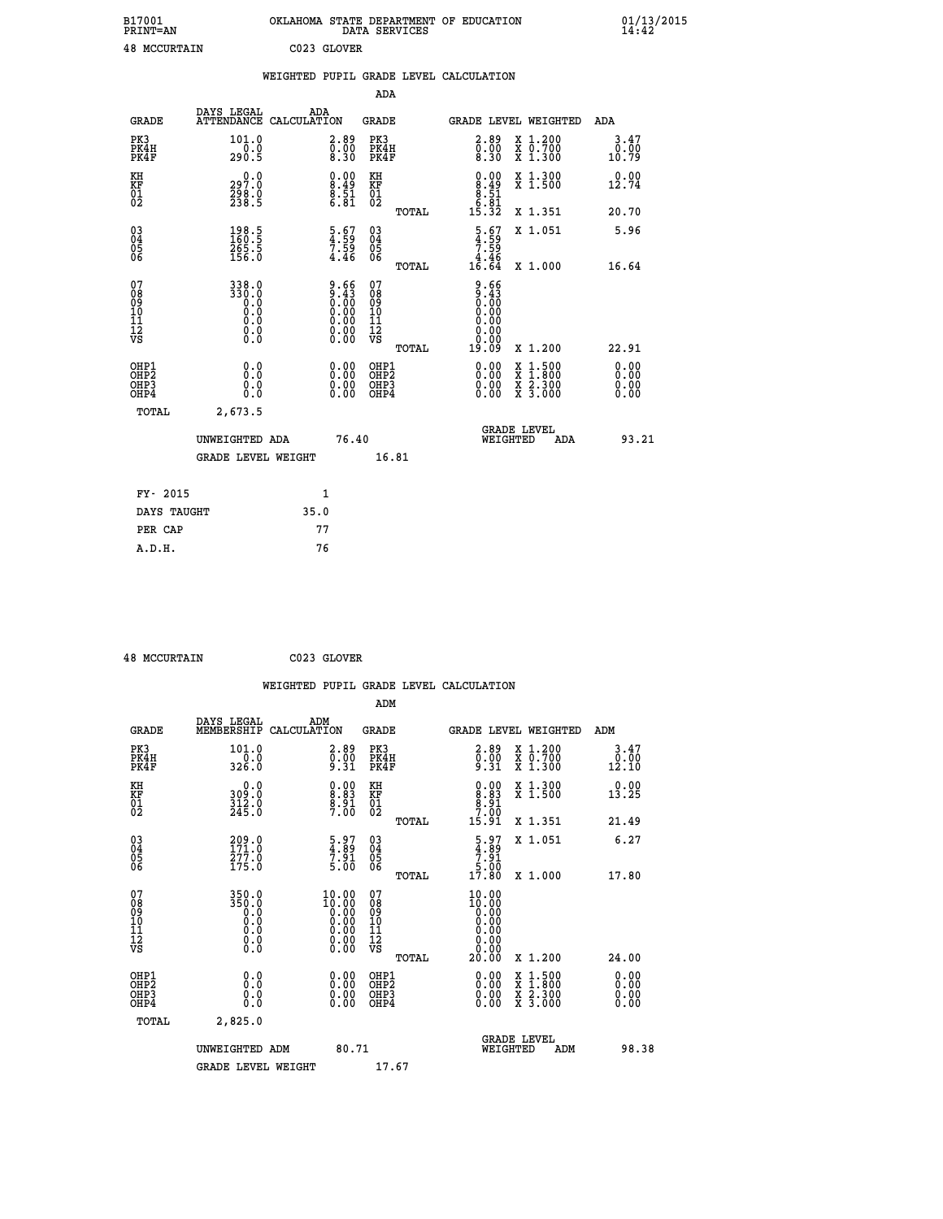| B17001              | OKLAHOMA STATE DEPARTMENT OF EDUCATION |
|---------------------|----------------------------------------|
| <b>PRINT=AN</b>     | DATA SERVICES                          |
| <b>48 MCCURTAIN</b> | C023 GLOVER                            |

|                                                      |                                                   | WEIGHTED PUPIL GRADE LEVEL CALCULATION |                                                                 |                                                     |       |                                                                       |                                                                                                                                      |                       |
|------------------------------------------------------|---------------------------------------------------|----------------------------------------|-----------------------------------------------------------------|-----------------------------------------------------|-------|-----------------------------------------------------------------------|--------------------------------------------------------------------------------------------------------------------------------------|-----------------------|
|                                                      |                                                   |                                        |                                                                 | ADA                                                 |       |                                                                       |                                                                                                                                      |                       |
| <b>GRADE</b>                                         | DAYS LEGAL<br><b>ATTENDANCE</b>                   | ADA<br>CALCULATION                     |                                                                 | <b>GRADE</b>                                        |       | GRADE LEVEL WEIGHTED                                                  |                                                                                                                                      | ADA                   |
| PK3<br>PK4H<br>PK4F                                  | 101.0<br>$\frac{1}{290.5}$                        |                                        | $\begin{smallmatrix} 2.89\ 0.00\ 8.30 \end{smallmatrix}$        | PK3<br>PK4H<br>PK4F                                 |       | $\begin{smallmatrix} 2.89\ 0.00\ 8.30 \end{smallmatrix}$              | X 1.200<br>X 0.700<br>X 1.300                                                                                                        | 3.47<br>0.00<br>10.79 |
| KH<br>KF<br>01<br>02                                 | 0.0<br>297.0<br>298.0<br>238.5                    |                                        | $\begin{smallmatrix} 0.00\ 8.49\ 8.51\ 6.81\ \end{smallmatrix}$ | KH<br>KF<br>01<br>02                                |       | $\begin{smallmatrix} 0.00\\8.49\\8.51\\6.81\\15.32 \end{smallmatrix}$ | X 1.300<br>X 1.500                                                                                                                   | 0.00<br>12.74         |
|                                                      |                                                   |                                        |                                                                 |                                                     | TOTAL |                                                                       | X 1.351                                                                                                                              | 20.70                 |
| $^{03}_{04}$<br>Ŏ5<br>06                             | $\frac{198.5}{160.5}$<br>$\frac{265.5}{156.0}$    |                                        | $\frac{5}{4}.\frac{6}{59}$<br>$7.\frac{59}{4.46}$               | $\begin{array}{c} 03 \\ 04 \\ 05 \\ 06 \end{array}$ |       | $\begin{array}{c} 5.67 \\ 4.59 \\ 7.59 \\ 4.46 \\ 16.64 \end{array}$  | X 1.051                                                                                                                              | 5.96                  |
|                                                      |                                                   |                                        |                                                                 |                                                     | TOTAL |                                                                       | X 1.000                                                                                                                              | 16.64                 |
| 07<br>08<br>09<br>11<br>11<br>12<br>VS               | 338.0<br>330.0<br>0.0<br>0.0<br>0.0<br>$\S.$ $\S$ |                                        | $9.66\n9.43\n0.00\n0.00\n0.00\n0.00\n0.00$                      | 07<br>08<br>09<br>101<br>11<br>12<br>VS             | TOTAL | $9.66$<br>$9.43$<br>$0.00$<br>0.00<br>0.00<br>19.09                   | X 1.200                                                                                                                              | 22.91                 |
| OHP1<br>OHP <sub>2</sub><br>OH <sub>P3</sub><br>OHP4 | 0.0<br>Ō.Ō<br>Ō.Ō                                 |                                        | 0.00<br>$\begin{smallmatrix} 0.00 \ 0.00 \end{smallmatrix}$     | OHP1<br>OHP2<br>OHP3<br>OHP4                        |       | 0.00<br>0.00<br>0.00                                                  | $\begin{smallmatrix} \mathtt{X} & 1 & 500 \\ \mathtt{X} & 1 & 800 \\ \mathtt{X} & 2 & 300 \\ \mathtt{X} & 3 & 000 \end{smallmatrix}$ | 0.00<br>0.00<br>0.00  |
| TOTAL                                                | 2,673.5                                           |                                        |                                                                 |                                                     |       |                                                                       |                                                                                                                                      |                       |
|                                                      | UNWEIGHTED ADA                                    |                                        | 76.40                                                           |                                                     |       |                                                                       | GRADE LEVEL<br>WEIGHTED<br>ADA                                                                                                       | 93.21                 |
|                                                      | <b>GRADE LEVEL WEIGHT</b>                         |                                        |                                                                 | 16.81                                               |       |                                                                       |                                                                                                                                      |                       |
| FY- 2015                                             |                                                   | $\mathbf{1}$                           |                                                                 |                                                     |       |                                                                       |                                                                                                                                      |                       |
| DAYS TAUGHT                                          |                                                   | 35.0                                   |                                                                 |                                                     |       |                                                                       |                                                                                                                                      |                       |
| PER CAP                                              |                                                   | 77                                     |                                                                 |                                                     |       |                                                                       |                                                                                                                                      |                       |

 **A.D.H. 76**

 **48 MCCURTAIN C023 GLOVER**

|                                                    |                                                      |                                             |                    |                                                                                                |                                              |       | WEIGHTED PUPIL GRADE LEVEL CALCULATION                               |                                          |       |                               |
|----------------------------------------------------|------------------------------------------------------|---------------------------------------------|--------------------|------------------------------------------------------------------------------------------------|----------------------------------------------|-------|----------------------------------------------------------------------|------------------------------------------|-------|-------------------------------|
|                                                    |                                                      |                                             |                    |                                                                                                | ADM                                          |       |                                                                      |                                          |       |                               |
|                                                    | <b>GRADE</b>                                         | DAYS LEGAL<br>MEMBERSHIP                    | ADM<br>CALCULATION |                                                                                                | <b>GRADE</b>                                 |       |                                                                      | <b>GRADE LEVEL WEIGHTED</b>              | ADM   |                               |
|                                                    | PK3<br>PK4H<br>PK4F                                  | 101.0<br>$\frac{1}{326}$ .0                 |                    | $\begin{smallmatrix} 2.89\ 0.00\ 9.31 \end{smallmatrix}$                                       | PK3<br>PK4H<br>PK4F                          |       | $\begin{smallmatrix} 2.89\ 0.00\ 9.31 \end{smallmatrix}$             | X 1.200<br>X 0.700<br>X 1.300            | 12.10 | 3.47<br>0.00                  |
| KH<br>KF<br>01<br>02                               |                                                      | $309.0$<br>$312.0$<br>$245.0$               |                    | $\begin{smallmatrix} 0.00\ 8.83\ 8.91\ 7.00 \end{smallmatrix}$                                 | KH<br>KF<br>01<br>02                         |       | $0.00$<br>$8.83$<br>$8.91$<br>$7.00$                                 | X 1.300<br>X 1.500                       | 13.25 | 0.00                          |
|                                                    |                                                      |                                             |                    |                                                                                                |                                              | TOTAL | 15.91                                                                | X 1.351                                  | 21.49 |                               |
| $\begin{matrix} 03 \\ 04 \\ 05 \\ 06 \end{matrix}$ |                                                      | $\frac{209}{171}$ : 0<br>277.0<br>175.0     |                    | $\begin{smallmatrix} 5.97\ 4.89\ 7.91\ 5.00 \end{smallmatrix}$                                 | 03<br>04<br>05<br>06                         |       | $\begin{array}{c} 5.97 \\ 4.89 \\ 7.91 \\ 5.00 \\ 17.80 \end{array}$ | X 1.051                                  |       | 6.27                          |
|                                                    |                                                      |                                             |                    |                                                                                                |                                              | TOTAL |                                                                      | X 1.000                                  | 17.80 |                               |
| 07<br>0890112<br>1112<br>VS                        |                                                      | 350.0<br>8:88<br>0:0<br>0:0<br>0:0<br>$\S.$ |                    | $\begin{smallmatrix} 10.00 \\ 10.00 \\ 0.00 \\ 0.00 \\ 0.00 \\ 0.00 \end{smallmatrix}$<br>0.00 | 07<br>08901112<br>1112<br>VS                 |       | 10.00<br>10:00<br>0.00<br>0.00<br>0.00<br>0.00                       |                                          |       |                               |
|                                                    |                                                      |                                             |                    |                                                                                                |                                              | TOTAL | 20.00                                                                | X 1.200                                  | 24.00 |                               |
|                                                    | OHP1<br>OHP <sub>2</sub><br>OH <sub>P3</sub><br>OHP4 | 0.0<br>0.000                                |                    | $0.00$<br>$0.00$<br>0.00                                                                       | OHP1<br>OHP <sub>2</sub><br>OHP <sub>3</sub> |       | 0.00<br>0.00<br>0.00                                                 | X 1:500<br>X 1:800<br>X 2:300<br>X 3:000 |       | 0.00<br>Ō. ŌŌ<br>0.00<br>0.00 |
|                                                    | TOTAL                                                | 2,825.0                                     |                    |                                                                                                |                                              |       |                                                                      |                                          |       |                               |
|                                                    |                                                      | UNWEIGHTED ADM                              |                    | 80.71                                                                                          |                                              |       | WEIGHTED                                                             | <b>GRADE LEVEL</b><br>ADM                |       | 98.38                         |
|                                                    |                                                      | <b>GRADE LEVEL WEIGHT</b>                   |                    |                                                                                                | 17.67                                        |       |                                                                      |                                          |       |                               |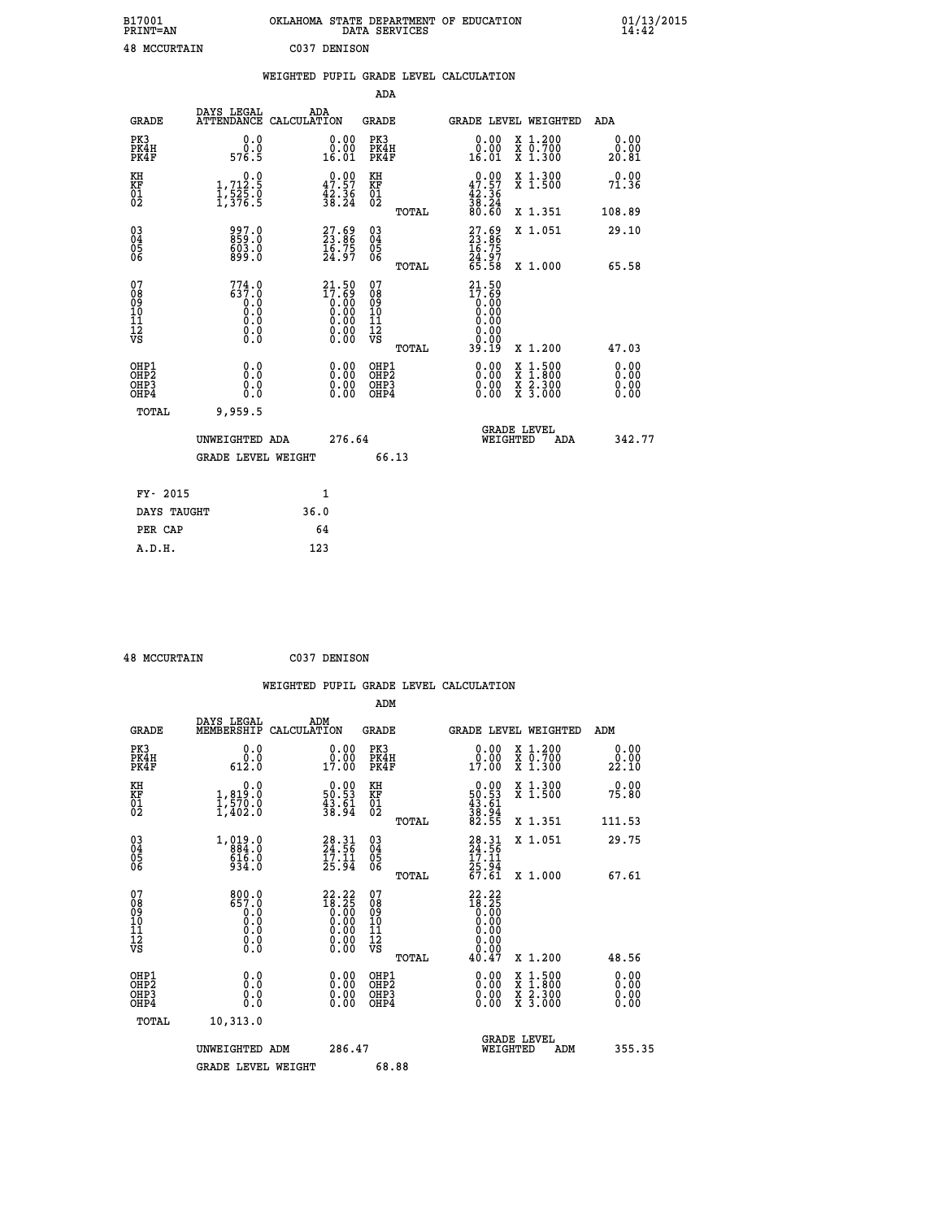| B17001              | OKLAHOMA STATE DEPARTMENT OF EDUCATION |
|---------------------|----------------------------------------|
| <b>PRINT=AN</b>     | DATA SERVICES                          |
| <b>48 MCCURTAIN</b> | C037 DENISON                           |

|                                                    |                                                                         | WEIGHTED PUPIL GRADE LEVEL CALCULATION                                                                  |                                        |       |                                                                                                           |                                                                                          |                              |
|----------------------------------------------------|-------------------------------------------------------------------------|---------------------------------------------------------------------------------------------------------|----------------------------------------|-------|-----------------------------------------------------------------------------------------------------------|------------------------------------------------------------------------------------------|------------------------------|
|                                                    |                                                                         |                                                                                                         | ADA                                    |       |                                                                                                           |                                                                                          |                              |
| <b>GRADE</b>                                       | DAYS LEGAL                                                              | ADA<br>ATTENDANCE CALCULATION                                                                           | <b>GRADE</b>                           |       |                                                                                                           | GRADE LEVEL WEIGHTED                                                                     | ADA                          |
| PK3<br>PK4H<br>PK4F                                | 0.0<br>0.0<br>576.5                                                     | $\begin{smallmatrix} 0.00\\ 0.00\\ 16.01 \end{smallmatrix}$                                             | PK3<br>PK4H<br>PK4F                    |       | 0.00<br>0.00<br>16.01                                                                                     | X 1.200<br>X 0.700<br>X 1.300                                                            | 0.00<br>0.00<br>20.81        |
| KH<br>KF<br>01<br>02                               | $\begin{smallmatrix}&&&0.0\\1,712.5\\1,525.0\\1,376.5\end{smallmatrix}$ | $\begin{smallmatrix} 0.00\\ 47.57\\ 42.36\\ 38.24 \end{smallmatrix}$                                    | KH<br>KF<br>01<br>02                   |       | $\begin{smallmatrix} 0.00\\ 47.57\\ 42.36\\ 38.24\\ 80.60 \end{smallmatrix}$                              | X 1.300<br>X 1.500                                                                       | 0.00<br>71.36                |
|                                                    |                                                                         |                                                                                                         |                                        | TOTAL |                                                                                                           | X 1.351                                                                                  | 108.89                       |
| $\begin{matrix} 03 \\ 04 \\ 05 \\ 06 \end{matrix}$ | 997.0<br>859.0<br>$\frac{603.0}{899.0}$                                 | 27.69<br>23.86<br>16.75<br>24.97                                                                        | 03<br>04<br>05<br>06                   |       | 27.69<br>23.86<br>16.75<br>24.97<br>25.58                                                                 | X 1.051                                                                                  | 29.10                        |
|                                                    |                                                                         |                                                                                                         |                                        | TOTAL |                                                                                                           | X 1.000                                                                                  | 65.58                        |
| 07<br>089<br>090<br>1112<br>VS                     | $774.0$<br>$637.0$<br>$0.0$<br>0.0<br>$\S.$ $\S$                        | $21.50$<br>$17.69$<br>$0.00$<br>$0.00$<br>$0.00$<br>$\begin{smallmatrix} 0.00 \ 0.00 \end{smallmatrix}$ | 07<br>08<br>09<br>11<br>11<br>12<br>VS | TOTAL | 21.50<br>$\begin{smallmatrix} 17.68 \\[-4pt] 0.00\\[-4pt] 0.00\end{smallmatrix}$<br>0.00<br>0.00<br>39.19 | X 1.200                                                                                  | 47.03                        |
| OHP1<br>OHP2<br>OH <sub>P3</sub><br>OHP4           | 0.0<br>Ō.Ō<br>0.0<br>0.0                                                | $\begin{smallmatrix} 0.00 \ 0.00 \ 0.00 \ 0.00 \end{smallmatrix}$                                       | OHP1<br>OHP2<br>OHP3<br>OHP4           |       |                                                                                                           | $\begin{smallmatrix} x & 1.500 \\ x & 1.800 \\ x & 2.300 \\ x & 3.000 \end{smallmatrix}$ | 0.00<br>0.00<br>0.00<br>0.00 |
| TOTAL                                              | 9,959.5                                                                 |                                                                                                         |                                        |       |                                                                                                           |                                                                                          |                              |
|                                                    | UNWEIGHTED ADA                                                          | 276.64                                                                                                  |                                        |       | WEIGHTED                                                                                                  | <b>GRADE LEVEL</b><br>ADA                                                                | 342.77                       |
|                                                    | <b>GRADE LEVEL WEIGHT</b>                                               |                                                                                                         | 66.13                                  |       |                                                                                                           |                                                                                          |                              |
| FY- 2015                                           |                                                                         | $\mathbf{1}$                                                                                            |                                        |       |                                                                                                           |                                                                                          |                              |
| DAYS TAUGHT                                        |                                                                         | 36.0                                                                                                    |                                        |       |                                                                                                           |                                                                                          |                              |
| PER CAP                                            |                                                                         | 64                                                                                                      |                                        |       |                                                                                                           |                                                                                          |                              |

 **A.D.H. 123**

 **48 MCCURTAIN C037 DENISON**

|                                                    |                                                                 | WEIGHTED PUPIL GRADE LEVEL CALCULATION                                                                 |                                              |       |                                                                          |                                                                                                                     |                          |
|----------------------------------------------------|-----------------------------------------------------------------|--------------------------------------------------------------------------------------------------------|----------------------------------------------|-------|--------------------------------------------------------------------------|---------------------------------------------------------------------------------------------------------------------|--------------------------|
|                                                    |                                                                 |                                                                                                        | ADM                                          |       |                                                                          |                                                                                                                     |                          |
| <b>GRADE</b>                                       | DAYS LEGAL<br>MEMBERSHIP                                        | ADM<br>CALCULATION                                                                                     | <b>GRADE</b>                                 |       |                                                                          | GRADE LEVEL WEIGHTED                                                                                                | ADM                      |
| PK3<br>PK4H<br>PK4F                                | 0.0<br>0.0<br>612.0                                             | $\begin{smallmatrix} 0.00\\ 0.00\\ 17.00 \end{smallmatrix}$                                            | PK3<br>PK4H<br>PK4F                          |       | $\begin{smallmatrix} 0.00\\ 0.00\\ 17.00 \end{smallmatrix}$              | X 1.200<br>X 0.700<br>X 1.300                                                                                       | 0.00<br>0.00<br>22.10    |
| KH<br>KF<br>01<br>02                               | 0.0<br>$\frac{1}{1}, \frac{819}{570}$ .0<br>1,402.0             | $\begin{smallmatrix} 0.00\\ 50.53\\ 43.61\\ 38.94 \end{smallmatrix}$                                   | KH<br>KF<br>01<br>02                         |       | $\begin{smallmatrix} 0.00\\50.53\\43.61\\38.94\\82.55 \end{smallmatrix}$ | X 1.300<br>X 1.500                                                                                                  | 0.00<br>75.80            |
|                                                    |                                                                 |                                                                                                        |                                              | TOTAL |                                                                          | X 1.351                                                                                                             | 111.53                   |
| $\begin{matrix} 03 \\ 04 \\ 05 \\ 06 \end{matrix}$ | $1, 019.0$<br>$884.0$<br>$616.0$<br>$934.0$                     | $28.31$<br>$24.56$<br>$17.11$<br>$25.94$                                                               | 030404<br>ŌĞ                                 |       | $28.31$<br>$24.56$<br>$17.11$<br>$25.94$<br>$67.61$                      | X 1.051                                                                                                             | 29.75                    |
|                                                    |                                                                 |                                                                                                        |                                              | TOTAL |                                                                          | X 1.000                                                                                                             | 67.61                    |
| 07<br>08<br>09<br>101<br>11<br>12<br>VS            | $800.0$<br>$657.0$<br>$0.0$<br>$0.0$<br>$0.0$<br>$0.0$<br>$0.0$ | $\begin{smallmatrix} 22.22 \\ 18.25 \\ 0.00 \\ 0.00 \\ 0.00 \\ 0.00 \\ 0.00 \\ 0.00 \end{smallmatrix}$ | 07<br>08<br>09<br>01<br>11<br>11<br>12<br>VS |       | $22.22$<br>$18.25$<br>$0.00$<br>$0.00$<br>$0.00$<br>$0.00$<br>$0.00$     |                                                                                                                     |                          |
|                                                    |                                                                 |                                                                                                        |                                              | TOTAL | 40.47                                                                    | X 1.200                                                                                                             | 48.56                    |
| OHP1<br>OHP2<br>OH <sub>P3</sub><br>OHP4           | 0.0<br>0.000                                                    | $\begin{smallmatrix} 0.00 \ 0.00 \ 0.00 \ 0.00 \end{smallmatrix}$                                      | OHP1<br>OHP2<br>OHP <sub>3</sub>             |       |                                                                          | $\begin{array}{l} \mathtt{X} & 1.500 \\ \mathtt{X} & 1.800 \\ \mathtt{X} & 2.300 \\ \mathtt{X} & 3.000 \end{array}$ | $0.00$<br>$0.00$<br>0.00 |
| <b>TOTAL</b>                                       | 10,313.0                                                        |                                                                                                        |                                              |       |                                                                          |                                                                                                                     |                          |
|                                                    | UNWEIGHTED ADM<br><b>GRADE LEVEL WEIGHT</b>                     | 286.47                                                                                                 | 68.88                                        |       | WEIGHTED                                                                 | <b>GRADE LEVEL</b><br>ADM                                                                                           | 355.35                   |
|                                                    |                                                                 |                                                                                                        |                                              |       |                                                                          |                                                                                                                     |                          |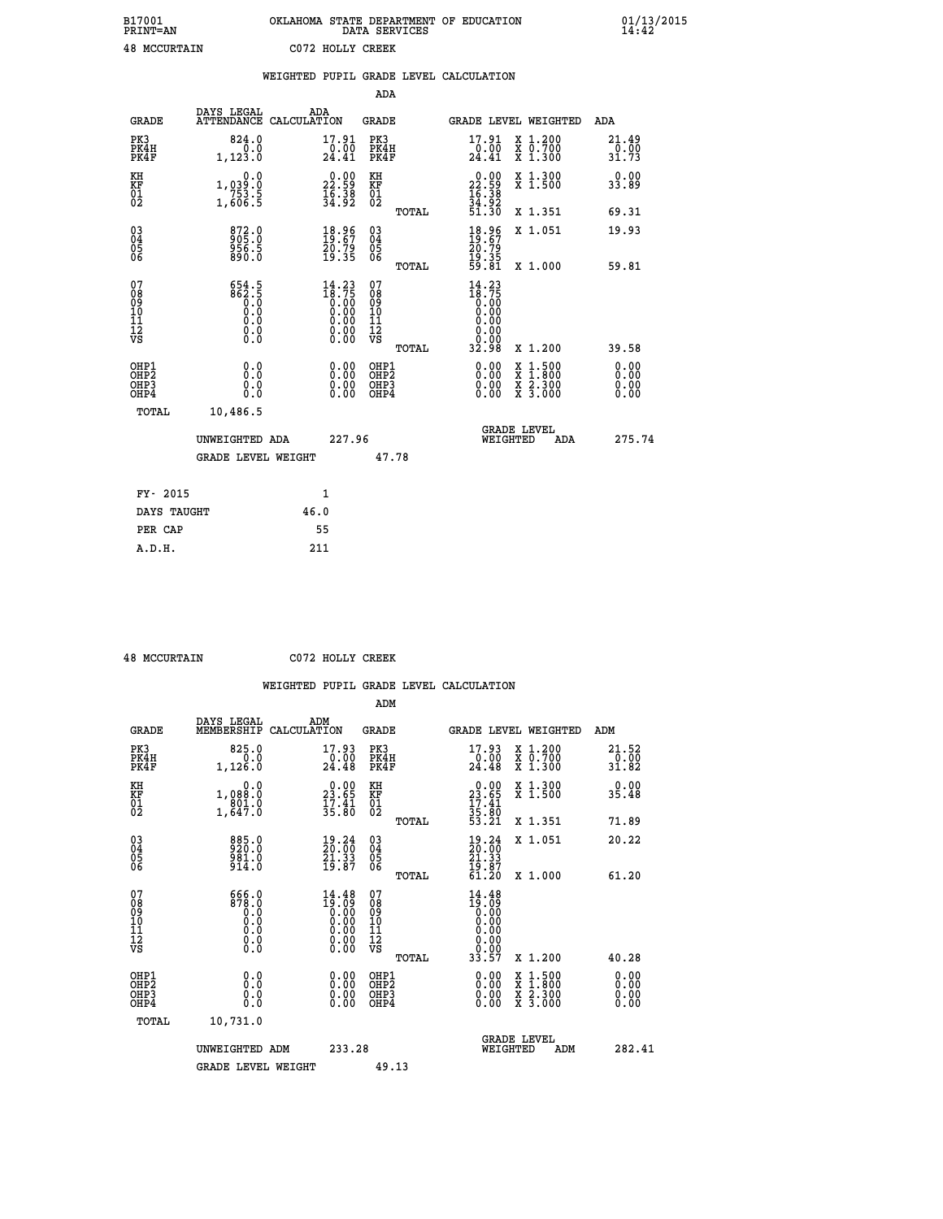| B17001<br>PRINT=AN  | OKLAHOMA STATE DEPARTMENT OF EDUCATION<br>DATA SERVICES | $01/13/2015$<br>14:42 |
|---------------------|---------------------------------------------------------|-----------------------|
| <b>48 MCCURTAIN</b> | C072 HOLLY CREEK                                        |                       |

|                                                       |                                                                                              |      |                                                                                                 |                                                     |       | WEIGHTED PUPIL GRADE LEVEL CALCULATION                                                                                                                                                                                                                                         |                                                                                                                                           |                               |
|-------------------------------------------------------|----------------------------------------------------------------------------------------------|------|-------------------------------------------------------------------------------------------------|-----------------------------------------------------|-------|--------------------------------------------------------------------------------------------------------------------------------------------------------------------------------------------------------------------------------------------------------------------------------|-------------------------------------------------------------------------------------------------------------------------------------------|-------------------------------|
|                                                       |                                                                                              |      |                                                                                                 | <b>ADA</b>                                          |       |                                                                                                                                                                                                                                                                                |                                                                                                                                           |                               |
| <b>GRADE</b>                                          | DAYS LEGAL<br>ATTENDANCE CALCULATION                                                         | ADA  |                                                                                                 | <b>GRADE</b>                                        |       | GRADE LEVEL WEIGHTED                                                                                                                                                                                                                                                           |                                                                                                                                           | ADA                           |
| PK3<br>PK4H<br>PK4F                                   | 824.0<br>0.0<br>1,123.0                                                                      |      | 17.91<br>$\frac{10.00}{24.41}$                                                                  | PK3<br>PK4H<br>PK4F                                 |       | 17.91<br>$\frac{10.00}{24.41}$                                                                                                                                                                                                                                                 | X 1.200<br>X 0.700<br>X 1.300                                                                                                             | 21.49<br>$\frac{0.00}{31.73}$ |
| KH<br>KF<br>01<br>02                                  | 0.0<br>1,039:0<br>753.5<br>1,606:5                                                           |      | $\begin{smallmatrix} 0.00\\ 22.59\\ 16.38\\ 34.92 \end{smallmatrix}$                            | KH<br>KF<br>01<br>02                                |       | $\begin{smallmatrix} 0.00\\ 22.59\\ 16.38\\ 34.92\\ 51.30 \end{smallmatrix}$                                                                                                                                                                                                   | X 1.300<br>X 1.500                                                                                                                        | 0.00<br>33.89                 |
|                                                       |                                                                                              |      |                                                                                                 |                                                     | TOTAL |                                                                                                                                                                                                                                                                                | X 1.351                                                                                                                                   | 69.31                         |
| $\begin{matrix} 03 \\ 04 \\ 05 \\ 06 \end{matrix}$    | 872.0<br>905.0<br>956.5<br>890.0                                                             |      | $\begin{smallmatrix} 18.96\\ 19.67\\ 20.79\\ 19.35 \end{smallmatrix}$                           | $\begin{array}{c} 03 \\ 04 \\ 05 \\ 06 \end{array}$ |       | $18.87$<br>$20.79$<br>$19.35$<br>$59.81$                                                                                                                                                                                                                                       | X 1.051                                                                                                                                   | 19.93                         |
|                                                       |                                                                                              |      |                                                                                                 |                                                     | TOTAL |                                                                                                                                                                                                                                                                                | X 1.000                                                                                                                                   | 59.81                         |
| 07<br>08901112<br>1112<br>VS                          | $862.5$<br>$862.5$<br>0.0<br>0.0<br>$\begin{smallmatrix} 0.16 \ 0.0 \ 0.0 \end{smallmatrix}$ |      | $\begin{smallmatrix} 14\cdot23\\18\cdot75\\0.00\\0.00\\0.00\\0.00\\0.00\\0.00\end{smallmatrix}$ | 07<br>08<br>09<br>11<br>11<br>12<br>VS              |       | $14.23$<br>$18.75$<br>$0.00$<br>$0.00$<br>0.00<br>0.00<br>ŏ.ŏŏ                                                                                                                                                                                                                 |                                                                                                                                           |                               |
|                                                       |                                                                                              |      |                                                                                                 |                                                     | TOTAL | 32.98                                                                                                                                                                                                                                                                          | X 1.200                                                                                                                                   | 39.58                         |
| OHP1<br>OH <sub>P</sub> 2<br>OHP3<br>OH <sub>P4</sub> | 0.0<br>0.0<br>0.0                                                                            |      | $\begin{smallmatrix} 0.00 \ 0.00 \ 0.00 \ 0.00 \end{smallmatrix}$                               | OHP1<br>OHP <sup>2</sup><br>OHP3<br>OHP4            |       | $\begin{smallmatrix} 0.00 & 0.00 & 0.00 & 0.00 & 0.00 & 0.00 & 0.00 & 0.00 & 0.00 & 0.00 & 0.00 & 0.00 & 0.00 & 0.00 & 0.00 & 0.00 & 0.00 & 0.00 & 0.00 & 0.00 & 0.00 & 0.00 & 0.00 & 0.00 & 0.00 & 0.00 & 0.00 & 0.00 & 0.00 & 0.00 & 0.00 & 0.00 & 0.00 & 0.00 & 0.00 & 0.0$ | $\begin{smallmatrix} \mathtt{X} & 1\cdot500\\ \mathtt{X} & 1\cdot800\\ \mathtt{X} & 2\cdot300\\ \mathtt{X} & 3\cdot000 \end{smallmatrix}$ | 0.00<br>0.00<br>0.00<br>0.00  |
| TOTAL                                                 | 10,486.5                                                                                     |      |                                                                                                 |                                                     |       |                                                                                                                                                                                                                                                                                |                                                                                                                                           |                               |
|                                                       | UNWEIGHTED ADA                                                                               |      | 227.96                                                                                          |                                                     |       | <b>GRADE LEVEL</b><br>WEIGHTED                                                                                                                                                                                                                                                 | ADA                                                                                                                                       | 275.74                        |
|                                                       | <b>GRADE LEVEL WEIGHT</b>                                                                    |      |                                                                                                 |                                                     | 47.78 |                                                                                                                                                                                                                                                                                |                                                                                                                                           |                               |
| FY- 2015                                              |                                                                                              |      | $\mathbf{1}$                                                                                    |                                                     |       |                                                                                                                                                                                                                                                                                |                                                                                                                                           |                               |
| DAYS TAUGHT                                           |                                                                                              | 46.0 |                                                                                                 |                                                     |       |                                                                                                                                                                                                                                                                                |                                                                                                                                           |                               |
| PER CAP                                               |                                                                                              |      | 55                                                                                              |                                                     |       |                                                                                                                                                                                                                                                                                |                                                                                                                                           |                               |

 **48 MCCURTAIN C072 HOLLY CREEK**

 **A.D.H. 211**

 **ADM**

| <b>GRADE</b>                                       | DAYS LEGAL<br>MEMBERSHIP CALCULATION                                              | ADM                                                                                                                                                                                                                                                                                                                                            | <b>GRADE</b>                                       |       |                                                                                                                     |                                | GRADE LEVEL WEIGHTED                                                                                                | ADM                    |
|----------------------------------------------------|-----------------------------------------------------------------------------------|------------------------------------------------------------------------------------------------------------------------------------------------------------------------------------------------------------------------------------------------------------------------------------------------------------------------------------------------|----------------------------------------------------|-------|---------------------------------------------------------------------------------------------------------------------|--------------------------------|---------------------------------------------------------------------------------------------------------------------|------------------------|
| PK3<br>PK4H<br>PK4F                                | 825.0<br>0.0<br>1,126.0                                                           | 17.93<br>0.00<br>24.48                                                                                                                                                                                                                                                                                                                         | PK3<br>PK4H<br>PK4F                                |       | 17.93<br>$\frac{0.00}{24.48}$                                                                                       |                                | X 1.200<br>X 0.700<br>X 1.300                                                                                       | 21.52<br>0.00<br>31.82 |
| KH<br>KF<br>01<br>02                               | 0.0<br>1,088.0<br>801.0<br>1,647.0                                                | $\begin{smallmatrix} 0.00\\ 23.65\\ 17.41\\ 35.80 \end{smallmatrix}$                                                                                                                                                                                                                                                                           | KH<br>KF<br>01<br>02                               |       | $\begin{smallmatrix} 0.00\\ 23.65\\ 17.41\\ 35.80\\ 53.21 \end{smallmatrix}$                                        |                                | X 1.300<br>X 1.500                                                                                                  | 0.00<br>35.48          |
|                                                    |                                                                                   |                                                                                                                                                                                                                                                                                                                                                |                                                    | TOTAL |                                                                                                                     |                                | X 1.351                                                                                                             | 71.89                  |
| $\begin{matrix} 03 \\ 04 \\ 05 \\ 06 \end{matrix}$ | 885.0<br>$\frac{5\bar{8}\tilde{1}\cdot\tilde{0}}{914\cdot 0}$                     | $\begin{smallmatrix} 19.24\ 20.00\ 21.33\ 19.87 \end{smallmatrix}$                                                                                                                                                                                                                                                                             | $\begin{matrix} 03 \\ 04 \\ 05 \\ 06 \end{matrix}$ |       | $\begin{smallmatrix} 19.24\ 20.00\ 21.33\ 19.87\ 61.20 \end{smallmatrix}$                                           |                                | X 1.051                                                                                                             | 20.22                  |
|                                                    |                                                                                   |                                                                                                                                                                                                                                                                                                                                                |                                                    | TOTAL |                                                                                                                     |                                | X 1.000                                                                                                             | 61.20                  |
| 07<br>08<br>09<br>101<br>11<br>12<br>VS            | 666.0878.0<br>$\begin{smallmatrix} 0.0 & 0 \ 0.0 & 0 \ 0.0 & 0 \end{smallmatrix}$ | $\begin{smallmatrix} 14 & 48 \\ 19 & 09 \\ 0 & 00 \\ 0 & 00 \\ 0 & 00 \\ 0 & 00 \\ 0 & 00 \\ 0 & 00 \\ 0 & 00 \\ 0 & 00 \\ 0 & 00 \\ 0 & 00 \\ 0 & 0 \\ 0 & 0 \\ 0 & 0 \\ 0 & 0 \\ 0 & 0 \\ 0 & 0 \\ 0 & 0 \\ 0 & 0 \\ 0 & 0 \\ 0 & 0 \\ 0 & 0 \\ 0 & 0 \\ 0 & 0 \\ 0 & 0 \\ 0 & 0 \\ 0 & 0 \\ 0 & 0 \\ 0 & 0 \\ 0 & 0 \\ 0 & 0 \\ 0 & 0 \\ 0$ | 07<br>08<br>09<br>001<br>11<br>11<br>12<br>VS      |       | 14.48<br>$\begin{array}{c} 15.759 \\ -0.00 \\ 0.00 \\ -0.00 \\ 0.00 \\ -0.00 \\ 0.00 \\ -0.00 \\ 33.57 \end{array}$ |                                |                                                                                                                     |                        |
|                                                    |                                                                                   |                                                                                                                                                                                                                                                                                                                                                |                                                    | TOTAL |                                                                                                                     |                                | X 1.200                                                                                                             | 40.28                  |
| OHP1<br>OHP <sub>2</sub><br>OHP3<br>OHP4           | 0.0<br>0.000                                                                      |                                                                                                                                                                                                                                                                                                                                                | OHP1<br>OHP2<br>OHP3<br>OHP4                       |       | $0.00$<br>$0.00$<br>0.00                                                                                            |                                | $\begin{array}{l} \mathtt{X} & 1.500 \\ \mathtt{X} & 1.800 \\ \mathtt{X} & 2.300 \\ \mathtt{X} & 3.000 \end{array}$ | 0.00<br>0.00<br>0.00   |
| TOTAL                                              | 10,731.0                                                                          |                                                                                                                                                                                                                                                                                                                                                |                                                    |       |                                                                                                                     |                                |                                                                                                                     |                        |
|                                                    | UNWEIGHTED                                                                        | 233.28<br>ADM                                                                                                                                                                                                                                                                                                                                  |                                                    |       |                                                                                                                     | <b>GRADE LEVEL</b><br>WEIGHTED | ADM                                                                                                                 | 282.41                 |
|                                                    | <b>GRADE LEVEL WEIGHT</b>                                                         |                                                                                                                                                                                                                                                                                                                                                | 49.13                                              |       |                                                                                                                     |                                |                                                                                                                     |                        |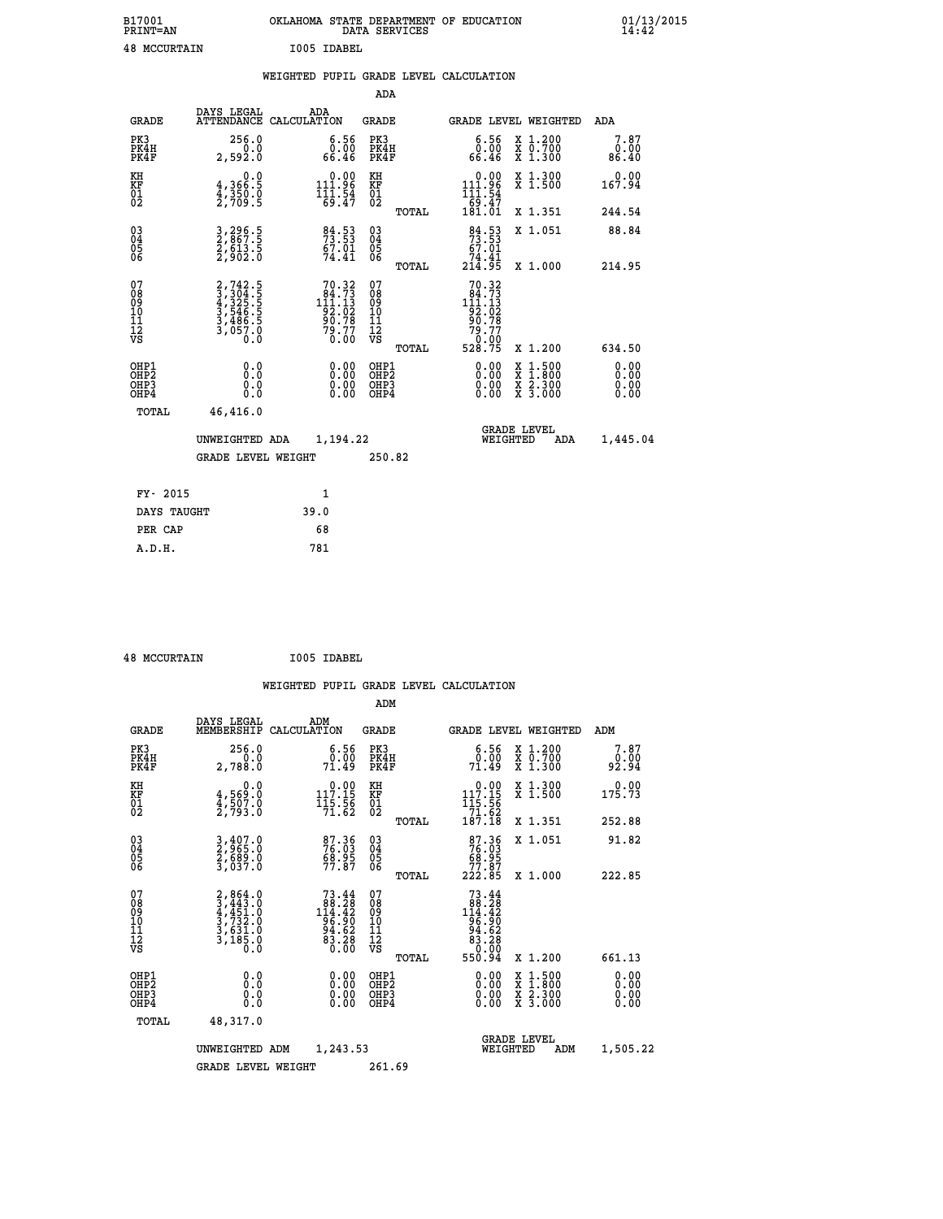| B17001<br><b>PRINT=AN</b> |             | OKLAHOMA STATE DEPARTMENT OF EDUCATION<br>DATA SERVICES |  |
|---------------------------|-------------|---------------------------------------------------------|--|
| <b>48 MCCURTAIN</b>       | T005 TDAREL |                                                         |  |

 **ADA**

 **B17001 OKLAHOMA STATE DEPARTMENT OF EDUCATION 01/13/2015**

|  |  | WEIGHTED PUPIL GRADE LEVEL CALCULATION |
|--|--|----------------------------------------|
|  |  |                                        |

| <b>GRADE</b>                             | DAYS LEGAL                                                                | ADA<br>ATTENDANCE CALCULATION                                                         | GRADE                                              |       |                                                                                        | GRADE LEVEL WEIGHTED                                                                                                                      | ADA                          |
|------------------------------------------|---------------------------------------------------------------------------|---------------------------------------------------------------------------------------|----------------------------------------------------|-------|----------------------------------------------------------------------------------------|-------------------------------------------------------------------------------------------------------------------------------------------|------------------------------|
| PK3<br>PK4H<br>PK4F                      | 256.0<br>0.0<br>2,592.0                                                   | $6.56$<br>$0.00$<br>66.46                                                             | PK3<br>PK4H<br>PK4F                                |       | $6.56$<br>$0.00$<br>66.46                                                              | X 1.200<br>X 0.700<br>X 1.300                                                                                                             | 7.87<br>0.00<br>86.40        |
| KH<br>KF<br>01<br>02                     | 0.0<br>$\frac{4}{3}, \frac{366}{350}$ .0<br>2,709.5                       | $0.00$<br>111.96<br>$\frac{111.54}{69.47}$                                            | KH<br>KF<br>01<br>02                               |       | 0.00<br>$111.96$<br>$111.54$<br>$69.47$<br>$181.01$                                    | X 1.300<br>X 1.500                                                                                                                        | 0.00<br>167.94               |
|                                          |                                                                           |                                                                                       |                                                    | TOTAL |                                                                                        | X 1.351                                                                                                                                   | 244.54                       |
| $^{03}_{04}$<br>Ŏ5<br>06                 | 3,296.5<br>2,867.5<br>2,613.5<br>2,902.0                                  | 84.53<br>73.53<br>67.01<br>74.41                                                      | $\begin{matrix} 03 \\ 04 \\ 05 \\ 06 \end{matrix}$ |       | $84.53$<br>$73.53$<br>$67.01$<br>$74.41$<br>$214.95$                                   | X 1.051                                                                                                                                   | 88.84                        |
|                                          |                                                                           |                                                                                       |                                                    | TOTAL |                                                                                        | X 1.000                                                                                                                                   | 214.95                       |
| 07<br>08<br>09<br>101<br>11<br>12<br>VS  | 2,742.5<br>3,304.5<br>4,325.5<br>4,325.5<br>3,486.5<br>3,486.5<br>3,057.0 | $\begin{smallmatrix}70.32\\84.73\\111.13\\92.02\\90.78\\79.77\\0.00\end{smallmatrix}$ | 07<br>08<br>09<br>101<br>11<br>12<br>VS            |       | $\begin{smallmatrix}70.32\\84.73\\111.13\\92.02\\90.78\\79.77\\70.00\end{smallmatrix}$ |                                                                                                                                           |                              |
|                                          |                                                                           |                                                                                       |                                                    | TOTAL | 528.75                                                                                 | X 1.200                                                                                                                                   | 634.50                       |
| OHP1<br>OHP <sub>2</sub><br>OHP3<br>OHP4 | 0.0<br>0.0<br>Ō.Ō                                                         | $0.00$<br>$0.00$<br>0.00                                                              | OHP1<br>OHP2<br>OHP3<br>OHP4                       |       |                                                                                        | $\begin{smallmatrix} \mathtt{X} & 1\cdot500\\ \mathtt{X} & 1\cdot800\\ \mathtt{X} & 2\cdot300\\ \mathtt{X} & 3\cdot000 \end{smallmatrix}$ | 0.00<br>0.00<br>0.00<br>0.00 |
| TOTAL                                    | 46,416.0                                                                  |                                                                                       |                                                    |       |                                                                                        |                                                                                                                                           |                              |
|                                          | UNWEIGHTED ADA                                                            | 1,194.22                                                                              |                                                    |       | WEIGHTED                                                                               | <b>GRADE LEVEL</b><br>ADA                                                                                                                 | 1,445.04                     |
|                                          | GRADE LEVEL WEIGHT                                                        |                                                                                       | 250.82                                             |       |                                                                                        |                                                                                                                                           |                              |
| FY- 2015                                 |                                                                           | $\mathbf{1}$                                                                          |                                                    |       |                                                                                        |                                                                                                                                           |                              |
| DAYS TAUGHT                              |                                                                           | 39.0                                                                                  |                                                    |       |                                                                                        |                                                                                                                                           |                              |
| PER CAP                                  |                                                                           | 68                                                                                    |                                                    |       |                                                                                        |                                                                                                                                           |                              |
| A.D.H.                                   |                                                                           | 781                                                                                   |                                                    |       |                                                                                        |                                                                                                                                           |                              |
|                                          |                                                                           |                                                                                       |                                                    |       |                                                                                        |                                                                                                                                           |                              |

| <b>48 MCCURTAIN</b> | I005 IDABEL |
|---------------------|-------------|

 **A.D.H. 781**

|                                           |                                                                                     |                                                                                              | ADM                                                 |       |                                                                                                                                                                              |                                          |                          |
|-------------------------------------------|-------------------------------------------------------------------------------------|----------------------------------------------------------------------------------------------|-----------------------------------------------------|-------|------------------------------------------------------------------------------------------------------------------------------------------------------------------------------|------------------------------------------|--------------------------|
| <b>GRADE</b>                              | DAYS LEGAL<br>MEMBERSHIP                                                            | ADM<br>CALCULATION                                                                           | <b>GRADE</b>                                        |       |                                                                                                                                                                              | <b>GRADE LEVEL WEIGHTED</b>              | ADM                      |
| PK3<br>PK4H<br>PK4F                       | 256.0<br>2,788.0                                                                    | $\begin{smallmatrix} 6.56\ 0.00\ 71.49 \end{smallmatrix}$                                    | PK3<br>PK4H<br>PK4F                                 |       | $\begin{smallmatrix} 6.56\ 0.00\ 71.49 \end{smallmatrix}$                                                                                                                    | X 1.200<br>X 0.700<br>X 1.300            | 7.87<br>0.00 فر<br>92:94 |
| KH<br>KF<br>01<br>02                      | 0.0<br>$\frac{4}{2}, \frac{569}{507}$ .0<br>2,793.0                                 | $\begin{smallmatrix} &0.00\\ 117.15\\ 115.56\\ 71.62\end{smallmatrix}$                       | KH<br>KF<br>01<br>02                                |       | 117.15<br>$\frac{115}{71}$ ; $\frac{56}{62}$<br>187.18                                                                                                                       | X 1.300<br>X 1.500                       | 0.00<br>175.73           |
|                                           |                                                                                     |                                                                                              |                                                     | TOTAL |                                                                                                                                                                              | X 1.351                                  | 252.88                   |
| 03<br>04<br>05<br>06                      | 3,407.0<br>2,965.0<br>2,689.0<br>3,037.0                                            | 87.36<br>76.03<br>68.95<br>77.87                                                             | $\begin{array}{c} 03 \\ 04 \\ 05 \\ 06 \end{array}$ |       | $\begin{smallmatrix}87.36\\76.03\\68.95\\77.87\\222.85\end{smallmatrix}$                                                                                                     | X 1.051                                  | 91.82                    |
|                                           |                                                                                     |                                                                                              |                                                     | TOTAL |                                                                                                                                                                              | X 1.000                                  | 222.85                   |
| 07<br>08<br>09<br>101<br>11<br>12<br>VS   | $2,864.0$<br>$3,443.0$<br>$4,451.0$<br>$3,732.0$<br>$3,631.0$<br>$3,185.0$<br>$0.0$ | $73.44$<br>88.28<br>114.42<br>$\begin{array}{r} 11.36 \\ 94.62 \\ 83.28 \\ 0.00 \end{array}$ | 07<br>08<br>09<br>11<br>11<br>12<br>VS              | TOTAL | $\begin{array}{r} 73 \cdot 44 \\ 88 \cdot 28 \\ 144 \cdot 42 \\ 96 \cdot 90 \\ 94 \cdot 62 \\ 83 \cdot 28 \\ 83 \cdot 28 \\ 0 \cdot 0 \cdot 0 \cdot 0 \end{array}$<br>550.94 | X 1.200                                  | 661.13                   |
| OHP1<br>OHP2<br>OH <sub>P</sub> 3<br>OHP4 |                                                                                     |                                                                                              | OHP1<br>OHP2<br>OHP <sub>3</sub>                    |       | $0.00$<br>$0.00$<br>0.00                                                                                                                                                     | X 1:500<br>X 1:800<br>X 2:300<br>X 3:000 | 0.00<br>0.00<br>0.00     |
| TOTAL                                     | 48,317.0                                                                            |                                                                                              |                                                     |       |                                                                                                                                                                              |                                          |                          |
|                                           | UNWEIGHTED                                                                          | 1,243.53<br>ADM                                                                              |                                                     |       | WEIGHTED                                                                                                                                                                     | <b>GRADE LEVEL</b><br>ADM                | 1,505.22                 |
|                                           | <b>GRADE LEVEL WEIGHT</b>                                                           |                                                                                              | 261.69                                              |       |                                                                                                                                                                              |                                          |                          |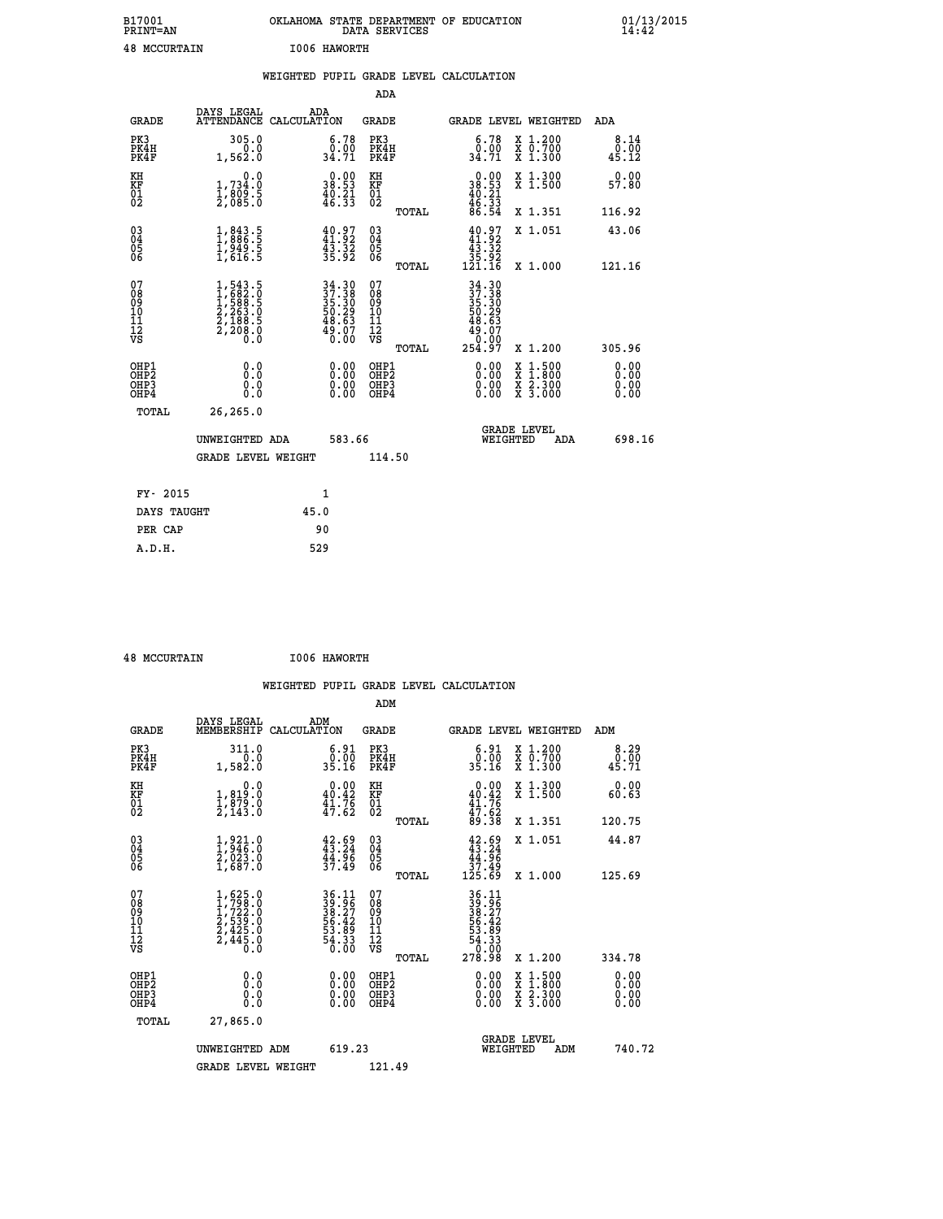| B17001<br><b>PRINT=AN</b> | OKLAHOMA<br>STATE DEPARTMENT OF EDUCATION<br>SERVICES<br>DATA | 01/13/2015 |
|---------------------------|---------------------------------------------------------------|------------|
| 48<br>MCCURTAIN           | I006<br><b>HAWORTH</b>                                        |            |

|                                        |                                                                                           |      |                                                                             |                                        |       | WEIGHTED PUPIL GRADE LEVEL CALCULATION                                         |                                                                                                  |                       |
|----------------------------------------|-------------------------------------------------------------------------------------------|------|-----------------------------------------------------------------------------|----------------------------------------|-------|--------------------------------------------------------------------------------|--------------------------------------------------------------------------------------------------|-----------------------|
|                                        |                                                                                           |      |                                                                             | ADA                                    |       |                                                                                |                                                                                                  |                       |
| <b>GRADE</b>                           | DAYS LEGAL<br>ATTENDANCE CALCULATION                                                      | ADA  |                                                                             | GRADE                                  |       |                                                                                | GRADE LEVEL WEIGHTED                                                                             | ADA                   |
| PK3<br>PK4H<br>PK4F                    | 305.0<br>0.0<br>1,562.0                                                                   |      | $\begin{smallmatrix} 6.78\\ 0.00\\ 34.71 \end{smallmatrix}$                 | PK3<br>PK4H<br>PK4F                    |       | $\begin{smallmatrix} 6.78\\ 0.00\\ 34.71 \end{smallmatrix}$                    | X 1.200<br>X 0.700<br>X 1.300                                                                    | 8.14<br>0.00<br>45.12 |
| KH<br>KF<br>01<br>02                   | 0.0<br>1,734.0<br>$\frac{1}{2}$ , $\frac{809}{85}$ . $\frac{5}{0}$                        |      | 38.90<br>$\frac{40.21}{46.33}$                                              | KH<br>KF<br>01<br>02                   |       | $\begin{smallmatrix} 0.00\\ 38.53\\ 40.21\\ 46.33\\ 86.54 \end{smallmatrix}$   | X 1.300<br>X 1.500                                                                               | 0.00<br>57.80         |
|                                        |                                                                                           |      |                                                                             |                                        | TOTAL |                                                                                | X 1.351                                                                                          | 116.92                |
| 030404<br>06                           | $\frac{1}{1}, \begin{smallmatrix} 843.5 \\ 886.5 \\ 1,949.5 \\ 1,616.5 \end{smallmatrix}$ |      | $40.97$<br>$41.92$<br>$43.32$<br>$35.92$                                    | $\substack{03 \\ 04}$<br>05<br>06      |       | $\begin{smallmatrix} 40.97\\ 41.92\\ 43.32\\ 35.92\\ 121.16 \end{smallmatrix}$ | X 1.051                                                                                          | 43.06                 |
|                                        |                                                                                           |      |                                                                             |                                        | TOTAL |                                                                                | X 1.000                                                                                          | 121.16                |
| 07<br>08<br>09<br>11<br>11<br>12<br>VS | $1,543.5$<br>$1,682.0$<br>$1,588.5$<br>$2,263.5$<br>$2,188.5$<br>$2,198.5$<br>$2,208.0$   |      | $34.30$<br>$37.38$<br>$35.30$<br>$50.29$<br>$58.63$<br>$\frac{49.07}{0.00}$ | 07<br>08<br>09<br>11<br>11<br>12<br>VS | TOTAL | $34.30$<br>$37.38$<br>$35.30$<br>$50.29$<br>$48.63$<br>49.07<br>0.00<br>254.97 | X 1.200                                                                                          | 305.96                |
| OHP1                                   |                                                                                           |      |                                                                             | OHP1                                   |       |                                                                                |                                                                                                  | 0.00                  |
| OH <sub>P</sub> 2<br>OHP3<br>OHP4      | 0.0<br>0.0<br>$0.\overline{0}$                                                            |      | $0.00$<br>$0.00$<br>0.00                                                    | OHP <sub>2</sub><br>OHP3<br>OHP4       |       | $0.00$<br>$0.00$<br>0.00                                                       | $\begin{smallmatrix} x & 1 & 500 \\ x & 1 & 800 \\ x & 2 & 300 \\ x & 3 & 000 \end{smallmatrix}$ | 0.00<br>0.00<br>0.00  |
| <b>TOTAL</b>                           | 26,265.0                                                                                  |      |                                                                             |                                        |       |                                                                                |                                                                                                  |                       |
|                                        | UNWEIGHTED ADA                                                                            |      | 583.66                                                                      |                                        |       | WEIGHTED                                                                       | <b>GRADE LEVEL</b><br>ADA                                                                        | 698.16                |
|                                        | GRADE LEVEL WEIGHT                                                                        |      |                                                                             | 114.50                                 |       |                                                                                |                                                                                                  |                       |
| FY- 2015                               |                                                                                           |      | 1                                                                           |                                        |       |                                                                                |                                                                                                  |                       |
| DAYS TAUGHT                            |                                                                                           | 45.0 |                                                                             |                                        |       |                                                                                |                                                                                                  |                       |
| PER CAP                                |                                                                                           |      | 90                                                                          |                                        |       |                                                                                |                                                                                                  |                       |

| <b>AR MCCILDTATN</b> |  |
|----------------------|--|

 **48 MCCURTAIN I006 HAWORTH WEIGHTED PUPIL GRADE LEVEL CALCULATION ADM DAYS LEGAL ADM GRADE MEMBERSHIP CALCULATION GRADE GRADE LEVEL WEIGHTED ADM PK3 311.0 6.91 PK3 6.91 X 1.200 8.29 PK4H 0.0 0.00 PK4H 0.00 X 0.700 0.00 PK4F 1,582.0 35.16 PK4F 35.16 X 1.300 45.71 KH 0.0 0.00 KH 0.00 X 1.300 0.00 KF 1,819.0 40.42 KF 40.42 X 1.500 60.63 01 1,879.0 41.76 01 41.76 02 2,143.0 47.62 02 47.62 TOTAL 89.38 X 1.351 120.75 03 1,921.0 42.69 03 42.69 X 1.051 44.87 04 1,946.0 43.24 04 43.24 05 2,023.0 44.96 05 44.96 06 1,687.0 37.49 06 37.49 TOTAL 125.69 X 1.000 125.69**  $\begin{array}{cccc} 07 & 1,625.0 & 36.11 & 07 & 36.11 \\ 08 & 1,722.0 & 38.27 & 08 & 39.25 \\ 09 & 1,722.0 & 38.27 & 09 & 38.27 \\ 10 & 2,539.0 & 56.42 & 10 & 56.42 \\ 11 & 2,445.0 & 53.89 & 11 & 53.48 \\ 12 & 2,445.0 & 53.39 & 12 & 54.33 \\ \sqrt{5} & 0 & 0 & 0 & 0 & 0 \\ \end{array}$  $\begin{array}{cccccc} 1,625.0 & 36.11 & 07 & 36.11 & 27.22 & 0 & 38.95 & 08 & 39.95 & 0 & 39.95 & 25.27 & 0 & 38.27 & 0 & 38.27 & 0 & 38.27 & 0 & 38.27 & 0 & 38.27 & 0 & 38.27 & 0 & 38.27 & 0 & 38.27 & 0 & 38.27 & 0 & 38.27 & 0 & 38.27 & 0 & 38.27 & 0 & 38.27 & 0 & 38.27 &$  **OHP1 0.0 0.00 OHP1 0.00 X 1.500 0.00 OHP2 0.0 0.00 OHP2 0.00 X 1.800 0.00 OHP3 0.0 0.00 OHP3 0.00 X 2.300 0.00 OHP4 0.0 0.00 OHP4 0.00 X 3.000 0.00 TOTAL 27,865.0 GRADE LEVEL UNWEIGHTED ADM 619.23 WEIGHTED ADM 740.72 GRADE LEVEL WEIGHT 121.49**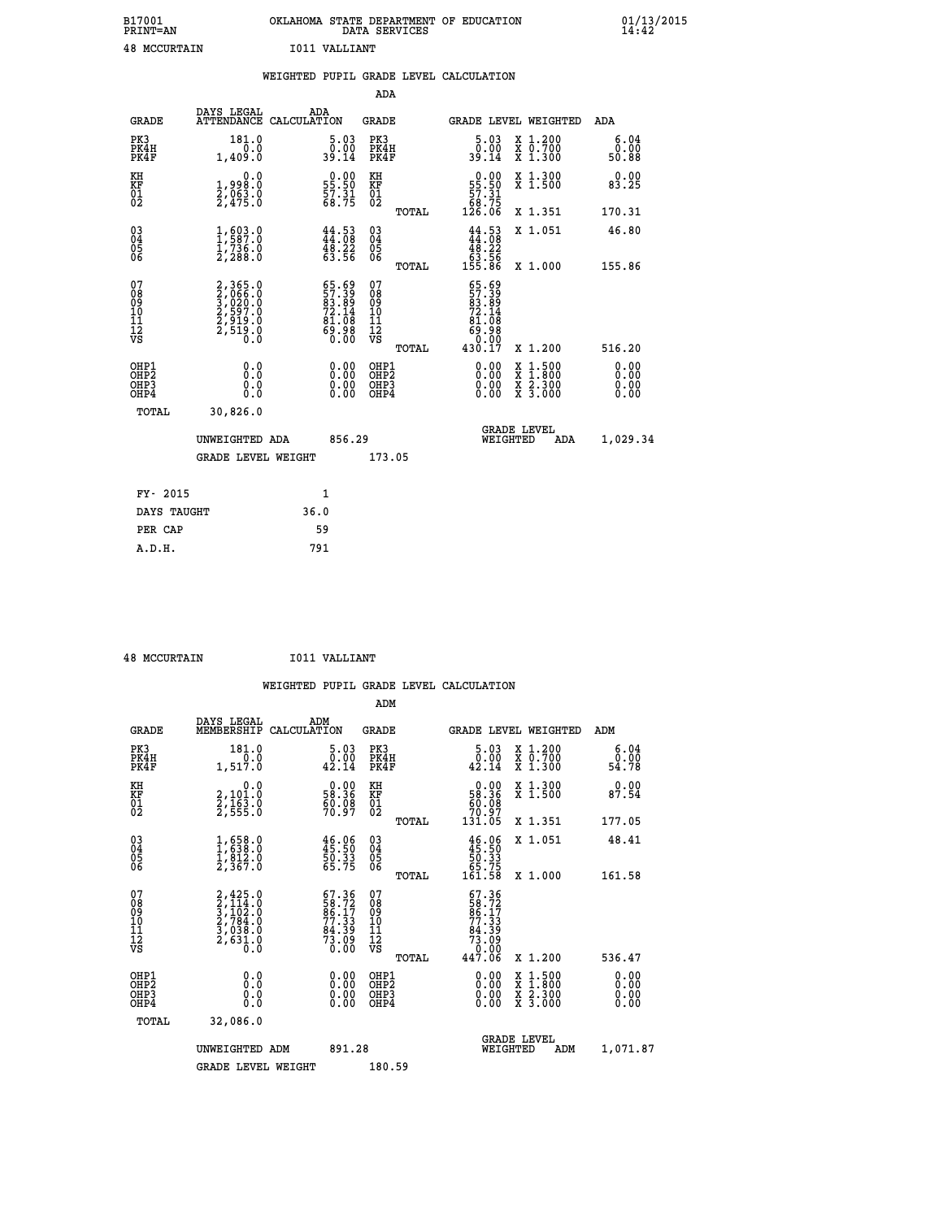| B17001<br>PRINT=AN  | <b>OKT AHOMA</b><br>. STATE DEPARTMENT OF EDUCATION<br>DATA SERVICES | $01/13/2015$<br>14:42 |
|---------------------|----------------------------------------------------------------------|-----------------------|
| <b>48 MCCURTAIN</b> | T011 VALLIANT                                                        |                       |

|                                                                    |                                                                | WEIGHTED PUPIL GRADE LEVEL CALCULATION                                                       |                                                 |                                                                                                  |                                                    |                              |
|--------------------------------------------------------------------|----------------------------------------------------------------|----------------------------------------------------------------------------------------------|-------------------------------------------------|--------------------------------------------------------------------------------------------------|----------------------------------------------------|------------------------------|
|                                                                    |                                                                |                                                                                              | <b>ADA</b>                                      |                                                                                                  |                                                    |                              |
| <b>GRADE</b>                                                       | DAYS LEGAL                                                     | ADA<br>ATTENDANCE CALCULATION                                                                | <b>GRADE</b>                                    |                                                                                                  | GRADE LEVEL WEIGHTED                               | ADA                          |
| PK3<br>PK4H<br>PK4F                                                | 181.0<br>0.0<br>1,409.0                                        | $\begin{smallmatrix}5.03\0.00\\39.14\end{smallmatrix}$                                       | PK3<br>PK4H<br>PK4F                             | $5.03$<br>$0.00$<br>39.14                                                                        | X 1.200<br>X 0.700<br>X 1.300                      | 6.04<br>0.00<br>50.88        |
| KH<br>KF<br>01<br>02                                               | 0.0<br>1,998:0<br>2,063:0<br>2,475:0                           | $\begin{smallmatrix} 0.00\\ 55.50\\ 57.31\\ 68.75 \end{smallmatrix}$                         | KH<br>KF<br>01<br>02                            | $\begin{smallmatrix}&&0&.00\\ 55.50\\ 57.31\\ 68.75\\ 126.06\end{smallmatrix}$                   | X 1.300<br>X 1.500                                 | 0.00<br>83.25                |
|                                                                    |                                                                |                                                                                              | TOTAL                                           |                                                                                                  | X 1.351                                            | 170.31                       |
| $\begin{smallmatrix} 03 \\[-4pt] 04 \end{smallmatrix}$<br>Ŏ5<br>06 | 1,587.8<br>$\frac{1}{2}$ , 736.0                               | $44.53$<br>$44.08$<br>48.22<br>63.56                                                         | $\substack{03 \\ 04}$<br>Ŏ5<br>06               | $\frac{44}{44}$ : 53<br>$\begin{array}{r} 48.22 \\ 63.56 \\ 155.86 \end{array}$                  | X 1.051                                            | 46.80                        |
|                                                                    |                                                                |                                                                                              | TOTAL                                           |                                                                                                  | X 1.000                                            | 155.86                       |
| 07<br>08<br>09<br>101<br>112<br>VS                                 | 2,365.0<br>3,066.0<br>3,020.0<br>3,029.0<br>2,519.0<br>2,519.0 | $\begin{smallmatrix} 65.69\\ 57.39\\ 83.89\\ 72.14\\ 81.08\\ 69.98\\ 0.00 \end{smallmatrix}$ | 07<br>08<br>09<br>11<br>11<br>12<br>VS<br>TOTAL | $55.59$<br>$57.39$<br>$83.89$<br>$72.14$<br>$8\bar{1}.\bar{0}\bar{8}$<br>88:88<br>0:00<br>17.028 | X 1.200                                            | 516.20                       |
| OHP1<br>OHP2<br>OHP3<br>OHP4                                       | 0.0<br>$0.\overline{0}$<br>Ō.Ō                                 | 0.00<br>$\begin{smallmatrix} 0.00 \ 0.00 \end{smallmatrix}$                                  | OHP1<br>OHP2<br>OHP3<br>OHP4                    | 0.00<br>0.00<br>0.00                                                                             | $1:500$<br>$1:800$<br>X<br>X<br>X 2.300<br>X 3.000 | 0.00<br>0.00<br>0.00<br>0.00 |
| <b>TOTAL</b>                                                       | 30,826.0                                                       |                                                                                              |                                                 |                                                                                                  |                                                    |                              |
|                                                                    | UNWEIGHTED ADA                                                 | 856.29                                                                                       |                                                 |                                                                                                  | GRADE LEVEL<br>WEIGHTED<br>ADA                     | 1,029.34                     |
|                                                                    | <b>GRADE LEVEL WEIGHT</b>                                      |                                                                                              | 173.05                                          |                                                                                                  |                                                    |                              |
| FY- 2015                                                           |                                                                | $\mathbf{1}$                                                                                 |                                                 |                                                                                                  |                                                    |                              |
| DAYS TAUGHT                                                        |                                                                | 36.0                                                                                         |                                                 |                                                                                                  |                                                    |                              |
| PER CAP                                                            |                                                                | 59                                                                                           |                                                 |                                                                                                  |                                                    |                              |

**48 MCCURTAIN 1011 VALLIANT** 

 **A.D.H. 791**

| <b>48 MCCURTAIN</b>                                              |                                                                                     |                    | TOIT AUTTTUM.L                                                           |                                                     |       |                                                                                                                                               |                                                                                                                                      |     |                       |
|------------------------------------------------------------------|-------------------------------------------------------------------------------------|--------------------|--------------------------------------------------------------------------|-----------------------------------------------------|-------|-----------------------------------------------------------------------------------------------------------------------------------------------|--------------------------------------------------------------------------------------------------------------------------------------|-----|-----------------------|
|                                                                  |                                                                                     |                    |                                                                          |                                                     |       | WEIGHTED PUPIL GRADE LEVEL CALCULATION                                                                                                        |                                                                                                                                      |     |                       |
|                                                                  |                                                                                     |                    |                                                                          | ADM                                                 |       |                                                                                                                                               |                                                                                                                                      |     |                       |
| <b>GRADE</b>                                                     | DAYS LEGAL<br>MEMBERSHIP                                                            | ADM<br>CALCULATION |                                                                          | <b>GRADE</b>                                        |       | <b>GRADE LEVEL WEIGHTED</b>                                                                                                                   |                                                                                                                                      | ADM |                       |
| PK3<br>PK4H<br>PK4F                                              | 181.0<br>1,517.0                                                                    |                    | $\begin{smallmatrix}5.03\0.00\\42.14\end{smallmatrix}$                   | PK3<br>PK4H<br>PK4F                                 |       | 5.03<br>$\begin{smallmatrix} \textcolor{red}{0} \textcolor{black}{\ddots} \textcolor{red}{\ddots} \ \textcolor{red}{42.14} \end{smallmatrix}$ | X 1.200<br>X 0.700<br>X 1.300                                                                                                        |     | 6.04<br>0.00<br>54.78 |
| KH<br>KF<br>01<br>02                                             | 0.0<br>2,101:0<br>2,163:0<br>2,555:0                                                |                    | $\begin{smallmatrix} 0.00\\ 58.36\\ 60.08\\ 70.97 \end{smallmatrix}$     | KH<br>KF<br>01<br>02                                |       | $\begin{smallmatrix} &0.00\\ 58.36\\ 60.08\\ 70.97\\ 131.05\end{smallmatrix}$                                                                 | X 1.300<br>X 1.500                                                                                                                   |     | 0.00<br>87.54         |
|                                                                  |                                                                                     |                    |                                                                          |                                                     | TOTAL |                                                                                                                                               | X 1.351                                                                                                                              |     | 177.05                |
| 03<br>04<br>05<br>06                                             | $1,658.0$<br>$1,838.0$<br>$1,812.0$<br>$2,367.0$                                    |                    | $46.96$<br>$45.50$<br>$50.33$<br>$65.75$                                 | $\begin{array}{c} 03 \\ 04 \\ 05 \\ 06 \end{array}$ |       | $46.96$<br>$50.33$<br>$55.75$<br>$161.58$                                                                                                     | X 1.051                                                                                                                              |     | 48.41                 |
|                                                                  |                                                                                     |                    |                                                                          |                                                     | TOTAL |                                                                                                                                               | X 1.000                                                                                                                              |     | 161.58                |
| 07<br>08<br>09<br>11<br>11<br>12<br>VS                           | $2,425.0$<br>$3,114.0$<br>$3,102.0$<br>$2,784.0$<br>$3,038.0$<br>$2,631.0$<br>$0.0$ |                    | $57.36$<br>$58.72$<br>$86.17$<br>$77.33$<br>$84.39$<br>$73.09$<br>$0.00$ | 07<br>08<br>09<br>101<br>11<br>12<br>VS             |       | 67.36<br>$\begin{array}{r} 728.727 \\ 86.17 \\ 77.33 \\ 84.39 \\ 73.09 \\ 0.00 \end{array}$                                                   |                                                                                                                                      |     |                       |
|                                                                  |                                                                                     |                    |                                                                          |                                                     | TOTAL | 447.06                                                                                                                                        | X 1.200                                                                                                                              |     | 536.47                |
| OHP1<br>OH <sub>P</sub> <sub>2</sub><br>OH <sub>P3</sub><br>OHP4 | 0.0<br>$\begin{smallmatrix} 0.0 & 0 \ 0.0 & 0 \end{smallmatrix}$                    |                    | 0.00<br>$\begin{smallmatrix} 0.00 \ 0.00 \end{smallmatrix}$              | OHP1<br>OHP <sub>2</sub><br>OHP3<br>OHP4            |       | $0.00$<br>$0.00$<br>0.00                                                                                                                      | $\begin{smallmatrix} \mathtt{X} & 1 & 500 \\ \mathtt{X} & 1 & 800 \\ \mathtt{X} & 2 & 300 \\ \mathtt{X} & 3 & 000 \end{smallmatrix}$ |     | 0.00<br>0.00<br>0.00  |
| TOTAL                                                            | 32,086.0                                                                            |                    |                                                                          |                                                     |       |                                                                                                                                               |                                                                                                                                      |     |                       |
|                                                                  | UNWEIGHTED ADM                                                                      |                    | 891.28                                                                   |                                                     |       | WEIGHTED                                                                                                                                      | <b>GRADE LEVEL</b>                                                                                                                   | ADM | 1,071.87              |
|                                                                  | GRADE LEVEL WEIGHT                                                                  |                    |                                                                          | 180.59                                              |       |                                                                                                                                               |                                                                                                                                      |     |                       |
|                                                                  |                                                                                     |                    |                                                                          |                                                     |       |                                                                                                                                               |                                                                                                                                      |     |                       |
|                                                                  |                                                                                     |                    |                                                                          |                                                     |       |                                                                                                                                               |                                                                                                                                      |     |                       |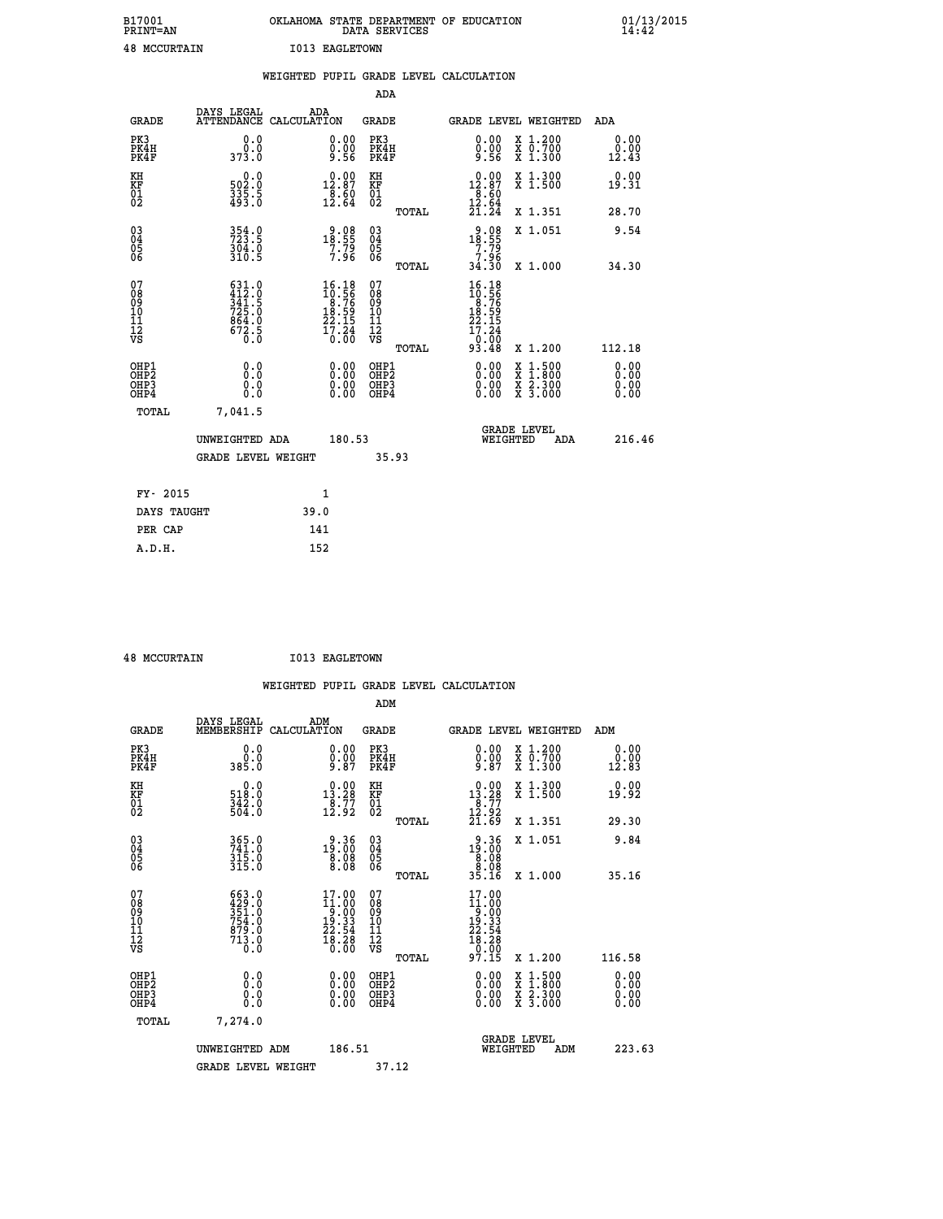| B17001<br><b>PRINT=AN</b> | OKLAHOMA STATE DEPARTMENT OF EDUCATION<br>DATA SERVICES | 01/13/2015 |
|---------------------------|---------------------------------------------------------|------------|
| <b>48 MCCURTAIN</b>       | <b>I013 EAGLETOWN</b>                                   |            |

|                                                                    |                                                                                                                                                                                         | WEIGHTED PUPIL GRADE LEVEL CALCULATION                                                |                                        |       |                                                                                     |                                                                                                                                           |                               |
|--------------------------------------------------------------------|-----------------------------------------------------------------------------------------------------------------------------------------------------------------------------------------|---------------------------------------------------------------------------------------|----------------------------------------|-------|-------------------------------------------------------------------------------------|-------------------------------------------------------------------------------------------------------------------------------------------|-------------------------------|
|                                                                    |                                                                                                                                                                                         |                                                                                       | <b>ADA</b>                             |       |                                                                                     |                                                                                                                                           |                               |
| <b>GRADE</b>                                                       | DAYS LEGAL<br><b>ATTENDANCE</b>                                                                                                                                                         | ADA<br>CALCULATION                                                                    | <b>GRADE</b>                           |       | GRADE LEVEL WEIGHTED                                                                |                                                                                                                                           | ADA                           |
| PK3<br>PK4H<br>PK4F                                                | 0.0<br>ة:ة<br>373:0                                                                                                                                                                     | $\begin{smallmatrix} 0.00 \ 0.00 \ 9.56 \end{smallmatrix}$                            | PK3<br>PK4H<br>PK4F                    |       | 0.00<br>$0.00$<br>9.56                                                              | X 1.200<br>X 0.700<br>X 1.300                                                                                                             | 0.00<br>0.00<br>12.43         |
| KH<br>KF<br>01<br>02                                               | 0.0<br>502.0<br>335.5<br>493.0                                                                                                                                                          | $\begin{smallmatrix} 0.00\\12.87\\8.60\\12.64 \end{smallmatrix}$                      | KH<br>KF<br>01<br>02                   |       | $12.87$<br>$18.87$<br>$.89$                                                         | X 1.300<br>X 1.500                                                                                                                        | 0.00<br>19.31                 |
|                                                                    |                                                                                                                                                                                         |                                                                                       |                                        | TOTAL | $\frac{15.64}{21.24}$                                                               | X 1.351                                                                                                                                   | 28.70                         |
| $\begin{smallmatrix} 03 \\[-4pt] 04 \end{smallmatrix}$<br>Ŏ5<br>06 | 354.0<br>$\frac{3\bar{0}\bar{4}}{310.5}$                                                                                                                                                | $18.55$<br>$7.79$<br>$7.96$                                                           | 03<br>04<br>05<br>06                   |       | $\begin{array}{r} 9.08 \\ 18.55 \\ 7.79 \\ 7.96 \\ 34.30 \end{array}$               | X 1.051                                                                                                                                   | 9.54                          |
|                                                                    |                                                                                                                                                                                         |                                                                                       |                                        | TOTAL |                                                                                     | X 1.000                                                                                                                                   | 34.30                         |
| 07<br>08<br>09<br>111<br>12<br>VS                                  | $\begin{smallmatrix} 6 & 3 & 1 & . & 0 \\ 4 & 1 & 2 & . & 0 \\ 3 & 4 & 1 & . & 5 \\ 7 & 2 & 5 & . & 0 \\ 8 & 6 & 4 & . & 0 \\ 6 & 7 & 2 & . & 5 \\ 0 & . & 0 & . & 0 \end{smallmatrix}$ | $\begin{smallmatrix} 16.18\\10.56\\8.76\\18.59\\22.15\\17.24\\0.00 \end{smallmatrix}$ | 07<br>08<br>09<br>11<br>11<br>12<br>VS | TOTAL | $16.18$<br>$10.56$<br>$8.76$<br>$18.59$<br>$22.15$<br>$\frac{17.24}{9.00}$<br>93.48 | X 1.200                                                                                                                                   | 112.18                        |
| OHP1<br>OHP2<br>OH <sub>P3</sub><br>OHP4                           | 0.0<br>0.0<br>0.0                                                                                                                                                                       | $\begin{smallmatrix} 0.00 \ 0.00 \ 0.00 \ 0.00 \end{smallmatrix}$                     | OHP1<br>OHP2<br>OHP3<br>OHP4           |       | 0.00<br>0.00<br>0.00                                                                | $\begin{smallmatrix} \mathtt{X} & 1\cdot500\\ \mathtt{X} & 1\cdot800\\ \mathtt{X} & 2\cdot300\\ \mathtt{X} & 3\cdot000 \end{smallmatrix}$ | 0.00<br>Ō. ŌŌ<br>0.00<br>0.00 |
| <b>TOTAL</b>                                                       | 7,041.5                                                                                                                                                                                 |                                                                                       |                                        |       |                                                                                     |                                                                                                                                           |                               |
|                                                                    | UNWEIGHTED ADA                                                                                                                                                                          | 180.53                                                                                |                                        |       | WEIGHTED                                                                            | <b>GRADE LEVEL</b><br>ADA                                                                                                                 | 216.46                        |
|                                                                    | <b>GRADE LEVEL WEIGHT</b>                                                                                                                                                               |                                                                                       | 35.93                                  |       |                                                                                     |                                                                                                                                           |                               |
| FY- 2015                                                           |                                                                                                                                                                                         | $\mathbf{1}$                                                                          |                                        |       |                                                                                     |                                                                                                                                           |                               |
| DAYS TAUGHT                                                        |                                                                                                                                                                                         | 39.0                                                                                  |                                        |       |                                                                                     |                                                                                                                                           |                               |
| PER CAP                                                            |                                                                                                                                                                                         | 141                                                                                   |                                        |       |                                                                                     |                                                                                                                                           |                               |

 **48 MCCURTAIN I013 EAGLETOWN**

|                                                      |                                                                                                                                                             |                    |                                                                                                   |                                               |       | WEIGHTED PUPIL GRADE LEVEL CALCULATION                                         |                                                                        |                       |        |
|------------------------------------------------------|-------------------------------------------------------------------------------------------------------------------------------------------------------------|--------------------|---------------------------------------------------------------------------------------------------|-----------------------------------------------|-------|--------------------------------------------------------------------------------|------------------------------------------------------------------------|-----------------------|--------|
|                                                      |                                                                                                                                                             |                    |                                                                                                   | ADM                                           |       |                                                                                |                                                                        |                       |        |
| <b>GRADE</b>                                         | DAYS LEGAL<br>MEMBERSHIP                                                                                                                                    | ADM<br>CALCULATION |                                                                                                   | <b>GRADE</b>                                  |       | <b>GRADE LEVEL WEIGHTED</b>                                                    |                                                                        | ADM                   |        |
| PK3<br>PK4H<br>PK4F                                  | 0.0<br>Ŏ.Ŏ<br>385.O                                                                                                                                         |                    | $\begin{smallmatrix} 0.00 \ 0.00 \ 9.87 \end{smallmatrix}$                                        | PK3<br>PK4H<br>PK4F                           |       | $0.00$<br>$0.00$<br>$9.87$                                                     | X 1.200<br>X 0.700<br>X 1.300                                          | 0.00<br>0.00<br>12.83 |        |
| KH<br>KF<br>01<br>02                                 | $\begin{smallmatrix} &0.0\518.0\342.0\504.0 \end{smallmatrix}$                                                                                              |                    | $\begin{smallmatrix} 0.00\\13.28\\18.77\\12.92 \end{smallmatrix}$                                 | KH<br>KF<br>01<br>02                          |       | $13.28$<br>$13.27$<br>$12.92$                                                  | X 1.300<br>X 1.500                                                     | 0.00<br>19.92         |        |
|                                                      |                                                                                                                                                             |                    |                                                                                                   |                                               | TOTAL | 21.69                                                                          | X 1.351                                                                | 29.30                 |        |
| $\begin{matrix} 03 \\ 04 \\ 05 \\ 06 \end{matrix}$   | 365.0<br>741.0<br>315.0<br>315.0                                                                                                                            |                    | 19.36<br>19.00<br>8.08<br>8.08                                                                    | 03<br>04<br>05<br>06                          |       | $\begin{smallmatrix} 9.36 \\ 19.00 \\ 8.08 \\ 8.08 \\ 35.16 \end{smallmatrix}$ | X 1.051                                                                | 9.84                  |        |
|                                                      |                                                                                                                                                             |                    |                                                                                                   |                                               | TOTAL |                                                                                | X 1.000                                                                | 35.16                 |        |
| 07<br>08<br>09<br>01<br>11<br>11<br>12<br>VS         | $\begin{smallmatrix} 6 & 6 & 3 & 0 \\ 4 & 2 & 9 & 0 \\ 3 & 5 & 1 & 0 \\ 7 & 5 & 4 & 0 \\ 8 & 7 & 9 & 0 \\ 7 & 1 & 3 & 0 \\ 0 & 0 & 0 & 0 \end{smallmatrix}$ |                    | $\begin{smallmatrix} 17.00 \\ 11.00 \\ 9.00 \\ 19.33 \\ 22.54 \\ 18.28 \\ 0.00 \end{smallmatrix}$ | 07<br>08<br>09<br>001<br>11<br>11<br>12<br>VS |       | 17.00<br>$11.000$<br>$19.33$<br>$22.54$<br>$18.28$<br>$0.00$                   |                                                                        |                       |        |
|                                                      |                                                                                                                                                             |                    |                                                                                                   |                                               | TOTAL | 97.15                                                                          | X 1.200                                                                | 116.58                |        |
| OHP1<br>OHP2<br>OH <sub>P3</sub><br>OH <sub>P4</sub> | 0.0<br>$\begin{smallmatrix} 0.0 & 0 \ 0.0 & 0 \end{smallmatrix}$                                                                                            |                    | 0.00<br>$\begin{smallmatrix} 0.00 \ 0.00 \end{smallmatrix}$                                       | OHP1<br>OHP2<br>OHP3<br>OHP4                  |       | $0.00$<br>$0.00$<br>0.00                                                       | $\frac{x}{x}$ $\frac{1.500}{x}$<br>$\frac{x}{x}$ $\frac{5:300}{3:000}$ | 0.00<br>0.00<br>0.00  |        |
| TOTAL                                                | 7,274.0                                                                                                                                                     |                    |                                                                                                   |                                               |       |                                                                                |                                                                        |                       |        |
|                                                      | UNWEIGHTED ADM                                                                                                                                              |                    | 186.51                                                                                            |                                               |       | WEIGHTED                                                                       | <b>GRADE LEVEL</b><br>ADM                                              |                       | 223.63 |
|                                                      | <b>GRADE LEVEL WEIGHT</b>                                                                                                                                   |                    |                                                                                                   | 37.12                                         |       |                                                                                |                                                                        |                       |        |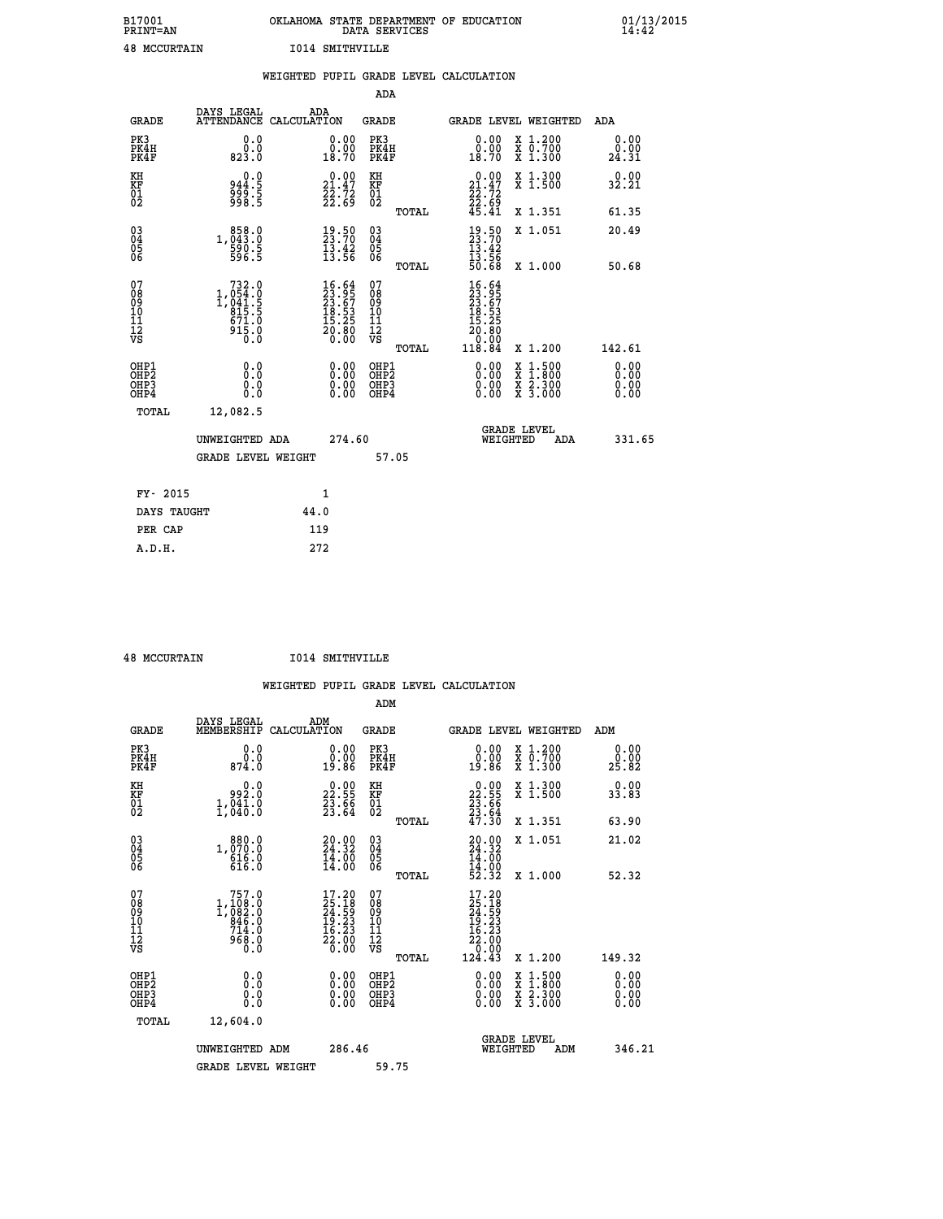| B17001              | OKLAHOMA STATE DEPARTMENT OF EDUCATION |
|---------------------|----------------------------------------|
| <b>PRINT=AN</b>     | DATA SERVICES                          |
| <b>48 MCCURTAIN</b> | I014 SMITHVILLE                        |

|                                           |                                                                                                                               | WEIGHTED PUPIL GRADE LEVEL CALCULATION                               |                                                    |       |                                                                                 |                                                                   |                              |
|-------------------------------------------|-------------------------------------------------------------------------------------------------------------------------------|----------------------------------------------------------------------|----------------------------------------------------|-------|---------------------------------------------------------------------------------|-------------------------------------------------------------------|------------------------------|
|                                           |                                                                                                                               |                                                                      | <b>ADA</b>                                         |       |                                                                                 |                                                                   |                              |
| <b>GRADE</b>                              |                                                                                                                               | DAYS LEGAL ADA ATTENDANCE CALCULATION                                | <b>GRADE</b>                                       |       |                                                                                 | GRADE LEVEL WEIGHTED                                              | ADA                          |
| PK3<br>PK4H<br>PK4F                       | 0.0<br>ة:ة<br>823.0                                                                                                           | $\begin{smallmatrix} 0.00\\ 0.00\\ 18.70 \end{smallmatrix}$          | PK3<br>PK4H<br>PK4F                                |       | 0.00<br>0.00<br>18.70                                                           | X 1.200<br>X 0.700<br>X 1.300                                     | 0.00<br>0.00<br>24.31        |
| KH<br>KF<br>01<br>02                      | 0.0<br>3: 944<br>5: 998<br>5: 998                                                                                             | $\begin{smallmatrix} 0.00\\ 21.47\\ 22.72\\ 22.69 \end{smallmatrix}$ | KH<br><b>KF</b><br>01<br>02                        |       | $\begin{smallmatrix} 0.00\\ 21.47\\ 22.72\\ 22.69\\ 45.41 \end{smallmatrix}$    | X 1.300<br>X 1.500                                                | 0.00<br>32.21                |
|                                           |                                                                                                                               |                                                                      |                                                    | TOTAL |                                                                                 | X 1.351                                                           | 61.35                        |
| $^{03}_{04}$<br>05<br>06                  | 1,043.0<br>590.5<br>596.5                                                                                                     | $\begin{smallmatrix} 19.50\ 23.70\ 13.42\ 13.56 \end{smallmatrix}$   | $\begin{matrix} 03 \\ 04 \\ 05 \\ 06 \end{matrix}$ |       | $19.50$<br>$23.70$<br>$13.42$<br>$13.56$<br>$50.68$                             | X 1.051                                                           | 20.49                        |
|                                           |                                                                                                                               |                                                                      |                                                    | TOTAL |                                                                                 | X 1.000                                                           | 50.68                        |
| 07<br>08<br>09<br>11<br>11<br>12<br>VS    | $\begin{smallmatrix} & 732\cdot 0\\1,054\cdot 0\\1,041\cdot 5\\815\cdot 5\\671\cdot 0\\915\cdot 0\\0\cdot 0\end{smallmatrix}$ | $16.64$<br>$23.95$<br>$23.67$<br>$18.53$<br>$15.25$<br>$20.80$       | 07<br>08<br>09<br>11<br>11<br>12<br>VS             | TOTAL | $16.64$<br>$23.65$<br>$23.67$<br>$18.53$<br>$15.25$<br>20.80<br>0.00.<br>118.84 | X 1.200                                                           | 142.61                       |
| OHP1<br>OH <sub>P</sub> 2<br>OHP3<br>OHP4 | 0.0<br>0.0<br>Ō.Ō                                                                                                             | 0.0000<br>$\begin{smallmatrix} 0.00 \ 0.00 \end{smallmatrix}$        | OHP1<br>OHP2<br>OHP3<br>OHP4                       |       | 0.00<br>0.00<br>0.00                                                            | $1:500$<br>1:800<br>X<br>X<br>$\frac{x}{x}$ $\frac{5:300}{3:000}$ | 0.00<br>0.00<br>0.00<br>0.00 |
| <b>TOTAL</b>                              | 12,082.5                                                                                                                      |                                                                      |                                                    |       |                                                                                 |                                                                   |                              |
|                                           | UNWEIGHTED ADA                                                                                                                | 274.60                                                               |                                                    |       |                                                                                 | GRADE LEVEL<br>WEIGHTED<br>ADA                                    | 331.65                       |
|                                           | <b>GRADE LEVEL WEIGHT</b>                                                                                                     |                                                                      | 57.05                                              |       |                                                                                 |                                                                   |                              |
| FY- 2015                                  |                                                                                                                               | $\mathbf{1}$                                                         |                                                    |       |                                                                                 |                                                                   |                              |
| DAYS TAUGHT                               |                                                                                                                               | 44.0                                                                 |                                                    |       |                                                                                 |                                                                   |                              |
| PER CAP                                   |                                                                                                                               | 119                                                                  |                                                    |       |                                                                                 |                                                                   |                              |

 **A.D.H. 272**

 **48 MCCURTAIN I014 SMITHVILLE**

|                                         |                                                                             |                    |                                                                                                                            |                                              |       | WEIGHTED PUPIL GRADE LEVEL CALCULATION                                                                       |                                                                                                                                           |     |                       |  |
|-----------------------------------------|-----------------------------------------------------------------------------|--------------------|----------------------------------------------------------------------------------------------------------------------------|----------------------------------------------|-------|--------------------------------------------------------------------------------------------------------------|-------------------------------------------------------------------------------------------------------------------------------------------|-----|-----------------------|--|
|                                         |                                                                             |                    |                                                                                                                            | ADM                                          |       |                                                                                                              |                                                                                                                                           |     |                       |  |
| <b>GRADE</b>                            | DAYS LEGAL<br>MEMBERSHIP                                                    | ADM<br>CALCULATION |                                                                                                                            | <b>GRADE</b>                                 |       | GRADE LEVEL WEIGHTED                                                                                         |                                                                                                                                           |     | ADM                   |  |
| PK3<br>PK4H<br>PK4F                     | 0.0<br>0.0<br>874.0                                                         |                    | 0.0000<br>19.86                                                                                                            | PK3<br>PK4H<br>PK4F                          |       | $\begin{smallmatrix} 0.00\\ 0.00\\ 19.86 \end{smallmatrix}$                                                  | X 1.200<br>X 0.700<br>X 1.300                                                                                                             |     | 0.00<br>0.00<br>25.82 |  |
| KH<br>KF<br>01<br>02                    | 0.0<br>992.0<br>1,040.0                                                     |                    | $\begin{smallmatrix} 0.00\\ 22.55\\ 23.56\\ 23.64 \end{smallmatrix}$                                                       | KH<br>KF<br>01<br>02                         |       | $\begin{smallmatrix} 0.00\\ 22.55\\ 23.66\\ 23.64\\ 47.30 \end{smallmatrix}$                                 | X 1.300<br>X 1.500                                                                                                                        |     | 0.00<br>33.83         |  |
|                                         |                                                                             |                    |                                                                                                                            |                                              | TOTAL |                                                                                                              | X 1.351                                                                                                                                   |     | 63.90                 |  |
| 030404<br>ŌĞ                            | $1, \substack{880.0\\070.0\\616.0\\616.0$                                   |                    | $\frac{20.00}{24.32}$<br>$\frac{14.00}{14.00}$<br>14.00                                                                    | 030404<br>ŌĞ                                 |       | $20.90$<br>$24.32$<br>$14.00$<br>$14.00$<br>$52.32$                                                          | X 1.051                                                                                                                                   |     | 21.02                 |  |
|                                         |                                                                             |                    |                                                                                                                            |                                              | TOTAL |                                                                                                              | X 1.000                                                                                                                                   |     | 52.32                 |  |
| 07<br>08<br>09<br>101<br>11<br>17<br>VS | 757.0<br>$1, 108.0$<br>$1, 082.0$<br>$846.0$<br>$714.0$<br>$968.0$<br>$0.0$ |                    | $\begin{smallmatrix} 17\cdot20\\ 25\cdot18\\ 24\cdot59\\ 19\cdot23\\ 16\cdot23\\ 22\cdot00\\ 0\cdot00\\ \end{smallmatrix}$ | 07<br>08<br>09<br>01<br>11<br>11<br>12<br>VS | TOTAL | $\begin{smallmatrix} 17.20 \\ 25.18 \\ 24.59 \\ 19.23 \\ 16.23 \\ 22.00 \\ 0.00 \\ 124.43 \end{smallmatrix}$ | X 1.200                                                                                                                                   |     | 149.32                |  |
| OHP1<br>OHP2<br>OHP3                    | 0.0                                                                         |                    | 0.00<br>0.00                                                                                                               | OHP1<br>OHP2                                 |       | 0.00<br>0.00                                                                                                 | $\begin{smallmatrix} \mathtt{X} & 1\cdot500\\ \mathtt{X} & 1\cdot800\\ \mathtt{X} & 2\cdot300\\ \mathtt{X} & 3\cdot000 \end{smallmatrix}$ |     | 0.00<br>0.00          |  |
| OHP4                                    | 0.000                                                                       |                    | 0.00                                                                                                                       | OHP <sub>3</sub><br>OHP <sub>4</sub>         |       | 0.00                                                                                                         |                                                                                                                                           |     | 0.00                  |  |
| TOTAL                                   | 12,604.0                                                                    |                    |                                                                                                                            |                                              |       |                                                                                                              |                                                                                                                                           |     |                       |  |
|                                         | UNWEIGHTED ADM<br><b>GRADE LEVEL WEIGHT</b>                                 |                    | 286.46                                                                                                                     | 59.75                                        |       | WEIGHTED                                                                                                     | <b>GRADE LEVEL</b>                                                                                                                        | ADM | 346.21                |  |
|                                         |                                                                             |                    |                                                                                                                            |                                              |       |                                                                                                              |                                                                                                                                           |     |                       |  |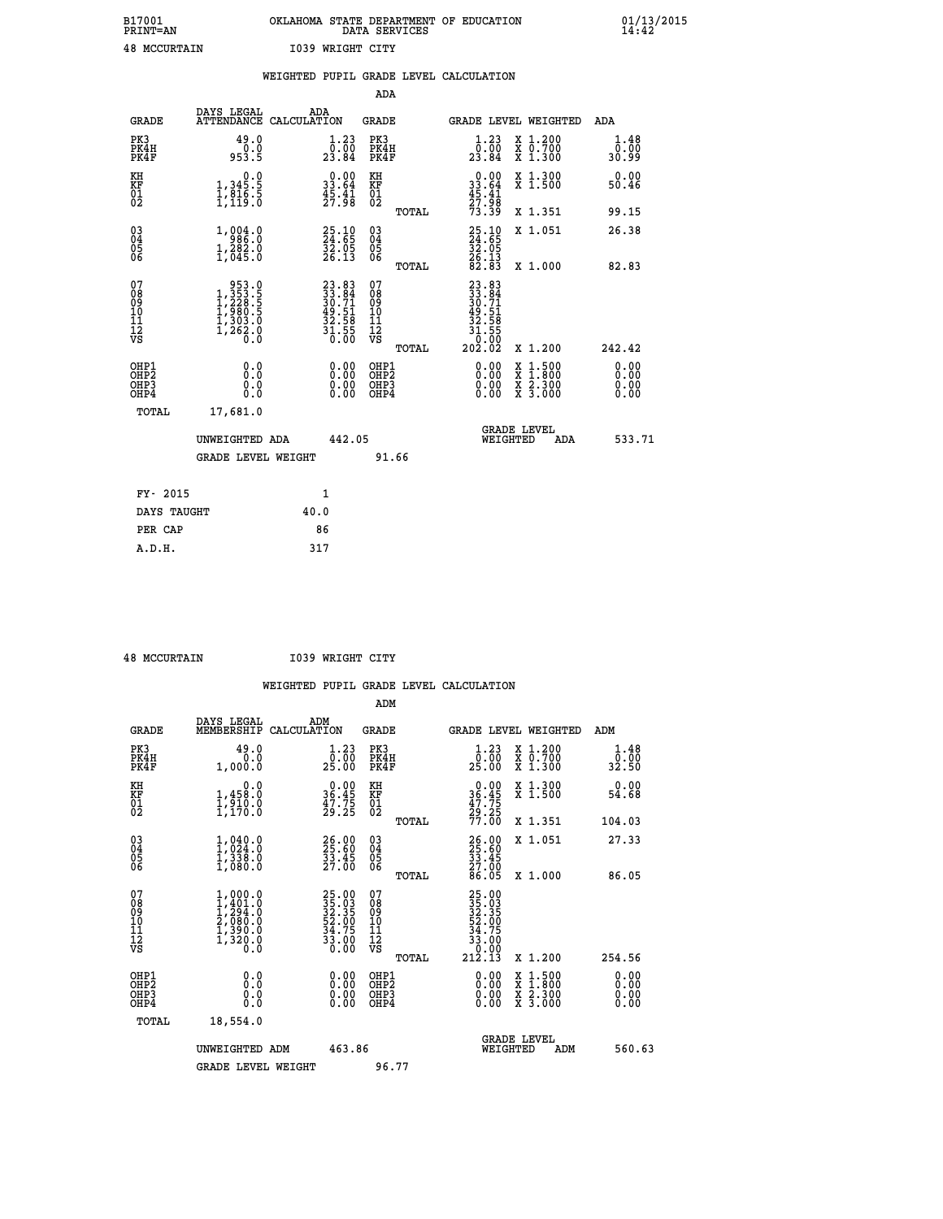| B17001              | OKLAHOMA STATE DEPARTMENT OF EDUCATION |
|---------------------|----------------------------------------|
| <b>PRINT=AN</b>     | DATA SERVICES                          |
| <b>48 MCCURTAIN</b> | 1039 WRIGHT CITY                       |

|                                                    |                                                                                                                                                                                                          | WEIGHTED PUPIL GRADE LEVEL CALCULATION                            |                                                     |                                                                                                                                                           |                              |
|----------------------------------------------------|----------------------------------------------------------------------------------------------------------------------------------------------------------------------------------------------------------|-------------------------------------------------------------------|-----------------------------------------------------|-----------------------------------------------------------------------------------------------------------------------------------------------------------|------------------------------|
|                                                    |                                                                                                                                                                                                          |                                                                   | <b>ADA</b>                                          |                                                                                                                                                           |                              |
| <b>GRADE</b>                                       | DAYS LEGAL                                                                                                                                                                                               | ADA<br>ATTENDANCE CALCULATION                                     | <b>GRADE</b>                                        | GRADE LEVEL WEIGHTED                                                                                                                                      | ADA                          |
| PK3<br>PK4H<br>PK4F                                | 49.0<br>$0.0$<br>953.5                                                                                                                                                                                   | $\begin{smallmatrix} 1.23\ 0.00\ 23.84 \end{smallmatrix}$         | PK3<br>PK4H<br>PK4F                                 | $\begin{smallmatrix} 1.23\ 0.00\ 23.84 \end{smallmatrix}$<br>X 1.200<br>X 0.700<br>X 1.300                                                                | 1.48<br>0.00<br>30.99        |
| KH<br>KF<br>01<br>02                               | 0.0<br>1,345.5<br>1,816.5<br>1,119.0                                                                                                                                                                     | 33.64<br>$\frac{45.41}{27.98}$                                    | KH<br>KF<br>01<br>02                                | $0.00$<br>33.64<br>45.41<br>X 1.300<br>X 1.500                                                                                                            | 0.00<br>50.46                |
|                                                    |                                                                                                                                                                                                          |                                                                   | <b>TOTAL</b>                                        | 27.98<br>73.39<br>X 1.351                                                                                                                                 | 99.15                        |
| $\begin{matrix} 03 \\ 04 \\ 05 \\ 06 \end{matrix}$ | $\begin{smallmatrix} 1\,, & 0 & 0 & 4 & 0 \\ 9 & 8 & 6 & 0 & 0 \\ 1\,, & 2 & 8 & 2 & 0 \\ 1\,, & 0 & 4 & 5 & 0 \end{smallmatrix}$                                                                        | 25.10<br>24.65<br>32.05<br>26.13                                  | $\begin{array}{c} 03 \\ 04 \\ 05 \\ 06 \end{array}$ | 25.10<br>24.65<br>32.05<br>32.13<br>26.13<br>82.83<br>X 1.051                                                                                             | 26.38                        |
|                                                    |                                                                                                                                                                                                          |                                                                   | TOTAL                                               | X 1.000                                                                                                                                                   | 82.83                        |
| 07<br>0890112<br>1112<br>VS                        | $\begin{smallmatrix} 9 & 5 & 3 & 0 \\ 1 & 3 & 5 & 3 & 5 \\ 1 & 2 & 2 & 8 & 5 \\ 1 & 9 & 8 & 0 & 5 \\ 1 & 3 & 0 & 3 & 0 \\ 1 & 3 & 0 & 3 & 0 \\ 1 & 2 & 6 & 2 & 0 \\ 0 & 0 & 0 & 0 & 0 \end{smallmatrix}$ | $23.8333.8430.7149.5132.5831.5550.00$                             | 07<br>08901112<br>1112<br>VS<br>TOTAL               | $\begin{smallmatrix} 23.83\\ 33.84\\ 30.71\\ 49.51\\ 42.58\\ 32.58\\ 1.555\\ 0.002\\ 202.02 \end{smallmatrix}$<br>X 1.200                                 | 242.42                       |
| OHP1<br>OHP2<br>OH <sub>P3</sub><br>OHP4           | 0.0<br>0.0<br>0.0                                                                                                                                                                                        | $\begin{smallmatrix} 0.00 \ 0.00 \ 0.00 \ 0.00 \end{smallmatrix}$ | OHP1<br>OHP2<br>OHP3<br>OHP4                        | 0.00<br>$\begin{smallmatrix} \mathtt{X} & 1\cdot500\\ \mathtt{X} & 1\cdot800\\ \mathtt{X} & 2\cdot300\\ \mathtt{X} & 3\cdot000 \end{smallmatrix}$<br>0.00 | 0.00<br>0.00<br>0.00<br>0.00 |
| <b>TOTAL</b>                                       | 17,681.0                                                                                                                                                                                                 |                                                                   |                                                     |                                                                                                                                                           |                              |
|                                                    | UNWEIGHTED ADA                                                                                                                                                                                           | 442.05                                                            |                                                     | <b>GRADE LEVEL</b><br>WEIGHTED                                                                                                                            | 533.71<br>ADA                |
|                                                    | <b>GRADE LEVEL WEIGHT</b>                                                                                                                                                                                |                                                                   | 91.66                                               |                                                                                                                                                           |                              |
| FY- 2015                                           |                                                                                                                                                                                                          | $\mathbf{1}$                                                      |                                                     |                                                                                                                                                           |                              |
| DAYS TAUGHT                                        |                                                                                                                                                                                                          | 40.0                                                              |                                                     |                                                                                                                                                           |                              |
| PER CAP                                            |                                                                                                                                                                                                          | 86                                                                |                                                     |                                                                                                                                                           |                              |

| $10$ MCCITOMATN |  |
|-----------------|--|

 **A.D.H. 317**

 **48 MCCURTAIN I039 WRIGHT CITY**

|                                    |                                                                                                         |                                                                      | ADM                                                 |                                                                                      |                                          |               |
|------------------------------------|---------------------------------------------------------------------------------------------------------|----------------------------------------------------------------------|-----------------------------------------------------|--------------------------------------------------------------------------------------|------------------------------------------|---------------|
| <b>GRADE</b>                       | DAYS LEGAL<br>MEMBERSHIP                                                                                | ADM<br>CALCULATION                                                   | <b>GRADE</b>                                        | <b>GRADE LEVEL WEIGHTED</b>                                                          |                                          | ADM           |
| PK3<br>PK4H<br>PK4F                | 49.0<br>0.0<br>1,000.0                                                                                  | 1.23<br>25.00                                                        | PK3<br>PK4H<br>PK4F                                 | 1.23<br>25.00                                                                        | X 1.200<br>X 0.700<br>X 1.300            | 1.48          |
| KH<br>KF<br>01<br>02               | 0.0<br>$1,458.0$<br>$1,910.0$<br>$1,170.0$                                                              | $\begin{smallmatrix} 0.00\\ 36.45\\ 47.75\\ 29.25 \end{smallmatrix}$ | KH<br>KF<br>01<br>02                                | $36.45$<br>$36.45$<br>$47.75$<br>$29.25$<br>$77.00$                                  | X 1.300<br>X 1.500                       | 0.00<br>54.68 |
|                                    |                                                                                                         |                                                                      | TOTAL                                               |                                                                                      | X 1.351                                  | 104.03        |
| 03<br>04<br>05<br>06               | $\frac{1}{1}, \frac{0}{24}$ $\frac{0}{24}$ $\frac{0}{29}$<br>1,080.0                                    | 26.00<br>25.60<br>33.45<br>27.00                                     | $\begin{array}{c} 03 \\ 04 \\ 05 \\ 06 \end{array}$ | 26.00<br>25.60<br>33.45<br>27.00<br>26.05                                            | X 1.051                                  | 27.33         |
|                                    |                                                                                                         |                                                                      | TOTAL                                               |                                                                                      | X 1.000                                  | 86.05         |
| 07<br>08<br>09<br>101<br>112<br>VS | $\begin{smallmatrix} 1,000.0\\ 1,401.0\\ 1,294.0\\ 2,080.0\\ 1,390.0\\ 1,320.0\\ 0.0 \end{smallmatrix}$ | 25.00<br>35.03<br>32.35<br>52.00<br>54.75<br>33.00<br>33.00          | 07<br>08<br>09<br>11<br>11<br>12<br>VS<br>TOTAL     | $25.00$<br>$35.03$<br>$32.35$<br>$52.00$<br>$34.75$<br>$33.00$<br>$0.00$<br>$212.13$ | X 1.200                                  | 254.56        |
| OHP1<br>OHP2                       | 0.0                                                                                                     | $0.00$<br>$0.00$                                                     | OHP1<br>OHP2                                        | $0.00$<br>$0.00$                                                                     | X 1:500<br>X 1:800<br>X 2:300<br>X 3:000 | 0.00<br>0.00  |
| OHP <sub>3</sub><br>OHP4           | 0.000                                                                                                   | 0.00                                                                 | OHP <sub>3</sub>                                    | 0.00                                                                                 |                                          | 0.00<br>0.00  |
| TOTAL                              | 18,554.0                                                                                                |                                                                      |                                                     |                                                                                      |                                          |               |
|                                    | UNWEIGHTED ADM                                                                                          | 463.86                                                               |                                                     | <b>GRADE LEVEL</b><br>WEIGHTED                                                       | ADM                                      | 560.63        |
|                                    | <b>GRADE LEVEL WEIGHT</b>                                                                               |                                                                      | 96.77                                               |                                                                                      |                                          |               |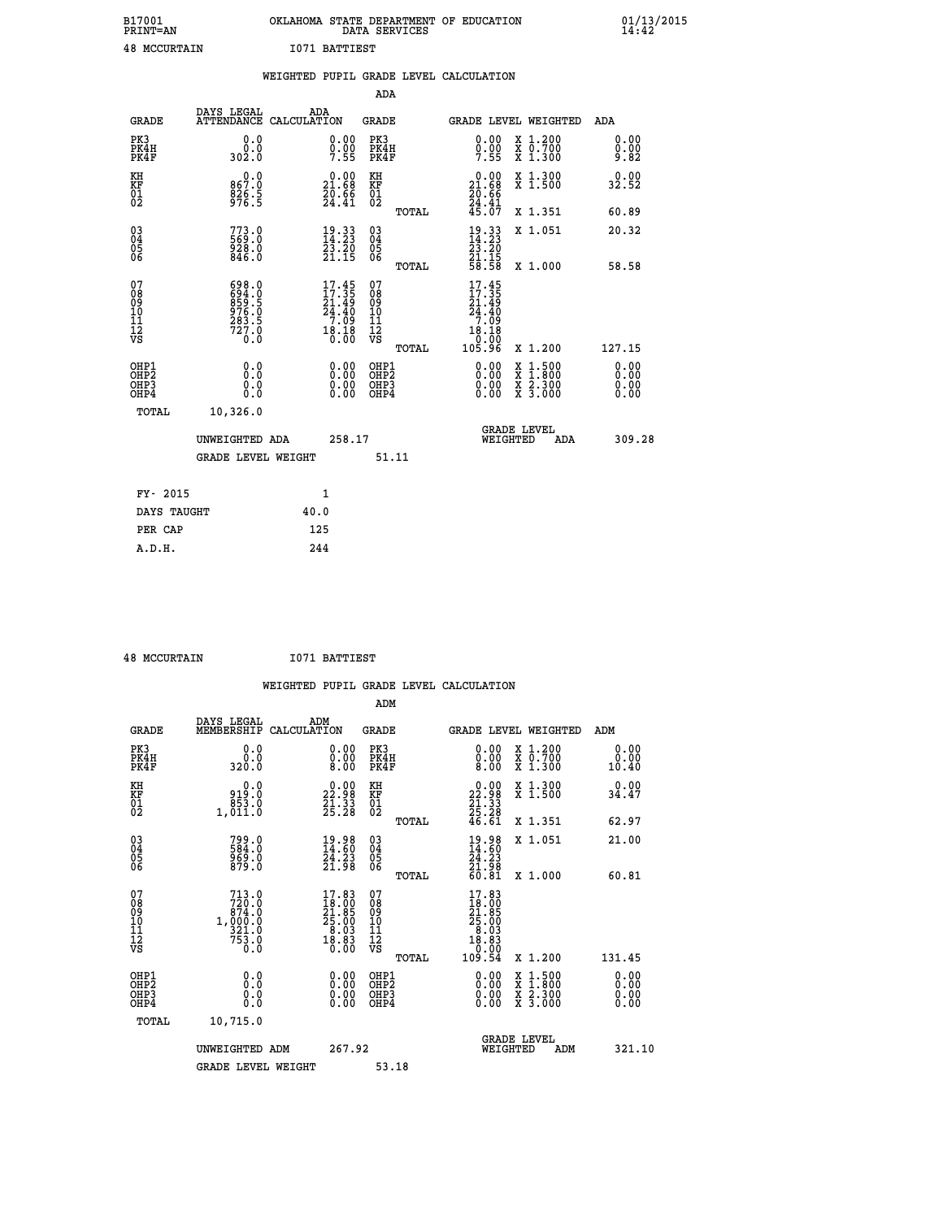| B17001<br>PRINT=AN  | OKLAHOMA STATE DEPARTMENT OF EDUCATION<br>DATA SERVICES | 01/13/2015<br>14:42 |
|---------------------|---------------------------------------------------------|---------------------|
| <b>48 MCCURTAIN</b> | 1071 BATTIEST                                           |                     |

|                                                                    |                                                             |      |                                                                                               |                                                                          |       | WEIGHTED PUPIL GRADE LEVEL CALCULATION                                    |                                          |                               |
|--------------------------------------------------------------------|-------------------------------------------------------------|------|-----------------------------------------------------------------------------------------------|--------------------------------------------------------------------------|-------|---------------------------------------------------------------------------|------------------------------------------|-------------------------------|
|                                                                    |                                                             |      |                                                                                               | <b>ADA</b>                                                               |       |                                                                           |                                          |                               |
| <b>GRADE</b>                                                       | DAYS LEGAL<br>ATTENDANCE CALCULATION                        | ADA  |                                                                                               | GRADE                                                                    |       |                                                                           | GRADE LEVEL WEIGHTED                     | ADA                           |
| PK3<br>PK4H<br>PK4F                                                | 0.0<br>ة:ة<br>302:0                                         |      | $0.00$<br>$0.00$<br>$7.55$                                                                    | PK3<br>PK4H<br>PK4F                                                      |       | 0.00<br>$\frac{0}{7}.\overline{00}$                                       | X 1.200<br>X 0.700<br>X 1.300            | 0.00<br>$0.00$<br>9.82        |
| KH<br>KF<br>01<br>02                                               | 0.0<br>867.0<br>$\frac{826.5}{976.5}$                       |      | $\begin{smallmatrix} 0.00\\ 21.68\\ 20.66\\ 24.41 \end{smallmatrix}$                          | KH<br>KF<br>01<br>02                                                     |       | $0.00$<br>21.68<br>$\frac{20.66}{24.41}$<br>$45.07$                       | X 1.300<br>X 1.500                       | 0.00<br>32.52                 |
|                                                                    |                                                             |      |                                                                                               |                                                                          | TOTAL |                                                                           | X 1.351                                  | 60.89                         |
| $\begin{smallmatrix} 03 \\[-4pt] 04 \end{smallmatrix}$<br>Ŏ5<br>06 | 773.0<br>63:0<br>928:0<br>846:0                             |      | $\begin{smallmatrix} 19.33\ 14.23\ 23.20\ 21.15 \end{smallmatrix}$                            | $\begin{smallmatrix} 03 \\[-4pt] 04 \end{smallmatrix}$<br>$\frac{0}{06}$ |       | $\begin{smallmatrix} 19.33\ 14.23\ 23.20\ 21.15\ 58.58 \end{smallmatrix}$ | X 1.051                                  | 20.32                         |
|                                                                    |                                                             |      |                                                                                               |                                                                          | TOTAL |                                                                           | X 1.000                                  | 58.58                         |
| 07<br>08<br>09<br>11<br>11<br>12<br>VS                             | 698.0<br>694.0<br>859.5<br>876.0<br>976.0<br>283.5<br>727.0 |      | $17.45$<br>$17.35$<br>21:49<br>24.40<br>$\begin{array}{c} 7.709 \\ 18.18 \\ 0.00 \end{array}$ | 07<br>08<br>09<br>11<br>11<br>12<br>VS                                   | TOTAL | $17.45$<br>$17.35$<br>21:49<br>24.40<br>7.09<br>$10.18$<br>0.00<br>105.96 | X 1.200                                  | 127.15                        |
| OHP1<br>OHP2<br>OH <sub>P3</sub><br>OHP4                           | 0.0<br>0.0<br>0.0                                           |      | $\begin{smallmatrix} 0.00 \ 0.00 \ 0.00 \ 0.00 \end{smallmatrix}$                             | OHP1<br>OHP2<br>OHP3<br>OHP4                                             |       | 0.00<br>0.00<br>0.00                                                      | X 1:500<br>X 1:800<br>X 2:300<br>X 3:000 | 0.00<br>Ō. ŌŌ<br>0.00<br>0.00 |
| TOTAL                                                              | 10,326.0                                                    |      |                                                                                               |                                                                          |       |                                                                           |                                          |                               |
|                                                                    | UNWEIGHTED ADA                                              |      | 258.17                                                                                        |                                                                          |       | WEIGHTED                                                                  | <b>GRADE LEVEL</b><br>ADA                | 309.28                        |
|                                                                    | <b>GRADE LEVEL WEIGHT</b>                                   |      |                                                                                               |                                                                          | 51.11 |                                                                           |                                          |                               |
| FY- 2015                                                           |                                                             |      | $\mathbf{1}$                                                                                  |                                                                          |       |                                                                           |                                          |                               |
| DAYS TAUGHT                                                        |                                                             | 40.0 |                                                                                               |                                                                          |       |                                                                           |                                          |                               |
| PER CAP                                                            |                                                             | 125  |                                                                                               |                                                                          |       |                                                                           |                                          |                               |

 **48 MCCURTAIN I071 BATTIEST**

|                                                    |                                                  |                                                                                                   |                                                     | WEIGHTED PUPIL GRADE LEVEL CALCULATION                                                                                                                                                                                                                                         |                                                                                                  |                              |
|----------------------------------------------------|--------------------------------------------------|---------------------------------------------------------------------------------------------------|-----------------------------------------------------|--------------------------------------------------------------------------------------------------------------------------------------------------------------------------------------------------------------------------------------------------------------------------------|--------------------------------------------------------------------------------------------------|------------------------------|
|                                                    |                                                  |                                                                                                   | ADM                                                 |                                                                                                                                                                                                                                                                                |                                                                                                  |                              |
| <b>GRADE</b>                                       | DAYS LEGAL<br>MEMBERSHIP<br>CALCULATION          | ADM                                                                                               | <b>GRADE</b>                                        | GRADE LEVEL WEIGHTED                                                                                                                                                                                                                                                           |                                                                                                  | ADM                          |
| PK3<br>PK4H<br>PK4F                                | 0.0<br>0.0<br>320.0                              | $\begin{smallmatrix} 0.00 \ 0.00 \ 8.00 \end{smallmatrix}$                                        | PK3<br>PK4H<br>PK4F                                 | $\begin{smallmatrix} 0.00 \\ 0.00 \\ 8.00 \end{smallmatrix}$                                                                                                                                                                                                                   | X 1.200<br>X 0.700<br>X 1.300                                                                    | 0.00<br>0.00<br>10.40        |
| KH<br>KF<br>01<br>02                               | 0.0<br>0:01<br>853.0<br>1,011:0                  | $\begin{smallmatrix} 0.00\\ 22.98\\ 21.33\\ 25.28 \end{smallmatrix}$                              | KH<br>KF<br>01<br>02                                | $\begin{smallmatrix} 0.00\\ 22.98\\ 21.33\\ 25.28\\ 46.61 \end{smallmatrix}$                                                                                                                                                                                                   | X 1.300<br>X 1.500                                                                               | 0.00<br>34.47                |
|                                                    |                                                  |                                                                                                   | TOTAL                                               |                                                                                                                                                                                                                                                                                | X 1.351                                                                                          | 62.97                        |
| $\begin{matrix} 03 \\ 04 \\ 05 \\ 06 \end{matrix}$ | 799.0<br>584.0<br>969.0<br>879.0                 | $\begin{smallmatrix} 19.98\ 14.60\ 24.23\ 21.98 \end{smallmatrix}$                                | $\begin{array}{c} 03 \\ 04 \\ 05 \\ 06 \end{array}$ | $\begin{smallmatrix} 19.98\ 14.60\ 24.23\ 21.98\ 60.81 \end{smallmatrix}$                                                                                                                                                                                                      | X 1.051                                                                                          | 21.00                        |
|                                                    |                                                  |                                                                                                   | TOTAL                                               |                                                                                                                                                                                                                                                                                | X 1.000                                                                                          | 60.81                        |
| 07<br>08<br>09<br>101<br>11<br>12<br>VS            | 713.0<br>$720.0\n874.0\n1,000.0\n321.0$<br>753.0 | $\begin{smallmatrix} 17.83 \\ 18.00 \\ 21.85 \\ 25.00 \\ 8.03 \\ 18.83 \\ 0.00 \end{smallmatrix}$ | 07<br>08<br>09<br>01<br>11<br>11<br>12<br>VS        | 17.83<br>$\begin{smallmatrix} 1 & 0 & 0 & 0 \ 2 & 0 & 0 & 0 \ 2 & 5 & 0 & 0 \ 2 & 0 & 0 & 0 \ 3 & 0 & 0 & 0 \ 1 & 0 & 0 & 5 \end{smallmatrix}$                                                                                                                                 |                                                                                                  |                              |
|                                                    |                                                  |                                                                                                   | TOTAL                                               |                                                                                                                                                                                                                                                                                | X 1.200                                                                                          | 131.45                       |
| OHP1<br>OHP2<br>OHP3<br>OHP4                       | 0.0<br>0.000                                     | $\begin{smallmatrix} 0.00 \ 0.00 \ 0.00 \ 0.00 \end{smallmatrix}$                                 | OHP1<br>OHP2<br>OHP3<br>OHP4                        | $\begin{smallmatrix} 0.00 & 0.00 & 0.00 & 0.00 & 0.00 & 0.00 & 0.00 & 0.00 & 0.00 & 0.00 & 0.00 & 0.00 & 0.00 & 0.00 & 0.00 & 0.00 & 0.00 & 0.00 & 0.00 & 0.00 & 0.00 & 0.00 & 0.00 & 0.00 & 0.00 & 0.00 & 0.00 & 0.00 & 0.00 & 0.00 & 0.00 & 0.00 & 0.00 & 0.00 & 0.00 & 0.0$ | $\begin{smallmatrix} x & 1 & 500 \\ x & 1 & 800 \\ x & 2 & 300 \\ x & 3 & 000 \end{smallmatrix}$ | 0.00<br>Ŏ.ŎŎ<br>Q.QQ<br>0.00 |
| TOTAL                                              | 10,715.0                                         |                                                                                                   |                                                     |                                                                                                                                                                                                                                                                                |                                                                                                  |                              |
|                                                    | UNWEIGHTED ADM                                   | 267.92                                                                                            |                                                     | <b>GRADE LEVEL</b><br>WEIGHTED                                                                                                                                                                                                                                                 | ADM                                                                                              | 321.10                       |
|                                                    | <b>GRADE LEVEL WEIGHT</b>                        |                                                                                                   | 53.18                                               |                                                                                                                                                                                                                                                                                |                                                                                                  |                              |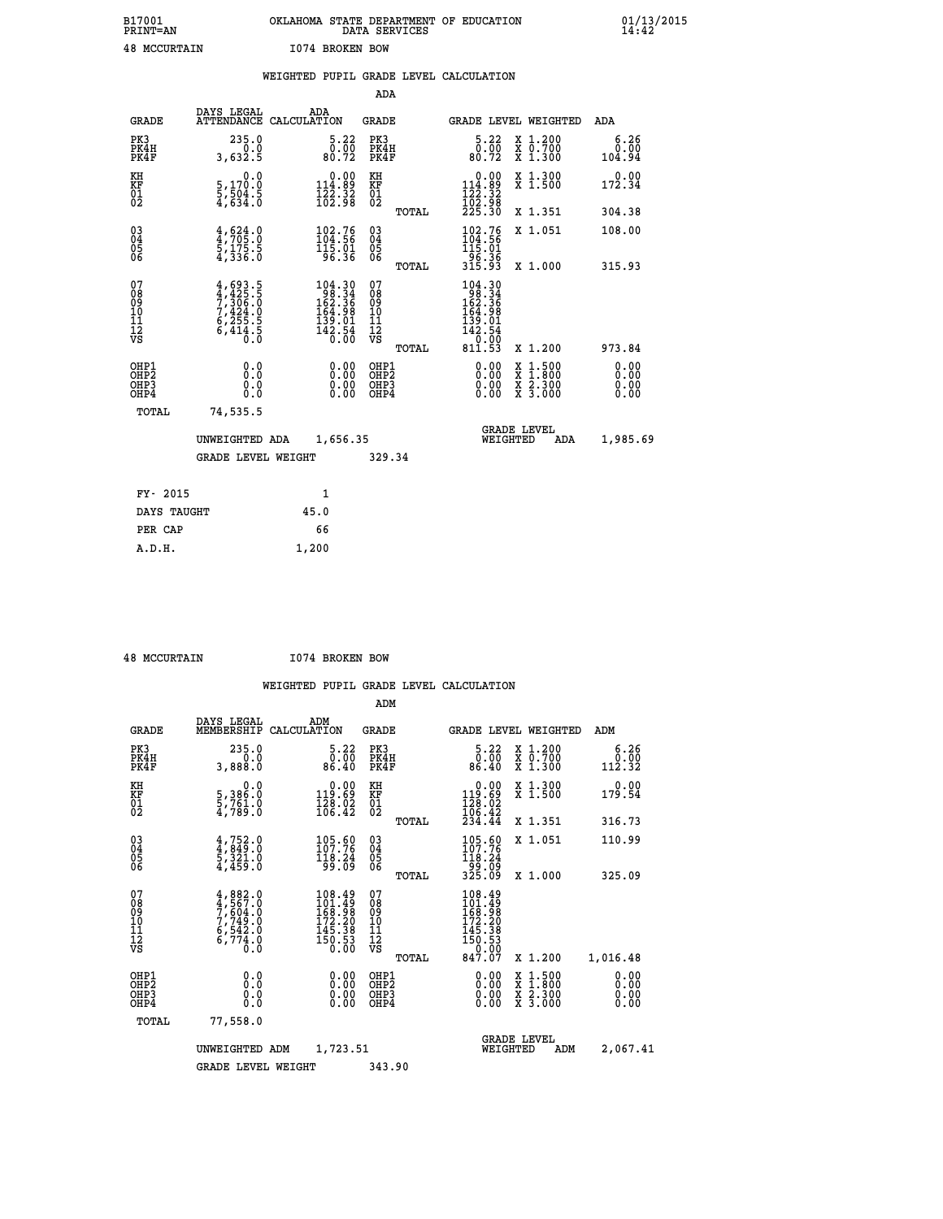| B17001<br><b>PRINT=AN</b> | OKLAHOMA STATE DEPARTMENT OF EDUCATION<br>DATA SERVICES | 01/13/2015 |
|---------------------------|---------------------------------------------------------|------------|
| <b>48 MCCURTAIN</b>       | 1074 BROKEN BOW                                         |            |

|                                                      |                                                                                           | WEIGHTED PUPIL GRADE LEVEL CALCULATION                                                                                                                                                                                                                                                                                                                                                                                                                                                                                         |                                                     |       |                                                                                                              |                                                              |                              |
|------------------------------------------------------|-------------------------------------------------------------------------------------------|--------------------------------------------------------------------------------------------------------------------------------------------------------------------------------------------------------------------------------------------------------------------------------------------------------------------------------------------------------------------------------------------------------------------------------------------------------------------------------------------------------------------------------|-----------------------------------------------------|-------|--------------------------------------------------------------------------------------------------------------|--------------------------------------------------------------|------------------------------|
|                                                      |                                                                                           |                                                                                                                                                                                                                                                                                                                                                                                                                                                                                                                                | <b>ADA</b>                                          |       |                                                                                                              |                                                              |                              |
| <b>GRADE</b>                                         | DAYS LEGAL                                                                                | ADA<br>ATTENDANCE CALCULATION                                                                                                                                                                                                                                                                                                                                                                                                                                                                                                  | <b>GRADE</b>                                        |       |                                                                                                              | GRADE LEVEL WEIGHTED                                         | ADA                          |
| PK3<br>PK4H<br>PK4F                                  | 235.0<br>0.0<br>3,632.5                                                                   | 5.22<br>$\begin{smallmatrix} \textcolor{red}{\textbf{0}}\ \textcolor{red}{\textbf{0}}\ \textcolor{red}{\textbf{0}}\ \textcolor{red}{\textbf{0}}\ \textcolor{red}{\textbf{0}}\ \textcolor{red}{\textbf{0}}\ \textcolor{red}{\textbf{0}}\ \textcolor{red}{\textbf{0}}\ \textcolor{red}{\textbf{0}}\ \textcolor{red}{\textbf{0}}\ \textcolor{red}{\textbf{0}}\ \textcolor{red}{\textbf{0}}\ \textcolor{red}{\textbf{0}}\ \textcolor{red}{\textbf{0}}\ \textcolor{red}{\textbf{0}}\ \textcolor{red}{\textbf{0}}\ \textcolor{red}{$ | PK3<br>PK4H<br>PK4F                                 |       | 5.22<br>0.00<br>80.72                                                                                        | X 1.200<br>X 0.700<br>X 1.300                                | 6.26<br>0.00<br>104.94       |
| KH<br>KF<br>01<br>02                                 | 0.0<br>5,170.0<br>5,504.5<br>4,634.0                                                      | $\begin{smallmatrix} &0.00\\ 114.89\\ 122.32\\ 162.98\end{smallmatrix}$                                                                                                                                                                                                                                                                                                                                                                                                                                                        | KH<br>KF<br>01<br>02                                |       | $\begin{array}{c} 0.00 \\ 114.89 \\ 122.32 \\ 102.98 \\ 225.30 \end{array}$                                  | X 1.300<br>X 1.500                                           | 0.00<br>172.34               |
|                                                      |                                                                                           |                                                                                                                                                                                                                                                                                                                                                                                                                                                                                                                                |                                                     | TOTAL |                                                                                                              | X 1.351                                                      | 304.38                       |
| $^{03}_{04}$<br>Ŏ5<br>06                             | $\frac{4}{4}, \frac{624}{705}$ :0<br>5,175.5<br>4,336.0                                   | $102.76$<br>$104.56$<br>$115.01$<br>$96.36$                                                                                                                                                                                                                                                                                                                                                                                                                                                                                    | $\begin{array}{c} 03 \\ 04 \\ 05 \\ 06 \end{array}$ |       | $\frac{102.76}{104.56}$<br>$\frac{15}{115.01}$                                                               | X 1.051                                                      | 108.00                       |
|                                                      |                                                                                           |                                                                                                                                                                                                                                                                                                                                                                                                                                                                                                                                |                                                     | TOTAL | $\frac{1}{36}\cdot\frac{3}{36}\cdot\frac{1}{3}$                                                              | X 1.000                                                      | 315.93                       |
| 07<br>08<br>09<br>11<br>11<br>12<br>VS               | $4, 693.5$<br>$7, 306.0$<br>$7, 424.0$<br>$7, 424.0$<br>$6, 255.5$<br>$6, 414.5$<br>$0.0$ | $\begin{smallmatrix} 104.30\\ 98.34\\ 162.36\\ 164.98\\ 139.01\\ 142.54\\ 0.00 \end{smallmatrix}$                                                                                                                                                                                                                                                                                                                                                                                                                              | 07<br>08<br>09<br>11<br>11<br>12<br>VS              | TOTAL | $\begin{smallmatrix} 104.30\\ 98.34\\ 162.36\\ 164.98\\ 139.01\\ 142.54\\ 0.00\\ 811.53\\ \end{smallmatrix}$ | X 1.200                                                      | 973.84                       |
| OHP1<br>OHP <sub>2</sub><br>OH <sub>P3</sub><br>OHP4 | 0.0<br>0.0<br>Ō.Ō                                                                         | 0.00<br>$\begin{smallmatrix} 0.00 \ 0.00 \end{smallmatrix}$                                                                                                                                                                                                                                                                                                                                                                                                                                                                    | OHP1<br>OHP2<br>OHP3<br>OHP4                        |       | 0.00<br>0.00<br>0.00                                                                                         | $1:500$<br>1:800<br>X 1:500<br>X 1:800<br>X 2:300<br>X 3:000 | 0.00<br>0.00<br>0.00<br>0.00 |
| TOTAL                                                | 74,535.5                                                                                  |                                                                                                                                                                                                                                                                                                                                                                                                                                                                                                                                |                                                     |       |                                                                                                              |                                                              |                              |
|                                                      | UNWEIGHTED ADA                                                                            | 1,656.35                                                                                                                                                                                                                                                                                                                                                                                                                                                                                                                       |                                                     |       | WEIGHTED                                                                                                     | <b>GRADE LEVEL</b><br>ADA                                    | 1,985.69                     |
|                                                      | GRADE LEVEL WEIGHT                                                                        |                                                                                                                                                                                                                                                                                                                                                                                                                                                                                                                                | 329.34                                              |       |                                                                                                              |                                                              |                              |
| FY- 2015                                             |                                                                                           | $\mathbf{1}$                                                                                                                                                                                                                                                                                                                                                                                                                                                                                                                   |                                                     |       |                                                                                                              |                                                              |                              |
| DAYS TAUGHT                                          |                                                                                           | 45.0                                                                                                                                                                                                                                                                                                                                                                                                                                                                                                                           |                                                     |       |                                                                                                              |                                                              |                              |
| PER CAP                                              |                                                                                           | 66                                                                                                                                                                                                                                                                                                                                                                                                                                                                                                                             |                                                     |       |                                                                                                              |                                                              |                              |

 **48 MCCURTAIN I074 BROKEN BOW**

 **A.D.H. 1,200**

 **ADM**

| <b>GRADE</b>                                       | DAYS LEGAL<br>MEMBERSHIP                                               | ADM<br>CALCULATION                                                                           | <b>GRADE</b>                                  |       |                                                                                                       |          | <b>GRADE LEVEL WEIGHTED</b>              | ADM                    |
|----------------------------------------------------|------------------------------------------------------------------------|----------------------------------------------------------------------------------------------|-----------------------------------------------|-------|-------------------------------------------------------------------------------------------------------|----------|------------------------------------------|------------------------|
| PK3<br>PK4H<br>PK4F                                | 235.0<br>0.0<br>3,888.0                                                | 5.22<br>0.00<br>86.40                                                                        | PK3<br>PK4H<br>PK4F                           |       | $\begin{smallmatrix}5.22\0.00\\86.40\end{smallmatrix}$                                                |          | X 1.200<br>X 0.700<br>X 1.300            | 6.26<br>0.00<br>112.32 |
| KH<br>KF<br>01<br>02                               | 0.0<br>5,386:0<br>5,761:0<br>4,789:0                                   | $\begin{smallmatrix} &0.00\\ 119.69\\ 128.02\\ 166.42\end{smallmatrix}$                      | KH<br>KF<br>01<br>02                          |       | $\begin{smallmatrix} &0.00\\ 119.69\\ 128.02\\ 106.42\\ 234.44\end{smallmatrix}$                      |          | X 1.300<br>X 1.500                       | 0.00<br>179.54         |
|                                                    |                                                                        |                                                                                              |                                               | TOTAL |                                                                                                       |          | X 1.351                                  | 316.73                 |
| $\begin{matrix} 03 \\ 04 \\ 05 \\ 06 \end{matrix}$ | $4,752.0$<br>$4,849.0$<br>$5,321.0$<br>$4,459.0$                       | $\begin{smallmatrix} 105.60\\ 107.76\\ 118.24\\ 99.09 \end{smallmatrix}$                     | $\substack{03 \\ 04}$<br>Ŏ5<br>06             |       | 105.60<br>107.76<br>$\frac{116.24}{99.09}$<br>325.09                                                  |          | X 1.051                                  | 110.99                 |
|                                                    |                                                                        |                                                                                              |                                               | TOTAL |                                                                                                       |          | X 1.000                                  | 325.09                 |
| 07<br>08<br>09<br>101<br>11<br>12<br>VS            | $4,882.0$<br>$7,567.0$<br>$7,749.0$<br>$6,542.0$<br>$6,774.0$<br>$0.0$ | $\begin{smallmatrix} 108.49\\101.49\\168.98\\172.20\\145.38\\150.53\\0.00 \end{smallmatrix}$ | 07<br>08<br>09<br>001<br>11<br>11<br>12<br>VS | TOTAL | $\begin{smallmatrix} 108.49\\101.49\\168.98\\172.20\\145.38\\150.53\\ 0.00\\847.07 \end{smallmatrix}$ |          | X 1.200                                  | 1,016.48               |
| OHP1                                               |                                                                        |                                                                                              | OHP1                                          |       |                                                                                                       |          |                                          | 0.00                   |
| OHP <sub>2</sub><br>OH <sub>P3</sub><br>OHP4       | 0.0<br>0.000                                                           | $0.00$<br>$0.00$<br>0.00                                                                     | OHP <sub>2</sub><br>OHP3<br>OHP4              |       |                                                                                                       |          | X 1:500<br>X 1:800<br>X 2:300<br>X 3:000 | 0.00<br>0.00<br>0.00   |
| TOTAL                                              | 77,558.0                                                               |                                                                                              |                                               |       |                                                                                                       |          |                                          |                        |
|                                                    | UNWEIGHTED                                                             | 1,723.51<br>ADM                                                                              |                                               |       |                                                                                                       | WEIGHTED | <b>GRADE LEVEL</b><br>ADM                | 2,067.41               |
|                                                    | <b>GRADE LEVEL WEIGHT</b>                                              |                                                                                              | 343.90                                        |       |                                                                                                       |          |                                          |                        |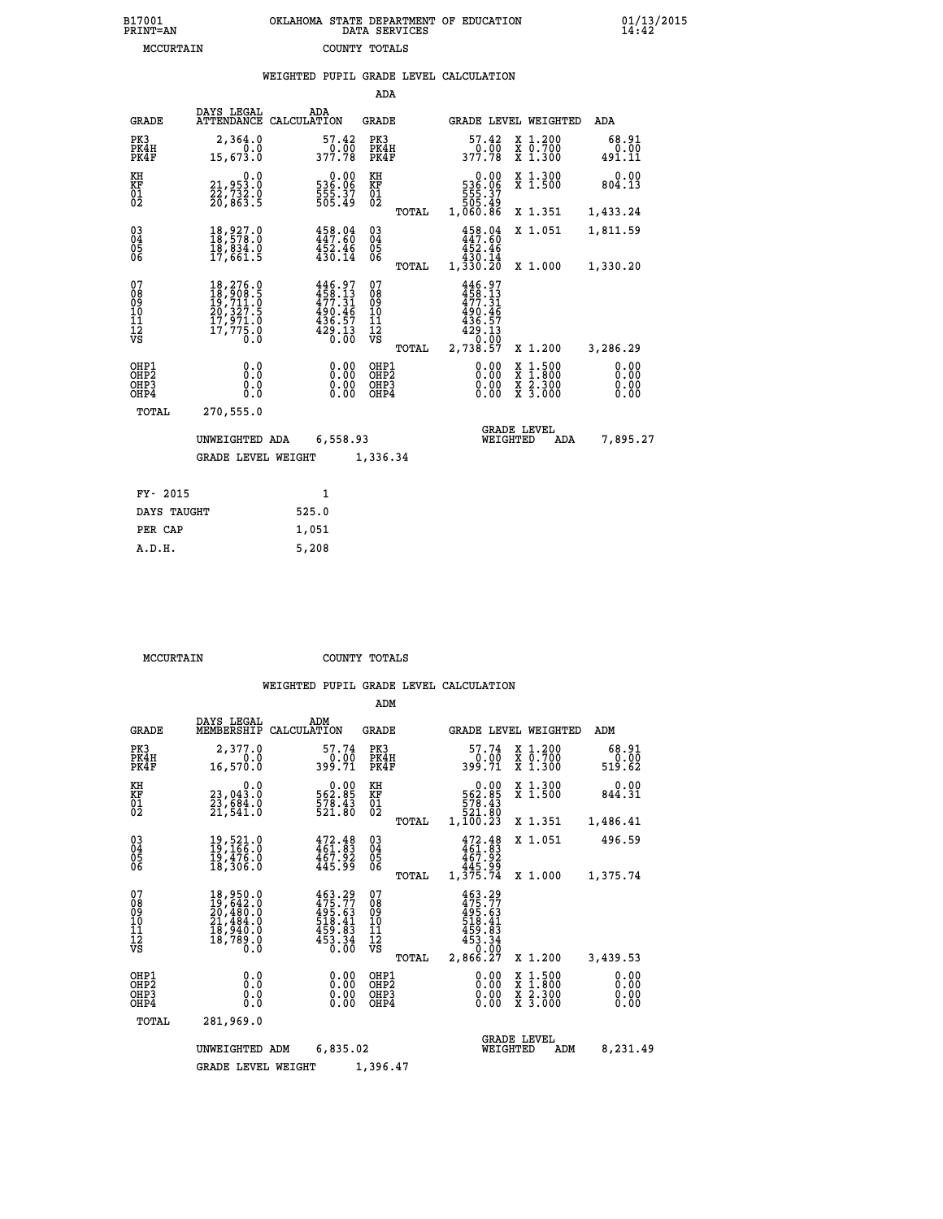| B17001          | OKLAHOMA STATE DEPARTMENT OF EDUCATION |
|-----------------|----------------------------------------|
| <b>PRINT=AN</b> | DATA SERVICES                          |
| MCCURTAIN       | COUNTY TOTALS                          |

|                                                    |                                                                                                                                        | WEIGHTED PUPIL GRADE LEVEL CALCULATION                                          |                                        |       |                                                                                |                                                                                                                     |                              |
|----------------------------------------------------|----------------------------------------------------------------------------------------------------------------------------------------|---------------------------------------------------------------------------------|----------------------------------------|-------|--------------------------------------------------------------------------------|---------------------------------------------------------------------------------------------------------------------|------------------------------|
|                                                    |                                                                                                                                        |                                                                                 | ADA                                    |       |                                                                                |                                                                                                                     |                              |
| <b>GRADE</b>                                       | DAYS LEGAL<br><b>ATTENDANCE</b>                                                                                                        | ADA<br>CALCULATION                                                              | <b>GRADE</b>                           |       |                                                                                | GRADE LEVEL WEIGHTED                                                                                                | ADA                          |
| PK3<br>PK4H<br>PK4F                                | 2,364.0<br>0.0<br>15,673.0                                                                                                             | 57.42                                                                           | PK3<br>PK4H<br>PK4F                    |       | 57.42<br>377.78                                                                | X 1.200<br>X 0.700<br>X 1.300                                                                                       | 68.91<br>0.00<br>491.11      |
| KH<br>KF<br>01<br>02                               | 0.0<br>21,953.0<br>22,732.0<br>20,863.5                                                                                                | $\begin{smallmatrix} &0.00\,536.06\,555.37\,505.49\end{smallmatrix}$            | KH<br>KF<br>01<br>02                   |       | $\begin{smallmatrix} &0.00\,536.06\,555.37\,505.49\,1,060.86\end{smallmatrix}$ | X 1.300<br>X 1.500                                                                                                  | 0.00<br>804.13               |
|                                                    |                                                                                                                                        |                                                                                 |                                        | TOTAL |                                                                                | X 1.351                                                                                                             | 1,433.24                     |
| $\begin{matrix} 03 \\ 04 \\ 05 \\ 06 \end{matrix}$ | 18,927.0<br>18,578.0<br>īš, š34.0<br>17,661.5                                                                                          | 458.04<br>447.60<br>$452.46$<br>$430.14$                                        | $\substack{03 \\ 04}$<br>05<br>06      |       | 458.04<br>447.60<br>452.46                                                     | X 1.051                                                                                                             | 1,811.59                     |
|                                                    |                                                                                                                                        |                                                                                 |                                        | TOTAL | 430.14<br>1,330.20                                                             | X 1.000                                                                                                             | 1,330.20                     |
| 07<br>08<br>09<br>10<br>11<br>12<br>VS             | $\begin{smallmatrix} 18\,,276\,,0\\ 18\,,908\,,5\\ 19\,,711\,,0\\ 20\,,327\,,5\\ 17\,,971\,,0\\ 17\,,775\,,0\\ 0\,,0\end{smallmatrix}$ | $446.97$<br>$458.13$<br>$477.31$<br>$490.467$<br>$436.57$<br>$429.13$<br>$0.00$ | 07<br>08<br>09<br>11<br>11<br>12<br>VS | TOTAL | 446.97<br>458.13<br>477.31<br>490.46<br>436.57<br>429.13<br>2,738.57           | X 1.200                                                                                                             | 3,286.29                     |
| OHP1<br>OHP <sub>2</sub><br>OHP3<br>OHP4           | 0.0<br>0.0<br>0.0                                                                                                                      | 0.00<br>0.00                                                                    | OHP1<br>OHP2<br>OHP3<br>OHP4           |       | 0.00<br>0.00<br>0.00                                                           | $1:500$<br>1:800<br>X<br>X<br>$\begin{array}{c} \hat{x} & \hat{2} \cdot \tilde{3}00 \\ x & 3 \cdot 000 \end{array}$ | 0.00<br>0.00<br>0.00<br>0.00 |
| <b>TOTAL</b>                                       | 270,555.0                                                                                                                              |                                                                                 |                                        |       |                                                                                |                                                                                                                     |                              |
|                                                    | UNWEIGHTED ADA                                                                                                                         | 6,558.93                                                                        |                                        |       | WEIGHTED                                                                       | <b>GRADE LEVEL</b><br>ADA                                                                                           | 7,895.27                     |
|                                                    | <b>GRADE LEVEL WEIGHT</b>                                                                                                              |                                                                                 | 1,336.34                               |       |                                                                                |                                                                                                                     |                              |
| FY- 2015                                           |                                                                                                                                        | $\mathbf{1}$                                                                    |                                        |       |                                                                                |                                                                                                                     |                              |
| DAYS TAUGHT                                        |                                                                                                                                        | 525.0                                                                           |                                        |       |                                                                                |                                                                                                                     |                              |
| PER CAP                                            |                                                                                                                                        | 1,051                                                                           |                                        |       |                                                                                |                                                                                                                     |                              |

 **MCCURTAIN COUNTY TOTALS**

 **A.D.H. 5,208**

|                                                    |                                                                                                              |                                                                                | ADM                                                |                                                                                  |                                |                                          |                              |
|----------------------------------------------------|--------------------------------------------------------------------------------------------------------------|--------------------------------------------------------------------------------|----------------------------------------------------|----------------------------------------------------------------------------------|--------------------------------|------------------------------------------|------------------------------|
| <b>GRADE</b>                                       | DAYS LEGAL<br>MEMBERSHIP                                                                                     | ADM<br>CALCULATION                                                             | GRADE                                              |                                                                                  |                                | <b>GRADE LEVEL WEIGHTED</b>              | ADM                          |
| PK3<br>PK4H<br>PK4F                                | 2,377.0<br>0.0<br>16,570.0                                                                                   | 57.74<br>0.00<br>399.71                                                        | PK3<br>PK4H<br>PK4F                                | 57.74<br>0.00<br>399.71                                                          |                                | X 1.200<br>X 0.700<br>X 1.300            | 68.91<br>0.00<br>519.62      |
| KH<br>KF<br>01<br>02                               | 0.0<br>23,043.0<br>23, č84:0<br>21, 541:0                                                                    | $\begin{smallmatrix} &0.00\\ 562.85\\ 78.43\\ 521.80\end{smallmatrix}$         | KH<br>KF<br>01<br>02                               | 0.00<br>562.85<br>578.43<br>521.80<br>1,100.23                                   |                                | X 1.300<br>X 1.500                       | 0.00<br>844.31               |
|                                                    |                                                                                                              |                                                                                | TOTAL                                              |                                                                                  |                                | X 1.351                                  | 1,486.41                     |
| $\begin{matrix} 03 \\ 04 \\ 05 \\ 06 \end{matrix}$ | 19,521.0<br>19,166.0<br>19,476.0<br>18,306.0                                                                 | 472.48<br>461.83<br>467.92<br>445.99                                           | $\begin{matrix} 03 \\ 04 \\ 05 \\ 06 \end{matrix}$ | $472.48$<br>$461.83$<br>$467.92$<br>445.99                                       |                                | X 1.051                                  | 496.59                       |
|                                                    |                                                                                                              |                                                                                | TOTAL                                              | 1,375.74                                                                         |                                | X 1.000                                  | 1,375.74                     |
| 07<br>08<br>09<br>101<br>11<br>12<br>VS            | $\begin{smallmatrix} 18,950.0\\ 19,642.0\\ 20,480.0\\ 21,484.0\\ 18,940.0\\ 18,789.0\\ 0.0\end{smallmatrix}$ | $475.77$<br>$475.73$<br>$495.63$<br>$518.41$<br>$459.83$<br>$453.34$<br>$0.00$ | 07<br>08<br>09<br>11<br>11<br>12<br>VS<br>TOTAL    | 463.29<br>475.773<br>495.631<br>518.413<br>453.34<br>453.34<br>0.000<br>2,866.27 |                                | X 1.200                                  | 3,439.53                     |
| OHP1<br>OHP2<br>OH <sub>P3</sub><br>OHP4           | 0.0<br>0.000                                                                                                 | $0.00$<br>$0.00$<br>0.00                                                       | OHP1<br>OHP2<br>OHP <sub>3</sub>                   | $0.00$<br>$0.00$<br>0.00                                                         |                                | X 1:500<br>X 1:800<br>X 2:300<br>X 3:000 | 0.00<br>0.00<br>0.00<br>0.00 |
| TOTAL                                              | 281,969.0                                                                                                    |                                                                                |                                                    |                                                                                  |                                |                                          |                              |
|                                                    | UNWEIGHTED                                                                                                   | 6,835.02<br>ADM                                                                |                                                    |                                                                                  | <b>GRADE LEVEL</b><br>WEIGHTED | ADM                                      | 8,231.49                     |
|                                                    | <b>GRADE LEVEL WEIGHT</b>                                                                                    |                                                                                | 1,396.47                                           |                                                                                  |                                |                                          |                              |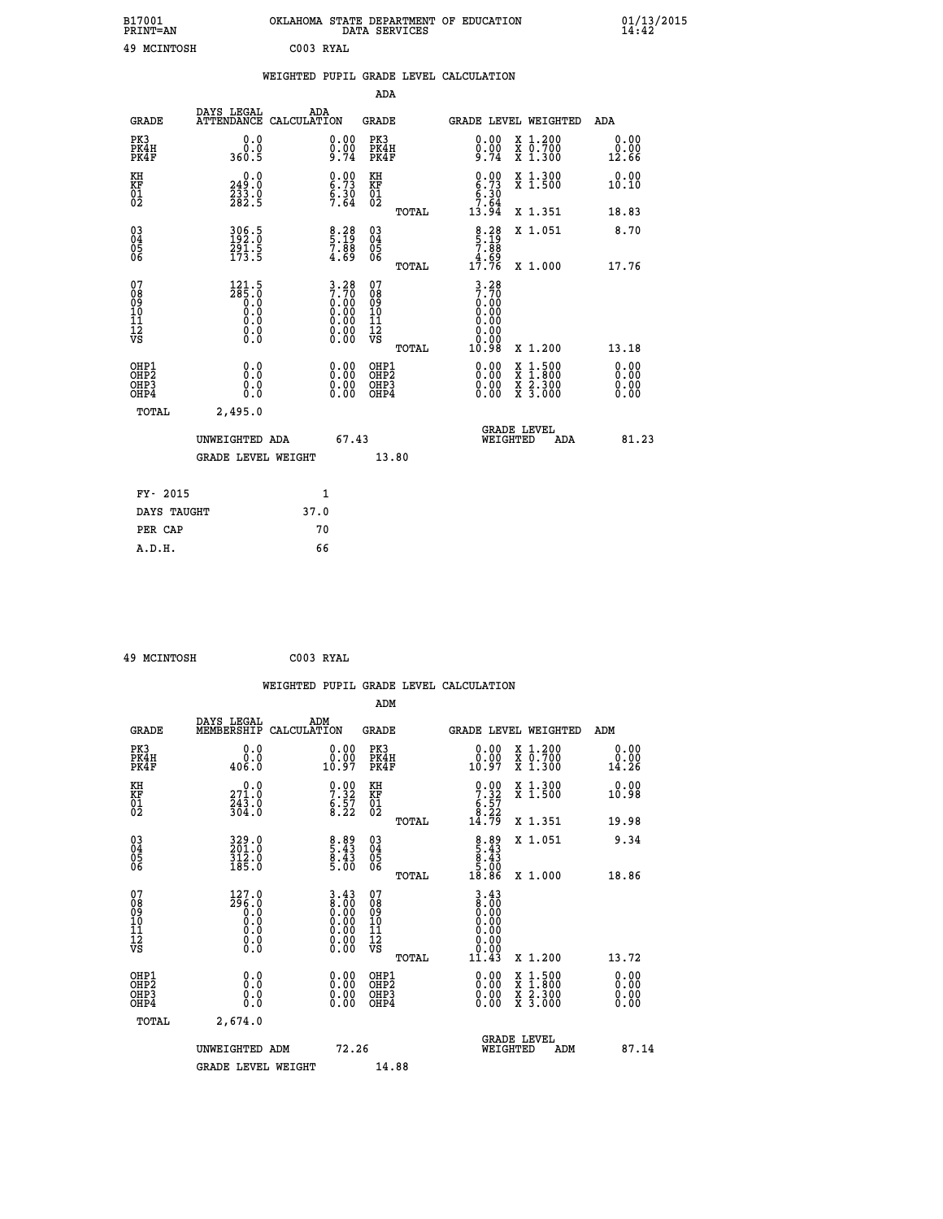| B17001          | OKLAHOMA STATE DEPARTMENT OF EDUCATION |
|-----------------|----------------------------------------|
| <b>PRINT=AN</b> | DATA SERVICES                          |
| 49 MCINTOSH     | C003 RYAL                              |

|                                |                                                                  | WEIGHTED PUPIL GRADE LEVEL CALCULATION                                                               |                                                 |                                                                        |                              |
|--------------------------------|------------------------------------------------------------------|------------------------------------------------------------------------------------------------------|-------------------------------------------------|------------------------------------------------------------------------|------------------------------|
|                                |                                                                  |                                                                                                      | <b>ADA</b>                                      |                                                                        |                              |
| <b>GRADE</b>                   | DAYS LEGAL                                                       | ADA<br>ATTENDANCE CALCULATION                                                                        | <b>GRADE</b>                                    | <b>GRADE LEVEL WEIGHTED</b>                                            | ADA                          |
| PK3<br>PK4H<br>PK4F            | 0.0<br>0.0<br>360.5                                              | $\substack{0.00\\0.00\\9.74}$                                                                        | PK3<br>PK4H<br>PK4F                             | 0.00<br>X 1.200<br>X 0.700<br>X 1.300<br>$\frac{0.00}{9.74}$           | 0.00<br>0.00<br>12.66        |
| KH<br>KF<br>01<br>02           | $\begin{smallmatrix} 0.0\\249.0\\233.0\\282.5 \end{smallmatrix}$ | $\begin{array}{c} 0.00 \\ 6.73 \\ 6.30 \\ 7.64 \end{array}$                                          | KH<br>KF<br>01<br>02                            | $0.00$<br>$6.73$<br>$6.30$<br>$7.64$<br>$13.94$<br>X 1.300<br>X 1.500  | 0.00<br>10.10                |
|                                |                                                                  |                                                                                                      | TOTAL                                           | X 1.351                                                                | 18.83                        |
| $^{03}_{04}$<br>Ŏ5<br>06       | 306.5<br>192.0<br>$\frac{291.5}{173.5}$                          | $\frac{8.28}{5.19}$<br>$\frac{7.88}{4.69}$                                                           | $03\overline{4}$<br>05<br>06                    | $8.28$<br>5.19<br>7.88<br>7.69<br>17.76<br>X 1.051                     | 8.70                         |
|                                |                                                                  |                                                                                                      | TOTAL                                           | X 1.000                                                                | 17.76                        |
| 07<br>089<br>090<br>1112<br>VS | $\frac{121.5}{285.0}$<br>0.000<br>$\S.$ $\S$                     | $\begin{smallmatrix} 3.28\\ 7.70\\ 0.00\\ 0.00\\ 0.00\\ 0.00\\ 0.00\\ 0.00\\ 0.00 \end{smallmatrix}$ | 07<br>08<br>09<br>11<br>11<br>12<br>VS<br>TOTAL | $3.28$<br>7.70<br>0.00<br>0.00<br>0.00<br>10.98<br>X 1.200             | 13.18                        |
| OHP1<br>OHP2<br>OHP3<br>OHP4   | 0.0<br>$0.\overline{0}$<br>Ō.Ō                                   | 0.00<br>$\begin{smallmatrix} 0.00 \ 0.00 \end{smallmatrix}$                                          | OHP1<br>OHP2<br>OHP3<br>OHP4                    | 0.00<br>X 1:500<br>0.00<br>$\frac{x}{x}$ $\frac{5:300}{3:000}$<br>0.00 | 0.00<br>0.00<br>0.00<br>0.00 |
| <b>TOTAL</b>                   | 2,495.0                                                          |                                                                                                      |                                                 |                                                                        |                              |
|                                | UNWEIGHTED ADA                                                   | 67.43                                                                                                |                                                 | GRADE LEVEL<br>WEIGHTED                                                | 81.23<br>ADA                 |
|                                | <b>GRADE LEVEL WEIGHT</b>                                        |                                                                                                      | 13.80                                           |                                                                        |                              |
| FY- 2015                       |                                                                  | $\mathbf{1}$                                                                                         |                                                 |                                                                        |                              |
|                                | DAYS TAUGHT                                                      | 37.0                                                                                                 |                                                 |                                                                        |                              |
| PER CAP                        |                                                                  | 70                                                                                                   |                                                 |                                                                        |                              |

| $\sim$ | ----------- |  |
|--------|-------------|--|

 **A.D.H. 66**

 **B17001<br>PRINT=AN** 

 **49 MCINTOSH C003 RYAL**

|                                                    |                                                                                                                                      |                    |                                                                                               |                              |       | WEIGHTED PUPIL GRADE LEVEL CALCULATION                                                                                                                                                                                                                                         |                                                                                                  |                                                                |       |
|----------------------------------------------------|--------------------------------------------------------------------------------------------------------------------------------------|--------------------|-----------------------------------------------------------------------------------------------|------------------------------|-------|--------------------------------------------------------------------------------------------------------------------------------------------------------------------------------------------------------------------------------------------------------------------------------|--------------------------------------------------------------------------------------------------|----------------------------------------------------------------|-------|
|                                                    |                                                                                                                                      |                    |                                                                                               | ADM                          |       |                                                                                                                                                                                                                                                                                |                                                                                                  |                                                                |       |
| <b>GRADE</b>                                       | DAYS LEGAL<br>MEMBERSHIP                                                                                                             | ADM<br>CALCULATION |                                                                                               | <b>GRADE</b>                 |       |                                                                                                                                                                                                                                                                                | <b>GRADE LEVEL WEIGHTED</b>                                                                      | ADM                                                            |       |
| PK3<br>PK4H<br>PK4F                                | 0.0<br>ة:ة<br>406.0                                                                                                                  |                    | 0.00<br>10.97                                                                                 | PK3<br>PK4H<br>PK4F          |       | $\begin{smallmatrix} 0.00\\ 0.00\\ 10.97 \end{smallmatrix}$                                                                                                                                                                                                                    | X 1.200<br>X 0.700<br>X 1.300                                                                    | 0.00<br>$\overset{\text{\scriptsize{0.00}}}{\mathstrut 14.26}$ |       |
| KH<br>KF<br>01<br>02                               | 0.0<br>$\frac{271.0}{243.0}$<br>304.0                                                                                                |                    | $\begin{array}{c} 0.00 \\ 7.32 \\ 6.57 \\ 8.22 \end{array}$                                   | KH<br>KF<br>01<br>02         |       | $\begin{smallmatrix} 0.00\\ 7.32\\ 6.57\\ 8.22\\ 14.79 \end{smallmatrix}$                                                                                                                                                                                                      | X 1.300<br>X 1.500                                                                               | 0.00<br>10.98                                                  |       |
|                                                    |                                                                                                                                      |                    |                                                                                               |                              | TOTAL |                                                                                                                                                                                                                                                                                | X 1.351                                                                                          | 19.98                                                          |       |
| $\begin{matrix} 03 \\ 04 \\ 05 \\ 06 \end{matrix}$ | 329.0<br>201.0<br>312.0<br>185.0                                                                                                     |                    | $\begin{array}{c} 8.89 \\ 5.43 \\ 8.43 \\ 5.00 \end{array}$                                   | 03<br>04<br>05<br>06         |       | $\begin{array}{r} 8.89 \\ 5.43 \\ 8.43 \\ 5.00 \\ 18.86 \end{array}$                                                                                                                                                                                                           | X 1.051                                                                                          | 9.34                                                           |       |
|                                                    |                                                                                                                                      |                    |                                                                                               |                              | TOTAL |                                                                                                                                                                                                                                                                                | X 1.000                                                                                          | 18.86                                                          |       |
| 07<br>0890112<br>1112<br>VS                        | $\begin{smallmatrix} 127.0\\296.0\\0.0\\0.0\end{smallmatrix}$<br>$\begin{smallmatrix} 0.0 & 0 \ 0.0 & 0 \ 0.0 & 0 \end{smallmatrix}$ |                    | $\begin{smallmatrix} 3.43\ 8.00\ 0.00\ 0.00\ 0.00\ 0.00\ 0.00\ 0.00\ 0.00\ \end{smallmatrix}$ | 07<br>0890112<br>1112<br>VS  |       | $3.43\n8.00\n0.00$<br>0.00<br>0.00<br>0.00                                                                                                                                                                                                                                     |                                                                                                  |                                                                |       |
|                                                    |                                                                                                                                      |                    |                                                                                               |                              | TOTAL | 11.43                                                                                                                                                                                                                                                                          | $X_1.200$                                                                                        | 13.72                                                          |       |
| OHP1<br>OHP2<br>OH <sub>P3</sub><br>OHP4           | 0.0<br>0.000                                                                                                                         |                    | $\begin{smallmatrix} 0.00 \ 0.00 \ 0.00 \ 0.00 \end{smallmatrix}$                             | OHP1<br>OHP2<br>OHP3<br>OHP4 |       | $\begin{smallmatrix} 0.00 & 0.00 & 0.00 & 0.00 & 0.00 & 0.00 & 0.00 & 0.00 & 0.00 & 0.00 & 0.00 & 0.00 & 0.00 & 0.00 & 0.00 & 0.00 & 0.00 & 0.00 & 0.00 & 0.00 & 0.00 & 0.00 & 0.00 & 0.00 & 0.00 & 0.00 & 0.00 & 0.00 & 0.00 & 0.00 & 0.00 & 0.00 & 0.00 & 0.00 & 0.00 & 0.0$ | $\begin{smallmatrix} x & 1 & 500 \\ x & 1 & 800 \\ x & 2 & 300 \\ x & 3 & 000 \end{smallmatrix}$ | 0.00<br>0.00<br>0.00                                           |       |
| TOTAL                                              | 2,674.0                                                                                                                              |                    |                                                                                               |                              |       |                                                                                                                                                                                                                                                                                |                                                                                                  |                                                                |       |
|                                                    | UNWEIGHTED ADM                                                                                                                       |                    | 72.26                                                                                         |                              |       | WEIGHTED                                                                                                                                                                                                                                                                       | <b>GRADE LEVEL</b><br>ADM                                                                        |                                                                | 87.14 |
|                                                    | <b>GRADE LEVEL WEIGHT</b>                                                                                                            |                    |                                                                                               | 14.88                        |       |                                                                                                                                                                                                                                                                                |                                                                                                  |                                                                |       |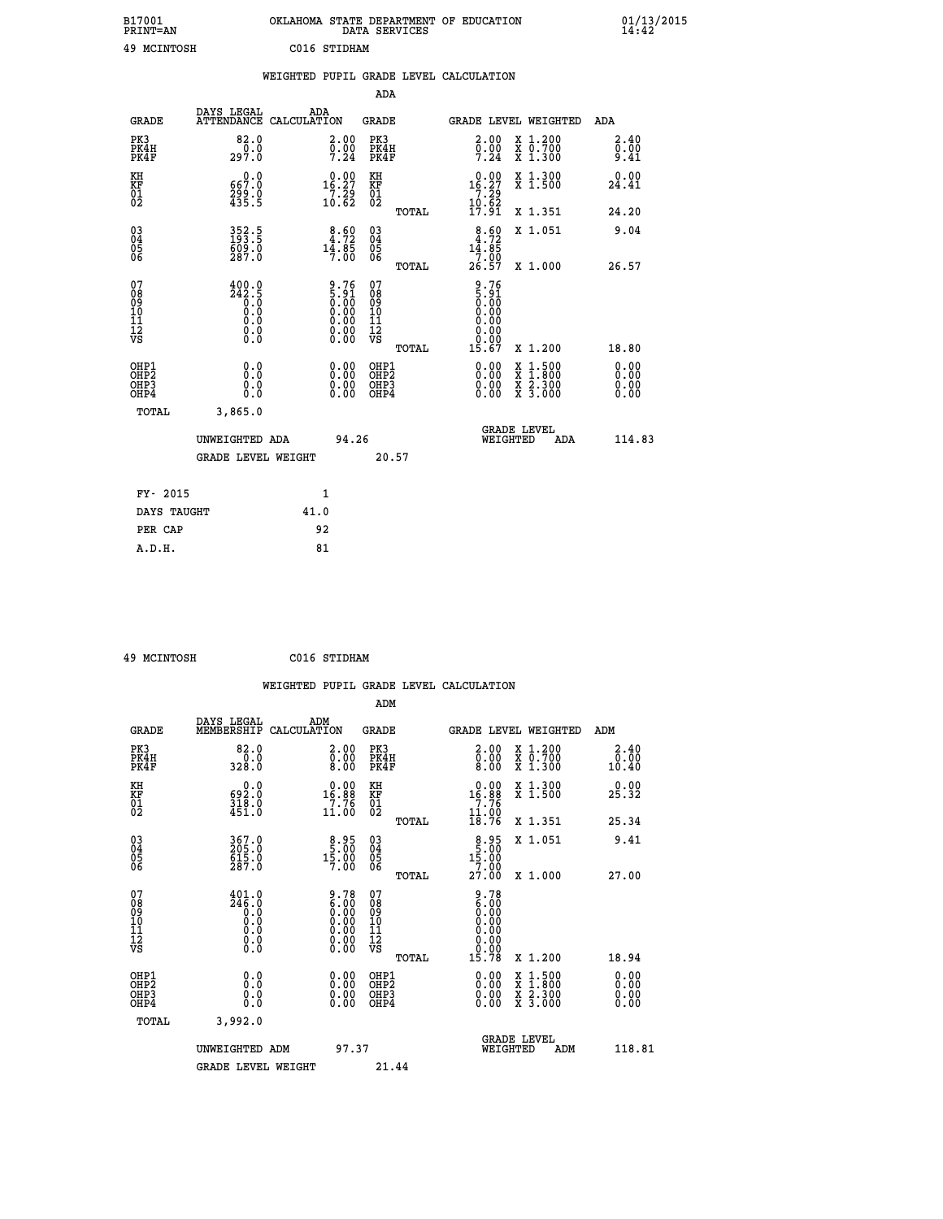| B17001<br>PRINT=AN | OKLAHOMA STATE DEPARTMENT OF EDUCATION<br>DATA SERVICES | 01/13/2015<br>14:42 |
|--------------------|---------------------------------------------------------|---------------------|
| 49 MCINTOSH        | C016 STIDHAM                                            |                     |

|                                                    |                                            | WEIGHTED PUPIL GRADE LEVEL CALCULATION                            |                                                 |                                                                                              |                              |
|----------------------------------------------------|--------------------------------------------|-------------------------------------------------------------------|-------------------------------------------------|----------------------------------------------------------------------------------------------|------------------------------|
|                                                    |                                            |                                                                   | ADA                                             |                                                                                              |                              |
| <b>GRADE</b>                                       | DAYS LEGAL                                 | ADA<br>ATTENDANCE CALCULATION                                     | <b>GRADE</b>                                    | GRADE LEVEL WEIGHTED                                                                         | ADA                          |
| PK3<br>PK4H<br>PK4F                                | 82.0<br>0.0<br>297.0                       | $\begin{smallmatrix} 2.00\ 0.00\ 7.24 \end{smallmatrix}$          | PK3<br>PK4H<br>PK4F                             | 2.00<br>X 1.200<br>X 0.700<br>X 1.300<br>$\frac{0}{7}$ : $\frac{0}{24}$                      | 2.40<br>0.00<br>9.41         |
| KH<br>KF<br>01<br>02                               | 0.0<br>667.0<br>299.0<br>435.5             | $0.00$<br>16.27<br>$\frac{7}{10}$ $\frac{29}{62}$                 | KH<br>KF<br>01<br>02                            | $\begin{array}{r} 0.00 \\ 16.27 \\ 7.29 \\ 10.62 \\ 17.91 \end{array}$<br>X 1.300<br>X 1.500 | 0.00<br>24.41                |
|                                                    |                                            |                                                                   | TOTAL                                           | X 1.351                                                                                      | 24.20                        |
| $\begin{matrix} 03 \\ 04 \\ 05 \\ 06 \end{matrix}$ | $352.5$<br>$193.5$<br>609.0<br>287.0       | $8.60$<br>4.72<br>$1\overline{4}\cdot 8\overline{5}$<br>7.00      | $\substack{03 \\ 04}$<br>Ŏ5<br>06               | $\frac{8.60}{4.72}$<br>X 1.051<br>$1\overline{4}\cdot 8\overline{5}\n26.57$                  | 9.04                         |
|                                                    |                                            |                                                                   | TOTAL                                           | X 1.000                                                                                      | 26.57                        |
| 07<br>089<br>090<br>1112<br>VS                     | $\frac{400.0}{242.5}$<br>0.0<br>$\S.$ $\S$ | $9.76$<br>$5.91$<br>$0.00$<br>$0.00$<br>$0.00$<br>Ŏ.ŎŎ<br>O.OO    | 07<br>08<br>09<br>11<br>11<br>12<br>VS<br>TOTAL | $\frac{9.76}{5.91}$<br>0.00<br>0.00<br>0.00<br>0.00<br>15.67<br>X 1.200                      | 18.80                        |
| OHP1<br>OHP2<br>OH <sub>P3</sub><br>OHP4           | 0.0<br>Ō.Ō<br>0.0<br>0.0                   | $\begin{smallmatrix} 0.00 \ 0.00 \ 0.00 \ 0.00 \end{smallmatrix}$ | OHP1<br>OHP2<br>OHP3<br>OHP4                    | X 1:500<br>X 1:800<br>X 2:300<br>X 3:000                                                     | 0.00<br>0.00<br>0.00<br>0.00 |
| TOTAL                                              | 3,865.0                                    |                                                                   |                                                 |                                                                                              |                              |
|                                                    | UNWEIGHTED ADA                             | 94.26                                                             |                                                 | <b>GRADE LEVEL</b><br>WEIGHTED<br>ADA                                                        | 114.83                       |
|                                                    | <b>GRADE LEVEL WEIGHT</b>                  |                                                                   | 20.57                                           |                                                                                              |                              |
|                                                    | FY- 2015                                   | $\mathbf{1}$                                                      |                                                 |                                                                                              |                              |
|                                                    | DAYS TAUGHT                                | 41.0                                                              |                                                 |                                                                                              |                              |
| PER CAP                                            |                                            | 92                                                                |                                                 |                                                                                              |                              |

| 49 MCTNTOSH |
|-------------|

 **49 MCINTOSH C016 STIDHAM**

|                                                    |                                                                                                                                                    |                    |                                                                                                                                                                                                                                                                                        |                              |       | WEIGHTED PUPIL GRADE LEVEL CALCULATION                                                                                                                                                                                                                                         |                                                                                                  |                       |  |
|----------------------------------------------------|----------------------------------------------------------------------------------------------------------------------------------------------------|--------------------|----------------------------------------------------------------------------------------------------------------------------------------------------------------------------------------------------------------------------------------------------------------------------------------|------------------------------|-------|--------------------------------------------------------------------------------------------------------------------------------------------------------------------------------------------------------------------------------------------------------------------------------|--------------------------------------------------------------------------------------------------|-----------------------|--|
|                                                    |                                                                                                                                                    |                    |                                                                                                                                                                                                                                                                                        | ADM                          |       |                                                                                                                                                                                                                                                                                |                                                                                                  |                       |  |
| <b>GRADE</b>                                       | DAYS LEGAL<br>MEMBERSHIP                                                                                                                           | ADM<br>CALCULATION |                                                                                                                                                                                                                                                                                        | <b>GRADE</b>                 |       | <b>GRADE LEVEL WEIGHTED</b>                                                                                                                                                                                                                                                    |                                                                                                  | ADM                   |  |
| PK3<br>PK4H<br>PK4F                                | 82.0<br>$\frac{0.0}{328.0}$                                                                                                                        |                    | 2.00<br>$\begin{smallmatrix} 0.00 & 0.00 & 0.00 & 0.00 & 0.00 & 0.00 & 0.00 & 0.00 & 0.00 & 0.00 & 0.00 & 0.00 & 0.00 & 0.00 & 0.00 & 0.00 & 0.00 & 0.00 & 0.00 & 0.00 & 0.00 & 0.00 & 0.00 & 0.00 & 0.00 & 0.00 & 0.00 & 0.00 & 0.00 & 0.00 & 0.00 & 0.00 & 0.00 & 0.00 & 0.00 & 0.0$ | PK3<br>PK4H<br>PK4F          |       | $\begin{smallmatrix} 2.00\ 0.00\ 8.00 \end{smallmatrix}$                                                                                                                                                                                                                       | X 1.200<br>X 0.700<br>X 1.300                                                                    | 2.40<br>0.00<br>10.40 |  |
| KH<br>KF<br>01<br>02                               | $\begin{smallmatrix} 0.0\\ 592.0\\ 318.0\\ 451.0 \end{smallmatrix}$                                                                                |                    | $\begin{smallmatrix} 0.00\\16.88\\7.76\\11.00 \end{smallmatrix}$                                                                                                                                                                                                                       | KH<br>KF<br>01<br>02         |       | $\begin{smallmatrix} 0.00\\16.88\\7.76\\11.00\\18.76 \end{smallmatrix}$                                                                                                                                                                                                        | X 1.300<br>X 1.500                                                                               | 0.00<br>25.32         |  |
|                                                    |                                                                                                                                                    |                    |                                                                                                                                                                                                                                                                                        |                              | TOTAL |                                                                                                                                                                                                                                                                                | X 1.351                                                                                          | 25.34                 |  |
| $\begin{matrix} 03 \\ 04 \\ 05 \\ 06 \end{matrix}$ | 367.0<br>205.0<br>615.0<br>287.0                                                                                                                   |                    | $8.95$<br>$15.00$<br>$15.00$<br>7.00                                                                                                                                                                                                                                                   | $^{03}_{04}$<br>Ŏ5<br>06     |       | $8.95$<br>15.00<br>15.00                                                                                                                                                                                                                                                       | X 1.051                                                                                          | 9.41                  |  |
|                                                    |                                                                                                                                                    |                    |                                                                                                                                                                                                                                                                                        |                              | TOTAL | 27.00                                                                                                                                                                                                                                                                          | X 1.000                                                                                          | 27.00                 |  |
| 07<br>0890112<br>1112<br>VS                        | $\frac{401.0}{246.0}$<br>$\begin{smallmatrix} 0.59 \ 0.0 \end{smallmatrix}$<br>$\begin{smallmatrix} 0.0 & 0 \ 0.0 & 0 \ 0.0 & 0 \end{smallmatrix}$ |                    | $\begin{smallmatrix} 9.78\ 6.00\ 0.00\ 0.00\ 0.00\ 0.00\ 0.00\ 0.00\ 0.00\ \end{smallmatrix}$                                                                                                                                                                                          | 07<br>08901123<br>1112<br>VS | TOTAL | $\begin{smallmatrix} 9.78\ 6.00\ 0.00 \end{smallmatrix}$<br>0.00<br>0.00<br>0.00<br>15.78                                                                                                                                                                                      | $X_1.200$                                                                                        | 18.94                 |  |
|                                                    |                                                                                                                                                    |                    |                                                                                                                                                                                                                                                                                        |                              |       |                                                                                                                                                                                                                                                                                |                                                                                                  | 0.00                  |  |
| OHP1<br>OHP2<br>OH <sub>P3</sub><br>OHP4           | 0.0<br>0.000                                                                                                                                       |                    | $\begin{smallmatrix} 0.00 \ 0.00 \ 0.00 \ 0.00 \end{smallmatrix}$                                                                                                                                                                                                                      | OHP1<br>OHP2<br>OHP3<br>OHP4 |       | $\begin{smallmatrix} 0.00 & 0.00 & 0.00 & 0.00 & 0.00 & 0.00 & 0.00 & 0.00 & 0.00 & 0.00 & 0.00 & 0.00 & 0.00 & 0.00 & 0.00 & 0.00 & 0.00 & 0.00 & 0.00 & 0.00 & 0.00 & 0.00 & 0.00 & 0.00 & 0.00 & 0.00 & 0.00 & 0.00 & 0.00 & 0.00 & 0.00 & 0.00 & 0.00 & 0.00 & 0.00 & 0.0$ | $\begin{smallmatrix} x & 1 & 500 \\ x & 1 & 800 \\ x & 2 & 300 \\ x & 3 & 000 \end{smallmatrix}$ | Ō. ŌŌ<br>0.00<br>0.00 |  |
| TOTAL                                              | 3,992.0                                                                                                                                            |                    |                                                                                                                                                                                                                                                                                        |                              |       |                                                                                                                                                                                                                                                                                |                                                                                                  |                       |  |
|                                                    | UNWEIGHTED ADM                                                                                                                                     |                    | 97.37                                                                                                                                                                                                                                                                                  |                              |       | WEIGHTED                                                                                                                                                                                                                                                                       | <b>GRADE LEVEL</b><br>ADM                                                                        | 118.81                |  |
|                                                    | <b>GRADE LEVEL WEIGHT</b>                                                                                                                          |                    |                                                                                                                                                                                                                                                                                        | 21.44                        |       |                                                                                                                                                                                                                                                                                |                                                                                                  |                       |  |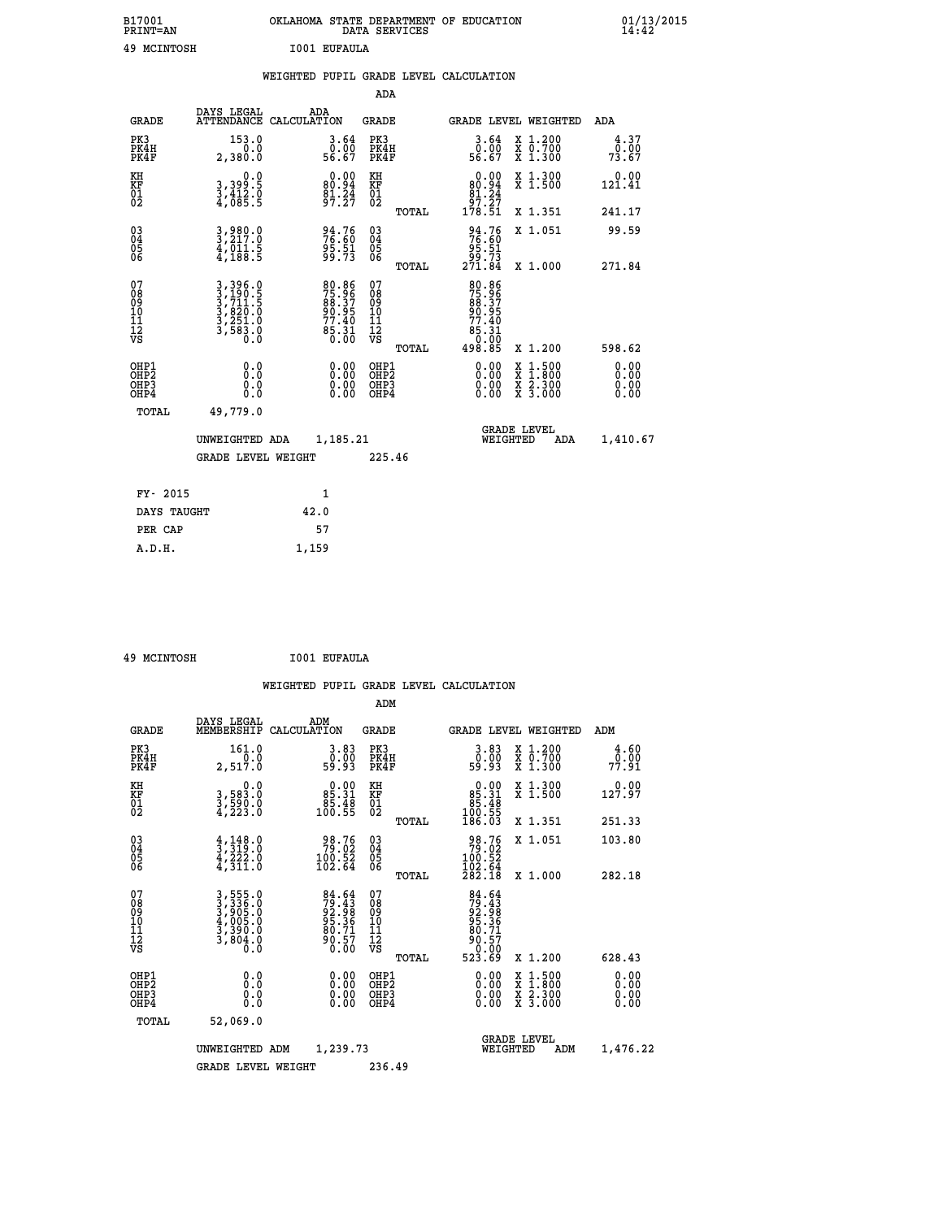| B17001<br><b>PRINT=AN</b> | OKLAHOMA STATE DEPARTMENT OF EDUCATION<br>DATA SERVICES | 01/13/2015 |
|---------------------------|---------------------------------------------------------|------------|
| 49<br>MCINTOSH            | I001 EUFAULA                                            |            |

|                                                                    |                                                                | WEIGHTED PUPIL GRADE LEVEL CALCULATION |                                                                     |                                        |       |                                                                           |                                                       |                              |
|--------------------------------------------------------------------|----------------------------------------------------------------|----------------------------------------|---------------------------------------------------------------------|----------------------------------------|-------|---------------------------------------------------------------------------|-------------------------------------------------------|------------------------------|
|                                                                    |                                                                |                                        |                                                                     | ADA                                    |       |                                                                           |                                                       |                              |
| <b>GRADE</b>                                                       | DAYS LEGAL<br>ATTENDANCE CALCULATION                           | ADA                                    |                                                                     | <b>GRADE</b>                           |       |                                                                           | GRADE LEVEL WEIGHTED                                  | ADA                          |
| PK3<br>PK4H<br>PK4F                                                | 153.0<br>0.0<br>2,380.0                                        |                                        | 3.64<br>ō:ŏō<br>56.67                                               | PK3<br>PK4H<br>PK4F                    |       | 3.64<br>0.00<br>56.67                                                     | X 1.200<br>X 0.700<br>X 1.300                         | 4.37<br>0.00<br>73.67        |
| KH<br>KF<br>01<br>02                                               | 0.0<br>3,399:5<br>3,412:0<br>4,085:5                           |                                        | $\begin{smallmatrix} 0.00\\80.94\\81.24\\97.27 \end{smallmatrix}$   | KH<br>KF<br>01<br>02                   |       | $\begin{smallmatrix}&&0.00\\80.94\\81.24\\97.27\\178.51\end{smallmatrix}$ | X 1.300<br>X 1.500                                    | 0.00<br>121.41               |
|                                                                    |                                                                |                                        |                                                                     |                                        | TOTAL |                                                                           | X 1.351                                               | 241.17                       |
| $\begin{smallmatrix} 03 \\[-4pt] 04 \end{smallmatrix}$<br>Ŏ5<br>06 | $3,980.0$<br>$3,217.0$<br>$\frac{1}{4}, \frac{1}{188}$ .5      |                                        | 94.76<br>76.60<br>$\frac{95.51}{99.73}$                             | $\substack{03 \\ 04}$<br>Ŏ5<br>06      |       | 94.76<br>76.60<br>$\frac{25.51}{271.84}$                                  | X 1.051                                               | 99.59                        |
|                                                                    |                                                                |                                        |                                                                     |                                        | TOTAL |                                                                           | X 1.000                                               | 271.84                       |
| 07<br>089<br>090<br>1112<br>VS                                     | 3,396.0<br>3,190.5<br>3,711.5<br>3,820.0<br>3,251.0<br>3,583.0 |                                        | 80.86<br>75.96<br>88.37<br>80.95<br>77.40<br>77.40<br>85.31<br>0.00 | 07<br>08<br>09<br>11<br>11<br>12<br>VS | TOTAL | 80.86<br>75.96<br>88.37<br>90.95<br>77.40<br>65:31<br>0.00<br>498.85      | X 1.200                                               | 598.62                       |
| OHP1<br>OHP2<br>OHP3<br>OHP4                                       | 0.0<br>$0.\overline{0}$<br>0.0                                 |                                        | 0.00<br>$\begin{smallmatrix} 0.00 \ 0.00 \end{smallmatrix}$         | OHP1<br>OHP2<br>OHP3<br>OHP4           |       | 0.00<br>0.00<br>0.00                                                      | X 1:500<br>$\frac{\ddot{x}}{x}$ $\frac{2.300}{3.000}$ | 0.00<br>0.00<br>0.00<br>0.00 |
| <b>TOTAL</b>                                                       | 49,779.0                                                       |                                        |                                                                     |                                        |       |                                                                           |                                                       |                              |
|                                                                    | UNWEIGHTED ADA                                                 |                                        | 1,185.21                                                            |                                        |       |                                                                           | GRADE LEVEL<br>WEIGHTED<br>ADA                        | 1,410.67                     |
|                                                                    | <b>GRADE LEVEL WEIGHT</b>                                      |                                        |                                                                     | 225.46                                 |       |                                                                           |                                                       |                              |
| FY- 2015                                                           |                                                                |                                        | $\mathbf{1}$                                                        |                                        |       |                                                                           |                                                       |                              |
| DAYS TAUGHT                                                        |                                                                | 42.0                                   |                                                                     |                                        |       |                                                                           |                                                       |                              |
| PER CAP                                                            |                                                                | 57                                     |                                                                     |                                        |       |                                                                           |                                                       |                              |

 **A.D.H. 1,159**

 **49 MCINTOSH I001 EUFAULA**

|                                              |                                                                       | WEIGHTED PUPIL GRADE LEVEL CALCULATION                             |                                                     |       |                                                                              |                                          |                       |
|----------------------------------------------|-----------------------------------------------------------------------|--------------------------------------------------------------------|-----------------------------------------------------|-------|------------------------------------------------------------------------------|------------------------------------------|-----------------------|
|                                              |                                                                       |                                                                    | ADM                                                 |       |                                                                              |                                          |                       |
| <b>GRADE</b>                                 | DAYS LEGAL<br>MEMBERSHIP                                              | ADM<br>CALCULATION                                                 | <b>GRADE</b>                                        |       |                                                                              | GRADE LEVEL WEIGHTED                     | ADM                   |
| PK3<br>PK4H<br>PK4F                          | 161.0<br>2,517.0                                                      | $\begin{smallmatrix} 3.83\ 0.00\ 59.93 \end{smallmatrix}$          | PK3<br>PK4H<br>PK4F                                 |       | $\begin{smallmatrix} 3 & 83 \\ 0 & 00 \\ 59 & 93 \end{smallmatrix}$          | X 1.200<br>X 0.700<br>X 1.300            | 4.60<br>0.00<br>77.91 |
| KH<br>KF<br>01<br>02                         | 0.0<br>3,583.0<br>3,590.0<br>4,223.0                                  | $\begin{smallmatrix}&&0.00\\85.31\\85.48\\100.55\end{smallmatrix}$ | KH<br>KF<br>01<br>02                                |       | $\begin{smallmatrix} &0.00\ 85.31\ 85.48\ 100.55\ 186.03\ \end{smallmatrix}$ | X 1.300<br>X 1.500                       | 127.97                |
|                                              |                                                                       |                                                                    |                                                     | TOTAL |                                                                              | X 1.351                                  | 251.33                |
| 03<br>04<br>05<br>06                         | $\frac{4}{3}, \frac{148}{319}.0$<br>$\frac{4}{3}, \frac{222}{311}.0$  | $\frac{98.76}{79.02}$<br>100.52<br>102.64                          | $\begin{array}{c} 03 \\ 04 \\ 05 \\ 06 \end{array}$ |       | $\begin{array}{c} 98.76 \\ 79.02 \\ 100.52 \\ 102.64 \\ 282.18 \end{array}$  | X 1.051                                  | 103.80                |
|                                              |                                                                       |                                                                    |                                                     | TOTAL |                                                                              | X 1.000                                  | 282.18                |
| 07<br>08<br>09<br>10<br>11<br>11<br>12<br>VS | 3,555.0<br>3,336.0<br>3,905.0<br>4,005.0<br>3,390.0<br>3,804.0<br>0.0 | 84.64<br>79.43<br>92.98<br>95.36<br>80.71<br>9ŏ:57<br>0:00         | 07<br>08<br>09<br>01<br>11<br>11<br>12<br>VS        | TOTAL | 84.64<br>79.43<br>92.98<br>95.36<br>80.71<br>90.57<br>90.50<br>523.69        | X 1.200                                  | 628.43                |
| OHP1<br>OHP2<br>OHP3<br>OHP4                 | 0.0<br>0.000                                                          | $0.00$<br>$0.00$<br>0.00                                           | OHP1<br>OHP2<br>OHP <sub>3</sub>                    |       | 0.00<br>0.00<br>0.00                                                         | X 1:500<br>X 1:800<br>X 2:300<br>X 3:000 | 0.00<br>0.00<br>0.00  |
| TOTAL                                        | 52,069.0                                                              |                                                                    |                                                     |       |                                                                              |                                          |                       |
|                                              | UNWEIGHTED ADM                                                        | 1,239.73                                                           |                                                     |       | WEIGHTED                                                                     | <b>GRADE LEVEL</b><br>ADM                | 1,476.22              |
|                                              | <b>GRADE LEVEL WEIGHT</b>                                             |                                                                    | 236.49                                              |       |                                                                              |                                          |                       |
|                                              |                                                                       |                                                                    |                                                     |       |                                                                              |                                          |                       |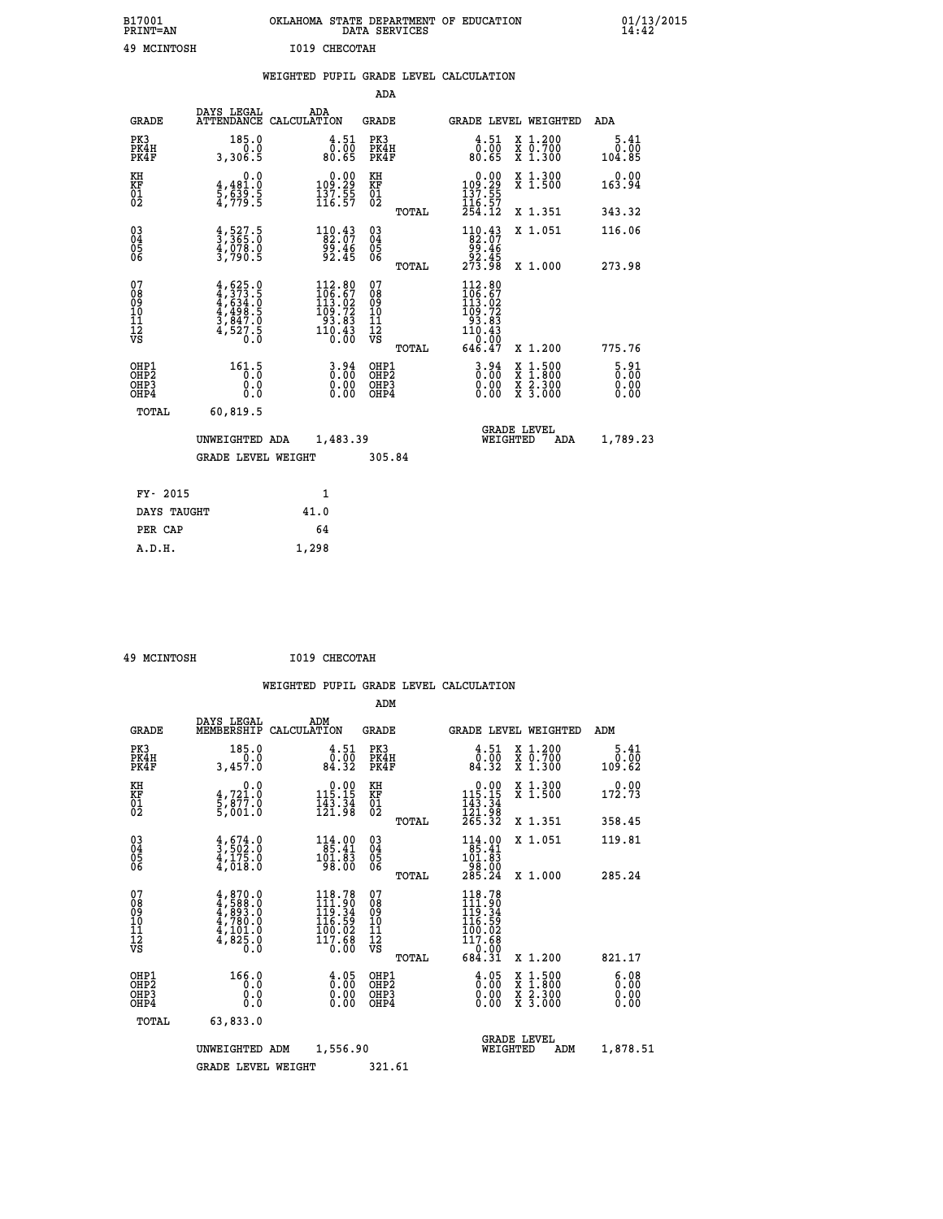| B17001<br><b>PRINT=AN</b> | OKLAHOMA STATE DEPARTMENT OF EDUCATION<br>DATA SERVICES | 01/13/2015 |
|---------------------------|---------------------------------------------------------|------------|
| 49<br>MCINTOSH            | I019 CHECOTAH                                           |            |

|  |  | WEIGHTED PUPIL GRADE LEVEL CALCULATION |
|--|--|----------------------------------------|
|  |  |                                        |

|                                                                    |                                                                                                                                                                    |                                                                                                                              | ADA                                    |       |                                                                                                    |                                          |                                     |
|--------------------------------------------------------------------|--------------------------------------------------------------------------------------------------------------------------------------------------------------------|------------------------------------------------------------------------------------------------------------------------------|----------------------------------------|-------|----------------------------------------------------------------------------------------------------|------------------------------------------|-------------------------------------|
| <b>GRADE</b>                                                       | DAYS LEGAL                                                                                                                                                         | ADA<br>ATTENDANCE CALCULATION                                                                                                | <b>GRADE</b>                           |       |                                                                                                    | <b>GRADE LEVEL WEIGHTED</b>              | <b>ADA</b>                          |
| PK3<br>PK4H<br>PK4F                                                | 185.0<br>0.0<br>3,306.5                                                                                                                                            | $\frac{4.51}{0.00}$<br>80.65                                                                                                 | PK3<br>PK4H<br>PK4F                    |       | $\begin{smallmatrix} 4.51\ 0.00\ 80.65 \end{smallmatrix}$                                          | X 1.200<br>X 0.700<br>X 1.300            | 5.41<br>0.00<br>104.85              |
| KH<br>KF<br>01<br>02                                               | 0.0<br>$\frac{4}{5}, \frac{4}{5}$<br>$\frac{3}{5}$<br>$\frac{3}{5}$<br>$\frac{3}{5}$                                                                               | $\begin{smallmatrix} 0.00\\109.29\\137.55\\116.57 \end{smallmatrix}$                                                         | KH<br>KF<br>01<br>02                   |       | $\begin{smallmatrix} &0.00\ 109.29\ 137.55\ 116.57\ 254.12\ \end{smallmatrix}$                     | X 1.300<br>X 1.500                       | 0.00<br>163.94                      |
|                                                                    |                                                                                                                                                                    |                                                                                                                              |                                        | TOTAL |                                                                                                    | X 1.351                                  | 343.32                              |
| $\begin{smallmatrix} 03 \\[-4pt] 04 \end{smallmatrix}$<br>Ŏ5<br>06 | $\frac{4}{3}, \frac{527}{365}$ .0<br>$\frac{4}{3}, \frac{078}{90}$ .0<br>3,790.5                                                                                   | $\begin{smallmatrix} 1 & 1 & 0 & 0 & 4 & 3 \\ 8 & 2 & 0 & 7 & 9 \\ 9 & 9 & 0 & 4 & 6 \\ 9 & 2 & 0 & 4 & 5 \end{smallmatrix}$ | $\substack{03 \\ 04}$<br>Ŏ5<br>06      |       | $\begin{smallmatrix} 110.43\\ 82.07\\ 99.46\\ 92.45\\ 273.98 \end{smallmatrix}$                    | X 1.051                                  | 116.06                              |
|                                                                    |                                                                                                                                                                    |                                                                                                                              |                                        | TOTAL |                                                                                                    | X 1.000                                  | 273.98                              |
| 07<br>08<br>09<br>101<br>11<br>12<br>VS                            | $\begin{smallmatrix} 4\,,\,625\,.\,0\\ 4\,,\,373\,.\,5\\ 4\,,\,634\,. \,0\\ 4\,,\,498\,. \,5\\ 3\,,\,847\,. \,0\\ 4\,,\,527\,. \,5\\ 0\,. \,0\\ \end{smallmatrix}$ | $\begin{smallmatrix} 112.80\\ 106.67\\ 113.02\\ 109.72\\ 93.83\\ 110.43\\ 0.00 \end{smallmatrix}$                            | 07<br>08<br>09<br>11<br>11<br>12<br>VS |       | $\begin{smallmatrix} 112.80\\ 106.67\\ 113.02\\ 109.72\\ 93.83\\ 110.43 \end{smallmatrix}$<br>0.00 |                                          |                                     |
|                                                                    |                                                                                                                                                                    |                                                                                                                              |                                        | TOTAL | 646.47                                                                                             | X 1.200                                  | 775.76                              |
| OHP1<br>OHP <sub>2</sub><br>OH <sub>P3</sub><br>OHP4               | 161.5<br>0.000                                                                                                                                                     | $3.94$<br>$0.00$<br>$\begin{smallmatrix} 0.00 \ 0.00 \end{smallmatrix}$                                                      | OHP1<br>OHP2<br>OHP <sub>3</sub>       |       | $3.94$<br>$0.00$<br>0.00                                                                           | X 1:500<br>X 1:800<br>X 2:300<br>X 3:000 | $\frac{5.91}{0.00}$<br>0.00<br>0.00 |
| TOTAL                                                              | 60,819.5                                                                                                                                                           |                                                                                                                              |                                        |       |                                                                                                    |                                          |                                     |
|                                                                    | UNWEIGHTED ADA                                                                                                                                                     | 1,483.39                                                                                                                     |                                        |       |                                                                                                    | <b>GRADE LEVEL</b><br>WEIGHTED<br>ADA    | 1,789.23                            |
|                                                                    | <b>GRADE LEVEL WEIGHT</b>                                                                                                                                          |                                                                                                                              | 305.84                                 |       |                                                                                                    |                                          |                                     |
| FY- 2015                                                           |                                                                                                                                                                    | 1                                                                                                                            |                                        |       |                                                                                                    |                                          |                                     |
| DAYS TAUGHT                                                        |                                                                                                                                                                    | 41.0                                                                                                                         |                                        |       |                                                                                                    |                                          |                                     |
| PER CAP                                                            |                                                                                                                                                                    | 64                                                                                                                           |                                        |       |                                                                                                    |                                          |                                     |

 **49 MCINTOSH I019 CHECOTAH**

 **A.D.H. 1,298**

 **ADM**

| <b>GRADE</b>                                       | DAYS LEGAL                                                                           | ADM<br>MEMBERSHIP CALCULATION                                                                                                | <b>GRADE</b>                                        |       | GRADE LEVEL WEIGHTED                                                                                              |                                                                                                                     | ADM                          |  |
|----------------------------------------------------|--------------------------------------------------------------------------------------|------------------------------------------------------------------------------------------------------------------------------|-----------------------------------------------------|-------|-------------------------------------------------------------------------------------------------------------------|---------------------------------------------------------------------------------------------------------------------|------------------------------|--|
| PK3<br>PK4H<br>PK4F                                | 185.0<br>0.0<br>3,457.0                                                              | 4.51<br>0.00<br>84.32                                                                                                        | PK3<br>PK4H<br>PK4F                                 |       | $\begin{smallmatrix} 4.51\ 0.00\ 84.32 \end{smallmatrix}$                                                         | X 1.200<br>X 0.700<br>X 1.300                                                                                       | 5.41<br>0.00<br>109.62       |  |
| KH<br>KF<br>01<br>02                               | 0.0<br>4,721.0<br>5,877.0<br>5,001.0                                                 | $\begin{array}{c} 0.00 \\ 115.15 \\ 143.34 \\ 121.98 \end{array}$                                                            | KH<br>KF<br>01<br>02                                |       | $\begin{array}{c} 0.00 \\ 115.15 \\ 143.34 \\ 121.98 \\ 265.32 \end{array}$                                       | X 1.300<br>X 1.500                                                                                                  | 172.73                       |  |
|                                                    |                                                                                      |                                                                                                                              |                                                     | TOTAL |                                                                                                                   | X 1.351                                                                                                             | 358.45                       |  |
| $\begin{matrix} 03 \\ 04 \\ 05 \\ 06 \end{matrix}$ | $\frac{4}{3}, \frac{674}{502}$ :0<br>$\frac{4}{4}, \frac{175}{018}$ :0               | $\begin{smallmatrix} 1 & 1 & 4 & . & 0 & 0 \\ 8 & 5 & . & 4 & 1 \\ 1 & 0 & 1 & . & 8 \\ 9 & 8 & . & 0 & 0 \end{smallmatrix}$ | $\begin{array}{c} 03 \\ 04 \\ 05 \\ 06 \end{array}$ |       | $\begin{smallmatrix} 114.00\\ 85.41\\ 101.83\\ 98.00\\ 285.24 \end{smallmatrix}$                                  | X 1.051                                                                                                             | 119.81                       |  |
|                                                    |                                                                                      |                                                                                                                              |                                                     | TOTAL |                                                                                                                   | X 1.000                                                                                                             | 285.24                       |  |
| 07<br>08<br>09<br>101<br>11<br>12<br>VS            | $4,870.0$<br>$4,588.0$<br>$4,7893.0$<br>$4,780.0$<br>$4,101.0$<br>$4,825.0$<br>$0.0$ | 118.78<br>$\begin{smallmatrix} 110.790\ 111.90\ 119.34\ 116.59\ 100.02\ 117.68\ 0.00 \end{smallmatrix}$                      | 07<br>08<br>09<br>001<br>11<br>11<br>12<br>VS       | TOTAL | 118.78<br>$\begin{smallmatrix} 111.900 \ 111.900 \ 116.592 \ 100.022 \ 117.68 \ 0.000 \ 684.31 \end{smallmatrix}$ | X 1.200                                                                                                             | 821.17                       |  |
| OHP1<br>OHP2<br>OHP3<br>OHP4                       | 166.0<br>0.0<br>0.0<br>0.0                                                           | $\begin{smallmatrix} 4.05\ 0.00 \end{smallmatrix}$<br>0.00                                                                   | OHP1<br>OHP2<br>OHP3<br>OHP4                        |       | $\begin{smallmatrix} 4.05\ 0.00 \ 0.00 \end{smallmatrix}$<br>0.00                                                 | $\begin{array}{l} \mathtt{X} & 1.500 \\ \mathtt{X} & 1.800 \\ \mathtt{X} & 2.300 \\ \mathtt{X} & 3.000 \end{array}$ | 6.08<br>0.00<br>0.00<br>0.00 |  |
| TOTAL                                              | 63,833.0                                                                             |                                                                                                                              |                                                     |       |                                                                                                                   |                                                                                                                     |                              |  |
|                                                    | UNWEIGHTED                                                                           | 1,556.90<br>ADM                                                                                                              |                                                     |       | WEIGHTED                                                                                                          | <b>GRADE LEVEL</b><br>ADM                                                                                           | 1,878.51                     |  |
|                                                    | <b>GRADE LEVEL WEIGHT</b>                                                            |                                                                                                                              | 321.61                                              |       |                                                                                                                   |                                                                                                                     |                              |  |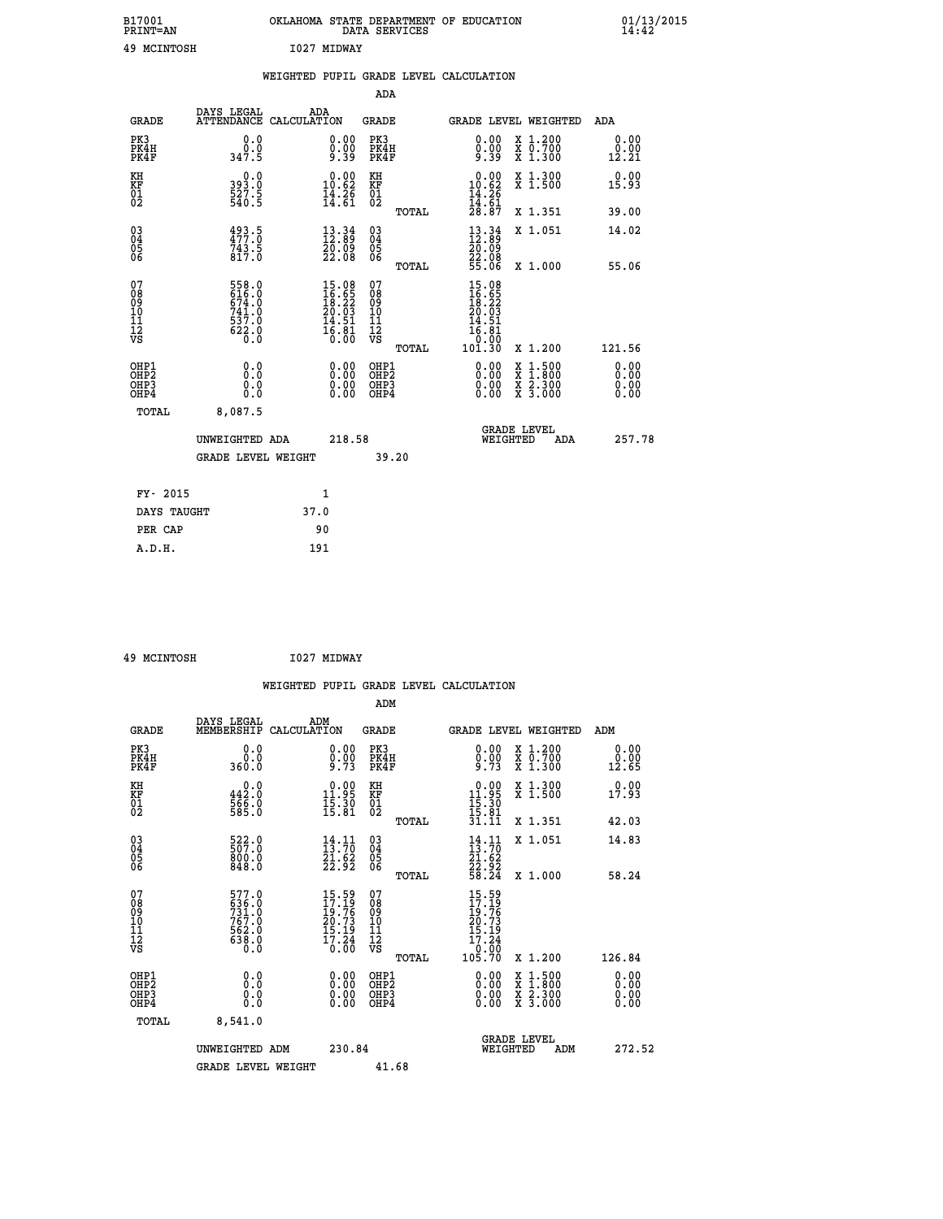| B17001<br>PRINT=AN | OKLAHOMA STATE DEPARTMENT OF EDUCATION<br>DATA SERVICES | 01/13/2015<br>14:42 |
|--------------------|---------------------------------------------------------|---------------------|
| 49<br>MCINTOSH     | I027<br><b>MIDWAY</b>                                   |                     |

|                                                                    |                                                           |                                                                                              |                                                    |                              | WEIGHTED PUPIL GRADE LEVEL CALCULATION                                                                 |                                                                                                                                           |                              |
|--------------------------------------------------------------------|-----------------------------------------------------------|----------------------------------------------------------------------------------------------|----------------------------------------------------|------------------------------|--------------------------------------------------------------------------------------------------------|-------------------------------------------------------------------------------------------------------------------------------------------|------------------------------|
|                                                                    |                                                           |                                                                                              |                                                    | <b>ADA</b>                   |                                                                                                        |                                                                                                                                           |                              |
| <b>GRADE</b>                                                       | DAYS LEGAL                                                | ADA<br>ATTENDANCE CALCULATION                                                                | <b>GRADE</b>                                       |                              |                                                                                                        | GRADE LEVEL WEIGHTED                                                                                                                      | <b>ADA</b>                   |
| PK3<br>PK4H<br>PK4F                                                | 0.0<br>0.0<br>347.5                                       | $\begin{smallmatrix} 0.00 \ 0.00 \ 9.39 \end{smallmatrix}$                                   | PK3                                                | PK4H<br>PK4F                 | 0.00<br>$0.00$<br>9.39                                                                                 | X 1.200<br>X 0.700<br>X 1.300                                                                                                             | 0.00<br>0.00<br>12.21        |
| KH<br>KF<br>01<br>02                                               | 0.0<br>393.0<br>527.5<br>540.5                            | $\begin{smallmatrix} 0.00\\ 10.62\\ 14.26\\ 14.61 \end{smallmatrix}$                         | KH<br>KF<br>01<br>02                               |                              | $\begin{smallmatrix} 0.00\\ 10.62\\ 14.26\\ 14.61\\ 28.87 \end{smallmatrix}$                           | X 1.300<br>X 1.500                                                                                                                        | 0.00<br>15.93                |
|                                                                    |                                                           |                                                                                              |                                                    | TOTAL                        |                                                                                                        | X 1.351                                                                                                                                   | 39.00                        |
| $\begin{smallmatrix} 03 \\[-4pt] 04 \end{smallmatrix}$<br>Ŏ5<br>06 | $493.5$<br>$477.0$<br>743.5<br>817.0                      | $\begin{smallmatrix} 13\cdot 34\\ 12\cdot 89\\ 20\cdot 09\\ 22\cdot 08 \end{smallmatrix}$    | $\begin{matrix} 03 \\ 04 \\ 05 \\ 06 \end{matrix}$ |                              | $\begin{smallmatrix} 13\cdot 34\\ 12\cdot 89\\ 20\cdot 09\\ 22\cdot 08\\ 55\cdot 06 \end{smallmatrix}$ | X 1.051                                                                                                                                   | 14.02                        |
|                                                                    |                                                           |                                                                                              |                                                    | TOTAL                        |                                                                                                        | X 1.000                                                                                                                                   | 55.06                        |
| 07<br>08<br>09<br>11<br>11<br>12<br>VS                             | 558.0<br>616.0<br>674.0<br>741.0<br>$\frac{537.0}{622.0}$ | $\begin{smallmatrix} 15.08\\ 16.65\\ 18.22\\ 20.03\\ 14.51\\ 16.81\\ 0.00 \end{smallmatrix}$ | 07<br>08<br>09<br>11<br>11<br>12<br>VS             | TOTAL                        | 15.08<br>16.65<br>18.22<br>20.03<br>14.51<br>16.81<br>0:00<br>101:30                                   | X 1.200                                                                                                                                   | 121.56                       |
| OHP1<br>OHP2<br>OH <sub>P3</sub><br>OH <sub>P4</sub>               | 0.0<br>Ŏ.Ŏ<br>0.0<br>0.0                                  | 0.00<br>$\begin{smallmatrix} 0.00 \ 0.00 \end{smallmatrix}$                                  |                                                    | OHP1<br>OHP2<br>OHP3<br>OHP4 | $0.00$<br>$0.00$<br>0.00                                                                               | $\begin{smallmatrix} \mathtt{X} & 1\cdot500\\ \mathtt{X} & 1\cdot800\\ \mathtt{X} & 2\cdot300\\ \mathtt{X} & 3\cdot000 \end{smallmatrix}$ | 0.00<br>0.00<br>0.00<br>0.00 |
| <b>TOTAL</b>                                                       | 8,087.5                                                   |                                                                                              |                                                    |                              |                                                                                                        |                                                                                                                                           |                              |
|                                                                    | UNWEIGHTED ADA                                            |                                                                                              | 218.58                                             |                              | WEIGHTED                                                                                               | <b>GRADE LEVEL</b><br>ADA                                                                                                                 | 257.78                       |
|                                                                    | GRADE LEVEL WEIGHT                                        |                                                                                              |                                                    | 39.20                        |                                                                                                        |                                                                                                                                           |                              |
| FY- 2015                                                           |                                                           | $\mathbf{1}$                                                                                 |                                                    |                              |                                                                                                        |                                                                                                                                           |                              |
| DAYS TAUGHT                                                        |                                                           | 37.0                                                                                         |                                                    |                              |                                                                                                        |                                                                                                                                           |                              |
| PER CAP                                                            |                                                           | 90                                                                                           |                                                    |                              |                                                                                                        |                                                                                                                                           |                              |

| 49 MCINTOSH | I027 MIDWAY |
|-------------|-------------|

|                                                    |                                                              |                    |                                                                                                                 |                                   |       | WEIGHTED PUPIL GRADE LEVEL CALCULATION                                               |                                                                                                                                           |                       |        |
|----------------------------------------------------|--------------------------------------------------------------|--------------------|-----------------------------------------------------------------------------------------------------------------|-----------------------------------|-------|--------------------------------------------------------------------------------------|-------------------------------------------------------------------------------------------------------------------------------------------|-----------------------|--------|
|                                                    |                                                              |                    |                                                                                                                 | ADM                               |       |                                                                                      |                                                                                                                                           |                       |        |
| <b>GRADE</b>                                       | DAYS LEGAL<br>MEMBERSHIP                                     | ADM<br>CALCULATION |                                                                                                                 | <b>GRADE</b>                      |       |                                                                                      | <b>GRADE LEVEL WEIGHTED</b>                                                                                                               | ADM                   |        |
| PK3<br>PK4H<br>PK4F                                | 0.0<br>0.0<br>360.0                                          |                    | $\begin{smallmatrix} 0.00\ 0.00\ 9.73 \end{smallmatrix}$                                                        | PK3<br>PK4H<br>PK4F               |       | $0.00$<br>$0.00$<br>$9.73$                                                           | X 1.200<br>X 0.700<br>X 1.300                                                                                                             | 0.00<br>0.00<br>12.65 |        |
| KH<br>KF<br>01<br>02                               | 442.0<br>$\frac{566}{585}$ :0                                |                    | $\begin{array}{c} 0.00 \\ 11.95 \\ 15.30 \\ 15.81 \end{array}$                                                  | KH<br>KF<br>01<br>02              |       | $\begin{array}{r} 0.00 \\ 11.95 \\ 15.30 \\ 15.81 \\ 31.11 \end{array}$              | X 1.300<br>X 1.500                                                                                                                        | 0.00<br>17.93         |        |
|                                                    |                                                              |                    |                                                                                                                 |                                   | TOTAL |                                                                                      | X 1.351                                                                                                                                   | 42.03                 |        |
| $\begin{matrix} 03 \\ 04 \\ 05 \\ 06 \end{matrix}$ | 522.0<br>800.0<br>848.0                                      |                    | $\frac{14}{13}$ : $\frac{11}{70}$<br>$\frac{\bar{2}\bar{1}\cdot\dot{6}\bar{2}}{22\cdot92}$                      | $\substack{03 \\ 04}$<br>Ŏ5<br>06 |       | $14.11$<br>$13.70$<br>$21.62$<br>$22.92$<br>$58.24$                                  | X 1.051                                                                                                                                   | 14.83                 |        |
|                                                    |                                                              |                    |                                                                                                                 |                                   | TOTAL |                                                                                      | X 1.000                                                                                                                                   | 58.24                 |        |
| 07<br>0890112<br>1112<br>VS                        | 577.0<br>636.0<br>731.0<br>767.0<br>762.0<br>5638.0<br>638.0 |                    | $15.59$<br>$17.19$<br>$\frac{16}{20}$ . 76<br>$\frac{20}{15}$ . 73<br>$\frac{15}{17}$ . 24<br>$\frac{24}{0.00}$ | 07<br>08901123<br>1112<br>VS      | TOTAL | $15.59$<br>$17.19$<br>$19.76$<br>$20.73$<br>$15.19$<br>$17.24$<br>$0.00$<br>$105.70$ | $X_1.200$                                                                                                                                 | 126.84                |        |
|                                                    |                                                              |                    |                                                                                                                 |                                   |       |                                                                                      |                                                                                                                                           |                       |        |
| OHP1<br>OHP2<br>OH <sub>P3</sub><br>OHP4           | 0.0<br>0.000                                                 |                    | $\begin{smallmatrix} 0.00 \ 0.00 \ 0.00 \ 0.00 \end{smallmatrix}$                                               | OHP1<br>OHP2<br>OHP3<br>OHP4      |       |                                                                                      | $\begin{smallmatrix} \mathtt{X} & 1\cdot500\\ \mathtt{X} & 1\cdot800\\ \mathtt{X} & 2\cdot300\\ \mathtt{X} & 3\cdot000 \end{smallmatrix}$ | 0.00<br>0.00<br>0.00  |        |
| TOTAL                                              | 8,541.0                                                      |                    |                                                                                                                 |                                   |       |                                                                                      |                                                                                                                                           |                       |        |
|                                                    | UNWEIGHTED ADM                                               |                    | 230.84                                                                                                          |                                   |       | WEIGHTED                                                                             | <b>GRADE LEVEL</b><br>ADM                                                                                                                 |                       | 272.52 |
|                                                    | <b>GRADE LEVEL WEIGHT</b>                                    |                    |                                                                                                                 | 41.68                             |       |                                                                                      |                                                                                                                                           |                       |        |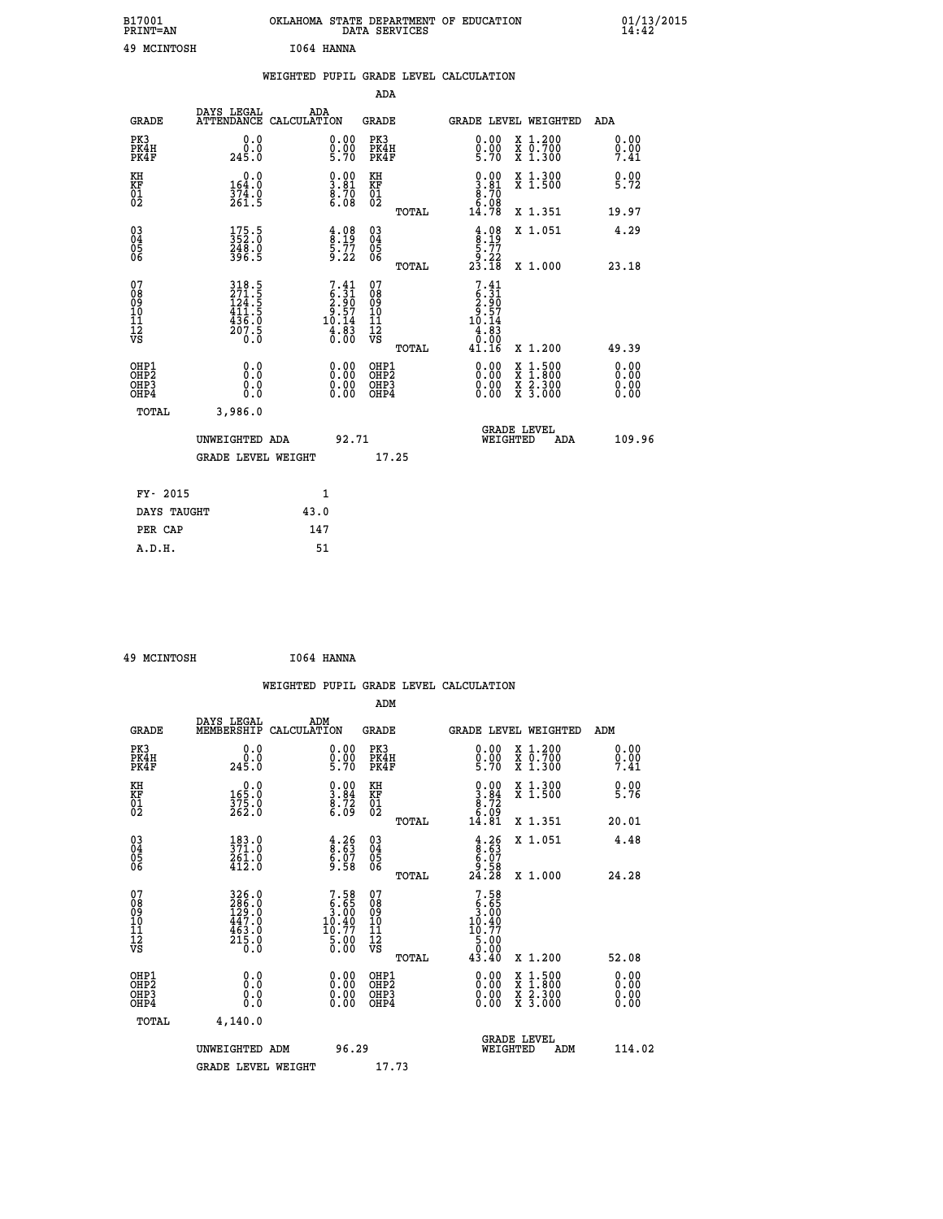| B17001<br>PRINT=AN                                 |                                                                             |            |                                                                               |                                          | DATA SERVICES | OKLAHOMA STATE DEPARTMENT OF EDUCATION                                                        |                                                           | $01/13/2015$<br>14:42        |
|----------------------------------------------------|-----------------------------------------------------------------------------|------------|-------------------------------------------------------------------------------|------------------------------------------|---------------|-----------------------------------------------------------------------------------------------|-----------------------------------------------------------|------------------------------|
| 49 MCINTOSH                                        |                                                                             | I064 HANNA |                                                                               |                                          |               |                                                                                               |                                                           |                              |
|                                                    |                                                                             |            |                                                                               |                                          |               | WEIGHTED PUPIL GRADE LEVEL CALCULATION                                                        |                                                           |                              |
|                                                    |                                                                             |            |                                                                               | ADA                                      |               |                                                                                               |                                                           |                              |
| <b>GRADE</b>                                       | DAYS LEGAL<br>ATTENDANCE CALCULATION                                        | ADA        |                                                                               | GRADE                                    |               |                                                                                               | GRADE LEVEL WEIGHTED                                      | ADA                          |
| PK3<br>PK4H<br>PK4F                                | 0.0<br>0.0<br>245.0                                                         |            | $0.00$<br>$0.00$<br>5.70                                                      | PK3<br>PK4H<br>PK4F                      |               | $\begin{smallmatrix} 0.00\\ 0.00\\ 5.70 \end{smallmatrix}$                                    | X 1.200<br>X 0.700<br>X 1.300                             | 0.00<br>0.00<br>7.41         |
| KH<br>KF<br>$^{01}_{02}$                           | 0.0<br>164.0<br>374.0<br>261.5                                              |            | $\begin{smallmatrix} 0.00\ 3.81\ 8.70\ 6.08 \end{smallmatrix}$                | KH<br>KF<br>$^{01}_{02}$                 |               | $\begin{smallmatrix} 0.00\\ 3.81\\ 8.70\\ 6.08 \end{smallmatrix}$                             | X 1.300<br>X 1.500                                        | 0.00<br>5.72                 |
|                                                    |                                                                             |            |                                                                               |                                          | TOTAL         | 14.78                                                                                         | X 1.351                                                   | 19.97                        |
| $\begin{matrix} 03 \\ 04 \\ 05 \\ 06 \end{matrix}$ | $175.5$<br>$352.0$<br>248.0<br>396.5                                        |            | $\begin{array}{c} 4.08 \\[-4pt] 8.19 \\[-4pt] 5.77 \\[-4pt] 9.22 \end{array}$ | 03<br>04<br>05<br>06                     |               | $\frac{4}{8}$ : 19<br>$\frac{5.77}{9.22}$<br>23.18                                            | X 1.051                                                   | 4.29                         |
|                                                    |                                                                             |            |                                                                               |                                          | TOTAL         |                                                                                               | X 1.000                                                   | 23.18                        |
| 07<br>08<br>09<br>10<br>11<br>12<br>VS             | 318.5<br>$\frac{271.5}{124.5}$<br>$\frac{411.5}{436.0}$<br>$^{207.5}_{0.0}$ |            | $7.41$<br>$6.31$<br>$2.90$<br>$9.57$<br>$10.14$<br>$4.83$<br>$0.00$           | 07<br>08<br>09<br>10<br>11<br>ĪŹ<br>VŜ   | TOTAL         | 7.41<br>$\begin{array}{c} 6:31 \\ 2:90 \\ 9:57 \\ 10:14 \end{array}$<br>4.83<br>0.00<br>41.16 | X 1.200                                                   | 49.39                        |
| OHP1<br>OHP2<br>OHP3<br>OHP4                       | 0.0<br>Ō.Ō<br>0.0<br>0.0                                                    |            | 0.00<br>0.00<br>0.00                                                          | OHP1<br>OHP <sub>2</sub><br>OHP3<br>OHP4 |               | 0.00<br>0.00<br>0.00                                                                          | X 1:500<br>X 1:800<br>$\frac{x}{x}$ $\frac{5.300}{3.000}$ | 0.00<br>0.00<br>0.00<br>0.00 |
| TOTAL                                              | 3,986.0                                                                     |            |                                                                               |                                          |               |                                                                                               |                                                           |                              |
|                                                    | UNWEIGHTED ADA                                                              |            | 92.71                                                                         |                                          |               | WEIGHTED                                                                                      | <b>GRADE LEVEL</b><br>ADA                                 | 109.96                       |
|                                                    | <b>GRADE LEVEL WEIGHT</b>                                                   |            |                                                                               |                                          | 17.25         |                                                                                               |                                                           |                              |
| FY- 2015                                           |                                                                             | 1          |                                                                               |                                          |               |                                                                                               |                                                           |                              |
| DAYS TAUGHT                                        |                                                                             | 43.0       |                                                                               |                                          |               |                                                                                               |                                                           |                              |
| PER CAP                                            |                                                                             | 147        |                                                                               |                                          |               |                                                                                               |                                                           |                              |

| 49 MCINTOSH | I064 HANNA |
|-------------|------------|

|                                                                              |                                                                   |                                                                                  |                                                     | WEIGHTED PUPIL GRADE LEVEL CALCULATION                                                                                                                                                                                                                                         |                                          |                              |
|------------------------------------------------------------------------------|-------------------------------------------------------------------|----------------------------------------------------------------------------------|-----------------------------------------------------|--------------------------------------------------------------------------------------------------------------------------------------------------------------------------------------------------------------------------------------------------------------------------------|------------------------------------------|------------------------------|
|                                                                              |                                                                   |                                                                                  | ADM                                                 |                                                                                                                                                                                                                                                                                |                                          |                              |
| <b>GRADE</b>                                                                 | DAYS LEGAL<br>MEMBERSHIP                                          | ADM<br>CALCULATION                                                               | <b>GRADE</b>                                        | <b>GRADE LEVEL WEIGHTED</b>                                                                                                                                                                                                                                                    |                                          | ADM                          |
| PK3<br>PK4H<br>PK4F                                                          | 0.0<br>245.0                                                      | $\begin{smallmatrix} 0.00 \ 0.00 \ 5.70 \end{smallmatrix}$                       | PK3<br>PK4H<br>PK4F                                 | $\begin{smallmatrix} 0.00\\ 0.00\\ 5.70 \end{smallmatrix}$                                                                                                                                                                                                                     | X 1.200<br>X 0.700<br>X 1.300            | 0.00<br>0.00<br>7.41         |
| KH<br>KF<br>01<br>02                                                         | $165.0$<br>$375.0$<br>$262.0$                                     | $\begin{smallmatrix} 0.00\\ 3.84\\ 8.72\\ 6.09 \end{smallmatrix}$                | KH<br>KF<br>01<br>02                                | $\begin{smallmatrix} 0.00\\ 3.84\\ 8.72\\ 6.09\\ 14.81\\ \end{smallmatrix}$                                                                                                                                                                                                    | X 1.300<br>X 1.500                       | 0.00<br>5.76                 |
|                                                                              |                                                                   |                                                                                  | TOTAL                                               |                                                                                                                                                                                                                                                                                | X 1.351                                  | 20.01                        |
| $\begin{matrix} 03 \\ 04 \\ 05 \\ 06 \end{matrix}$                           | 183.0<br>371.0<br>$\frac{261.0}{412.0}$                           | $\begin{array}{c} 4.26 \\ 8.63 \\ 6.07 \\ 9.58 \end{array}$                      | $\begin{array}{c} 03 \\ 04 \\ 05 \\ 06 \end{array}$ | $\begin{array}{c} 4.26 \\ 8.63 \\ 6.07 \\ 9.58 \\ 24.28 \end{array}$                                                                                                                                                                                                           | X 1.051                                  | 4.48                         |
|                                                                              |                                                                   |                                                                                  | TOTAL                                               |                                                                                                                                                                                                                                                                                | X 1.000                                  | 24.28                        |
| 07<br>08<br>09<br>101<br>112<br>VS                                           | 326.0<br>286.0<br>129.0<br>$447.0$<br>$463.0$<br>$215.0$<br>$0.0$ | $\begin{smallmatrix}7.58\\6.65\\3.00\\10.40\\10.77\\5.00\\0.00\end{smallmatrix}$ | 07<br>08<br>09<br>11<br>11<br>12<br>VS<br>TOTAL     | $7.58\n6.65\n3.00\n10.40$<br>$\begin{smallmatrix} 10.77 \ 5.00 \ 0.00 \end{smallmatrix}$<br>43.40                                                                                                                                                                              | X 1.200                                  | 52.08                        |
| OHP1<br>OH <sub>P</sub> <sub>2</sub><br>OH <sub>P3</sub><br>OH <sub>P4</sub> | 0.0<br>0.000                                                      | $\begin{smallmatrix} 0.00 \ 0.00 \ 0.00 \ 0.00 \end{smallmatrix}$                | OHP1<br>OHP2<br>OHP3<br>OHP4                        | $\begin{smallmatrix} 0.00 & 0.00 & 0.00 & 0.00 & 0.00 & 0.00 & 0.00 & 0.00 & 0.00 & 0.00 & 0.00 & 0.00 & 0.00 & 0.00 & 0.00 & 0.00 & 0.00 & 0.00 & 0.00 & 0.00 & 0.00 & 0.00 & 0.00 & 0.00 & 0.00 & 0.00 & 0.00 & 0.00 & 0.00 & 0.00 & 0.00 & 0.00 & 0.00 & 0.00 & 0.00 & 0.0$ | X 1:500<br>X 1:800<br>X 2:300<br>X 3:000 | 0.00<br>0.00<br>0.00<br>0.00 |
| TOTAL                                                                        | 4,140.0                                                           |                                                                                  |                                                     |                                                                                                                                                                                                                                                                                |                                          |                              |
|                                                                              | UNWEIGHTED ADM                                                    | 96.29                                                                            |                                                     | GRADE LEVEL<br>WEIGHTED                                                                                                                                                                                                                                                        | ADM                                      | 114.02                       |
|                                                                              | <b>GRADE LEVEL WEIGHT</b>                                         |                                                                                  | 17.73                                               |                                                                                                                                                                                                                                                                                |                                          |                              |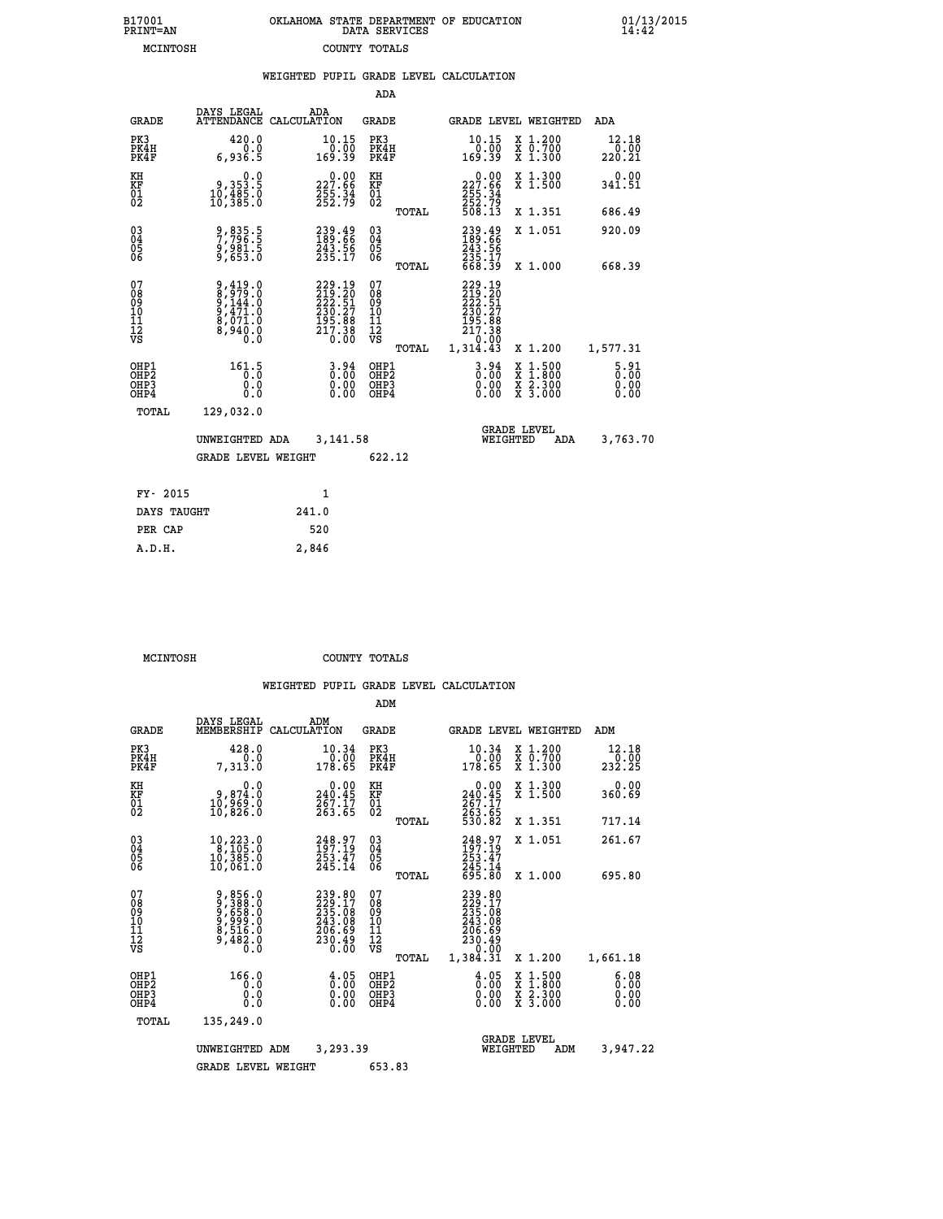| 7001<br>INT=AN | OKLAHOMA STATE DEPARTMENT OF EDUCATION<br>DATA SERVICES |  |
|----------------|---------------------------------------------------------|--|
| MCINTOSH       | COUNTY TOTALS                                           |  |

 **B17001<br>PRINT=AN** 

 **B17001 OKLAHOMA STATE DEPARTMENT OF EDUCATION 01/13/2015**

|                                              |                                                                                 | WEIGHTED PUPIL GRADE LEVEL CALCULATION                                     |                                         |       |                                                                                                      |                                                                                        |                         |
|----------------------------------------------|---------------------------------------------------------------------------------|----------------------------------------------------------------------------|-----------------------------------------|-------|------------------------------------------------------------------------------------------------------|----------------------------------------------------------------------------------------|-------------------------|
|                                              |                                                                                 |                                                                            | ADA                                     |       |                                                                                                      |                                                                                        |                         |
| <b>GRADE</b>                                 | DAYS LEGAL                                                                      | ADA<br>ATTENDANCE CALCULATION                                              | <b>GRADE</b>                            |       |                                                                                                      | GRADE LEVEL WEIGHTED                                                                   | ADA                     |
| PK3<br>PK4H<br>PK4F                          | 420.0<br>0.0<br>6,936.5                                                         | $10.15$<br>$0.00$<br>169.39                                                | PK3<br>PK4H<br>PK4F                     |       | 10.15<br>00.07<br>169.39                                                                             | X 1.200<br>X 0.700<br>X 1.300                                                          | 12.18<br>0.00<br>220.21 |
| KH<br>KF<br>01<br>02                         | $\begin{smallmatrix} & & 0.0\, 9,353.5\, 10,485.0\, 10,385.0 \end{smallmatrix}$ | 227.66<br>255.34<br>252.79                                                 | KH<br>KF<br>01<br>02                    |       | 227.66<br>$\frac{255}{252}$ . $\frac{34}{79}$<br>508.13                                              | X 1.300<br>X 1.500                                                                     | $0.00$<br>341.51        |
|                                              |                                                                                 |                                                                            |                                         | TOTAL |                                                                                                      | X 1.351                                                                                | 686.49                  |
| $^{03}_{04}$<br>05                           | 9,835.5<br>7,796.5<br>9,981.5<br>9,653.0                                        | 239.49<br>189.66<br>243.56<br>235.17                                       | $^{03}_{04}$<br>0500                    |       | 239.49<br>189.66<br>243.56<br>235.17<br>668.39                                                       | X 1.051                                                                                | 920.09                  |
| 06                                           |                                                                                 |                                                                            |                                         | TOTAL |                                                                                                      | X 1.000                                                                                | 668.39                  |
| 07<br>08<br>09<br>01<br>11<br>11<br>12<br>VS | 9,419.0<br>8,979.0<br>9,144.0<br>9,471.0<br>8,071.0<br>8,940.0                  | 229.19<br>219.20<br>222.51<br>230.27<br>230.27<br>195.88<br>217.38<br>0.00 | 07<br>08<br>09<br>101<br>11<br>12<br>VS | TOTAL | 229.19<br>219.20<br>222.51<br>230.27<br>195.88<br>195.88<br>217.38<br>00.0 <sup>--</sup><br>1,314.43 | X 1.200                                                                                | 1,577.31                |
| OHP1<br>OHP2<br>OHP3<br>OHP4                 | 161.5<br>0.0<br>0.0                                                             | $\begin{smallmatrix} 3.94\ 0.00\ 0.00 \end{smallmatrix}$                   | OHP1<br>OHP2<br>OHP3<br>OHP4            |       | $\begin{smallmatrix} 3.94\ 0.00\ 0.00 \end{smallmatrix}$                                             | $\begin{smallmatrix} 1.500\ 1.800\ 2.300\ 3.000 \end{smallmatrix}$<br>X<br>X<br>X<br>X | 5.81<br>0.00            |
| TOTAL                                        | 129,032.0                                                                       |                                                                            |                                         |       |                                                                                                      |                                                                                        |                         |
|                                              | UNWEIGHTED ADA                                                                  | 3,141.58                                                                   |                                         |       | WEIGHTED                                                                                             | <b>GRADE LEVEL</b><br>ADA                                                              | 3,763.70                |
|                                              | <b>GRADE LEVEL WEIGHT</b>                                                       |                                                                            | 622.12                                  |       |                                                                                                      |                                                                                        |                         |
| FY- 2015                                     |                                                                                 | $\mathbf{1}$                                                               |                                         |       |                                                                                                      |                                                                                        |                         |
| DAYS TAUGHT                                  |                                                                                 | 241.0                                                                      |                                         |       |                                                                                                      |                                                                                        |                         |
| PER CAP                                      |                                                                                 | 520                                                                        |                                         |       |                                                                                                      |                                                                                        |                         |

 **MCINTOSH COUNTY TOTALS**

 **A.D.H. 2,846**

|                                                       |                                                                           |                                                                   | ADM                                                |                                                                              |                                          |                              |
|-------------------------------------------------------|---------------------------------------------------------------------------|-------------------------------------------------------------------|----------------------------------------------------|------------------------------------------------------------------------------|------------------------------------------|------------------------------|
| <b>GRADE</b>                                          | DAYS LEGAL<br>MEMBERSHIP                                                  | ADM<br>CALCULATION                                                | <b>GRADE</b>                                       | <b>GRADE LEVEL WEIGHTED</b>                                                  |                                          | ADM                          |
| PK3<br>PK4H<br>PK4F                                   | 428.0<br>0.0<br>7,313.0                                                   | 10.34<br>0.00<br>178.65                                           | PK3<br>PK4H<br>PK4F                                | 10.34<br>0.00<br>178.65                                                      | X 1.200<br>X 0.700<br>X 1.300            | 12.18<br>0.00<br>232.25      |
| KH<br>KF<br>01<br>02                                  | 0.0<br>0,874.0<br>0,969.0<br>10,826.0                                     | $0.00$<br>240.45<br>267.17<br>263.65                              | KH<br>KF<br>01<br>02                               | 0.00<br>240:45<br>267:17<br>263:65<br>530:82                                 | X 1.300<br>X 1.500                       | 0.00<br>360.69               |
|                                                       |                                                                           |                                                                   | TOTAL                                              |                                                                              | X 1.351                                  | 717.14                       |
| 03<br>04<br>05<br>06                                  | 10,223.0<br>8,105.0<br>10,385.0<br>10,061.0                               | 248.97<br>197.19<br>253.47<br>245.14                              | $\begin{matrix} 03 \\ 04 \\ 05 \\ 06 \end{matrix}$ | 248.97<br>197.19<br>253:47<br>245:14<br>695:80                               | X 1.051                                  | 261.67                       |
|                                                       |                                                                           |                                                                   | TOTAL                                              |                                                                              | X 1.000                                  | 695.80                       |
| 07<br>08<br>09<br>101<br>112<br>VS                    | 9,856.0<br>9,388.0<br>9,658.0<br>9,999.0<br>8,516.0<br>8,516.0<br>9,482.0 | 239.80<br>229.17<br>235.08<br>243.08<br>206.69<br>230.49<br>0.00  | 07<br>08<br>09<br>11<br>11<br>12<br>VS<br>TOTAL    | 239.80<br>229.17<br>235.08<br>243.08<br>206.69<br>230.49<br>0.00<br>1,384.31 | X 1.200                                  | 1,661.18                     |
| OHP1<br>OH <sub>P</sub> 2<br>OH <sub>P3</sub><br>OHP4 | 166.0<br>0.0<br>0.000                                                     | $\begin{smallmatrix} 4.05\ 0.00 \ 0.00 \end{smallmatrix}$<br>0.00 | OHP1<br>OHP2<br>OHP3<br>OHP4                       | $\begin{smallmatrix} 4.05\ 0.00 \ 0.00 \end{smallmatrix}$<br>0.00            | X 1:500<br>X 1:800<br>X 2:300<br>X 3:000 | 6.08<br>0.00<br>0.00<br>0.00 |
| TOTAL                                                 | 135,249.0                                                                 |                                                                   |                                                    |                                                                              |                                          |                              |
|                                                       | UNWEIGHTED                                                                | 3,293.39<br>ADM                                                   |                                                    | <b>GRADE LEVEL</b><br>WEIGHTED                                               | ADM                                      | 3,947.22                     |
|                                                       | <b>GRADE LEVEL WEIGHT</b>                                                 |                                                                   | 653.83                                             |                                                                              |                                          |                              |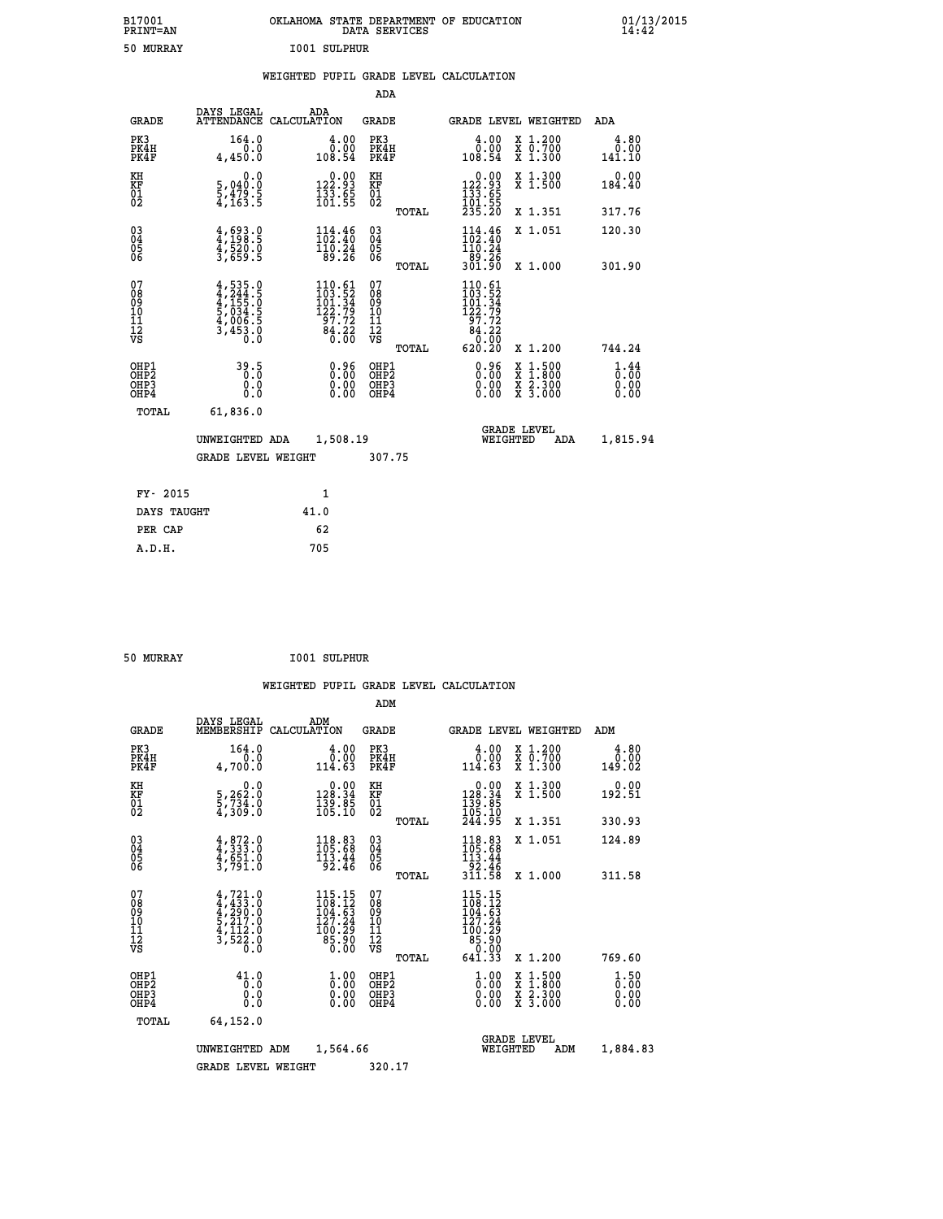| B17001<br>PRINT=AN | . STATE DEPARTMENT OF EDUCATION<br>OKLAHOMA<br>DATA SERVICES | $01/13/2015$<br>14:42 |
|--------------------|--------------------------------------------------------------|-----------------------|
| 50<br>MURRAY       | 1001 SULPHUR                                                 |                       |

|  |  | WEIGHTED PUPIL GRADE LEVEL CALCULATION |
|--|--|----------------------------------------|
|  |  |                                        |

|                                                                              |                                                                                  |                                                                                           | ADA                                                |       |                                                                                             |                                                                                                                                              |                              |
|------------------------------------------------------------------------------|----------------------------------------------------------------------------------|-------------------------------------------------------------------------------------------|----------------------------------------------------|-------|---------------------------------------------------------------------------------------------|----------------------------------------------------------------------------------------------------------------------------------------------|------------------------------|
| <b>GRADE</b>                                                                 | DAYS LEGAL                                                                       | ADA<br>ATTENDANCE CALCULATION                                                             | GRADE                                              |       | <b>GRADE LEVEL WEIGHTED</b>                                                                 |                                                                                                                                              | ADA                          |
| PK3<br>PK4H<br>PK4F                                                          | 164.0<br>0.0<br>4,450.0                                                          | $\frac{4.00}{0.00}$<br>108.54                                                             | PK3<br>PK4H<br>PK4F                                |       | 4.00<br>0.00<br>108.54                                                                      | X 1.200<br>X 0.700<br>X 1.300                                                                                                                | 4.80<br>0.00<br>141.10       |
| KH<br>KF<br>01<br>02                                                         | 0.0<br>5,040:0<br>5,479:5<br>4,163:5                                             | $\begin{smallmatrix} 0.00\\ 122.93\\ 133.65\\ 101.55 \end{smallmatrix}$                   | KH<br>KF<br>01<br>02                               |       | $\begin{smallmatrix} &0.00\\ 122.93\\ 133.65\\ 101.55\\ 235.20 \end{smallmatrix}$           | X 1.300<br>X 1.500                                                                                                                           | 0.00<br>184.40               |
|                                                                              |                                                                                  |                                                                                           |                                                    | TOTAL |                                                                                             | X 1.351                                                                                                                                      | 317.76                       |
| $\begin{matrix} 03 \\ 04 \\ 05 \\ 06 \end{matrix}$                           | $4,693.0$<br>$4,198.5$<br>$4,520.0$<br>$3,659.5$                                 | $\begin{smallmatrix} 114.46\\102.40\\110.24\\89.26 \end{smallmatrix}$                     | $\begin{matrix} 03 \\ 04 \\ 05 \\ 06 \end{matrix}$ |       | 114.46<br>110.24<br>-89.26<br>301.90                                                        | X 1.051                                                                                                                                      | 120.30                       |
|                                                                              |                                                                                  |                                                                                           |                                                    | TOTAL |                                                                                             | X 1.000                                                                                                                                      | 301.90                       |
| 07<br>08<br>09<br>11<br>11<br>12<br>VS                                       | $4, 535.0$<br>$4, 244.5$<br>$4, 155.0$<br>$5, 034.5$<br>$4, 006.5$<br>$3, 453.0$ | $\begin{smallmatrix} 110.61\\103.52\\101.34\\122.79\\97.72\\84.22\\0.00\end{smallmatrix}$ | 07<br>08<br>09<br>11<br>11<br>12<br>VS             | TOTAL | $\begin{smallmatrix} 110.61\\103.52\\101.34\\122.79\\97.72\\84.22\\620.20\end{smallmatrix}$ | X 1.200                                                                                                                                      | 744.24                       |
| OHP1<br>OH <sub>P</sub> <sub>2</sub><br>OH <sub>P3</sub><br>OH <sub>P4</sub> | 39.5<br>0.0<br>Ō.Ō                                                               | 0.96<br>0.00<br>0.00                                                                      | OHP1<br>OHP2<br>OHP3<br>OHP4                       |       | 0.96<br>0.00<br>0.00                                                                        | $\begin{smallmatrix} \mathtt{X} & 1\cdot500 \\ \mathtt{X} & 1\cdot800 \\ \mathtt{X} & 2\cdot300 \\ \mathtt{X} & 3\cdot000 \end{smallmatrix}$ | 1.44<br>0.00<br>0.00<br>0.00 |
| TOTAL                                                                        | 61,836.0                                                                         |                                                                                           |                                                    |       |                                                                                             |                                                                                                                                              |                              |
|                                                                              | UNWEIGHTED ADA                                                                   | 1,508.19                                                                                  |                                                    |       | WEIGHTED                                                                                    | <b>GRADE LEVEL</b><br>ADA                                                                                                                    | 1,815.94                     |
|                                                                              | <b>GRADE LEVEL WEIGHT</b>                                                        |                                                                                           | 307.75                                             |       |                                                                                             |                                                                                                                                              |                              |
| FY- 2015                                                                     |                                                                                  | 1                                                                                         |                                                    |       |                                                                                             |                                                                                                                                              |                              |
| DAYS TAUGHT                                                                  |                                                                                  | 41.0                                                                                      |                                                    |       |                                                                                             |                                                                                                                                              |                              |
| PER CAP                                                                      |                                                                                  | 62                                                                                        |                                                    |       |                                                                                             |                                                                                                                                              |                              |
| A.D.H.                                                                       |                                                                                  | 705                                                                                       |                                                    |       |                                                                                             |                                                                                                                                              |                              |
|                                                                              |                                                                                  |                                                                                           |                                                    |       |                                                                                             |                                                                                                                                              |                              |

| 50 MURRAY |  | <b>I001 SULPHUR</b> |
|-----------|--|---------------------|
|-----------|--|---------------------|

|                                                                  |                                                                                                                                                             |                                                                                         | ADM                                                 |       |                                                                                                                 |                                          |                              |
|------------------------------------------------------------------|-------------------------------------------------------------------------------------------------------------------------------------------------------------|-----------------------------------------------------------------------------------------|-----------------------------------------------------|-------|-----------------------------------------------------------------------------------------------------------------|------------------------------------------|------------------------------|
| <b>GRADE</b>                                                     | DAYS LEGAL<br>MEMBERSHIP                                                                                                                                    | ADM<br>CALCULATION                                                                      | <b>GRADE</b>                                        |       |                                                                                                                 | <b>GRADE LEVEL WEIGHTED</b>              | ADM                          |
| PK3<br>PK4H<br>PK4F                                              | 164.0<br>0.0<br>4,700.0                                                                                                                                     | $\frac{4.00}{0.00}$<br>114.63                                                           | PK3<br>PK4H<br>PK4F                                 |       | $\frac{4.00}{0.00}$<br>114.63                                                                                   | X 1.200<br>X 0.700<br>X 1.300            | 4.80<br>0.00<br>149.02       |
| KH<br>KF<br>01<br>02                                             | 0.0<br>5,262:0<br>5,734:0<br>4,309:0                                                                                                                        | $\begin{smallmatrix} &0.00\\ 128.34\\ 139.85\\ 105.10\end{smallmatrix}$                 | KH<br>KF<br>01<br>02                                |       | $\begin{smallmatrix} &0.00\\ 128.34\\ 139.85\\ 105.10\\ 244.95 \end{smallmatrix}$                               | X 1.300<br>X 1.500                       | 0.00<br>192.51               |
|                                                                  |                                                                                                                                                             |                                                                                         |                                                     | TOTAL |                                                                                                                 | X 1.351                                  | 330.93                       |
| 03<br>04<br>05<br>06                                             | $4,872.0$<br>$4,333.0$<br>$4,651.0$<br>$3,791.0$                                                                                                            | $118.83$<br>$105.68$<br>$113.44$<br>92.46                                               | $\begin{array}{c} 03 \\ 04 \\ 05 \\ 06 \end{array}$ |       | $118.83$<br>$105.68$<br>$113.44$<br>$92.46$<br>$311.58$                                                         | X 1.051                                  | 124.89                       |
|                                                                  |                                                                                                                                                             |                                                                                         |                                                     | TOTAL |                                                                                                                 | X 1.000                                  | 311.58                       |
| 07<br>08<br>09<br>101<br>112<br>VS                               | $\begin{smallmatrix} 4\,,\,721\,.\,0\\ 4\,,\,433\,.\,0\\ 4\,,\,290\,.\,0\\ 5\,,\,217\,.\,0\\ 4\,,\,112\,.\,0\\ 3\,,\,522\,.\,0\\ 0\,.\,0 \end{smallmatrix}$ | $\frac{115.15}{108.12}$<br>$\frac{104.53}{104.53}$<br>127.24<br>100:23<br>85.90<br>0.00 | 07<br>08<br>09<br>11<br>11<br>12<br>VS              |       | $115.15$<br>$108.12$<br>$104.63$<br>$\begin{smallmatrix} 127.24 \\ 100.29 \\ 85.90 \\ 641.33 \end{smallmatrix}$ |                                          |                              |
|                                                                  |                                                                                                                                                             |                                                                                         |                                                     | TOTAL |                                                                                                                 | X 1.200                                  | 769.60                       |
| OH <sub>P1</sub><br>OHP <sub>2</sub><br>OH <sub>P3</sub><br>OHP4 | 41.0<br>0.0<br>0.000                                                                                                                                        | $\begin{smallmatrix} 1.00\ 0.00\ 0.00 \end{smallmatrix}$                                | OHP1<br>OHP2<br>OHP <sub>3</sub>                    |       | $\frac{1}{0}$ :00<br>0.00<br>0.00                                                                               | X 1:500<br>X 1:800<br>X 2:300<br>X 3:000 | 1.50<br>0.00<br>0.00<br>0.00 |
| TOTAL                                                            | 64,152.0                                                                                                                                                    |                                                                                         |                                                     |       |                                                                                                                 |                                          |                              |
|                                                                  | UNWEIGHTED                                                                                                                                                  | 1,564.66<br>ADM                                                                         |                                                     |       | WEIGHTED                                                                                                        | <b>GRADE LEVEL</b><br>ADM                | 1,884.83                     |
|                                                                  | GRADE LEVEL WEIGHT                                                                                                                                          |                                                                                         | 320.17                                              |       |                                                                                                                 |                                          |                              |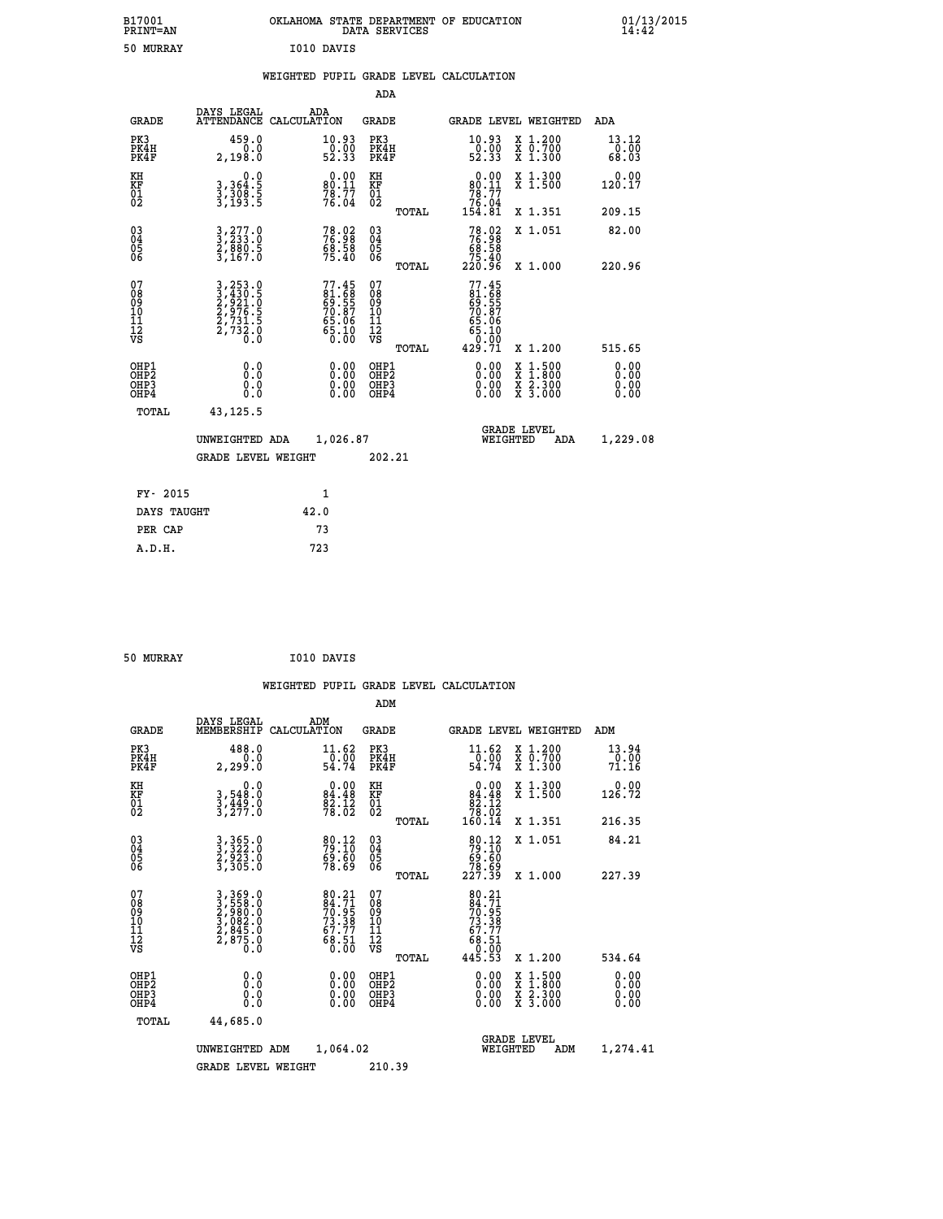| B17001<br><b>PRINT=AN</b> | OKLAHOMA STATE DEPARTMENT OF EDUCATION<br>DATA SERVICES | 01/13/2015 |
|---------------------------|---------------------------------------------------------|------------|
| 50<br>MURRAY              | I010 DAVIS                                              |            |

|  |  | WEIGHTED PUPIL GRADE LEVEL CALCULATION |
|--|--|----------------------------------------|
|  |  |                                        |

|                                                                    |                                                                             |                                                             | ADA                                                 |       |                                                                                                |                                                                                                                                           |                        |
|--------------------------------------------------------------------|-----------------------------------------------------------------------------|-------------------------------------------------------------|-----------------------------------------------------|-------|------------------------------------------------------------------------------------------------|-------------------------------------------------------------------------------------------------------------------------------------------|------------------------|
| <b>GRADE</b>                                                       | DAYS LEGAL                                                                  | ADA<br>ATTENDANCE CALCULATION                               | <b>GRADE</b>                                        |       |                                                                                                | GRADE LEVEL WEIGHTED                                                                                                                      | ADA                    |
| PK3<br>PK4H<br>PK4F                                                | 459.0<br>0.0<br>2,198.0                                                     | 10.93<br>$\begin{array}{c} 0.00 \\ 52.33 \end{array}$       | PK3<br>PK4H<br>PK4F                                 |       | 10.93<br>$\frac{50.00}{52.33}$                                                                 | X 1.200<br>X 0.700<br>X 1.300                                                                                                             | 13.12<br>0.00<br>68.03 |
| KH<br>KF<br>01<br>02                                               | 0.0<br>3,364:5<br>3,308:5<br>3,193:5                                        | $80.11$<br>$78.77$<br>$76.04$                               | KH<br><b>KF</b><br>01<br>02                         |       | 0.00<br>$\begin{array}{r} 80.11 \\ 78.77 \\ 76.04 \\ 154.81 \end{array}$                       | X 1.300<br>X 1.500                                                                                                                        | 0.00<br>120.17         |
|                                                                    |                                                                             |                                                             |                                                     | TOTAL |                                                                                                | X 1.351                                                                                                                                   | 209.15                 |
| $\begin{smallmatrix} 03 \\[-4pt] 04 \end{smallmatrix}$<br>Ŏ5<br>06 | 3,277.0<br>3,233.0<br>2,880.5<br>3,167.0                                    | 78.92<br>76.98<br>68.58<br>75.40                            | $\begin{array}{c} 03 \\ 04 \\ 05 \\ 06 \end{array}$ |       | $78.92\n76.98\n68.58\n75.40\n220.96$                                                           | X 1.051                                                                                                                                   | 82.00                  |
|                                                                    |                                                                             |                                                             |                                                     | TOTAL |                                                                                                | X 1.000                                                                                                                                   | 220.96                 |
| 07<br>08<br>09<br>01<br>11<br>11<br>12<br>VS                       | 3, 253.0<br>3, 430.5<br>2, 921.0<br>2, 976.5<br>2, 731.5<br>2, 732.0<br>0.0 | 77.45<br>81.68<br>69.55<br>70.87<br>76.06<br>65.10<br>65.10 | 07<br>08<br>09<br>11<br>11<br>12<br>VS              |       | 77.45<br>$\begin{array}{c} 1.1681 \\ 69.555 \\ 70.87 \\ 65.066 \\ 65.100 \\ 0.019 \end{array}$ |                                                                                                                                           |                        |
|                                                                    |                                                                             |                                                             |                                                     | TOTAL | 429.71                                                                                         | X 1.200                                                                                                                                   | 515.65                 |
| OHP1<br><b>OHP2</b><br>OH <sub>P3</sub><br>OHP4                    | 0.0<br>0.0<br>0.0                                                           | 0.00<br>0.00<br>0.00                                        | OHP1<br>OHP2<br>OHP3<br>OHP4                        |       |                                                                                                | $\begin{smallmatrix} \mathtt{X} & 1\cdot500\\ \mathtt{X} & 1\cdot800\\ \mathtt{X} & 2\cdot300\\ \mathtt{X} & 3\cdot000 \end{smallmatrix}$ | 0.00<br>0.00<br>0.00   |
| TOTAL                                                              | 43, 125. 5                                                                  |                                                             |                                                     |       |                                                                                                |                                                                                                                                           |                        |
|                                                                    | UNWEIGHTED ADA                                                              | 1,026.87                                                    |                                                     |       |                                                                                                | <b>GRADE LEVEL</b><br>WEIGHTED<br>ADA                                                                                                     | 1,229.08               |
|                                                                    | <b>GRADE LEVEL WEIGHT</b>                                                   |                                                             | 202.21                                              |       |                                                                                                |                                                                                                                                           |                        |
| FY- 2015                                                           |                                                                             | $\mathbf{1}$                                                |                                                     |       |                                                                                                |                                                                                                                                           |                        |
| DAYS TAUGHT                                                        |                                                                             | 42.0                                                        |                                                     |       |                                                                                                |                                                                                                                                           |                        |
| PER CAP                                                            |                                                                             | 73                                                          |                                                     |       |                                                                                                |                                                                                                                                           |                        |

| 50 MURRAY | I010 DAVIS |
|-----------|------------|
|           |            |

 **WEIGHTED PUPIL GRADE LEVEL CALCULATION ADM DAYS LEGAL ADM GRADE MEMBERSHIP CALCULATION GRADE GRADE LEVEL WEIGHTED ADM PK3 488.0 11.62 PK3 11.62 X 1.200 13.94 PK4H 0.0 0.00 PK4H 0.00 X 0.700 0.00 PK4F 2,299.0 54.74 PK4F 54.74 X 1.300 71.16 KH 0.0 0.00 KH 0.00 X 1.300 0.00 KF 3,548.0 84.48 KF 84.48 X 1.500 126.72 EXH**<br> **KF**<br> **01**<br> **02**<br> **02**<br> **3,277.0**<br> **28.02**<br> **22.02**<br> **28.02**<br> **28.02**<br> **28.02**<br> **28.02 02 3,277.0 78.02 02 78.02 TOTAL 160.14 X 1.351 216.35 03 3,365.0 80.12 03 80.12 X 1.051 84.21 04 3,322.0 79.10 04 79.10 05 2,923.0 69.60 05 69.60 06 3,305.0 78.69 06 78.69 TOTAL 227.39 X 1.000 227.39**  $\begin{array}{cccc} 07 & 3\,, 369\,.0 & 80\,.21 & 07 & 80\,.21 \ 08 & 3\,, 558\,.0 & 84\,.71 & 07 & 80\,.21 \ 09 & 2\,, 980\,.0 & 70\,.95 & 09 & 70\,.95 \ 10 & 3\,, 082\,.0 & 73\,.38 & 10 & 73\,.38 \ 11 & 2\,, 845\,.0 & 67\,.77 & 11 & 67\,.77 \ 12 & 78 & 2\,.8 & 5\,.0 & 68\,.51 & 12 &$  **TOTAL 445.53 X 1.200 534.64 OHP1 0.0 0.00 OHP1 0.00 X 1.500 0.00 OHP2 0.0 0.00 OHP2 0.00 X 1.800 0.00 OHP3 0.0 0.00 OHP3 0.00 X 2.300 0.00 OHP4 0.0 0.00 OHP4 0.00 X 3.000 0.00 TOTAL 44,685.0 GRADE LEVEL UNWEIGHTED ADM 1,064.02 WEIGHTED ADM 1,274.41** GRADE LEVEL WEIGHT 210.39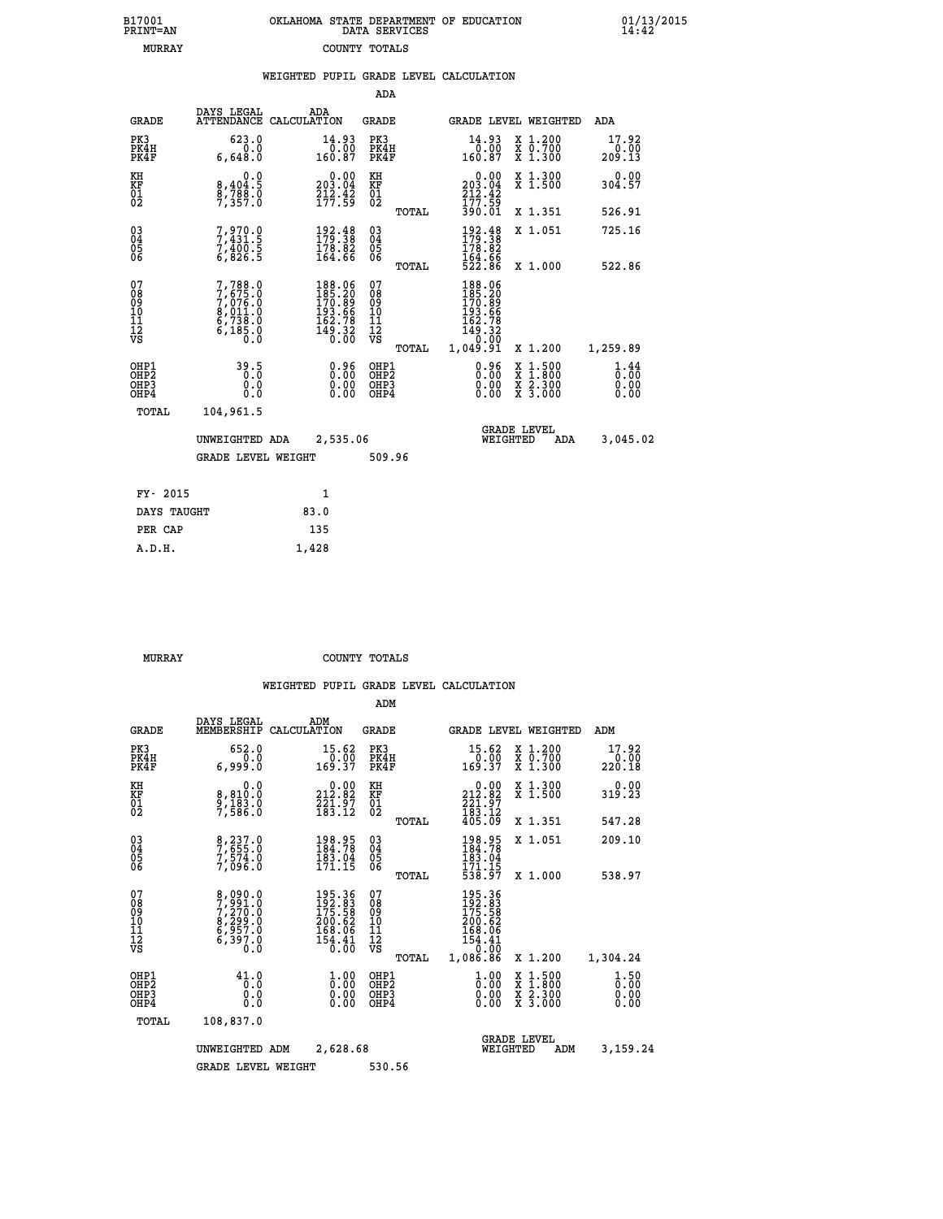| 7001<br>INT=AN |  | OKLAHOMA STATE DEPARTMENT OF EDUCATION<br>DATA SERVICES |  |
|----------------|--|---------------------------------------------------------|--|
| MURRAY         |  | COUNTY TOTALS                                           |  |

**B17001<br>PRINT=AN** 

 **B17001 OKLAHOMA STATE DEPARTMENT OF EDUCATION 01/13/2015**

|                                                       |                                                                                     | WEIGHTED PUPIL GRADE LEVEL CALCULATION                                                        |                                                    |       |                                                                            |                                                                                                  |                                |
|-------------------------------------------------------|-------------------------------------------------------------------------------------|-----------------------------------------------------------------------------------------------|----------------------------------------------------|-------|----------------------------------------------------------------------------|--------------------------------------------------------------------------------------------------|--------------------------------|
|                                                       |                                                                                     |                                                                                               | <b>ADA</b>                                         |       |                                                                            |                                                                                                  |                                |
| <b>GRADE</b>                                          | DAYS LEGAL                                                                          | ADA<br>ATTENDANCE CALCULATION                                                                 | <b>GRADE</b>                                       |       | GRADE LEVEL WEIGHTED                                                       |                                                                                                  | ADA                            |
| PK3<br>PK4H<br>PK4F                                   | 623.0<br>6,648.0                                                                    | $\begin{smallmatrix} 14.93\ 0.00\ 160.87 \end{smallmatrix}$                                   | PK3<br>PK4H<br>PK4F                                |       | $\begin{smallmatrix} 14.93\ 0.00\ 160.87 \end{smallmatrix}$                | X 1.200<br>X 0.700<br>X 1.300                                                                    | 17.92<br>$\frac{0.00}{209.13}$ |
| KH<br>KF<br>01<br>02                                  | 0.0<br>8,404:5<br>8,788:0<br>7,357:0                                                | $\begin{smallmatrix} &0.00\\ 203.04\\ 212.42\\ 177.59\end{smallmatrix}$                       | KH<br>KF<br>01<br>02                               |       | $203.04$<br>$212.42$<br>$177.59$                                           | X 1.300<br>X 1.500                                                                               | 0.00<br>304.57                 |
|                                                       |                                                                                     |                                                                                               |                                                    | TOTAL | 390.01                                                                     | X 1.351                                                                                          | 526.91                         |
| $^{03}_{04}$<br>05<br>06                              | 7,970.0<br>7,431.5<br>7,400.5<br>6,826.5                                            | $\begin{smallmatrix} 192\cdot 48\\ 179\cdot 38\\ 178\cdot 82\\ 164\cdot 66 \end{smallmatrix}$ | $\begin{matrix} 03 \\ 04 \\ 05 \\ 06 \end{matrix}$ |       | $\frac{192.48}{179.38}$                                                    | X 1.051                                                                                          | 725.16                         |
|                                                       |                                                                                     |                                                                                               |                                                    | TOTAL | 164.66<br>522.86                                                           | X 1.000                                                                                          | 522.86                         |
| 07<br>08901112<br>1112<br>VS                          | $7,788.0$<br>$7,675.0$<br>$7,076.0$<br>$8,011.0$<br>$6,738.0$<br>$6,185.0$<br>$0.0$ | 188.06<br>185.20<br>$170.89$<br>$193.66$<br>$162.78$<br>$149.32$<br>$0.00$                    | 07<br>08<br>09<br>11<br>11<br>12<br>VS             |       | 188.06<br>185.20<br>$170.89$<br>$193.66$<br>$162.78$<br>$149.32$<br>$0.00$ |                                                                                                  |                                |
|                                                       |                                                                                     |                                                                                               |                                                    | TOTAL | 1,049.91                                                                   | X 1.200                                                                                          | 1,259.89                       |
| OH <sub>P1</sub><br>OH <sub>P</sub> 2<br>OHP3<br>OHP4 | 39.5<br>0.0<br>0.0                                                                  | $\begin{smallmatrix} 0.96\ 0.00\ 0.00 \end{smallmatrix}$                                      | OHP1<br>OH <sub>P</sub> 2<br>OHP3<br>OHP4          |       | 0.96<br>0.00                                                               | $\begin{smallmatrix} x & 1 & 500 \\ x & 1 & 800 \\ x & 2 & 300 \\ x & 3 & 000 \end{smallmatrix}$ | 1.44<br>0.00<br>0.00<br>0.00   |
| TOTAL                                                 | 104,961.5                                                                           |                                                                                               |                                                    |       |                                                                            |                                                                                                  |                                |
|                                                       | UNWEIGHTED ADA                                                                      | 2,535.06                                                                                      |                                                    |       | WEIGHTED                                                                   | <b>GRADE LEVEL</b><br>ADA                                                                        | 3,045.02                       |
|                                                       | <b>GRADE LEVEL WEIGHT</b>                                                           |                                                                                               | 509.96                                             |       |                                                                            |                                                                                                  |                                |
| FY- 2015                                              |                                                                                     | 1                                                                                             |                                                    |       |                                                                            |                                                                                                  |                                |
| DAYS TAUGHT                                           |                                                                                     | 83.0                                                                                          |                                                    |       |                                                                            |                                                                                                  |                                |
| PER CAP                                               |                                                                                     | 135                                                                                           |                                                    |       |                                                                            |                                                                                                  |                                |
| A.D.H.                                                |                                                                                     | 1,428                                                                                         |                                                    |       |                                                                            |                                                                                                  |                                |

 **MURRAY COUNTY TOTALS**

|                                                    |                                                                       |                                                                                             | ADM                                                 |                                                                                                                                                                          |                                          |                              |
|----------------------------------------------------|-----------------------------------------------------------------------|---------------------------------------------------------------------------------------------|-----------------------------------------------------|--------------------------------------------------------------------------------------------------------------------------------------------------------------------------|------------------------------------------|------------------------------|
| <b>GRADE</b>                                       | DAYS LEGAL<br>MEMBERSHIP                                              | ADM<br>CALCULATION                                                                          | <b>GRADE</b>                                        |                                                                                                                                                                          | <b>GRADE LEVEL WEIGHTED</b>              | ADM                          |
| PK3<br>PK4H<br>PK4F                                | 652.0<br>0.0<br>6,999.0                                               | 15.62<br>$\frac{0.00}{169.37}$                                                              | PK3<br>PK4H<br>PK4F                                 | 15.62                                                                                                                                                                    | X 1.200<br>X 0.700<br>X 1.300            | 17.92<br>0.00<br>220.18      |
| KH<br>KF<br>01<br>02                               | 0.0<br>8,810.0<br>9,183.0<br>7,586.0                                  | $\begin{smallmatrix} 0.00\\ 212.82\\ 221.97\\ 183.12 \end{smallmatrix}$                     | KH<br>KF<br>01<br>02                                | $\overset{0.00}{\phantom{00}212.82}$<br>$\frac{2}{2}$ $\frac{2}{3}$ $\frac{1}{3}$ $\frac{3}{1}$ $\frac{7}{2}$<br>$\frac{4}{0}$ $\frac{3}{5}$ $\frac{1}{0}$ $\frac{9}{9}$ | X 1.300<br>X 1.500                       | 0.00<br>319.23               |
|                                                    |                                                                       |                                                                                             | TOTAL                                               |                                                                                                                                                                          | X 1.351                                  | 547.28                       |
| $\begin{matrix} 03 \\ 04 \\ 05 \\ 06 \end{matrix}$ | 8,237.0<br>7,655.0<br>7,574.0<br>7,096.0                              | 198.95<br>184.78<br>$\frac{183.04}{171.15}$                                                 | $\begin{array}{c} 03 \\ 04 \\ 05 \\ 06 \end{array}$ | $198.95$<br>$184.78$<br>$183.04$<br>$171.15$<br>$538.97$                                                                                                                 | X 1.051                                  | 209.10                       |
|                                                    |                                                                       |                                                                                             | TOTAL                                               |                                                                                                                                                                          | X 1.000                                  | 538.97                       |
| 07<br>08<br>09<br>101<br>11<br>12<br>VS            | 8,090.0<br>7,270.0<br>7,270.0<br>8,299.0<br>6,957.0<br>6,397.0<br>0.0 | $\begin{smallmatrix} 195.36\\192.83\\175.58\\200.62\\168.06\\154.41\\0.00\end{smallmatrix}$ | 07<br>08<br>09<br>11<br>11<br>12<br>VS<br>TOTAL     | 195.36<br>192.83<br>175.58<br>200.62<br>168.06<br>$\frac{154.41}{0.00}$<br>1,086.86                                                                                      | X 1.200                                  | 1,304.24                     |
| OHP1<br>OHP2<br>OH <sub>P3</sub><br>OHP4           | 41.0<br>Ō.Ō<br>0.000                                                  | $\frac{1}{0}$ :00<br>0.00<br>0.00                                                           | OHP1<br>OHP2<br>OHP <sub>3</sub>                    | $\frac{1}{0}$ :00<br>0.00<br>0.00                                                                                                                                        | X 1:500<br>X 1:800<br>X 2:300<br>X 3:000 | 1.50<br>0.00<br>0.00<br>0.00 |
| TOTAL                                              | 108,837.0                                                             |                                                                                             |                                                     |                                                                                                                                                                          |                                          |                              |
|                                                    | UNWEIGHTED                                                            | 2,628.68<br>ADM                                                                             |                                                     | WEIGHTED                                                                                                                                                                 | <b>GRADE LEVEL</b><br>ADM                | 3,159.24                     |
|                                                    | <b>GRADE LEVEL WEIGHT</b>                                             |                                                                                             | 530.56                                              |                                                                                                                                                                          |                                          |                              |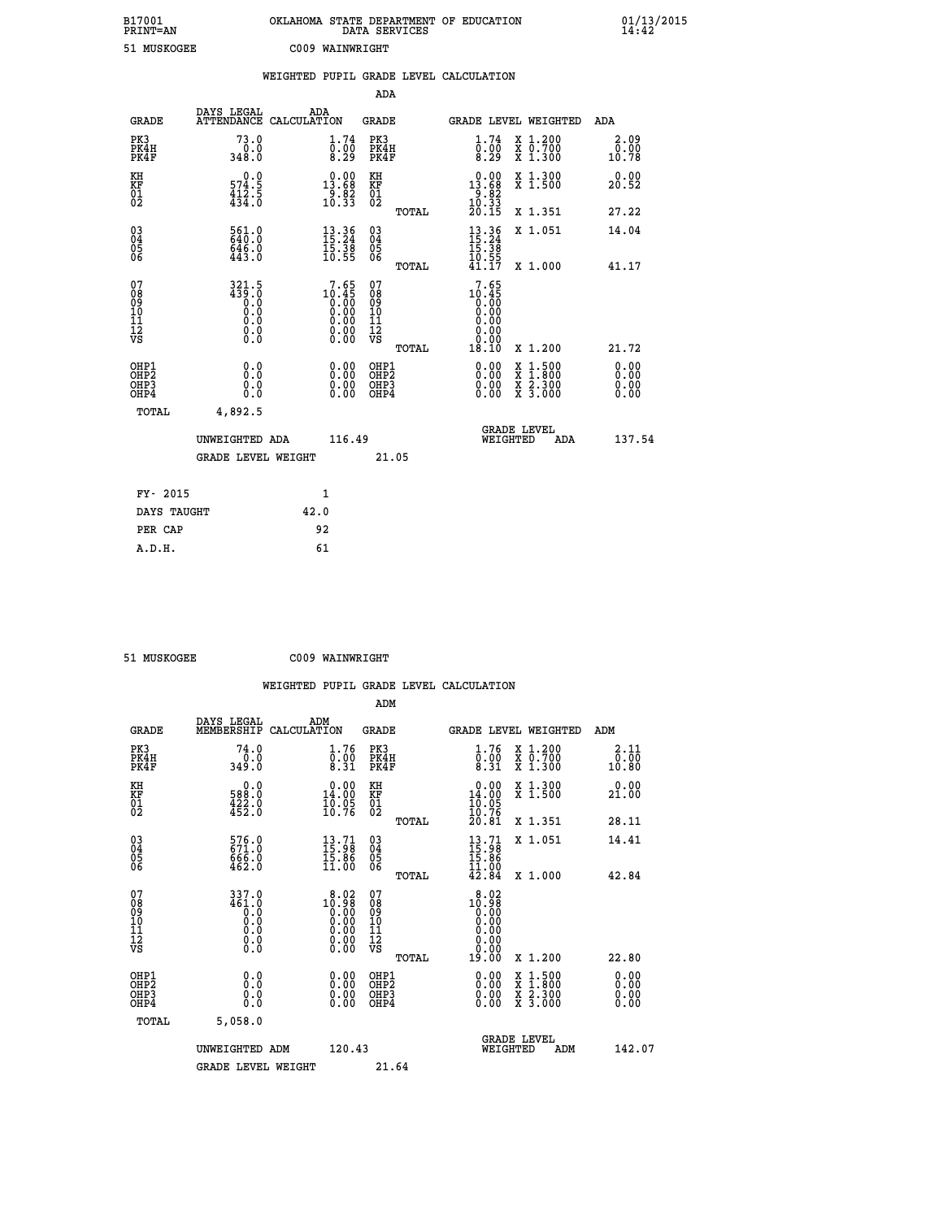| B17001<br><b>PRINT=AN</b> | OKLAHOMA STATE DEPARTMENT OF EDUCATION<br>DATA SERVICES | $01/13/2015$<br>14:42 |
|---------------------------|---------------------------------------------------------|-----------------------|
| 51 MUSKOGEE               | C009 WAINWRIGHT                                         |                       |

|                                        |                                                             | WEIGHTED PUPIL GRADE LEVEL CALCULATION                                                 |                                                     |       |                                                                         |                                                                                                           |                       |
|----------------------------------------|-------------------------------------------------------------|----------------------------------------------------------------------------------------|-----------------------------------------------------|-------|-------------------------------------------------------------------------|-----------------------------------------------------------------------------------------------------------|-----------------------|
|                                        |                                                             |                                                                                        | <b>ADA</b>                                          |       |                                                                         |                                                                                                           |                       |
| <b>GRADE</b>                           |                                                             | DAYS LEGAL ADA ATTENDANCE CALCULATION                                                  | <b>GRADE</b>                                        |       |                                                                         | GRADE LEVEL WEIGHTED                                                                                      | ADA                   |
| PK3<br>PK4H<br>PK4F                    | 73.0<br>0.0<br>348.0                                        | 1.74<br>$\overline{0}$ .00<br>8.29                                                     | PK3<br>PK4H<br>PK4F                                 |       | 1.74<br>$\bar{\S}:\dot{\S}$<br>8.29                                     | X 1.200<br>X 0.700<br>X 1.300                                                                             | 2.09<br>0.00<br>10.78 |
| KH<br>KF<br>01<br>02                   | 0.0<br>$\frac{574.5}{434.5}$                                | $\begin{smallmatrix} 0.00\\13.68\\9.82\\10.33 \end{smallmatrix}$                       | KH<br>KF<br>01<br>02                                |       | $\begin{smallmatrix} 0.00\\13.68\\9.82\\10.33\\20.15 \end{smallmatrix}$ | X 1.300<br>X 1.500                                                                                        | 0.00<br>20.52         |
|                                        |                                                             |                                                                                        |                                                     | TOTAL |                                                                         | X 1.351                                                                                                   | 27.22                 |
| $^{03}_{04}$<br>Ŏ5<br>06               | 561.0<br>646.0<br>443.0                                     | $\begin{smallmatrix} 13\cdot 36\\15\cdot 24\\15\cdot 38\\10\cdot 55 \end{smallmatrix}$ | $\begin{array}{c} 03 \\ 04 \\ 05 \\ 06 \end{array}$ |       | $13.36$<br>$15.24$<br>$15.38$<br>$10.55$<br>$41.17$                     | X 1.051                                                                                                   | 14.04                 |
|                                        |                                                             |                                                                                        |                                                     | TOTAL |                                                                         | X 1.000                                                                                                   | 41.17                 |
| 07<br>08<br>09<br>11<br>11<br>12<br>VS | $321.5$<br>$439.0$<br>$0.0$<br>$0.0$<br>$0.0$<br>$\S.$ $\S$ | $\begin{smallmatrix}7.65\\10.45\\0.00\\0.00\\0.00\\0.00\\0.00\end{smallmatrix}$        | 07<br>08<br>09<br>11<br>11<br>12<br>VS              | TOTAL | 7.65<br>$10.45$<br>0.00<br>0.00<br>0.00<br>18.10                        | X 1.200                                                                                                   | 21.72                 |
| OHP1<br>OHP2<br>OHP3<br>OHP4           | 0.0<br>0.0<br>0.0                                           | 0.0000<br>$\begin{smallmatrix} 0.00 \ 0.00 \end{smallmatrix}$                          | OHP1<br>OHP2<br>OHP3<br>OHP4                        |       | 0.00<br>0.00<br>0.00                                                    | 1:500<br>$\begin{smallmatrix} x & 1 & 500 \\ x & 1 & 800 \\ x & 2 & 300 \\ x & 3 & 000 \end{smallmatrix}$ | 0.00<br>0.00<br>0.00  |
| <b>TOTAL</b>                           | 4,892.5                                                     |                                                                                        |                                                     |       |                                                                         |                                                                                                           |                       |
|                                        | UNWEIGHTED ADA                                              | 116.49                                                                                 |                                                     |       | WEIGHTED                                                                | <b>GRADE LEVEL</b><br>ADA                                                                                 | 137.54                |
|                                        | <b>GRADE LEVEL WEIGHT</b>                                   |                                                                                        | 21.05                                               |       |                                                                         |                                                                                                           |                       |
| FY- 2015                               |                                                             | 1                                                                                      |                                                     |       |                                                                         |                                                                                                           |                       |
| DAYS TAUGHT                            |                                                             | 42.0                                                                                   |                                                     |       |                                                                         |                                                                                                           |                       |
| PER CAP                                |                                                             | 92                                                                                     |                                                     |       |                                                                         |                                                                                                           |                       |

| 51 MIISKOCEE |  |
|--------------|--|

 **51 MUSKOGEE C009 WAINWRIGHT**

|                                          |                                                                   | WEIGHTED PUPIL GRADE LEVEL CALCULATION                                                                                                                                                                                                                                                                                                    |                                  |       |                                                                                                                                                                                              |                                          |                       |
|------------------------------------------|-------------------------------------------------------------------|-------------------------------------------------------------------------------------------------------------------------------------------------------------------------------------------------------------------------------------------------------------------------------------------------------------------------------------------|----------------------------------|-------|----------------------------------------------------------------------------------------------------------------------------------------------------------------------------------------------|------------------------------------------|-----------------------|
|                                          |                                                                   |                                                                                                                                                                                                                                                                                                                                           | ADM                              |       |                                                                                                                                                                                              |                                          |                       |
| <b>GRADE</b>                             | DAYS LEGAL<br>MEMBERSHIP                                          | ADM<br>CALCULATION                                                                                                                                                                                                                                                                                                                        | GRADE                            |       |                                                                                                                                                                                              | <b>GRADE LEVEL WEIGHTED</b>              | ADM                   |
| PK3<br>PK4H<br>PK4F                      | 74.0<br>0.0<br>349.0                                              | 1.76<br>$\overline{0}:\overline{0}\overline{0}$<br>8.31                                                                                                                                                                                                                                                                                   | PK3<br>PK4H<br>PK4F              |       | 1.76<br>$\overline{0}$ :00<br>8:31                                                                                                                                                           | X 1.200<br>X 0.700<br>X 1.300            | 2.11<br>0.00<br>10.80 |
| KH<br>KF<br>01<br>02                     | $\begin{smallmatrix} &0.0\,588.0\,422.0\,452.0 \end{smallmatrix}$ | $\begin{smallmatrix} 0.00\\14.00\\10.05\\10.76 \end{smallmatrix}$                                                                                                                                                                                                                                                                         | KH<br>KF<br>01<br>02             |       | 0.00<br>$14.00$<br>$10.05$<br>$10.76$<br>$20.81$                                                                                                                                             | X 1.300<br>X 1.500                       | 0.00<br>21.00         |
|                                          |                                                                   |                                                                                                                                                                                                                                                                                                                                           |                                  | TOTAL |                                                                                                                                                                                              | X 1.351                                  | 28.11                 |
| 03<br>04<br>05<br>06                     | 576.0<br>671.0<br>666.0<br>462.0                                  | $\begin{smallmatrix} 13.71\ 15.98\ 15.86\ 11.00 \end{smallmatrix}$                                                                                                                                                                                                                                                                        | 03<br>04<br>05<br>06             |       | $\frac{13}{15}$ : 98<br>15:86<br><b>11.00</b>                                                                                                                                                | X 1.051                                  | 14.41                 |
|                                          |                                                                   |                                                                                                                                                                                                                                                                                                                                           |                                  | TOTAL | 42.84                                                                                                                                                                                        | X 1.000                                  | 42.84                 |
| 07<br>08<br>09<br>101<br>11<br>12<br>VS  | 337.0<br>461.0<br>ŏ:ŏ<br>0:0<br>0:0<br>$\S.$                      | $\begin{smallmatrix} 8 & 0 & 2 \\ 1 & 0 & 9 \\ 0 & 0 & 0 \\ 0 & 0 & 0 \\ 0 & 0 & 0 \\ 0 & 0 & 0 \\ 0 & 0 & 0 \\ 0 & 0 & 0 \\ 0 & 0 & 0 \\ 0 & 0 & 0 \\ 0 & 0 & 0 \\ 0 & 0 & 0 \\ 0 & 0 & 0 \\ 0 & 0 & 0 \\ 0 & 0 & 0 \\ 0 & 0 & 0 \\ 0 & 0 & 0 \\ 0 & 0 & 0 \\ 0 & 0 & 0 \\ 0 & 0 & 0 \\ 0 & 0 & 0 \\ 0 & 0 & 0 \\ 0 & 0 & 0 \\ 0 & 0 & $ | 07<br>08901112<br>1112<br>VS     |       | $\begin{smallmatrix} 8 & 0 & 2 \\ 1 & 0 & 9 & 8 \\ 0 & 0 & 0 & 0 \\ 0 & 0 & 0 & 0 \\ 0 & 0 & 0 & 0 \\ 0 & 0 & 0 & 0 \\ 0 & 0 & 0 & 0 \\ 1 & 0 & 0 & 0 \\ 1 & 0 & 0 & 0 \\ \end{smallmatrix}$ |                                          |                       |
|                                          |                                                                   |                                                                                                                                                                                                                                                                                                                                           |                                  | TOTAL |                                                                                                                                                                                              | X 1.200                                  | 22.80                 |
| OHP1<br>OHP <sub>2</sub><br>OHP3<br>OHP4 | 0.0<br>0.0<br>Ŏ.Ŏ                                                 | $\begin{smallmatrix} 0.00 \ 0.00 \ 0.00 \ 0.00 \end{smallmatrix}$                                                                                                                                                                                                                                                                         | OHP1<br>OHP2<br>OHP <sub>3</sub> |       | 0.00<br>0.00                                                                                                                                                                                 | X 1:500<br>X 1:800<br>X 2:300<br>X 3:000 | 0.00<br>0.00<br>0.00  |
| TOTAL                                    | 5,058.0                                                           |                                                                                                                                                                                                                                                                                                                                           |                                  |       |                                                                                                                                                                                              |                                          |                       |
|                                          | UNWEIGHTED ADM<br><b>GRADE LEVEL WEIGHT</b>                       | 120.43                                                                                                                                                                                                                                                                                                                                    | 21.64                            |       | WEIGHTED                                                                                                                                                                                     | <b>GRADE LEVEL</b><br>ADM                | 142.07                |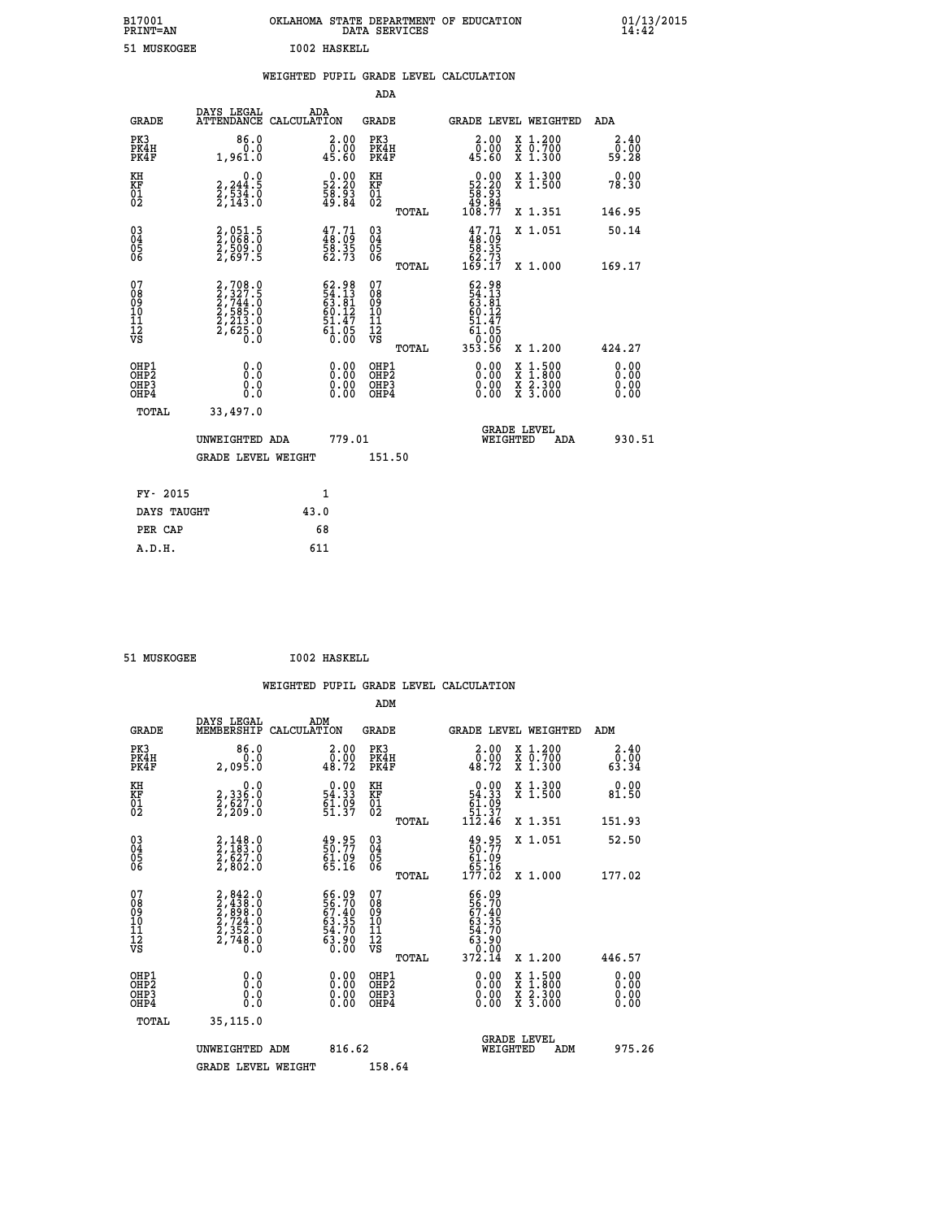| B17001          | OKLAHOMA STATE DEPARTMENT OF EDUCATION |
|-----------------|----------------------------------------|
| <b>PRINT=AN</b> | DATA SERVICES                          |
| 51 MUSKOGEE     | 1002 HASKELL                           |

 **B17001 OKLAHOMA STATE DEPARTMENT OF EDUCATION 01/13/2015**

|                                                    |                                                                         | WEIGHTED PUPIL GRADE LEVEL CALCULATION |                                                |                              |       |                                             |                                     |                                     |                              |
|----------------------------------------------------|-------------------------------------------------------------------------|----------------------------------------|------------------------------------------------|------------------------------|-------|---------------------------------------------|-------------------------------------|-------------------------------------|------------------------------|
|                                                    |                                                                         |                                        |                                                | ADA                          |       |                                             |                                     |                                     |                              |
| GRADE                                              | DAYS LEGAL<br>ATTENDANCE CALCULATION                                    | ADA                                    |                                                | GRADE                        |       |                                             |                                     | GRADE LEVEL WEIGHTED                | ADA                          |
| PK3<br>PK4H<br>PK4F                                | 86.0<br>0.0<br>1,961.0                                                  |                                        | 2.00<br>0.00<br>45.60                          | PK3<br>PK4H<br>PK4F          |       |                                             | 2.00<br>$\overline{0}$ .00<br>45.60 | $X_1.200$<br>$X$ 0.700<br>$X$ 1.300 | $\frac{2.40}{0.00}$<br>59.28 |
| КH<br>KF<br>01<br>02                               | $\begin{smallmatrix}&&&0.0\\2,244.5\\2,534.0\\2,143.0\end{smallmatrix}$ |                                        | 0.00<br>52.20<br>$\frac{5}{49}$ $\frac{5}{84}$ | KH<br>$_{01}^{\rm KF}$<br>02 |       | 52.20<br>$\frac{5}{49}$ .<br>$\frac{5}{84}$ | 0.00                                | X 1.300<br>X 1.500                  | 0.00<br>78.30                |
|                                                    |                                                                         |                                        |                                                |                              | TOTAL | 108.77                                      |                                     | X 1.351                             | 146.95                       |
| $\begin{matrix} 03 \\ 04 \\ 05 \\ 06 \end{matrix}$ | 2,051.5<br>2,068.0<br>2,509.0<br>2,697.5                                |                                        | $47.71$<br>$48.09$<br>$58.35$<br>62.73         | 030404<br>06                 |       | $47.71$<br>$48.09$<br>$58.35$               |                                     | X 1.051                             | 50.14                        |
|                                                    |                                                                         |                                        |                                                |                              | TOTAL | $\frac{62.73}{169.17}$                      |                                     | X 1,000                             | 169.17                       |
|                                                    |                                                                         |                                        |                                                |                              |       |                                             |                                     |                                     |                              |

| 078<br>089<br>0910<br>111<br>12<br>VS    | $2, 708.0$<br>$2, 327.5$<br>$2, 744.0$<br>$2, 585.0$<br>$2, 213.0$<br>$2, 625.0$<br>0.0 | 62.98<br>54.131<br>63.81<br>60.147<br>51.475<br>61.05<br>0.00     | 07890112<br>0001112<br>VS<br>TOTAL | $62.98$<br>$54.13$<br>$63.81$<br>$60.127$<br>$51.47$<br>$61.050$<br>$0.99$<br>353.56 | X 1.200                                                                                                                              | 424.27                                                                                                                                                                                                                                                                         |
|------------------------------------------|-----------------------------------------------------------------------------------------|-------------------------------------------------------------------|------------------------------------|--------------------------------------------------------------------------------------|--------------------------------------------------------------------------------------------------------------------------------------|--------------------------------------------------------------------------------------------------------------------------------------------------------------------------------------------------------------------------------------------------------------------------------|
| OHP1<br>OHP <sub>2</sub><br>OHP3<br>OHP4 | 0.0<br>0.0<br>Ō.Ō                                                                       | $\begin{smallmatrix} 0.00 \ 0.00 \ 0.00 \ 0.00 \end{smallmatrix}$ | OHP1<br>OHP2<br>OHP3<br>OHP4       |                                                                                      | $\begin{smallmatrix} \mathtt{X} & 1 & 500 \\ \mathtt{X} & 1 & 800 \\ \mathtt{X} & 2 & 300 \\ \mathtt{X} & 3 & 000 \end{smallmatrix}$ | $\begin{smallmatrix} 0.00 & 0.00 & 0.00 & 0.00 & 0.00 & 0.00 & 0.00 & 0.00 & 0.00 & 0.00 & 0.00 & 0.00 & 0.00 & 0.00 & 0.00 & 0.00 & 0.00 & 0.00 & 0.00 & 0.00 & 0.00 & 0.00 & 0.00 & 0.00 & 0.00 & 0.00 & 0.00 & 0.00 & 0.00 & 0.00 & 0.00 & 0.00 & 0.00 & 0.00 & 0.00 & 0.0$ |
| TOTAL                                    | 33,497.0<br>UNWEIGHTED ADA<br><b>GRADE LEVEL WEIGHT</b>                                 | 779.01                                                            | 151.50                             | WEIGHTED                                                                             | <b>GRADE LEVEL</b><br>ADA                                                                                                            | 930.51                                                                                                                                                                                                                                                                         |
| FY- 2015                                 |                                                                                         | 1                                                                 |                                    |                                                                                      |                                                                                                                                      |                                                                                                                                                                                                                                                                                |

| -------     |      |
|-------------|------|
| DAYS TAUGHT | 43.0 |
| PER CAP     | 68   |
| A.D.H.      | 611  |
|             |      |

 **51 MUSKOGEE I002 HASKELL**

 **B17001<br>PRINT=AN** 

| <b>GRADE</b>                             | DAYS LEGAL<br>MEMBERSHIP                                                            | ADM<br>CALCULATION                                                   | <b>GRADE</b>                                       |       | GRADE LEVEL WEIGHTED                                                                                                                                                                                      |                                          | ADM                       |  |
|------------------------------------------|-------------------------------------------------------------------------------------|----------------------------------------------------------------------|----------------------------------------------------|-------|-----------------------------------------------------------------------------------------------------------------------------------------------------------------------------------------------------------|------------------------------------------|---------------------------|--|
| PK3<br>PK4H<br>PK4F                      | 86.0<br>2,095.0                                                                     | $\begin{smallmatrix} 2.00\\ 0.00\\ 48.72 \end{smallmatrix}$          | PK3<br>PK4H<br>PK4F                                |       | 2.00<br>$\begin{smallmatrix} \textcolor{red}{0} \textcolor{black}{\ddots} \textcolor{red}{\ddots} \ \textcolor{red}{4} \textcolor{red}{8} \textcolor{black}{\cdot} \textcolor{red}{72} \end{smallmatrix}$ | X 1.200<br>X 0.700<br>X 1.300            | $2.40$<br>$0.00$<br>63.34 |  |
| KH<br>KF<br>01<br>02                     | $\begin{smallmatrix} 0.0\\2,336.0\\2,627.0\\2,209.0 \end{smallmatrix}$              | $\begin{smallmatrix} 0.00\\ 54.33\\ 61.99\\ 51.37 \end{smallmatrix}$ | KH<br>KF<br>01<br>02                               |       | $0.00\n54.33\n61.09\n51.37\n112.46$                                                                                                                                                                       | X 1.300<br>X 1.500                       | 0.00<br>81.50             |  |
|                                          |                                                                                     |                                                                      |                                                    | TOTAL |                                                                                                                                                                                                           | X 1.351                                  | 151.93                    |  |
| 03<br>04<br>05<br>06                     | $2,148.0$<br>$2,627.0$<br>$2,627.0$<br>$2,802.0$                                    | $\begin{smallmatrix} 49.95\ 50.77\ 61.09\ 65.16 \end{smallmatrix}$   | $\begin{matrix} 03 \\ 04 \\ 05 \\ 06 \end{matrix}$ |       | $49.95$<br>50.77<br>61.09<br>65.16<br>177.02                                                                                                                                                              | X 1.051                                  | 52.50                     |  |
|                                          |                                                                                     |                                                                      |                                                    | TOTAL |                                                                                                                                                                                                           | X 1.000                                  | 177.02                    |  |
| 07<br>089<br>090<br>1112<br>VS           | $2,842.0$<br>$2,438.0$<br>$2,724.0$<br>$2,724.0$<br>$2,352.0$<br>$2,748.0$<br>$0.0$ | 66.09<br>56.70<br>67.40<br>63.35<br>54.70<br>53.90<br>63.90          | 07<br>08<br>09<br>001<br>11<br>11<br>12<br>VS      | TOTAL | 66.09<br>56.70<br>57.40<br>63.35<br>54.70<br>53.90<br>63.90<br>0.00<br>372.14                                                                                                                             | X 1.200                                  | 446.57                    |  |
|                                          |                                                                                     |                                                                      |                                                    |       |                                                                                                                                                                                                           |                                          |                           |  |
| OHP1<br>OHP2<br>OH <sub>P3</sub><br>OHP4 | 0.0<br>0.000                                                                        |                                                                      | OHP1<br>OHP2<br>OHP3<br>OHP4                       |       | 0.00<br>$0.00$<br>0.00                                                                                                                                                                                    | X 1:500<br>X 1:800<br>X 2:300<br>X 3:000 | 0.00<br>0.00<br>0.00      |  |
| TOTAL                                    | 35,115.0                                                                            |                                                                      |                                                    |       |                                                                                                                                                                                                           |                                          |                           |  |
|                                          | UNWEIGHTED<br>ADM                                                                   | 816.62                                                               |                                                    |       | WEIGHTED                                                                                                                                                                                                  | <b>GRADE LEVEL</b><br>ADM                | 975.26                    |  |
|                                          | <b>GRADE LEVEL WEIGHT</b>                                                           |                                                                      | 158.64                                             |       |                                                                                                                                                                                                           |                                          |                           |  |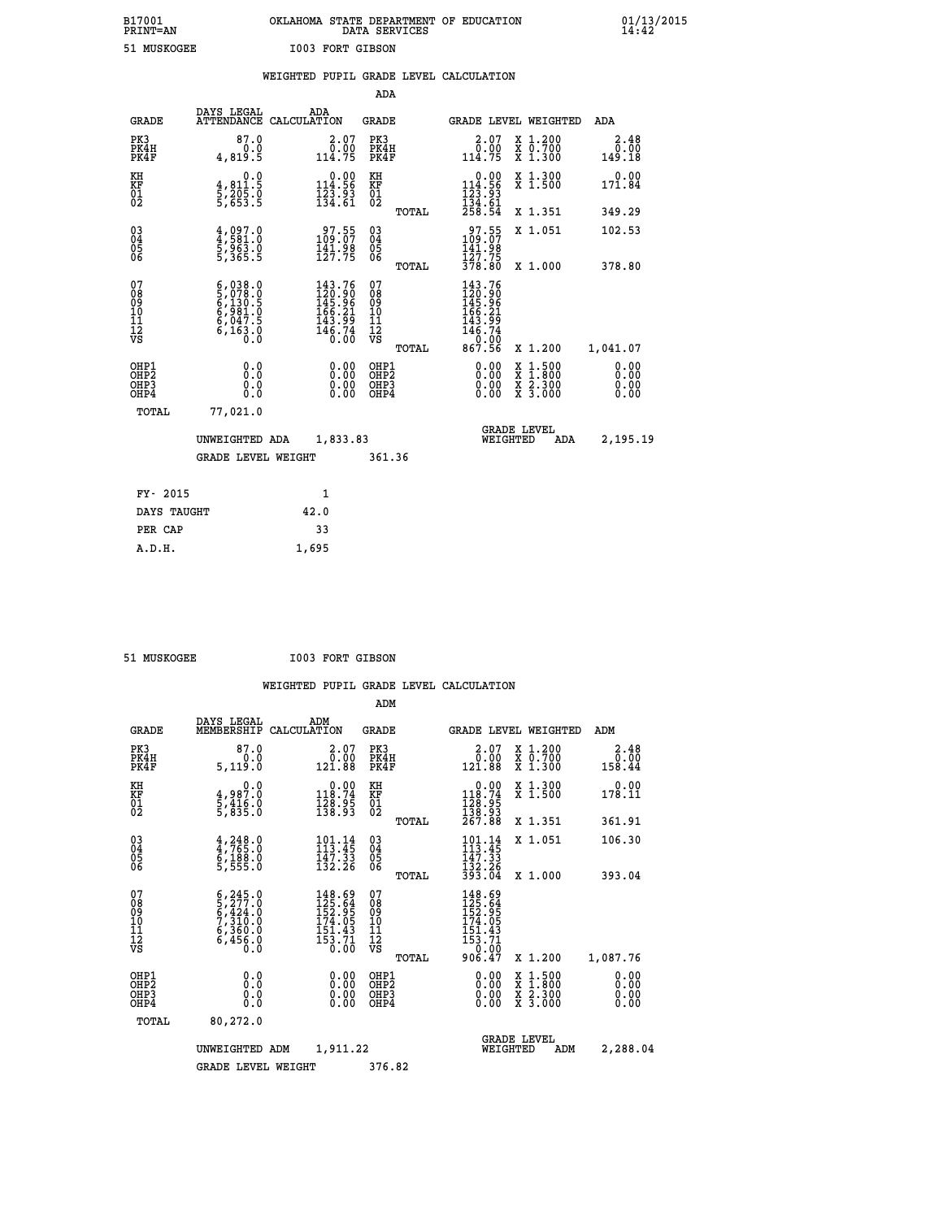## **B17001 OKLAHOMA STATE DEPARTMENT OF EDUCATION 01/13/2015 PRINT=AN DATA SERVICES 14:42 51 MUSKOGEE I003 FORT GIBSON**

|       |                                                   | WEIGHTED PUPIL GRADE LEVEL CALCULATION |     |       |                 |  |
|-------|---------------------------------------------------|----------------------------------------|-----|-------|-----------------|--|
|       |                                                   |                                        |     | ADA   |                 |  |
| CDADE | DAYS LEGAL<br>זור את דוזיה דגיה קבועות החוקים החו |                                        | ADA | סתגסי | סש זסיים דפתגסי |  |

| <b>GRADE</b>                                       | ATTENDANCE CALCULATION                                           |      |                                                                                                                                            | <b>GRADE</b>                              |       |                                                                                                                                                 |          | <b>GRADE LEVEL WEIGHTED</b>                                                                                                               | ADA                    |
|----------------------------------------------------|------------------------------------------------------------------|------|--------------------------------------------------------------------------------------------------------------------------------------------|-------------------------------------------|-------|-------------------------------------------------------------------------------------------------------------------------------------------------|----------|-------------------------------------------------------------------------------------------------------------------------------------------|------------------------|
| PK3<br>PK4H<br>PK4F                                | 87.0<br>0.0<br>4,819.5                                           |      | 2.07<br>0.00<br>114.75                                                                                                                     | PK3<br>PK4H<br>PK4F                       |       | $2.07$<br>$0.00$<br>114.75                                                                                                                      |          | X 1.200<br>X 0.700<br>X 1.300                                                                                                             | 2.48<br>0.00<br>149.18 |
| KH<br>KF<br>01<br>02                               | 0.0<br>4,811:5<br>5,205:0<br>5,653:5                             |      | $\begin{smallmatrix}&&0.00\\114.56\\123.93\\134.61\end{smallmatrix}$                                                                       | KH<br>KF<br>$\overline{01}$               |       | $\begin{smallmatrix} &0.00\\ 114.56\\ 123.93\\ 134.61\\ 258.54 \end{smallmatrix}$                                                               |          | X 1.300<br>X 1.500                                                                                                                        | 0.00<br>171.84         |
|                                                    |                                                                  |      |                                                                                                                                            |                                           | TOTAL |                                                                                                                                                 |          | X 1.351                                                                                                                                   | 349.29                 |
| $\begin{matrix} 03 \\ 04 \\ 05 \\ 06 \end{matrix}$ | $4,997.0$<br>$5,963.0$<br>$5,963.0$<br>$5,365.5$                 |      | 97.55<br>109.07<br>$\frac{141.98}{127.75}$                                                                                                 | 03<br>04<br>05<br>06                      | TOTAL | $\frac{97.55}{141.98}$<br>127.75<br>378.80                                                                                                      |          | X 1.051<br>X 1.000                                                                                                                        | 102.53<br>378.80       |
| 07<br>08<br>09<br>11<br>11<br>12<br>VS             | $6,038.0$<br>5,078.0<br>6,130.5<br>6,981.0<br>6,047.5<br>6,163.0 |      | $\begin{smallmatrix} 143\cdot76\\ 120\cdot90\\ 145\cdot96\\ 166\cdot21\\ 165\cdot29\\ 143\cdot99\\ 146\cdot74\\ 0\cdot00\end{smallmatrix}$ | 07<br>08901112<br>1112<br>VS              |       | $\begin{smallmatrix} 143\cdot76\\120\cdot90\\145\cdot96\\166\cdot21\\166\cdot21\\143\cdot99\\146\cdot74\\0\cdot00\\867\cdot56\end{smallmatrix}$ |          |                                                                                                                                           |                        |
|                                                    |                                                                  |      |                                                                                                                                            |                                           | TOTAL |                                                                                                                                                 |          | X 1.200                                                                                                                                   | 1,041.07               |
| OHP1<br>OHP2<br>OH <sub>P3</sub><br>OHP4           | 0.0<br>0.000                                                     |      | $\begin{smallmatrix} 0.00 \ 0.00 \ 0.00 \ 0.00 \end{smallmatrix}$                                                                          | OHP1<br>OH <sub>P</sub> 2<br>OHP3<br>OHP4 |       |                                                                                                                                                 |          | $\begin{smallmatrix} \mathtt{X} & 1\cdot500\\ \mathtt{X} & 1\cdot800\\ \mathtt{X} & 2\cdot300\\ \mathtt{X} & 3\cdot000 \end{smallmatrix}$ | 0.00<br>0.00<br>0.0000 |
| <b>TOTAL</b>                                       | 77,021.0                                                         |      |                                                                                                                                            |                                           |       |                                                                                                                                                 |          |                                                                                                                                           |                        |
|                                                    | UNWEIGHTED ADA                                                   |      | 1,833.83                                                                                                                                   |                                           |       |                                                                                                                                                 | WEIGHTED | <b>GRADE LEVEL</b><br><b>ADA</b>                                                                                                          | 2,195.19               |
|                                                    | <b>GRADE LEVEL WEIGHT</b>                                        |      |                                                                                                                                            | 361.36                                    |       |                                                                                                                                                 |          |                                                                                                                                           |                        |
| FY- 2015                                           |                                                                  |      | $\mathbf{1}$                                                                                                                               |                                           |       |                                                                                                                                                 |          |                                                                                                                                           |                        |
| DAYS TAUGHT                                        |                                                                  | 42.0 |                                                                                                                                            |                                           |       |                                                                                                                                                 |          |                                                                                                                                           |                        |
|                                                    |                                                                  |      |                                                                                                                                            |                                           |       |                                                                                                                                                 |          |                                                                                                                                           |                        |

 **PER CAP 33 A.D.H. 1,695**

51 MUSKOGEE **I003 FORT GIBSON** 

|                                          |                                                                                                                                                                         |                                                                         | ADM                                                |                                                                                  |                                          |                                                 |
|------------------------------------------|-------------------------------------------------------------------------------------------------------------------------------------------------------------------------|-------------------------------------------------------------------------|----------------------------------------------------|----------------------------------------------------------------------------------|------------------------------------------|-------------------------------------------------|
| <b>GRADE</b>                             | DAYS LEGAL<br>MEMBERSHIP                                                                                                                                                | ADM<br>CALCULATION                                                      | <b>GRADE</b>                                       | GRADE LEVEL WEIGHTED                                                             |                                          | ADM                                             |
| PK3<br>PK4H<br>PK4F                      | 87.0<br>0.0<br>5,119.0                                                                                                                                                  | $2.07$<br>$0.00$<br>121.88                                              | PK3<br>PK4H<br>PK4F                                | $\begin{smallmatrix} 2.07\0.00\\121.88\end{smallmatrix}$                         | X 1.200<br>X 0.700<br>X 1.300            | 2.48<br>$\frac{\bar{0}.\bar{0}\bar{0}}{158.44}$ |
| KH<br>KF<br>01<br>02                     | 0.0<br>4,987.0<br>5,416.0<br>5,835.0                                                                                                                                    | $\begin{smallmatrix}&&0.00\\118.74\\128.95\\138.95\end{smallmatrix}$    | KH<br>KF<br>01<br>02                               | $\begin{smallmatrix}&&0.00\\118.74\\128.95\\138.93\\267.88\end{smallmatrix}$     | X 1.300<br>X 1.500                       | 0.00<br>178.11                                  |
|                                          |                                                                                                                                                                         |                                                                         | TOTAL                                              |                                                                                  | X 1.351                                  | 361.91                                          |
| 03<br>04<br>05<br>06                     | $4,765.0$<br>$6,188.0$<br>$5,555.0$                                                                                                                                     | $101.14$<br>$113.45$<br>$\frac{147.33}{132.26}$                         | $\begin{matrix} 03 \\ 04 \\ 05 \\ 06 \end{matrix}$ | $\frac{101.14}{113.45}$<br>$\frac{147}{132}$ $\frac{33}{26}$<br>$\frac{393}{26}$ | X 1.051                                  | 106.30                                          |
|                                          |                                                                                                                                                                         |                                                                         | TOTAL                                              |                                                                                  | X 1.000                                  | 393.04                                          |
| 07<br>08<br>09<br>101<br>112<br>VS       | $\begin{smallmatrix} 6\,, & 245\,, & 0\\ 5\,, & 277\,, & 0\\ 6\,, & 424\,, & 0\\ 7\,, & 310\,, & 0\\ 6\,, & 360\,, & 0\\ 6\,, & 456\,, & 0\\ 0\,, & 0\end{smallmatrix}$ | $148.69$<br>$125.64$<br>$152.95$<br>$174.05$<br>$\frac{151.43}{153.71}$ | 07<br>08<br>09<br>11<br>11<br>12<br>VS<br>TOTAL    | 148.69<br>125.64<br>152.95<br>174.05<br>$\frac{151.43}{153.71}$<br>906.47        | X 1.200                                  | 1,087.76                                        |
| OHP1<br>OHP2<br>OH <sub>P3</sub><br>OHP4 | 0.0<br>0.000                                                                                                                                                            | $0.00$<br>$0.00$<br>0.00                                                | OHP1<br>OHP2<br>OHP <sub>3</sub>                   | $0.00$<br>$0.00$<br>0.00                                                         | X 1:500<br>X 1:800<br>X 2:300<br>X 3:000 | 0.00<br>0.00<br>0.00<br>0.00                    |
| TOTAL                                    | 80,272.0                                                                                                                                                                |                                                                         |                                                    |                                                                                  |                                          |                                                 |
|                                          | UNWEIGHTED                                                                                                                                                              | 1,911.22<br>ADM                                                         |                                                    | <b>GRADE LEVEL</b><br>WEIGHTED                                                   | ADM                                      | 2,288.04                                        |
|                                          | <b>GRADE LEVEL WEIGHT</b>                                                                                                                                               |                                                                         | 376.82                                             |                                                                                  |                                          |                                                 |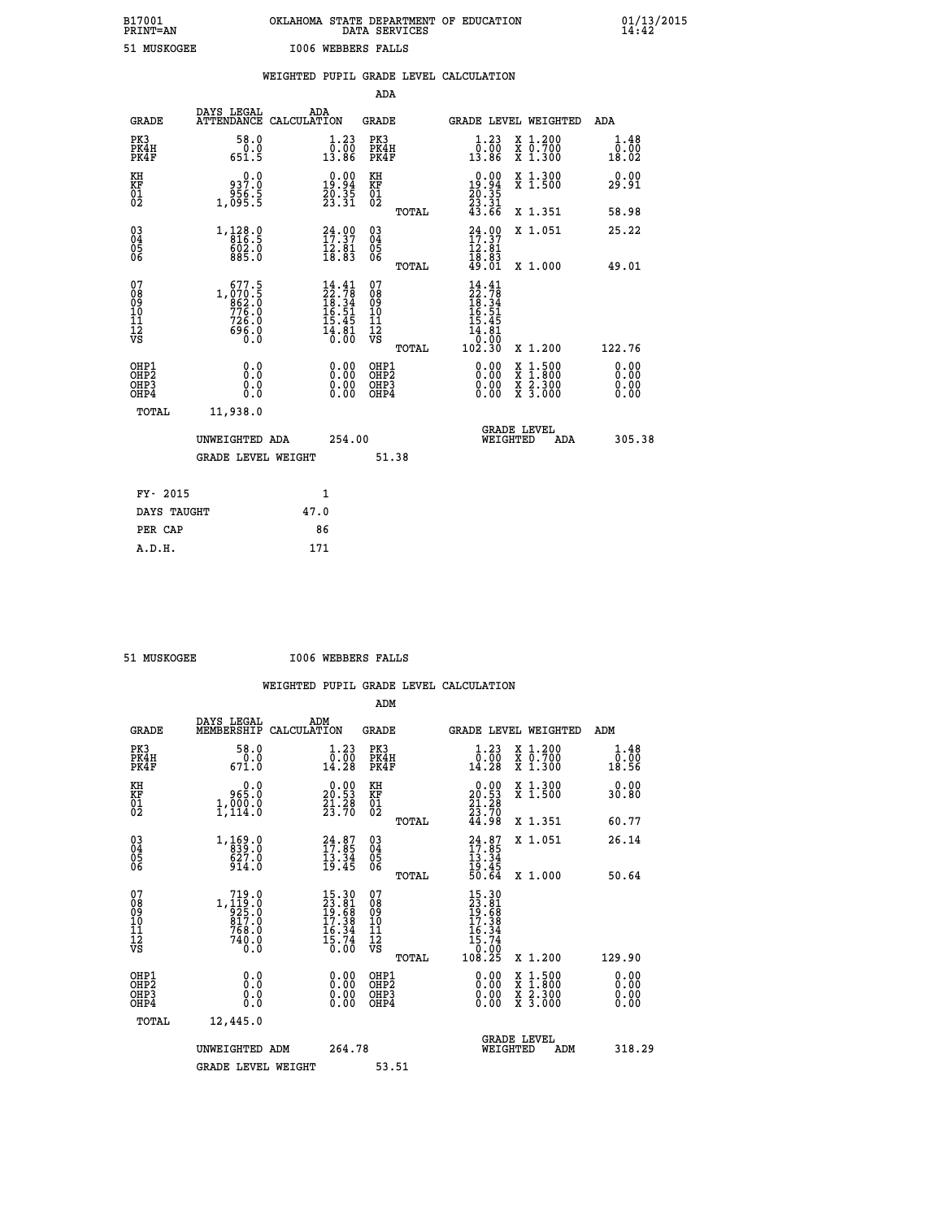# **B17001 OKLAHOMA STATE DEPARTMENT OF EDUCATION 01/13/2015 PRINT=AN DATA SERVICES 14:42 51 MUSKOGEE I006 WEBBERS FALLS**

|                      |                                                                    |                                                              |      |                                                                          |                                        |       | WEIGHTED PUPIL GRADE LEVEL CALCULATION                                               |                                                                                                                                           |                              |
|----------------------|--------------------------------------------------------------------|--------------------------------------------------------------|------|--------------------------------------------------------------------------|----------------------------------------|-------|--------------------------------------------------------------------------------------|-------------------------------------------------------------------------------------------------------------------------------------------|------------------------------|
|                      |                                                                    |                                                              |      |                                                                          | <b>ADA</b>                             |       |                                                                                      |                                                                                                                                           |                              |
|                      | <b>GRADE</b>                                                       | DAYS LEGAL<br>ATTENDANCE CALCULATION                         |      | ADA                                                                      | GRADE                                  |       | GRADE LEVEL WEIGHTED                                                                 |                                                                                                                                           | ADA                          |
|                      | PK3<br>PK4H<br>PK4F                                                | 58.0<br>$\frac{0.0}{651.5}$                                  |      | $\begin{smallmatrix} 1.23\ 0.00\ 13.86 \end{smallmatrix}$                | PK3<br>PK4H<br>PK4F                    |       | $1.23$<br>$0.00$<br>13.86                                                            | X 1.200<br>X 0.700<br>X 1.300                                                                                                             | 1.48<br>0.00<br>18.02        |
| KH<br>KF<br>01<br>02 |                                                                    | 937.0<br>ةٌ: 956<br>1,095                                    |      | $\begin{smallmatrix} 0.00\\19.94\\20.35\\23.31 \end{smallmatrix}$        | KH<br>KF<br>01<br>02                   |       | $\begin{array}{c} 0.00 \\ 19.94 \\ 20.35 \\ 23.31 \\ 43.66 \end{array}$              | X 1.300<br>X 1.500                                                                                                                        | 0.00<br>29.91                |
|                      |                                                                    |                                                              |      |                                                                          |                                        | TOTAL |                                                                                      | X 1.351                                                                                                                                   | 58.98                        |
|                      | $\begin{smallmatrix} 03 \\[-4pt] 04 \end{smallmatrix}$<br>Ŏ5<br>06 | 1, 128.0<br>$\frac{602.0}{885.0}$                            |      | $24.00$<br>$17.37$<br>$12.81$<br>$18.83$                                 | $\substack{03 \\ 04}$<br>Ŏ5<br>06      |       | $24.90$<br>$17.37$<br>ī2.01                                                          | X 1.051                                                                                                                                   | 25.22                        |
|                      |                                                                    |                                                              |      |                                                                          |                                        | TOTAL | $\bar{18}\cdot\bar{8}\bar{3}$<br>49.01                                               | X 1.000                                                                                                                                   | 49.01                        |
| 07                   | 08<br>09<br>11<br>11<br>12<br>VS                                   | $1,070.5$<br>$862.0$<br>$776.0$<br>$726.0$<br>$696.0$<br>0.0 |      | $14.41$<br>$22.78$<br>$18.34$<br>$16.51$<br>$15.45$<br>$14.81$<br>$0.00$ | 07<br>08<br>09<br>11<br>11<br>12<br>VS | TOTAL | $14.41$<br>$22.78$<br>$18.34$<br>$16.51$<br>$\frac{15.45}{14.81}$<br>10:00<br>102.30 | X 1.200                                                                                                                                   | 122.76                       |
|                      | OHP1<br>OHP2<br>OHP3<br>OHP4                                       | 0.0<br>Ō.Ō<br>0.0<br>0.0                                     |      | $\begin{smallmatrix} 0.00 \ 0.00 \ 0.00 \ 0.00 \end{smallmatrix}$        | OHP1<br>OHP2<br>OHP3<br>OHP4           |       | 0.00<br>0.00                                                                         | $\begin{smallmatrix} \mathtt{X} & 1\cdot500\\ \mathtt{X} & 1\cdot800\\ \mathtt{X} & 2\cdot300\\ \mathtt{X} & 3\cdot000 \end{smallmatrix}$ | 0.00<br>0.00<br>0.00<br>0.00 |
|                      | TOTAL                                                              | 11,938.0                                                     |      |                                                                          |                                        |       |                                                                                      |                                                                                                                                           |                              |
|                      |                                                                    | UNWEIGHTED ADA                                               |      | 254.00                                                                   |                                        |       | WEIGHTED                                                                             | <b>GRADE LEVEL</b><br>ADA                                                                                                                 | 305.38                       |
|                      |                                                                    | <b>GRADE LEVEL WEIGHT</b>                                    |      |                                                                          |                                        | 51.38 |                                                                                      |                                                                                                                                           |                              |
|                      | FY- 2015                                                           |                                                              |      | $\mathbf{1}$                                                             |                                        |       |                                                                                      |                                                                                                                                           |                              |
|                      | DAYS TAUGHT                                                        |                                                              | 47.0 |                                                                          |                                        |       |                                                                                      |                                                                                                                                           |                              |
|                      | PER CAP                                                            |                                                              |      | 86                                                                       |                                        |       |                                                                                      |                                                                                                                                           |                              |

 **A.D.H. 171**

 **51 MUSKOGEE I006 WEBBERS FALLS**

|                                                      |                                                                                                                              |                                                                                                                                       | ADM                                                 |                                                                                                                                |                                          |                                                   |
|------------------------------------------------------|------------------------------------------------------------------------------------------------------------------------------|---------------------------------------------------------------------------------------------------------------------------------------|-----------------------------------------------------|--------------------------------------------------------------------------------------------------------------------------------|------------------------------------------|---------------------------------------------------|
| <b>GRADE</b>                                         | DAYS LEGAL<br>MEMBERSHIP                                                                                                     | ADM<br>CALCULATION                                                                                                                    | <b>GRADE</b>                                        | GRADE LEVEL WEIGHTED                                                                                                           |                                          | ADM                                               |
| PK3<br>PK4H<br>PK4F                                  | 58.0<br>0.0<br>671.0                                                                                                         | 1.23<br>$\begin{smallmatrix} \bar{0} & \bar{0} & \bar{0} \ \bar{0} & 2 & 8 \end{smallmatrix}$                                         | PK3<br>PK4H<br>PK4F                                 | 1.23<br>$\begin{smallmatrix} \bar{0} & \bar{0} & \bar{0} \\ 14 & 28 \end{smallmatrix}$                                         | X 1.200<br>X 0.700<br>X 1.300            | 1.48<br>$\overline{0}$ . $\overline{00}$<br>18.56 |
| KH<br>KF<br>01<br>02                                 | 0.0<br>965.0<br>1,900.0                                                                                                      | $\begin{smallmatrix} 0.00\\ 20.53\\ 21.28\\ 23.70 \end{smallmatrix}$                                                                  | KH<br>KF<br>01<br>02                                | $\begin{smallmatrix} 0.00\\ 20.53\\ 21.28\\ 23.70\\ 44.98 \end{smallmatrix}$                                                   | X 1.300<br>X 1.500                       | 0.00<br>30.80                                     |
|                                                      |                                                                                                                              |                                                                                                                                       | TOTAL                                               |                                                                                                                                | X 1.351                                  | 60.77                                             |
| 03<br>04<br>05<br>06                                 | 1,169.0<br>839.0<br>27.0<br>914.0                                                                                            | 34.87<br>$\frac{13.34}{19.45}$                                                                                                        | $\begin{array}{c} 03 \\ 04 \\ 05 \\ 06 \end{array}$ | $24.87$<br>$17.85$<br>$13.34$<br>$19.45$<br>$50.64$                                                                            | X 1.051                                  | 26.14                                             |
|                                                      |                                                                                                                              |                                                                                                                                       | TOTAL                                               |                                                                                                                                | X 1.000                                  | 50.64                                             |
| 07<br>08<br>09<br>101<br>112<br>VS                   | $\begin{smallmatrix} & 719 & 0 \\ 1,119 & 0 \\ 925 & 0 \\ 817 & 0 \\ 768 & 0 \\ 740 & 0 \\ 0 & 0 \\ 0 & 0 \end{smallmatrix}$ | $\begin{smallmatrix} 15 & 3 & 0 \\ 23 & 8 & 1 \\ 19 & 6 & 8 \\ 17 & 3 & 8 \\ 16 & 3 & 4 \\ 15 & 7 & 4 \\ 0 & 0 & 0 \end{smallmatrix}$ | 07<br>08<br>09<br>11<br>11<br>12<br>VS              | $\begin{array}{l} 15\cdot30 \\ 23\cdot81 \\ 19\cdot68 \\ 17\cdot38 \\ 16\cdot34 \\ 15\cdot74 \\ 15\cdot70 \\ 0 \\ \end{array}$ |                                          |                                                   |
|                                                      |                                                                                                                              |                                                                                                                                       | TOTAL                                               | 108.25                                                                                                                         | X 1.200                                  | 129.90                                            |
| OHP1<br>OHP2<br>OH <sub>P3</sub><br>OH <sub>P4</sub> | 0.0<br>0.000                                                                                                                 |                                                                                                                                       | OHP1<br>OHP2<br>OHP <sub>3</sub>                    | $0.00$<br>$0.00$<br>0.00                                                                                                       | X 1:500<br>X 1:800<br>X 2:300<br>X 3:000 | 0.00<br>0.00<br>0.00                              |
| TOTAL                                                | 12,445.0                                                                                                                     |                                                                                                                                       |                                                     |                                                                                                                                |                                          |                                                   |
|                                                      | UNWEIGHTED ADM                                                                                                               | 264.78                                                                                                                                |                                                     |                                                                                                                                | GRADE LEVEL<br>WEIGHTED<br>ADM           | 318.29                                            |
|                                                      | <b>GRADE LEVEL WEIGHT</b>                                                                                                    |                                                                                                                                       | 53.51                                               |                                                                                                                                |                                          |                                                   |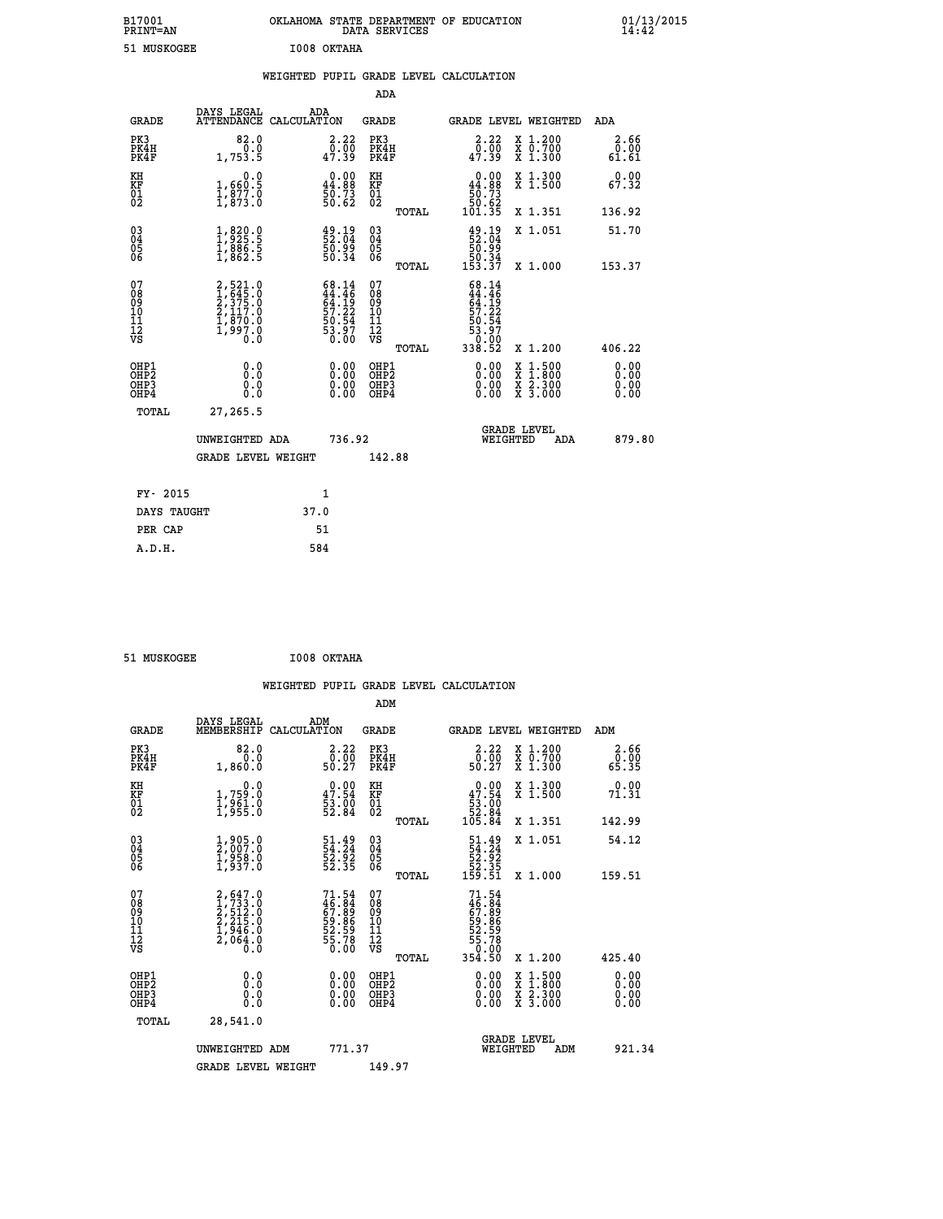| B17001<br><b>PRINT=AN</b> | OKLAHOMA STATE DEPARTMENT OF EDUCATION<br>DATA SERVICES | 01/13/2015<br>14:42 |
|---------------------------|---------------------------------------------------------|---------------------|
| 51 MUSKOGEE               | I008 OKTAHA                                             |                     |

|  |  | WEIGHTED PUPIL GRADE LEVEL CALCULATION |
|--|--|----------------------------------------|
|  |  |                                        |

|                                                                  |                                                                                       |                                                                          | ADA                                      |       |                                                                             |                                                                                                                                           |                              |
|------------------------------------------------------------------|---------------------------------------------------------------------------------------|--------------------------------------------------------------------------|------------------------------------------|-------|-----------------------------------------------------------------------------|-------------------------------------------------------------------------------------------------------------------------------------------|------------------------------|
| <b>GRADE</b>                                                     | DAYS LEGAL                                                                            | ADA<br>ATTENDANCE CALCULATION                                            | <b>GRADE</b>                             |       |                                                                             | GRADE LEVEL WEIGHTED                                                                                                                      | ADA                          |
| PK3<br>PK4H<br>PK4F                                              | 82.0<br>0.0<br>1,753.5                                                                | 2.22<br>$\frac{0.00}{47.39}$                                             | PK3<br>PK4H<br>PK4F                      |       | 2.22<br>$\frac{0.00}{47.39}$                                                | X 1.200<br>X 0.700<br>X 1.300                                                                                                             | 2.66<br>0.00<br>61.61        |
| KH<br>KF<br>01<br>02                                             | 0.0<br>$\frac{1}{1}, \frac{660}{877}$ .0<br>1,873.0                                   | $\begin{smallmatrix} 0.00\\ 44.88\\ 50.73\\ 50.62 \end{smallmatrix}$     | KH<br>KF<br>01<br>02                     |       | $\begin{smallmatrix} &0.00\ 44.88\ 50.73\ 50.62\ 101.35\ \end{smallmatrix}$ | X 1.300<br>X 1.500                                                                                                                        | 0.00<br>67.32                |
|                                                                  |                                                                                       |                                                                          |                                          | TOTAL |                                                                             | X 1.351                                                                                                                                   | 136.92                       |
| $\begin{matrix} 03 \\ 04 \\ 05 \\ 06 \end{matrix}$               | $\frac{1}{1}, \frac{820}{925}.\frac{0}{5} \ \frac{1}{1}, \frac{886}{862}.\frac{5}{5}$ | $\frac{49.19}{52.04}$<br>50.99<br>50.34                                  | $\substack{03 \\ 04}$<br>05<br>06        |       | $\frac{49.19}{52.04}$<br>$\frac{56.99}{50.34}$<br>153.37                    | X 1.051                                                                                                                                   | 51.70                        |
|                                                                  |                                                                                       |                                                                          |                                          | TOTAL |                                                                             | X 1.000                                                                                                                                   | 153.37                       |
| 07<br>08<br>09<br>11<br>11<br>12<br>VS                           | 2,521.0<br>1,645.0<br>2,375.0<br>2,117.0<br>1,870.0<br>1,997.0<br>Ó.Ŏ                 | $68.14$<br>$44.46$<br>$64.19$<br>$57.22$<br>$57.54$<br>$53.97$<br>$0.00$ | 07<br>08<br>09<br>11<br>11<br>12<br>VS   |       | 68.14<br>$44.46$<br>$57.22$<br>$57.22$<br>$59.54$<br>$53.97$<br>$0.02$      |                                                                                                                                           |                              |
|                                                                  |                                                                                       |                                                                          |                                          | TOTAL | 338.52                                                                      | X 1.200                                                                                                                                   | 406.22                       |
| OHP1<br>OH <sub>P</sub> <sub>2</sub><br>OH <sub>P3</sub><br>OHP4 | 0.0<br>Ō.Ō<br>0.0<br>0.0                                                              | $\begin{smallmatrix} 0.00 \ 0.00 \ 0.00 \ 0.00 \end{smallmatrix}$        | OHP1<br>OHP <sub>2</sub><br>OHP3<br>OHP4 |       | $0.00$<br>$0.00$<br>0.00                                                    | $\begin{smallmatrix} \mathtt{X} & 1\cdot500\\ \mathtt{X} & 1\cdot800\\ \mathtt{X} & 2\cdot300\\ \mathtt{X} & 3\cdot000 \end{smallmatrix}$ | 0.00<br>0.00<br>0.00<br>0.00 |
| <b>TOTAL</b>                                                     | 27,265.5                                                                              |                                                                          |                                          |       |                                                                             |                                                                                                                                           |                              |
|                                                                  | UNWEIGHTED ADA                                                                        | 736.92                                                                   |                                          |       |                                                                             | <b>GRADE LEVEL</b><br>WEIGHTED<br>ADA                                                                                                     | 879.80                       |
|                                                                  | <b>GRADE LEVEL WEIGHT</b>                                                             |                                                                          | 142.88                                   |       |                                                                             |                                                                                                                                           |                              |
|                                                                  |                                                                                       |                                                                          |                                          |       |                                                                             |                                                                                                                                           |                              |
| FY- 2015                                                         |                                                                                       | 1                                                                        |                                          |       |                                                                             |                                                                                                                                           |                              |
| DAYS TAUGHT                                                      |                                                                                       | 37.0                                                                     |                                          |       |                                                                             |                                                                                                                                           |                              |
| PER CAP                                                          |                                                                                       | 51                                                                       |                                          |       |                                                                             |                                                                                                                                           |                              |

| I008 OKTAHA<br>51 MUSKOGEE |  |  |  |  |
|----------------------------|--|--|--|--|
|----------------------------|--|--|--|--|

 **WEIGHTED PUPIL GRADE LEVEL CALCULATION ADM DAYS LEGAL ADM GRADE MEMBERSHIP CALCULATION GRADE GRADE LEVEL WEIGHTED ADM**

| سمين                                     | MEMBERSHIPE CADCOBAILON                                                                              |                                                                      | ىستى                                         | GRADE DEVER MEIGHIED                                                        |                                          | בעם.                                                                                                                                                                                                                                                                           |
|------------------------------------------|------------------------------------------------------------------------------------------------------|----------------------------------------------------------------------|----------------------------------------------|-----------------------------------------------------------------------------|------------------------------------------|--------------------------------------------------------------------------------------------------------------------------------------------------------------------------------------------------------------------------------------------------------------------------------|
| PK3<br>PK4H<br>PK4F                      | 82.0<br>0.0<br>1,860.0                                                                               | $\begin{smallmatrix} 2.22\ 0.00\ 50.27 \end{smallmatrix}$            | PK3<br>PK4H<br>PK4F                          | $\begin{smallmatrix} 2.22\ 0.00\ 50.27 \end{smallmatrix}$                   | X 1.200<br>X 0.700<br>X 1.300            | $\begin{smallmatrix} 2.66\ 0.00\ 65.35 \end{smallmatrix}$                                                                                                                                                                                                                      |
| KH<br>KF<br>01<br>02                     | 0.0<br>1,759:0<br>1,961:0<br>1,955:0                                                                 | $\begin{smallmatrix} 0.00\\ 47.54\\ 53.00\\ 52.84 \end{smallmatrix}$ | KH<br>KF<br>01<br>02                         | $\begin{smallmatrix} &0.00\ 47.54\ 53.00\ 52.84\ 105.84\ \end{smallmatrix}$ | X 1.300<br>X 1.500                       | 0.00<br>71.31                                                                                                                                                                                                                                                                  |
|                                          |                                                                                                      |                                                                      | TOTAL                                        |                                                                             | X 1.351                                  | 142.99                                                                                                                                                                                                                                                                         |
| 03<br>04<br>05<br>06                     | $\frac{1}{2}, \frac{905}{007}.0 \ \frac{1}{1}, \frac{958}{957}.0 \ \frac{1}{1}, \frac{937.0}{937.0}$ | $\begin{array}{c} 51.49 \\ 54.24 \\ 52.92 \\ 52.35 \end{array}$      | 03<br>04<br>05<br>06                         | $\begin{array}{c} 51.49 \\ 54.24 \\ 52.92 \\ 52.35 \\ 159.51 \end{array}$   | X 1.051                                  | 54.12                                                                                                                                                                                                                                                                          |
|                                          |                                                                                                      |                                                                      | TOTAL                                        |                                                                             | X 1.000                                  | 159.51                                                                                                                                                                                                                                                                         |
| 07<br>08<br>09<br>101<br>11<br>12<br>VS  | 2,647.0<br>1,733.0<br>2,512.0<br>2,215.0<br>1,946.0<br>2,064.0<br>0.0                                | 71.54<br>46.84<br>67.89<br>59.86<br>52.59<br>55.78<br>55.78          | 07<br>08<br>09<br>01<br>11<br>11<br>12<br>VS | $71.54$<br>$46.84$<br>$67.89$<br>$52.59$<br>$52.78$<br>$56.70$<br>$354.50$  |                                          |                                                                                                                                                                                                                                                                                |
|                                          |                                                                                                      |                                                                      | TOTAL                                        |                                                                             | X 1.200                                  | 425.40                                                                                                                                                                                                                                                                         |
| OHP1<br>OHP2<br>OH <sub>P3</sub><br>OHP4 | $\begin{smallmatrix} 0.0 \ 0.0 \ 0.0 \end{smallmatrix}$                                              | $\begin{smallmatrix} 0.00 \ 0.00 \ 0.00 \ 0.00 \end{smallmatrix}$    | OHP1<br>OHP <sub>2</sub><br>OHP3<br>OHP4     |                                                                             | X 1:500<br>X 1:800<br>X 2:300<br>X 3:000 | $\begin{smallmatrix} 0.00 & 0.00 & 0.00 & 0.00 & 0.00 & 0.00 & 0.00 & 0.00 & 0.00 & 0.00 & 0.00 & 0.00 & 0.00 & 0.00 & 0.00 & 0.00 & 0.00 & 0.00 & 0.00 & 0.00 & 0.00 & 0.00 & 0.00 & 0.00 & 0.00 & 0.00 & 0.00 & 0.00 & 0.00 & 0.00 & 0.00 & 0.00 & 0.00 & 0.00 & 0.00 & 0.0$ |
| TOTAL                                    | 28,541.0                                                                                             |                                                                      |                                              |                                                                             |                                          |                                                                                                                                                                                                                                                                                |
|                                          | UNWEIGHTED ADM                                                                                       | 771.37                                                               |                                              | <b>GRADE LEVEL</b><br>WEIGHTED                                              | ADM                                      | 921.34                                                                                                                                                                                                                                                                         |
|                                          | <b>GRADE LEVEL WEIGHT</b>                                                                            |                                                                      | 149.97                                       |                                                                             |                                          |                                                                                                                                                                                                                                                                                |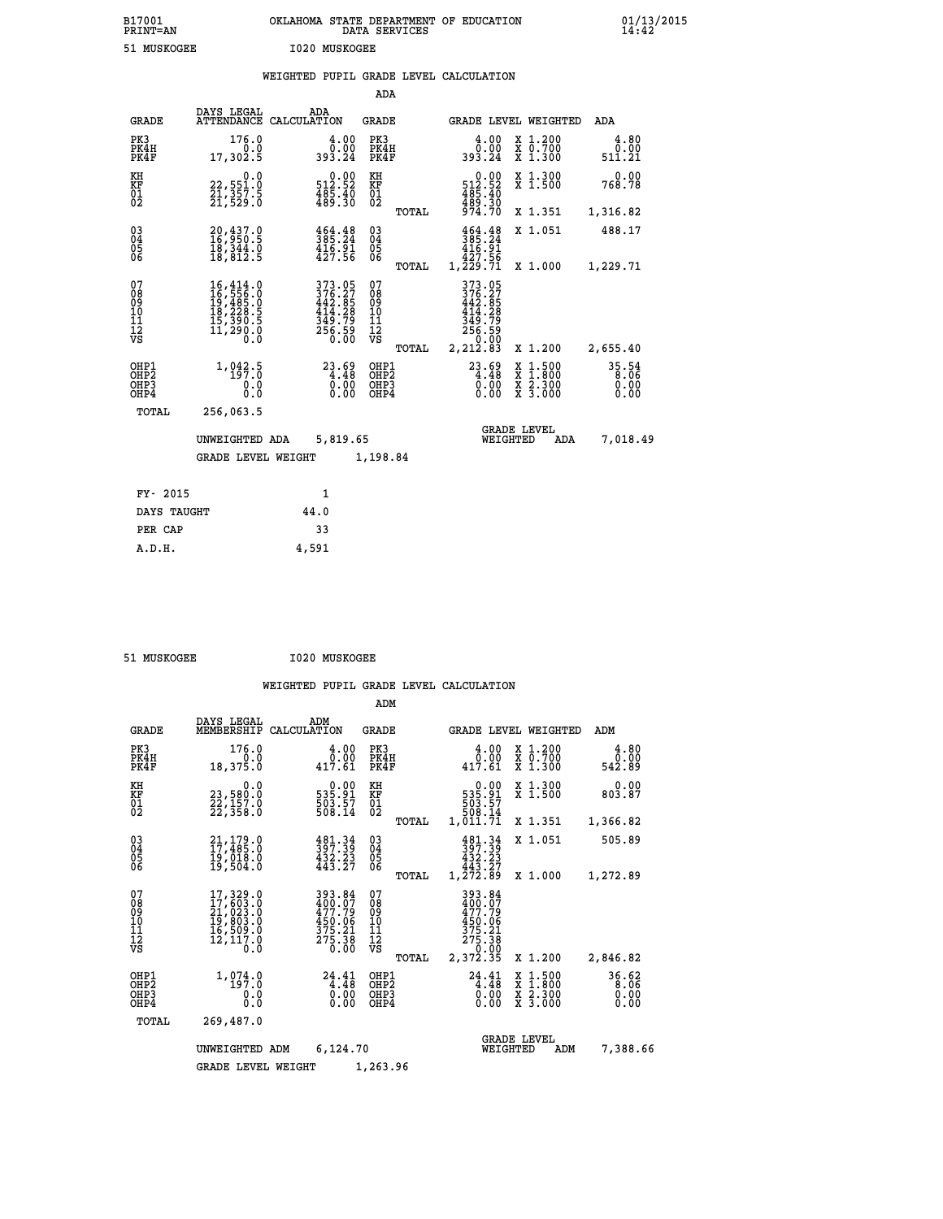| B17001<br><b>PRINT=AN</b> | OKLAHOMA<br>. STATE DEPARTMENT OF EDUCATION<br>DATA SERVICES | 01/13/2015<br>14:42 |
|---------------------------|--------------------------------------------------------------|---------------------|
| 51 MUSKOGEE               | 1020 MUSKOGEE                                                |                     |

### **WEIGHTED PUPIL GRADE LEVEL CALCULATION**

|                                          |                                                                                                                                                                                                 |                                                                         | ADA                                    |       |                                                                                                |                                                                                                  |                                 |
|------------------------------------------|-------------------------------------------------------------------------------------------------------------------------------------------------------------------------------------------------|-------------------------------------------------------------------------|----------------------------------------|-------|------------------------------------------------------------------------------------------------|--------------------------------------------------------------------------------------------------|---------------------------------|
| <b>GRADE</b>                             | DAYS LEGAL                                                                                                                                                                                      | ADA<br>ATTENDANCE CALCULATION                                           | <b>GRADE</b>                           |       |                                                                                                | GRADE LEVEL WEIGHTED                                                                             | ADA                             |
| PK3<br>PK4H<br>PK4F                      | 176.0<br>0.0<br>17,302.5                                                                                                                                                                        | 4.00<br>0.00<br>393.24                                                  | PK3<br>PK4H<br>PK4F                    |       | 4.00<br>0.00<br>393.24                                                                         | X 1.200<br>X 0.700<br>X 1.300                                                                    | 4.80<br>0.00<br>511.21          |
| KH<br>KF<br>01<br>02                     | 0.0<br>22,551.0<br>21,357.5<br>21,529.0                                                                                                                                                         | $\begin{smallmatrix} &0.00\\ 512.52\\ 485.40\\ 489.30\end{smallmatrix}$ | KH<br>KF<br>01<br>02                   |       | $\begin{smallmatrix}&&0.00\\512.52\\485.40\\489.30\\974.70\end{smallmatrix}$                   | X 1.300<br>X 1.500                                                                               | 0.00<br>768.78                  |
|                                          |                                                                                                                                                                                                 |                                                                         |                                        | TOTAL |                                                                                                | X 1.351                                                                                          | 1,316.82                        |
| 030404<br>ŌĞ                             | 20,437.0<br>16,950.5<br>18,344.0<br>18,812.5                                                                                                                                                    | $385.24$<br>$416.91$<br>$427.56$                                        | $\substack{03 \\ 04}$<br>05<br>06      |       | $385.24$<br>$385.24$<br>$416.91$<br>$427.56$<br>$1,229.71$                                     | X 1.051                                                                                          | 488.17                          |
|                                          |                                                                                                                                                                                                 |                                                                         |                                        | TOTAL |                                                                                                | X 1.000                                                                                          | 1,229.71                        |
| 07<br>08<br>09<br>101<br>112<br>VS       | $\begin{smallmatrix} 16\,, & 414\,, & 0\\ 16\,, & 556\,, & 0\\ 19\,, & 485\,, & 0\\ 18\,, & 228\,, & 5\\ 15\,, & 390\,, & 5\\ 11\,, & 290\,, & 0\\ 0\,, & 0\,, & 0\,, & 0\,, \end{smallmatrix}$ | 373.05<br>376.27<br>442.85<br>414.28<br>349.79<br>$256.59$<br>$0.00$    | 07<br>08<br>09<br>11<br>11<br>12<br>VS | TOTAL | 373.05<br>376.27<br>442.85<br>$\frac{414}{349}$ . 79<br>349. 79<br>256. 59<br>0.00<br>2,212.83 | X 1.200                                                                                          | 2,655.40                        |
| OHP1<br>OHP2<br>OH <sub>P3</sub><br>OHP4 | 1, 042.5<br>0.0<br>0.0                                                                                                                                                                          | $23.69$<br>$4.48$<br>0.00<br>0.00                                       | OHP1<br>OHP2<br>OHP3<br>OHP4           |       | $\begin{smallmatrix} 23.69\ 4.48\ 0.00\ 0.00 \end{smallmatrix}$                                | $\begin{smallmatrix} x & 1 & 500 \\ x & 1 & 800 \\ x & 2 & 300 \\ x & 3 & 000 \end{smallmatrix}$ | $35.54$<br>8.06<br>0.00<br>0.00 |
| TOTAL                                    | 256,063.5                                                                                                                                                                                       |                                                                         |                                        |       |                                                                                                |                                                                                                  |                                 |
|                                          | UNWEIGHTED ADA                                                                                                                                                                                  | 5,819.65                                                                |                                        |       |                                                                                                | <b>GRADE LEVEL</b><br>WEIGHTED<br>ADA                                                            | 7,018.49                        |
|                                          | <b>GRADE LEVEL WEIGHT</b>                                                                                                                                                                       |                                                                         | 1,198.84                               |       |                                                                                                |                                                                                                  |                                 |
| FY- 2015                                 |                                                                                                                                                                                                 | 1                                                                       |                                        |       |                                                                                                |                                                                                                  |                                 |
| DAYS TAUGHT                              |                                                                                                                                                                                                 | 44.0                                                                    |                                        |       |                                                                                                |                                                                                                  |                                 |
|                                          |                                                                                                                                                                                                 |                                                                         |                                        |       |                                                                                                |                                                                                                  |                                 |

PER CAP 33  **A.D.H. 4,591**

 **51 MUSKOGEE I020 MUSKOGEE**

|                                           |                                                                                                                                                                   |                                                                        | ADM                                       |                                                                                  |                                                                                                  |                               |
|-------------------------------------------|-------------------------------------------------------------------------------------------------------------------------------------------------------------------|------------------------------------------------------------------------|-------------------------------------------|----------------------------------------------------------------------------------|--------------------------------------------------------------------------------------------------|-------------------------------|
| <b>GRADE</b>                              | DAYS LEGAL<br>MEMBERSHIP                                                                                                                                          | ADM<br>CALCULATION                                                     | <b>GRADE</b>                              | <b>GRADE LEVEL WEIGHTED</b>                                                      |                                                                                                  | ADM                           |
| PK3<br>PK4H<br>PK4F                       | 176.0<br>0.0<br>18,375.0                                                                                                                                          | 4.00<br>0.00<br>417.61                                                 | PK3<br>PK4H<br>PK4F                       | 4.00<br>0.00<br>417.61                                                           | $\begin{smallmatrix} x & 1.200 \\ x & 0.700 \end{smallmatrix}$<br>$X$ 1.300                      | 4.80<br>0.00<br>542.89        |
| KH<br>KF<br>01<br>02                      | 0.0<br>23,580:0<br>22,157:0<br>22,358:0                                                                                                                           | $\begin{smallmatrix} &0.00\ 535.91\ 503.57\ 508.14\ \end{smallmatrix}$ | KH<br>KF<br>01<br>02                      | 0.00<br>$\begin{smallmatrix}535.91\503.57\508.14\1,011.71\end{smallmatrix}$      | X 1.300<br>X 1.500                                                                               | 0.00<br>803.87                |
|                                           |                                                                                                                                                                   |                                                                        | TOTAL                                     |                                                                                  | X 1.351                                                                                          | 1,366.82                      |
| 03<br>04<br>05<br>06                      | 21,179.0<br>17,485.0<br>19,018.0<br>19,504.0                                                                                                                      | 481.34<br>397.39<br>$\frac{452.25}{443.27}$                            | $\substack{03 \\ 04}$<br>05               | 481.34<br>397.39<br>432.23<br>443.27                                             | X 1.051                                                                                          | 505.89                        |
|                                           |                                                                                                                                                                   |                                                                        | TOTAL                                     | 1,272.89                                                                         | X 1.000                                                                                          | 1,272.89                      |
| 07<br>08<br>09<br>11<br>11<br>12<br>VS    | $\begin{smallmatrix} 17,329\, . \ 17,603\, . \ 0\\ 21,623\, . \ 0\\ 21,023\, . \ 0\\ 19,803\, . \ 0\\ 16,509\, . \ 0\\ 12,117\, . \ 0\\ \end{smallmatrix}$<br>0.0 | 393.84<br>400.07<br>477.79<br>450.06<br>375.21<br>275.38<br>0.00       | 07<br>089<br>101<br>112<br>VS<br>TOTAL    | 393.84<br>$400.07$<br>$477.79$<br>450.06<br>375.21<br>275.38<br>0.00<br>2,372.35 | X 1.200                                                                                          | 2,846.82                      |
| OHP1<br>OH <sub>P</sub> 2<br>OHP3<br>OHP4 | 1,074.0<br>197.0<br>0.0<br>Ŏ.Ŏ                                                                                                                                    | 24.41<br>4.48<br>0.00<br>0.00                                          | OHP1<br>OH <sub>P</sub> 2<br>OHP3<br>OHP4 | $24.41$<br>$4.48$<br>$0.00$<br>0.00                                              | $\begin{smallmatrix} x & 1 & 500 \\ x & 1 & 800 \\ x & 2 & 300 \\ x & 3 & 000 \end{smallmatrix}$ | 36.62<br>8.06<br>0.00<br>0.00 |
| TOTAL                                     | 269,487.0                                                                                                                                                         |                                                                        |                                           |                                                                                  |                                                                                                  |                               |
|                                           | UNWEIGHTED ADM                                                                                                                                                    | 6,124.70                                                               |                                           | WEIGHTED                                                                         | <b>GRADE LEVEL</b><br>ADM                                                                        | 7,388.66                      |
|                                           | <b>GRADE LEVEL WEIGHT</b>                                                                                                                                         |                                                                        | 1,263.96                                  |                                                                                  |                                                                                                  |                               |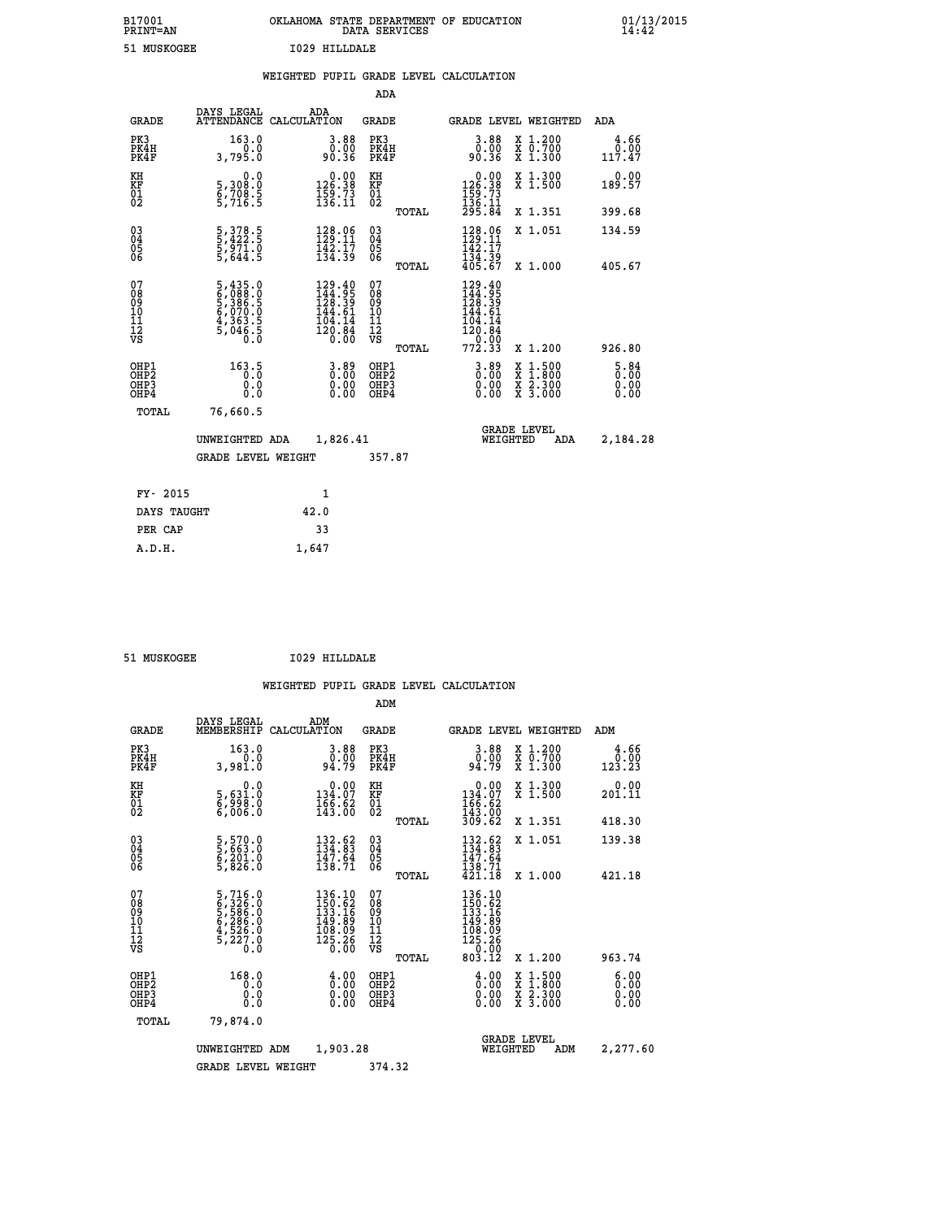| B17001<br><b>PRINT=AN</b> | OKLAHOMA STATE DEPARTMENT OF EDUCATION<br>DATA SERVICES | 01/13/2015<br>14:42 |
|---------------------------|---------------------------------------------------------|---------------------|
| 51.<br>MUSKOGEE           | HTIJJDALE<br>1029                                       |                     |

| 51 MUSKOGEE                                        |                                                                                  |      | 1029 HILLDALE                                                                                       |                                                     |       |                                                                                                       |                                                                                                                                              |                                     |
|----------------------------------------------------|----------------------------------------------------------------------------------|------|-----------------------------------------------------------------------------------------------------|-----------------------------------------------------|-------|-------------------------------------------------------------------------------------------------------|----------------------------------------------------------------------------------------------------------------------------------------------|-------------------------------------|
|                                                    |                                                                                  |      |                                                                                                     | ADA                                                 |       | WEIGHTED PUPIL GRADE LEVEL CALCULATION                                                                |                                                                                                                                              |                                     |
| GRADE                                              | DAYS LEGAL<br>ATTENDANCE CALCULATION                                             |      | ADA                                                                                                 | GRADE                                               |       |                                                                                                       | <b>GRADE LEVEL WEIGHTED</b>                                                                                                                  | ADA                                 |
| PK3<br>PK4H<br>PK4F                                | 163.0<br>3,795.0                                                                 |      | $\begin{smallmatrix} 3.88\ 0.00\\ 0.00\\ 90.36 \end{smallmatrix}$                                   | PK3<br>PK4H<br>PK4F                                 |       | $\begin{smallmatrix} 3.88\ 0.0000 \ 90.36 \end{smallmatrix}$                                          | X 1.200<br>X 0.700<br>X 1.300                                                                                                                | 4.66<br>$0.00$<br>117.47            |
| KH<br>KF<br>01<br>02                               | $\begin{smallmatrix}&&&0.0\\5\,,&308.0\\6\,,&708.5\\5\,,&716.5\end{smallmatrix}$ |      | $\begin{smallmatrix} 0.00\\ 126.38\\ 159.73\\ 136.11 \end{smallmatrix}$                             | KH<br>KF<br>01<br>02                                |       | $\begin{smallmatrix} &0.00\\ 126.38\\ 159.73\\ 136.11\\ 295.84\end{smallmatrix}$                      | X 1.300<br>X 1.500                                                                                                                           | 0.00<br>189.57                      |
|                                                    |                                                                                  |      |                                                                                                     |                                                     | TOTAL |                                                                                                       | X 1.351                                                                                                                                      | 399.68                              |
| $\begin{matrix} 03 \\ 04 \\ 05 \\ 06 \end{matrix}$ | 5, 378.5<br>5, 422.5<br>5, 971.0<br>5, 644.5                                     |      | $\begin{array}{l} 128.06 \\[-4pt] 129.11 \\[-4pt] 142.17 \\[-4pt] 134.39 \end{array}$               | $\begin{array}{c} 03 \\ 04 \\ 05 \\ 06 \end{array}$ |       | $\begin{array}{c} 128.06 \\[-4pt] 129.11 \\[-4pt] 142.17 \\[-4pt] 134.39 \\[-4pt] 405.67 \end{array}$ | X 1.051                                                                                                                                      | 134.59                              |
|                                                    |                                                                                  |      |                                                                                                     |                                                     | TOTAL |                                                                                                       | X 1.000                                                                                                                                      | 405.67                              |
| 07<br>08<br>09<br>11<br>11<br>12<br>VS             | 5,435.0<br>6,088.0<br>5,386.5<br>5,070.0<br>4,363.5<br>5,046.5                   |      | $\begin{smallmatrix} 129.40\\144.95\\128.39\\144.61\\104.14\\104.14\\120.84\\0.00\end{smallmatrix}$ | 07<br>08<br>09<br>101<br>11<br>12<br>VS             |       | $129.40$<br>$144.95$<br>$128.39$<br>$144.61$<br>104.14<br>120:04<br>772.33                            |                                                                                                                                              |                                     |
|                                                    |                                                                                  |      |                                                                                                     |                                                     | TOTAL |                                                                                                       | X 1.200                                                                                                                                      | 926.80                              |
| OHP1<br>OHP2<br>OHP3<br>OHP4                       | 163.5<br>0.0<br>0.0                                                              |      | $3.89$<br>$0.00$<br>0.00<br>0.00                                                                    | OHP1<br>OHP2<br>OHP3<br>OHP4                        |       | $3.89$<br>$0.00$<br>0.00                                                                              | $\begin{smallmatrix} \mathtt{X} & 1\cdot500 \\ \mathtt{X} & 1\cdot800 \\ \mathtt{X} & 2\cdot300 \\ \mathtt{X} & 3\cdot000 \end{smallmatrix}$ | $\frac{5.84}{0.00}$<br>0.00<br>0.00 |
| TOTAL                                              | 76,660.5                                                                         |      |                                                                                                     |                                                     |       |                                                                                                       |                                                                                                                                              |                                     |
|                                                    | UNWEIGHTED ADA                                                                   |      | 1,826.41                                                                                            |                                                     |       | WEIGHTED                                                                                              | <b>GRADE LEVEL</b><br>ADA                                                                                                                    | 2,184.28                            |
|                                                    | <b>GRADE LEVEL WEIGHT</b>                                                        |      |                                                                                                     | 357.87                                              |       |                                                                                                       |                                                                                                                                              |                                     |
| FY- 2015                                           |                                                                                  |      | 1                                                                                                   |                                                     |       |                                                                                                       |                                                                                                                                              |                                     |
| DAYS TAUGHT                                        |                                                                                  | 42.0 |                                                                                                     |                                                     |       |                                                                                                       |                                                                                                                                              |                                     |
| PER CAP                                            |                                                                                  |      | 33                                                                                                  |                                                     |       |                                                                                                       |                                                                                                                                              |                                     |

 **51 MUSKOGEE I029 HILLDALE**

 **A.D.H. 1,647**

 **ADM**

| <b>GRADE</b>                                       | DAYS LEGAL<br>MEMBERSHIP                                              | ADM<br>CALCULATION                                                      | <b>GRADE</b>                            |        | <b>GRADE LEVEL WEIGHTED</b>                                                                             |                                          | ADM                    |  |
|----------------------------------------------------|-----------------------------------------------------------------------|-------------------------------------------------------------------------|-----------------------------------------|--------|---------------------------------------------------------------------------------------------------------|------------------------------------------|------------------------|--|
| PK3<br>PK4H<br>PK4F                                | 163.0<br>0.0<br>3,981.0                                               | $3.88$<br>$0.00$<br>94.79                                               | PK3<br>PK4H<br>PK4F                     |        | $3.88$<br>$0.00$<br>94.79                                                                               | X 1.200<br>X 0.700<br>X 1.300            | 4.66<br>0.00<br>123.23 |  |
| KH<br>KF<br>01<br>02                               | 0.0<br>5,631:0<br>6,998:0<br>6,006:0                                  | $\begin{smallmatrix} &0.00\\ 134.07\\ 166.62\\ 143.00\end{smallmatrix}$ | KH<br>KF<br>01<br>02                    |        | $\begin{array}{c} 0.00 \\ 134.07 \\ 166.62 \\ 143.00 \\ 309.62 \end{array}$                             | X 1.300<br>X 1.500                       | 0.00<br>201.11         |  |
|                                                    |                                                                       |                                                                         |                                         | TOTAL  |                                                                                                         | X 1.351                                  | 418.30                 |  |
| $\begin{matrix} 03 \\ 04 \\ 05 \\ 06 \end{matrix}$ | 5,570.0<br>5,663.0<br>6,201.0<br>5,826.0                              | $132.62$<br>$134.83$<br>$\frac{147.64}{138.71}$                         | 03<br>04<br>05<br>06                    |        | $132.62$<br>$134.83$<br>$147.64$<br>$138.71$                                                            | X 1.051                                  | 139.38                 |  |
|                                                    |                                                                       |                                                                         |                                         | TOTAL  | 421.18                                                                                                  | X 1.000                                  | 421.18                 |  |
| 07<br>08<br>09<br>101<br>11<br>12<br>VS            | 5,716.0<br>6,326.0<br>5,586.0<br>5,286.0<br>4,526.0<br>5,227.0<br>0.0 | 136.10<br>150.62<br>133.16<br>149.89<br>108.09<br>$\frac{125.26}{0.00}$ | 07<br>08<br>09<br>101<br>11<br>12<br>VS | TOTAL  | $\begin{smallmatrix} 136.10\\150.62\\133.16\\149.89\\108.09\\125.26\\0&0.00\end{smallmatrix}$<br>803.12 | X 1.200                                  | 963.74                 |  |
| OHP1<br>OHP2<br>OHP3<br>OHP4                       | 168.0<br>0.0<br>0.0<br>Ō.Ō                                            | $\begin{smallmatrix} 4.00 \ 0.00 \ 0.00 \end{smallmatrix}$<br>0.00      | OHP1<br>OHP2<br>OHP3<br>OHP4            |        | $\begin{smallmatrix} 4.00\ 0.00\ 0.00 \end{smallmatrix}$                                                | X 1:500<br>X 1:800<br>X 2:300<br>X 3:000 | 6.00<br>0.00<br>0.00   |  |
| TOTAL                                              | 79,874.0                                                              |                                                                         |                                         |        |                                                                                                         |                                          |                        |  |
|                                                    | UNWEIGHTED                                                            | 1,903.28<br>ADM                                                         |                                         |        | <b>GRADE LEVEL</b><br>WEIGHTED                                                                          | ADM                                      | 2,277.60               |  |
|                                                    | <b>GRADE LEVEL WEIGHT</b>                                             |                                                                         |                                         | 374.32 |                                                                                                         |                                          |                        |  |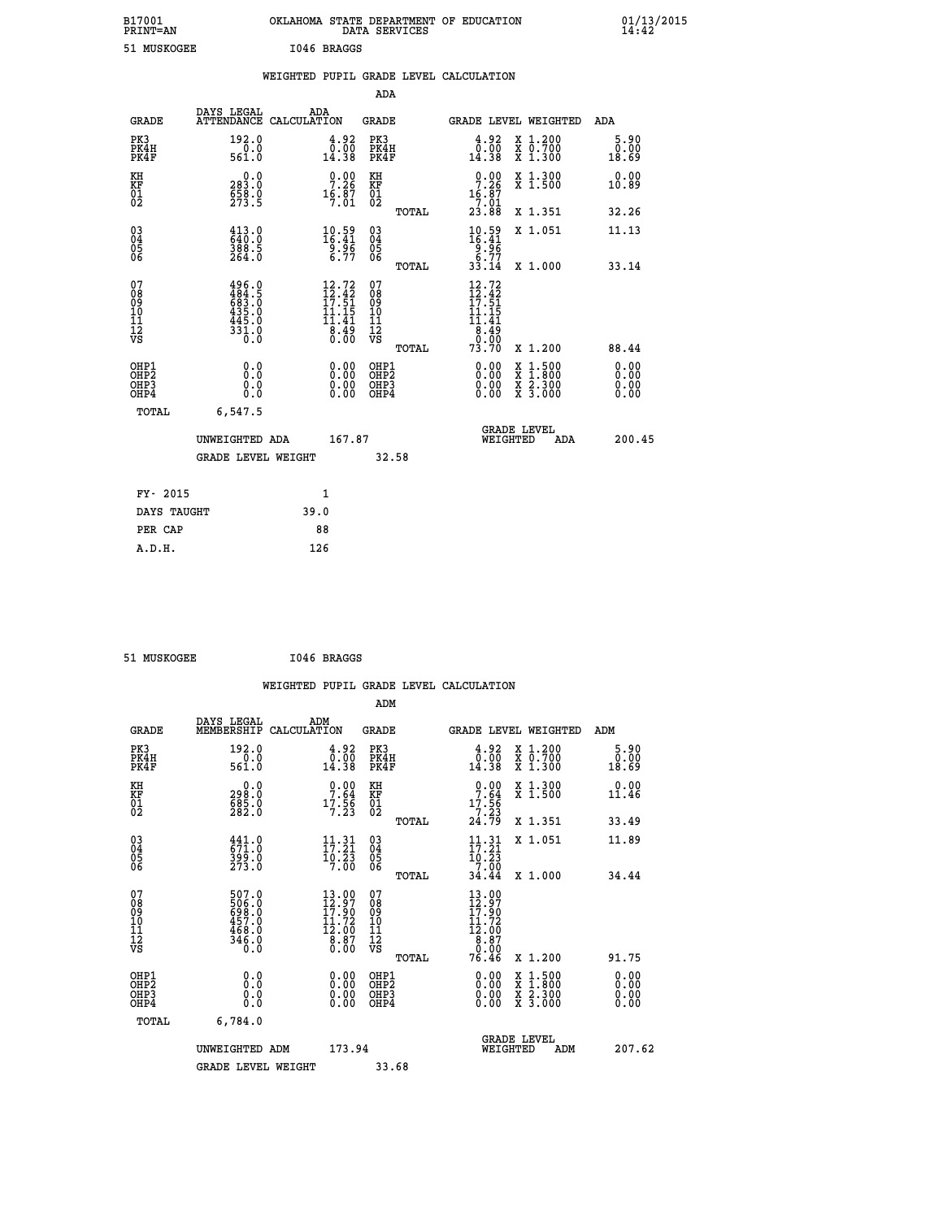| B17001<br>PRINT=AN                                       |                                                                       | OKLAHOMA STATE DEPARTMENT OF EDUCATION                                                                       | DATA SERVICES                                      |       |                                                                                                                |                                          | $01/13/2015$<br>14:42 |  |
|----------------------------------------------------------|-----------------------------------------------------------------------|--------------------------------------------------------------------------------------------------------------|----------------------------------------------------|-------|----------------------------------------------------------------------------------------------------------------|------------------------------------------|-----------------------|--|
| 51 MUSKOGEE                                              |                                                                       | I046 BRAGGS                                                                                                  |                                                    |       |                                                                                                                |                                          |                       |  |
|                                                          |                                                                       | WEIGHTED PUPIL GRADE LEVEL CALCULATION                                                                       |                                                    |       |                                                                                                                |                                          |                       |  |
|                                                          |                                                                       |                                                                                                              | <b>ADA</b>                                         |       |                                                                                                                |                                          |                       |  |
| <b>GRADE</b>                                             | DAYS LEGAL<br>ATTENDANCE CALCULATION                                  | ADA                                                                                                          | GRADE                                              |       |                                                                                                                | GRADE LEVEL WEIGHTED                     | ADA                   |  |
| PK3<br>PK4H<br>PK4F                                      | 192.0<br>561.0                                                        | $\frac{4.92}{0.00}$<br>14.38                                                                                 | PK3<br>PK4H<br>PK4F                                |       | 4.92<br>$\bar{0}.\bar{0} \bar{0} \over 14.38$                                                                  | X 1.200<br>X 0.700<br>X 1.300            | 5.90<br>0.00<br>18.69 |  |
| KH<br>KF<br>01<br>02                                     | 0.0<br>283.0<br>658.0<br>273.5                                        | $\frac{0.00}{7.26}$<br>$16.87$<br>7:01                                                                       | KH<br><b>KF</b><br>01<br>02                        |       | $0.00$<br>7.26<br>$16.87$<br>$7.01$<br>$23.88$                                                                 | X 1.300<br>X 1.500                       | 0.00<br>10.89         |  |
|                                                          |                                                                       |                                                                                                              |                                                    | TOTAL |                                                                                                                | X 1.351                                  | 32.26                 |  |
| 03<br>04<br>05<br>06                                     | $413.0$<br>$640.0$<br>388.5<br>264.0                                  | $\frac{10.59}{16.41}$<br>$\frac{9.96}{6.77}$                                                                 | $\begin{matrix} 03 \\ 04 \\ 05 \\ 06 \end{matrix}$ |       | $10.59$<br>$16.41$<br>$\frac{5}{6}\frac{5}{7}$                                                                 | X 1.051                                  | 11.13                 |  |
|                                                          |                                                                       |                                                                                                              |                                                    | TOTAL | 33.14                                                                                                          | X 1.000                                  | 33.14                 |  |
| 07<br>08<br>09<br>11<br>11<br>12<br>VS                   | $496.0$<br>$484.5$<br>$683.0$<br>$435.0$<br>$445.0$<br>$331.0$<br>Ō.Ō | $\frac{12.72}{12.42}$<br>$\frac{1}{11}$ $\frac{1}{41}$<br>$\overline{8}\overline{.}\overline{3}\overline{5}$ | 07<br>08<br>09<br>10<br>īī<br>ĪŽ<br>VŠ             | TOTAL | 12.72<br>$\frac{1}{2}$ $\frac{2}{5}$<br>$\begin{array}{c} 11.15 \\ 11.41 \\ 8.49 \\ 0.00 \end{array}$<br>73.70 | X 1.200                                  | 88.44                 |  |
| OHP1<br>OHP2<br>OH <sub>P3</sub><br>OHP4<br><b>TOTAL</b> | 0.000<br>0.0<br>0.0<br>6,547.5                                        | 0.00<br>0.00                                                                                                 | OHP1<br>OHP2<br>OHP3<br>OHP4                       |       | 0.00<br>0.00<br>0.00                                                                                           | X 1:500<br>X 1:800<br>X 2:300<br>X 3:000 | 0.00<br>0.00<br>0.00  |  |
|                                                          | UNWEIGHTED ADA<br><b>GRADE LEVEL WEIGHT</b>                           | 167.87                                                                                                       | 32.58                                              |       | WEIGHTED                                                                                                       | <b>GRADE LEVEL</b><br>ADA                | 200.45                |  |

| FY- 2015    |      |
|-------------|------|
| DAYS TAUGHT | 39.0 |
| PER CAP     | 88   |
| A.D.H.      | 126  |
|             |      |

| 51 MUSKOGEE |  | I046 BRAGGS |
|-------------|--|-------------|
|-------------|--|-------------|

 **WEIGHTED PUPIL GRADE LEVEL CALCULATION ADM DAYS LEGAL ADM GRADE MEMBERSHIP CALCULATION GRADE GRADE LEVEL WEIGHTED ADM PK3 192.0 4.92 PK3 4.92 X 1.200 5.90 PK4H 0.0 0.00 PK4H 0.00 X 0.700 0.00 PK4F 561.0 14.38 PK4F 14.38 X 1.300 18.69 KH 0.0 0.00 KH 0.00 X 1.300 0.00 KF 298.0 7.64 KF 7.64 X 1.500 11.46 01** 685.0 **17.56 01 17.56 02 282.0 7.23 02 7.23 TOTAL 24.79 X 1.351 33.49 03 441.0 11.31 03 11.31 X 1.051 11.89 04 671.0 17.21 04 17.21 05 399.0 10.23 05 10.23 06 273.0 7.00 06 7.00 TOTAL 34.44 X 1.000 34.44 07 507.0 13.00 07 13.00 08 506.0 12.97 08 12.97 09 698.0 17.90 09 17.90 10 457.0 11.72 10 11.72 11 468.0 12.00 11 12.00 12 12 12 12 12 8.87 12 8.87 VS** 0.0 0.00 VS 0.00 0.00 0.00  $\begin{array}{cccc} 507.0 & 13.00 & 07 & 13.00 & 07 & 01.01 & 01.01 & 01.01 & 01.01 & 01.01 & 01.01 & 01.01 & 01.01 & 01.01 & 01.01 & 01.01 & 01.01 & 01.01 & 01.01 & 01.01 & 01.01 & 01.01 & 01.01 & 01.01 & 01.01 & 01.01 & 01.01 & 01.01 & 01.01 & 01.01 & 01.01 & 0$  **OHP1 0.0 0.00 OHP1 0.00 X 1.500 0.00 OHP2 0.0 0.00 OHP2 0.00 X 1.800 0.00 OHP3 0.0 0.00 OHP3 0.00 X 2.300 0.00 OHP4 0.0 0.00 OHP4 0.00 X 3.000 0.00 TOTAL 6,784.0 GRADE LEVEL UNWEIGHTED ADM 173.94 WEIGHTED ADM 207.62 GRADE LEVEL WEIGHT 33.68**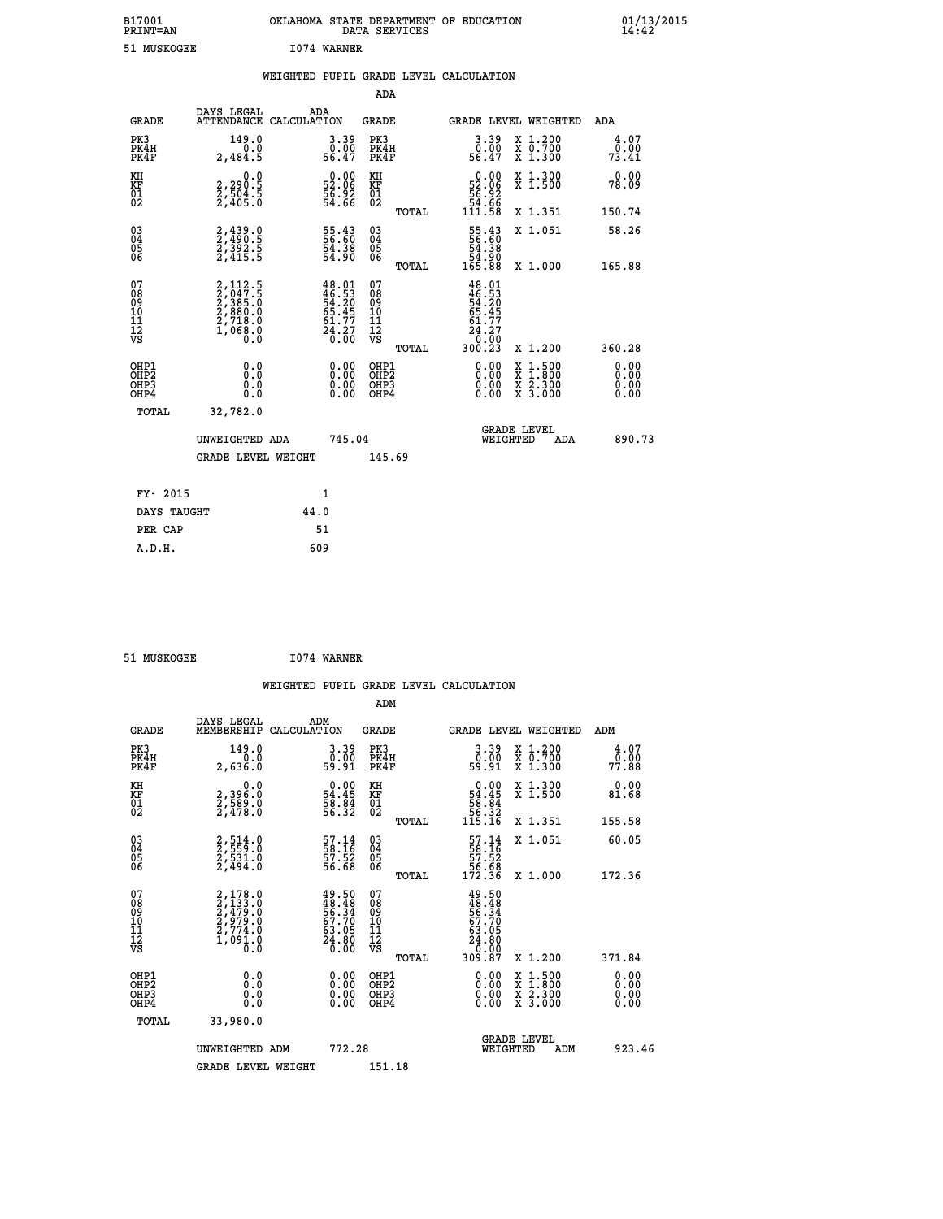| B17001<br><b>PRINT=AN</b> | OKLAHOMA STATE DEPARTMENT OF EDUCATION<br>DATA SERVICES | 01/13/2015 |
|---------------------------|---------------------------------------------------------|------------|
| 51 MUSKOGEE               | 1074 WARNER                                             |            |

|                                                                    |              |                                                                                                         |                    |                                                                                        | ADA                                                               |       |                                                                            |                                          |                              |
|--------------------------------------------------------------------|--------------|---------------------------------------------------------------------------------------------------------|--------------------|----------------------------------------------------------------------------------------|-------------------------------------------------------------------|-------|----------------------------------------------------------------------------|------------------------------------------|------------------------------|
|                                                                    | <b>GRADE</b> | DAYS LEGAL<br><b>ATTENDANCE</b>                                                                         | ADA<br>CALCULATION |                                                                                        | <b>GRADE</b>                                                      |       |                                                                            | GRADE LEVEL WEIGHTED                     | ADA                          |
| PK3<br>PK4H<br>PK4F                                                |              | 149.0<br>0.0<br>2,484.5                                                                                 |                    | $\begin{smallmatrix} 3.39\ 0.00\ 56.47 \end{smallmatrix}$                              | PK3<br>PK4H<br>PK4F                                               |       | $\begin{smallmatrix} 3.39\ 0.00\ 56.47 \end{smallmatrix}$                  | X 1.200<br>X 0.700<br>X 1.300            | 4.07<br>0.00<br>73.41        |
| KH<br><b>KF</b><br>01<br>02                                        |              | 0.0<br>$2,290.5$<br>$2,504.5$<br>$2,405.0$                                                              |                    | $\begin{smallmatrix} 0.00\\ 52.06\\ 56.92\\ 54.66 \end{smallmatrix}$                   | KH<br>KF<br>01<br>02                                              |       | $0.00\n52.06\n56.92\n54.66\n111.58$                                        | X 1.300<br>X 1.500                       | 0.00<br>78.09                |
|                                                                    |              |                                                                                                         |                    |                                                                                        |                                                                   | TOTAL |                                                                            | X 1.351                                  | 150.74                       |
| $\begin{smallmatrix} 03 \\[-4pt] 04 \end{smallmatrix}$<br>Ŏ5<br>06 |              | 2,439.0<br>2,490.5<br>2,392.5<br>2,415.5                                                                |                    | 55.43<br>56.60<br>54.38<br>54.90                                                       | $\substack{03 \\ 04}$<br>$\begin{matrix} 0.5 \\ 0.6 \end{matrix}$ |       | $\begin{smallmatrix} 55.43\ 56.60\ 54.38\ 54.90\ 165.88 \end{smallmatrix}$ | X 1.051                                  | 58.26                        |
|                                                                    |              |                                                                                                         |                    |                                                                                        |                                                                   | TOTAL |                                                                            | X 1.000                                  | 165.88                       |
| 07<br>08901112<br>1112<br>VS                                       |              | $\begin{smallmatrix} 2,112.5\\ 2,047.5\\ 2,385.0\\ 2,385.0\\ 2,718.0\\ 1,068.0\\ 0.0 \end{smallmatrix}$ |                    | $48.01$<br>$46.53$<br>$54.20$<br>$65.45$<br>$61.77$<br>$\frac{2\bar{4}\cdot 27}{0.00}$ | 07<br>08<br>09<br>11<br>11<br>12<br>VS                            |       | $48.01$<br>$46.53$<br>$54.20$<br>$65.45$<br>$61.77$<br>$24.27$<br>$0.02$   |                                          |                              |
|                                                                    |              |                                                                                                         |                    |                                                                                        |                                                                   | TOTAL | 300.23                                                                     | X 1.200                                  | 360.28                       |
| OHP1<br>OH <sub>P</sub> 2<br>OH <sub>P3</sub><br>OH <sub>P4</sub>  |              | 0.0<br>0.000                                                                                            |                    | $\begin{smallmatrix} 0.00 \ 0.00 \ 0.00 \ 0.00 \end{smallmatrix}$                      | OHP1<br>OH <sub>P</sub> 2<br>OHP3<br>OHP4                         |       | 0.00<br>0.00<br>0.00                                                       | X 1:500<br>X 1:800<br>X 2:300<br>X 3:000 | 0.00<br>0.00<br>0.00<br>0.00 |
|                                                                    | TOTAL        | 32,782.0                                                                                                |                    |                                                                                        |                                                                   |       |                                                                            |                                          |                              |
|                                                                    |              | UNWEIGHTED ADA                                                                                          |                    | 745.04                                                                                 |                                                                   |       |                                                                            | GRADE LEVEL<br>WEIGHTED<br>ADA           | 890.73                       |
|                                                                    |              | <b>GRADE LEVEL WEIGHT</b>                                                                               |                    |                                                                                        | 145.69                                                            |       |                                                                            |                                          |                              |
|                                                                    | FY- 2015     |                                                                                                         | $\mathbf{1}$       |                                                                                        |                                                                   |       |                                                                            |                                          |                              |
|                                                                    | DAYS TAUGHT  |                                                                                                         | 44.0               |                                                                                        |                                                                   |       |                                                                            |                                          |                              |
|                                                                    | PER CAP      |                                                                                                         | 51                 |                                                                                        |                                                                   |       |                                                                            |                                          |                              |

 **51 MUSKOGEE I074 WARNER**

 **A.D.H. 609**

| <b>GRADE</b>                                       | DAYS LEGAL<br>MEMBERSHIP                                                            | ADM<br>CALCULATION                                                   | <b>GRADE</b>                                        |       | GRADE LEVEL WEIGHTED                                                                |                                          | ADM                    |  |
|----------------------------------------------------|-------------------------------------------------------------------------------------|----------------------------------------------------------------------|-----------------------------------------------------|-------|-------------------------------------------------------------------------------------|------------------------------------------|------------------------|--|
| PK3<br>PK4H<br>PK4F                                | 149.0<br>2,636.0                                                                    | $\begin{smallmatrix} 3.39\ 0.00\ 59.91 \end{smallmatrix}$            | PK3<br>PK4H<br>PK4F                                 |       | $\begin{smallmatrix} 3.39\ 0.00\ 59.91 \end{smallmatrix}$                           | X 1.200<br>X 0.700<br>X 1.300            | 4.07<br>0.00.<br>77.88 |  |
| KH<br>KF<br>01<br>02                               | 0.0<br>2,396:0<br>2,589:0<br>2,478:0                                                | $\begin{smallmatrix} 0.00\\ 54.45\\ 58.84\\ 56.32 \end{smallmatrix}$ | KH<br>KF<br>01<br>02                                |       | $0.00$<br>54.45<br>58.84<br>56.32<br>56.32<br>115.16                                | X 1.300<br>X 1.500                       | 0.00<br>81.68          |  |
|                                                    |                                                                                     |                                                                      |                                                     | TOTAL |                                                                                     | X 1.351                                  | 155.58                 |  |
| $\begin{matrix} 03 \\ 04 \\ 05 \\ 06 \end{matrix}$ | 2,514.0<br>2,559.0<br>2,531.0<br>2,494.0                                            | 57.14<br>58.16<br>57.52<br>56.68                                     | $\begin{array}{c} 03 \\ 04 \\ 05 \\ 06 \end{array}$ |       | $\begin{array}{r} 57.14 \\ 58.16 \\ 57.52 \\ 56.68 \\ 172.36 \end{array}$           | X 1.051                                  | 60.05                  |  |
|                                                    |                                                                                     |                                                                      |                                                     | TOTAL |                                                                                     | X 1.000                                  | 172.36                 |  |
| 07<br>08901112<br>1112<br>VS                       | $2,178.0$<br>$2,473.0$<br>$2,479.0$<br>$2,979.0$<br>$2,774.0$<br>$1,091.0$<br>$0.0$ | 49.50<br>48.48<br>56.34<br>56.70<br>63.05<br>63.05<br>24.800         | 07<br>08901112<br>1112<br>VS                        | TOTAL | $49.50$<br>$48.48$<br>$56.34$<br>$57.70$<br>$63.05$<br>$24.80$<br>$0.000$<br>309.87 | X 1.200                                  | 371.84                 |  |
| OHP1<br>OHP2<br>OHP3<br>OHP4                       | 0.0<br>$\begin{smallmatrix} 0.0 & 0 \ 0.0 & 0 \end{smallmatrix}$                    |                                                                      | OHP1<br>OHP2<br>OHP3<br>OHP4                        |       |                                                                                     | X 1:500<br>X 1:800<br>X 2:300<br>X 3:000 | 0.00<br>0.00<br>0.00   |  |
| TOTAL                                              | 33,980.0                                                                            |                                                                      |                                                     |       |                                                                                     |                                          |                        |  |
|                                                    | UNWEIGHTED<br>ADM                                                                   | 772.28                                                               |                                                     |       | WEIGHTED                                                                            | <b>GRADE LEVEL</b><br>ADM                | 923.46                 |  |
|                                                    | <b>GRADE LEVEL WEIGHT</b>                                                           |                                                                      | 151.18                                              |       |                                                                                     |                                          |                        |  |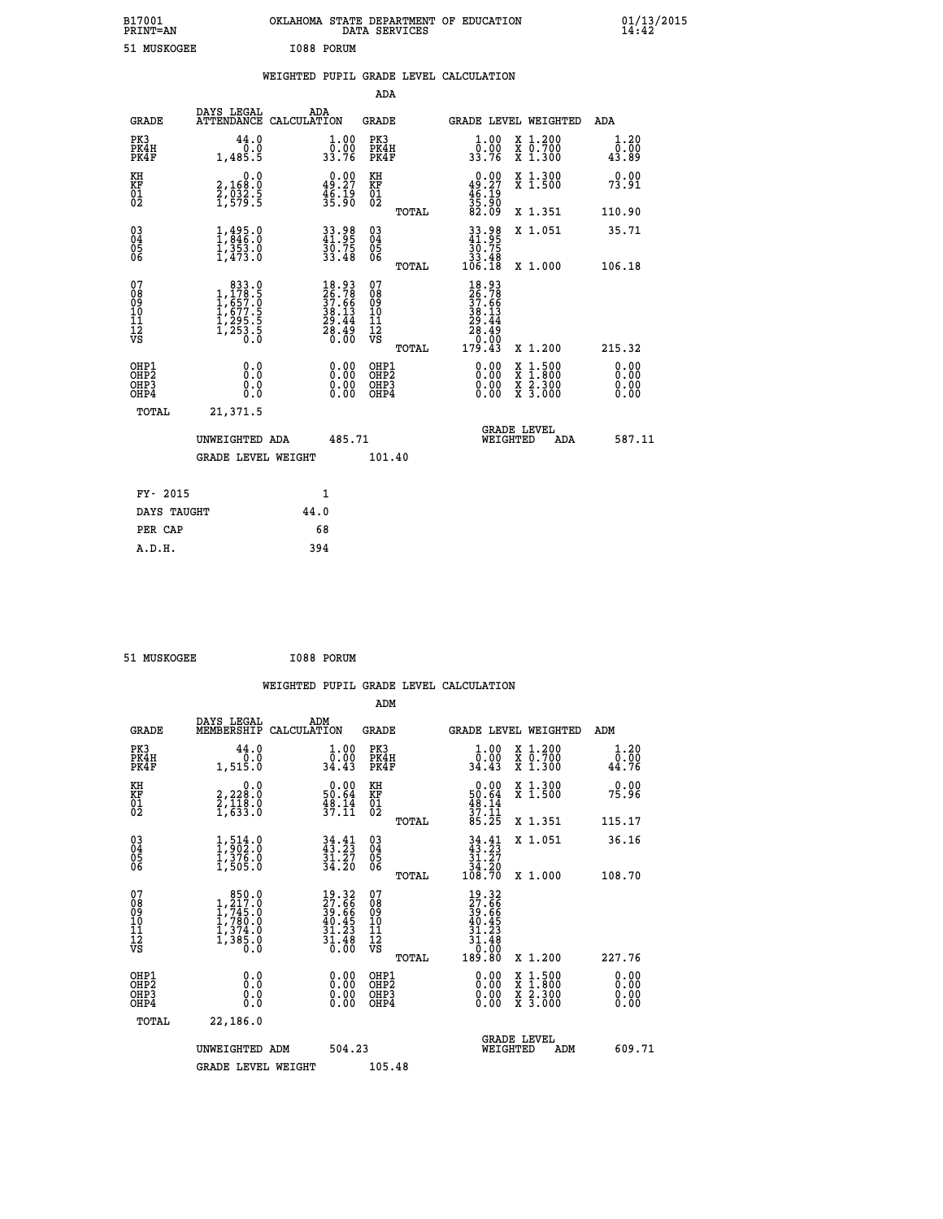| B17001<br>PRINT=AN | . STATE DEPARTMENT OF EDUCATION<br><b>OKLAHOMA</b><br>DATA SERVICES | $01/13/2015$<br>14:42 |
|--------------------|---------------------------------------------------------------------|-----------------------|
| 51 MUSKOGEE        | I088 PORUM                                                          |                       |

|  |  | WEIGHTED PUPIL GRADE LEVEL CALCULATION |
|--|--|----------------------------------------|
|  |  |                                        |

|                                                                              |                                                                                                                |                                                                          | ADA                                                |       |                                                                                        |                                                                                                                                           |                              |
|------------------------------------------------------------------------------|----------------------------------------------------------------------------------------------------------------|--------------------------------------------------------------------------|----------------------------------------------------|-------|----------------------------------------------------------------------------------------|-------------------------------------------------------------------------------------------------------------------------------------------|------------------------------|
| <b>GRADE</b>                                                                 | DAYS LEGAL                                                                                                     | ADA<br>ATTENDANCE CALCULATION                                            | GRADE                                              |       | <b>GRADE LEVEL WEIGHTED</b>                                                            |                                                                                                                                           | ADA                          |
| PK3<br>PK4H<br>PK4F                                                          | 44.0<br>0.0<br>1,485.5                                                                                         | $\frac{1}{0}$ : 00<br>33.76                                              | PK3<br>PK4H<br>PK4F                                |       | 1.00<br>ō.ŏō<br>33.76                                                                  | X 1.200<br>X 0.700<br>X 1.300                                                                                                             | 1.20<br>0.00<br>43.89        |
| KH<br>KF<br>01<br>02                                                         | 0.0<br>2,168:0<br>2,032:5<br>1,579:5                                                                           | $\begin{smallmatrix} 0.00\\ 49.27\\ 46.19\\ 35.90 \end{smallmatrix}$     | KH<br>KF<br>01<br>02                               |       | $0.00$<br>$49.27$<br>$46.19$<br>$35.90$<br>$82.09$                                     | X 1.300<br>X 1.500                                                                                                                        | 0.00<br>73.91                |
|                                                                              |                                                                                                                |                                                                          |                                                    | TOTAL |                                                                                        | X 1.351                                                                                                                                   | 110.90                       |
| $\begin{matrix} 03 \\ 04 \\ 05 \\ 06 \end{matrix}$                           | $1, 495.0$<br>$1, 846.0$<br>$1, 353.0$<br>$1, 473.0$                                                           | 33.98<br>41.95<br>30.75<br>33.48                                         | $\begin{matrix} 03 \\ 04 \\ 05 \\ 06 \end{matrix}$ |       | $33.98$<br>$41.95$<br>$30.75$<br>$33.48$<br>$106.18$                                   | X 1.051                                                                                                                                   | 35.71<br>106.18              |
|                                                                              |                                                                                                                |                                                                          |                                                    | TOTAL |                                                                                        | X 1.000                                                                                                                                   |                              |
| 07<br>08<br>09<br>11<br>11<br>12<br>VS                                       | $\begin{smallmatrix} & 833 & 0\\1,178 & 5\\1,657 & 0\\1,677 & 5\\1,295 & 5\\1,253 & 5\\0 & 0\end{smallmatrix}$ | $18.93$<br>$26.78$<br>$37.66$<br>$38.13$<br>$29.44$<br>$28.49$<br>$0.00$ | 07<br>08<br>09<br>11<br>11<br>12<br>VS             | TOTAL | $18.93$<br>$26.786$<br>$37.66$<br>$38.134$<br>$28.44$<br>$28.49$<br>$0.00$<br>$179.43$ | X 1.200                                                                                                                                   | 215.32                       |
| OHP1<br>OH <sub>P</sub> <sub>2</sub><br>OH <sub>P3</sub><br>OH <sub>P4</sub> | 0.0<br>Ō.Ō<br>0.0<br>0.0                                                                                       | 0.00<br>0.00<br>0.00                                                     | OHP1<br>OHP2<br>OHP3<br>OHP4                       |       | 0.00<br>0.00<br>0.00                                                                   | $\begin{smallmatrix} \mathtt{X} & 1\cdot500\\ \mathtt{X} & 1\cdot800\\ \mathtt{X} & 2\cdot300\\ \mathtt{X} & 3\cdot000 \end{smallmatrix}$ | 0.00<br>0.00<br>0.00<br>0.00 |
| TOTAL                                                                        | 21,371.5                                                                                                       |                                                                          |                                                    |       |                                                                                        |                                                                                                                                           |                              |
|                                                                              | UNWEIGHTED ADA                                                                                                 | 485.71                                                                   |                                                    |       | WEIGHTED                                                                               | <b>GRADE LEVEL</b><br>ADA                                                                                                                 | 587.11                       |
|                                                                              | <b>GRADE LEVEL WEIGHT</b>                                                                                      |                                                                          | 101.40                                             |       |                                                                                        |                                                                                                                                           |                              |
| FY- 2015                                                                     |                                                                                                                |                                                                          |                                                    |       |                                                                                        |                                                                                                                                           |                              |
|                                                                              |                                                                                                                | 1                                                                        |                                                    |       |                                                                                        |                                                                                                                                           |                              |
| DAYS TAUGHT                                                                  |                                                                                                                | 44.0                                                                     |                                                    |       |                                                                                        |                                                                                                                                           |                              |
| PER CAP                                                                      |                                                                                                                | 68                                                                       |                                                    |       |                                                                                        |                                                                                                                                           |                              |
| A.D.H.                                                                       |                                                                                                                | 394                                                                      |                                                    |       |                                                                                        |                                                                                                                                           |                              |

 **51 MUSKOGEE I088 PORUM**

 **A.D.H. 394**

 **WEIGHTED PUPIL GRADE LEVEL CALCULATION ADM DAYS LEGAL ADM**

| <b>GRADE</b>                             | MEMBERSHIP CALCULATION                                                                                  |                                                                          | GRADE                                                        |       | GRADE LEVEL WEIGHTED                                                                               |                                                                                                                                      | ADM    |                      |
|------------------------------------------|---------------------------------------------------------------------------------------------------------|--------------------------------------------------------------------------|--------------------------------------------------------------|-------|----------------------------------------------------------------------------------------------------|--------------------------------------------------------------------------------------------------------------------------------------|--------|----------------------|
| PK3<br>PK4H<br>PK4F                      | 44.0<br>0.0<br>1,515.0                                                                                  | $\begin{smallmatrix} 1.00\\ 0.00\\ 34.43 \end{smallmatrix}$              | PK3<br>PK4H<br>PK4F                                          |       | 1.00<br>$\frac{0}{34}.00$<br>34.43                                                                 | X 1.200<br>X 0.700<br>X 1.300                                                                                                        | 44.76  | 1.20<br>0.00         |
| KH<br>KF<br>01<br>02                     | 0.0<br>2,228:0<br>2,118:0<br>1,633:0                                                                    | $\begin{smallmatrix} 0.00\\ 50.64\\ 48.14\\ 37.11 \end{smallmatrix}$     | KH<br>KF<br>01<br>02                                         |       | $\begin{smallmatrix} 0.00\\ 50.64\\ 48.14\\ 37.11\\ 85.25 \end{smallmatrix}$                       | X 1.300<br>X 1.500                                                                                                                   | 75.96  | 0.00                 |
|                                          |                                                                                                         |                                                                          |                                                              | TOTAL |                                                                                                    | X 1.351                                                                                                                              | 115.17 |                      |
| 03<br>04<br>05<br>06                     | $\frac{1}{1}, \frac{514}{902}.0 \ \frac{1}{376}.0 \ \frac{376}{1,505.0}$                                | $34.41$<br>$43.23$<br>$\frac{31.27}{34.20}$                              | $03\overline{4}$<br>$\begin{matrix} 0.5 \\ 0.6 \end{matrix}$ |       | $\begin{array}{c} 34\cdot 41 \\ 43\cdot 23 \\ 31\cdot 27 \\ 34\cdot 20 \\ 108\cdot 70 \end{array}$ | X 1.051                                                                                                                              | 36.16  |                      |
|                                          |                                                                                                         |                                                                          |                                                              | TOTAL |                                                                                                    | X 1.000                                                                                                                              | 108.70 |                      |
| 07<br>0890112<br>1112<br>VS              | $\begin{smallmatrix} & 850.0\\ 1,217.0\\ 1,745.0\\ 1,780.0\\ 1,374.0\\ 1,385.0\\ 0.0 \end{smallmatrix}$ | $19.32$<br>$27.66$<br>$39.66$<br>$40.45$<br>$31.23$<br>$31.48$<br>$0.00$ | 07<br>08901123<br>1112<br>VS                                 |       | $19.32$<br>$27.66$<br>$39.66$<br>$30.45$<br>$40.45$<br>$31.23$<br>$31.48$<br>$0.00$<br>$189.80$    |                                                                                                                                      |        |                      |
|                                          |                                                                                                         |                                                                          |                                                              | TOTAL |                                                                                                    | X 1.200                                                                                                                              | 227.76 |                      |
| OHP1<br>OHP2<br>OH <sub>P3</sub><br>OHP4 | 0.0<br>0.0<br>0.0                                                                                       | 0.00<br>0.00<br>0.00                                                     | OHP1<br>OHP2<br>OHP3<br>OHP4                                 |       | $0.00$<br>$0.00$<br>0.00                                                                           | $\begin{smallmatrix} \mathtt{X} & 1 & 500 \\ \mathtt{X} & 1 & 800 \\ \mathtt{X} & 2 & 300 \\ \mathtt{X} & 3 & 000 \end{smallmatrix}$ |        | 0.00<br>0.00<br>0.00 |
| TOTAL                                    | 22,186.0                                                                                                |                                                                          |                                                              |       |                                                                                                    |                                                                                                                                      |        |                      |
|                                          | UNWEIGHTED ADM                                                                                          | 504.23                                                                   |                                                              |       | WEIGHTED                                                                                           | <b>GRADE LEVEL</b><br>ADM                                                                                                            |        | 609.71               |
|                                          | <b>GRADE LEVEL WEIGHT</b>                                                                               |                                                                          | 105.48                                                       |       |                                                                                                    |                                                                                                                                      |        |                      |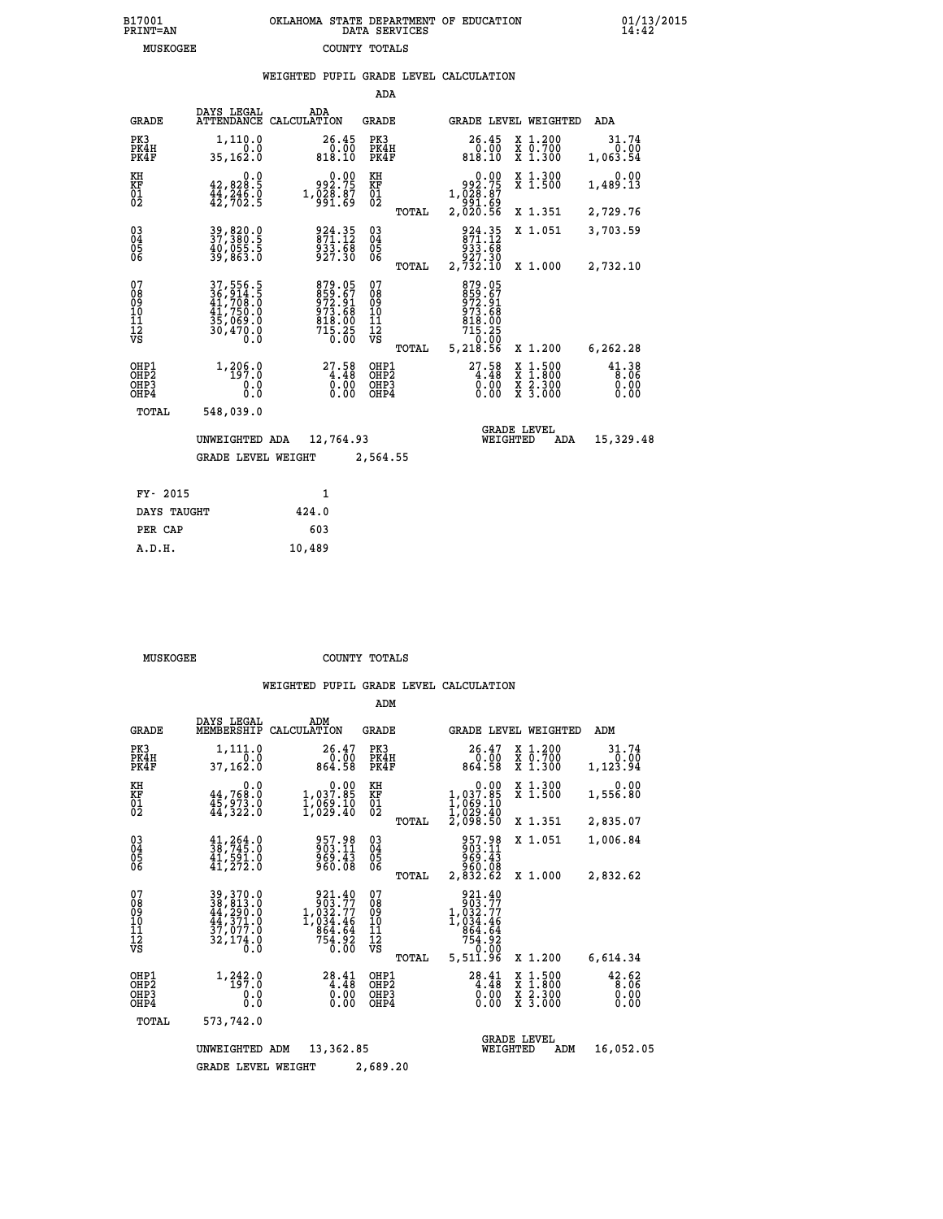## **B17001 OKLAHOMA STATE DEPARTMENT OF EDUCATION 01/13/2015 PRINT=AN DATA SERVICES 14:42 MUSKOGEE COUNTY TOTALS**

|                                                                    |                                                                                |                                                                            | ADA                                     |       |                                                                            |                                                                                                  |                               |
|--------------------------------------------------------------------|--------------------------------------------------------------------------------|----------------------------------------------------------------------------|-----------------------------------------|-------|----------------------------------------------------------------------------|--------------------------------------------------------------------------------------------------|-------------------------------|
| <b>GRADE</b>                                                       | DAYS LEGAL                                                                     | ADA<br>ATTENDANCE CALCULATION                                              | <b>GRADE</b>                            |       |                                                                            | GRADE LEVEL WEIGHTED                                                                             | ADA                           |
| PK3<br>PK4H<br>PK4F                                                | 1,110.0<br>0.0<br>35,162.0                                                     | 26.45<br>0.00<br>818.10                                                    | PK3<br>PK4H<br>PK4F                     |       | 26.45<br>$\overline{0.00}$<br>818.10                                       | X 1.200<br>X 0.700<br>X 1.300                                                                    | 31.74<br>0.00<br>1,063.54     |
| KH<br>KF<br>01<br>02                                               | 0.0<br>$42,828.5$<br>$44,246.0$<br>$42,702.5$                                  | $\begin{smallmatrix} 0.00\\ -2.75\\ 1.028.87\\ -991.69 \end{smallmatrix}$  | KH<br>KF<br>01<br>02                    |       | 0.00<br>992.75<br>1,028.87<br>891.69<br>2,020.56                           | X 1.300<br>X 1.500                                                                               | 0.00<br>1,489.13              |
|                                                                    |                                                                                |                                                                            |                                         | TOTAL |                                                                            | X 1.351                                                                                          | 2,729.76                      |
| $\begin{smallmatrix} 03 \\[-4pt] 04 \end{smallmatrix}$<br>Ŏ5<br>06 | 39,820.0<br>37,380.5<br>40,055.5<br>39,863.0                                   | 924.35<br>871.12<br>933.68<br>927.30                                       | $\substack{03 \\ 04}$<br>Ŏ5<br>06       |       | 924.35<br>871.12<br>933.68<br>927.30                                       | X 1.051                                                                                          | 3,703.59                      |
|                                                                    |                                                                                |                                                                            |                                         | TOTAL | 2,732.10                                                                   | X 1.000                                                                                          | 2,732.10                      |
| 07<br>08<br>09<br>101<br>11<br>12<br>VS                            | 37, 556.5<br>36, 914.5<br>41, 700.0<br>41,750.0<br>35,069.0<br>30,470.0<br>Ō.Ō | 879.05<br>859.67<br>872.91<br>973.68<br>818.00<br>818.00<br>715.25<br>0.00 | 07<br>08<br>09<br>101<br>11<br>12<br>VS |       | 879.05<br>$859.67$<br>$972.91$<br>$973.68$<br>$818.00$<br>$715.25$<br>0.00 |                                                                                                  |                               |
|                                                                    |                                                                                |                                                                            |                                         | TOTAL | 5,218.56                                                                   | X 1.200                                                                                          | 6,262.28                      |
| OHP1<br>OHP <sub>2</sub><br>OHP3<br>OH <sub>P4</sub>               | 1, 206.0<br>0.0<br>0.0                                                         | 27.58<br>$\overline{0}$ . $\overline{00}$<br>$0.00$                        | OHP1<br>OHP2<br>OHP3<br>OHP4            |       | $27.58\n4.48\n0.00\n0.00$                                                  | $\begin{smallmatrix} x & 1 & 500 \\ x & 1 & 800 \\ x & 2 & 300 \\ x & 3 & 000 \end{smallmatrix}$ | 41.38<br>8.06<br>0.00<br>0.00 |
| TOTAL                                                              | 548,039.0                                                                      |                                                                            |                                         |       |                                                                            |                                                                                                  |                               |
|                                                                    | UNWEIGHTED ADA                                                                 | 12,764.93                                                                  |                                         |       |                                                                            | <b>GRADE LEVEL</b><br>WEIGHTED<br>ADA                                                            | 15,329.48                     |
|                                                                    | <b>GRADE LEVEL WEIGHT</b>                                                      |                                                                            | 2,564.55                                |       |                                                                            |                                                                                                  |                               |
| FY- 2015                                                           |                                                                                | $\mathbf{1}$                                                               |                                         |       |                                                                            |                                                                                                  |                               |
| DAYS TAUGHT                                                        |                                                                                | 424.0                                                                      |                                         |       |                                                                            |                                                                                                  |                               |
| PER CAP                                                            |                                                                                | 603                                                                        |                                         |       |                                                                            |                                                                                                  |                               |

| MUSKOGEE | COUNTY TOTALS |  |
|----------|---------------|--|

 **A.D.H. 10,489**

|                                           |                                                                                  |                                                                                | ADM                                                      |                                                                                                                 |                                                                                                  |                                   |
|-------------------------------------------|----------------------------------------------------------------------------------|--------------------------------------------------------------------------------|----------------------------------------------------------|-----------------------------------------------------------------------------------------------------------------|--------------------------------------------------------------------------------------------------|-----------------------------------|
| <b>GRADE</b>                              | DAYS LEGAL<br>MEMBERSHIP                                                         | ADM<br>CALCULATION                                                             | <b>GRADE</b>                                             |                                                                                                                 | GRADE LEVEL WEIGHTED                                                                             | ADM                               |
| PK3<br>PK4H<br>PK4F                       | 1,111.0<br>0.0<br>37,162.0                                                       | 26.47<br>0.00<br>864.58                                                        | PK3<br>PK4H<br>PK4F                                      | $26.47$<br>$0.00$<br>864.58                                                                                     | $\begin{array}{c} x & 1.200 \\ x & 0.700 \end{array}$<br>X 1.300                                 | 31.74<br>0.00<br>1,123.94         |
| KH<br>KF<br>01<br>02                      | 0.0<br>$44,768.0$<br>$45,973.0$<br>$44,322.0$                                    | $\begin{smallmatrix} &0.00\\ 1,037.85\\ 1,069.10\\ 1,029.40 \end{smallmatrix}$ | KH<br>KF<br>01<br>02<br>TOTAL                            | $\begin{smallmatrix} &0.00\\ 1,037.85\\ 1,069.10\\ 1,069.10\\ 1,029.40\\ 2,098.50 \end{smallmatrix}$            | X 1.300<br>X 1.500<br>X 1.351                                                                    | 0.00<br>1,556.80<br>2,835.07      |
| 03<br>04<br>05<br>06                      | $\frac{41}{38}$ , $\frac{264}{745}$ .0<br>41,591.0<br>41, 272.0                  | 957.98<br>903.11<br>969.43<br>960.08                                           | $\substack{03 \\ 04}$<br>0500                            | 957.98<br>903.11<br>969.43<br>960.08                                                                            | X 1.051                                                                                          | 1,006.84                          |
| 07<br>08<br>09<br>11<br>11<br>12<br>VS    | 39, 370.0<br>38, 813.0<br>44, 290.0<br>44, 371.0<br>37, 077.0<br>32,174.0<br>Ō.Ō | 921.40<br>903.77<br>1,032.77<br>1,034.46<br>864.64<br>754.92<br>0.00           | TOTAL<br>07<br>08<br>09<br>11<br>11<br>12<br>VS<br>TOTAL | 2,832.62<br>921.40<br>903.77<br>1,032.77<br>1,034.46<br>$\frac{864}{754}$ . $\frac{64}{92}$<br>0.00<br>5,511.96 | X 1.000<br>X 1.200                                                                               | 2,832.62<br>6,614.34              |
| OHP1<br>OH <sub>P</sub> 2<br>OHP3<br>OHP4 | 1,242.0<br>197.0<br>0.0<br>Ŏ.Ŏ                                                   | 28.41<br>4.48<br>0.00<br>0.00                                                  | OHP1<br>OHP <sub>2</sub><br>OHP3<br>OHP4                 | 28.41<br>4.48<br>0.00<br>0.00                                                                                   | $\begin{smallmatrix} x & 1 & 500 \\ x & 1 & 800 \\ x & 2 & 300 \\ x & 3 & 000 \end{smallmatrix}$ | $42.62$<br>$8.06$<br>0.00<br>0.00 |
| TOTAL                                     | 573,742.0<br>UNWEIGHTED<br><b>GRADE LEVEL WEIGHT</b>                             | 13,362.85<br>ADM                                                               | 2,689.20                                                 | WEIGHTED                                                                                                        | <b>GRADE LEVEL</b><br>ADM                                                                        | 16,052.05                         |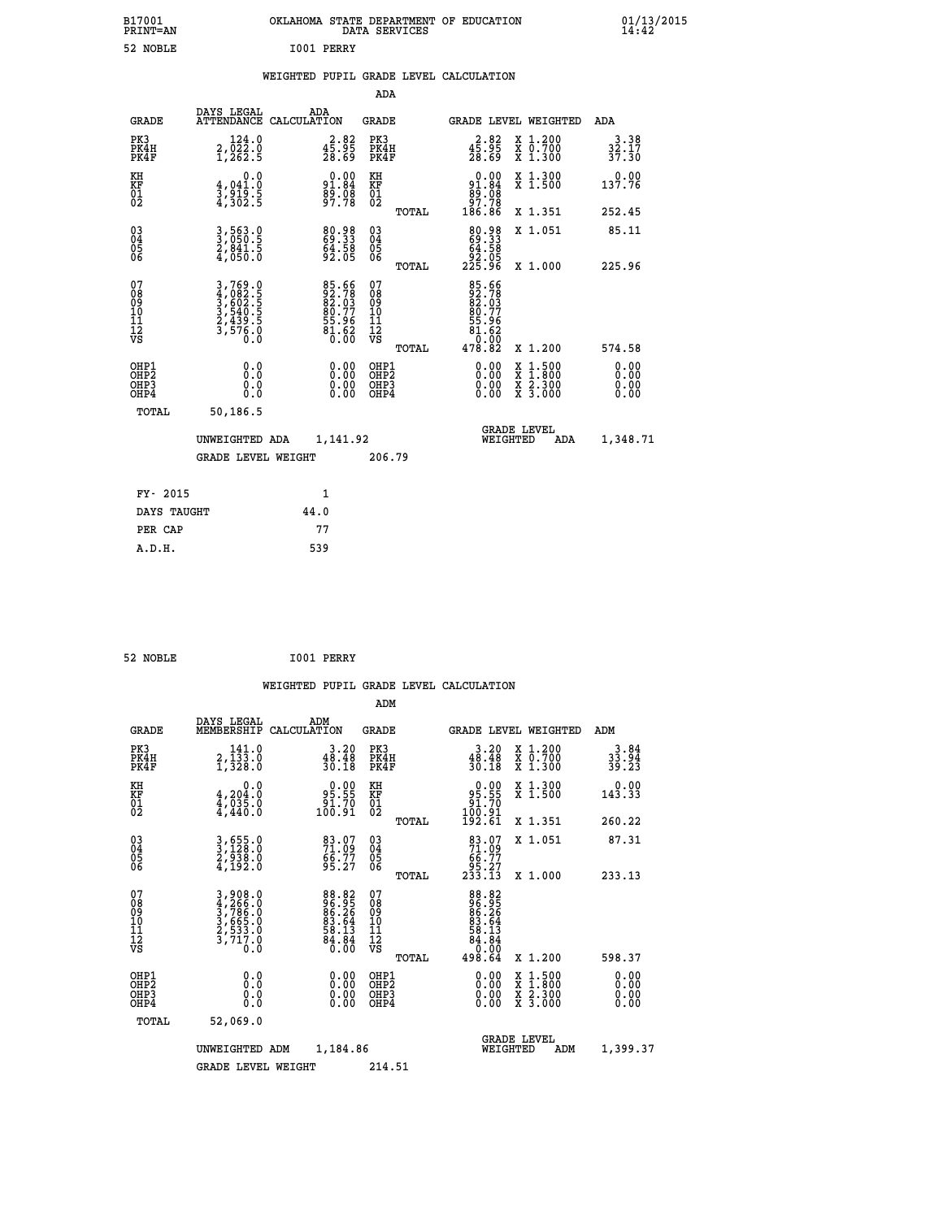| B17001<br>PRINT=AN                       |                                                                       | OKLAHOMA STATE DEPARTMENT OF EDUCATION                      | DATA SERVICES                    |                                                             |                                                                                                                                           | 01/13/2015                   |  |
|------------------------------------------|-----------------------------------------------------------------------|-------------------------------------------------------------|----------------------------------|-------------------------------------------------------------|-------------------------------------------------------------------------------------------------------------------------------------------|------------------------------|--|
| 52 NOBLE                                 |                                                                       | I001 PERRY                                                  |                                  |                                                             |                                                                                                                                           |                              |  |
|                                          |                                                                       | WEIGHTED PUPIL GRADE LEVEL CALCULATION                      |                                  |                                                             |                                                                                                                                           |                              |  |
|                                          |                                                                       |                                                             | <b>ADA</b>                       |                                                             |                                                                                                                                           |                              |  |
| <b>GRADE</b>                             | DAYS LEGAL                                                            | ADA<br>ATTENDANCE CALCULATION                               | <b>GRADE</b>                     |                                                             | GRADE LEVEL WEIGHTED                                                                                                                      | ADA                          |  |
| PK3<br>PK4H<br>PK4F                      | 2,022.0<br>1,262.5                                                    | $\begin{smallmatrix} 2.82\ 45.95\ 28.69 \end{smallmatrix}$  | PK3<br>PK4H<br>PK4F              | $3.82$<br>$45.95$<br>$28.69$                                | X 1.200<br>X 0.700<br>X 1.300                                                                                                             | 3.38<br>32.17<br>37.30       |  |
| KH<br>KF<br>01<br>02                     | 0.0<br>4,041.0<br>3,919.5<br>4,302.5                                  | $91.84$<br>$89.84$<br>$89.98$<br>$97.78$                    | KH<br>KF<br>01<br>02             | $0.00\n91.84\n89.08\n97.78\n186.86$                         | X 1.300<br>X 1.500                                                                                                                        | 0.00<br>137.76               |  |
|                                          |                                                                       |                                                             | <b>TOTAL</b>                     |                                                             | X 1.351                                                                                                                                   | 252.45                       |  |
| 030404<br>ŌĞ                             | 3,563.0<br>3,050.5<br>2,841.5<br>4,050.0                              | 80.98<br>69.33<br>64.58<br>92.05                            | $^{03}_{04}$<br>$\frac{05}{06}$  | 80.98<br>69.33<br>64.58<br>ةة.28<br>225.96                  | X 1.051                                                                                                                                   | 85.11                        |  |
| 07                                       |                                                                       |                                                             | TOTAL<br>07                      |                                                             | X 1.000                                                                                                                                   | 225.96                       |  |
| 08<br>09<br>11<br>11<br>12<br>VS         | 3,769.0<br>4,082.5<br>5,602.5<br>3,540.5<br>2,439.5<br>3,576.0<br>0.0 | 85.66<br>92.78<br>82.03<br>80.77<br>55.96<br>54.62<br>81.62 | 08<br>09<br>11<br>11<br>12<br>VS | 85.66<br>92.78<br>82.03<br>80.77<br>55.96<br>81.62<br>_0.00 |                                                                                                                                           |                              |  |
|                                          |                                                                       |                                                             | TOTAL                            | 478.82                                                      | X 1.200                                                                                                                                   | 574.58                       |  |
| OHP1<br>OHP2<br>OH <sub>P3</sub><br>OHP4 | 0.0<br>0.0<br>0.0<br>0.0                                              | 0.00<br>0.00<br>0.00                                        | OHP1<br>OHP2<br>OHP3<br>OHP4     | 0.00<br>0.00<br>0.00                                        | $\begin{smallmatrix} \mathtt{X} & 1\cdot500\\ \mathtt{X} & 1\cdot800\\ \mathtt{X} & 2\cdot300\\ \mathtt{X} & 3\cdot000 \end{smallmatrix}$ | 0.00<br>0.00<br>0.00<br>0.00 |  |
| TOTAL                                    | 50,186.5                                                              |                                                             |                                  |                                                             |                                                                                                                                           |                              |  |
|                                          | UNWEIGHTED ADA                                                        | 1,141.92                                                    |                                  | WEIGHTED                                                    | <b>GRADE LEVEL</b><br>ADA                                                                                                                 | 1,348.71                     |  |
|                                          | <b>GRADE LEVEL WEIGHT</b>                                             |                                                             | 206.79                           |                                                             |                                                                                                                                           |                              |  |
| FY- 2015                                 |                                                                       | 1                                                           |                                  |                                                             |                                                                                                                                           |                              |  |
| DAYS TAUGHT                              |                                                                       | 44.0                                                        |                                  |                                                             |                                                                                                                                           |                              |  |
| PER CAP                                  |                                                                       | 77                                                          |                                  |                                                             |                                                                                                                                           |                              |  |

```
 52 NOBLE I001 PERRY
```
 **WEIGHTED PUPIL GRADE LEVEL CALCULATION ADM DAYS LEGAL ADM GRADE MEMBERSHIP CALCULATION GRADE GRADE LEVEL WEIGHTED ADM PK3 141.0 3.20 PK3 3.20 X 1.200 3.84 PK4H 2,133.0 48.48 PK4H 48.48 X 0.700 33.94 PK4F 1,328.0 30.18 PK4F 30.18 X 1.300 39.23 KH 0.0 0.00 KH 0.00 X 1.300 0.00 KF 4,204.0 95.55 KF 95.55 X 1.500 143.33 01 4,035.0 91.70 01 91.70** 0.00 KH<br>95.55 KF<br>91.70 01<br>100.91 02 TOTAL  **TOTAL 192.61 X 1.351 260.22 03 3,655.0 83.07 03 83.07 X 1.051 87.31 04 3,128.0 71.09 04 71.09 05 2,938.0 66.77 05 66.77 06 4,192.0 95.27 06 95.27 TOTAL 233.13 X 1.000 233.13**  $\begin{array}{cccc} 07 & 3 & 908.0 & 88.82 & 07 \ 08 & 4 & 266.0 & 96.95 & 99 \ 09 & 3 & 786.0 & 86.25 & 09 \ 10 & 3 & 665.0 & 83.64 & 10 \ 11 & 2 & 731.0 & 581.13 & 11 & 83.64 \ 12 & 711 & 0 & 84.13 & 12 \ 13 & 0 & 0 & 0 & 0 & 0 \ \end{array}$  **TOTAL 498.64 X 1.200 598.37 OHP1 0.0 0.00 OHP1 0.00 X 1.500 0.00 OHP2 0.0 0.00 OHP2 0.00 X 1.800 0.00 OHP3 0.0 0.00 OHP3 0.00 X 2.300 0.00 OHP4 0.0 0.00 OHP4 0.00 X 3.000 0.00 TOTAL 52,069.0 GRADE LEVEL UNWEIGHTED ADM 1,184.86 WEIGHTED ADM 1,399.37** GRADE LEVEL WEIGHT 214.51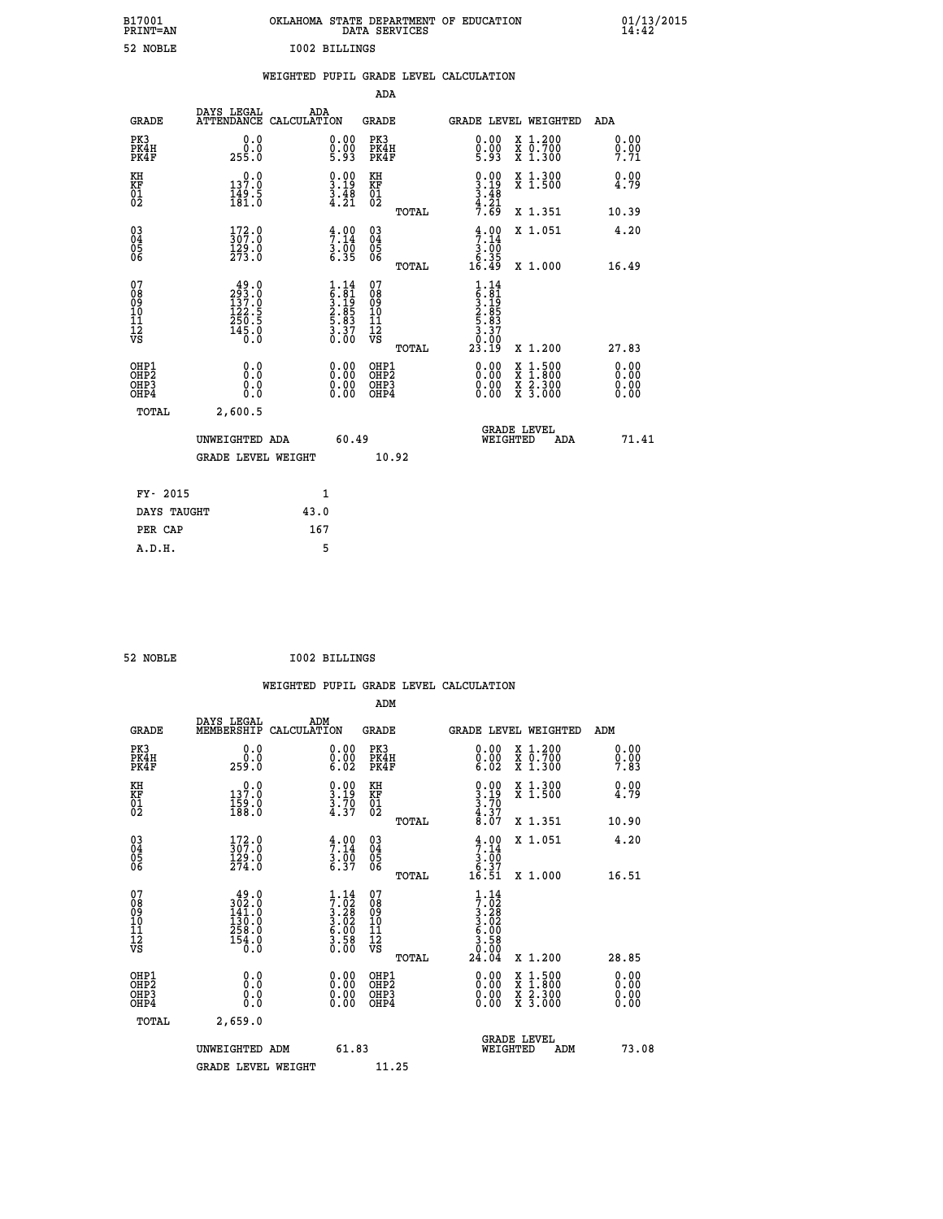| B17001<br>PRINT=AN                       |                                                        | OKLAHOMA STATE DEPARTMENT OF EDUCATION                             | DATA SERVICES                                                              |                                                                    |                                                                                                     | $01/13/2015$<br>14:42                 |  |
|------------------------------------------|--------------------------------------------------------|--------------------------------------------------------------------|----------------------------------------------------------------------------|--------------------------------------------------------------------|-----------------------------------------------------------------------------------------------------|---------------------------------------|--|
| 52 NOBLE                                 |                                                        | <b>I002 BILLINGS</b>                                               |                                                                            |                                                                    |                                                                                                     |                                       |  |
|                                          |                                                        | WEIGHTED PUPIL GRADE LEVEL CALCULATION                             |                                                                            |                                                                    |                                                                                                     |                                       |  |
|                                          |                                                        |                                                                    | ADA                                                                        |                                                                    |                                                                                                     |                                       |  |
| <b>GRADE</b>                             | DAYS LEGAL                                             | ADA<br>ATTENDANCE CALCULATION                                      | GRADE                                                                      |                                                                    | GRADE LEVEL WEIGHTED                                                                                | ADA                                   |  |
| PK3<br>PK4H<br>PK4F                      | 0.0<br>0.0<br>255.0                                    | 0.00<br>$\frac{0}{5}$ .00<br>5.93                                  | PK3<br>PK4H<br>PK4F                                                        | 0.00<br>$0.00$<br>5.93                                             | X 1.200<br>X 0.700<br>X 1.300                                                                       | 0.00<br>0.00<br>7.71                  |  |
| KH<br>KF<br>$\frac{01}{02}$              | 137.0<br>$\frac{149.5}{181.0}$                         | $\frac{0.00}{3.19}$<br>$\frac{3.48}{4.21}$                         | KH<br><b>KF</b><br>01<br>02                                                | $\begin{array}{c} 0.00 \\ 3.19 \\ 3.48 \\ 4.21 \end{array}$        | X 1.300<br>X 1.500                                                                                  | 0.00<br>4.79                          |  |
|                                          |                                                        |                                                                    | TOTAL                                                                      | 7.69                                                               | X 1.351                                                                                             | 10.39                                 |  |
| 03<br>04<br>05<br>06                     | $\frac{172}{307}$ :0<br>$\frac{129}{273}$ .0           | $\frac{4}{7}:\substack{00\\14\\3.00\\6.35}$                        | $\begin{matrix} 03 \\ 04 \\ 05 \\ 06 \end{matrix}$                         | 4.00<br>$\begin{array}{c} 3.00 \\ 6.35 \\ 16.49 \end{array}$       | X 1.051                                                                                             | 4.20                                  |  |
| 07<br>08<br>09<br>11<br>11<br>12<br>VS   | $\frac{49.0}{293.0}$<br>122.5<br>$\frac{256.5}{145.0}$ | $1.14$<br>$5.81$<br>$3.19$<br>$2.85$<br>$5.83$<br>$3.37$<br>$0.00$ | <b>TOTAL</b><br>07<br>08<br>09<br>10<br>$\frac{11}{12}$<br>$\frac{12}{18}$ | $1.14$<br>$5.81$<br>$3.19$<br>$2.85$<br>$5.83$<br>$3.37$<br>$0.90$ | X 1.000                                                                                             | 16.49                                 |  |
| OHP1<br>OHP <sub>2</sub><br>OHP3<br>OHP4 | 0.0<br>0.0<br>0.0                                      |                                                                    | TOTAL<br>OHP1<br>OH <sub>P</sub> 2<br>OHP3<br>OHP4                         | 23.19<br>0.00<br>0.00                                              | X 1.200<br>$\begin{smallmatrix} x & 1.500 \\ x & 1.800 \\ x & 2.300 \\ x & 3.000 \end{smallmatrix}$ | 27.83<br>0.00<br>0.00<br>0.00<br>0.00 |  |
| TOTAL                                    | 2,600.5                                                |                                                                    |                                                                            |                                                                    |                                                                                                     |                                       |  |
|                                          | UNWEIGHTED ADA                                         | 60.49                                                              |                                                                            | WEIGHTED                                                           | <b>GRADE LEVEL</b><br>ADA                                                                           | 71.41                                 |  |
|                                          | <b>GRADE LEVEL WEIGHT</b>                              |                                                                    | 10.92                                                                      |                                                                    |                                                                                                     |                                       |  |
| FY- 2015                                 |                                                        | 1                                                                  |                                                                            |                                                                    |                                                                                                     |                                       |  |
| DAYS TAUGHT<br>PER CAP                   |                                                        | 43.0<br>167                                                        |                                                                            |                                                                    |                                                                                                     |                                       |  |
|                                          |                                                        |                                                                    |                                                                            |                                                                    |                                                                                                     |                                       |  |

| 52 NOBLE | . . | <b>I002 BILLINGS</b> |
|----------|-----|----------------------|
|----------|-----|----------------------|

 **WEIGHTED PUPIL GRADE LEVEL CALCULATION ADM DAYS LEGAL ADM GRADE MEMBERSHIP CALCULATION GRADE GRADE LEVEL WEIGHTED ADM PK3 0.0 0.00 PK3 0.00 X 1.200 0.00 PK4H 0.0 0.00 PK4H 0.00 X 0.700 0.00 PK4F 259.0 6.02 PK4F 6.02 X 1.300 7.83 KH 0.0 0.00 KH 0.00 X 1.300 0.00 KF 137.0 3.19 KF 3.19 X 1.500 4.79 01 159.0 3.70 01 3.70**  $02$  188.0  $4.37$  02  $_{\text{no}}$   $4.37$   $4.37$  **TOTAL 8.07 X 1.351 10.90 03 172.0 4.00 03 4.00 X 1.051 4.20 04** 307.0 7.14 04 7.14  **05 129.0 3.00 05 3.00**  $06$  274.0 6.37 06  $06$   $27$  **TOTAL 16.51 X 1.000 16.51 07** 49.0 1.14 07 1.14  **08 302.0 7.02 08 7.02 09 141.0 3.28 09 3.28 10 130.0 3.02 10 3.02 11 258.0 6.00 11 6.00 12 154.0 154.0 154.2 154.2 154.3 VS 0.0 0.00 VS 0.00 TOTAL 24.04 X 1.200 28.85 OHP1 0.0 0.00 OHP1 0.00 X 1.500 0.00 OHP2 0.0 0.00 OHP2 0.00 X 1.800 0.00 OHP3 0.0 0.00 OHP3 0.00 X 2.300 0.00 OHP4 0.0 0.00 OHP4 0.00 X 3.000 0.00 TOTAL 2,659.0 GRADE LEVEL UNWEIGHTED ADM 61.83 WEIGHTED ADM 73.08** GRADE LEVEL WEIGHT 11.25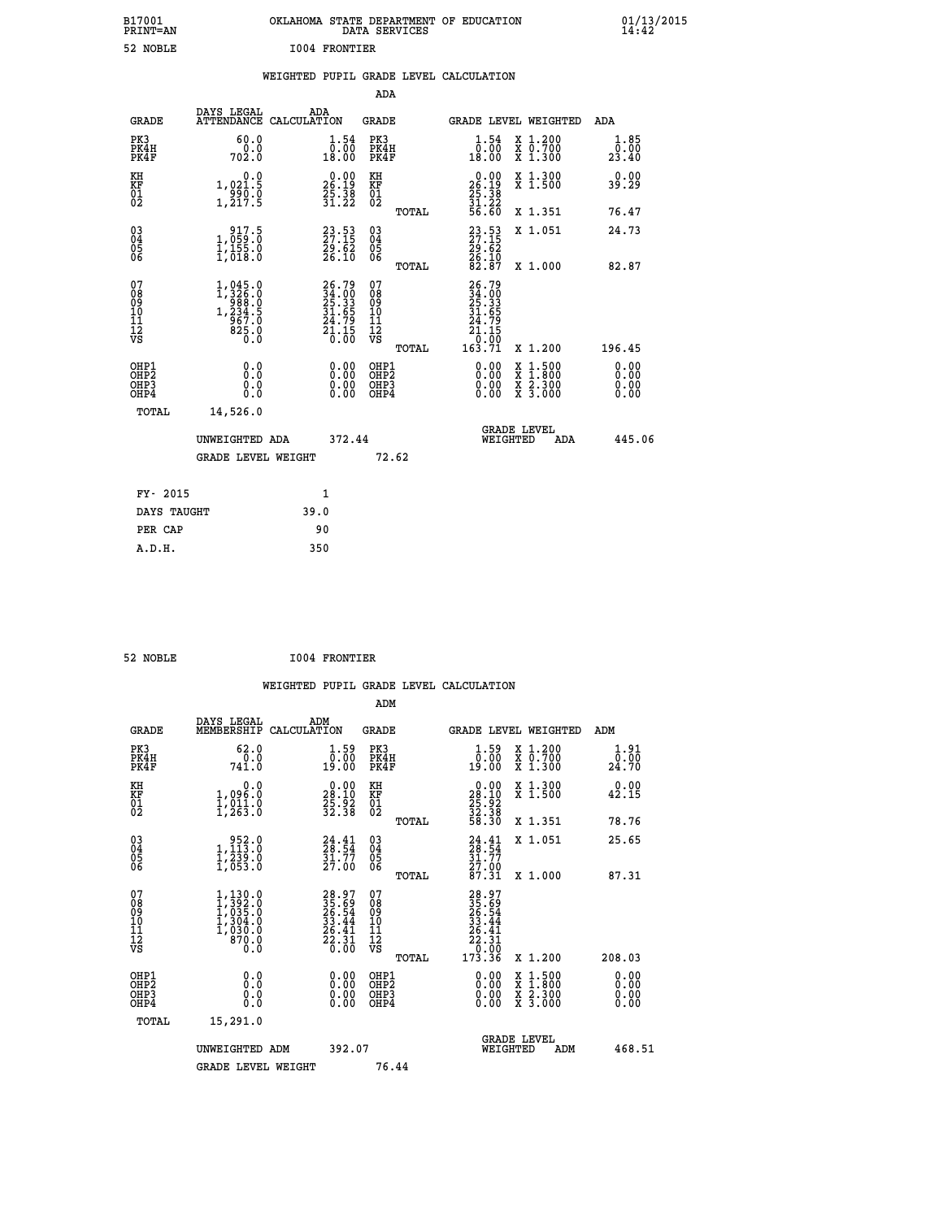| B17001<br>PRINT=AN | OKLAHOMA STATE DEPARTMENT OF EDUCATION<br>DATA SERVICES | $01/13/2015$<br>14:42 |
|--------------------|---------------------------------------------------------|-----------------------|
| 52 NOBLE           | 1004 FRONTIER                                           |                       |

|  |  | WEIGHTED PUPIL GRADE LEVEL CALCULATION |
|--|--|----------------------------------------|
|  |  |                                        |

|                                           |                                                                                                                          |                                                                      | ADA                                                |                                                                              |                                                                                                                                      |                              |
|-------------------------------------------|--------------------------------------------------------------------------------------------------------------------------|----------------------------------------------------------------------|----------------------------------------------------|------------------------------------------------------------------------------|--------------------------------------------------------------------------------------------------------------------------------------|------------------------------|
| <b>GRADE</b>                              | DAYS LEGAL                                                                                                               | ADA<br>ATTENDANCE CALCULATION                                        | GRADE                                              |                                                                              | GRADE LEVEL WEIGHTED                                                                                                                 | ADA                          |
| PK3<br>PK4H<br>PK4F                       | 60.0<br>0.0<br>702.0                                                                                                     | $\begin{smallmatrix} 1.54\ 0.00\\ 18.00 \end{smallmatrix}$           | PK3<br>PK4H<br>PK4F                                | $1.54$<br>$0.00$<br>18.00                                                    | X 1.200<br>X 0.700<br>X 1.300                                                                                                        | 1.85<br>0.00<br>23.40        |
| KH<br>KF<br>01<br>02                      | 0.0<br>1,021.5<br>$\frac{1}{1}$ , $\frac{9}{2}$ , $\frac{1}{2}$ , $\frac{5}{5}$                                          | $\begin{smallmatrix} 0.00\\ 26.19\\ 25.38\\ 31.22 \end{smallmatrix}$ | KH<br>KF<br>01<br>02                               | $\begin{smallmatrix} 0.00\\ 26.19\\ 25.38\\ 31.22\\ 56.60 \end{smallmatrix}$ | X 1.300<br>X 1.500                                                                                                                   | 0.00<br>39.29                |
|                                           |                                                                                                                          |                                                                      | TOTAL                                              |                                                                              | X 1.351                                                                                                                              | 76.47                        |
| 03<br>04<br>05<br>06                      | $\begin{smallmatrix} 9 & 17 & 5 \\ 1 & 059 & 0 \\ 1 & 155 & 0 \\ 1 & 018 & 0 \end{smallmatrix}$                          | 23.53<br>27.15<br>29.62<br>26.10                                     | $\begin{matrix} 03 \\ 04 \\ 05 \\ 06 \end{matrix}$ | 23.53<br>27.15<br>29.62<br>26.10<br>26.37                                    | X 1.051                                                                                                                              | 24.73                        |
|                                           |                                                                                                                          |                                                                      | TOTAL                                              |                                                                              | X 1.000                                                                                                                              | 82.87                        |
| 07<br>08<br>09<br>11<br>11<br>12<br>VS    | $\begin{smallmatrix} 1,045 & 0\\ 1,326 & 0\\ 988 & 0\\ 234 & 5\\ 1,234 & 5\\ 967 & 0\\ 825 & 0\\ 0 & 0\end{smallmatrix}$ | 26.79<br>34.00<br>25.33<br>31.65<br>34.79<br>24.15<br>21.15          | 07<br>08<br>09<br>11<br>11<br>12<br>VS<br>TOTAL    | 26.79<br>34.00<br>25.33<br>31.65<br>24.79<br>24.15<br>10.00<br>163.71        | X 1.200                                                                                                                              | 196.45                       |
| OHP1<br>OH <sub>P</sub> 2<br>OHP3<br>OHP4 | 0.0<br>0.0<br>$0.\overline{0}$                                                                                           | 0.00<br>$\begin{smallmatrix} 0.00 \ 0.00 \end{smallmatrix}$          | OHP1<br>OHP <sub>2</sub><br>OHP3<br>OHP4           | 0.00<br>0.00<br>0.00                                                         | $\begin{smallmatrix} \mathtt{X} & 1 & 500 \\ \mathtt{X} & 1 & 800 \\ \mathtt{X} & 2 & 300 \\ \mathtt{X} & 3 & 000 \end{smallmatrix}$ | 0.00<br>0.00<br>0.00<br>0.00 |
| TOTAL                                     | 14,526.0                                                                                                                 |                                                                      |                                                    |                                                                              |                                                                                                                                      |                              |
|                                           | UNWEIGHTED ADA<br><b>GRADE LEVEL WEIGHT</b>                                                                              | 372.44                                                               | 72.62                                              |                                                                              | <b>GRADE LEVEL</b><br>WEIGHTED<br>ADA                                                                                                | 445.06                       |
|                                           |                                                                                                                          |                                                                      |                                                    |                                                                              |                                                                                                                                      |                              |
|                                           | FY- 2015                                                                                                                 | $\mathbf{1}$                                                         |                                                    |                                                                              |                                                                                                                                      |                              |
|                                           | DAYS TAUGHT                                                                                                              | 39.0                                                                 |                                                    |                                                                              |                                                                                                                                      |                              |
|                                           | PER CAP                                                                                                                  | 90                                                                   |                                                    |                                                                              |                                                                                                                                      |                              |
| A.D.H.                                    |                                                                                                                          | 350                                                                  |                                                    |                                                                              |                                                                                                                                      |                              |

| 52 NOBLE | <b>I004 FRONTIER</b> |
|----------|----------------------|
|          |                      |

|  |     | WEIGHTED PUPIL GRADE LEVEL CALCULATION |
|--|-----|----------------------------------------|
|  | ADM |                                        |

| <b>GRADE</b>                                         | DAYS LEGAL<br>MEMBERSHIP                                                        | ADM<br>CALCULATION                                                       | <b>GRADE</b>                                       |       |                                                                              |          | GRADE LEVEL WEIGHTED                                                                                                | ADM                                                                                               |  |
|------------------------------------------------------|---------------------------------------------------------------------------------|--------------------------------------------------------------------------|----------------------------------------------------|-------|------------------------------------------------------------------------------|----------|---------------------------------------------------------------------------------------------------------------------|---------------------------------------------------------------------------------------------------|--|
| PK3<br>PK4H<br>PK4F                                  | 62.0<br>741.0                                                                   | $\begin{smallmatrix} 1.59\ 0.00 \ 19.00 \end{smallmatrix}$               | PK3<br>PK4H<br>PK4F                                |       | $\begin{smallmatrix} 1.59\ 0.00\ 19.00 \end{smallmatrix}$                    |          | X 1.200<br>X 0.700<br>X 1.300                                                                                       | 1.91<br>$\bar{\mathfrak{a}}\mathfrak{c}\bar{\mathfrak{d}}\mathfrak{c}\bar{\mathfrak{d}}$<br>24.70 |  |
| KH<br>KF<br>01<br>02                                 | 0.0<br>1,096:0<br>1,011:0<br>1,263:0                                            | $\begin{smallmatrix} 0.00\\ 28.10\\ 25.92\\ 32.38 \end{smallmatrix}$     | KH<br>KF<br>01<br>02                               |       | $\begin{smallmatrix} 0.00\\ 28.10\\ 25.92\\ 32.38\\ 58.30 \end{smallmatrix}$ |          | X 1.300<br>X 1.500                                                                                                  | 0.00<br>42.15                                                                                     |  |
|                                                      |                                                                                 |                                                                          |                                                    | TOTAL |                                                                              |          | X 1.351                                                                                                             | 78.76                                                                                             |  |
| 03<br>04<br>05<br>06                                 | $\begin{smallmatrix} & 952.0\\1,113.0\\1,239.0\\1,053.0 \end{smallmatrix}$      | $24.41$<br>$28.54$<br>$31.77$<br>$27.00$                                 | $\begin{matrix} 03 \\ 04 \\ 05 \\ 06 \end{matrix}$ |       | $24.41$<br>$28.54$<br>$31.77$<br>$27.00$<br>$87.31$                          |          | X 1.051                                                                                                             | 25.65                                                                                             |  |
|                                                      |                                                                                 |                                                                          |                                                    | TOTAL |                                                                              |          | X 1.000                                                                                                             | 87.31                                                                                             |  |
| 07<br>08<br>09<br>11<br>11<br>12<br>VS               | $1,130.0$<br>$1,392.0$<br>$1,035.0$<br>$1,304.0$<br>$1,030.0$<br>$870.0$<br>0.0 | $28.97$<br>$25.54$<br>$26.54$<br>$33.44$<br>$26.41$<br>$22.31$<br>$0.00$ | 07<br>08<br>09<br>11<br>11<br>12<br>VS             | TOTAL | $28.97$<br>$25.69$<br>$26.44$<br>$22.31$<br>$22.31$<br>$0.00$<br>$173.36$    |          | X 1.200                                                                                                             | 208.03                                                                                            |  |
| OHP1<br>OHP <sub>2</sub><br>OH <sub>P3</sub><br>OHP4 | 0.0<br>0.000                                                                    |                                                                          | OHP1<br>OHP <sub>2</sub><br>OHP <sub>3</sub>       |       |                                                                              |          | $\begin{array}{l} \mathtt{X} & 1.500 \\ \mathtt{X} & 1.800 \\ \mathtt{X} & 2.300 \\ \mathtt{X} & 3.000 \end{array}$ | 0.00<br>0.00<br>0.00<br>0.00                                                                      |  |
| TOTAL                                                | 15,291.0                                                                        |                                                                          |                                                    |       |                                                                              |          |                                                                                                                     |                                                                                                   |  |
|                                                      | UNWEIGHTED ADM                                                                  | 392.07                                                                   |                                                    |       |                                                                              | WEIGHTED | <b>GRADE LEVEL</b><br>ADM                                                                                           | 468.51                                                                                            |  |
|                                                      | <b>GRADE LEVEL WEIGHT</b>                                                       |                                                                          | 76.44                                              |       |                                                                              |          |                                                                                                                     |                                                                                                   |  |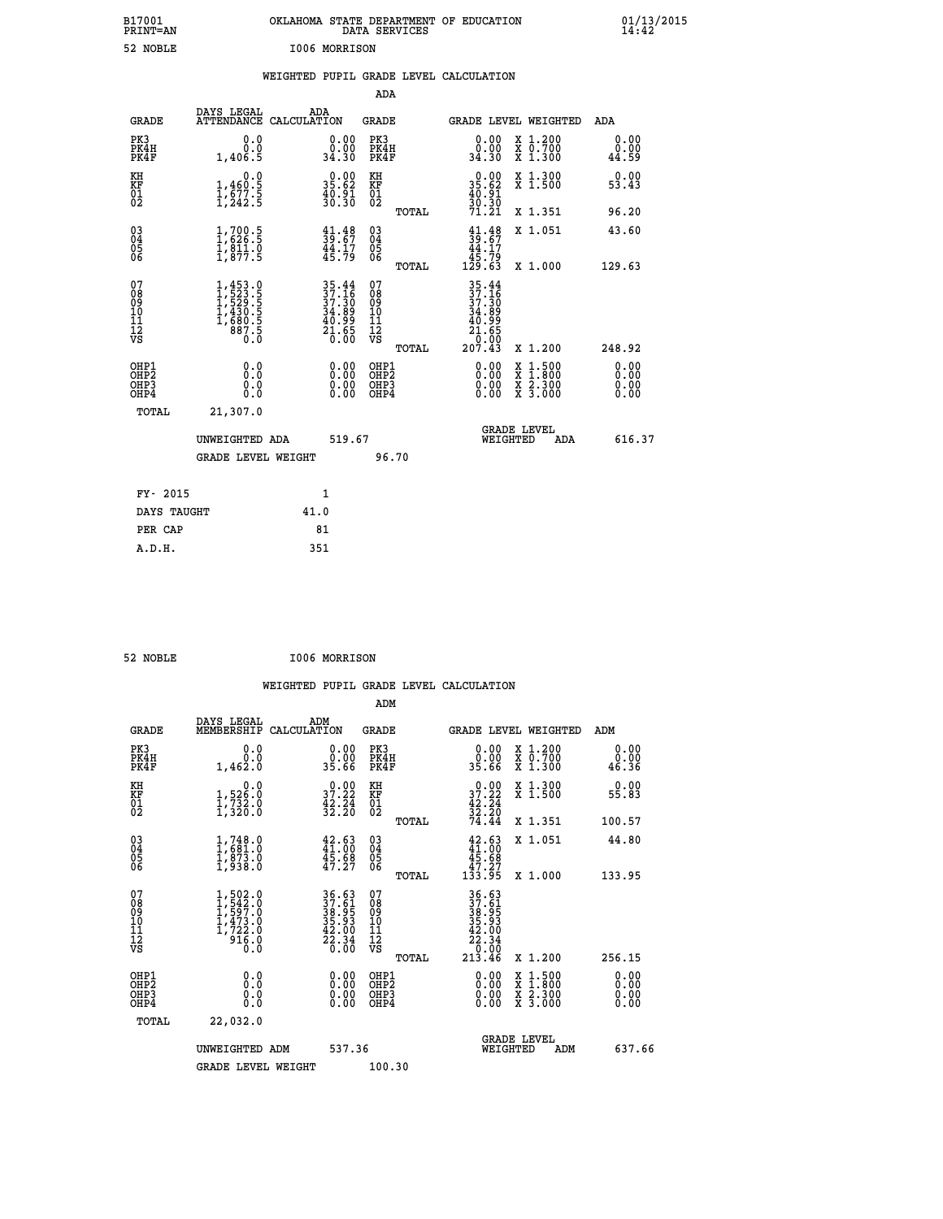| B17001<br>PRINT=AN  |                                 | OKLAHOMA                               | STATE DEPARTMENT OF<br>DATA SERVICES |  |                 | EDUCATION |                                                         |                                                             | $\frac{01/13}{14:42}$ |
|---------------------|---------------------------------|----------------------------------------|--------------------------------------|--|-----------------|-----------|---------------------------------------------------------|-------------------------------------------------------------|-----------------------|
| 52 NOBLE            | 1006 MORRISON                   |                                        |                                      |  |                 |           |                                                         |                                                             |                       |
|                     |                                 | WEIGHTED PUPIL GRADE LEVEL CALCULATION |                                      |  |                 |           |                                                         |                                                             |                       |
|                     |                                 |                                        | ADA                                  |  |                 |           |                                                         |                                                             |                       |
| GRADE               | DAYS LEGAL<br><b>ATTENDANCE</b> | ADA<br>CALCULATION                     | GRADE                                |  |                 |           | GRADE LEVEL WEIGHTED                                    | ADA                                                         |                       |
| PK3<br>PK4H<br>PK4F | 0.0<br>1,406.5                  | 0.0000<br>34.30                        | PK3<br>PK4H<br>PK4F                  |  | 0.0000<br>34.30 |           | X 1.200<br>$\overline{x}$ $\overline{0.700}$<br>X 1.300 | $\begin{smallmatrix} 0.00\\ 0.00\\ 44.59 \end{smallmatrix}$ |                       |
| ΚH<br><b>TZ TJ</b>  | 0.0<br>1 <i>ACNE</i>            | 28.89                                  | KH                                   |  | 28.89           |           | $\frac{x}{x}$ 1.300                                     | 5.99                                                        |                       |

 **B17001 OKLAHOMA STATE DEPARTMENT OF EDUCATION 01/13/2015**

| KH<br>KF<br>01<br>02                               | $1,460.5$<br>$1,577.5$<br>$1,242.5$                                                                  | $35.62$<br>$40.91$<br>$30.30$                                                                                                | KH<br>KF<br>01<br>02         |       | $35.62$<br>$40.91$<br>$30.30$<br>$71.21$                                      | $\frac{1}{3}$ 1.500                                                                              | 53.43                    |
|----------------------------------------------------|------------------------------------------------------------------------------------------------------|------------------------------------------------------------------------------------------------------------------------------|------------------------------|-------|-------------------------------------------------------------------------------|--------------------------------------------------------------------------------------------------|--------------------------|
|                                                    |                                                                                                      |                                                                                                                              |                              | TOTAL |                                                                               | X 1.351                                                                                          | 96.20                    |
| $\begin{matrix} 03 \\ 04 \\ 05 \\ 06 \end{matrix}$ | $\frac{1}{1}, \frac{700}{626}$ .<br>$\frac{1}{811}$ .<br>$\frac{811}{1}$ .<br>$\frac{0}{877}$ .<br>5 | $\begin{smallmatrix} 41.48\\ 39.67\\ 44.17\\ 45.79 \end{smallmatrix}$                                                        | 03<br>04<br>05<br>06         |       | $39.67$<br>$44.17$<br>$45.79$<br>$129.63$                                     | X 1.051                                                                                          | 43.60                    |
|                                                    |                                                                                                      |                                                                                                                              |                              | TOTAL |                                                                               | X 1.000                                                                                          | 129.63                   |
| 078901112<br>00010112<br>VS                        | $1,453.0$<br>$1,523.5$<br>$1,529.5$<br>$1,430.5$<br>$1,680.5$<br>$887.5$<br>0.0                      | $\begin{array}{c} 35\cdot 44 \\ 37\cdot 16 \\ 37\cdot 30 \\ 34\cdot 89 \\ 40\cdot 99 \\ 21\cdot 65 \\ 0\cdot 00 \end{array}$ | 078901112<br>111112<br>VS    |       | $35.44$<br>$37.36$<br>$37.30$<br>$34.899$<br>$40.999$<br>$21.650$<br>$207.43$ |                                                                                                  |                          |
|                                                    |                                                                                                      |                                                                                                                              |                              | TOTAL |                                                                               | X 1.200                                                                                          | 248.92                   |
| OHP1<br>OHP2<br>OHP3<br>OHP4                       |                                                                                                      |                                                                                                                              | OHP1<br>OHP2<br>OHP3<br>OHP4 |       |                                                                               | $\begin{smallmatrix} x & 1 & 500 \\ x & 1 & 800 \\ x & 2 & 300 \\ x & 3 & 000 \end{smallmatrix}$ | $0.00$<br>$0.00$<br>0.00 |
| TOTAL                                              | 21,307.0                                                                                             |                                                                                                                              |                              |       |                                                                               |                                                                                                  |                          |
|                                                    | UNWEIGHTED<br>ADA                                                                                    | 519.67                                                                                                                       |                              |       |                                                                               | <b>GRADE LEVEL</b><br>WEIGHTED<br>ADA                                                            | 616.37                   |
|                                                    | <b>GRADE LEVEL WEIGHT</b>                                                                            |                                                                                                                              |                              | 96.70 |                                                                               |                                                                                                  |                          |
|                                                    |                                                                                                      |                                                                                                                              |                              |       |                                                                               |                                                                                                  |                          |

| FY- 2015    |      |
|-------------|------|
| DAYS TAUGHT | 41.0 |
| PER CAP     | 81   |
| A.D.H.      | 351  |
|             |      |

| I006 MORRISON<br>52 NOBLE |  |  |
|---------------------------|--|--|
|---------------------------|--|--|

|                                    |                                                                                                       |                                                                                           | ADM                                                 |       |                                                                                      |                                          |                       |
|------------------------------------|-------------------------------------------------------------------------------------------------------|-------------------------------------------------------------------------------------------|-----------------------------------------------------|-------|--------------------------------------------------------------------------------------|------------------------------------------|-----------------------|
| <b>GRADE</b>                       | DAYS LEGAL<br>MEMBERSHIP                                                                              | ADM<br>CALCULATION                                                                        | <b>GRADE</b>                                        |       |                                                                                      | GRADE LEVEL WEIGHTED                     | ADM                   |
| PK3<br>PK4H<br>PK4F                | 0.0000<br>1,462.0                                                                                     | $\begin{smallmatrix} 0.00\\ 0.00\\ 35.66 \end{smallmatrix}$                               | PK3<br>PK4H<br>PK4F                                 |       | $\begin{smallmatrix} 0.00\\ 0.00\\ 35.66 \end{smallmatrix}$                          | X 1.200<br>X 0.700<br>X 1.300            | 0.00<br>0.00<br>46.36 |
| KH<br>KF<br>01<br>02               | 0.0<br>1,526:0<br>1,732:0<br>1,320:0                                                                  | $\begin{smallmatrix} 0.00\\ 37.22\\ 42.24\\ 32.20 \end{smallmatrix}$                      | KH<br>KF<br>01<br>02                                |       | $37.22$<br>$42.24$<br>$32.20$<br>$74.44$                                             | X 1.300<br>X 1.500                       | 0.00<br>55.83         |
|                                    |                                                                                                       |                                                                                           |                                                     | TOTAL |                                                                                      | X 1.351                                  | 100.57                |
| 03<br>04<br>05<br>06               | $1,748.0$<br>$1,681.0$<br>$1,873.0$<br>$1,938.0$                                                      | 42.63<br>41.00<br>45.68<br>47.27                                                          | $\begin{array}{c} 03 \\ 04 \\ 05 \\ 06 \end{array}$ |       | $\begin{smallmatrix} 42.63\\ 41.00\\ 45.68\\ 47.27\\ 133.95 \end{smallmatrix}$       | X 1.051                                  | 44.80                 |
|                                    |                                                                                                       |                                                                                           |                                                     | TOTAL |                                                                                      | X 1.000                                  | 133.95                |
| 07<br>08<br>09<br>101<br>112<br>VS | $\begin{smallmatrix} 1,502.0\\ 1,542.0\\ 1,597.0\\ 1,473.0\\ 1,722.0\\ 916.0\\ 0.0 \end{smallmatrix}$ | $\begin{array}{r} 36.63 \\ 37.61 \\ 38.95 \\ 35.93 \\ 42.00 \\ 22.34 \\ 0.00 \end{array}$ | 07<br>08<br>09<br>11<br>11<br>12<br>VS              | TOTAL | $36.63$<br>$37.61$<br>$38.95$<br>$35.93$<br>$42.00$<br>$22.34$<br>$0.00$<br>$213.46$ | X 1.200                                  | 256.15                |
| OHP1<br>OHP2<br>OHP3<br>OHP4       | 0.0<br>$\begin{smallmatrix} 0.0 & 0 \ 0.0 & 0 \end{smallmatrix}$                                      | $0.00$<br>$0.00$<br>0.00                                                                  | OHP1<br>OHP2<br>OHP <sub>3</sub>                    |       | $0.00$<br>$0.00$<br>0.00                                                             | X 1:500<br>X 1:800<br>X 2:300<br>X 3:000 | 0.00<br>0.00<br>0.00  |
| TOTAL                              | 22,032.0                                                                                              |                                                                                           |                                                     |       |                                                                                      |                                          |                       |
|                                    | UNWEIGHTED ADM                                                                                        | 537.36                                                                                    |                                                     |       |                                                                                      | <b>GRADE LEVEL</b><br>WEIGHTED<br>ADM    | 637.66                |
|                                    | <b>GRADE LEVEL WEIGHT</b>                                                                             |                                                                                           | 100.30                                              |       |                                                                                      |                                          |                       |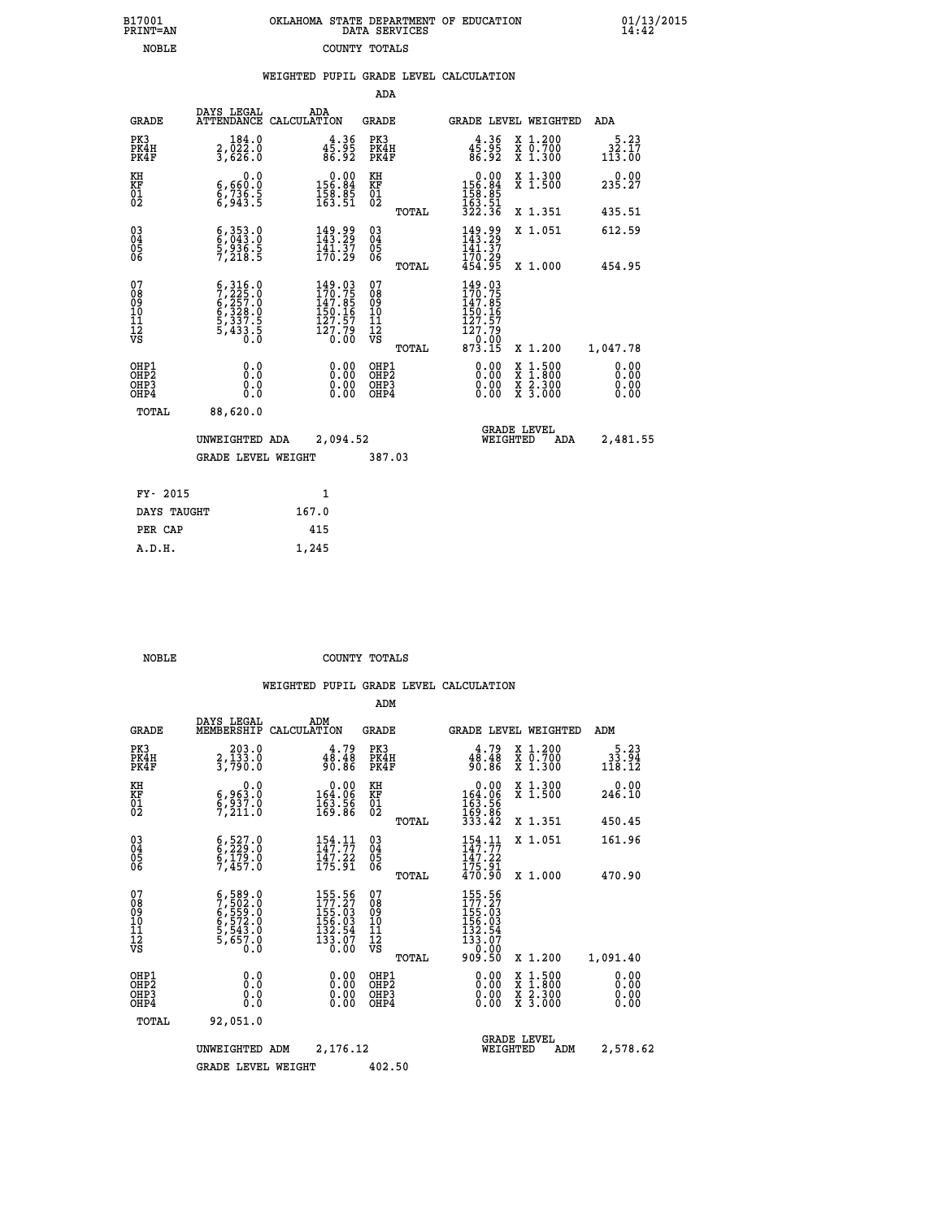| B17001          | OKLAHOMA STATE DEPARTMENT OF EDUCATION |
|-----------------|----------------------------------------|
| <b>PRINT=AN</b> | DATA SERVICES                          |
| NOBLE           | COUNTY TOTALS                          |

 **B17001 OKLAHOMA STATE DEPARTMENT OF EDUCATION 01/13/2015**

|                                          |                                                                                                                                                                         |                                                                                                                                      | ADA                                                  |                                                                                                           |                                                                                          |                                          |
|------------------------------------------|-------------------------------------------------------------------------------------------------------------------------------------------------------------------------|--------------------------------------------------------------------------------------------------------------------------------------|------------------------------------------------------|-----------------------------------------------------------------------------------------------------------|------------------------------------------------------------------------------------------|------------------------------------------|
| <b>GRADE</b>                             | DAYS LEGAL                                                                                                                                                              | ADA<br>ATTENDANCE CALCULATION                                                                                                        | GRADE                                                | <b>GRADE LEVEL WEIGHTED</b>                                                                               |                                                                                          | ADA                                      |
| PK3<br>PK4H<br>PK4F                      | 184.0<br>2,022.0<br>3,626.0                                                                                                                                             | $4\frac{4}{5}\cdot\frac{36}{95}$<br>86.92                                                                                            | PK3<br>PK4H<br>PK4F                                  | $4\frac{4}{5}\cdot\frac{36}{95}$<br>86.92                                                                 | X 1.200<br>X 0.700<br>X 1.300                                                            | 5.23<br>$\frac{35}{113}$ $\frac{57}{00}$ |
| KH<br>KF<br>01<br>02                     | 0.0<br>6,660:0<br>6,736.5<br>6,943:5                                                                                                                                    | $\begin{smallmatrix} &0.00\\ 156.84\\ 158.85\\ 163.51\end{smallmatrix}$                                                              | KH<br>KF<br>01<br>02                                 | $\begin{array}{r} 0.00 \\ 156.84 \\ 158.85 \\ 163.51 \\ 322.36 \end{array}$                               | X 1.300<br>X 1.500                                                                       | 0.00<br>235.27                           |
|                                          |                                                                                                                                                                         |                                                                                                                                      | TOTAL                                                |                                                                                                           | X 1.351                                                                                  | 435.51                                   |
| $^{03}_{04}$<br>Ŏ5<br>06                 | $\begin{smallmatrix} 6,353.0\\ 6,043.0\\ 5,936.5\\ 7,218.5 \end{smallmatrix}$                                                                                           | $\begin{smallmatrix} 149.99\\143.29\\141.37\\170.29 \end{smallmatrix}$                                                               | 03<br>04<br>05<br>06                                 | $149.99$<br>$143.29$<br>$141.37$<br>$170.29$<br>$454.95$                                                  | X 1.051                                                                                  | 612.59                                   |
|                                          |                                                                                                                                                                         |                                                                                                                                      | TOTAL                                                |                                                                                                           | X 1.000                                                                                  | 454.95                                   |
| 07<br>08<br>09<br>11<br>11<br>12<br>VS   | $\begin{smallmatrix} 6\,, & 316\,, & 0\\ 7\,, & 225\,. & 0\\ 6\,, & 257\,. & 0\\ 6\,, & 328\,. & 0\\ 5\,, & 337\,. & 5\\ 5\,, & 433\,. & 5\\ 0\,. & 0\end{smallmatrix}$ | $\begin{smallmatrix} 149\cdot 03\\ 170\cdot 75\\ 147\cdot 85\\ 150\cdot 16\\ 127\cdot 57\\ 127\cdot 79\\ 0\cdot 00\end{smallmatrix}$ | 07<br>08<br>09<br>101<br>11<br>12<br>VS<br>TOTAL     | 149.03<br>170.75<br>147.85<br>150.16<br>$\begin{array}{r} 127.57 \\ 127.79 \\ 0.00 \\ 873.15 \end{array}$ | X 1.200                                                                                  | 1,047.78                                 |
| OHP1<br>OHP2<br>OH <sub>P3</sub><br>OHP4 | 0.0<br>0.0<br>0.0                                                                                                                                                       | 0.00<br>$\begin{smallmatrix} 0.00 \ 0.00 \end{smallmatrix}$                                                                          | OHP1<br>OHP2<br>OHP <sub>3</sub><br>OHP <sub>4</sub> | 0.00<br>0.00                                                                                              | $\begin{smallmatrix} x & 1.500 \\ x & 1.800 \\ x & 2.300 \\ x & 3.000 \end{smallmatrix}$ | 0.00<br>0.00<br>0.00                     |
| TOTAL                                    | 88,620.0                                                                                                                                                                |                                                                                                                                      |                                                      |                                                                                                           |                                                                                          |                                          |
|                                          | UNWEIGHTED ADA                                                                                                                                                          | 2,094.52                                                                                                                             |                                                      | <b>GRADE LEVEL</b><br>WEIGHTED                                                                            | ADA                                                                                      | 2,481.55                                 |
|                                          | <b>GRADE LEVEL WEIGHT</b>                                                                                                                                               |                                                                                                                                      | 387.03                                               |                                                                                                           |                                                                                          |                                          |
|                                          | FY- 2015                                                                                                                                                                | $\mathbf{1}$                                                                                                                         |                                                      |                                                                                                           |                                                                                          |                                          |
|                                          | DAYS TAUGHT                                                                                                                                                             | 167.0                                                                                                                                |                                                      |                                                                                                           |                                                                                          |                                          |
|                                          | PER CAP                                                                                                                                                                 | 415                                                                                                                                  |                                                      |                                                                                                           |                                                                                          |                                          |
|                                          | A.D.H.                                                                                                                                                                  | 1,245                                                                                                                                |                                                      |                                                                                                           |                                                                                          |                                          |

| A.D.H. | 1,245 |
|--------|-------|
|        |       |
|        |       |

B17001<br>PRINT=AN<br>NOBLE

 **NOBLE COUNTY TOTALS**

|                                          |                                                                                                         |                                                                                                 | ADM                                                 |       |                                                                                      |                                          |                                                             |
|------------------------------------------|---------------------------------------------------------------------------------------------------------|-------------------------------------------------------------------------------------------------|-----------------------------------------------------|-------|--------------------------------------------------------------------------------------|------------------------------------------|-------------------------------------------------------------|
| <b>GRADE</b>                             | DAYS LEGAL<br>MEMBERSHIP                                                                                | ADM<br>CALCULATION                                                                              | <b>GRADE</b>                                        |       |                                                                                      | GRADE LEVEL WEIGHTED                     | ADM                                                         |
| PK3<br>PK4H<br>PK4F                      | 203.0<br>2,133.0<br>3,790.0                                                                             | $48.79$<br>$48.48$<br>$90.86$                                                                   | PK3<br>PK4H<br>PK4F                                 |       | $48.79$<br>48.48<br>90.86                                                            | X 1.200<br>X 0.700<br>X 1.300            | $\begin{smallmatrix}5.23\\ 33.94\\ 118.12\end{smallmatrix}$ |
| KH<br>KF<br>01<br>02                     | 0.0<br>$\frac{6}{9}, \frac{963}{237}.0 \ \frac{7}{7}, \frac{211}{211}.0$                                | $\begin{smallmatrix} &0.00\\ 164.06\\ 163.56\\ 169.86 \end{smallmatrix}$                        | KH<br>KF<br>01<br>02                                |       | $0.00$<br>$164.06$<br>$163.56$<br>$169.86$<br>$333.42$                               | X 1.300<br>X 1.500                       | 0.00<br>246.10                                              |
|                                          |                                                                                                         |                                                                                                 |                                                     | TOTAL |                                                                                      | X 1.351                                  | 450.45                                                      |
| 03<br>04<br>05<br>06                     | $6, 527.0$<br>$6, 229.0$<br>$6, 179.0$<br>$7, 457.0$                                                    | $154.11$<br>$147.77$<br>$\frac{147.22}{175.91}$                                                 | $\begin{array}{c} 03 \\ 04 \\ 05 \\ 06 \end{array}$ |       | 154.11<br>$\frac{111}{175}$ . $\frac{22}{91}$<br>$\frac{470}{90}$                    | X 1.051                                  | 161.96                                                      |
|                                          |                                                                                                         |                                                                                                 |                                                     | TOTAL |                                                                                      | X 1.000                                  | 470.90                                                      |
| 07<br>08<br>09<br>101<br>11<br>12<br>VS  | $\begin{smallmatrix} 6,589.0\\ 7,502.0\\ 6,559.0\\ 6,572.0\\ 5,543.0\\ 5,657.0\\ 0.0 \end{smallmatrix}$ | 155.56<br>177.27<br>155.03<br>$\begin{array}{r} 156.03 \\ 132.54 \\ 133.07 \\ 0.00 \end{array}$ | 07<br>08<br>09<br>11<br>11<br>12<br>VS              | TOTAL | 155.56<br>177.27<br>$155.63$<br>$156.03$<br>$132.54$<br>$133.07$<br>$0.02$<br>909.50 | X 1.200                                  | 1,091.40                                                    |
| OHP1<br>OHP2<br>OH <sub>P3</sub><br>OHP4 | 0.0<br>0.000                                                                                            | $0.00$<br>$0.00$<br>0.00                                                                        | OHP1<br>OHP2<br>OHP3<br>OHP4                        |       | $0.00$<br>$0.00$<br>0.00                                                             | X 1:500<br>X 1:800<br>X 2:300<br>X 3:000 | 0.00<br>0.00<br>0.00<br>0.00                                |
| TOTAL                                    | 92,051.0                                                                                                |                                                                                                 |                                                     |       |                                                                                      |                                          |                                                             |
|                                          | UNWEIGHTED                                                                                              | 2,176.12<br>ADM                                                                                 |                                                     |       | WEIGHTED                                                                             | <b>GRADE LEVEL</b><br>ADM                | 2,578.62                                                    |
|                                          | <b>GRADE LEVEL WEIGHT</b>                                                                               |                                                                                                 | 402.50                                              |       |                                                                                      |                                          |                                                             |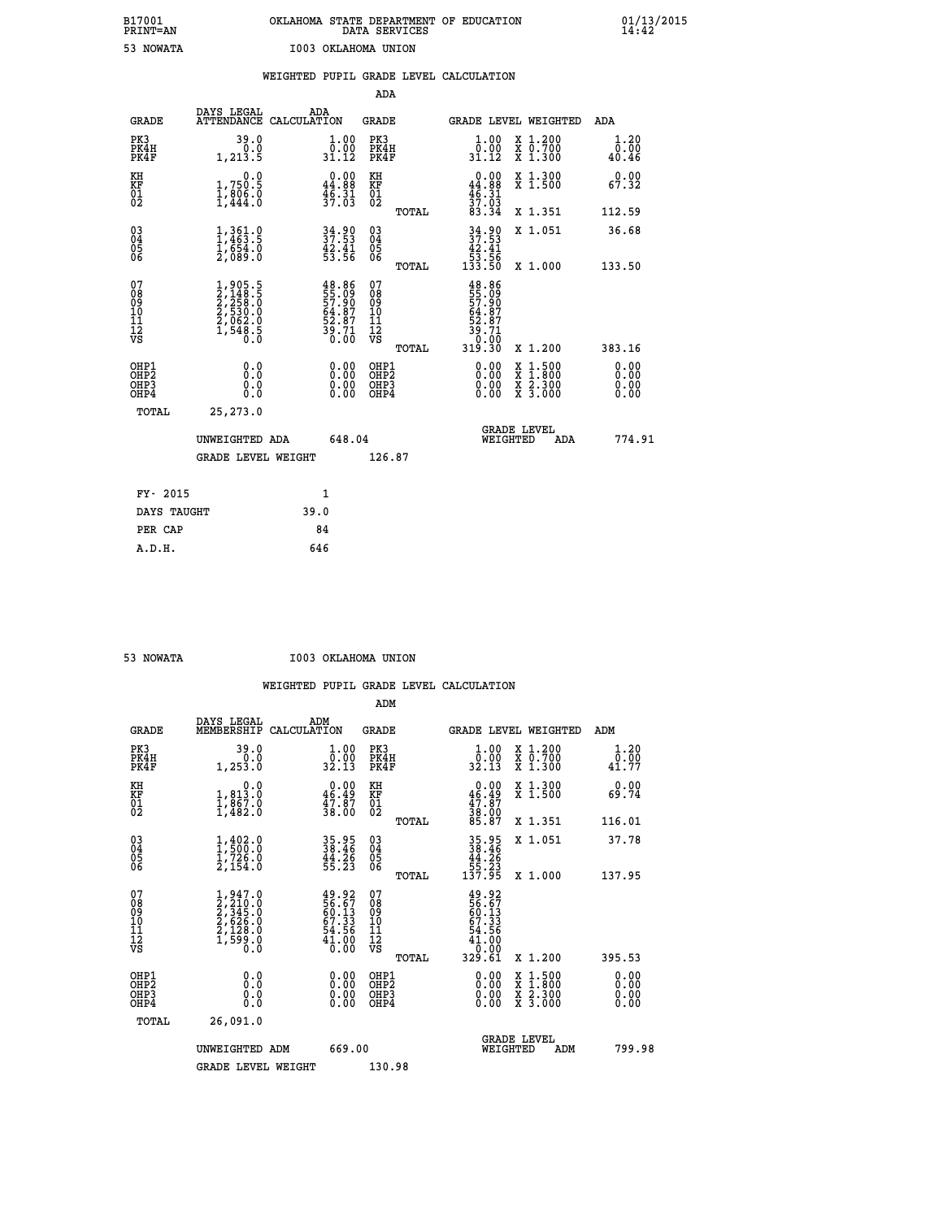| B17001<br><b>PRINT=AN</b> | OKLAHOMA STATE DEPARTMENT OF EDUCATION<br>DATA SERVICES | 01/13/2015 |
|---------------------------|---------------------------------------------------------|------------|
| 53<br><b>NOWATA</b>       | 1003 OKLAHOMA UNION                                     |            |

|                                                                    |                                                                                     |      |                                                                            | ADA                                                 |       |                                                                                       |                                                                                          |                               |
|--------------------------------------------------------------------|-------------------------------------------------------------------------------------|------|----------------------------------------------------------------------------|-----------------------------------------------------|-------|---------------------------------------------------------------------------------------|------------------------------------------------------------------------------------------|-------------------------------|
| <b>GRADE</b>                                                       | DAYS LEGAL<br>ATTENDANCE CALCULATION                                                | ADA  |                                                                            | <b>GRADE</b>                                        |       |                                                                                       | GRADE LEVEL WEIGHTED                                                                     | ADA                           |
| PK3<br>PK4H<br>PK4F                                                | 39.0<br>0.0<br>1,213.5                                                              |      | $\begin{smallmatrix} 1.00\\[-1.2mm] 0.00\\[-1.2mm] 31.12\end{smallmatrix}$ | PK3<br>PK4H<br>PK4F                                 |       | 1.00<br>ô:ŏŏ<br>31.12                                                                 | X 1.200<br>X 0.700<br>X 1.300                                                            | 1.20<br>0.00<br>40.46         |
| KH<br>KF<br>01<br>02                                               | 0.0<br>1,750.5<br>1,806.0<br>1,444.0                                                |      | $0.00$<br>44.88<br>$\frac{46.31}{37.03}$                                   | KH<br>KF<br>01<br>02                                |       | $0.00$<br>$44.88$<br>$46.31$<br>$37.03$<br>$33.34$                                    | X 1.300<br>X 1.500                                                                       | 0.00<br>67.32                 |
|                                                                    |                                                                                     |      |                                                                            |                                                     | TOTAL |                                                                                       | X 1.351                                                                                  | 112.59                        |
| $\begin{smallmatrix} 03 \\[-4pt] 04 \end{smallmatrix}$<br>Ŏ5<br>06 | $1,361.0$<br>$1,463.5$<br>$1,654.0$<br>$2,089.0$                                    |      | 34.90<br>37.53<br>$\frac{42.41}{53.56}$                                    | $\begin{array}{c} 03 \\ 04 \\ 05 \\ 06 \end{array}$ |       | 34.90<br>37.53<br>$\begin{array}{r} 42.41 \\[-4pt] 53.56 \\[-4pt] 133.50 \end{array}$ | X 1.051                                                                                  | 36.68                         |
|                                                                    |                                                                                     |      |                                                                            |                                                     | TOTAL |                                                                                       | X 1.000                                                                                  | 133.50                        |
| 07<br>08<br>09<br>101<br>11<br>12<br>VS                            | $1,905.5$<br>$2,148.5$<br>$2,258.0$<br>$2,530.0$<br>$2,062.0$<br>$1,548.5$<br>$0.0$ |      | 48.86<br>55.09<br>57.90<br>54.87<br>52.87<br>53.71<br>39.71                | 07<br>08<br>09<br>101<br>11<br>12<br>VS             |       | 48.86<br>55.99<br>57.90<br>64.87<br>52.87<br>53.710                                   |                                                                                          |                               |
|                                                                    |                                                                                     |      |                                                                            |                                                     | TOTAL | 319.30                                                                                | X 1.200                                                                                  | 383.16                        |
| OHP1<br>OHP <sub>2</sub><br>OH <sub>P3</sub><br>OHP4               | 0.0<br>0.000                                                                        |      | 0.00<br>$\begin{smallmatrix} 0.00 \ 0.00 \end{smallmatrix}$                | OHP1<br>OHP2<br>OHP <sub>3</sub>                    |       | 0.00<br>0.00                                                                          | $\begin{smallmatrix} x & 1.500 \\ x & 1.800 \\ x & 2.300 \\ x & 3.000 \end{smallmatrix}$ | 0.00<br>Ō. ŌŌ<br>0.00<br>0.00 |
| TOTAL                                                              | 25, 273.0                                                                           |      |                                                                            |                                                     |       |                                                                                       |                                                                                          |                               |
|                                                                    | UNWEIGHTED ADA                                                                      |      | 648.04                                                                     |                                                     |       | WEIGHTED                                                                              | <b>GRADE LEVEL</b><br>ADA                                                                | 774.91                        |
|                                                                    | <b>GRADE LEVEL WEIGHT</b>                                                           |      |                                                                            | 126.87                                              |       |                                                                                       |                                                                                          |                               |
| FY- 2015                                                           |                                                                                     | 1    |                                                                            |                                                     |       |                                                                                       |                                                                                          |                               |
| DAYS TAUGHT                                                        |                                                                                     | 39.0 |                                                                            |                                                     |       |                                                                                       |                                                                                          |                               |
| PER CAP                                                            |                                                                                     | 84   |                                                                            |                                                     |       |                                                                                       |                                                                                          |                               |

| <b>NOWATA</b> |  |
|---------------|--|
|               |  |

 **53 NOWATA I003 OKLAHOMA UNION**

|                                                      |                                                                                                             |                                                                      | ADM                                                 |       |                                                                            |                                          |                       |
|------------------------------------------------------|-------------------------------------------------------------------------------------------------------------|----------------------------------------------------------------------|-----------------------------------------------------|-------|----------------------------------------------------------------------------|------------------------------------------|-----------------------|
| <b>GRADE</b>                                         | DAYS LEGAL<br>MEMBERSHIP                                                                                    | ADM<br>CALCULATION                                                   | <b>GRADE</b>                                        |       |                                                                            | GRADE LEVEL WEIGHTED                     | ADM                   |
| PK3<br>PK4H<br>PK4F                                  | 39.0<br>0.0<br>1,253.0                                                                                      | $\frac{1}{0}$ : 00<br>32.13                                          | PK3<br>PK4H<br>PK4F                                 |       | $\begin{smallmatrix} 1.00\\ 0.00\\ 32.13 \end{smallmatrix}$                | X 1.200<br>X 0.700<br>X 1.300            | 1.20<br>0.00<br>41.77 |
| KH<br>KF<br>01<br>02                                 | 0.0<br>$1,813.0$<br>$1,867.0$<br>$1,482.0$                                                                  | $\begin{smallmatrix} 0.00\\ 46.49\\ 47.87\\ 38.00 \end{smallmatrix}$ | KH<br>KF<br>01<br>02                                |       | $0.00\n46.49\n47.87\n38.00\n38.87$                                         | X 1.300<br>X 1.500                       | 0.00<br>69.74         |
|                                                      |                                                                                                             |                                                                      |                                                     | TOTAL |                                                                            | X 1.351                                  | 116.01                |
| 03<br>04<br>05<br>06                                 | $\frac{1}{1}, \frac{402}{500}$ .0<br>$\frac{1}{2}, \frac{726}{2}$ .0<br>$\bar{2}, \bar{1}\bar{5}\bar{4}$ .0 | 35.95<br>38.46<br>44.26<br>55.23                                     | $\begin{array}{c} 03 \\ 04 \\ 05 \\ 06 \end{array}$ |       | $35.95$<br>$38.46$<br>$44.26$<br>$55.23$<br>$137.95$                       | X 1.051                                  | 37.78                 |
|                                                      |                                                                                                             |                                                                      |                                                     | TOTAL |                                                                            | X 1.000                                  | 137.95                |
| 07<br>08<br>09<br>101<br>11<br>12<br>VS              | $1,947.0$<br>$2,349.0$<br>$2,345.0$<br>$2,626.0$<br>$2,128.0$<br>$1,599.0$<br>$0.0$                         | $49.92$<br>56.67<br>60.13<br>67.33<br>54.56<br>54.56<br>41.000       | 07<br>08<br>09<br>11<br>11<br>12<br>VS              | TOTAL | $49.92$<br>56.673<br>50.133<br>67.33<br>54.56<br>54.56<br>41.000<br>329.61 | X 1.200                                  | 395.53                |
| OHP1<br>OHP2<br>OH <sub>P3</sub><br>OH <sub>P4</sub> | 0.0<br>$\begin{smallmatrix} 0.16 \ 0.0 \end{smallmatrix}$                                                   |                                                                      | OHP1<br>OHP2<br>OHP <sub>3</sub>                    |       | $0.00$<br>$0.00$<br>0.00                                                   | X 1:500<br>X 1:800<br>X 2:300<br>X 3:000 | 0.00<br>0.00<br>0.00  |
| TOTAL                                                | 26,091.0                                                                                                    |                                                                      |                                                     |       |                                                                            |                                          |                       |
|                                                      | UNWEIGHTED ADM                                                                                              | 669.00                                                               |                                                     |       |                                                                            | GRADE LEVEL<br>WEIGHTED<br>ADM           | 799.98                |
|                                                      | <b>GRADE LEVEL WEIGHT</b>                                                                                   |                                                                      | 130.98                                              |       |                                                                            |                                          |                       |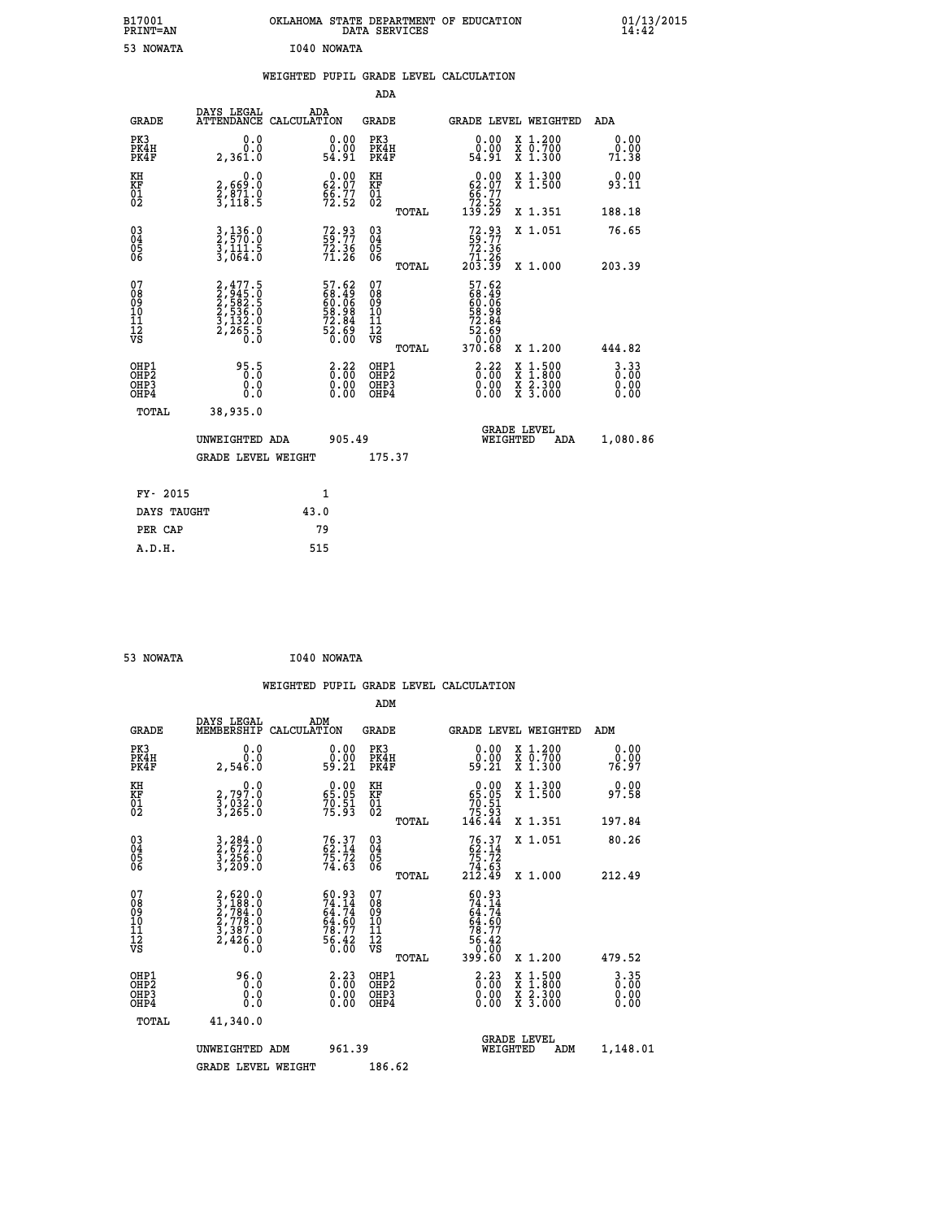| B17001<br>PRINT=AN           |                                                                 | OKLAHOMA STATE DEPARTMENT OF EDUCATION                                     | DATA SERVICES                                        |                                                                                                     |                                                                                                                                           | $01/13/2015$<br>14:42        |  |
|------------------------------|-----------------------------------------------------------------|----------------------------------------------------------------------------|------------------------------------------------------|-----------------------------------------------------------------------------------------------------|-------------------------------------------------------------------------------------------------------------------------------------------|------------------------------|--|
| 53 NOWATA                    |                                                                 | I040 NOWATA                                                                |                                                      |                                                                                                     |                                                                                                                                           |                              |  |
|                              |                                                                 | WEIGHTED PUPIL GRADE LEVEL CALCULATION                                     |                                                      |                                                                                                     |                                                                                                                                           |                              |  |
|                              |                                                                 |                                                                            | ADA                                                  |                                                                                                     |                                                                                                                                           |                              |  |
| <b>GRADE</b>                 | DAYS LEGAL                                                      | ADA<br>ATTENDANCE CALCULATION                                              | GRADE                                                |                                                                                                     | GRADE LEVEL WEIGHTED                                                                                                                      | ADA                          |  |
| PK3<br>PK4H<br>PK4F          | 0.0<br>0.0<br>2,361.0                                           | 0.00<br>0.00<br>54.91                                                      | PK3<br>PK4H<br>PK4F                                  | 0.00<br>ة.ة.<br>54.91                                                                               | X 1.200<br>X 0.700<br>X 1.300                                                                                                             | 0.00<br>0.00<br>71.38        |  |
| KH<br>ΚF<br>$\frac{01}{02}$  | 0.0<br>2,669:0<br>2,871:0<br>3,118:5                            | $\begin{smallmatrix} 0.00\\ 62.07\\ 66.77\\ 72.52 \end{smallmatrix}$       | KH<br>KF<br>01<br>02                                 | 62.00<br>$\frac{66.77}{72.52}$<br>139.29                                                            | X 1.300<br>X 1.500                                                                                                                        | 0.00<br>93.11                |  |
|                              |                                                                 |                                                                            | TOTAL                                                |                                                                                                     | X 1.351                                                                                                                                   | 188.18                       |  |
| 03<br>04<br>05<br>06         | $3,136.0$<br>$3,111.5$<br>$3,064.0$                             | 72.93<br>59.77<br>72.36<br>71.26                                           | $\begin{matrix} 03 \\ 04 \\ 05 \\ 06 \end{matrix}$   | 72.93<br>59.77<br>72.36<br>71.26<br>203.39                                                          | X 1.051                                                                                                                                   | 76.65                        |  |
|                              |                                                                 |                                                                            | TOTAL<br>07                                          |                                                                                                     | X 1.000                                                                                                                                   | 203.39                       |  |
| 078901112<br>00901112<br>VS  | 2,477.5<br>2,5845.0<br>2,582.5<br>2,536.0<br>3,132.0<br>2,265.5 | 57.62<br>68.49<br>60.06<br>58.98<br>52.84<br>72.69<br>52.69                | 08<br>09<br>10<br>$\frac{11}{12}$<br>$\frac{12}{18}$ | 57.62<br>68.49<br>60.06<br>58.98<br>72.84<br>$\frac{5\overline{2}}{9}\cdot\overline{0}\overline{0}$ |                                                                                                                                           |                              |  |
|                              |                                                                 |                                                                            | TOTAL                                                | 370.68                                                                                              | X 1.200                                                                                                                                   | 444.82                       |  |
| OHP1<br>OHP2<br>OHP3<br>OHP4 | 95.5<br>0.0<br>0.0<br>0.0                                       | $\frac{2.22}{0.00}$<br>$\begin{smallmatrix} 0.00 \ 0.00 \end{smallmatrix}$ | OHP1<br>OHP <sub>2</sub><br>OHP3<br>OHP4             | $2.22$<br>$0.00$<br>0.00<br>0.00                                                                    | $\begin{smallmatrix} \mathtt{X} & 1\cdot500\\ \mathtt{X} & 1\cdot800\\ \mathtt{X} & 2\cdot300\\ \mathtt{X} & 3\cdot000 \end{smallmatrix}$ | 3.33<br>0.00<br>0.00<br>0.00 |  |
| TOTAL                        | 38,935.0                                                        |                                                                            |                                                      |                                                                                                     |                                                                                                                                           |                              |  |
|                              | UNWEIGHTED ADA                                                  | 905.49                                                                     |                                                      | WEIGHTED                                                                                            | <b>GRADE LEVEL</b><br>ADA                                                                                                                 | 1,080.86                     |  |
|                              | <b>GRADE LEVEL WEIGHT</b>                                       |                                                                            | 175.37                                               |                                                                                                     |                                                                                                                                           |                              |  |
| FY- 2015                     |                                                                 | 1                                                                          |                                                      |                                                                                                     |                                                                                                                                           |                              |  |
| DAYS TAUGHT                  |                                                                 | 43.0                                                                       |                                                      |                                                                                                     |                                                                                                                                           |                              |  |
| PER CAP                      |                                                                 | 79                                                                         |                                                      |                                                                                                     |                                                                                                                                           |                              |  |

| 53 NOWATA | I040 NOWATA |
|-----------|-------------|

 **WEIGHTED PUPIL GRADE LEVEL CALCULATION ADM DAYS LEGAL ADM GRADE MEMBERSHIP CALCULATION GRADE GRADE LEVEL WEIGHTED ADM PK3 0.0 0.00 PK3 0.00 X 1.200 0.00 PK4H 0.0 0.00 PK4H 0.00 X 0.700 0.00 PK4F 2,546.0 59.21 PK4F 59.21 X 1.300 76.97 KH 0.0 0.00 KH 0.00 X 1.300 0.00 KF 2,797.0 65.05 KF 65.05 X 1.500 97.58 01 3,032.0 70.51 01 70.51 02 3,265.0 75.93 02 75.93 TOTAL 146.44 X 1.351 197.84 03 3,284.0 76.37 03 76.37 X 1.051 80.26 04 2,672.0 62.14 04 62.14 05 3,256.0 75.72 05 75.72 06 3,209.0 74.63 06 74.63 TOTAL 212.49 X 1.000 212.49**  $\begin{array}{cccc} 07 & 2,620.0 & 60.93 & 07 & 60.93 \ 08 & 3,188.0 & 74.14 & 08 & 74.14 \ 09 & 2,778.0 & 64.74 & 09 & 64.74 \ 10 & 2,778.0 & 64.60 & 10 & 64.60 \ 11 & 3,387.0 & 78.7 & 11 & 78.7 \ \hline \end{array}$  $\begin{array}{cccc} 60.93 & 07 & 60.93 \\ 74.74 & 08 & 74.74 \\ 64.50 & 10 & 64.50 \\ 77 & 11 & 78.7 \\ 56.42 & 12 & 78.7 \\ 6.00 & \text{V} & \text{normal} & 39.60 \\ 2.23 & 0\text{HP1} & 39.60 & \text{X } 1.200 & 479.52 \\ 2.23 & 0\text{HP2} & 6.30 & \text{X } 1.500 & 3.35 \\ 0.00 & 0\text{HP3} & 0.00 & \$  **OHP1 96.0 2.23 OHP1 2.23 X 1.500 3.35 OHP2 0.0 0.00 OHP2 0.00 X 1.800 0.00 OHP3 0.0 0.00 OHP3 0.00 X 2.300 0.00 OHP4 0.0 0.00 OHP4 0.00 X 3.000 0.00 TOTAL 41,340.0 GRADE LEVEL UNWEIGHTED ADM 961.39 WEIGHTED ADM 1,148.01** GRADE LEVEL WEIGHT 186.62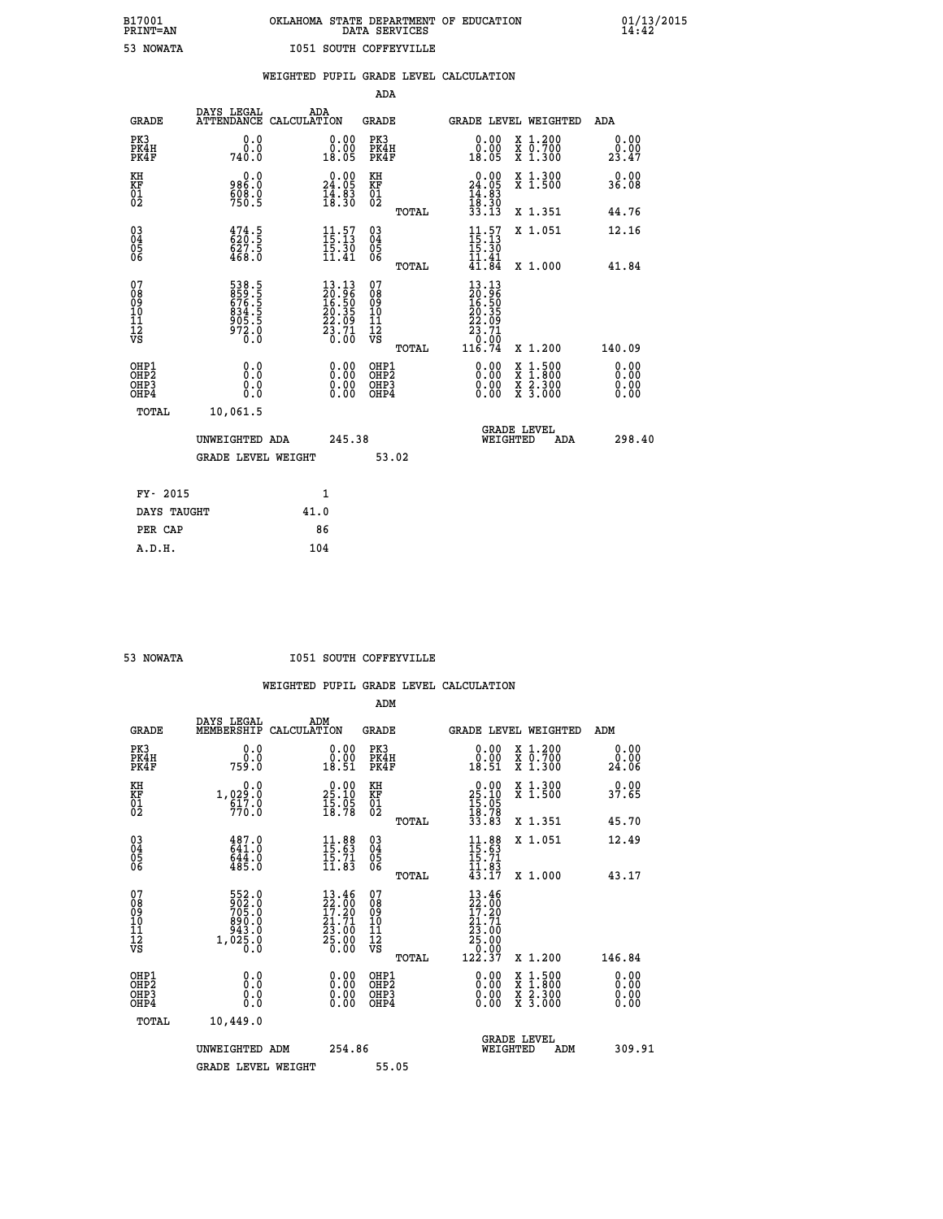## **B17001 OKLAHOMA STATE DEPARTMENT OF EDUCATION 01/13/2015 PRINT=AN DATA SERVICES 14:42 53 NOWATA I051 SOUTH COFFEYVILLE**

|                                                                    |                                                             |                                                                                                                                 |                                          | WEIGHTED PUPIL GRADE LEVEL CALCULATION                                                                                                                    |                              |
|--------------------------------------------------------------------|-------------------------------------------------------------|---------------------------------------------------------------------------------------------------------------------------------|------------------------------------------|-----------------------------------------------------------------------------------------------------------------------------------------------------------|------------------------------|
|                                                                    |                                                             |                                                                                                                                 | <b>ADA</b>                               |                                                                                                                                                           |                              |
| <b>GRADE</b>                                                       | DAYS LEGAL                                                  | ADA<br>ATTENDANCE CALCULATION                                                                                                   | <b>GRADE</b>                             | GRADE LEVEL WEIGHTED                                                                                                                                      | ADA                          |
| PK3<br>PK4H<br>PK4F                                                | 0.0<br>0.0<br>740.0                                         | $\begin{smallmatrix} 0.00\\ 0.00\\ 18.05 \end{smallmatrix}$                                                                     | PK3<br>PK4H<br>PK4F                      | 0.00<br>X 1.200<br>X 0.700<br>X 1.300<br>0.00<br>18.05                                                                                                    | 0.00<br>0.00<br>23.47        |
| KH<br>KF<br>01<br>02                                               | 0.0<br>986.0<br>$\frac{608.0}{750.5}$                       | $\begin{smallmatrix} 0.00\\ 24.05\\ 14.83\\ 18.30 \end{smallmatrix}$                                                            | KH<br>KF<br>01<br>02                     | $0.00$<br>$24.05$<br>$14.83$<br>$18.30$<br>$33.13$<br>X 1.300<br>X 1.500                                                                                  | 0.00<br>36.08                |
|                                                                    |                                                             |                                                                                                                                 | TOTAL                                    | X 1.351                                                                                                                                                   | 44.76                        |
| $\begin{smallmatrix} 03 \\[-4pt] 04 \end{smallmatrix}$<br>Ŏ5<br>06 | $\frac{474}{620}$ : 5<br>627.5<br>468.0                     | $11.57$<br>$15.13$<br>$15.30$<br>$11.41$                                                                                        | $\substack{03 \\ 04}$<br>05<br>06        | $11.57$<br>$15.13$<br>$15.30$<br>$11.41$<br>$41.84$<br>X 1.051                                                                                            | 12.16                        |
|                                                                    |                                                             |                                                                                                                                 | TOTAL                                    | X 1.000                                                                                                                                                   | 41.84                        |
| 07<br>08901112<br>1112<br>VS                                       | 538.5<br>859.5<br>676.5<br>634.5<br>834.5<br>972.0<br>972.0 | $\begin{smallmatrix} 13\cdot 13\\ 20\cdot 96\\ 16\cdot 50\\ 20\cdot 35\\ 22\cdot 09\\ 23\cdot 71\\ 0\cdot 00 \end{smallmatrix}$ | 07<br>08901112<br>1112<br>VS<br>TOTAL    | 13.13<br>20.96<br>$\frac{18.50}{20.35}$<br>23.71<br>$\frac{0.00}{116.74}$<br>X 1.200                                                                      | 140.09                       |
| OHP1<br>OH <sub>P2</sub><br>OHP3<br>OH <sub>P4</sub>               | 0.0<br>0.0<br>0.0                                           |                                                                                                                                 | OHP1<br>OHP <sub>2</sub><br>OHP3<br>OHP4 | 0.00<br>$\begin{smallmatrix} \mathtt{X} & 1\cdot500\\ \mathtt{X} & 1\cdot800\\ \mathtt{X} & 2\cdot300\\ \mathtt{X} & 3\cdot000 \end{smallmatrix}$<br>0.00 | 0.00<br>0.00<br>0.00<br>0.00 |
| <b>TOTAL</b>                                                       | 10,061.5                                                    |                                                                                                                                 |                                          |                                                                                                                                                           |                              |
|                                                                    | UNWEIGHTED ADA                                              | 245.38                                                                                                                          |                                          | <b>GRADE LEVEL</b><br>WEIGHTED                                                                                                                            | 298.40<br><b>ADA</b>         |
|                                                                    | <b>GRADE LEVEL WEIGHT</b>                                   |                                                                                                                                 | 53.02                                    |                                                                                                                                                           |                              |
| FY- 2015                                                           |                                                             | $\mathbf{1}$                                                                                                                    |                                          |                                                                                                                                                           |                              |
| DAYS TAUGHT                                                        |                                                             | 41.0                                                                                                                            |                                          |                                                                                                                                                           |                              |
| PER CAP                                                            |                                                             | 86                                                                                                                              |                                          |                                                                                                                                                           |                              |
| A.D.H.                                                             |                                                             | 104                                                                                                                             |                                          |                                                                                                                                                           |                              |

 **53 NOWATA I051 SOUTH COFFEYVILLE**

|                                                    |                                                      |                                                                                                    | ADM                                                 |                                                                                           |                                          |                       |
|----------------------------------------------------|------------------------------------------------------|----------------------------------------------------------------------------------------------------|-----------------------------------------------------|-------------------------------------------------------------------------------------------|------------------------------------------|-----------------------|
| <b>GRADE</b>                                       | DAYS LEGAL<br>MEMBERSHIP                             | ADM<br>CALCULATION                                                                                 | <b>GRADE</b>                                        |                                                                                           | GRADE LEVEL WEIGHTED                     | ADM                   |
| PK3<br>PK4H<br>PK4F                                | 0.0<br>0.0<br>759.0                                  | 0.00<br>18.51                                                                                      | PK3<br>PK4H<br>PK4F                                 | $\begin{smallmatrix} 0.00\\ 0.00\\ 18.51 \end{smallmatrix}$                               | X 1.200<br>X 0.700<br>X 1.300            | 0.00<br>ŏ:ŏŏ<br>24:06 |
| KH<br>KF<br>01<br>02                               | 0.0<br>1,029:0<br>617:0<br>770:0                     | $29.00$<br>$25.10$<br>$\frac{15.05}{18.78}$                                                        | KH<br>KF<br>01<br>02                                | $\begin{smallmatrix} 0.00\\ 25.10\\ 15.05\\ 18.78\\ 33.83 \end{smallmatrix}$              | X 1.300<br>X 1.500                       | 0.00<br>37.65         |
|                                                    |                                                      |                                                                                                    | TOTAL                                               |                                                                                           | X 1.351                                  | 45.70                 |
| $\begin{matrix} 03 \\ 04 \\ 05 \\ 06 \end{matrix}$ | 487.0<br>641:0<br>644:0<br>485:0                     | $\begin{array}{l} 11\cdot 88 \\ 15\cdot 63 \\ 15\cdot 71 \\ 11\cdot 83 \end{array}$                | $\begin{array}{c} 03 \\ 04 \\ 05 \\ 06 \end{array}$ | $11.88$<br>$15.63$<br>$15.71$<br>$11.83$<br>$43.17$                                       | X 1.051                                  | 12.49                 |
|                                                    |                                                      |                                                                                                    | TOTAL                                               |                                                                                           | $X_1.000$                                | 43.17                 |
| 07<br>08<br>09<br>10<br>11<br>11<br>12<br>VS       | 552.0<br>902.0<br>705.0<br>890.0<br>843.0<br>1,025.8 | $\begin{smallmatrix} 13.46 \\ 22.00 \\ 17.20 \\ 21.71 \\ 23.00 \\ 25.00 \\ 0.00 \end{smallmatrix}$ | 07<br>08901112<br>1112<br>VS<br>TOTAL               | $\begin{smallmatrix} 13.46\ 22.00\ 17.20\ 21.71\ 23.00\ 25.000\ 122.37 \end{smallmatrix}$ | $X_1.200$                                | 146.84                |
| OHP1<br>OHP2<br>OH <sub>P3</sub><br>OHP4           | 0.0<br>0.000                                         | $0.00$<br>$0.00$<br>0.00                                                                           | OHP1<br>OHP2<br>OHP3<br>OHP4                        |                                                                                           | X 1:500<br>X 1:800<br>X 2:300<br>X 3:000 | 0.00<br>0.00<br>0.00  |
| TOTAL                                              | 10,449.0                                             |                                                                                                    |                                                     |                                                                                           |                                          |                       |
|                                                    | UNWEIGHTED ADM                                       | 254.86                                                                                             |                                                     | WEIGHTED                                                                                  | <b>GRADE LEVEL</b><br>ADM                | 309.91                |
|                                                    | <b>GRADE LEVEL WEIGHT</b>                            |                                                                                                    | 55.05                                               |                                                                                           |                                          |                       |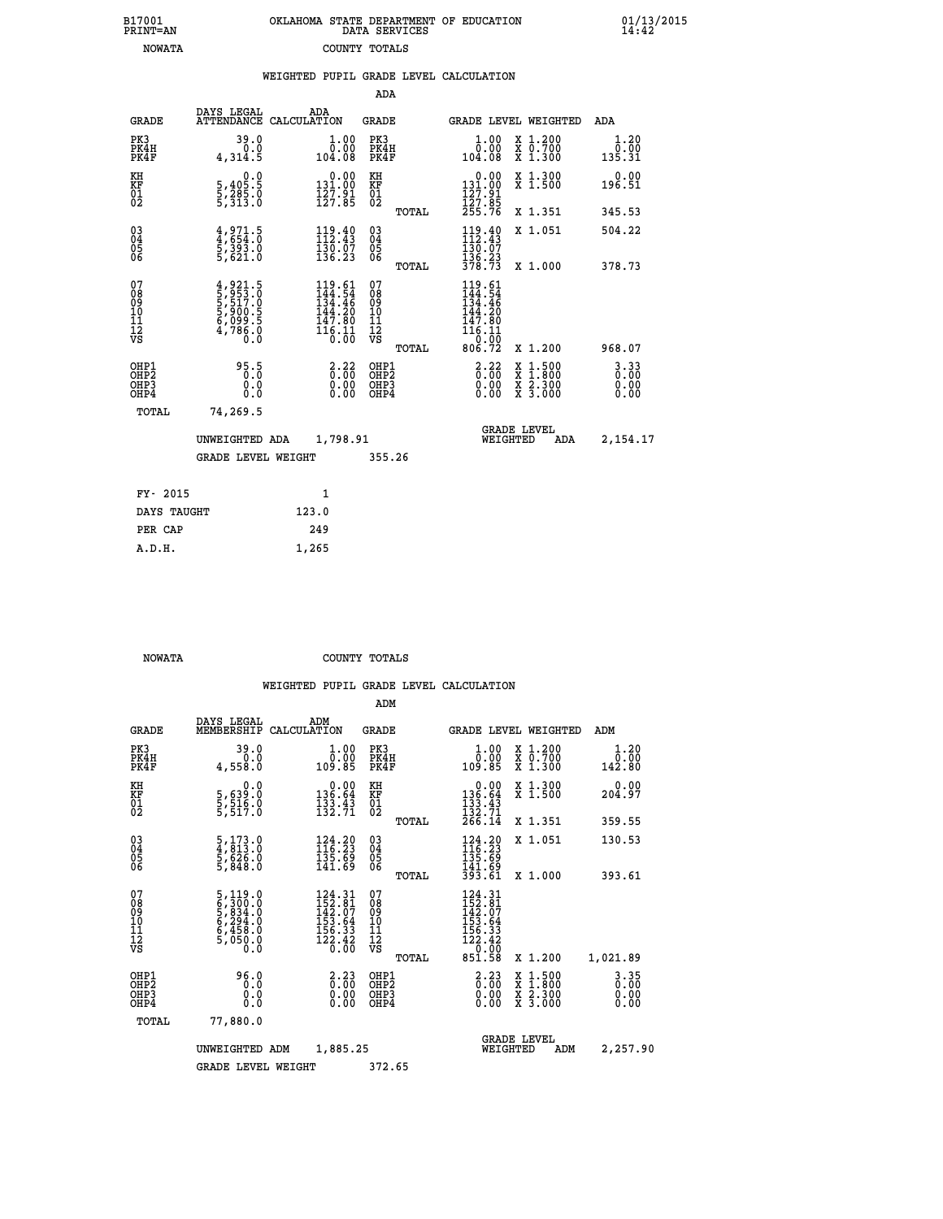| 7001<br>INT=AN |  | OKLAHOMA STATE DEPARTMENT OF EDUCATION<br>DATA SERVICES |  |  |
|----------------|--|---------------------------------------------------------|--|--|
| <b>NOWATA</b>  |  | COUNTY TOTALS                                           |  |  |

 **B17001 OKLAHOMA STATE DEPARTMENT OF EDUCATION 01/13/2015**

|                                                      |                                                                | WEIGHTED PUPIL GRADE LEVEL CALCULATION                                                                                       |                                          |        |                                                                                                      |                                                                                                  |                                  |
|------------------------------------------------------|----------------------------------------------------------------|------------------------------------------------------------------------------------------------------------------------------|------------------------------------------|--------|------------------------------------------------------------------------------------------------------|--------------------------------------------------------------------------------------------------|----------------------------------|
|                                                      |                                                                |                                                                                                                              | ADA                                      |        |                                                                                                      |                                                                                                  |                                  |
| <b>GRADE</b>                                         | DAYS LEGAL                                                     | ADA<br>ATTENDANCE CALCULATION                                                                                                | GRADE                                    |        |                                                                                                      | <b>GRADE LEVEL WEIGHTED</b>                                                                      | ADA                              |
| PK3<br>PK4H<br>PK4F                                  | 39.0<br>0.0<br>4,314.5                                         | $1.00$<br>$0.00$<br>104.08                                                                                                   | PK3<br>PK4H<br>PK4F                      |        | 1.00<br>$\overline{0}$ .00<br>104.08                                                                 | X 1.200<br>X 0.700<br>X 1.300                                                                    | 1.20<br>0.00<br>135.31           |
| KH<br>KF<br>01<br>02                                 | 0.0<br>5,405:5<br>5,285:0<br>5,313:0                           | $\begin{array}{c} 0.00 \\ 131.00 \\ 127.91 \\ 127.85 \end{array}$                                                            | KH<br>KF<br>01<br>02                     |        | $\begin{smallmatrix} &0.00\\ 131.00\\ 127.91\\ 127.85\\ 255.76 \end{smallmatrix}$                    | X 1.300<br>X 1.500                                                                               | 0.00<br>196.51                   |
|                                                      |                                                                |                                                                                                                              |                                          | TOTAL  |                                                                                                      | X 1.351                                                                                          | 345.53                           |
| 03<br>04<br>05<br>06                                 | $4,971.5$<br>$4,654.0$<br>$5,393.0$<br>$5,621.0$               | 112.49<br>$\frac{130.07}{136.23}$                                                                                            | 03<br>04<br>05<br>06                     |        | $119.40$<br>$112.43$<br>130.07                                                                       | X 1.051                                                                                          | 504.22                           |
|                                                      |                                                                |                                                                                                                              |                                          | TOTAL  | $\frac{136.23}{378.73}$                                                                              | X 1.000                                                                                          | 378.73                           |
| 07<br>08<br>09<br>101<br>11<br>12<br>VS              | 4,921.5<br>5,953.0<br>5,517.0<br>5,900.5<br>6,099.5<br>4,786.0 | $\begin{array}{r} 119\cdot 61\\ 144\cdot 54\\ 134\cdot 46\\ 144\cdot 20\\ 147\cdot 80\\ 116\cdot 11\\ 0\cdot 00 \end{array}$ | 07<br>08<br>09<br>11<br>11<br>12<br>VS   |        | $119.61$<br>$144.54$<br>$134.46$<br>$144.20$<br>ī47.80<br>$\frac{1}{16}$ $\frac{1}{6}$ $\frac{1}{9}$ |                                                                                                  |                                  |
|                                                      |                                                                |                                                                                                                              |                                          | TOTAL  | 806.72                                                                                               | X 1.200                                                                                          | 968.07                           |
| OHP1<br>OHP <sub>2</sub><br>OH <sub>P3</sub><br>OHP4 | 95.5<br>0.0<br>Ō.Ō                                             | 3:32<br>$\begin{smallmatrix} 0.00 \ 0.00 \end{smallmatrix}$                                                                  | OHP1<br>OHP <sub>2</sub><br>OHP3<br>OHP4 |        | $3.22$<br>$0.00$<br>0.00<br>0.00                                                                     | $\begin{smallmatrix} x & 1 & 500 \\ x & 1 & 800 \\ x & 2 & 300 \\ x & 3 & 000 \end{smallmatrix}$ | $3.33$<br>$0.00$<br>0.00<br>0.00 |
| TOTAL                                                | 74,269.5                                                       |                                                                                                                              |                                          |        |                                                                                                      |                                                                                                  |                                  |
|                                                      | UNWEIGHTED ADA                                                 | 1,798.91                                                                                                                     |                                          |        | WEIGHTED                                                                                             | <b>GRADE LEVEL</b><br>ADA                                                                        | 2,154.17                         |
|                                                      | <b>GRADE LEVEL WEIGHT</b>                                      |                                                                                                                              |                                          | 355.26 |                                                                                                      |                                                                                                  |                                  |
| FY- 2015                                             |                                                                | $\mathbf{1}$                                                                                                                 |                                          |        |                                                                                                      |                                                                                                  |                                  |
| DAYS TAUGHT                                          |                                                                | 123.0                                                                                                                        |                                          |        |                                                                                                      |                                                                                                  |                                  |
| תגם מסת                                              |                                                                | 240                                                                                                                          |                                          |        |                                                                                                      |                                                                                                  |                                  |

 **B17001<br>PRINT=AN** 

 **NOWATA COUNTY TOTALS**

|                                           |                                                                                                            |             |                                                                                                                                | ADM                                                |       |                                                                              |          |                                          |                                  |
|-------------------------------------------|------------------------------------------------------------------------------------------------------------|-------------|--------------------------------------------------------------------------------------------------------------------------------|----------------------------------------------------|-------|------------------------------------------------------------------------------|----------|------------------------------------------|----------------------------------|
| <b>GRADE</b>                              | DAYS LEGAL<br>MEMBERSHIP                                                                                   | CALCULATION | ADM                                                                                                                            | <b>GRADE</b>                                       |       |                                                                              |          | GRADE LEVEL WEIGHTED                     | ADM                              |
| PK3<br>PK4H<br>PK4F                       | 39.0<br>0.0<br>4,558.0                                                                                     |             | 1.00<br>ŏč.ŏŏ<br>109.85                                                                                                        | PK3<br>PK4H<br>PK4F                                |       | $\begin{smallmatrix} 1.00\\ 0.00\\ 109.85 \end{smallmatrix}$                 |          | X 1.200<br>X 0.700<br>X 1.300            | 1.20<br>0.00<br>142.80           |
| KH<br>KF<br>01<br>02                      | 0.0<br>5,639:0<br>5,516.0<br>5,517:0                                                                       |             | $\begin{array}{r} 0.00 \\ 136.64 \\ 133.43 \\ 132.71 \end{array}$                                                              | KH<br>KF<br>01<br>02                               |       | $\begin{smallmatrix}&&0.00\\136.64\\133.43\\132.71\\266.14\end{smallmatrix}$ |          | X 1.300<br>X 1.500                       | 0.00<br>204.97                   |
|                                           |                                                                                                            |             |                                                                                                                                |                                                    | TOTAL |                                                                              |          | X 1.351                                  | 359.55                           |
| 03<br>04<br>05<br>06                      | $\frac{5}{4}, \frac{173}{813} . 0 \\ \frac{5}{5}, \frac{626}{848} . 0 \\ \frac{7}{5}, \frac{848}{848} . 0$ |             | $\begin{smallmatrix} 124.20\\ 116.23\\ 135.69\\ 141.69 \end{smallmatrix}$                                                      | $\begin{matrix} 03 \\ 04 \\ 05 \\ 06 \end{matrix}$ |       | $124.20$<br>$116.23$<br>$135.69$<br>$141.69$<br>$393.61$                     |          | X 1.051                                  | 130.53                           |
|                                           |                                                                                                            |             |                                                                                                                                |                                                    | TOTAL |                                                                              |          | X 1.000                                  | 393.61                           |
| 07<br>08<br>09<br>101<br>11<br>12<br>VS   | 5,119.0<br>6,300.0<br>6,834.0<br>5,294.0<br>6,458.0<br>5,050.0<br>0.0                                      |             | $\begin{smallmatrix} 124\cdot 31\\152\cdot 81\\142\cdot 07\\153\cdot 64\\156\cdot 33\\122\cdot 42\\0\cdot 00\end{smallmatrix}$ | 07<br>08<br>09<br>11<br>11<br>12<br>VS             | TOTAL | 124.31<br>152.81<br>142.07<br>153.64<br>156.33<br>122.42<br>0.00<br>851.58   |          | X 1.200                                  | 1,021.89                         |
| OHP1<br>OHP2<br>OH <sub>P</sub> 3<br>OHP4 | 96.0<br>0.000                                                                                              |             | $\begin{smallmatrix} 2\cdot 23\0\cdot 00\0\cdot 00\0\cdot 00\end{smallmatrix}$                                                 | OHP1<br>OHP2<br>OHP <sub>3</sub>                   |       | $\begin{smallmatrix} 2.23\ 0.00 \ 0.00 \end{smallmatrix}$<br>0.00            |          | X 1:500<br>X 1:800<br>X 2:300<br>X 3:000 | $3.35$<br>$0.00$<br>0.00<br>0.00 |
| TOTAL                                     | 77,880.0                                                                                                   |             |                                                                                                                                |                                                    |       |                                                                              |          |                                          |                                  |
|                                           | UNWEIGHTED                                                                                                 | ADM         | 1,885.25                                                                                                                       |                                                    |       |                                                                              | WEIGHTED | <b>GRADE LEVEL</b><br>ADM                | 2,257.90                         |
|                                           | <b>GRADE LEVEL WEIGHT</b>                                                                                  |             |                                                                                                                                | 372.65                                             |       |                                                                              |          |                                          |                                  |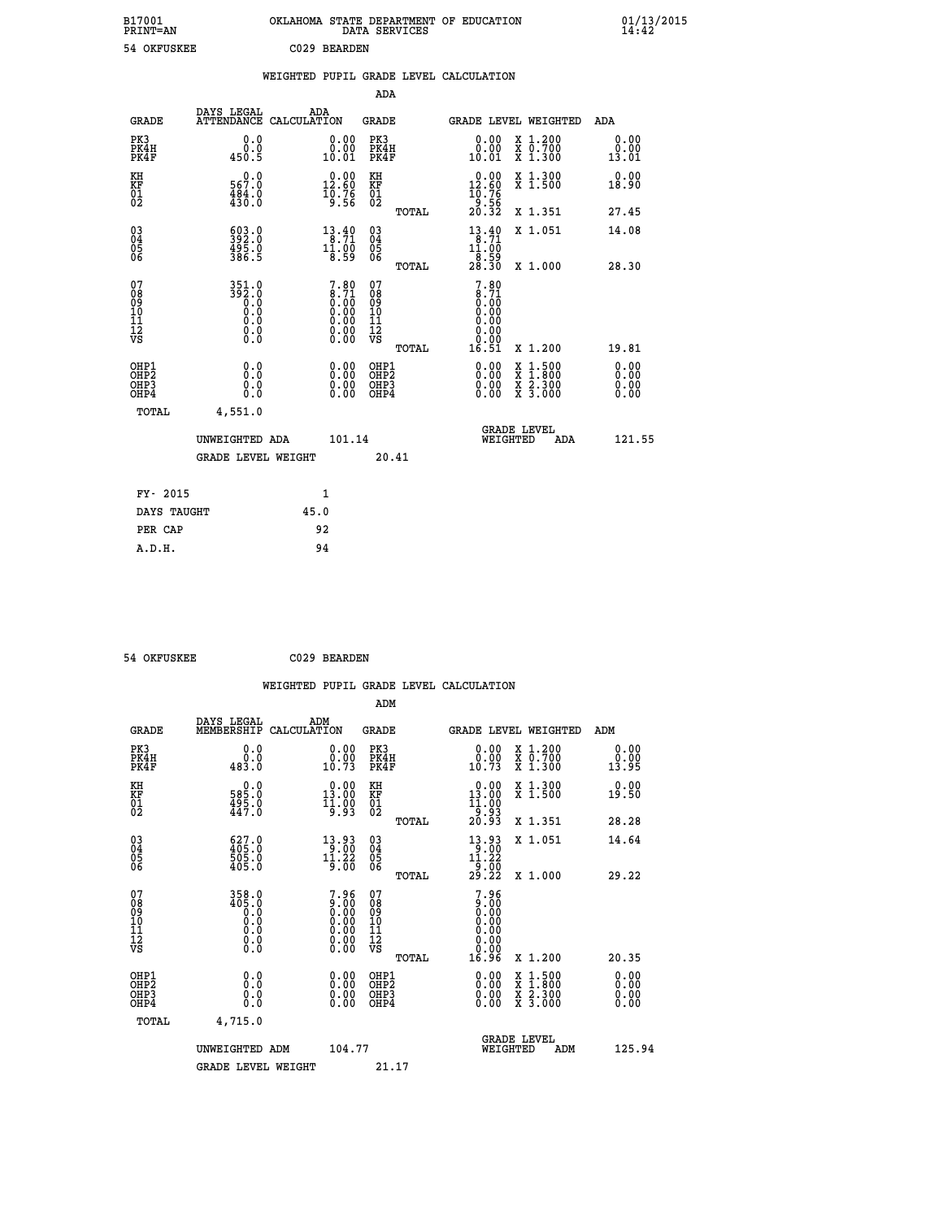| B17001<br><b>PRINT=AN</b> | OKLAHOMA<br>. STATE DEPARTMENT OF EDUCATION<br>DATA SERVICES | 01/13/2015<br>14:42 |
|---------------------------|--------------------------------------------------------------|---------------------|
| 54 OKFUSKEE               | C029<br>BEARDEN                                              |                     |

|                                                                  |                                               |      |                                                                     |                                        |       | WEIGHTED PUPIL GRADE LEVEL CALCULATION                                      |                                                                                          |                              |
|------------------------------------------------------------------|-----------------------------------------------|------|---------------------------------------------------------------------|----------------------------------------|-------|-----------------------------------------------------------------------------|------------------------------------------------------------------------------------------|------------------------------|
|                                                                  |                                               |      |                                                                     | ADA                                    |       |                                                                             |                                                                                          |                              |
| <b>GRADE</b>                                                     | DAYS LEGAL<br>ATTENDANCE CALCULATION          | ADA  |                                                                     | <b>GRADE</b>                           |       |                                                                             | GRADE LEVEL WEIGHTED                                                                     | ADA                          |
| PK3<br>PK4H<br>PK4F                                              | 0.0<br>0.0<br>450.5                           |      | 0.00<br>10.01                                                       | PK3<br>PK4H<br>PK4F                    |       | 0.00<br>0.00<br>10.01                                                       | X 1.200<br>X 0.700<br>X 1.300                                                            | 0.00<br>0.00<br>13.01        |
| KH<br>KF<br>01<br>02                                             | $0.0$<br>567.0<br>$\frac{484}{430}$ :0        |      | $\begin{smallmatrix} 0.00\\ 12.60\\ 10.76\\ 9.56 \end{smallmatrix}$ | KH<br>KF<br>01<br>02                   |       | $\begin{smallmatrix} 0.00\\ 12.60\\ 10.76\\ 9.56\\ 20.32 \end{smallmatrix}$ | X 1.300<br>X 1.500                                                                       | 0.00<br>18.90                |
|                                                                  |                                               |      |                                                                     |                                        | TOTAL |                                                                             | X 1.351                                                                                  | 27.45                        |
| $\begin{matrix} 03 \\ 04 \\ 05 \\ 06 \end{matrix}$               | 593.0<br>$\frac{495.0}{386.5}$                |      | $13.40$<br>8.71<br>$1\overline{1}\cdot 0\overline{0}$<br>8.59       | 03<br>04<br>05<br>06                   |       | $13.40$<br>$8.71$<br>$1\overline{1}\cdot 0\overline{0}$<br>8.59             | X 1.051                                                                                  | 14.08                        |
|                                                                  |                                               |      |                                                                     |                                        | TOTAL | 28.30                                                                       | X 1.000                                                                                  | 28.30                        |
| 07<br>089<br>090<br>1112<br>VS                                   | $351.0$<br>$392.0$<br>$0.0$<br>0.000<br>$\S.$ |      | $7.80 \\ 8.71 \\ 0.00 \\ 0.00 \\ 0.00 \\ 0.00 \\ 0.00 \\ 0.00$      | 07<br>08<br>09<br>11<br>11<br>12<br>VS | TOTAL | $7.80$<br>$8.71$<br>$0.00$<br>$0.00$<br>0.00<br>0.00<br>16.51               | X 1.200                                                                                  | 19.81                        |
| OHP1<br>OH <sub>P</sub> <sub>2</sub><br>OH <sub>P3</sub><br>OHP4 | 0.0<br>0.0<br>0.0                             |      | 0.0000<br>$\begin{smallmatrix} 0.00 \ 0.00 \end{smallmatrix}$       | OHP1<br>OHP2<br>OHP3<br>OHP4           |       | 0.00<br>0.00<br>0.00                                                        | $\begin{smallmatrix} x & 1.500 \\ x & 1.800 \\ x & 2.300 \\ x & 3.000 \end{smallmatrix}$ | 0.00<br>0.00<br>0.00<br>0.00 |
| <b>TOTAL</b>                                                     | 4,551.0                                       |      |                                                                     |                                        |       |                                                                             |                                                                                          |                              |
|                                                                  | UNWEIGHTED ADA                                |      | 101.14                                                              |                                        |       | WEIGHTED                                                                    | <b>GRADE LEVEL</b><br>ADA                                                                | 121.55                       |
|                                                                  | <b>GRADE LEVEL WEIGHT</b>                     |      |                                                                     | 20.41                                  |       |                                                                             |                                                                                          |                              |
| FY- 2015                                                         |                                               |      | 1                                                                   |                                        |       |                                                                             |                                                                                          |                              |
| DAYS TAUGHT                                                      |                                               | 45.0 |                                                                     |                                        |       |                                                                             |                                                                                          |                              |
| PER CAP                                                          |                                               | 92   |                                                                     |                                        |       |                                                                             |                                                                                          |                              |

 **54 OKFUSKEE C029 BEARDEN**

|                                                    |                                                                       |                    |                                                                                                            |                                                     |       | WEIGHTED PUPIL GRADE LEVEL CALCULATION                                                                                  |                                |                                          |                       |
|----------------------------------------------------|-----------------------------------------------------------------------|--------------------|------------------------------------------------------------------------------------------------------------|-----------------------------------------------------|-------|-------------------------------------------------------------------------------------------------------------------------|--------------------------------|------------------------------------------|-----------------------|
|                                                    |                                                                       |                    |                                                                                                            | ADM                                                 |       |                                                                                                                         |                                |                                          |                       |
| <b>GRADE</b>                                       | DAYS LEGAL<br>MEMBERSHIP                                              | ADM<br>CALCULATION |                                                                                                            | <b>GRADE</b>                                        |       | GRADE LEVEL WEIGHTED                                                                                                    |                                |                                          | ADM                   |
| PK3<br>PK4H<br>PK4F                                | 0.0<br>0.0<br>483.0                                                   |                    | 0.00<br>10.73                                                                                              | PK3<br>PK4H<br>PK4F                                 |       | $\begin{smallmatrix} 0.00\\ 0.00\\ 10.73 \end{smallmatrix}$                                                             |                                | X 1.200<br>X 0.700<br>X 1.300            | 0.00<br>0.00<br>13.95 |
| KH<br>KF<br>01<br>02                               | 0.0<br>0.285<br>$\frac{495.0}{447.0}$                                 |                    | $\begin{smallmatrix} 0.00\\ 13.00\\ 11.00\\ 19.93 \end{smallmatrix}$                                       | KH<br>KF<br>01<br>02                                |       | $\begin{smallmatrix} 0.00\\ 13.00\\ 11.00\\ 9.93\\ 20.93 \end{smallmatrix}$                                             |                                | X 1.300<br>X 1.500                       | 0.00<br>19.50         |
|                                                    |                                                                       |                    |                                                                                                            |                                                     | TOTAL |                                                                                                                         |                                | X 1.351                                  | 28.28                 |
| $\begin{matrix} 03 \\ 04 \\ 05 \\ 06 \end{matrix}$ | $627.0$<br>$405.0$<br>$505.0$<br>$405.0$                              |                    | $\begin{array}{c} 13\cdot 93 \\ 9\cdot 00 \\ 11\cdot 22 \\ 9\cdot 00 \end{array}$                          | $\begin{array}{c} 03 \\ 04 \\ 05 \\ 06 \end{array}$ |       | $\begin{array}{c} 13\cdot 93 \\[-4pt] 9\cdot 00 \\[-4pt] 11\cdot 22 \\[-4pt] 9\cdot 00 \\[-4pt] 29\cdot 22 \end{array}$ |                                | X 1.051                                  | 14.64                 |
| 07                                                 | $358.0$<br>$405.0$                                                    |                    |                                                                                                            | 07                                                  | TOTAL | 7.96                                                                                                                    |                                | X 1.000                                  | 29.22                 |
| 0890112<br>1112<br>VS                              | $\begin{smallmatrix} 0.0 0.0 0.0 0.0 \end{smallmatrix}$<br>$\S.$ $\S$ |                    | $7.96$<br>$0.00$<br>$0.00$<br>$0.00$<br>$\begin{smallmatrix} 0.00 & 0.00 \\ 0.00 & 0.00 \end{smallmatrix}$ | 08<br>09<br>11<br>11<br>12<br>VS                    | TOTAL | 0.00<br>0.00<br>0.00<br>0.00<br>16.96                                                                                   |                                | X 1.200                                  | 20.35                 |
| OHP1<br>OHP <sub>2</sub>                           | 0.0                                                                   |                    | $0.00$<br>$0.00$                                                                                           | OHP1<br>OHP <sub>2</sub>                            |       | 0.00                                                                                                                    |                                |                                          | 0.00<br>0.00          |
| OH <sub>P3</sub><br>OHP4                           | 0.000                                                                 |                    | 0.00                                                                                                       | OHP <sub>3</sub>                                    |       | 0.00<br>0.00                                                                                                            |                                | X 1:500<br>X 1:800<br>X 2:300<br>X 3:000 | 0.00<br>0.00          |
| TOTAL                                              | 4,715.0                                                               |                    |                                                                                                            |                                                     |       |                                                                                                                         |                                |                                          |                       |
|                                                    | UNWEIGHTED ADM                                                        |                    | 104.77                                                                                                     |                                                     |       |                                                                                                                         | <b>GRADE LEVEL</b><br>WEIGHTED | ADM                                      | 125.94                |
|                                                    | <b>GRADE LEVEL WEIGHT</b>                                             |                    |                                                                                                            | 21.17                                               |       |                                                                                                                         |                                |                                          |                       |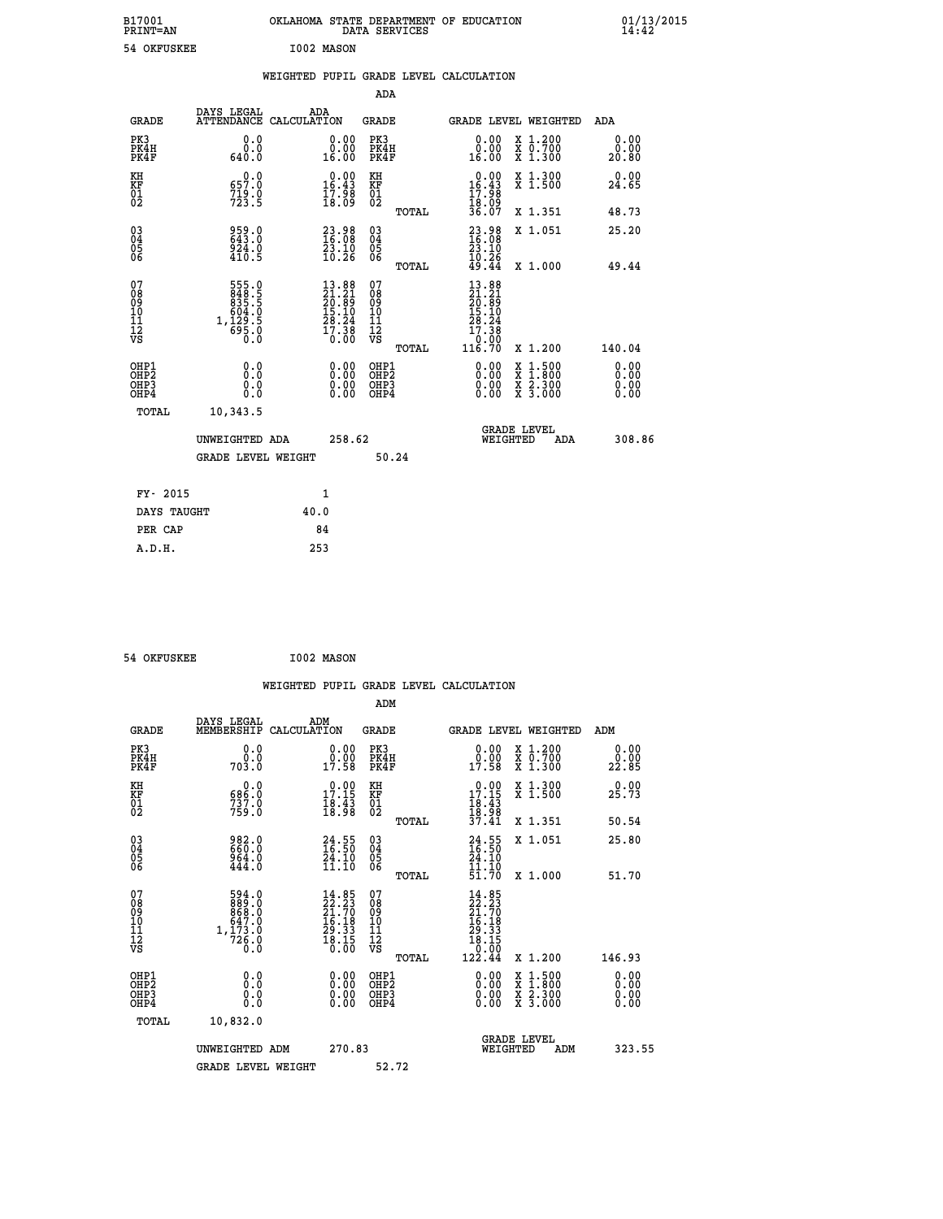| B17001<br><b>PRINT=AN</b>                          |                                                              | OKLAHOMA STATE DEPARTMENT OF EDUCATION                                | DATA SERVICES                                   |                                                                              |                                                                                    | 01/13/2015<br>14:42          |  |
|----------------------------------------------------|--------------------------------------------------------------|-----------------------------------------------------------------------|-------------------------------------------------|------------------------------------------------------------------------------|------------------------------------------------------------------------------------|------------------------------|--|
| 54 OKFUSKEE                                        |                                                              | I002 MASON                                                            |                                                 |                                                                              |                                                                                    |                              |  |
|                                                    |                                                              | WEIGHTED PUPIL GRADE LEVEL CALCULATION                                |                                                 |                                                                              |                                                                                    |                              |  |
|                                                    |                                                              |                                                                       | ADA                                             |                                                                              |                                                                                    |                              |  |
| <b>GRADE</b>                                       | DAYS LEGAL<br>ATTENDANCE CALCULATION                         | ADA                                                                   | <b>GRADE</b>                                    | GRADE LEVEL WEIGHTED                                                         |                                                                                    | ADA                          |  |
| PK3<br>PK4H<br>PK4F                                | 0.0<br>0.0<br>640.0                                          | 0.00<br>0.00<br>16.00                                                 | PK3<br>PK4H<br>PK4F                             | 0.00<br>0.00<br>16.00                                                        | X 1.200<br>X 0.700<br>X 1.300                                                      | 0.00<br>0.00<br>20.80        |  |
| KH<br>KF<br>01<br>02                               | 0.0<br>657.0<br>$7\overline{23}\cdot\overline{9}$            | $\begin{smallmatrix} 0.00\\16.43\\17.98\\18.09 \end{smallmatrix}$     | КH<br><b>KF</b><br>01<br>02                     | $0.00$<br>16.43<br>$\frac{17.98}{18.09}$<br>36.07                            | X 1.300<br>X 1.500                                                                 | 0.00<br>24.65                |  |
|                                                    |                                                              |                                                                       | TOTAL                                           |                                                                              | X 1.351                                                                            | 48.73                        |  |
| $\begin{matrix} 03 \\ 04 \\ 05 \\ 06 \end{matrix}$ | 959.0<br>924.0<br>410.5                                      | $\begin{smallmatrix} 23.98\\ 16.08\\ 23.10\\ 10.26 \end{smallmatrix}$ | 03<br>04<br>05<br>06                            | $\frac{23.98}{16.08}$<br>$\frac{23.10}{3.10}$<br>10.26                       | X 1.051                                                                            | 25.20                        |  |
|                                                    |                                                              |                                                                       | TOTAL                                           | 49.44                                                                        | X 1.000                                                                            | 49.44                        |  |
| 07<br>08<br>09<br>10<br>11<br>12<br>νs             | 555.0<br>848:5<br>835:5<br>604:0<br>1, 129:5<br>695:0<br>0:0 | $13.88$<br>$21.21$<br>$20.89$<br>$15.10$<br>$\frac{28.24}{17.38}$     | 07<br>08<br>09<br>10<br>11<br>12<br>VS<br>TOTAL | $13.88$<br>$21.21$<br>$20.89$<br>$15.10$<br>28.24<br>17.38<br>0.00<br>116.70 | X 1.200                                                                            | 140.04                       |  |
| OHP1<br>OHP2<br>OHP3<br>OHP4                       | 0.0<br>Ŏ.Ŏ<br>0.0<br>0.0                                     | 0.00<br>0.00<br>0.00                                                  | OHP1<br>OHP2<br>OHP3<br>OHP4                    | 0.00<br>0.00<br>0.00                                                         | $\frac{x}{x}$ $\frac{1.500}{x}$<br>$\frac{x}{x}$ $\frac{2 \cdot 300}{3 \cdot 000}$ | 0.00<br>Ŏ.ŎŎ<br>0.00<br>0.00 |  |
| TOTAL                                              | 10,343.5                                                     |                                                                       |                                                 |                                                                              |                                                                                    |                              |  |
|                                                    | UNWEIGHTED ADA                                               | 258.62                                                                |                                                 | <b>GRADE LEVEL</b><br>WEIGHTED                                               | ADA                                                                                | 308.86                       |  |
|                                                    | <b>GRADE LEVEL WEIGHT</b>                                    |                                                                       | 50.24                                           |                                                                              |                                                                                    |                              |  |
| FY- 2015                                           |                                                              | 1                                                                     |                                                 |                                                                              |                                                                                    |                              |  |
| DAYS TAUGHT                                        |                                                              | 40.0                                                                  |                                                 |                                                                              |                                                                                    |                              |  |
| PER CAP                                            |                                                              | 84                                                                    |                                                 |                                                                              |                                                                                    |                              |  |
| A.D.H.                                             |                                                              | 253                                                                   |                                                 |                                                                              |                                                                                    |                              |  |

54 OKFUSKEE 1002 MASON

 **WEIGHTED PUPIL GRADE LEVEL CALCULATION ADM DAYS LEGAL ADM GRADE MEMBERSHIP CALCULATION GRADE GRADE LEVEL WEIGHTED ADM PK3 0.0 0.00 PK3 0.00 X 1.200 0.00 PK4H 0.0 0.00 PK4H 0.00 X 0.700 0.00 PK4F 703.0 17.58 PK4F 17.58 X 1.300 22.85 EXAMP 0.0**<br> **EXAMP 0.0**<br> **EXAMP 0.0**<br> **EXAMP 703.0**<br> **EXAMP 703.0**<br> **EXAMP 17.58**<br> **EXAMP 17.58**<br> **EXAMP 17.58**<br> **EXAMP 17.58**<br> **EXAMP 17.58**<br> **EXAMP 17.58**<br> **EXAMP 17.58**<br> **EXAMP 17.58**<br> **EXAMP 17.58**<br> **EXAMP 17.58**<br>

|                                                      | <b>GRADE LEVEL WEIGHT</b>                                               |                                                                                           | 52.72                                              |       |                                                                                                                     |                                                                                                                     |     |                               |  |
|------------------------------------------------------|-------------------------------------------------------------------------|-------------------------------------------------------------------------------------------|----------------------------------------------------|-------|---------------------------------------------------------------------------------------------------------------------|---------------------------------------------------------------------------------------------------------------------|-----|-------------------------------|--|
|                                                      | UNWEIGHTED ADM                                                          | 270.83                                                                                    |                                                    |       | WEIGHTED                                                                                                            | <b>GRADE LEVEL</b>                                                                                                  | ADM | 323.55                        |  |
| TOTAL                                                | 10,832.0                                                                |                                                                                           |                                                    |       |                                                                                                                     |                                                                                                                     |     |                               |  |
| OHP1<br>OHP <sub>2</sub><br>OH <sub>P3</sub><br>OHP4 | 0.0<br>0.000                                                            |                                                                                           | OHP1<br>OHP <sub>2</sub><br>OHP3<br>OHP4           |       | $0.00$<br>$0.00$<br>0.00                                                                                            | $\begin{array}{l} \mathtt{X} & 1.500 \\ \mathtt{X} & 1.800 \\ \mathtt{X} & 2.300 \\ \mathtt{X} & 3.000 \end{array}$ |     | $0.00$<br>$0.00$<br>0.00      |  |
| 07<br>08<br>09<br>101<br>11<br>12<br>VS              | 594.0<br>$883.0$<br>$863.0$<br>$647.0$<br>$1,173.0$<br>$726.0$<br>$0.0$ | 14.85<br>$\begin{array}{r} 22.23 \\ 21.70 \\ 16.18 \\ 29.33 \\ 18.15 \end{array}$<br>0.00 | 07<br>08<br>09<br>10<br>11<br>12<br>VS             | TOTAL | 14.85<br>$\begin{smallmatrix} 22.23 \ 22.730 \ 21.708 \ 16.18 \ 29.335 \ 18.150 \ 0.001 \ 122.44 \end{smallmatrix}$ | X 1.200                                                                                                             |     | 146.93                        |  |
| $\begin{matrix} 03 \\ 04 \\ 05 \\ 06 \end{matrix}$   | 982.0<br>660.0<br>964.0<br>444.0                                        | $\frac{24}{16}$ : 55<br>$\frac{24}{10}$ : 50<br>11.IO                                     | $\begin{matrix} 03 \\ 04 \\ 05 \\ 06 \end{matrix}$ | TOTAL | $24.55$<br>$16.50$<br>$24.10$<br>$11.10$<br>51.70                                                                   | X 1.051<br>X 1.000                                                                                                  |     | 25.80<br>51.70                |  |
| AH<br>KF<br>01<br>02                                 | $\frac{686.0}{737.0}$                                                   | <b>v.vv</b><br>$\frac{17.15}{18.43}$<br>$\frac{18.43}{18.98}$                             | кн<br>KF<br>01<br>02                               | TOTAL | $17.15$<br>$18.43$<br>$18.98$<br>$37.41$                                                                            | $\hat{x}$ 1.500<br>X 1.351                                                                                          |     | <b>v.vv</b><br>25.73<br>50.54 |  |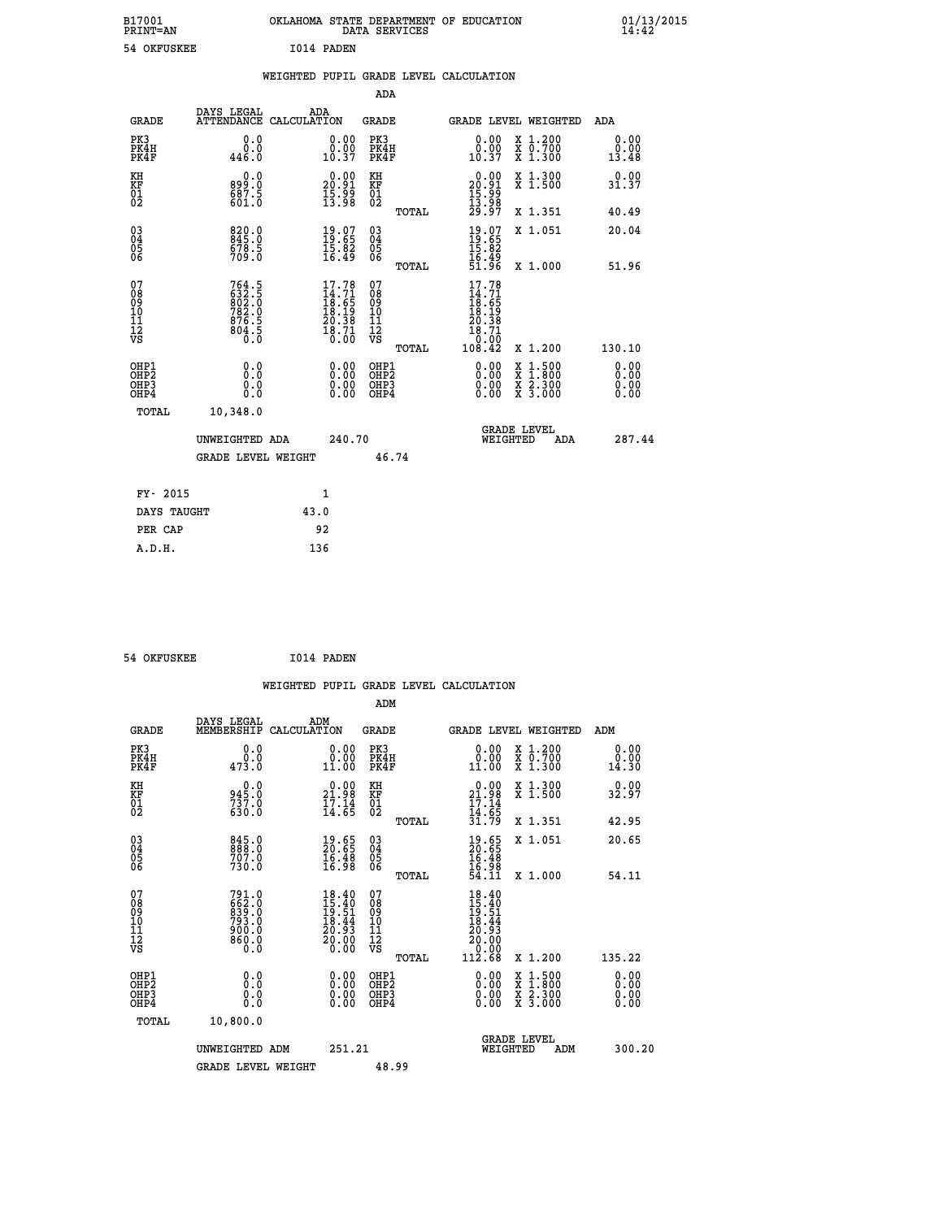| B17001<br><b>PRINT=AN</b> | OKLAHOMA STATE DEPARTMENT OF EDUCATION<br>DATA SERVICES | 01/13/2015 |
|---------------------------|---------------------------------------------------------|------------|
| 54 OKFUSKEE               | I014 PADEN                                              |            |

|  |  | WEIGHTED PUPIL GRADE LEVEL CALCULATION |
|--|--|----------------------------------------|
|  |  |                                        |

|                                                                    |                                                              |                                                                             |        | ADA                                          |       |                                                                              |                                                                                                                                           |                              |
|--------------------------------------------------------------------|--------------------------------------------------------------|-----------------------------------------------------------------------------|--------|----------------------------------------------|-------|------------------------------------------------------------------------------|-------------------------------------------------------------------------------------------------------------------------------------------|------------------------------|
| <b>GRADE</b>                                                       | DAYS LEGAL                                                   | ADA<br>ATTENDANCE CALCULATION                                               |        | <b>GRADE</b>                                 |       | GRADE LEVEL WEIGHTED                                                         |                                                                                                                                           | ADA                          |
| PK3<br>PK4H<br>PK4F                                                | 0.0<br>446.0                                                 | $\begin{smallmatrix} 0.00\\ 0.00\\ 10.37 \end{smallmatrix}$                 |        | PK3<br>PK4H<br>PK4F                          |       | 0.00<br>$\begin{smallmatrix} 0.00 \ 0.37 \end{smallmatrix}$                  | X 1.200<br>X 0.700<br>X 1.300                                                                                                             | 0.00<br>0.00<br>13.48        |
| KH<br>KF<br>01<br>02                                               | 0.0<br>899.0<br>$\frac{887.5}{601.0}$                        | $\begin{smallmatrix} 0.00\\ 20.91\\ 15.99\\ 13.98 \end{smallmatrix}$        |        | KH<br>KF<br>01<br>02                         |       | $\begin{smallmatrix} 0.00\\ 20.91\\ 15.99\\ 13.98\\ 29.97 \end{smallmatrix}$ | X 1.300<br>X 1.500                                                                                                                        | 0.00<br>31.37                |
|                                                                    |                                                              |                                                                             |        |                                              | TOTAL |                                                                              | X 1.351                                                                                                                                   | 40.49                        |
| $\begin{smallmatrix} 03 \\[-4pt] 04 \end{smallmatrix}$<br>Ŏ5<br>06 | 820.0<br>678.5<br>709.0                                      | $\begin{smallmatrix} 19.07\ 19.65\ 15.82\ 16.49 \end{smallmatrix}$          |        | $\substack{03 \\ 04}$<br>Ŏ5<br>06            |       | $19.85$<br>$15.82$<br>$15.49$<br>$51.96$                                     | X 1.051                                                                                                                                   | 20.04                        |
|                                                                    |                                                              |                                                                             |        |                                              | TOTAL |                                                                              | X 1.000                                                                                                                                   | 51.96                        |
| 07<br>08<br>09<br>101<br>11<br>12<br>VS                            | 764.5<br>632.5<br>802.0<br>782.0<br>7876.5<br>804.5<br>804.5 | $17.78$<br>$14.71$<br>$18.65$<br>$18.19$<br>$20.38$<br>$\frac{18.71}{0.00}$ |        | 07<br>08<br>09<br>11<br>11<br>12<br>VS       |       | 17.78<br>$14.71$<br>$18.65$<br>$18.19$<br>$20.38$<br>$18.71$<br>0.00         |                                                                                                                                           |                              |
|                                                                    |                                                              |                                                                             |        |                                              | TOTAL | 108.42                                                                       | X 1.200                                                                                                                                   | 130.10                       |
| OHP1<br>OHP <sub>2</sub><br>OH <sub>P3</sub><br>OHP4               | 0.0<br>Ō.Ō<br>0.0<br>$0.\overline{0}$                        | 0.00<br>$\begin{smallmatrix} 0.00 \ 0.00 \end{smallmatrix}$                 |        | OHP1<br>OHP <sub>2</sub><br>OHP <sub>3</sub> |       | 0.00<br>0.00                                                                 | $\begin{smallmatrix} \mathtt{X} & 1\cdot500\\ \mathtt{X} & 1\cdot800\\ \mathtt{X} & 2\cdot300\\ \mathtt{X} & 3\cdot000 \end{smallmatrix}$ | 0.00<br>0.00<br>0.00<br>0.00 |
| TOTAL                                                              | 10,348.0                                                     |                                                                             |        |                                              |       |                                                                              |                                                                                                                                           |                              |
|                                                                    | UNWEIGHTED ADA                                               |                                                                             | 240.70 |                                              |       | WEIGHTED                                                                     | <b>GRADE LEVEL</b><br>ADA                                                                                                                 | 287.44                       |
|                                                                    | <b>GRADE LEVEL WEIGHT</b>                                    |                                                                             |        | 46.74                                        |       |                                                                              |                                                                                                                                           |                              |
| FY- 2015                                                           |                                                              | 1                                                                           |        |                                              |       |                                                                              |                                                                                                                                           |                              |
| DAYS TAUGHT                                                        |                                                              | 43.0                                                                        |        |                                              |       |                                                                              |                                                                                                                                           |                              |
| PER CAP                                                            |                                                              | 92                                                                          |        |                                              |       |                                                                              |                                                                                                                                           |                              |

 **54 OKFUSKEE I014 PADEN**

 **A.D.H. 136**

 **WEIGHTED PUPIL GRADE LEVEL CALCULATION ADM DAYS LEGAL ADM GRADE MEMBERSHIP CALCULATION GRADE GRADE LEVEL WEIGHTED ADM PK3 0.0 0.00 PK3 0.00 X 1.200 0.00 PK4H 0.0 0.00 PK4H 0.00 X 0.700 0.00 PK4F 473.0 11.00 PK4F 11.00 X 1.300 14.30 KH 0.0 0.00 KH 0.00 X 1.300 0.00 KF 945.0 21.98 KF 21.98 X 1.500 32.97 01 17.14 17.14 01 17.14**  $02$  630.0 14.65 02  $14.65$  **TOTAL 31.79 X 1.351 42.95 03 845.0 19.65 03 19.65 X 1.051 20.65 04 888.0 20.65 04 20.65 05 707.0 16.48 05 16.48 06 730.0 16.98 06 16.98 TOTAL 54.11 X 1.000 54.11**  $\begin{array}{cccc} 07 & 791.0 & 18.40 & 07 & 18.40 \ 08 & 662.0 & 15.40 & 08 & 15.40 \ 09 & 6933.0 & 19.51 & 09 & 19.51 \ 10 & 793.0 & 18.44 & 10 & 18.44 \ 11 & 900.0 & 20.93 & 11 & 20.93 \ 12 & 860.0 & 20.00 & 12 & 20.00 \ 0.0 & 0.0 & 0 & 0.0 & 0 & 0.00 \end{array}$  **OHP1 0.0 0.00 OHP1 0.00 X 1.500 0.00 OHP2 0.0 0.00 OHP2 0.00 X 1.800 0.00 OHP3 0.0 0.00 OHP3 0.00 X 2.300 0.00 OHP4 0.0 0.00 OHP4 0.00 X 3.000 0.00 TOTAL 10,800.0 GRADE LEVEL UNWEIGHTED ADM 251.21 WEIGHTED ADM 300.20 GRADE LEVEL WEIGHT 48.99**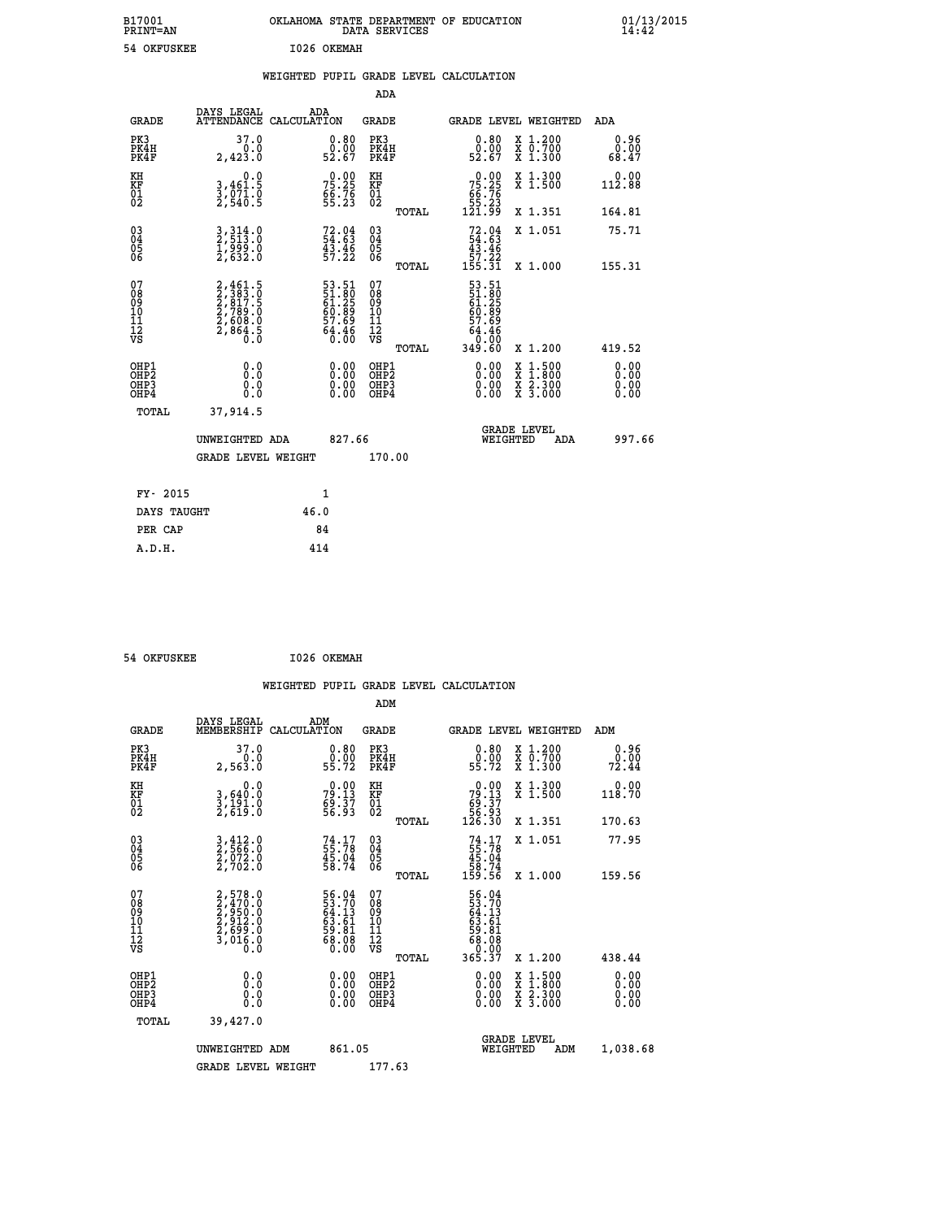| B17001<br><b>PRINT=AN</b> | OKLAHOMA<br>. STATE DEPARTMENT OF EDUCATION<br>DATA SERVICES | 01/13/2015<br>14:42 |
|---------------------------|--------------------------------------------------------------|---------------------|
| 54 OKFUSKEE               | 1026 OKEMAH                                                  |                     |

|  |  | WEIGHTED PUPIL GRADE LEVEL CALCULATION |
|--|--|----------------------------------------|
|  |  |                                        |

|                                                       |                                                                |                                                             | ADA                                      |       |                                                                             |                                                                                                                                      |                              |
|-------------------------------------------------------|----------------------------------------------------------------|-------------------------------------------------------------|------------------------------------------|-------|-----------------------------------------------------------------------------|--------------------------------------------------------------------------------------------------------------------------------------|------------------------------|
| <b>GRADE</b>                                          | DAYS LEGAL                                                     | ADA<br>ATTENDANCE CALCULATION                               | GRADE                                    |       | <b>GRADE LEVEL WEIGHTED</b>                                                 |                                                                                                                                      | ADA                          |
| PK3<br>PK4H<br>PK4F                                   | 37.0<br>2,423.0                                                | $\begin{smallmatrix} 0.80\ 0.00\ 52.67 \end{smallmatrix}$   | PK3<br>PK4H<br>PK4F                      |       | 0.80<br>ŏ:ŏŏ<br>52:67                                                       | X 1.200<br>X 0.700<br>X 1.300                                                                                                        | 0.96<br>0.00<br>68.47        |
| KH<br>KF<br>01<br>02                                  | 0.0<br>3,461:5<br>3,071:0<br>2,540:5                           | $75.25$<br>$75.25$<br>$66.76$<br>$55.23$                    | KH<br>KF<br>01<br>02                     |       | $\begin{smallmatrix} &0.00\ 75.25\ 66.76\ 55.23\ 121.99\ \end{smallmatrix}$ | X 1.300<br>X 1.500                                                                                                                   | 0.00<br>112.88               |
|                                                       |                                                                |                                                             |                                          | TOTAL |                                                                             | X 1.351                                                                                                                              | 164.81                       |
| 03<br>04<br>05<br>06                                  | 3, 314.0<br>2, 513.0<br>1, 999.0<br>2, 632.0                   | $72.04$<br>$54.63$<br>$43.46$<br>$57.22$                    | 03<br>04<br>05<br>06                     |       | $72.04$<br>54.63<br>43.46<br>57.22<br>55.31                                 | X 1.051                                                                                                                              | 75.71                        |
|                                                       |                                                                |                                                             |                                          | TOTAL |                                                                             | X 1.000                                                                                                                              | 155.31                       |
| 07<br>08<br>09<br>11<br>11<br>12<br>VS                | 2,461.5<br>2,383.0<br>2,817.5<br>2,789.0<br>2,608.0<br>2,864.5 | 53.51<br>51.80<br>61.25<br>60.89<br>57.69<br>54.46<br>64.46 | 07<br>08<br>09<br>11<br>11<br>12<br>VS   | TOTAL | 53.51<br>51.805<br>61.25<br>60.89<br>57.69<br>549.60<br>349.60              | X 1.200                                                                                                                              | 419.52                       |
| OHP1<br>OH <sub>P</sub> 2<br>OH <sub>P3</sub><br>OHP4 | 0.0<br>0.0<br>0.0                                              | 0.00<br>$\begin{smallmatrix} 0.00 \ 0.00 \end{smallmatrix}$ | OHP1<br>OHP <sub>2</sub><br>OHP3<br>OHP4 |       | 0.00<br>0.00<br>0.00                                                        | $\begin{smallmatrix} \mathtt{X} & 1 & 500 \\ \mathtt{X} & 1 & 800 \\ \mathtt{X} & 2 & 300 \\ \mathtt{X} & 3 & 000 \end{smallmatrix}$ | 0.00<br>0.00<br>0.00<br>0.00 |
| TOTAL                                                 | 37,914.5                                                       |                                                             |                                          |       |                                                                             |                                                                                                                                      |                              |
|                                                       | UNWEIGHTED ADA                                                 | 827.66                                                      |                                          |       | WEIGHTED                                                                    | <b>GRADE LEVEL</b><br>ADA                                                                                                            | 997.66                       |
|                                                       | <b>GRADE LEVEL WEIGHT</b>                                      |                                                             | 170.00                                   |       |                                                                             |                                                                                                                                      |                              |
| FY- 2015                                              |                                                                | $\mathbf{1}$                                                |                                          |       |                                                                             |                                                                                                                                      |                              |
| DAYS TAUGHT                                           |                                                                | 46.0                                                        |                                          |       |                                                                             |                                                                                                                                      |                              |
|                                                       |                                                                |                                                             |                                          |       |                                                                             |                                                                                                                                      |                              |
| PER CAP                                               |                                                                | 84                                                          |                                          |       |                                                                             |                                                                                                                                      |                              |
| A.D.H.                                                |                                                                | 414                                                         |                                          |       |                                                                             |                                                                                                                                      |                              |

| 54 OKFUSKEE | I026 OKEMAH |
|-------------|-------------|
|             |             |

|                                              |                                                                |                                                                   | WEIGHTED PUPIL GRADE LEVEL CALCULATION<br>ADM         |                                                                                                                                                                                                                                                                                |                                                                                                                                           |                       |
|----------------------------------------------|----------------------------------------------------------------|-------------------------------------------------------------------|-------------------------------------------------------|--------------------------------------------------------------------------------------------------------------------------------------------------------------------------------------------------------------------------------------------------------------------------------|-------------------------------------------------------------------------------------------------------------------------------------------|-----------------------|
| <b>GRADE</b>                                 | DAYS LEGAL<br>MEMBERSHIP<br>CALCULATION                        | ADM                                                               | GRADE                                                 |                                                                                                                                                                                                                                                                                | GRADE LEVEL WEIGHTED                                                                                                                      | ADM                   |
| PK3<br>PK4H<br>PK4F                          | 37.0<br>0.0<br>2,563.0                                         | $\begin{smallmatrix} 0.80\ 0.00\ 55.72 \end{smallmatrix}$         | PK3<br>PK4H<br>PK4F                                   | 0.80<br>ŏ:ŏŏ<br>55:72                                                                                                                                                                                                                                                          | X 1.200<br>X 0.700<br>X 1.300                                                                                                             | 0.96<br>0.00<br>72.44 |
| KH<br>KF<br>01<br>02                         | 0.0<br>3,640:0<br>3,191.0<br>2,619:0                           | 79.13<br>79.13<br>69.37<br>56.93                                  | KH<br>KF<br>01<br>02                                  | $\begin{smallmatrix} &0.00\ 79.13\ 69.37\ 56.93\ 126.30\ \end{smallmatrix}$                                                                                                                                                                                                    | X 1.300<br>X 1.500                                                                                                                        | 0.00<br>118.70        |
|                                              |                                                                |                                                                   | TOTAL                                                 |                                                                                                                                                                                                                                                                                | X 1.351                                                                                                                                   | 170.63                |
| 03<br>04<br>05<br>06                         | 3,412.0<br>2,566.0<br>2,072.0<br>2,702.0                       | $74.17$<br>55.78<br>45.04<br>58.74                                | $\begin{array}{c} 03 \\ 04 \\ 05 \\ 06 \end{array}$   | $74.17$<br>55.78<br>45.04<br>458.74<br>59.56                                                                                                                                                                                                                                   | X 1.051                                                                                                                                   | 77.95                 |
|                                              |                                                                |                                                                   | TOTAL                                                 |                                                                                                                                                                                                                                                                                | X 1.000                                                                                                                                   | 159.56                |
| 07<br>08<br>09<br>01<br>11<br>11<br>12<br>VS | 2,578.0<br>2,470.0<br>2,950.0<br>2,912.0<br>2,699.0<br>3,016.0 | 56.04<br>53.70<br>64.13<br>63.61<br>59.81<br>58.08<br>68.08       | 07<br>08<br>09<br>01<br>11<br>11<br>12<br>VS<br>TOTAL | 56.04<br>$\begin{smallmatrix} 53.704 \ 64.131 \ 63.611 \ 63.6108 \ 68.0007 \ 365.37 \end{smallmatrix}$                                                                                                                                                                         | X 1.200                                                                                                                                   | 438.44                |
| OHP1<br>OHP2                                 | 0.0                                                            |                                                                   |                                                       |                                                                                                                                                                                                                                                                                |                                                                                                                                           | 0.00                  |
| OH <sub>P3</sub><br>OHP4                     | 0.0<br>Ŏ.Ŏ                                                     | $\begin{smallmatrix} 0.00 \ 0.00 \ 0.00 \ 0.00 \end{smallmatrix}$ | OHP1<br>OHP2<br>OHP <sub>3</sub>                      | $\begin{smallmatrix} 0.00 & 0.00 & 0.00 & 0.00 & 0.00 & 0.00 & 0.00 & 0.00 & 0.00 & 0.00 & 0.00 & 0.00 & 0.00 & 0.00 & 0.00 & 0.00 & 0.00 & 0.00 & 0.00 & 0.00 & 0.00 & 0.00 & 0.00 & 0.00 & 0.00 & 0.00 & 0.00 & 0.00 & 0.00 & 0.00 & 0.00 & 0.00 & 0.00 & 0.00 & 0.00 & 0.0$ | $\begin{smallmatrix} \mathtt{X} & 1\cdot500\\ \mathtt{X} & 1\cdot800\\ \mathtt{X} & 2\cdot300\\ \mathtt{X} & 3\cdot000 \end{smallmatrix}$ | 0.00<br>0.00          |
| <b>TOTAL</b>                                 | 39,427.0                                                       |                                                                   |                                                       |                                                                                                                                                                                                                                                                                |                                                                                                                                           |                       |
|                                              | UNWEIGHTED ADM                                                 | 861.05                                                            |                                                       | WEIGHTED                                                                                                                                                                                                                                                                       | <b>GRADE LEVEL</b><br>ADM                                                                                                                 | 1,038.68              |
|                                              | <b>GRADE LEVEL WEIGHT</b>                                      |                                                                   | 177.63                                                |                                                                                                                                                                                                                                                                                |                                                                                                                                           |                       |
|                                              |                                                                |                                                                   |                                                       |                                                                                                                                                                                                                                                                                |                                                                                                                                           |                       |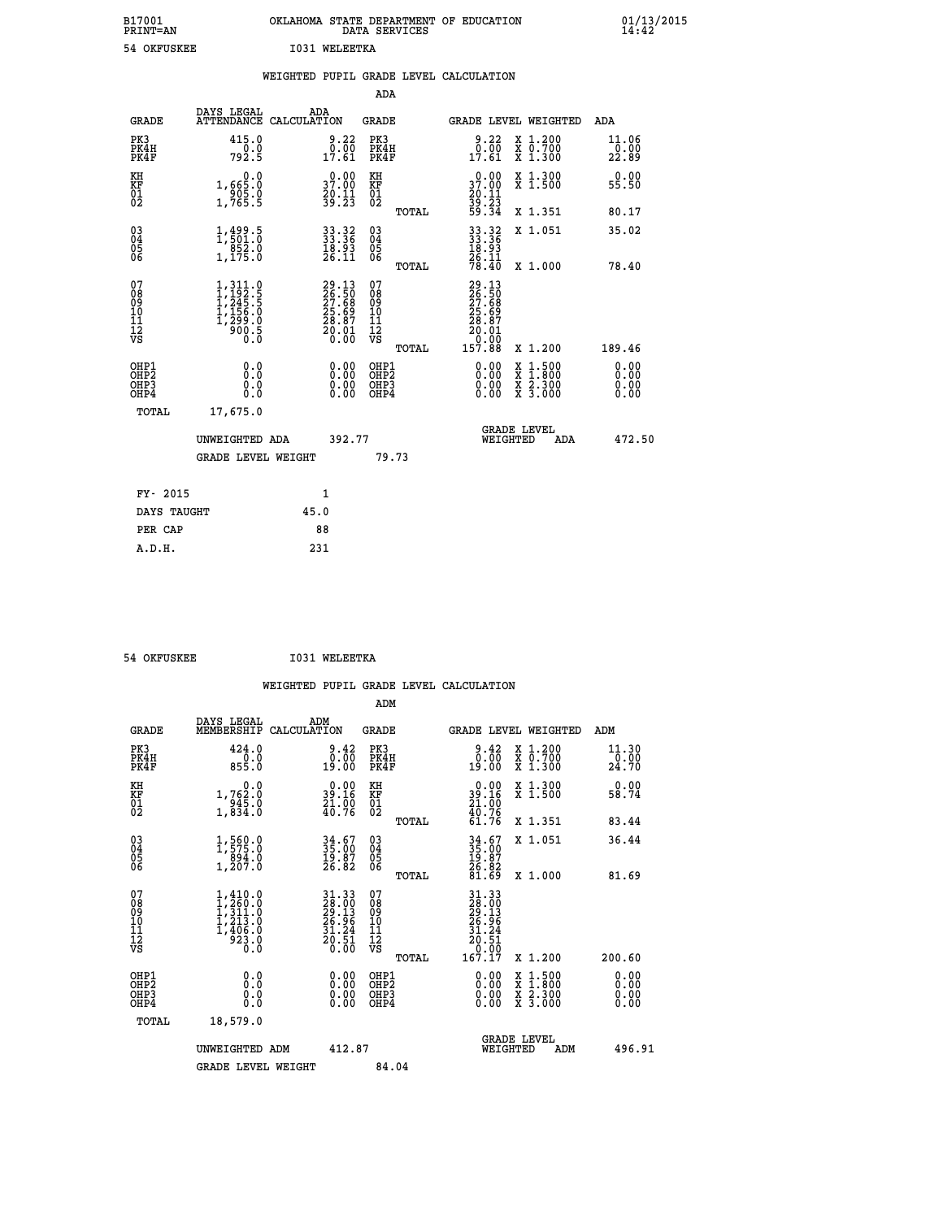| B17001<br><b>PRINT=AN</b> | OKLAHOMA            | STATE DEPARTMENT OF EDUCATION<br>DATA SERVICES | $01/13/2015$<br>14:42 |
|---------------------------|---------------------|------------------------------------------------|-----------------------|
|                           | I031<br>54 OKFUSKEE | WELEETKA                                       |                       |

|                                           |                                                                                   | WEIGHTED PUPIL GRADE LEVEL CALCULATION                               |                                                     |                                                                                                                                                                                                                                                                                                                                                                                                                                |                                     |
|-------------------------------------------|-----------------------------------------------------------------------------------|----------------------------------------------------------------------|-----------------------------------------------------|--------------------------------------------------------------------------------------------------------------------------------------------------------------------------------------------------------------------------------------------------------------------------------------------------------------------------------------------------------------------------------------------------------------------------------|-------------------------------------|
|                                           |                                                                                   |                                                                      | ADA                                                 |                                                                                                                                                                                                                                                                                                                                                                                                                                |                                     |
| <b>GRADE</b>                              | DAYS LEGAL                                                                        | ADA<br>ATTENDANCE CALCULATION                                        | <b>GRADE</b>                                        | GRADE LEVEL WEIGHTED                                                                                                                                                                                                                                                                                                                                                                                                           | ADA                                 |
| PK3<br>PK4H<br>PK4F                       | 415.0<br>0.0<br>792.Š                                                             | $\begin{smallmatrix} 9.22\ 0.00\ 17.61\end{smallmatrix}$             | PK3<br>PK4H<br>PK4F                                 | 9.22<br>X 1.200<br>X 0.700<br>X 1.300<br>$\begin{smallmatrix} \bar{0} & \bar{0}\bar{0} \ 17.61 \end{smallmatrix}$                                                                                                                                                                                                                                                                                                              | 11.06<br>$\frac{1}{22}.00$<br>22.89 |
| KH<br>KF<br>01<br>02                      | 0.0<br>1,665:0<br>905:0<br>1,765:5                                                | $\begin{smallmatrix} 0.00\\ 37.00\\ 20.11\\ 39.23 \end{smallmatrix}$ | KH<br>KF<br>01<br>02                                | $\begin{smallmatrix} 0.00\\ 37.00\\ 20.11\\ 39.23\\ 59.34 \end{smallmatrix}$<br>X 1.300<br>X 1.500                                                                                                                                                                                                                                                                                                                             | 0.00<br>55.50                       |
|                                           |                                                                                   |                                                                      | TOTAL                                               | X 1.351                                                                                                                                                                                                                                                                                                                                                                                                                        | 80.17                               |
| 03<br>04<br>05<br>06                      | $1, 499.5$<br>$1, 501.0$<br>$852.0$<br>$1, 175.0$                                 | $33.32$<br>$33.36$<br>$18.93$<br>$26.11$                             | $\begin{array}{c} 03 \\ 04 \\ 05 \\ 06 \end{array}$ | $\begin{array}{r} 33.32 \\ 33.36 \\ 18.93 \\ 26.11 \\ 78.40 \end{array}$<br>X 1.051                                                                                                                                                                                                                                                                                                                                            | 35.02                               |
|                                           |                                                                                   |                                                                      | TOTAL                                               | X 1.000                                                                                                                                                                                                                                                                                                                                                                                                                        | 78.40                               |
| 07<br>08<br>09<br>11<br>11<br>12<br>VS    | $1,311.0$<br>$1,292.5$<br>$1,245.5$<br>$1,156.0$<br>$1,299.0$<br>$900.5$<br>$0.0$ | 29.13<br>26.50<br>27.68<br>25.69<br>28.87<br>20.01<br>20.00          | 07<br>08<br>09<br>11<br>11<br>12<br>VS              | $\begin{smallmatrix} 29 & 13 \\ 26 & 50 \\ 27 & 68 \\ 25 & 69 \\ 28 & 87 \\ 20 & 01 \\ 0 & 00 \\ 157 & 88 \end{smallmatrix}$                                                                                                                                                                                                                                                                                                   |                                     |
|                                           |                                                                                   |                                                                      | TOTAL                                               | X 1.200                                                                                                                                                                                                                                                                                                                                                                                                                        | 189.46                              |
| OHP1<br>OH <sub>P</sub> 2<br>OHP3<br>OHP4 | 0.0<br>0.0<br>Ō.Ō                                                                 | $\begin{smallmatrix} 0.00 \ 0.00 \ 0.00 \ 0.00 \end{smallmatrix}$    | OHP1<br>OHP <sub>2</sub><br>OHP3<br>OHP4            | $\begin{smallmatrix} 0.00 & 0.00 & 0.00 & 0.00 & 0.00 & 0.00 & 0.00 & 0.00 & 0.00 & 0.00 & 0.00 & 0.00 & 0.00 & 0.00 & 0.00 & 0.00 & 0.00 & 0.00 & 0.00 & 0.00 & 0.00 & 0.00 & 0.00 & 0.00 & 0.00 & 0.00 & 0.00 & 0.00 & 0.00 & 0.00 & 0.00 & 0.00 & 0.00 & 0.00 & 0.00 & 0.0$<br>$\begin{smallmatrix} \mathtt{X} & 1\cdot500 \\ \mathtt{X} & 1\cdot800 \\ \mathtt{X} & 2\cdot300 \\ \mathtt{X} & 3\cdot000 \end{smallmatrix}$ | 0.00<br>0.00<br>$0.00$<br>$0.00$    |
| TOTAL                                     | 17,675.0<br>UNWEIGHTED ADA                                                        | 392.77                                                               |                                                     | GRADE LEVEL<br>WEIGHTED<br>ADA                                                                                                                                                                                                                                                                                                                                                                                                 | 472.50                              |
|                                           | <b>GRADE LEVEL WEIGHT</b>                                                         |                                                                      | 79.73                                               |                                                                                                                                                                                                                                                                                                                                                                                                                                |                                     |
| FY- 2015                                  |                                                                                   | 1                                                                    |                                                     |                                                                                                                                                                                                                                                                                                                                                                                                                                |                                     |
| DAYS TAUGHT                               |                                                                                   | 45.0                                                                 |                                                     |                                                                                                                                                                                                                                                                                                                                                                                                                                |                                     |
| PER CAP                                   |                                                                                   | 88                                                                   |                                                     |                                                                                                                                                                                                                                                                                                                                                                                                                                |                                     |
| A.D.H.                                    |                                                                                   | 231                                                                  |                                                     |                                                                                                                                                                                                                                                                                                                                                                                                                                |                                     |

 **54 OKFUSKEE I031 WELEETKA**

 **WEIGHTED PUPIL GRADE LEVEL CALCULATION ADM DAYS LEGAL ADM**

| <b>GRADE</b>                                       | nure mpann<br>MEMBERSHIP                                                                              | שעם<br>CALCULATION                                                                         | GRADE                                              |       |                                                                                                                                                                   | GRADE LEVEL WEIGHTED                                                                                                                      | ADM                          |  |
|----------------------------------------------------|-------------------------------------------------------------------------------------------------------|--------------------------------------------------------------------------------------------|----------------------------------------------------|-------|-------------------------------------------------------------------------------------------------------------------------------------------------------------------|-------------------------------------------------------------------------------------------------------------------------------------------|------------------------------|--|
| PK3<br>PK4H<br>PK4F                                | 424.0<br>0.0<br>855.0                                                                                 | 9.42<br>$\begin{smallmatrix} 0.100 0.000 0.000 \end{smallmatrix}$                          | PK3<br>PK4H<br>PK4F                                |       | 0.42<br>19.00                                                                                                                                                     | X 1.200<br>X 0.700<br>X 1.300                                                                                                             | 11.30<br>0.00<br>24.70       |  |
| KH<br>KF<br>01<br>02                               | 0.0<br>1,762:0<br>945:0<br>1,834:0                                                                    | $\begin{smallmatrix} 0.00\\ 39.16\\ 21.00\\ 40.76 \end{smallmatrix}$                       | KH<br>KF<br>01<br>02                               |       | $0.00$<br>$39.16$<br>$21.00$<br>$40.76$<br>$61.76$                                                                                                                | X 1.300<br>X 1.500                                                                                                                        | 0.00<br>58.74                |  |
|                                                    |                                                                                                       |                                                                                            |                                                    | TOTAL |                                                                                                                                                                   | X 1.351                                                                                                                                   | 83.44                        |  |
| $\begin{matrix} 03 \\ 04 \\ 05 \\ 06 \end{matrix}$ | $\begin{smallmatrix} 1,560.0\\ 1,575.0\\ 894.0\\ 1,207.0 \end{smallmatrix}$                           | $34.67$<br>$35.00$<br>$19.87$<br>$26.82$                                                   | $\begin{matrix} 03 \\ 04 \\ 05 \\ 06 \end{matrix}$ |       | 34.67<br>35.00<br>19.87<br>26.82<br>81.69                                                                                                                         | X 1.051                                                                                                                                   | 36.44                        |  |
|                                                    |                                                                                                       |                                                                                            |                                                    | TOTAL |                                                                                                                                                                   | $X_1.000$                                                                                                                                 | 81.69                        |  |
| 07<br>08<br>09<br>101<br>11<br>12<br>VS            | $\begin{smallmatrix} 1,410.0\\ 1,260.0\\ 1,311.0\\ 1,213.0\\ 1,406.0\\ 923.0\\ 0.0 \end{smallmatrix}$ | $\begin{array}{r} 31.33 \\ 28.00 \\ 29.13 \\ 26.96 \\ 31.24 \\ 20.51 \\ 20.50 \end{array}$ | 07<br>08<br>09<br>11<br>11<br>12<br>VS             |       | 31.33<br>$\begin{smallmatrix} 24 & 30 & 0 & 0 \\ 29 & 13 & 0 & 0 \\ 26 & 30 & 5 & 0 \\ 31 & 24 & 2 & 0 \\ 0 & 0 & 5 & 1 \\ 167 & 17 & 0 & 0 \\ \end{smallmatrix}$ |                                                                                                                                           |                              |  |
|                                                    |                                                                                                       |                                                                                            |                                                    | TOTAL |                                                                                                                                                                   | X 1.200                                                                                                                                   | 200.60                       |  |
| OHP1<br>OHP2<br>OH <sub>P3</sub><br>OHP4           | 0.0<br>0.000                                                                                          |                                                                                            | OHP1<br>OHP2<br>OHP3<br>OHP4                       |       | $0.00$<br>$0.00$<br>0.00                                                                                                                                          | $\begin{smallmatrix} \mathtt{X} & 1\cdot500\\ \mathtt{X} & 1\cdot800\\ \mathtt{X} & 2\cdot300\\ \mathtt{X} & 3\cdot000 \end{smallmatrix}$ | 0.00<br>0.00<br>0.00<br>0.00 |  |
| TOTAL                                              | 18,579.0                                                                                              |                                                                                            |                                                    |       |                                                                                                                                                                   |                                                                                                                                           |                              |  |
|                                                    | UNWEIGHTED ADM                                                                                        | 412.87                                                                                     |                                                    |       | WEIGHTED                                                                                                                                                          | <b>GRADE LEVEL</b><br>ADM                                                                                                                 | 496.91                       |  |
|                                                    | <b>GRADE LEVEL WEIGHT</b>                                                                             |                                                                                            | 84.04                                              |       |                                                                                                                                                                   |                                                                                                                                           |                              |  |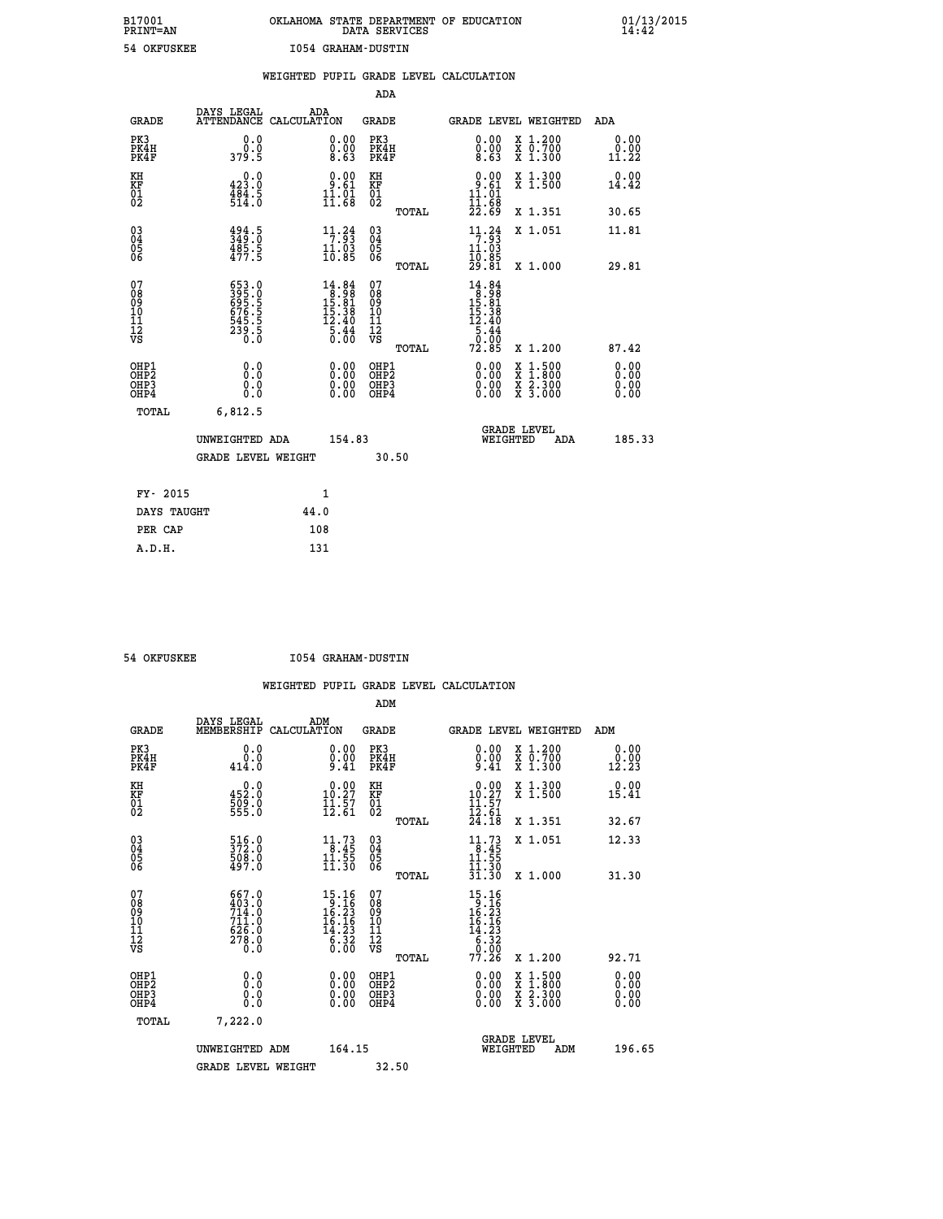## **B17001 OKLAHOMA STATE DEPARTMENT OF EDUCATION 01/13/2015 PRINT=AN DATA SERVICES 14:42 54 OKFUSKEE I054 GRAHAM-DUSTIN**

|                                                    |                                          |                                                             |      |                                                                                                          |                                        |       | WEIGHTED PUPIL GRADE LEVEL CALCULATION                                                                   |          |                                                                                                                                           |                              |
|----------------------------------------------------|------------------------------------------|-------------------------------------------------------------|------|----------------------------------------------------------------------------------------------------------|----------------------------------------|-------|----------------------------------------------------------------------------------------------------------|----------|-------------------------------------------------------------------------------------------------------------------------------------------|------------------------------|
|                                                    |                                          |                                                             |      |                                                                                                          | ADA                                    |       |                                                                                                          |          |                                                                                                                                           |                              |
|                                                    | <b>GRADE</b>                             | DAYS LEGAL<br>ATTENDANCE CALCULATION                        | ADA  |                                                                                                          | <b>GRADE</b>                           |       |                                                                                                          |          | GRADE LEVEL WEIGHTED                                                                                                                      | ADA                          |
|                                                    | PK3<br>PK4H<br>PK4F                      | 0.0<br>0.0<br>379.5                                         |      | $\begin{smallmatrix} 0.00\ 0.00\ 8.63 \end{smallmatrix}$                                                 | PK3<br>PK4H<br>PK4F                    |       | 0.00<br>0.00<br>8.63                                                                                     |          | X 1.200<br>X 0.700<br>X 1.300                                                                                                             | 0.00<br>0.00<br>11.22        |
| KH<br><b>KF</b><br>01<br>02                        |                                          | 423.0<br>$\frac{1}{514}$ $\frac{5}{0}$                      |      | $\begin{smallmatrix} 0.00\\ 9.61\\ 11.01\\ 11.68 \end{smallmatrix}$                                      | KH<br>KF<br>01<br>02                   |       | $0.00$<br>9.61<br>11.01<br>īī.č8                                                                         |          | X 1.300<br>X 1.500                                                                                                                        | 0.00<br>14.42                |
|                                                    |                                          |                                                             |      |                                                                                                          |                                        | TOTAL | 22.69                                                                                                    |          | X 1.351                                                                                                                                   | 30.65                        |
| $\begin{matrix} 03 \\ 04 \\ 05 \\ 06 \end{matrix}$ |                                          | $3494.5$<br>$349.0$<br>$485.5$<br>$477.5$                   |      | 11.34<br>$\frac{11.03}{10.85}$                                                                           | $^{03}_{04}$<br>05<br>06               |       | 11.24<br>11.03                                                                                           |          | X 1.051                                                                                                                                   | 11.81                        |
|                                                    |                                          |                                                             |      |                                                                                                          |                                        | TOTAL | $\frac{10.85}{29.81}$                                                                                    |          | X 1.000                                                                                                                                   | 29.81                        |
| 07<br>08<br>09<br>11<br>11<br>12<br>VS             |                                          | 653.0<br>395.5<br>695.5<br>676.5<br>645.5<br>545.5<br>239.5 |      | $\begin{smallmatrix} 14.84 \\ 8.98 \\ 15.81 \\ 15.38 \\ 12.40 \\ 2.40 \\ 5.44 \\ 0.00 \end{smallmatrix}$ | 07<br>08<br>09<br>11<br>11<br>12<br>VS | TOTAL | $\begin{array}{r} 14.84 \\ 8.98 \\ 15.81 \\ 15.38 \\ 12.40 \\ 5.44 \\ 5.44 \\ 0.00 \end{array}$<br>72.85 |          | X 1.200                                                                                                                                   | 87.42                        |
|                                                    | OHP1<br>OHP2<br>OH <sub>P3</sub><br>OHP4 | 0.0<br>0.0<br>0.0                                           |      | 0.00<br>$\begin{smallmatrix} 0.00 \ 0.00 \end{smallmatrix}$                                              | OHP1<br>OHP2<br>OHP3<br>OHP4           |       | $0.00$<br>$0.00$<br>0.00                                                                                 |          | $\begin{smallmatrix} \mathtt{X} & 1\cdot500\\ \mathtt{X} & 1\cdot800\\ \mathtt{X} & 2\cdot300\\ \mathtt{X} & 3\cdot000 \end{smallmatrix}$ | 0.00<br>0.00<br>0.00<br>0.00 |
|                                                    | TOTAL                                    | 6,812.5                                                     |      |                                                                                                          |                                        |       |                                                                                                          |          |                                                                                                                                           |                              |
|                                                    |                                          | UNWEIGHTED ADA                                              |      | 154.83                                                                                                   |                                        |       |                                                                                                          | WEIGHTED | <b>GRADE LEVEL</b><br>ADA                                                                                                                 | 185.33                       |
|                                                    |                                          | <b>GRADE LEVEL WEIGHT</b>                                   |      |                                                                                                          | 30.50                                  |       |                                                                                                          |          |                                                                                                                                           |                              |
|                                                    | FY- 2015                                 |                                                             |      | 1                                                                                                        |                                        |       |                                                                                                          |          |                                                                                                                                           |                              |
|                                                    | DAYS TAUGHT                              |                                                             | 44.0 |                                                                                                          |                                        |       |                                                                                                          |          |                                                                                                                                           |                              |
|                                                    | PER CAP                                  |                                                             | 108  |                                                                                                          |                                        |       |                                                                                                          |          |                                                                                                                                           |                              |

 **A.D.H. 131**

 **54 OKFUSKEE I054 GRAHAM-DUSTIN**

|                                                      |                                                                 |                                                                                               | ADM                                                 |       |                                                                                                     |                                          |                       |
|------------------------------------------------------|-----------------------------------------------------------------|-----------------------------------------------------------------------------------------------|-----------------------------------------------------|-------|-----------------------------------------------------------------------------------------------------|------------------------------------------|-----------------------|
| <b>GRADE</b>                                         | DAYS LEGAL<br>MEMBERSHIP                                        | ADM<br>CALCULATION                                                                            | <b>GRADE</b>                                        |       |                                                                                                     | GRADE LEVEL WEIGHTED                     | ADM                   |
| PK3<br>PK4H<br>PK4F                                  | 0.0<br>0.0<br>414.0                                             | $\substack{0.00\\0.00\\9.41}$                                                                 | PK3<br>PK4H<br>PK4F                                 |       | $\begin{smallmatrix} 0.00\\ 0.00\\ 9.41 \end{smallmatrix}$                                          | X 1.200<br>X 0.700<br>X 1.300            | 0.00<br>0.00<br>12.23 |
| KH<br>KF<br>01<br>02                                 | 0.0<br>$352.0$<br>$509.0$<br>$555.0$                            | $\begin{smallmatrix} 0.00\\ 10.27\\ 11.57\\ 12.61 \end{smallmatrix}$                          | KH<br>KF<br>01<br>02                                |       | $\begin{array}{c} 0.00 \\ 10.27 \\ 11.57 \\ 12.61 \\ 24.18 \end{array}$                             | X 1.300<br>X 1.500                       | 0.00<br>15.41         |
|                                                      |                                                                 |                                                                                               |                                                     | TOTAL |                                                                                                     | X 1.351                                  | 32.67                 |
| 03<br>04<br>05<br>06                                 | 516.0<br>372.0<br>508.0<br>497.0                                | $\begin{array}{l} 11\cdot73 \\ 8\cdot45 \\ 11\cdot55 \\ 11\cdot30 \end{array}$                | $\begin{array}{c} 03 \\ 04 \\ 05 \\ 06 \end{array}$ |       | $11.73$<br>8.45<br>11.55<br>11.30                                                                   | X 1.051                                  | 12.33                 |
|                                                      |                                                                 |                                                                                               |                                                     | TOTAL | 31.30                                                                                               | X 1.000                                  | 31.30                 |
| 07<br>08<br>09<br>101<br>112<br>VS                   | $\frac{667.0}{403.0}$<br>$711.0$<br>$626.0$<br>$278.0$<br>$0.0$ | $15.16$<br>$9.16$<br>$16.23$<br>$\begin{array}{c} 16.16 \\ 14.23 \\ 6.32 \\ 0.00 \end{array}$ | 07<br>08<br>09<br>11<br>11<br>12<br>VS              | TOTAL | $\begin{array}{r} 15.16 \\ 9.16 \\ 16.23 \\ 16.16 \\ 14.23 \\ 6.32 \\ 9.30 \\ \end{array}$<br>77.26 | X 1.200                                  | 92.71                 |
| OHP1<br>OHP2<br>OH <sub>P3</sub><br>OH <sub>P4</sub> | 0.0<br>0.000                                                    |                                                                                               | OHP1<br>OHP2<br>OHP <sub>3</sub>                    |       | $0.00$<br>$0.00$<br>0.00                                                                            | X 1:500<br>X 1:800<br>X 2:300<br>X 3:000 | 0.00<br>0.00<br>0.00  |
| TOTAL                                                | 7,222.0                                                         |                                                                                               |                                                     |       |                                                                                                     |                                          |                       |
|                                                      | UNWEIGHTED ADM                                                  | 164.15                                                                                        |                                                     |       |                                                                                                     | GRADE LEVEL<br>WEIGHTED<br>ADM           | 196.65                |
|                                                      | <b>GRADE LEVEL WEIGHT</b>                                       |                                                                                               | 32.50                                               |       |                                                                                                     |                                          |                       |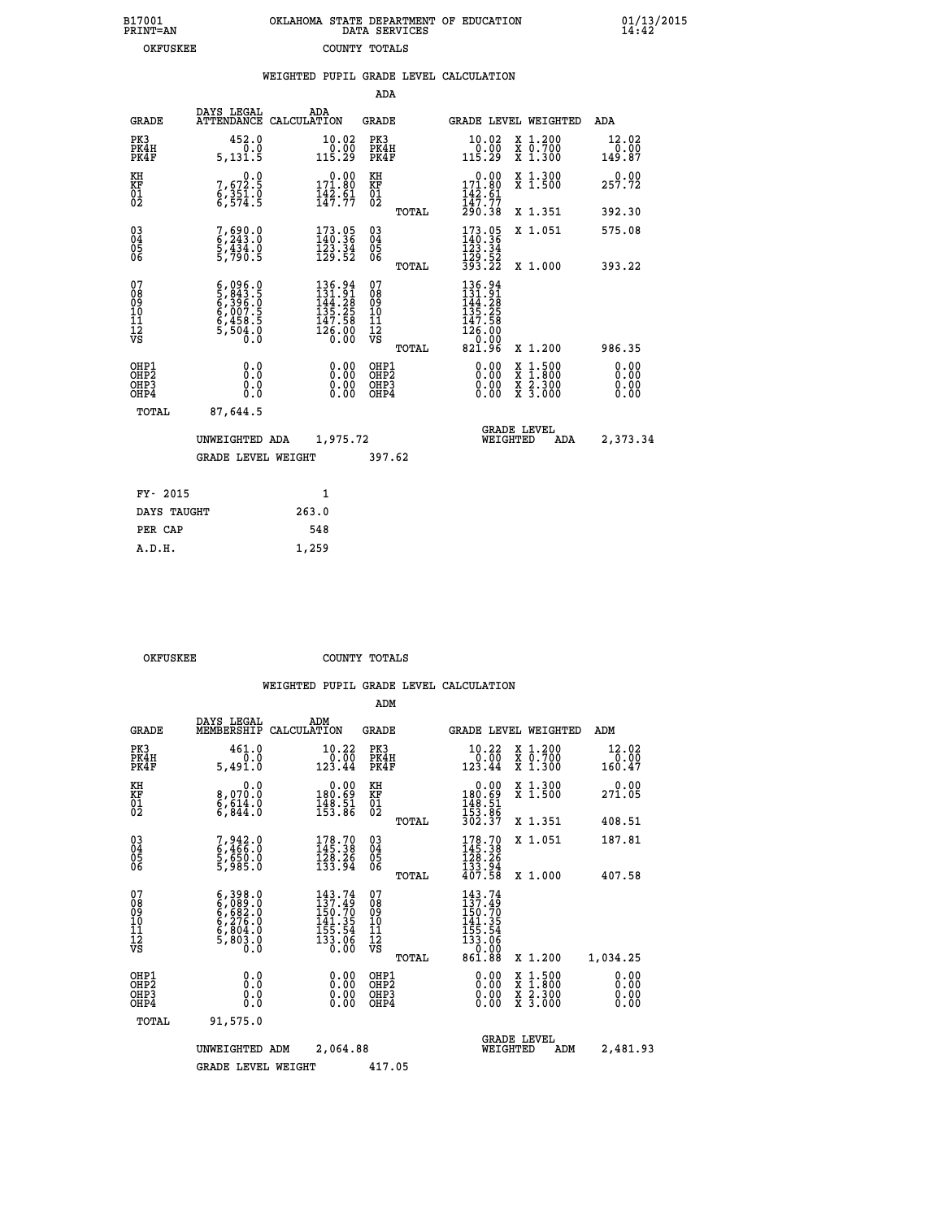| 7001<br>INT=AN |  | OKLAHOMA STATE DEPARTMENT OF EDUCATION<br>DATA SERVICES |  |
|----------------|--|---------------------------------------------------------|--|
| OKFUSKEE       |  | COUNTY TOTALS                                           |  |

 **B17001 OKLAHOMA STATE DEPARTMENT OF EDUCATION 01/13/2015**

|                                              |                                                                                     | WEIGHTED PUPIL GRADE LEVEL CALCULATION                                                                                                             |                                                 |                                                                                                                                                                                                                                                                                                                                                                                                                                |                         |
|----------------------------------------------|-------------------------------------------------------------------------------------|----------------------------------------------------------------------------------------------------------------------------------------------------|-------------------------------------------------|--------------------------------------------------------------------------------------------------------------------------------------------------------------------------------------------------------------------------------------------------------------------------------------------------------------------------------------------------------------------------------------------------------------------------------|-------------------------|
|                                              |                                                                                     |                                                                                                                                                    | ADA                                             |                                                                                                                                                                                                                                                                                                                                                                                                                                |                         |
| <b>GRADE</b>                                 | DAYS LEGAL                                                                          | ADA<br>ATTENDANCE CALCULATION                                                                                                                      | GRADE                                           | GRADE LEVEL WEIGHTED                                                                                                                                                                                                                                                                                                                                                                                                           | ADA                     |
| PK3<br>PK4H<br>PK4F                          | 452.0<br>0.0<br>5,131.5                                                             | 10.02<br>0.00<br>115.29                                                                                                                            | PK3<br>PK4H<br>PK4F                             | 10.02<br>X 1.200<br>X 0.700<br>X 1.300<br>$\frac{0.00}{115.29}$                                                                                                                                                                                                                                                                                                                                                                | 12.02<br>0.00<br>149.87 |
| KH<br>KF<br>01<br>02                         | $7,672.5$<br>$6,351.0$<br>$6,574.5$                                                 | $0.00$<br>171.80<br>$\frac{142}{147}$ : $\frac{51}{77}$                                                                                            | KH<br>KF<br>01<br>02                            | $\begin{array}{c} 0.00 \\ 171.80 \\ 142.61 \\ 147.77 \\ 290.38 \end{array}$<br>X 1.300<br>X 1.500                                                                                                                                                                                                                                                                                                                              | 0.00<br>257.72          |
|                                              |                                                                                     |                                                                                                                                                    | TOTAL                                           | X 1.351                                                                                                                                                                                                                                                                                                                                                                                                                        | 392.30                  |
| $^{03}_{04}$<br>05<br>06                     | 7,690.0<br>6,243.0<br>5,434.0<br>5,790.5                                            | 173.05<br>140.36<br>$\frac{123}{129}$ $\frac{34}{52}$                                                                                              | $^{03}_{04}$<br>0500                            | 173.05<br>140.36<br>X 1.051<br>123.34                                                                                                                                                                                                                                                                                                                                                                                          | 575.08                  |
|                                              |                                                                                     |                                                                                                                                                    | TOTAL                                           | 129.52<br>393.22<br>X 1.000                                                                                                                                                                                                                                                                                                                                                                                                    | 393.22                  |
| 07<br>08<br>09<br>10<br>11<br>11<br>12<br>VS | $6,096.0$<br>$5,843.5$<br>$6,396.0$<br>$6,007.5$<br>$6,458.5$<br>$5,504.0$<br>$0.0$ | $\begin{smallmatrix} 136\cdot 94\\ 131\cdot 91\\ 144\cdot 28\\ 135\cdot 29\\ 137\cdot 58\\ 147\cdot 58\\ 126\cdot 00\\ 0\cdot 00\end{smallmatrix}$ | 07<br>08<br>09<br>10<br>11<br>12<br>VS<br>TOTAL | 136.94<br>$131.91$<br>$144.28$<br>$135.25$<br>$147.58$<br>$126.00$<br>$821.96$<br>X 1.200                                                                                                                                                                                                                                                                                                                                      | 986.35                  |
| OHP1<br>OHP2<br>OHP3<br>OHP4                 | 0.0<br>0.000                                                                        | $\begin{smallmatrix} 0.00 \ 0.00 \ 0.00 \ 0.00 \end{smallmatrix}$                                                                                  | OHP1<br>OHP2<br>OHP3<br>OHP4                    | $\begin{smallmatrix} 0.00 & 0.00 & 0.00 & 0.00 & 0.00 & 0.00 & 0.00 & 0.00 & 0.00 & 0.00 & 0.00 & 0.00 & 0.00 & 0.00 & 0.00 & 0.00 & 0.00 & 0.00 & 0.00 & 0.00 & 0.00 & 0.00 & 0.00 & 0.00 & 0.00 & 0.00 & 0.00 & 0.00 & 0.00 & 0.00 & 0.00 & 0.00 & 0.00 & 0.00 & 0.00 & 0.0$<br>$\begin{smallmatrix} \mathtt{X} & 1\cdot500 \\ \mathtt{X} & 1\cdot800 \\ \mathtt{X} & 2\cdot300 \\ \mathtt{X} & 3\cdot000 \end{smallmatrix}$ | 0.00<br>0.00<br>0.00    |
| TOTAL                                        | 87,644.5                                                                            |                                                                                                                                                    |                                                 |                                                                                                                                                                                                                                                                                                                                                                                                                                |                         |
|                                              | UNWEIGHTED ADA                                                                      | 1,975.72                                                                                                                                           |                                                 | <b>GRADE LEVEL</b><br>WEIGHTED<br>ADA                                                                                                                                                                                                                                                                                                                                                                                          | 2,373.34                |
|                                              | <b>GRADE LEVEL WEIGHT</b>                                                           |                                                                                                                                                    | 397.62                                          |                                                                                                                                                                                                                                                                                                                                                                                                                                |                         |
| FY- 2015                                     |                                                                                     | $\mathbf{1}$                                                                                                                                       |                                                 |                                                                                                                                                                                                                                                                                                                                                                                                                                |                         |
| DAYS TAUGHT                                  |                                                                                     | 263.0                                                                                                                                              |                                                 |                                                                                                                                                                                                                                                                                                                                                                                                                                |                         |
| PER CAP                                      |                                                                                     | 548                                                                                                                                                |                                                 |                                                                                                                                                                                                                                                                                                                                                                                                                                |                         |

OKFUSKEE COUNTY TOTALS

 **A.D.H. 1,259**

 **B17001<br>PRINT=AN** 

|                                          |                                                                        |                                                                                              | ADM                                                |       |                                                                                      |                                          |                                                             |
|------------------------------------------|------------------------------------------------------------------------|----------------------------------------------------------------------------------------------|----------------------------------------------------|-------|--------------------------------------------------------------------------------------|------------------------------------------|-------------------------------------------------------------|
| <b>GRADE</b>                             | DAYS LEGAL<br>MEMBERSHIP                                               | ADM<br>CALCULATION                                                                           | <b>GRADE</b>                                       |       |                                                                                      | GRADE LEVEL WEIGHTED                     | ADM                                                         |
| PK3<br>PK4H<br>PK4F                      | 461.0<br>0.0<br>5,491.0                                                | 10.22<br>$\frac{0.00}{123.44}$                                                               | PK3<br>PK4H<br>PK4F                                |       | 10.22<br>$\begin{array}{r} 70.00 \\ 123.44 \end{array}$                              | X 1.200<br>X 0.700<br>X 1.300            | $\begin{smallmatrix} 12.02\ 0.00\ 160.47 \end{smallmatrix}$ |
| KH<br>KF<br>01<br>02                     | 0.0<br>8,070:0<br>6,614:0<br>6,844:0                                   | $\begin{smallmatrix} &0.00\\ 180.69\\ 148.51\\ 153.86\end{smallmatrix}$                      | KH<br>KF<br>01<br>02                               |       | $\begin{array}{c} 0.00 \\ 180.69 \\ 148.51 \\ 153.86 \\ 302.37 \end{array}$          | X 1.300<br>X 1.500                       | 0.00<br>271.05                                              |
|                                          |                                                                        |                                                                                              |                                                    | TOTAL |                                                                                      | X 1.351                                  | 408.51                                                      |
| 03<br>04<br>05<br>06                     | 7,942.0<br>6,466.0<br>5,650.0<br>5,985.0                               | 178.70<br>145.38<br>$\frac{128}{133}$ $\frac{26}{94}$                                        | $\begin{matrix} 03 \\ 04 \\ 05 \\ 06 \end{matrix}$ |       | $178.70$<br>$145.38$<br>$128.26$<br>$133.94$<br>$407.58$                             | X 1.051                                  | 187.81                                                      |
|                                          |                                                                        |                                                                                              |                                                    | TOTAL |                                                                                      | X 1.000                                  | 407.58                                                      |
| 07<br>08<br>09<br>101<br>112<br>VS       | $6,398.0$<br>$6,689.0$<br>$6,276.0$<br>$6,804.0$<br>$5,803.0$<br>$0.0$ | $143.74$<br>$137.49$<br>150.70<br>$\frac{141.35}{155.54}$<br>$\frac{155.54}{133.06}$<br>0.00 | 07<br>08<br>09<br>11<br>11<br>12<br>VS             | TOTAL | 143.74<br>137.49<br>$150.70$<br>$141.35$<br>$155.54$<br>$133.06$<br>$0.92$<br>861.88 | X 1.200                                  | 1,034.25                                                    |
| OHP1<br>OHP2<br>OH <sub>P3</sub><br>OHP4 | 0.0<br>0.000                                                           | $0.00$<br>$0.00$<br>0.00                                                                     | OHP1<br>OHP2<br>OHP3<br>OHP4                       |       | $0.00$<br>$0.00$<br>0.00                                                             | X 1:500<br>X 1:800<br>X 2:300<br>X 3:000 | 0.00<br>0.00<br>0.00<br>0.00                                |
| TOTAL                                    | 91,575.0                                                               |                                                                                              |                                                    |       |                                                                                      |                                          |                                                             |
|                                          | UNWEIGHTED                                                             | 2,064.88<br>ADM                                                                              |                                                    |       | WEIGHTED                                                                             | <b>GRADE LEVEL</b><br>ADM                | 2,481.93                                                    |
|                                          | <b>GRADE LEVEL WEIGHT</b>                                              |                                                                                              | 417.05                                             |       |                                                                                      |                                          |                                                             |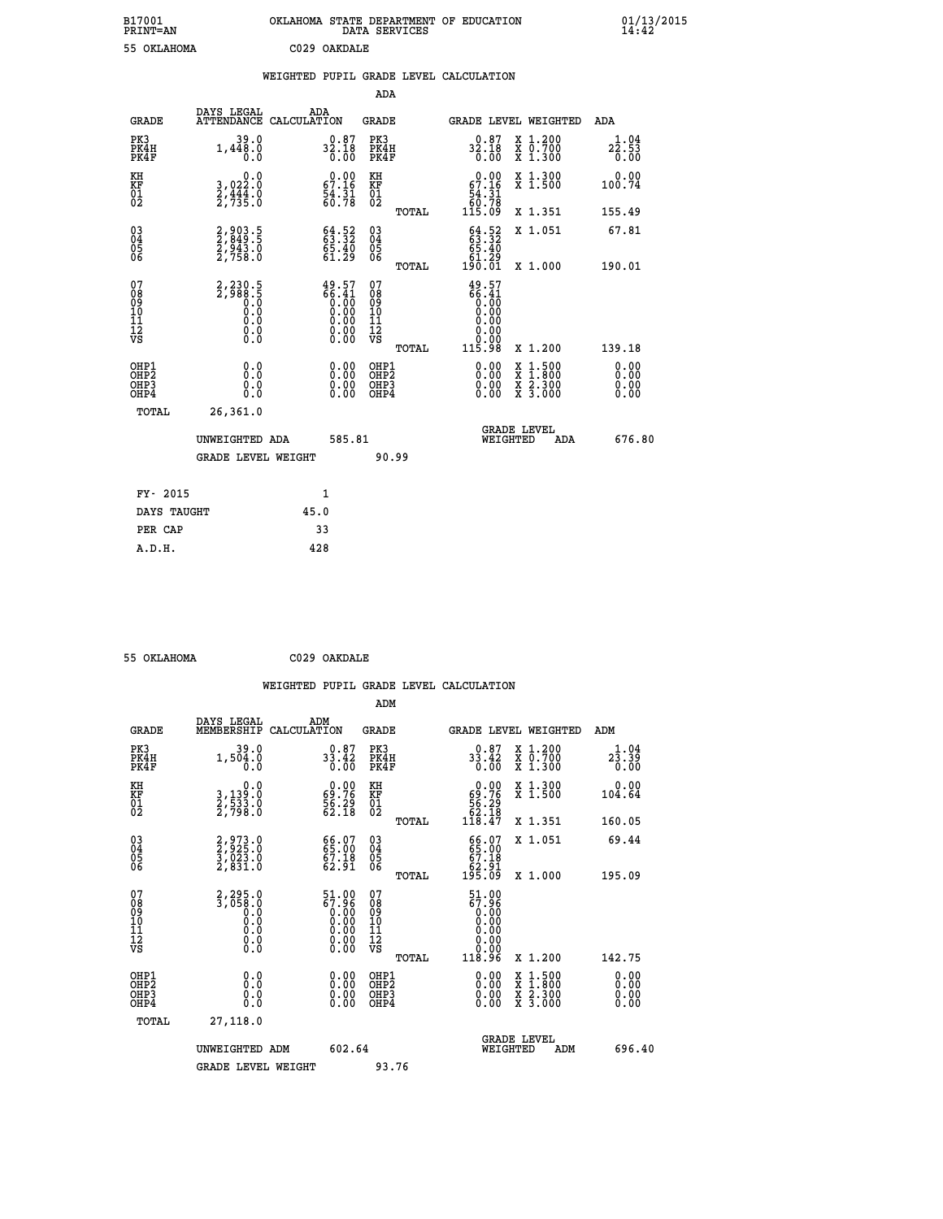| B17001<br><b>PRINT=AN</b> | OKLAHOMA STATE DEPARTMENT OF EDUCATION<br>DATA SERVICES | 01/13/2015<br>14:42 |
|---------------------------|---------------------------------------------------------|---------------------|
| 55 OKLAHOMA               | C029 OAKDALE                                            |                     |

|  |  | WEIGHTED PUPIL GRADE LEVEL CALCULATION |
|--|--|----------------------------------------|
|  |  |                                        |

|                                                                              |                                                                  |                                                                                | ADA                                             |                                                                                                                                                                      |                              |
|------------------------------------------------------------------------------|------------------------------------------------------------------|--------------------------------------------------------------------------------|-------------------------------------------------|----------------------------------------------------------------------------------------------------------------------------------------------------------------------|------------------------------|
|                                                                              | DAYS LEGAL<br><b>GRADE</b>                                       | ADA<br>ATTENDANCE CALCULATION                                                  | GRADE                                           | GRADE LEVEL WEIGHTED                                                                                                                                                 | ADA                          |
| PK3<br>PK4H<br>PK4F                                                          | 39.0<br>1,448.0<br>0.0                                           | 32.18<br>0.00                                                                  | PK3<br>PK4H<br>PK4F                             | X 1.200<br>X 0.700<br>X 1.300<br>0.87<br>32.18<br>0.00                                                                                                               | 1.04<br>22.53<br>0.00        |
| KH<br>KF<br>01<br>02                                                         | 0.0<br>3,022:0<br>2,444:0<br>2,735:0                             | $\begin{smallmatrix} 0.00\\ 67.16\\ 54.31\\ 60.78 \end{smallmatrix}$           | KH<br>KF<br>01<br>02                            | X 1.300<br>X 1.500<br>$0.00$<br>67.16<br>$\begin{array}{r} 54.31 \\ 56.78 \\ 115.09 \end{array}$                                                                     | 0.00<br>100.74               |
|                                                                              |                                                                  |                                                                                | TOTAL                                           | X 1.351                                                                                                                                                              | 155.49                       |
| $\begin{matrix} 03 \\ 04 \\ 05 \\ 06 \end{matrix}$                           | 2,903.5<br>2,849.5<br>2,943.0<br>2,758.0                         | 63.32<br>63.32<br>65.40<br>61.29                                               | 03<br>04<br>05<br>06<br>TOTAL                   | $63.52$<br>$63.32$<br>$65.40$<br>X 1.051<br>ۆ2.}<br>190.01<br>X 1.000                                                                                                | 67.81<br>190.01              |
| 07<br>08<br>09<br>11<br>11<br>12<br>VS                                       | 2,230.5<br>2,988.5<br>0.0<br>0.0<br>0.0<br>$\S.$                 | $49.57$<br>$66.41$<br>$0.00$<br>$0.00$<br>$0.00$<br>$0.00$<br>$0.00$<br>$0.00$ | 07<br>08<br>09<br>11<br>11<br>12<br>VS<br>TOTAL | 49.57<br>$\begin{matrix} 66.41 \ 60.00 \ 0.00 \end{matrix}$<br>0.00<br>0.00<br>115.98<br>X 1.200                                                                     | 139.18                       |
| OHP1<br>OH <sub>P</sub> <sub>2</sub><br>OH <sub>P3</sub><br>OH <sub>P4</sub> | 0.0<br>0.0<br>0.0                                                | 0.00<br>$0.00$<br>0.00                                                         | OHP1<br>OHP2<br>OHP3<br>OHP4                    | 0.00<br>$\begin{smallmatrix} \mathtt{X} & 1\cdot500 \\ \mathtt{X} & 1\cdot800 \\ \mathtt{X} & 2\cdot300 \\ \mathtt{X} & 3\cdot000 \end{smallmatrix}$<br>0.00<br>0.00 | 0.00<br>0.00<br>0.00<br>0.00 |
|                                                                              | TOTAL<br>26,361.0<br>UNWEIGHTED ADA<br><b>GRADE LEVEL WEIGHT</b> | 585.81                                                                         | 90.99                                           | <b>GRADE LEVEL</b><br>WEIGHTED<br>ADA                                                                                                                                | 676.80                       |
|                                                                              | FY- 2015                                                         | 1                                                                              |                                                 |                                                                                                                                                                      |                              |
|                                                                              | DAYS TAUGHT                                                      | 45.0                                                                           |                                                 |                                                                                                                                                                      |                              |
|                                                                              | PER CAP                                                          | 33                                                                             |                                                 |                                                                                                                                                                      |                              |
|                                                                              | A.D.H.                                                           | 428                                                                            |                                                 |                                                                                                                                                                      |                              |

| 55 OFTAHOMA |  |
|-------------|--|

 **55 OKLAHOMA C029 OAKDALE**

 **WEIGHTED PUPIL GRADE LEVEL CALCULATION ADM DAYS LEGAL ADM GRADE MEMBERSHIP CALCULATION GRADE GRADE LEVEL WEIGHTED ADM**

| سميت                                     | MEMBERSHIPE CADCOBAILON                                                                             |                                                                                             | ىستى                                               | GRADE DEVER MEIGHIED                                                                                                                                                                                                                                                           |                                          | <b>ADII</b>                                                                                                                                                                                                                                                                    |
|------------------------------------------|-----------------------------------------------------------------------------------------------------|---------------------------------------------------------------------------------------------|----------------------------------------------------|--------------------------------------------------------------------------------------------------------------------------------------------------------------------------------------------------------------------------------------------------------------------------------|------------------------------------------|--------------------------------------------------------------------------------------------------------------------------------------------------------------------------------------------------------------------------------------------------------------------------------|
| PK3<br>PK4H<br>PK4F                      | $39.0$<br>1,504.0<br>0.0                                                                            | $33.42$<br>0.00                                                                             | PK3<br>PK4H<br>PK4F                                | $33.42$<br>0.00                                                                                                                                                                                                                                                                | X 1.200<br>X 0.700<br>X 1.300            | $2\frac{1}{3}\cdot\frac{04}{39}$<br>0.00                                                                                                                                                                                                                                       |
| KH<br>KF<br>01<br>02                     | 0.0<br>3,139:0<br>2,533:0<br>2,798:0                                                                | $\begin{smallmatrix} 0.00\\ 69.76\\ 56.29\\ 62.18 \end{smallmatrix}$                        | KH<br>KF<br>01<br>02                               | $0.00\n69.76\n56.29\n62.18\n118.47$                                                                                                                                                                                                                                            | X 1.300<br>X 1.500                       | 0.00<br>104.64                                                                                                                                                                                                                                                                 |
|                                          |                                                                                                     |                                                                                             | TOTAL                                              |                                                                                                                                                                                                                                                                                | X 1.351                                  | 160.05                                                                                                                                                                                                                                                                         |
| 03<br>04<br>05<br>06                     | 2,973.0<br>2,925.0<br>3,023.0<br>2,831.0                                                            | 66.07<br>65.00<br>67.18<br>62.91                                                            | $\begin{matrix} 03 \\ 04 \\ 05 \\ 06 \end{matrix}$ | 66.07<br>65.00<br>67.18<br>62.91<br>195.09                                                                                                                                                                                                                                     | X 1.051                                  | 69.44                                                                                                                                                                                                                                                                          |
|                                          |                                                                                                     |                                                                                             | TOTAL                                              |                                                                                                                                                                                                                                                                                | X 1.000                                  | 195.09                                                                                                                                                                                                                                                                         |
| 07<br>08<br>09<br>101<br>11<br>12<br>VS  | 2,295.0<br>3,050.0<br>$\begin{smallmatrix} 0.1 & 0 \ 0.0 & 0 \ 0.0 & 0 \ 0.0 & 0 \end{smallmatrix}$ | 51.00<br>67.96<br>$\begin{smallmatrix} 0.100\ 0.000\ 0.000\ 0.000\ 0.00\ \end{smallmatrix}$ | 07<br>08<br>09<br>01<br>11<br>11<br>17<br>VS       | 51.00<br>67.96<br>$\begin{smallmatrix} 0.700\ 0.000\ 0.000\ 0.000\ 0.000\ 118.96 \end{smallmatrix}$                                                                                                                                                                            |                                          |                                                                                                                                                                                                                                                                                |
|                                          |                                                                                                     |                                                                                             | TOTAL                                              |                                                                                                                                                                                                                                                                                | X 1.200                                  | 142.75                                                                                                                                                                                                                                                                         |
| OHP1<br>OHP2<br>OH <sub>P3</sub><br>OHP4 | $\begin{smallmatrix} 0.0 \ 0.0 \ 0.0 \end{smallmatrix}$                                             |                                                                                             | OHP1<br>OHP <sub>2</sub><br>OHP3<br>OHP4           | $\begin{smallmatrix} 0.00 & 0.00 & 0.00 & 0.00 & 0.00 & 0.00 & 0.00 & 0.00 & 0.00 & 0.00 & 0.00 & 0.00 & 0.00 & 0.00 & 0.00 & 0.00 & 0.00 & 0.00 & 0.00 & 0.00 & 0.00 & 0.00 & 0.00 & 0.00 & 0.00 & 0.00 & 0.00 & 0.00 & 0.00 & 0.00 & 0.00 & 0.00 & 0.00 & 0.00 & 0.00 & 0.0$ | X 1:500<br>X 1:800<br>X 2:300<br>X 3:000 | $\begin{smallmatrix} 0.00 & 0.00 & 0.00 & 0.00 & 0.00 & 0.00 & 0.00 & 0.00 & 0.00 & 0.00 & 0.00 & 0.00 & 0.00 & 0.00 & 0.00 & 0.00 & 0.00 & 0.00 & 0.00 & 0.00 & 0.00 & 0.00 & 0.00 & 0.00 & 0.00 & 0.00 & 0.00 & 0.00 & 0.00 & 0.00 & 0.00 & 0.00 & 0.00 & 0.00 & 0.00 & 0.0$ |
| TOTAL                                    | 27,118.0                                                                                            |                                                                                             |                                                    |                                                                                                                                                                                                                                                                                |                                          |                                                                                                                                                                                                                                                                                |
|                                          | UNWEIGHTED ADM                                                                                      | 602.64                                                                                      |                                                    | <b>GRADE LEVEL</b><br>WEIGHTED                                                                                                                                                                                                                                                 | ADM                                      | 696.40                                                                                                                                                                                                                                                                         |
|                                          | <b>GRADE LEVEL WEIGHT</b>                                                                           |                                                                                             | 93.76                                              |                                                                                                                                                                                                                                                                                |                                          |                                                                                                                                                                                                                                                                                |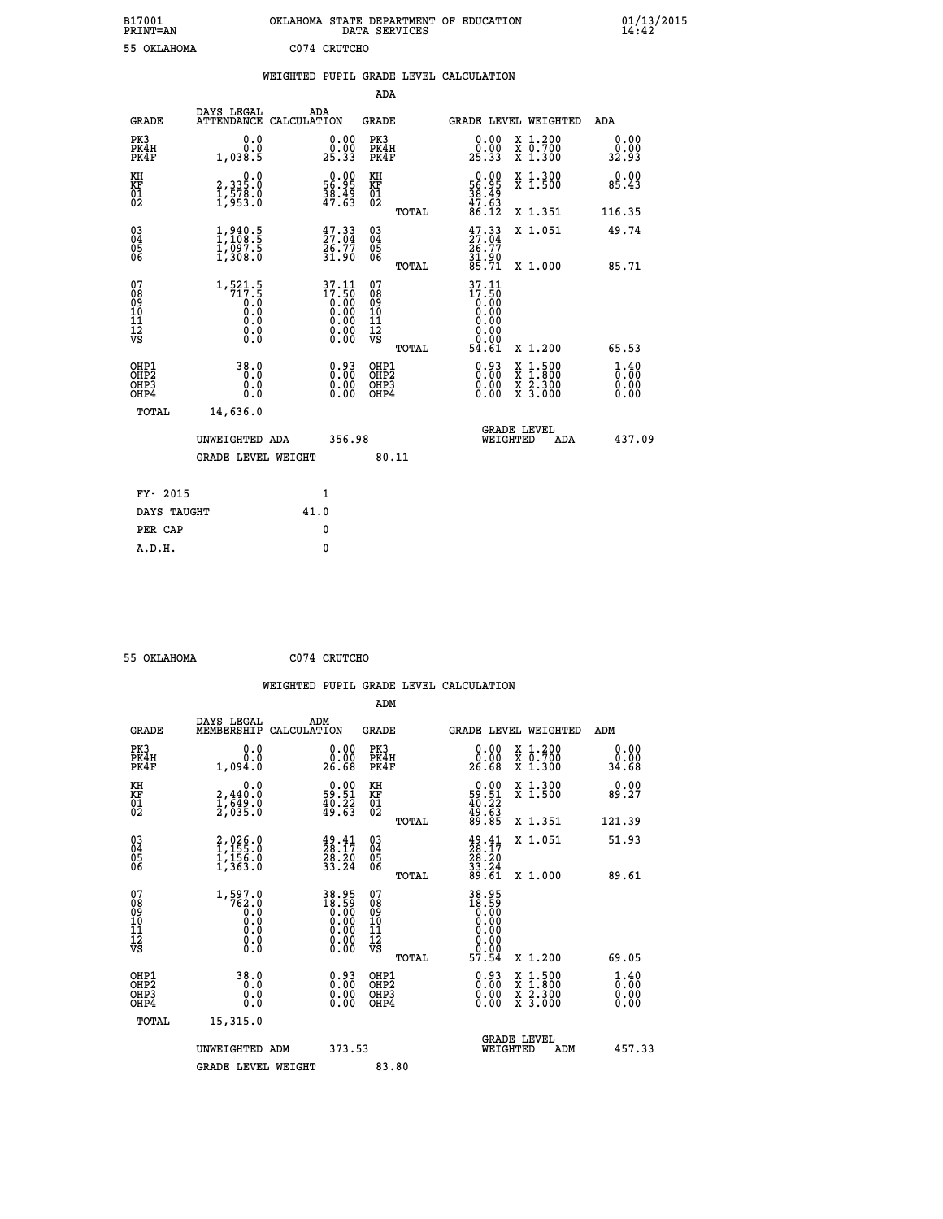| B17001<br><b>PRINT=AN</b> | OKLAHOMA STATE DEPARTMENT OF EDUCATION<br>DATA SERVICES |  | 01/13/2015 |
|---------------------------|---------------------------------------------------------|--|------------|
| 55 OKLAHOMA               | C074 CRUTCHO                                            |  |            |

|                                                                    |              |                                                                                 |      |                                                                                                        |                                        |       | WEIGHTED PUPIL GRADE LEVEL CALCULATION                                                 |                                                                                                                                      |                                                 |
|--------------------------------------------------------------------|--------------|---------------------------------------------------------------------------------|------|--------------------------------------------------------------------------------------------------------|----------------------------------------|-------|----------------------------------------------------------------------------------------|--------------------------------------------------------------------------------------------------------------------------------------|-------------------------------------------------|
|                                                                    |              |                                                                                 |      |                                                                                                        | <b>ADA</b>                             |       |                                                                                        |                                                                                                                                      |                                                 |
|                                                                    | <b>GRADE</b> | DAYS LEGAL<br>ATTENDANCE CALCULATION                                            | ADA  |                                                                                                        | GRADE                                  |       |                                                                                        | GRADE LEVEL WEIGHTED                                                                                                                 | ADA                                             |
| PK3<br>PK4H<br>PK4F                                                |              | 0.0<br>0.0<br>1,038.5                                                           |      | 0.00<br>0.00<br>25.33                                                                                  | PK3<br>PK4H<br>PK4F                    |       | 0.00<br>0.00<br>25.33                                                                  | X 1.200<br>X 0.700<br>X 1.300                                                                                                        | 0.00<br>0.00<br>32.93                           |
| KH<br><b>KF</b><br>01<br>02                                        |              | 0.0<br>2,335:0<br>1,578:0<br>1,953:0                                            |      | $\begin{smallmatrix} 0.00\\ 56.95\\ 38.49\\ 47.63\\ \end{smallmatrix}$                                 | KH<br>KF<br>01<br>02                   |       | 0.00<br>$\frac{56.95}{38.49}$<br>$\frac{47.63}{86.12}$                                 | X 1.300<br>X 1.500                                                                                                                   | 0.00<br>85.43                                   |
|                                                                    |              |                                                                                 |      |                                                                                                        |                                        | TOTAL |                                                                                        | X 1.351                                                                                                                              | 116.35                                          |
| $\begin{smallmatrix} 03 \\[-4pt] 04 \end{smallmatrix}$<br>05<br>06 |              | $1,940.5$<br>$1,108.5$<br>$\frac{1}{2}, \frac{0}{3}$ $\frac{0}{2}, \frac{0}{5}$ |      | $\frac{47.33}{27.04}$<br>31.90                                                                         | $^{03}_{04}$<br>$\frac{05}{06}$        |       | $\frac{47.33}{27.04}$<br>26.77                                                         | X 1.051                                                                                                                              | 49.74                                           |
|                                                                    |              |                                                                                 |      |                                                                                                        |                                        | TOTAL | 31.90<br>85.71                                                                         | X 1.000                                                                                                                              | 85.71                                           |
| 07<br>08<br>09<br>101<br>112<br>VS                                 |              | $\substack{1,521.5\\717.5\\0.0\\0.0$<br>0.0<br>$\S.$ $\S$                       |      | $\begin{smallmatrix} 37.11 \\ 17.50 \\ 0.00 \\ 0.00 \\ 0.00 \\ 0.00 \\ 0.00 \\ 0.00 \end{smallmatrix}$ | 07<br>08<br>09<br>11<br>11<br>12<br>VS |       | $\begin{smallmatrix} 37.11 \\ 17.50 \\ 0.00 \\ 0.00 \end{smallmatrix}$<br>0.00<br>0.00 |                                                                                                                                      |                                                 |
|                                                                    |              |                                                                                 |      |                                                                                                        |                                        | TOTAL | 54.61                                                                                  | X 1.200                                                                                                                              | 65.53                                           |
| OHP1<br>OHP <sub>2</sub><br>OHP3<br>OHP4                           |              | 38.0<br>0.0<br>0.0<br>0.0                                                       |      | $0.93$<br>$0.00$<br>0.00<br>0.00                                                                       | OHP1<br>OHP2<br>OHP3<br>OHP4           |       | 0.93<br>0.00<br>0.00                                                                   | $\begin{smallmatrix} \mathtt{X} & 1 & 500 \\ \mathtt{X} & 1 & 800 \\ \mathtt{X} & 2 & 300 \\ \mathtt{X} & 3 & 000 \end{smallmatrix}$ | $\frac{1}{0}$ : $\frac{40}{00}$<br>0.00<br>0.00 |
|                                                                    | <b>TOTAL</b> | 14,636.0                                                                        |      |                                                                                                        |                                        |       |                                                                                        |                                                                                                                                      |                                                 |
|                                                                    |              | UNWEIGHTED ADA                                                                  |      | 356.98                                                                                                 |                                        |       |                                                                                        | GRADE LEVEL<br>WEIGHTED<br><b>ADA</b>                                                                                                | 437.09                                          |
|                                                                    |              | <b>GRADE LEVEL WEIGHT</b>                                                       |      |                                                                                                        |                                        | 80.11 |                                                                                        |                                                                                                                                      |                                                 |
|                                                                    | FY- 2015     |                                                                                 |      | $\mathbf{1}$                                                                                           |                                        |       |                                                                                        |                                                                                                                                      |                                                 |
|                                                                    | DAYS TAUGHT  |                                                                                 | 41.0 |                                                                                                        |                                        |       |                                                                                        |                                                                                                                                      |                                                 |
|                                                                    | PER CAP      |                                                                                 |      | 0                                                                                                      |                                        |       |                                                                                        |                                                                                                                                      |                                                 |
|                                                                    | A.D.H.       |                                                                                 |      | $\mathbf{0}$                                                                                           |                                        |       |                                                                                        |                                                                                                                                      |                                                 |

 **55 OKLAHOMA C074 CRUTCHO**

 **WEIGHTED PUPIL GRADE LEVEL CALCULATION ADM DAYS LEGAL ADM GRADE MEMBERSHIP CALCULATION GRADE GRADE LEVEL WEIGHTED ADM**

| ىسمى                                                 | MEMBERSHIF CADCODAIION                                                                            |                                                                      | تتسمى                                               | GRADE DEVED WEIGHIED                                                                                           |                                          | בעת                                                                                                                                                                                                                                                                                              |
|------------------------------------------------------|---------------------------------------------------------------------------------------------------|----------------------------------------------------------------------|-----------------------------------------------------|----------------------------------------------------------------------------------------------------------------|------------------------------------------|--------------------------------------------------------------------------------------------------------------------------------------------------------------------------------------------------------------------------------------------------------------------------------------------------|
| PK3<br>PK4H<br>PK4F                                  | 0.000<br>1,094.0                                                                                  | $\begin{smallmatrix} 0.00\\ 0.00\\ 26.68 \end{smallmatrix}$          | PK3<br>PK4H<br>PK4F                                 | 0.00<br>26.68                                                                                                  | X 1.200<br>X 0.700<br>X 1.300            | $\begin{smallmatrix} 0.00\\ 0.00\\ 34.68 \end{smallmatrix}$                                                                                                                                                                                                                                      |
| KH<br>KF<br>01<br>02                                 | 0.0<br>2,440:0<br>1,649:0<br>2,035:0                                                              | $\begin{smallmatrix} 0.00\\ 59.51\\ 40.22\\ 49.63 \end{smallmatrix}$ | KH<br>KF<br>01<br>02                                | $\begin{smallmatrix} 0.00\\ 59.51\\ 40.22\\ 49.63\\ 89.85 \end{smallmatrix}$                                   | X 1.300<br>X 1.500                       | 0.00<br>89.27                                                                                                                                                                                                                                                                                    |
|                                                      |                                                                                                   |                                                                      | TOTAL                                               |                                                                                                                | X 1.351                                  | 121.39                                                                                                                                                                                                                                                                                           |
| 03<br>04<br>05<br>06                                 | 2,026.0<br>1,155.0<br>1,156.0<br>1,363.0                                                          | $\begin{smallmatrix} 49.41\ 28.17\ 28.20\ 33.24 \end{smallmatrix}$   | $\begin{array}{c} 03 \\ 04 \\ 05 \\ 06 \end{array}$ | $\begin{smallmatrix} 49.41\ 28.17\ 28.20\ 33.24\ 89.61\ \end{smallmatrix}$                                     | X 1.051                                  | 51.93                                                                                                                                                                                                                                                                                            |
|                                                      |                                                                                                   |                                                                      | TOTAL                                               |                                                                                                                | X 1.000                                  | 89.61                                                                                                                                                                                                                                                                                            |
| 07<br>08<br>09<br>101<br>11<br>12<br>VS              | $\begin{smallmatrix} 1.597.0\\ 762.0\\ 0.0\\ 0.0\\ 0.0\\ 0.0\\ 0.0\\ 0.0\\ 0.0 \end{smallmatrix}$ | $38.95$<br>$18.59$<br>$0.00$<br>$0.00$<br>$0.00$<br>$0.00$<br>$0.00$ | 07<br>08<br>09<br>01<br>11<br>11<br>12<br>VS        | $\begin{array}{c} 38.95 \\ 18.59 \\ 0.00 \\ 0.00 \\ 0.00 \\ 0.00 \\ 0.00 \\ 0.00 \\ 0.00 \\ 57.54 \end{array}$ |                                          |                                                                                                                                                                                                                                                                                                  |
|                                                      |                                                                                                   |                                                                      | TOTAL                                               |                                                                                                                | X 1.200                                  | 69.05                                                                                                                                                                                                                                                                                            |
| OHP1<br>OHP <sub>2</sub><br>OH <sub>P3</sub><br>OHP4 | 38.0<br>0.000                                                                                     | $\begin{smallmatrix} 0.93\ 0.00\ 0.00 \end{smallmatrix}$             | OHP1<br>OHP <sub>2</sub><br>OHP3<br>OHP4            | $\begin{smallmatrix} 0.93\ 0.00\ 0.00 \end{smallmatrix}$                                                       | X 1:500<br>X 1:800<br>X 2:300<br>X 3:000 | $\begin{smallmatrix} 1\  \  \, 0\  \  \, 0\  \  \, 0\  \  \, 0\  \  \, 0\  \  \, 0\  \  \, 0\  \  \, 0\  \  \, 0\  \  \, 0\  \  \, 0\  \  \, 0\  \  \, 0\  \  \, 0\  \  \, 0\  \  \, 0\  \  \, 0\  \  \, 0\  \  \, 0\  \  \, 0\  \  \, 0\  \  \, 0\  \  \, 0\  \  \, 0\  \  \, 0\  \  \, 0\  \ $ |
| TOTAL                                                | 15,315.0                                                                                          |                                                                      |                                                     |                                                                                                                |                                          |                                                                                                                                                                                                                                                                                                  |
|                                                      | UNWEIGHTED ADM                                                                                    | 373.53                                                               |                                                     | <b>GRADE LEVEL</b><br>WEIGHTED                                                                                 | ADM                                      | 457.33                                                                                                                                                                                                                                                                                           |
|                                                      | <b>GRADE LEVEL WEIGHT</b>                                                                         |                                                                      | 83.80                                               |                                                                                                                |                                          |                                                                                                                                                                                                                                                                                                  |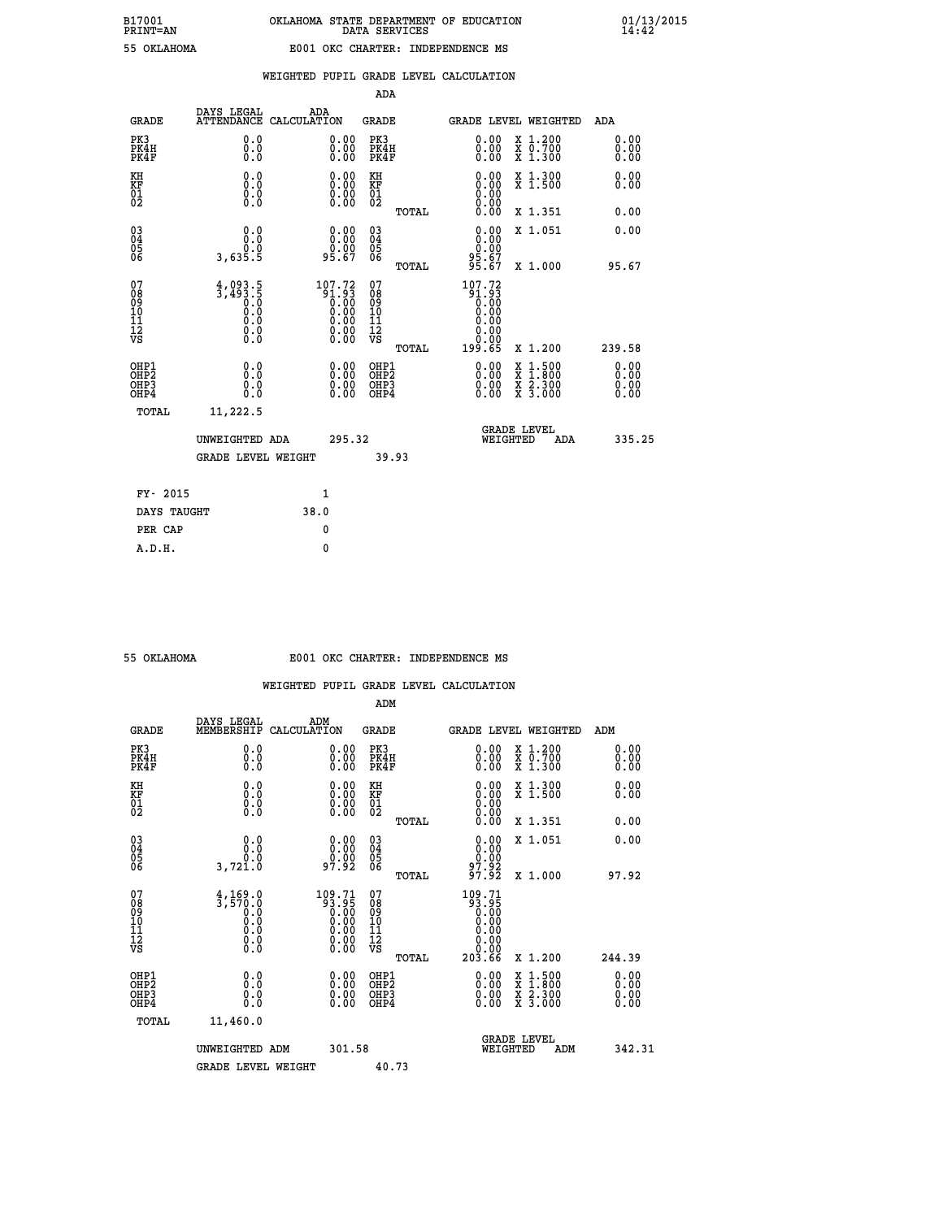|                                                    |                                                                            |                                                                                                                    | ADA                                    |       |                                                           |                                               |            |                              |
|----------------------------------------------------|----------------------------------------------------------------------------|--------------------------------------------------------------------------------------------------------------------|----------------------------------------|-------|-----------------------------------------------------------|-----------------------------------------------|------------|------------------------------|
| <b>GRADE</b>                                       | DAYS LEGAL<br><b>ATTENDANCE</b>                                            | ADA<br>CALCULATION                                                                                                 | GRADE                                  |       | GRADE LEVEL WEIGHTED                                      |                                               | <b>ADA</b> |                              |
| PK3<br>PK4H<br>PK4F                                | 0.0<br>0.0<br>0.0                                                          | 0.00<br>$\begin{smallmatrix} 0.00 \ 0.00 \end{smallmatrix}$                                                        | PK3<br>PK4H<br>PK4F                    |       | 0.00<br>0.00                                              | X 1.200<br>X 0.700<br>X 1.300                 |            | 0.00<br>0.00<br>0.00         |
| KH<br><b>KF</b><br>01<br>02                        | 0.0<br>$\begin{smallmatrix} 0.0 & 0 \ 0.0 & 0 \ 0.0 & 0 \end{smallmatrix}$ | $\begin{smallmatrix} 0.00\\ 0.00\\ 0.00\\ 0.00 \end{smallmatrix}$                                                  | KH<br>KF<br>01<br>02                   |       | 0.00                                                      | X 1.300<br>X 1.500                            |            | 0.00<br>0.00                 |
|                                                    |                                                                            |                                                                                                                    |                                        | TOTAL |                                                           | X 1.351                                       |            | 0.00                         |
| $\begin{matrix} 03 \\ 04 \\ 05 \\ 06 \end{matrix}$ | 0.0<br>ŏ:ŏ<br>3,635.5                                                      | $\begin{smallmatrix} 0.00\\ 0.00\\ 0.00\\ 95.67 \end{smallmatrix}$                                                 | 03<br>04<br>05<br>06                   |       | 0.00<br>00:00<br>95.67<br>95.67                           | X 1.051                                       |            | 0.00                         |
|                                                    |                                                                            |                                                                                                                    |                                        | TOTAL |                                                           | X 1.000                                       |            | 95.67                        |
| 07<br>08<br>09<br>101<br>11<br>12<br>VS            | $4,093.5$<br>3,493.5<br>0.0<br>0.0<br>0.0<br>$\S.$                         | $\begin{smallmatrix} 107.72\ 91.93\ 0.00\ 0.00\ 0.00\ 0.00\ 0.00\ 0.00\ 0.00\ 0.00\ 0.00\ 0.00\ \end{smallmatrix}$ | 07<br>08<br>09<br>11<br>11<br>12<br>VS | TOTAL | 107.72<br>86:18<br>0.00<br>0.00<br>0.00<br>0.00<br>199.65 | X 1.200                                       |            | 239.58                       |
| OHP1<br>OHP2<br>OHP3<br>OHP4                       | 0.0<br>0.0<br>0.0                                                          | 0.00<br>$0.00$<br>0.00                                                                                             | OHP1<br>OHP2<br>OHP3<br>OHP4           |       | 0.00<br>0.00<br>0.00                                      | $1.500$<br>$1.800$<br>X<br>X 2.300<br>X 3.000 |            | 0.00<br>0.00<br>0.00<br>0.00 |
| TOTAL                                              | 11,222.5                                                                   |                                                                                                                    |                                        |       |                                                           |                                               |            |                              |
|                                                    | UNWEIGHTED ADA                                                             | 295.32                                                                                                             |                                        |       |                                                           | <b>GRADE LEVEL</b><br>WEIGHTED                | ADA        | 335.25                       |
|                                                    | <b>GRADE LEVEL WEIGHT</b>                                                  |                                                                                                                    |                                        | 39.93 |                                                           |                                               |            |                              |
| FY- 2015                                           |                                                                            | $\mathbf{1}$                                                                                                       |                                        |       |                                                           |                                               |            |                              |
| DAYS TAUGHT                                        |                                                                            | 38.0                                                                                                               |                                        |       |                                                           |                                               |            |                              |
|                                                    |                                                                            |                                                                                                                    |                                        |       |                                                           |                                               |            |                              |

| 55 OKTAHOMA |  |
|-------------|--|
|             |  |
|             |  |

**PER CAP** 0  **A.D.H. 0**

## **55 OKLAHOMA E001 OKC CHARTER: INDEPENDENCE MS**

|                                                    |                                                                                                     |                                                                                                                    | ADM                                                 |       |                                                                                                                                                                                                                                                                                |                                          |                      |
|----------------------------------------------------|-----------------------------------------------------------------------------------------------------|--------------------------------------------------------------------------------------------------------------------|-----------------------------------------------------|-------|--------------------------------------------------------------------------------------------------------------------------------------------------------------------------------------------------------------------------------------------------------------------------------|------------------------------------------|----------------------|
| <b>GRADE</b>                                       | DAYS LEGAL<br>MEMBERSHIP                                                                            | ADM<br>CALCULATION                                                                                                 | <b>GRADE</b>                                        |       |                                                                                                                                                                                                                                                                                | GRADE LEVEL WEIGHTED                     | ADM                  |
| PK3<br>PK4H<br>PK4F                                | 0.0<br>0.000                                                                                        | $\begin{smallmatrix} 0.00 \ 0.00 \ 0.00 \end{smallmatrix}$                                                         | PK3<br>PK4H<br>PK4F                                 |       | $\begin{smallmatrix} 0.00 \\ 0.00 \\ 0.00 \end{smallmatrix}$                                                                                                                                                                                                                   | X 1.200<br>X 0.700<br>X 1.300            | 0.00<br>0.00<br>0.00 |
| KH<br>KF<br>01<br>02                               | 0.0<br>$\begin{smallmatrix} 0.0 & 0 \ 0.0 & 0 \ 0.0 & 0 \end{smallmatrix}$                          | $\begin{smallmatrix} 0.00 \ 0.00 \ 0.00 \ 0.00 \end{smallmatrix}$                                                  | KH<br>KF<br>01<br>02                                |       | $\begin{smallmatrix} 0.00 \ 0.00 \ 0.00 \ 0.00 \ 0.00 \ 0.00 \end{smallmatrix}$                                                                                                                                                                                                | X 1.300<br>X 1.500                       | 0.00<br>0.00         |
|                                                    |                                                                                                     |                                                                                                                    |                                                     | TOTAL |                                                                                                                                                                                                                                                                                | X 1.351                                  | 0.00                 |
| $\begin{matrix} 03 \\ 04 \\ 05 \\ 06 \end{matrix}$ | 0.0<br>0.0<br>3,721.0                                                                               | $\begin{smallmatrix} 0.00\\ 0.00\\ 0.00\\ 0.00\\ 7.92 \end{smallmatrix}$                                           | $\begin{array}{c} 03 \\ 04 \\ 05 \\ 06 \end{array}$ |       | $0.00\n0.00\n97.92\n97.92$                                                                                                                                                                                                                                                     | X 1.051                                  | 0.00                 |
|                                                    |                                                                                                     |                                                                                                                    |                                                     | TOTAL |                                                                                                                                                                                                                                                                                | X 1.000                                  | 97.92                |
| 07<br>08<br>09<br>10<br>11<br>11<br>12<br>VS       | $\begin{smallmatrix} 4,169.0\\ 3,570.0\\ 0.0\\ 0.0\\ 0.0\\ 0.0\\ 0.0\\ 0.0\\ 0.0 \end{smallmatrix}$ | $\begin{smallmatrix} 109.71\ 93.95\ 0.00\ 0.00\ 0.00\ 0.00\ 0.00\ 0.00\ 0.00\ 0.00\ 0.00\ 0.00\ \end{smallmatrix}$ | 07<br>08<br>09<br>01<br>11<br>11<br>12<br>VS        | TOTAL | 109.71<br>93.95<br>0.00<br>0.00<br>0.00<br>$\begin{array}{c} 0.00 \\ -0.00 \\ 203.66 \end{array}$                                                                                                                                                                              | X 1.200                                  | 244.39               |
| OHP1<br>OHP2<br>OH <sub>P3</sub><br>OHP4           | 0.0<br>0.000                                                                                        | $\begin{smallmatrix} 0.00 \ 0.00 \ 0.00 \ 0.00 \end{smallmatrix}$                                                  | OHP1<br>OHP2<br>OHP3<br>OHP4                        |       | $\begin{smallmatrix} 0.00 & 0.00 & 0.00 & 0.00 & 0.00 & 0.00 & 0.00 & 0.00 & 0.00 & 0.00 & 0.00 & 0.00 & 0.00 & 0.00 & 0.00 & 0.00 & 0.00 & 0.00 & 0.00 & 0.00 & 0.00 & 0.00 & 0.00 & 0.00 & 0.00 & 0.00 & 0.00 & 0.00 & 0.00 & 0.00 & 0.00 & 0.00 & 0.00 & 0.00 & 0.00 & 0.0$ | X 1:500<br>X 1:800<br>X 2:300<br>X 3:000 | 0.00<br>0.00<br>0.00 |
| TOTAL                                              | 11,460.0                                                                                            |                                                                                                                    |                                                     |       |                                                                                                                                                                                                                                                                                |                                          |                      |
|                                                    | UNWEIGHTED ADM                                                                                      | 301.58                                                                                                             |                                                     |       | WEIGHTED                                                                                                                                                                                                                                                                       | <b>GRADE LEVEL</b><br>ADM                | 342.31               |
|                                                    | <b>GRADE LEVEL WEIGHT</b>                                                                           |                                                                                                                    | 40.73                                               |       |                                                                                                                                                                                                                                                                                |                                          |                      |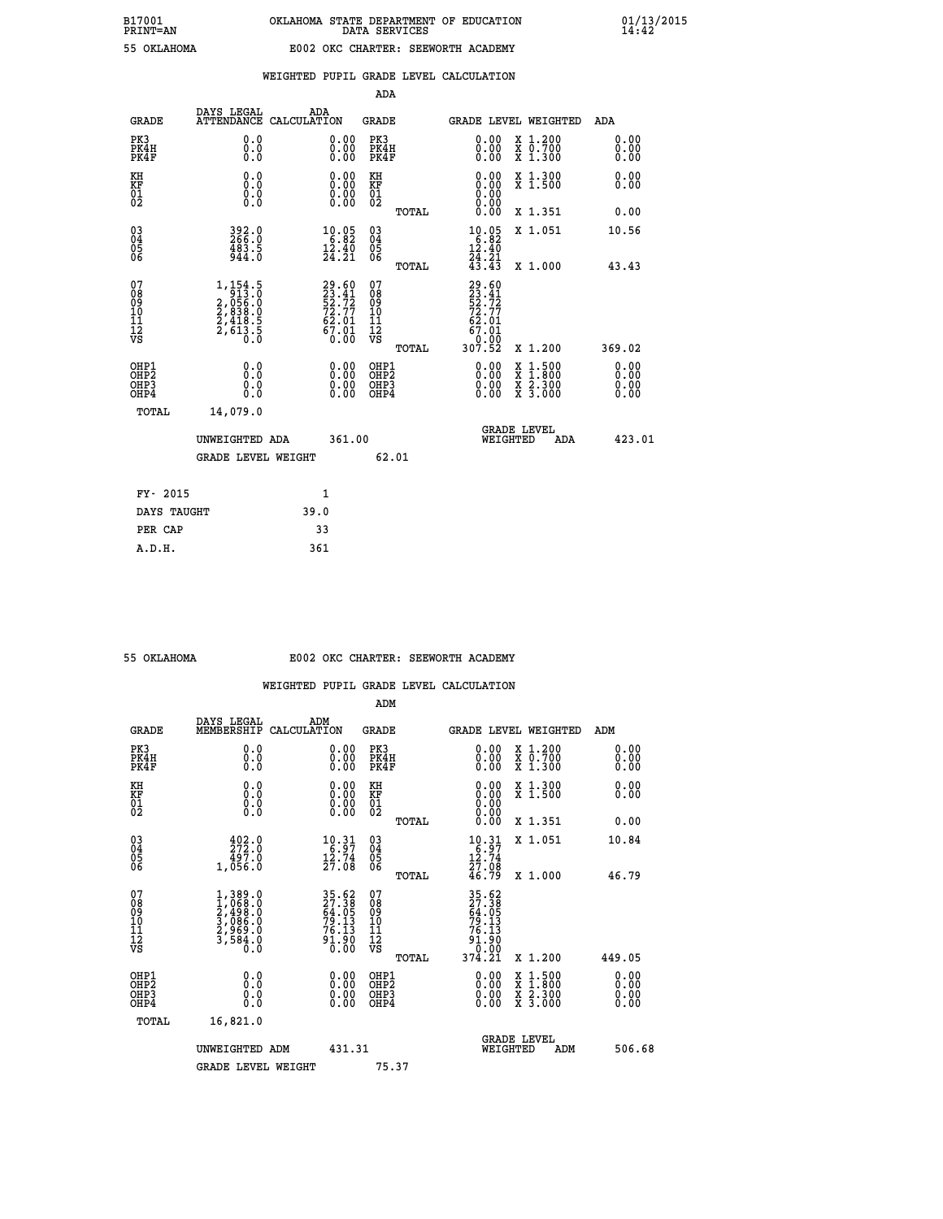| OKT.AHOMA |
|-----------|

### **WEIGHTED PUPIL GRADE LEVEL CALCULATION**

|                                                                    |                                                                                                       |                                                                |        | ADA                                     |       |                                                                         |                                                                                                                                              |                              |
|--------------------------------------------------------------------|-------------------------------------------------------------------------------------------------------|----------------------------------------------------------------|--------|-----------------------------------------|-------|-------------------------------------------------------------------------|----------------------------------------------------------------------------------------------------------------------------------------------|------------------------------|
| <b>GRADE</b>                                                       | DAYS LEGAL                                                                                            | ADA<br>ATTENDANCE CALCULATION                                  |        | <b>GRADE</b>                            |       | GRADE LEVEL WEIGHTED                                                    |                                                                                                                                              | ADA                          |
| PK3<br>PK4H<br>PK4F                                                | 0.0<br>0.0<br>0.0                                                                                     | 0.00<br>$\begin{smallmatrix} 0.00 \ 0.00 \end{smallmatrix}$    |        | PK3<br>PK4H<br>PK4F                     |       | 0.00<br>0.00                                                            | X 1.200<br>X 0.700<br>X 1.300                                                                                                                | 0.00<br>0.00<br>0.00         |
| KH<br>KF<br>01<br>02                                               | 0.0<br>0.0<br>$\S.$                                                                                   | 0.0000<br>0.00                                                 |        | KH<br>KF<br>01<br>02                    |       | 0.00                                                                    | X 1.300<br>X 1.500                                                                                                                           | 0.00<br>0.00                 |
|                                                                    |                                                                                                       |                                                                |        |                                         | TOTAL | 0.00                                                                    | X 1.351                                                                                                                                      | 0.00                         |
| $\begin{smallmatrix} 03 \\[-4pt] 04 \end{smallmatrix}$<br>Ŏ5<br>06 | $392.0$<br>$266.0$<br>483.5<br>944.0                                                                  | $\begin{array}{r} 10.05 \\ 6.82 \\ 12.40 \\ 24.21 \end{array}$ |        | $\substack{03 \\ 04}$<br>Ŏ5<br>06       |       | $10.05$<br>$6.82$<br>$12.40$<br>$\frac{7}{4}$ : $\frac{21}{43}$         | X 1.051                                                                                                                                      | 10.56                        |
|                                                                    |                                                                                                       |                                                                |        |                                         | TOTAL |                                                                         | X 1.000                                                                                                                                      | 43.43                        |
| 07<br>08<br>09<br>101<br>11<br>12<br>VS                            | $\begin{smallmatrix} 1,154.5\\ 913.0\\ 2,056.0\\ 2,838.0\\ 2,418.5\\ 2,613.5\\ 0.0 \end{smallmatrix}$ | 29.60<br>23.41<br>52.72<br>72.77<br>72.01<br>67.01<br>67.01    |        | 07<br>08<br>09<br>101<br>11<br>12<br>VS |       | 29.60<br>23.41<br>52.72<br>72.77<br>72.01<br>$6\overline{7.01}$<br>0.00 |                                                                                                                                              |                              |
|                                                                    |                                                                                                       |                                                                |        |                                         | TOTAL | 307.52                                                                  | X 1.200                                                                                                                                      | 369.02                       |
| OHP1<br>OHP <sub>2</sub><br>OH <sub>P3</sub><br>OHP4               | 0.0<br>0.0<br>0.0                                                                                     | 0.00<br>$\begin{smallmatrix} 0.00 \ 0.00 \end{smallmatrix}$    |        | OHP1<br>OHP2<br>OHP <sub>3</sub>        |       | 0.00<br>0.00                                                            | $\begin{smallmatrix} \mathtt{X} & 1\cdot500 \\ \mathtt{X} & 1\cdot800 \\ \mathtt{X} & 2\cdot300 \\ \mathtt{X} & 3\cdot000 \end{smallmatrix}$ | 0.00<br>0.00<br>0.00<br>0.00 |
| TOTAL                                                              | 14,079.0                                                                                              |                                                                |        |                                         |       |                                                                         |                                                                                                                                              |                              |
|                                                                    | UNWEIGHTED ADA                                                                                        |                                                                | 361.00 |                                         |       | WEIGHTED                                                                | <b>GRADE LEVEL</b><br>ADA                                                                                                                    | 423.01                       |
|                                                                    | <b>GRADE LEVEL WEIGHT</b>                                                                             |                                                                |        | 62.01                                   |       |                                                                         |                                                                                                                                              |                              |
| FY- 2015                                                           |                                                                                                       | 1                                                              |        |                                         |       |                                                                         |                                                                                                                                              |                              |
| DAYS TAUGHT                                                        |                                                                                                       | 39.0                                                           |        |                                         |       |                                                                         |                                                                                                                                              |                              |
| PER CAP                                                            |                                                                                                       | 33                                                             |        |                                         |       |                                                                         |                                                                                                                                              |                              |

| OKLAHOMA |
|----------|
|          |

 **A.D.H. 361**

#### **55 OKLAHOMA E002 OKC CHARTER: SEEWORTH ACADEMY**

|                                                    |                                                                                                              |                                                                      | ADM                                                 |       |                                                                                                       |                                          |                      |
|----------------------------------------------------|--------------------------------------------------------------------------------------------------------------|----------------------------------------------------------------------|-----------------------------------------------------|-------|-------------------------------------------------------------------------------------------------------|------------------------------------------|----------------------|
| <b>GRADE</b>                                       | DAYS LEGAL<br>MEMBERSHIP                                                                                     | ADM<br>CALCULATION                                                   | <b>GRADE</b>                                        |       |                                                                                                       | GRADE LEVEL WEIGHTED                     | ADM                  |
| PK3<br>PK4H<br>PK4F                                | 0.0<br>0.0<br>0.0                                                                                            | 0.00<br>$\begin{smallmatrix} 0.00 \ 0.00 \end{smallmatrix}$          | PK3<br>PK4H<br>PK4F                                 |       | $\begin{smallmatrix} 0.00 \\ 0.00 \\ 0.00 \end{smallmatrix}$                                          | X 1.200<br>X 0.700<br>X 1.300            | 0.00<br>0.00<br>0.00 |
| KH<br>KF<br>01<br>02                               | 0.0<br>0.0<br>$\S.$                                                                                          | $\begin{smallmatrix} 0.00 \ 0.00 \ 0.00 \ 0.00 \end{smallmatrix}$    | KH<br>KF<br>01<br>02                                |       | $0.00$<br>$0.00$<br>$0.00$                                                                            | X 1.300<br>X 1.500                       | 0.00<br>0.00         |
|                                                    |                                                                                                              |                                                                      |                                                     | TOTAL | 0.00                                                                                                  | X 1.351                                  | 0.00                 |
| $\begin{matrix} 03 \\ 04 \\ 05 \\ 06 \end{matrix}$ | $\begin{smallmatrix} 4 & 0 & 2 & 0 \\ 2 & 7 & 2 & 0 \\ 4 & 9 & 7 & 0 \\ 1 & 0 & 5 & 6 & 0 \end{smallmatrix}$ | $\begin{array}{r} 10.31 \\ 6.97 \\ 12.74 \\ 27.08 \end{array}$       | $\begin{array}{c} 03 \\ 04 \\ 05 \\ 06 \end{array}$ |       | $\begin{array}{r} 10 \cdot 31 \\ 6 \cdot 97 \\ 12 \cdot 74 \\ 27 \cdot 08 \\ 46 \cdot 79 \end{array}$ | X 1.051                                  | 10.84                |
|                                                    |                                                                                                              |                                                                      |                                                     | TOTAL |                                                                                                       | X 1.000                                  | 46.79                |
| 07<br>08<br>09<br>101<br>11<br>12<br>VS            | $1,389.0$<br>$2,498.0$<br>$3,086.0$<br>$2,969.0$<br>$3,584.0$<br>$0.0$                                       | 35.62<br>27.38<br>64.05<br>64.05<br>79.13<br>76.13<br>91.90<br>91.90 | 07<br>08<br>09<br>11<br>11<br>12<br>VS              |       | 35.62<br>27.38<br>64.05<br>64.05<br>79.13<br>76.13<br>91.90                                           |                                          |                      |
|                                                    |                                                                                                              |                                                                      |                                                     | TOTAL | 374.21                                                                                                | X 1.200                                  | 449.05               |
| OHP1<br>OHP2<br>OH <sub>P3</sub><br>OHP4           | 0.0<br>$\begin{smallmatrix} 0.0 & 0 \ 0.0 & 0 \end{smallmatrix}$                                             | $\begin{smallmatrix} 0.00 \ 0.00 \ 0.00 \ 0.00 \end{smallmatrix}$    | OHP1<br>OHP2<br>OHP <sub>3</sub>                    |       | $0.00$<br>$0.00$<br>0.00                                                                              | X 1:500<br>X 1:800<br>X 2:300<br>X 3:000 | 0.00<br>0.00<br>0.00 |
| TOTAL                                              | 16,821.0                                                                                                     |                                                                      |                                                     |       |                                                                                                       |                                          |                      |
|                                                    | UNWEIGHTED ADM                                                                                               | 431.31                                                               |                                                     |       | WEIGHTED                                                                                              | <b>GRADE LEVEL</b><br>ADM                | 506.68               |
|                                                    | <b>GRADE LEVEL WEIGHT</b>                                                                                    |                                                                      | 75.37                                               |       |                                                                                                       |                                          |                      |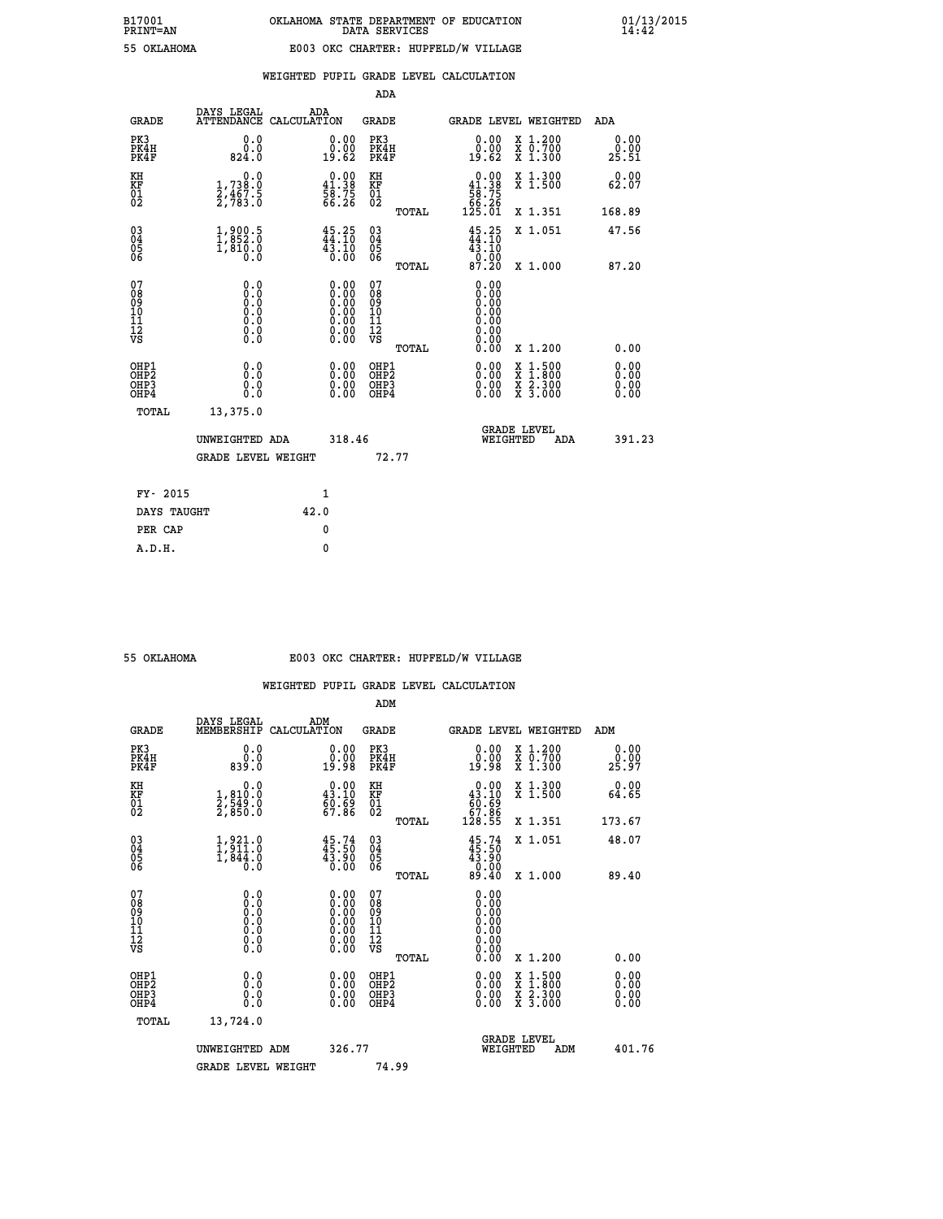|  |  | WEIGHTED PUPIL GRADE LEVEL CALCULATION |
|--|--|----------------------------------------|
|  |  |                                        |

|                                                    |                                                                                 |                    |                                                                                               | ADA                                                |       |                                                                             |        |                                                                  |                              |
|----------------------------------------------------|---------------------------------------------------------------------------------|--------------------|-----------------------------------------------------------------------------------------------|----------------------------------------------------|-------|-----------------------------------------------------------------------------|--------|------------------------------------------------------------------|------------------------------|
| <b>GRADE</b>                                       | DAYS LEGAL<br><b>ATTENDANCE</b>                                                 | ADA<br>CALCULATION |                                                                                               | GRADE                                              |       |                                                                             |        | GRADE LEVEL WEIGHTED                                             | <b>ADA</b>                   |
| PK3<br>PK4H<br>PK4F                                | 0.0<br>0.0<br>824.0                                                             |                    | 0.00<br>0.00<br>19.62                                                                         | PK3<br>PK4H<br>PK4F                                |       | 0.00<br>ةْ:ةْ<br>19:62                                                      |        | X 1.200<br>X 0.700<br>X 1.300                                    | 0.00<br>0.00<br>25.51        |
| KH<br><b>KF</b><br>01<br>02                        | 0.0<br>$\frac{1}{2}, \frac{738}{467}$ . 5<br>$\frac{2}{7}, \frac{467}{783}$ . 5 |                    | $\begin{smallmatrix} &0.00\\ 41.38\\ 58.75\\ 66.26 \end{smallmatrix}$                         | KH<br>KF<br>01<br>02                               |       | $\begin{smallmatrix}&&0.00\\41.38\\58.75\\66.26\\125.01\end{smallmatrix}$   |        | X 1.300<br>X 1.500                                               | 0.00<br>62.07                |
|                                                    |                                                                                 |                    |                                                                                               |                                                    | TOTAL |                                                                             |        | X 1.351                                                          | 168.89                       |
| $\begin{matrix} 03 \\ 04 \\ 05 \\ 06 \end{matrix}$ | $\begin{smallmatrix} 1,900.5\\ 1,852.0\\ 1,810.0\\ 0.0 \end{smallmatrix}$       |                    | $45.25$<br>$44.10$<br>$\frac{43.10}{0.00}$                                                    | $\begin{matrix} 03 \\ 04 \\ 05 \\ 06 \end{matrix}$ |       | $45.25$<br>$44.10$<br>$\begin{array}{c} 43.10 \\ 0.00 \\ 87.20 \end{array}$ |        | X 1.051                                                          | 47.56                        |
|                                                    |                                                                                 |                    |                                                                                               |                                                    | TOTAL |                                                                             |        | X 1.000                                                          | 87.20                        |
| 07<br>08<br>09<br>101<br>11<br>12<br>VS            | $\S.$ $\S$                                                                      |                    | $\begin{smallmatrix} 0.00\ 0.00\ 0.00\ 0.00\ 0.00\ 0.00\ 0.00\ 0.00\ 0.00\ \end{smallmatrix}$ | 07<br>08<br>09<br>11<br>11<br>12<br>VS             |       | 0.00<br>0.00<br>0.00<br>0.00                                                |        |                                                                  |                              |
|                                                    |                                                                                 |                    |                                                                                               |                                                    | TOTAL | 0.00                                                                        |        | X 1.200                                                          | 0.00                         |
| OHP1<br>OHP2<br>OHP3<br>OHP4                       | 0.0<br>0.0<br>0.0                                                               |                    | 0.00<br>$0.00$<br>0.00                                                                        | OHP1<br>OHP2<br>OHP3<br>OHP4                       |       | $0.00$<br>$0.00$<br>0.00                                                    | X<br>X | $1.500$<br>$1.800$<br>$\frac{\ddot{x}}{x}$ $\frac{5.300}{3.000}$ | 0.00<br>0.00<br>0.00<br>0.00 |
| TOTAL                                              | 13,375.0                                                                        |                    |                                                                                               |                                                    |       |                                                                             |        |                                                                  |                              |
|                                                    | UNWEIGHTED ADA                                                                  |                    | 318.46                                                                                        |                                                    |       | WEIGHTED                                                                    |        | <b>GRADE LEVEL</b><br>ADA                                        | 391.23                       |
|                                                    | <b>GRADE LEVEL WEIGHT</b>                                                       |                    |                                                                                               |                                                    | 72.77 |                                                                             |        |                                                                  |                              |
| FY- 2015                                           |                                                                                 |                    | $\mathbf{1}$                                                                                  |                                                    |       |                                                                             |        |                                                                  |                              |
| DAYS TAUGHT                                        |                                                                                 | 42.0               |                                                                                               |                                                    |       |                                                                             |        |                                                                  |                              |
|                                                    |                                                                                 |                    |                                                                                               |                                                    |       |                                                                             |        |                                                                  |                              |

| 55 OKTAHOMA |  |  |
|-------------|--|--|
|             |  |  |
|             |  |  |

 **PER CAP 0 A.D.H. 0**

# **55 OKLAHOMA E003 OKC CHARTER: HUPFELD/W VILLAGE**

|                                          |                                                                                                   |                                                                                               | ADM                                                 |       |                                                                             |                                          |                              |
|------------------------------------------|---------------------------------------------------------------------------------------------------|-----------------------------------------------------------------------------------------------|-----------------------------------------------------|-------|-----------------------------------------------------------------------------|------------------------------------------|------------------------------|
| <b>GRADE</b>                             | DAYS LEGAL<br>MEMBERSHIP                                                                          | ADM<br>CALCULATION                                                                            | <b>GRADE</b>                                        |       |                                                                             | GRADE LEVEL WEIGHTED                     | ADM                          |
| PK3<br>PK4H<br>PK4F                      | 0.0<br>ŏ:ŏ<br>0:08                                                                                | $\begin{smallmatrix} 0.00\\ 0.00\\ 19.98 \end{smallmatrix}$                                   | PK3<br>PK4H<br>PK4F                                 |       | $\begin{smallmatrix} 0.00\\ 0.00\\ 19.98 \end{smallmatrix}$                 | X 1.200<br>X 0.700<br>X 1.300            | 0.00<br>_ŏ:ŏŏ<br>25:97       |
| KH<br>KF<br>01<br>02                     | 0.0<br>$\frac{1}{2}, \frac{810}{549}$ .0<br>2,850.0                                               | $\begin{smallmatrix} 0.00\\ 43.10\\ 60.69\\ 67.86 \end{smallmatrix}$                          | KH<br>KF<br>01<br>02                                |       | $\begin{smallmatrix} &0.00\ 43.10\ 60.69\ 67.86\ 128.55\ \end{smallmatrix}$ | X 1.300<br>X 1.500                       | 0.00<br>64.65                |
|                                          |                                                                                                   |                                                                                               |                                                     | TOTAL |                                                                             | X 1.351                                  | 173.67                       |
| 03<br>04<br>05<br>06                     | $\frac{1}{1}, \frac{9}{9} \frac{21}{11} \cdot \frac{0}{9}$<br>1,844.0<br>0.0                      | $45.74$<br>$45.50$<br>43.90<br>0.00                                                           | $\begin{array}{c} 03 \\ 04 \\ 05 \\ 06 \end{array}$ |       | $45.74$<br>$43.90$<br>$0.00$<br>$89.40$                                     | X 1.051                                  | 48.07                        |
|                                          |                                                                                                   |                                                                                               |                                                     | TOTAL |                                                                             | X 1.000                                  | 89.40                        |
| 07<br>08<br>09<br>101<br>112<br>VS       | $\begin{smallmatrix} 0.0 & 0 \ 0.0 & 0 \ 0.0 & 0 \ 0.0 & 0 \ 0.0 & 0 \ 0.0 & 0 \end{smallmatrix}$ | $\begin{smallmatrix} 0.00\ 0.00\ 0.00\ 0.00\ 0.00\ 0.00\ 0.00\ 0.00\ 0.00\ \end{smallmatrix}$ | 07<br>08<br>09<br>11<br>11<br>12<br>VS              |       | 0.00<br>$0.00$<br>0.00<br>0.00<br>0.00                                      |                                          |                              |
|                                          |                                                                                                   |                                                                                               |                                                     | TOTAL | 0.00                                                                        | X 1.200                                  | 0.00                         |
| OHP1<br>OHP2<br>OHP <sub>3</sub><br>OHP4 | 0.0<br>0.000                                                                                      |                                                                                               | OHP1<br>OHP2<br>OHP <sub>3</sub>                    |       | $0.00$<br>$0.00$<br>0.00                                                    | X 1:500<br>X 1:800<br>X 2:300<br>X 3:000 | 0.00<br>Ŏ.ŎŎ<br>Q.QQ<br>0.00 |
| TOTAL                                    | 13,724.0                                                                                          |                                                                                               |                                                     |       |                                                                             |                                          |                              |
|                                          | UNWEIGHTED ADM                                                                                    | 326.77                                                                                        |                                                     |       |                                                                             | GRADE LEVEL<br>WEIGHTED<br>ADM           | 401.76                       |
|                                          | <b>GRADE LEVEL WEIGHT</b>                                                                         |                                                                                               | 74.99                                               |       |                                                                             |                                          |                              |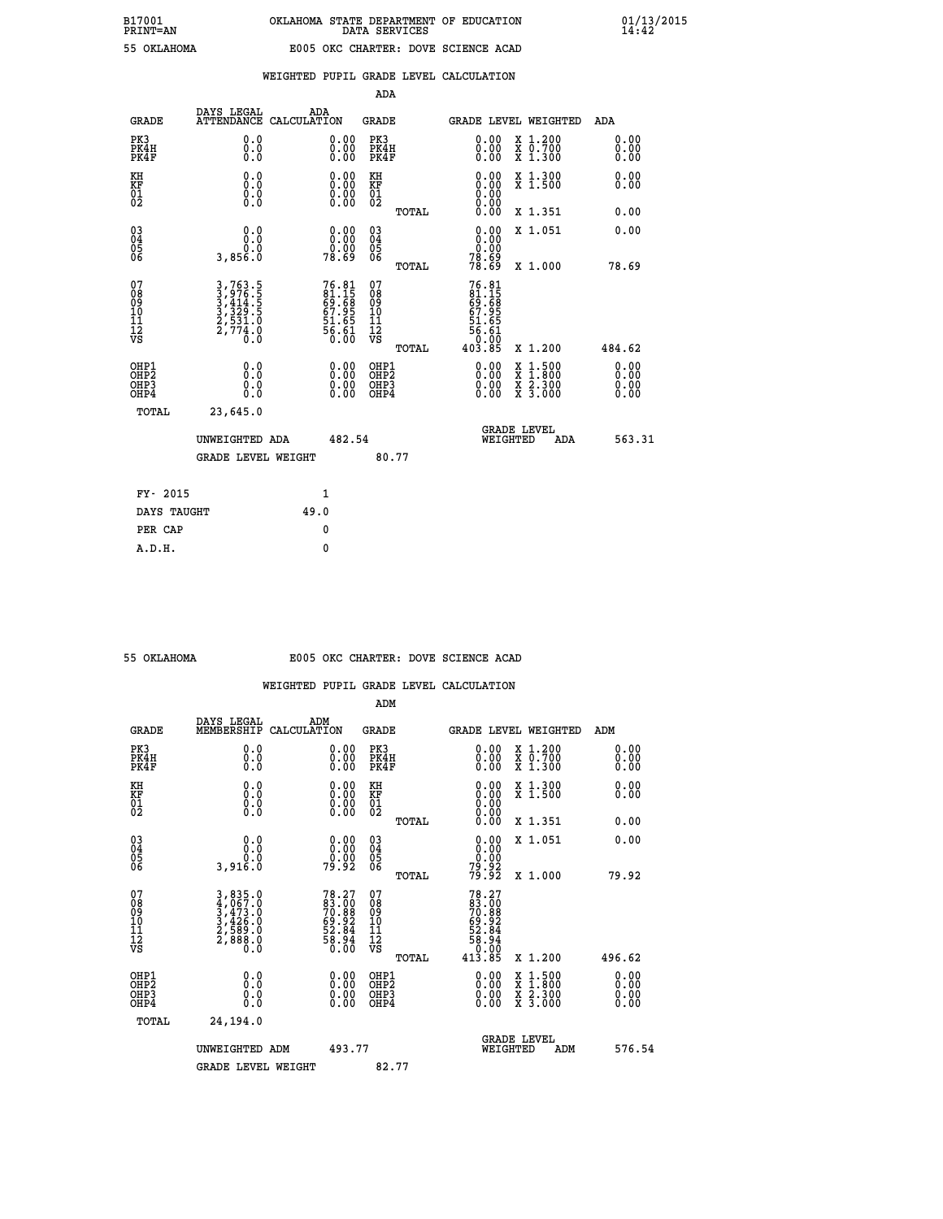|  |  | WEIGHTED PUPIL GRADE LEVEL CALCULATION |
|--|--|----------------------------------------|
|  |  |                                        |

|                                                                    |                                                                       |                    |                                                                    | ADA                                    |       |                                                                                                                                                                                                                                                     |                                          |                               |
|--------------------------------------------------------------------|-----------------------------------------------------------------------|--------------------|--------------------------------------------------------------------|----------------------------------------|-------|-----------------------------------------------------------------------------------------------------------------------------------------------------------------------------------------------------------------------------------------------------|------------------------------------------|-------------------------------|
| <b>GRADE</b>                                                       | DAYS LEGAL<br><b>ATTENDANCE</b>                                       | ADA<br>CALCULATION |                                                                    | <b>GRADE</b>                           |       | <b>GRADE LEVEL WEIGHTED</b>                                                                                                                                                                                                                         |                                          | ADA                           |
| PK3<br>PK4H<br>PK4F                                                | 0.0<br>0.0<br>Ō.Ō                                                     |                    | 0.00<br>$\begin{smallmatrix} 0.00 \ 0.00 \end{smallmatrix}$        | PK3<br>PK4H<br>PK4F                    |       | $\begin{smallmatrix} 0.00 \\ 0.00 \\ 0.00 \end{smallmatrix}$                                                                                                                                                                                        | X 1.200<br>X 0.700<br>X 1.300            | 0.00<br>0.00<br>0.00          |
| KH<br>KF<br>01<br>02                                               | 0.0<br>0.0<br>$\S.$                                                   |                    | 0.0000<br>$\begin{smallmatrix} 0.00 \\ 0.00 \end{smallmatrix}$     | KH<br>KF<br>01<br>02                   |       | 0.00                                                                                                                                                                                                                                                | X 1.300<br>X 1.500                       | 0.00<br>0.00                  |
|                                                                    |                                                                       |                    |                                                                    |                                        | TOTAL | 0.00                                                                                                                                                                                                                                                | X 1.351                                  | 0.00                          |
| $\begin{smallmatrix} 03 \\[-4pt] 04 \end{smallmatrix}$<br>Ŏ5<br>06 | 0.0<br>3,856.0                                                        |                    | $\begin{smallmatrix} 0.00\\ 0.00\\ 0.00\\ 78.69 \end{smallmatrix}$ | $\substack{03 \\ 04}$<br>Ŏ5<br>06      |       | 0.00<br>$\begin{smallmatrix} 0.000 0.000 0.000 0.000 0.000 0.000 0.000 0.000 0.000 0.000 0.000 0.000 0.000 0.000 0.000 0.000 0.000 0.000 0.000 0.000 0.000 0.000 0.000 0.000 0.000 0.000 0.000 0.000 0.000 0.000 0.000 0.000 0.000 0.000 0.000 0.0$ | X 1.051                                  | 0.00                          |
|                                                                    |                                                                       |                    |                                                                    |                                        | TOTAL |                                                                                                                                                                                                                                                     | X 1.000                                  | 78.69                         |
| 07<br>08<br>09<br>101<br>11<br>12<br>VS                            | 3,763.5<br>3,976.5<br>3,414.5<br>3,329.5<br>2,531.0<br>2,774.0<br>0.0 |                    | 76.81<br>81.15<br>69.68<br>67.95<br>67.65<br>56.61<br>56.61        | 07<br>08<br>09<br>11<br>11<br>12<br>VS |       | 76.81<br>81.15<br>69.68<br>67.95<br>51.65<br>$\frac{56.61}{0.00}$                                                                                                                                                                                   |                                          |                               |
|                                                                    |                                                                       |                    |                                                                    |                                        | TOTAL | 403.85                                                                                                                                                                                                                                              | X 1.200                                  | 484.62                        |
| OHP1<br>OHP <sub>2</sub><br>OH <sub>P3</sub><br>OHP4               | 0.0<br>0.0<br>0.0                                                     |                    | 0.00<br>$\begin{smallmatrix} 0.00 \ 0.00 \end{smallmatrix}$        | OHP1<br>OHP2<br>OHP <sub>3</sub>       |       | 0.00<br>0.00                                                                                                                                                                                                                                        | X 1:500<br>X 1:800<br>X 2:300<br>X 3:000 | 0.00<br>Ō. ŌŌ<br>0.00<br>0.00 |
| TOTAL                                                              | 23,645.0                                                              |                    |                                                                    |                                        |       |                                                                                                                                                                                                                                                     |                                          |                               |
|                                                                    | UNWEIGHTED ADA                                                        |                    | 482.54                                                             |                                        |       | WEIGHTED                                                                                                                                                                                                                                            | <b>GRADE LEVEL</b><br>ADA                | 563.31                        |
|                                                                    | <b>GRADE LEVEL WEIGHT</b>                                             |                    |                                                                    |                                        | 80.77 |                                                                                                                                                                                                                                                     |                                          |                               |
| FY- 2015                                                           |                                                                       |                    | 1                                                                  |                                        |       |                                                                                                                                                                                                                                                     |                                          |                               |
| DAYS TAUGHT                                                        |                                                                       | 49.0               |                                                                    |                                        |       |                                                                                                                                                                                                                                                     |                                          |                               |
| PER CAP                                                            |                                                                       |                    | 0                                                                  |                                        |       |                                                                                                                                                                                                                                                     |                                          |                               |

### **55 OKLAHOMA E005 OKC CHARTER: DOVE SCIENCE ACAD**

|                                    |                                                                                                                                               |                                                                           | ADM                                                 |       |                                                                                 |                                          |                      |
|------------------------------------|-----------------------------------------------------------------------------------------------------------------------------------------------|---------------------------------------------------------------------------|-----------------------------------------------------|-------|---------------------------------------------------------------------------------|------------------------------------------|----------------------|
| <b>GRADE</b>                       | DAYS LEGAL<br>MEMBERSHIP                                                                                                                      | ADM<br>CALCULATION                                                        | <b>GRADE</b>                                        |       |                                                                                 | GRADE LEVEL WEIGHTED                     | ADM                  |
| PK3<br>PK4H<br>PK4F                | 0.0<br>0.0<br>0.0                                                                                                                             | $\begin{smallmatrix} 0.00 \ 0.00 \ 0.00 \end{smallmatrix}$                | PK3<br>PK4H<br>PK4F                                 |       | $\begin{smallmatrix} 0.00 \\ 0.00 \\ 0.00 \end{smallmatrix}$                    | X 1.200<br>X 0.700<br>X 1.300            | 0.00<br>0.00<br>0.00 |
| KH<br>KF<br>01<br>02               | 0.0<br>0.0<br>$\S.$                                                                                                                           | $\begin{smallmatrix} 0.00 \ 0.00 \ 0.00 \ 0.00 \end{smallmatrix}$         | KH<br>KF<br>01<br>02                                |       | $\begin{smallmatrix} 0.00 \ 0.00 \ 0.00 \ 0.00 \ 0.00 \ 0.00 \end{smallmatrix}$ | X 1.300<br>X 1.500                       | 0.00<br>0.00         |
|                                    |                                                                                                                                               |                                                                           |                                                     | TOTAL |                                                                                 | X 1.351                                  | 0.00                 |
| 03<br>04<br>05<br>06               | 0.0<br>ة:ة<br>3,916.0                                                                                                                         | $\begin{smallmatrix} 0.00\\ 0.00\\ 0.00\\ 79.92 \end{smallmatrix}$        | $\begin{array}{c} 03 \\ 04 \\ 05 \\ 06 \end{array}$ |       | 0.00<br>$\begin{smallmatrix} 0.000 0.000 0.92 0.92 0.000 \end{smallmatrix}$     | X 1.051                                  | 0.00                 |
|                                    |                                                                                                                                               |                                                                           |                                                     | TOTAL |                                                                                 | X 1.000                                  | 79.92                |
| 07<br>08<br>09<br>101<br>112<br>VS | $\begin{smallmatrix} 3\,,\,835\,.0\\ 4\,,\,067\,.0\\ 3\,,\,473\,.0\\ 3\,,\,426\,.0\\ 2\,,\,589\,.0\\ 2\,,\,888\,.0\\ 0\,.0 \end{smallmatrix}$ | $78.27$<br>$83.00$<br>$70.88$<br>$59.92$<br>$52.84$<br>$58.94$<br>$56.00$ | 07<br>08<br>09<br>11<br>11<br>12<br>VS              |       | $78.27$<br>$83.008$<br>$70.882$<br>$69.824$<br>$52.844$<br>$56.000$<br>$413.85$ |                                          |                      |
|                                    |                                                                                                                                               |                                                                           |                                                     | TOTAL |                                                                                 | X 1.200                                  | 496.62               |
| OHP1<br>OHP2<br>OHP3<br>OHP4       | 0.0<br>0.000                                                                                                                                  |                                                                           | OHP1<br>OHP2<br>OHP <sub>3</sub>                    |       | $0.00$<br>$0.00$<br>0.00                                                        | X 1:500<br>X 1:800<br>X 2:300<br>X 3:000 | 0.00<br>0.00<br>0.00 |
| TOTAL                              | 24,194.0                                                                                                                                      |                                                                           |                                                     |       |                                                                                 |                                          |                      |
|                                    | UNWEIGHTED<br>ADM                                                                                                                             | 493.77                                                                    |                                                     |       |                                                                                 | GRADE LEVEL<br>WEIGHTED<br>ADM           | 576.54               |
|                                    | <b>GRADE LEVEL WEIGHT</b>                                                                                                                     |                                                                           | 82.77                                               |       |                                                                                 |                                          |                      |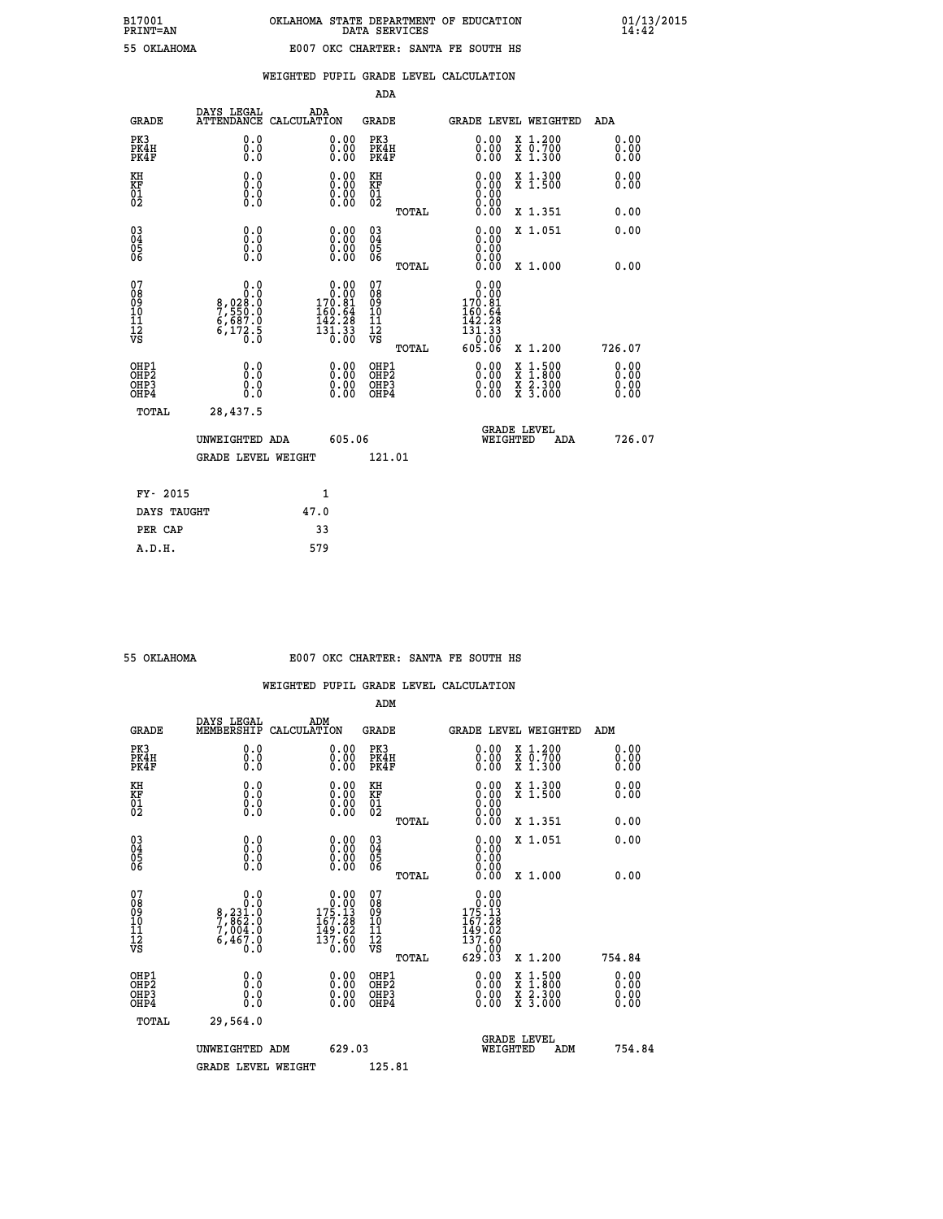| FRINI-AN    |  |
|-------------|--|
| EE OVIAUOMZ |  |

|  |  | WEIGHTED PUPIL GRADE LEVEL CALCULATION |
|--|--|----------------------------------------|
|  |  |                                        |

|                                                                    |                                                               |                                                                     | ADA                                    |       |                                                                                                                                      |                                                                                                                                              |                               |
|--------------------------------------------------------------------|---------------------------------------------------------------|---------------------------------------------------------------------|----------------------------------------|-------|--------------------------------------------------------------------------------------------------------------------------------------|----------------------------------------------------------------------------------------------------------------------------------------------|-------------------------------|
| <b>GRADE</b>                                                       | DAYS LEGAL                                                    | ADA<br>ATTENDANCE CALCULATION                                       | <b>GRADE</b>                           |       |                                                                                                                                      | <b>GRADE LEVEL WEIGHTED</b>                                                                                                                  | ADA                           |
| PK3<br>PK4H<br>PK4F                                                | 0.0<br>0.0<br>0.0                                             | 0.00<br>$0.00$<br>0.00                                              | PK3<br>PK4H<br>PK4F                    |       | $\begin{smallmatrix} 0.00 \\ 0.00 \\ 0.00 \end{smallmatrix}$                                                                         | X 1.200<br>X 0.700<br>X 1.300                                                                                                                | 0.00<br>0.00<br>0.00          |
| KH<br>KF<br>01<br>02                                               | 0.0<br>0.0<br>$\S.$                                           | 0.0000<br>$\begin{smallmatrix} 0.00 \\ 0.00 \end{smallmatrix}$      | KH<br>KF<br>01<br>02                   |       | 0.00                                                                                                                                 | X 1.300<br>X 1.500                                                                                                                           | 0.00<br>0.00                  |
|                                                                    |                                                               |                                                                     |                                        | TOTAL | 0.00                                                                                                                                 | X 1.351                                                                                                                                      | 0.00                          |
| $\begin{smallmatrix} 03 \\[-4pt] 04 \end{smallmatrix}$<br>Ŏ5<br>06 | 0.0<br>0.000                                                  | $\begin{smallmatrix} 0.00 \ 0.00 \ 0.00 \ 0.00 \end{smallmatrix}$   | $\substack{03 \\ 04}$<br>Ŏ5<br>06      |       | 0.00<br>0.00<br>0.00                                                                                                                 | X 1.051                                                                                                                                      | 0.00                          |
|                                                                    |                                                               |                                                                     |                                        | TOTAL | 0.00                                                                                                                                 | X 1.000                                                                                                                                      | 0.00                          |
| 07<br>08<br>09<br>101<br>11<br>12<br>VS                            | 0.0<br>0.0<br>8,028:0<br>7,550:0<br>6,687:0<br>6,172:5<br>0.0 | $0.00$<br>$170.81$<br>$160.64$<br>$142.23$<br>$\frac{131.33}{0.00}$ | 07<br>08<br>09<br>11<br>11<br>12<br>VS |       | 0.00<br>0.00<br>170.81<br>160.64<br>142.28<br>$\overline{1}\overline{3}\overline{1}\overline{.}\overline{3}\overline{3}\overline{0}$ |                                                                                                                                              |                               |
|                                                                    |                                                               |                                                                     |                                        | TOTAL | 605.06                                                                                                                               | X 1.200                                                                                                                                      | 726.07                        |
| OHP1<br>OHP <sub>2</sub><br>OH <sub>P3</sub><br>OHP4               | 0.0<br>0.0<br>0.0                                             | 0.00<br>$\begin{smallmatrix} 0.00 \ 0.00 \end{smallmatrix}$         | OHP1<br>OHP2<br>OHP <sub>3</sub>       |       | 0.00<br>0.00                                                                                                                         | $\begin{smallmatrix} \mathtt{X} & 1\cdot500 \\ \mathtt{X} & 1\cdot800 \\ \mathtt{X} & 2\cdot300 \\ \mathtt{X} & 3\cdot000 \end{smallmatrix}$ | 0.00<br>Ō. ŌŌ<br>0.00<br>0.00 |
| TOTAL                                                              | 28,437.5                                                      |                                                                     |                                        |       |                                                                                                                                      |                                                                                                                                              |                               |
|                                                                    | UNWEIGHTED ADA                                                | 605.06                                                              |                                        |       |                                                                                                                                      | <b>GRADE LEVEL</b><br>WEIGHTED<br>ADA                                                                                                        | 726.07                        |
|                                                                    | <b>GRADE LEVEL WEIGHT</b>                                     |                                                                     | 121.01                                 |       |                                                                                                                                      |                                                                                                                                              |                               |
| FY- 2015                                                           |                                                               | 1                                                                   |                                        |       |                                                                                                                                      |                                                                                                                                              |                               |
| DAYS TAUGHT                                                        |                                                               | 47.0                                                                |                                        |       |                                                                                                                                      |                                                                                                                                              |                               |
| PER CAP                                                            |                                                               | 33                                                                  |                                        |       |                                                                                                                                      |                                                                                                                                              |                               |

| 55 OKTAHOMA |  |
|-------------|--|

## **55 OKLAHOMA E007 OKC CHARTER: SANTA FE SOUTH HS**

|                                                    |                                                                            |                                                                                             | ADM                                                 |       |                                                                                                 |                                          |                      |  |
|----------------------------------------------------|----------------------------------------------------------------------------|---------------------------------------------------------------------------------------------|-----------------------------------------------------|-------|-------------------------------------------------------------------------------------------------|------------------------------------------|----------------------|--|
| <b>GRADE</b>                                       | DAYS LEGAL<br>MEMBERSHIP                                                   | ADM<br>CALCULATION                                                                          | <b>GRADE</b>                                        |       |                                                                                                 | <b>GRADE LEVEL WEIGHTED</b>              | ADM                  |  |
| PK3<br>PK4H<br>PK4F                                | 0.0<br>0.000                                                               | $\begin{smallmatrix} 0.00 \ 0.00 \ 0.00 \end{smallmatrix}$                                  | PK3<br>PK4H<br>PK4F                                 |       | $\begin{smallmatrix} 0.00 \\ 0.00 \\ 0.00 \end{smallmatrix}$                                    | X 1.200<br>X 0.700<br>X 1.300            | 0.00<br>0.00<br>0.00 |  |
| KH<br>KF<br>01<br>02                               | 0.0<br>$\begin{smallmatrix} 0.0 & 0 \ 0.0 & 0 \ 0.0 & 0 \end{smallmatrix}$ | $\begin{smallmatrix} 0.00 \ 0.00 \ 0.00 \ 0.00 \end{smallmatrix}$                           | KH<br>KF<br>01<br>02                                |       | $\begin{smallmatrix} 0.00 \ 0.00 \ 0.00 \ 0.00 \ 0.00 \ 0.00 \end{smallmatrix}$                 | X 1.300<br>X 1.500                       | 0.00<br>0.00         |  |
|                                                    |                                                                            |                                                                                             |                                                     | TOTAL |                                                                                                 | X 1.351                                  | 0.00                 |  |
| $\begin{matrix} 03 \\ 04 \\ 05 \\ 06 \end{matrix}$ |                                                                            |                                                                                             | $\begin{array}{c} 03 \\ 04 \\ 05 \\ 06 \end{array}$ |       | $0.00$<br>$0.00$                                                                                | X 1.051                                  | 0.00                 |  |
|                                                    |                                                                            |                                                                                             |                                                     | TOTAL | 0.00                                                                                            | X 1.000                                  | 0.00                 |  |
| 07<br>08<br>09<br>10<br>11<br>11<br>12<br>VS       | 0.0<br>$8, 231.0$<br>$7, 862.0$<br>$7, 004.0$<br>$6, 467.0$<br>Ò.Ō         | $\begin{array}{c} 0.00 \\ 0.00 \\ 175.13 \\ 167.28 \\ 149.02 \\ 137.60 \\ 0.00 \end{array}$ | 07<br>08<br>09<br>01<br>11<br>11<br>12<br>VS        | TOTAL | 0.00<br>$\begin{smallmatrix} &0.000\ 175.13\ 167.28\ 149.02\ 137.60\ 629.03\ \end{smallmatrix}$ | X 1.200                                  | 754.84               |  |
| OHP1<br>OHP2<br>OH <sub>P3</sub><br>OHP4           | 0.0<br>0.000                                                               | $\begin{smallmatrix} 0.00 \ 0.00 \ 0.00 \ 0.00 \end{smallmatrix}$                           | OHP1<br>OHP2<br>OHP3<br>OHP4                        |       |                                                                                                 | X 1:500<br>X 1:800<br>X 2:300<br>X 3:000 | 0.00<br>0.00<br>0.00 |  |
| TOTAL                                              | 29,564.0                                                                   |                                                                                             |                                                     |       |                                                                                                 |                                          |                      |  |
|                                                    | UNWEIGHTED ADM                                                             | 629.03                                                                                      |                                                     |       | WEIGHTED                                                                                        | <b>GRADE LEVEL</b><br>ADM                | 754.84               |  |
|                                                    | <b>GRADE LEVEL WEIGHT</b>                                                  |                                                                                             | 125.81                                              |       |                                                                                                 |                                          |                      |  |
|                                                    |                                                                            |                                                                                             |                                                     |       |                                                                                                 |                                          |                      |  |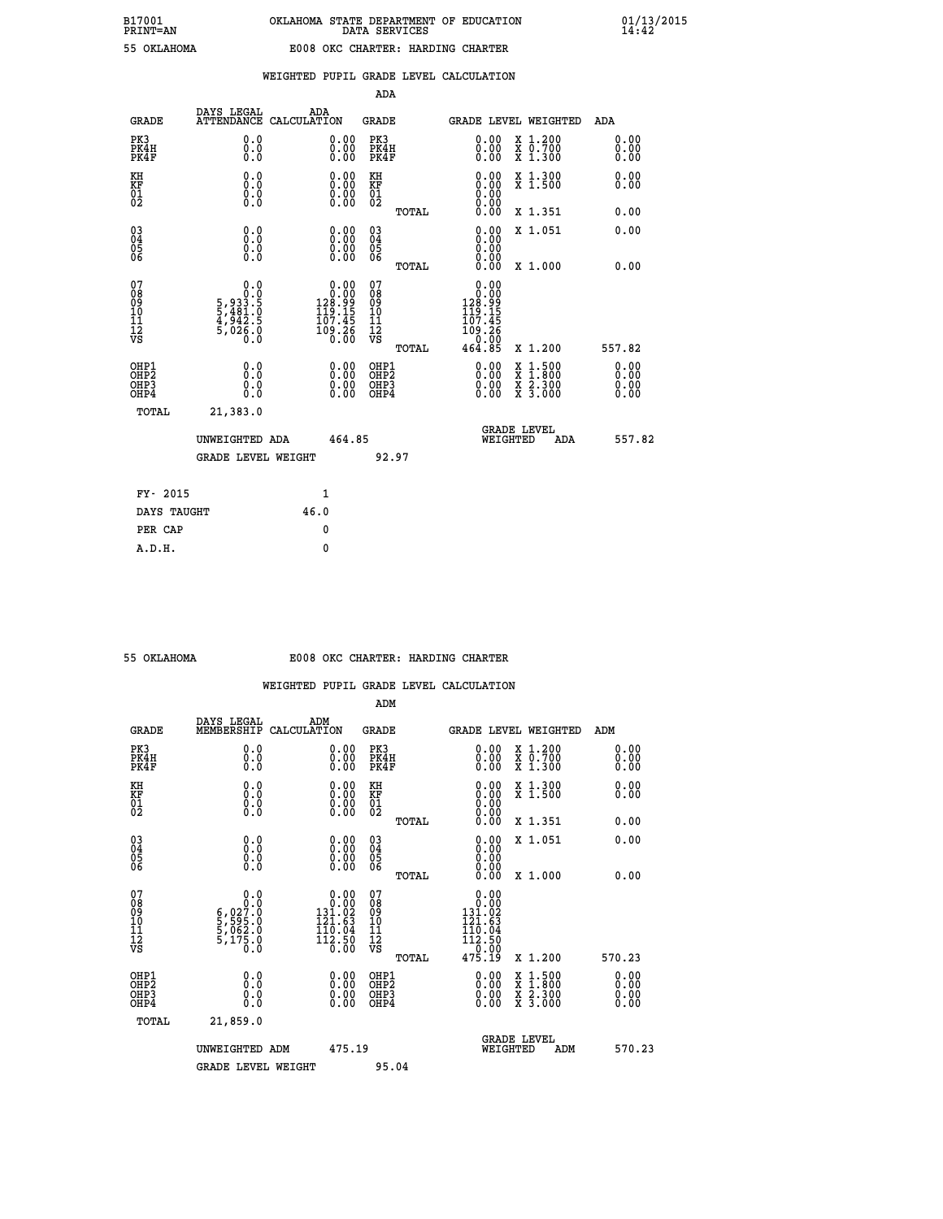### **WEIGHTED PUPIL GRADE LEVEL CALCULATION**

|                                                                    |                                                                  |                                                                       | ADA                                    |       |                                                                               |                                          |                              |
|--------------------------------------------------------------------|------------------------------------------------------------------|-----------------------------------------------------------------------|----------------------------------------|-------|-------------------------------------------------------------------------------|------------------------------------------|------------------------------|
| <b>GRADE</b>                                                       | DAYS LEGAL<br><b>ATTENDANCE</b>                                  | ADA<br>CALCULATION                                                    | <b>GRADE</b>                           |       |                                                                               | <b>GRADE LEVEL WEIGHTED</b>              | ADA                          |
| PK3<br>PK4H<br>PK4F                                                | 0.0<br>0.0<br>0.0                                                | $\begin{smallmatrix} 0.00 \ 0.00 \ 0.00 \end{smallmatrix}$            | PK3<br>PK4H<br>PK4F                    |       | $\begin{smallmatrix} 0.00 \\ 0.00 \\ 0.00 \end{smallmatrix}$                  | X 1.200<br>X 0.700<br>X 1.300            | 0.00<br>0.00<br>0.00         |
| KH<br>KF<br>01<br>02                                               | 0.0<br>0.0<br>$\S.$ $\S$                                         | $\begin{smallmatrix} 0.00 \ 0.00 \ 0.00 \ 0.00 \end{smallmatrix}$     | KH<br>KF<br>01<br>02                   |       | 0.00<br>0.0000000000                                                          | X 1.300<br>X 1.500                       | 0.00<br>0.00                 |
|                                                                    |                                                                  |                                                                       |                                        | TOTAL | 0.00                                                                          | X 1.351                                  | 0.00                         |
| $\begin{smallmatrix} 03 \\[-4pt] 04 \end{smallmatrix}$<br>Ŏ5<br>06 | 0.0<br>0.000                                                     | $\begin{smallmatrix} 0.00 \ 0.00 \ 0.00 \ 0.00 \end{smallmatrix}$     | $\substack{03 \\ 04}$<br>Ŏ5<br>06      |       | 0.00<br>0.00<br>0.00                                                          | X 1.051                                  | 0.00                         |
|                                                                    |                                                                  |                                                                       |                                        | TOTAL | 0.00                                                                          | X 1.000                                  | 0.00                         |
| 07<br>08<br>09<br>101<br>11<br>12<br>VS                            | 0.0<br>$5,933.5$<br>$5,481.5$<br>$4,942.5$<br>$5,026.0$<br>$0.0$ | $0.00$<br>$128.99$<br>$119.15$<br>$107.45$<br>1ŏģ∶ <u>2</u> ŏ<br>0.00 | 07<br>08<br>09<br>11<br>11<br>12<br>VS |       | 0.00<br>$\begin{smallmatrix} &0.000\\128.99\\119.15\\107.45\end{smallmatrix}$ |                                          |                              |
|                                                                    |                                                                  |                                                                       |                                        | TOTAL | 464.85                                                                        | X 1.200                                  | 557.82                       |
| OHP1<br>OHP <sub>2</sub><br>OH <sub>P3</sub><br>OHP4               | 0.0<br>0.0<br>0.0                                                | 0.00<br>$\begin{smallmatrix} 0.00 \ 0.00 \end{smallmatrix}$           | OHP1<br>OHP2<br>OHP <sub>3</sub>       |       | 0.00<br>0.00                                                                  | X 1:500<br>X 1:800<br>X 2:300<br>X 3:000 | 0.00<br>0.00<br>0.00<br>Ŏ.ŎŎ |
| TOTAL                                                              | 21,383.0                                                         |                                                                       |                                        |       |                                                                               |                                          |                              |
|                                                                    | UNWEIGHTED ADA                                                   | 464.85                                                                |                                        |       |                                                                               | <b>GRADE LEVEL</b><br>WEIGHTED<br>ADA    | 557.82                       |
|                                                                    | <b>GRADE LEVEL WEIGHT</b>                                        |                                                                       |                                        | 92.97 |                                                                               |                                          |                              |
| FY- 2015                                                           |                                                                  | $\mathbf{1}$                                                          |                                        |       |                                                                               |                                          |                              |
| DAYS TAUGHT                                                        |                                                                  | 46.0                                                                  |                                        |       |                                                                               |                                          |                              |
| PER CAP                                                            |                                                                  | 0                                                                     |                                        |       |                                                                               |                                          |                              |

 **A.D.H. 0**

#### **55 OKLAHOMA E008 OKC CHARTER: HARDING CHARTER**

|                                                    |                                                                                                                                                            |                                                                                                                                   | ADM                                                   |                                                                                                                                                                                                                                                                                |                                                                                                  |                          |
|----------------------------------------------------|------------------------------------------------------------------------------------------------------------------------------------------------------------|-----------------------------------------------------------------------------------------------------------------------------------|-------------------------------------------------------|--------------------------------------------------------------------------------------------------------------------------------------------------------------------------------------------------------------------------------------------------------------------------------|--------------------------------------------------------------------------------------------------|--------------------------|
| <b>GRADE</b>                                       | DAYS LEGAL<br>MEMBERSHIP                                                                                                                                   | ADM<br>CALCULATION                                                                                                                | <b>GRADE</b>                                          |                                                                                                                                                                                                                                                                                | GRADE LEVEL WEIGHTED                                                                             | ADM                      |
| PK3<br>PK4H<br>PK4F                                | 0.0<br>0.000                                                                                                                                               | 0.00<br>$\begin{smallmatrix} 0.00 \ 0.00 \end{smallmatrix}$                                                                       | PK3<br>PK4H<br>PK4F                                   | $\begin{smallmatrix} 0.00 \\ 0.00 \\ 0.00 \end{smallmatrix}$                                                                                                                                                                                                                   | X 1.200<br>X 0.700<br>X 1.300                                                                    | 0.00<br>0.00<br>0.00     |
| KH<br>KF<br>01<br>02                               | 0.0<br>$\begin{smallmatrix} 0.0 & 0 \ 0.0 & 0 \ 0.0 & 0 \end{smallmatrix}$                                                                                 | $\begin{smallmatrix} 0.00 \ 0.00 \ 0.00 \ 0.00 \end{smallmatrix}$                                                                 | KH<br>KF<br>01<br>02                                  | $0.00$<br>$0.00$<br>$0.00$                                                                                                                                                                                                                                                     | X 1.300<br>X 1.500                                                                               | 0.00<br>0.00             |
|                                                    |                                                                                                                                                            |                                                                                                                                   | TOTAL                                                 | 0.00                                                                                                                                                                                                                                                                           | X 1.351                                                                                          | 0.00                     |
| $\begin{matrix} 03 \\ 04 \\ 05 \\ 06 \end{matrix}$ |                                                                                                                                                            | $\begin{smallmatrix} 0.00 \ 0.00 \ 0.00 \ 0.00 \end{smallmatrix}$                                                                 | $\begin{array}{c} 03 \\ 04 \\ 05 \\ 06 \end{array}$   | 0.00<br>0.00<br>0.00                                                                                                                                                                                                                                                           | X 1.051                                                                                          | 0.00                     |
|                                                    |                                                                                                                                                            |                                                                                                                                   | TOTAL                                                 | 0.00                                                                                                                                                                                                                                                                           | X 1.000                                                                                          | 0.00                     |
| 07<br>08<br>09<br>101<br>11<br>12<br>VS            | 0.0<br>$\begin{smallmatrix} & & & 0.10\ 6\, , & 0.27\, . & 0\ 5\, , & 595\, . & 0\ 5\, , & 062\, . & 0\ 5\, , & 175\, . & 0\ 0\, . & 0\ \end{smallmatrix}$ | $\begin{smallmatrix} 0.00\\ 0.00\\ 131.02 \end{smallmatrix}$<br>$\begin{array}{r} 121.63 \\ 110.04 \\ 112.50 \\ 6.00 \end{array}$ | 07<br>08<br>09<br>01<br>11<br>11<br>12<br>VS<br>TOTAL | 0.00<br>$\begin{smallmatrix} 0.000\ 131.022\ 121.63\ 110.04\ 112.50\ 0.00\ 475.19 \end{smallmatrix}$                                                                                                                                                                           | X 1.200                                                                                          | 570.23                   |
| OHP1<br>OHP2<br>OHP3<br>OHP4                       |                                                                                                                                                            | $0.00$<br>$0.00$<br>0.00                                                                                                          | OHP1<br>OHP2<br>OHP <sub>3</sub><br>OHP4              | $\begin{smallmatrix} 0.00 & 0.00 & 0.00 & 0.00 & 0.00 & 0.00 & 0.00 & 0.00 & 0.00 & 0.00 & 0.00 & 0.00 & 0.00 & 0.00 & 0.00 & 0.00 & 0.00 & 0.00 & 0.00 & 0.00 & 0.00 & 0.00 & 0.00 & 0.00 & 0.00 & 0.00 & 0.00 & 0.00 & 0.00 & 0.00 & 0.00 & 0.00 & 0.00 & 0.00 & 0.00 & 0.0$ | $\begin{smallmatrix} x & 1 & 500 \\ x & 1 & 800 \\ x & 2 & 300 \\ x & 3 & 000 \end{smallmatrix}$ | $0.00$<br>$0.00$<br>0.00 |
| TOTAL                                              | 21,859.0                                                                                                                                                   |                                                                                                                                   |                                                       |                                                                                                                                                                                                                                                                                |                                                                                                  |                          |
|                                                    | UNWEIGHTED ADM                                                                                                                                             | 475.19                                                                                                                            |                                                       | WEIGHTED                                                                                                                                                                                                                                                                       | <b>GRADE LEVEL</b><br>ADM                                                                        | 570.23                   |
|                                                    | <b>GRADE LEVEL WEIGHT</b>                                                                                                                                  |                                                                                                                                   | 95.04                                                 |                                                                                                                                                                                                                                                                                |                                                                                                  |                          |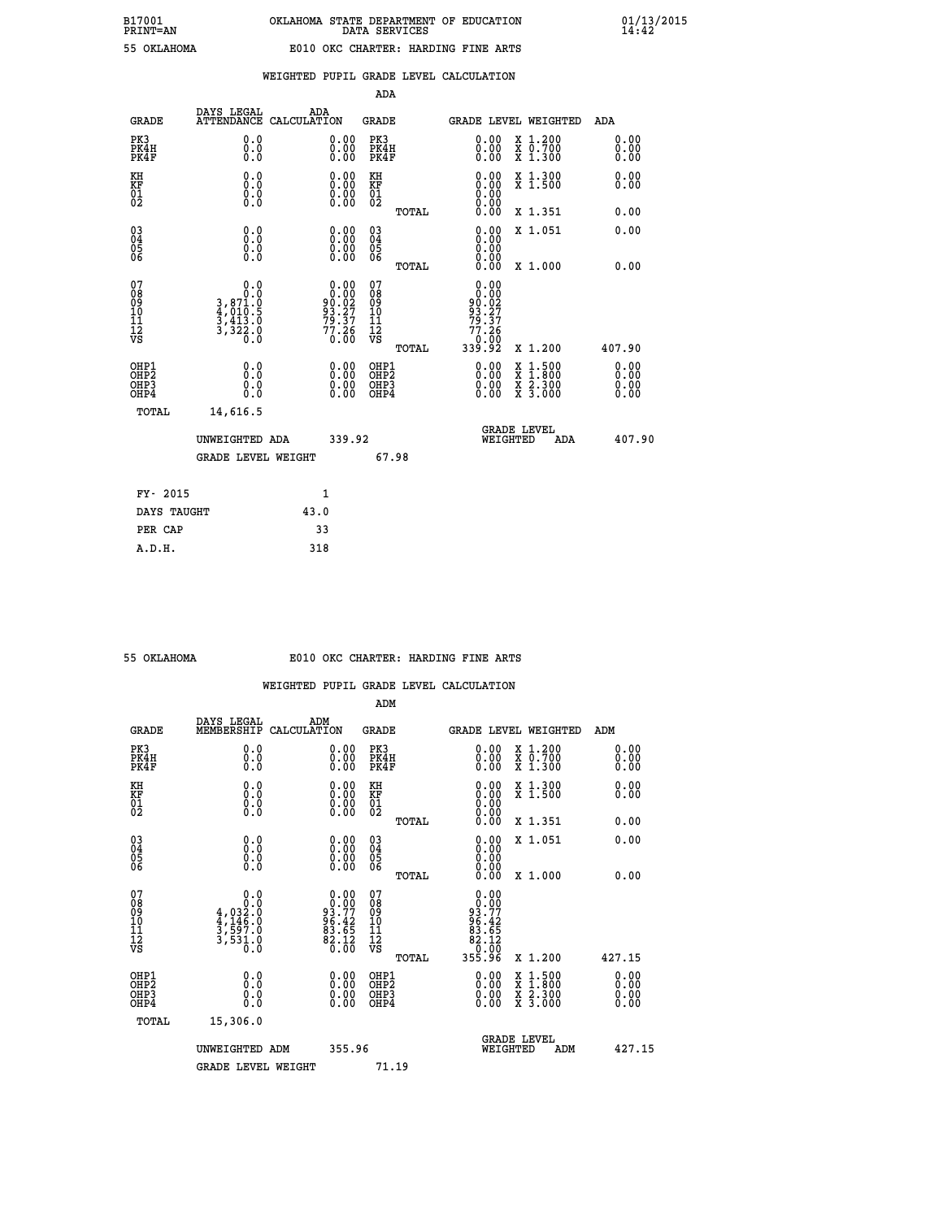| FRINI-AN        |  |
|-----------------|--|
| <b>OVI AUOM</b> |  |

|  |  | WEIGHTED PUPIL GRADE LEVEL CALCULATION |
|--|--|----------------------------------------|
|  |  |                                        |

|                                                                    |                                                                  |                    |                                                                     | ADA                               |       |                                                              |                                          |                               |
|--------------------------------------------------------------------|------------------------------------------------------------------|--------------------|---------------------------------------------------------------------|-----------------------------------|-------|--------------------------------------------------------------|------------------------------------------|-------------------------------|
| <b>GRADE</b>                                                       | DAYS LEGAL<br><b>ATTENDANCE</b>                                  | ADA<br>CALCULATION |                                                                     | <b>GRADE</b>                      |       |                                                              | <b>GRADE LEVEL WEIGHTED</b>              | ADA                           |
| PK3<br>PK4H<br>PK4F                                                | 0.0<br>0.0<br>0.0                                                |                    | $\begin{smallmatrix} 0.00 \ 0.00 \ 0.00 \end{smallmatrix}$          | PK3<br>PK4H<br>PK4F               |       | $\begin{smallmatrix} 0.00 \\ 0.00 \\ 0.00 \end{smallmatrix}$ | X 1.200<br>X 0.700<br>X 1.300            | 0.00<br>0.00<br>0.00          |
| KH<br>KF<br>01<br>02                                               | 0.0<br>0.0<br>$\S.$                                              |                    | $\begin{smallmatrix} 0.00 \ 0.00 \ 0.00 \ 0.00 \end{smallmatrix}$   | KH<br>KF<br>01<br>02              |       | 0.00                                                         | X 1.300<br>X 1.500                       | 0.00<br>0.00                  |
|                                                                    |                                                                  |                    |                                                                     |                                   | TOTAL | 0.00                                                         | X 1.351                                  | 0.00                          |
| $\begin{smallmatrix} 03 \\[-4pt] 04 \end{smallmatrix}$<br>Ŏ5<br>06 | 0.0<br>0.000                                                     |                    | $\begin{smallmatrix} 0.00 \ 0.00 \ 0.00 \ 0.00 \end{smallmatrix}$   | $\substack{03 \\ 04}$<br>Ŏ5<br>06 |       | 0.00<br>0.00<br>0.00                                         | X 1.051                                  | 0.00                          |
|                                                                    | 0.0                                                              |                    |                                                                     | 07                                | TOTAL | 0.00<br>0.00                                                 | X 1.000                                  | 0.00                          |
| 07<br>08<br>09<br>101<br>11<br>12<br>VS                            | 0.0<br>$3,871.0$<br>$4,010.5$<br>$3,413.0$<br>$3,322.0$<br>$0.0$ |                    | $0.00$<br>$90.02$<br>$93.27$<br>$79.37$<br>$\substack{77.26\\0.00}$ | 08<br>09<br>11<br>11<br>12<br>VS  |       | 0.00<br>90:02<br>93.27<br><u>79</u> .37<br>77.26<br>0.00     |                                          |                               |
|                                                                    |                                                                  |                    |                                                                     |                                   | TOTAL | 339.92                                                       | X 1.200                                  | 407.90                        |
| OHP1<br>OHP <sub>2</sub><br>OH <sub>P3</sub><br>OHP4               | 0.0<br>0.0<br>0.0                                                |                    | 0.00<br>$\begin{smallmatrix} 0.00 \ 0.00 \end{smallmatrix}$         | OHP1<br>OHP2<br>OHP <sub>3</sub>  |       | 0.00<br>0.00                                                 | X 1:500<br>X 1:800<br>X 2:300<br>X 3:000 | 0.00<br>Ō. ŌŌ<br>0.00<br>0.00 |
| TOTAL                                                              | 14,616.5                                                         |                    |                                                                     |                                   |       |                                                              |                                          |                               |
|                                                                    | UNWEIGHTED ADA                                                   |                    | 339.92                                                              |                                   |       | WEIGHTED                                                     | <b>GRADE LEVEL</b><br>ADA                | 407.90                        |
|                                                                    | <b>GRADE LEVEL WEIGHT</b>                                        |                    |                                                                     |                                   | 67.98 |                                                              |                                          |                               |
| FY- 2015                                                           |                                                                  | 1                  |                                                                     |                                   |       |                                                              |                                          |                               |
| DAYS TAUGHT                                                        |                                                                  | 43.0               |                                                                     |                                   |       |                                                              |                                          |                               |
| PER CAP                                                            |                                                                  | 33                 |                                                                     |                                   |       |                                                              |                                          |                               |

| OKLAHOMA |  |
|----------|--|
|          |  |
|          |  |

## **55 OKLAHOMA E010 OKC CHARTER: HARDING FINE ARTS**

|                                                    |                                                                                                                                                                                |                                                                   | ADM                                                 |       |                                                                                                           |                                                                                                                                           |                              |
|----------------------------------------------------|--------------------------------------------------------------------------------------------------------------------------------------------------------------------------------|-------------------------------------------------------------------|-----------------------------------------------------|-------|-----------------------------------------------------------------------------------------------------------|-------------------------------------------------------------------------------------------------------------------------------------------|------------------------------|
| <b>GRADE</b>                                       | DAYS LEGAL<br>MEMBERSHIP                                                                                                                                                       | ADM<br>CALCULATION                                                | <b>GRADE</b>                                        |       | GRADE LEVEL WEIGHTED                                                                                      |                                                                                                                                           | ADM                          |
| PK3<br>PK4H<br>PK4F                                | 0.0<br>0.0<br>0.0                                                                                                                                                              | $\begin{smallmatrix} 0.00 \ 0.00 \ 0.00 \end{smallmatrix}$        | PK3<br>PK4H<br>PK4F                                 |       | $\begin{smallmatrix} 0.00 \\ 0.00 \\ 0.00 \end{smallmatrix}$                                              | X 1.200<br>X 0.700<br>X 1.300                                                                                                             | 0.00<br>0.00<br>0.00         |
| KH<br>KF<br>01<br>02                               | 0.0<br>$\begin{smallmatrix} 0.0 & 0 \ 0.0 & 0 \ 0.0 & 0 \end{smallmatrix}$                                                                                                     | $\begin{smallmatrix} 0.00 \ 0.00 \ 0.00 \ 0.00 \end{smallmatrix}$ | KH<br>KF<br>01<br>02                                |       | $\begin{smallmatrix} 0.00 \ 0.00 \ 0.00 \ 0.00 \ 0.00 \ 0.00 \end{smallmatrix}$                           | X 1.300<br>X 1.500                                                                                                                        | 0.00<br>0.00                 |
|                                                    |                                                                                                                                                                                |                                                                   |                                                     | TOTAL |                                                                                                           | X 1.351                                                                                                                                   | 0.00                         |
| $\begin{matrix} 03 \\ 04 \\ 05 \\ 06 \end{matrix}$ |                                                                                                                                                                                | $\begin{smallmatrix} 0.00 \ 0.00 \ 0.00 \ 0.00 \end{smallmatrix}$ | $\begin{array}{c} 03 \\ 04 \\ 05 \\ 06 \end{array}$ |       | 0.00<br>0.00<br>0.00                                                                                      | X 1.051                                                                                                                                   | 0.00                         |
|                                                    |                                                                                                                                                                                |                                                                   |                                                     | TOTAL | 0.00                                                                                                      | X 1.000                                                                                                                                   | 0.00                         |
| 07<br>08<br>09<br>101<br>11<br>12<br>VS            | $\begin{smallmatrix}&&&0.0\\4\, ,\, 0 & 3 & 0\\4\, ,\, 0 & 3 & 2 & 0\\4\, ,\, 1 & 4 & 6 & 0\\3\, ,\, 5 & 9 & 7 & 0\\3\, ,\, 5 & 3 & 1 & 0\\0\, ,\, 0 & 0 & 0\end{smallmatrix}$ | $0.00$<br>$93.77$<br>$96.42$<br>$83.65$<br>$82.12$<br>$0.00$      | 07<br>08<br>09<br>11<br>11<br>12<br>VS              | TOTAL | 0.00<br>$\begin{array}{r} 0.000 \\ -93.77 \\ -96.42 \\ -86.42 \\ -82.12 \\ -65.96 \\ -355.96 \end{array}$ | X 1.200                                                                                                                                   | 427.15                       |
| OHP1<br>OHP2<br>OH <sub>P3</sub><br>OHP4           |                                                                                                                                                                                | $\begin{smallmatrix} 0.00 \ 0.00 \ 0.00 \ 0.00 \end{smallmatrix}$ | OHP1<br>OHP2<br>OHP3<br>OHP4                        |       | $0.00$<br>$0.00$<br>0.00                                                                                  | $\begin{smallmatrix} \mathtt{X} & 1\cdot500\\ \mathtt{X} & 1\cdot800\\ \mathtt{X} & 2\cdot300\\ \mathtt{X} & 3\cdot000 \end{smallmatrix}$ | 0.00<br>Ŏ.ŎŎ<br>Q.QQ<br>0.00 |
| TOTAL                                              | 15,306.0                                                                                                                                                                       |                                                                   |                                                     |       |                                                                                                           |                                                                                                                                           |                              |
|                                                    | UNWEIGHTED ADM                                                                                                                                                                 |                                                                   | 355.96                                              |       | <b>GRADE LEVEL</b><br>WEIGHTED                                                                            | ADM                                                                                                                                       | 427.15                       |
|                                                    | <b>GRADE LEVEL WEIGHT</b>                                                                                                                                                      |                                                                   | 71.19                                               |       |                                                                                                           |                                                                                                                                           |                              |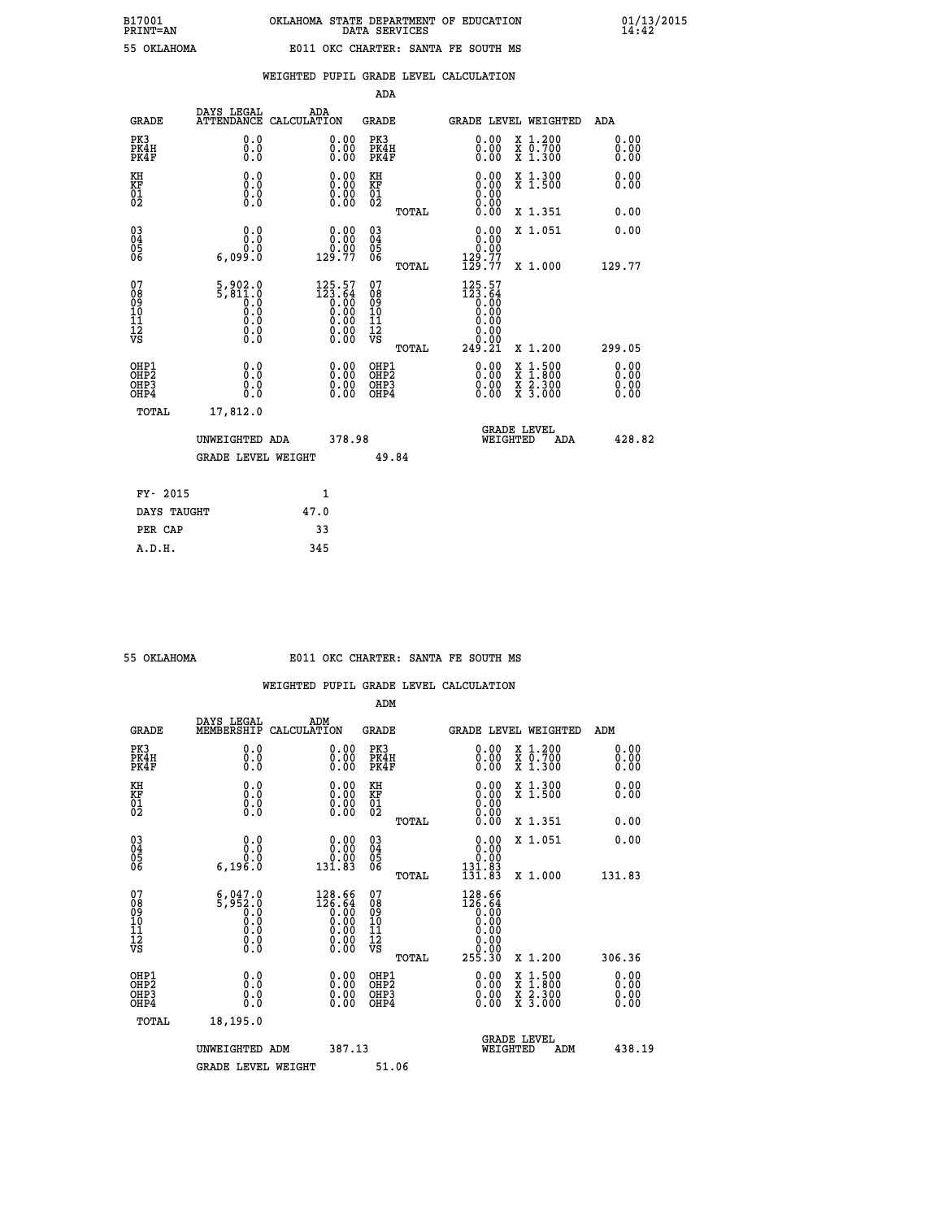| 111111 |          |  |
|--------|----------|--|
|        | OKLAHOMZ |  |

### **WEIGHTED PUPIL GRADE LEVEL CALCULATION**

|                                                    |                                                            |                    |                                                                                                         | ADA                                    |       |                                                                                                             |   |                                          |                              |
|----------------------------------------------------|------------------------------------------------------------|--------------------|---------------------------------------------------------------------------------------------------------|----------------------------------------|-------|-------------------------------------------------------------------------------------------------------------|---|------------------------------------------|------------------------------|
| <b>GRADE</b>                                       | DAYS LEGAL<br><b>ATTENDANCE</b>                            | ADA<br>CALCULATION |                                                                                                         | GRADE                                  |       | <b>GRADE LEVEL WEIGHTED</b>                                                                                 |   |                                          | <b>ADA</b>                   |
| PK3<br>PK4H<br>PK4F                                | 0.0<br>0.0<br>0.0                                          |                    | 0.00<br>$\begin{smallmatrix} 0.00 \ 0.00 \end{smallmatrix}$                                             | PK3<br>PK4H<br>PK4F                    |       | 0.00<br>0.00                                                                                                |   | X 1.200<br>X 0.700<br>X 1.300            | 0.00<br>0.00<br>0.00         |
| KH<br><b>KF</b><br>01<br>02                        | 0.0<br>0.0<br>$\S.$                                        |                    | $\begin{smallmatrix} 0.00 \ 0.00 \ 0.00 \ 0.00 \end{smallmatrix}$                                       | KH<br>KF<br>01<br>02                   |       | 0.00                                                                                                        |   | X 1.300<br>X 1.500                       | 0.00<br>0.00                 |
|                                                    |                                                            |                    |                                                                                                         |                                        | TOTAL |                                                                                                             |   | X 1.351                                  | 0.00                         |
| $\begin{matrix} 03 \\ 04 \\ 05 \\ 06 \end{matrix}$ | 0.0<br>0.0<br>6,099.0                                      |                    | $\begin{smallmatrix} &0.00\0.00\0.00\0.77\end{smallmatrix}$                                             | 03<br>04<br>05<br>06                   |       | 0.00<br>0:00<br>129:77<br>129:77                                                                            |   | X 1.051                                  | 0.00                         |
|                                                    |                                                            |                    |                                                                                                         |                                        | TOTAL |                                                                                                             |   | X 1.000                                  | 129.77                       |
| 07<br>08<br>09<br>101<br>11<br>12<br>VS            | $5,802.0$<br>$5,811.0$<br>$0.0$<br>$0.0$<br>$0.0$<br>$\S.$ |                    | $\begin{smallmatrix} 125.57\ 123.64\ 0.00\ 0.00\ 0.00\ 0.00\ 0.00\ 0.00\ 0.00\ 0.00\ \end{smallmatrix}$ | 07<br>08<br>09<br>11<br>11<br>12<br>VS | TOTAL | 125.57<br>$\begin{matrix} 123.64 \\[-4pt] 0.00 \\[-4pt] 0.00\end{matrix}$<br>0.00<br>0.00<br>ŏ.ŏŏ<br>249.21 |   | X 1.200                                  | 299.05                       |
| OHP1<br>OHP2<br>OHP3<br>OHP4                       | 0.0<br>0.0<br>0.0                                          |                    | 0.00<br>$0.00$<br>0.00                                                                                  | OHP1<br>OHP2<br>OHP3<br>OHP4           |       | $0.00$<br>$0.00$<br>0.00                                                                                    | X | $1.500$<br>$1.800$<br>X 2.300<br>X 3.000 | 0.00<br>0.00<br>0.00<br>0.00 |
| TOTAL                                              | 17,812.0                                                   |                    |                                                                                                         |                                        |       |                                                                                                             |   | <b>GRADE LEVEL</b>                       |                              |
|                                                    | UNWEIGHTED ADA                                             |                    | 378.98                                                                                                  |                                        |       | WEIGHTED                                                                                                    |   | ADA                                      | 428.82                       |
|                                                    | <b>GRADE LEVEL WEIGHT</b>                                  |                    |                                                                                                         |                                        | 49.84 |                                                                                                             |   |                                          |                              |
| FY- 2015                                           |                                                            | $\mathbf{1}$       |                                                                                                         |                                        |       |                                                                                                             |   |                                          |                              |
| DAYS TAUGHT                                        |                                                            | 47.0               |                                                                                                         |                                        |       |                                                                                                             |   |                                          |                              |

| OKLAHOMA |
|----------|

 **PER CAP 33 A.D.H. 345**

#### **55 OKLAHOMA E011 OKC CHARTER: SANTA FE SOUTH MS**

|                                    |                                                    |                                                                                                          | ADM                                                 |       |                                                                                 |                                          |                      |
|------------------------------------|----------------------------------------------------|----------------------------------------------------------------------------------------------------------|-----------------------------------------------------|-------|---------------------------------------------------------------------------------|------------------------------------------|----------------------|
| <b>GRADE</b>                       | DAYS LEGAL<br>MEMBERSHIP                           | ADM<br>CALCULATION                                                                                       | <b>GRADE</b>                                        |       |                                                                                 | <b>GRADE LEVEL WEIGHTED</b>              | ADM                  |
| PK3<br>PK4H<br>PK4F                | 0.0<br>0.0<br>0.0                                  | 0.00<br>$\begin{smallmatrix} 0.00 \ 0.00 \end{smallmatrix}$                                              | PK3<br>PK4H<br>PK4F                                 |       | $\begin{smallmatrix} 0.00 \\ 0.00 \\ 0.00 \end{smallmatrix}$                    | X 1.200<br>X 0.700<br>X 1.300            | 0.00<br>0.00<br>0.00 |
| KH<br>KF<br>01<br>02               | 0.0<br>0.0<br>$\S.$                                | $\begin{smallmatrix} 0.00 \ 0.00 \ 0.00 \ 0.00 \end{smallmatrix}$                                        | KH<br>KF<br>01<br>02                                |       | $\begin{smallmatrix} 0.00 \ 0.00 \ 0.00 \ 0.00 \ 0.00 \ 0.00 \end{smallmatrix}$ | X 1.300<br>X 1.500                       | 0.00<br>0.00         |
|                                    |                                                    |                                                                                                          |                                                     | TOTAL |                                                                                 | X 1.351                                  | 0.00                 |
| 03<br>04<br>05<br>06               | 0.0<br>6,196.0                                     | $0.00$<br>$0.00$<br>131.83                                                                               | $\begin{array}{c} 03 \\ 04 \\ 05 \\ 06 \end{array}$ |       | $\begin{smallmatrix} 0.00\\ 0.00\\ 0.00\\ 131.83\\ 131.83 \end{smallmatrix}$    | X 1.051                                  | 0.00                 |
|                                    |                                                    |                                                                                                          |                                                     | TOTAL |                                                                                 | X 1.000                                  | 131.83               |
| 07<br>08<br>09<br>101<br>112<br>VS | $5,952.0$<br>$0.0$<br>$0.0$<br>0.0<br>0.0<br>$\S.$ | $\begin{smallmatrix} 128.66\\ 126.64\\ 0.00\\ 0.00\\ 0.00\\ 0.00\\ 0.00\\ 0.00\\ 0.00 \end{smallmatrix}$ | 07<br>08<br>09<br>101<br>11<br>12<br>VS             | TOTAL | $128.66$<br>$126.64$<br>$0.00$<br>$0.00$<br>0.0000000000<br>255.30              | X 1.200                                  | 306.36               |
| OHP1<br>OHP2<br>OHP3<br>OHP4       | 0.0<br>0.000                                       |                                                                                                          | OHP1<br>OHP2<br>OHP <sub>3</sub>                    |       | $0.00$<br>$0.00$<br>0.00                                                        | X 1:500<br>X 1:800<br>X 2:300<br>X 3:000 | 0.00<br>0.00<br>0.00 |
| TOTAL                              | 18,195.0                                           |                                                                                                          |                                                     |       |                                                                                 |                                          |                      |
|                                    | UNWEIGHTED                                         | 387.13<br>ADM                                                                                            |                                                     |       | WEIGHTED                                                                        | <b>GRADE LEVEL</b><br>ADM                | 438.19               |
|                                    | <b>GRADE LEVEL WEIGHT</b>                          |                                                                                                          | 51.06                                               |       |                                                                                 |                                          |                      |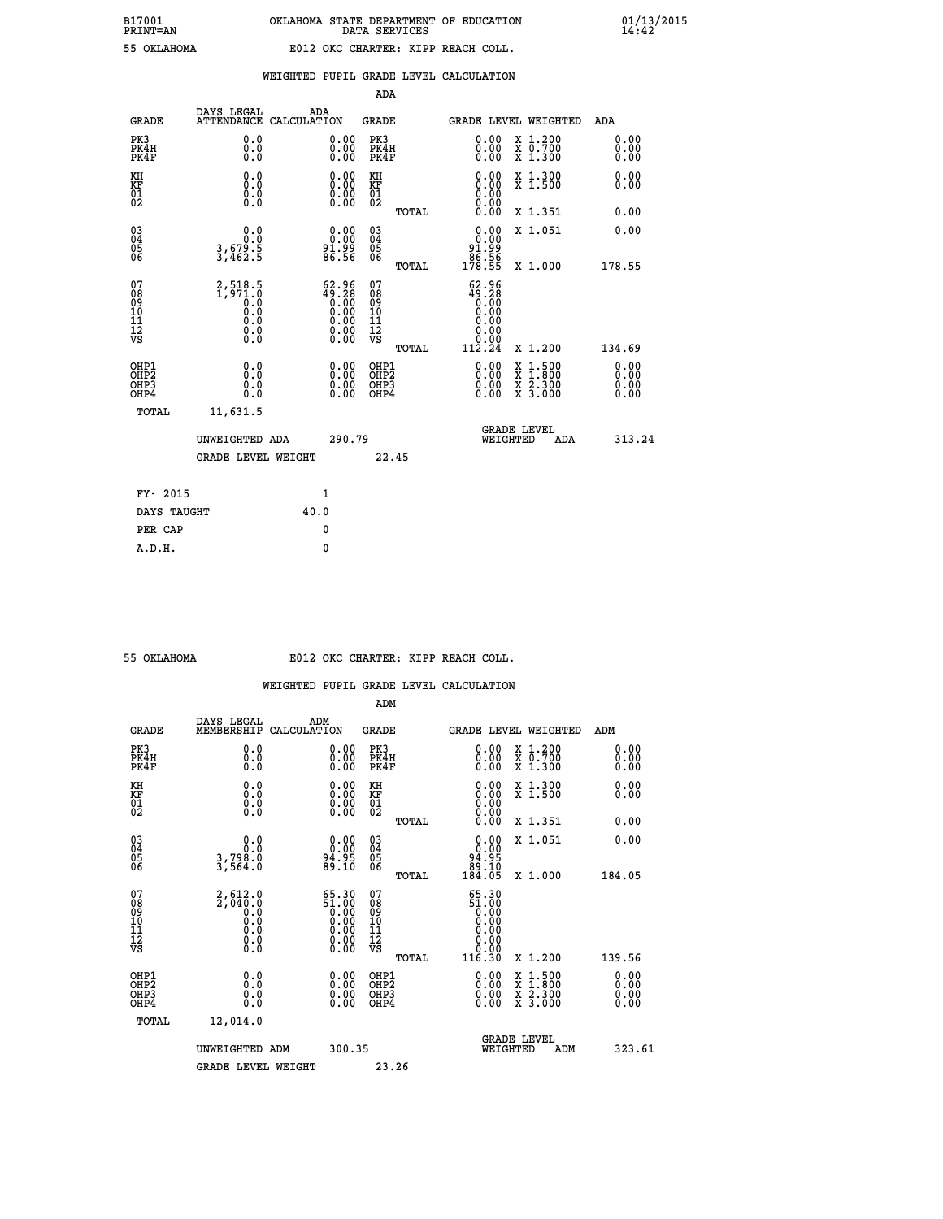# **B17001 OKLAHOMA STATE DEPARTMENT OF EDUCATION 01/13/2015 PRINT=AN DATA SERVICES 14:42 55 OKLAHOMA E012 OKC CHARTER: KIPP REACH COLL.**

|                                                                    |                                                                   |                                                    |                    |                                                                                                   | ADA                                       |       |                                                                                     |                                          |                              |
|--------------------------------------------------------------------|-------------------------------------------------------------------|----------------------------------------------------|--------------------|---------------------------------------------------------------------------------------------------|-------------------------------------------|-------|-------------------------------------------------------------------------------------|------------------------------------------|------------------------------|
|                                                                    | <b>GRADE</b>                                                      | DAYS LEGAL<br><b>ATTENDANCE</b>                    | ADA<br>CALCULATION |                                                                                                   | <b>GRADE</b>                              |       |                                                                                     | <b>GRADE LEVEL WEIGHTED</b>              | ADA                          |
|                                                                    | PK3<br>PK4H<br>PK4F                                               | 0.0<br>0.0<br>0.0                                  |                    | $\begin{smallmatrix} 0.00 \ 0.00 \ 0.00 \end{smallmatrix}$                                        | PK3<br>PK4H<br>PK4F                       |       | $\begin{smallmatrix} 0.00 \\ 0.00 \\ 0.00 \end{smallmatrix}$                        | X 1.200<br>X 0.700<br>X 1.300            | 0.00<br>0.00<br>0.00         |
| KH<br>KF<br>01<br>02                                               |                                                                   | 0.0<br>0.0<br>$\S.$                                |                    | 0.0000<br>$\begin{smallmatrix} 0.00 & 0.00 \\ 0.00 & 0.00 \end{smallmatrix}$                      | KH<br>KF<br>01<br>02                      |       | 0.00                                                                                | X 1.300<br>X 1.500                       | 0.00<br>0.00                 |
|                                                                    |                                                                   |                                                    |                    |                                                                                                   |                                           | TOTAL |                                                                                     | X 1.351                                  | 0.00                         |
| $\begin{smallmatrix} 03 \\[-4pt] 04 \end{smallmatrix}$<br>05<br>06 |                                                                   | 0.0<br>$3,679.5$<br>$3,462.5$                      |                    | 0.00<br>81.99<br>86.56                                                                            | $\substack{03 \\ 04}$<br>Ŏ5<br>06         |       | 0.00<br>91.99<br>$\frac{86.56}{178.55}$                                             | X 1.051                                  | 0.00                         |
|                                                                    |                                                                   |                                                    |                    |                                                                                                   |                                           | TOTAL |                                                                                     | X 1.000                                  | 178.55                       |
| 07<br>08901112<br>1112<br>VS                                       |                                                                   | $2,518.5$<br>1,971.0<br>0.0<br>0.0<br>0.0<br>$\S.$ |                    | $62.96$<br>$49.28$<br>0.00<br>0.00<br>0.00<br>$\begin{smallmatrix} 0.00 \ 0.00 \end{smallmatrix}$ | 07<br>08<br>09<br>11<br>11<br>12<br>VS    |       | $\begin{smallmatrix} 62.96\\ 49.28\\ 0.60\\ 0.00 \end{smallmatrix}$<br>0.00<br>0.00 |                                          |                              |
|                                                                    |                                                                   |                                                    |                    |                                                                                                   |                                           | TOTAL | 112.24                                                                              | X 1.200                                  | 134.69                       |
|                                                                    | OHP1<br>OH <sub>P</sub> 2<br>OH <sub>P3</sub><br>OH <sub>P4</sub> | 0.0<br>0.0<br>0.0                                  |                    | $\begin{smallmatrix} 0.00 \ 0.00 \ 0.00 \ 0.00 \end{smallmatrix}$                                 | OHP1<br>OH <sub>P</sub> 2<br>OHP3<br>OHP4 |       | 0.00<br>0.00<br>0.00                                                                | X 1:500<br>X 1:800<br>X 2:300<br>X 3:000 | 0.00<br>0.00<br>0.00<br>0.00 |
|                                                                    | TOTAL                                                             | 11,631.5                                           |                    |                                                                                                   |                                           |       |                                                                                     |                                          |                              |
|                                                                    |                                                                   | UNWEIGHTED ADA                                     |                    | 290.79                                                                                            |                                           |       |                                                                                     | GRADE LEVEL<br>WEIGHTED<br>ADA           | 313.24                       |
|                                                                    |                                                                   | <b>GRADE LEVEL WEIGHT</b>                          |                    |                                                                                                   |                                           | 22.45 |                                                                                     |                                          |                              |
|                                                                    | FY- 2015                                                          |                                                    |                    | $\mathbf{1}$                                                                                      |                                           |       |                                                                                     |                                          |                              |
|                                                                    | DAYS TAUGHT                                                       |                                                    | 40.0               |                                                                                                   |                                           |       |                                                                                     |                                          |                              |
|                                                                    | PER CAP                                                           |                                                    |                    | $\mathbf{0}$                                                                                      |                                           |       |                                                                                     |                                          |                              |

 **A.D.H. 0**

### **55 OKLAHOMA E012 OKC CHARTER: KIPP REACH COLL.**

|                                    |                                                        |                                                                                                 | ADM                                                 |       |                                                                                                 |                                          |                              |
|------------------------------------|--------------------------------------------------------|-------------------------------------------------------------------------------------------------|-----------------------------------------------------|-------|-------------------------------------------------------------------------------------------------|------------------------------------------|------------------------------|
| <b>GRADE</b>                       | DAYS LEGAL<br>MEMBERSHIP                               | ADM<br>CALCULATION                                                                              | <b>GRADE</b>                                        |       |                                                                                                 | <b>GRADE LEVEL WEIGHTED</b>              | ADM                          |
| PK3<br>PK4H<br>PK4F                | 0.0<br>0.0<br>0.0                                      | 0.00<br>$\begin{smallmatrix} 0.00 \ 0.00 \end{smallmatrix}$                                     | PK3<br>PK4H<br>PK4F                                 |       | $\begin{smallmatrix} 0.00 \\ 0.00 \\ 0.00 \end{smallmatrix}$                                    | X 1.200<br>X 0.700<br>X 1.300            | 0.00<br>0.00<br>0.00         |
| KH<br>KF<br>01<br>02               | 0.0<br>0.0<br>$\S.$                                    | $\begin{smallmatrix} 0.00 \ 0.00 \ 0.00 \ 0.00 \end{smallmatrix}$                               | KH<br>KF<br>01<br>02                                |       | $\begin{smallmatrix} 0.00 \ 0.00 \ 0.00 \ 0.00 \ 0.00 \ 0.00 \end{smallmatrix}$                 | X 1.300<br>X 1.500                       | 0.00<br>0.00                 |
|                                    |                                                        |                                                                                                 |                                                     | TOTAL |                                                                                                 | X 1.351                                  | 0.00                         |
| 03<br>04<br>05<br>06               | 0.0<br>3,798.0<br>3,564.0                              | $\begin{smallmatrix} 0.00\\ 0.00\\ 94.95\\ 89.10 \end{smallmatrix}$                             | $\begin{array}{c} 03 \\ 04 \\ 05 \\ 06 \end{array}$ |       | $\begin{smallmatrix} 0.00\\ 0.00\\ 94.95\\ 89.10\\ 184.05 \end{smallmatrix}$                    | X 1.051                                  | 0.00                         |
|                                    |                                                        |                                                                                                 |                                                     | TOTAL |                                                                                                 | X 1.000                                  | 184.05                       |
| 07<br>08<br>09<br>101<br>112<br>VS | $2,612.0$<br>$2,040.0$<br>$0.0$<br>0.0<br>0.0<br>$\S.$ | $\begin{smallmatrix} 65.30\\ 51.00\\ 0.00\\ 0.00\\ 0.00\\ 0.00\\ 0.00\\ 0.00 \end{smallmatrix}$ | 07<br>08<br>09<br>11<br>11<br>12<br>VS              |       | $\begin{smallmatrix} 65.30\ 51.00\ 0.00\ 0.00\ 0.00\ 0.00\ 0.00\ 0.00\ 0.00\ \end{smallmatrix}$ |                                          |                              |
|                                    |                                                        |                                                                                                 |                                                     | TOTAL | 116.30                                                                                          | X 1.200                                  | 139.56                       |
| OHP1<br>OHP2<br>OHP3<br>OHP4       | 0.0<br>0.000                                           |                                                                                                 | OHP1<br>OHP2<br>OHP <sub>3</sub>                    |       | $0.00$<br>$0.00$<br>0.00                                                                        | X 1:500<br>X 1:800<br>X 2:300<br>X 3:000 | 0.00<br>Ŏ.ŎŎ<br>Q.QQ<br>0.00 |
| TOTAL                              | 12,014.0                                               |                                                                                                 |                                                     |       |                                                                                                 |                                          |                              |
|                                    | UNWEIGHTED ADM                                         | 300.35                                                                                          |                                                     |       | WEIGHTED                                                                                        | <b>GRADE LEVEL</b><br>ADM                | 323.61                       |
|                                    | <b>GRADE LEVEL WEIGHT</b>                              |                                                                                                 | 23.26                                               |       |                                                                                                 |                                          |                              |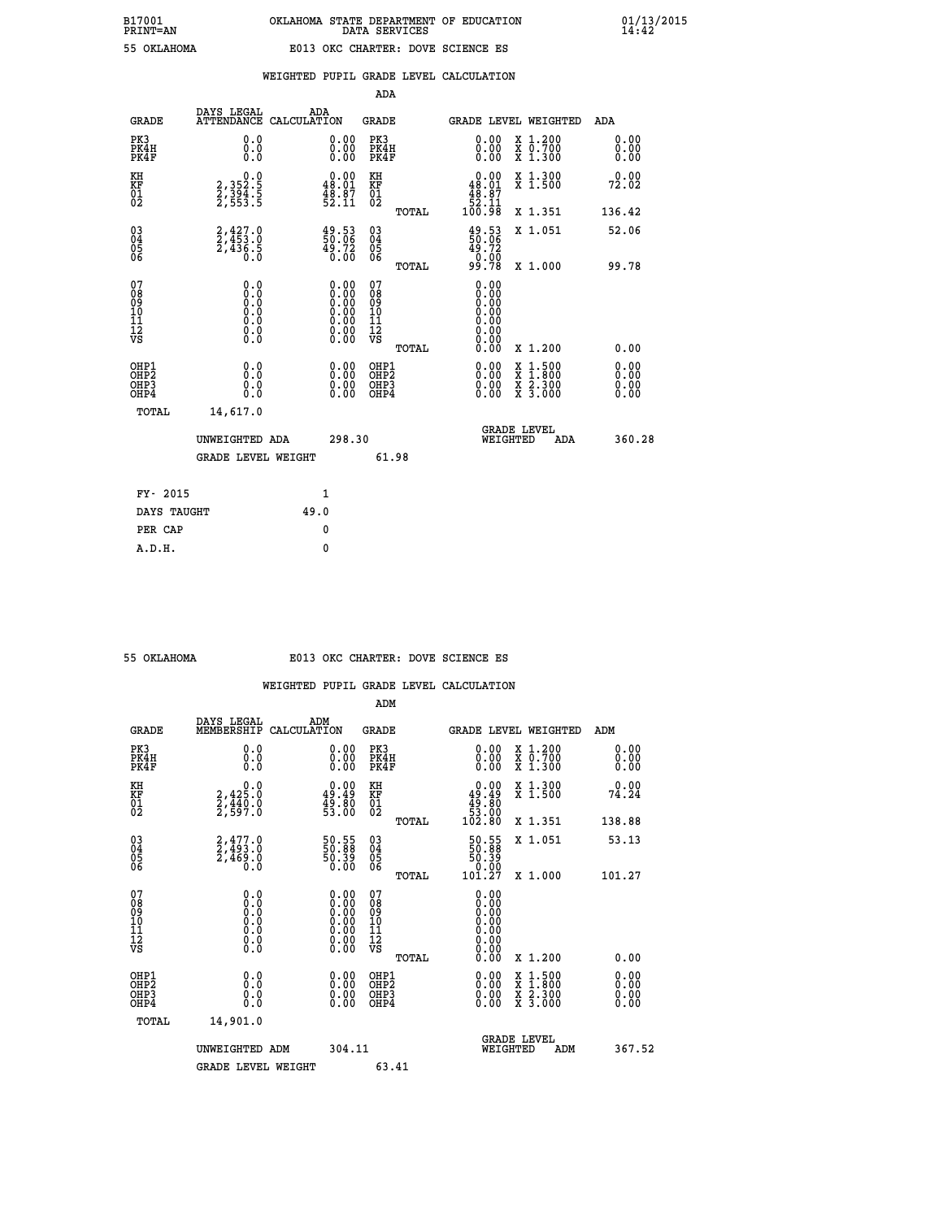# **B17001 OKLAHOMA STATE DEPARTMENT OF EDUCATION 01/13/2015 PRINT=AN DATA SERVICES 14:42 55 OKLAHOMA E013 OKC CHARTER: DOVE SCIENCE ES**

|                                                    |                                                                         |                    |                                                                                                      | ADA                                                 |       |                                                                                  |   |                                          |                              |
|----------------------------------------------------|-------------------------------------------------------------------------|--------------------|------------------------------------------------------------------------------------------------------|-----------------------------------------------------|-------|----------------------------------------------------------------------------------|---|------------------------------------------|------------------------------|
| <b>GRADE</b>                                       | DAYS LEGAL<br><b>ATTENDANCE</b>                                         | ADA<br>CALCULATION |                                                                                                      | GRADE                                               |       |                                                                                  |   | <b>GRADE LEVEL WEIGHTED</b>              | <b>ADA</b>                   |
| PK3<br>PK4H<br>PK4F                                | 0.0<br>0.0<br>0.0                                                       |                    | 0.00<br>$\begin{smallmatrix} 0.00 \ 0.00 \end{smallmatrix}$                                          | PK3<br>PK4H<br>PK4F                                 |       | 0.00<br>0.00                                                                     |   | X 1.200<br>X 0.700<br>X 1.300            | 0.00<br>0.00<br>0.00         |
| KH<br><b>KF</b><br>01<br>02                        | $\begin{smallmatrix}&&&0.0\\2,352.5\\2,394.5\\2,553.5\end{smallmatrix}$ |                    | $\begin{smallmatrix} 0.00\\ 48.01\\ 48.87\\ 52.11 \end{smallmatrix}$                                 | KH<br>KF<br>01<br>02                                |       | $\begin{smallmatrix}&&0.00\\48.01\\48.87\\48.37\\52.11\\100.98\end{smallmatrix}$ |   | X 1.300<br>X 1.500                       | 0.00<br>72.02                |
|                                                    |                                                                         |                    |                                                                                                      |                                                     | TOTAL |                                                                                  |   | X 1.351                                  | 136.42                       |
| $\begin{matrix} 03 \\ 04 \\ 05 \\ 06 \end{matrix}$ | $2,427.0$<br>$2,453.0$<br>$2,436.5$<br>$0.0$                            |                    | $\begin{smallmatrix} 49.53\ 50.06\ 49.72\ 0.00 \end{smallmatrix}$                                    | $\begin{array}{c} 03 \\ 04 \\ 05 \\ 06 \end{array}$ |       | $\begin{smallmatrix} 49.53\ 50.06\ 49.72\ 0.00\ 99.78 \end{smallmatrix}$         |   | X 1.051                                  | 52.06                        |
|                                                    |                                                                         |                    |                                                                                                      |                                                     | TOTAL |                                                                                  |   | X 1.000                                  | 99.78                        |
| 07<br>08<br>09<br>101<br>11<br>12<br>VS            | $\S.$ $\S$                                                              |                    | $\begin{smallmatrix} 0.00 \ 0.00 \ 0.00 \ 0.00 \ 0.00 \ 0.00 \ 0.00 \ 0.00 \ 0.00 \end{smallmatrix}$ | 07<br>08<br>09<br>11<br>11<br>12<br>VS              |       | 0.00<br>0:00<br>0:00<br>0:00<br>0:00<br>0.00<br>0.00                             |   |                                          |                              |
|                                                    |                                                                         |                    |                                                                                                      |                                                     | TOTAL | 0.00                                                                             |   | X 1.200                                  | 0.00                         |
| OHP1<br>OHP2<br>OHP3<br>OH <sub>P4</sub>           | 0.0<br>0.0<br>ŏ.ŏ                                                       |                    | 0.00<br>$0.00$<br>0.00                                                                               | OHP1<br>OHP2<br>OHP3<br>OHP4                        |       | $0.00$<br>$0.00$<br>0.00                                                         | X | $1.500$<br>$1.800$<br>X 2.300<br>X 3.000 | 0.00<br>0.00<br>0.00<br>0.00 |
| TOTAL                                              | 14,617.0                                                                |                    |                                                                                                      |                                                     |       |                                                                                  |   |                                          |                              |
|                                                    | UNWEIGHTED ADA                                                          |                    | 298.30                                                                                               |                                                     |       | WEIGHTED                                                                         |   | <b>GRADE LEVEL</b><br>ADA                | 360.28                       |
|                                                    | <b>GRADE LEVEL WEIGHT</b>                                               |                    |                                                                                                      |                                                     | 61.98 |                                                                                  |   |                                          |                              |
| FY- 2015                                           |                                                                         |                    | $\mathbf{1}$                                                                                         |                                                     |       |                                                                                  |   |                                          |                              |
| DAYS TAUGHT                                        |                                                                         | 49.0               |                                                                                                      |                                                     |       |                                                                                  |   |                                          |                              |
|                                                    |                                                                         |                    |                                                                                                      |                                                     |       |                                                                                  |   |                                          |                              |

| OKLAHOMA |  |
|----------|--|
|          |  |
|          |  |

**PER CAP** 0  **A.D.H. 0**

# **55 OKLAHOMA E013 OKC CHARTER: DOVE SCIENCE ES**

|                                          |                                                                                                   |                                                                                                      | ADM                                                 |       |                                                                               |                                          |        |                              |
|------------------------------------------|---------------------------------------------------------------------------------------------------|------------------------------------------------------------------------------------------------------|-----------------------------------------------------|-------|-------------------------------------------------------------------------------|------------------------------------------|--------|------------------------------|
| <b>GRADE</b>                             | DAYS LEGAL<br>MEMBERSHIP                                                                          | ADM<br>CALCULATION                                                                                   | <b>GRADE</b>                                        |       | <b>GRADE LEVEL WEIGHTED</b>                                                   |                                          | ADM    |                              |
| PK3<br>PK4H<br>PK4F                      | 0.0<br>0.000                                                                                      | $\begin{smallmatrix} 0.00 \ 0.00 \ 0.00 \end{smallmatrix}$                                           | PK3<br>PK4H<br>PK4F                                 |       | $\begin{smallmatrix} 0.00 \\ 0.00 \\ 0.00 \end{smallmatrix}$                  | X 1.200<br>X 0.700<br>X 1.300            |        | 0.00<br>0.00<br>0.00         |
| KH<br>KF<br>01<br>02                     | 0.0<br>2,425:0<br>2,440:0<br>2,597:0                                                              | $\begin{smallmatrix} 0.00\\ 49.49\\ 49.80\\ 53.00 \end{smallmatrix}$                                 | KH<br>KF<br>01<br>02                                |       | $\begin{smallmatrix} &0.00\ 49.49\ 49.80\ 53.00\ 102.80 \end{smallmatrix}$    | X 1.300<br>X 1.500                       |        | 74.24                        |
|                                          |                                                                                                   |                                                                                                      |                                                     | TOTAL |                                                                               | X 1.351                                  | 138.88 |                              |
| 03<br>04<br>05<br>06                     | $2,477.0$<br>$2,493.0$<br>$2,469.0$<br>0.0                                                        | 50.55<br>50.39<br>50.39<br>0.00                                                                      | $\begin{array}{c} 03 \\ 04 \\ 05 \\ 06 \end{array}$ |       | $\begin{smallmatrix} 50.55\\ 50.88\\ 50.39\\ 0.00\\ 101.27 \end{smallmatrix}$ | X 1.051                                  | 53.13  |                              |
|                                          |                                                                                                   |                                                                                                      |                                                     | TOTAL |                                                                               | X 1.000                                  | 101.27 |                              |
| 07<br>08<br>09<br>101<br>112<br>VS       | $\begin{smallmatrix} 0.0 & 0 \ 0.0 & 0 \ 0.0 & 0 \ 0.0 & 0 \ 0.0 & 0 \ 0.0 & 0 \end{smallmatrix}$ | $\begin{smallmatrix} 0.00 \ 0.00 \ 0.00 \ 0.00 \ 0.00 \ 0.00 \ 0.00 \ 0.00 \ 0.00 \end{smallmatrix}$ | 07<br>08<br>09<br>11<br>11<br>12<br>VS              |       | 0.00<br>0.00<br>0.00<br>0.00                                                  |                                          |        |                              |
|                                          |                                                                                                   |                                                                                                      |                                                     | TOTAL | 0.00                                                                          | X 1.200                                  |        | 0.00                         |
| OHP1<br>OHP2<br>OHP3<br>OH <sub>P4</sub> | 0.0<br>$\begin{smallmatrix} 0.0 & 0 \ 0.0 & 0 \end{smallmatrix}$                                  |                                                                                                      | OHP1<br>OHP2<br>OHP <sub>3</sub>                    |       | $0.00$<br>$0.00$<br>0.00                                                      | X 1:500<br>X 1:800<br>X 2:300<br>X 3:000 |        | 0.00<br>Ŏ.ŎŎ<br>Q.QQ<br>0.00 |
| TOTAL                                    | 14,901.0                                                                                          |                                                                                                      |                                                     |       |                                                                               |                                          |        |                              |
|                                          | UNWEIGHTED ADM                                                                                    | 304.11                                                                                               |                                                     |       |                                                                               | GRADE LEVEL<br>WEIGHTED<br>ADM           |        | 367.52                       |
|                                          | <b>GRADE LEVEL WEIGHT</b>                                                                         |                                                                                                      | 63.41                                               |       |                                                                               |                                          |        |                              |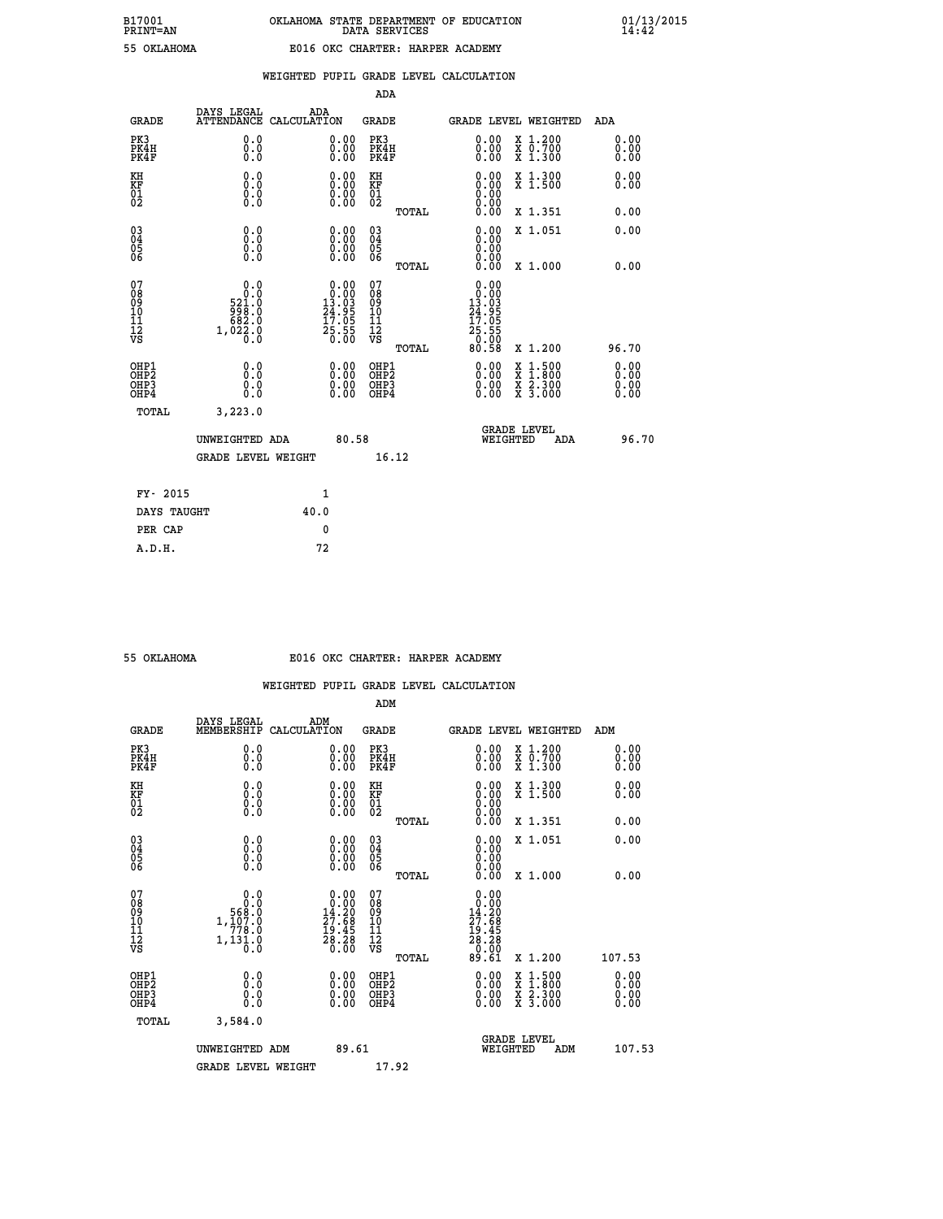|  |  | WEIGHTED PUPIL GRADE LEVEL CALCULATION |
|--|--|----------------------------------------|
|  |  |                                        |

|                                                                    |                                                                                                                |                                                                                            | ADA                                        |                                                                                                                                                                                                                                                                             |                                  |
|--------------------------------------------------------------------|----------------------------------------------------------------------------------------------------------------|--------------------------------------------------------------------------------------------|--------------------------------------------|-----------------------------------------------------------------------------------------------------------------------------------------------------------------------------------------------------------------------------------------------------------------------------|----------------------------------|
| <b>GRADE</b>                                                       | DAYS LEGAL                                                                                                     | ADA<br>ATTENDANCE CALCULATION                                                              | <b>GRADE</b>                               | <b>GRADE LEVEL WEIGHTED</b>                                                                                                                                                                                                                                                 | ADA                              |
| PK3<br>PK4H<br>PK4F                                                | 0.0<br>0.0<br>0.0                                                                                              | $\begin{smallmatrix} 0.00 \ 0.00 \ 0.00 \end{smallmatrix}$                                 | PK3<br>PK4H<br>PK4F                        | $\begin{smallmatrix} 0.00 \\ 0.00 \\ 0.00 \end{smallmatrix}$<br>X 1.200<br>X 0.700<br>X 1.300                                                                                                                                                                               | 0.00<br>0.00<br>0.00             |
| KH<br>KF<br>01<br>02                                               | 0.0<br>0.0<br>$\S.$                                                                                            | $\begin{smallmatrix} 0.00 \ 0.00 \ 0.00 \ 0.00 \end{smallmatrix}$                          | KH<br>KF<br>01<br>02                       | 0.00<br>X 1.300<br>X 1.500                                                                                                                                                                                                                                                  | 0.00<br>0.00                     |
|                                                                    |                                                                                                                |                                                                                            | TOTAL                                      | 0.00<br>X 1.351                                                                                                                                                                                                                                                             | 0.00                             |
| $\begin{smallmatrix} 03 \\[-4pt] 04 \end{smallmatrix}$<br>Ŏ5<br>06 | 0.0<br>0.000                                                                                                   | $\begin{smallmatrix} 0.00 \ 0.00 \ 0.00 \ 0.00 \end{smallmatrix}$                          | $\substack{03 \\ 04}$<br>Ŏ5<br>06<br>TOTAL | 0.00<br>X 1.051<br>0.00<br>0.00<br>X 1.000                                                                                                                                                                                                                                  | 0.00<br>0.00                     |
| 07<br>08<br>09<br>101<br>11<br>12<br>VS                            | 0.0<br>$\overline{0}$<br>$\cdot$ 0<br>$\begin{smallmatrix} 521.0\\998.0\\682.0\\1,022.0\\0.0\end{smallmatrix}$ | $\begin{smallmatrix} 0.00\\ 0.00\\ 13.03\\ 24.95\\ 17.05\\ 25.55\\ 0.00 \end{smallmatrix}$ | 07<br>08<br>09<br>11<br>11<br>12<br>VS     | 0.00<br>$\begin{smallmatrix} 0.000 1.001 1.011 1.011 1.011 1.011 1.011 1.011 1.011 1.011 1.011 1.011 1.011 1.011 1.011 1.011 1.011 1.011 1.011 1.011 1.011 1.011 1.011 1.011 1.011 1.011 1.011 1.011 1.011 1.011 1.011 1.012 1.012 1.012 1.013 1.0$<br>$\frac{25.55}{0.00}$ |                                  |
|                                                                    |                                                                                                                |                                                                                            | TOTAL                                      | 80.58<br>X 1.200                                                                                                                                                                                                                                                            | 96.70                            |
| OHP1<br>OHP <sub>2</sub><br>OH <sub>P3</sub><br>OHP4               | 0.0<br>0.0<br>$0.\overline{0}$                                                                                 | 0.00<br>$\begin{smallmatrix} 0.00 \ 0.00 \end{smallmatrix}$                                | OHP1<br>OHP2<br>OHP <sub>3</sub>           | 0.00<br>X 1:500<br>X 1:800<br>X 2:300<br>X 3:000<br>0.00                                                                                                                                                                                                                    | 0.00<br>0.00<br>$0.00$<br>$0.00$ |
| TOTAL                                                              | 3,223.0                                                                                                        |                                                                                            |                                            |                                                                                                                                                                                                                                                                             |                                  |
|                                                                    | UNWEIGHTED ADA                                                                                                 | 80.58                                                                                      |                                            | <b>GRADE LEVEL</b><br>WEIGHTED<br><b>ADA</b>                                                                                                                                                                                                                                | 96.70                            |
|                                                                    | <b>GRADE LEVEL WEIGHT</b>                                                                                      |                                                                                            | 16.12                                      |                                                                                                                                                                                                                                                                             |                                  |
|                                                                    | FY- 2015                                                                                                       | 1                                                                                          |                                            |                                                                                                                                                                                                                                                                             |                                  |
|                                                                    | DAYS TAUGHT                                                                                                    | 40.0                                                                                       |                                            |                                                                                                                                                                                                                                                                             |                                  |
|                                                                    | PER CAP                                                                                                        | 0                                                                                          |                                            |                                                                                                                                                                                                                                                                             |                                  |

#### **55 OKLAHOMA E016 OKC CHARTER: HARPER ACADEMY**

|                                                    |                                                                                          |                                                                                            | ADM                                                 |                                                                                                 |                                          |                              |
|----------------------------------------------------|------------------------------------------------------------------------------------------|--------------------------------------------------------------------------------------------|-----------------------------------------------------|-------------------------------------------------------------------------------------------------|------------------------------------------|------------------------------|
| <b>GRADE</b>                                       | DAYS LEGAL<br>MEMBERSHIP                                                                 | ADM<br>CALCULATION                                                                         | <b>GRADE</b>                                        | <b>GRADE LEVEL WEIGHTED</b>                                                                     |                                          | ADM                          |
| PK3<br>PK4H<br>PK4F                                | 0.0<br>0.0<br>0.0                                                                        | $\begin{smallmatrix} 0.00 \ 0.00 \ 0.00 \end{smallmatrix}$                                 | PK3<br>PK4H<br>PK4F                                 | $\begin{smallmatrix} 0.00 \\ 0.00 \\ 0.00 \end{smallmatrix}$                                    | X 1.200<br>X 0.700<br>X 1.300            | 0.00<br>0.00<br>0.00         |
| KH<br>KF<br>01<br>02                               | 0.0<br>$\begin{smallmatrix} 0.0 & 0 \ 0.0 & 0 \ 0.0 & 0 \end{smallmatrix}$               | $\begin{smallmatrix} 0.00 \ 0.00 \ 0.00 \ 0.00 \end{smallmatrix}$                          | KH<br>KF<br>01<br>02                                |                                                                                                 | X 1.300<br>X 1.500                       | 0.00<br>0.00                 |
|                                                    |                                                                                          |                                                                                            | TOTAL                                               | 0.00                                                                                            | X 1.351                                  | 0.00                         |
| $\begin{matrix} 03 \\ 04 \\ 05 \\ 06 \end{matrix}$ |                                                                                          | $\begin{smallmatrix} 0.00 \ 0.00 \ 0.00 \ 0.00 \end{smallmatrix}$                          | $\begin{array}{c} 03 \\ 04 \\ 05 \\ 06 \end{array}$ | 0.00<br>0.00<br>0.00                                                                            | X 1.051                                  | 0.00                         |
|                                                    |                                                                                          |                                                                                            | TOTAL                                               | 0.00                                                                                            | X 1.000                                  | 0.00                         |
| 07<br>08<br>09<br>101<br>11<br>12<br>VS            | $\begin{array}{c} 0.0 \\ 0.0 \\ 568.0 \\ 1.107.0 \\ 778.0 \\ 1.131.0 \\ 0.0 \end{array}$ | $\begin{smallmatrix} 0.00\\ 0.00\\ 14.20\\ 27.68\\ 19.45\\ 28.28\\ 0.00 \end{smallmatrix}$ | 07<br>08<br>09<br>11<br>11<br>12<br>VS<br>TOTAL     | $\begin{array}{c} 0.00 \\ 0.00 \\ 14.20 \\ 27.68 \\ 19.45 \\ 28.28 \\ 0.00 \\ 0.61 \end{array}$ | X 1.200                                  | 107.53                       |
| OHP1<br>OHP2<br>OH <sub>P3</sub><br>OHP4           | 0.0<br>$\begin{smallmatrix} 0.0 & 0 \ 0.0 & 0 \end{smallmatrix}$                         | $\begin{smallmatrix} 0.00 \ 0.00 \ 0.00 \ 0.00 \end{smallmatrix}$                          | OHP1<br>OHP2<br>OHP3<br>OHP4                        | $0.00$<br>$0.00$<br>0.00                                                                        | X 1:500<br>X 1:800<br>X 2:300<br>X 3:000 | 0.00<br>Ŏ.ŎŎ<br>Q.QQ<br>0.00 |
| TOTAL                                              | 3,584.0                                                                                  |                                                                                            |                                                     |                                                                                                 |                                          |                              |
|                                                    | UNWEIGHTED ADM                                                                           | 89.61                                                                                      |                                                     | WEIGHTED                                                                                        | <b>GRADE LEVEL</b><br>ADM                | 107.53                       |
|                                                    | <b>GRADE LEVEL WEIGHT</b>                                                                |                                                                                            | 17.92                                               |                                                                                                 |                                          |                              |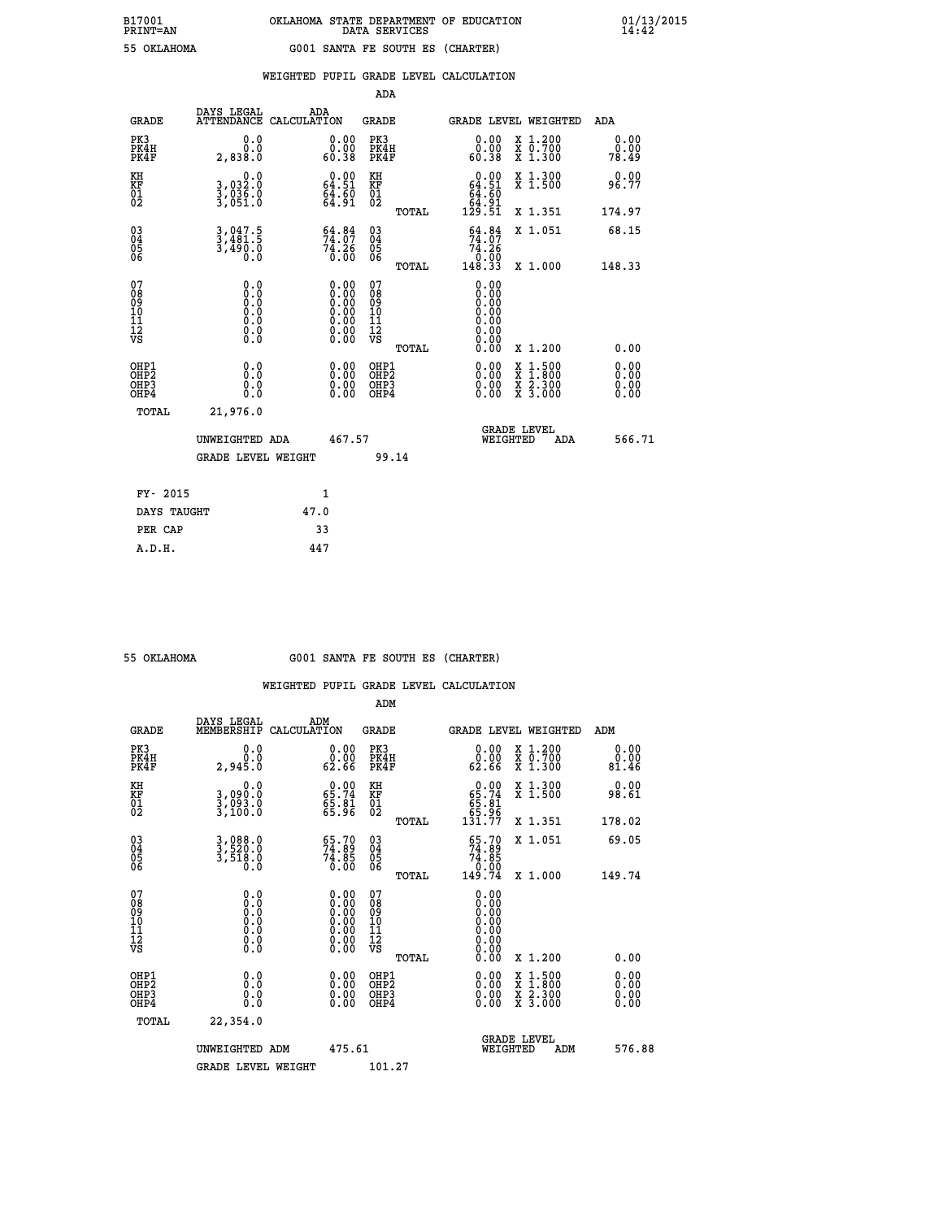| B17001          | OKLAHOMA STATE DEPARTMENT OF EDUCATION |
|-----------------|----------------------------------------|
| <b>PRINT=AN</b> | DATA SERVICES                          |
| 55 OKLAHOMA     | G001 SANTA FE SOUTH ES (CHARTER)       |

 **B17001 OKLAHOMA STATE DEPARTMENT OF EDUCATION 01/13/2015**

|                                                                    |                                                                   |                                                                                      |                    |                                                                                                                                 | ADA                                                               |       |                                                                            |                                          |                              |
|--------------------------------------------------------------------|-------------------------------------------------------------------|--------------------------------------------------------------------------------------|--------------------|---------------------------------------------------------------------------------------------------------------------------------|-------------------------------------------------------------------|-------|----------------------------------------------------------------------------|------------------------------------------|------------------------------|
|                                                                    | <b>GRADE</b>                                                      | DAYS LEGAL<br><b>ATTENDANCE</b>                                                      | ADA<br>CALCULATION |                                                                                                                                 | <b>GRADE</b>                                                      |       |                                                                            | <b>GRADE LEVEL WEIGHTED</b>              | ADA                          |
| PK3                                                                | PK4H<br>PK4F                                                      | 0.0<br>0.0<br>2,838.0                                                                |                    | $\begin{smallmatrix} 0.00\\ 0.00\\ 60.38 \end{smallmatrix}$                                                                     | PK3<br>PK4H<br>PK4F                                               |       | $\begin{smallmatrix} 0.00\\ 0.00\\ 0.38 \end{smallmatrix}$                 | X 1.200<br>X 0.700<br>X 1.300            | 0.00<br>0.00<br>78.49        |
| KH<br><b>KF</b><br>01<br>02                                        |                                                                   | 0.0<br>3,032:0<br>3,036:0<br>3,051:0                                                 |                    | $0.00$<br>64.51<br>$\frac{64.60}{64.91}$                                                                                        | KH<br>KF<br>01<br>02                                              |       | $0.00$<br>64.51<br>$\begin{array}{r} 64.60 \\ 64.91 \\ 129.51 \end{array}$ | X 1.300<br>X 1.500                       | 0.00<br>96.77                |
|                                                                    |                                                                   |                                                                                      |                    |                                                                                                                                 |                                                                   | TOTAL |                                                                            | X 1.351                                  | 174.97                       |
| $\begin{smallmatrix} 03 \\[-4pt] 04 \end{smallmatrix}$<br>Ŏ5<br>06 |                                                                   | 3,047.5<br>3,481.5<br>3,490.0<br>0.0                                                 |                    | $54.84$<br>$74.07$<br>$74.26$<br>$0.00$                                                                                         | $\substack{03 \\ 04}$<br>$\begin{matrix} 0.5 \\ 0.6 \end{matrix}$ |       | 54.84<br>$\overset{7\bar{4}}{0}\overset{5\bar{2}}{0}\overset{6}{0}$        | X 1.051                                  | 68.15                        |
|                                                                    |                                                                   |                                                                                      |                    |                                                                                                                                 |                                                                   | TOTAL | 148.33                                                                     | X 1.000                                  | 148.33                       |
| 07<br>08901112<br>1112<br>VS                                       |                                                                   | 0.0<br>$\begin{smallmatrix} 0.0 & 0 \ 0.0 & 0 \ 0.0 & 0 \ 0.0 & 0 \end{smallmatrix}$ |                    | $\begin{smallmatrix} 0.00 \ 0.00 \ 0.00 \ 0.00 \ 0.00 \end{smallmatrix}$<br>$\begin{smallmatrix} 0.00 \ 0.00 \end{smallmatrix}$ | 07<br>08<br>09<br>11<br>11<br>12<br>VS                            |       | 0.00<br>0.00<br>Ŏ.ŎŎ<br>O.OO<br>0.00<br>0.00                               |                                          |                              |
|                                                                    |                                                                   |                                                                                      |                    |                                                                                                                                 |                                                                   | TOTAL | 0.00                                                                       | X 1.200                                  | 0.00                         |
|                                                                    | OHP1<br>OH <sub>P</sub> 2<br>OH <sub>P3</sub><br>OH <sub>P4</sub> | 0.0<br>0.0<br>0.0                                                                    |                    | 0.00<br>$\begin{smallmatrix} 0.00 \ 0.00 \end{smallmatrix}$                                                                     | OHP1<br>OH <sub>P</sub> 2<br>OHP3<br>OHP4                         |       | 0.00<br>0.00<br>0.00                                                       | X 1:500<br>X 1:800<br>X 2:300<br>X 3:000 | 0.00<br>0.00<br>0.00<br>0.00 |
|                                                                    | TOTAL                                                             | 21,976.0                                                                             |                    |                                                                                                                                 |                                                                   |       |                                                                            |                                          |                              |
|                                                                    |                                                                   | UNWEIGHTED ADA                                                                       |                    | 467.57                                                                                                                          |                                                                   |       |                                                                            | GRADE LEVEL<br>WEIGHTED<br>ADA           | 566.71                       |
|                                                                    |                                                                   | <b>GRADE LEVEL WEIGHT</b>                                                            |                    |                                                                                                                                 | 99.14                                                             |       |                                                                            |                                          |                              |
|                                                                    | FY- 2015                                                          |                                                                                      | $\mathbf{1}$       |                                                                                                                                 |                                                                   |       |                                                                            |                                          |                              |
|                                                                    | DAYS TAUGHT                                                       |                                                                                      | 47.0               |                                                                                                                                 |                                                                   |       |                                                                            |                                          |                              |
|                                                                    | PER CAP                                                           |                                                                                      | 33                 |                                                                                                                                 |                                                                   |       |                                                                            |                                          |                              |

 **A.D.H. 447**

 **ADM**

 **B17001<br>PRINT=AN** 

 **55 OKLAHOMA G001 SANTA FE SOUTH ES (CHARTER)**

| <b>GRADE</b>                                         | DAYS LEGAL<br>MEMBERSHIP                                                                          | ADM<br>CALCULATION                                                                            | <b>GRADE</b>                                       |       |                                                     |          | <b>GRADE LEVEL WEIGHTED</b>              | ADM                      |  |
|------------------------------------------------------|---------------------------------------------------------------------------------------------------|-----------------------------------------------------------------------------------------------|----------------------------------------------------|-------|-----------------------------------------------------|----------|------------------------------------------|--------------------------|--|
| PK3<br>PK4H<br>PK4F                                  | 0.0<br>0.0<br>2,94Š.Ŏ                                                                             | 0.00<br>0.00<br>62.66                                                                         | PK3<br>PK4H<br>PK4F                                |       | 0.00<br>62.66                                       |          | X 1.200<br>X 0.700<br>X 1.300            | 0.00<br>0.00<br>81.46    |  |
| KH<br>KF<br>01<br>02                                 | 0.0<br>3,090.0<br>3,093.0<br>3,100.0                                                              | $\begin{smallmatrix} 0.00\\ 65.74\\ 65.81\\ 65.96 \end{smallmatrix}$                          | KH<br>KF<br>01<br>02                               |       | $0.00\n65.74\n65.81\n65.96\n131.77$                 |          | X 1.300<br>X 1.500                       | 0.00<br>98.61            |  |
|                                                      |                                                                                                   |                                                                                               |                                                    | TOTAL |                                                     |          | X 1.351                                  | 178.02                   |  |
| $\begin{matrix} 03 \\ 04 \\ 05 \\ 06 \end{matrix}$   | 3,088.0<br>3,520.0<br>3,518.0<br>0.0                                                              | $\begin{smallmatrix} 65.70\\ 74.89\\ 74.85\\ 0.00 \end{smallmatrix}$                          | $\begin{matrix} 03 \\ 04 \\ 05 \\ 06 \end{matrix}$ |       | $55.70$<br>$74.89$<br>$74.85$<br>$0.00$<br>$149.74$ |          | X 1.051                                  | 69.05                    |  |
|                                                      |                                                                                                   |                                                                                               |                                                    | TOTAL |                                                     |          | X 1.000                                  | 149.74                   |  |
| 07<br>08<br>09<br>101<br>11<br>12<br>VS              | $\begin{smallmatrix} 0.0 & 0 \ 0.0 & 0 \ 0.0 & 0 \ 0.0 & 0 \ 0.0 & 0 \ 0.0 & 0 \end{smallmatrix}$ | $\begin{smallmatrix} 0.00\ 0.00\ 0.00\ 0.00\ 0.00\ 0.00\ 0.00\ 0.00\ 0.00\ \end{smallmatrix}$ | 07<br>08<br>09<br>001<br>11<br>11<br>12<br>VS      |       |                                                     |          |                                          |                          |  |
|                                                      |                                                                                                   |                                                                                               |                                                    | TOTAL | 0.00                                                |          | X 1.200                                  | 0.00                     |  |
| OHP1<br>OHP <sub>2</sub><br>OH <sub>P3</sub><br>OHP4 |                                                                                                   | $\begin{smallmatrix} 0.00 \ 0.00 \ 0.00 \ 0.00 \end{smallmatrix}$                             | OHP1<br>OHP2<br>OHP3<br>OHP4                       |       |                                                     |          | X 1:500<br>X 1:800<br>X 2:300<br>X 3:000 | $0.00$<br>$0.00$<br>0.00 |  |
| TOTAL                                                | 22,354.0                                                                                          |                                                                                               |                                                    |       |                                                     |          |                                          |                          |  |
|                                                      | UNWEIGHTED                                                                                        | 475.61<br>ADM                                                                                 |                                                    |       |                                                     | WEIGHTED | <b>GRADE LEVEL</b><br>ADM                | 576.88                   |  |
|                                                      | <b>GRADE LEVEL WEIGHT</b>                                                                         |                                                                                               | 101.27                                             |       |                                                     |          |                                          |                          |  |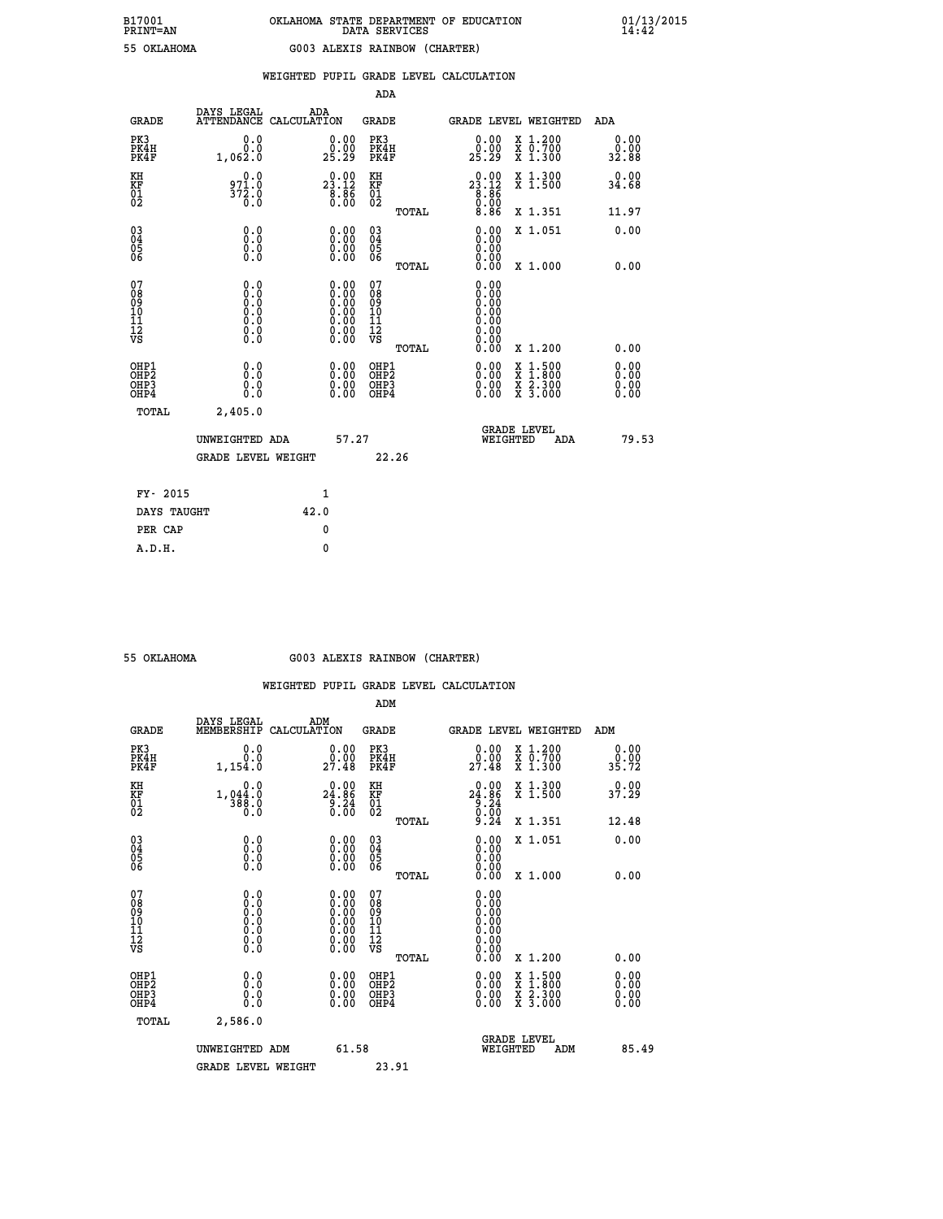| ------ |           |  |
|--------|-----------|--|
|        | OKT.AHOMA |  |

### **WEIGHTED PUPIL GRADE LEVEL CALCULATION**

|                                                    |                                                                                                   |                                                                                               | ADA                                                |       |                                                      |        |                                        |                              |
|----------------------------------------------------|---------------------------------------------------------------------------------------------------|-----------------------------------------------------------------------------------------------|----------------------------------------------------|-------|------------------------------------------------------|--------|----------------------------------------|------------------------------|
| <b>GRADE</b>                                       | DAYS LEGAL<br><b>ATTENDANCE</b>                                                                   | ADA<br>CALCULATION                                                                            | GRADE                                              |       | GRADE LEVEL WEIGHTED                                 |        |                                        | <b>ADA</b>                   |
| PK3<br>PK4H<br>PK4F                                | 0.0<br>0.0<br>1,062.0                                                                             | 0.00<br>0.00<br>25.29                                                                         | PK3<br>PK4H<br>PK4F                                |       | 0.00<br>0.00<br>25.29                                |        | X 1.200<br>X 0.700<br>X 1.300          | 0.00<br>0.00<br>32.88        |
| KH<br><b>KF</b><br>01<br>02                        | 0.0<br>971.0<br>$\frac{572.0}{0.0}$                                                               | $2\overset{0}{3}\overset{0}{.}12$<br>$\frac{8.86}{0.00}$                                      | KH<br>KF<br>01<br>02                               |       | $23.12\n8.86\n0.00\n8.86$                            |        | X 1.300<br>X 1.500                     | 0.00<br>34.68                |
|                                                    |                                                                                                   |                                                                                               |                                                    | TOTAL |                                                      |        | X 1.351                                | 11.97                        |
| $\begin{matrix} 03 \\ 04 \\ 05 \\ 06 \end{matrix}$ | 0.0<br>0.000                                                                                      | $\begin{smallmatrix} 0.00 \ 0.00 \ 0.00 \ 0.00 \end{smallmatrix}$                             | $\begin{matrix} 03 \\ 04 \\ 05 \\ 06 \end{matrix}$ |       | 0.00<br>0.00<br>0.00                                 |        | X 1.051                                | 0.00                         |
|                                                    |                                                                                                   |                                                                                               |                                                    | TOTAL | 0.00                                                 |        | X 1.000                                | 0.00                         |
| 07<br>08<br>09<br>101<br>11<br>12<br>VS            | $\begin{smallmatrix} 0.0 & 0 \ 0.0 & 0 \ 0.0 & 0 \ 0.0 & 0 \ 0.0 & 0 \ 0.0 & 0 \end{smallmatrix}$ | $\begin{smallmatrix} 0.00\ 0.00\ 0.00\ 0.00\ 0.00\ 0.00\ 0.00\ 0.00\ 0.00\ \end{smallmatrix}$ | 07<br>08<br>09<br>11<br>11<br>12<br>VS             |       | 0.00<br>0.00<br>0.00<br>0.00<br>0.00<br>0.00<br>0.00 |        |                                        |                              |
|                                                    |                                                                                                   |                                                                                               |                                                    | TOTAL | 0.00                                                 |        | X 1.200                                | 0.00                         |
| OHP1<br>OHP2<br>OHP3<br>OHP4                       | 0.0<br>0.0<br>0.0                                                                                 | 0.00<br>$0.00$<br>0.00                                                                        | OHP1<br>OHP2<br>OHP3<br>OHP4                       |       | $0.00$<br>$0.00$<br>0.00                             | X<br>X | $1:500$<br>1:800<br>X 2.300<br>X 3.000 | 0.00<br>0.00<br>0.00<br>0.00 |
| TOTAL                                              | 2,405.0                                                                                           |                                                                                               |                                                    |       |                                                      |        |                                        |                              |
|                                                    | UNWEIGHTED ADA                                                                                    | 57.27                                                                                         |                                                    |       | WEIGHTED                                             |        | <b>GRADE LEVEL</b><br>ADA              | 79.53                        |
|                                                    | <b>GRADE LEVEL WEIGHT</b>                                                                         |                                                                                               |                                                    | 22.26 |                                                      |        |                                        |                              |
| FY- 2015                                           |                                                                                                   | $\mathbf{1}$                                                                                  |                                                    |       |                                                      |        |                                        |                              |
| DAYS TAUGHT                                        |                                                                                                   | 42.0                                                                                          |                                                    |       |                                                      |        |                                        |                              |
|                                                    |                                                                                                   |                                                                                               |                                                    |       |                                                      |        |                                        |                              |

**PER CAP** 0  **A.D.H. 0**

### **55 OKLAHOMA G003 ALEXIS RAINBOW (CHARTER)**

|                                                    |                                                                                                   |                                                                                               | ADM                                                |       |                                                                                                                                                                                                                                                                                |                                          |                          |       |
|----------------------------------------------------|---------------------------------------------------------------------------------------------------|-----------------------------------------------------------------------------------------------|----------------------------------------------------|-------|--------------------------------------------------------------------------------------------------------------------------------------------------------------------------------------------------------------------------------------------------------------------------------|------------------------------------------|--------------------------|-------|
| <b>GRADE</b>                                       | DAYS LEGAL<br>MEMBERSHIP                                                                          | ADM<br>CALCULATION                                                                            | <b>GRADE</b>                                       |       | GRADE LEVEL WEIGHTED                                                                                                                                                                                                                                                           |                                          | ADM                      |       |
| PK3<br>PK4H<br>PK4F                                | 0.0<br>0.0<br>1,154.0                                                                             | $\begin{smallmatrix} 0.00\\ 0.00\\ 27.48 \end{smallmatrix}$                                   | PK3<br>PK4H<br>PK4F                                |       | $\begin{smallmatrix} 0.00\\ 0.00\\ 27.48 \end{smallmatrix}$                                                                                                                                                                                                                    | X 1.200<br>X 0.700<br>X 1.300            | 0.00<br>0.00<br>35.72    |       |
| KH<br>KF<br>01<br>02                               | 0.0<br>$1, 044.0$<br>$388.0$<br>0.0                                                               | 24.86<br>$\frac{5.24}{0.00}$                                                                  | KH<br>KF<br>01<br>02                               |       | $0.00$<br>24.86<br>$\begin{array}{c} 0.24 \\ 0.00 \\ 9.24 \end{array}$                                                                                                                                                                                                         | X 1.300<br>X 1.500                       | 0.00<br>37.29            |       |
|                                                    |                                                                                                   |                                                                                               |                                                    | TOTAL |                                                                                                                                                                                                                                                                                | X 1.351                                  | 12.48                    |       |
| $\begin{matrix} 03 \\ 04 \\ 05 \\ 06 \end{matrix}$ |                                                                                                   |                                                                                               | $\begin{matrix} 03 \\ 04 \\ 05 \\ 06 \end{matrix}$ |       | $0.00$<br>$0.00$                                                                                                                                                                                                                                                               | X 1.051                                  | 0.00                     |       |
|                                                    |                                                                                                   |                                                                                               |                                                    | TOTAL | 0.00                                                                                                                                                                                                                                                                           | X 1.000                                  | 0.00                     |       |
| 07<br>08<br>09<br>10<br>11<br>11<br>12<br>VS       | $\begin{smallmatrix} 0.0 & 0 \ 0.0 & 0 \ 0.0 & 0 \ 0.0 & 0 \ 0.0 & 0 \ 0.0 & 0 \end{smallmatrix}$ | $\begin{smallmatrix} 0.00\ 0.00\ 0.00\ 0.00\ 0.00\ 0.00\ 0.00\ 0.00\ 0.00\ \end{smallmatrix}$ | 07<br>08<br>09<br>01<br>11<br>11<br>12<br>VS       | TOTAL | $0.00$<br>$0.00$<br>$0.00$<br>$\begin{smallmatrix} 0 & 0 & 0 & 0 \ 0 & 0 & 0 & 0 \ 0 & 0 & 0 & 0 \ 0 & 0 & 0 & 0 \end{smallmatrix}$<br>0.00                                                                                                                                    | X 1.200                                  | 0.00                     |       |
| OHP1<br>OHP2<br>OH <sub>P3</sub><br>OHP4           | 0.0<br>0.000                                                                                      | $\begin{smallmatrix} 0.00 \ 0.00 \ 0.00 \ 0.00 \end{smallmatrix}$                             | OHP1<br>OHP2<br>OHP3<br>OHP4                       |       | $\begin{smallmatrix} 0.00 & 0.00 & 0.00 & 0.00 & 0.00 & 0.00 & 0.00 & 0.00 & 0.00 & 0.00 & 0.00 & 0.00 & 0.00 & 0.00 & 0.00 & 0.00 & 0.00 & 0.00 & 0.00 & 0.00 & 0.00 & 0.00 & 0.00 & 0.00 & 0.00 & 0.00 & 0.00 & 0.00 & 0.00 & 0.00 & 0.00 & 0.00 & 0.00 & 0.00 & 0.00 & 0.0$ | X 1:500<br>X 1:800<br>X 2:300<br>X 3:000 | $0.00$<br>$0.00$<br>0.00 |       |
| TOTAL                                              | 2,586.0                                                                                           |                                                                                               |                                                    |       |                                                                                                                                                                                                                                                                                |                                          |                          |       |
|                                                    | UNWEIGHTED ADM                                                                                    | 61.58                                                                                         |                                                    |       | <b>GRADE LEVEL</b><br>WEIGHTED                                                                                                                                                                                                                                                 | ADM                                      |                          | 85.49 |
|                                                    | <b>GRADE LEVEL WEIGHT</b>                                                                         |                                                                                               | 23.91                                              |       |                                                                                                                                                                                                                                                                                |                                          |                          |       |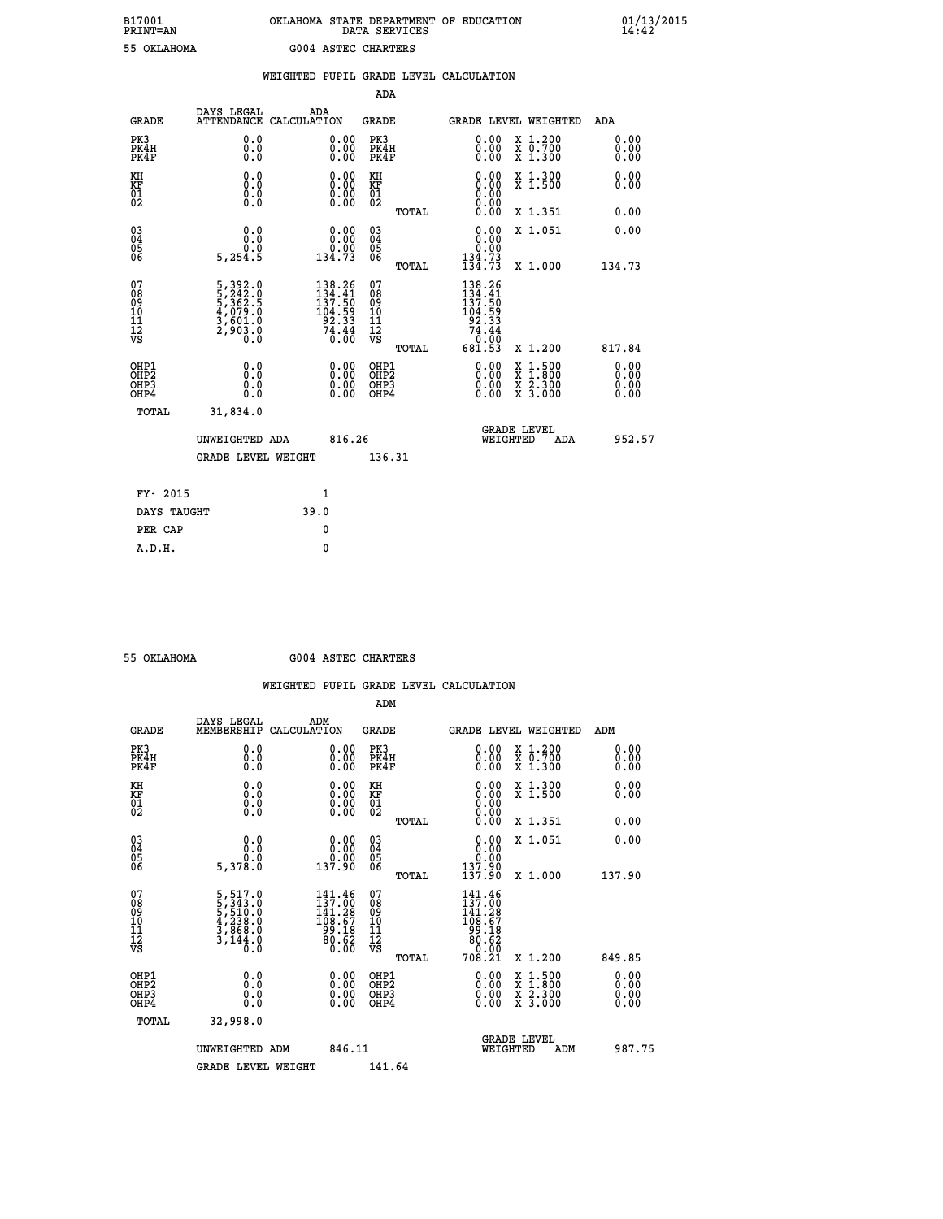## **B17001 OKLAHOMA STATE DEPARTMENT OF EDUCATION 01/13/2015 PRINT=AN DATA SERVICES 14:42 55 OKLAHOMA G004 ASTEC CHARTERS**

|                                                                    |                                          |                                                                                                 | WEIGHTED PUPIL GRADE LEVEL CALCULATION |                                                                                           |                                        |       |                                                                                |          |                                                                |                              |
|--------------------------------------------------------------------|------------------------------------------|-------------------------------------------------------------------------------------------------|----------------------------------------|-------------------------------------------------------------------------------------------|----------------------------------------|-------|--------------------------------------------------------------------------------|----------|----------------------------------------------------------------|------------------------------|
|                                                                    |                                          |                                                                                                 |                                        |                                                                                           | <b>ADA</b>                             |       |                                                                                |          |                                                                |                              |
|                                                                    | <b>GRADE</b>                             | DAYS LEGAL<br><b>ATTENDANCE</b>                                                                 | ADA<br>CALCULATION                     |                                                                                           | <b>GRADE</b>                           |       |                                                                                |          | GRADE LEVEL WEIGHTED                                           | ADA                          |
| PK3                                                                | PK4H<br>PK4F                             | 0.0<br>0.0<br>0.0                                                                               |                                        | $\begin{smallmatrix} 0.00 \ 0.00 \ 0.00 \end{smallmatrix}$                                | PK3<br>PK4H<br>PK4F                    |       | 0.00<br>0.00<br>0.00                                                           |          | X 1.200<br>X 0.700<br>X 1.300                                  | 0.00<br>0.00<br>0.00         |
| KH<br>KF<br>01<br>02                                               |                                          | 0.0<br>$0.\overline{0}$<br>$\S.$                                                                |                                        | $\begin{smallmatrix} 0.00 \ 0.00 \ 0.00 \ 0.00 \end{smallmatrix}$                         | KH<br><b>KF</b><br>01<br>02            |       | $0.00$<br>$0.00$<br>$0.00$                                                     |          | X 1.300<br>X 1.500                                             | 0.00<br>0.00                 |
|                                                                    |                                          |                                                                                                 |                                        |                                                                                           |                                        | TOTAL | 0.00                                                                           |          | X 1.351                                                        | 0.00                         |
| $\begin{smallmatrix} 03 \\[-4pt] 04 \end{smallmatrix}$<br>Ŏ5<br>06 |                                          | 0.0<br>Ŏ.Ŏ                                                                                      |                                        | $\begin{smallmatrix} 0.00\\ 0.00\\ 0.00\\ 134.73 \end{smallmatrix}$                       | $\substack{03 \\ 04}$<br>Ŏ5<br>06      |       | 0.00                                                                           |          | X 1.051                                                        | 0.00                         |
|                                                                    |                                          | 5,254.5                                                                                         |                                        |                                                                                           |                                        | TOTAL | $\begin{array}{c} 0.00 \\ 134.73 \\ 134.73 \end{array}$                        |          | X 1.000                                                        | 134.73                       |
| 07<br>08<br>09<br>11<br>11<br>12<br>VS                             |                                          | $\begin{smallmatrix}5,392.0\\5,242.0\\5,362.5\\4,079.0\\3,601.0\\2,903.0\\0.0\end{smallmatrix}$ |                                        | $\begin{smallmatrix} 138.26\\134.41\\137.50\\104.59\\92.33\\74.44\\0.00\end{smallmatrix}$ | 07<br>08<br>09<br>11<br>11<br>12<br>VS | TOTAL | $138.26$<br>$134.41$<br>$137.50$<br>104.59<br>92.33<br>74.44<br>0:00<br>681.53 |          | X 1.200                                                        | 817.84                       |
|                                                                    | OHP1<br>OHP2<br>OH <sub>P3</sub><br>OHP4 | 0.0<br>0.0<br>Ō.Ō                                                                               |                                        | 0.00<br>$\begin{smallmatrix} 0.00 \ 0.00 \end{smallmatrix}$                               | OHP1<br>OHP2<br>OHP3<br>OHP4           |       | 0.00<br>0.00<br>0.00                                                           |          | $1:500$<br>$1:800$<br>X 1:500<br>X 1:800<br>X 2:300<br>X 3:000 | 0.00<br>0.00<br>0.00<br>0.00 |
|                                                                    | TOTAL                                    | 31,834.0                                                                                        |                                        |                                                                                           |                                        |       |                                                                                |          |                                                                |                              |
|                                                                    |                                          | UNWEIGHTED ADA                                                                                  |                                        | 816.26                                                                                    |                                        |       |                                                                                | WEIGHTED | <b>GRADE LEVEL</b><br>ADA                                      | 952.57                       |
|                                                                    |                                          | <b>GRADE LEVEL WEIGHT</b>                                                                       |                                        |                                                                                           | 136.31                                 |       |                                                                                |          |                                                                |                              |
|                                                                    | FY- 2015                                 |                                                                                                 | $\mathbf{1}$                           |                                                                                           |                                        |       |                                                                                |          |                                                                |                              |
|                                                                    | DAYS TAUGHT                              |                                                                                                 | 39.0                                   |                                                                                           |                                        |       |                                                                                |          |                                                                |                              |
|                                                                    | PER CAP                                  |                                                                                                 | $\mathbf{0}$                           |                                                                                           |                                        |       |                                                                                |          |                                                                |                              |

 **A.D.H. 0**

 **55 OKLAHOMA G004 ASTEC CHARTERS**

|                                    |                                                      |                                                                                                 |                                                                                |        | ADM                                                 |       |                                                                                                                                                                                                                                                                                                                                                                                                                                                        |                                          |        |                      |
|------------------------------------|------------------------------------------------------|-------------------------------------------------------------------------------------------------|--------------------------------------------------------------------------------|--------|-----------------------------------------------------|-------|--------------------------------------------------------------------------------------------------------------------------------------------------------------------------------------------------------------------------------------------------------------------------------------------------------------------------------------------------------------------------------------------------------------------------------------------------------|------------------------------------------|--------|----------------------|
|                                    | <b>GRADE</b>                                         | DAYS LEGAL<br>MEMBERSHIP                                                                        | ADM<br>CALCULATION                                                             |        | <b>GRADE</b>                                        |       |                                                                                                                                                                                                                                                                                                                                                                                                                                                        | <b>GRADE LEVEL WEIGHTED</b>              | ADM    |                      |
|                                    | PK3<br>PK4H<br>PK4F                                  | 0.0<br>0.0<br>0.0                                                                               | $\begin{smallmatrix} 0.00 \ 0.00 \ 0.00 \end{smallmatrix}$                     |        | PK3<br>PK4H<br>PK4F                                 |       | $\begin{smallmatrix} 0.00 \\ 0.00 \\ 0.00 \end{smallmatrix}$                                                                                                                                                                                                                                                                                                                                                                                           | X 1.200<br>X 0.700<br>X 1.300            |        | 0.00<br>0.00<br>0.00 |
| KH<br>KF<br>01<br>02               |                                                      | 0.0<br>0.0<br>$\S.$                                                                             | $\begin{smallmatrix} 0.00 \ 0.00 \ 0.00 \ 0.00 \end{smallmatrix}$              |        | KH<br>KF<br>01<br>02                                |       | $\begin{smallmatrix} 0.00 \ 0.00 \ 0.00 \ 0.00 \ 0.00 \ 0.00 \end{smallmatrix}$                                                                                                                                                                                                                                                                                                                                                                        | X 1.300<br>X 1.500                       |        | 0.00<br>0.00         |
|                                    |                                                      |                                                                                                 |                                                                                |        |                                                     | TOTAL |                                                                                                                                                                                                                                                                                                                                                                                                                                                        | X 1.351                                  |        | 0.00                 |
| 03<br>04<br>05<br>06               |                                                      | 0.0<br>5,378.0                                                                                  | $\begin{smallmatrix} &0.00\0.00\0.00\0.9\0.9\0.9\0.9\0\0.9\0\end{smallmatrix}$ |        | $\begin{array}{c} 03 \\ 04 \\ 05 \\ 06 \end{array}$ |       | 0.00<br>ŏ:ŏŏ<br>00.st                                                                                                                                                                                                                                                                                                                                                                                                                                  | X 1.051                                  |        | 0.00                 |
|                                    |                                                      |                                                                                                 |                                                                                |        |                                                     | TOTAL | 137.90                                                                                                                                                                                                                                                                                                                                                                                                                                                 | X 1.000                                  | 137.90 |                      |
| 07<br>08<br>09<br>101<br>112<br>VS |                                                      | $\begin{smallmatrix}5,517.0\\5,343.0\\5,510.0\\4,238.0\\3,868.0\\3,144.0\\0.0\end{smallmatrix}$ | $\frac{141.46}{137.00}$<br>141.28<br>108:67<br>99.18<br>80:62<br>0.00          |        | 07<br>08<br>09<br>11<br>11<br>12<br>VS              | TOTAL | 141.46<br>137.00<br>ī41.28<br>$\begin{array}{@{}c@{\hspace{1em}}c@{\hspace{1em}}c@{\hspace{1em}}c@{\hspace{1em}}c@{\hspace{1em}}c@{\hspace{1em}}c@{\hspace{1em}}c@{\hspace{1em}}c@{\hspace{1em}}c@{\hspace{1em}}c@{\hspace{1em}}c@{\hspace{1em}}c@{\hspace{1em}}c@{\hspace{1em}}c@{\hspace{1em}}c@{\hspace{1em}}c@{\hspace{1em}}c@{\hspace{1em}}c@{\hspace{1em}}c@{\hspace{1em}}c@{\hspace{1em}}c@{\hspace{1em}}c@{\hspace{1em}}c@{\hspace{$<br>708.21 | X 1.200                                  | 849.85 |                      |
|                                    | OHP1<br>OHP2<br>OH <sub>P3</sub><br>OH <sub>P4</sub> | 0.0<br>0.000                                                                                    |                                                                                |        | OHP1<br>OHP2<br>OHP <sub>3</sub>                    |       | $0.00$<br>$0.00$<br>0.00                                                                                                                                                                                                                                                                                                                                                                                                                               | X 1:500<br>X 1:800<br>X 2:300<br>X 3:000 |        | 0.00<br>0.00<br>0.00 |
|                                    | TOTAL                                                | 32,998.0                                                                                        |                                                                                |        |                                                     |       |                                                                                                                                                                                                                                                                                                                                                                                                                                                        |                                          |        |                      |
|                                    |                                                      | UNWEIGHTED ADM                                                                                  |                                                                                | 846.11 |                                                     |       |                                                                                                                                                                                                                                                                                                                                                                                                                                                        | GRADE LEVEL<br>WEIGHTED<br>ADM           |        | 987.75               |
|                                    |                                                      | <b>GRADE LEVEL WEIGHT</b>                                                                       |                                                                                |        | 141.64                                              |       |                                                                                                                                                                                                                                                                                                                                                                                                                                                        |                                          |        |                      |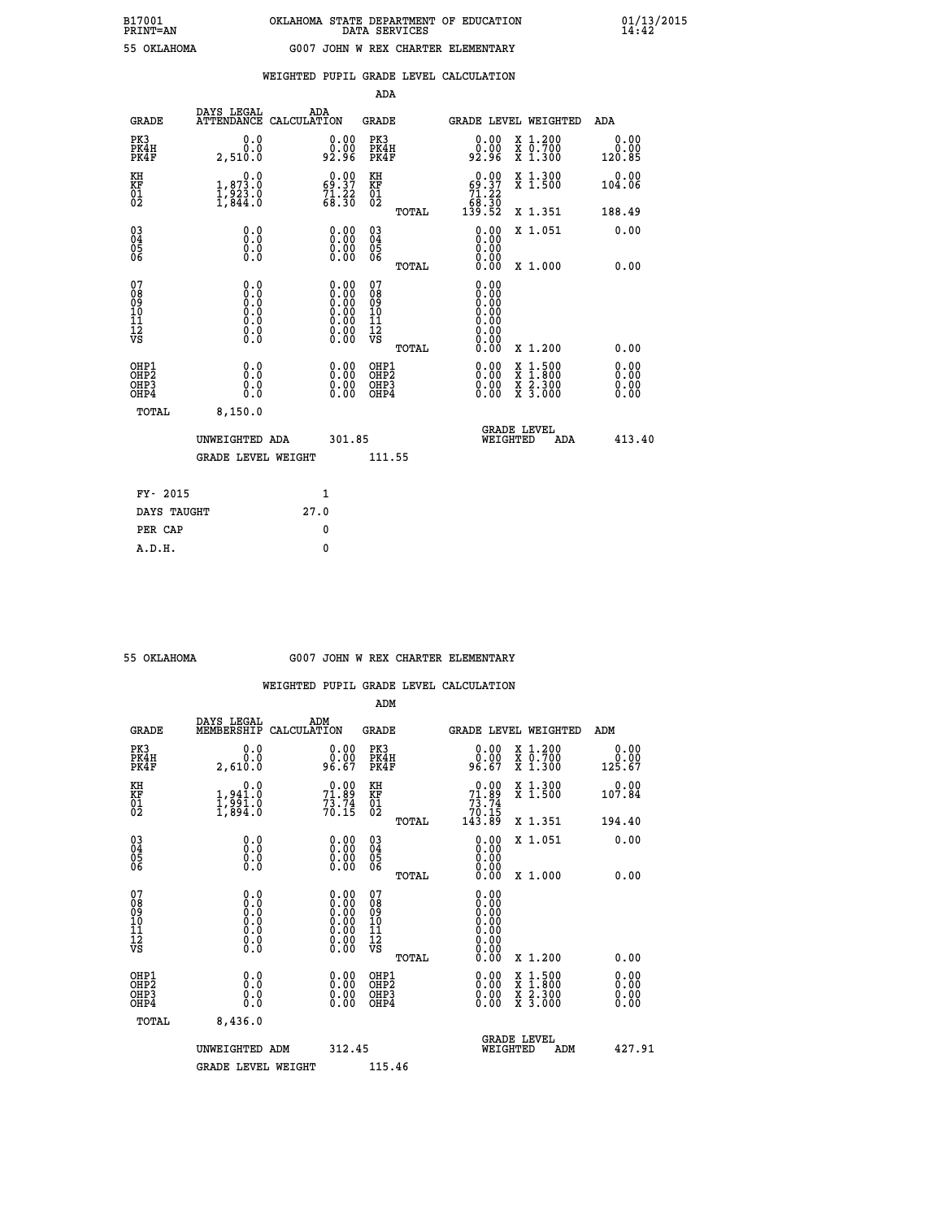| ---- | ---- | . .    |   |
|------|------|--------|---|
|      |      | ארשנד. | 7 |

### **WEIGHTED PUPIL GRADE LEVEL CALCULATION**

|                                                    |                                                                               |                    |                                                                                               | ADA                                                |       |                                                                             |          |                                                                |                              |  |
|----------------------------------------------------|-------------------------------------------------------------------------------|--------------------|-----------------------------------------------------------------------------------------------|----------------------------------------------------|-------|-----------------------------------------------------------------------------|----------|----------------------------------------------------------------|------------------------------|--|
| <b>GRADE</b>                                       | DAYS LEGAL<br><b>ATTENDANCE</b>                                               | ADA<br>CALCULATION |                                                                                               | GRADE                                              |       | <b>GRADE LEVEL WEIGHTED</b>                                                 |          |                                                                | <b>ADA</b>                   |  |
| PK3<br>PK4H<br>PK4F                                | 0.0<br>0.0<br>2,510.0                                                         |                    | 0.00<br>0.00<br>92.96                                                                         | PK3<br>PK4H<br>PK4F                                |       | 0.00<br>0.00<br>92.96                                                       |          | X 1.200<br>X 0.700<br>X 1.300                                  | 0.00<br>0.00<br>120.85       |  |
| KH<br><b>KF</b><br>01<br>02                        | 0.0<br>$\begin{smallmatrix} 1, 873.0 \ 1, 923.0 \ 1, 844.0 \end{smallmatrix}$ |                    | $\begin{smallmatrix} 0.00\\ 69.37\\ 71.22\\ 68.30 \end{smallmatrix}$                          | KH<br>KF<br>01<br>02                               |       | $\begin{smallmatrix} &0.00\ 69.37\ 71.22\ 68.30\ 139.52\ \end{smallmatrix}$ |          | X 1.300<br>X 1.500                                             | 0.00<br>104.06               |  |
|                                                    |                                                                               |                    |                                                                                               |                                                    | TOTAL |                                                                             |          | X 1.351                                                        | 188.49                       |  |
| $\begin{matrix} 03 \\ 04 \\ 05 \\ 06 \end{matrix}$ | 0.0<br>0.000                                                                  |                    | $\begin{smallmatrix} 0.00 \ 0.00 \ 0.00 \ 0.00 \end{smallmatrix}$                             | $\begin{matrix} 03 \\ 04 \\ 05 \\ 06 \end{matrix}$ |       | 0.00<br>0.00<br>0.00                                                        |          | X 1.051                                                        | 0.00                         |  |
|                                                    |                                                                               |                    |                                                                                               |                                                    | TOTAL | 0.00                                                                        |          | X 1.000                                                        | 0.00                         |  |
| 07<br>08<br>09<br>101<br>11<br>12<br>VS            | $\S.$ $\S$                                                                    |                    | $\begin{smallmatrix} 0.00\ 0.00\ 0.00\ 0.00\ 0.00\ 0.00\ 0.00\ 0.00\ 0.00\ \end{smallmatrix}$ | 07<br>08<br>09<br>11<br>11<br>12<br>VS             |       | 0.00<br>0.00<br>0.00<br>0.00<br>0.00<br>0.00<br>0.00                        |          |                                                                |                              |  |
|                                                    |                                                                               |                    |                                                                                               |                                                    | TOTAL | 0.00                                                                        |          | X 1.200                                                        | 0.00                         |  |
| OHP1<br>OHP2<br>OHP3<br>OHP4                       | 0.0<br>0.0<br>0.0                                                             |                    | 0.00<br>$0.00$<br>0.00                                                                        | OHP1<br>OHP2<br>OHP3<br>OHP4                       |       | $0.00$<br>$0.00$<br>0.00                                                    | X<br>X   | $1:500$<br>1:800<br>$\frac{\ddot{x}}{x}$ $\frac{2.300}{3.000}$ | 0.00<br>0.00<br>0.00<br>0.00 |  |
| TOTAL                                              | 8,150.0                                                                       |                    |                                                                                               |                                                    |       |                                                                             |          |                                                                |                              |  |
|                                                    | UNWEIGHTED ADA                                                                |                    | 301.85                                                                                        |                                                    |       |                                                                             | WEIGHTED | <b>GRADE LEVEL</b><br>ADA                                      | 413.40                       |  |
|                                                    | <b>GRADE LEVEL WEIGHT</b>                                                     |                    |                                                                                               | 111.55                                             |       |                                                                             |          |                                                                |                              |  |
| FY- 2015                                           |                                                                               | $\mathbf{1}$       |                                                                                               |                                                    |       |                                                                             |          |                                                                |                              |  |
| DAYS TAUGHT                                        |                                                                               | 27.0               |                                                                                               |                                                    |       |                                                                             |          |                                                                |                              |  |
|                                                    |                                                                               |                    |                                                                                               |                                                    |       |                                                                             |          |                                                                |                              |  |

**PER CAP** 0  **A.D.H. 0**

### **55 OKLAHOMA G007 JOHN W REX CHARTER ELEMENTARY**

|                                                      |                                                                                                   |                                                                                               | ADM                                                |       |                                                                           |                                          |        |                              |
|------------------------------------------------------|---------------------------------------------------------------------------------------------------|-----------------------------------------------------------------------------------------------|----------------------------------------------------|-------|---------------------------------------------------------------------------|------------------------------------------|--------|------------------------------|
| <b>GRADE</b>                                         | DAYS LEGAL<br>MEMBERSHIP                                                                          | ADM<br>CALCULATION                                                                            | <b>GRADE</b>                                       |       |                                                                           | <b>GRADE LEVEL WEIGHTED</b>              | ADM    |                              |
| PK3<br>PK4H<br>PK4F                                  | 0.0<br>0.0<br>2,610.0                                                                             | $\begin{smallmatrix} 0.00\\ 0.00\\ 0.67 \end{smallmatrix}$                                    | PK3<br>PK4H<br>PK4F                                |       | $\begin{smallmatrix} 0.00\\ 0.00\\ 96.67 \end{smallmatrix}$               | X 1.200<br>X 0.700<br>X 1.300            | 125.67 | 0.00<br>0.00                 |
| KH<br>KF<br>01<br>02                                 | 0.0<br>1,941.0<br>1,991.0<br>1,894.0                                                              | $71.89$<br>$73.74$<br>$73.74$<br>$70.15$                                                      | KH<br>KF<br>01<br>02                               |       | $\begin{smallmatrix} &0.00\ 71.89\ 73.74\ 70.15\ 143.89\end{smallmatrix}$ | X 1.300<br>X 1.500                       | 107.84 | 0.00                         |
|                                                      |                                                                                                   |                                                                                               |                                                    | TOTAL |                                                                           | X 1.351                                  | 194.40 |                              |
| 03<br>04<br>05<br>06                                 |                                                                                                   | $\begin{smallmatrix} 0.00 \ 0.00 \ 0.00 \ 0.00 \end{smallmatrix}$                             | $\begin{matrix} 03 \\ 04 \\ 05 \\ 06 \end{matrix}$ |       | $0.00$<br>$0.00$<br>0.00                                                  | X 1.051                                  |        | 0.00                         |
|                                                      |                                                                                                   |                                                                                               |                                                    | TOTAL | 0.00                                                                      | X 1.000                                  |        | 0.00                         |
| 07<br>08<br>09<br>101<br>112<br>VS                   | $\begin{smallmatrix} 0.0 & 0 \ 0.0 & 0 \ 0.0 & 0 \ 0.0 & 0 \ 0.0 & 0 \ 0.0 & 0 \end{smallmatrix}$ | $\begin{smallmatrix} 0.00\ 0.00\ 0.00\ 0.00\ 0.00\ 0.00\ 0.00\ 0.00\ 0.00\ \end{smallmatrix}$ | 07<br>08<br>09<br>11<br>11<br>12<br>VS             |       |                                                                           |                                          |        |                              |
|                                                      |                                                                                                   |                                                                                               |                                                    | TOTAL | 0.00                                                                      | X 1.200                                  |        | 0.00                         |
| OHP1<br>OHP2<br>OH <sub>P3</sub><br>OH <sub>P4</sub> | 0.0<br>0.000                                                                                      |                                                                                               | OHP1<br>OHP2<br>OHP <sub>3</sub>                   |       | $0.00$<br>$0.00$<br>0.00                                                  | X 1:500<br>X 1:800<br>X 2:300<br>X 3:000 |        | 0.00<br>Ŏ.ŎŎ<br>Q.QQ<br>0.00 |
| TOTAL                                                | 8,436.0                                                                                           |                                                                                               |                                                    |       |                                                                           |                                          |        |                              |
|                                                      | UNWEIGHTED ADM                                                                                    | 312.45                                                                                        |                                                    |       |                                                                           | GRADE LEVEL<br>WEIGHTED<br>ADM           |        | 427.91                       |
|                                                      | <b>GRADE LEVEL WEIGHT</b>                                                                         |                                                                                               | 115.46                                             |       |                                                                           |                                          |        |                              |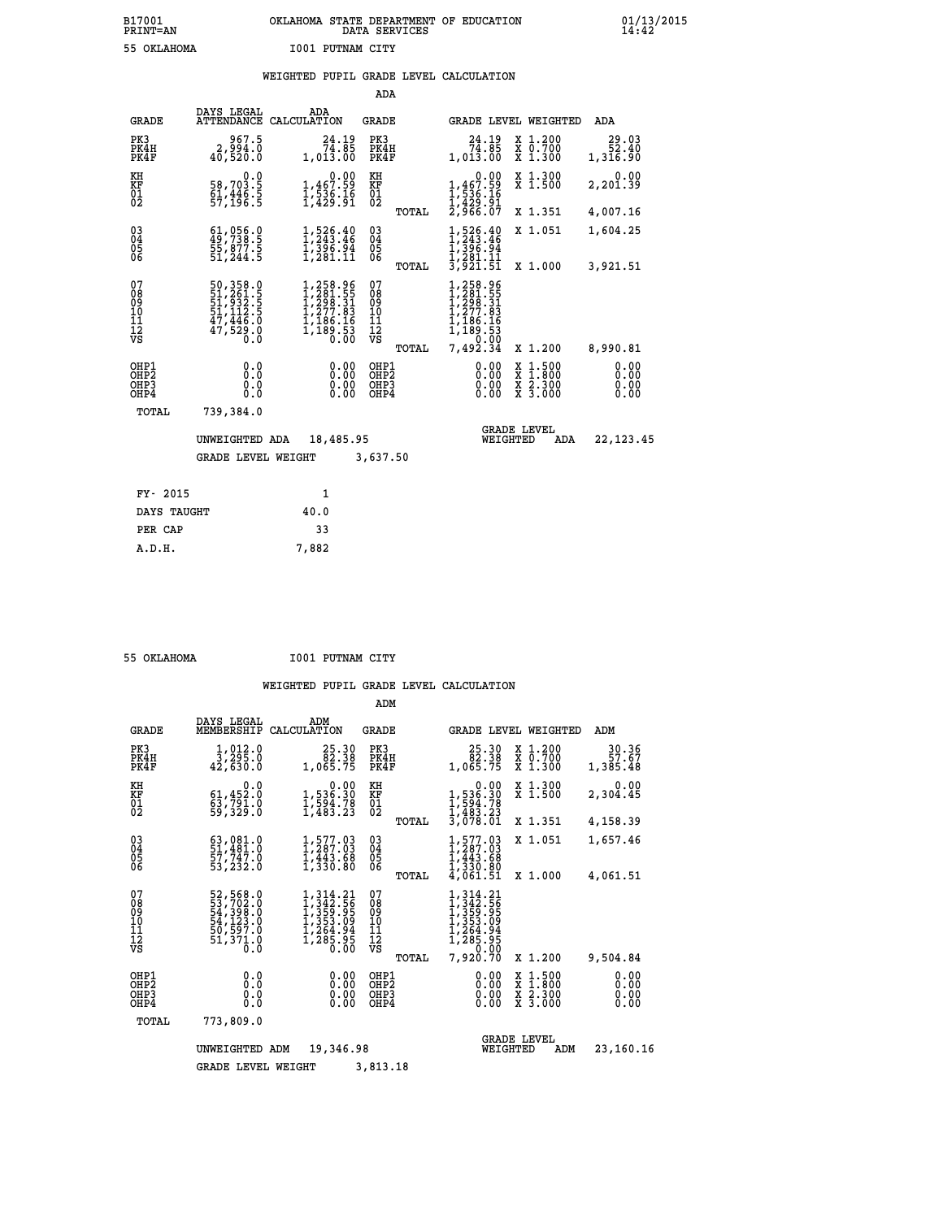## **B17001 OKLAHOMA STATE DEPARTMENT OF EDUCATION 01/13/2015 PRINT=AN DATA SERVICES 14:42 55 OKLAHOMA I001 PUTNAM CITY**

### **WEIGHTED PUPIL GRADE LEVEL CALCULATION**

|                                                                    |                                                                      |                                                                                                                | ADA                                    |                                                                                                         |                                                                                                  |                              |
|--------------------------------------------------------------------|----------------------------------------------------------------------|----------------------------------------------------------------------------------------------------------------|----------------------------------------|---------------------------------------------------------------------------------------------------------|--------------------------------------------------------------------------------------------------|------------------------------|
| <b>GRADE</b>                                                       | DAYS LEGAL                                                           | ADA<br>ATTENDANCE CALCULATION                                                                                  | <b>GRADE</b>                           |                                                                                                         | GRADE LEVEL WEIGHTED                                                                             | ADA                          |
| PK3<br>PK4H<br>PK4F                                                | 967.5<br>2,994.0<br>40,520.0                                         | 24.19<br>74.85<br>1,013.00                                                                                     | PK3<br>PK4H<br>PK4F                    | $\begin{smallmatrix} 24.19 \\ 74.85 \\ 1,013.00 \end{smallmatrix}$                                      | X 1.200<br>X 0.700<br>X 1.300                                                                    | 29.03<br>52.40<br>1,316.90   |
| KH<br>KF<br>01<br>02                                               | 0.0<br>58,703.5<br>61,446.5<br>57,196.5                              | $1,467.59$<br>$1,536.16$<br>$1,429.91$                                                                         | KH<br>KF<br>01<br>02                   | 0.00<br>,467.59<br>$\frac{1}{2}, \frac{1}{236}$<br>$\frac{1}{2}, \frac{429}{966}$<br>$\frac{91}{27966}$ | X 1.300<br>X 1.500                                                                               | 0.00<br>2,201.39             |
|                                                                    |                                                                      |                                                                                                                | TOTAL                                  |                                                                                                         | X 1.351                                                                                          | 4,007.16                     |
| $\begin{smallmatrix} 03 \\[-4pt] 04 \end{smallmatrix}$<br>Ŏ5<br>06 | $61,056.0$<br>$49,738.5$<br>$55,877.5$<br>$51,244.5$                 | $1, 526.40$<br>$1, 243.46$<br>$1, 396.94$<br>$1, 281.11$                                                       | $\substack{03 \\ 04}$<br>05<br>06      | $1, 243.46$<br>$1, 243.46$<br>$1, 396.94$<br>$1, 281.11$<br>$3, 921.51$                                 | X 1.051                                                                                          | 1,604.25                     |
|                                                                    |                                                                      |                                                                                                                | TOTAL                                  |                                                                                                         | X 1.000                                                                                          | 3,921.51                     |
| 07<br>08<br>09<br>11<br>11<br>12<br>VS                             | 50,358.0<br>51,261.5<br>51,932.5<br>51,112.5<br>47,446.0<br>47,529.0 | $\begin{smallmatrix} 1,258.96\\ 1,281.55\\ 1,298.31\\ 1,277.83\\ 1,186.16\\ 1,189.53\\ 0.00 \end{smallmatrix}$ | 07<br>08<br>09<br>11<br>11<br>12<br>VS | 258.96<br>281.55<br>298.31<br>277.83<br>276.16<br>$\overline{189}.\overline{53}$                        |                                                                                                  |                              |
|                                                                    |                                                                      |                                                                                                                | TOTAL                                  | 7,492.34                                                                                                | X 1.200                                                                                          | 8,990.81                     |
| OHP1<br>OHP <sub>2</sub><br>OH <sub>P3</sub><br>OH <sub>P4</sub>   | 0.000<br>0.0<br>0.0                                                  | 0.00<br>$\begin{smallmatrix} 0.00 \ 0.00 \end{smallmatrix}$                                                    | OHP1<br>OHP2<br>OHP3<br>OHP4           | 0.00<br>0.00                                                                                            | $\begin{smallmatrix} x & 1 & 500 \\ x & 1 & 800 \\ x & 2 & 300 \\ x & 3 & 000 \end{smallmatrix}$ | 0.00<br>0.00<br>0.00<br>0.00 |
| TOTAL                                                              | 739,384.0                                                            |                                                                                                                |                                        |                                                                                                         |                                                                                                  |                              |
|                                                                    | UNWEIGHTED ADA                                                       | 18,485.95                                                                                                      |                                        | WEIGHTED                                                                                                | <b>GRADE LEVEL</b><br>ADA                                                                        | 22,123.45                    |
|                                                                    | <b>GRADE LEVEL WEIGHT</b>                                            |                                                                                                                | 3,637.50                               |                                                                                                         |                                                                                                  |                              |
| FY- 2015                                                           |                                                                      | $\mathbf{1}$                                                                                                   |                                        |                                                                                                         |                                                                                                  |                              |
| DAYS TAUGHT                                                        |                                                                      | 40.0                                                                                                           |                                        |                                                                                                         |                                                                                                  |                              |
| PER CAP                                                            |                                                                      | 33                                                                                                             |                                        |                                                                                                         |                                                                                                  |                              |

|  | $F = A$ we a second |  |
|--|---------------------|--|

 **A.D.H. 7,882**

 **55 OKLAHOMA I001 PUTNAM CITY**

|                                                       |                                                                              |                                                                                                                                              | ADM                                    |                                                                                                                                                                    |                                                                                                  |                              |
|-------------------------------------------------------|------------------------------------------------------------------------------|----------------------------------------------------------------------------------------------------------------------------------------------|----------------------------------------|--------------------------------------------------------------------------------------------------------------------------------------------------------------------|--------------------------------------------------------------------------------------------------|------------------------------|
| <b>GRADE</b>                                          | DAYS LEGAL<br>MEMBERSHIP                                                     | ADM<br>CALCULATION                                                                                                                           | <b>GRADE</b>                           | <b>GRADE LEVEL WEIGHTED</b>                                                                                                                                        |                                                                                                  | ADM                          |
| PK3<br>PK4H<br>PK4F                                   | 1,012.0<br>3,295.0<br>42,630.0                                               | 25.30<br>82.38<br>1,065.75                                                                                                                   | PK3<br>PK4H<br>PK4F                    | $\begin{smallmatrix} 25.30\ 82.38\ 1.065.75 \end{smallmatrix}$                                                                                                     | $\begin{array}{c} x & 1.200 \\ x & 0.700 \end{array}$<br>X 1.300                                 | 30.36<br>57.67<br>1,385.48   |
| KH<br>KF<br>01<br>02                                  | 0.0<br>61,452.0<br>$\frac{63}{59}$ , 791.0                                   | $\begin{smallmatrix}&&0.00\\1,536.30\\1,594.78\\1,483.23\end{smallmatrix}$                                                                   | KH<br>KF<br>01<br>02                   | 0.00<br>$1,536.30$<br>$1,594.78$<br>$1,483.23$<br>$3,078.01$                                                                                                       | X 1.300<br>X 1.500                                                                               | 0.00<br>2,304.45             |
|                                                       |                                                                              |                                                                                                                                              | TOTAL                                  |                                                                                                                                                                    | X 1.351                                                                                          | 4,158.39                     |
| 03<br>04<br>05<br>06                                  | $\begin{smallmatrix} 63 \\ 51 \\ 27 \\ 748 \\ \end{smallmatrix}$<br>53,232.0 | 1,577.03<br>1,287.03<br>$\overline{1,}443.68$<br>1,330.80                                                                                    | $\substack{03 \\ 04}$<br>05<br>TOTAL   | 1,577.03<br>1,287.03<br>$\overline{1,443.68}$<br>1,330.80<br>4,061.51                                                                                              | X 1.051<br>X 1.000                                                                               | 1,657.46<br>4,061.51         |
| 07<br>08<br>09<br>11<br>11<br>12<br>VS                | 52,568.0<br>53,702.0<br>54,398.0<br>54,123.0<br>50,597.0<br>51,371.0<br>ō.ŏ  | $\begin{smallmatrix} 1,314\cdot21\\ 1,342\cdot56\\ 1,359\cdot95\\ 1,353\cdot09\\ 1,264\cdot94\\ 1,265\cdot95\\ 0\cdot00\\ \end{smallmatrix}$ | 07<br>089<br>101<br>111<br>VS<br>TOTAL | $\begin{smallmatrix} 1,314\cdot21\\ 1,342\cdot56\\ 1,359\cdot95\\ 1,353\cdot95\\ 1,353\cdot99\\ 1,264\cdot94\\ 1,285\cdot95 \end{smallmatrix}$<br>0.00<br>7,920.70 | X 1.200                                                                                          | 9,504.84                     |
| OHP1<br>OH <sub>P</sub> 2<br>OH <sub>P3</sub><br>OHP4 | 0.0<br>0.0<br>Ŏ.Ŏ                                                            | 0.00<br>0.00<br>0.00                                                                                                                         | OHP1<br>OHP2<br>OHP3<br>OHP4           | $0.00$<br>$0.00$<br>0.00                                                                                                                                           | $\begin{smallmatrix} x & 1 & 500 \\ x & 1 & 800 \\ x & 2 & 300 \\ x & 3 & 000 \end{smallmatrix}$ | 0.00<br>0.00<br>0.00<br>0.00 |
| TOTAL                                                 | 773,809.0                                                                    |                                                                                                                                              |                                        |                                                                                                                                                                    |                                                                                                  |                              |
|                                                       | UNWEIGHTED                                                                   | 19,346.98<br>ADM                                                                                                                             |                                        | WEIGHTED                                                                                                                                                           | <b>GRADE LEVEL</b><br>ADM                                                                        | 23,160.16                    |
|                                                       | <b>GRADE LEVEL WEIGHT</b>                                                    |                                                                                                                                              | 3,813.18                               |                                                                                                                                                                    |                                                                                                  |                              |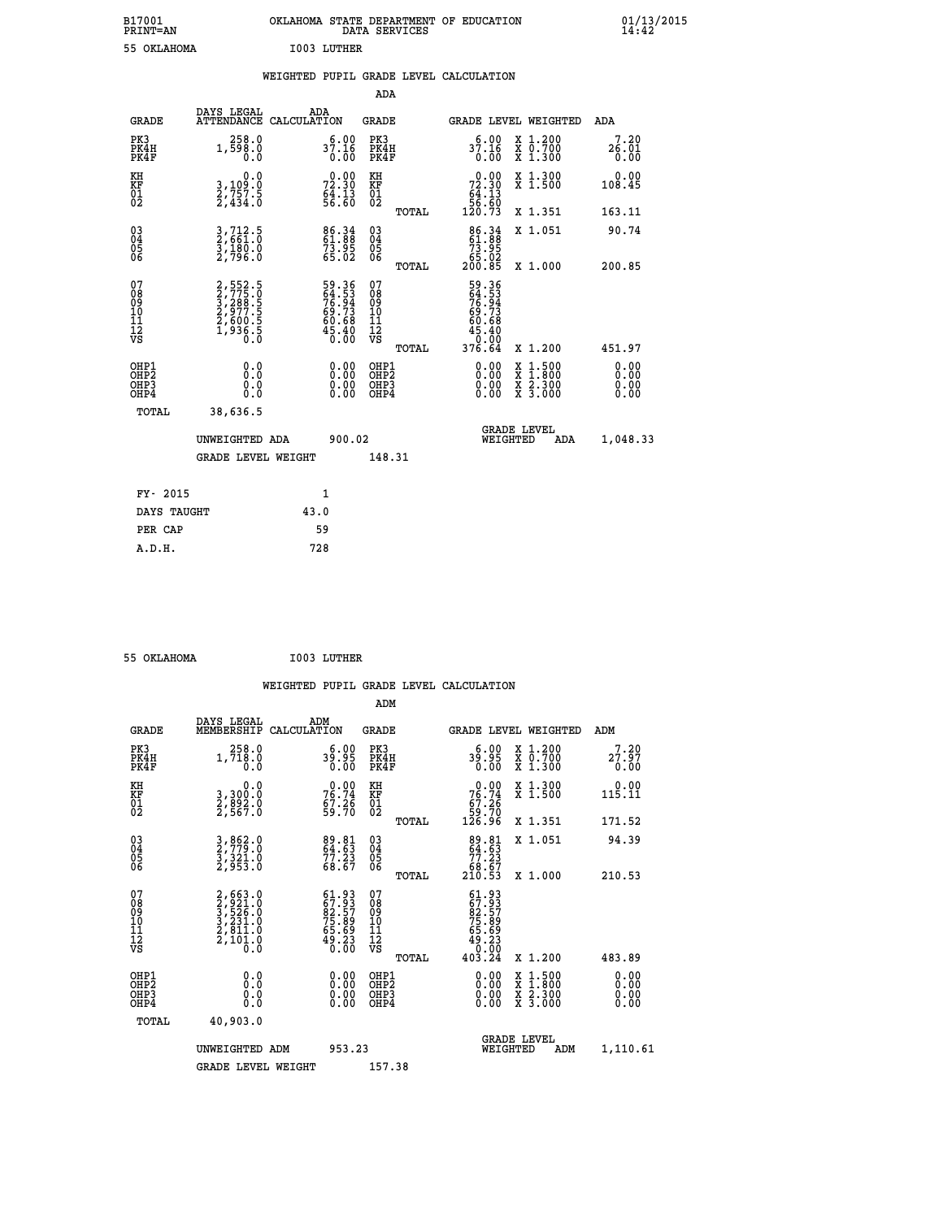| B17001<br><b>PRINT=AN</b> | OKLAHOMA STATE DEPARTMENT OF EDUCATION<br>DATA SERVICES |  |
|---------------------------|---------------------------------------------------------|--|
| 55 OKLAHOMA               | I003 LUTHER                                             |  |

|  |  | WEIGHTED PUPIL GRADE LEVEL CALCULATION |
|--|--|----------------------------------------|
|  |  |                                        |

|                              |                                                                   |                                                                           |                    |                                                                   | ADA                                                 |       |                                                                                    |                                          |                              |
|------------------------------|-------------------------------------------------------------------|---------------------------------------------------------------------------|--------------------|-------------------------------------------------------------------|-----------------------------------------------------|-------|------------------------------------------------------------------------------------|------------------------------------------|------------------------------|
|                              | <b>GRADE</b>                                                      | DAYS LEGAL<br><b>ATTENDANCE</b>                                           | ADA<br>CALCULATION |                                                                   | <b>GRADE</b>                                        |       |                                                                                    | <b>GRADE LEVEL WEIGHTED</b>              | ADA                          |
|                              | PK3<br>PK4H<br>PK4F                                               | 258.0<br>1,598.0<br>0.0                                                   |                    | $37.16$<br>0.00                                                   | PK3<br>PK4H<br>PK4F                                 |       | 6.00<br>37.16<br>o:ōŏ                                                              | X 1.200<br>X 0.700<br>X 1.300            | 7.20<br>26.01<br>0.00        |
| KH<br><b>KF</b><br>01<br>02  |                                                                   | 0.0<br>3,109:0<br>2,757:5<br>2,434:0                                      |                    | 72.30<br>$64.13$<br>56.60                                         | KH<br>KF<br>01<br>02                                |       | $\begin{smallmatrix}&&0&.00\\72&.30\\64&.13\\56&.60\\120&.73\end{smallmatrix}$     | X 1.300<br>X 1.500                       | 0.00<br>108.45               |
|                              |                                                                   |                                                                           |                    |                                                                   |                                                     | TOTAL |                                                                                    | X 1.351                                  | 163.11                       |
|                              | $^{03}_{04}$<br>Ŏ5<br>06                                          | 3,712.5<br>2,661.0<br>3,180.0<br>2,796.0                                  |                    | 86.34<br>61.88<br>73.95<br>65.02                                  | $\begin{array}{c} 03 \\ 04 \\ 05 \\ 06 \end{array}$ |       | $\begin{smallmatrix} 86.34 \\ 61.88 \\ 73.95 \\ 65.02 \\ 200.85 \end{smallmatrix}$ | X 1.051                                  | 90.74                        |
|                              |                                                                   |                                                                           |                    |                                                                   |                                                     | TOTAL |                                                                                    | X 1.000                                  | 200.85                       |
| 07<br>08901112<br>1112<br>VS |                                                                   | 2,552.5<br>3,775.0<br>3,288.5<br>3,289.5<br>2,600.5<br>2,600.5<br>1,936.5 |                    | 59.36<br>64.53<br>76.94<br>69.73<br>60.68<br>45.40<br>45.40       | 07<br>08<br>09<br>11<br>11<br>12<br>VS              |       | 59.36<br>64.53<br>76.94<br>69.73<br>60.68<br>45.400                                |                                          |                              |
|                              |                                                                   |                                                                           |                    |                                                                   |                                                     | TOTAL | 376.64                                                                             | X 1.200                                  | 451.97                       |
|                              | OHP1<br>OH <sub>P</sub> 2<br>OH <sub>P3</sub><br>OH <sub>P4</sub> | 0.0<br>0.000                                                              |                    | $\begin{smallmatrix} 0.00 \ 0.00 \ 0.00 \ 0.00 \end{smallmatrix}$ | OHP1<br>OH <sub>P</sub> 2<br>OHP3<br>OHP4           |       | 0.00<br>0.00<br>0.00                                                               | X 1:500<br>X 1:800<br>X 2:300<br>X 3:000 | 0.00<br>0.00<br>0.00<br>0.00 |
|                              | TOTAL                                                             | 38,636.5                                                                  |                    |                                                                   |                                                     |       |                                                                                    |                                          |                              |
|                              |                                                                   | UNWEIGHTED ADA                                                            |                    | 900.02                                                            |                                                     |       |                                                                                    | GRADE LEVEL<br>WEIGHTED<br>ADA           | 1,048.33                     |
|                              |                                                                   | <b>GRADE LEVEL WEIGHT</b>                                                 |                    |                                                                   | 148.31                                              |       |                                                                                    |                                          |                              |
|                              | FY- 2015                                                          |                                                                           |                    | $\mathbf{1}$                                                      |                                                     |       |                                                                                    |                                          |                              |
|                              | DAYS TAUGHT                                                       |                                                                           | 43.0               |                                                                   |                                                     |       |                                                                                    |                                          |                              |
|                              | PER CAP                                                           |                                                                           |                    | 59                                                                |                                                     |       |                                                                                    |                                          |                              |

 **ADM**

 **B17001<br>PRINT=AN** 

 **55 OKLAHOMA I003 LUTHER**

| <b>GRADE</b>                                       | DAYS LEGAL<br>MEMBERSHIP CALCULATION                                  | ADM                                                               | <b>GRADE</b>                                           |                                                                              |                                | GRADE LEVEL WEIGHTED                     | ADM                   |
|----------------------------------------------------|-----------------------------------------------------------------------|-------------------------------------------------------------------|--------------------------------------------------------|------------------------------------------------------------------------------|--------------------------------|------------------------------------------|-----------------------|
| PK3<br>PK4H<br>PK4F                                | 258.0<br>1,718.0<br>0.0                                               | 6.00<br>39.95<br>0.00                                             | PK3<br>PK4H<br>PK4F                                    |                                                                              | 6.00<br>39.95<br>0.00          | X 1.200<br>X 0.700<br>X 1.300            | 7.20<br>27.97<br>0.00 |
| KH<br>KF<br>01<br>02                               | 0.0<br>3,300:0<br>2,892:0<br>2,567:0                                  | $76.74$<br>$57.26$<br>$59.70$                                     | KH<br>KF<br>01<br>02                                   | $\begin{smallmatrix} &0.00\ 76.74\ 67.26\ 59.70\ 126.96\ \end{smallmatrix}$  |                                | X 1.300<br>X 1.500                       | 0.00<br>115.11        |
|                                                    |                                                                       |                                                                   | TOTAL                                                  |                                                                              |                                | X 1.351                                  | 171.52                |
| $\begin{matrix} 03 \\ 04 \\ 05 \\ 06 \end{matrix}$ | 3, 862.0<br>2, 779.0<br>3, 321.0<br>2, 953.0                          | 89.81<br>64.63<br>77.23<br>68.67                                  | $\begin{matrix} 03 \\ 04 \\ 05 \\ 06 \end{matrix}$     | $\begin{smallmatrix}89.81\\ 64.63\\ 77.23\\ 68.67\\ 210.53\end{smallmatrix}$ |                                | X 1.051                                  | 94.39                 |
|                                                    |                                                                       |                                                                   | TOTAL                                                  |                                                                              |                                | X 1.000                                  | 210.53                |
| 07<br>08<br>09<br>101<br>11<br>12<br>VS            | 2,663.0<br>3,524.0<br>3,525.0<br>3,231.0<br>2,811.0<br>2,101.0<br>0.0 | $61.9367.9382.5775.8975.8965.6949.230.00$                         | 07<br>08<br>09<br>001<br>11<br>11<br>12<br>VS<br>TOTAL | $61.93$<br>$67.93$<br>$82.57$<br>$75.89$<br>$75.89$<br>$65.69$<br>$403.24$   |                                | X 1.200                                  | 483.89                |
| OHP1<br>OHP2<br>OHP3<br>OHP4                       | 0.0<br>0.000                                                          | $\begin{smallmatrix} 0.00 \ 0.00 \ 0.00 \ 0.00 \end{smallmatrix}$ | OHP1<br>OHP2<br>OHP3<br>OHP4                           |                                                                              | $0.00$<br>$0.00$<br>0.00       | X 1:500<br>X 1:800<br>X 2:300<br>X 3:000 | 0.00<br>0.00<br>0.00  |
| TOTAL                                              | 40,903.0                                                              |                                                                   |                                                        |                                                                              |                                |                                          |                       |
|                                                    | UNWEIGHTED<br>ADM                                                     | 953.23                                                            |                                                        |                                                                              | <b>GRADE LEVEL</b><br>WEIGHTED | ADM                                      | 1,110.61              |
|                                                    | <b>GRADE LEVEL WEIGHT</b>                                             |                                                                   | 157.38                                                 |                                                                              |                                |                                          |                       |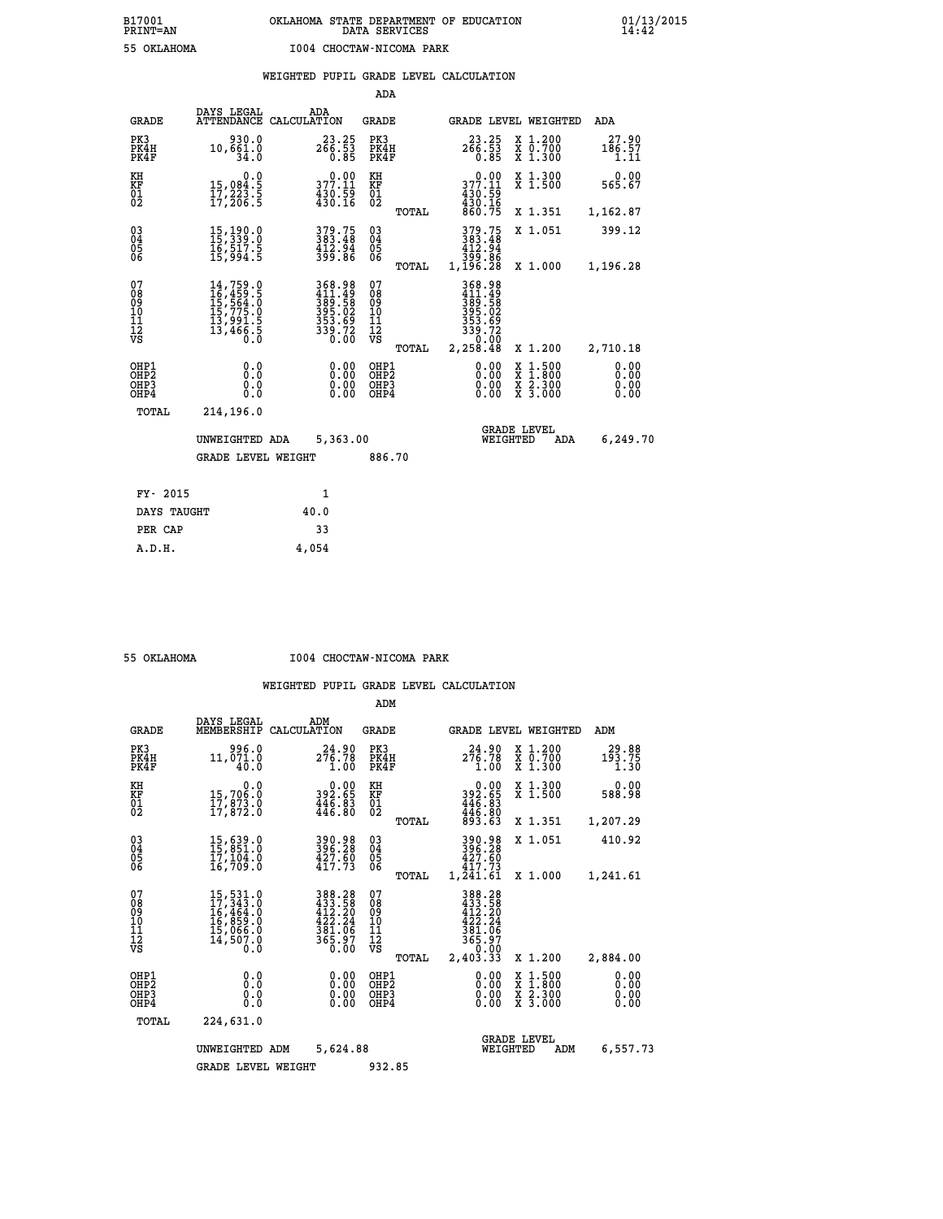|  |                          | WEIGHTED PUPIL GRADE LEVEL CALCULATION |
|--|--------------------------|----------------------------------------|
|  | $\overline{\phantom{a}}$ |                                        |

|                                                    |                                                                                                                                                                                                                       |                                                                             | ADA                                      |       |                                                                                |                                                                                                  |                              |
|----------------------------------------------------|-----------------------------------------------------------------------------------------------------------------------------------------------------------------------------------------------------------------------|-----------------------------------------------------------------------------|------------------------------------------|-------|--------------------------------------------------------------------------------|--------------------------------------------------------------------------------------------------|------------------------------|
| <b>GRADE</b>                                       | DAYS LEGAL                                                                                                                                                                                                            | ADA<br>ATTENDANCE CALCULATION                                               | <b>GRADE</b>                             |       |                                                                                | GRADE LEVEL WEIGHTED                                                                             | ADA                          |
| PK3<br>PK4H<br>PK4F                                | 930.0<br>10,661.0<br>34.0                                                                                                                                                                                             | $23.25$<br>$266.53$<br>$0.85$                                               | PK3<br>PK4H<br>PK4F                      |       | $23.25$<br>$266.53$<br>$0.85$                                                  | X 1.200<br>X 0.700<br>X 1.300                                                                    | 27.90<br>186.57<br>1.11      |
| KH<br>KF<br>01<br>02                               | 0.0<br>15,084:5<br>17,223:5<br>17,206:5                                                                                                                                                                               | $377.11$<br>$430.59$<br>$430.16$                                            | KH<br>KF<br>01<br>02                     |       | 377.11<br>$430.59$<br>$430.16$<br>$860.75$                                     | X 1.300<br>X 1.500                                                                               | 0.00<br>565.67               |
|                                                    |                                                                                                                                                                                                                       |                                                                             |                                          | TOTAL |                                                                                | X 1.351                                                                                          | 1,162.87                     |
| $\begin{matrix} 03 \\ 04 \\ 05 \\ 06 \end{matrix}$ | 15, 190.0<br>15, 339.0<br>īč, ŠI7: Š<br>15, 994: Š                                                                                                                                                                    | 379.75<br>383.48<br>$\frac{412.94}{399.86}$                                 | $\substack{03 \\ 04}$<br>Ŏ5<br>06        |       | 379.75<br>383.48<br>412.94<br>4399.86<br>1,196.28                              | X 1.051                                                                                          | 399.12                       |
| 07                                                 |                                                                                                                                                                                                                       |                                                                             | 07                                       | TOTAL |                                                                                | X 1.000                                                                                          | 1,196.28                     |
| 08<br>09<br>10<br>11<br>12<br>VS                   | $\begin{smallmatrix} 14 \,,\, 759\, \cdot\, 0 \\ 16 \,,\, 459\, \cdot\, 5 \\ 15 \,,\, 564\, \cdot\, 0 \\ 15 \,,\, 775\, \cdot\, 0 \\ 13 \,,\, 991\, \cdot\, 5 \\ 13 \,,\, 466\, \cdot\, 5 \\ 0 \,. \end{smallmatrix}$ | 368.98<br>411.49<br>389.582<br>395.02<br>353.69<br>353.69<br>339.72<br>0.00 | 08<br>09<br>11<br>11<br>12<br>VS         |       | 368.98<br>$411.499$<br>$389.58$<br>$395.02$<br>$353.69$<br>$339.72$<br>$30.00$ |                                                                                                  |                              |
|                                                    |                                                                                                                                                                                                                       |                                                                             |                                          | TOTAL | 2,258.48                                                                       | X 1.200                                                                                          | 2,710.18                     |
| OHP1<br>OHP2<br>OHP3<br>OHP4                       | 0.0<br>0.0<br>0.0                                                                                                                                                                                                     | $\begin{smallmatrix} 0.00 \ 0.00 \ 0.00 \ 0.00 \end{smallmatrix}$           | OHP1<br>OHP <sub>2</sub><br>OHP3<br>OHP4 |       |                                                                                | $\begin{smallmatrix} x & 1 & 500 \\ x & 1 & 800 \\ x & 2 & 300 \\ x & 3 & 000 \end{smallmatrix}$ | 0.00<br>0.00<br>0.00<br>0.00 |
| <b>TOTAL</b>                                       | 214,196.0                                                                                                                                                                                                             |                                                                             |                                          |       |                                                                                |                                                                                                  |                              |
|                                                    | UNWEIGHTED ADA                                                                                                                                                                                                        | 5,363.00                                                                    |                                          |       |                                                                                | <b>GRADE LEVEL</b><br>WEIGHTED<br>ADA                                                            | 6,249.70                     |
|                                                    | <b>GRADE LEVEL WEIGHT</b>                                                                                                                                                                                             |                                                                             | 886.70                                   |       |                                                                                |                                                                                                  |                              |
|                                                    |                                                                                                                                                                                                                       |                                                                             |                                          |       |                                                                                |                                                                                                  |                              |
| FY- 2015                                           |                                                                                                                                                                                                                       | 1                                                                           |                                          |       |                                                                                |                                                                                                  |                              |
| DAYS TAUGHT                                        |                                                                                                                                                                                                                       | 40.0                                                                        |                                          |       |                                                                                |                                                                                                  |                              |
| PER CAP                                            |                                                                                                                                                                                                                       | 33                                                                          |                                          |       |                                                                                |                                                                                                  |                              |

 **A.D.H. 4,054**

 **55 OKLAHOMA I004 CHOCTAW-NICOMA PARK**

|                                                       |                                                                                                                     |                                                                          | ADM                                              |                                                                                          |                                                                                                  |                              |
|-------------------------------------------------------|---------------------------------------------------------------------------------------------------------------------|--------------------------------------------------------------------------|--------------------------------------------------|------------------------------------------------------------------------------------------|--------------------------------------------------------------------------------------------------|------------------------------|
| <b>GRADE</b>                                          | DAYS LEGAL<br>MEMBERSHIP                                                                                            | ADM<br>CALCULATION                                                       | <b>GRADE</b>                                     | <b>GRADE LEVEL WEIGHTED</b>                                                              |                                                                                                  | ADM                          |
| PK3<br>PK4H<br>PK4F                                   | 996.0<br>11,071.0<br>40.0                                                                                           | 24.90<br>276.78<br>1.00                                                  | PK3<br>PK4H<br>PK4F                              | 24.90<br>276.78<br>1.00                                                                  | $\begin{array}{c} x & 1.200 \\ x & 0.700 \end{array}$<br>X 1.300                                 | 29.88<br>193.75<br>1.30      |
| KH<br>KF<br>01<br>02                                  | 0.0<br>15,706.0<br>17,873.0<br>17,872.0                                                                             | $\begin{smallmatrix} &0.00\\ 392.65\\ 446.83\\ 446.80 \end{smallmatrix}$ | KH<br>KF<br>01<br>02                             | $\begin{smallmatrix} &0.00\\ 392.65\\ 446.83\\ 446.80\\ 446.80\\ 93.63\end{smallmatrix}$ | X 1.300<br>X 1.500                                                                               | 0.00<br>588.98               |
|                                                       |                                                                                                                     |                                                                          | TOTAL                                            |                                                                                          | X 1.351                                                                                          | 1,207.29                     |
| 03<br>04<br>05<br>06                                  | 15,639.0<br>15,851.0<br>17,104.0<br>16,709.0                                                                        | 390.98<br>396.28<br>427.60<br>417.73                                     | $\substack{03 \\ 04}$<br>05<br>06                | 390.98<br>396.28<br>427.60<br>417.73                                                     | X 1.051                                                                                          | 410.92                       |
|                                                       |                                                                                                                     |                                                                          | TOTAL                                            | 1,241.61                                                                                 | X 1.000                                                                                          | 1,241.61                     |
| 07<br>08<br>09<br>101<br>112<br>VS                    | $\begin{smallmatrix} 15, 531.0\\ 17, 343.0\\ 16, 464.0\\ 16, 859.0\\ 15, 066.0\\ 14, 507.0\\ 0.0 \end{smallmatrix}$ | 388.28<br>433.58<br>412.20<br>422.24<br>$\frac{381.06}{365.97}$          | 07<br>08<br>09<br>101<br>11<br>12<br>VS<br>TOTAL | 388.28<br>433.58<br>412.20<br>422.24<br>381.06<br>365.97<br>0.00<br>2,403.33             | X 1.200                                                                                          | 2,884.00                     |
| OHP1<br>OH <sub>P</sub> 2<br>OH <sub>P3</sub><br>OHP4 | 0.0<br>0.000                                                                                                        | $0.00$<br>$0.00$<br>0.00                                                 | OHP1<br>OHP2<br>OHP3<br>OHP4                     | $0.00$<br>$0.00$<br>0.00                                                                 | $\begin{smallmatrix} x & 1 & 500 \\ x & 1 & 800 \\ x & 2 & 300 \\ x & 3 & 000 \end{smallmatrix}$ | 0.00<br>0.00<br>0.00<br>0.00 |
| TOTAL                                                 | 224,631.0                                                                                                           |                                                                          |                                                  |                                                                                          |                                                                                                  |                              |
|                                                       | UNWEIGHTED ADM                                                                                                      | 5,624.88                                                                 |                                                  | WEIGHTED                                                                                 | <b>GRADE LEVEL</b><br>ADM                                                                        | 6,557.73                     |
|                                                       | <b>GRADE LEVEL WEIGHT</b>                                                                                           |                                                                          | 932.85                                           |                                                                                          |                                                                                                  |                              |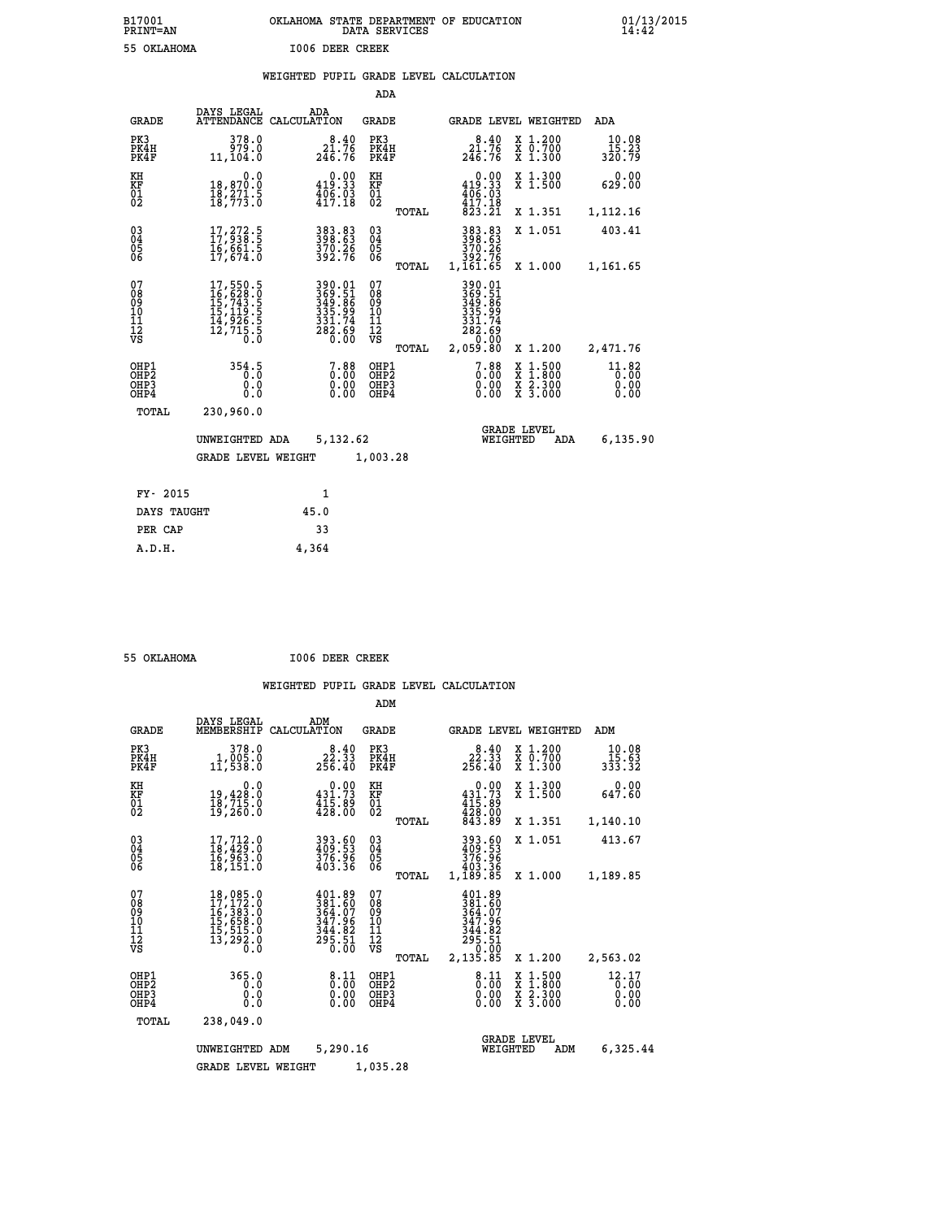| B17001          | OKLAHOMA STATE DEPARTMENT OF EDUCATION |
|-----------------|----------------------------------------|
| <b>PRINT=AN</b> | DATA SERVICES                          |
| 55 OKLAHOMA     | 1006 DEER CREEK                        |

 **B17001 OKLAHOMA STATE DEPARTMENT OF EDUCATION 01/13/2015**

|  |  | WEIGHTED PUPIL GRADE LEVEL CALCULATION |
|--|--|----------------------------------------|
|  |  |                                        |

|                                                                    |                                                                                                     |                                                                   | ADA                                                               |       |                                                                  |                                          |                               |
|--------------------------------------------------------------------|-----------------------------------------------------------------------------------------------------|-------------------------------------------------------------------|-------------------------------------------------------------------|-------|------------------------------------------------------------------|------------------------------------------|-------------------------------|
| <b>GRADE</b>                                                       | DAYS LEGAL                                                                                          | ADA<br>ATTENDANCE CALCULATION                                     | <b>GRADE</b>                                                      |       |                                                                  | GRADE LEVEL WEIGHTED                     | ADA                           |
| PK3<br>PK4H<br>PK4F                                                | 378.0<br>979.0<br>11,104.0                                                                          | $8.40$<br>$21.76$<br>$246.76$                                     | PK3<br>PK4H<br>PK4F                                               |       | $8.40$<br>$21.76$<br>$246.76$                                    | X 1.200<br>X 0.700<br>X 1.300            | 10.08<br>15.23<br>320.79      |
| KH<br><b>KF</b><br>01<br>02                                        | 0.0<br>18,870.0<br>18,271.5<br>18,773.0                                                             | $0.00$<br>419.33<br>$\frac{406}{417.18}$                          | KH<br>KF<br>01<br>02                                              |       | $0.00$<br>419.33<br>$\frac{406}{417.18}$                         | X 1.300<br>X 1.500                       | 0.00<br>629.00                |
|                                                                    |                                                                                                     |                                                                   |                                                                   | TOTAL | $8\bar{2}3.21$                                                   | X 1.351                                  | 1,112.16                      |
| $\begin{smallmatrix} 03 \\[-4pt] 04 \end{smallmatrix}$<br>05<br>06 | 17, 272.5<br>ī6,661.5<br>17,674.0                                                                   | 383.83<br>398.63<br>370.26<br>392.76                              | $\substack{03 \\ 04}$<br>$\begin{matrix} 0.5 \\ 0.6 \end{matrix}$ | TOTAL | 383.83<br>398.63<br>370.26<br>392.76<br>1,161.65                 | X 1.051<br>X 1.000                       | 403.41<br>1,161.65            |
| 07<br>08<br>09<br>11<br>11<br>12<br>VS                             | $\begin{smallmatrix}17,550.5\\16,628.0\\15,743.5\\15,119.5\\14,926.5\\12,715.5\\0\end{smallmatrix}$ | 390.01<br>369.51<br>349.86<br>335.994<br>331.74<br>282.69<br>0.00 | 07<br>08<br>09<br>11<br>11<br>12<br>VS                            |       | 390.01<br>369.51<br>349.86<br>335.99<br>331.74<br>282.69<br>0.00 |                                          |                               |
|                                                                    |                                                                                                     |                                                                   |                                                                   | TOTAL | 2,059.80                                                         | X 1.200                                  | 2,471.76                      |
| OHP1<br>OH <sub>P</sub> 2<br>OH <sub>P3</sub><br>OH <sub>P4</sub>  | 354.5<br>0.0<br>0.0                                                                                 | 0.88<br>0.00<br>0.00                                              | OHP1<br>OHP <sub>2</sub><br>OHP3<br>OHP4                          |       | $7.88$<br>$0.00$<br>0.00<br>0.00                                 | X 1:500<br>X 1:800<br>X 2:300<br>X 3:000 | 11.82<br>0.00<br>0.00<br>0.00 |
| TOTAL                                                              | 230,960.0                                                                                           |                                                                   |                                                                   |       |                                                                  |                                          |                               |
|                                                                    | UNWEIGHTED ADA                                                                                      | 5,132.62                                                          |                                                                   |       |                                                                  | <b>GRADE LEVEL</b><br>WEIGHTED<br>ADA    | 6,135.90                      |
|                                                                    | <b>GRADE LEVEL WEIGHT</b>                                                                           |                                                                   | 1,003.28                                                          |       |                                                                  |                                          |                               |
| FY- 2015                                                           |                                                                                                     | $\mathbf{1}$                                                      |                                                                   |       |                                                                  |                                          |                               |
| DAYS TAUGHT                                                        |                                                                                                     | 45.0                                                              |                                                                   |       |                                                                  |                                          |                               |
| PER CAP                                                            |                                                                                                     | 33                                                                |                                                                   |       |                                                                  |                                          |                               |

| 55 OKLAHOMA | 1006 DEER CREEK |
|-------------|-----------------|
|             |                 |

 **A.D.H. 4,364**

|                                                    |                                                                                                                                                                                          |                                                                              | ADM                                                    |                                                                                                                   |                                                                                                  |                                   |
|----------------------------------------------------|------------------------------------------------------------------------------------------------------------------------------------------------------------------------------------------|------------------------------------------------------------------------------|--------------------------------------------------------|-------------------------------------------------------------------------------------------------------------------|--------------------------------------------------------------------------------------------------|-----------------------------------|
| <b>GRADE</b>                                       | DAYS LEGAL<br>MEMBERSHIP                                                                                                                                                                 | ADM<br>CALCULATION                                                           | <b>GRADE</b>                                           | <b>GRADE LEVEL WEIGHTED</b>                                                                                       |                                                                                                  | ADM                               |
| PK3<br>PK4H<br>PK4F                                | 378.0<br>1,005.0<br>11,538.0                                                                                                                                                             | 8.40<br>22.33<br>256.40                                                      | PK3<br>PK4H<br>PK4F                                    | 8.40<br>22.33<br>256.40                                                                                           | X 1.200<br>X 0.700<br>X 1.300                                                                    | 10.08<br>$\frac{15.63}{333.32}$   |
| KH<br>KF<br>01<br>02                               | 0.0<br>19,428.0<br>18,715.0<br>19,260.0                                                                                                                                                  | $\begin{smallmatrix} &0.00\\ 431.73\\ 415.89\\ 428.00 \end{smallmatrix}$     | KH<br>KF<br>01<br>02                                   | 0.00<br>$431.73$<br>$415.89$<br>$428.00$<br>$843.89$                                                              | X 1.300<br>X 1.500                                                                               | 0.00<br>647.60                    |
|                                                    |                                                                                                                                                                                          |                                                                              | TOTAL                                                  |                                                                                                                   | X 1.351                                                                                          | 1,140.10                          |
| $\begin{matrix} 03 \\ 04 \\ 05 \\ 06 \end{matrix}$ | 17,712.0<br>18,429.0<br>16,963.0<br>18,151.0                                                                                                                                             | 393.60<br>409:53<br>376:96<br>403:36                                         | $\begin{array}{c} 03 \\ 04 \\ 05 \\ 06 \end{array}$    | 393.60<br>409.53<br>376.96<br>403.36                                                                              | X 1.051                                                                                          | 413.67                            |
|                                                    |                                                                                                                                                                                          |                                                                              | TOTAL                                                  | 1,189.85                                                                                                          | X 1.000                                                                                          | 1,189.85                          |
| 07<br>08<br>09<br>101<br>11<br>12<br>VS            | $\begin{smallmatrix} 18\,, & 085\,. & 0\\ 17\,, & 172\,. & 0\\ 16\,, & 383\,. & 0\\ 15\,, & 658\,. & 0\\ 15\,, & 515\,. & 0\\ 13\,, & 292\,. & 0\\ 0\,. & 0\,. & 0\,. \end{smallmatrix}$ | $401.89$<br>$381.60$<br>$364.07$<br>$347.96$<br>$344.82$<br>$295.51$<br>0.00 | 07<br>08<br>09<br>001<br>11<br>11<br>12<br>VS<br>TOTAL | 401.89<br>381.60<br>364.07<br>347.96<br>$\begin{array}{r} 3\bar{4}4.82 \\ 295.51 \\ 0.00 \\ 2,135.85 \end{array}$ | X 1.200                                                                                          | 2,563.02                          |
| OHP1<br>OHP2<br>OH <sub>P3</sub><br>OHP4           | 365.0<br>0.0<br>0.000                                                                                                                                                                    | $\frac{8.11}{0.00}$<br>0.00<br>0.00                                          | OHP1<br>OHP2<br>OHP3<br>OHP4                           | $\frac{8.11}{0.00}$<br>0.00                                                                                       | $\begin{smallmatrix} x & 1 & 500 \\ x & 1 & 800 \\ x & 2 & 300 \\ x & 3 & 000 \end{smallmatrix}$ | $12.17$<br>$0.00$<br>0.00<br>0.00 |
| TOTAL                                              | 238,049.0                                                                                                                                                                                |                                                                              |                                                        |                                                                                                                   |                                                                                                  |                                   |
|                                                    | UNWEIGHTED                                                                                                                                                                               | 5,290.16<br>ADM                                                              |                                                        | WEIGHTED                                                                                                          | <b>GRADE LEVEL</b><br>ADM                                                                        | 6,325.44                          |
|                                                    | <b>GRADE LEVEL WEIGHT</b>                                                                                                                                                                |                                                                              | 1,035.28                                               |                                                                                                                   |                                                                                                  |                                   |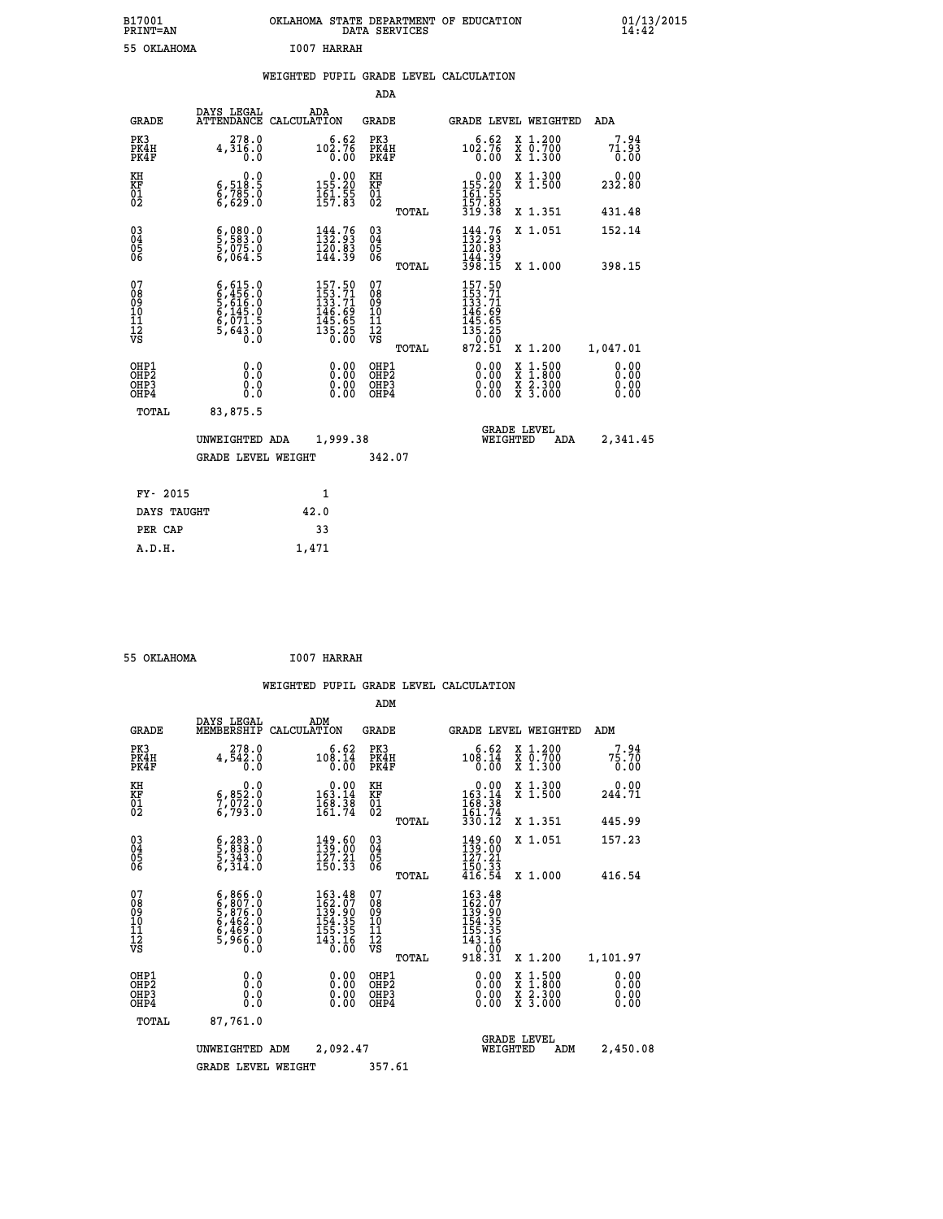| B17001<br><b>PRINT=AN</b> | OKLAHOMA<br>STATE DEPARTMENT OF EDUCATION<br><b>SERVICES</b><br>DATA | 01/13/2015 |
|---------------------------|----------------------------------------------------------------------|------------|
| 55<br>OKLAHOMA            | I007<br>HARRAH                                                       |            |

|  |  | WEIGHTED PUPIL GRADE LEVEL CALCULATION |
|--|--|----------------------------------------|
|  |  |                                        |

|                                                                    |                                                                                                                   |                                                                                                    | ADA                                       |       |                                                                                          |                                                    |                              |
|--------------------------------------------------------------------|-------------------------------------------------------------------------------------------------------------------|----------------------------------------------------------------------------------------------------|-------------------------------------------|-------|------------------------------------------------------------------------------------------|----------------------------------------------------|------------------------------|
| <b>GRADE</b>                                                       | DAYS LEGAL<br><b>ATTENDANCE</b>                                                                                   | ADA<br>CALCULATION                                                                                 | <b>GRADE</b>                              |       |                                                                                          | GRADE LEVEL WEIGHTED                               | <b>ADA</b>                   |
| PK3<br>PK4H<br>PK4F                                                | 278.0<br>4,316.0<br>0.0                                                                                           | 102.76<br>0.00                                                                                     | PK3<br>PK4H<br>PK4F                       |       | 6.62<br>$10\overset{5}{\cancel{0}}\cdot\overset{7}{\cancel{0}}\,\overset{6}{\cancel{0}}$ | X 1.200<br>X 0.700<br>X 1.300                      | 7.94<br>71.93<br>0.00        |
| KH<br>KF<br>01<br>02                                               | 0.0<br>6,518:5<br>6,785:0<br>6,629:0                                                                              | $0.00$<br>155.20<br>$\frac{161.55}{157.83}$                                                        | KH<br>KF<br>01<br>02                      |       | $155.20$<br>$155.20$<br>$161.55$<br>$157.83$                                             | X 1.300<br>X 1.500                                 | 0.00<br>232.80               |
|                                                                    |                                                                                                                   |                                                                                                    |                                           | TOTAL | 319.38                                                                                   | X 1.351                                            | 431.48                       |
| $\begin{smallmatrix} 03 \\[-4pt] 04 \end{smallmatrix}$<br>Ŏ5<br>06 | $\frac{6}{5}, \frac{0}{5}$<br>$\frac{83}{5}, \frac{0}{0}$<br>$\frac{75}{5}, \frac{0}{0}$<br>$\frac{6}{5}$ , 064.5 | 144.76<br>$\frac{120.83}{144.39}$                                                                  | $\substack{03 \\ 04}$<br>$\frac{05}{06}$  |       | $144.76$<br>$132.93$<br>120.83<br>144.39<br>398.15                                       | X 1.051                                            | 152.14                       |
|                                                                    |                                                                                                                   |                                                                                                    |                                           | TOTAL |                                                                                          | X 1.000                                            | 398.15                       |
| 07<br>08<br>09<br>11<br>11<br>12<br>VS                             | $6, 456.0$<br>$6, 456.0$<br>$5, 616.0$<br>$6, 145.0$<br>$6, 071.5$<br>$5, 643.0$<br>$0.0$                         | $\begin{smallmatrix} 157.50\\ 153.71\\ 133.71\\ 146.69\\ 145.65\\ 135.25\\ 0.00 \end{smallmatrix}$ | 07<br>08<br>09<br>11<br>11<br>12<br>VS    |       | 157.50<br>$153.71$<br>$133.71$<br>$146.69$<br>$145.65$<br>$135.25$<br>$872.51$           |                                                    |                              |
|                                                                    |                                                                                                                   |                                                                                                    |                                           | TOTAL |                                                                                          | X 1.200                                            | 1,047.01                     |
| OHP1<br>OHP <sub>2</sub><br>OHP3<br>OHP4                           | 0.0<br>0.0<br>Ō.Ō                                                                                                 | 0.00<br>$\begin{smallmatrix} 0.00 \ 0.00 \end{smallmatrix}$                                        | OHP1<br>OH <sub>P</sub> 2<br>OHP3<br>OHP4 |       | 0.00<br>0.00<br>0.00                                                                     | $1:500$<br>$1:800$<br>X<br>X<br>X 2.300<br>X 3.000 | 0.00<br>0.00<br>0.00<br>0.00 |
| TOTAL                                                              | 83,875.5                                                                                                          |                                                                                                    |                                           |       |                                                                                          |                                                    |                              |
|                                                                    | UNWEIGHTED ADA                                                                                                    | 1,999.38                                                                                           |                                           |       |                                                                                          | <b>GRADE LEVEL</b><br>WEIGHTED<br><b>ADA</b>       | 2,341.45                     |
|                                                                    | <b>GRADE LEVEL WEIGHT</b>                                                                                         |                                                                                                    | 342.07                                    |       |                                                                                          |                                                    |                              |
| FY- 2015                                                           |                                                                                                                   | 1                                                                                                  |                                           |       |                                                                                          |                                                    |                              |
| DAYS TAUGHT                                                        |                                                                                                                   | 42.0                                                                                               |                                           |       |                                                                                          |                                                    |                              |
| PER CAP                                                            |                                                                                                                   | 33                                                                                                 |                                           |       |                                                                                          |                                                    |                              |
|                                                                    |                                                                                                                   |                                                                                                    |                                           |       |                                                                                          |                                                    |                              |

| 55 OKLAHOMA | <b>I007 HARRAH</b> |
|-------------|--------------------|
|             |                    |

 **A.D.H. 1,471**

|                                          |                                                                                     |                                                                                                 | ADM                                                 |       |                                                                                |                                          |                              |
|------------------------------------------|-------------------------------------------------------------------------------------|-------------------------------------------------------------------------------------------------|-----------------------------------------------------|-------|--------------------------------------------------------------------------------|------------------------------------------|------------------------------|
| <b>GRADE</b>                             | DAYS LEGAL<br>MEMBERSHIP                                                            | ADM<br>CALCULATION                                                                              | <b>GRADE</b>                                        |       |                                                                                | <b>GRADE LEVEL WEIGHTED</b>              | ADM                          |
| PK3<br>PK4H<br>PK4F                      | 278.0<br>4,542.0<br>0.0                                                             | 6.62<br>108.14<br>0.00                                                                          | PK3<br>PK4H<br>PK4F                                 |       | 6.62<br>108.14<br>0.00                                                         | X 1.200<br>X 0.700<br>X 1.300            | 7.94<br>75.70<br>0.00        |
| KH<br>KF<br>01<br>02                     | 0.0<br>6,852:0<br>7,072:0<br>6,793:0                                                | $\begin{smallmatrix}&&0.00\\163.14\\168.38\\161.74\end{smallmatrix}$                            | KH<br>KF<br>01<br>02                                |       | $\begin{smallmatrix}&&0.00\\163.14\\168.38\\161.74\\330.12\end{smallmatrix}$   | X 1.300<br>X 1.500                       | 0.00<br>244.71               |
|                                          |                                                                                     |                                                                                                 |                                                     | TOTAL |                                                                                | X 1.351                                  | 445.99                       |
| 03<br>04<br>05<br>06                     | $\frac{6}{5}, \frac{283}{343}$ .0<br>5,343.0<br>6,314.0                             | 149.60<br>139.00<br>127.21<br>150.33                                                            | $\begin{array}{c} 03 \\ 04 \\ 05 \\ 06 \end{array}$ |       | $\frac{149.60}{139.21}$                                                        | X 1.051                                  | 157.23                       |
|                                          |                                                                                     |                                                                                                 |                                                     | TOTAL | $\frac{150.33}{416.54}$                                                        | X 1.000                                  | 416.54                       |
| 07<br>08<br>09<br>101<br>11<br>12<br>VS  | $6,866.0$<br>$6,807.0$<br>$5,876.0$<br>$6,462.0$<br>$6,469.0$<br>$5,966.0$<br>$0.0$ | $\begin{array}{l} 163.48 \\ 162.07 \\ 139.90 \\ 154.35 \\ 155.35 \\ 143.16 \end{array}$<br>0.00 | 07<br>08<br>09<br>11<br>11<br>12<br>VS              | TOTAL | 163.48<br>162.070<br>139.905<br>154.355<br>155.35<br>143.16<br>10.00<br>918.31 | X 1.200                                  | 1,101.97                     |
| OHP1<br>OHP2<br>OH <sub>P3</sub><br>OHP4 | 0.0<br>0.000                                                                        | $0.00$<br>$0.00$<br>0.00                                                                        | OHP1<br>OHP2<br>OHP <sub>3</sub>                    |       | $0.00$<br>$0.00$<br>0.00                                                       | X 1:500<br>X 1:800<br>X 2:300<br>X 3:000 | 0.00<br>0.00<br>0.00<br>0.00 |
| TOTAL                                    | 87,761.0                                                                            |                                                                                                 |                                                     |       |                                                                                |                                          |                              |
|                                          | UNWEIGHTED ADM                                                                      | 2,092.47                                                                                        |                                                     |       | WEIGHTED                                                                       | <b>GRADE LEVEL</b><br>ADM                | 2,450.08                     |
|                                          | <b>GRADE LEVEL WEIGHT</b>                                                           |                                                                                                 | 357.61                                              |       |                                                                                |                                          |                              |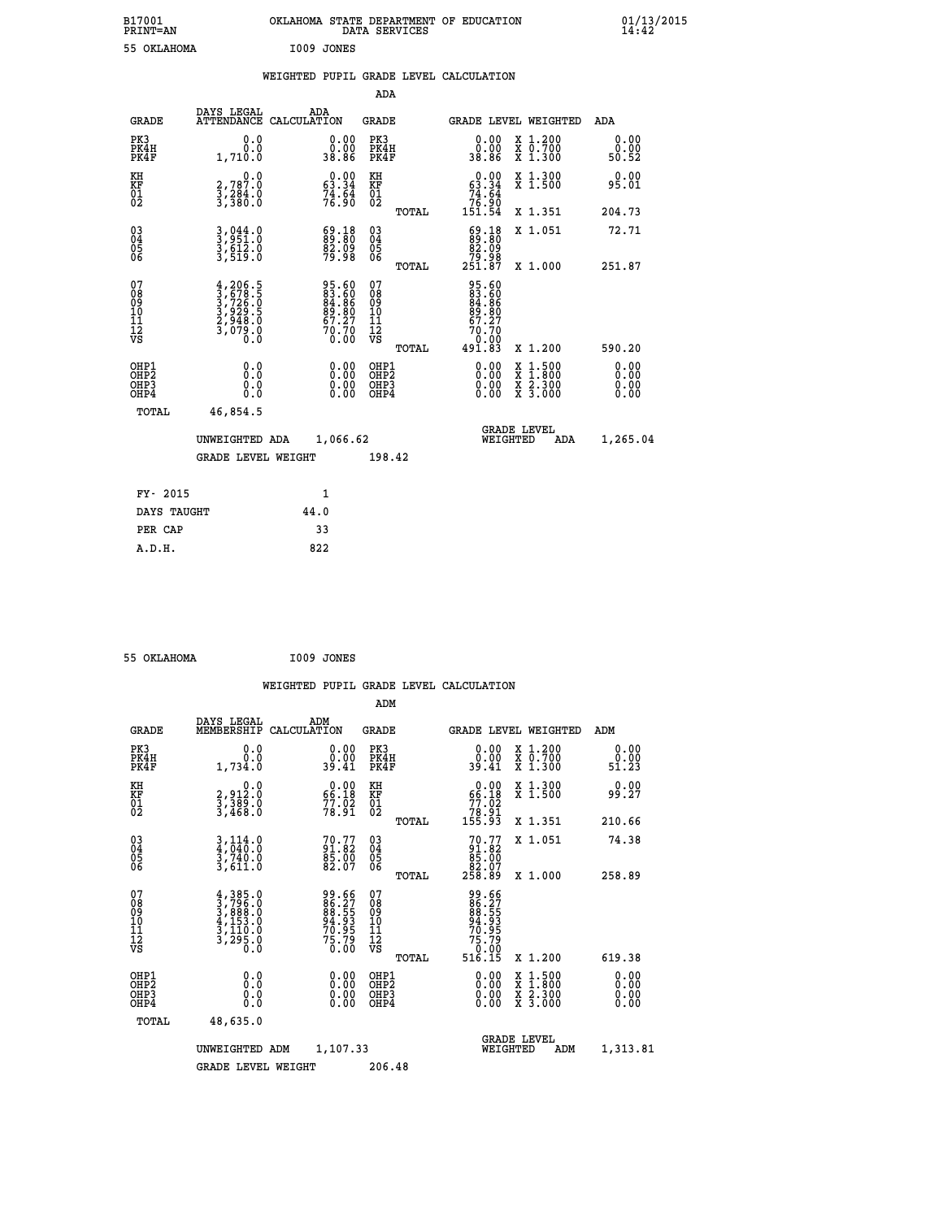| B17001<br>PRINT=AN               |                                                                                           | OKLAHOMA STATE DEPARTMENT OF EDUCATION                                   | DATA SERVICES                                      |                                                                                       |                                                                                                  | $01/13/2015$<br>14:42        |  |
|----------------------------------|-------------------------------------------------------------------------------------------|--------------------------------------------------------------------------|----------------------------------------------------|---------------------------------------------------------------------------------------|--------------------------------------------------------------------------------------------------|------------------------------|--|
| 55 OKLAHOMA                      |                                                                                           | I009 JONES                                                               |                                                    |                                                                                       |                                                                                                  |                              |  |
|                                  |                                                                                           | WEIGHTED PUPIL GRADE LEVEL CALCULATION                                   |                                                    |                                                                                       |                                                                                                  |                              |  |
|                                  |                                                                                           |                                                                          | <b>ADA</b>                                         |                                                                                       |                                                                                                  |                              |  |
| GRADE                            | DAYS LEGAL                                                                                | ADA<br>ATTENDANCE CALCULATION                                            | GRADE                                              |                                                                                       | GRADE LEVEL WEIGHTED                                                                             | ADA                          |  |
| PK3<br>PK4H<br>PK4F              | 0.0<br>0.0<br>1,710.0                                                                     | 0.00<br>0.00<br>38.86                                                    | PK3<br>PK4H<br>PK4F                                | 0.00<br>0.00<br>38.86                                                                 | X 1.200<br>X 0.700<br>X 1.300                                                                    | 0.00<br>0.00<br>50.52        |  |
| KH<br>KF<br>01<br>02             | 0.0<br>2,787.0<br>3,284.0<br>3,380.0                                                      | $0.00$<br>63.34<br>$7\overline{4}\cdot\overline{5}\overline{4}$<br>76.90 | KH<br>KF<br>01<br>02                               | $0.00$<br>63.34<br>$7\overline{4}\cdot\overline{5}\overline{4}\overline{1}$<br>151.54 | X 1.300<br>X 1.500                                                                               | 0.00<br>95.01                |  |
|                                  |                                                                                           |                                                                          | TOTAL                                              |                                                                                       | X 1.351                                                                                          | 204.73                       |  |
| 03<br>04<br>05<br>06             | 3,044.0<br>3,951.0<br>3,612.0<br>3,519.0                                                  | $\begin{smallmatrix} 69.18\ 89.80\ 82.09\ 79.98 \end{smallmatrix}$       | $\begin{matrix} 03 \\ 04 \\ 05 \\ 06 \end{matrix}$ | $\begin{smallmatrix} 69.18\\ 89.80\\ 82.09 \end{smallmatrix}$<br>88. 75<br>251.87     | X 1.051                                                                                          | 72.71                        |  |
| 07                               |                                                                                           |                                                                          | TOTAL<br>07                                        |                                                                                       | X 1.000                                                                                          | 251.87                       |  |
| 08<br>09<br>11<br>11<br>12<br>VS | $4, 206.5$<br>$3, 726.5$<br>$3, 726.0$<br>$3, 929.5$<br>$2, 948.0$<br>$3, 079.0$<br>$0.0$ | 95.60<br>83.60<br>84.86<br>89.80<br>67.27<br>70.70<br>70.00              | 08<br>09<br>11<br>11<br>12<br>VS                   | 95.60<br>83.60<br>84.86<br>89.80<br>57.27<br>70.70<br>Ŏ.OŎ                            |                                                                                                  |                              |  |
|                                  |                                                                                           |                                                                          | TOTAL                                              | 491.83                                                                                | X 1.200                                                                                          | 590.20                       |  |
| OHP1<br>OHP2<br>OHP3<br>OHP4     | 0.0<br>Ŏ.O<br>0.0<br>0.0                                                                  | 0.00<br>$\begin{smallmatrix} 0.00 \ 0.00 \end{smallmatrix}$              | OHP1<br>OHP <sub>2</sub><br>OHP3<br>OHP4           | 0.00<br>0.00<br>0.00                                                                  | $\begin{smallmatrix} x & 1 & 500 \\ x & 1 & 800 \\ x & 2 & 300 \\ x & 3 & 000 \end{smallmatrix}$ | 0.00<br>0.00<br>0.00<br>0.00 |  |
| <b>TOTAL</b>                     | 46,854.5                                                                                  |                                                                          |                                                    |                                                                                       |                                                                                                  |                              |  |
|                                  | UNWEIGHTED ADA                                                                            | 1,066.62                                                                 |                                                    | WEIGHTED                                                                              | <b>GRADE LEVEL</b><br>ADA                                                                        | 1,265.04                     |  |
|                                  | <b>GRADE LEVEL WEIGHT</b>                                                                 |                                                                          | 198.42                                             |                                                                                       |                                                                                                  |                              |  |
| FY- 2015                         |                                                                                           | 1                                                                        |                                                    |                                                                                       |                                                                                                  |                              |  |
| DAYS TAUGHT                      |                                                                                           | 44.0                                                                     |                                                    |                                                                                       |                                                                                                  |                              |  |
| PER CAP                          |                                                                                           | 33                                                                       |                                                    |                                                                                       |                                                                                                  |                              |  |

 **55 OKLAHOMA I009 JONES**

 **WEIGHTED PUPIL GRADE LEVEL CALCULATION ADM DAYS LEGAL ADM GRADE MEMBERSHIP CALCULATION GRADE GRADE LEVEL WEIGHTED ADM PK3 0.0 0.00 PK3 0.00 X 1.200 0.00 PK4H 0.0 0.00 PK4H 0.00 X 0.700 0.00 PK4F 1,734.0 39.41 PK4F 39.41 X 1.300 51.23 KH 0.0 0.00 KH 0.00 X 1.300 0.00 KF 2,912.0 66.18 KF 66.18 X 1.500 99.27 EXH**<br> **EXP**<br> **01**<br> **02**<br> **02**<br> **12,389.0**<br> **12,389.0**<br> **12,389.0**<br> **12,37468.0**<br> **12,37468.0**<br> **12,37468.0** 02 3,468.0 78.91 02 <sub>78.91</sub>  **TOTAL 155.93 X 1.351 210.66 03 3,114.0 70.77 03 70.77 X 1.051 74.38 04 4,040.0 91.82 04 91.82 05 3,740.0 85.00 05 85.00 06 3,611.0 82.07 06 82.07 TOTAL 258.89 X 1.000 258.89**  $\begin{array}{cccc} 07 & 4,385.0 & 99.66 & 07 & 99.66 \ 08 & 3,796.0 & 86.27 & 08 & 86.27 \ 09 & 4,153.0 & 94.93 & 10 & 94.93 \ 10 & 4,153.0 & 94.93 & 10 & 94.93 \ 11 & 3,120.0 & 70.95 & 11 & 70.95 \ \hline \textrm{vs} & 3,295.0 & 63.0 & 75.79 & 12 & 75.79 \ 13 & 75.79 & 12$  **TOTAL 516.15 X 1.200 619.38 OHP1 0.0 0.00 OHP1 0.00 X 1.500 0.00 OHP2 0.0 0.00 OHP2 0.00 X 1.800 0.00 OHP3 0.0 0.00 OHP3 0.00 X 2.300 0.00 OHP4 0.0 0.00 OHP4 0.00 X 3.000 0.00 TOTAL 48,635.0 1,107.33**<br>**MEIGHTED ADM UNWEIGHTED ADM 1,107.33** WEIGHTED ADM 1,313.81  **GRADE LEVEL WEIGHT 206.48**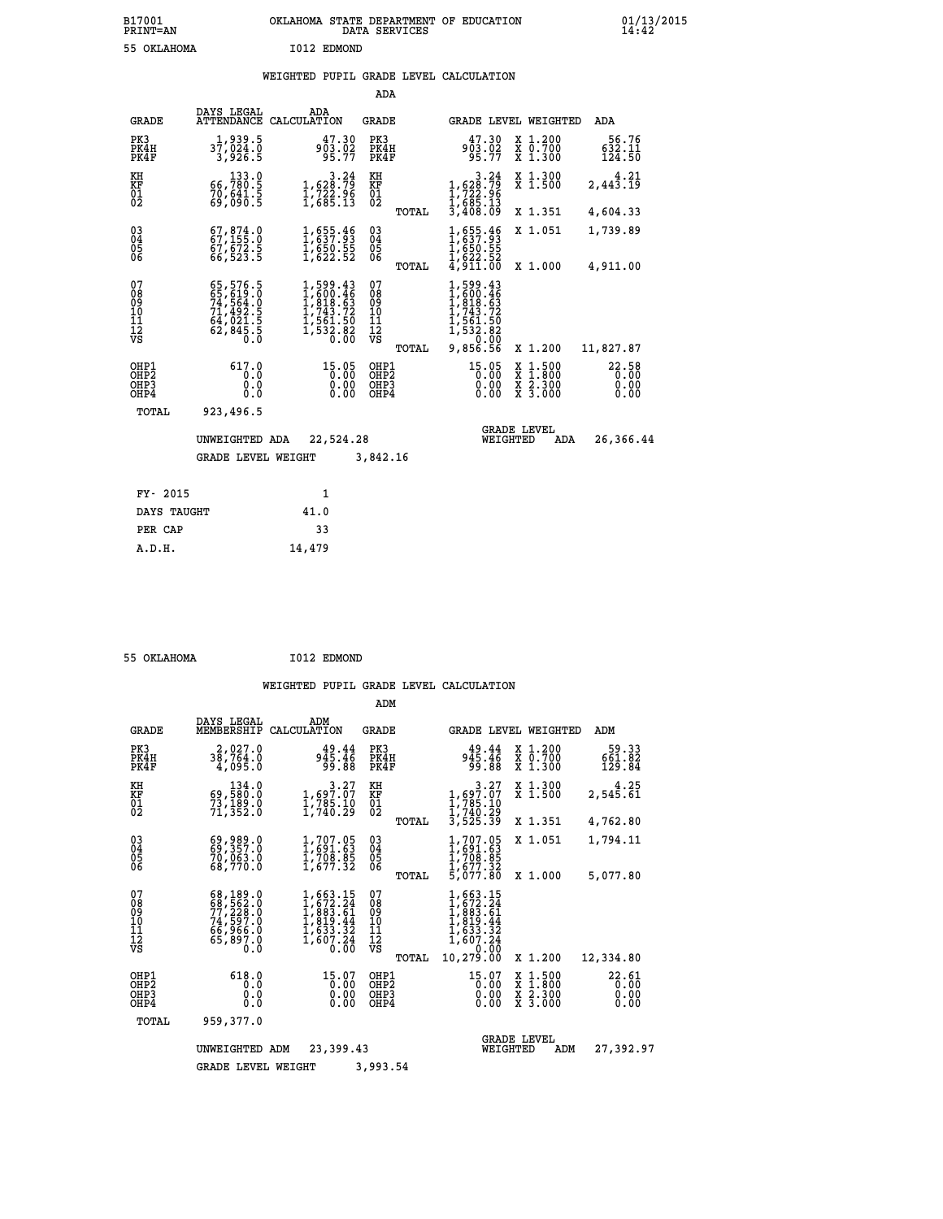## **WEIGHTED PUPIL GRADE LEVEL CALCULATION**

|                                                                    |                                                                      |                                                                                                                | ADA                                       |                                                                                                            |                                                                          |                           |
|--------------------------------------------------------------------|----------------------------------------------------------------------|----------------------------------------------------------------------------------------------------------------|-------------------------------------------|------------------------------------------------------------------------------------------------------------|--------------------------------------------------------------------------|---------------------------|
| <b>GRADE</b>                                                       | DAYS LEGAL<br><b>ATTENDANCE</b>                                      | ADA<br>CALCULATION                                                                                             | GRADE                                     |                                                                                                            | GRADE LEVEL WEIGHTED                                                     | <b>ADA</b>                |
| PK3<br>PK4H<br>PK4F                                                | 1,939.5<br>37,024.0<br>3,926.5                                       | 47.30<br>903.02<br>95.77                                                                                       | PK3<br>PK4H<br>PK4F                       | 47.30<br>903.02<br>95.77                                                                                   | X 1.200<br>X 0.700<br>X 1.300                                            | 56.76<br>632.11<br>124.50 |
| KH<br>KF<br>01<br>02                                               | 133.0<br>66,780:5<br>70,641:5<br>69,090:5                            | $\begin{smallmatrix}&&&3\cdot24\\1,628.79\\1,722.96\\1,685.13\end{smallmatrix}$                                | KH<br>KF<br>01<br>02                      | 3.24<br>1,628.79<br>1,722.96<br>1,685.13<br>3,408.09                                                       | X 1.300<br>X 1.500                                                       | 4.21<br>2,443.19          |
|                                                                    |                                                                      |                                                                                                                | TOTAL                                     |                                                                                                            | X 1.351                                                                  | 4,604.33                  |
| $\begin{smallmatrix} 03 \\[-4pt] 04 \end{smallmatrix}$<br>05<br>06 | $67,874.0$<br>$67,155.0$<br>67,672.5<br>66,523.5                     | $\frac{1}{1}$ , 655.46<br>$\frac{1}{1}$ , 650.55<br>1, 622.52                                                  | $\substack{03 \\ 04}$<br>0500             | 1,655.46<br>1,650.55<br>1,622.52<br>4,911.00                                                               | X 1.051                                                                  | 1,739.89                  |
|                                                                    |                                                                      |                                                                                                                | TOTAL                                     |                                                                                                            | X 1.000                                                                  | 4,911.00                  |
| 07<br>08<br>09<br>11<br>11<br>12<br>VS                             | 65,576.5<br>65,619.0<br>74,564.0<br>71,492.5<br>64,021.5<br>62,845.5 | $\begin{smallmatrix} 1,599.43\\ 1,600.46\\ 1,818.63\\ 1,743.72\\ 1,561.50\\ 1,532.82\\ 0.00 \end{smallmatrix}$ | 07<br>08<br>09<br>11<br>11<br>12<br>VS    | $\begin{smallmatrix}1,599.43\\1,600.46\\1,818.63\\1,743.72\\1,561.50\\1,532.82\\9,856.56\end{smallmatrix}$ |                                                                          |                           |
|                                                                    |                                                                      |                                                                                                                | TOTAL                                     |                                                                                                            | X 1.200                                                                  | 11,827.87                 |
| OHP1<br>OH <sub>P</sub> 2<br>OHP3<br>OHP4                          | 617.0<br>0.0<br>0.0<br>0.0                                           | 15.05<br>0.00<br>0.00                                                                                          | OHP1<br>OH <sub>P</sub> 2<br>OHP3<br>OHP4 | 15.05<br>0.00<br>0.00                                                                                      | $1:500$<br>1:800<br>X<br>X<br>$\frac{\ddot{x}}{x}$ $\frac{2.300}{3.000}$ | 22.58<br>0.00<br>0.00     |
| TOTAL                                                              | 923,496.5                                                            |                                                                                                                |                                           |                                                                                                            |                                                                          |                           |
|                                                                    | UNWEIGHTED ADA                                                       | 22,524.28                                                                                                      |                                           | WEIGHTED                                                                                                   | <b>GRADE LEVEL</b><br>ADA                                                | 26,366.44                 |
|                                                                    | <b>GRADE LEVEL WEIGHT</b>                                            |                                                                                                                | 3,842.16                                  |                                                                                                            |                                                                          |                           |
| FY- 2015                                                           |                                                                      | 1                                                                                                              |                                           |                                                                                                            |                                                                          |                           |
| DAYS TAUGHT                                                        |                                                                      | 41.0                                                                                                           |                                           |                                                                                                            |                                                                          |                           |
|                                                                    |                                                                      | 33                                                                                                             |                                           |                                                                                                            |                                                                          |                           |
| PER CAP                                                            |                                                                      |                                                                                                                |                                           |                                                                                                            |                                                                          |                           |

 **55 OKLAHOMA I012 EDMOND**

 **A.D.H. 14,479**

|                                           |                                                                             |                                                                                     | ADM                                             |                                                                                                       |                                                                                                  |                               |
|-------------------------------------------|-----------------------------------------------------------------------------|-------------------------------------------------------------------------------------|-------------------------------------------------|-------------------------------------------------------------------------------------------------------|--------------------------------------------------------------------------------------------------|-------------------------------|
| <b>GRADE</b>                              | DAYS LEGAL<br>MEMBERSHIP                                                    | ADM<br>CALCULATION                                                                  | <b>GRADE</b>                                    | <b>GRADE LEVEL WEIGHTED</b>                                                                           |                                                                                                  | ADM                           |
| PK3<br>PK4H<br>PK4F                       | 2,027.0<br>38,764.0<br>4,095.0                                              | 49.44<br>945.46<br>99.88                                                            | PK3<br>PK4H<br>PK4F                             | 49.44<br>945.46<br>99.88                                                                              | X 1.200<br>X 0.700<br>X 1.300                                                                    | 59.33<br>661.82<br>129.84     |
| KH<br>KF<br>01<br>02                      | 134.0<br>69,580.0<br>73,189.0<br>71,352.0                                   | $\begin{smallmatrix}&&&3\cdot27\\1,697.07\\1,785.10\\1,740.29\end{smallmatrix}$     | KH<br>KF<br>01<br>02                            | $\begin{smallmatrix}&&&3\cdot27\\1,697.07\\1,785\cdot10\\1,740\cdot29\\3,525\cdot39\end{smallmatrix}$ | X 1.300<br>X 1.500                                                                               | 4.25<br>2,545.61              |
|                                           |                                                                             |                                                                                     | TOTAL                                           |                                                                                                       | X 1.351<br>X 1.051                                                                               | 4,762.80<br>1,794.11          |
| 03<br>04<br>05<br>06                      | 69,989.0<br>70,063.0<br>68,770.0                                            | $1, 707.05$<br>$1, 691.63$<br>$1, 708.85$<br>$1, 677.32$                            | $^{03}_{04}$<br>0500<br>TOTAL                   | $1,707.05$<br>$1,691.63$<br>$1,708.85$<br>$1,677.32$<br>5,077.80                                      | X 1.000                                                                                          | 5,077.80                      |
| 07<br>08<br>09<br>11<br>11<br>12<br>VS    | 68,189.0<br>68,562.0<br>77,228.0<br>74,597.0<br>66,966.0<br>65,897.0<br>0.0 | $1,663.15$<br>$1,672.24$<br>$1,883.61$<br>$1,819.44$<br>$\frac{1,633.32}{1,607.24}$ | 07<br>08<br>09<br>11<br>11<br>12<br>VS<br>TOTAL | 1,663.15<br>$1,672.24$<br>$1,883.61$<br>$1,819.44$<br>$1,633.32$<br>$1,607.24$<br>0.00<br>10,279.00   | X 1.200                                                                                          | 12,334.80                     |
| OHP1<br>OH <sub>P</sub> 2<br>OHP3<br>OHP4 | 618.0<br>0.0<br>0.0<br>Ŏ.Ŏ                                                  | $15.07$<br>$0.00$<br>0.00<br>0.00                                                   | OHP1<br>OHP <sub>2</sub><br>OHP3<br>OHP4        | 15.07<br>0.00<br>0.00<br>0.00                                                                         | $\begin{smallmatrix} x & 1 & 500 \\ x & 1 & 800 \\ x & 2 & 300 \\ x & 3 & 000 \end{smallmatrix}$ | 22.61<br>0.00<br>0.00<br>0.00 |
| TOTAL                                     | 959,377.0                                                                   |                                                                                     |                                                 |                                                                                                       |                                                                                                  |                               |
|                                           | UNWEIGHTED                                                                  | 23,399.43<br>ADM                                                                    |                                                 | WEIGHTED                                                                                              | <b>GRADE LEVEL</b><br>ADM                                                                        | 27,392.97                     |
|                                           | <b>GRADE LEVEL WEIGHT</b>                                                   |                                                                                     | 3,993.54                                        |                                                                                                       |                                                                                                  |                               |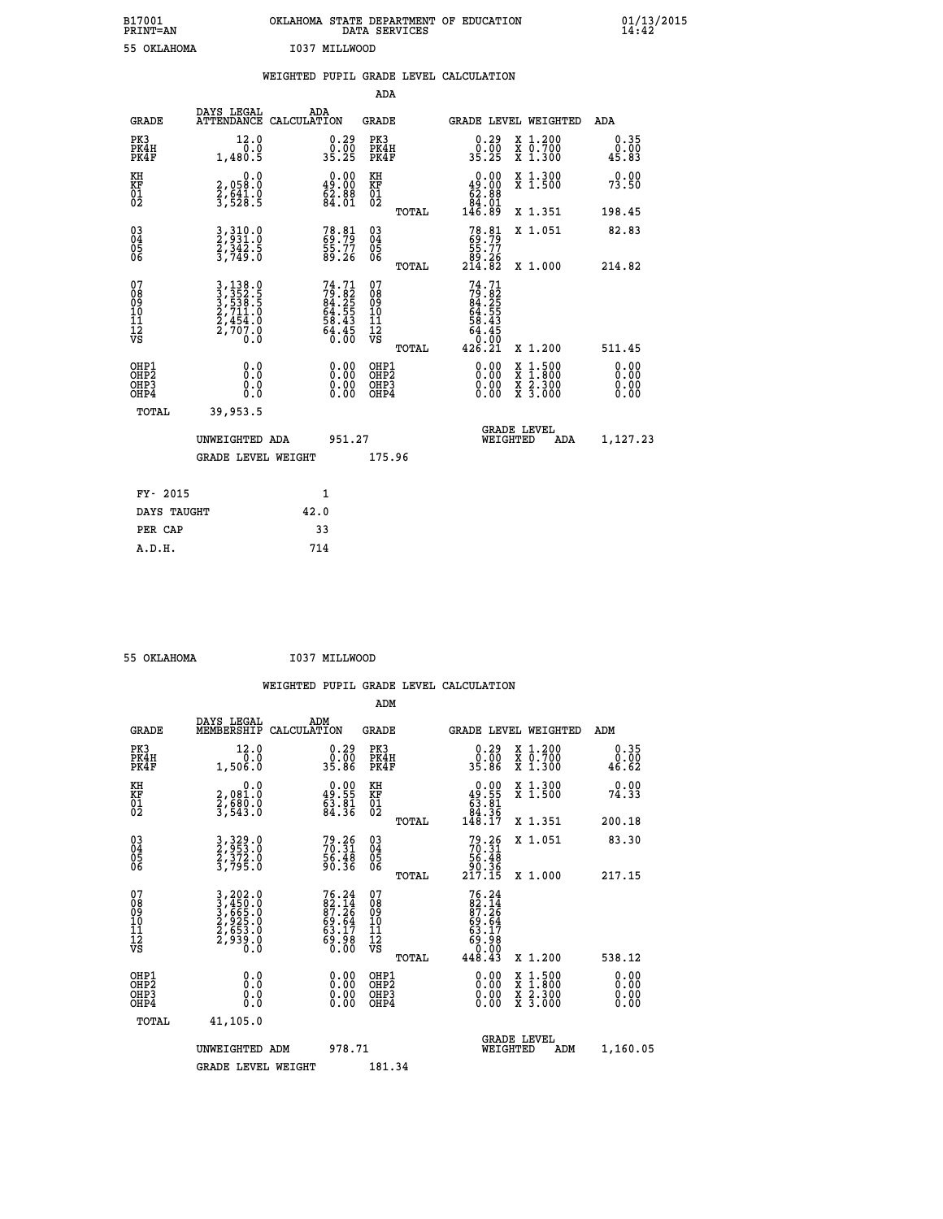| B17001<br><b>PRINT=AN</b> | OKLAHOMA<br>. STATE DEPARTMENT OF EDUCATION<br>DATA SERVICES | 01/13/2015<br>14:42 |
|---------------------------|--------------------------------------------------------------|---------------------|
| 55 OKLAHOMA               | I037 MILLWOOD                                                |                     |

|                                                                    |                                                                      | WEIGHTED PUPIL GRADE LEVEL CALCULATION                                   |                                                    |       |                                                                                                                                                                                                                                                                                |                                                                                                                                           |                              |
|--------------------------------------------------------------------|----------------------------------------------------------------------|--------------------------------------------------------------------------|----------------------------------------------------|-------|--------------------------------------------------------------------------------------------------------------------------------------------------------------------------------------------------------------------------------------------------------------------------------|-------------------------------------------------------------------------------------------------------------------------------------------|------------------------------|
|                                                                    |                                                                      |                                                                          | <b>ADA</b>                                         |       |                                                                                                                                                                                                                                                                                |                                                                                                                                           |                              |
| <b>GRADE</b>                                                       | DAYS LEGAL<br>ATTENDANCE CALCULATION                                 | ADA                                                                      | <b>GRADE</b>                                       |       |                                                                                                                                                                                                                                                                                | GRADE LEVEL WEIGHTED                                                                                                                      | <b>ADA</b>                   |
| PK3<br>PK4H<br>PK4F                                                | 12.0<br>1,480.5                                                      | $\begin{smallmatrix} 0.29\ 0.00\ 35.25 \end{smallmatrix}$                | PK3<br>PK4H<br>PK4F                                |       | $\begin{smallmatrix} 0.29 \\ 0.00 \\ 35.25 \end{smallmatrix}$                                                                                                                                                                                                                  | X 1.200<br>X 0.700<br>X 1.300                                                                                                             | 0.35<br>0.00<br>45.83        |
| KH<br>KF<br>01<br>02                                               | 0.0<br>2,058:0<br>2,641.0<br>3,528:5                                 | $0.00$<br>49.00<br>$\bar{6}\bar{2}\cdot\bar{8}\bar{8}$                   | KH<br>KF<br>01<br>02                               |       | 0.00<br>$\begin{smallmatrix} 49.00 & 0 \\ 62.88 & 0 \\ 84.01 & 0 \\ 146.89 & \end{smallmatrix}$                                                                                                                                                                                | X 1.300<br>X 1.500                                                                                                                        | 0.00<br>73.50                |
|                                                                    |                                                                      |                                                                          |                                                    | TOTAL |                                                                                                                                                                                                                                                                                | X 1.351                                                                                                                                   | 198.45                       |
| $\begin{smallmatrix} 03 \\[-4pt] 04 \end{smallmatrix}$<br>Ŏ5<br>06 | 3, 310.0<br>2, 331.0<br>2, 342.5<br>3, 749.0                         | 78.81<br>69.79<br>55.77<br>89.26                                         | $\begin{matrix} 03 \\ 04 \\ 05 \\ 06 \end{matrix}$ |       | $78.81$<br>$69.79$<br>$55.77$<br>$89.26$<br>$214.82$                                                                                                                                                                                                                           | X 1.051                                                                                                                                   | 82.83                        |
|                                                                    |                                                                      |                                                                          |                                                    | TOTAL |                                                                                                                                                                                                                                                                                | X 1.000                                                                                                                                   | 214.82                       |
| 07<br>08<br>09<br>11<br>11<br>12<br>VS                             | 3, 138.0<br>3, 352.5<br>3, 538.5<br>2, 711.0<br>2, 454.0<br>2, 707.0 | $74.71$<br>$79.82$<br>$84.25$<br>$64.55$<br>$58.43$<br>$64.45$<br>$0.00$ | 07<br>08<br>09<br>11<br>11<br>12<br>VS             | TOTAL | 74.71<br>$79.82$<br>$84.25$<br>$64.55$<br>$58.43$<br>58.43<br>64.45<br>0:00<br>426.21                                                                                                                                                                                          | X 1.200                                                                                                                                   | 511.45                       |
| OHP1<br>OHP2<br>OH <sub>P3</sub><br>OH <sub>P4</sub>               | 0.0<br>Ō.Ō<br>0.0<br>0.0                                             | 0.00<br>$\begin{smallmatrix} 0.00 \ 0.00 \end{smallmatrix}$              | OHP1<br>OHP2<br>OHP3<br>OHP4                       |       | $\begin{smallmatrix} 0.00 & 0.00 & 0.00 & 0.00 & 0.00 & 0.00 & 0.00 & 0.00 & 0.00 & 0.00 & 0.00 & 0.00 & 0.00 & 0.00 & 0.00 & 0.00 & 0.00 & 0.00 & 0.00 & 0.00 & 0.00 & 0.00 & 0.00 & 0.00 & 0.00 & 0.00 & 0.00 & 0.00 & 0.00 & 0.00 & 0.00 & 0.00 & 0.00 & 0.00 & 0.00 & 0.0$ | $\begin{smallmatrix} \mathtt{X} & 1\cdot500\\ \mathtt{X} & 1\cdot800\\ \mathtt{X} & 2\cdot300\\ \mathtt{X} & 3\cdot000 \end{smallmatrix}$ | 0.00<br>0.00<br>0.00<br>0.00 |
| TOTAL                                                              | 39,953.5                                                             |                                                                          |                                                    |       |                                                                                                                                                                                                                                                                                |                                                                                                                                           |                              |
|                                                                    | UNWEIGHTED ADA                                                       | 951.27                                                                   |                                                    |       | WEIGHTED                                                                                                                                                                                                                                                                       | <b>GRADE LEVEL</b><br>ADA                                                                                                                 | 1,127.23                     |
|                                                                    | GRADE LEVEL WEIGHT                                                   |                                                                          | 175.96                                             |       |                                                                                                                                                                                                                                                                                |                                                                                                                                           |                              |
| FY- 2015                                                           |                                                                      | $\mathbf{1}$                                                             |                                                    |       |                                                                                                                                                                                                                                                                                |                                                                                                                                           |                              |
| DAYS TAUGHT                                                        |                                                                      | 42.0                                                                     |                                                    |       |                                                                                                                                                                                                                                                                                |                                                                                                                                           |                              |
| PER CAP                                                            |                                                                      | 33                                                                       |                                                    |       |                                                                                                                                                                                                                                                                                |                                                                                                                                           |                              |

| _ | ---- ------ |  |  |
|---|-------------|--|--|

 **55 OKLAHOMA I037 MILLWOOD**

|                                          |                                                                  | WEIGHTED PUPIL GRADE LEVEL CALCULATION                               |                                        |                                                                                                                                                                                                                                                                                |                                          |                       |
|------------------------------------------|------------------------------------------------------------------|----------------------------------------------------------------------|----------------------------------------|--------------------------------------------------------------------------------------------------------------------------------------------------------------------------------------------------------------------------------------------------------------------------------|------------------------------------------|-----------------------|
|                                          |                                                                  |                                                                      | ADM                                    |                                                                                                                                                                                                                                                                                |                                          |                       |
| <b>GRADE</b>                             | DAYS LEGAL<br>MEMBERSHIP                                         | ADM<br>CALCULATION                                                   | GRADE                                  | <b>GRADE LEVEL WEIGHTED</b>                                                                                                                                                                                                                                                    |                                          | ADM                   |
| PK3<br>PK4H<br>PK4F                      | 12.0<br>1,506.0                                                  | $\begin{smallmatrix} 0.29\ 0.00\ 35.86 \end{smallmatrix}$            | PK3<br>PK4H<br>PK4F                    | $\begin{smallmatrix} 0.29 \\ 0.00 \\ 35.86 \end{smallmatrix}$                                                                                                                                                                                                                  | X 1.200<br>X 0.700<br>X 1.300            | 0.35<br>0.00<br>46.62 |
| KH<br>KF<br>01<br>02                     | 0.0<br>2,081.0<br>2,680.0<br>3,543.0                             | $\begin{smallmatrix} 0.00\\ 49.55\\ 63.81\\ 84.36 \end{smallmatrix}$ | KH<br>KF<br>01<br>02                   | $\begin{smallmatrix} &0.00\\ 49.55\\ 63.81\\ 84.36\\ 148.17\end{smallmatrix}$                                                                                                                                                                                                  | X 1.300<br>X 1.500                       | 0.00<br>74.33         |
|                                          |                                                                  |                                                                      | TOTAL                                  |                                                                                                                                                                                                                                                                                | X 1.351                                  | 200.18                |
| 03<br>04<br>05<br>06                     | 3, 329.0<br>2, 953.0<br>2, 372.0<br>3, 795.0                     | $79.26$<br>$70.31$<br>$56.48$<br>$90.36$                             | 03<br>04<br>05<br>06                   | $79.26$<br>$70.31$<br>$56.48$<br>$90.36$<br>$217.15$                                                                                                                                                                                                                           | X 1.051                                  | 83.30                 |
|                                          |                                                                  |                                                                      | TOTAL                                  |                                                                                                                                                                                                                                                                                | X 1.000                                  | 217.15                |
| 07<br>08<br>09<br>101<br>112<br>VS       | 3,202.0<br>3,450.0<br>3,665.0<br>3,665.0<br>2,939.0<br>2,939.0   | $76.2482.1487.2669.6463.1763.9869.98$                                | 07<br>08<br>09<br>11<br>11<br>12<br>VS | $\begin{smallmatrix}76 & .24\\82 & .14\\87 & .26\\69 & .64\\63 & .17\\69 & .98\\0 & .00\\448 & .43\end{smallmatrix}$                                                                                                                                                           |                                          |                       |
|                                          |                                                                  |                                                                      | TOTAL                                  |                                                                                                                                                                                                                                                                                | X 1.200                                  | 538.12                |
| OHP1<br>OHP2<br>OH <sub>P3</sub><br>OHP4 | 0.0<br>$\begin{smallmatrix} 0.5 & 0 \ 0.0 & 0 \end{smallmatrix}$ | $0.00$<br>$0.00$<br>0.00                                             | OHP1<br>OHP2<br>OHP3<br>OHP4           | $\begin{smallmatrix} 0.00 & 0.00 & 0.00 & 0.00 & 0.00 & 0.00 & 0.00 & 0.00 & 0.00 & 0.00 & 0.00 & 0.00 & 0.00 & 0.00 & 0.00 & 0.00 & 0.00 & 0.00 & 0.00 & 0.00 & 0.00 & 0.00 & 0.00 & 0.00 & 0.00 & 0.00 & 0.00 & 0.00 & 0.00 & 0.00 & 0.00 & 0.00 & 0.00 & 0.00 & 0.00 & 0.0$ | X 1:500<br>X 1:800<br>X 2:300<br>X 3:000 | 0.00<br>0.00<br>0.00  |
| TOTAL                                    | 41,105.0                                                         |                                                                      |                                        |                                                                                                                                                                                                                                                                                |                                          |                       |
|                                          | UNWEIGHTED ADM                                                   | 978.71                                                               |                                        | <b>GRADE LEVEL</b><br>WEIGHTED                                                                                                                                                                                                                                                 | ADM                                      | 1,160.05              |
|                                          | <b>GRADE LEVEL WEIGHT</b>                                        |                                                                      | 181.34                                 |                                                                                                                                                                                                                                                                                |                                          |                       |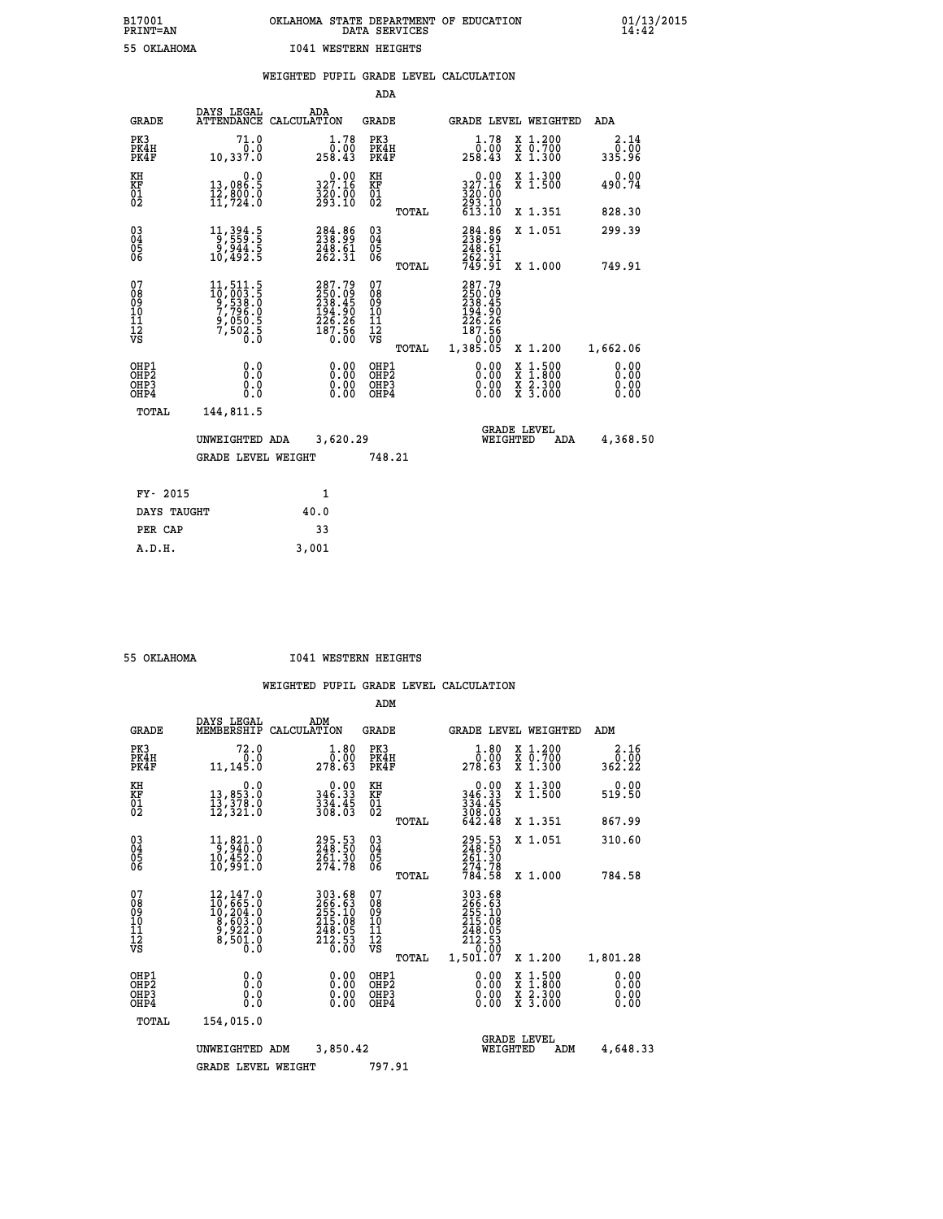|                                                                    |                                                                                                                    |                                                                                | ADA                                               |       |                                                                                          |                                                    |                              |
|--------------------------------------------------------------------|--------------------------------------------------------------------------------------------------------------------|--------------------------------------------------------------------------------|---------------------------------------------------|-------|------------------------------------------------------------------------------------------|----------------------------------------------------|------------------------------|
| <b>GRADE</b>                                                       | DAYS LEGAL                                                                                                         | ADA<br>ATTENDANCE CALCULATION                                                  | <b>GRADE</b>                                      |       |                                                                                          | <b>GRADE LEVEL WEIGHTED</b>                        | <b>ADA</b>                   |
| PK3<br>PK4H<br>PK4F                                                | 71.0<br>0.0<br>10,337.0                                                                                            | 1.78<br>õ:óŏ<br>258.43                                                         | PK3<br>PK4H<br>PK4F                               |       | 1.78<br>$\bar{0.00}$<br>43.43                                                            | X 1.200<br>X 0.700<br>X 1.300                      | 2.14<br>0.00<br>335.96       |
| KH<br>KF<br>01<br>02                                               | 0.0<br>13,086.5<br>12,800.0<br>11,724.0                                                                            | 327.16<br>320.00<br>293.10                                                     | KH<br>KF<br>$\begin{matrix} 01 \ 02 \end{matrix}$ |       | $\frac{0.00}{327.16}$<br>$\frac{320}{293}$ . 10<br>613. 10                               | X 1.300<br>X 1.500                                 | 0.00<br>490.74               |
|                                                                    |                                                                                                                    |                                                                                |                                                   | TOTAL |                                                                                          | X 1.351                                            | 828.30                       |
| $\begin{smallmatrix} 03 \\[-4pt] 04 \end{smallmatrix}$<br>05<br>ŌĞ | 11, 394 . 5<br>9, 559 . 5<br>9, 944 . 5<br>10, 492 . 5                                                             | 284.86<br>$\frac{248.61}{262.31}$                                              | $\substack{03 \\ 04}$<br>$\substack{05 \\ 06}$    |       | 284.86<br>238.99<br>248.61<br>262.31<br>749.91                                           | X 1.051                                            | 299.39                       |
|                                                                    |                                                                                                                    |                                                                                |                                                   | TOTAL |                                                                                          | X 1.000                                            | 749.91                       |
| 07<br>08<br>09<br>11<br>11<br>12<br>VS                             | $\begin{smallmatrix} 11, 511.5\\ 10, 003.5\\ 9, 538.5\\ 7, 796.0\\ 9, 050.5\\ 7, 502.5\\ 0.0\\ 0\end{smallmatrix}$ | $287.79$<br>$250.09$<br>$238.45$<br>$194.90$<br>$226.26$<br>$187.56$<br>$0.00$ | 07<br>08<br>09<br>11<br>11<br>12<br>VS            |       | 287.79<br>$250.09$<br>$238.45$<br>$194.90$<br>$226.26$<br>$187.56$<br>00.0°-<br>1,385.05 |                                                    |                              |
|                                                                    |                                                                                                                    |                                                                                |                                                   | TOTAL |                                                                                          | X 1.200                                            | 1,662.06                     |
| OHP1<br>OH <sub>P</sub> 2<br>OHP3<br>OHP4                          | 0.0<br>Ō.Ō<br>0.0<br>$0.\overline{0}$                                                                              | 0.00<br>$\begin{smallmatrix} 0.00 \ 0.00 \end{smallmatrix}$                    | OHP1<br>OH <sub>P</sub> 2<br>OHP3<br>OHP4         |       | 0.00<br>0.00<br>0.00                                                                     | $1:500$<br>$1:800$<br>X<br>X<br>X 2.300<br>X 3.000 | 0.00<br>0.00<br>0.00<br>0.00 |
| TOTAL                                                              | 144,811.5                                                                                                          |                                                                                |                                                   |       |                                                                                          |                                                    |                              |
|                                                                    | UNWEIGHTED ADA                                                                                                     | 3,620.29                                                                       |                                                   |       |                                                                                          | <b>GRADE LEVEL</b><br>WEIGHTED<br>ADA              | 4,368.50                     |
|                                                                    | <b>GRADE LEVEL WEIGHT</b>                                                                                          |                                                                                | 748.21                                            |       |                                                                                          |                                                    |                              |
| FY- 2015                                                           |                                                                                                                    | 1                                                                              |                                                   |       |                                                                                          |                                                    |                              |
| DAYS TAUGHT                                                        |                                                                                                                    | 40.0                                                                           |                                                   |       |                                                                                          |                                                    |                              |
| PER CAP                                                            |                                                                                                                    | 33                                                                             |                                                   |       |                                                                                          |                                                    |                              |
|                                                                    |                                                                                                                    |                                                                                |                                                   |       |                                                                                          |                                                    |                              |

 **A.D.H. 3,001**

 **55 OKLAHOMA I041 WESTERN HEIGHTS**

|                                    |                                          |                                                                                                            |                    |                                                                         | ADM                                                 |       |                                                                                  |                                |                                          |                              |  |
|------------------------------------|------------------------------------------|------------------------------------------------------------------------------------------------------------|--------------------|-------------------------------------------------------------------------|-----------------------------------------------------|-------|----------------------------------------------------------------------------------|--------------------------------|------------------------------------------|------------------------------|--|
|                                    | <b>GRADE</b>                             | DAYS LEGAL<br>MEMBERSHIP                                                                                   | ADM<br>CALCULATION |                                                                         | <b>GRADE</b>                                        |       |                                                                                  |                                | <b>GRADE LEVEL WEIGHTED</b>              | ADM                          |  |
|                                    | PK3<br>PK4H<br>PK4F                      | 72.0<br>0.0<br>11,145.0                                                                                    |                    | 1.80<br>ة:ة<br>278.63                                                   | PK3<br>PK4H<br>PK4F                                 |       | $\begin{smallmatrix}1.80\0.00\\278.63\end{smallmatrix}$                          |                                | X 1.200<br>X 0.700<br>X 1.300            | 2.16<br>ةة.ة<br>362.22       |  |
| KH<br>KF<br>01<br>02               |                                          | 0.0<br>13,853.0<br>13,378.0<br>12,321.0                                                                    |                    | $\begin{smallmatrix} &0.00\\ 346.33\\ 334.45\\ 308.03\end{smallmatrix}$ | KH<br>KF<br>01<br>02                                |       | $0.00$<br>$346.33$<br>$334.45$<br>$308.03$<br>$642.48$                           |                                | X 1.300<br>X 1.500                       | 0.00<br>519.50               |  |
|                                    |                                          |                                                                                                            |                    |                                                                         |                                                     | TOTAL |                                                                                  |                                | X 1.351                                  | 867.99                       |  |
| 03<br>04<br>05<br>06               |                                          | 11,821.0<br>9,940.0<br>10,452.0<br>10,991.0                                                                |                    | 295.53<br>248.50<br>261.30<br>274.78                                    | $\begin{array}{c} 03 \\ 04 \\ 05 \\ 06 \end{array}$ |       | 295.53<br>248.50<br>261.30                                                       |                                | X 1.051                                  | 310.60                       |  |
|                                    |                                          |                                                                                                            |                    |                                                                         |                                                     | TOTAL | 274.78<br>784.58                                                                 |                                | X 1.000                                  | 784.58                       |  |
| 07<br>08<br>09<br>101<br>112<br>VS |                                          | $\begin{smallmatrix} 12,147.0\\ 10,665.0\\ 10,204.0\\ 8,603.0\\ 9,922.0\\ 8,501.0\\ 0.0 \end{smallmatrix}$ |                    | 303.68<br>266.63<br>255.10<br>215.08<br>$\frac{248.05}{212.53}$         | 07<br>08<br>09<br>11<br>11<br>12<br>VS              | TOTAL | 303.68<br>266.63<br>255.108<br>215.085<br>248.053<br>212.53<br>0.005<br>1,501.07 |                                | X 1.200                                  | 1,801.28                     |  |
|                                    | OHP1<br>OHP2<br>OH <sub>P3</sub><br>OHP4 | 0.0<br>0.000                                                                                               |                    | $0.00$<br>$0.00$<br>0.00                                                | OHP1<br>OHP2<br>OHP3<br>OHP4                        |       | $0.00$<br>$0.00$<br>0.00                                                         |                                | X 1:500<br>X 1:800<br>X 2:300<br>X 3:000 | 0.00<br>0.00<br>0.00<br>0.00 |  |
|                                    | TOTAL                                    | 154,015.0                                                                                                  |                    |                                                                         |                                                     |       |                                                                                  |                                |                                          |                              |  |
|                                    |                                          | UNWEIGHTED                                                                                                 | ADM                | 3,850.42                                                                |                                                     |       |                                                                                  | <b>GRADE LEVEL</b><br>WEIGHTED | ADM                                      | 4,648.33                     |  |
|                                    |                                          | <b>GRADE LEVEL WEIGHT</b>                                                                                  |                    |                                                                         | 797.91                                              |       |                                                                                  |                                |                                          |                              |  |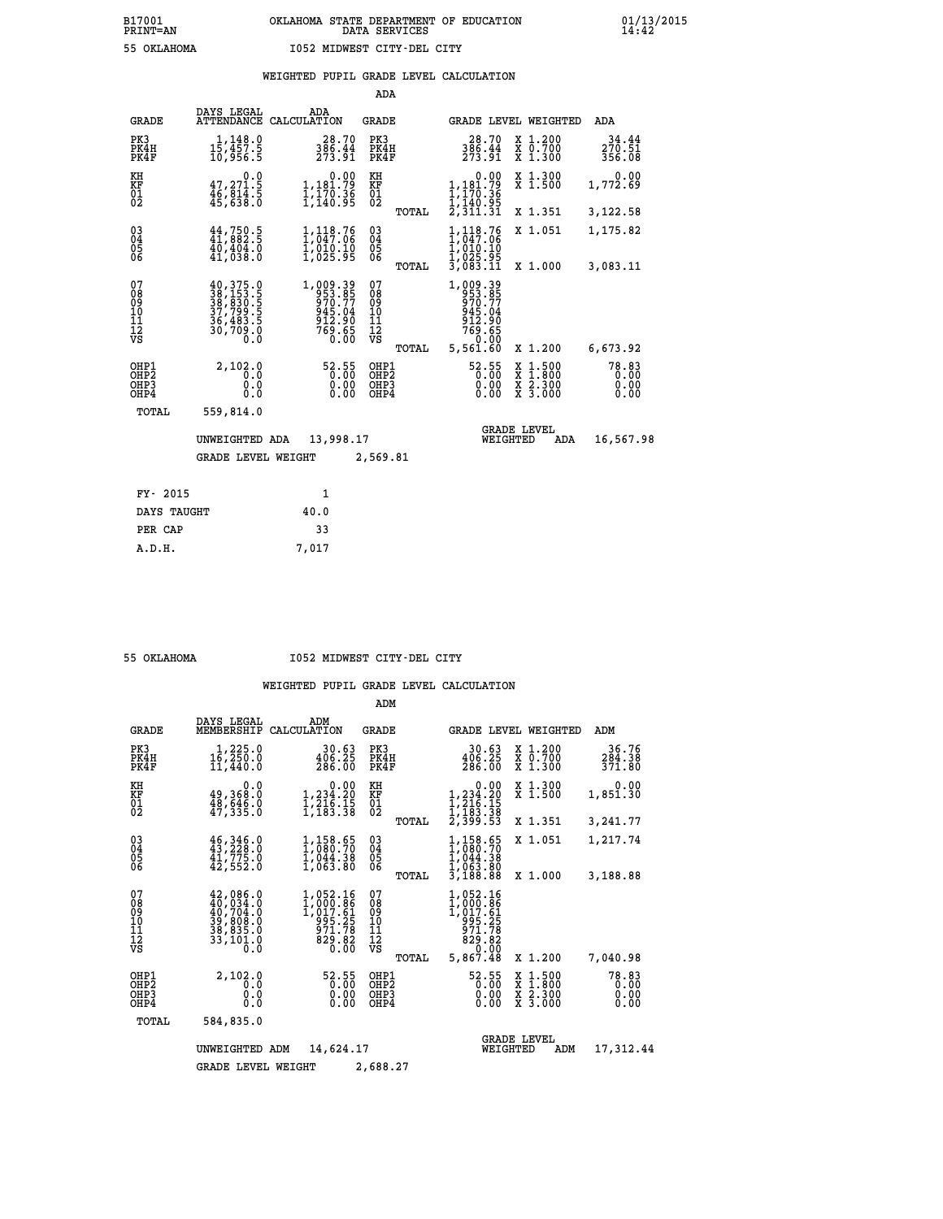|                                                                    |                                                                                                                                                                                                                                                                                                    |                                                                                  | ADA                                      |       |                                                                    |                                                                                                  |                               |
|--------------------------------------------------------------------|----------------------------------------------------------------------------------------------------------------------------------------------------------------------------------------------------------------------------------------------------------------------------------------------------|----------------------------------------------------------------------------------|------------------------------------------|-------|--------------------------------------------------------------------|--------------------------------------------------------------------------------------------------|-------------------------------|
| <b>GRADE</b>                                                       | DAYS LEGAL<br>ATTENDANCE                                                                                                                                                                                                                                                                           | ADA<br>CALCULATION                                                               | <b>GRADE</b>                             |       |                                                                    | GRADE LEVEL WEIGHTED                                                                             | ADA                           |
| PK3<br>PK4H<br>PK4F                                                | 1,148.0<br>15,457.5<br>10,956.5                                                                                                                                                                                                                                                                    | $\frac{28.70}{386.44}$<br>273.91                                                 | PK3<br>PK4H<br>PK4F                      |       | 28.70<br>386.44<br>273.91                                          | X 1.200<br>X 0.700<br>X 1.300                                                                    | 34.44<br>270.51<br>356.08     |
| KH<br><b>KF</b><br>01<br>02                                        | 0.0<br>47,271.5<br>46,814.5<br>45,638.0                                                                                                                                                                                                                                                            | $\begin{smallmatrix}&&0.00\\1,181.79\\1\,,\,170.36\\1,140.95\end{smallmatrix}$   | KH<br>KF<br>01<br>02                     |       | 0.00<br>,181.79<br>,170.36                                         | X 1.300<br>X 1.500                                                                               | 0.00<br>1,772.69              |
|                                                                    |                                                                                                                                                                                                                                                                                                    |                                                                                  |                                          | TOTAL | I,I40.95<br>2,311.31                                               | X 1.351                                                                                          | 3,122.58                      |
| $\begin{smallmatrix} 03 \\[-4pt] 04 \end{smallmatrix}$<br>Ŏ5<br>06 | $44,750.5$<br>$41,882.5$<br>$40,404.0$<br>$41,038.0$                                                                                                                                                                                                                                               | 1,118.76<br>1,047.06<br>ī, 010.10<br>1,025.95                                    | $\substack{03 \\ 04}$<br>Ŏ5<br>06        |       | $1,118.76$<br>$1,047.06$<br>$1,010.10$<br>$1,025.95$<br>$3,083.11$ | X 1.051                                                                                          | 1,175.82                      |
|                                                                    |                                                                                                                                                                                                                                                                                                    |                                                                                  |                                          | TOTAL |                                                                    | X 1.000                                                                                          | 3,083.11                      |
| 07<br>08<br>09<br>101<br>11<br>12<br>VS                            | $\begin{smallmatrix} 40\,,\,375\,. \ 123\,,\,153\,. \ 123\,,\,153\,. \ 123\,,\,153\,. \ 123\,,\,153\,. \ 123\,,\,153\,. \ 123\,,\,153\,. \ 123\,. \ 123\,. \ 123\,. \ 123\,. \ 123\,. \ 123\,. \ 123\,. \ 123\,. \ 123\,. \ 123\,. \ 123\,. \ 123\,. \ 123\,. \ 123\,. \ 123\,. \end{smallmatrix}$ | $1,009.39$<br>$953.85$<br>$970.77$<br>$945.04$<br>$912.90$<br>$769.65$<br>$0.00$ | 07<br>08<br>09<br>11<br>11<br>12<br>VS   |       | 1,009.39<br>953.85<br>970.77<br>$\frac{945.04}{769.65}$            |                                                                                                  |                               |
|                                                                    |                                                                                                                                                                                                                                                                                                    |                                                                                  |                                          | TOTAL | 5,561.60                                                           | X 1.200                                                                                          | 6,673.92                      |
| OHP1<br>OHP <sub>2</sub><br>OHP3<br>OH <sub>P4</sub>               | 2,102.0<br>0.0<br>0.0<br>0.0                                                                                                                                                                                                                                                                       | 52.55<br>0.00                                                                    | OHP1<br>OHP <sub>2</sub><br>OHP3<br>OHP4 |       | 52.55<br>0.00                                                      | $\begin{smallmatrix} x & 1 & 500 \\ x & 1 & 800 \\ x & 2 & 300 \\ x & 3 & 000 \end{smallmatrix}$ | 78.83<br>0.00<br>0.00<br>0.00 |
| TOTAL                                                              | 559,814.0                                                                                                                                                                                                                                                                                          |                                                                                  |                                          |       |                                                                    |                                                                                                  |                               |
|                                                                    | UNWEIGHTED ADA                                                                                                                                                                                                                                                                                     | 13,998.17                                                                        |                                          |       |                                                                    | <b>GRADE LEVEL</b><br>WEIGHTED<br>ADA                                                            | 16,567.98                     |
|                                                                    | <b>GRADE LEVEL WEIGHT</b>                                                                                                                                                                                                                                                                          |                                                                                  | 2,569.81                                 |       |                                                                    |                                                                                                  |                               |
| FY- 2015                                                           |                                                                                                                                                                                                                                                                                                    | $\mathbf{1}$                                                                     |                                          |       |                                                                    |                                                                                                  |                               |
| DAYS TAUGHT                                                        |                                                                                                                                                                                                                                                                                                    | 40.0                                                                             |                                          |       |                                                                    |                                                                                                  |                               |
| PER CAP                                                            |                                                                                                                                                                                                                                                                                                    | 33                                                                               |                                          |       |                                                                    |                                                                                                  |                               |

 **A.D.H. 7,017**

 **55 OKLAHOMA I052 MIDWEST CITY-DEL CITY**

|                                           |                                                                             |                                                                            | ADM                                             |                                                                                   |                                                                                                  |                               |
|-------------------------------------------|-----------------------------------------------------------------------------|----------------------------------------------------------------------------|-------------------------------------------------|-----------------------------------------------------------------------------------|--------------------------------------------------------------------------------------------------|-------------------------------|
| <b>GRADE</b>                              | DAYS LEGAL<br>MEMBERSHIP                                                    | ADM<br>CALCULATION                                                         | <b>GRADE</b>                                    | <b>GRADE LEVEL WEIGHTED</b>                                                       |                                                                                                  | ADM                           |
| PK3<br>PK4H<br>PK4F                       | 1,225.0<br>16, 250.0<br>11,440.0                                            | 30.63<br>406.25<br>286.00                                                  | PK3<br>PK4H<br>PK4F                             | 30.63<br>406.25<br>286.00                                                         | X 1.200<br>X 0.700<br>X 1.300                                                                    | 36.76<br>284.38<br>371.80     |
| KH<br>KF<br>01<br>02                      | 0.0<br>49,368.0<br>$\frac{48}{47}$ , $\frac{646}{35}$ .0                    | $\begin{smallmatrix}&&0.00\\1,234.20\\1,216.15\\1,183.38\end{smallmatrix}$ | KH<br>KF<br>01<br>02                            | 0.00<br>$1, 234.20$<br>$1, 216.15$<br>$1, 183.38$<br>$2, 399.53$                  | X 1.300<br>X 1.500                                                                               | 0.00<br>1,851.30              |
|                                           |                                                                             |                                                                            | TOTAL                                           | 1,158.65                                                                          | X 1.351<br>X 1.051                                                                               | 3,241.77<br>1,217.74          |
| 03<br>04<br>05<br>06                      | 46, 346.0<br>43, 228.0<br>41,775.0<br>42,552.0                              | 1, 158.65<br>1, 080.70<br>1,044.38<br>1,063.80                             | $\substack{03 \\ 04}$<br>05<br>TOTAL            | 1,080.70<br>1,044.38<br>1,063.80<br>3,188.88                                      | X 1.000                                                                                          | 3,188.88                      |
| 07<br>08<br>09<br>11<br>11<br>12<br>VS    | 42,086.0<br>40,034.0<br>40,704:0<br>39,808.0<br>38,835.0<br>33,101.0<br>0.0 | 1,052.16<br>1,000.86<br>1,017.61<br>005:25<br>071:78<br>029:02<br>0.00     | 07<br>08<br>09<br>11<br>11<br>12<br>VS<br>TOTAL | 1,052.16<br>1,000:86<br>1,017.61<br>225.25<br>$\frac{571.78}{829.82}$<br>5,867.48 | X 1.200                                                                                          | 7,040.98                      |
| OHP1<br>OH <sub>P</sub> 2<br>OHP3<br>OHP4 | 2,102.0<br>0.0<br>0.0<br>Ŏ.Ŏ                                                | 52.55<br>0.00<br>0.00<br>0.00                                              | OHP1<br>OHP <sub>2</sub><br>OHP3<br>OHP4        | 52.55<br>0.00<br>0.00                                                             | $\begin{smallmatrix} x & 1 & 500 \\ x & 1 & 800 \\ x & 2 & 300 \\ x & 3 & 000 \end{smallmatrix}$ | 78.83<br>0.00<br>0.00<br>0.00 |
| TOTAL                                     | 584,835.0                                                                   |                                                                            |                                                 |                                                                                   |                                                                                                  |                               |
|                                           | UNWEIGHTED                                                                  | 14,624.17<br>ADM                                                           |                                                 | <b>GRADE LEVEL</b><br>WEIGHTED                                                    | ADM                                                                                              | 17,312.44                     |
|                                           | <b>GRADE LEVEL WEIGHT</b>                                                   |                                                                            | 2,688.27                                        |                                                                                   |                                                                                                  |                               |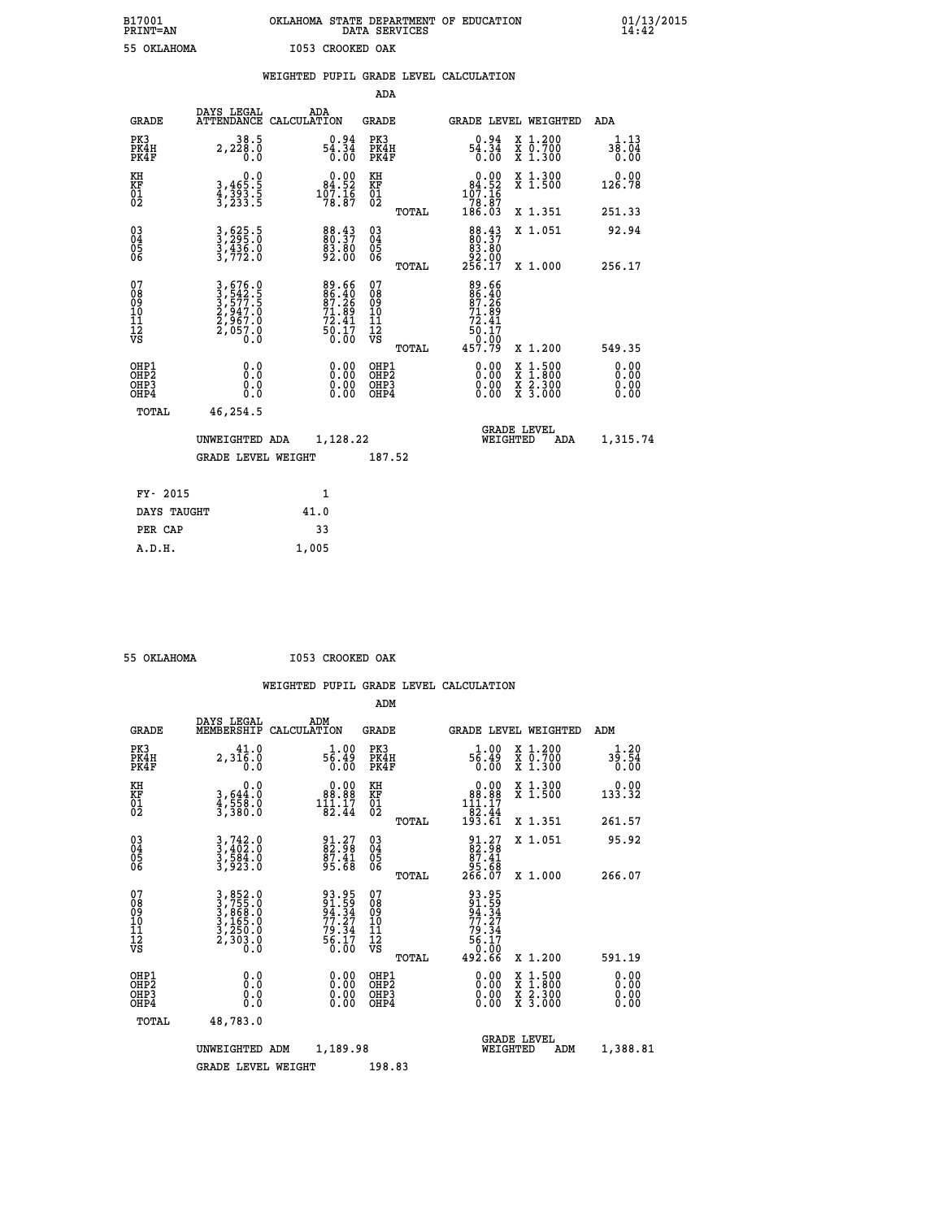# **B17001 OKLAHOMA STATE DEPARTMENT OF EDUCATION 01/13/2015 PRINT=AN DATA SERVICES 14:42 55 OKLAHOMA I053 CROOKED OAK**

|  |     | WEIGHTED PUPIL GRADE LEVEL CALCULATION |  |
|--|-----|----------------------------------------|--|
|  | ADA |                                        |  |

| <b>GRADE</b>                             | DAYS LEGAL<br><b>ATTENDANCE</b>                                                                                                               | ADA<br>CALCULATION                                                 | <b>GRADE</b>                             |       | GRADE LEVEL WEIGHTED                                                                              |                                                                                        | <b>ADA</b>                   |
|------------------------------------------|-----------------------------------------------------------------------------------------------------------------------------------------------|--------------------------------------------------------------------|------------------------------------------|-------|---------------------------------------------------------------------------------------------------|----------------------------------------------------------------------------------------|------------------------------|
| PK3<br>PK4H<br>PK4F                      | 38.5<br>2,228.0<br>0.0                                                                                                                        | $0.94$<br>54.34<br>0.00                                            | PK3<br>PK4H<br>PK4F                      |       | $0.94$<br>54.34<br>0.00                                                                           | $\begin{smallmatrix} x & 1.200 \\ x & 0.700 \end{smallmatrix}$<br>$\overline{x}$ 1.300 | 1.13<br>38.04<br>0.00        |
| KH<br>KF<br>01<br>02                     | $\begin{smallmatrix}&&&0.0\\3,465.5\\4,393.5\\3,233.5\end{smallmatrix}$                                                                       | $\begin{smallmatrix}&&0.00\\84.52\\107.16\\78.87\end{smallmatrix}$ | KH<br>KF<br>01<br>02                     |       | $\begin{smallmatrix}&&0.00\\84.52\\107.16\\78.87\\186.03\end{smallmatrix}$                        | X 1.300<br>X 1.500                                                                     | 0.00<br>126.78               |
|                                          |                                                                                                                                               |                                                                    |                                          | TOTAL |                                                                                                   | X 1.351                                                                                | 251.33                       |
| 030404<br>ŌĞ                             | 3,625.5<br>3,295.0<br>3,436.0<br>3,772.0                                                                                                      | 88.43<br>80.37<br>83.80<br>92.00                                   | $\substack{03 \\ 04}$<br>05<br>06        |       | $\begin{smallmatrix}88\cdot 43\\80\cdot 37\\83\cdot 80\\92\cdot 00\\256\cdot 17\end{smallmatrix}$ | X 1.051                                                                                | 92.94                        |
|                                          |                                                                                                                                               |                                                                    |                                          | TOTAL |                                                                                                   | X 1.000                                                                                | 256.17                       |
| 07<br>08<br>09<br>11<br>11<br>12<br>VS   | $\begin{smallmatrix} 3\,,\,676\,.0\\ 3\,,\,542\,.5\\ 3\,,\,577\,.5\\ 2\,,\,947\,.0\\ 2\,,\,967\,.0\\ 2\,,\,057\,.0\\ 0\,.0 \end{smallmatrix}$ | 89.66<br>86.40<br>87.26<br>71.89<br>72.41<br>$\frac{50.17}{0.00}$  | 07<br>08<br>09<br>101<br>11<br>12<br>VS  |       | 89.66<br>86.40<br>87.26<br>71.89<br>72.41<br>72.41<br>50.17<br>0.00<br>457.79                     |                                                                                        |                              |
|                                          |                                                                                                                                               |                                                                    |                                          | TOTAL |                                                                                                   | X 1.200                                                                                | 549.35                       |
| OHP1<br>OHP <sub>2</sub><br>OHP3<br>OHP4 | 0.0<br>0.000                                                                                                                                  | $\begin{smallmatrix} 0.00 \ 0.00 \ 0.00 \ 0.00 \end{smallmatrix}$  | OHP1<br>OHP <sub>2</sub><br>OHP3<br>OHP4 |       | 0.00<br>0.00<br>0.00                                                                              | X 1:500<br>X 1:800<br>X 2:300<br>X 3:000                                               | 0.00<br>0.00<br>0.00<br>0.00 |
| TOTAL                                    | 46,254.5                                                                                                                                      |                                                                    |                                          |       |                                                                                                   |                                                                                        |                              |
|                                          | UNWEIGHTED ADA                                                                                                                                | 1,128.22                                                           |                                          |       | WEIGHTED                                                                                          | <b>GRADE LEVEL</b><br>ADA                                                              | 1,315.74                     |
|                                          | <b>GRADE LEVEL WEIGHT</b>                                                                                                                     |                                                                    | 187.52                                   |       |                                                                                                   |                                                                                        |                              |
| FY- 2015                                 |                                                                                                                                               | 1                                                                  |                                          |       |                                                                                                   |                                                                                        |                              |
| DAYS TAUGHT                              |                                                                                                                                               | 41.0                                                               |                                          |       |                                                                                                   |                                                                                        |                              |
| PER CAP                                  |                                                                                                                                               | 33                                                                 |                                          |       |                                                                                                   |                                                                                        |                              |

| 55 OKTAHOMA |  |
|-------------|--|

 **A.D.H. 1,005**

 **55 OKLAHOMA I053 CROOKED OAK**

|                                         |                                          |                                                                |                                                                    | ADM                                                 |       |                                                                                |                                          |                              |
|-----------------------------------------|------------------------------------------|----------------------------------------------------------------|--------------------------------------------------------------------|-----------------------------------------------------|-------|--------------------------------------------------------------------------------|------------------------------------------|------------------------------|
|                                         | <b>GRADE</b>                             | DAYS LEGAL<br>MEMBERSHIP                                       | ADM<br>CALCULATION                                                 | <b>GRADE</b>                                        |       |                                                                                | <b>GRADE LEVEL WEIGHTED</b>              | ADM                          |
|                                         | PK3<br>PK4H<br>PK4F                      | 41.0<br>2,316.0<br>0.0                                         | 1.00<br>8.15<br>0.00                                               | PK3<br>PK4H<br>PK4F                                 |       | $1.00$<br>56.49<br>0.00                                                        | X 1.200<br>X 0.700<br>X 1.300            | 1.20<br>39.54<br>0.00        |
| KH<br>KF<br>01<br>02                    |                                          | 0.0<br>3,644:0<br>4,558.0<br>3,380:0                           | $\begin{smallmatrix}&&0.00\\88.88\\111.17\\82.44\end{smallmatrix}$ | KH<br>KF<br>01<br>02                                |       | $\begin{smallmatrix} &0.00\\ 88.88\\ 111.17\\ 2.44\\ 93.61\end{smallmatrix}$   | X 1.300<br>X 1.500                       | $0.00$<br>133.32             |
|                                         |                                          |                                                                |                                                                    |                                                     | TOTAL |                                                                                | X 1.351                                  | 261.57                       |
| 03<br>04<br>05<br>06                    |                                          | $3, 742.0$<br>$3, 402.0$<br>$3, 584.0$<br>$3, 923.0$           | $\begin{smallmatrix} 91.27\ 82.98\ 87.41\ 95.68 \end{smallmatrix}$ | $\begin{array}{c} 03 \\ 04 \\ 05 \\ 06 \end{array}$ |       | $\begin{smallmatrix} 91.27\\ 82.98\\ 87.41\\ 95.68\\ 266.07 \end{smallmatrix}$ | X 1.051                                  | 95.92                        |
|                                         |                                          |                                                                |                                                                    |                                                     | TOTAL |                                                                                | X 1.000                                  | 266.07                       |
| 07<br>08<br>09<br>101<br>11<br>12<br>VS |                                          | 3,852.0<br>3,755.0<br>3,868.0<br>3,165.0<br>3,250.0<br>2,303.0 | 93.95<br>91.59<br>94.34<br>77.27<br>79.34<br>56.17<br>56.17        | 07<br>08<br>09<br>11<br>11<br>12<br>VS              | TOTAL | 93.95<br>94.34<br>77.27<br>79.34<br>79.34<br>56.17<br>56.17<br>0.00<br>492.66  | X 1.200                                  | 591.19                       |
|                                         | OHP1<br>OHP2<br>OH <sub>P3</sub><br>OHP4 |                                                                |                                                                    | OHP1<br>OHP2<br>OHP <sub>3</sub>                    |       | $0.00$<br>$0.00$<br>0.00                                                       | X 1:500<br>X 1:800<br>X 2:300<br>X 3:000 | 0.00<br>Ŏ.ŎŎ<br>Q.QQ<br>0.00 |
|                                         | TOTAL                                    | 48,783.0                                                       |                                                                    |                                                     |       |                                                                                |                                          |                              |
|                                         |                                          | UNWEIGHTED                                                     | 1,189.98<br>ADM                                                    |                                                     |       |                                                                                | GRADE LEVEL<br>WEIGHTED<br>ADM           | 1,388.81                     |
|                                         |                                          | <b>GRADE LEVEL WEIGHT</b>                                      |                                                                    | 198.83                                              |       |                                                                                |                                          |                              |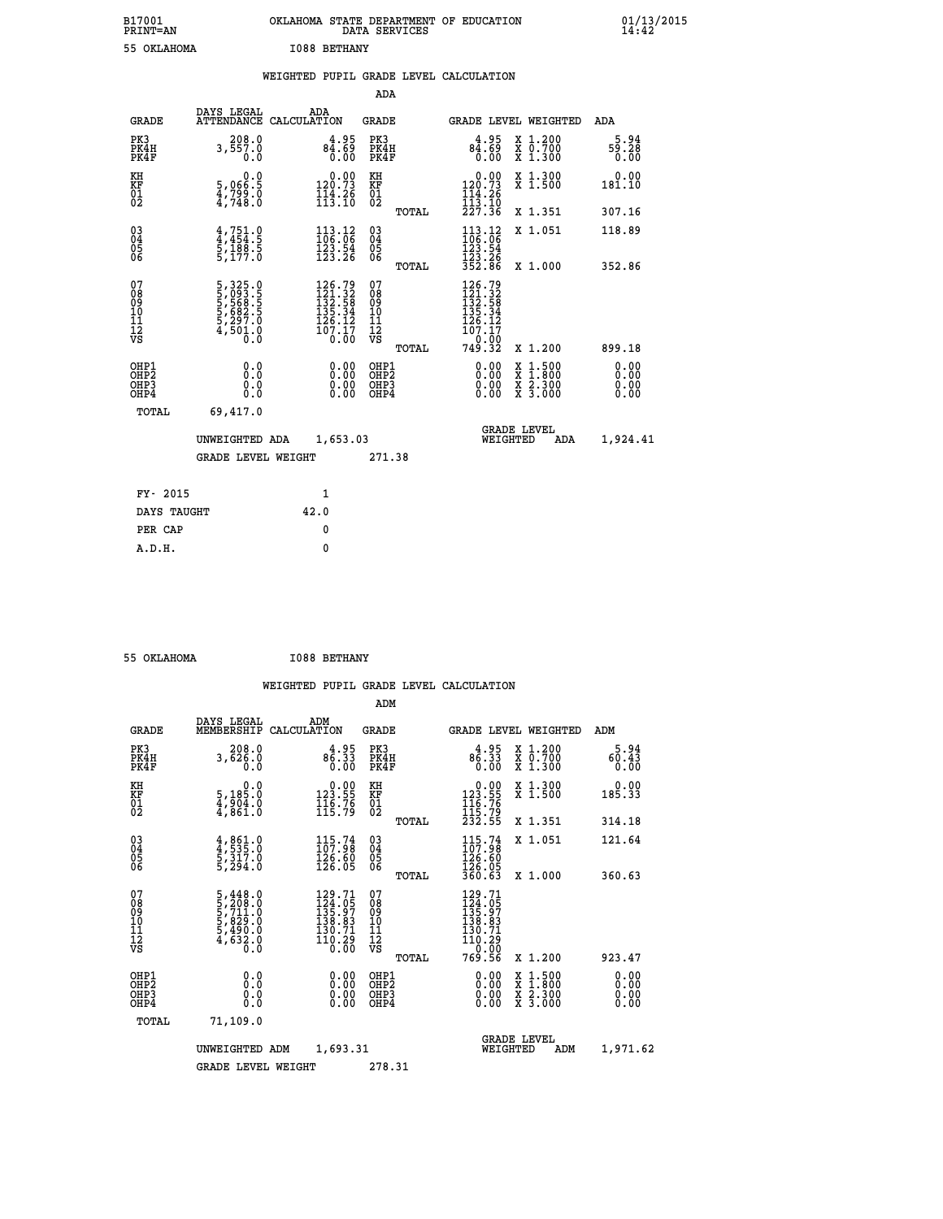| B17001<br><b>PRINT=AN</b> | OKLAHOMA<br>. STATE DEPARTMENT OF EDUCATION<br>DATA SERVICES | 01/13/2015<br>14:42 |
|---------------------------|--------------------------------------------------------------|---------------------|
| 55 OKLAHOMA               | <b>I088 BETHANY</b>                                          |                     |

|  |  | WEIGHTED PUPIL GRADE LEVEL CALCULATION |
|--|--|----------------------------------------|
|  |  |                                        |

|                                                                              |                                                                |                                                                                                                         | ADA                                                 |       |                                                                                                                                     |                                                                                                                                           |                              |
|------------------------------------------------------------------------------|----------------------------------------------------------------|-------------------------------------------------------------------------------------------------------------------------|-----------------------------------------------------|-------|-------------------------------------------------------------------------------------------------------------------------------------|-------------------------------------------------------------------------------------------------------------------------------------------|------------------------------|
| <b>GRADE</b>                                                                 | DAYS LEGAL                                                     | ADA<br>ATTENDANCE CALCULATION                                                                                           | GRADE                                               |       | <b>GRADE LEVEL WEIGHTED</b>                                                                                                         |                                                                                                                                           | ADA                          |
| PK3<br>PK4H<br>PK4F                                                          | 208.0<br>3,557.0<br>0.0                                        | 4.95<br>84.69<br>0.00                                                                                                   | PK3<br>PK4H<br>PK4F                                 |       | 4.95<br>84.69<br>0.00                                                                                                               | X 1.200<br>X 0.700<br>X 1.300                                                                                                             | 5.94<br>59.28<br>0.00        |
| KH<br>KF<br>01<br>02                                                         | 0.0<br>5,066.5<br>$\frac{4799.0}{47748.0}$                     | $\begin{smallmatrix} &0.00\\ 120.73\\ 144.26\\ 113.10\end{smallmatrix}$                                                 | KH<br><b>KF</b><br>01<br>02                         |       | $\begin{array}{c} 0.00 \\ 120.73 \\ 114.26 \\ 113.10 \\ 227.36 \end{array}$                                                         | X 1.300<br>X 1.500                                                                                                                        | 0.00<br>181.10               |
|                                                                              |                                                                |                                                                                                                         |                                                     | TOTAL |                                                                                                                                     | X 1.351                                                                                                                                   | 307.16                       |
| $\begin{matrix} 03 \\ 04 \\ 05 \\ 06 \end{matrix}$                           | $4,751.9$<br>$4,454.5$<br>$5,188.5$<br>$5,177.0$               | $\begin{array}{r} 113.12 \\ 106.06 \\ 123.54 \\ 123.26 \end{array}$                                                     | $\begin{array}{c} 03 \\ 04 \\ 05 \\ 06 \end{array}$ |       | 113.12<br>106:06<br>123.54<br>123.26<br>352.86                                                                                      | X 1.051                                                                                                                                   | 118.89                       |
|                                                                              |                                                                |                                                                                                                         |                                                     | TOTAL |                                                                                                                                     | X 1.000                                                                                                                                   | 352.86                       |
| 07<br>08<br>09<br>11<br>11<br>12<br>VS                                       | 5,325.0<br>5,093.5<br>5,568.5<br>5,682.5<br>5,297.0<br>4,501.0 | $\begin{smallmatrix} 126\cdot79\\121\cdot32\\132\cdot58\\135\cdot34\\126\cdot12\\107\cdot17\\0\cdot00\end{smallmatrix}$ | 07<br>08<br>09<br>11<br>11<br>12<br>VS              | TOTAL | $\begin{smallmatrix} 126\cdot79\\121\cdot32\\132\cdot58\\135\cdot34\\126\cdot12\\107\cdot17\\0\cdot00\\749\cdot32\end{smallmatrix}$ | X 1.200                                                                                                                                   | 899.18                       |
| OHP1<br>OH <sub>P</sub> <sub>2</sub><br>OH <sub>P3</sub><br>OH <sub>P4</sub> | 0.0<br>Ō.Ō<br>0.0<br>0.0                                       | 0.00<br>0.00<br>0.00                                                                                                    | OHP1<br>OHP2<br>OHP3<br>OHP4                        |       | 0.00<br>0.00<br>0.00                                                                                                                | $\begin{smallmatrix} \mathtt{X} & 1\cdot500\\ \mathtt{X} & 1\cdot800\\ \mathtt{X} & 2\cdot300\\ \mathtt{X} & 3\cdot000 \end{smallmatrix}$ | 0.00<br>0.00<br>0.00<br>0.00 |
| TOTAL                                                                        | 69,417.0                                                       |                                                                                                                         |                                                     |       |                                                                                                                                     |                                                                                                                                           |                              |
|                                                                              | UNWEIGHTED ADA                                                 | 1,653.03                                                                                                                |                                                     |       | WEIGHTED                                                                                                                            | <b>GRADE LEVEL</b><br>ADA                                                                                                                 | 1,924.41                     |
|                                                                              | <b>GRADE LEVEL WEIGHT</b>                                      |                                                                                                                         | 271.38                                              |       |                                                                                                                                     |                                                                                                                                           |                              |
| FY- 2015                                                                     |                                                                | 1                                                                                                                       |                                                     |       |                                                                                                                                     |                                                                                                                                           |                              |
| DAYS TAUGHT                                                                  |                                                                | 42.0                                                                                                                    |                                                     |       |                                                                                                                                     |                                                                                                                                           |                              |
|                                                                              |                                                                |                                                                                                                         |                                                     |       |                                                                                                                                     |                                                                                                                                           |                              |
| PER CAP                                                                      |                                                                | 0                                                                                                                       |                                                     |       |                                                                                                                                     |                                                                                                                                           |                              |
| A.D.H.                                                                       |                                                                | $\mathbf{0}$                                                                                                            |                                                     |       |                                                                                                                                     |                                                                                                                                           |                              |

 **55 OKLAHOMA I088 BETHANY**

 **A.D.H. 0**

|                                                      |                                                                                                 |             |                                                                                   | ADM                                                 |       |                                                                                                                                         |                                          |                              |
|------------------------------------------------------|-------------------------------------------------------------------------------------------------|-------------|-----------------------------------------------------------------------------------|-----------------------------------------------------|-------|-----------------------------------------------------------------------------------------------------------------------------------------|------------------------------------------|------------------------------|
| <b>GRADE</b>                                         | DAYS LEGAL<br>MEMBERSHIP                                                                        | CALCULATION | ADM                                                                               | <b>GRADE</b>                                        |       |                                                                                                                                         | <b>GRADE LEVEL WEIGHTED</b>              | ADM                          |
| PK3<br>PK4H<br>PK4F                                  | 208.0<br>3,626.0<br>0.0                                                                         |             | $4.95$<br>$86.33$<br>0.00                                                         | PK3<br>PK4H<br>PK4F                                 |       | $4.95$<br>$86.33$<br>0.00                                                                                                               | X 1.200<br>X 0.700<br>X 1.300            | 5.94<br>60.43<br>0.00        |
| KH<br>KF<br>01<br>02                                 | 0.0<br>5,185:0<br>4,904:0<br>4,861:0                                                            |             | $\begin{smallmatrix} &0.00\\ 123.55\\ 116.76\\ 115.79\end{smallmatrix}$           | KH<br>KF<br>01<br>02                                |       | $\begin{array}{c} 0.00 \\ 123.55 \\ 116.76 \\ 115.79 \\ 232.55 \end{array}$                                                             | X 1.300<br>X 1.500                       | 0.00<br>185.33               |
|                                                      |                                                                                                 |             |                                                                                   |                                                     | TOTAL |                                                                                                                                         | X 1.351                                  | 314.18                       |
| 03<br>04<br>05<br>06                                 | $4,861.0$<br>$5,317.0$<br>$5,317.0$<br>$5,294.0$                                                |             | $\begin{smallmatrix} 115.74 \\ 107.98 \\ 126.60 \\ 126.05 \end{smallmatrix}$      | $\begin{array}{c} 03 \\ 04 \\ 05 \\ 06 \end{array}$ |       | $115.74$<br>$107.98$<br>$\frac{126}{126}$ . 60<br>$\frac{126}{360}$ . 63                                                                | X 1.051                                  | 121.64                       |
|                                                      |                                                                                                 |             |                                                                                   |                                                     | TOTAL |                                                                                                                                         | X 1.000                                  | 360.63                       |
| 07<br>08<br>09<br>101<br>112<br>VS                   | $\begin{smallmatrix}5,448.0\\5,208.0\\5,711.0\\5,829.0\\5,490.0\\4,632.0\\0.0\end{smallmatrix}$ |             | $129.71$<br>$124.05$<br>$135.97$<br>$138.83$<br>$130.71$<br>$\frac{110.29}{0.00}$ | 07<br>08<br>09<br>11<br>11<br>12<br>VS              |       | $129.71$<br>$124.05$<br>$135.97$<br>$138.83$<br>130.71<br>$\overline{1}\overline{1}\overline{0}\cdot\overline{2}\overline{9}$<br>769.Šč |                                          |                              |
|                                                      |                                                                                                 |             |                                                                                   |                                                     | TOTAL |                                                                                                                                         | X 1.200                                  | 923.47                       |
| OHP1<br>OHP2<br>OH <sub>P3</sub><br>OH <sub>P4</sub> | 0.0<br>0.000                                                                                    |             | $0.00$<br>$0.00$<br>0.00                                                          | OHP1<br>OHP2<br>OHP3<br>OHP4                        |       | $0.00$<br>$0.00$<br>0.00                                                                                                                | X 1:500<br>X 1:800<br>X 2:300<br>X 3:000 | 0.00<br>0.00<br>0.00<br>0.00 |
| TOTAL                                                | 71,109.0                                                                                        |             |                                                                                   |                                                     |       |                                                                                                                                         |                                          |                              |
|                                                      | UNWEIGHTED                                                                                      | ADM         | 1,693.31                                                                          |                                                     |       | WEIGHTED                                                                                                                                | <b>GRADE LEVEL</b><br>ADM                | 1,971.62                     |
|                                                      | <b>GRADE LEVEL WEIGHT</b>                                                                       |             |                                                                                   | 278.31                                              |       |                                                                                                                                         |                                          |                              |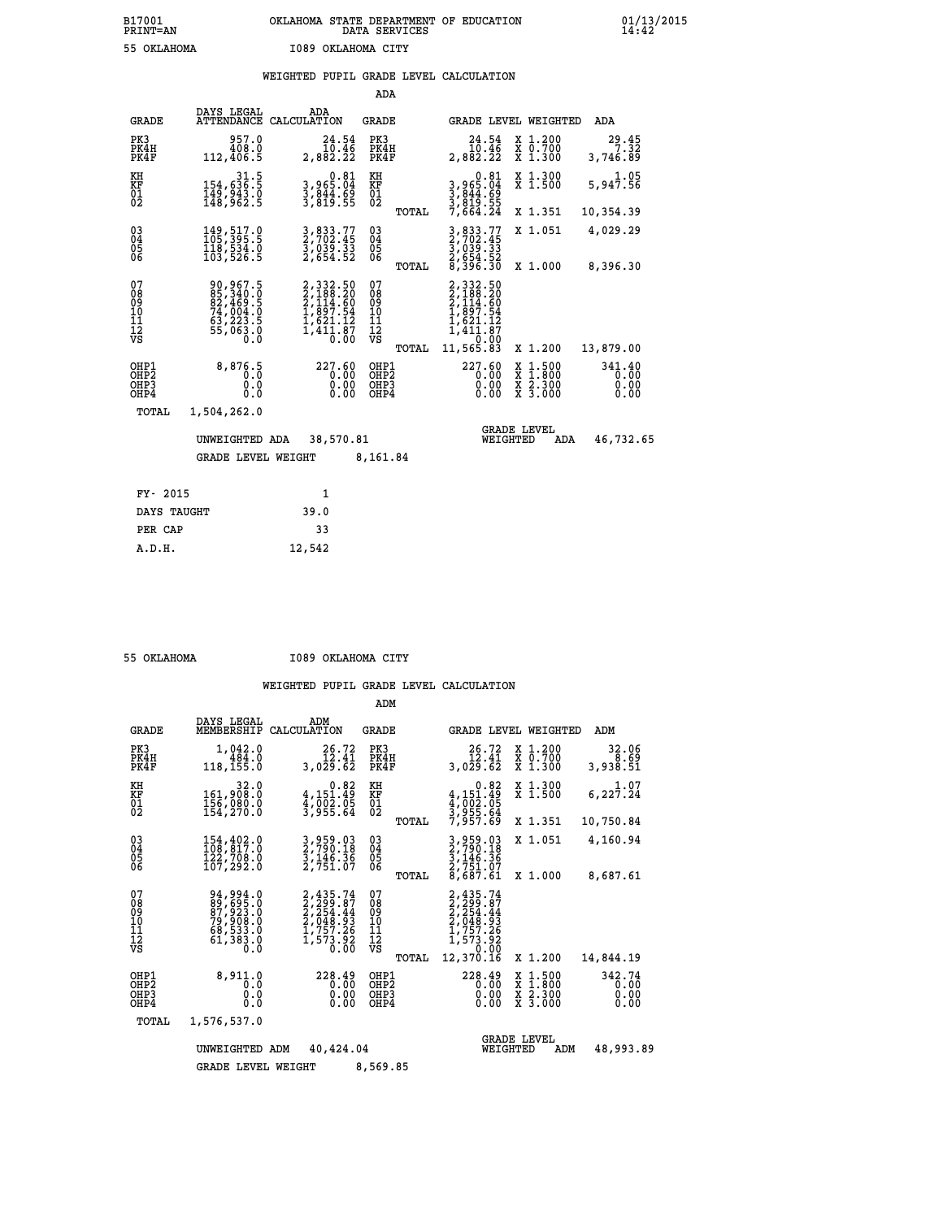## **B17001 OKLAHOMA STATE DEPARTMENT OF EDUCATION 01/13/2015 PRINT=AN DATA SERVICES 14:42 55 OKLAHOMA I089 OKLAHOMA CITY**

### **WEIGHTED PUPIL GRADE LEVEL CALCULATION**

|                                        |                                                                                   |                                                                                            | ADA                                                |       |                                                                                                                                     |        |                                          |                                |  |
|----------------------------------------|-----------------------------------------------------------------------------------|--------------------------------------------------------------------------------------------|----------------------------------------------------|-------|-------------------------------------------------------------------------------------------------------------------------------------|--------|------------------------------------------|--------------------------------|--|
| <b>GRADE</b>                           | DAYS LEGAL<br><b>ATTENDANCE</b>                                                   | ADA<br>CALCULATION                                                                         | GRADE                                              |       | GRADE LEVEL WEIGHTED                                                                                                                |        |                                          | ADA                            |  |
| PK3<br>PK4H<br>PK4F                    | 957.0<br>408.0<br>112,406.5                                                       | 24.54<br>10.46<br>2,882.22                                                                 | PK3<br>PK4H<br>PK4F                                |       | 24.54<br>10.46<br>2,882.22                                                                                                          |        | X 1.200<br>X 0.700<br>X 1.300            | 29.45<br>7.32<br>3,746.89      |  |
| KH<br><b>KF</b><br>01<br>02            | 31.5<br>154,636.5<br>$\frac{149}{148}$ , $\frac{343}{962}$ . 5                    | $3,965.04$<br>$3,844.69$<br>$3,844.55$<br>$3,819.55$                                       | KH<br>KF<br>01<br>02                               |       | $0.81$<br>$3,965.04$<br>$3,844.69$<br>$3,819.55$<br>$7,664.24$                                                                      |        | X 1.300<br>$\overline{x}$ 1.500          | 5,947.56                       |  |
|                                        |                                                                                   |                                                                                            |                                                    | TOTAL |                                                                                                                                     |        | X 1.351                                  | 10,354.39                      |  |
| $^{03}_{04}$<br>05<br>06               | 149, 517.0<br>118,534.0<br>103,526.5                                              | 3, 833.77<br>2, 702.45<br>3, 039.33<br>2, 654.52                                           | $\begin{matrix} 03 \\ 04 \\ 05 \\ 06 \end{matrix}$ |       | 3,833.77<br>2,702.45<br>3,039.33<br>2,654.52<br>8,396.30                                                                            |        | X 1.051                                  | 4,029.29                       |  |
|                                        |                                                                                   |                                                                                            |                                                    | TOTAL |                                                                                                                                     |        | X 1.000                                  | 8,396.30                       |  |
| 07<br>08<br>09<br>11<br>11<br>12<br>VS | 90, 967.5<br>85, 340.0<br>82, 469.5<br>74, 004.0<br>63, 223.5<br>55, 063.0<br>Ō.Ŏ | $2,332.50$<br>$2,188.20$<br>$2,114.60$<br>$1,897.54$<br>$1,621.12$<br>$1,411.87$<br>$0.00$ | 07<br>08<br>09<br>11<br>11<br>12<br>VS             | TOTAL | 2,332.50<br>$\begin{smallmatrix} 2,188.20\\2,188.20\\2,114.60\\1,897.54\\1,621.12\\1,411.87\\1,72.90\end{smallmatrix}$<br>11,565.83 |        | X 1.200                                  | 13,879.00                      |  |
| OHP1<br>OHP2<br>OHP3<br>OHP4           | 8,876.5<br>0.0<br>0.0                                                             | 227.60<br>0.00<br>$0.00$<br>$0.00$                                                         | OHP1<br>OHP2<br>OHP3<br>OHP4                       |       | 227.60<br>0.00<br>0.00<br>0.00                                                                                                      | X<br>X | $1.500$<br>$1.800$<br>X 2.300<br>X 3.000 | 341.40<br>0.00<br>0.00<br>0.00 |  |
| TOTAL                                  | 1,504,262.0                                                                       |                                                                                            |                                                    |       |                                                                                                                                     |        |                                          |                                |  |
|                                        | UNWEIGHTED ADA                                                                    | 38,570.81                                                                                  |                                                    |       | WEIGHTED                                                                                                                            |        | <b>GRADE LEVEL</b><br>ADA                | 46,732.65                      |  |
|                                        | <b>GRADE LEVEL WEIGHT</b>                                                         |                                                                                            | 8,161.84                                           |       |                                                                                                                                     |        |                                          |                                |  |
|                                        |                                                                                   |                                                                                            |                                                    |       |                                                                                                                                     |        |                                          |                                |  |
| FY- 2015                               |                                                                                   | $\mathbf{1}$                                                                               |                                                    |       |                                                                                                                                     |        |                                          |                                |  |
| DAYS TAUGHT                            |                                                                                   | 39.0                                                                                       |                                                    |       |                                                                                                                                     |        |                                          |                                |  |

|  | 55 OKTAHOMA |
|--|-------------|

 **PER CAP 33 A.D.H. 12,542**

 **55 OKLAHOMA I089 OKLAHOMA CITY**

|                                                    |                                                                                   |                                                                                    | ADM                                    |                                                                                                                                                                       |                                                                                                  |                                |
|----------------------------------------------------|-----------------------------------------------------------------------------------|------------------------------------------------------------------------------------|----------------------------------------|-----------------------------------------------------------------------------------------------------------------------------------------------------------------------|--------------------------------------------------------------------------------------------------|--------------------------------|
| <b>GRADE</b>                                       | DAYS LEGAL<br>MEMBERSHIP                                                          | ADM<br>CALCULATION                                                                 | GRADE                                  | <b>GRADE LEVEL WEIGHTED</b>                                                                                                                                           |                                                                                                  | ADM                            |
| PK3<br>PK4H<br>PK4F                                | 1,042.0<br>484.0<br>118,155.0                                                     | 26.72<br>12.41<br>3,029.62                                                         | PK3<br>PK4H<br>PK4F                    | 26.72<br>12.41<br>3,029.62                                                                                                                                            | X 1.200<br>X 0.700<br>X 1.300                                                                    | 32.06<br>8.69<br>3,938.51      |
| KH<br><b>KF</b><br>01<br>02                        | 32.0<br>161,908.0<br>156,000.0<br>154,270.0                                       | 0.82<br>4,151.49<br>4,002.05<br>3,955.64                                           | KH<br>KF<br>01<br>02                   | 0.82<br>$4,151.49$<br>$4,002.05$<br>$3,955.64$<br>$7,957.69$                                                                                                          | X 1.300<br>X 1.500                                                                               | 1.07<br>$6,22\overline{7}.24$  |
|                                                    |                                                                                   |                                                                                    | TOTAL                                  |                                                                                                                                                                       | X 1.351                                                                                          | 10,750.84                      |
| $\begin{matrix} 03 \\ 04 \\ 05 \\ 06 \end{matrix}$ | 154, 402.0<br>122,708.0<br>107, 292.0                                             | 3,959.03<br>2,790.18<br>3,146.36<br>2,751.07                                       | $\substack{03 \\ 04}$<br>05<br>06      | 3,959.03<br>2,790.18<br>3,146.36<br>2,751.07                                                                                                                          | X 1.051                                                                                          | 4,160.94                       |
|                                                    |                                                                                   |                                                                                    | TOTAL                                  | 8,687.61                                                                                                                                                              | X 1.000                                                                                          | 8,687.61                       |
| 07<br>08<br>09<br>101<br>11<br>12<br>VS            | 94, 994.0<br>89, 695.0<br>87, 923.0<br>79, 908.0<br>68, 533.0<br>61, 383.0<br>Ō.Ō | 2, 435.74<br>2, 299.87<br>2, 254.44<br>2, 048.93<br>1, 757.26<br>1, 573.92<br>0.00 | 07<br>089<br>101<br>111<br>VS<br>TOTAL | 2,435.74<br>$\begin{smallmatrix} 2, 299 & .67 \\ 2, 299 & .84 \\ 2, 254 & .44 \\ 2, 048 & .93 \\ 1, 757 & .26 \\ 1, 573 & .92 \end{smallmatrix}$<br>0.00<br>12,370.16 | X 1.200                                                                                          | 14,844.19                      |
| OHP1<br>OHP2<br>OH <sub>P3</sub><br>OHP4           | 8,911.0<br>0.0<br>0.0<br>0.0                                                      | 228.49<br>0.00<br>0.00<br>0.00                                                     | OHP1<br>OHP2<br>OHP3<br>OHP4           | 228.49<br>0.00<br>0.00                                                                                                                                                | $\begin{smallmatrix} x & 1 & 500 \\ x & 1 & 800 \\ x & 2 & 300 \\ x & 3 & 000 \end{smallmatrix}$ | 342.74<br>0.00<br>0.00<br>0.00 |
| TOTAL                                              | 1,576,537.0                                                                       |                                                                                    |                                        |                                                                                                                                                                       |                                                                                                  |                                |
|                                                    | UNWEIGHTED                                                                        | 40,424.04<br>ADM                                                                   |                                        | WEIGHTED                                                                                                                                                              | <b>GRADE LEVEL</b><br>ADM                                                                        | 48,993.89                      |
|                                                    | <b>GRADE LEVEL WEIGHT</b>                                                         |                                                                                    | 8,569.85                               |                                                                                                                                                                       |                                                                                                  |                                |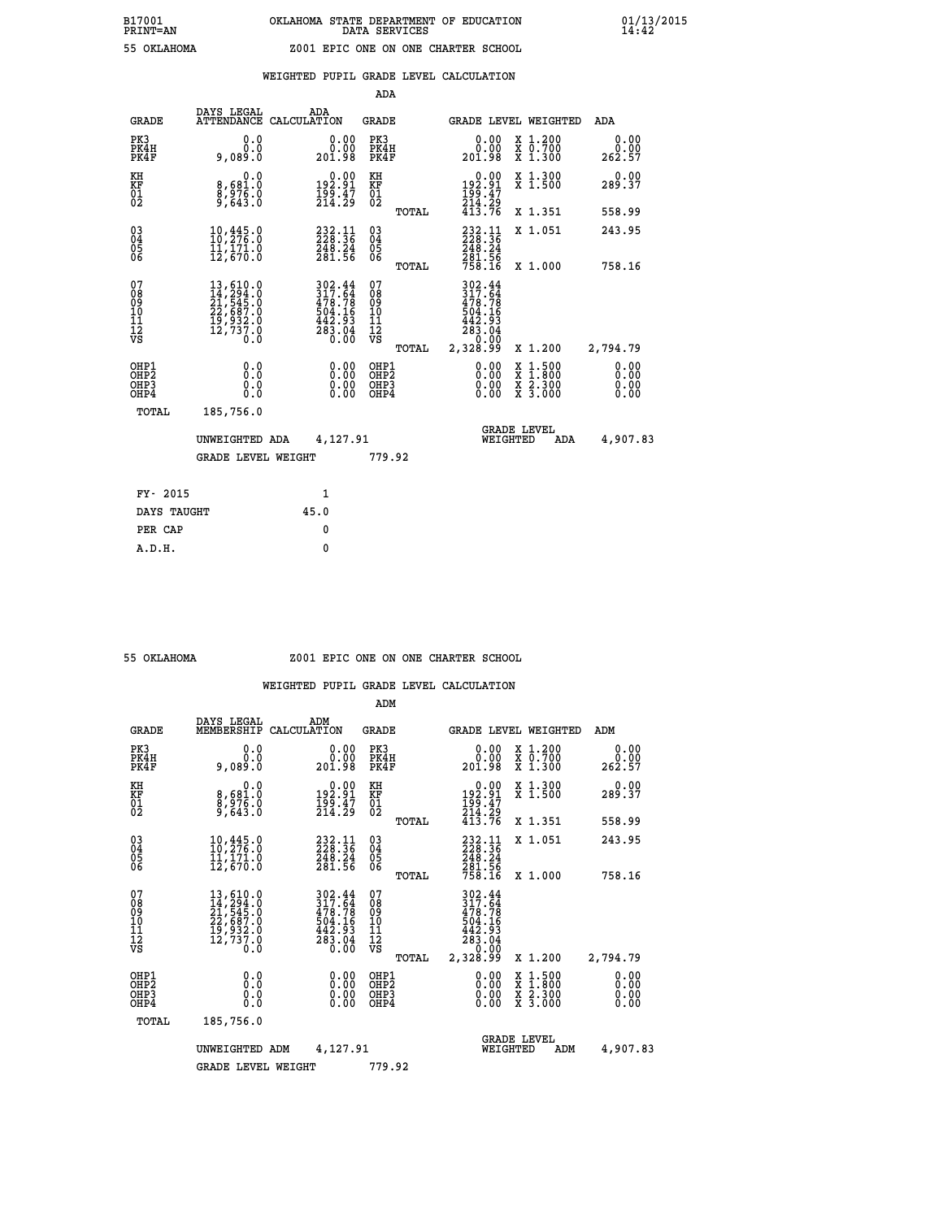|  |  | WEIGHTED PUPIL GRADE LEVEL CALCULATION |
|--|--|----------------------------------------|
|  |  |                                        |

|                                                      |                                                                                          |                                                                                                             | ADA                                      |       |                                                                              |                                                                                                  |                              |
|------------------------------------------------------|------------------------------------------------------------------------------------------|-------------------------------------------------------------------------------------------------------------|------------------------------------------|-------|------------------------------------------------------------------------------|--------------------------------------------------------------------------------------------------|------------------------------|
| <b>GRADE</b>                                         | DAYS LEGAL                                                                               | ADA<br>ATTENDANCE CALCULATION                                                                               | <b>GRADE</b>                             |       |                                                                              | GRADE LEVEL WEIGHTED                                                                             | ADA                          |
| PK3<br>PK4H<br>PK4F                                  | 0.0<br>0.0<br>9,089.0                                                                    | 0.00<br>201.98                                                                                              | PK3<br>PK4H<br>PK4F                      |       | 0.00<br>0.QQ<br>201.98                                                       | X 1.200<br>X 0.700<br>X 1.300                                                                    | 0.00<br>0.00<br>262.57       |
| KH<br>KF<br>01<br>02                                 | 0.0<br>8,681.0<br>8,976.0<br>9,643.0                                                     | 0.00<br>91.91<br>$\frac{155}{214}$ $\frac{37}{29}$                                                          | KH<br>KF<br>01<br>02                     |       | $\begin{smallmatrix} &0.00\\192.91\\199.47\\214.29\\413.76\end{smallmatrix}$ | X 1.300<br>X 1.500                                                                               | 0.00<br>289.37               |
|                                                      |                                                                                          |                                                                                                             |                                          | TOTAL |                                                                              | X 1.351                                                                                          | 558.99                       |
| $\begin{matrix} 03 \\ 04 \\ 05 \\ 06 \end{matrix}$   | $\frac{10}{10}$ , $\frac{445}{276}$ : 0<br>11,171.0<br>12,670.0                          | $232.11$<br>$228.36$<br>248.24<br>281.56                                                                    | $\substack{03 \\ 04}$<br>05<br>06        |       | $232.11$<br>$228.36$<br>248.24<br>281.56<br>758.16                           | X 1.051                                                                                          | 243.95                       |
|                                                      |                                                                                          |                                                                                                             |                                          | TOTAL |                                                                              | X 1.000                                                                                          | 758.16                       |
| 07<br>08<br>09<br>11<br>11<br>12<br>VS               | 13,610.0<br>14,294.0<br>21,545.0<br>22,687.0<br>19,932.0<br>12,737.0<br>$0.\overline{0}$ | $\begin{smallmatrix} 302.44\\ 317.64\\ 478.78\\ 404.16\\ 504.16\\ 442.93\\ 283.04\\ 0.00 \end{smallmatrix}$ | 07<br>08<br>09<br>11<br>11<br>12<br>VS   |       | 302.44<br>317.64<br>$478.78$<br>$504.16$<br>$442.93$<br>$283.04$<br>$20.00$  |                                                                                                  |                              |
|                                                      |                                                                                          |                                                                                                             |                                          | TOTAL | 2,328.99                                                                     | X 1.200                                                                                          | 2,794.79                     |
| OHP1<br>OH <sub>P</sub> <sub>2</sub><br>OHP3<br>OHP4 | 0.0<br>0.0<br>0.0                                                                        | $0.00$<br>$0.00$<br>0.00                                                                                    | OHP1<br>OHP <sub>2</sub><br>OHP3<br>OHP4 |       |                                                                              | $\begin{smallmatrix} x & 1 & 500 \\ x & 1 & 800 \\ x & 2 & 300 \\ x & 3 & 000 \end{smallmatrix}$ | 0.00<br>0.00<br>0.00<br>0.00 |
| <b>TOTAL</b>                                         | 185,756.0                                                                                |                                                                                                             |                                          |       |                                                                              |                                                                                                  |                              |
|                                                      | UNWEIGHTED ADA                                                                           | 4,127.91                                                                                                    |                                          |       |                                                                              | <b>GRADE LEVEL</b><br>WEIGHTED<br>ADA                                                            | 4,907.83                     |
|                                                      | <b>GRADE LEVEL WEIGHT</b>                                                                |                                                                                                             | 779.92                                   |       |                                                                              |                                                                                                  |                              |
|                                                      |                                                                                          |                                                                                                             |                                          |       |                                                                              |                                                                                                  |                              |
| FY- 2015                                             |                                                                                          | 1                                                                                                           |                                          |       |                                                                              |                                                                                                  |                              |
| DAYS TAUGHT                                          |                                                                                          | 45.0                                                                                                        |                                          |       |                                                                              |                                                                                                  |                              |
| PER CAP                                              |                                                                                          | 0                                                                                                           |                                          |       |                                                                              |                                                                                                  |                              |

#### **55 OKLAHOMA Z001 EPIC ONE ON ONE CHARTER SCHOOL**

|                                          |                                                                                                                                                                                                   |                    |                                                                      | ADM                                                 |       |                                                                                         |                                |                                          |                              |  |
|------------------------------------------|---------------------------------------------------------------------------------------------------------------------------------------------------------------------------------------------------|--------------------|----------------------------------------------------------------------|-----------------------------------------------------|-------|-----------------------------------------------------------------------------------------|--------------------------------|------------------------------------------|------------------------------|--|
| <b>GRADE</b>                             | DAYS LEGAL<br>MEMBERSHIP                                                                                                                                                                          | ADM<br>CALCULATION |                                                                      | <b>GRADE</b>                                        |       |                                                                                         |                                | <b>GRADE LEVEL WEIGHTED</b>              | ADM                          |  |
| PK3<br>PK4H<br>PK4F                      | 0.0<br>0.0<br>9,089.0                                                                                                                                                                             |                    | 0.00<br>0.00<br>201.98                                               | PK3<br>PK4H<br>PK4F                                 |       | 0.00<br>201.98                                                                          |                                | X 1.200<br>X 0.700<br>X 1.300            | 0.00<br>0.00<br>262.57       |  |
| KH<br>KF<br>01<br>02                     | 0.0<br>8,681.0<br>8,976.0<br>9,643.0                                                                                                                                                              |                    | $\begin{smallmatrix} 0.00\\192.91\\199.47\\214.29 \end{smallmatrix}$ | KH<br>KF<br>01<br>02                                |       | $\begin{smallmatrix} & 0.00\ 192.91\ 199.47\ 214.29\ 413.76 \end{smallmatrix}$          |                                | X 1.300<br>X 1.500                       | 0.00<br>289.37               |  |
|                                          |                                                                                                                                                                                                   |                    |                                                                      |                                                     | TOTAL |                                                                                         |                                | X 1.351                                  | 558.99                       |  |
| 03<br>04<br>05<br>06                     | $\begin{smallmatrix} 10,445 & 0\\ 10,276 & 0\\ 11,171 & 0\\ 12,670 & 0 \end{smallmatrix}$                                                                                                         |                    | 232.11<br>228.36<br>248.24<br>281.56                                 | $\begin{array}{c} 03 \\ 04 \\ 05 \\ 06 \end{array}$ |       | $232.11$<br>$228.36$<br>$248.24$                                                        |                                | X 1.051                                  | 243.95                       |  |
|                                          |                                                                                                                                                                                                   |                    |                                                                      |                                                     | TOTAL | 281.56<br>758.16                                                                        |                                | X 1.000                                  | 758.16                       |  |
| 07<br>08<br>09<br>101<br>112<br>VS       | $\begin{smallmatrix} 13 \,, & 610 \,. & 0 \\ 14 \,, & 294 \,. & 0 \\ 21 \,, & 545 \,. & 0 \\ 22 \,, & 687 \,. & 0 \\ 19 \,, & 932 \,. & 0 \\ 12 \,, & 737 \,. & 0 \\ 0 \,. & 0 \end{smallmatrix}$ |                    | 302.44<br>317.64<br>478.78<br>504.16<br>$\frac{442.93}{283.04}$      | 07<br>08<br>09<br>101<br>11<br>12<br>VS             | TOTAL | 302.44<br>317.64<br>$478.78$<br>$504.16$<br>$442.93$<br>$283.04$<br>$20.00$<br>2,328.99 |                                | X 1.200                                  | 2,794.79                     |  |
| OHP1<br>OHP2<br>OH <sub>P3</sub><br>OHP4 | 0.0<br>0.000                                                                                                                                                                                      |                    | $0.00$<br>$0.00$<br>0.00                                             | OHP1<br>OHP2<br>OHP <sub>3</sub>                    |       | $0.00$<br>$0.00$<br>0.00                                                                |                                | X 1:500<br>X 1:800<br>X 2:300<br>X 3:000 | 0.00<br>0.00<br>0.00<br>0.00 |  |
| TOTAL                                    | 185,756.0                                                                                                                                                                                         |                    |                                                                      |                                                     |       |                                                                                         |                                |                                          |                              |  |
|                                          | UNWEIGHTED                                                                                                                                                                                        | ADM                | 4,127.91                                                             |                                                     |       |                                                                                         | <b>GRADE LEVEL</b><br>WEIGHTED | ADM                                      | 4,907.83                     |  |
|                                          | <b>GRADE LEVEL WEIGHT</b>                                                                                                                                                                         |                    |                                                                      | 779.92                                              |       |                                                                                         |                                |                                          |                              |  |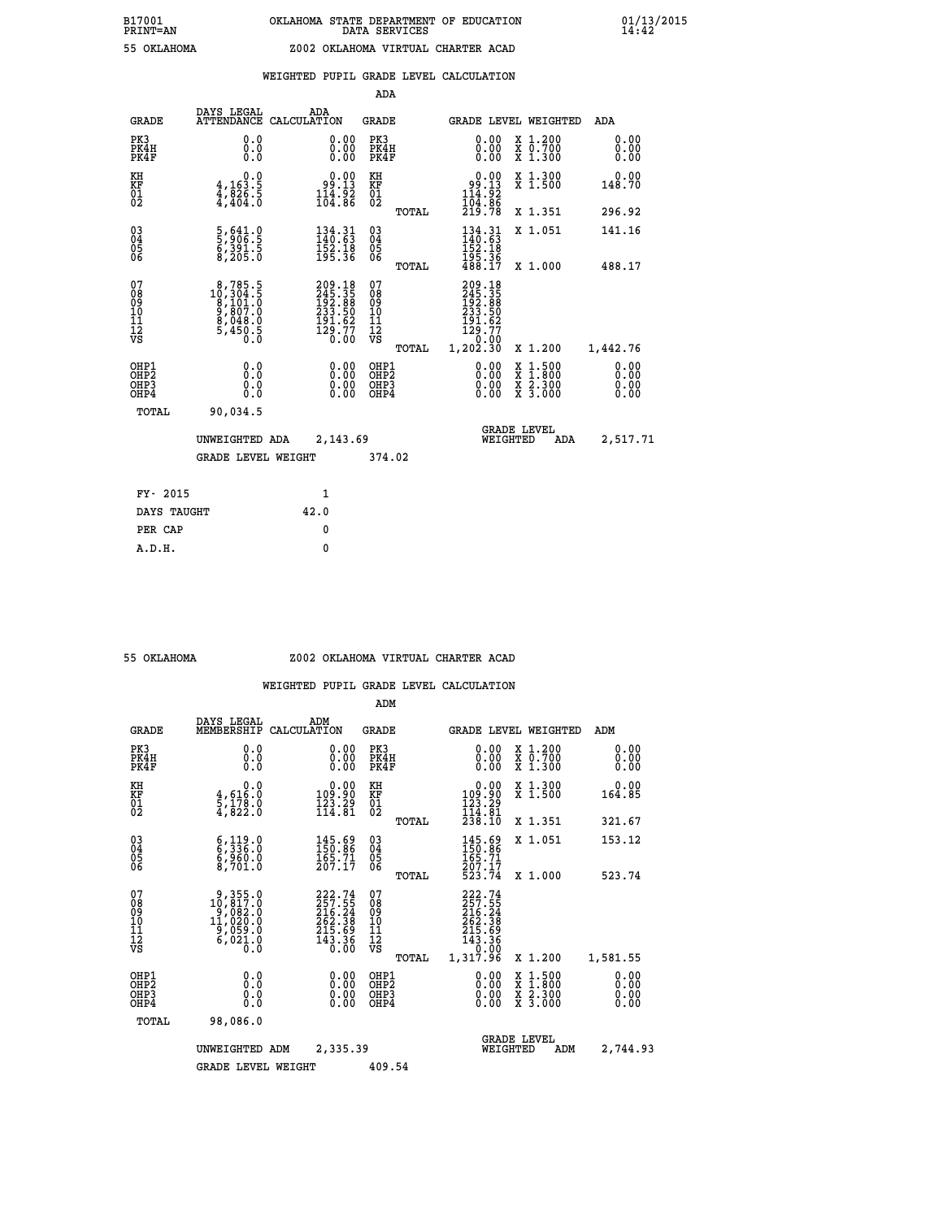|  |  | WEIGHTED PUPIL GRADE LEVEL CALCULATION |
|--|--|----------------------------------------|
|  |  |                                        |

|                                                                    |                                                                                                  |                                                                            | ADA                                               |       |                                                                                                        |                                                    |                              |
|--------------------------------------------------------------------|--------------------------------------------------------------------------------------------------|----------------------------------------------------------------------------|---------------------------------------------------|-------|--------------------------------------------------------------------------------------------------------|----------------------------------------------------|------------------------------|
| <b>GRADE</b>                                                       | DAYS LEGAL<br><b>ATTENDANCE</b>                                                                  | ADA<br>CALCULATION                                                         | <b>GRADE</b>                                      |       |                                                                                                        | GRADE LEVEL WEIGHTED                               | <b>ADA</b>                   |
| PK3<br>PK4H<br>PK4F                                                | 0.0<br>0.000                                                                                     | $\begin{smallmatrix} 0.00 \ 0.00 \ 0.00 \end{smallmatrix}$                 | PK3<br>PK4H<br>PK4F                               |       | 0.00<br>0.00                                                                                           | X 1.200<br>X 0.700<br>X 1.300                      | 0.00<br>0.00<br>0.00         |
| KH<br>KF<br>01<br>02                                               | 0.0<br>$4,163.5$<br>$4,826.5$<br>$4,404.0$                                                       | $\begin{smallmatrix} 0.00\\ -9.13\\ 14.92\\ 104.86 \end{smallmatrix}$      | KH<br>KF<br>$\begin{matrix} 01 \ 02 \end{matrix}$ |       | $0.00$<br>$99.13$<br>$114.92$<br>$104.86$<br>$219.78$                                                  | X 1.300<br>X 1.500                                 | 0.00<br>148.70               |
|                                                                    |                                                                                                  |                                                                            |                                                   | TOTAL |                                                                                                        | X 1.351                                            | 296.92                       |
| $\begin{smallmatrix} 03 \\[-4pt] 04 \end{smallmatrix}$<br>Ŏ5<br>06 | 5,641.0<br>5,906.5<br>6,391.5<br>8,205.0                                                         | 134.31<br>140.63<br>$\frac{152}{195}.$ $\frac{18}{36}$                     | $\substack{03 \\ 04}$<br>$\frac{05}{06}$          |       | $\frac{134}{140} \cdot \frac{31}{63}$<br>152:18<br>195:36<br>488:17                                    | X 1.051                                            | 141.16                       |
|                                                                    |                                                                                                  |                                                                            |                                                   | TOTAL |                                                                                                        | X 1.000                                            | 488.17                       |
| 07<br>08<br>09<br>11<br>11<br>12<br>VS                             | $\begin{smallmatrix}8,785.5\\10,304.5\\8,101.0\\9,807.0\\8,048.0\\5,450.5\\0.0\end{smallmatrix}$ | 209.18<br>245.35<br>192.88<br>192.88<br>233.50<br>191.62<br>129.77<br>0.00 | 07<br>08<br>09<br>11<br>11<br>12<br>VS            |       | 209.18<br>245.35<br>192.88<br>233.50<br>$\begin{smallmatrix} 191.62\ 129.77\ 129.30 \end{smallmatrix}$ |                                                    |                              |
|                                                                    |                                                                                                  |                                                                            |                                                   | TOTAL |                                                                                                        | X 1.200                                            | 1,442.76                     |
| OHP1<br>OHP <sub>2</sub><br>OHP3<br>OHP4                           | 0.0<br>0.0<br>Ō.Ō                                                                                | 0.00<br>$\begin{smallmatrix} 0.00 \ 0.00 \end{smallmatrix}$                | OHP1<br>OH <sub>P</sub> 2<br>OHP3<br>OHP4         |       | 0.00<br>0.00<br>0.00                                                                                   | $1:500$<br>$1:800$<br>X<br>X<br>X 2.300<br>X 3.000 | 0.00<br>0.00<br>0.00<br>0.00 |
| TOTAL                                                              | 90,034.5                                                                                         |                                                                            |                                                   |       |                                                                                                        |                                                    |                              |
|                                                                    | UNWEIGHTED ADA                                                                                   | 2,143.69                                                                   |                                                   |       |                                                                                                        | <b>GRADE LEVEL</b><br>WEIGHTED<br><b>ADA</b>       | 2,517.71                     |
|                                                                    | <b>GRADE LEVEL WEIGHT</b>                                                                        |                                                                            | 374.02                                            |       |                                                                                                        |                                                    |                              |
| FY- 2015                                                           |                                                                                                  | 1                                                                          |                                                   |       |                                                                                                        |                                                    |                              |
| DAYS TAUGHT                                                        |                                                                                                  | 42.0                                                                       |                                                   |       |                                                                                                        |                                                    |                              |
| PER CAP                                                            |                                                                                                  | 0                                                                          |                                                   |       |                                                                                                        |                                                    |                              |

#### **55 OKLAHOMA Z002 OKLAHOMA VIRTUAL CHARTER ACAD**

|                                          |                                                                                                           |                    |                                                                                | ADM                                                 |       |                                                                                   |          |                                          |                              |
|------------------------------------------|-----------------------------------------------------------------------------------------------------------|--------------------|--------------------------------------------------------------------------------|-----------------------------------------------------|-------|-----------------------------------------------------------------------------------|----------|------------------------------------------|------------------------------|
| <b>GRADE</b>                             | DAYS LEGAL<br>MEMBERSHIP                                                                                  | ADM<br>CALCULATION |                                                                                | <b>GRADE</b>                                        |       |                                                                                   |          | <b>GRADE LEVEL WEIGHTED</b>              | ADM                          |
| PK3<br>PK4H<br>PK4F                      | 0.0<br>0.0<br>0.0                                                                                         |                    | 0.00<br>$\begin{smallmatrix} 0.00 \ 0.00 \end{smallmatrix}$                    | PK3<br>PK4H<br>PK4F                                 |       | $\begin{smallmatrix} 0.00 \\ 0.00 \\ 0.00 \end{smallmatrix}$                      |          | X 1.200<br>X 0.700<br>X 1.300            | 0.00<br>0.00<br>0.00         |
| KH<br>KF<br>01<br>02                     | 0.0<br>$\frac{4}{5}, \frac{616}{178}$ .0<br>4,822.0                                                       |                    | $\begin{smallmatrix}&&0.00\\109.90\\123.29\\114.81\end{smallmatrix}$           | KH<br>KF<br>01<br>02                                |       | $\begin{smallmatrix} &0.00\\ 109.90\\ 123.29\\ 114.81\\ 238.10 \end{smallmatrix}$ |          | X 1.300<br>X 1.500                       | 0.00<br>164.85               |
|                                          |                                                                                                           |                    |                                                                                |                                                     | TOTAL |                                                                                   |          | X 1.351                                  | 321.67                       |
| 03<br>04<br>05<br>06                     | 6,119.0<br>6,336.0<br>6,960.0<br>8,701.0                                                                  |                    | $145.69$<br>$150.86$<br>$165.71$<br>$207.17$                                   | $\begin{array}{c} 03 \\ 04 \\ 05 \\ 06 \end{array}$ |       | 145.69<br>150.86<br>165.71<br>207.17                                              |          | X 1.051                                  | 153.12                       |
|                                          |                                                                                                           |                    |                                                                                |                                                     | TOTAL | 523.74                                                                            |          | X 1.000                                  | 523.74                       |
| 07<br>08<br>09<br>101<br>112<br>VS       | $\begin{smallmatrix} 9,355.0\\ 10,817.0\\ 9,082.0\\ 11,020.0\\ 9,059.0\\ 6,021.0\\ 0.0 \end{smallmatrix}$ |                    | $222.74$<br>$257.55$<br>$216.24$<br>$262.38$<br>$215.69$<br>$143.36$<br>$0.00$ | 07<br>08<br>09<br>11<br>11<br>12<br>VS              | TOTAL | 222.74<br>257.55<br>216.24<br>262.38<br>215.69<br>143.36<br>217.000<br>1,317.96   |          | X 1.200                                  | 1,581.55                     |
| OHP1<br>OHP2<br>OH <sub>P3</sub><br>OHP4 | 0.0<br>0.000                                                                                              |                    | $0.00$<br>$0.00$<br>0.00                                                       | OHP1<br>OHP2<br>OHP <sub>3</sub>                    |       | $0.00$<br>$0.00$<br>0.00                                                          |          | X 1:500<br>X 1:800<br>X 2:300<br>X 3:000 | 0.00<br>0.00<br>0.00<br>0.00 |
| TOTAL                                    | 98,086.0                                                                                                  |                    |                                                                                |                                                     |       |                                                                                   |          |                                          |                              |
|                                          | UNWEIGHTED                                                                                                | ADM                | 2,335.39                                                                       |                                                     |       |                                                                                   | WEIGHTED | <b>GRADE LEVEL</b><br>ADM                | 2,744.93                     |
|                                          | <b>GRADE LEVEL WEIGHT</b>                                                                                 |                    |                                                                                | 409.54                                              |       |                                                                                   |          |                                          |                              |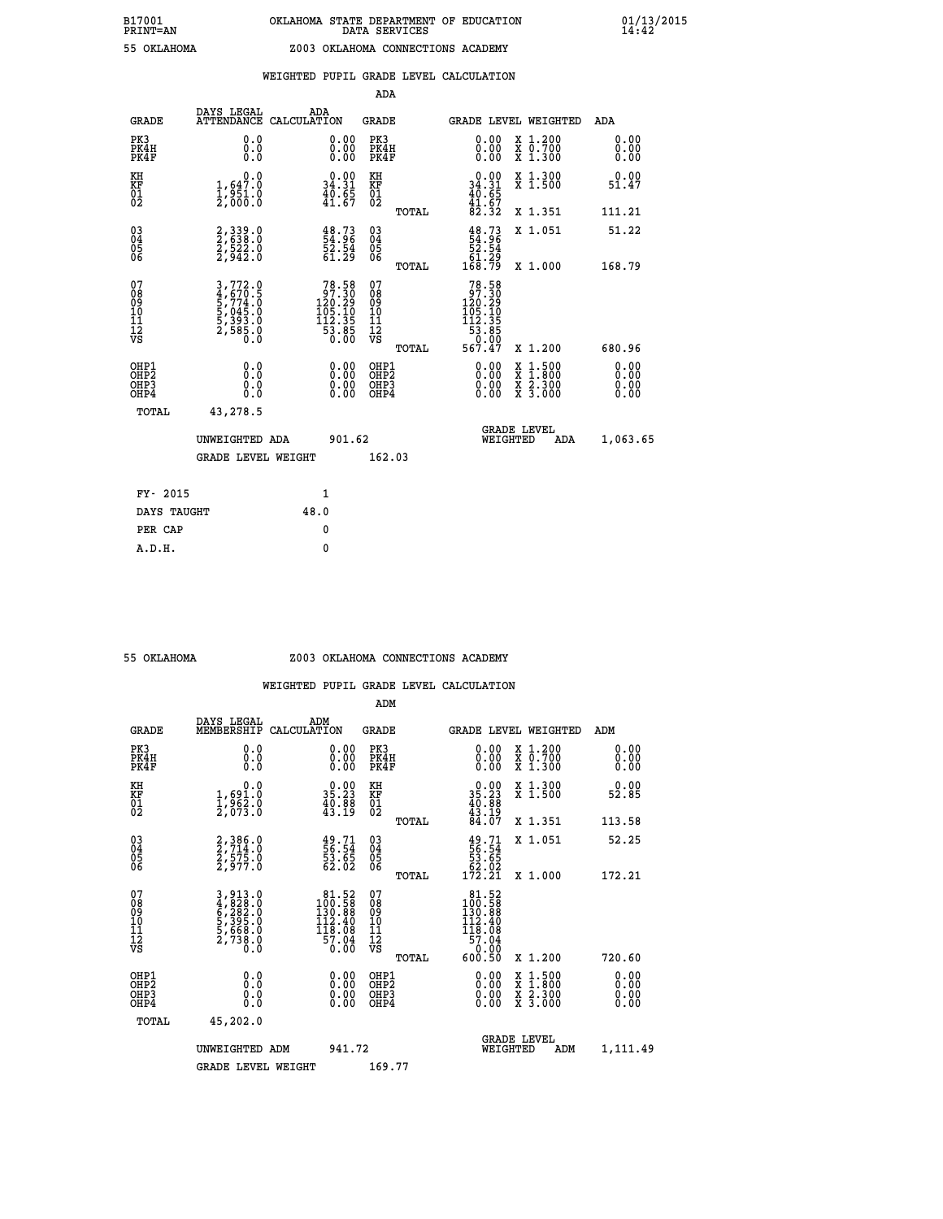|                                                                    |                                                                               |                                                                                         | ADA                                       |       |                                                                            |                                          |                              |
|--------------------------------------------------------------------|-------------------------------------------------------------------------------|-----------------------------------------------------------------------------------------|-------------------------------------------|-------|----------------------------------------------------------------------------|------------------------------------------|------------------------------|
| <b>GRADE</b>                                                       | DAYS LEGAL<br><b>ATTENDANCE</b>                                               | ADA<br>CALCULATION                                                                      | <b>GRADE</b>                              |       |                                                                            | <b>GRADE LEVEL WEIGHTED</b>              | ADA                          |
| PK3<br>PK4H<br>PK4F                                                | 0.0<br>0.0<br>0.0                                                             | $\begin{smallmatrix} 0.00 \ 0.00 \ 0.00 \end{smallmatrix}$                              | PK3<br>PK4H<br>PK4F                       |       | $\begin{smallmatrix} 0.00 \\ 0.00 \\ 0.00 \end{smallmatrix}$               | X 1.200<br>X 0.700<br>X 1.300            | 0.00<br>0.00<br>0.00         |
| KH<br><b>KF</b><br>01<br>02                                        | 0.0<br>1,647.0<br>$\frac{1}{2}$ , $\frac{3}{5}$ $\frac{1}{6}$ . $\frac{8}{5}$ | $\begin{smallmatrix} 0.00\\ 34.31\\ 40.65\\ 41.67 \end{smallmatrix}$                    | KH<br>KF<br>01<br>02                      |       | $0.00$<br>34.31<br>$40.65$<br>$41.67$<br>$82.32$                           | X 1.300<br>X 1.500                       | 0.00<br>51.47                |
|                                                                    |                                                                               |                                                                                         |                                           | TOTAL |                                                                            | X 1.351                                  | 111.21                       |
| $\begin{smallmatrix} 03 \\[-4pt] 04 \end{smallmatrix}$<br>Ŏ5<br>06 | 2,339.0<br>2,638.0<br>2,522.0<br>2,942.0                                      | $\begin{smallmatrix} 48.73\ 54.96\ 52.54\ 61.29 \end{smallmatrix}$                      | $\substack{03 \\ 04}$<br>05<br>06         | TOTAL | $\begin{smallmatrix} 48.73\ 54.96\ 52.54\ 61.29\ 168.79 \end{smallmatrix}$ | X 1.051<br>X 1.000                       | 51.22<br>168.79              |
| 07                                                                 |                                                                               |                                                                                         | 07                                        |       |                                                                            |                                          |                              |
| 08901112<br>1112<br>VS                                             | 3,772.0<br>4,670.5<br>5,774.0<br>5,045.0<br>5,393.0<br>2,585.0                | $\begin{smallmatrix}78.58\\97.30\\120.29\\105.10\\112.35\\53.85\\0.00\end{smallmatrix}$ | 08<br>09<br>11<br>11<br>12<br>VS          |       | 78.58<br>97.30<br>$120.29$<br>$105.10$<br>$112.35$<br>$53.85$<br>$0.99$    |                                          |                              |
|                                                                    |                                                                               |                                                                                         |                                           | TOTAL | 567.47                                                                     | X 1.200                                  | 680.96                       |
| OHP1<br>OH <sub>P</sub> 2<br>OH <sub>P3</sub><br>OH <sub>P4</sub>  | 0.0<br>0.0<br>0.0                                                             | $\begin{smallmatrix} 0.00 \ 0.00 \ 0.00 \ 0.00 \end{smallmatrix}$                       | OHP1<br>OH <sub>P</sub> 2<br>OHP3<br>OHP4 |       | 0.00<br>0.00<br>0.00                                                       | X 1:500<br>X 1:800<br>X 2:300<br>X 3:000 | 0.00<br>0.00<br>0.00<br>0.00 |
| TOTAL                                                              | 43,278.5                                                                      |                                                                                         |                                           |       |                                                                            |                                          |                              |
|                                                                    | UNWEIGHTED ADA                                                                | 901.62                                                                                  |                                           |       |                                                                            | GRADE LEVEL<br>WEIGHTED<br>ADA           | 1,063.65                     |
|                                                                    | <b>GRADE LEVEL WEIGHT</b>                                                     |                                                                                         | 162.03                                    |       |                                                                            |                                          |                              |
| FY- 2015                                                           |                                                                               | $\mathbf{1}$                                                                            |                                           |       |                                                                            |                                          |                              |
| DAYS TAUGHT                                                        |                                                                               | 48.0                                                                                    |                                           |       |                                                                            |                                          |                              |
| PER CAP                                                            |                                                                               | $\mathbf{0}$                                                                            |                                           |       |                                                                            |                                          |                              |

 **ADM**

#### **55 OKLAHOMA Z003 OKLAHOMA CONNECTIONS ACADEMY**

| <b>GRADE</b>                                       | DAYS LEGAL<br>MEMBERSHIP                                                  | ADM<br>CALCULATION                                                                        | <b>GRADE</b>                                        |       | <b>GRADE LEVEL WEIGHTED</b>                                                                                      |                                          | ADM                  |  |
|----------------------------------------------------|---------------------------------------------------------------------------|-------------------------------------------------------------------------------------------|-----------------------------------------------------|-------|------------------------------------------------------------------------------------------------------------------|------------------------------------------|----------------------|--|
| PK3<br>PK4H<br>PK4F                                | 0.0<br>0.0<br>Ō.Ō                                                         | 0.00<br>$\begin{smallmatrix} 0.00 \ 0.00 \end{smallmatrix}$                               | PK3<br>PK4H<br>PK4F                                 |       | $\begin{smallmatrix} 0.00 \\ 0.00 \\ 0.00 \end{smallmatrix}$                                                     | X 1.200<br>X 0.700<br>X 1.300            | 0.00<br>0.00<br>0.00 |  |
| KH<br>KF<br>01<br>02                               | 0.0<br>1,691.0<br>1,962.0<br>2,073.0                                      | $\begin{smallmatrix} 0.00\\ 35.23\\ 40.88\\ 43.19 \end{smallmatrix}$                      | KH<br>KF<br>01<br>02                                |       | $\begin{smallmatrix} 0.00\\ 35.23\\ 40.88\\ 43.19\\ 84.07 \end{smallmatrix}$                                     | X 1.300<br>X 1.500                       | 0.00<br>52.85        |  |
|                                                    |                                                                           |                                                                                           |                                                     | TOTAL |                                                                                                                  | X 1.351                                  | 113.58               |  |
| $\begin{matrix} 03 \\ 04 \\ 05 \\ 06 \end{matrix}$ | 2,386.0<br>2,714.0<br>2,575.0<br>2,977.0                                  | $\begin{smallmatrix} 49.71\ 56.54\ 53.65\ 62.02 \end{smallmatrix}$                        | $\begin{array}{c} 03 \\ 04 \\ 05 \\ 06 \end{array}$ |       | $\begin{smallmatrix} 49.71\ 56.54\ 53.65\ 62.02\ 172.21\ \end{smallmatrix}$                                      | X 1.051                                  | 52.25                |  |
|                                                    |                                                                           |                                                                                           |                                                     | TOTAL |                                                                                                                  | X 1.000                                  | 172.21               |  |
| 07<br>08<br>09<br>101<br>11<br>12<br>VS            | 3,913.0<br>4,828.0<br>6,282.0<br>5,395.0<br>5,668.0<br>5,668.0<br>2,738.0 | $\begin{smallmatrix} 81.52\\100.58\\130.88\\112.40\\118.08\\57.04\\0.00\end{smallmatrix}$ | 07<br>08<br>09<br>01<br>11<br>11<br>12<br>VS        | TOTAL | $\begin{smallmatrix} 81.52 \\ 100.58 \\ 130.88 \\ 112.40 \\ 118.08 \\ 57.04 \\ 0.00 \end{smallmatrix}$<br>600.50 | X 1.200                                  | 720.60               |  |
| OHP1<br>OHP2<br>OH <sub>P3</sub><br>OHP4           |                                                                           | $\begin{smallmatrix} 0.00 \ 0.00 \ 0.00 \ 0.00 \end{smallmatrix}$                         | OHP1<br>OHP2<br>OHP3<br>OHP4                        |       |                                                                                                                  | X 1:500<br>X 1:800<br>X 2:300<br>X 3:000 | 0.00<br>0.00<br>0.00 |  |
| TOTAL                                              | 45,202.0                                                                  |                                                                                           |                                                     |       |                                                                                                                  |                                          |                      |  |
|                                                    | UNWEIGHTED                                                                | 941.72<br>ADM                                                                             |                                                     |       | WEIGHTED                                                                                                         | <b>GRADE LEVEL</b><br>ADM                | 1,111.49             |  |
|                                                    | <b>GRADE LEVEL WEIGHT</b>                                                 |                                                                                           | 169.77                                              |       |                                                                                                                  |                                          |                      |  |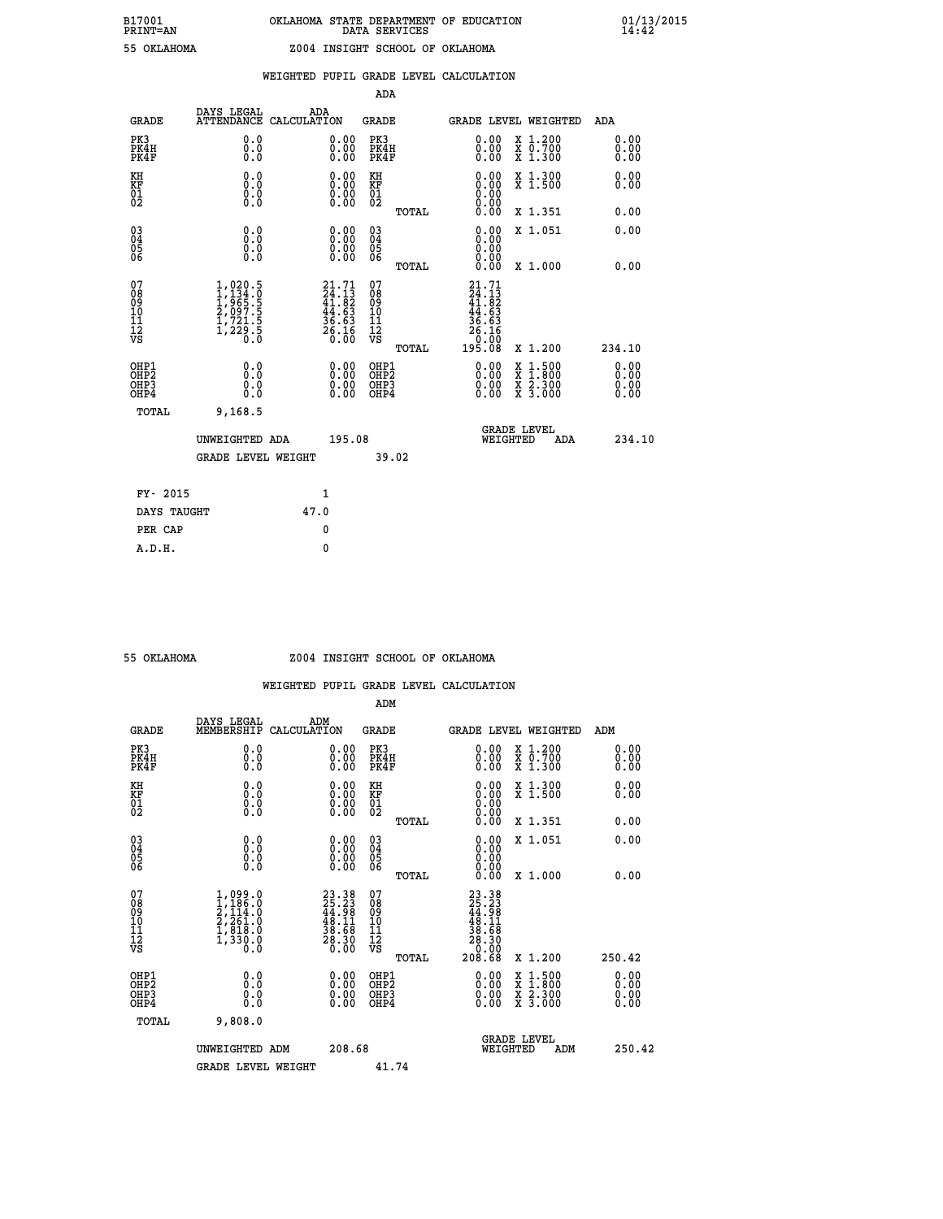|  |  | WEIGHTED PUPIL GRADE LEVEL CALCULATION |
|--|--|----------------------------------------|
|  |  |                                        |

|                                                                    |                                                                                                         |                    |                                                                          | ADA                                       |       |                                                                                                                          |        |                                                                  |                              |
|--------------------------------------------------------------------|---------------------------------------------------------------------------------------------------------|--------------------|--------------------------------------------------------------------------|-------------------------------------------|-------|--------------------------------------------------------------------------------------------------------------------------|--------|------------------------------------------------------------------|------------------------------|
| <b>GRADE</b>                                                       | DAYS LEGAL<br><b>ATTENDANCE</b>                                                                         | ADA<br>CALCULATION |                                                                          | <b>GRADE</b>                              |       | GRADE LEVEL WEIGHTED                                                                                                     |        |                                                                  | ADA                          |
| PK3<br>PK4H<br>PK4F                                                | 0.0<br>0.0<br>0.0                                                                                       |                    | $\begin{smallmatrix} 0.00 \ 0.00 \ 0.00 \end{smallmatrix}$               | PK3<br>PK4H<br>PK4F                       |       | $\begin{smallmatrix} 0.00 \\ 0.00 \\ 0.00 \end{smallmatrix}$                                                             |        | X 1.200<br>X 0.700<br>X 1.300                                    | 0.00<br>0.00<br>0.00         |
| KH<br>KF<br>01<br>02                                               | 0.0<br>0.0<br>$\S.$                                                                                     |                    | 0.0000<br>0.00                                                           | KH<br>KF<br>01<br>02                      |       | 0.00                                                                                                                     |        | X 1.300<br>X 1.500                                               | 0.00<br>0.00                 |
|                                                                    |                                                                                                         |                    |                                                                          |                                           | TOTAL |                                                                                                                          |        | X 1.351                                                          | 0.00                         |
| $\begin{smallmatrix} 03 \\[-4pt] 04 \end{smallmatrix}$<br>05<br>06 | 0.0<br>0.000                                                                                            |                    | $\begin{smallmatrix} 0.00 \ 0.00 \ 0.00 \ 0.00 \end{smallmatrix}$        | $\substack{03 \\ 04}$<br>$\frac{05}{06}$  |       | 0.00<br>0.00<br>0.00<br>0.00                                                                                             |        | X 1.051                                                          | 0.00                         |
|                                                                    |                                                                                                         |                    |                                                                          |                                           | TOTAL |                                                                                                                          |        | X 1.000                                                          | 0.00                         |
| 07<br>08<br>09<br>11<br>11<br>12<br>VS                             | $\begin{smallmatrix} 1,020.5\\ 1,134.0\\ 1,965.5\\ 2,097.5\\ 1,721.5\\ 1,229.5\\ 0.0 \end{smallmatrix}$ |                    | $21.71$<br>$24.13$<br>$41.82$<br>$44.63$<br>$36.63$<br>$26.16$<br>$0.00$ | 07<br>08<br>09<br>11<br>11<br>12<br>VS    |       | 21.71<br>$\frac{7}{4}:\frac{1}{8}$<br>$\begin{smallmatrix} 44.63\ 44.63\ 36.63\ 26.16\ 20.00\ 195.08\ \end{smallmatrix}$ |        |                                                                  |                              |
|                                                                    |                                                                                                         |                    |                                                                          |                                           | TOTAL |                                                                                                                          |        | X 1.200                                                          | 234.10                       |
| OHP1<br>OHP <sub>2</sub><br>OHP3<br>OHP4                           | 0.0<br>Ō.Ō<br>0.0<br>$0.\overline{0}$                                                                   |                    | 0.00<br>$\begin{smallmatrix} 0.00 \ 0.00 \end{smallmatrix}$              | OHP1<br>OH <sub>P</sub> 2<br>OHP3<br>OHP4 |       | 0.00<br>0.00<br>0.00                                                                                                     | X<br>X | $1:500$<br>$1:800$<br>$\frac{\ddot{x}}{x}$ $\frac{2.300}{3.000}$ | 0.00<br>0.00<br>0.00<br>0.00 |
| TOTAL                                                              | 9,168.5                                                                                                 |                    |                                                                          |                                           |       |                                                                                                                          |        |                                                                  |                              |
|                                                                    | UNWEIGHTED ADA                                                                                          |                    | 195.08                                                                   |                                           |       | WEIGHTED                                                                                                                 |        | <b>GRADE LEVEL</b><br>ADA                                        | 234.10                       |
|                                                                    | <b>GRADE LEVEL WEIGHT</b>                                                                               |                    |                                                                          |                                           | 39.02 |                                                                                                                          |        |                                                                  |                              |
| FY- 2015                                                           |                                                                                                         | 1                  |                                                                          |                                           |       |                                                                                                                          |        |                                                                  |                              |
| DAYS TAUGHT                                                        |                                                                                                         | 47.0               |                                                                          |                                           |       |                                                                                                                          |        |                                                                  |                              |
| PER CAP                                                            |                                                                                                         | 0                  |                                                                          |                                           |       |                                                                                                                          |        |                                                                  |                              |
|                                                                    |                                                                                                         |                    |                                                                          |                                           |       |                                                                                                                          |        |                                                                  |                              |

### **55 OKLAHOMA Z004 INSIGHT SCHOOL OF OKLAHOMA**

|                                          |                                                                                     |                                                                                              | ADM                                                 |       |                                                                                                                            |                                          |                      |
|------------------------------------------|-------------------------------------------------------------------------------------|----------------------------------------------------------------------------------------------|-----------------------------------------------------|-------|----------------------------------------------------------------------------------------------------------------------------|------------------------------------------|----------------------|
| <b>GRADE</b>                             | DAYS LEGAL<br>MEMBERSHIP                                                            | ADM<br>CALCULATION                                                                           | <b>GRADE</b>                                        |       |                                                                                                                            | <b>GRADE LEVEL WEIGHTED</b>              | ADM                  |
| PK3<br>PK4H<br>PK4F                      | 0.0<br>0.0<br>0.0                                                                   | $\begin{smallmatrix} 0.00 \ 0.00 \ 0.00 \end{smallmatrix}$                                   | PK3<br>PK4H<br>PK4F                                 |       | $\begin{smallmatrix} 0.00 \\ 0.00 \\ 0.00 \end{smallmatrix}$                                                               | X 1.200<br>X 0.700<br>X 1.300            | 0.00<br>0.00<br>0.00 |
| KH<br>KF<br>01<br>02                     | 0.0<br>$\begin{smallmatrix} 0.16 \ 0.0 \ 0.0 \end{smallmatrix}$                     | $\begin{smallmatrix} 0.00 \ 0.00 \ 0.00 \ 0.00 \end{smallmatrix}$                            | KH<br>KF<br>01<br>02                                |       | $\begin{smallmatrix} 0.00 \ 0.00 \ 0.00 \ 0.00 \ 0.00 \ 0.00 \end{smallmatrix}$                                            | X 1.300<br>X 1.500                       | 0.00<br>0.00         |
|                                          |                                                                                     |                                                                                              |                                                     | TOTAL |                                                                                                                            | X 1.351                                  | 0.00                 |
| 03<br>04<br>05<br>06                     |                                                                                     | $\begin{smallmatrix} 0.00 \ 0.00 \ 0.00 \ 0.00 \end{smallmatrix}$                            | $\begin{array}{c} 03 \\ 04 \\ 05 \\ 06 \end{array}$ |       | $0.00$<br>$0.00$                                                                                                           | X 1.051                                  | 0.00                 |
|                                          |                                                                                     |                                                                                              |                                                     | TOTAL | 0.00                                                                                                                       | X 1.000                                  | 0.00                 |
| 07<br>08<br>09<br>101<br>112<br>VS       | $1,099.0$<br>$2,114.0$<br>$2,114.0$<br>$2,261.0$<br>$1,818.0$<br>$1,330.0$<br>$0.0$ | $\begin{smallmatrix} 23.38\\ 25.23\\ 44.98\\ 48.11\\ 38.58\\ 28.30\\ 0.00 \end{smallmatrix}$ | 07<br>08<br>09<br>11<br>11<br>12<br>VS              | TOTAL | $\begin{smallmatrix} 23 & 38 \\ 25 & 23 \\ 44 & 98 \\ 48 & 11 \\ 38 & 16 \\ 28 & 30 \\ 20 & 0 \\ 20 & 6 \end{smallmatrix}$ | X 1.200                                  | 250.42               |
|                                          |                                                                                     |                                                                                              |                                                     |       |                                                                                                                            |                                          | 0.00                 |
| OHP1<br>OHP2<br>OHP3<br>OH <sub>P4</sub> | 0.0<br>0.000                                                                        |                                                                                              | OHP1<br>OHP2<br>OHP <sub>3</sub>                    |       | $0.00$<br>$0.00$<br>0.00                                                                                                   | X 1:500<br>X 1:800<br>X 2:300<br>X 3:000 | 0.00<br>0.00         |
| TOTAL                                    | 9,808.0                                                                             |                                                                                              |                                                     |       |                                                                                                                            |                                          |                      |
|                                          | UNWEIGHTED ADM                                                                      | 208.68                                                                                       |                                                     |       |                                                                                                                            | GRADE LEVEL<br>WEIGHTED<br>ADM           | 250.42               |
|                                          | <b>GRADE LEVEL WEIGHT</b>                                                           |                                                                                              | 41.74                                               |       |                                                                                                                            |                                          |                      |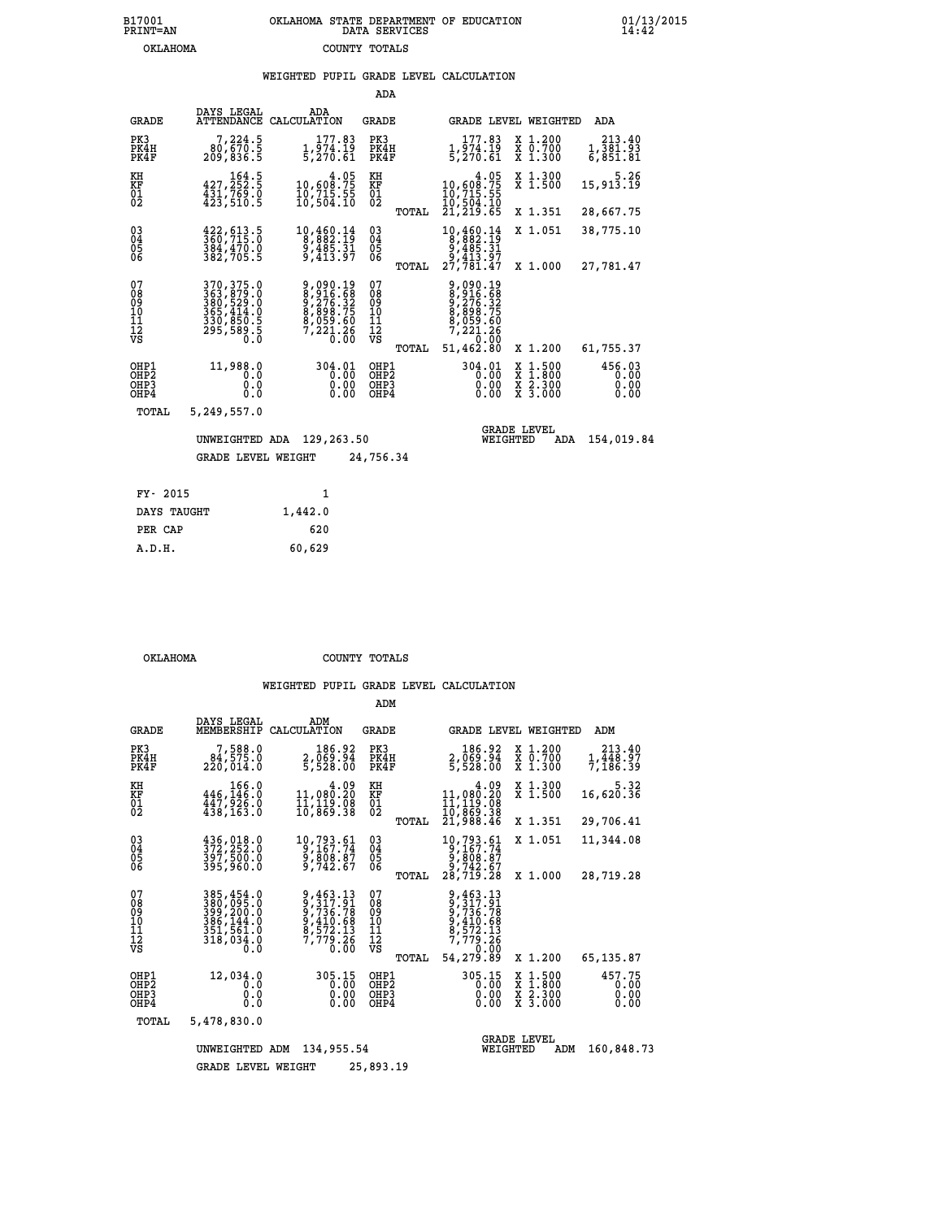## **B17001 OKLAHOMA STATE DEPARTMENT OF EDUCATION 01/13/2015 PRINT=AN DATA SERVICES 14:42 OKLAHOMA COUNTY TOTALS**

### **WEIGHTED PUPIL GRADE LEVEL CALCULATION**

|                                                    |                                                                                                                                                       |                                                                                                         | ADA                                      |                                                                                               |                                                                                                  |                                |
|----------------------------------------------------|-------------------------------------------------------------------------------------------------------------------------------------------------------|---------------------------------------------------------------------------------------------------------|------------------------------------------|-----------------------------------------------------------------------------------------------|--------------------------------------------------------------------------------------------------|--------------------------------|
| <b>GRADE</b>                                       | DAYS LEGAL<br>ATTENDANCE CALCULATION                                                                                                                  | ADA                                                                                                     | GRADE                                    | GRADE LEVEL WEIGHTED                                                                          |                                                                                                  | ADA                            |
| PK3<br>PK4H<br>PK4F                                | 7,224.5<br>00,670.5<br>209,836.5                                                                                                                      | 177.83<br>$\frac{1}{5}$ , $\frac{5}{4}$ , $\frac{15}{61}$                                               | PK3<br>PK4H<br>PK4F                      | 177.83<br>1,974.19<br>5,270.61                                                                | X 1.200<br>X 0.700<br>X 1.300                                                                    | 213.40<br>1,381.93<br>6,851.81 |
| KH<br>KF<br>$\overline{01}$                        | 164.5<br>427,252.5<br>431,769.0<br>423,510.5                                                                                                          | $\begin{smallmatrix} 4.05\\10,608.75\\10,715.55\\10,504.10\end{smallmatrix}$                            | KH<br>KF<br>$\overline{01}$              | $\begin{smallmatrix}&&&4\cdot05\\10,608.75\\10,715.55\\10,504.10\\21,219.65\end{smallmatrix}$ | X 1.300<br>X 1.500                                                                               | 5.26<br>15,913.19              |
|                                                    |                                                                                                                                                       |                                                                                                         | TOTAL                                    |                                                                                               | X 1.351                                                                                          | 28,667.75                      |
| $\begin{matrix} 03 \\ 04 \\ 05 \\ 06 \end{matrix}$ | 422, 613.5<br>360, 715.0<br>384,470.0<br>382,705.5                                                                                                    | $\begin{smallmatrix}10,460.14\\8,882.19\\9,485.31\\9,413.97\end{smallmatrix}$                           | $\substack{03 \\ 04}$<br>05              | $\begin{smallmatrix}10,460.14\\8,882.19\\9,485.31\\9,413.97\\27,781.47\end{smallmatrix}$      | X 1.051                                                                                          | 38,775.10                      |
|                                                    |                                                                                                                                                       |                                                                                                         | TOTAL                                    |                                                                                               | X 1.000                                                                                          | 27,781.47                      |
| 07<br>08<br>09<br>11<br>11<br>12<br>VS             | $\begin{smallmatrix} 370,375\cdot 0\\ 363,879\cdot 0\\ 380,529\cdot 0\\ 365,414\cdot 0\\ 330,850\cdot 5\\ 295,589\cdot 5\\ 0\cdot 0\end{smallmatrix}$ | $\begin{smallmatrix} 9,090.19\\8,916.68\\9,276.32\\8,898.75\\8,059.60\\7,221.26\\0.00\end{smallmatrix}$ | 07<br>089<br>101<br>111<br>VS<br>TOTAL   | 9,090.19<br>8,276.32<br>9,276.32<br>8,898.75<br>8,059.60<br>7,221.26<br>7,221.26<br>51,462.80 | X 1.200                                                                                          | 61,755.37                      |
| OHP1<br>OH <sub>P</sub> 2<br>OHP3<br>OHP4          | 11,988.0<br>0.0<br>0.0<br>0.0                                                                                                                         | 304.01<br>0.00<br>0.00<br>0.00                                                                          | OHP1<br>OHP <sub>2</sub><br>OHP3<br>OHP4 | 304.01<br>0.00<br>0.00<br>0.00                                                                | $\begin{smallmatrix} x & 1 & 500 \\ x & 1 & 800 \\ x & 2 & 300 \\ x & 3 & 000 \end{smallmatrix}$ | 456.03<br>0.00<br>0.00<br>0.00 |
| TOTAL                                              | 5,249,557.0                                                                                                                                           |                                                                                                         |                                          |                                                                                               |                                                                                                  |                                |
|                                                    | UNWEIGHTED ADA                                                                                                                                        | 129,263.50                                                                                              |                                          | <b>GRADE LEVEL</b><br>WEIGHTED                                                                | ADA                                                                                              | 154,019.84                     |
|                                                    | <b>GRADE LEVEL WEIGHT</b>                                                                                                                             |                                                                                                         | 24,756.34                                |                                                                                               |                                                                                                  |                                |
| FY- 2015                                           |                                                                                                                                                       | $\mathbf{1}$                                                                                            |                                          |                                                                                               |                                                                                                  |                                |
|                                                    |                                                                                                                                                       |                                                                                                         |                                          |                                                                                               |                                                                                                  |                                |

| FY- 2015    |         |
|-------------|---------|
| DAYS TAUGHT | 1,442.0 |
| PER CAP     | 620     |
| A.D.H.      | 60,629  |
|             |         |

 **OKLAHOMA COUNTY TOTALS**

|                                                    |                                                                                   |                                                                              | ADM                                                |                                                                                                                             |                                          |                                |
|----------------------------------------------------|-----------------------------------------------------------------------------------|------------------------------------------------------------------------------|----------------------------------------------------|-----------------------------------------------------------------------------------------------------------------------------|------------------------------------------|--------------------------------|
| <b>GRADE</b>                                       | DAYS LEGAL<br>MEMBERSHIP                                                          | ADM<br>CALCULATION                                                           | GRADE                                              | GRADE LEVEL WEIGHTED                                                                                                        |                                          | ADM                            |
| PK3<br>PK4H<br>PK4F                                | 7,588.0<br>84,575.0<br>220,014.0                                                  | 186.92<br>2,069.94<br>5,528.00                                               | PK3<br>PK4H<br>PK4F                                | 186.92<br>2,069.94<br>5,528.00                                                                                              | X 1.200<br>X 0.700<br>X 1.300            | 213.40<br>1,448.97<br>7,186.39 |
| KH<br>KF<br>01<br>02                               | 166.0<br>446,146.0<br>447,926.0<br>438,163.0                                      | 11,090.20<br>$\frac{1}{10}$ , $\frac{1}{8}$ , $\frac{5}{8}$                  | KH<br>KF<br>$^{01}_{02}$                           | 4.09<br>$11,080.20$<br>$11,119.08$<br>$10,869.38$<br>$21,988.46$                                                            | X 1.300<br>X 1.500                       | 5.32<br>16,620.36              |
|                                                    |                                                                                   |                                                                              | TOTAL                                              |                                                                                                                             | X 1.351                                  | 29,706.41                      |
| $\begin{matrix} 03 \\ 04 \\ 05 \\ 06 \end{matrix}$ | $436,018.0$<br>$372,252.0$<br>$397,500.0$<br>395,960.0                            | 10,793.61<br>9,167.74<br>9,808.87<br>9,742.67                                | $\begin{matrix} 03 \\ 04 \\ 05 \\ 06 \end{matrix}$ | 10,793.61<br>9,167.74<br>9,808.87<br>9,742.67                                                                               | X 1.051                                  | 11,344.08                      |
|                                                    |                                                                                   |                                                                              | TOTAL                                              | 28,719.28                                                                                                                   | X 1.000                                  | 28,719.28                      |
| 07<br>08<br>09<br>11<br>11<br>12<br>VS             | 385,454.0<br>380,095.0<br>399,200.0<br>386,144.0<br>351,561.0<br>318,034.0<br>0.0 | 9,463.13<br>9,317.91<br>9,736.78<br>9,410.68<br>8,572.13<br>7,779.26<br>0.00 | 07<br>089<br>101<br>111<br>VS<br>TOTAL             | 9,463.13<br>$\begin{array}{r} 317.51 \\ 9,736.78 \\ 9,410.68 \\ 8,572.13 \\ 7,779.26 \\ 1,0.00 \\ \end{array}$<br>54,279.89 | X 1.200                                  | 65,135.87                      |
| OHP1<br>OH <sub>P</sub> 2<br>OHP3<br>OHP4          | 12,034.0<br>0.0<br>0.0<br>0.0                                                     | 305.15<br>0.00<br>0.00<br>0.00                                               | OHP1<br>OH <sub>P</sub> 2<br>OHP3<br>OHP4          | 305.15<br>0.00<br>0.00                                                                                                      | X 1:500<br>X 1:800<br>X 2:300<br>X 3:000 | 457.75<br>0.00<br>0.00<br>0.00 |
| TOTAL                                              | 5,478,830.0                                                                       |                                                                              |                                                    |                                                                                                                             |                                          |                                |
|                                                    | UNWEIGHTED                                                                        | 134,955.54<br>ADM                                                            |                                                    | WEIGHTED                                                                                                                    | <b>GRADE LEVEL</b><br>ADM                | 160,848.73                     |
|                                                    | <b>GRADE LEVEL WEIGHT</b>                                                         |                                                                              | 25,893.19                                          |                                                                                                                             |                                          |                                |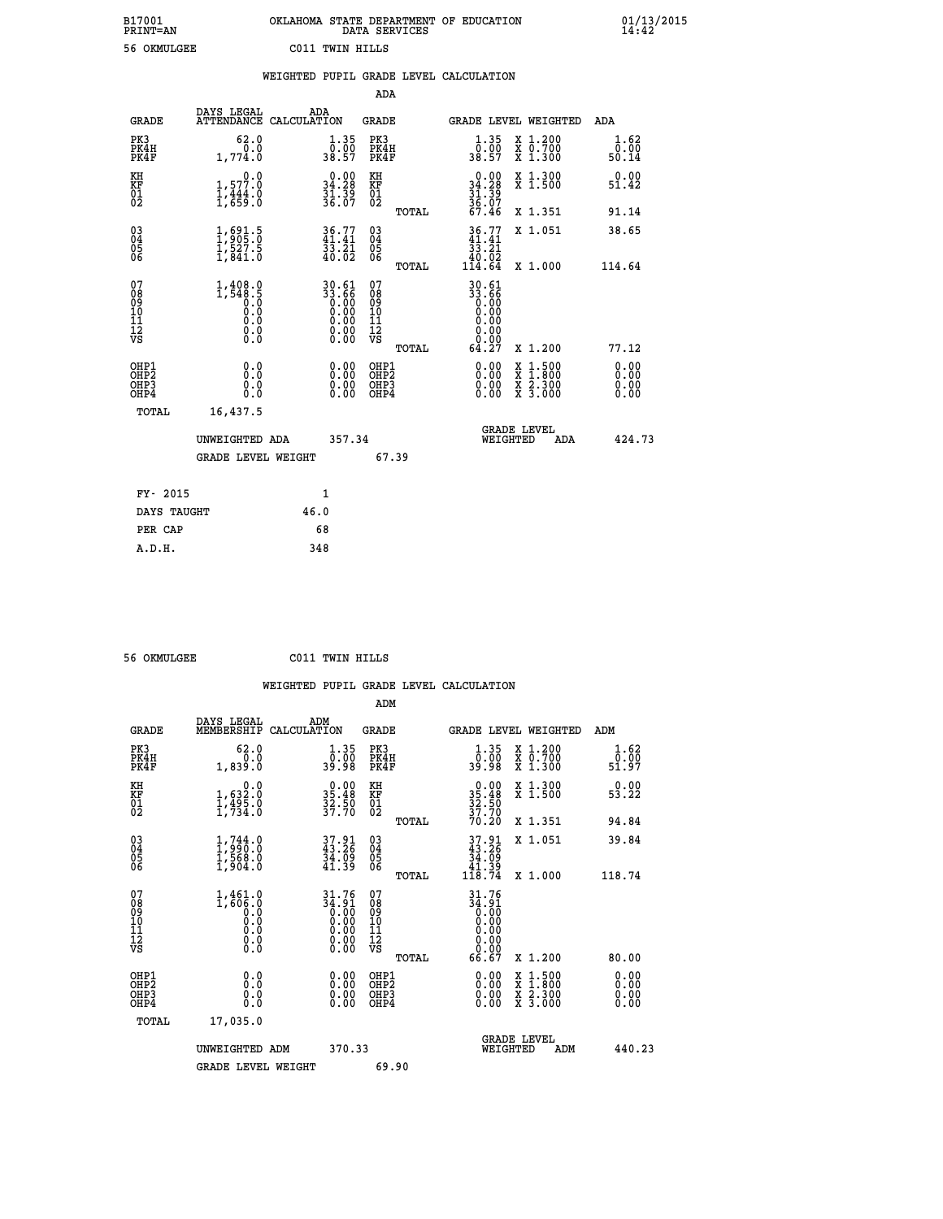| OKLAHOMA STATE DEPARTMENT OF EDUCATION | DATA SERVICES |  |
|----------------------------------------|---------------|--|
| C011 TWIN HILLS                        |               |  |

 **B17001 OKLAHOMA STATE DEPARTMENT OF EDUCATION 01/13/2015**

|                                                                    |                                                                                       | WEIGHTED PUPIL GRADE LEVEL CALCULATION                               |                                        |       |                                                                                               |                                                                                                           |                              |
|--------------------------------------------------------------------|---------------------------------------------------------------------------------------|----------------------------------------------------------------------|----------------------------------------|-------|-----------------------------------------------------------------------------------------------|-----------------------------------------------------------------------------------------------------------|------------------------------|
|                                                                    |                                                                                       |                                                                      | <b>ADA</b>                             |       |                                                                                               |                                                                                                           |                              |
| <b>GRADE</b>                                                       | DAYS LEGAL ADA ATTENDANCE CALCULATION                                                 |                                                                      | <b>GRADE</b>                           |       |                                                                                               | GRADE LEVEL WEIGHTED                                                                                      | ADA                          |
| PK3<br>PK4H<br>PK4F                                                | 62.0<br>0.0<br>1,774.0                                                                | $\frac{1 \cdot 35}{0 \cdot 00}$<br>38.57                             | PK3<br>PK4H<br>PK4F                    |       | 1.35<br>0.00<br>38.57                                                                         | X 1.200<br>X 0.700<br>X 1.300                                                                             | 1.62<br>0.00<br>50.14        |
| KH<br>KF<br>01<br>02                                               | 0.0<br>1,577.0<br>1,444.0<br>1,659.0                                                  | $\begin{smallmatrix} 0.00\\ 34.28\\ 31.39\\ 36.07 \end{smallmatrix}$ | KH<br>KF<br>01<br>02                   |       | $0.00$<br>$34.28$<br>$31.39$<br>$36.07$<br>$67.46$                                            | X 1.300<br>X 1.500                                                                                        | 0.00<br>51.42                |
|                                                                    |                                                                                       |                                                                      |                                        | TOTAL |                                                                                               | X 1.351                                                                                                   | 91.14                        |
| $\begin{smallmatrix} 03 \\[-4pt] 04 \end{smallmatrix}$<br>05<br>06 | $\frac{1}{1}, \frac{691}{905}.\frac{5}{0} \ \frac{1}{1}, \frac{527}{841}.\frac{5}{0}$ | $36.77$<br>$41.41$<br>33.21<br>40.02                                 | 03<br>04<br>05<br>06                   |       | $\begin{array}{c} 36\cdot77 \\ 41\cdot41 \\ 33\cdot21 \\ 40\cdot02 \\ 114\cdot64 \end{array}$ | X 1.051                                                                                                   | 38.65                        |
|                                                                    |                                                                                       |                                                                      |                                        | TOTAL |                                                                                               | X 1.000                                                                                                   | 114.64                       |
| 07<br>08<br>09<br>11<br>11<br>12<br>VS                             | $1, 408.0$<br>$1, 548.5$<br>$0.0$<br>$0.0$<br>0.0<br>$\S.$                            | 30.61<br>33.66                                                       | 07<br>08<br>09<br>11<br>11<br>12<br>VS | TOTAL | 30.61<br>33.66<br>0.00<br>0.00<br>0.00<br>0.00<br>64.27                                       | X 1.200                                                                                                   | 77.12                        |
| OHP1<br>OHP2<br>OHP3<br>OHP4                                       | 0.0<br>0.0<br>0.0                                                                     | 0.0000<br>0.00                                                       | OHP1<br>OHP2<br>OHP3<br>OHP4           |       | 0.00<br>0.00<br>0.00                                                                          | 1:500<br>$\begin{smallmatrix} x & 1 & 500 \\ x & 1 & 800 \\ x & 2 & 300 \\ x & 3 & 000 \end{smallmatrix}$ | 0.00<br>0.00<br>0.00<br>0.00 |
| <b>TOTAL</b>                                                       | 16,437.5                                                                              |                                                                      |                                        |       |                                                                                               |                                                                                                           |                              |
|                                                                    | UNWEIGHTED ADA                                                                        | 357.34                                                               |                                        |       | WEIGHTED                                                                                      | <b>GRADE LEVEL</b><br>ADA                                                                                 | 424.73                       |
|                                                                    | <b>GRADE LEVEL WEIGHT</b>                                                             |                                                                      | 67.39                                  |       |                                                                                               |                                                                                                           |                              |
| FY- 2015                                                           |                                                                                       | $\mathbf{1}$                                                         |                                        |       |                                                                                               |                                                                                                           |                              |
| DAYS TAUGHT                                                        |                                                                                       | 46.0                                                                 |                                        |       |                                                                                               |                                                                                                           |                              |
| PER CAP                                                            |                                                                                       | 68                                                                   |                                        |       |                                                                                               |                                                                                                           |                              |

 **56 OKMULGEE C011 TWIN HILLS**

 **A.D.H. 348**

B17001<br>PRINT=AN<br>56 OKMULGEE

| <b>GRADE</b>                                       | DAYS LEGAL<br>MEMBERSHIP                                                 | ADM<br>CALCULATION                                                   | <b>GRADE</b>                           |       | GRADE LEVEL WEIGHTED                                                                                                                                                                                                                                                           |                                          | ADM                                       |  |
|----------------------------------------------------|--------------------------------------------------------------------------|----------------------------------------------------------------------|----------------------------------------|-------|--------------------------------------------------------------------------------------------------------------------------------------------------------------------------------------------------------------------------------------------------------------------------------|------------------------------------------|-------------------------------------------|--|
| PK3<br>PK4H<br>PK4F                                | 62.0<br>1,839.0                                                          | 1.35<br>00.00<br>80.98                                               | PK3<br>PK4H<br>PK4F                    |       | 1.35<br>00.00<br>80.98                                                                                                                                                                                                                                                         | X 1.200<br>X 0.700<br>X 1.300            | 1.62<br>$\bar{0}.\bar{0}\bar{0}$<br>51.97 |  |
| KH<br>KF<br>01<br>02                               | 0.0<br>$1,632.0$<br>$1,495.0$<br>$1,734.0$                               | $35.48$<br>$32.50$<br>$37.70$                                        | KH<br>KF<br>01<br>02                   |       | $0.0035.4832.5037.7070.20$                                                                                                                                                                                                                                                     | X 1.300<br>X 1.500                       | 0.00<br>53.22                             |  |
|                                                    |                                                                          |                                                                      |                                        | TOTAL |                                                                                                                                                                                                                                                                                | X 1.351                                  | 94.84                                     |  |
| $\begin{matrix} 03 \\ 04 \\ 05 \\ 06 \end{matrix}$ | $\begin{smallmatrix} 1,744\ 1,990.0\ 1,568.0\ 1,904.0 \end{smallmatrix}$ | $37.91$<br>$43.26$<br>$34.09$<br>$41.39$                             | 03<br>04<br>05<br>06                   |       | $37.91$<br>$34.26$<br>$34.09$<br>$41.39$<br>$118.74$                                                                                                                                                                                                                           | X 1.051                                  | 39.84                                     |  |
|                                                    |                                                                          |                                                                      |                                        | TOTAL |                                                                                                                                                                                                                                                                                | X 1.000                                  | 118.74                                    |  |
| 07<br>08<br>09<br>101<br>112<br>VS                 | $1,461.0$<br>$1,606.0$<br>$0.0$<br>$0.0$<br>$0.0$<br>$0.0$<br>$0.0$      | $31.76$<br>$34.91$<br>$0.00$<br>$0.00$<br>$0.00$<br>$0.00$<br>$0.00$ | 07<br>08<br>09<br>11<br>11<br>12<br>VS | TOTAL | $31.76$<br>$34.91$<br>$0.00$<br>$0.00$<br>$0.00$<br>$0.00$<br>$0.00$<br>$0.00$<br>66.67                                                                                                                                                                                        | X 1.200                                  | 80.00                                     |  |
| OHP1<br>OHP2<br>OHP3<br>OHP4                       | 0.0<br>Ō.Ō<br>Ŏ.Ŏ                                                        |                                                                      | OHP1<br>OHP2<br>OHP3<br>OHP4           |       | $\begin{smallmatrix} 0.00 & 0.00 & 0.00 & 0.00 & 0.00 & 0.00 & 0.00 & 0.00 & 0.00 & 0.00 & 0.00 & 0.00 & 0.00 & 0.00 & 0.00 & 0.00 & 0.00 & 0.00 & 0.00 & 0.00 & 0.00 & 0.00 & 0.00 & 0.00 & 0.00 & 0.00 & 0.00 & 0.00 & 0.00 & 0.00 & 0.00 & 0.00 & 0.00 & 0.00 & 0.00 & 0.0$ | X 1:500<br>X 1:800<br>X 2:300<br>X 3:000 | 0.00<br>0.00<br>0.00                      |  |
| TOTAL                                              | 17,035.0                                                                 |                                                                      |                                        |       |                                                                                                                                                                                                                                                                                |                                          |                                           |  |
|                                                    | UNWEIGHTED ADM                                                           | 370.33                                                               |                                        |       | WEIGHTED                                                                                                                                                                                                                                                                       | <b>GRADE LEVEL</b><br>ADM                | 440.23                                    |  |
|                                                    | <b>GRADE LEVEL WEIGHT</b>                                                |                                                                      | 69.90                                  |       |                                                                                                                                                                                                                                                                                |                                          |                                           |  |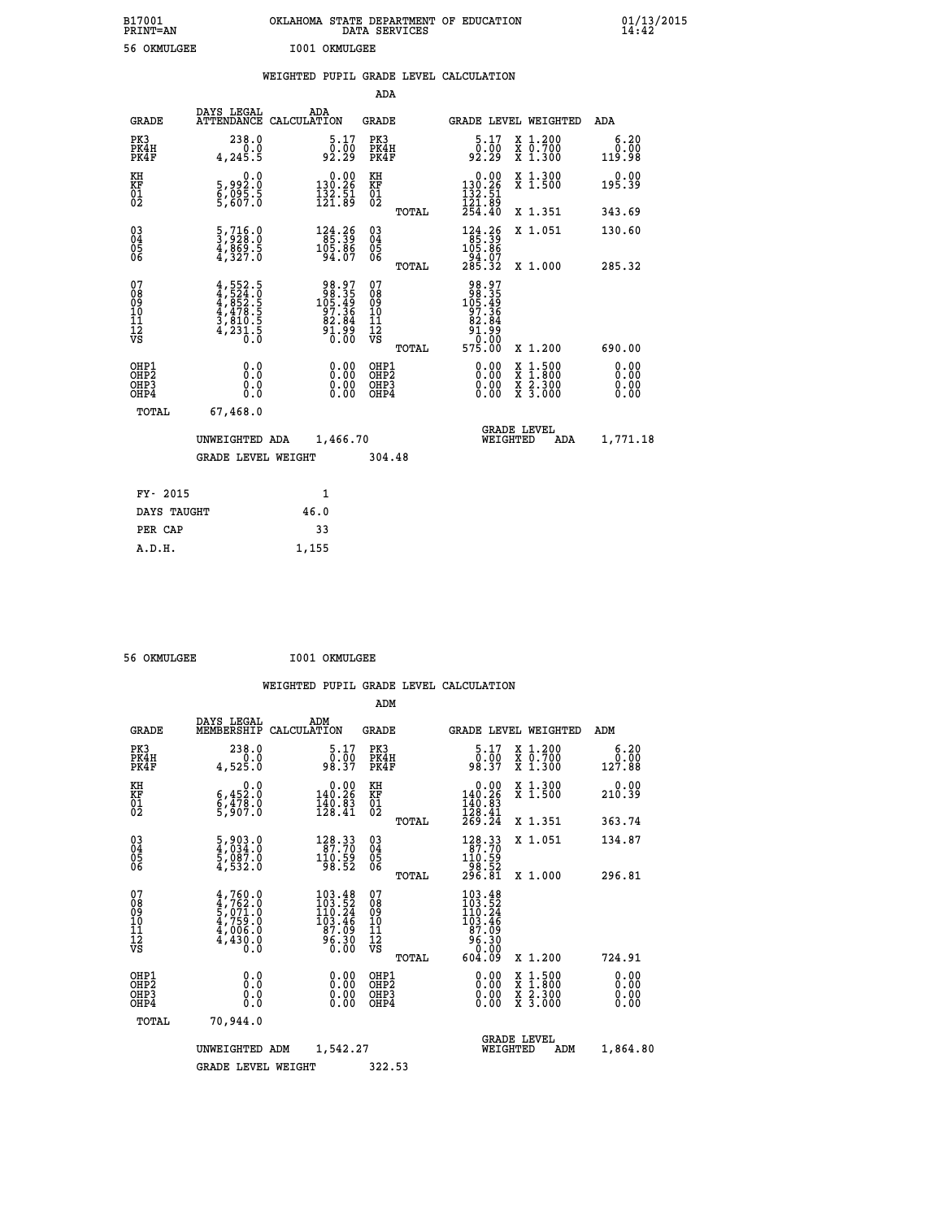| B17001<br>PRINT=AN                     |                                                                        | OKLAHOMA STATE DEPARTMENT OF EDUCATION                            | DATA SERVICES                                      |                                                                   |                                                                                                                                      | 01/13/2015<br>14:42          |
|----------------------------------------|------------------------------------------------------------------------|-------------------------------------------------------------------|----------------------------------------------------|-------------------------------------------------------------------|--------------------------------------------------------------------------------------------------------------------------------------|------------------------------|
| 56 OKMULGEE                            |                                                                        | I001 OKMULGEE                                                     |                                                    |                                                                   |                                                                                                                                      |                              |
|                                        |                                                                        | WEIGHTED PUPIL GRADE LEVEL CALCULATION                            |                                                    |                                                                   |                                                                                                                                      |                              |
|                                        |                                                                        |                                                                   | <b>ADA</b>                                         |                                                                   |                                                                                                                                      |                              |
| GRADE                                  | DAYS LEGAL                                                             | ADA<br>ATTENDANCE CALCULATION                                     | GRADE                                              |                                                                   | GRADE LEVEL WEIGHTED                                                                                                                 | ADA                          |
| PK3<br>PK4H<br>PK4F                    | 238.0<br>0.0<br>4,245.5                                                | 5.17<br>ۇة:≬<br>92:29                                             | PK3<br>PK4H<br>PK4F                                | 5.17<br>ۇة:≬<br>92:29                                             | X 1.200<br>X 0.700<br>X 1.300                                                                                                        | 6.20<br>0.00<br>119.98       |
| KH<br>KF<br>ÖĪ<br>Ŏ2                   | 0.0<br>5,992:0<br>6,095:5<br>5,607:0                                   | $0.00$<br>130.26<br>$\frac{132}{121}$ $\frac{51}{89}$             | KH<br><b>KF</b><br>01<br>02                        | $0.00$<br>130.26<br>$\frac{132}{121}$ $\frac{51}{89}$<br>$254.40$ | X 1.300<br>X 1.500                                                                                                                   | 0.00<br>195.39               |
|                                        |                                                                        |                                                                   | <b>TOTAL</b>                                       |                                                                   | X 1.351                                                                                                                              | 343.69                       |
| 030404<br>ŎĞ                           | $\frac{5}{3}, \frac{716}{928}$ : 0<br>4,869.5<br>4,327.0               | $\begin{array}{r} 124.26 \\ 85.39 \\ 105.86 \\ 94.07 \end{array}$ | $\begin{matrix} 03 \\ 04 \\ 05 \\ 06 \end{matrix}$ | 124.26<br>85.39<br>105.86                                         | X 1.051                                                                                                                              | 130.60                       |
|                                        |                                                                        |                                                                   | <b>TOTAL</b>                                       | $\frac{54.07}{285.32}$                                            | X 1.000                                                                                                                              | 285.32                       |
| 07<br>08<br>09<br>10<br>11<br>ĪŽ<br>VS | $4,552.5$<br>$4,852.5$<br>$4,478.5$<br>$3,810.5$<br>$4,231.5$<br>$0.0$ | 98.975<br>105.496<br>105.496<br>97.366<br>82.84<br>91.99<br>0.00  | 07<br>08<br>09<br>10<br>11<br>$\frac{1}{\sqrt{2}}$ | 98.97<br>98.35<br>105.49<br>97.36<br>82.84<br>ۊۊ۬؞ڗۊ<br>00.00     |                                                                                                                                      |                              |
|                                        |                                                                        |                                                                   | TOTAL                                              | 575.00                                                            | X 1.200                                                                                                                              | 690.00                       |
| OHP1<br>OHP2<br>OHP3<br>OHP4           | 0.0<br>Ō.Ō<br>0.0<br>0.0                                               | 0.00<br>0.00<br>0.00                                              | OHP1<br>OHP <sub>2</sub><br>OHP3<br>OHP4           | 0.00<br>0.00<br>0.00                                              | $\begin{smallmatrix} \mathtt{X} & 1 & 500 \\ \mathtt{X} & 1 & 800 \\ \mathtt{X} & 2 & 300 \\ \mathtt{X} & 3 & 000 \end{smallmatrix}$ | 0.00<br>0.00<br>0.00<br>0.00 |
| TOTAL                                  | 67,468.0                                                               |                                                                   |                                                    |                                                                   |                                                                                                                                      |                              |
|                                        | UNWEIGHTED ADA                                                         | 1,466.70                                                          |                                                    | WEIGHTED                                                          | <b>GRADE LEVEL</b><br>ADA                                                                                                            | 1,771.18                     |
|                                        | <b>GRADE LEVEL WEIGHT</b>                                              |                                                                   | 304.48                                             |                                                                   |                                                                                                                                      |                              |
| FY- 2015                               |                                                                        | 1                                                                 |                                                    |                                                                   |                                                                                                                                      |                              |
| DAYS TAUGHT                            |                                                                        | 46.0                                                              |                                                    |                                                                   |                                                                                                                                      |                              |
| PER CAP                                |                                                                        | 33                                                                |                                                    |                                                                   |                                                                                                                                      |                              |

 **56 OKMULGEE I001 OKMULGEE**

 **ADM**

 **A.D.H. 1,155**

| <b>GRADE</b>                                       | DAYS LEGAL<br>MEMBERSHIP CALCULATION                                                      | ADM                                                                                                                                | <b>GRADE</b>                                  |       | GRADE LEVEL WEIGHTED                                                             |                                          | ADM                    |
|----------------------------------------------------|-------------------------------------------------------------------------------------------|------------------------------------------------------------------------------------------------------------------------------------|-----------------------------------------------|-------|----------------------------------------------------------------------------------|------------------------------------------|------------------------|
| PK3<br>PK4H<br>PK4F                                | 238.0<br>0.0<br>4,525.0                                                                   | 5.17<br>0.00<br>98.37                                                                                                              | PK3<br>PK4H<br>PK4F                           |       | 5.17<br>0.00<br>98.37                                                            | X 1.200<br>X 0.700<br>X 1.300            | 6.20<br>0.00<br>127.88 |
| KH<br>KF<br>01<br>02                               | 0.0<br>$\frac{6}{9}, \frac{452}{303}$ .0<br>5,907.0                                       | $0.00$<br>140.26<br>$\frac{1}{128}$ $\frac{1}{6}$ $\frac{3}{41}$                                                                   | KH<br>KF<br>01<br>02                          |       | 0.00<br>140.26<br>$\frac{140.83}{128.41}$<br>$\frac{269.24}{269.24}$             | X 1.300<br>X 1.500                       | 0.00<br>210.39         |
|                                                    |                                                                                           |                                                                                                                                    |                                               | TOTAL |                                                                                  | X 1.351                                  | 363.74                 |
| $\begin{matrix} 03 \\ 04 \\ 05 \\ 06 \end{matrix}$ | $\frac{5}{4}, \frac{903}{034}.0$<br>$\frac{5}{5}, \frac{087}{032}.0$<br>$\frac{4}{532}.0$ | $\begin{array}{r} 128.33 \\ 87.70 \\ 110.59 \\ 98.52 \end{array}$                                                                  | $\substack{03 \\ 04}$<br>05<br>06             |       | $\begin{smallmatrix} 128.33\\ 87.70\\ 110.59\\ 98.52\\ 296.81 \end{smallmatrix}$ | X 1.051                                  | 134.87                 |
|                                                    |                                                                                           |                                                                                                                                    |                                               | TOTAL |                                                                                  | X 1.000                                  | 296.81                 |
| 07<br>08<br>09<br>101<br>11<br>12<br>VS            | $4,760.0$<br>$4,762.0$<br>$5,071.0$<br>$4,759.0$<br>$4,006.0$<br>4,430.0                  | $\begin{smallmatrix} 103\cdot 48\\ 103\cdot 52\\ 110\cdot 24\\ 103\cdot 46\\ 87\cdot 09\\ 96\cdot 30\\ 0\cdot 00\end{smallmatrix}$ | 07<br>08<br>09<br>001<br>11<br>11<br>12<br>VS | TOTAL | 103.48<br>103.524<br>110.246<br>103.46<br>87.09<br>96.300<br>0.000<br>604.09     | X 1.200                                  | 724.91                 |
| OHP1                                               |                                                                                           |                                                                                                                                    | OHP1                                          |       |                                                                                  |                                          |                        |
| OHP2<br>OHP3<br>OHP4                               | 0.0<br>0.0<br>0.0                                                                         | $0.00$<br>$0.00$<br>0.00                                                                                                           | OHP <sub>2</sub><br>OHP3<br>OHP4              |       | 0.00<br>0.00<br>0.00                                                             | X 1:500<br>X 1:800<br>X 2:300<br>X 3:000 | 0.00<br>0.00<br>0.00   |
| TOTAL                                              | 70,944.0                                                                                  |                                                                                                                                    |                                               |       |                                                                                  |                                          |                        |
|                                                    | UNWEIGHTED                                                                                | 1,542.27<br>ADM                                                                                                                    |                                               |       | WEIGHTED                                                                         | <b>GRADE LEVEL</b><br>ADM                | 1,864.80               |
|                                                    | <b>GRADE LEVEL WEIGHT</b>                                                                 |                                                                                                                                    | 322.53                                        |       |                                                                                  |                                          |                        |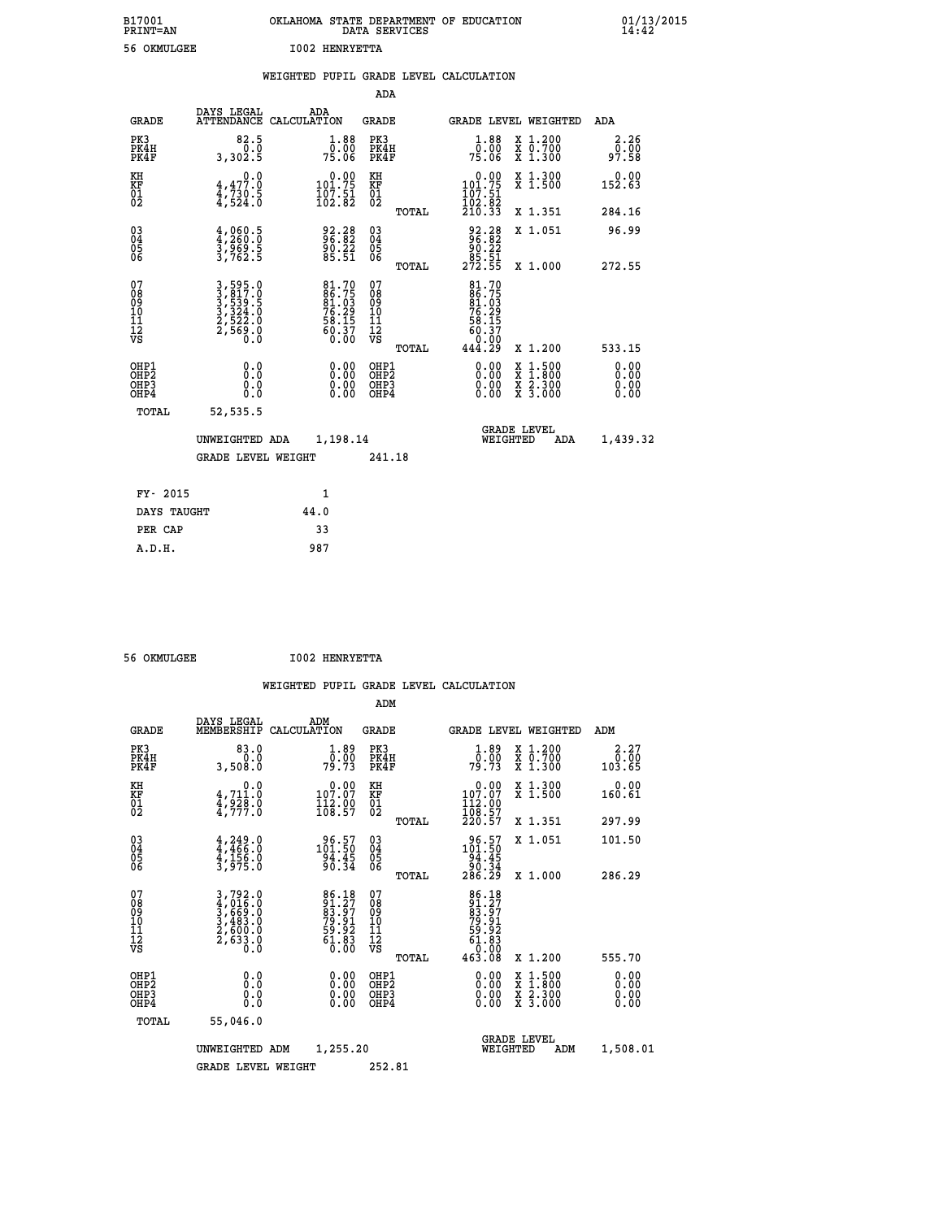| B17001<br><b>PRINT=AN</b> | OKLAHOMA STATE DEPARTMENT OF EDUCATION<br>DATA SERVICES | 01/13/2015 |
|---------------------------|---------------------------------------------------------|------------|
| 56 OKMULGEE               | <b>I002 HENRYETTA</b>                                   |            |

|                                                                    |                                                                   | WEIGHTED PUPIL GRADE LEVEL CALCULATION                                   |                                                     |                                                                                                                                                                   |                               |
|--------------------------------------------------------------------|-------------------------------------------------------------------|--------------------------------------------------------------------------|-----------------------------------------------------|-------------------------------------------------------------------------------------------------------------------------------------------------------------------|-------------------------------|
|                                                                    |                                                                   |                                                                          | <b>ADA</b>                                          |                                                                                                                                                                   |                               |
| <b>GRADE</b>                                                       | DAYS LEGAL<br><b>ATTENDANCE</b>                                   | ADA<br>CALCULATION                                                       | <b>GRADE</b>                                        | GRADE LEVEL WEIGHTED                                                                                                                                              | ADA                           |
| PK3<br>PK4H<br>PK4F                                                | 82.5<br>3,302.5                                                   | $\frac{1}{0}$ : $\frac{88}{00}$<br>75.06                                 | PK3<br>PK4H<br>PK4F                                 | $\frac{1 \cdot 88}{0 \cdot 000}$<br>75.06<br>X 1.200<br>X 0.700<br>X 1.300                                                                                        | 2.26<br>00.00<br>97.58        |
| KH<br>KF<br>01<br>02                                               | 0.0<br>$4,477.0$<br>$4,730.5$<br>$4,524.0$                        | $\begin{smallmatrix} &0.00\\ 101.75\\ 107.51\\ 102.82 \end{smallmatrix}$ | KH<br>KF<br>01<br>02                                | 0.00<br>X 1.300<br>X 1.500<br>$\frac{101.75}{107.51}$                                                                                                             | 0.00<br>152.63                |
|                                                                    |                                                                   |                                                                          | TOTAL                                               | 102.02<br>210.33<br>X 1.351                                                                                                                                       | 284.16                        |
| $\begin{smallmatrix} 03 \\[-4pt] 04 \end{smallmatrix}$<br>Ŏ5<br>06 | $\frac{4}{3}, \frac{060}{260}. \frac{5}{3}$<br>3,969.5<br>3,762.5 | 92.28<br>96.82<br>90.22<br>85.51                                         | $\begin{array}{c} 03 \\ 04 \\ 05 \\ 06 \end{array}$ | 92.28<br>96.82<br>90.22<br>85.51<br>272.55<br>X 1.051                                                                                                             | 96.99                         |
|                                                                    |                                                                   |                                                                          | TOTAL                                               | X 1.000                                                                                                                                                           | 272.55                        |
| 07<br>0890112<br>1112<br>VS                                        | 3,595.0<br>3,817.0<br>3,539.5<br>3,324.0<br>2,522.0<br>2,569.0    | 81.70<br>86.75<br>81.03<br>76.29<br>76.29<br>58.15<br>60.37<br>60.30     | 07<br>08<br>09<br>11<br>11<br>12<br>VS<br>TOTAL     | 81.70<br>86.75<br>81.03<br>76.29<br>76.29<br>58.15<br>60.37<br>0.00<br>444.29<br>X 1.200                                                                          | 533.15                        |
| OHP1<br>OHP2<br>OH <sub>P3</sub><br>OHP4                           | 0.0<br>0.0<br>0.0                                                 | $\begin{smallmatrix} 0.00 \ 0.00 \ 0.00 \ 0.00 \end{smallmatrix}$        | OHP1<br>OHP2<br>OHP3<br>OHP4                        | 0.00<br>$\begin{smallmatrix} \mathtt{X} & 1\cdot500\\ \mathtt{X} & 1\cdot800\\ \mathtt{X} & 2\cdot300\\ \mathtt{X} & 3\cdot000 \end{smallmatrix}$<br>0.00<br>0.00 | 0.00<br>Ō. ŌŌ<br>0.00<br>0.00 |
| TOTAL                                                              | 52,535.5                                                          |                                                                          |                                                     |                                                                                                                                                                   |                               |
|                                                                    | UNWEIGHTED ADA                                                    | 1,198.14                                                                 |                                                     | <b>GRADE LEVEL</b><br>WEIGHTED                                                                                                                                    | 1,439.32<br>ADA               |
|                                                                    | <b>GRADE LEVEL WEIGHT</b>                                         |                                                                          | 241.18                                              |                                                                                                                                                                   |                               |
| FY- 2015                                                           |                                                                   | $\mathbf{1}$                                                             |                                                     |                                                                                                                                                                   |                               |
| DAYS TAUGHT                                                        |                                                                   | 44.0                                                                     |                                                     |                                                                                                                                                                   |                               |
| PER CAP                                                            |                                                                   | 33                                                                       |                                                     |                                                                                                                                                                   |                               |

 **ADM**

 **56 OKMULGEE I002 HENRYETTA**

| <b>GRADE</b>                                       | DAYS LEGAL                                                                 | ADM<br>MEMBERSHIP CALCULATION                                                                 | <b>GRADE</b>                                       |       | GRADE LEVEL WEIGHTED                                                                                                                 |                                          | ADM                                       |  |
|----------------------------------------------------|----------------------------------------------------------------------------|-----------------------------------------------------------------------------------------------|----------------------------------------------------|-------|--------------------------------------------------------------------------------------------------------------------------------------|------------------------------------------|-------------------------------------------|--|
| PK3<br>PK4H<br>PK4F                                | 83.0<br>0.0<br>3,508.0                                                     | $\frac{1}{0}$ : $\frac{89}{09}$<br>79.73                                                      | PK3<br>PK4H<br>PK4F                                |       | 1.89<br>0.00<br>79.73                                                                                                                | X 1.200<br>X 0.700<br>X 1.300            | 2.27<br>$\frac{\bar{0}.\bar{0}0}{103.65}$ |  |
| KH<br>KF<br>01<br>02                               | 0.0<br>$\frac{4}{3}, \frac{711}{928}$ .0<br>4,777.0                        | $\begin{smallmatrix} &0.00\\ 107.07\\ 112.09\\ 108.57\end{smallmatrix}$                       | KH<br>KF<br>01<br>02                               |       | $\begin{smallmatrix} &0.00\\ 107.07\\ 112.00\\ 108.57\\ 220.57 \end{smallmatrix}$                                                    | X 1.300<br>X 1.500                       | 0.00<br>160.61                            |  |
|                                                    |                                                                            |                                                                                               |                                                    | TOTAL |                                                                                                                                      | X 1.351                                  | 297.99                                    |  |
| $\begin{matrix} 03 \\ 04 \\ 05 \\ 06 \end{matrix}$ | $4,249.0$<br>$4,466.0$<br>$4,156.0$<br>$3,975.0$                           | $101.50$<br>$94.45$<br>$90.34$                                                                | $\begin{matrix} 03 \\ 04 \\ 05 \\ 06 \end{matrix}$ |       | $\begin{array}{r} 96.57 \\ 101.50 \\ 94.45 \\ 90.34 \\ 286.29 \end{array}$                                                           | X 1.051                                  | 101.50                                    |  |
|                                                    |                                                                            |                                                                                               |                                                    | TOTAL |                                                                                                                                      | X 1.000                                  | 286.29                                    |  |
| 07<br>08<br>09<br>101<br>11<br>12<br>VS            | $3,792.0$<br>$4,016.0$<br>$3,669.0$<br>$3,483.0$<br>$2,600.0$<br>$2,633.0$ | $\begin{smallmatrix} 86.18\\ 91.27\\ 83.97\\ 79.91\\ 59.92\\ 61.83\\ 60.00 \end{smallmatrix}$ | 07<br>08<br>09<br>001<br>11<br>11<br>12<br>VS      | TOTAL | $\begin{array}{r} 86\cdot 18\\ 91\cdot 27\\ 83\cdot 97\\ 79\cdot 91\\ 59\cdot 92\\ 61\cdot 83\\ 0\cdot 00\\ 463\cdot 08 \end{array}$ | X 1.200                                  | 555.70                                    |  |
| OHP1<br>OHP2<br>OHP3<br>OHP4                       | 0.0<br>0.000                                                               | $0.00$<br>$0.00$<br>0.00                                                                      | OHP1<br>OHP2<br>OHP3<br>OHP4                       |       | $0.00$<br>$0.00$<br>0.00                                                                                                             | X 1:500<br>X 1:800<br>X 2:300<br>X 3:000 | 0.00<br>0.00<br>0.00                      |  |
| TOTAL                                              | 55,046.0                                                                   |                                                                                               |                                                    |       |                                                                                                                                      |                                          |                                           |  |
|                                                    | UNWEIGHTED                                                                 | 1,255.20<br>ADM                                                                               |                                                    |       | WEIGHTED                                                                                                                             | <b>GRADE LEVEL</b><br>ADM                | 1,508.01                                  |  |
|                                                    | <b>GRADE LEVEL WEIGHT</b>                                                  |                                                                                               | 252.81                                             |       |                                                                                                                                      |                                          |                                           |  |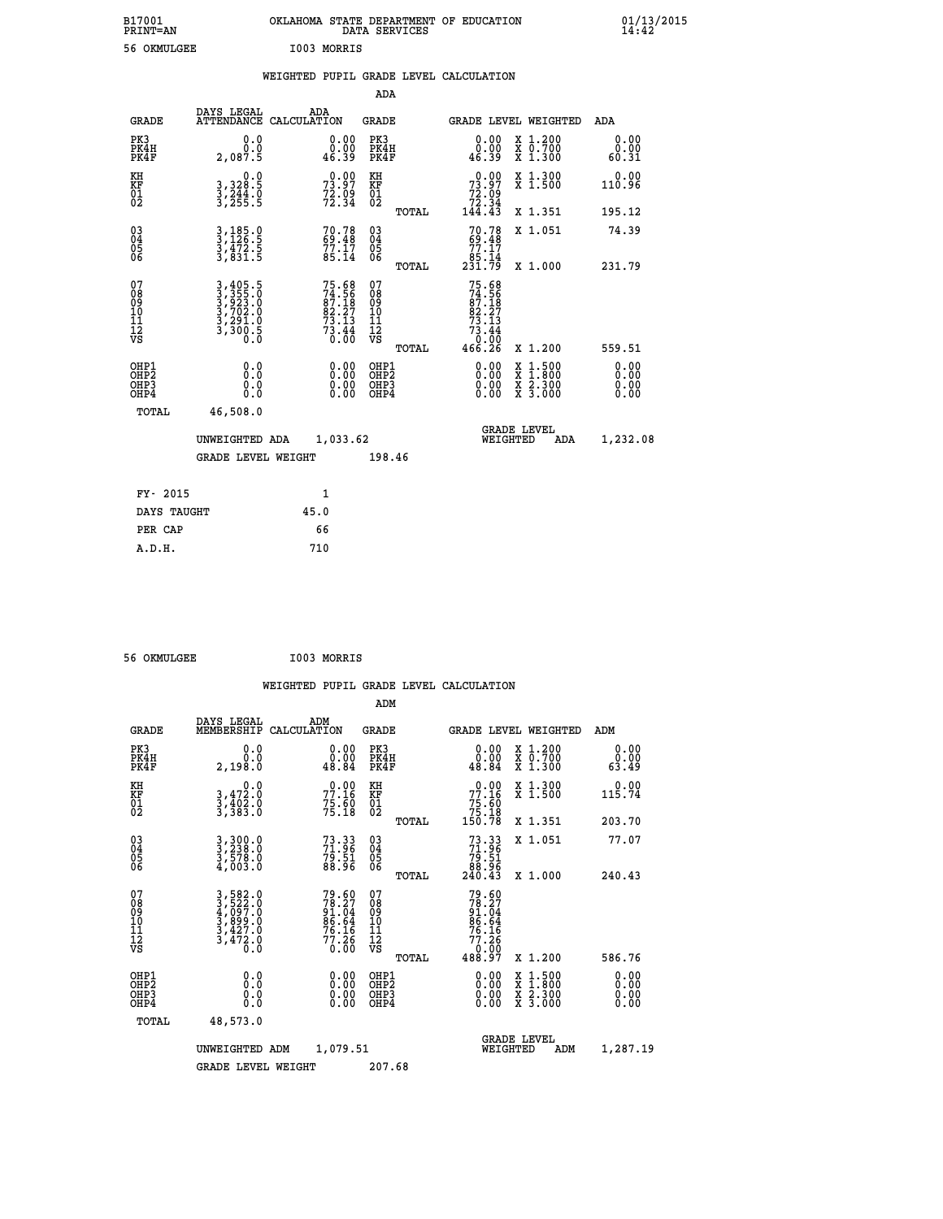| B17001<br><b>PRINT=AN</b> |             | OKLAHOMA STATE DEPARTMENT OF EDUCATION<br>DATA SERVICES |  |
|---------------------------|-------------|---------------------------------------------------------|--|
| 56 OKMULGEE               | I003 MORRIS |                                                         |  |

|  |  | WEIGHTED PUPIL GRADE LEVEL CALCULATION |
|--|--|----------------------------------------|
|  |  |                                        |

|                                                       |                                                                |                                                                          | ADA                                      |       |                                                                                    |                                          |                              |
|-------------------------------------------------------|----------------------------------------------------------------|--------------------------------------------------------------------------|------------------------------------------|-------|------------------------------------------------------------------------------------|------------------------------------------|------------------------------|
| <b>GRADE</b>                                          | DAYS LEGAL                                                     | ADA<br>ATTENDANCE CALCULATION                                            | <b>GRADE</b>                             |       |                                                                                    | <b>GRADE LEVEL WEIGHTED</b>              | ADA                          |
| PK3<br>PK4H<br>PK4F                                   | 0.0<br>0.0<br>2,087.5                                          | $\begin{smallmatrix} 0.00\\ 0.00\\ 46.39 \end{smallmatrix}$              | PK3<br>PK4H<br>PK4F                      |       | 0.00<br>0.00<br>46.39                                                              | X 1.200<br>X 0.700<br>X 1.300            | 0.00<br>0.00<br>60.31        |
| KH<br>KF<br>01<br>02                                  | 0.0<br>3,328:5<br>3,244:0<br>3,255:5                           | $73.97$<br>$73.97$<br>$72.99$<br>$72.34$                                 | KH<br>KF<br>01<br>02                     |       | 73.97<br>$\begin{array}{r} 72.59 \\ 72.34 \\ 144.43 \end{array}$                   | X 1.300<br>X 1.500                       | 0.00<br>110.96               |
|                                                       |                                                                |                                                                          |                                          | TOTAL |                                                                                    | X 1.351                                  | 195.12                       |
| 03<br>04<br>05<br>06                                  | $3,185.9$<br>$3,126.5$<br>$3,472.5$<br>$3,831.5$               | $70.78$<br>$69.48$<br>$77.17$<br>$85.14$                                 | 03<br>04<br>05<br>06                     |       | $70.7869.4877.1785.14231.79$                                                       | X 1.051                                  | 74.39                        |
|                                                       |                                                                |                                                                          |                                          | TOTAL |                                                                                    | X 1.000                                  | 231.79                       |
| 07<br>08<br>09<br>11<br>11<br>12<br>VS                | 3,405.5<br>3,355.0<br>3,923.0<br>3,702.0<br>3,291.0<br>3,300.5 | $75.68$<br>$74.56$<br>$87.18$<br>$82.27$<br>$73.13$<br>$73.44$<br>$0.00$ | 07<br>08<br>09<br>11<br>11<br>12<br>VS   | TOTAL | 75.68<br>74.56<br>87.18<br>82<br>73<br>.27<br>.13<br>$73.44$<br>$0.00$<br>$466.26$ | X 1.200                                  | 559.51                       |
| OHP1<br>OH <sub>P</sub> 2<br>OH <sub>P3</sub><br>OHP4 | 0.0<br>0.0<br>0.0                                              | 0.00<br>$\begin{smallmatrix} 0.00 \ 0.00 \end{smallmatrix}$              | OHP1<br>OHP <sub>2</sub><br>OHP3<br>OHP4 |       | 0.00<br>0.00<br>0.00                                                               | X 1:500<br>X 1:800<br>X 2:300<br>X 3:000 | 0.00<br>0.00<br>0.00<br>0.00 |
| TOTAL                                                 | 46,508.0                                                       |                                                                          |                                          |       |                                                                                    |                                          |                              |
|                                                       | UNWEIGHTED ADA                                                 | 1,033.62                                                                 |                                          |       | WEIGHTED                                                                           | <b>GRADE LEVEL</b><br>ADA                | 1,232.08                     |
|                                                       | <b>GRADE LEVEL WEIGHT</b>                                      |                                                                          | 198.46                                   |       |                                                                                    |                                          |                              |
| FY- 2015                                              |                                                                | $\mathbf{1}$                                                             |                                          |       |                                                                                    |                                          |                              |
| DAYS TAUGHT                                           |                                                                | 45.0                                                                     |                                          |       |                                                                                    |                                          |                              |
| PER CAP                                               |                                                                | 66                                                                       |                                          |       |                                                                                    |                                          |                              |
| A.D.H.                                                |                                                                | 710                                                                      |                                          |       |                                                                                    |                                          |                              |
|                                                       |                                                                |                                                                          |                                          |       |                                                                                    |                                          |                              |

| 56 OKMULGEE | I003 MORRIS |
|-------------|-------------|

 **ADM**

| <b>GRADE</b>                                       | DAYS LEGAL<br>MEMBERSHIP                                                                                                                                         | ADM<br>CALCULATION                                          | <b>GRADE</b>                                       |       | <b>GRADE LEVEL WEIGHTED</b>                                                          |                                          | ADM                   |
|----------------------------------------------------|------------------------------------------------------------------------------------------------------------------------------------------------------------------|-------------------------------------------------------------|----------------------------------------------------|-------|--------------------------------------------------------------------------------------|------------------------------------------|-----------------------|
| PK3<br>PK4H<br>PK4F                                | 0.0<br>0.0<br>2,198.0                                                                                                                                            | $\begin{smallmatrix} 0.00\\ 0.00\\ 48.84 \end{smallmatrix}$ | PK3<br>PK4H<br>PK4F                                |       | 0.00<br>$0.00$<br>48.84                                                              | X 1.200<br>X 0.700<br>X 1.300            | 0.00<br>0.00<br>63.49 |
| KH<br>KF<br>01<br>02                               | 0.0<br>$3,472.0$<br>$3,402.0$<br>$3,383.0$                                                                                                                       | 77.16<br>$75.60$<br>$75.18$                                 | KH<br>KF<br>$\overline{01}$                        |       | 77.16<br>$75.50$<br>$75.18$<br>$150.78$                                              | X 1.300<br>X 1.500                       | 0.00<br>115.74        |
|                                                    |                                                                                                                                                                  |                                                             |                                                    | TOTAL |                                                                                      | X 1.351                                  | 203.70                |
| $\begin{matrix} 03 \\ 04 \\ 05 \\ 06 \end{matrix}$ | $3,300.0$<br>$3,238.0$<br>$3,578.0$<br>$4,003.0$                                                                                                                 | 73.33<br>71.96<br>79.51<br>88.96                            | $\begin{matrix} 03 \\ 04 \\ 05 \\ 06 \end{matrix}$ |       | $73.33\n71.96\n79.51\n88.96\n240.43$                                                 | X 1.051                                  | 77.07                 |
|                                                    |                                                                                                                                                                  |                                                             |                                                    | TOTAL |                                                                                      | X 1.000                                  | 240.43                |
| 07<br>08<br>09<br>101<br>11<br>12<br>VS            | $\begin{smallmatrix} 3\,,\,582\,.\,0\\ 3\,,\,522\,. \,0\\ 4\,,\,097\,. \,0\\ 3\,,\,899\,. \,0\\ 3\,,\,427\,. \,0\\ 3\,,\,472\,. \,0\\ 0\,. \,0\end{smallmatrix}$ | 79.60<br>78.27<br>91.04<br>86.64<br>76.16<br>77.26<br>0.00  | 07<br>08<br>09<br>001<br>11<br>11<br>12<br>VS      | TOTAL | $79.60$<br>$78.27$<br>$91.04$<br>$86.64$<br>$76.16$<br>$77.26$<br>$0.00$<br>$488.97$ | X 1.200                                  | 586.76                |
| OHP1<br>OHP2<br>OH <sub>P3</sub><br>OHP4           | 0.0<br>0.000                                                                                                                                                     |                                                             | OHP1<br>OHP2<br>OHP3<br>OHP4                       |       | 0.00<br>$0.00$<br>0.00                                                               | X 1:500<br>X 1:800<br>X 2:300<br>X 3:000 | 0.00<br>0.00<br>0.00  |
| TOTAL                                              | 48,573.0                                                                                                                                                         |                                                             |                                                    |       |                                                                                      |                                          |                       |
|                                                    | UNWEIGHTED                                                                                                                                                       | 1,079.51<br>ADM                                             |                                                    |       | WEIGHTED                                                                             | <b>GRADE LEVEL</b><br>ADM                | 1,287.19              |
|                                                    | <b>GRADE LEVEL WEIGHT</b>                                                                                                                                        |                                                             | 207.68                                             |       |                                                                                      |                                          |                       |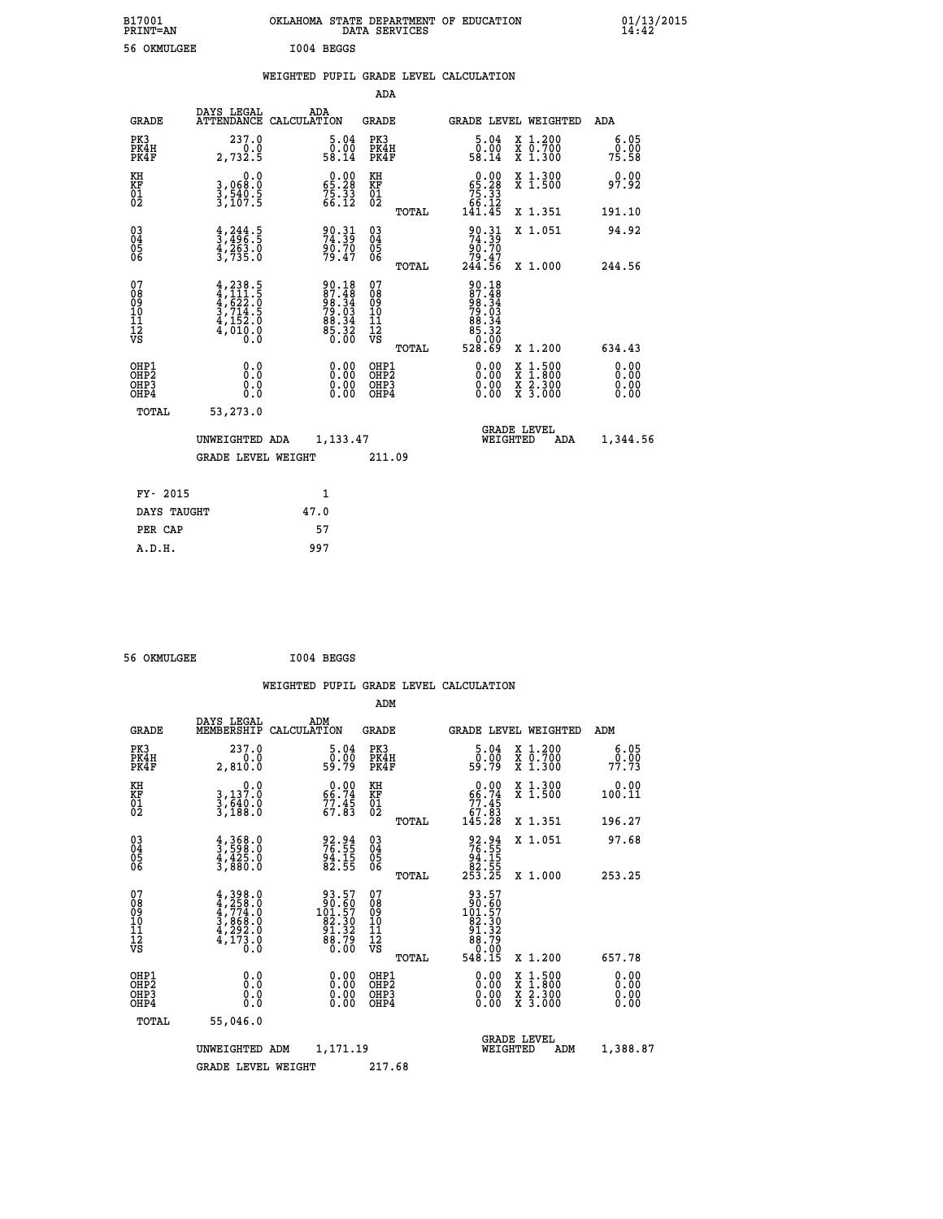| B17001<br>PRINT=AN | OKLAHOMA STATE DEPARTMENT OF EDUCATION<br>DATA SERVICES | $01/13/2015$<br>14:42 |
|--------------------|---------------------------------------------------------|-----------------------|
| 56 OKMULGEE        | I004 BEGGS                                              |                       |
|                    | WEIGHTED PUPIL GRADE LEVEL CALCULATION                  |                       |

|                                                    |                                                                                                                                                                                                          |                                                                      | ADA                                    |       |                                                                                                               |                                                                                                                                      |                              |
|----------------------------------------------------|----------------------------------------------------------------------------------------------------------------------------------------------------------------------------------------------------------|----------------------------------------------------------------------|----------------------------------------|-------|---------------------------------------------------------------------------------------------------------------|--------------------------------------------------------------------------------------------------------------------------------------|------------------------------|
| <b>GRADE</b>                                       | DAYS LEGAL<br><b>ATTENDANCE</b>                                                                                                                                                                          | ADA<br>CALCULATION                                                   | <b>GRADE</b>                           |       | GRADE LEVEL WEIGHTED                                                                                          |                                                                                                                                      | ADA                          |
| PK3<br>PK4H<br>PK4F                                | 237.0<br>0.0<br>2,732.5                                                                                                                                                                                  | 5.04<br>ō:ŏō<br>58.14                                                | PK3<br>PK4H<br>PK4F                    |       | $\begin{smallmatrix}5.04\0.00\\9.00\\58.14\end{smallmatrix}$                                                  | X 1.200<br>X 0.700<br>X 1.300                                                                                                        | 6.05<br>0.00<br>75.58        |
| KH<br>KF<br>01<br>02                               | 0.0<br>3,068:0<br>3,540:5<br>3,107:5                                                                                                                                                                     | $\begin{smallmatrix} 0.00\\ 65.28\\ 75.33\\ 66.12 \end{smallmatrix}$ | KH<br>KF<br>01<br>02                   |       | $\begin{smallmatrix} &0.00\ 65.28\ 75.33\ 66.12\ 141.45\ \end{smallmatrix}$                                   | X 1.300<br>X 1.500                                                                                                                   | 0.00<br>97.92                |
|                                                    |                                                                                                                                                                                                          |                                                                      |                                        | TOTAL |                                                                                                               | X 1.351                                                                                                                              | 191.10                       |
| $\begin{matrix} 03 \\ 04 \\ 05 \\ 06 \end{matrix}$ | $\frac{4}{3}, \frac{244}{496}$ . 5<br>$\frac{4}{3}, \frac{263}{263}$ . 0<br>3, 735. 0                                                                                                                    | 90.31<br>74.39<br>90.70<br>79.47                                     | 03<br>04<br>05<br>06                   |       | $\begin{smallmatrix} 90.31 \\ 74.39 \\ 90.70 \\ 79.47 \\ 244.56 \end{smallmatrix}$                            | X 1.051                                                                                                                              | 94.92                        |
|                                                    |                                                                                                                                                                                                          |                                                                      |                                        | TOTAL |                                                                                                               | X 1.000                                                                                                                              | 244.56                       |
| 07<br>08<br>09<br>11<br>11<br>12<br>VS             | $\begin{smallmatrix} 4\,,\,2\,3\,8\,. \ 5\,\\ 4\,,\,1\,1\,1\,. \ 5\,\\ 4\,,\,6\,2\,2\,. \ 0\,\\ 3\,,\,7\,1\,4\,. \ 5\,\\ 4\,,\,1\,5\,2\,. \ 0\,\\ 4\,,\,0\,1\,0\,. \ 0\,\\ 0\,. \ 0\, \end{smallmatrix}$ | $90.1887.4898.3479.0388.3485.3285.32$                                | 07<br>08<br>09<br>11<br>11<br>12<br>VS | TOTAL | $\begin{array}{r} 90.18 \\ 87.48 \\ 98.34 \\ 79.03 \\ 79.03 \\ 88.34 \\ 85.32 \\ 60.00 \\ 528.69 \end{array}$ | X 1.200                                                                                                                              | 634.43                       |
|                                                    |                                                                                                                                                                                                          |                                                                      |                                        |       |                                                                                                               |                                                                                                                                      |                              |
| OHP1<br>OHP2<br>OH <sub>P3</sub><br>OHP4           | 0.0<br>Ŏ.Ŏ<br>0.000                                                                                                                                                                                      |                                                                      | OHP1<br>OHP2<br>OHP3<br>OHP4           |       | $0.00$<br>$0.00$<br>0.00                                                                                      | $\begin{smallmatrix} \mathtt{X} & 1 & 500 \\ \mathtt{X} & 1 & 800 \\ \mathtt{X} & 2 & 300 \\ \mathtt{X} & 3 & 000 \end{smallmatrix}$ | 0.00<br>0.00<br>0.00<br>0.00 |
| TOTAL                                              | 53,273.0                                                                                                                                                                                                 |                                                                      |                                        |       |                                                                                                               |                                                                                                                                      |                              |
|                                                    | UNWEIGHTED ADA                                                                                                                                                                                           | 1,133.47                                                             |                                        |       | WEIGHTED                                                                                                      | <b>GRADE LEVEL</b><br>ADA                                                                                                            | 1,344.56                     |
|                                                    | <b>GRADE LEVEL WEIGHT</b>                                                                                                                                                                                |                                                                      | 211.09                                 |       |                                                                                                               |                                                                                                                                      |                              |
|                                                    |                                                                                                                                                                                                          |                                                                      |                                        |       |                                                                                                               |                                                                                                                                      |                              |
| FY- 2015                                           |                                                                                                                                                                                                          | 1                                                                    |                                        |       |                                                                                                               |                                                                                                                                      |                              |
| DAYS TAUGHT                                        |                                                                                                                                                                                                          | 47.0                                                                 |                                        |       |                                                                                                               |                                                                                                                                      |                              |

**PER CAP** 57<br> **A.D.H.** 997

 **56 OKMULGEE I004 BEGGS**

 **A.D.H. 997**

|                                                    |                                          |                                                                                                        |                    |                                                                                               |                                               |       | WEIGHTED PUPIL GRADE LEVEL CALCULATION                                                                 |                                          |                       |  |
|----------------------------------------------------|------------------------------------------|--------------------------------------------------------------------------------------------------------|--------------------|-----------------------------------------------------------------------------------------------|-----------------------------------------------|-------|--------------------------------------------------------------------------------------------------------|------------------------------------------|-----------------------|--|
|                                                    |                                          |                                                                                                        |                    |                                                                                               | ADM                                           |       |                                                                                                        |                                          |                       |  |
|                                                    | <b>GRADE</b>                             | DAYS LEGAL<br>MEMBERSHIP                                                                               | ADM<br>CALCULATION |                                                                                               | <b>GRADE</b>                                  |       | <b>GRADE LEVEL WEIGHTED</b>                                                                            |                                          | ADM                   |  |
|                                                    | PK3<br>PK4H<br>PK4F                      | 237.0<br>0.0<br>2,810.0                                                                                |                    | $\begin{smallmatrix}5.04\0.00\\9.79\end{smallmatrix}$                                         | PK3<br>PK4H<br>PK4F                           |       | $\begin{smallmatrix}5.04\0.00\\9.79\end{smallmatrix}$                                                  | X 1.200<br>X 0.700<br>X 1.300            | 6.05<br>0.00<br>77.73 |  |
| KH<br>KF<br>01<br>02                               |                                          | 0.0<br>3,137.0<br>3,640.0<br>3,188.0                                                                   |                    | $66.74$<br>$77.45$<br>$67.83$                                                                 | KH<br>KF<br>01<br>02                          |       | $0.00\n66.74\n77.45\n67.83\n145.28$                                                                    | X 1.300<br>X 1.500                       | 0.00<br>100.11        |  |
|                                                    |                                          |                                                                                                        |                    |                                                                                               |                                               | TOTAL |                                                                                                        | X 1.351                                  | 196.27                |  |
| $\begin{matrix} 03 \\ 04 \\ 05 \\ 06 \end{matrix}$ |                                          | $\frac{4}{3}, \frac{368}{598}.0$<br>$\frac{4}{3}, \frac{425}{80}.0$<br>$\frac{3}{3}, \frac{880.0}{50}$ |                    | 92.94<br>76.55<br>94.15<br>82.55                                                              | 03<br>04<br>05<br>06                          |       | 92.94<br>76.55<br>94.15<br>82.55<br>253.25                                                             | X 1.051                                  | 97.68                 |  |
|                                                    |                                          |                                                                                                        |                    |                                                                                               |                                               | TOTAL |                                                                                                        | X 1.000                                  | 253.25                |  |
| 07<br>08<br>09<br>101<br>11<br>12<br>VS            |                                          | $4,398.0$<br>$4,774.0$<br>$4,774.0$<br>$3,868.0$<br>$4,292.0$<br>$4,173.0$                             |                    | $\begin{smallmatrix} 93.57\\ 90.60\\ 101.57\\ 82.30\\ 91.32\\ 88.79\\ 0.00 \end{smallmatrix}$ | 07<br>08<br>09<br>001<br>11<br>11<br>12<br>VS |       | $\begin{smallmatrix} 93.57\\ 90.60\\ 101.57\\ 82.30\\ 91.32\\ 88.79\\ 0.00\\ 548.15 \end{smallmatrix}$ |                                          |                       |  |
|                                                    |                                          |                                                                                                        |                    |                                                                                               |                                               | TOTAL |                                                                                                        | X 1.200                                  | 657.78                |  |
|                                                    | OHP1<br>OHP2<br>OH <sub>P3</sub><br>OHP4 | 0.0<br>0.000                                                                                           |                    | $0.00$<br>$0.00$<br>0.00                                                                      | OHP1<br>OHP2<br>OHP <sub>3</sub>              |       | 0.00<br>0.00<br>0.00                                                                                   | X 1:500<br>X 1:800<br>X 2:300<br>X 3:000 | 0.00<br>0.00<br>0.00  |  |
|                                                    | TOTAL                                    | 55,046.0                                                                                               |                    |                                                                                               |                                               |       |                                                                                                        |                                          |                       |  |
|                                                    |                                          | UNWEIGHTED                                                                                             | ADM                | 1,171.19                                                                                      |                                               |       | WEIGHTED                                                                                               | <b>GRADE LEVEL</b><br>ADM                | 1,388.87              |  |
|                                                    |                                          | <b>GRADE LEVEL WEIGHT</b>                                                                              |                    |                                                                                               | 217.68                                        |       |                                                                                                        |                                          |                       |  |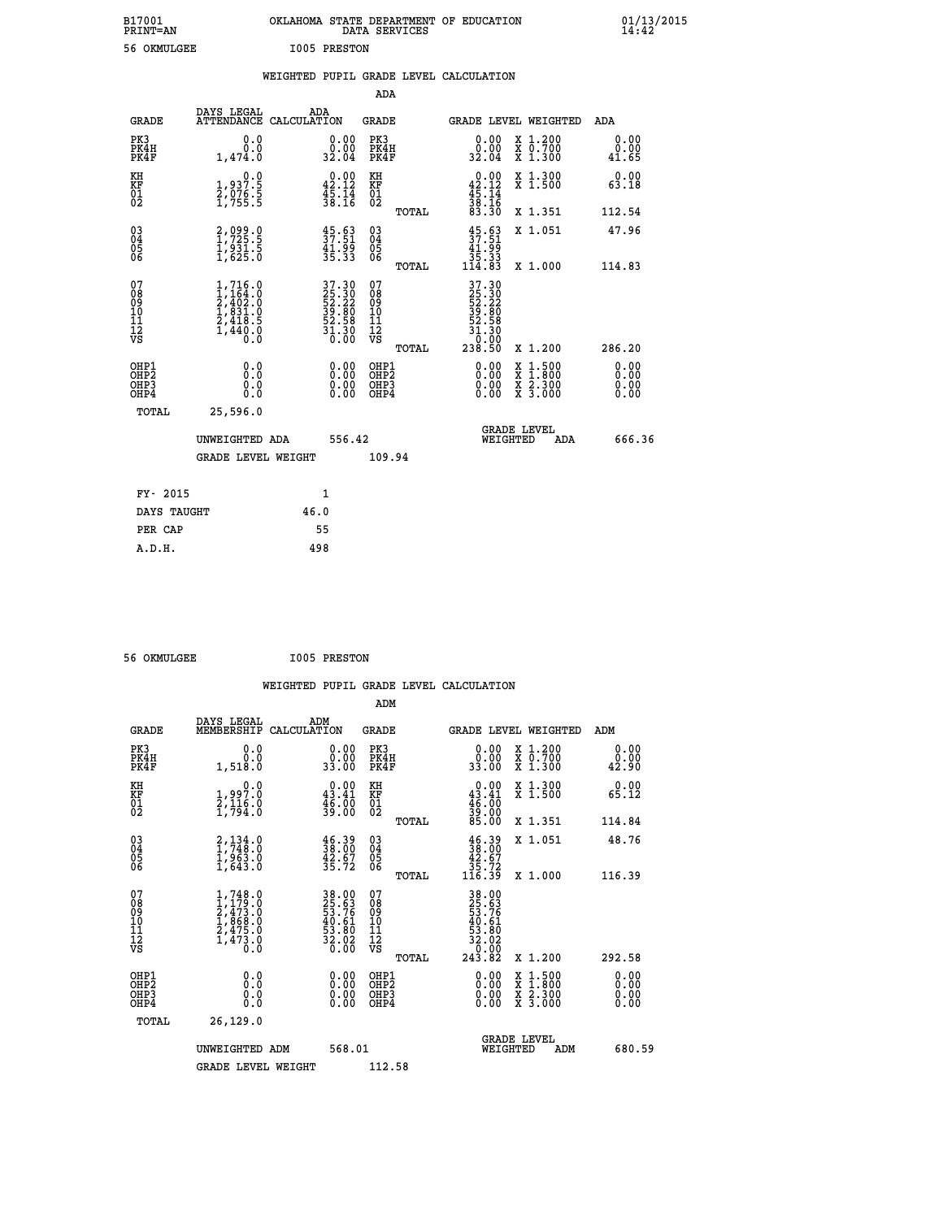| B17001          | OKLAHOMA STATE DEPARTMENT OF EDUCATION |
|-----------------|----------------------------------------|
| <b>PRINT=AN</b> | DATA SERVICES                          |
| 56 OKMULGEE     | <b>I005 PRESTON</b>                    |

 **B17001 OKLAHOMA STATE DEPARTMENT OF EDUCATION 01/13/2015**

|  |  | WEIGHTED PUPIL GRADE LEVEL CALCULATION |
|--|--|----------------------------------------|
|  |  |                                        |

|                                                                    |                                                                                                                                                              |                                                             | ADA                                       |       |                                                                       |                                          |                              |
|--------------------------------------------------------------------|--------------------------------------------------------------------------------------------------------------------------------------------------------------|-------------------------------------------------------------|-------------------------------------------|-------|-----------------------------------------------------------------------|------------------------------------------|------------------------------|
| <b>GRADE</b>                                                       | DAYS LEGAL<br>ATTENDANCE CALCULATION                                                                                                                         | ADA                                                         | <b>GRADE</b>                              |       |                                                                       | GRADE LEVEL WEIGHTED                     | ADA                          |
| PK3<br>PK4H<br>PK4F                                                | 0.0<br>0.0<br>1,474.0                                                                                                                                        | $\begin{smallmatrix} 0.00\\ 0.00\\ 32.04 \end{smallmatrix}$ | PK3<br>PK4H<br>PK4F                       |       | 0.00<br>ŏ:ŏŏ<br>32:04                                                 | X 1.200<br>X 0.700<br>X 1.300            | 0.00<br>0.00<br>41.65        |
| KH<br><b>KF</b><br>01<br>02                                        | 0.0<br>1,937.5<br>2,076.5<br>1,755.5                                                                                                                         | $0.00$<br>42.12<br>$\frac{45.14}{38.16}$                    | KH<br>KF<br>01<br>02                      |       | $0.00$<br>42.12<br>$\frac{45}{38}:\frac{14}{16}$<br>83.30             | X 1.300<br>X 1.500                       | 0.00<br>63.18                |
|                                                                    |                                                                                                                                                              |                                                             |                                           | TOTAL |                                                                       | X 1.351                                  | 112.54                       |
| $\begin{smallmatrix} 03 \\[-4pt] 04 \end{smallmatrix}$<br>Ŏ5<br>06 | 2,099.0<br>1,725.5<br>1,931.5<br>1,625.0                                                                                                                     | $\frac{45.63}{37.51}$<br>41.99<br>35.33                     | $\substack{03 \\ 04}$<br>Ŏ5<br>06         |       | $\frac{45}{37}.53$<br>41:95<br>35:33<br>114:83                        | X 1.051                                  | 47.96                        |
|                                                                    |                                                                                                                                                              |                                                             |                                           | TOTAL |                                                                       | X 1.000                                  | 114.83                       |
| 07<br>08<br>09<br>11<br>11<br>12<br>VS                             | $\begin{smallmatrix} 1,716\, . \ 1,164\, . \ 0\\ 2,402\, . \ 0\\ 1,831\, . \ 0\\ 2,418\, . \ 5\\ 2,418\, . \ 5\\ 1,440\, . \ 0\\ 0\, . \ 0\end{smallmatrix}$ | $37.3025.3052.2239.8052.5851.300.00$                        | 07<br>08<br>09<br>11<br>11<br>12<br>VS    |       | 37.30<br>25.30<br>52.22<br>39.80<br>32.58<br>31.30<br>00.0°<br>238.50 |                                          |                              |
|                                                                    |                                                                                                                                                              |                                                             |                                           | TOTAL |                                                                       | X 1.200                                  | 286.20                       |
| OHP1<br>OH <sub>P</sub> 2<br>OH <sub>P3</sub><br>OH <sub>P4</sub>  | 0.0<br>0.0<br>0.0                                                                                                                                            | 0.00<br>$\begin{smallmatrix} 0.00 \ 0.00 \end{smallmatrix}$ | OHP1<br>OH <sub>P</sub> 2<br>OHP3<br>OHP4 |       | 0.00<br>0.00<br>0.00                                                  | X 1:500<br>X 1:800<br>X 2:300<br>X 3:000 | 0.00<br>0.00<br>0.00<br>0.00 |
| TOTAL                                                              | 25,596.0                                                                                                                                                     |                                                             |                                           |       |                                                                       |                                          |                              |
|                                                                    | UNWEIGHTED ADA                                                                                                                                               | 556.42                                                      |                                           |       |                                                                       | GRADE LEVEL<br>WEIGHTED<br>ADA           | 666.36                       |
|                                                                    | <b>GRADE LEVEL WEIGHT</b>                                                                                                                                    |                                                             | 109.94                                    |       |                                                                       |                                          |                              |
| FY- 2015                                                           |                                                                                                                                                              | $\mathbf{1}$                                                |                                           |       |                                                                       |                                          |                              |
| DAYS TAUGHT                                                        |                                                                                                                                                              | 46.0                                                        |                                           |       |                                                                       |                                          |                              |
| PER CAP                                                            |                                                                                                                                                              | 55                                                          |                                           |       |                                                                       |                                          |                              |

| 56 OKMULGEE | <b>I005 PRESTON</b> |
|-------------|---------------------|
|             |                     |

 **A.D.H. 498**

| <b>GRADE</b>                                       | DAYS LEGAL<br>MEMBERSHIP                                                                                      | ADM<br>CALCULATION                                                   | <b>GRADE</b>                                       |       |                                                                                                                                                                                                                                                                                |          | GRADE LEVEL WEIGHTED                     | ADM                   |  |
|----------------------------------------------------|---------------------------------------------------------------------------------------------------------------|----------------------------------------------------------------------|----------------------------------------------------|-------|--------------------------------------------------------------------------------------------------------------------------------------------------------------------------------------------------------------------------------------------------------------------------------|----------|------------------------------------------|-----------------------|--|
| PK3<br>PK4H<br>PK4F                                | 0.0<br>$0.0$<br>1,518.0                                                                                       | $\begin{smallmatrix} 0.00\\ 0.00\\ 33.00 \end{smallmatrix}$          | PK3<br>PK4H<br>PK4F                                |       | $\begin{smallmatrix} 0.00\\ 0.00\\ 33.00 \end{smallmatrix}$                                                                                                                                                                                                                    |          | X 1.200<br>X 0.700<br>X 1.300            | 0.00<br>0.00<br>42.90 |  |
| KH<br>KF<br>01<br>02                               | $\begin{smallmatrix}&&&0.0\\1.997.0\\2.116.0\\1.794.0\end{smallmatrix}$                                       | $\begin{smallmatrix} 0.00\\ 43.41\\ 46.00\\ 39.00 \end{smallmatrix}$ | KH<br>KF<br>01<br>02                               |       | $0.00$<br>$43.41$<br>$46.00$<br>$39.00$<br>$85.00$                                                                                                                                                                                                                             |          | X 1.300<br>X 1.500                       | 0.00<br>65.12         |  |
|                                                    |                                                                                                               |                                                                      |                                                    | TOTAL |                                                                                                                                                                                                                                                                                |          | X 1.351                                  | 114.84                |  |
| $\begin{matrix} 03 \\ 04 \\ 05 \\ 06 \end{matrix}$ | $\begin{smallmatrix} 2\,,\,134\,,\,0\\1\,,\,748\,. \,0\\1\,,\,963\,. \,0\\1\,,\,643\,. \,0 \end{smallmatrix}$ | $\frac{46.39}{38.00}$<br>$\frac{42.67}{35.72}$                       | $\begin{matrix} 03 \\ 04 \\ 05 \\ 06 \end{matrix}$ |       | $\begin{smallmatrix} 46.39\\ 38.00\\ 42.67\\ 35.72\\ 116.39 \end{smallmatrix}$                                                                                                                                                                                                 |          | X 1.051                                  | 48.76                 |  |
|                                                    |                                                                                                               |                                                                      |                                                    | TOTAL |                                                                                                                                                                                                                                                                                |          | X 1.000                                  | 116.39                |  |
| 07<br>089<br>090<br>1112<br>VS                     | $1,748.0$<br>$2,473.0$<br>$2,473.0$<br>$1,868.0$<br>$2,475.0$<br>$1,473.0$<br>$0.0$                           | 38.00<br>25.63<br>53.76<br>53.80<br>53.80<br>32.02<br>32.02          | 07<br>08<br>09<br>001<br>11<br>11<br>12<br>VS      | TOTAL | 38.00<br>25.63<br>53.761<br>53.80<br>53.80<br>32.02<br>0.00<br>243.82                                                                                                                                                                                                          |          | X 1.200                                  | 292.58                |  |
| OHP1<br>OHP2<br>OH <sub>P3</sub><br>OHP4           | 0.0<br>0.000                                                                                                  | $\begin{smallmatrix} 0.00 \ 0.00 \ 0.00 \ 0.00 \end{smallmatrix}$    | OHP1<br>OHP2<br>OHP3<br>OHP4                       |       | $\begin{smallmatrix} 0.00 & 0.00 & 0.00 & 0.00 & 0.00 & 0.00 & 0.00 & 0.00 & 0.00 & 0.00 & 0.00 & 0.00 & 0.00 & 0.00 & 0.00 & 0.00 & 0.00 & 0.00 & 0.00 & 0.00 & 0.00 & 0.00 & 0.00 & 0.00 & 0.00 & 0.00 & 0.00 & 0.00 & 0.00 & 0.00 & 0.00 & 0.00 & 0.00 & 0.00 & 0.00 & 0.0$ |          | X 1:500<br>X 1:800<br>X 2:300<br>X 3:000 | 0.00<br>0.00<br>0.00  |  |
| TOTAL                                              | 26,129.0                                                                                                      |                                                                      |                                                    |       |                                                                                                                                                                                                                                                                                |          |                                          |                       |  |
|                                                    | UNWEIGHTED                                                                                                    | 568.01<br>ADM                                                        |                                                    |       |                                                                                                                                                                                                                                                                                | WEIGHTED | <b>GRADE LEVEL</b><br>ADM                | 680.59                |  |
|                                                    | <b>GRADE LEVEL WEIGHT</b>                                                                                     |                                                                      | 112.58                                             |       |                                                                                                                                                                                                                                                                                |          |                                          |                       |  |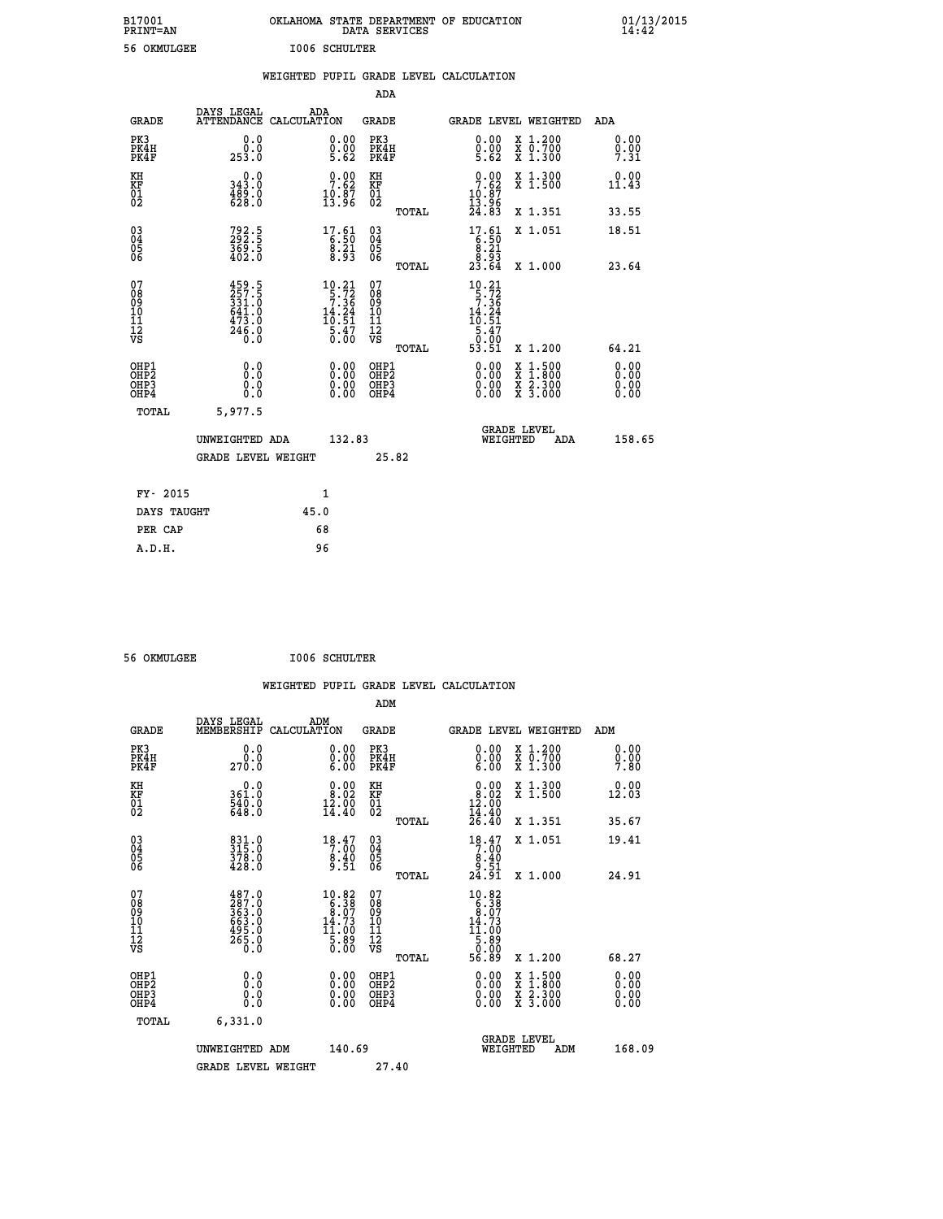| B17001<br>PRINT=AN                     |                                                           | OKLAHOMA STATE DEPARTMENT OF EDUCATION                                                                                                            | DATA SERVICES                                      |                                                                        |                                                                                          | $01/13/2015$<br>14:42 |  |
|----------------------------------------|-----------------------------------------------------------|---------------------------------------------------------------------------------------------------------------------------------------------------|----------------------------------------------------|------------------------------------------------------------------------|------------------------------------------------------------------------------------------|-----------------------|--|
| 56 OKMULGEE                            |                                                           | <b>I006 SCHULTER</b>                                                                                                                              |                                                    |                                                                        |                                                                                          |                       |  |
|                                        |                                                           | WEIGHTED PUPIL GRADE LEVEL CALCULATION                                                                                                            |                                                    |                                                                        |                                                                                          |                       |  |
|                                        |                                                           |                                                                                                                                                   | ADA                                                |                                                                        |                                                                                          |                       |  |
| <b>GRADE</b>                           | DAYS LEGAL                                                | ADA<br>ATTENDANCE CALCULATION                                                                                                                     | GRADE                                              | GRADE LEVEL WEIGHTED                                                   |                                                                                          | ADA                   |  |
| PK3<br>PK4H<br>PK4F                    | 0.0<br>$0.0$<br>253.0                                     | 0.00<br>$\begin{smallmatrix} 0.00 \ 5.62 \end{smallmatrix}$                                                                                       | PK3<br>PK4H<br>PK4F                                | 0.00<br>$0.00$<br>5.62                                                 | X 1.200<br>X 0.700<br>X 1.300                                                            | 0.00<br>0.00<br>7.31  |  |
| KH<br>KF<br>01<br>02                   | 0.0<br>343.0<br>$\frac{489.0}{628.0}$                     | $\frac{0.00}{7.62}$<br>$\frac{10.87}{13.96}$                                                                                                      | ΚH<br>KF<br>01<br>02                               | $0.00$<br>7.62<br>$\frac{10.87}{13.96}$                                | X 1.300<br>X 1.500                                                                       | 0.00<br>11.43         |  |
|                                        |                                                           |                                                                                                                                                   | TOTAL                                              | 24.83                                                                  | X 1.351                                                                                  | 33.55                 |  |
| 030404<br>ŌĞ                           | 792.5<br>292.5<br>369.5<br>402.0                          | $17.61$<br>$6.50$<br>$8.21$<br>8.93                                                                                                               | $\begin{matrix} 03 \\ 04 \\ 05 \\ 06 \end{matrix}$ | $17.61$<br>6.50<br>8.21<br>23.54                                       | X 1.051                                                                                  | 18.51                 |  |
|                                        |                                                           |                                                                                                                                                   | TOTAL<br>07                                        |                                                                        | X 1.000                                                                                  | 23.64                 |  |
| 07<br>08<br>09<br>10<br>11<br>Ī2<br>VS | 459.5<br>257.5<br>331.0<br>641.0<br>473.0<br>246.0<br>0.0 | $\begin{smallmatrix} 10.21 \\[-4pt] 5.72 \\[-4pt] 7.36 \\[-4pt] 14.24 \\[-4pt] 10.51 \\[-4pt] 5.47 \\[-4pt] 5.47 \\[-4pt] 0.00 \end{smallmatrix}$ | 08<br>09<br>10<br>īī<br>$\frac{1}{\sqrt{2}}$       | $10.21$<br>$5.72$<br>$7.36$<br>$14.24$<br>10.51<br>$\frac{5.47}{0.00}$ |                                                                                          |                       |  |
| OHP1                                   |                                                           |                                                                                                                                                   | TOTAL<br>OHP1                                      | 53.51                                                                  | X 1.200                                                                                  | 64.21<br>0.00         |  |
| OHP2<br>OH <sub>P3</sub><br>OHP4       | 0.0<br>0.0<br>0.0                                         | 0.00<br>$\begin{smallmatrix} 0.00 \ 0.00 \end{smallmatrix}$                                                                                       | OHP <sub>2</sub><br>OHP3<br>OHP4                   | 0.00<br>0.00<br>0.00                                                   | $\begin{smallmatrix} x & 1.500 \\ x & 1.800 \\ x & 2.300 \\ x & 3.000 \end{smallmatrix}$ | 0.00<br>0.00<br>0.00  |  |
| TOTAL                                  | 5,977.5                                                   |                                                                                                                                                   |                                                    |                                                                        |                                                                                          |                       |  |
|                                        | UNWEIGHTED ADA                                            | 132.83                                                                                                                                            |                                                    | WEIGHTED                                                               | <b>GRADE LEVEL</b><br>ADA                                                                | 158.65                |  |
|                                        | <b>GRADE LEVEL WEIGHT</b>                                 |                                                                                                                                                   | 25.82                                              |                                                                        |                                                                                          |                       |  |
| FY- 2015                               |                                                           | 1                                                                                                                                                 |                                                    |                                                                        |                                                                                          |                       |  |
| DAYS TAUGHT                            |                                                           | 45.0                                                                                                                                              |                                                    |                                                                        |                                                                                          |                       |  |
| PER CAP                                |                                                           | 68                                                                                                                                                |                                                    |                                                                        |                                                                                          |                       |  |

| 56 OKMULGEE | <b>I006 SCHULTER</b> |
|-------------|----------------------|
|             |                      |

 **WEIGHTED PUPIL GRADE LEVEL CALCULATION ADM DAYS LEGAL ADM GRADE MEMBERSHIP CALCULATION GRADE GRADE LEVEL WEIGHTED ADM PK3 0.0 0.00 PK3 0.00 X 1.200 0.00 PK4H 0.0 0.00 PK4H 0.00 X 0.700 0.00 PK4F 270.0 6.00 PK4F 6.00 X 1.300 7.80** 0.0 0.00 KH 0.00 KH 0.00 0.00<br>RF 361.0 361.0 361.02 KF 38.02 X 1.500 12.03  **01 540.0 12.00 01 12.00** 02 648.0 14.40 02 14.40  **TOTAL 26.40 X 1.351 35.67 03 831.0 18.47 03 18.47 X 1.051 19.41 04 315.0 7.00 04 7.00 05 378.0 8.40 05 8.40 06 428.0 9.51 06 9.51 TOTAL 24.91 X 1.000 24.91 07 487.0 10.82 07 10.82 08 287.0 6.38 08 6.38** لَالَةُ الْمَالِيَّةُ مِنْ قَوْمِ الْمَوْمِ الْمَوْمِ الْمَوْمِ الْمَوْمِ الْمَوْمِ الْمَوْمِ الْمَوْمَ الْمَو<br>الْمَوْمِ الْمَوْمِ الْمَوْمِ الْمَوْمِ الْمَوْمِ الْمَوْمِ الْمَوْمِ الْمَوْمِ الْمَوْمِ الْمَوْمِ الْمَوْمِ  **10 663.0 14.73 10 14.73** 11 495.0 11.00 11<br>11.00  **12 265.0 5.89 12 5.89 VS 0.0 0.00 VS 0.00 TOTAL 56.89 X 1.200 68.27 OHP1 0.0 0.00 OHP1 0.00 X 1.500 0.00 OHP2 0.0 0.00 OHP2 0.00 X 1.800 0.00 OHP3 0.0 0.00 OHP3 0.00 X 2.300 0.00 OHP4 0.0 0.00 OHP4 0.00 X 3.000 0.00 TOTAL 6,331.0 GRADE LEVEL UNWEIGHTED ADM 140.69 WEIGHTED ADM 168.09** GRADE LEVEL WEIGHT 27.40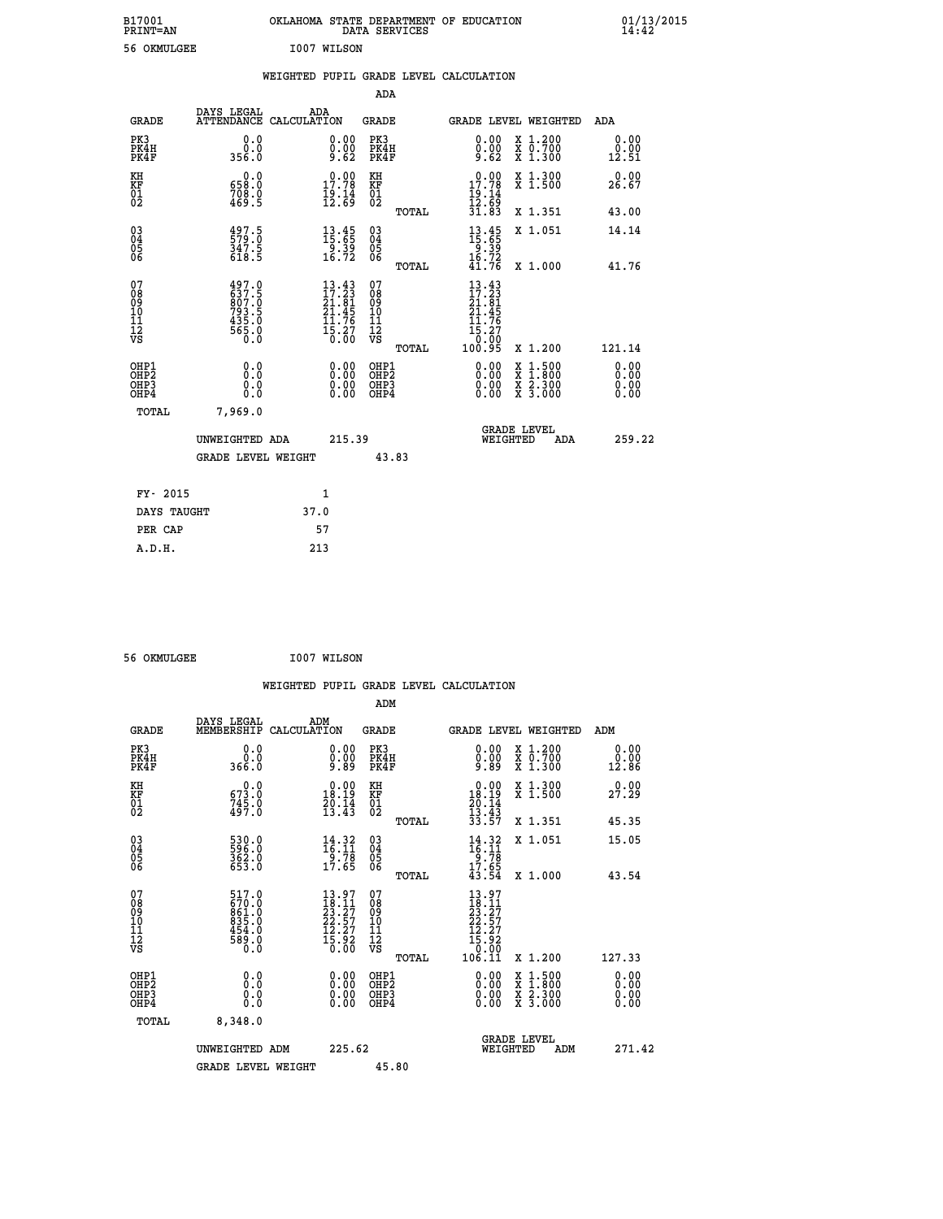|     |             | OKLAHOMA STATE DEPARTMENT OF EDUCATION<br>DATA SERVICES |  |
|-----|-------------|---------------------------------------------------------|--|
| 7F. | T007 WTLSON |                                                         |  |

 **B17001<br>PRINT=AN** 

| 56 OKMULGEE                                                        |                                                                    |      | I007 WILSON                                                                                     |                                        |       |                                                                                                                                     |                                                                               |                       |
|--------------------------------------------------------------------|--------------------------------------------------------------------|------|-------------------------------------------------------------------------------------------------|----------------------------------------|-------|-------------------------------------------------------------------------------------------------------------------------------------|-------------------------------------------------------------------------------|-----------------------|
|                                                                    |                                                                    |      |                                                                                                 |                                        |       | WEIGHTED PUPIL GRADE LEVEL CALCULATION                                                                                              |                                                                               |                       |
|                                                                    |                                                                    |      |                                                                                                 | ADA                                    |       |                                                                                                                                     |                                                                               |                       |
| <b>GRADE</b>                                                       | DAYS LEGAL<br>ATTENDANCE CALCULATION                               |      | ADA                                                                                             | <b>GRADE</b>                           |       |                                                                                                                                     | GRADE LEVEL WEIGHTED                                                          | ADA                   |
| PK3<br>PK4H<br>PK4F                                                | 0.0<br>0.0<br>356.0                                                |      | 0.00<br>0.00<br>9.62                                                                            | PK3<br>PK4H<br>PK4F                    |       | 0.00<br>0.00<br>9.62                                                                                                                | X 1.200<br>X 0.700<br>X 1.300                                                 | 0.00<br>0.00<br>12.51 |
| KH<br><b>KF</b><br>01<br>02                                        | 0.0<br>658.0<br>708.0<br>469.5                                     |      | 17.78<br>$\frac{19.14}{12.69}$                                                                  | KH<br><b>KF</b><br>01<br>02            |       | 0.00<br>17.78<br>$\frac{19}{12}$ $\frac{14}{69}$                                                                                    | X 1.300<br>X 1.500                                                            | 0.00<br>26.67         |
|                                                                    |                                                                    |      |                                                                                                 |                                        | TOTAL | 31.83                                                                                                                               | X 1.351                                                                       | 43.00                 |
| $\begin{smallmatrix} 03 \\[-4pt] 04 \end{smallmatrix}$<br>Ŏ5<br>06 | 497.5<br>579.0<br>347.5<br>618.5                                   |      | $\begin{smallmatrix} 13.45\\15.65\\9.39\\16.72 \end{smallmatrix}$                               | $\substack{03 \\ 04}$<br>Ŏ5<br>06      |       | $13.45$<br>$15.65$<br>$9.39$<br>$16.72$<br>$41.76$                                                                                  | X 1.051                                                                       | 14.14                 |
|                                                                    |                                                                    |      |                                                                                                 |                                        | TOTAL |                                                                                                                                     | X 1.000                                                                       | 41.76                 |
| 07<br>08<br>09<br>01<br>11<br>11<br>12<br>VS                       | 497.0<br>637.5<br>007.0<br>$793.5$<br>$435.0$<br>$565.0$<br>$50.0$ |      | $13.43$<br>$17.23$<br>$21.81$<br>$21.45$<br>$11.76$<br>$\bar{1}\bar{5}\cdot 2\bar{7}$<br>$0:00$ | 07<br>08<br>09<br>11<br>11<br>12<br>VS | TOTAL | 13.43<br>$\begin{array}{c} 17.23 \\ 21.81 \\ 21.45 \\ 11.76 \end{array}$<br>$\bar{1}\bar{5}\cdot 2\bar{7}$<br>$0\cdot 00$<br>100.95 | X 1.200                                                                       | 121.14                |
| OHP1<br>OHP2<br>OHP3<br>OHP4                                       | 0.0<br>0.0<br>0.0                                                  |      | 0.00<br>$0.00$<br>0.00                                                                          | OHP1<br>OHP2<br>OHP3<br>OHP4           |       | 0.00<br>$0.00$<br>0.00                                                                                                              | 1:500<br>X<br>X<br>$\begin{array}{c} \hat{x} \\ \hat{z} \\ 3.000 \end{array}$ | 0.00<br>0.00<br>0.00  |
| TOTAL                                                              | 7,969.0                                                            |      |                                                                                                 |                                        |       |                                                                                                                                     |                                                                               |                       |
|                                                                    | UNWEIGHTED ADA                                                     |      | 215.39                                                                                          |                                        |       | WEIGHTED                                                                                                                            | <b>GRADE LEVEL</b><br>ADA                                                     | 259.22                |
|                                                                    | <b>GRADE LEVEL WEIGHT</b>                                          |      |                                                                                                 |                                        | 43.83 |                                                                                                                                     |                                                                               |                       |
| FY- 2015                                                           |                                                                    |      | 1                                                                                               |                                        |       |                                                                                                                                     |                                                                               |                       |
| DAYS TAUGHT                                                        |                                                                    | 37.0 |                                                                                                 |                                        |       |                                                                                                                                     |                                                                               |                       |
| PER CAP                                                            |                                                                    |      | 57                                                                                              |                                        |       |                                                                                                                                     |                                                                               |                       |
| A.D.H.                                                             |                                                                    |      | 213                                                                                             |                                        |       |                                                                                                                                     |                                                                               |                       |

 **56 OKMULGEE I007 WILSON**

|                                                      |                                                                   |                                                                                                                                                     | WEIGHTED PUPIL GRADE LEVEL CALCULATION              |                                                                                                                                                          |                                          |                       |
|------------------------------------------------------|-------------------------------------------------------------------|-----------------------------------------------------------------------------------------------------------------------------------------------------|-----------------------------------------------------|----------------------------------------------------------------------------------------------------------------------------------------------------------|------------------------------------------|-----------------------|
|                                                      |                                                                   |                                                                                                                                                     | ADM                                                 |                                                                                                                                                          |                                          |                       |
| <b>GRADE</b>                                         | DAYS LEGAL<br>MEMBERSHIP<br>CALCULATION                           | ADM                                                                                                                                                 | GRADE                                               | GRADE LEVEL WEIGHTED                                                                                                                                     |                                          | ADM                   |
| PK3<br>PK4H<br>PK4F                                  | 0.0<br>Ŏ.Ŏ<br>366.O                                               | $\substack{0.00\\0.00\\9.89}$                                                                                                                       | PK3<br>PK4H<br>PK4F                                 | $0.00$<br>$0.00$<br>$9.89$                                                                                                                               | X 1.200<br>X 0.700<br>X 1.300            | 0.00<br>0.00<br>12.86 |
| KH<br>KF<br>01<br>02                                 | $\begin{smallmatrix} &0.0\ 673.0\ 745.0\ 497.0 \end{smallmatrix}$ | $\begin{smallmatrix} 0.00\\ 18.19\\ 20.14\\ 13.43 \end{smallmatrix}$                                                                                | KH<br>KF<br>01<br>02                                | 0.00<br>$18.19$<br>$20.14$<br>$13.43$<br>$33.57$                                                                                                         | X 1.300<br>X 1.500                       | 0.00<br>27.29         |
|                                                      |                                                                   |                                                                                                                                                     | TOTAL                                               |                                                                                                                                                          | X 1.351                                  | 45.35                 |
| $\begin{matrix} 03 \\ 04 \\ 05 \\ 06 \end{matrix}$   | 530.0<br>596.0<br>362.0<br>653.0                                  | $14.32$<br>$16.11$<br>$9.78$<br>$17.65$                                                                                                             | $\begin{array}{c} 03 \\ 04 \\ 05 \\ 06 \end{array}$ | $14.32$<br>$16.11$<br>$9.78$<br>$17.65$<br>$43.54$                                                                                                       | X 1.051                                  | 15.05                 |
|                                                      |                                                                   |                                                                                                                                                     | TOTAL                                               |                                                                                                                                                          | X 1.000                                  | 43.54                 |
| 07<br>08<br>09<br>101<br>11<br>12<br>VS              | 517.0<br>670.00<br>861.00<br>835.00<br>454.00<br>589.00           | 13.97<br>$\begin{smallmatrix} 1 & 3 & 1 & 1 \\ 2 & 3 & 2 & 7 \\ 2 & 2 & 5 & 7 \\ 1 & 2 & 2 & 7 \\ 1 & 5 & 9 & 2 \\ 0 & 0 & 0 & 0 \end{smallmatrix}$ | 07<br>08<br>09<br>01<br>11<br>11<br>12<br>VS        | 13.97<br>$\begin{smallmatrix} 1 & 3 & 7 & 7 \ 12 & 2 & 2 & 5 & 7 \ 22 & 2 & 5 & 7 \ 12 & 2 & 2 & 7 \ 15 & 9 & 2 & 0 \ 10 & 6 & 11 & 0 \end{smallmatrix}$ |                                          |                       |
|                                                      |                                                                   |                                                                                                                                                     | TOTAL                                               |                                                                                                                                                          | X 1.200                                  | 127.33                |
| OHP1<br>OHP <sub>2</sub><br>OH <sub>P3</sub><br>OHP4 | 0.0<br>0.000                                                      | $\begin{smallmatrix} 0.00 \ 0.00 \ 0.00 \ 0.00 \end{smallmatrix}$                                                                                   | OHP1<br>OHP2<br>OHP3<br>OHP4                        | $0.00$<br>$0.00$<br>0.00                                                                                                                                 | X 1:500<br>X 1:800<br>X 2:300<br>X 3:000 | 0.00<br>0.00<br>0.00  |
| TOTAL                                                | 8,348.0                                                           |                                                                                                                                                     |                                                     |                                                                                                                                                          |                                          |                       |
|                                                      | UNWEIGHTED ADM                                                    | 225.62                                                                                                                                              |                                                     | <b>GRADE LEVEL</b><br>WEIGHTED                                                                                                                           | ADM                                      | 271.42                |
|                                                      | <b>GRADE LEVEL WEIGHT</b>                                         |                                                                                                                                                     | 45.80                                               |                                                                                                                                                          |                                          |                       |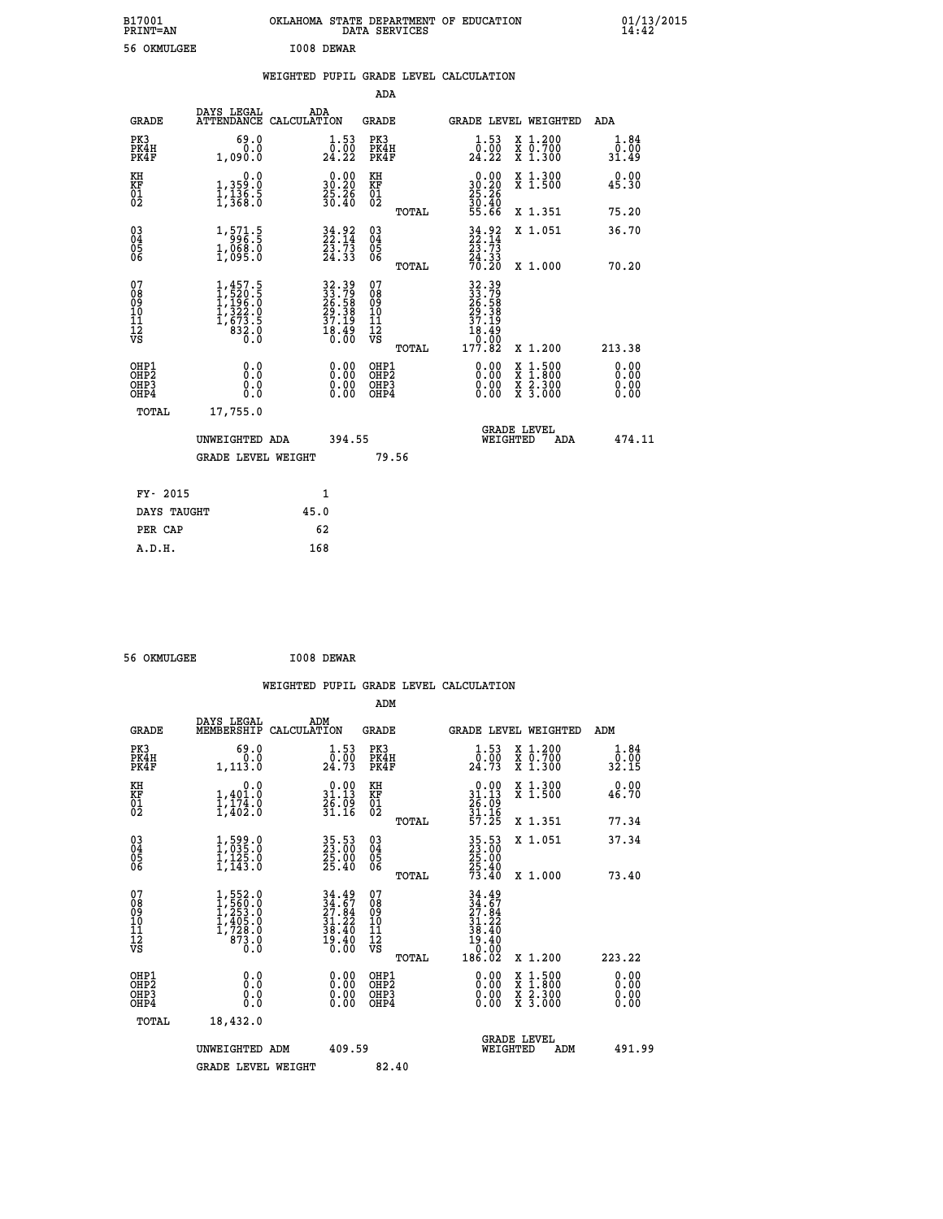| B17001<br><b>PRINT=AN</b> | OKLAHOMA STATE DEPARTMENT OF EDUCATION<br>DATA SERVICES | 01/13/2015 |
|---------------------------|---------------------------------------------------------|------------|
| 56<br>OKMULGEE            | I008 DEWAR                                              |            |

|  |  | WEIGHTED PUPIL GRADE LEVEL CALCULATION |
|--|--|----------------------------------------|
|  |  |                                        |

|                                                                    |                                                                                                                 |      |                                                                      | ADA                                          |       |                                                            |                                                                                          |                              |
|--------------------------------------------------------------------|-----------------------------------------------------------------------------------------------------------------|------|----------------------------------------------------------------------|----------------------------------------------|-------|------------------------------------------------------------|------------------------------------------------------------------------------------------|------------------------------|
| <b>GRADE</b>                                                       | DAYS LEGAL<br>ATTENDANCE CALCULATION                                                                            | ADA  |                                                                      | <b>GRADE</b>                                 |       |                                                            | GRADE LEVEL WEIGHTED                                                                     | ADA                          |
| PK3<br>PK4H<br>PK4F                                                | 69.0<br>0.0<br>1,090.0                                                                                          |      | $\begin{smallmatrix} 1.53\ 0.00\\ 24.22 \end{smallmatrix}$           | PK3<br>PK4H<br>PK4F                          |       | $\substack{1.53 \\ 0.00 \\ 24.22}$                         | X 1.200<br>X 0.700<br>X 1.300                                                            | 1.84<br>0.00<br>31.49        |
| KH<br>KF<br>01<br>02                                               | 0.0<br>1,359:0<br>1,136.5<br>1,368:0                                                                            |      | $\begin{smallmatrix} 0.00\\ 30.20\\ 25.26\\ 30.40 \end{smallmatrix}$ | KH<br>KF<br>01<br>02                         |       | 0.00<br>30:20<br>25:26<br>30:40<br>55:66                   | X 1.300<br>X 1.500                                                                       | 0.00<br>45.30                |
|                                                                    |                                                                                                                 |      |                                                                      |                                              | TOTAL |                                                            | X 1.351                                                                                  | 75.20                        |
| $\begin{smallmatrix} 03 \\[-4pt] 04 \end{smallmatrix}$<br>Ŏ5<br>06 | 1,571.5<br>$1,068.0$<br>$1,095.0$                                                                               |      | $34.92$<br>$22.14$<br>$23.73$<br>$24.33$                             | $\substack{03 \\ 04}$<br>Ŏ5<br>06            |       | $34.92$<br>$23.73$<br>$24.33$<br>$70.20$                   | X 1.051                                                                                  | 36.70                        |
|                                                                    |                                                                                                                 |      |                                                                      |                                              | TOTAL |                                                            | X 1.000                                                                                  | 70.20                        |
| 07<br>08<br>09<br>101<br>11<br>12<br>VS                            | $\begin{smallmatrix} 1,457.5\\ 1,520.5\\ 1,196.0\\ 1,122.0\\ 1,322.9\\ 1,673.5\\ 832.0\\ 0.0 \end{smallmatrix}$ |      | 32.39<br>33.79<br>26.58<br>29.38<br>37.19<br>37.19<br>18.49<br>18.40 | 07<br>08<br>09<br>11<br>11<br>12<br>VS       |       | 32.39<br>33.79<br>26.58<br>29.38<br>37.19<br>37.19<br>Ŏ.ŌŎ |                                                                                          |                              |
|                                                                    |                                                                                                                 |      |                                                                      |                                              | TOTAL | 177.82                                                     | X 1.200                                                                                  | 213.38                       |
| OHP1<br>OHP <sub>2</sub><br>OH <sub>P3</sub><br>OHP4               | 0.0<br>0.0<br>0.0                                                                                               |      | 0.00<br>$\begin{smallmatrix} 0.00 \ 0.00 \end{smallmatrix}$          | OHP1<br>OHP <sub>2</sub><br>OHP <sub>3</sub> |       | 0.00<br>0.00                                               | $\begin{smallmatrix} x & 1.500 \\ x & 1.800 \\ x & 2.300 \\ x & 3.000 \end{smallmatrix}$ | 0.00<br>0.00<br>0.00<br>0.00 |
| TOTAL                                                              | 17,755.0                                                                                                        |      |                                                                      |                                              |       |                                                            |                                                                                          |                              |
|                                                                    | UNWEIGHTED ADA                                                                                                  |      | 394.55                                                               |                                              |       | WEIGHTED                                                   | <b>GRADE LEVEL</b><br>ADA                                                                | 474.11                       |
|                                                                    | <b>GRADE LEVEL WEIGHT</b>                                                                                       |      |                                                                      |                                              | 79.56 |                                                            |                                                                                          |                              |
| FY- 2015                                                           |                                                                                                                 | 1    |                                                                      |                                              |       |                                                            |                                                                                          |                              |
| DAYS TAUGHT                                                        |                                                                                                                 | 45.0 |                                                                      |                                              |       |                                                            |                                                                                          |                              |
| PER CAP                                                            |                                                                                                                 | 62   |                                                                      |                                              |       |                                                            |                                                                                          |                              |

 **56 OKMULGEE I008 DEWAR**

 **A.D.H. 168**

 **WEIGHTED PUPIL GRADE LEVEL CALCULATION ADM DAYS LEGAL ADM GRADE MEMBERSHIP CALCULATION GRADE GRADE LEVEL WEIGHTED ADM PK3 69.0 1.53 PK3 1.53 X 1.200 1.84 PK4H 0.0 0.00 PK4H 0.00 X 0.700 0.00 PK4F 1,113.0 24.73 PK4F 24.73 X 1.300 32.15 KH 0.0 0.00 KH 0.00 X 1.300 0.00 KF 1,401.0 31.13 KF 31.13 X 1.500 46.70** 01 1,174.0 26.09 01 26.09<br>02 1,402.0 31.16 02 <sub>momen</sub> 31.16  **TOTAL 57.25 X 1.351 77.34 03 1,599.0 35.53 03 35.53 X 1.051 37.34 04 1,035.0 23.00 04 23.00 05 1,125.0 25.00 05 25.00 06 1,143.0 25.40 06 25.40 TOTAL 73.40 X 1.000 73.40**  $\begin{array}{cccc} 07 & 1,552.0 & 34.49 & 07 & 34.49 \\ 08 & 1,552.0 & 34.49 & 07 & 34.49 \\ 09 & 1,253.0 & 27.84 & 08 & 37.84 \\ 10 & 1,405.0 & 31.22 & 10 & 31.22 \\ 11 & 1,7283.0 & 38.40 & 11 & 38.40 \\ 12 & 873.0 & 19.40 & 12 & 9.40 \\ \sqrt{5} & 8 & 3.6 & 10 & 0 \\ 1 & 0.0 &$  **TOTAL 186.02 X 1.200 223.22 OHP1 0.0 0.00 OHP1 0.00 X 1.500 0.00 OHP2 0.0 0.00 OHP2 0.00 X 1.800 0.00 OHP3 0.0 0.00 OHP3 0.00 X 2.300 0.00 OHP4 0.0 0.00 OHP4 0.00 X 3.000 0.00 TOTAL 18,432.0 GRADE LEVEL UNWEIGHTED ADM 409.59 WEIGHTED ADM 491.99** GRADE LEVEL WEIGHT 82.40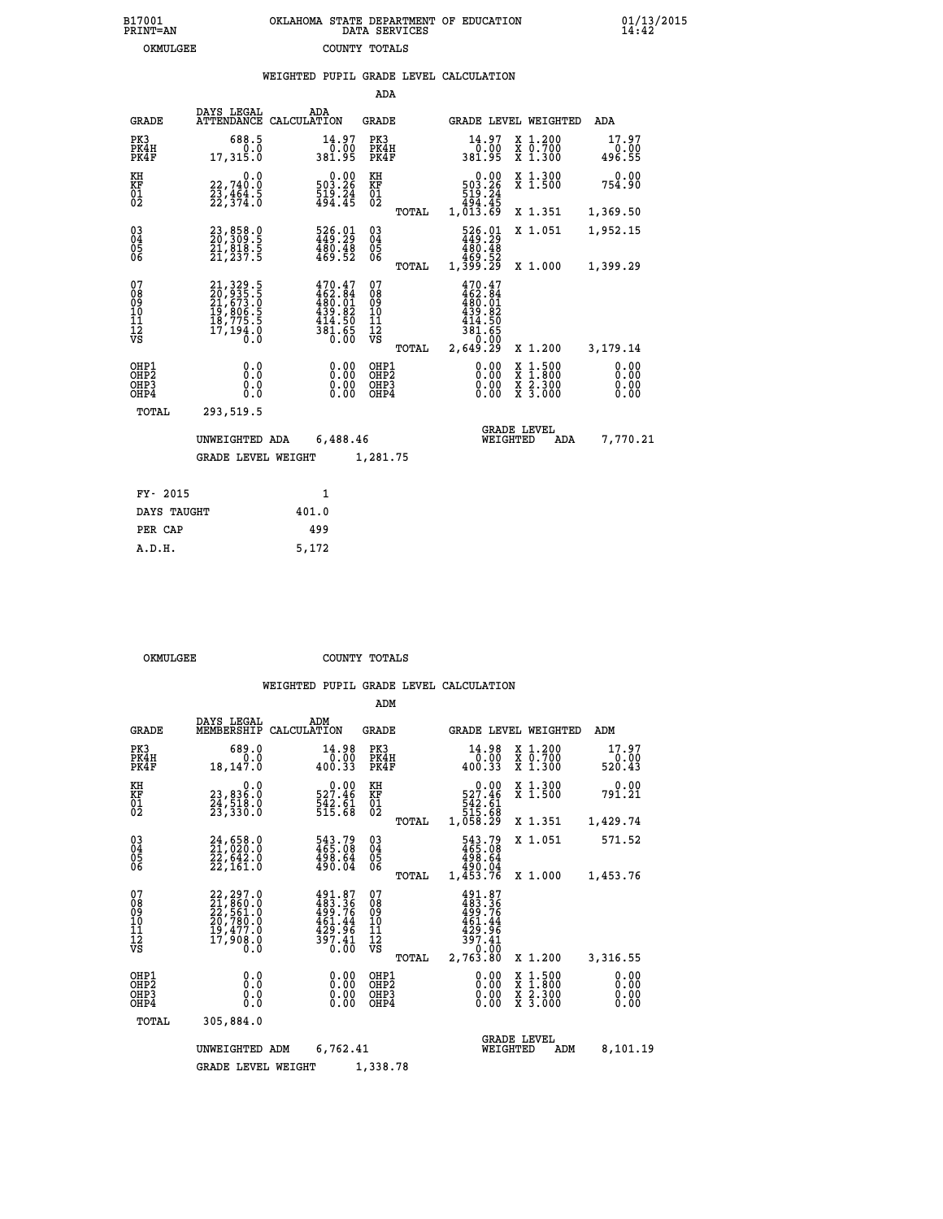| OKLAHOMA STATE DEPARTMENT OF EDUCATION<br>DATA SERVICES |  |
|---------------------------------------------------------|--|
| COUNTY TOTALS                                           |  |

 **B17001 OKLAHOMA STATE DEPARTMENT OF EDUCATION 01/13/2015**

|                                                                    |                                                                                                                                                                 | WEIGHTED PUPIL GRADE LEVEL CALCULATION                                                                   |                                                 |                                                                                        |                                                                                                  |                              |
|--------------------------------------------------------------------|-----------------------------------------------------------------------------------------------------------------------------------------------------------------|----------------------------------------------------------------------------------------------------------|-------------------------------------------------|----------------------------------------------------------------------------------------|--------------------------------------------------------------------------------------------------|------------------------------|
|                                                                    |                                                                                                                                                                 |                                                                                                          | ADA                                             |                                                                                        |                                                                                                  |                              |
| <b>GRADE</b>                                                       | DAYS LEGAL                                                                                                                                                      | ADA<br>ATTENDANCE CALCULATION                                                                            | <b>GRADE</b>                                    | GRADE LEVEL WEIGHTED                                                                   |                                                                                                  | ADA                          |
| PK3<br>PK4H<br>PK4F                                                | 688.5<br>0.0<br>17,315.0                                                                                                                                        | 14.97<br>0.00<br>381.95                                                                                  | PK3<br>PK4H<br>PK4F                             | 14.97<br>0.00<br>381.95                                                                | $\begin{smallmatrix} x & 1 & 200 \\ x & 0 & 700 \end{smallmatrix}$<br>$\overline{x}$ 1.300       | 17.97<br>0.00<br>496.55      |
| KH<br>KF<br>01<br>02                                               | 0.0<br>22,740.0<br>23,464.5<br>22,374.0                                                                                                                         | $\begin{smallmatrix} &0.00\\ 503.26\\ 19.24\\ 494.45\end{smallmatrix}$                                   | KH<br>KF<br>01<br>02                            | 0.00<br>$503.26$<br>$519.24$<br>$494.45$<br>$1,013.69$                                 | X 1.300<br>X 1.500                                                                               | 0.00<br>754.90               |
|                                                                    |                                                                                                                                                                 |                                                                                                          | TOTAL                                           |                                                                                        | X 1.351                                                                                          | 1,369.50                     |
| $03\overline{4}$<br>Ŏ5<br>06                                       | 23,858.0<br>20,309.5<br>21,818.5<br>21,237.5                                                                                                                    | $\frac{526}{49}.\frac{01}{29}\newline \frac{480}{480}.\frac{48}{48}\newline \frac{48}{469}.\frac{4}{52}$ | 03<br>04<br>05<br>06                            | 526.01<br>449.29<br>480.48                                                             | X 1.051                                                                                          | 1,952.15                     |
|                                                                    |                                                                                                                                                                 |                                                                                                          | TOTAL                                           | 52.ۆ64<br>1,399.29                                                                     | X 1.000                                                                                          | 1,399.29                     |
| 07<br>Ŏġ<br>09<br>$\frac{10}{11}$<br>$\frac{12}{12}$<br>$\sqrt{S}$ | $\begin{smallmatrix} 21,329\cdot 5\\ 20,935\cdot 5\\ 21,673\cdot 0\\ 19,806\cdot 5\\ 18,775\cdot 5\\ 18,775\cdot 5\\ 17,194\cdot 0\\ 0\cdot 0\end{smallmatrix}$ | $470.47$<br>$462.84$<br>$480.01$<br>$439.82$<br>$414.50$<br>$381.65$<br>0.00                             | 07<br>08<br>09<br>10<br>11<br>12<br>VS<br>TOTAL | $470.47$<br>$462.84$<br>$480.01$<br>$439.82$<br>$434.50$<br>381.65<br>0.00<br>2,649.29 | X 1.200                                                                                          | 3,179.14                     |
| OHP1<br>OH <sub>P</sub><br>OH <sub>P3</sub><br>OHP4                | 0.0<br>Ō.Ō<br>0.0<br>0.0                                                                                                                                        | 0.00<br>0.00<br>0.00                                                                                     | OHP1<br>OHP <sub>2</sub><br>OHP3<br>OHP4        | 0.00<br>0.00<br>0.00                                                                   | $\begin{smallmatrix} x & 1 & 500 \\ x & 1 & 800 \\ x & 2 & 300 \\ x & 3 & 000 \end{smallmatrix}$ | 0.00<br>0.00<br>0.00<br>0.00 |
| TOTAL                                                              | 293,519.5                                                                                                                                                       |                                                                                                          |                                                 |                                                                                        |                                                                                                  |                              |
|                                                                    | UNWEIGHTED ADA                                                                                                                                                  | 6,488.46                                                                                                 |                                                 | <b>GRADE LEVEL</b><br>WEIGHTED                                                         | ADA                                                                                              | 7,770.21                     |
|                                                                    | <b>GRADE LEVEL WEIGHT</b>                                                                                                                                       |                                                                                                          | 1,281.75                                        |                                                                                        |                                                                                                  |                              |
| FY- 2015                                                           |                                                                                                                                                                 | $\mathbf{1}$                                                                                             |                                                 |                                                                                        |                                                                                                  |                              |
| DAYS TAUGHT                                                        |                                                                                                                                                                 | 401.0                                                                                                    |                                                 |                                                                                        |                                                                                                  |                              |
| PER CAP                                                            |                                                                                                                                                                 | 499                                                                                                      |                                                 |                                                                                        |                                                                                                  |                              |

| OKMULGEE | COUNTY TOTALS |  |
|----------|---------------|--|

 **A.D.H. 5,172**

B17001<br>PRINT=AN<br>OKMULGEE

|                                                       |                                                                                                 |                                                                                                              | ADM                                                                             |                                                                                        |                                                                                                  |                              |
|-------------------------------------------------------|-------------------------------------------------------------------------------------------------|--------------------------------------------------------------------------------------------------------------|---------------------------------------------------------------------------------|----------------------------------------------------------------------------------------|--------------------------------------------------------------------------------------------------|------------------------------|
| <b>GRADE</b>                                          | DAYS LEGAL<br>MEMBERSHIP                                                                        | ADM<br>CALCULATION                                                                                           | <b>GRADE</b>                                                                    | <b>GRADE LEVEL WEIGHTED</b>                                                            |                                                                                                  | ADM                          |
| PK3<br>PK4H<br>PK4F                                   | 689.0<br>0.0<br>18,147.0                                                                        | 14.98<br>0.00<br>400.33                                                                                      | PK3<br>PK4H<br>PK4F                                                             | 14.98<br>0.00<br>400.33                                                                | $\begin{smallmatrix} x & 1.200 \\ x & 0.700 \end{smallmatrix}$<br>$X$ 1.300                      | 17.97<br>0.00<br>520.43      |
| KH<br>KF<br>01<br>02                                  | 0.0<br>23,836.0<br>24,518.0<br>23,330.0                                                         | $527.46$<br>$542.61$<br>$515.68$                                                                             | KH<br>KF<br>01<br>02                                                            | $\begin{smallmatrix}&&0.00\\527.46\\542.61\\542.61\\515.68\\1,058.29\end{smallmatrix}$ | X 1.300<br>X 1.500                                                                               | 0.00<br>791.21               |
|                                                       |                                                                                                 |                                                                                                              | TOTAL                                                                           |                                                                                        | X 1.351                                                                                          | 1,429.74                     |
| 03<br>04<br>05<br>06                                  | 24,658.0<br>21,020.0<br>22,642.0<br>22,161.0                                                    | 543.79<br>465.08<br>498.64<br>490.04                                                                         | $\substack{03 \\ 04}$<br>$\begin{smallmatrix} 0 & 5 \\ 0 & 6 \end{smallmatrix}$ | 543.79<br>465.08<br>498.64<br>490.04                                                   | X 1.051                                                                                          | 571.52                       |
|                                                       |                                                                                                 |                                                                                                              | TOTAL                                                                           | 1,453.76                                                                               | X 1.000                                                                                          | 1,453.76                     |
| 07<br>08<br>09<br>11<br>11<br>12<br>VS                | $22, 297.0$<br>$21, 860.0$<br>$22, 561.0$<br>$20, 780.0$<br>$19, 477.0$<br>$17, 908.0$<br>$0.0$ | 491.87<br>483.36<br>499.76<br>461.44<br>429.96<br>$\frac{3\overline{9}\overline{7}\cdot\overline{41}}{0.00}$ | 07<br>08<br>09<br>101<br>11<br>12<br>VS<br>TOTAL                                | 491.87<br>483.36<br>499.76<br>461.44<br>429.96<br>397.41<br>0.00<br>2,763.80           | X 1.200                                                                                          | 3,316.55                     |
| OHP1<br>OH <sub>P</sub> 2<br>OH <sub>P3</sub><br>OHP4 | 0.0<br>0.000                                                                                    | $0.00$<br>$0.00$<br>0.00                                                                                     | OHP1<br>OHP2<br>OHP3<br>OHP4                                                    | $0.00$<br>$0.00$<br>0.00                                                               | $\begin{smallmatrix} x & 1 & 500 \\ x & 1 & 800 \\ x & 2 & 300 \\ x & 3 & 000 \end{smallmatrix}$ | 0.00<br>0.00<br>0.00<br>0.00 |
| TOTAL                                                 | 305,884.0                                                                                       |                                                                                                              |                                                                                 |                                                                                        |                                                                                                  |                              |
|                                                       | UNWEIGHTED ADM                                                                                  | 6,762.41                                                                                                     |                                                                                 | WEIGHTED                                                                               | <b>GRADE LEVEL</b><br>ADM                                                                        | 8,101.19                     |
|                                                       | <b>GRADE LEVEL WEIGHT</b>                                                                       |                                                                                                              | 1,338.78                                                                        |                                                                                        |                                                                                                  |                              |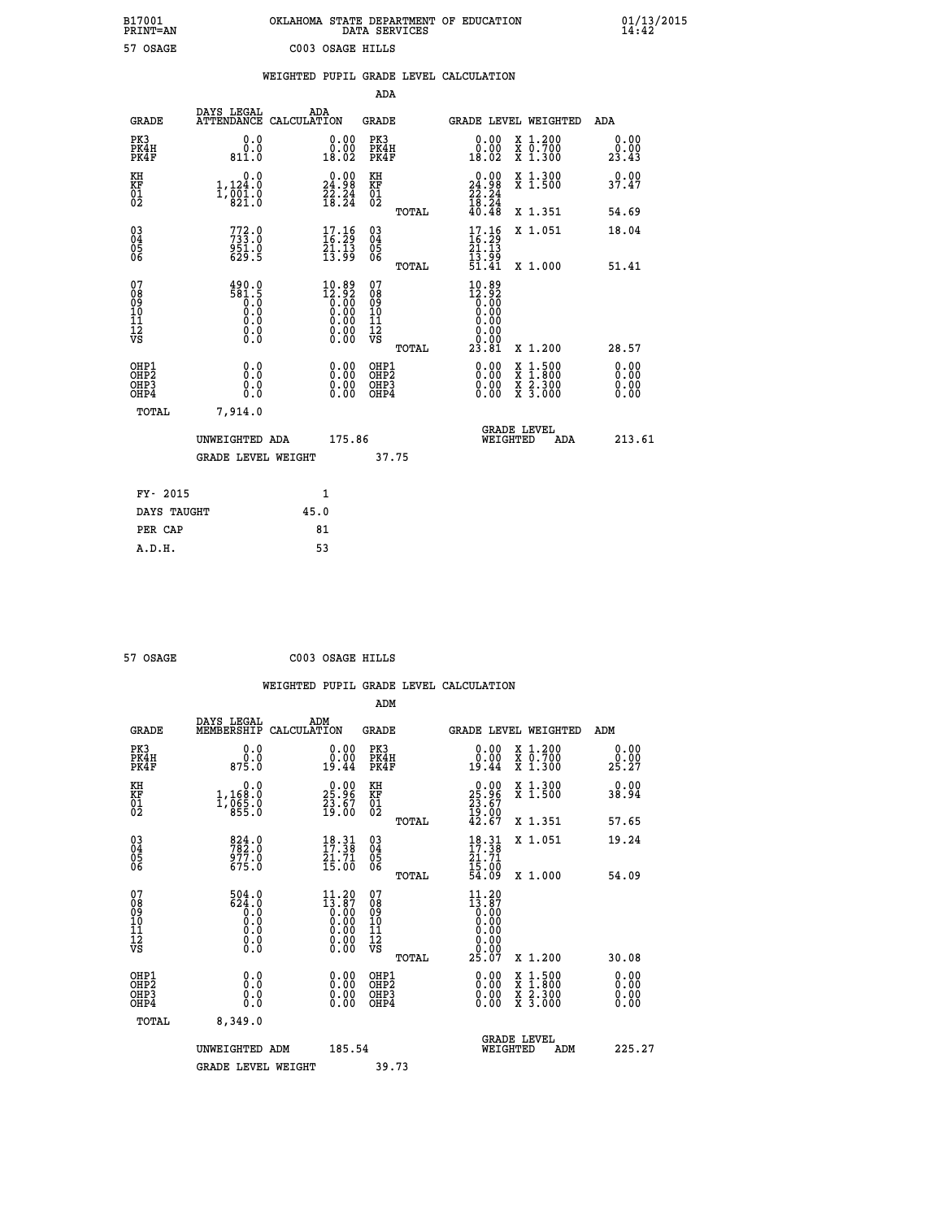| OKLAHOMA STATE DEPARTMENT OF EDUCATION<br>DATA SERVICES |  |  |
|---------------------------------------------------------|--|--|
| C003 OSAGE HILLS                                        |  |  |

 **B17001 OKLAHOMA STATE DEPARTMENT OF EDUCATION 01/13/2015**

|                                                                    |                                                                                            |      |                                                                    |                                          |       | WEIGHTED PUPIL GRADE LEVEL CALCULATION                                                                                                                                                                                                                                         |                                                                                          |                                  |
|--------------------------------------------------------------------|--------------------------------------------------------------------------------------------|------|--------------------------------------------------------------------|------------------------------------------|-------|--------------------------------------------------------------------------------------------------------------------------------------------------------------------------------------------------------------------------------------------------------------------------------|------------------------------------------------------------------------------------------|----------------------------------|
|                                                                    |                                                                                            |      |                                                                    | <b>ADA</b>                               |       |                                                                                                                                                                                                                                                                                |                                                                                          |                                  |
| <b>GRADE</b>                                                       | DAYS LEGAL<br>ATTENDANCE CALCULATION                                                       |      | ADA                                                                | GRADE                                    |       | GRADE LEVEL WEIGHTED                                                                                                                                                                                                                                                           |                                                                                          | ADA                              |
| PK3<br>PK4H<br>PK4F                                                | 0.0<br>0.0<br>811.0                                                                        |      | 0.00<br>18.02                                                      | PK3<br>PK4H<br>PK4F                      |       | 0.00<br>ŏ:ŏŏ<br>18:02                                                                                                                                                                                                                                                          | X 1.200<br>X 0.700<br>X 1.300                                                            | 0.00<br>0.00<br>23.43            |
| KH<br>KF<br>01<br>02                                               | 0.0<br>1,124.0<br>$1,\overline{0}\,\overline{0}\,\overline{1}\,\overline{0}\,\overline{0}$ |      | 24.98<br>$\frac{2}{3}$ $\frac{2}{3}$ $\frac{3}{4}$                 | KH<br>KF<br>$\overline{01}$              |       | 0.00<br>24.98                                                                                                                                                                                                                                                                  | X 1.300<br>X 1.500                                                                       | 0.00<br>37.47                    |
|                                                                    |                                                                                            |      |                                                                    |                                          | TOTAL | $\frac{22.24}{18.24}$<br>40.48                                                                                                                                                                                                                                                 | X 1.351                                                                                  | 54.69                            |
| $\begin{smallmatrix} 03 \\[-4pt] 04 \end{smallmatrix}$<br>Ŏ5<br>06 | 772.0<br>951.0                                                                             |      | $\begin{array}{c} 17.16 \\ 16.29 \\ 21.13 \\ 13.99 \end{array}$    | $\substack{03 \\ 04}$<br>$\frac{05}{06}$ |       | 17.16<br>21.13                                                                                                                                                                                                                                                                 | X 1.051                                                                                  | 18.04                            |
|                                                                    | 629.5                                                                                      |      |                                                                    |                                          | TOTAL | $\frac{1}{51}. \frac{5}{41}$                                                                                                                                                                                                                                                   | X 1.000                                                                                  | 51.41                            |
| 07<br>08<br>09<br>11<br>11<br>12<br>VS                             | $\begin{array}{c}\n 490.0 \\  581.5 \\  0.0 \\  0.0\n \end{array}$<br>0.0<br>$\S.$         |      | $10.89$<br>$12.92$<br>$0.00$<br>$0.00$<br>$0.00$<br>$0.00$<br>0.00 | 07<br>08<br>09<br>11<br>11<br>12<br>VS   | TOTAL | 10.89<br>$\begin{smallmatrix} 12.92\ 16.00\ 0.00 \end{smallmatrix}$<br>0.00<br>0.00<br>0.00<br>23.81                                                                                                                                                                           | X 1.200                                                                                  | 28.57                            |
| OHP1<br>OHP2<br>OHP3<br>OHP4                                       | 0.0<br>0.0<br>$0.\overline{0}$                                                             |      | $\begin{smallmatrix} 0.00 \ 0.00 \ 0.00 \ 0.00 \end{smallmatrix}$  | OHP1<br>OHP2<br>OHP3<br>OHP4             |       | $\begin{smallmatrix} 0.00 & 0.00 & 0.00 & 0.00 & 0.00 & 0.00 & 0.00 & 0.00 & 0.00 & 0.00 & 0.00 & 0.00 & 0.00 & 0.00 & 0.00 & 0.00 & 0.00 & 0.00 & 0.00 & 0.00 & 0.00 & 0.00 & 0.00 & 0.00 & 0.00 & 0.00 & 0.00 & 0.00 & 0.00 & 0.00 & 0.00 & 0.00 & 0.00 & 0.00 & 0.00 & 0.0$ | $\begin{smallmatrix} x & 1.500 \\ x & 1.800 \\ x & 2.300 \\ x & 3.000 \end{smallmatrix}$ | 0.00<br>0.00<br>$0.00$<br>$0.00$ |
| TOTAL                                                              | 7,914.0                                                                                    |      |                                                                    |                                          |       |                                                                                                                                                                                                                                                                                |                                                                                          |                                  |
|                                                                    | UNWEIGHTED ADA                                                                             |      | 175.86                                                             |                                          |       | <b>GRADE LEVEL</b><br>WEIGHTED                                                                                                                                                                                                                                                 | ADA                                                                                      | 213.61                           |
|                                                                    | <b>GRADE LEVEL WEIGHT</b>                                                                  |      |                                                                    |                                          | 37.75 |                                                                                                                                                                                                                                                                                |                                                                                          |                                  |
| FY- 2015                                                           |                                                                                            |      | $\mathbf{1}$                                                       |                                          |       |                                                                                                                                                                                                                                                                                |                                                                                          |                                  |
| DAYS TAUGHT                                                        |                                                                                            | 45.0 |                                                                    |                                          |       |                                                                                                                                                                                                                                                                                |                                                                                          |                                  |
| PER CAP                                                            |                                                                                            |      | 81                                                                 |                                          |       |                                                                                                                                                                                                                                                                                |                                                                                          |                                  |

 **A.D.H. 53**

 **B17001<br>PRINT=AN<br>57 OSAGE** 

 **57 OSAGE C003 OSAGE HILLS**

|                                                    |                                                             |                    |                                                                                                        |                                      |       | WEIGHTED PUPIL GRADE LEVEL CALCULATION                                                      |                                |                                          |                       |  |
|----------------------------------------------------|-------------------------------------------------------------|--------------------|--------------------------------------------------------------------------------------------------------|--------------------------------------|-------|---------------------------------------------------------------------------------------------|--------------------------------|------------------------------------------|-----------------------|--|
|                                                    |                                                             |                    |                                                                                                        | ADM                                  |       |                                                                                             |                                |                                          |                       |  |
| <b>GRADE</b>                                       | DAYS LEGAL<br>MEMBERSHIP                                    | ADM<br>CALCULATION |                                                                                                        | <b>GRADE</b>                         |       | GRADE LEVEL WEIGHTED                                                                        |                                |                                          | ADM                   |  |
| PK3<br>PK4H<br>PK4F                                | 0.0<br>ة:ة<br>875.0                                         |                    | 0.00<br>19.44                                                                                          | PK3<br>PK4H<br>PK4F                  |       | $\begin{smallmatrix} 0.00\\ 0.00\\ 19.44 \end{smallmatrix}$                                 | X 1.200<br>X 0.700<br>X 1.300  |                                          | 0.00<br>0.00<br>25.27 |  |
| KH<br>KF<br>01<br>02                               | 0.0<br>1,168:0<br>1,065:0<br>855:0                          |                    | $\begin{smallmatrix} 0.00\\ 25.96\\ 23.67\\ 19.00 \end{smallmatrix}$                                   | KH<br>KF<br>01<br>02                 |       | $25.96$<br>$23.67$<br>$19.00$<br>$42.67$                                                    |                                | X 1.300<br>X 1.500                       | 0.00<br>38.94         |  |
| $\begin{matrix} 03 \\ 04 \\ 05 \\ 06 \end{matrix}$ | 824.0<br>782.0<br>977.0<br>675.0                            |                    | $\begin{array}{c} 18 \cdot 31 \\ 17 \cdot 38 \\ 21 \cdot 71 \\ 15 \cdot 00 \end{array}$                | 03<br>04<br>05<br>06                 | TOTAL | $18.31$<br>$17.38$<br>$21.71$<br>$15.00$<br>$54.09$                                         | X 1.351<br>X 1.051             |                                          | 57.65<br>19.24        |  |
|                                                    |                                                             |                    |                                                                                                        |                                      | TOTAL |                                                                                             | X 1.000                        |                                          | 54.09                 |  |
| 07<br>0890112<br>1112<br>VS                        | $504.0$<br>$624.0$<br>$0.0$<br>$0.0$<br>$0.0$<br>$\S.$ $\S$ |                    | $11.20\n13.87\n0.00\n0.00\n0.00$<br>$\begin{smallmatrix} 0.00 & 0.00 \\ 0.00 & 0.00 \end{smallmatrix}$ | 07<br>08901112<br>1112<br>VS         |       | 11.20<br>$\begin{smallmatrix} 11.67 \ 13.87 \ 0.00 \ 0.00 \ 0.00 \end{smallmatrix}$<br>0.00 |                                |                                          |                       |  |
| OHP1                                               |                                                             |                    |                                                                                                        | OHP1                                 | TOTAL | 25.07                                                                                       | X 1.200                        |                                          | 30.08<br>0.00         |  |
| OHP <sub>2</sub><br>OH <sub>P3</sub><br>OHP4       | 0.0<br>0.000                                                |                    | $0.00$<br>$0.00$<br>0.00                                                                               | OHP <sub>2</sub><br>OHP <sub>3</sub> |       | 0.00<br>0.00<br>0.00                                                                        |                                | X 1:500<br>X 1:800<br>X 2:300<br>X 3:000 | Ō. ŌŌ<br>0.00<br>0.00 |  |
| TOTAL                                              | 8,349.0                                                     |                    |                                                                                                        |                                      |       |                                                                                             |                                |                                          |                       |  |
|                                                    | UNWEIGHTED ADM                                              |                    | 185.54                                                                                                 |                                      |       |                                                                                             | <b>GRADE LEVEL</b><br>WEIGHTED | ADM                                      | 225.27                |  |
|                                                    | <b>GRADE LEVEL WEIGHT</b>                                   |                    |                                                                                                        | 39.73                                |       |                                                                                             |                                |                                          |                       |  |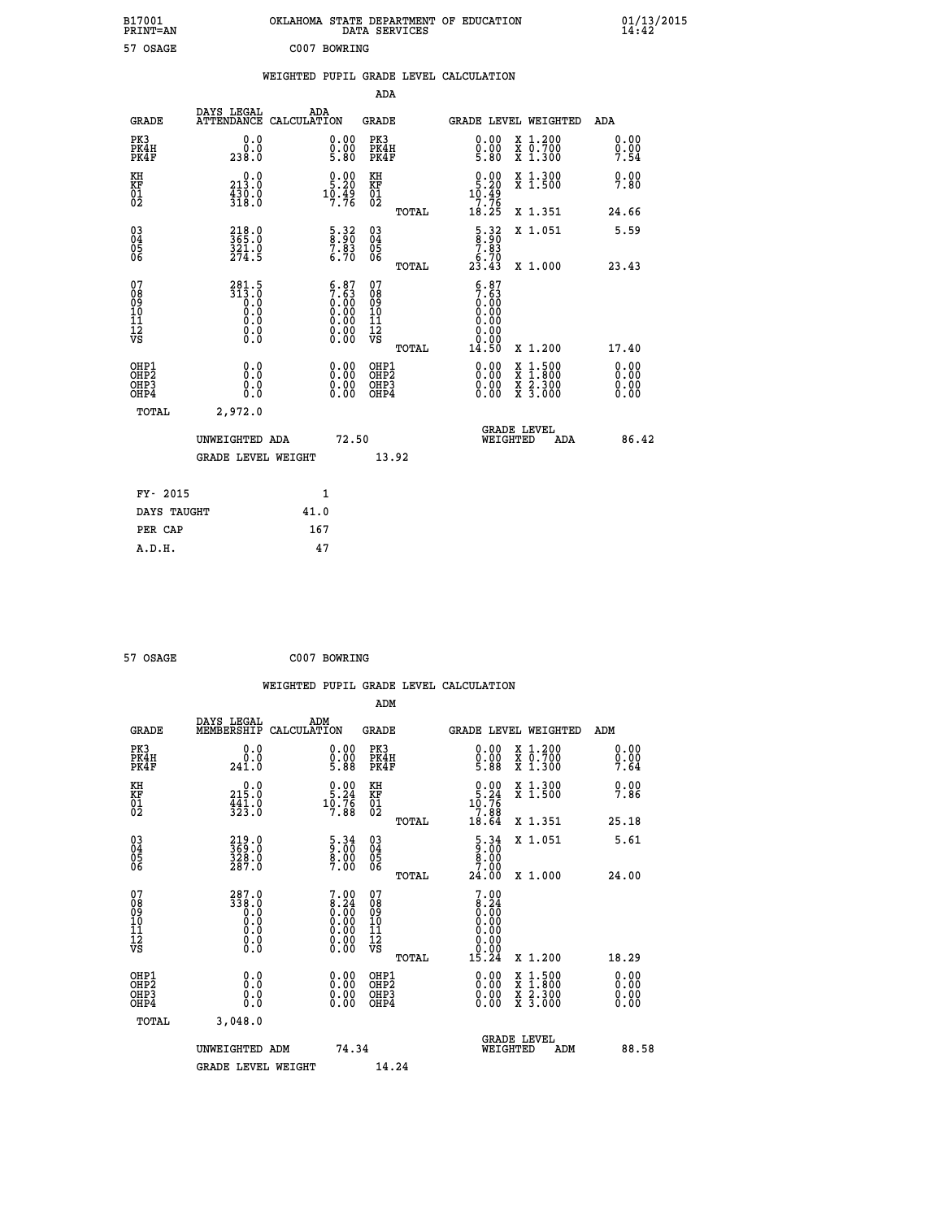| B17001<br>PRINT=AN                                   |                                              | OKLAHOMA STATE DEPARTMENT OF EDUCATION                                                        | DATA SERVICES                                      |                                                                                         |                                                                                                  | $01/13/2015$<br>14:42        |  |
|------------------------------------------------------|----------------------------------------------|-----------------------------------------------------------------------------------------------|----------------------------------------------------|-----------------------------------------------------------------------------------------|--------------------------------------------------------------------------------------------------|------------------------------|--|
| 57 OSAGE                                             |                                              | C007 BOWRING                                                                                  |                                                    |                                                                                         |                                                                                                  |                              |  |
|                                                      |                                              | WEIGHTED PUPIL GRADE LEVEL CALCULATION                                                        |                                                    |                                                                                         |                                                                                                  |                              |  |
|                                                      |                                              |                                                                                               | ADA                                                |                                                                                         |                                                                                                  |                              |  |
| <b>GRADE</b>                                         | DAYS LEGAL                                   | ADA<br>ATTENDANCE CALCULATION                                                                 | GRADE                                              | GRADE LEVEL WEIGHTED                                                                    |                                                                                                  | ADA                          |  |
| PK3<br>PK4H<br>PK4F                                  | 0.0<br>0.0<br>238.0                          | $\substack{0.00\\0.00\\5.80}$                                                                 | PK3<br>PK4H<br>PK4F                                | $\begin{smallmatrix} 0.00\\ 0.00\\ 5.80 \end{smallmatrix}$                              | X 1.200<br>X 0.700<br>X 1.300                                                                    | 0.00<br>0.00<br>7.54         |  |
| KH<br>KF<br>01<br>02                                 | 0.0<br>213.0<br>$\frac{430.0}{318.0}$        | $\begin{smallmatrix} 0.00\\ 5.20\\ 10.49\\ 7.76 \end{smallmatrix}$                            | KH<br>KF<br>$^{01}_{02}$                           | $0.00$<br>5.20<br>$10.49$<br>7.76                                                       | X 1.300<br>X 1.500                                                                               | 0.00<br>7.80                 |  |
|                                                      |                                              |                                                                                               | TOTAL                                              | 18.25                                                                                   | X 1.351                                                                                          | 24.66                        |  |
| $\begin{matrix} 03 \\ 04 \\ 05 \\ 06 \end{matrix}$   | 218.0<br>365.0<br>321.0<br>274.5             | $\begin{smallmatrix} 5.32\ 8.90\ 7.83\ 6.70 \end{smallmatrix}$                                | $\begin{matrix} 03 \\ 04 \\ 05 \\ 06 \end{matrix}$ | $\frac{5.32}{8.90}$                                                                     | X 1.051                                                                                          | 5.59                         |  |
|                                                      |                                              |                                                                                               | TOTAL                                              | $2\overline{3}\cdot 7\overline{0}$<br>23.43                                             | X 1.000                                                                                          | 23.43                        |  |
| 0789011128                                           | 281.5<br>313.0<br>0.0<br>0.0<br>0.0<br>0.000 | $\begin{smallmatrix} 6.87\ 7.63\ 0.00\ 0.00\ 0.00\ 0.00\ 0.00\ 0.00\ 0.00\ \end{smallmatrix}$ | 07<br>08<br>09<br>10<br>11<br>12<br>VS<br>TOTAL    | 6.87<br>$7.\overline{63}$<br>$0.\overline{00}$<br>0.00<br>0.00<br>0.00<br>0.00<br>14.50 | X 1.200                                                                                          | 17.40                        |  |
| OHP1<br>OHP <sub>2</sub><br>OH <sub>P3</sub><br>OHP4 | 0.0<br>Ŏ.Ŏ<br>0.0<br>0.0                     | 0.00<br>0.00<br>0.00                                                                          | OHP1<br>OH <sub>P</sub> 2<br>OHP3<br>OHP4          | 0.00<br>0.00<br>0.00                                                                    | $\begin{smallmatrix} x & 1 & 500 \\ x & 1 & 800 \\ x & 2 & 300 \\ x & 3 & 000 \end{smallmatrix}$ | 0.00<br>0.00<br>0.00<br>0.00 |  |
| TOTAL                                                | 2,972.0                                      |                                                                                               |                                                    |                                                                                         |                                                                                                  |                              |  |
|                                                      | UNWEIGHTED ADA<br>GRADE LEVEL WEIGHT         | 72.50                                                                                         | 13.92                                              | <b>GRADE LEVEL</b><br>WEIGHTED                                                          | ADA                                                                                              | 86.42                        |  |
|                                                      |                                              |                                                                                               |                                                    |                                                                                         |                                                                                                  |                              |  |
| FY- 2015                                             |                                              | 1                                                                                             |                                                    |                                                                                         |                                                                                                  |                              |  |
| DAYS TAUGHT                                          |                                              | 41.0                                                                                          |                                                    |                                                                                         |                                                                                                  |                              |  |
| PER CAP                                              |                                              | 167                                                                                           |                                                    |                                                                                         |                                                                                                  |                              |  |

| 57 OSAGE | C007 BOWRING |
|----------|--------------|
|          |              |

 **WEIGHTED PUPIL GRADE LEVEL CALCULATION ADM DAYS LEGAL ADM**<br>GRADE MEMBERSHIP CALCULATION GRADE **GRADE MEMBERSHIP CALCULATION GRADE GRADE LEVEL WEIGHTED ADM**<br> **PK3 DRAH O.00 DRAH O.00 DRAH O.00 DRAH O.00 DRAH O.00 DRAH O.00 O.00 DRAH O.00 O.00 CO O.00 O.00 CO O.00 CO CO PK3 0.0 0.00 PK3 0.00 X 1.200 0.00 PK4H 0.0 0.00 PK4H 0.00 X 0.700 0.00 PK4F 241.0 5.88 PK4F 5.88 X 1.300 7.64 KH 0.0 0.00 KH 0.00 X 1.300 0.00 KF 215.0 5.24 KF 5.24 X 1.500 7.86 01 441.0 10.76 01 10.76 02 323.0 7.88 02 7.88 TOTAL 18.64 X 1.351 25.18 03 219.0 5.34 03 5.34 X 1.051 5.61 04 369.0 9.00 04 9.00 05 328.0 8.00 05 8.00 06 287.0 7.00 06 7.00 TOTAL 24.00 X 1.000 24.00 07 287.0 7.00 07 7.00 08 338.0 8.24 08 8.24 03 0.00 0.00 0.000 0.000 10 0.0 0.00 10 0.00 11 0.0 0.00 11 0.00 12 0.0 0.00 12 0.00 VS 0.0 0.00 VS 0.00 TOTAL 15.24 X 1.200 18.29 OHP1 0.0 0.00 OHP1 0.00 X 1.500 0.00 OHP2 0.0 0.00 OHP2 0.00 X 1.800 0.00 OHP3 0.0 0.00 OHP3 0.00 X 2.300 0.00 OHP4 0.0 0.00 OHP4 0.00 X 3.000 0.00 TOTAL 3,048.0 GRADE LEVEL UNWEIGHTED ADM 74.34 WEIGHTED ADM 88.58** GRADE LEVEL WEIGHT 14.24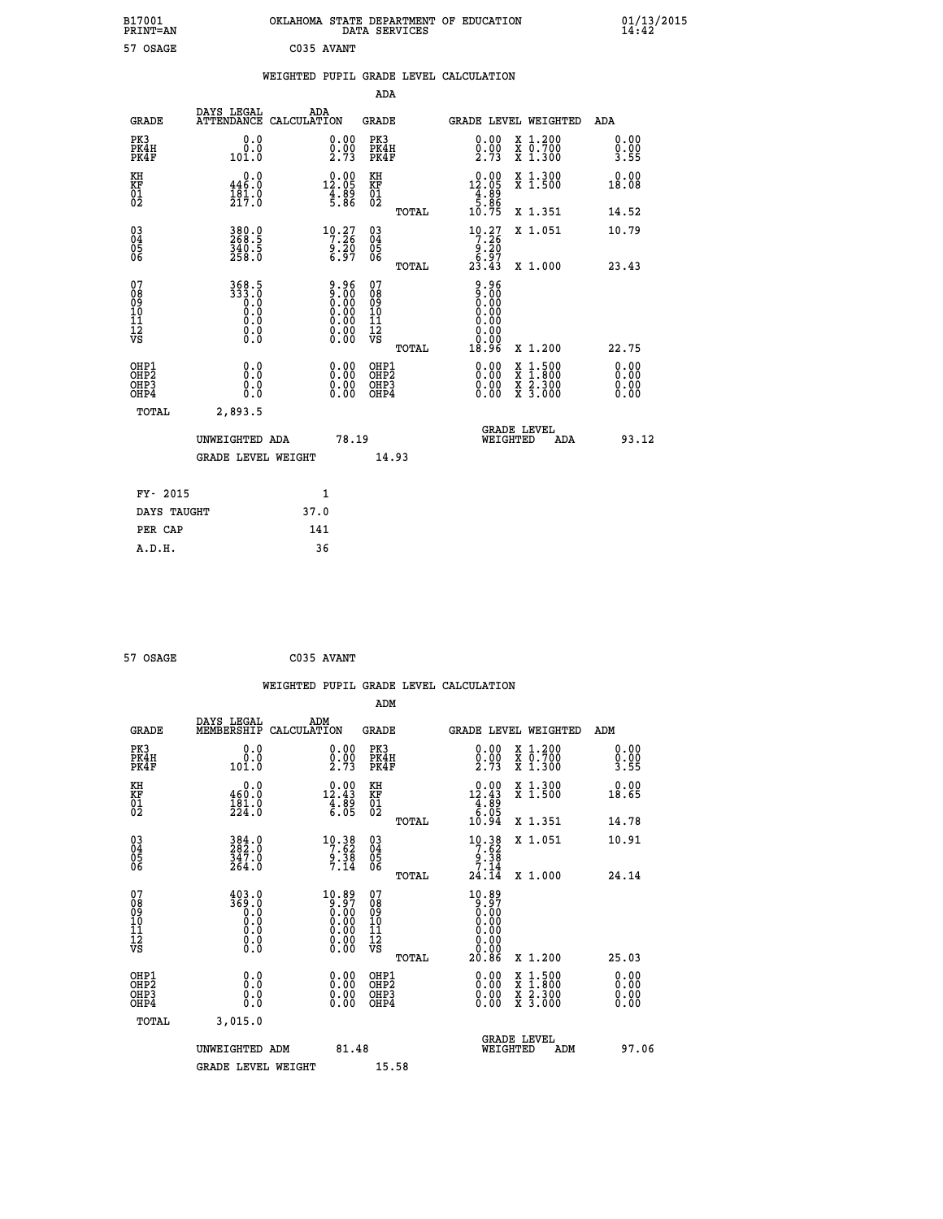| 57 OSAGE<br>C035 AVANT<br>WEIGHTED PUPIL GRADE LEVEL CALCULATION<br>ADA<br>DAYS LEGAL<br>ADA<br><b>GRADE</b><br>ATTENDANCE CALCULATION<br>GRADE<br><b>GRADE LEVEL WEIGHTED</b><br>ADA<br>PK3<br>0.00<br>PK3<br>$\begin{smallmatrix} 0.00 \\ 0.00 \\ 2.73 \end{smallmatrix}$<br>X 1.200<br>X 0.700<br>X 1.300<br>0.0<br>0.00<br>$\frac{0.00}{2.73}$<br>PK4H<br>0.0<br>PK4H<br>0.00<br>PK4F<br>101.0<br>PK4F<br>3.55<br>KH<br>0.00<br>X 1.300<br>X 1.500<br>0.0<br>$\begin{smallmatrix} 0.00\\ 12.05\\ 4.89\\ 5.86 \end{smallmatrix}$<br>KH<br>0.00<br>446.0<br>12.05<br>KF<br>KF<br>18.08<br>$\frac{4.89}{5.86}$<br>$^{01}_{02}$<br>$^{01}_{02}$<br>$\frac{181.0}{217.0}$<br>10.75<br>X 1.351<br>14.52<br>TOTAL<br>$\begin{matrix} 03 \\ 04 \\ 05 \\ 06 \end{matrix}$<br>380.0<br>268.5<br>340.5<br>$\begin{smallmatrix} 10.27\\7.26\\9.20\\6.97 \end{smallmatrix}$<br>10.27<br>03<br>04<br>05<br>06<br>X 1.051<br>10.79<br>7.26<br>$\frac{9.20}{6.97}$<br>258.0<br>TOTAL<br>23.43<br>X 1,000<br>23.43<br>07<br>368.5<br>333.0<br>0.0<br>$\begin{smallmatrix} 9.96\ 9.00\ 0.00\ 0.00\ 0.00\ 0.00\ 0.00\ 0.00\ 0.00\ \end{smallmatrix}$<br>9.96<br>07<br>08<br>09<br>10<br>11<br>12<br>VS<br>08<br>09<br>10<br>11<br>12<br>VS<br>0.00<br>0.00<br>0.0<br>0.00<br>0.0<br>0.00<br>0.00<br>0.0<br>Ŏ.Ō<br>0.00<br>TOTAL<br>18.96<br>X 1.200<br>22.75<br>OHP1<br>0.00<br>0.00<br>$\begin{array}{l} x\,+\,500\\ x\,+\,300\\ x\,+\,2\\ x\,+\,3000 \end{array}$<br>0.00<br>0.0<br>OHP1<br>OHP <sub>2</sub><br>Ō.Ō<br>OHP <sub>2</sub><br>0.00<br>0.00<br>OHP3<br>0.0<br>OHP3<br>0.00<br>0.00<br>0.00<br>0.00<br>OHP4<br>0.0<br>OHP4<br>0.00<br>TOTAL<br>2,893.5<br><b>GRADE LEVEL</b><br>93.12<br>UNWEIGHTED ADA<br>78.19<br>WEIGHTED<br>ADA<br><b>GRADE LEVEL WEIGHT</b><br>14.93<br>FY- 2015<br>1<br>DAYS TAUGHT<br>37.0<br>PER CAP<br>141 | B17001<br><b>PRINT=AN</b> | OKLAHOMA STATE DEPARTMENT OF EDUCATION | DATA SERVICES |  | 01/13/2015<br>14:42 |  |
|-----------------------------------------------------------------------------------------------------------------------------------------------------------------------------------------------------------------------------------------------------------------------------------------------------------------------------------------------------------------------------------------------------------------------------------------------------------------------------------------------------------------------------------------------------------------------------------------------------------------------------------------------------------------------------------------------------------------------------------------------------------------------------------------------------------------------------------------------------------------------------------------------------------------------------------------------------------------------------------------------------------------------------------------------------------------------------------------------------------------------------------------------------------------------------------------------------------------------------------------------------------------------------------------------------------------------------------------------------------------------------------------------------------------------------------------------------------------------------------------------------------------------------------------------------------------------------------------------------------------------------------------------------------------------------------------------------------------------------------------------------------------------------------------------------------------------------------|---------------------------|----------------------------------------|---------------|--|---------------------|--|
|                                                                                                                                                                                                                                                                                                                                                                                                                                                                                                                                                                                                                                                                                                                                                                                                                                                                                                                                                                                                                                                                                                                                                                                                                                                                                                                                                                                                                                                                                                                                                                                                                                                                                                                                                                                                                                   |                           |                                        |               |  |                     |  |
|                                                                                                                                                                                                                                                                                                                                                                                                                                                                                                                                                                                                                                                                                                                                                                                                                                                                                                                                                                                                                                                                                                                                                                                                                                                                                                                                                                                                                                                                                                                                                                                                                                                                                                                                                                                                                                   |                           |                                        |               |  |                     |  |
|                                                                                                                                                                                                                                                                                                                                                                                                                                                                                                                                                                                                                                                                                                                                                                                                                                                                                                                                                                                                                                                                                                                                                                                                                                                                                                                                                                                                                                                                                                                                                                                                                                                                                                                                                                                                                                   |                           |                                        |               |  |                     |  |
|                                                                                                                                                                                                                                                                                                                                                                                                                                                                                                                                                                                                                                                                                                                                                                                                                                                                                                                                                                                                                                                                                                                                                                                                                                                                                                                                                                                                                                                                                                                                                                                                                                                                                                                                                                                                                                   |                           |                                        |               |  |                     |  |
|                                                                                                                                                                                                                                                                                                                                                                                                                                                                                                                                                                                                                                                                                                                                                                                                                                                                                                                                                                                                                                                                                                                                                                                                                                                                                                                                                                                                                                                                                                                                                                                                                                                                                                                                                                                                                                   |                           |                                        |               |  |                     |  |
|                                                                                                                                                                                                                                                                                                                                                                                                                                                                                                                                                                                                                                                                                                                                                                                                                                                                                                                                                                                                                                                                                                                                                                                                                                                                                                                                                                                                                                                                                                                                                                                                                                                                                                                                                                                                                                   |                           |                                        |               |  |                     |  |
|                                                                                                                                                                                                                                                                                                                                                                                                                                                                                                                                                                                                                                                                                                                                                                                                                                                                                                                                                                                                                                                                                                                                                                                                                                                                                                                                                                                                                                                                                                                                                                                                                                                                                                                                                                                                                                   |                           |                                        |               |  |                     |  |
|                                                                                                                                                                                                                                                                                                                                                                                                                                                                                                                                                                                                                                                                                                                                                                                                                                                                                                                                                                                                                                                                                                                                                                                                                                                                                                                                                                                                                                                                                                                                                                                                                                                                                                                                                                                                                                   |                           |                                        |               |  |                     |  |
|                                                                                                                                                                                                                                                                                                                                                                                                                                                                                                                                                                                                                                                                                                                                                                                                                                                                                                                                                                                                                                                                                                                                                                                                                                                                                                                                                                                                                                                                                                                                                                                                                                                                                                                                                                                                                                   |                           |                                        |               |  |                     |  |
|                                                                                                                                                                                                                                                                                                                                                                                                                                                                                                                                                                                                                                                                                                                                                                                                                                                                                                                                                                                                                                                                                                                                                                                                                                                                                                                                                                                                                                                                                                                                                                                                                                                                                                                                                                                                                                   |                           |                                        |               |  |                     |  |
|                                                                                                                                                                                                                                                                                                                                                                                                                                                                                                                                                                                                                                                                                                                                                                                                                                                                                                                                                                                                                                                                                                                                                                                                                                                                                                                                                                                                                                                                                                                                                                                                                                                                                                                                                                                                                                   |                           |                                        |               |  |                     |  |
|                                                                                                                                                                                                                                                                                                                                                                                                                                                                                                                                                                                                                                                                                                                                                                                                                                                                                                                                                                                                                                                                                                                                                                                                                                                                                                                                                                                                                                                                                                                                                                                                                                                                                                                                                                                                                                   |                           |                                        |               |  |                     |  |
|                                                                                                                                                                                                                                                                                                                                                                                                                                                                                                                                                                                                                                                                                                                                                                                                                                                                                                                                                                                                                                                                                                                                                                                                                                                                                                                                                                                                                                                                                                                                                                                                                                                                                                                                                                                                                                   |                           |                                        |               |  |                     |  |
|                                                                                                                                                                                                                                                                                                                                                                                                                                                                                                                                                                                                                                                                                                                                                                                                                                                                                                                                                                                                                                                                                                                                                                                                                                                                                                                                                                                                                                                                                                                                                                                                                                                                                                                                                                                                                                   |                           |                                        |               |  |                     |  |
|                                                                                                                                                                                                                                                                                                                                                                                                                                                                                                                                                                                                                                                                                                                                                                                                                                                                                                                                                                                                                                                                                                                                                                                                                                                                                                                                                                                                                                                                                                                                                                                                                                                                                                                                                                                                                                   |                           |                                        |               |  |                     |  |
|                                                                                                                                                                                                                                                                                                                                                                                                                                                                                                                                                                                                                                                                                                                                                                                                                                                                                                                                                                                                                                                                                                                                                                                                                                                                                                                                                                                                                                                                                                                                                                                                                                                                                                                                                                                                                                   |                           |                                        |               |  |                     |  |

```
 57 OSAGE C035 AVANT
```

|                                                      |                                                                                            |                                                                                | WEIGHTED PUPIL GRADE LEVEL CALCULATION       |                                                                                                                     |                              |
|------------------------------------------------------|--------------------------------------------------------------------------------------------|--------------------------------------------------------------------------------|----------------------------------------------|---------------------------------------------------------------------------------------------------------------------|------------------------------|
|                                                      |                                                                                            |                                                                                | ADM                                          |                                                                                                                     |                              |
| <b>GRADE</b>                                         | DAYS LEGAL<br>MEMBERSHIP<br>CALCULATION                                                    | ADM                                                                            | <b>GRADE</b>                                 | GRADE LEVEL WEIGHTED                                                                                                | ADM                          |
| PK3<br>PK4H<br>PK4F                                  | 0.0<br>0.0<br>101.0                                                                        | $\begin{smallmatrix} 0.00\\ 0.00\\ 2.73 \end{smallmatrix}$                     | PK3<br>PK4H<br>PK4F                          | $\begin{smallmatrix} 0.00\\ 0.00\\ 2.73 \end{smallmatrix}$<br>X 1.200<br>X 0.700<br>X 1.300                         | 0.00<br>0.00<br>3.55         |
| KH<br>KF<br>01<br>02                                 | 0.0<br>460.0<br>$\frac{181.0}{224.0}$                                                      | $\begin{array}{r} 0.00 \\[-4pt] 12.43 \\[-4pt] 4.89 \\[-4pt] 6.05 \end{array}$ | KH<br>KF<br>01<br>02                         | $\begin{array}{r} 0.00 \\[-4pt] 12.43 \\[-4pt] 4.89 \\[-4pt] 6.05 \\[-4pt] 10.94 \end{array}$<br>X 1.300<br>X 1.500 | 0.00<br>18.65                |
|                                                      |                                                                                            |                                                                                | TOTAL                                        | X 1.351                                                                                                             | 14.78                        |
| $\begin{matrix} 03 \\ 04 \\ 05 \\ 06 \end{matrix}$   | 384.0<br>282.0<br>347.0<br>264.0                                                           | $\begin{array}{r} 10.38 \\ 7.62 \\ 9.38 \\ 7.14 \end{array}$                   | 03<br>04<br>05<br>06                         | $10.38$<br>$7.62$<br>$9.38$<br>$7.14$<br>X 1.051                                                                    | 10.91                        |
|                                                      |                                                                                            |                                                                                | TOTAL                                        | 24.14<br>X 1.000                                                                                                    | 24.14                        |
| 07<br>08<br>09<br>101<br>11<br>12<br>VS              | 403.0<br>3ĕ <u>ŏ</u> .ŏ<br>0.0<br>$\begin{smallmatrix} 0.10 \ 0.0 \ 0.0 \end{smallmatrix}$ | $^{10.89}_{9.97}$                                                              | 07<br>08<br>09<br>01<br>11<br>11<br>12<br>VS | 10.89<br>$\frac{5}{9}$ . $\frac{5}{9}$<br>0.00<br>0.00<br>0.00                                                      |                              |
|                                                      |                                                                                            |                                                                                | TOTAL                                        | 20.86<br>X 1.200                                                                                                    | 25.03                        |
| OHP1<br>OHP2<br>OH <sub>P3</sub><br>OH <sub>P4</sub> | 0.0<br>0.000                                                                               | 0.00<br>$\begin{smallmatrix} 0.00 \ 0.00 \end{smallmatrix}$                    | OHP1<br>OHP2<br>OHP3<br>OHP4                 | $0.00$<br>$0.00$<br>$1.500$<br>$1.800$<br>X<br>X<br>$\frac{x}{x}$ $\frac{5:300}{3:000}$<br>0.00                     | 0.00<br>0.00<br>0.00<br>0.00 |
| TOTAL                                                | 3.015.0                                                                                    |                                                                                |                                              |                                                                                                                     |                              |
|                                                      | UNWEIGHTED<br>ADM                                                                          | 81.48                                                                          |                                              | <b>GRADE LEVEL</b><br>WEIGHTED<br>ADM                                                                               | 97.06                        |
|                                                      | <b>GRADE LEVEL WEIGHT</b>                                                                  |                                                                                | 15.58                                        |                                                                                                                     |                              |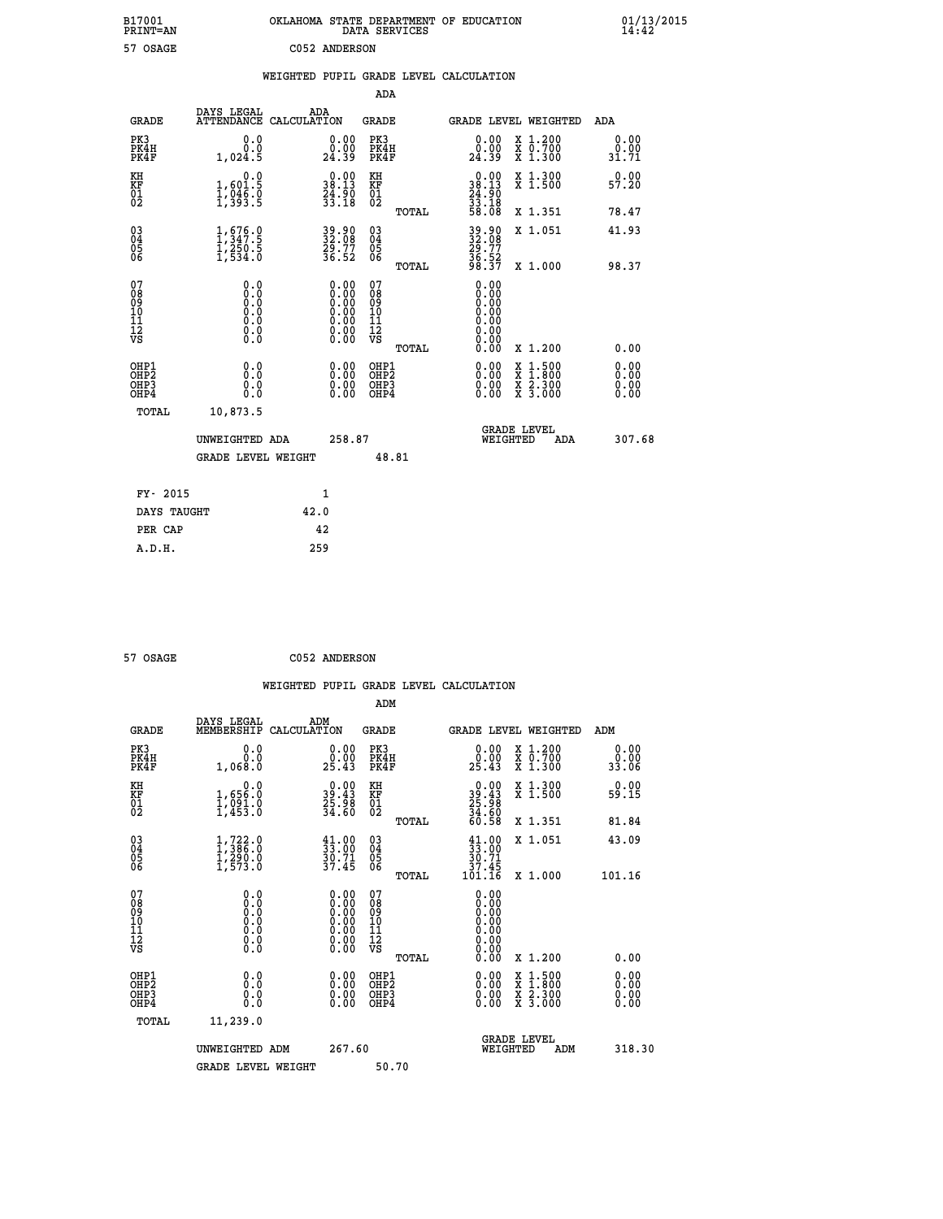| B17001<br>PRINT=AN           |                                                                            | OKLAHOMA STATE DEPARTMENT OF EDUCATION                                                        | DATA SERVICES                                               |                                            |                                                                                                                                                      | $01/13/2015$<br>14:42                |  |
|------------------------------|----------------------------------------------------------------------------|-----------------------------------------------------------------------------------------------|-------------------------------------------------------------|--------------------------------------------|------------------------------------------------------------------------------------------------------------------------------------------------------|--------------------------------------|--|
| 57 OSAGE                     |                                                                            | C052 ANDERSON                                                                                 |                                                             |                                            |                                                                                                                                                      |                                      |  |
|                              |                                                                            | WEIGHTED PUPIL GRADE LEVEL CALCULATION                                                        |                                                             |                                            |                                                                                                                                                      |                                      |  |
|                              |                                                                            |                                                                                               | ADA                                                         |                                            |                                                                                                                                                      |                                      |  |
| <b>GRADE</b>                 | DAYS LEGAL                                                                 | ADA<br>ATTENDANCE CALCULATION                                                                 | GRADE                                                       |                                            | GRADE LEVEL WEIGHTED                                                                                                                                 | ADA                                  |  |
| PK3<br>PK4H<br>PK4F          | 0.0<br>0.0<br>1,024.5                                                      | 0.00<br>0.00<br>24.39                                                                         | PK3<br>PK4H<br>PK4F                                         | 0.00<br>0.00<br>24.39                      | X 1.200<br>X 0.700<br>X 1.300                                                                                                                        | 0.00<br>0.00<br>31.71                |  |
| KH<br>ΚF<br>$\frac{01}{02}$  | 0.0<br>1,601.5<br>$\frac{1}{3}, \frac{0}{3}, \frac{1}{3}$                  | $0.00$<br>38.13<br>$\frac{54}{33}. \frac{50}{18}$                                             | KH<br>KF<br>01<br>02                                        | 38.13<br>$\frac{54}{33}$ : $\frac{50}{38}$ | X 1.300<br>X 1.500                                                                                                                                   | 0.00<br>57.20                        |  |
|                              |                                                                            |                                                                                               | TOTAL                                                       | 58.08                                      | X 1.351                                                                                                                                              | 78.47                                |  |
| 03<br>04<br>05<br>06         | $\frac{1}{1}, \frac{676}{347}.5$<br>$\frac{1}{250}.5$<br>$\frac{1}{534}.0$ | 39.90<br>32.08<br>29.77<br>36.52                                                              | $\begin{matrix} 03 \\ 04 \\ 05 \\ 06 \end{matrix}$<br>TOTAL | 39.90<br>32.08<br>29.77<br>36.52<br>38.37  | X 1.051<br>X 1.000                                                                                                                                   | 41.93<br>98.37                       |  |
| 078901112<br>00901112<br>VS  | 0.0<br>0.0<br>0.0<br>0.0<br>$\S.$ $\S$                                     | $\begin{smallmatrix} 0.00\ 0.00\ 0.00\ 0.00\ 0.00\ 0.00\ 0.00\ 0.00\ 0.00\ \end{smallmatrix}$ | 07<br>08<br>09<br>10<br>$\frac{11}{12}$<br>$\frac{12}{18}$  | 0.00<br>0.00<br>0.00<br>0.00<br>0.0000     |                                                                                                                                                      |                                      |  |
| OHP1<br>OHP2<br>OHP3<br>OHP4 | 0.0<br>0.0<br>0.0<br>0.0                                                   | 0.00<br>$\begin{smallmatrix} 0.00 \ 0.00 \end{smallmatrix}$                                   | TOTAL<br>OHP1<br>OH <sub>P</sub> 2<br>OHP3<br>OHP4          | 0.00<br>0.00<br>0.00<br>0.00               | X 1.200<br>$\begin{smallmatrix} \mathtt{X} & 1\cdot500\\ \mathtt{X} & 1\cdot800\\ \mathtt{X} & 2\cdot300\\ \mathtt{X} & 3\cdot000 \end{smallmatrix}$ | 0.00<br>0.00<br>0.00<br>0.00<br>0.00 |  |
| TOTAL                        | 10,873.5                                                                   |                                                                                               |                                                             |                                            |                                                                                                                                                      |                                      |  |
|                              | UNWEIGHTED ADA<br><b>GRADE LEVEL WEIGHT</b>                                | 258.87                                                                                        | 48.81                                                       | WEIGHTED                                   | <b>GRADE LEVEL</b><br>ADA                                                                                                                            | 307.68                               |  |
| FY- 2015                     |                                                                            | 1                                                                                             |                                                             |                                            |                                                                                                                                                      |                                      |  |
| DAYS TAUGHT                  |                                                                            | 42.0                                                                                          |                                                             |                                            |                                                                                                                                                      |                                      |  |
| PER CAP                      |                                                                            | 42                                                                                            |                                                             |                                            |                                                                                                                                                      |                                      |  |

| 57 OSAGE | C052 ANDERSON |
|----------|---------------|

 **WEIGHTED PUPIL GRADE LEVEL CALCULATION ADM DAYS LEGAL ADM GRADE MEMBERSHIP CALCULATION GRADE GRADE LEVEL WEIGHTED ADM PK3 0.0 0.00 PK3 0.00 X 1.200 0.00 PK4H 0.0 0.00 PK4H 0.00 X 0.700 0.00 PK4F 1,068.0 25.43 PK4F 25.43 X 1.300 33.06 KH 0.0 0.00 KH 0.00 X 1.300 0.00 KF 1,656.0 39.43 KF 39.43 X 1.500 59.15 01 1,091.0 25.98 01 25.98 02 1,453.0 34.60 02 34.60 TOTAL 60.58 X 1.351 81.84 03 1,722.0 41.00 03 41.00 X 1.051 43.09 04 1,386.0 33.00 04 33.00 05 1,290.0 30.71 05 30.71 06 1,573.0 37.45 06 37.45 TOTAL 101.16 X 1.000 101.16 07 0.0 0.00 07 0.00 08 0.0 0.00 08 0.00 03 0.00 0.00 0.000 0.000 10 0.0 0.00 10 0.00 11 0.0 0.00 11 0.00 12 0.0 0.00 12 0.00 VS** 0.0 0.00 VS 0.00 0.00  **TOTAL 0.00 X 1.200 0.00 OHP1 0.0 0.00 OHP1 0.00 X 1.500 0.00 OHP2 0.0 0.00 OHP2 0.00 X 1.800 0.00 OHP3 0.0 0.00 OHP3 0.00 X 2.300 0.00 OHP4 0.0 0.00 OHP4 0.00 X 3.000 0.00 TOTAL 11,239.0 GRADE LEVEL UNWEIGHTED ADM 267.60 WEIGHTED ADM 318.30** GRADE LEVEL WEIGHT 50.70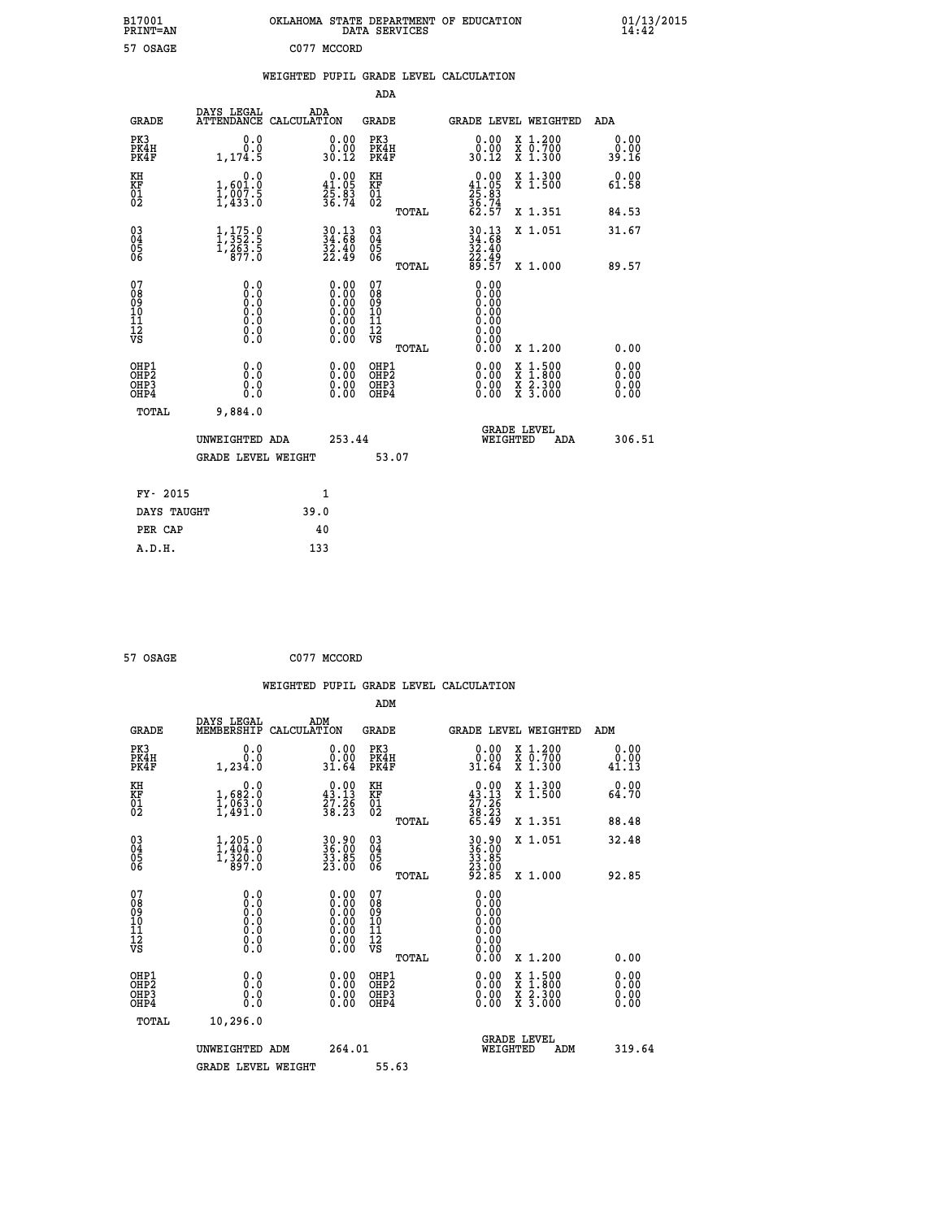| B17001<br>PRINT=AN                                   |                                                                     |                                        | OKLAHOMA STATE DEPARTMENT OF EDUCATION<br>DATA SERVICES |                                                              |                                                                                              | $01/13/2015$<br>14:42        |
|------------------------------------------------------|---------------------------------------------------------------------|----------------------------------------|---------------------------------------------------------|--------------------------------------------------------------|----------------------------------------------------------------------------------------------|------------------------------|
| 57 OSAGE                                             |                                                                     | C077 MCCORD                            |                                                         |                                                              |                                                                                              |                              |
|                                                      |                                                                     |                                        | WEIGHTED PUPIL GRADE LEVEL CALCULATION                  |                                                              |                                                                                              |                              |
|                                                      |                                                                     |                                        | ADA                                                     |                                                              |                                                                                              |                              |
| <b>GRADE</b>                                         | DAYS LEGAL<br>ATTENDANCE CALCULATION                                | ADA                                    | GRADE                                                   |                                                              | <b>GRADE LEVEL WEIGHTED</b>                                                                  | ADA                          |
| PK3<br>PK4H<br>PK4F                                  | 0.0<br>0.0<br>1,174.5                                               | 0.00<br>0:00<br>30:12                  | PK3<br>PK4H<br>PK4F                                     | $\begin{smallmatrix} 0.00\\ 0.00\\ 30.12 \end{smallmatrix}$  | X 1.200<br>X 0.700<br>X 1.300                                                                | 0.00<br>0.00<br>39.16        |
| KH<br>KF<br>$\overline{01}$                          | 1,601.0<br>$\frac{1}{2}, \frac{0}{4} \frac{0}{3} \cdot \frac{5}{0}$ | 0.00<br>$\frac{41.05}{25.83}$<br>36.74 | KH<br>KF<br>01<br>02                                    | 0.00<br>$41.05$<br>$25.83$<br>$36.74$<br>$62.57$             | X 1.300<br>X 1.500                                                                           | 0.00<br>61.58                |
|                                                      |                                                                     |                                        | TOTAL                                                   |                                                              | X 1.351                                                                                      | 84.53                        |
| $\begin{array}{c} 03 \\ 04 \\ 05 \\ 06 \end{array}$  | $\frac{1}{1}, \frac{175}{352}.\frac{0}{5}$<br>1, 263.5<br>877.0     | 30.13<br>34.68<br>32.40<br>22.49       | $\begin{matrix} 03 \\ 04 \\ 05 \\ 06 \end{matrix}$      | $30.13$<br>$34.68$<br>32.40                                  | X 1.051                                                                                      | 31.67                        |
|                                                      |                                                                     |                                        | TOTAL                                                   | 22.49<br>89.57                                               | X 1.000                                                                                      | 89.57                        |
| 07<br>08<br>09<br>11<br>11<br>12<br>VS               | 0.0<br>0.0<br>0.0<br>0.0<br>0.0<br>0.00                             | $0.00$<br>$0.00$<br>0.00<br>0.0000     | 07<br>08<br>09<br>10<br>11<br>12<br>VS<br>TOTAL         | 0.00<br>0.00<br>0.00<br>0.00<br>0.00<br>0.00<br>0.00<br>0.00 | X 1.200                                                                                      | 0.00                         |
| OHP1<br>OHP <sub>2</sub><br>OH <sub>P3</sub><br>OHP4 | 0.000<br>0.0<br>0.0                                                 | 0.00<br>0.00<br>0.00                   | OHP1<br>OH <sub>P</sub> 2<br>OHP3<br>OHP4               | 0.00<br>0.00<br>0.00                                         | $\frac{x}{x}$ $\frac{1.500}{x}$<br>$\frac{\overline{x}}{\overline{x}}$ $\frac{2.300}{3.000}$ | 0.00<br>0.00<br>0.00<br>0.00 |
| TOTAL                                                | 9,884.0                                                             |                                        |                                                         |                                                              |                                                                                              |                              |
|                                                      | UNWEIGHTED ADA                                                      | 253.44                                 |                                                         | WEIGHTED                                                     | <b>GRADE LEVEL</b><br>ADA                                                                    | 306.51                       |
|                                                      | <b>GRADE LEVEL WEIGHT</b>                                           |                                        | 53.07                                                   |                                                              |                                                                                              |                              |
| FY- 2015                                             |                                                                     | 1                                      |                                                         |                                                              |                                                                                              |                              |
| DAYS TAUGHT                                          |                                                                     | 39.0                                   |                                                         |                                                              |                                                                                              |                              |

| 57 OSAGE | C077 MCCORD |
|----------|-------------|
|          |             |

**PER CAP 40 A.D.H. 133**

 **WEIGHTED PUPIL GRADE LEVEL CALCULATION ADM DAYS LEGAL ADM GRADE MEMBERSHIP CALCULATION GRADE GRADE LEVEL WEIGHTED ADM PK3 0.0 0.00 PK3 0.00 X 1.200 0.00 PK4H 0.0 0.00 PK4H 0.00 X 0.700 0.00 PK4F 1,234.0 31.64 PK4F 31.64 X 1.300 41.13 KH 0.0 0.00 KH 0.00 X 1.300 0.00 KF 1,682.0 43.13 KF 43.13 X 1.500 64.70 01 1,063.0 27.26 01 27.26 02 1,491.0 38.23 02 38.23 TOTAL 65.49 X 1.351 88.48 03 1,205.0 30.90 03 30.90 X 1.051 32.48 04 1,404.0 36.00 04 36.00 05 1,320.0 33.85 05 33.85 06 897.0 23.00 06 23.00 TOTAL 92.85 X 1.000 92.85 07 0.0 0.00 07 0.00 08 0.0 0.00 08 0.00 03 0.00 0.00 0.000 0.000 10 0.0 0.00 10 0.00 11 0.0 0.00 11 0.00 12 0.0 0.00 12 0.00 VS** 0.0 0.00 VS 0.00 0.00  **TOTAL 0.00 X 1.200 0.00 OHP1 0.0 0.00 OHP1 0.00 X 1.500 0.00 OHP2 0.0 0.00 OHP2 0.00 X 1.800 0.00 OHP3 0.0 0.00 OHP3 0.00 X 2.300 0.00 OHP4 0.0 0.00 OHP4 0.00 X 3.000 0.00 TOTAL 10,296.0 GRADE LEVEL UNWEIGHTED ADM 264.01 WEIGHTED ADM 319.64 GRADE LEVEL WEIGHT 55.63**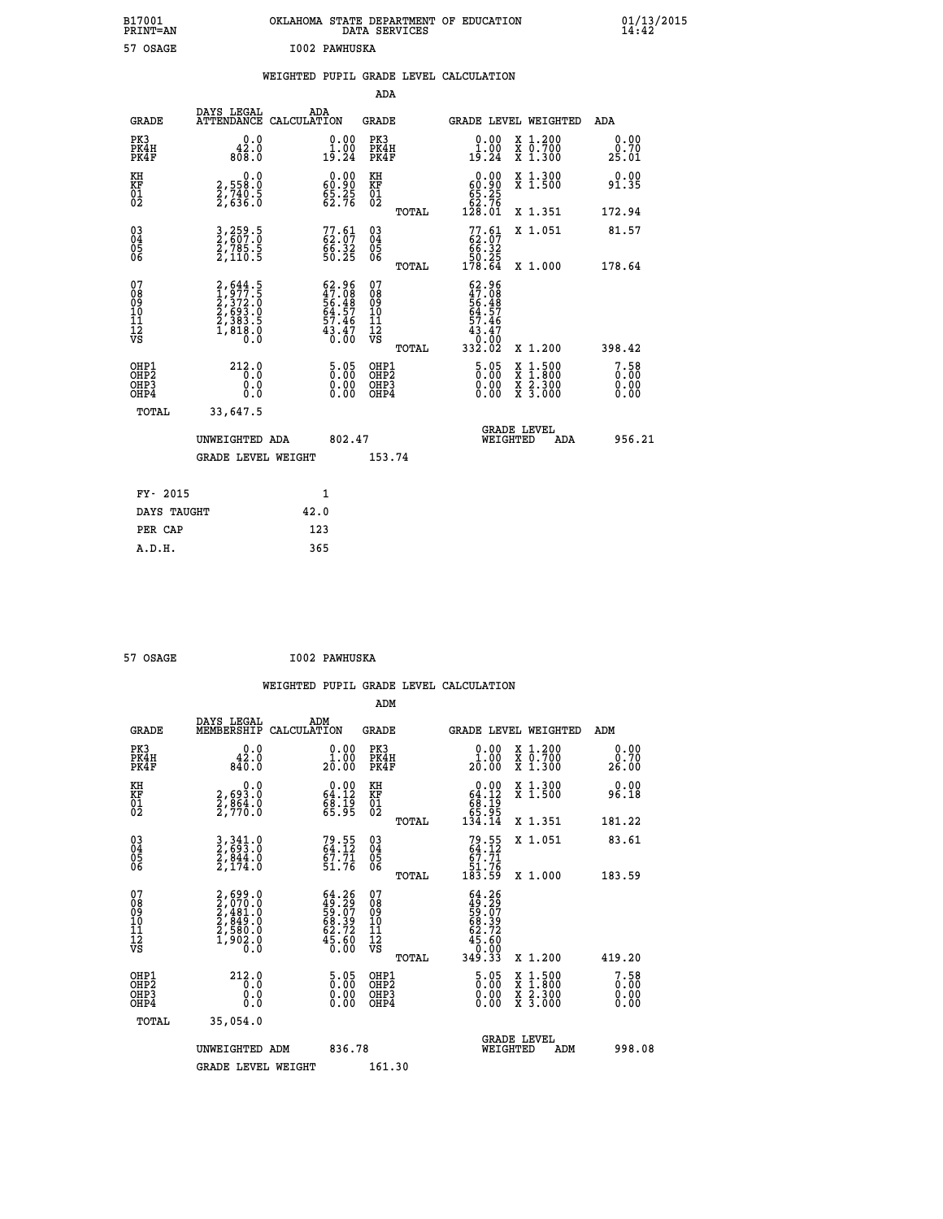| B17001<br>PRINT=AN                                 |                                                                                     | OKLAHOMA STATE DEPARTMENT OF EDUCATION                                    | DATA SERVICES                            |                                                                                   |                                                                                                                                      | $01/13/2015$<br>14:42 |  |
|----------------------------------------------------|-------------------------------------------------------------------------------------|---------------------------------------------------------------------------|------------------------------------------|-----------------------------------------------------------------------------------|--------------------------------------------------------------------------------------------------------------------------------------|-----------------------|--|
| 57 OSAGE                                           |                                                                                     | I002 PAWHUSKA                                                             |                                          |                                                                                   |                                                                                                                                      |                       |  |
|                                                    |                                                                                     | WEIGHTED PUPIL GRADE LEVEL CALCULATION                                    | ADA                                      |                                                                                   |                                                                                                                                      |                       |  |
| <b>GRADE</b>                                       | DAYS LEGAL                                                                          | ADA<br>ATTENDANCE CALCULATION                                             | GRADE                                    | <b>GRADE LEVEL WEIGHTED</b>                                                       |                                                                                                                                      | ADA                   |  |
| PK3<br>PK4H<br>PK4F                                | 0.0<br>42.0<br>808.0                                                                | 0.00<br>$1\overline{5}\cdot 24$                                           | PK3<br>PK4H<br>PK4F                      | 0.00<br>$1\overline{)}\cdot 0\overline{0}$<br>19:24                               | X 1.200<br>X 0.700<br>X 1.300                                                                                                        | 0.00<br>0.70<br>25.01 |  |
| KH<br>KF<br>01<br>02                               | 0.0<br>2,558:0<br>2,740:5<br>2,636:0                                                | $\begin{smallmatrix} 0.00\\ 60.90\\ 5.25\\ 62.76 \end{smallmatrix}$       | KH<br>KF<br>01<br>02                     | 0.00<br>$\begin{smallmatrix} 60.90 \\ 65.25 \\ 62.76 \\ 128.01 \end{smallmatrix}$ | X 1.300<br>X 1.500                                                                                                                   | 0.00<br>91.35         |  |
|                                                    |                                                                                     |                                                                           | TOTAL                                    |                                                                                   | X 1.351                                                                                                                              | 172.94                |  |
| $\begin{matrix} 03 \\ 04 \\ 05 \\ 06 \end{matrix}$ | 3,259.5<br>2,607.0<br>2,785.5<br>2,110.5                                            | $77.61$<br>$62.07$<br>$66.32$<br>$50.25$                                  | 03<br>04<br>05<br>06<br><b>TOTAL</b>     | $77.61$<br>$62.07$<br>$66.32$<br>$50.25$<br>$178.64$                              | X 1.051<br>X 1.000                                                                                                                   | 81.57<br>178.64       |  |
| 07<br>08<br>09<br>11<br>11<br>12<br>VS             | $2,644.5$<br>$1,977.5$<br>$2,372.0$<br>$2,693.0$<br>$2,383.5$<br>$1,818.0$<br>$0.0$ | $62.96$<br>$47.08$<br>$56.48$<br>$64.57$<br>$57.46$<br>$43.47$<br>$43.47$ | 07<br>08<br>09<br>10<br>11<br>12<br>VS   | $62.96$<br>$47.08$<br>$56.48$<br>$64.57$<br>57.46<br>$\frac{43.47}{0.00}$         |                                                                                                                                      |                       |  |
|                                                    |                                                                                     |                                                                           | TOTAL                                    | 332.02                                                                            | X 1.200                                                                                                                              | 398.42                |  |
| OHP1<br>OHP2<br>OH <sub>P3</sub><br>OHP4           | 212.0<br>0.0<br>0.0<br>0.0                                                          | 5.05<br>0.00<br>0.00                                                      | OHP1<br>OHP <sub>2</sub><br>OHP3<br>OHP4 | 5.05<br>0.00<br>0.00                                                              | $\begin{smallmatrix} \mathtt{X} & 1 & 500 \\ \mathtt{X} & 1 & 800 \\ \mathtt{X} & 2 & 300 \\ \mathtt{X} & 3 & 000 \end{smallmatrix}$ | 7.58<br>0.00<br>0.00  |  |
| TOTAL                                              | 33,647.5                                                                            |                                                                           |                                          |                                                                                   |                                                                                                                                      |                       |  |
|                                                    | UNWEIGHTED ADA                                                                      | 802.47                                                                    |                                          | <b>GRADE LEVEL</b><br>WEIGHTED                                                    | ADA                                                                                                                                  | 956.21                |  |
|                                                    | <b>GRADE LEVEL WEIGHT</b>                                                           |                                                                           | 153.74                                   |                                                                                   |                                                                                                                                      |                       |  |
| FY- 2015                                           |                                                                                     | 1                                                                         |                                          |                                                                                   |                                                                                                                                      |                       |  |
| DAYS TAUGHT                                        |                                                                                     | 42.0                                                                      |                                          |                                                                                   |                                                                                                                                      |                       |  |
| PER CAP                                            |                                                                                     | 123                                                                       |                                          |                                                                                   |                                                                                                                                      |                       |  |

| 57 OSAGE | I002 PAWHUSKA |
|----------|---------------|

| <b>GRADE</b>                             | DAYS LEGAL<br>MEMBERSHIP                                                                                                      | ADM<br>CALCULATION                                                      | <b>GRADE</b>                                       |       | <b>GRADE LEVEL WEIGHTED</b>                                               |                                          | ADM                              |  |
|------------------------------------------|-------------------------------------------------------------------------------------------------------------------------------|-------------------------------------------------------------------------|----------------------------------------------------|-------|---------------------------------------------------------------------------|------------------------------------------|----------------------------------|--|
| PK3<br>PK4H<br>PK4F                      | 0.0<br>842.0<br>840.0                                                                                                         | $\begin{smallmatrix} 0.00\\ 1.00\\ 20.00 \end{smallmatrix}$             | PK3<br>PK4H<br>PK4F                                |       | 0.00<br>20.00                                                             | X 1.200<br>X 0.700<br>X 1.300            | 0.00<br>0.70<br>26.00            |  |
| KH<br>KF<br>01<br>02                     | $\begin{smallmatrix} 0 & 0 & 0 \\ 2 & 693 & 0 \\ 2 & 864 & 0 \\ 2 & 770 & 0 \end{smallmatrix}$                                | $\begin{smallmatrix} 0.00\\ 64.12\\ 68.19\\ 65.95 \end{smallmatrix}$    | KH<br>KF<br>01<br>02                               |       | $0.00\n64.12\n68.19\n65.95\n134.14$                                       | X 1.300<br>X 1.500                       | 0.00<br>96.18                    |  |
|                                          |                                                                                                                               |                                                                         |                                                    | TOTAL |                                                                           | X 1.351                                  | 181.22                           |  |
| 03<br>04<br>05<br>06                     | $\begin{smallmatrix} 3\, ,\, 341\, .\, 0\\ 2\, ,\, 693\, .\, 0\\ 2\, ,\, 844\, .\, 0\\ 2\, ,\, 174\, .\, 0 \end{smallmatrix}$ | $79.55$<br>64.12<br>67.71<br>51.76                                      | $\begin{matrix} 03 \\ 04 \\ 05 \\ 06 \end{matrix}$ |       | $79.55$<br>64.12<br>67.71<br>51.76<br>183.59                              | X 1.051                                  | 83.61                            |  |
|                                          |                                                                                                                               |                                                                         |                                                    | TOTAL |                                                                           | X 1.000                                  | 183.59                           |  |
| 07<br>08<br>09<br>101<br>11<br>12<br>VS  | $2,699.0$<br>$2,970.0$<br>$2,481.0$<br>$2,849.0$<br>$2,580.0$<br>$1,902.0$<br>$0.0$                                           | $64.26$<br>$49.29$<br>$59.07$<br>$68.39$<br>$62.72$<br>$45.60$          | 07<br>08<br>09<br>001<br>11<br>11<br>12<br>VS      | TOTAL | $64.26$<br>$49.29$<br>$59.07$<br>$68.39$<br>$62.72$<br>$45.60$<br>$0.003$ | X 1.200                                  | 419.20                           |  |
| OHP1<br>OHP <sub>2</sub><br>OHP3<br>OHP4 | 212.0<br>0.0<br>0.000                                                                                                         | $\begin{smallmatrix} 5 & 05\ 0 & 00\ 0 & 00\ 0 & 00\ \end{smallmatrix}$ | OHP1<br>OHP2<br>OHP3<br>OHP4                       |       | 5.05<br>$0.00$<br>0.00                                                    | X 1:500<br>X 1:800<br>X 2:300<br>X 3:000 | $7.58$<br>$0.00$<br>0.00<br>0.00 |  |
| TOTAL                                    | 35,054.0                                                                                                                      |                                                                         |                                                    |       |                                                                           |                                          |                                  |  |
|                                          | UNWEIGHTED<br>ADM                                                                                                             | 836.78                                                                  |                                                    |       | WEIGHTED                                                                  | <b>GRADE LEVEL</b><br>ADM                | 998.08                           |  |
|                                          | <b>GRADE LEVEL WEIGHT</b>                                                                                                     |                                                                         | 161.30                                             |       |                                                                           |                                          |                                  |  |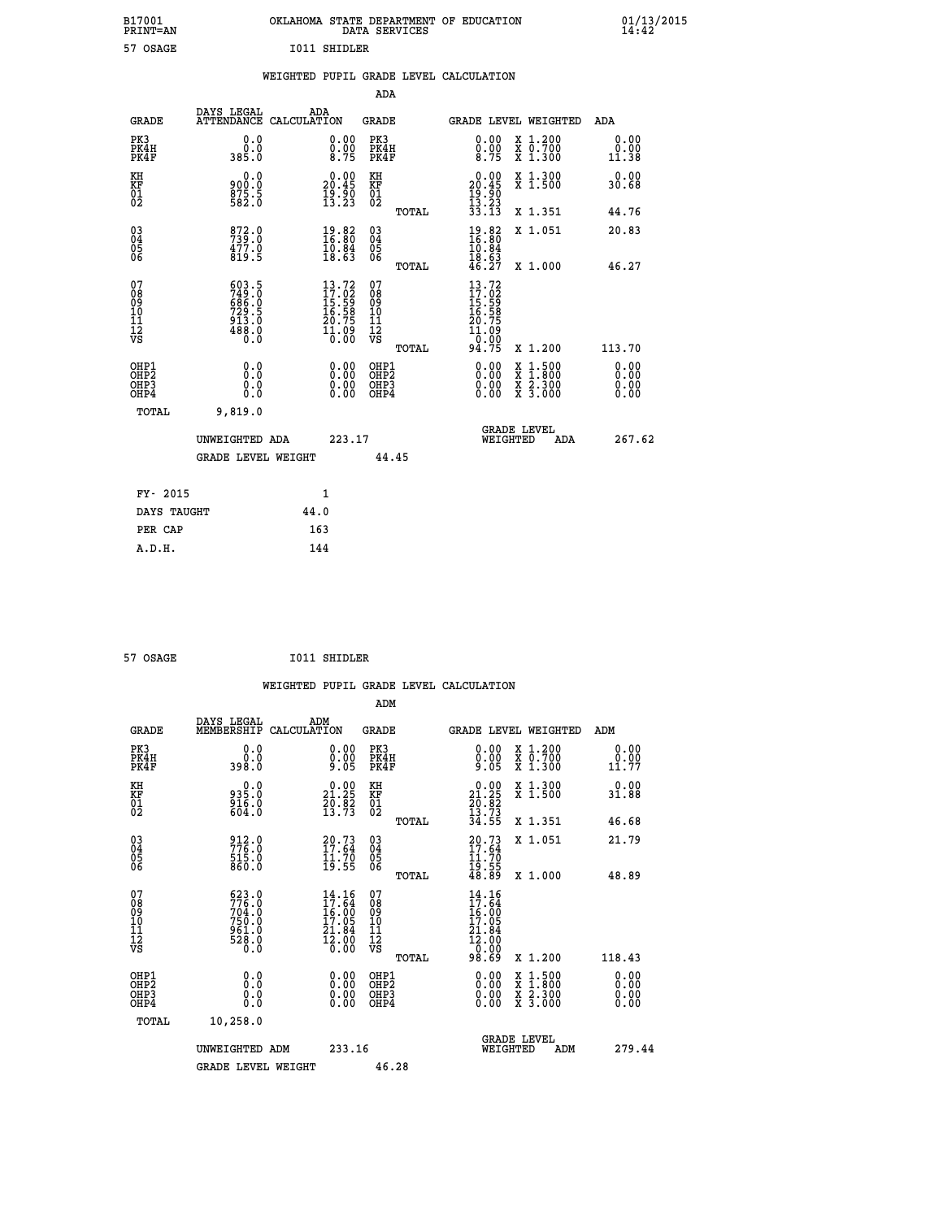| B17001<br><b>PRINT=AN</b> | OKLAHOMA<br>. STATE DEPARTMENT OF EDUCATION<br>DATA SERVICES | 01/13/2015<br>14:42 |
|---------------------------|--------------------------------------------------------------|---------------------|
| 57 OSAGE                  | <b>I011 SHIDLER</b>                                          |                     |

|  |  | WEIGHTED PUPIL GRADE LEVEL CALCULATION |
|--|--|----------------------------------------|
|  |  |                                        |

|                                                                    |                                                                      |                                                                                               | ADA                                       |       |                                                                                                                                    |        |                                                           |                              |
|--------------------------------------------------------------------|----------------------------------------------------------------------|-----------------------------------------------------------------------------------------------|-------------------------------------------|-------|------------------------------------------------------------------------------------------------------------------------------------|--------|-----------------------------------------------------------|------------------------------|
| <b>GRADE</b>                                                       | DAYS LEGAL                                                           | ADA<br>ATTENDANCE CALCULATION                                                                 | <b>GRADE</b>                              |       | GRADE LEVEL WEIGHTED                                                                                                               |        |                                                           | <b>ADA</b>                   |
| PK3<br>PK4H<br>PK4F                                                | 0.0<br>0.0<br>0.085                                                  | $\begin{smallmatrix} 0.00\ 0.00\ 8.75 \end{smallmatrix}$                                      | PK3<br>PK4H<br>PK4F                       |       | 0.00<br>$\frac{0.00}{8.75}$                                                                                                        |        | X 1.200<br>X 0.700<br>X 1.300                             | 0.00<br>0.00<br>11.38        |
| KH<br>KF<br>01<br>02                                               | 0.0<br>900:0<br>875:5<br>582:0                                       | $20.00$<br>20.45<br>$\frac{19}{13}\cdot\frac{50}{23}$                                         | KH<br>KF<br>01<br>02                      |       | $0.00$<br>$20.45$<br>$19.90$<br>$13.23$<br>$33.13$                                                                                 |        | X 1.300<br>X 1.500                                        | 0.00<br>30.68                |
|                                                                    |                                                                      |                                                                                               |                                           | TOTAL |                                                                                                                                    |        | X 1.351                                                   | 44.76                        |
| $\begin{smallmatrix} 03 \\[-4pt] 04 \end{smallmatrix}$<br>Ŏ5<br>06 | 872.0<br>739.0<br>477.0<br>819.5                                     | $\begin{smallmatrix} 19.82\ 16.80\ 10.84\ 18.63 \end{smallmatrix}$                            | $\substack{03 \\ 04}$<br>05<br>06         |       | $18.82$<br>$16.80$<br>$10.84$<br>$18.63$<br>$46.27$                                                                                |        | X 1.051                                                   | 20.83                        |
|                                                                    |                                                                      |                                                                                               |                                           | TOTAL |                                                                                                                                    |        | X 1.000                                                   | 46.27                        |
| 07<br>08<br>09<br>11<br>11<br>12<br>VS                             | 603.5<br>749.0<br>686.0<br>686.0<br>729.5<br>913.0<br>488.0<br>488.0 | 13.72<br>$\begin{smallmatrix} 17.62\ 15.59\ 16.58\ 16.759\ 10.799\ 11.090\ \end{smallmatrix}$ | 07<br>08<br>09<br>11<br>11<br>12<br>VS    |       | $\begin{array}{l} 13\cdot72 \\ 17\cdot02 \\ 15\cdot59 \\ 16\cdot58 \\ 20\cdot75 \\ 11\cdot09 \\ 0\cdot00 \\ 94\cdot75 \end{array}$ |        |                                                           |                              |
|                                                                    |                                                                      |                                                                                               |                                           | TOTAL |                                                                                                                                    |        | X 1.200                                                   | 113.70                       |
| OHP1<br>OH <sub>P</sub> 2<br>OHP3<br>OHP4                          | 0.0<br>Ō.Ō<br>0.0<br>$0.\overline{0}$                                | 0.00<br>$\begin{smallmatrix} 0.00 \ 0.00 \end{smallmatrix}$                                   | OHP1<br>OH <sub>P</sub> 2<br>OHP3<br>OHP4 |       | 0.00<br>0.00<br>0.00                                                                                                               | X<br>X | $1:500$<br>$1:800$<br>$\frac{x}{x}$ $\frac{2.300}{3.000}$ | 0.00<br>0.00<br>0.00<br>0.00 |
| TOTAL                                                              | 9,819.0                                                              |                                                                                               |                                           |       |                                                                                                                                    |        |                                                           |                              |
|                                                                    | UNWEIGHTED ADA                                                       | 223.17                                                                                        |                                           |       | <b>GRADE LEVEL</b><br>WEIGHTED                                                                                                     |        | ADA                                                       | 267.62                       |
|                                                                    | <b>GRADE LEVEL WEIGHT</b>                                            |                                                                                               |                                           | 44.45 |                                                                                                                                    |        |                                                           |                              |
| FY- 2015                                                           |                                                                      | 1                                                                                             |                                           |       |                                                                                                                                    |        |                                                           |                              |
| DAYS TAUGHT                                                        |                                                                      | 44.0                                                                                          |                                           |       |                                                                                                                                    |        |                                                           |                              |
| PER CAP                                                            |                                                                      | 163                                                                                           |                                           |       |                                                                                                                                    |        |                                                           |                              |
|                                                                    |                                                                      |                                                                                               |                                           |       |                                                                                                                                    |        |                                                           |                              |

| 57 OSAGE |  | I011 SHIDLER |
|----------|--|--------------|

|                                                                  |                                                                                                    |                                                                                                                                | ADM                                          |       |                                                                                                                                     |                                                                           |                       |
|------------------------------------------------------------------|----------------------------------------------------------------------------------------------------|--------------------------------------------------------------------------------------------------------------------------------|----------------------------------------------|-------|-------------------------------------------------------------------------------------------------------------------------------------|---------------------------------------------------------------------------|-----------------------|
| <b>GRADE</b>                                                     | DAYS LEGAL<br>MEMBERSHIP CALCULATION                                                               | ADM                                                                                                                            | <b>GRADE</b>                                 |       |                                                                                                                                     | GRADE LEVEL WEIGHTED                                                      | ADM                   |
| PK3<br>PK4H<br>PK4F                                              | 0.0<br>0.0<br>0.8ee                                                                                | $\begin{smallmatrix} 0.00 \ 0.00 \ 9.05 \end{smallmatrix}$                                                                     | PK3<br>PK4H<br>PK4F                          |       | 0.00<br>$0.00$<br>9.05                                                                                                              | $\begin{smallmatrix} x & 1.200 \\ x & 0.700 \end{smallmatrix}$<br>X 1.300 | 0.00<br>0.00<br>11.77 |
| KH<br>KF<br>01<br>02                                             | $935.0$<br>$916.0$<br>$604.0$                                                                      | $\begin{smallmatrix} 0.00\\ 21.25\\ 20.82\\ 13.73 \end{smallmatrix}$                                                           | KH<br>KF<br>01<br>02                         |       | $\begin{smallmatrix} 0.00\\21.25\\20.82\\13.73\\34.55 \end{smallmatrix}$                                                            | X 1.300<br>X 1.500                                                        | 0.00<br>31.88         |
|                                                                  |                                                                                                    |                                                                                                                                |                                              | TOTAL |                                                                                                                                     | X 1.351                                                                   | 46.68                 |
| $\begin{matrix} 03 \\ 04 \\ 05 \\ 06 \end{matrix}$               | 912.0<br>776.0<br>515.0<br>860.0                                                                   | $20.73$<br>$17.64$<br>$11.70$<br>$19.55$                                                                                       | 03<br>04<br>05<br>06                         |       | $20.73$<br>$17.64$<br>$11.70$<br>$19.55$<br>$48.89$                                                                                 | X 1.051                                                                   | 21.79                 |
|                                                                  |                                                                                                    |                                                                                                                                |                                              | TOTAL |                                                                                                                                     | $X_1.000$                                                                 | 48.89                 |
| 07<br>08<br>09<br>10<br>11<br>11<br>17<br>VS                     | $\begin{smallmatrix} 623.0\\ 776.0\\ 704.0\\ 750.0\\ 961.0\\ 961.0\\ 28.0\\ 0.0 \end{smallmatrix}$ | $\begin{smallmatrix} 14\cdot 16\\ 17\cdot 64\\ 16\cdot 00\\ 17\cdot 05\\ 21\cdot 84\\ 2\cdot 00\\ 0\cdot 00 \end{smallmatrix}$ | 07<br>08<br>09<br>01<br>11<br>11<br>17<br>VS |       | $\begin{array}{c} 14\cdot 16\\ 17\cdot 64\\ 16\cdot 00\\ 17\cdot 05\\ 21\cdot 84\\ 12\cdot 00\\ 0\cdot 00\\ 98\cdot 69 \end{array}$ |                                                                           |                       |
|                                                                  |                                                                                                    |                                                                                                                                |                                              | TOTAL |                                                                                                                                     | X 1.200                                                                   | 118.43                |
| OHP1<br>OH <sub>P</sub> <sub>2</sub><br>OH <sub>P3</sub><br>OHP4 |                                                                                                    |                                                                                                                                | OHP1<br>OHP <sub>2</sub><br>OHP3<br>OHP4     |       | 0.00<br>$0.00$<br>0.00                                                                                                              | X 1:500<br>X 1:800<br>X 2:300<br>X 3:000                                  | 0.00<br>0.00<br>0.00  |
| TOTAL                                                            | 10,258.0                                                                                           |                                                                                                                                |                                              |       |                                                                                                                                     |                                                                           |                       |
|                                                                  | UNWEIGHTED ADM                                                                                     | 233.16                                                                                                                         |                                              |       | WEIGHTED                                                                                                                            | <b>GRADE LEVEL</b><br>ADM                                                 | 279.44                |
|                                                                  | <b>GRADE LEVEL WEIGHT</b>                                                                          |                                                                                                                                | 46.28                                        |       |                                                                                                                                     |                                                                           |                       |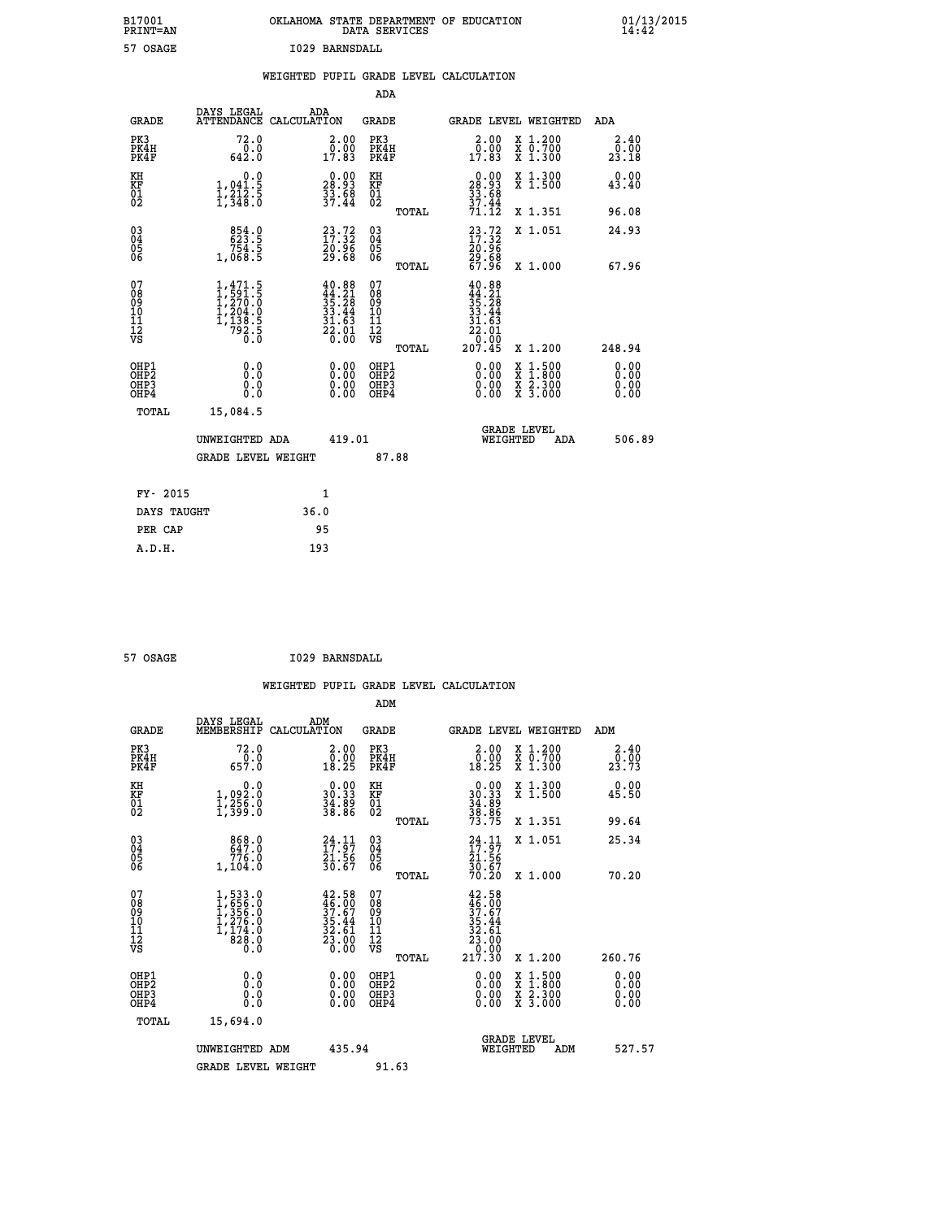| B17001<br><b>PRINT=AN</b> | OKLAHOMA STATE DEPARTMENT OF EDUCATION<br>DATA SERVICES | 01/13/2015<br>14:42 |
|---------------------------|---------------------------------------------------------|---------------------|
| 57<br>OSAGE               | BARNSDALL<br>1029                                       |                     |

| .                                        |                                                                                                         |      |                                                                                                                                                                                         | DUITH DUNTLY                                       |       |                                                                        |                                                                                                  |     | -- - - - -                   |
|------------------------------------------|---------------------------------------------------------------------------------------------------------|------|-----------------------------------------------------------------------------------------------------------------------------------------------------------------------------------------|----------------------------------------------------|-------|------------------------------------------------------------------------|--------------------------------------------------------------------------------------------------|-----|------------------------------|
| 57 OSAGE                                 |                                                                                                         |      | I029 BARNSDALL                                                                                                                                                                          |                                                    |       |                                                                        |                                                                                                  |     |                              |
|                                          |                                                                                                         |      |                                                                                                                                                                                         |                                                    |       | WEIGHTED PUPIL GRADE LEVEL CALCULATION                                 |                                                                                                  |     |                              |
|                                          |                                                                                                         |      |                                                                                                                                                                                         | <b>ADA</b>                                         |       |                                                                        |                                                                                                  |     |                              |
| <b>GRADE</b>                             | DAYS LEGAL<br>ATTENDANCE CALCULATION                                                                    |      | ADA                                                                                                                                                                                     | GRADE                                              |       | GRADE LEVEL WEIGHTED                                                   |                                                                                                  |     | ADA                          |
| PK3<br>PK4H<br>PK4F                      | 72.0<br>0.0<br>642.0                                                                                    |      | $\begin{smallmatrix} 2.00\\ 0.00\\ 17.83 \end{smallmatrix}$                                                                                                                             | PK3<br>PK4H<br>PK4F                                |       | 2.00<br>$\frac{5}{17.83}$                                              | X 1.200<br>X 0.700<br>X 1.300                                                                    |     | 2.40<br>0.00<br>23.18        |
| KH<br>KF<br>$\frac{01}{02}$              | 0.0<br>1,041.5<br>1,212.5<br>1,348.0                                                                    |      | $\begin{smallmatrix} 0.00\\ 28.93\\ 33.68\\ 37.44 \end{smallmatrix}$                                                                                                                    | KH<br>KF<br>01<br>02                               |       | $\begin{array}{r} 0.00 \\ 28.93 \\ 33.68 \\ 37.44 \end{array}$         | X 1.300<br>X 1.500                                                                               |     | 0.00<br>43.40                |
|                                          |                                                                                                         |      |                                                                                                                                                                                         |                                                    | TOTAL | 71.12                                                                  | X 1.351                                                                                          |     | 96.08                        |
| $^{03}_{04}$<br>Ŏ5<br>06                 | 854.0<br>754.5<br>1,068.5                                                                               |      | $\begin{smallmatrix} 23\cdot72\17\cdot32\20\cdot96\29\cdot68\end{smallmatrix}$                                                                                                          | $\begin{matrix} 03 \\ 04 \\ 05 \\ 06 \end{matrix}$ |       | $23.72$<br>$17.32$<br>$20.96$<br>$\frac{29.68}{67.96}$                 | X 1.051                                                                                          |     | 24.93                        |
|                                          |                                                                                                         |      |                                                                                                                                                                                         |                                                    | TOTAL |                                                                        | X 1.000                                                                                          |     | 67.96                        |
| 07<br>08<br>09<br>11<br>11<br>12<br>VS   | $\begin{smallmatrix} 1,471.5\\ 1,591.5\\ 1,270.0\\ 1,204.0\\ 1,138.5\\ 792.5\\ 0.0\\ \end{smallmatrix}$ |      | $\begin{smallmatrix} 4 & 0 & . & 8 & 8 \\ 4 & 4 & . & 2 & 1 \\ 3 & 5 & . & 2 & 8 \\ 3 & 3 & . & 4 & 4 \\ 3 & 1 & . & 6 & 3 \\ 2 & 2 & . & 0 & 0 \\ 0 & . & 0 & 0 & 0 \end{smallmatrix}$ | 07<br>08<br>09<br>11<br>11<br>12<br>VS             |       | 40.88<br>$44.21$<br>$35.28$<br>$33.44$<br>$31.63$<br>$22.01$<br>$0.00$ |                                                                                                  |     |                              |
|                                          |                                                                                                         |      |                                                                                                                                                                                         |                                                    | TOTAL | 207.45                                                                 | X 1.200                                                                                          |     | 248.94                       |
| OHP1<br>OHP <sub>2</sub><br>OHP3<br>OHP4 | 0.0<br>0.0<br>0.0                                                                                       |      | 0.00<br>$\begin{smallmatrix} 0.00 \ 0.00 \end{smallmatrix}$                                                                                                                             | OHP1<br>OHP <sub>2</sub><br>OHP3<br>OHP4           |       | 0.00<br>0.00                                                           | $\begin{smallmatrix} x & 1 & 500 \\ x & 1 & 800 \\ x & 2 & 300 \\ x & 3 & 000 \end{smallmatrix}$ |     | 0.00<br>0.00<br>0.00<br>0.00 |
| <b>TOTAL</b>                             | 15,084.5                                                                                                |      |                                                                                                                                                                                         |                                                    |       |                                                                        |                                                                                                  |     |                              |
|                                          | UNWEIGHTED ADA                                                                                          |      | 419.01                                                                                                                                                                                  |                                                    |       |                                                                        | <b>GRADE LEVEL</b><br>WEIGHTED                                                                   | ADA | 506.89                       |
|                                          | <b>GRADE LEVEL WEIGHT</b>                                                                               |      |                                                                                                                                                                                         | 87.88                                              |       |                                                                        |                                                                                                  |     |                              |
| FY- 2015                                 |                                                                                                         |      | $\mathbf{1}$                                                                                                                                                                            |                                                    |       |                                                                        |                                                                                                  |     |                              |
| DAYS TAUGHT                              |                                                                                                         | 36.0 |                                                                                                                                                                                         |                                                    |       |                                                                        |                                                                                                  |     |                              |
| PER CAP                                  |                                                                                                         |      | 95                                                                                                                                                                                      |                                                    |       |                                                                        |                                                                                                  |     |                              |
| A.D.H.                                   |                                                                                                         | 193  |                                                                                                                                                                                         |                                                    |       |                                                                        |                                                                                                  |     |                              |

 **57 OSAGE I029 BARNSDALL**

|                                                      |                                                                                 |                                                                                              | ADM                                                |       |                                                                                                       |                                          |                              |
|------------------------------------------------------|---------------------------------------------------------------------------------|----------------------------------------------------------------------------------------------|----------------------------------------------------|-------|-------------------------------------------------------------------------------------------------------|------------------------------------------|------------------------------|
| <b>GRADE</b>                                         | DAYS LEGAL<br>MEMBERSHIP                                                        | ADM<br>CALCULATION                                                                           | GRADE                                              |       |                                                                                                       | GRADE LEVEL WEIGHTED                     | ADM                          |
| PK3<br>PK4H<br>PK4F                                  | 72.0<br>$\frac{0.0}{657.0}$                                                     | $\begin{smallmatrix} 2.00\\ 0.00\\ 18.25 \end{smallmatrix}$                                  | PK3<br>PK4H<br>PK4F                                |       | 2.00<br>$\begin{smallmatrix} \bar{0} \cdot \bar{0} \bar{0} \ 18 \cdot 25 \end{smallmatrix}$           | X 1.200<br>X 0.700<br>X 1.300            | 2.40<br>0.00<br>23.73        |
| KH<br>KF<br>01<br>02                                 | 0.0<br>$\frac{1}{1}, \frac{0}{356}$<br>$\frac{256}{1}, \frac{256}{39}$          | $\begin{smallmatrix} 0.00\\ 30.33\\ 34.89\\ 38.86 \end{smallmatrix}$                         | KH<br>KF<br>01<br>02                               |       | 0.00<br>$30.33$<br>$34.89$<br>$38.86$<br>$73.75$                                                      | X 1.300<br>X 1.500                       | 0.00<br>45.50                |
|                                                      |                                                                                 |                                                                                              |                                                    | TOTAL |                                                                                                       | X 1.351                                  | 99.64                        |
| 03<br>04<br>05<br>06                                 | 868.0<br>647.0<br>776.0<br>1,104.0                                              | $24.11$<br>$17.97$<br>$21.56$<br>$30.67$                                                     | $\begin{matrix} 03 \\ 04 \\ 05 \\ 06 \end{matrix}$ |       | $24.11$<br>$17.97$<br>$21.56$<br>$30.67$                                                              | X 1.051                                  | 25.34                        |
|                                                      |                                                                                 |                                                                                              |                                                    | TOTAL | 70.20                                                                                                 | X 1.000                                  | 70.20                        |
| 07<br>08901112<br>1112<br>VS                         | $1,533.0$<br>$1,656.0$<br>$1,356.0$<br>$1,276.0$<br>$1,174.0$<br>$828.0$<br>0.0 | $\begin{smallmatrix} 42.58\\ 46.00\\ 37.67\\ 35.44\\ 32.61\\ 23.00\\ 0.00 \end{smallmatrix}$ | 07<br>08<br>09<br>11<br>11<br>12<br>VS             |       | $\begin{smallmatrix} 42.58\\ 46.00\\ 37.67\\ 32.44\\ 32.61\\ 23.00\\ 0.00\\ 217.30 \end{smallmatrix}$ |                                          |                              |
|                                                      |                                                                                 |                                                                                              |                                                    | TOTAL |                                                                                                       | X 1.200                                  | 260.76                       |
| OHP1<br>OHP <sub>2</sub><br>OHP3<br>OH <sub>P4</sub> |                                                                                 |                                                                                              | OHP1<br>OHP2<br>OHP <sub>3</sub>                   |       |                                                                                                       | X 1:500<br>X 1:800<br>X 2:300<br>X 3:000 | 0.00<br>0.00<br>0.00<br>0.00 |
| TOTAL                                                | 15,694.0                                                                        |                                                                                              |                                                    |       |                                                                                                       |                                          |                              |
|                                                      | UNWEIGHTED ADM                                                                  | 435.94                                                                                       |                                                    |       | WEIGHTED                                                                                              | <b>GRADE LEVEL</b><br>ADM                | 527.57                       |
|                                                      | <b>GRADE LEVEL WEIGHT</b>                                                       |                                                                                              | 91.63                                              |       |                                                                                                       |                                          |                              |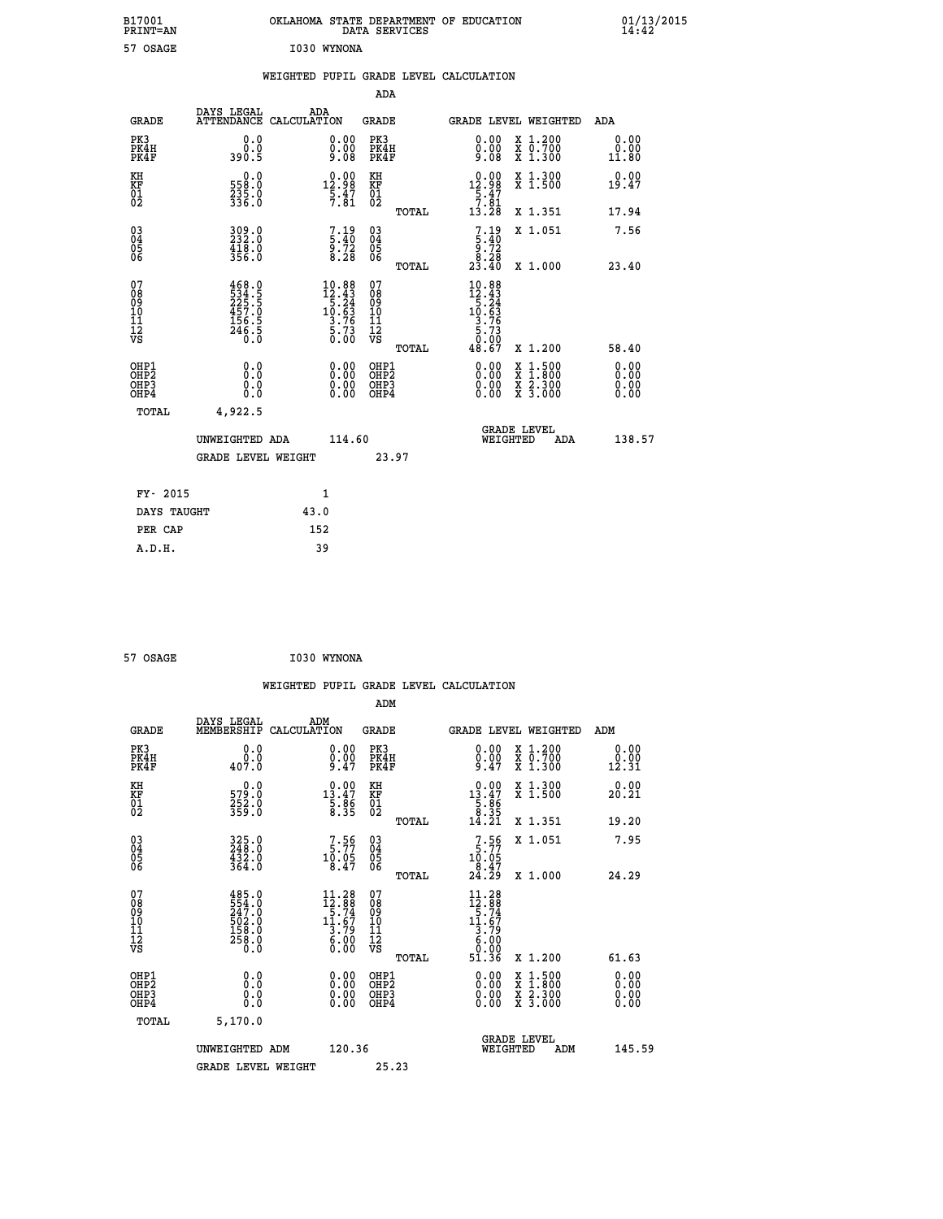| B17001<br><b>PRINT=AN</b>                          |                                                                                                                                                      | OKLAHOMA STATE DEPARTMENT OF EDUCATION                                                                                     | DATA SERVICES                                   |                                                                                                                          |                                                                             | 01/13/2015<br>14:42          |  |
|----------------------------------------------------|------------------------------------------------------------------------------------------------------------------------------------------------------|----------------------------------------------------------------------------------------------------------------------------|-------------------------------------------------|--------------------------------------------------------------------------------------------------------------------------|-----------------------------------------------------------------------------|------------------------------|--|
| 57 OSAGE                                           |                                                                                                                                                      | I030 WYNONA                                                                                                                |                                                 |                                                                                                                          |                                                                             |                              |  |
|                                                    |                                                                                                                                                      | WEIGHTED PUPIL GRADE LEVEL CALCULATION                                                                                     |                                                 |                                                                                                                          |                                                                             |                              |  |
|                                                    |                                                                                                                                                      |                                                                                                                            | ADA                                             |                                                                                                                          |                                                                             |                              |  |
| <b>GRADE</b>                                       | DAYS LEGAL                                                                                                                                           | ADA<br>ATTENDANCE CALCULATION                                                                                              | GRADE                                           | GRADE LEVEL WEIGHTED                                                                                                     |                                                                             | ADA                          |  |
| PK3<br>PK4H<br>PK4F                                | 0.0<br>0.0<br>390.5                                                                                                                                  | 0.00<br>$0.00$<br>9.08                                                                                                     | PK3<br>PK4H<br>PK4F                             | $\begin{smallmatrix} 0.00\\ 0.00\\ 9.08 \end{smallmatrix}$                                                               | X 1.200<br>X 0.700<br>X 1.300                                               | 0.00<br>0.00<br>11.80        |  |
| KH<br>KF<br>$^{01}_{02}$                           | 0.0<br>558.0<br>$\frac{235}{336}$ .0                                                                                                                 | $\begin{smallmatrix} 0.00\\[-1mm] 12.98\\[-1mm] 5.47\\[-1mm] 7.81\end{smallmatrix}$                                        | KH<br>KF<br>01<br>02                            | 0.00<br>12.98<br>$\frac{5.47}{7.81}$                                                                                     | X 1.300<br>X 1.500                                                          | 0.00<br>19.47                |  |
|                                                    |                                                                                                                                                      |                                                                                                                            | TOTAL                                           | 13.28                                                                                                                    | X 1.351                                                                     | 17.94                        |  |
| $\begin{matrix} 03 \\ 04 \\ 05 \\ 06 \end{matrix}$ | 309.0<br>418.0<br>356.0                                                                                                                              | 7.19<br>5.40<br>9.72<br>8.28                                                                                               | 030404<br>ŎĞ                                    | $7.19\n5.40\n9.72\n8.28\n23.40$                                                                                          | X 1.051                                                                     | 7.56                         |  |
|                                                    |                                                                                                                                                      |                                                                                                                            | TOTAL                                           |                                                                                                                          | X 1.000                                                                     | 23.40                        |  |
| 07<br>08<br>09<br>10<br>11<br>12<br>VS             | 468.0<br>$\frac{1}{2}$<br>$\frac{2}{3}$<br>$\frac{2}{5}$<br>$\frac{2}{5}$<br>$\frac{1}{2}$<br>$\frac{5}{6}$<br>$\frac{5}{5}$<br>$\frac{1}{2}$<br>Ŏ.Ŏ | $\begin{array}{r} 10.88 \\[-2pt] 12.43 \\[-2pt] 5.24 \\[-2pt] 10.63 \\[-2pt] 3.76 \\[-2pt] 5.73 \\[-2pt] 0.00 \end{array}$ | 07<br>08<br>09<br>10<br>11<br>12<br>VS<br>TOTAL | 10.88<br>$\begin{array}{r} 12.43 \\[-4pt] 12.44 \\[-4pt] 15.63 \\[-4pt] 3.76 \\[-4pt] 5.73 \end{array}$<br>0.00<br>48.67 | X 1.200                                                                     | 58.40                        |  |
| OHP1<br>OHP <sub>2</sub><br>OHP3<br>OHP4           | 0.0<br>Ō.Ō<br>0.0<br>0.0                                                                                                                             | 0.00<br>0.00<br>0.00                                                                                                       | OHP1<br>OHP <sub>2</sub><br>OHP3<br>OHP4        | 0.00<br>0.00<br>0.00                                                                                                     | $\begin{array}{l} x\,+\,500\\ x\,+\,300\\ x\,+\,2\\ x\,+\,3000 \end{array}$ | 0.00<br>0.00<br>0.00<br>0.00 |  |
| TOTAL                                              | 4,922.5                                                                                                                                              |                                                                                                                            |                                                 |                                                                                                                          |                                                                             |                              |  |
|                                                    | UNWEIGHTED ADA<br><b>GRADE LEVEL WEIGHT</b>                                                                                                          | 114.60                                                                                                                     | 23.97                                           | <b>GRADE LEVEL</b><br>WEIGHTED                                                                                           | ADA                                                                         | 138.57                       |  |
|                                                    |                                                                                                                                                      |                                                                                                                            |                                                 |                                                                                                                          |                                                                             |                              |  |
| FY- 2015                                           |                                                                                                                                                      | 1                                                                                                                          |                                                 |                                                                                                                          |                                                                             |                              |  |
| DAYS TAUGHT                                        |                                                                                                                                                      | 43.0                                                                                                                       |                                                 |                                                                                                                          |                                                                             |                              |  |
| PER CAP                                            |                                                                                                                                                      | 152                                                                                                                        |                                                 |                                                                                                                          |                                                                             |                              |  |

| 57 OSAGE | I030 WYNONA |
|----------|-------------|
|          |             |

|                                                                      |                                                                  | WEIGHTED PUPIL GRADE LEVEL CALCULATION                                                              |                                                     |       |                                                                                                                                                                                                                                                                                                                                                                                                                                  |                                          |                       |
|----------------------------------------------------------------------|------------------------------------------------------------------|-----------------------------------------------------------------------------------------------------|-----------------------------------------------------|-------|----------------------------------------------------------------------------------------------------------------------------------------------------------------------------------------------------------------------------------------------------------------------------------------------------------------------------------------------------------------------------------------------------------------------------------|------------------------------------------|-----------------------|
|                                                                      |                                                                  |                                                                                                     | ADM                                                 |       |                                                                                                                                                                                                                                                                                                                                                                                                                                  |                                          |                       |
| <b>GRADE</b>                                                         | DAYS LEGAL<br>MEMBERSHIP                                         | ADM<br>CALCULATION                                                                                  | <b>GRADE</b>                                        |       |                                                                                                                                                                                                                                                                                                                                                                                                                                  | <b>GRADE LEVEL WEIGHTED</b>              | ADM                   |
| PK3<br>PK4H<br>PK4F                                                  | 0.0<br>0.0<br>407.0                                              | $\substack{0.00\\0.00\\9.47}$                                                                       | PK3<br>PK4H<br>PK4F                                 |       | $0.00$<br>$0.00$<br>$9.47$                                                                                                                                                                                                                                                                                                                                                                                                       | X 1.200<br>X 0.700<br>X 1.300            | 0.00<br>0.00<br>12.31 |
| KH<br>KF<br>01<br>02                                                 | $\begin{smallmatrix} 0.0\\579.0\\252.0\\359.0 \end{smallmatrix}$ | $\begin{smallmatrix} 0.00\\ 13.47\\ 5.86\\ 8.35 \end{smallmatrix}$                                  | KH<br>KF<br>01<br>02                                |       | $\begin{smallmatrix} 0.00\\ 13.47\\ 5.86\\ 8.35\\ 14.21 \end{smallmatrix}$                                                                                                                                                                                                                                                                                                                                                       | X 1.300<br>X 1.500                       | 0.00<br>20.21         |
|                                                                      |                                                                  |                                                                                                     |                                                     | TOTAL |                                                                                                                                                                                                                                                                                                                                                                                                                                  | X 1.351                                  | 19.20                 |
| $\begin{matrix} 03 \\ 04 \\ 05 \\ 06 \end{matrix}$                   | 325.0<br>248.0<br>432.0<br>364.0                                 | 7.56<br>$10.05$<br>8.47                                                                             | $\begin{array}{c} 03 \\ 04 \\ 05 \\ 06 \end{array}$ |       | $7.56$<br>$10.05$<br>$8.47$<br>$24.29$                                                                                                                                                                                                                                                                                                                                                                                           | X 1.051                                  | 7.95                  |
|                                                                      |                                                                  |                                                                                                     |                                                     | TOTAL |                                                                                                                                                                                                                                                                                                                                                                                                                                  | X 1.000                                  | 24.29                 |
| 07<br>08<br>09<br>11<br>11<br>12<br>VS                               | 485.0<br>554.002<br>247.002<br>502.002<br>558.00<br>258.00       | $11.28$<br>$12.88$<br>$5.74$<br>$\begin{array}{c}\n 11.67 \\  3.79 \\  6.00 \\  0.00\n \end{array}$ | 07<br>08<br>09<br>11<br>11<br>12<br>VS              | TOTAL | 11.28<br>$\begin{array}{@{}c@{\hspace{1em}}c@{\hspace{1em}}c@{\hspace{1em}}c@{\hspace{1em}}c@{\hspace{1em}}c@{\hspace{1em}}c@{\hspace{1em}}c@{\hspace{1em}}c@{\hspace{1em}}c@{\hspace{1em}}c@{\hspace{1em}}c@{\hspace{1em}}c@{\hspace{1em}}c@{\hspace{1em}}c@{\hspace{1em}}c@{\hspace{1em}}c@{\hspace{1em}}c@{\hspace{1em}}c@{\hspace{1em}}c@{\hspace{1em}}c@{\hspace{1em}}c@{\hspace{1em}}c@{\hspace{1em}}c@{\hspace{$<br>51.36 | X 1.200                                  | 61.63                 |
| OHP1                                                                 | 0.0                                                              |                                                                                                     | OHP1                                                |       |                                                                                                                                                                                                                                                                                                                                                                                                                                  |                                          | 0.00                  |
| OH <sub>P</sub> <sub>2</sub><br>OH <sub>P3</sub><br>OH <sub>P4</sub> | 0.000                                                            | $\begin{smallmatrix} 0.00 \ 0.00 \ 0.00 \ 0.00 \end{smallmatrix}$                                   | OH <sub>P</sub> 2<br>OHP3<br>OHP4                   |       | $\begin{smallmatrix} 0.00 & 0.00 & 0.00 & 0.00 & 0.00 & 0.00 & 0.00 & 0.00 & 0.00 & 0.00 & 0.00 & 0.00 & 0.00 & 0.00 & 0.00 & 0.00 & 0.00 & 0.00 & 0.00 & 0.00 & 0.00 & 0.00 & 0.00 & 0.00 & 0.00 & 0.00 & 0.00 & 0.00 & 0.00 & 0.00 & 0.00 & 0.00 & 0.00 & 0.00 & 0.00 & 0.0$                                                                                                                                                   | X 1:500<br>X 1:800<br>X 2:300<br>X 3:000 | 0.00<br>0.00<br>0.00  |
| TOTAL                                                                | 5,170.0                                                          |                                                                                                     |                                                     |       |                                                                                                                                                                                                                                                                                                                                                                                                                                  |                                          |                       |
|                                                                      | UNWEIGHTED ADM                                                   | 120.36                                                                                              |                                                     |       | WEIGHTED                                                                                                                                                                                                                                                                                                                                                                                                                         | <b>GRADE LEVEL</b><br>ADM                | 145.59                |
|                                                                      | <b>GRADE LEVEL WEIGHT</b>                                        |                                                                                                     | 25.23                                               |       |                                                                                                                                                                                                                                                                                                                                                                                                                                  |                                          |                       |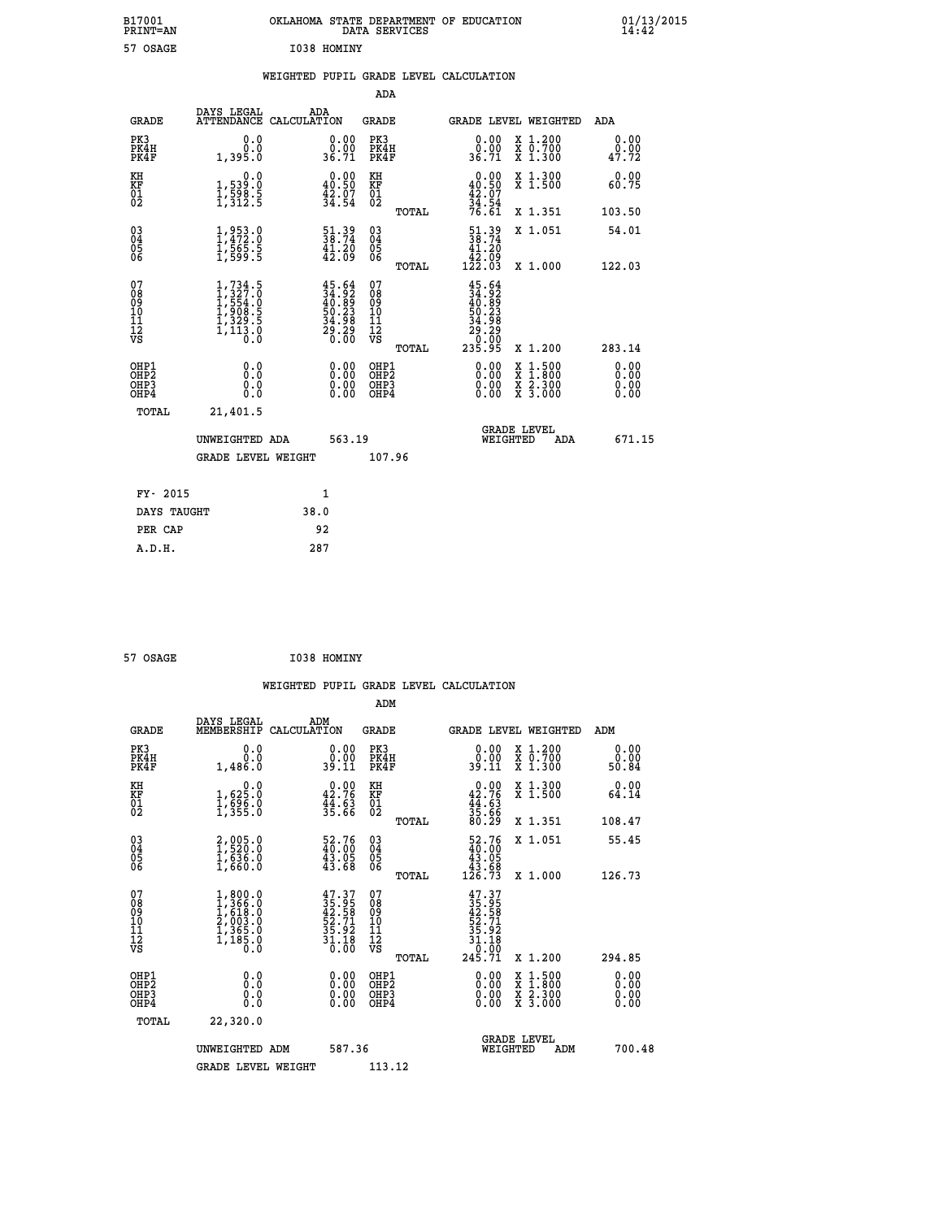| B17001<br><b>PRINT=AN</b> | OKLAHOMA<br>. STATE DEPARTMENT OF EDUCATION<br>DATA SERVICES | 01/13/2015<br>14:42 |
|---------------------------|--------------------------------------------------------------|---------------------|
| 57 OSAGE                  | I038 HOMINY                                                  |                     |

## **WEIGHTED PUPIL GRADE LEVEL CALCULATION**

|                                                                              |                                                                                     |                                                                       | ADA                                                |       |                                                                                               |                                                                                                                                           |                              |
|------------------------------------------------------------------------------|-------------------------------------------------------------------------------------|-----------------------------------------------------------------------|----------------------------------------------------|-------|-----------------------------------------------------------------------------------------------|-------------------------------------------------------------------------------------------------------------------------------------------|------------------------------|
| <b>GRADE</b>                                                                 | DAYS LEGAL                                                                          | ADA<br>ATTENDANCE CALCULATION                                         | GRADE                                              |       | <b>GRADE LEVEL WEIGHTED</b>                                                                   |                                                                                                                                           | ADA                          |
| PK3<br>PK4H<br>PK4F                                                          | 0.0<br>0.0<br>1,395.0                                                               | $\begin{smallmatrix} 0.00\\ 0.00\\ 36.71 \end{smallmatrix}$           | PK3<br>PK4H<br>PK4F                                |       | 0.00<br>0.00<br>36.71                                                                         | X 1.200<br>X 0.700<br>X 1.300                                                                                                             | 0.00<br>0.00<br>47.72        |
| KH<br>KF<br>01<br>02                                                         | 0.0<br>1,539:0<br>1,598:5<br>1,312:5                                                | $\begin{smallmatrix} 0.00\\ 40.50\\ 42.07\\ 34.54 \end{smallmatrix}$  | KH<br>KF<br>01<br>02                               |       | $0.00\n40.50\n42.07\n34.54\n76.61$                                                            | X 1.300<br>X 1.500                                                                                                                        | 0.00<br>60.75                |
|                                                                              |                                                                                     |                                                                       |                                                    | TOTAL |                                                                                               | X 1.351                                                                                                                                   | 103.50                       |
| $\begin{matrix} 03 \\ 04 \\ 05 \\ 06 \end{matrix}$                           | $1, 953.0$<br>$1, 472.0$<br>$1, 565.5$<br>$1, 599.5$                                | $\begin{smallmatrix} 51.39\\ 38.74\\ 41.20\\ 42.09 \end{smallmatrix}$ | $\begin{matrix} 03 \\ 04 \\ 05 \\ 06 \end{matrix}$ |       | $\begin{smallmatrix} 51.39\\ 38.74\\ 41.20\\ 42.09\\ 122.03 \end{smallmatrix}$                | X 1.051                                                                                                                                   | 54.01                        |
|                                                                              |                                                                                     |                                                                       |                                                    | TOTAL |                                                                                               | X 1.000                                                                                                                                   | 122.03                       |
| 07<br>08<br>09<br>11<br>11<br>12<br>VS                                       | $1,734.5$<br>$1,327.0$<br>$1,554.0$<br>$1,908.5$<br>$1,329.5$<br>$1,113.0$<br>$0.0$ | $45.6434.9240.8950.2334.9829.290.00$                                  | 07<br>08<br>09<br>11<br>11<br>12<br>VS             | TOTAL | $\begin{smallmatrix} 45.64\ 34.92\ 40.899\ 50.238\ 50.298\ 20.090\ 23.959\ \end{smallmatrix}$ | X 1.200                                                                                                                                   | 283.14                       |
| OHP1<br>OH <sub>P</sub> <sub>2</sub><br>OH <sub>P3</sub><br>OH <sub>P4</sub> | 0.0<br>Ō.Ō<br>0.0<br>0.0                                                            | 0.00<br>0.00<br>0.00                                                  | OHP1<br>OHP2<br>OHP3<br>OHP4                       |       | 0.00<br>0.00<br>0.00                                                                          | $\begin{smallmatrix} \mathtt{X} & 1\cdot500\\ \mathtt{X} & 1\cdot800\\ \mathtt{X} & 2\cdot300\\ \mathtt{X} & 3\cdot000 \end{smallmatrix}$ | 0.00<br>0.00<br>0.00<br>0.00 |
| TOTAL                                                                        | 21,401.5                                                                            |                                                                       |                                                    |       |                                                                                               |                                                                                                                                           |                              |
|                                                                              | UNWEIGHTED ADA                                                                      | 563.19                                                                |                                                    |       | WEIGHTED                                                                                      | <b>GRADE LEVEL</b><br>ADA                                                                                                                 | 671.15                       |
|                                                                              | <b>GRADE LEVEL WEIGHT</b>                                                           |                                                                       | 107.96                                             |       |                                                                                               |                                                                                                                                           |                              |
| FY- 2015                                                                     |                                                                                     | 1                                                                     |                                                    |       |                                                                                               |                                                                                                                                           |                              |
| DAYS TAUGHT                                                                  |                                                                                     | 38.0                                                                  |                                                    |       |                                                                                               |                                                                                                                                           |                              |
| PER CAP                                                                      |                                                                                     | 92                                                                    |                                                    |       |                                                                                               |                                                                                                                                           |                              |
| A.D.H.                                                                       |                                                                                     | 287                                                                   |                                                    |       |                                                                                               |                                                                                                                                           |                              |
|                                                                              |                                                                                     |                                                                       |                                                    |       |                                                                                               |                                                                                                                                           |                              |

 **ADM**

| <b>GRADE</b>                                         | DAYS LEGAL<br>MEMBERSHIP CALCULATION                                                      | ADM                                                                      | <b>GRADE</b>                                       |       |                                                                                      |                                | <b>GRADE LEVEL WEIGHTED</b>              | ADM                   |
|------------------------------------------------------|-------------------------------------------------------------------------------------------|--------------------------------------------------------------------------|----------------------------------------------------|-------|--------------------------------------------------------------------------------------|--------------------------------|------------------------------------------|-----------------------|
| PK3<br>PK4H<br>PK4F                                  | 0.0<br>0.0<br>1,486.0                                                                     | $\begin{smallmatrix} 0.00\\ 0.00\\ 39.11 \end{smallmatrix}$              | PK3<br>PK4H<br>PK4F                                |       | 0.00<br>$\begin{smallmatrix} 0.00 \ 39.11 \end{smallmatrix}$                         |                                | X 1.200<br>X 0.700<br>X 1.300            | 0.00<br>0.00<br>50.84 |
| KH<br>KF<br>01<br>02                                 | $1,625.0$<br>$1,625.0$<br>$1,596.0$<br>$1,355.0$                                          | $0.00$<br>42.76<br>$\frac{4}{3}\cdot\frac{6}{3}\cdot\frac{3}{6}\cdot$    | KH<br>KF<br>01<br>02                               |       | $0.00\n42.76\n44.63\n35.66\n80.29$                                                   |                                | X 1.300<br>X 1.500                       | 0.00<br>64.14         |
|                                                      |                                                                                           |                                                                          |                                                    | TOTAL |                                                                                      |                                | X 1.351                                  | 108.47                |
| $\begin{matrix} 03 \\ 04 \\ 05 \\ 06 \end{matrix}$   | $2,005.0$<br>$1,520.0$<br>$1,636.0$<br>$1,660.0$                                          | $\begin{smallmatrix} 52.76 \\ 40.00 \\ 43.05 \\ 43.68 \end{smallmatrix}$ | $\begin{matrix} 03 \\ 04 \\ 05 \\ 06 \end{matrix}$ |       | $\begin{smallmatrix} 52.76 \\ 40.00 \\ 43.05 \\ 43.68 \\ 126.73 \end{smallmatrix}$   |                                | X 1.051                                  | 55.45                 |
|                                                      |                                                                                           |                                                                          |                                                    | TOTAL |                                                                                      |                                | X 1.000                                  | 126.73                |
| 07<br>08<br>09<br>101<br>11<br>12<br>VS              | $1, 800.0$<br>$1, 366.0$<br>$1, 618.0$<br>$2, 003.0$<br>$1, 365.0$<br>$1, 185.0$<br>$0.0$ | $47.37$<br>$35.95$<br>$42.58$<br>$52.71$<br>$35.92$<br>$31.18$<br>$0.00$ | 07<br>08<br>09<br>001<br>11<br>11<br>12<br>VS      | TOTAL | $35.95$<br>$42.58$<br>$52.71$<br>$52.72$<br>$35.18$<br>$31.18$<br>$0.00$<br>$245.71$ |                                | X 1.200                                  | 294.85                |
| OHP1<br>OHP <sub>2</sub><br>OH <sub>P3</sub><br>OHP4 | 0.0<br>0.000                                                                              | $\begin{smallmatrix} 0.00 \ 0.00 \ 0.00 \ 0.00 \end{smallmatrix}$        | OHP1<br>OHP <sub>2</sub><br>OHP3<br>OHP4           |       | 0.00<br>$0.00$<br>0.00                                                               |                                | X 1:500<br>X 1:800<br>X 2:300<br>X 3:000 | 0.00<br>0.00<br>0.00  |
| TOTAL                                                | 22,320.0                                                                                  |                                                                          |                                                    |       |                                                                                      |                                |                                          |                       |
|                                                      | UNWEIGHTED                                                                                | 587.36<br>ADM                                                            |                                                    |       |                                                                                      | <b>GRADE LEVEL</b><br>WEIGHTED | ADM                                      | 700.48                |
|                                                      | <b>GRADE LEVEL WEIGHT</b>                                                                 |                                                                          | 113.12                                             |       |                                                                                      |                                |                                          |                       |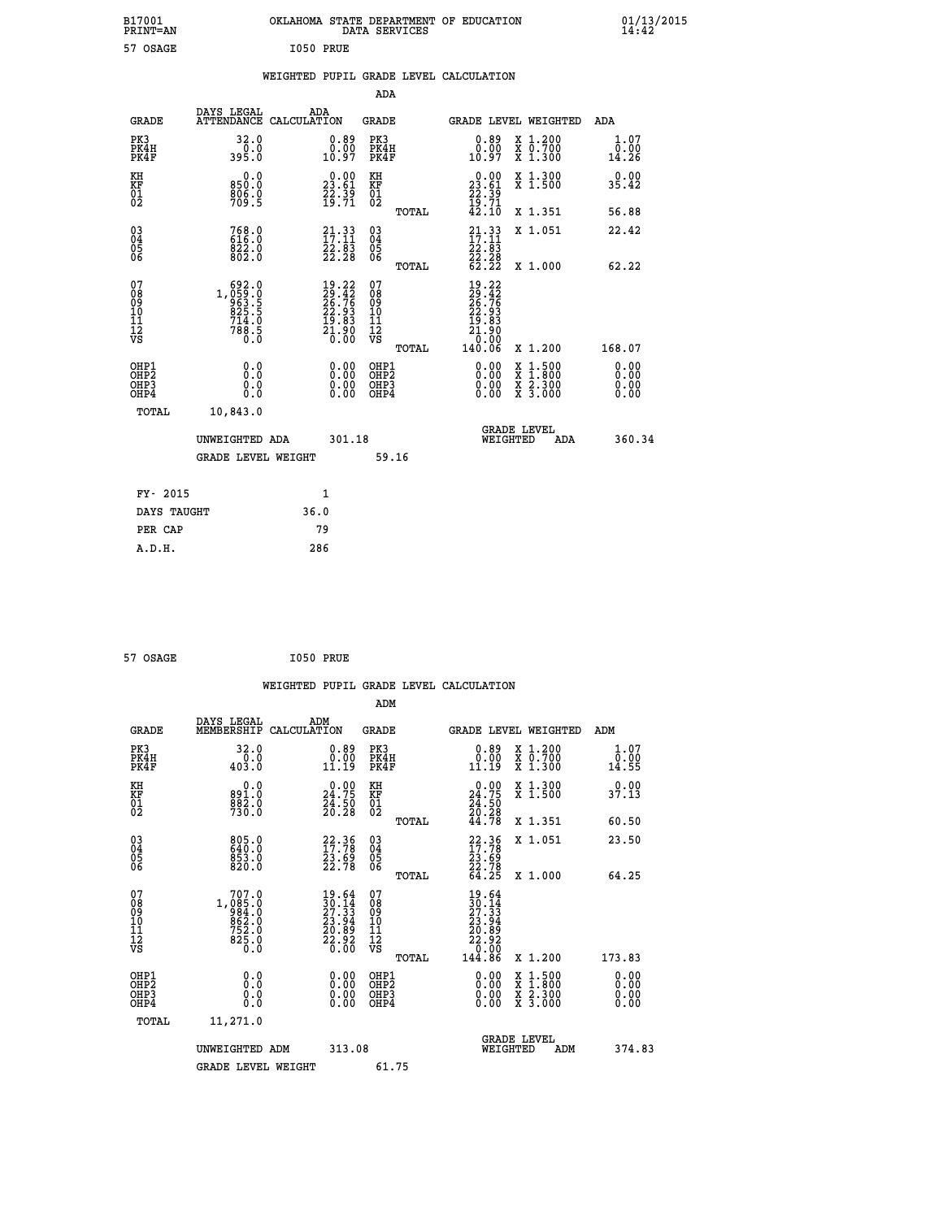| B17001<br><b>PRINT=AN</b>                          |                                                      | OKLAHOMA STATE DEPARTMENT OF EDUCATION                                                              | DATA SERVICES                                   |                                                                                     |                                                                                                  | 01/13/2015<br>14:42          |  |
|----------------------------------------------------|------------------------------------------------------|-----------------------------------------------------------------------------------------------------|-------------------------------------------------|-------------------------------------------------------------------------------------|--------------------------------------------------------------------------------------------------|------------------------------|--|
| 57 OSAGE                                           |                                                      | I050 PRUE                                                                                           |                                                 |                                                                                     |                                                                                                  |                              |  |
|                                                    |                                                      | WEIGHTED PUPIL GRADE LEVEL CALCULATION                                                              |                                                 |                                                                                     |                                                                                                  |                              |  |
|                                                    |                                                      |                                                                                                     | ADA                                             |                                                                                     |                                                                                                  |                              |  |
| <b>GRADE</b>                                       | DAYS LEGAL                                           | ADA<br>ATTENDANCE CALCULATION                                                                       | GRADE                                           | GRADE LEVEL WEIGHTED                                                                |                                                                                                  | ADA                          |  |
| PK3<br>PK4H<br>PK4F                                | 32.0<br>395.0                                        | $\begin{smallmatrix} 0.89\ 0.00\ 10.97 \end{smallmatrix}$                                           | PK3<br>PK4H<br>PK4F                             | $\substack{0.89 \\ 0.00 \\ 10.97}$                                                  | X 1.200<br>X 0.700<br>X 1.300                                                                    | 1.07<br>$\frac{0.00}{14.26}$ |  |
| KH<br>KF<br>$^{01}_{02}$                           | 0.0<br>850.0<br>$\frac{806}{709}$ :5                 | $\begin{smallmatrix} 0.00\\ 23.61\\ 22.39\\ 19.71 \end{smallmatrix}$                                | KH<br>KF<br>01<br>02                            | 0.00<br>23.61<br>$\frac{22.39}{19.71}$<br>42.10                                     | X 1.300<br>X 1.500                                                                               | 0.00<br>35.42                |  |
|                                                    |                                                      |                                                                                                     | TOTAL                                           |                                                                                     | X 1.351                                                                                          | 56.88                        |  |
| $\begin{matrix} 03 \\ 04 \\ 05 \\ 06 \end{matrix}$ | 768.0<br>616.0<br>822.0<br>802.0                     | $\begin{smallmatrix} 21\cdot 33\ 17\cdot 11\ 22\cdot 83\ 22\cdot 28 \end{smallmatrix}$              | 03<br>04<br>05<br>06                            | $\frac{21 \cdot 33}{17 \cdot 11}$<br>$\frac{22 \cdot 83}{13}$<br>22.28              | X 1.051                                                                                          | 22.42                        |  |
|                                                    |                                                      |                                                                                                     | TOTAL                                           | 62.22                                                                               | X 1.000                                                                                          | 62.22                        |  |
| 07<br>08<br>09<br>10<br>11<br>12<br>VS             | 692.0<br>1, 059:0<br>83.5<br>825.5<br>714.0<br>788.5 | $\begin{smallmatrix} 19.22\\ 29.42\\ 26.76\\ 22.93\\ 19.83\\ 1.90\\ 21.90\\ 0.00 \end{smallmatrix}$ | 07<br>08<br>09<br>10<br>11<br>12<br>VS<br>TOTAL | 19.22<br>$\frac{29.42}{26.76}$<br>$\frac{15}{21}$ $\frac{83}{90}$<br>0.00<br>140.06 | X 1.200                                                                                          | 168.07                       |  |
| OHP1<br>OHP2<br>OHP3<br>OHP4                       | 0.0<br>0.0<br>0.0<br>0.0                             | 0.00<br>0.00<br>0.00                                                                                | OHP1<br>OHP <sub>2</sub><br>OHP3<br>OHP4        | 0.00<br>0.00<br>0.00                                                                | $\begin{smallmatrix} x & 1 & 500 \\ x & 1 & 800 \\ x & 2 & 300 \\ x & 3 & 000 \end{smallmatrix}$ | 0.00<br>0.00<br>0.00<br>0.00 |  |
| TOTAL                                              | 10,843.0                                             |                                                                                                     |                                                 |                                                                                     |                                                                                                  |                              |  |
|                                                    | UNWEIGHTED ADA<br>GRADE LEVEL WEIGHT                 | 301.18                                                                                              |                                                 | <b>GRADE LEVEL</b><br>WEIGHTED                                                      | ADA                                                                                              | 360.34                       |  |
|                                                    |                                                      |                                                                                                     | 59.16                                           |                                                                                     |                                                                                                  |                              |  |
| FY- 2015                                           |                                                      | 1                                                                                                   |                                                 |                                                                                     |                                                                                                  |                              |  |
| DAYS TAUGHT                                        |                                                      | 36.0                                                                                                |                                                 |                                                                                     |                                                                                                  |                              |  |
| PER CAP                                            |                                                      | 79                                                                                                  |                                                 |                                                                                     |                                                                                                  |                              |  |

| 57 OSAGE | I050 PRUE |  |
|----------|-----------|--|
|          |           |  |

|                                                    |                                                                                              |                    |                                                                                              |                                  |       | WEIGHTED PUPIL GRADE LEVEL CALCULATION                                                                                                              |                                                                                                  |                       |        |
|----------------------------------------------------|----------------------------------------------------------------------------------------------|--------------------|----------------------------------------------------------------------------------------------|----------------------------------|-------|-----------------------------------------------------------------------------------------------------------------------------------------------------|--------------------------------------------------------------------------------------------------|-----------------------|--------|
|                                                    |                                                                                              |                    |                                                                                              | ADM                              |       |                                                                                                                                                     |                                                                                                  |                       |        |
| <b>GRADE</b>                                       | DAYS LEGAL<br>MEMBERSHIP                                                                     | ADM<br>CALCULATION |                                                                                              | <b>GRADE</b>                     |       | GRADE LEVEL WEIGHTED                                                                                                                                |                                                                                                  | ADM                   |        |
| PK3<br>PK4H<br>PK4F                                | 32.0<br>403.0                                                                                |                    | $0.89$<br>$0.00$<br>11.19                                                                    | PK3<br>PK4H<br>PK4F              |       | $0.89$<br>$0.00$<br>11.19                                                                                                                           | X 1.200<br>X 0.700<br>X 1.300                                                                    | 1.07<br>0.00<br>14.55 |        |
| KH<br>KF<br>01<br>02                               | 0.0<br>891.0<br>882.0<br>730.0                                                               |                    | $\begin{smallmatrix} 0.00\\24.75\\24.50\\26.28 \end{smallmatrix}$                            | KH<br>KF<br>01<br>02             |       | $\begin{smallmatrix} 0.00\\24.75\\24.50\\26.28\\44.78 \end{smallmatrix}$                                                                            | X 1.300<br>X 1.500                                                                               | 0.00<br>37.13         |        |
|                                                    |                                                                                              |                    |                                                                                              |                                  | TOTAL |                                                                                                                                                     | X 1.351                                                                                          | 60.50                 |        |
| $\begin{matrix} 03 \\ 04 \\ 05 \\ 06 \end{matrix}$ | 805.0<br>640.0<br>853.0<br>820.0                                                             |                    | $22.36$<br>$17.78$<br>$23.69$<br>$22.78$                                                     | 03<br>04<br>05<br>06             |       | $22.36$<br>$17.78$<br>$23.69$<br>$22.78$<br>$64.25$                                                                                                 | X 1.051                                                                                          | 23.50                 |        |
|                                                    |                                                                                              |                    |                                                                                              |                                  | TOTAL |                                                                                                                                                     | X 1.000                                                                                          | 64.25                 |        |
| 07<br>0890112<br>1112<br>VS                        | $\begin{smallmatrix}707.0\\1,085.0\\984.0\\862.0\\862.0\\752.0\\825.0\\0.0\end{smallmatrix}$ |                    | $\begin{smallmatrix} 19.64\\ 30.14\\ 27.33\\ 23.94\\ 20.89\\ 22.92\\ 0.00 \end{smallmatrix}$ | 07<br>08901123<br>1112<br>VS     | TOTAL | $\begin{array}{r} 19 \cdot 64 \\ 30 \cdot 14 \\ 27 \cdot 33 \\ 23 \cdot 94 \\ 20 \cdot 89 \\ 22 \cdot 92 \\ 0 \cdot 00 \\ 144 \cdot 86 \end{array}$ | $X_1.200$                                                                                        | 173.83                |        |
|                                                    |                                                                                              |                    |                                                                                              |                                  |       |                                                                                                                                                     |                                                                                                  | 0.00                  |        |
| OHP1<br>OHP2<br>OH <sub>P3</sub><br>OHP4           | 0.0<br>0.000                                                                                 |                    | $\begin{smallmatrix} 0.00 \ 0.00 \ 0.00 \ 0.00 \end{smallmatrix}$                            | OHP1<br>OHP2<br>OHP <sub>3</sub> |       |                                                                                                                                                     | $\begin{smallmatrix} x & 1 & 500 \\ x & 1 & 800 \\ x & 2 & 300 \\ x & 3 & 000 \end{smallmatrix}$ | 0.00<br>0.00<br>0.00  |        |
| TOTAL                                              | 11,271.0                                                                                     |                    |                                                                                              |                                  |       |                                                                                                                                                     |                                                                                                  |                       |        |
|                                                    | UNWEIGHTED ADM                                                                               |                    | 313.08                                                                                       |                                  |       | <b>GRADE LEVEL</b><br>WEIGHTED                                                                                                                      | ADM                                                                                              |                       | 374.83 |
|                                                    | <b>GRADE LEVEL WEIGHT</b>                                                                    |                    |                                                                                              | 61.75                            |       |                                                                                                                                                     |                                                                                                  |                       |        |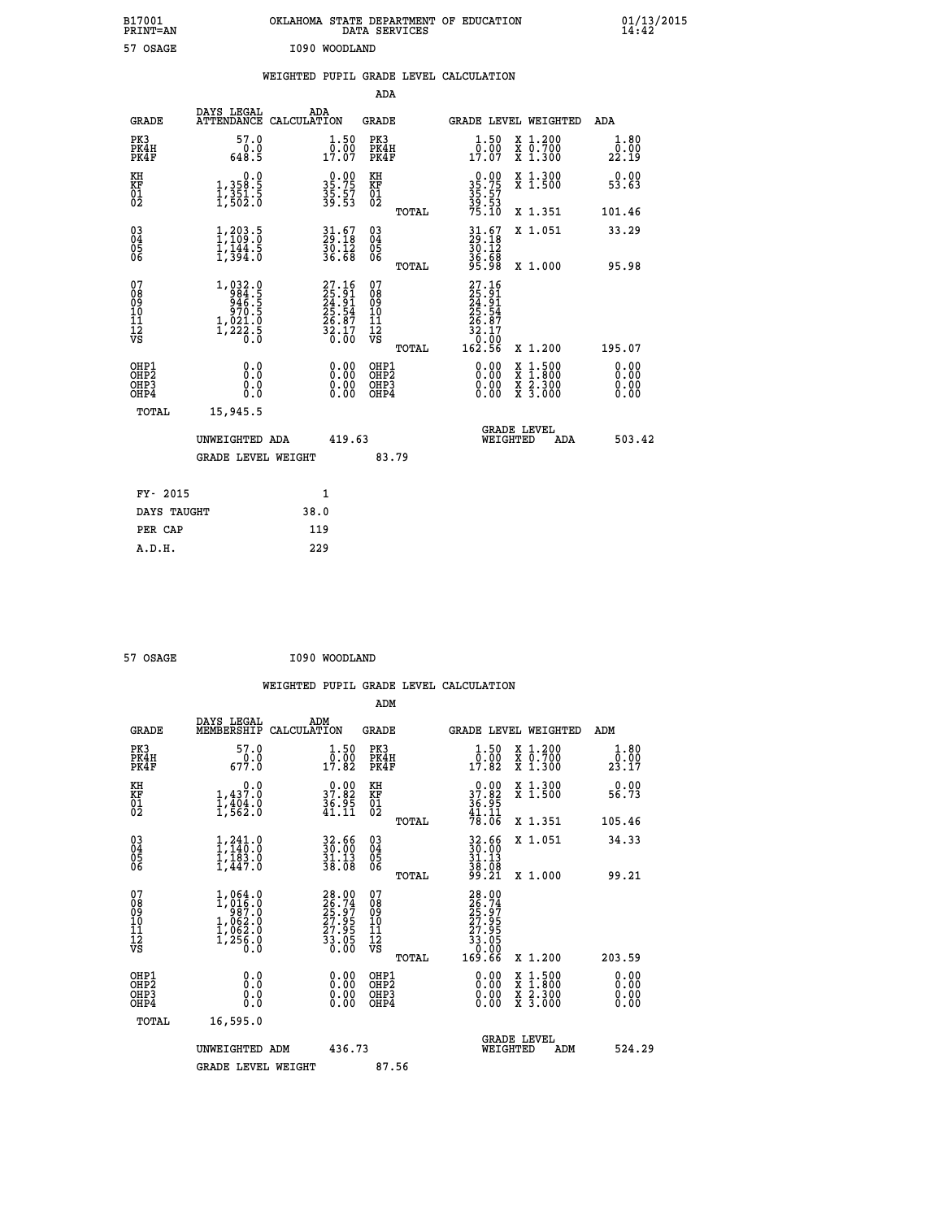| B17001<br>PRINT=AN                     |                                                                                                                    |               |                                                                          |                                                            | DATA SERVICES | OKLAHOMA STATE DEPARTMENT OF EDUCATION                             |                                                                                          | $01/13/2015$<br>14:42 |  |
|----------------------------------------|--------------------------------------------------------------------------------------------------------------------|---------------|--------------------------------------------------------------------------|------------------------------------------------------------|---------------|--------------------------------------------------------------------|------------------------------------------------------------------------------------------|-----------------------|--|
| 57 OSAGE                               |                                                                                                                    | I090 WOODLAND |                                                                          |                                                            |               |                                                                    |                                                                                          |                       |  |
|                                        |                                                                                                                    |               |                                                                          |                                                            |               | WEIGHTED PUPIL GRADE LEVEL CALCULATION                             |                                                                                          |                       |  |
|                                        |                                                                                                                    |               |                                                                          | <b>ADA</b>                                                 |               |                                                                    |                                                                                          |                       |  |
| <b>GRADE</b>                           | DAYS LEGAL<br>ATTENDANCE CALCULATION                                                                               | ADA           |                                                                          | <b>GRADE</b>                                               |               | GRADE LEVEL WEIGHTED                                               |                                                                                          | ADA                   |  |
| PK3<br>PK4H<br>PK4F                    | 57.0<br>0.0<br>648.5                                                                                               |               | 1.50<br>0.00<br>17.07                                                    | PK3<br>PK4H<br>PK4F                                        |               | 1.50<br>$\frac{0.00}{17.07}$                                       | X 1.200<br>X 0.700<br>X 1.300                                                            | 1.80<br>0.00<br>22.19 |  |
| KH<br>KF<br>01<br>02                   | 0.0<br>1,358:5<br>1,351:5<br>1,502:0                                                                               |               | $35.75$<br>$35.75$<br>$35.57$<br>$39.53$                                 | KH<br><b>KF</b><br>01<br>02                                |               | $0.0035.7535.5739.5375.10$                                         | X 1.300<br>X 1.500                                                                       | 0.00<br>53.63         |  |
|                                        |                                                                                                                    |               |                                                                          |                                                            | TOTAL         |                                                                    | X 1.351                                                                                  | 101.46                |  |
| 030404<br>ŎĞ                           | $\frac{1}{1}$ , $\frac{203}{109}$ : $\frac{5}{0}$<br>$\frac{1}{1}$ , $\frac{1}{3}$ , $\frac{4}{3}$ , $\frac{5}{3}$ |               | $31.67$<br>$29.18$<br>$\frac{56}{36}. \frac{12}{68}$                     | $\begin{matrix} 03 \\ 04 \\ 05 \\ 06 \end{matrix}$         |               | $31.67$<br>$39.18$<br>$30.12$<br>36.68                             | X 1.051                                                                                  | 33.29                 |  |
|                                        |                                                                                                                    |               |                                                                          |                                                            | TOTAL         | 95.98                                                              | X 1.000                                                                                  | 95.98                 |  |
| 07<br>08<br>09<br>11<br>11<br>12<br>VS | $\begin{smallmatrix} 1,032.0\\ 984.5\\ 946.5\\ 946.5\\ 970.5\\ 1,021.0\\ 1,222.5\\ 0.0 \end{smallmatrix}$          |               | $27.16$<br>$25.91$<br>$24.91$<br>$25.54$<br>$25.87$<br>$32.17$<br>$0.00$ | 07<br>08<br>09<br>10<br>$\frac{11}{12}$<br>$\frac{12}{18}$ |               | $27.16$<br>$25.91$<br>$24.91$<br>$25.54$<br>26.87<br>32.17<br>Ō.ŌÓ |                                                                                          |                       |  |
| OHP1                                   | 0.0                                                                                                                |               |                                                                          | OHP1                                                       | TOTAL         | 162.56                                                             | X 1.200                                                                                  | 195.07<br>0.00        |  |
| OHP <sub>2</sub><br>OHP3<br>OHP4       | Ō.Ō<br>0.0<br>0.0                                                                                                  |               | 0.00<br>0.00                                                             | OHP <sub>2</sub><br>OHP3<br>OHP4                           |               | 0.00<br>0.00<br>0.00                                               | $\begin{smallmatrix} x & 1.500 \\ x & 1.800 \\ x & 2.300 \\ x & 3.000 \end{smallmatrix}$ | 0.00<br>0.00<br>0.00  |  |
| TOTAL                                  | 15,945.5                                                                                                           |               |                                                                          |                                                            |               |                                                                    |                                                                                          |                       |  |
|                                        | UNWEIGHTED ADA                                                                                                     |               | 419.63                                                                   |                                                            |               | <b>GRADE LEVEL</b><br>WEIGHTED                                     | ADA                                                                                      | 503.42                |  |
|                                        | <b>GRADE LEVEL WEIGHT</b>                                                                                          |               |                                                                          |                                                            | 83.79         |                                                                    |                                                                                          |                       |  |
| FY- 2015                               |                                                                                                                    | 1             |                                                                          |                                                            |               |                                                                    |                                                                                          |                       |  |
| DAYS TAUGHT                            |                                                                                                                    | 38.0          |                                                                          |                                                            |               |                                                                    |                                                                                          |                       |  |
| PER CAP                                |                                                                                                                    | 119           |                                                                          |                                                            |               |                                                                    |                                                                                          |                       |  |

| 57 OSAGE | I090 WOODLAND |
|----------|---------------|
|          |               |

 **WEIGHTED PUPIL GRADE LEVEL CALCULATION ADM DAYS LEGAL ADM GRADE MEMBERSHIP CALCULATION GRADE GRADE LEVEL WEIGHTED ADM PK3 57.0 1.50 PK3 1.50 X 1.200 1.80 PK4H 0.0 0.00 PK4H 0.00 X 0.700 0.00 PK4F 677.0 17.82 PK4F 17.82 X 1.300 23.17 KH 0.0 0.00 KH 0.00 X 1.300 0.00 KF 1,437.0 37.82 KF 37.82 X 1.500 56.73** 01 1,404.0 36.95 01 36.95<br>02 1,562.0 41.11 02 <sub>momen</sub> 41.11  **TOTAL 78.06 X 1.351 105.46 03 1,241.0 32.66 03 32.66 X 1.051 34.33 04 1,140.0 30.00 04 30.00 05 1,183.0 31.13 05 31.13 06 1,447.0 38.08 06 38.08 TOTAL 99.21 X 1.000 99.21**  $\begin{array}{cccc} 07 & 1,064.0 & 28.00 & 07 & 28.00 \ 08 & 1,0166.0 & 26.74 & 08 & 26.79 \ 09 & 1,062.0 & 25.97 & 09 & 25.97 \ 10 & 1,062.0 & 27.95 & 10 & 27.95 \ 11 & 1,062.0 & 27.95 & 11 & 27.95 \ 12 & 1,256.0 & 33.05 & 12 & 27.95 \ 18 & 1,256.0 & 36.00 & 0 & 0 &$  **TOTAL 169.66 X 1.200 203.59 OHP1 0.0 0.00 OHP1 0.00 X 1.500 0.00 OHP2 0.0 0.00 OHP2 0.00 X 1.800 0.00 OHP3 0.0 0.00 OHP3 0.00 X 2.300 0.00 OHP4 0.0 0.00 OHP4 0.00 X 3.000 0.00 TOTAL 16,595.0 GRADE LEVEL UNWEIGHTED ADM 436.73 WEIGHTED ADM 524.29** GRADE LEVEL WEIGHT 87.56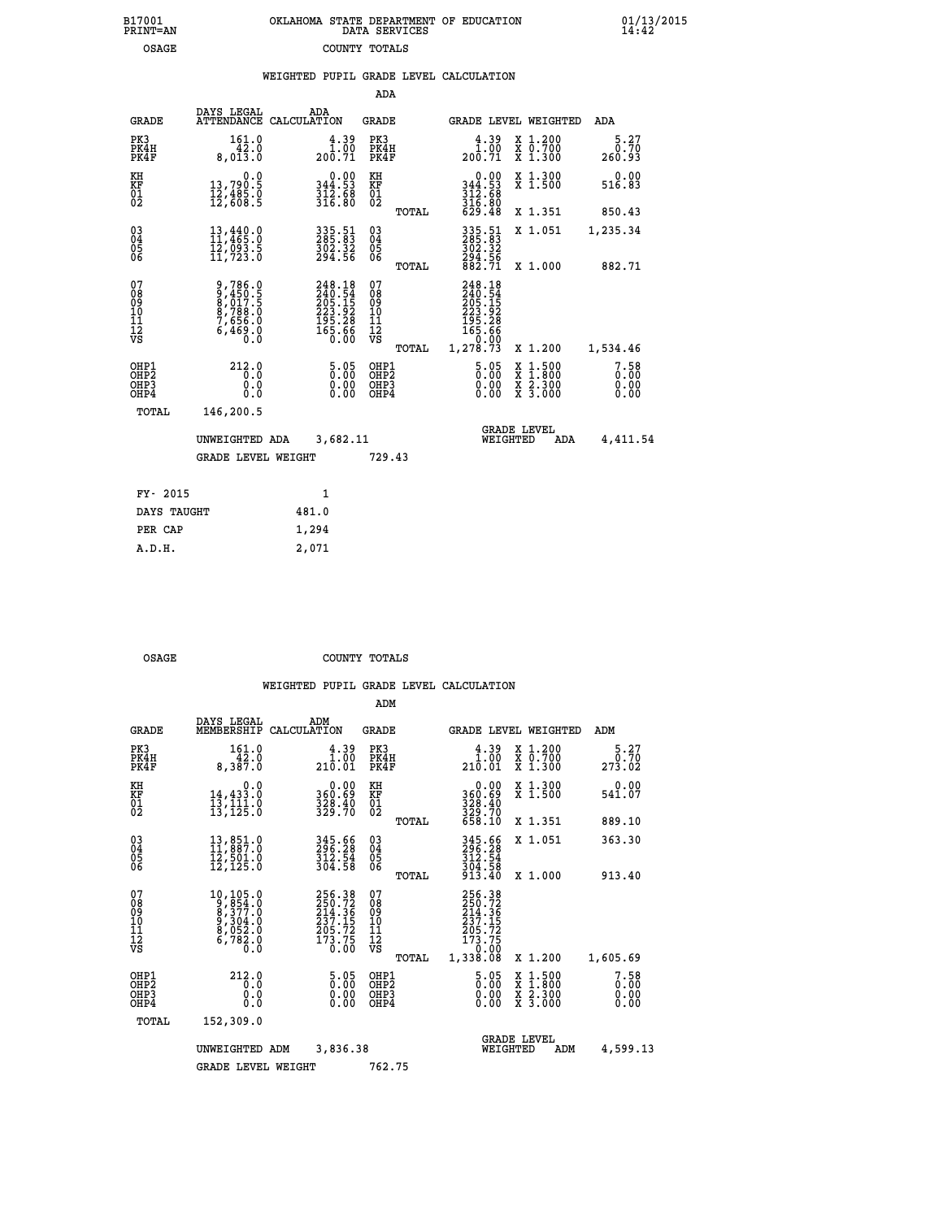|  | OKLAHOMA STATE DEPARTMENT OF EDUCATION<br>DATA SERVICES |  |
|--|---------------------------------------------------------|--|
|  | COUNTY TOTALS                                           |  |

 **B17001 OKLAHOMA STATE DEPARTMENT OF EDUCATION 01/13/2015**

|                                           |                                                                           |                                                                            | ADA                                                |       |                                                                                        |                                                                                                  |                              |
|-------------------------------------------|---------------------------------------------------------------------------|----------------------------------------------------------------------------|----------------------------------------------------|-------|----------------------------------------------------------------------------------------|--------------------------------------------------------------------------------------------------|------------------------------|
| <b>GRADE</b>                              | DAYS LEGAL                                                                | ADA<br>ATTENDANCE CALCULATION                                              | GRADE                                              |       | GRADE LEVEL WEIGHTED                                                                   |                                                                                                  | ADA                          |
| PK3<br>PK4H<br>PK4F                       | 161.0<br>42.0<br>8,013.0                                                  | $\begin{smallmatrix} 4.39\ 1.00\ 200.71 \end{smallmatrix}$                 | PK3<br>PK4H<br>PK4F                                |       | 4.39<br>$\frac{1.00}{200.71}$                                                          | X 1.200<br>X 0.700<br>X 1.300                                                                    | 5.27<br>0.70<br>260.93       |
| KH<br>KF<br>01<br>02                      | 0.0<br>13,790.5<br>12,485.0<br>12,608.5                                   | $\begin{smallmatrix} &0.00\\ 344.53\\ 312.58\\ 316.80 \end{smallmatrix}$   | KH<br>KF<br>01<br>02                               |       | $\begin{smallmatrix} &0.00\\ 344.53\\ 312.68\\ 316.80\\ 629.48 \end{smallmatrix}$      | X 1.300<br>X 1.500                                                                               | 0.00<br>516.83               |
|                                           |                                                                           |                                                                            |                                                    | TOTAL |                                                                                        | X 1.351                                                                                          | 850.43                       |
| 03<br>04<br>05<br>06                      | 13,440.0<br>11,465.0<br>ĪŽ,ŌŠŠ.Š<br>11,723.0                              | 335.51<br>285.83<br>$\frac{502.32}{294.56}$                                | $\begin{matrix} 03 \\ 04 \\ 05 \\ 06 \end{matrix}$ |       | 335.51<br>285.83<br>302.32<br>294.56<br>882.71                                         | X 1.051                                                                                          | 1,235.34                     |
|                                           |                                                                           |                                                                            |                                                    | TOTAL |                                                                                        | X 1.000                                                                                          | 882.71                       |
| 07<br>08<br>09<br>11<br>11<br>12<br>VS    | 9,786.0<br>9,450.5<br>8,017.5<br>8,788.0<br>7,656.0<br>7,656.0<br>6,469.0 | 248.18<br>240.54<br>205.15<br>205.15<br>223.92<br>195.28<br>165.66<br>0.00 | 07<br>08<br>09<br>11<br>11<br>12<br>VS             | TOTAL | 248.18<br>240.54<br>205.15<br>205.15<br>223.92<br>195.28<br>165.66<br>0.00<br>1,278.73 | X 1.200                                                                                          | 1,534.46                     |
| OHP1<br>OH <sub>P</sub> 2<br>OHP3<br>OHP4 | 212.0<br>0.0<br>0.0<br>0.0                                                | $\frac{5.05}{0.00}$<br>$\begin{smallmatrix} 0.00 \ 0.00 \end{smallmatrix}$ | OHP1<br>OHP <sub>2</sub><br>OHP3<br>OHP4           |       | $\frac{5.05}{0.00}$<br>0.00<br>0.00                                                    | $\begin{smallmatrix} x & 1 & 500 \\ x & 1 & 800 \\ x & 2 & 300 \\ x & 3 & 000 \end{smallmatrix}$ | 7.58<br>0.00<br>0.00<br>0.00 |
| TOTAL                                     | 146,200.5                                                                 |                                                                            |                                                    |       |                                                                                        |                                                                                                  |                              |
|                                           | UNWEIGHTED ADA                                                            | 3,682.11                                                                   |                                                    |       | WEIGHTED                                                                               | <b>GRADE LEVEL</b><br>ADA                                                                        | 4,411.54                     |
|                                           | <b>GRADE LEVEL WEIGHT</b>                                                 |                                                                            | 729.43                                             |       |                                                                                        |                                                                                                  |                              |
| FY- 2015                                  |                                                                           | $\mathbf{1}$                                                               |                                                    |       |                                                                                        |                                                                                                  |                              |
| DAYS TAUGHT                               |                                                                           | 481.0                                                                      |                                                    |       |                                                                                        |                                                                                                  |                              |
| PER CAP                                   |                                                                           | 1,294                                                                      |                                                    |       |                                                                                        |                                                                                                  |                              |
| A.D.H.                                    |                                                                           | 2,071                                                                      |                                                    |       |                                                                                        |                                                                                                  |                              |
|                                           |                                                                           |                                                                            |                                                    |       |                                                                                        |                                                                                                  |                              |

OSAGE COUNTY TOTALS

B17001<br>PRINT=AN<br>OSAGE

|                                                       |                                                                                                                           |                                                                          | ADM                                                 |                                                                             |                                          |                              |
|-------------------------------------------------------|---------------------------------------------------------------------------------------------------------------------------|--------------------------------------------------------------------------|-----------------------------------------------------|-----------------------------------------------------------------------------|------------------------------------------|------------------------------|
| <b>GRADE</b>                                          | DAYS LEGAL<br>MEMBERSHIP                                                                                                  | ADM<br>CALCULATION                                                       | <b>GRADE</b>                                        | GRADE LEVEL WEIGHTED                                                        |                                          | ADM                          |
| PK3<br>PK4H<br>PK4F                                   | 161.0<br>42.0<br>8,387.0                                                                                                  | $\begin{smallmatrix} 4.39\ 1.00\ 210.01 \end{smallmatrix}$               | PK3<br>PK4H<br>PK4F                                 | $\begin{smallmatrix} 4.39\ 1.00\ 210.01 \end{smallmatrix}$                  | X 1.200<br>X 0.700<br>X 1.300            | 5.27<br>0.70<br>273.02       |
| KH<br>KF<br>01<br>02                                  | 0.0<br>14,433.0<br>13,111.0<br>13,125.0                                                                                   | $\begin{smallmatrix} &0.00\\ 360.69\\ 328.40\\ 329.70 \end{smallmatrix}$ | KH<br>KF<br>01<br>02                                | $0.00$<br>$360.69$<br>$328.40$<br>$329.70$<br>$658.10$                      | X 1.300<br>X 1.500                       | 0.00<br>541.07               |
|                                                       |                                                                                                                           |                                                                          | TOTAL                                               |                                                                             | X 1.351                                  | 889.10                       |
| 03<br>04<br>05<br>06                                  | $\begin{smallmatrix} 13\,, & 851\cdot 0\\ 11\,, & 887\cdot 0\\ 12\,, & 501\cdot 0\\ 12\,, & 125\cdot 0 \end{smallmatrix}$ | 345.66<br>296.28<br>312.54<br>304.58                                     | $\begin{array}{c} 03 \\ 04 \\ 05 \\ 06 \end{array}$ | 345.66<br>296.28<br>312.54                                                  | X 1.051                                  | 363.30                       |
|                                                       |                                                                                                                           |                                                                          | TOTAL                                               | $\frac{3}{9}$ $\frac{0}{13}$ $\frac{5}{40}$                                 | X 1.000                                  | 913.40                       |
| 07<br>08<br>09<br>101<br>112<br>VS                    | $\begin{smallmatrix}10,105.0\\9,854.0\\8,377.0\\9,304.0\\8,052.0\\6,782.0\\0.0\end{smallmatrix}$                          | 256.38<br>250.72<br>214.36<br>217.15<br>205.72<br>173.75<br>0.00         | 07<br>08<br>09<br>11<br>11<br>12<br>VS<br>TOTAL     | 256.38<br>250.72<br>214.36<br>237.15<br>$\frac{205.72}{173.75}$<br>1,338.08 | X 1.200                                  | 1,605.69                     |
| OHP1<br>OH <sub>P</sub> 2<br>OH <sub>P3</sub><br>OHP4 | 212.0<br>0.0<br>0.000                                                                                                     | 5.05<br>0.00<br>0.00<br>0.00                                             | OHP1<br>OHP2<br>OHP3<br>OHP4                        | $\frac{5.05}{0.00}$<br>0.00                                                 | X 1:500<br>X 1:800<br>X 2:300<br>X 3:000 | 7.58<br>0.00<br>0.00<br>0.00 |
| TOTAL                                                 | 152,309.0                                                                                                                 |                                                                          |                                                     |                                                                             |                                          |                              |
|                                                       | UNWEIGHTED                                                                                                                | 3,836.38<br>ADM                                                          |                                                     | <b>GRADE LEVEL</b><br>WEIGHTED                                              | ADM                                      | 4,599.13                     |
|                                                       | <b>GRADE LEVEL WEIGHT</b>                                                                                                 |                                                                          | 762.75                                              |                                                                             |                                          |                              |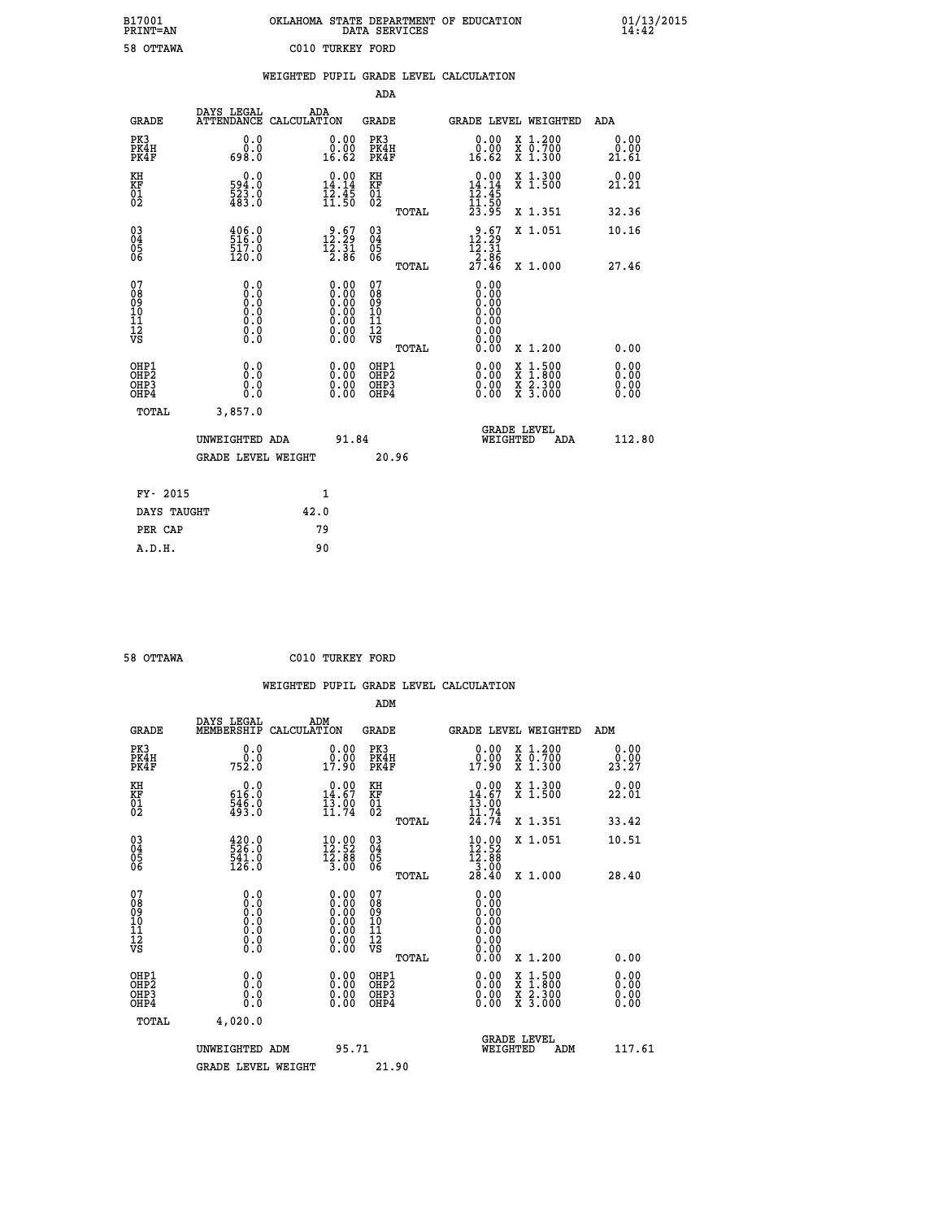| OKLAHOMA STATE DEPARTMENT OF EDUCATION<br>DATA SERVICES |  |
|---------------------------------------------------------|--|
| C010 TURKEY FORD                                        |  |

 **B17001 OKLAHOMA STATE DEPARTMENT OF EDUCATION 01/13/2015**

|                                                                    |                                         | WEIGHTED PUPIL GRADE LEVEL CALCULATION                                                        |                                        |       |                                                                                                        |                                                                                          |                       |
|--------------------------------------------------------------------|-----------------------------------------|-----------------------------------------------------------------------------------------------|----------------------------------------|-------|--------------------------------------------------------------------------------------------------------|------------------------------------------------------------------------------------------|-----------------------|
|                                                                    |                                         |                                                                                               | <b>ADA</b>                             |       |                                                                                                        |                                                                                          |                       |
| <b>GRADE</b>                                                       | DAYS LEGAL<br><b>ATTENDANCE</b>         | ADA<br>CALCULATION                                                                            | <b>GRADE</b>                           |       | GRADE LEVEL WEIGHTED                                                                                   |                                                                                          | ADA                   |
| PK3<br>PK4H<br>PK4F                                                | 0.0<br>0.0<br>698.0                     | $\begin{smallmatrix} 0.00\\ 0.00\\ 16.62 \end{smallmatrix}$                                   | PK3<br>PK4H<br>PK4F                    |       | $\begin{smallmatrix} 0.00\\ 0.00\\ 16.62 \end{smallmatrix}$                                            | X 1.200<br>X 0.700<br>X 1.300                                                            | 0.00<br>0.00<br>21.61 |
| KH<br>KF<br>01<br>02                                               | 0.0<br>594.0<br>523.0<br>483.0          | 14.14<br>$\frac{1}{2}$ $\frac{2}{3}$ $\frac{1}{5}$ $\frac{5}{6}$                              | KH<br>KF<br>01<br>02                   |       | $0.00$<br>14.14<br>$\frac{1}{2}$ $\frac{1}{3}$ $\cdot \frac{4}{5}$ $\frac{5}{23}$ $\cdot \frac{6}{95}$ | X 1.300<br>X 1.500                                                                       | 0.00<br>21.21         |
|                                                                    |                                         |                                                                                               |                                        | TOTAL |                                                                                                        | X 1.351                                                                                  | 32.36                 |
| $\begin{smallmatrix} 03 \\[-4pt] 04 \end{smallmatrix}$<br>Ŏ5<br>06 | $\frac{406.0}{516.0}$<br>517.0<br>120.0 | 12.57<br>$\frac{15.51}{2.86}$                                                                 | $\substack{03 \\ 04}$<br>Ŏ5<br>06      |       | $\begin{smallmatrix} 9.67\\12.29\\12.31\\2.86\\27.46\end{smallmatrix}$                                 | X 1.051                                                                                  | 10.16                 |
|                                                                    |                                         |                                                                                               |                                        | TOTAL |                                                                                                        | X 1.000                                                                                  | 27.46                 |
| 07<br>08<br>09<br>11<br>11<br>12<br>VS                             | 0.0                                     | $\begin{smallmatrix} 0.00\ 0.00\ 0.00\ 0.00\ 0.00\ 0.00\ 0.00\ 0.00\ 0.00\ \end{smallmatrix}$ | 07<br>08<br>09<br>11<br>11<br>12<br>VS | TOTAL | 0.00<br>0.QQ<br>0.00<br>0.00<br>0.00<br>0.00<br>0.00                                                   | X 1.200                                                                                  | 0.00                  |
| OHP1<br>OHP2<br>OHP3<br>OHP4                                       | 0.0<br>0.0<br>$0.\overline{0}$          | 0.0000<br>$\begin{smallmatrix} 0.00 \ 0.00 \end{smallmatrix}$                                 | OHP1<br>OHP2<br>OHP3<br>OHP4           |       | 0.00<br>0.00<br>0.00                                                                                   | $\begin{smallmatrix} x & 1.500 \\ x & 1.800 \\ x & 2.300 \\ x & 3.000 \end{smallmatrix}$ | 0.00<br>0.00<br>0.00  |
| <b>TOTAL</b>                                                       | 3,857.0                                 |                                                                                               |                                        |       |                                                                                                        |                                                                                          |                       |
|                                                                    | UNWEIGHTED ADA                          | 91.84                                                                                         |                                        |       | WEIGHTED                                                                                               | <b>GRADE LEVEL</b><br>ADA                                                                | 112.80                |
|                                                                    | <b>GRADE LEVEL WEIGHT</b>               |                                                                                               |                                        | 20.96 |                                                                                                        |                                                                                          |                       |
| FY- 2015                                                           |                                         | $\mathbf{1}$                                                                                  |                                        |       |                                                                                                        |                                                                                          |                       |
| DAYS TAUGHT                                                        |                                         | 42.0                                                                                          |                                        |       |                                                                                                        |                                                                                          |                       |
| PER CAP                                                            |                                         | 79                                                                                            |                                        |       |                                                                                                        |                                                                                          |                       |

 **A.D.H. 90**

 **B17001<br>PRINT=AN<br>58 OTTAWA** 

 **58 OTTAWA C010 TURKEY FORD**

| <b>GRADE</b>                 | DAYS LEGAL<br>MEMBERSHIP                                                      | ADM<br>CALCULATION                                                                            | <b>GRADE</b>                                       |       | GRADE LEVEL WEIGHTED                                                                                                     |                                          | ADM                      |        |
|------------------------------|-------------------------------------------------------------------------------|-----------------------------------------------------------------------------------------------|----------------------------------------------------|-------|--------------------------------------------------------------------------------------------------------------------------|------------------------------------------|--------------------------|--------|
| PK3<br>PK4H<br>PK4F          | 0.0<br>ة:ة<br>752:0                                                           | $\begin{smallmatrix} 0.00\\ 0.00\\ 17.90 \end{smallmatrix}$                                   | PK3<br>PK4H<br>PK4F                                |       | $\begin{smallmatrix} 0.00\\ 0.00\\ 17.90 \end{smallmatrix}$                                                              | X 1.200<br>X 0.700<br>X 1.300            | 0.00<br>23.27            |        |
| KH<br>KF<br>01<br>02         | $\begin{smallmatrix} &0.0\ 616.0\ 546.0\ 493.0 \end{smallmatrix}$             | $14.67$<br>$13.90$<br>$13.90$<br>$11.74$                                                      | KH<br>KF<br>01<br>02                               |       | $0.00\n14.67\n13.00\n11.74\n24.74$                                                                                       | X 1.300<br>X 1.500                       | 0.00<br>22.01            |        |
|                              |                                                                               |                                                                                               |                                                    | TOTAL |                                                                                                                          | X 1.351                                  | 33.42                    |        |
| 03<br>04<br>05<br>06         | $\begin{smallmatrix} 420.0\\ 526.0\\ 541.0\\ 126.0 \end{smallmatrix}$         | $\begin{array}{l} 10\cdot 00 \\ 12\cdot 52 \\ 12\cdot 88 \\ 3\cdot 00 \end{array}$            | $\begin{matrix} 03 \\ 04 \\ 05 \\ 06 \end{matrix}$ |       | $\begin{array}{l} 10\cdot 90 \\[-4pt] 12\cdot 52 \\[-4pt] 12\cdot 88 \\[-4pt] 3\cdot 90 \\[-4pt] 28\cdot 40 \end{array}$ | X 1.051                                  | 10.51                    |        |
|                              |                                                                               |                                                                                               |                                                    | TOTAL |                                                                                                                          | X 1.000                                  | 28.40                    |        |
| 07<br>08901112<br>1112<br>VS | $\begin{array}{c} 0.00000\\ -0.0000\\ -0.0000\\ -0.0000\\ -0.0000\end{array}$ | $\begin{smallmatrix} 0.00\ 0.00\ 0.00\ 0.00\ 0.00\ 0.00\ 0.00\ 0.00\ 0.00\ \end{smallmatrix}$ | 07<br>08901112<br>1112<br>VS                       | TOTAL | 0.00                                                                                                                     | X 1.200                                  | 0.00                     |        |
| OHP1<br>OHP2<br>OHP3<br>OHP4 | 0.0<br>0.000                                                                  |                                                                                               | OHP1<br>OHP2<br>OHP3<br>OHP4                       |       |                                                                                                                          | X 1:500<br>X 1:800<br>X 2:300<br>X 3:000 | $0.00$<br>$0.00$<br>0.00 |        |
| TOTAL                        | 4,020.0                                                                       |                                                                                               |                                                    |       |                                                                                                                          |                                          |                          |        |
|                              | UNWEIGHTED ADM                                                                | 95.71                                                                                         |                                                    |       | WEIGHTED                                                                                                                 | <b>GRADE LEVEL</b><br>ADM                |                          | 117.61 |
|                              | <b>GRADE LEVEL WEIGHT</b>                                                     |                                                                                               | 21.90                                              |       |                                                                                                                          |                                          |                          |        |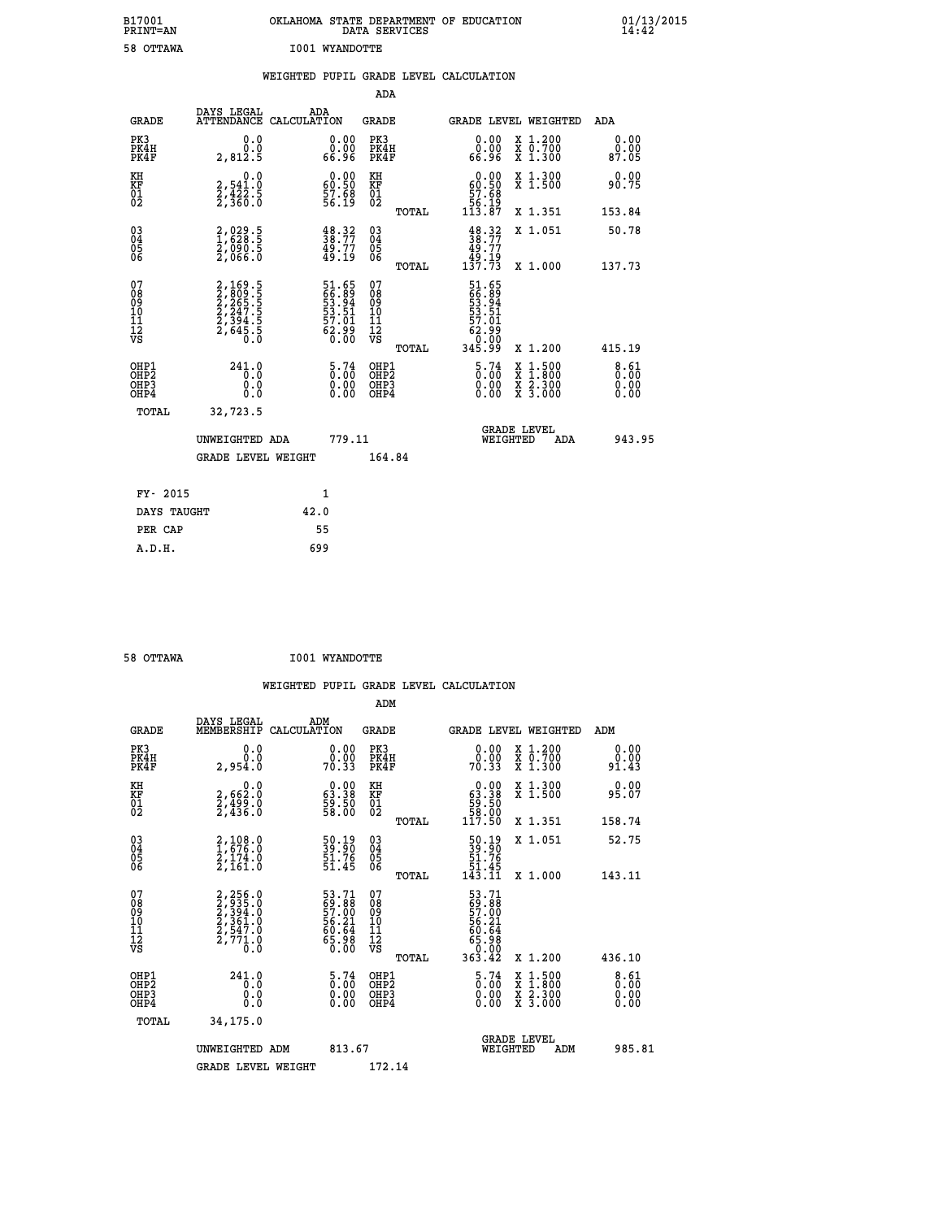| B17001<br>PRINT=AN                       |                                                                | OKLAHOMA STATE DEPARTMENT OF EDUCATION                                     | DATA SERVICES                                      |                                                                                           |                                                                                                                                      | $01/13/2015$<br>14:42 |
|------------------------------------------|----------------------------------------------------------------|----------------------------------------------------------------------------|----------------------------------------------------|-------------------------------------------------------------------------------------------|--------------------------------------------------------------------------------------------------------------------------------------|-----------------------|
| 58 OTTAWA                                |                                                                | <b>I001 WYANDOTTE</b>                                                      |                                                    |                                                                                           |                                                                                                                                      |                       |
|                                          |                                                                | WEIGHTED PUPIL GRADE LEVEL CALCULATION                                     |                                                    |                                                                                           |                                                                                                                                      |                       |
|                                          |                                                                |                                                                            | ADA                                                |                                                                                           |                                                                                                                                      |                       |
| <b>GRADE</b>                             | DAYS LEGAL                                                     | ADA<br>ATTENDANCE CALCULATION                                              | GRADE                                              |                                                                                           | GRADE LEVEL WEIGHTED                                                                                                                 | ADA                   |
| PK3<br>PK4H<br>PK4F                      | 0.0<br>0.0<br>2,812.5                                          | 0.00<br>0.00<br>66.96                                                      | PK3<br>PK4H<br>PK4F                                | 0.00<br>0.00<br>66.96                                                                     | X 1.200<br>X 0.700<br>X 1.300                                                                                                        | 0.00<br>0.00<br>87.05 |
| KH<br>KF<br>01<br>02                     | 0.0<br>2,541.0<br>2,422.5<br>2,360.0                           | $\begin{smallmatrix} 0.00\\ 60.50\\ 57.68\\ 56.19 \end{smallmatrix}$       | KH<br>KF<br>01<br>02                               | $\begin{smallmatrix} 0.00\\ 60.50\\ 57.68\\ 56.19 \end{smallmatrix}$                      | X 1.300<br>X 1.500                                                                                                                   | 0.00<br>90.75         |
|                                          |                                                                |                                                                            | <b>TOTAL</b>                                       | 113.87                                                                                    | X 1.351                                                                                                                              | 153.84                |
| 03<br>04<br>05<br>06                     | 2,029.5<br>1,628.5<br>2,090.5<br>2,066.0                       | $\begin{smallmatrix} 48.32\ 38.77\ 49.77\ 49.19 \end{smallmatrix}$         | $\begin{matrix} 03 \\ 04 \\ 05 \\ 06 \end{matrix}$ | $\frac{48.32}{38.77}$<br>49.77<br>ۈ:49.<br>137.73                                         | X 1.051                                                                                                                              | 50.78                 |
|                                          |                                                                |                                                                            | TOTAL                                              |                                                                                           | X 1.000                                                                                                                              | 137.73                |
| 07<br>08<br>09<br>10<br>11<br>12<br>VS   | 2,169.5<br>2,809.5<br>2,265.5<br>2,247.5<br>2,394.5<br>2,645.5 | 51.65<br>66.89<br>53.94<br>53.51<br>57.01<br>57.01<br>62.99                | 07<br>08<br>09<br>101<br>11<br>12<br>VS            | 51.65<br>66.89<br>53.94<br>$\begin{array}{r} 53.51 \\ 57.01 \\ 62.99 \\ 0.00 \end{array}$ |                                                                                                                                      |                       |
|                                          |                                                                |                                                                            | TOTAL                                              | 345.99                                                                                    | X 1.200                                                                                                                              | 415.19                |
| OHP1<br>OHP <sub>2</sub><br>OHP3<br>OHP4 | 241.0<br>0.0<br>0.0                                            | $\frac{5.74}{0.00}$<br>$\begin{smallmatrix} 0.00 \ 0.00 \end{smallmatrix}$ | OHP1<br>OHP2<br>OHP3<br>OHP4                       | 5.74<br>0.00<br>0.00                                                                      | $\begin{smallmatrix} \mathtt{X} & 1 & 500 \\ \mathtt{X} & 1 & 800 \\ \mathtt{X} & 2 & 300 \\ \mathtt{X} & 3 & 000 \end{smallmatrix}$ | 8.61<br>0.00<br>0.00  |
| <b>TOTAL</b>                             | 32,723.5                                                       |                                                                            |                                                    |                                                                                           |                                                                                                                                      |                       |
|                                          | UNWEIGHTED ADA                                                 | 779.11                                                                     |                                                    | WEIGHTED                                                                                  | <b>GRADE LEVEL</b><br>ADA                                                                                                            | 943.95                |
|                                          | <b>GRADE LEVEL WEIGHT</b>                                      |                                                                            | 164.84                                             |                                                                                           |                                                                                                                                      |                       |
| FY- 2015                                 |                                                                | 1                                                                          |                                                    |                                                                                           |                                                                                                                                      |                       |
| DAYS TAUGHT                              |                                                                | 42.0                                                                       |                                                    |                                                                                           |                                                                                                                                      |                       |
| PER CAP                                  |                                                                | 55                                                                         |                                                    |                                                                                           |                                                                                                                                      |                       |
| A.D.H.                                   |                                                                | 699                                                                        |                                                    |                                                                                           |                                                                                                                                      |                       |

| 58 OTTAWA | <b>I001 WYANDOTTE</b> |
|-----------|-----------------------|

|                                                    |                                                                                            |                                                                      | ADM                                                 |       |                                                                             |                                          |                                    |
|----------------------------------------------------|--------------------------------------------------------------------------------------------|----------------------------------------------------------------------|-----------------------------------------------------|-------|-----------------------------------------------------------------------------|------------------------------------------|------------------------------------|
| <b>GRADE</b>                                       | DAYS LEGAL<br>MEMBERSHIP                                                                   | ADM<br>CALCULATION                                                   | <b>GRADE</b>                                        |       |                                                                             | GRADE LEVEL WEIGHTED                     | ADM                                |
| PK3<br>PK4H<br>PK4F                                | 0.0<br>2,954.0                                                                             | $\begin{smallmatrix} 0.00\\ 0.00\\ 70.33 \end{smallmatrix}$          | PK3<br>PK4H<br>PK4F                                 |       | $\begin{smallmatrix} 0.00\\ 0.00\\ 70.33 \end{smallmatrix}$                 | X 1.200<br>X 0.700<br>X 1.300            | 0.00<br>o.oo<br>91.43              |
| KH<br>KF<br>01<br>02                               | 0.0<br>2,662:0<br>2,499:0<br>2,436:0                                                       | $\begin{smallmatrix} 0.00\\ 63.38\\ 59.50\\ 58.00 \end{smallmatrix}$ | KH<br>KF<br>01<br>02                                |       | $\begin{smallmatrix} &0.00\ 63.38\ 59.50\ 58.00\ 117.50\ \end{smallmatrix}$ | X 1.300<br>X 1.500                       | 0.00<br>95.07                      |
|                                                    |                                                                                            |                                                                      |                                                     | TOTAL |                                                                             | X 1.351                                  | 158.74                             |
| $\begin{matrix} 03 \\ 04 \\ 05 \\ 06 \end{matrix}$ | $\begin{smallmatrix} 2,108.0\\ 1,676.0\\ 2,174.0\\ 2,161.0 \end{smallmatrix}$              | 50.19<br>39.90<br>51.76<br>51.45                                     | $\begin{array}{c} 03 \\ 04 \\ 05 \\ 06 \end{array}$ |       | $\begin{smallmatrix}50.19\\39.90\\51.76\\51.45\\143.11\end{smallmatrix}$    | X 1.051                                  | 52.75                              |
|                                                    |                                                                                            |                                                                      |                                                     | TOTAL |                                                                             | X 1.000                                  | 143.11                             |
| 07<br>08<br>09<br>101<br>11<br>12<br>VS            | $2, 256.0$<br>$2, 3935.0$<br>$2, 394.0$<br>$2, 361.0$<br>$2, 547.0$<br>$2, 771.0$<br>$0.0$ | 53.71<br>69.88<br>57.00<br>56.21<br>56.64<br>65.98<br>65.98          | 07<br>08<br>09<br>01<br>11<br>11<br>12<br>VS        |       | 53.71<br>69.88<br>57.00<br>56.21<br>56.64<br>65.98<br>63.00<br>363.42       |                                          |                                    |
|                                                    |                                                                                            |                                                                      |                                                     | TOTAL |                                                                             | X 1.200                                  | 436.10                             |
| OHP1<br>OHP2<br>OHP3<br>OHP4                       | $^{241.0}_{0.0}$<br>0.000                                                                  | $\begin{smallmatrix} 5\cdot74\0.00\0.00 \end{smallmatrix}$           | OHP1<br>OHP2<br>OHP <sub>3</sub>                    |       | $\begin{smallmatrix} 5\cdot74\0.00\0.00 \end{smallmatrix}$                  | X 1:500<br>X 1:800<br>X 2:300<br>X 3:000 | $8.61$<br>$0.00$<br>$0.00$<br>0.00 |
| TOTAL                                              | 34,175.0                                                                                   |                                                                      |                                                     |       |                                                                             |                                          |                                    |
|                                                    | UNWEIGHTED                                                                                 | 813.67<br>ADM                                                        |                                                     |       |                                                                             | GRADE LEVEL<br>WEIGHTED<br>ADM           | 985.81                             |
|                                                    | <b>GRADE LEVEL WEIGHT</b>                                                                  |                                                                      | 172.14                                              |       |                                                                             |                                          |                                    |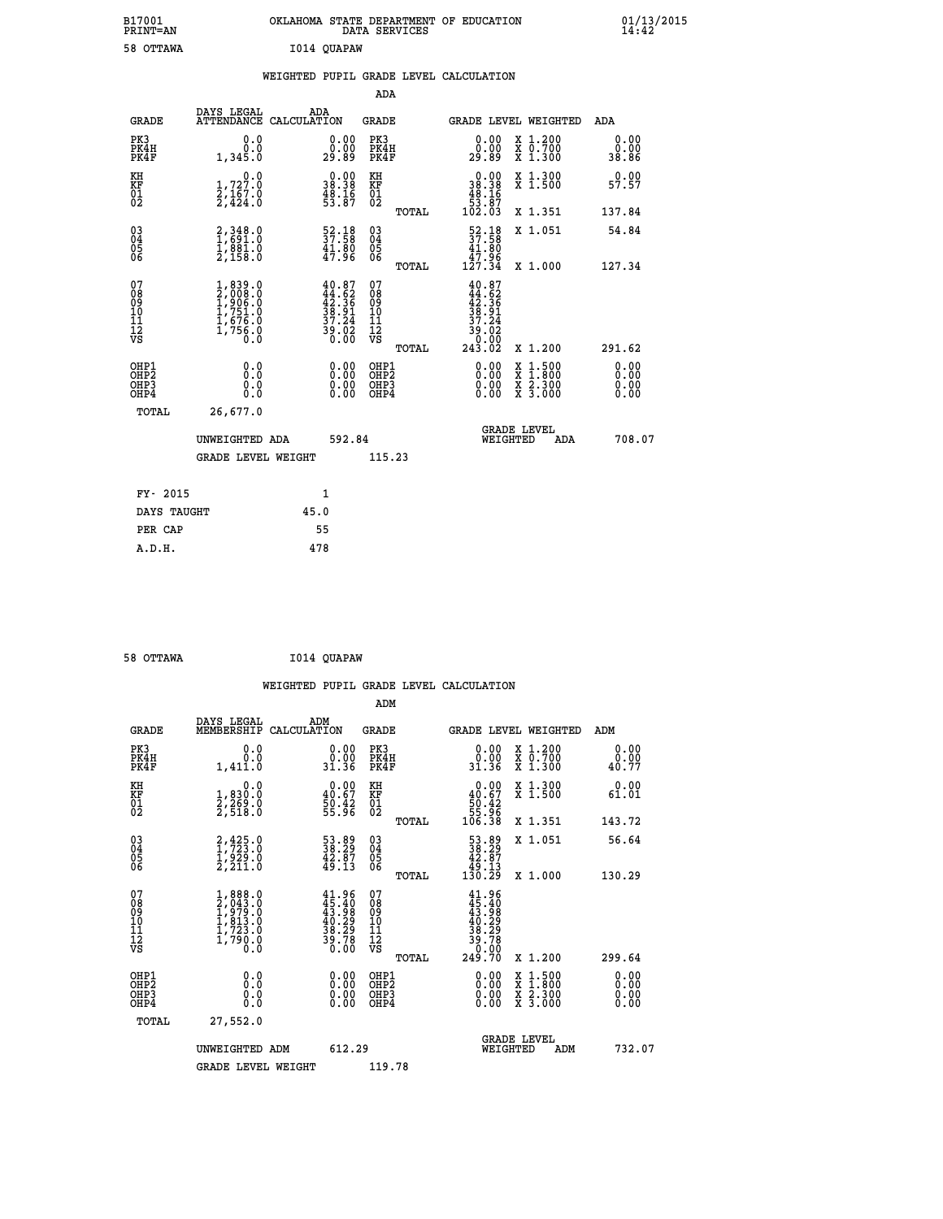| B17001<br>PRINT=AN | OKLAHOMA STATE DEPARTMENT OF EDUCATION<br>DATA SERVICES | $01/13/2015$<br>14:42 |
|--------------------|---------------------------------------------------------|-----------------------|
| 58 OTTAWA          | I014 QUAPAW                                             |                       |

|  |  | WEIGHTED PUPIL GRADE LEVEL CALCULATION |
|--|--|----------------------------------------|
|  |  |                                        |

|                                                                              |                                                                                            |                                                                                              | ADA                                                |       |                                                                              |                                                                                                                                           |                              |
|------------------------------------------------------------------------------|--------------------------------------------------------------------------------------------|----------------------------------------------------------------------------------------------|----------------------------------------------------|-------|------------------------------------------------------------------------------|-------------------------------------------------------------------------------------------------------------------------------------------|------------------------------|
| <b>GRADE</b>                                                                 | DAYS LEGAL                                                                                 | ADA<br>ATTENDANCE CALCULATION                                                                | GRADE                                              |       | <b>GRADE LEVEL WEIGHTED</b>                                                  |                                                                                                                                           | ADA                          |
| PK3<br>PK4H<br>PK4F                                                          | 0.0<br>0.0<br>1,345.0                                                                      | 0.00<br>0.00<br>29.89                                                                        | PK3<br>PK4H<br>PK4F                                |       | 0.00<br>0.00<br>29.89                                                        | X 1.200<br>X 0.700<br>X 1.300                                                                                                             | 0.00<br>0.00<br>38.86        |
| KH<br>KF<br>01<br>02                                                         | $\begin{smallmatrix}&&&0\,0\,1\,,727\,.\,0\,2\,,167\,.\,0\,2\,,424\,.\,0\end{smallmatrix}$ | $\begin{smallmatrix} 0.00\\ 38.38\\ 48.16\\ 53.87 \end{smallmatrix}$                         | KH<br>KF<br>01<br>02                               |       | $\begin{smallmatrix}&&0.00\\18.38\\48.16\\53.87\\102.03\end{smallmatrix}$    | X 1.300<br>X 1.500                                                                                                                        | 0.00<br>57.57                |
|                                                                              |                                                                                            |                                                                                              |                                                    | TOTAL |                                                                              | X 1.351                                                                                                                                   | 137.84                       |
| $\begin{matrix} 03 \\ 04 \\ 05 \\ 06 \end{matrix}$                           | $\begin{smallmatrix} 2,348.0\\ 1,691.0\\ 1,881.0\\ 2,158.0 \end{smallmatrix}$              | $\begin{smallmatrix} 52\cdot 18\\ 37\cdot 58\\ 41\cdot 80\\ 47\cdot 96 \end{smallmatrix}$    | $\begin{matrix} 03 \\ 04 \\ 05 \\ 06 \end{matrix}$ |       | $\frac{52.18}{37.58}$<br>47.96                                               | X 1.051                                                                                                                                   | 54.84                        |
|                                                                              |                                                                                            |                                                                                              |                                                    | TOTAL | 127.34                                                                       | X 1.000                                                                                                                                   | 127.34                       |
| 07<br>08<br>09<br>11<br>11<br>12<br>VS                                       | $1,839.0$<br>$2,008.0$<br>$1,906.0$<br>$1,751.0$<br>$1,676.0$<br>$1,756.0$<br>$0.0$        | $\begin{smallmatrix} 40.87\\ 44.62\\ 42.36\\ 38.91\\ 37.24\\ 39.02\\ 0.00 \end{smallmatrix}$ | 07<br>08<br>09<br>101<br>11<br>12<br>VS            | TOTAL | 40.87<br>$44.62$<br>$42.36$<br>$38.91$<br>$37.24$<br>59:02<br>0.00<br>243.02 | X 1.200                                                                                                                                   | 291.62                       |
| OHP1<br>OH <sub>P</sub> <sub>2</sub><br>OH <sub>P3</sub><br>OH <sub>P4</sub> | 0.0<br>Ō.Ō<br>0.0<br>0.0                                                                   | 0.00<br>0.00<br>0.00                                                                         | OHP1<br>OHP2<br>OHP3<br>OHP4                       |       | 0.00<br>0.00<br>0.00                                                         | $\begin{smallmatrix} \mathtt{X} & 1\cdot500\\ \mathtt{X} & 1\cdot800\\ \mathtt{X} & 2\cdot300\\ \mathtt{X} & 3\cdot000 \end{smallmatrix}$ | 0.00<br>0.00<br>0.00<br>0.00 |
| TOTAL                                                                        | 26,677.0                                                                                   |                                                                                              |                                                    |       |                                                                              |                                                                                                                                           |                              |
|                                                                              | UNWEIGHTED ADA                                                                             | 592.84                                                                                       |                                                    |       | WEIGHTED                                                                     | <b>GRADE LEVEL</b><br>ADA                                                                                                                 | 708.07                       |
|                                                                              | <b>GRADE LEVEL WEIGHT</b>                                                                  |                                                                                              | 115.23                                             |       |                                                                              |                                                                                                                                           |                              |
|                                                                              |                                                                                            |                                                                                              |                                                    |       |                                                                              |                                                                                                                                           |                              |
| FY- 2015                                                                     |                                                                                            | 1                                                                                            |                                                    |       |                                                                              |                                                                                                                                           |                              |
| DAYS TAUGHT                                                                  |                                                                                            | 45.0                                                                                         |                                                    |       |                                                                              |                                                                                                                                           |                              |
| PER CAP                                                                      |                                                                                            | 55                                                                                           |                                                    |       |                                                                              |                                                                                                                                           |                              |
| A.D.H.                                                                       |                                                                                            | 478                                                                                          |                                                    |       |                                                                              |                                                                                                                                           |                              |

| 58 OTTAWA | I014 QUAPAW |
|-----------|-------------|

|                                                      |                                                                                                       |                                                                          |                                                       | WEIGHTED PUPIL GRADE LEVEL CALCULATION                                         |                                          |                               |
|------------------------------------------------------|-------------------------------------------------------------------------------------------------------|--------------------------------------------------------------------------|-------------------------------------------------------|--------------------------------------------------------------------------------|------------------------------------------|-------------------------------|
|                                                      |                                                                                                       |                                                                          | ADM                                                   |                                                                                |                                          |                               |
| <b>GRADE</b>                                         | DAYS LEGAL<br>MEMBERSHIP                                                                              | ADM<br>CALCULATION                                                       | <b>GRADE</b>                                          | GRADE LEVEL WEIGHTED                                                           |                                          | ADM                           |
| PK3<br>PK4H<br>PK4F                                  | 0.0<br>0.0<br>1,411.0                                                                                 | 0.00<br>31.36                                                            | PK3<br>PK4H<br>PK4F                                   | $\begin{smallmatrix} 0.00\\ 0.00\\ 31.36 \end{smallmatrix}$                    | X 1.200<br>X 0.700<br>X 1.300            | 0.00<br>0.00<br>40.77         |
| KH<br>KF<br>01<br>02                                 | 0.0<br>1,830:0<br>2,269:0<br>2,518:0                                                                  | $0.00$<br>$40.67$<br>$50.42$<br>$55.96$                                  | KH<br>KF<br>01<br>02                                  | 0.00<br>$\begin{smallmatrix} 40.67\ 50.42\ 55.96\ 106.38 \end{smallmatrix}$    | X 1.300<br>X 1.500                       | 0.00<br>61.01                 |
|                                                      |                                                                                                       |                                                                          | TOTAL                                                 |                                                                                | X 1.351                                  | 143.72                        |
| $\begin{matrix} 03 \\ 04 \\ 05 \\ 06 \end{matrix}$   | $2,425.0$<br>$1,723.0$<br>$1,929.0$<br>$2,211.0$                                                      | 53.89<br>38.29<br>42.87<br>49.13                                         | 03<br>04<br>05<br>06                                  | $\begin{smallmatrix} 53.89\\ 38.29\\ 42.87\\ 49.13\\ 130.29 \end{smallmatrix}$ | X 1.051                                  | 56.64                         |
|                                                      |                                                                                                       |                                                                          | TOTAL                                                 |                                                                                | X 1.000                                  | 130.29                        |
| 07<br>0890112<br>1112<br>VS                          | $\begin{smallmatrix}1, 888.0\\2, 043.0\\1, 979.0\\1, 813.0\\1, 723.0\\1, 790.0\\0.0\end{smallmatrix}$ | $41.96$<br>$45.40$<br>$43.98$<br>$40.29$<br>$38.29$<br>$39.78$<br>$0.00$ | 07<br>08<br>09<br>01<br>11<br>11<br>12<br>VS<br>TOTAL | $41.96$<br>$43.98$<br>$40.29$<br>$38.29$<br>$39.78$<br>$0.00$<br>$249.70$      | X 1.200                                  | 299.64                        |
|                                                      |                                                                                                       |                                                                          |                                                       |                                                                                |                                          |                               |
| OHP1<br>OHP <sub>2</sub><br>OH <sub>P3</sub><br>OHP4 | 0.0<br>0.000                                                                                          | $0.00$<br>$0.00$<br>0.00                                                 | OHP1<br>OHP2<br>OHP <sub>3</sub>                      | 0.00<br>0.00<br>0.00                                                           | X 1:500<br>X 1:800<br>X 2:300<br>X 3:000 | 0.00<br>Ō. ŌŌ<br>0.00<br>0.00 |
| TOTAL                                                | 27,552.0                                                                                              |                                                                          |                                                       |                                                                                |                                          |                               |
|                                                      | UNWEIGHTED ADM                                                                                        | 612.29                                                                   |                                                       | <b>GRADE LEVEL</b><br>WEIGHTED                                                 | ADM                                      | 732.07                        |
|                                                      | <b>GRADE LEVEL WEIGHT</b>                                                                             |                                                                          | 119.78                                                |                                                                                |                                          |                               |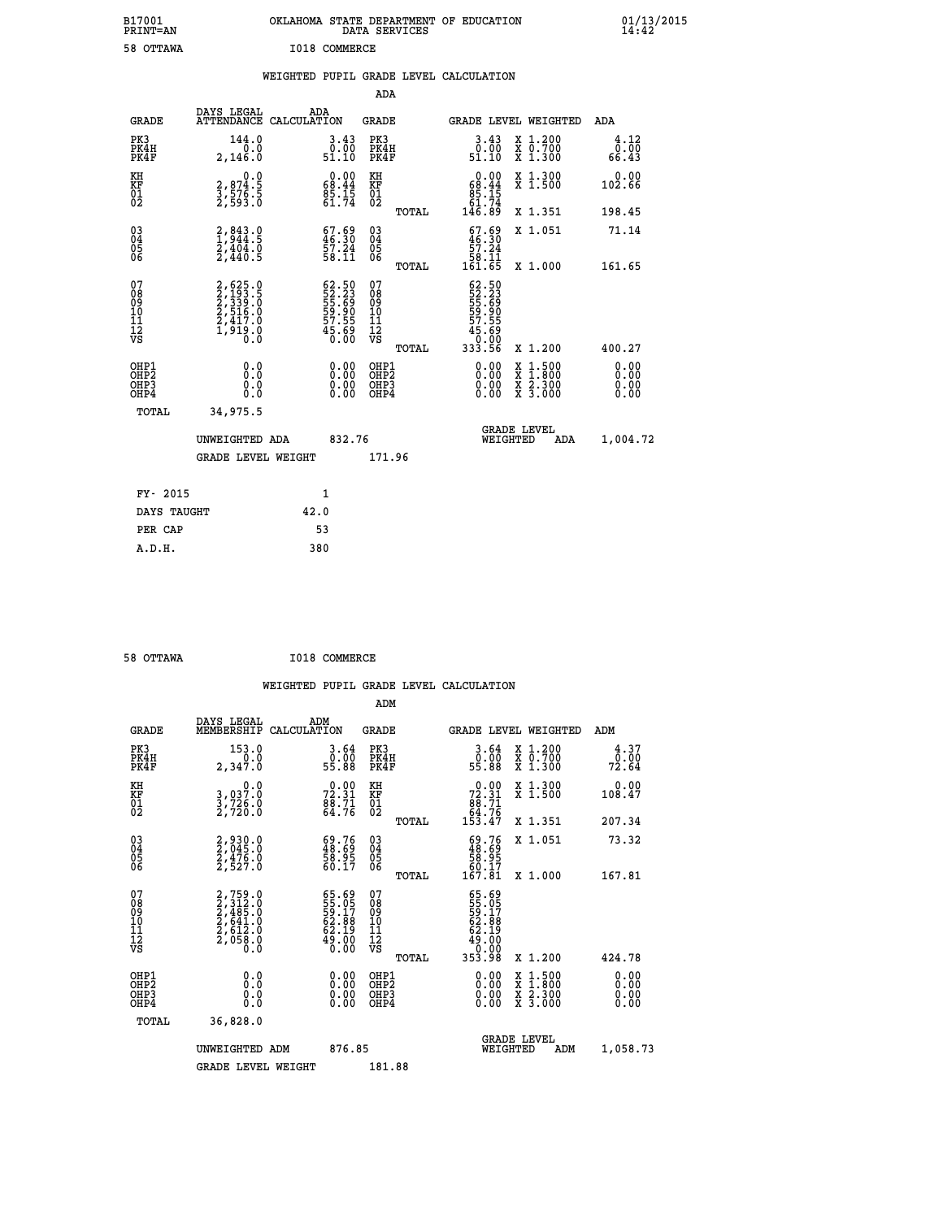| B17001<br>PRINT=AN                        |                                                                                                                             | OKLAHOMA STATE DEPARTMENT OF EDUCATION                                | DATA SERVICES                                      |                                                                      |                                                                                                  | $01/13/2015$<br>14:42 |
|-------------------------------------------|-----------------------------------------------------------------------------------------------------------------------------|-----------------------------------------------------------------------|----------------------------------------------------|----------------------------------------------------------------------|--------------------------------------------------------------------------------------------------|-----------------------|
| 58 OTTAWA                                 |                                                                                                                             | I018 COMMERCE                                                         |                                                    |                                                                      |                                                                                                  |                       |
|                                           |                                                                                                                             | WEIGHTED PUPIL GRADE LEVEL CALCULATION                                |                                                    |                                                                      |                                                                                                  |                       |
|                                           |                                                                                                                             |                                                                       | ADA                                                |                                                                      |                                                                                                  |                       |
| <b>GRADE</b>                              | DAYS LEGAL                                                                                                                  | ADA<br>ATTENDANCE CALCULATION                                         | GRADE                                              |                                                                      | GRADE LEVEL WEIGHTED                                                                             | <b>ADA</b>            |
| PK3<br>PK4H<br>PK4F                       | 144.0<br>0.0<br>2,146.0                                                                                                     | $3.43$<br>$0.00$<br>51.10                                             | PK3<br>PK4H<br>PK4F                                | $3.43$<br>$0.00$<br>51.10                                            | X 1.200<br>X 0.700<br>X 1.300                                                                    | 4.12<br>0.00<br>66.43 |
| KH<br>KF<br>$\frac{01}{02}$               | 0.0<br>2,874.5<br>3,576.5<br>2,593.0                                                                                        | 68.44<br>$\frac{85.15}{61.74}$                                        | KH<br>KF<br>$\begin{matrix} 01 \ 02 \end{matrix}$  | $\begin{smallmatrix} 0.00\\ 68.44\\ 85.15\\ 61.74 \end{smallmatrix}$ | X 1.300<br>X 1.500                                                                               | 0.00<br>102.66        |
|                                           |                                                                                                                             |                                                                       | TOTAL                                              | 146.89                                                               | X 1.351                                                                                          | 198.45                |
| $\substack{03 \ 04}$<br>ŏ5<br>06          | $2,843.0$<br>$1,944.5$<br>$2,404.0$<br>$2,440.5$                                                                            | $\begin{smallmatrix} 67.69\\ 46.30\\ 57.24\\ 58.11 \end{smallmatrix}$ | $\begin{matrix} 03 \\ 04 \\ 05 \\ 06 \end{matrix}$ | $67.69$<br>$46.30$<br>$\frac{57.24}{58.11}$                          | X 1.051                                                                                          | 71.14                 |
|                                           |                                                                                                                             |                                                                       | TOTAL                                              | 161.65                                                               | X 1.000                                                                                          | 161.65                |
| 07<br>08<br>09<br>11<br>11<br>12<br>VS    | $\begin{smallmatrix} 2, 625 & 0\\ 2, 193 & 5\\ 2, 339 & 5\\ 2, 516 & 0\\ 2, 417 & 0\\ 1, 919 & 0\\ 0 & 0 \end{smallmatrix}$ | 62.50<br>52.23<br>55.69<br>59.90<br>57.55<br>57.55<br>45.690          | 07<br>08<br>09<br>101<br>11<br>12<br>VS            | 62.50<br>52.23<br>55.69<br>59.90<br>57.55<br>57.690                  |                                                                                                  |                       |
|                                           |                                                                                                                             |                                                                       | <b>TOTAL</b>                                       | 333.56                                                               | X 1.200                                                                                          | 400.27                |
| OHP1<br>OH <sub>P</sub> 2<br>OHP3<br>OHP4 | 0.0<br>0.0<br>0.0                                                                                                           | $0.00$<br>$0.00$<br>0.00                                              | OHP1<br>OHP2<br>OHP3<br>OHP4                       | 0.00<br>0.00<br>0.00                                                 | $\begin{smallmatrix} x & 1 & 500 \\ x & 1 & 800 \\ x & 2 & 300 \\ x & 3 & 000 \end{smallmatrix}$ | 0.00<br>0.00<br>0.00  |
| <b>TOTAL</b>                              | 34,975.5                                                                                                                    |                                                                       |                                                    |                                                                      |                                                                                                  |                       |
|                                           | UNWEIGHTED ADA                                                                                                              | 832.76                                                                |                                                    | WEIGHTED                                                             | <b>GRADE LEVEL</b><br>ADA                                                                        | 1,004.72              |
|                                           | <b>GRADE LEVEL WEIGHT</b>                                                                                                   |                                                                       | 171.96                                             |                                                                      |                                                                                                  |                       |
| FY- 2015                                  |                                                                                                                             | 1                                                                     |                                                    |                                                                      |                                                                                                  |                       |
| DAYS TAUGHT                               |                                                                                                                             | 42.0                                                                  |                                                    |                                                                      |                                                                                                  |                       |
| PER CAP                                   |                                                                                                                             | 53                                                                    |                                                    |                                                                      |                                                                                                  |                       |

| 58 OTTAWA | I018 COMMERCE |
|-----------|---------------|
|           |               |

 **WEIGHTED PUPIL GRADE LEVEL CALCULATION ADM DAYS LEGAL ADM GRADE MEMBERSHIP CALCULATION GRADE GRADE LEVEL WEIGHTED ADM PK3 153.0 3.64 PK3 3.64 X 1.200 4.37 PK4H 0.0 0.00 PK4H 0.00 X 0.700 0.00 PK4F 2,347.0 55.88 PK4F 55.88 X 1.300 72.64 KH 0.0 0.00 KH 0.00 X 1.300 0.00 KF 3,037.0 72.31 KF 72.31 X 1.500 108.47 01 3,726.0 88.71 01 88.71 02 2,720.0 64.76 02 64.76 TOTAL 153.47 X 1.351 207.34 03 2,930.0 69.76 03 69.76 X 1.051 73.32 04 2,045.0 48.69 04 48.69 05 2,476.0 58.95 05 58.95 06 2,527.0 60.17 06 60.17 TOTAL 167.81 X 1.000 167.81**  $\begin{array}{cccc} 07 & 2,759.0 & 65.69 & 07 & 65.69 \ 08 & 2,312.0 & 55.69 & 07 & 55.69 \ 09 & 2,485.0 & 59.17 & 08 & 59.15 \ 10 & 2,641.0 & 62.88 & 10 & 62.88 \ 11 & 2,612.0 & 62.19 & 11 & 62.19 \ 12 & 2,612.0 & 49.10 & 12 & 49.10 \ 13 & 63.19 & 13 & 62.19 \ 14 &$  **TOTAL 353.98 X 1.200 424.78 OHP1 0.0 0.00 OHP1 0.00 X 1.500 0.00 OHP2 0.0 0.00 OHP2 0.00 X 1.800 0.00 OHP3 0.0 0.00 OHP3 0.00 X 2.300 0.00 OHP4 0.0 0.00 OHP4 0.00 X 3.000 0.00 TOTAL 36,828.0 GRADE LEVEL UNWEIGHTED ADM 876.85 WEIGHTED ADM 1,058.73** GRADE LEVEL WEIGHT 181.88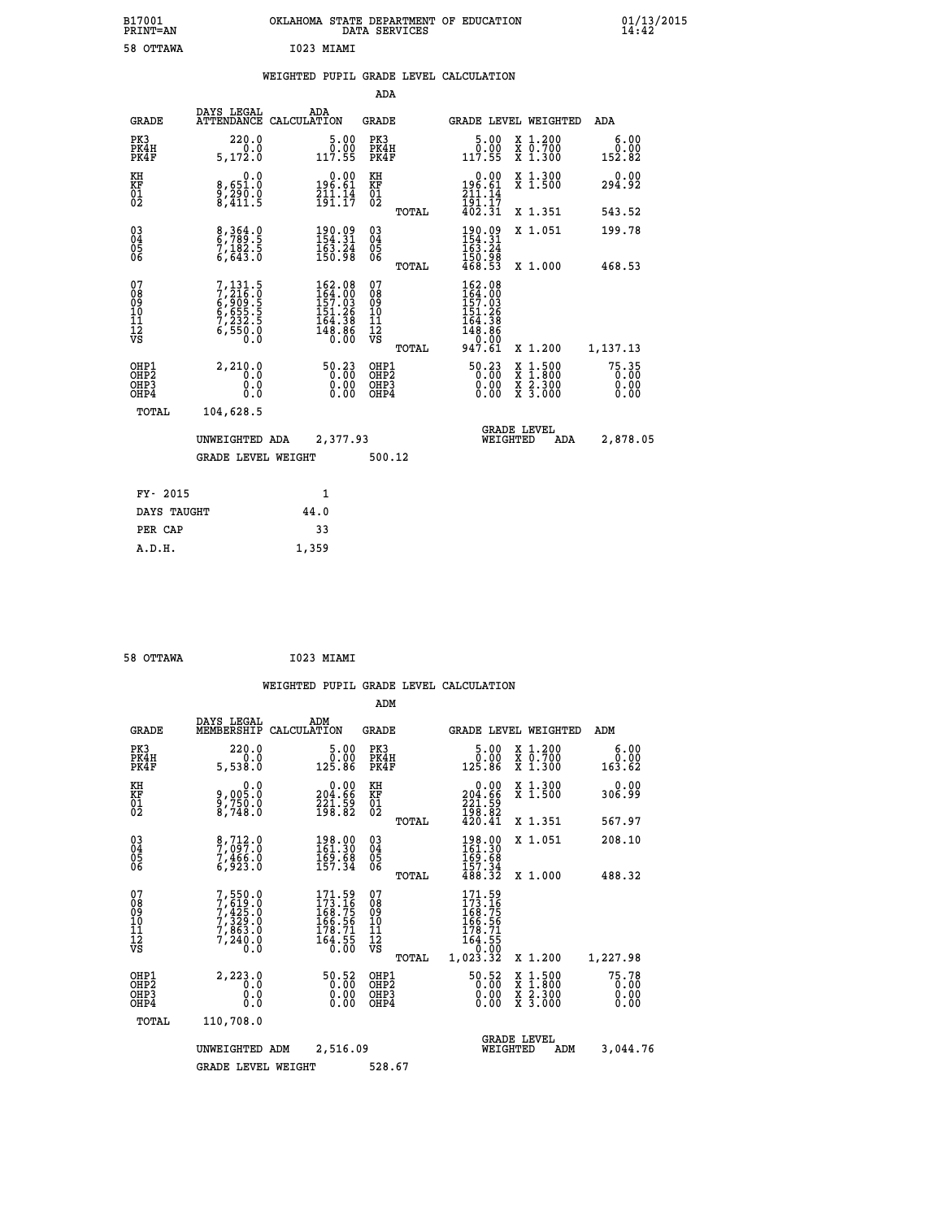| B17001<br>PRINT=AN<br>58 OTTAWA                            |                                                                       | OKLAHOMA STATE DEPARTMENT OF EDUCATION<br>I023 MIAMI                   | DATA SERVICES                                               |                                                                                                  |                                                                                          | $01/13/2015$<br>14:42           |
|------------------------------------------------------------|-----------------------------------------------------------------------|------------------------------------------------------------------------|-------------------------------------------------------------|--------------------------------------------------------------------------------------------------|------------------------------------------------------------------------------------------|---------------------------------|
|                                                            |                                                                       | WEIGHTED PUPIL GRADE LEVEL CALCULATION                                 | ADA                                                         |                                                                                                  |                                                                                          |                                 |
| <b>GRADE</b>                                               | DAYS LEGAL                                                            | ADA<br>ATTENDANCE CALCULATION                                          | <b>GRADE</b>                                                | <b>GRADE LEVEL WEIGHTED</b>                                                                      |                                                                                          | ADA                             |
| PK3<br>PK4H<br>PK4F                                        | 220.0<br>0.0<br>5,172.0                                               | 5.00<br>0.00<br>117.55                                                 | PK3<br>PK4H<br>PK4F                                         | $\frac{5.00}{0.00}$<br>117.55                                                                    | X 1.200<br>X 0.700<br>$\overline{x}$ 1.300                                               | 6.00<br>0.00<br>152.82          |
| KH<br>KF<br>$\frac{01}{02}$                                | 0.0<br>8,651.0<br>9,290.0<br>8,411.5                                  | $0.00$<br>196.61<br>$\frac{711.14}{191.17}$                            | КH<br>KF<br>$\overline{01}$                                 | $0.00$<br>196.61<br>$\frac{211}{191}$ $\cdot \frac{14}{17}$<br>$402.31$                          | X 1.300<br>X 1.500                                                                       | 0.00<br>294.92                  |
|                                                            |                                                                       |                                                                        | TOTAL                                                       |                                                                                                  | X 1.351                                                                                  | 543.52                          |
| $\begin{matrix} 03 \\ 04 \\ 05 \\ 06 \end{matrix}$         | 8, 364.0<br>6, 789.5<br>7, 182.5<br>6, 643.0                          | $\begin{smallmatrix} 190.09\\154.31\\163.24\\150.98 \end{smallmatrix}$ | $\begin{matrix} 03 \\ 04 \\ 05 \\ 06 \end{matrix}$<br>TOTAL | 190.09<br>154:31<br>163:24<br>150.98<br>468.53                                                   | X 1.051<br>X 1.000                                                                       | 199.78<br>468.53                |
| 07<br>08<br>09<br>10<br>$\frac{11}{12}$<br>$\frac{12}{95}$ | 7,131.5<br>7,216.0<br>6,909.5<br>6,655.5<br>7,232.5<br>6,550.0<br>0.0 | 162.08<br>164.00<br>157.03<br>151.26<br>164:38<br>148:86<br>0.00       | 07<br>08<br>09<br>101<br>11<br>12<br>VS                     | 162.08<br>164.00<br>157.03<br>151.26<br>$\begin{array}{c} 164.38 \\ 148.86 \\ -0.09 \end{array}$ |                                                                                          |                                 |
|                                                            | 2,210.0                                                               |                                                                        | TOTAL                                                       | 947.61                                                                                           | X 1.200                                                                                  | 1,137.13                        |
| OHP1<br>OHP2<br>OHP3<br>OHP4                               | 0.0<br>0.0<br>0.0                                                     | $50.23$<br>$0.00$<br>0.00<br>0.00                                      | OHP1<br>OHP2<br>OHP3<br>OHP4                                | 50.23<br>0.00<br>0.00                                                                            | $\begin{smallmatrix} x & 1.500 \\ x & 1.800 \\ x & 2.300 \\ x & 3.000 \end{smallmatrix}$ | $75.35$<br>0.00<br>0.00<br>0.00 |
| TOTAL                                                      | 104,628.5                                                             |                                                                        |                                                             |                                                                                                  |                                                                                          |                                 |
|                                                            | UNWEIGHTED ADA                                                        | 2,377.93                                                               |                                                             | WEIGHTED                                                                                         | <b>GRADE LEVEL</b><br>ADA                                                                | 2,878.05                        |
|                                                            | GRADE LEVEL WEIGHT                                                    |                                                                        | 500.12                                                      |                                                                                                  |                                                                                          |                                 |
| FY- 2015                                                   |                                                                       | 1                                                                      |                                                             |                                                                                                  |                                                                                          |                                 |
| DAYS TAUGHT                                                |                                                                       | 44.0                                                                   |                                                             |                                                                                                  |                                                                                          |                                 |
| PER CAP                                                    |                                                                       | 33                                                                     |                                                             |                                                                                                  |                                                                                          |                                 |

|  | 58 OTTAWA | I023 MIAMI |
|--|-----------|------------|
|  |           |            |

 **A.D.H. 1,359**

|                                                      |                                                                       |                    |                                                                          |                                          |       | WEIGHTED PUPIL GRADE LEVEL CALCULATION                                              |                                                                                          |                               |
|------------------------------------------------------|-----------------------------------------------------------------------|--------------------|--------------------------------------------------------------------------|------------------------------------------|-------|-------------------------------------------------------------------------------------|------------------------------------------------------------------------------------------|-------------------------------|
|                                                      |                                                                       |                    |                                                                          | ADM                                      |       |                                                                                     |                                                                                          |                               |
| <b>GRADE</b>                                         | DAYS LEGAL<br>MEMBERSHIP                                              | ADM<br>CALCULATION |                                                                          | GRADE                                    |       |                                                                                     | <b>GRADE LEVEL WEIGHTED</b>                                                              | ADM                           |
| PK3<br>PK4H<br>PK4F                                  | 220.0<br>0.0<br>5,538.0                                               |                    | 5.00<br>0.00<br>125.86                                                   | PK3<br>PK4H<br>PK4F                      |       | 5.00<br>ŏ:ŏŏ<br>125.86                                                              | X 1.200<br>X 0.700<br>X 1.300                                                            | 6.00<br>0.00<br>163.62        |
| KH<br>KF<br>01<br>02                                 | 0.0<br>9,005:0<br>9,750:0<br>8,748:0                                  |                    | $\begin{smallmatrix} &0.00\\ 204.66\\ 221.59\\ 198.82 \end{smallmatrix}$ | KH<br>KF<br>01<br>02                     |       | $\begin{smallmatrix} &0.00\\ 204.66\\ 221.59\\ 198.82\\ 420.41\end{smallmatrix}$    | X 1.300<br>X 1.500                                                                       | 0.00<br>306.99                |
|                                                      |                                                                       |                    |                                                                          |                                          | TOTAL |                                                                                     | X 1.351                                                                                  | 567.97                        |
| 03<br>04<br>05<br>06                                 | 8,712.0<br>7,097.0<br>7,466.0<br>6,923.0                              |                    | 198.00<br>161.30<br>$\frac{169.68}{157.34}$                              | 03<br>04<br>05<br>06                     |       | $\begin{array}{c} 198.00 \\ 161.30 \\ 169.68 \\ 157.34 \\ 488.32 \end{array}$       | X 1.051                                                                                  | 208.10                        |
|                                                      |                                                                       |                    |                                                                          |                                          | TOTAL |                                                                                     | X 1.000                                                                                  | 488.32                        |
| 07<br>08<br>09<br>101<br>112<br>VS                   | 7,550.0<br>7,619.0<br>7,425.0<br>7,329.0<br>7,863.0<br>7,240.0<br>Ŏ.Ŏ |                    | 171.59<br>173.16<br>168.75<br>166.56<br>178.71<br>164.55                 | 07<br>08<br>09<br>11<br>11<br>12<br>VS   |       | 171.59<br>173.16<br>168.75<br>$\frac{166.56}{178.71}$<br>té4:55<br>0.00<br>1,023.32 |                                                                                          |                               |
|                                                      |                                                                       |                    |                                                                          |                                          | TOTAL |                                                                                     | X 1.200                                                                                  | 1,227.98                      |
| OHP1<br>OHP <sub>2</sub><br>OH <sub>P3</sub><br>OHP4 | 2,223.0<br>0.0<br>0.0<br>Ō.Ō                                          |                    | 50.52<br>0.00<br>0.00                                                    | OHP1<br>OHP <sub>2</sub><br>OHP3<br>OHP4 |       | 50.52<br>0.00<br>0.00                                                               | $\begin{smallmatrix} x & 1.500 \\ x & 1.800 \\ x & 2.300 \\ x & 3.000 \end{smallmatrix}$ | 75.78<br>0.00<br>0.00<br>0.00 |
| TOTAL                                                | 110,708.0                                                             |                    |                                                                          |                                          |       |                                                                                     |                                                                                          |                               |
|                                                      | UNWEIGHTED ADM                                                        |                    | 2,516.09                                                                 |                                          |       |                                                                                     | <b>GRADE LEVEL</b><br>WEIGHTED<br>ADM                                                    | 3,044.76                      |
|                                                      | <b>GRADE LEVEL WEIGHT</b>                                             |                    |                                                                          | 528.67                                   |       |                                                                                     |                                                                                          |                               |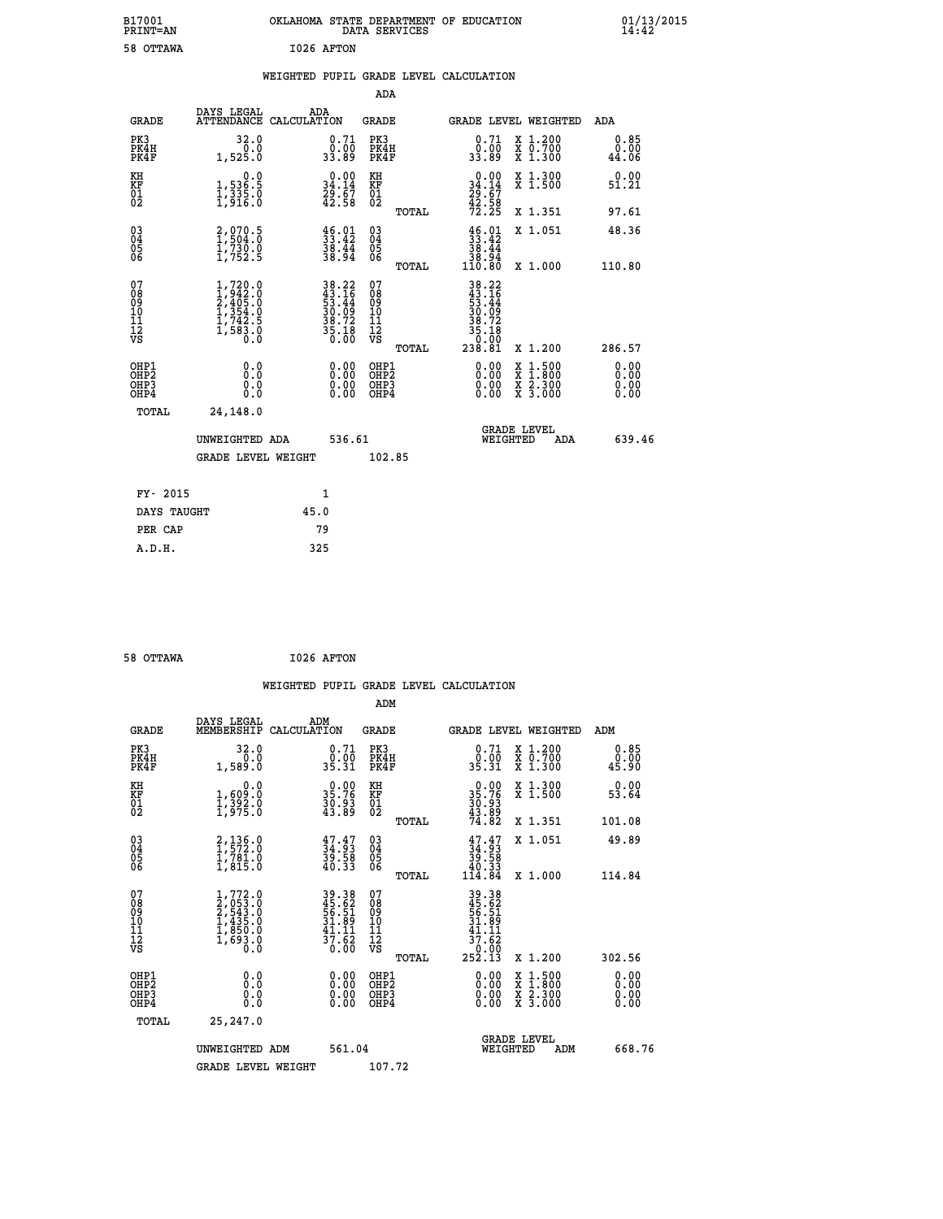| B17001<br><b>PRINT=AN</b>                          |                                                                                     | OKLAHOMA STATE DEPARTMENT OF EDUCATION                                   | DATA SERVICES                            |                                                                                                                       |                                                                                          | 01/13/2015<br>14:42          |  |
|----------------------------------------------------|-------------------------------------------------------------------------------------|--------------------------------------------------------------------------|------------------------------------------|-----------------------------------------------------------------------------------------------------------------------|------------------------------------------------------------------------------------------|------------------------------|--|
| 58 OTTAWA                                          |                                                                                     | I026 AFTON                                                               |                                          |                                                                                                                       |                                                                                          |                              |  |
|                                                    |                                                                                     | WEIGHTED PUPIL GRADE LEVEL CALCULATION                                   |                                          |                                                                                                                       |                                                                                          |                              |  |
|                                                    |                                                                                     |                                                                          | <b>ADA</b>                               |                                                                                                                       |                                                                                          |                              |  |
| <b>GRADE</b>                                       | DAYS LEGAL                                                                          | ADA<br>ATTENDANCE CALCULATION                                            | GRADE                                    | GRADE LEVEL WEIGHTED                                                                                                  |                                                                                          | ADA                          |  |
| PK3<br>PK4H<br>PK4F                                | 32.0<br>0.0<br>1,525.0                                                              | 0.71<br>0.00<br>33.89                                                    | PK3<br>PK4H<br>PK4F                      | 0.71<br>0.00<br>33.89                                                                                                 | X 1.200<br>X 0.700<br>X 1.300                                                            | 0.85<br>0.00<br>44.06        |  |
| KH<br>KF<br>01<br>02                               | 0.0<br>1,536:5<br>1,335:0<br>1,916:0                                                | 0.00<br>$34.14$<br>$29.67$<br>$42.58$                                    | KH<br>KF<br>01<br>02                     | $0.00$<br>$34.14$<br>$29.67$<br>$42.58$<br>$72.25$                                                                    | X 1.300<br>X 1.500                                                                       | 0.00<br>51.21                |  |
|                                                    |                                                                                     |                                                                          | TOTAL                                    |                                                                                                                       | X 1.351                                                                                  | 97.61                        |  |
| $\begin{matrix} 03 \\ 04 \\ 05 \\ 06 \end{matrix}$ | 2,070.5<br>1,504.0<br>1,730.0<br>1,752.5                                            | $\begin{smallmatrix} 46.01\\ 33.42\\ 38.44\\ 38.94 \end{smallmatrix}$    | 030404<br>ŎĞ                             | $\frac{46.01}{33.42}$<br>38.44<br>38.94                                                                               | X 1.051                                                                                  | 48.36                        |  |
|                                                    |                                                                                     |                                                                          | TOTAL                                    | 110.80                                                                                                                | X 1.000                                                                                  | 110.80                       |  |
| 078901112<br>000101112<br>VS                       | $1,720.0$<br>$2,402.0$<br>$2,405.0$<br>$1,354.0$<br>$1,742.5$<br>$1,583.0$<br>$0.0$ | $38.22$<br>$43.16$<br>$53.44$<br>$30.09$<br>$38.72$<br>$35.18$<br>$0.00$ | 078901112<br>00010112<br>VS<br>TOTAL     | 38.22<br>$\begin{array}{r} 43.16 \\[-4pt] 53.44 \\[-4pt] 30.09 \\[-4pt] 38.72 \end{array}$<br>35.18<br>0.00<br>238.81 | X 1.200                                                                                  | 286.57                       |  |
| OHP1<br>OHP2<br>OHP3<br>OHP4                       | 0.0<br>Ō.Ō<br>0.0<br>0.0                                                            | 0.00<br>0.00<br>0.00                                                     | OHP1<br>OHP <sub>2</sub><br>OHP3<br>OHP4 | 0.00<br>0.00<br>0.00                                                                                                  | $\begin{smallmatrix} x & 1.500 \\ x & 1.800 \\ x & 2.300 \\ x & 3.000 \end{smallmatrix}$ | 0.00<br>0.00<br>0.00<br>0.00 |  |
| TOTAL                                              | 24,148.0                                                                            |                                                                          |                                          |                                                                                                                       |                                                                                          |                              |  |
|                                                    | UNWEIGHTED ADA                                                                      | 536.61                                                                   |                                          | <b>GRADE LEVEL</b><br>WEIGHTED                                                                                        | ADA                                                                                      | 639.46                       |  |
|                                                    | <b>GRADE LEVEL WEIGHT</b>                                                           |                                                                          | 102.85                                   |                                                                                                                       |                                                                                          |                              |  |
| FY- 2015                                           |                                                                                     | 1                                                                        |                                          |                                                                                                                       |                                                                                          |                              |  |
| DAYS TAUGHT                                        |                                                                                     | 45.0                                                                     |                                          |                                                                                                                       |                                                                                          |                              |  |
| PER CAP                                            |                                                                                     | 79                                                                       |                                          |                                                                                                                       |                                                                                          |                              |  |

| 58 OTTAWA | I026 AFTON |
|-----------|------------|
|           |            |

 **WEIGHTED PUPIL GRADE LEVEL CALCULATION ADM DAYS LEGAL ADM GRADE MEMBERSHIP CALCULATION GRADE GRADE LEVEL WEIGHTED ADM PK3 32.0 0.71 PK3 0.71 X 1.200 0.85 PK4H 0.0 0.00 PK4H 0.00 X 0.700 0.00 PK4F 1,589.0 35.31 PK4F 35.31 X 1.300 45.90** 0.00 KH 0.00 0.00 KH 0.00 X 1.300<br>RF 3,609.0 35.76 KF 35.76 X 1.500 53.64  **01 1,392.0 30.93 01 30.93 02 1,975.0 43.89 02 43.89 TOTAL 74.82 X 1.351 101.08 03 2,136.0 47.47 03 47.47 X 1.051 49.89 04 1,572.0 34.93 04 34.93 05 1,781.0 39.58 05 39.58** 06 1,815.0 40.33 06  $\frac{40.33}{2}$  **TOTAL 114.84 X 1.000 114.84**  $\begin{array}{cccc} 07 & 1,772.0 & 39.38 & 07 & 39.38 \\ 08 & 2,653.0 & 45.62 & 08 & 45.62 \\ 09 & 10 & 1,435.0 & 56.51 & 09 & 56.51 \\ 10 & 1,435.0 & 31.89 & 10 & 31.89 \\ 11 & 1,689.0 & 41.11 & 1 & 41.11 \\ 1,890.0 & 41.61 & 12 & 41.11 \\ \sqrt{5} & 0 & 3 & 0.60 & \sqrt{5} & 51 &$  **TOTAL 252.13 X 1.200 302.56 OHP1 0.0 0.00 OHP1 0.00 X 1.500 0.00 OHP2 0.0 0.00 OHP2 0.00 X 1.800 0.00 OHP3 0.0 0.00 OHP3 0.00 X 2.300 0.00 OHP4 0.0 0.00 OHP4 0.00 X 3.000 0.00 TOTAL 25,247.0 GRADE LEVEL UNWEIGHTED ADM 561.04 WEIGHTED ADM 668.76** GRADE LEVEL WEIGHT 107.72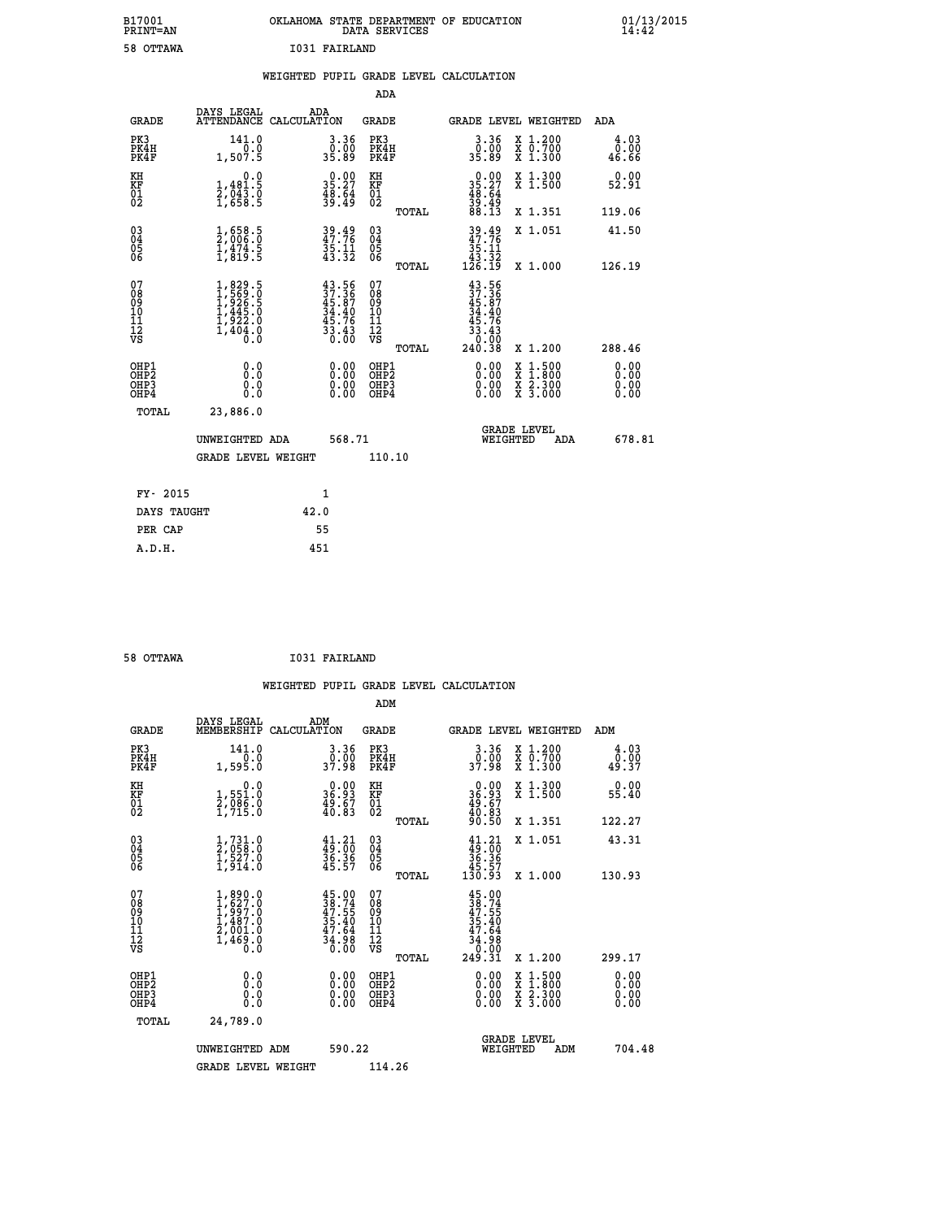| B17001<br>PRINT=AN                     |                                                                                                                                                             | OKLAHOMA STATE DEPARTMENT OF EDUCATION                                   | DATA SERVICES                                      |                                                                                         |                                                                                                  | $01/13/2015$<br>14:42 |  |
|----------------------------------------|-------------------------------------------------------------------------------------------------------------------------------------------------------------|--------------------------------------------------------------------------|----------------------------------------------------|-----------------------------------------------------------------------------------------|--------------------------------------------------------------------------------------------------|-----------------------|--|
| 58 OTTAWA                              |                                                                                                                                                             | <b>I031 FAIRLAND</b>                                                     |                                                    |                                                                                         |                                                                                                  |                       |  |
|                                        |                                                                                                                                                             | WEIGHTED PUPIL GRADE LEVEL CALCULATION                                   |                                                    |                                                                                         |                                                                                                  |                       |  |
|                                        |                                                                                                                                                             |                                                                          | ADA                                                |                                                                                         |                                                                                                  |                       |  |
| GRADE                                  | DAYS LEGAL<br>ATTENDANCE CALCULATION                                                                                                                        | ADA                                                                      | GRADE                                              | <b>GRADE LEVEL WEIGHTED</b>                                                             |                                                                                                  | ADA                   |  |
| PK3<br>PK4H<br>PK4F                    | 141.0<br>0.0<br>1,507.5                                                                                                                                     | $\begin{smallmatrix} 3.36\ 0.00\ 35.89 \end{smallmatrix}$                | PK3<br>PK4H<br>PK4F                                | $3.36$<br>$35.89$                                                                       | X 1.200<br>X 0.700<br>X 1.300                                                                    | 4.03<br>0.00<br>46.66 |  |
| KH<br>KF<br>$^{01}_{02}$               | 0.0<br>$\frac{1}{2}, \frac{481.5}{043.0}$<br>1,658.5                                                                                                        | $\begin{smallmatrix} 0.00\\ 35.27\\ 48.64\\ 39.49 \end{smallmatrix}$     | KH<br>KF<br>$^{01}_{02}$                           | $\begin{smallmatrix} 0.00\\ 35.27\\ 48.64\\ 39.49\\ 88.13 \end{smallmatrix}$            | X 1.300<br>X 1.500                                                                               | 0.00<br>52.91         |  |
|                                        |                                                                                                                                                             |                                                                          | TOTAL                                              |                                                                                         | X 1.351                                                                                          | 119.06                |  |
| $^{03}_{04}$<br>05<br>06               | $\frac{1}{2}$ , $\frac{658}{006}$ . 0<br>$\frac{1}{4}, \frac{4}{8}$ $\frac{7}{9}$ $\frac{3}{5}$                                                             | 39.49<br>47.76<br>35.11<br>43.32                                         | $\begin{matrix} 03 \\ 04 \\ 05 \\ 06 \end{matrix}$ | 39.49<br>35.11                                                                          | X 1.051                                                                                          | 41.50                 |  |
|                                        |                                                                                                                                                             |                                                                          | <b>TOTAL</b>                                       | $\frac{13}{126}$ $\frac{33}{19}$                                                        | X 1.000                                                                                          | 126.19                |  |
| 07<br>08<br>09<br>11<br>11<br>12<br>VS | 1,829.5<br>1,569.0<br>1,926.5<br>1,445.0<br>$\frac{1}{3}, \frac{1}{9}$<br>$\frac{2}{3}$<br>$\frac{2}{3}$<br>$\frac{1}{6}$<br>$\frac{1}{6}$<br>$\frac{1}{6}$ | $43.56$<br>$37.36$<br>$45.87$<br>$34.40$<br>$45.76$<br>$33.43$<br>$0.00$ | 07<br>08<br>09<br>10<br>11<br>12<br>VS<br>TOTAL    | $43.56$<br>$37.36$<br>$45.87$<br>$34.40$<br>.76<br>45<br>$\frac{33.43}{0.00}$<br>240.38 | X 1.200                                                                                          | 288.46                |  |
| OHP1<br>OHP2<br>OHP3<br>OHP4           | 0.0<br>0.0<br>0.0                                                                                                                                           | 0.00<br>0.00<br>0.00                                                     | OHP1<br>OHP2<br>OHP3<br>OHP4                       | 0.00<br>0.00<br>0.00                                                                    | $\begin{smallmatrix} x & 1 & 500 \\ x & 1 & 800 \\ x & 2 & 300 \\ x & 3 & 000 \end{smallmatrix}$ | 0.00<br>0.00<br>0.00  |  |
| TOTAL                                  | 23,886.0                                                                                                                                                    |                                                                          |                                                    |                                                                                         |                                                                                                  |                       |  |
|                                        | UNWEIGHTED ADA                                                                                                                                              | 568.71                                                                   |                                                    | <b>GRADE LEVEL</b><br>WEIGHTED                                                          | ADA                                                                                              | 678.81                |  |
|                                        | GRADE LEVEL WEIGHT                                                                                                                                          |                                                                          | 110.10                                             |                                                                                         |                                                                                                  |                       |  |
| FY- 2015                               |                                                                                                                                                             | 1                                                                        |                                                    |                                                                                         |                                                                                                  |                       |  |
| DAYS TAUGHT                            |                                                                                                                                                             | 42.0                                                                     |                                                    |                                                                                         |                                                                                                  |                       |  |
| PER CAP                                |                                                                                                                                                             | 55                                                                       |                                                    |                                                                                         |                                                                                                  |                       |  |
| A.D.H.                                 |                                                                                                                                                             | 451                                                                      |                                                    |                                                                                         |                                                                                                  |                       |  |

| 58 OTTAWA | <b>I031 FAIRLAND</b> |
|-----------|----------------------|

|                                                    |                                                                                                           |                    |                                                                          |                                              |       | WEIGHTED PUPIL GRADE LEVEL CALCULATION                                                                                                                                                                                                                                         |                                                                                                  |                       |        |
|----------------------------------------------------|-----------------------------------------------------------------------------------------------------------|--------------------|--------------------------------------------------------------------------|----------------------------------------------|-------|--------------------------------------------------------------------------------------------------------------------------------------------------------------------------------------------------------------------------------------------------------------------------------|--------------------------------------------------------------------------------------------------|-----------------------|--------|
|                                                    |                                                                                                           |                    |                                                                          | ADM                                          |       |                                                                                                                                                                                                                                                                                |                                                                                                  |                       |        |
| <b>GRADE</b>                                       | DAYS LEGAL<br>MEMBERSHIP                                                                                  | ADM<br>CALCULATION |                                                                          | <b>GRADE</b>                                 |       |                                                                                                                                                                                                                                                                                | GRADE LEVEL WEIGHTED                                                                             | ADM                   |        |
| PK3<br>PK4H<br>PK4F                                | 141.0<br>1,595.0                                                                                          |                    | $3 \cdot 36$<br>37.98                                                    | PK3<br>PK4H<br>PK4F                          |       | $3.36$<br>$37.98$                                                                                                                                                                                                                                                              | X 1.200<br>X 0.700<br>X 1.300                                                                    | 4.03<br>0.00<br>49.37 |        |
| KH<br>KF<br>01<br>02                               | 0.0<br>1,551.0<br>2,086.0<br>1,715.0                                                                      |                    | $\begin{smallmatrix} 0.00\\ 36.93\\ 49.67\\ 40.83 \end{smallmatrix}$     | KH<br>KF<br>01<br>02                         |       | $\begin{smallmatrix} 0.00\\ 36.93\\ 49.67\\ 40.83\\ 90.50 \end{smallmatrix}$                                                                                                                                                                                                   | X 1.300<br>X 1.500                                                                               | 0.00<br>55.40         |        |
|                                                    |                                                                                                           |                    |                                                                          |                                              | TOTAL |                                                                                                                                                                                                                                                                                | X 1.351                                                                                          | 122.27                |        |
| $\begin{matrix} 03 \\ 04 \\ 05 \\ 06 \end{matrix}$ | $\frac{1}{2}, \begin{smallmatrix} 731.0 \\ 058.0 \\ 1, 527.0 \\ 1, 914.0 \end{smallmatrix}$               |                    | $41.21$<br>$49.00$<br>$36.36$<br>$45.57$                                 | $^{03}_{04}$<br>Ŏ5<br>06                     |       | $41.21$<br>$36.36$<br>$36.36$<br>$45.57$<br>$130.93$                                                                                                                                                                                                                           | X 1.051                                                                                          | 43.31                 |        |
|                                                    |                                                                                                           |                    |                                                                          |                                              | TOTAL |                                                                                                                                                                                                                                                                                | X 1.000                                                                                          | 130.93                |        |
| 07<br>0890112<br>1112<br>VS                        | 1,890.0<br>1,627.0<br>$\begin{smallmatrix} 1,967.0\\ 1,487.0\\ 2,001.0\\ 1,469.0\\ 0.0 \end{smallmatrix}$ |                    | $45.00$<br>$38.74$<br>$47.55$<br>$35.40$<br>$47.64$<br>$34.98$<br>$0.00$ | 07<br>08<br>09<br>09<br>10<br>11<br>12<br>VS | TOTAL | $45.00$<br>$38.74$<br>$47.55$<br>$35.40$<br>$47.64$<br>$34.98$<br>$249.31$                                                                                                                                                                                                     | X 1.200                                                                                          | 299.17                |        |
|                                                    |                                                                                                           |                    |                                                                          |                                              |       |                                                                                                                                                                                                                                                                                |                                                                                                  |                       |        |
| OHP1<br>OHP2<br>OH <sub>P3</sub><br>OHP4           | 0.0<br>0.000                                                                                              |                    | $\begin{smallmatrix} 0.00 \ 0.00 \ 0.00 \ 0.00 \end{smallmatrix}$        | OHP1<br>OHP2<br>OHP3<br>OHP4                 |       | $\begin{smallmatrix} 0.00 & 0.00 & 0.00 & 0.00 & 0.00 & 0.00 & 0.00 & 0.00 & 0.00 & 0.00 & 0.00 & 0.00 & 0.00 & 0.00 & 0.00 & 0.00 & 0.00 & 0.00 & 0.00 & 0.00 & 0.00 & 0.00 & 0.00 & 0.00 & 0.00 & 0.00 & 0.00 & 0.00 & 0.00 & 0.00 & 0.00 & 0.00 & 0.00 & 0.00 & 0.00 & 0.0$ | $\begin{smallmatrix} x & 1 & 500 \\ x & 1 & 800 \\ x & 2 & 300 \\ x & 3 & 000 \end{smallmatrix}$ | 0.00<br>0.00<br>0.00  |        |
| TOTAL                                              | 24,789.0                                                                                                  |                    |                                                                          |                                              |       |                                                                                                                                                                                                                                                                                |                                                                                                  |                       |        |
|                                                    | UNWEIGHTED ADM                                                                                            |                    | 590.22                                                                   |                                              |       | WEIGHTED                                                                                                                                                                                                                                                                       | <b>GRADE LEVEL</b><br>ADM                                                                        |                       | 704.48 |
|                                                    | <b>GRADE LEVEL WEIGHT</b>                                                                                 |                    |                                                                          | 114.26                                       |       |                                                                                                                                                                                                                                                                                |                                                                                                  |                       |        |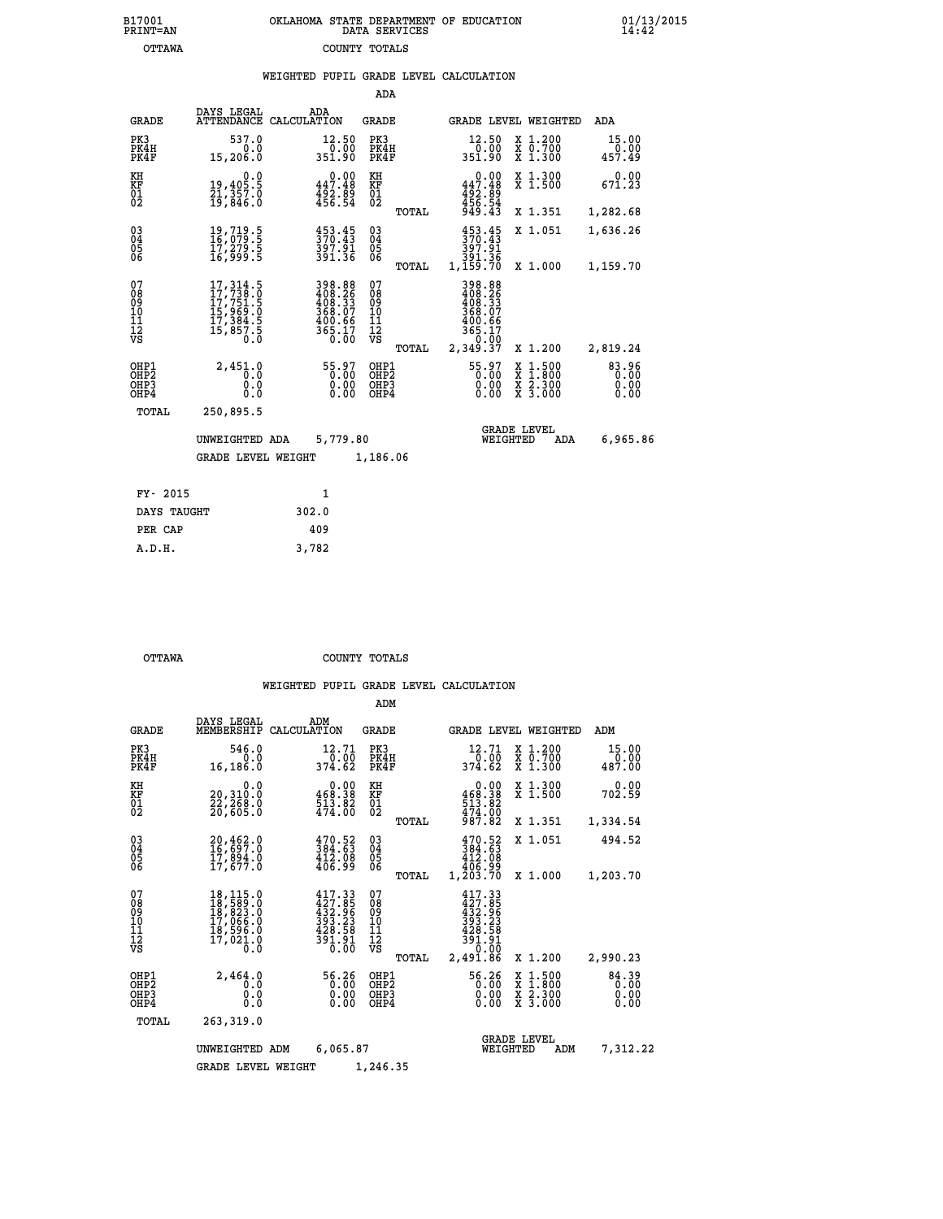| OKLAHOMA STATE DEPARTMENT OF EDUCATION<br>DATA SERVICES |  |
|---------------------------------------------------------|--|
| COUNTY TOTALS                                           |  |

 **B17001 OKLAHOMA STATE DEPARTMENT OF EDUCATION 01/13/2015**

|                                                                    |                                                                                                       |                                                                                                           | ADA                                        |                                                                                                                                   |                                                                                                  |                         |
|--------------------------------------------------------------------|-------------------------------------------------------------------------------------------------------|-----------------------------------------------------------------------------------------------------------|--------------------------------------------|-----------------------------------------------------------------------------------------------------------------------------------|--------------------------------------------------------------------------------------------------|-------------------------|
| <b>GRADE</b>                                                       | DAYS LEGAL                                                                                            | ADA<br>ATTENDANCE CALCULATION                                                                             | <b>GRADE</b>                               |                                                                                                                                   | GRADE LEVEL WEIGHTED                                                                             | ADA                     |
| PK3<br>PK4H<br>PK4F                                                | 537.0<br>0.0<br>15,206.0                                                                              | 12.50<br>0.00<br>351.90                                                                                   | PK3<br>PK4H<br>PK4F                        | 12.50<br>ةة:ة<br>351.90                                                                                                           | X 1.200<br>X 0.700<br>X 1.300                                                                    | 15.00<br>0.00<br>457.49 |
| KH<br><b>KF</b><br>01<br>02                                        | 0.0<br>19,405.5<br>21,357.0<br>19,846.0                                                               | 0.00<br>447.48<br>492.89<br>456.54                                                                        | KH<br>KF<br>01<br>02                       | 0.00<br>447.48<br>$\frac{1}{4}$ $\frac{5}{4}$ $\frac{2}{5}$ $\frac{5}{4}$ $\frac{3}{4}$ $\frac{3}{4}$ $\frac{3}{4}$ $\frac{3}{4}$ | X 1.300<br>X 1.500                                                                               | 0.00<br>671.23          |
|                                                                    |                                                                                                       |                                                                                                           | TOTAL                                      |                                                                                                                                   | X 1.351                                                                                          | 1,282.68                |
| $\begin{smallmatrix} 03 \\[-4pt] 04 \end{smallmatrix}$<br>05<br>06 | 19,719.5<br>16,079.5<br>īž,ž79.5<br>16,999.5                                                          | $453.45$<br>$370.43$<br>397.91<br>391.36                                                                  | $\substack{03 \\ 04}$<br>05<br>06<br>TOTAL | $\frac{453}{370}.$ 45<br>397.91<br>391.36<br>1,159.70                                                                             | X 1.051<br>X 1.000                                                                               | 1,636.26                |
| 07                                                                 |                                                                                                       |                                                                                                           | 07                                         | 398.88                                                                                                                            |                                                                                                  | 1,159.70                |
| 08<br>09<br>11<br>11<br>12<br>VS                                   | $\begin{smallmatrix}17,314.5\\17,738.0\\17,751.5\\15,969.0\\17,384.5\\15,857.5\\0.0\end{smallmatrix}$ | $\begin{array}{r} 398.88 \\ 408.26 \\ 408.33 \\ 368.07 \\ 368.07 \\ 400.66 \\ 365.17 \\ 0.00 \end{array}$ | 08<br>09<br>11<br>11<br>12<br>VS           | 408.26<br>408.33<br>368.07<br>$\frac{400.66}{365.17}$                                                                             |                                                                                                  |                         |
|                                                                    |                                                                                                       |                                                                                                           | TOTAL                                      | 2,349.37                                                                                                                          | X 1.200                                                                                          | 2,819.24                |
| OHP1<br>OH <sub>P2</sub><br>OH <sub>P3</sub><br>OH <sub>P4</sub>   | 2,451.0<br>0.0<br>0.0<br>0.0                                                                          | 55.97<br>0.00<br>0.00                                                                                     | OHP1<br>OH <sub>P</sub> 2<br>OHP3<br>OHP4  | 55.97<br>0.00<br>0.00                                                                                                             | $\begin{smallmatrix} x & 1 & 500 \\ x & 1 & 800 \\ x & 2 & 300 \\ x & 3 & 000 \end{smallmatrix}$ | 83.96<br>0.00<br>0.00   |
| TOTAL                                                              | 250,895.5                                                                                             |                                                                                                           |                                            |                                                                                                                                   |                                                                                                  |                         |
|                                                                    | UNWEIGHTED ADA                                                                                        | 5,779.80                                                                                                  |                                            | WEIGHTED                                                                                                                          | <b>GRADE LEVEL</b><br>ADA                                                                        | 6,965.86                |
|                                                                    | <b>GRADE LEVEL WEIGHT</b>                                                                             |                                                                                                           | 1,186.06                                   |                                                                                                                                   |                                                                                                  |                         |
|                                                                    | FY- 2015                                                                                              | $\mathbf{1}$                                                                                              |                                            |                                                                                                                                   |                                                                                                  |                         |
|                                                                    | DAYS TAUGHT                                                                                           | 302.0                                                                                                     |                                            |                                                                                                                                   |                                                                                                  |                         |
|                                                                    | PER CAP                                                                                               | 409                                                                                                       |                                            |                                                                                                                                   |                                                                                                  |                         |

 **A.D.H. 3,782**

B17001<br>PRINT=AN<br>OTTAWA

 **OTTAWA COUNTY TOTALS**

|                                                       |                                                                                                                                                    |                                                                                                                     | ADM                                              |                                                                                                  |                                                                                                  |                               |
|-------------------------------------------------------|----------------------------------------------------------------------------------------------------------------------------------------------------|---------------------------------------------------------------------------------------------------------------------|--------------------------------------------------|--------------------------------------------------------------------------------------------------|--------------------------------------------------------------------------------------------------|-------------------------------|
| <b>GRADE</b>                                          | DAYS LEGAL<br>MEMBERSHIP                                                                                                                           | ADM<br>CALCULATION                                                                                                  | <b>GRADE</b>                                     | GRADE LEVEL WEIGHTED                                                                             |                                                                                                  | ADM                           |
| PK3<br>PK4H<br>PK4F                                   | 546.0<br>0.0<br>16,186.0                                                                                                                           | 12.71<br>0.00<br>374.62                                                                                             | PK3<br>PK4H<br>PK4F                              | 12.71<br>0.00<br>374.62                                                                          | X 1.200<br>X 0.700<br>$X$ 1.300                                                                  | 15.00<br>0.00<br>487.00       |
| KH<br>KF<br>01<br>02                                  | 0.0<br>20,310:0<br>22,268:0<br>20,605:0                                                                                                            | $\begin{smallmatrix} &0.00\\ 468.38\\ 513.82\\ 474.00\end{smallmatrix}$                                             | KH<br>KF<br>01<br>02                             | 0.00<br>$468.38$<br>$513.82$                                                                     | X 1.300<br>X 1.500                                                                               | 0.00<br>702.59                |
|                                                       |                                                                                                                                                    |                                                                                                                     | TOTAL                                            | 474.00<br>987.82                                                                                 | X 1.351                                                                                          | 1,334.54                      |
| 03<br>04<br>05<br>06                                  | 20,462.0<br>16,697.0<br>17,894.0<br>17,677.0                                                                                                       | 470.52<br>384.63<br>$\frac{412.08}{406.99}$                                                                         | $\substack{03 \\ 04}$<br>0500                    | 470.52<br>384.63<br>412.08<br>406.99                                                             | X 1.051                                                                                          | 494.52                        |
|                                                       |                                                                                                                                                    |                                                                                                                     | TOTAL                                            | 1,203.70                                                                                         | X 1.000                                                                                          | 1,203.70                      |
| 07<br>08<br>09<br>11<br>11<br>12<br>VS                | $\begin{smallmatrix} 18\,,\,115\,.0\\ 18\,,\,589\,.0\\ 18\,,\,823\,.0\\ 17\,,\,066\,.0\\ 18\,,\,596\,.0\\ 17\,,\,021\,.0 \end{smallmatrix}$<br>0.0 | $417.33\n427.85\n432.96\n393.23$<br>428.58<br>$\frac{3\overline{9}\overline{1}\cdot\overline{9}\overline{1}}{0.00}$ | 07<br>08<br>09<br>101<br>11<br>12<br>VS<br>TOTAL | 417.33<br>427.85<br>$\frac{152.96}{393.23}$<br>$\frac{428.58}{59}$<br>391.91<br>0.00<br>2,491.86 | X 1.200                                                                                          | 2,990.23                      |
| OHP1<br>OH <sub>P</sub> 2<br>OH <sub>P3</sub><br>OHP4 | 2,464.0<br>0.0<br>0.0<br>Ŏ.Ŏ                                                                                                                       | 56.26<br>0.00<br>0.00<br>0.00                                                                                       | OHP1<br>OHP2<br>OHP3<br>OHP4                     | 56.26<br>0.00<br>0.00                                                                            | $\begin{smallmatrix} x & 1 & 500 \\ x & 1 & 800 \\ x & 2 & 300 \\ x & 3 & 000 \end{smallmatrix}$ | 84.39<br>0.00<br>0.00<br>0.00 |
| TOTAL                                                 | 263,319.0                                                                                                                                          |                                                                                                                     |                                                  |                                                                                                  |                                                                                                  |                               |
|                                                       | UNWEIGHTED ADM                                                                                                                                     | 6,065.87                                                                                                            |                                                  | <b>GRADE LEVEL</b><br>WEIGHTED                                                                   | ADM                                                                                              | 7,312.22                      |
|                                                       | <b>GRADE LEVEL WEIGHT</b>                                                                                                                          |                                                                                                                     | 1,246.35                                         |                                                                                                  |                                                                                                  |                               |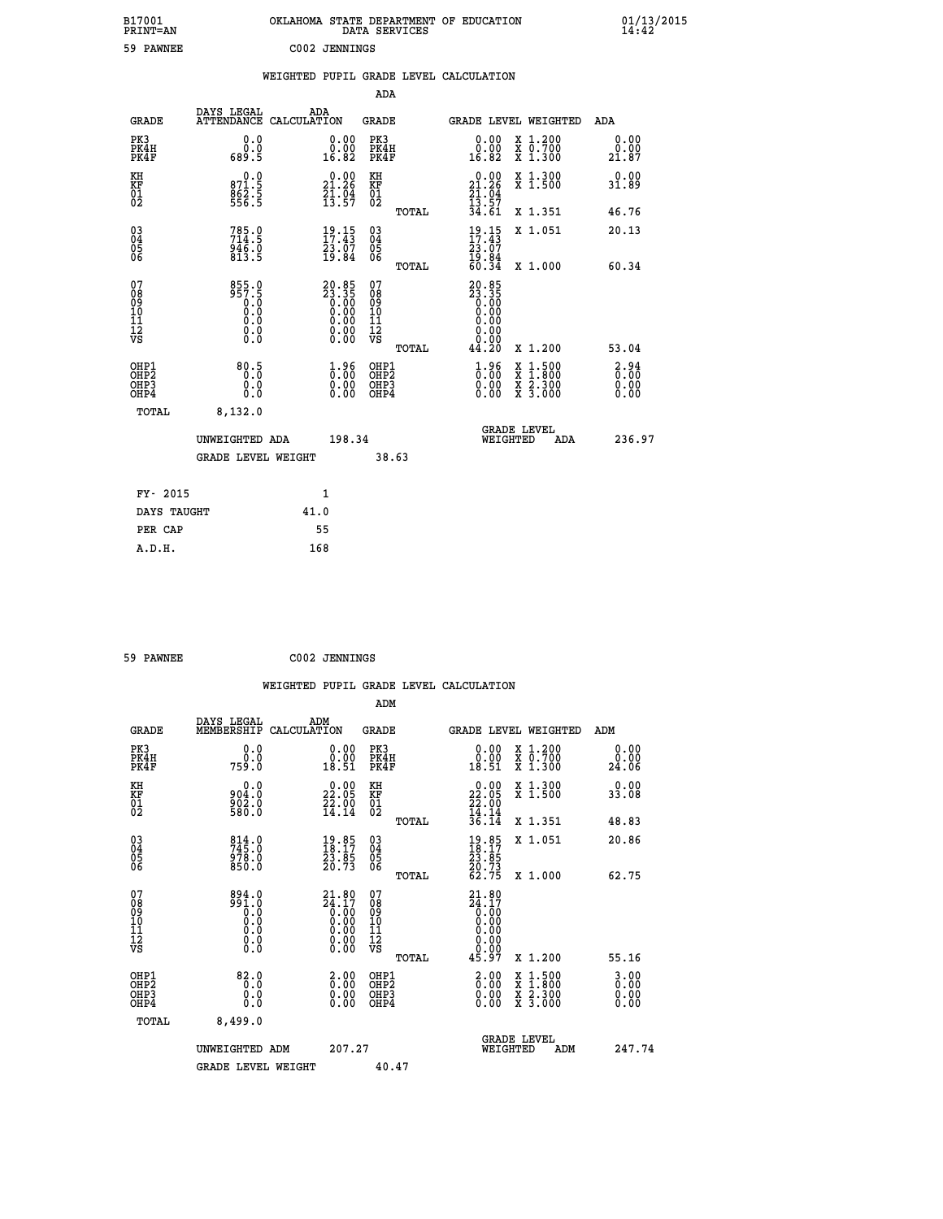| B17001<br>PRINT=AN                           |                                                                 |      |                                                                      |                                                            | DATA SERVICES | OKLAHOMA STATE DEPARTMENT OF EDUCATION                          |                                                                                          |     | $01/13/2015$<br>14:42 |  |
|----------------------------------------------|-----------------------------------------------------------------|------|----------------------------------------------------------------------|------------------------------------------------------------|---------------|-----------------------------------------------------------------|------------------------------------------------------------------------------------------|-----|-----------------------|--|
| 59 PAWNEE                                    |                                                                 |      | C002 JENNINGS                                                        |                                                            |               |                                                                 |                                                                                          |     |                       |  |
|                                              |                                                                 |      |                                                                      |                                                            |               | WEIGHTED PUPIL GRADE LEVEL CALCULATION                          |                                                                                          |     |                       |  |
|                                              |                                                                 |      |                                                                      | <b>ADA</b>                                                 |               |                                                                 |                                                                                          |     |                       |  |
| <b>GRADE</b>                                 | DAYS LEGAL<br>ATTENDANCE CALCULATION                            | ADA  |                                                                      | <b>GRADE</b>                                               |               | GRADE LEVEL WEIGHTED                                            |                                                                                          |     | ADA                   |  |
| PK3<br>PK4H<br>PK4F                          | 0.0<br>0.0<br>689.5                                             |      | 0.00<br>0.00<br>16.82                                                | PK3<br>PK4H<br>PK4F                                        |               | 0.00<br>0.00<br>16.82                                           | X 1.200<br>X 0.700<br>X 1.300                                                            |     | 0.00<br>0.00<br>21.87 |  |
| KH<br>KF<br>01<br>02                         | 0.0<br>871.5<br>862.5<br>556.5                                  |      | 21.26<br>$\frac{21}{13}$ : $\frac{04}{57}$                           | KH<br><b>KF</b><br>01<br>02                                |               | $\begin{array}{c} 0.00 \\ 21.26 \\ 21.04 \\ 13.57 \end{array}$  | X 1.300<br>X 1.500                                                                       |     | 0.00<br>31.89         |  |
|                                              |                                                                 |      |                                                                      |                                                            | TOTAL         | 34.61                                                           | X 1.351                                                                                  |     | 46.76                 |  |
| 03<br>04<br>05<br>06                         | $785.0$<br>714:5<br>$\frac{9\bar{4}\bar{6}\cdot\bar{0}}{813.5}$ |      | $\frac{19}{17}.15$<br>23.07<br>19.84                                 | $\begin{matrix} 03 \\ 04 \\ 05 \\ 06 \end{matrix}$         |               | $\frac{19}{17}.15$<br>23.07<br>$\frac{15.84}{60.34}$            | X 1.051                                                                                  |     | 20.13                 |  |
|                                              |                                                                 |      |                                                                      |                                                            | TOTAL         |                                                                 | X 1.000                                                                                  |     | 60.34                 |  |
| 07<br>08<br>09<br>11<br>11<br>12<br>VS       | 855.0<br>957.5<br>0.0<br>Ŏ.Ŏ<br>0.0<br>$\S.$ $\S$               |      | $20.85$<br>$23.35$<br>$0.00$<br>$0.00$<br>$0.00$<br>$0.00$<br>$0.00$ | 07<br>08<br>09<br>10<br>$\frac{11}{12}$<br>$\frac{12}{18}$ |               | 20.85<br>23.35<br>0.00<br>0.00<br>0.00<br>0.00<br>0.00<br>44.20 | X 1.200                                                                                  |     | 53.04                 |  |
| OHP1                                         |                                                                 |      |                                                                      | OHP1                                                       | TOTAL         |                                                                 |                                                                                          |     |                       |  |
| OH <sub>P</sub> <sub>2</sub><br>OHP3<br>OHP4 | 80.5<br>0.0<br>0.0                                              |      | 1.96<br>0.00                                                         | OHP <sub>2</sub><br>OHP3<br>OHP4                           |               | 1.96<br>0.00<br>0.00                                            | $\begin{smallmatrix} x & 1.500 \\ x & 1.800 \\ x & 2.300 \\ x & 3.000 \end{smallmatrix}$ |     | 3.94<br>0.00<br>0.00  |  |
| TOTAL                                        | 8,132.0                                                         |      |                                                                      |                                                            |               |                                                                 |                                                                                          |     |                       |  |
|                                              | UNWEIGHTED ADA                                                  |      | 198.34                                                               |                                                            |               |                                                                 | <b>GRADE LEVEL</b><br>WEIGHTED                                                           | ADA | 236.97                |  |
|                                              | <b>GRADE LEVEL WEIGHT</b>                                       |      |                                                                      |                                                            | 38.63         |                                                                 |                                                                                          |     |                       |  |
| FY- 2015                                     |                                                                 |      | 1                                                                    |                                                            |               |                                                                 |                                                                                          |     |                       |  |
| DAYS TAUGHT                                  |                                                                 | 41.0 |                                                                      |                                                            |               |                                                                 |                                                                                          |     |                       |  |
| PER CAP                                      |                                                                 |      | 55                                                                   |                                                            |               |                                                                 |                                                                                          |     |                       |  |

| 59 PAWNEE | C002 JENNINGS |
|-----------|---------------|

 **WEIGHTED PUPIL GRADE LEVEL CALCULATION ADM DAYS LEGAL ADM GRADE MEMBERSHIP CALCULATION GRADE GRADE LEVEL WEIGHTED ADM PK3 0.0 0.00 PK3 0.00 X 1.200 0.00 PK4H 0.0 0.00 PK4H 0.00 X 0.700 0.00 PK4F 759.0 18.51 PK4F 18.51 X 1.300 24.06 KH 0.0 0.00 KH 0.00 X 1.300 0.00 KF 904.0 22.05 KF 22.05 X 1.500 33.08 01 902.0 22.00 01 22.00**  $02 \t\t 580.0 \t\t 14.14 \t 02 \t 22.14$  **TOTAL 36.14 X 1.351 48.83 03 814.0 19.85 03 19.85 X 1.051 20.86 04 745.0 18.17 04 18.17 05 978.0 23.85 05 23.85**  $06$  850.0 20.73 06  $20.73$  **TOTAL 62.75 X 1.000 62.75 07 894.0 21.80 07 21.80 08 991.0 24.17 08 24.17 03 0.00 0.00 0.000 0.000 10 0.0 0.00 10 0.00 11 0.0 0.00 11 0.00 12 0.0 0.00 12 0.00 VS 0.0 0.00 VS 0.00 TOTAL 45.97 X 1.200 55.16 OHP1 82.0 2.00 OHP1 2.00 X 1.500 3.00 OHES 0.0 0.0 0.00 OHES 0.00 X 1.800 0.00 OHP3 0.0 0.00 OHP3 0.00 X 2.300 0.00 OHP4 0.0 0.00 OHP4 0.00 X 3.000 0.00 TOTAL 8,499.0 GRADE LEVEL UNWEIGHTED ADM 207.27 WEIGHTED ADM 247.74** GRADE LEVEL WEIGHT 40.47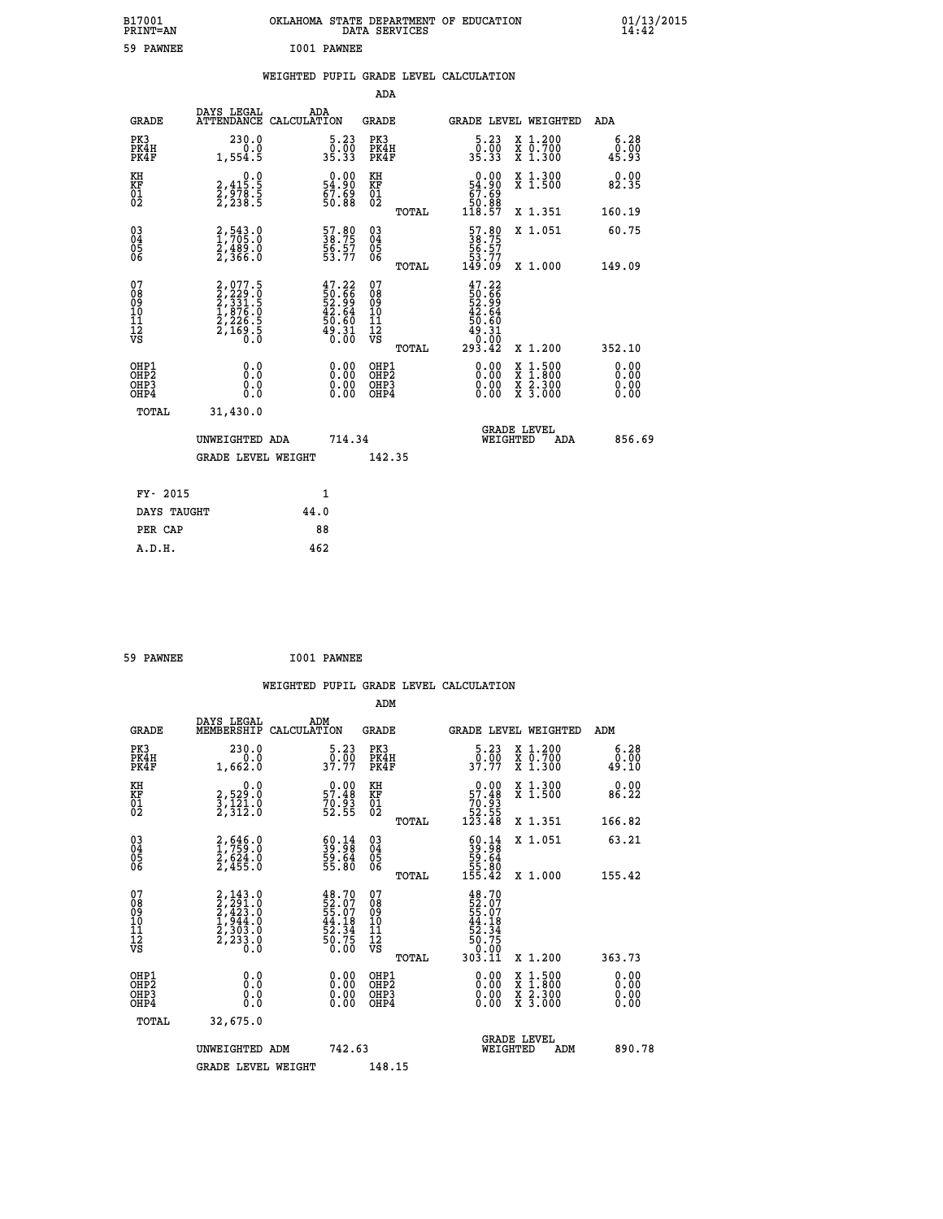| B17001<br>PRINT=AN               |                                                                           | OKLAHOMA STATE DEPARTMENT OF EDUCATION                        | DATA SERVICES                                                 |                                                                                                                       |                                          | $01/13/2015$<br>14:42 |  |
|----------------------------------|---------------------------------------------------------------------------|---------------------------------------------------------------|---------------------------------------------------------------|-----------------------------------------------------------------------------------------------------------------------|------------------------------------------|-----------------------|--|
| 59 PAWNEE                        |                                                                           | I001 PAWNEE                                                   |                                                               |                                                                                                                       |                                          |                       |  |
|                                  |                                                                           | WEIGHTED PUPIL GRADE LEVEL CALCULATION                        |                                                               |                                                                                                                       |                                          |                       |  |
|                                  |                                                                           |                                                               | ADA                                                           |                                                                                                                       |                                          |                       |  |
| <b>GRADE</b>                     | DAYS LEGAL                                                                | ADA<br>ATTENDANCE CALCULATION                                 | GRADE                                                         |                                                                                                                       | GRADE LEVEL WEIGHTED                     | ADA                   |  |
| PK3<br>PK4H<br>PK4F              | 230.0<br>0.0<br>1,554.5                                                   | 5.23<br>$\frac{0}{35.33}$                                     | PK3<br>PK4H<br>PK4F                                           | $\begin{smallmatrix}5.23\0.00\\35.33\end{smallmatrix}$                                                                | X 1.200<br>X 0.700<br>X 1.300            | 6.28<br>0.00<br>45.93 |  |
| KH<br>KF<br>$\frac{01}{02}$      | 0.0<br>$2,415.5$<br>$2,238.5$<br>2,238.5                                  | $0.00$<br>54.90<br>67.69<br>50.88                             | KH<br>KF<br>01<br>02                                          | 0.00<br>54.90<br>$\begin{array}{c} 67.69 \\ 50.88 \\ 118.57 \end{array}$                                              | X 1.300<br>X 1.500                       | 0.00<br>82.35         |  |
|                                  |                                                                           |                                                               | TOTAL                                                         |                                                                                                                       | X 1.351                                  | 160.19                |  |
| 03<br>04<br>05<br>06             | 2,543.0<br>1,705.0<br>2,489.0<br>2,366.0                                  | 57.80<br>38.75<br>56.57<br>53.77                              | $\begin{matrix} 03 \\ 04 \\ 05 \\ 06 \end{matrix}$            | 57.80<br>38.75<br>56.57<br>53.77<br>149.09                                                                            | X 1.051                                  | 60.75                 |  |
| 07                               |                                                                           |                                                               | TOTAL<br>07                                                   |                                                                                                                       | X 1.000                                  | 149.09                |  |
| 08<br>09<br>11<br>11<br>12<br>VS | 2,077.5<br>2,229.0<br>2,331.5<br>2,331.5<br>1,876.0<br>2,226.5<br>2,169.5 | $47.22$<br>50.66<br>52.99<br>52.64<br>42.64<br>50.50<br>49.31 | 08<br>09<br>10<br>$\frac{11}{12}$<br>$\frac{12}{18}$<br>TOTAL | $47.22$<br>50.66<br>52.99<br>52.64<br>42.64<br>50.60<br>$\begin{smallmatrix} 49.31\ -0.00 \ 293.42 \end{smallmatrix}$ | X 1.200                                  | 352.10                |  |
| OHP1                             | 0.0                                                                       |                                                               | OHP1                                                          | 0.00                                                                                                                  |                                          | 0.00                  |  |
| OHP2<br>OHP3<br>OHP4             | Ò.O<br>0.0<br>0.0                                                         | 0.00<br>$\begin{smallmatrix} 0.00 \ 0.00 \end{smallmatrix}$   | OHP <sub>2</sub><br>OHP3<br>OHP4                              | 0.00<br>0.00                                                                                                          | X 1:500<br>X 1:800<br>X 2:300<br>X 3:000 | 0.00<br>0.00<br>0.00  |  |
| TOTAL                            | 31,430.0                                                                  |                                                               |                                                               |                                                                                                                       |                                          |                       |  |
|                                  | UNWEIGHTED ADA                                                            | 714.34                                                        |                                                               | WEIGHTED                                                                                                              | <b>GRADE LEVEL</b><br>ADA                | 856.69                |  |
|                                  | <b>GRADE LEVEL WEIGHT</b>                                                 |                                                               | 142.35                                                        |                                                                                                                       |                                          |                       |  |
| FY- 2015                         |                                                                           | 1                                                             |                                                               |                                                                                                                       |                                          |                       |  |
| DAYS TAUGHT                      |                                                                           | 44.0                                                          |                                                               |                                                                                                                       |                                          |                       |  |
| PER CAP                          |                                                                           | 88                                                            |                                                               |                                                                                                                       |                                          |                       |  |

| 59 PAWNEE |  |  | I001 PAWNEE |
|-----------|--|--|-------------|

 **WEIGHTED PUPIL GRADE LEVEL CALCULATION ADM DAYS LEGAL ADM GRADE MEMBERSHIP CALCULATION GRADE GRADE LEVEL WEIGHTED ADM PK3 230.0 5.23 PK3 5.23 X 1.200 6.28 PK4H 0.0 0.00 PK4H 0.00 X 0.700 0.00 PK4F 1,662.0 37.77 PK4F 37.77 X 1.300 49.10 KH 0.0 0.00 KH 0.00 X 1.300 0.00 KF 2,529.0 57.48 KF 57.48 X 1.500 86.22 01 3,121.0 70.93 01 70.93 02 2,312.0 52.55 02 52.55 TOTAL 123.48 X 1.351 166.82 03 2,646.0 60.14 03 60.14 X 1.051 63.21 04 1,759.0 39.98 04 39.98 05 2,624.0 59.64 05 59.64 06 2,455.0 55.80 06 55.80 TOTAL 155.42 X 1.000 155.42**  $\begin{array}{cccc} 07 & 2,143.0 & 48.70 & 07 & 48.70\ 08 & 2,2423.0 & 52.07 & 08 & 55.07\ 09 & 2,423.0 & 55.07 & 08 & 55.07\ 10 & 1,944.0 & 44.18 & 10 & 44.18\ 11 & 2,303.0 & 52.34 & 11 & 52.34\ 12 & 2,233.0 & 50.75 & 12 & 50.75\ \hline\end{array}$  $\begin{array}{cccc} 48.70 & 07 & 48.70 & 12.11 & 12.12 & 12.13 & 12.14 & 18.70 & 52.07 & 52.07 & 52.07 & 52.07 & 52.07 & 52.07 & 52.07 & 52.07 & 52.07 & 52.34 & 14.18 & 52.34 & 52.34 & 50.75 & 12 & 50.75 & 50.70 & 0.00 & 0.00 & 0.00 & 0.00 & 0.00 & 0.00 & 0.00 & 0$  **OHP1 0.0 0.00 OHP1 0.00 X 1.500 0.00 OHP2 0.0 0.00 OHP2 0.00 X 1.800 0.00 OHP3 0.0 0.00 OHP3 0.00 X 2.300 0.00 OHP4 0.0 0.00 OHP4 0.00 X 3.000 0.00 TOTAL 32,675.0 GRADE LEVEL UNWEIGHTED ADM 742.63 WEIGHTED ADM 890.78** GRADE LEVEL WEIGHT 148.15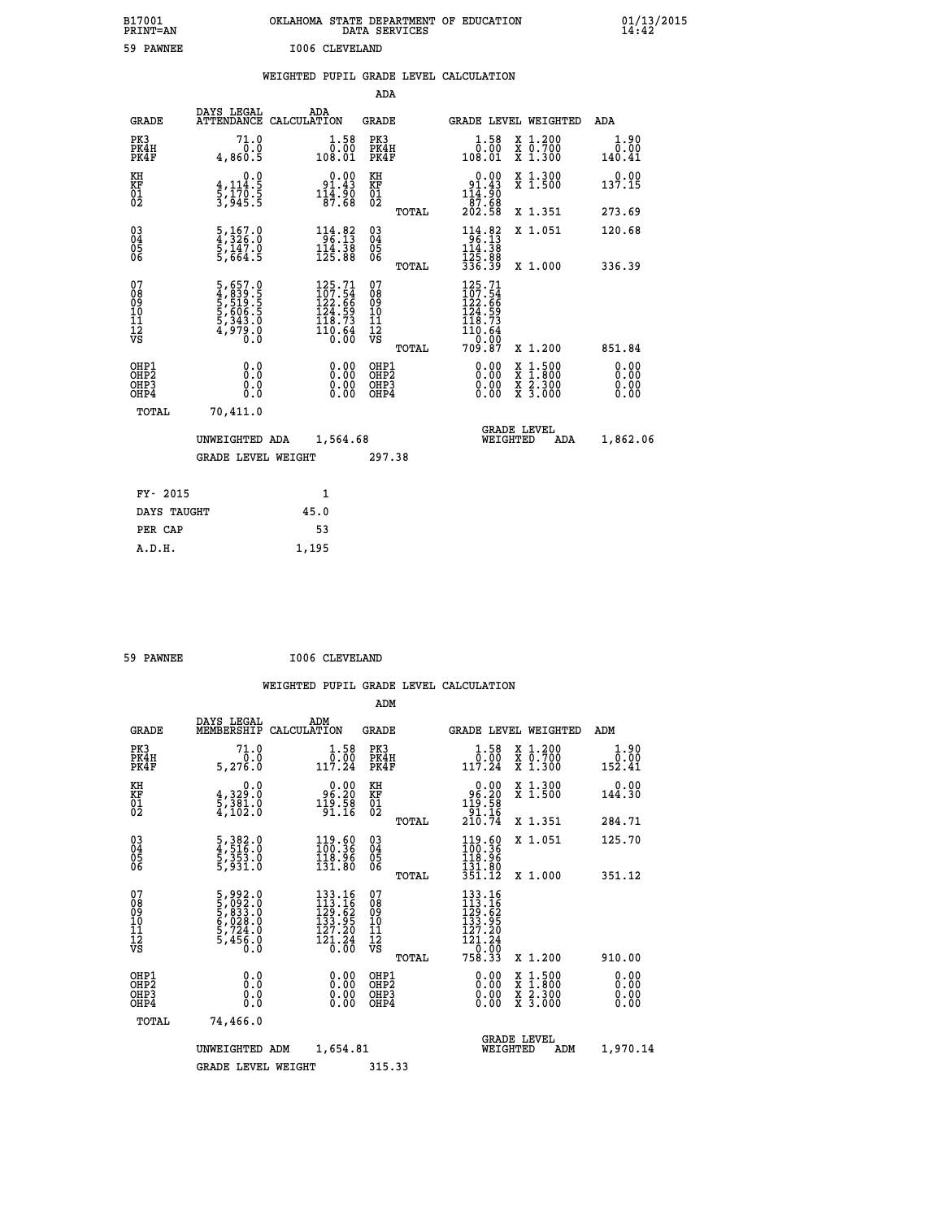| B17001<br>PRINT=AN                     |                                                                                            | OKLAHOMA STATE DEPARTMENT OF EDUCATION                                                                                        | DATA SERVICES                                   |                                                                                                                                                           |                                                                                                  | $01/13/2015$<br>14:42        |  |
|----------------------------------------|--------------------------------------------------------------------------------------------|-------------------------------------------------------------------------------------------------------------------------------|-------------------------------------------------|-----------------------------------------------------------------------------------------------------------------------------------------------------------|--------------------------------------------------------------------------------------------------|------------------------------|--|
| 59 PAWNEE                              |                                                                                            | I006 CLEVELAND                                                                                                                |                                                 |                                                                                                                                                           |                                                                                                  |                              |  |
|                                        |                                                                                            | WEIGHTED PUPIL GRADE LEVEL CALCULATION                                                                                        |                                                 |                                                                                                                                                           |                                                                                                  |                              |  |
|                                        |                                                                                            |                                                                                                                               | ADA                                             |                                                                                                                                                           |                                                                                                  |                              |  |
| <b>GRADE</b>                           | DAYS LEGAL                                                                                 | ADA<br>ATTENDANCE CALCULATION                                                                                                 | GRADE                                           | GRADE LEVEL WEIGHTED                                                                                                                                      |                                                                                                  | ADA                          |  |
| PK3<br>PK4H<br>PK4F                    | 71.0<br>0.0<br>4,860.5                                                                     | $1.58$<br>$0.00$<br>108.01                                                                                                    | PK3<br>PK4H<br>PK4F                             | $1.58$<br>$0.00$<br>108.01                                                                                                                                | X 1.200<br>X 0.700<br>X 1.300                                                                    | 1.90<br>0.00<br>140.41       |  |
| KH<br>KF<br>$\overline{01}$            | 0.0<br>4,114.5<br>$\frac{1}{3}, \frac{1}{9}$ $\frac{7}{9}$ $\frac{3}{5}$ $\frac{5}{5}$     | $0.00$<br>91.43<br>$1\overline{1}\overline{4}\cdot\overline{9}\overline{0}\0$ 87.68                                           | KH<br>KF<br>$\overline{01}$                     | $0.00$<br>91.43<br>$\frac{111.90}{87.68}$<br>202.58                                                                                                       | X 1.300<br>X 1.500                                                                               | 0.00<br>137.15               |  |
|                                        |                                                                                            |                                                                                                                               | <b>TOTAL</b>                                    |                                                                                                                                                           | X 1.351                                                                                          | 273.69                       |  |
| $\substack{03 \\ 04}$<br>0500          | $\frac{5}{4}, \frac{167}{326}.\overset{0}{0}\ \frac{5}{5}, \frac{147}{664}.\overset{0}{5}$ | $\begin{array}{r} 114.82 \\ 96.13 \\ 114.38 \\ 125.88 \end{array}$                                                            | $^{03}_{04}$<br>Ŏ5<br>ŌĞ<br><b>TOTAL</b>        | $114.82$<br>$96.13$<br>$114.38$<br>$125.88$<br>$336.39$                                                                                                   | X 1.051<br>X 1.000                                                                               | 120.68<br>336.39             |  |
| 07<br>08<br>09<br>11<br>11<br>12<br>VS | 5,657.0<br>4,839.5<br>5,519.5<br>5,606.5<br>5,343.0<br>4,979.0                             | $\begin{smallmatrix} 125\cdot71\\ 107\cdot54\\ 122\cdot66\\ 124\cdot59\\ 118\cdot73\\ 110\cdot64\\ 0\cdot00\end{smallmatrix}$ | 07<br>08<br>09<br>10<br>11<br>12<br>VS<br>TOTAL | $\frac{125.71}{107.54}$<br>$\frac{122.66}{123}$<br>$\bar{1}\bar{2}\bar{4}$ .59<br>$\begin{array}{c}\n 118.73 \\  110.64 \\  -2.9\n \end{array}$<br>709.87 | X 1.200                                                                                          | 851.84                       |  |
| OHP1<br>OHP2<br>OHP3<br>OHP4           | 0.0<br>Ŏ.Ŏ<br>0.0<br>0.0                                                                   | 0.00<br>0.00<br>0.00                                                                                                          | OHP1<br>OHP <sub>2</sub><br>OHP3<br>OHP4        | 0.00<br>0.00<br>0.00                                                                                                                                      | $\begin{smallmatrix} x & 1 & 500 \\ x & 1 & 800 \\ x & 2 & 300 \\ x & 3 & 000 \end{smallmatrix}$ | 0.00<br>0.00<br>0.00<br>0.00 |  |
| TOTAL                                  | 70,411.0<br>UNWEIGHTED ADA<br><b>GRADE LEVEL WEIGHT</b>                                    | 1,564.68                                                                                                                      | 297.38                                          | <b>GRADE LEVEL</b><br>WEIGHTED                                                                                                                            | ADA                                                                                              | 1,862.06                     |  |
| $- - -$                                | $\sim$ $\sim$ $\sim$                                                                       |                                                                                                                               |                                                 |                                                                                                                                                           |                                                                                                  |                              |  |

| FY- 2015    |       |
|-------------|-------|
| DAYS TAUGHT | 45.0  |
| PER CAP     | 53    |
| A.D.H.      | 1,195 |
|             |       |

| 59 PAWNEE | I006 CLEVELAND |
|-----------|----------------|
|           |                |

|                                          |                                                                       |                                                                                                                                      | ADM                                                 |                                                                                                          |                                          |                              |
|------------------------------------------|-----------------------------------------------------------------------|--------------------------------------------------------------------------------------------------------------------------------------|-----------------------------------------------------|----------------------------------------------------------------------------------------------------------|------------------------------------------|------------------------------|
| <b>GRADE</b>                             | DAYS LEGAL<br>MEMBERSHIP                                              | ADM<br>CALCULATION                                                                                                                   | <b>GRADE</b>                                        | GRADE LEVEL WEIGHTED                                                                                     |                                          | ADM                          |
| PK3<br>PK4H<br>PK4F                      | 71.0<br>0.0<br>5,276.0                                                | $\begin{smallmatrix} 1.58\\ 0.00\\ 117.24 \end{smallmatrix}$                                                                         | PK3<br>PK4H<br>PK4F                                 | $\begin{array}{c} 1.58 \\ 0.00 \\ 117.24 \end{array}$                                                    | X 1.200<br>X 0.700<br>X 1.300            | 1.90<br>0.00<br>152.41       |
| KH<br>KF<br>01<br>02                     | 0.0<br>4, 329:0<br>5, 381:0<br>4, 102:0                               | $\begin{smallmatrix} 0.00\\[-1.2mm] 96.20\\[-1.2mm] 19.58\\[-1.2mm] 91.16\end{smallmatrix}$                                          | KH<br>KF<br>01<br>02                                | $0.00$<br>$96.20$<br>$119.58$<br>$91.16$<br>$210.74$                                                     | X 1.300<br>X 1.500                       | 0.00<br>144.30               |
|                                          |                                                                       |                                                                                                                                      | TOTAL                                               |                                                                                                          | X 1.351                                  | 284.71                       |
| 03<br>04<br>05<br>06                     | 5,382.0<br>4,516.0<br>5,353.0<br>5,931.0                              | $\frac{119.60}{100.36}$<br>131.80                                                                                                    | $\begin{array}{c} 03 \\ 04 \\ 05 \\ 06 \end{array}$ | $\frac{119.60}{100.36}$<br>131.00<br>351.12                                                              | X 1.051                                  | 125.70                       |
|                                          |                                                                       |                                                                                                                                      | TOTAL                                               |                                                                                                          | X 1.000                                  | 351.12                       |
| 07<br>08<br>09<br>101<br>11<br>12<br>VS  | 5,992.0<br>5,092.0<br>5,033.0<br>6,028.0<br>6,724.0<br>5,456.0<br>0.0 | $\begin{smallmatrix} 133\cdot 16\\ 113\cdot 16\\ 129\cdot 62\\ 133\cdot 95\\ 127\cdot 20\\ 121\cdot 24\\ 0\cdot 00\end{smallmatrix}$ | 07<br>08<br>09<br>11<br>11<br>12<br>VS              | $133.16$<br>$113.16$<br>$129.62$<br>$133.95$<br>$\begin{array}{r} 127.20 \\ 121.24 \\ -9.00 \end{array}$ |                                          |                              |
|                                          |                                                                       |                                                                                                                                      | TOTAL                                               | 758.33                                                                                                   | X 1.200                                  | 910.00                       |
| OHP1<br>OHP2<br>OH <sub>P3</sub><br>OHP4 |                                                                       |                                                                                                                                      | OHP1<br>OHP2<br>OHP <sub>3</sub>                    | $0.00$<br>$0.00$<br>0.00                                                                                 | X 1:500<br>X 1:800<br>X 2:300<br>X 3:000 | 0.00<br>0.00<br>0.00<br>0.00 |
| TOTAL                                    | 74,466.0                                                              |                                                                                                                                      |                                                     |                                                                                                          |                                          |                              |
|                                          | UNWEIGHTED ADM                                                        | 1,654.81                                                                                                                             |                                                     | <b>GRADE LEVEL</b><br>WEIGHTED                                                                           | ADM                                      | 1,970.14                     |
|                                          | <b>GRADE LEVEL WEIGHT</b>                                             |                                                                                                                                      | 315.33                                              |                                                                                                          |                                          |                              |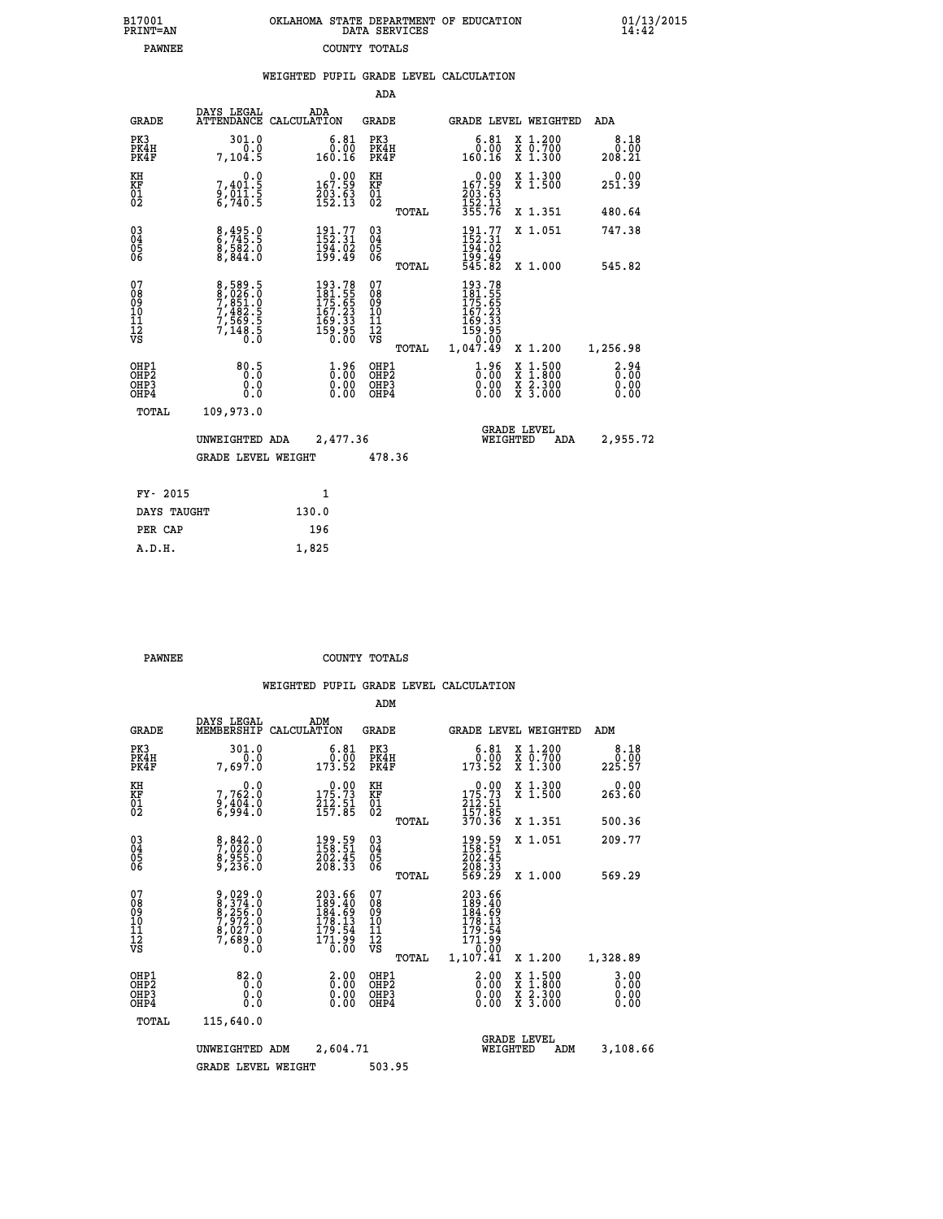| 7001<br>INT=AN |  | OKLAHOMA STATE DEPARTMENT OF EDUCATION<br>DATA SERVICES |  |
|----------------|--|---------------------------------------------------------|--|
| <b>PAWNEE</b>  |  | COUNTY TOTALS                                           |  |

 **B17001<br>PRINT=AN** 

 **B17001 OKLAHOMA STATE DEPARTMENT OF EDUCATION 01/13/2015**

|                                              |                                                        |                                                                                                                                                                  | ADA                                                                                                                                                                                                                                                                          |                                                                                               |                         |                                                                                                                                                                                                                                                                                                                                                            |                                                                                                                                                                            |
|----------------------------------------------|--------------------------------------------------------|------------------------------------------------------------------------------------------------------------------------------------------------------------------|------------------------------------------------------------------------------------------------------------------------------------------------------------------------------------------------------------------------------------------------------------------------------|-----------------------------------------------------------------------------------------------|-------------------------|------------------------------------------------------------------------------------------------------------------------------------------------------------------------------------------------------------------------------------------------------------------------------------------------------------------------------------------------------------|----------------------------------------------------------------------------------------------------------------------------------------------------------------------------|
| <b>GRADE</b>                                 | DAYS LEGAL                                             | ADA                                                                                                                                                              | GRADE                                                                                                                                                                                                                                                                        |                                                                                               |                         |                                                                                                                                                                                                                                                                                                                                                            | ADA                                                                                                                                                                        |
| PK3<br>PK4H<br>PK4F                          | 301.0<br>0.0<br>7,104.5                                | $\begin{smallmatrix} 6.81\ 0.00\ 160.16 \end{smallmatrix}$                                                                                                       | PK3<br>PK4H<br>PK4F                                                                                                                                                                                                                                                          |                                                                                               |                         |                                                                                                                                                                                                                                                                                                                                                            | $\begin{smallmatrix}8.18\0.00\\0.00\\208.21\end{smallmatrix}$                                                                                                              |
| KH                                           |                                                        |                                                                                                                                                                  | KH<br>KF                                                                                                                                                                                                                                                                     |                                                                                               |                         |                                                                                                                                                                                                                                                                                                                                                            | $\begin{array}{c} 0.00 \\ 251.39 \end{array}$                                                                                                                              |
|                                              |                                                        |                                                                                                                                                                  |                                                                                                                                                                                                                                                                              |                                                                                               |                         |                                                                                                                                                                                                                                                                                                                                                            | 480.64                                                                                                                                                                     |
|                                              |                                                        | $191.77$<br>$152.31$                                                                                                                                             |                                                                                                                                                                                                                                                                              |                                                                                               |                         |                                                                                                                                                                                                                                                                                                                                                            | 747.38                                                                                                                                                                     |
|                                              |                                                        |                                                                                                                                                                  |                                                                                                                                                                                                                                                                              |                                                                                               |                         |                                                                                                                                                                                                                                                                                                                                                            | 545.82                                                                                                                                                                     |
| 07<br>08<br>09<br>09<br>10<br>11<br>12<br>VS |                                                        |                                                                                                                                                                  | 07<br>08<br>09<br>10<br>11<br>11<br>12<br>νs                                                                                                                                                                                                                                 |                                                                                               |                         |                                                                                                                                                                                                                                                                                                                                                            | 1,256.98                                                                                                                                                                   |
|                                              |                                                        |                                                                                                                                                                  |                                                                                                                                                                                                                                                                              |                                                                                               |                         |                                                                                                                                                                                                                                                                                                                                                            |                                                                                                                                                                            |
| OH <sub>P3</sub><br>OHP4                     | 0.000                                                  | 0.00                                                                                                                                                             | OHP4                                                                                                                                                                                                                                                                         |                                                                                               |                         |                                                                                                                                                                                                                                                                                                                                                            | $\begin{smallmatrix} 2.94\ 0.00\ 0.00\ 0.00 \end{smallmatrix}$                                                                                                             |
| TOTAL                                        | 109,973.0                                              |                                                                                                                                                                  |                                                                                                                                                                                                                                                                              |                                                                                               |                         |                                                                                                                                                                                                                                                                                                                                                            |                                                                                                                                                                            |
|                                              | KF<br>01<br>02<br>03<br>04<br>05<br>06<br>OHP1<br>OHP2 | $7,401.5$<br>$9,011.5$<br>$6,740.5$<br>8,495.0<br>6,745.5<br>8,582.0<br>8,844.0<br>8,589.5<br>8,026.0<br>7,851.0<br>7,482.5<br>7,569.5<br>7,148.5<br>0.0<br>80.5 | ATTENDANCE CALCULATION<br>$\begin{smallmatrix} &0.00\ 167.59\ 203.63\ 152.13\ \end{smallmatrix}$<br>194.02<br>199.49<br>$\begin{smallmatrix} 193\cdot78\\181\cdot55\\175\cdot65\\167\cdot23\\169\cdot33\\159\cdot95\\0\cdot00\end{smallmatrix}$<br>$\frac{1}{0}$ :00<br>0.00 | $\overline{01}$<br>$\begin{matrix} 03 \\ 04 \\ 05 \\ 06 \end{matrix}$<br>OHP1<br>OHP2<br>OHP3 | TOTAL<br>TOTAL<br>TOTAL | WEIGHTED PUPIL GRADE LEVEL CALCULATION<br>$\begin{smallmatrix} 6.81\ 0.00\ 160.16 \end{smallmatrix}$<br>$\begin{smallmatrix} &0.00\\ 167.59\\ 203.63\\ 152.13\\ 355.76 \end{smallmatrix}$<br>191.77<br>152.31<br>194.02<br>199.49<br>545.82<br>193.78<br>181.555<br>175.655<br>167.23<br>169.33<br>159.95<br>1,047.49<br>$\frac{1}{0}$ :00<br>0.00<br>0.00 | <b>GRADE LEVEL WEIGHTED</b><br>X 1.200<br>X 0.700<br>X 1.300<br>X 1.300<br>X 1.500<br>X 1.351<br>X 1.051<br>X 1.000<br>X 1.200<br>X 1:500<br>X 1:800<br>X 2:300<br>X 3:000 |

| UNWEIGHTED ADA | 2,477.36           |        | <b>GRADE LEVEL</b><br>WEIGHTED | ADA | 2,955.72 |
|----------------|--------------------|--------|--------------------------------|-----|----------|
|                | GRADE LEVEL WEIGHT | 478.36 |                                |     |          |
| FY- 2015       | 1                  |        |                                |     |          |
| DAYS TAUGHT    | 130.0              |        |                                |     |          |
| PER CAP        | 196                |        |                                |     |          |

| <b>PAWNEE</b> | COUNTY TOTALS |  |
|---------------|---------------|--|

 **A.D.H. 1,825**

|                                          |                                                                                 |                                                                        | ADM                                                |                                                                               |                                          |                                  |
|------------------------------------------|---------------------------------------------------------------------------------|------------------------------------------------------------------------|----------------------------------------------------|-------------------------------------------------------------------------------|------------------------------------------|----------------------------------|
| <b>GRADE</b>                             | DAYS LEGAL<br>MEMBERSHIP                                                        | ADM<br>CALCULATION                                                     | <b>GRADE</b>                                       | GRADE LEVEL WEIGHTED                                                          |                                          | ADM                              |
| PK3<br>PK4H<br>PK4F                      | 301.0<br>0.0<br>7,697.Ŏ                                                         | $\begin{smallmatrix} 6.81\ 0.00\ 173.52 \end{smallmatrix}$             | PK3<br>PK4H<br>PK4F                                | $\begin{smallmatrix} 6.81\ 0.00\ 173.52 \end{smallmatrix}$                    | X 1.200<br>X 0.700<br>X 1.300            | 8.18<br>0.00<br>225.57           |
| KH<br>KF<br>01<br>02                     | 0.0<br>7,762.0<br>$\frac{2}{6}$ , $\frac{1}{9}$ , $\frac{3}{4}$ , $\frac{3}{8}$ | $\begin{array}{c} 0.00 \\ 175.73 \\ 212.51 \\ 157.85 \end{array}$      | KH<br>KF<br>01<br>02                               | $\begin{array}{c} 0.00 \\ 175.73 \\ 212.51 \\ 157.85 \\ 370.36 \end{array}$   | X 1.300<br>X 1.500                       | 0.00<br>263.60                   |
|                                          |                                                                                 |                                                                        | TOTAL                                              |                                                                               | X 1.351                                  | 500.36                           |
| 03<br>04<br>05<br>06                     | 8,842.0<br>7,020.0<br>8,955.0<br>9,236.0                                        | $\begin{smallmatrix} 199.59\ 158.51\ 202.45\ 208.33 \end{smallmatrix}$ | $\begin{matrix} 03 \\ 04 \\ 05 \\ 06 \end{matrix}$ | 199.59<br>158.51<br>202.45<br>208.33<br>569.29                                | X 1.051                                  | 209.77                           |
|                                          |                                                                                 |                                                                        | TOTAL                                              |                                                                               | X 1.000                                  | 569.29                           |
| 07<br>08<br>09<br>101<br>112<br>VS       | 9,029.0<br>8,374.0<br>8,256.0<br>9,027.0<br>8,027.0<br>7,689.0<br>0.0           | 203.66<br>189.40<br>184.69<br>178.13<br>179.54<br>171.99<br>0.00       | 07<br>08<br>09<br>11<br>11<br>12<br>VS<br>TOTAL    | 203.66<br>189.40<br>184.69<br>178.13<br>179.54<br>171.99<br>10.00<br>1,107.41 | X 1.200                                  | 1,328.89                         |
| OHP1<br>OHP2<br>OH <sub>P3</sub><br>OHP4 | 82.0<br>0.0<br>0.000                                                            | $\begin{smallmatrix} 2.00\ 0.00 \ 0.00 \end{smallmatrix}$<br>0.00      | OHP1<br>OHP2<br>OHP <sub>3</sub>                   | $\begin{smallmatrix} 2.00 \ 0.00 \ 0.00 \end{smallmatrix}$<br>0.00            | X 1:500<br>X 1:800<br>X 2:300<br>X 3:000 | $3.00$<br>$0.00$<br>0.00<br>0.00 |
| TOTAL                                    | 115,640.0                                                                       |                                                                        |                                                    |                                                                               |                                          |                                  |
|                                          | UNWEIGHTED                                                                      | 2,604.71<br>ADM                                                        |                                                    | <b>GRADE LEVEL</b><br>WEIGHTED                                                | ADM                                      | 3,108.66                         |
|                                          | <b>GRADE LEVEL WEIGHT</b>                                                       |                                                                        | 503.95                                             |                                                                               |                                          |                                  |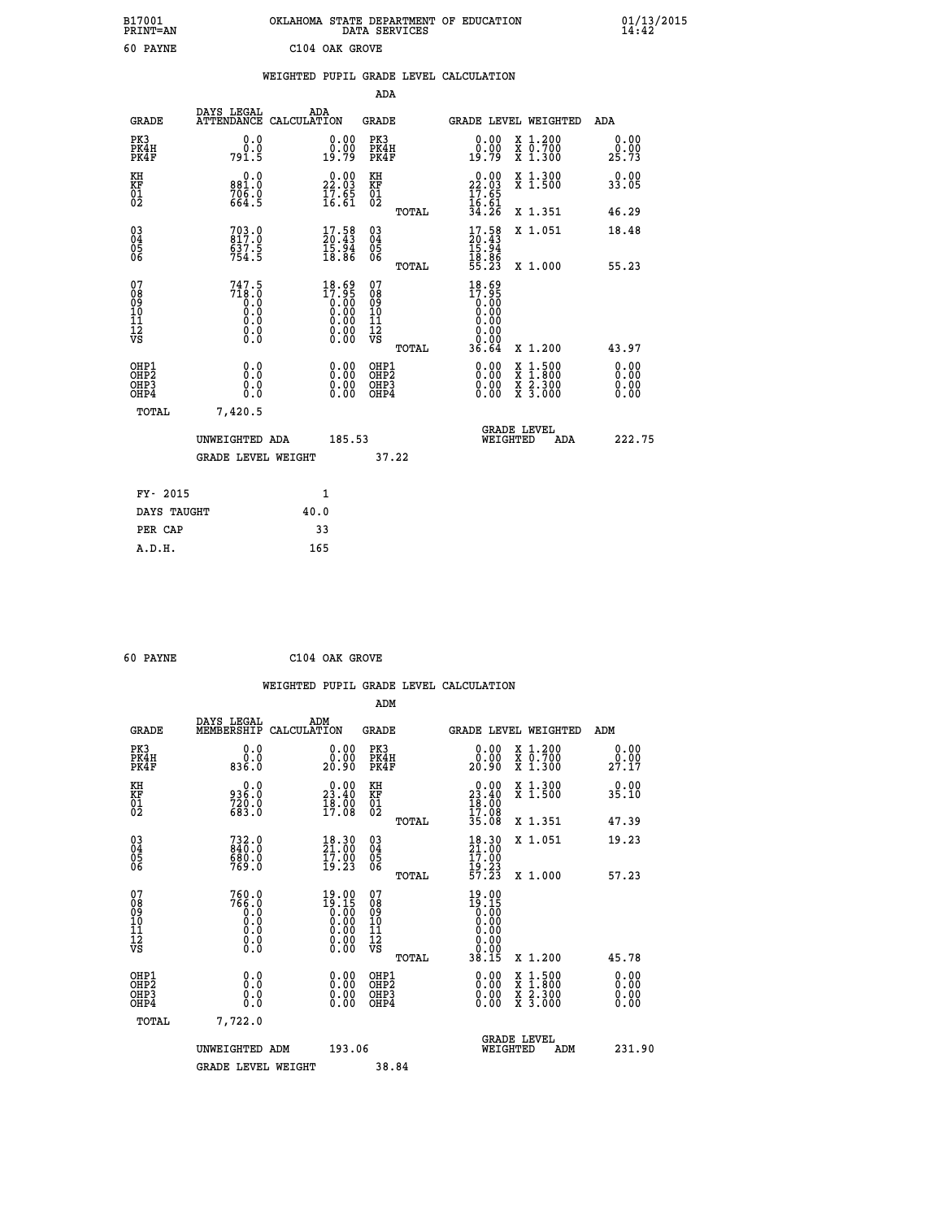| B17001<br>PRINT=AN                           |                                            | OKLAHOMA STATE DEPARTMENT OF EDUCATION                                | DATA SERVICES                                               |                                                        |                                                                                                                                           | $01/13/2015$<br>14:42 |  |
|----------------------------------------------|--------------------------------------------|-----------------------------------------------------------------------|-------------------------------------------------------------|--------------------------------------------------------|-------------------------------------------------------------------------------------------------------------------------------------------|-----------------------|--|
| 60 PAYNE                                     |                                            | C104 OAK GROVE                                                        |                                                             |                                                        |                                                                                                                                           |                       |  |
|                                              |                                            | WEIGHTED PUPIL GRADE LEVEL CALCULATION                                |                                                             |                                                        |                                                                                                                                           |                       |  |
|                                              |                                            |                                                                       | ADA                                                         |                                                        |                                                                                                                                           |                       |  |
| <b>GRADE</b>                                 | DAYS LEGAL                                 | ADA<br>ATTENDANCE CALCULATION                                         | GRADE                                                       |                                                        | GRADE LEVEL WEIGHTED                                                                                                                      | ADA                   |  |
| PK3<br>PK4H<br>PK4F                          | 0.0<br>0.0<br>791.5                        | 0.00<br>0.00<br>19.79                                                 | PK3<br>PK4H<br>PK4F                                         | 0.00<br>0.00<br>19.79                                  | X 1.200<br>X 0.700<br>X 1.300                                                                                                             | 0.00<br>0.00<br>25.73 |  |
| KH<br>ΚF<br>$\frac{01}{02}$                  | $0.0$<br>$0.881.0$<br>$706.0$<br>664.5     | 22.00<br>$\frac{17.65}{16.61}$                                        | KH<br>KF<br>01<br>02                                        | 22.00<br>$\frac{17.65}{16.61}$                         | X 1.300<br>X 1.500                                                                                                                        | 0.00<br>33.05         |  |
|                                              |                                            |                                                                       | TOTAL                                                       | 34.26                                                  | X 1.351                                                                                                                                   | 46.29                 |  |
| 03<br>04<br>05<br>06                         | 703.0<br>817.0<br>637.5<br>754.5           | $\begin{smallmatrix} 17.58\\ 20.43\\ 15.94\\ 18.86 \end{smallmatrix}$ | $\begin{matrix} 03 \\ 04 \\ 05 \\ 06 \end{matrix}$<br>TOTAL | $17.58$<br>$20.43$<br>$15.94$<br>$18.86$<br>$55.23$    | X 1.051<br>X 1.000                                                                                                                        | 18.48<br>55.23        |  |
| 07<br>08<br>09<br>10<br>11<br>11<br>12<br>VS | 747.5<br>718.0<br>0.0<br>0.0<br>$\S.$ $\S$ | $18.69\n17.95\n0.00\n0.00\n0.00\n0.00\n0.00$                          | 07<br>08<br>09<br>10<br>$\frac{11}{12}$<br>$\frac{12}{18}$  | $18.69$<br>$17.95$<br>$0.00$<br>$0.00$<br>0.00<br>0.00 |                                                                                                                                           |                       |  |
| OHP1                                         | 0.0                                        |                                                                       | TOTAL<br>OHP1                                               | 36.64                                                  | X 1.200                                                                                                                                   | 43.97<br>0.00         |  |
| OHP2<br>OHP3<br>OHP4                         | 0.0<br>0.0<br>0.0                          | 0.00<br>$\begin{smallmatrix} 0.00 \ 0.00 \end{smallmatrix}$           | OH <sub>P</sub> 2<br>OHP3<br>OHP4                           | 0.00<br>0.00<br>0.00                                   | $\begin{smallmatrix} \mathtt{X} & 1\cdot500\\ \mathtt{X} & 1\cdot800\\ \mathtt{X} & 2\cdot300\\ \mathtt{X} & 3\cdot000 \end{smallmatrix}$ | 0.00<br>0.00<br>0.00  |  |
| TOTAL                                        | 7,420.5                                    |                                                                       |                                                             |                                                        |                                                                                                                                           |                       |  |
|                                              | UNWEIGHTED ADA                             | 185.53                                                                |                                                             | WEIGHTED                                               | <b>GRADE LEVEL</b><br>ADA                                                                                                                 | 222.75                |  |
|                                              | GRADE LEVEL WEIGHT                         |                                                                       | 37.22                                                       |                                                        |                                                                                                                                           |                       |  |
| FY- 2015                                     |                                            | 1                                                                     |                                                             |                                                        |                                                                                                                                           |                       |  |
| DAYS TAUGHT                                  |                                            | 40.0                                                                  |                                                             |                                                        |                                                                                                                                           |                       |  |
| PER CAP                                      |                                            | 33                                                                    |                                                             |                                                        |                                                                                                                                           |                       |  |

| 60 PAYNE |  | C104 OAK GROVE |
|----------|--|----------------|
|          |  |                |

 **WEIGHTED PUPIL GRADE LEVEL CALCULATION ADM DAYS LEGAL ADM GRADE MEMBERSHIP CALCULATION GRADE GRADE LEVEL WEIGHTED ADM PK3 0.0 0.00 PK3 0.00 X 1.200 0.00 PK4H 0.0 0.00 PK4H 0.00 X 0.700 0.00 PK4F 836.0 20.90 PK4F 20.90 X 1.300 27.17 KH 0.0 0.00 KH 0.00 X 1.300 0.00 KF 936.0 23.40 KF 23.40 X 1.500 35.10 01 720.0 18.00 01 18.00** 02 683.0 17.08 02 17.08  **TOTAL 35.08 X 1.351 47.39 03 732.0 18.30 03 18.30 X 1.051 19.23 04 840.0 21.00 04 21.00 05 680.0 17.00 05 17.00** 06 769.0 19.23 06 <sub>momas</sub> 19.23  **TOTAL 57.23 X 1.000 57.23 07 760.0 19.00 07 19.00 08 766.0 19.15 08 19.15 03 0.00 0.00 0.000 0.000 10 0.0 0.00 10 0.00 11 0.0 0.00 11 0.00 12 0.0 0.00 12 0.00 VS** 0.0 0.00 VS 0.00 0.00  **TOTAL 38.15 X 1.200 45.78 OHP1 0.0 0.00 OHP1 0.00 X 1.500 0.00 OHP2 0.0 0.00 OHP2 0.00 X 1.800 0.00 OHP3 0.0 0.00 OHP3 0.00 X 2.300 0.00 OHP4 0.0 0.00 OHP4 0.00 X 3.000 0.00 TOTAL 7,722.0 GRADE LEVEL UNWEIGHTED ADM 193.06 WEIGHTED ADM 231.90 GRADE LEVEL WEIGHT 38.84**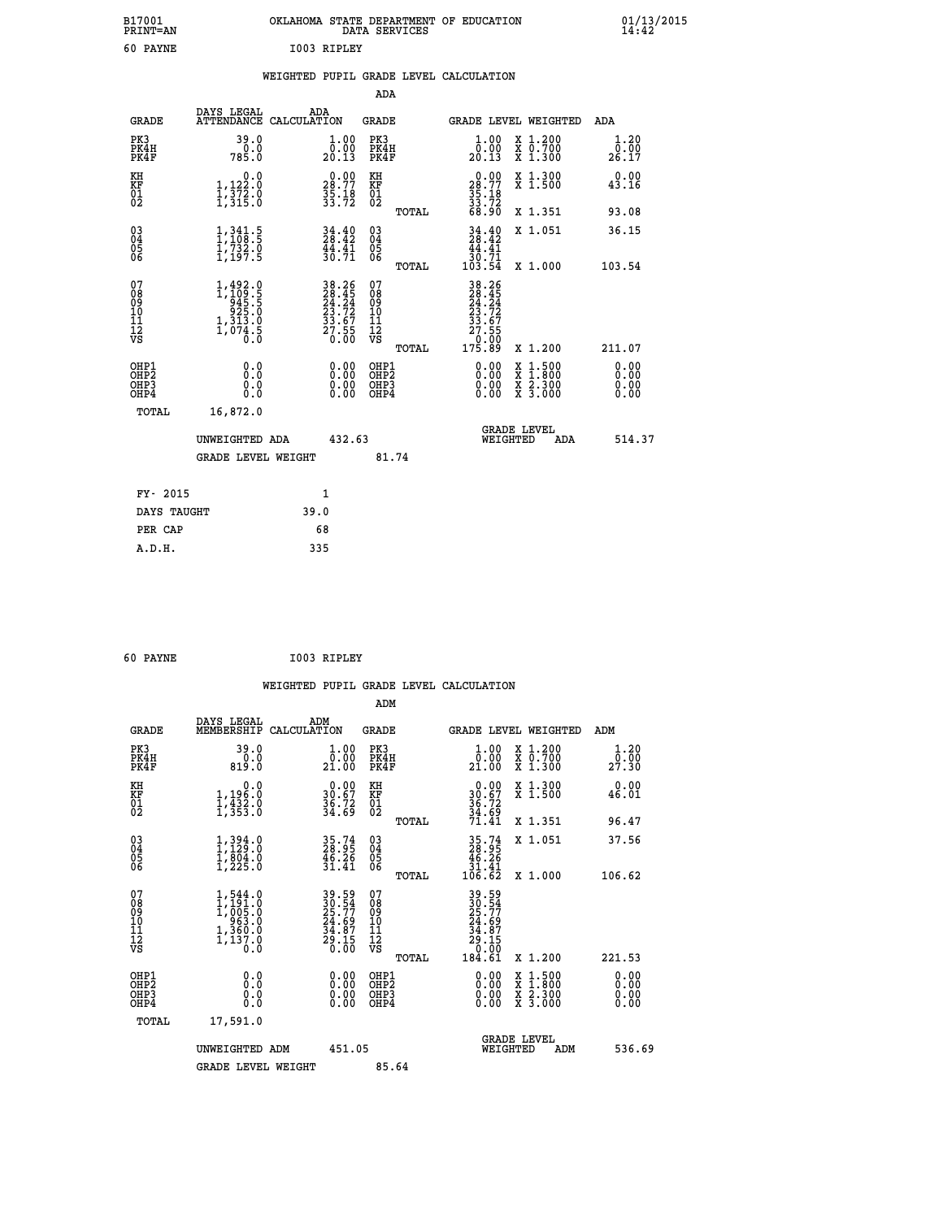|             | OKLAHOMA STATE DEPARTMENT OF EDUCATION<br>DATA SERVICES |  |
|-------------|---------------------------------------------------------|--|
| TOOR RIDLEY |                                                         |  |

## **WEIGHTED PUPIL GRADE LEVEL CALCULATION**

|                                        |                                                                              |                                                                                                            |                                                                                           | ADA                                    |       |                                                                                                                                     |                                                                                                                                           |                              |
|----------------------------------------|------------------------------------------------------------------------------|------------------------------------------------------------------------------------------------------------|-------------------------------------------------------------------------------------------|----------------------------------------|-------|-------------------------------------------------------------------------------------------------------------------------------------|-------------------------------------------------------------------------------------------------------------------------------------------|------------------------------|
|                                        | <b>GRADE</b>                                                                 | DAYS LEGAL                                                                                                 | ADA<br>ATTENDANCE CALCULATION                                                             | GRADE                                  |       | <b>GRADE LEVEL WEIGHTED</b>                                                                                                         |                                                                                                                                           | ADA                          |
|                                        | PK3<br>PK4H<br>PK4F                                                          | 39.0<br>785.0                                                                                              | 1.00<br>$\frac{\bar{0} \cdot \bar{0} \bar{0}}{20.13}$                                     | PK3<br>PK4H<br>PK4F                    |       | 1.00<br>0.00<br>20.13                                                                                                               | X 1.200<br>X 0.700<br>X 1.300                                                                                                             | 1.20<br>0.00<br>26.17        |
| KH<br>KF<br>01<br>02                   |                                                                              | 0.0<br>$\frac{1}{1}, \frac{1}{3}\frac{2}{2}\cdot 0$<br>$\frac{1}{3}\cdot \frac{3}{15}\cdot 0$              | $28.77$<br>$35.18$<br>$33.72$                                                             | KH<br>KF<br>01<br>02                   |       | $\begin{smallmatrix} 0.00\\ 28.77\\ 35.18\\ 33.72\\ 68.90 \end{smallmatrix}$                                                        | X 1.300<br>X 1.500                                                                                                                        | 0.00<br>43.16                |
|                                        |                                                                              |                                                                                                            |                                                                                           |                                        | TOTAL |                                                                                                                                     | X 1.351                                                                                                                                   | 93.08                        |
| $^{03}_{04}$<br>Ŏ5<br>06               |                                                                              | $\begin{smallmatrix} 1\,,\,341\cdot5\\1\,,\,108\cdot5\\1\,,\,732\cdot0\\1\,,\,197\cdot5 \end{smallmatrix}$ | $34.42$<br>$28.42$<br>$44.41$<br>$30.71$                                                  | 03<br>04<br>05<br>06                   |       | $34.40$<br>$28.42$<br>$44.41$                                                                                                       | X 1.051                                                                                                                                   | 36.15<br>103.54              |
|                                        |                                                                              |                                                                                                            |                                                                                           |                                        | TOTAL |                                                                                                                                     | X 1.000                                                                                                                                   |                              |
| 07<br>08<br>09<br>11<br>11<br>12<br>VS |                                                                              | $1, 492.0$<br>$1, 109.5$<br>$945.5$<br>$925.0$<br>$1, 313.0$<br>$\frac{1,074.5}{0.0}$                      | $\begin{array}{r} 38.26 \\ 28.45 \\ 24.24 \\ 23.72 \\ 33.67 \\ 27.55 \\ 0.00 \end{array}$ | 07<br>08<br>09<br>11<br>11<br>12<br>VS | TOTAL | $\begin{array}{r} 38\cdot26 \\ 28\cdot45 \\ 24\cdot24 \\ 23\cdot72 \\ 33\cdot67 \\ 27\cdot55 \\ 0\cdot00 \\ 175\cdot89 \end{array}$ | X 1.200                                                                                                                                   | 211.07                       |
|                                        | OHP1<br>OH <sub>P</sub> <sub>2</sub><br>OH <sub>P3</sub><br>OH <sub>P4</sub> | 0.0<br>Ō.Ō<br>0.0<br>0.0                                                                                   | 0.00<br>0.00<br>0.00                                                                      | OHP1<br>OHP2<br>OHP3<br>OHP4           |       | 0.00<br>0.00<br>0.00                                                                                                                | $\begin{smallmatrix} \mathtt{X} & 1\cdot500\\ \mathtt{X} & 1\cdot800\\ \mathtt{X} & 2\cdot300\\ \mathtt{X} & 3\cdot000 \end{smallmatrix}$ | 0.00<br>0.00<br>0.00<br>0.00 |
|                                        | TOTAL                                                                        | 16,872.0                                                                                                   |                                                                                           |                                        |       |                                                                                                                                     |                                                                                                                                           |                              |
|                                        |                                                                              | UNWEIGHTED ADA                                                                                             | 432.63                                                                                    |                                        |       | WEIGHTED                                                                                                                            | <b>GRADE LEVEL</b><br>ADA                                                                                                                 | 514.37                       |
|                                        |                                                                              | <b>GRADE LEVEL WEIGHT</b>                                                                                  |                                                                                           |                                        | 81.74 |                                                                                                                                     |                                                                                                                                           |                              |
|                                        | FY- 2015                                                                     |                                                                                                            | 1                                                                                         |                                        |       |                                                                                                                                     |                                                                                                                                           |                              |
|                                        | DAYS TAUGHT                                                                  |                                                                                                            | 39.0                                                                                      |                                        |       |                                                                                                                                     |                                                                                                                                           |                              |
|                                        | PER CAP                                                                      |                                                                                                            | 68                                                                                        |                                        |       |                                                                                                                                     |                                                                                                                                           |                              |
|                                        | A.D.H.                                                                       |                                                                                                            | 335                                                                                       |                                        |       |                                                                                                                                     |                                                                                                                                           |                              |

| 60 PAYNE | I003 RIPLEY |
|----------|-------------|

 **B17001<br>PRINT=AN 60 PAYNE** 

| <b>GRADE</b>                                       | DAYS LEGAL<br>MEMBERSHIP                                                                                            | ADM<br>CALCULATION                                                     | <b>GRADE</b>                                       |       |                                                                                                                                                                                                                                                                                | GRADE LEVEL WEIGHTED                     | ADM                    |  |
|----------------------------------------------------|---------------------------------------------------------------------------------------------------------------------|------------------------------------------------------------------------|----------------------------------------------------|-------|--------------------------------------------------------------------------------------------------------------------------------------------------------------------------------------------------------------------------------------------------------------------------------|------------------------------------------|------------------------|--|
| PK3<br>PK4H<br>PK4F                                | 39.0<br>819.0                                                                                                       | $\begin{smallmatrix} 1.00\\[-1mm] 0.00\\[-1mm] 21.00\end{smallmatrix}$ | PK3<br>PK4H<br>PK4F                                |       | $\begin{smallmatrix} 1.00\\[-1.00pt] 0.00\\[-1.00pt] 21.00\end{smallmatrix}$                                                                                                                                                                                                   | X 1.200<br>X 0.700<br>X 1.300            | 1.20<br>_0.00<br>27.30 |  |
| KH<br>KF<br>01<br>02                               | 0.0<br>1,196:0<br>1,432:0<br>1,353:0                                                                                | $\begin{smallmatrix} 0.00\\ 30.67\\ 36.72\\ 34.69 \end{smallmatrix}$   | KH<br>KF<br>01<br>02                               |       | $\begin{smallmatrix} 0.00\\ 30.67\\ 36.72\\ 34.69\\ 71.41 \end{smallmatrix}$                                                                                                                                                                                                   | X 1.300<br>X 1.500                       | 0.00<br>46.01          |  |
|                                                    |                                                                                                                     |                                                                        |                                                    | TOTAL |                                                                                                                                                                                                                                                                                | X 1.351                                  | 96.47                  |  |
| $\begin{matrix} 03 \\ 04 \\ 05 \\ 06 \end{matrix}$ | $1,394.0$<br>$1,129.0$<br>$1,804.0$<br>$1,225.0$                                                                    | $35.74$<br>$28.95$<br>$46.26$<br>$31.41$                               | $\begin{matrix} 03 \\ 04 \\ 05 \\ 06 \end{matrix}$ |       | $35.74$<br>$28.95$<br>$46.26$<br>$31.41$<br>$106.62$                                                                                                                                                                                                                           | X 1.051                                  | 37.56                  |  |
|                                                    |                                                                                                                     |                                                                        |                                                    | TOTAL |                                                                                                                                                                                                                                                                                | X 1.000                                  | 106.62                 |  |
| 07<br>089<br>090<br>1112<br>VS                     | $\begin{smallmatrix} 1,544\ .0\\ 1,191\ .0\\ 1,005\ .0\\ 963\ .0\\ 1,360\ .0\\ 1,137\ .0\\ 0\ .0 \end{smallmatrix}$ | 39.54<br>25.77<br>24.69<br>34.87<br>34.87<br>29.15<br>0.00             | 07<br>08<br>09<br>01<br>11<br>11<br>12<br>VS       | TOTAL | $39.54$<br>$25.77$<br>$24.69$<br>$34.87$<br>$29.15$<br>$0.00$<br>$184.61$                                                                                                                                                                                                      | X 1.200                                  | 221.53                 |  |
| OHP1<br>OHP2<br>OH <sub>P3</sub><br>OHP4           | 0.0<br>0.000                                                                                                        |                                                                        | OHP1<br>OHP2<br>OHP3<br>OHP4                       |       | $\begin{smallmatrix} 0.00 & 0.00 & 0.00 & 0.00 & 0.00 & 0.00 & 0.00 & 0.00 & 0.00 & 0.00 & 0.00 & 0.00 & 0.00 & 0.00 & 0.00 & 0.00 & 0.00 & 0.00 & 0.00 & 0.00 & 0.00 & 0.00 & 0.00 & 0.00 & 0.00 & 0.00 & 0.00 & 0.00 & 0.00 & 0.00 & 0.00 & 0.00 & 0.00 & 0.00 & 0.00 & 0.0$ | X 1:500<br>X 1:800<br>X 2:300<br>X 3:000 | 0.00<br>0.00<br>0.00   |  |
| TOTAL                                              | 17,591.0                                                                                                            |                                                                        |                                                    |       |                                                                                                                                                                                                                                                                                |                                          |                        |  |
|                                                    | UNWEIGHTED<br>ADM                                                                                                   | 451.05                                                                 |                                                    |       | WEIGHTED                                                                                                                                                                                                                                                                       | <b>GRADE LEVEL</b><br>ADM                | 536.69                 |  |
|                                                    | <b>GRADE LEVEL WEIGHT</b>                                                                                           |                                                                        | 85.64                                              |       |                                                                                                                                                                                                                                                                                |                                          |                        |  |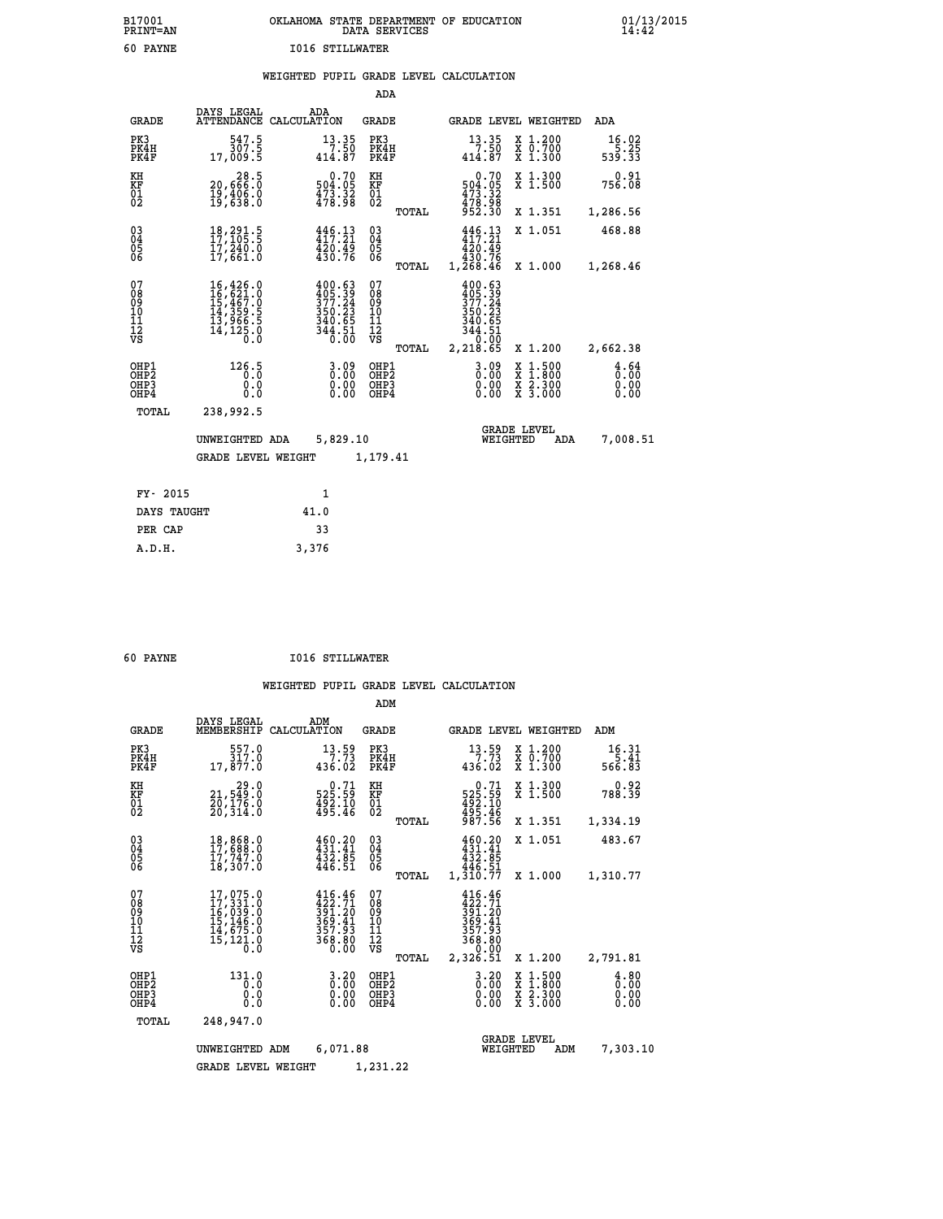|                        | OKLAHOMA STATE DEPARTMENT OF EDUCATION<br>DATA SERVICES |  |
|------------------------|---------------------------------------------------------|--|
| <b>I016 STILLWATER</b> |                                                         |  |

 **B17001 OKLAHOMA STATE DEPARTMENT OF EDUCATION 01/13/2015**

#### **WEIGHTED PUPIL GRADE LEVEL CALCULATION**

|                                                    |                                                                                                                                    |                                                                      | ADA                                      |       |                                                                          |                                                                                                  |                              |
|----------------------------------------------------|------------------------------------------------------------------------------------------------------------------------------------|----------------------------------------------------------------------|------------------------------------------|-------|--------------------------------------------------------------------------|--------------------------------------------------------------------------------------------------|------------------------------|
| <b>GRADE</b>                                       | DAYS LEGAL<br><b>ATTENDANCE</b>                                                                                                    | ADA<br>CALCULATION                                                   | <b>GRADE</b>                             |       |                                                                          | GRADE LEVEL WEIGHTED                                                                             | ADA                          |
| PK3<br>PK4H<br>PK4F                                | 547.5<br>307.5<br>17,009.5                                                                                                         | 13.35<br>7.50<br>414.87                                              | PK3<br>PK4H<br>PK4F                      |       | 13.35<br>7.50<br>414.87                                                  | X 1.200<br>X 0.700<br>X 1.300                                                                    | 16.02<br>5.25<br>539.33      |
| KH<br>KF<br>01<br>02                               | 28.5<br>0.§§§,و2<br>19,406.0<br>19,638.0                                                                                           | $\begin{smallmatrix} &0.70\,504.05\,473.32\,478.98\end{smallmatrix}$ | KH<br>KF<br>01<br>02                     |       | 0.70<br>504:05<br>473:32<br>478:98<br>952:30                             | X 1.300<br>X 1.500                                                                               | 0.91<br>756.08               |
|                                                    |                                                                                                                                    |                                                                      |                                          | TOTAL |                                                                          | X 1.351                                                                                          | 1,286.56                     |
| $\begin{matrix} 03 \\ 04 \\ 05 \\ 06 \end{matrix}$ | 18, 291.5<br>17, 105.5<br>17,240.0<br>17,661.0                                                                                     | $446.13$<br>$417.21$<br>$\frac{4\bar{2}0.49}{430.76}$                | $\substack{03 \\ 04}$<br>$\frac{05}{06}$ |       | $446.13$<br>$417.21$<br>420.49<br>430.76<br>1,268.46                     | X 1.051                                                                                          | 468.88                       |
|                                                    |                                                                                                                                    |                                                                      |                                          | TOTAL |                                                                          | X 1.000                                                                                          | 1,268.46                     |
| 07<br>08<br>09<br>11<br>11<br>12<br>VS             | $\begin{smallmatrix} 16,426\,, 0\\ 16,621\,, 0\\ 15,467\,, 0\\ 14,359\,, 5\\ 13,966\,, 5\\ 14,125\,, 0\\ 0\,, 0 \end{smallmatrix}$ | $400.63$<br>$405.39$<br>$377.24$<br>$350.23$<br>$340.65$<br>344.51   | 07<br>08<br>09<br>101<br>11<br>12<br>VS  | TOTAL | $400.63$<br>$377.24$<br>$350.23$<br>340.65<br>344.51<br>0.00<br>2,218.65 | X 1.200                                                                                          | 2,662.38                     |
| OHP1<br>OHP2<br>OHP3<br>OHP4                       | 126.5<br>0.0<br>0.0                                                                                                                | 3.09<br>0.00<br>0.00<br>0.00                                         | OHP1<br>OHP <sub>2</sub><br>OHP3<br>OHP4 |       | $3.09$<br>$0.00$<br>0.00                                                 | $\begin{smallmatrix} x & 1 & 500 \\ x & 1 & 800 \\ x & 2 & 300 \\ x & 3 & 000 \end{smallmatrix}$ | 4.64<br>0.00<br>0.00<br>0.00 |
| TOTAL                                              | 238,992.5                                                                                                                          |                                                                      |                                          |       |                                                                          |                                                                                                  |                              |
|                                                    | UNWEIGHTED ADA                                                                                                                     | 5,829.10                                                             |                                          |       |                                                                          | <b>GRADE LEVEL</b><br>WEIGHTED<br>ADA                                                            | 7,008.51                     |
|                                                    | <b>GRADE LEVEL WEIGHT</b>                                                                                                          |                                                                      | 1,179.41                                 |       |                                                                          |                                                                                                  |                              |
| FY- 2015                                           |                                                                                                                                    | $\mathbf{1}$                                                         |                                          |       |                                                                          |                                                                                                  |                              |
| DAYS TAUGHT                                        |                                                                                                                                    | 41.0                                                                 |                                          |       |                                                                          |                                                                                                  |                              |
|                                                    |                                                                                                                                    |                                                                      |                                          |       |                                                                          |                                                                                                  |                              |

| 50 |              |  |
|----|--------------|--|
|    | <b>PAYNE</b> |  |

PER CAP 33  **A.D.H. 3,376**

 **B17001<br>PRINT=AN<br>60 PAYNE** 

 **60 PAYNE I016 STILLWATER**

|                                                       |                                                                             |                                                                            | ADM                                             |                                                                              |                                                                                                  |                              |
|-------------------------------------------------------|-----------------------------------------------------------------------------|----------------------------------------------------------------------------|-------------------------------------------------|------------------------------------------------------------------------------|--------------------------------------------------------------------------------------------------|------------------------------|
| <b>GRADE</b>                                          | DAYS LEGAL<br>MEMBERSHIP                                                    | ADM<br>CALCULATION                                                         | <b>GRADE</b>                                    | GRADE LEVEL WEIGHTED                                                         |                                                                                                  | ADM                          |
| PK3<br>PK4H<br>PK4F                                   | 557.0<br>317.0<br>17,877.0                                                  | 13.59<br>7.73<br>436.02                                                    | PK3<br>PK4H<br>PK4F                             | 13.59<br>7.73<br>436.02                                                      | $\begin{smallmatrix} x & 1.200 \\ x & 0.700 \end{smallmatrix}$<br>X 1.300                        | 16.31<br>5.41<br>566.83      |
| KH<br>KF<br>01<br>02                                  | 29.0<br>21,549:0<br>20,176:0<br>20,314:0                                    | 0.71<br>525.59<br>$492.10$<br>$495.46$                                     | KH<br>KF<br>01<br>02                            | $0.71$<br>$525.59$<br>$492.10$<br>$495.46$<br>$987.56$                       | X 1.300<br>X 1.500                                                                               | 0.92<br>788.39               |
|                                                       |                                                                             |                                                                            | TOTAL                                           |                                                                              | X 1.351                                                                                          | 1,334.19                     |
| 03<br>04<br>05<br>06                                  | 18,868.0<br>17,688.0<br>17,747.0<br>18,307.0                                | $460.20$<br>$431.41$<br>$432.85$<br>446.51                                 | $\substack{03 \\ 04}$<br>0500                   | 460.20<br>431.41<br>432.85<br>446.51                                         | X 1.051                                                                                          | 483.67                       |
|                                                       |                                                                             |                                                                            | TOTAL                                           | 1,310.77                                                                     | X 1.000                                                                                          | 1,310.77                     |
| 07<br>08<br>09<br>11<br>11<br>12<br>VS                | 17,075.0<br>17,331.0<br>16,039.0<br>15,146.0<br>14,675.0<br>15,121.0<br>0.0 | $416.46$<br>$422.71$<br>$391.20$<br>$369.41$<br>$357.93$<br>368.80<br>0.00 | 07<br>08<br>09<br>11<br>11<br>12<br>VS<br>TOTAL | 416.46<br>422.71<br>391.20<br>369.41<br>357.93<br>368.80<br>0.00<br>2,326.51 | X 1.200                                                                                          | 2,791.81                     |
| OHP1<br>OH <sub>P</sub> 2<br>OH <sub>P3</sub><br>OHP4 | 131.0<br>0.0<br>0.0<br>Ŏ.Ŏ                                                  | $0.20$<br>$0.00$<br>0.00                                                   | OHP1<br>OHP2<br>OHP3<br>OHP4                    | $\begin{smallmatrix} 3.20 \ 0.00 \ 0.00 \end{smallmatrix}$<br>0.00           | $\begin{smallmatrix} x & 1 & 500 \\ x & 1 & 800 \\ x & 2 & 300 \\ x & 3 & 000 \end{smallmatrix}$ | 4.80<br>0.00<br>0.00<br>0.00 |
| TOTAL                                                 | 248,947.0                                                                   |                                                                            |                                                 |                                                                              |                                                                                                  |                              |
|                                                       | UNWEIGHTED ADM                                                              | 6,071.88                                                                   |                                                 | WEIGHTED                                                                     | <b>GRADE LEVEL</b><br>ADM                                                                        | 7,303.10                     |
|                                                       | <b>GRADE LEVEL WEIGHT</b>                                                   |                                                                            | 1,231.22                                        |                                                                              |                                                                                                  |                              |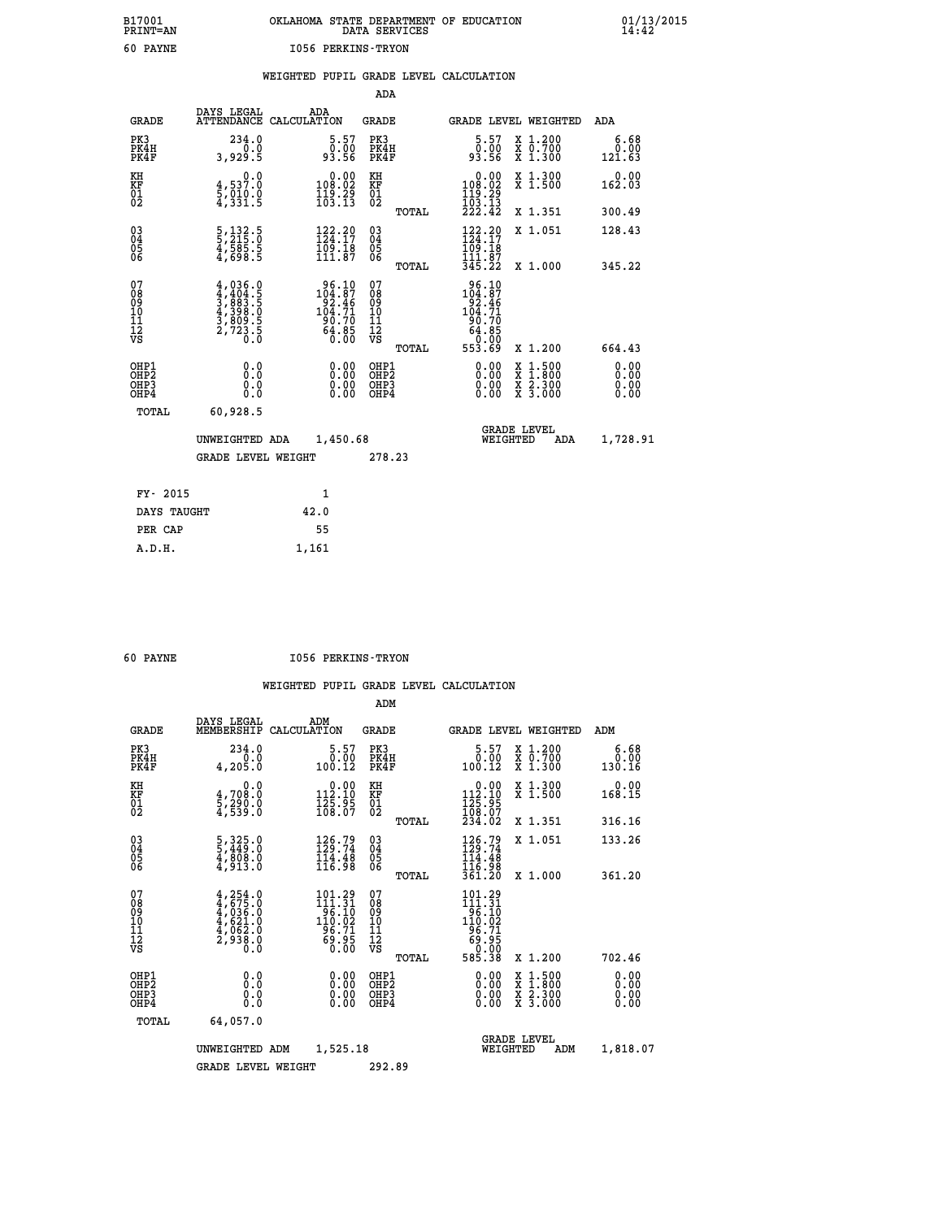# **B17001 OKLAHOMA STATE DEPARTMENT OF EDUCATION 01/13/2015 PRINT=AN DATA SERVICES 14:42 60 PAYNE I056 PERKINS-TRYON**

|  |  | WEIGHTED PUPIL GRADE LEVEL CALCULATION |
|--|--|----------------------------------------|
|  |  |                                        |

|                                                                    |                                                                                     |                                                                                         | ADA                                       |       |                                                                                                       |                                |                                                                                                                                      |                              |
|--------------------------------------------------------------------|-------------------------------------------------------------------------------------|-----------------------------------------------------------------------------------------|-------------------------------------------|-------|-------------------------------------------------------------------------------------------------------|--------------------------------|--------------------------------------------------------------------------------------------------------------------------------------|------------------------------|
| <b>GRADE</b>                                                       | DAYS LEGAL                                                                          | ADA<br>ATTENDANCE CALCULATION                                                           | <b>GRADE</b>                              |       | <b>GRADE LEVEL WEIGHTED</b>                                                                           |                                |                                                                                                                                      | ADA                          |
| PK3<br>PK4H<br>PK4F                                                | 234.0<br>3,929.5                                                                    | $\begin{smallmatrix}5.57\0.00\\93.56\end{smallmatrix}$                                  | PK3<br>PK4H<br>PK4F                       |       | $5.57$<br>$0.00$<br>93.56                                                                             |                                | X 1.200<br>X 0.700<br>X 1.300                                                                                                        | 6.68<br>0.00<br>121.63       |
| KH<br>KF<br>01<br>02                                               | 0.0<br>4,537.0<br>5,010.0<br>4,331.5                                                | $\begin{smallmatrix} &0.00\\ 108.02\\ 119.29\\ 103.13\end{smallmatrix}$                 | KH<br>KF<br>01<br>02                      |       | $\begin{smallmatrix}&&0.00\\108.02\\119.29\\103.13\\222.42\end{smallmatrix}$                          |                                | X 1.300<br>X 1.500                                                                                                                   | $0.00$<br>162.03             |
|                                                                    |                                                                                     |                                                                                         |                                           | TOTAL |                                                                                                       |                                | X 1.351                                                                                                                              | 300.49                       |
| $\begin{smallmatrix} 03 \\[-4pt] 04 \end{smallmatrix}$<br>Ŏ5<br>06 | 5, 132.5<br>5, 215.0<br>4, 585.5<br>4, 698.5                                        | $122.29$<br>$124.17$<br>$\frac{1}{109}$ . 18<br>111.87                                  | $\substack{03 \\ 04}$<br>Ŏ5<br>06         |       | 122.20<br>109.18<br>111.87                                                                            |                                | X 1.051                                                                                                                              | 128.43                       |
|                                                                    |                                                                                     |                                                                                         |                                           | TOTAL | 345.22                                                                                                |                                | X 1.000                                                                                                                              | 345.22                       |
| 07<br>08<br>09<br>11<br>11<br>12<br>VS                             | $4,036.0$<br>$3,883.5$<br>$3,893.5$<br>$4,398.0$<br>$3,809.5$<br>$2,723.5$<br>$0.0$ | $\begin{smallmatrix} 96.10\\104.87\\92.46\\104.71\\90.70\\64.85\\0.00\end{smallmatrix}$ | 07<br>08<br>09<br>11<br>11<br>12<br>VS    | TOTAL | $\begin{array}{r} 96.10 \\ 104.87 \\ 92.46 \\ 104.71 \\ 90.70 \\ 64.85 \end{array}$<br>0.00<br>553.69 |                                | X 1.200                                                                                                                              | 664.43                       |
| OHP1<br>OH <sub>P</sub> 2<br>OHP3<br>OH <sub>P4</sub>              | 0.0<br>Ō.Ō<br>0.0<br>0.0                                                            | 0.00<br>0.00<br>0.00                                                                    | OHP1<br>OH <sub>P</sub> 2<br>OHP3<br>OHP4 |       | 0.00<br>0.00<br>0.00                                                                                  |                                | $\begin{smallmatrix} \mathtt{X} & 1 & 500 \\ \mathtt{X} & 1 & 800 \\ \mathtt{X} & 2 & 300 \\ \mathtt{X} & 3 & 000 \end{smallmatrix}$ | 0.00<br>0.00<br>0.00<br>0.00 |
| TOTAL                                                              | 60,928.5                                                                            |                                                                                         |                                           |       |                                                                                                       |                                |                                                                                                                                      |                              |
|                                                                    | UNWEIGHTED ADA                                                                      | 1,450.68                                                                                |                                           |       |                                                                                                       | <b>GRADE LEVEL</b><br>WEIGHTED | ADA                                                                                                                                  | 1,728.91                     |
|                                                                    | <b>GRADE LEVEL WEIGHT</b>                                                           |                                                                                         | 278.23                                    |       |                                                                                                       |                                |                                                                                                                                      |                              |
| FY- 2015                                                           |                                                                                     | $\mathbf{1}$                                                                            |                                           |       |                                                                                                       |                                |                                                                                                                                      |                              |
| DAYS TAUGHT                                                        |                                                                                     | 42.0                                                                                    |                                           |       |                                                                                                       |                                |                                                                                                                                      |                              |
| PER CAP                                                            |                                                                                     | 55                                                                                      |                                           |       |                                                                                                       |                                |                                                                                                                                      |                              |
| A.D.H.                                                             |                                                                                     | 1,161                                                                                   |                                           |       |                                                                                                       |                                |                                                                                                                                      |                              |

 **60 PAYNE I056 PERKINS-TRYON**

|                                          |                                                                                     |                                                                                                       | ADM                                                 |       |                                                                                                                   |                                          |                              |
|------------------------------------------|-------------------------------------------------------------------------------------|-------------------------------------------------------------------------------------------------------|-----------------------------------------------------|-------|-------------------------------------------------------------------------------------------------------------------|------------------------------------------|------------------------------|
| <b>GRADE</b>                             | DAYS LEGAL<br>MEMBERSHIP                                                            | ADM<br>CALCULATION                                                                                    | <b>GRADE</b>                                        |       |                                                                                                                   | GRADE LEVEL WEIGHTED                     | ADM                          |
| PK3<br>PK4H<br>PK4F                      | 234.0<br>0.0<br>4,205.0                                                             | $5.57$<br>$0.00$<br>100.12                                                                            | PK3<br>PK4H<br>PK4F                                 |       | $\begin{smallmatrix}5.57\0.00.12\end{smallmatrix}$                                                                | X 1.200<br>X 0.700<br>X 1.300            | 6.68<br>0.00<br>130.16       |
| KH<br>KF<br>01<br>02                     | 0.0<br>4,708:0<br>5,290:0<br>4,539:0                                                | $\begin{smallmatrix} &0.00\\ 112.10\\ 125.95\\ 168.07\end{smallmatrix}$                               | KH<br>KF<br>01<br>02                                |       | $\begin{array}{c} 0.00 \\ 112.10 \\ 125.95 \\ 108.07 \\ 234.02 \end{array}$                                       | X 1.300<br>X 1.500                       | 0.00<br>168.15               |
|                                          |                                                                                     |                                                                                                       |                                                     | TOTAL |                                                                                                                   | X 1.351                                  | 316.16                       |
| 03<br>04<br>05<br>06                     | 5,325.0<br>5,449.0<br>4,808.0<br>4,913.0                                            | 126.79<br>129.74<br>$\frac{114.48}{116.98}$                                                           | $\begin{array}{c} 03 \\ 04 \\ 05 \\ 06 \end{array}$ |       | 126.79<br>$\frac{114.48}{116.98}$<br>$\frac{361.20}{8}$                                                           | X 1.051                                  | 133.26                       |
|                                          |                                                                                     |                                                                                                       |                                                     | TOTAL |                                                                                                                   | X 1.000                                  | 361.20                       |
| 07<br>08<br>09<br>101<br>112<br>VS       | $4,254.0$<br>$4,675.0$<br>$4,635.0$<br>$4,621.0$<br>$4,062.0$<br>$2,938.0$<br>$0.0$ | $\begin{array}{r} 101.29 \\ 111.31 \\ 96.10 \\ 10.02 \\ 110.02 \\ 96.71 \\ 69.95 \\ 0.00 \end{array}$ | 07<br>08<br>09<br>11<br>11<br>12<br>VS              | TOTAL | $\begin{array}{r} 101.29 \\ 111.31 \\ 96.10 \\ 100.02 \\ 100.71 \\ 96.71 \\ 69.95 \\ 60.00 \\ 585.38 \end{array}$ | X 1.200                                  | 702.46                       |
|                                          |                                                                                     |                                                                                                       |                                                     |       |                                                                                                                   |                                          |                              |
| OHP1<br>OHP2<br>OH <sub>P3</sub><br>OHP4 | 0.0<br>0.000                                                                        | $0.00$<br>$0.00$<br>0.00                                                                              | OHP1<br>OHP2<br>OHP <sub>3</sub>                    |       | $0.00$<br>$0.00$<br>0.00                                                                                          | X 1:500<br>X 1:800<br>X 2:300<br>X 3:000 | 0.00<br>0.00<br>0.00<br>0.00 |
| TOTAL                                    | 64,057.0                                                                            |                                                                                                       |                                                     |       |                                                                                                                   |                                          |                              |
|                                          | UNWEIGHTED                                                                          | 1,525.18<br>ADM                                                                                       |                                                     |       | WEIGHTED                                                                                                          | <b>GRADE LEVEL</b><br>ADM                | 1,818.07                     |
|                                          | <b>GRADE LEVEL WEIGHT</b>                                                           |                                                                                                       | 292.89                                              |       |                                                                                                                   |                                          |                              |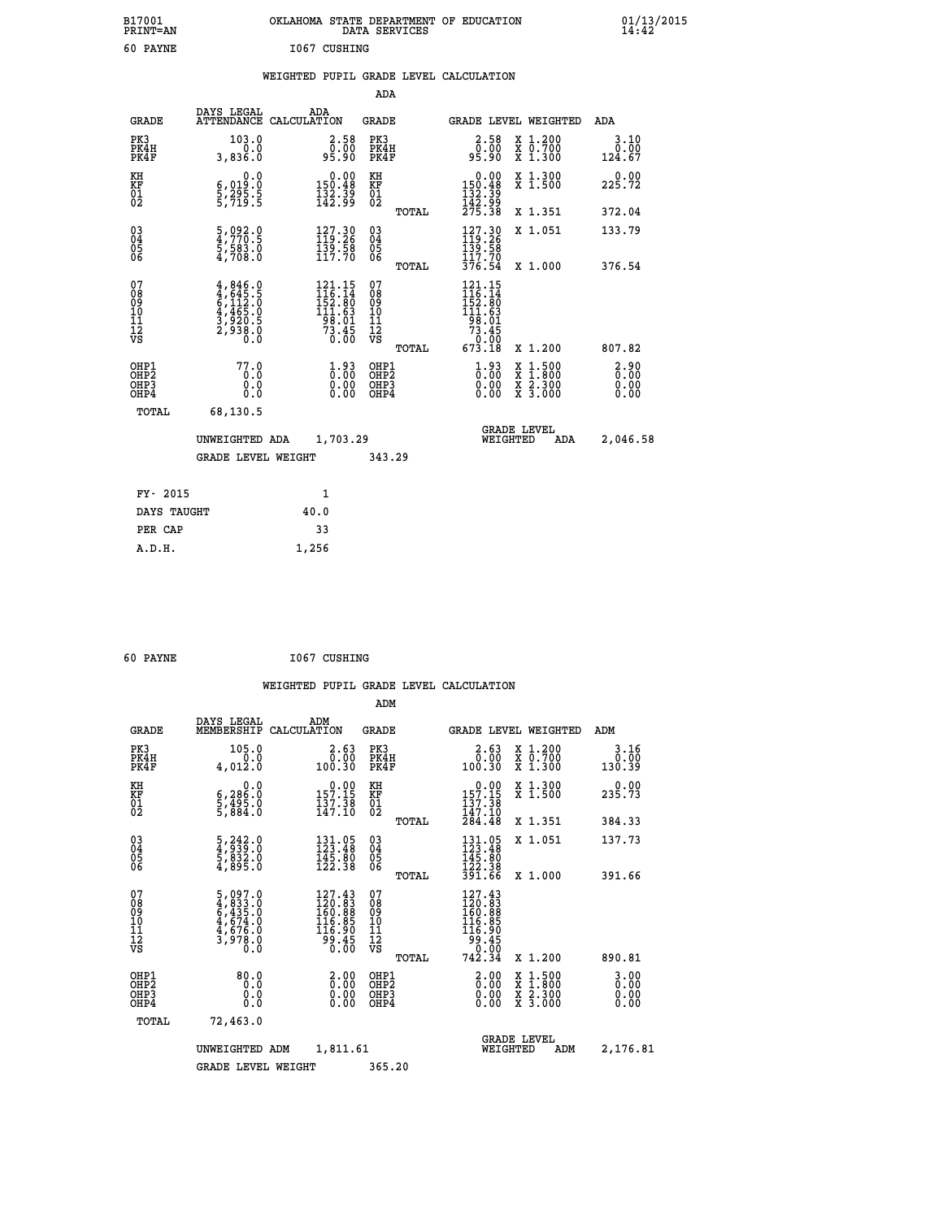| B17001<br><b>PRINT=AN</b> | OKLAHOMA<br>STATE DEPARTMENT OF EDUCATION<br>DATA<br>SERVICES | $01/13/2015$<br>14:42 |
|---------------------------|---------------------------------------------------------------|-----------------------|
| 60<br>PAYNE               | 1067<br>CUSHING                                               |                       |

|  |  | WEIGHTED PUPIL GRADE LEVEL CALCULATION |
|--|--|----------------------------------------|
|  |  |                                        |

|                                                                    |                                                                            |                                                                            | ADA                                       |       |                                                                                                                                                                                                                                                                           |                                                    |                              |
|--------------------------------------------------------------------|----------------------------------------------------------------------------|----------------------------------------------------------------------------|-------------------------------------------|-------|---------------------------------------------------------------------------------------------------------------------------------------------------------------------------------------------------------------------------------------------------------------------------|----------------------------------------------------|------------------------------|
| <b>GRADE</b>                                                       | DAYS LEGAL                                                                 | ADA<br>ATTENDANCE CALCULATION                                              | <b>GRADE</b>                              |       |                                                                                                                                                                                                                                                                           | GRADE LEVEL WEIGHTED                               | <b>ADA</b>                   |
| PK3<br>PK4H<br>PK4F                                                | 103.0<br>0.0<br>3,836.0                                                    | $\begin{smallmatrix} 2.58\0.00\\95.90\end{smallmatrix}$                    | PK3<br>PK4H<br>PK4F                       |       | $\begin{smallmatrix} 2.58\0.00\\0.00\\95.90\end{smallmatrix}$                                                                                                                                                                                                             | X 1.200<br>X 0.700<br>X 1.300                      | 3.10<br>0.00<br>124.67       |
| KH<br>KF<br>01<br>02                                               | 0.0<br>$\frac{6}{5}, \frac{019}{295}$ $\frac{5}{5}$                        | $\begin{smallmatrix} 0.00\\ 150.48\\ 132.39\\ 142.99 \end{smallmatrix}$    | KH<br>KF<br>01<br>02                      |       | $\begin{array}{c} 0.00 \\ 150.48 \\ 132.39 \\ 142.99 \\ 275.38 \end{array}$                                                                                                                                                                                               | X 1.300<br>X 1.500                                 | 0.00<br>225.72               |
|                                                                    |                                                                            |                                                                            |                                           | TOTAL |                                                                                                                                                                                                                                                                           | X 1.351                                            | 372.04                       |
| $\begin{smallmatrix} 03 \\[-4pt] 04 \end{smallmatrix}$<br>Ŏ5<br>06 | 5,092.0<br>4,770.5<br>5,583.0<br>4,708.0                                   | 127.30<br>$\frac{139.58}{117.70}$                                          | $^{03}_{04}$<br>$\frac{05}{06}$           |       | $\begin{smallmatrix} 127.30\\ 119.26\\ 139.58\\ 117.70 \end{smallmatrix}$                                                                                                                                                                                                 | X 1.051                                            | 133.79                       |
|                                                                    |                                                                            |                                                                            |                                           | TOTAL | 376.54                                                                                                                                                                                                                                                                    | X 1.000                                            | 376.54                       |
| 07<br>08<br>09<br>11<br>11<br>12<br>VS                             | $4,846.0$<br>$4,645.5$<br>$6,112.0$<br>$4,465.0$<br>$3,920.5$<br>$2,938.0$ | 121.15<br>$116.14$<br>$152.80$<br>$111.63$<br>$98.01$<br>$73.45$<br>$0.00$ | 07<br>08<br>09<br>11<br>11<br>12<br>VS    |       | 121.15<br>$\frac{116}{152}$ $\cdot \frac{14}{80}$<br>$\frac{111}{11}$ $\cdot \frac{63}{9}$<br>$\begin{array}{r} 1\overline{5} & 0 & 0 & 1 \\ \overline{7} & 0 & 0 & 1 \\ \overline{7} & 0 & 0 & 0 \\ \overline{6} & 0 & 0 & 0 \\ \overline{7} & 0 & 0 & 0 \\ \end{array}$ |                                                    |                              |
|                                                                    |                                                                            |                                                                            |                                           | TOTAL |                                                                                                                                                                                                                                                                           | X 1.200                                            | 807.82                       |
| OHP1<br>OHP <sub>2</sub><br>OHP3<br>OHP4                           | 77.0<br>0.0<br>0.0<br>0.0                                                  | $\frac{1}{0}$ : 00<br>$\begin{smallmatrix} 0.00 \ 0.00 \end{smallmatrix}$  | OHP1<br>OH <sub>P</sub> 2<br>OHP3<br>OHP4 |       | $\begin{smallmatrix} 1.93\ 0.00 \ 0.00 \end{smallmatrix}$<br>0.00                                                                                                                                                                                                         | $1:500$<br>$1:800$<br>X<br>X<br>X 2.300<br>X 3.000 | 2.90<br>0.00<br>0.00<br>0.00 |
| TOTAL                                                              | 68,130.5                                                                   |                                                                            |                                           |       |                                                                                                                                                                                                                                                                           |                                                    |                              |
|                                                                    | UNWEIGHTED ADA                                                             | 1,703.29                                                                   |                                           |       |                                                                                                                                                                                                                                                                           | <b>GRADE LEVEL</b><br>WEIGHTED<br>ADA              | 2,046.58                     |
|                                                                    | <b>GRADE LEVEL WEIGHT</b>                                                  |                                                                            | 343.29                                    |       |                                                                                                                                                                                                                                                                           |                                                    |                              |
| FY- 2015                                                           |                                                                            | 1                                                                          |                                           |       |                                                                                                                                                                                                                                                                           |                                                    |                              |
| DAYS TAUGHT                                                        |                                                                            | 40.0                                                                       |                                           |       |                                                                                                                                                                                                                                                                           |                                                    |                              |
| PER CAP                                                            |                                                                            | 33                                                                         |                                           |       |                                                                                                                                                                                                                                                                           |                                                    |                              |
|                                                                    |                                                                            |                                                                            |                                           |       |                                                                                                                                                                                                                                                                           |                                                    |                              |

| 60 PAYNE | 1067 CUSHING |
|----------|--------------|

 **A.D.H. 1,256**

|                                          |                                                                           |                                                                                      | ADM                                                 |       |                                                                                                                     |                                          |                                  |
|------------------------------------------|---------------------------------------------------------------------------|--------------------------------------------------------------------------------------|-----------------------------------------------------|-------|---------------------------------------------------------------------------------------------------------------------|------------------------------------------|----------------------------------|
| <b>GRADE</b>                             | DAYS LEGAL<br>MEMBERSHIP                                                  | ADM<br>CALCULATION                                                                   | GRADE                                               |       |                                                                                                                     | <b>GRADE LEVEL WEIGHTED</b>              | ADM                              |
| PK3<br>PK4H<br>PK4F                      | 105.0<br>0.0<br>4,012.0                                                   | $2.63$<br>$0.00$<br>100.30                                                           | PK3<br>PK4H<br>PK4F                                 |       | 2.63<br>0.00<br>100.30                                                                                              | X 1.200<br>X 0.700<br>X 1.300            | 3.16<br>0.00<br>130.39           |
| KH<br>KF<br>01<br>02                     | 0.0<br>$\frac{6}{5}, \frac{286}{495} . 0 \over 5, \frac{495}{884} . 0$    | $\begin{smallmatrix} 0.00\\ 157.15\\ 137.38\\ 147.10 \end{smallmatrix}$              | KH<br>KF<br>01<br>02                                |       | $\begin{smallmatrix} &0.00\\ 157.15\\ 137.38\\ 147.10\\ 284.48\end{smallmatrix}$                                    | X 1.300<br>X 1.500                       | 0.00<br>235.73                   |
|                                          |                                                                           |                                                                                      |                                                     | TOTAL |                                                                                                                     | X 1.351                                  | 384.33                           |
| 03<br>04<br>05<br>06                     | $\frac{5}{4}, \frac{242}{939}.0 \ \frac{5}{5}, \frac{832}{895}.0$         | $\begin{array}{l} 131\cdot 05\\ 123\cdot 48\\ 145\cdot 80\\ 122\cdot 38 \end{array}$ | $\begin{array}{c} 03 \\ 04 \\ 05 \\ 06 \end{array}$ |       | $131.95$<br>$123.48$<br>$145.80$<br>$122.38$                                                                        | X 1.051                                  | 137.73                           |
|                                          |                                                                           |                                                                                      |                                                     | TOTAL | 391.66                                                                                                              | X 1.000                                  | 391.66                           |
| 07<br>08901112<br>1112<br>VS             | 5,097.0<br>4,833.0<br>6,435.0<br>6,435.0<br>4,676.0<br>4,676.0<br>3,978.0 | $\frac{127.43}{120.83}$<br>$\frac{116.85}{116.90}$<br>30.45<br>0.00                  | 07<br>08<br>09<br>001<br>11<br>11<br>12<br>VS       |       | $\begin{smallmatrix} 127.43\\ 120.83\\ 160.88\\ 160.89\\ 116.85\\ 116.90\\ 99.45\\ 0.00\\ 742.34 \end{smallmatrix}$ |                                          |                                  |
|                                          |                                                                           |                                                                                      |                                                     | TOTAL |                                                                                                                     | X 1.200                                  | 890.81                           |
| OHP1<br>OHP <sub>2</sub><br>OHP3<br>OHP4 | 80.0<br>0.000                                                             | $\begin{smallmatrix} 2.00\0.00\0.00 \end{smallmatrix}$                               | OHP1<br>OHP2<br>OHP <sub>3</sub>                    |       | $\begin{smallmatrix} 2.00 \\ 0.00 \\ 0.00 \end{smallmatrix}$<br>0.00                                                | X 1:500<br>X 1:800<br>X 2:300<br>X 3:000 | $3.00$<br>$0.00$<br>0.00<br>0.00 |
| TOTAL                                    | 72,463.0                                                                  |                                                                                      |                                                     |       |                                                                                                                     |                                          |                                  |
|                                          | UNWEIGHTED                                                                | 1,811.61<br>ADM                                                                      |                                                     |       | WEIGHTED                                                                                                            | <b>GRADE LEVEL</b><br>ADM                | 2,176.81                         |
|                                          | <b>GRADE LEVEL WEIGHT</b>                                                 |                                                                                      | 365.20                                              |       |                                                                                                                     |                                          |                                  |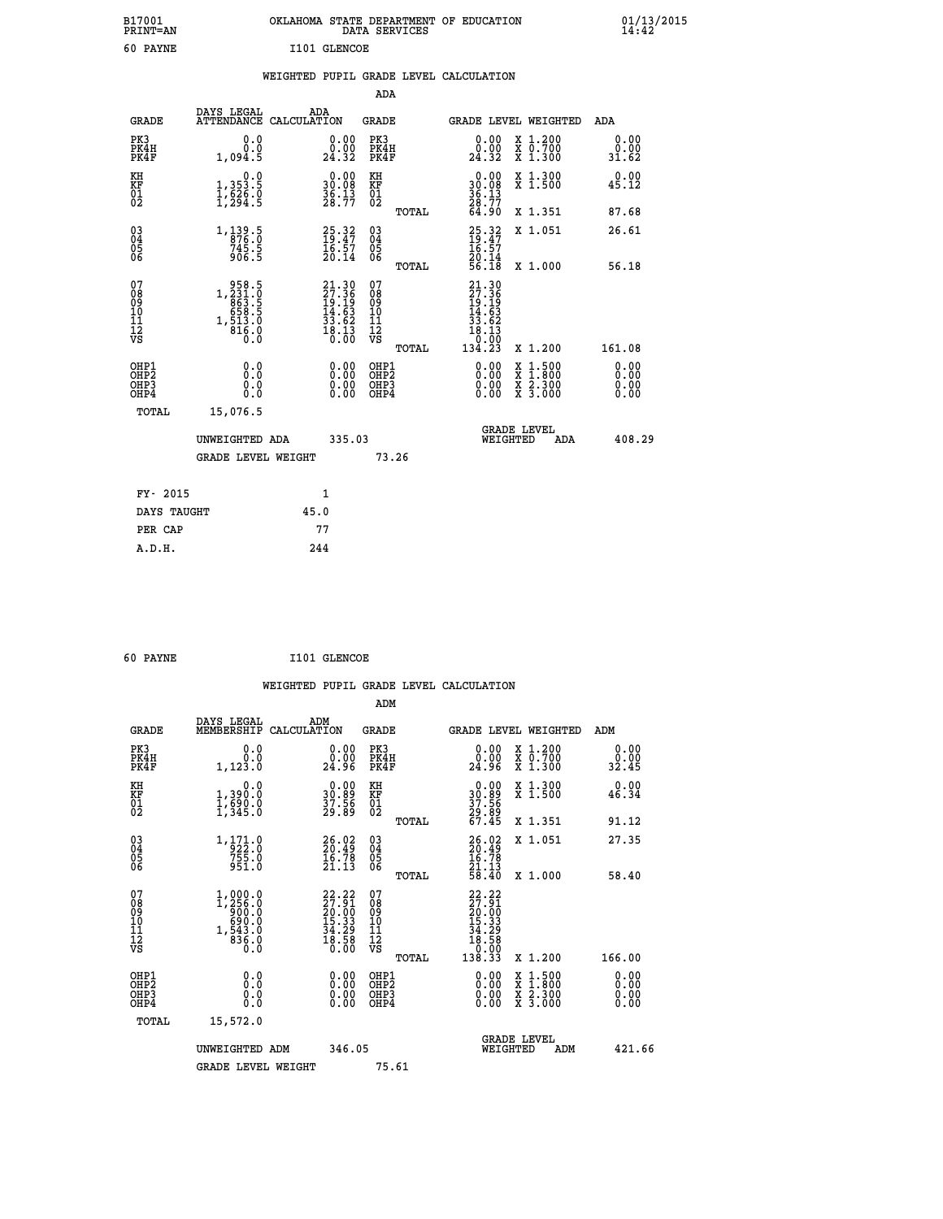| B17001<br><b>PRINT=AN</b> | OKLAHOMA STATE DEPARTMENT OF EDUCATION<br>DATA SERVICES | 01/13/2015<br>14:42 |
|---------------------------|---------------------------------------------------------|---------------------|
| 60<br><b>PAYNE</b>        | I101 GLENCOE                                            |                     |

|  |  | WEIGHTED PUPIL GRADE LEVEL CALCULATION |
|--|--|----------------------------------------|
|  |  |                                        |

|                                                                    |                                                                                                           |      |                                                                      | ADA                                            |       |                                                                          |                                                                                                                                           |                       |
|--------------------------------------------------------------------|-----------------------------------------------------------------------------------------------------------|------|----------------------------------------------------------------------|------------------------------------------------|-------|--------------------------------------------------------------------------|-------------------------------------------------------------------------------------------------------------------------------------------|-----------------------|
| <b>GRADE</b>                                                       | DAYS LEGAL<br>ATTENDANCE CALCULATION                                                                      | ADA  |                                                                      | <b>GRADE</b>                                   |       |                                                                          | GRADE LEVEL WEIGHTED                                                                                                                      | ADA                   |
| PK3<br>PK4H<br>PK4F                                                | 0.0<br>0.0<br>1,094.5                                                                                     |      | $\begin{smallmatrix} 0.00\\ 0.00\\ 24.32 \end{smallmatrix}$          | PK3<br>PK4H<br>PK4F                            |       | 0.00<br>0.00<br>24.32                                                    | X 1.200<br>X 0.700<br>X 1.300                                                                                                             | 0.00<br>0.00<br>31.62 |
| KH<br>KF<br>$\begin{matrix} 0 \\ 2 \end{matrix}$                   | 0.0<br>1, 353: 5<br>1, 626: 0<br>1, 294: 5                                                                |      | $\begin{smallmatrix} 0.00\\ 30.08\\ 36.13\\ 28.77 \end{smallmatrix}$ | KH<br>KF<br>01<br>02                           |       | 0.00<br>$30.08$<br>$36.13$<br>$28.77$<br>$64.90$                         | X 1.300<br>X 1.500                                                                                                                        | 0.00<br>45.12         |
|                                                                    |                                                                                                           |      |                                                                      |                                                | TOTAL |                                                                          | X 1.351                                                                                                                                   | 87.68                 |
| $\begin{smallmatrix} 03 \\[-4pt] 04 \end{smallmatrix}$<br>Ŏ5<br>06 | 1, 139.5<br>$745.5$<br>906.5                                                                              |      | $25.32$<br>$19.47$<br>$16.57$<br>$20.14$                             | $\substack{03 \\ 04}$<br>$\substack{05 \\ 06}$ |       | 25.32<br>19.47<br>16.57<br>20.14<br>56.18                                | X 1.051                                                                                                                                   | 26.61                 |
|                                                                    |                                                                                                           |      |                                                                      |                                                | TOTAL |                                                                          | X 1.000                                                                                                                                   | 56.18                 |
| 07<br>08<br>09<br>11<br>11<br>12<br>VS                             | $\begin{smallmatrix} & 958.5\\ 1,231.0\\ 863.5\\ 658.5\\ 658.5\\ 1,513.0\\ 816.0\\ 0.0 \end{smallmatrix}$ |      | $21.3027.3619.1914.6333.6218.1310.00$                                | 07<br>08<br>09<br>11<br>11<br>12<br>VS         |       | $21.30$<br>$27.36$<br>$19.19$<br>$14.63$<br>$33.62$<br>$18.13$<br>$0.00$ |                                                                                                                                           |                       |
|                                                                    |                                                                                                           |      |                                                                      |                                                | TOTAL | 134.23                                                                   | X 1.200                                                                                                                                   | 161.08                |
| OHP1<br>OHP2<br>OH <sub>P3</sub><br>OHP4                           | 0.0<br>0.0<br>0.0                                                                                         |      | 0.00<br>0.00<br>0.00                                                 | OHP1<br>OHP2<br>OHP3<br>OHP4                   |       | 0.00<br>0.00                                                             | $\begin{smallmatrix} \mathtt{X} & 1\cdot500\\ \mathtt{X} & 1\cdot800\\ \mathtt{X} & 2\cdot300\\ \mathtt{X} & 3\cdot000 \end{smallmatrix}$ | 0.00<br>0.00<br>0.00  |
| TOTAL                                                              | 15,076.5                                                                                                  |      |                                                                      |                                                |       |                                                                          |                                                                                                                                           |                       |
|                                                                    | UNWEIGHTED ADA                                                                                            |      | 335.03                                                               |                                                |       | WEIGHTED                                                                 | <b>GRADE LEVEL</b><br>ADA                                                                                                                 | 408.29                |
|                                                                    | <b>GRADE LEVEL WEIGHT</b>                                                                                 |      |                                                                      | 73.26                                          |       |                                                                          |                                                                                                                                           |                       |
| FY- 2015                                                           |                                                                                                           | 1    |                                                                      |                                                |       |                                                                          |                                                                                                                                           |                       |
| DAYS TAUGHT                                                        |                                                                                                           | 45.0 |                                                                      |                                                |       |                                                                          |                                                                                                                                           |                       |
| PER CAP                                                            |                                                                                                           | 77   |                                                                      |                                                |       |                                                                          |                                                                                                                                           |                       |

| 60 PAYNE | I101 GLENCOE |
|----------|--------------|

 **WEIGHTED PUPIL GRADE LEVEL CALCULATION ADM DAYS LEGAL ADM GRADE MEMBERSHIP CALCULATION GRADE GRADE LEVEL WEIGHTED ADM PK3 0.0 0.00 PK3 0.00 X 1.200 0.00 PK4H 0.0 0.00 PK4H 0.00 X 0.700 0.00 PK4F 1,123.0 24.96 PK4F 24.96 X 1.300 32.45** 0.00 KH 0.00 X 1.300 0.00<br>RF 1,390.0 30.89 KF 30.89 X 1.500 46.34  **01 1,690.0 37.56 01 37.56 02 1,345.0 29.89 02 29.89 TOTAL 67.45 X 1.351 91.12 03 1,171.0 26.02 03 26.02 X 1.051 27.35 04 922.0 20.49 04 20.49 05 755.0 16.78 05 16.78** 06 951.0 21.13 06 <sub>momas</sub> 21.13  **TOTAL 58.40 X 1.000 58.40**  $\begin{array}{cccc} 07 & 1,000.0 & 22.22 & 07 & 22.22 \ 08 & 09 & 1,256.0 & 20.00 & 09 & 20.00 \ 10 & 690.0 & 15.33 & 10 & 15.33 \ 11 & 1,543.0 & 34.29 & 11 & 34.29 \ \hline \textrm{vs} & 833.0 & 34.29 & 11 & 34.29 \ \hline \textrm{vs} & 836.0 & 18.58 & 12 & 18.58 \ 0.0 & 10.50 & 0.$  **TOTAL 138.33 X 1.200 166.00 OHP1 0.0 0.00 OHP1 0.00 X 1.500 0.00 OHP2 0.0 0.00 OHP2 0.00 X 1.800 0.00 OHP3 0.0 0.00 OHP3 0.00 X 2.300 0.00 OHP4 0.0 0.00 OHP4 0.00 X 3.000 0.00 TOTAL 15,572.0 GRADE LEVEL UNWEIGHTED ADM 346.05 WEIGHTED ADM 421.66** GRADE LEVEL WEIGHT 75.61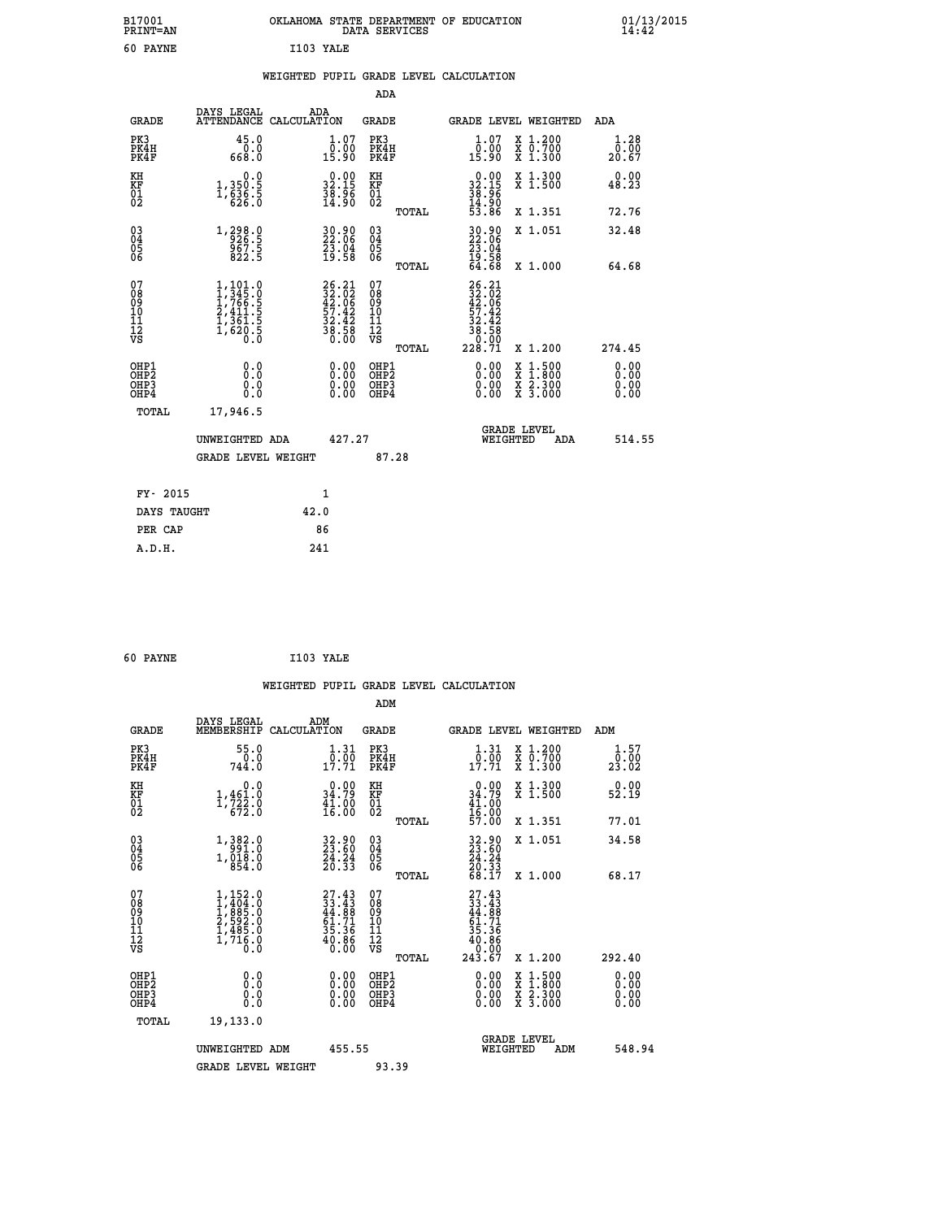| B17001<br><b>PRINT=AN</b>                                        |                                                                                                         | OKLAHOMA STATE DEPARTMENT OF EDUCATION                                   | DATA SERVICES                                          |                                                                              |                                                                                                  | 01/13/2015<br>14:42          |  |
|------------------------------------------------------------------|---------------------------------------------------------------------------------------------------------|--------------------------------------------------------------------------|--------------------------------------------------------|------------------------------------------------------------------------------|--------------------------------------------------------------------------------------------------|------------------------------|--|
| 60 PAYNE                                                         |                                                                                                         | I103 YALE                                                                |                                                        |                                                                              |                                                                                                  |                              |  |
|                                                                  |                                                                                                         | WEIGHTED PUPIL GRADE LEVEL CALCULATION                                   |                                                        |                                                                              |                                                                                                  |                              |  |
|                                                                  |                                                                                                         |                                                                          | ADA                                                    |                                                                              |                                                                                                  |                              |  |
| <b>GRADE</b>                                                     | DAYS LEGAL                                                                                              | ADA<br>ATTENDANCE CALCULATION                                            | GRADE                                                  | GRADE LEVEL WEIGHTED                                                         |                                                                                                  | ADA                          |  |
| PK3<br>PK4H<br>PK4F                                              | 45.0<br>0.0<br>668.0                                                                                    | 1.07<br>ôč:ŏó<br>15∶90                                                   | PK3<br>PK4H<br>PK4F                                    | $\begin{smallmatrix} 1.07\ 0.00\\ 15.90 \end{smallmatrix}$                   | X 1.200<br>X 0.700<br>X 1.300                                                                    | 1.28<br>0.00<br>20.67        |  |
| KH<br>KF<br>$^{01}_{02}$                                         | 0.0<br>1,350:5<br>1,636:5<br>626:0                                                                      | $\begin{smallmatrix} 0.00\\ 32.15\\ 38.96\\ 14.90 \end{smallmatrix}$     | КH<br>KF<br>01<br>02                                   | $\begin{smallmatrix} 0.00\\ 32.15\\ 38.96\\ 14.90\\ 53.86 \end{smallmatrix}$ | X 1.300<br>X 1.500                                                                               | 0.00<br>48.23                |  |
|                                                                  |                                                                                                         |                                                                          | TOTAL                                                  |                                                                              | X 1.351                                                                                          | 72.76                        |  |
| $\substack{03 \\ 04}$<br>0500                                    | 1, 298.9<br>$\frac{557.5}{822.5}$                                                                       | 30.90<br>22.06<br>$\frac{23.04}{19.58}$                                  | $\begin{matrix} 03 \\ 04 \\ 05 \\ 06 \end{matrix}$     | 30.90<br>22:06<br>23.04                                                      | X 1.051                                                                                          | 32.48                        |  |
|                                                                  |                                                                                                         |                                                                          | TOTAL                                                  | $\frac{19.58}{64.68}$                                                        | X 1.000                                                                                          | 64.68                        |  |
| 07<br>08<br>09<br>10<br>II<br>12<br>VS                           | $\begin{smallmatrix} 1,101.0\\ 1,345.0\\ 1,766.5\\ 2,411.5\\ 1,361.5\\ 1,620.5\\ 0.0 \end{smallmatrix}$ | $26.21$<br>$32.02$<br>$42.06$<br>$57.42$<br>$32.42$<br>$38.58$<br>$0.00$ | 07<br>08<br>09<br>10<br>11<br>12<br>VS<br><b>TOTAL</b> | 26.21<br>$\frac{32.02}{42.06}$<br>$\frac{32.42}{38.58}$<br>228.71            | X 1.200                                                                                          | 274.45                       |  |
| OHP1<br>OH <sub>P</sub> <sub>2</sub><br>OH <sub>P3</sub><br>OHP4 | 0.0<br>0.0<br>0.0<br>0.0                                                                                | 0.00<br>0.00<br>0.00                                                     | OHP1<br>OH <sub>P</sub> 2<br>OHP3<br>OHP4              | 0.00<br>0.00<br>0.00                                                         | $\begin{smallmatrix} x & 1 & 500 \\ x & 1 & 800 \\ x & 2 & 300 \\ x & 3 & 000 \end{smallmatrix}$ | 0.00<br>0.00<br>0.00<br>0.00 |  |
| TOTAL                                                            | 17,946.5                                                                                                |                                                                          |                                                        |                                                                              |                                                                                                  |                              |  |
|                                                                  | UNWEIGHTED ADA                                                                                          | 427.27                                                                   |                                                        | <b>GRADE LEVEL</b><br>WEIGHTED                                               | ADA                                                                                              | 514.55                       |  |
|                                                                  | <b>GRADE LEVEL WEIGHT</b>                                                                               |                                                                          | 87.28                                                  |                                                                              |                                                                                                  |                              |  |
| FY- 2015                                                         |                                                                                                         | 1                                                                        |                                                        |                                                                              |                                                                                                  |                              |  |
| DAYS TAUGHT                                                      |                                                                                                         | 42.0                                                                     |                                                        |                                                                              |                                                                                                  |                              |  |
| PER CAP                                                          |                                                                                                         | 86                                                                       |                                                        |                                                                              |                                                                                                  |                              |  |

```
 60 PAYNE I103 YALE
```

|                                                    |                                                                                                                                           |                    |                                                                      |                                        |       | WEIGHTED PUPIL GRADE LEVEL CALCULATION                                                                        |                                          |                 |                      |
|----------------------------------------------------|-------------------------------------------------------------------------------------------------------------------------------------------|--------------------|----------------------------------------------------------------------|----------------------------------------|-------|---------------------------------------------------------------------------------------------------------------|------------------------------------------|-----------------|----------------------|
|                                                    |                                                                                                                                           |                    |                                                                      | ADM                                    |       |                                                                                                               |                                          |                 |                      |
| <b>GRADE</b>                                       | DAYS LEGAL<br>MEMBERSHIP                                                                                                                  | ADM<br>CALCULATION |                                                                      | <b>GRADE</b>                           |       | GRADE LEVEL WEIGHTED                                                                                          |                                          | ADM             |                      |
| PK3<br>PK4H<br>PK4F                                | 55.0<br>744.0                                                                                                                             |                    | $\frac{1}{0}$ : $\frac{31}{00}$<br>17.71                             | PK3<br>PK4H<br>PK4F                    |       | $\frac{1}{0}$ : $\frac{31}{00}$<br>17:71                                                                      | X 1.200<br>X 0.700<br>X 1.300            | 23.02           | 1.57<br>0.00         |
| KH<br>KF<br>01<br>02                               | 0.0<br>$1, 461.0$<br>$1, 722.0$<br>$672.0$                                                                                                |                    | $\begin{smallmatrix} 0.00\\ 34.79\\ 41.00\\ 16.00 \end{smallmatrix}$ | KH<br>KF<br>01<br>02                   |       | $0.00\n34.79\n41.00\n16.00\n57.00$                                                                            | X 1.300<br>X 1.500                       | $0.00$<br>52.19 |                      |
|                                                    |                                                                                                                                           |                    |                                                                      |                                        | TOTAL |                                                                                                               | X 1.351                                  | 77.01           |                      |
| $\begin{matrix} 03 \\ 04 \\ 05 \\ 06 \end{matrix}$ | $\begin{smallmatrix} 1\,, & 3 & 8 & 2 & 0 \\ 9 & 9 & 1 & 0 \\ 1\,, & 0 & 1 & 8 & 0 \\ 8 & 5 & 4 & 0 \end{smallmatrix}$                    |                    | 32.90<br>23.60<br>24.24<br>20.33                                     | 03<br>04<br>05<br>06                   |       | 32.80<br>23.60<br>24.24<br>20.33<br>68.17                                                                     | X 1.051                                  | 34.58           |                      |
|                                                    |                                                                                                                                           |                    |                                                                      |                                        | TOTAL |                                                                                                               | X 1.000                                  | 68.17           |                      |
| 07<br>08<br>09<br>101<br>11<br>17<br>VS            | $\begin{smallmatrix} 1,152\cdot 0\\ 1,404\cdot 0\\ 1,885\cdot 0\\ 2,592\cdot 0\\ 1,485\cdot 0\\ 1,716\cdot 0\\ 0\cdot 0\end{smallmatrix}$ |                    | $27.43\n33.43\n44.88\n61.71\n35.36\n40.86\n0.00$                     | 07<br>08<br>09<br>11<br>11<br>12<br>VS | TOTAL | $\begin{smallmatrix} 27.43 \\ 33.43 \\ 44.88 \\ 61.71 \\ 51.36 \\ 10.86 \\ 0.000 \\ 243.67 \end{smallmatrix}$ | X 1.200                                  | 292.40          |                      |
| OHP1<br>OHP2<br>OH <sub>P3</sub><br>OHP4           | 0.0<br>0.000                                                                                                                              |                    |                                                                      | OHP1<br>OHP2<br>OHP <sub>3</sub>       |       | $0.00$<br>$0.00$<br>0.00                                                                                      | X 1:500<br>X 1:800<br>X 2:300<br>X 3:000 |                 | 0.00<br>0.00<br>0.00 |
| TOTAL                                              | 19,133.0                                                                                                                                  |                    |                                                                      |                                        |       |                                                                                                               |                                          |                 |                      |
|                                                    | UNWEIGHTED ADM<br><b>GRADE LEVEL WEIGHT</b>                                                                                               |                    | 455.55                                                               | 93.39                                  |       | WEIGHTED                                                                                                      | <b>GRADE LEVEL</b><br>ADM                |                 | 548.94               |
|                                                    |                                                                                                                                           |                    |                                                                      |                                        |       |                                                                                                               |                                          |                 |                      |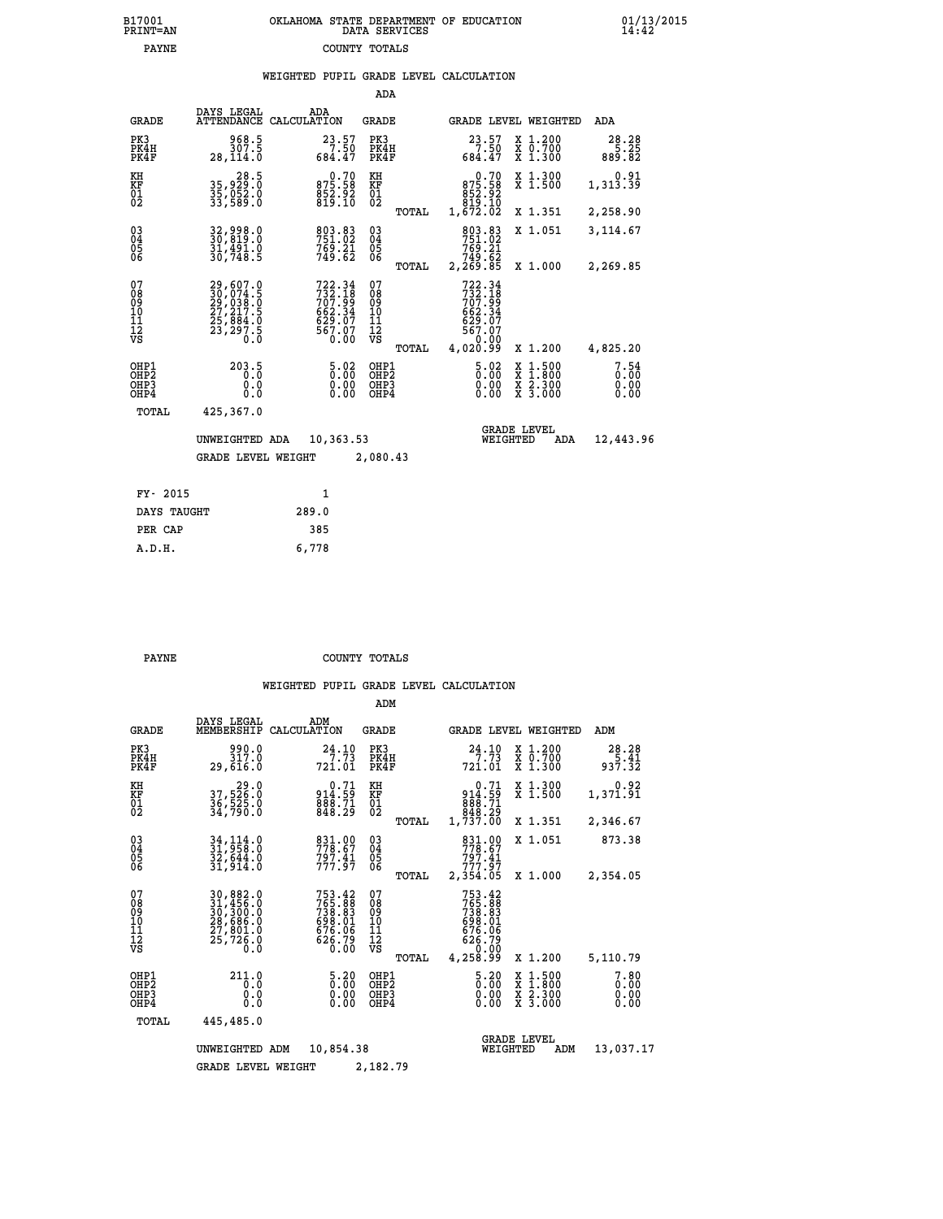|  | OKLAHOMA STATE DEPARTMENT OF EDUCATION<br>DATA SERVICES |  |
|--|---------------------------------------------------------|--|
|  | COUNTY TOTALS                                           |  |

 **B17001 OKLAHOMA STATE DEPARTMENT OF EDUCATION 01/13/2015**

|                                           |                                                                      |                                                                            | ADA                                             |                                                                                |                                                                                                                                                          |                               |
|-------------------------------------------|----------------------------------------------------------------------|----------------------------------------------------------------------------|-------------------------------------------------|--------------------------------------------------------------------------------|----------------------------------------------------------------------------------------------------------------------------------------------------------|-------------------------------|
| <b>GRADE</b>                              | DAYS LEGAL                                                           | ADA<br>ATTENDANCE CALCULATION                                              | GRADE                                           |                                                                                | <b>GRADE LEVEL WEIGHTED</b>                                                                                                                              | ADA                           |
| PK3<br>PK4H<br>PK4F                       | 968.5<br>307.5<br>28,114.0                                           | $23.57$<br>$7.50$<br>$684.47$                                              | PK3<br>PK4H<br>PK4F                             | $23.57$<br>7.50<br>684.47                                                      | X 1.200<br>X 0.700<br>X 1.300                                                                                                                            | 28.28<br>$\frac{5}{889}$ . 82 |
| KH<br>KF<br>01<br>02                      | 28.5<br>35,929.0<br>35,052.0<br>33,589.0                             | 875.58<br>875.58<br>852.92<br>819.10                                       | KH<br>KF<br>01<br>02                            | $\begin{smallmatrix}&&0.70\\875.58\\852.92\\819.10\\1,672.02\end{smallmatrix}$ | X 1.300<br>X 1.500                                                                                                                                       | 0.91<br>1,313.39              |
|                                           |                                                                      |                                                                            | TOTAL                                           |                                                                                | X 1.351                                                                                                                                                  | 2,258.90                      |
| 03<br>04<br>05<br>06                      | 32,998.0<br>30,819.0<br>31,491.0<br>30,748.5                         | 803.83<br>769.21<br>749.62                                                 | $\substack{03 \\ 04}$<br>05<br>06               | 803.83<br>751.02<br>769.21<br>749.62<br>2,269.85                               | X 1.051                                                                                                                                                  | 3,114.67                      |
|                                           |                                                                      |                                                                            | TOTAL                                           |                                                                                | X 1.000                                                                                                                                                  | 2,269.85                      |
| 07<br>08<br>09<br>10<br>11<br>12<br>VS    | 29,607.0<br>30,074.5<br>29,038.0<br>27,217.5<br>25,884.0<br>23,297.5 | 722.34<br>732.18<br>707.99<br>707.99<br>662.34<br>629.07<br>567.07<br>0.00 | 07<br>08<br>09<br>11<br>11<br>12<br>VS<br>TOTAL | 722.34<br>732.18<br>707.99<br>707.94<br>629.07<br>629.07<br>567.07<br>4,020.99 | X 1.200                                                                                                                                                  | 4,825.20                      |
| OHP1<br>OH <sub>P</sub> 2<br>OHP3<br>OHP4 | 203.5<br>0.0<br>$0.\overline{0}$                                     | 5.02<br>0.00<br>0.00                                                       | OHP1<br>OHP <sub>2</sub><br>OHP3<br>OHP4        | $\frac{5.02}{0.00}$<br>0.00<br>0.00                                            | $1:500$<br>1:800<br>$\begin{smallmatrix} \mathtt{X} & 1 & 500 \\ \mathtt{X} & 1 & 800 \\ \mathtt{X} & 2 & 300 \\ \mathtt{X} & 3 & 000 \end{smallmatrix}$ | 7.54<br>0.00<br>0.00<br>0.00  |
| TOTAL                                     | 425,367.0                                                            |                                                                            |                                                 |                                                                                |                                                                                                                                                          |                               |
|                                           | UNWEIGHTED ADA<br><b>GRADE LEVEL WEIGHT</b>                          | 10,363.53                                                                  | 2,080.43                                        | WEIGHTED                                                                       | <b>GRADE LEVEL</b><br>ADA                                                                                                                                | 12,443.96                     |
| FY- 2015                                  |                                                                      | $\mathbf{1}$                                                               |                                                 |                                                                                |                                                                                                                                                          |                               |
| DAYS TAUGHT                               |                                                                      | 289.0                                                                      |                                                 |                                                                                |                                                                                                                                                          |                               |
| PER CAP                                   |                                                                      | 385                                                                        |                                                 |                                                                                |                                                                                                                                                          |                               |
| A.D.H.                                    |                                                                      | 6,778                                                                      |                                                 |                                                                                |                                                                                                                                                          |                               |

B17001<br>PRINT=AN<br>PAYNE

**PAYNE COUNTY TOTALS** 

|                                       |                                                       |                                                                                                                     |                                                                  | ADM                                              |                                                                              |                                                                                                  |                              |
|---------------------------------------|-------------------------------------------------------|---------------------------------------------------------------------------------------------------------------------|------------------------------------------------------------------|--------------------------------------------------|------------------------------------------------------------------------------|--------------------------------------------------------------------------------------------------|------------------------------|
|                                       | <b>GRADE</b>                                          | DAYS LEGAL<br>MEMBERSHIP                                                                                            | ADM<br>CALCULATION                                               | <b>GRADE</b>                                     | GRADE LEVEL WEIGHTED                                                         |                                                                                                  | ADM                          |
|                                       | PK3<br>PK4H<br>PK4F                                   | 990.0<br>317.0<br>29,616.0                                                                                          | 24.10<br>721.01                                                  | PK3<br>PK4H<br>PK4F                              | 24.10<br>7.73<br>721.01                                                      | $\begin{smallmatrix} x & 1.200 \\ x & 0.700 \end{smallmatrix}$<br>X 1.300                        | 28.28<br>$\frac{5}{937.32}$  |
|                                       | KH<br>KF<br>01<br>02                                  | 29.0<br>37,526.0<br>36,525.0<br>34,790.0                                                                            | 0.71<br>914.59<br>$\frac{888.71}{848.29}$                        | KH<br>KF<br>01<br>02                             | 0.71<br>914.59<br>688.71<br>848.29<br>1,737.00                               | X 1.300<br>X 1.500                                                                               | 0.92<br>1,371.91             |
|                                       |                                                       |                                                                                                                     |                                                                  | TOTAL                                            |                                                                              | X 1.351                                                                                          | 2,346.67                     |
|                                       | 03<br>04<br>05<br>06                                  | 34,114.0<br>31,958.0<br>32,644.0<br>31,914.0                                                                        | 831.00<br>778.67<br>797.41                                       | $\substack{03 \\ 04}$<br>05                      | 831.00<br>778.67<br>797.41<br>777.97                                         | X 1.051                                                                                          | 873.38                       |
|                                       |                                                       |                                                                                                                     |                                                                  | TOTAL                                            | 2,354.05                                                                     | X 1.000                                                                                          | 2,354.05                     |
|                                       | 07<br>08<br>09<br>11<br>11<br>12<br>VS                | $\begin{smallmatrix} 30, 882.0\\ 31, 456.0\\ 30, 300.0\\ 28, 686.0\\ 27, 801.0\\ 25, 726.0\\ 0.0 \end{smallmatrix}$ | 753.42<br>765.88<br>738.83<br>698.01<br>676.06<br>č26.79<br>0.00 | 07<br>08<br>09<br>101<br>11<br>12<br>VS<br>TOTAL | 753.42<br>765.88<br>738.83<br>698.01<br>676.06<br>626.79<br>0.00<br>4,258.99 | X 1.200                                                                                          | 5,110.79                     |
|                                       | OHP1<br>OH <sub>P</sub> 2<br>OH <sub>P3</sub><br>OHP4 | 211.0<br>0.0<br>0.0<br>Ŏ.Ŏ                                                                                          | $\frac{5.20}{0.00}$<br>0.00<br>0.00                              | OHP1<br>OHP2<br>OHP3<br>OHP4                     | $\begin{smallmatrix} 5.20\ 0.00 \end{smallmatrix}$<br>0.00                   | $\begin{smallmatrix} x & 1 & 500 \\ x & 1 & 800 \\ x & 2 & 300 \\ x & 3 & 000 \end{smallmatrix}$ | 7.80<br>0.00<br>0.00<br>0.00 |
|                                       | TOTAL                                                 | 445,485.0                                                                                                           |                                                                  |                                                  |                                                                              |                                                                                                  |                              |
|                                       |                                                       | UNWEIGHTED                                                                                                          | 10,854.38<br>ADM                                                 |                                                  | <b>GRADE LEVEL</b><br>WEIGHTED                                               | ADM                                                                                              | 13,037.17                    |
| 2,182.79<br><b>GRADE LEVEL WEIGHT</b> |                                                       |                                                                                                                     |                                                                  |                                                  |                                                                              |                                                                                                  |                              |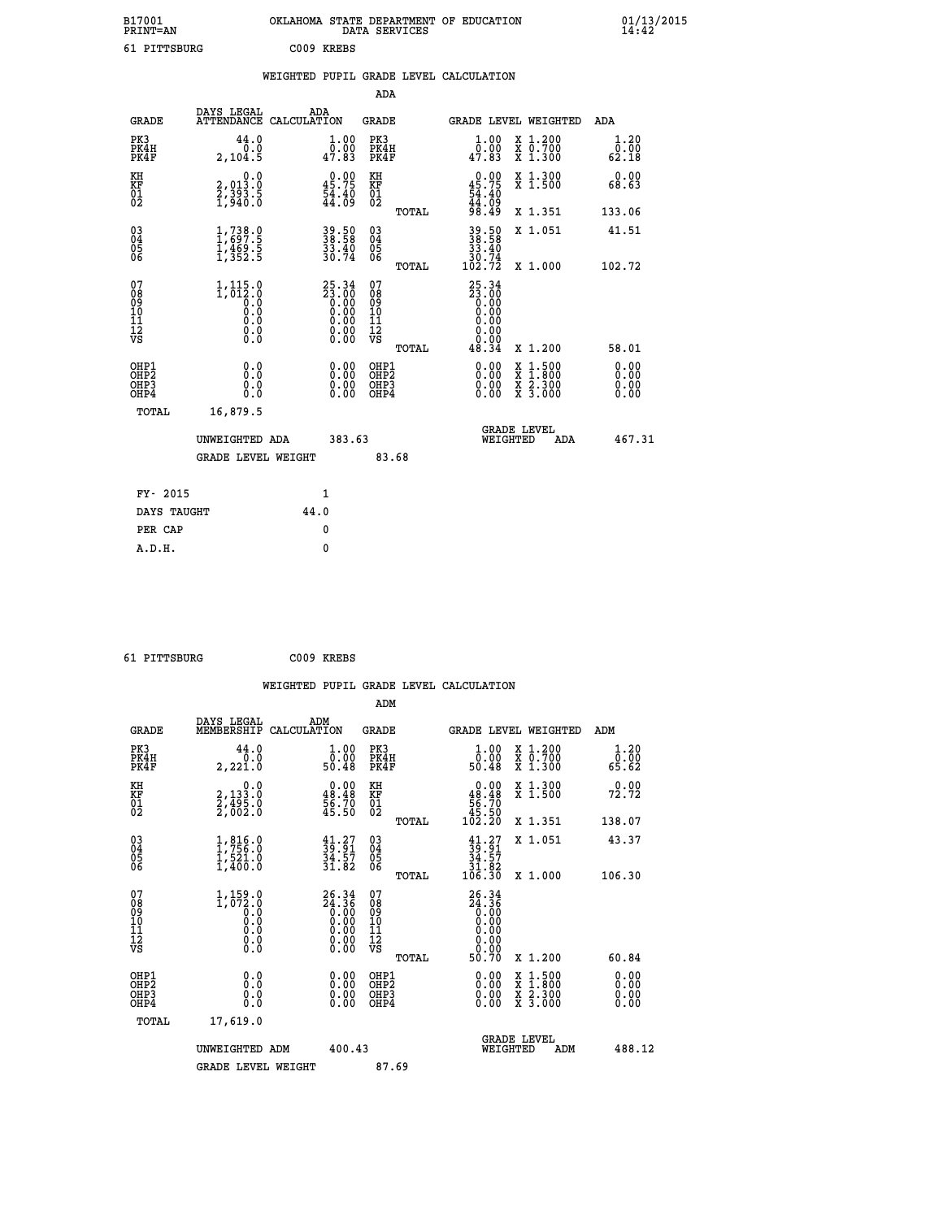| B17001<br>PRINT=AN                     |                                                                            | OKLAHOMA STATE DEPARTMENT OF EDUCATION                               | DATA SERVICES                                      |                                                               |                                                                                                  | $01/13/2015$<br>14:42 |
|----------------------------------------|----------------------------------------------------------------------------|----------------------------------------------------------------------|----------------------------------------------------|---------------------------------------------------------------|--------------------------------------------------------------------------------------------------|-----------------------|
| 61 PITTSBURG                           |                                                                            | C009 KREBS                                                           |                                                    |                                                               |                                                                                                  |                       |
|                                        |                                                                            | WEIGHTED PUPIL GRADE LEVEL CALCULATION                               |                                                    |                                                               |                                                                                                  |                       |
|                                        |                                                                            |                                                                      | ADA                                                |                                                               |                                                                                                  |                       |
| <b>GRADE</b>                           | DAYS LEGAL                                                                 | ADA<br>ATTENDANCE CALCULATION                                        | GRADE                                              |                                                               | <b>GRADE LEVEL WEIGHTED</b>                                                                      | ADA                   |
| PK3<br>PK4H<br>PK4F                    | 44.0<br>0.0<br>2,104.5                                                     | 1.00<br>0.00<br>47.83                                                | PK3<br>PK4H<br>PK4F                                | 1.00<br>0.00<br>47.83                                         | X 1.200<br>X 0.700<br>X 1.300                                                                    | 1.20<br>0.00<br>62.18 |
| KH<br>KF<br>$\frac{01}{02}$            | 0.0<br>2,013.0<br>2,393.5<br>1,940.0                                       | $\begin{smallmatrix} 0.00\\ 45.75\\ 54.40\\ 44.09 \end{smallmatrix}$ | КH<br><b>KF</b><br>01<br>02                        | $0.00$<br>45.75<br>$\frac{54.40}{44.09}$<br>98.49             | X 1.300<br>X 1.500                                                                               | 0.00<br>68.63         |
|                                        |                                                                            |                                                                      | TOTAL                                              |                                                               | X 1.351                                                                                          | 133.06                |
| 03<br>04<br>05<br>06                   | $\frac{1}{1}, \frac{738}{697}.5$<br>$\frac{1}{469}.5$<br>$\frac{1}{352}.5$ | 39.50<br>38.58<br>33.40<br>30.74                                     | $\begin{matrix} 03 \\ 04 \\ 05 \\ 06 \end{matrix}$ | 39.50<br>38.58<br>$\frac{33.40}{30.74}$                       | X 1.051                                                                                          | 41.51                 |
|                                        |                                                                            |                                                                      | TOTAL                                              | 102.72                                                        | X 1.000                                                                                          | 102.72                |
| 07<br>08<br>09<br>11<br>11<br>12<br>VS | $1,115.0$<br>1,012.0<br>ō.ŏ<br>Ŏ.Ŏ<br>0.0<br>0.0                           | $25.34\n23.00\n0.00\n0.00\n0.00\n0.00\n0.00$                         | 07<br>ŏġ<br>09<br>10<br>11<br>12<br>VS             | 25.34<br>$\frac{55.00}{0.00}$<br>0.00<br>0.00<br>0.00<br>0.00 |                                                                                                  |                       |
| OHP1                                   |                                                                            |                                                                      | TOTAL<br>OHP1                                      | 48.34                                                         | X 1.200                                                                                          | 58.01                 |
| ŎHP2<br>OHP3<br>OHP4                   | 0.0<br>0.0<br>0.0                                                          | 0.00<br>$\begin{smallmatrix} 0.00 \\ 0.00 \end{smallmatrix}$         | OHP <sub>2</sub><br>OHP3<br>OHP4                   | 0.00<br>$0.\overline{0}0$<br>0.00                             | $\begin{smallmatrix} x & 1 & 500 \\ x & 1 & 800 \\ x & 2 & 300 \\ x & 3 & 000 \end{smallmatrix}$ | 0.00<br>0.00<br>0.00  |
| <b>TOTAL</b>                           | 16,879.5                                                                   |                                                                      |                                                    |                                                               |                                                                                                  |                       |
|                                        | UNWEIGHTED ADA                                                             | 383.63                                                               |                                                    | WEIGHTED                                                      | <b>GRADE LEVEL</b><br>ADA                                                                        | 467.31                |
|                                        | <b>GRADE LEVEL WEIGHT</b>                                                  |                                                                      | 83.68                                              |                                                               |                                                                                                  |                       |
| FY- 2015                               |                                                                            | 1                                                                    |                                                    |                                                               |                                                                                                  |                       |
| DAYS TAUGHT                            |                                                                            | 44.0                                                                 |                                                    |                                                               |                                                                                                  |                       |
| PER CAP                                |                                                                            | 0                                                                    |                                                    |                                                               |                                                                                                  |                       |

 **61 PITTSBURG C009 KREBS**

 **A.D.H. 0**

 **WEIGHTED PUPIL GRADE LEVEL CALCULATION ADM DAYS LEGAL ADM GRADE MEMBERSHIP CALCULATION GRADE GRADE LEVEL WEIGHTED ADM PK3 44.0 1.00 PK3 1.00 X 1.200 1.20 PK4H 0.0 0.00 PK4H 0.00 X 0.700 0.00 PK4F 2,221.0 50.48 PK4F 50.48 X 1.300 65.62 KH 0.0 0.00 KH 0.00 X 1.300 0.00 KF 2,133.0 48.48 KF 48.48 X 1.500 72.72 01 2,495.0 56.70 01 56.70 02 2,002.0 45.50 02 45.50 TOTAL 102.20 X 1.351 138.07 03 1,816.0 41.27 03 41.27 X 1.051 43.37 04 1,756.0 39.91 04 39.91 05 1,521.0 34.57 05 34.57 06 1,400.0 31.82 06 31.82 TOTAL 106.30 X 1.000 106.30** 07 1,159.0 26.34 07 26.34<br>
08 1,072.0 24.36 08 24.36<br>
10 0.0 0.00 10 0.00<br>
11 0.0 0.00 11 0.00<br>
12 0.00 0.00 12 0.00<br>
VS 0.0 0.00 VS 0.00  **TOTAL 50.70 X 1.200 60.84 OHP1 0.0 0.00 OHP1 0.00 X 1.500 0.00 OHP2 0.0 0.00 OHP2 0.00 X 1.800 0.00 OHP3 0.0 0.00 OHP3 0.00 X 2.300 0.00 OHP4 0.0 0.00 OHP4 0.00 X 3.000 0.00 TOTAL 17,619.0 GRADE LEVEL UNWEIGHTED ADM 400.43 WEIGHTED ADM 488.12** GRADE LEVEL WEIGHT 87.69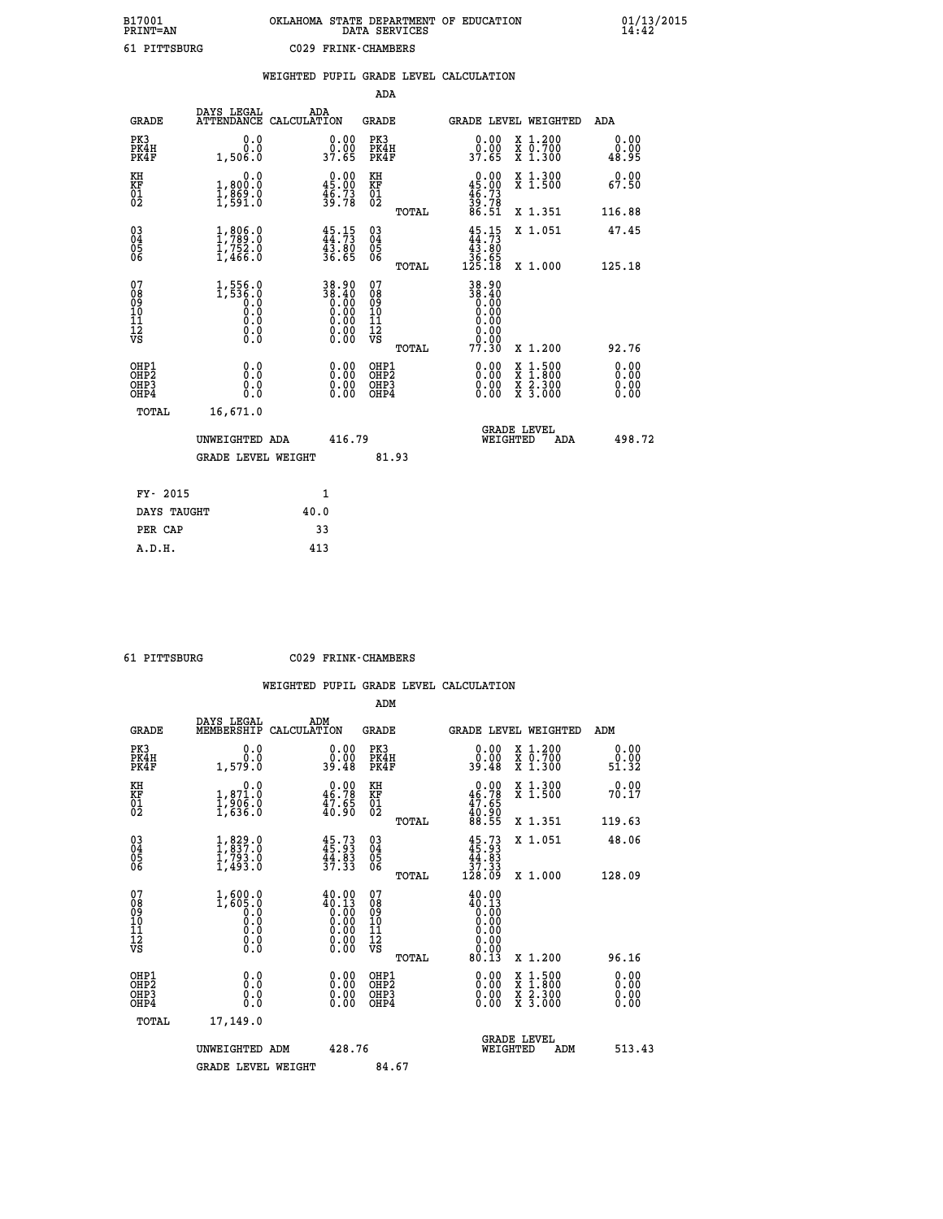# **B17001 OKLAHOMA STATE DEPARTMENT OF EDUCATION 01/13/2015 PRINT=AN DATA SERVICES 14:42 61 PITTSBURG C029 FRINK-CHAMBERS**

|                                                                    |                                                                                           | WEIGHTED PUPIL GRADE LEVEL CALCULATION                             |                                                 |                                                                                                                                                           |                                  |
|--------------------------------------------------------------------|-------------------------------------------------------------------------------------------|--------------------------------------------------------------------|-------------------------------------------------|-----------------------------------------------------------------------------------------------------------------------------------------------------------|----------------------------------|
|                                                                    |                                                                                           |                                                                    | <b>ADA</b>                                      |                                                                                                                                                           |                                  |
| <b>GRADE</b>                                                       | DAYS LEGAL                                                                                | ADA<br>ATTENDANCE CALCULATION                                      | GRADE                                           | GRADE LEVEL WEIGHTED                                                                                                                                      | ADA                              |
| PK3<br>PK4H<br>PK4F                                                | 0.0<br>0.0<br>1,506.0                                                                     | $\begin{smallmatrix} 0.00\\ 0.00\\ 37.65 \end{smallmatrix}$        | PK3<br>PK4H<br>PK4F                             | 0.00<br>X 1.200<br>X 0.700<br>X 1.300<br>0.00<br>37.65                                                                                                    | 0.00<br>0.00<br>48.95            |
| KH<br>KF<br>01<br>02                                               | 0.0<br>1,800.0<br>$\frac{1}{2}, \frac{869}{591}$ :0                                       | 45.00<br>$\frac{46.73}{39.78}$                                     | KH<br>KF<br>$\overline{01}$                     | $0.00$<br>45.00<br>X 1.300<br>X 1.500                                                                                                                     | 0.00<br>67.50                    |
|                                                                    |                                                                                           |                                                                    | TOTAL                                           | $\frac{46}{39}$ : 73<br>86.51<br>X 1.351                                                                                                                  | 116.88                           |
| $\begin{smallmatrix} 03 \\[-4pt] 04 \end{smallmatrix}$<br>Ŏ5<br>06 | $\begin{smallmatrix} 1, 806 & 0\\ 1, 789 & 0\\ 1, 752 & 0\\ 1, 466 & 0 \end{smallmatrix}$ | $\frac{45}{14}$ : 73<br>43.80<br>36.65                             | $\substack{03 \\ 04}$<br>Ŏ5<br>06               | $45.15$<br>$44.73$<br>$43.80$<br>$36.65$<br>$125.18$<br>X 1.051                                                                                           | 47.45                            |
|                                                                    |                                                                                           |                                                                    | TOTAL                                           | X 1.000                                                                                                                                                   | 125.18                           |
| 07<br>08<br>09<br>01<br>11<br>11<br>12<br>VS                       | 1,556.0<br>1,536.0<br>0.000<br>0.0<br>$\S.$                                               | $38.90$<br>$38.40$<br>$0.00$<br>$0.00$<br>$0.00$<br>$0.00$<br>0.00 | 07<br>08<br>09<br>11<br>11<br>12<br>VS<br>TOTAL | 38.90<br>06:38<br>0.00<br>0.00<br>0.00<br>0.00<br>0.00<br>77.30<br>X 1.200                                                                                | 92.76                            |
| OHP1<br>OHP2<br>OHP3<br>OHP4                                       | 0.0<br>0.0<br>$0.\overline{0}$                                                            | $\begin{smallmatrix} 0.00 \ 0.00 \ 0.00 \ 0.00 \end{smallmatrix}$  | OHP1<br>OHP2<br>OHP3<br>OHP4                    | 0.00<br>$\begin{smallmatrix} \mathtt{X} & 1\cdot500\\ \mathtt{X} & 1\cdot800\\ \mathtt{X} & 2\cdot300\\ \mathtt{X} & 3\cdot000 \end{smallmatrix}$<br>0.00 | 0.00<br>0.00<br>$0.00$<br>$0.00$ |
| TOTAL                                                              | 16,671.0                                                                                  |                                                                    |                                                 |                                                                                                                                                           |                                  |
|                                                                    | UNWEIGHTED ADA                                                                            | 416.79                                                             |                                                 | <b>GRADE LEVEL</b><br>WEIGHTED                                                                                                                            | 498.72<br>ADA                    |
|                                                                    | <b>GRADE LEVEL WEIGHT</b>                                                                 |                                                                    | 81.93                                           |                                                                                                                                                           |                                  |
| FY- 2015                                                           |                                                                                           | $\mathbf{1}$                                                       |                                                 |                                                                                                                                                           |                                  |
|                                                                    | DAYS TAUGHT                                                                               | 40.0                                                               |                                                 |                                                                                                                                                           |                                  |
| PER CAP                                                            |                                                                                           | 33                                                                 |                                                 |                                                                                                                                                           |                                  |

| 61 | PTTTRSBIIRG |
|----|-------------|

 **A.D.H. 413**

 **61 PITTSBURG C029 FRINK-CHAMBERS**

|                                          |                                                                                                          |                                                                                                        | ADM                                                 |       |                                                                                                         |                                          |                       |
|------------------------------------------|----------------------------------------------------------------------------------------------------------|--------------------------------------------------------------------------------------------------------|-----------------------------------------------------|-------|---------------------------------------------------------------------------------------------------------|------------------------------------------|-----------------------|
| <b>GRADE</b>                             | DAYS LEGAL<br>MEMBERSHIP                                                                                 | ADM<br>CALCULATION                                                                                     | <b>GRADE</b>                                        |       |                                                                                                         | GRADE LEVEL WEIGHTED                     | ADM                   |
| PK3<br>PK4H<br>PK4F                      | 0.0<br>0.0<br>1,579.0                                                                                    | 0.00<br>0.00<br>39.48                                                                                  | PK3<br>PK4H<br>PK4F                                 |       | $\begin{smallmatrix} 0.00\\ 0.00\\ 39.48 \end{smallmatrix}$                                             | X 1.200<br>X 0.700<br>X 1.300            | 0.00<br>0.00<br>51.32 |
| KH<br>KF<br>01<br>02                     | 0.0<br>$\frac{1}{1}, \frac{8}{906}$ .0<br>1,636.0                                                        | $\begin{smallmatrix} 0.00\\ 46.78\\ 47.65\\ 40.90 \end{smallmatrix}$                                   | KH<br>KF<br>01<br>02                                |       | $\begin{smallmatrix} 0.00\\ 46.78\\ 47.65\\ 40.90\\ 88.55 \end{smallmatrix}$                            | X 1.300<br>X 1.500                       | 0.00<br>70.17         |
|                                          |                                                                                                          |                                                                                                        |                                                     | TOTAL |                                                                                                         | X 1.351                                  | 119.63                |
| 03<br>04<br>05<br>06                     | $\begin{smallmatrix} 1, & 829. & 0 \\ 1, & 837. & 0 \\ 1, & 793. & 0 \\ 1, & 493. & 0 \end{smallmatrix}$ | $45.73$<br>$45.93$<br>$44.83$<br>$37.33$                                                               | $\begin{array}{c} 03 \\ 04 \\ 05 \\ 06 \end{array}$ |       | $45.73\n45.93\n44.83\n37.33\n128.09$                                                                    | X 1.051                                  | 48.06                 |
|                                          |                                                                                                          |                                                                                                        |                                                     | TOTAL |                                                                                                         | X 1.000                                  | 128.09                |
| 07<br>08<br>09<br>101<br>112<br>VS       | $1,600.0$<br>$1,605.0$<br>$\begin{smallmatrix} 0.0 & 0 \ 0.0 & 0 \ 0.0 & 0 \end{smallmatrix}$<br>$\S.$   | $\begin{smallmatrix} 40.00\\ 40.13\\ 0.00\\ 0.00\\ 0.00\\ 0.00\\ 0.00\\ 0.00\\ 0.00 \end{smallmatrix}$ | 07<br>08<br>09<br>11<br>11<br>12<br>VS              |       | 40.00<br>$\begin{smallmatrix} 40.13\ 0.00\ 0.00\ 0.00\ 0.00\ 0.00\ 0.00\ 0.00\ 0.00\ \end{smallmatrix}$ |                                          |                       |
|                                          |                                                                                                          |                                                                                                        |                                                     | TOTAL | 80.13                                                                                                   | X 1.200                                  | 96.16                 |
| OHP1<br>OHP2<br>OH <sub>P3</sub><br>OHP4 | 0.0<br>0.000                                                                                             | $0.00$<br>$0.00$<br>0.00                                                                               | OHP1<br>OHP2<br>OHP <sub>3</sub>                    |       | $0.00$<br>$0.00$<br>0.00                                                                                | X 1:500<br>X 1:800<br>X 2:300<br>X 3:000 | 0.00<br>0.00<br>0.00  |
| TOTAL                                    | 17,149.0                                                                                                 |                                                                                                        |                                                     |       |                                                                                                         |                                          |                       |
|                                          | UNWEIGHTED ADM                                                                                           | 428.76                                                                                                 |                                                     |       | WEIGHTED                                                                                                | <b>GRADE LEVEL</b><br>ADM                | 513.43                |
|                                          | <b>GRADE LEVEL WEIGHT</b>                                                                                |                                                                                                        | 84.67                                               |       |                                                                                                         |                                          |                       |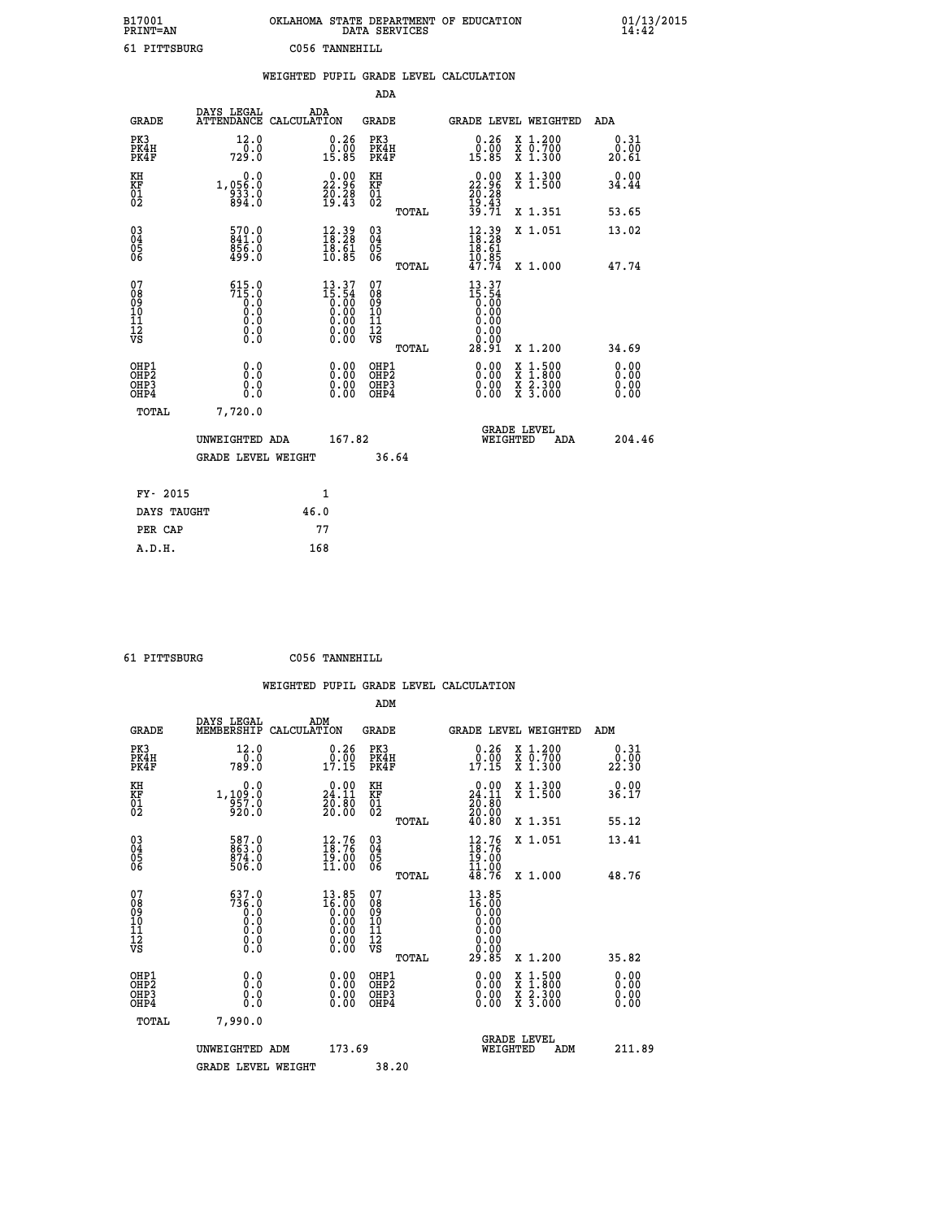| B17001<br>PRINT=AN                     |                                                   | OKLAHOMA STATE DEPARTMENT OF EDUCATION                                                                                                                                                                                                                                                                                                         | DATA SERVICES                                              |                                                                 |                                                                                          | 01/13/2015            |
|----------------------------------------|---------------------------------------------------|------------------------------------------------------------------------------------------------------------------------------------------------------------------------------------------------------------------------------------------------------------------------------------------------------------------------------------------------|------------------------------------------------------------|-----------------------------------------------------------------|------------------------------------------------------------------------------------------|-----------------------|
| 61 PITTSBURG                           |                                                   | C056 TANNEHILL                                                                                                                                                                                                                                                                                                                                 |                                                            |                                                                 |                                                                                          |                       |
|                                        |                                                   | WEIGHTED PUPIL GRADE LEVEL CALCULATION                                                                                                                                                                                                                                                                                                         |                                                            |                                                                 |                                                                                          |                       |
|                                        |                                                   |                                                                                                                                                                                                                                                                                                                                                | ADA                                                        |                                                                 |                                                                                          |                       |
| <b>GRADE</b>                           | DAYS LEGAL                                        | ADA<br>ATTENDANCE CALCULATION                                                                                                                                                                                                                                                                                                                  | <b>GRADE</b>                                               | GRADE LEVEL WEIGHTED                                            |                                                                                          | ADA                   |
| PK3<br>PK4H<br>PK4F                    | 12.0<br>0.0<br>729.0                              | 0.26<br>0.00<br>15.85                                                                                                                                                                                                                                                                                                                          | PK3<br>PK4H<br>PK4F                                        | 0.26<br>0.00<br>15.85                                           | X 1.200<br>X 0.700<br>X 1.300                                                            | 0.31<br>0.00<br>20.61 |
| KH<br>KF<br>01<br>02                   | 0.0<br>1,056.0<br>$\frac{833.0}{894.0}$           | $\begin{smallmatrix} 0.00\\ 22.96\\ 20.28\\ 19.43 \end{smallmatrix}$                                                                                                                                                                                                                                                                           | KH<br>KF<br>01<br>02                                       | 22.96<br>$\frac{20.28}{19.43}$                                  | X 1.300<br>X 1.500                                                                       | 0.00<br>34.44         |
|                                        |                                                   |                                                                                                                                                                                                                                                                                                                                                | TOTAL                                                      | 39.71                                                           | X 1.351                                                                                  | 53.65                 |
| 030404<br>ŎĞ                           | $\frac{570.0}{841.0}$<br>856.0<br>499.0           | 12.39<br>18.28<br>$\frac{18.61}{10.85}$                                                                                                                                                                                                                                                                                                        | 03<br>04<br>05<br>ŎĞ                                       | $\frac{12.39}{18.28}$<br>18.61                                  | X 1.051                                                                                  | 13.02                 |
|                                        |                                                   |                                                                                                                                                                                                                                                                                                                                                | TOTAL                                                      | $\frac{10.85}{47.74}$                                           | X 1.000                                                                                  | 47.74                 |
| 07<br>08<br>09<br>10<br>11<br>12<br>VS | $515.0$<br>$715.0$<br>$0.0$<br>Ŏ.Ŏ<br>0.0<br>0.00 | $\begin{smallmatrix} 13 & 37 \\ 15 & 54 \\ 0 & 00 \\ 0 & 00 \\ 0 & 00 \\ 0 & 00 \\ 0 & 00 \\ 0 & 00 \\ 0 & 00 \\ 0 & 00 \\ 0 & 00 \\ 0 & 00 \\ 0 & 0 \\ 0 & 0 \\ 0 & 0 \\ 0 & 0 \\ 0 & 0 \\ 0 & 0 \\ 0 & 0 \\ 0 & 0 \\ 0 & 0 \\ 0 & 0 \\ 0 & 0 \\ 0 & 0 \\ 0 & 0 \\ 0 & 0 \\ 0 & 0 \\ 0 & 0 \\ 0 & 0 \\ 0 & 0 \\ 0 & 0 \\ 0 & 0 \\ 0 & 0 \\ 0$ | 07<br>08<br>09<br>10<br>$\frac{11}{12}$<br>$\frac{12}{18}$ | 13.37<br>15.54<br>0.00<br>0.00<br>0.00<br>0.00<br>0.00<br>28.91 | X 1.200                                                                                  |                       |
| OHP1                                   | 0.0                                               |                                                                                                                                                                                                                                                                                                                                                | TOTAL                                                      |                                                                 |                                                                                          | 34.69                 |
| OHP2<br>OH <sub>P3</sub><br>OHP4       | Ō.Ō<br>0.0<br>0.0                                 | $\begin{smallmatrix} 0.00\\ 0.00\\ 0.00\\ 0.00 \end{smallmatrix}$                                                                                                                                                                                                                                                                              | OHP1<br>OHP2<br>OHP3<br>OHP4                               | $0.00$<br>$0.00$<br>0.00                                        | $\begin{smallmatrix} x & 1.500 \\ x & 1.800 \\ x & 2.300 \\ x & 3.000 \end{smallmatrix}$ | 0.00<br>0.00<br>0.00  |
| TOTAL                                  | 7,720.0                                           |                                                                                                                                                                                                                                                                                                                                                |                                                            |                                                                 |                                                                                          |                       |
|                                        | UNWEIGHTED ADA                                    | 167.82                                                                                                                                                                                                                                                                                                                                         |                                                            | <b>GRADE LEVEL</b><br>WEIGHTED                                  | ADA                                                                                      | 204.46                |
|                                        | <b>GRADE LEVEL WEIGHT</b>                         |                                                                                                                                                                                                                                                                                                                                                | 36.64                                                      |                                                                 |                                                                                          |                       |
| FY- 2015                               |                                                   | 1                                                                                                                                                                                                                                                                                                                                              |                                                            |                                                                 |                                                                                          |                       |
| DAYS TAUGHT                            |                                                   | 46.0                                                                                                                                                                                                                                                                                                                                           |                                                            |                                                                 |                                                                                          |                       |
| PER CAP                                |                                                   | 77                                                                                                                                                                                                                                                                                                                                             |                                                            |                                                                 |                                                                                          |                       |

 **61 PITTSBURG C056 TANNEHILL**

 **WEIGHTED PUPIL GRADE LEVEL CALCULATION ADM DAYS LEGAL ADM GRADE MEMBERSHIP CALCULATION GRADE GRADE LEVEL WEIGHTED ADM PK3 12.0 0.26 PK3 0.26 X 1.200 0.31 PK4H 0.0 0.00 PK4H 0.00 X 0.700 0.00 PK4F 789.0 17.15 PK4F 17.15 X 1.300 22.30 KH 0.0 0.00 KH 0.00 X 1.300 0.00 KF 1,109.0 24.11 KF 24.11 X 1.500 36.17 01 957.0 20.80 01 20.80 02 920.0 20.00 02 20.00 TOTAL 40.80 X 1.351 55.12 03 587.0 12.76 03 12.76 X 1.051 13.41 04 863.0 18.76 04 18.76 05 874.0 19.00 05 19.00** 06 506.0 11.00 06 <sub>memax</sub> 11.00  **TOTAL 48.76 X 1.000 48.76 07 637.0 13.85 07 13.85 08 736.0 16.00 08 16.00 03 0.00 0.00 0.000 0.000 10 0.0 0.00 10 0.00 11 0.0 0.00 11 0.00 12 0.0 0.00 12 0.00 VS 0.0 0.00 VS 0.00**  $\begin{array}{cccc} 637.0 & 13.85 & 07 & 13.85 \ 0.0 & 16.00 & 08 & 16.00 \ 0.0 & 0.00 & 10 & 0.00 \ 0.0 & 0.00 & 11 & 0.000 \ 0.0 & 0.00 & 12 & 0.00 \ 0.0 & 0.00 & 12 & 0.00 \ 0.0 & 0.00 & 0.00 & 12 & 0.00 \ 0.0 & 0.00 & 0.00 & 29.085 & 0.1200 & 35.82 \ 0.0 & 0.00 & 0$  **OHP1 0.0 0.00 OHP1 0.00 X 1.500 0.00 OHP2 0.0 0.00 OHP2 0.00 X 1.800 0.00 OHP3 0.0 0.00 OHP3 0.00 X 2.300 0.00 OHP4 0.0 0.00 OHP4 0.00 X 3.000 0.00 TOTAL 7,990.0 GRADE LEVEL UNWEIGHTED ADM 173.69 WEIGHTED ADM 211.89 GRADE LEVEL WEIGHT 38.20**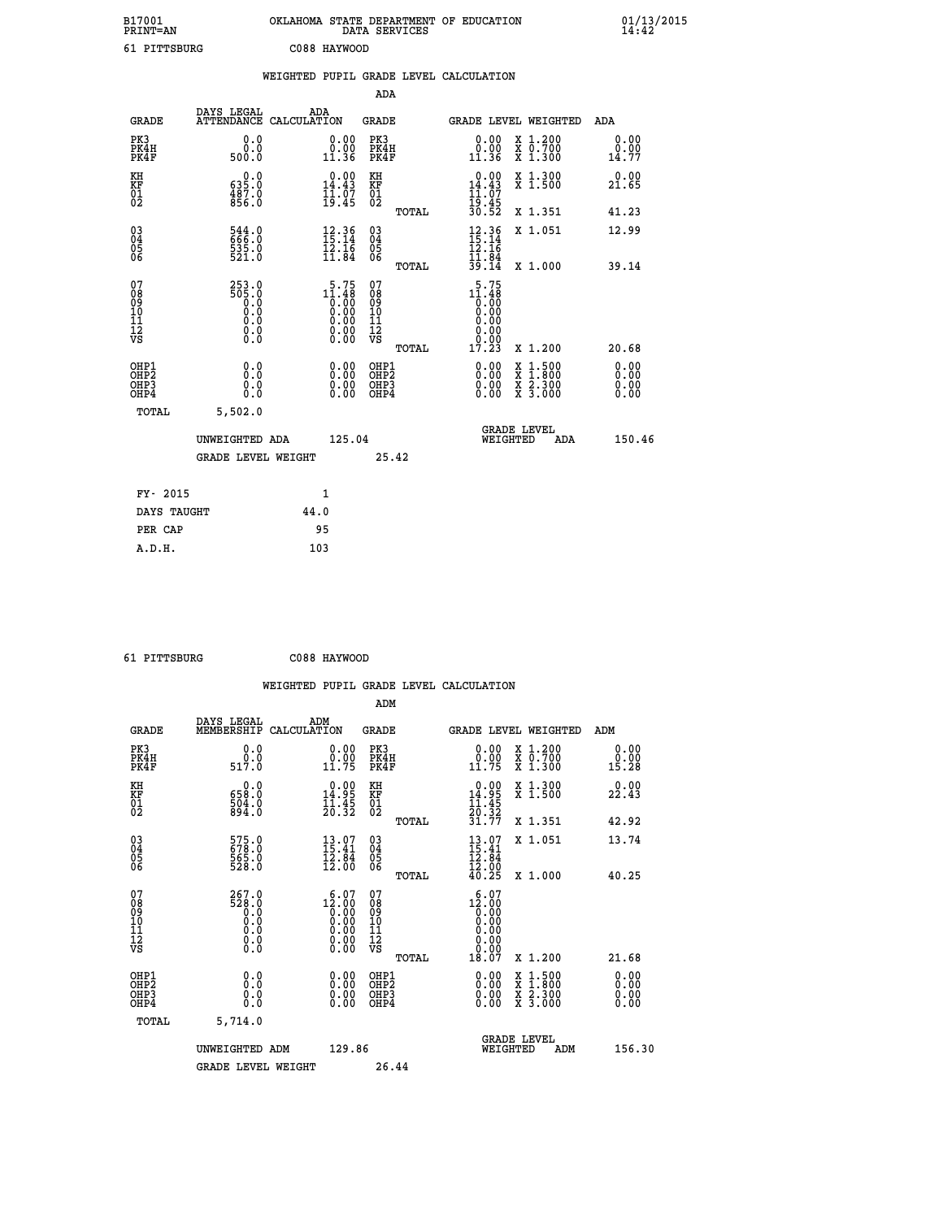| B17001<br><b>PRINT=AN</b> | OKLAHOMA STATE DEPARTMENT OF EDUCATION<br>DATA SERVICES | 01/13/2015 |
|---------------------------|---------------------------------------------------------|------------|
| 61<br>PITTSBURG           | C088 HAYWOOD                                            |            |

|                                        |                                                                 |      |                                                                   |                                        |       | WEIGHTED PUPIL GRADE LEVEL CALCULATION                                                                         |                                          |                          |
|----------------------------------------|-----------------------------------------------------------------|------|-------------------------------------------------------------------|----------------------------------------|-------|----------------------------------------------------------------------------------------------------------------|------------------------------------------|--------------------------|
|                                        |                                                                 |      |                                                                   | <b>ADA</b>                             |       |                                                                                                                |                                          |                          |
| <b>GRADE</b>                           | DAYS LEGAL<br>ATTENDANCE CALCULATION                            | ADA  |                                                                   | <b>GRADE</b>                           |       | GRADE LEVEL WEIGHTED                                                                                           |                                          | ADA                      |
| PK3<br>PK4H<br>PK4F                    | 0.0<br>0.0<br>500.0                                             |      | $\begin{smallmatrix} 0.00\\ 0.00\\ 11.36 \end{smallmatrix}$       | PK3<br>PK4H<br>PK4F                    |       | 0.00<br>0.00<br>11.36                                                                                          | X 1.200<br>X 0.700<br>X 1.300            | 0.00<br>0.00<br>14.77    |
| KH<br><b>KF</b><br>01<br>02            | $\begin{smallmatrix} &0.0\0535.0\0487.0\056.0\end{smallmatrix}$ |      | $\begin{smallmatrix} 0.00\\14.43\\11.07\\19.45 \end{smallmatrix}$ | KH<br><b>KF</b><br>01<br>02            |       | $\begin{array}{r} 0.00 \\ 14.43 \\ 11.07 \\ 19.45 \\ 30.52 \end{array}$                                        | X 1.300<br>X 1.500                       | 0.00<br>21.65            |
|                                        |                                                                 |      |                                                                   |                                        | TOTAL |                                                                                                                | X 1.351                                  | 41.23                    |
| $\substack{03 \\ 04}$<br>Ŏ5<br>06      | 544.0<br>666.0<br>$\frac{535}{521}$ .0                          |      | $12.36$<br>$15.14$<br>$12.16$<br>$11.84$                          | $\substack{03 \\ 04}$<br>Ŏ5<br>06      |       | $12.36$<br>$15.14$<br>$12.16$<br>$11.84$<br>$39.14$                                                            | X 1.051                                  | 12.99                    |
|                                        |                                                                 |      |                                                                   |                                        | TOTAL |                                                                                                                | X 1.000                                  | 39.14                    |
| 07<br>08<br>09<br>11<br>11<br>12<br>VS | 253.0<br>8:305<br>0:0<br>0:0<br>0:0<br>$\S.$ $\S$               |      | 5.75<br>$11.48$<br>0.00<br>0.00<br>0.00<br>0.00<br>0.00           | 07<br>08<br>09<br>11<br>11<br>12<br>VS | TOTAL | $\begin{smallmatrix} 5.75 \\ 11.48 \\ 0.00 \\ 0.00 \\ 0.00 \\ 0.00 \end{smallmatrix}$<br>0.00<br>0.00<br>17.23 | X 1.200                                  | 20.68                    |
| OHP1<br>OHP2<br>OHP3<br>OHP4           | 0.0<br>0.0<br>$0.\overline{0}$                                  |      | $\begin{smallmatrix} 0.00 \ 0.00 \ 0.00 \ 0.00 \end{smallmatrix}$ | OHP1<br>OHP2<br>OHP3<br>OHP4           |       |                                                                                                                | X 1:500<br>X 1:800<br>X 2:300<br>X 3:000 | 0.00<br>$0.00$<br>$0.00$ |
| TOTAL                                  | 5,502.0                                                         |      |                                                                   |                                        |       |                                                                                                                |                                          |                          |
|                                        | UNWEIGHTED ADA                                                  |      | 125.04                                                            |                                        |       | WEIGHTED                                                                                                       | <b>GRADE LEVEL</b><br>ADA                | 150.46                   |
|                                        | <b>GRADE LEVEL WEIGHT</b>                                       |      |                                                                   | 25.42                                  |       |                                                                                                                |                                          |                          |
| FY- 2015                               |                                                                 | 1    |                                                                   |                                        |       |                                                                                                                |                                          |                          |
| DAYS TAUGHT                            |                                                                 | 44.0 |                                                                   |                                        |       |                                                                                                                |                                          |                          |
| PER CAP                                |                                                                 | 95   |                                                                   |                                        |       |                                                                                                                |                                          |                          |

| <b>DIMMODIDA</b> |
|------------------|

 **61 PITTSBURG C088 HAYWOOD**

 **WEIGHTED PUPIL GRADE LEVEL CALCULATION ADM DAYS LEGAL ADM GRADE MEMBERSHIP CALCULATION GRADE GRADE LEVEL WEIGHTED ADM PK3 0.0 0.00 PK3 0.00 X 1.200 0.00 PK4H 0.0 0.00 PK4H 0.00 X 0.700 0.00 PK4F 517.0 11.75 PK4F 11.75 X 1.300 15.28 KH 0.0 0.00 KH 0.00 X 1.300 0.00 KF 658.0 14.95 KF 14.95 X 1.500 22.43 01 504.0 11.45 01 11.45**  $02$  894.0  $20.32$   $02$   $2.32$   $2.32$  **TOTAL 31.77 X 1.351 42.92 03 575.0 13.07 03 13.07 X 1.051 13.74 04 678.0 15.41 04 15.41 05 565.0 12.84 05 12.84** 06 528.0 12.00 06 <sub>memax</sub> 12.00  **TOTAL 40.25 X 1.000 40.25 07 267.0 6.07 07 6.07 08 528.0 12.00 08 12.00 03 0.00 0.00 0.000 0.000 10 0.0 0.00 10 0.00 11 0.0 0.00 11 0.00 12 0.0 0.00 12 0.00 VS 0.0 0.00 VS 0.00 TOTAL 18.07 X 1.200 21.68 OHP1 0.0 0.00 OHP1 0.00 X 1.500 0.00 OHP2 0.0 0.00 OHP2 0.00 X 1.800 0.00 OHP3 0.0 0.00 OHP3 0.00 X 2.300 0.00 OHP4 0.0 0.00 OHP4 0.00 X 3.000 0.00 TOTAL 5,714.0 GRADE LEVEL UNWEIGHTED ADM 129.86 WEIGHTED ADM 156.30** GRADE LEVEL WEIGHT 26.44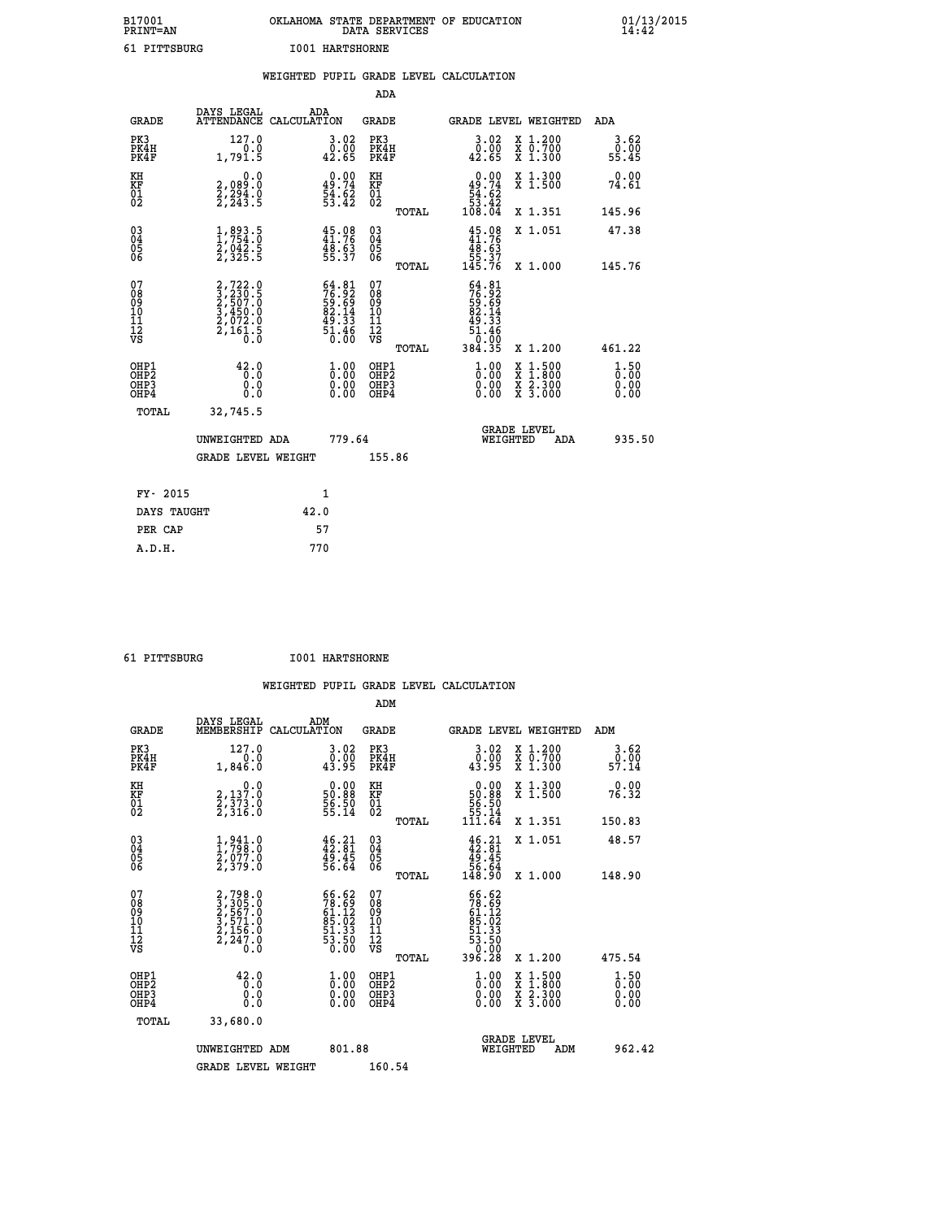| B17001<br>PRINT=AN | OKLAHOMA STATE DEPARTMENT OF EDUCATION<br>DATA SERVICES | $01/13/2015$<br>14:42 |
|--------------------|---------------------------------------------------------|-----------------------|
| 61 PITTSBURG       | <b>I001 HARTSHORNE</b>                                  |                       |

|                                                                    |                                                                                                                                           |      |                                                                                              |                                                     |       | WEIGHTED PUPIL GRADE LEVEL CALCULATION                                                                       |                                          |                                  |
|--------------------------------------------------------------------|-------------------------------------------------------------------------------------------------------------------------------------------|------|----------------------------------------------------------------------------------------------|-----------------------------------------------------|-------|--------------------------------------------------------------------------------------------------------------|------------------------------------------|----------------------------------|
|                                                                    |                                                                                                                                           |      |                                                                                              | <b>ADA</b>                                          |       |                                                                                                              |                                          |                                  |
| <b>GRADE</b>                                                       | DAYS LEGAL<br>ATTENDANCE CALCULATION                                                                                                      |      | ADA                                                                                          | GRADE                                               |       |                                                                                                              | GRADE LEVEL WEIGHTED                     | ADA                              |
| PK3<br>PK4H<br>PK4F                                                | 127.0<br>1,791.5                                                                                                                          |      | $\begin{smallmatrix} 3.02\ 0.00\ 42.65 \end{smallmatrix}$                                    | PK3<br>PK4H<br>PK4F                                 |       | $\begin{smallmatrix} 3.02\ 0.00\ 42.65 \end{smallmatrix}$                                                    | X 1.200<br>X 0.700<br>X 1.300            | 3.62<br>0.00<br>55.45            |
| KH<br>KF<br>01<br>02                                               | 0.0<br>2,089:0<br>2,294:0<br>2,243:5                                                                                                      |      | $0.00$<br>$49.74$<br>$54.62$<br>$53.42$                                                      | KH<br>KF<br>01<br>02                                |       | 0.00<br>$\begin{array}{r} 49.74 \\ 54.62 \\ 53.42 \\ 108.04 \end{array}$                                     | X 1.300<br>X 1.500                       | 0.00<br>74.61                    |
|                                                                    |                                                                                                                                           |      |                                                                                              |                                                     | TOTAL |                                                                                                              | X 1.351                                  | 145.96                           |
| $\begin{smallmatrix} 03 \\[-4pt] 04 \end{smallmatrix}$<br>Ŏ5<br>06 | $\frac{1}{2}, \frac{893}{754}. \frac{5}{0}$<br>$\frac{2}{3}, \frac{042}{35}. \frac{5}{5}$                                                 |      | $45.98$<br>$41.76$<br>$\frac{48.63}{55.37}$                                                  | $\begin{array}{c} 03 \\ 04 \\ 05 \\ 06 \end{array}$ |       | $45.08\n41.76\n48.63\n55.37\n145.76$                                                                         | X 1.051                                  | 47.38                            |
|                                                                    |                                                                                                                                           |      |                                                                                              |                                                     | TOTAL |                                                                                                              | X 1.000                                  | 145.76                           |
| 07<br>08<br>09<br>10<br>11<br>11<br>12<br>VS                       | $\begin{smallmatrix} 2,722\cdot 0\\ 3,230\cdot 5\\ 2,507\cdot 0\\ 3,450\cdot 0\\ 2,072\cdot 0\\ 2,161\cdot 5\\ 0\cdot 0\end{smallmatrix}$ |      | $\begin{smallmatrix} 64.81\\ 76.92\\ 59.69\\ 82.14\\ 49.33\\ 51.46\\ 0.00 \end{smallmatrix}$ | 07<br>08<br>09<br>11<br>11<br>12<br>VS              | TOTAL | $\begin{array}{r} 64.81 \\ 76.92 \\ 59.69 \\ 82.14 \\ 82.13 \\ 49.33 \\ 51.46 \\ 0.00 \\ 384.35 \end{array}$ | X 1.200                                  | 461.22                           |
| OHP1<br>OHP2<br>OH <sub>P3</sub><br>OHP4                           | 42.0<br>0.0<br>0.0<br>0.0                                                                                                                 |      | $\begin{smallmatrix} 1.00\ 0.00\ 0.00 \end{smallmatrix}$                                     | OHP1<br>OHP2<br>OHP3<br>OHP4                        |       | $\begin{smallmatrix} 1.00 \\[-4pt] 0.00\\[-4pt] 0.00\\[-4pt] 0.00\end{smallmatrix}$                          | X 1:500<br>X 1:800<br>X 2:300<br>X 3:000 | 1.50<br>0.00<br>$0.00$<br>$0.00$ |
| TOTAL                                                              | 32,745.5                                                                                                                                  |      |                                                                                              |                                                     |       |                                                                                                              |                                          |                                  |
|                                                                    | UNWEIGHTED ADA                                                                                                                            |      | 779.64                                                                                       |                                                     |       | WEIGHTED                                                                                                     | <b>GRADE LEVEL</b><br>ADA                | 935.50                           |
|                                                                    | <b>GRADE LEVEL WEIGHT</b>                                                                                                                 |      |                                                                                              | 155.86                                              |       |                                                                                                              |                                          |                                  |
| FY- 2015                                                           |                                                                                                                                           |      | $\mathbf{1}$                                                                                 |                                                     |       |                                                                                                              |                                          |                                  |
| DAYS TAUGHT                                                        |                                                                                                                                           | 42.0 |                                                                                              |                                                     |       |                                                                                                              |                                          |                                  |
| PER CAP                                                            |                                                                                                                                           |      | 57                                                                                           |                                                     |       |                                                                                                              |                                          |                                  |

 **61 PITTSBURG I001 HARTSHORNE**

| ---------                                             |                                                                            |                    | toot murtbuorne                                                                                                     |                                                    |       |                                                                                                          |                                          |                              |  |
|-------------------------------------------------------|----------------------------------------------------------------------------|--------------------|---------------------------------------------------------------------------------------------------------------------|----------------------------------------------------|-------|----------------------------------------------------------------------------------------------------------|------------------------------------------|------------------------------|--|
|                                                       |                                                                            |                    |                                                                                                                     |                                                    |       | WEIGHTED PUPIL GRADE LEVEL CALCULATION                                                                   |                                          |                              |  |
|                                                       |                                                                            |                    |                                                                                                                     | ADM                                                |       |                                                                                                          |                                          |                              |  |
| <b>GRADE</b>                                          | DAYS LEGAL<br>MEMBERSHIP                                                   | ADM<br>CALCULATION |                                                                                                                     | <b>GRADE</b>                                       |       | GRADE LEVEL WEIGHTED                                                                                     |                                          | ADM                          |  |
| PK3<br>PK4H<br>PK4F                                   | 127.0<br>1,846.0                                                           |                    | $\begin{smallmatrix} 3.02\ 0.00\ 43.95 \end{smallmatrix}$                                                           | PK3<br>PK4H<br>PK4F                                |       | 3.02<br>$\frac{0.00}{43.95}$                                                                             | X 1.200<br>X 0.700<br>X 1.300            | 3.62<br>ō:ŏō<br>57.14        |  |
| KH<br>KF<br>01<br>02                                  | $\begin{smallmatrix} & & 0.0\ 2,137.0\ 2,373.0\ 2,316.0 \end{smallmatrix}$ |                    | $\begin{smallmatrix} 0.00\\ 50.88\\ 56.50\\ 55.14 \end{smallmatrix}$                                                | KH<br>ΚF<br>$\overline{01}$                        |       | 0.00<br>$\begin{array}{r} 50.88 \\ 50.58 \\ 55.14 \\ 111.64 \end{array}$                                 | X 1.300<br>X 1.500                       | 0.00<br>76.32                |  |
|                                                       |                                                                            |                    |                                                                                                                     |                                                    | TOTAL |                                                                                                          | X 1.351                                  | 150.83                       |  |
| $\begin{matrix} 03 \\ 04 \\ 05 \\ 06 \end{matrix}$    | $\frac{1}{2}, \frac{941}{798}.0$<br>$\frac{2}{797}.0$<br>$\frac{2}{379}.0$ |                    | $46.21$<br>$42.81$<br>$49.45$<br>$56.64$                                                                            | $\begin{matrix} 03 \\ 04 \\ 05 \\ 06 \end{matrix}$ |       | $46.21$<br>$42.81$<br>$49.45$<br>$56.64$<br>$148.90$                                                     | X 1.051                                  | 48.57                        |  |
|                                                       |                                                                            |                    |                                                                                                                     |                                                    | TOTAL |                                                                                                          | X 1.000                                  | 148.90                       |  |
| 07<br>08<br>09<br>11<br>11<br>12<br>VS                | 2,798.0<br>3,305.0<br>2,567.0<br>3,571.0<br>2,156.0<br>2,247.0<br>0.0      |                    | $\begin{smallmatrix} 66.62\\ 78.69\\ 61.12\\ 61.02\\ 85.02\\ 51.33\\ 53.50\\ 0.00 \end{smallmatrix}$                | 07<br>08<br>09<br>101<br>11<br>12<br>VS            | TOTAL | $\begin{smallmatrix} 66.62\ 78.69\ 61.12\ 61.12\ 85.023\ 51.33\ 53.50\ 0.008\ 396.28\ \end{smallmatrix}$ | X 1.200                                  | 475.54                       |  |
| OHP1<br>OH <sub>P</sub> 2<br>OH <sub>P3</sub><br>OHP4 | 42.0<br>0.0<br>0.0<br>Ō.Ō                                                  |                    | $\overset{1}{\underset{0}{0}}\,\overset{0}{\cdots}\,\overset{0}{\underset{0}{0}}\,\overset{0}{\phantom{0}}$<br>0.00 | OHP1<br>OH <sub>P</sub> 2<br>OHP3<br>OHP4          |       | $\begin{smallmatrix} 1.00 \ 0.00 \ 0.00 \end{smallmatrix}$<br>0.00                                       | X 1:500<br>X 1:800<br>X 2:300<br>X 3:000 | 1.50<br>0.00<br>0.00<br>0.00 |  |
| TOTAL                                                 | 33,680.0                                                                   |                    |                                                                                                                     |                                                    |       |                                                                                                          |                                          |                              |  |
|                                                       | UNWEIGHTED ADM                                                             |                    | 801.88                                                                                                              |                                                    |       | <b>GRADE LEVEL</b><br>WEIGHTED                                                                           | ADM                                      | 962.42                       |  |
|                                                       | <b>GRADE LEVEL WEIGHT</b>                                                  |                    |                                                                                                                     | 160.54                                             |       |                                                                                                          |                                          |                              |  |
|                                                       |                                                                            |                    |                                                                                                                     |                                                    |       |                                                                                                          |                                          |                              |  |
|                                                       |                                                                            |                    |                                                                                                                     |                                                    |       |                                                                                                          |                                          |                              |  |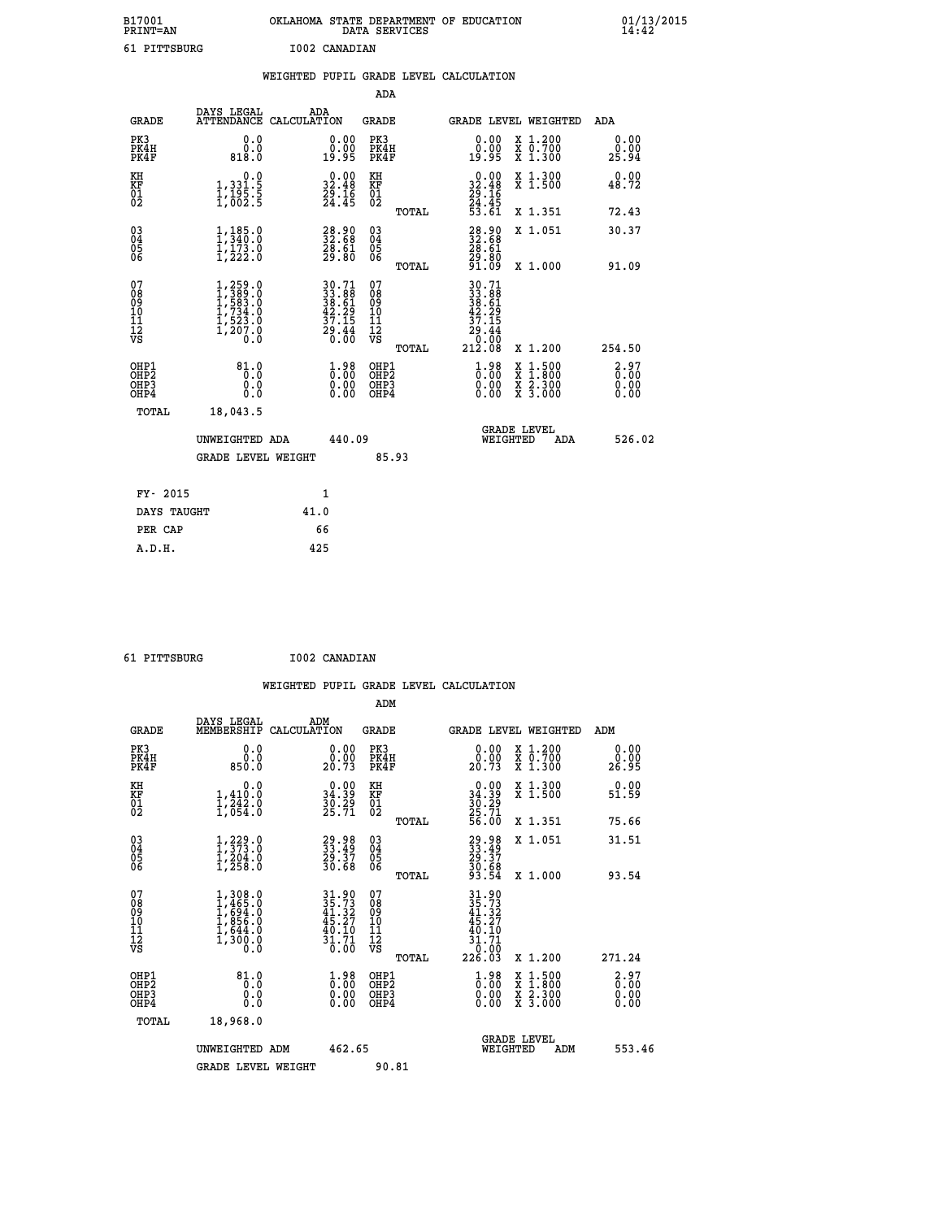| B17001<br><b>PRINT=AN</b> | OKLAHOMA STATE DEPARTMENT OF EDUCATION<br>DATA SERVICES |  |
|---------------------------|---------------------------------------------------------|--|
| 61 PITTSBURG              | I002 CANADIAN                                           |  |

01/13/2015<br>14:42

|                                                                    |                                                                                                                   | WEIGHTED PUPIL GRADE LEVEL CALCULATION                                   |                                                     |                                                                                                                       |                              |
|--------------------------------------------------------------------|-------------------------------------------------------------------------------------------------------------------|--------------------------------------------------------------------------|-----------------------------------------------------|-----------------------------------------------------------------------------------------------------------------------|------------------------------|
|                                                                    |                                                                                                                   |                                                                          | <b>ADA</b>                                          |                                                                                                                       |                              |
| <b>GRADE</b>                                                       | DAYS LEGAL                                                                                                        | ADA<br>ATTENDANCE CALCULATION                                            | <b>GRADE</b>                                        | GRADE LEVEL WEIGHTED                                                                                                  | ADA                          |
| PK3<br>PK4H<br>PK4F                                                | 0.0<br>0.0<br>818.0                                                                                               | $\begin{smallmatrix} 0.00\\ 0.00\\ 19.95 \end{smallmatrix}$              | PK3<br>PK4H<br>PK4F                                 | 0.00<br>X 1.200<br>X 0.700<br>X 1.300<br>0.00<br>19.95                                                                | 0.00<br>0.00<br>25.94        |
| KH<br>KF<br>01<br>02                                               | 0.0<br>1, 331:5<br>1, 195:5<br>1, 002:5                                                                           | $\begin{smallmatrix} 0.00\\ 32.48\\ 29.16\\ 24.45 \end{smallmatrix}$     | KH<br>KF<br>01<br>02                                | $\begin{smallmatrix} 0.00\\ 32.48\\ 29.16\\ 24.45\\ 53.61 \end{smallmatrix}$<br>X 1.300<br>X 1.500                    | 0.00<br>48.72                |
|                                                                    |                                                                                                                   |                                                                          | TOTAL                                               | X 1.351                                                                                                               | 72.43                        |
| $\begin{smallmatrix} 03 \\[-4pt] 04 \end{smallmatrix}$<br>05<br>06 | $1, 185.0$<br>$1, 340.0$<br>$1, 173.0$<br>$1, 222.0$                                                              | $\begin{smallmatrix} 28.90\ 32.68\ 28.61\ 29.80 \end{smallmatrix}$       | $\begin{array}{c} 03 \\ 04 \\ 05 \\ 06 \end{array}$ | $\begin{smallmatrix} 28.90\\ 32.68\\ 28.61\\ 29.80\\ 91.09 \end{smallmatrix}$<br>X 1.051                              | 30.37                        |
|                                                                    |                                                                                                                   |                                                                          | TOTAL                                               | X 1.000                                                                                                               | 91.09                        |
| 07<br>08<br>09<br>11<br>11<br>12<br>VS                             | $\begin{smallmatrix} 1,259.0\\ 1,389.0\\ 1,583.0\\ 1,523.0\\ 1,523.0\\ 1,523.0\\ 1,207.0\\ 0.0 \end{smallmatrix}$ | $30.71$<br>$33.88$<br>$38.61$<br>$42.29$<br>$37.15$<br>$29.44$<br>$0.00$ | 07<br>08<br>09<br>11<br>11<br>12<br>VS<br>TOTAL     | 30.71<br>33.88<br>38.61<br>42.29<br>37.15<br>$\begin{array}{r} \n 29.44 \\  0.00 \\  212.08\n \end{array}$<br>X 1.200 | 254.50                       |
| OHP1<br>OHP2<br>OH <sub>P3</sub><br>OHP4                           | 81.0<br>0.0<br>0.0<br>0.0                                                                                         | $\begin{smallmatrix} 1.98\ 0.00\ 0.00 \end{smallmatrix}$                 | OHP1<br>OHP2<br>OHP3<br>OHP4                        | $\begin{smallmatrix} 1.98\ 0.00\ 0.00 \end{smallmatrix}$<br>X 1:500<br>X 1:800<br>X 2:300<br>X 3:000                  | 2.97<br>0.00<br>0.00<br>0.00 |
| TOTAL                                                              | 18,043.5                                                                                                          |                                                                          |                                                     |                                                                                                                       |                              |
|                                                                    | UNWEIGHTED ADA                                                                                                    | 440.09                                                                   |                                                     | <b>GRADE LEVEL</b><br>WEIGHTED                                                                                        | 526.02<br>ADA                |
|                                                                    | <b>GRADE LEVEL WEIGHT</b>                                                                                         |                                                                          | 85.93                                               |                                                                                                                       |                              |
| FY- 2015                                                           |                                                                                                                   | $\mathbf{1}$                                                             |                                                     |                                                                                                                       |                              |
|                                                                    | DAYS TAUGHT                                                                                                       | 41.0                                                                     |                                                     |                                                                                                                       |                              |
| PER CAP                                                            |                                                                                                                   | 66                                                                       |                                                     |                                                                                                                       |                              |

 **A.D.H. 425**

 **61 PITTSBURG I002 CANADIAN**

 **ADM DAYS LEGAL ADM GRADE MEMBERSHIP CALCULATION GRADE GRADE LEVEL WEIGHTED ADM PK3 0.0 0.00 PK3 0.00 X 1.200 0.00 PK4H 0.0 0.00 PK4H 0.00 X 0.700 0.00 PK4F 850.0 20.73 PK4F 20.73 X 1.300 26.95 KH** 0.0 0.00 KH 0.00 X 1.300 0.00<br> **EXECUTE:** 1.410.0 2.00 2.00 EXECUTE: 0.000 2.1.300 EXECUTE:

|                                                      | <b>GRADE LEVEL WEIGHT</b>                                             |                                                                   | 90.81                                              |       |                                                                                                     |                                                                                                                     |                                                          |
|------------------------------------------------------|-----------------------------------------------------------------------|-------------------------------------------------------------------|----------------------------------------------------|-------|-----------------------------------------------------------------------------------------------------|---------------------------------------------------------------------------------------------------------------------|----------------------------------------------------------|
|                                                      | UNWEIGHTED ADM                                                        | 462.65                                                            |                                                    |       | WEIGHTED                                                                                            | <b>GRADE LEVEL</b><br>ADM                                                                                           | 553.46                                                   |
| TOTAL                                                | 18,968.0                                                              |                                                                   |                                                    |       |                                                                                                     |                                                                                                                     |                                                          |
| OHP1<br>OHP <sub>2</sub><br>OH <sub>P3</sub><br>OHP4 | $81.0$<br>0.0<br>0.0<br>Ŏ.Ŏ                                           | $\begin{smallmatrix} 1.98\ 0.00\ 0.00 \end{smallmatrix}$          | OHP1<br>OHP <sub>2</sub><br>OHP3<br>OHP4           |       | $\begin{smallmatrix} 1.98\ 0.00000 \ 0.000000 \end{smallmatrix}$                                    | $\begin{array}{l} \mathtt{X} & 1.500 \\ \mathtt{X} & 1.800 \\ \mathtt{X} & 2.300 \\ \mathtt{X} & 3.000 \end{array}$ | $\begin{smallmatrix} 2.97\ 6.00\ 0.00 \end{smallmatrix}$ |
| 07<br>08<br>09<br>101<br>11<br>12<br>VS              | 1,308.0<br>1,465.0<br>1,694.0<br>1,856.0<br>1,644.0<br>1,300.0<br>0.0 | $31.90$<br>$35.73$<br>$41.32$<br>$45.27$<br>$\frac{40.10}{31.71}$ | 07<br>08<br>09<br>001<br>11<br>11<br>12<br>VS      | TOTAL | $\begin{array}{r} 31.90 \\ 35.73 \\ 41.32 \\ 45.27 \\ 40.10 \\ 31.71 \\ 0.00 \\ 226.03 \end{array}$ | X 1.200                                                                                                             | 271.24                                                   |
| 03<br>04<br>05<br>06                                 | $1, 229.0$<br>$1, 373.0$<br>$1, 204.0$<br>$1, 258.0$                  | 29.98<br>33.49<br>29.37<br>30.68                                  | $\begin{matrix} 03 \\ 04 \\ 05 \\ 06 \end{matrix}$ | TOTAL | 29.98<br>33.49<br>29.37<br>30.68<br>93.54                                                           | X 1.000                                                                                                             | 93.54                                                    |
|                                                      |                                                                       |                                                                   |                                                    | TOTAL |                                                                                                     | X 1.351<br>X 1.051                                                                                                  | 75.66<br>31.51                                           |
| KF<br>01<br>02                                       | 1,410.0<br>1,242.0<br>1,054.0                                         | 34.39<br>30.29<br>25.71                                           | KF<br>01<br>02                                     |       | $30.39$<br>$25.71$<br>$56.00$                                                                       | X 1.500                                                                                                             | 51.59                                                    |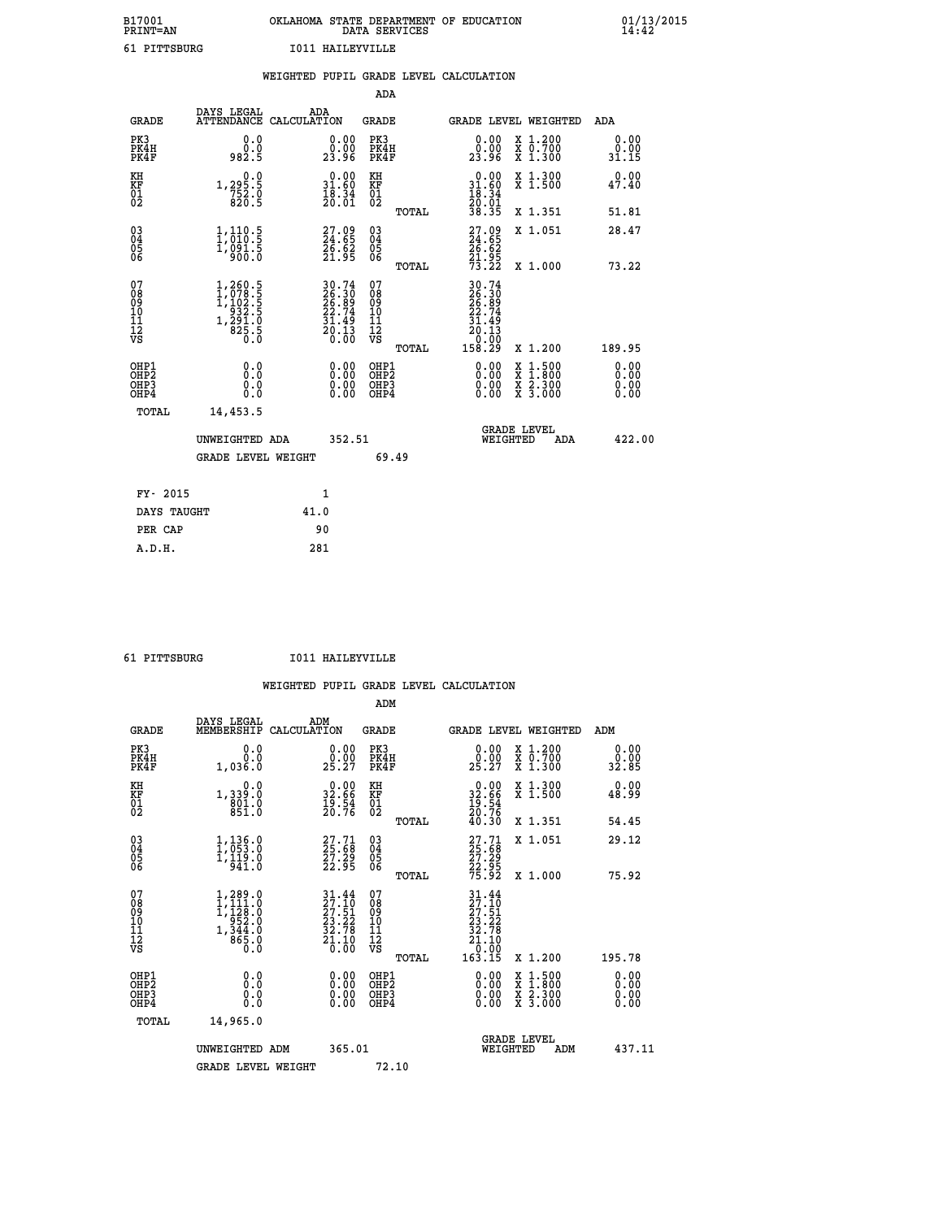| B17001          | OKLAHOMA STATE DEPARTMENT OF EDUCATION |
|-----------------|----------------------------------------|
| <b>PRINT=AN</b> | DATA SERVICES                          |
| 61 PITTSBURG    | T011 HATLEYVILLE                       |

|                                                      |                                                                                                             | WEIGHTED PUPIL GRADE LEVEL CALCULATION                                   |                                                     |       |                                                                              |                                          |                              |
|------------------------------------------------------|-------------------------------------------------------------------------------------------------------------|--------------------------------------------------------------------------|-----------------------------------------------------|-------|------------------------------------------------------------------------------|------------------------------------------|------------------------------|
|                                                      |                                                                                                             |                                                                          | <b>ADA</b>                                          |       |                                                                              |                                          |                              |
| <b>GRADE</b>                                         | DAYS LEGAL<br><b>ATTENDANCE</b>                                                                             | ADA<br>CALCULATION                                                       | <b>GRADE</b>                                        |       |                                                                              | GRADE LEVEL WEIGHTED                     | ADA                          |
| PK3<br>PK4H<br>PK4F                                  | 0.0<br>ة:ة<br>982:5                                                                                         | $\begin{smallmatrix} 0.00\\ 0.00\\ 23.96 \end{smallmatrix}$              | PK3<br>PK4H<br>PK4F                                 |       | 0.00<br>ŏ:ŏŏ<br>23:96                                                        | X 1.200<br>X 0.700<br>X 1.300            | 0.00<br>0.00<br>31.15        |
| KH<br>KF<br>01<br>02                                 | 0.0<br>1,295:5<br>752:0<br>820:5                                                                            | $\begin{smallmatrix} 0.00\\ 31.60\\ 18.34\\ 20.01 \end{smallmatrix}$     | KH<br>KF<br>01<br>02                                |       | $0.00$<br>31.60<br>18.34                                                     | X 1.300<br>X 1.500                       | 0.00<br>47.40                |
|                                                      |                                                                                                             |                                                                          |                                                     | TOTAL | 20:01<br>38.35                                                               | X 1.351                                  | 51.81                        |
| $03\overline{4}$<br>Ŏ5<br>06                         | $\frac{1}{1}, \frac{110}{010}.\frac{5}{5}$<br>1,091.5<br>900.0                                              | 27.09<br>24.65<br>26.62<br>21.95                                         | $\begin{array}{c} 03 \\ 04 \\ 05 \\ 06 \end{array}$ |       | 27.09<br>24.65<br>26.62<br>21.95<br>73.22                                    | X 1.051                                  | 28.47                        |
|                                                      |                                                                                                             |                                                                          |                                                     | TOTAL |                                                                              | X 1.000                                  | 73.22                        |
| 07<br>08<br>09<br>11<br>11<br>12<br>VS               | $\begin{smallmatrix} 1,260.5\\ 1,078.5\\ 1,102.5\\ 1,102.5\\ 932.5\\ 291.0\\ 825.5\\ 0.0 \end{smallmatrix}$ | $30.74$<br>$26.30$<br>$26.89$<br>$22.74$<br>$31.49$<br>$20.13$<br>$0.00$ | 07<br>08<br>09<br>101<br>11<br>12<br>VS             | TOTAL | 30.74<br>26.30<br>26.89<br>22.74<br>$\frac{31.45}{20.13}$<br>10:00<br>158.29 | X 1.200                                  | 189.95                       |
| OHP1<br>OHP <sub>2</sub><br>OH <sub>P3</sub><br>OHP4 | 0.0<br>0.0<br>Ō.Ō                                                                                           | 0.00<br>$\begin{smallmatrix} 0.00 \ 0.00 \end{smallmatrix}$              | OHP1<br>OHP2<br>OHP3<br>OHP4                        |       | 0.00<br>0.00<br>0.00                                                         | X 1:500<br>X 1:800<br>X 2:300<br>X 3:000 | 0.00<br>0.00<br>0.00<br>0.00 |
| TOTAL                                                | 14,453.5                                                                                                    |                                                                          |                                                     |       |                                                                              |                                          |                              |
|                                                      | UNWEIGHTED ADA                                                                                              | 352.51                                                                   |                                                     |       | WEIGHTED                                                                     | <b>GRADE LEVEL</b><br>ADA                | 422.00                       |
|                                                      | <b>GRADE LEVEL WEIGHT</b>                                                                                   |                                                                          |                                                     | 69.49 |                                                                              |                                          |                              |
| FY- 2015                                             |                                                                                                             | $\mathbf{1}$                                                             |                                                     |       |                                                                              |                                          |                              |
| DAYS TAUGHT                                          |                                                                                                             | 41.0                                                                     |                                                     |       |                                                                              |                                          |                              |
| PER CAP                                              |                                                                                                             | 90                                                                       |                                                     |       |                                                                              |                                          |                              |

 **A.D.H. 281**

 **61 PITTSBURG I011 HAILEYVILLE**

|                                                      |                                                                                                                            |                                                                                                                              | ADM                                                 |                                                                                                 |                                          |                       |
|------------------------------------------------------|----------------------------------------------------------------------------------------------------------------------------|------------------------------------------------------------------------------------------------------------------------------|-----------------------------------------------------|-------------------------------------------------------------------------------------------------|------------------------------------------|-----------------------|
| <b>GRADE</b>                                         | DAYS LEGAL<br>MEMBERSHIP                                                                                                   | ADM<br>CALCULATION                                                                                                           | <b>GRADE</b>                                        |                                                                                                 | GRADE LEVEL WEIGHTED                     | ADM                   |
| PK3<br>PK4H<br>PK4F                                  | 0.0<br>0.0<br>1,036.0                                                                                                      | $\begin{smallmatrix} 0.00\\ 0.00\\ 25.27 \end{smallmatrix}$                                                                  | PK3<br>PK4H<br>PK4F                                 | $\begin{smallmatrix} 0.00\\ 0.00\\ 25.27 \end{smallmatrix}$                                     | X 1.200<br>X 0.700<br>X 1.300            | 0.00<br>0.00<br>32.85 |
| KH<br>KF<br>01<br>02                                 | 0.0<br>1,339:0<br>801:0<br>851:0                                                                                           | $\begin{smallmatrix} 0.00\\ 32.66\\ 19.54\\ 20.76 \end{smallmatrix}$                                                         | KH<br>KF<br>01<br>02                                | $\begin{smallmatrix} 0.00\\ 32.66\\ 19.54\\ 20.76\\ 40.30 \end{smallmatrix}$                    | X 1.300<br>X 1.500                       | 0.00<br>48.99         |
|                                                      |                                                                                                                            |                                                                                                                              | TOTAL                                               |                                                                                                 | X 1.351                                  | 54.45                 |
| 03<br>04<br>05<br>06                                 | $1, 136.0$<br>$1, 053.0$<br>$1, 119.0$<br>$941.0$                                                                          | 27.71<br>25.68<br>27.29<br>22.95                                                                                             | $\begin{array}{c} 03 \\ 04 \\ 05 \\ 06 \end{array}$ | 27.71<br>25.68<br>27.29<br>22.95<br>75.92                                                       | X 1.051                                  | 29.12                 |
|                                                      |                                                                                                                            |                                                                                                                              | TOTAL                                               |                                                                                                 | X 1.000                                  | 75.92                 |
| 07<br>08<br>09<br>101<br>112<br>VS                   | $\begin{smallmatrix} 1,289 & 0\\ 1,111 & 0\\ 1,122 & 0\\ 952 & 0\\ 952 & 0\\ 1,344 & 0\\ 865 & 0\\ 0 & 0\end{smallmatrix}$ | $\begin{array}{l} 31\cdot 44 \\ 27\cdot 51 \\ 27\cdot 51 \\ 23\cdot 22 \\ 32\cdot 78 \\ 21\cdot 10 \\ 0\cdot 00 \end{array}$ | 07<br>08<br>09<br>11<br>11<br>12<br>VS<br>TOTAL     | $\begin{smallmatrix} 31.44\ 27.10\ 27.51\ 23.22\ 32.78\ 21.10\ 0.00\ 163.15\ \end{smallmatrix}$ | X 1.200                                  | 195.78                |
|                                                      |                                                                                                                            |                                                                                                                              |                                                     |                                                                                                 |                                          | 0.00                  |
| OHP1<br>OHP2<br>OH <sub>P3</sub><br>OH <sub>P4</sub> | 0.0<br>$\begin{smallmatrix} 0.0 & 0 \ 0.0 & 0 \end{smallmatrix}$                                                           |                                                                                                                              | OHP1<br>OHP2<br>OHP <sub>3</sub>                    | $0.00$<br>$0.00$<br>0.00                                                                        | X 1:500<br>X 1:800<br>X 2:300<br>X 3:000 | 0.00<br>0.00          |
| TOTAL                                                | 14,965.0                                                                                                                   |                                                                                                                              |                                                     |                                                                                                 |                                          |                       |
|                                                      | UNWEIGHTED ADM                                                                                                             | 365.01                                                                                                                       |                                                     |                                                                                                 | GRADE LEVEL<br>WEIGHTED<br>ADM           | 437.11                |
|                                                      | <b>GRADE LEVEL WEIGHT</b>                                                                                                  |                                                                                                                              | 72.10                                               |                                                                                                 |                                          |                       |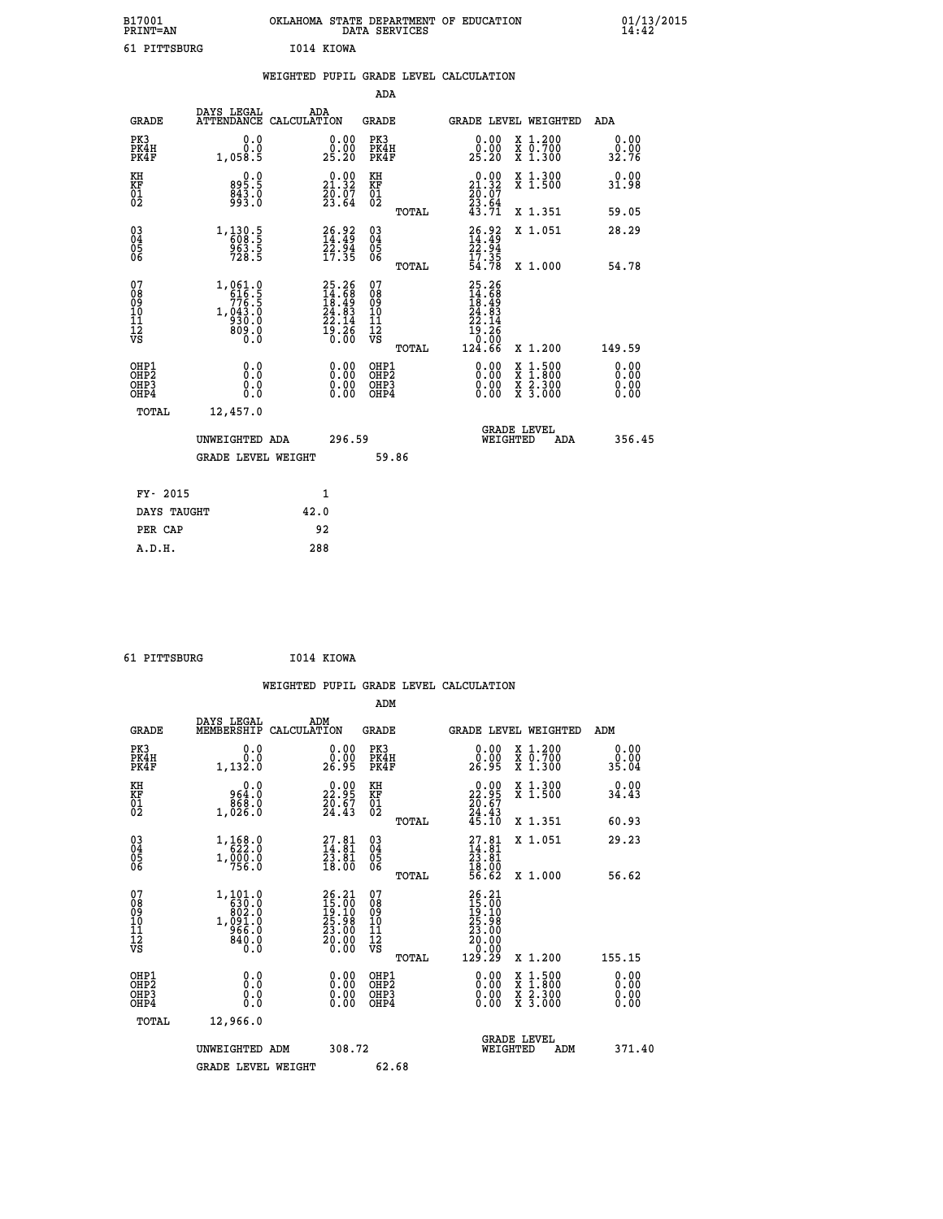| B17001<br><b>PRINT=AN</b> | OKLAHOMA STATE DEPARTMENT OF EDUCATION<br>DATA SERVICES | 01/13/2015 |
|---------------------------|---------------------------------------------------------|------------|
| 61<br>PITTSBURG           | 1014 KIOWA                                              |            |

|                                                                    |                                          |                                                               |      |                                                                           |                                                                         |       | WEIGHTED PUPIL GRADE LEVEL CALCULATION                                                              |                                          |     |                              |
|--------------------------------------------------------------------|------------------------------------------|---------------------------------------------------------------|------|---------------------------------------------------------------------------|-------------------------------------------------------------------------|-------|-----------------------------------------------------------------------------------------------------|------------------------------------------|-----|------------------------------|
|                                                                    |                                          |                                                               |      |                                                                           | <b>ADA</b>                                                              |       |                                                                                                     |                                          |     |                              |
|                                                                    | <b>GRADE</b>                             | DAYS LEGAL<br>ATTENDANCE CALCULATION                          | ADA  |                                                                           | <b>GRADE</b>                                                            |       | <b>GRADE LEVEL WEIGHTED</b>                                                                         |                                          |     | ADA                          |
| PK3                                                                | PK4H<br>PK4F                             | 0.0<br>Ō.Ō<br>1,058.5                                         |      | $\begin{smallmatrix} 0.00\\ 0.00\\ 25.20 \end{smallmatrix}$               | PK3<br>PK4H<br>PK4F                                                     |       | 0.00<br>0.00<br>25.20                                                                               | X 1.200<br>X 0.700<br>X 1.300            |     | 0.00<br>0.00<br>32.76        |
| KH<br>KF<br>01<br>02                                               |                                          | 895.5<br>843.0                                                |      | 21.32<br>$\frac{2}{2}$ $\frac{5}{3}$ $\frac{5}{6}$ $\frac{7}{4}$          | KH<br>KF<br>$\overline{\begin{smallmatrix} 0&1\ 0&2 \end{smallmatrix}}$ |       | $0.00$<br>21.32<br>$\frac{20.07}{23.64}$<br>$\frac{43.71}{23.71}$                                   | X 1.300<br>X 1.500                       |     | 0.00<br>31.98                |
|                                                                    |                                          |                                                               |      |                                                                           |                                                                         | TOTAL |                                                                                                     | X 1.351                                  |     | 59.05                        |
| $\begin{smallmatrix} 03 \\[-4pt] 04 \end{smallmatrix}$<br>Ŏ5<br>06 |                                          | $1, \frac{130}{609}$ : 5<br>$\frac{963.5}{728.5}$             |      | $26.92$<br>$14.49$<br>$22.94$<br>$17.35$                                  | $\substack{03 \\ 04}$<br>05<br>06                                       |       | 26.92<br>14.49<br>22.94<br>17.35<br>54.78                                                           | X 1.051                                  |     | 28.29                        |
|                                                                    |                                          |                                                               |      |                                                                           |                                                                         | TOTAL |                                                                                                     | X 1.000                                  |     | 54.78                        |
| 07<br>08<br>09<br>11<br>11<br>12<br>VS                             |                                          | 1,061.0<br>616.5<br>776.5<br>1,043.0<br>930.0<br>809.0<br>0.0 |      | $25.26$<br>$14.68$<br>$18.49$<br>$24.83$<br>$22.14$<br>$22.14$<br>$19.26$ | 07<br>08<br>09<br>11<br>11<br>12<br>VS                                  | TOTAL | 25.26<br>$\begin{smallmatrix} 24.768\ 14.689\ 24.834\ 22.14\ 19.26\ 0.00\ 124.66 \end{smallmatrix}$ | X 1.200                                  |     | 149.59                       |
|                                                                    | OHP1<br>OHP <sub>2</sub><br>OHP3<br>OHP4 | 0.0<br>Ō.Ō<br>0.0<br>0.0                                      |      | 0.00<br>0.00<br>0.00                                                      | OHP1<br>OHP <sub>2</sub><br>OHP3<br>OHP4                                |       | 0.00<br>0.00<br>0.00                                                                                | X 1:500<br>X 1:800<br>X 2:300<br>X 3:000 |     | 0.00<br>0.00<br>0.00<br>0.00 |
|                                                                    | TOTAL                                    | 12,457.0                                                      |      |                                                                           |                                                                         |       |                                                                                                     |                                          |     |                              |
|                                                                    |                                          | UNWEIGHTED ADA                                                |      | 296.59                                                                    |                                                                         |       | <b>GRADE LEVEL</b><br>WEIGHTED                                                                      |                                          | ADA | 356.45                       |
|                                                                    |                                          | <b>GRADE LEVEL WEIGHT</b>                                     |      |                                                                           |                                                                         | 59.86 |                                                                                                     |                                          |     |                              |
|                                                                    | FY- 2015                                 |                                                               |      | 1                                                                         |                                                                         |       |                                                                                                     |                                          |     |                              |
|                                                                    | DAYS TAUGHT                              |                                                               | 42.0 |                                                                           |                                                                         |       |                                                                                                     |                                          |     |                              |
|                                                                    | PER CAP                                  |                                                               |      | 92                                                                        |                                                                         |       |                                                                                                     |                                          |     |                              |

 **61 PITTSBURG I014 KIOWA**

 **A.D.H. 288**

 **WEIGHTED PUPIL GRADE LEVEL CALCULATION ADM DAYS LEGAL ADM GRADE MEMBERSHIP CALCULATION GRADE GRADE LEVEL WEIGHTED ADM PK3 0.0 0.00 PK3 0.00 X 1.200 0.00 PK4H 0.0 0.00 PK4H 0.00 X 0.700 0.00 PK4F 1,132.0 26.95 PK4F 26.95 X 1.300 35.04 KH 0.0 0.00 KH 0.00 X 1.300 0.00 KF 964.0 22.95 KF 22.95 X 1.500 34.43 01 868.0 20.67 01 20.67 02 1,026.0 24.43 02 24.43 TOTAL 45.10 X 1.351 60.93 03 1,168.0 27.81 03 27.81 X 1.051 29.23 04 622.0 14.81 04 14.81 05 1,000.0 23.81 05 23.81** 06 756.0 18.00 06 <sub>momas</sub> 18.00  **TOTAL 56.62 X 1.000 56.62** 07 1,101.0 26.21 07 26.21<br>
08 630.0 19.10 08 15.00<br>
10 1,091.0 25.98 10 25.98<br>
11 966.0 23.00 11 23.00<br>
VS 840.0 20.00 VS 0.000  **TOTAL 129.29 X 1.200 155.15 OHP1 0.0 0.00 OHP1 0.00 X 1.500 0.00 OHP2 0.0 0.00 OHP2 0.00 X 1.800 0.00 OHP3 0.0 0.00 OHP3 0.00 X 2.300 0.00 OHP4 0.0 0.00 OHP4 0.00 X 3.000 0.00 TOTAL 12,966.0** UNWEIGHTED ADM 308.72  **UNWEIGHTED ADM 308.72 WEIGHTED ADM 371.40** GRADE LEVEL WEIGHT 62.68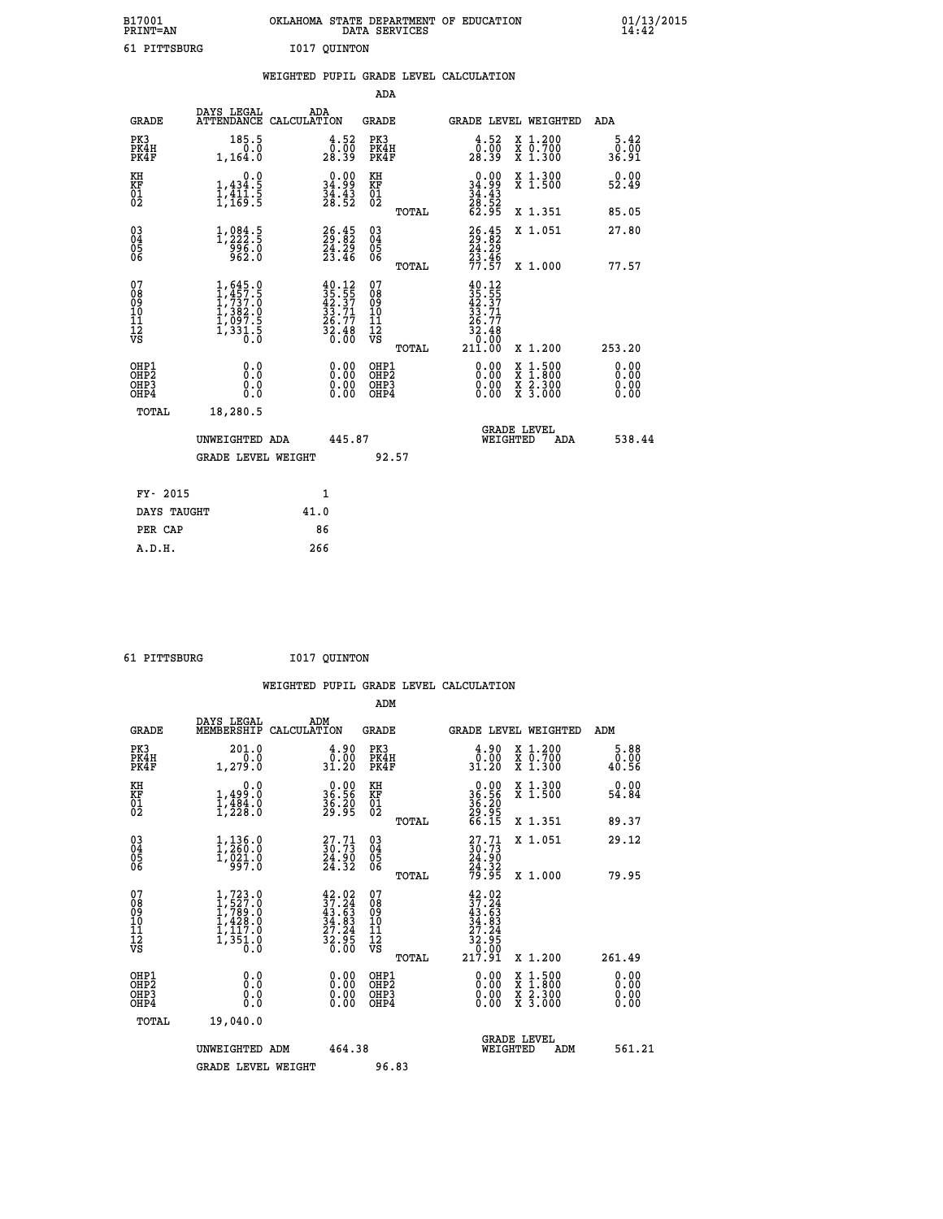| B17001          | OKLAHOMA STATE DEPARTMENT OF EDUCATION |
|-----------------|----------------------------------------|
| <b>PRINT=AN</b> | DATA SERVICES                          |
| 61 PITTSBURG    | I017 OUINTON                           |

|                                                    |                                                                                                                             | WEIGHTED PUPIL GRADE LEVEL CALCULATION                                                               |                                        |       |                                                                                     |                                          |                              |
|----------------------------------------------------|-----------------------------------------------------------------------------------------------------------------------------|------------------------------------------------------------------------------------------------------|----------------------------------------|-------|-------------------------------------------------------------------------------------|------------------------------------------|------------------------------|
|                                                    |                                                                                                                             |                                                                                                      | <b>ADA</b>                             |       |                                                                                     |                                          |                              |
| <b>GRADE</b>                                       | DAYS LEGAL                                                                                                                  | ADA<br>ATTENDANCE CALCULATION                                                                        | <b>GRADE</b>                           |       |                                                                                     | GRADE LEVEL WEIGHTED                     | ADA                          |
| PK3<br>PK4H<br>PK4F                                | 185.5<br>0.0<br>1,164.0                                                                                                     | $\begin{smallmatrix} 4.52\ 0.00\ 28.39 \end{smallmatrix}$                                            | PK3<br>PK4H<br>PK4F                    |       | $\begin{smallmatrix} 4.52\ 0.00\ 28.39 \end{smallmatrix}$                           | X 1.200<br>X 0.700<br>X 1.300            | 5.42<br>0.00<br>36.91        |
| KH<br>KF<br>01<br>02                               | 0.0<br>$1,434.5$<br>$1,411.5$<br>$1,169.5$                                                                                  | $\begin{smallmatrix} 0.00\\ 34.99\\ 34.43\\ 28.52 \end{smallmatrix}$                                 | KH<br>KF<br>01<br>02                   |       | $\begin{smallmatrix} 0.00\\ 34.99\\ 34.43\\ 28.52\\ 62.95 \end{smallmatrix}$        | X 1.300<br>X 1.500                       | 0.00<br>52.49                |
|                                                    |                                                                                                                             |                                                                                                      |                                        | TOTAL |                                                                                     | X 1.351                                  | 85.05                        |
| $\begin{matrix} 03 \\ 04 \\ 05 \\ 06 \end{matrix}$ | 1, 222.5<br>0.355<br>962                                                                                                    | $26.45$<br>$24.29$<br>$23.46$                                                                        | 03<br>04<br>05<br>06                   |       | 26.45<br>29.82<br>24.29<br>23.46<br>77.57                                           | X 1.051                                  | 27.80                        |
|                                                    |                                                                                                                             |                                                                                                      |                                        | TOTAL |                                                                                     | X 1.000                                  | 77.57                        |
| 07<br>08<br>09<br>11<br>11<br>12<br>VS             | $\begin{smallmatrix} 1, 645 & 0\\ 1, 457 & 5\\ 1, 737 & 0\\ 1, 382 & 0\\ 1, 097 & 5\\ 1, 331 & 5\\ 0 & 0 \end{smallmatrix}$ | $\begin{smallmatrix} 40.12\\ 35.55\\ 42.37\\ 33.71\\ 26.77\\ 26.48\\ 32.48\\ 0.00 \end{smallmatrix}$ | 07<br>08<br>09<br>11<br>11<br>12<br>VS | TOTAL | $40.12$<br>$35.55$<br>$42.37$<br>$33.71$<br>$26.77$<br>$32.48$<br>$30.60$<br>21ĭ.ŎŎ | X 1.200                                  | 253.20                       |
| OHP1<br>OHP2<br>OH <sub>P3</sub><br>OHP4           | 0.0<br>0.0<br>0.0                                                                                                           | $\begin{smallmatrix} 0.00 \ 0.00 \ 0.00 \ 0.00 \end{smallmatrix}$                                    | OHP1<br>OHP2<br>OHP3<br>OHP4           |       |                                                                                     | X 1:500<br>X 1:800<br>X 2:300<br>X 3:000 | 0.00<br>0.00<br>0.00<br>0.00 |
| TOTAL                                              | 18,280.5                                                                                                                    |                                                                                                      |                                        |       |                                                                                     |                                          |                              |
|                                                    | UNWEIGHTED ADA                                                                                                              | 445.87                                                                                               |                                        |       | WEIGHTED                                                                            | <b>GRADE LEVEL</b><br>ADA                | 538.44                       |
|                                                    | <b>GRADE LEVEL WEIGHT</b>                                                                                                   |                                                                                                      | 92.57                                  |       |                                                                                     |                                          |                              |
| FY- 2015                                           |                                                                                                                             | $\mathbf{1}$                                                                                         |                                        |       |                                                                                     |                                          |                              |
| DAYS TAUGHT                                        |                                                                                                                             | 41.0                                                                                                 |                                        |       |                                                                                     |                                          |                              |
| PER CAP                                            |                                                                                                                             | 86                                                                                                   |                                        |       |                                                                                     |                                          |                              |

| -------- |
|----------|

 **A.D.H. 266**

 **ADM**

 **61 PITTSBURG I017 QUINTON**

| <b>GRADE</b>                                       | DAYS LEGAL<br>MEMBERSHIP CALCULATION                                                                                 | ADM                                                                                                  | <b>GRADE</b>                                        |       |                                                                                                                                                                                                                                                                                |          | GRADE LEVEL WEIGHTED                     | ADM                   |
|----------------------------------------------------|----------------------------------------------------------------------------------------------------------------------|------------------------------------------------------------------------------------------------------|-----------------------------------------------------|-------|--------------------------------------------------------------------------------------------------------------------------------------------------------------------------------------------------------------------------------------------------------------------------------|----------|------------------------------------------|-----------------------|
| PK3<br>PK4H<br>PK4F                                | 201.0<br>0.0<br>1,279.0                                                                                              | $\frac{4.90}{0.00}$<br>31.20                                                                         | PK3<br>PK4H<br>PK4F                                 |       | $\begin{smallmatrix} 4.90\0.00\\31.20 \end{smallmatrix}$                                                                                                                                                                                                                       |          | X 1.200<br>X 0.700<br>X 1.300            | 5.88<br>0.00<br>40.56 |
| KH<br>KF<br>01<br>02                               | 0.0<br>$1,499 \ .0$<br>$1,484 \ .0$<br>$1,228 \ .0$                                                                  | $\begin{smallmatrix} 0.00\\ 36.56\\ 36.20\\ 36.39\\ 29.95 \end{smallmatrix}$                         | KH<br>KF<br>01<br>02                                |       | $36.56$<br>$36.20$<br>$29.95$<br>$66.15$                                                                                                                                                                                                                                       |          | X 1.300<br>X 1.500                       | 0.00<br>54.84         |
|                                                    |                                                                                                                      |                                                                                                      |                                                     | TOTAL |                                                                                                                                                                                                                                                                                |          | X 1.351                                  | 89.37                 |
| $\begin{matrix} 03 \\ 04 \\ 05 \\ 06 \end{matrix}$ | $1, 136.0$<br>$1, 260.0$<br>$1, 021.0$<br>$997.0$                                                                    | $\begin{smallmatrix} 27.71 \\ 30.73 \\ 24.90 \\ 24.32 \end{smallmatrix}$                             | $\begin{array}{c} 03 \\ 04 \\ 05 \\ 06 \end{array}$ |       | $27.71$<br>$30.73$<br>$24.90$<br>$24.32$<br>$79.95$                                                                                                                                                                                                                            |          | X 1.051                                  | 29.12                 |
|                                                    |                                                                                                                      |                                                                                                      |                                                     | TOTAL |                                                                                                                                                                                                                                                                                |          | X 1.000                                  | 79.95                 |
| 07<br>08<br>09<br>101<br>11<br>12<br>VS            | $\begin{smallmatrix} 1,723 & 0\\ 1,527 & 0\\ 1,789 & 0\\ 1,428 & 0\\ 1,117 & 0\\ 1,351 & 0\\ 0 & 0\end{smallmatrix}$ | $\begin{smallmatrix} 42.02\\ 37.24\\ 43.63\\ 34.83\\ 27.24\\ 22.95\\ 32.95\\ 0.00 \end{smallmatrix}$ | 07<br>08<br>09<br>001<br>11<br>11<br>12<br>VS       | TOTAL | $42.02$<br>$37.24$<br>$43.63$<br>$34.83$<br>$27.24$<br>$32.95$<br>$32.95$<br>$0.00$<br>$217.91$                                                                                                                                                                                |          | X 1.200                                  | 261.49                |
| OHP1<br>OHP2<br>OHP3<br>OHP4                       | $\begin{smallmatrix} 0.0 \ 0.0 \ 0.0 \end{smallmatrix}$                                                              | $0.00$<br>$0.00$<br>0.00                                                                             | OHP1<br>OHP2<br>OHP3<br>OHP4                        |       | $\begin{smallmatrix} 0.00 & 0.00 & 0.00 & 0.00 & 0.00 & 0.00 & 0.00 & 0.00 & 0.00 & 0.00 & 0.00 & 0.00 & 0.00 & 0.00 & 0.00 & 0.00 & 0.00 & 0.00 & 0.00 & 0.00 & 0.00 & 0.00 & 0.00 & 0.00 & 0.00 & 0.00 & 0.00 & 0.00 & 0.00 & 0.00 & 0.00 & 0.00 & 0.00 & 0.00 & 0.00 & 0.0$ |          | X 1:500<br>X 1:800<br>X 2:300<br>X 3:000 | 0.00<br>0.00<br>0.00  |
| TOTAL                                              | 19,040.0                                                                                                             |                                                                                                      |                                                     |       |                                                                                                                                                                                                                                                                                |          |                                          |                       |
|                                                    | UNWEIGHTED<br>ADM                                                                                                    | 464.38                                                                                               |                                                     |       |                                                                                                                                                                                                                                                                                | WEIGHTED | <b>GRADE LEVEL</b><br>ADM                | 561.21                |
|                                                    | <b>GRADE LEVEL WEIGHT</b>                                                                                            |                                                                                                      | 96.83                                               |       |                                                                                                                                                                                                                                                                                |          |                                          |                       |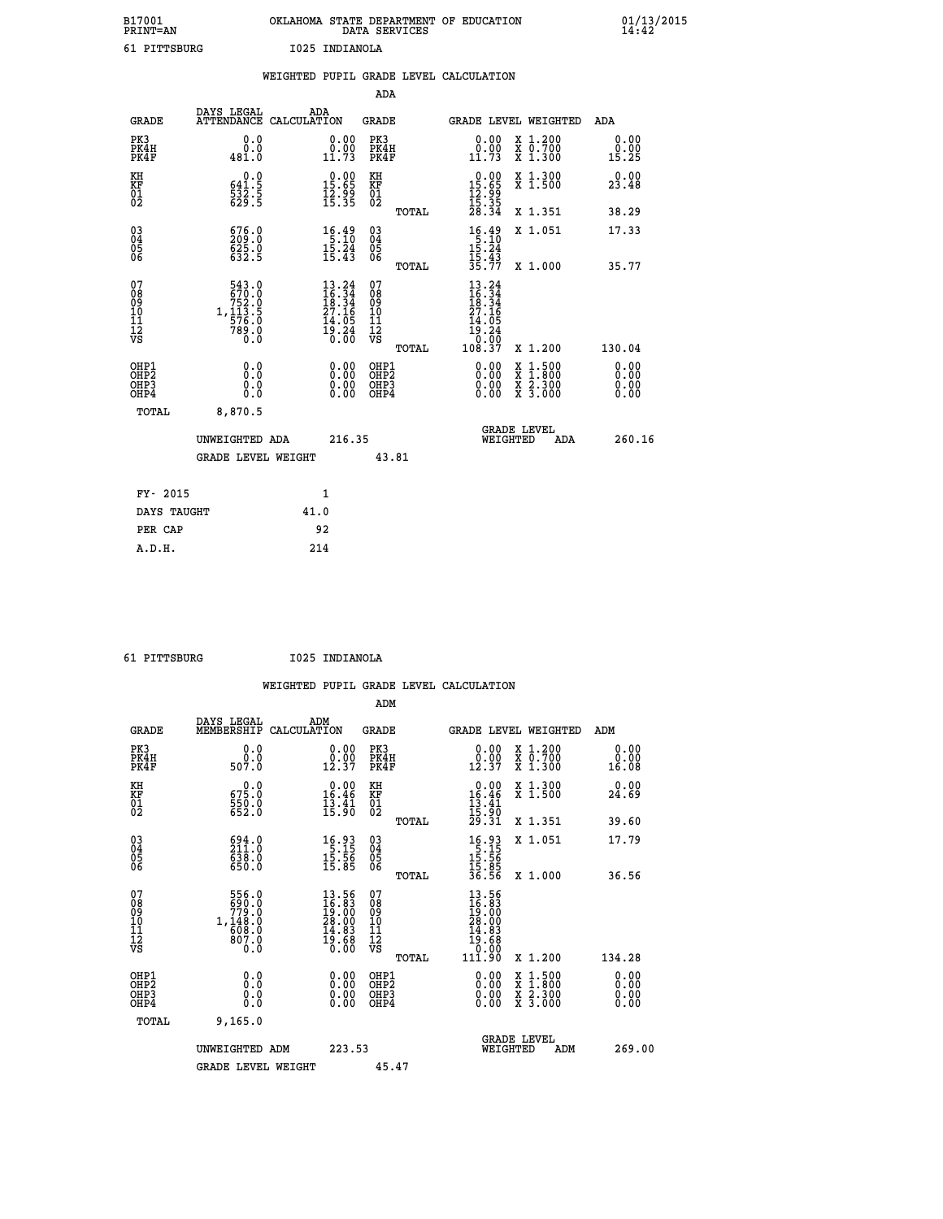| B17001<br><b>PRINT=AN</b> |              |                | OKLAHOMA STATE DEPARTMENT OF EDUCATION<br>DATA SERVICES |  | 01/13/2015 |
|---------------------------|--------------|----------------|---------------------------------------------------------|--|------------|
|                           | 61 PITTSBURG | 1025 INDIANOLA |                                                         |  |            |

|                                           |                                                                                              | WEIGHTED PUPIL GRADE LEVEL CALCULATION                                                                            |                                        |       |                                                                                                 |                                                                   |                              |
|-------------------------------------------|----------------------------------------------------------------------------------------------|-------------------------------------------------------------------------------------------------------------------|----------------------------------------|-------|-------------------------------------------------------------------------------------------------|-------------------------------------------------------------------|------------------------------|
|                                           |                                                                                              |                                                                                                                   | <b>ADA</b>                             |       |                                                                                                 |                                                                   |                              |
| <b>GRADE</b>                              |                                                                                              | DAYS LEGAL ADA ATTENDANCE CALCULATION                                                                             | <b>GRADE</b>                           |       |                                                                                                 | GRADE LEVEL WEIGHTED                                              | ADA                          |
| PK3<br>PK4H<br>PK4F                       | 0.0<br>0.0<br>481.0                                                                          | $\begin{smallmatrix} 0.00\\ 0.00\\ 11.73 \end{smallmatrix}$                                                       | PK3<br>PK4H<br>PK4F                    |       | 0.00<br>0.00<br>11.73                                                                           | X 1.200<br>X 0.700<br>X 1.300                                     | 0.00<br>0.00<br>15.25        |
| KH<br>KF<br>01<br>02                      | 0.0<br>$\frac{641.5}{532.5}$                                                                 | $\begin{array}{c} 0.00 \\ 15.65 \\ 12.99 \\ 15.35 \end{array}$                                                    | KH<br>KF<br>01<br>02                   |       | $\begin{array}{r} 0.00 \\ 15.65 \\ 12.99 \\ 15.35 \\ 28.34 \end{array}$                         | X 1.300<br>X 1.500                                                | 0.00<br>23.48                |
|                                           |                                                                                              |                                                                                                                   |                                        | TOTAL |                                                                                                 | X 1.351                                                           | 38.29                        |
| $^{03}_{04}$<br>05<br>06                  | 676.0<br>209.0<br>625.0<br>632.5                                                             | $\begin{array}{c} 16 \cdot 49 \\ 5 \cdot 10 \\ 15 \cdot 24 \\ 15 \cdot 43 \end{array}$                            | $\substack{03 \\ 04}$<br>05<br>06      |       | $\begin{array}{r} 16.49 \\[-4pt] 5.10 \\[-4pt] 15.24 \\[-4pt] 15.43 \\[-4pt] 35.77 \end{array}$ | X 1.051                                                           | 17.33                        |
|                                           |                                                                                              |                                                                                                                   |                                        | TOTAL |                                                                                                 | X 1.000                                                           | 35.77                        |
| 07<br>08<br>09<br>11<br>11<br>12<br>VS    | $\begin{smallmatrix}543.0\\670.0\\752.0\\752.0\\1,113.5\\576.0\\789.0\\0.0\end{smallmatrix}$ | $\begin{smallmatrix} 13\cdot24\\16\cdot34\\18\cdot34\\27\cdot16\\14\cdot05\\19\cdot24\\0\cdot00\end{smallmatrix}$ | 07<br>08<br>09<br>11<br>11<br>12<br>VS | TOTAL | $13.24$<br>$16.34$<br>$18.34$<br>$27.16$<br>14<br>.05<br>ī9.24<br>10:00<br>108.37               | X 1.200                                                           | 130.04                       |
| OHP1<br>OH <sub>P</sub> 2<br>OHP3<br>OHP4 | 0.0<br>0.0<br>0.0                                                                            | 0.0000<br>$0.00$<br>0.00                                                                                          | OHP1<br>OHP2<br>OHP3<br>OHP4           |       | 0.00<br>0.00<br>0.00                                                                            | $1:500$<br>1:800<br>X<br>X<br>$\frac{x}{x}$ $\frac{5:300}{3:000}$ | 0.00<br>0.00<br>0.00<br>0.00 |
| <b>TOTAL</b>                              | 8,870.5                                                                                      |                                                                                                                   |                                        |       |                                                                                                 |                                                                   |                              |
|                                           | UNWEIGHTED ADA                                                                               | 216.35                                                                                                            |                                        |       |                                                                                                 | GRADE LEVEL<br>WEIGHTED<br>ADA                                    | 260.16                       |
|                                           | <b>GRADE LEVEL WEIGHT</b>                                                                    |                                                                                                                   |                                        | 43.81 |                                                                                                 |                                                                   |                              |
| FY- 2015                                  |                                                                                              | $\mathbf{1}$                                                                                                      |                                        |       |                                                                                                 |                                                                   |                              |
| DAYS TAUGHT                               |                                                                                              | 41.0                                                                                                              |                                        |       |                                                                                                 |                                                                   |                              |
| PER CAP                                   |                                                                                              | 92                                                                                                                |                                        |       |                                                                                                 |                                                                   |                              |

 **61 PITTSBURG I025 INDIANOLA**

 **WEIGHTED PUPIL GRADE LEVEL CALCULATION ADM DAYS LEGAL ADM GRADE MEMBERSHIP CALCULATION GRADE GRADE LEVEL WEIGHTED ADM**

| GRADE                                                | MEMBERSHIP CALCOLATION                                                                     |                                                                                  | GRADE                                               | GRADE PRAFT METGHIED                                                                              |                                          | ADM                                                                                                                                                                                                                                                                            |
|------------------------------------------------------|--------------------------------------------------------------------------------------------|----------------------------------------------------------------------------------|-----------------------------------------------------|---------------------------------------------------------------------------------------------------|------------------------------------------|--------------------------------------------------------------------------------------------------------------------------------------------------------------------------------------------------------------------------------------------------------------------------------|
| PK3<br>PK4H<br>PK4F                                  | $\begin{array}{c} 0.0 \\ 0.0 \\ 507.0 \end{array}$                                         | $\begin{smallmatrix} 0.00\\ 0.00\\ 12.37 \end{smallmatrix}$                      | PK3<br>PK4H<br>PK4F                                 | $\begin{smallmatrix} 0.00\\ 0.00\\ 12.37 \end{smallmatrix}$                                       | X 1.200<br>X 0.700<br>X 1.300            | 0.00<br>16.08                                                                                                                                                                                                                                                                  |
| KH<br>KF<br>01<br>02                                 | $675.0$<br>$550.0$<br>$552.0$                                                              | $\begin{smallmatrix} 0.00\\ 16.46\\ 13.41\\ 15.90 \end{smallmatrix}$             | KH<br>KF<br>01<br>02                                | $\begin{array}{r} 0.00 \\ 16.46 \\ 13.41 \\ 15.90 \\ 29.31 \end{array}$                           | X 1.300<br>X 1.500                       | 0.00<br>24.69                                                                                                                                                                                                                                                                  |
|                                                      |                                                                                            |                                                                                  | TOTAL                                               |                                                                                                   | X 1.351                                  | 39.60                                                                                                                                                                                                                                                                          |
| $\begin{matrix} 03 \\ 04 \\ 05 \\ 06 \end{matrix}$   | $\begin{smallmatrix} 694.0\\ 211.0\\ 638.0\\ 650.0 \end{smallmatrix}$                      | $\begin{array}{r} 16.93 \\[-4pt] 5.15 \\[-4pt] 15.56 \\[-4pt] 15.85 \end{array}$ | $\begin{array}{c} 03 \\ 04 \\ 05 \\ 06 \end{array}$ | $\begin{array}{r} 16.93 \\[-4pt] 5.15 \\[-4pt] 15.56 \\[-4pt] 15.85 \\[-4pt] 36.56 \end{array}$   | X 1.051                                  | 17.79                                                                                                                                                                                                                                                                          |
|                                                      |                                                                                            |                                                                                  | TOTAL                                               |                                                                                                   | X 1.000                                  | 36.56                                                                                                                                                                                                                                                                          |
| 07<br>08<br>09<br>101<br>11<br>12<br>VS              | $\begin{array}{c} 556.0 \\ 690.0 \\ 779.0 \\ 1,148.0 \\ 608.0 \\ 807.0 \end{array}$<br>O.O | $13.56$<br>$16.83$<br>$19.00$<br>$28.00$<br>$14.83$<br>$19.68$<br>$0.00$         | 07<br>08<br>09<br>101<br>11<br>12<br>VS             | $\begin{smallmatrix} 13.56\ 16.30\ 19.000\ 28.000\ 14.83\ 19.68\ 0.000\ 111.90 \end{smallmatrix}$ |                                          |                                                                                                                                                                                                                                                                                |
|                                                      |                                                                                            |                                                                                  | TOTAL                                               |                                                                                                   | X 1.200                                  | 134.28                                                                                                                                                                                                                                                                         |
| OHP1<br>OHP <sub>2</sub><br>OH <sub>P3</sub><br>OHP4 |                                                                                            | $0.00$<br>$0.00$<br>0.00                                                         | OHP1<br>OH <sub>P</sub> 2<br>OHP3<br>OHP4           |                                                                                                   | X 1:500<br>X 1:800<br>X 2:300<br>X 3:000 | $\begin{smallmatrix} 0.00 & 0.00 & 0.00 & 0.00 & 0.00 & 0.00 & 0.00 & 0.00 & 0.00 & 0.00 & 0.00 & 0.00 & 0.00 & 0.00 & 0.00 & 0.00 & 0.00 & 0.00 & 0.00 & 0.00 & 0.00 & 0.00 & 0.00 & 0.00 & 0.00 & 0.00 & 0.00 & 0.00 & 0.00 & 0.00 & 0.00 & 0.00 & 0.00 & 0.00 & 0.00 & 0.0$ |
| TOTAL                                                | 9,165.0                                                                                    |                                                                                  |                                                     |                                                                                                   |                                          |                                                                                                                                                                                                                                                                                |
|                                                      | UNWEIGHTED ADM                                                                             | 223.53                                                                           |                                                     | <b>GRADE LEVEL</b><br>WEIGHTED                                                                    | ADM                                      | 269.00                                                                                                                                                                                                                                                                         |
|                                                      | <b>GRADE LEVEL WEIGHT</b>                                                                  |                                                                                  | 45.47                                               |                                                                                                   |                                          |                                                                                                                                                                                                                                                                                |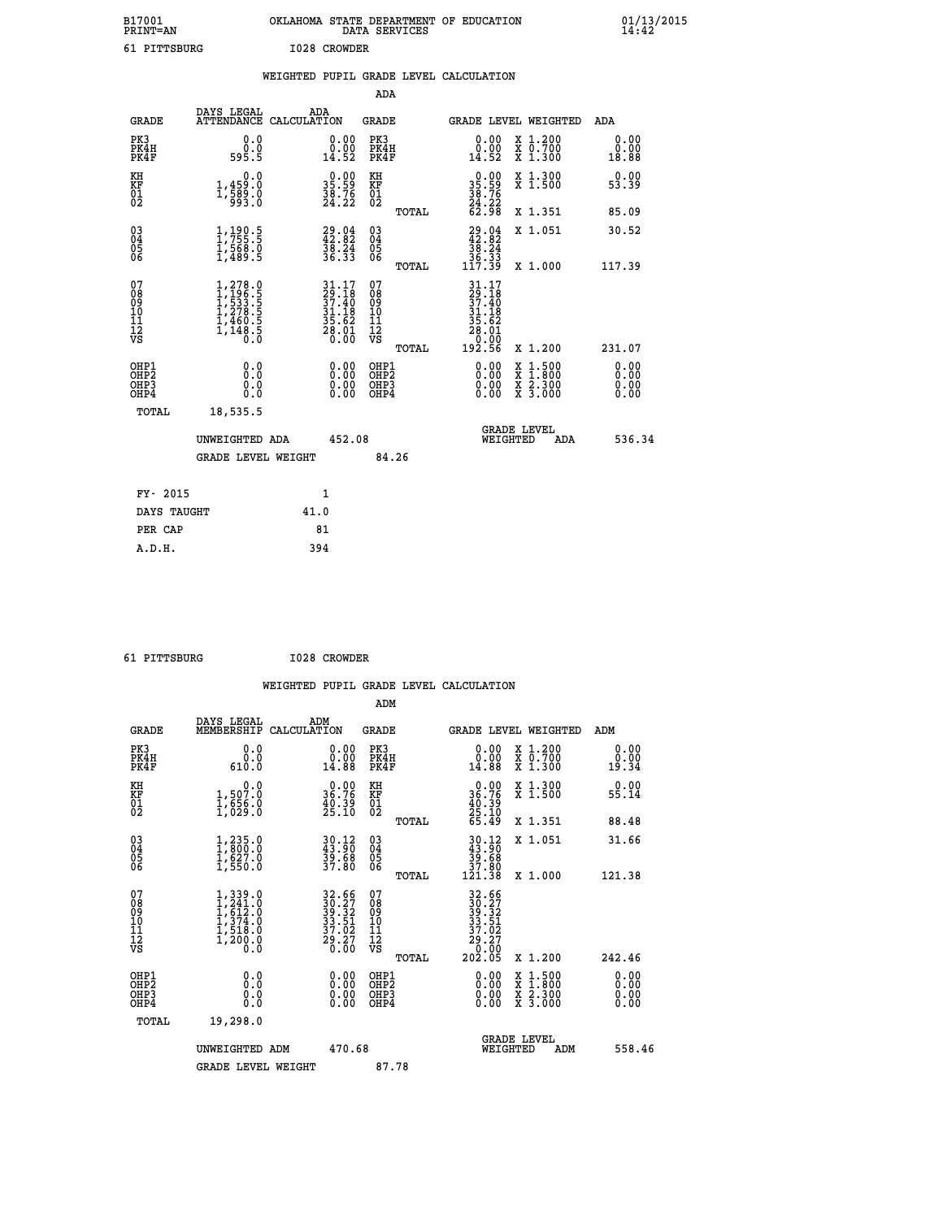| B17001<br><b>PRINT=AN</b> | OKLAHOMA          | STATE DEPARTMENT OF<br><b>SERVICES</b><br>DATA | EDUCATION | 01/13/2015<br>14:42 |
|---------------------------|-------------------|------------------------------------------------|-----------|---------------------|
| ັ                         | I028<br>PITTSBURG | <b>CROWDER</b>                                 |           |                     |

| 61 PITTSBURG                                       |                                                                                           |      | I028 CROWDER                                                                                                                  |                                                     |       |                                                                                |                                                                                                                                           |                       |
|----------------------------------------------------|-------------------------------------------------------------------------------------------|------|-------------------------------------------------------------------------------------------------------------------------------|-----------------------------------------------------|-------|--------------------------------------------------------------------------------|-------------------------------------------------------------------------------------------------------------------------------------------|-----------------------|
|                                                    |                                                                                           |      |                                                                                                                               |                                                     |       | WEIGHTED PUPIL GRADE LEVEL CALCULATION                                         |                                                                                                                                           |                       |
|                                                    |                                                                                           |      |                                                                                                                               | ADA                                                 |       |                                                                                |                                                                                                                                           |                       |
| GRADE                                              | DAYS LEGAL ADA ATTENDANCE CALCULATION                                                     |      |                                                                                                                               | <b>GRADE</b>                                        |       |                                                                                | <b>GRADE LEVEL WEIGHTED</b>                                                                                                               | ADA                   |
| PK3<br>PK4H<br>PK4F                                | 0.0<br>ة:ة<br>595.5                                                                       |      | $\begin{smallmatrix} 0.00\\ 0.00\\ 14.52 \end{smallmatrix}$                                                                   | PK3<br>PK4H<br>PK4F                                 |       | $\begin{smallmatrix} 0.00\\ 0.00\\ 14.52 \end{smallmatrix}$                    | X 1.200<br>X 0.700<br>X 1.300                                                                                                             | 0.00<br>ةة.ة<br>18.88 |
| KH<br>KF<br>01<br>02                               | 0.0<br>1,459:0<br>1,589:0<br>933:0                                                        |      | $\begin{smallmatrix} 0.00\\ 35.59\\ 38.76\\ 24.22 \end{smallmatrix}$                                                          | KH<br>KF<br>01<br>02                                |       | $35.59$<br>$38.76$<br>$24.22$<br>$62.98$                                       | X 1.300<br>X 1.500                                                                                                                        | 0.00<br>53.39         |
|                                                    |                                                                                           |      |                                                                                                                               |                                                     | TOTAL |                                                                                | X 1.351                                                                                                                                   | 85.09                 |
| $\begin{matrix} 03 \\ 04 \\ 05 \\ 06 \end{matrix}$ | $1, 190.5$<br>$1, 755.5$<br>$1, 568.0$<br>$1, 489.5$                                      |      | 29.04<br>42.82<br>38.24<br>36.33                                                                                              | $\begin{array}{c} 03 \\ 04 \\ 05 \\ 06 \end{array}$ |       | $\begin{smallmatrix} 29.04\\ 42.82\\ 38.24\\ 36.33\\ 117.39 \end{smallmatrix}$ | X 1.051                                                                                                                                   | 30.52                 |
|                                                    |                                                                                           |      |                                                                                                                               |                                                     | TOTAL |                                                                                | X 1.000                                                                                                                                   | 117.39                |
| 07<br>08<br>09<br>11<br>11<br>12<br>VS             | $1, 278.0$<br>$1, 196.5$<br>$1, 533.5$<br>$1, 278.5$<br>$1, 460.5$<br>$1, 148.5$<br>$0.0$ |      | $\begin{array}{c} 31\cdot 17 \\ 29\cdot 18 \\ 37\cdot 40 \\ 31\cdot 18 \\ 35\cdot 62 \\ 28\cdot 01 \\ 20\cdot 00 \end{array}$ | 07<br>08<br>09<br>101<br>11<br>12<br>VS             |       | $31.17$<br>$29.18$<br>$37.40$<br>$31.18$<br>$\frac{35.62}{28.01}$              |                                                                                                                                           |                       |
|                                                    |                                                                                           |      |                                                                                                                               |                                                     | TOTAL | 0:00<br>192.56                                                                 | X 1.200                                                                                                                                   | 231.07                |
| OHP1<br>OHP2<br>OHP3<br>OHP4                       | 0.0<br>0.0<br>0.0                                                                         |      | $0.00$<br>$0.00$<br>0.00                                                                                                      | OHP1<br>OHP2<br>OHP3<br>OHP4                        |       | 0.00<br>0.00                                                                   | $\begin{smallmatrix} \mathtt{X} & 1\cdot500\\ \mathtt{X} & 1\cdot800\\ \mathtt{X} & 2\cdot300\\ \mathtt{X} & 3\cdot000 \end{smallmatrix}$ | 0.00<br>0.00<br>0.00  |
| TOTAL                                              | 18,535.5                                                                                  |      |                                                                                                                               |                                                     |       |                                                                                |                                                                                                                                           |                       |
|                                                    | UNWEIGHTED ADA                                                                            |      | 452.08                                                                                                                        |                                                     |       | WEIGHTED                                                                       | <b>GRADE LEVEL</b><br>ADA                                                                                                                 | 536.34                |
|                                                    | <b>GRADE LEVEL WEIGHT</b>                                                                 |      |                                                                                                                               | 84.26                                               |       |                                                                                |                                                                                                                                           |                       |
| FY- 2015                                           |                                                                                           |      | $\mathbf{1}$                                                                                                                  |                                                     |       |                                                                                |                                                                                                                                           |                       |
| DAYS TAUGHT                                        |                                                                                           | 41.0 |                                                                                                                               |                                                     |       |                                                                                |                                                                                                                                           |                       |
| PER CAP                                            |                                                                                           |      | 81                                                                                                                            |                                                     |       |                                                                                |                                                                                                                                           |                       |

 **61 PITTSBURG I028 CROWDER**

 **A.D.H. 394**

 **WEIGHTED PUPIL GRADE LEVEL CALCULATION ADM DAYS LEGAL ADM**

| <b>GRADE</b>                                       | <b>MEMBERSHIP</b>                                                                 | בנשבי<br>CALCULATION                                                 | GRADE                                    |       |                                                                                                  |          | GRADE LEVEL WEIGHTED                                                                             | ADM                          |  |
|----------------------------------------------------|-----------------------------------------------------------------------------------|----------------------------------------------------------------------|------------------------------------------|-------|--------------------------------------------------------------------------------------------------|----------|--------------------------------------------------------------------------------------------------|------------------------------|--|
| PK3<br>PK4H<br>PK4F                                | 0.0<br>$\overset{\scriptscriptstyle0.0}{\scriptscriptstyle0.0}$                   | 0.00<br>0.00<br>14.88                                                | PK3<br>PK4H<br>PK4F                      |       | $\begin{smallmatrix} 0.00\\ 0.00\\ 14.88 \end{smallmatrix}$                                      |          | X 1.200<br>X 0.700<br>X 1.300                                                                    | 0.00<br>0.00<br>19.34        |  |
| KH<br>KF<br>01<br>02                               | 0.0<br>1,507.0<br>1,656.0<br>1,029.0                                              | $\begin{smallmatrix} 0.00\\ 36.76\\ 40.39\\ 25.10 \end{smallmatrix}$ | KH<br>KF<br>01<br>02                     |       | 0.00<br>36.76<br>40.39<br>25.10<br>65.49                                                         |          | X 1.300<br>X 1.500                                                                               | 0.00<br>55.14                |  |
|                                                    |                                                                                   |                                                                      |                                          | TOTAL |                                                                                                  |          | X 1.351                                                                                          | 88.48                        |  |
| $\begin{matrix} 03 \\ 04 \\ 05 \\ 06 \end{matrix}$ | $1, 235.0$<br>$1, 800.0$<br>$1, 627.0$<br>$1, 550.0$                              | $30.12$<br>43.90<br>39.68<br>37.80                                   | $\substack{03 \\ 04}$<br>05<br>06        |       | $\begin{smallmatrix} 30.12\\ 43.90\\ 39.68\\ 37.80\\ 121.38 \end{smallmatrix}$                   |          | X 1.051                                                                                          | 31.66                        |  |
|                                                    |                                                                                   |                                                                      |                                          | TOTAL |                                                                                                  |          | X 1.000                                                                                          | 121.38                       |  |
| 07<br>08<br>09<br>101<br>11<br>12<br>VS            | $1,339.0$<br>$1,241.0$<br>$1,612.0$<br>$1,374.0$<br>$1,518.0$<br>$1,200.0$<br>0.0 | 32.66<br>30.27<br>39.32<br>33.51<br>37.02<br>37.02<br>29.27          | 07<br>08<br>09<br>11<br>11<br>12<br>VS   |       | 32.66<br>$\begin{smallmatrix} 330.27\ 39.32\ 33.32\ 337.51\ 37.027\ 29.202.05 \end{smallmatrix}$ |          |                                                                                                  |                              |  |
|                                                    |                                                                                   |                                                                      |                                          | TOTAL |                                                                                                  |          | X 1.200                                                                                          | 242.46                       |  |
| OHP1<br>OHP2<br>OH <sub>P3</sub><br>OHP4           | 0.0<br>0.0<br>Ŏ.Ŏ                                                                 | $0.00$<br>$0.00$<br>0.00                                             | OHP1<br>OHP2<br>OHP <sub>3</sub><br>OHP4 |       | $0.00$<br>$0.00$<br>0.00                                                                         |          | $\begin{smallmatrix} x & 1 & 500 \\ x & 1 & 800 \\ x & 2 & 300 \\ x & 3 & 000 \end{smallmatrix}$ | 0.00<br>0.00<br>0.00<br>0.00 |  |
| TOTAL                                              | 19,298.0                                                                          |                                                                      |                                          |       |                                                                                                  |          |                                                                                                  |                              |  |
|                                                    | UNWEIGHTED ADM                                                                    | 470.68                                                               |                                          |       |                                                                                                  | WEIGHTED | <b>GRADE LEVEL</b><br>ADM                                                                        | 558.46                       |  |
|                                                    | <b>GRADE LEVEL WEIGHT</b>                                                         |                                                                      | 87.78                                    |       |                                                                                                  |          |                                                                                                  |                              |  |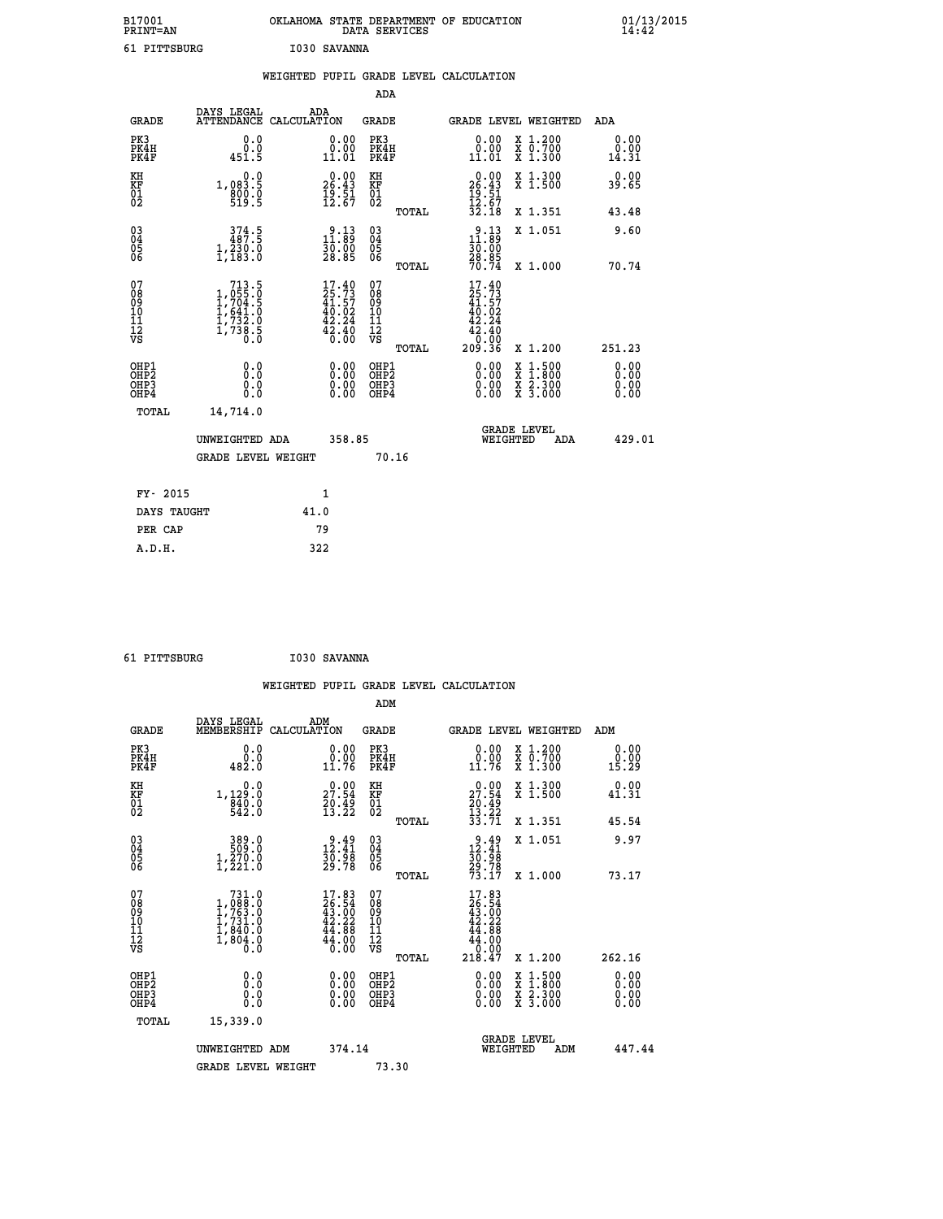| B17001<br><b>PRINT=AN</b> | OKLAHOMA STATE DEPARTMENT OF EDUCATION<br>DATA SERVICES | 01/13/2015 |
|---------------------------|---------------------------------------------------------|------------|
| 61<br>PITTSBURG           | I030 SAVANNA                                            |            |

|                                                                    |                                                                                                                                                       | WEIGHTED PUPIL GRADE LEVEL CALCULATION                                   |                                                 |                                                                              |                               |                              |
|--------------------------------------------------------------------|-------------------------------------------------------------------------------------------------------------------------------------------------------|--------------------------------------------------------------------------|-------------------------------------------------|------------------------------------------------------------------------------|-------------------------------|------------------------------|
|                                                                    |                                                                                                                                                       |                                                                          | ADA                                             |                                                                              |                               |                              |
| <b>GRADE</b>                                                       | DAYS LEGAL                                                                                                                                            | ADA<br>ATTENDANCE CALCULATION                                            | <b>GRADE</b>                                    | GRADE LEVEL WEIGHTED                                                         |                               | ADA                          |
| PK3<br>PK4H<br>PK4F                                                | 0.0<br>0.0<br>451.5                                                                                                                                   | $\begin{smallmatrix} 0.00\\ 0.00\\ 11.01 \end{smallmatrix}$              | PK3<br>PK4H<br>PK4F                             | 0.00<br>0.00<br>11.01                                                        | X 1.200<br>X 0.700<br>X 1.300 | 0.00<br>0.00<br>14.31        |
| KH<br>KF<br>01<br>02                                               | 0.0<br>1,083.5<br>$\frac{800}{519}.$ $\frac{0}{5}$                                                                                                    | $\begin{smallmatrix} 0.00\\ 26.43\\ 19.51\\ 12.67 \end{smallmatrix}$     | KH<br>KF<br>01<br>02                            | $0.00$<br>$26.43$<br>$19.51$<br>$12.67$<br>$32.18$                           | X 1.300<br>X 1.500            | 0.00<br>39.65                |
|                                                                    |                                                                                                                                                       |                                                                          | TOTAL                                           |                                                                              | X 1.351                       | 43.48                        |
| $\begin{smallmatrix} 03 \\[-4pt] 04 \end{smallmatrix}$<br>Ŏ5<br>06 | 374.5<br>$1,\overline{2}\overline{3}\overline{0}\overline{0}$<br>1,183.0                                                                              | $2.13$<br>11.89<br>30.00<br>28.85                                        | $\substack{03 \\ 04}$<br>Ŏ5<br>06               | $2.13$<br>11.89<br>30:00<br>28.85<br>70.74                                   | X 1.051                       | 9.60                         |
|                                                                    |                                                                                                                                                       |                                                                          | TOTAL                                           |                                                                              | X 1.000                       | 70.74                        |
| 07<br>08<br>09<br>101<br>112<br>VS                                 | $\begin{smallmatrix} & 713\ .5\\ 1\ ,\ 055\ .\ 0\\ 1\ ,\ 704\ .\ 5\\ 1\ ,\ 641\ .\ 0\\ 1\ ,\ 732\ .\ 0\\ 1\ ,\ 738\ .\ 5\\ 0\ .\ 0 \end{smallmatrix}$ | $17.40$<br>$25.73$<br>$41.57$<br>$40.02$<br>$42.24$<br>$42.40$<br>$0.00$ | 07<br>08<br>09<br>11<br>11<br>12<br>VS<br>TOTAL | $17.40$<br>$25.73$<br>$41.57$<br>$40.02$<br>42.24<br>42.40<br>00.0°<br>36.02 | X 1.200                       | 251.23                       |
| OHP1<br>OHP2<br>OHP3<br>OHP4                                       | 0.0<br>0.0<br>0.0                                                                                                                                     | 0.00<br>$\begin{smallmatrix} 0.00 \ 0.00 \end{smallmatrix}$              | OHP1<br>OHP2<br>OHP3<br>OHP4                    | 0.00<br>0.00<br>0.00                                                         | X 1:500<br>X 2.300<br>X 3.000 | 0.00<br>0.00<br>0.00<br>0.00 |
| <b>TOTAL</b>                                                       | 14,714.0                                                                                                                                              |                                                                          |                                                 |                                                                              |                               |                              |
|                                                                    | UNWEIGHTED ADA                                                                                                                                        | 358.85                                                                   |                                                 | <b>GRADE LEVEL</b><br>WEIGHTED                                               | ADA                           | 429.01                       |
|                                                                    | <b>GRADE LEVEL WEIGHT</b>                                                                                                                             |                                                                          | 70.16                                           |                                                                              |                               |                              |
| FY- 2015                                                           |                                                                                                                                                       | $\mathbf{1}$                                                             |                                                 |                                                                              |                               |                              |
|                                                                    | DAYS TAUGHT                                                                                                                                           | 41.0                                                                     |                                                 |                                                                              |                               |                              |
| PER CAP                                                            |                                                                                                                                                       | 79                                                                       |                                                 |                                                                              |                               |                              |

 **61 PITTSBURG I030 SAVANNA**

 **WEIGHTED PUPIL GRADE LEVEL CALCULATION ADM DAYS LEGAL ADM GRADE MEMBERSHIP CALCULATION GRADE GRADE LEVEL WEIGHTED ADM PK3 0.0 0.00 PK3 0.00 X 1.200 0.00 PK4H 0.0 0.00 PK4H 0.00 X 0.700 0.00 PK4F 482.0 11.76 PK4F 11.76 X 1.300 15.29 KH 0.0 0.00 KH 0.00 X 1.300 0.00 KF 1,129.0 27.54 KF 27.54 X 1.500 41.31 01 840.0 20.49 01 20.49 02 542.0 13.22 02 13.22 TOTAL 33.71 X 1.351 45.54 03 389.0 9.49 03 9.49 X 1.051 9.97 04 509.0 12.41 04 12.41 05 1,270.0 30.98 05 30.98 06 1,221.0 29.78 06 29.78 TOTAL 73.17 X 1.000 73.17**  $\begin{array}{cccc} 07 & 731.0 & 17.83 & 07 & 17.83 \ 08 & 1,088.0 & 26.54 & 08 & 26.54 \ 09 & 1,763.0 & 43.00 & 09 & 43.00 \ 10 & 1,731.0 & 42.22 & 10 & 42.22 \ 11 & 1,840.0 & 44.88 & 11 & 44.88 \ 12 & 1,800.0 & 44.00 & 12 & 44.00 \ 13 & 0.0 & 0.0 & 0.0 & 0.0 & 0.0 &$  **TOTAL 218.47 X 1.200 262.16 OHP1 0.0 0.00 OHP1 0.00 X 1.500 0.00 OHP2 0.0 0.00 OHP2 0.00 X 1.800 0.00 OHP3 0.0 0.00 OHP3 0.00 X 2.300 0.00 OHP4 0.0 0.00 OHP4 0.00 X 3.000 0.00 TOTAL 15,339.0 GRADE LEVEL UNWEIGHTED ADM 374.14 WEIGHTED ADM 447.44** GRADE LEVEL WEIGHT 73.30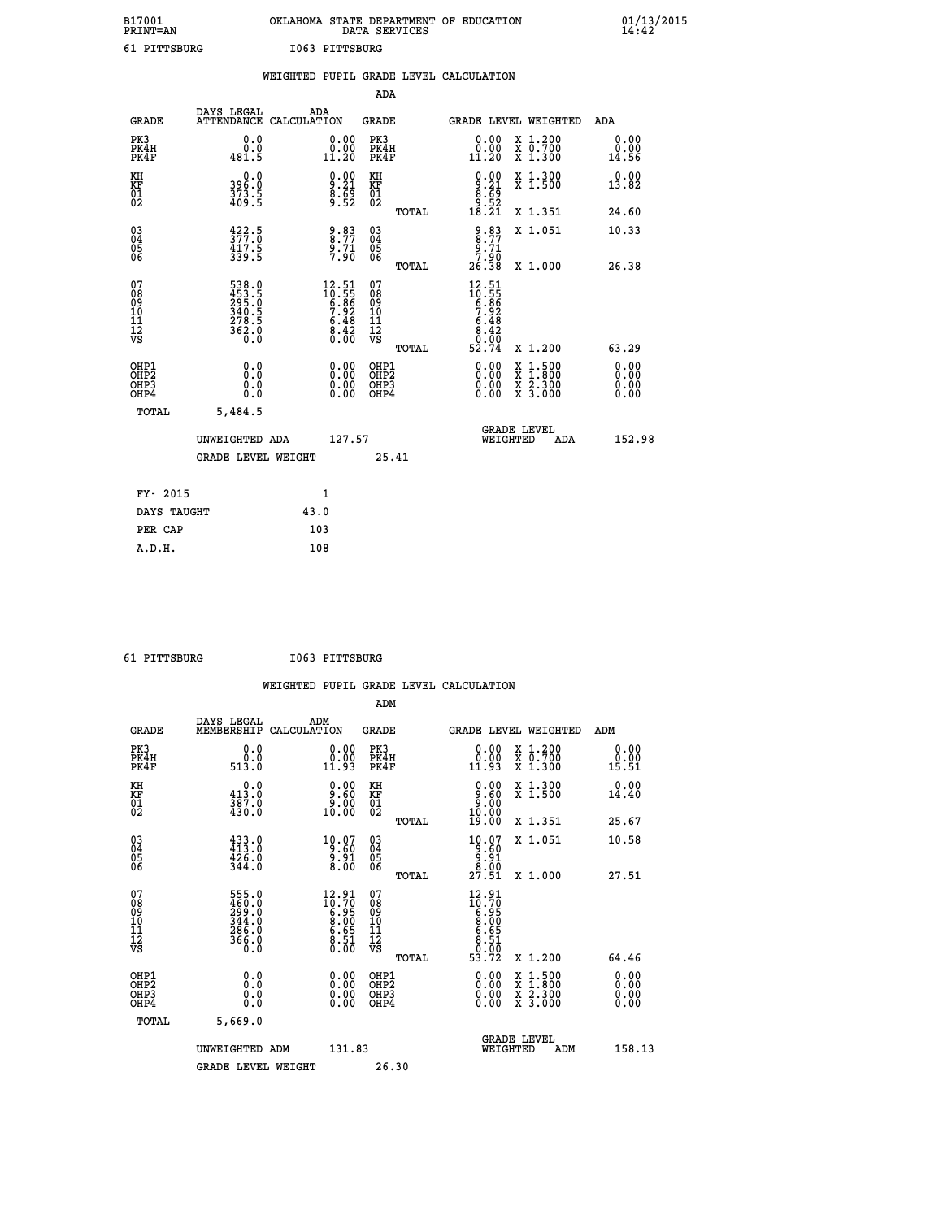| B17001          | OKLAHOMA STATE DEPARTMENT OF EDUCATION |
|-----------------|----------------------------------------|
| <b>PRINT=AN</b> | DATA SERVICES                          |
| 61 PITTSBURG    | I063 PITTSBURG                         |

|                                          |                                                             |                    |                                                                      |                                          |       | WEIGHTED PUPIL GRADE LEVEL CALCULATION                               |                                                                                                                                                                                                                     |     |                               |
|------------------------------------------|-------------------------------------------------------------|--------------------|----------------------------------------------------------------------|------------------------------------------|-------|----------------------------------------------------------------------|---------------------------------------------------------------------------------------------------------------------------------------------------------------------------------------------------------------------|-----|-------------------------------|
|                                          |                                                             |                    |                                                                      | <b>ADA</b>                               |       |                                                                      |                                                                                                                                                                                                                     |     |                               |
| <b>GRADE</b>                             | <b>DAYS LEGAL<br/>ATTENDANCE</b>                            | ADA<br>CALCULATION |                                                                      | <b>GRADE</b>                             |       | GRADE LEVEL WEIGHTED                                                 |                                                                                                                                                                                                                     |     | ADA                           |
| PK3<br>PK4H<br>PK4F                      | 0.0<br>ة:ة<br>481.5                                         |                    | $\begin{smallmatrix} 0.00\\ 0.00\\ 11.20 \end{smallmatrix}$          | PK3<br>PK4H<br>PK4F                      |       | 0.00<br>ŏ:ŏŏ<br>11:20                                                | X 1.200<br>X 0.700<br>X 1.300                                                                                                                                                                                       |     | 0.00<br>0.00<br>14.56         |
| KH<br>KF<br>01<br>02                     | 0.0<br>396:0<br>373:5<br>409:5                              |                    | $\begin{smallmatrix} 0.00\ 9.21\ 8.69\ 9.52 \end{smallmatrix}$       | KH<br>KF<br>01<br>02                     |       | $0.00$<br>$8.21$<br>$8.69$<br>$9.52$<br>$18.21$                      | X 1.300<br>X 1.500                                                                                                                                                                                                  |     | 0.00<br>13.82                 |
|                                          |                                                             |                    |                                                                      |                                          | TOTAL |                                                                      | X 1.351                                                                                                                                                                                                             |     | 24.60                         |
| 03<br>04<br>05<br>06                     | $\frac{422}{377}$ : 0<br>$\frac{417.5}{339.5}$              |                    | $\begin{array}{c} 9.83 \\ 8.77 \\ 9.71 \\ 7.90 \end{array}$          | $\substack{03 \\ 04}$<br>Ŏ5<br>06        |       | $\begin{array}{r} 9.83 \\ 8.77 \\ 9.71 \\ 7.90 \\ 26.38 \end{array}$ | X 1.051                                                                                                                                                                                                             |     | 10.33                         |
|                                          |                                                             |                    |                                                                      |                                          | TOTAL |                                                                      | X 1.000                                                                                                                                                                                                             |     | 26.38                         |
| 07<br>08<br>09<br>11<br>11<br>12<br>VS   | 538.0<br>453.5<br>295.0<br>340.5<br>340.5<br>278.5<br>362.0 |                    | $12.51$<br>$10.55$<br>$6.86$<br>$7.92$<br>$6.48$<br>$8.42$<br>$0.00$ | 07<br>08<br>09<br>11<br>11<br>12<br>VS   |       | $12.51$<br>$10.55$<br>$6.86$<br>$7.92$<br>$6.48$<br>$8.42$<br>$0.94$ |                                                                                                                                                                                                                     |     |                               |
|                                          |                                                             |                    |                                                                      |                                          | TOTAL | 52.74                                                                | X 1.200                                                                                                                                                                                                             |     | 63.29                         |
| OHP1<br>OHP2<br>OH <sub>P3</sub><br>OHP4 | 0.0<br>0.000                                                |                    | 0.00<br>$0.00$<br>0.00                                               | OHP1<br>OHP2<br>OHP <sub>3</sub><br>OHP4 |       | 0.00<br>0.00                                                         | $\begin{array}{l} \mathtt{x} \ \mathtt{1} \cdot \mathtt{500} \\ \mathtt{x} \ \mathtt{1} \cdot \mathtt{800} \\ \mathtt{x} \ \mathtt{2} \cdot \mathtt{300} \\ \mathtt{x} \ \mathtt{3} \cdot \mathtt{000} \end{array}$ |     | 0.00<br>Ō. ŌŌ<br>0.00<br>0.00 |
| TOTAL                                    | 5,484.5                                                     |                    |                                                                      |                                          |       |                                                                      |                                                                                                                                                                                                                     |     |                               |
|                                          | UNWEIGHTED ADA                                              |                    | 127.57                                                               |                                          |       |                                                                      | GRADE LEVEL<br>WEIGHTED                                                                                                                                                                                             | ADA | 152.98                        |
|                                          | <b>GRADE LEVEL WEIGHT</b>                                   |                    |                                                                      |                                          | 25.41 |                                                                      |                                                                                                                                                                                                                     |     |                               |
| FY- 2015                                 |                                                             |                    | 1                                                                    |                                          |       |                                                                      |                                                                                                                                                                                                                     |     |                               |
| DAYS TAUGHT                              |                                                             | 43.0               |                                                                      |                                          |       |                                                                      |                                                                                                                                                                                                                     |     |                               |
|                                          |                                                             |                    |                                                                      |                                          |       |                                                                      |                                                                                                                                                                                                                     |     |                               |

| PTTTSRIIRG |  |
|------------|--|

 **PER CAP 103**

 **A.D.H. 108**

 **61 PITTSBURG I063 PITTSBURG**

|                                                      |                                                                                                              |                    |                                                                      |                                                    |       | WEIGHTED PUPIL GRADE LEVEL CALCULATION                                     |                                                                                                  |                          |
|------------------------------------------------------|--------------------------------------------------------------------------------------------------------------|--------------------|----------------------------------------------------------------------|----------------------------------------------------|-------|----------------------------------------------------------------------------|--------------------------------------------------------------------------------------------------|--------------------------|
|                                                      |                                                                                                              |                    |                                                                      | ADM                                                |       |                                                                            |                                                                                                  |                          |
| <b>GRADE</b>                                         | DAYS LEGAL<br>MEMBERSHIP                                                                                     | ADM<br>CALCULATION |                                                                      | <b>GRADE</b>                                       |       |                                                                            | GRADE LEVEL WEIGHTED                                                                             | ADM                      |
| PK3<br>PK4H<br>PK4F                                  | 0.0<br>0.0<br>513.0                                                                                          |                    | $\begin{smallmatrix} 0.00\\ 0.00\\ 11.93 \end{smallmatrix}$          | PK3<br>PK4H<br>PK4F                                |       | 0.00<br>$\begin{smallmatrix} 0.00 \ 11.93 \end{smallmatrix}$               | X 1.200<br>X 0.700<br>X 1.300                                                                    | 0.00<br>0.00<br>15.51    |
| KH<br>KF<br>01<br>02                                 | $\begin{smallmatrix} &0.0\413.0\phantom{.}387.0\phantom{.}387.0\phantom{.}430.0\phantom{.}\end{smallmatrix}$ |                    | $\begin{smallmatrix} 0.00\\ 9.60\\ 9.60\\ 10.00 \end{smallmatrix}$   | KH<br>KF<br>01<br>02                               |       | $\begin{smallmatrix} 0.00\\ 9.60\\ 0.00\\ 10.00\\ 19.00 \end{smallmatrix}$ | X 1.300<br>X 1.500                                                                               | 0.00<br>14.40            |
|                                                      |                                                                                                              |                    |                                                                      |                                                    | TOTAL |                                                                            | X 1.351                                                                                          | 25.67                    |
| $\begin{matrix} 03 \\ 04 \\ 05 \\ 06 \end{matrix}$   | $433.0$<br>$413.0$<br>$426.0$<br>$344.0$                                                                     |                    | $\begin{smallmatrix} 10.07\ 9.60\ 9.91\ 8.00 \end{smallmatrix}$      | $\begin{matrix} 03 \\ 04 \\ 05 \\ 06 \end{matrix}$ |       | $\begin{array}{r} 10.07 \\ 9.60 \\ 9.91 \\ 8.00 \\ 27.51 \end{array}$      | X 1.051                                                                                          | 10.58                    |
|                                                      |                                                                                                              |                    |                                                                      |                                                    | TOTAL |                                                                            | $X_1.000$                                                                                        | 27.51                    |
| 07<br>0890112<br>1112<br>VS                          | 555.0<br>460.0<br>299.0<br>344.0<br>346.0<br>366.0<br>366.0                                                  |                    | $12.91$<br>$10.70$<br>$6.95$<br>$8.00$<br>$6.65$<br>$8.51$<br>$0.00$ | 07<br>08<br>09<br>11<br>11<br>12<br>VS             | TOTAL | $12.91$<br>$10.70$<br>$6.950$<br>$8.005$<br>$6.51$<br>$0.702$<br>$53.72$   | X 1.200                                                                                          | 64.46                    |
| OHP1<br>OH <sub>P</sub> <sub>2</sub><br>OHP3<br>OHP4 | 0.0<br>0.0<br>0.0                                                                                            |                    |                                                                      | OHP1<br>OH <sub>P</sub> 2<br>OHP3<br>OHP4          |       |                                                                            | $\begin{smallmatrix} x & 1 & 500 \\ x & 1 & 800 \\ x & 2 & 300 \\ x & 3 & 000 \end{smallmatrix}$ | $0.00$<br>$0.00$<br>0.00 |
| TOTAL                                                | 5,669.0                                                                                                      |                    |                                                                      |                                                    |       |                                                                            |                                                                                                  |                          |
|                                                      | UNWEIGHTED ADM                                                                                               |                    | 131.83                                                               |                                                    |       | WEIGHTED                                                                   | <b>GRADE LEVEL</b><br>ADM                                                                        | 158.13                   |

GRADE LEVEL WEIGHT 26.30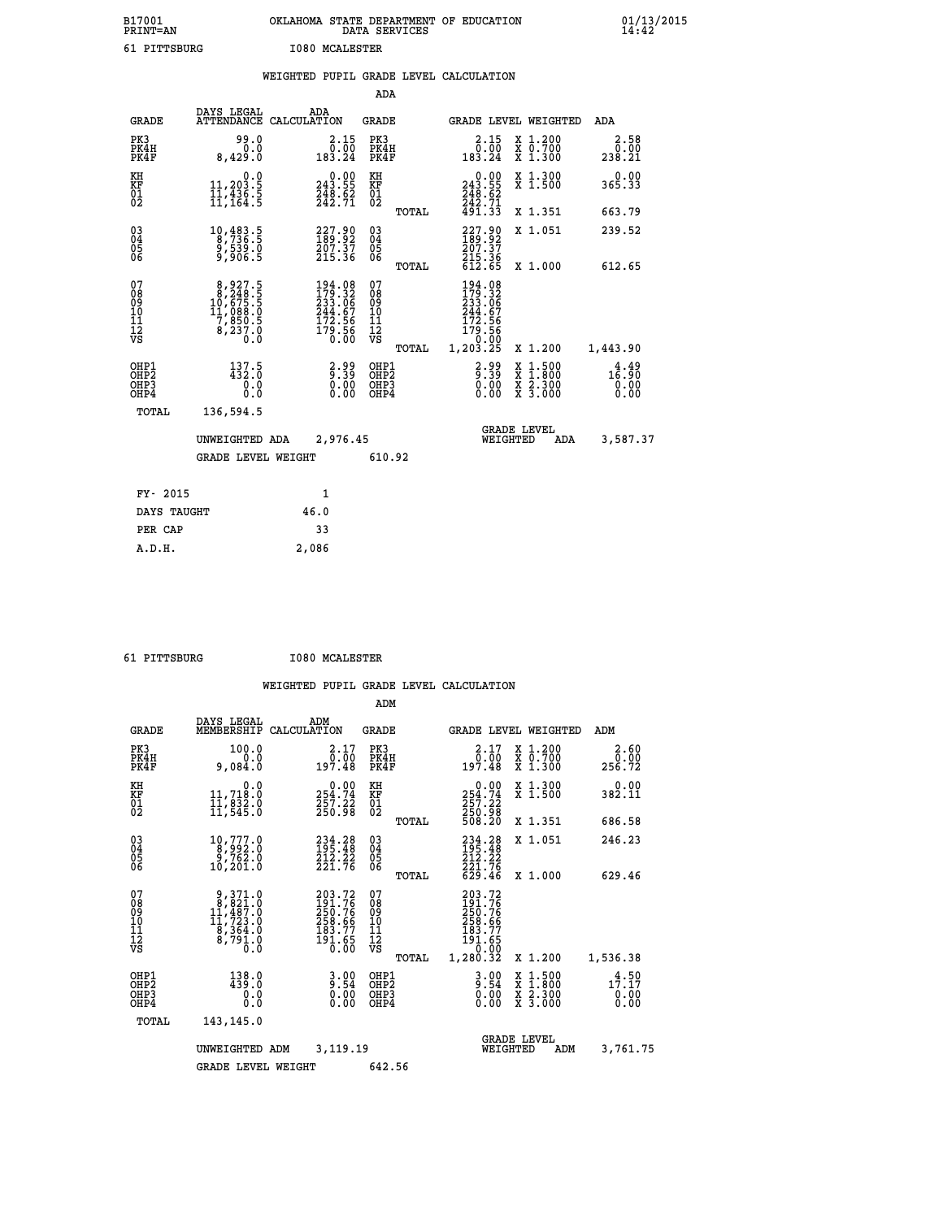| B17001<br><b>PRINT=AN</b>              |                                                                                                   | OKLAHOMA STATE DEPARTMENT OF EDUCATION                                                      | DATA SERVICES                          |                                                                    |                                                                                          | $01/13/2015$<br>14:42                            |  |
|----------------------------------------|---------------------------------------------------------------------------------------------------|---------------------------------------------------------------------------------------------|----------------------------------------|--------------------------------------------------------------------|------------------------------------------------------------------------------------------|--------------------------------------------------|--|
| 61 PITTSBURG                           |                                                                                                   | <b>I080 MCALESTER</b>                                                                       |                                        |                                                                    |                                                                                          |                                                  |  |
|                                        |                                                                                                   | WEIGHTED PUPIL GRADE LEVEL CALCULATION                                                      |                                        |                                                                    |                                                                                          |                                                  |  |
|                                        |                                                                                                   |                                                                                             | <b>ADA</b>                             |                                                                    |                                                                                          |                                                  |  |
| <b>GRADE</b>                           | DAYS LEGAL<br>ATTENDANCE CALCULATION                                                              | ADA                                                                                         | GRADE                                  | GRADE LEVEL WEIGHTED                                               |                                                                                          | ADA                                              |  |
| PK3<br>PK4H<br>PK4F                    | 99.0<br>0.0<br>8,429.0                                                                            | 2.15<br>$\begin{array}{r} 0.00 \\[-4pt] 0.01 \\[-4pt] 183.24 \end{array}$                   | PK3<br>PK4H<br>PK4F                    | $\begin{smallmatrix} 2.15\0.00\\0.00\\183.24\end{smallmatrix}$     | X 1.200<br>X 0.700<br>X 1.300                                                            | 2.58<br>0.00<br>238.21                           |  |
| KH<br>KF<br>$^{01}_{02}$               | 0.0<br>11,203.5<br>11,436.5<br>11,164.5                                                           | $\begin{smallmatrix} &0.00\\ 243.55\\ 248.62\\ 242.71\end{smallmatrix}$                     | KH<br>KF<br>$\overline{01}$            | $0.00$<br>243.55<br>$\frac{748.62}{242.71}$                        | X 1.300<br>X 1.500                                                                       | 0.00<br>365.33                                   |  |
|                                        |                                                                                                   |                                                                                             | TOTAL                                  | 491.33                                                             | X 1.351                                                                                  | 663.79                                           |  |
| $03\overline{4}$<br>Ŏ5<br>ŎĞ           | $\begin{smallmatrix}10,483.5\\8,736.5\\9,539.0\\9,906.5\end{smallmatrix}$                         | $\begin{smallmatrix} 227.90\\ 189.92\\ 207.37\\ 215.36 \end{smallmatrix}$                   | 030404<br>ŎĞ                           | $227.90189.92207.37215.36612.65$                                   | X 1.051                                                                                  | 239.52                                           |  |
|                                        |                                                                                                   |                                                                                             | <b>TOTAL</b>                           |                                                                    | X 1,000                                                                                  | 612.65                                           |  |
| 07<br>08<br>09<br>11<br>11<br>12<br>VS | $\begin{smallmatrix}8,927.5\\8,248.5\\10,675.5\\11,088.0\\7,850.5\\8,237.0\\0.0\end{smallmatrix}$ | $\begin{smallmatrix} 194.08\\179.32\\233.06\\244.67\\172.56\\179.56\\0.00\end{smallmatrix}$ | 07<br>08<br>09<br>10<br>īĭ<br>Ī2<br>VS | 194.08<br>179.32<br>233.06<br>244.67<br>172.56<br>179.56<br>--0.00 |                                                                                          |                                                  |  |
|                                        |                                                                                                   |                                                                                             | TOTAL                                  | 1,203.25                                                           | X 1.200                                                                                  | 1,443.90                                         |  |
| OHP1<br>OHP2<br>OHP3<br>OHP4           | $137.5$<br>432.0<br>0.0<br>0.0                                                                    | $2.99$<br>$9.39$<br>0.00<br>0.00                                                            | OHP1<br>OHP2<br>OHP3<br>OHP4           | 8:89<br>0:39<br>0:00<br>0.00                                       | $\begin{smallmatrix} x & 1.500 \\ x & 1.800 \\ x & 2.300 \\ x & 3.000 \end{smallmatrix}$ | $1\frac{4}{6}$ : $\frac{49}{90}$<br>0.00<br>0.00 |  |
| TOTAL                                  | 136,594.5                                                                                         |                                                                                             |                                        |                                                                    |                                                                                          |                                                  |  |
|                                        | UNWEIGHTED ADA                                                                                    | 2,976.45                                                                                    |                                        | WEIGHTED                                                           | <b>GRADE LEVEL</b><br>ADA                                                                | 3,587.37                                         |  |
|                                        | GRADE LEVEL WEIGHT                                                                                |                                                                                             | 610.92                                 |                                                                    |                                                                                          |                                                  |  |
| FY- 2015                               |                                                                                                   | 1                                                                                           |                                        |                                                                    |                                                                                          |                                                  |  |
| DAYS TAUGHT                            |                                                                                                   | 46.0                                                                                        |                                        |                                                                    |                                                                                          |                                                  |  |
| PER CAP                                |                                                                                                   | 33                                                                                          |                                        |                                                                    |                                                                                          |                                                  |  |
| A.D.H.                                 |                                                                                                   | 2,086                                                                                       |                                        |                                                                    |                                                                                          |                                                  |  |

 **61 PITTSBURG I080 MCALESTER**

|                                                       |                                                                                                   |                                                                                                     | ADM                                                 |                                                                                                                    |                                          |                                                  |
|-------------------------------------------------------|---------------------------------------------------------------------------------------------------|-----------------------------------------------------------------------------------------------------|-----------------------------------------------------|--------------------------------------------------------------------------------------------------------------------|------------------------------------------|--------------------------------------------------|
| <b>GRADE</b>                                          | DAYS LEGAL<br>MEMBERSHIP                                                                          | ADM<br>CALCULATION                                                                                  | <b>GRADE</b>                                        | <b>GRADE LEVEL WEIGHTED</b>                                                                                        |                                          | ADM                                              |
| PK3<br>PK4H<br>PK4F                                   | 100.0<br>0.0<br>9,084.0                                                                           | 2.17<br>0.00<br>197.48                                                                              | PK3<br>PK4H<br>PK4F                                 | $\begin{smallmatrix} 2.17\\ 6.00\\ 197.48 \end{smallmatrix}$                                                       | X 1.200<br>X 0.700<br>X 1.300            | 2.60<br>0.00≨<br>256.72                          |
| KH<br>KF<br>01<br>02                                  | 0.0<br>11,718:0<br>11,832:0<br>11,545:0                                                           | $\begin{smallmatrix} &0.00\\ 254.74\\ 257.22\\ 250.98\end{smallmatrix}$                             | KH<br>KF<br>01<br>02                                | $\begin{smallmatrix} &0.00\\ 254.74\\ 257.22\\ 250.98\\ 508.20 \end{smallmatrix}$                                  | X 1.300<br>X 1.500                       | $\frac{0.00}{382.11}$                            |
|                                                       |                                                                                                   |                                                                                                     | TOTAL                                               |                                                                                                                    | X 1.351                                  | 686.58                                           |
| 03<br>04<br>05<br>06                                  | 10,777.0<br>8,992.0<br>9,762.0<br>10,201.0                                                        | 234.28<br>195.48<br>212:22<br>221:76                                                                | $\begin{array}{c} 03 \\ 04 \\ 05 \\ 06 \end{array}$ | 234.28<br>195.48<br>212.22                                                                                         | X 1.051                                  | 246.23                                           |
|                                                       |                                                                                                   |                                                                                                     | TOTAL                                               | 221.76<br>629.46                                                                                                   | X 1.000                                  | 629.46                                           |
| 07<br>08<br>09<br>101<br>112<br>VS                    | $\begin{smallmatrix}9,371.0\\8,821.0\\11,487.0\\11,723.0\\8,364.0\\8,791.0\\0.0\end{smallmatrix}$ | 203.72<br>191.76<br>250.76<br>$\frac{258.66}{183.77}$<br>$19\overline{1}\cdot\overline{65}$<br>0.00 | 07<br>08<br>09<br>11<br>11<br>12<br>VS<br>TOTAL     | 203.72<br>191.76<br>250.76<br>258.66<br>$\begin{smallmatrix} 183.77 \ 191.65 \ 0.00 \end{smallmatrix}$<br>1,280.32 | X 1.200                                  | 1,536.38                                         |
| OHP1<br>OH <sub>P</sub> 2<br>OH <sub>P3</sub><br>OHP4 | 138.0<br>439.0<br>0.000                                                                           | $3.90\n0.54\n0.00$                                                                                  | OHP1<br>OHP2<br>OHP3<br>OHP4                        | $3.00$<br>$9.54$<br>$0.00$<br>0.00                                                                                 | X 1:500<br>X 1:800<br>X 2:300<br>X 3:000 | $1\frac{4}{7}\cdot\frac{50}{17}$<br>0.00<br>0.00 |
| TOTAL                                                 | 143,145.0                                                                                         |                                                                                                     |                                                     |                                                                                                                    |                                          |                                                  |
|                                                       | UNWEIGHTED                                                                                        | 3,119.19<br>ADM                                                                                     |                                                     | <b>GRADE LEVEL</b><br>WEIGHTED                                                                                     | ADM                                      | 3,761.75                                         |
|                                                       | <b>GRADE LEVEL WEIGHT</b>                                                                         |                                                                                                     | 642.56                                              |                                                                                                                    |                                          |                                                  |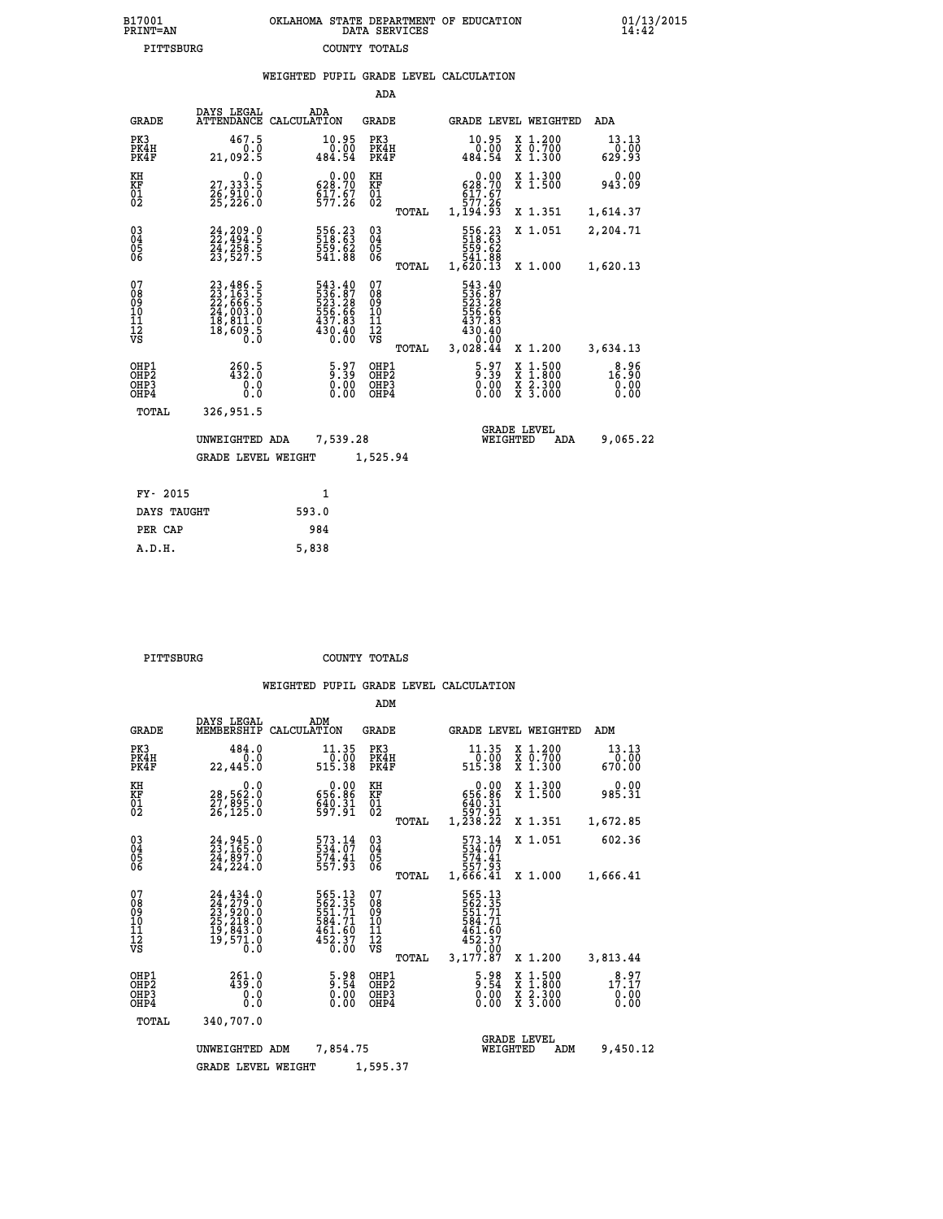| 7001<br>INT=AN | OKLAHOMA STATE DEPARTMENT OF EDUCATION<br>DATA SERVICES |  |
|----------------|---------------------------------------------------------|--|
| PITTSBURG      | COUNTY TOTALS                                           |  |

|                                                              |                                                                                                                                                                                                     | WEIGHTED PUPIL GRADE LEVEL CALCULATION                                     |                                          |                                                                                                |                                                                                                  |                               |
|--------------------------------------------------------------|-----------------------------------------------------------------------------------------------------------------------------------------------------------------------------------------------------|----------------------------------------------------------------------------|------------------------------------------|------------------------------------------------------------------------------------------------|--------------------------------------------------------------------------------------------------|-------------------------------|
|                                                              |                                                                                                                                                                                                     |                                                                            | ADA                                      |                                                                                                |                                                                                                  |                               |
| <b>GRADE</b>                                                 | DAYS LEGAL                                                                                                                                                                                          | ADA<br>ATTENDANCE CALCULATION                                              | <b>GRADE</b>                             | GRADE LEVEL WEIGHTED                                                                           |                                                                                                  | ADA                           |
| PK3<br>PK4H<br>PK4F                                          | 467.5<br>0.0<br>21,092.5                                                                                                                                                                            | 10.95<br>0.00<br>484.54                                                    | PK3<br>PK4H<br>PK4F                      | 10.95<br>$\begin{smallmatrix} & 0 & 0 & 0 \\ 0 & 0 & 0 & 0 \\ 4 & 84 & 54 & \end{smallmatrix}$ | X 1.200<br>X 0.700<br>X 1.300                                                                    | 13.13<br>0.00<br>629.93       |
| KH<br><b>KF</b><br>01<br>02                                  | 0.0<br>27,333.5<br>26,910.0<br>25,226.0                                                                                                                                                             | $\begin{smallmatrix} &0.00\\ 628.70\\ 617.67\\ 577.26\end{smallmatrix}$    | KH<br>KF<br>01<br>02                     | 0.00<br>628.70<br>617.67<br>577.26                                                             | X 1.300<br>X 1.500                                                                               | 0.00<br>943.09                |
|                                                              |                                                                                                                                                                                                     |                                                                            | TOTAL                                    | 1,194.93                                                                                       | X 1.351                                                                                          | 1,614.37                      |
| $\begin{smallmatrix} 03 \\[-4pt] 04 \end{smallmatrix}$<br>Ŏ5 | 24, 209 . 0<br>24,258.5<br>23,527.5                                                                                                                                                                 | 556.23<br>518.63<br>559.62<br>541.88                                       | $\substack{03 \\ 04}$<br>05              | 556.23<br>518.63                                                                               | X 1.051                                                                                          | 2,204.71                      |
| 06                                                           |                                                                                                                                                                                                     |                                                                            | 06<br>TOTAL                              | 559.62<br>541.88<br>1,620.13                                                                   | X 1.000                                                                                          | 1,620.13                      |
| 07<br>08<br>09<br>11<br>11<br>12<br>VS                       | $\begin{smallmatrix} 23\,,\,486\,,\,5\\ 23\,,\,163\,,\,5\\ 22\,,\,666\,,\,5\\ 24\,,\,003\,,\,0\\ 18\,,\,811\,,\,0\\ 18\,,\,609\,,\,5\\ 0\phantom{0}\\ 0\phantom{0}\\ 0\phantom{0}\end{smallmatrix}$ | 543.40<br>536.87<br>523.28<br>556.66<br>556.66<br>437.83<br>430.40<br>0.00 | 07<br>089<br>101<br>111<br>VS<br>TOTAL   | 543.40<br>536:87<br>523:28<br>556:66<br>437:83<br>430.40<br>0.00<br>3,028.44                   | X 1.200                                                                                          | 3,634.13                      |
| OHP1<br>OHP2<br>OHP3<br>OHP4                                 | 260.5<br>432.Ŏ<br>0.0<br>0.0                                                                                                                                                                        | $\frac{5.97}{9.39}$<br>$\begin{smallmatrix} 0.00 \ 0.00 \end{smallmatrix}$ | OHP1<br>OHP <sub>2</sub><br>OHP3<br>OHP4 | $\frac{5.97}{9.39}$<br>$0.00$<br>0.00                                                          | $\begin{smallmatrix} x & 1 & 500 \\ x & 1 & 800 \\ x & 2 & 300 \\ x & 3 & 000 \end{smallmatrix}$ | 8.96<br>16.90<br>0.00<br>0.00 |
| TOTAL                                                        | 326,951.5                                                                                                                                                                                           |                                                                            |                                          |                                                                                                |                                                                                                  |                               |
|                                                              | UNWEIGHTED ADA                                                                                                                                                                                      | 7,539.28                                                                   |                                          | <b>GRADE LEVEL</b><br>WEIGHTED                                                                 | <b>ADA</b>                                                                                       | 9,065.22                      |
|                                                              | <b>GRADE LEVEL WEIGHT</b>                                                                                                                                                                           |                                                                            | 1,525.94                                 |                                                                                                |                                                                                                  |                               |
| FY- 2015                                                     |                                                                                                                                                                                                     | $\mathbf{1}$                                                               |                                          |                                                                                                |                                                                                                  |                               |
| DAYS TAUGHT                                                  |                                                                                                                                                                                                     | 593.0                                                                      |                                          |                                                                                                |                                                                                                  |                               |
| PER CAP                                                      |                                                                                                                                                                                                     | 984                                                                        |                                          |                                                                                                |                                                                                                  |                               |

 **PITTSBURG COUNTY TOTALS**

 **A.D.H. 5,838**

 **B17001<br>PRINT=AN** 

|                                                       |                                                                                                |                                                                 | ADM                                                                             |                                                                                  |                                                   |                                                                 |
|-------------------------------------------------------|------------------------------------------------------------------------------------------------|-----------------------------------------------------------------|---------------------------------------------------------------------------------|----------------------------------------------------------------------------------|---------------------------------------------------|-----------------------------------------------------------------|
| <b>GRADE</b>                                          | DAYS LEGAL<br>MEMBERSHIP                                                                       | ADM<br>CALCULATION                                              | <b>GRADE</b>                                                                    | <b>GRADE LEVEL WEIGHTED</b>                                                      |                                                   | ADM                                                             |
| PK3<br>PK4H<br>PK4F                                   | 484.0<br>0.0<br>22,445.0                                                                       | 11.35<br>0.00<br>515.38                                         | PK3<br>PK4H<br>PK4F                                                             | 11.35<br>0.00<br>515.38                                                          | X 1.200<br>$\bar{x}$ $\bar{0}$ . 700<br>$X$ 1.300 | 13.13<br>0.00<br>670.00                                         |
| KH<br>KF<br>01<br>02                                  | 0.0<br>28,562.0<br>27,895.0<br>26,125.0                                                        | 0.00<br>656.86<br>$640.31$<br>597.91                            | KH<br>KF<br>01<br>02                                                            | 0.00<br>656.86<br>$540.31$<br>597.91<br>1,238.22                                 | X 1.300<br>X 1.500                                | 0.00<br>985.31                                                  |
|                                                       |                                                                                                |                                                                 | TOTAL                                                                           |                                                                                  | X 1.351                                           | 1,672.85                                                        |
| 03<br>04<br>05<br>06                                  | 24, 945.0<br>23, 165.0<br>24, 897.0<br>24, 224.0                                               | 573.14<br>574.41<br>557.93                                      | $\substack{03 \\ 04}$<br>$\begin{smallmatrix} 0 & 5 \\ 0 & 6 \end{smallmatrix}$ | 573.14<br>534.07<br>574.41<br>557.93                                             | X 1.051                                           | 602.36                                                          |
|                                                       |                                                                                                |                                                                 | TOTAL                                                                           | 1,666.41                                                                         | X 1.000                                           | 1,666.41                                                        |
| 07<br>08<br>09<br>11<br>11<br>12<br>VS                | 24, 434.0<br>24, 279.0<br>23, 920.0<br>25, 218.0<br>25, 218.0<br>19, 843.0<br>19, 571.0<br>ō.ŏ | 565.13<br>562.35<br>551.71<br>584.71<br>$\frac{461.60}{452.37}$ | 07<br>08<br>09<br>101<br>11<br>12<br>VS<br>TOTAL                                | 565.13<br>562.35<br>551.71<br>584.71<br>$461.60$<br>$452.37$<br>0.00<br>3,177.87 | X 1.200                                           | 3,813.44                                                        |
| OHP1<br>OH <sub>P</sub> 2<br>OH <sub>P3</sub><br>OHP4 | $261.0$<br>$439.0$<br>0.0<br>Ŏ.Ŏ                                                               | $\frac{5.98}{9.54}$<br>0.00<br>0.00                             | OHP1<br>OHP2<br>OHP3<br>OHP4                                                    | $\frac{5.98}{9.54}$<br>0.00<br>0.00                                              | X 1:500<br>X 1:800<br>X 2:300<br>X 3:000          | $1\overset{8}{.}1\overset{9}{.}1\overset{7}{.}$<br>0.00<br>0.00 |
| TOTAL                                                 | 340,707.0                                                                                      |                                                                 |                                                                                 |                                                                                  |                                                   |                                                                 |
|                                                       | UNWEIGHTED                                                                                     | 7,854.75<br>ADM                                                 |                                                                                 | WEIGHTED                                                                         | <b>GRADE LEVEL</b><br>ADM                         | 9,450.12                                                        |
|                                                       | <b>GRADE LEVEL WEIGHT</b>                                                                      |                                                                 | 1,595.37                                                                        |                                                                                  |                                                   |                                                                 |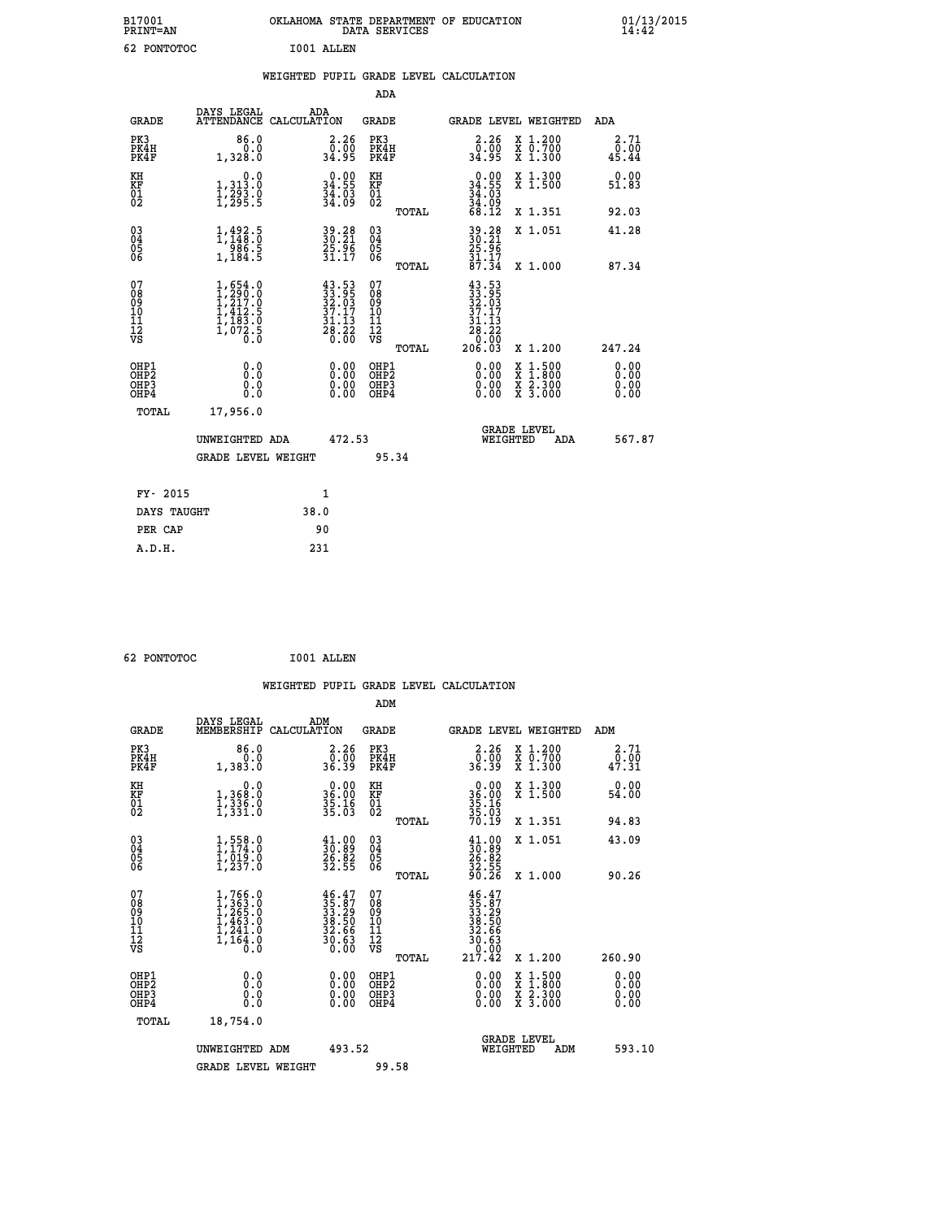| B17001<br>PRINT=AN                       |                                                                                                         | OKLAHOMA STATE DEPARTMENT OF EDUCATION DATA SERVICES                                         |                                                    |                                                                                     |          |                                                                                          | $01/13/2015$<br>14:42        |  |
|------------------------------------------|---------------------------------------------------------------------------------------------------------|----------------------------------------------------------------------------------------------|----------------------------------------------------|-------------------------------------------------------------------------------------|----------|------------------------------------------------------------------------------------------|------------------------------|--|
| 62 PONTOTOC                              |                                                                                                         | I001 ALLEN                                                                                   |                                                    |                                                                                     |          |                                                                                          |                              |  |
|                                          |                                                                                                         | WEIGHTED PUPIL GRADE LEVEL CALCULATION                                                       |                                                    |                                                                                     |          |                                                                                          |                              |  |
|                                          |                                                                                                         |                                                                                              | ADA                                                |                                                                                     |          |                                                                                          |                              |  |
| <b>GRADE</b>                             |                                                                                                         | DAYS LEGAL ADA ATTENDANCE CALCULATION                                                        | <b>GRADE</b>                                       |                                                                                     |          | <b>GRADE LEVEL WEIGHTED</b>                                                              | ADA                          |  |
| PK3<br>PK4H<br>PK4F                      | 86.0<br>0.0<br>1,328.0                                                                                  | 2.26<br>0:00<br>34:95                                                                        | PK3<br>PK4H<br>PK4F                                | $\begin{smallmatrix} 2.26 \\ 0.00 \\ 34.95 \end{smallmatrix}$                       |          | X 1.200<br>X 0.700<br>X 1.300                                                            | 2.71<br>0.00<br>45.44        |  |
| KH<br>KF<br>01<br>02                     | $\begin{smallmatrix}&&&0.0\\1,313.0\\1,293.0\\1,295.5\end{smallmatrix}$                                 | 34.90<br>$\frac{34}{34}$ :03                                                                 | KH<br>KF<br>01<br>02                               | $\begin{smallmatrix} 0.00\\ 34.55\\ 34.03\\ 34.03\\ 4.99\\ 68.12 \end{smallmatrix}$ |          | X 1.300<br>X 1.500                                                                       | 0.00<br>51.83                |  |
|                                          |                                                                                                         |                                                                                              | TOTAL                                              |                                                                                     |          | X 1.351                                                                                  | 92.03                        |  |
| 03<br>04<br>05<br>06                     | $\frac{1}{1}, \frac{492}{148}.\overset{5}{0}\ \frac{986}{1}, \frac{5}{184}.\overset{5}{5}$              | 39.28<br>30.21<br>25.96<br>31.17                                                             | $\begin{matrix} 03 \\ 04 \\ 05 \\ 06 \end{matrix}$ | 39.28<br>30.21<br>25.96<br>31.17<br>37.34                                           |          | X 1.051                                                                                  | 41.28                        |  |
|                                          |                                                                                                         |                                                                                              | TOTAL                                              |                                                                                     |          | X 1.000                                                                                  | 87.34                        |  |
| 07<br>08<br>09<br>11<br>11<br>12<br>VS   | $\begin{smallmatrix} 1,654.0\\ 1,290.0\\ 1,217.0\\ 1,412.5\\ 1,183.0\\ 1,072.5\\ 0.0 \end{smallmatrix}$ | $\begin{smallmatrix} 43.53\\ 33.95\\ 32.03\\ 37.17\\ 31.13\\ 28.22\\ 0.00 \end{smallmatrix}$ | 07<br>08<br>09<br>11<br>11<br>12<br>VS<br>TOTAL    | $43.53$<br>$33.95$<br>$32.03$<br>$37.17$<br>$31.13$<br>$28.22$<br>$0.09$<br>206.03  |          | X 1.200                                                                                  | 247.24                       |  |
| OHP1<br>OHP2<br>OH <sub>P3</sub><br>OHP4 | 0.000<br>0.0<br>0.0                                                                                     | 0.00<br>0.00                                                                                 | OHP1<br>OHP2<br>OHP3<br>OHP4                       | 0.00<br>0.00<br>0.00                                                                |          | $\begin{smallmatrix} x & 1.500 \\ x & 1.800 \\ x & 2.300 \\ x & 3.000 \end{smallmatrix}$ | 0.00<br>0.00<br>0.00<br>0.00 |  |
| TOTAL                                    | 17,956.0                                                                                                |                                                                                              |                                                    |                                                                                     |          |                                                                                          |                              |  |
|                                          | UNWEIGHTED ADA                                                                                          | 472.53                                                                                       |                                                    |                                                                                     | WEIGHTED | <b>GRADE LEVEL</b><br>ADA                                                                | 567.87                       |  |
|                                          | <b>GRADE LEVEL WEIGHT</b>                                                                               |                                                                                              | 95.34                                              |                                                                                     |          |                                                                                          |                              |  |

| FY- 2015    | 1    |  |
|-------------|------|--|
| DAYS TAUGHT | 38.0 |  |
| PER CAP     | 90   |  |
| A.D.H.      | 231  |  |
|             |      |  |

| 62 PONTOTOC |  |
|-------------|--|
|             |  |

 **62 PONTOTOC I001 ALLEN**

|                                                      |                                                                               |                                                                                                                                                                  | WEIGHTED PUPIL GRADE LEVEL CALCULATION              |                                                                                                                                                                                                                                                                                |                                                                          |
|------------------------------------------------------|-------------------------------------------------------------------------------|------------------------------------------------------------------------------------------------------------------------------------------------------------------|-----------------------------------------------------|--------------------------------------------------------------------------------------------------------------------------------------------------------------------------------------------------------------------------------------------------------------------------------|--------------------------------------------------------------------------|
|                                                      |                                                                               |                                                                                                                                                                  | ADM                                                 |                                                                                                                                                                                                                                                                                |                                                                          |
| <b>GRADE</b>                                         | DAYS LEGAL<br>MEMBERSHIP                                                      | ADM<br>CALCULATION                                                                                                                                               | <b>GRADE</b>                                        | <b>GRADE LEVEL WEIGHTED</b>                                                                                                                                                                                                                                                    | ADM                                                                      |
| PK3<br>PK4H<br>PK4F                                  | 86.0<br>0.0<br>1,383.0                                                        | $\begin{smallmatrix} 2.26\ 0.00\ 36.39 \end{smallmatrix}$                                                                                                        | PK3<br>PK4H<br>PK4F                                 | $\begin{smallmatrix} 2.26\ 0.00\\ 36.39 \end{smallmatrix}$                                                                                                                                                                                                                     | 2.71<br>X 1.200<br>X 0.700<br>X 1.300<br>$\frac{0.00}{47.31}$            |
| KH<br>KF<br>01<br>02                                 | 0.0<br>1,368:0<br>1,336.0<br>1,331:0                                          | $\begin{smallmatrix} 0.00\\ 36.00\\ 35.16\\ 35.03 \end{smallmatrix}$                                                                                             | KH<br>KF<br>01<br>02                                | $\begin{smallmatrix} 0.00\\ 36.00\\ 35.16\\ 35.03\\ 70.19 \end{smallmatrix}$                                                                                                                                                                                                   | X 1.300<br>X 1.500<br>0.00<br>54.00                                      |
|                                                      |                                                                               |                                                                                                                                                                  | TOTAL                                               |                                                                                                                                                                                                                                                                                | X 1.351<br>94.83                                                         |
| $\begin{matrix} 03 \\ 04 \\ 05 \\ 06 \end{matrix}$   | $1,558.0$<br>$1,174.0$<br>$1,019.0$<br>$1,237.0$                              | $\begin{smallmatrix} 41.00\\ 30.89\\ 26.82\\ 32.55 \end{smallmatrix}$                                                                                            | $\begin{array}{c} 03 \\ 04 \\ 05 \\ 06 \end{array}$ | $\begin{smallmatrix} 41.00\\ 30.89\\ 26.82\\ 32.55\\ 90.26 \end{smallmatrix}$                                                                                                                                                                                                  | X 1.051<br>43.09                                                         |
|                                                      |                                                                               |                                                                                                                                                                  | TOTAL                                               |                                                                                                                                                                                                                                                                                | X 1.000<br>90.26                                                         |
| 07<br>08<br>09<br>101<br>112<br>VS                   | $1, 766.0$<br>$1, 363.0$<br>$1, 463.0$<br>$1, 463.0$<br>$1, 241.0$<br>1,164.0 | $\begin{smallmatrix} 4 & 6 & 4 & 7\\ 3 & 5 & 8 & 7\\ 3 & 3 & 2 & 9\\ 3 & 8 & 5 & 0\\ 3 & 2 & 5 & 6\\ 3 & 2 & 6 & 6\\ 3 & 0 & 6 & 3\\ 0 & 0 & 0\end{smallmatrix}$ | 07<br>08<br>09<br>11<br>11<br>12<br>VS<br>TOTAL     | $\begin{array}{r} 46\cdot 47\\ 35\cdot 87\\ 33\cdot 29\\ 38\cdot 50\\ 32\cdot 66\\ 30\cdot 63\\ 0\cdot 00\\ 217\cdot 42 \end{array}$                                                                                                                                           | X 1.200<br>260.90                                                        |
| OHP1<br>OHP2<br>OH <sub>P3</sub><br>OH <sub>P4</sub> | 0.0<br>0.000                                                                  | $\begin{smallmatrix} 0.00 \ 0.00 \ 0.00 \ 0.00 \end{smallmatrix}$                                                                                                | OHP1<br>OHP2<br>OHP3<br>OHP4                        | $\begin{smallmatrix} 0.00 & 0.00 & 0.00 & 0.00 & 0.00 & 0.00 & 0.00 & 0.00 & 0.00 & 0.00 & 0.00 & 0.00 & 0.00 & 0.00 & 0.00 & 0.00 & 0.00 & 0.00 & 0.00 & 0.00 & 0.00 & 0.00 & 0.00 & 0.00 & 0.00 & 0.00 & 0.00 & 0.00 & 0.00 & 0.00 & 0.00 & 0.00 & 0.00 & 0.00 & 0.00 & 0.0$ | X 1:500<br>X 1:800<br>X 2:300<br>X 3:000<br>0.00<br>0.00<br>0.00<br>0.00 |
| TOTAL                                                | 18,754.0                                                                      |                                                                                                                                                                  |                                                     |                                                                                                                                                                                                                                                                                |                                                                          |
|                                                      | UNWEIGHTED ADM                                                                | 493.52                                                                                                                                                           |                                                     | GRADE LEVEL<br>WEIGHTED                                                                                                                                                                                                                                                        | 593.10<br>ADM                                                            |
|                                                      | <b>GRADE LEVEL WEIGHT</b>                                                     |                                                                                                                                                                  | 99.58                                               |                                                                                                                                                                                                                                                                                |                                                                          |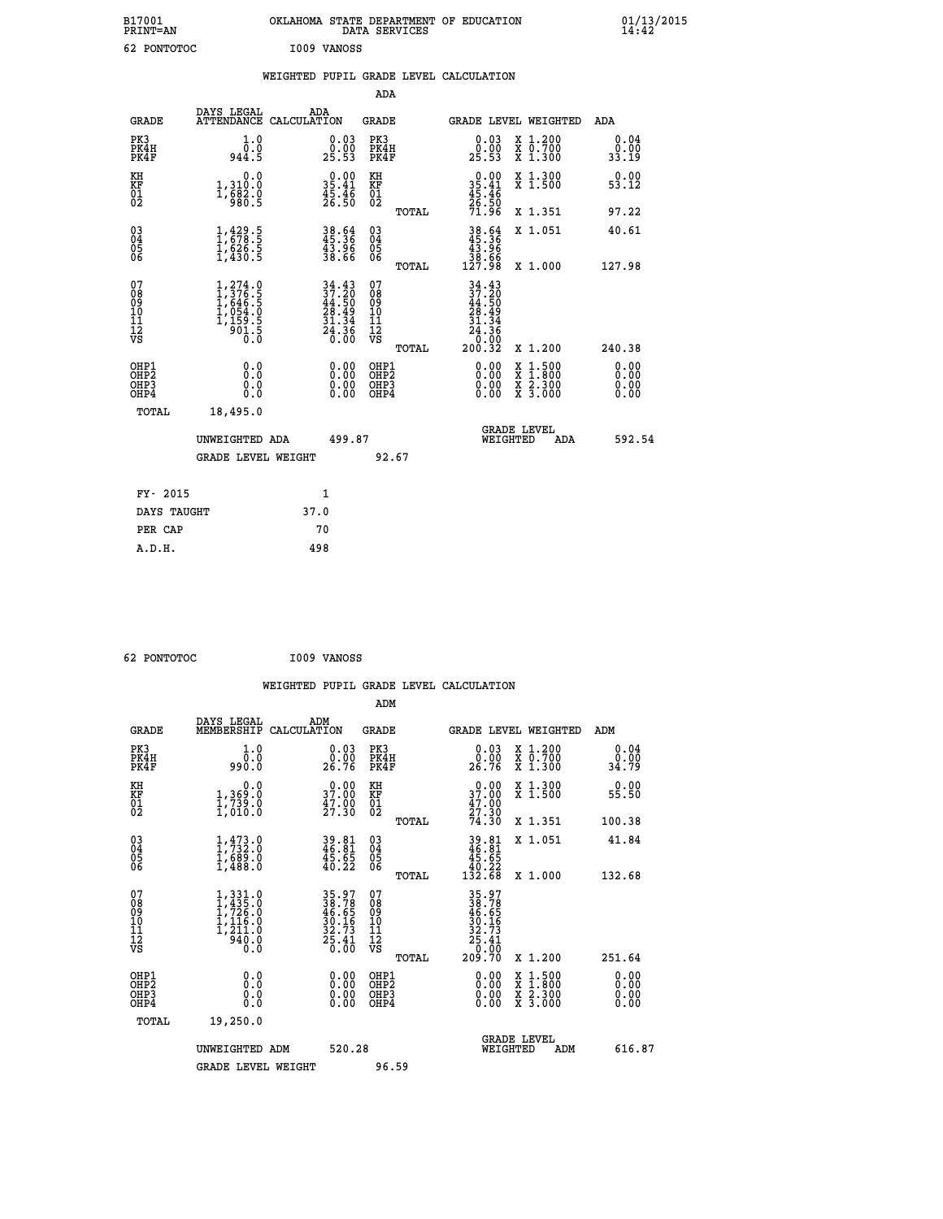| B17001<br><b>PRINT=AN</b> | OKLAHOMA STATE DEPARTMENT OF EDUCATION<br>DATA SERVICES | 01/13/2015 |
|---------------------------|---------------------------------------------------------|------------|
| 62<br>PONTOTOC            | I009 VANOSS                                             |            |

|                                                                    |                                                                                       |              |                                                                                                                              |                                          |       | WEIGHTED PUPIL GRADE LEVEL CALCULATION                                                                                   |                                                                                          |                              |
|--------------------------------------------------------------------|---------------------------------------------------------------------------------------|--------------|------------------------------------------------------------------------------------------------------------------------------|------------------------------------------|-------|--------------------------------------------------------------------------------------------------------------------------|------------------------------------------------------------------------------------------|------------------------------|
|                                                                    |                                                                                       |              |                                                                                                                              | <b>ADA</b>                               |       |                                                                                                                          |                                                                                          |                              |
| <b>GRADE</b>                                                       | DAYS LEGAL<br>ATTENDANCE CALCULATION                                                  | ADA          |                                                                                                                              | <b>GRADE</b>                             |       |                                                                                                                          | GRADE LEVEL WEIGHTED                                                                     | ADA                          |
| PK3<br>PK4H<br>PK4F                                                | 1.0<br>ة:§<br>944:5                                                                   |              | $\begin{smallmatrix} 0.03\ 0.00\\ 25.53 \end{smallmatrix}$                                                                   | PK3<br>PK4H<br>PK4F                      |       | 0.03<br>25.53                                                                                                            | X 1.200<br>X 0.700<br>X 1.300                                                            | 0.04<br>0.00<br>33.19        |
| KH<br>KF<br>01<br>02                                               | 0.0<br>1,310:0<br>1,682.0<br>980:5                                                    |              | $\begin{smallmatrix} 0.00\\ 35.41\\ 45.46\\ 26.50 \end{smallmatrix}$                                                         | KH<br>KF<br>01<br>02                     |       | $0.00$<br>$35.41$<br>$45.46$<br>$26.50$<br>$71.96$                                                                       | X 1.300<br>X 1.500                                                                       | 0.00<br>53.12                |
|                                                                    |                                                                                       |              |                                                                                                                              |                                          | TOTAL |                                                                                                                          | X 1.351                                                                                  | 97.22                        |
| $\begin{smallmatrix} 03 \\[-4pt] 04 \end{smallmatrix}$<br>05<br>06 | $1,429.5$<br>$1,678.5$<br>$1,626.5$<br>$1,430.5$                                      |              | 38.64<br>45.36<br>43.96<br>38.66                                                                                             | 03<br>04<br>05<br>06                     |       | $38.64$<br>$45.36$<br>$43.96$<br>$38.66$<br>$127.98$                                                                     | X 1.051                                                                                  | 40.61                        |
|                                                                    |                                                                                       |              |                                                                                                                              |                                          | TOTAL |                                                                                                                          | X 1.000                                                                                  | 127.98                       |
| 07<br>08<br>09<br>11<br>11<br>12<br>VS                             | $1, 274.0$<br>$1, 376.5$<br>$1, 646.5$<br>$1, 054.0$<br>$1, 159.5$<br>$01.5$<br>$0.0$ |              | $\begin{array}{l} 34\cdot 43 \\ 37\cdot 20 \\ 44\cdot 50 \\ 28\cdot 49 \\ 31\cdot 34 \\ 24\cdot 36 \\ 0\cdot 00 \end{array}$ | 07<br>08<br>09<br>11<br>11<br>12<br>VS   | TOTAL | $34.43$<br>$37.20$<br>$\frac{44.50}{28.49}$<br>.34<br>31<br>$\begin{array}{c}\n 24.36 \\  0.00 \\  200.32\n \end{array}$ | X 1.200                                                                                  | 240.38                       |
| OHP1<br>OHP2<br>OHP3<br>OH <sub>P4</sub>                           | 0.0<br>0.0<br>0.0                                                                     |              | 0.00<br>$\begin{smallmatrix} 0.00 \ 0.00 \end{smallmatrix}$                                                                  | OHP1<br>OHP2<br>OHP <sub>3</sub><br>OHP4 |       | 0.00<br>0.00                                                                                                             | $\begin{smallmatrix} x & 1.500 \\ x & 1.800 \\ x & 2.300 \\ x & 3.000 \end{smallmatrix}$ | 0.00<br>ŏ:ŏŏ<br>0.00<br>0.00 |
| TOTAL                                                              | 18,495.0                                                                              |              |                                                                                                                              |                                          |       |                                                                                                                          |                                                                                          |                              |
|                                                                    | UNWEIGHTED ADA                                                                        |              | 499.87                                                                                                                       |                                          |       | WEIGHTED                                                                                                                 | <b>GRADE LEVEL</b><br>ADA                                                                | 592.54                       |
|                                                                    | <b>GRADE LEVEL WEIGHT</b>                                                             |              |                                                                                                                              | 92.67                                    |       |                                                                                                                          |                                                                                          |                              |
| FY- 2015                                                           |                                                                                       | $\mathbf{1}$ |                                                                                                                              |                                          |       |                                                                                                                          |                                                                                          |                              |
| DAYS TAUGHT                                                        |                                                                                       | 37.0         |                                                                                                                              |                                          |       |                                                                                                                          |                                                                                          |                              |
| PER CAP                                                            |                                                                                       | 70           |                                                                                                                              |                                          |       |                                                                                                                          |                                                                                          |                              |

 **62 PONTOTOC I009 VANOSS**

 **WEIGHTED PUPIL GRADE LEVEL CALCULATION ADM DAYS LEGAL ADM GRADE MEMBERSHIP CALCULATION GRADE GRADE LEVEL WEIGHTED ADM PK3 1.0 0.03 PK3 0.03 X 1.200 0.04 PK4H 0.0 0.00 PK4H 0.00 X 0.700 0.00 PK4F 990.0 26.76 PK4F 26.76 X 1.300 34.79 KH 0.0 0.00 KH 0.00 X 1.300 0.00 KF 1,369.0 37.00 KF 37.00 X 1.500 55.50 01 1,739.0 47.00 01 47.00 02 1,010.0 27.30 02 27.30 TOTAL 74.30 X 1.351 100.38 03 1,473.0 39.81 03 39.81 X 1.051 41.84 04 1,732.0 46.81 04 46.81 05 1,689.0 45.65 05 45.65 06 1,488.0 40.22 06 40.22 TOTAL 132.68 X 1.000 132.68 07 1,331.0 35.97 07 35.97** 08 1,435.0 38.78 08 38.78<br>
10 1,116.0 30.16 10 30.16<br>
11 1,211.0 32.73 11 32.74<br>
VS 0.0 25.41<br>
20.000 30.000 32.73<br>
20.000 32.73<br>
20.00  **TOTAL 209.70 X 1.200 251.64 OHP1 0.0 0.00 OHP1 0.00 X 1.500 0.00 OHP2 0.0 0.00 OHP2 0.00 X 1.800 0.00 OHP3 0.0 0.00 OHP3 0.00 X 2.300 0.00 OHP4 0.0 0.00 OHP4 0.00 X 3.000 0.00 TOTAL 19,250.0 UNWEIGHTED ADM** 520.28  **UNWEIGHTED ADM 520.28 WEIGHTED ADM 616.87** GRADE LEVEL WEIGHT 96.59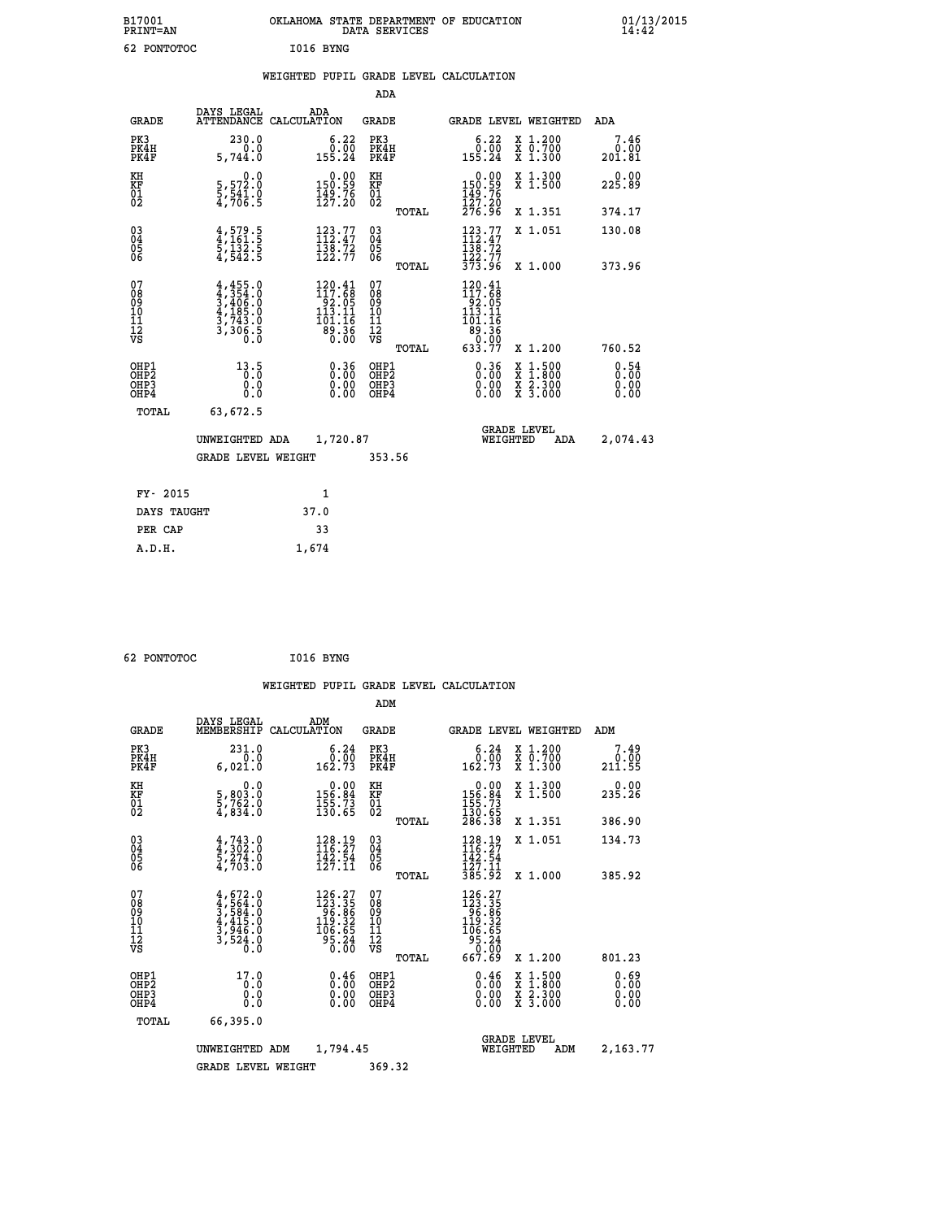| B17001<br><b>PRINT=AN</b> | OKLAHOMA STATE DEPARTMENT OF EDUCATION<br>DATA SERVICES | 01/13/2015 |
|---------------------------|---------------------------------------------------------|------------|
| 62 PONTOTOC               | I016 BYNG                                               |            |

|  |  | WEIGHTED PUPIL GRADE LEVEL CALCULATION |
|--|--|----------------------------------------|
|  |  |                                        |

|                                                                    |                                                                            |                                                                                           | ADA                                            |       |                                                                                                    |                                                                                          |                        |
|--------------------------------------------------------------------|----------------------------------------------------------------------------|-------------------------------------------------------------------------------------------|------------------------------------------------|-------|----------------------------------------------------------------------------------------------------|------------------------------------------------------------------------------------------|------------------------|
| <b>GRADE</b>                                                       | DAYS LEGAL                                                                 | ADA<br>ATTENDANCE CALCULATION                                                             | <b>GRADE</b>                                   |       |                                                                                                    | GRADE LEVEL WEIGHTED                                                                     | ADA                    |
| PK3<br>PK4H<br>PK4F                                                | 230.0<br>0.0<br>5,744.0                                                    | $6.22$<br>$0.00$<br>155.24                                                                | PK3<br>PK4H<br>PK4F                            |       | 6.22<br>$\begin{array}{c} 0.00 \\ 155.24 \end{array}$                                              | X 1.200<br>X 0.700<br>X 1.300                                                            | 7.46<br>0.00<br>201.81 |
| KH<br>KF<br>01<br>02                                               | 0.0<br>5,572:0<br>5,541:0<br>4,706:5                                       | $\begin{smallmatrix} 0.00\\150.59\\149.76\\127.20\end{smallmatrix}$                       | KH<br>KF<br>$\overline{01}$                    |       | $\begin{smallmatrix} &0.00\ 150.59\ 149.76\ 127.20\ 276.96\ \end{smallmatrix}$                     | X 1.300<br>X 1.500                                                                       | 0.00<br>225.89         |
|                                                                    |                                                                            |                                                                                           |                                                | TOTAL |                                                                                                    | X 1.351                                                                                  | 374.17                 |
| $\begin{smallmatrix} 03 \\[-4pt] 04 \end{smallmatrix}$<br>Ŏ5<br>06 | $4,579.5$<br>$4,161.5$<br>$5,132.5$<br>$4,542.5$                           | $\begin{array}{c} 123.77 \\[-4pt] 112.47 \\[-4pt] 138.72 \\[-4pt] 122.77 \end{array}$     | $\substack{03 \\ 04}$<br>$\substack{05 \\ 06}$ |       | $\begin{array}{c} 123\cdot 77\\ 112\cdot 47\\ 138\cdot 72\\ 122\cdot 77\\ 373\cdot 96 \end{array}$ | X 1.051                                                                                  | 130.08                 |
|                                                                    |                                                                            |                                                                                           |                                                | TOTAL |                                                                                                    | X 1.000                                                                                  | 373.96                 |
| 07<br>08<br>09<br>11<br>11<br>12<br>VS                             | $4,455.0$<br>$3,406.0$<br>$4,185.0$<br>$3,743.0$<br>$3,743.0$<br>$3,306.5$ | $\begin{smallmatrix} 120.41\\117.68\\92.05\\113.11\\101.16\\89.36\\0.00\end{smallmatrix}$ | 07<br>089<br>101<br>111<br>VS                  |       | 120.41<br>$117.68$<br>$92.05$<br>$113.11$<br>$101.16$<br>$89.36$<br>$0.00$<br>$633.77$             |                                                                                          |                        |
|                                                                    |                                                                            |                                                                                           |                                                | TOTAL |                                                                                                    | X 1.200                                                                                  | 760.52                 |
| OHP1<br><b>OHP2</b><br>OH <sub>P3</sub><br>OHP4                    | 13.5<br>0.0<br>0.0                                                         | 0.36<br>0.00<br>0.00                                                                      | OHP1<br>OHP2<br>OHP3<br>OHP4                   |       | 0.36<br>0.00                                                                                       | $\begin{smallmatrix} x & 1.500 \\ x & 1.800 \\ x & 2.300 \\ x & 3.000 \end{smallmatrix}$ | 0.54<br>0.00<br>0.00   |
| TOTAL                                                              | 63,672.5                                                                   |                                                                                           |                                                |       |                                                                                                    |                                                                                          |                        |
|                                                                    | UNWEIGHTED ADA                                                             | 1,720.87                                                                                  |                                                |       |                                                                                                    | <b>GRADE LEVEL</b><br>WEIGHTED<br>ADA                                                    | 2,074.43               |
|                                                                    | <b>GRADE LEVEL WEIGHT</b>                                                  |                                                                                           | 353.56                                         |       |                                                                                                    |                                                                                          |                        |
| FY- 2015                                                           |                                                                            | $\mathbf{1}$                                                                              |                                                |       |                                                                                                    |                                                                                          |                        |
| DAYS TAUGHT                                                        |                                                                            | 37.0                                                                                      |                                                |       |                                                                                                    |                                                                                          |                        |
| PER CAP                                                            |                                                                            | 33                                                                                        |                                                |       |                                                                                                    |                                                                                          |                        |

 **62 PONTOTOC I016 BYNG**

 **A.D.H. 1,674**

 **WEIGHTED PUPIL GRADE LEVEL CALCULATION ADM DAYS LEGAL ADM GRADE MEMBERSHIP CALCULATION GRADE GRADE LEVEL WEIGHTED ADM PK3 231.0 6.24 PK3 6.24 X 1.200 7.49 PK4H 0.0 0.00 PK4H 0.00 X 0.700 0.00 PK4F 6,021.0 162.73 PK4F 162.73 X 1.300 211.55 KH 0.0 0.00 KH 0.00 X 1.300 0.00 KF 5,803.0 156.84 KF 156.84 X 1.500 235.26 KH** 5,803.0 0.0 0.00 KH<br> **KF** 5,963.0 155.84 KF<br>
02 4,834.0 135..5 02 02 4,834.0 130.65 02 <sub>noman</sub> 130.65  **TOTAL 286.38 X 1.351 386.90 03 4,743.0 128.19 03 128.19 X 1.051 134.73 04 4,302.0 116.27 04 116.27 05 5,274.0 142.54 05 142.54 06 4,703.0 127.11 06 127.11 TOTAL 385.92 X 1.000 385.92**  $\begin{array}{cccc} 07 & 4\, , 672\, .0 & 126\, .27 & 07 & 126\, .27 \ 08 & 4\, , 564\, .0 & 123\, .35 \ 09 & 4\, , 584\, .0 & 96\, .86 \ 10 & 4\, , 415\, .0 & 119\, .32\ 10 & 119\, .32 \ 12 & 3\, , 946\, .0 & 106\, .65\ 10 & 56\, .65 \ 11 & 3\, , 524\, .0 & 95\, .24 \ 12 & 9$  $\begin{array}{cccc} 126.27 & 07 & & 126.27 \\ 123.35 & 08 & & 123.35 \\ 96.86 & 09 & & 96.86 \\ 119.32 & 10 & & 96.65 \\ 106.65 & 11 & & 106.65 \\ 95.26 & 12 & & 95.24 \\ 0.00 & \mathtt{VS} & & 95.24 \\ 0.00 & \mathtt{TOTAL} & & 667.69 & \mathtt{X}\ 1.200 & & 801.23 \end{array}$  **OHP1 17.0 0.46 OHP1 0.46 X 1.500 0.69 OHP2 0.0 0.00 OHP2 0.00 X 1.800 0.00 OHP3 0.0 0.00 OHP3 0.00 X 2.300 0.00 OHP4 0.0 0.00 OHP4 0.00 X 3.000 0.00 TOTAL 66,395.0 GRADE LEVEL UNWEIGHTED ADM 1,794.45 WEIGHTED ADM 2,163.77 GRADE LEVEL WEIGHT 369.32**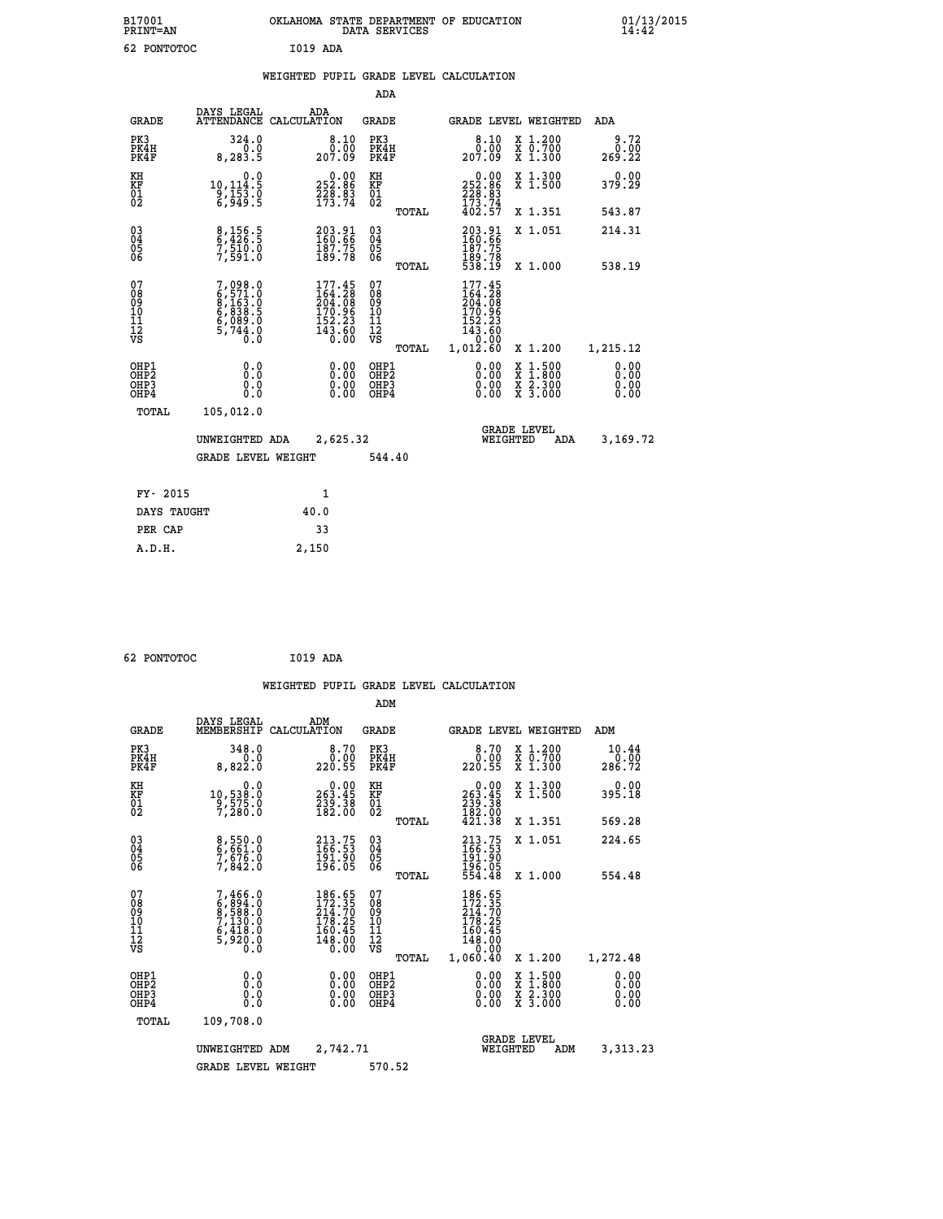| B17001<br><b>PRINT=AN</b>                            |                                                                       | OKLAHOMA STATE DEPARTMENT OF EDUCATION<br>DATA SERVICES                                     |                                                 |                                                                              |                                                                                                  | $01/13/2015$<br>14:42        |  |
|------------------------------------------------------|-----------------------------------------------------------------------|---------------------------------------------------------------------------------------------|-------------------------------------------------|------------------------------------------------------------------------------|--------------------------------------------------------------------------------------------------|------------------------------|--|
| 62 PONTOTOC                                          |                                                                       | I019 ADA                                                                                    |                                                 |                                                                              |                                                                                                  |                              |  |
|                                                      |                                                                       | WEIGHTED PUPIL GRADE LEVEL CALCULATION                                                      |                                                 |                                                                              |                                                                                                  |                              |  |
|                                                      |                                                                       |                                                                                             | ADA                                             |                                                                              |                                                                                                  |                              |  |
| <b>GRADE</b>                                         | DAYS LEGAL<br>ATTENDANCE CALCULATION                                  | ADA                                                                                         | <b>GRADE</b>                                    | GRADE LEVEL WEIGHTED                                                         |                                                                                                  | ADA                          |  |
| PK3<br>PK4H<br>PK4F                                  | 324.0<br>0.0<br>8, 283.5                                              | 8.10<br>0.00<br>207.09                                                                      | PK3<br>PK4H<br>PK4F                             | 8.10<br>0.00<br>207.09                                                       | X 1.200<br>X 0.700<br>$\overline{x}$ 1.300                                                       | 9.72<br>0.00<br>269.22       |  |
| KH<br>KF<br>$\overline{01}$                          | 0.0<br>$10, 114.5$<br>$9, 153.0$<br>$6, 949.5$                        | 0.00<br>252:86<br>228:83<br>173:74                                                          | KH<br>KF<br>$\overline{01}$                     | 0.00<br>252.86<br>$\frac{75}{173}$ $\cdot\frac{83}{74}$                      | X 1.300<br>X 1.500                                                                               | 0.00<br>379.29               |  |
|                                                      |                                                                       |                                                                                             | TOTAL                                           | 402.57                                                                       | X 1.351                                                                                          | 543.87                       |  |
| $\begin{matrix} 03 \\ 04 \\ 05 \\ 06 \end{matrix}$   | $\frac{8}{9}, \frac{156}{429}$ .<br>$7,510.0$<br>$7,591.0$            | 203.91<br>160.66<br>187.75<br>189.78                                                        | 03<br>04<br>05<br>06                            | 203.91<br>160.66<br>187.75<br>189.78<br>538.19                               | X 1.051                                                                                          | 214.31                       |  |
|                                                      |                                                                       |                                                                                             | <b>TOTAL</b>                                    |                                                                              | X 1.000                                                                                          | 538.19                       |  |
| 07<br>08<br>09<br>11<br>11<br>12<br>VS               | 7,098.0<br>6,571.0<br>8,163.0<br>6,089.0<br>6,089.0<br>5,744.0<br>Ō.Ō | $\begin{smallmatrix} 177.45\\164.28\\204.08\\170.96\\152.23\\143.60\\0.00\end{smallmatrix}$ | 07<br>08<br>09<br>10<br>11<br>12<br>VS<br>TOTAL | 177.45<br>164.28<br>204.08<br>170.96<br>152.23<br>143.60<br>0.00<br>1,012.60 | X 1.200                                                                                          | 1,215.12                     |  |
| OHP1<br>OHP <sub>2</sub><br>OH <sub>P3</sub><br>OHP4 | 0.0<br>0.0<br>0.0<br>0.0                                              | 0.00<br>0.00<br>0.00                                                                        | OHP1<br>OHP <sub>2</sub><br>OHP3<br>OHP4        | 0.00<br>0.00<br>0.00                                                         | $\begin{smallmatrix} x & 1 & 500 \\ x & 1 & 800 \\ x & 2 & 300 \\ x & 3 & 000 \end{smallmatrix}$ | 0.00<br>0.00<br>0.00<br>0.00 |  |
| TOTAL                                                | 105,012.0                                                             |                                                                                             |                                                 |                                                                              |                                                                                                  |                              |  |
|                                                      | UNWEIGHTED ADA                                                        | 2,625.32                                                                                    |                                                 | WEIGHTED                                                                     | <b>GRADE LEVEL</b><br>ADA                                                                        | 3,169.72                     |  |
|                                                      | GRADE LEVEL WEIGHT                                                    |                                                                                             | 544.40                                          |                                                                              |                                                                                                  |                              |  |
| FY- 2015                                             |                                                                       | 1                                                                                           |                                                 |                                                                              |                                                                                                  |                              |  |
| DAYS TAUGHT                                          |                                                                       | 40.0                                                                                        |                                                 |                                                                              |                                                                                                  |                              |  |
| PER CAP                                              |                                                                       | 33                                                                                          |                                                 |                                                                              |                                                                                                  |                              |  |

| 62 PONTOTOC | I019 ADA |  |
|-------------|----------|--|

 **A.D.H. 2,150**

**PER CAP** 33<br> **A.D.H.** 2,150

| <b>GRADE</b>                                         | DAYS LEGAL<br>MEMBERSHIP CALCULATION                                                | ADM                                                                                                | <b>GRADE</b>                                       |                                                                                                   | GRADE LEVEL WEIGHTED                     | ADM                          |
|------------------------------------------------------|-------------------------------------------------------------------------------------|----------------------------------------------------------------------------------------------------|----------------------------------------------------|---------------------------------------------------------------------------------------------------|------------------------------------------|------------------------------|
| PK3<br>PK4H<br>PK4F                                  | 348.0<br>0.0<br>8,822.0                                                             | 8.70<br>0.00<br>220.55                                                                             | PK3<br>PK4H<br>PK4F                                | 8.70<br>0.00<br>220.55                                                                            | X 1.200<br>X 0.700<br>X 1.300            | 10.44<br>0.00<br>286.72      |
| KH<br>KF<br>01<br>02                                 | 0.0<br>10,538:0<br>9,575:0<br>7,280:0                                               | $\begin{smallmatrix} &0.00\\ 263.45\\ 239.38\\ 182.00\end{smallmatrix}$                            | KH<br>KF<br>01<br>02                               | $263.45$<br>$239.38$<br>$182.00$                                                                  | X 1.300<br>X 1.500                       | 0.00<br>395.18               |
|                                                      |                                                                                     |                                                                                                    | TOTAL                                              | 421.38                                                                                            | X 1.351                                  | 569.28                       |
| $\begin{matrix} 03 \\ 04 \\ 05 \\ 06 \end{matrix}$   | 8,550.0<br>6,661.0<br>7,676.0<br>7,842.0                                            | 213.75<br>166.53<br>191.90<br>196.05                                                               | $\begin{matrix} 03 \\ 04 \\ 05 \\ 06 \end{matrix}$ | 213.75<br>166.53<br>191.90<br>196.05<br>554.48                                                    | X 1.051                                  | 224.65                       |
|                                                      |                                                                                     |                                                                                                    | TOTAL                                              |                                                                                                   | X 1.000                                  | 554.48                       |
| 07<br>08<br>09<br>101<br>11<br>12<br>VS              | $7,466.0$<br>$6,894.0$<br>$8,588.0$<br>$7,130.0$<br>$6,418.0$<br>$5,920.0$<br>$0.0$ | $\begin{smallmatrix} 186.65\\ 172.35\\ 214.70\\ 178.25\\ 160.45\\ 148.00\\ 0.00 \end{smallmatrix}$ | 078<br>089<br>0011<br>11<br>12<br>VS               | $\begin{smallmatrix} 186.65\\ 172.35\\ 214.70\\ 178.25\\ 160.45\\ 148.00\\ 0\\ \end{smallmatrix}$ |                                          |                              |
|                                                      |                                                                                     |                                                                                                    | TOTAL                                              | 1,060.40                                                                                          | X 1.200                                  | 1,272.48                     |
| OHP1<br>OH <sub>P</sub> <sub>2</sub><br>OHP3<br>OHP4 | 0.0<br>0.000                                                                        |                                                                                                    | OHP1<br>OHP <sub>2</sub><br>OHP3<br>OHP4           | 0.00<br>0.00000                                                                                   | X 1:500<br>X 1:800<br>X 2:300<br>X 3:000 | 0.00<br>0.00<br>0.00<br>0.00 |
| TOTAL                                                | 109,708.0                                                                           |                                                                                                    |                                                    |                                                                                                   |                                          |                              |
|                                                      | UNWEIGHTED                                                                          | 2,742.71<br>ADM                                                                                    |                                                    |                                                                                                   | <b>GRADE LEVEL</b><br>WEIGHTED<br>ADM    | 3,313.23                     |
|                                                      | <b>GRADE LEVEL WEIGHT</b>                                                           |                                                                                                    | 570.52                                             |                                                                                                   |                                          |                              |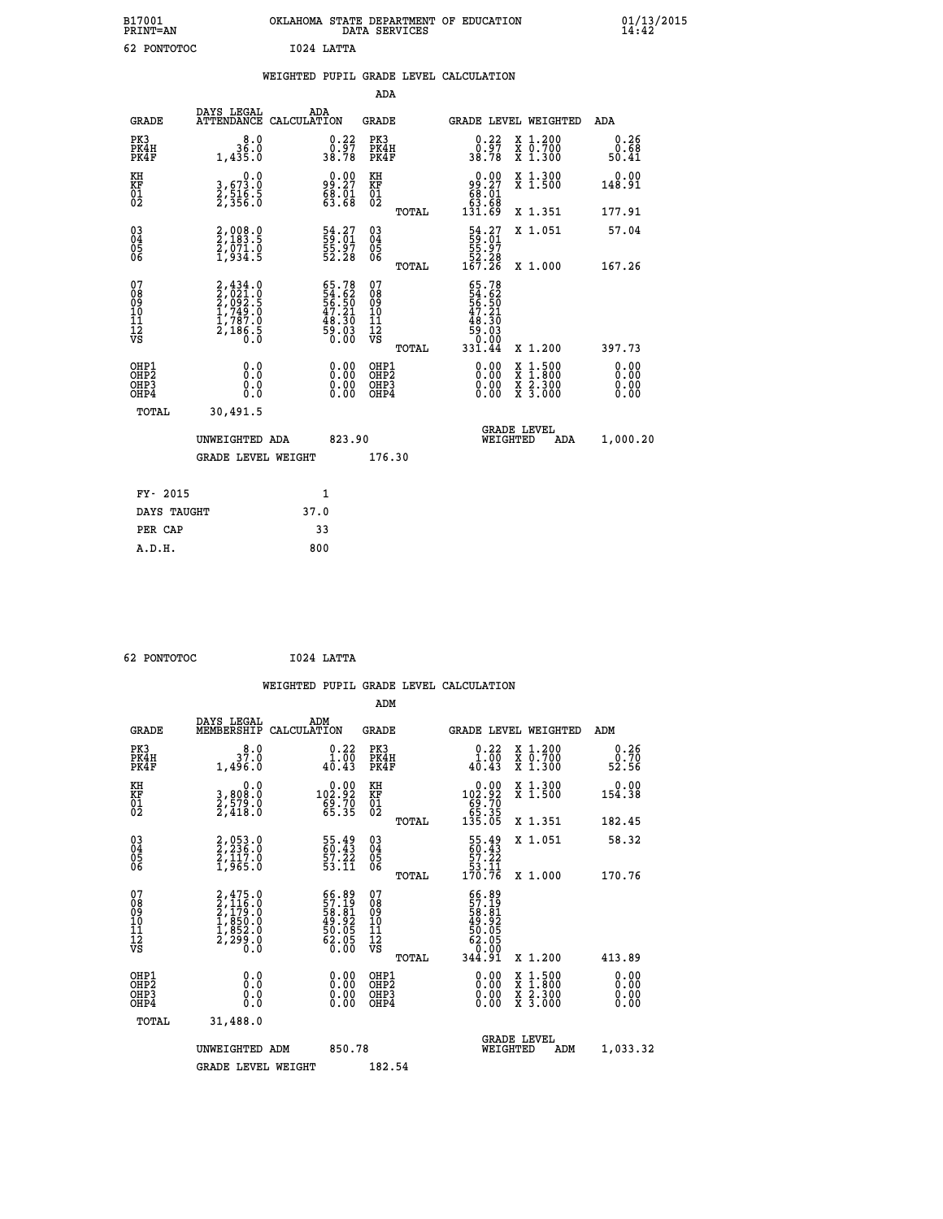| B17001<br><b>PRINT=AN</b> | OKLAHOMA STATE DEPARTMENT OF EDUCATION<br>DATA SERVICES | 01/13/2015 |
|---------------------------|---------------------------------------------------------|------------|
| 62<br>PONTOTOC            | 1024 LATTA                                              |            |

|                                                                    |                                                                        |                                                               |        | ADA                                                 |       |                                                                            |                                                                                          |                       |
|--------------------------------------------------------------------|------------------------------------------------------------------------|---------------------------------------------------------------|--------|-----------------------------------------------------|-------|----------------------------------------------------------------------------|------------------------------------------------------------------------------------------|-----------------------|
| <b>GRADE</b>                                                       | DAYS LEGAL<br>ATTENDANCE CALCULATION                                   | ADA                                                           |        | <b>GRADE</b>                                        |       | <b>GRADE LEVEL WEIGHTED</b>                                                |                                                                                          | ADA                   |
| PK3<br>PK4H<br>PK4F                                                | 8.0<br>36.0<br>1,435.0                                                 | $\begin{smallmatrix} 0.22\ 0.97\ 38.78 \end{smallmatrix}$     |        | PK3<br>PK4H<br>PK4F                                 |       | 0.22<br>⊽ְ57.0<br>38.78                                                    | X 1.200<br>X 0.700<br>X 1.300                                                            | 0.26<br>0.68<br>50.41 |
| KH<br>KF<br>01<br>02                                               | 0.0<br>3,673.0<br>2,516.5<br>2,356.0                                   | 9.00<br>$\begin{smallmatrix} 68.71 \ 63.68 \end{smallmatrix}$ |        | KH<br>KF<br>01<br>02                                |       | 0.00<br>99.27<br>68.01                                                     | X 1.300<br>X 1.500                                                                       | 0.00<br>148.91        |
|                                                                    |                                                                        |                                                               |        |                                                     | TOTAL | 83.ĕ8<br>131.69                                                            | X 1.351                                                                                  | 177.91                |
| $\begin{smallmatrix} 03 \\[-4pt] 04 \end{smallmatrix}$<br>Ŏ5<br>06 | 2,008.0<br>2,183.5<br>2,071.0<br>1,934.5                               | 54.27<br>59.01<br>55.97<br>52.28                              |        | $\begin{array}{c} 03 \\ 04 \\ 05 \\ 06 \end{array}$ |       | $\begin{smallmatrix} 54.27\\59.01\\55.97\\52.28\\167.26 \end{smallmatrix}$ | X 1.051                                                                                  | 57.04                 |
|                                                                    |                                                                        |                                                               |        |                                                     | TOTAL |                                                                            | X 1.000                                                                                  | 167.26                |
| 07<br>08<br>09<br>01<br>11<br>11<br>12<br>VS                       | 2,434.0<br>2,021.0<br>2,092.5<br>2,1949.0<br>1,787.0<br>2,186.5<br>0.0 | 65.78<br>54.62<br>56.50<br>56.21<br>48.30<br>59.03<br>59.03   |        | 07<br>08<br>09<br>11<br>11<br>12<br>VS              |       | 65.78                                                                      |                                                                                          |                       |
|                                                                    |                                                                        |                                                               |        |                                                     | TOTAL |                                                                            | X 1.200                                                                                  | 397.73                |
| OHP1<br>OHP2<br>OH <sub>P3</sub><br>OHP4                           | 0.0<br>0.0<br>0.0                                                      | $0.00$<br>$0.00$<br>0.00                                      |        | OHP1<br>OHP2<br>OHP3<br>OHP4                        |       |                                                                            | $\begin{smallmatrix} x & 1.500 \\ x & 1.800 \\ x & 2.300 \\ x & 3.000 \end{smallmatrix}$ | 0.00<br>0.00<br>0.00  |
| TOTAL                                                              | 30,491.5                                                               |                                                               |        |                                                     |       |                                                                            |                                                                                          |                       |
|                                                                    | UNWEIGHTED ADA                                                         |                                                               | 823.90 |                                                     |       | WEIGHTED                                                                   | <b>GRADE LEVEL</b><br>ADA                                                                | 1,000.20              |
|                                                                    | <b>GRADE LEVEL WEIGHT</b>                                              |                                                               |        | 176.30                                              |       |                                                                            |                                                                                          |                       |
| FY- 2015                                                           |                                                                        | $\mathbf{1}$                                                  |        |                                                     |       |                                                                            |                                                                                          |                       |
| DAYS TAUGHT                                                        |                                                                        | 37.0                                                          |        |                                                     |       |                                                                            |                                                                                          |                       |
| PER CAP                                                            |                                                                        | 33                                                            |        |                                                     |       |                                                                            |                                                                                          |                       |

 **62 PONTOTOC I024 LATTA WEIGHTED PUPIL GRADE LEVEL CALCULATION ADM DAYS LEGAL ADM GRADE MEMBERSHIP CALCULATION GRADE GRADE LEVEL WEIGHTED ADM PK3 8.0 0.22 PK3 0.22 X 1.200 0.26 PK4H 37.0 1.00 PK4H 1.00 X 0.700 0.70 PK4F 1,496.0 40.43 PK4F 40.43 X 1.300 52.56 KH 0.0 0.00 KH 0.00 X 1.300 0.00 KF 3,808.0 102.92 KF 102.92 X 1.500 154.38 01 2,579.0 69.70 01 69.70** 0.00 KH<br>102.92 KF<br>69.70 01<br>65.35 02 TOTAL  **TOTAL 135.05 X 1.351 182.45 03 2,053.0 55.49 03 55.49 X 1.051 58.32 04 2,236.0 60.43 04 60.43 05 2,117.0 57.22 05 57.22 06 1,965.0 53.11 06 53.11 TOTAL 170.76 X 1.000 170.76**  $\begin{array}{cccc} 07 & 2,415.0 & 66.89 & 07 & 66.89 \ 08 & 2,116.0 & 57.19 & 08 & 57.19 \ 09 & 2,179.0 & 58.81 & 08 & 58.81 \ 10 & 1,850.0 & 49.92 & 10 & 49.92 \ 11 & 1,850.0 & 50.05 & 11 & 50.05 \ 12 & 2,299.0 & 60.05 & 12 & 62.05 \ 13 & 62.05 & 0.0 & 63.05 & 12 &$ **56.89 07**<br> **11.141 08**<br> **12.141 08**<br> **149.92 10**<br> **149.92 11**<br> **149.92**<br> **149.92**<br> **149.92**<br> **149.92**<br> **149.92**<br> **149.92**<br> **149.92**<br> **149.92**<br> **149.92**<br> **140.05**<br> **1413.89**<br> **1413.89**<br> **10.00 08PP3**<br> **1413.89**<br> **10.00 88P OHP1 0.0 0.00 OHP1 0.00 X 1.500 0.00 OHP2 0.0 0.00 OHP2 0.00 X 1.800 0.00 OHP3 0.0 0.00 OHP3 0.00 X 2.300 0.00 OHP4 0.0 0.00 OHP4 0.00 X 3.000 0.00 TOTAL 31,488.0 GRADE LEVEL UNWEIGHTED ADM 850.78 WEIGHTED ADM 1,033.32**

GRADE LEVEL WEIGHT 182.54

 **A.D.H. 800**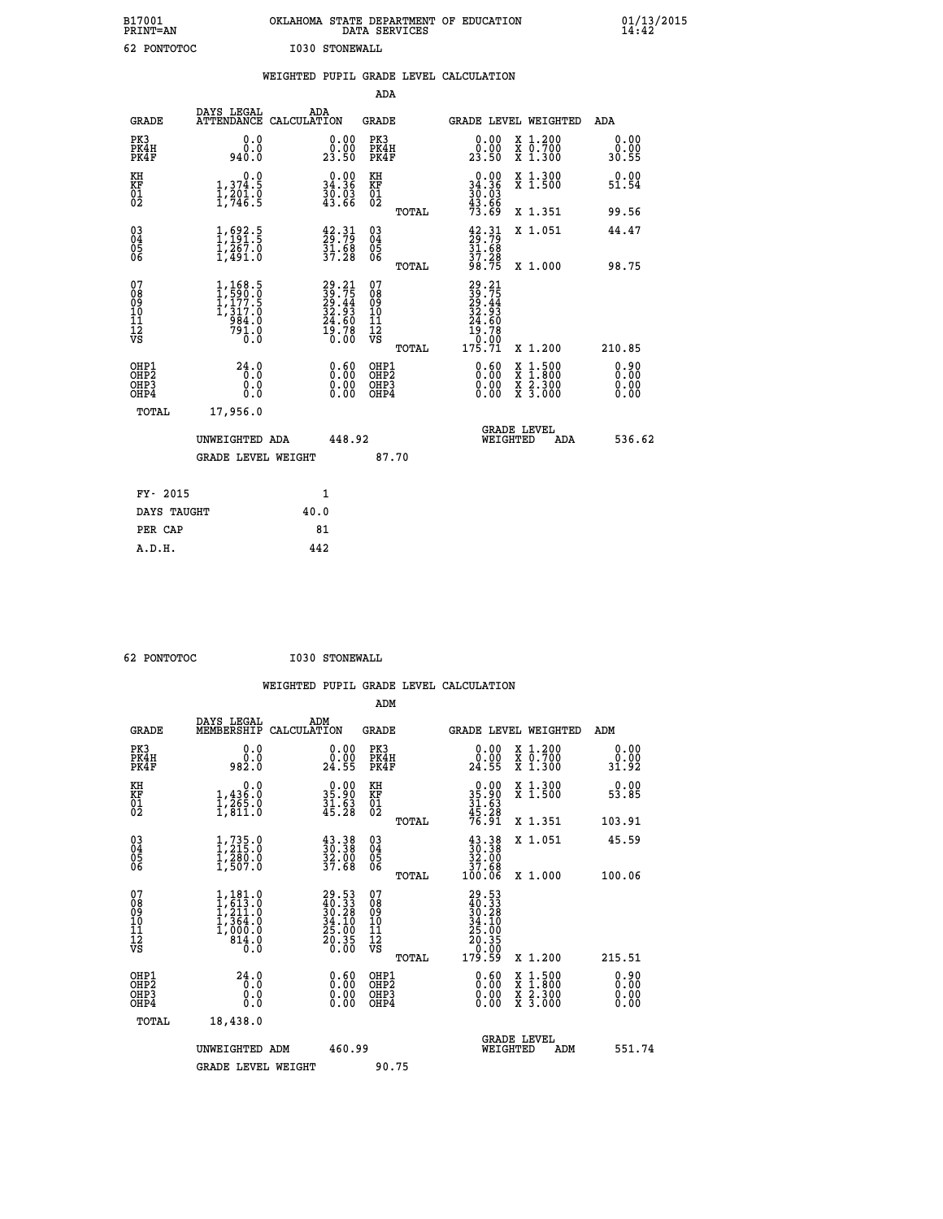| B17001<br><b>PRINT=AN</b> | OKLAHOMA STATE DEPARTMENT OF EDUCATION<br>DATA SERVICES | 01/13/2015 |
|---------------------------|---------------------------------------------------------|------------|
| 62<br>PONTOTOC            | I030 STONEWALL                                          |            |

|                                           |                                                                                                                          |      |                                                                          |                                          |       | WEIGHTED PUPIL GRADE LEVEL CALCULATION                                                             |                                                                                                  |                              |
|-------------------------------------------|--------------------------------------------------------------------------------------------------------------------------|------|--------------------------------------------------------------------------|------------------------------------------|-------|----------------------------------------------------------------------------------------------------|--------------------------------------------------------------------------------------------------|------------------------------|
|                                           |                                                                                                                          |      |                                                                          | ADA                                      |       |                                                                                                    |                                                                                                  |                              |
| <b>GRADE</b>                              | DAYS LEGAL<br>ATTENDANCE CALCULATION                                                                                     | ADA  |                                                                          | GRADE                                    |       |                                                                                                    | GRADE LEVEL WEIGHTED                                                                             | ADA                          |
| PK3<br>PK4H<br>PK4F                       | 0.0<br>0.0<br>940.0                                                                                                      |      | $\begin{smallmatrix} 0.00\\ 0.00\\ 23.50 \end{smallmatrix}$              | PK3<br>PK4H<br>PK4F                      |       | $\begin{smallmatrix} 0.00\\ 0.00\\ 23.50 \end{smallmatrix}$                                        | X 1.200<br>X 0.700<br>X 1.300                                                                    | 0.00<br>0.00<br>30.55        |
| KH<br>KF<br>$\frac{01}{02}$               | 0.0<br>$1,374.5$<br>$1,201.0$<br>$1,746.5$                                                                               |      | $0.00$<br>34.36<br>30.03<br>43.66                                        | KH<br>KF<br>01<br>02                     |       | $\begin{array}{c} 0.00 \\ 34.36 \\ 30.03 \\ 43.66 \end{array}$                                     | X 1.300<br>X 1.500                                                                               | 0.00<br>51.54                |
|                                           |                                                                                                                          |      |                                                                          |                                          | TOTAL | 73.69                                                                                              | X 1.351                                                                                          | 99.56                        |
| 030404<br>06                              | $\frac{1}{1}, \frac{692}{191}$<br>$\frac{1}{267}$<br>$\frac{1}{1}, \frac{267}{491}$<br>$\frac{0}{10}$                    |      | $\begin{smallmatrix} 42.31\ 29.79\ 31.68\ 37.28 \end{smallmatrix}$       | $\substack{03 \\ 04}$<br>Ŏ5<br>06        |       | $\begin{smallmatrix} 42\cdot 31\ 29\cdot 79\ 31\cdot 68\ 37\cdot 28\ 98\cdot 75 \end{smallmatrix}$ | X 1.051                                                                                          | 44.47                        |
|                                           |                                                                                                                          |      |                                                                          |                                          | TOTAL |                                                                                                    | X 1.000                                                                                          | 98.75                        |
| 07<br>08<br>09<br>11<br>11<br>12<br>VS    | $1, 168.5$<br>$1, 590.0$<br>$1, 177.5$<br>$1, 317.0$<br>$984.0$<br>$\begin{smallmatrix} 79\bar{1}\ 0\ \end{smallmatrix}$ |      | $29.21$<br>$39.75$<br>$29.44$<br>$32.93$<br>$24.60$<br>$19.78$<br>$0.00$ | 07<br>08<br>09<br>11<br>11<br>12<br>VS   |       | 29.21<br>$39.75$<br>$39.44$<br>$32.93$<br>$24.60$<br>$19.70$<br>$99.99$                            |                                                                                                  |                              |
|                                           |                                                                                                                          |      |                                                                          |                                          | TOTAL | 175.71                                                                                             | X 1.200                                                                                          | 210.85                       |
| OHP1<br>OH <sub>P</sub> 2<br>OHP3<br>OHP4 | 24.0<br>0.0<br>0.0<br>0.0                                                                                                |      | $0.60$<br>$0.00$<br>0.00                                                 | OHP1<br>OHP <sub>2</sub><br>OHP3<br>OHP4 |       | $0.60$<br>$0.00$<br>0.00                                                                           | $\begin{smallmatrix} x & 1 & 500 \\ x & 1 & 800 \\ x & 2 & 300 \\ x & 3 & 000 \end{smallmatrix}$ | 0.90<br>0.00<br>0.00<br>0.00 |
| <b>TOTAL</b>                              | 17,956.0                                                                                                                 |      |                                                                          |                                          |       |                                                                                                    |                                                                                                  |                              |
|                                           | UNWEIGHTED ADA                                                                                                           |      | 448.92                                                                   |                                          |       | WEIGHTED                                                                                           | <b>GRADE LEVEL</b><br>ADA                                                                        | 536.62                       |
|                                           | <b>GRADE LEVEL WEIGHT</b>                                                                                                |      |                                                                          |                                          | 87.70 |                                                                                                    |                                                                                                  |                              |
| FY- 2015                                  |                                                                                                                          |      | 1                                                                        |                                          |       |                                                                                                    |                                                                                                  |                              |
| DAYS TAUGHT                               |                                                                                                                          | 40.0 |                                                                          |                                          |       |                                                                                                    |                                                                                                  |                              |
| PER CAP                                   |                                                                                                                          |      | 81                                                                       |                                          |       |                                                                                                    |                                                                                                  |                              |

| <b>62 DONTOUROC</b> |
|---------------------|

62 PONTOTOC 1030 STONEWALL

 **WEIGHTED PUPIL GRADE LEVEL CALCULATION ADM DAYS LEGAL ADM GRADE MEMBERSHIP CALCULATION GRADE GRADE LEVEL WEIGHTED ADM PK3 0.0 0.00 PK3 0.00 X 1.200 0.00 PK4H 0.0 0.00 PK4H 0.00 X 0.700 0.00 PK4F 982.0 24.55 PK4F 24.55 X 1.300 31.92 KH 0.0 0.00 KH 0.00 X 1.300 0.00 KF 1,436.0 35.90 KF 35.90 X 1.500 53.85 01 1,265.0 31.63 01 31.63 02 1,811.0 45.28 02 45.28 TOTAL 76.91 X 1.351 103.91 03 1,735.0 43.38 03 43.38 X 1.051 45.59 04 1,215.0 30.38 04 30.38 05 1,280.0 32.00 05 32.00 06 1,507.0 37.68 06 37.68 TOTAL 100.06 X 1.000 100.06**  $\begin{array}{cccc} 07 & 1,181.0 & 29.53 & 07 \\ 08 & 1,613.0 & 40.33 & 08 \\ 10 & 1,211.0 & 30.28 & 08 \\ 10 & 1,364.0 & 34.10 & 10 \\ 1,1 & 1,000.0 & 25.00 & 11 \\ 12 & 814.0 & 20.35 & 12 \\ \nabla \mathbf{g} & & & & \\ 0 & & & & \\ 0 & & & & \\ \end{array}$ 08 1,613.0 40.33 08 40.33<br>
10 1,364.0 34.10 10 34.10<br>
11 1,000.0 25.00 11 25.03<br> **12 814.0** 25.00 11<br>
VS 0.00 VS 0.00 **EXECUTE:**<br>
29.53<br>
40.333<br>
30.33<br>
34.10<br>
25.10<br>
25.00<br>
26.35<br>
TOTAL 179.59 x 1.200 215.51<br>
1<br>
0.60 x 1.500 0.90<br>
3<br>
0.00 x 3.300 0.00<br>
0.00<br>
0.00 x 3.300 0.00<br>
0.00  **OHP1 24.0 0.60 OHP1 0.60 X 1.500 0.90 OHP2 0.0 0.00 OHP2 0.00 X 1.800 0.00 OHP3 0.0 0.00 OHP3 0.00 X 2.300 0.00 OHP4 0.0 0.00 OHP4 0.00 X 3.000 0.00 TOTAL 18,438.0 GRADE LEVEL UNWEIGHTED ADM 460.99 WEIGHTED ADM 551.74** GRADE LEVEL WEIGHT 90.75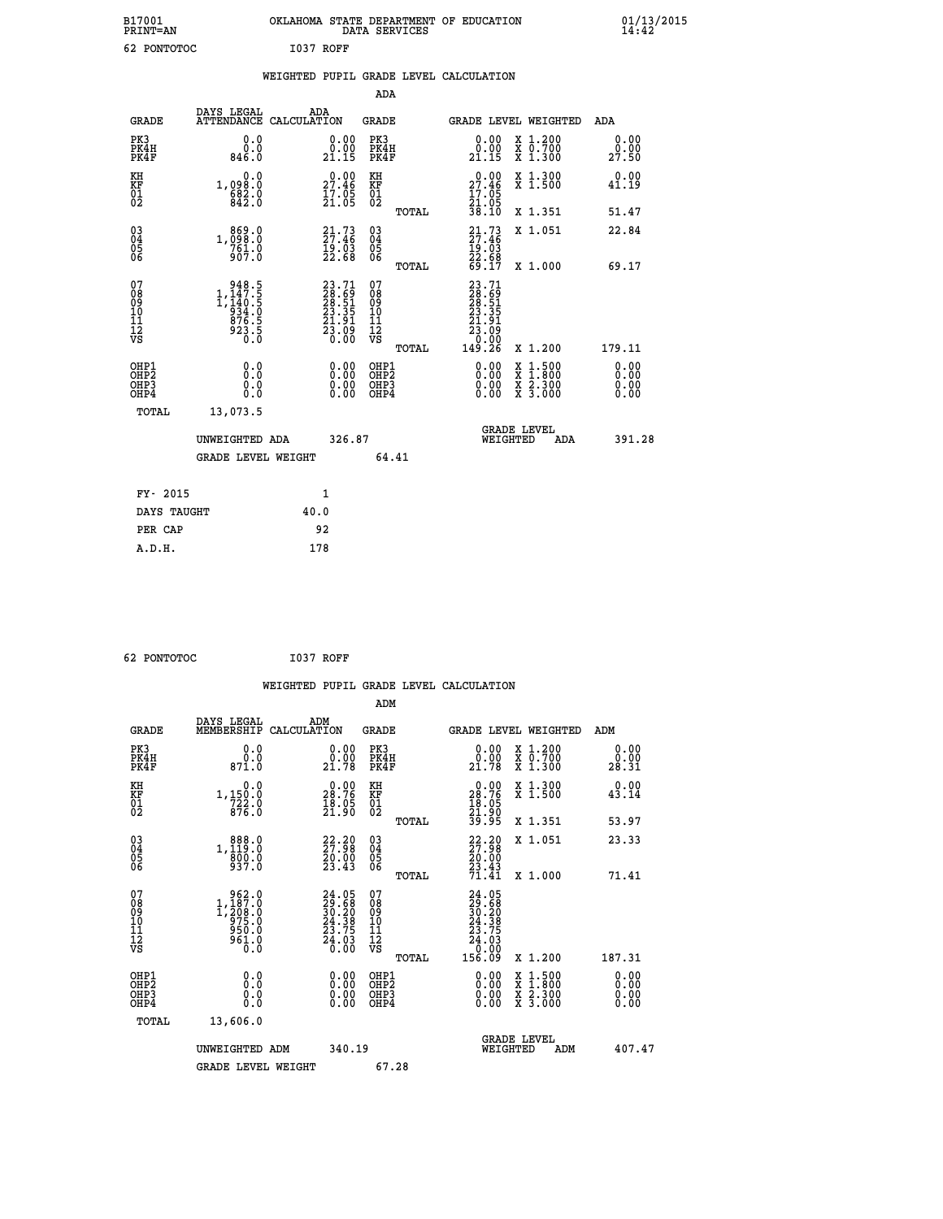| B17001<br><b>PRINT=AN</b> |             |           | OKLAHOMA STATE DEPARTMENT OF EDUCATION<br>DATA SERVICES |  |
|---------------------------|-------------|-----------|---------------------------------------------------------|--|
|                           | 62 PONTOTOC | I037 ROFF |                                                         |  |

|  |  | WEIGHTED PUPIL GRADE LEVEL CALCULATION |
|--|--|----------------------------------------|
|  |  |                                        |

|                                                                              |                                                                                                           |                                                                                                    | ADA                                      |       |                                                                              |                                                                                                                                           |                              |
|------------------------------------------------------------------------------|-----------------------------------------------------------------------------------------------------------|----------------------------------------------------------------------------------------------------|------------------------------------------|-------|------------------------------------------------------------------------------|-------------------------------------------------------------------------------------------------------------------------------------------|------------------------------|
| <b>GRADE</b>                                                                 | DAYS LEGAL                                                                                                | ADA<br>ATTENDANCE CALCULATION                                                                      | GRADE                                    |       |                                                                              | GRADE LEVEL WEIGHTED                                                                                                                      | ADA                          |
| PK3<br>PK4H<br>PK4F                                                          | 0.0<br>0.0<br>846.0                                                                                       | 0.00<br>$\frac{0.00}{21.15}$                                                                       | PK3<br>PK4H<br>PK4F                      |       | 0.00<br>0.00<br>21.15                                                        | X 1.200<br>X 0.700<br>X 1.300                                                                                                             | 0.00<br>0.00<br>27.50        |
| KH<br>KF<br>01<br>02                                                         | 0.0<br>1,098:0<br>682:0<br>842:0                                                                          | $2^{0.00}_{2.46}$<br>$\frac{1}{2}$ $\frac{7}{2}$ $\cdot$ $\frac{05}{05}$                           | KH<br>KF<br>01<br>02                     |       | $\begin{smallmatrix} 0.00\\ 27.46\\ 17.05\\ 21.05\\ 38.10 \end{smallmatrix}$ | X 1.300<br>X 1.500                                                                                                                        | 0.00<br>41.19                |
|                                                                              |                                                                                                           |                                                                                                    |                                          | TOTAL |                                                                              | X 1.351                                                                                                                                   | 51.47                        |
| $^{03}_{04}$<br>Ŏ5<br>06                                                     | 1,098.0<br>761.0<br>907.0                                                                                 | 21.73<br>$\frac{19}{22}.03$<br>22.68                                                               | 03<br>04<br>05<br>06                     |       | $21.73$<br>$27.46$<br>$19.03$<br>$22.68$<br>$69.17$                          | X 1.051                                                                                                                                   | 22.84                        |
|                                                                              |                                                                                                           |                                                                                                    |                                          | TOTAL |                                                                              | X 1.000                                                                                                                                   | 69.17                        |
| 07<br>08<br>09<br>11<br>11<br>12<br>VS                                       | $\begin{smallmatrix} & 948.5\\ 1,147.5\\ 1,140.5\\ 934.5\\ 936.5\\ 876.5\\ 923.5\\ 0.0 \end{smallmatrix}$ | $\begin{smallmatrix} 23\cdot71\28\cdot69\28\cdot51\23\cdot35\21\cdot91\23\cdot00\end{smallmatrix}$ | 07<br>08<br>09<br>11<br>11<br>12<br>VS   | TOTAL |                                                                              | X 1.200                                                                                                                                   | 179.11                       |
| OHP1<br>OH <sub>P</sub> <sub>2</sub><br>OH <sub>P3</sub><br>OH <sub>P4</sub> | 0.0<br>Ō.Ō<br>0.0<br>0.0                                                                                  | 0.00<br>0.00<br>0.00                                                                               | OHP1<br>OHP <sub>2</sub><br>OHP3<br>OHP4 |       | 0.00<br>0.00<br>0.00                                                         | $\begin{smallmatrix} \mathtt{X} & 1\cdot500\\ \mathtt{X} & 1\cdot800\\ \mathtt{X} & 2\cdot300\\ \mathtt{X} & 3\cdot000 \end{smallmatrix}$ | 0.00<br>0.00<br>0.00<br>0.00 |
| TOTAL                                                                        | 13,073.5                                                                                                  |                                                                                                    |                                          |       |                                                                              |                                                                                                                                           |                              |
|                                                                              | UNWEIGHTED ADA                                                                                            | 326.87                                                                                             |                                          |       | WEIGHTED                                                                     | <b>GRADE LEVEL</b><br>ADA                                                                                                                 | 391.28                       |
|                                                                              | <b>GRADE LEVEL WEIGHT</b>                                                                                 |                                                                                                    |                                          | 64.41 |                                                                              |                                                                                                                                           |                              |
| FY- 2015                                                                     |                                                                                                           | 1                                                                                                  |                                          |       |                                                                              |                                                                                                                                           |                              |
| DAYS TAUGHT                                                                  |                                                                                                           | 40.0                                                                                               |                                          |       |                                                                              |                                                                                                                                           |                              |
| PER CAP                                                                      |                                                                                                           | 92                                                                                                 |                                          |       |                                                                              |                                                                                                                                           |                              |
|                                                                              |                                                                                                           |                                                                                                    |                                          |       |                                                                              |                                                                                                                                           |                              |
| A.D.H.                                                                       |                                                                                                           | 178                                                                                                |                                          |       |                                                                              |                                                                                                                                           |                              |

 **62 PONTOTOC I037 ROFF**

 **A.D.H. 178**

 **B17001<br>PRINT=AN** 

|                                                    |                                                                                                           |                                                                       | WEIGHTED PUPIL GRADE LEVEL CALCULATION                |                                                                                                                                                                                          |                              |
|----------------------------------------------------|-----------------------------------------------------------------------------------------------------------|-----------------------------------------------------------------------|-------------------------------------------------------|------------------------------------------------------------------------------------------------------------------------------------------------------------------------------------------|------------------------------|
|                                                    |                                                                                                           |                                                                       | ADM                                                   |                                                                                                                                                                                          |                              |
| <b>GRADE</b>                                       | DAYS LEGAL<br>MEMBERSHIP<br>CALCULATION                                                                   | ADM                                                                   | GRADE                                                 | <b>GRADE LEVEL WEIGHTED</b>                                                                                                                                                              | ADM                          |
| PK3<br>PK4H<br>PK4F                                | 0.0<br>0.0<br>871.0                                                                                       | $\begin{smallmatrix} 0.00\\ 0.00\\ 21.78 \end{smallmatrix}$           | PK3<br>PK4H<br>PK4F                                   | 0.00<br>X 1.200<br>X 0.700<br>X 1.300<br>21.78                                                                                                                                           | 0.00<br>0.00<br>28.31        |
| KH<br>KF<br>01<br>02                               | 0.0<br>1,150:0<br>722:0<br>876:0                                                                          | 28.76<br>$\frac{18.05}{21.90}$                                        | KH<br>KF<br>01<br>02                                  | 0.00<br>X 1.300<br>X 1.500<br>$28.76$<br>$18.05$<br>$21.90$<br>$39.95$                                                                                                                   | 0.00<br>43.14                |
|                                                    |                                                                                                           |                                                                       | TOTAL                                                 | X 1.351                                                                                                                                                                                  | 53.97                        |
| $\begin{matrix} 03 \\ 04 \\ 05 \\ 06 \end{matrix}$ | 1, 888.0<br>1, 119.0<br>800.0<br>937.0                                                                    | $\begin{smallmatrix} 22.20\\ 27.98\\ 20.00\\ 23.43 \end{smallmatrix}$ | 03<br>04<br>05<br>06                                  | $22.20$<br>$27.98$<br>$20.00$<br>$23.43$<br>$71.41$<br>X 1.051                                                                                                                           | 23.33                        |
|                                                    |                                                                                                           |                                                                       | TOTAL                                                 | X 1.000                                                                                                                                                                                  | 71.41                        |
| 07<br>08<br>09<br>101<br>11<br>12<br>VS            | $\begin{smallmatrix} & 962.0\\ 1,187.0\\ 1,208.0\\ 975.0\\ 950.0\\ 950.0\\ 961.0\\ 0.0 \end{smallmatrix}$ | $24.0529.6830.2024.3823.7524.030.00$                                  | 07<br>08<br>09<br>01<br>11<br>11<br>12<br>VS<br>TOTAL | 24.05<br>$\begin{smallmatrix} 24 & . & . & 2 \\ 29 & . & 6 & 8 \\ 30 & . & 29 & . \\ 24 & . & 39 & . \\ 24 & . & 0 & . \\ 0 & . & 0 & . \\ 156 & . & 0 & . \end{smallmatrix}$<br>X 1.200 | 187.31                       |
|                                                    |                                                                                                           |                                                                       |                                                       |                                                                                                                                                                                          |                              |
| OHP1<br>OHP2<br>OH <sub>P3</sub><br>OHP4           | 0.0<br>0.0<br>Ō.O                                                                                         | $\begin{smallmatrix} 0.00 \ 0.00 \ 0.00 \ 0.00 \end{smallmatrix}$     | OHP1<br>OHP2<br>OHP3<br>OHP4                          | $0.00$<br>$0.00$<br>$1.500$<br>$1.800$<br>X 1:500<br>X 1:800<br>X 2:300<br>X 3:000<br>0.00                                                                                               | 0.00<br>Ŏ.ŎŎ<br>0.00<br>0.00 |
| TOTAL                                              | 13,606.0                                                                                                  |                                                                       |                                                       |                                                                                                                                                                                          |                              |
|                                                    | UNWEIGHTED ADM                                                                                            | 340.19                                                                |                                                       | <b>GRADE LEVEL</b><br>WEIGHTED                                                                                                                                                           | 407.47<br>ADM                |
|                                                    | <b>GRADE LEVEL WEIGHT</b>                                                                                 |                                                                       | 67.28                                                 |                                                                                                                                                                                          |                              |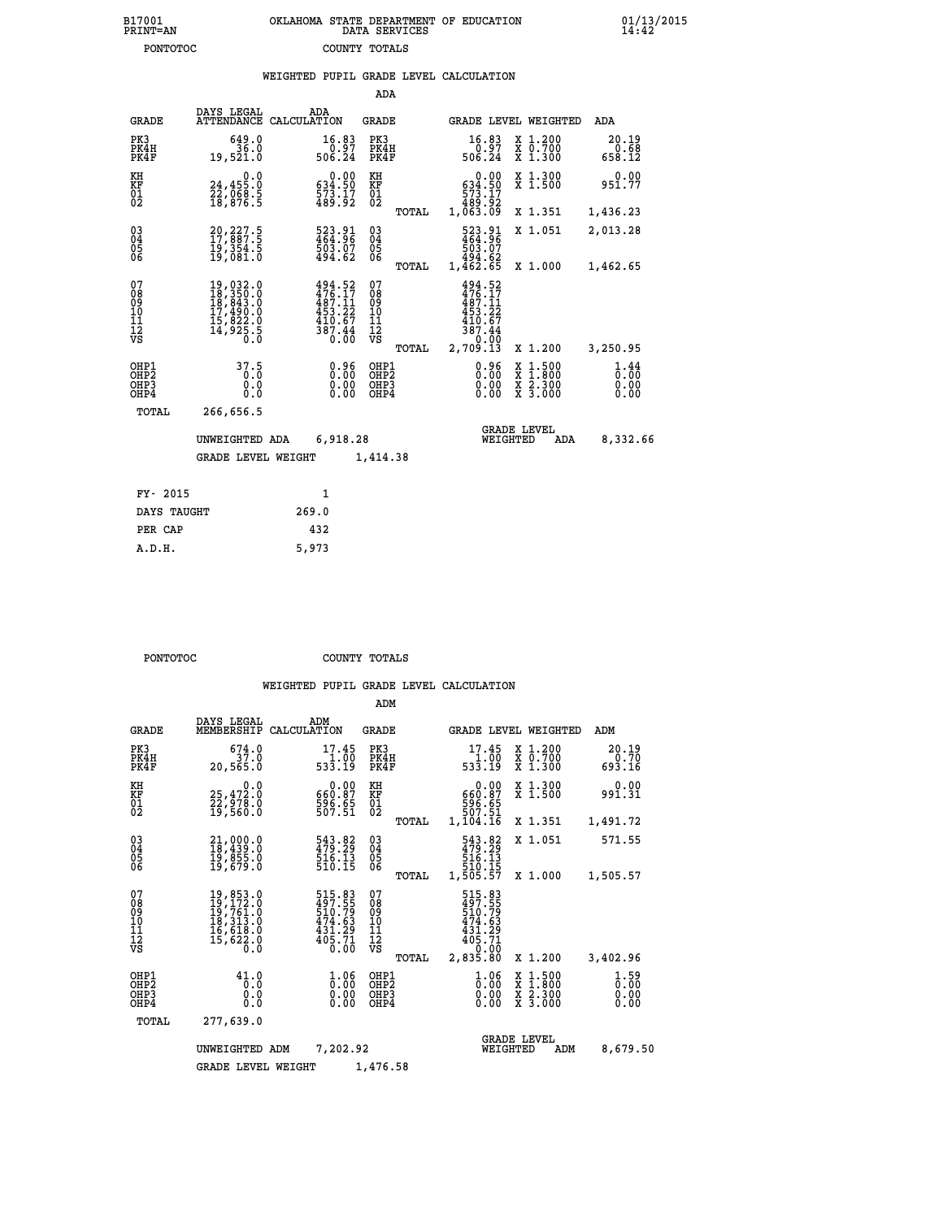| 7001<br>INT=AN | OKLAHOMA STATE DEPARTMENT OF EDUCATION<br>DATA SERVICES |  |
|----------------|---------------------------------------------------------|--|
| PONTOTOC       | COUNTY TOTALS                                           |  |

|                     |                                      | WEIGHTED PUPIL GRADE LEVEL CALCULATION |                         |                     |                 |       |                                 |                         |
|---------------------|--------------------------------------|----------------------------------------|-------------------------|---------------------|-----------------|-------|---------------------------------|-------------------------|
|                     |                                      |                                        |                         | ADA                 |                 |       |                                 |                         |
| GRADE               | DAYS LEGAL<br>ATTENDANCE CALCULATION | ADA                                    |                         | GRADE               |                 |       | GRADE LEVEL WEIGHTED            | ADA                     |
| PK3<br>PK4H<br>PK4F | 649.0<br>36.0<br>19,521.0            |                                        | 16.83<br>0.97<br>506.24 | PK3<br>PK4H<br>PK4F | 16.83<br>506.24 | 0.97  | X 1.200<br>X 0.700<br>$X$ 1.300 | 20.19<br>0.68<br>658.12 |
| ĸн                  | n n                                  |                                        | n nn                    | КĦ                  |                 | 0. QU | Y 1300                          | n nn                    |

| ΚH<br>KF<br>01<br>02                               | $\begin{smallmatrix} & & 0.0\ 24.455.0\ 22.068.5\ 18.876.5 \end{smallmatrix}$                                                                                                              | $\begin{smallmatrix} &0.00\\ 634.50\\ 73.17\\ 489.92\end{smallmatrix}$          | KH<br>KF<br>01<br>02                   |       | $\begin{smallmatrix} &0.00\ 634.50\ 573.17\ 489.92\ 1.063.09\ \end{smallmatrix}$            | X 1.300<br>X 1.500                                                                                                  | 0.00<br>951.77                                  |
|----------------------------------------------------|--------------------------------------------------------------------------------------------------------------------------------------------------------------------------------------------|---------------------------------------------------------------------------------|----------------------------------------|-------|---------------------------------------------------------------------------------------------|---------------------------------------------------------------------------------------------------------------------|-------------------------------------------------|
|                                                    |                                                                                                                                                                                            |                                                                                 |                                        | TOTAL |                                                                                             | X 1.351                                                                                                             | 1,436.23                                        |
| $\begin{matrix} 03 \\ 04 \\ 05 \\ 06 \end{matrix}$ | 20,227.5<br>17,887.5<br>19,354.5<br>19,081.0                                                                                                                                               | 523.91<br>464.96<br>503.07<br>494.62                                            | $^{03}_{04}$<br>$\frac{05}{06}$        |       | 523.91<br>464.96<br>503.07<br>503.07<br>494.62<br>1,462.65                                  | X 1.051                                                                                                             | 2,013.28                                        |
|                                                    |                                                                                                                                                                                            |                                                                                 |                                        | TOTAL |                                                                                             | X 1.000                                                                                                             | 1,462.65                                        |
| 07<br>08<br>09<br>101<br>11<br>12<br>VS            | $\begin{smallmatrix} 19 \,, & 032 \,. & 0\\ 18 \,, & 350 \,. & 0\\ 18 \,, & 843 \,. & 0\\ 17 \,, & 490 \,. & 0\\ 15 \,, & 822 \,. & 0\\ 14 \,, & 925 \,. & 5\\ 0 \,. & 0\end{smallmatrix}$ | $494.52$<br>$476.17$<br>$487.11$<br>$453.22$<br>410.67<br>$\frac{387.44}{0.00}$ | 07<br>08<br>09<br>11<br>11<br>12<br>VS | TOTAL | 494.52<br>$476.17$<br>$487.11$<br>$453.22$<br>$410.67$<br>$\frac{387.44}{0.00}$<br>2,709.13 | X 1.200                                                                                                             | 3,250.95                                        |
|                                                    |                                                                                                                                                                                            |                                                                                 | OHP1                                   |       |                                                                                             |                                                                                                                     |                                                 |
| OHP1<br>OHP2<br>OH <sub>P3</sub><br>OHP4           | $\begin{smallmatrix} 37.5\\ 0.0\\ 0.0\\ 0.0 \end{smallmatrix}$                                                                                                                             | $0.96$<br>$0.00$<br>0.00                                                        | OHP <sub>2</sub><br>OHP3<br>OHP4       |       | $0.96$<br>$0.00$<br>0.00                                                                    | $\begin{array}{l} \mathtt{X} & 1.500 \\ \mathtt{X} & 1.800 \\ \mathtt{X} & 2.300 \\ \mathtt{X} & 3.000 \end{array}$ | $\frac{1}{0}$ : $\frac{44}{00}$<br>0.00<br>0.00 |
| TOTAL                                              | 266,656.5                                                                                                                                                                                  |                                                                                 |                                        |       |                                                                                             |                                                                                                                     |                                                 |
|                                                    | UNWEIGHTED ADA                                                                                                                                                                             | 6,918.28                                                                        |                                        |       |                                                                                             | <b>GRADE LEVEL</b><br>WEIGHTED<br>ADA                                                                               | 8,332.66                                        |
|                                                    | <b>GRADE LEVEL WEIGHT</b>                                                                                                                                                                  |                                                                                 | 1,414.38                               |       |                                                                                             |                                                                                                                     |                                                 |
|                                                    |                                                                                                                                                                                            |                                                                                 |                                        |       |                                                                                             |                                                                                                                     |                                                 |

| FY- 2015    |       |
|-------------|-------|
| DAYS TAUGHT | 269.0 |
| PER CAP     | 432   |
| A.D.H.      | 5,973 |

 **B17001<br>PRINT=AN** 

**PONTOTOC** COUNTY TOTALS

|                                                       |                                                                                                                                                                               |                                                                        | ADM                                              |                                                                                                                         |                                          |                              |
|-------------------------------------------------------|-------------------------------------------------------------------------------------------------------------------------------------------------------------------------------|------------------------------------------------------------------------|--------------------------------------------------|-------------------------------------------------------------------------------------------------------------------------|------------------------------------------|------------------------------|
| <b>GRADE</b>                                          | DAYS LEGAL<br>MEMBERSHIP                                                                                                                                                      | ADM<br>CALCULATION                                                     | <b>GRADE</b>                                     | <b>GRADE LEVEL WEIGHTED</b>                                                                                             |                                          | ADM                          |
| PK3<br>PK4H<br>PK4F                                   | 674.0<br>37.0<br>20,565.0                                                                                                                                                     | 17.45<br>$\frac{11.00}{533.19}$                                        | PK3<br>PK4H<br>PK4F                              | 17.45<br>533.19<br>533.19                                                                                               | X 1.200<br>X 0.700<br>X 1.300            | 20.19<br>0.70<br>693.16      |
| KH<br>KF<br>01<br>02                                  | 0.0<br>25,472:0<br>22,978:0<br>19,560:0                                                                                                                                       | $\begin{smallmatrix} &0.00\ 660.87\ 596.65\ 507.51\ \end{smallmatrix}$ | KH<br>KF<br>01<br>02                             | 0.00<br>660.87<br>596.65<br>507.51<br>1,104.16                                                                          | X 1.300<br>X 1.500                       | 0.00<br>991.31               |
|                                                       |                                                                                                                                                                               |                                                                        | TOTAL                                            |                                                                                                                         | X 1.351                                  | 1,491.72                     |
| 03<br>04<br>05<br>06                                  | 21,000.0<br>18,439.0<br>19,855.0<br>19,679.0                                                                                                                                  | 543.82<br>479.29<br>516.13<br>510.15                                   | $^{03}_{04}$<br>0500                             | 543.82<br>516.13                                                                                                        | X 1.051                                  | 571.55                       |
|                                                       |                                                                                                                                                                               |                                                                        | TOTAL                                            | 510.15<br>1,505.57                                                                                                      | X 1.000                                  | 1,505.57                     |
| 07<br>08<br>09<br>11<br>11<br>12<br>VS                | $\begin{smallmatrix}19\,, & 853\,. & 0\\19\,, & 172\,. & 0\\19\,, & 761\,. & 0\\18\,, & 313\,. & 0\\16\,, & 618\,. & 0\\15\,, & 622\,. & 0\\0\,. & 0\,. & 0\end{smallmatrix}$ | 515.83<br>497.55<br>510.79<br>474.63<br>$\frac{431.29}{405.71}$        | 07<br>08<br>09<br>101<br>11<br>12<br>VS<br>TOTAL | 515.83<br>497.55<br>510.79<br>474.63<br>$\frac{43\bar{1}\cdot\tilde{29}}{40\bar{2}\cdot\tilde{71}}$<br>0.00<br>2,835.80 | X 1.200                                  | 3,402.96                     |
| OHP1<br>OH <sub>P</sub> 2<br>OH <sub>P3</sub><br>OHP4 | 41.0<br>0.0<br>0.000                                                                                                                                                          | $\frac{1}{0.00}$<br>0.00                                               | OHP1<br>OHP2<br>OHP3<br>OHP4                     | $\frac{1}{0}$ :00<br>0.00<br>0.00                                                                                       | X 1:500<br>X 1:800<br>X 2:300<br>X 3:000 | 1.59<br>0.00<br>0.00<br>0.00 |
| TOTAL                                                 | 277,639.0                                                                                                                                                                     |                                                                        |                                                  |                                                                                                                         |                                          |                              |
|                                                       | UNWEIGHTED                                                                                                                                                                    | 7,202.92<br>ADM                                                        |                                                  | WEIGHTED                                                                                                                | <b>GRADE LEVEL</b><br>ADM                | 8,679.50                     |
|                                                       | <b>GRADE LEVEL WEIGHT</b>                                                                                                                                                     |                                                                        | 1,476.58                                         |                                                                                                                         |                                          |                              |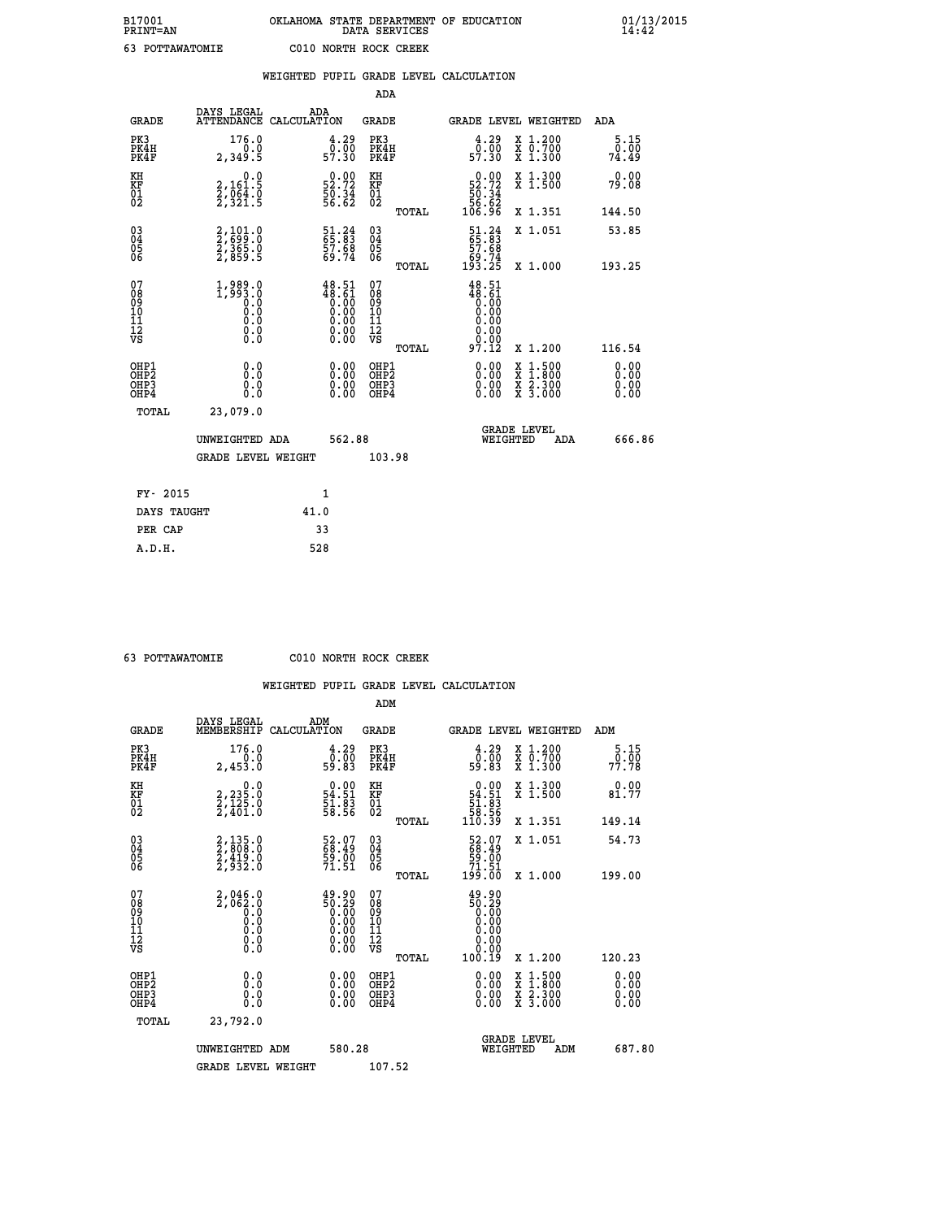|                                                                    |                                                                         | WEIGHTED PUPIL GRADE LEVEL CALCULATION                                                                                                                                               |                                                    |       |                                                                                                                                      |                                                                                                  |                              |
|--------------------------------------------------------------------|-------------------------------------------------------------------------|--------------------------------------------------------------------------------------------------------------------------------------------------------------------------------------|----------------------------------------------------|-------|--------------------------------------------------------------------------------------------------------------------------------------|--------------------------------------------------------------------------------------------------|------------------------------|
|                                                                    |                                                                         |                                                                                                                                                                                      | <b>ADA</b>                                         |       |                                                                                                                                      |                                                                                                  |                              |
| <b>GRADE</b>                                                       | DAYS LEGAL<br>ATTENDANCE CALCULATION                                    | ADA                                                                                                                                                                                  | <b>GRADE</b>                                       |       |                                                                                                                                      | GRADE LEVEL WEIGHTED                                                                             | ADA                          |
| PK3<br>PK4H<br>PK4F                                                | 176.0<br>2,349.5                                                        | $\begin{smallmatrix} 4.29\0.00\\ 57.30 \end{smallmatrix}$                                                                                                                            | PK3<br>PK4H<br>PK4F                                |       | $\begin{smallmatrix} 4.29\0.00\\ 0.00\\57.30 \end{smallmatrix}$                                                                      | X 1.200<br>X 0.700<br>X 1.300                                                                    | 5.15<br>0.00<br>74.49        |
| KH<br>KF<br>01<br>02                                               | $\begin{smallmatrix}&&&0.0\\2,161.5\\2,064.0\\2,321.5\end{smallmatrix}$ | $\begin{smallmatrix} 0.00\\ 52.72\\ 50.34\\ 56.62 \end{smallmatrix}$                                                                                                                 | KH<br>KF<br>01<br>02                               |       | $0.00\n52.72\n50.34\n56.62\n106.96$                                                                                                  | X 1.300<br>X 1.500                                                                               | 0.00<br>79.08                |
|                                                                    |                                                                         |                                                                                                                                                                                      |                                                    | TOTAL |                                                                                                                                      | X 1.351                                                                                          | 144.50                       |
| $\begin{smallmatrix} 03 \\[-4pt] 04 \end{smallmatrix}$<br>Ŏ5<br>06 | 2,101.0<br>2,699.0<br>2,365.0<br>2,859.5                                | 51.24<br>65.83<br>57.68<br>59.74                                                                                                                                                     | $\begin{matrix} 03 \\ 04 \\ 05 \\ 06 \end{matrix}$ |       | $\begin{smallmatrix} 51.24\ 65.83\ 57.68\ 59.74\ 193.25 \end{smallmatrix}$                                                           | X 1.051                                                                                          | 53.85                        |
|                                                                    |                                                                         |                                                                                                                                                                                      |                                                    | TOTAL |                                                                                                                                      | X 1.000                                                                                          | 193.25                       |
| 07<br>08<br>09<br>11<br>11<br>12<br>VS                             | $1,989.0$<br>$1,993.0$<br>$0.0$<br>$0.0$<br>$0.0$<br>$0.0$<br>$0.0$     | $\begin{smallmatrix} 4\,8\cdot\,5\,1\\ 4\,8\cdot\,6\,1\\ 0\cdot\,0\,0\\ 0\cdot\,0\,0\\ 0\cdot\,0\,0\\ 0\cdot\,0\,0\\ 0\cdot\,0\,0\\ 0\cdot\,0\,0\\ 0\cdot\,0\,0\\ \end{smallmatrix}$ | 07<br>08<br>09<br>11<br>11<br>12<br>VS             | TOTAL | 48.51<br>$\begin{smallmatrix} 18.61 \ 18.61 \ 0.00 \ 0.00 \end{smallmatrix}$<br>$\begin{array}{c} 0.00 \\ 0.00 \\ 97.12 \end{array}$ | X 1.200                                                                                          | 116.54                       |
| OHP1<br>OHP2<br>OH <sub>P3</sub><br>OHP4                           | 0.0<br>0.0<br>0.0                                                       | $\begin{smallmatrix} 0.00 \ 0.00 \ 0.00 \ 0.00 \end{smallmatrix}$                                                                                                                    | OHP1<br>OHP2<br>OHP3<br>OHP4                       |       | 0.00<br>0.00                                                                                                                         | $\begin{smallmatrix} x & 1 & 500 \\ x & 1 & 800 \\ x & 2 & 300 \\ x & 3 & 000 \end{smallmatrix}$ | 0.00<br>0.00<br>0.00<br>0.00 |
| TOTAL                                                              | 23,079.0                                                                |                                                                                                                                                                                      |                                                    |       |                                                                                                                                      |                                                                                                  |                              |
|                                                                    | UNWEIGHTED ADA                                                          |                                                                                                                                                                                      | 562.88                                             |       | WEIGHTED                                                                                                                             | <b>GRADE LEVEL</b><br><b>ADA</b>                                                                 | 666.86                       |
|                                                                    | GRADE LEVEL WEIGHT                                                      |                                                                                                                                                                                      | 103.98                                             |       |                                                                                                                                      |                                                                                                  |                              |
| FY- 2015                                                           |                                                                         | $\mathbf{1}$                                                                                                                                                                         |                                                    |       |                                                                                                                                      |                                                                                                  |                              |
| DAYS TAUGHT                                                        |                                                                         | 41.0                                                                                                                                                                                 |                                                    |       |                                                                                                                                      |                                                                                                  |                              |
| PER CAP                                                            |                                                                         | 33                                                                                                                                                                                   |                                                    |       |                                                                                                                                      |                                                                                                  |                              |

 **63 POTTAWATOMIE C010 NORTH ROCK CREEK**

|                                          |                                                               |                                                                                                 | ADM                                                 |       |                                                                                                                           |                                          |                                                      |        |
|------------------------------------------|---------------------------------------------------------------|-------------------------------------------------------------------------------------------------|-----------------------------------------------------|-------|---------------------------------------------------------------------------------------------------------------------------|------------------------------------------|------------------------------------------------------|--------|
| <b>GRADE</b>                             | DAYS LEGAL<br>MEMBERSHIP                                      | ADM<br>CALCULATION                                                                              | <b>GRADE</b>                                        |       | <b>GRADE LEVEL WEIGHTED</b>                                                                                               |                                          | ADM                                                  |        |
| PK3<br>PK4H<br>PK4F                      | 176.0<br>$0.\overline{0}$<br>2,453.0                          | $\begin{smallmatrix} 4.29\ 0.00\ 59.83 \end{smallmatrix}$                                       | PK3<br>PK4H<br>PK4F                                 |       | $\begin{smallmatrix} 4.29\ 0.00\ 59.83 \end{smallmatrix}$                                                                 | X 1.200<br>X 0.700<br>X 1.300            | 5.15<br>$7\overline{7}\cdot\overline{7}\overline{8}$ |        |
| KH<br>KF<br>01<br>02                     | 0.0<br>2,235:0<br>2,125:0<br>2,401:0                          | $\begin{smallmatrix} 0.00\\ 54.51\\ 51.83\\ 58.56 \end{smallmatrix}$                            | KH<br>KF<br>01<br>02                                |       | $\begin{array}{c} 0.00 \\ 54.51 \\ 51.83 \\ 58.56 \\ 110.39 \end{array}$                                                  | X 1.300<br>X 1.500                       | 0.00<br>81.77                                        |        |
|                                          |                                                               |                                                                                                 |                                                     | TOTAL |                                                                                                                           | X 1.351                                  | 149.14                                               |        |
| 03<br>04<br>05<br>06                     | 2,135.0<br>2,808.0<br>2,419.0<br>2,932.0                      | 52.07<br>68.49<br>59.00<br>71.51                                                                | $\begin{array}{c} 03 \\ 04 \\ 05 \\ 06 \end{array}$ |       | $\begin{smallmatrix} 52.07\ 68.49\ 59.00\ 71.51\ 199.00 \end{smallmatrix}$                                                | X 1.051                                  | 54.73                                                |        |
|                                          |                                                               |                                                                                                 |                                                     | TOTAL |                                                                                                                           | X 1.000                                  | 199.00                                               |        |
| 07<br>08<br>09<br>101<br>112<br>VS       | $2,046.0$<br>$2,062.0$<br>$0.0$<br>$0.0$<br>0.0<br>$\S.$ $\S$ | $\begin{smallmatrix} 49.90\ 50.29\ 0.00\ 0.00\ 0.00\ 0.00\ 0.00\ 0.00\ 0.00\ \end{smallmatrix}$ | 07<br>08<br>09<br>11<br>11<br>12<br>VS              |       | $\begin{smallmatrix} 49.90 \\ 50.29 \\ 0.00 \\ 0.00 \\ 0.00 \\ 0.00 \\ 0.00 \\ 0.00 \\ 0.00 \\ 0.00 \\ \end{smallmatrix}$ |                                          |                                                      |        |
|                                          |                                                               |                                                                                                 |                                                     | TOTAL | 100.19                                                                                                                    | X 1.200                                  | 120.23                                               |        |
| OHP1<br>OHP2<br>OH <sub>P3</sub><br>OHP4 | 0.0<br>0.000                                                  |                                                                                                 | OHP1<br>OHP2<br>OHP <sub>3</sub>                    |       | $0.00$<br>$0.00$<br>0.00                                                                                                  | X 1:500<br>X 1:800<br>X 2:300<br>X 3:000 | 0.00<br>0.00<br>0.00<br>0.00                         |        |
| TOTAL                                    | 23,792.0                                                      |                                                                                                 |                                                     |       |                                                                                                                           |                                          |                                                      |        |
|                                          | UNWEIGHTED ADM                                                | 580.28                                                                                          |                                                     |       | WEIGHTED                                                                                                                  | <b>GRADE LEVEL</b><br>ADM                |                                                      | 687.80 |
|                                          | <b>GRADE LEVEL WEIGHT</b>                                     |                                                                                                 | 107.52                                              |       |                                                                                                                           |                                          |                                                      |        |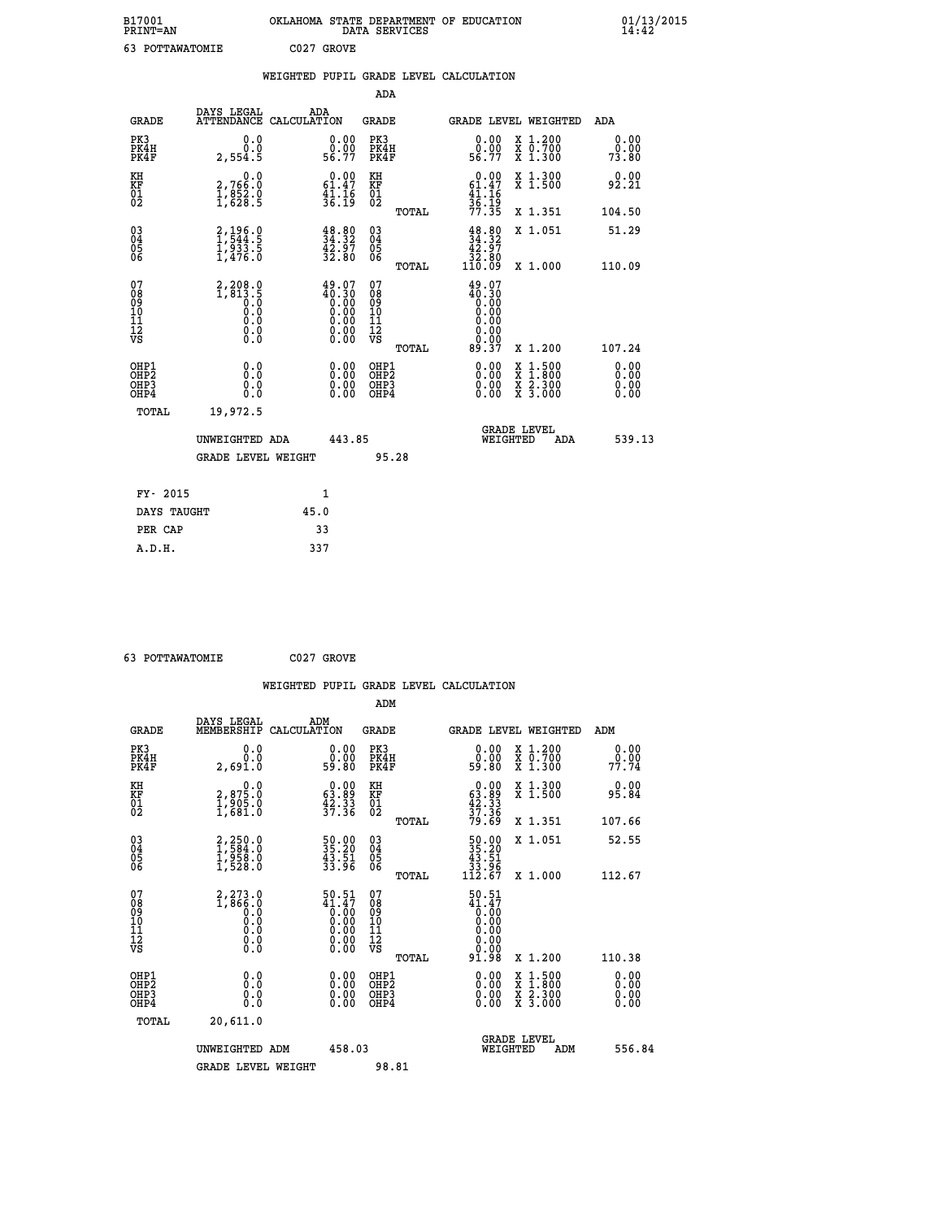| B17001<br>PRINT=AN                                 |                                                                                                         | OKLAHOMA STATE DEPARTMENT OF EDUCATION DATA SERVICES               |                                                    |       |                                                                                |                                                                    | 91/13                 |
|----------------------------------------------------|---------------------------------------------------------------------------------------------------------|--------------------------------------------------------------------|----------------------------------------------------|-------|--------------------------------------------------------------------------------|--------------------------------------------------------------------|-----------------------|
| 63 POTTAWATOMIE                                    |                                                                                                         | C027 GROVE                                                         |                                                    |       |                                                                                |                                                                    |                       |
|                                                    |                                                                                                         | WEIGHTED PUPIL GRADE LEVEL CALCULATION                             |                                                    |       |                                                                                |                                                                    |                       |
|                                                    |                                                                                                         |                                                                    | ADA                                                |       |                                                                                |                                                                    |                       |
| <b>GRADE</b>                                       | DAYS LEGAL<br><b>ATTENDANCE</b>                                                                         | ADA<br>CALCULATION                                                 | <b>GRADE</b>                                       |       |                                                                                | <b>GRADE LEVEL WEIGHTED</b>                                        | <b>ADA</b>            |
| PK3<br>PK4H<br>PK4F                                | 0.0<br>0.0<br>2,554.5                                                                                   | $\begin{smallmatrix} 0.00\\ 0.00\\ 56.77 \end{smallmatrix}$        | PK3<br>PK4H<br>PK4F                                |       | $\begin{smallmatrix} 0.00\\ 0.00\\ 56.77 \end{smallmatrix}$                    | X 1.200<br>X 0.700<br>X 1.300                                      | 0.00<br>0.00<br>73.80 |
| KH<br>KF<br>01<br>02                               | $\begin{smallmatrix} & & 0.0\ 2.766.0\ 1.852.0\ 1.628.5 \end{smallmatrix}$                              | $0.00$<br>$61.47$<br>$\frac{4}{36}$ ; $\frac{16}{19}$              | KH<br>KF<br>01<br>02                               |       | 0.00<br>$61.47$<br>$41.16$<br>$36.19$<br>$77.35$                               | X 1.300<br>X 1.500                                                 | 0.00<br>92.21         |
|                                                    |                                                                                                         |                                                                    |                                                    | TOTAL |                                                                                | X 1.351                                                            | 104.50                |
| $\begin{matrix} 03 \\ 04 \\ 05 \\ 06 \end{matrix}$ | 2,196.0<br>1,544.5<br>1,933.5<br>1,476.0                                                                | $\begin{smallmatrix} 48.80\ 34.32\ 42.97\ 32.80 \end{smallmatrix}$ | $\begin{matrix} 03 \\ 04 \\ 05 \\ 06 \end{matrix}$ |       | $\begin{smallmatrix} 48.80\\ 34.32\\ 42.97\\ 32.80\\ 110.09 \end{smallmatrix}$ | X 1.051                                                            | 51.29                 |
|                                                    |                                                                                                         |                                                                    |                                                    | TOTAL |                                                                                | X 1.000                                                            | 110.09                |
| 07<br>089<br>090<br>1112<br>VS                     | 2,208.0<br>1,813.5<br>0.0<br>0.0<br>$\begin{smallmatrix} 0.0 & 0 \ 0.0 & 0 \ 0.0 & 0 \end{smallmatrix}$ | $49.07\n40.30\n0.00\n0.00\n0.00\n0.00\n0.00$                       | 07<br>08<br>09<br>11<br>11<br>12<br>VS             | TOTAL | $49.07$<br>$40.30$<br>$0.00$<br>0.00<br>0.00<br>0.00<br>89.37                  | X 1.200                                                            | 107.24                |
| OHP1<br>OHP2<br>OHP3                               | 0.000000                                                                                                | 0.00<br>0.00                                                       | OHP1<br>OH <sub>P</sub> 2<br>OHP3                  |       | 0.00<br>0.00                                                                   | $\begin{array}{c} x & 1.500 \\ x & 1.800 \\ x & 2.300 \end{array}$ | 0.00<br>0.00<br>0.00  |

| OHP4        | 0.0                       |        | $0.00$ OHP4 | $0.00 \times 3.000$            | 0.00          |
|-------------|---------------------------|--------|-------------|--------------------------------|---------------|
| TOTAL       | 19,972.5                  |        |             |                                |               |
|             | UNWEIGHTED ADA            | 443.85 |             | <b>GRADE LEVEL</b><br>WEIGHTED | 539.13<br>ADA |
|             | <b>GRADE LEVEL WEIGHT</b> |        | 95.28       |                                |               |
|             |                           |        |             |                                |               |
| FY- 2015    |                           | 1      |             |                                |               |
| DAYS TAUGHT |                           | 45.0   |             |                                |               |
| PER CAP     |                           | 33     |             |                                |               |
| A.D.H.      |                           | 337    |             |                                |               |

 **63 POTTAWATOMIE C027 GROVE**

|                                                    |                                                                                                         |                    |                                                                                                                        |                                               |       | WEIGHTED PUPIL GRADE LEVEL CALCULATION                                                                                                                                                                                                                                         |                                                                                                  |        |                      |
|----------------------------------------------------|---------------------------------------------------------------------------------------------------------|--------------------|------------------------------------------------------------------------------------------------------------------------|-----------------------------------------------|-------|--------------------------------------------------------------------------------------------------------------------------------------------------------------------------------------------------------------------------------------------------------------------------------|--------------------------------------------------------------------------------------------------|--------|----------------------|
|                                                    |                                                                                                         |                    |                                                                                                                        | ADM                                           |       |                                                                                                                                                                                                                                                                                |                                                                                                  |        |                      |
| <b>GRADE</b>                                       | DAYS LEGAL<br>MEMBERSHIP                                                                                | ADM<br>CALCULATION |                                                                                                                        | <b>GRADE</b>                                  |       |                                                                                                                                                                                                                                                                                | <b>GRADE LEVEL WEIGHTED</b>                                                                      | ADM    |                      |
| PK3<br>PK4H<br>PK4F                                | 0.0<br>Ŏ.Ŏ<br>2,691.0                                                                                   |                    | $\begin{smallmatrix} 0.00\\ 0.00\\ 59.80 \end{smallmatrix}$                                                            | PK3<br>PK4H<br>PK4F                           |       | $\begin{smallmatrix} 0.00\\ 0.00\\ 0.00\\ 59.80 \end{smallmatrix}$                                                                                                                                                                                                             | X 1.200<br>X 0.700<br>X 1.300                                                                    | 77.74  | 0.00<br>0.00         |
| KH<br>KF<br>01<br>02                               | $\begin{smallmatrix} & & 0.0\ 2.875.0\ 1.905.0\ 1.681.0 \end{smallmatrix}$                              |                    | $\begin{smallmatrix} 0.00\\ 63.89\\ 42.33\\ 37.36 \end{smallmatrix}$                                                   | KH<br>KF<br>01<br>02                          |       | $\begin{smallmatrix} 0.00\\ 63.89\\ 42.33\\ 37.36\\ 79.69 \end{smallmatrix}$                                                                                                                                                                                                   | X 1.300<br>X 1.500                                                                               | 95.84  | 0.00                 |
|                                                    |                                                                                                         |                    |                                                                                                                        |                                               | TOTAL |                                                                                                                                                                                                                                                                                | X 1.351                                                                                          | 107.66 |                      |
| $\begin{matrix} 03 \\ 04 \\ 05 \\ 06 \end{matrix}$ | $2,250.0$<br>$1,584.0$<br>$1,958.0$<br>$1,528.0$                                                        |                    | 50.00<br>35.20<br>43.51<br>33.96                                                                                       | 03<br>04<br>05<br>06                          |       | $\begin{array}{r} 50.00 \\ 35.20 \\ 43.51 \\ 33.96 \\ 112.67 \end{array}$                                                                                                                                                                                                      | X 1.051                                                                                          | 52.55  |                      |
|                                                    |                                                                                                         |                    |                                                                                                                        |                                               | TOTAL |                                                                                                                                                                                                                                                                                | X 1.000                                                                                          | 112.67 |                      |
| 07<br>0890112<br>1112<br>VS                        | 2,273.0<br>1,866.0<br>0.0<br>0.0<br>$\begin{smallmatrix} 0.0 & 0 \ 0.0 & 0 \ 0.0 & 0 \end{smallmatrix}$ |                    | $50.51$<br>$41.47$<br>$0.00$<br>$0.00$<br>$0.00$<br>$\begin{smallmatrix} 0.00 & 0.00 \\ 0.00 & 0.00 \end{smallmatrix}$ | 07<br>08<br>09<br>001<br>11<br>11<br>12<br>VS | TOTAL | $50.51$<br>$41.47$<br>$0.00$<br>$0.00$<br>0.00<br>0.00<br>91.98                                                                                                                                                                                                                | $X_1.200$                                                                                        | 110.38 |                      |
|                                                    |                                                                                                         |                    |                                                                                                                        |                                               |       |                                                                                                                                                                                                                                                                                |                                                                                                  |        |                      |
| OHP1<br>OHP2<br>OH <sub>P3</sub><br>OHP4           | 0.0<br>0.000                                                                                            |                    | $\begin{smallmatrix} 0.00 \ 0.00 \ 0.00 \ 0.00 \end{smallmatrix}$                                                      | OHP1<br>OHP2<br>OHP3<br>OHP4                  |       | $\begin{smallmatrix} 0.00 & 0.00 & 0.00 & 0.00 & 0.00 & 0.00 & 0.00 & 0.00 & 0.00 & 0.00 & 0.00 & 0.00 & 0.00 & 0.00 & 0.00 & 0.00 & 0.00 & 0.00 & 0.00 & 0.00 & 0.00 & 0.00 & 0.00 & 0.00 & 0.00 & 0.00 & 0.00 & 0.00 & 0.00 & 0.00 & 0.00 & 0.00 & 0.00 & 0.00 & 0.00 & 0.0$ | $\begin{smallmatrix} x & 1 & 500 \\ x & 1 & 800 \\ x & 2 & 300 \\ x & 3 & 000 \end{smallmatrix}$ |        | 0.00<br>0.00<br>0.00 |
| TOTAL                                              | 20,611.0                                                                                                |                    |                                                                                                                        |                                               |       |                                                                                                                                                                                                                                                                                |                                                                                                  |        |                      |
|                                                    | UNWEIGHTED ADM                                                                                          |                    | 458.03                                                                                                                 |                                               |       | WEIGHTED                                                                                                                                                                                                                                                                       | <b>GRADE LEVEL</b><br>ADM                                                                        |        | 556.84               |
|                                                    | <b>GRADE LEVEL WEIGHT</b>                                                                               |                    |                                                                                                                        | 98.81                                         |       |                                                                                                                                                                                                                                                                                |                                                                                                  |        |                      |

 **B17001 OKLAHOMA STATE DEPARTMENT OF EDUCATION 01/13/2015**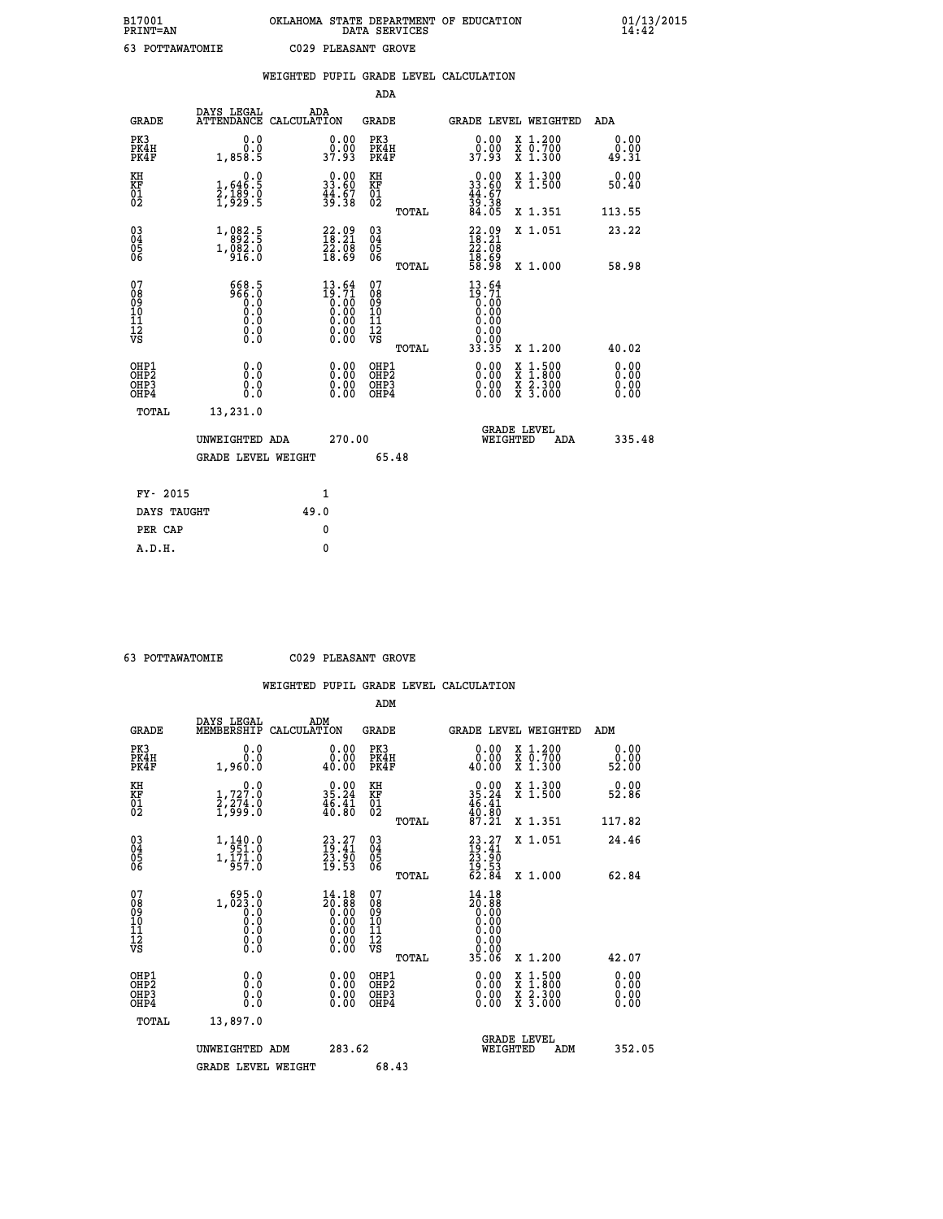| DAYS LEGAL                                   | ADA                                                                                                                                                                                         |                                             |                                                                                                                                                                                                                                                                                                                                                                       |                                                                                 |                                                                                              |                                                                                                                                                                   | <b>ADA</b>                                                                                                                                                                                   |
|----------------------------------------------|---------------------------------------------------------------------------------------------------------------------------------------------------------------------------------------------|---------------------------------------------|-----------------------------------------------------------------------------------------------------------------------------------------------------------------------------------------------------------------------------------------------------------------------------------------------------------------------------------------------------------------------|---------------------------------------------------------------------------------|----------------------------------------------------------------------------------------------|-------------------------------------------------------------------------------------------------------------------------------------------------------------------|----------------------------------------------------------------------------------------------------------------------------------------------------------------------------------------------|
| 0.0<br>$0.\overline{0}.\overline{0}$ 1,858.5 |                                                                                                                                                                                             |                                             |                                                                                                                                                                                                                                                                                                                                                                       |                                                                                 | 0.00<br>ŏ:ŏŏ<br>37:93                                                                        | X 1.200<br>X 0.700<br>X 1.300                                                                                                                                     | 0.00<br>0.00<br>49.31                                                                                                                                                                        |
|                                              |                                                                                                                                                                                             |                                             | KH                                                                                                                                                                                                                                                                                                                                                                    |                                                                                 |                                                                                              | X 1.300<br>X 1.500                                                                                                                                                | 0.00<br>50.40                                                                                                                                                                                |
|                                              |                                                                                                                                                                                             |                                             |                                                                                                                                                                                                                                                                                                                                                                       | TOTAL                                                                           |                                                                                              | X 1.351                                                                                                                                                           | 113.55                                                                                                                                                                                       |
|                                              |                                                                                                                                                                                             |                                             |                                                                                                                                                                                                                                                                                                                                                                       |                                                                                 |                                                                                              | X 1.051                                                                                                                                                           | 23.22                                                                                                                                                                                        |
|                                              |                                                                                                                                                                                             |                                             |                                                                                                                                                                                                                                                                                                                                                                       | TOTAL                                                                           |                                                                                              | X 1.000                                                                                                                                                           | 58.98                                                                                                                                                                                        |
|                                              |                                                                                                                                                                                             |                                             | 07<br>08901112<br>1112<br>VS                                                                                                                                                                                                                                                                                                                                          | TOTAL                                                                           | 13.64<br>$\begin{smallmatrix} 19.71 \ 0.00 \ 0.00 \ 0.00 \end{smallmatrix}$<br>0.00<br>33.35 | X 1.200                                                                                                                                                           | 40.02                                                                                                                                                                                        |
| 0.0<br>0.0<br>0.0                            |                                                                                                                                                                                             |                                             |                                                                                                                                                                                                                                                                                                                                                                       |                                                                                 | 0.00<br>0.00<br>0.00                                                                         |                                                                                                                                                                   | 0.00<br>Ō. ŌŌ<br>0.00<br>0.00                                                                                                                                                                |
| 13,231.0                                     |                                                                                                                                                                                             |                                             |                                                                                                                                                                                                                                                                                                                                                                       |                                                                                 |                                                                                              |                                                                                                                                                                   |                                                                                                                                                                                              |
|                                              |                                                                                                                                                                                             |                                             |                                                                                                                                                                                                                                                                                                                                                                       |                                                                                 |                                                                                              | ADA                                                                                                                                                               | 335.48                                                                                                                                                                                       |
|                                              |                                                                                                                                                                                             |                                             |                                                                                                                                                                                                                                                                                                                                                                       |                                                                                 |                                                                                              |                                                                                                                                                                   |                                                                                                                                                                                              |
|                                              | $\mathbf{1}$                                                                                                                                                                                |                                             |                                                                                                                                                                                                                                                                                                                                                                       |                                                                                 |                                                                                              |                                                                                                                                                                   |                                                                                                                                                                                              |
| DAYS TAUGHT                                  | 49.0                                                                                                                                                                                        |                                             |                                                                                                                                                                                                                                                                                                                                                                       |                                                                                 |                                                                                              |                                                                                                                                                                   |                                                                                                                                                                                              |
|                                              | 0                                                                                                                                                                                           |                                             |                                                                                                                                                                                                                                                                                                                                                                       |                                                                                 |                                                                                              |                                                                                                                                                                   |                                                                                                                                                                                              |
|                                              | $1,646.5$<br>$2,189.0$<br>$1,929.5$<br>$\substack{1,082.5 \\ 892.5 \\ 1,082.0 \\ 916.0}$<br>$\begin{smallmatrix} 668.5\\ 966.0\\ 0.0\\ 0.0\\ 0.0\\ 0.0\\ 0.0\\ 0.0\\ 0.0 \end{smallmatrix}$ | UNWEIGHTED ADA<br><b>GRADE LEVEL WEIGHT</b> | ATTENDANCE CALCULATION<br>$0.00$<br>37.93<br>$\begin{smallmatrix} 0.00\\ 33.60\\ 44.67\\ 39.38 \end{smallmatrix}$<br>$\begin{smallmatrix} 22.09\\18.21\\22.08\\18.69 \end{smallmatrix}$<br>$13.64$<br>$19.71$<br>$\begin{smallmatrix} 0.16 \ 0.00 \ 0.00 \ 0.00 \ 0.00 \ 0.00 \end{smallmatrix}$<br>$\begin{smallmatrix} 0.00 \ 0.00 \ 0.00 \ 0.00 \end{smallmatrix}$ | KF<br>01<br>02<br>$\begin{array}{c} 03 \\ 04 \\ 05 \\ 06 \end{array}$<br>270.00 | <b>ADA</b><br><b>GRADE</b><br>PK3<br>PK4H<br>PK4F<br>OHP1<br>OHP2<br>OHP3<br>OHP4<br>65.48   | $\begin{smallmatrix} 0.00\\ 33.60\\ 44.67\\ 39.38\\ 84.05 \end{smallmatrix}$<br>$\begin{smallmatrix} 22.09 \\ 18.21 \\ 22.08 \\ 18.69 \\ 58.98 \end{smallmatrix}$ | WEIGHTED PUPIL GRADE LEVEL CALCULATION<br>GRADE LEVEL WEIGHTED<br>$\begin{smallmatrix} x & 1.500 \\ x & 1.800 \\ x & 2.300 \\ x & 3.000 \end{smallmatrix}$<br><b>GRADE LEVEL</b><br>WEIGHTED |

 **63 POTTAWATOMIE C029 PLEASANT GROVE**

|                                          |                                                                              |                                                                                                                                                                                                                                                                                                                                                 | ADM                                                |       |                                                                                                                                                                                                                                                                                                                                                            |                                          |                              |
|------------------------------------------|------------------------------------------------------------------------------|-------------------------------------------------------------------------------------------------------------------------------------------------------------------------------------------------------------------------------------------------------------------------------------------------------------------------------------------------|----------------------------------------------------|-------|------------------------------------------------------------------------------------------------------------------------------------------------------------------------------------------------------------------------------------------------------------------------------------------------------------------------------------------------------------|------------------------------------------|------------------------------|
| <b>GRADE</b>                             | DAYS LEGAL<br>MEMBERSHIP                                                     | ADM<br>CALCULATION                                                                                                                                                                                                                                                                                                                              | <b>GRADE</b>                                       |       |                                                                                                                                                                                                                                                                                                                                                            | GRADE LEVEL WEIGHTED                     | ADM                          |
| PK3<br>PK4H<br>PK4F                      | 0.0<br>0.0<br>1,960.0                                                        | 0.00<br>40.00                                                                                                                                                                                                                                                                                                                                   | PK3<br>PK4H<br>PK4F                                |       | $\begin{smallmatrix} 0.00\\ 0.00\\ 0.00 \end{smallmatrix}$                                                                                                                                                                                                                                                                                                 | X 1.200<br>X 0.700<br>X 1.300            | 0.00<br>$\frac{0.00}{52.00}$ |
| KH<br>KF<br>01<br>02                     | 0.0<br>1,727.0<br>2,274.0<br>1,999.0                                         | $\begin{smallmatrix} 0.00\\ 35.24\\ 46.41\\ 40.80 \end{smallmatrix}$                                                                                                                                                                                                                                                                            | KH<br>KF<br>01<br>02                               |       | $\begin{array}{r} 0.00 \\ 35.24 \\ 46.41 \\ 40.80 \\ 87.21 \end{array}$                                                                                                                                                                                                                                                                                    | X 1.300<br>X 1.500                       | 0.00<br>52.86                |
|                                          |                                                                              |                                                                                                                                                                                                                                                                                                                                                 |                                                    | TOTAL |                                                                                                                                                                                                                                                                                                                                                            | X 1.351                                  | 117.82                       |
| 03<br>04<br>05<br>06                     | 1,140.0<br>$1,\frac{1}{9}$ $\frac{7}{5}$ $\frac{1}{7}$ $\frac{8}{5}$         | $23.27$<br>19:41<br>23.90<br>19.53                                                                                                                                                                                                                                                                                                              | $\begin{matrix} 03 \\ 04 \\ 05 \\ 06 \end{matrix}$ |       | $23.27$<br>$19.41$<br>$23.90$<br>$19.53$<br>$62.84$                                                                                                                                                                                                                                                                                                        | X 1.051                                  | 24.46                        |
|                                          |                                                                              |                                                                                                                                                                                                                                                                                                                                                 |                                                    | TOTAL |                                                                                                                                                                                                                                                                                                                                                            | X 1.000                                  | 62.84                        |
| 07<br>08<br>09<br>101<br>112<br>VS       | 1,023.0<br>$\begin{smallmatrix} 0.10 \ 0.0 \ 0.0 \end{smallmatrix}$<br>$\S.$ | $\begin{smallmatrix} 14 & 18 \\ 20 & 88 \\ 0 & 00 \\ 0 & 00 \\ 0 & 00 \\ 0 & 00 \\ 0 & 00 \\ 0 & 00 \\ 0 & 00 \\ 0 & 00 \\ 0 & 00 \\ 0 & 0 \\ 0 & 0 \\ 0 & 0 \\ 0 & 0 \\ 0 & 0 \\ 0 & 0 \\ 0 & 0 \\ 0 & 0 \\ 0 & 0 \\ 0 & 0 \\ 0 & 0 \\ 0 & 0 \\ 0 & 0 \\ 0 & 0 \\ 0 & 0 \\ 0 & 0 \\ 0 & 0 \\ 0 & 0 \\ 0 & 0 \\ 0 & 0 \\ 0 & 0 \\ 0 & 0 \\ 0 &$ | 07<br>08<br>09<br>101<br>11<br>12<br>VS            |       | $\begin{smallmatrix} 14 & 18 \\ 20 & 88 \\ 0 & 00 \\ 0 & 00 \\ 0 & 00 \\ 0 & 00 \\ 0 & 00 \\ 0 & 0 \\ 0 & 0 \\ 0 & 0 \\ 0 & 0 \\ 0 & 0 \\ 0 & 0 \\ 0 & 0 \\ 0 & 0 \\ 0 & 0 \\ 0 & 0 \\ 0 & 0 \\ 0 & 0 \\ 0 & 0 \\ 0 & 0 \\ 0 & 0 \\ 0 & 0 \\ 0 & 0 \\ 0 & 0 \\ 0 & 0 \\ 0 & 0 \\ 0 & 0 \\ 0 & 0 \\ 0 & 0 \\ 0 & 0 \\ 0 & 0 \\ 0 & 0 \\ 0 & 0 \\ $<br>35.06 |                                          |                              |
|                                          |                                                                              |                                                                                                                                                                                                                                                                                                                                                 |                                                    | TOTAL |                                                                                                                                                                                                                                                                                                                                                            | X 1.200                                  | 42.07                        |
| OHP1<br>OHP2<br>OH <sub>P3</sub><br>OHP4 | 0.0<br>0.000                                                                 | $0.00$<br>$0.00$<br>0.00                                                                                                                                                                                                                                                                                                                        | OHP1<br>OHP2<br>OHP <sub>3</sub>                   |       | $0.00$<br>$0.00$<br>0.00                                                                                                                                                                                                                                                                                                                                   | X 1:500<br>X 1:800<br>X 2:300<br>X 3:000 | 0.00<br>0.00<br>0.00         |
| TOTAL                                    | 13,897.0                                                                     |                                                                                                                                                                                                                                                                                                                                                 |                                                    |       |                                                                                                                                                                                                                                                                                                                                                            |                                          |                              |
|                                          | UNWEIGHTED ADM                                                               | 283.62                                                                                                                                                                                                                                                                                                                                          |                                                    |       | WEIGHTED                                                                                                                                                                                                                                                                                                                                                   | <b>GRADE LEVEL</b><br>ADM                | 352.05                       |
|                                          | <b>GRADE LEVEL WEIGHT</b>                                                    |                                                                                                                                                                                                                                                                                                                                                 | 68.43                                              |       |                                                                                                                                                                                                                                                                                                                                                            |                                          |                              |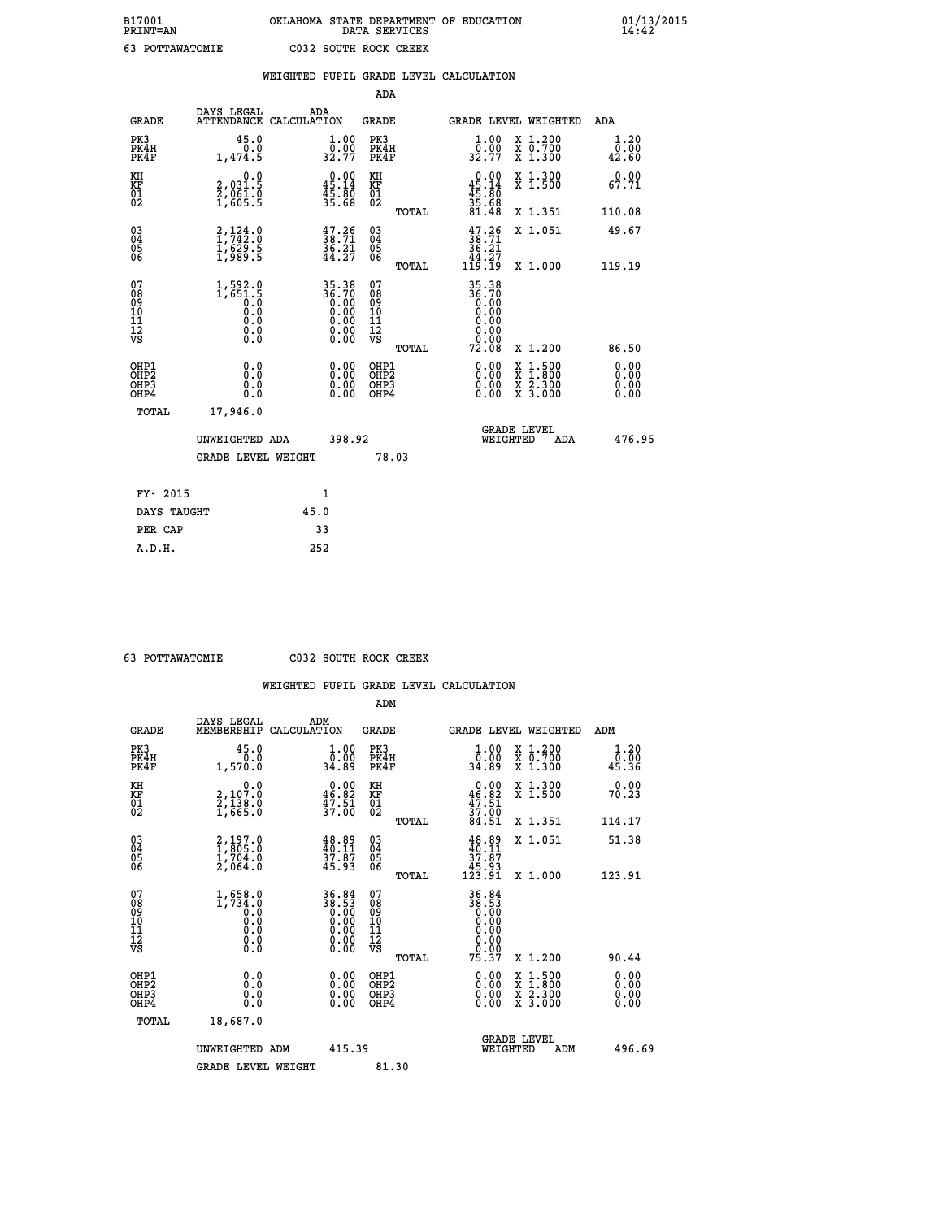| B17001<br>PRINT=AN | OKLAHOMA STATE DEPARTMENT OF EDUCATION<br>DATA SERVICES | $01/13/2015$<br>14:42 |
|--------------------|---------------------------------------------------------|-----------------------|
| 63<br>POTTAWATOMIE | C032 SOUTH ROCK CREEK                                   |                       |

|                                                                    |                                                                              | WEIGHTED PUPIL GRADE LEVEL CALCULATION                            |                                                 |                                                                                                                                                                                                                                                                                |                                                                                          |                                  |
|--------------------------------------------------------------------|------------------------------------------------------------------------------|-------------------------------------------------------------------|-------------------------------------------------|--------------------------------------------------------------------------------------------------------------------------------------------------------------------------------------------------------------------------------------------------------------------------------|------------------------------------------------------------------------------------------|----------------------------------|
|                                                                    |                                                                              |                                                                   | <b>ADA</b>                                      |                                                                                                                                                                                                                                                                                |                                                                                          |                                  |
| <b>GRADE</b>                                                       | DAYS LEGAL                                                                   | ADA<br>ATTENDANCE CALCULATION                                     | GRADE                                           | GRADE LEVEL WEIGHTED                                                                                                                                                                                                                                                           | ADA                                                                                      |                                  |
| PK3<br>PK4H<br>PK4F                                                | 45.0<br>0.0<br>1,474.5                                                       | $\frac{1}{0}$ : 00<br>32.77                                       | PK3<br>PK4H<br>PK4F                             | 1.00<br>$\frac{0.00}{32.77}$                                                                                                                                                                                                                                                   | X 1.200<br>X 0.700<br>X 1.300                                                            | 1.20<br>0.00<br>42.60            |
| KH<br>KF<br>01<br>02                                               | 0.0<br>2,031.5<br>$\frac{2}{1}$ , $\frac{5}{6}$ , $\frac{1}{5}$              | $0.00$<br>45.14<br>$\frac{45.80}{35.68}$                          | KH<br>KF<br>01<br>02                            | $0.00$<br>$45.14$<br>$45.80$<br>$35.68$<br>$81.48$                                                                                                                                                                                                                             | X 1.300<br>X 1.500                                                                       | 0.00<br>67.71                    |
|                                                                    |                                                                              |                                                                   | TOTAL                                           |                                                                                                                                                                                                                                                                                | X 1.351                                                                                  | 110.08                           |
| $\begin{smallmatrix} 03 \\[-4pt] 04 \end{smallmatrix}$<br>Ŏ5<br>06 | $\begin{smallmatrix} 2,124\ 1,742\ 1,629\ 1,629\ 1,989\ 1 \end{smallmatrix}$ | $\frac{47.26}{38.71}$<br>$\frac{36.21}{44.27}$                    | $\substack{03 \\ 04}$<br>Ŏ5<br>06               | $\frac{47.26}{38.71}$<br>36.21                                                                                                                                                                                                                                                 | X 1.051                                                                                  | 49.67                            |
|                                                                    |                                                                              |                                                                   | TOTAL                                           | $\frac{44.27}{119.19}$                                                                                                                                                                                                                                                         | X 1.000                                                                                  | 119.19                           |
| 07<br>08<br>09<br>01<br>11<br>11<br>12<br>VS                       | $1,592.0$<br>1,651.5<br>0.0<br>0.0<br>0.0<br>$\S.$                           | 35.38<br>36.70<br>0.00<br>0.00<br>0.00<br>0.00                    | 07<br>08<br>09<br>11<br>11<br>12<br>VS<br>TOTAL | 35.38<br>36.70<br>0.00<br>0.00<br>0.00<br>0.00<br>0.00<br>72.08                                                                                                                                                                                                                | X 1.200                                                                                  | 86.50                            |
| OHP1<br>OHP2<br>OHP3<br>OHP4                                       | 0.0<br>0.0<br>0.0                                                            | $\begin{smallmatrix} 0.00 \ 0.00 \ 0.00 \ 0.00 \end{smallmatrix}$ | OHP1<br>OHP2<br>OHP3<br>OHP4                    | $\begin{smallmatrix} 0.00 & 0.00 & 0.00 & 0.00 & 0.00 & 0.00 & 0.00 & 0.00 & 0.00 & 0.00 & 0.00 & 0.00 & 0.00 & 0.00 & 0.00 & 0.00 & 0.00 & 0.00 & 0.00 & 0.00 & 0.00 & 0.00 & 0.00 & 0.00 & 0.00 & 0.00 & 0.00 & 0.00 & 0.00 & 0.00 & 0.00 & 0.00 & 0.00 & 0.00 & 0.00 & 0.0$ | $\begin{smallmatrix} x & 1.500 \\ x & 1.800 \\ x & 2.300 \\ x & 3.000 \end{smallmatrix}$ | 0.00<br>0.00<br>$0.00$<br>$0.00$ |
| TOTAL                                                              | 17,946.0                                                                     |                                                                   |                                                 |                                                                                                                                                                                                                                                                                |                                                                                          |                                  |
|                                                                    | UNWEIGHTED ADA                                                               | 398.92                                                            |                                                 | <b>GRADE LEVEL</b><br>WEIGHTED                                                                                                                                                                                                                                                 | ADA                                                                                      | 476.95                           |
|                                                                    | <b>GRADE LEVEL WEIGHT</b>                                                    |                                                                   | 78.03                                           |                                                                                                                                                                                                                                                                                |                                                                                          |                                  |
|                                                                    | FY- 2015                                                                     | $\mathbf{1}$                                                      |                                                 |                                                                                                                                                                                                                                                                                |                                                                                          |                                  |
|                                                                    | DAYS TAUGHT                                                                  | 45.0                                                              |                                                 |                                                                                                                                                                                                                                                                                |                                                                                          |                                  |
|                                                                    | PER CAP                                                                      | 33                                                                |                                                 |                                                                                                                                                                                                                                                                                |                                                                                          |                                  |

 **63 POTTAWATOMIE C032 SOUTH ROCK CREEK**

|                                          |                                                                                                         |                                                                                                       | ADM                                                |       |                                                                 |                                          |                       |
|------------------------------------------|---------------------------------------------------------------------------------------------------------|-------------------------------------------------------------------------------------------------------|----------------------------------------------------|-------|-----------------------------------------------------------------|------------------------------------------|-----------------------|
| <b>GRADE</b>                             | DAYS LEGAL<br>MEMBERSHIP                                                                                | ADM<br>CALCULATION                                                                                    | <b>GRADE</b>                                       |       |                                                                 | <b>GRADE LEVEL WEIGHTED</b>              | ADM                   |
| PK3<br>PK4H<br>PK4F                      | 45.0<br>0.0<br>1,570.0                                                                                  | 1.00<br>ŏč.ŏŏ<br>89.89                                                                                | PK3<br>PK4H<br>PK4F                                |       | $\begin{smallmatrix} 1.00\\ 0.00\\ 34.89 \end{smallmatrix}$     | X 1.200<br>X 0.700<br>X 1.300            | 1.20<br>ō:ōŏ<br>45.36 |
| KH<br>KF<br>01<br>02                     | 0.0<br>2,107.0<br>2,138.0<br>1,665.0                                                                    | $\begin{smallmatrix} 0.00\\ 46.82\\ 47.51\\ 37.00 \end{smallmatrix}$                                  | KH<br>KF<br>01<br>02                               |       | $0.00$<br>$46.82$<br>$47.51$<br>$37.00$<br>$84.51$              | X 1.300<br>X 1.500                       | 0.00<br>70.23         |
|                                          |                                                                                                         |                                                                                                       |                                                    | TOTAL |                                                                 | X 1.351                                  | 114.17                |
| 03<br>04<br>05<br>06                     | $\begin{smallmatrix} 2\,,\,197\,. \ 1\,,\,805\,. \ 0\,1\,,\,704\,. \ 0\,2\,,\,064\,. \end{smallmatrix}$ | $48.89$<br>$40.11$<br>$37.87$<br>$45.93$                                                              | $\begin{matrix} 03 \\ 04 \\ 05 \\ 06 \end{matrix}$ |       | $48.89$<br>$40.11$<br>$37.87$<br>$45.93$<br>$123.91$            | X 1.051                                  | 51.38                 |
|                                          |                                                                                                         |                                                                                                       |                                                    | TOTAL |                                                                 | X 1.000                                  | 123.91                |
| 07<br>08<br>09<br>101<br>112<br>VS       | $1, 658.0$<br>$1, 734.0$<br>$0.0$<br>0.0<br>0.0<br>$\S.$                                                | $\begin{array}{c} 36\cdot84 \\ 38\cdot53 \\ 0.00 \\ 0.00 \\ 0.00 \\ 0.00 \\ 0.00 \\ 0.00 \end{array}$ | 07<br>08<br>09<br>101<br>11<br>12<br>VS            |       | 36.84<br>38.53<br>0.00<br>0.00<br>0.00<br>0.00<br>0.00<br>75.37 |                                          |                       |
|                                          |                                                                                                         |                                                                                                       |                                                    | TOTAL |                                                                 | X 1.200                                  | 90.44                 |
| OHP1<br>OHP2<br>OH <sub>P3</sub><br>OHP4 | 0.0<br>0.000                                                                                            | $0.00$<br>$0.00$<br>0.00                                                                              | OHP1<br>OHP2<br>OHP <sub>3</sub>                   |       | $0.00$<br>$0.00$<br>0.00                                        | X 1:500<br>X 1:800<br>X 2:300<br>X 3:000 | 0.00<br>0.00<br>0.00  |
| TOTAL                                    | 18,687.0                                                                                                |                                                                                                       |                                                    |       |                                                                 |                                          |                       |
|                                          | UNWEIGHTED ADM                                                                                          | 415.39                                                                                                |                                                    |       | WEIGHTED                                                        | <b>GRADE LEVEL</b><br>ADM                | 496.69                |
|                                          | <b>GRADE LEVEL WEIGHT</b>                                                                               |                                                                                                       | 81.30                                              |       |                                                                 |                                          |                       |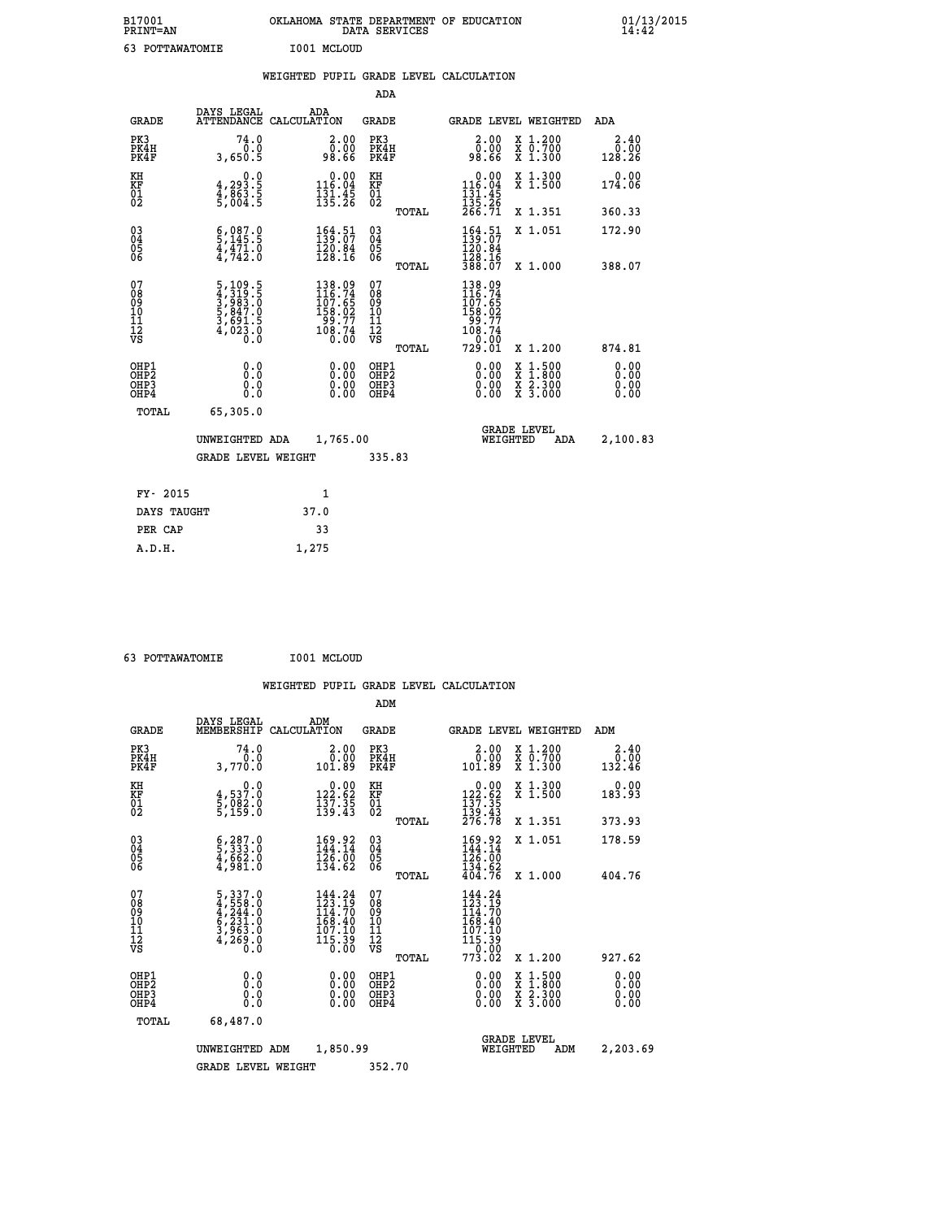| B17001<br>PRINT=AN           |                                                                             | OKLAHOMA STATE DEPARTMENT OF EDUCATION                                                     | DATA SERVICES                                              |                                                                 |                                                                                                                                           | 01/13/2015<br>14:42          |
|------------------------------|-----------------------------------------------------------------------------|--------------------------------------------------------------------------------------------|------------------------------------------------------------|-----------------------------------------------------------------|-------------------------------------------------------------------------------------------------------------------------------------------|------------------------------|
| 63 POTTAWATOMIE              |                                                                             | I001 MCLOUD                                                                                |                                                            |                                                                 |                                                                                                                                           |                              |
|                              |                                                                             | WEIGHTED PUPIL GRADE LEVEL CALCULATION                                                     |                                                            |                                                                 |                                                                                                                                           |                              |
|                              |                                                                             |                                                                                            | <b>ADA</b>                                                 |                                                                 |                                                                                                                                           |                              |
| <b>GRADE</b>                 | DAYS LEGAL                                                                  | ADA<br>ATTENDANCE CALCULATION                                                              | <b>GRADE</b>                                               |                                                                 | GRADE LEVEL WEIGHTED                                                                                                                      | ADA                          |
| PK3<br>PK4H<br>PK4F          | 74.0<br>0.0<br>3,650.5                                                      | 2.00<br>0.00<br>98.66                                                                      | PK3<br>PK4H<br>PK4F                                        | 2.00<br>0.00<br>98.66                                           | X 1.200<br>X 0.700<br>X 1.300                                                                                                             | 2.40<br>0.00<br>128.26       |
| KH<br>KF<br>ÖĪ<br>Ŏ2         | 0.0<br>$\frac{4}{3}, \frac{293}{863}$ . 5<br>5,004. 5                       | $0.00$<br>116.04<br>$\frac{131.45}{135.26}$                                                | KH<br><b>KF</b><br>01<br>02                                | 0.00<br>116.04<br>$\frac{131.45}{135.26}$<br>266.71             | X 1.300<br>X 1.500                                                                                                                        | 0.00<br>174.06               |
|                              |                                                                             |                                                                                            | <b>TOTAL</b>                                               |                                                                 | X 1.351                                                                                                                                   | 360.33                       |
| 030404<br>ŎĞ                 | $\frac{6}{5}$ , 087.0<br>$\frac{4}{4}, \frac{4}{742}$ .0                    | 164.51<br>139.07<br>$\frac{120.84}{128.16}$                                                | $\begin{matrix} 03 \\ 04 \\ 05 \\ 06 \end{matrix}$         | $164.51$<br>$139.07$<br>120.84<br>128.16                        | X 1.051                                                                                                                                   | 172.90                       |
|                              |                                                                             |                                                                                            | <b>TOTAL</b>                                               | 388.07                                                          | X 1.000                                                                                                                                   | 388.07                       |
| 078901112<br>00901112<br>VS  | 5, 109.5<br>4, 319.5<br>5, 983.0<br>5, 847.0<br>5, 691.5<br>4, 023.0<br>0.0 | $\begin{smallmatrix} 138.09\\116.74\\107.65\\158.02\\99.77\\108.74\\0.00\end{smallmatrix}$ | 07<br>08<br>09<br>10<br>$\frac{11}{12}$<br>$\frac{12}{18}$ | $138.09$<br>$116.74$<br>$107.65$<br>$158.02$<br>99.77<br>108.74 |                                                                                                                                           |                              |
|                              |                                                                             |                                                                                            | TOTAL                                                      | 729.01                                                          | X 1.200                                                                                                                                   | 874.81                       |
| OHP1<br>OHP2<br>OHP3<br>OHP4 | 0.0<br>Ō.Ō<br>0.0<br>0.0                                                    | 0.00<br>0.00<br>0.00                                                                       | OHP1<br>OHP <sub>2</sub><br>OHP3<br>OHP4                   | 0.00<br>0.00<br>0.00                                            | $\begin{smallmatrix} \mathtt{X} & 1\cdot500\\ \mathtt{X} & 1\cdot800\\ \mathtt{X} & 2\cdot300\\ \mathtt{X} & 3\cdot000 \end{smallmatrix}$ | 0.00<br>0.00<br>0.00<br>0.00 |
| TOTAL                        | 65,305.0                                                                    |                                                                                            |                                                            |                                                                 |                                                                                                                                           |                              |
|                              | UNWEIGHTED ADA                                                              | 1,765.00                                                                                   |                                                            |                                                                 | <b>GRADE LEVEL</b><br>WEIGHTED<br>ADA                                                                                                     | 2,100.83                     |
|                              | <b>GRADE LEVEL WEIGHT</b>                                                   |                                                                                            | 335.83                                                     |                                                                 |                                                                                                                                           |                              |
| FY- 2015                     |                                                                             | 1                                                                                          |                                                            |                                                                 |                                                                                                                                           |                              |
| DAYS TAUGHT                  |                                                                             | 37.0                                                                                       |                                                            |                                                                 |                                                                                                                                           |                              |
| PER CAP                      |                                                                             | 33                                                                                         |                                                            |                                                                 |                                                                                                                                           |                              |

| 63 POTTAWATOMIE | I001 MCLOUD |
|-----------------|-------------|
|                 |             |

 **A.D.H. 1,275**

|                                          |                                                                                                                          |             |                                                                                                                                                 | ADM                                                |       |                                                                                                                                                                   |          |                                          |                              |
|------------------------------------------|--------------------------------------------------------------------------------------------------------------------------|-------------|-------------------------------------------------------------------------------------------------------------------------------------------------|----------------------------------------------------|-------|-------------------------------------------------------------------------------------------------------------------------------------------------------------------|----------|------------------------------------------|------------------------------|
| <b>GRADE</b>                             | DAYS LEGAL<br>MEMBERSHIP                                                                                                 | CALCULATION | ADM                                                                                                                                             | <b>GRADE</b>                                       |       |                                                                                                                                                                   |          | <b>GRADE LEVEL WEIGHTED</b>              | ADM                          |
| PK3<br>PK4H<br>PK4F                      | 74.0<br>0.0<br>3,770.0                                                                                                   |             | 2.00<br>0.00<br>101.89                                                                                                                          | PK3<br>PK4H<br>PK4F                                |       | $\begin{smallmatrix} 2.00\0.00\0.01.89\ \end{smallmatrix}$                                                                                                        |          | X 1.200<br>X 0.700<br>X 1.300            | 2.40<br>ة: ق<br>132.46       |
| KH<br>KF<br>01<br>02                     | 0.0<br>4,537.0<br>5,082.0<br>5,159.0                                                                                     |             | $\substack{ \textcolor{red}{0} . \, \, 0 \, 0 \, 0 \, 1 \, 3 \, 2 \, . \, 6 \, 2 \, 1 \, 3 \, 7 \, . \, 3 \, 5 \, 1 \, 3 \, 9 \, . \, 4 \, 3 }$ | KH<br>KF<br>01<br>02                               |       | $\begin{smallmatrix} &0.00\\ 122.62\\ 137.35\\ 139.43\\ 276.78 \end{smallmatrix}$                                                                                 |          | X 1.300<br>X 1.500                       | 0.00<br>183.93               |
|                                          |                                                                                                                          |             |                                                                                                                                                 |                                                    | TOTAL |                                                                                                                                                                   |          | X 1.351                                  | 373.93                       |
| 03<br>04<br>05<br>06                     | $\begin{smallmatrix} 6 & 2 & 8 & 7 & 0 \\ 5 & 3 & 3 & 3 & 0 \\ 4 & 6 & 6 & 2 & 0 \\ 4 & 9 & 8 & 1 & 0 \end{smallmatrix}$ |             | 169.92<br>144.14<br>$\frac{1}{2}$ $\frac{5}{6}$ $\cdot$ , $\frac{5}{6}$ $\frac{0}{134}$ . 62                                                    | $\begin{matrix} 03 \\ 04 \\ 05 \\ 06 \end{matrix}$ |       | 169.92<br>144.14<br>$\frac{1}{1}\overline{2}\overline{6}\cdot\overline{0}\overline{0}\overline{1}\overline{3}4\cdot\overline{6}2\overline{4}04\cdot\overline{7}6$ |          | X 1.051                                  | 178.59                       |
|                                          |                                                                                                                          |             |                                                                                                                                                 |                                                    | TOTAL |                                                                                                                                                                   |          | X 1.000                                  | 404.76                       |
| 07<br>08<br>09<br>101<br>112<br>VS       | $5,337.0$<br>$4,558.0$<br>$4,244.0$<br>$6,231.0$<br>$3,963.0$<br>$4,269.0$<br>$0.0$                                      |             | 144.24<br>123.19<br>114.70<br>168.40<br>107.10<br>$\bar{1}\bar{1}\bar{5}\cdot\bar{3}\bar{9}$                                                    | 07<br>08<br>09<br>11<br>11<br>12<br>VS             |       | $144.24$<br>$123.19$<br>$114.70$<br>168.40<br>$\frac{107.10}{115.39}$                                                                                             |          |                                          |                              |
|                                          |                                                                                                                          |             |                                                                                                                                                 |                                                    | TOTAL | 773.ŎŽ                                                                                                                                                            |          | X 1.200                                  | 927.62                       |
| OHP1<br>OHP2<br>OH <sub>P3</sub><br>OHP4 | 0.0<br>0.000                                                                                                             |             | $0.00$<br>$0.00$<br>0.00                                                                                                                        | OHP1<br>OHP2<br>OHP <sub>3</sub>                   |       | $0.00$<br>$0.00$<br>0.00                                                                                                                                          |          | X 1:500<br>X 1:800<br>X 2:300<br>X 3:000 | 0.00<br>0.00<br>0.00<br>0.00 |
| TOTAL                                    | 68,487.0                                                                                                                 |             |                                                                                                                                                 |                                                    |       |                                                                                                                                                                   |          |                                          |                              |
|                                          | UNWEIGHTED ADM                                                                                                           |             | 1,850.99                                                                                                                                        |                                                    |       |                                                                                                                                                                   | WEIGHTED | <b>GRADE LEVEL</b><br>ADM                | 2,203.69                     |
|                                          | <b>GRADE LEVEL WEIGHT</b>                                                                                                |             |                                                                                                                                                 | 352.70                                             |       |                                                                                                                                                                   |          |                                          |                              |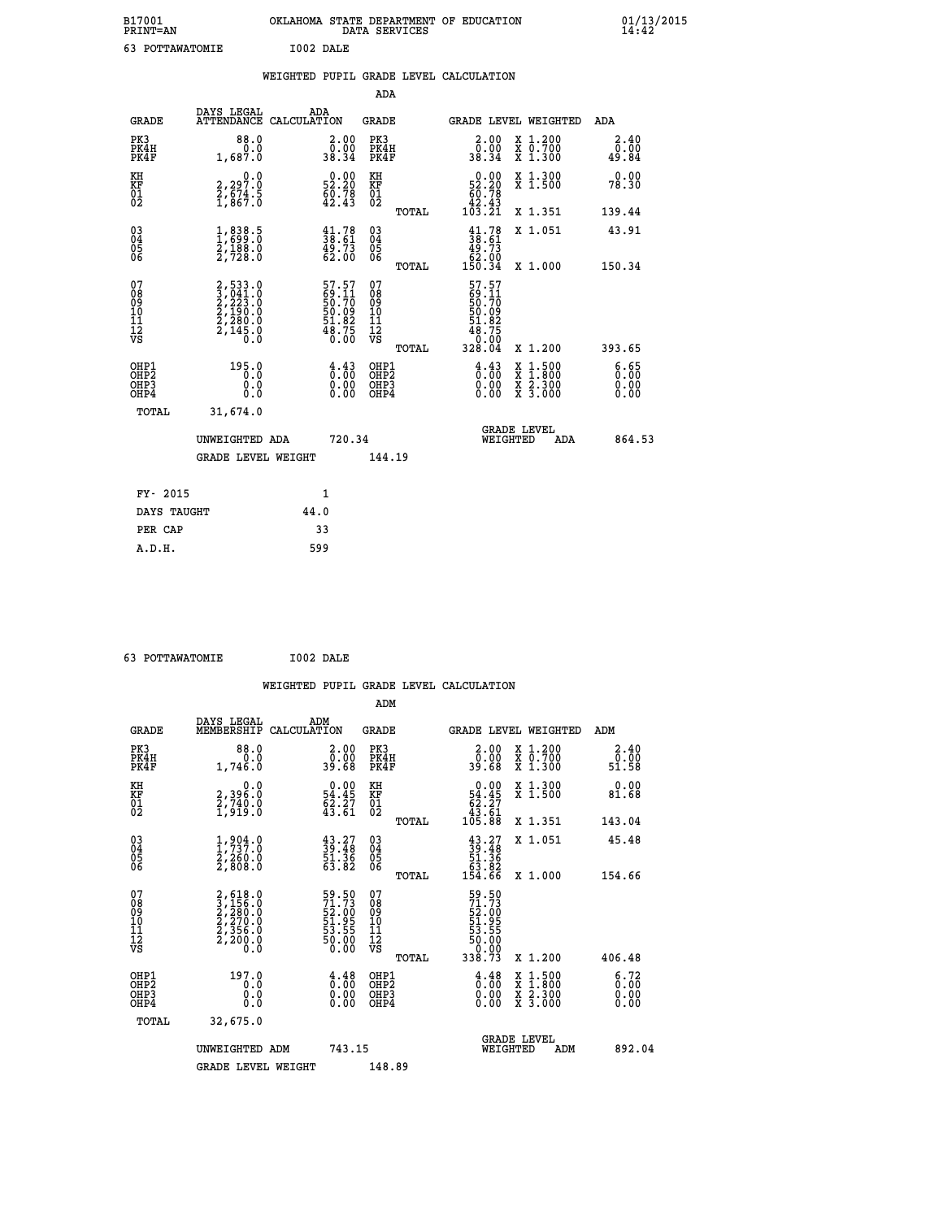| B17001<br><b>PRINT=AN</b> | OKLAHOMA STATE DEPARTMENT OF EDUCATION<br>DATA SERVICES | 01/13/2015 |
|---------------------------|---------------------------------------------------------|------------|
| 63<br>POTTAWATOMIE        | I002 DALE                                               |            |

|                                                                  |                                                                                     | WEIGHTED PUPIL GRADE LEVEL CALCULATION                                                 |                                        |       |                                                                                                     |                                          |                       |
|------------------------------------------------------------------|-------------------------------------------------------------------------------------|----------------------------------------------------------------------------------------|----------------------------------------|-------|-----------------------------------------------------------------------------------------------------|------------------------------------------|-----------------------|
|                                                                  |                                                                                     |                                                                                        | <b>ADA</b>                             |       |                                                                                                     |                                          |                       |
| <b>GRADE</b>                                                     | DAYS LEGAL                                                                          | ADA<br>ATTENDANCE CALCULATION                                                          | <b>GRADE</b>                           |       |                                                                                                     | GRADE LEVEL WEIGHTED                     | ADA                   |
| PK3<br>PK4H<br>PK4F                                              | 88.0<br>0.0<br>1,687.0                                                              | $\begin{smallmatrix} 2.00\\ 0.00\\ 38.34 \end{smallmatrix}$                            | PK3<br>PK4H<br>PK4F                    |       | 2.00<br>ŏ.ŏŏ<br>38.34                                                                               | X 1.200<br>X 0.700<br>X 1.300            | 2.40<br>0.00<br>49.84 |
| KH<br>KF<br>01<br>02                                             | $\begin{smallmatrix} 2,297.0\\ 2,674.5\\ 1,867.0 \end{smallmatrix}$                 | $\begin{smallmatrix} 0.00\\ 52.20\\ 60.78\\ 42.43 \end{smallmatrix}$                   | KH<br>KF<br>01<br>02                   |       | $\begin{smallmatrix}&&0.00\\52.20\\60.78\\42.43\\103.21\end{smallmatrix}$                           | X 1.300<br>X 1.500                       | 0.00<br>78.30         |
|                                                                  |                                                                                     |                                                                                        |                                        | TOTAL |                                                                                                     | X 1.351                                  | 139.44                |
| $\begin{matrix} 03 \\ 04 \\ 05 \\ 06 \end{matrix}$               | 1,838.5<br>$\frac{2}{2}, \frac{1}{128}$ .0                                          | $\frac{41.78}{38.61}$<br>49.73<br>62.00                                                | 03<br>04<br>05<br>06                   |       | $\begin{smallmatrix} 41.78\\ 38.61\\ 49.73\\ 62.00\\ 150.34 \end{smallmatrix}$                      | X 1.051                                  | 43.91                 |
|                                                                  |                                                                                     |                                                                                        |                                        | TOTAL |                                                                                                     | X 1.000                                  | 150.34                |
| 07<br>08<br>09<br>11<br>11<br>12<br>VS                           | $2,533.0$<br>$3,041.0$<br>$2,223.0$<br>$2,190.0$<br>$2,280.0$<br>$2,145.0$<br>$0.0$ | 57.57<br>69.11<br>50.70<br>50.09<br>51.82<br>548.75<br>48.75                           | 07<br>08<br>09<br>11<br>11<br>12<br>VS | TOTAL | 57.57<br>69.11<br>50.70<br>50.09<br>51.82<br>$\begin{array}{r} 48.75 \\ 0.00 \\ 328.04 \end{array}$ | X 1.200                                  | 393.65                |
| OHP1<br>OH <sub>P</sub> <sub>2</sub><br>OH <sub>P3</sub><br>OHP4 | 195.0<br>0.0<br>0.0                                                                 | $\frac{4}{0}$ : $\frac{43}{00}$<br>$\begin{smallmatrix} 0.00 \ 0.00 \end{smallmatrix}$ | OHP1<br>OHP2<br>OHP3<br>OHP4           |       | $\frac{4}{0}$ : $\frac{43}{00}$<br>0.00<br>0.00                                                     | X 1:500<br>X 1:800<br>X 2:300<br>X 3:000 | 6.65<br>0.00<br>0.00  |
| <b>TOTAL</b>                                                     | 31,674.0                                                                            |                                                                                        |                                        |       |                                                                                                     |                                          |                       |
|                                                                  | UNWEIGHTED ADA                                                                      | 720.34                                                                                 |                                        |       | WEIGHTED                                                                                            | <b>GRADE LEVEL</b><br><b>ADA</b>         | 864.53                |
|                                                                  | <b>GRADE LEVEL WEIGHT</b>                                                           |                                                                                        | 144.19                                 |       |                                                                                                     |                                          |                       |
| FY- 2015                                                         |                                                                                     | 1                                                                                      |                                        |       |                                                                                                     |                                          |                       |
| DAYS TAUGHT                                                      |                                                                                     | 44.0                                                                                   |                                        |       |                                                                                                     |                                          |                       |
| PER CAP                                                          |                                                                                     | 33                                                                                     |                                        |       |                                                                                                     |                                          |                       |

 **63 POTTAWATOMIE I002 DALE**

 **WEIGHTED PUPIL GRADE LEVEL CALCULATION ADM DAYS LEGAL ADM GRADE MEMBERSHIP CALCULATION GRADE GRADE LEVEL WEIGHTED ADM PK3 88.0 2.00 PK3 2.00 X 1.200 2.40 PK4H 0.0 0.00 PK4H 0.00 X 0.700 0.00 PK4F 1,746.0 39.68 PK4F 39.68 X 1.300 51.58**

| ΚH<br>KF<br>01<br>02                               | 0.0<br>2,396:0<br>2,740:0<br>1,919:0                                                               | $\begin{smallmatrix} 0.00\\ 54.45\\ 62.27\\ 43.61 \end{smallmatrix}$ | KH<br>KF<br>01<br>02                               | $0.00\n54.45\n62.27\n43.61\n105.88$                                                       | X 1.300<br>X 1.500                                                                               | 0.00<br>81.68                                                    |
|----------------------------------------------------|----------------------------------------------------------------------------------------------------|----------------------------------------------------------------------|----------------------------------------------------|-------------------------------------------------------------------------------------------|--------------------------------------------------------------------------------------------------|------------------------------------------------------------------|
|                                                    |                                                                                                    |                                                                      | TOTAL                                              |                                                                                           | X 1.351                                                                                          | 143.04                                                           |
| $\begin{matrix} 03 \\ 04 \\ 05 \\ 06 \end{matrix}$ | $\frac{1}{1}, \frac{904}{737}.0\\ \frac{2}{2}, \frac{260}{808}.0\\ \frac{2}{1}, \frac{260}{808}.0$ | $\begin{smallmatrix} 43.27\ 39.48\ 51.36\ 63.82 \end{smallmatrix}$   | $\begin{matrix} 03 \\ 04 \\ 05 \\ 06 \end{matrix}$ | $33.27$<br>$39.48$<br>$51.36$<br>$63.82$<br>$154.66$                                      | X 1.051                                                                                          | 45.48                                                            |
|                                                    |                                                                                                    |                                                                      | TOTAL                                              |                                                                                           | X 1.000                                                                                          | 154.66                                                           |
| 07<br>08<br>09<br>101<br>11<br>12<br>VS            | 2,618.0<br>3,156.0<br>2,280.0<br>2,270.0<br>2,356.0<br>2,200.0<br>Ō.Ō                              | 59.50<br>71.73<br>52.00<br>51.95<br>53.55<br>50.00<br>0.00           | 078<br>089<br>0011<br>11<br>12<br>VS<br>TOTAL      | $\begin{smallmatrix} 59.50\ 71.73\ 52.00\ 51.955\ 53.55\ 50.00\ 338.73 \end{smallmatrix}$ | X 1.200                                                                                          | 406.48                                                           |
| OHP1<br>OHP2<br>OH <sub>P3</sub><br>OHP4           | 197.0<br>0.000<br>0.0                                                                              | $\begin{smallmatrix} 4.48\ 0.00 \ 0.00 \end{smallmatrix}$<br>0.00    | OHP1<br>OHP2<br>OHP3<br>OHP4                       | $\begin{smallmatrix} 4.48\ 0.00 \ 0.00 \end{smallmatrix}$<br>0.00                         | $\begin{smallmatrix} x & 1 & 500 \\ x & 1 & 800 \\ x & 2 & 300 \\ x & 3 & 000 \end{smallmatrix}$ | $\begin{smallmatrix} 6.72\ 0.00\ 0.00 \end{smallmatrix}$<br>0.00 |
| TOTAL                                              | 32,675.0                                                                                           |                                                                      |                                                    |                                                                                           |                                                                                                  |                                                                  |
|                                                    | UNWEIGHTED ADM                                                                                     | 743.15                                                               |                                                    |                                                                                           | <b>GRADE LEVEL</b><br>WEIGHTED<br>ADM                                                            | 892.04                                                           |
|                                                    | <b>GRADE LEVEL WEIGHT</b>                                                                          |                                                                      | 148.89                                             |                                                                                           |                                                                                                  |                                                                  |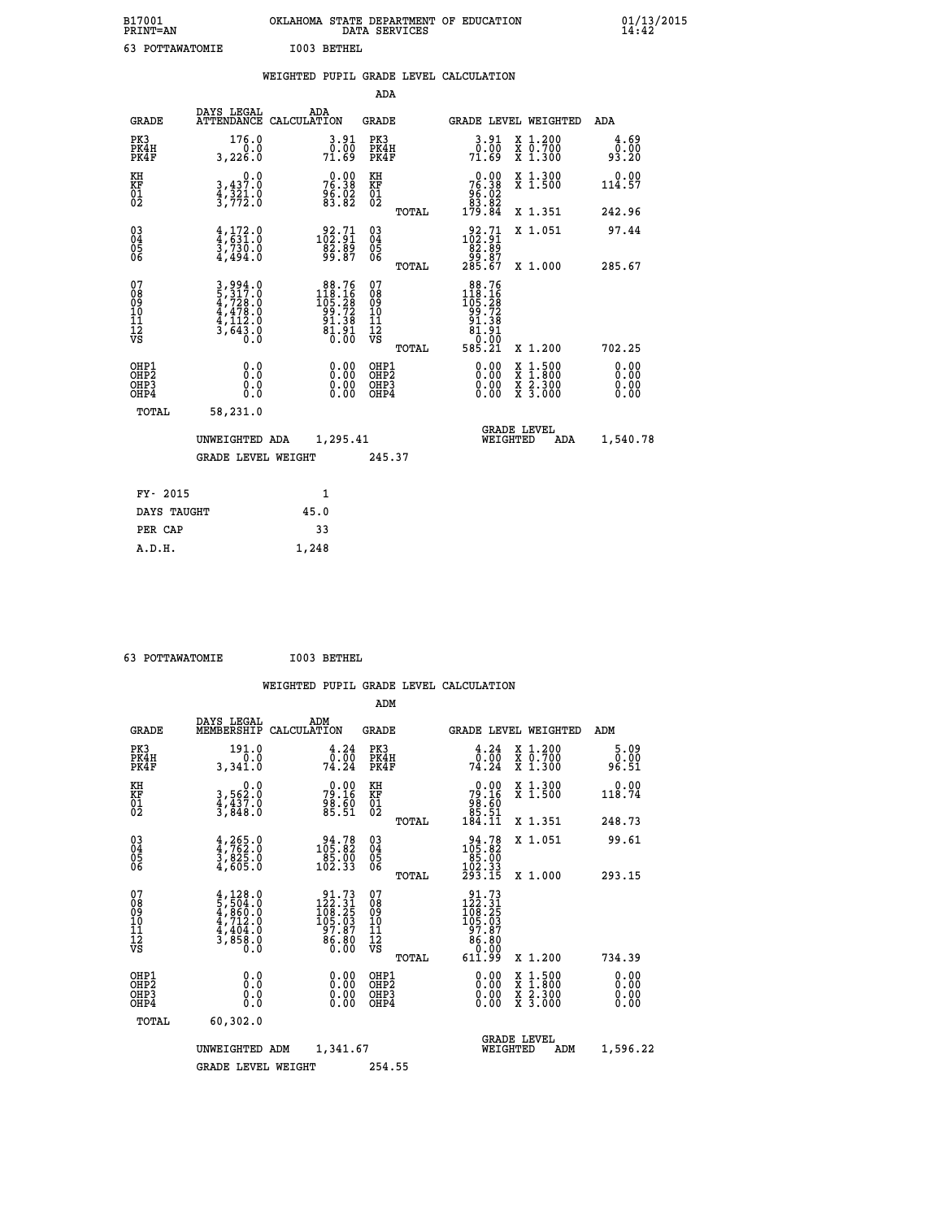| B17001<br>PRINT=AN                                 |                                                                                     | OKLAHOMA STATE DEPARTMENT OF EDUCATION<br>DATA SERVICES                                                                |                                                 |                                                                                                                 |                                                                                          | $01/13/2015$<br>14:42        |
|----------------------------------------------------|-------------------------------------------------------------------------------------|------------------------------------------------------------------------------------------------------------------------|-------------------------------------------------|-----------------------------------------------------------------------------------------------------------------|------------------------------------------------------------------------------------------|------------------------------|
| 63 POTTAWATOMIE                                    |                                                                                     | I003 BETHEL                                                                                                            |                                                 |                                                                                                                 |                                                                                          |                              |
|                                                    |                                                                                     | WEIGHTED PUPIL GRADE LEVEL CALCULATION                                                                                 |                                                 |                                                                                                                 |                                                                                          |                              |
|                                                    |                                                                                     |                                                                                                                        | ADA                                             |                                                                                                                 |                                                                                          |                              |
| <b>GRADE</b>                                       | DAYS LEGAL                                                                          | ADA<br>ATTENDANCE CALCULATION                                                                                          | GRADE                                           | GRADE LEVEL WEIGHTED                                                                                            |                                                                                          | ADA                          |
| PK3<br>PK4H<br>PK4F                                | 176.0<br>0.0<br>3,226.0                                                             | 3.91<br>0.00<br>71.69                                                                                                  | PK3<br>PK4H<br>PK4F                             | 3.91<br>0.00<br>7ĭ.č9                                                                                           | X 1.200<br>$\begin{smallmatrix} 7 & 0.700 \\ 7 & 1.300 \end{smallmatrix}$                | 4.69<br>0.00<br>93.20        |
| KH<br>KF<br>01<br>02                               | $\begin{smallmatrix}&&&0.0\\3,437.0\\4,321.0\\3,772.0\end{smallmatrix}$             | 76.38<br>76.38<br>96.02<br>83.82                                                                                       | KH<br>KF<br>01<br>02                            | $76.90$<br>76.38<br>$\begin{smallmatrix} 9 & 8 & 0 & 8 \\ 8 & 3 & 8 & 8 \\ 1 & 7 & 9 & 8 & 4 \end{smallmatrix}$ | X 1.300<br>X 1.500                                                                       | 0.00<br>114.57               |
|                                                    |                                                                                     |                                                                                                                        | TOTAL                                           |                                                                                                                 | X 1.351                                                                                  | 242.96                       |
| $\begin{matrix} 03 \\ 04 \\ 05 \\ 06 \end{matrix}$ | $\frac{4}{4}$ , $\frac{172}{9}$ : 0<br>3,730.0<br>4,494.0                           | $\begin{smallmatrix} 92.71 \\ 102.91 \\ 82.89 \\ 99.87 \end{smallmatrix}$                                              | 03<br>04<br>05<br>06                            | 102.71<br>82.89<br>87. ۋۇ<br>285.67                                                                             | X 1.051                                                                                  | 97.44                        |
|                                                    |                                                                                     |                                                                                                                        | TOTAL                                           |                                                                                                                 | X 1.000                                                                                  | 285.67                       |
| 07<br>08<br>09<br>11<br>11<br>12<br>VS             | $3,994.0$<br>$5,317.0$<br>$4,728.0$<br>$4,478.0$<br>$4,112.0$<br>$3,643.0$<br>$0.0$ | $\begin{array}{r} 88.76 \\ 118.16 \\ 105.28 \\ 99.72 \\ 91.38 \\ 81.91 \end{array}$<br>$\overline{0}$ . $\overline{0}$ | 07<br>08<br>09<br>10<br>11<br>12<br>VS<br>TOTAL | 88.76<br>$118.16$<br>$105.28$<br>$99.72$<br>$91.38$<br>81.91<br>$\overline{0}$ .00<br>585.21                    | X 1.200                                                                                  | 702.25                       |
| OHP1<br>OHP2<br>OHP3<br>OHP4                       | 0.0<br>0.0<br>0.0<br>0.0                                                            | 0.00<br>0.00<br>0.00                                                                                                   | OHP1<br>OHP <sub>2</sub><br>OHP3<br>OHP4        | 0.00<br>0.00<br>0.00                                                                                            | $\begin{smallmatrix} x & 1.500 \\ x & 1.800 \\ x & 2.300 \\ x & 3.000 \end{smallmatrix}$ | 0.00<br>0.00<br>0.00<br>0.00 |
| TOTAL                                              | 58,231.0                                                                            |                                                                                                                        |                                                 |                                                                                                                 |                                                                                          |                              |
|                                                    | UNWEIGHTED ADA                                                                      | 1,295.41                                                                                                               |                                                 | <b>GRADE LEVEL</b><br>WEIGHTED                                                                                  | ADA                                                                                      | 1,540.78                     |
|                                                    | <b>GRADE LEVEL WEIGHT</b>                                                           |                                                                                                                        | 245.37                                          |                                                                                                                 |                                                                                          |                              |
| FY- 2015                                           |                                                                                     | 1                                                                                                                      |                                                 |                                                                                                                 |                                                                                          |                              |
| DAYS TAUGHT                                        |                                                                                     | 45.0                                                                                                                   |                                                 |                                                                                                                 |                                                                                          |                              |

| FY- 2015    | 1     |
|-------------|-------|
| DAYS TAUGHT | 45.0  |
| PER CAP     | 33    |
| A.D.H.      | 1,248 |
|             |       |

| 63 POTTAWATOMIE | I003 BETHEL |
|-----------------|-------------|
|                 |             |

|                                                      |                                                                                     |                    |                                                                                                  |                                                    |       | WEIGHTED PUPIL GRADE LEVEL CALCULATION                                                        |        |                                                           |                       |
|------------------------------------------------------|-------------------------------------------------------------------------------------|--------------------|--------------------------------------------------------------------------------------------------|----------------------------------------------------|-------|-----------------------------------------------------------------------------------------------|--------|-----------------------------------------------------------|-----------------------|
|                                                      |                                                                                     |                    |                                                                                                  | ADM                                                |       |                                                                                               |        |                                                           |                       |
| <b>GRADE</b>                                         | DAYS LEGAL<br>MEMBERSHIP                                                            | ADM<br>CALCULATION |                                                                                                  | <b>GRADE</b>                                       |       | <b>GRADE LEVEL WEIGHTED</b>                                                                   |        |                                                           | ADM                   |
| PK3<br>PK4H<br>PK4F                                  | 191.0<br>0.0<br>3,341.0                                                             |                    | $\frac{4 \cdot 24}{0 \cdot 00}$<br>74.24                                                         | PK3<br>PK4H<br>PK4F                                |       | $\frac{4.24}{0.00}$<br>74.24                                                                  |        | X 1.200<br>X 0.700<br>X 1.300                             | 5.09<br>0.00<br>96.51 |
| KH<br>KF<br>01<br>02                                 | 0.0<br>3,562:0<br>4,437:0<br>3,848:0                                                |                    | $79.16$<br>$79.16$<br>$98.60$<br>$85.51$                                                         | KH<br>KF<br>01<br>02                               |       | $\begin{smallmatrix} &0.00\\79.16\\98.60\\85.51\\184.11\end{smallmatrix}$                     |        | X 1.300<br>X 1.500                                        | 0.00<br>118.74        |
|                                                      |                                                                                     |                    |                                                                                                  |                                                    | TOTAL |                                                                                               |        | X 1.351                                                   | 248.73                |
| $\begin{matrix} 03 \\ 04 \\ 05 \\ 06 \end{matrix}$   | $\frac{4}{3}, \frac{265}{762}$ :0<br>3,825:0<br>4,605:0                             |                    | $\begin{smallmatrix} 94.78\\ 105.82\\ 85.00\\ 102.33 \end{smallmatrix}$                          | $\begin{matrix} 03 \\ 04 \\ 05 \\ 06 \end{matrix}$ |       | $\begin{array}{r} 94.78 \\ 105.82 \\ 85.00 \\ 102.33 \\ 293.15 \end{array}$                   |        | X 1.051                                                   | 99.61                 |
|                                                      |                                                                                     |                    |                                                                                                  |                                                    | TOTAL |                                                                                               |        | X 1.000                                                   | 293.15                |
| 07<br>08<br>09<br>01<br>11<br>11<br>12<br>VS         | $4,128.0$<br>$5,504.0$<br>$4,860.0$<br>$4,712.0$<br>$4,404.0$<br>$3,858.0$<br>$0.0$ |                    | $\begin{smallmatrix} 91.73\\122.31\\108.25\\109.25\\105.03\\97.87\\86.80\\0.00\end{smallmatrix}$ | 07<br>08<br>09<br>001<br>11<br>11<br>12<br>VS      |       | $\begin{smallmatrix} 91.73 \\ 122.31 \\ 108.25 \\ 105.03 \\ 97.87 \\ 86.80 \end{smallmatrix}$ |        |                                                           |                       |
|                                                      |                                                                                     |                    |                                                                                                  |                                                    | TOTAL | 00.0°<br>611.99                                                                               |        | X 1.200                                                   | 734.39                |
| OHP1<br>OHP2<br>OH <sub>P3</sub><br>OH <sub>P4</sub> | 0.0<br>$\begin{smallmatrix} 0.0 & 0 \ 0.0 & 0 \end{smallmatrix}$                    |                    | 0.00<br>$\begin{smallmatrix} 0.00 \ 0.00 \end{smallmatrix}$                                      | OHP1<br>OHP2<br>OHP3<br>OHP4                       |       | $0.00$<br>$0.00$<br>0.00                                                                      | X<br>X | $1.500$<br>$1.800$<br>$\frac{x}{x}$ $\frac{5:300}{3:000}$ | 0.00<br>0.00<br>0.00  |
| TOTAL                                                | 60,302.0                                                                            |                    |                                                                                                  |                                                    |       |                                                                                               |        |                                                           |                       |
|                                                      | UNWEIGHTED                                                                          | ADM                | 1,341.67                                                                                         |                                                    |       | <b>GRADE LEVEL</b><br>WEIGHTED                                                                |        | ADM                                                       | 1,596.22              |
|                                                      | <b>GRADE LEVEL WEIGHT</b>                                                           |                    |                                                                                                  | 254.55                                             |       |                                                                                               |        |                                                           |                       |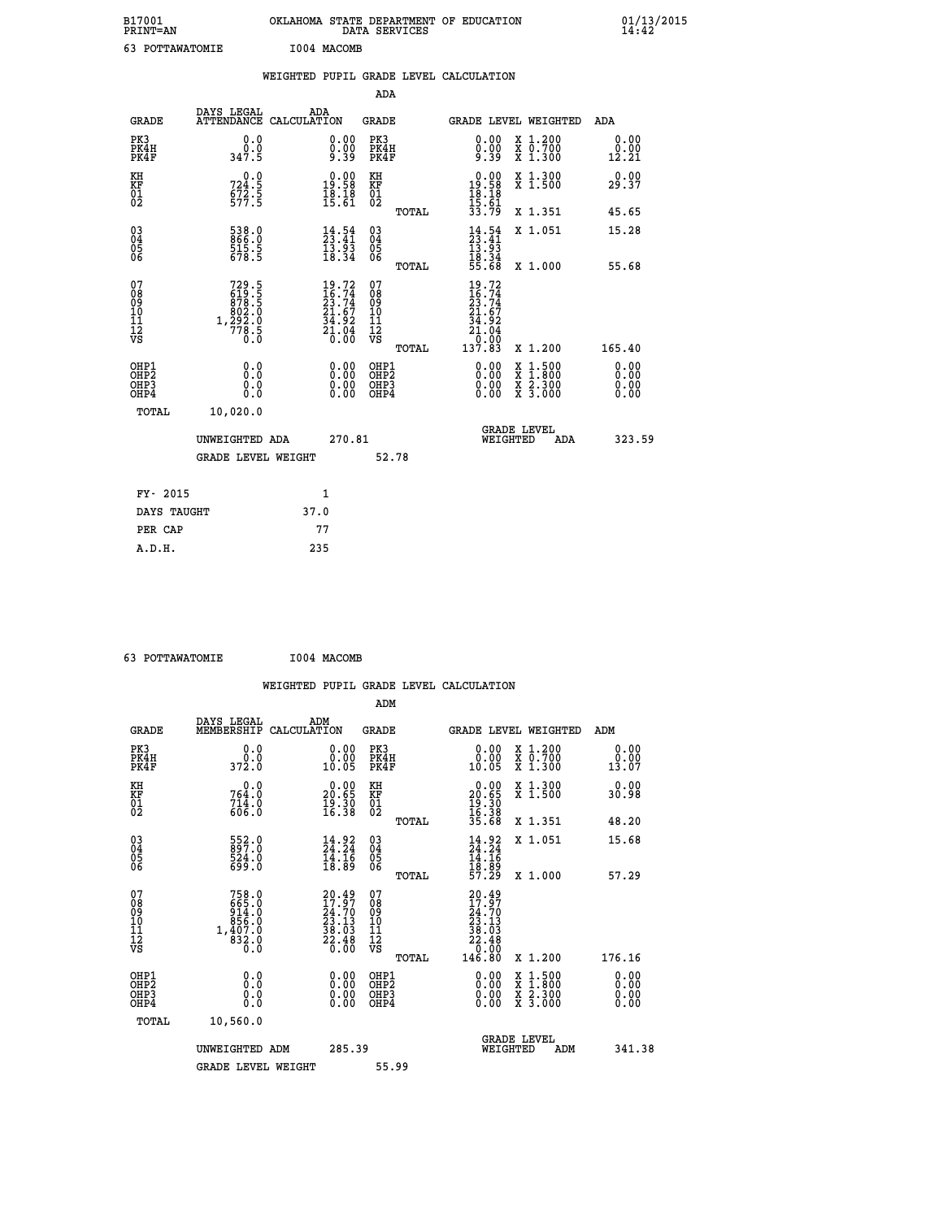| B17001<br>PRINT=AN                     |                                                              | OKLAHOMA STATE DEPARTMENT OF EDUCATION                                                             | DATA SERVICES                                               |                                                                              |                                                                                                                                           | $01/13/2015$<br>14:42 |  |
|----------------------------------------|--------------------------------------------------------------|----------------------------------------------------------------------------------------------------|-------------------------------------------------------------|------------------------------------------------------------------------------|-------------------------------------------------------------------------------------------------------------------------------------------|-----------------------|--|
| 63 POTTAWATOMIE                        |                                                              | I004 MACOMB                                                                                        |                                                             |                                                                              |                                                                                                                                           |                       |  |
|                                        |                                                              | WEIGHTED PUPIL GRADE LEVEL CALCULATION                                                             |                                                             |                                                                              |                                                                                                                                           |                       |  |
|                                        |                                                              |                                                                                                    | <b>ADA</b>                                                  |                                                                              |                                                                                                                                           |                       |  |
| <b>GRADE</b>                           | DAYS LEGAL                                                   | ADA<br>ATTENDANCE CALCULATION                                                                      | <b>GRADE</b>                                                |                                                                              | GRADE LEVEL WEIGHTED                                                                                                                      | ADA                   |  |
| PK3<br>PK4H<br>PK4F                    | 0.0<br>0.0<br>347.5                                          | 0.00<br>0.00<br>ۇ: ۋ                                                                               | PK3<br>PK4H<br>PK4F                                         | 0.00<br>$0.00$<br>9.39                                                       | X 1.200<br>X 0.700<br>X 1.300                                                                                                             | 0.00<br>0.00<br>12.21 |  |
| KH<br>KF<br>01<br>02                   | 0.0<br>724:5<br>672:5<br>577:5                               | $\begin{smallmatrix} 0.00\\19.58\\18.18\\15.61 \end{smallmatrix}$                                  | KH<br><b>KF</b><br>01<br>02                                 | $\begin{smallmatrix} 0.00\\ 19.58\\ 18.18\\ 15.61 \end{smallmatrix}$         | X 1.300<br>X 1.500                                                                                                                        | 0.00<br>29.37         |  |
|                                        |                                                              |                                                                                                    | TOTAL                                                       | 33.79                                                                        | X 1.351                                                                                                                                   | 45.65                 |  |
| $^{03}_{04}$<br>Ŏ5<br>06               | 538.0<br>866.0<br>$\frac{515.5}{678.5}$                      | $\frac{14}{23}$ : 41<br>$\frac{13}{18}\cdot\frac{1}{34}$                                           | $\begin{matrix} 03 \\ 04 \\ 05 \\ 06 \end{matrix}$          | $14.54$<br>$23.41$<br>$13.93$<br>$18.34$                                     | X 1.051                                                                                                                                   | 15.28                 |  |
|                                        |                                                              |                                                                                                    | TOTAL                                                       | 55.68                                                                        | X 1.000                                                                                                                                   | 55.68                 |  |
| 07<br>08<br>09<br>10<br>11<br>ĪŻ<br>VS | 729.5<br>619.5<br>878.5<br>802.0<br>1, 292:0<br>778:5<br>0:0 | $\begin{smallmatrix} 19.72 \\ 16.74 \\ 23.74 \\ 21.67 \\ 34.92 \\ 21.04 \\ 0.00 \end{smallmatrix}$ | 07<br>08<br>09<br>10<br>īī<br>$\frac{1}{\sqrt{2}}$<br>TOTAL | $19.72$<br>$16.74$<br>$23.74$<br>$21.67$<br>34.92<br>21.04<br>ō.ŏō<br>137.83 | X 1.200                                                                                                                                   | 165.40                |  |
| OHP1                                   | 0.0                                                          |                                                                                                    | OHP1                                                        |                                                                              |                                                                                                                                           | 0.00                  |  |
| OHP <sub>2</sub><br>OHP3<br>OHP4       | Ō.Ō<br>0.0<br>0.0                                            | 0.00<br>0.00<br>0.00                                                                               | OHP <sub>2</sub><br>OHP3<br>OHP4                            | 0.00<br>0.00<br>0.00                                                         | $\begin{smallmatrix} \mathtt{X} & 1\cdot500\\ \mathtt{X} & 1\cdot800\\ \mathtt{X} & 2\cdot300\\ \mathtt{X} & 3\cdot000 \end{smallmatrix}$ | 0.00<br>0.00<br>0.00  |  |
| TOTAL                                  | 10,020.0                                                     |                                                                                                    |                                                             |                                                                              |                                                                                                                                           |                       |  |
|                                        | UNWEIGHTED ADA                                               | 270.81                                                                                             |                                                             | WEIGHTED                                                                     | <b>GRADE LEVEL</b><br>ADA                                                                                                                 | 323.59                |  |
|                                        | <b>GRADE LEVEL WEIGHT</b>                                    |                                                                                                    | 52.78                                                       |                                                                              |                                                                                                                                           |                       |  |
| FY- 2015                               |                                                              | 1                                                                                                  |                                                             |                                                                              |                                                                                                                                           |                       |  |
| DAYS TAUGHT                            |                                                              | 37.0                                                                                               |                                                             |                                                                              |                                                                                                                                           |                       |  |
| PER CAP                                |                                                              | 77                                                                                                 |                                                             |                                                                              |                                                                                                                                           |                       |  |

| 63 POTTAWATOMIE | I004 MACOMB |
|-----------------|-------------|
|                 |             |

|                                                      |                                                                           |                                                                                               |                                               | WEIGHTED PUPIL GRADE LEVEL CALCULATION                                                                                                                                                                                                                                                                                                          |                                                                        |                              |
|------------------------------------------------------|---------------------------------------------------------------------------|-----------------------------------------------------------------------------------------------|-----------------------------------------------|-------------------------------------------------------------------------------------------------------------------------------------------------------------------------------------------------------------------------------------------------------------------------------------------------------------------------------------------------|------------------------------------------------------------------------|------------------------------|
|                                                      |                                                                           |                                                                                               | ADM                                           |                                                                                                                                                                                                                                                                                                                                                 |                                                                        |                              |
| <b>GRADE</b>                                         | DAYS LEGAL<br>MEMBERSHIP                                                  | ADM<br>CALCULATION                                                                            | <b>GRADE</b>                                  | <b>GRADE LEVEL WEIGHTED</b>                                                                                                                                                                                                                                                                                                                     |                                                                        | ADM                          |
| PK3<br>PK4H<br>PK4F                                  | 0.0<br>0.0<br>372.0                                                       | 0.00<br>10.05                                                                                 | PK3<br>PK4H<br>PK4F                           | 0.0000<br>10.05                                                                                                                                                                                                                                                                                                                                 | X 1.200<br>X 0.700<br>X 1.300                                          | 0.00<br>0.00<br>13.07        |
| KH<br>KF<br>01<br>02                                 | 0.0<br>$764.0$<br>$714.0$<br>$606.0$                                      | $\begin{smallmatrix} 0.00\\ 20.65\\ 19.30\\ 16.38 \end{smallmatrix}$                          | KH<br>KF<br>01<br>02                          | $\begin{smallmatrix} 0.00\\ 20.65\\ 19.30\\ 16.38\\ 35.68 \end{smallmatrix}$                                                                                                                                                                                                                                                                    | X 1.300<br>X 1.500                                                     | 0.00<br>30.98                |
|                                                      |                                                                           |                                                                                               | TOTAL                                         |                                                                                                                                                                                                                                                                                                                                                 | X 1.351                                                                | 48.20                        |
| $\begin{matrix} 03 \\ 04 \\ 05 \\ 06 \end{matrix}$   | 552.0<br>524.0<br>699.0                                                   | $\begin{smallmatrix} 14.92\ 24.24\ 14.16\ 18.89 \end{smallmatrix}$                            | 03<br>04<br>05<br>06                          | $14.24$<br>$14.16$<br>$18.89$<br>$57.29$                                                                                                                                                                                                                                                                                                        | X 1.051                                                                | 15.68                        |
|                                                      |                                                                           |                                                                                               | TOTAL                                         |                                                                                                                                                                                                                                                                                                                                                 | X 1.000                                                                | 57.29                        |
| 07<br>08<br>09<br>101<br>11<br>12<br>VS              | $758.0$<br>$665.0$<br>$914.0$<br>$856.0$<br>$1,407.0$<br>$832.0$<br>$0.0$ | 20.49<br>$\begin{smallmatrix} 20.37 \ 24.70 \ 23.13 \ 38.03 \ 22.48 \ 0.00 \end{smallmatrix}$ | 07<br>08<br>09<br>001<br>11<br>11<br>12<br>VS | 20.49<br>$\begin{smallmatrix} 1 & 9 & 9 \\ 24 & 70 & 3 \\ 23 & 13 & 3 \\ 38 & 0 & 3 \\ 22 & 4 & 8 \\ 0 & 0 & 0 \\ 0 & 0 & 0 \\ 0 & 0 & 0 \\ 0 & 0 & 0 \\ 0 & 0 & 0 \\ 0 & 0 & 0 \\ 0 & 0 & 0 \\ 0 & 0 & 0 \\ 0 & 0 & 0 \\ 0 & 0 & 0 \\ 0 & 0 & 0 \\ 0 & 0 & 0 \\ 0 & 0 & 0 \\ 0 & 0 & 0 \\ 0 & 0 & 0 & 0 \\ 0 & 0 & 0 & 0 \\ 0 & 0 & 0 & 0 \\ $ |                                                                        |                              |
|                                                      |                                                                           |                                                                                               | TOTAL                                         | 146.80                                                                                                                                                                                                                                                                                                                                          | X 1.200                                                                | 176.16                       |
| OHP1<br>OHP2<br>OH <sub>P3</sub><br>OH <sub>P4</sub> | 0.0<br>0.000                                                              | 0.00<br>0.00<br>0.00                                                                          | OHP1<br>OHP2<br>OHP3<br>OHP4                  | $0.00$<br>$0.00$<br>0.00                                                                                                                                                                                                                                                                                                                        | $\frac{x}{x}$ $\frac{1.500}{x}$<br>$\frac{x}{x}$ $\frac{5:300}{3:000}$ | 0.00<br>0.00<br>0.00<br>0.00 |
| TOTAL                                                | 10,560.0                                                                  |                                                                                               |                                               |                                                                                                                                                                                                                                                                                                                                                 |                                                                        |                              |
|                                                      | UNWEIGHTED ADM                                                            | 285.39                                                                                        |                                               | <b>GRADE LEVEL</b><br>WEIGHTED                                                                                                                                                                                                                                                                                                                  | ADM                                                                    | 341.38                       |
|                                                      | <b>GRADE LEVEL WEIGHT</b>                                                 |                                                                                               | 55.99                                         |                                                                                                                                                                                                                                                                                                                                                 |                                                                        |                              |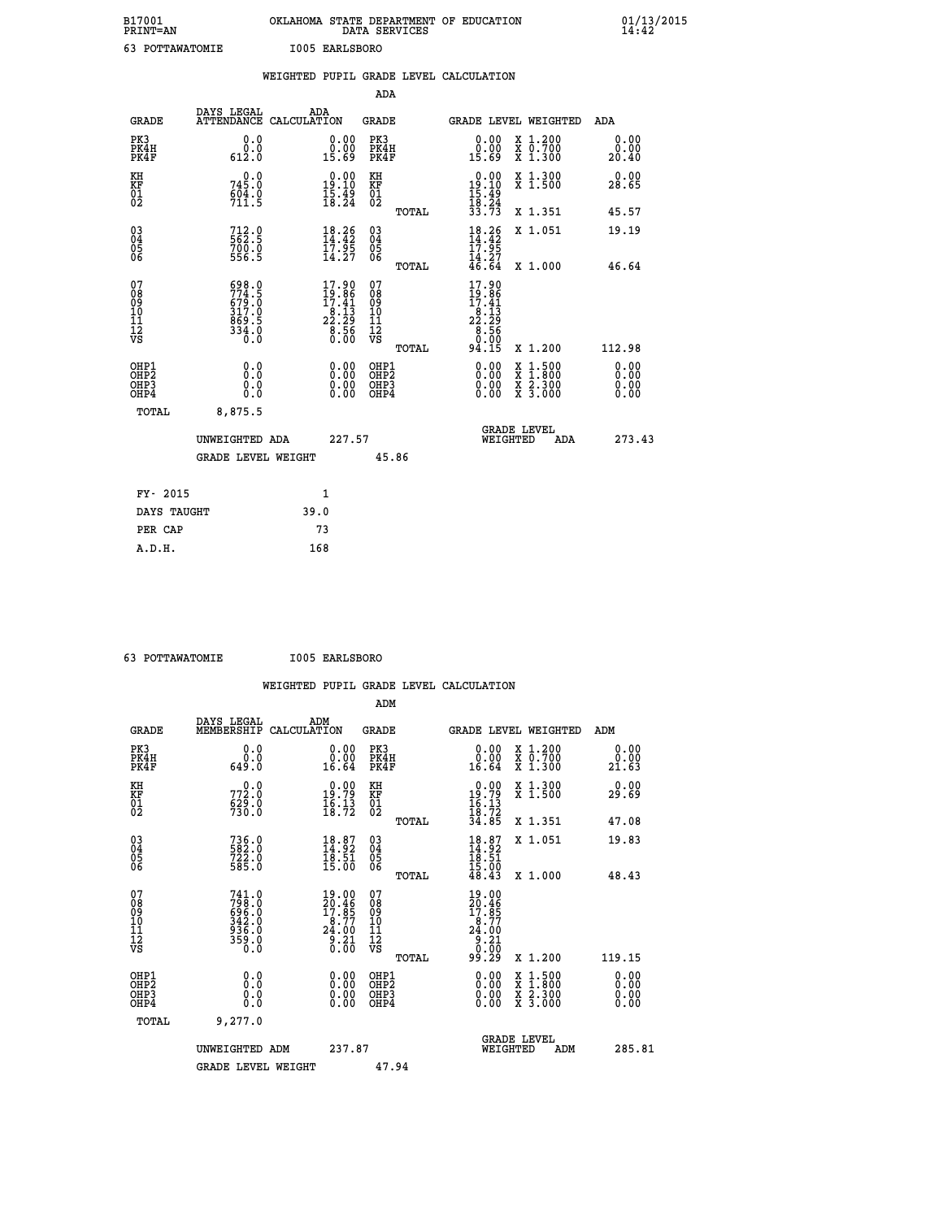| B17001<br>PRINT=AN                      |                                                                              | OKLAHOMA STATE DEPARTMENT OF EDUCATION<br>DATA SERVICES                                |                                        |       |                                                                                                   |                               | $01/13$<br>14:42      |
|-----------------------------------------|------------------------------------------------------------------------------|----------------------------------------------------------------------------------------|----------------------------------------|-------|---------------------------------------------------------------------------------------------------|-------------------------------|-----------------------|
| 63 POTTAWATOMIE                         |                                                                              | I005 EARLSBORO                                                                         |                                        |       |                                                                                                   |                               |                       |
|                                         |                                                                              | WEIGHTED PUPIL GRADE LEVEL CALCULATION                                                 |                                        |       |                                                                                                   |                               |                       |
|                                         |                                                                              |                                                                                        | <b>ADA</b>                             |       |                                                                                                   |                               |                       |
| <b>GRADE</b>                            | DAYS LEGAL<br><b>ATTENDANCE</b>                                              | ADA<br>CALCULATION                                                                     | <b>GRADE</b>                           |       |                                                                                                   | <b>GRADE LEVEL WEIGHTED</b>   | <b>ADA</b>            |
| PK3<br>PK4H<br>PK4F                     | 0.0<br>$\begin{smallmatrix} \v{0} \ \v{0} \ \v{0} \ \v{0} \end{smallmatrix}$ | $\begin{smallmatrix} 0.00\\ 0.00\\ 15.69 \end{smallmatrix}$                            | PK3<br>PK4H<br>PK4F                    |       | $\begin{smallmatrix} 0.00\\ 0.00\\ 15.69 \end{smallmatrix}$                                       | X 1.200<br>X 0.700<br>X 1.300 | 0.00<br>0.00<br>20.40 |
| KH<br>KF<br>01<br>02                    | 745.0<br>$604.0$<br>711.5                                                    | $\begin{smallmatrix} 0.00\\19.10\\15.49\\18.24 \end{smallmatrix}$                      | KH<br>KF<br>01<br>02                   |       | $\begin{array}{c} 0.00 \\ 19.10 \\ 15.49 \\ 18.24 \\ 33.73 \end{array}$                           | X 1.300<br>X 1.500            | 0.00<br>28.65         |
|                                         |                                                                              |                                                                                        |                                        | TOTAL |                                                                                                   | X 1.351                       | 45.57                 |
| 03<br>04<br>05<br>06                    | 712.0<br>562.5<br>700.0<br>556.5                                             | $\frac{18.26}{14.42}$<br>$\frac{17.95}{7.95}$                                          | 03<br>04<br>05<br>06                   |       | $18.26$<br>$14.42$<br>$17.95$<br>$14.27$<br>$46.64$                                               | X 1.051                       | 19.19                 |
|                                         |                                                                              | 14.27                                                                                  |                                        | TOTAL |                                                                                                   | $X_1.000$                     | 46.64                 |
| 07<br>08<br>09<br>101<br>11<br>12<br>VS | 698.0<br>774.5<br>679.0<br>317.0<br>869.5<br>334.0<br>Ō.Ō                    | $\frac{17.90}{19.86}$<br>$\begin{array}{c} 16.13 \\ 22.29 \\ 8.56 \\ 0.00 \end{array}$ | 07<br>08<br>09<br>11<br>11<br>12<br>VS |       | $\begin{array}{l} 17.90 \\ 19.86 \\ 17.41 \\ 22.19 \\ 23.29 \\ 6.56 \\ 0.01 \\ 94.15 \end{array}$ |                               |                       |
|                                         |                                                                              |                                                                                        |                                        | TOTAL |                                                                                                   | X 1.200                       | 112.98                |

| OHP1<br>OHP <sub>2</sub><br>OH <sub>P3</sub><br>OHP4 | 0.0<br>0.0<br>0.0<br>0.0  | 0.00<br>0.00<br>0.00 | OHP1<br>OHP <sub>2</sub><br>OHP3<br>OHP4 | $0.00$<br>$0.00$<br>0.00 | X 1.500<br>X 1.800<br>X <sub>2.300</sub><br>$X \overline{3}.000$ | $\begin{smallmatrix} 0.00 \ 0.00 \ 0.00 \end{smallmatrix}$ |
|------------------------------------------------------|---------------------------|----------------------|------------------------------------------|--------------------------|------------------------------------------------------------------|------------------------------------------------------------|
| TOTAL                                                | 8,875.5                   |                      |                                          |                          |                                                                  |                                                            |
|                                                      | UNWEIGHTED ADA            | 227.57               |                                          |                          | <b>GRADE LEVEL</b><br>WEIGHTED<br>ADA                            | 273.43                                                     |
|                                                      | <b>GRADE LEVEL WEIGHT</b> |                      | 45.86                                    |                          |                                                                  |                                                            |
| FY- 2015                                             |                           | 1                    |                                          |                          |                                                                  |                                                            |
| DAYS TAUGHT                                          |                           | 39.0                 |                                          |                          |                                                                  |                                                            |
| PER CAP                                              |                           | 73                   |                                          |                          |                                                                  |                                                            |
| A.D.H.                                               |                           | 168                  |                                          |                          |                                                                  |                                                            |

 **63 POTTAWATOMIE I005 EARLSBORO**

|                                                    |                                                                         |                    |                                                                           |                                          |       | WEIGHTED PUPIL GRADE LEVEL CALCULATION                                                                                                                                                                                                                                         |                                          |        |                       |
|----------------------------------------------------|-------------------------------------------------------------------------|--------------------|---------------------------------------------------------------------------|------------------------------------------|-------|--------------------------------------------------------------------------------------------------------------------------------------------------------------------------------------------------------------------------------------------------------------------------------|------------------------------------------|--------|-----------------------|
|                                                    |                                                                         |                    |                                                                           | ADM                                      |       |                                                                                                                                                                                                                                                                                |                                          |        |                       |
| <b>GRADE</b>                                       | DAYS LEGAL<br>MEMBERSHIP                                                | ADM<br>CALCULATION |                                                                           | GRADE                                    |       | <b>GRADE LEVEL WEIGHTED</b>                                                                                                                                                                                                                                                    |                                          | ADM    |                       |
| PK3<br>PK4H<br>PK4F                                | 0.0<br>0.0<br>649.0                                                     |                    | $\begin{smallmatrix} 0.00\\ 0.00\\ 16.64 \end{smallmatrix}$               | PK3<br>PK4H<br>PK4F                      |       | $\begin{smallmatrix} 0.00\\ 0.00\\ 16.64 \end{smallmatrix}$                                                                                                                                                                                                                    | X 1.200<br>X 0.700<br>X 1.300            |        | 0.00<br>0.00<br>21.63 |
| KH<br>KF<br>01<br>02                               | 772.0<br>629.0                                                          |                    | $\begin{smallmatrix} 0.00\\19.79\\16.13\\18.72 \end{smallmatrix}$         | KH<br>KF<br>01<br>02                     |       | $0.00$<br>$19.79$<br>$16.13$<br>$18.72$<br>$34.85$                                                                                                                                                                                                                             | X 1.300<br>X 1.500                       |        | 0.00<br>29.69         |
|                                                    |                                                                         |                    |                                                                           |                                          | TOTAL |                                                                                                                                                                                                                                                                                | X 1.351                                  |        | 47.08                 |
| $\begin{matrix} 03 \\ 04 \\ 05 \\ 06 \end{matrix}$ | 736.0<br>582.0<br>722.0<br>585.0                                        |                    | $\begin{smallmatrix} 18.87\ 14.92\ 18.51\ 15.00 \end{smallmatrix}$        | 03<br>04<br>05<br>06                     |       | $18.87$<br>$14.92$<br>$18.51$<br>$15.00$<br>$48.43$                                                                                                                                                                                                                            | X 1.051                                  |        | 19.83                 |
| 07                                                 |                                                                         |                    |                                                                           | 07                                       | TOTAL | 19.00                                                                                                                                                                                                                                                                          | X 1.000                                  |        | 48.43                 |
| 08<br>09<br>101<br>112<br>VS                       | $741.0$<br>$798.0$<br>$696.0$<br>$342.0$<br>$936.0$<br>$359.0$<br>$0.0$ |                    | $19.00$<br>$20.46$<br>$17.85$<br>$8.77$<br>$24.00$<br>$\frac{5.21}{0.00}$ | 08<br>09<br>11<br>11<br>12<br>VS         |       | $\begin{array}{r} 20.465 \\ 17.85 \\ 8.77 \\ 24.00 \\ 9.21 \\ 0.00 \end{array}$                                                                                                                                                                                                |                                          |        |                       |
|                                                    |                                                                         |                    |                                                                           |                                          | TOTAL | 99.29                                                                                                                                                                                                                                                                          | X 1.200                                  | 119.15 |                       |
| OHP1<br>OHP <sub>2</sub><br>OHP3<br>OHP4           | 0.0<br>0.000                                                            |                    | $0.00$<br>$0.00$<br>0.00                                                  | OHP1<br>OHP <sub>2</sub><br>OHP3<br>OHP4 |       | $\begin{smallmatrix} 0.00 & 0.00 & 0.00 & 0.00 & 0.00 & 0.00 & 0.00 & 0.00 & 0.00 & 0.00 & 0.00 & 0.00 & 0.00 & 0.00 & 0.00 & 0.00 & 0.00 & 0.00 & 0.00 & 0.00 & 0.00 & 0.00 & 0.00 & 0.00 & 0.00 & 0.00 & 0.00 & 0.00 & 0.00 & 0.00 & 0.00 & 0.00 & 0.00 & 0.00 & 0.00 & 0.0$ | X 1:500<br>X 1:800<br>X 2:300<br>X 3:000 |        | 0.00<br>0.00<br>0.00  |
| TOTAL                                              | 9,277.0                                                                 |                    |                                                                           |                                          |       |                                                                                                                                                                                                                                                                                |                                          |        |                       |
|                                                    | UNWEIGHTED ADM                                                          |                    | 237.87                                                                    |                                          |       | WEIGHTED                                                                                                                                                                                                                                                                       | <b>GRADE LEVEL</b><br>ADM                |        | 285.81                |
|                                                    | <b>GRADE LEVEL WEIGHT</b>                                               |                    |                                                                           | 47.94                                    |       |                                                                                                                                                                                                                                                                                |                                          |        |                       |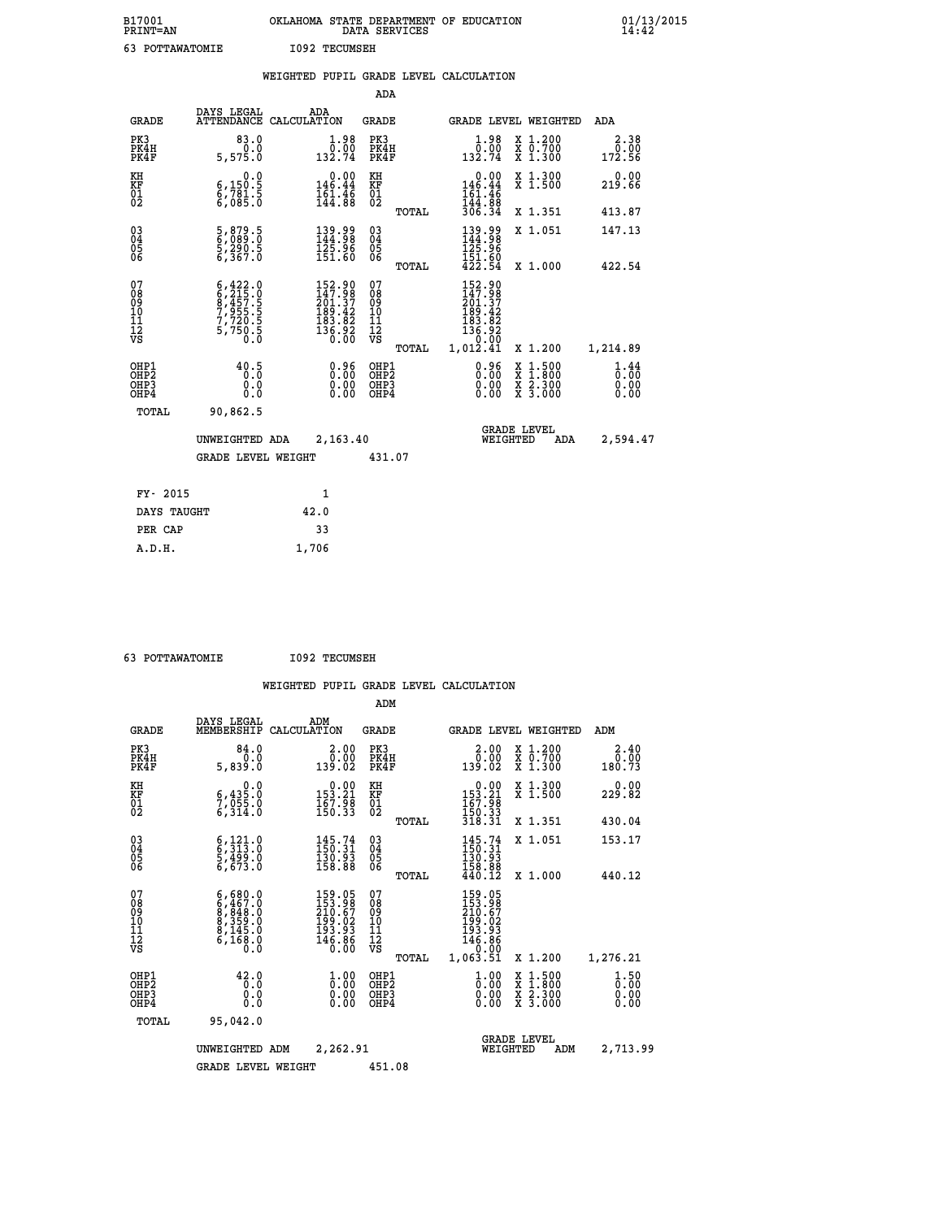| B17001<br>PRINT=AN           |                                                                                           | OKLAHOMA STATE DEPARTMENT OF EDUCATION                                                             | DATA SERVICES                                      |                                                                           |                                                                                                                                           | 01/13/2015<br>14:42          |
|------------------------------|-------------------------------------------------------------------------------------------|----------------------------------------------------------------------------------------------------|----------------------------------------------------|---------------------------------------------------------------------------|-------------------------------------------------------------------------------------------------------------------------------------------|------------------------------|
| 63 POTTAWATOMIE              |                                                                                           | <b>I092 TECUMSEH</b>                                                                               |                                                    |                                                                           |                                                                                                                                           |                              |
|                              |                                                                                           | WEIGHTED PUPIL GRADE LEVEL CALCULATION                                                             |                                                    |                                                                           |                                                                                                                                           |                              |
|                              |                                                                                           |                                                                                                    | <b>ADA</b>                                         |                                                                           |                                                                                                                                           |                              |
| GRADE                        | DAYS LEGAL                                                                                | ADA<br>ATTENDANCE CALCULATION                                                                      | <b>GRADE</b>                                       |                                                                           | GRADE LEVEL WEIGHTED                                                                                                                      | ADA                          |
| PK3<br>PK4H<br>PK4F          | 83.0<br>0.0<br>5,575.0                                                                    | 0.98<br>132.74                                                                                     | PK3<br>PK4H<br>PK4F                                | $\begin{smallmatrix} 1.98 \\[-4pt] 0.00 \\[-4pt] 132.74\end{smallmatrix}$ | X 1.200<br>X 0.700<br>X 1.300                                                                                                             | 2.38<br>0.00<br>172.56       |
| KH<br>KF<br>ÖĪ<br>Ŏ2         | 0.0<br>6,150.5<br>6,781.5<br>6,085.0                                                      | $0.00$<br>146.44<br>$\frac{161.46}{144.88}$                                                        | KH<br><b>KF</b><br>01<br>02                        | 0.00<br>$146.44$<br>$161.46$<br>$144.88$<br>$306.34$                      | X 1.300<br>X 1.500                                                                                                                        | 0.00<br>219.66               |
|                              |                                                                                           |                                                                                                    | <b>TOTAL</b>                                       |                                                                           | X 1.351                                                                                                                                   | 413.87                       |
| 030404<br>ŎĞ                 | 5,879.5<br>6,089.0<br>5,290.5<br>6,367.0                                                  | $\begin{smallmatrix} 139.99\\144.98\\125.96\\151.60 \end{smallmatrix}$                             | $\begin{matrix} 03 \\ 04 \\ 05 \\ 06 \end{matrix}$ | 139.99<br>144.98<br>125.96<br>151.60                                      | X 1.051                                                                                                                                   | 147.13                       |
|                              |                                                                                           |                                                                                                    | <b>TOTAL</b>                                       | 422.54                                                                    | X 1.000                                                                                                                                   | 422.54                       |
| 078901112<br>00901112<br>VS  | $6, 422.0$<br>$6, 215.0$<br>$8, 457.5$<br>$7, 955.5$<br>$7, 720.5$<br>$5, 750.5$<br>$0.0$ | $\begin{smallmatrix} 152.90\\ 147.98\\ 201.37\\ 189.42\\ 183.82\\ 136.92\\ 0.00 \end{smallmatrix}$ | 07<br>08<br>09<br>10<br>īĭ<br>12<br>VS             | 152.90<br>147.98<br>201.37<br>189.42<br>183.82<br>$\frac{136.92}{0.00}$   |                                                                                                                                           |                              |
|                              |                                                                                           |                                                                                                    | TOTAL                                              | 1,012.41                                                                  | X 1.200                                                                                                                                   | 1,214.89                     |
| OHP1<br>OHP2<br>OHP3<br>OHP4 | 40.5<br>0.0<br>0.0                                                                        | 0.96<br>0.00<br>0.00                                                                               | OHP1<br>OHP2<br>OHP3<br>OHP4                       | 0.96<br>0.00<br>0.00                                                      | $\begin{smallmatrix} \mathtt{X} & 1\cdot500\\ \mathtt{X} & 1\cdot800\\ \mathtt{X} & 2\cdot300\\ \mathtt{X} & 3\cdot000 \end{smallmatrix}$ | 1.44<br>0.00<br>0.00<br>0.00 |
| TOTAL                        | 90,862.5                                                                                  |                                                                                                    |                                                    |                                                                           |                                                                                                                                           |                              |
|                              | UNWEIGHTED ADA                                                                            | 2,163.40                                                                                           |                                                    |                                                                           | <b>GRADE LEVEL</b><br>WEIGHTED<br>ADA                                                                                                     | 2,594.47                     |
|                              | <b>GRADE LEVEL WEIGHT</b>                                                                 |                                                                                                    | 431.07                                             |                                                                           |                                                                                                                                           |                              |
| FY- 2015                     |                                                                                           | 1                                                                                                  |                                                    |                                                                           |                                                                                                                                           |                              |
| DAYS TAUGHT                  |                                                                                           | 42.0                                                                                               |                                                    |                                                                           |                                                                                                                                           |                              |
| PER CAP                      |                                                                                           | 33                                                                                                 |                                                    |                                                                           |                                                                                                                                           |                              |

| 63 POTTAWATOMIE | <b>I092 TECUMSEH</b> |
|-----------------|----------------------|
|                 |                      |

 **A.D.H. 1,706**

|                                          |                                                                                                                       |                    |                                                                                                    | ADM                                                |       |                                                                               |                                |                                          |                                                                                                    |
|------------------------------------------|-----------------------------------------------------------------------------------------------------------------------|--------------------|----------------------------------------------------------------------------------------------------|----------------------------------------------------|-------|-------------------------------------------------------------------------------|--------------------------------|------------------------------------------|----------------------------------------------------------------------------------------------------|
| <b>GRADE</b>                             | DAYS LEGAL<br>MEMBERSHIP                                                                                              | ADM<br>CALCULATION |                                                                                                    | <b>GRADE</b>                                       |       |                                                                               |                                | <b>GRADE LEVEL WEIGHTED</b>              | ADM                                                                                                |
| PK3<br>PK4H<br>PK4F                      | 84.0<br>0.0<br>5,839.0                                                                                                |                    | 2.00<br>0.00<br>139.02                                                                             | PK3<br>PK4H<br>PK4F                                |       | $\begin{smallmatrix} 2.00\\ 0.00\\ 139.02 \end{smallmatrix}$                  |                                | X 1.200<br>X 0.700<br>X 1.300            | 2.40<br>$\begin{smallmatrix} & 0 & 0 & 0 \\ 0 & 0 & 0 & 0 \\ 1 & 8 & 0 & 0 & 73 \end{smallmatrix}$ |
| KH<br>KF<br>01<br>02                     | 0.0<br>$\frac{6}{7}, \frac{435}{955}$ .0<br>6,314.0                                                                   |                    | $\begin{smallmatrix}&&0.00\\153.21\\167.98\\150.33\end{smallmatrix}$                               | KH<br>KF<br>01<br>02                               |       | $\begin{smallmatrix}&&0.00\\153.21\\167.98\\150.33\\318.31\end{smallmatrix}$  |                                | X 1.300<br>X 1.500                       | 0.00<br>229.82                                                                                     |
|                                          |                                                                                                                       |                    |                                                                                                    |                                                    | TOTAL |                                                                               |                                | X 1.351                                  | 430.04                                                                                             |
| 03<br>04<br>05<br>06                     | $\begin{smallmatrix} 6\,, & 121\,, & 0\\ 6\,, & 313\,. & 0\\ 5\,, & 499\,. & 0\\ 6\,, & 673\,. & 0 \end{smallmatrix}$ |                    | $\begin{array}{l} 145\cdot74\\150\cdot31\\130\cdot93\\158\cdot88 \end{array}$                      | $\begin{matrix} 03 \\ 04 \\ 05 \\ 06 \end{matrix}$ |       | $145.74$<br>$150.31$<br>$\frac{130.93}{158.88}$<br>$440.12$                   |                                | X 1.051                                  | 153.17                                                                                             |
|                                          |                                                                                                                       |                    |                                                                                                    |                                                    | TOTAL |                                                                               |                                | X 1.000                                  | 440.12                                                                                             |
| 07<br>08<br>09<br>101<br>112<br>VS       | $6,467.0$<br>$6,467.0$<br>$8,848.0$<br>$8,359.0$<br>$8,145.0$<br>$6,168.0$<br>$0.0$                                   |                    | $\begin{smallmatrix} 159.05\\ 153.98\\ 210.67\\ 199.02\\ 193.93\\ 146.86\\ 0.00 \end{smallmatrix}$ | 07<br>08<br>09<br>11<br>11<br>12<br>VS             | TOTAL | 159.05<br>153.987<br>210.67<br>193.93<br>193.93<br>146.86<br>0.00<br>1,063.Šľ |                                | X 1.200                                  | 1,276.21                                                                                           |
| OHP1<br>OHP2<br>OH <sub>P3</sub><br>OHP4 | 42.0<br>0.0<br>0.000                                                                                                  |                    | $\begin{smallmatrix} 1.00\ 0.00\ 0.00 \end{smallmatrix}$                                           | OHP1<br>OHP2<br>OHP <sub>3</sub>                   |       | $\frac{1}{0}$ :00<br>0.00<br>0.00                                             |                                | X 1:500<br>X 1:800<br>X 2:300<br>X 3:000 | $\frac{1}{0}$ : 00<br>0.00<br>0.00                                                                 |
| TOTAL                                    | 95,042.0                                                                                                              |                    |                                                                                                    |                                                    |       |                                                                               |                                |                                          |                                                                                                    |
|                                          | UNWEIGHTED                                                                                                            | ADM                | 2,262.91                                                                                           |                                                    |       |                                                                               | <b>GRADE LEVEL</b><br>WEIGHTED | ADM                                      | 2,713.99                                                                                           |
|                                          | <b>GRADE LEVEL WEIGHT</b>                                                                                             |                    |                                                                                                    | 451.08                                             |       |                                                                               |                                |                                          |                                                                                                    |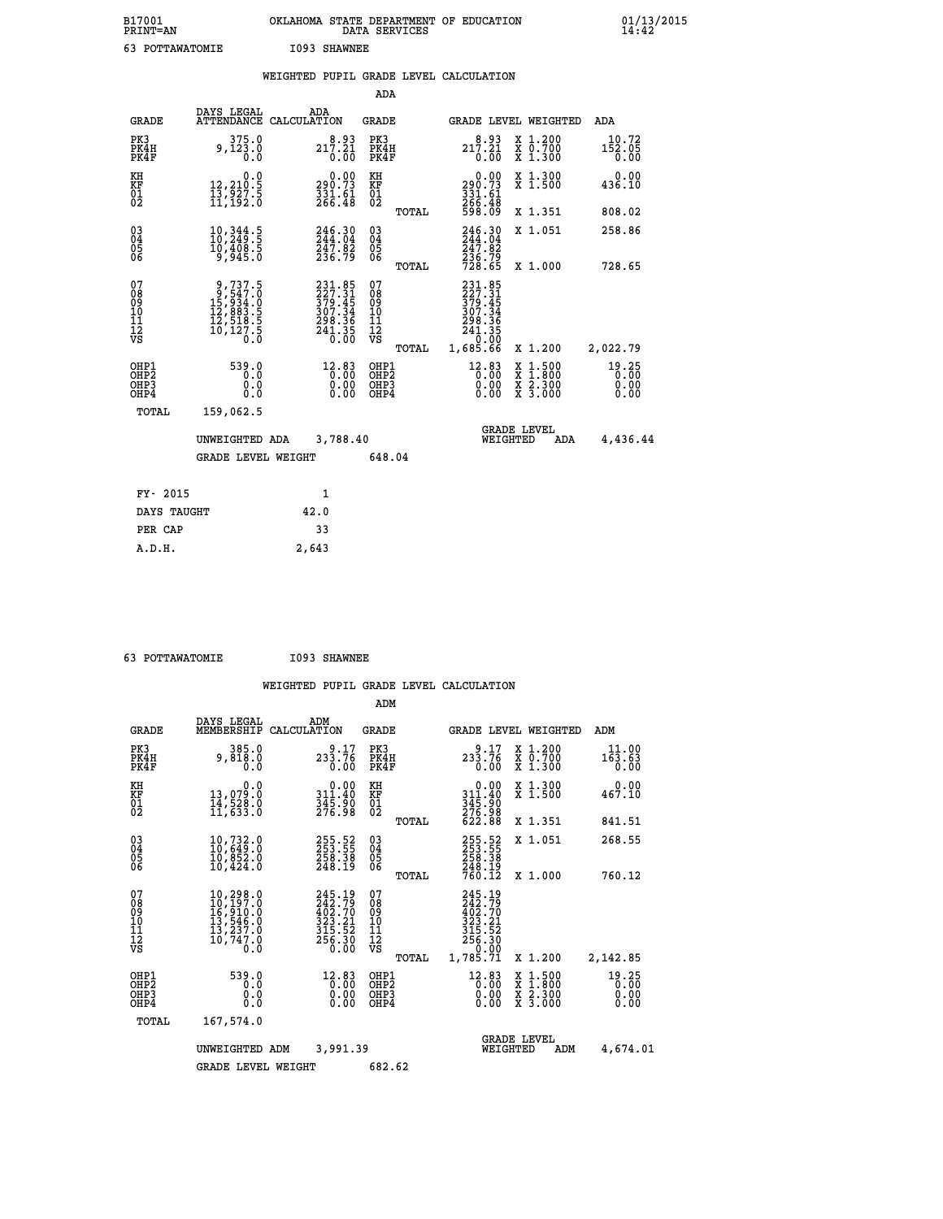| B17001<br>PRINT=AN | . STATE DEPARTMENT OF EDUCATION<br><b>OKLAHOMA</b><br>DATA SERVICES | $01/13/2015$<br>14:42 |
|--------------------|---------------------------------------------------------------------|-----------------------|
| POTTAWATOMIE       | I093 SHAWNEE                                                        |                       |

|  |  | WEIGHTED PUPIL GRADE LEVEL CALCULATION |
|--|--|----------------------------------------|
|  |  |                                        |

|                                                      |                                                                                                     |                                                                              | ADA                                      |       |                                                                               |                                                                                                  |                                                                                |
|------------------------------------------------------|-----------------------------------------------------------------------------------------------------|------------------------------------------------------------------------------|------------------------------------------|-------|-------------------------------------------------------------------------------|--------------------------------------------------------------------------------------------------|--------------------------------------------------------------------------------|
| <b>GRADE</b>                                         | DAYS LEGAL                                                                                          | ADA<br>ATTENDANCE CALCULATION                                                | <b>GRADE</b>                             |       |                                                                               | GRADE LEVEL WEIGHTED                                                                             | ADA                                                                            |
| PK3<br>PK4H<br>PK4F                                  | 375.0<br>9,123.0<br>0.0                                                                             | 217.21<br>0.00                                                               | PK3<br>PK4H<br>PK4F                      |       | 217.21<br>0.00                                                                | X 1.200<br>X 0.700<br>X 1.300                                                                    | 10.72<br>$1\bar{5}\,\, 2\,\, .\,\, 0\, \bar{5}\,\,$<br>$0\, .\,\, 0\, \bar{0}$ |
| KH<br>KF<br>01<br>02                                 | 0.0<br>12,210:5<br>13,927:5<br>11,192:0                                                             | $\begin{smallmatrix} 0.00\\290.73\\331.61\\266.48\end{smallmatrix}$          | KH<br>KF<br>01<br>02                     |       | 0.00<br>290.73<br>331.61<br>266.48<br>598.09                                  | X 1.300<br>X 1.500                                                                               | 0.00<br>436.10                                                                 |
|                                                      |                                                                                                     |                                                                              |                                          | TOTAL |                                                                               | X 1.351                                                                                          | 808.02                                                                         |
| $\begin{matrix} 03 \\ 04 \\ 05 \\ 06 \end{matrix}$   | 10,344.5<br>10,249.5<br>10,408.5<br>9,945.0                                                         | 246.30<br>244.04<br>247.02<br>236.79                                         | $\substack{03 \\ 04}$<br>05<br>06        |       | 246.30<br>244.04<br>$\frac{247.82}{236.79}$<br>728.65                         | X 1.051                                                                                          | 258.86                                                                         |
|                                                      |                                                                                                     |                                                                              |                                          | TOTAL |                                                                               | X 1.000                                                                                          | 728.65                                                                         |
| 07<br>08<br>09<br>11<br>11<br>12<br>VS               | $\begin{smallmatrix}9,737.5\\9,547.0\\15,934.0\\12,883.5\\12,518.5\\10,127.5\\0.0\end{smallmatrix}$ | 231.85<br>$227.31$<br>$379.45$<br>$307.34$<br>$298.36$<br>$241.35$<br>$0.00$ | 07<br>08<br>09<br>101<br>112<br>VS       |       | 231.85<br>227.315<br>379.454<br>307.344<br>298.365<br>241.350<br>0.00         |                                                                                                  |                                                                                |
|                                                      |                                                                                                     |                                                                              |                                          | TOTAL | 1,685.66                                                                      | X 1.200                                                                                          | 2,022.79                                                                       |
| OHP1<br>OH <sub>P</sub> <sub>2</sub><br>OHP3<br>OHP4 | 539.0<br>0.0<br>0.0<br>0.0                                                                          |                                                                              | OHP1<br>OHP <sub>2</sub><br>OHP3<br>OHP4 |       | $\begin{smallmatrix} 12 & 83 \\ 0 & 00 \\ 0 & 00 \\ 0 & 00 \end{smallmatrix}$ | $\begin{smallmatrix} x & 1 & 500 \\ x & 1 & 800 \\ x & 2 & 300 \\ x & 3 & 000 \end{smallmatrix}$ | 19.25<br>0.00<br>0.00<br>0.00                                                  |
| <b>TOTAL</b>                                         | 159,062.5                                                                                           |                                                                              |                                          |       |                                                                               |                                                                                                  |                                                                                |
|                                                      | UNWEIGHTED ADA                                                                                      | 3,788.40                                                                     |                                          |       | WEIGHTED                                                                      | <b>GRADE LEVEL</b><br>ADA                                                                        | 4,436.44                                                                       |
|                                                      | <b>GRADE LEVEL WEIGHT</b>                                                                           |                                                                              | 648.04                                   |       |                                                                               |                                                                                                  |                                                                                |
|                                                      |                                                                                                     |                                                                              |                                          |       |                                                                               |                                                                                                  |                                                                                |
| FY- 2015                                             |                                                                                                     | 1                                                                            |                                          |       |                                                                               |                                                                                                  |                                                                                |
| DAYS TAUGHT                                          |                                                                                                     | 42.0                                                                         |                                          |       |                                                                               |                                                                                                  |                                                                                |
| PER CAP                                              |                                                                                                     | 33                                                                           |                                          |       |                                                                               |                                                                                                  |                                                                                |

 **63 POTTAWATOMIE I093 SHAWNEE**

 **A.D.H. 2,643**

|                                                       |                                                                                                                      |                                                                                        | ADM                                                 |       |                                                                                        |                                          |                               |
|-------------------------------------------------------|----------------------------------------------------------------------------------------------------------------------|----------------------------------------------------------------------------------------|-----------------------------------------------------|-------|----------------------------------------------------------------------------------------|------------------------------------------|-------------------------------|
| <b>GRADE</b>                                          | DAYS LEGAL<br>MEMBERSHIP                                                                                             | ADM<br>CALCULATION                                                                     | <b>GRADE</b>                                        |       |                                                                                        | <b>GRADE LEVEL WEIGHTED</b>              | ADM                           |
| PK3<br>PK4H<br>PK4F                                   | 385.0<br>9,818.0<br>0.0                                                                                              | 9.17<br>233.76<br>0.00                                                                 | PK3<br>PK4H<br>PK4F                                 |       | 9.17<br>233.76<br>0.00                                                                 | X 1.200<br>X 0.700<br>X 1.300            | 11.00<br>163.63<br>0.00       |
| KH<br>KF<br>01<br>02                                  | 0.0<br>13,079.0<br>14,528.0<br>11,633.0                                                                              | $\begin{smallmatrix}&&0.00\\311.40\\345.90\\276.98\end{smallmatrix}$                   | KH<br>KF<br>01<br>02                                |       | $0.00$<br>$311.40$<br>$345.90$<br>$276.98$<br>$622.88$                                 | X 1.300<br>X 1.500                       | 0.00<br>467.10                |
|                                                       |                                                                                                                      |                                                                                        |                                                     | TOTAL |                                                                                        | X 1.351                                  | 841.51                        |
| 03<br>04<br>05<br>06                                  | 10,732.0<br>10,649.0<br>10,852.0<br>10,424.0                                                                         | 255.52<br>253.55<br>258.38<br>248.19                                                   | $\begin{array}{c} 03 \\ 04 \\ 05 \\ 06 \end{array}$ |       | 255.52<br>253.55<br>258.38                                                             | X 1.051                                  | 268.55                        |
|                                                       |                                                                                                                      |                                                                                        |                                                     | TOTAL | 248.19<br>760.12                                                                       | X 1.000                                  | 760.12                        |
| 07<br>08<br>09<br>101<br>112<br>VS                    | $\begin{smallmatrix} 10, 298.0\\ 10, 197.0\\ 16, 910.0\\ 13, 546.0\\ 13, 237.0\\ 10, 747.0 \end{smallmatrix}$<br>O.Ŏ | 245.19<br>242.79<br>402.70<br>$\frac{323}{315}$ . 21<br>$315.52$<br>$256.30$<br>$0.00$ | 07<br>08<br>09<br>11<br>11<br>12<br>VS              | TOTAL | 245.19<br>242.79<br>402.70<br>323.21<br>315.52<br>315.52<br>256.30<br>0.00<br>1,785.71 | X 1.200                                  | 2,142.85                      |
| OHP1<br>OH <sub>P</sub> 2<br>OH <sub>P3</sub><br>OHP4 | 539.0<br>0.0<br>0.0<br>Ŏ.Ŏ                                                                                           | $^{12.83}_{0.00}$<br>0.00                                                              | OHP1<br>OHP2<br>OHP3<br>OHP4                        |       | $12.83\n0.00\n0.00$<br>0.00                                                            | X 1:500<br>X 1:800<br>X 2:300<br>X 3:000 | 19.25<br>0.00<br>0.00<br>0.00 |
| TOTAL                                                 | 167,574.0                                                                                                            |                                                                                        |                                                     |       |                                                                                        |                                          |                               |
|                                                       | UNWEIGHTED                                                                                                           | 3,991.39<br>ADM                                                                        |                                                     |       | WEIGHTED                                                                               | <b>GRADE LEVEL</b><br>ADM                | 4,674.01                      |
|                                                       | <b>GRADE LEVEL WEIGHT</b>                                                                                            |                                                                                        | 682.62                                              |       |                                                                                        |                                          |                               |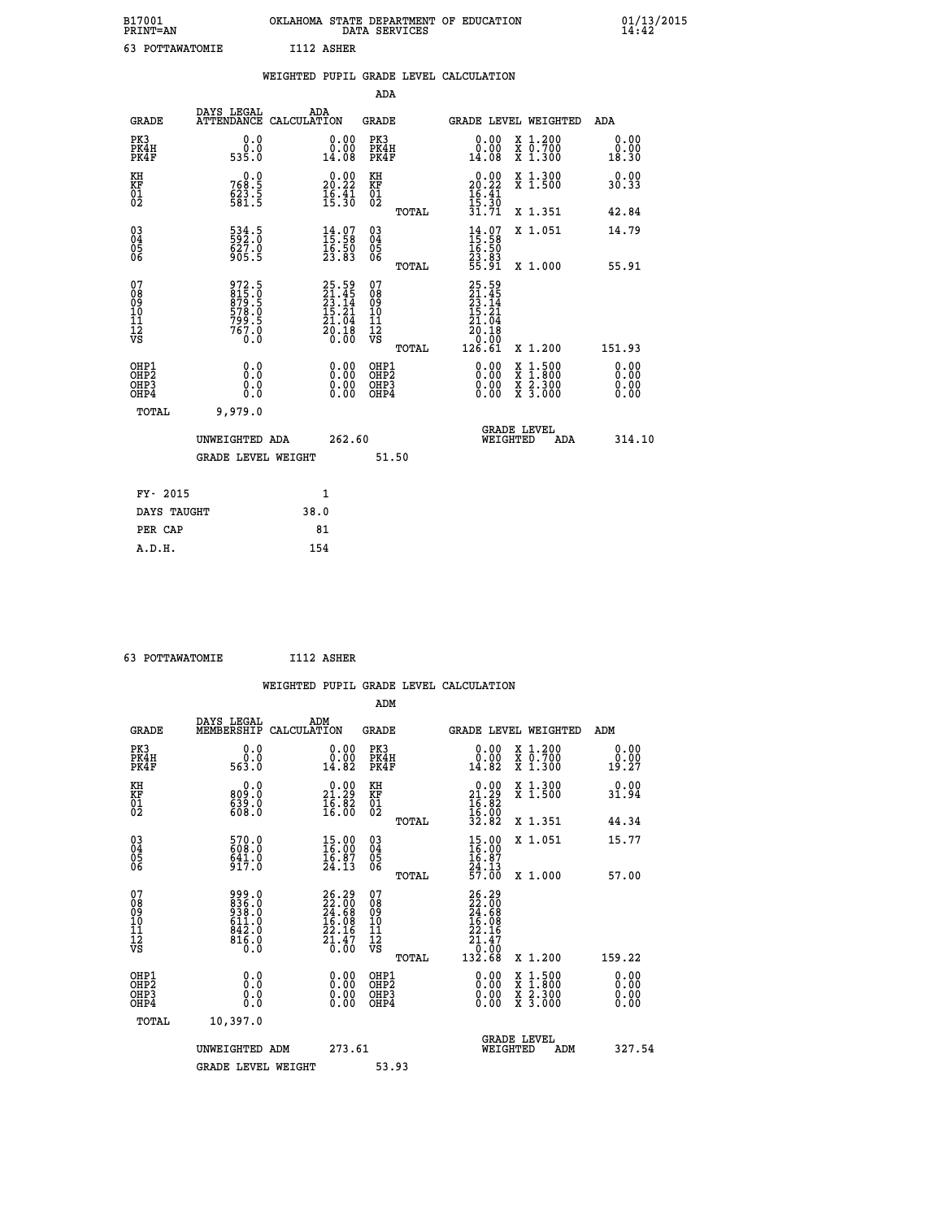| B17001<br>PRINT=AN                                   |                                                             | OKLAHOMA STATE DEPARTMENT OF EDUCATION                               | DATA SERVICES                                              |              |                                                                          |          |                                                                                                                                             | $01/13/2015$<br>14:42        |  |
|------------------------------------------------------|-------------------------------------------------------------|----------------------------------------------------------------------|------------------------------------------------------------|--------------|--------------------------------------------------------------------------|----------|---------------------------------------------------------------------------------------------------------------------------------------------|------------------------------|--|
| 63 POTTAWATOMIE                                      |                                                             | I112 ASHER                                                           |                                                            |              |                                                                          |          |                                                                                                                                             |                              |  |
|                                                      |                                                             | WEIGHTED PUPIL GRADE LEVEL CALCULATION                               |                                                            |              |                                                                          |          |                                                                                                                                             |                              |  |
|                                                      |                                                             |                                                                      | ADA                                                        |              |                                                                          |          |                                                                                                                                             |                              |  |
| GRADE                                                | DAYS LEGAL                                                  | ADA<br>ATTENDANCE CALCULATION                                        | GRADE                                                      |              |                                                                          |          | GRADE LEVEL WEIGHTED                                                                                                                        | ADA                          |  |
| PK3<br>PK4H<br>PK4F                                  | 0.0<br>0.0<br>535.0                                         | 0.00<br>ă:ŏŏ<br>14:08                                                | PK3<br>PK4H<br>PK4F                                        |              | 0.00<br>0.00<br>14.08                                                    |          | X 1.200<br>$\begin{smallmatrix} \ddot{x} & \ddot{0} & \ddot{7} & \ddot{0} & \dot{0} \\ \dot{x} & 1 & \dot{0} & 3 & 0 & 0 \end{smallmatrix}$ | 0.00<br>0.00<br>18.30        |  |
| KH<br>KF<br>$\begin{matrix} 01 \\ 02 \end{matrix}$   | 0.0<br>768.5<br>$623.5$<br>581.5                            | $\begin{smallmatrix} 0.00\\ 20.22\\ 16.41\\ 15.30 \end{smallmatrix}$ | KH<br>KF<br>01<br>02                                       |              | 20.00<br>$\frac{16}{15}$ $\cdot\frac{41}{30}$                            |          | X 1.300<br>X 1.500                                                                                                                          | 0.00<br>30.33                |  |
|                                                      |                                                             |                                                                      |                                                            | <b>TOTAL</b> | 31.71                                                                    |          | X 1.351                                                                                                                                     | 42.84                        |  |
| $\begin{array}{c} 03 \\ 04 \\ 05 \\ 06 \end{array}$  | 534.5<br>592.0<br>627.0<br>905.5                            | $14.07$<br>$15.58$<br>$16.50$<br>$23.83$                             | 03<br>04<br>05<br>06                                       |              | $14.97$<br>$15.58$<br>$16.50$<br>23.83                                   |          | X 1.051                                                                                                                                     | 14.79                        |  |
|                                                      |                                                             |                                                                      |                                                            | TOTAL        | 55.91                                                                    |          | X 1.000                                                                                                                                     | 55.91                        |  |
| 07<br>08<br>09<br>11<br>11<br>12<br>VS               | 972.5<br>815.0<br>879.5<br>878.0<br>578.0<br>799.5<br>767.0 | 25.59<br>21.45<br>23.14<br>25.21<br>$\frac{21.64}{20.18}$            | 07<br>08<br>09<br>10<br>$\frac{11}{12}$<br>$\frac{12}{18}$ | TOTAL        | 25.59<br>21.45<br>23.14<br>15.21<br>21<br>.04<br>20.18<br>0.00<br>126.61 |          | X 1.200                                                                                                                                     | 151.93                       |  |
| OHP1<br>OHP <sub>2</sub><br>OH <sub>P3</sub><br>OHP4 | 0.0<br>Ŏ.Ō<br>0.0<br>0.0                                    | 0.00<br>0.00<br>0.00                                                 | OHP1<br>OHP <sub>2</sub><br>OHP3<br>OHP4                   |              | 0.00<br>0.00<br>0.00                                                     |          | $\begin{smallmatrix} x & 1.500 \\ x & 1.800 \\ x & 2.300 \\ x & 3.000 \end{smallmatrix}$                                                    | 0.00<br>0.00<br>0.00<br>0.00 |  |
| TOTAL                                                | 9,979.0                                                     |                                                                      |                                                            |              |                                                                          |          |                                                                                                                                             |                              |  |
|                                                      | UNWEIGHTED ADA                                              | 262.60                                                               |                                                            |              |                                                                          | WEIGHTED | <b>GRADE LEVEL</b><br>ADA                                                                                                                   | 314.10                       |  |
|                                                      | <b>GRADE LEVEL WEIGHT</b>                                   |                                                                      | 51.50                                                      |              |                                                                          |          |                                                                                                                                             |                              |  |
| FY- 2015                                             |                                                             | 1                                                                    |                                                            |              |                                                                          |          |                                                                                                                                             |                              |  |
| DAYS TAUGHT                                          |                                                             | 38.0                                                                 |                                                            |              |                                                                          |          |                                                                                                                                             |                              |  |

| 63 POTTAWATOMIE | I112 ASHER |
|-----------------|------------|
|                 |            |

PER CAP 81<br>A.D.H. 154

|                                                                              |                                                             |                                                                       | WEIGHTED PUPIL GRADE LEVEL CALCULATION              |                                                                                                                                                                                                                                                                                                                                                                                                                             |                              |
|------------------------------------------------------------------------------|-------------------------------------------------------------|-----------------------------------------------------------------------|-----------------------------------------------------|-----------------------------------------------------------------------------------------------------------------------------------------------------------------------------------------------------------------------------------------------------------------------------------------------------------------------------------------------------------------------------------------------------------------------------|------------------------------|
|                                                                              |                                                             |                                                                       | ADM                                                 |                                                                                                                                                                                                                                                                                                                                                                                                                             |                              |
| <b>GRADE</b>                                                                 | DAYS LEGAL<br>MEMBERSHIP                                    | ADM<br>CALCULATION                                                    | <b>GRADE</b>                                        | <b>GRADE LEVEL WEIGHTED</b>                                                                                                                                                                                                                                                                                                                                                                                                 | ADM                          |
| PK3<br>PK4H<br>PK4F                                                          | 0.0<br>0.0<br>563.0                                         | $\begin{smallmatrix} 0.00\\ 0.00\\ 14.82 \end{smallmatrix}$           | PK3<br>PK4H<br>PK4F                                 | 0.00<br>X 1.200<br>X 0.700<br>X 1.300<br>0.00<br>14.82                                                                                                                                                                                                                                                                                                                                                                      | 0.00<br>0.00<br>19.27        |
| KH<br>KF<br>01<br>02                                                         | 0.0<br>0:08<br>0:08<br>0:08                                 | $\begin{smallmatrix} 0.00\\ 21.29\\ 16.82\\ 16.00 \end{smallmatrix}$  | KH<br>KF<br>01<br>02                                | $\begin{array}{r} 0.00 \\ 21.29 \\ 16.82 \\ 16.00 \\ 32.82 \end{array}$<br>X 1.300<br>X 1.500                                                                                                                                                                                                                                                                                                                               | 0.00<br>31.94                |
|                                                                              |                                                             |                                                                       | TOTAL                                               | X 1.351                                                                                                                                                                                                                                                                                                                                                                                                                     | 44.34                        |
| $\begin{matrix} 03 \\ 04 \\ 05 \\ 06 \end{matrix}$                           | 570.0<br>$\frac{641.0}{917.0}$                              | $\begin{smallmatrix} 15.00\\ 16.00\\ 16.87\\ 24.13 \end{smallmatrix}$ | $\begin{array}{c} 03 \\ 04 \\ 05 \\ 06 \end{array}$ | X 1.051<br>$\begin{array}{l} 15\cdot 00 \\ 16\cdot 00 \\ 16\cdot 87 \\ 24\cdot 13 \\ 57\cdot 00 \end{array}$                                                                                                                                                                                                                                                                                                                | 15.77                        |
|                                                                              |                                                             |                                                                       | TOTAL                                               | X 1.000                                                                                                                                                                                                                                                                                                                                                                                                                     | 57.00                        |
| 07<br>08<br>09<br>101<br>112<br>VS                                           | 999.0<br>836.0<br>938.0<br>611.0<br>642.0<br>816.0<br>816.0 | 26.29<br>22.00<br>24.68<br>16.08<br>22.16<br>$\frac{51.47}{0.00}$     | 07<br>08<br>09<br>11<br>11<br>12<br>VS<br>TOTAL     | 26.29<br>22.00<br>24.68<br>16.08<br>22.16<br>$\begin{array}{r} 21.47 \\[-4pt] 0.00 \\[-4pt] 132.68 \end{array}$<br>X 1.200                                                                                                                                                                                                                                                                                                  | 159.22                       |
| OHP1<br>OH <sub>P</sub> <sub>2</sub><br>OH <sub>P3</sub><br>OH <sub>P4</sub> | 0.0<br>0.000                                                | $0.00$<br>$0.00$<br>0.00                                              | OHP1<br>OH <sub>P</sub> 2<br>OHP3<br>OHP4           | $\begin{smallmatrix} 0.00 & 0.00 & 0.00 & 0.00 & 0.00 & 0.00 & 0.00 & 0.00 & 0.00 & 0.00 & 0.00 & 0.00 & 0.00 & 0.00 & 0.00 & 0.00 & 0.00 & 0.00 & 0.00 & 0.00 & 0.00 & 0.00 & 0.00 & 0.00 & 0.00 & 0.00 & 0.00 & 0.00 & 0.00 & 0.00 & 0.00 & 0.00 & 0.00 & 0.00 & 0.00 & 0.0$<br>$\begin{smallmatrix} \mathtt{X} & 1\cdot500\\ \mathtt{X} & 1\cdot800\\ \mathtt{X} & 2\cdot300\\ \mathtt{X} & 3\cdot000 \end{smallmatrix}$ | 0.00<br>0.00<br>0.00<br>0.00 |
| TOTAL                                                                        | 10,397.0                                                    |                                                                       |                                                     |                                                                                                                                                                                                                                                                                                                                                                                                                             |                              |
|                                                                              | UNWEIGHTED ADM                                              | 273.61                                                                |                                                     | <b>GRADE LEVEL</b><br>WEIGHTED<br>ADM                                                                                                                                                                                                                                                                                                                                                                                       | 327.54                       |
|                                                                              | <b>GRADE LEVEL WEIGHT</b>                                   |                                                                       | 53.93                                               |                                                                                                                                                                                                                                                                                                                                                                                                                             |                              |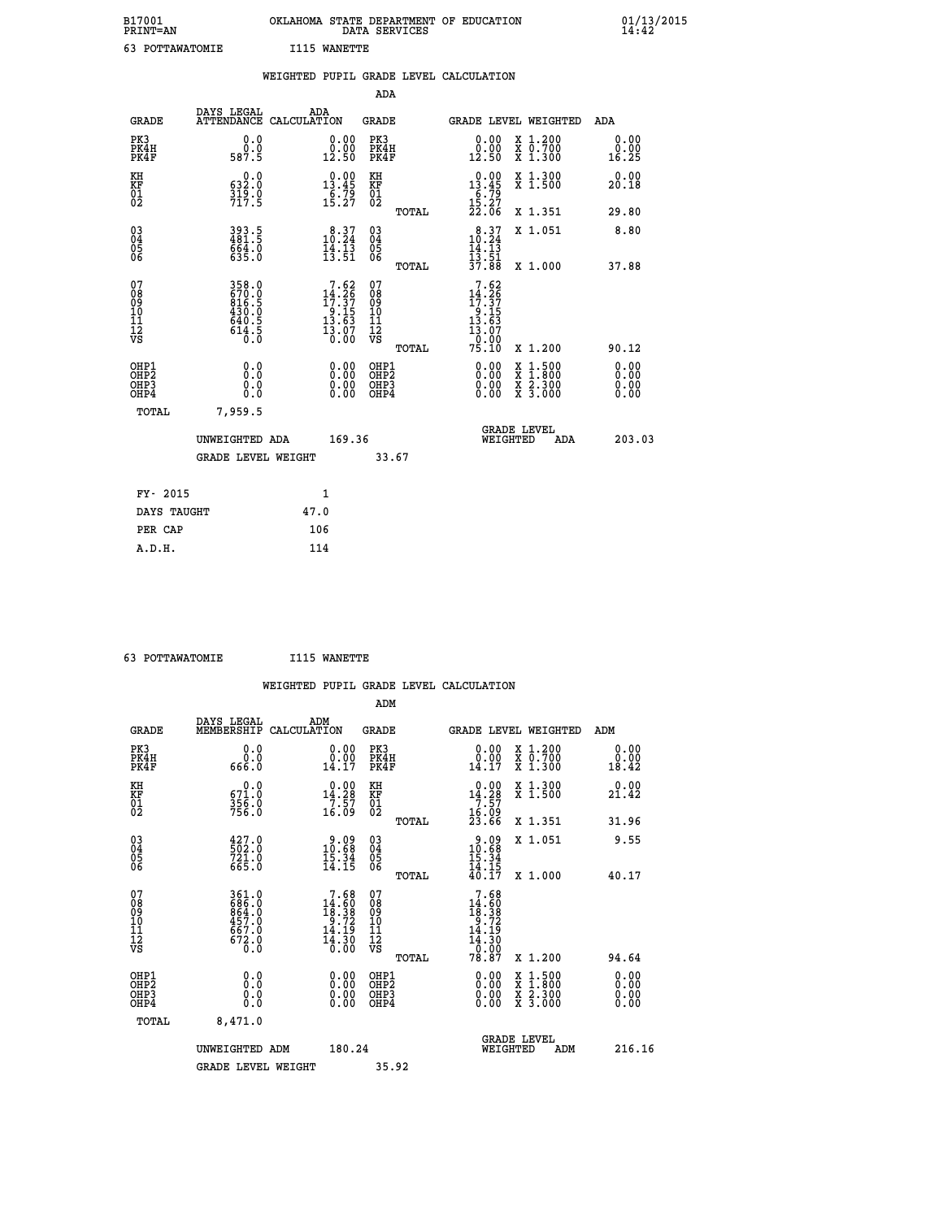| B17001<br>PRINT=AN | . STATE DEPARTMENT OF EDUCATION<br><b>OKLAHOMA</b><br>DATA SERVICES | 01/13/2015<br>14:42 |
|--------------------|---------------------------------------------------------------------|---------------------|
| POTTAWATOMIE       | <b>T115 WANETTE</b>                                                 |                     |

|                                         |                                                                    |                                                                                      |                                                        | WEIGHTED PUPIL GRADE LEVEL CALCULATION                                                                                                                                                                                                                                         |                                                                                                                                           |                          |
|-----------------------------------------|--------------------------------------------------------------------|--------------------------------------------------------------------------------------|--------------------------------------------------------|--------------------------------------------------------------------------------------------------------------------------------------------------------------------------------------------------------------------------------------------------------------------------------|-------------------------------------------------------------------------------------------------------------------------------------------|--------------------------|
|                                         |                                                                    |                                                                                      | ADA                                                    |                                                                                                                                                                                                                                                                                |                                                                                                                                           |                          |
| <b>GRADE</b>                            |                                                                    | DAYS LEGAL ADA ATTENDANCE CALCULATION                                                | GRADE                                                  | <b>GRADE LEVEL WEIGHTED</b>                                                                                                                                                                                                                                                    |                                                                                                                                           | ADA                      |
| PK3<br>PK4H<br>PK4F                     | 0.0<br>Ō.Ō<br>587.5                                                | $\begin{smallmatrix} 0.00\\ 0.00\\ 12.50 \end{smallmatrix}$                          | PK3<br>PK4H<br>PK4F                                    | 0.00<br>0.00<br>12.50                                                                                                                                                                                                                                                          | X 1.200<br>X 0.700<br>X 1.300                                                                                                             | 0.00<br>0.00<br>16.25    |
| KH<br>KF<br>01<br>02                    | $0.0$<br>$0.25$<br>$\frac{315}{717.5}$                             | 13.45<br>$\frac{6}{15} \cdot \frac{79}{27}$                                          | KH<br>KF<br>01<br>02                                   | $\begin{array}{r} 0.00 \\ 13.45 \\ 6.79 \\ 15.27 \\ 22.06 \end{array}$                                                                                                                                                                                                         | X 1.300<br>X 1.500                                                                                                                        | 0.00<br>20.18            |
|                                         |                                                                    |                                                                                      | TOTAL                                                  |                                                                                                                                                                                                                                                                                | X 1.351                                                                                                                                   | 29.80                    |
| 03<br>04<br>05<br>06                    | 393.5<br>481.5<br>664.0<br>635.0                                   | $\begin{smallmatrix} 8\cdot 37\\10\cdot 24\\14\cdot 13\\13\cdot 51\end{smallmatrix}$ | $\begin{matrix} 03 \\ 04 \\ 05 \\ 06 \end{matrix}$     | 10.37<br>14.13                                                                                                                                                                                                                                                                 | X 1.051                                                                                                                                   | 8.80                     |
|                                         |                                                                    |                                                                                      | TOTAL                                                  | $\frac{1}{3}\frac{1}{7}\cdot\frac{5}{8}\frac{1}{8}$                                                                                                                                                                                                                            | X 1.000                                                                                                                                   | 37.88                    |
| 07<br>08<br>09<br>101<br>11<br>12<br>VS | 358.0<br>670.0<br>816.5<br>816.5<br>430.0<br>640.5<br>614.5<br>0.0 | $7.62$<br>$14.26$<br>$17.37$<br>$9.15$<br>$13.63$<br>$\frac{13.07}{0.00}$            | 07<br>08<br>09<br>001<br>11<br>11<br>12<br>VS<br>TOTAL | $\begin{array}{r} 7.62 \\[-2pt] 14.26 \\[-2pt] 17.37 \\[-2pt] 9.15 \\[-2pt] 13.63 \\[-2pt] 13.07 \\[-2pt] 13.07 \\[-2pt] 0.00 \end{array}$<br>75.10                                                                                                                            | X 1.200                                                                                                                                   | 90.12                    |
| OHP1<br>OHP2<br>OHP3<br>OHP4            | 0.0<br>0.0<br>Ŏ.Ŏ                                                  | $\begin{smallmatrix} 0.00 \ 0.00 \ 0.00 \ 0.00 \end{smallmatrix}$                    | OHP1<br>OHP2<br>OHP <sub>3</sub>                       | $\begin{smallmatrix} 0.00 & 0.00 & 0.00 & 0.00 & 0.00 & 0.00 & 0.00 & 0.00 & 0.00 & 0.00 & 0.00 & 0.00 & 0.00 & 0.00 & 0.00 & 0.00 & 0.00 & 0.00 & 0.00 & 0.00 & 0.00 & 0.00 & 0.00 & 0.00 & 0.00 & 0.00 & 0.00 & 0.00 & 0.00 & 0.00 & 0.00 & 0.00 & 0.00 & 0.00 & 0.00 & 0.0$ | $\begin{smallmatrix} \mathtt{X} & 1\cdot500\\ \mathtt{X} & 1\cdot800\\ \mathtt{X} & 2\cdot300\\ \mathtt{X} & 3\cdot000 \end{smallmatrix}$ | 0.00<br>$0.00$<br>$0.00$ |
| TOTAL                                   | 7,959.5                                                            |                                                                                      |                                                        |                                                                                                                                                                                                                                                                                |                                                                                                                                           |                          |
|                                         | UNWEIGHTED ADA                                                     | 169.36                                                                               |                                                        | <b>GRADE LEVEL</b><br>WEIGHTED                                                                                                                                                                                                                                                 | <b>ADA</b>                                                                                                                                | 203.03                   |
|                                         | <b>GRADE LEVEL WEIGHT</b>                                          |                                                                                      | 33.67                                                  |                                                                                                                                                                                                                                                                                |                                                                                                                                           |                          |
| FY- 2015                                |                                                                    | $\mathbf{1}$                                                                         |                                                        |                                                                                                                                                                                                                                                                                |                                                                                                                                           |                          |
| DAYS TAUGHT                             |                                                                    | 47.0                                                                                 |                                                        |                                                                                                                                                                                                                                                                                |                                                                                                                                           |                          |
| PER CAP                                 |                                                                    | 106                                                                                  |                                                        |                                                                                                                                                                                                                                                                                |                                                                                                                                           |                          |

| 63 POTTAWATOMIE | I115 WANETTE |
|-----------------|--------------|
|                 |              |

|                                                                      |                                                                  |                                                                           |                                                     | WEIGHTED PUPIL GRADE LEVEL CALCULATION                                                                                                                                                                                                                                         |                                                                                                                                           |                       |
|----------------------------------------------------------------------|------------------------------------------------------------------|---------------------------------------------------------------------------|-----------------------------------------------------|--------------------------------------------------------------------------------------------------------------------------------------------------------------------------------------------------------------------------------------------------------------------------------|-------------------------------------------------------------------------------------------------------------------------------------------|-----------------------|
|                                                                      |                                                                  |                                                                           | ADM                                                 |                                                                                                                                                                                                                                                                                |                                                                                                                                           |                       |
| <b>GRADE</b>                                                         | DAYS LEGAL<br>MEMBERSHIP                                         | ADM<br>CALCULATION                                                        | <b>GRADE</b>                                        | <b>GRADE LEVEL WEIGHTED</b>                                                                                                                                                                                                                                                    |                                                                                                                                           | ADM                   |
| PK3<br>PK4H<br>PK4F                                                  | 0.0<br>ŏ:ŏ<br>666.0                                              | 0.00<br>14.17                                                             | PK3<br>PK4H<br>PK4F                                 | $0.00$<br>$0.00$<br>14.17                                                                                                                                                                                                                                                      | X 1.200<br>X 0.700<br>X 1.300                                                                                                             | 0.00<br>0.00<br>18.42 |
| KH<br>KF<br>01<br>02                                                 | $\begin{smallmatrix} &0.0\ 671.0\ 356.0\ 756.0\end{smallmatrix}$ | $\begin{array}{c} 0.00 \\ 14.28 \\ 7.57 \\ 16.09 \end{array}$             | KH<br>KF<br>01<br>02                                | 0.00<br>$14.28$<br>$7.57$<br>$16.09$<br>$23.66$                                                                                                                                                                                                                                | X 1.300<br>X 1.500                                                                                                                        | 0.00<br>21.42         |
|                                                                      |                                                                  |                                                                           | TOTAL                                               |                                                                                                                                                                                                                                                                                | X 1.351                                                                                                                                   | 31.96                 |
| $\begin{matrix} 03 \\ 04 \\ 05 \\ 06 \end{matrix}$                   | $\frac{427.0}{502.0}$<br>$72\overline{1}.0$<br>665.0             | $20.09$<br>$0.68$<br>$\frac{15.34}{14.15}$                                | $\begin{array}{c} 03 \\ 04 \\ 05 \\ 06 \end{array}$ | $20.09$<br>$0.68$<br>$\frac{15.34}{14.15}$<br>$\frac{40.17}{17}$                                                                                                                                                                                                               | X 1.051                                                                                                                                   | 9.55                  |
|                                                                      |                                                                  |                                                                           | TOTAL                                               |                                                                                                                                                                                                                                                                                | X 1.000                                                                                                                                   | 40.17                 |
| 07<br>08<br>09<br>101<br>112<br>VS                                   | 361.0<br>686.0<br>664.0<br>457.0<br>667.0<br>$\frac{572.0}{0.0}$ | $7.68$<br>$14.60$<br>$18.38$<br>$9.72$<br>$14.19$<br>$\frac{14.30}{0.00}$ | 07<br>08<br>09<br>11<br>11<br>12<br>VS<br>TOTAL     | 7.68<br>$14.80$<br>$18.38$<br>$9.72$<br>$14.19$<br>$\frac{11.30}{0.00}$<br>78.87                                                                                                                                                                                               | X 1.200                                                                                                                                   | 94.64                 |
| OHP1                                                                 |                                                                  |                                                                           |                                                     |                                                                                                                                                                                                                                                                                |                                                                                                                                           | 0.00                  |
| OH <sub>P</sub> <sub>2</sub><br>OH <sub>P3</sub><br>OH <sub>P4</sub> | 0.0<br>0.000                                                     | $\begin{smallmatrix} 0.00 \ 0.00 \ 0.00 \ 0.00 \end{smallmatrix}$         | OHP1<br>OHP2<br>OHP3<br>OHP4                        | $\begin{smallmatrix} 0.00 & 0.00 & 0.00 & 0.00 & 0.00 & 0.00 & 0.00 & 0.00 & 0.00 & 0.00 & 0.00 & 0.00 & 0.00 & 0.00 & 0.00 & 0.00 & 0.00 & 0.00 & 0.00 & 0.00 & 0.00 & 0.00 & 0.00 & 0.00 & 0.00 & 0.00 & 0.00 & 0.00 & 0.00 & 0.00 & 0.00 & 0.00 & 0.00 & 0.00 & 0.00 & 0.0$ | $\begin{smallmatrix} \mathtt{X} & 1\cdot500\\ \mathtt{X} & 1\cdot800\\ \mathtt{X} & 2\cdot300\\ \mathtt{X} & 3\cdot000 \end{smallmatrix}$ | 0.00<br>0.00<br>0.00  |
| TOTAL                                                                | 8,471.0                                                          |                                                                           |                                                     |                                                                                                                                                                                                                                                                                |                                                                                                                                           |                       |
|                                                                      | UNWEIGHTED ADM                                                   | 180.24                                                                    |                                                     | GRADE LEVEL<br>WEIGHTED                                                                                                                                                                                                                                                        | ADM                                                                                                                                       | 216.16                |
|                                                                      | <b>GRADE LEVEL WEIGHT</b>                                        |                                                                           | 35.92                                               |                                                                                                                                                                                                                                                                                |                                                                                                                                           |                       |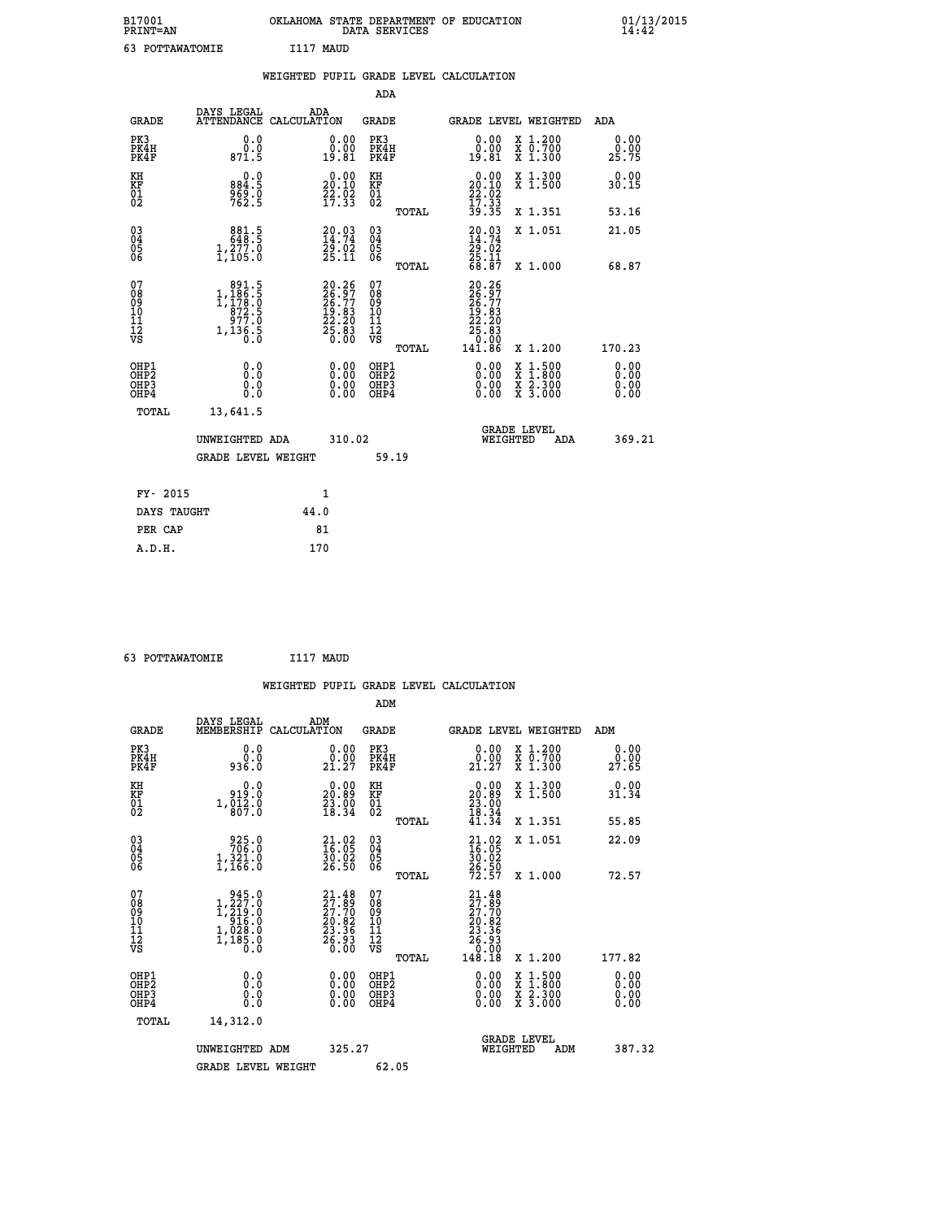| B17001<br><b>PRINT=AN</b> | OKLAHOMA STATE DEPARTMENT OF EDUCATION<br>DATA SERVICES | 01/13/2015 |
|---------------------------|---------------------------------------------------------|------------|
| 63<br>POTTAWATOMIE        | I117 MAUD                                               |            |

|                                                                    |                                                                                              | WEIGHTED PUPIL GRADE LEVEL CALCULATION                                                             |                                          |       |                                                                                                              |                                                                                                                                           |                              |
|--------------------------------------------------------------------|----------------------------------------------------------------------------------------------|----------------------------------------------------------------------------------------------------|------------------------------------------|-------|--------------------------------------------------------------------------------------------------------------|-------------------------------------------------------------------------------------------------------------------------------------------|------------------------------|
|                                                                    |                                                                                              |                                                                                                    |                                          | ADA   |                                                                                                              |                                                                                                                                           |                              |
| <b>GRADE</b>                                                       | DAYS LEGAL<br><b>ATTENDANCE</b>                                                              | ADA<br>CALCULATION                                                                                 | <b>GRADE</b>                             |       |                                                                                                              | GRADE LEVEL WEIGHTED                                                                                                                      | <b>ADA</b>                   |
| PK3<br>PK4H<br>PK4F                                                | 0.0<br>0.0<br>871.5                                                                          | $\begin{smallmatrix} 0.00\\ 0.00\\ 19.81 \end{smallmatrix}$                                        | PK3<br>PK4H<br>PK4F                      |       | 0.00<br>0.00<br>19.81                                                                                        | X 1.200<br>X 0.700<br>X 1.300                                                                                                             | 0.00<br>$29.00$<br>$25.75$   |
| KH<br>KF<br>01<br>02                                               | 0.0<br>884:5<br>969:0<br>762:5                                                               | $20.00$<br>20.10<br>$\frac{55}{17}$ : $\frac{55}{33}$                                              | KH<br>KF<br>01<br>02                     |       | $\begin{smallmatrix} 0.00\\20.10\\22.02\\17.33\\39.35 \end{smallmatrix}$                                     | X 1.300<br>X 1.500                                                                                                                        | 0.00<br>30.15                |
|                                                                    |                                                                                              |                                                                                                    |                                          | TOTAL |                                                                                                              | X 1.351                                                                                                                                   | 53.16                        |
| $\begin{smallmatrix} 03 \\[-4pt] 04 \end{smallmatrix}$<br>Ŏ5<br>06 | $\begin{smallmatrix} & 881.5\\ 648.5\\ 1,277.0\\ 1,105.0 \end{smallmatrix}$                  | $20.03$<br>$14.74$<br>$29.02$<br>$25.11$                                                           | $\substack{03 \\ 04}$<br>Ŏ5<br>06        |       | $20.03$<br>$14.74$<br>$29.02$<br>$25.11$<br>$68.87$                                                          | X 1.051                                                                                                                                   | 21.05                        |
|                                                                    |                                                                                              |                                                                                                    |                                          | TOTAL |                                                                                                              | X 1.000                                                                                                                                   | 68.87                        |
| 07<br>08<br>09<br>111<br>12<br>VS                                  | $\begin{smallmatrix} & 891.5\\1,186.5\\1,178.0\\872.5\\977.0\\1,136.5\\0.0\end{smallmatrix}$ | $\begin{smallmatrix} 20.26 \\ 26.97 \\ 26.77 \\ 19.83 \\ 22.20 \\ 25.83 \\ 0.00 \end{smallmatrix}$ | 07<br>08901112<br>1112<br>VS             | TOTAL | $\begin{smallmatrix} 20.26 \\ 26.97 \\ 26.77 \\ 19.83 \\ 22.23 \\ 25.83 \\ 0.00 \\ 141.86 \end{smallmatrix}$ | X 1.200                                                                                                                                   | 170.23                       |
| OHP1<br>OH <sub>P</sub> 2<br>OHP3<br>OH <sub>P4</sub>              | 0.0<br>Ō.Ō<br>0.0<br>0.0                                                                     | $\begin{smallmatrix} 0.00 \ 0.00 \ 0.00 \ 0.00 \end{smallmatrix}$                                  | OHP1<br>OHP <sub>2</sub><br>OHP3<br>OHP4 |       | 0.00<br>0.00                                                                                                 | $\begin{smallmatrix} \mathtt{X} & 1\cdot500\\ \mathtt{X} & 1\cdot800\\ \mathtt{X} & 2\cdot300\\ \mathtt{X} & 3\cdot000 \end{smallmatrix}$ | 0.00<br>0.00<br>0.00<br>0.00 |
| TOTAL                                                              | 13,641.5                                                                                     |                                                                                                    |                                          |       |                                                                                                              |                                                                                                                                           |                              |
|                                                                    | UNWEIGHTED ADA                                                                               |                                                                                                    | 310.02                                   |       |                                                                                                              | GRADE LEVEL<br>WEIGHTED<br>ADA                                                                                                            | 369.21                       |
|                                                                    | <b>GRADE LEVEL WEIGHT</b>                                                                    |                                                                                                    |                                          | 59.19 |                                                                                                              |                                                                                                                                           |                              |
| FY- 2015                                                           |                                                                                              | 1                                                                                                  |                                          |       |                                                                                                              |                                                                                                                                           |                              |
| DAYS TAUGHT                                                        |                                                                                              | 44.0                                                                                               |                                          |       |                                                                                                              |                                                                                                                                           |                              |
| PER CAP                                                            |                                                                                              | 81                                                                                                 |                                          |       |                                                                                                              |                                                                                                                                           |                              |

 **63 POTTAWATOMIE I117 MAUD**

 **WEIGHTED PUPIL GRADE LEVEL CALCULATION ADM DAYS LEGAL ADM GRADE MEMBERSHIP CALCULATION GRADE GRADE LEVEL WEIGHTED ADM PK3 0.0 0.00 PK3 0.00 X 1.200 0.00 PK4H 0.0 0.00 PK4H 0.00 X 0.700 0.00 PK4F 936.0 21.27 PK4F 21.27 X 1.300 27.65 KH 0.0 0.00 KH 0.00 X 1.300 0.00 KF 919.0 20.89 KF 20.89 X 1.500 31.34 01 1,012.0 23.00 01 23.00**  $02 \t\t 807.0 \t\t 18.34 \t 02 \t 18.34$  **TOTAL 41.34 X 1.351 55.85 03 925.0 21.02 03 21.02 X 1.051 22.09 04 706.0 16.05 04 16.05 05 1,321.0 30.02 05 30.02 06 1,166.0 26.50 06 26.50 TOTAL 72.57 X 1.000 72.57**  $\begin{array}{cccc} 07 & 945.0 & 21.48 & 07 & 21.48 \ 08 & 1,227.0 & 27.70 & 08 & 27.79 \ 09 & 1,219.0 & 27.70 & 09 & 27.79 \ 10 & 916.0 & 20.82 & 10 & 20.82 \ 11 & 1,028.0 & 23.36 & 11 & 23.36 \ \hline \textrm{vs} & 1,188.0 & 23.36 & 12 & 23.36 \ 12 & 5,93 & 1 & 25.90 \ 15 &$  **TOTAL 148.18 X 1.200 177.82 OHP1 0.0 0.00 OHP1 0.00 X 1.500 0.00 OHP2 0.0 0.00 OHP2 0.00 X 1.800 0.00 OHP3 0.0 0.00 OHP3 0.00 X 2.300 0.00 OHP4 0.0 0.00 OHP4 0.00 X 3.000 0.00 TOTAL 14,312.0 UNWEIGHTED ADM** 325.27  **UNWEIGHTED ADM 325.27 WEIGHTED ADM 387.32** GRADE LEVEL WEIGHT 62.05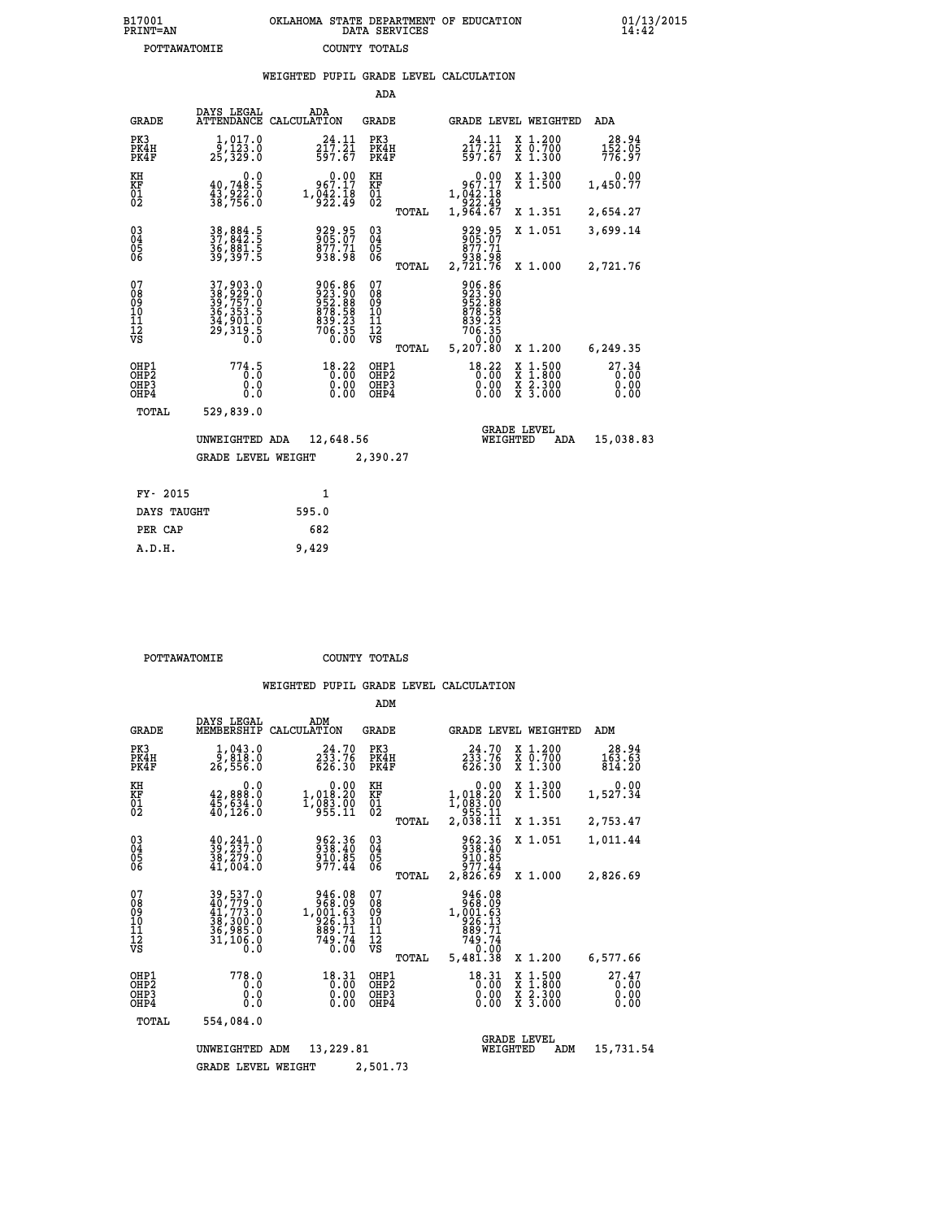| B17001<br><b>PRINT=AN</b> | OKLAHOMA<br>STATE DEPARTMENT OF EDUCATION<br>SERVICES<br>DATA | 01/13/2015 |
|---------------------------|---------------------------------------------------------------|------------|
| POTTAWATOMIE              | TOTALS<br>COUNTY                                              |            |

| POTTAWATOMIE                                       |                                                                            | COUNTY TOTALS |                                                                                                             |                                          |       |                                                                              |                                |                                                                                                  |                               |  |
|----------------------------------------------------|----------------------------------------------------------------------------|---------------|-------------------------------------------------------------------------------------------------------------|------------------------------------------|-------|------------------------------------------------------------------------------|--------------------------------|--------------------------------------------------------------------------------------------------|-------------------------------|--|
|                                                    |                                                                            |               |                                                                                                             |                                          |       | WEIGHTED PUPIL GRADE LEVEL CALCULATION                                       |                                |                                                                                                  |                               |  |
|                                                    |                                                                            |               |                                                                                                             | ADA                                      |       |                                                                              |                                |                                                                                                  |                               |  |
| <b>GRADE</b>                                       | DAYS LEGAL<br>ATTENDANCE CALCULATION                                       | ADA           |                                                                                                             | <b>GRADE</b>                             |       |                                                                              |                                | GRADE LEVEL WEIGHTED                                                                             | ADA                           |  |
| PK3<br>PK4H<br>PK4F                                | 1,017.0<br>9,123.0<br>25,329.0                                             |               | 24.11<br>$2\bar{1}\bar{7}\cdot 2\bar{1}$<br>597.67                                                          | PK3<br>PK4H<br>PK4F                      |       | 24.11<br>$2\bar{1}\bar{7}\cdot\bar{2}\bar{1}\7\cdot\bar{6}\bar{7}$           |                                | X 1.200<br>X 0.700<br>X 1.300                                                                    | 28.94<br>152.05<br>776.97     |  |
| KH<br><b>KF</b><br>01<br>02                        | 0.0<br>40,748.5<br>$\frac{43}{38}$ , 922.0<br>38, 756.0                    |               | $0.00$<br>967.17<br>$1,\overline{0}\overline{4}\overline{2}\cdot\overline{1}\overline{8}\overline{9}$       | KH<br>KF<br>01<br>02                     |       | $0.00$<br>967.17<br>1,042:18<br>922:49<br>1,964:67                           |                                | X 1.300<br>X 1.500                                                                               | 0.00<br>1,450.77              |  |
|                                                    |                                                                            |               |                                                                                                             |                                          | TOTAL |                                                                              |                                | X 1.351                                                                                          | 2,654.27                      |  |
| $\begin{matrix} 03 \\ 04 \\ 05 \\ 06 \end{matrix}$ | 38,884.5<br>37,842.5<br>36,881.5<br>39,397.5                               |               | 929.95<br>905:07<br>877:71<br>938.98                                                                        | $\substack{03 \\ 04}$<br>$\frac{05}{06}$ |       | 929.95<br>905.07<br>877.71<br>938.98<br>2,721.76                             |                                | X 1.051                                                                                          | 3,699.14                      |  |
|                                                    |                                                                            |               |                                                                                                             |                                          | TOTAL |                                                                              |                                | X 1.000                                                                                          | 2,721.76                      |  |
| 07<br>08<br>09<br>101<br>11<br>12<br>VS            | 37, 903.0<br>38, 929.0<br>39, 757.0<br>36, 353.5<br>34, 901.0<br>29, 319.5 |               | $\begin{smallmatrix} 906.86\\ 923.90\\ 952.88\\ 952.88\\ 878.58\\ 839.23\\ 706.35\\ 0.00 \end{smallmatrix}$ | 07<br>08<br>09<br>11<br>11<br>12<br>VS   | TOTAL | 906.86<br>923.90<br>952.88<br>878.58<br>839.23<br>906.35<br>0.00<br>5,207.80 |                                | X 1.200                                                                                          | 6,249.35                      |  |
| OHP1<br>OHP2<br>OHP3<br>OHP4                       | 774.5<br>0.000                                                             |               | $18.22$<br>$0.00$<br>$\begin{smallmatrix} 0.00 \ 0.00 \end{smallmatrix}$                                    | OHP1<br>OHP2<br>OHP3<br>OHP4             |       | $\begin{smallmatrix} 18\cdot 22\\ 0.00\\ 0.00\\ 0.00 \end{smallmatrix}$      |                                | $\begin{smallmatrix} x & 1 & 500 \\ x & 1 & 800 \\ x & 2 & 300 \\ x & 3 & 000 \end{smallmatrix}$ | 27.34<br>0.00<br>0.00<br>0.00 |  |
| TOTAL                                              | 529,839.0                                                                  |               |                                                                                                             |                                          |       |                                                                              |                                |                                                                                                  |                               |  |
|                                                    | UNWEIGHTED ADA<br><b>GRADE LEVEL WEIGHT</b>                                |               | 12,648.56                                                                                                   | 2,390.27                                 |       |                                                                              | <b>GRADE LEVEL</b><br>WEIGHTED | ADA                                                                                              | 15,038.83                     |  |
|                                                    |                                                                            |               |                                                                                                             |                                          |       |                                                                              |                                |                                                                                                  |                               |  |

| 595.0 |
|-------|
| 682   |
| 9,429 |
|       |

 **POTTAWATOMIE COUNTY TOTALS**

|                                           |                                                                             |                                                                      | ADM                                             |                                                                                  |                                                                                                  |                               |
|-------------------------------------------|-----------------------------------------------------------------------------|----------------------------------------------------------------------|-------------------------------------------------|----------------------------------------------------------------------------------|--------------------------------------------------------------------------------------------------|-------------------------------|
| <b>GRADE</b>                              | DAYS LEGAL<br>MEMBERSHIP                                                    | ADM<br>CALCULATION                                                   | <b>GRADE</b>                                    | GRADE LEVEL WEIGHTED                                                             |                                                                                                  | ADM                           |
| PK3<br>PK4H<br>PK4F                       | 1,043.0<br>9,818.0<br>26,556.0                                              | 24.70<br>233.76<br>626.30                                            | PK3<br>PK4H<br>PK4F                             | 24.70<br>$2\bar{3}\bar{3}.76$<br>626.30                                          | X 1.200<br>X 0.700<br>X 1.300                                                                    | 28.94<br>163.63<br>814.20     |
| KH<br>KF<br>01<br>02                      | 0.0<br>42,888.0<br>$\frac{45}{40}$ , $\frac{534}{126}$ , 0                  | 1,018.20<br>1, 083. 00<br>955. 11                                    | KH<br>KF<br>01<br>02                            | 0.00<br>1,018.20<br>1,083.00<br>955.11<br>2,038.11                               | X 1.300<br>X 1.500                                                                               | 0.00<br>1,527.34              |
|                                           |                                                                             |                                                                      | TOTAL                                           |                                                                                  | X 1.351                                                                                          | 2,753.47                      |
| 03<br>04<br>05<br>06                      | $\frac{40}{39}$ , $\frac{241}{237}$ . 0<br>38,279.0<br>41,004.0             | 962.36<br>938.40<br>910.85<br>977.44                                 | $\substack{03 \\ 04}$<br>05                     | 962.36<br>938.40<br>910.85<br>977.44                                             | X 1.051                                                                                          | 1,011.44                      |
|                                           |                                                                             |                                                                      | TOTAL                                           | 2,826.69                                                                         | X 1.000                                                                                          | 2,826.69                      |
| 07<br>08<br>09<br>11<br>11<br>12<br>VS    | 39,537.0<br>40,779.0<br>41,773.0<br>38,300.0<br>36,985.0<br>31,106.0<br>Ō.Ō | 946.08<br>968.09<br>1,001.63<br>926.13<br>889.71<br>$749.74$<br>0.00 | 07<br>08<br>09<br>11<br>11<br>12<br>VS<br>TOTAL | 946.08<br>968.09<br>1,001.63<br>926.13<br>889.71<br>$749.74$<br>0.00<br>5,481.38 | X 1.200                                                                                          | 6,577.66                      |
| OHP1<br>OH <sub>P</sub> 2<br>OHP3<br>OHP4 | 778.0<br>0.0<br>0.0<br>Ŏ.Ŏ                                                  | 18.31<br>0.00<br>0.00<br>0.00                                        | OHP1<br>OHP <sub>2</sub><br>OHP3<br>OHP4        | 18.31<br>0.00<br>0.00<br>0.00                                                    | $\begin{smallmatrix} x & 1 & 500 \\ x & 1 & 800 \\ x & 2 & 300 \\ x & 3 & 000 \end{smallmatrix}$ | 27.47<br>0.00<br>0.00<br>0.00 |
| TOTAL                                     | 554,084.0                                                                   |                                                                      |                                                 |                                                                                  |                                                                                                  |                               |
|                                           | UNWEIGHTED                                                                  | 13,229.81<br>ADM                                                     |                                                 | WEIGHTED                                                                         | <b>GRADE LEVEL</b><br>ADM                                                                        | 15,731.54                     |
|                                           | <b>GRADE LEVEL WEIGHT</b>                                                   |                                                                      | 2,501.73                                        |                                                                                  |                                                                                                  |                               |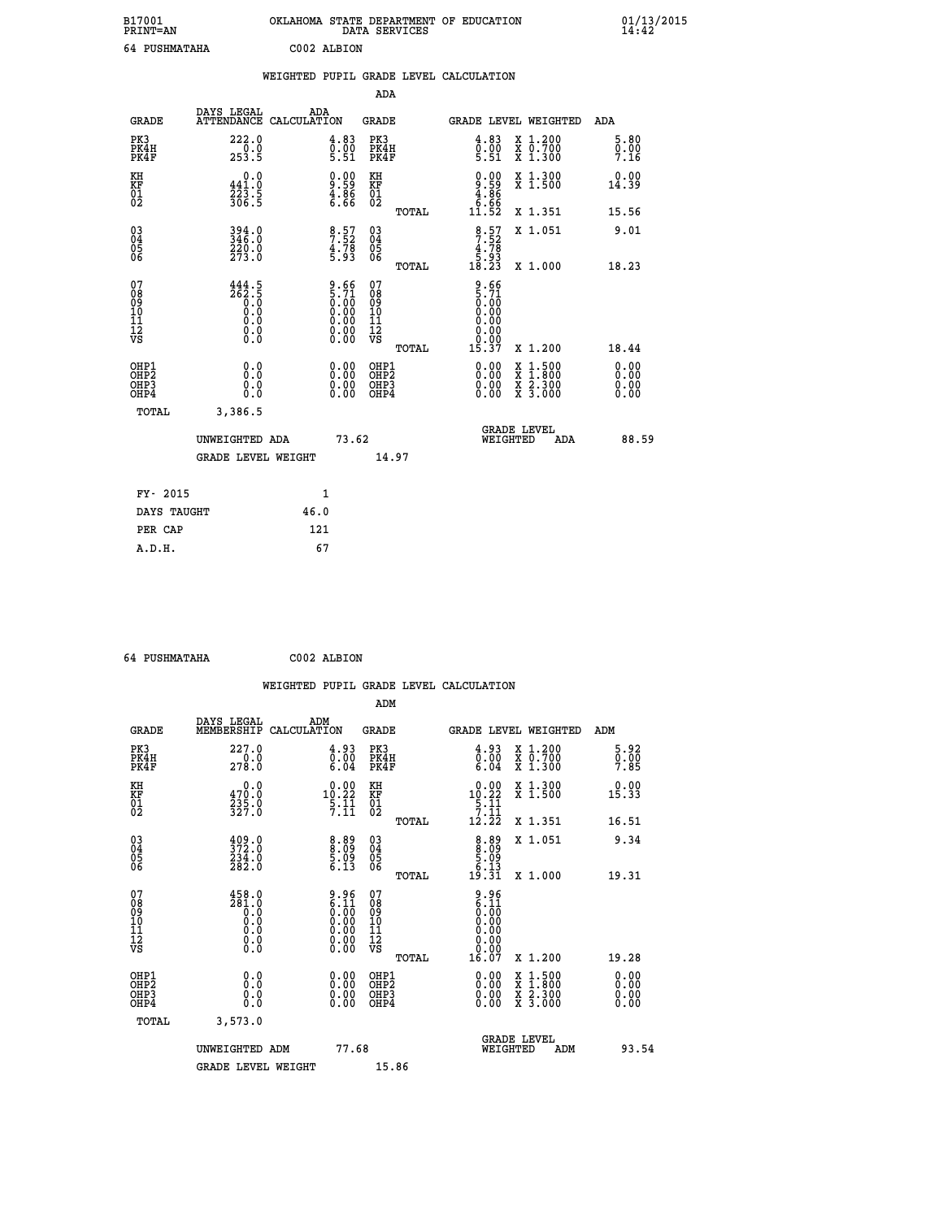| B17001<br><b>PRINT=AN</b> |             | OKLAHOMA STATE DEPARTMENT OF EDUCATION<br>DATA SERVICES |  |
|---------------------------|-------------|---------------------------------------------------------|--|
| 64 PUSHMATAHA             | C002 ALBION |                                                         |  |

|                                          |                                                                                                            |      |                                                                    |                                          |       | WEIGHTED PUPIL GRADE LEVEL CALCULATION                               |                                                                                                                                           |                              |
|------------------------------------------|------------------------------------------------------------------------------------------------------------|------|--------------------------------------------------------------------|------------------------------------------|-------|----------------------------------------------------------------------|-------------------------------------------------------------------------------------------------------------------------------------------|------------------------------|
|                                          |                                                                                                            |      |                                                                    | <b>ADA</b>                               |       |                                                                      |                                                                                                                                           |                              |
| <b>GRADE</b>                             | DAYS LEGAL<br>ATTENDANCE CALCULATION                                                                       |      | ADA                                                                | <b>GRADE</b>                             |       | GRADE LEVEL WEIGHTED                                                 |                                                                                                                                           | <b>ADA</b>                   |
| PK3<br>PK4H<br>PK4F                      | 222.0<br>0.0<br>253.5                                                                                      |      | $\begin{smallmatrix} 4.83\ 0.00\ 5.51 \end{smallmatrix}$           | PK3<br>PK4H<br>PK4F                      |       | 4.83<br>$\frac{0.00}{5.51}$                                          | X 1.200<br>X 0.700<br>X 1.300                                                                                                             | 5.80<br>0.00<br>7.16         |
| KH<br>KF<br>01<br>02                     | $0.0$<br>441.0<br>223.5<br>306.5                                                                           |      | $\begin{smallmatrix} 0.00\\ -9.59\\ 4.86\\ 6.66 \end{smallmatrix}$ | KH<br>KF<br>01<br>02                     |       | $0.00$<br>$9.59$<br>$4.86$<br>$6.66$<br>$11.52$                      | X 1.300<br>X 1.500                                                                                                                        | 0.00<br>14.39                |
|                                          |                                                                                                            |      |                                                                    |                                          | TOTAL |                                                                      | X 1.351                                                                                                                                   | 15.56                        |
| 03<br>04<br>05<br>06                     | 394.0<br>346.0<br>220.0<br>273.0                                                                           |      | $\begin{array}{c} 8.57 \\ 7.52 \\ 4.78 \\ 5.93 \end{array}$        | $^{03}_{04}$<br>$\frac{05}{06}$          |       | $\begin{array}{c} 8.57 \\ 7.52 \\ 4.78 \\ 5.93 \\ 18.23 \end{array}$ | X 1.051                                                                                                                                   | 9.01                         |
|                                          |                                                                                                            |      |                                                                    |                                          | TOTAL |                                                                      | X 1.000                                                                                                                                   | 18.23                        |
| 07<br>08<br>09<br>10<br>11<br>12<br>VS   | 444.5<br>ភី<br>ភូមិ<br>ភូមិ<br>ភូមិ<br>$\begin{smallmatrix} 0.0 & 0 \ 0.0 & 0 \ 0.0 & 0 \end{smallmatrix}$ |      | $9.665.710.000.000.000.000.000.00$                                 | 07<br>089<br>101<br>111<br>VS            |       | $\frac{9.66}{0.00}$<br>0.00<br>0.00<br>0.00<br>0.00                  |                                                                                                                                           |                              |
|                                          |                                                                                                            |      |                                                                    |                                          | TOTAL | 15.37                                                                | X 1.200                                                                                                                                   | 18.44                        |
| OHP1<br>OHP <sub>2</sub><br>OHP3<br>OHP4 | 0.0<br>Ō.Ō<br>0.0<br>0.0                                                                                   |      | $\begin{smallmatrix} 0.00 \ 0.00 \ 0.00 \ 0.00 \end{smallmatrix}$  | OHP1<br>OHP <sub>2</sub><br>OHP3<br>OHP4 |       | 0.00<br>0.00                                                         | $\begin{smallmatrix} \mathtt{X} & 1\cdot500\\ \mathtt{X} & 1\cdot800\\ \mathtt{X} & 2\cdot300\\ \mathtt{X} & 3\cdot000 \end{smallmatrix}$ | 0.00<br>0.00<br>0.00<br>0.00 |
| <b>TOTAL</b>                             | 3,386.5                                                                                                    |      |                                                                    |                                          |       |                                                                      |                                                                                                                                           |                              |
|                                          | UNWEIGHTED ADA                                                                                             |      | 73.62                                                              |                                          |       | <b>GRADE LEVEL</b><br>WEIGHTED                                       | ADA                                                                                                                                       | 88.59                        |
|                                          | <b>GRADE LEVEL WEIGHT</b>                                                                                  |      |                                                                    |                                          | 14.97 |                                                                      |                                                                                                                                           |                              |
| FY- 2015                                 |                                                                                                            |      | 1                                                                  |                                          |       |                                                                      |                                                                                                                                           |                              |
| DAYS TAUGHT                              |                                                                                                            | 46.0 |                                                                    |                                          |       |                                                                      |                                                                                                                                           |                              |
| PER CAP                                  |                                                                                                            |      | 121                                                                |                                          |       |                                                                      |                                                                                                                                           |                              |

| $\sim$ $\alpha$ | --------------- |  |
|-----------------|-----------------|--|

 **A.D.H. 67**

 **B17001<br>PRINT=AN** 

 **64 PUSHMATAHA C002 ALBION**

|                                                    |                                                                                                                                                  |                                                                                     |                                              | WEIGHTED PUPIL GRADE LEVEL CALCULATION                                |                                          |                                     |
|----------------------------------------------------|--------------------------------------------------------------------------------------------------------------------------------------------------|-------------------------------------------------------------------------------------|----------------------------------------------|-----------------------------------------------------------------------|------------------------------------------|-------------------------------------|
|                                                    |                                                                                                                                                  |                                                                                     | ADM                                          |                                                                       |                                          |                                     |
| <b>GRADE</b>                                       | DAYS LEGAL<br>MEMBERSHIP                                                                                                                         | ADM<br>CALCULATION                                                                  | <b>GRADE</b>                                 | <b>GRADE LEVEL WEIGHTED</b>                                           |                                          | ADM                                 |
| PK3<br>PK4H<br>PK4F                                | 227.0<br>$\frac{1}{278.0}$                                                                                                                       | 4.93<br>$\begin{smallmatrix} \bar{0} \ \bar{0} & 0\ 6 & 0\ 4 \end{smallmatrix}$     | PK3<br>PK4H<br>PK4F                          | $\begin{smallmatrix} 4.93\ 0.00\ 6.04 \end{smallmatrix}$              | X 1.200<br>X 0.700<br>X 1.300            | 5.92<br>$\frac{0}{7}.\overline{00}$ |
| KH<br>KF<br>01<br>02                               | 0.0<br>$\frac{470.0}{235.0}$<br>327.0                                                                                                            | $\begin{smallmatrix} 0.00\\[-1mm] 10.22\\[-1mm] 5.11\\[-1mm] 7.11\end{smallmatrix}$ | KH<br>KF<br>01<br>02                         | $\begin{array}{r} 0.00 \\ 10.22 \\ 5.11 \\ 7.11 \\ 12.22 \end{array}$ | X 1.300<br>X 1.500                       | 0.00<br>15.33                       |
|                                                    |                                                                                                                                                  |                                                                                     | TOTAL                                        |                                                                       | X 1.351                                  | 16.51                               |
| $\begin{matrix} 03 \\ 04 \\ 05 \\ 06 \end{matrix}$ | $\begin{smallmatrix} 4 & 0 & 9 & 0 \\ 3 & 7 & 2 & 0 \\ 2 & 3 & 4 & 0 \\ 2 & 8 & 2 & 0 \end{smallmatrix}$                                         | $\begin{smallmatrix} 8.89\ 8.09\ 5.09\ 5.13 \end{smallmatrix}$                      | 03<br>04<br>05<br>06                         | $8.89$<br>5.09<br>5.13                                                | X 1.051                                  | 9.34                                |
|                                                    |                                                                                                                                                  |                                                                                     | TOTAL                                        | 19.31                                                                 | X 1.000                                  | 19.31                               |
| 07<br>0890112<br>1112<br>VS                        | $\begin{smallmatrix} 4\,5\,8\cdot\,0\\ 2\,8\,1\cdot\,0\\ 0\cdot\,0\\ 0\cdot\,0\\ 0\cdot\,0\\ 0\cdot\,0\\ 0\cdot\,0\\ 0\cdot\,0\end{smallmatrix}$ | $9.96\n6.11\n0.00\n0.00\n0.00\n0.00\n0.00$                                          | 07<br>08901112<br>1112<br>VS<br>TOTAL        | $9.96$<br>$6.11$<br>$0.00$<br>$0.00$<br>0.00<br>0.00<br>16.07         | X 1.200                                  | 19.28                               |
| OHP1                                               |                                                                                                                                                  |                                                                                     |                                              |                                                                       |                                          |                                     |
| OHP <sub>2</sub><br>OH <sub>P3</sub><br>OHP4       | 0.0<br>0.000                                                                                                                                     | $0.00$<br>$0.00$<br>0.00                                                            | OHP1<br>OHP <sub>2</sub><br>OHP <sub>3</sub> | 0.00<br>0.00<br>0.00                                                  | X 1:500<br>X 1:800<br>X 2:300<br>X 3:000 | 0.00<br>0.00<br>0.00                |
| TOTAL                                              | 3,573.0                                                                                                                                          |                                                                                     |                                              |                                                                       |                                          |                                     |
|                                                    | UNWEIGHTED ADM                                                                                                                                   | 77.68                                                                               |                                              | <b>GRADE LEVEL</b><br>WEIGHTED                                        | ADM                                      | 93.54                               |
|                                                    | <b>GRADE LEVEL WEIGHT</b>                                                                                                                        |                                                                                     | 15.86                                        |                                                                       |                                          |                                     |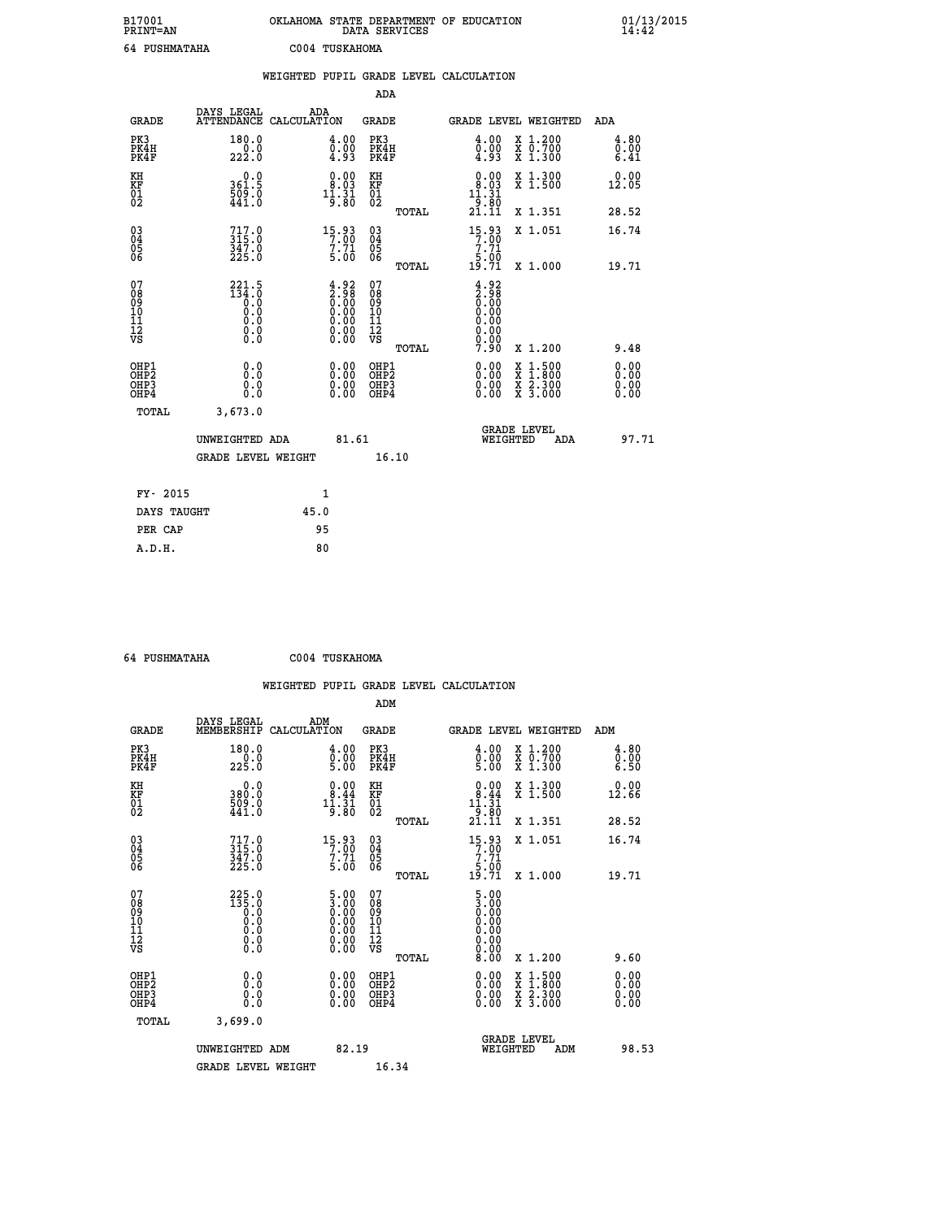| B17001<br><b>PRINT=AN</b>                          |                                                 | OKLAHOMA STATE DEPARTMENT OF EDUCATION                                                  | DATA SERVICES                                   |                                                                       |                                                                             | 01/13/2015<br>14:42          |  |
|----------------------------------------------------|-------------------------------------------------|-----------------------------------------------------------------------------------------|-------------------------------------------------|-----------------------------------------------------------------------|-----------------------------------------------------------------------------|------------------------------|--|
| 64 PUSHMATAHA                                      |                                                 | C004 TUSKAHOMA                                                                          |                                                 |                                                                       |                                                                             |                              |  |
|                                                    |                                                 | WEIGHTED PUPIL GRADE LEVEL CALCULATION                                                  |                                                 |                                                                       |                                                                             |                              |  |
|                                                    |                                                 |                                                                                         | ADA                                             |                                                                       |                                                                             |                              |  |
| <b>GRADE</b>                                       | DAYS LEGAL                                      | ADA<br>ATTENDANCE CALCULATION                                                           | GRADE                                           | GRADE LEVEL WEIGHTED                                                  |                                                                             | ADA                          |  |
| PK3<br>PK4H<br>PK4F                                | 180.0<br>222.0                                  | 4.00<br>$\frac{0.00}{4.93}$                                                             | PK3<br>PK4H<br>PK4F                             | $\begin{smallmatrix} 4\cdot 00\0\cdot 00\0\cdot 93 \end{smallmatrix}$ | X 1.200<br>X 0.700<br>X 1.300                                               | 4.80<br>0.00<br>6.41         |  |
| KH<br>KF<br>$^{01}_{02}$                           | 0.0<br>361.5<br>$\frac{509}{441}$ .0            | 0.00<br>8.03<br>$1\overline{)}\cdot 3\overline{1}$                                      | KH<br>KF<br>$^{01}_{02}$                        | 0.00<br>8.03<br>11.31                                                 | X 1.300<br>X 1.500                                                          | 0.00<br>12.05                |  |
|                                                    |                                                 |                                                                                         | TOTAL                                           | $\frac{1}{21.11}$                                                     | X 1.351                                                                     | 28.52                        |  |
| $\begin{matrix} 03 \\ 04 \\ 05 \\ 06 \end{matrix}$ | $717.0$<br>315.0<br>347.0<br>225.0              | $15.93$<br>$7.00$<br>$7.71$<br>5.00                                                     | 03<br>04<br>05<br>06                            | $15.93$<br>$7.00$<br>$7.71$<br>5.00                                   | X 1.051                                                                     | 16.74                        |  |
| 07                                                 | 221.5                                           |                                                                                         | TOTAL                                           | 19.71<br>4.92                                                         | X 1.000                                                                     | 19.71                        |  |
| 08<br>09<br>10<br>11<br>12<br>VS                   | $\frac{134.0}{0.0}$<br>0.0<br>0.0<br>0.0<br>Ŏ.O | $\begin{smallmatrix} 4.92\ 2.98\ 0.00\ 0.00\ 0.00\ 0.00\ 0.00\ 0.00\ \end{smallmatrix}$ | 07<br>08<br>09<br>10<br>11<br>12<br>VS<br>TOTAL | 2.98<br>$\overline{0}$ .00<br>0.00<br>0.00<br>0.00<br>0.00<br>7.90    | X 1.200                                                                     | 9.48                         |  |
| OHP1<br>OHP <sub>2</sub><br>OHP3<br>OHP4           | 0.0<br>Ō.Ō<br>0.0<br>0.0                        | 0.00<br>0.00<br>0.00                                                                    | OHP1<br>OHP <sub>2</sub><br>OHP3<br>OHP4        | 0.00<br>0.00<br>0.00                                                  | $\begin{array}{l} x\,+\,500\\ x\,+\,300\\ x\,+\,2\\ x\,+\,3000 \end{array}$ | 0.00<br>0.00<br>0.00<br>0.00 |  |
| TOTAL                                              | 3,673.0                                         |                                                                                         |                                                 |                                                                       |                                                                             |                              |  |
|                                                    | UNWEIGHTED ADA<br><b>GRADE LEVEL WEIGHT</b>     | 81.61                                                                                   | 16.10                                           | <b>GRADE LEVEL</b><br>WEIGHTED                                        | ADA                                                                         | 97.71                        |  |
| FY- 2015                                           |                                                 | 1                                                                                       |                                                 |                                                                       |                                                                             |                              |  |
| DAYS TAUGHT                                        |                                                 | 45.0                                                                                    |                                                 |                                                                       |                                                                             |                              |  |
| PER CAP                                            |                                                 | 95                                                                                      |                                                 |                                                                       |                                                                             |                              |  |

 **64 PUSHMATAHA C004 TUSKAHOMA**

|                                                    |                                                        |                    |                                                                                                                                                |                                                     |       | WEIGHTED PUPIL GRADE LEVEL CALCULATION                       |                                          |       |                      |
|----------------------------------------------------|--------------------------------------------------------|--------------------|------------------------------------------------------------------------------------------------------------------------------------------------|-----------------------------------------------------|-------|--------------------------------------------------------------|------------------------------------------|-------|----------------------|
|                                                    |                                                        |                    |                                                                                                                                                | ADM                                                 |       |                                                              |                                          |       |                      |
| <b>GRADE</b>                                       | DAYS LEGAL<br>MEMBERSHIP                               | ADM<br>CALCULATION |                                                                                                                                                | <b>GRADE</b>                                        |       | GRADE LEVEL WEIGHTED                                         |                                          | ADM   |                      |
| PK3<br>PK4H<br>PK4F                                | 180.0<br>225.0                                         |                    | 4.00<br>$\frac{0.00}{5.00}$                                                                                                                    | PK3<br>PK4H<br>PK4F                                 |       | $\begin{smallmatrix} 4.00\ 0.00\ 5.00 \end{smallmatrix}$     | X 1.200<br>X 0.700<br>X 1.300            |       | 4.80<br>0.00<br>6.50 |
| KH<br>KF<br>01<br>02                               | 0.0<br>380.0<br>509.0<br>441.0                         |                    | $\begin{smallmatrix} 0.00\\ 8.44\\ 11.31\\ 9.80 \end{smallmatrix}$                                                                             | KH<br>KF<br>01<br>02                                |       | $\begin{array}{c} 0.00 \\ 8.44 \\ 11.31 \\ 9.80 \end{array}$ | X 1.300<br>X 1.500                       | 12.66 | 0.00                 |
|                                                    |                                                        |                    |                                                                                                                                                |                                                     | TOTAL | 21.II                                                        | X 1.351                                  | 28.52 |                      |
| $\begin{matrix} 03 \\ 04 \\ 05 \\ 06 \end{matrix}$ | $717.0$<br>$315.0$<br>$347.0$<br>$225.0$               |                    | $\begin{array}{c} 15\cdot 93 \\ 7\cdot 00 \\ 7\cdot 71 \\ 5\cdot 00 \end{array}$                                                               | $\begin{array}{c} 03 \\ 04 \\ 05 \\ 06 \end{array}$ |       | $15.93$<br>$7.90$<br>$7.71$<br>$5.00$                        | X 1.051                                  | 16.74 |                      |
|                                                    |                                                        |                    |                                                                                                                                                |                                                     | TOTAL | 19.71                                                        | X 1.000                                  | 19.71 |                      |
| 07<br>0890112<br>1112<br>VS                        | $225.0$<br>$135.0$<br>$0.0$<br>$0.0$<br>$0.0$<br>$\S.$ |                    | $\begin{smallmatrix} 5.00 \ 3.00 \ 0.00 \ 0.00 \ 0.00 \end{smallmatrix}$<br>$\begin{smallmatrix} 0.00 & 0.00 \\ 0.00 & 0.00 \end{smallmatrix}$ | 07<br>08<br>09<br>11<br>11<br>12<br>VS              | TOTAL | $\frac{5.00}{3.00}$<br>Ŏ.ŎŎ<br>0.00<br>0.00<br>0.00<br>8.00  | X 1.200                                  |       | 9.60                 |
| OHP1                                               |                                                        |                    |                                                                                                                                                | OHP1                                                |       |                                                              |                                          |       |                      |
| OHP <sub>2</sub><br>OH <sub>P3</sub><br>OHP4       | 0.0<br>0.000                                           |                    | $0.00$<br>$0.00$<br>0.00                                                                                                                       | OHP <sub>2</sub><br>OHP <sub>3</sub>                |       | 0.00<br>0.00<br>0.00                                         | X 1:500<br>X 1:800<br>X 2:300<br>X 3:000 |       | 0.00<br>0.00<br>0.00 |
| TOTAL                                              | 3,699.0                                                |                    |                                                                                                                                                |                                                     |       |                                                              |                                          |       |                      |
|                                                    | UNWEIGHTED ADM                                         |                    | 82.19                                                                                                                                          |                                                     |       | WEIGHTED                                                     | <b>GRADE LEVEL</b><br>ADM                |       | 98.53                |
|                                                    | <b>GRADE LEVEL WEIGHT</b>                              |                    |                                                                                                                                                | 16.34                                               |       |                                                              |                                          |       |                      |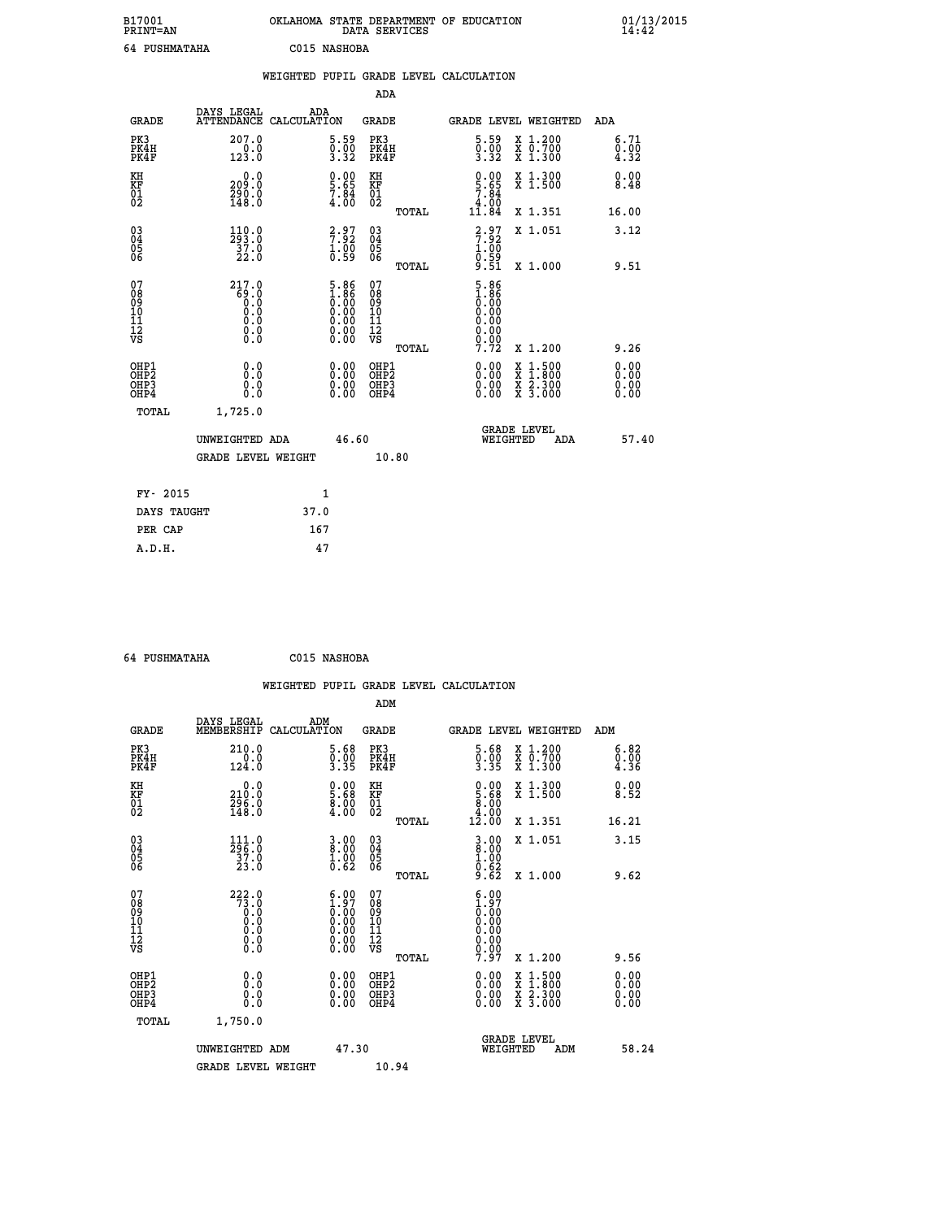| B17001          | OKLAHOMA STATE DEPARTMENT OF EDUCATION |
|-----------------|----------------------------------------|
| <b>PRINT=AN</b> | DATA SERVICES                          |
| 64 PUSHMATAHA   | C015 NASHOBA                           |

|                                                                    |                                                                  | WEIGHTED PUPIL GRADE LEVEL CALCULATION                                                        |                                                                    |                                                                                                                                                                                                                                                                                                                                                                                                                                |                             |
|--------------------------------------------------------------------|------------------------------------------------------------------|-----------------------------------------------------------------------------------------------|--------------------------------------------------------------------|--------------------------------------------------------------------------------------------------------------------------------------------------------------------------------------------------------------------------------------------------------------------------------------------------------------------------------------------------------------------------------------------------------------------------------|-----------------------------|
|                                                                    |                                                                  |                                                                                               | <b>ADA</b>                                                         |                                                                                                                                                                                                                                                                                                                                                                                                                                |                             |
| <b>GRADE</b>                                                       | DAYS LEGAL                                                       | ADA<br>ATTENDANCE CALCULATION                                                                 | <b>GRADE</b>                                                       | GRADE LEVEL WEIGHTED                                                                                                                                                                                                                                                                                                                                                                                                           | ADA                         |
| PK3<br>PK4H<br>PK4F                                                | 207.0<br>$\frac{0.0}{123.0}$                                     | $\begin{smallmatrix} 5.59\ 0.00\ 3.32 \end{smallmatrix}$                                      | PK3<br>PK4H<br>PK4F                                                | $\begin{smallmatrix} 5.59\ 0.00\ 3.32 \end{smallmatrix}$<br>X 1.200<br>X 0.700<br>X 1.300                                                                                                                                                                                                                                                                                                                                      | 6.71<br>$\frac{0.00}{4.32}$ |
| KH<br>KF<br>01<br>02                                               | 0.0<br>209:0<br>290:0<br>148:0                                   | $\begin{smallmatrix} 0.00\\ 5.65\\ 7.84\\ 4.00 \end{smallmatrix}$                             | KH<br>KF<br>01<br>02                                               | $\begin{array}{c} 0.00 \\ 5.65 \\ 7.84 \\ 4.00 \end{array}$<br>X 1.300<br>X 1.500                                                                                                                                                                                                                                                                                                                                              | 0.00<br>8.48                |
|                                                                    |                                                                  |                                                                                               | TOTAL                                                              | 11.84<br>X 1.351                                                                                                                                                                                                                                                                                                                                                                                                               | 16.00                       |
| $\begin{smallmatrix} 03 \\[-4pt] 04 \end{smallmatrix}$<br>Ŏ5<br>06 | $\begin{smallmatrix} 110.0\\293.0\\37.0\\22.0 \end{smallmatrix}$ | $\begin{array}{c} 2.97 \\ 7.92 \\ 1.00 \\ 0.59 \end{array}$                                   | $\begin{smallmatrix} 03 \\[-4pt] 04 \end{smallmatrix}$<br>05<br>06 | $\begin{array}{c} 2.97 \\ 7.92 \\ 1.00 \\ 0.59 \\ 9.51 \end{array}$<br>X 1.051                                                                                                                                                                                                                                                                                                                                                 | 3.12                        |
|                                                                    |                                                                  |                                                                                               | TOTAL                                                              | X 1.000                                                                                                                                                                                                                                                                                                                                                                                                                        | 9.51                        |
| 07<br>08<br>09<br>11<br>11<br>12<br>VS                             | 217.0<br>8: 85<br>0: 0<br>0: 0<br>0: 0<br>0: 0                   | $\begin{smallmatrix} 5.86\ 1.86\ 0.00\ 0.00\ 0.00\ 0.00\ 0.00\ 0.00\ 0.00\ \end{smallmatrix}$ | 07<br>08<br>09<br>11<br>11<br>12<br>VS<br>TOTAL                    | $\begin{smallmatrix} 5.86\ 1.86\ 0.00\ 0.00 \end{smallmatrix}$<br>0.00<br>0.00<br>0.00<br>7.72<br>X 1.200                                                                                                                                                                                                                                                                                                                      | 9.26                        |
| OHP1<br>OHP2<br>OH <sub>P3</sub><br>OH <sub>P4</sub>               | 0.0<br>0.0<br>0.0                                                | 0.00<br>$\begin{smallmatrix} 0.00 \ 0.00 \end{smallmatrix}$                                   | OHP1<br>OHP2<br>OHP3<br>OHP4                                       | $\begin{smallmatrix} 0.00 & 0.00 & 0.00 & 0.00 & 0.00 & 0.00 & 0.00 & 0.00 & 0.00 & 0.00 & 0.00 & 0.00 & 0.00 & 0.00 & 0.00 & 0.00 & 0.00 & 0.00 & 0.00 & 0.00 & 0.00 & 0.00 & 0.00 & 0.00 & 0.00 & 0.00 & 0.00 & 0.00 & 0.00 & 0.00 & 0.00 & 0.00 & 0.00 & 0.00 & 0.00 & 0.0$<br>$\begin{smallmatrix} \mathtt{X} & 1\cdot500 \\ \mathtt{X} & 1\cdot800 \\ \mathtt{X} & 2\cdot300 \\ \mathtt{X} & 3\cdot000 \end{smallmatrix}$ | 0.00<br>0.00<br>0.00        |
| TOTAL                                                              | 1,725.0                                                          |                                                                                               |                                                                    |                                                                                                                                                                                                                                                                                                                                                                                                                                |                             |
|                                                                    | UNWEIGHTED ADA                                                   | 46.60                                                                                         |                                                                    | <b>GRADE LEVEL</b><br>WEIGHTED<br>ADA                                                                                                                                                                                                                                                                                                                                                                                          | 57.40                       |
|                                                                    | <b>GRADE LEVEL WEIGHT</b>                                        |                                                                                               | 10.80                                                              |                                                                                                                                                                                                                                                                                                                                                                                                                                |                             |
|                                                                    | FY- 2015                                                         | 1                                                                                             |                                                                    |                                                                                                                                                                                                                                                                                                                                                                                                                                |                             |
|                                                                    | DAYS TAUGHT                                                      | 37.0                                                                                          |                                                                    |                                                                                                                                                                                                                                                                                                                                                                                                                                |                             |
|                                                                    | PER CAP                                                          | 167                                                                                           |                                                                    |                                                                                                                                                                                                                                                                                                                                                                                                                                |                             |

 **64 PUSHMATAHA C015 NASHOBA**

|                                                    |                                                                  |                                                                                                                                                | WEIGHTED PUPIL GRADE LEVEL CALCULATION              |                                                                                                                                                                                                                                                                                      |                                          |                      |
|----------------------------------------------------|------------------------------------------------------------------|------------------------------------------------------------------------------------------------------------------------------------------------|-----------------------------------------------------|--------------------------------------------------------------------------------------------------------------------------------------------------------------------------------------------------------------------------------------------------------------------------------------|------------------------------------------|----------------------|
|                                                    |                                                                  |                                                                                                                                                | ADM                                                 |                                                                                                                                                                                                                                                                                      |                                          |                      |
| <b>GRADE</b>                                       | DAYS LEGAL<br>MEMBERSHIP                                         | ADM<br>CALCULATION                                                                                                                             | <b>GRADE</b>                                        | GRADE LEVEL WEIGHTED                                                                                                                                                                                                                                                                 |                                          | ADM                  |
| PK3<br>PK4H<br>PK4F                                | 210.0<br>0.0<br>124.0                                            | $\frac{5.68}{0.00}$<br>3.35                                                                                                                    | PK3<br>PK4H<br>PK4F                                 | $\begin{smallmatrix} 5.68\\ 0.00\\ 3.35 \end{smallmatrix}$                                                                                                                                                                                                                           | X 1.200<br>X 0.700<br>X 1.300            | 6.82<br>0.00<br>4.36 |
| KH<br>KF<br>01<br>02                               | 0.0<br>$\frac{210.0}{296.0}$<br>148.0                            | $\begin{smallmatrix} 0.00\ 5.68\ 8.00\ 4.00 \end{smallmatrix}$                                                                                 | KH<br>KF<br>01<br>02                                | $\begin{smallmatrix} 0.00 & 0.00 & 0.00 & 0.00 & 0.00 & 0.00 & 0.00 & 0.00 & 0.0 & 0.0 & 0.0 & 0.0 & 0.0 & 0.0 & 0.0 & 0.0 & 0.0 & 0.0 & 0.0 & 0.0 & 0.0 & 0.0 & 0.0 & 0.0 & 0.0 & 0.0 & 0.0 & 0.0 & 0.0 & 0.0 & 0.0 & 0.0 & 0.0 & 0.0 & 0.0 & 0.0 & 0.0 & 0.0 & 0.0 & 0.0 & 0.0 & $ | X 1.300<br>X 1.500                       | 0.00<br>8.52         |
|                                                    |                                                                  |                                                                                                                                                | TOTAL                                               | 12.00                                                                                                                                                                                                                                                                                | X 1.351                                  | 16.21                |
| $\begin{matrix} 03 \\ 04 \\ 05 \\ 06 \end{matrix}$ | $\begin{smallmatrix} 111.0\\296.0\\37.0\\23.0 \end{smallmatrix}$ | $\begin{smallmatrix} 3 & 0 & 0 \\ 8 & 0 & 0 \\ 1 & 0 & 0 \\ 0 & 6 & 2 \end{smallmatrix}$                                                       | $\begin{array}{c} 03 \\ 04 \\ 05 \\ 06 \end{array}$ | $\begin{smallmatrix} 3 & 0 & 0 \\ 8 & 0 & 0 \\ 1 & 0 & 0 \\ 0 & 6 & 2 \\ 9 & 6 & 2 \end{smallmatrix}$                                                                                                                                                                                | X 1.051                                  | 3.15                 |
|                                                    |                                                                  |                                                                                                                                                | TOTAL                                               |                                                                                                                                                                                                                                                                                      | X 1.000                                  | 9.62                 |
| 07<br>0890112<br>1112<br>VS                        | $222.0$<br>$73.0$<br>0.0<br>0.0<br>0.0<br>$\S.$ $\S$             | $\begin{smallmatrix} 6.00 \ 1.97 \ 0.00 \ 0.00 \ 0.00 \end{smallmatrix}$<br>$\begin{smallmatrix} 0.00 & 0.00 \\ 0.00 & 0.00 \end{smallmatrix}$ | 07<br>08<br>09<br>11<br>11<br>12<br>VS<br>TOTAL     | $5.00$<br>1.97<br>$\overline{0}$ .00<br>0.00<br>0.00<br>$\substack{0.00\\0.00\\7.97}$                                                                                                                                                                                                | X 1.200                                  | 9.56                 |
| OHP1                                               |                                                                  |                                                                                                                                                | OHP1                                                |                                                                                                                                                                                                                                                                                      |                                          |                      |
| OHP <sub>2</sub><br>OH <sub>P3</sub><br>OHP4       | 0.0<br>0.000                                                     | $0.00$<br>$0.00$<br>0.00                                                                                                                       | OHP <sub>2</sub><br>OHP <sub>3</sub>                | 0.00<br>0.00<br>0.00                                                                                                                                                                                                                                                                 | X 1:500<br>X 1:800<br>X 2:300<br>X 3:000 | 0.00<br>0.00<br>0.00 |
| TOTAL                                              | 1,750.0                                                          |                                                                                                                                                |                                                     |                                                                                                                                                                                                                                                                                      |                                          |                      |
|                                                    | UNWEIGHTED ADM                                                   | 47.30                                                                                                                                          |                                                     | <b>GRADE LEVEL</b><br>WEIGHTED                                                                                                                                                                                                                                                       | ADM                                      | 58.24                |
|                                                    | <b>GRADE LEVEL WEIGHT</b>                                        |                                                                                                                                                | 10.94                                               |                                                                                                                                                                                                                                                                                      |                                          |                      |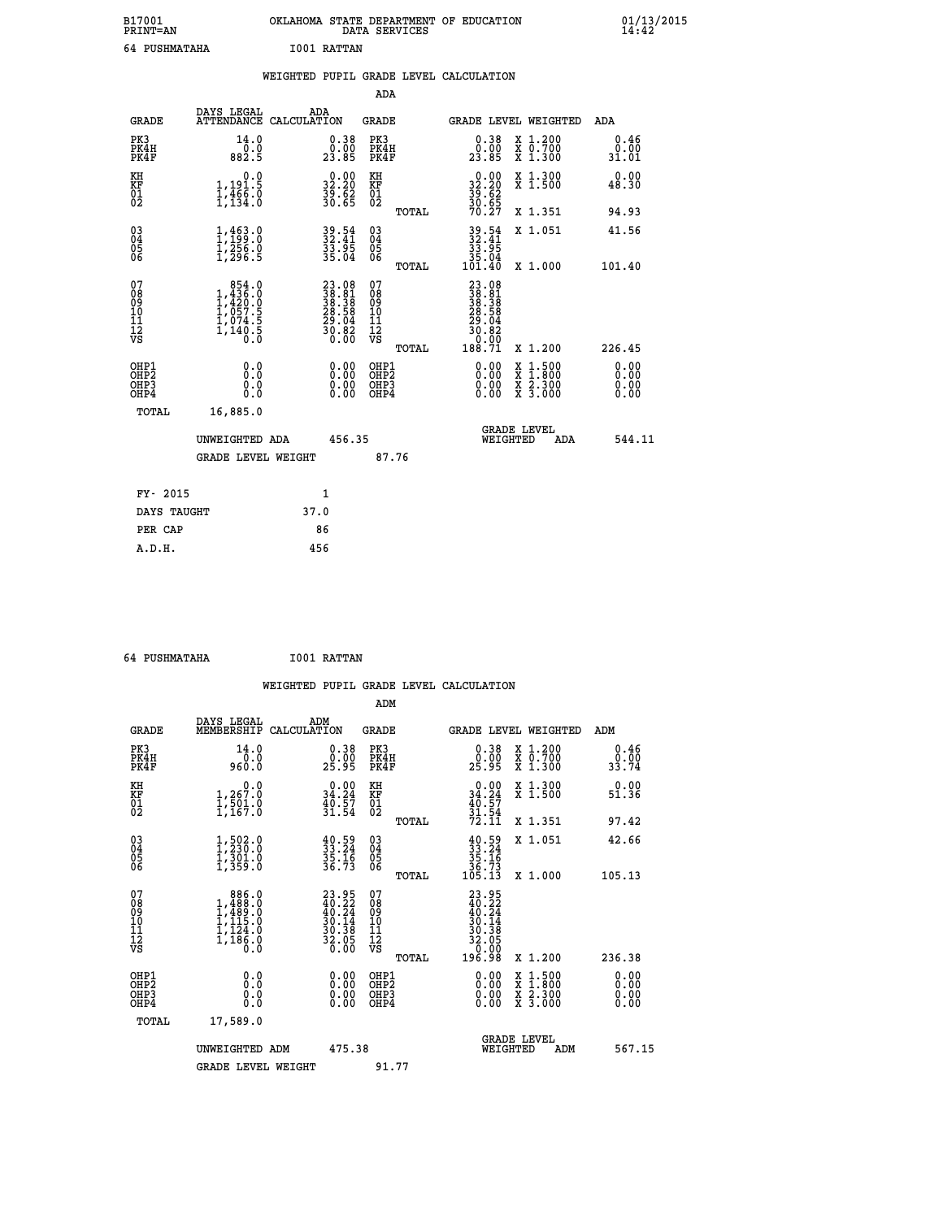| B17001<br><b>PRINT=AN</b> | OKLAHOMA STATE DEPARTMENT OF EDUCATION<br>DATA SERVICES | 01/13/2015 |
|---------------------------|---------------------------------------------------------|------------|
| 64 PUSHMATAHA             | I001 RATTAN                                             |            |

| <b>PRINT=AN</b>                          |                                                                            | DATA SERVICES                                                                                                                                                                                                                    |                                                             |                                                                                                                                                                                                            |                                                           |                                                                              |                                                                                                                                           | 14:42                                                                                            |
|------------------------------------------|----------------------------------------------------------------------------|----------------------------------------------------------------------------------------------------------------------------------------------------------------------------------------------------------------------------------|-------------------------------------------------------------|------------------------------------------------------------------------------------------------------------------------------------------------------------------------------------------------------------|-----------------------------------------------------------|------------------------------------------------------------------------------|-------------------------------------------------------------------------------------------------------------------------------------------|--------------------------------------------------------------------------------------------------|
|                                          |                                                                            |                                                                                                                                                                                                                                  |                                                             |                                                                                                                                                                                                            |                                                           |                                                                              |                                                                                                                                           |                                                                                                  |
|                                          |                                                                            |                                                                                                                                                                                                                                  |                                                             |                                                                                                                                                                                                            |                                                           |                                                                              |                                                                                                                                           |                                                                                                  |
|                                          |                                                                            |                                                                                                                                                                                                                                  |                                                             |                                                                                                                                                                                                            |                                                           |                                                                              |                                                                                                                                           |                                                                                                  |
| <b>GRADE</b>                             | DAYS LEGAL                                                                 |                                                                                                                                                                                                                                  |                                                             |                                                                                                                                                                                                            |                                                           |                                                                              |                                                                                                                                           | ADA                                                                                              |
| PK3<br>PK4H<br>PK4F                      | 14.0<br>0.0<br>882.5                                                       |                                                                                                                                                                                                                                  | $0.38$<br>$0.00$<br>23.85                                   |                                                                                                                                                                                                            |                                                           | $\begin{smallmatrix} 0.38\ 0.00\\ 23.85 \end{smallmatrix}$                   | X 1.200<br>X 0.700<br>X 1.300                                                                                                             | 0.46<br>0.00<br>31.01                                                                            |
| KH                                       | 0.0<br>1,191.5                                                             |                                                                                                                                                                                                                                  | 32.20                                                       |                                                                                                                                                                                                            |                                                           |                                                                              | X 1.300<br>X 1.500                                                                                                                        | 0.00<br>48.30                                                                                    |
|                                          |                                                                            |                                                                                                                                                                                                                                  |                                                             |                                                                                                                                                                                                            | TOTAL                                                     |                                                                              | X 1.351                                                                                                                                   | 94.93                                                                                            |
|                                          |                                                                            |                                                                                                                                                                                                                                  |                                                             | $\substack{03 \\ 04}$                                                                                                                                                                                      |                                                           |                                                                              | X 1.051                                                                                                                                   | 41.56                                                                                            |
|                                          |                                                                            |                                                                                                                                                                                                                                  |                                                             |                                                                                                                                                                                                            | TOTAL                                                     |                                                                              | X 1.000                                                                                                                                   | 101.40                                                                                           |
| 0890112<br>1112<br>VS                    |                                                                            |                                                                                                                                                                                                                                  |                                                             | 08901112<br>1112<br>VS                                                                                                                                                                                     | TOTAL                                                     | $\begin{array}{c} 0.00 \\ 188.71 \end{array}$                                | X 1.200                                                                                                                                   | 226.45                                                                                           |
| OHP1<br>OHP2<br>OH <sub>P3</sub><br>OHP4 | 0.0<br>0.0<br>0.0                                                          |                                                                                                                                                                                                                                  | 0.00<br>$\begin{smallmatrix} 0.00 \ 0.00 \end{smallmatrix}$ |                                                                                                                                                                                                            |                                                           | 0.00<br>0.00<br>0.00                                                         | X 1:500<br>X 1:800<br>X 2:300<br>X 3:000                                                                                                  | 0.00<br>0.00<br>0.00<br>0.00                                                                     |
| <b>TOTAL</b>                             | 16,885.0                                                                   |                                                                                                                                                                                                                                  |                                                             |                                                                                                                                                                                                            |                                                           |                                                                              |                                                                                                                                           |                                                                                                  |
|                                          |                                                                            |                                                                                                                                                                                                                                  |                                                             |                                                                                                                                                                                                            |                                                           |                                                                              | ADA                                                                                                                                       | 544.11                                                                                           |
|                                          |                                                                            |                                                                                                                                                                                                                                  |                                                             |                                                                                                                                                                                                            |                                                           |                                                                              |                                                                                                                                           |                                                                                                  |
| FY- 2015                                 |                                                                            |                                                                                                                                                                                                                                  | 1                                                           |                                                                                                                                                                                                            |                                                           |                                                                              |                                                                                                                                           |                                                                                                  |
|                                          | KF<br>01<br>02<br>$\begin{matrix} 03 \\ 04 \\ 05 \\ 06 \end{matrix}$<br>07 | 64 PUSHMATAHA<br>$\frac{1}{1}, \frac{1}{134}$ : $\frac{1}{8}$<br>$1, 463.0$<br>$1, 256.0$<br>$1, 256.0$<br>$1, 296.5$<br>$\begin{smallmatrix} & 854.0\\ 1,436.0\\ 1,420.0\\ 1,057.5\\ 1,074.5\\ 1,140.5\\ 0.0 \end{smallmatrix}$ | UNWEIGHTED ADA<br><b>GRADE LEVEL WEIGHT</b>                 | ADA<br>ATTENDANCE CALCULATION<br>$\frac{35}{30}$ . 62<br>30.65<br>39.54<br>32.41<br>33.95<br>35.04<br>$\begin{smallmatrix} 23.08\\ 38.81\\ 38.38\\ 28.38\\ 29.58\\ 29.04\\ 30.82\\ 0.00 \end{smallmatrix}$ | I001 RATTAN<br>KH<br>KF<br>01<br>02<br>05<br>07<br>456.35 | ADA<br>GRADE<br>PK3<br>PK4H<br>PK4F<br>OHP1<br>OHP2<br>OHP3<br>OHP4<br>87.76 | $32.2033.2039.6230.6570.27$<br>39.54<br>32.41<br>33.95<br>$\frac{35.04}{101.40}$<br>23.081<br>38.381<br>38.38<br>28.58<br>29.042<br>30.82 | WEIGHTED PUPIL GRADE LEVEL CALCULATION<br>GRADE LEVEL WEIGHTED<br><b>GRADE LEVEL</b><br>WEIGHTED |

| FY- 2015    |      |  |
|-------------|------|--|
| DAYS TAUGHT | 37.0 |  |
| PER CAP     | 86   |  |
| A.D.H.      | 456  |  |
|             |      |  |

 **64 PUSHMATAHA I001 RATTAN WEIGHTED PUPIL GRADE LEVEL CALCULATION ADM DAYS LEGAL ADM GRADE MEMBERSHIP CALCULATION GRADE GRADE LEVEL WEIGHTED ADM PK3 14.0 0.38 PK3 0.38 X 1.200 0.46 PK4H 0.0 0.00 PK4H 0.00 X 0.700 0.00 PK4F 960.0 25.95 PK4F 25.95 X 1.300 33.74 KH 0.0 0.00 KH 0.00 X 1.300 0.00 KF 1,267.0 34.24 KF 34.24 X 1.500 51.36** 01 1,501.0 40.57 01 40.57<br>02 1,167.0 31.54 02 <sub>momen</sub> 31.54  **TOTAL 72.11 X 1.351 97.42 03 1,502.0 40.59 03 40.59 X 1.051 42.66 04 1,230.0 33.24 04 33.24 05 1,301.0 35.16 05 35.16 06 1,359.0 36.73 06 36.73 TOTAL 105.13 X 1.000 105.13**  $\begin{array}{cccc} 07 & 886.0 & 23.95 & 07 & 23.95 \ 08 & 1,488.0 & 40.22 & 08 & 40.22 \ 09 & 1,489.0 & 40.24 & 09 & 40.24 \ 10 & 1,115.0 & 30.14 & 10 & 30.14 \ 11 & 1,244.0 & 30.38 & 11 & 30.14 \ 12 & 1,186.0 & 30.38 & 12 & 32.05 \ \nabla\mathbf{S} & 1,186.0 & 36.0 & \nab$  **TOTAL 196.98 X 1.200 236.38 OHP1 0.0 0.00 OHP1 0.00 X 1.500 0.00 OHP2 0.0 0.00 OHP2 0.00 X 1.800 0.00 OHP3 0.0 0.00 OHP3 0.00 X 2.300 0.00 OHP4 0.0 0.00 OHP4 0.00 X 3.000 0.00 TOTAL 17,589.0 GRADE LEVEL UNWEIGHTED ADM 475.38 WEIGHTED ADM 567.15** GRADE LEVEL WEIGHT 91.77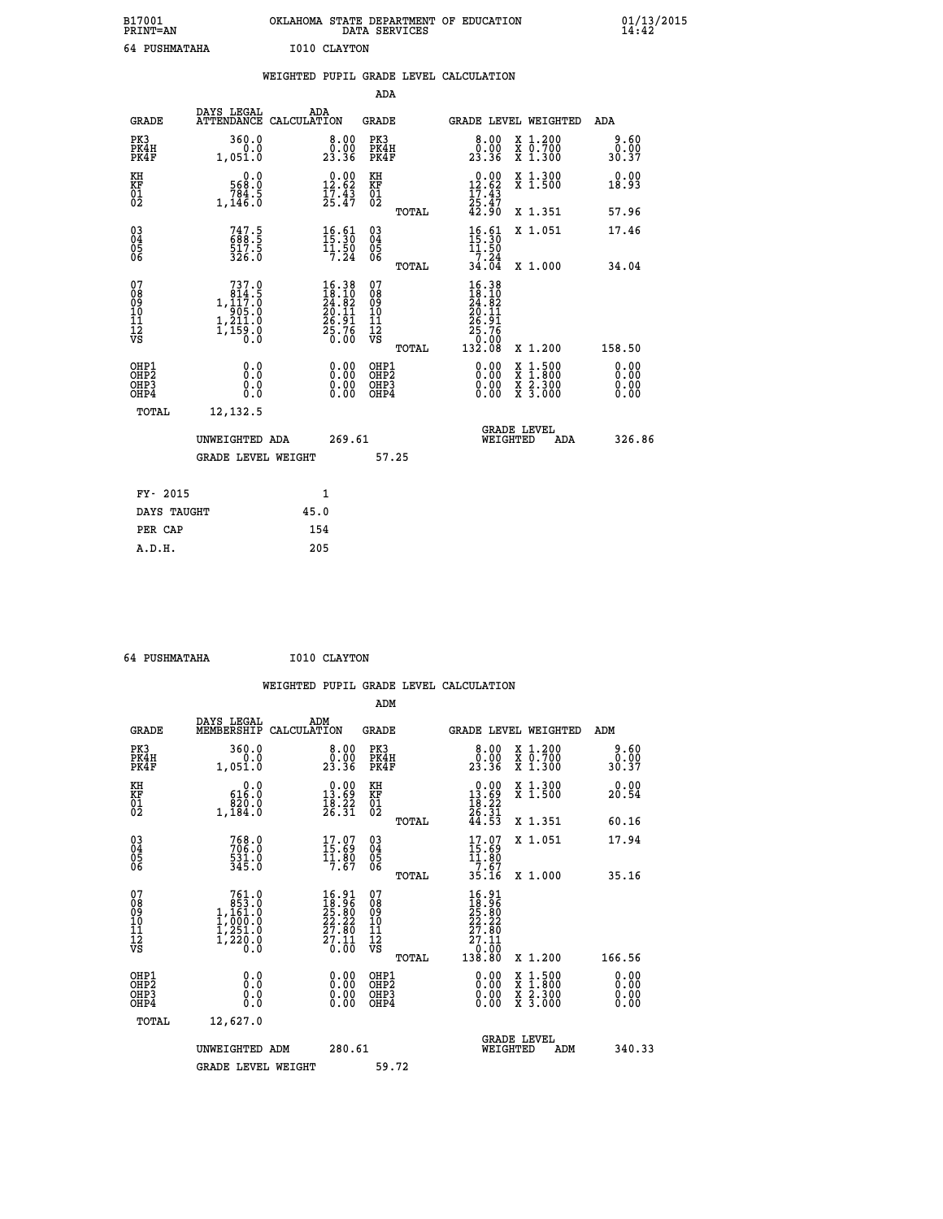| B17001<br><b>PRINT=AN</b> | OKLAHOMA STATE DEPARTMENT OF EDUCATION<br>DATA SERVICES | 01/13/2015 |
|---------------------------|---------------------------------------------------------|------------|
| 64 PUSHMATAHA             | I010 CLAYTON                                            |            |

|                                                                    |                                                                                                | WEIGHTED PUPIL GRADE LEVEL CALCULATION                                                 |                                        |       |                                                                                                                                              |                                                                                                           |                              |
|--------------------------------------------------------------------|------------------------------------------------------------------------------------------------|----------------------------------------------------------------------------------------|----------------------------------------|-------|----------------------------------------------------------------------------------------------------------------------------------------------|-----------------------------------------------------------------------------------------------------------|------------------------------|
|                                                                    |                                                                                                |                                                                                        | <b>ADA</b>                             |       |                                                                                                                                              |                                                                                                           |                              |
| <b>GRADE</b>                                                       |                                                                                                | DAYS LEGAL ADA ATTENDANCE CALCULATION                                                  | <b>GRADE</b>                           |       |                                                                                                                                              | GRADE LEVEL WEIGHTED                                                                                      | ADA                          |
| PK3<br>PK4H<br>PK4F                                                | 360.0<br>0.0<br>1,051.0                                                                        | $\begin{smallmatrix} 8.00\0.00\\23.36\end{smallmatrix}$                                | PK3<br>PK4H<br>PK4F                    |       | 8.00<br>0.00<br>23.36                                                                                                                        | X 1.200<br>X 0.700<br>X 1.300                                                                             | 9.60<br>0.00<br>30.37        |
| KH<br>KF<br>01<br>02                                               | 0.0<br>568.0<br>1,146.0                                                                        | $\begin{smallmatrix} 0.00\\ 12.62\\ 17.43\\ 25.47 \end{smallmatrix}$                   | KH<br><b>KF</b><br>01<br>02            |       | 0.00<br>$12.62$<br>$17.43$<br>$25.47$<br>$42.90$                                                                                             | X 1.300<br>X 1.500                                                                                        | 0.00<br>18.93                |
|                                                                    |                                                                                                |                                                                                        |                                        | TOTAL |                                                                                                                                              | X 1.351                                                                                                   | 57.96                        |
| $\begin{smallmatrix} 03 \\[-4pt] 04 \end{smallmatrix}$<br>05<br>06 | 747.5<br>688.5<br>517.5<br>326.0                                                               | $16.61$<br>$15.30$<br>$\frac{11.50}{7.24}$                                             | 03<br>04<br>05<br>06                   |       | $16.61$<br>$15.30$<br>$11.50$<br>$7.24$                                                                                                      | X 1.051                                                                                                   | 17.46                        |
|                                                                    |                                                                                                |                                                                                        |                                        | TOTAL | 34.04                                                                                                                                        | X 1.000                                                                                                   | 34.04                        |
| 07<br>08<br>09<br>11<br>11<br>12<br>VS                             | 737.0<br>$\begin{smallmatrix} 614.15\ 1,117.0\ 905.0\ 1,211.0\ 1,159.0\ 0.0 \end{smallmatrix}$ | $\begin{smallmatrix} 16.38\\18.10\\24.82\\20.11\\26.91\\25.76\\25.76\end{smallmatrix}$ | 07<br>08<br>09<br>11<br>11<br>12<br>VS | TOTAL | $\begin{array}{r} 16\cdot 38 \\ 18\cdot 10 \\ 24\cdot 82 \\ 20\cdot 11 \\ 26\cdot 91 \\ 25\cdot 76 \\ 25\cdot 76 \\ 132\cdot 08 \end{array}$ | X 1.200                                                                                                   | 158.50                       |
| OHP1<br>OHP2<br>OHP3<br>OHP4                                       | 0.0<br>0.0<br>0.0                                                                              | 0.0000<br>$\begin{smallmatrix} 0.00 \ 0.00 \end{smallmatrix}$                          | OHP1<br>OHP2<br>OHP3<br>OHP4           |       | 0.00<br>0.00<br>0.00                                                                                                                         | 1:500<br>$\begin{smallmatrix} x & 1 & 500 \\ x & 1 & 800 \\ x & 2 & 300 \\ x & 3 & 000 \end{smallmatrix}$ | 0.00<br>0.00<br>0.00<br>0.00 |
| <b>TOTAL</b>                                                       | 12, 132.5                                                                                      |                                                                                        |                                        |       |                                                                                                                                              |                                                                                                           |                              |
|                                                                    | UNWEIGHTED ADA                                                                                 | 269.61                                                                                 |                                        |       | WEIGHTED                                                                                                                                     | <b>GRADE LEVEL</b><br>ADA                                                                                 | 326.86                       |
|                                                                    | <b>GRADE LEVEL WEIGHT</b>                                                                      |                                                                                        | 57.25                                  |       |                                                                                                                                              |                                                                                                           |                              |
| FY- 2015                                                           |                                                                                                | 1                                                                                      |                                        |       |                                                                                                                                              |                                                                                                           |                              |
| DAYS TAUGHT                                                        |                                                                                                | 45.0                                                                                   |                                        |       |                                                                                                                                              |                                                                                                           |                              |
| PER CAP                                                            |                                                                                                | 154                                                                                    |                                        |       |                                                                                                                                              |                                                                                                           |                              |

 **64 PUSHMATAHA I010 CLAYTON**

 **A.D.H. 205**

| <b>GRADE</b>                                       | DAYS LEGAL<br>MEMBERSHIP                                                                            | ADM<br>CALCULATION                                                                                 | <b>GRADE</b>                           |       | <b>GRADE LEVEL WEIGHTED</b>                                                                                                                                                                                                                                                    |                                          | ADM    |                              |
|----------------------------------------------------|-----------------------------------------------------------------------------------------------------|----------------------------------------------------------------------------------------------------|----------------------------------------|-------|--------------------------------------------------------------------------------------------------------------------------------------------------------------------------------------------------------------------------------------------------------------------------------|------------------------------------------|--------|------------------------------|
| PK3<br>PK4H<br>PK4F                                | 360.0<br>0.0<br>1,051.0                                                                             | $\begin{smallmatrix} 8.00\0.000000&0.00000\\ 23.36\end{smallmatrix}$                               | PK3<br>PK4H<br>PK4F                    |       |                                                                                                                                                                                                                                                                                | X 1.200<br>X 0.700<br>X 1.300            |        | 9.60<br>0.00<br>30.37        |
| KH<br>KF<br>01<br>02                               | $\begin{smallmatrix}&&0\ .\ 0\ 616\ .0\ 820\ .0\\ 1\ 184\ .0\end{smallmatrix}$                      | $\begin{smallmatrix} 0.00\\ 13.69\\ 18.22\\ 26.31 \end{smallmatrix}$                               | KH<br>KF<br>01<br>02                   |       | $\begin{array}{c} 0.00 \\ 13.69 \\ 18.22 \\ 26.31 \\ 44.53 \end{array}$                                                                                                                                                                                                        | X 1.300<br>X 1.500                       |        | 0.00<br>20.54                |
|                                                    |                                                                                                     |                                                                                                    |                                        | TOTAL |                                                                                                                                                                                                                                                                                | X 1.351                                  |        | 60.16                        |
| $\begin{matrix} 03 \\ 04 \\ 05 \\ 06 \end{matrix}$ | 768.0<br>706.0<br>531.0<br>345.0                                                                    | $\begin{smallmatrix} 17.07\\ 15.69\\ 11.80\\ 7.67 \end{smallmatrix}$                               | 03<br>04<br>05<br>06                   |       | 17.07<br>$\begin{array}{c} 15.69 \\ 11.80 \\ 7.67 \\ 35.16 \end{array}$                                                                                                                                                                                                        | X 1.051                                  |        | 17.94                        |
|                                                    |                                                                                                     |                                                                                                    |                                        | TOTAL |                                                                                                                                                                                                                                                                                | X 1.000                                  |        | 35.16                        |
| 07<br>08<br>09<br>101<br>112<br>VS                 | $\begin{smallmatrix} 761.0\\ 853.0\\ 1,161.0\\ 1,000.0\\ 1,251.0\\ 1,220.0\\ 0.0 \end{smallmatrix}$ | $\begin{smallmatrix} 16.91 \\ 18.96 \\ 25.80 \\ 22.22 \\ 27.80 \\ 27.11 \\ 0.00 \end{smallmatrix}$ | 07<br>08<br>09<br>11<br>11<br>12<br>VS | TOTAL | $\begin{array}{r} 16\cdot 91 \\ 18\cdot 96 \\ 25\cdot 80 \\ 22\cdot 22 \\ 27\cdot 80 \\ 27\cdot 11 \\ 0\cdot 00 \\ 138\cdot 80 \end{array}$                                                                                                                                    | X 1.200                                  | 166.56 |                              |
| OHP1<br>OHP2<br>OHP3<br>OHP4                       | 0.0<br>Ō.Ō<br>Ŏ.Ŏ                                                                                   |                                                                                                    | OHP1<br>OHP2<br>OHP3<br>OHP4           |       | $\begin{smallmatrix} 0.00 & 0.00 & 0.00 & 0.00 & 0.00 & 0.00 & 0.00 & 0.00 & 0.00 & 0.00 & 0.00 & 0.00 & 0.00 & 0.00 & 0.00 & 0.00 & 0.00 & 0.00 & 0.00 & 0.00 & 0.00 & 0.00 & 0.00 & 0.00 & 0.00 & 0.00 & 0.00 & 0.00 & 0.00 & 0.00 & 0.00 & 0.00 & 0.00 & 0.00 & 0.00 & 0.0$ | X 1:500<br>X 1:800<br>X 2:300<br>X 3:000 |        | 0.00<br>0.00<br>0.00<br>0.00 |
| TOTAL                                              | 12,627.0                                                                                            |                                                                                                    |                                        |       |                                                                                                                                                                                                                                                                                |                                          |        |                              |
|                                                    | UNWEIGHTED ADM                                                                                      | 280.61                                                                                             |                                        |       | <b>GRADE LEVEL</b><br>WEIGHTED                                                                                                                                                                                                                                                 | ADM                                      |        | 340.33                       |
|                                                    | <b>GRADE LEVEL WEIGHT</b>                                                                           |                                                                                                    | 59.72                                  |       |                                                                                                                                                                                                                                                                                |                                          |        |                              |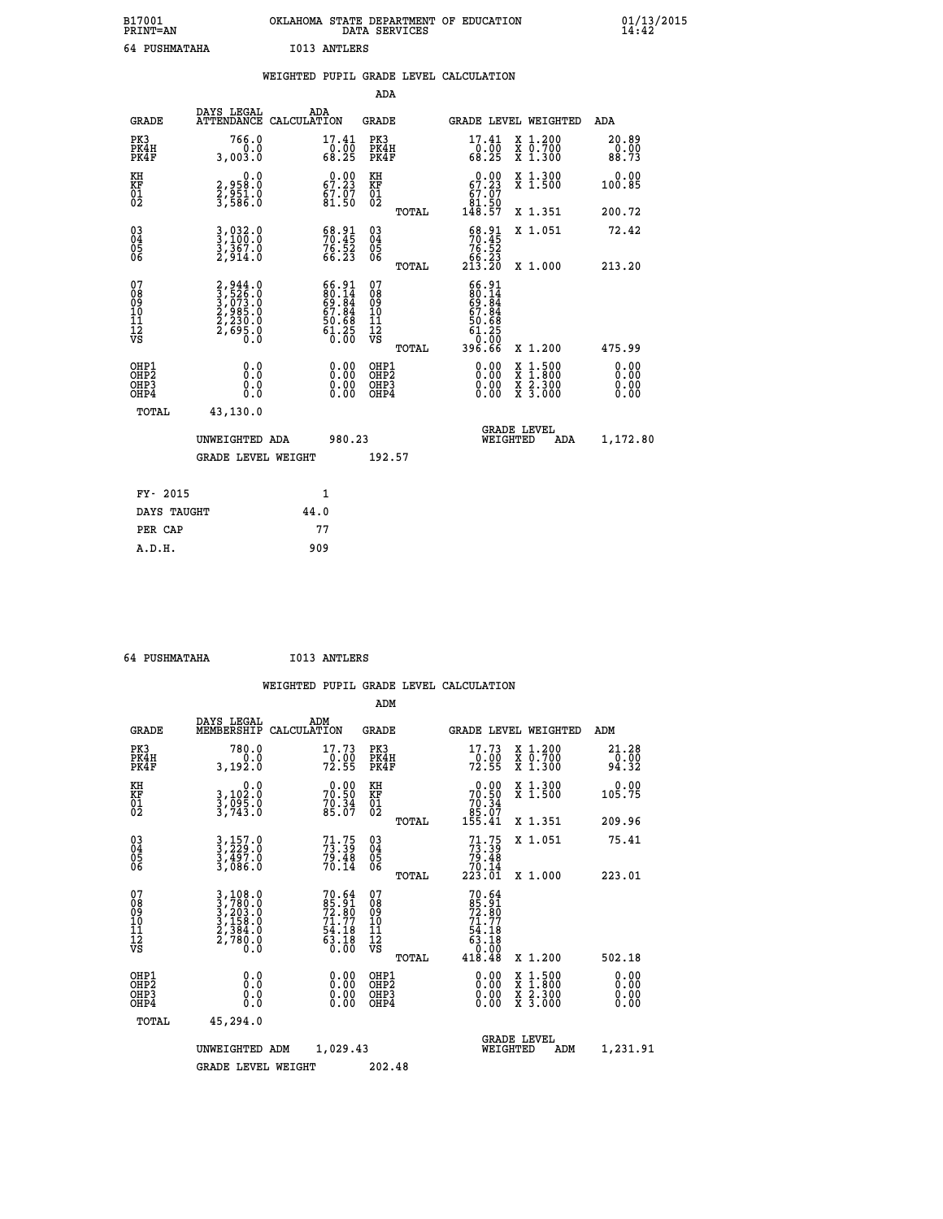| B17001<br>PRINT=AN | OKLAHOMA<br>STATE DEPARTMENT OF EDUCATION<br>SERVICES<br>DATA | 01/13/2015<br>14:42 |
|--------------------|---------------------------------------------------------------|---------------------|
| 64<br>PUSHMATAHA   | I013<br>ANTLERS                                               |                     |

| 64 PUSHMATAHA                                      |                                                                                     |      | I013 ANTLERS                                                                        |                                                    |       |                                                                       |                                                                                                                                              |                        |
|----------------------------------------------------|-------------------------------------------------------------------------------------|------|-------------------------------------------------------------------------------------|----------------------------------------------------|-------|-----------------------------------------------------------------------|----------------------------------------------------------------------------------------------------------------------------------------------|------------------------|
|                                                    |                                                                                     |      |                                                                                     |                                                    |       | WEIGHTED PUPIL GRADE LEVEL CALCULATION                                |                                                                                                                                              |                        |
|                                                    |                                                                                     |      |                                                                                     | <b>ADA</b>                                         |       |                                                                       |                                                                                                                                              |                        |
| <b>GRADE</b>                                       | DAYS LEGAL<br>ATTENDANCE CALCULATION                                                |      | ADA                                                                                 | <b>GRADE</b>                                       |       |                                                                       | <b>GRADE LEVEL WEIGHTED</b>                                                                                                                  | ADA                    |
| PK3<br>PK4H<br>PK4F                                | 766.0<br>0.0<br>3,003.0                                                             |      | 17.41<br>$\frac{6}{68}$ .<br>68.25                                                  | PK3<br>PK4H<br>PK4F                                |       | 17.41<br>$\frac{10}{68}. \frac{00}{25}$                               | X 1.200<br>X 0.700<br>X 1.300                                                                                                                | 20.89<br>0.00<br>88.73 |
| KH<br>KF<br>01<br>02                               | 0.0<br>2,958:0<br>2,951:0<br>3,586:0                                                |      | 67.23<br>$\frac{67.07}{81.50}$                                                      | KH<br>KF<br>01<br>02                               |       | 67.23<br>$\begin{smallmatrix} 67.07\ 81.50\ 148.57 \end{smallmatrix}$ | X 1.300<br>X 1.500                                                                                                                           | 0.00<br>100.85         |
|                                                    |                                                                                     |      |                                                                                     |                                                    | TOTAL |                                                                       | X 1.351                                                                                                                                      | 200.72                 |
| $\begin{matrix} 03 \\ 04 \\ 05 \\ 06 \end{matrix}$ | 3,032.0<br>3,100.0<br>3,367.0<br>2,914.0                                            |      | $\begin{smallmatrix} 68.91\ 70.45\ 76.52\ 66.23 \end{smallmatrix}$                  | $\begin{matrix} 03 \\ 04 \\ 05 \\ 06 \end{matrix}$ |       | $58.91$<br>$70.45$<br>$76.52$<br>$66.23$<br>$213.20$                  | X 1.051                                                                                                                                      | 72.42                  |
|                                                    |                                                                                     |      |                                                                                     |                                                    | TOTAL |                                                                       | X 1.000                                                                                                                                      | 213.20                 |
| 07<br>08<br>09<br>101<br>11<br>12<br>VS            | $2,944.0$<br>$3,526.0$<br>$3,073.0$<br>$2,985.0$<br>$2,230.0$<br>$2,695.0$<br>$0.0$ |      | $66.91$<br>$80.14$<br>$69.84$<br>$67.84$<br>$50.68$<br>$50.68$<br>$61.25$<br>$0.00$ | 07<br>08<br>09<br>11<br>11<br>12<br>VS             |       | $66.91$<br>$80.14$<br>$69.84$<br>$67.84$<br>$50.68$<br>61.25          |                                                                                                                                              |                        |
|                                                    |                                                                                     |      |                                                                                     |                                                    | TOTAL | 396.66                                                                | X 1.200                                                                                                                                      | 475.99                 |
| OHP1<br>OHP2<br>OH <sub>P3</sub><br>OHP4           | 0.0<br>0.0<br>0.0                                                                   |      |                                                                                     | OHP1<br>OHP2<br>OHP3<br>OHP4                       |       | 0.00<br>0.00<br>0.00                                                  | $\begin{smallmatrix} \mathtt{X} & 1\cdot500 \\ \mathtt{X} & 1\cdot800 \\ \mathtt{X} & 2\cdot300 \\ \mathtt{X} & 3\cdot000 \end{smallmatrix}$ | 0.00<br>0.00<br>0.00   |
| TOTAL                                              | 43,130.0                                                                            |      |                                                                                     |                                                    |       |                                                                       |                                                                                                                                              |                        |
|                                                    | UNWEIGHTED ADA                                                                      |      | 980.23                                                                              |                                                    |       | WEIGHTED                                                              | <b>GRADE LEVEL</b><br>ADA                                                                                                                    | 1,172.80               |
|                                                    | <b>GRADE LEVEL WEIGHT</b>                                                           |      |                                                                                     | 192.57                                             |       |                                                                       |                                                                                                                                              |                        |
| FY- 2015                                           |                                                                                     |      | 1                                                                                   |                                                    |       |                                                                       |                                                                                                                                              |                        |
| DAYS TAUGHT                                        |                                                                                     | 44.0 |                                                                                     |                                                    |       |                                                                       |                                                                                                                                              |                        |
| PER CAP                                            |                                                                                     |      | 77                                                                                  |                                                    |       |                                                                       |                                                                                                                                              |                        |

| -----<br>------ | ____ |
|-----------------|------|
| A.D.H.          | 909  |
|                 |      |
|                 |      |
|                 |      |

 **ADM**

 **64 PUSHMATAHA I013 ANTLERS**

| <b>GRADE</b>                                       | DAYS LEGAL<br>MEMBERSHIP                                                                                                                                    | ADM<br>CALCULATION                       | <b>GRADE</b>                                       |       | <b>GRADE LEVEL WEIGHTED</b>                                                          |                                          | ADM                  |  |
|----------------------------------------------------|-------------------------------------------------------------------------------------------------------------------------------------------------------------|------------------------------------------|----------------------------------------------------|-------|--------------------------------------------------------------------------------------|------------------------------------------|----------------------|--|
| PK3<br>PK4H<br>PK4F                                | 780.0<br>3,192.0                                                                                                                                            | 17.73<br>$\frac{10.00}{72.55}$           | PK3<br>PK4H<br>PK4F                                |       | 17.73<br>$72.90$<br>72.55                                                            | X 1.200<br>X 0.700<br>X 1.300            | $21.28\n0.00\n94.32$ |  |
| KH<br>KF<br>01<br>02                               | 0.0<br>3,102:0<br>3,095:0<br>3,743:0                                                                                                                        | $70.00$<br>70.50<br>$70.34$<br>85.07     | KH<br>KF<br>$\overline{01}$                        |       | $\begin{smallmatrix} &0.00\ 70.50\ 70.34\ 85.07\ 155.41\end{smallmatrix}$            | X 1.300<br>X 1.500                       | 0.00<br>105.75       |  |
|                                                    |                                                                                                                                                             |                                          |                                                    | TOTAL |                                                                                      | X 1.351                                  | 209.96               |  |
| $\begin{matrix} 03 \\ 04 \\ 05 \\ 06 \end{matrix}$ | $3, 229.0$<br>$3, 497.0$<br>$3, 086.0$                                                                                                                      | $71.75$<br>$73.39$<br>$79.48$<br>$70.14$ | $\begin{matrix} 03 \\ 04 \\ 05 \\ 06 \end{matrix}$ |       | $71.75$<br>$73.39$<br>$79.48$<br>$70.14$<br>$223.01$                                 | X 1.051                                  | 75.41                |  |
|                                                    |                                                                                                                                                             |                                          |                                                    | TOTAL |                                                                                      | X 1.000                                  | 223.01               |  |
| 07<br>08<br>09<br>101<br>11<br>12<br>VS            | $\begin{smallmatrix} 3\,,\,10\,8\,.\,0\\ 3\,,\,780\,.\,0\\ 3\,,\,203\,.\,0\\ 3\,,\,158\,.\,0\\ 2\,,\,384\,.\,0\\ 2\,,\,780\,.\,0\\ 0\,.0 \end{smallmatrix}$ | $70.6485.9172.8071.7754.1863.180.00$     | 07<br>08<br>09<br>001<br>11<br>11<br>12<br>VS      | TOTAL | $70.64$<br>$85.91$<br>$72.80$<br>$71.77$<br>$54.18$<br>$63.18$<br>$0.00$<br>$418.48$ | X 1.200                                  | 502.18               |  |
| OHP1                                               |                                                                                                                                                             |                                          | OHP1                                               |       |                                                                                      |                                          |                      |  |
| OHP <sub>2</sub><br>OH <sub>P3</sub><br>OHP4       | 0.0<br>0.000                                                                                                                                                |                                          | OHP <sub>2</sub><br>OHP3<br>OHP4                   |       | 0.00<br>$0.00$<br>0.00                                                               | X 1:500<br>X 1:800<br>X 2:300<br>X 3:000 | 0.00<br>0.00<br>0.00 |  |
| TOTAL                                              | 45,294.0                                                                                                                                                    |                                          |                                                    |       |                                                                                      |                                          |                      |  |
|                                                    | UNWEIGHTED                                                                                                                                                  | 1,029.43<br>ADM                          |                                                    |       | <b>GRADE LEVEL</b><br>WEIGHTED                                                       | ADM                                      | 1,231.91             |  |
|                                                    | <b>GRADE LEVEL WEIGHT</b>                                                                                                                                   |                                          | 202.48                                             |       |                                                                                      |                                          |                      |  |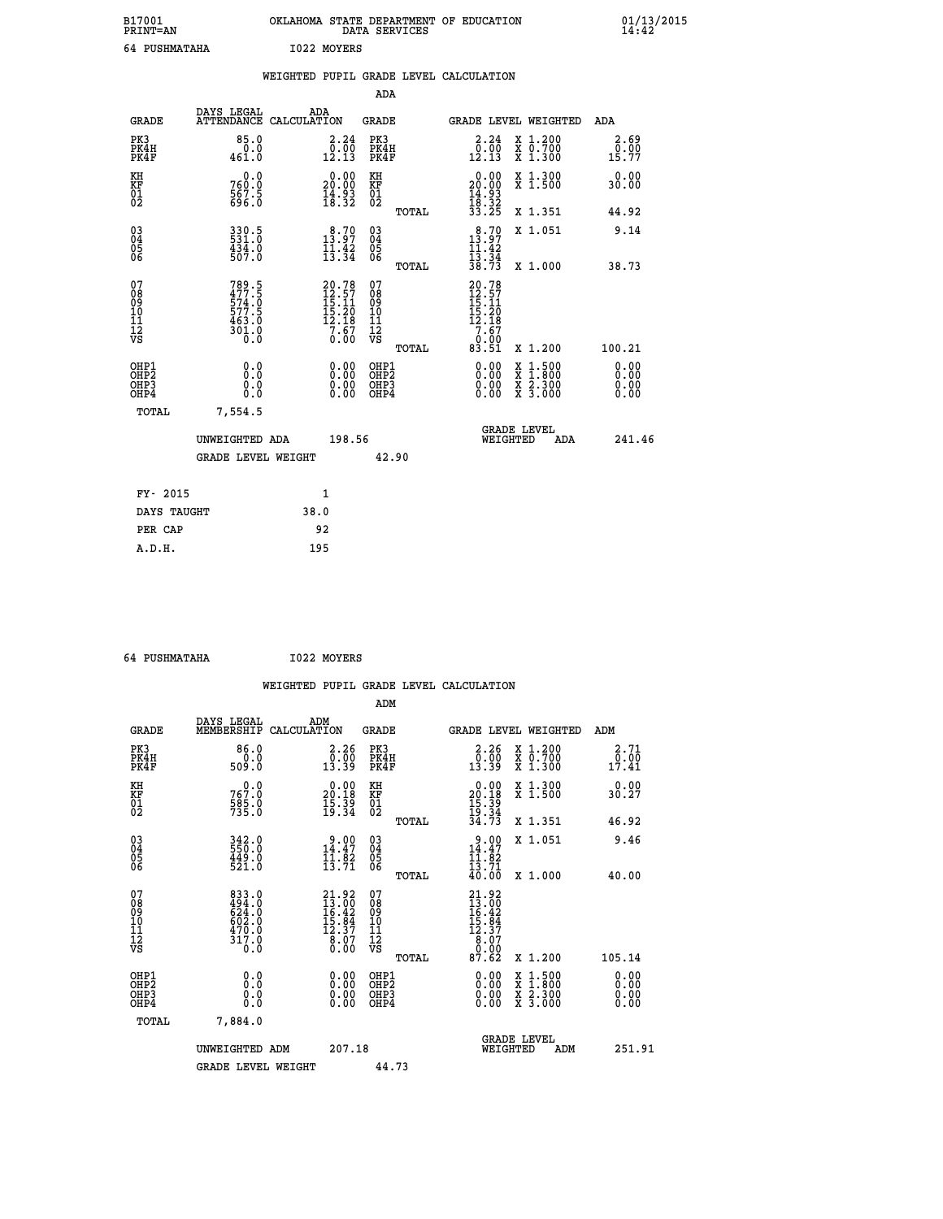| B17001<br>PRINT=AN<br>64 PUSHMATAHA |                      | OKLAHOMA<br>I022 MOYERS                | DATA SERVICES       | STATE DEPARTMENT OF EDUCATION |                                 | 01/13/2015            |  |
|-------------------------------------|----------------------|----------------------------------------|---------------------|-------------------------------|---------------------------------|-----------------------|--|
|                                     |                      | WEIGHTED PUPIL GRADE LEVEL CALCULATION | ADA                 |                               |                                 |                       |  |
| GRADE                               | DAYS LEGAL           | ADA<br>ATTENDANCE CALCULATION          | GRADE               | GRADE LEVEL WEIGHTED          |                                 | ADA                   |  |
| PK3<br>PK4H<br>PK4F                 | 85.0<br>0.0<br>461.0 | 2.24<br>0.00<br>12.13                  | PK3<br>PK4H<br>PK4F | 2.24<br>0.00<br>12.13         | X 1.200<br>X 0.700<br>$X_1.300$ | 2.69<br>0.00<br>15.77 |  |
|                                     | $\sim$ $\sim$        | - - - - ---                            |                     | .                             |                                 | - - -                 |  |

| GRADE                                                |                                                             | ATTENDANCE CALCULATION                                                  | GRADE                                                 | GRADE LEVEL WEIGHTED                                                                                                                                                                                                                                                           |                                                                                                  | ADA                                                               |
|------------------------------------------------------|-------------------------------------------------------------|-------------------------------------------------------------------------|-------------------------------------------------------|--------------------------------------------------------------------------------------------------------------------------------------------------------------------------------------------------------------------------------------------------------------------------------|--------------------------------------------------------------------------------------------------|-------------------------------------------------------------------|
| PK3<br>PK4H<br>PK4F                                  | 85.0<br>461.0                                               | $\begin{smallmatrix} 2\cdot24\0\cdot00\12\cdot13 \end{smallmatrix}$     | PK3<br>PK4H<br>PK4F                                   | $\begin{smallmatrix} 2.24\ 0.00\ 12.13 \end{smallmatrix}$                                                                                                                                                                                                                      | X 1.200<br>$\begin{smallmatrix} 7 & 0.700 \\ 7 & 1.300 \end{smallmatrix}$                        | $\frac{2.69}{0.00}$<br>15.77                                      |
| KH<br>KF<br>01<br>02                                 | $760.0$<br>$567.5$<br>$596.0$                               | $\begin{smallmatrix} 0.00\\ 20.00\\ 14.93\\ 18.32 \end{smallmatrix}$    | KH<br>KF<br>01<br>02                                  | $\begin{smallmatrix} 0.00\\ 20.00\\ 14.93\\ 18.32\\ 33.25 \end{smallmatrix}$                                                                                                                                                                                                   | X 1.300<br>$\overline{x}$ 1.500                                                                  | 0.00<br>30.00                                                     |
|                                                      |                                                             |                                                                         | TOTAL                                                 |                                                                                                                                                                                                                                                                                | X 1.351                                                                                          | 44.92                                                             |
| $\begin{matrix} 03 \\ 04 \\ 05 \\ 06 \end{matrix}$   | 330.5<br>531.0<br>434.0<br>507.0                            | $\begin{array}{c} 8.70 \\ 13.97 \\ 11.42 \\ 13.34 \end{array}$          | 030404<br>06<br>TOTAL                                 | 13.70<br>$\frac{11.42}{13.34}$<br>$\frac{38.73}{8}$                                                                                                                                                                                                                            | X 1.051<br>X 1.000                                                                               | 9.14<br>38.73                                                     |
| 07<br>08<br>09<br>01<br>11<br>11<br>12<br>VS         | 789.5<br>477.5<br>574.0<br>577.5<br>577.5<br>463.0<br>301.0 | $20.78$<br>$12.57$<br>$15.11$<br>$15.20$<br>$12.18$<br>$7.67$<br>$0.00$ | 07<br>08<br>09<br>01<br>11<br>11<br>17<br>VS<br>TOTAL | 20.78<br>12.57<br>15.11<br>15.20<br>12.18<br>7.67<br>0.00<br>83.51                                                                                                                                                                                                             | X 1.200                                                                                          | 100.21                                                            |
| OHP1<br>OHP <sub>2</sub><br>OH <sub>P3</sub><br>OHP4 |                                                             | $\begin{smallmatrix} 0.00 \ 0.00 \ 0.00 \ 0.00 \end{smallmatrix}$       | OHP1<br>OHP <sub>2</sub><br>OHP <sub>3</sub><br>OHP4  | $\begin{smallmatrix} 0.00 & 0.00 & 0.00 & 0.00 & 0.00 & 0.00 & 0.00 & 0.00 & 0.00 & 0.00 & 0.00 & 0.00 & 0.00 & 0.00 & 0.00 & 0.00 & 0.00 & 0.00 & 0.00 & 0.00 & 0.00 & 0.00 & 0.00 & 0.00 & 0.00 & 0.00 & 0.00 & 0.00 & 0.00 & 0.00 & 0.00 & 0.00 & 0.00 & 0.00 & 0.00 & 0.0$ | $\begin{smallmatrix} x & 1 & 500 \\ x & 1 & 800 \\ x & 2 & 300 \\ x & 3 & 000 \end{smallmatrix}$ | $\begin{smallmatrix} 0.00 \ 0.00 \ 0.00 \ 0.00 \end{smallmatrix}$ |

| TOTAL       | 7,554.5        |                    |        |       |                                |     |        |
|-------------|----------------|--------------------|--------|-------|--------------------------------|-----|--------|
|             | UNWEIGHTED ADA | GRADE LEVEL WEIGHT | 198.56 | 42.90 | <b>GRADE LEVEL</b><br>WEIGHTED | ADA | 241.46 |
| FY- 2015    |                |                    | 1      |       |                                |     |        |
| DAYS TAUGHT |                | 38.0               |        |       |                                |     |        |
| PER CAP     |                | 92                 |        |       |                                |     |        |

 **64 PUSHMATAHA I022 MOYERS**

 **A.D.H. 195**

 **WEIGHTED PUPIL GRADE LEVEL CALCULATION ADM DAYS LEGAL ADM GRADE MEMBERSHIP CALCULATION GRADE GRADE LEVEL WEIGHTED ADM PK3 86.0 2.26 PK3 2.26 X 1.200 2.71 PK4H 0.0 0.00 PK4H 0.00 X 0.700 0.00 PK4F 509.0 13.39 PK4F 13.39 X 1.300 17.41 KH 0.0 0.00 KH 0.00 X 1.300 0.00 KF 767.0 20.18 KF 20.18 X 1.500 30.27 01 585.0 15.39 01 15.39**  $02$   $735.0$   $19.34$   $02$   $\frac{19.34}{2}$   $19.34$  **TOTAL 34.73 X 1.351 46.92 03 342.0 9.00 03 9.00 X 1.051 9.46 04 550.0 14.47 04 14.47 05 449.0 11.82 05 11.82** 06 521.0 13.71 06  $\frac{13.71}{23.71}$  **TOTAL 40.00 X 1.000 40.00 07** 833.0 **21.92** 07 **21.92 08 494.0 13.00 08 13.00 09 624.0 16.42 09 16.42 10 602.0 15.84 10 15.84 11 470.0 12.37 11 12.37 12 12 12 12 12 8.07 12 8.07 VS** 0.0 0.00 VS 0.00 0.00 0.00  $\begin{array}{cccc} 833.0 & 21.92 & 07 & 21.92\\ 494.0 & 13.00 & 08 & 13.00\\ 624.0 & 16.42 & 09 & 16.42\\ 602.0 & 16.84 & 10 & 15.84\\ 470.0 & 12.37 & 11 & 12.37\\ 317.0 & 8.07 & 12 & 8.07\\ 0.0 & 0.00 & \text{vs} & 0.00\\ 0.00 & \text{TOTAL} & 87.62 & \text{X}~1.200 & 105.14 \end{$  **OHP1 0.0 0.00 OHP1 0.00 X 1.500 0.00 OHP2 0.0 0.00 OHP2 0.00 X 1.800 0.00 OHP3 0.0 0.00 OHP3 0.00 X 2.300 0.00 OHP4 0.0 0.00 OHP4 0.00 X 3.000 0.00 TOTAL 7,884.0 GRADE LEVEL UNWEIGHTED ADM 207.18 WEIGHTED ADM 251.91** GRADE LEVEL WEIGHT 44.73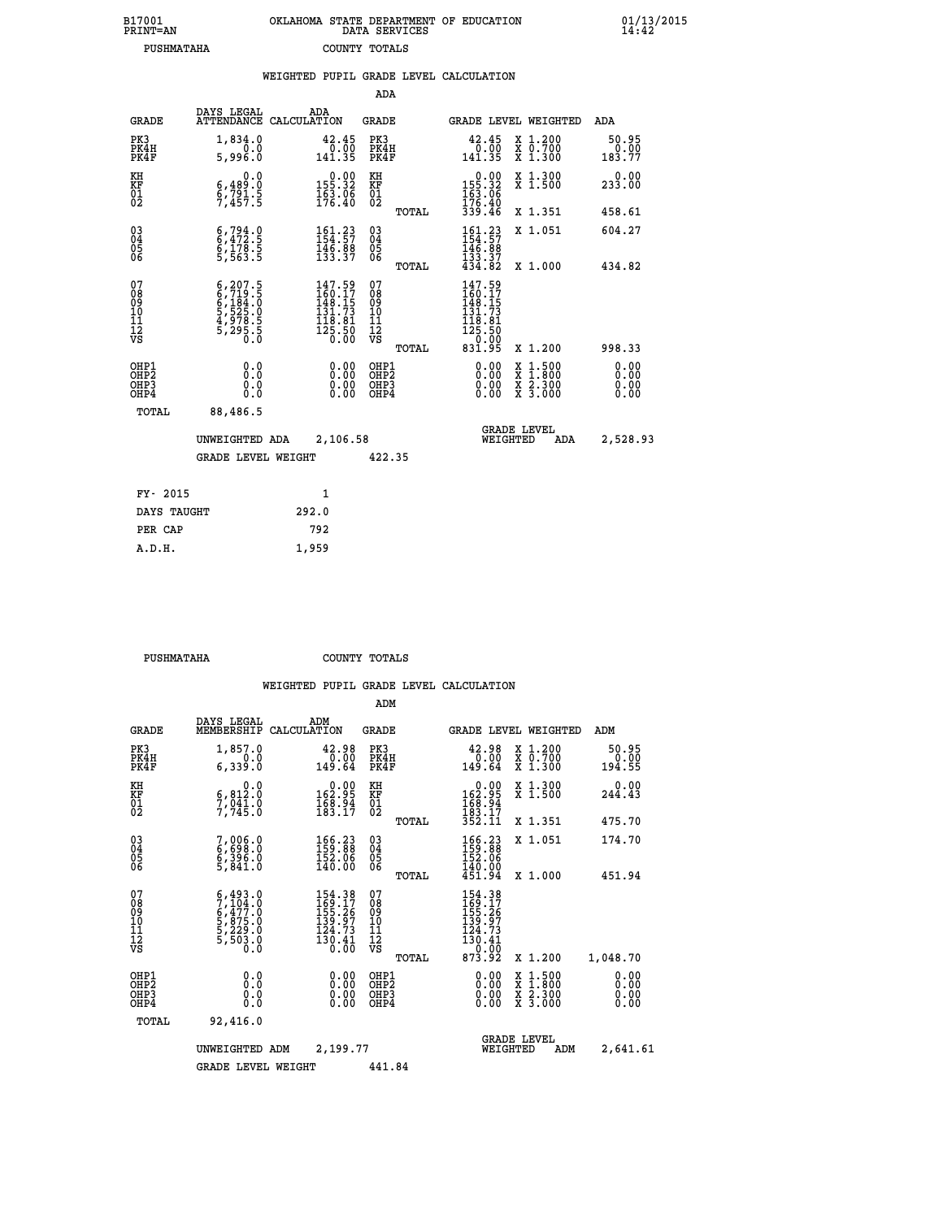| B17001<br>PRINT=AN | OKLAHOMA<br>. STATE DEPARTMENT OF EDUCATION<br>DATA SERVICES | 01/13/2015<br>14:42 |
|--------------------|--------------------------------------------------------------|---------------------|
| PUSHMATAHA         | COUNTY TOTALS                                                |                     |

|                                                                                           |                                                                                               | ADA                                                                                                                                              |                                    |                                                                                                                                                                                                                                                                                    |                                                                                                                                                                                                                                                                                                           |
|-------------------------------------------------------------------------------------------|-----------------------------------------------------------------------------------------------|--------------------------------------------------------------------------------------------------------------------------------------------------|------------------------------------|------------------------------------------------------------------------------------------------------------------------------------------------------------------------------------------------------------------------------------------------------------------------------------|-----------------------------------------------------------------------------------------------------------------------------------------------------------------------------------------------------------------------------------------------------------------------------------------------------------|
| DAYS LEGAL                                                                                | ADA                                                                                           | <b>GRADE</b>                                                                                                                                     |                                    |                                                                                                                                                                                                                                                                                    | ADA                                                                                                                                                                                                                                                                                                       |
| 1,834.0<br>0.0<br>5,996.0                                                                 | $\begin{smallmatrix} 42.45\ 0.00\ 141.35 \end{smallmatrix}$                                   | PK3<br>PK4H<br>PK4F                                                                                                                              | 42.45<br>$\frac{0.00}{141.35}$     |                                                                                                                                                                                                                                                                                    | 50.95<br>0.00<br>183.77                                                                                                                                                                                                                                                                                   |
| 0.0<br>6,489.0                                                                            | $0.00$<br>155.32                                                                              | KH                                                                                                                                               |                                    |                                                                                                                                                                                                                                                                                    | 0.00<br>233.00                                                                                                                                                                                                                                                                                            |
|                                                                                           |                                                                                               | TOTAL                                                                                                                                            |                                    |                                                                                                                                                                                                                                                                                    | 458.61                                                                                                                                                                                                                                                                                                    |
|                                                                                           |                                                                                               | $\substack{03 \\ 04}$                                                                                                                            | 161.23<br>154:57<br>146.88         |                                                                                                                                                                                                                                                                                    | 604.27                                                                                                                                                                                                                                                                                                    |
|                                                                                           |                                                                                               | TOTAL                                                                                                                                            |                                    |                                                                                                                                                                                                                                                                                    | 434.82                                                                                                                                                                                                                                                                                                    |
| $6, 207.5$<br>$6, 719.5$<br>$6, 184.0$<br>$5, 525.0$<br>$4, 978.5$<br>$5, 295.5$<br>$0.0$ | $147.59$<br>$160.17$<br>$148.15$<br>$131.73$<br>$\frac{118.81}{125.50}$                       | 078<br>089<br>0011<br>11<br>11<br>12<br>VS<br>TOTAL                                                                                              | 147.59                             |                                                                                                                                                                                                                                                                                    | 998.33                                                                                                                                                                                                                                                                                                    |
| 0.0<br>0.0<br>0.0                                                                         | 0.00<br>$\begin{smallmatrix} 0.00 \ 0.00 \end{smallmatrix}$                                   | OHP1<br>OHP2<br>OHP3<br>OHP4                                                                                                                     | 0.00<br>0.00                       |                                                                                                                                                                                                                                                                                    | 0.00<br>0.00<br>0.00                                                                                                                                                                                                                                                                                      |
| 88,486.5                                                                                  |                                                                                               |                                                                                                                                                  |                                    |                                                                                                                                                                                                                                                                                    |                                                                                                                                                                                                                                                                                                           |
|                                                                                           |                                                                                               |                                                                                                                                                  |                                    | ADA                                                                                                                                                                                                                                                                                | 2,528.93                                                                                                                                                                                                                                                                                                  |
|                                                                                           |                                                                                               | 422.35                                                                                                                                           |                                    |                                                                                                                                                                                                                                                                                    |                                                                                                                                                                                                                                                                                                           |
|                                                                                           | $\mathbf{1}$                                                                                  |                                                                                                                                                  |                                    |                                                                                                                                                                                                                                                                                    |                                                                                                                                                                                                                                                                                                           |
| DAYS TAUGHT                                                                               | 292.0                                                                                         |                                                                                                                                                  |                                    |                                                                                                                                                                                                                                                                                    |                                                                                                                                                                                                                                                                                                           |
|                                                                                           | 792                                                                                           |                                                                                                                                                  |                                    |                                                                                                                                                                                                                                                                                    |                                                                                                                                                                                                                                                                                                           |
|                                                                                           | $\frac{5}{7}$ , $\frac{791}{457}$ : 5<br>$6, 794.9$<br>$6, 472.5$<br>$6, 178.5$<br>$5, 563.5$ | ATTENDANCE CALCULATION<br>$\frac{163.06}{176.40}$<br>$161.23$<br>$154.57$<br>$146.88$<br>$133.37$<br>UNWEIGHTED ADA<br><b>GRADE LEVEL WEIGHT</b> | KF<br>01<br>02<br>0500<br>2,106.58 | WEIGHTED PUPIL GRADE LEVEL CALCULATION<br>$\begin{array}{c} 0.00 \\ 155.32 \\ 163.06 \\ 176.40 \\ 339.46 \end{array}$<br>$\frac{1}{4}$ $\frac{3}{4}$ $\frac{3}{4}$ $\frac{3}{8}$ $\frac{7}{8}$<br>$1460.175$<br>$148.153$<br>$131.731$<br>$118.81$<br>$125.50$<br>$0.00$<br>831.95 | GRADE LEVEL WEIGHTED<br>X 1.200<br>X 0.700<br>X 1.300<br>X 1.300<br>X 1.500<br>X 1.351<br>X 1.051<br>X 1.000<br>X 1.200<br>$\begin{smallmatrix} \mathtt{X} & 1\cdot500 \\ \mathtt{X} & 1\cdot800 \\ \mathtt{X} & 2\cdot300 \\ \mathtt{X} & 3\cdot000 \end{smallmatrix}$<br><b>GRADE LEVEL</b><br>WEIGHTED |

 **A.D.H. 1,959**

 **PUSHMATAHA COUNTY TOTALS**

|                                                      |                                                                                     |                                                                                   | ADM                                                 |       |                                                                                                                                                     |                                          |                              |
|------------------------------------------------------|-------------------------------------------------------------------------------------|-----------------------------------------------------------------------------------|-----------------------------------------------------|-------|-----------------------------------------------------------------------------------------------------------------------------------------------------|------------------------------------------|------------------------------|
| <b>GRADE</b>                                         | DAYS LEGAL<br>MEMBERSHIP                                                            | ADM<br>CALCULATION                                                                | <b>GRADE</b>                                        |       | GRADE LEVEL WEIGHTED                                                                                                                                |                                          | ADM                          |
| PK3<br>PK4H<br>PK4F                                  | 1,857.0<br>0.0<br>6,339.0                                                           | 42.98<br>0.00<br>149.64                                                           | PK3<br>PK4H<br>PK4F                                 |       | $\begin{smallmatrix} 42.98\ 0.00 \ 149.64 \end{smallmatrix}$                                                                                        | X 1.200<br>X 0.700<br>X 1.300            | 50.95<br>0.00<br>194.55      |
| KH<br>KF<br>01<br>02                                 | 0.0<br>$\frac{6}{7}, \frac{812}{941}$ $\frac{0}{7}$<br>7,745.0                      | $\begin{smallmatrix}&&0.00\\162.95\\168.94\\183.17\end{smallmatrix}$              | KH<br>KF<br>01<br>02                                |       | $\begin{smallmatrix}&&0.00\\162.95\\168.94\\183.17\\352.11\end{smallmatrix}$                                                                        | X 1.300<br>X 1.500                       | 0.00<br>244.43               |
|                                                      |                                                                                     |                                                                                   |                                                     | TOTAL |                                                                                                                                                     | X 1.351                                  | 475.70                       |
| 03<br>04<br>05<br>06                                 | 7,006.0<br>6,698.0<br>6,396.0<br>5,841.0                                            | 166.23<br>159.88<br>152.06<br>140.00                                              | $\begin{array}{c} 03 \\ 04 \\ 05 \\ 06 \end{array}$ |       | 166.23<br>159.88<br>152.06                                                                                                                          | X 1.051                                  | 174.70                       |
|                                                      |                                                                                     |                                                                                   |                                                     | TOTAL | 140.00<br>451.94                                                                                                                                    | X 1.000                                  | 451.94                       |
| 07<br>08<br>09<br>101<br>112<br>VS                   | $5,493.0$<br>$7,104.0$<br>$6,477.0$<br>$5,875.0$<br>$5,229.0$<br>$5,503.0$<br>$0.0$ | 154.38<br>169.17<br>155.26<br>139.97<br>124.73<br>$\frac{1}{30}$ , $\frac{4}{00}$ | 07<br>08<br>09<br>11<br>11<br>12<br>VS              | TOTAL | 154.38<br>169.17<br>155.26<br>139.97<br>$\begin{array}{c} 1\ddot{2}\ddot{4}\ddot{.}7\dot{3} \\ 130\ddot{.}41 \\ -9\ddot{.}09 \end{array}$<br>873.92 | X 1.200                                  | 1,048.70                     |
| OHP1<br>OHP2<br>OH <sub>P3</sub><br>OH <sub>P4</sub> | 0.0<br>0.000                                                                        | $0.00$<br>$0.00$<br>0.00                                                          | OHP1<br>OHP2<br>OHP3<br>OHP4                        |       | $0.00$<br>$0.00$<br>0.00                                                                                                                            | X 1:500<br>X 1:800<br>X 2:300<br>X 3:000 | 0.00<br>0.00<br>0.00<br>0.00 |
| TOTAL                                                | 92,416.0                                                                            |                                                                                   |                                                     |       |                                                                                                                                                     |                                          |                              |
|                                                      | UNWEIGHTED ADM                                                                      | 2,199.77                                                                          |                                                     |       | WEIGHTED                                                                                                                                            | <b>GRADE LEVEL</b><br>ADM                | 2,641.61                     |
|                                                      | <b>GRADE LEVEL WEIGHT</b>                                                           |                                                                                   | 441.84                                              |       |                                                                                                                                                     |                                          |                              |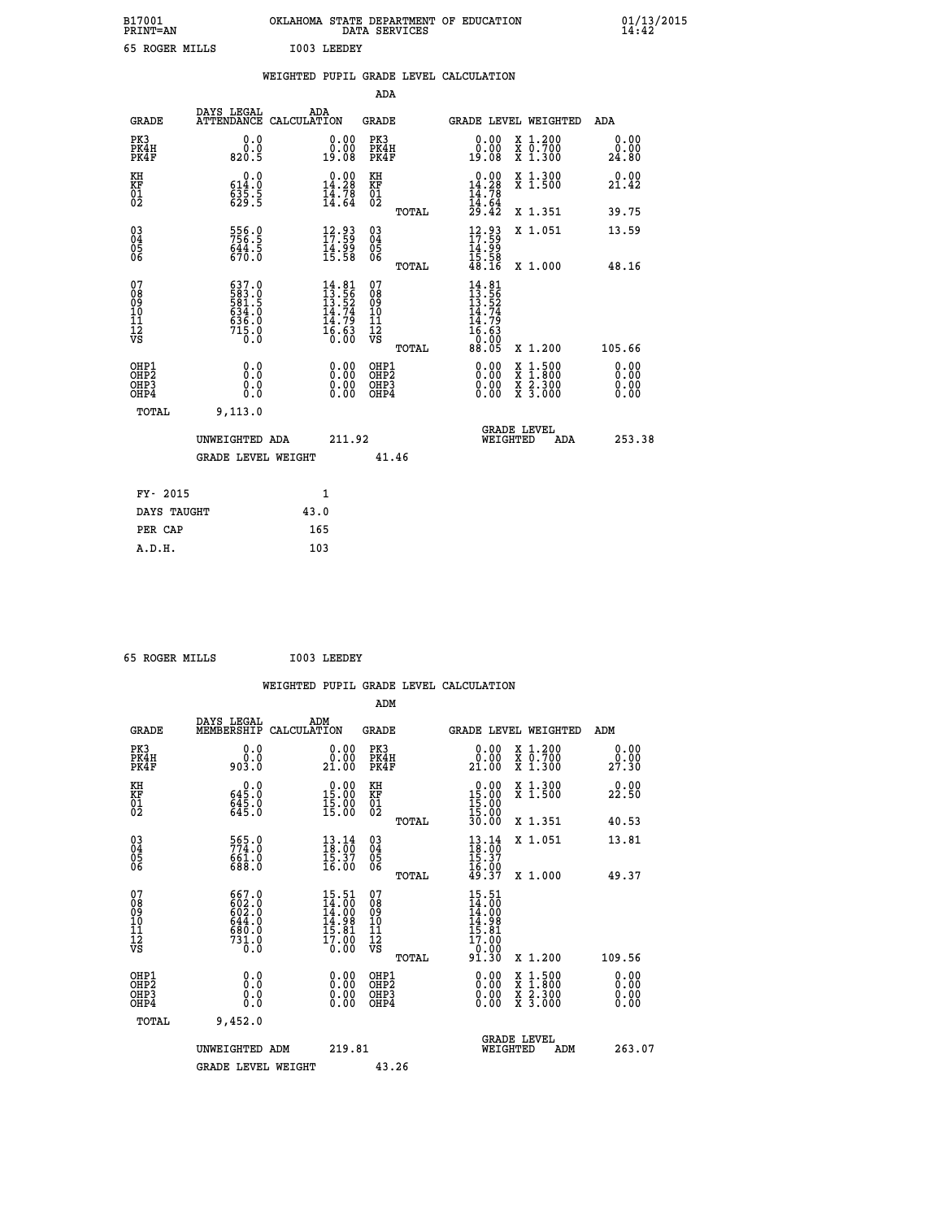| B17001<br><b>PRINT=AN</b> | OKLAHOMA STATE DEPARTMENT OF EDUCATION<br>DATA SERVICES | 01/13/2015 |
|---------------------------|---------------------------------------------------------|------------|
| 65<br>ROGER MILLS         | 1003<br>LEEDEY                                          |            |

|                                                                    |                                                             | WEIGHTED PUPIL GRADE LEVEL CALCULATION |                                                                          |                                                    |       |                                                                                                                                                                                                                                                                                |                         |                                          |                              |
|--------------------------------------------------------------------|-------------------------------------------------------------|----------------------------------------|--------------------------------------------------------------------------|----------------------------------------------------|-------|--------------------------------------------------------------------------------------------------------------------------------------------------------------------------------------------------------------------------------------------------------------------------------|-------------------------|------------------------------------------|------------------------------|
|                                                                    |                                                             |                                        |                                                                          | <b>ADA</b>                                         |       |                                                                                                                                                                                                                                                                                |                         |                                          |                              |
| <b>GRADE</b>                                                       | DAYS LEGAL<br><b>ATTENDANCE</b>                             | ADA<br>CALCULATION                     |                                                                          | <b>GRADE</b>                                       |       |                                                                                                                                                                                                                                                                                |                         | GRADE LEVEL WEIGHTED                     | ADA                          |
| PK3<br>PK4H<br>PK4F                                                | 0.0<br>$\overset{0.0}{\phantom{00}0.5}$                     |                                        | $\begin{smallmatrix} 0.00\\ 0.00\\ 19.08 \end{smallmatrix}$              | PK3<br>PK4H<br>PK4F                                |       | 0.00<br>ةة:ة<br>19:08                                                                                                                                                                                                                                                          |                         | X 1.200<br>X 0.700<br>X 1.300            | 0.00<br>0.00<br>24.80        |
| KH<br>KF<br>01<br>02                                               | 0.0<br>614.0<br>$\frac{535.5}{629.5}$                       |                                        | $\begin{smallmatrix} 0.00\\ 14.28\\ 14.78\\ 14.64 \end{smallmatrix}$     | KH<br>KF<br>01<br>02                               |       | 0.00<br>14.28<br>$\frac{14.78}{14.64}$<br>$\frac{29.42}{14}$                                                                                                                                                                                                                   |                         | X 1.300<br>X 1.500                       | 0.00<br>21.42                |
|                                                                    |                                                             |                                        |                                                                          |                                                    | TOTAL |                                                                                                                                                                                                                                                                                |                         | X 1.351                                  | 39.75                        |
| $\begin{smallmatrix} 03 \\[-4pt] 04 \end{smallmatrix}$<br>05<br>06 | 556.0<br>756.5<br>644.5<br>670.0                            |                                        | $\begin{smallmatrix} 12.93\ 17.59\ 14.99\ 15.58 \end{smallmatrix}$       | $\begin{matrix} 03 \\ 04 \\ 05 \\ 06 \end{matrix}$ |       | $\begin{array}{c} 12.93 \\ 17.59 \\ 14.99 \\ 15.58 \\ 48.16 \end{array}$                                                                                                                                                                                                       |                         | X 1.051                                  | 13.59                        |
|                                                                    |                                                             |                                        |                                                                          |                                                    | TOTAL |                                                                                                                                                                                                                                                                                |                         | X 1.000                                  | 48.16                        |
| 07<br>08<br>09<br>11<br>11<br>12<br>VS                             | 637.0<br>583.0<br>581.5<br>534.0<br>636.0<br>715.0<br>715.0 |                                        | $14.81$<br>$13.56$<br>$13.52$<br>$14.74$<br>$14.79$<br>$16.63$<br>$0.00$ | 07<br>08<br>09<br>11<br>11<br>12<br>VS             | TOTAL | $14.81$<br>$13.56$<br>$13.52$<br>$14.74$<br>$14.79$<br>$16.63$<br>$0.005$                                                                                                                                                                                                      |                         | X 1.200                                  | 105.66                       |
| OHP1<br>OHP2<br>OHP3<br>OHP4                                       | 0.0<br>0.0<br>0.0                                           |                                        | $\begin{smallmatrix} 0.00 \ 0.00 \ 0.00 \ 0.00 \end{smallmatrix}$        | OHP1<br>OHP <sub>2</sub><br>OHP3<br>OHP4           |       | $\begin{smallmatrix} 0.00 & 0.00 & 0.00 & 0.00 & 0.00 & 0.00 & 0.00 & 0.00 & 0.00 & 0.00 & 0.00 & 0.00 & 0.00 & 0.00 & 0.00 & 0.00 & 0.00 & 0.00 & 0.00 & 0.00 & 0.00 & 0.00 & 0.00 & 0.00 & 0.00 & 0.00 & 0.00 & 0.00 & 0.00 & 0.00 & 0.00 & 0.00 & 0.00 & 0.00 & 0.00 & 0.0$ |                         | X 1:500<br>X 1:800<br>X 2:300<br>X 3:000 | 0.00<br>0.00<br>0.00<br>0.00 |
| <b>TOTAL</b>                                                       | 9,113.0                                                     |                                        |                                                                          |                                                    |       |                                                                                                                                                                                                                                                                                |                         |                                          |                              |
|                                                                    | UNWEIGHTED ADA                                              |                                        | 211.92                                                                   |                                                    |       |                                                                                                                                                                                                                                                                                | GRADE LEVEL<br>WEIGHTED | <b>ADA</b>                               | 253.38                       |
|                                                                    | <b>GRADE LEVEL WEIGHT</b>                                   |                                        |                                                                          | 41.46                                              |       |                                                                                                                                                                                                                                                                                |                         |                                          |                              |
| FY- 2015                                                           |                                                             | 1                                      |                                                                          |                                                    |       |                                                                                                                                                                                                                                                                                |                         |                                          |                              |
| DAYS TAUGHT                                                        |                                                             | 43.0                                   |                                                                          |                                                    |       |                                                                                                                                                                                                                                                                                |                         |                                          |                              |
| PER CAP                                                            |                                                             | 165                                    |                                                                          |                                                    |       |                                                                                                                                                                                                                                                                                |                         |                                          |                              |

 **65 ROGER MILLS I003 LEEDEY**

 **A.D.H. 103**

 **WEIGHTED PUPIL GRADE LEVEL CALCULATION ADM DAYS LEGAL ADM GRADE MEMBERSHIP CALCULATION GRADE GRADE LEVEL WEIGHTED ADM PK3 0.0 0.00 PK3 0.00 X 1.200 0.00 PK4H 0.0 0.00 PK4H 0.00 X 0.700 0.00 PK4F 903.0 21.00 PK4F 21.00 X 1.300 27.30 KH 0.0 0.00 KH 0.00 X 1.300 0.00 KF 645.0 15.00 KF 15.00 X 1.500 22.50 01 645.0 15.00 01 15.00** 02 645.0 15.00 02 <sub>noman</sub> 15.00  **TOTAL 30.00 X 1.351 40.53 03 565.0 13.14 03 13.14 X 1.051 13.81 04 774.0 18.00 04 18.00 05 661.0 15.37 05 15.37 06 688.0 16.00 06 16.00 TOTAL 49.37 X 1.000 49.37** 07 667.0 15.51 07 15.51<br>
08 602.0 14.00 08 14.00<br>
09 602.0 14.00 09<br>
11 644.0 14.98 11<br>
11 680.0 15.81 11 **12** 17.90 **17.90 17.90** 

|                                          | UNWEIGHTED<br>ADM | 219.81                                                                     | <b>GRADE LEVEL</b><br>WEIGHTED<br>ADM                                                                     | 263.07                                                            |
|------------------------------------------|-------------------|----------------------------------------------------------------------------|-----------------------------------------------------------------------------------------------------------|-------------------------------------------------------------------|
| TOTAL                                    | 9,452.0           |                                                                            |                                                                                                           |                                                                   |
| OHP1<br>OHP <sub>2</sub><br>OHP3<br>OHP4 | 0.0<br>0.0<br>0.0 | OHP1<br>. 00<br>OHP <sub>2</sub><br>00<br>.00<br>OHP3<br>0<br>0.00<br>OHP4 | 0.00<br>$\begin{smallmatrix} 1.500 \ 1.800 \end{smallmatrix}$<br>¥.<br>0.00<br>X 2.300<br>0.00<br>X 3.000 | $\begin{smallmatrix} 0.00 \ 0.00 \ 0.00 \ 0.00 \end{smallmatrix}$ |
| ΰś                                       | 7 J L J V<br>0.0  | -6:00<br>νş<br>TOTAL                                                       | ⊥<br>. v v<br>00<br>0<br>91.30<br>X 1.200                                                                 | 109.56                                                            |

GRADE LEVEL WEIGHT 43.26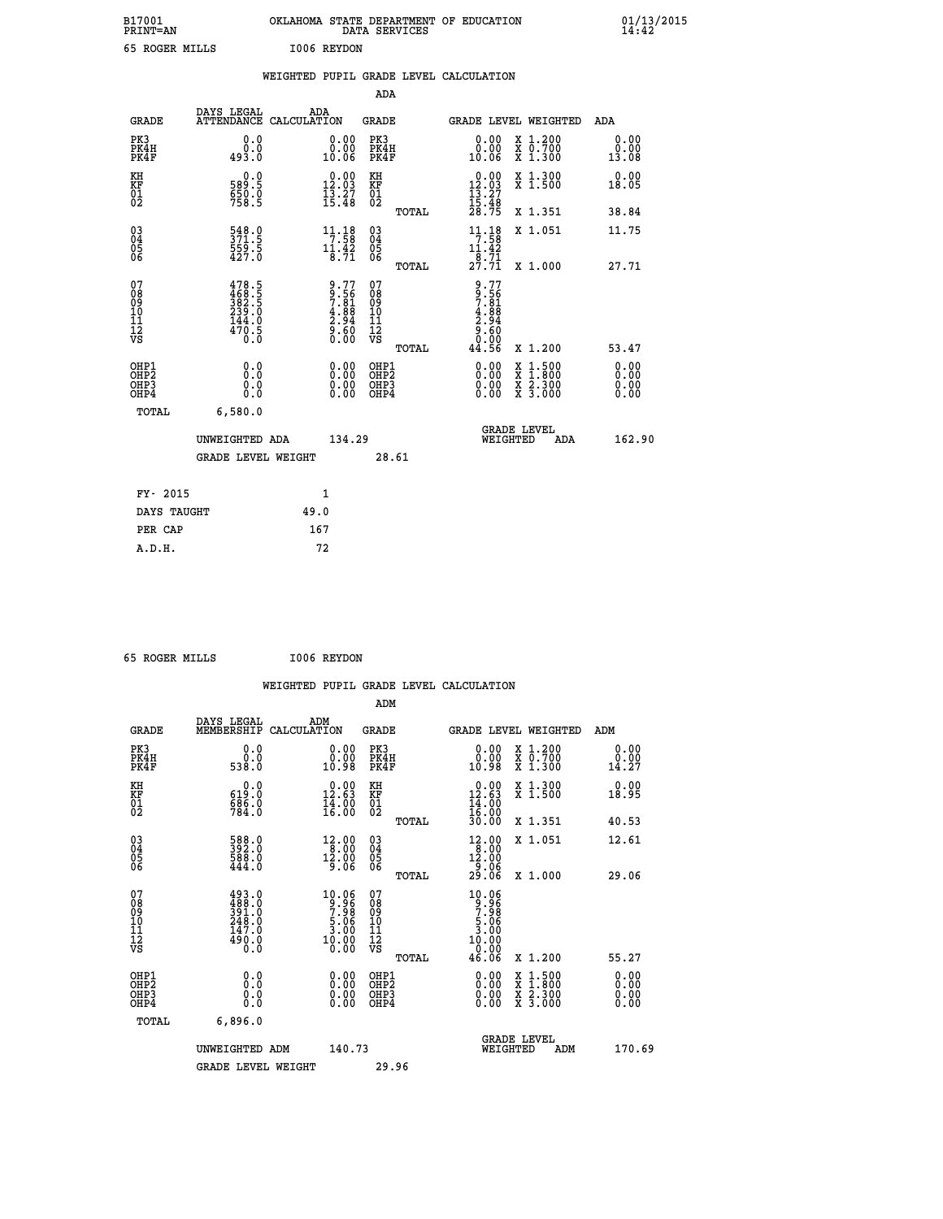| B17001<br><b>PRINT=AN</b> | OKLAHOMA<br><i><b>\ STATE DEPARTMENT OF EDUCATION</b></i><br>SERVICES<br>DATA | 01/13/2015<br>14:42 |
|---------------------------|-------------------------------------------------------------------------------|---------------------|
| 65<br>ROGER MILLS         | 1006<br>REYDON                                                                |                     |

| 65 ROGER MILLS                            |                                                                       |      | I006 REYDON                                                                  |                                                                   |       |                                                       |                                                                                                                                              |                       |
|-------------------------------------------|-----------------------------------------------------------------------|------|------------------------------------------------------------------------------|-------------------------------------------------------------------|-------|-------------------------------------------------------|----------------------------------------------------------------------------------------------------------------------------------------------|-----------------------|
|                                           |                                                                       |      |                                                                              |                                                                   |       | WEIGHTED PUPIL GRADE LEVEL CALCULATION                |                                                                                                                                              |                       |
|                                           |                                                                       |      |                                                                              | ADA                                                               |       |                                                       |                                                                                                                                              |                       |
| <b>GRADE</b>                              | DAYS LEGAL ADA ATTENDANCE CALCULATION                                 |      |                                                                              | <b>GRADE</b>                                                      |       |                                                       | GRADE LEVEL WEIGHTED                                                                                                                         | ADA                   |
| PK3<br>PK4H<br>PK4F                       | 0.0<br>0.0<br>493.0                                                   |      | $\begin{smallmatrix} 0.00\\ 0.00\\ 10.06 \end{smallmatrix}$                  | PK3<br>PK4H<br>PK4F                                               |       | 0.00<br>ةة:ة<br>10:06                                 | X 1.200<br>X 0.700<br>X 1.300                                                                                                                | 0.00<br>0.00<br>13.08 |
| KH<br><b>KF</b><br>01<br>02               | 0.0<br>589.5<br>$\frac{650}{758}$ . 9                                 |      | $\begin{array}{c} 0.00 \\ 12.03 \\ 13.27 \\ 15.48 \end{array}$               | KH<br>KF<br>01<br>02                                              |       | $12.03$<br>$13.27$<br>$15.48$                         | X 1.300<br>X 1.500                                                                                                                           | 0.00<br>18.05         |
|                                           |                                                                       |      |                                                                              |                                                                   | TOTAL | 28.75                                                 | X 1.351                                                                                                                                      | 38.84                 |
| $^{03}_{04}$<br>05<br>06                  | $\frac{548.0}{371.5}$<br>$\frac{559.5}{427.0}$                        |      | $\begin{array}{c} 11\cdot 18\\7\cdot 58\\11\cdot 42\\8\cdot 71\end{array}$   | $^{03}_{04}$<br>$\frac{05}{06}$                                   |       | $11.18$<br>$7.58$<br>$11.42$                          | X 1.051                                                                                                                                      | 11.75                 |
|                                           |                                                                       |      |                                                                              |                                                                   | TOTAL | $\frac{1}{2}$ $\frac{1}{7}$ $\frac{1}{7}$             | X 1.000                                                                                                                                      | 27.71                 |
| 07<br>08<br>09<br>11<br>11<br>12<br>VS    | $478.5$<br>$382.5$<br>$382.5$<br>$239.0$<br>$144.0$<br>$470.5$<br>0.0 |      | $9.77$<br>$9.56$<br>$7.81$<br>$4.88$<br>$4.94$<br>$2.94$<br>$9.60$<br>$0.00$ | 07<br>08<br>09<br>11<br>11<br>12<br>VS                            | TOTAL | 9.776<br>7.5618<br>7.888<br>4.9600<br>8.0000<br>44.56 | X 1.200                                                                                                                                      | 53.47                 |
| OHP1<br>OH <sub>P</sub> 2<br>OHP3<br>OHP4 | 0.0<br>0.0<br>0.0                                                     |      |                                                                              | OHP1<br>OH <sub>P</sub> 2<br>OHP <sub>3</sub><br>OHP <sub>4</sub> |       | 0.00<br>$0.00$<br>0.00                                | $\begin{smallmatrix} \mathtt{X} & 1\cdot500 \\ \mathtt{X} & 1\cdot800 \\ \mathtt{X} & 2\cdot300 \\ \mathtt{X} & 3\cdot000 \end{smallmatrix}$ | 0.00<br>0.00<br>0.00  |
| TOTAL                                     | 6,580.0                                                               |      |                                                                              |                                                                   |       |                                                       |                                                                                                                                              |                       |
|                                           | UNWEIGHTED ADA                                                        |      | 134.29                                                                       |                                                                   |       | WEIGHTED                                              | <b>GRADE LEVEL</b><br>ADA                                                                                                                    | 162.90                |
|                                           | <b>GRADE LEVEL WEIGHT</b>                                             |      |                                                                              |                                                                   | 28.61 |                                                       |                                                                                                                                              |                       |
| FY- 2015                                  |                                                                       |      | $\mathbf{1}$                                                                 |                                                                   |       |                                                       |                                                                                                                                              |                       |
| DAYS TAUGHT                               |                                                                       | 49.0 |                                                                              |                                                                   |       |                                                       |                                                                                                                                              |                       |
| PER CAP                                   |                                                                       |      | 167                                                                          |                                                                   |       |                                                       |                                                                                                                                              |                       |

 **65 ROGER MILLS I006 REYDON**

|                                                                              |                                                           |                                                                                                                                         |                                                     | WEIGHTED PUPIL GRADE LEVEL CALCULATION                                                                                                                                                                                                                                                                                     |                              |
|------------------------------------------------------------------------------|-----------------------------------------------------------|-----------------------------------------------------------------------------------------------------------------------------------------|-----------------------------------------------------|----------------------------------------------------------------------------------------------------------------------------------------------------------------------------------------------------------------------------------------------------------------------------------------------------------------------------|------------------------------|
|                                                                              |                                                           |                                                                                                                                         | ADM                                                 |                                                                                                                                                                                                                                                                                                                            |                              |
| <b>GRADE</b>                                                                 | DAYS LEGAL<br>MEMBERSHIP                                  | ADM<br>CALCULATION                                                                                                                      | <b>GRADE</b>                                        | <b>GRADE LEVEL WEIGHTED</b>                                                                                                                                                                                                                                                                                                | ADM                          |
| PK3<br>PK4H<br>PK4F                                                          | 0.0<br>0.0<br>538.0                                       | 0.00<br>10.98                                                                                                                           | PK3<br>PK4H<br>PK4F                                 | 0.00<br>X 1.200<br>X 0.700<br>X 1.300<br>10.98                                                                                                                                                                                                                                                                             | 0.00<br>0.00<br>14.27        |
| KH<br>KF<br>01<br>02                                                         | 0.0<br>619:0<br>686:0<br>784:0                            | $\begin{smallmatrix} 0.00\\ 12.63\\ 14.00\\ 16.00 \end{smallmatrix}$                                                                    | KH<br>KF<br>01<br>02                                | $\begin{smallmatrix} 0.00\\ 12.63\\ 14.00\\ 16.00\\ 30.00 \end{smallmatrix}$<br>X 1.300<br>X 1.500                                                                                                                                                                                                                         | 0.00<br>18.95                |
|                                                                              |                                                           |                                                                                                                                         | TOTAL                                               | X 1.351                                                                                                                                                                                                                                                                                                                    | 40.53                        |
| $\begin{matrix} 03 \\ 04 \\ 05 \\ 06 \end{matrix}$                           | 588.0<br>392.0<br>588.0<br>444.0                          | $\begin{array}{r} 12.00 \\ 8.00 \\ 12.00 \\ 9.06 \end{array}$                                                                           | $\begin{array}{c} 03 \\ 04 \\ 05 \\ 06 \end{array}$ | $\begin{array}{@{}c@{\hspace{1em}}c@{\hspace{1em}}c@{\hspace{1em}}}\n 12.00 \\  18.00 \\  12.00 \\  9.06\n \end{array}$<br>X 1.051                                                                                                                                                                                         | 12.61                        |
|                                                                              |                                                           |                                                                                                                                         | TOTAL                                               | 29.ŎĞ<br>X 1.000                                                                                                                                                                                                                                                                                                           | 29.06                        |
| 07<br>08<br>09<br>101<br>112<br>VS                                           | 493.0<br>488.0<br>391.0<br>248.0<br>247.0<br>490.0<br>0.0 | $\begin{smallmatrix} 10.06\\[-1.2mm] 9.96\\[-1.2mm] 7.98\\[-1.2mm] 5.06\\[-1.2mm] 3.00\\[-1.2mm] 10.00\\[-1.2mm] 0.00\end{smallmatrix}$ | 07<br>08<br>09<br>11<br>11<br>12<br>VS<br>TOTAL     | 10.06<br>$\frac{9}{7}$<br>$\frac{5}{3}$<br>$\frac{5}{9}$<br>$\frac{6}{9}$<br>$\frac{10.00}{0.00}$<br>46.06<br>X 1.200                                                                                                                                                                                                      | 55.27                        |
| OHP1<br>OH <sub>P</sub> <sub>2</sub><br>OH <sub>P3</sub><br>OH <sub>P4</sub> | 0.0<br>0.000                                              | $\begin{smallmatrix} 0.00 \ 0.00 \ 0.00 \ 0.00 \end{smallmatrix}$                                                                       | OHP1<br>OHP2<br>OHP3<br>OHP4                        | $\begin{smallmatrix} 0.00 & 0.00 & 0.00 & 0.00 & 0.00 & 0.00 & 0.00 & 0.00 & 0.00 & 0.00 & 0.00 & 0.00 & 0.00 & 0.00 & 0.00 & 0.00 & 0.00 & 0.00 & 0.00 & 0.00 & 0.00 & 0.00 & 0.00 & 0.00 & 0.00 & 0.00 & 0.00 & 0.00 & 0.00 & 0.00 & 0.00 & 0.00 & 0.00 & 0.00 & 0.00 & 0.0$<br>X 1:500<br>X 1:800<br>X 2:300<br>X 3:000 | 0.00<br>0.00<br>0.00<br>0.00 |
| TOTAL                                                                        | 6,896.0                                                   |                                                                                                                                         |                                                     |                                                                                                                                                                                                                                                                                                                            |                              |
|                                                                              | UNWEIGHTED ADM                                            | 140.73                                                                                                                                  |                                                     | GRADE LEVEL<br>WEIGHTED<br>ADM                                                                                                                                                                                                                                                                                             | 170.69                       |
|                                                                              | <b>GRADE LEVEL WEIGHT</b>                                 |                                                                                                                                         | 29.96                                               |                                                                                                                                                                                                                                                                                                                            |                              |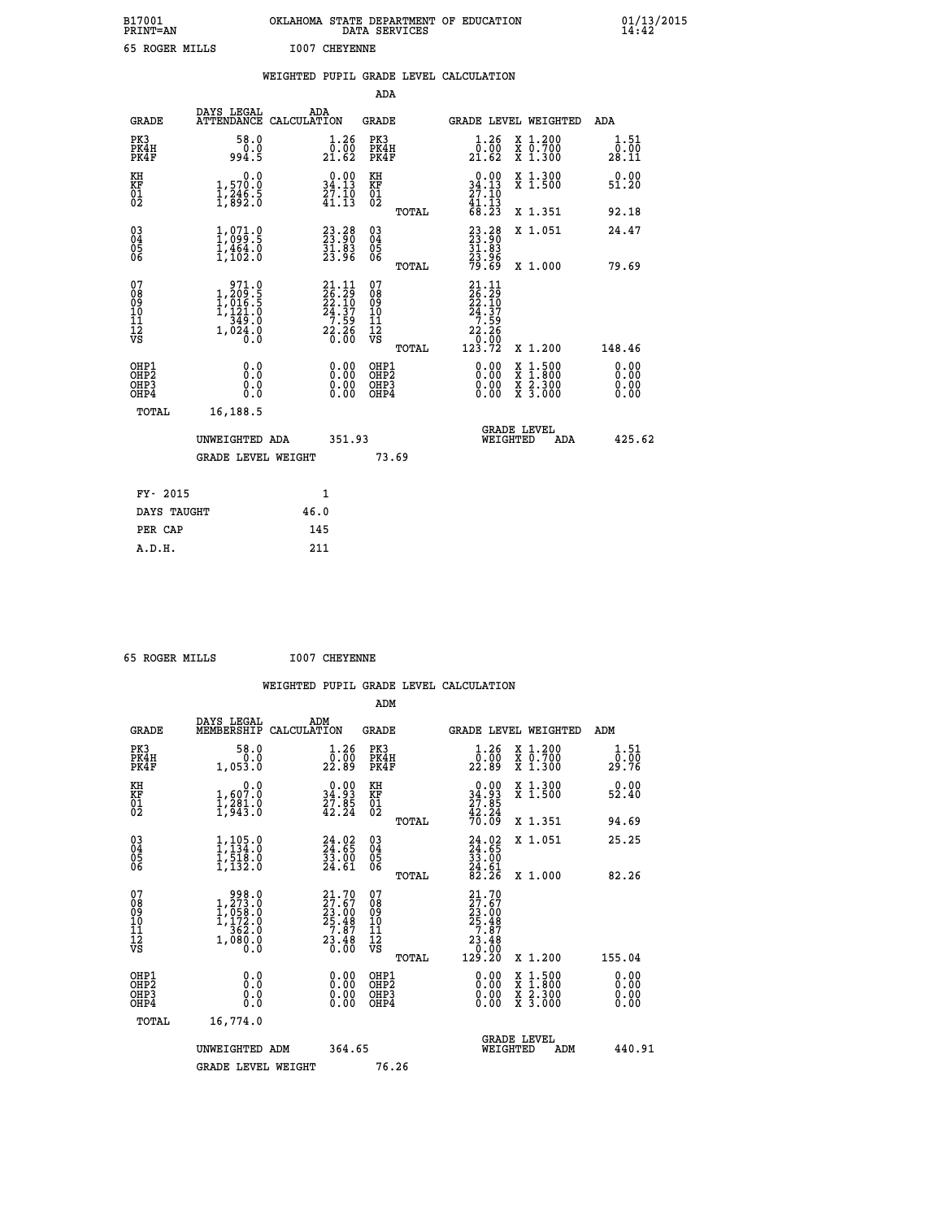| B17001<br>PRINT=AN                       |                                                                                  | OKLAHOMA STATE DEPARTMENT OF EDUCATION                                                                                         | DATA SERVICES                                   |                                                                                    |                                                                                          | $01/13/2015$<br>14:42        |
|------------------------------------------|----------------------------------------------------------------------------------|--------------------------------------------------------------------------------------------------------------------------------|-------------------------------------------------|------------------------------------------------------------------------------------|------------------------------------------------------------------------------------------|------------------------------|
| 65 ROGER MILLS                           |                                                                                  | <b>I007 CHEYENNE</b>                                                                                                           |                                                 |                                                                                    |                                                                                          |                              |
|                                          |                                                                                  | WEIGHTED PUPIL GRADE LEVEL CALCULATION                                                                                         |                                                 |                                                                                    |                                                                                          |                              |
|                                          |                                                                                  |                                                                                                                                | ADA                                             |                                                                                    |                                                                                          |                              |
| <b>GRADE</b>                             | DAYS LEGAL                                                                       | ADA<br>ATTENDANCE CALCULATION                                                                                                  | GRADE                                           | GRADE LEVEL WEIGHTED                                                               |                                                                                          | ADA                          |
| PK3<br>PK4H<br>PK4F                      | 58.0<br>0.0<br>994.5                                                             | 1.26<br>0.00<br>21.62                                                                                                          | PK3<br>PK4H<br>PK4F                             | 1.26<br>0.00<br>21.62                                                              | X 1.200<br>X 0.700<br>X 1.300                                                            | 1.51<br>0.00<br>28.11        |
| KH<br>KF<br>$\overline{01}$              | 0.0<br>1,570.0<br>1,246.5<br>1,892.0                                             | $0.00$<br>34.13<br>$\frac{5}{4}$ $\frac{7}{1}$ $\cdot$ $\frac{7}{13}$                                                          | KH<br>KF<br>$\overline{01}_0$                   | 0.00<br>34.13<br>27.10<br>41.I3                                                    | X 1.300<br>X 1.500                                                                       | 0.00<br>51.20                |
|                                          |                                                                                  |                                                                                                                                | TOTAL                                           | 68.23                                                                              | X 1.351                                                                                  | 92.18                        |
| 030404<br>06                             | $1,071.9$<br>$1,099.5$<br>$1,464.0$<br>$1,102.0$                                 | $\begin{smallmatrix} 23\cdot 28\\ 23\cdot 90\\ 31\cdot 83\\ 23\cdot 96 \end{smallmatrix}$                                      | 03<br>04<br>05<br>06                            | 23.28<br>23.90<br>31.83<br>23.96                                                   | X 1.051                                                                                  | 24.47                        |
|                                          |                                                                                  |                                                                                                                                | <b>TOTAL</b>                                    | 79.69                                                                              | X 1.000                                                                                  | 79.69                        |
| 07<br>08<br>09<br>10<br>11<br>12<br>VS   | 971.0<br>1,209.5<br>1,016.5<br>1,121.0<br>$\frac{1}{349}$ : 0<br>1,024: 0<br>Ō.Ŏ | $\begin{smallmatrix} 21\cdot 11\\ 26\cdot 29\\ 22\cdot 10\\ 24\cdot 37\\ 7\cdot 59\\ 22\cdot 26\\ 0\cdot 00 \end{smallmatrix}$ | 07<br>08<br>09<br>10<br>11<br>12<br>VS<br>TOTAL | $21.11$<br>$26.29$<br>$22.10$<br>$24.37$<br>$\frac{7.59}{22.26}$<br>0.00<br>123.72 | X 1.200                                                                                  | 148.46                       |
| OHP1<br>OHP <sub>2</sub><br>OHP3<br>OHP4 | 0.0<br>0.0<br>0.0<br>0.0                                                         | 0.00<br>0.00<br>0.00                                                                                                           | OHP1<br>OHP <sub>2</sub><br>OHP3<br>OHP4        | 0.00<br>0.00<br>0.00                                                               | $\begin{smallmatrix} x & 1.500 \\ x & 1.800 \\ x & 2.300 \\ x & 3.000 \end{smallmatrix}$ | 0.00<br>0.00<br>0.00<br>0.00 |
| TOTAL                                    | 16,188.5                                                                         |                                                                                                                                |                                                 |                                                                                    |                                                                                          |                              |
|                                          | UNWEIGHTED ADA                                                                   | 351.93                                                                                                                         |                                                 | <b>GRADE LEVEL</b><br>WEIGHTED                                                     | ADA                                                                                      | 425.62                       |
|                                          | <b>GRADE LEVEL WEIGHT</b>                                                        |                                                                                                                                | 73.69                                           |                                                                                    |                                                                                          |                              |
| FY- 2015                                 |                                                                                  | 1                                                                                                                              |                                                 |                                                                                    |                                                                                          |                              |
| DAYS TAUGHT                              |                                                                                  | 46.0                                                                                                                           |                                                 |                                                                                    |                                                                                          |                              |

| FY- 2015    | 1    |  |
|-------------|------|--|
| DAYS TAUGHT | 46.0 |  |
| PER CAP     | 145  |  |
| A.D.H.      | 211  |  |
|             |      |  |

 **65 ROGER MILLS I007 CHEYENNE**

 **WEIGHTED PUPIL GRADE LEVEL CALCULATION ADM DAYS LEGAL ADM GRADE MEMBERSHIP CALCULATION GRADE GRADE LEVEL WEIGHTED ADM PK3 58.0 1.26 PK3 1.26 X 1.200 1.51 PK4H 0.0 0.00 PK4H 0.00 X 0.700 0.00 PK4F 1,053.0 22.89 PK4F 22.89 X 1.300 29.76 KH 0.0 0.00 KH 0.00 X 1.300 0.00 KF 1,607.0 34.93 KF 34.93 X 1.500 52.40 01 1,281.0 27.85 01 27.85 02 1,943.0 42.24 02 42.24 TOTAL 70.09 X 1.351 94.69 03 1,105.0 24.02 03 24.02 X 1.051 25.25 04 1,134.0 24.65 04 24.65 05 1,518.0 33.00 05 33.00 06 1,132.0 24.61 06 24.61 TOTAL 82.26 X 1.000 82.26**  $\begin{array}{cccc} 07 & 998 & 0 & 21.70 & 07 & 21.70 \ 08 & 1,273.0 & 27.67 & 08 & 27.67 \ 09 & 1,058.0 & 23.00 & 09 & 23.00 \ 10 & 1,172.0 & 25.48 & 10 & 25.48 \ 11 & 582.0 & 7.87 & 11 & 7.87 \ \hline \end{array}$  $\begin{array}{cccc} 21.70 & 07 & 21.70 \ 27.67 & 08 & 27.67 \ 25.48 & 10 & 25.48 \ 23.48 & 11 & 7.87 \ 25.48 & 11 & 7.87 \ 23.48 & 12 & 7.87 \ 23.48 & 12 & 23.48 \ 3.00 & 08 & 12 & 23.48 \ 0.00 & 08 & 12 & 23.48 \ 0.00 & 08 & 1.29.20 & 1.200 & 155.04 \ 0.00 & 08 & 1.5$  **OHP1 0.0 0.00 OHP1 0.00 X 1.500 0.00 OHP2 0.0 0.00 OHP2 0.00 X 1.800 0.00 OHP3 0.0 0.00 OHP3 0.00 X 2.300 0.00 OHP4 0.0 0.00 OHP4 0.00 X 3.000 0.00 TOTAL 16,774.0 GRADE LEVEL UNWEIGHTED ADM 364.65 WEIGHTED ADM 440.91** GRADE LEVEL WEIGHT 76.26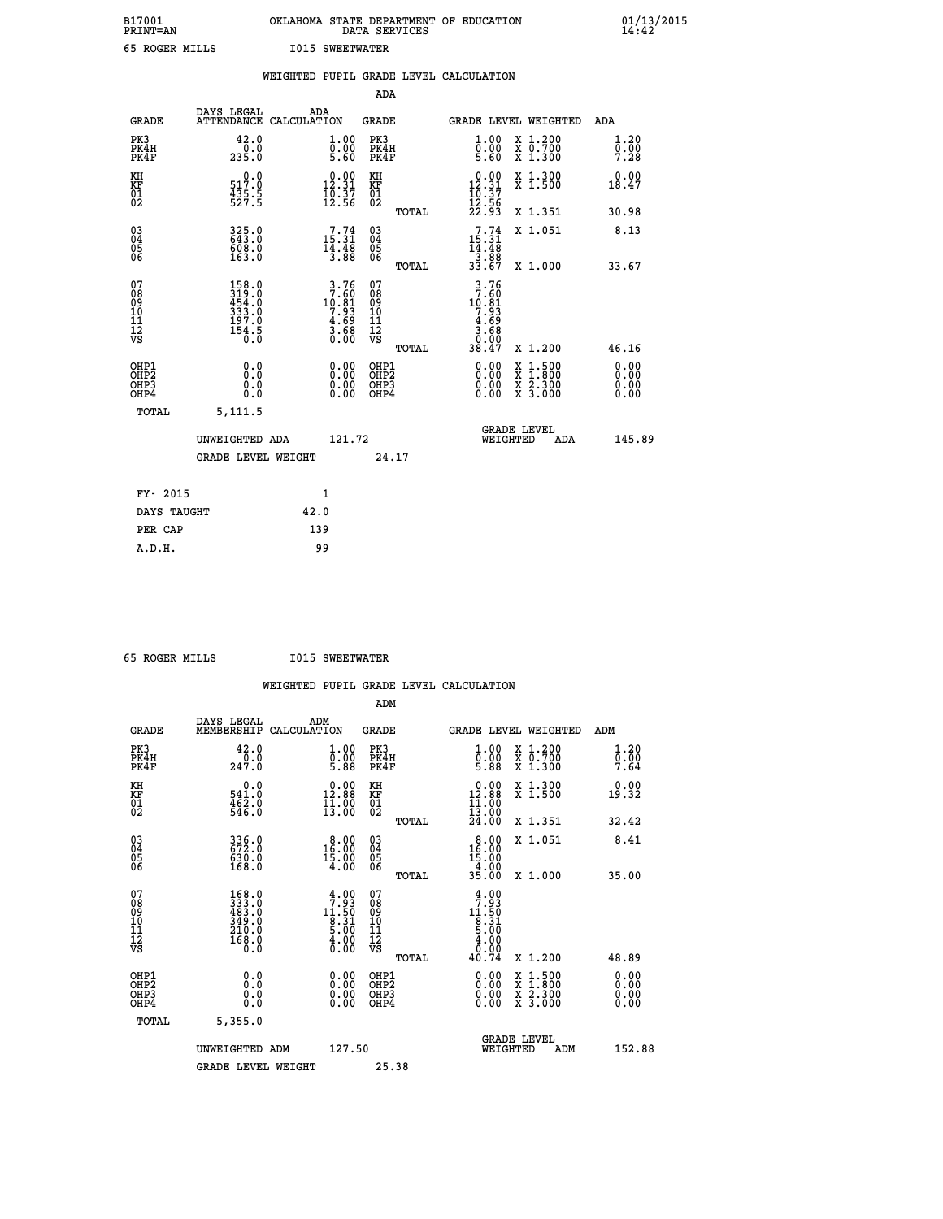| B17001<br><b>PRINT=AN</b> | OKLAHOMA STATE DEPARTMENT OF EDUCATION<br>DATA SERVICES | 01/13/2015<br>14:42 |
|---------------------------|---------------------------------------------------------|---------------------|
| 65 ROGER MILLS            | <b>I015 SWEETWATER</b>                                  |                     |

|                                           |                                                                                             | WEIGHTED PUPIL GRADE LEVEL CALCULATION                                               |                                                     |       |                                                                                                                                                                                              |                                                                                        |                              |
|-------------------------------------------|---------------------------------------------------------------------------------------------|--------------------------------------------------------------------------------------|-----------------------------------------------------|-------|----------------------------------------------------------------------------------------------------------------------------------------------------------------------------------------------|----------------------------------------------------------------------------------------|------------------------------|
|                                           |                                                                                             |                                                                                      | <b>ADA</b>                                          |       |                                                                                                                                                                                              |                                                                                        |                              |
| <b>GRADE</b>                              |                                                                                             | DAYS LEGAL ADA ATTENDANCE CALCULATION                                                | <b>GRADE</b>                                        |       |                                                                                                                                                                                              | GRADE LEVEL WEIGHTED                                                                   | ADA                          |
| PK3<br>PK4H<br>PK4F                       | 42.0<br>235.0                                                                               | $\begin{smallmatrix} 1.00\ 0.00\ 5.60 \end{smallmatrix}$                             | PK3<br>PK4H<br>PK4F                                 |       | 1.00<br>$\frac{0}{5}.00$                                                                                                                                                                     | X 1.200<br>X 0.700<br>X 1.300                                                          | 1.20<br>0.00<br>7.28         |
| KH<br>KF<br>01<br>02                      | 0.0<br>517:0<br>435:5<br>527:5                                                              | $\begin{smallmatrix} 0.00\\ 12.31\\ 16.37\\ 12.56 \end{smallmatrix}$                 | KH<br>KF<br>01<br>02                                |       | $\begin{array}{c} 0.00 \\ 12.31 \\ 10.37 \\ 12.56 \\ 22.93 \end{array}$                                                                                                                      | X 1.300<br>X 1.500                                                                     | 0.00<br>18.47                |
|                                           |                                                                                             |                                                                                      |                                                     | TOTAL |                                                                                                                                                                                              | X 1.351                                                                                | 30.98                        |
| $^{03}_{04}$<br>Ŏ5<br>06                  | 325.0<br>608.0<br>163.0                                                                     | $\begin{smallmatrix}7.74\15.31\14.48\13.88\end{smallmatrix}$                         | $\begin{array}{c} 03 \\ 04 \\ 05 \\ 06 \end{array}$ |       | $7.74$<br>$15.31$<br>$14.48$<br>$3.88$<br>$33.67$                                                                                                                                            | X 1.051                                                                                | 8.13                         |
|                                           |                                                                                             |                                                                                      |                                                     | TOTAL |                                                                                                                                                                                              | X 1.000                                                                                | 33.67                        |
| 07<br>08<br>09<br>11<br>11<br>12<br>VS    | $\begin{smallmatrix} 158.0\\ 319.0\\ 454.0\\ 333.0\\ 197.0\\ 154.5\\ 0.0 \end{smallmatrix}$ | $\begin{array}{r} 3.76 \\ 7.60 \\ 10.81 \\ 7.93 \\ 4.69 \\ 3.68 \\ 0.00 \end{array}$ | 07<br>08<br>09<br>11<br>11<br>12<br>VS              | TOTAL | $\begin{array}{@{}c@{\hspace{1em}}c@{\hspace{1em}}c@{\hspace{1em}}}\n & 3 & .76 \\  & 7 & .60 \\  & 10 & .81 \\  & 9 & .93 \\  & 4 & .69 \\  & 3 & .68 \\  & 0 & .99\n \end{array}$<br>38.47 | X 1.200                                                                                | 46.16                        |
| OHP1<br>OH <sub>P</sub> 2<br>OHP3<br>OHP4 | 0.0<br>0.0<br>0.0                                                                           | 0.0000<br>$\begin{smallmatrix} 0.00 \ 0.00 \end{smallmatrix}$                        | OHP1<br>OHP2<br>OHP3<br>OHP4                        |       | 0.00<br>0.00<br>0.00                                                                                                                                                                         | $1:500$<br>1:800<br>$\frac{\text{X}}{\text{X}}$<br>$\frac{x}{x}$ $\frac{5:300}{3:000}$ | 0.00<br>Ō.ŎŎ<br>0.00<br>0.00 |
| <b>TOTAL</b>                              | 5,111.5                                                                                     |                                                                                      |                                                     |       |                                                                                                                                                                                              |                                                                                        |                              |
|                                           | UNWEIGHTED ADA                                                                              | 121.72                                                                               |                                                     |       |                                                                                                                                                                                              | GRADE LEVEL<br>WEIGHTED<br>ADA                                                         | 145.89                       |
|                                           | <b>GRADE LEVEL WEIGHT</b>                                                                   |                                                                                      |                                                     | 24.17 |                                                                                                                                                                                              |                                                                                        |                              |
| FY- 2015                                  |                                                                                             | $\mathbf{1}$                                                                         |                                                     |       |                                                                                                                                                                                              |                                                                                        |                              |
| DAYS TAUGHT                               |                                                                                             | 42.0                                                                                 |                                                     |       |                                                                                                                                                                                              |                                                                                        |                              |
| PER CAP                                   |                                                                                             | 139                                                                                  |                                                     |       |                                                                                                                                                                                              |                                                                                        |                              |

| 65 ROGER MILLS |  | <b>I015 SWEETWATER</b> |
|----------------|--|------------------------|

|                                                      |                                                                                                    |                    |                                                                                  |                              |       | WEIGHTED PUPIL GRADE LEVEL CALCULATION                                                                                                                                                                                                                                         |                                                                                                  |                      |  |
|------------------------------------------------------|----------------------------------------------------------------------------------------------------|--------------------|----------------------------------------------------------------------------------|------------------------------|-------|--------------------------------------------------------------------------------------------------------------------------------------------------------------------------------------------------------------------------------------------------------------------------------|--------------------------------------------------------------------------------------------------|----------------------|--|
|                                                      |                                                                                                    |                    |                                                                                  | ADM                          |       |                                                                                                                                                                                                                                                                                |                                                                                                  |                      |  |
| <b>GRADE</b>                                         | DAYS LEGAL<br>MEMBERSHIP                                                                           | ADM<br>CALCULATION |                                                                                  | <b>GRADE</b>                 |       | GRADE LEVEL WEIGHTED                                                                                                                                                                                                                                                           |                                                                                                  | ADM                  |  |
| PK3<br>PK4H<br>PK4F                                  | 42.0<br>247.0                                                                                      |                    | 1.00<br>$\frac{0}{5}$ .00<br>5.88                                                | PK3<br>PK4H<br>PK4F          |       | $\begin{smallmatrix} 1.00 \\ 0.00 \\ 5.88 \end{smallmatrix}$                                                                                                                                                                                                                   | X 1.200<br>X 0.700<br>X 1.300                                                                    | 1.20<br>0.00<br>7.64 |  |
| KH<br>KF<br>01<br>02                                 | $\begin{smallmatrix} &0.0\541.0\462.0\546.0\end{smallmatrix}$                                      |                    | $\begin{smallmatrix} 0.00\\ 12.88\\ 11.88\\ 13.00 \end{smallmatrix}$             | KH<br>KF<br>01<br>02         |       | $\begin{smallmatrix} 0.00\\ 12.88\\ 11.00\\ 13.00\\ 24.00 \end{smallmatrix}$                                                                                                                                                                                                   | X 1.300<br>X 1.500                                                                               | 0.00<br>19.32        |  |
|                                                      |                                                                                                    |                    |                                                                                  |                              | TOTAL |                                                                                                                                                                                                                                                                                | X 1.351                                                                                          | 32.42                |  |
| $\begin{matrix} 03 \\ 04 \\ 05 \\ 06 \end{matrix}$   | 336.0<br>672.0<br>630.0<br>168.0                                                                   |                    | 16.00<br>15.00<br>15.00<br>4.00                                                  | 03<br>04<br>05<br>06         |       | $\begin{smallmatrix} 8.00 \\ 16.00 \\ 15.00 \\ 4.00 \\ 35.00 \end{smallmatrix}$                                                                                                                                                                                                | X 1.051                                                                                          | 8.41                 |  |
|                                                      |                                                                                                    |                    |                                                                                  |                              | TOTAL |                                                                                                                                                                                                                                                                                | X 1.000                                                                                          | 35.00                |  |
| 07<br>0890112<br>1112<br>VS                          | $\begin{smallmatrix} 168.0\\ 333.0\\ 483.0\\ 349.0\\ 210.0\\ 210.0\\ 68.0\\ 0.0 \end{smallmatrix}$ |                    | $\begin{smallmatrix} 4.00\\7.93\\11.50\\8.31\\5.00\\4.00\\0.00\end{smallmatrix}$ | 07<br>08901123<br>1112<br>VS | TOTAL | $4.00$<br>7.93<br>$11.50$<br>$8.31$<br>$5.00$<br>$4.00$<br>$0.00$<br>40.74                                                                                                                                                                                                     | $X_1.200$                                                                                        | 48.89                |  |
| OHP1<br>OHP2<br>OH <sub>P3</sub><br>OH <sub>P4</sub> | 0.0<br>0.000                                                                                       |                    | $\begin{smallmatrix} 0.00 \ 0.00 \ 0.00 \ 0.00 \end{smallmatrix}$                | OHP1<br>OHP2<br>OHP3<br>OHP4 |       | $\begin{smallmatrix} 0.00 & 0.00 & 0.00 & 0.00 & 0.00 & 0.00 & 0.00 & 0.00 & 0.00 & 0.00 & 0.00 & 0.00 & 0.00 & 0.00 & 0.00 & 0.00 & 0.00 & 0.00 & 0.00 & 0.00 & 0.00 & 0.00 & 0.00 & 0.00 & 0.00 & 0.00 & 0.00 & 0.00 & 0.00 & 0.00 & 0.00 & 0.00 & 0.00 & 0.00 & 0.00 & 0.0$ | $\begin{smallmatrix} x & 1 & 500 \\ x & 1 & 800 \\ x & 2 & 300 \\ x & 3 & 000 \end{smallmatrix}$ | 0.00<br>0.00<br>0.00 |  |
| TOTAL                                                | 5,355.0                                                                                            |                    |                                                                                  |                              |       |                                                                                                                                                                                                                                                                                |                                                                                                  |                      |  |
|                                                      | UNWEIGHTED ADM                                                                                     |                    | 127.50                                                                           |                              |       | WEIGHTED                                                                                                                                                                                                                                                                       | <b>GRADE LEVEL</b><br>ADM                                                                        | 152.88               |  |
|                                                      | <b>GRADE LEVEL WEIGHT</b>                                                                          |                    |                                                                                  | 25.38                        |       |                                                                                                                                                                                                                                                                                |                                                                                                  |                      |  |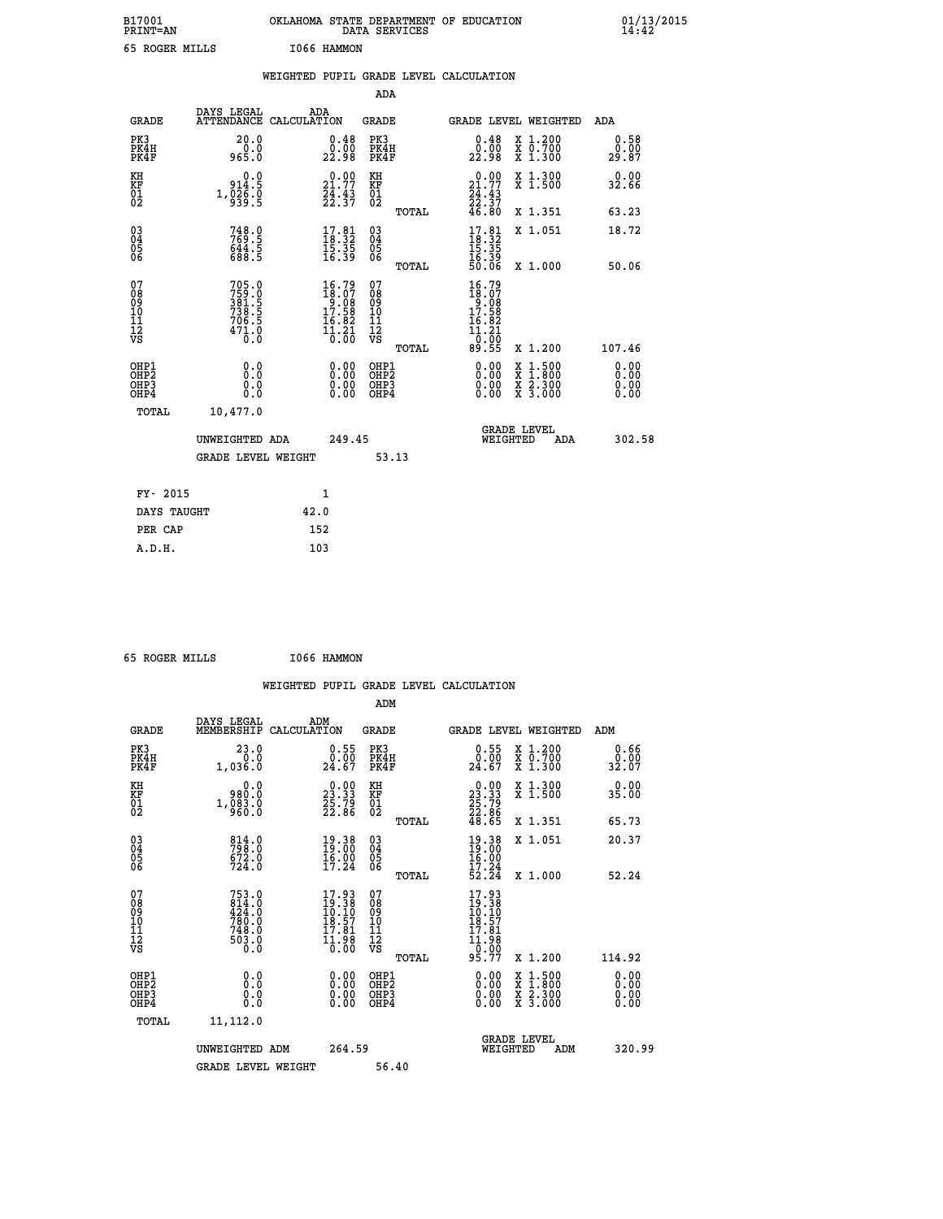| B17001<br>PRINT=AN                                 |                                                                           | OKLAHOMA STATE DEPARTMENT OF EDUCATION                                                            | DATA SERVICES                                   |                                                                                           |                                                                                          | $01/13/2015$<br>14:42        |  |
|----------------------------------------------------|---------------------------------------------------------------------------|---------------------------------------------------------------------------------------------------|-------------------------------------------------|-------------------------------------------------------------------------------------------|------------------------------------------------------------------------------------------|------------------------------|--|
| 65 ROGER MILLS                                     |                                                                           | I066 HAMMON                                                                                       |                                                 |                                                                                           |                                                                                          |                              |  |
|                                                    |                                                                           | WEIGHTED PUPIL GRADE LEVEL CALCULATION                                                            |                                                 |                                                                                           |                                                                                          |                              |  |
|                                                    |                                                                           |                                                                                                   | ADA                                             |                                                                                           |                                                                                          |                              |  |
| <b>GRADE</b>                                       | DAYS LEGAL                                                                | ADA<br>ATTENDANCE CALCULATION                                                                     | <b>GRADE</b>                                    | <b>GRADE LEVEL WEIGHTED</b>                                                               |                                                                                          | ADA                          |  |
| PK3<br>PK4H<br>PK4F                                | 20.0<br>0.0<br>965.0                                                      | 0.48<br>0.00<br>22.98                                                                             | PK3<br>PK4H<br>PK4F                             | 0.48<br>0.50<br>22.98                                                                     | X 1.200<br>X 0.700<br>$X$ 1.300                                                          | 0.58<br>0.00<br>29.87        |  |
| KH<br>KF<br>01<br>02                               | 0.0<br>914.5<br>$1,\overline{0}\overline{3}\overline{6}\cdot\overline{0}$ | $\begin{smallmatrix} 0.00\\ 21.77\\ 24.43\\ 22.37 \end{smallmatrix}$                              | KH<br>KF<br>01<br>02                            | 0.00<br>21.77<br>$\frac{24}{22}$ : $\frac{43}{37}$<br>46.80                               | X 1.300<br>X 1.500                                                                       | 0.00<br>32.66                |  |
|                                                    |                                                                           |                                                                                                   | <b>TOTAL</b>                                    |                                                                                           | X 1.351                                                                                  | 63.23                        |  |
| $\begin{matrix} 03 \\ 04 \\ 05 \\ 06 \end{matrix}$ | 748.9<br>769.5<br>644.5<br>688.5                                          | $\begin{smallmatrix} 17.81\ 18.32\ 15.35\ 16.39 \end{smallmatrix}$                                | 03<br>04<br>05<br>06                            | $\frac{17.81}{18.32}$<br>16.39<br>50.06                                                   | X 1.051                                                                                  | 18.72                        |  |
|                                                    |                                                                           |                                                                                                   | TOTAL                                           |                                                                                           | X 1.000                                                                                  | 50.06                        |  |
| 07<br>08<br>09<br>11<br>11<br>12<br>VS             | 705.0<br>$759.8$<br>$381.5$<br>$738.5$<br>$706.5$<br>$\frac{471.0}{0.0}$  | $\begin{smallmatrix} 16.79 \\ 18.07 \\ 9.08 \\ 17.58 \\ 16.82 \\ 14.21 \\ 0.00 \end{smallmatrix}$ | 07<br>08<br>09<br>10<br>11<br>12<br>VS<br>TOTAL | 16.79<br>$\frac{18.07}{9.08}$<br>17.58<br>16.82<br>$\frac{1}{10}$ $\frac{3}{00}$<br>89.55 | X 1.200                                                                                  | 107.46                       |  |
| OHP1<br>OH <sub>P</sub> 2<br>OHP3<br>OHP4          | 0.0<br>0.0<br>0.0<br>0.0                                                  | 0.00<br>0.00<br>0.00                                                                              | OHP1<br>OHP <sub>2</sub><br>OHP3<br>OHP4        | 0.00<br>0.00<br>0.00                                                                      | $\begin{smallmatrix} x & 1.500 \\ x & 1.800 \\ x & 2.300 \\ x & 3.000 \end{smallmatrix}$ | 0.00<br>0.00<br>0.00<br>0.00 |  |
| TOTAL                                              | 10,477.0                                                                  |                                                                                                   |                                                 |                                                                                           |                                                                                          |                              |  |
|                                                    | UNWEIGHTED ADA                                                            | 249.45                                                                                            |                                                 | <b>GRADE LEVEL</b><br>WEIGHTED                                                            | ADA                                                                                      | 302.58                       |  |
|                                                    | <b>GRADE LEVEL WEIGHT</b>                                                 |                                                                                                   | 53.13                                           |                                                                                           |                                                                                          |                              |  |
| FY- 2015                                           |                                                                           | 1                                                                                                 |                                                 |                                                                                           |                                                                                          |                              |  |
| DAYS TAUGHT                                        |                                                                           | 42.0                                                                                              |                                                 |                                                                                           |                                                                                          |                              |  |

| PER CAP | 152 |
|---------|-----|
| A.D.H.  | 103 |
|         |     |
|         |     |

|  | 65 ROGER MILLS |  | I066 HAMMON |
|--|----------------|--|-------------|
|  |                |  |             |

|                                                                      |                                                                  |                                                                      |                                                     | WEIGHTED PUPIL GRADE LEVEL CALCULATION                                                                                                                                                                                                                                         |                                          |                       |
|----------------------------------------------------------------------|------------------------------------------------------------------|----------------------------------------------------------------------|-----------------------------------------------------|--------------------------------------------------------------------------------------------------------------------------------------------------------------------------------------------------------------------------------------------------------------------------------|------------------------------------------|-----------------------|
|                                                                      |                                                                  |                                                                      | ADM                                                 |                                                                                                                                                                                                                                                                                |                                          |                       |
| <b>GRADE</b>                                                         | DAYS LEGAL<br>MEMBERSHIP                                         | ADM<br>CALCULATION                                                   | <b>GRADE</b>                                        | <b>GRADE LEVEL WEIGHTED</b>                                                                                                                                                                                                                                                    |                                          | ADM                   |
| PK3<br>PK4H<br>PK4F                                                  | 23.0<br>0.0<br>1,036.0                                           | $\begin{smallmatrix} 0.55\\ 0.00\\ 24.67 \end{smallmatrix}$          | PK3<br>PK4H<br>PK4F                                 | $\begin{smallmatrix} 0.55\\ 0.00\\ 24.67 \end{smallmatrix}$                                                                                                                                                                                                                    | X 1.200<br>X 0.700<br>X 1.300            | 0.66<br>0.00<br>32.07 |
| KH<br>KF<br>01<br>02                                                 | 0.0<br>980.0<br>1, 083.0                                         | $\begin{smallmatrix} 0.00\\ 23.33\\ 25.79\\ 22.86 \end{smallmatrix}$ | KH<br>KF<br>01<br>02                                | $\begin{smallmatrix} 0.00\\ 23.33\\ 25.79\\ 22.86\\ 48.65 \end{smallmatrix}$                                                                                                                                                                                                   | X 1.300<br>X 1.500                       | 0.00<br>35.00         |
|                                                                      |                                                                  |                                                                      | TOTAL                                               |                                                                                                                                                                                                                                                                                | X 1.351                                  | 65.73                 |
| $\begin{matrix} 03 \\ 04 \\ 05 \\ 06 \end{matrix}$                   | 814.0<br>798.0<br>672.0<br>724.0                                 | $\begin{smallmatrix} 19.38\\19.00\\16.00\\17.24 \end{smallmatrix}$   | $\begin{array}{c} 03 \\ 04 \\ 05 \\ 06 \end{array}$ | 19.38<br>19:00<br>$\frac{16.00}{17.24}$                                                                                                                                                                                                                                        | X 1.051                                  | 20.37                 |
|                                                                      |                                                                  |                                                                      | TOTAL                                               | 52.24                                                                                                                                                                                                                                                                          | X 1.000                                  | 52.24                 |
| 07<br>08<br>09<br>101<br>112<br>VS                                   | 753.0<br>814.0<br>424.0<br>780.0<br>748.0<br>$\frac{503.0}{0.0}$ | 17.93<br>19.38<br>10.10<br>18.57<br>17.81<br>$\frac{11.98}{0.00}$    | 07<br>08<br>09<br>11<br>11<br>12<br>VS<br>TOTAL     | 17.93<br>$\begin{array}{c} 19.38 \\ 10.10 \\ 18.57 \\ 17.81 \end{array}$<br>$\frac{11.98}{0.00}$<br>95.77                                                                                                                                                                      | X 1.200                                  | 114.92                |
| OHP1                                                                 |                                                                  |                                                                      | OHP1                                                |                                                                                                                                                                                                                                                                                |                                          | 0.00                  |
| OH <sub>P</sub> <sub>2</sub><br>OH <sub>P3</sub><br>OH <sub>P4</sub> | 0.0<br>0.0<br>Ŏ.Ŏ                                                | $0.00$<br>$0.00$<br>0.00                                             | OH <sub>P</sub> 2<br>OHP3<br>OHP4                   | $\begin{smallmatrix} 0.00 & 0.00 & 0.00 & 0.00 & 0.00 & 0.00 & 0.00 & 0.00 & 0.00 & 0.00 & 0.00 & 0.00 & 0.00 & 0.00 & 0.00 & 0.00 & 0.00 & 0.00 & 0.00 & 0.00 & 0.00 & 0.00 & 0.00 & 0.00 & 0.00 & 0.00 & 0.00 & 0.00 & 0.00 & 0.00 & 0.00 & 0.00 & 0.00 & 0.00 & 0.00 & 0.0$ | X 1:500<br>X 1:800<br>X 2:300<br>X 3:000 | 0.00<br>0.00<br>0.00  |
| TOTAL                                                                | 11,112.0                                                         |                                                                      |                                                     |                                                                                                                                                                                                                                                                                |                                          |                       |
|                                                                      | UNWEIGHTED ADM                                                   | 264.59                                                               |                                                     | <b>GRADE LEVEL</b><br>WEIGHTED                                                                                                                                                                                                                                                 | ADM                                      | 320.99                |
|                                                                      | <b>GRADE LEVEL WEIGHT</b>                                        |                                                                      | 56.40                                               |                                                                                                                                                                                                                                                                                |                                          |                       |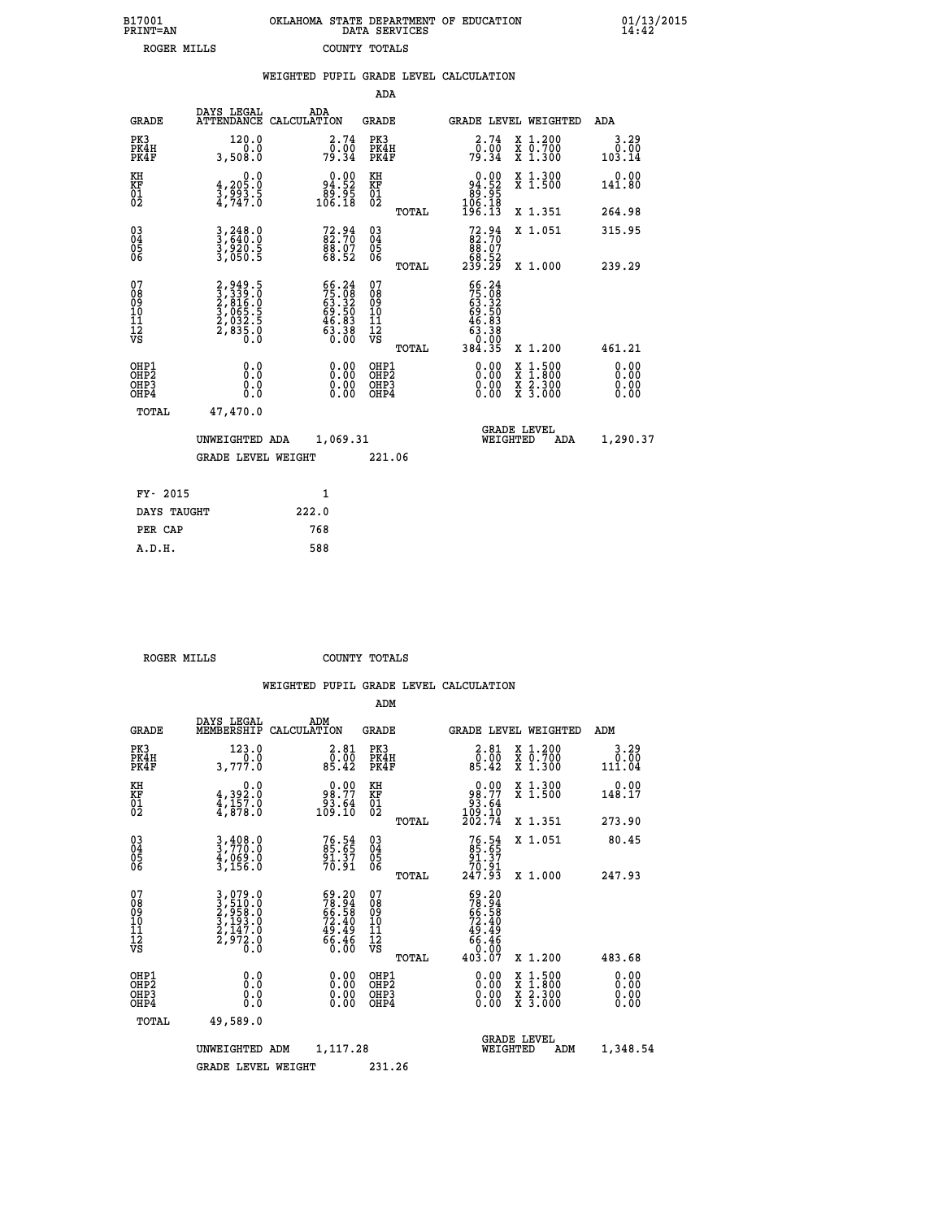| B17001<br>PRINT=AN | OKLAHOMA STATE DEPARTMENT OF EDUCATION<br>DATA SERVICES | $01/13/2015$<br>14:42 |
|--------------------|---------------------------------------------------------|-----------------------|
| ROGER MILLS        | COUNTY TOTALS                                           |                       |

|                                              |                                                                                                | WEIGHTED PUPIL GRADE LEVEL CALCULATION                            |                                                    |       |                                                                                                                                                                                                                                                                                |                                                                                                                                              |                        |
|----------------------------------------------|------------------------------------------------------------------------------------------------|-------------------------------------------------------------------|----------------------------------------------------|-------|--------------------------------------------------------------------------------------------------------------------------------------------------------------------------------------------------------------------------------------------------------------------------------|----------------------------------------------------------------------------------------------------------------------------------------------|------------------------|
|                                              |                                                                                                |                                                                   | ADA                                                |       |                                                                                                                                                                                                                                                                                |                                                                                                                                              |                        |
| <b>GRADE</b>                                 | DAYS LEGAL                                                                                     | ADA<br>ATTENDANCE CALCULATION                                     | GRADE                                              |       |                                                                                                                                                                                                                                                                                | GRADE LEVEL WEIGHTED                                                                                                                         | ADA                    |
| PK3<br>PK4H<br>PK4F                          | 120.0<br>0.0<br>3,508.0                                                                        | $\begin{smallmatrix} 2.74\0.00\\0.91\0.34\end{smallmatrix}$       | PK3<br>PK4H<br>PK4F                                |       | $\begin{smallmatrix} 2.74\0.00\\0.94\end{smallmatrix}$                                                                                                                                                                                                                         | X 1.200<br>X 0.700<br>X 1.300                                                                                                                | 3.29<br>0.00<br>103.14 |
| KH<br>KF<br>01<br>02                         | $\begin{smallmatrix} 0 & 0 & 0 \\ 4 & 205 & 0 \\ 3 & 993 & 5 \\ 4 & 747 & 0 \end{smallmatrix}$ | 94.92<br>55.قة<br>106.18                                          | KH<br>KF<br>01<br>02                               |       | $\begin{smallmatrix} &0.00\ 94.52\ 89.95\ 106.18\ 196.13\end{smallmatrix}$                                                                                                                                                                                                     | X 1.300<br>X 1.500                                                                                                                           | $0.00$<br>141.80       |
|                                              |                                                                                                |                                                                   |                                                    | TOTAL |                                                                                                                                                                                                                                                                                | X 1.351                                                                                                                                      | 264.98                 |
| $^{03}_{04}$<br>05                           | 3,248.0<br>3,640.0<br>3,920.5<br>3,050.5                                                       | 72.94<br>82.70<br>88.07<br>68.52                                  | $\begin{matrix} 03 \\ 04 \\ 05 \\ 06 \end{matrix}$ |       | $72.9482.7088.0768.52239.29$                                                                                                                                                                                                                                                   | X 1.051                                                                                                                                      | 315.95                 |
| 06                                           |                                                                                                |                                                                   |                                                    | TOTAL |                                                                                                                                                                                                                                                                                | X 1.000                                                                                                                                      | 239.29                 |
| 07<br>08<br>09<br>01<br>11<br>11<br>12<br>VS | 2,949.5<br>3,339.0<br>2,816.0<br>2,065.5<br>2,032.5<br>2,835.0                                 | $56.2475.0863.3269.5046.8363.3863.38$                             | 07<br>08<br>09<br>101<br>11<br>12<br>VS            | TOTAL | 66.24<br>$75.08$<br>$69.320$<br>$69.503$<br>$46.833$<br>$63.380$<br>$0.000$<br>$384.35$                                                                                                                                                                                        | X 1.200                                                                                                                                      | 461.21                 |
| OHP1<br>OHP2<br>OHP3<br>OHP4                 | 0.0<br>0.000                                                                                   | $\begin{smallmatrix} 0.00 \ 0.00 \ 0.00 \ 0.00 \end{smallmatrix}$ | OHP1<br>OHP2<br>OHP <sub>3</sub>                   |       | $\begin{smallmatrix} 0.00 & 0.00 & 0.00 & 0.00 & 0.00 & 0.00 & 0.00 & 0.00 & 0.00 & 0.00 & 0.00 & 0.00 & 0.00 & 0.00 & 0.00 & 0.00 & 0.00 & 0.00 & 0.00 & 0.00 & 0.00 & 0.00 & 0.00 & 0.00 & 0.00 & 0.00 & 0.00 & 0.00 & 0.00 & 0.00 & 0.00 & 0.00 & 0.00 & 0.00 & 0.00 & 0.0$ | $\begin{smallmatrix} \mathtt{X} & 1\cdot500 \\ \mathtt{X} & 1\cdot800 \\ \mathtt{X} & 2\cdot300 \\ \mathtt{X} & 3\cdot000 \end{smallmatrix}$ | 0.00<br>0.00           |
| TOTAL                                        | 47,470.0                                                                                       |                                                                   |                                                    |       |                                                                                                                                                                                                                                                                                |                                                                                                                                              |                        |
|                                              | UNWEIGHTED ADA                                                                                 | 1,069.31                                                          |                                                    |       | WEIGHTED                                                                                                                                                                                                                                                                       | <b>GRADE LEVEL</b><br>ADA                                                                                                                    | 1,290.37               |
|                                              | <b>GRADE LEVEL WEIGHT</b>                                                                      |                                                                   | 221.06                                             |       |                                                                                                                                                                                                                                                                                |                                                                                                                                              |                        |
| FY- 2015                                     |                                                                                                | $\mathbf{1}$                                                      |                                                    |       |                                                                                                                                                                                                                                                                                |                                                                                                                                              |                        |
| DAYS TAUGHT                                  |                                                                                                | 222.0                                                             |                                                    |       |                                                                                                                                                                                                                                                                                |                                                                                                                                              |                        |
| PER CAP                                      |                                                                                                | 768                                                               |                                                    |       |                                                                                                                                                                                                                                                                                |                                                                                                                                              |                        |

 **ROGER MILLS COUNTY TOTALS**

 **A.D.H. 588**

|                                           |                                                                               |                                                                          | ADM                                                |                                                                                      |                                          |                        |
|-------------------------------------------|-------------------------------------------------------------------------------|--------------------------------------------------------------------------|----------------------------------------------------|--------------------------------------------------------------------------------------|------------------------------------------|------------------------|
| <b>GRADE</b>                              | DAYS LEGAL<br>MEMBERSHIP                                                      | ADM<br>CALCULATION                                                       | <b>GRADE</b>                                       | GRADE LEVEL WEIGHTED                                                                 |                                          | ADM                    |
| PK3<br>PK4H<br>PK4F                       | 123.0<br>3,777.0                                                              | $\begin{smallmatrix} 2.81\0.00\\0.00\\85.42\end{smallmatrix}$            | PK3<br>PK4H<br>PK4F                                | $\begin{smallmatrix} 2.81\0.00\\0.00\\85.42\end{smallmatrix}$                        | X 1.200<br>X 0.700<br>X 1.300            | 3.29<br>0.00<br>111.04 |
| KH<br>KF<br>01<br>02                      | 0.0<br>$\frac{4}{4}, \frac{392}{157}$ .0<br>$\frac{4}{4}, \frac{157}{878}$ .0 | $\begin{smallmatrix} 0.00\\98.77\\93.64\\109.10\end{smallmatrix}$        | KH<br>KF<br>01<br>02                               | $\begin{smallmatrix} &0.00\ 98.77\ 93.64\ 109.10\ 202.74\ \end{smallmatrix}$         | X 1.300<br>X 1.500                       | 0.00<br>148.17         |
|                                           |                                                                               |                                                                          | TOTAL                                              |                                                                                      | X 1.351                                  | 273.90                 |
| 03<br>04<br>05<br>06                      | $3,408.0$<br>$3,770.0$<br>$4,069.0$<br>$3,156.0$                              | $76.54$<br>85.65<br>91.37<br>70.91                                       | $\begin{matrix} 03 \\ 04 \\ 05 \\ 06 \end{matrix}$ | $76.54$<br>85.65<br>91.37<br>70.91<br>247.93                                         | X 1.051                                  | 80.45                  |
|                                           |                                                                               |                                                                          | TOTAL                                              |                                                                                      | X 1.000                                  | 247.93                 |
| 07<br>08<br>09<br>101<br>11<br>12<br>VS   | 3,079.0<br>3,510.0<br>2,958.0<br>3,193.0<br>2,147.0<br>2,972.0<br>0.0         | $59.20$<br>$78.94$<br>$66.58$<br>$72.40$<br>$49.49$<br>$66.46$<br>$0.00$ | 07<br>08<br>09<br>11<br>11<br>12<br>VS             | $59.20$<br>$78.94$<br>$66.58$<br>$72.40$<br>$49.49$<br>$66.46$<br>$0.00$<br>$403.07$ |                                          |                        |
|                                           |                                                                               |                                                                          | TOTAL                                              |                                                                                      | X 1.200                                  | 483.68                 |
| OHP1<br>OHP2<br>OH <sub>P</sub> 3<br>OHP4 |                                                                               |                                                                          | OHP1<br>OHP2<br>OHP <sub>3</sub>                   | $0.00$<br>$0.00$<br>0.00                                                             | X 1:500<br>X 1:800<br>X 2:300<br>X 3:000 | 0.00<br>0.00<br>0.00   |
|                                           | TOTAL<br>49,589.0                                                             |                                                                          |                                                    |                                                                                      |                                          |                        |
|                                           | UNWEIGHTED                                                                    | 1,117.28<br>ADM                                                          |                                                    | <b>GRADE LEVEL</b><br>WEIGHTED                                                       | ADM                                      | 1,348.54               |
|                                           | <b>GRADE LEVEL WEIGHT</b>                                                     |                                                                          | 231.26                                             |                                                                                      |                                          |                        |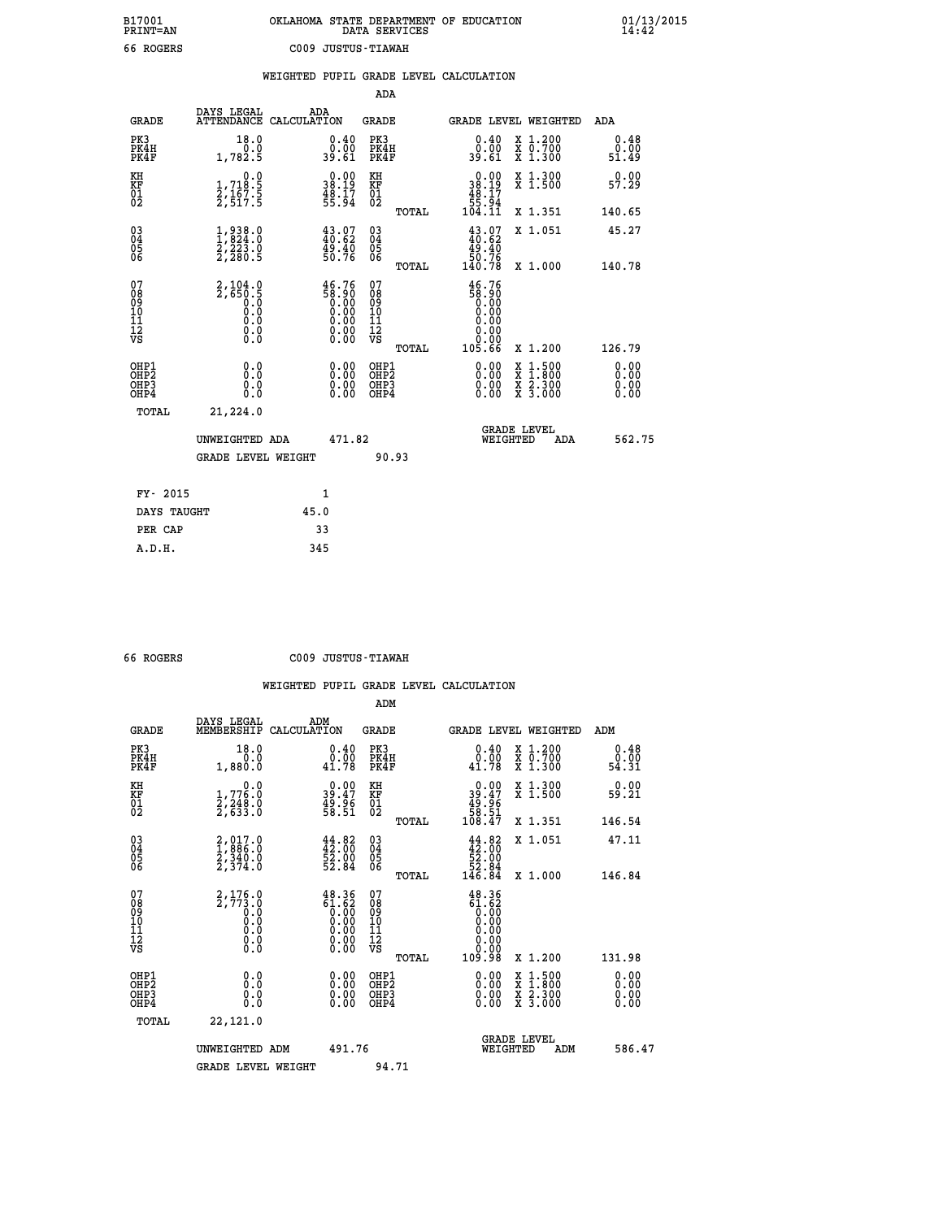| B17001<br><b>PRINT=AN</b> | OKLAHOMA STATE DEPARTMENT OF EDUCATION<br>DATA SERVICES |  |
|---------------------------|---------------------------------------------------------|--|
| 66 ROGERS                 | C009 JUSTUS-TIAWAH                                      |  |

 **B17001 OKLAHOMA STATE DEPARTMENT OF EDUCATION 01/13/2015**

|                                                    |                                                                               | WEIGHTED |                                                                      |                      |       | PUPIL GRADE LEVEL CALCULATION |                                                                      |                                                         |                                                             |
|----------------------------------------------------|-------------------------------------------------------------------------------|----------|----------------------------------------------------------------------|----------------------|-------|-------------------------------|----------------------------------------------------------------------|---------------------------------------------------------|-------------------------------------------------------------|
|                                                    |                                                                               |          |                                                                      | ADA                  |       |                               |                                                                      |                                                         |                                                             |
| <b>GRADE</b>                                       | DAYS LEGAL<br>ATTENDANCE CALCULATION                                          | ADA      |                                                                      | GRADE                |       |                               |                                                                      | GRADE LEVEL WEIGHTED                                    | ADA                                                         |
| PK3<br>PK4H<br>PK4F                                | 18.0<br>0.0<br>1,782.5                                                        |          | 0.40<br>0.00<br>39.61                                                | PK3<br>PK4H<br>PK4F  |       |                               | $0.40$<br>$0.00$<br>39.61                                            | X 1.200<br>$\overline{x}$ $\overline{0.700}$<br>X 1.300 | $\begin{smallmatrix} 0.48\ 0.0001\ 51.49 \end{smallmatrix}$ |
| КH<br>KF<br>01<br>02                               | $\begin{smallmatrix}&&&0.0\\1,718.5\\2,167.5\\2,517.5\end{smallmatrix}$       |          | $\begin{smallmatrix} 0.00\\ 38.19\\ 48.17\\ 55.94 \end{smallmatrix}$ | KH<br>KF<br>01<br>Ō2 |       |                               | $\begin{smallmatrix} 0.00\\ 38.19\\ 48.17\\ 55.94 \end{smallmatrix}$ | X 1.300<br>X <sub>1.500</sub>                           | $0.00$<br>57.29                                             |
|                                                    |                                                                               |          |                                                                      |                      | TOTAL | 104.11                        |                                                                      | X 1.351                                                 | 140.65                                                      |
| $\begin{matrix} 03 \\ 04 \\ 05 \\ 06 \end{matrix}$ | $\begin{smallmatrix} 1,938.0\\ 1,824.0\\ 2,223.0\\ 2,280.5 \end{smallmatrix}$ |          | $43.07$<br>$40.62$<br>49.40<br>50.76                                 | 030404<br>06         |       |                               | $43.07$<br>$40.62$<br>49.40                                          | X 1.051                                                 | 45.27                                                       |
|                                                    |                                                                               |          |                                                                      |                      | TOTAL | 50.76<br>140.78               |                                                                      | X 1.000                                                 | 140.78                                                      |
| 07<br>$\sim$                                       | 2,104.0                                                                       |          | 46.76                                                                | 07<br>$\sim$ $\sim$  |       |                               | 46.76<br>$  -$                                                       |                                                         |                                                             |

| 08901112<br>1112<br>VS                               | 2,650.5<br>.ō<br>0<br>$\begin{smallmatrix} 0.0 & 0 \ 0.0 & 0 \ 0.0 & 0 \end{smallmatrix}$ | $\frac{58.90}{0.00}$       | 08901112<br>1112<br>VS<br>TOTAL          |                          | X 1.200                                  | 126.79                                                                                                                                                                                                                                                                         |
|------------------------------------------------------|-------------------------------------------------------------------------------------------|----------------------------|------------------------------------------|--------------------------|------------------------------------------|--------------------------------------------------------------------------------------------------------------------------------------------------------------------------------------------------------------------------------------------------------------------------------|
| OHP1<br>OHP <sub>2</sub><br>OH <sub>P3</sub><br>OHP4 | 0.0<br>0.0<br>0.0                                                                         |                            | OHP1<br>OHP <sub>2</sub><br>OHP3<br>OHP4 | $0.00$<br>$0.00$<br>0.00 | X 1:500<br>X 1:800<br>X 2:300<br>X 3:000 | $\begin{smallmatrix} 0.00 & 0.00 & 0.00 & 0.00 & 0.00 & 0.00 & 0.00 & 0.00 & 0.00 & 0.00 & 0.00 & 0.00 & 0.00 & 0.00 & 0.00 & 0.00 & 0.00 & 0.00 & 0.00 & 0.00 & 0.00 & 0.00 & 0.00 & 0.00 & 0.00 & 0.00 & 0.00 & 0.00 & 0.00 & 0.00 & 0.00 & 0.00 & 0.00 & 0.00 & 0.00 & 0.0$ |
| TOTAL                                                | 21,224.0<br>UNWEIGHTED ADA<br><b>GRADE LEVEL WEIGHT</b>                                   | 471.82                     | 90.93                                    | WEIGHTED                 | <b>GRADE LEVEL</b><br>ADA                | 562.75                                                                                                                                                                                                                                                                         |
| FY- 2015<br>DAYS TAUGHT<br>PER CAP                   |                                                                                           | $\mathbf{1}$<br>45.0<br>33 |                                          |                          |                                          |                                                                                                                                                                                                                                                                                |
|                                                      |                                                                                           |                            |                                          |                          |                                          |                                                                                                                                                                                                                                                                                |

 **A.D.H. 345**

 **B17001<br>PRINT=AN** 

 **66 ROGERS C009 JUSTUS-TIAWAH**

|                                          |                                                                               |                                                                                                                                                                                   | ADM                                                 |       |                                                                                                                                                                                                                                                                                                                                              |                                          |                              |
|------------------------------------------|-------------------------------------------------------------------------------|-----------------------------------------------------------------------------------------------------------------------------------------------------------------------------------|-----------------------------------------------------|-------|----------------------------------------------------------------------------------------------------------------------------------------------------------------------------------------------------------------------------------------------------------------------------------------------------------------------------------------------|------------------------------------------|------------------------------|
| <b>GRADE</b>                             | DAYS LEGAL<br>MEMBERSHIP                                                      | ADM<br>CALCULATION                                                                                                                                                                | <b>GRADE</b>                                        |       |                                                                                                                                                                                                                                                                                                                                              | <b>GRADE LEVEL WEIGHTED</b>              | ADM                          |
| PK3<br>PK4H<br>PK4F                      | 18.0<br>0.0<br>1,880.0                                                        | $\substack{0.40\\0.00\\41.78}$                                                                                                                                                    | PK3<br>PK4H<br>PK4F                                 |       | $\begin{smallmatrix} 0.40\\ 0.00\\ 41.78 \end{smallmatrix}$                                                                                                                                                                                                                                                                                  | X 1.200<br>X 0.700<br>X 1.300            | 0.48<br>ŏ.ōŏ<br>54.31        |
| KH<br>KF<br>01<br>02                     | 0.0<br>$\frac{1}{2}, \frac{776}{248}$ .0<br>2,248.0                           | $\begin{smallmatrix} 0.00\\ 39.47\\ 49.96\\ 58.51 \end{smallmatrix}$                                                                                                              | KH<br>KF<br>01<br>02                                |       | $0.00$<br>$39.47$<br>$49.96$<br>$58.51$<br>$108.47$                                                                                                                                                                                                                                                                                          | X 1.300<br>X 1.500                       | 0.00<br>59.21                |
|                                          |                                                                               |                                                                                                                                                                                   |                                                     | TOTAL |                                                                                                                                                                                                                                                                                                                                              | X 1.351                                  | 146.54                       |
| 03<br>04<br>05<br>06                     | $\begin{smallmatrix} 2,017.0\\ 1,886.0\\ 2,340.0\\ 2,374.0 \end{smallmatrix}$ | $44.82$<br>$42.00$<br>$52.00$<br>$52.84$                                                                                                                                          | $\begin{array}{c} 03 \\ 04 \\ 05 \\ 06 \end{array}$ |       | $44.82\n42.00\n52.00\n52.84\n146.84$                                                                                                                                                                                                                                                                                                         | X 1.051                                  | 47.11                        |
|                                          |                                                                               |                                                                                                                                                                                   |                                                     | TOTAL |                                                                                                                                                                                                                                                                                                                                              | X 1.000                                  | 146.84                       |
| 07<br>08<br>09<br>101<br>112<br>VS       | $2, 176.0$<br>$2, 773.0$<br>$0.0$<br>0.0<br>0.0<br>$\S.$                      | $\begin{smallmatrix} 4\,8\cdot\,3\,6\\ 6\,1\cdot\,6\,2\\ 0\cdot\,0\,0\\ 0\cdot\,0\,0\\ 0\cdot\,0\,0\\ 0\cdot\,0\,0\\ 0\cdot\,0\,0\\ 0\cdot\,0\,0\\ 0\cdot\,0\,0\end{smallmatrix}$ | 07<br>08<br>09<br>11<br>11<br>12<br>VS              |       | 48.36<br>$\begin{smallmatrix} 1 & 1 & 1 & 1 \\ 1 & 1 & 0 & 0 \\ 0 & 0 & 0 & 0 \\ 0 & 0 & 0 & 0 \\ 0 & 0 & 0 & 0 \\ 0 & 0 & 0 & 0 \\ 0 & 0 & 0 & 0 \\ 0 & 0 & 0 & 0 \\ 0 & 0 & 0 & 0 \\ 0 & 0 & 0 & 0 \\ 0 & 0 & 0 & 0 \\ 0 & 0 & 0 & 0 \\ 0 & 0 & 0 & 0 \\ 0 & 0 & 0 & 0 \\ 0 & 0 & 0 & 0 \\ 0 & 0 & 0 & 0 \\ 0 & 0 & 0 & 0 \\ 0 & 0 & 0 & $ |                                          |                              |
|                                          |                                                                               |                                                                                                                                                                                   |                                                     | TOTAL | 109.98                                                                                                                                                                                                                                                                                                                                       | X 1.200                                  | 131.98                       |
| OHP1<br>OHP2<br>OH <sub>P3</sub><br>OHP4 | 0.0<br>0.000                                                                  | $0.00$<br>$0.00$<br>0.00                                                                                                                                                          | OHP1<br>OHP2<br>OHP <sub>3</sub>                    |       | $0.00$<br>$0.00$<br>0.00                                                                                                                                                                                                                                                                                                                     | X 1:500<br>X 1:800<br>X 2:300<br>X 3:000 | 0.00<br>0.00<br>0.00<br>0.00 |
| TOTAL                                    | 22,121.0                                                                      |                                                                                                                                                                                   |                                                     |       |                                                                                                                                                                                                                                                                                                                                              |                                          |                              |
|                                          | UNWEIGHTED ADM                                                                | 491.76                                                                                                                                                                            |                                                     |       |                                                                                                                                                                                                                                                                                                                                              | <b>GRADE LEVEL</b><br>WEIGHTED<br>ADM    | 586.47                       |
|                                          | <b>GRADE LEVEL WEIGHT</b>                                                     |                                                                                                                                                                                   | 94.71                                               |       |                                                                                                                                                                                                                                                                                                                                              |                                          |                              |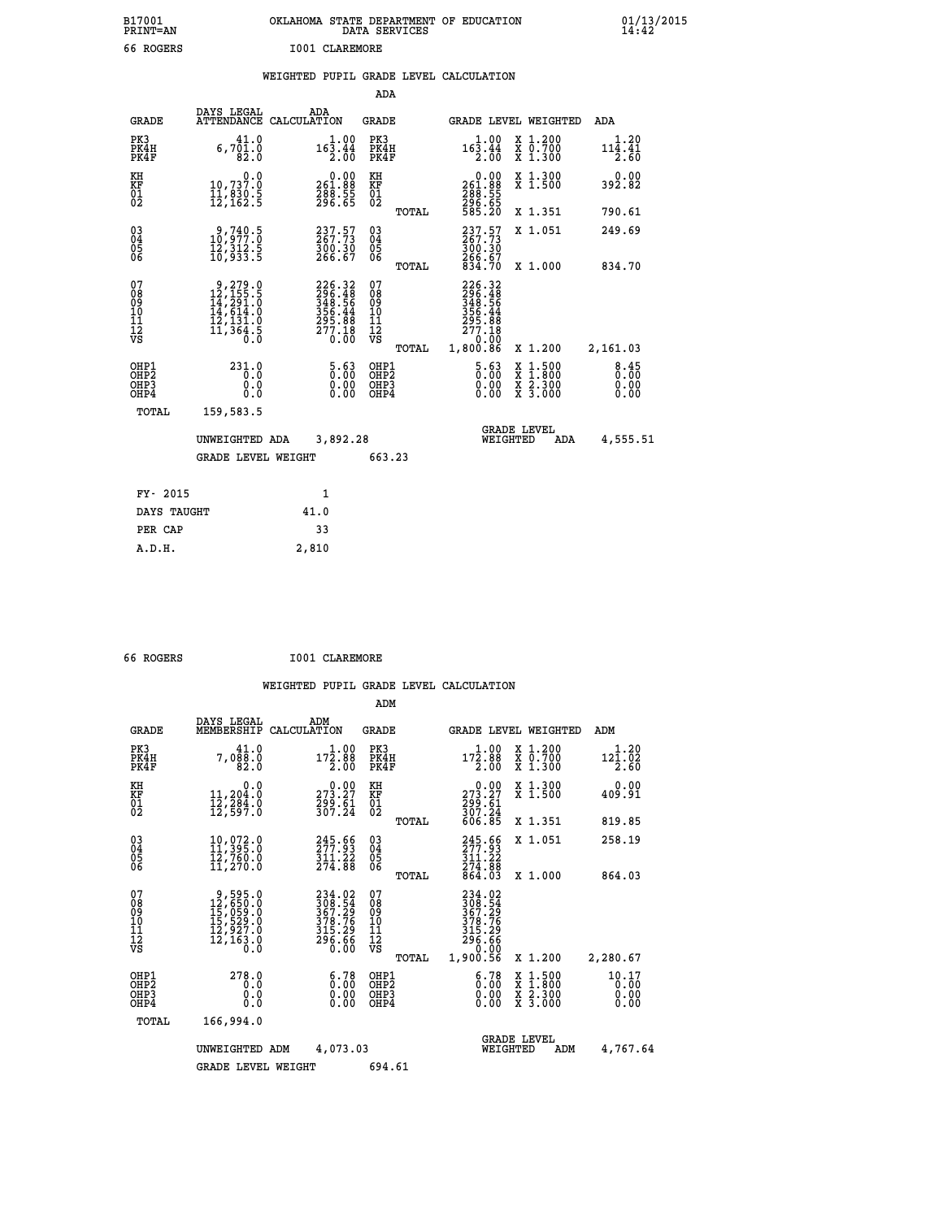| B17001<br><b>PRINT=AN</b> | OKLAHOMA<br>. STATE DEPARTMENT OF EDUCATION<br>DATA SERVICES | 01/13/2015<br>14:42 |
|---------------------------|--------------------------------------------------------------|---------------------|
| 66 ROGERS                 | <b>I001 CLAREMORE</b>                                        |                     |

|  |  | WEIGHTED PUPIL GRADE LEVEL CALCULATION |
|--|--|----------------------------------------|
|  |  |                                        |

|                                                                    |                                                                                                      |                                                                                | ADA                                       |       |                                                                                   |                                                                     |                              |
|--------------------------------------------------------------------|------------------------------------------------------------------------------------------------------|--------------------------------------------------------------------------------|-------------------------------------------|-------|-----------------------------------------------------------------------------------|---------------------------------------------------------------------|------------------------------|
| <b>GRADE</b>                                                       | DAYS LEGAL                                                                                           | ADA<br>ATTENDANCE CALCULATION                                                  | <b>GRADE</b>                              |       |                                                                                   | GRADE LEVEL WEIGHTED                                                | <b>ADA</b>                   |
| PK3<br>PK4H<br>PK4F                                                | 41.0<br>$6,701.0$<br>$82.0$                                                                          | $16\overline{\smash{\big)}\limits_{2.00}^{1.00}}$                              | PK3<br>PK4H<br>PK4F                       |       | 1.00<br>$16\overline{3}\cdot 4\overline{4}\overline{6}$                           | X 1.200<br>X 0.700<br>X 1.300                                       | 1.20<br>114.41<br>2.60       |
| KH<br>KF<br>01<br>02                                               | 0.0<br>10,737.0<br>ĪĬ, 830.Š<br>12,162.5                                                             | $\begin{smallmatrix} &0.00\ 261.88\ 288.55\ 296.65 \end{smallmatrix}$          | KH<br>KF<br>01<br>02                      |       | $\begin{smallmatrix} &0.00\\ 261.88\\ 288.55\\ 296.55\\ 585.20 \end{smallmatrix}$ | X 1.300<br>X 1.500                                                  | 0.00<br>392.82               |
|                                                                    |                                                                                                      |                                                                                |                                           | TOTAL |                                                                                   | X 1.351                                                             | 790.61                       |
| $\begin{smallmatrix} 03 \\[-4pt] 04 \end{smallmatrix}$<br>05<br>ŌĞ | 9,740.5<br>10,977.0<br>īž,312.5<br>10,933.5                                                          | 237.57<br>$\frac{300.30}{266.67}$                                              | $\substack{03 \\ 04}$<br>$\frac{05}{06}$  |       | $237.57$<br>267.73<br>300.30<br>266.67<br>834.70                                  | X 1.051                                                             | 249.69                       |
|                                                                    |                                                                                                      |                                                                                |                                           | TOTAL |                                                                                   | X 1.000                                                             | 834.70                       |
| 07<br>08<br>09<br>11<br>11<br>12<br>VS                             | $\begin{smallmatrix}9,279.0\\12,155.5\\14,291.0\\14,614.0\\12,131.0\\11,364.5\\0.0\end{smallmatrix}$ | $226.32$<br>$296.48$<br>$348.56$<br>$356.44$<br>$295.88$<br>$277.18$<br>$0.00$ | 07<br>08<br>09<br>11<br>11<br>12<br>VS    |       | 226.32<br>296.48<br>348.56<br>356.44<br>295.88<br>277.18<br>0.00                  |                                                                     |                              |
|                                                                    |                                                                                                      |                                                                                |                                           | TOTAL | 1,800.86                                                                          | X 1.200                                                             | 2,161.03                     |
| OHP1<br>OHP <sub>2</sub><br>OHP3<br>OHP4                           | 231.0<br>0.0<br>0.0<br>0.0                                                                           | $5.63$<br>$0.00$<br>$\begin{smallmatrix} 0.00 \ 0.00 \end{smallmatrix}$        | OHP1<br>OH <sub>P</sub> 2<br>OHP3<br>OHP4 |       | 5.63<br>0.00<br>0.00                                                              | $1:500$<br>$1:800$<br>X<br>X<br>$\frac{x}{x}$ $\frac{5.300}{3.000}$ | 8.45<br>0.00<br>0.00<br>0.00 |
| TOTAL                                                              | 159,583.5                                                                                            |                                                                                |                                           |       |                                                                                   |                                                                     |                              |
|                                                                    | UNWEIGHTED ADA                                                                                       | 3,892.28                                                                       |                                           |       |                                                                                   | <b>GRADE LEVEL</b><br>WEIGHTED<br>ADA                               | 4,555.51                     |
|                                                                    | <b>GRADE LEVEL WEIGHT</b>                                                                            |                                                                                | 663.23                                    |       |                                                                                   |                                                                     |                              |
| FY- 2015                                                           |                                                                                                      | 1                                                                              |                                           |       |                                                                                   |                                                                     |                              |
| DAYS TAUGHT                                                        |                                                                                                      | 41.0                                                                           |                                           |       |                                                                                   |                                                                     |                              |
| PER CAP                                                            |                                                                                                      | 33                                                                             |                                           |       |                                                                                   |                                                                     |                              |
|                                                                    |                                                                                                      |                                                                                |                                           |       |                                                                                   |                                                                     |                              |

|  |  | 66 ROGERS |  | I001 CLAREMORE |
|--|--|-----------|--|----------------|
|--|--|-----------|--|----------------|

 **A.D.H. 2,810**

|                                                      |                                                                            |                                                                        |                                              | ADM    |                                                                              |                                                                           |                               |
|------------------------------------------------------|----------------------------------------------------------------------------|------------------------------------------------------------------------|----------------------------------------------|--------|------------------------------------------------------------------------------|---------------------------------------------------------------------------|-------------------------------|
| <b>GRADE</b>                                         | DAYS LEGAL<br>MEMBERSHIP                                                   | ADM<br>CALCULATION                                                     | <b>GRADE</b>                                 |        |                                                                              | <b>GRADE LEVEL WEIGHTED</b>                                               | ADM                           |
| PK3<br>PK4H<br>PK4F                                  | 41.0<br>7,088.0<br>82.0                                                    | 172.88<br>$\overline{2}$ ,00                                           | PK3<br>PK4H<br>PK4F                          |        | 1.00<br>$17\bar{2}.88$<br>$\overline{2.00}$                                  | $\begin{smallmatrix} x & 1.200 \\ x & 0.700 \end{smallmatrix}$<br>X 1.300 | 1.20<br>121.02<br>2.60        |
| KH<br>KF<br>01<br>02                                 | 0.0<br>11,204:0<br>12,284:0<br>12,597:0                                    | $\begin{smallmatrix} &0.00\ 273.27\ 299.61\ 307.24\ \end{smallmatrix}$ | KH<br>KF<br>01<br>02                         |        | $273.27$<br>$299.61$<br>$307.24$                                             | X 1.300<br>X 1.500                                                        | 0.00<br>409.91                |
|                                                      |                                                                            |                                                                        |                                              | TOTAL  | 606.85                                                                       | X 1.351                                                                   | 819.85                        |
| $\begin{matrix} 03 \\ 04 \\ 05 \\ 06 \end{matrix}$   | 10,072.0<br>11,395.0<br>12,760.0<br>11,270.0                               | 245.66<br>$\frac{311.22}{274.88}$                                      | $\substack{03 \\ 04}$<br>$\frac{05}{06}$     |        | 245.65<br>311.22<br>274.88<br>864.03                                         | X 1.051                                                                   | 258.19                        |
|                                                      |                                                                            |                                                                        |                                              | TOTAL  |                                                                              | X 1.000                                                                   | 864.03                        |
| 07<br>08<br>09<br>101<br>112<br>VS                   | 9,595.0<br>12,650.0<br>15,059.0<br>15,529.0<br>12,927.0<br>12,163.0<br>0.0 | 234.02<br>308.54<br>367.29<br>378.76<br>315.29<br>296.66<br>0.00       | 07<br>08<br>09<br>11<br>11<br>12<br>VS       | TOTAL  | 234.02<br>308.54<br>367.29<br>378.76<br>315.29<br>296.66<br>0.00<br>1,900.56 | X 1.200                                                                   | 2,280.67                      |
| OHP1<br>OHP <sub>2</sub><br>OH <sub>P3</sub><br>OHP4 | 278.0<br>0.0<br>0.0<br>Ŏ.Ŏ                                                 | 6.78<br>Ŏ.00<br>0.00<br>0.00                                           | OHP1<br>OHP <sub>2</sub><br>OHP <sub>3</sub> |        | $\begin{smallmatrix} 6.78\ 0.00 \ 0.00 \end{smallmatrix}$<br>0.00            | X 1:500<br>X 1:800<br>X 2:300<br>X 3:000                                  | 10.17<br>0.00<br>0.00<br>0.00 |
| TOTAL                                                | 166,994.0                                                                  |                                                                        |                                              |        |                                                                              |                                                                           |                               |
| UNWEIGHTED ADM                                       |                                                                            |                                                                        | 4,073.03                                     |        | WEIGHTED                                                                     | <b>GRADE LEVEL</b><br>ADM                                                 | 4,767.64                      |
|                                                      | <b>GRADE LEVEL WEIGHT</b>                                                  |                                                                        |                                              | 694.61 |                                                                              |                                                                           |                               |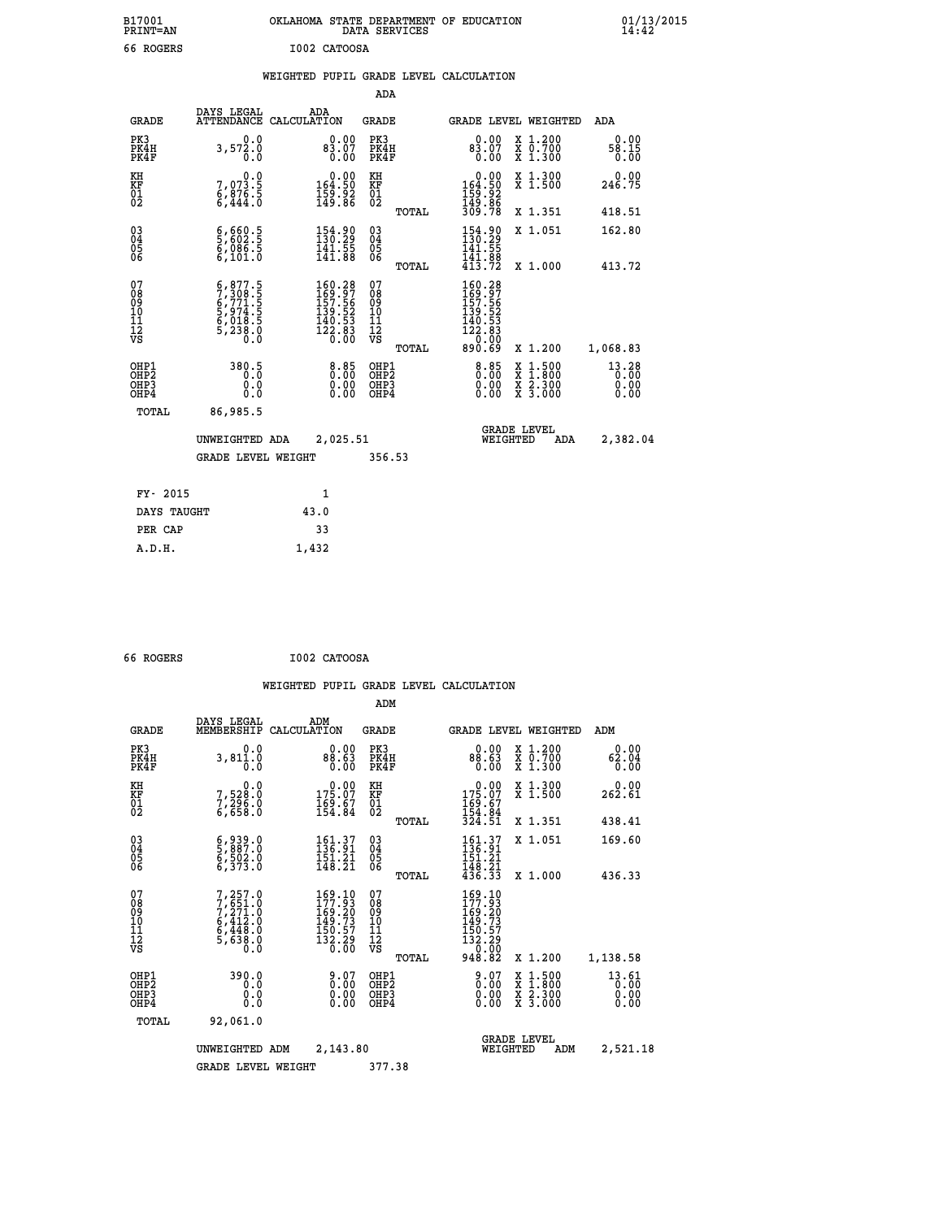|              |  | OKLAHOMA STATE DEPARTMENT OF EDUCATION<br>DATA SERVICES |  |
|--------------|--|---------------------------------------------------------|--|
| I002 CATOOSA |  |                                                         |  |

 **B17001 OKLAHOMA STATE DEPARTMENT OF EDUCATION 01/13/2015**

## **WEIGHTED PUPIL GRADE LEVEL CALCULATION**

| <b>GRADE</b>                                                       |                                                                      | ADA<br>CALCULATION                                                                                                                                                                                                                                                            |                                             |                                                                                                                                                                                                                                                                                                                                                 |                                                                                                            |                                                                                                                                                                                                                                 |            | <b>ADA</b>                                                                                                                                                                                               |
|--------------------------------------------------------------------|----------------------------------------------------------------------|-------------------------------------------------------------------------------------------------------------------------------------------------------------------------------------------------------------------------------------------------------------------------------|---------------------------------------------|-------------------------------------------------------------------------------------------------------------------------------------------------------------------------------------------------------------------------------------------------------------------------------------------------------------------------------------------------|------------------------------------------------------------------------------------------------------------|---------------------------------------------------------------------------------------------------------------------------------------------------------------------------------------------------------------------------------|------------|----------------------------------------------------------------------------------------------------------------------------------------------------------------------------------------------------------|
| PK3<br>PK4H<br>PK4F                                                | 0.0<br>$3,57\overset{5}{\phantom{0}0}\cdot\overset{5}{\phantom{0}0}$ |                                                                                                                                                                                                                                                                               |                                             |                                                                                                                                                                                                                                                                                                                                                 | 0.00<br>$83.07$<br>$0.00$                                                                                  |                                                                                                                                                                                                                                 |            | 0.00<br>58.15<br>0.00                                                                                                                                                                                    |
| KH<br>KF<br>01<br>02                                               | 0.0                                                                  |                                                                                                                                                                                                                                                                               | KH                                          |                                                                                                                                                                                                                                                                                                                                                 |                                                                                                            |                                                                                                                                                                                                                                 |            | 0.00<br>246.75                                                                                                                                                                                           |
|                                                                    |                                                                      |                                                                                                                                                                                                                                                                               |                                             | TOTAL                                                                                                                                                                                                                                                                                                                                           |                                                                                                            |                                                                                                                                                                                                                                 |            | 418.51                                                                                                                                                                                                   |
| $\begin{smallmatrix} 03 \\[-4pt] 04 \end{smallmatrix}$<br>Ŏ5<br>06 |                                                                      |                                                                                                                                                                                                                                                                               | $\substack{03 \\ 04}$<br>05<br>06           |                                                                                                                                                                                                                                                                                                                                                 | 154.90<br>141.55                                                                                           |                                                                                                                                                                                                                                 |            | 162.80                                                                                                                                                                                                   |
|                                                                    |                                                                      |                                                                                                                                                                                                                                                                               |                                             | TOTAL                                                                                                                                                                                                                                                                                                                                           |                                                                                                            |                                                                                                                                                                                                                                 |            | 413.72                                                                                                                                                                                                   |
| 07<br>08<br>09<br>11<br>11<br>12<br>VS                             |                                                                      |                                                                                                                                                                                                                                                                               | 07<br>08<br>09<br>11<br>11<br>12<br>VS      |                                                                                                                                                                                                                                                                                                                                                 |                                                                                                            |                                                                                                                                                                                                                                 |            |                                                                                                                                                                                                          |
|                                                                    |                                                                      |                                                                                                                                                                                                                                                                               |                                             |                                                                                                                                                                                                                                                                                                                                                 |                                                                                                            |                                                                                                                                                                                                                                 |            | 1,068.83                                                                                                                                                                                                 |
| OHP1<br>OHP <sub>2</sub><br>OHP3<br>OHP4                           | 0.0<br>Ō.Ō                                                           |                                                                                                                                                                                                                                                                               |                                             |                                                                                                                                                                                                                                                                                                                                                 | 0.00<br>0.00                                                                                               |                                                                                                                                                                                                                                 |            | $13.28$<br>0.00<br>0.00<br>0.00                                                                                                                                                                          |
| TOTAL                                                              | 86,985.5                                                             |                                                                                                                                                                                                                                                                               |                                             |                                                                                                                                                                                                                                                                                                                                                 |                                                                                                            |                                                                                                                                                                                                                                 |            |                                                                                                                                                                                                          |
|                                                                    |                                                                      |                                                                                                                                                                                                                                                                               |                                             |                                                                                                                                                                                                                                                                                                                                                 |                                                                                                            |                                                                                                                                                                                                                                 | <b>ADA</b> | 2,382.04                                                                                                                                                                                                 |
|                                                                    |                                                                      |                                                                                                                                                                                                                                                                               |                                             |                                                                                                                                                                                                                                                                                                                                                 |                                                                                                            |                                                                                                                                                                                                                                 |            |                                                                                                                                                                                                          |
| FY- 2015                                                           |                                                                      | 1                                                                                                                                                                                                                                                                             |                                             |                                                                                                                                                                                                                                                                                                                                                 |                                                                                                            |                                                                                                                                                                                                                                 |            |                                                                                                                                                                                                          |
|                                                                    |                                                                      | 43.0                                                                                                                                                                                                                                                                          |                                             |                                                                                                                                                                                                                                                                                                                                                 |                                                                                                            |                                                                                                                                                                                                                                 |            |                                                                                                                                                                                                          |
| PER CAP                                                            |                                                                      | 33                                                                                                                                                                                                                                                                            |                                             |                                                                                                                                                                                                                                                                                                                                                 |                                                                                                            |                                                                                                                                                                                                                                 |            |                                                                                                                                                                                                          |
|                                                                    |                                                                      | DAYS LEGAL<br><b>ATTENDANCE</b><br>7,073.5<br>6,876.5<br>6,444.0<br>$\frac{6}{5}, \frac{660}{602}$ :<br>$\frac{5}{6}, \frac{086}{086}$ :<br>6,101.0<br>$5,877.5$<br>$7,308.5$<br>$6,771.5$<br>$5,974.5$<br>$6,018.5$<br>$6,018.5$<br>$5,238.0$<br>380.5<br>0.0<br>DAYS TAUGHT | UNWEIGHTED ADA<br><b>GRADE LEVEL WEIGHT</b> | 83.07<br>0.00<br>0.00<br>$\begin{smallmatrix} &0.00\\164.50\\159.92\\149.86\end{smallmatrix}$<br>KF<br>01<br>02<br>154.90<br>$\frac{141.55}{141.88}$<br>$\begin{smallmatrix} 160.28\\ 169.97\\ 157.56\\ 139.52\\ 140.53\\ 122.83\\ 0.00 \end{smallmatrix}$<br>$8.85$<br>0.00<br>$\begin{smallmatrix} 0.00 \ 0.00 \end{smallmatrix}$<br>2,025.51 | ADA<br><b>GRADE</b><br>PK3<br>PK4H<br>PK4F<br>TOTAL<br>OHP1<br>OH <sub>P</sub> 2<br>OHP3<br>OHP4<br>356.53 | $\begin{array}{c} 0.00 \\ 164.50 \\ 159.92 \\ 149.86 \\ 309.78 \end{array}$<br>141.00<br>413.72<br>$\begin{smallmatrix} 160.28\\ 169.97\\ 157.56\\ 139.52\\ 140.53\\ 122.8\\ 0.00\\ 890.69 \end{smallmatrix}$<br>$8.85$<br>0.00 |            | GRADE LEVEL WEIGHTED<br>X 1.200<br>X 0.700<br>X 1.300<br>X 1.300<br>X 1.500<br>X 1.351<br>X 1.051<br>X 1.000<br>X 1.200<br>$1:500$<br>1:800<br>X<br>X 2.300<br>X 3.000<br><b>GRADE LEVEL</b><br>WEIGHTED |

| 66 ROGERS | I002 CATOOSA |
|-----------|--------------|
|           |              |

 **ADM**

 **A.D.H. 1,432**

B17001<br>PRINT=AN<br>66 ROGERS

| <b>GRADE</b>                                       | DAYS LEGAL                                                                          | ADM<br>MEMBERSHIP CALCULATION                                                                                                        | <b>GRADE</b>                                        |       | GRADE LEVEL WEIGHTED                                                                                                                                |                                          | ADM                   |  |
|----------------------------------------------------|-------------------------------------------------------------------------------------|--------------------------------------------------------------------------------------------------------------------------------------|-----------------------------------------------------|-------|-----------------------------------------------------------------------------------------------------------------------------------------------------|------------------------------------------|-----------------------|--|
| PK3<br>PK4H<br>PK4F                                | 0.0<br>3,811.0<br>0.0                                                               | 0.00<br>88.63<br>0.00                                                                                                                | PK3<br>PK4H<br>PK4F                                 |       | 0.00<br>88.63<br>0.00                                                                                                                               | X 1.200<br>X 0.700<br>X 1.300            | 0.00<br>62.04<br>0.00 |  |
| KH<br>KF<br>01<br>02                               | 0.0<br>7,528:0<br>7,296:0<br>6,658:0                                                | $\begin{smallmatrix} &0.00\ 175.07\ 169.67\ 154.84\end{smallmatrix}$                                                                 | KH<br>KF<br>01<br>02                                |       | $0.00$<br>$175.07$<br>$169.67$<br>$154.84$<br>$324.51$                                                                                              | X 1.300<br>X 1.500                       | 0.00<br>262.61        |  |
|                                                    |                                                                                     |                                                                                                                                      |                                                     | TOTAL |                                                                                                                                                     | X 1.351                                  | 438.41                |  |
| $\begin{matrix} 03 \\ 04 \\ 05 \\ 06 \end{matrix}$ | 6,939.0<br>5,887.0<br>6,502.0<br>6,373.0                                            | 161.37<br>136.91<br>$\frac{151.21}{148.21}$                                                                                          | $\begin{array}{c} 03 \\ 04 \\ 05 \\ 06 \end{array}$ |       | $\begin{array}{c} 161\cdot 37\\ 136\cdot 91\\ 151\cdot 21\\ 148\cdot 21\\ 436\cdot 33 \end{array}$                                                  | X 1.051                                  | 169.60                |  |
|                                                    |                                                                                     |                                                                                                                                      |                                                     | TOTAL |                                                                                                                                                     | X 1.000                                  | 436.33                |  |
| 07<br>08<br>09<br>101<br>11<br>12<br>VS            | $7,257.0$<br>$7,251.0$<br>$7,271.0$<br>$6,412.0$<br>$6,448.0$<br>$5,638.0$<br>$0.0$ | $\begin{smallmatrix} 169\cdot 10\\ 177\cdot 93\\ 169\cdot 20\\ 149\cdot 73\\ 150\cdot 57\\ 132\cdot 29\\ 0\cdot 00\end{smallmatrix}$ | 078<br>089<br>0011<br>11<br>11<br>12<br>VS          | TOTAL | $\begin{smallmatrix} 169\cdot 10\\ 177\cdot 93\\ 169\cdot 20\\ 149\cdot 73\\ 150\cdot 57\\ 132\cdot 29\\ 0\cdot 00\\ 948\cdot 82 \end{smallmatrix}$ | X 1.200                                  | 1,138.58              |  |
|                                                    | 390.0                                                                               |                                                                                                                                      |                                                     |       |                                                                                                                                                     |                                          | 13.61                 |  |
| OHP1<br>OHP2<br>OHP3<br>OHP4                       | 0.0<br>0.0<br>0.0                                                                   | 0.0700000<br>0.00                                                                                                                    | OHP1<br>OHP2<br>OHP3<br>OHP4                        |       | 0.00                                                                                                                                                | X 1:500<br>X 1:800<br>X 2:300<br>X 3:000 | 0.00<br>0.00<br>0.00  |  |
| TOTAL                                              | 92,061.0                                                                            |                                                                                                                                      |                                                     |       |                                                                                                                                                     |                                          |                       |  |
|                                                    | UNWEIGHTED                                                                          | 2,143.80<br>ADM                                                                                                                      |                                                     |       | WEIGHTED                                                                                                                                            | <b>GRADE LEVEL</b><br>ADM                | 2,521.18              |  |
|                                                    | <b>GRADE LEVEL WEIGHT</b>                                                           |                                                                                                                                      | 377.38                                              |       |                                                                                                                                                     |                                          |                       |  |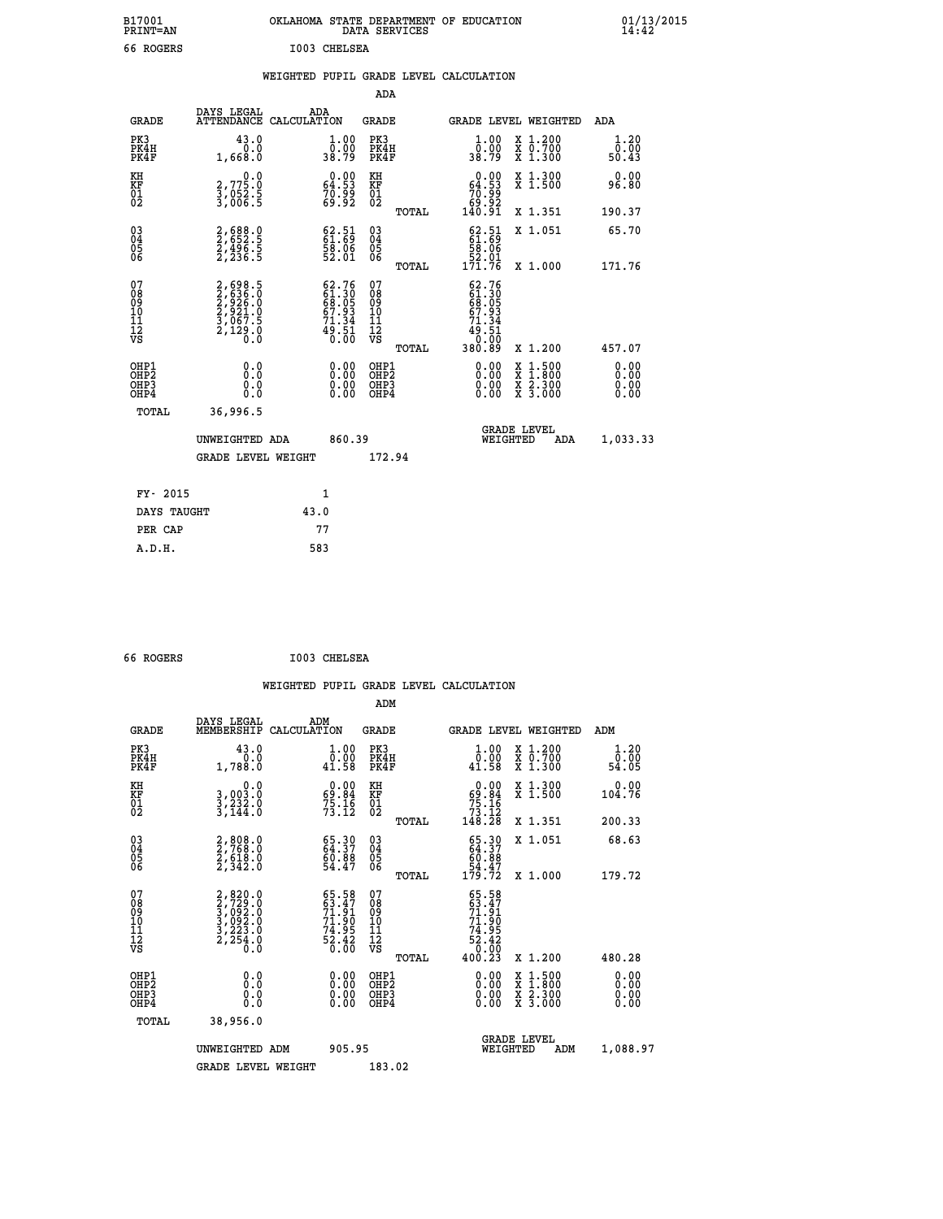| B17001<br><b>PRINT=AN</b> | OKLAHOMA<br>. STATE DEPARTMENT OF EDUCATION<br>DATA SERVICES | 01/13/2015<br>14:42 |
|---------------------------|--------------------------------------------------------------|---------------------|
| 66 ROGERS                 | I003 CHELSEA                                                 |                     |

|  |  | WEIGHTED PUPIL GRADE LEVEL CALCULATION |
|--|--|----------------------------------------|
|  |  |                                        |

|                                                    |                                                                      |                                                                          | ADA                                                 |       |                                                                            |                                              |                              |
|----------------------------------------------------|----------------------------------------------------------------------|--------------------------------------------------------------------------|-----------------------------------------------------|-------|----------------------------------------------------------------------------|----------------------------------------------|------------------------------|
| <b>GRADE</b>                                       | DAYS LEGAL<br><b>ATTENDANCE</b>                                      | ADA<br>CALCULATION                                                       | <b>GRADE</b>                                        |       |                                                                            | GRADE LEVEL WEIGHTED                         | <b>ADA</b>                   |
| PK3<br>PK4H<br>PK4F                                | 43.0<br>0.0<br>1,668.0                                               | $\frac{1}{0}$ :00<br>38.79                                               | PK3<br>PK4H<br>PK4F                                 |       | 1.00<br>ŏ:ŏŏ<br>38:79                                                      | X 1.200<br>X 0.700<br>X 1.300                | 1.20<br>0.00<br>50.43        |
| KH<br>KF<br>01<br>02                               | $\begin{smallmatrix}&&&0.0\3.775.0\3.052.5\3.006.5\end{smallmatrix}$ | $0.00$<br>64.53<br>70.99<br>69.92                                        | KH<br>KF<br>01<br>02                                |       | $\begin{smallmatrix} &0.00\ 64.53\ 70.99\ 69.92\ 140.91\end{smallmatrix}$  | X 1.300<br>X 1.500                           | 0.00<br>96.80                |
|                                                    |                                                                      |                                                                          |                                                     | TOTAL |                                                                            | X 1.351                                      | 190.37                       |
| $\begin{matrix} 03 \\ 04 \\ 05 \\ 06 \end{matrix}$ | 2,688.0<br>2,652.5<br>2,496.5<br>2,236.5                             | $\begin{smallmatrix} 62.51\ 61.69\ 58.06\ 52.01\ \end{smallmatrix}$      | $\begin{array}{c} 03 \\ 04 \\ 05 \\ 06 \end{array}$ |       | $\begin{smallmatrix} 62.51\ 61.69\ 58.06\ 52.01\ 171.76 \end{smallmatrix}$ | X 1.051                                      | 65.70                        |
| 07<br>08<br>09<br>11<br>11<br>12<br>VS             | 2,698.5<br>2,636.0<br>2,926.0<br>2,921.0<br>3,067.5<br>2,129.0       | $62.76$<br>$61.30$<br>$68.05$<br>$67.93$<br>$71.34$<br>$49.51$<br>$0.00$ | 07<br>08<br>09<br>11<br>11<br>12<br>VS              | TOTAL | 62.76                                                                      | X 1.000                                      | 171.76                       |
|                                                    |                                                                      |                                                                          |                                                     | TOTAL |                                                                            | X 1.200                                      | 457.07                       |
| OHP1<br>OHP <sub>2</sub><br>OHP3<br>OHP4           | 0.0<br>0.0<br>Ŏ.Ŏ                                                    | 0.00<br>$\begin{smallmatrix} 0.00 \ 0.00 \end{smallmatrix}$              | OHP1<br>OH <sub>P</sub> 2<br>OHP3<br>OHP4           |       | 0.00<br>0.00<br>0.00                                                       | $1:500$<br>1:800<br>X<br>X 2.300<br>X 3.000  | 0.00<br>0.00<br>0.00<br>0.00 |
| TOTAL                                              | 36,996.5                                                             |                                                                          |                                                     |       |                                                                            |                                              |                              |
|                                                    | UNWEIGHTED ADA                                                       | 860.39                                                                   |                                                     |       |                                                                            | <b>GRADE LEVEL</b><br>WEIGHTED<br><b>ADA</b> | 1,033.33                     |
|                                                    | <b>GRADE LEVEL WEIGHT</b>                                            |                                                                          | 172.94                                              |       |                                                                            |                                              |                              |
| FY- 2015                                           |                                                                      | 1                                                                        |                                                     |       |                                                                            |                                              |                              |
| DAYS TAUGHT                                        |                                                                      | 43.0                                                                     |                                                     |       |                                                                            |                                              |                              |
| PER CAP                                            |                                                                      | 77                                                                       |                                                     |       |                                                                            |                                              |                              |

| 66 ROGERS | I003 CHELSEA |
|-----------|--------------|
|           |              |

|                                                    |                                                                        |                                                                          | ADM                                          |       |                                                                                                                                                                                                                                                                                |                                          |     |                          |  |
|----------------------------------------------------|------------------------------------------------------------------------|--------------------------------------------------------------------------|----------------------------------------------|-------|--------------------------------------------------------------------------------------------------------------------------------------------------------------------------------------------------------------------------------------------------------------------------------|------------------------------------------|-----|--------------------------|--|
| <b>GRADE</b>                                       | DAYS LEGAL<br>MEMBERSHIP                                               | ADM<br>CALCULATION                                                       | <b>GRADE</b>                                 |       | <b>GRADE LEVEL WEIGHTED</b>                                                                                                                                                                                                                                                    |                                          |     | ADM                      |  |
| PK3<br>PK4H<br>PK4F                                | 43.0<br>1,788.0                                                        | $\substack{1.00\\0.00\\41.58}$                                           | PK3<br>PK4H<br>PK4F                          |       | 1.00<br>$\bar{0}.\tilde{0} \ \ 41.58$                                                                                                                                                                                                                                          | X 1.200<br>X 0.700<br>X 1.300            |     | 1.20<br>ōō.ōŏ<br>54.05   |  |
| KH<br>KF<br>01<br>02                               | 0.0<br>3,003:0<br>3,232:0<br>3,144:0                                   | $\begin{smallmatrix} 0.00\\ 69.84\\ 75.16\\ 73.12 \end{smallmatrix}$     | KH<br>KF<br>01<br>02                         |       | $\begin{smallmatrix} &0.00\\ 69.84\\ 75.16\\ 73.12\\ 148.28\end{smallmatrix}$                                                                                                                                                                                                  | X 1.300<br>X 1.500                       |     | 0.00<br>104.76           |  |
|                                                    |                                                                        |                                                                          |                                              | TOTAL |                                                                                                                                                                                                                                                                                | X 1.351                                  |     | 200.33                   |  |
| $\begin{matrix} 03 \\ 04 \\ 05 \\ 06 \end{matrix}$ | 2,808.0<br>2,768.0<br>2,618.0<br>2,342.0                               | 65.30<br>64.37<br>60.88<br>54.47                                         | 03<br>04<br>05<br>06                         |       | 65.30<br>64.37<br>60.88<br>54.47<br>179.72                                                                                                                                                                                                                                     | X 1.051                                  |     | 68.63                    |  |
|                                                    |                                                                        |                                                                          |                                              | TOTAL |                                                                                                                                                                                                                                                                                | X 1.000                                  |     | 179.72                   |  |
| 07<br>08<br>09<br>101<br>11<br>12<br>VS            | $2,820.0$<br>$3,729.0$<br>$3,092.0$<br>$3,223.0$<br>$2,254.0$<br>$0.0$ | $65.58$<br>$63.47$<br>$71.91$<br>$71.90$<br>$74.95$<br>$52.42$<br>$0.00$ | 07<br>08<br>09<br>01<br>11<br>11<br>12<br>VS |       | $65.58$<br>$63.47$<br>$71.91$<br>$74.95$<br>$74.95$<br>$52.42$<br>$0.00$<br>$400.23$                                                                                                                                                                                           |                                          |     |                          |  |
|                                                    |                                                                        |                                                                          |                                              | TOTAL |                                                                                                                                                                                                                                                                                | X 1.200                                  |     | 480.28                   |  |
| OHP1<br>OHP2<br>OHP3<br>OHP4                       | $\begin{smallmatrix} 0.0 \ 0.0 \ 0.0 \end{smallmatrix}$                |                                                                          | OHP1<br>OHP2<br>OHP <sub>3</sub>             |       | $\begin{smallmatrix} 0.00 & 0.00 & 0.00 & 0.00 & 0.00 & 0.00 & 0.00 & 0.00 & 0.00 & 0.00 & 0.00 & 0.00 & 0.00 & 0.00 & 0.00 & 0.00 & 0.00 & 0.00 & 0.00 & 0.00 & 0.00 & 0.00 & 0.00 & 0.00 & 0.00 & 0.00 & 0.00 & 0.00 & 0.00 & 0.00 & 0.00 & 0.00 & 0.00 & 0.00 & 0.00 & 0.0$ | X 1:500<br>X 1:800<br>X 2:300<br>X 3:000 |     | $0.00$<br>$0.00$<br>0.00 |  |
| TOTAL                                              | 38,956.0                                                               |                                                                          |                                              |       |                                                                                                                                                                                                                                                                                |                                          |     |                          |  |
|                                                    | UNWEIGHTED ADM                                                         | 905.95                                                                   |                                              |       |                                                                                                                                                                                                                                                                                | GRADE LEVEL<br>WEIGHTED                  | ADM | 1,088.97                 |  |
|                                                    | <b>GRADE LEVEL WEIGHT</b>                                              |                                                                          | 183.02                                       |       |                                                                                                                                                                                                                                                                                |                                          |     |                          |  |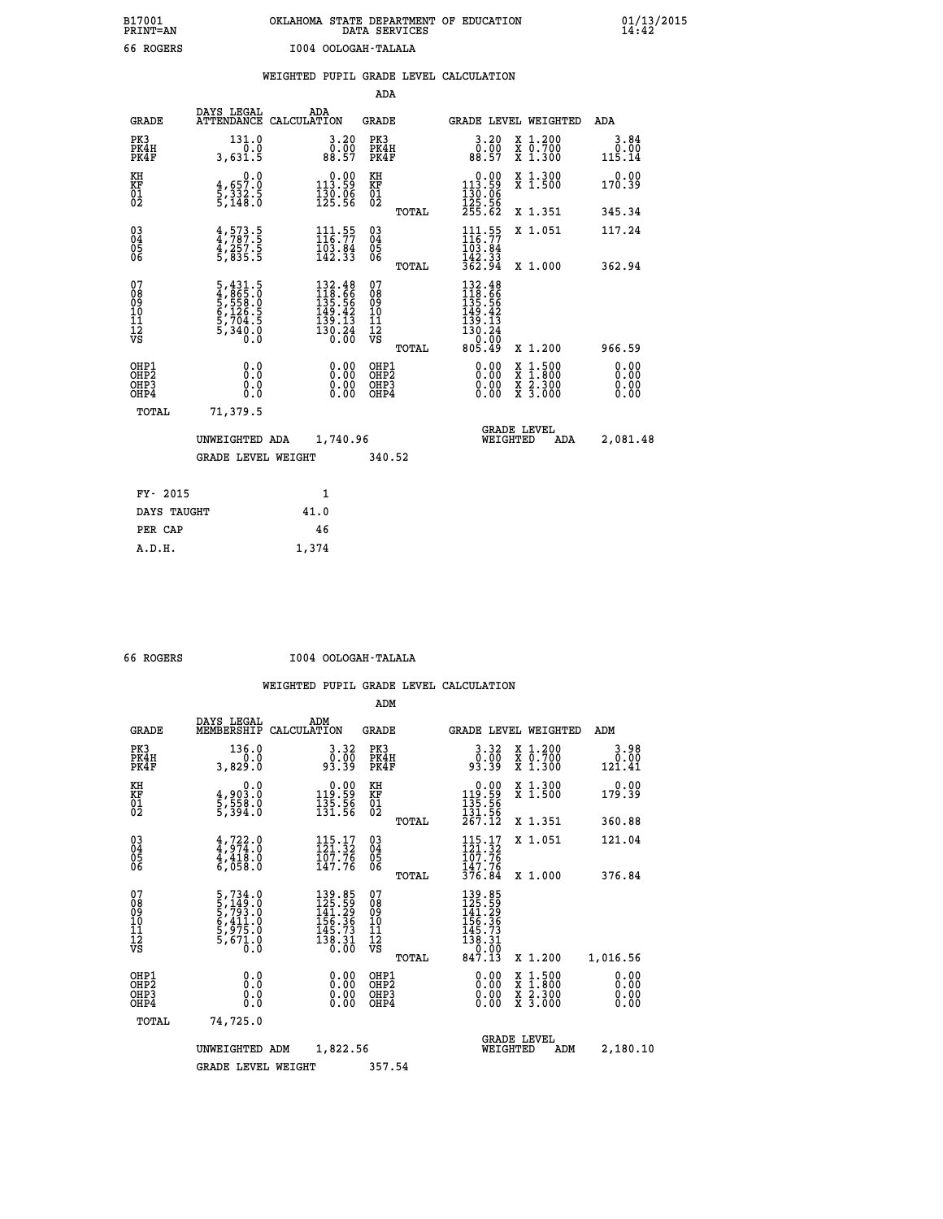## **B17001 OKLAHOMA STATE DEPARTMENT OF EDUCATION 01/13/2015 PRINT=AN DATA SERVICES 14:42 66 ROGERS I004 OOLOGAH-TALALA**

|                                                                    |                                                                 |                                                                         | ADA                                    |       |                                                                                                                          |                                          |                               |
|--------------------------------------------------------------------|-----------------------------------------------------------------|-------------------------------------------------------------------------|----------------------------------------|-------|--------------------------------------------------------------------------------------------------------------------------|------------------------------------------|-------------------------------|
| <b>GRADE</b>                                                       | DAYS LEGAL                                                      | ADA<br>ATTENDANCE CALCULATION                                           | <b>GRADE</b>                           |       |                                                                                                                          | <b>GRADE LEVEL WEIGHTED</b>              | <b>ADA</b>                    |
| PK3<br>PK4H<br>PK4F                                                | 131.0<br>0.0<br>3,631.5                                         | $\begin{smallmatrix} 3.20\ 0.00\ 88.57 \end{smallmatrix}$               | PK3<br>PK4H<br>PK4F                    |       | $\begin{smallmatrix} 3.20\ 0.00\ 88.57 \end{smallmatrix}$                                                                | X 1.200<br>X 0.700<br>X 1.300            | 3.84<br>0.00<br>115.14        |
| KH<br>KF<br>01<br>02                                               | 0.0<br>4,657.0<br>5,332.5<br>5,148.0                            | $0.00$<br>113.59<br>$\frac{130}{125}$ $\frac{06}{56}$                   | KH<br>KF<br>01<br>02                   |       | $0.00$<br>113.59<br>$\frac{130}{125}$ $\frac{56}{255}$                                                                   | X 1.300<br>X 1.500                       | 0.00<br>170.39                |
|                                                                    |                                                                 |                                                                         |                                        | TOTAL |                                                                                                                          | X 1.351                                  | 345.34                        |
| $\begin{smallmatrix} 03 \\[-4pt] 04 \end{smallmatrix}$<br>Ŏ5<br>06 | $4, 573.5$<br>$4, 787.5$<br>$4, 257.5$<br>$5, 835.5$            | $111.55$<br>$116.77$<br>$103.84$<br>$142.33$                            | $\substack{03 \\ 04}$<br>Ŏ5<br>06      |       | $111.55$<br>$116.77$<br>$103.84$<br>$142.33$<br>$362.94$                                                                 | X 1.051                                  | 117.24                        |
|                                                                    |                                                                 |                                                                         |                                        | TOTAL |                                                                                                                          | X 1.000                                  | 362.94                        |
| 07<br>08<br>09<br>101<br>11<br>12<br>VS                            | 5,431.5<br>4,865.0<br>5,558.0<br>5,126.5<br>6,1704.5<br>5,340.0 | 132.48<br>118.66<br>135.56<br>149.42<br>139.13<br>$\frac{130.24}{0.00}$ | 07<br>08<br>09<br>11<br>11<br>12<br>VS |       | $\begin{array}{r} 132\cdot 48\\ 118\cdot 66\\ 135\cdot 56\\ 149\cdot 42\\ 139\cdot 13\\ 130\cdot 24 \end{array}$<br>0.00 |                                          |                               |
|                                                                    |                                                                 |                                                                         |                                        | TOTAL | 805.49                                                                                                                   | X 1.200                                  | 966.59                        |
| OHP1<br>OHP <sub>2</sub><br>OH <sub>P3</sub><br>OHP4               | 0.0<br>0.0<br>0.0                                               | 0.00<br>$\begin{smallmatrix} 0.00 \ 0.00 \end{smallmatrix}$             | OHP1<br>OHP2<br>OHP <sub>3</sub>       |       | 0.00<br>0.00                                                                                                             | X 1:500<br>X 1:800<br>X 2:300<br>X 3:000 | 0.00<br>Ō. ŌŌ<br>0.00<br>0.00 |
| TOTAL                                                              | 71,379.5                                                        |                                                                         |                                        |       |                                                                                                                          |                                          |                               |
|                                                                    | UNWEIGHTED ADA                                                  | 1,740.96                                                                |                                        |       |                                                                                                                          | <b>GRADE LEVEL</b><br>WEIGHTED<br>ADA    | 2,081.48                      |
|                                                                    | <b>GRADE LEVEL WEIGHT</b>                                       |                                                                         | 340.52                                 |       |                                                                                                                          |                                          |                               |
| FY- 2015                                                           |                                                                 | 1                                                                       |                                        |       |                                                                                                                          |                                          |                               |
| DAYS TAUGHT                                                        |                                                                 | 41.0                                                                    |                                        |       |                                                                                                                          |                                          |                               |
| PER CAP                                                            |                                                                 | 46                                                                      |                                        |       |                                                                                                                          |                                          |                               |

 **A.D.H. 1,374**

 **66 ROGERS I004 OOLOGAH-TALALA**

|                                          |                                                                                                 |                                                                                                            | ADM                                                |          |                                                                                      |                                          |                              |
|------------------------------------------|-------------------------------------------------------------------------------------------------|------------------------------------------------------------------------------------------------------------|----------------------------------------------------|----------|--------------------------------------------------------------------------------------|------------------------------------------|------------------------------|
| <b>GRADE</b>                             | DAYS LEGAL<br>MEMBERSHIP                                                                        | ADM<br>CALCULATION                                                                                         | <b>GRADE</b>                                       |          |                                                                                      | <b>GRADE LEVEL WEIGHTED</b>              | ADM                          |
| PK3<br>PK4H<br>PK4F                      | 136.0<br>0.0<br>3,829.0                                                                         | $\begin{smallmatrix} 3.32\ 0.00\ 93.39 \end{smallmatrix}$                                                  | PK3<br>PK4H<br>PK4F                                |          | $\begin{smallmatrix} 3.32\ 0.00\ 93.39 \end{smallmatrix}$                            | X 1.200<br>X 0.700<br>X 1.300            | 3.98<br>0.00<br>121.41       |
| KH<br>KF<br>01<br>02                     | 0.0<br>4,903.0<br>5,558.0<br>5,394.0                                                            | $\begin{smallmatrix} &0.00\\ 119.59\\ 135.56\\ 131.56\end{smallmatrix}$                                    | KH<br>KF<br>01<br>02                               |          | $\begin{smallmatrix} &0.00\ 119.59\ 135.56\ 131.56\ 267.12\ \end{smallmatrix}$       | X 1.300<br>X 1.500                       | 0.00<br>179.39               |
|                                          |                                                                                                 |                                                                                                            |                                                    | TOTAL    |                                                                                      | X 1.351                                  | 360.88                       |
| 03<br>04<br>05<br>06                     | $4,722.0$<br>$4,974.0$<br>$4,418.0$<br>$6,058.0$                                                | $\begin{array}{c} 115\cdot 17\\121\cdot 32\\107\cdot 76\\147\cdot 76 \end{array}$                          | $\begin{matrix} 03 \\ 04 \\ 05 \\ 06 \end{matrix}$ |          | $\frac{115.17}{121.32}$<br>$\frac{107.76}{102.76}$<br>ī47∶76<br>376.84               | X 1.051                                  | 121.04                       |
|                                          |                                                                                                 |                                                                                                            |                                                    | TOTAL    |                                                                                      | X 1.000                                  | 376.84                       |
| 07<br>08<br>09<br>101<br>11<br>12<br>VS  | $\begin{smallmatrix}5,734.0\\5,149.0\\5,793.0\\6,411.0\\5,975.0\\5,671.0\\0.0\end{smallmatrix}$ | 139.85<br>125.59<br>141.29<br>$\begin{array}{r} 1\overline{5}6.36 \\ 145.73 \\ 138.31 \\ 0.00 \end{array}$ | 07<br>08<br>09<br>11<br>11<br>12<br>VS             | TOTAL    | 139.85<br>125.59<br>141.29<br>$156.36$<br>$145.73$<br>$138.31$<br>$0.00$<br>$847.13$ | X 1.200                                  | 1,016.56                     |
| OHP1<br>OHP2<br>OH <sub>P3</sub><br>OHP4 | 0.0<br>0.000                                                                                    |                                                                                                            | OHP1<br>OHP2<br>OHP <sub>3</sub>                   |          | $0.00$<br>$0.00$<br>0.00                                                             | X 1:500<br>X 1:800<br>X 2:300<br>X 3:000 | 0.00<br>0.00<br>0.00<br>0.00 |
| TOTAL                                    | 74,725.0                                                                                        |                                                                                                            |                                                    |          |                                                                                      |                                          |                              |
| 1,822.56<br>UNWEIGHTED<br>ADM            |                                                                                                 |                                                                                                            |                                                    | WEIGHTED | <b>GRADE LEVEL</b><br>ADM                                                            | 2,180.10                                 |                              |
|                                          | <b>GRADE LEVEL WEIGHT</b>                                                                       |                                                                                                            | 357.54                                             |          |                                                                                      |                                          |                              |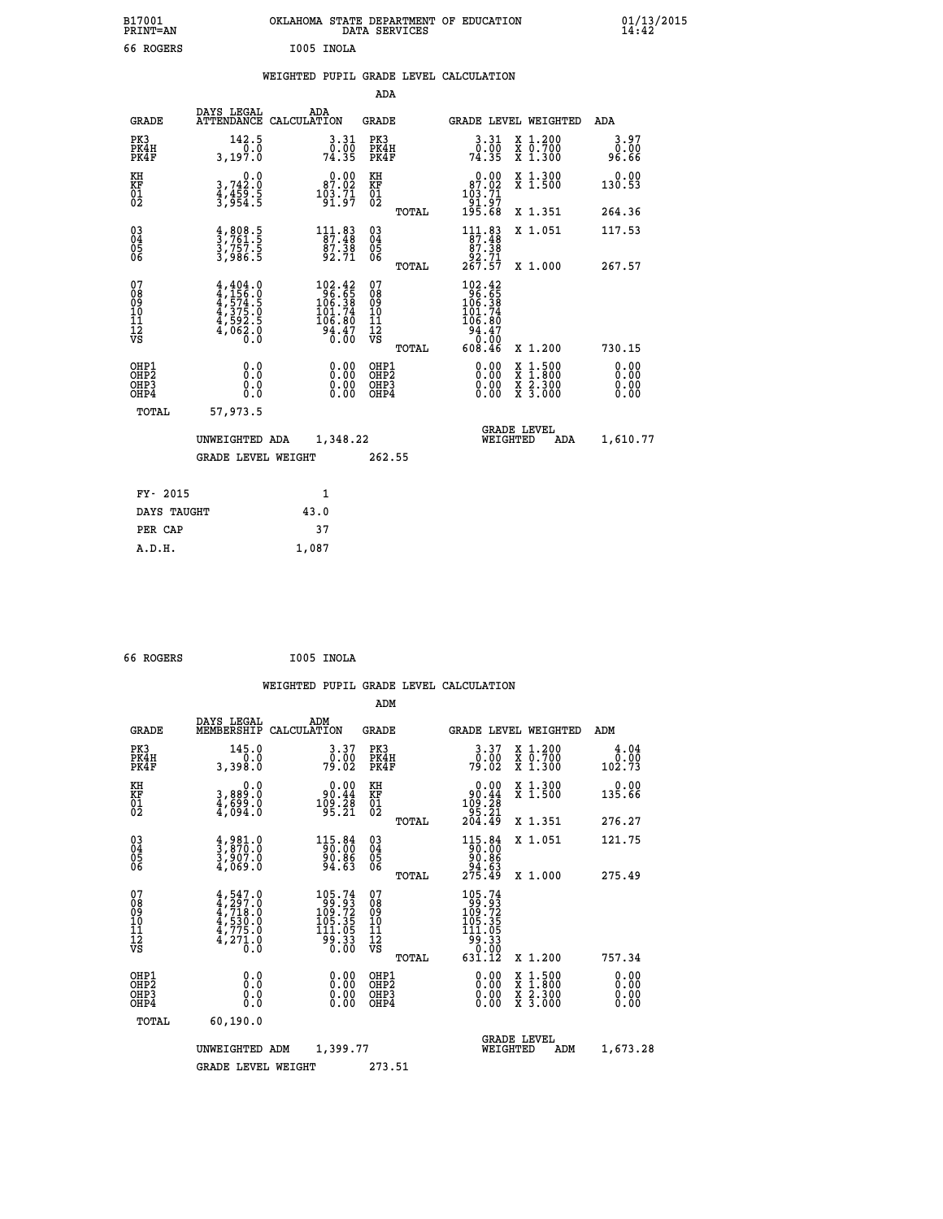| B17001<br><b>PRINT=AN</b>                |                                                                                     | OKLAHOMA STATE DEPARTMENT OF EDUCATION                                                           | DATA SERVICES                                         |                                                                                 |                                                                                          | $01/13/2015$<br>14:42        |  |
|------------------------------------------|-------------------------------------------------------------------------------------|--------------------------------------------------------------------------------------------------|-------------------------------------------------------|---------------------------------------------------------------------------------|------------------------------------------------------------------------------------------|------------------------------|--|
| 66 ROGERS                                |                                                                                     | I005 INOLA                                                                                       |                                                       |                                                                                 |                                                                                          |                              |  |
|                                          |                                                                                     | WEIGHTED PUPIL GRADE LEVEL CALCULATION                                                           |                                                       |                                                                                 |                                                                                          |                              |  |
|                                          |                                                                                     |                                                                                                  | ADA                                                   |                                                                                 |                                                                                          |                              |  |
| <b>GRADE</b>                             | DAYS LEGAL                                                                          | ADA<br>ATTENDANCE CALCULATION                                                                    | GRADE                                                 |                                                                                 | GRADE LEVEL WEIGHTED                                                                     | ADA                          |  |
| PK3<br>PK4H<br>PK4F                      | 142.5<br>0.0<br>3,197.0                                                             | 3.31<br>$\frac{0.00}{74.35}$                                                                     | PK3<br>PK4H<br>PK4F                                   | 3.31<br>74.35                                                                   | X 1.200<br>X 0.700<br>X 1.300                                                            | 3.97<br>0.00<br>96.66        |  |
| KH<br>KF<br>$\frac{01}{02}$              | 3,742.0<br>$\frac{4}{3}, \frac{4}{9}$ $\frac{5}{5}$ $\frac{5}{5}$                   | $0.00$<br>87.02<br>$\frac{103.71}{91.97}$                                                        | КH<br><b>KF</b><br>01<br>02                           | $0.00$<br>97.02<br>103:71<br>91:97<br>195:68                                    | X 1.300<br>X 1.500                                                                       | 0.00<br>130.53               |  |
|                                          |                                                                                     |                                                                                                  | TOTAL                                                 |                                                                                 | X 1.351                                                                                  | 264.36                       |  |
| 030404<br>ŎĞ                             | $\frac{4}{3}, \frac{808}{761}$ .<br>3,757.5<br>3,986.5                              | $111.83$<br>$87.48$<br>$\frac{87.38}{92.71}$                                                     | $\begin{matrix} 03 \\ 04 \\ 05 \\ 06 \end{matrix}$    | $\begin{smallmatrix} 111.83\\ 87.48\\ 87.38\\ 92.71\\ 267.57 \end{smallmatrix}$ | X 1.051                                                                                  | 117.53                       |  |
| 07                                       |                                                                                     |                                                                                                  | <b>TOTAL</b><br>07                                    |                                                                                 | X 1.000                                                                                  | 267.57                       |  |
| 08<br>09<br>11<br>11<br>12<br>VS         | $4,404.0$<br>$4,574.5$<br>$4,575.5$<br>$4,375.0$<br>$4,592.5$<br>$4,062.0$<br>$0.0$ | $\begin{smallmatrix} 102.42\\ 96.65\\ 106.38\\ 101.74\\ 106.80\\ 94.47\\ 0.00 \end{smallmatrix}$ | $\frac{0.8}{0.9}$<br>ίŌ<br>Īĺ<br>$\frac{1}{\sqrt{2}}$ | 102.42<br>96.65<br>106.38<br>101.74<br>106.80<br>94.47<br>0.00                  |                                                                                          |                              |  |
|                                          |                                                                                     |                                                                                                  | TOTAL                                                 | 608.46                                                                          | X 1.200                                                                                  | 730.15                       |  |
| OHP1<br>OHP <sub>2</sub><br>OHP3<br>OHP4 | 0.0<br>0.0<br>0.0                                                                   | 0.00<br>0.00<br>0.00                                                                             | OHP1<br>OH <sub>P</sub> 2<br>OHP3<br>OHP4             | 0.00<br>0.00<br>0.00                                                            | $\begin{smallmatrix} x & 1.500 \\ x & 1.800 \\ x & 2.300 \\ x & 3.000 \end{smallmatrix}$ | 0.00<br>0.00<br>0.00<br>0.00 |  |
| TOTAL                                    | 57,973.5                                                                            |                                                                                                  |                                                       |                                                                                 |                                                                                          |                              |  |
|                                          | UNWEIGHTED ADA                                                                      | 1,348.22                                                                                         |                                                       | WEIGHTED                                                                        | <b>GRADE LEVEL</b><br>ADA                                                                | 1,610.77                     |  |
|                                          | GRADE LEVEL WEIGHT                                                                  |                                                                                                  | 262.55                                                |                                                                                 |                                                                                          |                              |  |
| FY- 2015                                 |                                                                                     | 1                                                                                                |                                                       |                                                                                 |                                                                                          |                              |  |
| DAYS TAUGHT                              |                                                                                     | 43.0                                                                                             |                                                       |                                                                                 |                                                                                          |                              |  |
| PER CAP                                  |                                                                                     | 37                                                                                               |                                                       |                                                                                 |                                                                                          |                              |  |

```
 66 ROGERS I005 INOLA
```
 **A.D.H. 1,087**

 **WEIGHTED PUPIL GRADE LEVEL CALCULATION ADM DAYS LEGAL ADM GRADE MEMBERSHIP CALCULATION GRADE GRADE LEVEL WEIGHTED ADM PK3 145.0 3.37 PK3 3.37 X 1.200 4.04 PK4H 0.0 0.00 PK4H 0.00 X 0.700 0.00 PK4F 3,398.0 79.02 PK4F 79.02 X 1.300 102.73 KH 0.0 0.00 KH 0.00 X 1.300 0.00 KF 3,889.0 90.44 KF 90.44 X 1.500 135.66 01 4,699.0 109.28 01 109.28 02 4,094.0 95.21 02 95.21 TOTAL 204.49 X 1.351 276.27 03 4,981.0 115.84 03 115.84 X 1.051 121.75 04 3,870.0 90.00 04 90.00 05 3,907.0 90.86 05 90.86 06 4,069.0 94.63 06 94.63 TOTAL 275.49 X 1.000 275.49**  $\begin{array}{cccc} 07 & 4, 547.0 & 105.74 & 07 & 105.74 \ 08 & 4, 297.0 & 99 & 49.93 \ 10 & 4, 718.0 & 109.72 & 08 & 99.93 \ 10 & 4, 530.0 & 105.35 & 10 & 105.35 \ 11 & 4, 775.0 & 111.05.35 & 11 & 11.05.35 \ 12 & 4, 275.0 & 99.33 & 12 & 91.33 \ \hline\end{array}$  **TOTAL 631.12 X 1.200 757.34 OHP1 0.0 0.00 OHP1 0.00 X 1.500 0.00 OHP2 0.0 0.00 OHP2 0.00 X 1.800 0.00 OHP3 0.0 0.00 OHP3 0.00 X 2.300 0.00 OHP4 0.0 0.00 OHP4 0.00 X 3.000 0.00 TOTAL 60,190.0 GRADE LEVEL UNWEIGHTED ADM 1,399.77 WEIGHTED ADM 1,673.28** GRADE LEVEL WEIGHT 273.51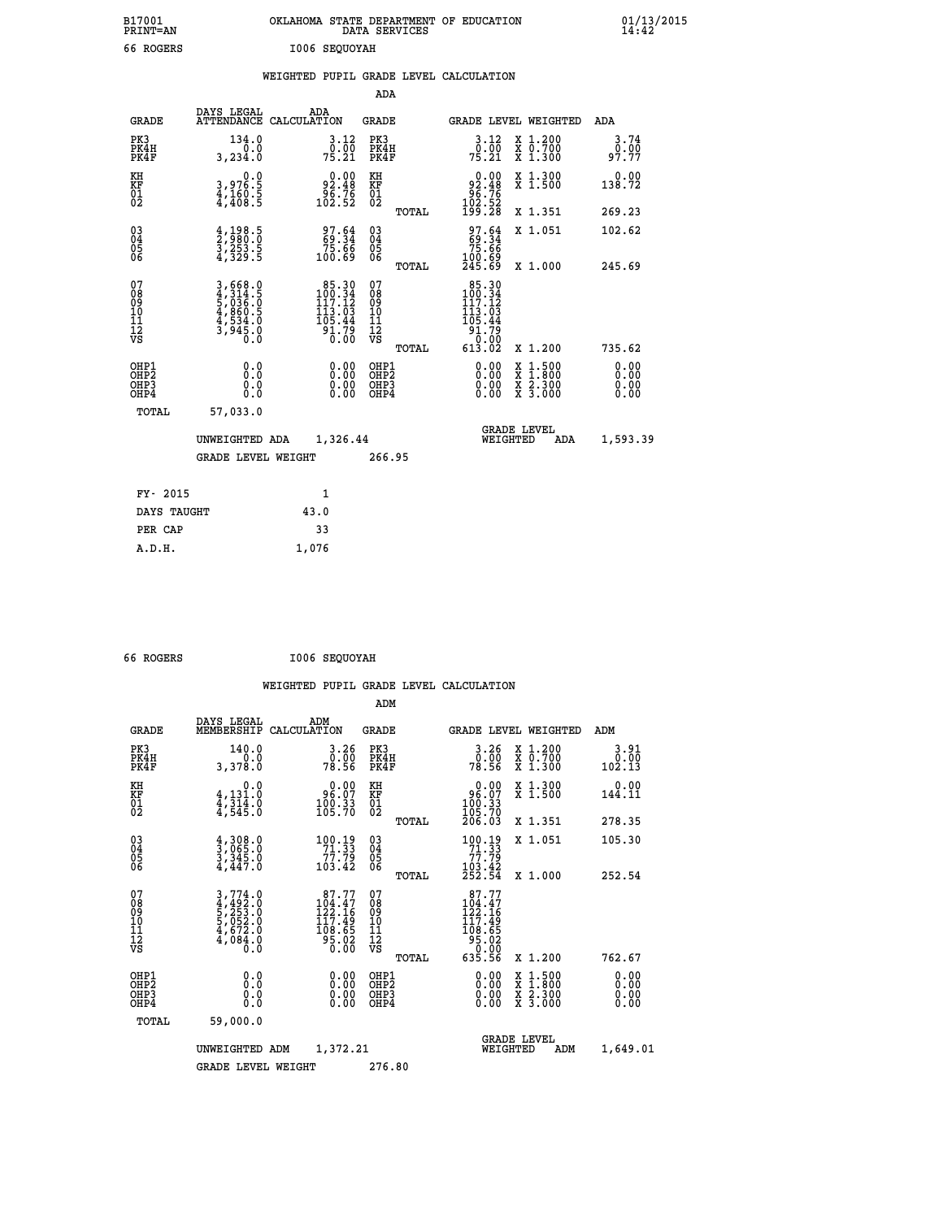| B17001<br>PRINT=AN                                 |                                                                                            | OKLAHOMA STATE DEPARTMENT OF EDUCATION                                                        |                                                    | DATA SERVICES |                                                                                |          |                                                                                                  | $01/13/2015$<br>14:42        |  |
|----------------------------------------------------|--------------------------------------------------------------------------------------------|-----------------------------------------------------------------------------------------------|----------------------------------------------------|---------------|--------------------------------------------------------------------------------|----------|--------------------------------------------------------------------------------------------------|------------------------------|--|
| 66 ROGERS                                          |                                                                                            | I006 SEQUOYAH                                                                                 |                                                    |               |                                                                                |          |                                                                                                  |                              |  |
|                                                    |                                                                                            | WEIGHTED PUPIL GRADE LEVEL CALCULATION                                                        |                                                    | ADA           |                                                                                |          |                                                                                                  |                              |  |
| GRADE                                              | DAYS LEGAL                                                                                 | ADA<br>ATTENDANCE CALCULATION                                                                 | GRADE                                              |               |                                                                                |          | GRADE LEVEL WEIGHTED                                                                             | ADA                          |  |
| PK3<br>PK4H<br>PK4F                                | 134.0<br>0.0<br>3,234.0                                                                    | 3.12<br>0.00<br>75.21                                                                         | PK3<br>PK4H<br>PK4F                                |               | 3.12<br>0.00<br>75.21                                                          |          | X 1.200<br>X 0.700<br>X 1.300                                                                    | 3.74<br>0.00<br>97.77        |  |
| KH<br>KF<br>$\overline{01}$                        | 0.0<br>3,976:5<br>4,160:5<br>4,408:5                                                       | $\begin{smallmatrix} & 0.00\ 92.48\ 96.76\ 102.52 \end{smallmatrix}$                          | KH<br>KF<br>01<br>02                               |               | $\begin{smallmatrix} &0.00\\ 92.48\\ 96.76\\ 102.52\\ 199.28\end{smallmatrix}$ |          | X 1.300<br>X 1.500                                                                               | 0.00<br>138.72               |  |
|                                                    |                                                                                            |                                                                                               |                                                    | TOTAL         |                                                                                |          | X 1.351                                                                                          | 269.23                       |  |
| $\begin{matrix} 03 \\ 04 \\ 05 \\ 06 \end{matrix}$ | $\frac{4}{2}, \frac{198}{980}. \frac{5}{0}$<br>$\frac{3}{4}, \frac{253}{329}. \frac{5}{5}$ | $\begin{smallmatrix} 97.64\ 69.34\ 75.66\ 100.69 \end{smallmatrix}$                           | $\begin{matrix} 03 \\ 04 \\ 05 \\ 06 \end{matrix}$ |               | $\frac{97.64}{75.66}$<br>100.69<br>245.69                                      |          | X 1.051                                                                                          | 102.62                       |  |
| 07<br>08<br>09<br>11<br>11<br>12<br>VS             | 3,668.0<br>4,314.5<br>5,036.0<br>5,036.0<br>4,534.0<br>4,534.0<br>3,945.0                  | $\begin{array}{r} 85.30 \\ 100.34 \\ 117.12 \\ 113.03 \\ 105.44 \\ 91.79 \\ 0.00 \end{array}$ | 07<br>08<br>09<br>11<br>11<br>12<br>VS             | TOTAL         | $85.30$<br>$100.34$<br>$117.12$<br>113.03<br>105.44                            |          | X 1.000                                                                                          | 245.69                       |  |
|                                                    |                                                                                            |                                                                                               |                                                    | TOTAL         | $\frac{51.75}{0.00}$<br>613.02                                                 |          | X 1.200                                                                                          | 735.62                       |  |
| OHP1<br>OHP2<br>OHP3<br>OHP4                       | 0.0<br>0.0<br>0.0<br>0.0                                                                   | 0.00<br>0.00<br>0.00                                                                          | OHP1<br>OH <sub>P</sub> 2<br>OHP3<br>OHP4          |               | 0.00<br>0.00<br>0.00                                                           |          | $\begin{smallmatrix} x & 1 & 500 \\ x & 1 & 800 \\ x & 2 & 300 \\ x & 3 & 000 \end{smallmatrix}$ | 0.00<br>0.00<br>0.00<br>0.00 |  |
| TOTAL                                              | 57,033.0                                                                                   |                                                                                               |                                                    |               |                                                                                |          |                                                                                                  |                              |  |
|                                                    | UNWEIGHTED ADA                                                                             | 1,326.44                                                                                      |                                                    |               |                                                                                | WEIGHTED | <b>GRADE LEVEL</b><br>ADA                                                                        | 1,593.39                     |  |
|                                                    | <b>GRADE LEVEL WEIGHT</b>                                                                  |                                                                                               |                                                    | 266.95        |                                                                                |          |                                                                                                  |                              |  |
| FY- 2015                                           |                                                                                            | 1                                                                                             |                                                    |               |                                                                                |          |                                                                                                  |                              |  |
| DAYS TAUGHT                                        |                                                                                            | 43.0                                                                                          |                                                    |               |                                                                                |          |                                                                                                  |                              |  |
| PER CAP                                            |                                                                                            | 33                                                                                            |                                                    |               |                                                                                |          |                                                                                                  |                              |  |

| 66 ROGERS | I006 SEQUOYAH |
|-----------|---------------|
|           |               |

 **A.D.H. 1,076**

 **WEIGHTED PUPIL GRADE LEVEL CALCULATION ADM DAYS LEGAL ADM GRADE MEMBERSHIP CALCULATION GRADE GRADE LEVEL WEIGHTED ADM PK3 140.0 3.26 PK3 3.26 X 1.200 3.91 PK4H 0.0 0.00 PK4H 0.00 X 0.700 0.00 PK4F 3,378.0 78.56 PK4F 78.56 X 1.300 102.13** 0.00 KH 0.00 0.00 KH 0.00 X 1.300<br>20.01 144.11 96.07 KF 96.07 X 1.500 144.11  **01 4,314.0 100.33 01 100.33 02 4,545.0 105.70 02 105.70 TOTAL 206.03 X 1.351 278.35 03 4,308.0 100.19 03 100.19 X 1.051 105.30 04 3,065.0 71.33 04 71.33 05 3,345.0 77.79 05 77.79 06 4,447.0 103.42 06 103.42 TOTAL 252.54 X 1.000 252.54**  $\begin{array}{cccc} 07 & 3\,,774\, .0 & 87\,.77 & 07 & 87\,.77 \ 08 & 4\,,492\,.0 & 104\,.47 & 08 & 104\,.47 \ 10 & 5\,,052\,.0 & 117\,.49 & 10 & 117\,.49 \ 12 & 4\,,078\,.0 & 0 & 5\,.05 \ 12 & 0 & 0 & 5\,.05 & 117\,.49 \ 11 & 4\,,084\,.0 & 0 & 0 & 0 & 0 & 0 \ 0 & 0 & 0 & 0 & 0 & 0 \ 0 &$  **TOTAL 635.56 X 1.200 762.67 OHP1 0.0 0.00 OHP1 0.00 X 1.500 0.00 OHP2 0.0 0.00 OHP2 0.00 X 1.800 0.00 OHP3 0.0 0.00 OHP3 0.00 X 2.300 0.00 OHP4 0.0 0.00 OHP4 0.00 X 3.000 0.00 TOTAL 59,000.0 GRADE LEVEL UNWEIGHTED ADM 1,372.21 WEIGHTED ADM 1,649.01** GRADE LEVEL WEIGHT 276.80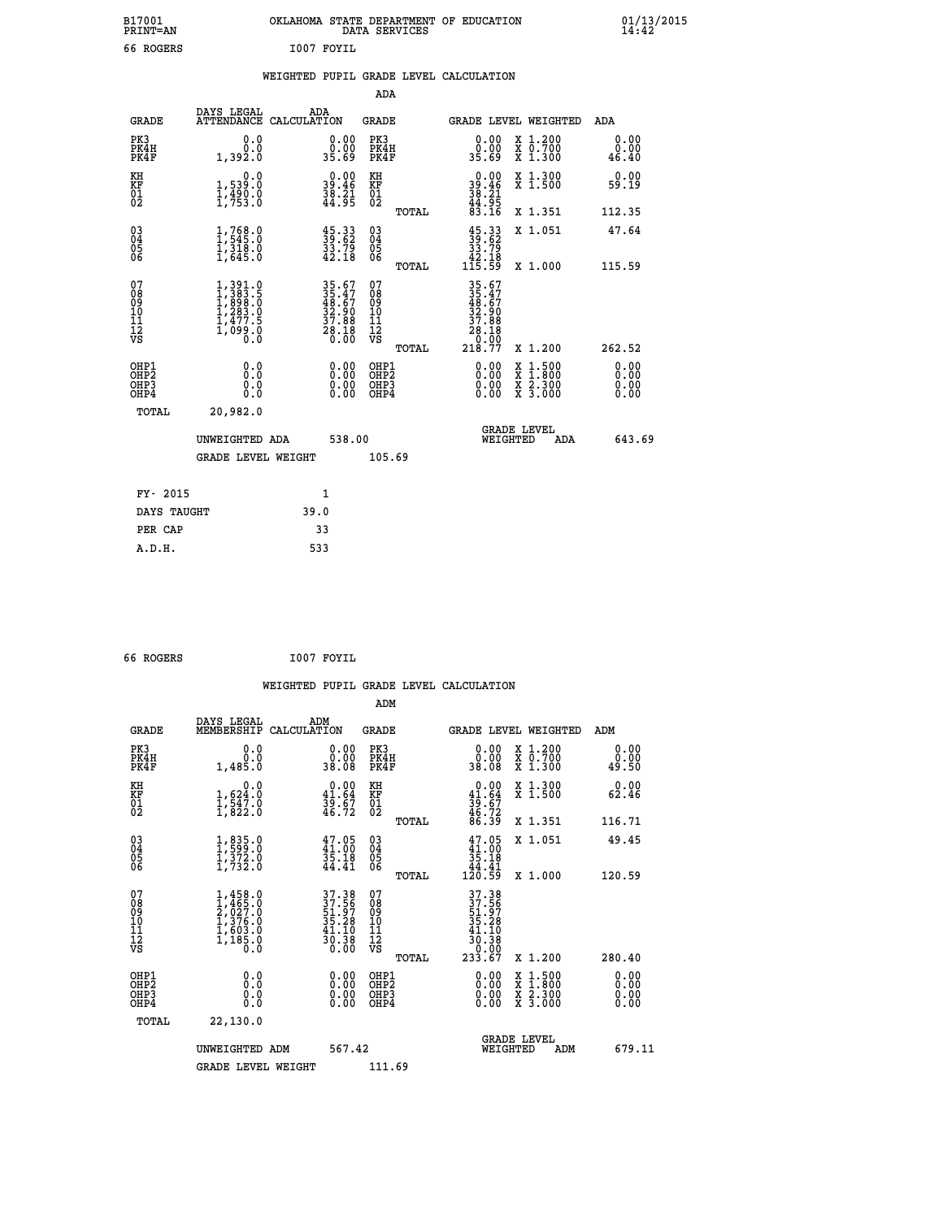| B17001<br><b>PRINT=AN</b> | OKLAHOMA STATE DEPARTMENT OF EDUCATION<br>DATA SERVICES | 01/13/2015 |
|---------------------------|---------------------------------------------------------|------------|
| ROGERS<br>66              | I007<br>FOYIL                                           |            |

|  |  | WEIGHTED PUPIL GRADE LEVEL CALCULATION |
|--|--|----------------------------------------|
|  |  |                                        |

|                                                                    |                                                                                   |                                                                                           | ADA                                                 |       |                                                                              |                                                                                          |                       |
|--------------------------------------------------------------------|-----------------------------------------------------------------------------------|-------------------------------------------------------------------------------------------|-----------------------------------------------------|-------|------------------------------------------------------------------------------|------------------------------------------------------------------------------------------|-----------------------|
| <b>GRADE</b>                                                       | DAYS LEGAL<br>ATTENDANCE CALCULATION                                              | ADA                                                                                       | <b>GRADE</b>                                        |       |                                                                              | GRADE LEVEL WEIGHTED                                                                     | ADA                   |
| PK3<br>PK4H<br>PK4F                                                | 0.0<br>0.0<br>1,392.0                                                             | 0.00<br>0.00<br>35.69                                                                     | PK3<br>PK4H<br>PK4F                                 |       | 0.00<br>0.00<br>83.69                                                        | X 1.200<br>X 0.700<br>X 1.300                                                            | 0.00<br>0.00<br>46.40 |
| KH<br>KF<br>01<br>02                                               | 0.0<br>1,539:0<br>1,490:0<br>1,753:0                                              | $39.00$<br>39.46<br>$\frac{38}{44}. \frac{21}{95}$                                        | KH<br>KF<br>01<br>02                                |       | $\begin{smallmatrix} 0.00\\ 39.46\\ 38.21\\ 44.95\\ 83.16 \end{smallmatrix}$ | X 1.300<br>X 1.500                                                                       | 0.00<br>59.19         |
|                                                                    |                                                                                   |                                                                                           |                                                     | TOTAL |                                                                              | X 1.351                                                                                  | 112.35                |
| $\begin{smallmatrix} 03 \\[-4pt] 04 \end{smallmatrix}$<br>Ŏ5<br>06 | $1, 768.0$<br>$1, 545.0$<br>$1, 318.0$<br>$1, 645.0$                              | $\frac{45.33}{39.62}$<br>$\frac{33.79}{42.18}$                                            | $\begin{array}{c} 03 \\ 04 \\ 05 \\ 06 \end{array}$ |       | $\begin{smallmatrix} 45.33\ 39.62\ 33.79\ 42.18\ 115.59 \end{smallmatrix}$   | X 1.051                                                                                  | 47.64                 |
|                                                                    |                                                                                   |                                                                                           |                                                     | TOTAL |                                                                              | X 1.000                                                                                  | 115.59                |
| 07<br>08<br>09<br>11<br>11<br>12<br>VS                             | $1,391.0$<br>$1,383.5$<br>$1,899.0$<br>$1,283.0$<br>$1,477.5$<br>$1,099.0$<br>0.0 | $\begin{array}{r} 35.67 \\ 35.47 \\ 48.67 \\ 32.90 \\ 37.88 \\ 28.18 \\ 0.00 \end{array}$ | 07<br>08<br>09<br>11<br>11<br>12<br>VS              |       | 35.67<br>35.47<br>48.67<br>32.90<br>37.88<br>38.189.99                       |                                                                                          |                       |
|                                                                    |                                                                                   |                                                                                           |                                                     | TOTAL | 218.77                                                                       | X 1.200                                                                                  | 262.52                |
| OHP1<br>OHP2<br>OH <sub>P3</sub><br>OHP4                           | 0.0<br>0.0<br>0.0                                                                 | $0.00$<br>$0.00$<br>0.00                                                                  | OHP1<br>OHP2<br>OHP3<br>OHP4                        |       |                                                                              | $\begin{smallmatrix} x & 1.500 \\ x & 1.800 \\ x & 2.300 \\ x & 3.000 \end{smallmatrix}$ | 0.00<br>0.00<br>0.00  |
| TOTAL                                                              | 20,982.0                                                                          |                                                                                           |                                                     |       |                                                                              |                                                                                          |                       |
|                                                                    | UNWEIGHTED ADA                                                                    | 538.00                                                                                    |                                                     |       |                                                                              | <b>GRADE LEVEL</b><br>WEIGHTED<br>ADA                                                    | 643.69                |
|                                                                    | <b>GRADE LEVEL WEIGHT</b>                                                         |                                                                                           | 105.69                                              |       |                                                                              |                                                                                          |                       |
| FY- 2015                                                           |                                                                                   | $\mathbf{1}$                                                                              |                                                     |       |                                                                              |                                                                                          |                       |
| DAYS TAUGHT                                                        |                                                                                   | 39.0                                                                                      |                                                     |       |                                                                              |                                                                                          |                       |
| PER CAP                                                            |                                                                                   | 33                                                                                        |                                                     |       |                                                                              |                                                                                          |                       |

| 66 ROGERS | I007 FOYIL |
|-----------|------------|
|-----------|------------|

 **WEIGHTED PUPIL GRADE LEVEL CALCULATION ADM DAYS LEGAL ADM GRADE MEMBERSHIP CALCULATION GRADE GRADE LEVEL WEIGHTED ADM PK3 0.0 0.00 PK3 0.00 X 1.200 0.00 PK4H 0.0 0.00 PK4H 0.00 X 0.700 0.00 PK4F 1,485.0 38.08 PK4F 38.08 X 1.300 49.50 KH 0.0 0.00 KH 0.00 X 1.300 0.00 KF 1,624.0 41.64 KF 41.64 X 1.500 62.46 01 1,547.0 39.67 01 39.67**  $02 \qquad 1,822.0 \qquad 46.72 \quad 02 \qquad 46.72$  **TOTAL 86.39 X 1.351 116.71 03 1,835.0 47.05 03 47.05 X 1.051 49.45 04 1,599.0 41.00 04 41.00 05 1,372.0 35.18 05 35.18** 06 1,732.0 44.41 06 <sub>momas</sub> 44.41  **TOTAL 120.59 X 1.000 120.59**  $\begin{array}{cccc} 07 & 1,458.0 & 37.38 & 07 & 37.38 \ 08 & 1,465.0 & 37.38 & 07 & 37.38 \ 09 & 2,627.0 & 51.97 & 08 & 51.97 \ 10 & 1,376.0 & 35.28 & 10 & 35.28 \ 11 & 1,603.0 & 41.10 & 11 & 41.10 \ 1,85.0 & 30.38 & 12 & 41.10 \ 18 & 0.0 & 0 & 0.0 & 0.0 & 0.0 & 0.0 &$  **TOTAL 233.67 X 1.200 280.40 OHP1 0.0 0.00 OHP1 0.00 X 1.500 0.00 OHP2 0.0 0.00 OHP2 0.00 X 1.800 0.00 OHP3 0.0 0.00 OHP3 0.00 X 2.300 0.00 OHP4 0.0 0.00 OHP4 0.00 X 3.000 0.00 TOTAL 22,130.0 GRADE LEVEL UNWEIGHTED ADM 567.42 WEIGHTED ADM 679.11** GRADE LEVEL WEIGHT 111.69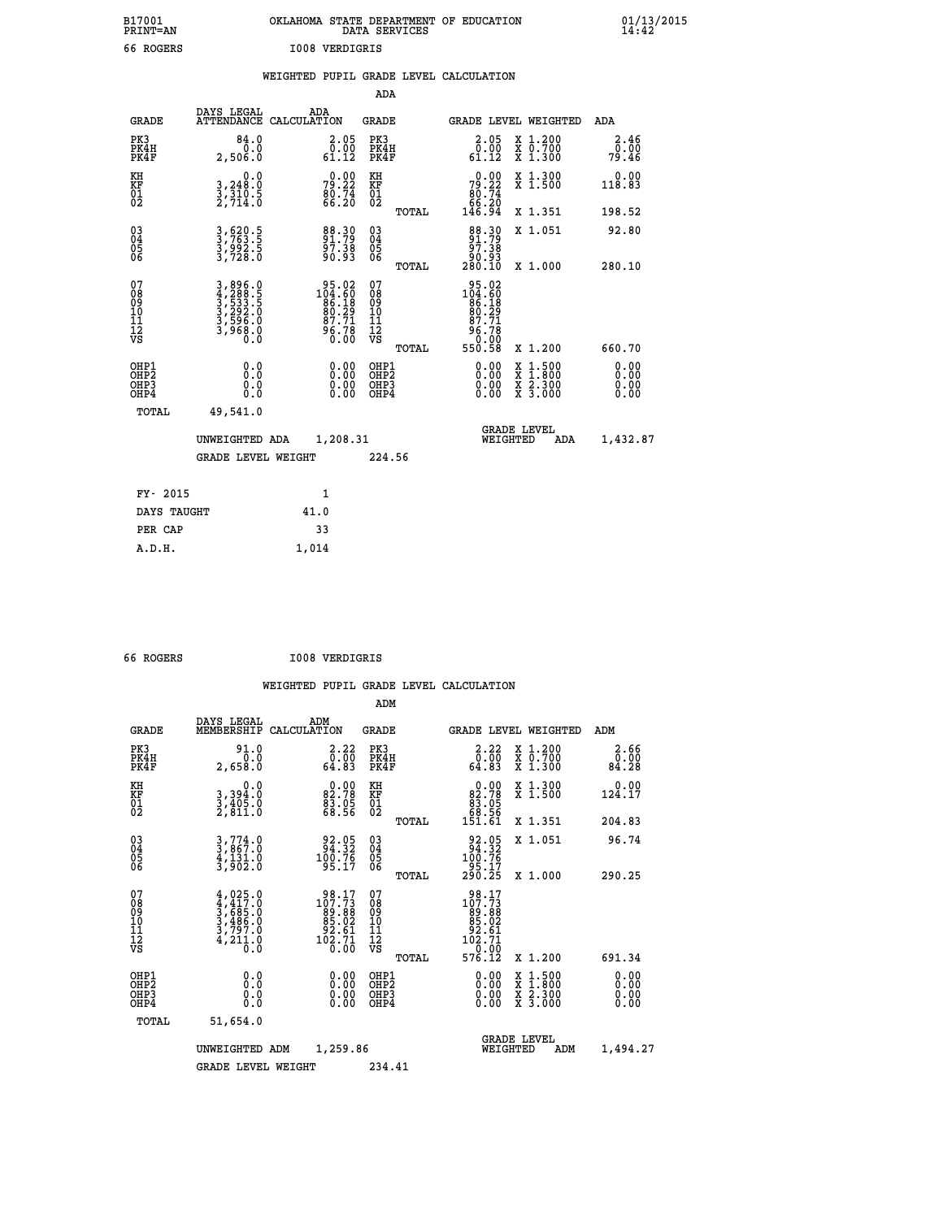| OKLAHOMA STATE DEPARTMENT OF EDUCATION<br>DATA SERVICES |  |
|---------------------------------------------------------|--|
| <b>IOO8 VERDIGRIS</b>                                   |  |

 **B17001 OKLAHOMA STATE DEPARTMENT OF EDUCATION 01/13/2015**

|                                                       |                                                                |                                                                                               | ADA                                             |                                                                                                                                                              |                              |
|-------------------------------------------------------|----------------------------------------------------------------|-----------------------------------------------------------------------------------------------|-------------------------------------------------|--------------------------------------------------------------------------------------------------------------------------------------------------------------|------------------------------|
| <b>GRADE</b>                                          | DAYS LEGAL                                                     | ADA<br>ATTENDANCE CALCULATION                                                                 | GRADE                                           | <b>GRADE LEVEL WEIGHTED</b>                                                                                                                                  | ADA                          |
| PK3<br>PK4H<br>PK4F                                   | 84.0<br>0.0<br>2,506.0                                         | $\begin{smallmatrix} 2.05\0.00\\61.12\end{smallmatrix}$                                       | PK3<br>PK4H<br>PK4F                             | X 1.200<br>X 0.700<br>X 1.300<br>2.05<br>$\bar{0}.\tilde{0}\bar{0}\over 61.12$                                                                               | 2.46<br>0.00<br>79.46        |
| KH<br>KF<br>01<br>02                                  | 0.0<br>$\frac{3}{2}, \frac{248}{310}$ .<br>2,714.0             | 79.22<br>80.74<br>66.20                                                                       | KH<br>KF<br>01<br>02                            | $79.22\n80.74\n66.20\n146.94$<br>X 1.300<br>X 1.500                                                                                                          | 0.00<br>118.83               |
|                                                       |                                                                |                                                                                               | TOTAL                                           | X 1.351                                                                                                                                                      | 198.52                       |
| 03<br>04<br>05<br>06                                  | 3,620.5<br>3,763.5<br>3,992.5<br>3,728.0                       | 88.30<br>91.79<br>97.38<br>90.93                                                              | 03<br>04<br>05<br>06<br>TOTAL                   | $\begin{smallmatrix}88\cdot30\\91\cdot79\\97\cdot38\\90\cdot93\\280\cdot10\end{smallmatrix}$<br>X 1.051<br>X 1.000                                           | 92.80<br>280.10              |
| 07<br>08<br>09<br>11<br>11<br>12<br>VS                | 3,896.0<br>4,288.5<br>5,533.5<br>3,596.0<br>3,596.0<br>3,968.0 | $\begin{smallmatrix} 95.02\\ 104.60\\ 86.18\\ 80.29\\ 87.71\\ 96.78\\ 0.00 \end{smallmatrix}$ | 07<br>08<br>09<br>11<br>11<br>12<br>VS<br>TOTAL | $\begin{smallmatrix} 95.02\\ 104.60\\ 86.18\\ 80.29\\ 87.71 \end{smallmatrix}$<br>$\frac{56.78}{0.00}$<br>550.58<br>X 1.200                                  | 660.70                       |
| OHP1<br>OH <sub>P</sub> 2<br>OH <sub>P3</sub><br>OHP4 | 0.0<br>0.0<br>0.0                                              | 0.00<br>$\begin{smallmatrix} 0.00 \ 0.00 \end{smallmatrix}$                                   | OHP1<br>OHP <sub>2</sub><br>OHP3<br>OHP4        | 0.00<br>$\begin{smallmatrix} \mathtt{X} & 1 & 500 \\ \mathtt{X} & 1 & 800 \\ \mathtt{X} & 2 & 300 \\ \mathtt{X} & 3 & 000 \end{smallmatrix}$<br>0.00<br>0.00 | 0.00<br>0.00<br>0.00<br>0.00 |
| TOTAL                                                 | 49,541.0                                                       |                                                                                               |                                                 |                                                                                                                                                              |                              |
|                                                       | UNWEIGHTED ADA                                                 | 1,208.31                                                                                      |                                                 | <b>GRADE LEVEL</b><br>WEIGHTED<br>ADA                                                                                                                        | 1,432.87                     |
|                                                       | <b>GRADE LEVEL WEIGHT</b>                                      |                                                                                               | 224.56                                          |                                                                                                                                                              |                              |
| FY- 2015                                              |                                                                | $\mathbf{1}$                                                                                  |                                                 |                                                                                                                                                              |                              |
|                                                       | DAYS TAUGHT                                                    | 41.0                                                                                          |                                                 |                                                                                                                                                              |                              |
| PER CAP                                               |                                                                | 33                                                                                            |                                                 |                                                                                                                                                              |                              |
| A.D.H.                                                |                                                                | 1,014                                                                                         |                                                 |                                                                                                                                                              |                              |

| 66 ROGERS | <b>I008 VERDIGRIS</b> |
|-----------|-----------------------|
|           |                       |

B17001<br>PRINT=AN<br>66 ROGERS

|                                                    |                                                                                                                                                                  |                                                                                          | ADM                                                |                                                                                                 |                                          |                              |
|----------------------------------------------------|------------------------------------------------------------------------------------------------------------------------------------------------------------------|------------------------------------------------------------------------------------------|----------------------------------------------------|-------------------------------------------------------------------------------------------------|------------------------------------------|------------------------------|
| <b>GRADE</b>                                       | DAYS LEGAL<br>MEMBERSHIP                                                                                                                                         | ADM<br>CALCULATION                                                                       | <b>GRADE</b>                                       |                                                                                                 | GRADE LEVEL WEIGHTED                     | ADM                          |
| PK3<br>PK4H<br>PK4F                                | 91.0<br>0.0<br>2,658.0                                                                                                                                           | $\begin{smallmatrix} 2.22\ 0.00\ 64.83 \end{smallmatrix}$                                | PK3<br>PK4H<br>PK4F                                | $3.22$<br>$0.00$<br>64.83                                                                       | X 1.200<br>X 0.700<br>X 1.300            | 2.66<br>0.00<br>84.28        |
| KH<br>KF<br>01<br>02                               | 0.0<br>3,394:0<br>3,405:0<br>2,811:0                                                                                                                             | $82.78$<br>$83.95$<br>$68.56$                                                            | KH<br>KF<br>01<br>02                               | 0.00<br>82:78<br>83:05<br>68:56<br>151:61                                                       | X 1.300<br>X 1.500                       | 0.00<br>124.17               |
|                                                    |                                                                                                                                                                  |                                                                                          | TOTAL                                              |                                                                                                 | X 1.351                                  | 204.83                       |
| $\begin{matrix} 03 \\ 04 \\ 05 \\ 06 \end{matrix}$ | $3,774.0$<br>$3,867.0$<br>$4,131.0$<br>$3,902.0$                                                                                                                 | $\begin{array}{r} 92.05 \\ 94.32 \\ 100.76 \\ 95.17 \end{array}$                         | $\begin{matrix} 03 \\ 04 \\ 05 \\ 06 \end{matrix}$ | $\begin{smallmatrix} 92.05\\ 94.32\\ 100.76\\ 95.17\\ 290.25 \end{smallmatrix}$                 | X 1.051                                  | 96.74                        |
|                                                    |                                                                                                                                                                  |                                                                                          | TOTAL                                              |                                                                                                 | X 1.000                                  | 290.25                       |
| 07<br>08<br>09<br>10<br>11<br>11<br>12<br>VS       | $\begin{smallmatrix} 4\,,\,025\,.\,0\\ 4\,,\,417\,. \,0\\ 3\,,\,685\,. \,0\\ 3\,,\,486\,. \,0\\ 3\,,\,797\,. \,0\\ 4\,,\,211\,. \,0\\ 0\,. \,0\end{smallmatrix}$ | $\begin{smallmatrix} 98.17\\107.73\\89.88\\85.02\\92.61\\102.71\\0.00 \end{smallmatrix}$ | 07<br>08<br>09<br>101<br>11<br>12<br>VS            | $\begin{smallmatrix} 98.17\\107.73\\89.88\\85.02\\92.61\\102.71\\0.00\\576.12\end{smallmatrix}$ |                                          |                              |
|                                                    |                                                                                                                                                                  |                                                                                          | TOTAL                                              |                                                                                                 | X 1.200                                  | 691.34                       |
| OHP1<br>OHP2<br>OH <sub>P3</sub><br>OHP4           | 0.0<br>0.0<br>0.0                                                                                                                                                | $0.00$<br>$0.00$<br>0.00                                                                 | OHP1<br>OHP2<br>OHP3<br>OHP4                       | 0.00<br>0.00<br>0.00                                                                            | X 1:500<br>X 1:800<br>X 2:300<br>X 3:000 | 0.00<br>0.00<br>0.00<br>0.00 |
| TOTAL                                              | 51,654.0                                                                                                                                                         |                                                                                          |                                                    |                                                                                                 |                                          |                              |
|                                                    | UNWEIGHTED ADM                                                                                                                                                   | 1,259.86                                                                                 |                                                    | WEIGHTED                                                                                        | <b>GRADE LEVEL</b><br>ADM                | 1,494.27                     |
|                                                    | <b>GRADE LEVEL WEIGHT</b>                                                                                                                                        |                                                                                          | 234.41                                             |                                                                                                 |                                          |                              |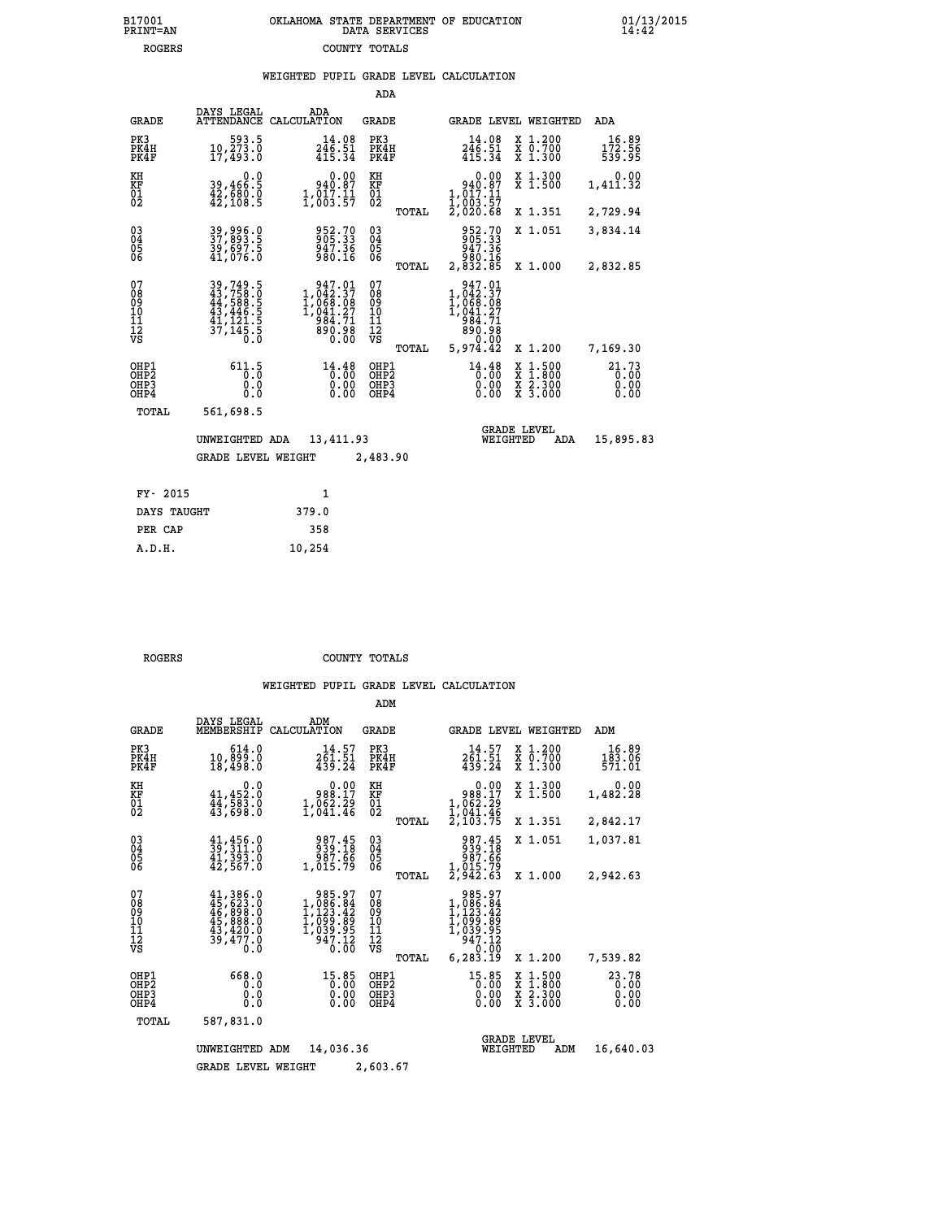| 7001<br>INT=AN | OKLAHOMA STATE DEPARTMENT OF EDUCATION<br>DATA SERVICES |  |
|----------------|---------------------------------------------------------|--|
| ROGERS         | COUNTY TOTALS                                           |  |

 **B17001 OKLAHOMA STATE DEPARTMENT OF EDUCATION 01/13/2015**

## **WEIGHTED PUPIL GRADE LEVEL CALCULATION**

|                                                                    |                                                                                                                                                                                   |                                                                                                          | ADA                                      |                                                                                  |                                                                                                  |                               |
|--------------------------------------------------------------------|-----------------------------------------------------------------------------------------------------------------------------------------------------------------------------------|----------------------------------------------------------------------------------------------------------|------------------------------------------|----------------------------------------------------------------------------------|--------------------------------------------------------------------------------------------------|-------------------------------|
| <b>GRADE</b>                                                       | DAYS LEGAL                                                                                                                                                                        | ADA<br>ATTENDANCE CALCULATION                                                                            | <b>GRADE</b>                             |                                                                                  | GRADE LEVEL WEIGHTED                                                                             | ADA                           |
| PK3<br>PK4H<br>PK4F                                                | 593.5<br>10, 273.0<br>17,493.0                                                                                                                                                    | $246.98$<br>$246.51$<br>415.34                                                                           | PK3<br>PK4H<br>PK4F                      | $\frac{14.08}{246.51}$<br>415.34                                                 | X 1.200<br>X 0.700<br>X 1.300                                                                    | 16.89<br>172.56<br>539.95     |
| KH<br>KF<br>01<br>02                                               | 0.0<br>39,466:5<br>42,680:0<br>42,108:5                                                                                                                                           | 0.00<br>940.87<br>$\frac{1}{2}$ , $\frac{0}{003}$ , $\frac{1}{57}$                                       | KH<br>KF<br>01<br>02                     | 0.00<br>$940.87$<br>$1,017.11$<br>$1,003.57$<br>$2,020.68$                       | X 1.300<br>X 1.500                                                                               | 0.00<br>1,411.32              |
|                                                                    |                                                                                                                                                                                   |                                                                                                          | TOTAL                                    |                                                                                  | X 1.351                                                                                          | 2,729.94                      |
| $\begin{smallmatrix} 03 \\[-4pt] 04 \end{smallmatrix}$<br>Ŏ5<br>06 | 39,996.0<br>37,893.5<br>39,697.5<br>41,076.0                                                                                                                                      | 952.70<br>905.33<br>947.36<br>980.16                                                                     | $\substack{03 \\ 04}$<br>Ŏ5<br>06        | 952.70<br>905.33<br>947.36<br>ăč:ič<br>2,832.85                                  | X 1.051                                                                                          | 3,834.14                      |
|                                                                    |                                                                                                                                                                                   |                                                                                                          | TOTAL                                    |                                                                                  | X 1.000                                                                                          | 2,832.85                      |
| 07<br>08<br>09<br>11<br>11<br>12<br>VS                             | $\begin{smallmatrix} 39\,,\,749\,,\,5\\ 43\,,\,758\,,\,5\\ 44\,,\,588\,,\,5\\ 43\,,\,446\,,\,5\\ 41\,,\,121\,,\,5\\ 41\,,\,121\,,\,5\\ 37\,,\,145\,,\,5\\ 0\,. \end{smallmatrix}$ | $\begin{smallmatrix} 947.01\\ 1,042.37\\ 1,068.08\\ 1,041.27\\ 984.71\\ 890.98\\ 0.00 \end{smallmatrix}$ | 07<br>08<br>09<br>101<br>11<br>12<br>VS  | $947.01$<br>$1,042.37$<br>$1,068.08$<br>$1,041.27$<br>$984.71$<br>890.98<br>0.00 |                                                                                                  |                               |
|                                                                    |                                                                                                                                                                                   |                                                                                                          | TOTAL                                    | 5,974.42                                                                         | X 1.200                                                                                          | 7,169.30                      |
| OHP1<br>OHP <sub>2</sub><br>OH <sub>P3</sub><br>OH <sub>P4</sub>   | 611.5<br>0.0<br>0.0                                                                                                                                                               | $14.48$<br>$0.00$<br>0.00                                                                                | OHP1<br>OHP <sub>2</sub><br>OHP3<br>OHP4 | 14.48<br>0.00                                                                    | $\begin{smallmatrix} x & 1 & 500 \\ x & 1 & 800 \\ x & 2 & 300 \\ x & 3 & 000 \end{smallmatrix}$ | 21.73<br>0.00<br>0.00<br>0.00 |
| TOTAL                                                              | 561,698.5                                                                                                                                                                         |                                                                                                          |                                          |                                                                                  |                                                                                                  |                               |
|                                                                    | UNWEIGHTED ADA                                                                                                                                                                    | 13,411.93                                                                                                |                                          | WEIGHTED                                                                         | <b>GRADE LEVEL</b><br>ADA                                                                        | 15,895.83                     |
|                                                                    | <b>GRADE LEVEL WEIGHT</b>                                                                                                                                                         |                                                                                                          | 2,483.90                                 |                                                                                  |                                                                                                  |                               |
| FY- 2015                                                           |                                                                                                                                                                                   | $\mathbf{1}$                                                                                             |                                          |                                                                                  |                                                                                                  |                               |
| DAYS TAUGHT                                                        |                                                                                                                                                                                   | 379.0                                                                                                    |                                          |                                                                                  |                                                                                                  |                               |
| PER CAP                                                            |                                                                                                                                                                                   | 358                                                                                                      |                                          |                                                                                  |                                                                                                  |                               |

 **A.D.H. 10,254**

 **B17001<br>PRINT=AN** 

 **ROGERS COUNTY TOTALS**

|                                                       |                                                                                                                                          |                                                                                      | ADM                                             |                                                                                         |                                                                                                  |                           |
|-------------------------------------------------------|------------------------------------------------------------------------------------------------------------------------------------------|--------------------------------------------------------------------------------------|-------------------------------------------------|-----------------------------------------------------------------------------------------|--------------------------------------------------------------------------------------------------|---------------------------|
| <b>GRADE</b>                                          | DAYS LEGAL<br>MEMBERSHIP                                                                                                                 | ADM<br>CALCULATION                                                                   | <b>GRADE</b>                                    | <b>GRADE LEVEL WEIGHTED</b>                                                             |                                                                                                  | ADM                       |
| PK3<br>PK4H<br>PK4F                                   | 614.0<br>10,899.0<br>18,498.0                                                                                                            | 14.57<br>261.51<br>439.24                                                            | PK3<br>PK4H<br>PK4F                             | 14.57<br>261.51<br>439.24                                                               | $\begin{smallmatrix} x & 1.200 \\ x & 0.700 \end{smallmatrix}$<br>X 1.300                        | 16.89<br>183.06<br>571.01 |
| KH<br>KF<br>01<br>02                                  | 0.0<br>$41,452.0$<br>$44,583.0$<br>$43,698.0$                                                                                            | 0.00<br>17.889<br>$1,062.29$<br>$1,041.46$                                           | KH<br>KF<br>01<br>02                            | $\begin{smallmatrix}&&0.00\\988.17\\1,062.29\\1,041.46\\2,103.75\end{smallmatrix}$      | X 1.300<br>X 1.500                                                                               | 0.00<br>1,482.28          |
|                                                       |                                                                                                                                          |                                                                                      | TOTAL                                           |                                                                                         | X 1.351                                                                                          | 2,842.17                  |
| 03<br>04<br>05<br>06                                  | $\begin{smallmatrix} 41 & 456 & 0 \\ 39 & 311 & 0 \\ 41 & 393 & 0 \\ 42 & 567 & 0 \end{smallmatrix}$                                     | 987.45<br>939.18<br>987.66<br>1,015.79                                               | $^{03}_{04}$<br>0500                            | 987.45<br>939.18<br>86: 88<br>1,015:79<br>2,942:63                                      | X 1.051                                                                                          | 1,037.81                  |
|                                                       |                                                                                                                                          |                                                                                      | TOTAL                                           |                                                                                         | X 1.000                                                                                          | 2,942.63                  |
| 07<br>08<br>09<br>11<br>11<br>12<br>VS                | $\begin{smallmatrix} 41,386\cdot0\\ 45,623\cdot0\\ 46,898\cdot0\\ 45,888\cdot0\\ 43,420\cdot0\\ 39,477\cdot0\\ \end{smallmatrix}$<br>0.0 | 985.97<br>$1,086.84$<br>$1,123.42$<br>$1,099.89$<br>$1,039.95$<br>$947.12$<br>$0.00$ | 07<br>08<br>09<br>11<br>11<br>12<br>VS<br>TOTAL | 985.97<br>$1,086.84$<br>$1,123.42$<br>$1,099.89$<br>$1,039.95$<br>$947.12$<br>6, 283.19 | X 1.200                                                                                          | 7,539.82                  |
| OHP1<br>OH <sub>P</sub> 2<br>OH <sub>P3</sub><br>OHP4 | 668.0<br>0.0<br>0.0<br>Ŏ.Ŏ                                                                                                               | $15.85$<br>$0.00$<br>0.00<br>0.00                                                    | OHP1<br>OHP2<br>OHP3<br>OHP4                    | $15.85$<br>0.00<br>0.00                                                                 | $\begin{smallmatrix} x & 1 & 500 \\ x & 1 & 800 \\ x & 2 & 300 \\ x & 3 & 000 \end{smallmatrix}$ | 23.78<br>0.00<br>0.00     |
| TOTAL                                                 | 587,831.0                                                                                                                                |                                                                                      |                                                 |                                                                                         |                                                                                                  |                           |
|                                                       | UNWEIGHTED                                                                                                                               | 14,036.36<br>ADM                                                                     |                                                 | WEIGHTED                                                                                | <b>GRADE LEVEL</b><br>ADM                                                                        | 16,640.03                 |
|                                                       | <b>GRADE LEVEL WEIGHT</b>                                                                                                                |                                                                                      | 2,603.67                                        |                                                                                         |                                                                                                  |                           |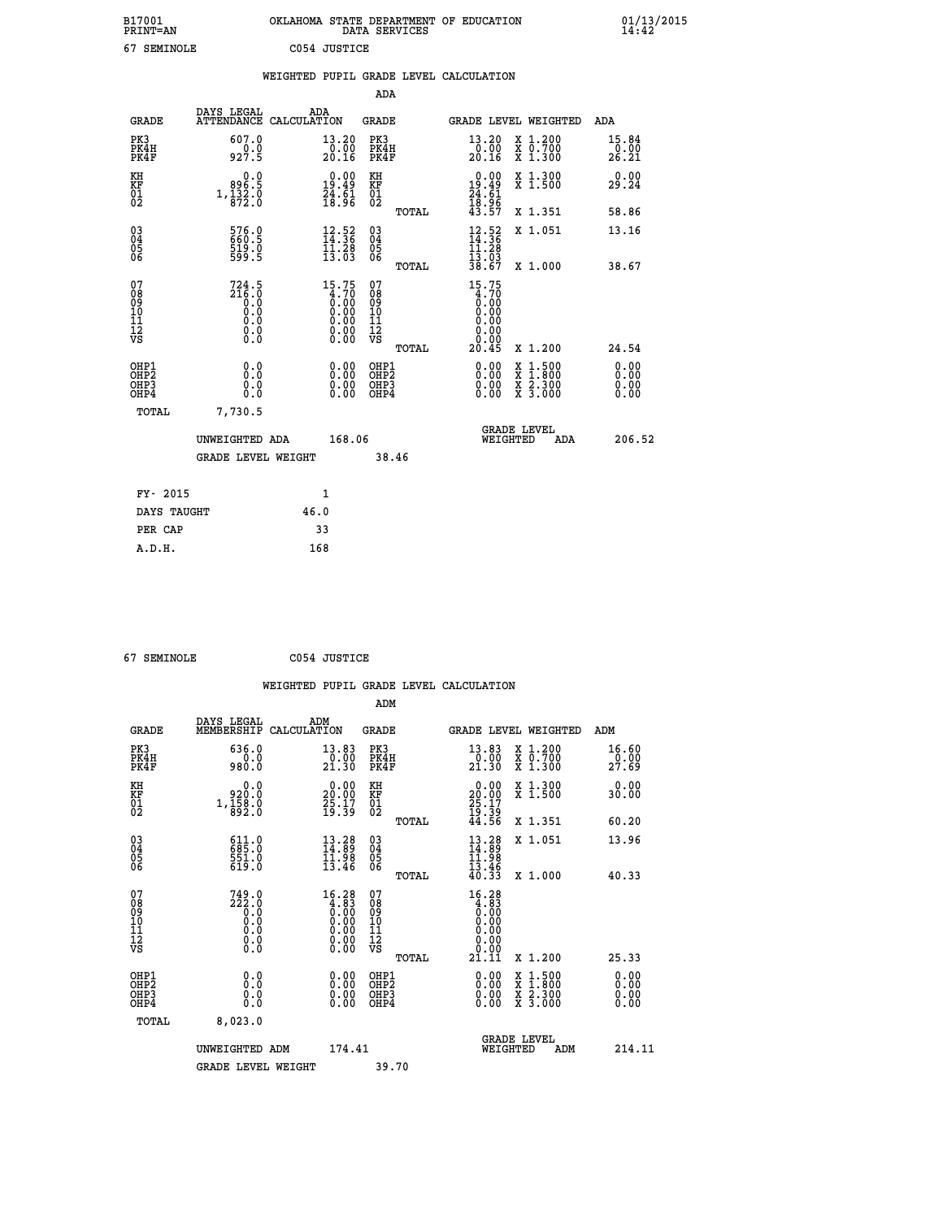| B17001<br><b>PRINT=AN</b> | OKLAHOMA<br>. STATE DEPARTMENT OF EDUCATION<br>DATA SERVICES | 01/13/2015<br>14:42 |
|---------------------------|--------------------------------------------------------------|---------------------|
| 67<br>SEMINOLE            | C054 JUSTICE                                                 |                     |

|                                                                    |                                                                                               |      |                                                                                                                       |                                        |       | WEIGHTED PUPIL GRADE LEVEL CALCULATION                                                       |                                                                                          |                              |
|--------------------------------------------------------------------|-----------------------------------------------------------------------------------------------|------|-----------------------------------------------------------------------------------------------------------------------|----------------------------------------|-------|----------------------------------------------------------------------------------------------|------------------------------------------------------------------------------------------|------------------------------|
|                                                                    |                                                                                               |      |                                                                                                                       | ADA                                    |       |                                                                                              |                                                                                          |                              |
| <b>GRADE</b>                                                       | DAYS LEGAL<br>ATTENDANCE CALCULATION                                                          | ADA  |                                                                                                                       | GRADE                                  |       |                                                                                              | GRADE LEVEL WEIGHTED                                                                     | ADA                          |
| PK3<br>PK4H<br>PK4F                                                | 607.0<br>927.5                                                                                |      | 13.20<br>$\frac{0.00}{20.16}$                                                                                         | PK3<br>PK4H<br>PK4F                    |       | 13.20<br>$\frac{0.00}{20.16}$                                                                | X 1.200<br>X 0.700<br>X 1.300                                                            | 15.84<br>0.00<br>26.21       |
| KH<br><b>KF</b><br>01<br>02                                        | $0.0$<br>5.998<br>$1,\frac{1}{8}\frac{3}{2}\cdot\frac{3}{8}$                                  |      | $\begin{smallmatrix} 0.00\\19.49\\24.61\\18.96 \end{smallmatrix}$                                                     | KH<br>KF<br>01<br>02                   |       | $0.00$<br>19.49<br>$\frac{24}{18}$ : $\frac{61}{96}$<br>43.57                                | X 1.300<br>X 1.500                                                                       | 0.00<br>29.24                |
|                                                                    |                                                                                               |      |                                                                                                                       |                                        | TOTAL |                                                                                              | X 1.351                                                                                  | 58.86                        |
| $\begin{smallmatrix} 03 \\[-4pt] 04 \end{smallmatrix}$<br>05<br>06 | 576.0<br>660.5<br>519.0<br>599.5                                                              |      | $\frac{12.52}{14.36}$<br>$\frac{11.28}{13.03}$                                                                        | $\substack{03 \\ 04}$<br>05<br>06      |       | $\frac{12.52}{14.36}$<br>$\frac{11.28}{13.03}$                                               | X 1.051                                                                                  | 13.16                        |
|                                                                    |                                                                                               |      |                                                                                                                       |                                        | TOTAL | 38.67                                                                                        | X 1.000                                                                                  | 38.67                        |
| 07<br>08<br>09<br>11<br>11<br>12<br>VS                             | $724.5$<br>$216.0$<br>$\begin{smallmatrix} 0.0 & 0 \ 0.0 & 0 \end{smallmatrix}$<br>$\S.$ $\S$ |      | $15.75$<br>$0.70$<br>$0.00$<br>$0.00$<br>$0.00$<br>$\begin{smallmatrix} 0.00 & 0.00 \\ 0.00 & 0.00 \end{smallmatrix}$ | 07<br>08<br>09<br>11<br>11<br>12<br>VS | TOTAL | 15.75<br>$\begin{smallmatrix} 4.70 \ 0.00 \ 0.00 \end{smallmatrix}$<br>0.00<br>0.00<br>20.45 | X 1.200                                                                                  | 24.54                        |
| OHP1<br>OHP <sub>2</sub><br>OH <sub>P3</sub><br>OHP4               | 0.0<br>Ō.Ō<br>0.0<br>0.0                                                                      |      | 0.00<br>$\begin{smallmatrix} 0.00 \ 0.00 \end{smallmatrix}$                                                           | OHP1<br>OHP2<br>OHP3<br>OHP4           |       | $0.00$<br>$0.00$<br>0.00                                                                     | $\begin{smallmatrix} x & 1.500 \\ x & 1.800 \\ x & 2.300 \\ x & 3.000 \end{smallmatrix}$ | 0.00<br>0.00<br>0.00<br>0.00 |
| TOTAL                                                              | 7,730.5                                                                                       |      |                                                                                                                       |                                        |       |                                                                                              |                                                                                          |                              |
|                                                                    | UNWEIGHTED ADA                                                                                |      | 168.06                                                                                                                |                                        |       | WEIGHTED                                                                                     | <b>GRADE LEVEL</b><br>ADA                                                                | 206.52                       |
|                                                                    | <b>GRADE LEVEL WEIGHT</b>                                                                     |      |                                                                                                                       | 38.46                                  |       |                                                                                              |                                                                                          |                              |
| FY- 2015                                                           |                                                                                               |      | 1                                                                                                                     |                                        |       |                                                                                              |                                                                                          |                              |
| DAYS TAUGHT                                                        |                                                                                               | 46.0 |                                                                                                                       |                                        |       |                                                                                              |                                                                                          |                              |
| PER CAP                                                            |                                                                                               | 33   |                                                                                                                       |                                        |       |                                                                                              |                                                                                          |                              |

 **67 SEMINOLE C054 JUSTICE**

 **A.D.H. 168**

| <b>GRADE</b>                                             | DAYS LEGAL<br>MEMBERSHIP                                                                  | ADM<br>CALCULATION                                                                             | <b>GRADE</b>                                        |                                                                                                                        |                                | GRADE LEVEL WEIGHTED                     | ADM                           |
|----------------------------------------------------------|-------------------------------------------------------------------------------------------|------------------------------------------------------------------------------------------------|-----------------------------------------------------|------------------------------------------------------------------------------------------------------------------------|--------------------------------|------------------------------------------|-------------------------------|
| PK3<br>PK4H<br>PK4F                                      | 636.0<br>980.0                                                                            | 13.83<br>$\frac{0.00}{21.30}$                                                                  | PK3<br>PK4H<br>PK4F                                 | 13.83<br>$\frac{0.00}{21.30}$                                                                                          |                                | X 1.200<br>X 0.700<br>X 1.300            | 16.60<br>$\frac{0.00}{27.69}$ |
| KH<br>KF<br>01<br>02                                     | 0.0<br>0:00<br>0:1,158<br>0:892                                                           | $\begin{smallmatrix} 0.00\\ 20.00\\ 25.17\\ 19.39 \end{smallmatrix}$                           | KH<br>KF<br>01<br>02                                | $\begin{smallmatrix} 0.00\\20.00\\25.17\\19.39\\44.56 \end{smallmatrix}$                                               |                                | X 1.300<br>X 1.500                       | 0.00<br>30.00                 |
|                                                          |                                                                                           |                                                                                                | TOTAL                                               |                                                                                                                        |                                | X 1.351                                  | 60.20                         |
| $\begin{matrix} 03 \\ 04 \\ 05 \\ 06 \end{matrix}$       | 611.0<br>685.0<br>551.0<br>619.0                                                          | $\begin{smallmatrix} 13.28\\ 14.89\\ 11.98\\ 13.46 \end{smallmatrix}$                          | $\begin{array}{c} 03 \\ 04 \\ 05 \\ 06 \end{array}$ | $13.28$<br>$14.89$<br>$11.98$<br>$13.46$<br>$13.46$<br>$40.33$                                                         |                                | X 1.051                                  | 13.96                         |
|                                                          |                                                                                           |                                                                                                | TOTAL                                               |                                                                                                                        |                                | X 1.000                                  | 40.33                         |
| 07<br>08<br>09<br>11<br>11<br>12<br>VS                   | $\begin{smallmatrix} 749.0\\ 222.0\\ 0.0\\ 0.0\\ 0.0\\ 0.0\\ 0.0\\ 0.0 \end{smallmatrix}$ | $\begin{smallmatrix} 16.28\\ 4.83\\ 0.00\\ 0.00\\ 0.00\\ 0.00\\ 0.00\\ 0.00 \end{smallmatrix}$ | 07<br>08<br>09<br>11<br>11<br>12<br>VS<br>TOTAL     | $\begin{smallmatrix} 16 & 28 \\ 4 & 83 \\ 0 & 00 \\ 0 & 00 \\ 0 & 00 \\ 0 & 00 \\ 0 & 00 \\ 21 & 11 \end{smallmatrix}$ |                                | X 1.200                                  | 25.33                         |
| OHP1                                                     |                                                                                           |                                                                                                | OHP1                                                |                                                                                                                        |                                |                                          | 0.00                          |
| OH <sub>P</sub> <sub>2</sub><br>OH <sub>P3</sub><br>OHP4 | 0.0<br>0.0<br>Ŏ.Ŏ                                                                         |                                                                                                | OHP <sub>2</sub><br>OHP3<br>OHP4                    |                                                                                                                        |                                | X 1:500<br>X 1:800<br>X 2:300<br>X 3:000 | 0.00<br>0.00<br>0.00          |
| TOTAL                                                    | 8,023.0                                                                                   |                                                                                                |                                                     |                                                                                                                        |                                |                                          |                               |
|                                                          | UNWEIGHTED ADM                                                                            | 174.41                                                                                         |                                                     |                                                                                                                        | <b>GRADE LEVEL</b><br>WEIGHTED | ADM                                      | 214.11                        |
|                                                          | <b>GRADE LEVEL WEIGHT</b>                                                                 |                                                                                                | 39.70                                               |                                                                                                                        |                                |                                          |                               |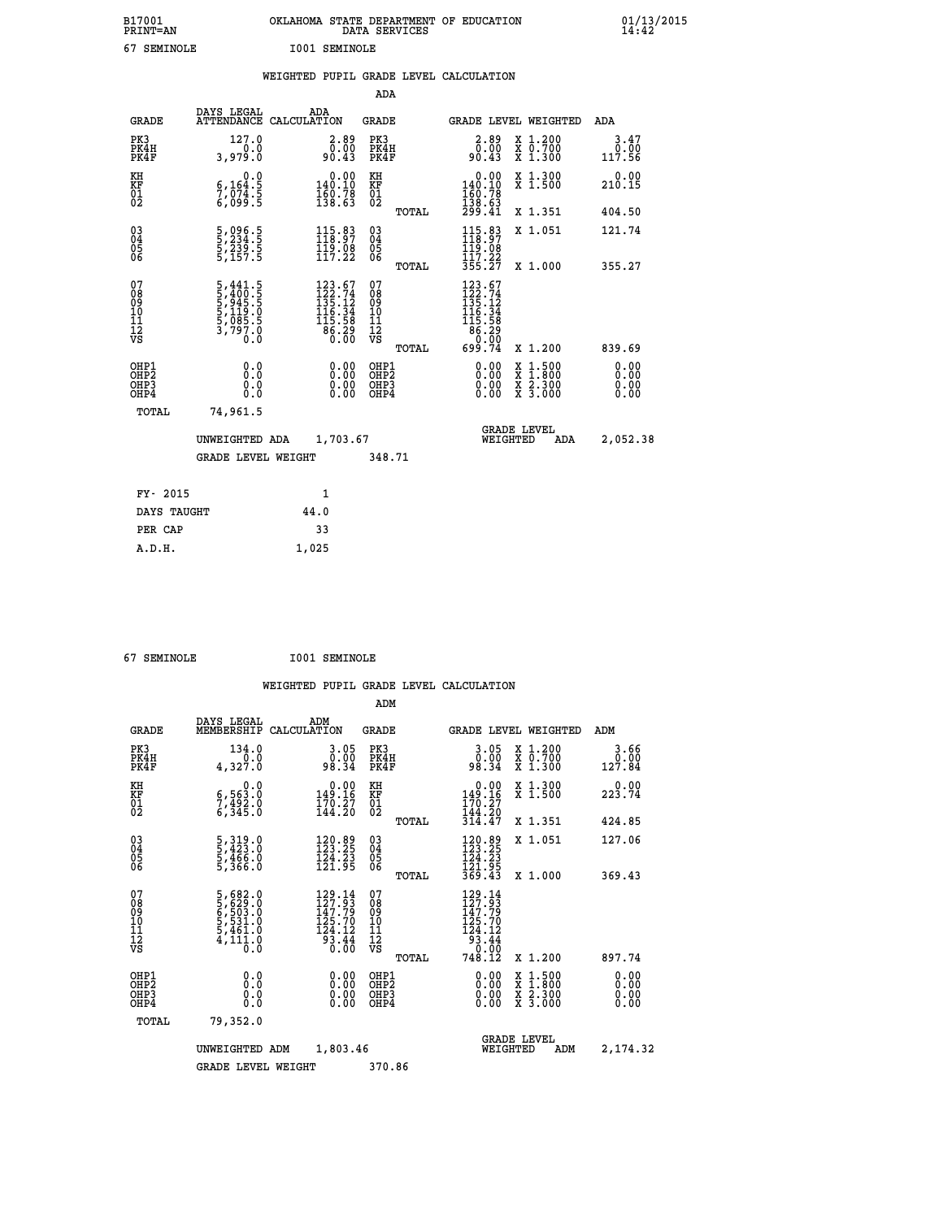| B17001<br>PRINT=AN | OKLAHOMA STATE DEPARTMENT OF EDUCATION<br>DATA SERVICES | $01/13/2015$<br>14:42 |
|--------------------|---------------------------------------------------------|-----------------------|
| 67<br>SEMINOLE     | <b>I001 SEMINOLE</b>                                    |                       |

|  |  | WEIGHTED PUPIL GRADE LEVEL CALCULATION |
|--|--|----------------------------------------|
|  |  |                                        |

|                                           |                                                                 |                                                                                                                                    | ADA                                             |                                                                                                                          |                              |
|-------------------------------------------|-----------------------------------------------------------------|------------------------------------------------------------------------------------------------------------------------------------|-------------------------------------------------|--------------------------------------------------------------------------------------------------------------------------|------------------------------|
| <b>GRADE</b>                              | DAYS LEGAL                                                      | ADA<br>ATTENDANCE CALCULATION                                                                                                      | GRADE                                           | <b>GRADE LEVEL WEIGHTED</b>                                                                                              | ADA                          |
| PK3<br>PK4H<br>PK4F                       | 127.0<br>3,979.0                                                | $2.89$<br>$0.00$<br>90.43                                                                                                          | PK3<br>PK4H<br>PK4F                             | 2.89<br>X 1.200<br>X 0.700<br>X 1.300<br>0.00<br>90.43                                                                   | 3.47<br>0.00<br>117.56       |
| KH<br>KF<br>01<br>02                      | 0.0<br>$\frac{6}{7}, \frac{164}{074}$ . 5<br>6,099.5            | $\begin{smallmatrix} &0.00\\ 140.10\\ 160.78\\ 138.63\end{smallmatrix}$                                                            | KH<br>KF<br>01<br>02                            | X 1.300<br>X 1.500<br>$\begin{smallmatrix} &0.00\\ 140.10\\ 160.78\\ 138.63\\ 299.41\end{smallmatrix}$                   | 0.00<br>210.15               |
|                                           |                                                                 |                                                                                                                                    | TOTAL                                           | X 1.351                                                                                                                  | 404.50                       |
| 03<br>04<br>05<br>06                      | 5,096.5<br>5,234.5<br>5,239.5<br>5,157.5                        | $115.83$<br>$118.97$<br>$\frac{119}{117}.08$                                                                                       | 03<br>04<br>05<br>06                            | $115.83$<br>$118.97$<br>$119.08$<br>$117.22$<br>X 1.051                                                                  | 121.74                       |
|                                           |                                                                 |                                                                                                                                    | TOTAL                                           | 355.27<br>X 1.000                                                                                                        | 355.27                       |
| 07<br>08<br>09<br>11<br>11<br>12<br>VS    | 5,441.5<br>5,400.5<br>5,945.5<br>5,119.0<br>5,1085.5<br>3,797.0 | $\begin{smallmatrix} 123 & .67\\ 122 & .74\\ 135 & .12\\ 136 & .34\\ 116 & .34\\ 115 & .58\\ 86 & .29\\ 0 & .00 \end{smallmatrix}$ | 07<br>08<br>09<br>11<br>11<br>12<br>VS<br>TOTAL | $123.67$<br>$122.74$<br>$135.12$<br>$116.34$<br>$115.58$<br>$86.290$<br>$0.90$<br>699.74<br>X 1.200                      | 839.69                       |
| OHP1<br>OH <sub>P</sub> 2<br>OHP3<br>OHP4 | 0.0<br>0.0<br>$0.\overline{0}$                                  | 0.00<br>$\begin{smallmatrix} 0.00 \ 0.00 \end{smallmatrix}$                                                                        | OHP1<br>OH <sub>P</sub> 2<br>OHP3<br>OHP4       | 0.00<br>$\begin{smallmatrix} x & 1 & 500 \\ x & 1 & 800 \\ x & 2 & 300 \\ x & 3 & 000 \end{smallmatrix}$<br>0.00<br>0.00 | 0.00<br>0.00<br>0.00<br>0.00 |
| TOTAL                                     | 74,961.5                                                        |                                                                                                                                    |                                                 |                                                                                                                          |                              |
|                                           | UNWEIGHTED ADA                                                  | 1,703.67                                                                                                                           |                                                 | <b>GRADE LEVEL</b><br>WEIGHTED<br>ADA                                                                                    | 2,052.38                     |
|                                           | <b>GRADE LEVEL WEIGHT</b>                                       |                                                                                                                                    | 348.71                                          |                                                                                                                          |                              |
|                                           | FY- 2015                                                        | $\mathbf{1}$                                                                                                                       |                                                 |                                                                                                                          |                              |
|                                           | DAYS TAUGHT                                                     | 44.0                                                                                                                               |                                                 |                                                                                                                          |                              |
|                                           | PER CAP                                                         | 33                                                                                                                                 |                                                 |                                                                                                                          |                              |
| A.D.H.                                    |                                                                 | 1,025                                                                                                                              |                                                 |                                                                                                                          |                              |

| 67 SEMINOLE | <b>I001 SEMINOLE</b> |
|-------------|----------------------|
|             |                      |

|                                          |                                                                                                 |                                                                                                                  | ADM                                                 |                                                                                                                                                                                               |                                          |                              |
|------------------------------------------|-------------------------------------------------------------------------------------------------|------------------------------------------------------------------------------------------------------------------|-----------------------------------------------------|-----------------------------------------------------------------------------------------------------------------------------------------------------------------------------------------------|------------------------------------------|------------------------------|
| <b>GRADE</b>                             | DAYS LEGAL<br>MEMBERSHIP                                                                        | ADM<br>CALCULATION                                                                                               | <b>GRADE</b>                                        | <b>GRADE LEVEL WEIGHTED</b>                                                                                                                                                                   |                                          | ADM                          |
| PK3<br>PK4H<br>PK4F                      | 134.0<br>0.0<br>4,327.0                                                                         | 3.05<br>00.00<br>98.34                                                                                           | PK3<br>PK4H<br>PK4F                                 | $3.05$<br>$98.34$                                                                                                                                                                             | X 1.200<br>X 0.700<br>X 1.300            | 3.66<br>$0.00$<br>127.84     |
| KH<br>KF<br>01<br>02                     | 0.0<br>$\begin{smallmatrix} 6, 563.0 \ 7, 492.0 \ 6, 345.0 \end{smallmatrix}$                   | $\begin{smallmatrix} &0.00\\ 149.16\\ 170.27\\ 144.20\end{smallmatrix}$                                          | KH<br>KF<br>01<br>02                                | $\begin{smallmatrix} &0.00\\ 149.16\\ 170.27\\ 144.20\\ 314.47\end{smallmatrix}$                                                                                                              | X 1.300<br>X 1.500                       | 0.00<br>223.74               |
|                                          |                                                                                                 |                                                                                                                  | TOTAL                                               |                                                                                                                                                                                               | X 1.351                                  | 424.85                       |
| 03<br>04<br>05<br>06                     | 5, 319.0<br>5, 423.0<br>5, 466.0<br>5, 366.0                                                    | 120.89<br>123.25<br>124.23<br>121.95                                                                             | $\begin{array}{c} 03 \\ 04 \\ 05 \\ 06 \end{array}$ | 120.89<br>123.25<br>124.23<br>121.95<br>369.43                                                                                                                                                | X 1.051                                  | 127.06                       |
|                                          |                                                                                                 |                                                                                                                  | TOTAL                                               |                                                                                                                                                                                               | X 1.000                                  | 369.43                       |
| 07<br>08<br>09<br>101<br>112<br>VS       | $\begin{smallmatrix}5,682.0\\5,629.0\\6,503.0\\5,531.0\\5,461.0\\4,111.0\\0.0\end{smallmatrix}$ | 129.14<br>127.93<br>147.79<br>125.70<br>124.12<br>$\overline{9}\overline{3}\overline{.}\overline{4}\overline{4}$ | 07<br>08<br>09<br>11<br>11<br>12<br>VS<br>TOTAL     | 129.14<br>127.93<br>147.79<br>125.70<br>$\begin{array}{r} 1\overline{24} \cdot 1\overline{2} \\ 9\overline{3} \cdot 4\overline{4} \\ 0 \cdot \overline{0} \overline{0} \end{array}$<br>748.ĭž | X 1.200                                  | 897.74                       |
| OHP1<br>OHP2<br>OH <sub>P3</sub><br>OHP4 | 0.0<br>0.000                                                                                    | $0.00$<br>$0.00$<br>0.00                                                                                         | OHP1<br>OHP2<br>OHP <sub>3</sub>                    | $0.00$<br>$0.00$<br>0.00                                                                                                                                                                      | X 1:500<br>X 1:800<br>X 2:300<br>X 3:000 | 0.00<br>0.00<br>0.00<br>0.00 |
| TOTAL                                    | 79,352.0                                                                                        |                                                                                                                  |                                                     |                                                                                                                                                                                               |                                          |                              |
|                                          | UNWEIGHTED ADM                                                                                  | 1,803.46                                                                                                         |                                                     | <b>GRADE LEVEL</b><br>WEIGHTED                                                                                                                                                                | ADM                                      | 2,174.32                     |
|                                          | <b>GRADE LEVEL WEIGHT</b>                                                                       |                                                                                                                  | 370.86                                              |                                                                                                                                                                                               |                                          |                              |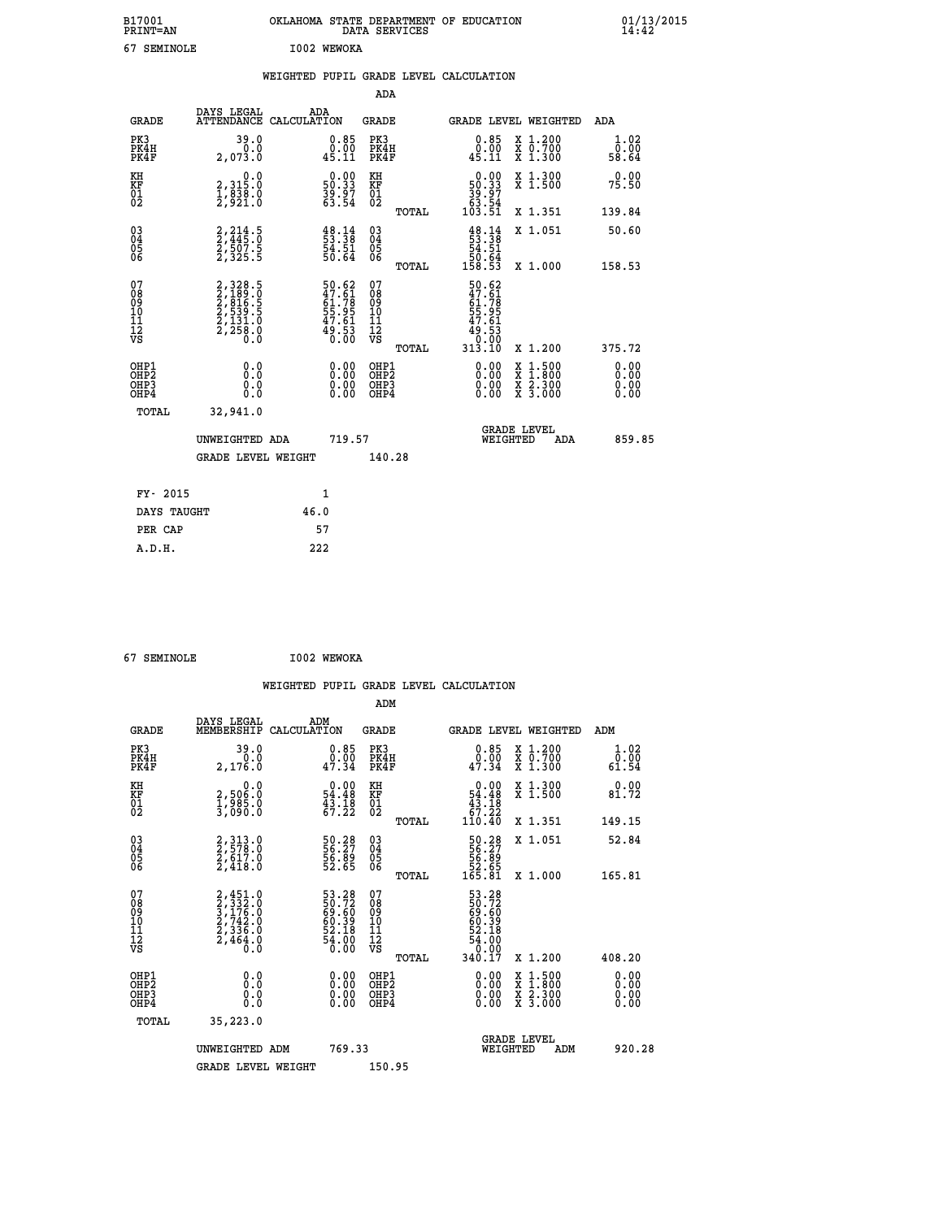| B17001<br>PRINT=AN | <b>OKLAHOMA</b><br>STATE DEPARTMENT OF EDUCATION<br>SERVICES<br>DATA | 01/13/2015<br>14:42 |
|--------------------|----------------------------------------------------------------------|---------------------|
| 67<br>SEMINOLE     | I002<br><b>WEWOKA</b>                                                |                     |

|                                                                              |                                                                                     |                                                                      | ADA                                                |       |                                                                                                                                                                     |                                                                                                                                           |                              |
|------------------------------------------------------------------------------|-------------------------------------------------------------------------------------|----------------------------------------------------------------------|----------------------------------------------------|-------|---------------------------------------------------------------------------------------------------------------------------------------------------------------------|-------------------------------------------------------------------------------------------------------------------------------------------|------------------------------|
| <b>GRADE</b>                                                                 | DAYS LEGAL                                                                          | ADA<br>ATTENDANCE CALCULATION                                        | GRADE                                              |       | <b>GRADE LEVEL WEIGHTED</b>                                                                                                                                         |                                                                                                                                           | ADA                          |
| PK3<br>PK4H<br>PK4F                                                          | 39.0<br>0.0<br>2,073.0                                                              | $\substack{0.85 \\ 0.00 \\ 45.11}$                                   | PK3<br>PK4H<br>PK4F                                |       | 0.85<br>0.00<br>45.11                                                                                                                                               | X 1.200<br>X 0.700<br>X 1.300                                                                                                             | 1.02<br>0.00<br>58.64        |
| KH<br>KF<br>01<br>02                                                         | 0.0<br>2,315:0<br>1,838:0<br>2,921:0                                                | $\begin{smallmatrix} 0.00\\ 50.33\\ 39.97\\ 63.54 \end{smallmatrix}$ | KH<br>KF<br>01<br>02                               |       | $\begin{smallmatrix} &0.00\ 50.33\ 39.97\ 63.54\ 103.51\ \end{smallmatrix}$                                                                                         | X 1.300<br>X 1.500                                                                                                                        | 0.00<br>75.50                |
|                                                                              |                                                                                     |                                                                      |                                                    | TOTAL |                                                                                                                                                                     | X 1.351                                                                                                                                   | 139.84                       |
| $\begin{matrix} 03 \\ 04 \\ 05 \\ 06 \end{matrix}$                           | 2,214.5<br>2,445.0<br>2,507.5<br>2,325.5                                            | $\begin{smallmatrix} 48.14\ 53.38\ 54.51\ 50.64\ \end{smallmatrix}$  | $\begin{matrix} 03 \\ 04 \\ 05 \\ 06 \end{matrix}$ |       | $\frac{48.14}{53.38}$<br>$\frac{54.51}{54.51}$<br>50.64<br>158.53                                                                                                   | X 1.051                                                                                                                                   | 50.60                        |
|                                                                              |                                                                                     |                                                                      |                                                    | TOTAL |                                                                                                                                                                     | X 1.000                                                                                                                                   | 158.53                       |
| 07<br>08<br>09<br>11<br>11<br>12<br>VS                                       | $2,328.5$<br>$2,189.5$<br>$2,816.5$<br>$2,539.5$<br>$2,131.0$<br>$2,258.0$<br>$0.0$ | 50.62<br>47.61<br>61.78<br>55.95<br>55.95<br>47.61<br>49.53<br>0.00  | 07<br>08<br>09<br>11<br>11<br>12<br>VS             | TOTAL | 50.62<br>$\begin{smallmatrix} 20 & 6 & 2 \\ 4 & 7 & 6 \\ 6 & 1 & 7 \\ 5 & 5 & 9 \\ 5 & 7 & 6 \\ 4 & 6 & 1 \\ 4 & 6 & 1 \\ 4 & 6 & 3 \\ 3 & 1 & 3 \end{smallmatrix}$ | X 1.200                                                                                                                                   | 375.72                       |
| OHP1<br>OH <sub>P</sub> <sub>2</sub><br>OH <sub>P3</sub><br>OH <sub>P4</sub> | 0.0<br>Ō.Ō<br>0.0<br>0.0                                                            | 0.00<br>$\begin{smallmatrix} 0.00 \ 0.00 \end{smallmatrix}$          | OHP1<br>OHP2<br>OHP3<br>OHP4                       |       | 0.00<br>0.00<br>0.00                                                                                                                                                | $\begin{smallmatrix} \mathtt{X} & 1\cdot500\\ \mathtt{X} & 1\cdot800\\ \mathtt{X} & 2\cdot300\\ \mathtt{X} & 3\cdot000 \end{smallmatrix}$ | 0.00<br>0.00<br>0.00<br>0.00 |
| TOTAL                                                                        | 32,941.0                                                                            |                                                                      |                                                    |       |                                                                                                                                                                     |                                                                                                                                           |                              |
|                                                                              | UNWEIGHTED ADA                                                                      | 719.57                                                               |                                                    |       | WEIGHTED                                                                                                                                                            | <b>GRADE LEVEL</b><br>ADA                                                                                                                 | 859.85                       |
|                                                                              | <b>GRADE LEVEL WEIGHT</b>                                                           |                                                                      | 140.28                                             |       |                                                                                                                                                                     |                                                                                                                                           |                              |
|                                                                              |                                                                                     |                                                                      |                                                    |       |                                                                                                                                                                     |                                                                                                                                           |                              |
| FY- 2015                                                                     |                                                                                     | $\mathbf{1}$                                                         |                                                    |       |                                                                                                                                                                     |                                                                                                                                           |                              |
| DAYS TAUGHT                                                                  |                                                                                     | 46.0                                                                 |                                                    |       |                                                                                                                                                                     |                                                                                                                                           |                              |
| PER CAP                                                                      |                                                                                     | 57                                                                   |                                                    |       |                                                                                                                                                                     |                                                                                                                                           |                              |
| A.D.H.                                                                       |                                                                                     | 222                                                                  |                                                    |       |                                                                                                                                                                     |                                                                                                                                           |                              |

| 67 SEMINOLE | I002 WEWOKA |
|-------------|-------------|
|             |             |

| <b>GRADE</b>                                       | DAYS LEGAL<br>MEMBERSHIP                                                            | ADM<br>CALCULATION                                                   | <b>GRADE</b>                                        |       | <b>GRADE LEVEL WEIGHTED</b>                                               |                                                                                                                     | ADM    |                              |
|----------------------------------------------------|-------------------------------------------------------------------------------------|----------------------------------------------------------------------|-----------------------------------------------------|-------|---------------------------------------------------------------------------|---------------------------------------------------------------------------------------------------------------------|--------|------------------------------|
| PK3<br>PK4H<br>PK4F                                | 39.0<br>2,176.0                                                                     | $\begin{smallmatrix} 0.85\ 0.00\\ 0.00\\ 47.34 \end{smallmatrix}$    | PK3<br>PK4H<br>PK4F                                 |       | $\begin{smallmatrix} 0.85\ 0.00\\ 1.00\\ 47.34 \end{smallmatrix}$         | X 1.200<br>X 0.700<br>X 1.300                                                                                       | 61.54  | 1.02<br>0.00                 |
| KH<br>KF<br>01<br>02                               | 0.0<br>2,50ĕ:ŏ<br>1,985:0<br>3,090:0                                                | $\begin{smallmatrix} 0.00\\ 54.48\\ 43.18\\ 67.22 \end{smallmatrix}$ | KH<br>KF<br>01<br>02                                |       | $\begin{smallmatrix}&&0.00\\54.48\\43.18\\67.22\\110.40\end{smallmatrix}$ | X 1.300<br>X 1.500                                                                                                  | 81.72  | 0.00                         |
|                                                    |                                                                                     |                                                                      |                                                     | TOTAL |                                                                           | X 1.351                                                                                                             | 149.15 |                              |
| $\begin{matrix} 03 \\ 04 \\ 05 \\ 06 \end{matrix}$ | $2,313.0$<br>$2,578.0$<br>$2,617.0$<br>$2,418.0$                                    | 50.28<br>56.27<br>56.89<br>52.65                                     | $\begin{array}{c} 03 \\ 04 \\ 05 \\ 06 \end{array}$ |       | 50.28<br>56.27<br>56.89<br>52.65<br>53.81                                 | X 1.051                                                                                                             | 52.84  |                              |
|                                                    |                                                                                     |                                                                      |                                                     | TOTAL |                                                                           | X 1.000                                                                                                             | 165.81 |                              |
| 07<br>08<br>09<br>101<br>112<br>VS                 | $2,451.0$<br>$3,332.0$<br>$3,176.0$<br>$2,742.0$<br>$2,336.0$<br>$2,464.0$<br>$0.0$ | 53.28<br>50.72<br>69.60<br>60.39<br>52.18<br>54.00<br>54.00          | 07<br>08<br>09<br>01<br>11<br>11<br>12<br>VS        |       | 53.28<br>50.72<br>59.60<br>69.39<br>62.18<br>54.00<br>540.17<br>340.17    |                                                                                                                     |        |                              |
|                                                    |                                                                                     |                                                                      |                                                     | TOTAL |                                                                           | $X_1.200$                                                                                                           | 408.20 |                              |
| OHP1<br>OHP2<br>OHP3<br>OHP4                       | 0.0<br>0.000                                                                        | $0.00$<br>$0.00$<br>0.00                                             | OHP1<br>OHP2<br>OHP <sub>3</sub>                    |       | $0.00$<br>$0.00$<br>0.00                                                  | $\begin{array}{l} \mathtt{X} & 1.500 \\ \mathtt{X} & 1.800 \\ \mathtt{X} & 2.300 \\ \mathtt{X} & 3.000 \end{array}$ |        | 0.00<br>0.00<br>0.00<br>0.00 |
| TOTAL                                              | 35,223.0                                                                            |                                                                      |                                                     |       |                                                                           |                                                                                                                     |        |                              |
|                                                    | UNWEIGHTED ADM                                                                      | 769.33                                                               |                                                     |       | WEIGHTED                                                                  | <b>GRADE LEVEL</b><br>ADM                                                                                           |        | 920.28                       |
|                                                    | <b>GRADE LEVEL WEIGHT</b>                                                           |                                                                      | 150.95                                              |       |                                                                           |                                                                                                                     |        |                              |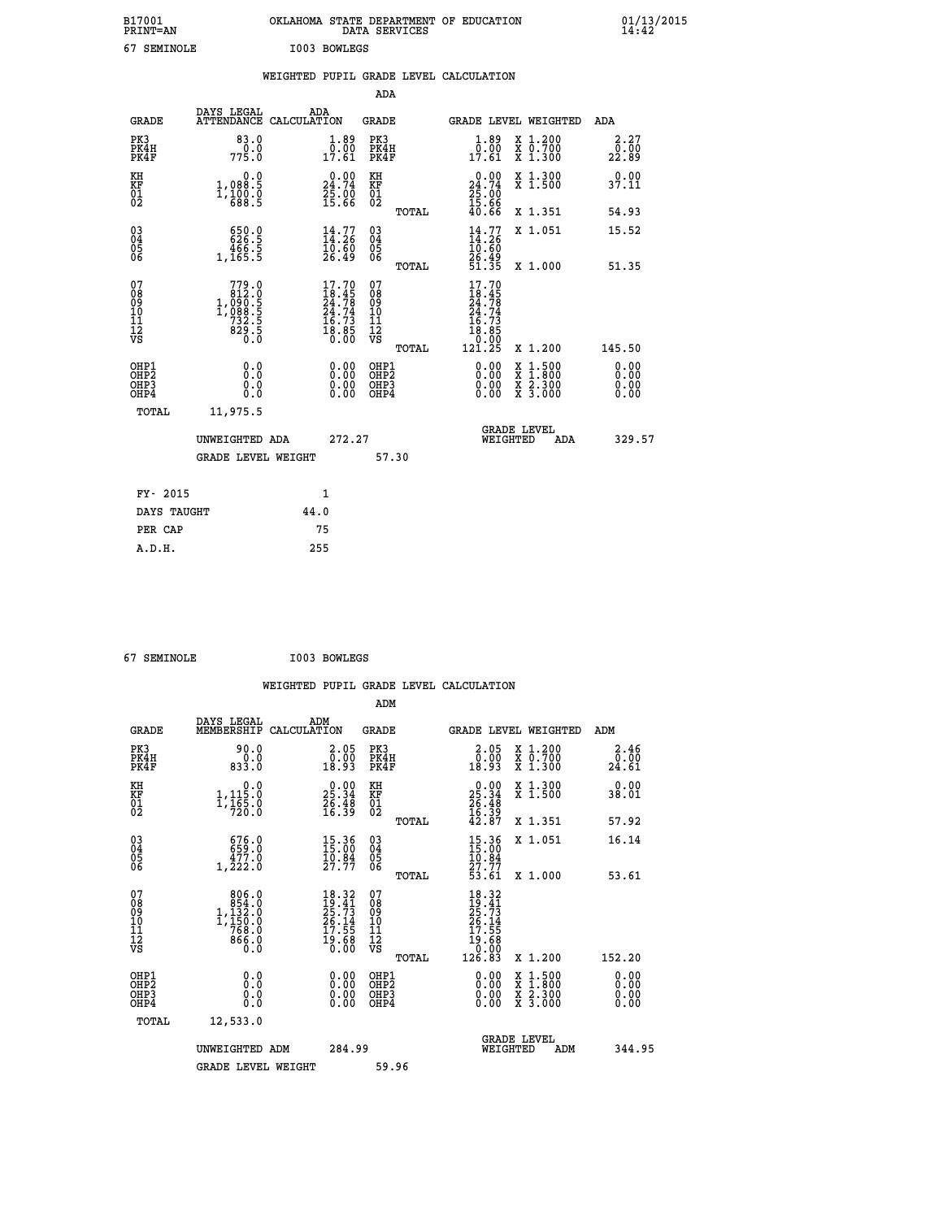| B17001<br><b>PRINT=AN</b> | <b>OKLAHOMA</b><br>STATE DEPARTMENT OF EDUCATION<br>SERVICES<br>DATA | 01/13/2015<br>14:42 |
|---------------------------|----------------------------------------------------------------------|---------------------|
| 67<br>SEMINOLE            | I003<br><b>BOWLEGS</b>                                               |                     |

| 67 SEMINOLE                            |                                                                                                                                                                      |      | I003 BOWLEGS                                            |                                        |              |                                                                                  |                                                                                                                                           |                              |
|----------------------------------------|----------------------------------------------------------------------------------------------------------------------------------------------------------------------|------|---------------------------------------------------------|----------------------------------------|--------------|----------------------------------------------------------------------------------|-------------------------------------------------------------------------------------------------------------------------------------------|------------------------------|
|                                        |                                                                                                                                                                      |      |                                                         |                                        |              | WEIGHTED PUPIL GRADE LEVEL CALCULATION                                           |                                                                                                                                           |                              |
|                                        |                                                                                                                                                                      |      |                                                         | <b>ADA</b>                             |              |                                                                                  |                                                                                                                                           |                              |
| <b>GRADE</b>                           | DAYS LEGAL<br>ATTENDANCE CALCULATION                                                                                                                                 |      | ADA                                                     | <b>GRADE</b>                           |              |                                                                                  | GRADE LEVEL WEIGHTED                                                                                                                      | ADA                          |
| PK3<br>PK4H<br>PK4F                    | 83.0<br>0.0<br>775.0                                                                                                                                                 |      | $\begin{smallmatrix} 1.89\ 0.0017.61 \end{smallmatrix}$ | PK3<br>PK4H<br>PK4F                    |              | $\begin{smallmatrix}1.89\0.00\\17.61\end{smallmatrix}$                           | X 1.200<br>X 0.700<br>X 1.300                                                                                                             | 2.27<br>0.00<br>22.89        |
| KH<br>KF<br>01<br>02                   | 0.0<br>1,088.5<br>$1, \frac{1}{6}$ $\frac{5}{6}$ $\frac{5}{6}$                                                                                                       |      | 24.74<br>25.00<br>15.66                                 | KH<br>KF<br>01<br>02                   |              | 0.00<br>24.74<br>25.00<br>15.66                                                  | X 1.300<br>X 1.500                                                                                                                        | 0.00<br>37.11                |
|                                        |                                                                                                                                                                      |      |                                                         |                                        | TOTAL        | 40.66                                                                            | X 1.351                                                                                                                                   | 54.93                        |
| 030404<br>ŎĞ                           | 650.0<br>626.5<br>466.5<br>1,165.5                                                                                                                                   |      | $14.77$<br>$14.26$<br>$10.60$<br>$26.49$                | 03<br>04<br>05<br>06                   |              | $\frac{14}{14}$ : 26<br>$\frac{16}{10}$ : 60                                     | X 1.051                                                                                                                                   | 15.52                        |
|                                        |                                                                                                                                                                      |      |                                                         |                                        | <b>TOTAL</b> | 26.49<br>51.35                                                                   | X 1.000                                                                                                                                   | 51.35                        |
| 07<br>08<br>09<br>11<br>11<br>12<br>VS | 779.0<br>$\begin{smallmatrix} 7 & 7 & 7 & 0 \\ 1 & 0 & 0 & 0 \\ 1 & 0 & 0 & 0 \\ 1 & 0 & 0 & 0 \\ 7 & 3 & 2 & 5 \\ 8 & 2 & 9 & 5 \\ 0 & 0 & 0 & 0 \end{smallmatrix}$ |      | $17.7018.4524.7824.7416.7318.850.00$                    | 07<br>08<br>09<br>11<br>11<br>12<br>VS | TOTAL        | 17.70<br>$18.45$<br>$24.74$<br>$24.74$<br>$16.73$<br>$18.85$<br>$0.00$<br>121.25 | X 1.200                                                                                                                                   | 145.50                       |
| OHP1<br>OHP2<br>OHP3<br>OHP4           | 0.0<br>Ō.Ō<br>0.0<br>0.0                                                                                                                                             |      | $0.00$<br>$0.00$<br>0.00                                | OHP1<br>OHP2<br>OHP3<br>OHP4           |              | $0.00$<br>$0.00$<br>0.00                                                         | $\begin{smallmatrix} \mathtt{X} & 1\cdot500\\ \mathtt{X} & 1\cdot800\\ \mathtt{X} & 2\cdot300\\ \mathtt{X} & 3\cdot000 \end{smallmatrix}$ | 0.00<br>Ō.ŎŎ<br>0.00<br>0.00 |
| <b>TOTAL</b>                           | 11,975.5                                                                                                                                                             |      |                                                         |                                        |              |                                                                                  |                                                                                                                                           |                              |
|                                        | UNWEIGHTED ADA                                                                                                                                                       |      | 272.27                                                  |                                        |              | WEIGHTED                                                                         | <b>GRADE LEVEL</b><br>ADA                                                                                                                 | 329.57                       |
|                                        | <b>GRADE LEVEL WEIGHT</b>                                                                                                                                            |      |                                                         |                                        | 57.30        |                                                                                  |                                                                                                                                           |                              |
| FY- 2015                               |                                                                                                                                                                      |      | 1                                                       |                                        |              |                                                                                  |                                                                                                                                           |                              |
| DAYS TAUGHT                            |                                                                                                                                                                      | 44.0 |                                                         |                                        |              |                                                                                  |                                                                                                                                           |                              |
| PER CAP                                |                                                                                                                                                                      |      | 75                                                      |                                        |              |                                                                                  |                                                                                                                                           |                              |
| A.D.H.                                 |                                                                                                                                                                      |      | 255                                                     |                                        |              |                                                                                  |                                                                                                                                           |                              |

 **67 SEMINOLE I003 BOWLEGS**

|                                    |                                                                                                   |                    |                                                                                                    |                                          |       | WEIGHTED PUPIL GRADE LEVEL CALCULATION                                                                                                                                                                                                                                         |                                          |        |                        |
|------------------------------------|---------------------------------------------------------------------------------------------------|--------------------|----------------------------------------------------------------------------------------------------|------------------------------------------|-------|--------------------------------------------------------------------------------------------------------------------------------------------------------------------------------------------------------------------------------------------------------------------------------|------------------------------------------|--------|------------------------|
|                                    |                                                                                                   |                    |                                                                                                    | ADM                                      |       |                                                                                                                                                                                                                                                                                |                                          |        |                        |
| <b>GRADE</b>                       | DAYS LEGAL<br>MEMBERSHIP                                                                          | ADM<br>CALCULATION |                                                                                                    | GRADE                                    |       | <b>GRADE LEVEL WEIGHTED</b>                                                                                                                                                                                                                                                    |                                          | ADM    |                        |
| PK3<br>PK4H<br>PK4F                | 90.0<br>833.0                                                                                     |                    | $\begin{smallmatrix} 2.05\0.00\\0.00\\18.93 \end{smallmatrix}$                                     | PK3<br>PK4H<br>PK4F                      |       | $\begin{smallmatrix} 2.05\0.00\\0.90\\18.93 \end{smallmatrix}$                                                                                                                                                                                                                 | X 1.200<br>X 0.700<br>X 1.300            |        | 2.46<br>_0.00<br>24.61 |
| KH<br>KF<br>01<br>02               | $\begin{smallmatrix}&&&0.0\\1,115.0\\1,165.0\\720.0\end{smallmatrix}$                             |                    | $\begin{smallmatrix} 0.00\\ 25.34\\ 26.48\\ 16.39 \end{smallmatrix}$                               | KH<br>KF<br>01<br>02                     |       | $25.34$<br>$26.34$<br>$26.48$<br>$16.39$<br>$42.87$                                                                                                                                                                                                                            | X 1.300<br>X 1.500                       |        | 0.00<br>38.01          |
|                                    |                                                                                                   |                    |                                                                                                    |                                          | TOTAL |                                                                                                                                                                                                                                                                                | X 1.351                                  |        | 57.92                  |
| 03<br>04<br>05<br>06               | $\begin{smallmatrix} 676.0\\ 659.0\\ 477.0\\ 1,222.0 \end{smallmatrix}$                           |                    | $\begin{smallmatrix} 15.36\\ 15.00\\ 10.84\\ 27.77 \end{smallmatrix}$                              | 03<br>04<br>05<br>06                     |       | 15.36<br>15.00<br>10.84<br>27.77<br>53.61                                                                                                                                                                                                                                      | X 1.051                                  |        | 16.14                  |
|                                    |                                                                                                   |                    |                                                                                                    |                                          | TOTAL |                                                                                                                                                                                                                                                                                | X 1.000                                  |        | 53.61                  |
| 07<br>08<br>09<br>101<br>112<br>VS | $\begin{smallmatrix} & 806.0\\ 854.0\\ 1,132.0\\ 1,150.0\\ 768.0\\ 866.0\\ 0.0 \end{smallmatrix}$ |                    | $\begin{smallmatrix} 18.32 \\ 19.41 \\ 25.73 \\ 26.14 \\ 17.55 \\ 19.68 \\ 0.00 \end{smallmatrix}$ | 07<br>08<br>09<br>11<br>11<br>12<br>VS   | TOTAL | $\begin{smallmatrix} 18.32\ 19.41\ 25.73\ 26.14\ 27.55\ 19.68\ 0.000\ 126.83 \end{smallmatrix}$                                                                                                                                                                                | X 1.200                                  | 152.20 |                        |
| OHP1<br>OHP2<br>OHP3<br>OHP4       | 0.0<br>0.000                                                                                      |                    | $0.00$<br>$0.00$<br>0.00                                                                           | OHP1<br>OHP <sub>2</sub><br>OHP3<br>OHP4 |       | $\begin{smallmatrix} 0.00 & 0.00 & 0.00 & 0.00 & 0.00 & 0.00 & 0.00 & 0.00 & 0.00 & 0.00 & 0.00 & 0.00 & 0.00 & 0.00 & 0.00 & 0.00 & 0.00 & 0.00 & 0.00 & 0.00 & 0.00 & 0.00 & 0.00 & 0.00 & 0.00 & 0.00 & 0.00 & 0.00 & 0.00 & 0.00 & 0.00 & 0.00 & 0.00 & 0.00 & 0.00 & 0.0$ | X 1:500<br>X 1:800<br>X 2:300<br>X 3:000 |        | 0.00<br>0.00<br>0.00   |
| TOTAL                              | 12,533.0                                                                                          |                    |                                                                                                    |                                          |       |                                                                                                                                                                                                                                                                                |                                          |        |                        |
|                                    | UNWEIGHTED ADM                                                                                    |                    | 284.99                                                                                             |                                          |       | WEIGHTED                                                                                                                                                                                                                                                                       | <b>GRADE LEVEL</b><br>ADM                |        | 344.95                 |
|                                    | <b>GRADE LEVEL WEIGHT</b>                                                                         |                    |                                                                                                    | 59.96                                    |       |                                                                                                                                                                                                                                                                                |                                          |        |                        |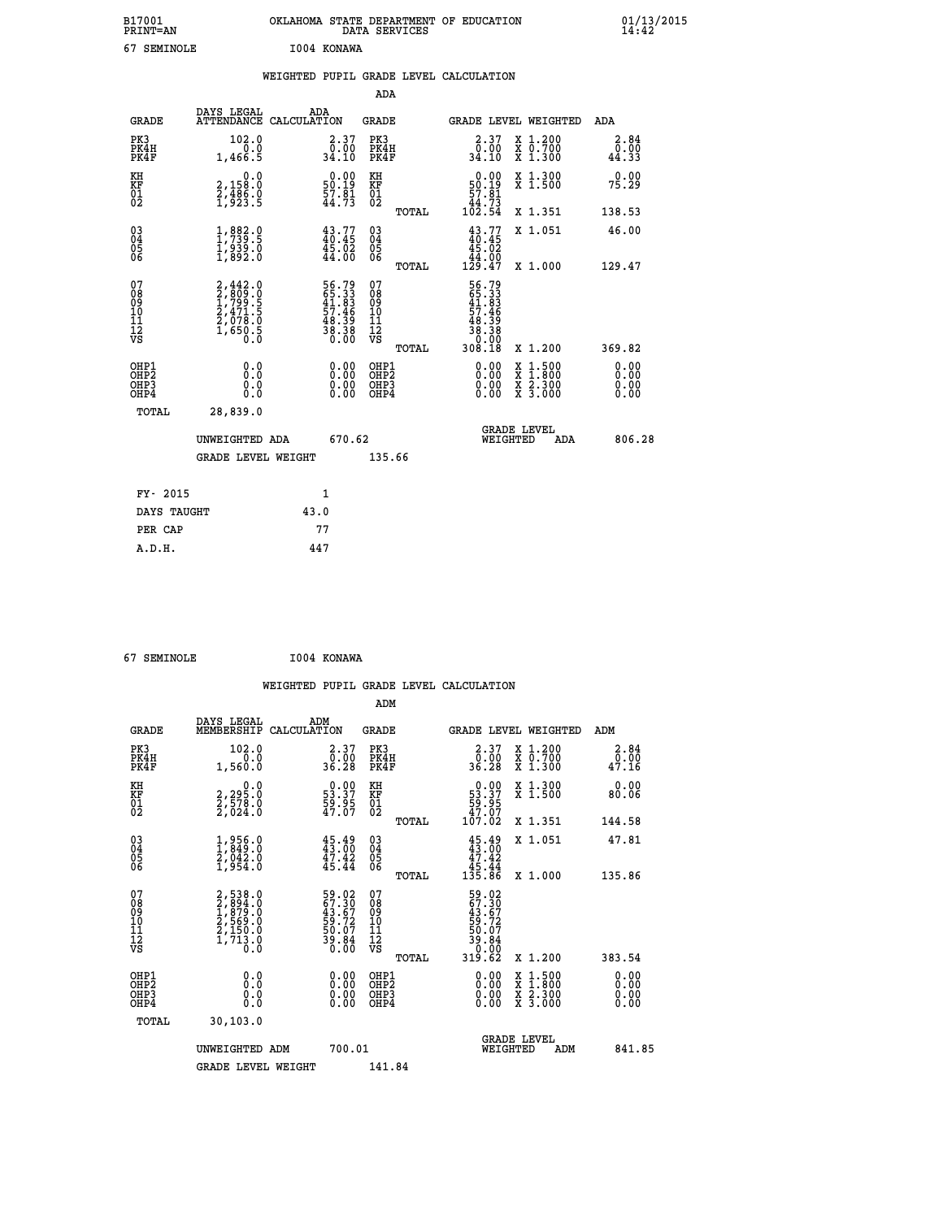| B17001<br>PRINT=AN | OKLAHOMA STATE DEPARTMENT OF EDUCATION<br>DATA SERVICES | $01/13/2015$<br>14:42 |
|--------------------|---------------------------------------------------------|-----------------------|
| 67<br>SEMINOLE     | I004 KONAWA                                             |                       |

|                                                                    |                                                                          | WEIGHTED PUPIL GRADE LEVEL CALCULATION                               |                                                 |                                                                                       |                                                                  |                              |
|--------------------------------------------------------------------|--------------------------------------------------------------------------|----------------------------------------------------------------------|-------------------------------------------------|---------------------------------------------------------------------------------------|------------------------------------------------------------------|------------------------------|
|                                                                    |                                                                          |                                                                      | <b>ADA</b>                                      |                                                                                       |                                                                  |                              |
| <b>GRADE</b>                                                       | DAYS LEGAL                                                               | ADA<br>ATTENDANCE CALCULATION                                        | <b>GRADE</b>                                    | GRADE LEVEL WEIGHTED                                                                  |                                                                  | ADA                          |
| PK3<br>PK4H<br>PK4F                                                | 102.0<br>0.0<br>1,466.5                                                  | $\begin{smallmatrix} 2.37\0.00\\34.10 \end{smallmatrix}$             | PK3<br>PK4H<br>PK4F                             | $\begin{smallmatrix} 2.37\0.00\\0.00\\34.10\end{smallmatrix}$                         | X 1.200<br>X 0.700<br>X 1.300                                    | 2.84<br>0.00<br>44.33        |
| KH<br>KF<br>01<br>02                                               | 0.0<br>2,158:0<br>2,486:0<br>1,923:5                                     | $\begin{smallmatrix} 0.00\\ 50.19\\ 57.81\\ 44.73 \end{smallmatrix}$ | KH<br>KF<br>01<br>02                            | $\begin{smallmatrix} &0.00\\ 50.19\\ 57.81\\ 44.73\\ 102.54 \end{smallmatrix}$        | X 1.300<br>X 1.500                                               | 0.00<br>75.29                |
|                                                                    |                                                                          |                                                                      | TOTAL                                           |                                                                                       | X 1.351                                                          | 138.53                       |
| $\begin{smallmatrix} 03 \\[-4pt] 04 \end{smallmatrix}$<br>Ŏ5<br>06 | 1,983.9<br>$\frac{1}{2}$ , $\frac{3}{2}$ , $\frac{5}{2}$ , $\frac{5}{2}$ | $43.77$<br>$40.45$<br>$\frac{45.02}{44.00}$                          | $\substack{03 \\ 04}$<br>Ŏ5<br>06               | $\begin{smallmatrix} 43.77\\ 40.45\\ 45.02\\ 44.00\\ 129.47 \end{smallmatrix}$        | X 1.051                                                          | 46.00                        |
|                                                                    |                                                                          |                                                                      | TOTAL                                           |                                                                                       | X 1.000                                                          | 129.47                       |
| 07<br>08<br>09<br>101<br>112<br>VS                                 | 2,442.0<br>2,809.0<br>1,799.5<br>2,471.5<br>2,078.0<br>1,650.5<br>0.0    | 56.79<br>65.33<br>41.83<br>57.46<br>58.39<br>38.38<br>38.380         | 07<br>08<br>09<br>11<br>11<br>12<br>VS<br>TOTAL | $56.79$<br>$65.33$<br>$41.83$<br>$57.46$<br>$58.39$<br>$38.38$<br>$0.000$<br>$308.18$ | X 1.200                                                          | 369.82                       |
| OHP1<br>OHP2<br>OHP3<br>OHP4                                       | 0.0<br>0.0<br>Ō.Ō                                                        | 0.00<br>$\begin{smallmatrix} 0.00 \ 0.00 \end{smallmatrix}$          | OHP1<br>OHP2<br>OHP3<br>OHP4                    | 0.00<br>X<br>X<br>0.00<br>0.00                                                        | $1:500$<br>$1:800$<br>$\frac{\ddot{x}}{x}$ $\frac{2.300}{3.000}$ | 0.00<br>0.00<br>0.00<br>0.00 |
| <b>TOTAL</b>                                                       | 28,839.0                                                                 |                                                                      |                                                 |                                                                                       |                                                                  |                              |
|                                                                    | UNWEIGHTED ADA                                                           | 670.62                                                               |                                                 | GRADE LEVEL<br>WEIGHTED                                                               | ADA                                                              | 806.28                       |
|                                                                    | <b>GRADE LEVEL WEIGHT</b>                                                |                                                                      | 135.66                                          |                                                                                       |                                                                  |                              |
|                                                                    | FY- 2015                                                                 | $\mathbf{1}$                                                         |                                                 |                                                                                       |                                                                  |                              |
|                                                                    | DAYS TAUGHT                                                              | 43.0                                                                 |                                                 |                                                                                       |                                                                  |                              |
| PER CAP                                                            |                                                                          | 77                                                                   |                                                 |                                                                                       |                                                                  |                              |

 **67 SEMINOLE I004 KONAWA**

|                                    |                                                                               |                                                                      |                                                 | WEIGHTED PUPIL GRADE LEVEL CALCULATION                                                                                                                                                                                                                                         |                                          |                        |
|------------------------------------|-------------------------------------------------------------------------------|----------------------------------------------------------------------|-------------------------------------------------|--------------------------------------------------------------------------------------------------------------------------------------------------------------------------------------------------------------------------------------------------------------------------------|------------------------------------------|------------------------|
|                                    |                                                                               |                                                                      | ADM                                             |                                                                                                                                                                                                                                                                                |                                          |                        |
| <b>GRADE</b>                       | DAYS LEGAL<br>MEMBERSHIP<br>CALCULATION                                       | ADM                                                                  | GRADE                                           | <b>GRADE LEVEL WEIGHTED</b>                                                                                                                                                                                                                                                    |                                          | ADM                    |
| PK3<br>PK4H<br>PK4F                | 102.0<br>0.0<br>1,560.0                                                       | $\begin{smallmatrix} 2.37\0.00\\36.28\end{smallmatrix}$              | PK3<br>PK4H<br>PK4F                             | $\begin{smallmatrix} 2.37\0.00\\0.00\\36.28\end{smallmatrix}$                                                                                                                                                                                                                  | X 1.200<br>X 0.700<br>X 1.300            | 2.84<br>_0.00<br>47.16 |
| KH<br>KF<br>01<br>02               | $\begin{smallmatrix} 2,295.0\\ 2,578.0\\ 2,578.0\\ 2,024.0 \end{smallmatrix}$ | $\begin{smallmatrix} 0.00\\ 53.37\\ 59.95\\ 47.07 \end{smallmatrix}$ | KH<br>KF<br>01<br>02                            | $\begin{smallmatrix} &0.00\ 53.37\ 59.95\ 47.07\ 107.02\end{smallmatrix}$                                                                                                                                                                                                      | X 1.300<br>X 1.500                       | 0.00<br>80.06          |
|                                    |                                                                               |                                                                      | TOTAL                                           |                                                                                                                                                                                                                                                                                | X 1.351                                  | 144.58                 |
| 03<br>04<br>05<br>06               | $\begin{smallmatrix} 1,956.0\\ 1,849.0\\ 2,042.0\\ 1,954.0 \end{smallmatrix}$ | $45.49$<br>$43.00$<br>$\frac{47.42}{45.44}$                          | 03<br>04<br>05<br>06                            | $45.49\n43.00\n47.42\n45.44\n135.86$                                                                                                                                                                                                                                           | X 1.051                                  | 47.81                  |
|                                    |                                                                               |                                                                      | TOTAL                                           |                                                                                                                                                                                                                                                                                | X 1.000                                  | 135.86                 |
| 07<br>08<br>09<br>101<br>112<br>VS | 2,538.0<br>2,894.0<br>1,879.0<br>2,569.0<br>2,150.0<br>1,713.0<br>0.0         | 59.02<br>67.30<br>43.67<br>43.67<br>59.07<br>50.07<br>39.84<br>0.00  | 07<br>08<br>09<br>11<br>11<br>12<br>VS<br>TOTAL | 59.02<br>67.307<br>43.672<br>59.727<br>50.07<br>50.000<br>319.62                                                                                                                                                                                                               | X 1.200                                  | 383.54                 |
| OHP1                               |                                                                               |                                                                      | OHP1                                            |                                                                                                                                                                                                                                                                                |                                          |                        |
| OHP2<br>OH <sub>P3</sub><br>OHP4   | 0.0<br>0.000                                                                  | $0.00$<br>$0.00$<br>0.00                                             | OHP <sub>2</sub><br>OHP3<br>OHP4                | $\begin{smallmatrix} 0.00 & 0.00 & 0.00 & 0.00 & 0.00 & 0.00 & 0.00 & 0.00 & 0.00 & 0.00 & 0.00 & 0.00 & 0.00 & 0.00 & 0.00 & 0.00 & 0.00 & 0.00 & 0.00 & 0.00 & 0.00 & 0.00 & 0.00 & 0.00 & 0.00 & 0.00 & 0.00 & 0.00 & 0.00 & 0.00 & 0.00 & 0.00 & 0.00 & 0.00 & 0.00 & 0.0$ | X 1:500<br>X 1:800<br>X 2:300<br>X 3:000 | 0.00<br>0.00<br>0.00   |
| TOTAL                              | 30, 103.0                                                                     |                                                                      |                                                 |                                                                                                                                                                                                                                                                                |                                          |                        |
|                                    | UNWEIGHTED ADM                                                                | 700.01                                                               |                                                 | <b>GRADE LEVEL</b><br>WEIGHTED                                                                                                                                                                                                                                                 | ADM                                      | 841.85                 |
|                                    | <b>GRADE LEVEL WEIGHT</b>                                                     |                                                                      | 141.84                                          |                                                                                                                                                                                                                                                                                |                                          |                        |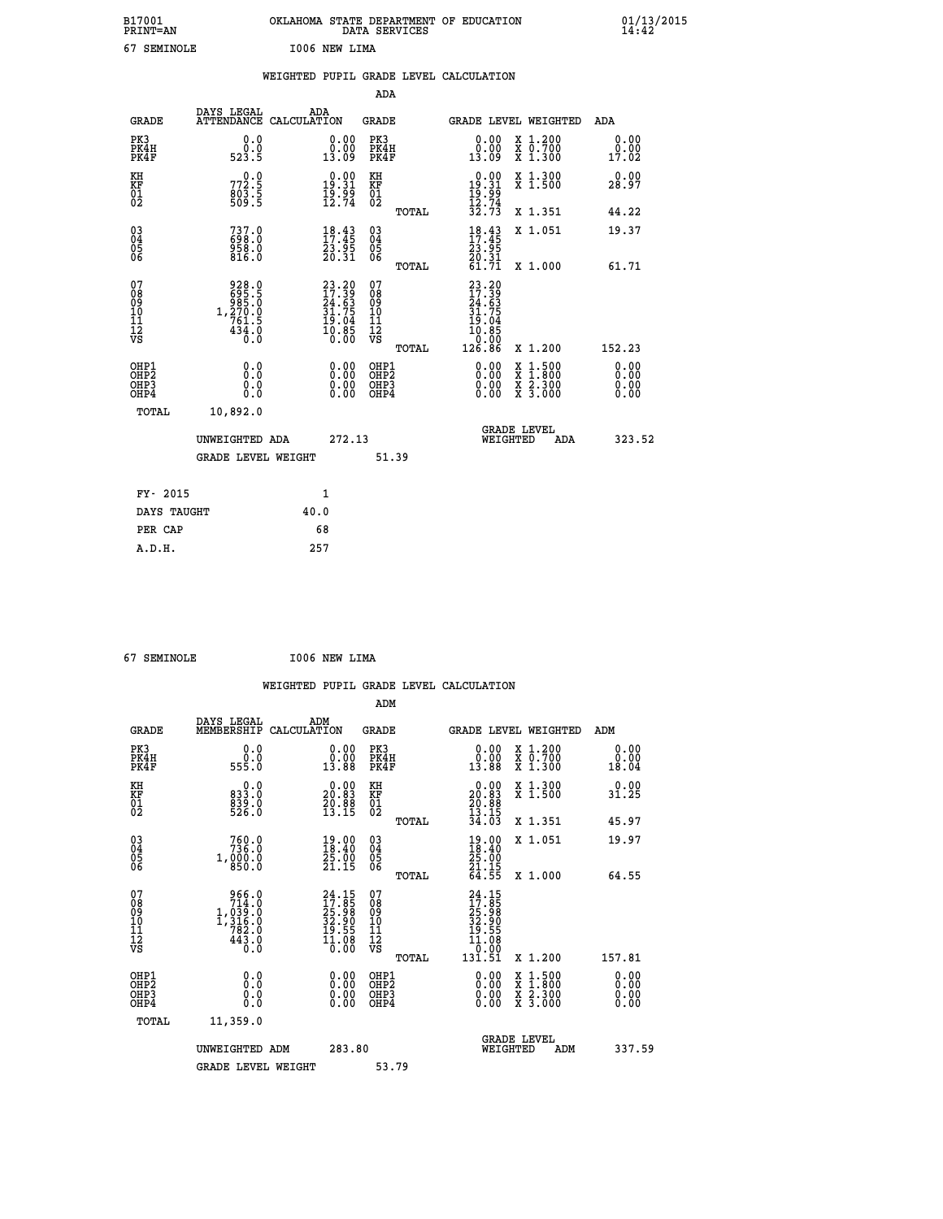| B17001<br>PRINT=AN                                 |                                                                                                                 | OKLAHOMA STATE DEPARTMENT OF EDUCATION                                      | DATA SERVICES                                            |                                                                                                                                  |                                                                       | $01/13/2015$<br>14:42        |
|----------------------------------------------------|-----------------------------------------------------------------------------------------------------------------|-----------------------------------------------------------------------------|----------------------------------------------------------|----------------------------------------------------------------------------------------------------------------------------------|-----------------------------------------------------------------------|------------------------------|
| 67 SEMINOLE                                        |                                                                                                                 | I006 NEW LIMA                                                               |                                                          |                                                                                                                                  |                                                                       |                              |
|                                                    |                                                                                                                 | WEIGHTED PUPIL GRADE LEVEL CALCULATION                                      |                                                          |                                                                                                                                  |                                                                       |                              |
|                                                    |                                                                                                                 |                                                                             | ADA                                                      |                                                                                                                                  |                                                                       |                              |
| <b>GRADE</b>                                       | DAYS LEGAL                                                                                                      | ADA<br>ATTENDANCE CALCULATION                                               | GRADE                                                    | GRADE LEVEL WEIGHTED                                                                                                             |                                                                       | ADA                          |
| PK3<br>PK4H<br>PK4F                                | 0.0<br>0.0<br>523.5                                                                                             | 0.00<br>0.00<br>13.09                                                       | PK3<br>PK4H<br>PK4F                                      | 0.00<br>0.00<br>13.09                                                                                                            | X 1.200<br>X 0.700<br>X 1.300                                         | 0.00<br>0.00<br>17.02        |
| KH<br>KF<br>01<br>02                               | 772.5<br>$rac{60}{509}$ $\frac{5}{5}$                                                                           | $0.00$<br>19.31<br>$\frac{15.99}{12.74}$                                    | KH<br>KF<br>$\overline{01}$                              | $0.00$<br>19.31<br>$\frac{19}{12}$ . 74<br>$\frac{32}{12}$ . 73                                                                  | X 1.300<br>X 1.500                                                    | 0.00<br>28.97                |
|                                                    |                                                                                                                 |                                                                             | TOTAL                                                    |                                                                                                                                  | X 1.351                                                               | 44.22                        |
| $\begin{matrix} 03 \\ 04 \\ 05 \\ 06 \end{matrix}$ | $737.0$<br>698.0<br>$\frac{958.0}{816.0}$                                                                       | $\begin{smallmatrix} 18.43\ 17.45\ 23.95\ 20.31 \end{smallmatrix}$          | 03<br>04<br>05<br>ŎĞ                                     | $\frac{18}{17}:\frac{43}{45}$<br>23.95<br>20.31                                                                                  | X 1.051                                                               | 19.37                        |
| 07<br>08<br>09<br>11<br>11<br>12<br>VS             | 928.0<br>$\begin{array}{r} 695.5 \\ 985.0 \\ 1,270.0 \\ 761.5 \end{array}$<br>$43\overline{4}\cdot\overline{0}$ | $23.20$<br>$17.39$<br>$24.63$<br>$31.75$<br>$19.04$<br>$\frac{10.85}{0.00}$ | TOTAL<br>07<br>08<br>09<br>10<br>11<br>12<br>VS<br>TOTAL | 61.71<br>23.20<br>$\begin{array}{c} 27.39 \\ 24.63 \\ 31.75 \\ 19.04 \end{array}$<br>$\overline{10}$ : $\overline{85}$<br>126.86 | X 1.000<br>X 1.200                                                    | 61.71<br>152.23              |
| OHP1<br>OHP2<br>OHP3<br>OHP4                       | 0.0<br>0.0<br>0.0<br>0.0                                                                                        | 0.00<br>0.00<br>0.00                                                        | OHP1<br>OHP <sub>2</sub><br>OHP3<br>OHP4                 | 0.00<br>0.00<br>0.00                                                                                                             | $\frac{x}{x}$ 1.500<br>$\frac{\overline{x}}{x}$ $\frac{2.300}{3.000}$ | 0.00<br>0.00<br>0.00<br>0.00 |
| TOTAL                                              | 10,892.0                                                                                                        |                                                                             |                                                          |                                                                                                                                  |                                                                       |                              |
|                                                    | UNWEIGHTED ADA<br><b>GRADE LEVEL WEIGHT</b>                                                                     | 272.13                                                                      | 51.39                                                    | <b>GRADE LEVEL</b><br>WEIGHTED                                                                                                   | ADA                                                                   | 323.52                       |

| FY- 2015    |      |
|-------------|------|
| DAYS TAUGHT | 40.0 |
| PER CAP     | 68   |
| A.D.H.      | 257  |
|             |      |

 **67 SEMINOLE I006 NEW LIMA**

 **WEIGHTED PUPIL GRADE LEVEL CALCULATION ADM DAYS LEGAL ADM GRADE MEMBERSHIP CALCULATION GRADE GRADE LEVEL WEIGHTED ADM PK3 0.0 0.00 PK3 0.00 X 1.200 0.00 PK4H 0.0 0.00 PK4H 0.00 X 0.700 0.00 PK4F 555.0 13.88 PK4F 13.88 X 1.300 18.04 KH 0.0 0.00 KH 0.00 X 1.300 0.00 KF 833.0 20.83 KF 20.83 X 1.500 31.25 01 839.0 20.88 01 20.88**  $02$  526.0 13.15  $02$   $13.15$  **TOTAL 34.03 X 1.351 45.97 03 760.0 19.00 03 19.00 X 1.051 19.97 04 736.0 18.40 04 18.40 05 1,000.0 25.00 05 25.00** 06 850.0 21.15 06 <sub>momas</sub> 21.15  **TOTAL 64.55 X 1.000 64.55** 07 966.0 24.15 07 24.15<br>
08 1,039.0 25.98 08 17.85<br>
10 1,316.0 32.90 10 32.90<br>
11 782.0 19.55 11 19.55<br>
12 443.0 10.00 VS 0.000<br>
13 443.0 10.00 VS 0.000<br>
10.00  $\begin{array}{cccc} 24.15 & 07 & 24.15 & 17.15 & 07 \\ 17.85 & 08 & 25.96 & 25.96 \\ 32.98 & 10 & 25.980 & 17.85 \\ 13.290 & 11 & 19.55 & 11 \\ 1.08 & 12 & 19.55 & 17.81 \\ 0.00 & 08 & 0.00 & 0.00 & 0.00 \\ 0.00 & 0.00 & 0.00 & 0.00 & 0.00 \\ 0.00 & 0.00 & 0.00 & 0.00 & 0.0$  **OHP1 0.0 0.00 OHP1 0.00 X 1.500 0.00 OHP2 0.0 0.00 OHP2 0.00 X 1.800 0.00 OHP3 0.0 0.00 OHP3 0.00 X 2.300 0.00 OHP4 0.0 0.00 OHP4 0.00 X 3.000 0.00 TOTAL 11,359.0 GRADE LEVEL UNWEIGHTED ADM 283.80 WEIGHTED ADM 337.59** GRADE LEVEL WEIGHT 53.79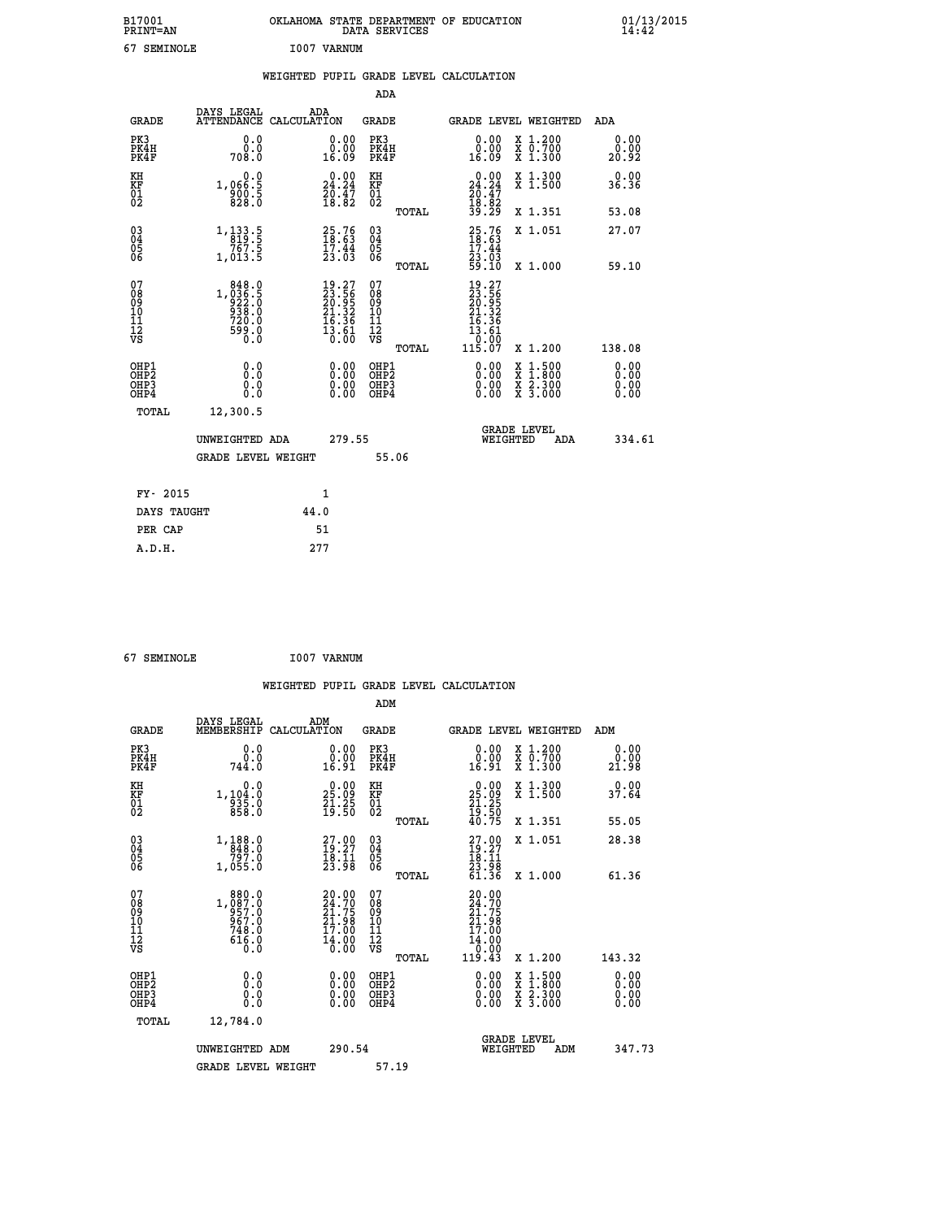| B17001<br>PRINT=AN | STATE DEPARTMENT OF EDUCATION<br>OKLAHOMA<br><b>SERVICES</b><br>DATA | 01/13/2015<br>14:42 |
|--------------------|----------------------------------------------------------------------|---------------------|
| SEMINOLE           | I007<br>VARNUM                                                       |                     |

| 67 SEMINOLE                                          |                                                                                                       |             | I007 VARNUM                                                              |                                           |       |                                                                                                                                                                                                                                                                                |                                          |                              |
|------------------------------------------------------|-------------------------------------------------------------------------------------------------------|-------------|--------------------------------------------------------------------------|-------------------------------------------|-------|--------------------------------------------------------------------------------------------------------------------------------------------------------------------------------------------------------------------------------------------------------------------------------|------------------------------------------|------------------------------|
|                                                      |                                                                                                       |             |                                                                          |                                           |       | WEIGHTED PUPIL GRADE LEVEL CALCULATION                                                                                                                                                                                                                                         |                                          |                              |
|                                                      |                                                                                                       |             |                                                                          | ADA                                       |       |                                                                                                                                                                                                                                                                                |                                          |                              |
| <b>GRADE</b>                                         | DAYS LEGAL<br><b>ATTENDANCE</b>                                                                       | CALCULATION | ADA                                                                      | <b>GRADE</b>                              |       |                                                                                                                                                                                                                                                                                | <b>GRADE LEVEL WEIGHTED</b>              | ADA                          |
| PK3<br>PK4H<br>PK4F                                  | 0.0<br>ة:ة<br>708:0                                                                                   |             | $\begin{smallmatrix} 0.00\\ 0.00\\ 16.09 \end{smallmatrix}$              | PK3<br>PK4H<br>PK4F                       |       | 0.00<br>16.09                                                                                                                                                                                                                                                                  | X 1.200<br>X 0.700<br>X 1.300            | 0.00<br>0.00<br>20.92        |
| KH<br>KF<br>01<br>02                                 | 0.0<br>1,066:5<br>900:5<br>828:0                                                                      |             | $\begin{smallmatrix} 0.00\\24.24\\20.47\\18.82 \end{smallmatrix}$        | KH<br>KF<br>01<br>02                      |       | $\begin{smallmatrix} 0.00\\24.24\\20.47\\18.82\\39.29 \end{smallmatrix}$                                                                                                                                                                                                       | X 1.300<br>X 1.500                       | 0.00<br>36.36                |
|                                                      |                                                                                                       |             |                                                                          |                                           | TOTAL |                                                                                                                                                                                                                                                                                | X 1.351                                  | 53.08                        |
| $\begin{matrix} 03 \\ 04 \\ 05 \\ 06 \end{matrix}$   | $\begin{array}{r} 1,133\cdot 5\\ 819\cdot 5\\ 767\cdot 5\\ 1,013\cdot 5 \end{array}$                  |             | $25.76$<br>$18.63$<br>$17.44$<br>$23.03$                                 | 03<br>04<br>05<br>06                      |       | $25.76$<br>$18.63$<br>$17.44$<br>$23.03$<br>$59.10$                                                                                                                                                                                                                            | X 1.051                                  | 27.07                        |
|                                                      |                                                                                                       |             |                                                                          |                                           | TOTAL |                                                                                                                                                                                                                                                                                | X 1.000                                  | 59.10                        |
| 07<br>08<br>09<br>101<br>11<br>12<br>VS              | $\begin{smallmatrix} 848.0\\ 1,036.5\\ 922.0\\ 938.0\\ 720.0\\ 799.0\\ 599.0\\ 0.0 \end{smallmatrix}$ |             | $19.27$<br>$23.56$<br>$20.95$<br>$21.32$<br>$16.36$<br>$13.61$<br>$0.00$ | 07<br>08<br>09<br>11<br>11<br>12<br>VS    | TOTAL | $\begin{smallmatrix} 19.27\ 23.56\ 20.952\ 21.32\ 16.36\ 13.61\ 0.00\ 115.07\ \end{smallmatrix}$                                                                                                                                                                               | X 1.200                                  | 138.08                       |
| OHP1<br>OHP2<br>OH <sub>P3</sub><br>OH <sub>P4</sub> | 0.0<br>0.000                                                                                          |             | $\begin{smallmatrix} 0.00 \ 0.00 \ 0.00 \ 0.00 \end{smallmatrix}$        | OHP1<br>OH <sub>P</sub> 2<br>OHP3<br>OHP4 |       | $\begin{smallmatrix} 0.00 & 0.00 & 0.00 & 0.00 & 0.00 & 0.00 & 0.00 & 0.00 & 0.00 & 0.00 & 0.00 & 0.00 & 0.00 & 0.00 & 0.00 & 0.00 & 0.00 & 0.00 & 0.00 & 0.00 & 0.00 & 0.00 & 0.00 & 0.00 & 0.00 & 0.00 & 0.00 & 0.00 & 0.00 & 0.00 & 0.00 & 0.00 & 0.00 & 0.00 & 0.00 & 0.0$ | X 1:500<br>X 1:800<br>X 2:300<br>X 3:000 | 0.00<br>0.00<br>0.00<br>0.00 |
| TOTAL                                                | 12,300.5                                                                                              |             |                                                                          |                                           |       |                                                                                                                                                                                                                                                                                | <b>GRADE LEVEL</b>                       |                              |
|                                                      | UNWEIGHTED ADA                                                                                        |             | 279.55                                                                   |                                           |       | WEIGHTED                                                                                                                                                                                                                                                                       | ADA                                      | 334.61                       |

|             |  |                    | ------ |       |  |
|-------------|--|--------------------|--------|-------|--|
|             |  | GRADE LEVEL WEIGHT |        | 55.06 |  |
| FY- 2015    |  |                    | 1      |       |  |
| DAYS TAUGHT |  | 44.0               |        |       |  |
| PER CAP     |  |                    | 51     |       |  |
| A.D.H.      |  | 277                |        |       |  |

| 67 SEMINOLE | I007 VARNUM |
|-------------|-------------|
|             |             |

|                                                    |                                                                                                         |                    |                                                                         |                              |       | WEIGHTED PUPIL GRADE LEVEL CALCULATION                                       |                                                                                                  |                       |        |
|----------------------------------------------------|---------------------------------------------------------------------------------------------------------|--------------------|-------------------------------------------------------------------------|------------------------------|-------|------------------------------------------------------------------------------|--------------------------------------------------------------------------------------------------|-----------------------|--------|
|                                                    |                                                                                                         |                    |                                                                         | ADM                          |       |                                                                              |                                                                                                  |                       |        |
| <b>GRADE</b>                                       | DAYS LEGAL<br>MEMBERSHIP                                                                                | ADM<br>CALCULATION |                                                                         | <b>GRADE</b>                 |       | <b>GRADE LEVEL WEIGHTED</b>                                                  |                                                                                                  | ADM                   |        |
| PK3<br>PK4H<br>PK4F                                | 0.0<br>0.0<br>744.0                                                                                     |                    | 0.00<br>16.91                                                           | PK3<br>PK4H<br>PK4F          |       | 0.00<br>16.91                                                                | X 1.200<br>X 0.700<br>X 1.300                                                                    | 0.00<br>0.00<br>21.98 |        |
| KH<br>KF<br>01<br>02                               | 0.0<br>1,104:0<br>935:0<br>858:0                                                                        |                    | $\begin{smallmatrix} 0.00\\ 25.09\\ 21.25\\ 19.50 \end{smallmatrix}$    | KH<br>KF<br>01<br>02         |       | $\begin{smallmatrix} 0.00\\ 25.09\\ 21.25\\ 19.50\\ 40.75 \end{smallmatrix}$ | X 1.300<br>X 1.500                                                                               | 0.00<br>37.64         |        |
|                                                    |                                                                                                         |                    |                                                                         |                              | TOTAL |                                                                              | X 1.351                                                                                          | 55.05                 |        |
| $\begin{matrix} 03 \\ 04 \\ 05 \\ 06 \end{matrix}$ | $\begin{smallmatrix} 1\,, & 188\,, & 0\\ 848\,, & 0\\ 797\,. & 0\\ 1\,, & 055\,. & 0 \end{smallmatrix}$ |                    | $\begin{smallmatrix} 27.00\\ 19.27\\ 18.11\\ 23.98 \end{smallmatrix}$   | $^{03}_{04}$<br>Ŏ5<br>06     |       | $27.00$<br>$19.27$<br>$18.11$<br>$23.98$<br>$61.36$                          | X 1.051                                                                                          | 28.38                 |        |
|                                                    |                                                                                                         |                    |                                                                         |                              | TOTAL |                                                                              | X 1.000                                                                                          | 61.36                 |        |
| 07<br>0890112<br>1112<br>VS                        | 1,080.0<br>0.087.0<br>0.757.0<br>748.0<br>616.0<br>0.0                                                  |                    | $20.00$<br>$24.70$<br>$21.75$<br>21.98<br>17.00<br>$\frac{14.00}{0.00}$ | 07<br>08901123<br>1112<br>VS | TOTAL | 20.00<br>24.70<br>21.75<br>21.98<br>17.00                                    | $X_1.200$                                                                                        | 143.32                |        |
|                                                    |                                                                                                         |                    |                                                                         |                              |       |                                                                              |                                                                                                  | 0.00                  |        |
| OHP1<br>OHP2<br>OH <sub>P3</sub><br>OHP4           | 0.0<br>0.000                                                                                            |                    | $0.00$<br>$0.00$<br>0.00                                                | OHP1<br>OHP2<br>OHP3<br>OHP4 |       | $0.00$<br>$0.00$<br>0.00                                                     | $\begin{smallmatrix} x & 1 & 500 \\ x & 1 & 800 \\ x & 2 & 300 \\ x & 3 & 000 \end{smallmatrix}$ | Ō. ŌŌ<br>0.00<br>0.00 |        |
| TOTAL                                              | 12,784.0                                                                                                |                    |                                                                         |                              |       |                                                                              |                                                                                                  |                       |        |
|                                                    | UNWEIGHTED ADM                                                                                          |                    | 290.54                                                                  |                              |       | WEIGHTED                                                                     | <b>GRADE LEVEL</b><br>ADM                                                                        |                       | 347.73 |
|                                                    | <b>GRADE LEVEL WEIGHT</b>                                                                               |                    |                                                                         | 57.19                        |       |                                                                              |                                                                                                  |                       |        |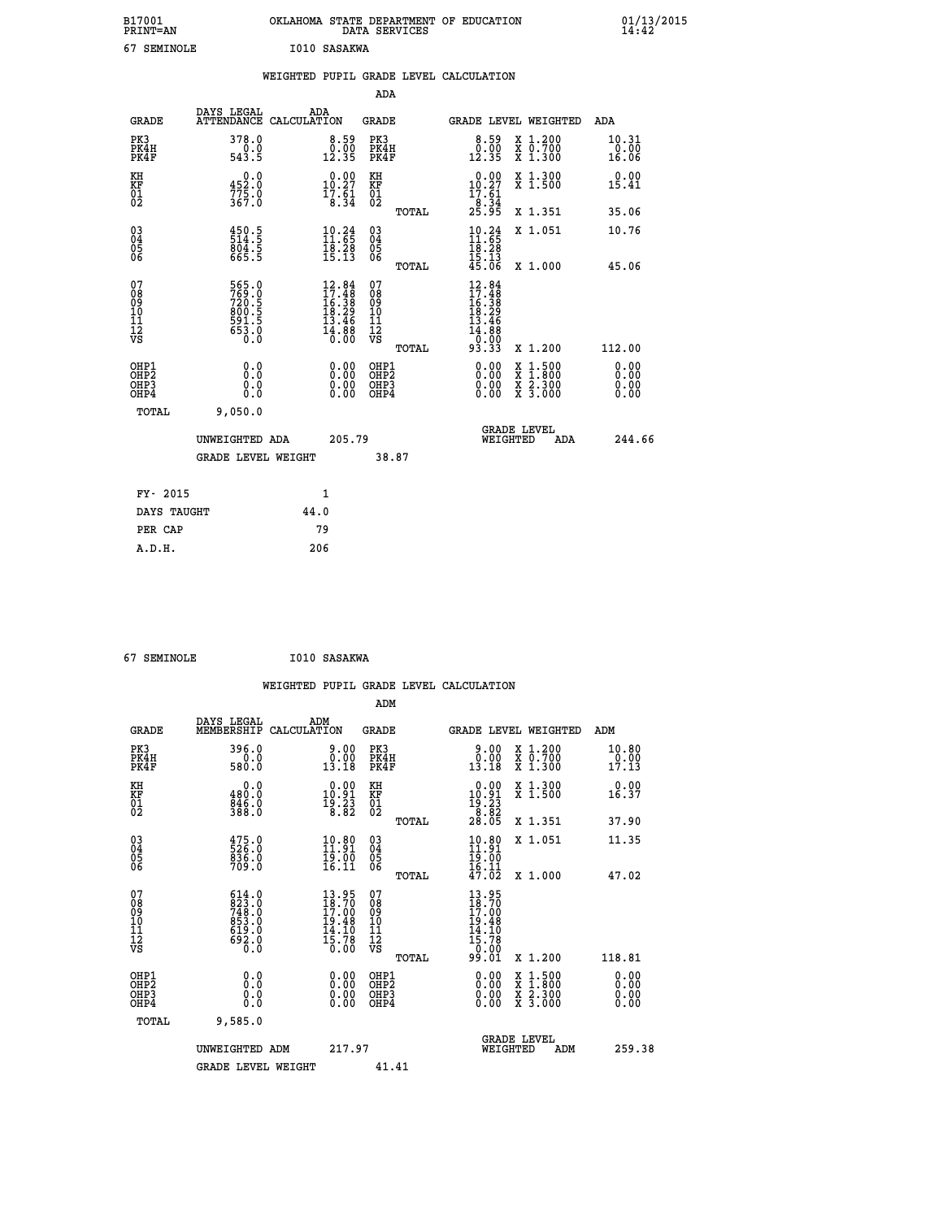| B17001<br>PRINT=AN | <b>OKLAHOMA</b><br>STATE DEPARTMENT OF EDUCATION<br>SERVICES<br>DATA | 01/13/2015<br>14:42 |
|--------------------|----------------------------------------------------------------------|---------------------|
| c٦<br>SEMINOLE     | I010 SASAKWA                                                         |                     |

|                                                    |                                                            | WEIGHTED PUPIL GRADE LEVEL CALCULATION                                   |                                        |            |                                                                                                                                |                                                                                          |                              |
|----------------------------------------------------|------------------------------------------------------------|--------------------------------------------------------------------------|----------------------------------------|------------|--------------------------------------------------------------------------------------------------------------------------------|------------------------------------------------------------------------------------------|------------------------------|
|                                                    |                                                            |                                                                          |                                        | <b>ADA</b> |                                                                                                                                |                                                                                          |                              |
| <b>GRADE</b>                                       | DAYS LEGAL                                                 | ADA<br>ATTENDANCE CALCULATION                                            | <b>GRADE</b>                           |            | GRADE LEVEL WEIGHTED                                                                                                           |                                                                                          | ADA                          |
| PK3<br>PK4H<br>PK4F                                | 378.0<br>$\frac{0.0}{543.5}$                               | $\begin{smallmatrix} 8.59\ 0.00\ 12.35 \end{smallmatrix}$                | PK3<br>PK4H<br>PK4F                    |            | $\begin{smallmatrix} 8.59\ 0.00\ 12.35 \end{smallmatrix}$                                                                      | X 1.200<br>X 0.700<br>X 1.300                                                            | 10.31<br>0.00<br>16.06       |
| KH<br>KF<br>01<br>02                               | $0.0$<br>452.0<br>$\frac{775}{367}$ :0                     | 0.00<br>10.27<br>$\frac{17.51}{8.34}$                                    | KH<br>KF<br>01<br>02                   |            | $0.00$<br>10.27<br>$\frac{17.61}{8.34}$<br>25.95                                                                               | X 1.300<br>X 1.500                                                                       | 0.00<br>15.41                |
|                                                    |                                                            |                                                                          |                                        | TOTAL      |                                                                                                                                | X 1.351                                                                                  | 35.06                        |
| $\begin{matrix} 03 \\ 04 \\ 05 \\ 06 \end{matrix}$ | $\frac{450.5}{514.5}$<br>$804.5$<br>665.5                  | $10.24$<br>11.65<br>$\frac{18.28}{15.13}$                                | 03<br>04<br>05<br>06                   |            | $\frac{10.24}{11.65}$<br>$\frac{18.28}{15.13}$<br>$45.06$                                                                      | X 1.051                                                                                  | 10.76                        |
|                                                    |                                                            |                                                                          |                                        | TOTAL      |                                                                                                                                | X 1.000                                                                                  | 45.06                        |
| 07<br>08<br>09<br>11<br>11<br>12<br>VS             | 565.0<br>769.0<br>720.5<br>800.5<br>891.5<br>53.0<br>653.0 | $12.84$<br>$17.48$<br>$16.38$<br>$18.29$<br>$13.46$<br>$14.88$<br>$0.00$ | 07<br>08<br>09<br>11<br>11<br>12<br>VS | TOTAL      | $12.84$<br>$17.48$<br>$16.38$<br>$18.29$<br>$13.46$<br>$\overline{1}\overline{4}\overline{.}\overline{8}\overline{8}$<br>93.33 | X 1.200                                                                                  | 112.00                       |
| OHP1<br>OHP2<br>OH <sub>P3</sub><br>OHP4           | 0.0<br>Ō.Ō<br>0.0<br>0.0                                   | $\begin{smallmatrix} 0.00 \ 0.00 \ 0.00 \ 0.00 \end{smallmatrix}$        | OHP1<br>OHP2<br>OHP3<br>OHP4           |            |                                                                                                                                | $\begin{smallmatrix} x & 1.500 \\ x & 1.800 \\ x & 2.300 \\ x & 3.000 \end{smallmatrix}$ | 0.00<br>0.00<br>0.00<br>0.00 |
| TOTAL                                              | 9,050.0                                                    |                                                                          |                                        |            |                                                                                                                                |                                                                                          |                              |
|                                                    | UNWEIGHTED ADA                                             |                                                                          | 205.79                                 |            | WEIGHTED                                                                                                                       | <b>GRADE LEVEL</b><br>ADA                                                                | 244.66                       |
|                                                    | <b>GRADE LEVEL WEIGHT</b>                                  |                                                                          |                                        | 38.87      |                                                                                                                                |                                                                                          |                              |
| FY- 2015                                           |                                                            | $\mathbf{1}$                                                             |                                        |            |                                                                                                                                |                                                                                          |                              |
| DAYS TAUGHT                                        |                                                            | 44.0                                                                     |                                        |            |                                                                                                                                |                                                                                          |                              |
| PER CAP                                            |                                                            | 79                                                                       |                                        |            |                                                                                                                                |                                                                                          |                              |

| 67 SEMINOLE | I010 SASAKWA |
|-------------|--------------|
|             |              |

|                                                    |                                                                                                                                                                              |                    |                                                                     |                                        |       | WEIGHTED PUPIL GRADE LEVEL CALCULATION                                                                                              |                                          |     |                               |
|----------------------------------------------------|------------------------------------------------------------------------------------------------------------------------------------------------------------------------------|--------------------|---------------------------------------------------------------------|----------------------------------------|-------|-------------------------------------------------------------------------------------------------------------------------------------|------------------------------------------|-----|-------------------------------|
|                                                    |                                                                                                                                                                              |                    |                                                                     | ADM                                    |       |                                                                                                                                     |                                          |     |                               |
| <b>GRADE</b>                                       | DAYS LEGAL<br>MEMBERSHIP                                                                                                                                                     | ADM<br>CALCULATION |                                                                     | GRADE                                  |       | GRADE LEVEL WEIGHTED                                                                                                                |                                          | ADM |                               |
| PK3<br>PK4H<br>PK4F                                | 396.0<br>580.0                                                                                                                                                               |                    | 0.00<br>13.18                                                       | PK3<br>PK4H<br>PK4F                    |       | 9.00<br>0.00<br>13.18                                                                                                               | X 1.200<br>X 0.700<br>X 1.300            |     | 10.80<br>$\frac{0.00}{17.13}$ |
| KH<br>KF<br>01<br>02                               | 0.0<br>480:0<br>846:0<br>388:0                                                                                                                                               |                    | $\begin{smallmatrix} 0.00\\ 10.91\\ 19.23\\ 8.82 \end{smallmatrix}$ | KH<br>KF<br>01<br>02                   |       | $\begin{smallmatrix} 0.00\\ 10.91\\ 19.23\\ 8.82\\ 28.05 \end{smallmatrix}$                                                         | X 1.300<br>X 1.500                       |     | 0.00<br>16.37                 |
|                                                    |                                                                                                                                                                              |                    |                                                                     |                                        | TOTAL |                                                                                                                                     | X 1.351                                  |     | 37.90                         |
| $\begin{matrix} 03 \\ 04 \\ 05 \\ 06 \end{matrix}$ | 475.0<br>526.0<br>836.0<br>709.0                                                                                                                                             |                    | $\begin{smallmatrix} 10.80\ 11.91\ 19.00\ 16.11 \end{smallmatrix}$  | 03<br>04<br>05<br>06                   |       | 10.80<br>$\frac{15.00}{16.11}$<br>$\frac{47.02}{1}$                                                                                 | X 1.051                                  |     | 11.35                         |
|                                                    |                                                                                                                                                                              |                    |                                                                     |                                        | TOTAL |                                                                                                                                     | X 1.000                                  |     | 47.02                         |
| 07<br>08<br>09<br>101<br>112<br>VS                 | $\begin{smallmatrix} 6 & 1 & 4 & 0 \\ 8 & 2 & 3 & 0 \\ 7 & 4 & 8 & 0 \\ 8 & 5 & 3 & 0 \\ 8 & 5 & 3 & 0 \\ 6 & 1 & 9 & 0 \\ 6 & 9 & 2 & 0 \\ 0 & 0 & 0 & 0 \end{smallmatrix}$ |                    | $13.95$<br>$18.70$<br>$17.00$<br>$19.48$<br>14.10<br>15.78<br>0.00  | 07<br>08<br>09<br>11<br>11<br>12<br>VS | TOTAL | $\begin{array}{c} 13\cdot 95\\ 18\cdot 70\\ 17\cdot 00\\ 19\cdot 48\\ 14\cdot 10\\ 15\cdot 78\\ 0\cdot 00\\ 99\cdot 01 \end{array}$ | X 1.200                                  |     | 118.81                        |
| OHP1                                               |                                                                                                                                                                              |                    |                                                                     | OHP1                                   |       |                                                                                                                                     |                                          |     |                               |
| OHP <sub>2</sub><br>OH <sub>P3</sub><br>OHP4       | 0.0<br>0.000                                                                                                                                                                 |                    | 0.00<br>0.00<br>0.00                                                | OHP <sub>2</sub><br>OHP3<br>OHP4       |       | $0.00$<br>$0.00$<br>0.00                                                                                                            | X 1:500<br>X 1:800<br>X 2:300<br>X 3:000 |     | 0.00<br>0.00<br>0.00          |
| TOTAL                                              | 9,585.0                                                                                                                                                                      |                    |                                                                     |                                        |       |                                                                                                                                     |                                          |     |                               |
|                                                    | UNWEIGHTED ADM                                                                                                                                                               |                    | 217.97                                                              |                                        |       | WEIGHTED                                                                                                                            | <b>GRADE LEVEL</b><br>ADM                |     | 259.38                        |
|                                                    | <b>GRADE LEVEL WEIGHT</b>                                                                                                                                                    |                    |                                                                     | 41.41                                  |       |                                                                                                                                     |                                          |     |                               |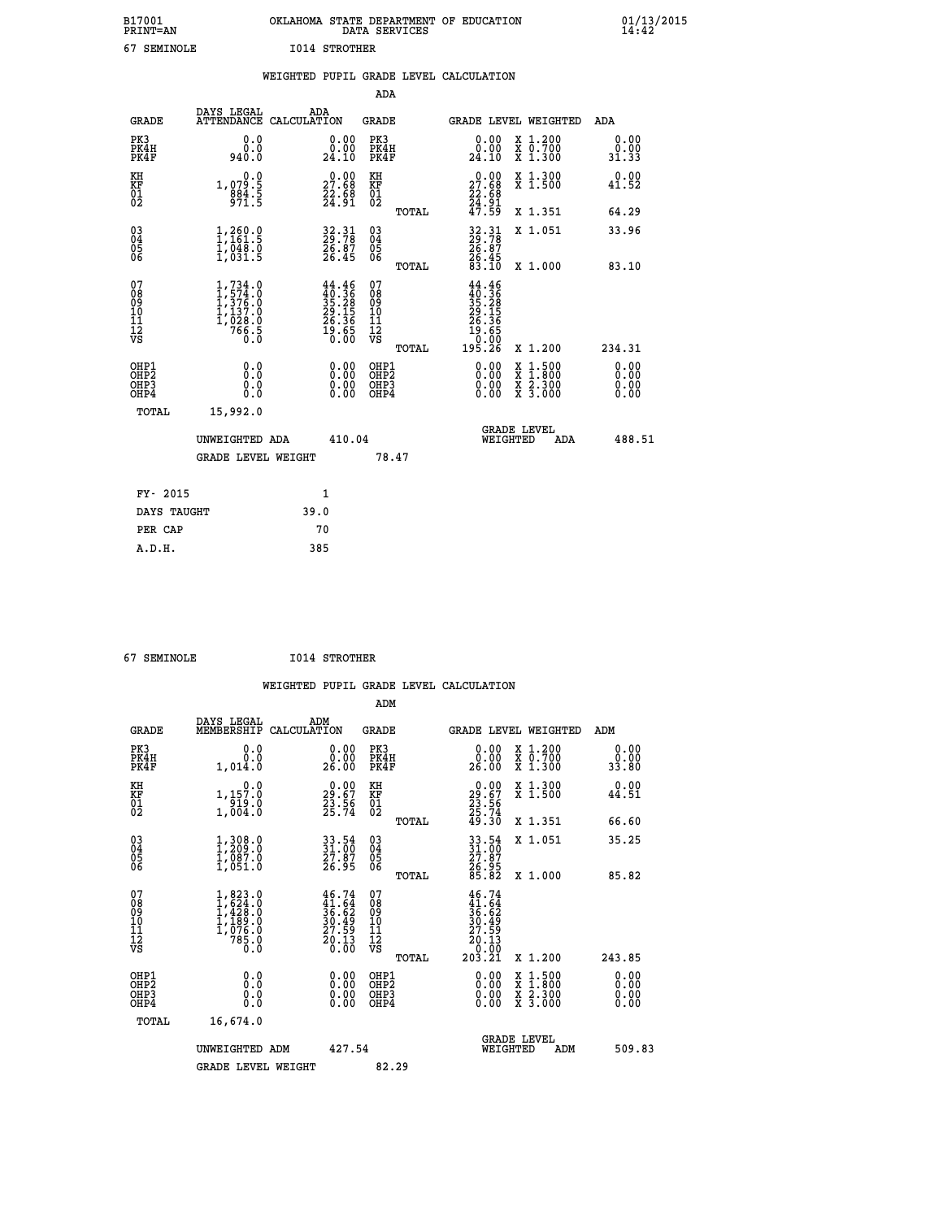| B17001<br><b>PRINT=AN</b> | OKLAHOMA STATE DEPARTMENT OF EDUCATION<br>DATA SERVICES |  | $01/13/2015$<br>14:42 |
|---------------------------|---------------------------------------------------------|--|-----------------------|
| 67<br>SEMINOLE            | 1014 STROTHER                                           |  |                       |

|                                                    |                                          |                                                                                 |      |                                                                                                    |                                        |       | WEIGHTED PUPIL GRADE LEVEL CALCULATION                                                              |          |                                                                                          |                              |
|----------------------------------------------------|------------------------------------------|---------------------------------------------------------------------------------|------|----------------------------------------------------------------------------------------------------|----------------------------------------|-------|-----------------------------------------------------------------------------------------------------|----------|------------------------------------------------------------------------------------------|------------------------------|
|                                                    |                                          |                                                                                 |      |                                                                                                    | ADA                                    |       |                                                                                                     |          |                                                                                          |                              |
|                                                    | <b>GRADE</b>                             | DAYS LEGAL<br>ATTENDANCE CALCULATION                                            | ADA  |                                                                                                    | <b>GRADE</b>                           |       |                                                                                                     |          | GRADE LEVEL WEIGHTED                                                                     | ADA                          |
|                                                    | PK3<br>PK4H<br>PK4F                      | 0.0<br>0.0<br>940.0                                                             |      | $\begin{smallmatrix} 0.00\\ 0.00\\ 24.10 \end{smallmatrix}$                                        | PK3<br>PK4H<br>PK4F                    |       | 0.00<br>0.00<br>24.10                                                                               |          | X 1.200<br>X 0.700<br>X 1.300                                                            | 0.00<br>0.00<br>31.33        |
| KH<br>KF<br>01<br>02                               |                                          | 0.0<br>1,079.5<br>884.5<br>971.5                                                |      | $\begin{smallmatrix} 0.00\\ 27.68\\ 22.68\\ 24.91 \end{smallmatrix}$                               | KH<br>KF<br>01<br>02                   |       | 27.68<br>$\frac{22.88}{24.91}$<br>$\frac{47.59}{27.59}$                                             |          | X 1.300<br>X 1.500                                                                       | 0.00<br>41.52                |
|                                                    |                                          |                                                                                 |      |                                                                                                    |                                        | TOTAL |                                                                                                     |          | X 1.351                                                                                  | 64.29                        |
| $\begin{matrix} 03 \\ 04 \\ 05 \\ 06 \end{matrix}$ |                                          | 1,260.9<br>$\frac{1}{2}$ , $\frac{048}{031}$ . 5                                |      | $\frac{32.31}{29.78}$<br>$\frac{26.87}{26.45}$                                                     | 03<br>04<br>05<br>06                   |       | $\begin{smallmatrix} 32\cdot 31\ 29\cdot 78\ 26\cdot 87\ 26\cdot 45\ 83\cdot 10\ \end{smallmatrix}$ |          | X 1.051                                                                                  | 33.96                        |
|                                                    |                                          |                                                                                 |      |                                                                                                    |                                        | TOTAL |                                                                                                     |          | X 1.000                                                                                  | 83.10                        |
| 07<br>08<br>09<br>11<br>11<br>12<br>VS             |                                          | $1,734.0$<br>$1,574.0$<br>$1,376.0$<br>$1,137.0$<br>$1,028.0$<br>$766.5$<br>0.0 |      | $\begin{smallmatrix} 44.46 \\ 40.36 \\ 35.28 \\ 29.15 \\ 26.36 \\ 19.65 \\ 0.00 \end{smallmatrix}$ | 07<br>08<br>09<br>11<br>11<br>12<br>VS | TOTAL | $44.46$<br>$35.28$<br>$29.15$<br>$26.36$<br>$19.65$<br>$0.92$<br>195.26                             |          | X 1.200                                                                                  | 234.31                       |
|                                                    | OHP1<br>OHP2<br>OH <sub>P3</sub><br>OHP4 | 0.0<br>Ō.Ō<br>0.0<br>0.0                                                        |      | $\begin{smallmatrix} 0.00 \ 0.00 \ 0.00 \ 0.00 \end{smallmatrix}$                                  | OHP1<br>OHP2<br>OHP3<br>OHP4           |       |                                                                                                     |          | $\begin{smallmatrix} x & 1.500 \\ x & 1.800 \\ x & 2.300 \\ x & 3.000 \end{smallmatrix}$ | 0.00<br>0.00<br>0.00<br>0.00 |
|                                                    | TOTAL                                    | 15,992.0                                                                        |      |                                                                                                    |                                        |       |                                                                                                     |          |                                                                                          |                              |
|                                                    |                                          | UNWEIGHTED ADA                                                                  |      | 410.04                                                                                             |                                        |       |                                                                                                     | WEIGHTED | <b>GRADE LEVEL</b><br>ADA                                                                | 488.51                       |
|                                                    |                                          | <b>GRADE LEVEL WEIGHT</b>                                                       |      |                                                                                                    | 78.47                                  |       |                                                                                                     |          |                                                                                          |                              |
|                                                    | FY- 2015                                 |                                                                                 |      | $\mathbf{1}$                                                                                       |                                        |       |                                                                                                     |          |                                                                                          |                              |
|                                                    | DAYS TAUGHT                              |                                                                                 | 39.0 |                                                                                                    |                                        |       |                                                                                                     |          |                                                                                          |                              |
|                                                    | PER CAP                                  |                                                                                 |      | 70                                                                                                 |                                        |       |                                                                                                     |          |                                                                                          |                              |

 **67 SEMINOLE I014 STROTHER**

|                                                                  |                                                                                                                                      | WEIGHTED PUPIL GRADE LEVEL CALCULATION                                 | ADM                                                 |       |                                                                 |                                                                                          |                              |
|------------------------------------------------------------------|--------------------------------------------------------------------------------------------------------------------------------------|------------------------------------------------------------------------|-----------------------------------------------------|-------|-----------------------------------------------------------------|------------------------------------------------------------------------------------------|------------------------------|
| <b>GRADE</b>                                                     | DAYS LEGAL<br>MEMBERSHIP CALCULATION                                                                                                 | ADM                                                                    | <b>GRADE</b>                                        |       |                                                                 | GRADE LEVEL WEIGHTED                                                                     | ADM                          |
| PK3<br>PK4H<br>PK4F                                              | 0.0<br>0.0<br>1,014.0                                                                                                                | 0.00<br>0.00<br>26.00                                                  | PK3<br>PK4H<br>PK4F                                 |       | 0.00<br>0.00<br>26.00                                           | X 1.200<br>X 0.700<br>X 1.300                                                            | 0.00<br>0.00<br>33.80        |
| KH<br>KF<br>01<br>02                                             | 0.0<br>1,157.0<br>$\frac{519}{1,004}$ :0                                                                                             | $\begin{smallmatrix} 0.00\\ 29.67\\ 23.56\\ 25.74 \end{smallmatrix}$   | KH<br>KF<br>01<br>02                                |       | $29.67$<br>$23.56$<br>$25.74$<br>$49.30$                        | X 1.300<br>X 1.500                                                                       | 0.00<br>44.51                |
|                                                                  |                                                                                                                                      |                                                                        |                                                     | TOTAL |                                                                 | X 1.351                                                                                  | 66.60                        |
| $\begin{matrix} 03 \\ 04 \\ 05 \\ 06 \end{matrix}$               | 1,308.0<br>$\frac{1}{2}$ , $\frac{85}{2}$ , $\frac{8}{2}$                                                                            | 33.54<br>31.00<br>27.87<br>26.95                                       | $\begin{array}{c} 03 \\ 04 \\ 05 \\ 06 \end{array}$ |       | $33.54$<br>$31.00$<br>$27.87$                                   | X 1.051                                                                                  | 35.25                        |
|                                                                  |                                                                                                                                      |                                                                        |                                                     | TOTAL | 26.95<br>85.82                                                  | X 1.000                                                                                  | 85.82                        |
| 07<br>08<br>09<br>11<br>11<br>12<br>VS                           | $\begin{smallmatrix} 1, 823 & 0\\ 1, 624 & 0\\ 1, 428 & 0\\ 1, 189 & 0\\ 1, 189 & 0\\ 1, 076 & 0\\ 785 & 0\\ 0 & 0\end{smallmatrix}$ | 46.74<br>$41.64$<br>$36.62$<br>$30.49$<br>$27.59$<br>$20.13$<br>$0.00$ | 07<br>08<br>09<br>101<br>11<br>12<br>VS             | TOTAL | $46.74$<br>$36.62$<br>$36.49$<br>$27.59$<br>$20.13$<br>$203.21$ | X 1.200                                                                                  | 243.85                       |
| OHP1<br>OHP <sub>2</sub><br>OH <sub>P3</sub><br>OH <sub>P4</sub> | 0.0<br>0.0<br>0.0                                                                                                                    | 0.00<br>0.00<br>0.00                                                   | OHP1<br>OHP2<br>OHP3<br>OHP4                        |       | 0.00<br>0.00<br>0.00                                            | $\begin{smallmatrix} x & 1.500 \\ x & 1.800 \\ x & 2.300 \\ x & 3.000 \end{smallmatrix}$ | 0.00<br>0.00<br>0.00<br>0.00 |
| TOTAL                                                            | 16,674.0                                                                                                                             |                                                                        |                                                     |       |                                                                 |                                                                                          |                              |
|                                                                  | UNWEIGHTED ADM                                                                                                                       | 427.54                                                                 |                                                     |       |                                                                 | <b>GRADE LEVEL</b><br>WEIGHTED<br>ADM                                                    | 509.83                       |
|                                                                  | <b>GRADE LEVEL WEIGHT</b>                                                                                                            |                                                                        | 82.29                                               |       |                                                                 |                                                                                          |                              |
|                                                                  |                                                                                                                                      |                                                                        |                                                     |       |                                                                 |                                                                                          |                              |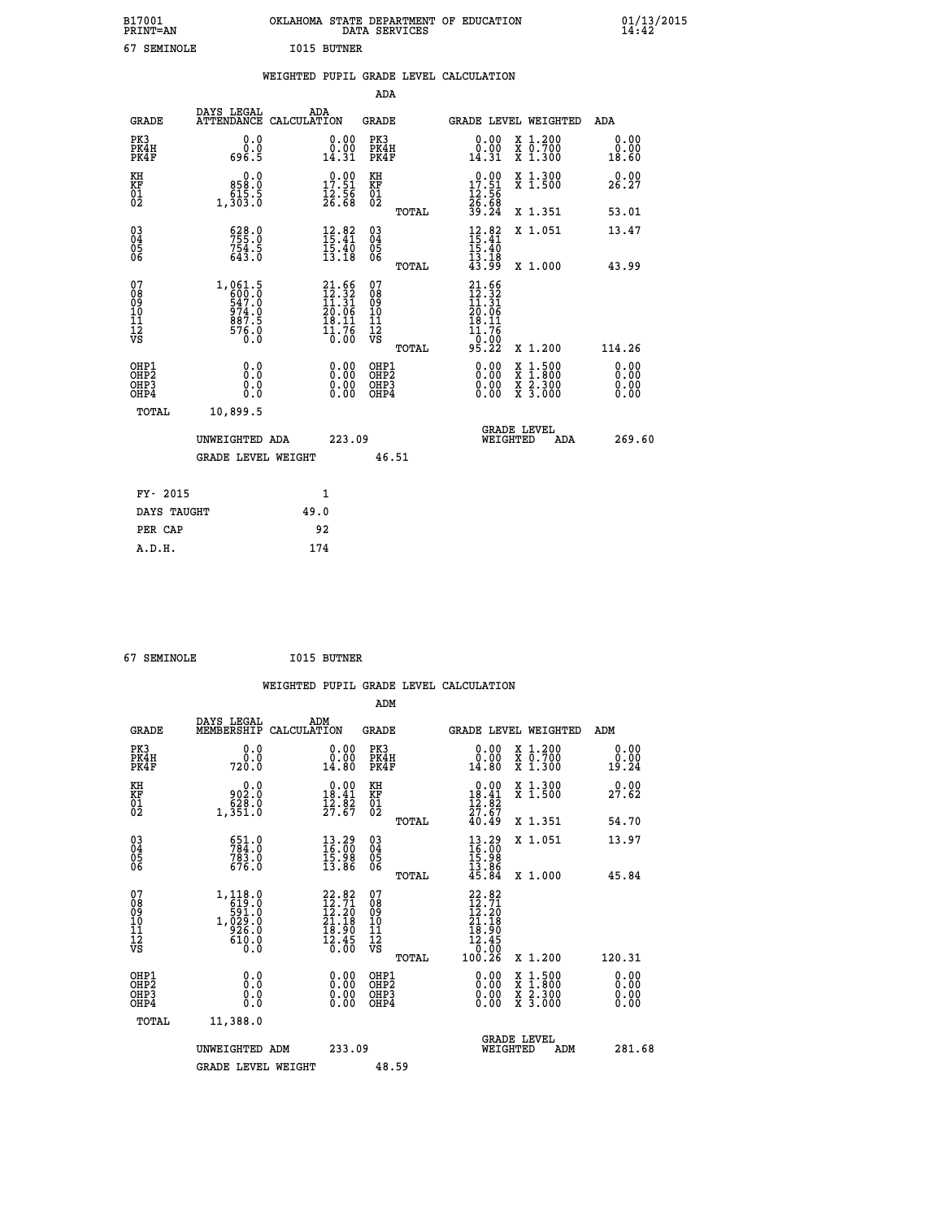| B17001<br><b>PRINT=AN</b> | OKLAHOMA<br>STATE DEPARTMENT OF EDUCATION<br>SERVICES<br>DATA | 01/13/2015<br>14:42 |
|---------------------------|---------------------------------------------------------------|---------------------|
| <b>SEMTNOLE</b>           | <b>BUTNER</b><br>T015                                         |                     |

| <b>SEMINOLE</b><br>67                              |                                                                                                           |                    | <b>I015 BUTNER</b>                                                                                                             |                                        |       |                                                                                                                                                               |                                          |                              |  |
|----------------------------------------------------|-----------------------------------------------------------------------------------------------------------|--------------------|--------------------------------------------------------------------------------------------------------------------------------|----------------------------------------|-------|---------------------------------------------------------------------------------------------------------------------------------------------------------------|------------------------------------------|------------------------------|--|
|                                                    |                                                                                                           |                    |                                                                                                                                |                                        |       | WEIGHTED PUPIL GRADE LEVEL CALCULATION                                                                                                                        |                                          |                              |  |
|                                                    |                                                                                                           |                    |                                                                                                                                | ADA                                    |       |                                                                                                                                                               |                                          |                              |  |
| <b>GRADE</b>                                       | DAYS LEGAL<br><b>ATTENDANCE</b>                                                                           | ADA<br>CALCULATION |                                                                                                                                | <b>GRADE</b>                           |       | GRADE LEVEL WEIGHTED                                                                                                                                          |                                          | ADA                          |  |
| PK3<br>PK4H<br>PK4F                                | 0.0<br>ة:ة<br>696.5                                                                                       |                    | $\begin{smallmatrix} 0.00\\ 0.00\\ 14.31 \end{smallmatrix}$                                                                    | PK3<br>PK4H<br>PK4F                    |       | 0.00<br>$\substack{\check{0}.\check{0}\check{0}\ 14.31}$                                                                                                      | X 1.200<br>X 0.700<br>X 1.300            | 0.00<br>0.00<br>18.60        |  |
| KH<br>KF<br>01<br>02                               | $\begin{smallmatrix} & & 0.0\ 858.0\ 615.5\ 1,303.0 \end{smallmatrix}$                                    |                    | $\begin{array}{c} 0.00 \\ 17.51 \\ 12.56 \\ 26.68 \end{array}$                                                                 | KH<br>KF<br>01<br>02                   |       | $\begin{smallmatrix} 0.00\\ 17.51\\ 12.56\\ 26.68\\ 39.24 \end{smallmatrix}$                                                                                  | X 1.300<br>X 1.500                       | 0.00<br>26.27                |  |
|                                                    |                                                                                                           |                    |                                                                                                                                |                                        | TOTAL |                                                                                                                                                               | X 1.351                                  | 53.01                        |  |
| $\begin{matrix} 03 \\ 04 \\ 05 \\ 06 \end{matrix}$ | 528.0<br>$7\bar{5}\bar{4}\cdot\bar{5}$<br>643.0                                                           |                    | 12.82<br>$\bar{1}\bar{5}\cdot\bar{4}\bar{0}$<br>13.18                                                                          | $^{03}_{04}$<br>Ŏ5<br>06               |       | $12.82$<br>$15.41$<br>$15.40$<br>$13.18$<br>$43.99$                                                                                                           | X 1.051                                  | 13.47                        |  |
|                                                    |                                                                                                           |                    |                                                                                                                                |                                        | TOTAL |                                                                                                                                                               | X 1.000                                  | 43.99                        |  |
| 07<br>08<br>09<br>101<br>112<br>VS                 | $\begin{array}{r} 1,061.5 \\ 600.0 \\ 547.0 \\ 974.0 \\ 887.5 \\ 87.5 \end{array}$<br>$\frac{576.0}{0.0}$ |                    | $\begin{array}{r} 21.66 \\[-2pt] 12.32 \\[-2pt] 11.31 \\[-2pt] 20.06 \\[-2pt] 18.11 \\[-2pt] 13.76 \\[-2pt] 10.00 \end{array}$ | 07<br>08<br>09<br>11<br>11<br>12<br>VS | TOTAL | 21.66<br>$\begin{smallmatrix} 1 & 2 & 3 & 2 \\ 1 & 2 & 3 & 1 \\ 1 & 3 & 1 & 2 \\ 2 & 0 & 0 & 6 \\ 1 & 9 & 1 & 1 \end{smallmatrix}$<br>11.76<br>-0:00<br>95:22 | X 1.200                                  | 114.26                       |  |
| OHP1<br>OHP2<br>OH <sub>P3</sub><br>OHP4           | 0.0<br>0.000                                                                                              |                    | $\begin{smallmatrix} 0.00 \ 0.00 \ 0.00 \ 0.00 \end{smallmatrix}$                                                              | OHP1<br>OHP2<br>OHP3<br>OHP4           |       |                                                                                                                                                               | X 1:500<br>X 1:800<br>X 2:300<br>X 3:000 | 0.00<br>0.00<br>0.00<br>0.00 |  |
| TOTAL                                              | 10,899.5                                                                                                  |                    |                                                                                                                                |                                        |       |                                                                                                                                                               |                                          |                              |  |
|                                                    | UNWEIGHTED ADA                                                                                            |                    | 223.09                                                                                                                         |                                        |       | <b>GRADE LEVEL</b><br>WEIGHTED                                                                                                                                | ADA                                      | 269.60                       |  |
|                                                    | <b>GRADE LEVEL WEIGHT</b>                                                                                 |                    |                                                                                                                                | 46.51                                  |       |                                                                                                                                                               |                                          |                              |  |

| FY- 2015    | 1    |
|-------------|------|
| DAYS TAUGHT | 49.0 |
| PER CAP     | 92   |
| A.D.H.      | 174  |
|             |      |

| 67 SEMINOLE | <b>I015 BUTNER</b> |
|-------------|--------------------|
|             |                    |

|                                                      |                                                                                                                                                                                                                                                                                                                                                                                    |     |                                                                                 |                                              |       | WEIGHTED PUPIL GRADE LEVEL CALCULATION                                                                                                                                                                                                                                         |                                                                                                                                      |        |                               |
|------------------------------------------------------|------------------------------------------------------------------------------------------------------------------------------------------------------------------------------------------------------------------------------------------------------------------------------------------------------------------------------------------------------------------------------------|-----|---------------------------------------------------------------------------------|----------------------------------------------|-------|--------------------------------------------------------------------------------------------------------------------------------------------------------------------------------------------------------------------------------------------------------------------------------|--------------------------------------------------------------------------------------------------------------------------------------|--------|-------------------------------|
|                                                      |                                                                                                                                                                                                                                                                                                                                                                                    |     |                                                                                 | ADM                                          |       |                                                                                                                                                                                                                                                                                |                                                                                                                                      |        |                               |
| <b>GRADE</b>                                         | DAYS LEGAL<br>MEMBERSHIP CALCULATION                                                                                                                                                                                                                                                                                                                                               | ADM |                                                                                 | <b>GRADE</b>                                 |       | GRADE LEVEL WEIGHTED                                                                                                                                                                                                                                                           |                                                                                                                                      | ADM    |                               |
| PK3<br>PK4H<br>PK4F                                  | 0.0<br>0.0<br>720.0                                                                                                                                                                                                                                                                                                                                                                |     | 0.00<br>0.00<br>14.80                                                           | PK3<br>PK4H<br>PK4F                          |       | 0.00<br>0.00<br>14.80                                                                                                                                                                                                                                                          | X 1.200<br>X 0.700<br>X 1.300                                                                                                        | 19.24  | 0.00<br>0.00                  |
| KH<br>KF<br>01<br>02                                 | $\begin{smallmatrix} & & 0.0\ 902.0\ 628.0\ 1,351.0 \end{smallmatrix}$                                                                                                                                                                                                                                                                                                             |     | $\begin{array}{c} 0.00 \\ 18.41 \\ 12.82 \\ 27.67 \end{array}$                  | KH<br>KF<br>01<br>02                         |       | $\begin{smallmatrix} 0.00\\18.41\\12.82\\27.67\\40.49 \end{smallmatrix}$                                                                                                                                                                                                       | X 1.300<br>X 1.500                                                                                                                   | 27.62  | 0.00                          |
|                                                      |                                                                                                                                                                                                                                                                                                                                                                                    |     |                                                                                 |                                              | TOTAL |                                                                                                                                                                                                                                                                                | X 1.351                                                                                                                              | 54.70  |                               |
| $\begin{matrix} 03 \\ 04 \\ 05 \\ 06 \end{matrix}$   | 651.0<br>784.0<br>783.0<br>676.0                                                                                                                                                                                                                                                                                                                                                   |     | $\begin{smallmatrix} 13\cdot29\16\cdot00\15\cdot98\13\cdot86 \end{smallmatrix}$ | 03<br>04<br>05<br>06                         |       | $13.29$<br>$16.00$<br>$15.98$<br>$13.86$<br>$45.84$                                                                                                                                                                                                                            | X 1.051                                                                                                                              | 13.97  |                               |
|                                                      |                                                                                                                                                                                                                                                                                                                                                                                    |     |                                                                                 |                                              | TOTAL |                                                                                                                                                                                                                                                                                | X 1.000                                                                                                                              | 45.84  |                               |
| 07<br>08<br>09<br>101<br>11<br>12<br>VS              | $\begin{array}{r} 1,118.0 \\[-2pt] 591.0 \\[-2pt] 1,029.0 \\[-2pt] 9,26.0 \\[-2pt] 9,0.0 \\[-2pt] 9,0.0 \\[-2pt] 9,0.0 \\[-2pt] 9,0.0 \\[-2pt] 9,0.0 \\[-2pt] 9,0.0 \\[-2pt] 0,0.0 \\[-2pt] 0,0.0 \\[-2pt] 0,0.0 \\[-2pt] 0,0.0 \\[-2pt] 0,0.0 \\[-2pt] 0,0.0 \\[-2pt] 0,0.0 \\[-2pt] 0,0.0 \\[-2pt] 0,0.0 \\[-2pt$<br>$\begin{smallmatrix} 610.0 & 0 \ 0.0 & 0 \end{smallmatrix}$ |     | $22.82$<br>$12.71$<br>$12.20$<br>$21.18$<br>$\frac{18.90}{12.45}$               | 07<br>08<br>09<br>09<br>10<br>11<br>12<br>VS | TOTAL | $\begin{smallmatrix} 22.82\ 12.71\ 12.20\ 21.18\ 18.900\ 12.45\ 10.26\ \end{smallmatrix}$                                                                                                                                                                                      | X 1.200                                                                                                                              | 120.31 |                               |
| OHP1<br>OHP2<br>OH <sub>P3</sub><br>OH <sub>P4</sub> | 0.0<br>0.000                                                                                                                                                                                                                                                                                                                                                                       |     | 0.00<br>$\begin{smallmatrix} 0.00 \ 0.00 \end{smallmatrix}$                     | OHP1<br>OHP2<br>OHP <sub>3</sub><br>OHP4     |       | $\begin{smallmatrix} 0.00 & 0.00 & 0.00 & 0.00 & 0.00 & 0.00 & 0.00 & 0.00 & 0.00 & 0.00 & 0.00 & 0.00 & 0.00 & 0.00 & 0.00 & 0.00 & 0.00 & 0.00 & 0.00 & 0.00 & 0.00 & 0.00 & 0.00 & 0.00 & 0.00 & 0.00 & 0.00 & 0.00 & 0.00 & 0.00 & 0.00 & 0.00 & 0.00 & 0.00 & 0.00 & 0.0$ | $\begin{smallmatrix} \mathtt{X} & 1 & 500 \\ \mathtt{X} & 1 & 800 \\ \mathtt{X} & 2 & 300 \\ \mathtt{X} & 3 & 000 \end{smallmatrix}$ |        | 0.00<br>Ō. ŌŌ<br>0.00<br>0.00 |
| TOTAL                                                | 11,388.0                                                                                                                                                                                                                                                                                                                                                                           |     |                                                                                 |                                              |       |                                                                                                                                                                                                                                                                                |                                                                                                                                      |        |                               |
|                                                      | UNWEIGHTED ADM                                                                                                                                                                                                                                                                                                                                                                     |     | 233.09                                                                          |                                              |       | WEIGHTED                                                                                                                                                                                                                                                                       | <b>GRADE LEVEL</b><br>ADM                                                                                                            |        | 281.68                        |
|                                                      | <b>GRADE LEVEL WEIGHT</b>                                                                                                                                                                                                                                                                                                                                                          |     |                                                                                 | 48.59                                        |       |                                                                                                                                                                                                                                                                                |                                                                                                                                      |        |                               |
|                                                      |                                                                                                                                                                                                                                                                                                                                                                                    |     |                                                                                 |                                              |       |                                                                                                                                                                                                                                                                                |                                                                                                                                      |        |                               |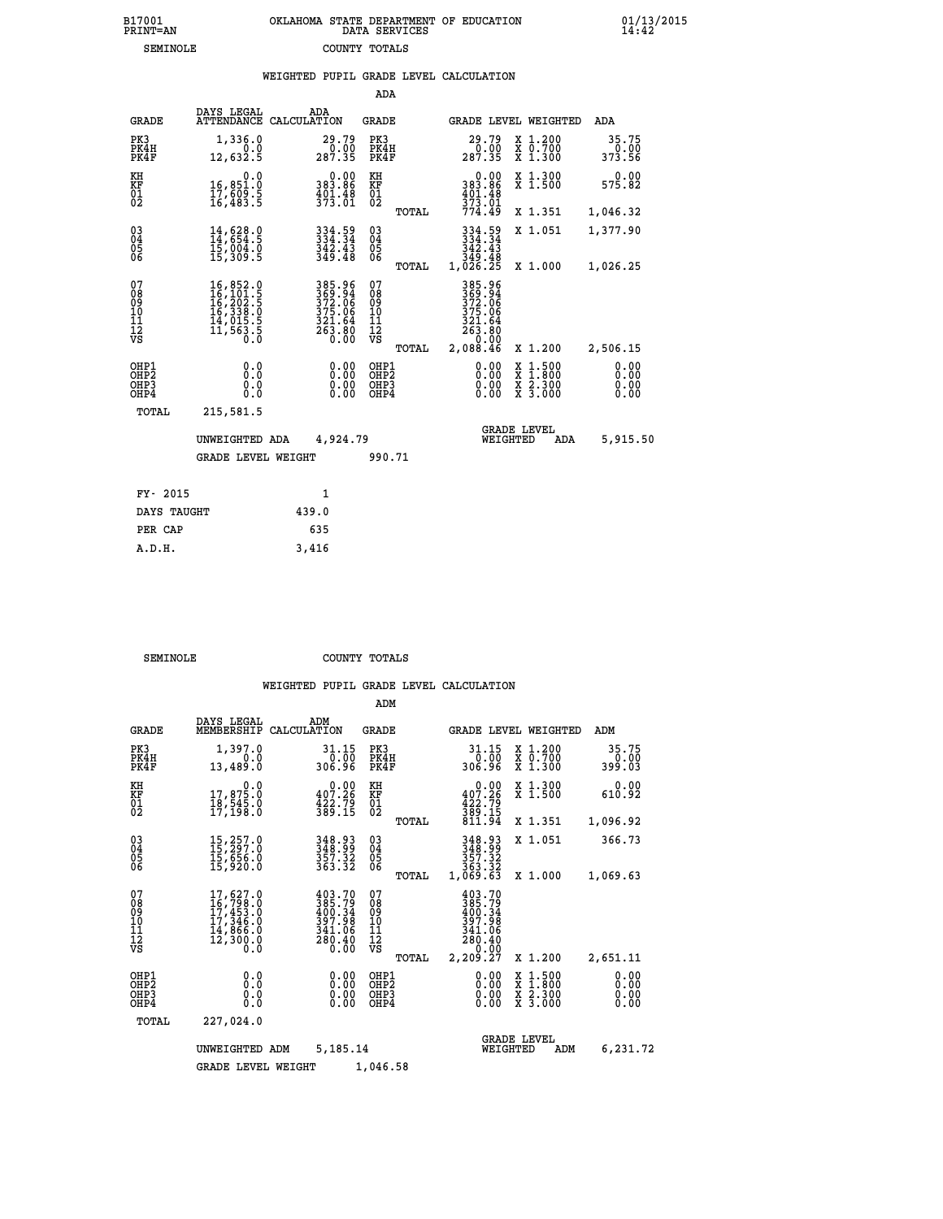| B17001   | OKLAHOMA STATE DEPARTMENT OF EDUCATION |
|----------|----------------------------------------|
| PRINT=AN | DATA SERVICES                          |
| SEMINOLE | COUNTY TOTALS                          |

 **B17001 OKLAHOMA STATE DEPARTMENT OF EDUCATION 01/13/2015**

|                                                                    |                                           |                                                                                                                                                                               |       |                                                                   |                                                   |       | WEIGHTED PUPIL GRADE LEVEL CALCULATION                                        |          |                                                                                          |                              |
|--------------------------------------------------------------------|-------------------------------------------|-------------------------------------------------------------------------------------------------------------------------------------------------------------------------------|-------|-------------------------------------------------------------------|---------------------------------------------------|-------|-------------------------------------------------------------------------------|----------|------------------------------------------------------------------------------------------|------------------------------|
|                                                                    |                                           |                                                                                                                                                                               |       |                                                                   | ADA                                               |       |                                                                               |          |                                                                                          |                              |
|                                                                    | <b>GRADE</b>                              | DAYS LEGAL<br>ATTENDANCE CALCULATION                                                                                                                                          | ADA   |                                                                   | <b>GRADE</b>                                      |       |                                                                               |          | GRADE LEVEL WEIGHTED                                                                     | ADA                          |
| PK3                                                                | PK4H<br>PK4F                              | 1,336.0<br>0.0<br>12,632.5                                                                                                                                                    |       | 29.79<br>0.00<br>287.35                                           | PK3<br>PK4H<br>PK4F                               |       | 29.79<br>287.35                                                               |          | X 1.200<br>X 0.700<br>X 1.300                                                            | 35.75<br>0.00<br>373.56      |
| KH<br>KF<br>01<br>02                                               |                                           | 0.0<br>16,851.0<br>17,609.5<br>16,483.5                                                                                                                                       |       | 0.00<br>383.86<br>$\frac{401.48}{373.01}$                         | KH<br>KF<br>$\begin{matrix} 01 \ 02 \end{matrix}$ |       | $\begin{array}{r} 0.00 \\ 383.86 \\ 401.48 \\ \frac{373}{9} \end{array}$      |          | X 1.300<br>X 1.500                                                                       | 0.00<br>575.82               |
|                                                                    |                                           |                                                                                                                                                                               |       |                                                                   |                                                   | TOTAL | 774.49                                                                        |          | X 1.351                                                                                  | 1,046.32                     |
| $\begin{smallmatrix} 03 \\[-4pt] 04 \end{smallmatrix}$<br>Ŏ5<br>ŌĞ |                                           | $14,628.0$<br>$14,654.5$<br>$15,004.0$<br>$15,309.5$                                                                                                                          |       | $334.59$<br>$334.34$<br>$342.43$<br>$349.48$                      | $\substack{03 \\ 04}$<br>05<br>06                 |       | 334.59<br>334.34<br>342.43                                                    |          | X 1.051                                                                                  | 1,377.90                     |
|                                                                    |                                           |                                                                                                                                                                               |       |                                                                   |                                                   | TOTAL | ăi:48<br>1,026.25                                                             |          | X 1.000                                                                                  | 1,026.25                     |
| 07<br>08<br>09<br>11<br>11<br>12<br>VS                             |                                           | $\begin{smallmatrix} 16\,, & 852\,. & 0\\ 16\,, & 101\,. & 5\\ 16\,, & 202\,. & 5\\ 16\,, & 338\,. & 0\\ 14\,, & 015\,. & 5\\ 11\,, & 563\,. & 5\\ 0\,. & 0\end{smallmatrix}$ |       | 385.96<br>369.94<br>372.06<br>375.06<br>321.64<br>263.80<br>0.00  | 07<br>08<br>09<br>11<br>11<br>12<br>VS            | TOTAL | 385.96<br>369.94<br>372.06<br>375.06<br>321.64<br>263.80<br>26.00<br>2,088.46 |          | X 1.200                                                                                  | 2,506.15                     |
|                                                                    | OHP1<br>OH <sub>P</sub> 2<br>OHP3<br>OHP4 | 0.0<br>0.0<br>0.0                                                                                                                                                             |       | $\begin{smallmatrix} 0.00 \ 0.00 \ 0.00 \ 0.00 \end{smallmatrix}$ | OHP1<br>OHP <sub>2</sub><br>OHP3<br>OHP4          |       | 0.00<br>0.00                                                                  |          | $\begin{smallmatrix} x & 1.500 \\ x & 1.800 \\ x & 2.300 \\ x & 3.000 \end{smallmatrix}$ | 0.00<br>0.00<br>0.00<br>0.00 |
|                                                                    | TOTAL                                     | 215,581.5                                                                                                                                                                     |       |                                                                   |                                                   |       |                                                                               |          |                                                                                          |                              |
|                                                                    |                                           | UNWEIGHTED ADA                                                                                                                                                                |       | 4,924.79                                                          |                                                   |       |                                                                               | WEIGHTED | <b>GRADE LEVEL</b><br><b>ADA</b>                                                         | 5,915.50                     |
|                                                                    |                                           | <b>GRADE LEVEL WEIGHT</b>                                                                                                                                                     |       |                                                                   | 990.71                                            |       |                                                                               |          |                                                                                          |                              |
|                                                                    | FY- 2015                                  |                                                                                                                                                                               |       | $\mathbf{1}$                                                      |                                                   |       |                                                                               |          |                                                                                          |                              |
|                                                                    | DAYS TAUGHT                               |                                                                                                                                                                               | 439.0 |                                                                   |                                                   |       |                                                                               |          |                                                                                          |                              |
|                                                                    | PER CAP                                   |                                                                                                                                                                               | 635   |                                                                   |                                                   |       |                                                                               |          |                                                                                          |                              |

 **A.D.H. 3,416**

**SEMINOLE COUNTY TOTALS** 

|                                                       |                                                                                                  |                                                                         | ADM                                             |                                                                              |                                                                    |                              |
|-------------------------------------------------------|--------------------------------------------------------------------------------------------------|-------------------------------------------------------------------------|-------------------------------------------------|------------------------------------------------------------------------------|--------------------------------------------------------------------|------------------------------|
| <b>GRADE</b>                                          | DAYS LEGAL<br>MEMBERSHIP                                                                         | ADM<br>CALCULATION                                                      | <b>GRADE</b>                                    | <b>GRADE LEVEL WEIGHTED</b>                                                  |                                                                    | ADM                          |
| PK3<br>PK4H<br>PK4F                                   | 1,397.0<br>0.0<br>13,489.0                                                                       | 31.15<br>$0.\bar{0}\tilde{0}$<br>306.96                                 | PK3<br>PK4H<br>PK4F                             | 31.15<br>0.00<br>306.96                                                      | $\begin{array}{c} x & 1.200 \\ x & 0.700 \end{array}$<br>$X$ 1.300 | 35.75<br>0.00<br>399.03      |
| KH<br>KF<br>01<br>02                                  | 0.0<br>17,875.0<br>18,545.0<br>17,198.0                                                          | $\begin{smallmatrix} &0.00\\ 407.26\\ 422.79\\ 389.15\end{smallmatrix}$ | KH<br>KF<br>01<br>02                            | 0.00<br>407.26<br>$\frac{422.79}{389.15}$<br>811.94                          | X 1.300<br>X 1.500                                                 | 0.00<br>610.92               |
|                                                       |                                                                                                  |                                                                         | TOTAL                                           |                                                                              | X 1.351                                                            | 1,096.92                     |
| 03<br>04<br>05<br>06                                  | 15,257.0<br>15,297.0<br>15,656.0<br>15,920.0                                                     | 348.93<br>348.99<br>357.32<br>363.32                                    | $^{03}_{04}$<br>05<br>06                        | 348.93<br>348.99<br>357.32<br>363.32                                         | X 1.051                                                            | 366.73                       |
|                                                       |                                                                                                  |                                                                         | TOTAL                                           | 1,069.63                                                                     | X 1.000                                                            | 1,069.63                     |
| 07<br>08<br>09<br>101<br>112<br>VS                    | $\begin{smallmatrix}17,627.0\\16,798.0\\17,453.0\\17,346.0\\14,866.0\\12,300.0\end{smallmatrix}$ | 403.70<br>385.79<br>400.34<br>397.98<br>341.06<br>280.40<br>Ŏ. ŌŎ       | 07<br>08<br>09<br>11<br>11<br>12<br>VS<br>TOTAL | 403.70<br>385.79<br>400.34<br>397.98<br>341.06<br>280.40<br>0.00<br>2,209.27 | X 1.200                                                            | 2,651.11                     |
| OHP1<br>OH <sub>P</sub> 2<br>OH <sub>P3</sub><br>OHP4 | 0.0<br>0.000                                                                                     | $0.00$<br>$0.00$<br>0.00                                                | OHP1<br>OHP2<br>OHP3<br>OHP4                    | $0.00$<br>$0.00$<br>0.00                                                     | X 1:500<br>X 1:800<br>X 2:300<br>X 3:000                           | 0.00<br>0.00<br>0.00<br>0.00 |
| TOTAL                                                 | 227,024.0                                                                                        |                                                                         |                                                 |                                                                              |                                                                    |                              |
|                                                       | UNWEIGHTED                                                                                       | 5,185.14<br>ADM                                                         |                                                 | <b>GRADE LEVEL</b><br>WEIGHTED                                               | ADM                                                                | 6,231.72                     |
|                                                       | <b>GRADE LEVEL WEIGHT</b>                                                                        |                                                                         | 1,046.58                                        |                                                                              |                                                                    |                              |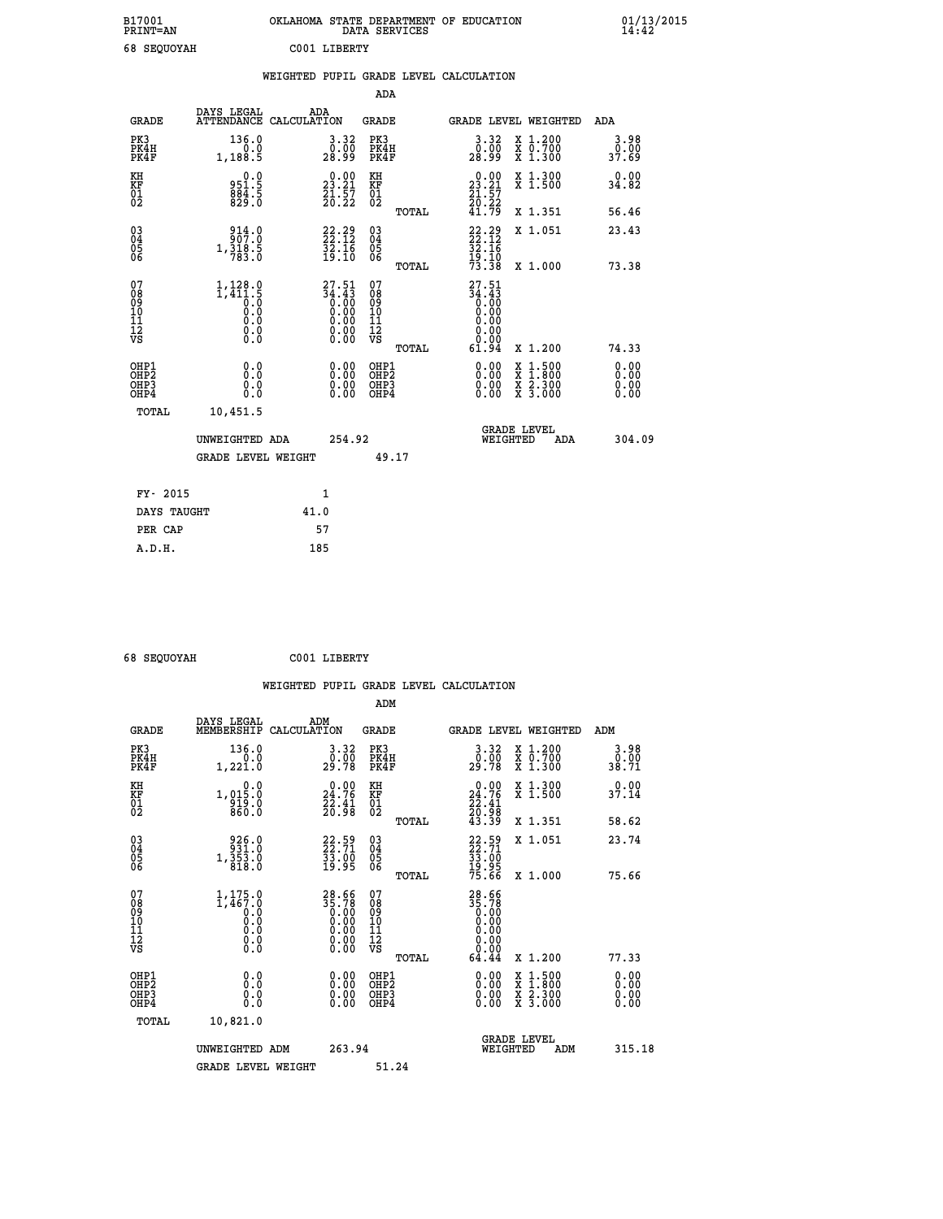| B17001<br>PRINT=AN    | <b>OKLAHOMA</b><br>STATE DEPARTMENT OF EDUCATION<br>SERVICES<br>DATA | 01/13/2015<br>14:42 |
|-----------------------|----------------------------------------------------------------------|---------------------|
| 68<br><b>SEQUOYAH</b> | C001 LIBERTY                                                         |                     |

|                                        |                                                           | WEIGHTED PUPIL GRADE LEVEL CALCULATION                                                         |                                                    |                                                                                                                                                              |                              |
|----------------------------------------|-----------------------------------------------------------|------------------------------------------------------------------------------------------------|----------------------------------------------------|--------------------------------------------------------------------------------------------------------------------------------------------------------------|------------------------------|
|                                        |                                                           |                                                                                                | <b>ADA</b>                                         |                                                                                                                                                              |                              |
| <b>GRADE</b>                           | DAYS LEGAL                                                | ADA<br>ATTENDANCE CALCULATION                                                                  | GRADE                                              | GRADE LEVEL WEIGHTED                                                                                                                                         | ADA                          |
| PK3<br>PK4H<br>PK4F                    | 136.0<br>1, 188.5                                         | $\begin{smallmatrix} 3.32\ 0.00\ 28.99 \end{smallmatrix}$                                      | PK3<br>PK4H<br>PK4F                                | $\begin{smallmatrix} 3.32\ 0.00\\ 28.99 \end{smallmatrix}$<br>X 1.200<br>X 0.700<br>X 1.300                                                                  | 3.98<br>0.00<br>37.69        |
| KH<br>KF<br>01<br>02                   | 0.0<br>951.5<br>884.5<br>829.0                            | $\begin{smallmatrix} 0.00\\ 23.21\\ 21.57\\ 20.22 \end{smallmatrix}$                           | KH<br>KF<br>01<br>02                               | $\begin{smallmatrix} 0.00\\ 23.21\\ 21.57\\ 20.22\\ 41.79 \end{smallmatrix}$<br>X 1.300<br>X 1.500                                                           | 0.00<br>34.82                |
|                                        |                                                           |                                                                                                | TOTAL                                              | X 1.351                                                                                                                                                      | 56.46                        |
| 030404<br>06                           | 314.0<br>1,318.5<br>783.0                                 | $22.29$<br>$22.12$<br>$32.16$<br>$19.10$                                                       | $\begin{matrix} 03 \\ 04 \\ 05 \\ 06 \end{matrix}$ | $22.29$<br>$22.12$<br>$32.16$<br>$19.10$<br>$73.38$<br>X 1.051                                                                                               | 23.43                        |
|                                        |                                                           |                                                                                                | TOTAL                                              | X 1.000                                                                                                                                                      | 73.38                        |
| 07<br>08<br>09<br>11<br>11<br>12<br>VS | $1, 128.0$<br>$1, 411.5$<br>$0.0$<br>$0.0$<br>0.0<br>0.00 | 27.51<br>$\begin{array}{c}\n 34.43 \\  0.00 \\  0.00 \\  0.00 \\  \end{array}$<br>Ŏ.ŎŎ<br>O.OO | 07<br>08<br>09<br>11<br>11<br>12<br>VS             | 27.51<br>$\begin{smallmatrix} 34.43\ 3.00\ 0.00\ 0.00 \end{smallmatrix}$<br>0.00                                                                             |                              |
|                                        |                                                           |                                                                                                | TOTAL                                              | 61.94<br>X 1.200                                                                                                                                             | 74.33                        |
| OHP1<br>OHP2<br>OHP3<br>OHP4           | 0.0<br>0.0<br>0.0                                         | $0.00$<br>$0.00$<br>0.00                                                                       | OHP1<br>OHP <sub>2</sub><br>OHP3<br>OHP4           | 0.00<br>$\begin{smallmatrix} \mathtt{X} & 1\cdot500 \\ \mathtt{X} & 1\cdot800 \\ \mathtt{X} & 2\cdot300 \\ \mathtt{X} & 3\cdot000 \end{smallmatrix}$<br>0.00 | 0.00<br>0.00<br>0.00<br>0.00 |
| TOTAL                                  | 10,451.5                                                  |                                                                                                |                                                    |                                                                                                                                                              |                              |
|                                        | UNWEIGHTED ADA                                            | 254.92                                                                                         |                                                    | <b>GRADE LEVEL</b><br>WEIGHTED<br>ADA                                                                                                                        | 304.09                       |
|                                        | <b>GRADE LEVEL WEIGHT</b>                                 |                                                                                                | 49.17                                              |                                                                                                                                                              |                              |
|                                        | FY- 2015                                                  | $\mathbf{1}$                                                                                   |                                                    |                                                                                                                                                              |                              |
|                                        | DAYS TAUGHT                                               | 41.0                                                                                           |                                                    |                                                                                                                                                              |                              |
|                                        | PER CAP                                                   | 57                                                                                             |                                                    |                                                                                                                                                              |                              |
| A.D.H.                                 |                                                           | 185                                                                                            |                                                    |                                                                                                                                                              |                              |

| 68 SEQUOYAH | C001 LIBERTY |
|-------------|--------------|
|             |              |

|                                                    |                                             |                                                                   |                                              | WEIGHTED PUPIL GRADE LEVEL CALCULATION                                   |                                                                                                                     |                          |
|----------------------------------------------------|---------------------------------------------|-------------------------------------------------------------------|----------------------------------------------|--------------------------------------------------------------------------|---------------------------------------------------------------------------------------------------------------------|--------------------------|
|                                                    |                                             |                                                                   | ADM                                          |                                                                          |                                                                                                                     |                          |
| <b>GRADE</b>                                       | DAYS LEGAL<br>MEMBERSHIP                    | ADM<br>CALCULATION                                                | <b>GRADE</b>                                 | GRADE LEVEL WEIGHTED                                                     |                                                                                                                     | ADM                      |
| PK3<br>PK4H<br>PK4F                                | 136.0<br>0.0<br>1,221.0                     | 3.32<br>29.78                                                     | PK3<br>PK4H<br>PK4F                          | 3.32<br>29.78                                                            | X 1.200<br>X 0.700<br>X 1.300                                                                                       | 3.98<br>0.00<br>38.71    |
| KH<br>KF<br>01<br>02                               | 0.0<br>1,015:0<br>919:0<br>860:0            | $\begin{smallmatrix} 0.00\\24.76\\22.41\\20.98 \end{smallmatrix}$ | KH<br>KF<br>01<br>02                         | $\begin{smallmatrix} 0.00\\24.76\\22.41\\20.98\\43.39 \end{smallmatrix}$ | X 1.300<br>X 1.500                                                                                                  | 0.00<br>37.14            |
|                                                    |                                             |                                                                   | TOTAL                                        |                                                                          | X 1.351                                                                                                             | 58.62                    |
| $\begin{matrix} 03 \\ 04 \\ 05 \\ 06 \end{matrix}$ | 926.0<br>1,353.0<br>818.0                   | 22.59<br>22.71<br>33.00<br>19.95                                  | 03<br>04<br>05<br>06                         | 22:59<br>23:71<br>33:00<br>19:95<br>75:66                                | X 1.051                                                                                                             | 23.74                    |
|                                                    |                                             |                                                                   | TOTAL                                        |                                                                          | X 1.000                                                                                                             | 75.66                    |
| 07<br>08<br>09<br>101<br>11<br>12<br>VS            |                                             | $28.66\n35.78\n0.00\n0.00\n0.00\n0.00\n0.00$                      | 07<br>08<br>09<br>01<br>11<br>11<br>12<br>VS | $28.66$<br>$35.78$<br>$0.00$<br>$0.00$<br>$0.00$<br>$0.00$<br>$0.00$     |                                                                                                                     |                          |
|                                                    |                                             |                                                                   | TOTAL                                        | 64.44                                                                    | X 1.200                                                                                                             | 77.33                    |
| OHP1<br>OHP2<br>OH <sub>P3</sub><br>OHP4           | 0.0<br>0.000                                | $\begin{smallmatrix} 0.00 \ 0.00 \ 0.00 \ 0.00 \end{smallmatrix}$ | OHP1<br>OHP2<br>OHP3<br>OHP4                 |                                                                          | $\begin{array}{l} \mathtt{X} & 1.500 \\ \mathtt{X} & 1.800 \\ \mathtt{X} & 2.300 \\ \mathtt{X} & 3.000 \end{array}$ | $0.00$<br>$0.00$<br>0.00 |
| TOTAL                                              | 10,821.0                                    |                                                                   |                                              |                                                                          |                                                                                                                     |                          |
|                                                    | UNWEIGHTED ADM<br><b>GRADE LEVEL WEIGHT</b> | 263.94                                                            | 51.24                                        | WEIGHTED                                                                 | <b>GRADE LEVEL</b><br>ADM                                                                                           | 315.18                   |
|                                                    |                                             |                                                                   |                                              |                                                                          |                                                                                                                     |                          |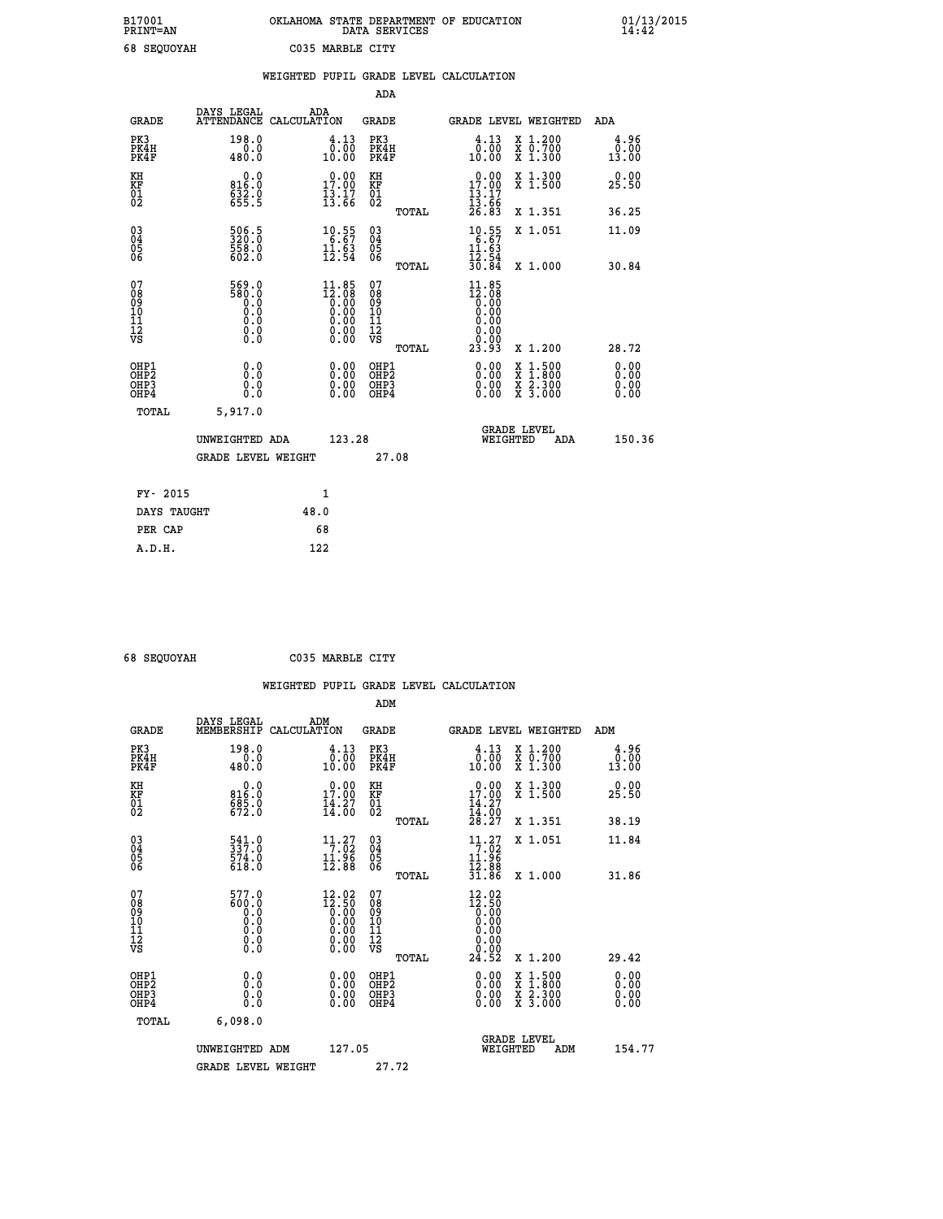| B17001             | OKLAHOMA STATE DEPARTMENT OF EDUCATION |
|--------------------|----------------------------------------|
| <b>PRINT=AN</b>    | DATA SERVICES                          |
| <b>68 SEOUOYAH</b> | C035 MARBLE CITY                       |

 **B17001 OKLAHOMA STATE DEPARTMENT OF EDUCATION 01/13/2015**

|                                           |                                              | WEIGHTED PUPIL GRADE LEVEL CALCULATION                                                  |                                          |       |                                                                         |                                                                                        |                              |
|-------------------------------------------|----------------------------------------------|-----------------------------------------------------------------------------------------|------------------------------------------|-------|-------------------------------------------------------------------------|----------------------------------------------------------------------------------------|------------------------------|
|                                           |                                              |                                                                                         | <b>ADA</b>                               |       |                                                                         |                                                                                        |                              |
| <b>GRADE</b>                              |                                              | DAYS LEGAL ADA ATTENDANCE CALCULATION                                                   | <b>GRADE</b>                             |       | GRADE LEVEL WEIGHTED                                                    |                                                                                        | ADA                          |
| PK3<br>PK4H<br>PK4F                       | 198.0<br>$\frac{0.0}{480.0}$                 | $\begin{smallmatrix} 4\cdot 13\\ 0\cdot 00\\ 10\cdot 00 \end{smallmatrix}$              | PK3<br>PK4H<br>PK4F                      |       | 4.13<br>0.00<br>10.00                                                   | X 1.200<br>X 0.700<br>X 1.300                                                          | 4.96<br>0.00<br>13.00        |
| KH<br><b>KF</b><br>01<br>02               | 0.0<br>816:0<br>632:0<br>655:5               | $\begin{array}{c} 0.00 \\ 17.00 \\ 13.17 \\ 13.66 \end{array}$                          | KH<br><b>KF</b><br>01<br>02              |       | 0.00<br>$17.00$<br>$13.17$<br>$13.66$<br>$26.83$                        | X 1.300<br>X 1.500                                                                     | 0.00<br>25.50                |
|                                           |                                              |                                                                                         |                                          | TOTAL |                                                                         | X 1.351                                                                                | 36.25                        |
| $^{03}_{04}$<br>05<br>06                  | 506.5<br>320.0<br>558.0<br>602.0             | $\begin{array}{r} 10.55 \\ 6.67 \\ 11.63 \\ 12.54 \end{array}$                          | $\substack{03 \\ 04}$<br>$\frac{05}{06}$ |       | $\begin{array}{r} 10.55 \\ 6.67 \\ 11.63 \\ 12.54 \\ 30.84 \end{array}$ | X 1.051                                                                                | 11.09                        |
|                                           |                                              |                                                                                         |                                          | TOTAL |                                                                         | X 1.000                                                                                | 30.84                        |
| 07<br>08<br>09<br>11<br>11<br>12<br>VS    | 569.0<br>580.0<br>0.0<br>0.000<br>$\S.$ $\S$ | $\begin{smallmatrix} 11.85\\12.08\\0.00\\0.00\\0.00\\0.00\\0.00\\0.00\end{smallmatrix}$ | 07<br>08<br>09<br>11<br>11<br>12<br>VS   | TOTAL | $11.85$<br>$12.08$<br>$0.00$<br>$0.00$<br>0.00<br>0.00<br>23.93         | X 1.200                                                                                | 28.72                        |
| OHP1<br>OH <sub>P</sub> 2<br>OHP3<br>OHP4 | 0.0<br>0.0<br>0.0                            | 0.0000<br>$\begin{smallmatrix} 0.00 \ 0.00 \end{smallmatrix}$                           | OHP1<br>OHP2<br>OHP3<br>OHP4             |       | 0.00<br>0.00<br>0.00                                                    | $1:500$<br>1:800<br>$\frac{\text{X}}{\text{X}}$<br>$\frac{x}{x}$ $\frac{5:300}{3:000}$ | 0.00<br>Ō.ŎŎ<br>0.00<br>0.00 |
| <b>TOTAL</b>                              | 5,917.0                                      |                                                                                         |                                          |       |                                                                         |                                                                                        |                              |
|                                           | UNWEIGHTED ADA                               | 123.28                                                                                  |                                          |       |                                                                         | GRADE LEVEL<br>WEIGHTED<br>ADA                                                         | 150.36                       |
|                                           | <b>GRADE LEVEL WEIGHT</b>                    |                                                                                         | 27.08                                    |       |                                                                         |                                                                                        |                              |
| FY- 2015                                  |                                              | $\mathbf{1}$                                                                            |                                          |       |                                                                         |                                                                                        |                              |
| DAYS TAUGHT                               |                                              | 48.0                                                                                    |                                          |       |                                                                         |                                                                                        |                              |
| PER CAP                                   |                                              | 68                                                                                      |                                          |       |                                                                         |                                                                                        |                              |

 **A.D.H. 122**

 **ADM**

 **68 SEQUOYAH C035 MARBLE CITY**

| <b>GRADE</b>                                                     | DAYS LEGAL<br>MEMBERSHIP CALCULATION                                                        | ADM                                                                                             | <b>GRADE</b>                                       |       |                                                                                                  |          | GRADE LEVEL WEIGHTED                                                                                                | ADM                   |
|------------------------------------------------------------------|---------------------------------------------------------------------------------------------|-------------------------------------------------------------------------------------------------|----------------------------------------------------|-------|--------------------------------------------------------------------------------------------------|----------|---------------------------------------------------------------------------------------------------------------------|-----------------------|
| PK3<br>PK4H<br>PK4F                                              | 198.0<br>480.0                                                                              | $\begin{smallmatrix} 4\cdot 13\\ 0\cdot 00\\ 10\cdot 00 \end{smallmatrix}$                      | PK3<br>PK4H<br>PK4F                                |       | $\begin{smallmatrix} 4\cdot 13\\ 0.00\\ 10.00 \end{smallmatrix}$                                 |          | X 1.200<br>X 0.700<br>X 1.300                                                                                       | 4.96<br>0.00<br>13.00 |
| KH<br>KF<br>01<br>02                                             | $0.0$<br>0.918<br>$\frac{685.0}{672.0}$                                                     | 17.00<br>$\frac{1}{4}$ $\frac{3}{6}$                                                            | KH<br>KF<br>01<br>02                               |       | 17.00<br>$\frac{14}{14}$ : $\frac{27}{28}$<br>$28.27$                                            |          | X 1.300<br>X 1.500                                                                                                  | 0.00<br>25.50         |
|                                                                  |                                                                                             |                                                                                                 |                                                    | TOTAL |                                                                                                  |          | X 1.351                                                                                                             | 38.19                 |
| $\begin{matrix} 03 \\ 04 \\ 05 \\ 06 \end{matrix}$               | $\begin{smallmatrix} 541.0\\ 337.0\\ 574.0\\ 618.0 \end{smallmatrix}$                       | $\begin{array}{c} 11\cdot 27\\7\cdot 02\\11\cdot 96\\12\cdot 88\end{array}$                     | $\begin{matrix} 03 \\ 04 \\ 05 \\ 06 \end{matrix}$ |       | 11.27                                                                                            |          | X 1.051                                                                                                             | 11.84                 |
|                                                                  |                                                                                             |                                                                                                 |                                                    | TOTAL | $\frac{11.96}{12.88}$<br>31.86                                                                   |          | X 1.000                                                                                                             | 31.86                 |
| 07<br>08<br>09<br>101<br>11<br>12<br>VS                          | 577.0<br>600.0<br>Ō.Ō<br>$\begin{smallmatrix} 0.5 & 0 \ 0.0 & 0 \end{smallmatrix}$<br>0.000 | $\begin{smallmatrix} 12.02\ 12.50\ 0.00\ 0.00\ 0.00\ 0.00\ 0.00\ 0.00\ 0.00\ \end{smallmatrix}$ | 07<br>08<br>09<br>01<br>11<br>11<br>12<br>VS       |       | $\begin{smallmatrix} 12.02\\ 12.50\\ 0.00\\ 0.00\\ 0.00\\ 0.00\\ 0.00\\ 24.52 \end{smallmatrix}$ |          |                                                                                                                     |                       |
|                                                                  |                                                                                             |                                                                                                 |                                                    | TOTAL |                                                                                                  |          | X 1.200                                                                                                             | 29.42                 |
| OHP1<br>OH <sub>P</sub> <sub>2</sub><br>OH <sub>P3</sub><br>OHP4 | 0.0<br>0.000                                                                                | $\begin{smallmatrix} 0.00 \ 0.00 \ 0.00 \ 0.00 \end{smallmatrix}$                               | OHP1<br>OHP <sub>2</sub><br>OHP3<br>OHP4           |       | 0.00<br>$0.00$<br>0.00                                                                           |          | $\begin{array}{l} \mathtt{X} & 1.500 \\ \mathtt{X} & 1.800 \\ \mathtt{X} & 2.300 \\ \mathtt{X} & 3.000 \end{array}$ | 0.00<br>0.00<br>0.00  |
| TOTAL                                                            | 6,098.0                                                                                     |                                                                                                 |                                                    |       |                                                                                                  |          |                                                                                                                     |                       |
|                                                                  | UNWEIGHTED ADM                                                                              | 127.05                                                                                          |                                                    |       |                                                                                                  | WEIGHTED | <b>GRADE LEVEL</b><br>ADM                                                                                           | 154.77                |
|                                                                  | <b>GRADE LEVEL WEIGHT</b>                                                                   |                                                                                                 | 27.72                                              |       |                                                                                                  |          |                                                                                                                     |                       |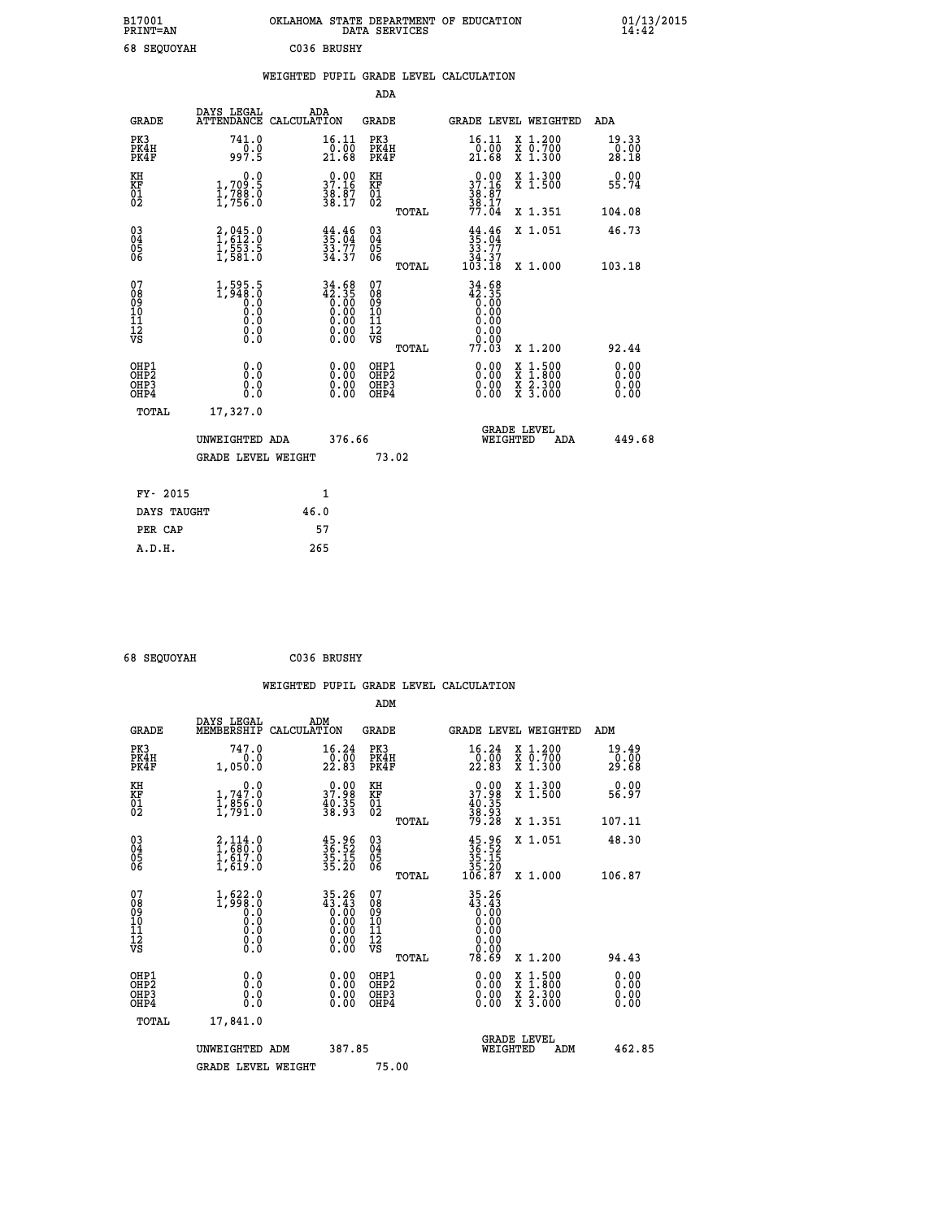| B17001             | OKLAHOMA STATE DEPARTMENT OF EDUCATION |
|--------------------|----------------------------------------|
| <b>PRINT=AN</b>    | DATA SERVICES                          |
| <b>68 SEOUOYAH</b> | C036 BRUSHY                            |

|  |  | WEIGHTED PUPIL GRADE LEVEL CALCULATION |
|--|--|----------------------------------------|
|  |  |                                        |

|                                                                    |                                                                                               |                                                                                                                  | ADA                                        |                                                                                                                          |                              |
|--------------------------------------------------------------------|-----------------------------------------------------------------------------------------------|------------------------------------------------------------------------------------------------------------------|--------------------------------------------|--------------------------------------------------------------------------------------------------------------------------|------------------------------|
| <b>GRADE</b>                                                       | DAYS LEGAL                                                                                    | ADA<br>ATTENDANCE CALCULATION                                                                                    | <b>GRADE</b>                               | GRADE LEVEL WEIGHTED                                                                                                     | ADA                          |
| PK3<br>PK4H<br>PK4F                                                | 741.0<br>$\frac{1}{997.5}$                                                                    | 16.11<br>$\frac{5}{21.68}$                                                                                       | PK3<br>PK4H<br>PK4F                        | 16.11<br>X 1.200<br>X 0.700<br>X 1.300<br>$\frac{5}{21.68}$                                                              | 19.33<br>0.00<br>28.18       |
| KH<br><b>KF</b><br>01<br>02                                        | 0.0<br>1,709:5<br>1,788:0<br>1,756:0                                                          | 37.16<br>$\frac{3}{3}\overline{8}\cdot\overline{8}\overline{7}$<br>38.17                                         | KH<br>KF<br>01<br>02                       | X 1.300<br>X 1.500<br>37.16<br>$\frac{36}{38}$ : $\frac{57}{17}$<br>77.04                                                | 0.00<br>55.74                |
|                                                                    |                                                                                               |                                                                                                                  | TOTAL                                      | X 1.351                                                                                                                  | 104.08                       |
| $\begin{smallmatrix} 03 \\[-4pt] 04 \end{smallmatrix}$<br>05<br>06 | 2,045.0<br>1,612.0<br>1,553.5<br>1,581.0                                                      | $35.04$<br>$33.77$<br>$34.37$                                                                                    | $\substack{03 \\ 04}$<br>05<br>06<br>TOTAL | $35.04$<br>$33.77$<br>$34.37$<br>$103.18$<br>X 1.051<br>X 1.000                                                          | 46.73<br>103.18              |
| 07<br>08<br>09<br>11<br>11<br>12<br>VS                             | $1,595.5$<br>1,948.0<br>0.0<br>0.0<br>$\begin{smallmatrix} 0.10\ 0.0 \ 0.0 \end{smallmatrix}$ | $34.68$<br>$42.35$<br>0.00<br>0.00<br>0.00<br>$\begin{smallmatrix} 0.00 & 0.00 \\ 0.00 & 0.00 \end{smallmatrix}$ | 07<br>08<br>09<br>11<br>11<br>12<br>VS     | 34.68<br>$42.35$<br>0.00<br>0.00<br>0.00<br>0.00<br>0.00                                                                 |                              |
|                                                                    |                                                                                               |                                                                                                                  | TOTAL                                      | 77.03<br>X 1.200                                                                                                         | 92.44                        |
| OHP1<br>OH <sub>P2</sub><br>OH <sub>P3</sub><br>OH <sub>P4</sub>   | 0.0<br>0.0<br>0.0                                                                             | 0.00<br>0.00<br>0.00                                                                                             | OHP1<br>OHP <sub>2</sub><br>OHP3<br>OHP4   | 0.00<br>$\begin{smallmatrix} x & 1 & 500 \\ x & 1 & 800 \\ x & 2 & 300 \\ x & 3 & 000 \end{smallmatrix}$<br>0.00<br>0.00 | 0.00<br>0.00<br>0.00<br>0.00 |
|                                                                    | TOTAL<br>17,327.0                                                                             |                                                                                                                  |                                            |                                                                                                                          |                              |
|                                                                    | UNWEIGHTED ADA                                                                                | 376.66                                                                                                           |                                            | GRADE LEVEL<br>WEIGHTED<br>ADA                                                                                           | 449.68                       |
|                                                                    | <b>GRADE LEVEL WEIGHT</b>                                                                     |                                                                                                                  | 73.02                                      |                                                                                                                          |                              |
|                                                                    | FY- 2015                                                                                      | $\mathbf{1}$                                                                                                     |                                            |                                                                                                                          |                              |
|                                                                    | DAYS TAUGHT                                                                                   | 46.0                                                                                                             |                                            |                                                                                                                          |                              |
|                                                                    | PER CAP                                                                                       | 57                                                                                                               |                                            |                                                                                                                          |                              |

 **68 SEQUOYAH C036 BRUSHY**

 **A.D.H. 265**

 **ADM**

| <b>GRADE</b>                                       | DAYS LEGAL<br>MEMBERSHIP CALCULATION                                                                               | ADM                                                                                                                                                                                                                                                                            | <b>GRADE</b>                                        |                                                                                                                           |                                | GRADE LEVEL WEIGHTED                     | ADM                    |
|----------------------------------------------------|--------------------------------------------------------------------------------------------------------------------|--------------------------------------------------------------------------------------------------------------------------------------------------------------------------------------------------------------------------------------------------------------------------------|-----------------------------------------------------|---------------------------------------------------------------------------------------------------------------------------|--------------------------------|------------------------------------------|------------------------|
| PK3<br>PK4H<br>PK4F                                | 747.0<br>0.0<br>1,050.0                                                                                            | 16.24<br>$\frac{0.00}{22.83}$                                                                                                                                                                                                                                                  | PK3<br>PK4H<br>PK4F                                 | 16.24<br>$\frac{0.00}{22.83}$                                                                                             |                                | X 1.200<br>X 0.700<br>X 1.300            | 19.49<br>0.00<br>29.68 |
| KH<br>KF<br>01<br>02                               | $\begin{smallmatrix}&&&0.0\\1,747.0\\1,856.0\\1,791.0\end{smallmatrix}$                                            | $\begin{smallmatrix} 0.00\\ 37.98\\ 40.35\\ 38.93 \end{smallmatrix}$                                                                                                                                                                                                           | KH<br>KF<br>01<br>02                                | $\begin{smallmatrix} 0.00\\ 37.98\\ 40.35\\ 38.93\\ 79.28 \end{smallmatrix}$                                              |                                | X 1.300<br>X 1.500                       | 0.00<br>56.97          |
|                                                    |                                                                                                                    |                                                                                                                                                                                                                                                                                | TOTAL                                               |                                                                                                                           |                                | X 1.351                                  | 107.11                 |
| $\begin{matrix} 03 \\ 04 \\ 05 \\ 06 \end{matrix}$ | $\begin{smallmatrix} 2,114\ .6\\ 1,680\ .0\\ 1,617\ .0\\ 1,619\ .0 \end{smallmatrix}$                              | $\frac{45.96}{36.52}$<br>$\frac{35.15}{35.20}$                                                                                                                                                                                                                                 | $\begin{array}{c} 03 \\ 04 \\ 05 \\ 06 \end{array}$ | $35.96$<br>$35.15$<br>$35.15$<br>$35.20$<br>$106.87$                                                                      |                                | X 1.051                                  | 48.30                  |
|                                                    |                                                                                                                    |                                                                                                                                                                                                                                                                                | TOTAL                                               |                                                                                                                           |                                | X 1.000                                  | 106.87                 |
| 07<br>08<br>09<br>101<br>11<br>12<br>VS            | $\left.\begin{smallmatrix} 1,622.0\\ 1,998.0\\ 0.0\\ 0.0\\ 0.0\\ 0.0\\ 0.0\\ 0.0\\ 0.0\\ \end{smallmatrix}\right.$ | $\begin{smallmatrix} 3\,5\cdot26\\ 4\,3\cdot4\,3\\ 0\cdot00\\ 0\cdot00\\ 0\cdot00\\ 0\cdot00\\ 0\cdot00\\ 0\cdot00\\ 0\cdot00\\ 0\cdot00\\ 0\end{smallmatrix}$                                                                                                                 | 07<br>08<br>09<br>11<br>11<br>12<br>VS              | $\begin{smallmatrix} 35.26 \\ 43.43 \\ 0.00 \\ 0.00 \\ 0.00 \\ 0.00 \\ 0.00 \\ 0.00 \\ 0.00 \\ 0.00 \\ \end{smallmatrix}$ |                                |                                          |                        |
|                                                    |                                                                                                                    |                                                                                                                                                                                                                                                                                | TOTAL                                               | 78.69                                                                                                                     |                                | X 1.200                                  | 94.43                  |
| OHP1<br>OHP2<br>OHP3<br>OHP4                       | 0.0<br>0.000                                                                                                       | $\begin{smallmatrix} 0.00 & 0.00 & 0.00 & 0.00 & 0.00 & 0.00 & 0.00 & 0.00 & 0.00 & 0.00 & 0.00 & 0.00 & 0.00 & 0.00 & 0.00 & 0.00 & 0.00 & 0.00 & 0.00 & 0.00 & 0.00 & 0.00 & 0.00 & 0.00 & 0.00 & 0.00 & 0.00 & 0.00 & 0.00 & 0.00 & 0.00 & 0.00 & 0.00 & 0.00 & 0.00 & 0.0$ | OHP1<br>OHP2<br>OHP3<br>OHP4                        |                                                                                                                           | $0.00$<br>$0.00$<br>0.00       | X 1:500<br>X 1:800<br>X 2:300<br>X 3:000 | 0.00<br>0.00<br>0.00   |
| TOTAL                                              | 17,841.0                                                                                                           |                                                                                                                                                                                                                                                                                |                                                     |                                                                                                                           |                                |                                          |                        |
|                                                    | UNWEIGHTED<br>ADM                                                                                                  | 387.85                                                                                                                                                                                                                                                                         |                                                     |                                                                                                                           | <b>GRADE LEVEL</b><br>WEIGHTED | ADM                                      | 462.85                 |
|                                                    | <b>GRADE LEVEL WEIGHT</b>                                                                                          |                                                                                                                                                                                                                                                                                | 75.00                                               |                                                                                                                           |                                |                                          |                        |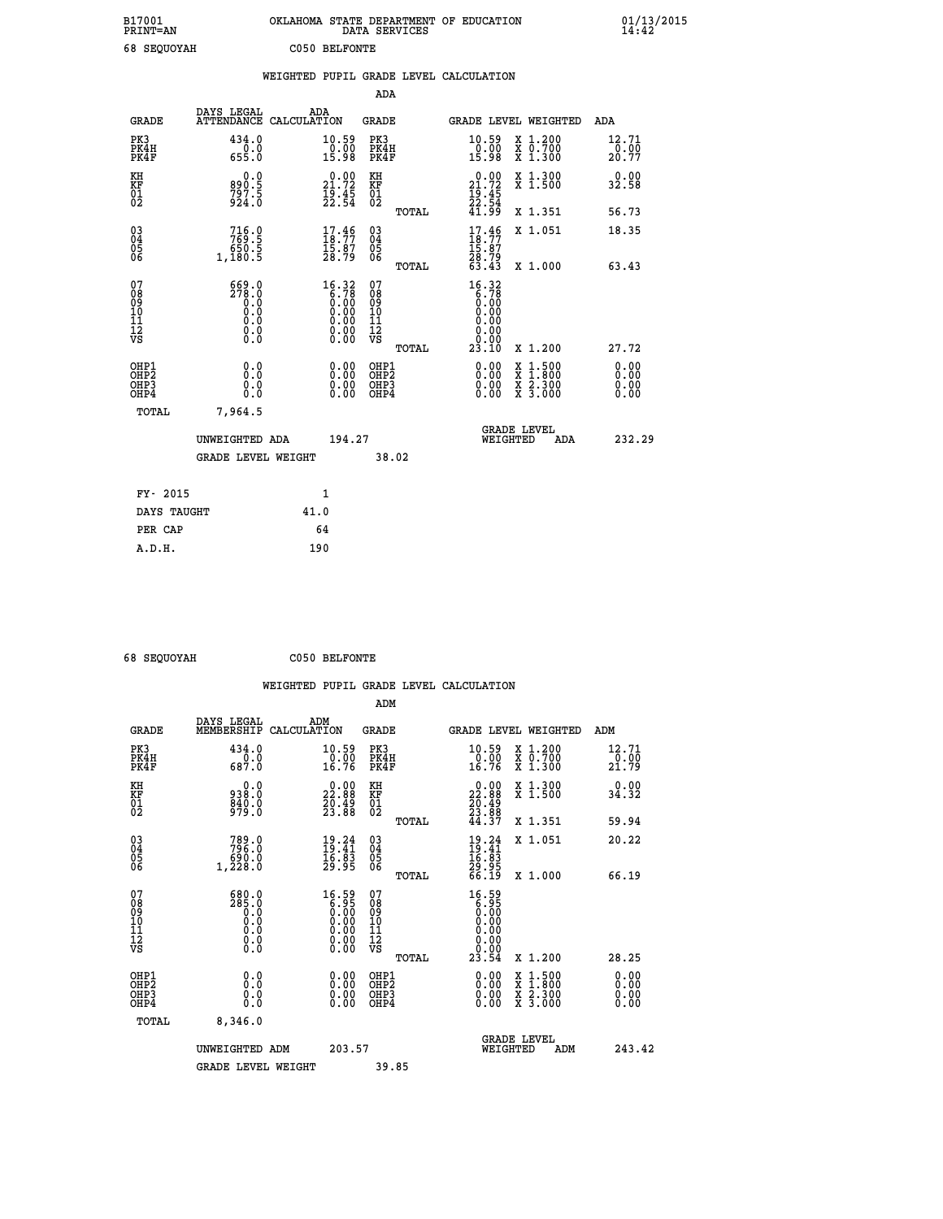| B17001<br>PRINT=AN                                 |                                                                            | OKLAHOMA STATE DEPARTMENT OF EDUCATION                                                                                             | DATA SERVICES                             |                                                                     |                                                                                                  | $01/13/2015$<br>14:42        |  |
|----------------------------------------------------|----------------------------------------------------------------------------|------------------------------------------------------------------------------------------------------------------------------------|-------------------------------------------|---------------------------------------------------------------------|--------------------------------------------------------------------------------------------------|------------------------------|--|
| 68 SEQUOYAH                                        |                                                                            | C050 BELFONTE                                                                                                                      |                                           |                                                                     |                                                                                                  |                              |  |
|                                                    |                                                                            | WEIGHTED PUPIL GRADE LEVEL CALCULATION                                                                                             |                                           |                                                                     |                                                                                                  |                              |  |
|                                                    |                                                                            |                                                                                                                                    | ADA                                       |                                                                     |                                                                                                  |                              |  |
| <b>GRADE</b>                                       | DAYS LEGAL<br>ATTENDANCE CALCULATION                                       | ADA                                                                                                                                | GRADE                                     | <b>GRADE LEVEL WEIGHTED</b>                                         |                                                                                                  | ADA                          |  |
| PK3<br>PK4H<br>PK4F                                | 434.0<br>655.0                                                             | $\substack{10.59 \\ 0.00 \\ 15.98}$                                                                                                | PK3<br>PK4H<br>PK4F                       | 10.59<br>$\frac{0.00}{15.98}$                                       | $\begin{array}{c} x & 1.200 \\ x & 0.700 \end{array}$<br>$\overline{x}$ 1.300                    | 12.71<br>0.00<br>20.77       |  |
| KH<br>KF<br>01<br>02                               | 0.0<br>890:5<br>797:5<br>924:0                                             | $\begin{smallmatrix} 0.00\\ 21.72\\ 19.45\\ 22.54 \end{smallmatrix}$                                                               | KH<br>KF<br>01<br>02                      | 21.72<br>$\frac{1}{2}$ $\frac{3}{5}$ $\frac{4}{4}$                  | X 1.300<br>X 1.500                                                                               | 0.00<br>32.58                |  |
|                                                    |                                                                            |                                                                                                                                    | <b>TOTAL</b>                              | 41.99                                                               | X 1.351                                                                                          | 56.73                        |  |
| $\begin{matrix} 03 \\ 04 \\ 05 \\ 06 \end{matrix}$ | 716.0<br>769.5<br>650.5<br>1,180.5                                         | 17.46<br>15.87<br>28.79                                                                                                            | 03<br>04<br>05<br>06                      | $17.46$<br>$18.77$<br>15.87<br>28.79<br>63.43                       | X 1.051                                                                                          | 18.35                        |  |
| 07                                                 | 669.0                                                                      |                                                                                                                                    | TOTAL<br>07                               | 16.32                                                               | X 1.000                                                                                          | 63.43                        |  |
| 08<br>09<br>111<br>12<br>VS                        | 278.0<br>$\begin{smallmatrix} 0.5 \ 0.0 \end{smallmatrix}$<br>0.0<br>$\S.$ | $\begin{smallmatrix} 16.32\\ 6.78\\ 0.00\\ 0.00 \end{smallmatrix}$<br>0.00<br>$\begin{smallmatrix} 0.00 \\ 0.00 \end{smallmatrix}$ | 08<br>09<br>11<br>11<br>VS                | $\begin{array}{c} 6.78 \\ 6.08 \\ 0.00 \end{array}$<br>0.00<br>0.00 |                                                                                                  |                              |  |
|                                                    |                                                                            |                                                                                                                                    | TOTAL                                     | 23.10                                                               | X 1.200                                                                                          | 27.72                        |  |
| OHP1<br>OHP <sub>2</sub><br>OHP3<br>OHP4           | 0.0<br>0.0<br>0.0<br>0.0                                                   | 0.00<br>0.00                                                                                                                       | OHP1<br>OH <sub>P</sub> 2<br>OHP3<br>OHP4 | 0.00<br>0.00<br>0.00                                                | $\begin{smallmatrix} x & 1 & 500 \\ x & 1 & 800 \\ x & 2 & 300 \\ x & 3 & 000 \end{smallmatrix}$ | 0.00<br>0.00<br>0.00<br>0.00 |  |
| TOTAL                                              | 7,964.5                                                                    |                                                                                                                                    |                                           |                                                                     |                                                                                                  |                              |  |
|                                                    | UNWEIGHTED ADA                                                             | 194.27                                                                                                                             |                                           | <b>GRADE LEVEL</b><br>WEIGHTED                                      | ADA                                                                                              | 232.29                       |  |
|                                                    | <b>GRADE LEVEL WEIGHT</b>                                                  |                                                                                                                                    | 38.02                                     |                                                                     |                                                                                                  |                              |  |
| FY- 2015                                           |                                                                            | 1                                                                                                                                  |                                           |                                                                     |                                                                                                  |                              |  |
| DAYS TAUGHT                                        |                                                                            | 41.0                                                                                                                               |                                           |                                                                     |                                                                                                  |                              |  |
| PER CAP                                            |                                                                            | 64                                                                                                                                 |                                           |                                                                     |                                                                                                  |                              |  |

 **68 SEQUOYAH C050 BELFONTE**

 **WEIGHTED PUPIL GRADE LEVEL CALCULATION ADM DAYS LEGAL ADM GRADE MEMBERSHIP CALCULATION GRADE GRADE LEVEL WEIGHTED ADM PK3 434.0 10.59 PK3 10.59 X 1.200 12.71 PK4H 0.0 0.00 PK4H 0.00 X 0.700 0.00 PK4F 687.0 16.76 PK4F 16.76 X 1.300 21.79 KH 0.0 0.00 KH 0.00 X 1.300 0.00 KF 938.0 22.88 KF 22.88 X 1.500 34.32 01 840.0 20.49 01 20.49 02 979.0 23.88 02 23.88 TOTAL 44.37 X 1.351 59.94 03 789.0 19.24 03 19.24 X 1.051 20.22 04 796.0 19.41 04 19.41 05 690.0 16.83 05 16.83 06 1,228.0 29.95 06 29.95 TOTAL 66.19 X 1.000 66.19 07 680.0 16.59 07 16.59 08 285.0 6.95 08 6.95 03 0.00 0.00 0.000 0.000 10 0.0 0.00 10 0.00 11 0.0 0.00 11 0.00 12 0.0 0.00 12 0.00 VS 0.0 0.00 VS 0.00**  $\begin{array}{cccccccc} 680.0 & 16.59 & 07 & 16.59 & 0 & 16.59 & 0 & 0.00 & 0.00 & 0.00 & 0.00 & 0.00 & 0.00 & 0.00 & 0.00 & 0.00 & 0.00 & 0.00 & 0.00 & 0.00 & 0.00 & 0.00 & 0.00 & 0.00 & 0.00 & 0.00 & 0.00 & 0.00 & 0.00 & 0.00 & 0.00 & 0.00 & 0.00 & 0.00 & 0.00 & 0.00 &$  **OHP1 0.0 0.00 OHP1 0.00 X 1.500 0.00 OHP2 0.0 0.00 OHP2 0.00 X 1.800 0.00 OHP3 0.0 0.00 OHP3 0.00 X 2.300 0.00 OHP4 0.0 0.00 OHP4 0.00 X 3.000 0.00 TOTAL 8,346.0 GRADE LEVEL UNWEIGHTED ADM 203.57 WEIGHTED ADM 243.42** GRADE LEVEL WEIGHT 39.85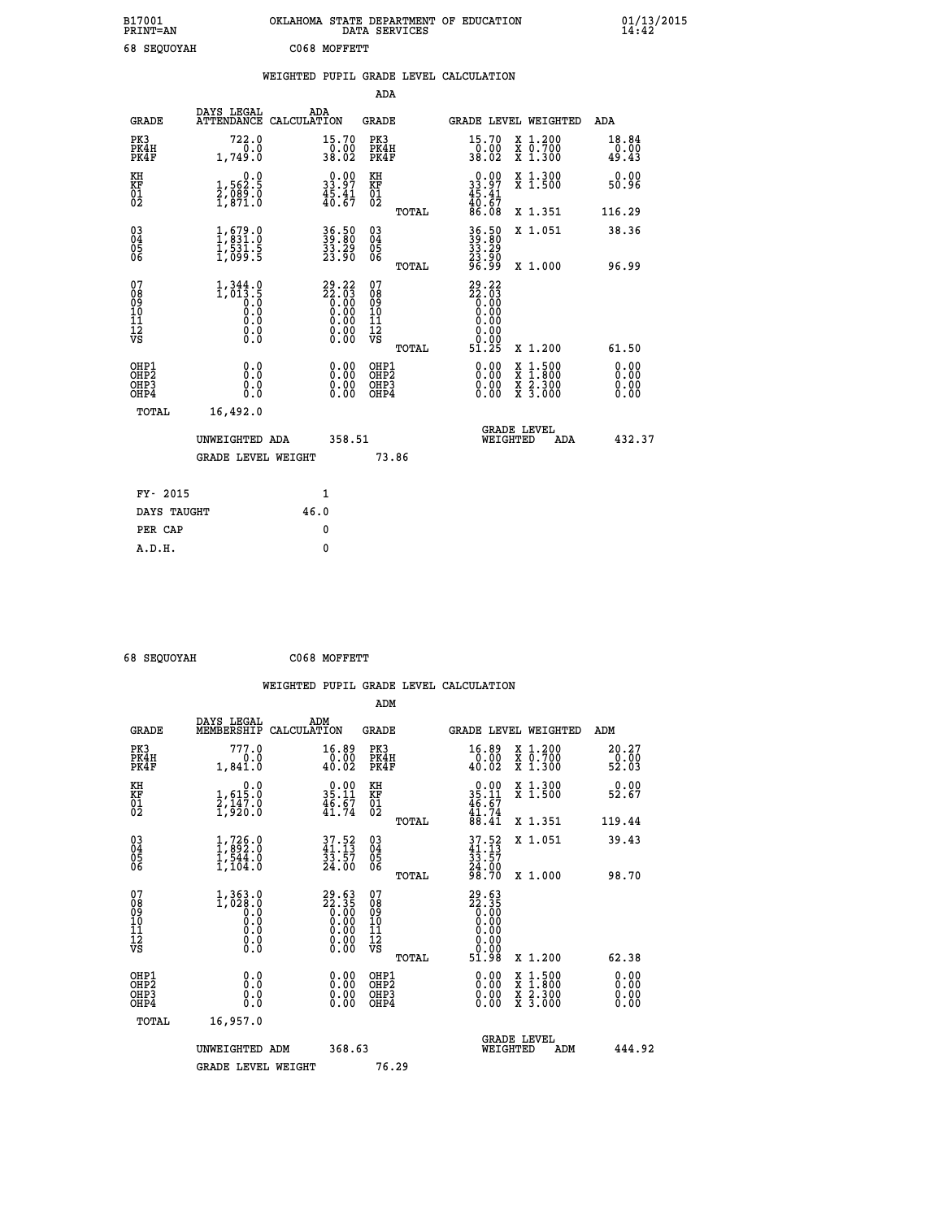| B17001<br><b>PRINT=AN</b> | OKLAHOMA STATE DEPARTMENT OF EDUCATION<br>DATA SERVICES | 01/13/2015 |
|---------------------------|---------------------------------------------------------|------------|
| 68 SEQUOYAH               | C068 MOFFETT                                            |            |

|                                          |                                                                               | WEIGHTED PUPIL GRADE LEVEL CALCULATION                                                                |                                              |       |                                                                              |                                                                                                                                           |                        |
|------------------------------------------|-------------------------------------------------------------------------------|-------------------------------------------------------------------------------------------------------|----------------------------------------------|-------|------------------------------------------------------------------------------|-------------------------------------------------------------------------------------------------------------------------------------------|------------------------|
|                                          |                                                                               |                                                                                                       | <b>ADA</b>                                   |       |                                                                              |                                                                                                                                           |                        |
| <b>GRADE</b>                             | DAYS LEGAL                                                                    | ADA<br>ATTENDANCE CALCULATION                                                                         | GRADE                                        |       |                                                                              | GRADE LEVEL WEIGHTED                                                                                                                      | ADA                    |
| PK3<br>PK4H<br>PK4F                      | 722.0<br>0.0<br>1,749.0                                                       | 15.70<br>$\frac{0.00}{38.02}$                                                                         | PK3<br>PK4H<br>PK4F                          |       | 15.70<br>$\frac{0.00}{38.02}$                                                | X 1.200<br>X 0.700<br>X 1.300                                                                                                             | 18.84<br>0.00<br>49.43 |
| KH<br>KF<br>$\frac{01}{02}$              | 1,562.5<br>$\frac{2}{1}$ , $\frac{88}{91}$ . $\frac{8}{1}$                    | 33.97<br>$\frac{45.41}{40.67}$                                                                        | KH<br>KF<br>$\overline{01}$                  |       | $\begin{smallmatrix} 0.00\\ 33.97\\ 45.41\\ 40.67\\ 86.08 \end{smallmatrix}$ | X 1.300<br>X 1.500                                                                                                                        | 0.00<br>50.96          |
|                                          |                                                                               |                                                                                                       |                                              | TOTAL |                                                                              | X 1.351                                                                                                                                   | 116.29                 |
| $^{03}_{04}$<br>05<br>06                 | $\begin{smallmatrix} 1,679.0\\ 1,831.0\\ 1,531.5\\ 1,099.5 \end{smallmatrix}$ | 36.50<br>39.80<br>33.29<br>23.90                                                                      | $^{03}_{04}$<br>0500                         |       | 36.50<br>39:80<br>33.29                                                      | X 1.051                                                                                                                                   | 38.36                  |
|                                          |                                                                               |                                                                                                       |                                              | TOTAL | 23:50<br>96:99                                                               | X 1.000                                                                                                                                   | 96.99                  |
| 07<br>08901112<br>1112<br>VS             | $1,344.0$<br>$1,013.5$<br>$0.0$<br>$0.0$<br>$0.0$<br>$0.0$<br>$0.0$           | $\begin{smallmatrix} 29.22\ 22.03\ 0.00\ 0.00\ 0.00\ 0.00\ 0.00\ 0.00\ 0.00\ 0.00\ \end{smallmatrix}$ | 07<br>08<br>09<br>01<br>11<br>11<br>12<br>VS | TOTAL | $29.22$<br>$22.03$<br>$0.00$<br>$0.00$<br>0.00<br>0.00<br>0.00<br>51.25      | X 1.200                                                                                                                                   | 61.50                  |
| OHP1<br>OHP2<br>OHP3<br>OH <sub>P4</sub> | 0.0<br>0.0<br>0.0                                                             | $\begin{smallmatrix} 0.00 \ 0.00 \ 0.00 \ 0.00 \end{smallmatrix}$                                     | OHP1<br>OHP2<br>OHP3<br>OHP4                 |       |                                                                              | $\begin{smallmatrix} \mathtt{X} & 1\cdot500\\ \mathtt{X} & 1\cdot800\\ \mathtt{X} & 2\cdot300\\ \mathtt{X} & 3\cdot000 \end{smallmatrix}$ | 0.00<br>0.00<br>0.00   |
| TOTAL                                    | 16,492.0                                                                      |                                                                                                       |                                              |       |                                                                              |                                                                                                                                           |                        |
|                                          | UNWEIGHTED ADA                                                                | 358.51                                                                                                |                                              |       | WEIGHTED                                                                     | <b>GRADE LEVEL</b><br>ADA                                                                                                                 | 432.37                 |
|                                          | <b>GRADE LEVEL WEIGHT</b>                                                     |                                                                                                       | 73.86                                        |       |                                                                              |                                                                                                                                           |                        |
| FY- 2015                                 |                                                                               | 1                                                                                                     |                                              |       |                                                                              |                                                                                                                                           |                        |
| DAYS TAUGHT                              |                                                                               | 46.0                                                                                                  |                                              |       |                                                                              |                                                                                                                                           |                        |
| PER CAP                                  |                                                                               | 0                                                                                                     |                                              |       |                                                                              |                                                                                                                                           |                        |

 **68 SEQUOYAH C068 MOFFETT**

 **A.D.H. 0**

|                                                      |                                                         |                                                                      | ADM                                                |       |                                                       |                                          |                               |
|------------------------------------------------------|---------------------------------------------------------|----------------------------------------------------------------------|----------------------------------------------------|-------|-------------------------------------------------------|------------------------------------------|-------------------------------|
| <b>GRADE</b>                                         | DAYS LEGAL<br>MEMBERSHIP                                | ADM<br>CALCULATION                                                   | <b>GRADE</b>                                       |       |                                                       | GRADE LEVEL WEIGHTED                     | ADM                           |
| PK3<br>PK4H<br>PK4F                                  | 777.0<br>0.0<br>1,841.0                                 | 16.89<br>0.00<br>40.02                                               | PK3<br>PK4H<br>PK4F                                |       | 16.89<br>40.02                                        | X 1.200<br>X 0.700<br>X 1.300            | 20.27<br>$\frac{6.00}{52.03}$ |
| KH<br>KF<br>01<br>02                                 | 0.0<br>1,615:0<br>2,147:0<br>1,920:0                    | $\begin{smallmatrix} 0.00\\ 35.11\\ 46.67\\ 41.74 \end{smallmatrix}$ | KH<br>KF<br>01<br>02                               |       | $0.00$<br>$35.11$<br>$46.67$<br>$41.74$<br>$88.41$    | X 1.300<br>X 1.500                       | 0.00<br>52.67                 |
|                                                      |                                                         |                                                                      |                                                    | TOTAL |                                                       | X 1.351                                  | 119.44                        |
| 03<br>04<br>05<br>06                                 | $\frac{1}{1}, \frac{726}{892}$ .0<br>1,544.0<br>1,104.0 | $37.52$<br>$41.13$<br>$33.57$<br>$24.00$                             | $\begin{matrix} 03 \\ 04 \\ 05 \\ 06 \end{matrix}$ |       | $37.52$<br>$33.57$<br>$33.57$<br>$24.00$<br>$98.70$   | X 1.051                                  | 39.43                         |
|                                                      |                                                         |                                                                      |                                                    | TOTAL |                                                       | X 1.000                                  | 98.70                         |
| 07<br>08<br>09<br>101<br>112<br>VS                   | $1,363.0$<br>$1,028.0$<br>$0.0$<br>0.0<br>0.0<br>$\S.$  | $29.63\n22.35\n0.00\n0.00\n0.00\n0.00\n0.00$                         | 07<br>08<br>09<br>11<br>11<br>12<br>VS             | TOTAL | $29.63\n22.35\n0.00\n0.00\n0.00\n0.00\n0.00$<br>51.98 | X 1.200                                  | 62.38                         |
|                                                      |                                                         |                                                                      |                                                    |       |                                                       |                                          |                               |
| OHP1<br>OHP2<br>OH <sub>P3</sub><br>OH <sub>P4</sub> | 0.0<br>0.000                                            | $0.00$<br>$0.00$<br>0.00                                             | OHP1<br>OHP2<br>OHP <sub>3</sub>                   |       | $0.00$<br>$0.00$<br>0.00                              | X 1:500<br>X 1:800<br>X 2:300<br>X 3:000 | 0.00<br>0.00<br>0.00<br>0.00  |
| TOTAL                                                | 16,957.0                                                |                                                                      |                                                    |       |                                                       |                                          |                               |
|                                                      | UNWEIGHTED ADM                                          | 368.63                                                               |                                                    |       |                                                       | <b>GRADE LEVEL</b><br>WEIGHTED<br>ADM    | 444.92                        |
|                                                      | <b>GRADE LEVEL WEIGHT</b>                               |                                                                      | 76.29                                              |       |                                                       |                                          |                               |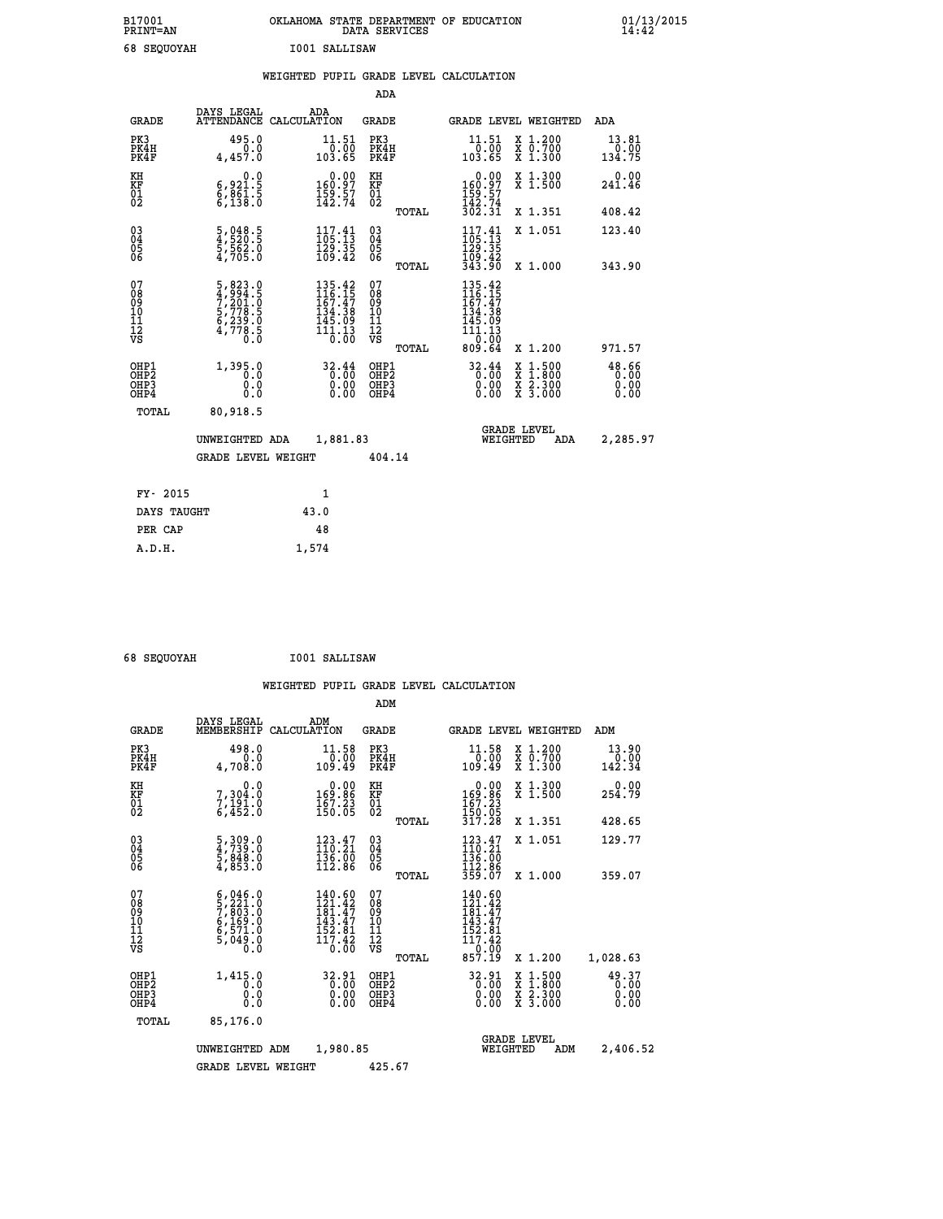| B17001<br><b>PRINT=AN</b> | OKLAHOMA STATE DEPARTMENT OF EDUCATION<br>DATA SERVICES |  |
|---------------------------|---------------------------------------------------------|--|
| 68 SEOUOYAH               | I001 SALLISAW                                           |  |

|                                                                    |                                                                                                                                                          |                                                                              | ADA                                       |       |                                                                  |                                                                                                  |                               |
|--------------------------------------------------------------------|----------------------------------------------------------------------------------------------------------------------------------------------------------|------------------------------------------------------------------------------|-------------------------------------------|-------|------------------------------------------------------------------|--------------------------------------------------------------------------------------------------|-------------------------------|
| <b>GRADE</b>                                                       | DAYS LEGAL                                                                                                                                               | ADA<br>ATTENDANCE CALCULATION                                                | <b>GRADE</b>                              |       |                                                                  | GRADE LEVEL WEIGHTED                                                                             | <b>ADA</b>                    |
| PK3<br>PK4H<br>PK4F                                                | 495.0<br>0.0<br>4,457.0                                                                                                                                  | 11.51<br>0.00<br>103.65                                                      | PK3<br>PK4H<br>PK4F                       |       | 11.51<br>00.07<br>103.65                                         | X 1.200<br>X 0.700<br>X 1.300                                                                    | 13.81<br>0.00<br>134.75       |
| KH<br><b>KF</b><br>01<br>02                                        | 0.0<br>6,921.5<br>6,861.5<br>6,138.0                                                                                                                     | $\begin{smallmatrix} &0.00\\160.97\\159.57\\142.74\end{smallmatrix}$         | KH<br><b>KF</b><br>01<br>02               |       | 0.00<br>160:97<br>159:57<br>142:74<br>302:31                     | X 1.300<br>X 1.500                                                                               | 0.00<br>241.46                |
|                                                                    |                                                                                                                                                          |                                                                              |                                           | TOTAL |                                                                  | X 1.351                                                                                          | 408.42                        |
| $\begin{smallmatrix} 03 \\[-4pt] 04 \end{smallmatrix}$<br>05<br>06 | $\frac{5}{4}, \frac{048}{520}.\frac{5}{5}$<br>$\frac{5}{5}, \frac{562}{50}.\frac{0}{0}$                                                                  | $\begin{smallmatrix} 117.41\\105.13\\129.35\\109.42 \end{smallmatrix}$       | $\substack{03 \\ 04}$<br>05<br>06         |       | $117.41$<br>$105.13$<br>$129.35$<br>$109.42$<br>$343.90$         | X 1.051                                                                                          | 123.40                        |
|                                                                    |                                                                                                                                                          |                                                                              |                                           | TOTAL |                                                                  | X 1.000                                                                                          | 343.90                        |
| 07<br>08901112<br>1112<br>VS                                       | $\begin{smallmatrix}5\,,\,823\,.\,0\\4\,,\,994\,.\,5\\7\,,\,201\,. \,0\\5\,,\,778\,. \,5\\6\,,\,239\,. \,0\\4\,,\,778\,. \,5\\0\,. \,0\end{smallmatrix}$ | 135.42<br>$116.15$<br>$167.47$<br>$134.38$<br>$145.09$<br>$111.13$<br>$0.00$ | 07<br>08<br>09<br>11<br>11<br>12<br>VS    |       | 135.42<br>116.15<br>167.47<br>134.38<br>145.09<br>111.13<br>0.00 |                                                                                                  |                               |
|                                                                    |                                                                                                                                                          |                                                                              |                                           | TOTAL | 809.64                                                           | X 1.200                                                                                          | 971.57                        |
| OHP1<br>OH <sub>P2</sub><br>OH <sub>P3</sub><br>OH <sub>P4</sub>   | 1,395.0<br>0.0<br>0.0<br>0.0                                                                                                                             | 32.44<br>$\overline{0}$ .00<br>0.00<br>0.00                                  | OHP1<br>OH <sub>P</sub> 2<br>OHP3<br>OHP4 |       | 32.44<br>0.00<br>0.00                                            | $\begin{smallmatrix} x & 1 & 500 \\ x & 1 & 800 \\ x & 2 & 300 \\ x & 3 & 000 \end{smallmatrix}$ | 48.66<br>0.00<br>0.00<br>0.00 |
| TOTAL                                                              | 80,918.5                                                                                                                                                 |                                                                              |                                           |       |                                                                  |                                                                                                  |                               |
|                                                                    | UNWEIGHTED ADA                                                                                                                                           | 1,881.83                                                                     |                                           |       |                                                                  | GRADE LEVEL<br>WEIGHTED<br>ADA                                                                   | 2,285.97                      |
|                                                                    | <b>GRADE LEVEL WEIGHT</b>                                                                                                                                |                                                                              | 404.14                                    |       |                                                                  |                                                                                                  |                               |
| FY- 2015                                                           |                                                                                                                                                          | $\mathbf{1}$                                                                 |                                           |       |                                                                  |                                                                                                  |                               |
| DAYS TAUGHT                                                        |                                                                                                                                                          | 43.0                                                                         |                                           |       |                                                                  |                                                                                                  |                               |
| PER CAP                                                            |                                                                                                                                                          | 48                                                                           |                                           |       |                                                                  |                                                                                                  |                               |

 **68 SEQUOYAH I001 SALLISAW**

 **A.D.H. 1,574**

|                                                    |                                                                                                                                                                 |                                                                                                                | ADM                                                 |                                                                                        |                                                                                                                                           |                         |
|----------------------------------------------------|-----------------------------------------------------------------------------------------------------------------------------------------------------------------|----------------------------------------------------------------------------------------------------------------|-----------------------------------------------------|----------------------------------------------------------------------------------------|-------------------------------------------------------------------------------------------------------------------------------------------|-------------------------|
| <b>GRADE</b>                                       | DAYS LEGAL<br>MEMBERSHIP                                                                                                                                        | ADM<br>CALCULATION                                                                                             | <b>GRADE</b>                                        | GRADE LEVEL WEIGHTED                                                                   |                                                                                                                                           | ADM                     |
| PK3<br>PK4H<br>PK4F                                | 498.0<br>0.0<br>4,708.0                                                                                                                                         | 11.58<br>0.00<br>109.49                                                                                        | PK3<br>PK4H<br>PK4F                                 | 11.58<br>ةة:ة<br>109.49                                                                | X 1.200<br>X 0.700<br>X 1.300                                                                                                             | 13.90<br>0.00<br>142.34 |
| KH<br>KF<br>01<br>02                               | 0.0<br>7,304.0<br>$7,191.0$<br>6,452.0                                                                                                                          | $\begin{smallmatrix} &0.00\\ 169.86\\ 167.23\\ 150.05 \end{smallmatrix}$                                       | KH<br>KF<br>01<br>02                                | $\begin{smallmatrix} &0.00\\ 169.86\\ 167.23\\ 150.05\\ 317.28 \end{smallmatrix}$      | X 1.300<br>X 1.500                                                                                                                        | 0.00<br>254.79          |
|                                                    |                                                                                                                                                                 |                                                                                                                | TOTAL                                               |                                                                                        | X 1.351                                                                                                                                   | 428.65                  |
| $\begin{matrix} 03 \\ 04 \\ 05 \\ 06 \end{matrix}$ | $\begin{smallmatrix} 5 \ , \ 309 \ . \ 4 \ , \ 739 \ . \ 0 \ 5 \ , \ 848 \ . \ 0 \ 4 \ , \ 853 \ . \end{smallmatrix}$                                           | $123.47$<br>$110.21$<br>$\frac{136}{112}$ $\frac{50}{86}$                                                      | $\begin{array}{c} 03 \\ 04 \\ 05 \\ 06 \end{array}$ | $123.47$<br>$110.21$<br>136:00<br>112.86<br>359.07                                     | X 1.051                                                                                                                                   | 129.77                  |
|                                                    |                                                                                                                                                                 |                                                                                                                | TOTAL                                               |                                                                                        | X 1.000                                                                                                                                   | 359.07                  |
| 07<br>08<br>09<br>101<br>11<br>12<br>VS            | $\begin{smallmatrix} 6\,,\,046\,.\,0\\ 5\,,\,221\,.\,0\\ 7\,,\,803\,. \,0\\ 6\,,\,169\,. \,0\\ 6\,,\,571\,. \,0\\ 5\,,\,049\,. \,0\\ 0\,. \,0\end{smallmatrix}$ | 140.60<br>$\frac{1}{2}$ $\frac{3}{2}$ $\frac{1}{4}$ $\frac{3}{7}$<br>$\frac{143.47}{152.81}$<br>117.42<br>0.00 | 07<br>08<br>09<br>11<br>11<br>12<br>VS<br>TOTAL     | 140.60<br>121.42<br>$181.47$<br>$143.47$<br>$152.81$<br>$117.42$<br>$0.00$<br>$857.19$ | X 1.200                                                                                                                                   | 1,028.63                |
| OHP1<br>OHP2<br>OH <sub>P3</sub><br>OHP4           | 1,415.0<br>0.0<br>0.000                                                                                                                                         | 32.91<br>0.00<br>0.00<br>0.00                                                                                  | OHP1<br>OHP2<br>OHP3<br>OHP4                        | 32.91<br>0.00<br>0.00<br>0.00                                                          | $\begin{smallmatrix} \mathtt{X} & 1\cdot500\\ \mathtt{X} & 1\cdot800\\ \mathtt{X} & 2\cdot300\\ \mathtt{X} & 3\cdot000 \end{smallmatrix}$ | 49.37<br>0.00<br>0.00   |
| TOTAL                                              | 85,176.0                                                                                                                                                        |                                                                                                                |                                                     |                                                                                        |                                                                                                                                           |                         |
|                                                    | UNWEIGHTED ADM                                                                                                                                                  | 1,980.85                                                                                                       |                                                     | <b>GRADE LEVEL</b><br>WEIGHTED                                                         | ADM                                                                                                                                       | 2,406.52                |
|                                                    | <b>GRADE LEVEL WEIGHT</b>                                                                                                                                       |                                                                                                                | 425.67                                              |                                                                                        |                                                                                                                                           |                         |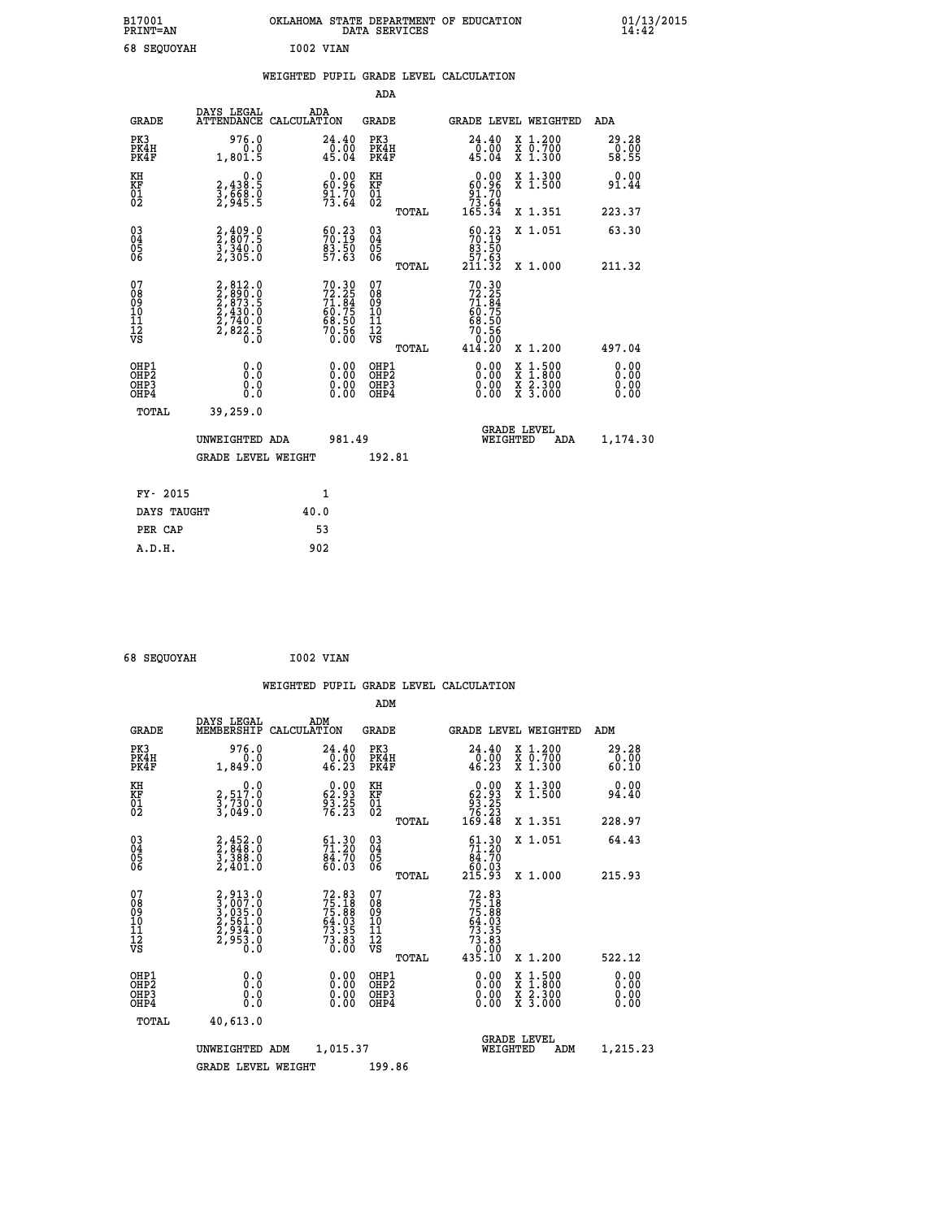| B17001<br><b>PRINT=AN</b> |                              | OKLAHOMA STATE DEPARTMENT OF EDUCATION<br>SERVICES<br>DATA | 01/13/2015<br>14:42 |
|---------------------------|------------------------------|------------------------------------------------------------|---------------------|
| c o                       | TOOD TITANT<br>0.77017777777 |                                                            |                     |

| 68 SEOUOYAH                              |                                                                                                               |      | I002 VIAN                                                            |                                                    |       |                                                                          |                                                                                    |                        |
|------------------------------------------|---------------------------------------------------------------------------------------------------------------|------|----------------------------------------------------------------------|----------------------------------------------------|-------|--------------------------------------------------------------------------|------------------------------------------------------------------------------------|------------------------|
|                                          |                                                                                                               |      |                                                                      |                                                    |       | WEIGHTED PUPIL GRADE LEVEL CALCULATION                                   |                                                                                    |                        |
|                                          |                                                                                                               |      |                                                                      | <b>ADA</b>                                         |       |                                                                          |                                                                                    |                        |
| GRADE                                    | DAYS LEGAL<br>ATTENDANCE CALCULATION                                                                          |      | ADA                                                                  | <b>GRADE</b>                                       |       |                                                                          | GRADE LEVEL WEIGHTED                                                               | ADA                    |
| PK3<br>PK4H<br>PK4F                      | 976.0<br>0.0<br>1,801.5                                                                                       |      | 24.40<br>$\overline{0}$ . $\overline{0}$<br>45.04                    | PK3<br>PK4H<br>PK4F                                |       | $24.40$<br>$0.00$<br>45.04                                               | X 1.200<br>X 0.700<br>X 1.300                                                      | 29.28<br>0.00<br>58.55 |
| KH<br>KF<br>01<br>02                     | 0.0<br>2,438:5<br>3,668:0<br>2,945:5                                                                          |      | $\begin{smallmatrix} 0.00\\ 60.96\\ 91.70\\ 73.64 \end{smallmatrix}$ | KH<br>KF<br>01<br>02                               |       | 0.00<br>$\begin{array}{r} 60.96 \\ 91.70 \\ 73.64 \\ 165.34 \end{array}$ | X 1.300<br>X 1.500                                                                 | 0.00<br>91.44          |
|                                          |                                                                                                               |      |                                                                      |                                                    | TOTAL |                                                                          | X 1.351                                                                            | 223.37                 |
| $03\overline{4}$<br>Ŏ5<br>06             | $2,409.0$<br>$2,807.5$<br>$3,340.0$<br>$2,305.0$                                                              |      | $\begin{smallmatrix} 60.23\ 70.19\ 83.50\ 57.63 \end{smallmatrix}$   | $\begin{matrix} 03 \\ 04 \\ 05 \\ 06 \end{matrix}$ |       | $\frac{60.23}{70.19}$<br>83.50                                           | X 1.051                                                                            | 63.30                  |
|                                          |                                                                                                               |      |                                                                      |                                                    | TOTAL | 57.63<br>211.32                                                          | X 1.000                                                                            | 211.32                 |
| 07<br>08<br>09<br>11<br>11<br>12<br>VS   | $\begin{smallmatrix} 2, 812.0\\ 2, 890.0\\ 2, 873.5\\ 2, 430.0\\ 2, 740.0\\ 2, 822.5\\ 0.0 \end{smallmatrix}$ |      | 70.30<br>72.25<br>71.84<br>60.75<br>68.50<br>68.50<br>70.56<br>70.56 | 07<br>08<br>09<br>11<br>11<br>12<br>VS             |       | $72.30\n72.25\n71.84\n60.75\n68.50\n70.56\n0.00\n414.20$                 |                                                                                    |                        |
|                                          |                                                                                                               |      |                                                                      |                                                    | TOTAL |                                                                          | X 1.200                                                                            | 497.04                 |
| OHP1<br>OHP <sub>2</sub><br>OHP3<br>OHP4 | 0.0<br>0.0<br>0.0                                                                                             |      | 0.00<br>$0.00$<br>0.00                                               | OHP1<br>OHP2<br>OHP3<br>OHP4                       |       | 0.00<br>0.00                                                             | $\frac{x}{x}$ $\frac{1.500}{x}$<br>$\frac{x}{x}$ $\frac{2 \cdot 300}{3 \cdot 000}$ | 0.00<br>0.00<br>0.00   |
| TOTAL                                    | 39,259.0                                                                                                      |      |                                                                      |                                                    |       |                                                                          |                                                                                    |                        |
|                                          | UNWEIGHTED ADA                                                                                                |      | 981.49                                                               |                                                    |       |                                                                          | <b>GRADE LEVEL</b><br>WEIGHTED<br>ADA                                              | 1,174.30               |
|                                          | <b>GRADE LEVEL WEIGHT</b>                                                                                     |      |                                                                      | 192.81                                             |       |                                                                          |                                                                                    |                        |
| FY- 2015                                 |                                                                                                               |      | 1                                                                    |                                                    |       |                                                                          |                                                                                    |                        |
| DAYS TAUGHT                              |                                                                                                               | 40.0 |                                                                      |                                                    |       |                                                                          |                                                                                    |                        |
| PER CAP                                  |                                                                                                               |      | 53                                                                   |                                                    |       |                                                                          |                                                                                    |                        |

 **68 SEQUOYAH I002 VIAN**

|                                                      |                                                                       |                    |                                                                         |                                                     |       | WEIGHTED PUPIL GRADE LEVEL CALCULATION                                                                                                                                                                                                                                         |                                          |                                       |
|------------------------------------------------------|-----------------------------------------------------------------------|--------------------|-------------------------------------------------------------------------|-----------------------------------------------------|-------|--------------------------------------------------------------------------------------------------------------------------------------------------------------------------------------------------------------------------------------------------------------------------------|------------------------------------------|---------------------------------------|
|                                                      |                                                                       |                    |                                                                         | ADM                                                 |       |                                                                                                                                                                                                                                                                                |                                          |                                       |
| <b>GRADE</b>                                         | DAYS LEGAL<br>MEMBERSHIP                                              | ADM<br>CALCULATION |                                                                         | <b>GRADE</b>                                        |       |                                                                                                                                                                                                                                                                                | <b>GRADE LEVEL WEIGHTED</b>              | ADM                                   |
| PK3<br>PK4H<br>PK4F                                  | 976.0<br>0.0<br>1,849.0                                               |                    | 24.40<br>$\frac{0.00}{46.23}$                                           | PK3<br>PK4H<br>PK4F                                 |       | 24.40<br>$\frac{1}{46}$ .00<br>46.23                                                                                                                                                                                                                                           | X 1.200<br>X 0.700<br>X 1.300            | 29.28<br>$\frac{5}{60}$ . 00<br>60.10 |
| KH<br>KF<br>01<br>02                                 | $\begin{smallmatrix}&&&0.0\3.517.0\3.730.0\3.049.0\end{smallmatrix}$  |                    | $\begin{smallmatrix} 0.00\\ 62.93\\ 93.25\\ 76.23 \end{smallmatrix}$    | KH<br>KF<br>01<br>02                                |       | $\begin{smallmatrix} &0.00\ 62.93\ 93.25\ 76.23\ 169.48\ \end{smallmatrix}$                                                                                                                                                                                                    | X 1.300<br>X 1.500                       | 0.00<br>94.40                         |
|                                                      |                                                                       |                    |                                                                         |                                                     | TOTAL |                                                                                                                                                                                                                                                                                | X 1.351                                  | 228.97                                |
| 03<br>04<br>05<br>06                                 | $2,452.0$<br>$2,3848.0$<br>$3,388.0$<br>$2,401.0$                     |                    | $\begin{smallmatrix} 61.30\\ 71.20\\ 84.70\\ 60.03\\ \end{smallmatrix}$ | $\begin{array}{c} 03 \\ 04 \\ 05 \\ 06 \end{array}$ |       | $\begin{smallmatrix} 61.30\\ 71.20\\ 84.70\\ 60.03\\ 215.93 \end{smallmatrix}$                                                                                                                                                                                                 | X 1.051                                  | 64.43                                 |
|                                                      |                                                                       |                    |                                                                         |                                                     | TOTAL |                                                                                                                                                                                                                                                                                | X 1.000                                  | 215.93                                |
| 07<br>08<br>09<br>101<br>112<br>VS                   | 2,913.0<br>3,007.0<br>3,035.0<br>2,561.0<br>2,934.0<br>2,953.0<br>0.0 |                    | $72.83\n75.188\n75.88\n64.03\n73.35\n73.83\n0.00$                       | 07<br>08<br>09<br>11<br>11<br>12<br>VS              |       | $72.83\n75.188\n75.883\n64.035\n73.353\n73.83\n0.000\n435.10$                                                                                                                                                                                                                  |                                          |                                       |
|                                                      |                                                                       |                    |                                                                         |                                                     | TOTAL |                                                                                                                                                                                                                                                                                | X 1.200                                  | 522.12                                |
| OHP1<br>OHP2<br>OH <sub>P3</sub><br>OH <sub>P4</sub> | 0.0<br>0.000                                                          |                    | $0.00$<br>$0.00$<br>0.00                                                | OHP1<br>OHP2<br>OHP3<br>OHP4                        |       | $\begin{smallmatrix} 0.00 & 0.00 & 0.00 & 0.00 & 0.00 & 0.00 & 0.00 & 0.00 & 0.00 & 0.00 & 0.00 & 0.00 & 0.00 & 0.00 & 0.00 & 0.00 & 0.00 & 0.00 & 0.00 & 0.00 & 0.00 & 0.00 & 0.00 & 0.00 & 0.00 & 0.00 & 0.00 & 0.00 & 0.00 & 0.00 & 0.00 & 0.00 & 0.00 & 0.00 & 0.00 & 0.0$ | X 1:500<br>X 1:800<br>X 2:300<br>X 3:000 | 0.00<br>0.00<br>0.00                  |
| TOTAL                                                | 40,613.0                                                              |                    |                                                                         |                                                     |       |                                                                                                                                                                                                                                                                                |                                          |                                       |
|                                                      | UNWEIGHTED ADM                                                        |                    | 1,015.37                                                                |                                                     |       |                                                                                                                                                                                                                                                                                | <b>GRADE LEVEL</b><br>WEIGHTED<br>ADM    | 1,215.23                              |
|                                                      | <b>GRADE LEVEL WEIGHT</b>                                             |                    |                                                                         | 199.86                                              |       |                                                                                                                                                                                                                                                                                |                                          |                                       |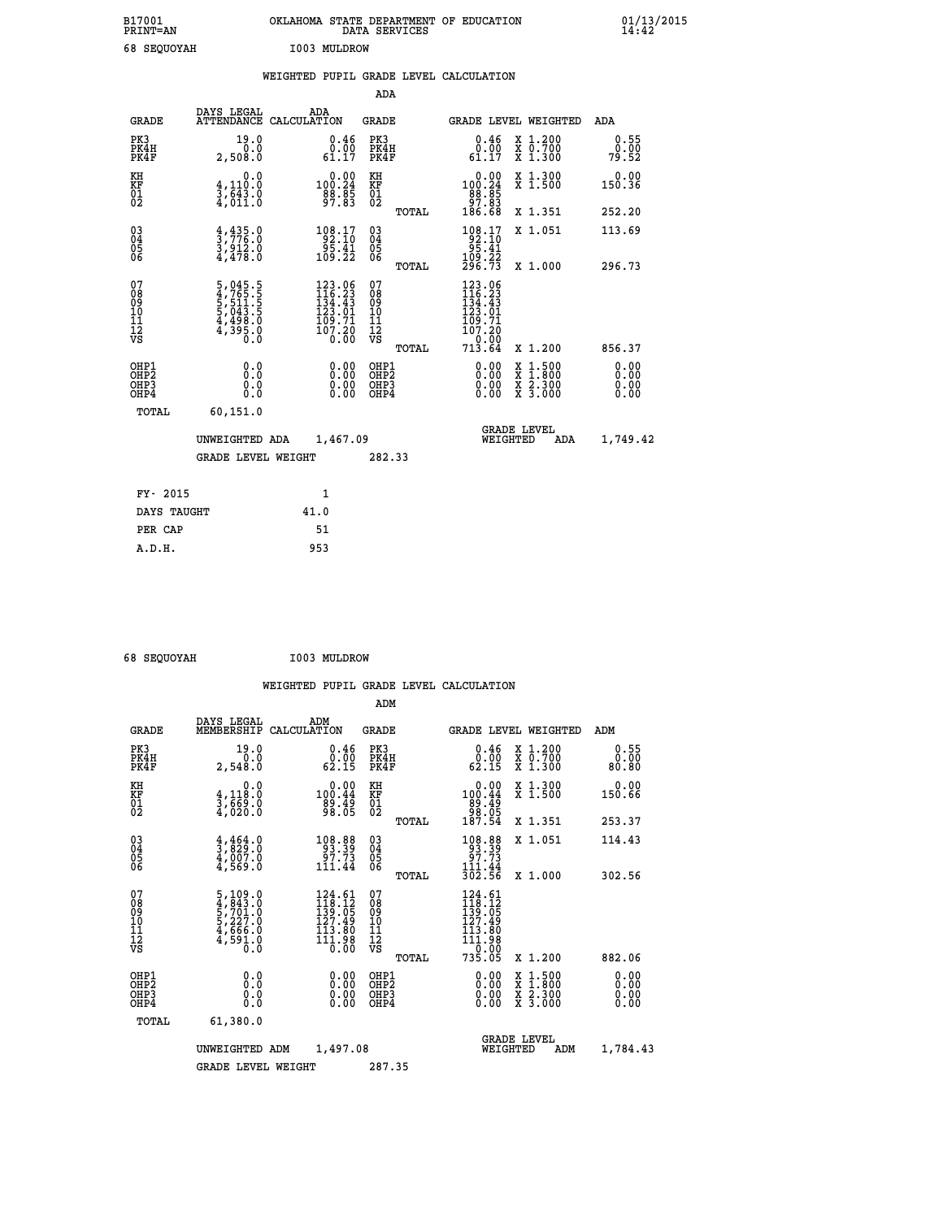| B17001<br><b>PRINT=AN</b> | OKLAHOMA<br>. STATE DEPARTMENT OF EDUCATION<br>DATA SERVICES | 01/13/2015<br>14:42 |
|---------------------------|--------------------------------------------------------------|---------------------|
| 68 SEQUOYAH               | I003 MULDROW                                                 |                     |

|  |  | WEIGHTED PUPIL GRADE LEVEL CALCULATION |
|--|--|----------------------------------------|
|  |  |                                        |

|                                                                              |                                                                               |                                                                                                                                      | ADA                                                |       |                                                                                                                                                   |                                                                                                                                              |                              |
|------------------------------------------------------------------------------|-------------------------------------------------------------------------------|--------------------------------------------------------------------------------------------------------------------------------------|----------------------------------------------------|-------|---------------------------------------------------------------------------------------------------------------------------------------------------|----------------------------------------------------------------------------------------------------------------------------------------------|------------------------------|
| <b>GRADE</b>                                                                 | DAYS LEGAL                                                                    | ADA<br>ATTENDANCE CALCULATION                                                                                                        | GRADE                                              |       | <b>GRADE LEVEL WEIGHTED</b>                                                                                                                       |                                                                                                                                              | ADA                          |
| PK3<br>PK4H<br>PK4F                                                          | 19.0<br>0.0<br>2,508.0                                                        | 0.46<br>$\substack{\v 0.\, \v 0.\, 0.07\, 61.17}$                                                                                    | PK3<br>PK4H<br>PK4F                                |       | 0.46<br>0.00<br>61.17                                                                                                                             | X 1.200<br>X 0.700<br>X 1.300                                                                                                                | 0.55<br>0.00<br>79.52        |
| KH<br>KF<br>01<br>02                                                         | 0.0<br>$\frac{4}{3}, \frac{110}{643}$ .0<br>$\frac{4}{3}, \frac{643}{011}$ .0 | $\begin{smallmatrix}&&0.00\\100.24\\88.85\\97.83\end{smallmatrix}$                                                                   | KH<br>KF<br>01<br>02                               |       | $\begin{smallmatrix}&&0.00\\100.24\\88.85\\97.83\\186.68\end{smallmatrix}$                                                                        | X 1.300<br>X 1.500                                                                                                                           | 0.00<br>150.36               |
|                                                                              |                                                                               |                                                                                                                                      |                                                    | TOTAL |                                                                                                                                                   | X 1.351                                                                                                                                      | 252.20                       |
| $\begin{matrix} 03 \\ 04 \\ 05 \\ 06 \end{matrix}$                           | $\frac{4}{3}, \frac{435}{776}$ :0<br>3,912:0<br>4,478:0                       | $\begin{array}{r} 108.17 \\ 92.10 \\ 95.41 \\ 109.22 \end{array}$                                                                    | $\begin{matrix} 03 \\ 04 \\ 05 \\ 06 \end{matrix}$ | TOTAL | $\begin{smallmatrix} 108.17\\ -92.10\\ 95.41\\ 109.22\\ 296.73 \end{smallmatrix}$                                                                 | X 1.051<br>X 1.000                                                                                                                           | 113.69<br>296.73             |
| 07<br>08<br>09<br>11<br>11<br>12<br>VS                                       | 5,045.5<br>4,765.5<br>5,511.5<br>5,043.5<br>4,498.0<br>4,395.0                | $\begin{smallmatrix} 123\cdot 06\\ 116\cdot 23\\ 134\cdot 43\\ 123\cdot 01\\ 109\cdot 71\\ 107\cdot 20\\ 0\cdot 00\end{smallmatrix}$ | 07<br>08<br>09<br>11<br>11<br>12<br>VS             | TOTAL | $\begin{smallmatrix} 123\cdot 06\\ 116\cdot 23\\ 134\cdot 43\\ 123\cdot 01\\ 109\cdot 71\\ 107\cdot 20\\ 0\cdot 00\\ 13\cdot 64\end{smallmatrix}$ | X 1.200                                                                                                                                      | 856.37                       |
| OHP1<br>OH <sub>P</sub> <sub>2</sub><br>OH <sub>P3</sub><br>OH <sub>P4</sub> | 0.0<br>Ō.Ō<br>0.0<br>0.0                                                      | 0.00<br>0.00<br>0.00                                                                                                                 | OHP1<br>OHP2<br>OHP3<br>OHP4                       |       | 0.00<br>0.00<br>0.00                                                                                                                              | $\begin{smallmatrix} \mathtt{X} & 1\cdot500 \\ \mathtt{X} & 1\cdot800 \\ \mathtt{X} & 2\cdot300 \\ \mathtt{X} & 3\cdot000 \end{smallmatrix}$ | 0.00<br>0.00<br>0.00<br>0.00 |
| TOTAL                                                                        | 60,151.0<br>UNWEIGHTED ADA<br><b>GRADE LEVEL WEIGHT</b>                       | 1,467.09                                                                                                                             | 282.33                                             |       | WEIGHTED                                                                                                                                          | <b>GRADE LEVEL</b><br>ADA                                                                                                                    | 1,749.42                     |
| FY- 2015                                                                     |                                                                               | 1                                                                                                                                    |                                                    |       |                                                                                                                                                   |                                                                                                                                              |                              |
| DAYS TAUGHT                                                                  |                                                                               | 41.0                                                                                                                                 |                                                    |       |                                                                                                                                                   |                                                                                                                                              |                              |
| PER CAP                                                                      |                                                                               | 51                                                                                                                                   |                                                    |       |                                                                                                                                                   |                                                                                                                                              |                              |
| A.D.H.                                                                       |                                                                               | 953                                                                                                                                  |                                                    |       |                                                                                                                                                   |                                                                                                                                              |                              |

| 68 SEQUOYAH | I003 MULDROW |
|-------------|--------------|
|             |              |

 **ADM**

 **A.D.H. 953**

| <b>GRADE</b>                                       | DAYS LEGAL                                                                                                                                                | ADM<br>MEMBERSHIP CALCULATION                                                                                     | <b>GRADE</b>                                           |                                                                                            |                                | GRADE LEVEL WEIGHTED                     | ADM                   |
|----------------------------------------------------|-----------------------------------------------------------------------------------------------------------------------------------------------------------|-------------------------------------------------------------------------------------------------------------------|--------------------------------------------------------|--------------------------------------------------------------------------------------------|--------------------------------|------------------------------------------|-----------------------|
| PK3<br>PK4H<br>PK4F                                | 19.0<br>0.0<br>2,548.0                                                                                                                                    | 0.46<br>0.00<br>62.15                                                                                             | PK3<br>PK4H<br>PK4F                                    | 62.15                                                                                      | 0.46<br>0.00                   | X 1.200<br>X 0.700<br>X 1.300            | 0.55<br>0.00<br>80.80 |
| KH<br>KF<br>01<br>02                               | 0.0<br>$\frac{4}{3}, \frac{118}{69}$ $\frac{3}{4}$ , 020:0                                                                                                | 0.00<br>100.44<br>89.49<br>98.05                                                                                  | KH<br>KF<br>01<br>02                                   | 100:44<br>89:49<br>98:05<br>187:54                                                         | 0.00                           | X 1.300<br>X 1.500                       | 0.00<br>150.66        |
|                                                    |                                                                                                                                                           |                                                                                                                   | TOTAL                                                  |                                                                                            |                                | X 1.351                                  | 253.37                |
| $\begin{matrix} 03 \\ 04 \\ 05 \\ 06 \end{matrix}$ | $\frac{4}{3}$ , $\frac{4}{8}$ $\frac{64}{2}$ $\cdot$ <sub>0</sub><br>$\frac{4,007.0}{4,569.0}$                                                            | $\begin{array}{r} 108.88 \\ 93.39 \\ 97.73 \\ 111.44 \end{array}$                                                 | $\begin{matrix} 03 \\ 04 \\ 05 \\ 06 \end{matrix}$     | $\begin{smallmatrix} 108.88\\ 93.39\\ 97.73\\ 111.44\\ 302.56 \end{smallmatrix}$           |                                | X 1.051                                  | 114.43                |
|                                                    |                                                                                                                                                           |                                                                                                                   | TOTAL                                                  |                                                                                            |                                | X 1.000                                  | 302.56                |
| 07<br>08<br>09<br>101<br>11<br>12<br>VS            | $\begin{smallmatrix}5\,,\,109\,.\,0\\4\,,\,843\,. \,0\\5\,,\,701\,. \,0\\5\,,\,227\,. \,0\\4\,,\,666\,. \,0\\4\,,\,591\,. \,0\\0\,. \,0\end{smallmatrix}$ | $124.61$<br>$118.12$<br>$139.05$<br>$\frac{127.49}{113.80}$<br>$1\bar{1}$ $\bar{1}$ $\bar{.}$ $\bar{9}$ $\bar{8}$ | 07<br>08<br>09<br>001<br>11<br>11<br>12<br>VS<br>TOTAL | $124.61$<br>$118.12$<br>$139.05$<br>$127.49$<br>$113.80$<br>$111.98$<br>$0.00$<br>$735.05$ |                                | X 1.200                                  | 882.06                |
| OHP1<br>OHP2<br>OHP3<br>OHP4                       | 0.0<br>0.0<br>0.0                                                                                                                                         | $0.00$<br>$0.00$<br>0.00                                                                                          | OHP1<br>OHP2<br>OHP3<br>OHP4                           |                                                                                            | 0.00<br>0.00<br>0.00           | X 1:500<br>X 1:800<br>X 2:300<br>X 3:000 | 0.00<br>0.00<br>0.00  |
| TOTAL                                              | 61,380.0                                                                                                                                                  |                                                                                                                   |                                                        |                                                                                            |                                |                                          |                       |
|                                                    | UNWEIGHTED                                                                                                                                                | 1,497.08<br>ADM                                                                                                   |                                                        |                                                                                            | <b>GRADE LEVEL</b><br>WEIGHTED | ADM                                      | 1,784.43              |
|                                                    | <b>GRADE LEVEL WEIGHT</b>                                                                                                                                 |                                                                                                                   | 287.35                                                 |                                                                                            |                                |                                          |                       |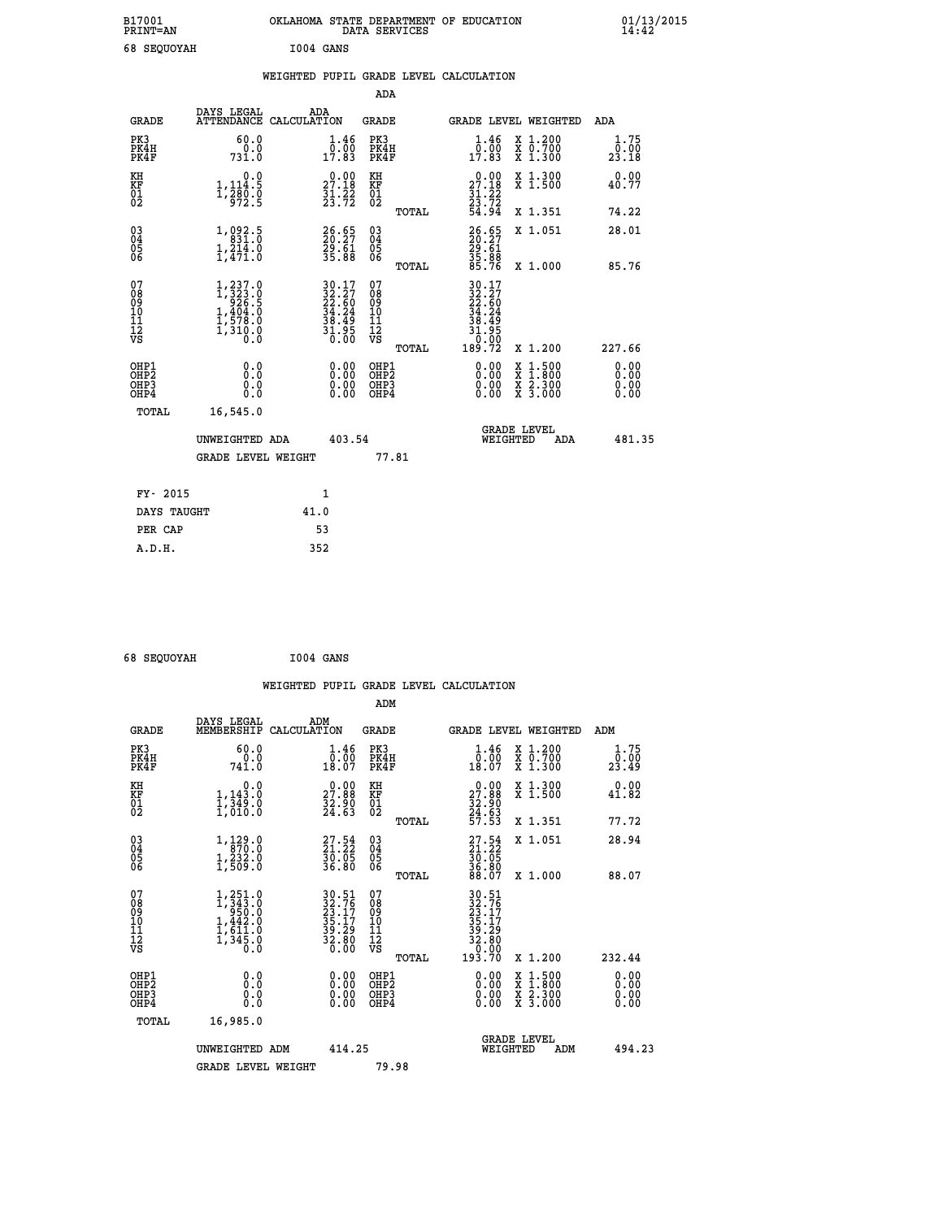|    | B17001<br><b>PRINT=AN</b> |           | OKLAHOMA STATE DEPARTMENT OF EDUCATION<br>DATA SERVICES |  | 01/13/2015 |
|----|---------------------------|-----------|---------------------------------------------------------|--|------------|
| 68 | SEQUOYAH                  | I004 GANS |                                                         |  |            |

|                                                   |                                                                                 | WEIGHTED PUPIL GRADE LEVEL CALCULATION |                      |       |                                                                      |                                 |                           |
|---------------------------------------------------|---------------------------------------------------------------------------------|----------------------------------------|----------------------|-------|----------------------------------------------------------------------|---------------------------------|---------------------------|
|                                                   |                                                                                 |                                        | ADA                  |       |                                                                      |                                 |                           |
| <b>GRADE</b>                                      | DAYS LEGAL                                                                      | ADA<br>ATTENDANCE CALCULATION          | GRADE                |       | GRADE LEVEL WEIGHTED                                                 |                                 | ADA                       |
| PK3<br>PK4H<br>PK4F                               | 60.0<br>0.0<br>731.0                                                            | 1.46<br>$\overline{0}$ .00<br>17.83    | PK3<br>PK4H<br>PK4F  |       | 1.46<br>0.00<br>17.83                                                | X 1.200<br>X 0.700<br>$X$ 1.300 | $1.75$<br>$0.00$<br>23.18 |
| KH<br>ΚF<br>$\begin{matrix} 01 \ 02 \end{matrix}$ | 0.0<br>1,114.5<br>$\frac{1}{3}$ , $\frac{1}{9}$ , $\frac{1}{9}$ , $\frac{1}{2}$ | 0.00<br>27.18<br>$\frac{31.22}{23.72}$ | КH<br>KF<br>01<br>02 |       | 0.00<br>27.18<br>$\frac{1}{2}\frac{1}{3}\cdot\frac{1}{7}\frac{2}{2}$ | X 1.300<br>X <sub>1.500</sub>   | $0.00$<br>40.77           |
|                                                   |                                                                                 |                                        |                      | TOTAL | 54.94                                                                | X 1.351                         | 74.22                     |
|                                                   |                                                                                 |                                        |                      |       |                                                                      |                                 |                           |

| $\begin{matrix} 03 \\ 04 \\ 05 \\ 06 \end{matrix}$ | $\begin{smallmatrix} 1,092.5\\ 831.0\\ 1,214.0\\ 1,471.0 \end{smallmatrix}$                           | $\begin{smallmatrix} 26.65\\ 20.27\\ 29.61\\ 35.88 \end{smallmatrix}$    | $\begin{matrix} 03 \\ 04 \\ 05 \\ 06 \end{matrix}$       | 26.65<br>20.27<br>29.61<br>35.88                                                                                                                     | X 1.051                                                                                          | 28.01                                                                                                                                                                                                                                                                          |
|----------------------------------------------------|-------------------------------------------------------------------------------------------------------|--------------------------------------------------------------------------|----------------------------------------------------------|------------------------------------------------------------------------------------------------------------------------------------------------------|--------------------------------------------------------------------------------------------------|--------------------------------------------------------------------------------------------------------------------------------------------------------------------------------------------------------------------------------------------------------------------------------|
| 07<br>08<br>09<br>101<br>11<br>12<br>VS            | $\begin{smallmatrix} 1,237.0\\ 1,323.0\\ 926.5\\ 1,404.0\\ 1,578.0\\ 1,310.0\\ 0.0 \end{smallmatrix}$ | $30.17$<br>$32.27$<br>$22.60$<br>$34.24$<br>$38.49$<br>$31.95$<br>$0.00$ | TOTAL<br>07<br>08<br>09<br>11<br>11<br>12<br>VS<br>TOTAL | 85.76<br>$\begin{array}{r} 30\cdot 17 \\ 32\cdot 27 \\ 24\cdot 60 \\ 34\cdot 24 \\ 38\cdot 49 \\ 31\cdot 95 \\ 0\cdot 00 \\ 189\cdot 72 \end{array}$ | X 1.000<br>X 1.200                                                                               | 85.76<br>227.66                                                                                                                                                                                                                                                                |
| OHP1<br>OHP2<br>OHP3<br>OHP4                       |                                                                                                       |                                                                          | OHP1<br>OHP <sub>2</sub><br>OHP3<br>OHP4                 |                                                                                                                                                      | $\begin{smallmatrix} x & 1 & 500 \\ x & 1 & 800 \\ x & 2 & 300 \\ x & 3 & 000 \end{smallmatrix}$ | $\begin{smallmatrix} 0.00 & 0.00 & 0.00 & 0.00 & 0.00 & 0.00 & 0.00 & 0.00 & 0.00 & 0.00 & 0.00 & 0.00 & 0.00 & 0.00 & 0.00 & 0.00 & 0.00 & 0.00 & 0.00 & 0.00 & 0.00 & 0.00 & 0.00 & 0.00 & 0.00 & 0.00 & 0.00 & 0.00 & 0.00 & 0.00 & 0.00 & 0.00 & 0.00 & 0.00 & 0.00 & 0.0$ |
| TOTAL                                              | 16,545.0<br>UNWEIGHTED ADA<br><b>GRADE LEVEL WEIGHT</b>                                               | 403.54                                                                   | 77.81                                                    | WEIGHTED                                                                                                                                             | <b>GRADE LEVEL</b><br>ADA                                                                        | 481.35                                                                                                                                                                                                                                                                         |
| 0.01E<br><b>TILE</b>                               |                                                                                                       | 1                                                                        |                                                          |                                                                                                                                                      |                                                                                                  |                                                                                                                                                                                                                                                                                |

| FY-2015     |      |
|-------------|------|
| DAYS TAUGHT | 41.0 |
| PER CAP     | 53   |
| A.D.H.      | 352  |
|             |      |

```
 68 SEQUOYAH I004 GANS
```

|                                                      |                                                                                                                                      |                                                                                              | WEIGHTED PUPIL GRADE LEVEL CALCULATION         |                                                                                                            |                               |
|------------------------------------------------------|--------------------------------------------------------------------------------------------------------------------------------------|----------------------------------------------------------------------------------------------|------------------------------------------------|------------------------------------------------------------------------------------------------------------|-------------------------------|
|                                                      |                                                                                                                                      |                                                                                              | ADM                                            |                                                                                                            |                               |
| <b>GRADE</b>                                         | DAYS LEGAL<br>MEMBERSHIP<br>CALCULATION                                                                                              | ADM                                                                                          | <b>GRADE</b>                                   | GRADE LEVEL WEIGHTED                                                                                       | ADM                           |
| PK3<br>PK4H<br>PK4F                                  | 60.0<br>741.0                                                                                                                        | $\begin{smallmatrix} 1.46\\[-1.2mm] 0.00\\[-1.2mm] 18.07\end{smallmatrix}$                   | PK3<br>PK4H<br>PK4F                            | $\frac{1}{0}$ : $\frac{46}{00}$<br>18:07<br>X 1.200<br>X 0.700<br>X 1.300                                  | 1.75<br>0.00<br>23.49         |
| KH<br>KF<br>01<br>02                                 | 0.0<br>$\frac{1}{1}, \frac{1}{3}\frac{3}{4}\frac{3}{9}\cdot\frac{0}{0}$<br>1,010:0                                                   | $\begin{smallmatrix} 0.00\\ 27.88\\ 32.90\\ 24.63 \end{smallmatrix}$                         | KH<br>KF<br>01<br>02                           | $\begin{smallmatrix} 0.00\\27.88\\32.90\\24.63\\57.53 \end{smallmatrix}$<br>X 1.300<br>X 1.500             | 0.00<br>41.82                 |
|                                                      |                                                                                                                                      |                                                                                              | TOTAL                                          | X 1.351                                                                                                    | 77.72                         |
| $\begin{matrix} 03 \\ 04 \\ 05 \\ 06 \end{matrix}$   | $\begin{smallmatrix} 1\,,\,129\cdot 0\\[-1.2mm] 8\,70\cdot 0\\[-1.2mm] 1\,,\,232\cdot 0\\[-1.2mm] 1\,,\,509\cdot 0\end{smallmatrix}$ | $27.54$<br>$21.22$<br>$\frac{50.05}{36.80}$                                                  | 03<br>04<br>05<br>06                           | $27.54$<br>$21.22$<br>$30.05$<br>$36.80$<br>$38.07$<br>X 1.051                                             | 28.94                         |
| 07<br>0890112<br>1112<br>VS                          | $\begin{smallmatrix} 1,251.0\\ 1,343.0\\ 950.0\\ 1,442.0\\ 1,611.0\\ 1,345.0\\ 0.0 \end{smallmatrix}$                                | $\begin{smallmatrix} 30.51\\ 32.76\\ 23.17\\ 35.17\\ 39.29\\ 32.80\\ 0.00 \end{smallmatrix}$ | TOTAL<br>07<br>08901112<br>1112<br>VS<br>TOTAL | X 1.000<br>$30.51$<br>$23.76$<br>$33.17$<br>$35.17$<br>$39.29$<br>$32.80$<br>$0.00$<br>$193.70$<br>X 1.200 | 88.07<br>232.44               |
| OHP1<br>OHP <sub>2</sub><br>OH <sub>P3</sub><br>OHP4 | 0.0<br>0.000                                                                                                                         | $0.00$<br>$0.00$<br>0.00                                                                     | OHP1<br>OHP <sub>2</sub><br>OHP <sub>3</sub>   | 0.00<br>X 1:500<br>X 1:800<br>X 2:300<br>X 3:000<br>0.00<br>0.00                                           | 0.00<br>Ō. ŌŌ<br>0.00<br>0.00 |
| TOTAL                                                | 16,985.0<br>UNWEIGHTED ADM<br><b>GRADE LEVEL WEIGHT</b>                                                                              | 414.25                                                                                       | 79.98                                          | <b>GRADE LEVEL</b><br>WEIGHTED<br>ADM                                                                      | 494.23                        |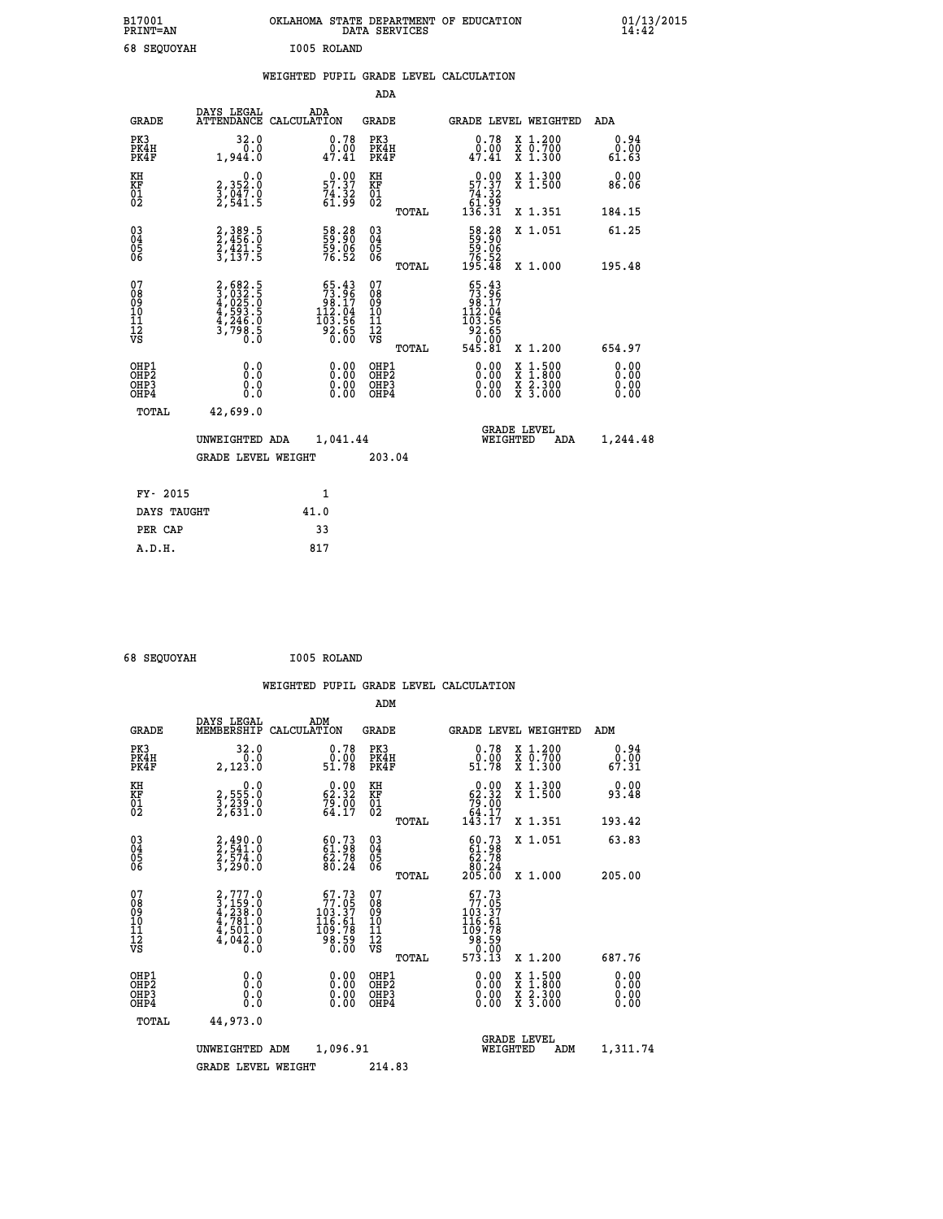| B17001<br><b>PRINT=AN</b> | OKLAHOMA STATE DEPARTMENT OF EDUCATION<br>DATA SERVICES | 01/13/2015 |
|---------------------------|---------------------------------------------------------|------------|
| 68<br><b>SEQUOYAH</b>     | I005 ROLAND                                             |            |

|  |  | WEIGHTED PUPIL GRADE LEVEL CALCULATION |
|--|--|----------------------------------------|
|  |  |                                        |

|                                                                              |                                                                |                                                                                                                    | ADA                                                |       |                                                                                                                                                                                                                                                                                                                                                                                                                                                         |                                                                                                                                              |                              |
|------------------------------------------------------------------------------|----------------------------------------------------------------|--------------------------------------------------------------------------------------------------------------------|----------------------------------------------------|-------|---------------------------------------------------------------------------------------------------------------------------------------------------------------------------------------------------------------------------------------------------------------------------------------------------------------------------------------------------------------------------------------------------------------------------------------------------------|----------------------------------------------------------------------------------------------------------------------------------------------|------------------------------|
| <b>GRADE</b>                                                                 | DAYS LEGAL                                                     | ADA<br>ATTENDANCE CALCULATION                                                                                      | GRADE                                              |       | <b>GRADE LEVEL WEIGHTED</b>                                                                                                                                                                                                                                                                                                                                                                                                                             |                                                                                                                                              | ADA                          |
| PK3<br>PK4H<br>PK4F                                                          | 32.0<br>0.0<br>1,944.0                                         | 0.78<br>$\frac{0.00}{47.41}$                                                                                       | PK3<br>PK4H<br>PK4F                                |       | 0.78<br>0.00<br>47.41                                                                                                                                                                                                                                                                                                                                                                                                                                   | X 1.200<br>X 0.700<br>X 1.300                                                                                                                | 0.94<br>0.00<br>61.63        |
| KH<br>KF<br>01<br>02                                                         | 0.0<br>2,352:0<br>3,047:0<br>2,541:5                           | $\begin{smallmatrix} 0.00\\ 57.37\\ 74.32\\ 61.99 \end{smallmatrix}$                                               | KH<br>KF<br>01<br>02                               |       | $\begin{smallmatrix} &0.00\ 57.37\ 74.32\ 61.99\ 136.31\end{smallmatrix}$                                                                                                                                                                                                                                                                                                                                                                               | X 1.300<br>X 1.500                                                                                                                           | 0.00<br>86.06                |
|                                                                              |                                                                |                                                                                                                    |                                                    | TOTAL |                                                                                                                                                                                                                                                                                                                                                                                                                                                         | X 1.351                                                                                                                                      | 184.15                       |
| $\begin{matrix} 03 \\ 04 \\ 05 \\ 06 \end{matrix}$                           | 2, 389.5<br>2, 456.0<br>2, 421.5<br>3, 137.5                   | 58.38<br>59.90<br>59.06<br>76.52                                                                                   | $\begin{matrix} 03 \\ 04 \\ 05 \\ 06 \end{matrix}$ |       | 58.28<br>59.90<br>59.06<br>76.52<br>195.48                                                                                                                                                                                                                                                                                                                                                                                                              | X 1.051                                                                                                                                      | 61.25                        |
|                                                                              |                                                                |                                                                                                                    |                                                    | TOTAL |                                                                                                                                                                                                                                                                                                                                                                                                                                                         | X 1.000                                                                                                                                      | 195.48                       |
| 07<br>08<br>09<br>11<br>11<br>12<br>VS                                       | 2,682.5<br>3,032.5<br>4,025.0<br>4,593.5<br>4,246.0<br>3,798.5 | $\begin{smallmatrix} 65 & 43 \\ 73 & 96 \\ 98 & 17 \\ 112 & 04 \\ 103 & 56 \\ 92 & 65 \\ 0 & 00 \end{smallmatrix}$ | 07<br>08<br>09<br>11<br>11<br>12<br>VS             | TOTAL | $55.43$<br>$73.96$<br>17.80<br>112.04<br>$\begin{array}{@{}c@{\hspace{1em}}c@{\hspace{1em}}c@{\hspace{1em}}c@{\hspace{1em}}c@{\hspace{1em}}c@{\hspace{1em}}c@{\hspace{1em}}c@{\hspace{1em}}c@{\hspace{1em}}c@{\hspace{1em}}c@{\hspace{1em}}c@{\hspace{1em}}c@{\hspace{1em}}c@{\hspace{1em}}c@{\hspace{1em}}c@{\hspace{1em}}c@{\hspace{1em}}c@{\hspace{1em}}c@{\hspace{1em}}c@{\hspace{1em}}c@{\hspace{1em}}c@{\hspace{1em}}c@{\hspace{1em}}c@{\hspace{$ | X 1.200                                                                                                                                      | 654.97                       |
| OHP1<br>OH <sub>P</sub> <sub>2</sub><br>OH <sub>P3</sub><br>OH <sub>P4</sub> | 0.0<br>Ō.Ō<br>0.0<br>0.0                                       | 0.00<br>$0.00$<br>0.00                                                                                             | OHP1<br>OHP2<br>OHP3<br>OHP4                       |       | 0.00<br>0.00<br>0.00                                                                                                                                                                                                                                                                                                                                                                                                                                    | $\begin{smallmatrix} \mathtt{X} & 1\cdot500 \\ \mathtt{X} & 1\cdot800 \\ \mathtt{X} & 2\cdot300 \\ \mathtt{X} & 3\cdot000 \end{smallmatrix}$ | 0.00<br>0.00<br>0.00<br>0.00 |
| TOTAL                                                                        | 42,699.0                                                       |                                                                                                                    |                                                    |       |                                                                                                                                                                                                                                                                                                                                                                                                                                                         |                                                                                                                                              |                              |
|                                                                              | UNWEIGHTED ADA                                                 | 1,041.44                                                                                                           |                                                    |       | WEIGHTED                                                                                                                                                                                                                                                                                                                                                                                                                                                | <b>GRADE LEVEL</b><br>ADA                                                                                                                    | 1,244.48                     |
|                                                                              | <b>GRADE LEVEL WEIGHT</b>                                      |                                                                                                                    | 203.04                                             |       |                                                                                                                                                                                                                                                                                                                                                                                                                                                         |                                                                                                                                              |                              |
| FY- 2015                                                                     |                                                                | 1                                                                                                                  |                                                    |       |                                                                                                                                                                                                                                                                                                                                                                                                                                                         |                                                                                                                                              |                              |
| DAYS TAUGHT                                                                  |                                                                | 41.0                                                                                                               |                                                    |       |                                                                                                                                                                                                                                                                                                                                                                                                                                                         |                                                                                                                                              |                              |
| PER CAP                                                                      |                                                                | 33                                                                                                                 |                                                    |       |                                                                                                                                                                                                                                                                                                                                                                                                                                                         |                                                                                                                                              |                              |
| A.D.H.                                                                       |                                                                | 817                                                                                                                |                                                    |       |                                                                                                                                                                                                                                                                                                                                                                                                                                                         |                                                                                                                                              |                              |

| 68 SEQUOYAH | I005 ROLAND |
|-------------|-------------|
|             |             |

| <b>GRADE</b>                             | DAYS LEGAL<br>MEMBERSHIP                                                            | ADM<br>CALCULATION                                                                               | <b>GRADE</b>                                       |       |                                                                                                                                                                                                                                                                                | GRADE LEVEL WEIGHTED                     | ADM                                                |  |
|------------------------------------------|-------------------------------------------------------------------------------------|--------------------------------------------------------------------------------------------------|----------------------------------------------------|-------|--------------------------------------------------------------------------------------------------------------------------------------------------------------------------------------------------------------------------------------------------------------------------------|------------------------------------------|----------------------------------------------------|--|
| PK3<br>PK4H<br>PK4F                      | 32.0<br>2,123.0                                                                     | 0.78<br>ŏ:óŏ<br>51.78                                                                            | PK3<br>PK4H<br>PK4F                                |       | 0.78<br>ŏ:óŏ<br>51:78                                                                                                                                                                                                                                                          | X 1.200<br>X 0.700<br>X 1.300            | 0.94<br>$\overset{\text{\scriptsize{0.00}}}{0.31}$ |  |
| KH<br>KF<br>01<br>02                     | $\begin{smallmatrix}&&&0.0\2,555.0\3,239.0\2,631.0\end{smallmatrix}$                | $\begin{smallmatrix} 0.00\\ 62.32\\ 79.00\\ 64.17 \end{smallmatrix}$                             | KH<br>KF<br>01<br>02                               |       | $\begin{smallmatrix} &0.00\ 62.32\ 79.00\ 64.17\ 143.17\ \end{smallmatrix}$                                                                                                                                                                                                    | X 1.300<br>X 1.500                       | 0.00<br>93.48                                      |  |
|                                          |                                                                                     |                                                                                                  |                                                    | TOTAL |                                                                                                                                                                                                                                                                                | X 1.351                                  | 193.42                                             |  |
| 03<br>04<br>05<br>06                     | 2,490.0<br>2,541.0<br>2,574.0<br>3,290.0                                            | $\begin{smallmatrix} 60.73\ 61.98\ 62.78\ 80.24 \end{smallmatrix}$                               | $\begin{matrix} 03 \\ 04 \\ 05 \\ 06 \end{matrix}$ |       | $60.73$<br>$61.98$<br>$62.78$                                                                                                                                                                                                                                                  | X 1.051                                  | 63.83                                              |  |
|                                          |                                                                                     |                                                                                                  |                                                    | TOTAL | 80:24<br>205.00                                                                                                                                                                                                                                                                | X 1.000                                  | 205.00                                             |  |
| 07<br>089<br>090<br>1112<br>VS           | $2,777.0$<br>$3,159.0$<br>$4,238.0$<br>$4,781.0$<br>$4,501.0$<br>$4,042.0$<br>$0.0$ | $\begin{smallmatrix} 67.73\\77.05\\103.37\\116.61\\116.61\\109.78\\98.59\\0.00\end{smallmatrix}$ | 07<br>08<br>09<br>11<br>11<br>12<br>VS             | TOTAL | 67.73<br>$77.057$<br>$103.37$<br>$116.61$<br>$109.78$<br>$98.59$<br>$90.00$<br>$573.13$                                                                                                                                                                                        | X 1.200                                  | 687.76                                             |  |
| OHP1<br>OHP2<br>OH <sub>P3</sub><br>OHP4 | 0.0<br>0.000                                                                        | $\begin{smallmatrix} 0.00 \ 0.00 \ 0.00 \ 0.00 \end{smallmatrix}$                                | OHP1<br>OHP2<br>OHP3<br>OHP4                       |       | $\begin{smallmatrix} 0.00 & 0.00 & 0.00 & 0.00 & 0.00 & 0.00 & 0.00 & 0.00 & 0.00 & 0.00 & 0.00 & 0.00 & 0.00 & 0.00 & 0.00 & 0.00 & 0.00 & 0.00 & 0.00 & 0.00 & 0.00 & 0.00 & 0.00 & 0.00 & 0.00 & 0.00 & 0.00 & 0.00 & 0.00 & 0.00 & 0.00 & 0.00 & 0.00 & 0.00 & 0.00 & 0.0$ | X 1:500<br>X 1:800<br>X 2:300<br>X 3:000 | 0.00<br>0.00<br>0.00                               |  |
| TOTAL                                    | 44,973.0                                                                            |                                                                                                  |                                                    |       |                                                                                                                                                                                                                                                                                |                                          |                                                    |  |
|                                          | UNWEIGHTED                                                                          | 1,096.91<br>ADM                                                                                  |                                                    |       | WEIGHTED                                                                                                                                                                                                                                                                       | <b>GRADE LEVEL</b><br>ADM                | 1,311.74                                           |  |
|                                          | <b>GRADE LEVEL WEIGHT</b>                                                           |                                                                                                  | 214.83                                             |       |                                                                                                                                                                                                                                                                                |                                          |                                                    |  |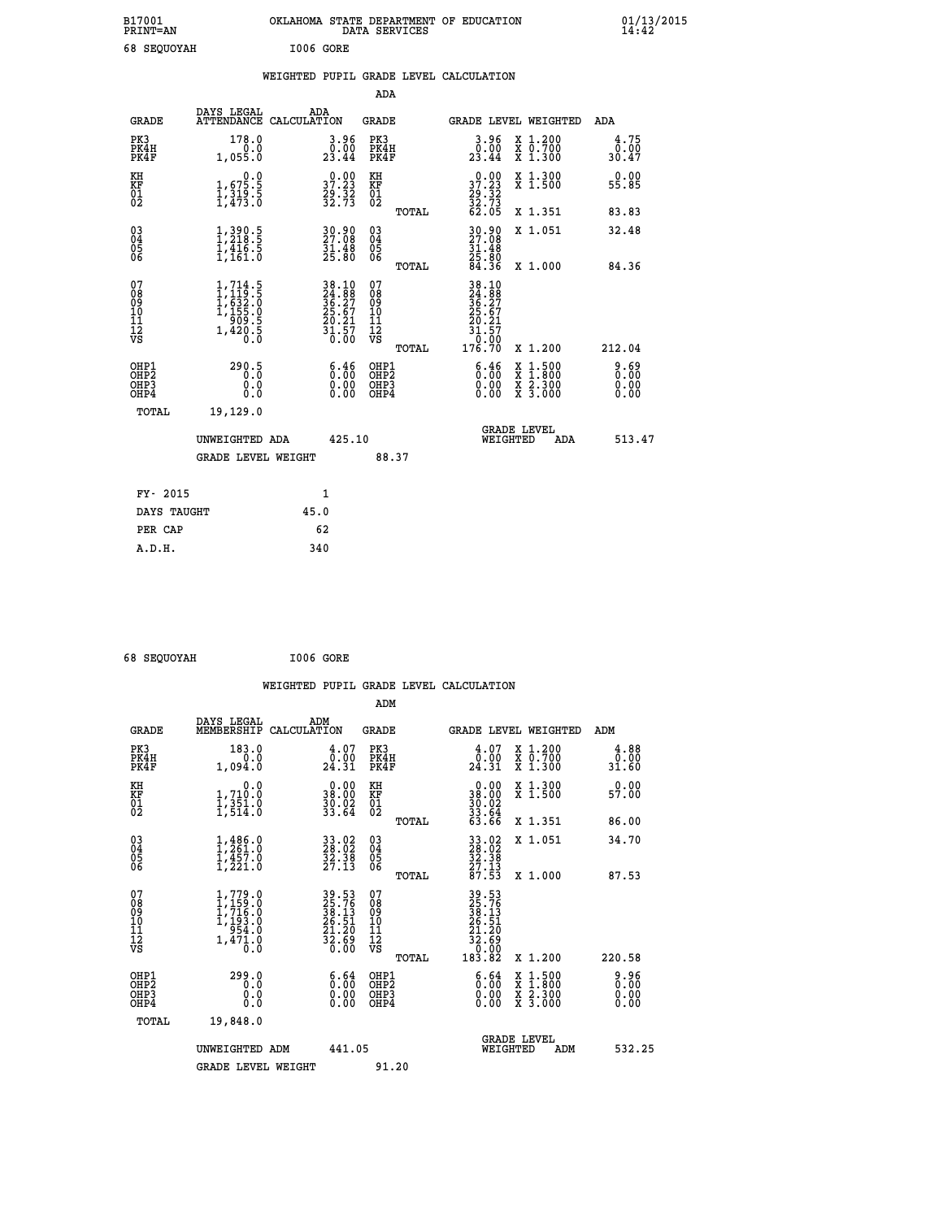| B17001<br><b>PRINT=AN</b> | OKLAHOMA STATE DEPARTMENT OF EDUCATION<br>DATA SERVICES | 01/13/2015 |
|---------------------------|---------------------------------------------------------|------------|
| 68 SEQUOYAH               | I006 GORE                                               |            |

|  |  | WEIGHTED PUPIL GRADE LEVEL CALCULATION |
|--|--|----------------------------------------|
|  |  |                                        |

|                                           |                                                                                                                     |                                                                       | ADA                                      |       |                                                                             |                                                                                                                                      |                       |
|-------------------------------------------|---------------------------------------------------------------------------------------------------------------------|-----------------------------------------------------------------------|------------------------------------------|-------|-----------------------------------------------------------------------------|--------------------------------------------------------------------------------------------------------------------------------------|-----------------------|
| <b>GRADE</b>                              | DAYS LEGAL                                                                                                          | ADA<br>ATTENDANCE CALCULATION                                         | GRADE                                    |       |                                                                             | <b>GRADE LEVEL WEIGHTED</b>                                                                                                          | ADA                   |
| PK3<br>PK4H<br>PK4F                       | 178.0<br>1,055.0                                                                                                    | $\begin{smallmatrix} 3.96\ 0.00 \ 23.44 \end{smallmatrix}$            | PK3<br>PK4H<br>PK4F                      |       | 3.96<br>$\frac{0.00}{23.44}$                                                | X 1.200<br>X 0.700<br>X 1.300                                                                                                        | 4.75<br>0.00<br>30.47 |
| KH<br>KF<br>01<br>02                      | $\begin{smallmatrix}&&&0.0\\1,675.5\\1,319.5\\1,473.0\end{smallmatrix}$                                             | $\begin{smallmatrix} 0.00\\ 37.23\\ 29.32\\ 32.73 \end{smallmatrix}$  | KH<br>KF<br>01<br>02                     |       | $37.2329.3232.7332.7362.05$                                                 | X 1.300<br>X 1.500                                                                                                                   | 0.00<br>55.85         |
|                                           |                                                                                                                     |                                                                       |                                          | TOTAL |                                                                             | X 1.351                                                                                                                              | 83.83                 |
| 03<br>04<br>05<br>06                      | $\frac{1}{1}, \frac{390}{218}$ .<br>1,218.5<br>1,416.5<br>1,161.0                                                   | $\begin{smallmatrix} 30.90\\ 27.08\\ 31.48\\ 25.80 \end{smallmatrix}$ | 03<br>04<br>05<br>06                     |       | 30.90<br>27.08<br>31.48<br>35.80<br>25.80<br>84.36                          | X 1.051                                                                                                                              | 32.48                 |
|                                           |                                                                                                                     |                                                                       |                                          | TOTAL |                                                                             | X 1.000                                                                                                                              | 84.36                 |
| 07<br>08<br>09<br>11<br>11<br>12<br>VS    | $\begin{smallmatrix} 1,714\ .5\\ 1,119\ .5\\ 1,632\ .0\\ 1,155\ .0\\ 909\ .5\\ 1,420\ .5\\ 0\ .0 \end{smallmatrix}$ | 38.10<br>24.88<br>36.27<br>25.67<br>25.21<br>20.21<br>31.57<br>0.00   | 07<br>08<br>09<br>11<br>11<br>12<br>VS   | TOTAL | 38.10<br>24.88<br>36.27<br>25.67<br>29.21<br>$\frac{31.57}{0.00}$<br>176.70 | X 1.200                                                                                                                              | 212.04                |
| OHP1<br>OH <sub>P</sub> 2<br>OHP3<br>OHP4 | 290.5<br>0.0<br>0.0                                                                                                 | 6.46<br>$\begin{smallmatrix} 0.00 \ 0.00 \end{smallmatrix}$           | OHP1<br>OHP <sub>2</sub><br>OHP3<br>OHP4 |       | 6.46<br>0.00<br>0.00                                                        | $\begin{smallmatrix} \mathtt{X} & 1 & 500 \\ \mathtt{X} & 1 & 800 \\ \mathtt{X} & 2 & 300 \\ \mathtt{X} & 3 & 000 \end{smallmatrix}$ | 0.69<br>0.00<br>0.00  |
| TOTAL                                     | 19,129.0                                                                                                            |                                                                       |                                          |       |                                                                             |                                                                                                                                      |                       |
|                                           | UNWEIGHTED ADA                                                                                                      | 425.10                                                                |                                          |       |                                                                             | <b>GRADE LEVEL</b><br>WEIGHTED<br>ADA                                                                                                | 513.47                |
|                                           | GRADE LEVEL WEIGHT                                                                                                  |                                                                       | 88.37                                    |       |                                                                             |                                                                                                                                      |                       |
| FY- 2015                                  |                                                                                                                     | $\mathbf{1}$                                                          |                                          |       |                                                                             |                                                                                                                                      |                       |
| DAYS TAUGHT                               |                                                                                                                     | 45.0                                                                  |                                          |       |                                                                             |                                                                                                                                      |                       |
| PER CAP                                   |                                                                                                                     | 62                                                                    |                                          |       |                                                                             |                                                                                                                                      |                       |
| A.D.H.                                    |                                                                                                                     | 340                                                                   |                                          |       |                                                                             |                                                                                                                                      |                       |

| 68 SEQUOYAH | I006 GORE |
|-------------|-----------|
|             |           |

|                                                    |                                                                                              |                    |                                                                      |                              |       | WEIGHTED PUPIL GRADE LEVEL CALCULATION                                                                                                 |                                                                                          |        |                       |
|----------------------------------------------------|----------------------------------------------------------------------------------------------|--------------------|----------------------------------------------------------------------|------------------------------|-------|----------------------------------------------------------------------------------------------------------------------------------------|------------------------------------------------------------------------------------------|--------|-----------------------|
|                                                    |                                                                                              |                    |                                                                      | ADM                          |       |                                                                                                                                        |                                                                                          |        |                       |
| <b>GRADE</b>                                       | DAYS LEGAL<br>MEMBERSHIP                                                                     | ADM<br>CALCULATION |                                                                      | <b>GRADE</b>                 |       | GRADE LEVEL WEIGHTED                                                                                                                   |                                                                                          | ADM    |                       |
| PK3<br>PK4H<br>PK4F                                | 183.0<br>0.0<br>1,094.0                                                                      |                    | $\begin{smallmatrix} 4.07\0.00\\24.31\end{smallmatrix}$              | PK3<br>PK4H<br>PK4F          |       | $\begin{smallmatrix} 4.07\0.00\\24.31\end{smallmatrix}$                                                                                | X 1.200<br>X 0.700<br>X 1.300                                                            |        | 4.88<br>ة.ة.<br>31.60 |
| KH<br>KF<br>01<br>02                               | 0.0<br>1,710:0<br>1,351.0<br>1,514:0                                                         |                    | $\begin{smallmatrix} 0.00\\ 38.00\\ 30.02\\ 33.64 \end{smallmatrix}$ | KH<br>KF<br>01<br>02         |       | $\begin{smallmatrix} 0.00\\ 38.00\\ 30.02\\ 33.64\\ 33.66\\ 63.66 \end{smallmatrix}$                                                   | X 1.300<br>X 1.500                                                                       |        | 0.00<br>57.00         |
|                                                    |                                                                                              |                    |                                                                      |                              | TOTAL |                                                                                                                                        | X 1.351                                                                                  | 86.00  |                       |
| $\begin{matrix} 03 \\ 04 \\ 05 \\ 06 \end{matrix}$ | $1, 261.0$<br>$1, 261.0$<br>$1, 457.0$<br>$1, 221.0$                                         |                    | 33.02<br>28.02<br>32.38<br>27.13                                     | 03<br>04<br>05<br>06         |       | 33.02<br>28.02<br>32.38<br>27.13<br>27.53                                                                                              | X 1.051                                                                                  |        | 34.70                 |
|                                                    |                                                                                              |                    |                                                                      |                              | TOTAL |                                                                                                                                        | X 1.000                                                                                  | 87.53  |                       |
| 07<br>08<br>09<br>11<br>11<br>12<br>VS             | $1, 779.0$<br>$1, 159.0$<br>$1, 716.0$<br>$1, 193.0$<br>$954.0$<br>$1,47\overline{1}\cdot 0$ |                    | 39.53<br>25.76<br>38.13<br>38.51<br>26.51<br>21.20<br>32.69<br>30.00 | 07<br>08901112<br>1112<br>VS |       | $\begin{array}{r} 39\cdot 53 \\ 25\cdot 76 \\ 38\cdot 13 \\ 26\cdot 51 \\ 21\cdot 20 \\ 32\cdot 69 \\ 0.00 \\ 183\cdot 82 \end{array}$ |                                                                                          |        |                       |
|                                                    |                                                                                              |                    |                                                                      |                              | TOTAL |                                                                                                                                        | X 1.200                                                                                  | 220.58 |                       |
| OHP1<br>OHP2<br>OH <sub>P3</sub><br>OHP4           | 299.0<br>0.000                                                                               |                    | $\begin{smallmatrix} 6.64 \ 0.00 \ 0.00 \end{smallmatrix}$<br>0.00   | OHP1<br>OHP2<br>OHP3<br>OHP4 |       | $\begin{smallmatrix} 6.64\ 0.00\ 0.00 \end{smallmatrix}$                                                                               | $\begin{smallmatrix} x & 1.500 \\ x & 1.800 \\ x & 2.300 \\ x & 3.000 \end{smallmatrix}$ |        | 0.96<br>0.00<br>0.00  |
| TOTAL                                              | 19,848.0                                                                                     |                    |                                                                      |                              |       |                                                                                                                                        |                                                                                          |        |                       |
|                                                    | UNWEIGHTED ADM                                                                               |                    | 441.05                                                               |                              |       | WEIGHTED                                                                                                                               | <b>GRADE LEVEL</b><br>ADM                                                                |        | 532.25                |
|                                                    | <b>GRADE LEVEL WEIGHT</b>                                                                    |                    |                                                                      | 91.20                        |       |                                                                                                                                        |                                                                                          |        |                       |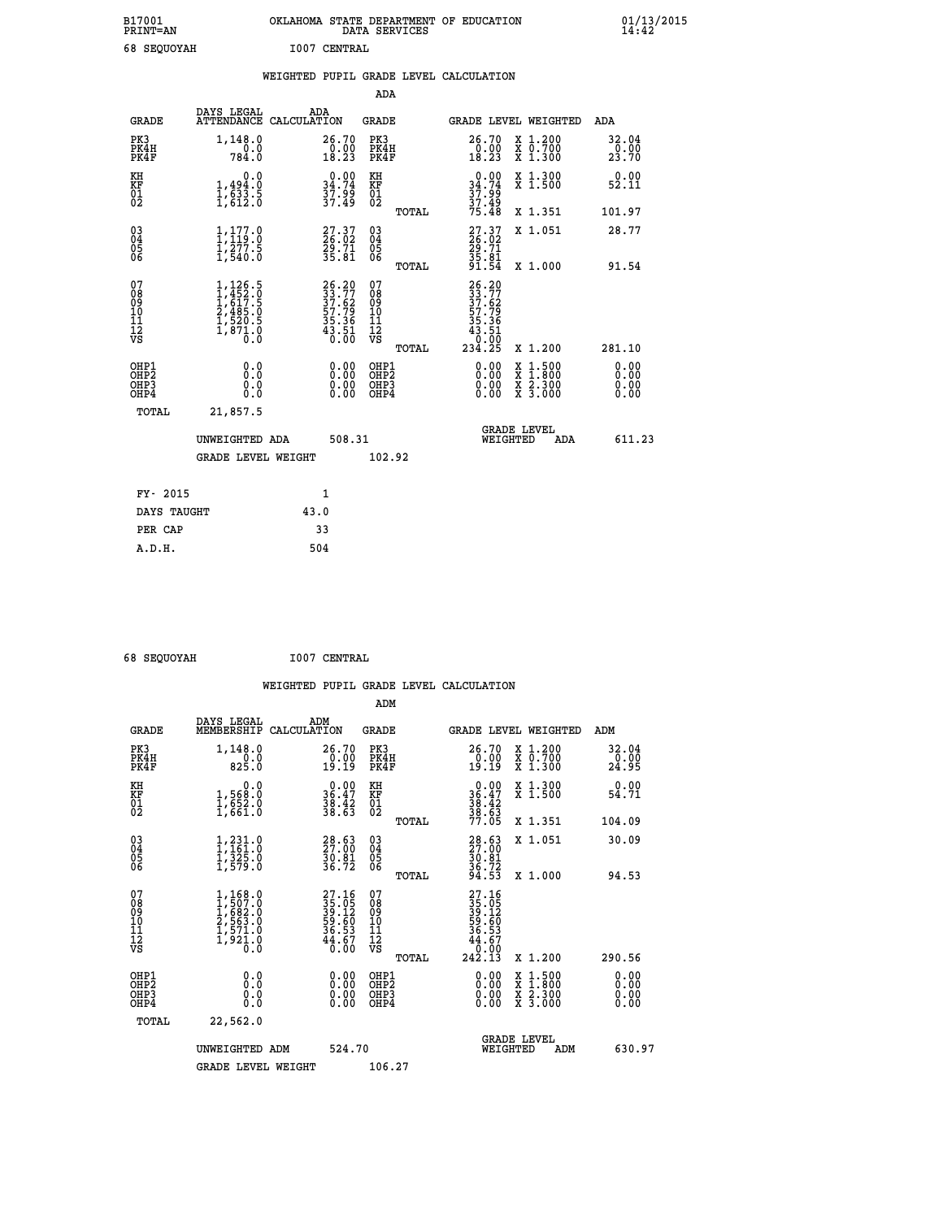| B17001<br><b>PRINT=AN</b> |              | OKLAHOMA STATE DEPARTMENT OF EDUCATION<br>DATA SERVICES |  |
|---------------------------|--------------|---------------------------------------------------------|--|
| 68 SEOUOYAH               | 1007 CENTRAL |                                                         |  |

|                                                                                                         |                                                                                                          | <b>ADA</b>                                                            |                                                                                                                                                                                                                                                                                                                                    |                                   |                                                                                                                                                                            |                                                                                                                                                                                                                                                                                                 |
|---------------------------------------------------------------------------------------------------------|----------------------------------------------------------------------------------------------------------|-----------------------------------------------------------------------|------------------------------------------------------------------------------------------------------------------------------------------------------------------------------------------------------------------------------------------------------------------------------------------------------------------------------------|-----------------------------------|----------------------------------------------------------------------------------------------------------------------------------------------------------------------------|-------------------------------------------------------------------------------------------------------------------------------------------------------------------------------------------------------------------------------------------------------------------------------------------------|
| DAYS LEGAL                                                                                              | ADA                                                                                                      | <b>GRADE</b>                                                          |                                                                                                                                                                                                                                                                                                                                    |                                   |                                                                                                                                                                            | ADA                                                                                                                                                                                                                                                                                             |
| 1,148.0<br>$70.0$<br>784.0                                                                              |                                                                                                          | PK3<br>PK4H<br>PK4F                                                   |                                                                                                                                                                                                                                                                                                                                    | 26.70<br>$\frac{0.00}{18.23}$     |                                                                                                                                                                            | 32.04<br>$\frac{0.00}{23.70}$                                                                                                                                                                                                                                                                   |
| 0.0                                                                                                     |                                                                                                          | KH                                                                    |                                                                                                                                                                                                                                                                                                                                    |                                   |                                                                                                                                                                            | 0.00<br>52.11                                                                                                                                                                                                                                                                                   |
|                                                                                                         |                                                                                                          |                                                                       |                                                                                                                                                                                                                                                                                                                                    |                                   |                                                                                                                                                                            | 101.97                                                                                                                                                                                                                                                                                          |
| $\frac{1}{1}, \frac{1}{119}$ :8                                                                         |                                                                                                          | $^{03}_{04}$                                                          |                                                                                                                                                                                                                                                                                                                                    |                                   |                                                                                                                                                                            | 28.77                                                                                                                                                                                                                                                                                           |
|                                                                                                         |                                                                                                          |                                                                       |                                                                                                                                                                                                                                                                                                                                    |                                   |                                                                                                                                                                            | 91.54                                                                                                                                                                                                                                                                                           |
| $\begin{smallmatrix} 1,126.5\\ 1,452.0\\ 1,617.5\\ 2,485.0\\ 1,520.5\\ 1,871.0\\ 0.0 \end{smallmatrix}$ |                                                                                                          | 07<br>08<br>09<br>11<br>11<br>12<br>VS                                |                                                                                                                                                                                                                                                                                                                                    | 234.25                            |                                                                                                                                                                            | 281.10                                                                                                                                                                                                                                                                                          |
| 0.0<br>Ō.Ō<br>0.0<br>0.0                                                                                |                                                                                                          | OHP1<br>OHP2<br>OHP3<br>OHP4                                          |                                                                                                                                                                                                                                                                                                                                    | $0.00$<br>$0.00$<br>0.00          |                                                                                                                                                                            | 0.00<br>0.00<br>0.00<br>0.00                                                                                                                                                                                                                                                                    |
| 21,857.5                                                                                                |                                                                                                          |                                                                       |                                                                                                                                                                                                                                                                                                                                    |                                   |                                                                                                                                                                            |                                                                                                                                                                                                                                                                                                 |
|                                                                                                         |                                                                                                          |                                                                       |                                                                                                                                                                                                                                                                                                                                    |                                   | ADA                                                                                                                                                                        | 611.23                                                                                                                                                                                                                                                                                          |
|                                                                                                         |                                                                                                          |                                                                       |                                                                                                                                                                                                                                                                                                                                    |                                   |                                                                                                                                                                            |                                                                                                                                                                                                                                                                                                 |
| FY- 2015                                                                                                | $\mathbf{1}$                                                                                             |                                                                       |                                                                                                                                                                                                                                                                                                                                    |                                   |                                                                                                                                                                            |                                                                                                                                                                                                                                                                                                 |
| DAYS TAUGHT                                                                                             | 43.0                                                                                                     |                                                                       |                                                                                                                                                                                                                                                                                                                                    |                                   |                                                                                                                                                                            |                                                                                                                                                                                                                                                                                                 |
| PER CAP                                                                                                 | 33                                                                                                       |                                                                       |                                                                                                                                                                                                                                                                                                                                    |                                   |                                                                                                                                                                            |                                                                                                                                                                                                                                                                                                 |
|                                                                                                         | $\frac{1}{1}, \frac{494}{633}$ . 5<br>1,633. 5<br>$\frac{1}{2}, \frac{2}{5}$ $\frac{7}{5}$ $\frac{5}{5}$ | ATTENDANCE CALCULATION<br>UNWEIGHTED ADA<br><b>GRADE LEVEL WEIGHT</b> | 26.70<br>$\frac{0.00}{18.23}$<br>$\begin{smallmatrix} 0.00\\ 34.74\\ 37.99\\ 37.49 \end{smallmatrix}$<br>KF<br>01<br>02<br>27.37<br>26.02<br>29.71<br>35.81<br>Ŏ5<br>06<br>$26.20$<br>$33.77$<br>$37.62$<br>$57.79$<br>$35.36$<br>$43.51$<br>$0.00$<br>$\begin{smallmatrix} 0.00 \ 0.00 \ 0.00 \ 0.00 \end{smallmatrix}$<br>508.31 | TOTAL<br>TOTAL<br>TOTAL<br>102.92 | $0.00$<br>$34.74$<br>$37.99$<br>$37.49$<br>$75.48$<br>27.37<br>26.02<br>29.71<br>35.81<br>35.81<br>$26.20$<br>$33.72$<br>$37.62$<br>$57.79$<br>$35.36$<br>$43.51$<br>$0.9$ | WEIGHTED PUPIL GRADE LEVEL CALCULATION<br>GRADE LEVEL WEIGHTED<br>X 1.200<br>X 0.700<br>X 1.300<br>X 1.300<br>X 1.500<br>X 1.351<br>X 1.051<br>X 1.000<br>X 1.200<br>$\begin{smallmatrix} x & 1.500 \\ x & 1.800 \\ x & 2.300 \\ x & 3.000 \end{smallmatrix}$<br><b>GRADE LEVEL</b><br>WEIGHTED |

 **A.D.H. 504**

 **ADM**

 **B17001<br>PRINT=AN** 

 **68 SEQUOYAH I007 CENTRAL**

| <b>GRADE</b>                                         | DAYS LEGAL<br>MEMBERSHIP CALCULATION                                                | ADM                                                                  | <b>GRADE</b>                                        |       | GRADE LEVEL WEIGHTED                                                                                                                                                                                                                                                           |          |                                          | ADM    |                        |
|------------------------------------------------------|-------------------------------------------------------------------------------------|----------------------------------------------------------------------|-----------------------------------------------------|-------|--------------------------------------------------------------------------------------------------------------------------------------------------------------------------------------------------------------------------------------------------------------------------------|----------|------------------------------------------|--------|------------------------|
| PK3<br>PK4H<br>PK4F                                  | 1,148.0<br>$\frac{0.0}{825.0}$                                                      | 26.70<br>$\frac{0.00}{19.19}$                                        | PK3<br>PK4H<br>PK4F                                 |       | 26.70<br>0.00<br>19.19                                                                                                                                                                                                                                                         |          | X 1.200<br>X 0.700<br>X 1.300            |        | 32.04<br>0.00<br>24.95 |
| KH<br>KF<br>01<br>02                                 | 0.0<br>1,568:0<br>1,652:0<br>1,661:0                                                | $\begin{smallmatrix} 0.00\\ 36.47\\ 38.42\\ 38.63 \end{smallmatrix}$ | KH<br>KF<br>01<br>02                                |       | 0.00<br>36:47<br>38:42<br>38:63<br>77:05                                                                                                                                                                                                                                       |          | X 1.300<br>X 1.500                       |        | 0.00<br>54.71          |
|                                                      |                                                                                     |                                                                      |                                                     | TOTAL |                                                                                                                                                                                                                                                                                |          | X 1.351                                  | 104.09 |                        |
| $\begin{matrix} 03 \\ 04 \\ 05 \\ 06 \end{matrix}$   | $1, 231.0$<br>$1, 161.0$<br>$1, 325.0$<br>$1, 579.0$                                | $\begin{smallmatrix} 28.63\ 27.00\ 30.81\ 36.72 \end{smallmatrix}$   | $\begin{array}{c} 03 \\ 04 \\ 05 \\ 06 \end{array}$ |       | 28.63<br>27.00<br>30.81<br>36.72<br>34.53                                                                                                                                                                                                                                      |          | X 1.051                                  |        | 30.09                  |
|                                                      |                                                                                     |                                                                      |                                                     | TOTAL |                                                                                                                                                                                                                                                                                |          | X 1.000                                  |        | 94.53                  |
| 07<br>08<br>09<br>101<br>11<br>12<br>VS              | $1,168.0$<br>$1,507.0$<br>$1,682.0$<br>$2,563.0$<br>$1,571.0$<br>$1,921.0$<br>$0.0$ | 27.16<br>35.05<br>39.12<br>59.60<br>56.53<br>44.67<br>40.00          | 07<br>08<br>09<br>001<br>11<br>11<br>12<br>VS       | TOTAL | $\begin{smallmatrix} 27.16\\ 35.05\\ 39.12\\ 59.12\\ 59.60\\ 36.53\\ 44.67\\ 242.13 \end{smallmatrix}$                                                                                                                                                                         |          | X 1.200                                  | 290.56 |                        |
| OHP1<br>OHP <sub>2</sub><br>OH <sub>P3</sub><br>OHP4 |                                                                                     |                                                                      | OHP1<br>OHP <sub>2</sub><br>OHP3<br>OHP4            |       | $\begin{smallmatrix} 0.00 & 0.00 & 0.00 & 0.00 & 0.00 & 0.00 & 0.00 & 0.00 & 0.00 & 0.00 & 0.00 & 0.00 & 0.00 & 0.00 & 0.00 & 0.00 & 0.00 & 0.00 & 0.00 & 0.00 & 0.00 & 0.00 & 0.00 & 0.00 & 0.00 & 0.00 & 0.00 & 0.00 & 0.00 & 0.00 & 0.00 & 0.00 & 0.00 & 0.00 & 0.00 & 0.0$ |          | X 1:500<br>X 1:800<br>X 2:300<br>X 3:000 |        | 0.00<br>0.00<br>0.00   |
| TOTAL                                                | 22,562.0                                                                            |                                                                      |                                                     |       |                                                                                                                                                                                                                                                                                |          |                                          |        |                        |
|                                                      | UNWEIGHTED                                                                          | 524.70<br>ADM                                                        |                                                     |       |                                                                                                                                                                                                                                                                                | WEIGHTED | <b>GRADE LEVEL</b><br>ADM                |        | 630.97                 |
|                                                      | <b>GRADE LEVEL WEIGHT</b>                                                           |                                                                      | 106.27                                              |       |                                                                                                                                                                                                                                                                                |          |                                          |        |                        |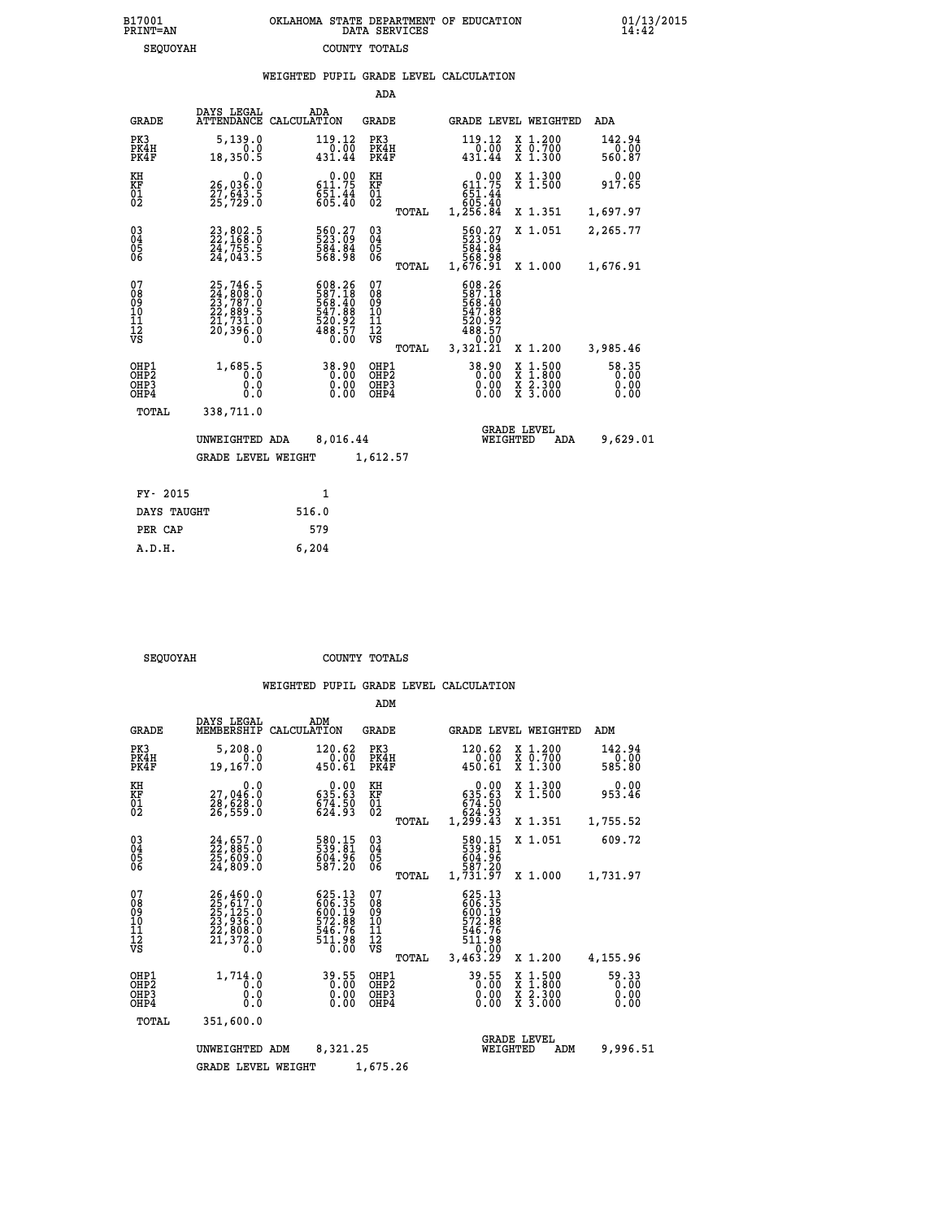| ﯩﺴﯩﺮﯨﻦ ﻛﯧﺘﯩ                                                  |                                                                             |       | COONTT TOTUMP                                                          |                                           |       |                                                                                                 |                                                                                          |                               |
|--------------------------------------------------------------|-----------------------------------------------------------------------------|-------|------------------------------------------------------------------------|-------------------------------------------|-------|-------------------------------------------------------------------------------------------------|------------------------------------------------------------------------------------------|-------------------------------|
|                                                              |                                                                             |       |                                                                        |                                           |       | WEIGHTED PUPIL GRADE LEVEL CALCULATION                                                          |                                                                                          |                               |
|                                                              |                                                                             |       |                                                                        | <b>ADA</b>                                |       |                                                                                                 |                                                                                          |                               |
| <b>GRADE</b>                                                 | DAYS LEGAL<br>ATTENDANCE CALCULATION                                        | ADA   |                                                                        | GRADE                                     |       |                                                                                                 | GRADE LEVEL WEIGHTED                                                                     | ADA                           |
| PK3<br>PK4H<br>PK4F                                          | 5,139.0<br>0.0<br>18,350.5                                                  |       | $119.12$<br>0.00<br>431.44                                             | PK3<br>PK4H<br>PK4F                       |       | 119.12<br>$\frac{1}{431.44}$                                                                    | X 1.200<br>X 0.700<br>X 1.300                                                            | 142.94<br>0.00<br>560.87      |
| KH<br>KF<br>$\overline{01}$                                  | 0.0<br>26,036.0<br>27,643.5<br>25,729.0                                     |       | $\begin{smallmatrix} &0.00\\ 611.75\ 651.44\ 605.40 \end{smallmatrix}$ | KH<br>KF<br>$\overline{01}$               |       | $0.00$<br>$611.75$<br>$651.44$<br>$605.40$                                                      | X 1.300<br>X 1.500                                                                       | 0.00<br>917.65                |
|                                                              |                                                                             |       |                                                                        |                                           | TOTAL | 1,256.84                                                                                        | X 1.351                                                                                  | 1,697.97                      |
| $\begin{smallmatrix} 03 \\[-4pt] 04 \end{smallmatrix}$<br>05 | 23,802.5<br>22,168.0<br>24,755.5<br>24,043.5                                |       | 560.27<br>523.09<br>584.84<br>568.98                                   | $\substack{03 \\ 04}$<br>$\frac{05}{06}$  |       | 560.27<br>523.09<br>584.84<br>568.98                                                            | X 1.051                                                                                  | 2,265.77                      |
| 06                                                           |                                                                             |       |                                                                        |                                           | TOTAL | 1,676.91                                                                                        | X 1.000                                                                                  | 1,676.91                      |
| 07<br>08<br>09<br>10<br>11<br>12<br>VS                       | 25,746.5<br>24,808.0<br>23,787.0<br>22,889.5<br>21,731.0<br>20,396.0<br>Ō.Ŏ |       | 608.26<br>587.18<br>568.40<br>547.88<br>520.92<br>488.57<br>0.00       | 07<br>089<br>101<br>111<br>VS             | TOTAL | 608.26<br>587.18<br>568.40<br>$\frac{547.88}{520.92}$<br>$\frac{488.57}{5}$<br>0:00<br>3,321.21 | X 1.200                                                                                  | 3,985.46                      |
| OHP1<br>OH <sub>P</sub> 2<br>OHP3<br>OHP4                    | 1,685.5<br>0.0<br>0.0                                                       |       | 38.90<br>0.00<br>0.00                                                  | OHP1<br>OH <sub>P</sub> 2<br>OHP3<br>OHP4 |       | 38.90<br>0.00<br>0.00                                                                           | $\begin{smallmatrix} x & 1.500 \\ x & 1.800 \\ x & 2.300 \\ x & 3.000 \end{smallmatrix}$ | 58.35<br>0.00<br>0.00<br>0.00 |
| TOTAL                                                        | 338,711.0                                                                   |       |                                                                        |                                           |       |                                                                                                 |                                                                                          |                               |
|                                                              | UNWEIGHTED ADA                                                              |       | 8,016.44                                                               |                                           |       |                                                                                                 | <b>GRADE LEVEL</b><br>WEIGHTED<br>ADA                                                    | 9,629.01                      |
|                                                              | <b>GRADE LEVEL WEIGHT</b>                                                   |       |                                                                        | 1,612.57                                  |       |                                                                                                 |                                                                                          |                               |
| FY- 2015                                                     |                                                                             |       | $\mathbf{1}$                                                           |                                           |       |                                                                                                 |                                                                                          |                               |
| DAYS TAUGHT                                                  |                                                                             | 516.0 |                                                                        |                                           |       |                                                                                                 |                                                                                          |                               |
| PER CAP                                                      |                                                                             | 579   |                                                                        |                                           |       |                                                                                                 |                                                                                          |                               |

 **A.D.H. 6,204**

SEQUOYAH COUNTY TOTALS

|                                                       |                                                                             |                                                                      | ADM                                              |                                                                              |                                                                                                  |                               |
|-------------------------------------------------------|-----------------------------------------------------------------------------|----------------------------------------------------------------------|--------------------------------------------------|------------------------------------------------------------------------------|--------------------------------------------------------------------------------------------------|-------------------------------|
| <b>GRADE</b>                                          | DAYS LEGAL<br>MEMBERSHIP                                                    | ADM<br>CALCULATION                                                   | <b>GRADE</b>                                     |                                                                              | GRADE LEVEL WEIGHTED                                                                             | ADM                           |
| PK3<br>PK4H<br>PK4F                                   | 5,208.0<br>0.0<br>19,167.0                                                  | 120.62<br>0.00<br>450.61                                             | PK3<br>PK4H<br>PK4F                              | 120.62<br>0.00<br>450.61                                                     | X 1.200<br>X 0.700<br>X 1.300                                                                    | 142.94<br>0.00<br>585.80      |
| KH<br>KF<br>01<br>02                                  | 0.0<br>27,046:0<br>28,628:0<br>26,559:0                                     | $\begin{smallmatrix} &0.00\ 635.63\ 674.50\ 624.93\end{smallmatrix}$ | KH<br>KF<br>01<br>02                             | 0.00<br>$635.63$<br>$674.50$<br>$624.93$<br>$1,299.43$                       | X 1.300<br>X 1.500                                                                               | 0.00<br>953.46                |
|                                                       |                                                                             |                                                                      | TOTAL                                            |                                                                              | X 1.351                                                                                          | 1,755.52                      |
| 03<br>04<br>05<br>06                                  | 24,657.0<br>22,885.0<br>25,609.0<br>24,809.0                                | 580.15<br>539.81<br>604.96<br>587.20                                 | $\substack{03 \\ 04}$<br>0500                    | 580.15<br>539.81<br>604.96<br>587.20                                         | X 1.051                                                                                          | 609.72                        |
|                                                       |                                                                             |                                                                      | TOTAL                                            | 1,731.97                                                                     | X 1.000                                                                                          | 1,731.97                      |
| 07<br>08<br>09<br>11<br>11<br>12<br>VS                | 26,460.0<br>25,617.0<br>25,125.0<br>23,936.0<br>22,808.0<br>21,372.0<br>ō.ŏ | 625.13<br>606.35<br>600.19<br>572.88<br>546.76<br>511.98<br>0.00     | 07<br>08<br>09<br>101<br>11<br>12<br>VS<br>TOTAL | 625.13<br>606.35<br>600.19<br>572.88<br>546.76<br>511.98<br>0.00<br>3,463.29 | X 1.200                                                                                          | 4,155.96                      |
| OHP1<br>OH <sub>P</sub> 2<br>OH <sub>P3</sub><br>OHP4 | 1,714.0<br>0.0<br>0.0<br>Ŏ.Ŏ                                                | 39.55<br>0.00<br>0.00<br>0.00                                        | OHP1<br>OHP2<br>OHP3<br>OHP4                     | 39.55<br>0.00<br>0.00<br>0.00                                                | $\begin{smallmatrix} x & 1 & 500 \\ x & 1 & 800 \\ x & 2 & 300 \\ x & 3 & 000 \end{smallmatrix}$ | 59.33<br>0.00<br>0.00<br>0.00 |
| TOTAL                                                 | 351,600.0                                                                   |                                                                      |                                                  |                                                                              |                                                                                                  |                               |
|                                                       | UNWEIGHTED                                                                  | 8,321.25<br>ADM                                                      |                                                  | WEIGHTED                                                                     | <b>GRADE LEVEL</b><br>ADM                                                                        | 9,996.51                      |
|                                                       | <b>GRADE LEVEL WEIGHT</b>                                                   |                                                                      | 1,675.26                                         |                                                                              |                                                                                                  |                               |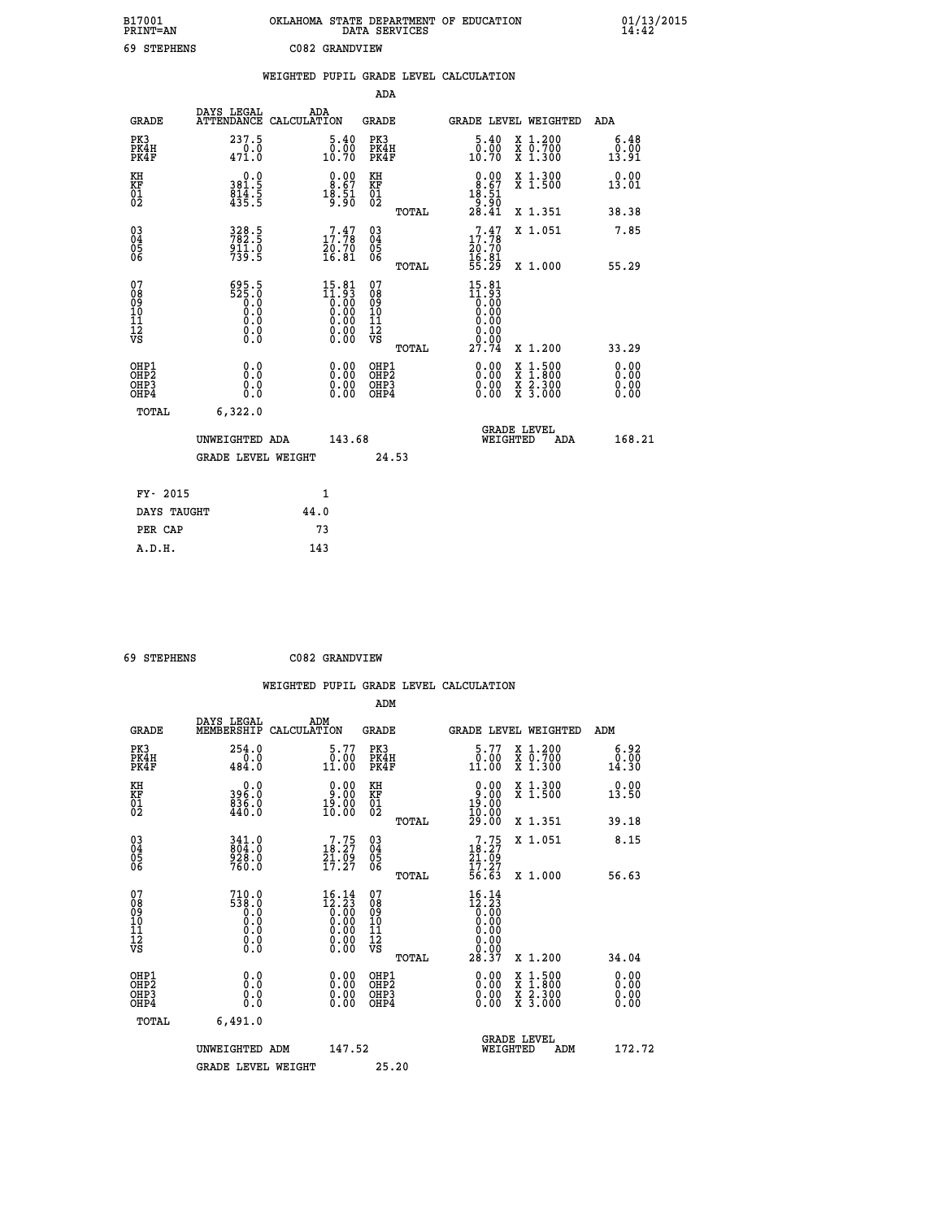| B17001<br>PRINT=AN                                 |                                                        | OKLAHOMA STATE DEPARTMENT OF EDUCATION<br>DATA SERVICES      |                                                          |                                                                          |                                                                                          | $01/13/2015$<br>14:42        |
|----------------------------------------------------|--------------------------------------------------------|--------------------------------------------------------------|----------------------------------------------------------|--------------------------------------------------------------------------|------------------------------------------------------------------------------------------|------------------------------|
| 69 STEPHENS                                        |                                                        | C082 GRANDVIEW                                               |                                                          |                                                                          |                                                                                          |                              |
|                                                    |                                                        | WEIGHTED PUPIL GRADE LEVEL CALCULATION                       |                                                          |                                                                          |                                                                                          |                              |
|                                                    |                                                        |                                                              | ADA                                                      |                                                                          |                                                                                          |                              |
| GRADE                                              | DAYS LEGAL<br>ATTENDANCE CALCULATION                   | ADA                                                          | GRADE                                                    | GRADE LEVEL WEIGHTED                                                     |                                                                                          | ADA                          |
| PK3<br>PK4H<br>PK4F                                | 237.5<br>471.0                                         | 5.40<br>$\begin{smallmatrix} 0.00 \ 10.70 \end{smallmatrix}$ | PK3<br>PK4H<br>PK4F                                      | 5.40<br>ŏ:ŏŏ<br>10:70                                                    | X 1.200<br>X 0.700<br>X 1.300                                                            | 6.48<br>0.00<br>13.91        |
| KH<br>KF<br>01<br>02                               | 0.0<br>$381.5$<br>$814.5$<br>$435.5$                   | 0.00<br>$18.57$<br>$18.51$<br>9.90                           | KH<br>KF<br>01<br>02                                     | 0.00<br>$\begin{smallmatrix} 8.67\ 18.51\ 9.90\ 28.41 \end{smallmatrix}$ | X 1.300<br>X 1.500                                                                       | 0.00<br>13.01                |
|                                                    |                                                        |                                                              | TOTAL                                                    |                                                                          | X 1.351                                                                                  | 38.38                        |
| $\begin{matrix} 03 \\ 04 \\ 05 \\ 06 \end{matrix}$ | 328.5<br>$\frac{911.0}{739.5}$                         | $\begin{smallmatrix}7.47\17.78\20.70\16.81\end{smallmatrix}$ | 03<br>04<br>05<br>06                                     | 17.17<br>20.70<br>16.01<br>55.29                                         | X 1.051                                                                                  | 7.85<br>55.29                |
| 07<br>08<br>09<br>10<br>11<br>12<br>VS             | 695.5<br>525.0<br>0.0<br>0.0<br>0.00                   | $15.81$<br>$11.93$<br>$0.00$<br>$0.00$<br>0.00<br>0.00       | TOTAL<br>07<br>08<br>09<br>10<br>11<br>ĪŽ<br>VŠ<br>TOTAL | 15.81<br>0.00<br>0.00<br>0.00<br>0.00<br>27.74                           | X 1.000<br>X 1.200                                                                       | 33.29                        |
| OHP1<br>OHP <sub>2</sub><br>OHP3<br>OHP4           | 0.0<br>Ō.Ō<br>0.0<br>0.0                               | 0.00<br>0.00<br>0.00                                         | OHP1<br>OHP <sub>2</sub><br>OHP3<br>OHP4                 | 0.00<br>0.00<br>0.00                                                     | $\begin{smallmatrix} x & 1.500 \\ x & 1.800 \\ x & 2.300 \\ x & 3.000 \end{smallmatrix}$ | 0.00<br>0.00<br>0.00<br>0.00 |
| TOTAL                                              | 6,322.0<br>UNWEIGHTED ADA<br><b>GRADE LEVEL WEIGHT</b> | 143.68                                                       | 24.53                                                    | WEIGHTED                                                                 | <b>GRADE LEVEL</b><br>ADA                                                                | 168.21                       |
| FY- 2015<br>DAYS TAUGHT                            |                                                        | 1<br>44.0                                                    |                                                          |                                                                          |                                                                                          |                              |

| 69 STEPHENS | C082 GRANDVIEW |
|-------------|----------------|

**PER CAP** 73<br> **A.D.H.** 143

 **A.D.H. 143**

|                                                      |                                                     | WEIGHTED PUPIL GRADE LEVEL CALCULATION                                                                                 |                                              |                                                                                       |                                          |                               |
|------------------------------------------------------|-----------------------------------------------------|------------------------------------------------------------------------------------------------------------------------|----------------------------------------------|---------------------------------------------------------------------------------------|------------------------------------------|-------------------------------|
|                                                      |                                                     |                                                                                                                        | ADM                                          |                                                                                       |                                          |                               |
| <b>GRADE</b>                                         | DAYS LEGAL<br>MEMBERSHIP                            | ADM<br>CALCULATION                                                                                                     | <b>GRADE</b>                                 | GRADE LEVEL WEIGHTED                                                                  |                                          | ADM                           |
| PK3<br>PK4H<br>PK4F                                  | 254.0<br>0.0<br>484.0                               | 5.77<br>0.00<br>11.00                                                                                                  | PK3<br>PK4H<br>PK4F                          | 5.77<br>$\begin{smallmatrix} \v{0} \ \v{1} \ \v{1} \ \v{1} \ \v{0} \end{smallmatrix}$ | X 1.200<br>X 0.700<br>X 1.300            | 6.92<br>0.00<br>14.30         |
| KH<br>KF<br>01<br>02                                 | $396.0$<br>$836.0$<br>$440.0$                       | $\begin{smallmatrix} 0.00\\ 9.00\\ 19.00\\ 10.00 \end{smallmatrix}$                                                    | KH<br>KF<br>01<br>02                         | $\begin{smallmatrix} 0.00\\ 9.00\\ 19.00\\ 10.00\\ 29.00 \end{smallmatrix}$           | X 1.300<br>X 1.500                       | 0.00<br>13.50                 |
|                                                      |                                                     |                                                                                                                        | TOTAL                                        |                                                                                       | X 1.351                                  | 39.18                         |
| $\begin{matrix} 03 \\ 04 \\ 05 \\ 06 \end{matrix}$   | 341.0<br>804.0<br>928.0<br>760.0                    | $\begin{smallmatrix}7.75\\18.27\\21.09\\17.27\end{smallmatrix}$                                                        | 03<br>04<br>05<br>06                         | $7.75$<br>$18.27$<br>$21.09$<br>$17.27$                                               | X 1.051                                  | 8.15                          |
|                                                      |                                                     |                                                                                                                        | TOTAL                                        | $\overline{56}.63$                                                                    | X 1.000                                  | 56.63                         |
| 07<br>0890112<br>1112<br>VS                          | $710.0$<br>538.0<br>0.0<br>0.0<br>0.0<br>$\S.$ $\S$ | $16.14$<br>$12.23$<br>$0.00$<br>$0.00$<br>$0.00$<br>$\begin{smallmatrix} 0.00 & 0.00 \\ 0.00 & 0.00 \end{smallmatrix}$ | 07<br>08901112<br>1112<br>VS                 | $16.14$<br>$12.23$<br>$0.00$<br>$0.00$<br>$0.00$<br>0.00                              |                                          |                               |
|                                                      |                                                     |                                                                                                                        | TOTAL                                        | 28.37                                                                                 | X 1.200                                  | 34.04                         |
| OHP1<br>OHP <sub>2</sub><br>OH <sub>P3</sub><br>OHP4 | 0.0<br>0.000                                        | $0.00$<br>$0.00$<br>0.00                                                                                               | OHP1<br>OHP <sub>2</sub><br>OHP <sub>3</sub> | 0.00<br>0.00<br>0.00                                                                  | X 1:500<br>X 1:800<br>X 2:300<br>X 3:000 | 0.00<br>Ō. ŌŌ<br>0.00<br>0.00 |
| TOTAL                                                | 6,491.0                                             |                                                                                                                        |                                              |                                                                                       |                                          |                               |
|                                                      | UNWEIGHTED ADM                                      | 147.52                                                                                                                 |                                              | <b>GRADE LEVEL</b><br>WEIGHTED                                                        | ADM                                      | 172.72                        |
|                                                      | <b>GRADE LEVEL WEIGHT</b>                           |                                                                                                                        | 25.20                                        |                                                                                       |                                          |                               |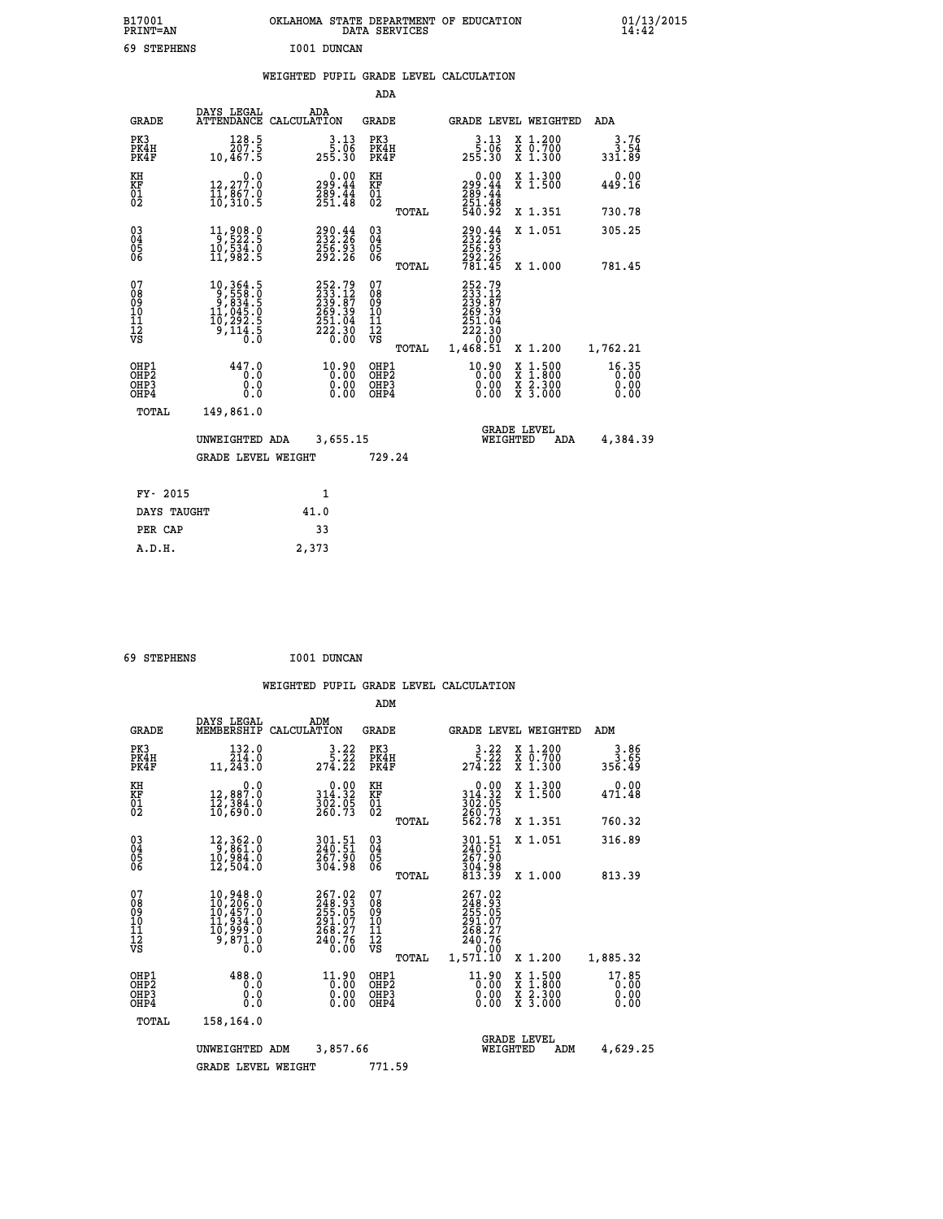| B17001<br>PRINT=AN    | <b>OKLAHOMA</b><br>STATE DEPARTMENT OF EDUCATION<br>DATA SERVICES | 01/13/2015<br>14:42 |
|-----------------------|-------------------------------------------------------------------|---------------------|
| 69<br><b>STEPHENS</b> | I001 DUNCAN                                                       |                     |

## **WEIGHTED PUPIL GRADE LEVEL CALCULATION**

|                                                                  |                                                                                                                  |                                                                                | ADA                                      |       |                                                                                  |                                                                                                  |                               |
|------------------------------------------------------------------|------------------------------------------------------------------------------------------------------------------|--------------------------------------------------------------------------------|------------------------------------------|-------|----------------------------------------------------------------------------------|--------------------------------------------------------------------------------------------------|-------------------------------|
| <b>GRADE</b>                                                     | DAYS LEGAL                                                                                                       | ADA<br>ATTENDANCE CALCULATION                                                  | <b>GRADE</b>                             |       |                                                                                  | GRADE LEVEL WEIGHTED                                                                             | ADA                           |
| PK3<br>PK4H<br>PK4F                                              | $\frac{128.5}{207.5}$<br>10,467.5                                                                                | $3.13$<br>$5.06$<br>255.30                                                     | PK3<br>PK4H<br>PK4F                      |       | $3.13$<br>$5.06$<br>255.30                                                       | X 1.200<br>X 0.700<br>X 1.300                                                                    | $3.76$<br>3.54<br>331.89      |
| KH<br>KF<br>01<br>02                                             | 0.0<br>12,277.0<br>11,067.0<br>10,310.5                                                                          | $\begin{smallmatrix} 0.00\\299.44\\289.44\\251.48\end{smallmatrix}$            | KH<br>KF<br>01<br>02                     |       | $\begin{smallmatrix} &0.00\\ 299.44\\ 289.44\\ 251.48\\ 540.92\end{smallmatrix}$ | X 1.300<br>X 1.500                                                                               | 0.00<br>449.16                |
|                                                                  |                                                                                                                  |                                                                                |                                          | TOTAL |                                                                                  | X 1.351                                                                                          | 730.78                        |
| $\begin{matrix} 03 \\ 04 \\ 05 \\ 06 \end{matrix}$               | 11,908.0<br>10,534.0<br>11,982.5                                                                                 | 290.44<br>232.26<br>256.93<br>292.26                                           | $\substack{03 \\ 04}$<br>05<br>06        |       | 290.44<br>256:93<br>292:26<br>781.45                                             | X 1.051                                                                                          | 305.25                        |
|                                                                  |                                                                                                                  |                                                                                |                                          | TOTAL |                                                                                  | X 1.000                                                                                          | 781.45                        |
| 07<br>08<br>09<br>10<br>11<br>12<br>VS                           | $\begin{smallmatrix} 10, 364.5\\ 9, 558.0\\ 9, 834.5\\ 11, 045.0\\ 10, 292.5\\ 9, 114.5\\ 0.0 \end{smallmatrix}$ | $252.79$<br>$233.12$<br>$239.87$<br>$269.39$<br>$251.04$<br>$222.30$<br>$0.00$ | 07<br>08<br>09<br>101<br>112<br>VS       |       | 252.79<br>233.127<br>239.87<br>269.394<br>251.04<br>222.30<br>222.30             |                                                                                                  |                               |
|                                                                  |                                                                                                                  |                                                                                |                                          | TOTAL | 1,468.51                                                                         | X 1.200                                                                                          | 1,762.21                      |
| OHP1<br>OH <sub>P</sub> <sub>2</sub><br>OH <sub>P3</sub><br>OHP4 | 447.0<br>0.0<br>0.0<br>0.0                                                                                       | 10.90<br>0.00<br>0.00                                                          | OHP1<br>OHP <sub>2</sub><br>OHP3<br>OHP4 |       | $^{10.90}_{0.00}$<br>0.00                                                        | $\begin{smallmatrix} x & 1 & 500 \\ x & 1 & 800 \\ x & 2 & 300 \\ x & 3 & 000 \end{smallmatrix}$ | 16.35<br>0.00<br>0.00<br>0.00 |
| <b>TOTAL</b>                                                     | 149,861.0                                                                                                        |                                                                                |                                          |       |                                                                                  |                                                                                                  |                               |
|                                                                  | UNWEIGHTED ADA                                                                                                   | 3,655.15                                                                       |                                          |       |                                                                                  | <b>GRADE LEVEL</b><br>WEIGHTED<br>ADA                                                            | 4,384.39                      |
|                                                                  | <b>GRADE LEVEL WEIGHT</b>                                                                                        |                                                                                | 729.24                                   |       |                                                                                  |                                                                                                  |                               |
|                                                                  |                                                                                                                  |                                                                                |                                          |       |                                                                                  |                                                                                                  |                               |
| FY- 2015                                                         |                                                                                                                  | 1                                                                              |                                          |       |                                                                                  |                                                                                                  |                               |
| DAYS TAUGHT                                                      |                                                                                                                  | 41.0                                                                           |                                          |       |                                                                                  |                                                                                                  |                               |
| PER CAP                                                          |                                                                                                                  | 33                                                                             |                                          |       |                                                                                  |                                                                                                  |                               |

 **69 STEPHENS I001 DUNCAN**

 **A.D.H. 2,373**

|                                    |                                                       |                                                                                                              |                                                                         | ADM                                                 |       |                                                                              |                                          |     |                               |
|------------------------------------|-------------------------------------------------------|--------------------------------------------------------------------------------------------------------------|-------------------------------------------------------------------------|-----------------------------------------------------|-------|------------------------------------------------------------------------------|------------------------------------------|-----|-------------------------------|
|                                    | <b>GRADE</b>                                          | DAYS LEGAL<br>MEMBERSHIP                                                                                     | ADM<br>CALCULATION                                                      | <b>GRADE</b>                                        |       | GRADE LEVEL WEIGHTED                                                         |                                          |     | ADM                           |
| PK3                                | PK4H<br>PK4F                                          | 132.0<br>214.0<br>11,243.0                                                                                   | 3.22<br>$27\overline{4}\cdot\overline{2}\overline{2}$                   | PK3<br>PK4H<br>PK4F                                 |       | $3.22$<br>$5.22$<br>274.22                                                   | X 1.200<br>X 0.700<br>X 1.300            |     | $3.86$<br>3.65<br>356.49      |
| KH<br>KF<br>01<br>02               |                                                       | 0.0<br>12,887.0<br>12,384.0<br>10,690.0                                                                      | $\begin{smallmatrix} &0.00\\ 314.32\\ 302.05\\ 260.73\end{smallmatrix}$ | KH<br>KF<br>01<br>02                                |       | $0.00$<br>$314.32$<br>$302.05$<br>$260.73$<br>$562.78$                       | X 1.300<br>X 1.500                       |     | 0.00<br>471.48                |
|                                    |                                                       |                                                                                                              |                                                                         |                                                     | TOTAL |                                                                              | X 1.351                                  |     | 760.32                        |
| 03<br>04<br>05<br>06               |                                                       | 12,362.0<br>9,861.0<br>10,984.0<br>12,504.0                                                                  | 301.51<br>240.51<br>267.90<br>304.98                                    | $\begin{array}{c} 03 \\ 04 \\ 05 \\ 06 \end{array}$ |       | 301.51<br>240.51<br>267.90                                                   | X 1.051                                  |     | 316.89                        |
|                                    |                                                       |                                                                                                              |                                                                         |                                                     | TOTAL | 304.98<br>813.39                                                             | X 1.000                                  |     | 813.39                        |
| 07<br>08<br>09<br>101<br>112<br>VS |                                                       | $\begin{smallmatrix} 10,948.0\\ 10,206.0\\ 10,457.0\\ 11,934.0\\ 10,999.0\\ 9,871.0\\ 0.0 \end{smallmatrix}$ | 267.02<br>248.93<br>255.05<br>291.07<br>268.27<br>240.76<br>0.00        | 07<br>08<br>09<br>11<br>11<br>12<br>VS              | TOTAL | 267.02<br>248.93<br>255.05<br>291.07<br>268.27<br>240.76<br>0.00<br>1,571.10 | X 1.200                                  |     | 1,885.32                      |
|                                    | OHP1<br>OH <sub>P</sub> 2<br>OH <sub>P3</sub><br>OHP4 | 488.0<br>0.0<br>0.000                                                                                        | $11.90$<br>0.00<br>0.00<br>0.00                                         | OHP1<br>OHP2<br>OHP3<br>OHP4                        |       | $11.90$<br>0.00<br>0.00                                                      | X 1:500<br>X 1:800<br>X 2:300<br>X 3:000 |     | 17.85<br>0.00<br>0.00<br>0.00 |
|                                    | TOTAL                                                 | 158,164.0                                                                                                    |                                                                         |                                                     |       |                                                                              |                                          |     |                               |
|                                    |                                                       | UNWEIGHTED<br>ADM                                                                                            | 3,857.66                                                                |                                                     |       |                                                                              | <b>GRADE LEVEL</b><br>WEIGHTED           | ADM | 4,629.25                      |
|                                    |                                                       | <b>GRADE LEVEL WEIGHT</b>                                                                                    |                                                                         | 771.59                                              |       |                                                                              |                                          |     |                               |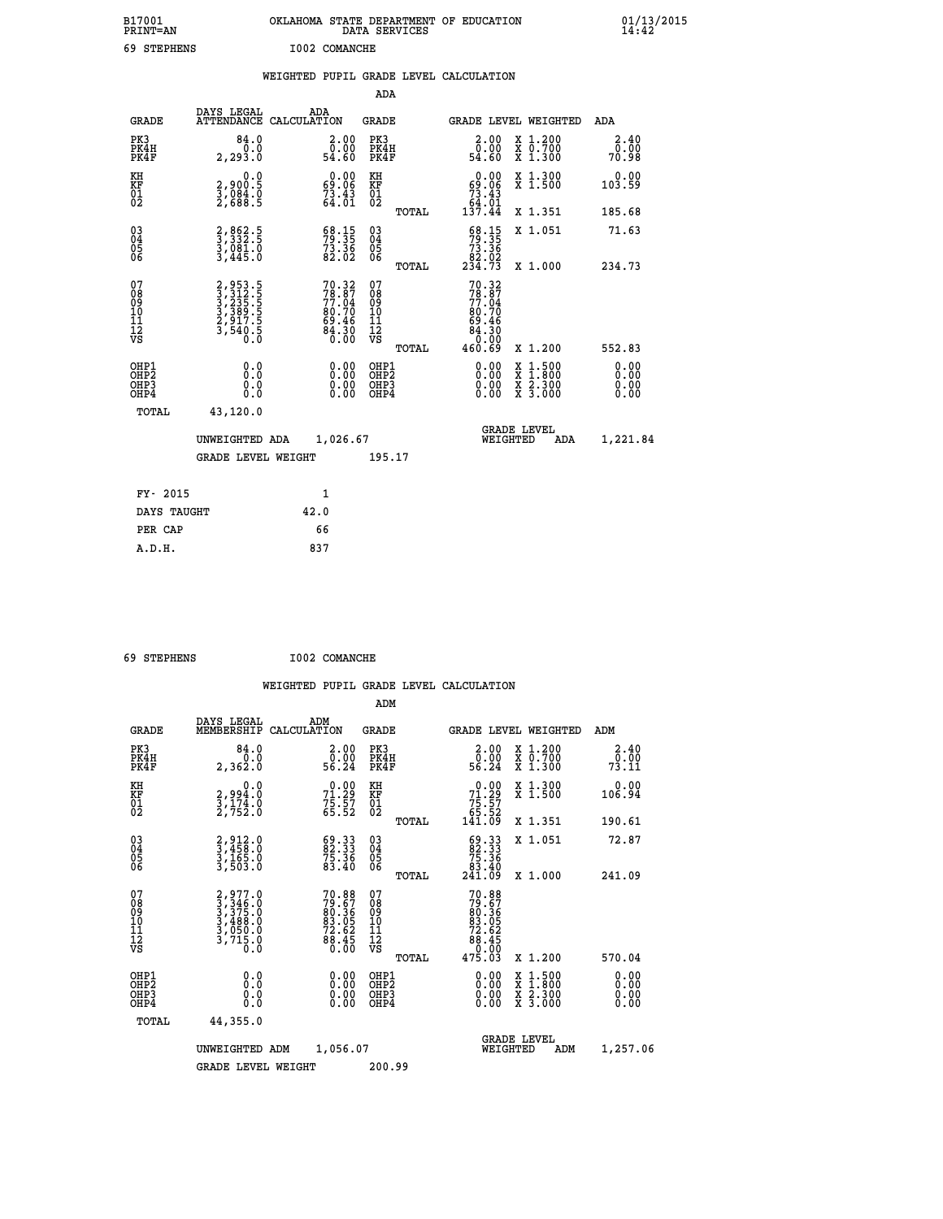| B17001<br>PRINT-AN                        |                                                                | OKLAHOMA STATE DEPARTMENT OF EDUCATION                                   | DATA SERVICES                                   |                                                                          |                                                                                                  | $01/13/2015$<br>14:42 |
|-------------------------------------------|----------------------------------------------------------------|--------------------------------------------------------------------------|-------------------------------------------------|--------------------------------------------------------------------------|--------------------------------------------------------------------------------------------------|-----------------------|
| 69 STEPHENS                               |                                                                | I002 COMANCHE                                                            |                                                 |                                                                          |                                                                                                  |                       |
|                                           |                                                                | WEIGHTED PUPIL GRADE LEVEL CALCULATION                                   |                                                 |                                                                          |                                                                                                  |                       |
|                                           |                                                                |                                                                          | ADA                                             |                                                                          |                                                                                                  |                       |
| <b>GRADE</b>                              | DAYS LEGAL                                                     | ADA<br>ATTENDANCE CALCULATION                                            | GRADE                                           | GRADE LEVEL WEIGHTED                                                     |                                                                                                  | ADA                   |
| PK3<br>PK4H<br>PK4F                       | 84.0<br>0.0<br>2, 293.0                                        | 2.00<br>0.00<br>54.60                                                    | PK3<br>PK4H<br>PK4F                             | 2.00<br>0.00<br>54.60                                                    | X 1.200<br>X 0.700<br>X 1.300                                                                    | 2.40<br>0.00<br>70.98 |
| KH<br>KF<br>$\overline{01}$               | 0.0<br>2,900:5<br>3,084:0<br>2,688:5                           | $\begin{smallmatrix} 0.00\\ 69.06\\ 73.43\\ 64.01 \end{smallmatrix}$     | KH<br>KF<br>01<br>02                            | $0.00$<br>0.06<br>$73.43$<br>64.01                                       | X 1.300<br>X 1.500                                                                               | 0.00<br>103.59        |
|                                           |                                                                |                                                                          | TOTAL                                           | 137.44                                                                   | X 1.351                                                                                          | 185.68                |
| $\substack{03 \\ 04}$<br>0500             | 3,332.5<br>$\frac{3}{3}, \frac{081}{445}$ .0                   | $\frac{68.15}{79.35}$<br>$\frac{73.36}{82.02}$                           | $^{03}_{04}$<br>0500                            | $\frac{68.15}{73.36}$<br>82.02                                           | X 1.051                                                                                          | 71.63                 |
|                                           |                                                                |                                                                          | <b>TOTAL</b>                                    | 234.73                                                                   | X 1.000                                                                                          | 234.73                |
| 07<br>08<br>09<br>11<br>11<br>12<br>VS    | 2,953.5<br>3,312.5<br>3,235.5<br>3,389.5<br>2,917.5<br>3,540.5 | $70.32$<br>$78.87$<br>$77.04$<br>$80.70$<br>$69.46$<br>$84.30$<br>$0.00$ | 07<br>08<br>09<br>10<br>11<br>12<br>VS<br>TOTAL | 70.32<br>78.87<br>77.04<br>80.70<br>69.46<br>$84.30$<br>$0.00$<br>460.69 | X 1.200                                                                                          | 552.83                |
| OHP1<br>OH <sub>P</sub> 2<br>OHP3<br>OHP4 | 0.0<br>Ō.O<br>0.0<br>0.0                                       | $0.00$<br>$0.00$<br>0.00                                                 | OHP1<br>OH <sub>P</sub> 2<br>OHP3<br>OHP4       | $0.00$<br>$0.00$<br>0.00                                                 | $\begin{smallmatrix} x & 1 & 500 \\ x & 1 & 800 \\ x & 2 & 300 \\ x & 3 & 000 \end{smallmatrix}$ | 0.00<br>0.00<br>0.00  |
| TOTAL                                     | 43,120.0                                                       |                                                                          |                                                 |                                                                          |                                                                                                  |                       |
|                                           |                                                                | UNWEIGHTED ADA 1,026.67                                                  |                                                 | <b>GRADE LEVEL</b><br>WEIGHTED                                           | ADA                                                                                              | 1,221.84              |
|                                           | GRADE LEVEL WEIGHT                                             |                                                                          | 195.17                                          |                                                                          |                                                                                                  |                       |
| FY- 2015                                  |                                                                | $\mathbf{1}$                                                             |                                                 |                                                                          |                                                                                                  |                       |
| DAYS TAUGHT                               |                                                                | 42.0                                                                     |                                                 |                                                                          |                                                                                                  |                       |
| PER CAP                                   |                                                                | 66                                                                       |                                                 |                                                                          |                                                                                                  |                       |
| A.D.H.                                    |                                                                | 837                                                                      |                                                 |                                                                          |                                                                                                  |                       |

| A.D.H. | 837 |
|--------|-----|
|        |     |
|        |     |

 **ADM**

 **69 STEPHENS I002 COMANCHE**

| <b>GRADE</b>                                       | DAYS LEGAL<br>MEMBERSHIP                                                          | ADM<br>CALCULATION                                                        | <b>GRADE</b>                                        |       | GRADE LEVEL WEIGHTED                                                                         |                                          | ADM                             |  |
|----------------------------------------------------|-----------------------------------------------------------------------------------|---------------------------------------------------------------------------|-----------------------------------------------------|-------|----------------------------------------------------------------------------------------------|------------------------------------------|---------------------------------|--|
| PK3<br>PK4H<br>PK4F                                | 84.0<br>2,362.0                                                                   | $\begin{smallmatrix} 2.00\0.00\\ 56.24\end{smallmatrix}$                  | PK3<br>PK4H<br>PK4F                                 |       | $\begin{smallmatrix} 2.00\\ 0.00\\ 56.24 \end{smallmatrix}$                                  | X 1.200<br>X 0.700<br>X 1.300            | 2.40<br>$7\overline{3}\cdot 11$ |  |
| KH<br>KF<br>01<br>02                               | 0.0<br>2,994:0<br>3,174:0<br>2,752:0                                              | $71.29$<br>$75.27$<br>$75.57$<br>$65.52$                                  | KH<br>KF<br>01<br>02                                |       | $\begin{smallmatrix} &0.00\ 71.29\ 75.57\ 65.52\ 141.09\ \end{smallmatrix}$                  | X 1.300<br>X 1.500                       | 0.00<br>106.94                  |  |
|                                                    |                                                                                   |                                                                           |                                                     | TOTAL |                                                                                              | X 1.351                                  | 190.61                          |  |
| $\begin{matrix} 03 \\ 04 \\ 05 \\ 06 \end{matrix}$ | 2,912.0<br>3,458.0<br>3,165.0<br>3,503.0                                          | $\begin{smallmatrix} 69.33\ 82.33\ 75.36\ 83.40 \end{smallmatrix}$        | $\begin{array}{c} 03 \\ 04 \\ 05 \\ 06 \end{array}$ |       | $\begin{smallmatrix} 69 & 33 \\ 82 & 33 \\ 75 & 36 \\ 83 & 40 \\ 241 & 09 \end{smallmatrix}$ | X 1.051                                  | 72.87                           |  |
|                                                    |                                                                                   |                                                                           |                                                     | TOTAL |                                                                                              | X 1.000                                  | 241.09                          |  |
| 07<br>08<br>09<br>101<br>11<br>12<br>VS            | $2,977.0$<br>$3,346.0$<br>$3,375.0$<br>$3,488.0$<br>$3,050.0$<br>$3,715.0$<br>0.0 | $70.88$<br>$79.67$<br>$80.36$<br>$83.05$<br>$72.62$<br>$78.45$<br>$88.45$ | 07<br>08<br>09<br>001<br>11<br>11<br>12<br>VS       | TOTAL | 70.88<br>79.676<br>80.365<br>83.052<br>72.625<br>88.45<br>80.000<br>475.03                   | X 1.200                                  | 570.04                          |  |
| OHP1<br>OHP2<br>OHP3<br>OHP4                       |                                                                                   | $\begin{smallmatrix} 0.00 \ 0.00 \ 0.00 \ 0.00 \end{smallmatrix}$         | OHP1<br>OHP2<br>OHP3<br>OHP4                        |       |                                                                                              | X 1:500<br>X 1:800<br>X 2:300<br>X 3:000 | 0.00<br>0.00<br>0.00            |  |
| TOTAL                                              | 44,355.0                                                                          |                                                                           |                                                     |       |                                                                                              |                                          |                                 |  |
|                                                    | UNWEIGHTED                                                                        | 1,056.07<br>ADM                                                           |                                                     |       | WEIGHTED                                                                                     | <b>GRADE LEVEL</b><br>ADM                | 1,257.06                        |  |
|                                                    | <b>GRADE LEVEL WEIGHT</b>                                                         |                                                                           | 200.99                                              |       |                                                                                              |                                          |                                 |  |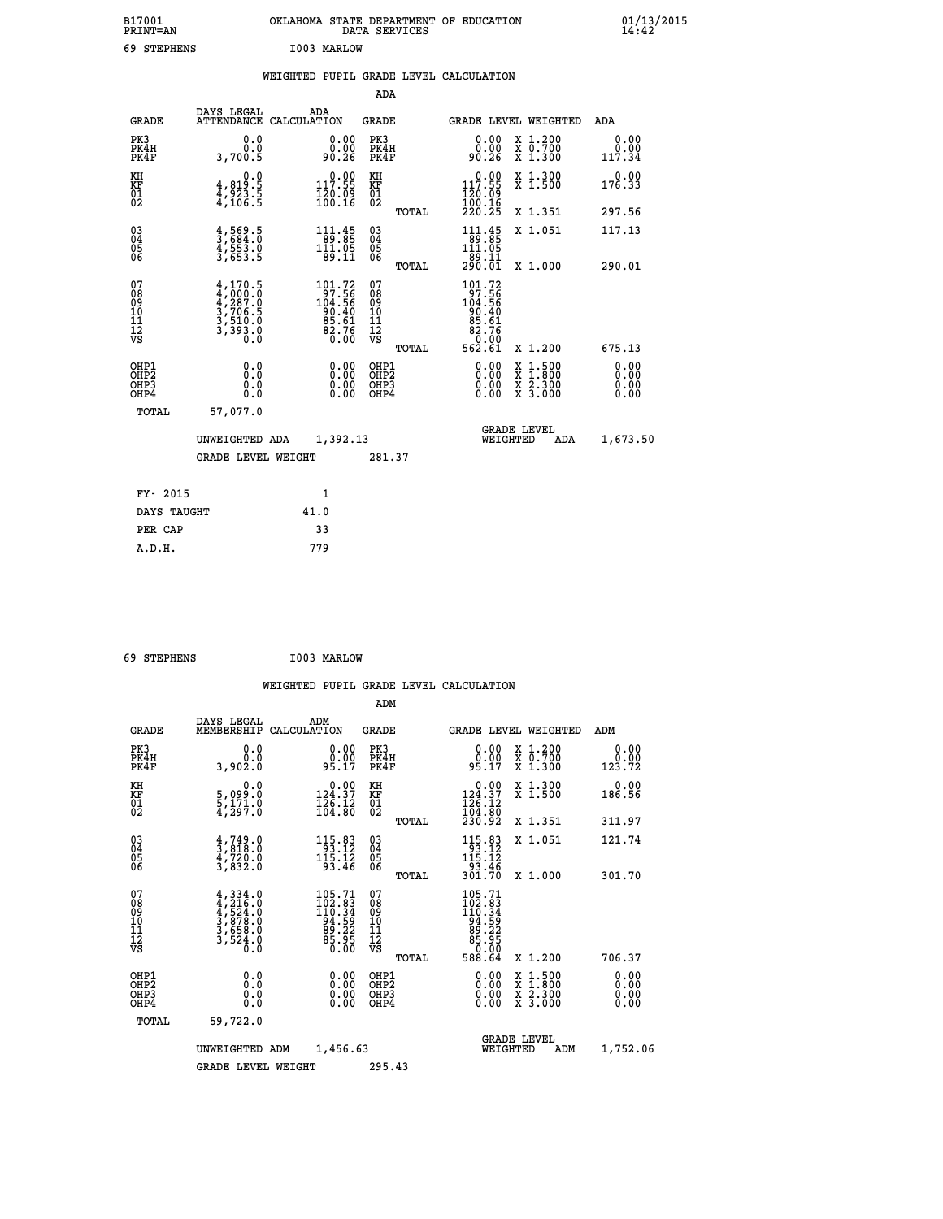| B17001<br>PRINT=AN    | <b>OKLAHOMA</b><br>STATE DEPARTMENT OF EDUCATION<br>SERVICES<br>DATA | 01/13/2015<br>14:42 |
|-----------------------|----------------------------------------------------------------------|---------------------|
| 69<br><b>STEPHENS</b> | I003<br>MARLOW                                                       |                     |

## **WEIGHTED PUPIL GRADE LEVEL CALCULATION**

|                                                                              |                                                                                            |                                                                                                       | ADA                                                 |                                                                                                                                                                   |                              |
|------------------------------------------------------------------------------|--------------------------------------------------------------------------------------------|-------------------------------------------------------------------------------------------------------|-----------------------------------------------------|-------------------------------------------------------------------------------------------------------------------------------------------------------------------|------------------------------|
| <b>GRADE</b>                                                                 | DAYS LEGAL                                                                                 | ADA<br>ATTENDANCE CALCULATION                                                                         | GRADE                                               | <b>GRADE LEVEL WEIGHTED</b>                                                                                                                                       | ADA                          |
| PK3<br>PK4H<br>PK4F                                                          | 0.0<br>Ō.Ō<br>3,700.5                                                                      | 0.00<br>90.26                                                                                         | PK3<br>PK4H<br>PK4F                                 | X 1.200<br>X 0.700<br>X 1.300<br>0.00<br>0.00<br>90.26                                                                                                            | 0.00<br>0.00<br>117.34       |
| KH<br>KF<br>01<br>02                                                         | 0.0<br>$\frac{4}{4}, \frac{819}{923}$ . 5<br>$\frac{4}{4}, \frac{106}{106}$ . 5            | $\begin{smallmatrix} 0.00\\ 117.55\\ 120.09\\ 160.16 \end{smallmatrix}$                               | KH<br>KF<br>01<br>02                                | $\begin{smallmatrix} &0.00\\ 117.55\\ 120.09\\ 100.16\\ 220.25 \end{smallmatrix}$<br>X 1.300<br>X 1.500                                                           | 0.00<br>176.33               |
|                                                                              |                                                                                            |                                                                                                       | TOTAL                                               | X 1.351                                                                                                                                                           | 297.56                       |
| $\begin{matrix} 03 \\ 04 \\ 05 \\ 06 \end{matrix}$                           | $\frac{4}{3}, \frac{569}{684}. \frac{5}{0}$<br>$\frac{4}{3}, \frac{553}{653}. \frac{0}{5}$ | $\begin{array}{r} 111.45 \\ 89.85 \\ 111.05 \\ 89.11 \end{array}$                                     | $\begin{array}{c} 03 \\ 04 \\ 05 \\ 06 \end{array}$ | $111.45$<br>$111.95$<br>$111.95$<br>X 1.051<br>-89.11<br>290.01                                                                                                   | 117.13                       |
|                                                                              |                                                                                            |                                                                                                       | TOTAL                                               | X 1.000                                                                                                                                                           | 290.01                       |
| 07<br>08<br>09<br>11<br>11<br>12<br>VS                                       | $4,170.5$<br>$4,000.0$<br>$4,287.0$<br>$3,706.5$<br>$3,510.0$<br>$3,393.0$<br>$0.0$        | $\begin{smallmatrix} 101.72\\ 97.56\\ 104.56\\ 90.40\\ 95.61\\ 85.76\\ 2.76\\ 0.00 \end{smallmatrix}$ | 07<br>08<br>09<br>11<br>11<br>12<br>VS<br>TOTAL     | $\begin{smallmatrix} 101.72\\ 97.56\\ 104.56\\ 90.40\\ 95.61\\ 82.76\\ 0.00\\ 562.61 \end{smallmatrix}$<br>X 1.200                                                | 675.13                       |
| OHP1<br>OH <sub>P</sub> <sub>2</sub><br>OH <sub>P3</sub><br>OH <sub>P4</sub> | 0.0<br>0.0<br>0.0                                                                          | 0.00<br>0.00<br>0.00                                                                                  | OHP1<br>OHP2<br>OHP3<br>OHP4                        | 0.00<br>$\begin{smallmatrix} \mathtt{X} & 1\cdot500\\ \mathtt{X} & 1\cdot800\\ \mathtt{X} & 2\cdot300\\ \mathtt{X} & 3\cdot000 \end{smallmatrix}$<br>0.00<br>0.00 | 0.00<br>0.00<br>0.00<br>0.00 |
|                                                                              | TOTAL<br>57,077.0                                                                          |                                                                                                       |                                                     |                                                                                                                                                                   |                              |
|                                                                              | UNWEIGHTED ADA                                                                             | 1,392.13                                                                                              |                                                     | <b>GRADE LEVEL</b><br>WEIGHTED<br>ADA                                                                                                                             | 1,673.50                     |
|                                                                              | <b>GRADE LEVEL WEIGHT</b>                                                                  |                                                                                                       | 281.37                                              |                                                                                                                                                                   |                              |
|                                                                              | FY- 2015                                                                                   | 1                                                                                                     |                                                     |                                                                                                                                                                   |                              |
|                                                                              | DAYS TAUGHT                                                                                | 41.0                                                                                                  |                                                     |                                                                                                                                                                   |                              |
|                                                                              | PER CAP                                                                                    | 33                                                                                                    |                                                     |                                                                                                                                                                   |                              |
|                                                                              | A.D.H.                                                                                     | 779                                                                                                   |                                                     |                                                                                                                                                                   |                              |

| 69 STEPHENS | I003 MARLOW |
|-------------|-------------|
|             |             |

| <b>GRADE</b>                             | DAYS LEGAL<br>MEMBERSHIP                                                                  | ADM<br>CALCULATION                                                                  | <b>GRADE</b>                                       |       |                                                                                                                                                        | <b>GRADE LEVEL WEIGHTED</b>              | ADM                                                   |  |
|------------------------------------------|-------------------------------------------------------------------------------------------|-------------------------------------------------------------------------------------|----------------------------------------------------|-------|--------------------------------------------------------------------------------------------------------------------------------------------------------|------------------------------------------|-------------------------------------------------------|--|
| PK3<br>PK4H<br>PK4F                      | 0.0<br>ة:ة<br>3,902:0                                                                     | $\begin{smallmatrix} 0.00\\ 0.00\\ 95.17 \end{smallmatrix}$                         | PK3<br>PK4H<br>PK4F                                |       | $0.00$<br>95.17                                                                                                                                        | X 1.200<br>X 0.700<br>X 1.300            | 0.00<br>$\begin{array}{c} 0.00 \\ 123.72 \end{array}$ |  |
| KH<br>KF<br>01<br>02                     | 0.0<br>5,099:0<br>5,171.0<br>4,297:0                                                      | $0.00$<br>124.37<br>$\frac{1}{2}$ $\frac{1}{6}$ $\cdot$ $\frac{1}{8}$ $\frac{2}{8}$ | KH<br>KF<br>$\overline{01}$                        |       | $\begin{smallmatrix} &0.00\\ 124.37\\ 126.12\\ 104.80\\ 230.92 \end{smallmatrix}$                                                                      | X 1.300<br>X 1.500                       | 0.00<br>186.56                                        |  |
|                                          |                                                                                           |                                                                                     |                                                    | TOTAL |                                                                                                                                                        | X 1.351                                  | 311.97                                                |  |
| 03<br>04<br>05<br>06                     | $\frac{4}{3}, \frac{749}{818}.0$<br>$\frac{4}{3}, \frac{720}{832}.0$<br>$\frac{3}{832}.0$ | $\begin{array}{r} 115.83 \\ 93.12 \\ 115.12 \\ 93.46 \end{array}$                   | $\begin{matrix} 03 \\ 04 \\ 05 \\ 06 \end{matrix}$ |       | $\begin{array}{r} 115\cdot83 \\ 93\cdot12 \\ 115\cdot12 \\ 93\cdot46 \\ 301\cdot70 \end{array}$                                                        | X 1.051                                  | 121.74                                                |  |
|                                          |                                                                                           |                                                                                     |                                                    | TOTAL |                                                                                                                                                        | X 1.000                                  | 301.70                                                |  |
| 07<br>08<br>09<br>101<br>11<br>12<br>VS  | $4,334.0$<br>$4,216.0$<br>$524.0$<br>$3,878.0$<br>$3,658.0$<br>$3,524.0$<br>$0.0$         | $105.71$<br>$102.83$<br>$110.34$<br>$94.59$<br>$85.225$<br>$85.95$<br>$0.00$        | 07<br>08<br>09<br>001<br>11<br>11<br>12<br>VS      | TOTAL | $\begin{smallmatrix} 105\cdot71\\ 102\cdot83\\ 110\cdot34\\ 14\cdot34\\ 94\cdot52\\ 85\cdot225\\ 85\cdot86\\ 0\cdot100\\ 588\cdot64 \end{smallmatrix}$ | X 1.200                                  | 706.37                                                |  |
|                                          |                                                                                           |                                                                                     |                                                    |       |                                                                                                                                                        |                                          |                                                       |  |
| OHP1<br>OHP2<br>OH <sub>P3</sub><br>OHP4 | 0.0<br>0.000                                                                              |                                                                                     | OHP1<br>OHP2<br>OHP3<br>OHP4                       |       | 0.00<br>$0.00$<br>0.00                                                                                                                                 | X 1:500<br>X 1:800<br>X 2:300<br>X 3:000 | 0.00<br>0.00<br>0.00                                  |  |
| TOTAL                                    | 59,722.0                                                                                  |                                                                                     |                                                    |       |                                                                                                                                                        |                                          |                                                       |  |
|                                          | UNWEIGHTED                                                                                | 1,456.63<br>ADM                                                                     |                                                    |       | WEIGHTED                                                                                                                                               | <b>GRADE LEVEL</b><br>ADM                | 1,752.06                                              |  |
|                                          | <b>GRADE LEVEL WEIGHT</b>                                                                 |                                                                                     | 295.43                                             |       |                                                                                                                                                        |                                          |                                                       |  |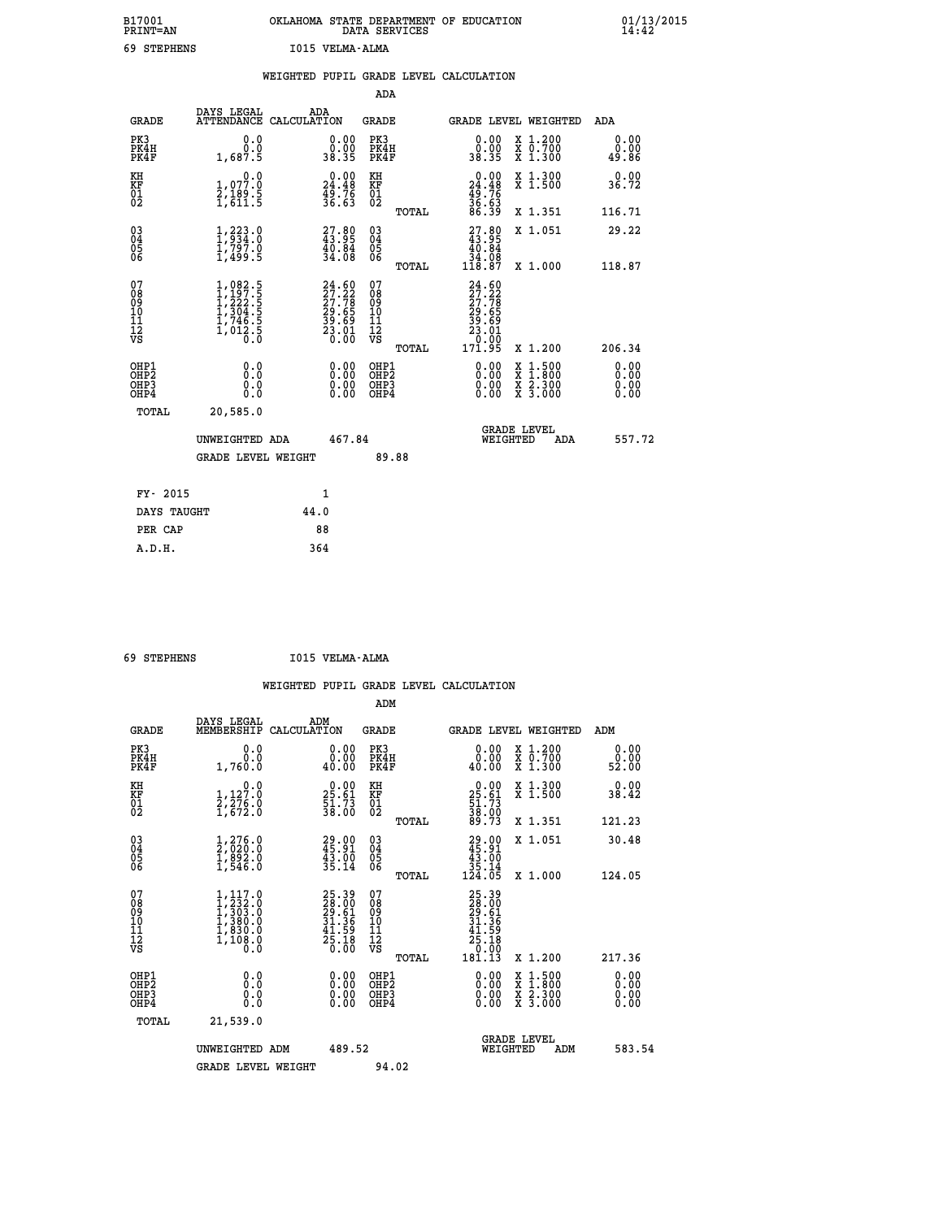| B17001<br><b>PRINT=AN</b> | OKLAHOMA STATE DEPARTMENT OF EDUCATION<br>DATA SERVICES |  |
|---------------------------|---------------------------------------------------------|--|
| 69 STEPHENS               | I015 VELMA-ALMA                                         |  |

|                                |                                                                                                                                           | WEIGHTED PUPIL GRADE LEVEL CALCULATION                                |                                                 |                                                                                           |                              |
|--------------------------------|-------------------------------------------------------------------------------------------------------------------------------------------|-----------------------------------------------------------------------|-------------------------------------------------|-------------------------------------------------------------------------------------------|------------------------------|
|                                |                                                                                                                                           |                                                                       | ADA                                             |                                                                                           |                              |
| <b>GRADE</b>                   | DAYS LEGAL<br><b>ATTENDANCE</b>                                                                                                           | ADA<br>CALCULATION                                                    | <b>GRADE</b>                                    | GRADE LEVEL WEIGHTED                                                                      | ADA                          |
| PK3<br>PK4H<br>PK4F            | 0.0<br>0.0<br>1,687.5                                                                                                                     | $\begin{smallmatrix} 0.00\\ 0.00\\ 38.35 \end{smallmatrix}$           | PK3<br>PK4H<br>PK4F                             | 0.00<br>X 1.200<br>X 0.700<br>X 1.300<br>0.00<br>38.35                                    | 0.00<br>0.00<br>49.86        |
| KH<br>KF<br>01<br>02           | 0.0<br>1,077.0<br>2,189.5<br>1,611.5                                                                                                      | $\begin{smallmatrix} 0.00\\24.48\\49.76\\36.63\\ \end{smallmatrix}$   | KH<br>KF<br>01<br>02                            | X 1.300<br>X 1.500<br>$0.00$<br>$24.48$<br>$49.76$<br>$36.63$<br>$86.39$                  | 0.00<br>36.72                |
|                                |                                                                                                                                           |                                                                       | TOTAL                                           | X 1.351                                                                                   | 116.71                       |
| 03<br>04<br>05<br>06           | $1, 223.0$<br>$1, 934.0$<br>$\frac{17797.0}{17499.5}$                                                                                     | $\begin{smallmatrix} 27.80\\ 43.95\\ 40.84\\ 34.08 \end{smallmatrix}$ | 03<br>04<br>05<br>06                            | $\begin{smallmatrix} 27.80\\ 43.95\\ 40.84\\ 34.08\\ 118.87 \end{smallmatrix}$<br>X 1.051 | 29.22                        |
|                                |                                                                                                                                           |                                                                       | TOTAL                                           | X 1.000                                                                                   | 118.87                       |
| 07<br>089<br>090<br>1112<br>VS | $\begin{smallmatrix} 1,082\cdot 5\\ 1,197\cdot 5\\ 1,222\cdot 5\\ 1,304\cdot 5\\ 1,746\cdot 5\\ 1,012\cdot 5\\ 0\cdot 0\end{smallmatrix}$ | $24.60\n27.22\n27.78\n29.65\n39.69\n33.01\n23.00$                     | 07<br>08<br>09<br>11<br>11<br>12<br>VS<br>TOTAL | 24.60<br>27.22<br>27.78<br>23.65<br>23.69<br>23.01<br>23.01<br>0.00<br>171.95<br>X 1.200  | 206.34                       |
| OHP1<br>OHP2<br>OHP3<br>OHP4   | 0.0<br>0.0<br>0.0                                                                                                                         | 0.00<br>$\begin{smallmatrix} 0.00 \ 0.00 \end{smallmatrix}$           | OHP1<br>OHP2<br>OHP3<br>OHP4                    | 0.00<br>$1:500$<br>$1:800$<br>X<br>X<br>X 2.300<br>X 3.000<br>0.00<br>0.00                | 0.00<br>0.00<br>0.00<br>0.00 |
| TOTAL                          | 20,585.0                                                                                                                                  |                                                                       |                                                 |                                                                                           |                              |
|                                | UNWEIGHTED ADA                                                                                                                            | 467.84                                                                |                                                 | <b>GRADE LEVEL</b><br>WEIGHTED                                                            | 557.72<br>ADA                |
|                                | <b>GRADE LEVEL WEIGHT</b>                                                                                                                 |                                                                       | 89.88                                           |                                                                                           |                              |
| FY- 2015                       |                                                                                                                                           | $\mathbf{1}$                                                          |                                                 |                                                                                           |                              |
| DAYS TAUGHT                    |                                                                                                                                           | 44.0                                                                  |                                                 |                                                                                           |                              |
| PER CAP                        |                                                                                                                                           | 88                                                                    |                                                 |                                                                                           |                              |

 **A.D.H. 364**

 **ADM**

 **69 STEPHENS I015 VELMA-ALMA**

| <b>GRADE</b>                                         | DAYS LEGAL ADM<br>MEMBERSHIP CALCULATION                                                  |                                                                      | <b>GRADE</b>                                           |                                                                                                                                                                                                                                                                                |                                | GRADE LEVEL WEIGHTED                     | ADM                          |
|------------------------------------------------------|-------------------------------------------------------------------------------------------|----------------------------------------------------------------------|--------------------------------------------------------|--------------------------------------------------------------------------------------------------------------------------------------------------------------------------------------------------------------------------------------------------------------------------------|--------------------------------|------------------------------------------|------------------------------|
| PK3<br>PK4H<br>PK4F                                  | 0.0<br>0.0<br>1,760.0                                                                     | 0.00<br>0.00<br>40.00                                                | PK3<br>PK4H<br>PK4F                                    | 0.00<br>40.00                                                                                                                                                                                                                                                                  |                                | X 1.200<br>X 0.700<br>X 1.300            | 0.00<br>$\frac{0.00}{52.00}$ |
| KH<br>KF<br>01<br>02                                 | $\begin{smallmatrix}&&&0.0\\1,127.0\\2,276.0\\1,672.0\end{smallmatrix}$                   | $\begin{smallmatrix} 0.00\\ 25.61\\ 51.73\\ 38.00 \end{smallmatrix}$ | KH<br>KF<br>01<br>02                                   | $\begin{smallmatrix} 0.00\\ 25.61\\ 51.73\\ 38.00\\ 89.73 \end{smallmatrix}$                                                                                                                                                                                                   |                                | X 1.300<br>X 1.500                       | 0.00<br>38.42                |
|                                                      |                                                                                           |                                                                      | TOTAL                                                  |                                                                                                                                                                                                                                                                                |                                | X 1.351                                  | 121.23                       |
| $\begin{matrix} 03 \\ 04 \\ 05 \\ 06 \end{matrix}$   | $\begin{smallmatrix} 1,276.0\\ 2,020.0\\ 1,892.0\\ 1,546.0 \end{smallmatrix}$             | 29.00<br>45.91<br>$\frac{4\bar{3}\cdot\bar{0}\bar{0}}{35.14}$        | $\substack{03 \\ 04}$<br>Ŏ5<br>06                      | $\begin{smallmatrix} 29.00\\ 45.91\\ 43.00\\ 35.14\\ 124.05 \end{smallmatrix}$                                                                                                                                                                                                 |                                | X 1.051                                  | 30.48                        |
|                                                      |                                                                                           |                                                                      | TOTAL                                                  |                                                                                                                                                                                                                                                                                |                                | X 1.000                                  | 124.05                       |
| 07<br>08<br>09<br>101<br>11<br>12<br>VS              | $1, 117.0$<br>$1, 232.0$<br>$1, 303.0$<br>$1, 380.0$<br>$1, 830.0$<br>$1, 108.0$<br>$0.0$ | 25.39<br>28.00<br>29.61<br>31.36<br>31.36<br>41.59<br>25.18<br>25.18 | 07<br>08<br>09<br>001<br>11<br>11<br>12<br>VS<br>TOTAL | 25.39<br>28.001<br>29.51<br>21.369<br>41.59<br>25.18<br>0.000<br>181.13                                                                                                                                                                                                        |                                | X 1.200                                  | 217.36                       |
| OHP1<br>OHP <sub>2</sub><br>OH <sub>P3</sub><br>OHP4 |                                                                                           | $0.00$<br>$0.00$<br>0.00                                             | OHP1<br>OHP <sub>2</sub><br>OHP3<br>OHP4               | $\begin{smallmatrix} 0.00 & 0.00 & 0.00 & 0.00 & 0.00 & 0.00 & 0.00 & 0.00 & 0.00 & 0.00 & 0.00 & 0.00 & 0.00 & 0.00 & 0.00 & 0.00 & 0.00 & 0.00 & 0.00 & 0.00 & 0.00 & 0.00 & 0.00 & 0.00 & 0.00 & 0.00 & 0.00 & 0.00 & 0.00 & 0.00 & 0.00 & 0.00 & 0.00 & 0.00 & 0.00 & 0.0$ |                                | X 1:500<br>X 1:800<br>X 2:300<br>X 3:000 | 0.00<br>0.00<br>0.00         |
| TOTAL                                                | 21,539.0                                                                                  |                                                                      |                                                        |                                                                                                                                                                                                                                                                                |                                |                                          |                              |
|                                                      | UNWEIGHTED<br>ADM                                                                         | 489.52                                                               |                                                        |                                                                                                                                                                                                                                                                                | <b>GRADE LEVEL</b><br>WEIGHTED | ADM                                      | 583.54                       |
|                                                      | <b>GRADE LEVEL WEIGHT</b>                                                                 |                                                                      | 94.02                                                  |                                                                                                                                                                                                                                                                                |                                |                                          |                              |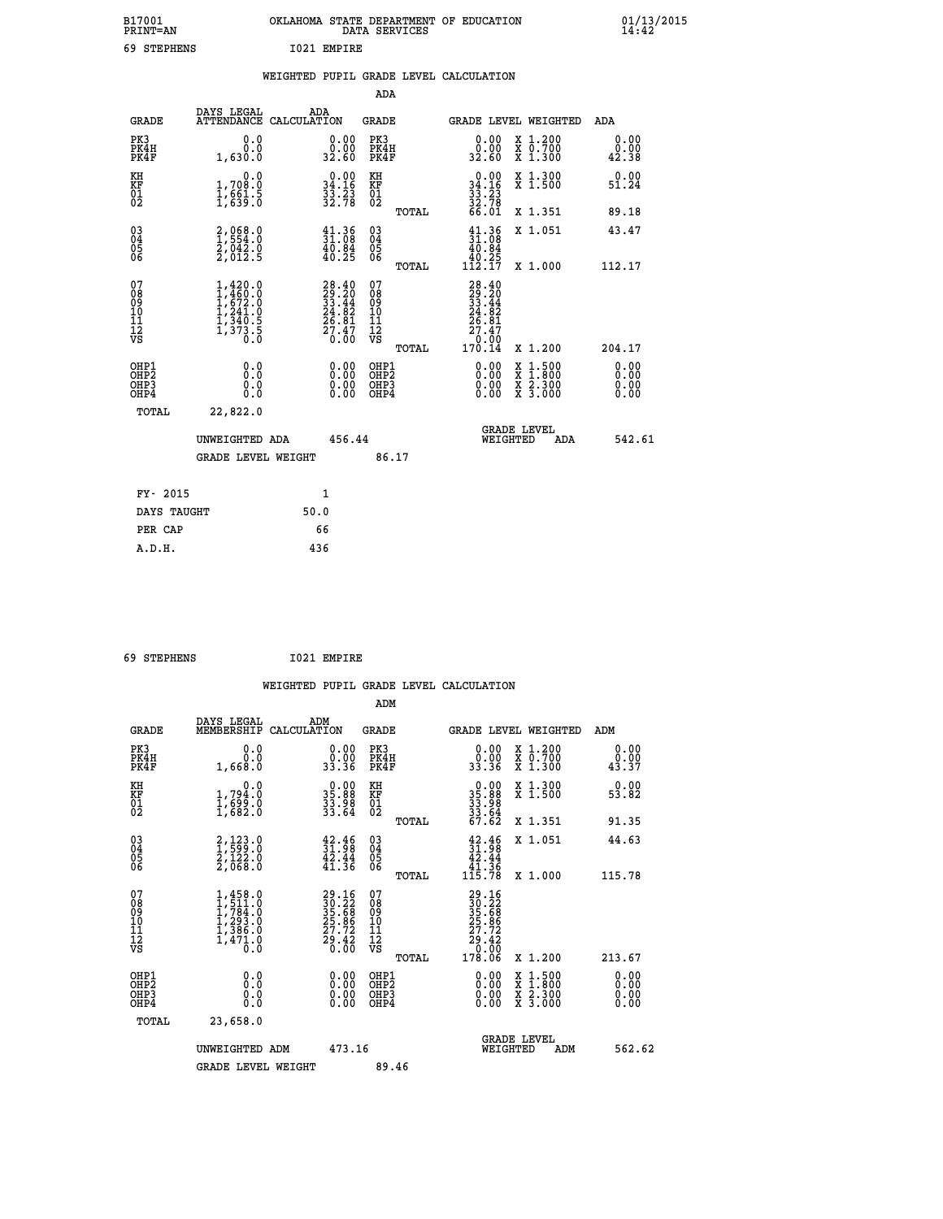| B17001<br><b>PRINT=AN</b> | OKLAHOMA<br>STATE DEPARTMENT OF EDUCATION<br>DATA<br>SERVICES | 01/13/2015 |
|---------------------------|---------------------------------------------------------------|------------|
| 69<br><b>STEPHENS</b>     | I021<br>EMPIRE                                                |            |

|  |  | WEIGHTED PUPIL GRADE LEVEL CALCULATION |
|--|--|----------------------------------------|
|  |  |                                        |

|                                           |                                                                                                         |                                                                          | ADA                                             |                                                                                      |                                                                                                  |                              |
|-------------------------------------------|---------------------------------------------------------------------------------------------------------|--------------------------------------------------------------------------|-------------------------------------------------|--------------------------------------------------------------------------------------|--------------------------------------------------------------------------------------------------|------------------------------|
| <b>GRADE</b>                              | DAYS LEGAL                                                                                              | ADA<br>ATTENDANCE CALCULATION                                            | GRADE                                           |                                                                                      | <b>GRADE LEVEL WEIGHTED</b>                                                                      | ADA                          |
| PK3<br>PK4H<br>PK4F                       | 0.0<br>0.0<br>1,630.0                                                                                   | $\begin{smallmatrix} 0.00\\ 0.00\\ 32.60 \end{smallmatrix}$              | PK3<br>PK4H<br>PK4F                             | 0.00<br>0.00<br>32.60                                                                | X 1.200<br>X 0.700<br>X 1.300                                                                    | 0.00<br>0.00<br>42.38        |
| KH<br>KF<br>01<br>02                      | 0.0<br>1,708.0<br>$\frac{1}{1}$ , $\frac{6}{6}$ , $\frac{1}{3}$ , $\frac{5}{6}$                         | $\begin{smallmatrix} 0.00\\ 34.16\\ 33.23\\ 32.78 \end{smallmatrix}$     | KH<br>KF<br>01<br>02                            | $0.00$<br>$34.16$<br>$33.23$<br>$32.78$<br>$66.01$                                   | X 1.300<br>X 1.500                                                                               | 0.00<br>51.24                |
|                                           |                                                                                                         |                                                                          | TOTAL                                           |                                                                                      | X 1.351                                                                                          | 89.18                        |
| 03<br>04<br>05<br>06                      | 2,068.0<br>1,554.0<br>2,042.0<br>2,012.5                                                                | $\begin{smallmatrix} 41.36 \\ 31.08 \\ 40.84 \\ 40.25 \end{smallmatrix}$ | 03<br>04<br>05<br>06                            | $\frac{41.36}{31.08}$<br>$\frac{40.84}{31.08}$<br>$\frac{\bar{40}.\bar{25}}{112.17}$ | X 1.051                                                                                          | 43.47                        |
|                                           |                                                                                                         |                                                                          | TOTAL                                           |                                                                                      | X 1.000                                                                                          | 112.17                       |
| 07<br>08<br>09<br>11<br>11<br>12<br>VS    | $\begin{smallmatrix} 1,420.0\\ 1,460.0\\ 1,672.0\\ 1,241.0\\ 1,340.5\\ 1,373.5\\ 0.0 \end{smallmatrix}$ | $28.40$<br>$29.20$<br>$33.44$<br>$24.82$<br>$26.81$<br>$27.47$<br>$0.00$ | 07<br>08<br>09<br>11<br>11<br>12<br>VS<br>TOTAL | $28.40$<br>$29.20$<br>$33.44$<br>$24.82$<br>$26.81$<br>$27.47$<br>$0.00$<br>$170.14$ | X 1.200                                                                                          | 204.17                       |
| OHP1<br>OH <sub>P</sub> 2<br>OHP3<br>OHP4 | 0.0<br>0.0<br>0.0                                                                                       | 0.00<br>$\begin{smallmatrix} 0.00 \ 0.00 \end{smallmatrix}$              | OHP1<br>OHP <sub>2</sub><br>OHP3<br>OHP4        | 0.00<br>0.00<br>0.00                                                                 | $\begin{smallmatrix} x & 1 & 500 \\ x & 1 & 800 \\ x & 2 & 300 \\ x & 3 & 000 \end{smallmatrix}$ | 0.00<br>0.00<br>0.00<br>0.00 |
| TOTAL                                     | 22,822.0                                                                                                |                                                                          |                                                 |                                                                                      |                                                                                                  |                              |
|                                           | UNWEIGHTED ADA<br>GRADE LEVEL WEIGHT                                                                    | 456.44                                                                   | 86.17                                           |                                                                                      | <b>GRADE LEVEL</b><br>WEIGHTED<br>ADA                                                            | 542.61                       |
|                                           |                                                                                                         |                                                                          |                                                 |                                                                                      |                                                                                                  |                              |
| FY- 2015                                  |                                                                                                         | $\mathbf{1}$                                                             |                                                 |                                                                                      |                                                                                                  |                              |
| DAYS TAUGHT                               |                                                                                                         | 50.0                                                                     |                                                 |                                                                                      |                                                                                                  |                              |
| PER CAP                                   |                                                                                                         | 66                                                                       |                                                 |                                                                                      |                                                                                                  |                              |
| A.D.H.                                    |                                                                                                         | 436                                                                      |                                                 |                                                                                      |                                                                                                  |                              |

| 69 STEPHENS | 1021 EMPIRE |
|-------------|-------------|

| <b>GRADE</b>                                 | DAYS LEGAL<br>MEMBERSHIP                                                            | ADM<br>CALCULATION                                                    | <b>GRADE</b>                                        |       | <b>GRADE LEVEL WEIGHTED</b>                                                                                                                                                                                                                                                    |                                          | ADM                          |  |
|----------------------------------------------|-------------------------------------------------------------------------------------|-----------------------------------------------------------------------|-----------------------------------------------------|-------|--------------------------------------------------------------------------------------------------------------------------------------------------------------------------------------------------------------------------------------------------------------------------------|------------------------------------------|------------------------------|--|
| PK3<br>PK4H<br>PK4F                          | 0.0<br>$0.06$<br>0.8831                                                             | $\begin{smallmatrix} 0.00\\ 0.00\\ 33.36 \end{smallmatrix}$           | PK3<br>PK4H<br>PK4F                                 |       | $\begin{smallmatrix} 0.00\\ 0.00\\ 33.36 \end{smallmatrix}$                                                                                                                                                                                                                    | X 1.200<br>X 0.700<br>X 1.300            | 0.00<br>$\frac{0.00}{43.37}$ |  |
| KH<br>KF<br>01<br>02                         | 0.0<br>$\frac{1}{1}, \frac{794}{699}$ .0<br>1,682.0                                 | $\begin{smallmatrix} 0.00\\ 35.88\\ 33.88\\ 33.64 \end{smallmatrix}$  | KH<br>KF<br>01<br>02                                |       | $\begin{smallmatrix} 0.00\\ 35.88\\ 33.98\\ 33.64\\ 67.62 \end{smallmatrix}$                                                                                                                                                                                                   | X 1.300<br>X 1.500                       | 0.00<br>53.82                |  |
|                                              |                                                                                     |                                                                       |                                                     | TOTAL |                                                                                                                                                                                                                                                                                | X 1.351                                  | 91.35                        |  |
| 03<br>04<br>05<br>06                         | 2,123.0<br>1,599.0<br>2,122.0<br>2,068.0                                            | $\begin{smallmatrix} 42.46\\ 31.98\\ 42.44\\ 41.36 \end{smallmatrix}$ | $\begin{array}{c} 03 \\ 04 \\ 05 \\ 06 \end{array}$ |       | $\begin{array}{c} 42.46 \\ 31.98 \\ 42.44 \\ 41.36 \\ 115.78 \end{array}$                                                                                                                                                                                                      | X 1.051                                  | 44.63                        |  |
|                                              |                                                                                     |                                                                       |                                                     | TOTAL |                                                                                                                                                                                                                                                                                | X 1.000                                  | 115.78                       |  |
| 07<br>08<br>09<br>11<br>11<br>12<br>VS       | $1,458.0$<br>$1,511.0$<br>$1,784.0$<br>$1,293.0$<br>$1,386.0$<br>$1,471.0$<br>$0.0$ | 29.16<br>30.22<br>35.68<br>25.86<br>25.72<br>29.42<br>29.42           | 07<br>08<br>09<br>11<br>11<br>12<br>VS              | TOTAL | $\begin{array}{r} 29\cdot 16\\ 30\cdot 22\\ 35\cdot 68\\ 25\cdot 86\\ 27\cdot 72\\ 29\cdot 42\\ 0\cdot 00\\ 178\cdot 06 \end{array}$                                                                                                                                           | X 1.200                                  | 213.67                       |  |
| OHP1                                         |                                                                                     |                                                                       | OHP1                                                |       |                                                                                                                                                                                                                                                                                |                                          |                              |  |
| OH <sub>P</sub> <sub>2</sub><br>OHP3<br>OHP4 | 0.0<br>0.0<br>0.0                                                                   |                                                                       | OHP <sub>2</sub><br>OHP3<br>OHP4                    |       | $\begin{smallmatrix} 0.00 & 0.00 & 0.00 & 0.00 & 0.00 & 0.00 & 0.00 & 0.00 & 0.00 & 0.00 & 0.00 & 0.00 & 0.00 & 0.00 & 0.00 & 0.00 & 0.00 & 0.00 & 0.00 & 0.00 & 0.00 & 0.00 & 0.00 & 0.00 & 0.00 & 0.00 & 0.00 & 0.00 & 0.00 & 0.00 & 0.00 & 0.00 & 0.00 & 0.00 & 0.00 & 0.0$ | X 1:500<br>X 1:800<br>X 2:300<br>X 3:000 | 0.00<br>0.00<br>0.00         |  |
| TOTAL                                        | 23,658.0                                                                            |                                                                       |                                                     |       |                                                                                                                                                                                                                                                                                |                                          |                              |  |
|                                              | UNWEIGHTED ADM                                                                      | 473.16                                                                |                                                     |       | <b>GRADE LEVEL</b><br>WEIGHTED                                                                                                                                                                                                                                                 | ADM                                      | 562.62                       |  |
|                                              | <b>GRADE LEVEL WEIGHT</b>                                                           |                                                                       | 89.46                                               |       |                                                                                                                                                                                                                                                                                |                                          |                              |  |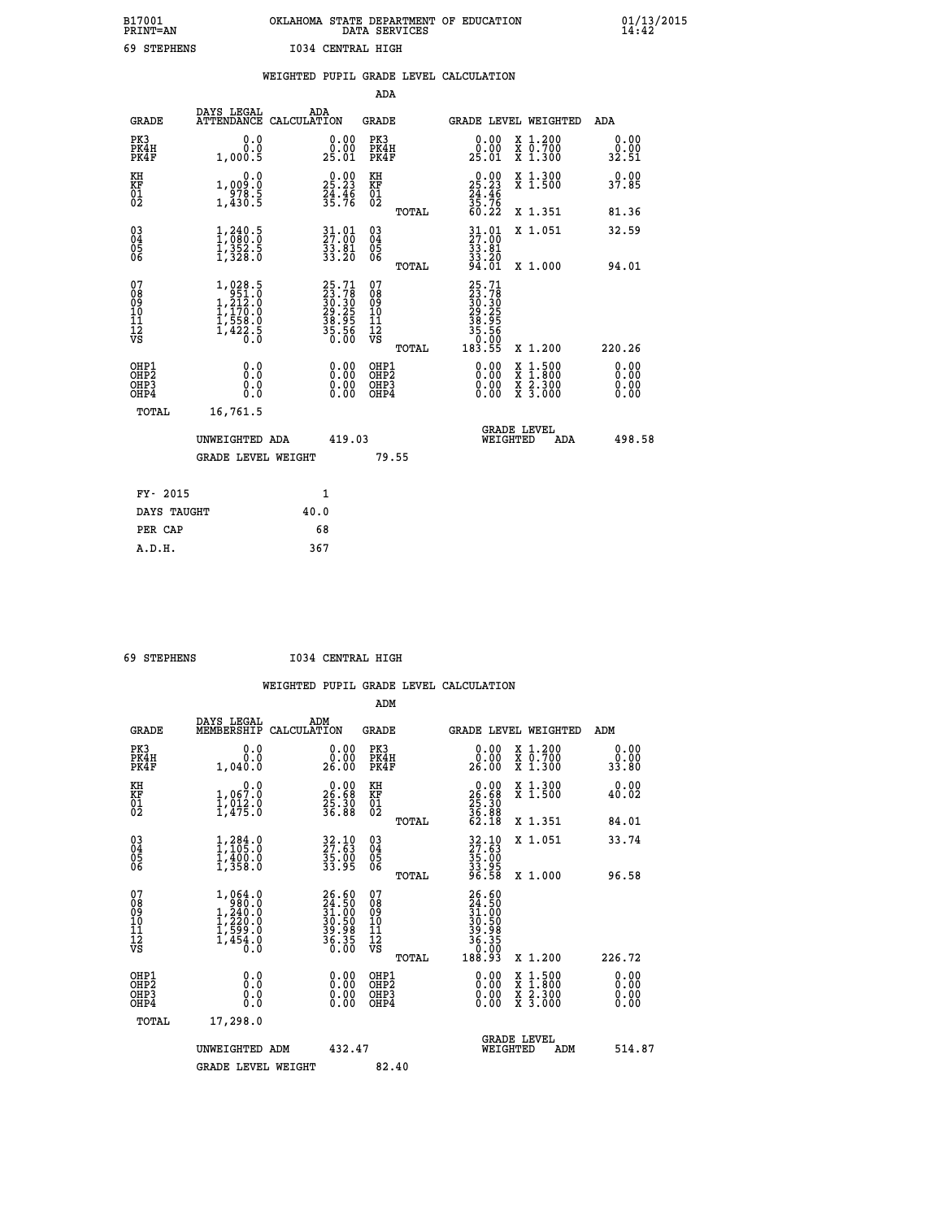## **B17001 OKLAHOMA STATE DEPARTMENT OF EDUCATION 01/13/2015 PRINT=AN DATA SERVICES 14:42 69 STEPHENS I034 CENTRAL HIGH**

|                                          |                                                                                                       | WEIGHTED PUPIL GRADE LEVEL CALCULATION                                                        |                                   |                                                       |                                                                                                                                              |                              |
|------------------------------------------|-------------------------------------------------------------------------------------------------------|-----------------------------------------------------------------------------------------------|-----------------------------------|-------------------------------------------------------|----------------------------------------------------------------------------------------------------------------------------------------------|------------------------------|
|                                          |                                                                                                       |                                                                                               | ADA                               |                                                       |                                                                                                                                              |                              |
| <b>GRADE</b>                             | DAYS LEGAL                                                                                            | ADA<br>ATTENDANCE CALCULATION                                                                 | GRADE                             | GRADE LEVEL WEIGHTED                                  |                                                                                                                                              | ADA                          |
| PK3<br>PK4H<br>PK4F                      | 0.0<br>0.0<br>1,000.5                                                                                 | 0.00<br>25.01                                                                                 | PK3<br>PK4H<br>PK4F               | 0.0000<br>25.01                                       | X 1.200<br>X 0.700<br>X 1.300                                                                                                                | 0.00<br>0.00<br>32.51        |
| KH<br>KF<br>01<br>02                     | 0.0<br>1,009:0<br>978.5<br>1,430:5                                                                    | 25.23<br>24.46<br>35.76                                                                       | KH<br>KF<br>01<br>02              | $25.23$<br>$24.46$<br>$35.76$<br>$60.22$              | X 1.300<br>X 1.500                                                                                                                           | 0.00<br>37.85                |
|                                          |                                                                                                       |                                                                                               | TOTAL                             |                                                       | X 1.351                                                                                                                                      | 81.36                        |
| $\substack{03 \\ 04}$<br>Ŏ5<br>ŎĞ        | $\frac{1}{1}, \frac{240}{080}. \frac{5}{0}$<br>$\frac{1}{3}$ , $\frac{352}{328}. \frac{5}{0}$         | $\frac{31.01}{27.00}$<br>$\frac{53.81}{33.20}$                                                | $\substack{03 \\ 04}$<br>Ŏ5<br>06 | $\frac{31}{27}$ :01<br>$\frac{53.81}{33.20}$<br>94.01 | X 1.051                                                                                                                                      | 32.59                        |
|                                          |                                                                                                       |                                                                                               | TOTAL                             |                                                       | X 1.000                                                                                                                                      | 94.01                        |
| 07<br>08<br>09<br>11<br>11<br>12<br>VS   | $\begin{smallmatrix} 1,028.5\\ 951.0\\ 1,212.0\\ 1,170.0\\ 1,558.0\\ 1,422.5\\ 0.0 \end{smallmatrix}$ | $\begin{smallmatrix} 25.71\ 23.78\ 30.30\ 30.25\ 29.25\ 38.95\ 35.56\ 0.00 \end{smallmatrix}$ | 07<br>089<br>101<br>111<br>VS     | 25.71                                                 |                                                                                                                                              |                              |
|                                          |                                                                                                       |                                                                                               | TOTAL                             |                                                       | X 1.200                                                                                                                                      | 220.26                       |
| OHP1<br>OHP <sub>2</sub><br>OHP3<br>OHP4 | 0.0<br>Ō.Ō<br>0.0<br>0.0                                                                              | $0.00$<br>$0.00$<br>0.00                                                                      | OHP1<br>OHP2<br>OHP3<br>OHP4      | $0.00$<br>$0.00$<br>0.00                              | $\begin{smallmatrix} \mathtt{X} & 1\cdot500 \\ \mathtt{X} & 1\cdot800 \\ \mathtt{X} & 2\cdot300 \\ \mathtt{X} & 3\cdot000 \end{smallmatrix}$ | 0.00<br>0.00<br>0.00<br>0.00 |
| TOTAL                                    | 16,761.5                                                                                              |                                                                                               |                                   |                                                       |                                                                                                                                              |                              |
|                                          | UNWEIGHTED ADA                                                                                        | 419.03                                                                                        |                                   | WEIGHTED                                              | <b>GRADE LEVEL</b><br>ADA                                                                                                                    | 498.58                       |
|                                          | <b>GRADE LEVEL WEIGHT</b>                                                                             |                                                                                               | 79.55                             |                                                       |                                                                                                                                              |                              |
| FY- 2015                                 |                                                                                                       | 1                                                                                             |                                   |                                                       |                                                                                                                                              |                              |
| DAYS TAUGHT                              |                                                                                                       | 40.0                                                                                          |                                   |                                                       |                                                                                                                                              |                              |
| PER CAP                                  |                                                                                                       | 68                                                                                            |                                   |                                                       |                                                                                                                                              |                              |
| A.D.H.                                   |                                                                                                       | 367                                                                                           |                                   |                                                       |                                                                                                                                              |                              |

 **69 STEPHENS I034 CENTRAL HIGH**

|                                                      |                                                                                              |                                                                      | ADM                                                 |                                                                                                      |                                          |                              |
|------------------------------------------------------|----------------------------------------------------------------------------------------------|----------------------------------------------------------------------|-----------------------------------------------------|------------------------------------------------------------------------------------------------------|------------------------------------------|------------------------------|
| <b>GRADE</b>                                         | DAYS LEGAL<br>MEMBERSHIP                                                                     | ADM<br>CALCULATION                                                   | <b>GRADE</b>                                        | GRADE LEVEL WEIGHTED                                                                                 |                                          | ADM                          |
| PK3<br>PK4H<br>PK4F                                  | 0.0<br>0.0<br>1,040.0                                                                        | 0.00<br>ŏ:ŏŏ<br>26:00                                                | PK3<br>PK4H<br>PK4F                                 | $\begin{smallmatrix} 0.00\\ 0.00\\ 26.00 \end{smallmatrix}$                                          | X 1.200<br>X 0.700<br>X 1.300            | 0.00<br>0.00<br>33.80        |
| KH<br>KF<br>01<br>02                                 | 0.0<br>1,067.0<br>$\frac{1}{2}, \frac{0}{4}, \frac{1}{5}$ :0                                 | $\begin{smallmatrix} 0.00\\ 26.68\\ 25.30\\ 36.88 \end{smallmatrix}$ | KH<br>KF<br>01<br>02                                | $\begin{smallmatrix} 0.00\\ 26.68\\ 25.30\\ 36.88\\ 36.88\\ 62.18 \end{smallmatrix}$                 | X 1.300<br>X 1.500                       | 0.00<br>40.02                |
|                                                      |                                                                                              |                                                                      | TOTAL                                               |                                                                                                      | X 1.351                                  | 84.01                        |
| 03<br>04<br>05<br>06                                 | $1, 284.0$<br>$1, 105.0$<br>$1, 400.0$<br>$1, 358.0$                                         | 32.10<br>27.63<br>35.00<br>33.95                                     | $\begin{array}{c} 03 \\ 04 \\ 05 \\ 06 \end{array}$ | $\frac{32.10}{27.63}$<br>$\frac{35.00}{33.95}$<br>$\frac{33.95}{96.58}$                              | X 1.051                                  | 33.74                        |
|                                                      |                                                                                              |                                                                      | TOTAL                                               |                                                                                                      | X 1.000                                  | 96.58                        |
| 07<br>08<br>09<br>101<br>112<br>VS                   | 1,064.0<br>980.0<br>$1, \frac{240}{220}.0$<br>$1, \frac{220}{599}.0$<br>$1, \frac{454}{0}.0$ | 26.60<br>24.50<br>31.00<br>30.50<br>39.98<br>36.35<br>36.35          | 07<br>08<br>09<br>11<br>11<br>12<br>VS<br>TOTAL     | $\begin{smallmatrix} 26.60\ 24.50\ 31.500\ 31.500\ 39.590\ 39.361\ 36.350\ 188.93 \end{smallmatrix}$ | X 1.200                                  | 226.72                       |
| OHP1<br>OHP2<br>OH <sub>P3</sub><br>OH <sub>P4</sub> | 0.0<br>0.000                                                                                 | $0.00$<br>$0.00$<br>0.00                                             | OHP1<br>OHP2<br>OHP <sub>3</sub>                    | $0.00$<br>$0.00$<br>0.00                                                                             | X 1:500<br>X 1:800<br>X 2:300<br>X 3:000 | 0.00<br>0.00<br>0.00<br>0.00 |
| TOTAL                                                | 17,298.0                                                                                     |                                                                      |                                                     |                                                                                                      |                                          |                              |
|                                                      | UNWEIGHTED ADM                                                                               | 432.47                                                               |                                                     | WEIGHTED                                                                                             | <b>GRADE LEVEL</b><br>ADM                | 514.87                       |
|                                                      | <b>GRADE LEVEL WEIGHT</b>                                                                    |                                                                      | 82.40                                               |                                                                                                      |                                          |                              |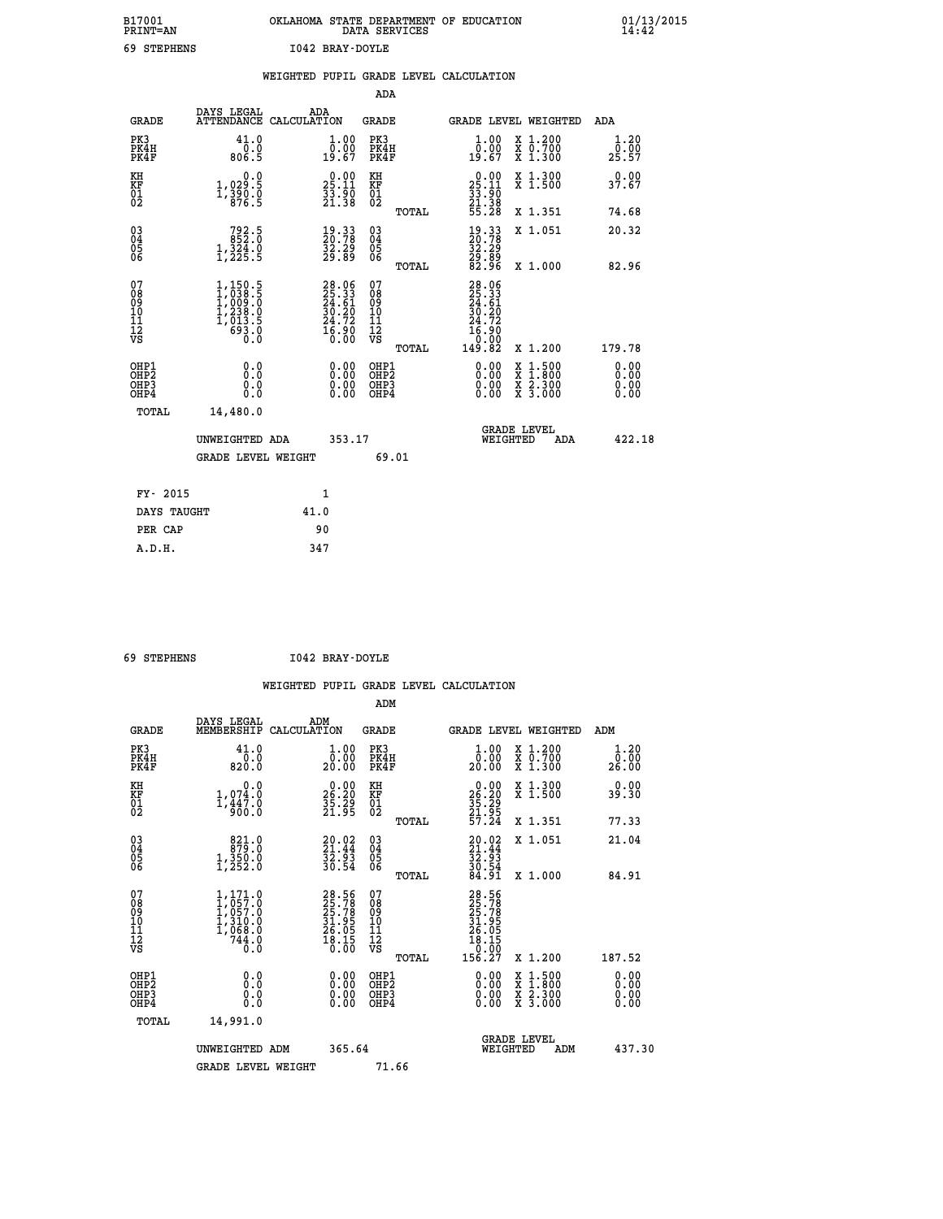| B17001<br><b>PRINT=AN</b> | OKLAHOMA STATE DEPARTMENT OF EDUCATION<br>DATA SERVICES |  |
|---------------------------|---------------------------------------------------------|--|
| 69 STEPHENS               | I042 BRAY-DOYLE                                         |  |

|                                          |                                                                                 | WEIGHTED PUPIL GRADE LEVEL CALCULATION                         |                                                    |       |                                                                                                                              |                                                                                                                                           |                              |
|------------------------------------------|---------------------------------------------------------------------------------|----------------------------------------------------------------|----------------------------------------------------|-------|------------------------------------------------------------------------------------------------------------------------------|-------------------------------------------------------------------------------------------------------------------------------------------|------------------------------|
|                                          |                                                                                 |                                                                | <b>ADA</b>                                         |       |                                                                                                                              |                                                                                                                                           |                              |
| <b>GRADE</b>                             | DAYS LEGAL                                                                      | ADA<br>ATTENDANCE CALCULATION                                  | GRADE                                              |       |                                                                                                                              | GRADE LEVEL WEIGHTED                                                                                                                      | ADA                          |
| PK3<br>PK4H<br>PK4F                      | 41.0<br>$0.0$<br>5.308                                                          | 1.00<br>ŏ:ŏŏ<br>19:67                                          | PK3<br>PK4H<br>PK4F                                |       | 1.00<br>0.00<br>19.67                                                                                                        | X 1.200<br>X 0.700<br>X 1.300                                                                                                             | 1.20<br>0.00<br>25.57        |
| KH<br>KF<br>01<br>02                     | 0.0<br>1,029:5<br>1,390:0<br>876:5                                              | $25.11$<br>$33.90$<br>$21.38$                                  | KH<br>KF<br>01<br>02                               |       | $25.11$<br>$33.90$<br>$21.38$<br>$55.28$                                                                                     | X 1.300<br>X 1.500                                                                                                                        | 0.00<br>37.67                |
|                                          |                                                                                 |                                                                |                                                    | TOTAL |                                                                                                                              | X 1.351                                                                                                                                   | 74.68                        |
| $^{03}_{04}$<br>Ŏ5<br>06                 | 792.5<br>852.0<br>$1,324.0$<br>$1,225.5$                                        | 19.33<br>20.78<br>32.29<br>29.89                               | $\begin{matrix} 03 \\ 04 \\ 05 \\ 06 \end{matrix}$ |       | $\begin{smallmatrix} 19.33\ 20.78\ 32.29\ 29.89\ 82.96 \end{smallmatrix}$                                                    | X 1.051                                                                                                                                   | 20.32                        |
|                                          |                                                                                 |                                                                |                                                    | TOTAL |                                                                                                                              | X 1.000                                                                                                                                   | 82.96                        |
| 07<br>08<br>09<br>11<br>11<br>12<br>VS   | $1,150.5$<br>$1,038.5$<br>$1,009.0$<br>$1,238.0$<br>$1,013.5$<br>$693.0$<br>0.0 | $28.06$<br>$25.33$<br>$24.61$<br>$30.20$<br>$24.72$<br>$16.90$ | 07<br>08<br>09<br>11<br>11<br>12<br>VS             | TOTAL | 28.06<br>25.33<br>24.61<br>30.20<br>24.72<br>$\begin{smallmatrix} 1\, \vec{6} \ . \ 9\, 0\ 1\, 9 \ . \ 82 \end{smallmatrix}$ | X 1.200                                                                                                                                   | 179.78                       |
| OHP1<br>OHP2<br>OH <sub>P3</sub><br>OHP4 | 0.0<br>0.0<br>Ō.Ō                                                               | 0.00<br>$\begin{smallmatrix} 0.00 \ 0.00 \end{smallmatrix}$    | OHP1<br>OHP2<br>OHP3<br>OHP4                       |       | 0.00<br>0.00<br>0.00                                                                                                         | $\begin{smallmatrix} \mathtt{X} & 1\cdot500\\ \mathtt{X} & 1\cdot800\\ \mathtt{X} & 2\cdot300\\ \mathtt{X} & 3\cdot000 \end{smallmatrix}$ | 0.00<br>0.00<br>0.00<br>0.00 |
| TOTAL                                    | 14,480.0                                                                        |                                                                |                                                    |       |                                                                                                                              |                                                                                                                                           |                              |
|                                          | UNWEIGHTED ADA                                                                  | 353.17                                                         |                                                    |       | WEIGHTED                                                                                                                     | <b>GRADE LEVEL</b><br>ADA                                                                                                                 | 422.18                       |
|                                          | <b>GRADE LEVEL WEIGHT</b>                                                       |                                                                |                                                    | 69.01 |                                                                                                                              |                                                                                                                                           |                              |
| FY- 2015                                 |                                                                                 | $\mathbf{1}$                                                   |                                                    |       |                                                                                                                              |                                                                                                                                           |                              |
| DAYS TAUGHT                              |                                                                                 | 41.0                                                           |                                                    |       |                                                                                                                              |                                                                                                                                           |                              |
| PER CAP                                  |                                                                                 | 90                                                             |                                                    |       |                                                                                                                              |                                                                                                                                           |                              |

 **A.D.H. 347**

 **ADM**

 **69 STEPHENS I042 BRAY-DOYLE**

| <b>GRADE</b>                                         | DAYS LEGAL<br>MEMBERSHIP                                                                              | ADM<br>CALCULATION                                                     | <b>GRADE</b>                                 |       | GRADE LEVEL WEIGHTED                                                 |                                                                                                                     | ADM                   |  |
|------------------------------------------------------|-------------------------------------------------------------------------------------------------------|------------------------------------------------------------------------|----------------------------------------------|-------|----------------------------------------------------------------------|---------------------------------------------------------------------------------------------------------------------|-----------------------|--|
| PK3<br>PK4H<br>PK4F                                  | 41.0<br>$\frac{0.0}{820.0}$                                                                           | $\begin{smallmatrix} 1.00\\ 0.00\\ 20.00 \end{smallmatrix}$            | PK3<br>PK4H<br>PK4F                          |       | $\begin{smallmatrix} 1.00\\ 0.00\\ 20.00 \end{smallmatrix}$          | X 1.200<br>X 0.700<br>X 1.300                                                                                       | 1.20<br>0.00<br>26.00 |  |
| KH<br>KF<br>01<br>02                                 | 0.0<br>$1,074.0$<br>$1,447.0$<br>$900.0$                                                              | $\begin{smallmatrix} 0.00\\ 26.20\\ 35.29\\ 21.95 \end{smallmatrix}$   | KH<br>KF<br>$\overline{01}$                  |       | $26.20$<br>$35.29$<br>$35.29$<br>$21.95$<br>$57.24$                  | X 1.300<br>X 1.500                                                                                                  | 0.00<br>39.30         |  |
|                                                      |                                                                                                       |                                                                        |                                              | TOTAL |                                                                      | X 1.351                                                                                                             | 77.33                 |  |
| 03<br>04<br>05<br>06                                 | 821.0<br>$1,350.0$<br>$1,252.0$                                                                       | $20.02$<br>$21.44$<br>$32.93$<br>$30.54$                               | 030404<br>06                                 |       | $20.02$<br>$21.44$<br>$32.93$<br>$30.54$<br>$30.54$<br>$84.91$       | X 1.051                                                                                                             | 21.04                 |  |
|                                                      |                                                                                                       |                                                                        |                                              | TOTAL |                                                                      | X 1.000                                                                                                             | 84.91                 |  |
| 07<br>089<br>090<br>1112<br>VS                       | $\begin{smallmatrix} 1,171.0\\ 1,057.0\\ 1,057.0\\ 1,310.0\\ 1,340.0\\ 744.0\\ 0.0 \end{smallmatrix}$ | 28.56<br>25.78<br>25.78<br>31.95<br>31.95<br>26.05<br>26.18.15<br>0.00 | 07<br>08<br>09<br>01<br>11<br>11<br>12<br>VS | TOTAL | 28.56<br>25.788<br>25.788<br>25.055<br>26.055<br>18.150.00<br>156.27 | X 1.200                                                                                                             | 187.52                |  |
| OHP1<br>OHP <sub>2</sub><br>OH <sub>P3</sub><br>OHP4 | 0.0<br>0.000                                                                                          |                                                                        | OHP1<br>OHP2<br>OHP3<br>OHP4                 |       | 0.00<br>0.00                                                         | $\begin{array}{l} \mathtt{X} & 1.500 \\ \mathtt{X} & 1.800 \\ \mathtt{X} & 2.300 \\ \mathtt{X} & 3.000 \end{array}$ | 0.00<br>0.00<br>0.00  |  |
| TOTAL                                                | 14,991.0                                                                                              |                                                                        |                                              |       |                                                                      |                                                                                                                     |                       |  |
|                                                      | UNWEIGHTED ADM                                                                                        | 365.64                                                                 |                                              |       | WEIGHTED                                                             | <b>GRADE LEVEL</b><br>ADM                                                                                           | 437.30                |  |
|                                                      | <b>GRADE LEVEL WEIGHT</b>                                                                             |                                                                        | 71.66                                        |       |                                                                      |                                                                                                                     |                       |  |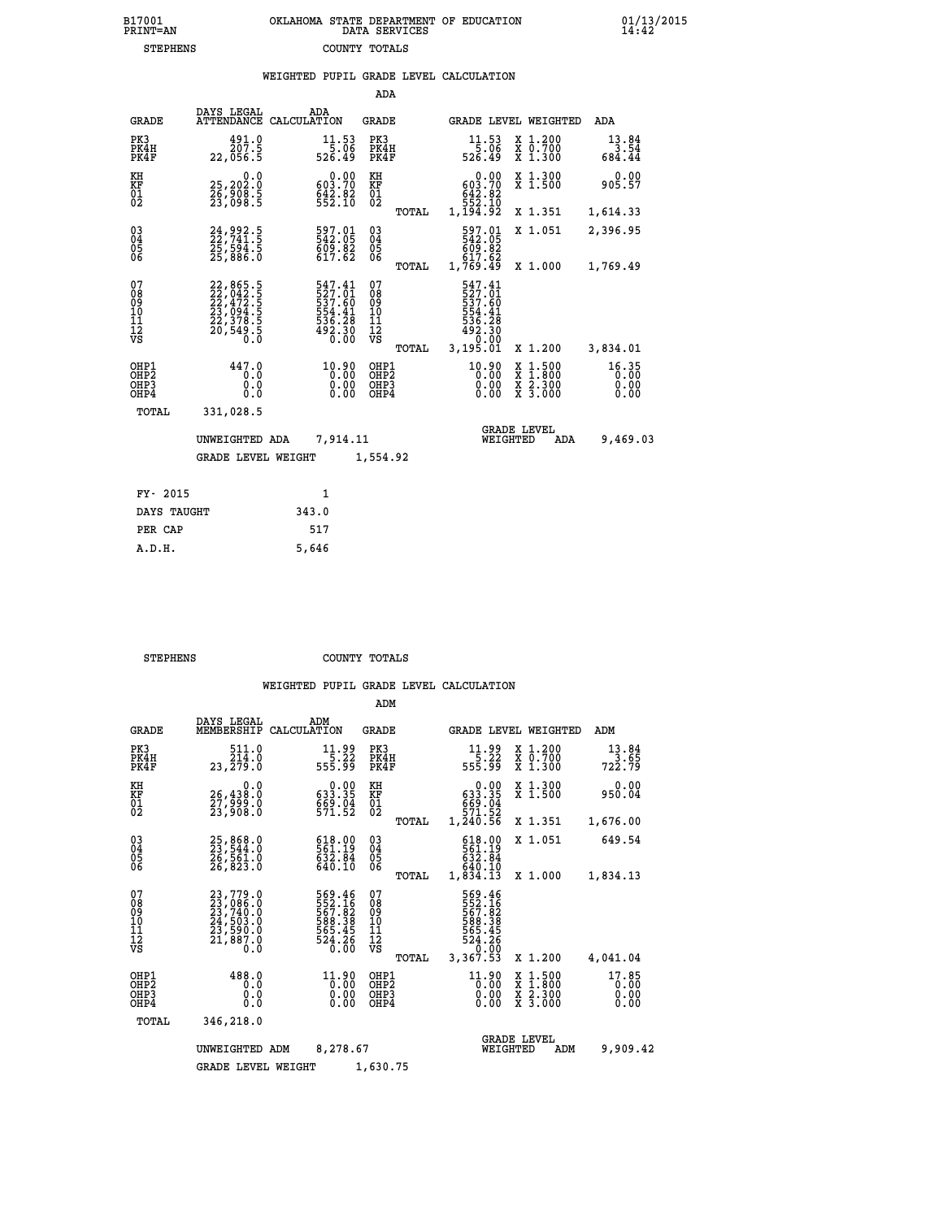|                                                                    |                                                                                                                                                                                            |                                                                  | ADA                                    |       |                                                                                  |                                                                                                                                           |                               |
|--------------------------------------------------------------------|--------------------------------------------------------------------------------------------------------------------------------------------------------------------------------------------|------------------------------------------------------------------|----------------------------------------|-------|----------------------------------------------------------------------------------|-------------------------------------------------------------------------------------------------------------------------------------------|-------------------------------|
| <b>GRADE</b>                                                       | DAYS LEGAL                                                                                                                                                                                 | ADA<br>ATTENDANCE CALCULATION                                    | <b>GRADE</b>                           |       |                                                                                  | GRADE LEVEL WEIGHTED                                                                                                                      | ADA                           |
| PK3<br>PK4H<br>PK4F                                                | 491.0<br>207.5<br>22,056.5                                                                                                                                                                 | 11.53<br>5.06<br>526.49                                          | PK3<br>PK4H<br>PK4F                    |       | $11.53$<br>5.06<br>526.49                                                        | X 1.200<br>X 0.700<br>X 1.300                                                                                                             | $13.84$<br>3.54<br>684.44     |
| KH<br>KF<br>01<br>02                                               | 0.0<br>25,202:0<br>26,908:5<br>23,098:5                                                                                                                                                    | $0.00$<br>$0.00$<br>$0.70$<br>642.82                             | KH<br>KF<br>01<br>02                   |       | $\begin{smallmatrix} &0.00\ 603.70\ 642.82\ 552.10\ 1,194.92\ \end{smallmatrix}$ | X 1.300<br>X 1.500                                                                                                                        | 0.00<br>905.57                |
|                                                                    |                                                                                                                                                                                            |                                                                  |                                        | TOTAL |                                                                                  | X 1.351                                                                                                                                   | 1,614.33                      |
| $\begin{smallmatrix} 03 \\[-4pt] 04 \end{smallmatrix}$<br>Ŏ5<br>06 | 24,992.5<br>22,741.5<br>25,594.5<br>25,886.0                                                                                                                                               | 597.01<br>542.05<br>609.82<br>617.62                             | $\substack{03 \\ 04}$<br>Ŏ5<br>06      |       | 597.01<br>542.05<br>609.82<br>617.62                                             | X 1.051                                                                                                                                   | 2,396.95                      |
|                                                                    |                                                                                                                                                                                            |                                                                  |                                        | TOTAL | 1,769.49                                                                         | X 1.000                                                                                                                                   | 1,769.49                      |
| 07<br>08<br>09<br>101<br>11<br>12<br>VS                            | $\begin{smallmatrix} 22\, , & 865\, . & 5\\ 22\, , & 042\, . & 5\\ 22\, , & 472\, . & 5\\ 23\, , & 094\, . & 5\\ 22\, , & 378\, . & 5\\ 20\, , & 549\, . & 5\\ 0\, . & 0\end{smallmatrix}$ | 547.41<br>527.01<br>537.60<br>554.41<br>536.28<br>492.30<br>0.00 | 07<br>08<br>09<br>11<br>11<br>12<br>VS |       | 547.41<br>527.61<br>537.60<br>554.41<br>536.28<br>492.30<br>0.00                 |                                                                                                                                           |                               |
|                                                                    |                                                                                                                                                                                            |                                                                  |                                        | TOTAL | 3,195.01                                                                         | X 1.200                                                                                                                                   | 3,834.01                      |
| OHP1<br>OHP <sub>2</sub><br>OH <sub>P3</sub><br>OHP4               | 447.0<br>0.0<br>0.0<br>0.0                                                                                                                                                                 | 10.90<br>0.00                                                    | OHP1<br>OHP2<br>OHP3<br>OHP4           |       | 10.90<br>0.00                                                                    | $\begin{smallmatrix} \mathtt{X} & 1\cdot500\\ \mathtt{X} & 1\cdot800\\ \mathtt{X} & 2\cdot300\\ \mathtt{X} & 3\cdot000 \end{smallmatrix}$ | 16.35<br>0.00<br>0.00<br>0.00 |
| TOTAL                                                              | 331,028.5                                                                                                                                                                                  |                                                                  |                                        |       |                                                                                  |                                                                                                                                           |                               |
|                                                                    | UNWEIGHTED ADA                                                                                                                                                                             | 7,914.11                                                         |                                        |       |                                                                                  | <b>GRADE LEVEL</b><br>WEIGHTED<br>ADA                                                                                                     | 9,469.03                      |
|                                                                    | <b>GRADE LEVEL WEIGHT</b>                                                                                                                                                                  |                                                                  | 1,554.92                               |       |                                                                                  |                                                                                                                                           |                               |
| FY- 2015                                                           |                                                                                                                                                                                            | $\mathbf{1}$                                                     |                                        |       |                                                                                  |                                                                                                                                           |                               |
| DAYS TAUGHT                                                        |                                                                                                                                                                                            | 343.0                                                            |                                        |       |                                                                                  |                                                                                                                                           |                               |
| PER CAP                                                            |                                                                                                                                                                                            | 517                                                              |                                        |       |                                                                                  |                                                                                                                                           |                               |

| STEPHENS | COUNTY TOTALS |  |
|----------|---------------|--|

 **A.D.H. 5,646**

|                                                       |                                                                                           |                                                                                           | ADM                                              |                                                                                  |                                                                                                  |                                 |
|-------------------------------------------------------|-------------------------------------------------------------------------------------------|-------------------------------------------------------------------------------------------|--------------------------------------------------|----------------------------------------------------------------------------------|--------------------------------------------------------------------------------------------------|---------------------------------|
| <b>GRADE</b>                                          | DAYS LEGAL<br>MEMBERSHIP                                                                  | ADM<br>CALCULATION                                                                        | <b>GRADE</b>                                     | GRADE LEVEL WEIGHTED                                                             |                                                                                                  | ADM                             |
| PK3<br>PK4H<br>PK4F                                   | 511.0<br>214.0<br>23,279.0                                                                | 11.99<br>$\frac{1}{5}$ . 32<br>55.99                                                      | PK3<br>PK4H<br>PK4F                              | $11.99$<br>5.22<br>555.99                                                        | $\begin{array}{c} x & 1.200 \\ x & 0.700 \end{array}$<br>X 1.300                                 | 13.84<br>$\frac{13.65}{722.79}$ |
| KH<br>KF<br>01<br>02                                  | 0.0<br>26,438:0<br>27,999:0<br>23,908:0                                                   | $\begin{smallmatrix} &0.00\ 633.35\ 69.04\ 571.52\ \end{smallmatrix}$                     | KH<br>KF<br>01<br>02                             | 0.00<br>$\begin{smallmatrix} 633.35\ 669.04\ 571.52\ 1,240.56 \end{smallmatrix}$ | X 1.300<br>X 1.500                                                                               | 0.00<br>950.04                  |
|                                                       |                                                                                           |                                                                                           | TOTAL                                            |                                                                                  | X 1.351                                                                                          | 1,676.00                        |
| 03<br>04<br>05<br>06                                  | 25,868.0<br>23,544.0<br>26,561.0<br>26,823.0                                              | 618.00<br>561.19<br>632.84<br>640.10                                                      | $\substack{03 \\ 04}$<br>05                      | 618.00<br>561.19<br>632.84<br>640.10                                             | X 1.051                                                                                          | 649.54                          |
|                                                       |                                                                                           |                                                                                           | TOTAL                                            | 1,834.13                                                                         | X 1.000                                                                                          | 1,834.13                        |
| 07<br>08<br>09<br>11<br>11<br>12<br>VS                | $23,779.0$<br>$23,740.0$<br>$23,740.0$<br>$24,503.0$<br>$23,590.0$<br>$21,887.0$<br>$0.0$ | 569.46<br>552.16<br>567.82<br>588.38<br>555.45<br>524.26<br>0.00                          | 07<br>08<br>09<br>101<br>11<br>12<br>VS<br>TOTAL | 569.46<br>552.16<br>567.82<br>588.38<br>565.45<br>524.26<br>0.00<br>3,367.53     | X 1.200                                                                                          | 4,041.04                        |
| OHP1<br>OH <sub>P</sub> 2<br>OH <sub>P3</sub><br>OHP4 | 488.0<br>0.0<br>0.000                                                                     | 11.90<br>$\left[\begin{smallmatrix} 0.00 & 0 \ 0.00 & 0 \end{smallmatrix}\right]$<br>0.00 | OHP1<br>OHP2<br>OHP3<br>OHP4                     | 11.90<br>$\begin{smallmatrix} 0.00 & 0 \ 0.00 & 0 \end{smallmatrix}$<br>0.00     | $\begin{smallmatrix} x & 1 & 500 \\ x & 1 & 800 \\ x & 2 & 300 \\ x & 3 & 000 \end{smallmatrix}$ | 17.85<br>0.00<br>0.00<br>0.00   |
| TOTAL                                                 | 346,218.0                                                                                 |                                                                                           |                                                  |                                                                                  |                                                                                                  |                                 |
|                                                       | UNWEIGHTED ADM                                                                            | 8,278.67                                                                                  |                                                  | WEIGHTED                                                                         | <b>GRADE LEVEL</b><br>ADM                                                                        | 9,909.42                        |
|                                                       | <b>GRADE LEVEL WEIGHT</b>                                                                 |                                                                                           | 1,630.75                                         |                                                                                  |                                                                                                  |                                 |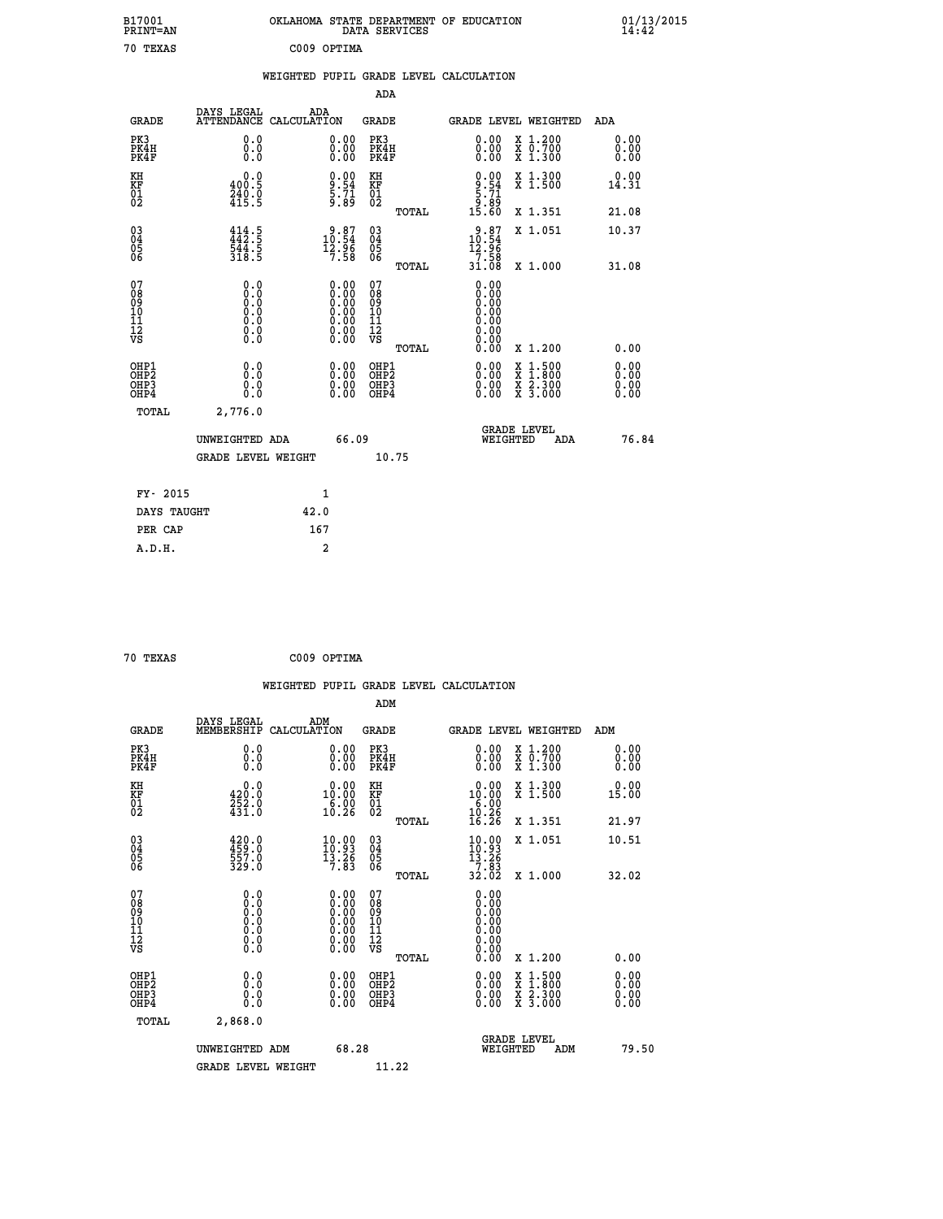| B17001<br>PRINT=AN                                 |                                             | OKLAHOMA STATE DEPARTMENT OF EDUCATION                                                     | DATA SERVICES                                   |                                                                              |                                                                                    | $01/13/2015$<br>14:42        |  |
|----------------------------------------------------|---------------------------------------------|--------------------------------------------------------------------------------------------|-------------------------------------------------|------------------------------------------------------------------------------|------------------------------------------------------------------------------------|------------------------------|--|
| 70 TEXAS                                           |                                             | C009 OPTIMA                                                                                |                                                 |                                                                              |                                                                                    |                              |  |
|                                                    |                                             | WEIGHTED PUPIL GRADE LEVEL CALCULATION                                                     |                                                 |                                                                              |                                                                                    |                              |  |
|                                                    |                                             |                                                                                            | ADA                                             |                                                                              |                                                                                    |                              |  |
| <b>GRADE</b>                                       | DAYS LEGAL                                  | ADA<br>ATTENDANCE CALCULATION                                                              | GRADE                                           | <b>GRADE LEVEL WEIGHTED</b>                                                  |                                                                                    | ADA                          |  |
| PK3<br>PK4H<br>PK4F                                | 0.0<br>0.0<br>0.0                           | 0.00<br>0.00                                                                               | PK3<br>PK4H<br>PK4F                             | $\begin{smallmatrix} 0.00 \\ 0.00 \\ 0.00 \end{smallmatrix}$                 | X 1.200<br>X 0.700<br>X 1.300                                                      | 0.00<br>0.00<br>0.00         |  |
| KH<br>KF<br>01<br>02                               | 0.0<br>400.5<br>$\frac{240}{415}$ . 9       | $\frac{9.90}{5.71}$<br>5.71<br>9.89                                                        | KH<br>KF<br>01<br>02                            | $\begin{array}{c} 0.00 \\ 9.54 \\ 5.71 \\ 9.89 \\ 15.60 \end{array}$         | X 1.300<br>X 1.500                                                                 | 0.00<br>14.31                |  |
|                                                    |                                             |                                                                                            | TOTAL                                           |                                                                              | X 1.351                                                                            | 21.08                        |  |
| $\begin{matrix} 03 \\ 04 \\ 05 \\ 06 \end{matrix}$ | $414.5$<br>$442.5$<br>$544.5$<br>$318.5$    | $\begin{smallmatrix} 9.87\ 10.54\ 12.96\ 7.58 \end{smallmatrix}$                           | 03<br>04<br>05<br>06<br>TOTAL                   | $\begin{array}{c} 9.87 \\ 10.54 \\ 12.96 \end{array}$<br>$\frac{758}{31.08}$ | X 1.051<br>X 1.000                                                                 | 10.37<br>31.08               |  |
| 07<br>08<br>09<br>10<br>11<br>12<br>VS             | 0.0<br>$\S^{5}_{0}$<br>Ŏ.Ŏ<br>0.00          | $0.00$<br>$0.00$<br>$0.00$<br>0.00<br>$\begin{smallmatrix} 0.00 \\ 0.00 \end{smallmatrix}$ | 07<br>08<br>09<br>10<br>11<br>ĪŽ<br>VŠ<br>TOTAL | 0.00<br>0.00<br>0.00<br>0.00<br>0.00                                         | X 1.200                                                                            | 0.00                         |  |
| OHP1<br>OHP2<br>OHP3<br>OHP4                       | 0.000<br>0.0<br>0.0                         | 0.00<br>0.00<br>ŏ.ŏŏ                                                                       | OHP1<br>OHP <sub>2</sub><br>OHP3<br>OHP4        | 0.00<br>0.00<br>0.00                                                         | $\frac{x}{x}$ $\frac{1.500}{x}$<br>$\frac{x}{x}$ $\frac{2 \cdot 300}{3 \cdot 000}$ | 0.00<br>0.00<br>0.00<br>0.00 |  |
| TOTAL                                              | 2,776.0                                     |                                                                                            |                                                 |                                                                              |                                                                                    |                              |  |
|                                                    | UNWEIGHTED ADA<br><b>GRADE LEVEL WEIGHT</b> | 66.09                                                                                      | 10.75                                           | <b>GRADE LEVEL</b><br>WEIGHTED                                               | ADA                                                                                | 76.84                        |  |
| FY- 2015                                           |                                             | 1                                                                                          |                                                 |                                                                              |                                                                                    |                              |  |
| DAYS TAUGHT                                        |                                             | 42.0                                                                                       |                                                 |                                                                              |                                                                                    |                              |  |
| PER CAP                                            |                                             | 167                                                                                        |                                                 |                                                                              |                                                                                    |                              |  |

| 70 TEXAS | C009 OPTIMA |
|----------|-------------|
|          |             |

|                                                    |                                                                                      |             |                                                                                                                                 |                                                     |       | WEIGHTED PUPIL GRADE LEVEL CALCULATION                                                  |                                          |                      |       |
|----------------------------------------------------|--------------------------------------------------------------------------------------|-------------|---------------------------------------------------------------------------------------------------------------------------------|-----------------------------------------------------|-------|-----------------------------------------------------------------------------------------|------------------------------------------|----------------------|-------|
|                                                    |                                                                                      |             |                                                                                                                                 | ADM                                                 |       |                                                                                         |                                          |                      |       |
| <b>GRADE</b>                                       | DAYS LEGAL<br>MEMBERSHIP                                                             | CALCULATION | ADM                                                                                                                             | <b>GRADE</b>                                        |       | GRADE LEVEL WEIGHTED                                                                    |                                          | ADM                  |       |
| PK3<br>PK4H<br>PK4F                                | 0.0<br>0.0<br>0.0                                                                    |             | 0.00<br>$\begin{smallmatrix} 0.00 \ 0.00 \end{smallmatrix}$                                                                     | PK3<br>PK4H<br>PK4F                                 |       | $\begin{smallmatrix} 0.00 \\ 0.00 \\ 0.00 \end{smallmatrix}$                            | X 1.200<br>X 0.700<br>X 1.300            | 0.00<br>0.00<br>0.00 |       |
| KH<br>KF<br>01<br>02                               | 0.0<br>$\frac{420.0}{252.0}$<br>$431.0$                                              |             | $\begin{smallmatrix} 0.00\\ 10.00\\ 6.00\\ 10.26 \end{smallmatrix}$                                                             | KH<br>KF<br>01<br>02                                |       | $\begin{smallmatrix} 0.00\\ 10.00\\ 6.00\\ 10.26\\ 16.26 \end{smallmatrix}$             | X 1.300<br>X 1.500                       | 0.00<br>15.00        |       |
|                                                    |                                                                                      |             |                                                                                                                                 |                                                     | TOTAL |                                                                                         | X 1.351                                  | 21.97                |       |
| $\begin{matrix} 03 \\ 04 \\ 05 \\ 06 \end{matrix}$ | 420.0<br>459.0<br>557.0<br>329.0                                                     |             | $\begin{array}{c} 10\cdot 99\\ 10\cdot 93\\ 13\cdot 26\\ 7\cdot 83 \end{array}$                                                 | $\begin{array}{c} 03 \\ 04 \\ 05 \\ 06 \end{array}$ |       | $\begin{array}{l} 10\cdot 99\\10\cdot 93\\13\cdot 26\\7\cdot 83\\32\cdot 02\end{array}$ | X 1.051                                  | 10.51                |       |
|                                                    |                                                                                      |             |                                                                                                                                 |                                                     | TOTAL |                                                                                         | X 1.000                                  | 32.02                |       |
| 07<br>0890112<br>1112<br>VS                        | 0.0<br>$\begin{smallmatrix} 0.0 & 0 \ 0.0 & 0 \ 0.0 & 0 \ 0.0 & 0 \end{smallmatrix}$ |             | $\begin{smallmatrix} 0.00 \ 0.00 \ 0.00 \ 0.00 \ 0.00 \end{smallmatrix}$<br>$\begin{smallmatrix} 0.00 \ 0.00 \end{smallmatrix}$ | 07<br>08<br>09<br>11<br>11<br>12<br>VS              | TOTAL | 0.00<br>0.00<br>0.00<br>0.00<br>0.00<br>0.00                                            | X 1.200                                  | 0.00                 |       |
| OHP1<br>OHP <sub>2</sub><br>OHP3<br>OHP4           | 0.0<br>0.000                                                                         |             | $0.00$<br>$0.00$<br>0.00                                                                                                        | OHP1<br>OHP <sub>2</sub><br>OHP <sub>3</sub>        |       | 0.00<br>0.00<br>0.00                                                                    | X 1:500<br>X 1:800<br>X 2:300<br>X 3:000 | 0.00<br>0.00<br>0.00 |       |
| TOTAL                                              | 2,868.0                                                                              |             |                                                                                                                                 |                                                     |       |                                                                                         |                                          |                      |       |
|                                                    | UNWEIGHTED ADM                                                                       |             | 68.28                                                                                                                           |                                                     |       | WEIGHTED                                                                                | <b>GRADE LEVEL</b><br>ADM                |                      | 79.50 |
|                                                    | <b>GRADE LEVEL WEIGHT</b>                                                            |             |                                                                                                                                 | 11.22                                               |       |                                                                                         |                                          |                      |       |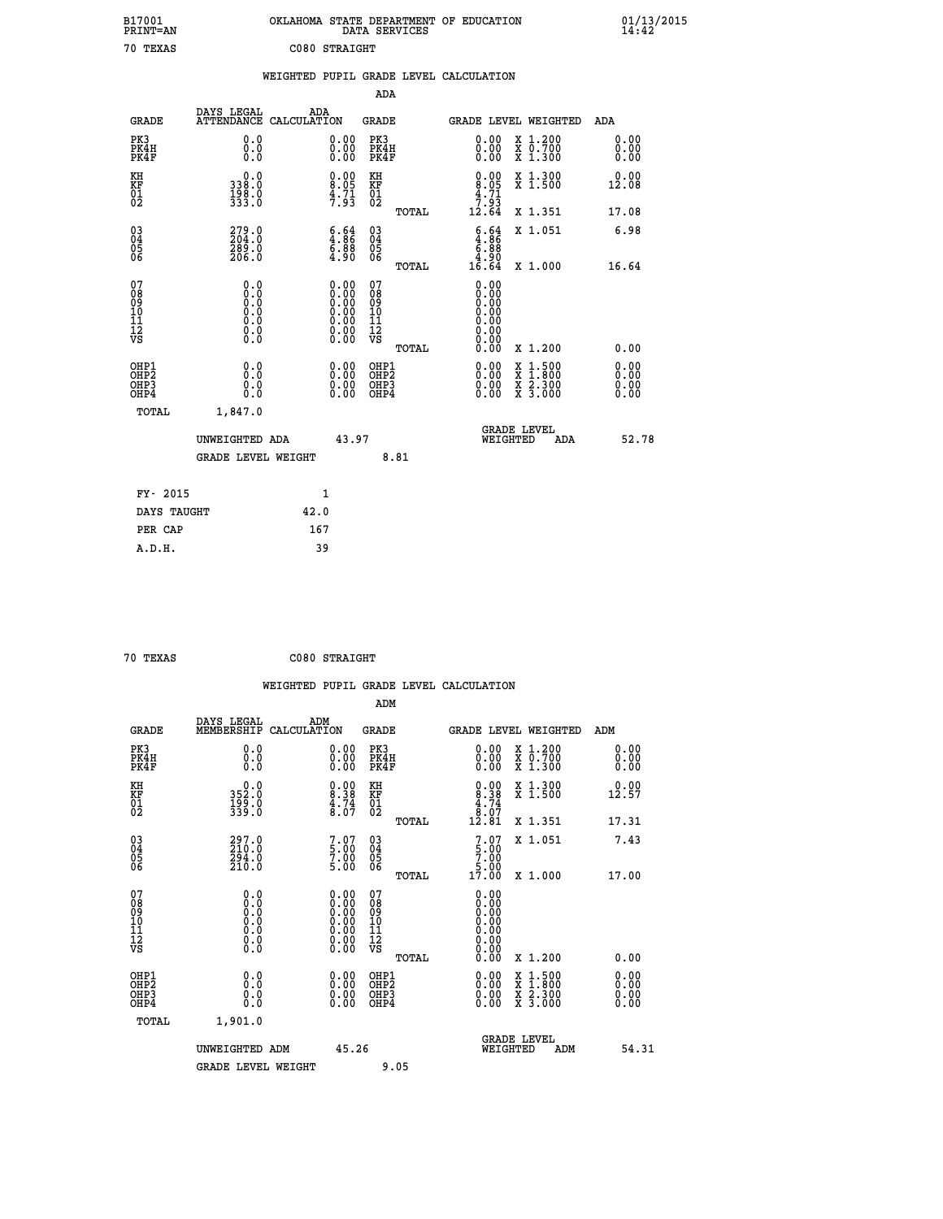| B17001<br>PRINT=AN                       |                                                                              | OKLAHOMA STATE DEPARTMENT OF EDUCATION                                                        | DATA SERVICES                                                       |                                                                                                                             |                                                                                                                                           | $01/13/2015$<br>14:42        |  |
|------------------------------------------|------------------------------------------------------------------------------|-----------------------------------------------------------------------------------------------|---------------------------------------------------------------------|-----------------------------------------------------------------------------------------------------------------------------|-------------------------------------------------------------------------------------------------------------------------------------------|------------------------------|--|
| 70 TEXAS                                 |                                                                              | C080 STRAIGHT                                                                                 |                                                                     |                                                                                                                             |                                                                                                                                           |                              |  |
|                                          |                                                                              | WEIGHTED PUPIL GRADE LEVEL CALCULATION                                                        |                                                                     |                                                                                                                             |                                                                                                                                           |                              |  |
|                                          |                                                                              |                                                                                               | ADA                                                                 |                                                                                                                             |                                                                                                                                           |                              |  |
| <b>GRADE</b>                             | DAYS LEGAL                                                                   | ADA<br>ATTENDANCE CALCULATION                                                                 | GRADE                                                               |                                                                                                                             | GRADE LEVEL WEIGHTED                                                                                                                      | ADA                          |  |
| PK3<br>PK4H<br>PK4F                      | 0.0<br>0.0<br>0.0                                                            | 0.00<br>0.00<br>0.00                                                                          | PK3<br>PK4H<br>PK4F                                                 | 0.00<br>0.00                                                                                                                | X 1.200<br>X 0.700<br>X 1.300                                                                                                             | 0.00<br>0.00<br>0.00         |  |
| KH<br>KF<br>$\frac{01}{02}$              | 0.0<br>338.0<br>198.0<br>333.0                                               | $0.00$<br>$8.05$<br>$\frac{4}{7}$ : $\frac{71}{3}$                                            | KH<br><b>KF</b><br>01<br>02                                         | $0.00$<br>$8.05$<br>$4.71$<br>$7.93$                                                                                        | X 1.300<br>X 1.500                                                                                                                        | 0.00<br>12.08                |  |
|                                          |                                                                              |                                                                                               | TOTAL                                                               | 12.64                                                                                                                       | X 1.351                                                                                                                                   | 17.08                        |  |
| 03<br>04<br>05<br>06                     | 279.0<br>289.0<br>206.0                                                      | $\begin{smallmatrix} 6.64\ 4.86\ 6.88\ 4.90 \end{smallmatrix}$                                | $^{03}_{04}$<br>$\frac{05}{06}$<br><b>TOTAL</b>                     | $\begin{smallmatrix} 6.64\ 4.86\ 6.88 \end{smallmatrix}$<br>$\begin{smallmatrix} 0.9 & 0.9 \\ 1.6 & 0.64 \end{smallmatrix}$ | X 1.051<br>X 1.000                                                                                                                        | 6.98<br>16.64                |  |
| 07<br>08<br>09<br>10<br>11<br>12<br>VS   | 0.0<br>0.0<br>Ŏ.Ŏ<br>$\begin{smallmatrix} 0.10\ 0.0 \ 0.0 \end{smallmatrix}$ | $\begin{smallmatrix} 0.00\ 0.00\ 0.00\ 0.00\ 0.00\ 0.00\ 0.00\ 0.00\ 0.00\ \end{smallmatrix}$ | 07<br>08<br>09<br>10<br>$\frac{11}{12}$<br>$\frac{12}{18}$<br>TOTAL | 0.00<br>0.00<br>0.00<br>0.00<br>0.00<br>0.00<br>0.00                                                                        | X 1.200                                                                                                                                   | 0.00                         |  |
| OHP1<br>OHP <sub>2</sub><br>OHP3<br>OHP4 | 0.0<br>0.0<br>0.0                                                            | 0.00<br>$\begin{smallmatrix} 0.00 \ 0.00 \end{smallmatrix}$                                   | OHP1<br>OH <sub>P</sub> 2<br>OHP3<br>OHP4                           | 0.00<br>0.00<br>0.00                                                                                                        | $\begin{smallmatrix} \mathtt{X} & 1\cdot500\\ \mathtt{X} & 1\cdot800\\ \mathtt{X} & 2\cdot300\\ \mathtt{X} & 3\cdot000 \end{smallmatrix}$ | 0.00<br>0.00<br>0.00<br>0.00 |  |
| TOTAL                                    | 1,847.0                                                                      |                                                                                               |                                                                     |                                                                                                                             |                                                                                                                                           |                              |  |
|                                          | UNWEIGHTED ADA                                                               | 43.97                                                                                         |                                                                     | WEIGHTED                                                                                                                    | <b>GRADE LEVEL</b><br>ADA                                                                                                                 | 52.78                        |  |
|                                          | <b>GRADE LEVEL WEIGHT</b>                                                    |                                                                                               | 8.81                                                                |                                                                                                                             |                                                                                                                                           |                              |  |
| FY- 2015                                 |                                                                              | 1                                                                                             |                                                                     |                                                                                                                             |                                                                                                                                           |                              |  |
| DAYS TAUGHT                              |                                                                              | 42.0                                                                                          |                                                                     |                                                                                                                             |                                                                                                                                           |                              |  |
| PER CAP                                  |                                                                              | 167                                                                                           |                                                                     |                                                                                                                             |                                                                                                                                           |                              |  |

| 70 TEXAS | C080 STRAIGHT |
|----------|---------------|
|          |               |

 **WEIGHTED PUPIL GRADE LEVEL CALCULATION ADM DAYS LEGAL ADM**<br>GRADE MEMBERSHIP CALCULATION **GRADE GRADE LEVEL WEIGHTED ADM PK3 0.0 0.00 PK3 0.00 X 1.200 0.00 PK4H 0.0 0.00 PK4H 0.00 X 0.700 0.00 PK4F 0.0 0.00 PK4F 0.00 X 1.300 0.00 EXH** 0.0 0.00 KH 0.00 X 1.300 0.00<br> **KF** 352.0 8.38 KF 8.38 X 1.500 12.57<br>
02 339.0 4.74 01 4.77<br>
02 539.0 8.07 02 TOTAL 12.81 X 1.351 17.31  **KF 352.0 8.38 KF 8.38 X 1.500 12.57 01** 199.0 4.74 **01** 4.74  **02 339.0 8.07 02 8.07 TOTAL 12.81 X 1.351 17.31 03 297.0 7.07 03 7.07 X 1.051 7.43 04 210.0 5.00 04 5.00 05 294.0 7.00 05 7.00** 06 210.0 5.00 06 <sub>memax</sub> 5.00  **TOTAL 17.00 X 1.000 17.00 07 0.0 0.00 07 0.00 08 0.0 0.00 08 0.00 03 0.00 0.00 0.000 0.000 10 0.0 0.00 10 0.00 11 0.0 0.00 11 0.00 12 0.0 0.00 12 0.00 VS** 0.0 0.00 VS 0.00 0.00  **TOTAL 0.00 X 1.200 0.00 OHE1 0.00 0.00 0.000 OHE1 0.00 X 1.500 0.00 OHES 0.0 0.0 0.00 OHES 0.00 X 1.800 0.00 OHP3 0.0 0.00 OHP3 0.00 X 2.300 0.00 OHP4 0.0 0.00 OHP4 0.00 X 3.000 0.00 TOTAL 1,901.0 GRADE LEVEL UNWEIGHTED ADM 45.26 WEIGHTED ADM 54.31** GRADE LEVEL WEIGHT 9.05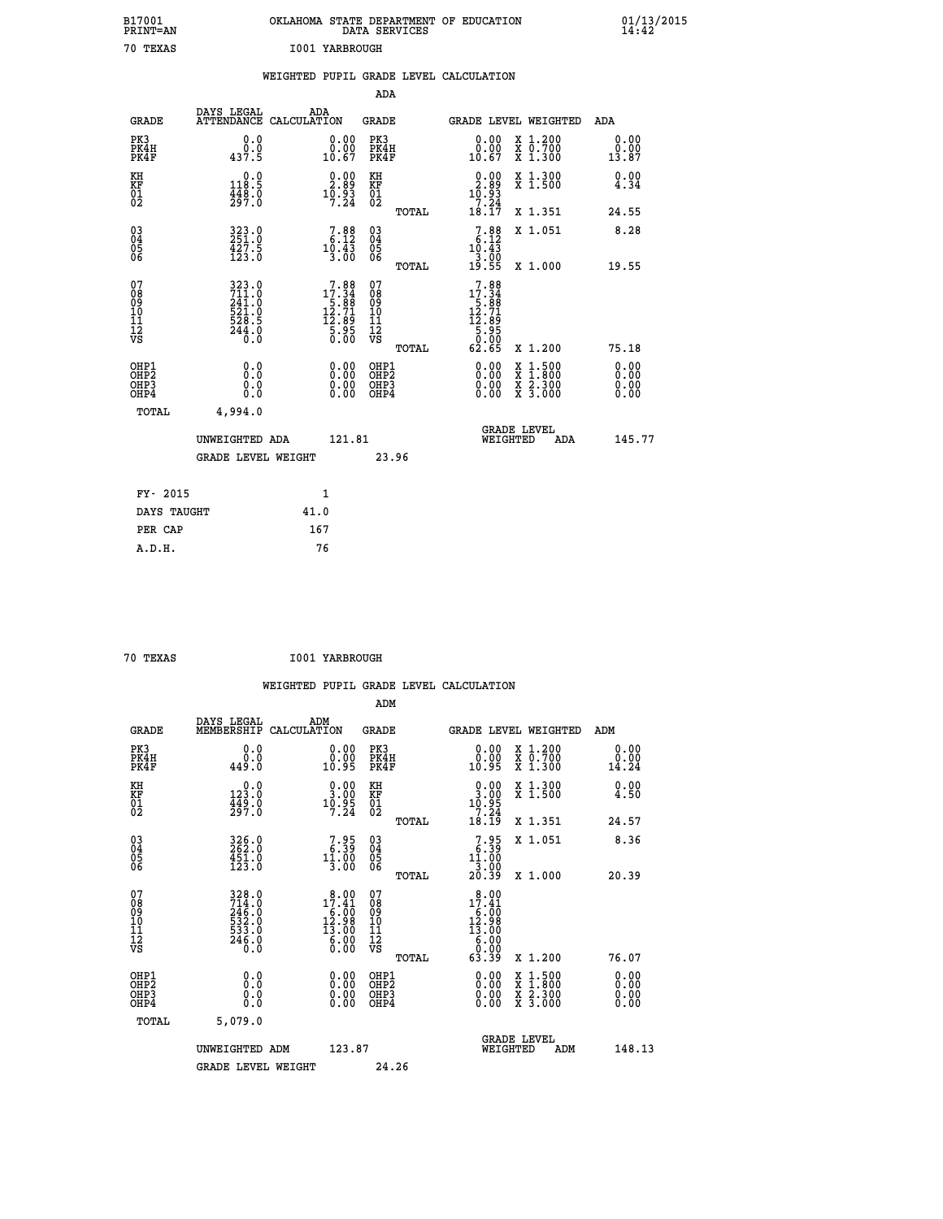| B17001<br>PRINT=AN                       |                                                                                                 | OKLAHOMA STATE DEPARTMENT OF EDUCATION                                                                                          |                                                            | DATA SERVICES |                                                                                        |                                                                                          | $01/13/2015$<br>14:42        |
|------------------------------------------|-------------------------------------------------------------------------------------------------|---------------------------------------------------------------------------------------------------------------------------------|------------------------------------------------------------|---------------|----------------------------------------------------------------------------------------|------------------------------------------------------------------------------------------|------------------------------|
| 70 TEXAS                                 |                                                                                                 | 1001 YARBROUGH                                                                                                                  |                                                            |               |                                                                                        |                                                                                          |                              |
|                                          |                                                                                                 | WEIGHTED PUPIL GRADE LEVEL CALCULATION                                                                                          |                                                            |               |                                                                                        |                                                                                          |                              |
|                                          |                                                                                                 |                                                                                                                                 |                                                            | <b>ADA</b>    |                                                                                        |                                                                                          |                              |
| <b>GRADE</b>                             | DAYS LEGAL                                                                                      | ADA<br>ATTENDANCE CALCULATION                                                                                                   | <b>GRADE</b>                                               |               |                                                                                        | GRADE LEVEL WEIGHTED                                                                     | ADA                          |
| PK3<br>PK4H<br>PK4F                      | 0.0<br>0.0<br>437.5                                                                             | 0.00<br>0.00<br>10.67                                                                                                           | PK3<br>PK4H<br>PK4F                                        |               | 0.00<br>$\substack{0.00\\10.67}$                                                       | X 1.200<br>X 0.700<br>X 1.300                                                            | 0.00<br>0.00<br>13.87        |
| KH<br>KF<br>01<br>02                     | 0.0<br>118.5<br>$\frac{448.0}{297.0}$                                                           | $\begin{smallmatrix} 0.00\\ 2.89\\ 10.93\\ 7.24 \end{smallmatrix}$                                                              | KH<br><b>KF</b><br>01<br>02                                |               | $\begin{array}{c} 0.00 \\ 2.89 \\ 10.93 \\ 7.24 \end{array}$                           | X 1.300<br>X 1.500                                                                       | 0.00<br>4.34                 |
|                                          |                                                                                                 |                                                                                                                                 |                                                            | TOTAL         | 18.17                                                                                  | X 1.351                                                                                  | 24.55                        |
| 03<br>04<br>05<br>06                     | 323.0<br>$\frac{1}{2}$ $\frac{2}{2}$ $\frac{7}{2}$ $\frac{5}{0}$                                | $\left[\begin{smallmatrix}7.88\phantom{0}6.12\phantom{0}6.12\phantom{0}10.43\phantom{0}3.00\phantom{0}\end{smallmatrix}\right]$ | $^{03}_{04}$<br>0500                                       |               | $7.88$<br>6.12<br>10.43<br>3.00                                                        | X 1.051                                                                                  | 8.28                         |
|                                          |                                                                                                 |                                                                                                                                 |                                                            | <b>TOTAL</b>  | 19.55                                                                                  | X 1.000                                                                                  | 19.55                        |
| 07<br>08<br>09<br>11<br>11<br>12<br>VS   | 323.0<br>$\frac{711.0}{241.0}$<br>$\begin{array}{c} 521.8 \\ 528.5 \\ 244.0 \\ 0.0 \end{array}$ | $\begin{smallmatrix}7.88\\17.34\\5.88\\12.71\\12.89\\5.95\\0.00\end{smallmatrix}$                                               | 07<br>08<br>09<br>10<br>$\frac{11}{12}$<br>$\frac{12}{18}$ |               | $\begin{array}{r} 7.88 \\ 17.34 \\ 5.88 \\ 12.71 \\ 12.89 \\ 5.95 \end{array}$<br>Ŏ.ÕŎ |                                                                                          |                              |
|                                          |                                                                                                 |                                                                                                                                 |                                                            | TOTAL         | 62.65                                                                                  | X 1.200                                                                                  | 75.18                        |
| OHP1<br>OHP <sub>2</sub><br>OHP3<br>OHP4 | 0.0<br>Ō.Ō<br>0.0<br>0.0                                                                        | 0.00<br>$\begin{smallmatrix} 0.00 \\ 0.00 \end{smallmatrix}$                                                                    | OHP1<br>OHP <sub>2</sub><br>OHP3<br>OHP4                   |               | 0.00<br>0.00<br>0.00                                                                   | $\begin{smallmatrix} x & 1.500 \\ x & 1.800 \\ x & 2.300 \\ x & 3.000 \end{smallmatrix}$ | 0.00<br>0.00<br>0.00<br>0.00 |
| TOTAL                                    | 4,994.0                                                                                         |                                                                                                                                 |                                                            |               |                                                                                        |                                                                                          |                              |
|                                          | UNWEIGHTED ADA                                                                                  | 121.81                                                                                                                          |                                                            |               |                                                                                        | <b>GRADE LEVEL</b><br>WEIGHTED<br>ADA                                                    | 145.77                       |
|                                          | <b>GRADE LEVEL WEIGHT</b>                                                                       |                                                                                                                                 |                                                            | 23.96         |                                                                                        |                                                                                          |                              |
| FY- 2015                                 |                                                                                                 | 1                                                                                                                               |                                                            |               |                                                                                        |                                                                                          |                              |
| DAYS TAUGHT                              |                                                                                                 | 41.0                                                                                                                            |                                                            |               |                                                                                        |                                                                                          |                              |
| PER CAP                                  |                                                                                                 | 167                                                                                                                             |                                                            |               |                                                                                        |                                                                                          |                              |

| 70 TEXAS | <b>I001 YARBROUGH</b> |
|----------|-----------------------|
|          |                       |

 **WEIGHTED PUPIL GRADE LEVEL CALCULATION ADM DAYS LEGAL ADM GRADE MEMBERSHIP CALCULATION GRADE GRADE LEVEL WEIGHTED ADM PK3 0.0 0.00 PK3 0.00 X 1.200 0.00 PK4H 0.0 0.00 PK4H 0.00 X 0.700 0.00 PK4F 449.0 10.95 PK4F 10.95 X 1.300 14.24 KH 0.0 0.00 KH 0.00 X 1.300 0.00 KF 123.0 3.00 KF 3.00 X 1.500 4.50 01 449.0 10.95 01 10.95** 02 297.0 7.24 02 201  **TOTAL 18.19 X 1.351 24.57 03 326.0 7.95 03 7.95 X 1.051 8.36 04 262.0 6.39 04 6.39 05 451.0 11.00 05 11.00 06 123.0 3.00 06 3.00 3.00 TOTAL 20.39 X 1.000 20.39 07 328.0 8.00 07 8.00 08 17.41 08 17.41 17.41 09 246.0 6.00 09 6.00 10 532.0 12.98 10 12.98 11 533.0 13.00 11 13.00 12 246.0 6.00 12 6.00 VS** 0.0 0.00 VS 0.00 0.00  **TOTAL 63.39 X 1.200 76.07 OHP1 0.0 0.00 OHP1 0.00 X 1.500 0.00 OHP2 0.0 0.00 OHP2 0.00 X 1.800 0.00 OHP3 0.0 0.00 OHP3 0.00 X 2.300 0.00 OHP4 0.0 0.00 OHP4 0.00 X 3.000 0.00 TOTAL 5,079.0 GRADE LEVEL UNWEIGHTED ADM 123.87 WEIGHTED ADM 148.13** GRADE LEVEL WEIGHT 24.26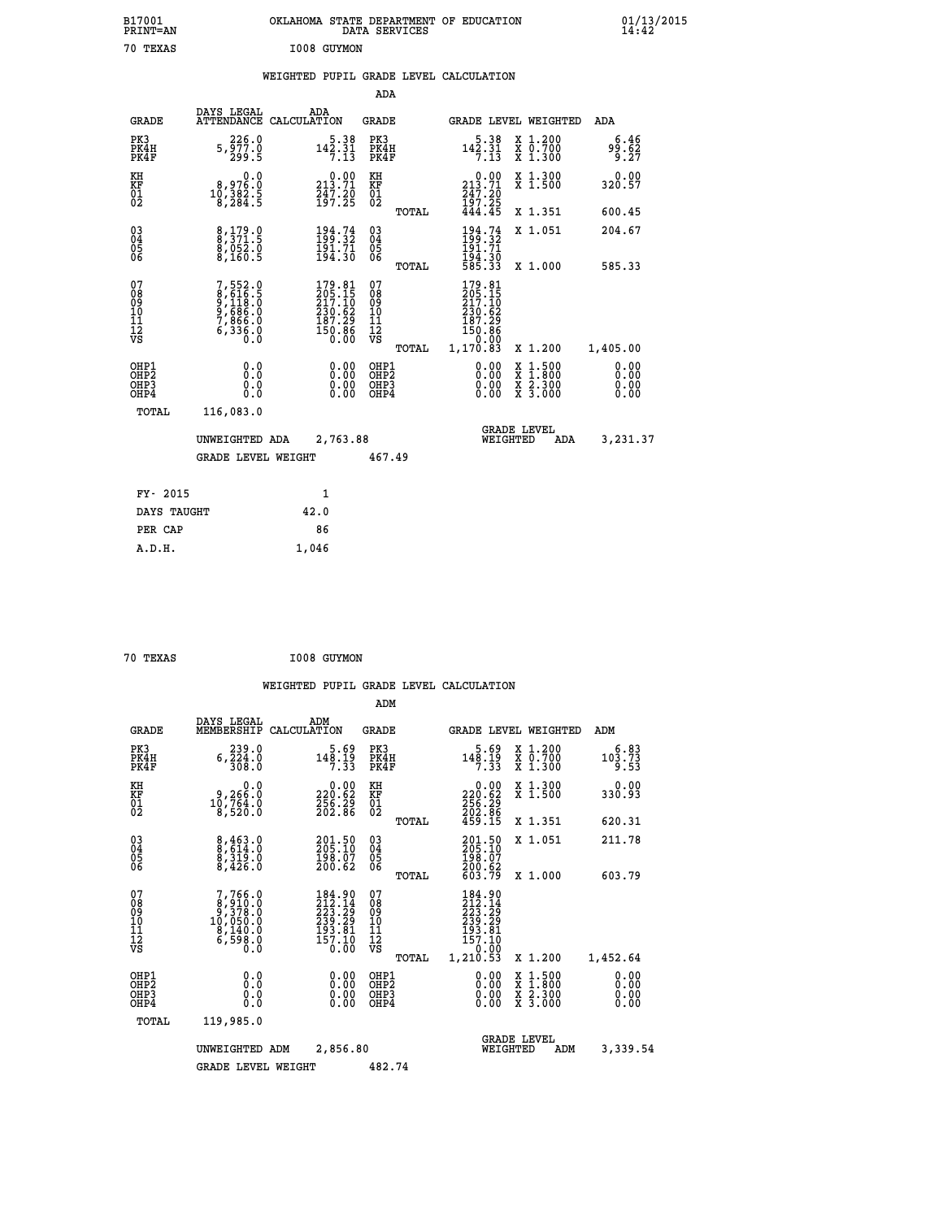| B17001<br>PRINT-AN<br>70 TEXAS                     |                                                                                        | OKLAHOMA STATE DEPARTMENT OF EDUCATION<br>DATA SERVICES<br>I008 GUYMON                             |                                           |                                                                              |                                                                                                                                      | $01/13/2015$<br>14:42    |  |
|----------------------------------------------------|----------------------------------------------------------------------------------------|----------------------------------------------------------------------------------------------------|-------------------------------------------|------------------------------------------------------------------------------|--------------------------------------------------------------------------------------------------------------------------------------|--------------------------|--|
|                                                    |                                                                                        | WEIGHTED PUPIL GRADE LEVEL CALCULATION                                                             | <b>ADA</b>                                |                                                                              |                                                                                                                                      |                          |  |
| <b>GRADE</b>                                       | DAYS LEGAL                                                                             | ADA<br>ATTENDANCE CALCULATION                                                                      | <b>GRADE</b>                              |                                                                              | <b>GRADE LEVEL WEIGHTED</b>                                                                                                          | ADA                      |  |
| PK3<br>PK4H<br>PK4F                                | 226.0<br>$5, \overline{9}\overline{7}\overline{7}\cdot\overline{0}$<br>299.5           | $142.31$<br>$7.13$                                                                                 | PK3<br>PK4H<br>PK4F                       | $142.31$<br>$7.13$                                                           | X 1.200<br>X 0.700<br>X 1.300                                                                                                        | 6.46<br>99.62<br>9.27    |  |
| KH<br>KF<br>01<br>02                               | 0.0<br>$\begin{smallmatrix} 8,97 & 0.0 \\ 10,38 & 2.5 \\ 8,28 & 4.5 \end{smallmatrix}$ | $\begin{smallmatrix} 0.00\\213.71\\247.20\\197.25 \end{smallmatrix}$                               | KH<br>KF<br>$\overline{01}$<br>TOTAL      | 213.71<br>$\frac{247.20}{197.25}$<br>444.45                                  | X 1.300<br>X 1.500<br>X 1.351                                                                                                        | 0.00<br>320.57<br>600.45 |  |
| $\begin{matrix} 03 \\ 04 \\ 05 \\ 06 \end{matrix}$ | 8,179.0<br>8,371.5<br>8,052.0<br>8,160.5                                               | $194.74$<br>$199.32$<br>$191.71$<br>$194.30$                                                       | 03<br>04<br>05<br>06                      | $194.74$<br>$199.32$<br>$191.71$<br>$194.30$<br>$585.33$                     | X 1.051                                                                                                                              | 204.67                   |  |
| 07<br>08<br>09<br>10<br>11<br>11<br>12<br>VS       | 7,552.0<br>8,616.5<br>9,118.0<br>9,686.0<br>7,866.0<br>6,336.8                         | $\begin{smallmatrix} 179.81\\ 205.15\\ 217.10\\ 230.62\\ 187.29\\ 150.86\\ 0.00 \end{smallmatrix}$ | TOTAL<br>0789011128<br>TOTAL              | 179.81<br>205.15<br>217.10<br>230.62<br>187.29<br>150.86<br>0.00<br>1,170.83 | X 1.000<br>X 1.200                                                                                                                   | 585.33<br>1,405.00       |  |
| OHP1<br>OHP2<br>OH <sub>P3</sub><br>OHP4<br>TOTAL  | 0.0<br>0.0<br>0.0<br>116,083.0                                                         |                                                                                                    | OHP1<br>OH <sub>P</sub> 2<br>OHP3<br>OHP4 | $0.00$<br>$0.00$<br>0.00                                                     | $\begin{smallmatrix} \mathtt{X} & 1 & 500 \\ \mathtt{X} & 1 & 800 \\ \mathtt{X} & 2 & 300 \\ \mathtt{X} & 3 & 000 \end{smallmatrix}$ | 0.00<br>0.00             |  |
|                                                    |                                                                                        |                                                                                                    |                                           |                                                                              |                                                                                                                                      |                          |  |

| UNWEIGHTED ADA     | 2,763.88 |        | <b>GRADE LEVEL</b><br>WEIGHTED | ADA | 3,231.37 |
|--------------------|----------|--------|--------------------------------|-----|----------|
| GRADE LEVEL WEIGHT |          | 467.49 |                                |     |          |
| FY- 2015           | 1        |        |                                |     |          |
| DAYS TAUGHT        | 42.0     |        |                                |     |          |
| PER CAP            | 86       |        |                                |     |          |

| 70 TEXAS |  | I008 GUYMON |
|----------|--|-------------|
|----------|--|-------------|

 **A.D.H. 1,046**

|                                          |                                                                                      |                    |                                                                                               | ADM                                                |       |                                                                                                                  |          |                                          |                              |  |
|------------------------------------------|--------------------------------------------------------------------------------------|--------------------|-----------------------------------------------------------------------------------------------|----------------------------------------------------|-------|------------------------------------------------------------------------------------------------------------------|----------|------------------------------------------|------------------------------|--|
| <b>GRADE</b>                             | DAYS LEGAL<br>MEMBERSHIP                                                             | ADM<br>CALCULATION |                                                                                               | <b>GRADE</b>                                       |       |                                                                                                                  |          | GRADE LEVEL WEIGHTED                     | ADM                          |  |
| PK3<br>PK4H<br>PK4F                      | 239.0<br>$6, \overline{2}\,\overline{2}\,\overline{4}\,\overline{0}\,\overline{0}$   |                    | 148.19<br>7.33                                                                                | PK3<br>PK4H<br>PK4F                                |       | $148.19$<br>7.33                                                                                                 |          | X 1.200<br>X 0.700<br>X 1.300            | 6.83<br>103.73<br>9.53       |  |
| KH<br>KF<br>01<br>02                     | 0.0<br>9,266:0<br>10,764:0<br>8,520:0                                                |                    | $\substack{0.00\\220.62\\256.29\\202.86}$                                                     | KH<br>KF<br>01<br>02                               |       | $\begin{smallmatrix} &0.00\\ 220.62\\ 256.29\\ 202.86\\ 202.86\\ 459.15 \end{smallmatrix}$                       |          | X 1.300<br>X 1.500                       | 0.00<br>330.93               |  |
|                                          |                                                                                      |                    |                                                                                               |                                                    | TOTAL |                                                                                                                  |          | X 1.351                                  | 620.31                       |  |
| 03<br>04<br>05<br>06                     | $\begin{smallmatrix} 8,463.0\\ 8,614.0\\ 8,319.0\\ 8,426.0 \end{smallmatrix}$        |                    | 201.50<br>205.10<br>198.07<br>200.62                                                          | $\begin{matrix} 03 \\ 04 \\ 05 \\ 06 \end{matrix}$ |       | 201.50<br>205.10<br>198.07<br>200.62<br>603.79                                                                   |          | X 1.051                                  | 211.78                       |  |
|                                          |                                                                                      |                    |                                                                                               |                                                    | TOTAL |                                                                                                                  |          | X 1.000                                  | 603.79                       |  |
| 07<br>08<br>09<br>101<br>112<br>VS       | $7,766.0$<br>$8,910.0$<br>$9,378.0$<br>$10,050.0$<br>$8,140.0$<br>$6,598.0$<br>$0.0$ |                    | $\begin{smallmatrix} 184.90\\212.14\\223.29\\239.29\\193.81\\157.10\end{smallmatrix}$<br>0.00 | 07<br>08<br>09<br>11<br>11<br>12<br>VS             | TOTAL | $\begin{smallmatrix} 184.90\\ 212.14\\ 223.29\\ 239.29\\ 193.81\\ 157.10 \end{smallmatrix}$<br>0.00<br>1, 210.53 |          | X 1.200                                  | 1,452.64                     |  |
| OHP1<br>OHP2<br>OH <sub>P3</sub><br>OHP4 | 0.0<br>0.000                                                                         |                    | $0.00$<br>$0.00$<br>0.00                                                                      | OHP1<br>OHP2<br>OHP <sub>3</sub>                   |       | $0.00$<br>$0.00$<br>0.00                                                                                         |          | X 1:500<br>X 1:800<br>X 2:300<br>X 3:000 | 0.00<br>0.00<br>0.00<br>0.00 |  |
| TOTAL                                    | 119,985.0                                                                            |                    |                                                                                               |                                                    |       |                                                                                                                  |          |                                          |                              |  |
|                                          | UNWEIGHTED                                                                           | ADM                | 2,856.80                                                                                      |                                                    |       |                                                                                                                  | WEIGHTED | <b>GRADE LEVEL</b><br>ADM                | 3,339.54                     |  |
|                                          | <b>GRADE LEVEL WEIGHT</b>                                                            |                    |                                                                                               | 482.74                                             |       |                                                                                                                  |          |                                          |                              |  |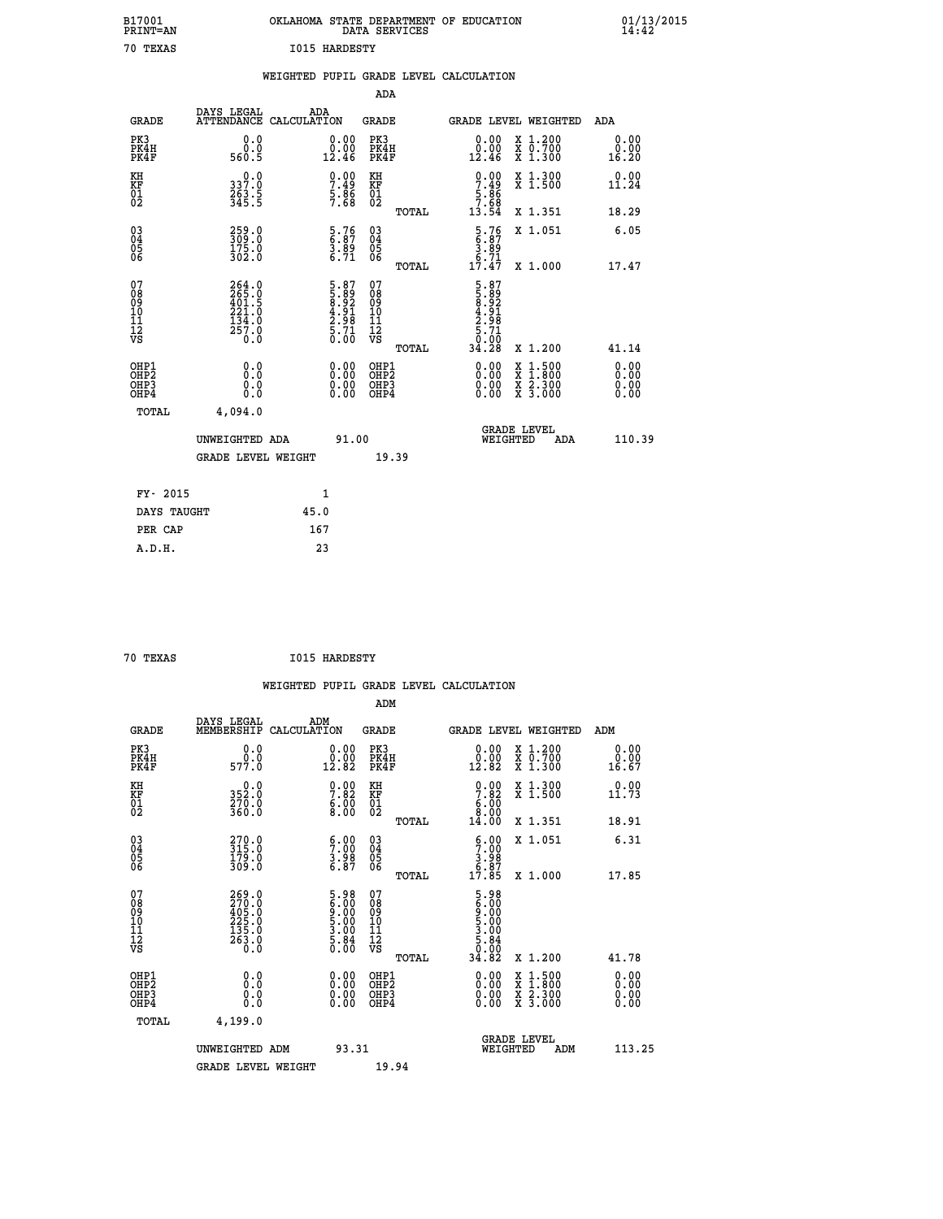| B17001<br>PRINT=AN           |                                                                   |                                                              | OKLAHOMA STATE DEPARTMENT OF EDUCATION<br>DATA SERVICES  |                                                                      |                                          | $01/13/2015$<br>14:42        |  |
|------------------------------|-------------------------------------------------------------------|--------------------------------------------------------------|----------------------------------------------------------|----------------------------------------------------------------------|------------------------------------------|------------------------------|--|
| 70 TEXAS                     |                                                                   | <b>I015 HARDESTY</b>                                         |                                                          |                                                                      |                                          |                              |  |
|                              |                                                                   |                                                              | WEIGHTED PUPIL GRADE LEVEL CALCULATION                   |                                                                      |                                          |                              |  |
|                              |                                                                   |                                                              | ADA                                                      |                                                                      |                                          |                              |  |
| <b>GRADE</b>                 | DAYS LEGAL<br>ATTENDANCE CALCULATION                              | ADA                                                          | GRADE                                                    |                                                                      | GRADE LEVEL WEIGHTED                     | ADA                          |  |
| PK3<br>PK4H<br>PK4F          | 0.0<br>0.0<br>560.5                                               | 0.00<br>0.00<br>12.46                                        | PK3<br>PK4H<br>PK4F                                      | 0.00<br>$\begin{smallmatrix} 0.00 \\ 12.46 \end{smallmatrix}$        | X 1.200<br>X 0.700<br>X 1.300            | 0.00<br>0.00<br>16.20        |  |
| KH<br>KF<br>01<br>02         | 337.0<br>$\frac{263}{345}$ .<br>345.5                             | $7.49$<br>$7.49$<br>$5.86$<br>$7.68$                         | KH<br>KF<br>01<br>02                                     | $\begin{array}{c} 0.00 \\ 7.49 \\ 5.86 \\ 7.68 \\ 13.54 \end{array}$ | X 1.300<br>X 1.500                       | 0.00<br>11.24                |  |
|                              |                                                                   |                                                              | TOTAL                                                    |                                                                      | X 1.351                                  | 18.29                        |  |
| 03<br>04<br>05<br>06         | 259.0<br>309.0<br>175.0<br>302.0                                  | $\begin{array}{c} 5.76 \\ 6.87 \\ 3.89 \\ 6.71 \end{array}$  | $\begin{matrix} 03 \\ 04 \\ 05 \\ 06 \end{matrix}$       | $\begin{array}{c} 5.76 \\ 6.87 \\ 3.89 \\ 6.71 \\ 17.47 \end{array}$ | X 1.051                                  | 6.05                         |  |
| 078901112<br>00010112<br>VS  | $264.0$<br>$265.0$<br>$401.5$<br>$221.0$<br>$\frac{134.0}{257.0}$ | 5.87<br>5.89<br>8.92<br>8.91<br>4.91<br>2.98<br>5.71<br>5.00 | <b>TOTAL</b><br>07<br>$\frac{11}{12}$<br>$\frac{12}{18}$ | 5.87<br>58.92<br>8.92<br>4.91<br>4.71<br>5.71<br>0.00                | X 1.000                                  | 17.47                        |  |
|                              |                                                                   |                                                              | TOTAL                                                    | 34.28                                                                | X 1.200                                  | 41.14                        |  |
| OHP1<br>OHP2<br>OHP3<br>OHP4 | 0.0<br>0.0<br>0.0<br>0.0                                          | 0.00<br>$\begin{smallmatrix} 0.00 \ 0.00 \end{smallmatrix}$  | OHP1<br>OH <sub>P</sub> 2<br>OHP3<br>OHP4                | 0.00<br>0.00<br>0.00                                                 | X 1:500<br>X 1:800<br>X 2:300<br>X 3:000 | 0.00<br>0.00<br>0.00<br>0.00 |  |
| TOTAL                        | 4,094.0                                                           |                                                              |                                                          |                                                                      |                                          |                              |  |
|                              | UNWEIGHTED ADA<br><b>GRADE LEVEL WEIGHT</b>                       | 91.00                                                        | 19.39                                                    | WEIGHTED                                                             | <b>GRADE LEVEL</b><br>ADA                | 110.39                       |  |
|                              |                                                                   |                                                              |                                                          |                                                                      |                                          |                              |  |
| FY- 2015<br>DAYS TAUGHT      |                                                                   | 1<br>45.0                                                    |                                                          |                                                                      |                                          |                              |  |
| PER CAP                      |                                                                   | 167                                                          |                                                          |                                                                      |                                          |                              |  |

| 70 TEXAS | <b>I015 HARDESTY</b> |
|----------|----------------------|

 **WEIGHTED PUPIL GRADE LEVEL CALCULATION ADM DAYS LEGAL ADM GRADE MEMBERSHIP CALCULATION GRADE GRADE LEVEL WEIGHTED ADM PK3 0.0 0.00 PK3 0.00 X 1.200 0.00 PK4H 0.0 0.00 PK4H 0.00 X 0.700 0.00 PK4F 577.0 12.82 PK4F 12.82 X 1.300 16.67 KH 0.0 0.00 KH 0.00 X 1.300 0.00 KF 352.0 7.82 KF 7.82 X 1.500 11.73 01 270.0 6.00 01 6.00** 02 360.0 8.00 02 **8.00 TOTAL 14.00 X 1.351 18.91 03 270.0 6.00 03 6.00 X 1.051 6.31 04 315.0 7.00 04 7.00 05 179.0 3.98 05 3.98 06 309.0 6.87 06 6.87 TOTAL 17.85 X 1.000 17.85 07 269.0 5.98 07 5.98 08 270.0 6.00 08 6.00 09 405.0 9.00 09 9.00 10 225.0 5.00 10 5.00 11** 132.0 **3.00** 11 3.00  **12 263.0 5.84 12 5.84 VS** 0.0 0.00 VS 0.00 0.00 0.00  **TOTAL 34.82 X 1.200 41.78 OHP1 0.0 0.00 OHP1 0.00 X 1.500 0.00 OHP2 0.0 0.00 OHP2 0.00 X 1.800 0.00 OHP3 0.0 0.00 OHP3 0.00 X 2.300 0.00 OHP4 0.0 0.00 OHP4 0.00 X 3.000 0.00 TOTAL 4,199.0 GRADE LEVEL UNWEIGHTED ADM 93.31 WEIGHTED ADM 113.25** GRADE LEVEL WEIGHT 19.94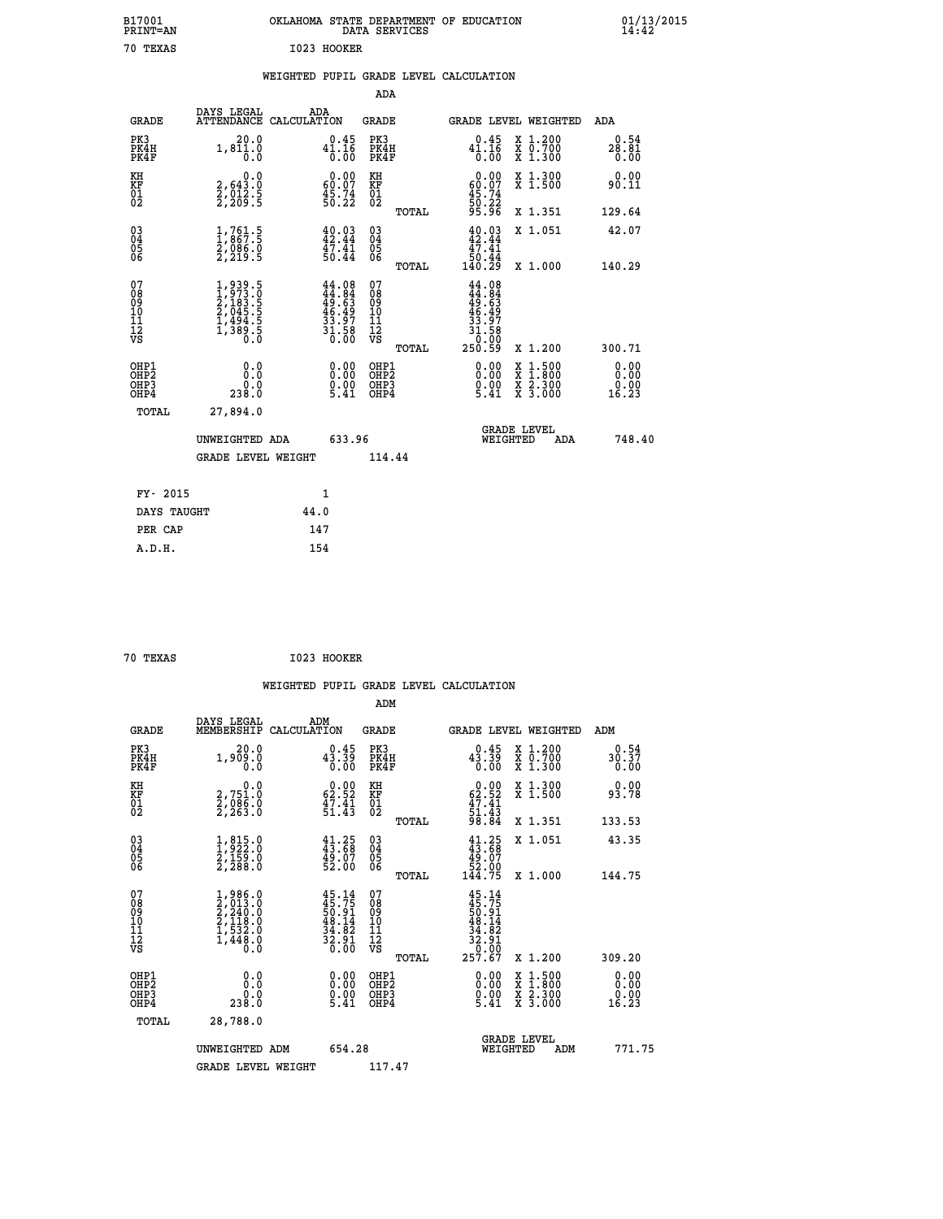| B17001<br>PRINT=AN | <b>OKLAHOMA</b><br>STATE DEPARTMENT OF EDUCATION<br>SERVICES<br>DATA | 01/13/2015<br>14:42 |
|--------------------|----------------------------------------------------------------------|---------------------|
| 70<br>TEXAS        | 1023<br>HOOKER                                                       |                     |

## **WEIGHTED PUPIL GRADE LEVEL CALCULATION**

|                                                                    |                                                                            |                                                                          |                                  | ADA                                                               |       |                                                                               |                                          |                               |
|--------------------------------------------------------------------|----------------------------------------------------------------------------|--------------------------------------------------------------------------|----------------------------------|-------------------------------------------------------------------|-------|-------------------------------------------------------------------------------|------------------------------------------|-------------------------------|
| <b>GRADE</b>                                                       | DAYS LEGAL                                                                 | ADA<br>ATTENDANCE CALCULATION                                            |                                  | <b>GRADE</b>                                                      |       | GRADE LEVEL WEIGHTED                                                          |                                          | ADA                           |
| PK3<br>PK4H<br>PK4F                                                | 20.0<br>$1, 8\overline{1}\overline{1}\cdot\overline{0}\overline{0}$        | $\substack{ \textcolor{red}{0.45} \\ 41.16 \\ 0.00}$                     |                                  | PK3<br>PK4H<br>PK4F                                               |       | 0.45<br>$41.16$<br>$0.00$                                                     | X 1.200<br>X 0.700<br>X 1.300            | 0.54<br>28.81<br>0.00         |
| KH<br><b>KF</b><br>01<br>02                                        | 0.0<br>2,643.0<br>2,012.5<br>2,209.5                                       | $\begin{smallmatrix} 0.00\\ 60.07\\ 45.74\\ 50.22 \end{smallmatrix}$     |                                  | KH<br><b>KF</b><br>01<br>02                                       |       | 0.00<br>$\begin{smallmatrix} 60.07\\ 45.74\\ 50.22\\ 95.96 \end{smallmatrix}$ | X 1.300<br>X 1.500                       | 0.00<br>90.11                 |
|                                                                    |                                                                            |                                                                          |                                  |                                                                   | TOTAL |                                                                               | X 1.351                                  | 129.64                        |
| $\begin{smallmatrix} 03 \\[-4pt] 04 \end{smallmatrix}$<br>05<br>06 | $\frac{1}{2}, \frac{761}{867}.5$<br>$\frac{2}{966}.0$<br>$\frac{2}{969}.5$ | $40.03$<br>$42.44$<br>$\frac{47.41}{50.44}$                              |                                  | $\substack{03 \\ 04}$<br>$\begin{matrix} 0.5 \\ 0.6 \end{matrix}$ |       | $40.03\n42.44\n47.41\n50.44\n140.29$                                          | X 1.051                                  | 42.07                         |
|                                                                    |                                                                            |                                                                          |                                  |                                                                   | TOTAL |                                                                               | X 1.000                                  | 140.29                        |
| 07<br>08901112<br>1112<br>VS                                       | $1,939.5$<br>$2,183.5$<br>$2,045.5$<br>$1,494.5$<br>$1,389.5$<br>$0.0$     | $44.08$<br>$44.84$<br>$49.63$<br>$46.49$<br>$33.97$<br>$31.58$<br>$0.00$ |                                  | 07<br>08<br>09<br>11<br>11<br>12<br>VS                            |       | $44.08$<br>$44.84$<br>$49.63$<br>$46.497$<br>$33.97$<br>$31.58$<br>$0.009$    |                                          |                               |
|                                                                    |                                                                            |                                                                          |                                  |                                                                   | TOTAL |                                                                               | X 1.200                                  | 300.71                        |
| OHP1<br>OH <sub>P</sub> 2<br>OH <sub>P3</sub><br>OH <sub>P4</sub>  | 0.0<br>$\overset{0.0}{\phantom{00}0.0}$                                    |                                                                          | 0.00<br>$\frac{0}{5}.00$<br>5.41 | OHP1<br>OH <sub>P</sub> 2<br>OHP3<br>OHP4                         |       | $\begin{smallmatrix} 0.00\\ 0.00\\ 0.00\\ 5.41 \end{smallmatrix}$             | X 1:500<br>X 1:800<br>X 2:300<br>X 3:000 | 0.00<br>0.00<br>0.00<br>16.23 |
| TOTAL                                                              | 27,894.0                                                                   |                                                                          |                                  |                                                                   |       |                                                                               |                                          |                               |
|                                                                    | UNWEIGHTED ADA                                                             |                                                                          | 633.96                           |                                                                   |       |                                                                               | GRADE LEVEL<br>WEIGHTED<br>ADA           | 748.40                        |
|                                                                    | <b>GRADE LEVEL WEIGHT</b>                                                  |                                                                          |                                  | 114.44                                                            |       |                                                                               |                                          |                               |
| FY- 2015                                                           |                                                                            | $\mathbf{1}$                                                             |                                  |                                                                   |       |                                                                               |                                          |                               |
| DAYS TAUGHT                                                        |                                                                            | 44.0                                                                     |                                  |                                                                   |       |                                                                               |                                          |                               |
| PER CAP                                                            |                                                                            | 147                                                                      |                                  |                                                                   |       |                                                                               |                                          |                               |

| 70 TEXAS<br>$\sim$ $\sim$ | I023 HOOKER |
|---------------------------|-------------|
|---------------------------|-------------|

 **A.D.H. 154**

|                                          |                                                                                                     |                                                                      | ADM                                                |       |                                                                                      |                         |                                          |                       |  |
|------------------------------------------|-----------------------------------------------------------------------------------------------------|----------------------------------------------------------------------|----------------------------------------------------|-------|--------------------------------------------------------------------------------------|-------------------------|------------------------------------------|-----------------------|--|
| <b>GRADE</b>                             | DAYS LEGAL<br>MEMBERSHIP                                                                            | ADM<br>CALCULATION                                                   | <b>GRADE</b>                                       |       | GRADE LEVEL WEIGHTED                                                                 |                         |                                          | ADM                   |  |
| PK3<br>PK4H<br>PK4F                      | 20.0<br>1,909.0<br>0.0                                                                              | 0.45<br>$4\overline{3}\cdot \overline{3}\overline{9}\over 0.00$      | PK3<br>PK4H<br>PK4F                                |       | 0.45<br>43.39<br>0.00                                                                |                         | X 1.200<br>X 0.700<br>X 1.300            | 0.54<br>30.37<br>0.00 |  |
| KH<br>KF<br>01<br>02                     | 0.0<br>2,751.0<br>2,086.0<br>2,263.0                                                                | $\begin{smallmatrix} 0.00\\ 62.52\\ 47.41\\ 51.43 \end{smallmatrix}$ | KH<br>KF<br>01<br>02                               |       | $\begin{smallmatrix} 0.00\\ 62.52\\ 47.41\\ 51.43\\ 98.84 \end{smallmatrix}$         |                         | X 1.300<br>X 1.500                       | 0.00<br>93.78         |  |
|                                          |                                                                                                     |                                                                      |                                                    | TOTAL |                                                                                      |                         | X 1.351                                  | 133.53                |  |
| 03<br>04<br>05<br>06                     | $\frac{1}{2}, \frac{815}{22}.0$<br>$\frac{2}{2}, \frac{159}{28}.0$<br>$\frac{2}{2}, \frac{288}{20}$ | $41.25$<br>$43.68$<br>$49.07$<br>$52.00$                             | $\begin{matrix} 03 \\ 04 \\ 05 \\ 06 \end{matrix}$ |       | $41.25\n43.68\n49.07\n52.00\n144.75$                                                 |                         | X 1.051                                  | 43.35                 |  |
|                                          |                                                                                                     |                                                                      |                                                    | TOTAL |                                                                                      |                         | X 1.000                                  | 144.75                |  |
| 07<br>08<br>09<br>101<br>112<br>VS       | $1,986.0$<br>$2,013.0$<br>$2,240.0$<br>$2,118.0$<br>$1,532.0$<br>$1,448.0$<br>$0.0$                 | $45.75$<br>$50.91$<br>$48.14$<br>$34.82$<br>$32.91$<br>$32.91$       | 07<br>08<br>09<br>11<br>11<br>12<br>VS             |       | $45.14$<br>$45.75$<br>$50.91$<br>$50.14$<br>$34.82$<br>$32.91$<br>$0.00$<br>$257.67$ |                         |                                          |                       |  |
|                                          |                                                                                                     |                                                                      |                                                    | TOTAL |                                                                                      |                         | X 1.200                                  | 309.20                |  |
| OHP1<br>OHP2<br>OH <sub>P3</sub><br>OHP4 | 0.0<br>ة:ة<br>238.0                                                                                 | $\begin{smallmatrix} 0.00 \ 0.00 \ 0.00 \ 5.41 \end{smallmatrix}$    | OHP1<br>OHP2<br>OHP <sub>3</sub>                   |       | $\begin{smallmatrix} 0.00\\ 0.00\\ 0.00\\ 5.41 \end{smallmatrix}$                    |                         | X 1:500<br>X 1:800<br>X 2:300<br>X 3:000 | 0.00<br>0.00<br>16.23 |  |
| TOTAL                                    | 28,788.0                                                                                            |                                                                      |                                                    |       |                                                                                      |                         |                                          |                       |  |
|                                          | UNWEIGHTED ADM                                                                                      | 654.28                                                               |                                                    |       |                                                                                      | GRADE LEVEL<br>WEIGHTED | ADM                                      | 771.75                |  |
|                                          | <b>GRADE LEVEL WEIGHT</b>                                                                           |                                                                      | 117.47                                             |       |                                                                                      |                         |                                          |                       |  |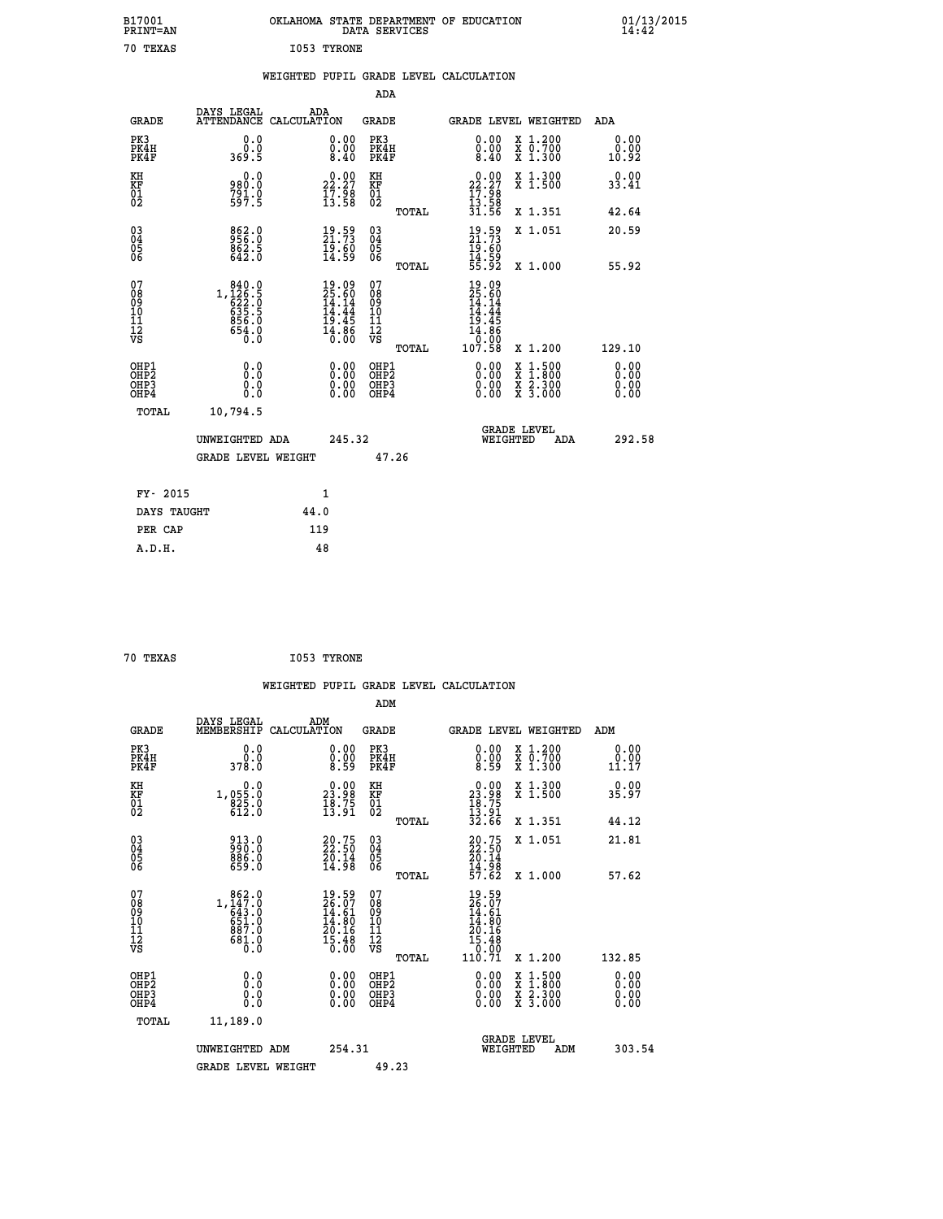| B17001<br>PRINT=AN                                  |                                                      | OKLAHOMA STATE DEPARTMENT OF EDUCATION                                   | DATA SERVICES                            |                                                                                                      |                                                                                                                                           | $01/13/2015$<br>14:42        |  |
|-----------------------------------------------------|------------------------------------------------------|--------------------------------------------------------------------------|------------------------------------------|------------------------------------------------------------------------------------------------------|-------------------------------------------------------------------------------------------------------------------------------------------|------------------------------|--|
| 70 TEXAS                                            |                                                      | I053 TYRONE                                                              |                                          |                                                                                                      |                                                                                                                                           |                              |  |
|                                                     |                                                      | WEIGHTED PUPIL GRADE LEVEL CALCULATION                                   |                                          |                                                                                                      |                                                                                                                                           |                              |  |
|                                                     |                                                      |                                                                          | <b>ADA</b>                               |                                                                                                      |                                                                                                                                           |                              |  |
|                                                     | DAYS LEGAL                                           | ADA                                                                      |                                          |                                                                                                      |                                                                                                                                           |                              |  |
| <b>GRADE</b>                                        |                                                      | ATTENDANCE CALCULATION                                                   | <b>GRADE</b>                             |                                                                                                      | <b>GRADE LEVEL WEIGHTED</b>                                                                                                               | ADA                          |  |
| PK3<br>PK4H<br>PK4F                                 | 0.0<br>0.0<br>369.5                                  | 0.00<br>0.00<br>8.40                                                     | PK3<br>PK4H<br>PK4F                      | 0.00<br>0.00<br>8.40                                                                                 | X 1.200<br>X 0.700<br>X 1.300                                                                                                             | 0.00<br>0.00<br>10.92        |  |
| KH<br>KF                                            | 0.0<br>980.0                                         | $22.27$<br>$17.98$<br>$13.58$                                            | KH<br>KF<br>01<br>02                     | 22.27                                                                                                | X 1.300<br>X 1.500                                                                                                                        | 0.00<br>33.41                |  |
| $\overline{01}$                                     | $791.0$<br>597.5                                     |                                                                          | TOTAL                                    | $\frac{17.98}{13.58}$<br>$\frac{31.58}{31.56}$                                                       | X 1.351                                                                                                                                   | 42.64                        |  |
| $\begin{array}{c} 03 \\ 04 \\ 05 \\ 06 \end{array}$ | 862.0<br>$862.5$<br>642.0                            | $\begin{smallmatrix} 19.59\ 21.73\ 19.60\ 14.59 \end{smallmatrix}$       | 03<br>04<br>05<br>06                     | 19.59<br>21.73<br>19.60<br>14.59<br>55.92                                                            | X 1.051                                                                                                                                   | 20.59                        |  |
|                                                     |                                                      |                                                                          | TOTAL                                    |                                                                                                      | X 1.000                                                                                                                                   | 55.92                        |  |
| 07<br>08<br>09<br>11<br>11<br>12<br>VS              | 840.0<br>1,126:5<br>622:0<br>635:5<br>856.0<br>654.0 | $19.09$<br>$25.60$<br>$14.14$<br>$14.44$<br>$19.45$<br>$14.86$<br>$0.00$ | 07<br>08<br>09<br>10<br>11<br>12<br>VS   | 19.09<br>$\frac{25.60}{14.14}$<br>$\frac{1}{19}$ $\frac{1}{4}$ $\frac{1}{4}$<br>$\frac{14.86}{0.00}$ |                                                                                                                                           |                              |  |
|                                                     |                                                      |                                                                          | TOTAL                                    | 107.58                                                                                               | X 1.200                                                                                                                                   | 129.10                       |  |
| OHP1<br>OHP2<br>OHP3<br>OHP4                        | 0.0<br>Ŏ.Ō<br>0.0<br>0.0                             | 0.00<br>0.00<br>0.00                                                     | OHP1<br>OHP <sub>2</sub><br>OHP3<br>OHP4 | 0.00<br>0.00<br>0.00                                                                                 | $\begin{smallmatrix} \mathtt{X} & 1\cdot500\\ \mathtt{X} & 1\cdot800\\ \mathtt{X} & 2\cdot300\\ \mathtt{X} & 3\cdot000 \end{smallmatrix}$ | 0.00<br>0.00<br>0.00<br>0.00 |  |
| TOTAL                                               | 10,794.5                                             |                                                                          |                                          |                                                                                                      |                                                                                                                                           |                              |  |
|                                                     | UNWEIGHTED ADA                                       | 245.32                                                                   |                                          | WEIGHTED                                                                                             | <b>GRADE LEVEL</b><br>ADA                                                                                                                 | 292.58                       |  |
|                                                     | <b>GRADE LEVEL WEIGHT</b>                            |                                                                          | 47.26                                    |                                                                                                      |                                                                                                                                           |                              |  |
| FY- 2015                                            |                                                      | 1                                                                        |                                          |                                                                                                      |                                                                                                                                           |                              |  |
| DAYS TAUGHT                                         |                                                      | 44.0                                                                     |                                          |                                                                                                      |                                                                                                                                           |                              |  |
|                                                     |                                                      |                                                                          |                                          |                                                                                                      |                                                                                                                                           |                              |  |

| 70 TEXAS | I053 TYRONE |
|----------|-------------|
|          |             |

 **PER CAP 119 A.D.H. 48**

 **ADM DAYS LEGAL ADM GRADE MEMBERSHIP CALCULATION GRADE GRADE LEVEL WEIGHTED ADM PK3 0.0 0.00 PK3 0.00 X 1.200 0.00 PK4H 0.0 0.00 PK4H 0.00 X 0.700 0.00 PK4F 378.0 8.59 PK4F 8.59 X 1.300 11.17 KH 0.0 0.00 KH 0.00 X 1.300 0.00 KF 1,055.0 23.98 KF 23.98 X 1.500 35.97 01 825.0 18.75 01 18.75 02 612.0 13.91 02 13.91 TOTAL 32.66 X 1.351 44.12 03 913.0 20.75 03 20.75 X 1.051 21.81 04 990.0 22.50 04 22.50 05 886.0 20.14 05 20.14 06 659.0 14.98 06 14.98 TOTAL 57.62 X 1.000 57.62 07 862.0 19.59 07 19.59 08 1,147.0 26.07 08 26.07 09 643.0 14.61 09 14.61 10 651.0 14.80 10 14.80 11 887.0 20.16 11 20.16 12 681.0 15.48 12 15.48 VS 0.0 0.00 VS 0.00**  $\begin{array}{cccc} 19.59 & 07 & 19.59 \ 26.07 & 08 & 26.07 \ 14.80 & 10 & 14.80 \ 20.16 & 11 & 20.16 \ 15.48 & 12 & 20.16 \ 15.48 & 12 & 15.48 \ 16.00 & 08 & 10.71 & x 1.200 \ 0.00 & 081\end{array}$  . To<br>  $\begin{array}{cccc} 11.59 & 14.80 \ 14.80 & 14.80 \ 15.48 & 15.48 \ 10.71$  **OHP1 0.0 0.00 OHP1 0.00 X 1.500 0.00 OHP2 0.0 0.00 OHP2 0.00 X 1.800 0.00 OHP3 0.0 0.00 OHP3 0.00 X 2.300 0.00 OHP4 0.0 0.00 OHP4 0.00 X 3.000 0.00 TOTAL 11,189.0 GRADE LEVEL UNWEIGHTED ADM 254.31 WEIGHTED ADM 303.54** GRADE LEVEL WEIGHT 49.23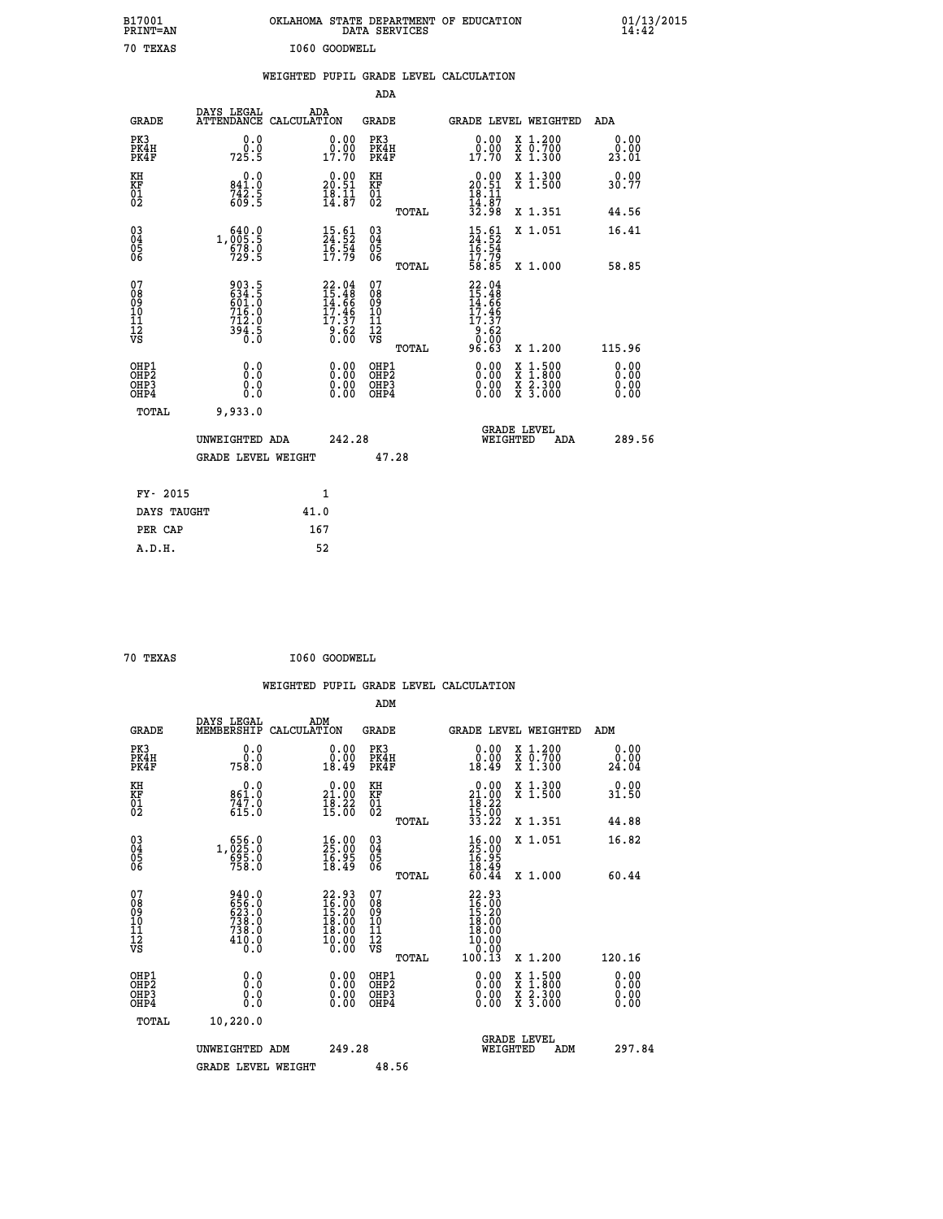| B17001<br>PRINT=AN                                  |                                                                      | OKLAHOMA STATE DEPARTMENT OF EDUCATION                               | DATA SERVICES                                                                                              |                                                                                         |                                                                             | $01/13/2015$<br>14:42        |  |
|-----------------------------------------------------|----------------------------------------------------------------------|----------------------------------------------------------------------|------------------------------------------------------------------------------------------------------------|-----------------------------------------------------------------------------------------|-----------------------------------------------------------------------------|------------------------------|--|
| 70 TEXAS                                            |                                                                      | I060 GOODWELL                                                        |                                                                                                            |                                                                                         |                                                                             |                              |  |
|                                                     |                                                                      | WEIGHTED PUPIL GRADE LEVEL CALCULATION                               |                                                                                                            |                                                                                         |                                                                             |                              |  |
|                                                     |                                                                      |                                                                      | <b>ADA</b>                                                                                                 |                                                                                         |                                                                             |                              |  |
| <b>GRADE</b>                                        | DAYS LEGAL                                                           | ADA<br>ATTENDANCE CALCULATION                                        | GRADE                                                                                                      |                                                                                         | GRADE LEVEL WEIGHTED                                                        | ADA                          |  |
| PK3<br>PK4H<br>PK4F                                 | 0.0<br>0.0<br>725.5                                                  | 0.00<br>$0.00$<br>$17.70$                                            | PK3<br>PK4H<br>PK4F                                                                                        | 0.00<br>0.00<br>17.70                                                                   | X 1.200<br>X 0.700<br>X 1.300                                               | 0.00<br>0.00<br>23.01        |  |
| KH<br>KF<br>$^{01}_{02}$                            | 0.0<br>841.0<br>$742.5$<br>609.5                                     | $\begin{smallmatrix} 0.00\\ 20.51\\ 18.11\\ 14.87 \end{smallmatrix}$ | KH<br>KF<br>$\overline{01}$                                                                                | $20.00$<br>20.51<br>$\frac{18}{14}$ $\cdot\frac{11}{87}$<br>$\frac{32}{198}$            | X 1.300<br>X 1.500                                                          | 0.00<br>30.77                |  |
|                                                     |                                                                      |                                                                      | TOTAL                                                                                                      |                                                                                         | X 1.351                                                                     | 44.56                        |  |
| $\begin{array}{c} 03 \\ 04 \\ 05 \\ 06 \end{array}$ | 640.0<br>1,005.5<br>$\frac{678.0}{729.5}$                            | $\begin{smallmatrix} 15.61\ 24.52\ 16.54\ 17.79 \end{smallmatrix}$   | $\begin{matrix} 03 \\ 04 \\ 05 \\ 06 \end{matrix}$                                                         | 15.61<br>24.52<br>16.54<br>17.79                                                        | X 1.051                                                                     | 16.41                        |  |
| 07                                                  | 903.5                                                                |                                                                      | TOTAL<br>07                                                                                                | 58.85                                                                                   | X 1.000                                                                     | 58.85                        |  |
| 08<br>09<br>10<br>11<br>12<br>VS                    | 634.5<br>716.0<br>712.0<br>$3\bar{9}\bar{4}$ .5<br>$\overline{0}$ .0 | 22.04<br>15.48<br>14.66<br>17.46<br>17.37<br>9.62<br>0.00            | $\begin{smallmatrix} 0 & 8 \\ 0 & 9 \end{smallmatrix}$<br>$\frac{10}{11}$<br>$\frac{12}{12}$<br>$\sqrt{8}$ | $22.04$<br>$15.48$<br>$14.66$<br>17.46<br>17.37<br>$\frac{3}{0}$ $\cdot$ $\frac{52}{0}$ |                                                                             |                              |  |
|                                                     |                                                                      |                                                                      | TOTAL                                                                                                      | 96.63                                                                                   | X 1.200                                                                     | 115.96                       |  |
| OHP1<br>OH <sub>P</sub> 2<br>OHP3<br>OHP4           | 0.0<br>Ō.Ō<br>0.0<br>0.0                                             | 0.00<br>$\begin{smallmatrix} 0.00 \ 0.00 \end{smallmatrix}$          | OHP1<br>OH <sub>P</sub> 2<br>OHP3<br>OHP4                                                                  | 0.00<br>0.00<br>0.00                                                                    | $\begin{array}{l} x\,+\,500\\ x\,+\,300\\ x\,+\,2\\ x\,+\,3000 \end{array}$ | 0.00<br>0.00<br>0.00<br>0.00 |  |
| TOTAL                                               | 9,933.0                                                              |                                                                      |                                                                                                            |                                                                                         |                                                                             |                              |  |
|                                                     | UNWEIGHTED ADA                                                       | 242.28                                                               |                                                                                                            | WEIGHTED                                                                                | <b>GRADE LEVEL</b><br>ADA                                                   | 289.56                       |  |
|                                                     | GRADE LEVEL WEIGHT                                                   |                                                                      | 47.28                                                                                                      |                                                                                         |                                                                             |                              |  |
| FY- 2015                                            |                                                                      | 1                                                                    |                                                                                                            |                                                                                         |                                                                             |                              |  |
| DAYS TAUGHT                                         |                                                                      | 41.0                                                                 |                                                                                                            |                                                                                         |                                                                             |                              |  |
| PER CAP                                             |                                                                      | 167                                                                  |                                                                                                            |                                                                                         |                                                                             |                              |  |

| 70 TEXAS | I060 GOODWELL |
|----------|---------------|
|          |               |

 **WEIGHTED PUPIL GRADE LEVEL CALCULATION ADM DAYS LEGAL ADM GRADE MEMBERSHIP CALCULATION GRADE GRADE LEVEL WEIGHTED ADM PK3 0.0 0.00 PK3 0.00 X 1.200 0.00 PK4H 0.0 0.00 PK4H 0.00 X 0.700 0.00 PK4F 758.0 18.49 PK4F 18.49 X 1.300 24.04 KH 0.0 0.00 KH 0.00 X 1.300 0.00 KF 861.0 21.00 KF 21.00 X 1.500 31.50 01 747.0 18.22 01 18.22** 02 615.0 15.00 02 <sub>noman</sub> 15.00  **TOTAL 33.22 X 1.351 44.88 03 656.0 16.00 03 16.00 X 1.051 16.82 04 1,025.0 25.00 04 25.00 05 695.0 16.95 05 16.95 06 758.0 18.49 06 18.49 TOTAL 60.44 X 1.000 60.44**  $\begin{array}{cccc} 07 & 940.0 & 22.93 & 07 & 22.93 \ 08 & 652.0 & 15.20 & 09 & 15.20 \ 09 & 623.0 & 15.20 & 09 & 15.20 \ 11 & 738.0 & 18.00 & 10 & 18.00 \ 12 & 410.0 & 10.00 & 12 & 10.00 \ 13 & 0.0 & 10 & 0 & 1 & 18.00 \ 12 & 0.0 & 0 & 0 & 0 & 0 \end{array}$  **OHP1 0.0 0.00 OHP1 0.00 X 1.500 0.00 OHP2 0.0 0.00 OHP2 0.00 X 1.800 0.00 OHP3 0.0 0.00 OHP3 0.00 X 2.300 0.00 OHP4 0.0 0.00 OHP4 0.00 X 3.000 0.00 TOTAL 10,220.0 GRADE LEVEL UNWEIGHTED ADM 249.28 WEIGHTED ADM 297.84** GRADE LEVEL WEIGHT 48.56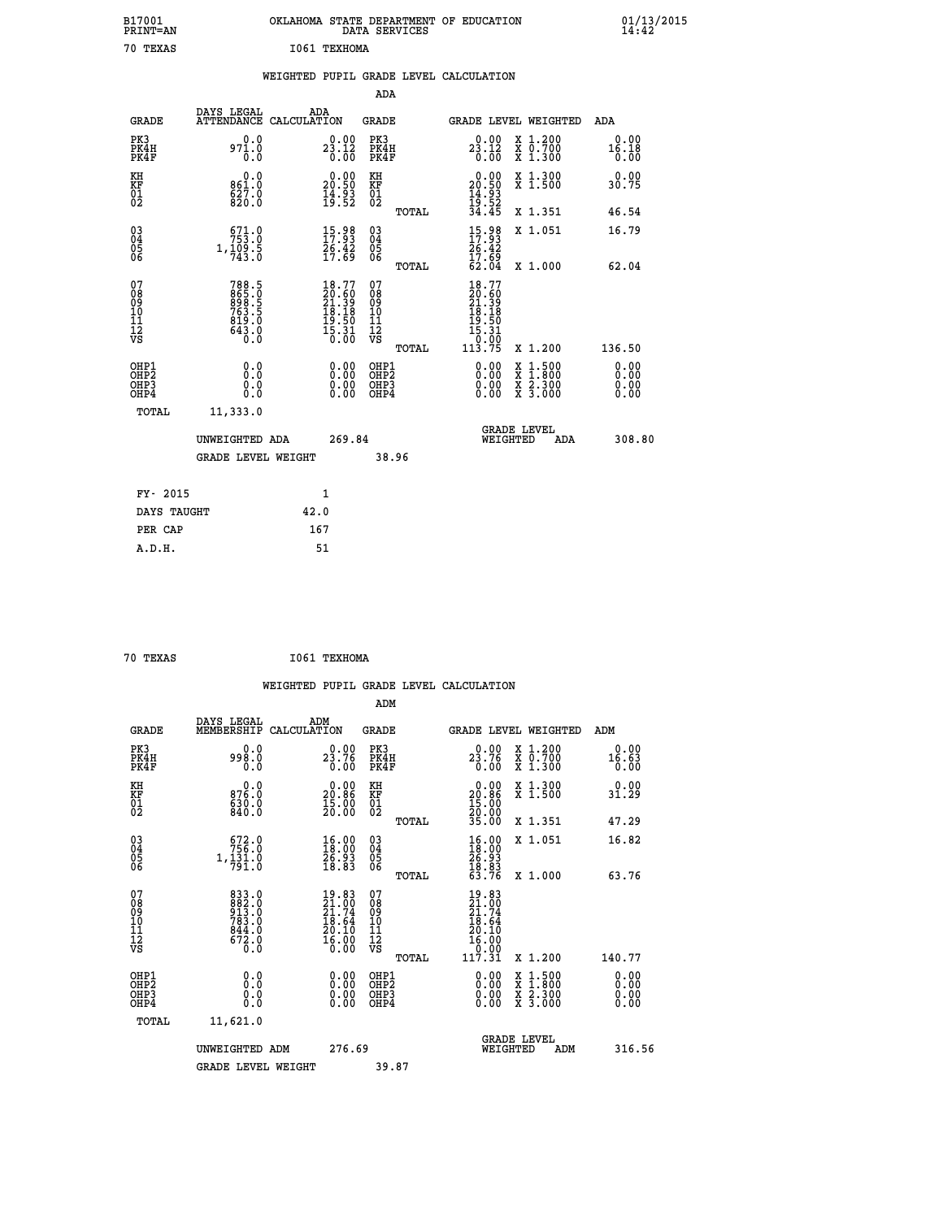| B17001<br>PRINT=AN           |                                                                            | OKLAHOMA STATE DEPARTMENT OF EDUCATION |                                                                          |                                                    | DATA SERVICES |                                                                                            |                                                                                          |                              | $01/13/2015$<br>14:42 |
|------------------------------|----------------------------------------------------------------------------|----------------------------------------|--------------------------------------------------------------------------|----------------------------------------------------|---------------|--------------------------------------------------------------------------------------------|------------------------------------------------------------------------------------------|------------------------------|-----------------------|
| 70 TEXAS                     |                                                                            | I061 TEXHOMA                           |                                                                          |                                                    |               |                                                                                            |                                                                                          |                              |                       |
|                              |                                                                            | WEIGHTED PUPIL GRADE LEVEL CALCULATION |                                                                          |                                                    |               |                                                                                            |                                                                                          |                              |                       |
|                              |                                                                            |                                        |                                                                          | ADA                                                |               |                                                                                            |                                                                                          |                              |                       |
| <b>GRADE</b>                 | DAYS LEGAL                                                                 | ADA<br>ATTENDANCE CALCULATION          |                                                                          | <b>GRADE</b>                                       |               | GRADE LEVEL WEIGHTED                                                                       |                                                                                          | ADA                          |                       |
| PK3<br>PK4H<br>PK4F          | 0.0<br>971.0<br>0.0                                                        |                                        | 23.12<br>0.00                                                            | PK3<br>PK4H<br>PK4F                                |               | $2\frac{0.00}{2.12}$<br>0.00                                                               | X 1.200<br>X 0.700<br>X 1.300                                                            | 0.00<br>16.18<br>0.00        |                       |
| KH<br>KF<br>$\overline{01}$  | 0.0<br>861.0<br>$\frac{827.0}{820.0}$                                      |                                        | $\begin{smallmatrix} 0.00\\ 20.50\\ 14.93\\ 19.52 \end{smallmatrix}$     | KH<br>KF<br>$\overline{01}$                        |               | 20.90<br>$\frac{14}{19}$ : $\frac{93}{52}$                                                 | X 1.300<br>X 1.500                                                                       | 0.00<br>30.75                |                       |
|                              |                                                                            |                                        |                                                                          |                                                    | TOTAL         | 34.45                                                                                      | X 1.351                                                                                  | 46.54                        |                       |
| $^{03}_{04}$<br>Ŏ5<br>ŎĞ     | $671.0$<br>$753.0$<br>$1, \frac{1}{7}$ $\frac{0}{9}$ $\frac{5}{0}$         |                                        | $\frac{15.98}{17.93}$<br>$\frac{26.42}{17.69}$                           | $\begin{matrix} 03 \\ 04 \\ 05 \\ 06 \end{matrix}$ |               | $15.98$<br>$17.93$<br>$\frac{26.42}{17.69}$                                                | X 1.051                                                                                  | 16.79                        |                       |
|                              |                                                                            |                                        |                                                                          |                                                    | TOTAL         | 62.04                                                                                      | X 1.000                                                                                  | 62.04                        |                       |
| 07<br>08901112<br>1112<br>VS | 788.5<br>$\frac{665}{898}\cdot\frac{6}{5}$<br>$\frac{619.0}{643.0}$<br>O.O |                                        | $18.77$<br>$20.60$<br>$21.39$<br>$18.18$<br>$19.50$<br>$15.31$<br>$0.00$ | 07<br>08<br>09<br>10<br>11<br>12<br>VS             |               | 18.77<br>$\begin{smallmatrix} 20.60\ 21.39\ 18.18\ 19.50\ 15.31\ 15.30\ \end{smallmatrix}$ |                                                                                          |                              |                       |
|                              |                                                                            |                                        |                                                                          |                                                    | TOTAL         | 113.75                                                                                     | X 1.200                                                                                  | 136.50                       |                       |
| OHP1<br>OHP2<br>OHP3<br>OHP4 | 0.0<br>Ŏ.Ō<br>0.0<br>0.0                                                   |                                        | 0.00<br>0.00                                                             | OHP1<br>OHP <sub>2</sub><br>OHP3<br>OHP4           |               | 0.00<br>0.00<br>0.00                                                                       | $\begin{smallmatrix} x & 1.500 \\ x & 1.800 \\ x & 2.300 \\ x & 3.000 \end{smallmatrix}$ | 0.00<br>0.00<br>0.00<br>0.00 |                       |
| TOTAL                        | 11,333.0                                                                   |                                        |                                                                          |                                                    |               |                                                                                            |                                                                                          |                              |                       |
|                              | UNWEIGHTED ADA                                                             |                                        | 269.84                                                                   |                                                    |               | WEIGHTED                                                                                   | <b>GRADE LEVEL</b><br>ADA                                                                | 308.80                       |                       |
|                              | <b>GRADE LEVEL WEIGHT</b>                                                  |                                        |                                                                          | 38.96                                              |               |                                                                                            |                                                                                          |                              |                       |
| FY- 2015                     |                                                                            | 1                                      |                                                                          |                                                    |               |                                                                                            |                                                                                          |                              |                       |
| DAYS TAUGHT                  |                                                                            | 42.0                                   |                                                                          |                                                    |               |                                                                                            |                                                                                          |                              |                       |
| PER CAP                      |                                                                            | 167                                    |                                                                          |                                                    |               |                                                                                            |                                                                                          |                              |                       |

| 70 TEXAS | I061 TEXHOMA |
|----------|--------------|

 **WEIGHTED PUPIL GRADE LEVEL CALCULATION ADM DAYS LEGAL ADM GRADE MEMBERSHIP CALCULATION GRADE GRADE LEVEL WEIGHTED ADM PK3 0.0 0.00 PK3 0.00 X 1.200 0.00 PK4H 998.0 23.76 PK4H 23.76 X 0.700 16.63 PK4F 0.0 0.00 PK4F 0.00 X 1.300 0.00 KH 0.0 0.00 KH 0.00 X 1.300 0.00 KF 876.0 20.86 KF 20.86 X 1.500 31.29 01 630.0 15.00 01 15.00** 02 840.0 20.00 02 20.00 20  **TOTAL 35.00 X 1.351 47.29 03 672.0 16.00 03 16.00 X 1.051 16.82 04 756.0 18.00 04 18.00 05 1,131.0 26.93 05 26.93**  $06$  791.0 18.83 06  $18.83$  10  **TOTAL 63.76 X 1.000 63.76**  $\begin{array}{cccc} 07 & 833\cdot 0 & 19\cdot 83 & 0 \ 08 & 842\cdot 0 & 21\cdot 74 & 09 & 21\cdot 74 \ 09 & 913\cdot 0 & 21\cdot 74 & 09 & 21\cdot 74 \ 10 & 783\cdot 0 & 18\cdot 64 & 10 & 18\cdot 64 \ 11 & 844\cdot 0 & 20\cdot 10 & 11 & 20\cdot 10 \ 12 & 672\cdot 0 & 16\cdot 00 & 12 & 16\cdot 00 \ 0.0 & 0.0 & 0 &$  **OHP1 0.0 0.00 OHP1 0.00 X 1.500 0.00 OHP2 0.0 0.00 OHP2 0.00 X 1.800 0.00 OHP3 0.0 0.00 OHP3 0.00 X 2.300 0.00 OHP4 0.0 0.00 OHP4 0.00 X 3.000 0.00 TOTAL 11,621.0 GRADE LEVEL UNWEIGHTED ADM 276.69 WEIGHTED ADM 316.56** GRADE LEVEL WEIGHT 39.87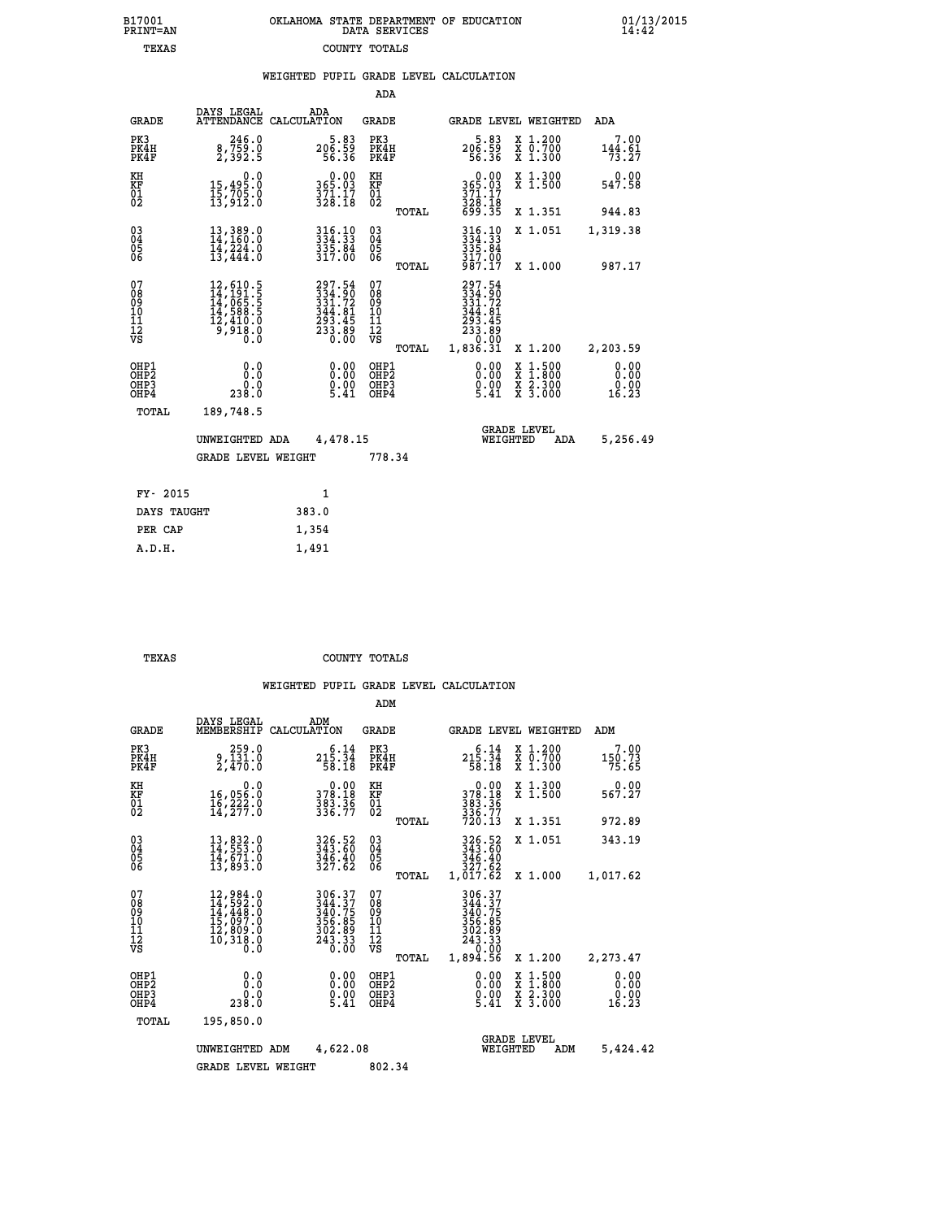|  | OKLAHOMA STATE DEPARTMENT OF EDUCATION<br>DATA SERVICES |  |
|--|---------------------------------------------------------|--|
|  | COUNTY TOTALS                                           |  |

|  |  | WEIGHTED PUPIL GRADE LEVEL CALCULATION |
|--|--|----------------------------------------|
|  |  |                                        |

|                                              |                                                                                                                                                        | ADA                                                                                                                                                                                   |                                                                            |                                                                                                                                    |                                                                              |
|----------------------------------------------|--------------------------------------------------------------------------------------------------------------------------------------------------------|---------------------------------------------------------------------------------------------------------------------------------------------------------------------------------------|----------------------------------------------------------------------------|------------------------------------------------------------------------------------------------------------------------------------|------------------------------------------------------------------------------|
| DAYS LEGAL                                   | ADA                                                                                                                                                    | GRADE                                                                                                                                                                                 |                                                                            |                                                                                                                                    | ADA                                                                          |
| 246.0<br>8,759.0<br>2,392.5                  | $\frac{5.83}{206.59}$<br>56.36                                                                                                                         | PK3<br>PK4H<br>PK4F                                                                                                                                                                   | 5.83<br>206.59<br>56.36                                                    | X 1.200<br>X 0.700<br>X 1.300                                                                                                      | 7.00<br>$144.61$<br>73.27                                                    |
| 0.0                                          |                                                                                                                                                        |                                                                                                                                                                                       |                                                                            | X 1.300<br>X 1.500                                                                                                                 | 0.00<br>547.58                                                               |
|                                              |                                                                                                                                                        | TOTAL                                                                                                                                                                                 |                                                                            | X 1.351                                                                                                                            | 944.83                                                                       |
| 13,389.0<br>14,160.0<br>14,224.0<br>13,444.0 | $316.10$<br>$334.33$<br>$\frac{335.84}{317.00}$                                                                                                        |                                                                                                                                                                                       | 316.10<br>334.33                                                           | X 1.051                                                                                                                            | 1,319.38                                                                     |
|                                              |                                                                                                                                                        |                                                                                                                                                                                       |                                                                            |                                                                                                                                    | 987.17                                                                       |
|                                              |                                                                                                                                                        | 07<br>08<br>09<br>11<br>11<br>12<br>VS                                                                                                                                                | 72<br>$\begin{array}{r} 344.81 \\ 293.45 \\ 233.89 \\ 230.00 \end{array}$  |                                                                                                                                    | 2,203.59                                                                     |
| 0.0<br>0.0<br>238.0                          | 0.00<br>$\frac{0.00}{5.41}$                                                                                                                            | OHP1<br>OHP <sub>2</sub><br>OHP3<br>OHP4                                                                                                                                              | 0.00<br>$\frac{0}{5}.00$<br>5.41                                           | X 1:500<br>X 1:800<br>X 2:300<br>X 3:000                                                                                           | 0.00<br>0.00<br>0.00<br>16.23                                                |
| 189,748.5                                    |                                                                                                                                                        |                                                                                                                                                                                       |                                                                            |                                                                                                                                    |                                                                              |
|                                              |                                                                                                                                                        |                                                                                                                                                                                       |                                                                            | ADA                                                                                                                                | 5,256.49                                                                     |
|                                              |                                                                                                                                                        | 778.34                                                                                                                                                                                |                                                                            |                                                                                                                                    |                                                                              |
| FY- 2015                                     | $\mathbf{1}$                                                                                                                                           |                                                                                                                                                                                       |                                                                            |                                                                                                                                    |                                                                              |
| DAYS TAUGHT                                  | 383.0                                                                                                                                                  |                                                                                                                                                                                       |                                                                            |                                                                                                                                    |                                                                              |
|                                              | 1,354                                                                                                                                                  |                                                                                                                                                                                       |                                                                            |                                                                                                                                    |                                                                              |
|                                              | 1,491                                                                                                                                                  |                                                                                                                                                                                       |                                                                            |                                                                                                                                    |                                                                              |
|                                              | 15,495.0<br>15,705.0<br>13,912.0<br>$\begin{smallmatrix} 12, 610.5\\ 14, 191.5\\ 14, 065.5\\ 14, 588.5\\ 12, 410.0\\ 9, 918.0\\ 0.0 \end{smallmatrix}$ | ATTENDANCE CALCULATION<br>365.03<br>371.17<br>328.18<br>$297.54$<br>$334.90$<br>$331.72$<br>$344.81$<br>$293.45$<br>$233.89$<br>$0.00$<br>UNWEIGHTED ADA<br><b>GRADE LEVEL WEIGHT</b> | KH<br>KF<br>01<br>02<br>03<br>04<br>05<br>06<br>TOTAL<br>TOTAL<br>4,478.15 | $0.00$<br>$365.03$<br>$371.17$<br>$328.18$<br>$699.35$<br>$335.84$<br>$317.00$<br>987.17<br>297.54<br>334.90<br>331.72<br>1,836.31 | GRADE LEVEL WEIGHTED<br>X 1.000<br>X 1.200<br><b>GRADE LEVEL</b><br>WEIGHTED |

B17001<br>PRINT=AN<br>TEXAS

 **TEXAS COUNTY TOTALS**

|                                                       |                                                                                                                                                                                          |                                                                            | ADM                                              |                                                                                                                                                                                                                                                                                                                                                                                                                                                |                                                                    |                               |
|-------------------------------------------------------|------------------------------------------------------------------------------------------------------------------------------------------------------------------------------------------|----------------------------------------------------------------------------|--------------------------------------------------|------------------------------------------------------------------------------------------------------------------------------------------------------------------------------------------------------------------------------------------------------------------------------------------------------------------------------------------------------------------------------------------------------------------------------------------------|--------------------------------------------------------------------|-------------------------------|
| <b>GRADE</b>                                          | DAYS LEGAL<br>MEMBERSHIP                                                                                                                                                                 | ADM<br>CALCULATION                                                         | <b>GRADE</b>                                     | GRADE LEVEL WEIGHTED                                                                                                                                                                                                                                                                                                                                                                                                                           |                                                                    | ADM                           |
| PK3<br>PK4H<br>PK4F                                   | 259.0<br>9,131.0<br>2,470.0                                                                                                                                                              | 6.14<br>215.34<br>58.18                                                    | PK3<br>PK4H<br>PK4F                              | 6.14<br>215.34<br>58.18                                                                                                                                                                                                                                                                                                                                                                                                                        | $\begin{array}{c} x & 1.200 \\ x & 0.700 \end{array}$<br>$X$ 1.300 | 7.00<br>150.73<br>75.65       |
| KH<br>KF<br>01<br>02                                  | 0.0<br>16,056:0<br>16,222:0<br>14,277:0                                                                                                                                                  | $\begin{smallmatrix} &0.00\\ 378.18\\ 383.36\\ 336.77\end{smallmatrix}$    | KH<br>KF<br>01<br>02                             | $\begin{smallmatrix} &0.00\\ 378.18\\ 383.36\\ 336.77\\ 720.13\end{smallmatrix}$                                                                                                                                                                                                                                                                                                                                                               | X 1.300<br>X 1.500                                                 | 0.00<br>567.27                |
|                                                       |                                                                                                                                                                                          |                                                                            | TOTAL                                            |                                                                                                                                                                                                                                                                                                                                                                                                                                                | X 1.351                                                            | 972.89                        |
| 03<br>04<br>05<br>06                                  | $\begin{smallmatrix} 13\,, & 832\cdot 0\\ 14\,, & 553\cdot 0\\ 14\,, & 671\cdot 0\\ 13\,, & 893\cdot 0 \end{smallmatrix}$                                                                | 326.52<br>343.60<br>346.40<br>327.62                                       | $\substack{03 \\ 04}$<br>05<br>06                | 326.52<br>343.60<br>346.40<br>327.62                                                                                                                                                                                                                                                                                                                                                                                                           | X 1.051                                                            | 343.19                        |
|                                                       |                                                                                                                                                                                          |                                                                            | TOTAL                                            | 1,017.62                                                                                                                                                                                                                                                                                                                                                                                                                                       | X 1.000                                                            | 1,017.62                      |
| 07<br>08<br>09<br>101<br>112<br>VS                    | $\begin{smallmatrix} 12\,, & 984\,. & 0\\ 14\,, & 592\,. & 0\\ 14\,, & 448\,. & 0\\ 15\,, & 097\,. & 0\\ 12\,, & 809\,. & 0\\ 10\,, & 318\,. & 0\\ 0\,. & 0\,. & 0\,. \end{smallmatrix}$ | 306.37<br>344.37<br>$340.75$<br>$356.85$<br>$302.89$<br>$243.33$<br>$0.00$ | 07<br>08<br>09<br>101<br>11<br>12<br>VS<br>TOTAL | 306.37<br>344.37<br>$\begin{array}{@{}c@{\hspace{1em}}c@{\hspace{1em}}c@{\hspace{1em}}c@{\hspace{1em}}c@{\hspace{1em}}c@{\hspace{1em}}c@{\hspace{1em}}c@{\hspace{1em}}c@{\hspace{1em}}c@{\hspace{1em}}c@{\hspace{1em}}c@{\hspace{1em}}c@{\hspace{1em}}c@{\hspace{1em}}c@{\hspace{1em}}c@{\hspace{1em}}c@{\hspace{1em}}c@{\hspace{1em}}c@{\hspace{1em}}c@{\hspace{1em}}c@{\hspace{1em}}c@{\hspace{1em}}c@{\hspace{1em}}c@{\hspace{$<br>1,894.56 | X 1.200                                                            | 2,273.47                      |
| OHP1<br>OH <sub>P</sub> 2<br>OH <sub>P3</sub><br>OHP4 | 0.0<br>0.0<br>238.0                                                                                                                                                                      | 0.00<br>$\frac{0}{5}$ . $\frac{0}{41}$                                     | OHP1<br>OHP2<br>OHP3<br>OHP4                     | $\begin{smallmatrix} 0.00\\ 0.00\\ 0.00\\ 5.41 \end{smallmatrix}$                                                                                                                                                                                                                                                                                                                                                                              | X 1:500<br>X 1:800<br>X 2:300<br>X 3:000                           | 0.00<br>0.00<br>0.00<br>16.23 |
| TOTAL                                                 | 195,850.0                                                                                                                                                                                |                                                                            |                                                  |                                                                                                                                                                                                                                                                                                                                                                                                                                                |                                                                    |                               |
|                                                       | UNWEIGHTED                                                                                                                                                                               | 4,622.08<br>ADM                                                            |                                                  | <b>GRADE LEVEL</b><br>WEIGHTED                                                                                                                                                                                                                                                                                                                                                                                                                 | ADM                                                                | 5,424.42                      |
|                                                       | <b>GRADE LEVEL WEIGHT</b>                                                                                                                                                                |                                                                            | 802.34                                           |                                                                                                                                                                                                                                                                                                                                                                                                                                                |                                                                    |                               |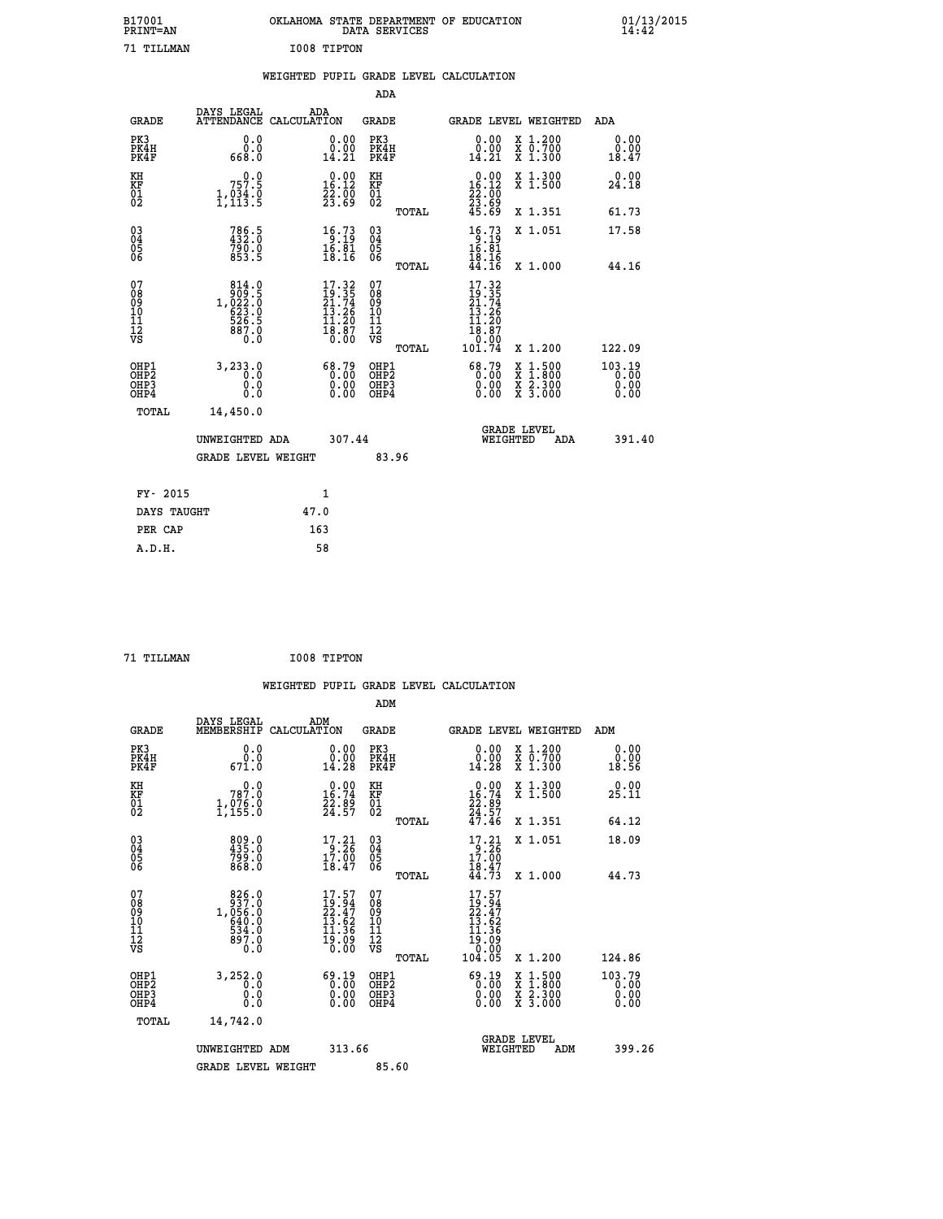|             | OKLAHOMA STATE DEPARTMENT OF EDUCATION<br>DATA SERVICES |  |
|-------------|---------------------------------------------------------|--|
| I008 TIPTON |                                                         |  |

|  |  | WEIGHTED PUPIL GRADE LEVEL CALCULATION |
|--|--|----------------------------------------|
|  |  |                                        |

|                                                                    |                                                                                              |                                                                          | ADA                                               |       |                                                                                                                      |                                                                     |                                |
|--------------------------------------------------------------------|----------------------------------------------------------------------------------------------|--------------------------------------------------------------------------|---------------------------------------------------|-------|----------------------------------------------------------------------------------------------------------------------|---------------------------------------------------------------------|--------------------------------|
| <b>GRADE</b>                                                       | DAYS LEGAL                                                                                   | ADA<br>ATTENDANCE CALCULATION                                            | <b>GRADE</b>                                      |       |                                                                                                                      | GRADE LEVEL WEIGHTED                                                | <b>ADA</b>                     |
| PK3<br>PK4H<br>PK4F                                                | 0.0<br>0.0<br>0.8aa                                                                          | $\begin{smallmatrix} 0.00\\ 0.00\\ 14.21 \end{smallmatrix}$              | PK3<br>PK4H<br>PK4F                               |       | 0.00<br>ă:ŏŏ<br>14.21                                                                                                | X 1.200<br>X 0.700<br>X 1.300                                       | 0.00<br>0.00<br>18.47          |
| KH<br>KF<br>01<br>02                                               | 757.9<br>$\frac{1}{2}, \frac{0}{1}$ $\frac{3}{3}$ $\frac{4}{5}$                              | $0.00$<br>16.12<br>$\frac{22}{23}$ : $\frac{00}{69}$                     | KH<br>KF<br>$\begin{matrix} 01 \ 02 \end{matrix}$ |       | $0.00$<br>16.12<br>$\frac{23}{23}$ : $\frac{25}{69}$<br>45.69                                                        | X 1.300<br>X 1.500                                                  | 0.00<br>24.18                  |
|                                                                    |                                                                                              |                                                                          |                                                   | TOTAL |                                                                                                                      | X 1.351                                                             | 61.73                          |
| $\begin{smallmatrix} 03 \\[-4pt] 04 \end{smallmatrix}$<br>Ŏ5<br>06 | 786.5<br>432.0<br>790.0<br>853.5                                                             | 16.73<br>$\frac{16.81}{18.16}$                                           | $\substack{03 \\ 04}$<br>05<br>06                 |       | $16.73$<br>$16.81$<br>$16.81$<br>$18.16$<br>$44.16$                                                                  | X 1.051                                                             | 17.58                          |
|                                                                    |                                                                                              |                                                                          |                                                   | TOTAL |                                                                                                                      | X 1.000                                                             | 44.16                          |
| 07<br>08<br>09<br>11<br>11<br>12<br>VS                             | $\begin{smallmatrix}814.0\\909.5\\1,022.0\\623.0\\623.0\\526.5\\887.0\\0.0\end{smallmatrix}$ | $17.32$<br>$21.74$<br>$21.74$<br>$13.26$<br>$11.20$<br>$18.87$<br>$0.00$ | 07<br>08<br>09<br>11<br>11<br>12<br>VS            |       | $17.32$<br>$19.35$<br>$21.74$<br>$13.26$<br>$\begin{smallmatrix} 11.20 \\ 18.87 \\ 0.00 \\ 101.74 \end{smallmatrix}$ |                                                                     |                                |
|                                                                    |                                                                                              |                                                                          |                                                   | TOTAL |                                                                                                                      | X 1.200                                                             | 122.09                         |
| OHP1<br>OH <sub>P</sub> 2<br>OHP3<br>OHP4                          | 3,233.0<br>0.0<br>0.0<br>0.0                                                                 | $68.79$<br>0.00<br>$\begin{smallmatrix} 0.00 \ 0.00 \end{smallmatrix}$   | OHP1<br>OH <sub>P</sub> 2<br>OHP3<br>OHP4         |       | 68.79<br>0.00<br>0.00                                                                                                | $1:500$<br>$1:800$<br>X<br>X<br>$\frac{x}{x}$ $\frac{2.300}{3.000}$ | 103.19<br>0.00<br>0.00<br>0.00 |
| TOTAL                                                              | 14,450.0                                                                                     |                                                                          |                                                   |       |                                                                                                                      |                                                                     |                                |
|                                                                    | UNWEIGHTED ADA                                                                               | 307.44                                                                   |                                                   |       |                                                                                                                      | <b>GRADE LEVEL</b><br>WEIGHTED<br>ADA                               | 391.40                         |
|                                                                    | <b>GRADE LEVEL WEIGHT</b>                                                                    |                                                                          |                                                   | 83.96 |                                                                                                                      |                                                                     |                                |
| FY- 2015                                                           |                                                                                              |                                                                          |                                                   |       |                                                                                                                      |                                                                     |                                |
|                                                                    |                                                                                              | 1                                                                        |                                                   |       |                                                                                                                      |                                                                     |                                |
| DAYS TAUGHT                                                        |                                                                                              | 47.0                                                                     |                                                   |       |                                                                                                                      |                                                                     |                                |
| PER CAP                                                            |                                                                                              | 163                                                                      |                                                   |       |                                                                                                                      |                                                                     |                                |

 **71 TILLMAN I008 TIPTON**

 **A.D.H. 58**

B17001<br>PRINT=AN<br>71 TILLMAN

| <b>GRADE</b>                                                     | DAYS LEGAL<br>CALCULATION<br>MEMBERSHIP                                                              | ADM                                                                      | <b>GRADE</b>                                        |       | GRADE LEVEL WEIGHTED                                                                 |                                                                                                                     | ADM                            |  |
|------------------------------------------------------------------|------------------------------------------------------------------------------------------------------|--------------------------------------------------------------------------|-----------------------------------------------------|-------|--------------------------------------------------------------------------------------|---------------------------------------------------------------------------------------------------------------------|--------------------------------|--|
| PK3<br>PK4H<br>PK4F                                              | 0.0<br>$\overset{\text{\scriptsize{\textbf{0.0}}}}{671.0}$                                           | 0.00<br>14.28                                                            | PK3<br>PK4H<br>PK4F                                 |       | $\begin{smallmatrix} 0.00\\ 0.00\\ 14.28 \end{smallmatrix}$                          | X 1.200<br>X 0.700<br>X 1.300                                                                                       | 0.00<br>0.00<br>18.56          |  |
| KH<br>KF<br>01<br>02                                             | 0.0<br>787.0<br>1,976.0                                                                              | $\begin{smallmatrix} 0.00\\ 16.74\\ 22.89\\ 24.57 \end{smallmatrix}$     | KH<br>KF<br>01<br>02                                |       | $\begin{smallmatrix} 0.00\\16.74\\22.89\\24.57\\47.46\end{smallmatrix}$              | X 1.300<br>X 1.500                                                                                                  | 0.00<br>25.11                  |  |
|                                                                  |                                                                                                      |                                                                          |                                                     | TOTAL |                                                                                      | X 1.351                                                                                                             | 64.12                          |  |
| 03<br>04<br>05<br>06                                             | 809.0<br>435.0<br>799.0<br>868.0                                                                     | 17.21<br>$\frac{17.00}{18.47}$                                           | $\begin{array}{c} 03 \\ 04 \\ 05 \\ 06 \end{array}$ |       | 17.21<br>$\frac{17.00}{18.47}$                                                       | X 1.051                                                                                                             | 18.09                          |  |
|                                                                  |                                                                                                      |                                                                          |                                                     | TOTAL | 44.73                                                                                | X 1.000                                                                                                             | 44.73                          |  |
| 07<br>08<br>09<br>11<br>11<br>12<br>VS                           | $\begin{smallmatrix}826.0\\937.0\\1,056.0\\640.0\\534.0\\897.0\end{smallmatrix}$<br>$0.\overline{0}$ | $17.57$<br>$19.94$<br>$22.47$<br>$13.62$<br>$11.36$<br>$19.09$<br>$0.00$ | 07<br>08<br>09<br>11<br>11<br>12<br>VS              | TOTAL | $17.57$<br>$22.47$<br>$22.47$<br>$13.62$<br>$11.36$<br>$19.09$<br>$0.00$<br>$104.05$ | X 1.200                                                                                                             | 124.86                         |  |
| OHP1<br>OH <sub>P</sub> <sub>2</sub><br>OH <sub>P3</sub><br>OHP4 | 3,252.0<br>0.0<br>0.0<br>0.0                                                                         | $\begin{smallmatrix} 69.19\ 0.00\ 0.00\ 0.00 \end{smallmatrix}$          | OHP1<br>OHP <sub>2</sub><br>OHP3<br>OHP4            |       | $\begin{smallmatrix} 69.19\ 0.00\ 0.00\ 0.00 \end{smallmatrix}$                      | $\begin{array}{l} \mathtt{X} & 1.500 \\ \mathtt{X} & 1.800 \\ \mathtt{X} & 2.300 \\ \mathtt{X} & 3.000 \end{array}$ | 103.79<br>0.00<br>0.00<br>0.00 |  |
| TOTAL                                                            | 14,742.0                                                                                             |                                                                          |                                                     |       |                                                                                      |                                                                                                                     |                                |  |
|                                                                  | UNWEIGHTED ADM                                                                                       | 313.66                                                                   |                                                     |       | WEIGHTED                                                                             | <b>GRADE LEVEL</b><br>ADM                                                                                           | 399.26                         |  |
|                                                                  | <b>GRADE LEVEL WEIGHT</b>                                                                            |                                                                          | 85.60                                               |       |                                                                                      |                                                                                                                     |                                |  |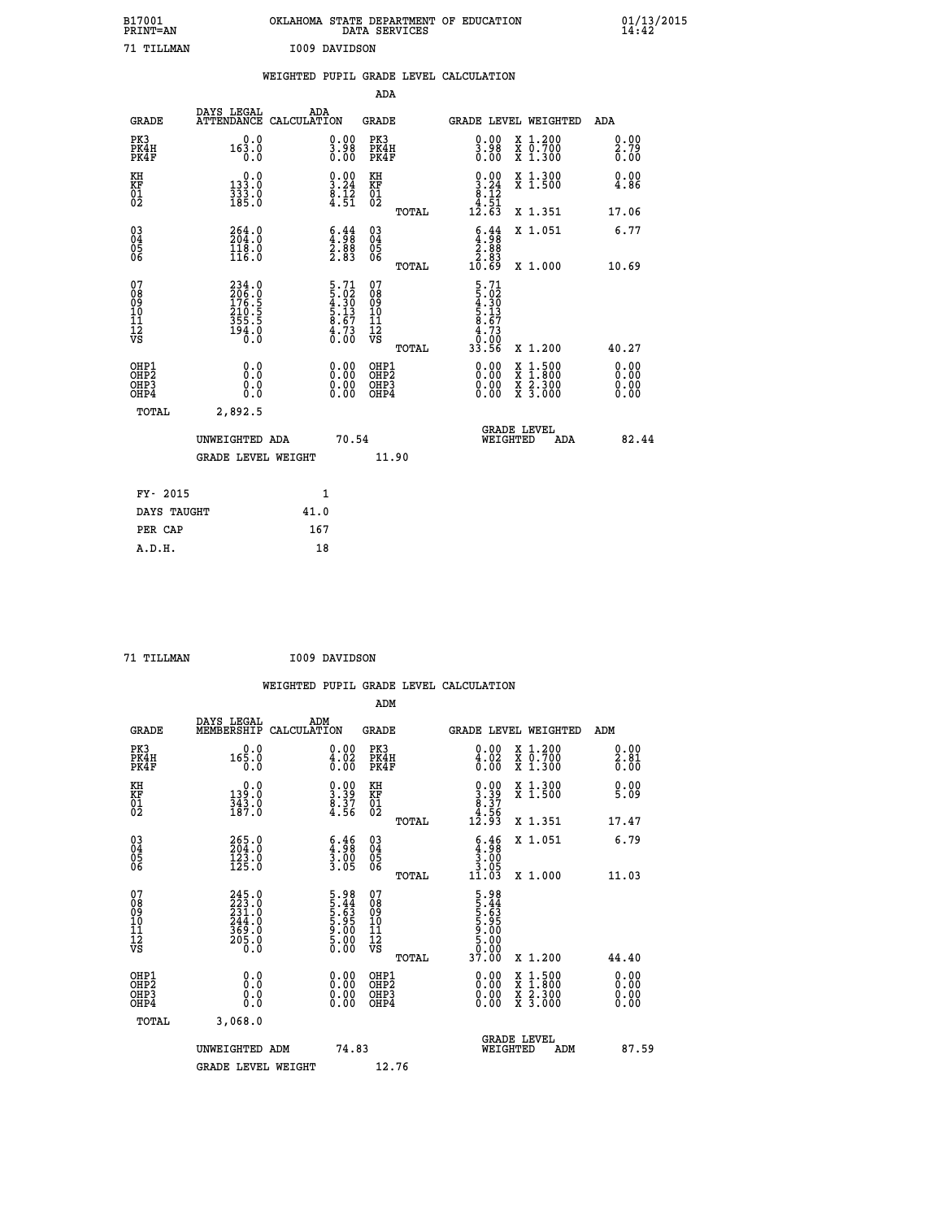| B17001<br>PRINT=AN                       |                                                             |               |                                                                    | OKLAHOMA STATE DEPARTMENT OF EDUCATION<br>DATA SERVICES             |                                                                                                                             |                                                                                                                                           | 01/13/2015           |
|------------------------------------------|-------------------------------------------------------------|---------------|--------------------------------------------------------------------|---------------------------------------------------------------------|-----------------------------------------------------------------------------------------------------------------------------|-------------------------------------------------------------------------------------------------------------------------------------------|----------------------|
| 71 TILLMAN                               |                                                             | I009 DAVIDSON |                                                                    |                                                                     |                                                                                                                             |                                                                                                                                           |                      |
|                                          |                                                             |               |                                                                    | WEIGHTED PUPIL GRADE LEVEL CALCULATION                              |                                                                                                                             |                                                                                                                                           |                      |
|                                          |                                                             |               |                                                                    | ADA                                                                 |                                                                                                                             |                                                                                                                                           |                      |
| <b>GRADE</b>                             | DAYS LEGAL<br>ATTENDANCE CALCULATION                        | ADA           |                                                                    | <b>GRADE</b>                                                        |                                                                                                                             | GRADE LEVEL WEIGHTED                                                                                                                      | ADA                  |
| PK3<br>PK4H<br>PK4F                      | 0.0<br>163.0<br>0.0                                         |               | 0.00<br>$\frac{3.98}{0.00}$                                        | PK3<br>PK4H<br>PK4F                                                 | 0.00<br>$\frac{3.98}{0.00}$                                                                                                 | X 1.200<br>X 0.700<br>X 1.300                                                                                                             | 0.00<br>2.79<br>0.00 |
| KH<br>KF<br>01<br>02                     | 0.0<br>133.0<br>333.0<br>185.0                              |               | $\begin{smallmatrix} 0.00\\ 3.24\\ 8.12\\ 4.51 \end{smallmatrix}$  | KH<br><b>KF</b><br>01<br>02                                         | $0.00$<br>$3.24$<br>$8.12$<br>$4.51$                                                                                        | X 1.300<br>X 1.500                                                                                                                        | 0.00<br>4.86         |
|                                          |                                                             |               |                                                                    | TOTAL                                                               | 12.63                                                                                                                       | X 1.351                                                                                                                                   | 17.06                |
| 03<br>04<br>05<br>06                     | 264.0<br>118.0<br>116.0                                     |               | $\begin{smallmatrix} 6.44\ 4.98\ 2.88\ 2.83 \end{smallmatrix}$     | $\begin{matrix} 03 \\ 04 \\ 05 \\ 06 \end{matrix}$                  | $\begin{smallmatrix} 6.44\ -4.98\ 2.88\ 2.83\ 10.69 \end{smallmatrix}$                                                      | X 1.051                                                                                                                                   | 6.77                 |
|                                          |                                                             |               |                                                                    | <b>TOTAL</b>                                                        |                                                                                                                             | X 1.000                                                                                                                                   | 10.69                |
| 07<br>08<br>09<br>11<br>11<br>12<br>VS   | 234.0<br>206.0<br>176.5<br>210.5<br>255.5<br>355.5<br>194.0 |               | $5.71$<br>$5.02$<br>$4.30$<br>$5.13$<br>$8.67$<br>$4.73$<br>$0.00$ | 07<br>08<br>09<br>10<br>$\frac{11}{12}$<br>$\frac{12}{18}$<br>TOTAL | $\begin{array}{c} 5.71 \\ 5.02 \\ 4.30 \\ 5.13 \\ 8.67 \end{array}$<br>$\begin{array}{c} 4.73 \\ 0.00 \\ 33.56 \end{array}$ | X 1.200                                                                                                                                   | 40.27                |
|                                          | 0.0                                                         |               |                                                                    |                                                                     |                                                                                                                             |                                                                                                                                           | 0.00                 |
| OHP1<br>OHP2<br>OH <sub>P3</sub><br>OHP4 | Ŏ.Ō<br>0.0<br>0.0                                           |               | 0.00<br>0.00<br>0.00                                               | OHP1<br>OHP2<br>OHP3<br>OHP4                                        | 0.00<br>0.00<br>0.00                                                                                                        | $\begin{smallmatrix} \mathtt{X} & 1\cdot500\\ \mathtt{X} & 1\cdot800\\ \mathtt{X} & 2\cdot300\\ \mathtt{X} & 3\cdot000 \end{smallmatrix}$ | 0.00<br>0.00<br>0.00 |
| TOTAL                                    | 2,892.5                                                     |               |                                                                    |                                                                     |                                                                                                                             |                                                                                                                                           |                      |
|                                          | UNWEIGHTED ADA                                              |               | 70.54                                                              |                                                                     | WEIGHTED                                                                                                                    | <b>GRADE LEVEL</b><br>ADA                                                                                                                 | 82.44                |
|                                          | <b>GRADE LEVEL WEIGHT</b>                                   |               |                                                                    | 11.90                                                               |                                                                                                                             |                                                                                                                                           |                      |
| FY- 2015                                 |                                                             | 1             |                                                                    |                                                                     |                                                                                                                             |                                                                                                                                           |                      |
| DAYS TAUGHT                              |                                                             | 41.0          |                                                                    |                                                                     |                                                                                                                             |                                                                                                                                           |                      |
| PER CAP                                  |                                                             | 167           |                                                                    |                                                                     |                                                                                                                             |                                                                                                                                           |                      |

| TTT.T.MAN |  |
|-----------|--|

 **71 TILLMAN I009 DAVIDSON**

|                                                    |                                                                  |                    |                                                                    |                              |       | WEIGHTED PUPIL GRADE LEVEL CALCULATION                                    |                                                                                                  |                      |       |
|----------------------------------------------------|------------------------------------------------------------------|--------------------|--------------------------------------------------------------------|------------------------------|-------|---------------------------------------------------------------------------|--------------------------------------------------------------------------------------------------|----------------------|-------|
|                                                    |                                                                  |                    |                                                                    | ADM                          |       |                                                                           |                                                                                                  |                      |       |
| <b>GRADE</b>                                       | DAYS LEGAL<br>MEMBERSHIP                                         | ADM<br>CALCULATION |                                                                    | <b>GRADE</b>                 |       | GRADE LEVEL WEIGHTED                                                      |                                                                                                  | ADM                  |       |
| PK3<br>PK4H<br>PK4F                                | 0.0<br>165.0<br>0.0                                              |                    | $\substack{0.00\\ 4.02\\ 0.00}$                                    | PK3<br>PK4H<br>PK4F          |       | $\begin{smallmatrix} 0.00\\ 4.02\\ 0.00 \end{smallmatrix}$                | X 1.200<br>X 0.700<br>X 1.300                                                                    | 0.00<br>2.81<br>0.00 |       |
| KH<br>KF<br>01<br>02                               | $\begin{smallmatrix} 0.0\\139.0\\343.0\\187.0 \end{smallmatrix}$ |                    | $\begin{smallmatrix} 0.00\\ 3.39\\ 8.37\\ 4.56 \end{smallmatrix}$  | KH<br>KF<br>01<br>02         |       | $\begin{smallmatrix} 0.00\\ 3.39\\ 8.37\\ 4.56\\ 12.93 \end{smallmatrix}$ | X 1.300<br>X 1.500                                                                               | 0.00<br>5.09         |       |
|                                                    |                                                                  |                    |                                                                    |                              | TOTAL |                                                                           | X 1.351                                                                                          | 17.47                |       |
| $\begin{matrix} 03 \\ 04 \\ 05 \\ 06 \end{matrix}$ | 265.0<br>204.0<br>123.0<br>125.0                                 |                    | $\begin{smallmatrix} 6.46\ 4.98\ 3.00\ 3.05 \end{smallmatrix}$     | 03<br>04<br>05<br>06         |       | $\begin{array}{c} 6.46 \\ 4.98 \\ 3.00 \\ 3.05 \end{array}$               | X 1.051                                                                                          | 6.79                 |       |
|                                                    |                                                                  |                    |                                                                    |                              | TOTAL | 11.03                                                                     | X 1.000                                                                                          | 11.03                |       |
| 07<br>0890112<br>1112<br>VS                        | $245.0$<br>$223.0$<br>$231.0$<br>$244.0$<br>$369.0$<br>$205.0$   |                    | $5.98$<br>$5.44$<br>$5.63$<br>$5.95$<br>$5.00$<br>$5.00$<br>$5.00$ | 07<br>08901123<br>1112<br>VS | TOTAL | 5.98<br>53.44<br>55.63<br>50.00<br>50.00<br>50.00<br>37.00                | $X_1.200$                                                                                        | 44.40                |       |
|                                                    |                                                                  |                    |                                                                    |                              |       |                                                                           |                                                                                                  |                      |       |
| OHP1<br>OHP2<br>OH <sub>P3</sub><br>OHP4           | 0.0<br>0.000                                                     |                    | $\begin{smallmatrix} 0.00 \ 0.00 \ 0.00 \ 0.00 \end{smallmatrix}$  | OHP1<br>OHP2<br>OHP3<br>OHP4 |       |                                                                           | $\begin{smallmatrix} x & 1 & 500 \\ x & 1 & 800 \\ x & 2 & 300 \\ x & 3 & 000 \end{smallmatrix}$ | 0.00<br>0.00<br>0.00 |       |
| TOTAL                                              | 3,068.0                                                          |                    |                                                                    |                              |       |                                                                           |                                                                                                  |                      |       |
|                                                    | UNWEIGHTED ADM                                                   |                    | 74.83                                                              |                              |       | <b>GRADE LEVEL</b><br>WEIGHTED                                            | ADM                                                                                              |                      | 87.59 |
|                                                    | <b>GRADE LEVEL WEIGHT</b>                                        |                    |                                                                    | 12.76                        |       |                                                                           |                                                                                                  |                      |       |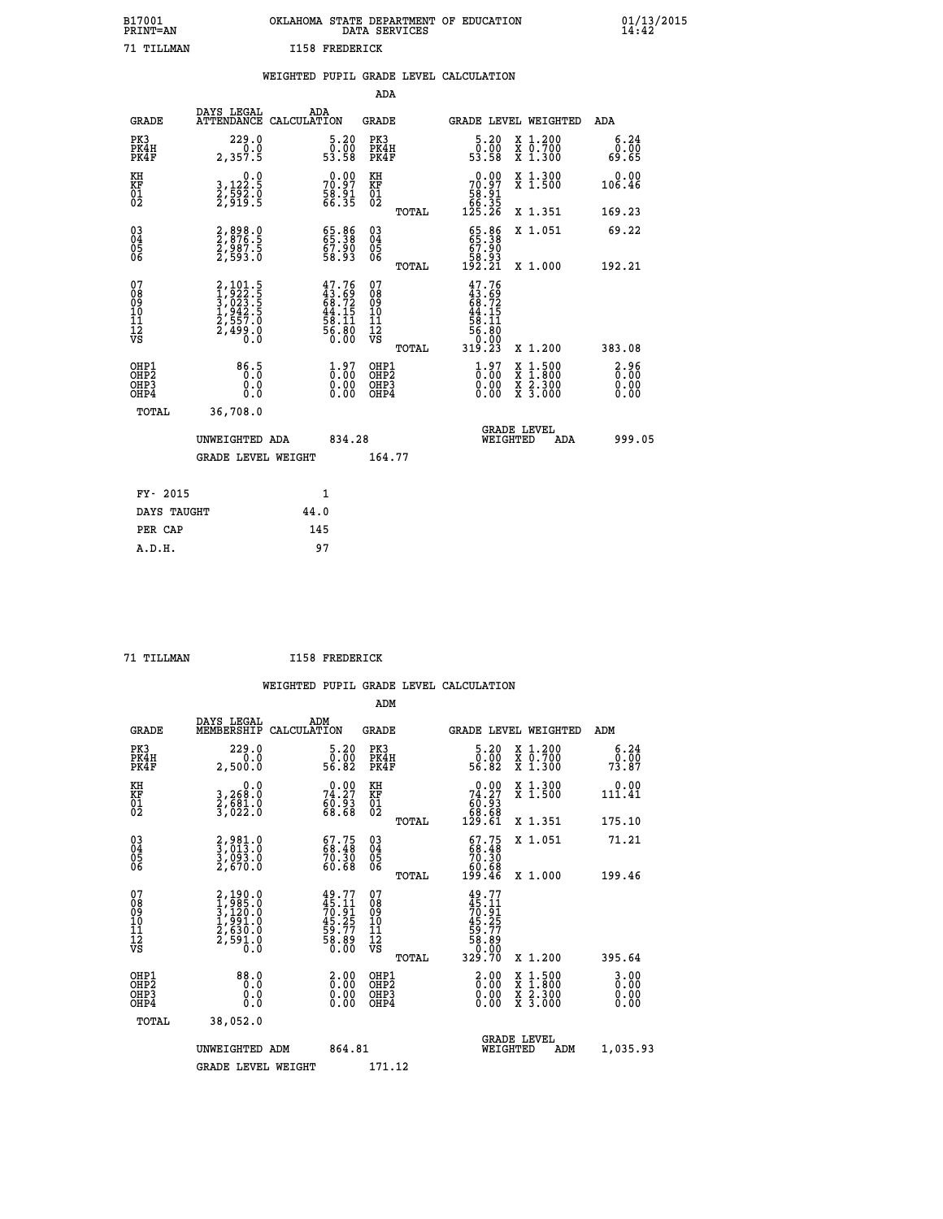| B17001          | OKLAHOMA STATE DEPARTMENT OF EDUCATION |
|-----------------|----------------------------------------|
| <b>PRINT=AN</b> | DATA SERVICES                          |
| 71 TILLMAN      | <b>I158 FREDERICK</b>                  |

|                                                    |                                          | WEIGHTED           |                                 |                          |       | PUPIL GRADE LEVEL CALCULATION       |                      |                                                           |                           |
|----------------------------------------------------|------------------------------------------|--------------------|---------------------------------|--------------------------|-------|-------------------------------------|----------------------|-----------------------------------------------------------|---------------------------|
|                                                    |                                          |                    |                                 | ADA                      |       |                                     |                      |                                                           |                           |
| GRADE                                              | DAYS LEGAL<br><b>ATTENDANCE</b>          | ADA<br>CALCULATION |                                 | GRADE                    |       |                                     |                      | <b>GRADE LEVEL WEIGHTED</b>                               | ADA                       |
| PK3<br>PK4H<br>PK4F                                | 229.0<br>2,357.5                         |                    | 5.20<br>0.00<br>53.58           | PK3<br>PK4H<br>PK4F      |       | Ō                                   | 5.20<br>.ōŏ<br>53.58 | X 1.200<br>$\overline{x}$ $\overline{0.700}$<br>$X$ 1.300 | $6.24$<br>$0.00$<br>69.65 |
| KH<br>KF<br>01<br>02                               | 0.0<br>3,122:5<br>2,592:0<br>2,919:5     |                    | 0.00<br>70.97<br>58.91<br>66.35 | КH<br>KF<br>$^{01}_{02}$ |       | $70.97$<br>58.91<br>56.35<br>125.26 | 0.00                 | X 1.300<br>X <sub>1.500</sub>                             | 0.00<br>106.46            |
|                                                    |                                          |                    |                                 |                          | TOTAL |                                     |                      | X 1.351                                                   | 169.23                    |
| $\begin{matrix} 03 \\ 04 \\ 05 \\ 06 \end{matrix}$ | 2,898.0<br>2,876.5<br>2,987.5<br>2,593.0 |                    | 65.38<br>67.90<br>58.93         | 030404<br>06             |       | 67.90<br>58.93<br>192.21            | 65.86<br>65.38       | X 1.051                                                   | 69.22                     |
| 07<br>08                                           | 2,101.5<br>1.922.5                       |                    | $47.76$<br>$43.69$              | 07<br>08                 | TOTAL |                                     | $47.76$<br>$43.69$   | X 1.000                                                   | 192.21                    |

| 07<br>08<br>09<br>101<br>11<br>12<br>VS                          | 2,101.5<br>1,922.5<br>3,023.5<br>3,023.5<br>1,942.5<br>2,557.0<br>2,499.0 | $47.76$<br>$43.69$<br>$68.72$<br>$44.15$<br>$58.11$<br>$56.80$<br>$0.00$ | 07<br>08<br>09<br>11<br>11<br>12<br>VS<br>TOTAL | $47.76$<br>$43.69$<br>$68.72$<br>$68.11$<br>$58.11$<br>$56.80$<br>$0.000$<br>$319.23$ | 383.08<br>X 1.200                                                                                                                                                                                |  |
|------------------------------------------------------------------|---------------------------------------------------------------------------|--------------------------------------------------------------------------|-------------------------------------------------|---------------------------------------------------------------------------------------|--------------------------------------------------------------------------------------------------------------------------------------------------------------------------------------------------|--|
| OHP1<br>OH <sub>P</sub> <sub>2</sub><br>OH <sub>P3</sub><br>OHP4 | $86.5$<br>0.0<br>0.0                                                      | $\begin{smallmatrix} 1.97\ 0.00\ 0.00 \end{smallmatrix}$                 | OHP1<br>OHP2<br>OHP3<br>OHP4                    | $\begin{smallmatrix} 1.97\ 0.00\ 0.00 \end{smallmatrix}$                              | $\begin{smallmatrix} 2.96\ 6.00\ 0.00 \end{smallmatrix}$<br>$\begin{smallmatrix} \mathtt{X} & 1 & 500 \\ \mathtt{X} & 1 & 800 \\ \mathtt{X} & 2 & 300 \\ \mathtt{X} & 3 & 000 \end{smallmatrix}$ |  |
| TOTAL                                                            | 36,708.0<br>UNWEIGHTED ADA                                                | 834.28                                                                   |                                                 | <b>GRADE LEVEL</b><br>WEIGHTED                                                        | 999.05<br>ADA                                                                                                                                                                                    |  |
|                                                                  | <b>GRADE LEVEL WEIGHT</b>                                                 |                                                                          | 164.77                                          |                                                                                       |                                                                                                                                                                                                  |  |
| FY- 2015                                                         |                                                                           | $\mathbf{1}$                                                             |                                                 |                                                                                       |                                                                                                                                                                                                  |  |
| DAYS TAUGHT                                                      | 44.0                                                                      |                                                                          |                                                 |                                                                                       |                                                                                                                                                                                                  |  |
| PER CAP                                                          |                                                                           | 145                                                                      |                                                 |                                                                                       |                                                                                                                                                                                                  |  |

| TTT.T.MAN |
|-----------|
|           |

 **A.D.H. 97**

**B17001<br>PRINT=AN** 

*I158 FREDERICK* 

|                                           |                                                                       |                                                                        | ADM                                                 |       |                                                                                        |                                          |                          |
|-------------------------------------------|-----------------------------------------------------------------------|------------------------------------------------------------------------|-----------------------------------------------------|-------|----------------------------------------------------------------------------------------|------------------------------------------|--------------------------|
| <b>GRADE</b>                              | DAYS LEGAL<br>MEMBERSHIP                                              | ADM<br>CALCULATION                                                     | <b>GRADE</b>                                        |       |                                                                                        | GRADE LEVEL WEIGHTED                     | ADM                      |
| PK3<br>PK4H<br>PK4F                       | 229.0<br>0.0<br>2,500.0                                               | $\begin{smallmatrix}5.20\0.00\\56.82\end{smallmatrix}$                 | PK3<br>PK4H<br>PK4F                                 |       | $\begin{smallmatrix}5.20\0.00\\56.82\end{smallmatrix}$                                 | X 1.200<br>X 0.700<br>X 1.300            | 6.24<br>79:00<br>73:87   |
| KH<br>KF<br>01<br>02                      | 0.0<br>3,268:0<br>2,681:0<br>3,022:0                                  | $74.27$<br>$50.93$<br>$68.68$                                          | KH<br>KF<br>01<br>02                                |       | $\begin{smallmatrix} &0.00\\74.27\\60.93\\68.68\\129.61\end{smallmatrix}$              | X 1.300<br>X 1.500                       | 0.00<br>111.41           |
|                                           |                                                                       |                                                                        |                                                     | TOTAL |                                                                                        | X 1.351                                  | 175.10                   |
| 03<br>04<br>05<br>06                      | 2,981.0<br>3,013.0<br>3,093.0<br>2,670.0                              | $\begin{smallmatrix} 67.75\ 68.48\ 70.30\ 60.68 \end{smallmatrix}$     | $\begin{array}{c} 03 \\ 04 \\ 05 \\ 06 \end{array}$ |       | $\begin{smallmatrix} 67.75\ 68.48\ 70.30\ 60.68\ 199.46 \end{smallmatrix}$             | X 1.051                                  | 71.21                    |
|                                           |                                                                       |                                                                        |                                                     | TOTAL |                                                                                        | X 1.000                                  | 199.46                   |
| 07<br>08<br>09<br>101<br>11<br>12<br>VS   | 2,190.0<br>1,985.0<br>3,120.0<br>3,120.0<br>1,991.0<br>2,591.0<br>0.0 | 49.77<br>$45.11$<br>$70.91$<br>$45.25$<br>$59.77$<br>$58.89$<br>$0.00$ | 07<br>08<br>09<br>11<br>11<br>12<br>VS              | TOTAL | $49.77$<br>$45.11$<br>$70.915$<br>$45.257$<br>$59.77$<br>$58.89$<br>$58.000$<br>329.70 | X 1.200                                  | 395.64                   |
| OHP1<br>OHP2<br>OH <sub>P</sub> 3<br>OHP4 | 88.0<br>0.000                                                         | $\begin{smallmatrix} 2.00\ 0.00\ 0.00 \end{smallmatrix}$               | OHP1<br>OHP2<br>OHP <sub>3</sub>                    |       | $\begin{smallmatrix} 2.00 \ 0.00 \ 0.00 \end{smallmatrix}$<br>0.00                     | X 1:500<br>X 1:800<br>X 2:300<br>X 3:000 | $0.00$<br>$0.00$<br>0.00 |
| TOTAL                                     | 38,052.0                                                              |                                                                        |                                                     |       |                                                                                        |                                          |                          |
|                                           | UNWEIGHTED                                                            | 864.81<br>ADM                                                          |                                                     |       | WEIGHTED                                                                               | <b>GRADE LEVEL</b><br>ADM                | 1,035.93                 |
|                                           | <b>GRADE LEVEL WEIGHT</b>                                             |                                                                        | 171.12                                              |       |                                                                                        |                                          |                          |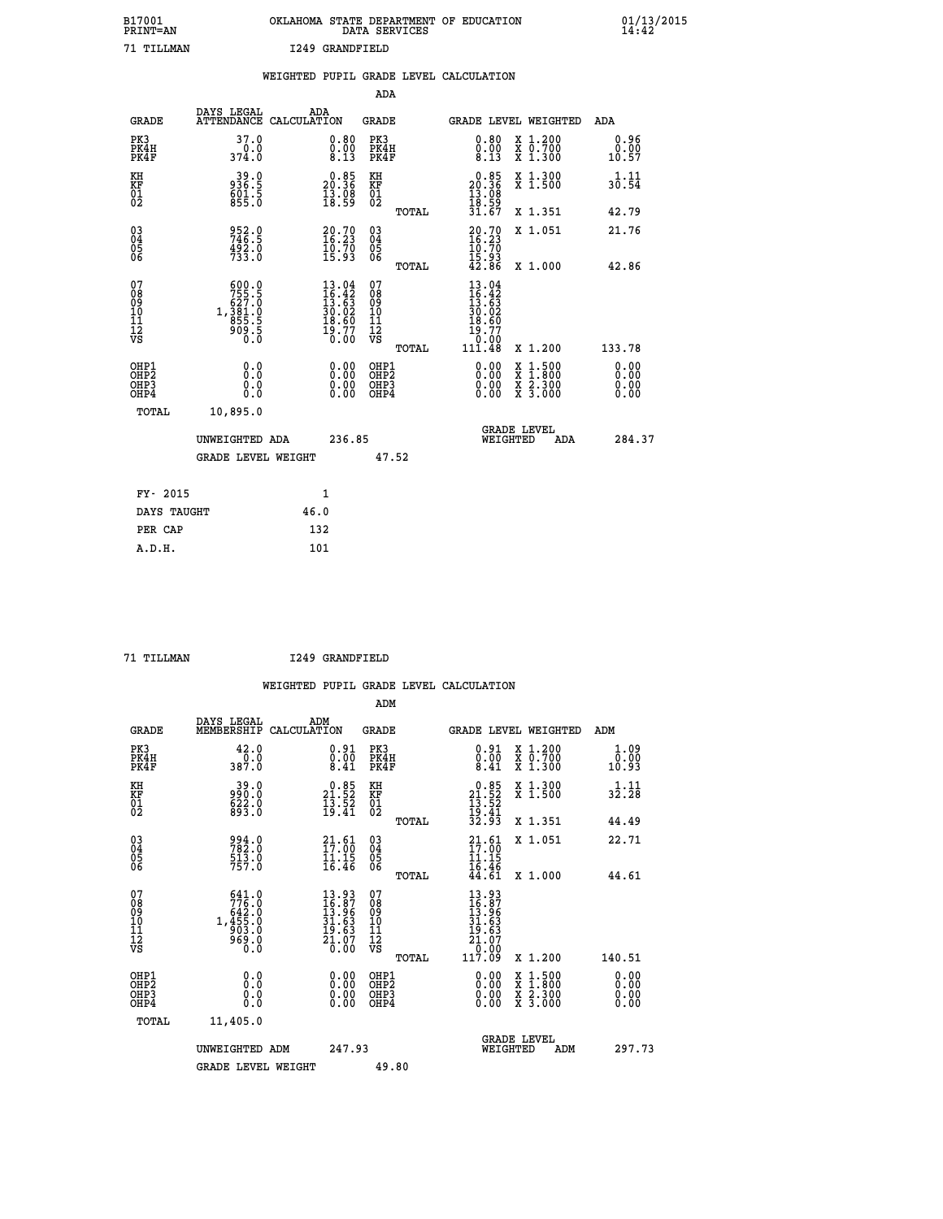| B17001          | OKLAHOMA STATE DEPARTMENT OF EDUCATION |
|-----------------|----------------------------------------|
| <b>PRINT=AN</b> | DATA SERVICES                          |
| 71 TTT.T.MAN    | I249 GRANDFIELD                        |

|                                                    |                                                                                               |                                                                                                                          |                                                                                                   |              | WEIGHTED PUPIL GRADE LEVEL CALCULATION                                       |                                                                                                  |                                                                                                                                                                                                                                                                                                                                                                                                                                                                                                                                                  |
|----------------------------------------------------|-----------------------------------------------------------------------------------------------|--------------------------------------------------------------------------------------------------------------------------|---------------------------------------------------------------------------------------------------|--------------|------------------------------------------------------------------------------|--------------------------------------------------------------------------------------------------|--------------------------------------------------------------------------------------------------------------------------------------------------------------------------------------------------------------------------------------------------------------------------------------------------------------------------------------------------------------------------------------------------------------------------------------------------------------------------------------------------------------------------------------------------|
|                                                    |                                                                                               |                                                                                                                          |                                                                                                   | <b>ADA</b>   |                                                                              |                                                                                                  |                                                                                                                                                                                                                                                                                                                                                                                                                                                                                                                                                  |
| <b>GRADE</b>                                       | DAYS LEGAL<br><b>ATTENDANCE</b>                                                               | ADA<br>CALCULATION                                                                                                       | <b>GRADE</b>                                                                                      |              | GRADE LEVEL WEIGHTED                                                         |                                                                                                  | ADA                                                                                                                                                                                                                                                                                                                                                                                                                                                                                                                                              |
| PK3<br>PK4H<br>PK4F                                | 37.0<br>374.0                                                                                 |                                                                                                                          | $\begin{smallmatrix} 0.80\ 0.00\ 8.13 \end{smallmatrix}$<br>PK3<br>PK4H<br>PK4F                   |              | $\substack{0.80 \\ 0.00 \\ 8.13}$                                            | X 1.200<br>X 0.700<br>X 1.300                                                                    | 0.96<br>$\overset{\text{\scriptsize{0.00}}}{\overset{\text{\scriptsize{0.01}}}{\overset{\text{\scriptsize{0.01}}}{\overset{\text{\scriptsize{0.01}}}{\overset{\text{\scriptsize{0.01}}}{\overset{\text{\scriptsize{0.01}}}{\overset{\text{\scriptsize{0.01}}}{\overset{\text{\scriptsize{0.01}}}{\overset{\text{\scriptsize{0.01}}}{\overset{\text{\scriptsize{0.01}}}{\overset{\text{\scriptsize{0.01}}}{\overset{\text{\scriptsize{0.01}}}{\overset{\text{\scriptsize{0.01}}}{\overset{\text{\scriptsize{0.01}}}{\overset{\text{\scriptsize{0$ |
| KH<br>KF<br>01<br>02                               | $39.0$<br>936.5<br>$601.5$<br>855.0                                                           | $\begin{smallmatrix} 0.85\\ 20.36\\ 13.98\\ 18.59 \end{smallmatrix}$                                                     | KH<br>KF<br>01<br>02                                                                              |              | $\begin{smallmatrix} 0.85\\ 20.36\\ 13.08\\ 18.59\\ 31.67 \end{smallmatrix}$ | X 1.300<br>X 1.500                                                                               | 1.11<br>30.54                                                                                                                                                                                                                                                                                                                                                                                                                                                                                                                                    |
|                                                    |                                                                                               |                                                                                                                          |                                                                                                   | <b>TOTAL</b> |                                                                              | X 1.351                                                                                          | 42.79                                                                                                                                                                                                                                                                                                                                                                                                                                                                                                                                            |
| $\begin{matrix} 03 \\ 04 \\ 05 \\ 06 \end{matrix}$ | 952.0<br>746.5<br>492.0<br>733.0                                                              | $\begin{smallmatrix} 20.70\\ 16.23\\ 10.70\\ 15.93 \end{smallmatrix}$                                                    | $\begin{array}{c} 03 \\ 04 \\ 05 \\ 06 \end{array}$                                               |              | $20.70$<br>$16.23$<br>$10.70$<br>$15.93$<br>$42.86$                          | X 1.051                                                                                          | 21.76                                                                                                                                                                                                                                                                                                                                                                                                                                                                                                                                            |
|                                                    |                                                                                               |                                                                                                                          |                                                                                                   | TOTAL        |                                                                              | X 1.000                                                                                          | 42.86                                                                                                                                                                                                                                                                                                                                                                                                                                                                                                                                            |
| 07<br>0890112<br>1112<br>VS                        | $\begin{smallmatrix} 600.0\\755.5\\627.0\\627.0\\1,381.0\\855.5\\909.5\\0.0\end{smallmatrix}$ | $\begin{smallmatrix} 13\cdot04\\ 16\cdot42\\ 13\cdot63\\ 30\cdot02\\ 18\cdot60\\ 19\cdot77\\ 0\cdot00 \end{smallmatrix}$ | 07<br>08<br>09<br>11<br>11<br>12<br>VS                                                            | TOTAL        | 13.04                                                                        | X 1.200                                                                                          | 133.78                                                                                                                                                                                                                                                                                                                                                                                                                                                                                                                                           |
| OHP1<br>OHP2<br>OH <sub>P3</sub><br>OHP4           | 0.0<br>0.0<br>0.0                                                                             |                                                                                                                          | $\begin{smallmatrix} 0.00 \ 0.00 \ 0.00 \ 0.00 \end{smallmatrix}$<br>OHP1<br>OHP2<br>OHP3<br>OHP4 |              | 0.00<br>0.00<br>0.00                                                         | $\begin{smallmatrix} x & 1 & 500 \\ x & 1 & 800 \\ x & 2 & 300 \\ x & 3 & 000 \end{smallmatrix}$ | 0.00<br>Ō. ŌŌ<br>0.00<br>0.00                                                                                                                                                                                                                                                                                                                                                                                                                                                                                                                    |
| <b>TOTAL</b>                                       | 10,895.0                                                                                      |                                                                                                                          |                                                                                                   |              |                                                                              |                                                                                                  |                                                                                                                                                                                                                                                                                                                                                                                                                                                                                                                                                  |
|                                                    | UNWEIGHTED ADA                                                                                |                                                                                                                          | 236.85                                                                                            |              | WEIGHTED                                                                     | <b>GRADE LEVEL</b><br>ADA                                                                        | 284.37                                                                                                                                                                                                                                                                                                                                                                                                                                                                                                                                           |
|                                                    | <b>GRADE LEVEL WEIGHT</b>                                                                     |                                                                                                                          |                                                                                                   | 47.52        |                                                                              |                                                                                                  |                                                                                                                                                                                                                                                                                                                                                                                                                                                                                                                                                  |
| FY- 2015                                           |                                                                                               | $\mathbf{1}$                                                                                                             |                                                                                                   |              |                                                                              |                                                                                                  |                                                                                                                                                                                                                                                                                                                                                                                                                                                                                                                                                  |
| DAYS TAUGHT                                        |                                                                                               | 46.0                                                                                                                     |                                                                                                   |              |                                                                              |                                                                                                  |                                                                                                                                                                                                                                                                                                                                                                                                                                                                                                                                                  |
| PER CAP                                            |                                                                                               | 132                                                                                                                      |                                                                                                   |              |                                                                              |                                                                                                  |                                                                                                                                                                                                                                                                                                                                                                                                                                                                                                                                                  |

 **A.D.H. 101**

 **71 TILLMAN I249 GRANDFIELD**

|                                                      |                                                                                          | WEIGHTED PUPIL GRADE LEVEL CALCULATION                                         |                                                     |       |                                                                                                 |                                                                                                  |                                  |
|------------------------------------------------------|------------------------------------------------------------------------------------------|--------------------------------------------------------------------------------|-----------------------------------------------------|-------|-------------------------------------------------------------------------------------------------|--------------------------------------------------------------------------------------------------|----------------------------------|
|                                                      |                                                                                          |                                                                                | ADM                                                 |       |                                                                                                 |                                                                                                  |                                  |
| <b>GRADE</b>                                         | DAYS LEGAL<br>MEMBERSHIP                                                                 | ADM<br>CALCULATION                                                             | <b>GRADE</b>                                        |       |                                                                                                 | GRADE LEVEL WEIGHTED                                                                             | ADM                              |
| PK3<br>PK4H<br>PK4F                                  | 42.0<br>0.0<br>387.0                                                                     | $\substack{0.91 \\ 0.00 \\ 8.41}$                                              | PK3<br>PK4H<br>PK4F                                 |       | $\substack{0.91 \\ 0.00 \\ 8.41}$                                                               | X 1.200<br>x ō:7ŏŏ<br>x 1:300                                                                    | 1.09<br>0.00<br>10.93            |
| KH<br>KF<br>01<br>02                                 | 39.0<br>990.0<br>622.0<br>893.0                                                          | $\begin{smallmatrix} 0.85\\ 21.52\\ 13.52\\ 19.41 \end{smallmatrix}$           | KH<br>KF<br>01<br>02                                |       | $0.85$<br>$21.52$<br>$13.52$<br>$19.41$<br>$32.93$                                              | X 1.300<br>X 1.500                                                                               | $3\frac{1}{2}\cdot\frac{11}{28}$ |
|                                                      |                                                                                          |                                                                                |                                                     | TOTAL |                                                                                                 | X 1.351                                                                                          | 44.49                            |
| 03<br>04<br>05<br>06                                 | 994.0<br>782.0<br>$\frac{513.0}{757.0}$                                                  | 21.61<br>$\frac{11}{16}. \frac{15}{46}$                                        | $\begin{array}{c} 03 \\ 04 \\ 05 \\ 06 \end{array}$ |       | 21.61<br>$\frac{11.15}{16.46}$<br>$\frac{46}{44.61}$                                            | X 1.051                                                                                          | 22.71                            |
|                                                      |                                                                                          |                                                                                |                                                     | TOTAL |                                                                                                 | X 1.000                                                                                          | 44.61                            |
| 07<br>0890112<br>1112<br>VS                          | $\begin{smallmatrix} 641.0\\776.0\\642.0\\1,455.0\\903.0\\969.0\end{smallmatrix}$<br>Ō.Ō | $13.93$<br>$16.87$<br>$13.96$<br>$\frac{31.63}{19.63}$<br>$\frac{21.07}{0.00}$ | 07<br>08901112<br>1112<br>VS                        | TOTAL | $\begin{smallmatrix} 13.93\ 16.87\ 13.96\ 13.63\ 19.63\ 21.07\ 0.00\ 117.09\ \end{smallmatrix}$ | X 1.200                                                                                          | 140.51                           |
| OHP1<br>OHP2<br>OH <sub>P3</sub><br>OH <sub>P4</sub> | 0.0<br>0.0<br>Ŏ.Ŏ                                                                        | 0.00<br>0.00<br>0.00                                                           | OHP1<br>OHP2<br>OHP3<br>OHP4                        |       | $0.00$<br>$0.00$<br>0.00                                                                        | $\begin{smallmatrix} x & 1 & 500 \\ x & 1 & 800 \\ x & 2 & 300 \\ x & 3 & 000 \end{smallmatrix}$ | 0.00<br>Ō. ŌŌ<br>0.00<br>0.00    |
| TOTAL                                                | 11,405.0                                                                                 |                                                                                |                                                     |       |                                                                                                 |                                                                                                  |                                  |
|                                                      | UNWEIGHTED ADM                                                                           | 247.93                                                                         |                                                     |       | WEIGHTED                                                                                        | <b>GRADE LEVEL</b><br>ADM                                                                        | 297.73                           |
|                                                      | <b>GRADE LEVEL WEIGHT</b>                                                                |                                                                                | 49.80                                               |       |                                                                                                 |                                                                                                  |                                  |
|                                                      |                                                                                          |                                                                                |                                                     |       |                                                                                                 |                                                                                                  |                                  |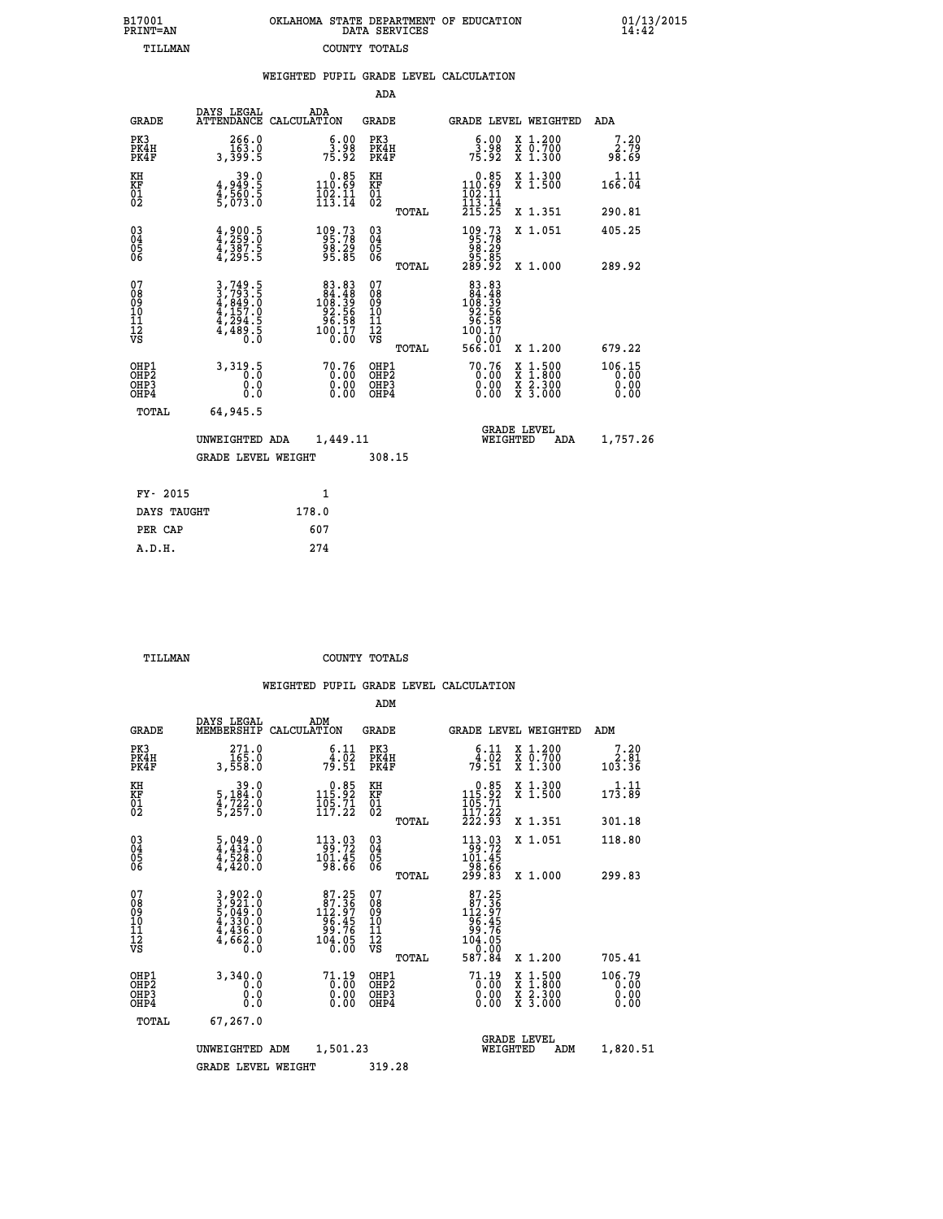| 7001<br>INT=AN | OKLAHOMA STATE DEPARTMENT OF EDUCATION | DATA SERVICES |  |
|----------------|----------------------------------------|---------------|--|
| TILLMAN        | COUNTY TOTALS                          |               |  |

|                                              |                                                                                                                                                           | WEIGHTED PUPIL GRADE LEVEL CALCULATION                                                 |                                                 |                                                                                                       |                                                                                                                                              |                        |
|----------------------------------------------|-----------------------------------------------------------------------------------------------------------------------------------------------------------|----------------------------------------------------------------------------------------|-------------------------------------------------|-------------------------------------------------------------------------------------------------------|----------------------------------------------------------------------------------------------------------------------------------------------|------------------------|
|                                              |                                                                                                                                                           |                                                                                        | ADA                                             |                                                                                                       |                                                                                                                                              |                        |
| <b>GRADE</b>                                 | DAYS LEGAL                                                                                                                                                | ADA<br>ATTENDANCE CALCULATION                                                          | <b>GRADE</b>                                    | <b>GRADE LEVEL WEIGHTED</b>                                                                           |                                                                                                                                              | ADA                    |
| PK3<br>PK4H<br>PK4F                          | 266.0<br>0. 163<br>5. 199.5                                                                                                                               | $\begin{smallmatrix} 6.00\\ 3.98\\ 75.92 \end{smallmatrix}$                            | PK3<br>PK4H<br>PK4F                             | $\frac{6.00}{3.98}$<br>75.92                                                                          | X 1.200<br>X 0.700<br>X 1.300                                                                                                                | 7.20<br>2.79<br>98.69  |
| KH<br>KF<br>01<br>02                         | 39.0<br>4,949.5<br>5,560.5<br>5,073.0                                                                                                                     | $0.85$<br>110.69<br>$\frac{1}{1}\overline{0}\overline{2}\cdot\overline{1}\overline{1}$ | KH<br>KF<br>01<br>02                            | $\begin{smallmatrix}&&0.85\\110.69\\102.11\\113.14\\215.25\end{smallmatrix}$                          | X 1.300<br>X 1.500                                                                                                                           | $1.11$<br>166.04       |
|                                              |                                                                                                                                                           |                                                                                        | TOTAL                                           |                                                                                                       | X 1.351                                                                                                                                      | 290.81                 |
| $^{03}_{04}$<br>05                           | $4,259.5$<br>$4,387.5$<br>$4,387.5$<br>$4,295.5$                                                                                                          | 109.73<br>95.78<br>98.29<br>95.85                                                      | 03<br>04<br>05<br>06                            | $\begin{smallmatrix} 109.73\\ 95.78\\ 98.29\\ 95.85\\ 289.92 \end{smallmatrix}$                       | X 1.051                                                                                                                                      | 405.25                 |
| 06                                           |                                                                                                                                                           |                                                                                        | TOTAL                                           |                                                                                                       | X 1.000                                                                                                                                      | 289.92                 |
| 07<br>08<br>09<br>01<br>11<br>11<br>12<br>VS | $\begin{smallmatrix} 3\,,\,749\,,\,5\\ 3\,,\,793\,,\,5\\ 4\,,\,849\,,\,0\\ 4\,,\,157\,,\,0\\ 4\,,\,294\,,\,5\\ 4\,,\,489\,,\,5\\ 0\,.0 \end{smallmatrix}$ | $\begin{smallmatrix}83.83\\84.48\\108.39\\92.56\\96.58\\100.17\\0.00\end{smallmatrix}$ | 07<br>08<br>09<br>10<br>11<br>12<br>VS<br>TOTAL | $\begin{array}{r} 83.83 \\ 84.48 \\ 108.39 \\ 92.56 \\ 96.58 \\ 100.17 \\ 0.00 \\ 566.01 \end{array}$ | X 1.200                                                                                                                                      | 679.22                 |
| OHP1<br>OHP2<br>OHP3<br>OHP4                 | 3,319.5<br>0.0<br>0.0                                                                                                                                     | $70.76\n0.00\n0.00\n0.00$                                                              | OHP1<br>OHP2<br>OHP <sub>3</sub>                | $70.76\n0.00\n0.00\n0.00$                                                                             | $\begin{smallmatrix} \mathtt{X} & 1\cdot500 \\ \mathtt{X} & 1\cdot800 \\ \mathtt{X} & 2\cdot300 \\ \mathtt{X} & 3\cdot000 \end{smallmatrix}$ | 106.15<br>0.00<br>0.00 |
| TOTAL                                        | 64,945.5                                                                                                                                                  |                                                                                        |                                                 |                                                                                                       |                                                                                                                                              |                        |
|                                              | UNWEIGHTED ADA                                                                                                                                            | 1,449.11                                                                               |                                                 | <b>GRADE LEVEL</b><br>WEIGHTED                                                                        | ADA                                                                                                                                          | 1,757.26               |
|                                              | <b>GRADE LEVEL WEIGHT</b>                                                                                                                                 |                                                                                        | 308.15                                          |                                                                                                       |                                                                                                                                              |                        |
| FY- 2015                                     |                                                                                                                                                           | $\mathbf{1}$                                                                           |                                                 |                                                                                                       |                                                                                                                                              |                        |
| DAYS TAUGHT                                  |                                                                                                                                                           | 178.0                                                                                  |                                                 |                                                                                                       |                                                                                                                                              |                        |
| PER CAP                                      |                                                                                                                                                           | 607                                                                                    |                                                 |                                                                                                       |                                                                                                                                              |                        |

 **A.D.H. 274**

 **B17001<br>PRINT=AN** 

 **TILLMAN COUNTY TOTALS**

|                                          |                                                                                                                                                                                                                                      |                    |                                                                                                  | ADM                                                 |       |                                                                                                      |          |                                                                                                                                           |                                |
|------------------------------------------|--------------------------------------------------------------------------------------------------------------------------------------------------------------------------------------------------------------------------------------|--------------------|--------------------------------------------------------------------------------------------------|-----------------------------------------------------|-------|------------------------------------------------------------------------------------------------------|----------|-------------------------------------------------------------------------------------------------------------------------------------------|--------------------------------|
| <b>GRADE</b>                             | DAYS LEGAL<br>MEMBERSHIP                                                                                                                                                                                                             | ADM<br>CALCULATION |                                                                                                  | <b>GRADE</b>                                        |       |                                                                                                      |          | GRADE LEVEL WEIGHTED                                                                                                                      | ADM                            |
| PK3<br>PK4H<br>PK4F                      | 271.0<br>165.0<br>3,558.0                                                                                                                                                                                                            |                    | $\begin{array}{c} 6.11 \\ 4.02 \\ 79.51 \end{array}$                                             | PK3<br>PK4H<br>PK4F                                 |       | $\begin{array}{c} 6.11 \\ 4.02 \\ 79.51 \end{array}$                                                 |          | X 1.200<br>X 0.700<br>X 1.300                                                                                                             | 7.20<br>ةَ:2<br>103.36         |
| KH<br>KF<br>01<br>02                     | 39.0<br>5,184:0<br>4,722:0<br>5,257:0                                                                                                                                                                                                |                    | $\begin{smallmatrix}&&0.85\\115.92\\105.71\\117.22\end{smallmatrix}$                             | KH<br>KF<br>01<br>02                                |       | $\begin{smallmatrix} &0.85\ 115.92\ 105.71\ 117.22\ 222.93\ \end{smallmatrix}$                       |          | X 1.300<br>X 1.500                                                                                                                        | 1.11<br>$17\bar{3}.89$         |
|                                          |                                                                                                                                                                                                                                      |                    |                                                                                                  |                                                     | TOTAL |                                                                                                      |          | X 1.351                                                                                                                                   | 301.18                         |
| 03<br>04<br>05<br>06                     | 5,049.0<br>4,434.0<br>4,528.0<br>4,420.0                                                                                                                                                                                             |                    | $\begin{array}{r} 113.03 \\ 99.72 \\ 101.45 \\ 98.66 \end{array}$                                | $\begin{array}{c} 03 \\ 04 \\ 05 \\ 06 \end{array}$ |       | $\begin{array}{r} 113\cdot 03 \\ 99\cdot 72 \\ 101\cdot 45 \\ 98\cdot 66 \\ 299\cdot 83 \end{array}$ |          | X 1.051                                                                                                                                   | 118.80                         |
|                                          |                                                                                                                                                                                                                                      |                    |                                                                                                  |                                                     | TOTAL |                                                                                                      |          | X 1.000                                                                                                                                   | 299.83                         |
| 07<br>08<br>09<br>101<br>11<br>12<br>VS  | $\begin{smallmatrix} 3\,, & 9 & 0 & 2 & . & 0 \\ 3\,, & 9 & 2 & 1 & . & 0 \\ 5\,, & 0 & 4 & 9 & . & 0 \\ 4\,, & 3 & 3 & 0 & . & 0 \\ 4\,, & 4 & 3 & 6 & . & 0 \\ 4\,, & 6 & 6 & 2 & . & 0 \\ 0\,, & 0 & 0 & . & 0 \end{smallmatrix}$ |                    | $87.35$<br>$112.97$<br>$\begin{array}{r} 16.45 \\ -96.76 \\ 99.76 \\ 104.05 \\ 0.00 \end{array}$ | 07<br>08<br>09<br>11<br>11<br>12<br>VS              | TOTAL | $\begin{smallmatrix}87.25\\87.367\\12.97\\96.456\\99.765\\104.05\\07.004\end{smallmatrix}$<br>587.84 |          | X 1.200                                                                                                                                   | 705.41                         |
| OHP1<br>OHP2<br>OH <sub>P3</sub><br>OHP4 | 3,340.0<br>0.0<br>0.000                                                                                                                                                                                                              |                    | $71.19$<br>0.00<br>0.00                                                                          | OHP1<br>OHP2<br>OHP <sub>3</sub>                    |       | $71.19$<br>0.00<br>0.00                                                                              |          | $\begin{smallmatrix} \mathtt{X} & 1\cdot500\\ \mathtt{X} & 1\cdot800\\ \mathtt{X} & 2\cdot300\\ \mathtt{X} & 3\cdot000 \end{smallmatrix}$ | 106.79<br>0.00<br>0.00<br>0.00 |
| TOTAL                                    | 67,267.0                                                                                                                                                                                                                             |                    |                                                                                                  |                                                     |       |                                                                                                      |          |                                                                                                                                           |                                |
|                                          | UNWEIGHTED                                                                                                                                                                                                                           | ADM                | 1,501.23                                                                                         |                                                     |       |                                                                                                      | WEIGHTED | <b>GRADE LEVEL</b><br>ADM                                                                                                                 | 1,820.51                       |
|                                          | <b>GRADE LEVEL WEIGHT</b>                                                                                                                                                                                                            |                    |                                                                                                  | 319.28                                              |       |                                                                                                      |          |                                                                                                                                           |                                |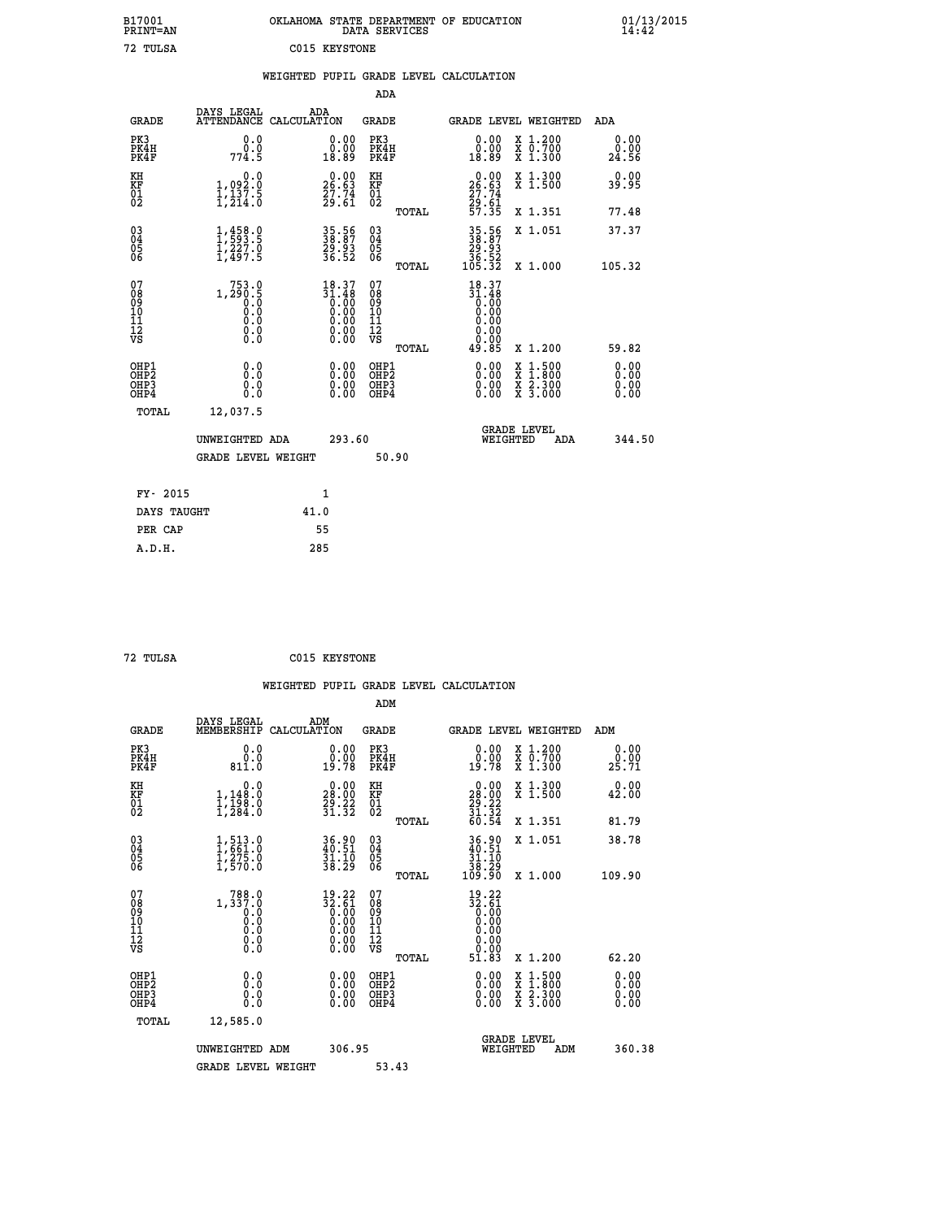| B17001<br>PRINT=AN                           |                                                | OKLAHOMA STATE DEPARTMENT OF EDUCATION                               | DATA SERVICES                                                       |                                                                              |                                                                                                                                           | 01/13/2015            |
|----------------------------------------------|------------------------------------------------|----------------------------------------------------------------------|---------------------------------------------------------------------|------------------------------------------------------------------------------|-------------------------------------------------------------------------------------------------------------------------------------------|-----------------------|
| 72 TULSA                                     |                                                | C015 KEYSTONE                                                        |                                                                     |                                                                              |                                                                                                                                           |                       |
|                                              |                                                | WEIGHTED PUPIL GRADE LEVEL CALCULATION                               |                                                                     |                                                                              |                                                                                                                                           |                       |
|                                              |                                                |                                                                      | ADA                                                                 |                                                                              |                                                                                                                                           |                       |
| <b>GRADE</b>                                 | DAYS LEGAL                                     | ADA<br>ATTENDANCE CALCULATION                                        | GRADE                                                               |                                                                              | GRADE LEVEL WEIGHTED                                                                                                                      | <b>ADA</b>            |
| PK3<br>PK4H<br>PK4F                          | 0.0<br>0.0<br>774.5                            | 0.00<br>0.00<br>18.89                                                | PK3<br>PK4H<br>PK4F                                                 | 0.00<br>ةة:ة<br>18:89                                                        | X 1.200<br>X 0.700<br>X 1.300                                                                                                             | 0.00<br>0.00<br>24.56 |
| KH<br>KF<br>01<br>02                         | 0.0<br>1,092:0<br>1,137:5<br>1,214:0           | $\begin{smallmatrix} 0.00\\ 26.63\\ 27.74\\ 29.61 \end{smallmatrix}$ | KH<br><b>KF</b><br>01<br>02                                         | $\begin{smallmatrix} 0.00\\ 26.63\\ 27.74\\ 29.61\\ 57.35 \end{smallmatrix}$ | X 1.300<br>X 1.500                                                                                                                        | 0.00<br>39.95         |
|                                              |                                                |                                                                      | TOTAL                                                               |                                                                              | X 1.351                                                                                                                                   | 77.48                 |
| 03<br>04<br>05<br>06                         | $1, 458.0$<br>$1, 227.0$<br>$1, 497.5$         | 35.56<br>38.87<br>29.93<br>36.52                                     | 03<br>04<br>05<br>06                                                | 35.56<br>38.87<br>$\frac{28.93}{36.52}$<br>105.32                            | X 1.051                                                                                                                                   | 37.37                 |
|                                              |                                                |                                                                      | <b>TOTAL</b>                                                        |                                                                              | X 1.000                                                                                                                                   | 105.32                |
| 07<br>08<br>09<br>10<br>11<br>11<br>17<br>VS | $1, 290.5$<br>0.00<br>Ŏ.Ŏ<br>0.0<br>$\S.$ $\S$ | $18.37$<br>$31.48$<br>$0.00$<br>$0.00$                               | 07<br>08<br>09<br>10<br>$\frac{11}{12}$<br>$\frac{12}{18}$<br>TOTAL | $18.37$<br>$31.48$<br>$0.00$<br>0.00<br>0.00<br>0.00<br>49.85                | X 1.200                                                                                                                                   | 59.82                 |
|                                              |                                                |                                                                      |                                                                     |                                                                              |                                                                                                                                           | 0.00                  |
| OHP1<br>OHP2<br>OH <sub>P3</sub><br>OHP4     | 0.0<br>0.0<br>0.0                              | 0.00<br>0.00<br>0.00                                                 | OHP1<br>OHP2<br>OHP3<br>OHP4                                        | 0.00<br>0.00<br>0.00                                                         | $\begin{smallmatrix} \mathtt{X} & 1\cdot500\\ \mathtt{X} & 1\cdot800\\ \mathtt{X} & 2\cdot300\\ \mathtt{X} & 3\cdot000 \end{smallmatrix}$ | 0.00<br>0.00<br>0.00  |
| TOTAL                                        | 12,037.5                                       |                                                                      |                                                                     |                                                                              |                                                                                                                                           |                       |
|                                              | UNWEIGHTED ADA                                 | 293.60                                                               |                                                                     | WEIGHTED                                                                     | <b>GRADE LEVEL</b><br>ADA                                                                                                                 | 344.50                |
|                                              | <b>GRADE LEVEL WEIGHT</b>                      |                                                                      | 50.90                                                               |                                                                              |                                                                                                                                           |                       |
| FY- 2015                                     |                                                | 1                                                                    |                                                                     |                                                                              |                                                                                                                                           |                       |
|                                              | DAYS TAUGHT                                    | 41.0                                                                 |                                                                     |                                                                              |                                                                                                                                           |                       |
| PER CAP                                      |                                                | 55                                                                   |                                                                     |                                                                              |                                                                                                                                           |                       |

 **72 TULSA C015 KEYSTONE**

|                                                    |                                                                               |                    |                                                                                                        | ADM                                                 |       |                                                                                                                                                                                                                                                                                |                                          |     |                              |
|----------------------------------------------------|-------------------------------------------------------------------------------|--------------------|--------------------------------------------------------------------------------------------------------|-----------------------------------------------------|-------|--------------------------------------------------------------------------------------------------------------------------------------------------------------------------------------------------------------------------------------------------------------------------------|------------------------------------------|-----|------------------------------|
| <b>GRADE</b>                                       | DAYS LEGAL<br>MEMBERSHIP                                                      | ADM<br>CALCULATION |                                                                                                        | <b>GRADE</b>                                        |       |                                                                                                                                                                                                                                                                                | GRADE LEVEL WEIGHTED                     | ADM |                              |
| PK3<br>PK4H<br>PK4F                                | 0.0<br>ة:ة<br>811.0                                                           |                    | $\begin{smallmatrix} 0.00\\ 0.00\\ 19.78 \end{smallmatrix}$                                            | PK3<br>PK4H<br>PK4F                                 |       | 0.00<br>0.00<br>19.78                                                                                                                                                                                                                                                          | X 1.200<br>X 0.700<br>X 1.300            |     | 0.00<br>0.00<br>25.71        |
| KH<br>KF<br>01<br>02                               | 0.0<br>$1,148.0$<br>$1,198.0$<br>$1,284.0$                                    |                    | $\begin{smallmatrix} 0.00\\ 28.00\\ 29.22\\ 31.32 \end{smallmatrix}$                                   | KH<br>KF<br>01<br>02                                |       | $\begin{smallmatrix} 0.00\\ 28.00\\ 29.22\\ 31.32\\ 60.54 \end{smallmatrix}$                                                                                                                                                                                                   | X 1.300<br>X 1.500                       |     | 0.00<br>42.00                |
|                                                    |                                                                               |                    |                                                                                                        |                                                     | TOTAL |                                                                                                                                                                                                                                                                                | X 1.351                                  |     | 81.79                        |
| $\begin{matrix} 03 \\ 04 \\ 05 \\ 06 \end{matrix}$ | $1, 513.0$<br>$1, 661.0$<br>$1, 275.0$<br>$1, 570.0$                          |                    | 36.90<br>40.51<br>31.10<br>38.29                                                                       | $\begin{array}{c} 03 \\ 04 \\ 05 \\ 06 \end{array}$ |       | $36.90\n40.51\n31.10\n38.29\n109.90$                                                                                                                                                                                                                                           | X 1.051                                  |     | 38.78                        |
|                                                    |                                                                               |                    |                                                                                                        |                                                     | TOTAL |                                                                                                                                                                                                                                                                                | X 1.000                                  |     | 109.90                       |
| 07<br>08901112<br>1112<br>VS                       | $\begin{smallmatrix}788.0\\1,337.0\\0.0\\0.0\\0.0\\0.0\\0.0\end{smallmatrix}$ |                    | $\begin{smallmatrix} 19.22\\ 32.61\\ 0.00\\ 0.00\\ 0.00\\ 0.00\\ 0.00\\ 0.00\\ 0.00 \end{smallmatrix}$ | 07<br>08<br>09<br>001<br>11<br>11<br>12<br>VS       |       | $19.22$<br>$32.61$<br>$0.00$<br>$0.00$<br>$0.00$<br>$0.00$<br>$0.00$                                                                                                                                                                                                           |                                          |     |                              |
|                                                    |                                                                               |                    |                                                                                                        |                                                     | TOTAL | 51.83                                                                                                                                                                                                                                                                          | X 1.200                                  |     | 62.20                        |
| OHP1<br>OHP2<br>OH <sub>P3</sub><br>OHP4           | 0.0<br>$\begin{smallmatrix} 0.0 & 0 \ 0.0 & 0 \end{smallmatrix}$              |                    | $\begin{smallmatrix} 0.00 \ 0.00 \ 0.00 \ 0.00 \end{smallmatrix}$                                      | OHP1<br>OHP2<br>OHP <sub>3</sub>                    |       | $\begin{smallmatrix} 0.00 & 0.00 & 0.00 & 0.00 & 0.00 & 0.00 & 0.00 & 0.00 & 0.00 & 0.00 & 0.00 & 0.00 & 0.00 & 0.00 & 0.00 & 0.00 & 0.00 & 0.00 & 0.00 & 0.00 & 0.00 & 0.00 & 0.00 & 0.00 & 0.00 & 0.00 & 0.00 & 0.00 & 0.00 & 0.00 & 0.00 & 0.00 & 0.00 & 0.00 & 0.00 & 0.0$ | X 1:500<br>X 1:800<br>X 2:300<br>X 3:000 |     | 0.00<br>Ŏ.ŎŎ<br>Q.QQ<br>0.00 |
| TOTAL                                              | 12,585.0                                                                      |                    |                                                                                                        |                                                     |       |                                                                                                                                                                                                                                                                                |                                          |     |                              |
|                                                    | UNWEIGHTED ADM                                                                |                    | 306.95                                                                                                 |                                                     |       | WEIGHTED                                                                                                                                                                                                                                                                       | <b>GRADE LEVEL</b><br>ADM                |     | 360.38                       |
|                                                    | <b>GRADE LEVEL WEIGHT</b>                                                     |                    |                                                                                                        | 53.43                                               |       |                                                                                                                                                                                                                                                                                |                                          |     |                              |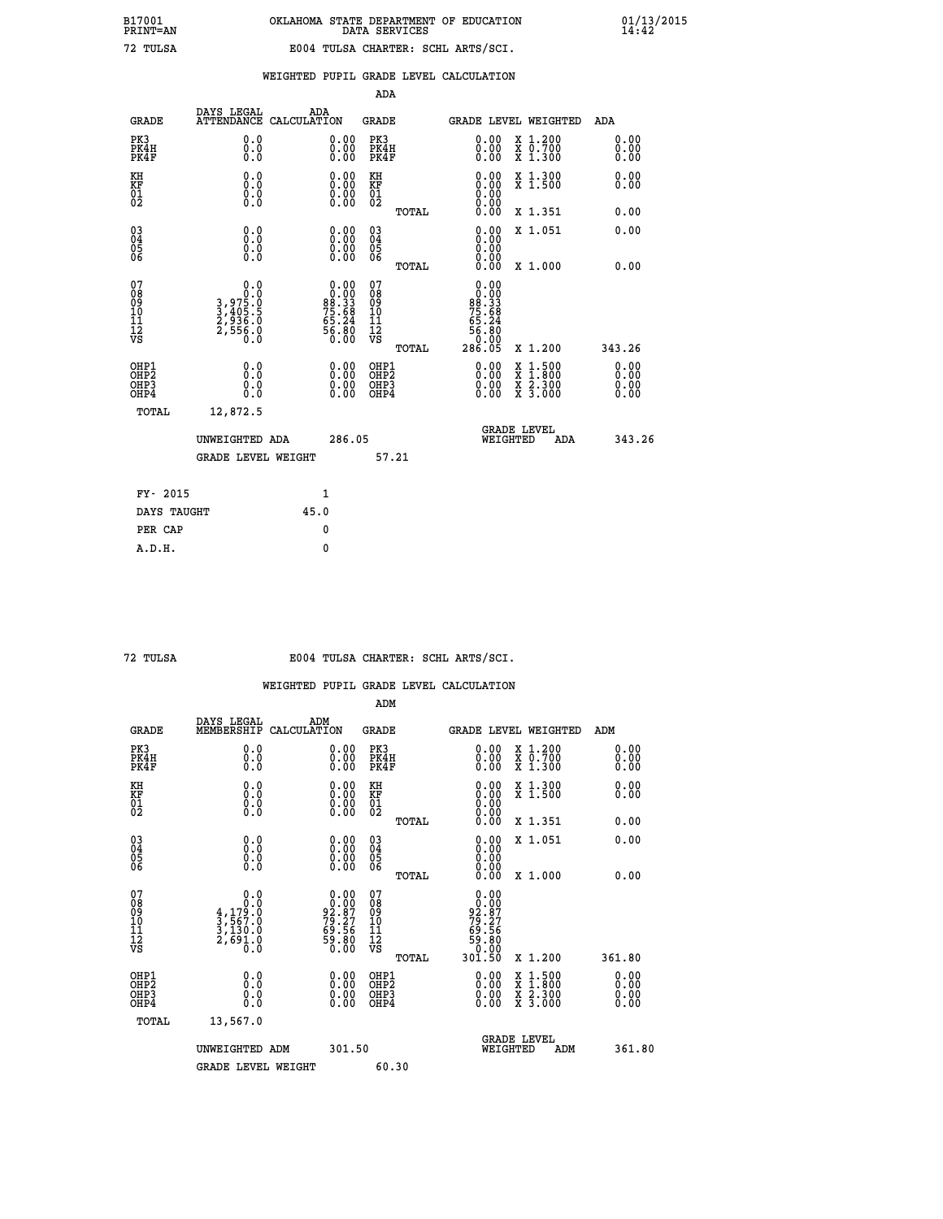|  |  | WEIGHTED PUPIL GRADE LEVEL CALCULATION |
|--|--|----------------------------------------|
|  |  |                                        |

|                                                                    |                                                           |                    |                                                                              | ADA                                       |       |                                                                                              |                                          |                              |
|--------------------------------------------------------------------|-----------------------------------------------------------|--------------------|------------------------------------------------------------------------------|-------------------------------------------|-------|----------------------------------------------------------------------------------------------|------------------------------------------|------------------------------|
| <b>GRADE</b>                                                       | DAYS LEGAL<br><b>ATTENDANCE</b>                           | ADA<br>CALCULATION |                                                                              | <b>GRADE</b>                              |       |                                                                                              | <b>GRADE LEVEL WEIGHTED</b>              | ADA                          |
| PK3<br>PK4H<br>PK4F                                                | 0.0<br>0.0<br>0.0                                         |                    | $\begin{smallmatrix} 0.00 \ 0.00 \ 0.00 \end{smallmatrix}$                   | PK3<br>PK4H<br>PK4F                       |       | $\begin{smallmatrix} 0.00 \\ 0.00 \\ 0.00 \end{smallmatrix}$                                 | X 1.200<br>X 0.700<br>X 1.300            | 0.00<br>0.00<br>0.00         |
| KH<br>KF<br>01<br>02                                               | 0.0<br>0.0<br>$\S.$                                       |                    | 0.0000<br>$\begin{smallmatrix} 0.00 & 0.00 \\ 0.00 & 0.00 \end{smallmatrix}$ | KH<br>KF<br>01<br>02                      |       | 0.00                                                                                         | X 1.300<br>X 1.500                       | 0.00<br>0.00                 |
|                                                                    |                                                           |                    |                                                                              |                                           | TOTAL |                                                                                              | X 1.351                                  | 0.00                         |
| $\begin{smallmatrix} 03 \\[-4pt] 04 \end{smallmatrix}$<br>05<br>06 | 0.0<br>0.000                                              |                    | 0.00<br>$\begin{smallmatrix} 0.00 \ 0.00 \end{smallmatrix}$                  | $\substack{03 \\ 04}$<br>05<br>06         |       | 0.00<br>0.00<br>0.00<br>0.00                                                                 | X 1.051                                  | 0.00                         |
| 07                                                                 | 0.0                                                       |                    |                                                                              | 07                                        | TOTAL |                                                                                              | X 1.000                                  | 0.00                         |
| 08901112<br>1112<br>VS                                             | $3,975.0$<br>$3,405.5$<br>$2,936.0$<br>$2,556.0$<br>$0.0$ |                    | $0.00\n80.33\n75.68\n75.24\n65.24\n56.80\n0.00$                              | 08901112<br>1112<br>VS                    |       | 0.00<br>$\begin{array}{c} .0000 \\ 0.0000 \\ 75.68 \\ 65.24 \\ 56.80 \\ \end{array}$<br>0.00 |                                          |                              |
|                                                                    |                                                           |                    |                                                                              |                                           | TOTAL | 286.05                                                                                       | X 1.200                                  | 343.26                       |
| OHP1<br>OH <sub>P</sub> 2<br>OH <sub>P3</sub><br>OH <sub>P4</sub>  | 0.0<br>0.0<br>0.0                                         |                    | $\begin{smallmatrix} 0.00 \ 0.00 \ 0.00 \ 0.00 \end{smallmatrix}$            | OHP1<br>OH <sub>P</sub> 2<br>OHP3<br>OHP4 |       | 0.00<br>0.00                                                                                 | X 1:500<br>X 1:800<br>X 2:300<br>X 3:000 | 0.00<br>0.00<br>0.00<br>0.00 |
| TOTAL                                                              | 12,872.5                                                  |                    |                                                                              |                                           |       |                                                                                              |                                          |                              |
|                                                                    | UNWEIGHTED ADA                                            |                    | 286.05                                                                       |                                           |       |                                                                                              | GRADE LEVEL<br>WEIGHTED<br>ADA           | 343.26                       |
|                                                                    | <b>GRADE LEVEL WEIGHT</b>                                 |                    |                                                                              |                                           | 57.21 |                                                                                              |                                          |                              |
| FY- 2015                                                           |                                                           | $\mathbf{1}$       |                                                                              |                                           |       |                                                                                              |                                          |                              |
| DAYS TAUGHT                                                        |                                                           | 45.0               |                                                                              |                                           |       |                                                                                              |                                          |                              |
| PER CAP                                                            |                                                           | $\mathbf{0}$       |                                                                              |                                           |       |                                                                                              |                                          |                              |

## **72 TULSA E004 TULSA CHARTER: SCHL ARTS/SCI.**

|                                    |                                                                                              |                                                                   | ADM                                                |                                                                                 |                                          |                              |
|------------------------------------|----------------------------------------------------------------------------------------------|-------------------------------------------------------------------|----------------------------------------------------|---------------------------------------------------------------------------------|------------------------------------------|------------------------------|
| <b>GRADE</b>                       | DAYS LEGAL<br>MEMBERSHIP                                                                     | ADM<br>CALCULATION                                                | <b>GRADE</b>                                       | GRADE LEVEL WEIGHTED                                                            |                                          | ADM                          |
| PK3<br>PK4H<br>PK4F                | 0.0<br>0.0<br>0.0                                                                            | $\begin{smallmatrix} 0.00 \ 0.00 \ 0.00 \end{smallmatrix}$        | PK3<br>PK4H<br>PK4F                                | $\begin{smallmatrix} 0.00 \\ 0.00 \\ 0.00 \end{smallmatrix}$                    | X 1.200<br>X 0.700<br>X 1.300            | 0.00<br>0.00<br>0.00         |
| KH<br>KF<br>01<br>02               | 0.0<br>$\begin{smallmatrix} 0.0 & 0 \ 0.0 & 0 \ 0.0 & 0 \end{smallmatrix}$                   | $\begin{smallmatrix} 0.00 \ 0.00 \ 0.00 \ 0.00 \end{smallmatrix}$ | KH<br>KF<br>01<br>02                               | $\begin{smallmatrix} 0.00 \ 0.00 \ 0.00 \ 0.00 \ 0.00 \ 0.00 \end{smallmatrix}$ | X 1.300<br>X 1.500                       | 0.00<br>0.00                 |
|                                    |                                                                                              |                                                                   | TOTAL                                              |                                                                                 | X 1.351                                  | 0.00                         |
| 03<br>04<br>05<br>06               |                                                                                              | $\begin{smallmatrix} 0.00 \ 0.00 \ 0.00 \ 0.00 \end{smallmatrix}$ | $\begin{matrix} 03 \\ 04 \\ 05 \\ 06 \end{matrix}$ | 0.00<br>0.00<br>0.00                                                            | X 1.051                                  | 0.00                         |
|                                    |                                                                                              |                                                                   | TOTAL                                              | 0.00                                                                            | X 1.000                                  | 0.00                         |
| 07<br>08<br>09<br>101<br>112<br>VS | $\begin{smallmatrix}&&&0.0\\1&0.0\\4,179.0\\3,567.0\\3,130.0\\2,691.0\\0.0\end{smallmatrix}$ | $0.00\n92.87\n79.27\n69.56\n59.80\n0.00$                          | 07<br>08<br>09<br>11<br>11<br>12<br>VS<br>TOTAL    | $0.00$<br>$92.87$<br>$79.27$<br>$59.56$<br>$59.80$<br>$0.00$<br>301.50          | X 1.200                                  | 361.80                       |
| OHP1<br>OHP2<br>OHP3<br>OHP4       | 0.0<br>0.000                                                                                 |                                                                   | OHP1<br>OHP2<br>OHP <sub>3</sub>                   | $0.00$<br>$0.00$<br>0.00                                                        | X 1:500<br>X 1:800<br>X 2:300<br>X 3:000 | 0.00<br>Ŏ.ŎŎ<br>Q.QQ<br>0.00 |
| TOTAL                              | 13,567.0                                                                                     |                                                                   |                                                    |                                                                                 |                                          |                              |
|                                    | UNWEIGHTED ADM                                                                               | 301.50                                                            |                                                    | GRADE LEVEL<br>WEIGHTED                                                         | ADM                                      | 361.80                       |
|                                    | <b>GRADE LEVEL WEIGHT</b>                                                                    |                                                                   | 60.30                                              |                                                                                 |                                          |                              |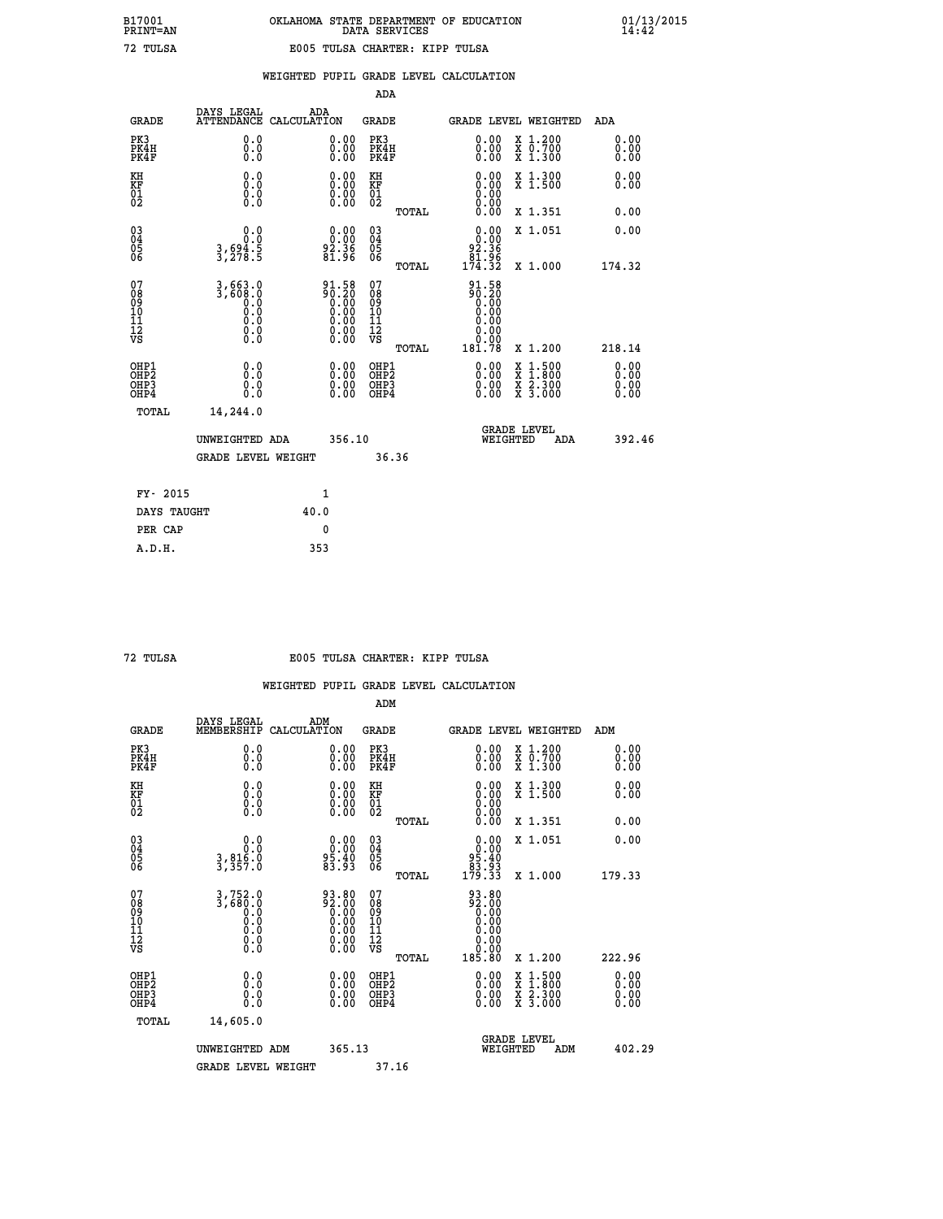|  |  | WEIGHTED PUPIL GRADE LEVEL CALCULATION |
|--|--|----------------------------------------|
|  |  |                                        |

|                                                                    |                                                |                                                                                                        | ADA                                                 |       |                                                                                                                                                                                                                                                                                |                                                                                                                                           |                                   |
|--------------------------------------------------------------------|------------------------------------------------|--------------------------------------------------------------------------------------------------------|-----------------------------------------------------|-------|--------------------------------------------------------------------------------------------------------------------------------------------------------------------------------------------------------------------------------------------------------------------------------|-------------------------------------------------------------------------------------------------------------------------------------------|-----------------------------------|
| <b>GRADE</b>                                                       | DAYS LEGAL                                     | ADA<br>ATTENDANCE CALCULATION                                                                          | <b>GRADE</b>                                        |       |                                                                                                                                                                                                                                                                                | GRADE LEVEL WEIGHTED                                                                                                                      | ADA                               |
| PK3<br>PK4H<br>PK4F                                                | 0.0<br>0.000                                   | $\begin{smallmatrix} 0.00 \ 0.00 \ 0.00 \end{smallmatrix}$                                             | PK3<br>PK4H<br>PK4F                                 |       | $\begin{smallmatrix} 0.00 \\ 0.00 \\ 0.00 \end{smallmatrix}$                                                                                                                                                                                                                   | X 1.200<br>X 0.700<br>X 1.300                                                                                                             | 0.00<br>0.00<br>0.00              |
| KH<br>KF<br>01<br>02                                               | 0.0<br>0.0<br>$\S.$                            | $\begin{smallmatrix} 0.00 \ 0.00 \ 0.00 \ 0.00 \end{smallmatrix}$                                      | KH<br>KF<br>01<br>02                                |       | 0.00<br>0.0000000000                                                                                                                                                                                                                                                           | X 1.300<br>X 1.500                                                                                                                        | 0.00<br>0.00                      |
|                                                                    |                                                |                                                                                                        |                                                     | TOTAL | 0.00                                                                                                                                                                                                                                                                           | X 1.351                                                                                                                                   | 0.00                              |
| $\begin{smallmatrix} 03 \\[-4pt] 04 \end{smallmatrix}$<br>Ŏ5<br>06 | 0.0<br>$3,694.5$<br>$3,278.5$                  | $\begin{smallmatrix} 0.00\\ 0.00\\ 2.36\\ 81.96 \end{smallmatrix}$                                     | $\begin{array}{c} 03 \\ 04 \\ 05 \\ 06 \end{array}$ |       | 0.00<br>$\begin{array}{r} 92.36 \\ 81.96 \\ 174.32 \end{array}$                                                                                                                                                                                                                | X 1.051                                                                                                                                   | 0.00                              |
|                                                                    |                                                |                                                                                                        |                                                     | TOTAL |                                                                                                                                                                                                                                                                                | X 1.000                                                                                                                                   | 174.32                            |
| 07<br>08<br>09<br>101<br>11<br>12<br>VS                            | 3,663.0<br>3,600.0<br>0.0<br>Ŏ.Ŏ<br>$\S.$ $\S$ | $\begin{smallmatrix} 91.58\\ 90.20\\ 0.00\\ 0.00\\ 0.00\\ 0.00\\ 0.00\\ 0.00\\ 0.00 \end{smallmatrix}$ | 07<br>08<br>09<br>01<br>11<br>11<br>12<br>VS        |       | $90.58$<br>$90.20$<br>$0.00$<br>$0.00$<br>0.00<br>0.00                                                                                                                                                                                                                         |                                                                                                                                           |                                   |
|                                                                    |                                                |                                                                                                        |                                                     | TOTAL | 181.78                                                                                                                                                                                                                                                                         | X 1.200                                                                                                                                   | 218.14                            |
| OHP1<br>OHP <sub>2</sub><br>OH <sub>P3</sub><br>OHP4               | 0.0<br>0.000                                   | 0.00<br>$\begin{smallmatrix} 0.00 \ 0.00 \end{smallmatrix}$                                            | OHP1<br>OHP2<br>OHP <sub>3</sub>                    |       | $\begin{smallmatrix} 0.00 & 0.00 & 0.00 & 0.00 & 0.00 & 0.00 & 0.00 & 0.00 & 0.00 & 0.00 & 0.00 & 0.00 & 0.00 & 0.00 & 0.00 & 0.00 & 0.00 & 0.00 & 0.00 & 0.00 & 0.00 & 0.00 & 0.00 & 0.00 & 0.00 & 0.00 & 0.00 & 0.00 & 0.00 & 0.00 & 0.00 & 0.00 & 0.00 & 0.00 & 0.00 & 0.0$ | $\begin{smallmatrix} \mathtt{X} & 1\cdot500\\ \mathtt{X} & 1\cdot800\\ \mathtt{X} & 2\cdot300\\ \mathtt{X} & 3\cdot000 \end{smallmatrix}$ | 0.00<br>Ō. ŌŌ<br>$0.00$<br>$0.00$ |
| TOTAL                                                              | 14,244.0                                       |                                                                                                        |                                                     |       |                                                                                                                                                                                                                                                                                |                                                                                                                                           |                                   |
|                                                                    | UNWEIGHTED ADA                                 | 356.10                                                                                                 |                                                     |       |                                                                                                                                                                                                                                                                                | <b>GRADE LEVEL</b><br>WEIGHTED<br>ADA                                                                                                     | 392.46                            |
|                                                                    | <b>GRADE LEVEL WEIGHT</b>                      |                                                                                                        |                                                     | 36.36 |                                                                                                                                                                                                                                                                                |                                                                                                                                           |                                   |
| FY- 2015                                                           |                                                | 1                                                                                                      |                                                     |       |                                                                                                                                                                                                                                                                                |                                                                                                                                           |                                   |
| DAYS TAUGHT                                                        |                                                | 40.0                                                                                                   |                                                     |       |                                                                                                                                                                                                                                                                                |                                                                                                                                           |                                   |
| PER CAP                                                            |                                                | 0                                                                                                      |                                                     |       |                                                                                                                                                                                                                                                                                |                                                                                                                                           |                                   |

### **72 TULSA E005 TULSA CHARTER: KIPP TULSA**

|                                          |                                                        |                                                                                                       | ADM                                                 |                                                                                                                   |                                          |                              |
|------------------------------------------|--------------------------------------------------------|-------------------------------------------------------------------------------------------------------|-----------------------------------------------------|-------------------------------------------------------------------------------------------------------------------|------------------------------------------|------------------------------|
| <b>GRADE</b>                             | DAYS LEGAL<br>MEMBERSHIP                               | ADM<br>CALCULATION                                                                                    | <b>GRADE</b>                                        |                                                                                                                   | GRADE LEVEL WEIGHTED                     | ADM                          |
| PK3<br>PK4H<br>PK4F                      | 0.0<br>0.0<br>0.0                                      | $\begin{smallmatrix} 0.00 \ 0.00 \ 0.00 \end{smallmatrix}$                                            | PK3<br>PK4H<br>PK4F                                 | $\begin{smallmatrix} 0.00 \\ 0.00 \\ 0.00 \end{smallmatrix}$                                                      | X 1.200<br>X 0.700<br>X 1.300            | 0.00<br>0.00<br>0.00         |
| KH<br>KF<br>01<br>02                     | 0.0<br>0.0<br>$\S.$                                    | $\begin{smallmatrix} 0.00 \ 0.00 \ 0.00 \ 0.00 \end{smallmatrix}$                                     | KH<br>KF<br>01<br>02                                | $\begin{smallmatrix} 0.00 \ 0.00 \ 0.00 \ 0.00 \ 0.00 \ 0.00 \end{smallmatrix}$                                   | X 1.300<br>X 1.500                       | 0.00<br>0.00                 |
|                                          |                                                        |                                                                                                       | TOTAL                                               |                                                                                                                   | X 1.351                                  | 0.00                         |
| 03<br>04<br>05<br>06                     | 0.0<br>3,816.0<br>3,357.0                              | $\begin{smallmatrix} 0.00\\ 0.00\\ 95.40\\ 83.93 \end{smallmatrix}$                                   | $\begin{array}{c} 03 \\ 04 \\ 05 \\ 06 \end{array}$ | $0.00\n95.40\n83.93\n179.33$                                                                                      | X 1.051                                  | 0.00                         |
|                                          |                                                        |                                                                                                       | TOTAL                                               |                                                                                                                   | X 1.000                                  | 179.33                       |
| 07<br>08<br>09<br>101<br>112<br>VS       | $3,752.0$<br>$3,680.0$<br>$0.0$<br>0.0<br>0.0<br>$\S.$ | $\begin{smallmatrix} 93.80\\ 2.00\\ 0.00\\ 0.00\\ 0.00\\ 0.00\\ 0.00\\ 0.00\\ 0.00 \end{smallmatrix}$ | 07<br>08<br>09<br>11<br>11<br>12<br>VS              | $\begin{smallmatrix} 93.80 \\ 92.00 \\ 0.00 \\ 0.00 \\ 0.00 \\ 0.00 \\ 0.00 \\ 0.00 \\ 0.00 \\ \end{smallmatrix}$ |                                          |                              |
|                                          |                                                        |                                                                                                       | TOTAL                                               | 185.80                                                                                                            | X 1.200                                  | 222.96                       |
| OHP1<br>OHP2<br>OHP3<br>OH <sub>P4</sub> | 0.0<br>0.000                                           |                                                                                                       | OHP1<br>OHP2<br>OHP <sub>3</sub>                    | $0.00$<br>$0.00$<br>0.00                                                                                          | X 1:500<br>X 1:800<br>X 2:300<br>X 3:000 | 0.00<br>Ŏ.ŎŎ<br>Q.QQ<br>0.00 |
| TOTAL                                    | 14,605.0                                               |                                                                                                       |                                                     |                                                                                                                   |                                          |                              |
|                                          | UNWEIGHTED<br>ADM                                      | 365.13                                                                                                |                                                     |                                                                                                                   | <b>GRADE LEVEL</b><br>WEIGHTED<br>ADM    | 402.29                       |
|                                          | <b>GRADE LEVEL WEIGHT</b>                              |                                                                                                       | 37.16                                               |                                                                                                                   |                                          |                              |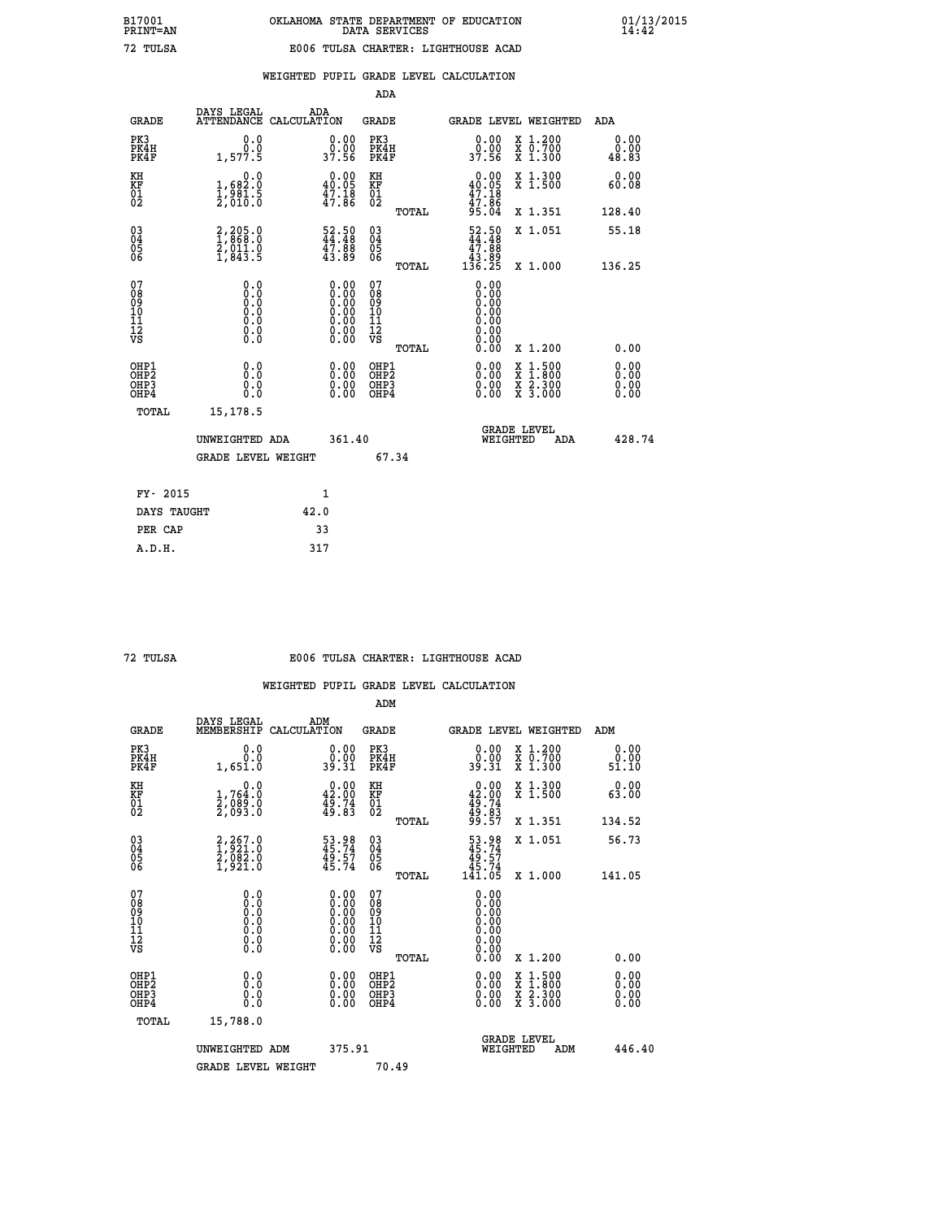|                                                                    |                                                                                      |                                                                       |                                                                                               | ADA                                          |       |                                                                                |                                                                                          |                              |
|--------------------------------------------------------------------|--------------------------------------------------------------------------------------|-----------------------------------------------------------------------|-----------------------------------------------------------------------------------------------|----------------------------------------------|-------|--------------------------------------------------------------------------------|------------------------------------------------------------------------------------------|------------------------------|
| <b>GRADE</b>                                                       | DAYS LEGAL                                                                           | ADA<br>ATTENDANCE CALCULATION                                         |                                                                                               | <b>GRADE</b>                                 |       | GRADE LEVEL WEIGHTED                                                           |                                                                                          | ADA                          |
| PK3<br>PK4H<br>PK4F                                                | 0.0<br>0.0<br>1,577.5                                                                | $\begin{smallmatrix} 0.00\\ 0.00\\ 37.56 \end{smallmatrix}$           |                                                                                               | PK3<br>PK4H<br>PK4F                          |       | 0.00<br>ŏ:ŏŏ<br>37:56                                                          | X 1.200<br>X 0.700<br>X 1.300                                                            | 0.00<br>0.00<br>48.83        |
| KH<br>KF<br>01<br>02                                               | 0.0<br>1,682:0<br>1,981:5<br>2,010:0                                                 | $0.00$<br>40.05<br>$\frac{47.18}{47.86}$                              |                                                                                               | KH<br>KF<br>01<br>02                         |       | 0.00<br>$40.05$<br>$47.18$<br>$47.86$                                          | X 1.300<br>X 1.500                                                                       | 0.00<br>60.08                |
|                                                                    |                                                                                      |                                                                       |                                                                                               |                                              | TOTAL | 95.04                                                                          | X 1.351                                                                                  | 128.40                       |
| $\begin{smallmatrix} 03 \\[-4pt] 04 \end{smallmatrix}$<br>Ŏ5<br>06 | $2,205.0$<br>$1,868.0$<br>$2,011.0$<br>$1,843.5$                                     | $\begin{smallmatrix} 52.50\\ 44.48\\ 47.88\\ 43.89 \end{smallmatrix}$ |                                                                                               | $\substack{03 \\ 04}$<br>Ŏ5<br>06            |       | $\begin{smallmatrix} 52.50\\ 44.48\\ 47.88\\ 43.89\\ 136.25 \end{smallmatrix}$ | X 1.051                                                                                  | 55.18                        |
|                                                                    |                                                                                      |                                                                       |                                                                                               |                                              | TOTAL |                                                                                | X 1.000                                                                                  | 136.25                       |
| 07<br>08<br>09<br>101<br>11<br>12<br>VS                            | 0.0<br>$\begin{smallmatrix} 0.0 & 0 \ 0.0 & 0 \ 0.0 & 0 \ 0.0 & 0 \end{smallmatrix}$ |                                                                       | $\begin{smallmatrix} 0.00\ 0.00\ 0.00\ 0.00\ 0.00\ 0.00\ 0.00\ 0.00\ 0.00\ \end{smallmatrix}$ | 07<br>08<br>09<br>11<br>11<br>12<br>VS       |       | 0.00<br>0.00<br>0.00<br>0.00<br>0.00                                           |                                                                                          |                              |
|                                                                    |                                                                                      |                                                                       |                                                                                               |                                              | TOTAL | 0.00                                                                           | X 1.200                                                                                  | 0.00                         |
| OHP1<br>OHP <sub>2</sub><br>OH <sub>P3</sub><br>OHP4               | 0.0<br>0.0<br>0.0                                                                    | 0.00<br>$\begin{smallmatrix} 0.00 \ 0.00 \end{smallmatrix}$           |                                                                                               | OHP1<br>OHP <sub>2</sub><br>OHP <sub>3</sub> |       | 0.00<br>0.00                                                                   | $\begin{smallmatrix} x & 1.500 \\ x & 1.800 \\ x & 2.300 \\ x & 3.000 \end{smallmatrix}$ | 0.00<br>0.00<br>0.00<br>0.00 |
| TOTAL                                                              | 15,178.5                                                                             |                                                                       |                                                                                               |                                              |       |                                                                                |                                                                                          |                              |
|                                                                    | UNWEIGHTED ADA                                                                       |                                                                       | 361.40                                                                                        |                                              |       | WEIGHTED                                                                       | <b>GRADE LEVEL</b><br>ADA                                                                | 428.74                       |
|                                                                    | <b>GRADE LEVEL WEIGHT</b>                                                            |                                                                       |                                                                                               | 67.34                                        |       |                                                                                |                                                                                          |                              |
| FY- 2015                                                           |                                                                                      | 1                                                                     |                                                                                               |                                              |       |                                                                                |                                                                                          |                              |
| DAYS TAUGHT                                                        |                                                                                      | 42.0                                                                  |                                                                                               |                                              |       |                                                                                |                                                                                          |                              |
| PER CAP                                                            |                                                                                      | 33                                                                    |                                                                                               |                                              |       |                                                                                |                                                                                          |                              |

|  | TULSA |
|--|-------|
|--|-------|

### **72 TULSA E006 TULSA CHARTER: LIGHTHOUSE ACAD**

|                                           |                                                                                      |                                                                                               | ADM                                                 |       |                                                                                  |                                          |                       |
|-------------------------------------------|--------------------------------------------------------------------------------------|-----------------------------------------------------------------------------------------------|-----------------------------------------------------|-------|----------------------------------------------------------------------------------|------------------------------------------|-----------------------|
| <b>GRADE</b>                              | DAYS LEGAL<br>MEMBERSHIP                                                             | ADM<br>CALCULATION                                                                            | <b>GRADE</b>                                        |       |                                                                                  | GRADE LEVEL WEIGHTED                     | ADM                   |
| PK3<br>PK4H<br>PK4F                       | 0.0<br>0.0<br>1,651.0                                                                | $\begin{smallmatrix} 0.00\\ 0.00\\ 39.31 \end{smallmatrix}$                                   | PK3<br>PK4H<br>PK4F                                 |       | $\begin{smallmatrix} 0.00\\ 0.00\\ 39.31 \end{smallmatrix}$                      | X 1.200<br>X 0.700<br>X 1.300            | 0.00<br>0.00<br>51.10 |
| KH<br>KF<br>01<br>02                      | 0.0<br>1,764:0<br>2,089:0<br>2,093:0                                                 | $\begin{smallmatrix} 0.00\\ 42.00\\ 49.74\\ 49.83 \end{smallmatrix}$                          | KH<br>KF<br>01<br>02                                |       | $\begin{smallmatrix} 0.00\\ 42.00\\ 49.74\\ 49.83\\ 99.57 \end{smallmatrix}$     | X 1.300<br>X 1.500                       | 0.00<br>63.00         |
|                                           |                                                                                      |                                                                                               |                                                     | TOTAL |                                                                                  | X 1.351                                  | 134.52                |
| 03<br>04<br>05<br>06                      | $\begin{smallmatrix} 2,267.0\\ 1,921.0\\ 2,082.0\\ 1,921.0 \end{smallmatrix}$        | 53.98<br>45.74<br>49.57<br>45.74                                                              | $\begin{array}{c} 03 \\ 04 \\ 05 \\ 06 \end{array}$ |       | $\begin{smallmatrix} 53.98\\ 45.74\\ 49.57\\ 45.74\\ 141.05\\ \end{smallmatrix}$ | X 1.051                                  | 56.73                 |
|                                           |                                                                                      |                                                                                               |                                                     | TOTAL |                                                                                  | X 1.000                                  | 141.05                |
| 07<br>08<br>09<br>101<br>112<br>VS        | 0.0<br>$\begin{smallmatrix} 0.0 & 0 \ 0.0 & 0 \ 0.0 & 0 \ 0.0 & 0 \end{smallmatrix}$ | $\begin{smallmatrix} 0.00\ 0.00\ 0.00\ 0.00\ 0.00\ 0.00\ 0.00\ 0.00\ 0.00\ \end{smallmatrix}$ | 07<br>08<br>09<br>101<br>11<br>12<br>VS             |       | 0.00<br>0:00<br>0:00<br>0:00<br>0.00<br>0.00                                     |                                          |                       |
|                                           |                                                                                      |                                                                                               |                                                     | TOTAL | 0.00                                                                             | X 1.200                                  | 0.00                  |
| OHP1<br>OHP2<br>OH <sub>P</sub> 3<br>OHP4 | 0.0<br>0.000                                                                         |                                                                                               | OHP1<br>OHP2<br>OHP <sub>3</sub>                    |       | $0.00$<br>$0.00$<br>0.00                                                         | X 1:500<br>X 1:800<br>X 2:300<br>X 3:000 | 0.00<br>0.00<br>0.00  |
| TOTAL                                     | 15,788.0                                                                             |                                                                                               |                                                     |       |                                                                                  |                                          |                       |
|                                           | UNWEIGHTED ADM                                                                       | 375.91                                                                                        |                                                     |       |                                                                                  | <b>GRADE LEVEL</b><br>WEIGHTED<br>ADM    | 446.40                |
|                                           | <b>GRADE LEVEL WEIGHT</b>                                                            |                                                                                               | 70.49                                               |       |                                                                                  |                                          |                       |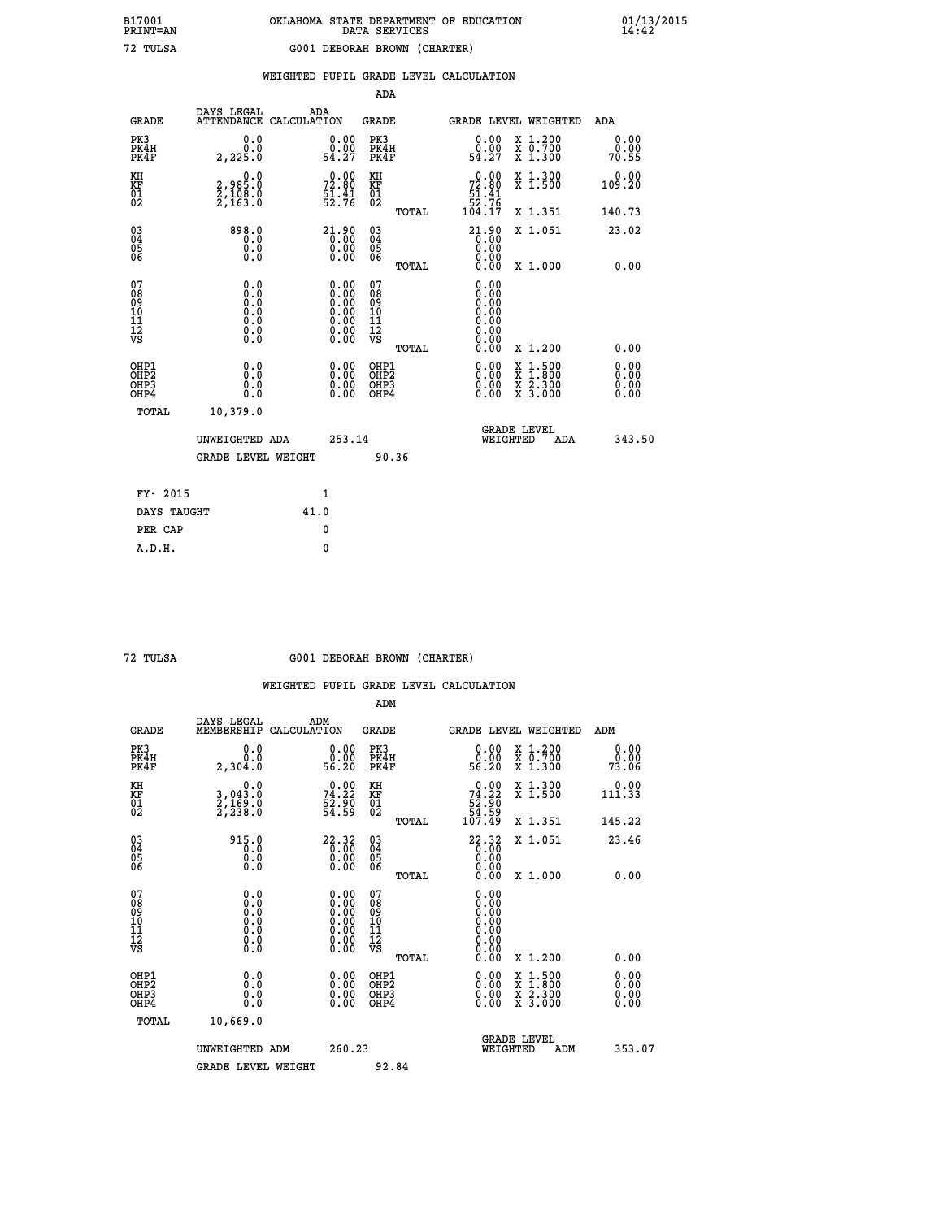|  |  | WEIGHTED PUPIL GRADE LEVEL CALCULATION |
|--|--|----------------------------------------|
|  |  |                                        |

|                                                    |                                      |                                                                                     |                                                                                               | ADA                                                |       |                                                                           |        |                                                                  |                              |
|----------------------------------------------------|--------------------------------------|-------------------------------------------------------------------------------------|-----------------------------------------------------------------------------------------------|----------------------------------------------------|-------|---------------------------------------------------------------------------|--------|------------------------------------------------------------------|------------------------------|
| <b>GRADE</b>                                       | DAYS LEGAL<br><b>ATTENDANCE</b>      | ADA<br>CALCULATION                                                                  |                                                                                               | GRADE                                              |       | GRADE LEVEL WEIGHTED                                                      |        |                                                                  | <b>ADA</b>                   |
| PK3<br>PK4H<br>PK4F                                | 0.0<br>0.0<br>2,225.0                | 54.27                                                                               | 0.00<br>0.00                                                                                  | PK3<br>PK4H<br>PK4F                                |       | 0.00<br>ŏ:ŏŏ<br>54:27                                                     |        | X 1.200<br>X 0.700<br>X 1.300                                    | 0.00<br>0.00<br>70.55        |
| KH<br><b>KF</b><br>01<br>02                        | 0.0<br>2,985:0<br>2,108:0<br>2,163:0 | 72.80<br>$\frac{51.41}{52.76}$                                                      |                                                                                               | KH<br>KF<br>01<br>02                               |       | $\begin{smallmatrix}&&0.00\\72.80\\51.41\\52.76\\104.17\end{smallmatrix}$ |        | X 1.300<br>$\overline{x}$ 1.500                                  | 0.00<br>109.20               |
|                                                    |                                      |                                                                                     |                                                                                               |                                                    | TOTAL |                                                                           |        | X 1.351                                                          | 140.73                       |
| $\begin{matrix} 03 \\ 04 \\ 05 \\ 06 \end{matrix}$ | 898.0<br>0.0<br>0.0<br>0.0           | $\begin{smallmatrix} 21.90\\[-1mm] 0.00\\[-1mm] 0.00\\[-1mm] 0.00\end{smallmatrix}$ |                                                                                               | $\begin{matrix} 03 \\ 04 \\ 05 \\ 06 \end{matrix}$ |       | 21.90<br>0.00<br>0.00                                                     |        | X 1.051                                                          | 23.02                        |
|                                                    |                                      |                                                                                     |                                                                                               |                                                    | TOTAL | 0.00                                                                      |        | X 1.000                                                          | 0.00                         |
| 07<br>08<br>09<br>101<br>11<br>12<br>VS            | $\S.$ $\S$                           |                                                                                     | $\begin{smallmatrix} 0.00\ 0.00\ 0.00\ 0.00\ 0.00\ 0.00\ 0.00\ 0.00\ 0.00\ \end{smallmatrix}$ | 07<br>08<br>09<br>11<br>11<br>12<br>VS             |       | 0.00<br>0.00<br>0.00<br>0.00<br>0.00<br>0.00<br>0.00                      |        |                                                                  |                              |
|                                                    |                                      |                                                                                     |                                                                                               |                                                    | TOTAL | 0.00                                                                      |        | X 1.200                                                          | 0.00                         |
| OHP1<br>OHP2<br>OHP3<br>OHP4                       | 0.0<br>0.0<br>0.0                    |                                                                                     | 0.00<br>$0.00$<br>0.00                                                                        | OHP1<br>OHP2<br>OHP3<br>OHP4                       |       | $0.00$<br>$0.00$<br>0.00                                                  | X<br>X | $1.500$<br>$1.800$<br>$\frac{\ddot{x}}{x}$ $\frac{5.300}{3.000}$ | 0.00<br>0.00<br>0.00<br>0.00 |
| TOTAL                                              | 10,379.0                             |                                                                                     |                                                                                               |                                                    |       |                                                                           |        |                                                                  |                              |
|                                                    | UNWEIGHTED ADA                       |                                                                                     | 253.14                                                                                        |                                                    |       | WEIGHTED                                                                  |        | <b>GRADE LEVEL</b><br>ADA                                        | 343.50                       |
|                                                    | <b>GRADE LEVEL WEIGHT</b>            |                                                                                     |                                                                                               | 90.36                                              |       |                                                                           |        |                                                                  |                              |
| FY- 2015                                           |                                      | $\mathbf{1}$                                                                        |                                                                                               |                                                    |       |                                                                           |        |                                                                  |                              |
| DAYS TAUGHT                                        |                                      | 41.0                                                                                |                                                                                               |                                                    |       |                                                                           |        |                                                                  |                              |
|                                                    |                                      |                                                                                     |                                                                                               |                                                    |       |                                                                           |        |                                                                  |                              |

 **PER CAP 0 A.D.H. 0**

 **72 TULSA G001 DEBORAH BROWN (CHARTER)**

|                                                      |                                                     |                                                                                               | ADM                                                 |       |                                                                           |                                          |                               |                              |
|------------------------------------------------------|-----------------------------------------------------|-----------------------------------------------------------------------------------------------|-----------------------------------------------------|-------|---------------------------------------------------------------------------|------------------------------------------|-------------------------------|------------------------------|
| <b>GRADE</b>                                         | DAYS LEGAL<br>MEMBERSHIP                            | ADM<br>CALCULATION                                                                            | <b>GRADE</b>                                        |       | <b>GRADE LEVEL WEIGHTED</b>                                               |                                          | ADM                           |                              |
| PK3<br>PK4H<br>PK4F                                  | 0.0<br>0.0<br>2,304.0                               | $\begin{smallmatrix} 0.00\\ 0.00\\ 56.20 \end{smallmatrix}$                                   | PK3<br>PK4H<br>PK4F                                 |       | $\begin{smallmatrix} 0.00\\ 0.00\\ 56.20 \end{smallmatrix}$               | X 1.200<br>X 0.700<br>X 1.300            | 0.00.<br>73.06                | 0.00                         |
| KH<br>KF<br>01<br>02                                 | 0.0<br>$\frac{3}{2}, \frac{043}{169}$ .0<br>2,238.0 | $74.22$<br>$52.90$<br>$54.59$                                                                 | KH<br>KF<br>01<br>02                                |       | $\begin{smallmatrix} &0.00\ 74.22\ 52.90\ 54.59\ 107.49\end{smallmatrix}$ | X 1.300<br>X 1.500                       | $11\ddot{1}.\ddot{3}\ddot{3}$ | 0.00                         |
|                                                      |                                                     |                                                                                               |                                                     | TOTAL |                                                                           | X 1.351                                  | 145.22                        |                              |
| 03<br>04<br>05<br>06                                 | 915.0<br>0.0<br>0.000                               | $\begin{smallmatrix} 22.32\ 0.00\ 0.00\ 0.00 \end{smallmatrix}$                               | $\begin{array}{c} 03 \\ 04 \\ 05 \\ 06 \end{array}$ |       | $22.32$<br>0.00<br>0.00                                                   | X 1.051                                  | 23.46                         |                              |
|                                                      |                                                     |                                                                                               |                                                     | TOTAL | 0.00                                                                      | X 1.000                                  |                               | 0.00                         |
| 07<br>08<br>09<br>101<br>112<br>VS                   | 0.0                                                 | $\begin{smallmatrix} 0.00\ 0.00\ 0.00\ 0.00\ 0.00\ 0.00\ 0.00\ 0.00\ 0.00\ \end{smallmatrix}$ | 07<br>08<br>09<br>11<br>11<br>12<br>VS              |       |                                                                           |                                          |                               |                              |
|                                                      |                                                     |                                                                                               |                                                     | TOTAL | 0.00                                                                      | X 1.200                                  |                               | 0.00                         |
| OHP1<br>OHP2<br>OH <sub>P3</sub><br>OH <sub>P4</sub> | 0.0<br>0.000                                        |                                                                                               | OHP1<br>OHP2<br>OHP <sub>3</sub>                    |       | $0.00$<br>$0.00$<br>0.00                                                  | X 1:500<br>X 1:800<br>X 2:300<br>X 3:000 |                               | 0.00<br>Ŏ.ŎŎ<br>Q.QQ<br>0.00 |
| TOTAL                                                | 10,669.0                                            |                                                                                               |                                                     |       |                                                                           |                                          |                               |                              |
|                                                      | UNWEIGHTED ADM                                      | 260.23                                                                                        |                                                     |       |                                                                           | GRADE LEVEL<br>WEIGHTED<br>ADM           |                               | 353.07                       |
|                                                      | <b>GRADE LEVEL WEIGHT</b>                           |                                                                                               | 92.84                                               |       |                                                                           |                                          |                               |                              |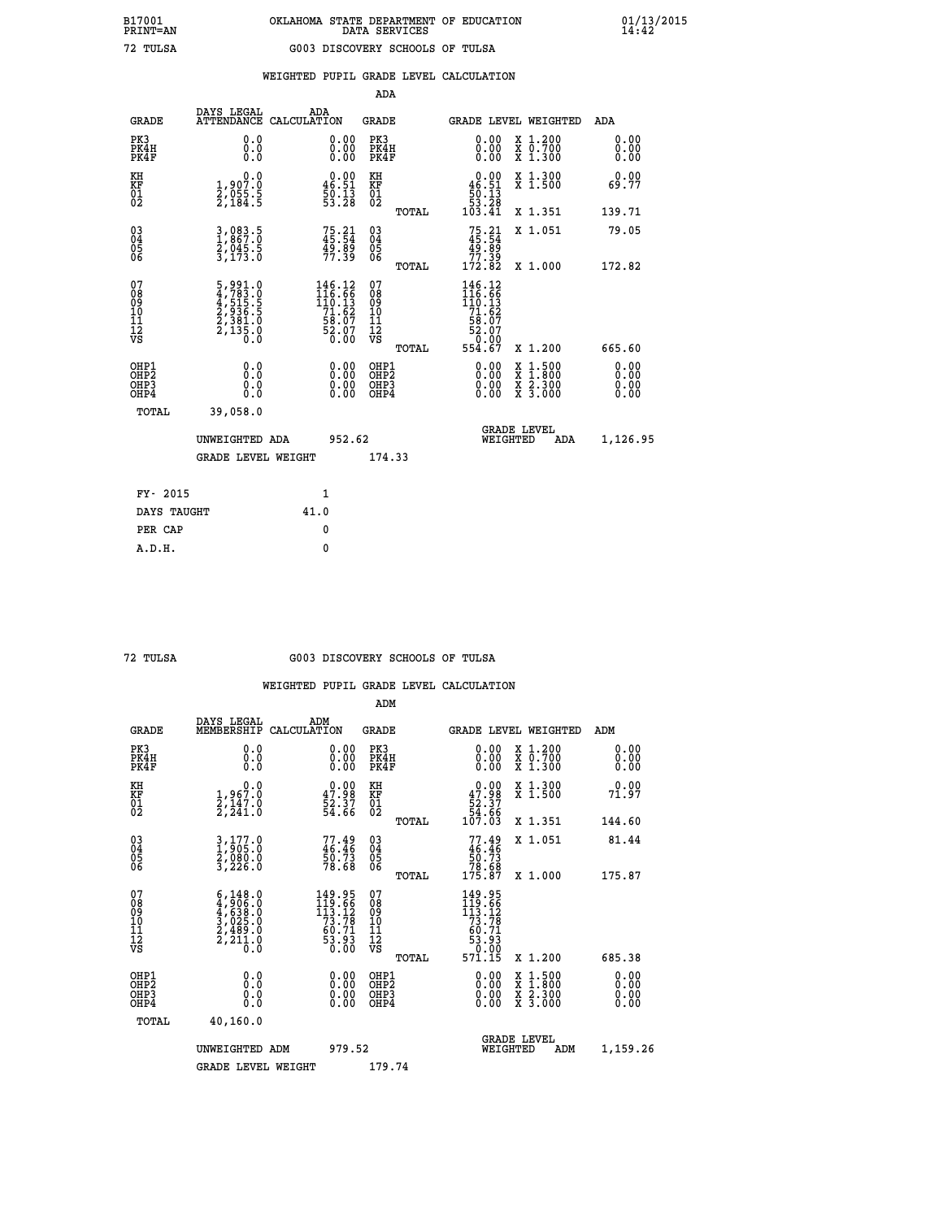|  |  | WEIGHTED PUPIL GRADE LEVEL CALCULATION |
|--|--|----------------------------------------|
|  |  |                                        |

|                                                                    |                                                                                                  |                                                                           | ADA                                                 |       |                                                                            |                                          |                              |
|--------------------------------------------------------------------|--------------------------------------------------------------------------------------------------|---------------------------------------------------------------------------|-----------------------------------------------------|-------|----------------------------------------------------------------------------|------------------------------------------|------------------------------|
| <b>GRADE</b>                                                       | DAYS LEGAL<br><b>ATTENDANCE</b>                                                                  | ADA<br>CALCULATION                                                        | <b>GRADE</b>                                        |       |                                                                            | <b>GRADE LEVEL WEIGHTED</b>              | ADA                          |
| PK3<br>PK4H<br>PK4F                                                | 0.0<br>0.0<br>0.0                                                                                | $\begin{smallmatrix} 0.00 \ 0.00 \ 0.00 \end{smallmatrix}$                | PK3<br>PK4H<br>PK4F                                 |       | 0.00<br>0.00                                                               | X 1.200<br>X 0.700<br>X 1.300            | 0.00<br>0.00<br>0.00         |
| KH<br><b>KF</b><br>01<br>02                                        | 0.0<br>$\frac{1}{2}, \frac{907}{95}, \frac{8}{5}$<br>$\frac{2}{7}, \frac{955}{184}, \frac{5}{5}$ | $0.00$<br>46.51<br>$\frac{50}{53}$ : 13<br>53:28                          | KH<br>KF<br>01<br>02                                |       | $\begin{smallmatrix}&&0.00\\46.51\\50.13\\53.28\\103.41\end{smallmatrix}$  | X 1.300<br>X 1.500                       | 0.00<br>69.77                |
|                                                                    |                                                                                                  |                                                                           |                                                     | TOTAL |                                                                            | X 1.351                                  | 139.71                       |
| $\begin{smallmatrix} 03 \\[-4pt] 04 \end{smallmatrix}$<br>Ŏ5<br>06 | 3,083.5<br>1,867.0<br>2,045.5<br>3,173.0                                                         | $75.21$<br>45.54<br>49.89<br>77.39                                        | $\begin{array}{c} 03 \\ 04 \\ 05 \\ 06 \end{array}$ |       | $75.21$<br>$45.54$<br>$49.89$<br>$77.39$<br>$172.82$                       | X 1.051                                  | 79.05                        |
|                                                                    |                                                                                                  |                                                                           |                                                     | TOTAL |                                                                            | X 1.000                                  | 172.82                       |
| 07<br>08901112<br>1112<br>VS                                       | $\begin{smallmatrix}5,991.0\\4,783.0\\4,515.5\\2,936.5\\2,381.0\\2,135.0\\0.0\end{smallmatrix}$  | 146.12<br>$116.66$<br>$110.13$<br>$71.62$<br>$58.07$<br>$52.07$<br>$0.00$ | 07<br>08<br>09<br>11<br>11<br>12<br>VS              |       | 146.12<br>$116.56$<br>$110.13$<br>$71.62$<br>$58.07$<br>$52.07$<br>$54.67$ |                                          |                              |
|                                                                    |                                                                                                  |                                                                           |                                                     | TOTAL |                                                                            | X 1.200                                  | 665.60                       |
| OHP1<br>OH <sub>P</sub> 2<br>OH <sub>P3</sub><br>OH <sub>P4</sub>  | 0.0<br>0.0<br>0.0                                                                                | $\begin{smallmatrix} 0.00 \ 0.00 \ 0.00 \ 0.00 \end{smallmatrix}$         | OHP1<br>OH <sub>P</sub> 2<br>OHP3<br>OHP4           |       | 0.00<br>0.00<br>0.00                                                       | X 1:500<br>X 1:800<br>X 2:300<br>X 3:000 | 0.00<br>0.00<br>0.00<br>0.00 |
| TOTAL                                                              | 39,058.0                                                                                         |                                                                           |                                                     |       |                                                                            |                                          |                              |
|                                                                    | UNWEIGHTED ADA                                                                                   | 952.62                                                                    |                                                     |       |                                                                            | GRADE LEVEL<br>WEIGHTED<br>ADA           | 1,126.95                     |
|                                                                    | <b>GRADE LEVEL WEIGHT</b>                                                                        |                                                                           | 174.33                                              |       |                                                                            |                                          |                              |
| FY- 2015                                                           |                                                                                                  | $\mathbf{1}$                                                              |                                                     |       |                                                                            |                                          |                              |
| DAYS TAUGHT                                                        |                                                                                                  | 41.0                                                                      |                                                     |       |                                                                            |                                          |                              |
| PER CAP                                                            |                                                                                                  | $\mathbf{0}$                                                              |                                                     |       |                                                                            |                                          |                              |

### **72 TULSA G003 DISCOVERY SCHOOLS OF TULSA**

|    |                                           |                                                                                     |                                                                                 | ADM                                                 |       |                                                                                   |          |                                          |                      |
|----|-------------------------------------------|-------------------------------------------------------------------------------------|---------------------------------------------------------------------------------|-----------------------------------------------------|-------|-----------------------------------------------------------------------------------|----------|------------------------------------------|----------------------|
|    | <b>GRADE</b>                              | DAYS LEGAL<br>MEMBERSHIP                                                            | ADM<br>CALCULATION                                                              | <b>GRADE</b>                                        |       |                                                                                   |          | GRADE LEVEL WEIGHTED                     | ADM                  |
|    | PK3<br>PK4H<br>PK4F                       | 0.0<br>0.0<br>0.0                                                                   | $\begin{smallmatrix} 0.00 \ 0.00 \ 0.00 \end{smallmatrix}$                      | PK3<br>PK4H<br>PK4F                                 |       | $\begin{smallmatrix} 0.00 \\ 0.00 \\ 0.00 \end{smallmatrix}$                      |          | X 1.200<br>X 0.700<br>X 1.300            | 0.00<br>0.00<br>0.00 |
| KH | KF<br>01<br>02                            | $\begin{smallmatrix}&&&0.0\\1.967.0\\2.147.0\\2.241.0\end{smallmatrix}$             | $\begin{smallmatrix} 0.00\\ 47.98\\ 52.37\\ 54.66 \end{smallmatrix}$            | KH<br>KF<br>01<br>02                                |       | $0.00\n47.98\n52.37\n54.66\n107.03$                                               |          | X 1.300<br>X 1.500                       | 0.00<br>71.97        |
|    |                                           |                                                                                     |                                                                                 |                                                     | TOTAL |                                                                                   |          | X 1.351                                  | 144.60               |
|    | 03<br>04<br>05<br>06                      | 3,177.0<br>1,905.0<br>2,080.0<br>3,226.0                                            | $77.49$<br>$46.46$<br>$50.73$<br>$78.68$                                        | $\begin{array}{c} 03 \\ 04 \\ 05 \\ 06 \end{array}$ |       | $77.49$<br>$46.46$<br>$50.73$<br>$78.68$<br>$175.87$                              |          | X 1.051                                  | 81.44                |
|    |                                           |                                                                                     |                                                                                 |                                                     | TOTAL |                                                                                   |          | X 1.000                                  | 175.87               |
|    | 07<br>08<br>09<br>101<br>11<br>12<br>VS   | $6,148.0$<br>$4,906.0$<br>$4,638.0$<br>$3,025.0$<br>$2,489.0$<br>$2,211.0$<br>$0.0$ | $\begin{array}{r} 149.95\\119.66\\113.12\\73.78\\60.71\\53.93\\0.00\end{array}$ | 07<br>08<br>09<br>11<br>11<br>12<br>VS              | TOTAL | 149.95<br>119.66<br>113.12<br>73.78<br>60.71<br>60.71<br>53.93<br>71.00<br>57ĭ.ĭš |          | X 1.200                                  | 685.38               |
|    | OHP1<br>OHP2<br>OH <sub>P</sub> 3<br>OHP4 | 0.0<br>0.000                                                                        |                                                                                 | OHP1<br>OHP2<br>OHP <sub>3</sub>                    |       | $0.00$<br>$0.00$<br>0.00                                                          |          | X 1:500<br>X 1:800<br>X 2:300<br>X 3:000 | 0.00<br>0.00<br>0.00 |
|    | TOTAL                                     | 40,160.0                                                                            |                                                                                 |                                                     |       |                                                                                   |          |                                          |                      |
|    |                                           | UNWEIGHTED ADM                                                                      | 979.52                                                                          |                                                     |       |                                                                                   | WEIGHTED | <b>GRADE LEVEL</b><br>ADM                | 1,159.26             |
|    |                                           | <b>GRADE LEVEL WEIGHT</b>                                                           |                                                                                 | 179.74                                              |       |                                                                                   |          |                                          |                      |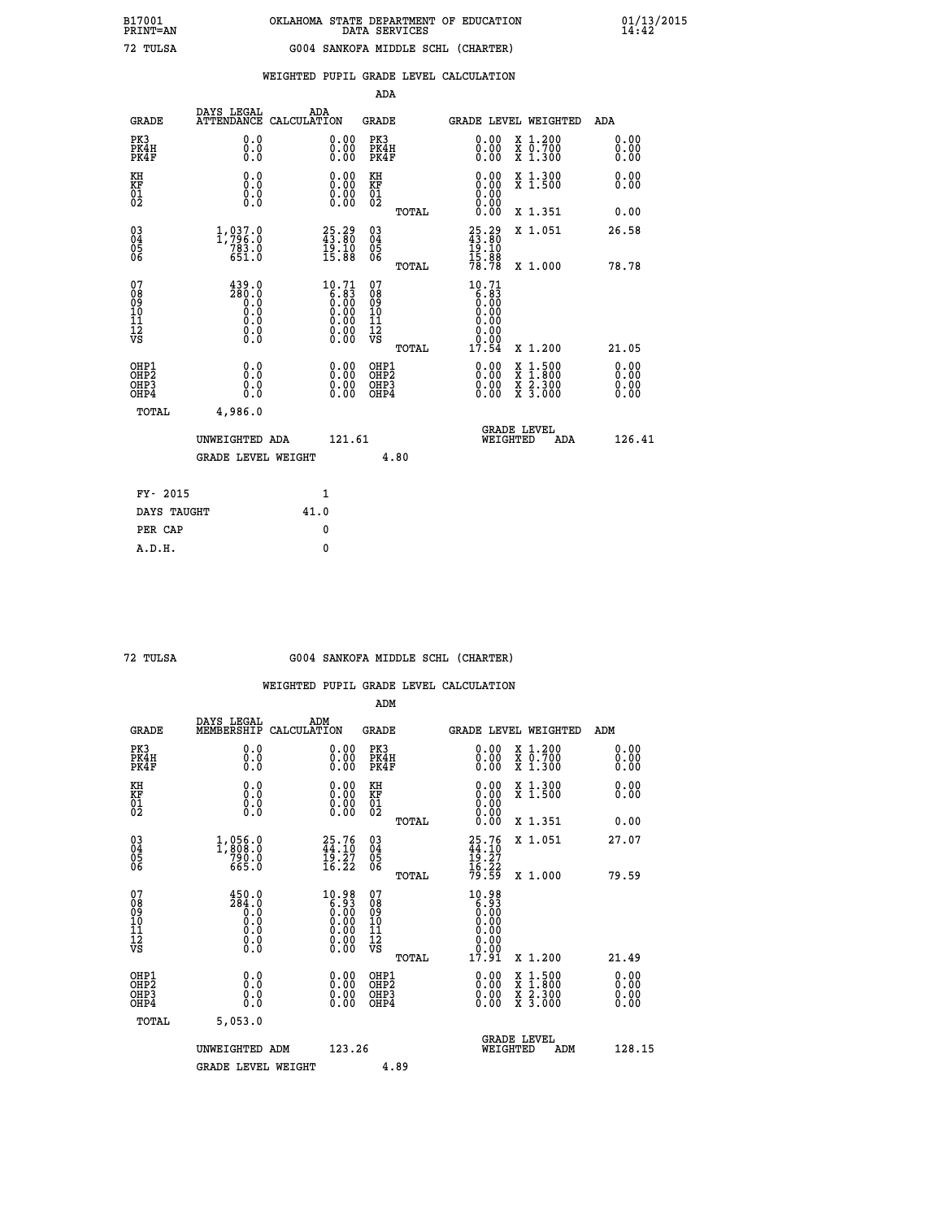|                                                                    |                                                                                            |      |                                                                                                                       | ADA                                       |       |                                                                                     |                                                                                                  |                              |
|--------------------------------------------------------------------|--------------------------------------------------------------------------------------------|------|-----------------------------------------------------------------------------------------------------------------------|-------------------------------------------|-------|-------------------------------------------------------------------------------------|--------------------------------------------------------------------------------------------------|------------------------------|
| <b>GRADE</b>                                                       | DAYS LEGAL<br>ATTENDANCE CALCULATION                                                       | ADA  |                                                                                                                       | <b>GRADE</b>                              |       |                                                                                     | GRADE LEVEL WEIGHTED                                                                             | ADA                          |
| PK3<br>PK4H<br>PK4F                                                | 0.0<br>0.0<br>0.0                                                                          |      | $\begin{smallmatrix} 0.00 \ 0.00 \ 0.00 \end{smallmatrix}$                                                            | PK3<br>PK4H<br>PK4F                       |       | $\begin{smallmatrix} 0.00 \\ 0.00 \\ 0.00 \end{smallmatrix}$                        | X 1.200<br>X 0.700<br>X 1.300                                                                    | 0.00<br>0.00<br>0.00         |
| KH<br><b>KF</b><br>01<br>02                                        | 0.0<br>0.0<br>$\S.$                                                                        |      | 0.0000<br>$\begin{smallmatrix} 0.00 & 0.00 \\ 0.00 & 0.00 \end{smallmatrix}$                                          | KH<br><b>KF</b><br>01<br>02               |       | 0.00                                                                                | X 1.300<br>X 1.500                                                                               | 0.00<br>0.00                 |
|                                                                    |                                                                                            |      |                                                                                                                       |                                           | TOTAL |                                                                                     | X 1.351                                                                                          | 0.00                         |
| $\begin{smallmatrix} 03 \\[-4pt] 04 \end{smallmatrix}$<br>05<br>06 | 1,937.0<br>$783.0$<br>651.0                                                                |      | $25.29$<br>$43.80$<br>$\frac{19.10}{15.88}$                                                                           | $\substack{03 \\ 04}$<br>05<br>06         | TOTAL | $25.29$<br>$43.80$<br>$19.10$<br>$15.88$<br>$78.78$                                 | X 1.051<br>X 1.000                                                                               | 26.58<br>78.78               |
| 07<br>08901112<br>1112<br>VS                                       | $\frac{439.0}{280.0}$<br>$\begin{smallmatrix} 0.5 \ 0.0 \end{smallmatrix}$<br>ŏ:ŏ<br>$\S.$ |      | $10.71$<br>$6.83$<br>$0.00$<br>$0.00$<br>$0.00$<br>$\begin{smallmatrix} 0.00 & 0.00 \\ 0.00 & 0.00 \end{smallmatrix}$ | 07<br>08<br>09<br>11<br>11<br>12<br>VS    |       | 10.71<br>$\begin{smallmatrix} 6.83 \ 6.00 \ 0.00 \end{smallmatrix}$<br>0.00<br>0.00 |                                                                                                  |                              |
|                                                                    |                                                                                            |      |                                                                                                                       |                                           | TOTAL | 17.54                                                                               | X 1.200                                                                                          | 21.05                        |
| OHP1<br>OH <sub>P</sub> 2<br>OH <sub>P3</sub><br>OH <sub>P4</sub>  | 0.0<br>0.0<br>0.0                                                                          |      | 0.00<br>$\begin{smallmatrix} 0.00 \ 0.00 \end{smallmatrix}$                                                           | OHP1<br>OH <sub>P</sub> 2<br>OHP3<br>OHP4 |       | 0.00<br>0.00<br>0.00                                                                | $\begin{smallmatrix} x & 1 & 500 \\ x & 1 & 800 \\ x & 2 & 300 \\ x & 3 & 000 \end{smallmatrix}$ | 0.00<br>0.00<br>0.00<br>0.00 |
| TOTAL                                                              | 4,986.0                                                                                    |      |                                                                                                                       |                                           |       |                                                                                     |                                                                                                  |                              |
|                                                                    | UNWEIGHTED ADA                                                                             |      | 121.61                                                                                                                |                                           |       |                                                                                     | GRADE LEVEL<br>WEIGHTED<br>ADA                                                                   | 126.41                       |
|                                                                    | <b>GRADE LEVEL WEIGHT</b>                                                                  |      |                                                                                                                       |                                           | 4.80  |                                                                                     |                                                                                                  |                              |
| FY- 2015                                                           |                                                                                            |      | $\mathbf{1}$                                                                                                          |                                           |       |                                                                                     |                                                                                                  |                              |
| DAYS TAUGHT                                                        |                                                                                            | 41.0 |                                                                                                                       |                                           |       |                                                                                     |                                                                                                  |                              |
| PER CAP                                                            |                                                                                            |      | $\mathbf{0}$                                                                                                          |                                           |       |                                                                                     |                                                                                                  |                              |

| TIT<br>Τ<br>$\overline{\phantom{a}}$ |
|--------------------------------------|
|                                      |

### **72 TULSA G004 SANKOFA MIDDLE SCHL (CHARTER)**

|                                          |                                                                                           |                                                                                      | ADM                                                |       |                                                                                      |                                          |                              |
|------------------------------------------|-------------------------------------------------------------------------------------------|--------------------------------------------------------------------------------------|----------------------------------------------------|-------|--------------------------------------------------------------------------------------|------------------------------------------|------------------------------|
| <b>GRADE</b>                             | DAYS LEGAL<br>MEMBERSHIP                                                                  | ADM<br>CALCULATION                                                                   | <b>GRADE</b>                                       |       |                                                                                      | GRADE LEVEL WEIGHTED                     | ADM                          |
| PK3<br>PK4H<br>PK4F                      | 0.0<br>0.0<br>0.0                                                                         | 0.00<br>$\begin{smallmatrix} 0.00 \ 0.00 \end{smallmatrix}$                          | PK3<br>PK4H<br>PK4F                                |       | $\begin{smallmatrix} 0.00 \\ 0.00 \\ 0.00 \end{smallmatrix}$                         | X 1.200<br>X 0.700<br>X 1.300            | 0.00<br>0.00<br>0.00         |
| KH<br>KF<br>01<br>02                     | 0.0<br>0.0<br>$\S.$                                                                       | $\begin{smallmatrix} 0.00 \ 0.00 \ 0.00 \ 0.00 \end{smallmatrix}$                    | KH<br>KF<br>01<br>02                               |       | $0.00$<br>$0.00$<br>$0.00$                                                           | X 1.300<br>X 1.500                       | 0.00<br>0.00                 |
|                                          |                                                                                           |                                                                                      |                                                    | TOTAL | 0.00                                                                                 | X 1.351                                  | 0.00                         |
| 03<br>04<br>05<br>06                     | $1,808.0$<br>$790.0$<br>$665.0$                                                           | $25.76$<br>$44.10$<br>$\frac{19.27}{16.22}$                                          | $\begin{matrix} 03 \\ 04 \\ 05 \\ 06 \end{matrix}$ |       | 25.76<br>44.10<br>19.27<br>16.22<br>79.59                                            | X 1.051                                  | 27.07                        |
|                                          |                                                                                           |                                                                                      |                                                    | TOTAL |                                                                                      | X 1.000                                  | 79.59                        |
| 07<br>08<br>09<br>101<br>112<br>VS       | 450.0<br>$\begin{array}{c}\n 284.8 \\  0.0 \\  0.0 \\  0.0 \\  0.9\n\end{array}$<br>$\S.$ | 10.98<br>$\begin{array}{c} 0.38 \\ 0.30 \\ 0.00 \\ 0.00 \\ 0.00 \\ 0.00 \end{array}$ | 07<br>08<br>09<br>101<br>11<br>12<br>VS            |       | 10.98<br>$\begin{array}{c} 0.308 \\ 0.000 \\ 0.000 \\ 0.000 \\ 0.000 \\ \end{array}$ |                                          |                              |
|                                          |                                                                                           |                                                                                      |                                                    | TOTAL | 17.91                                                                                | X 1.200                                  | 21.49                        |
| OHP1<br>OHP2<br>OHP3<br>OH <sub>P4</sub> | 0.0<br>0.000                                                                              |                                                                                      | OHP1<br>OHP2<br>OHP <sub>3</sub>                   |       | $0.00$<br>$0.00$<br>0.00                                                             | X 1:500<br>X 1:800<br>X 2:300<br>X 3:000 | 0.00<br>Ŏ.ŎŎ<br>Q.QQ<br>0.00 |
| TOTAL                                    | 5,053.0                                                                                   |                                                                                      |                                                    |       |                                                                                      |                                          |                              |
|                                          | UNWEIGHTED ADM                                                                            | 123.26                                                                               |                                                    |       |                                                                                      | GRADE LEVEL<br>WEIGHTED<br>ADM           | 128.15                       |
|                                          | <b>GRADE LEVEL WEIGHT</b>                                                                 |                                                                                      |                                                    | 4.89  |                                                                                      |                                          |                              |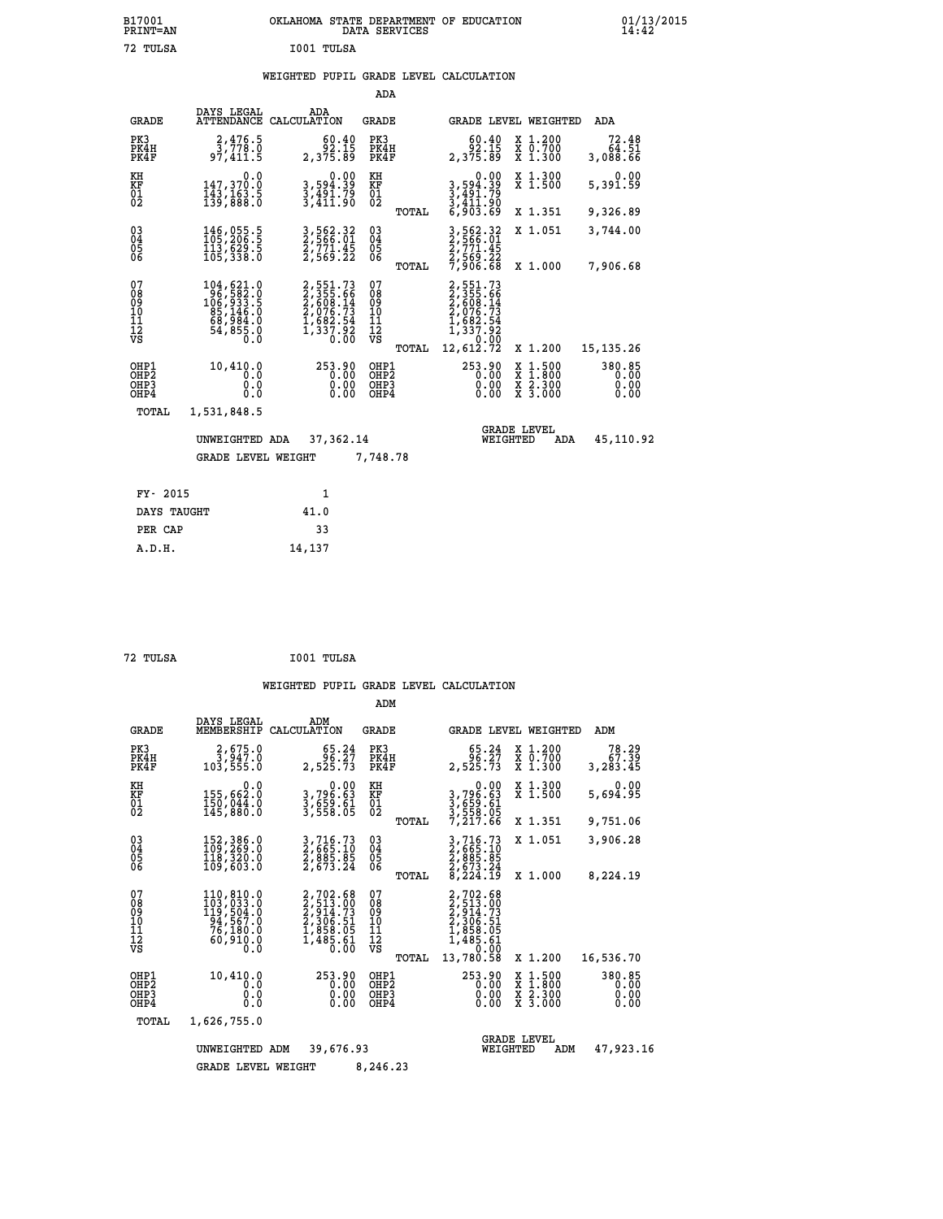|            | OKLAHOMA STATE DEPARTMENT OF EDUCATION<br>DATA SERVICES |  |
|------------|---------------------------------------------------------|--|
| I001 TULSA |                                                         |  |

|                                        |                                                                                               |                                                                                            | ADA                                                |       |                                                                              |        |                                          |                                |
|----------------------------------------|-----------------------------------------------------------------------------------------------|--------------------------------------------------------------------------------------------|----------------------------------------------------|-------|------------------------------------------------------------------------------|--------|------------------------------------------|--------------------------------|
| <b>GRADE</b>                           | DAYS LEGAL<br><b>ATTENDANCE</b>                                                               | ADA<br>CALCULATION                                                                         | GRADE                                              |       | GRADE LEVEL WEIGHTED                                                         |        |                                          | ADA                            |
| PK3<br>PK4H<br>PK4F                    | 2,476.5<br>3,778.0<br>97,411.5                                                                | 60.40<br>92.15<br>2,375.89                                                                 | PK3<br>PK4H<br>PK4F                                |       | 60.40<br>92.15<br>2,375.89                                                   |        | X 1.200<br>X 0.700<br>X 1.300            | 72.48<br>64.51<br>3,088.66     |
| KH<br><b>KF</b><br>01<br>02            | 0.0<br>147,370.0<br>$\frac{1}{139}$ , $\frac{1}{88}$ , $\frac{3}{8}$                          | $\begin{smallmatrix}&&&0.00\\3,594.39\\3,491.79\\3,411.90\end{smallmatrix}$                | KH<br>KF<br>01<br>02                               |       | 0.00<br>3,594.39<br>3,491.79<br>3,411.90<br>6,903.69                         |        | X 1.300<br>$\overline{x}$ 1.500          | 0.00<br>5,391.59               |
|                                        |                                                                                               |                                                                                            |                                                    | TOTAL |                                                                              |        | X 1.351                                  | 9,326.89                       |
| $^{03}_{04}$<br>05<br>06               | 146,055.5<br>113,629.5<br>105,338.0                                                           | 3,562.32<br>2,566.01<br>2,771.45<br>2,569.22                                               | $\begin{matrix} 03 \\ 04 \\ 05 \\ 06 \end{matrix}$ |       | 3,562.32<br>2,566.01<br>2,771.45<br>2,569.22<br>7,906.68                     |        | X 1.051                                  | 3,744.00                       |
|                                        |                                                                                               |                                                                                            |                                                    | TOTAL |                                                                              |        | X 1.000                                  | 7,906.68                       |
| 07<br>08<br>09<br>11<br>11<br>12<br>VS | 104,621.0<br>$106, 582.0$<br>$106, 933.5$<br>$85, 146.0$<br>$68, 984.0$<br>$54, 855.0$<br>Ō.Ŏ | $2,551.73$<br>$2,355.66$<br>$2,608.14$<br>$2,076.73$<br>$1,682.54$<br>$1,337.92$<br>$0.00$ | 07<br>08<br>09<br>11<br>11<br>12<br>VS             |       | 2,551.73<br>2,355.66<br>2,608.14<br>2,076.73<br>1,682.54<br>1,337.92<br>0.00 |        |                                          |                                |
|                                        |                                                                                               |                                                                                            |                                                    | TOTAL | 12,612.72                                                                    |        | X 1.200                                  | 15, 135. 26                    |
| OHP1<br>OHP2<br>OHP3<br>OHP4           | 10,410.0<br>0.0<br>0.0<br>0.0                                                                 | 253.90<br>0.00<br>$0.00$<br>$0.00$                                                         | OHP1<br>OHP <sub>2</sub><br>OHP3<br>OHP4           |       | 253.90<br>0.00<br>0.00                                                       | X<br>X | $1.500$<br>$1.800$<br>X 2.300<br>X 3.000 | 380.85<br>0.00<br>0.00<br>0.00 |
| TOTAL                                  | 1,531,848.5                                                                                   |                                                                                            |                                                    |       |                                                                              |        |                                          |                                |
|                                        | UNWEIGHTED ADA                                                                                | 37,362.14                                                                                  |                                                    |       | WEIGHTED                                                                     |        | <b>GRADE LEVEL</b><br>ADA                | 45,110.92                      |
|                                        | <b>GRADE LEVEL WEIGHT</b>                                                                     |                                                                                            | 7,748.78                                           |       |                                                                              |        |                                          |                                |
|                                        |                                                                                               |                                                                                            |                                                    |       |                                                                              |        |                                          |                                |
| FY- 2015                               |                                                                                               | $\mathbf{1}$                                                                               |                                                    |       |                                                                              |        |                                          |                                |
| DAYS TAUGHT                            |                                                                                               | 41.0                                                                                       |                                                    |       |                                                                              |        |                                          |                                |

| 72 TULSA | I001 TULSA |
|----------|------------|
|          |            |

 **PER CAP 33 A.D.H. 14,137**

 **B17001<br>PRINT=AN<br>72 TULSA** 

|                                                    |                                                                                                                                                                               |                                                                                          | ADM                                             |                                                                                                          |                                                                                            |                                |
|----------------------------------------------------|-------------------------------------------------------------------------------------------------------------------------------------------------------------------------------|------------------------------------------------------------------------------------------|-------------------------------------------------|----------------------------------------------------------------------------------------------------------|--------------------------------------------------------------------------------------------|--------------------------------|
| <b>GRADE</b>                                       | DAYS LEGAL<br>MEMBERSHIP                                                                                                                                                      | ADM<br>CALCULATION                                                                       | <b>GRADE</b>                                    | GRADE LEVEL WEIGHTED                                                                                     |                                                                                            | ADM                            |
| PK3<br>PK4H<br>PK4F                                | $\frac{2}{3}, \frac{675}{947}$ .0<br>103, 555.0                                                                                                                               | 65.24<br>36.27<br>2,525.73                                                               | PK3<br>PK4H<br>PK4F                             | 65.24<br>36.37<br>2,525.73                                                                               | X 1.200<br>X 0.700<br>X 1.300                                                              | 78.29<br>67.39<br>3,283.45     |
| KH<br>KF<br>01<br>02                               | 0.0<br>155,662.0<br>150,044.0<br>145,880.0                                                                                                                                    | 0.00<br>3,796.63<br>3,659.61<br>3,558.05                                                 | KH<br>KF<br>01<br>02                            | 0.00<br>3,796.63<br>3,659.61<br>3,558.05<br>7,217.66                                                     | X 1.300<br>X 1.500                                                                         | 0.00<br>5,694.95               |
|                                                    |                                                                                                                                                                               |                                                                                          | TOTAL                                           |                                                                                                          | X 1.351                                                                                    | 9,751.06                       |
| $\begin{matrix} 03 \\ 04 \\ 05 \\ 06 \end{matrix}$ | 152,386.0<br>109,269.0<br>118,320.0<br>109,603.0                                                                                                                              | 3,716.73<br>2,665.10<br>2,885.85<br>2,673.24                                             | 03<br>04<br>05                                  | 3,716.73<br>2,665.10<br>2,885.85<br>2,673.24<br>8,224.19                                                 | X 1.051                                                                                    | 3,906.28                       |
|                                                    |                                                                                                                                                                               |                                                                                          | TOTAL                                           |                                                                                                          | X 1.000                                                                                    | 8,224.19                       |
| 07<br>08<br>09<br>10<br>11<br>11<br>12<br>VS       | 110,810.0<br>$\begin{array}{c} 103 \, , \, 033 \, . \, 0 \\ 119 \, , \, 504 \, . \, 0 \\ 94 \, , \, 567 \, . \, 0 \\ 76 \, , \, 190 \, . \, 0 \end{array}$<br>60,910.0<br>0.0 | 2,702.68<br>2,513.00<br>2,514.73<br>2,306.51<br>2,306.51<br>1,858.05<br>1,485.61<br>0.00 | 07<br>08<br>09<br>11<br>11<br>12<br>VS<br>TOTAL | 2,702.68<br>2,513.00<br>2,914.73<br>2,306.51<br>1,858.05<br>1,485.61<br>1,485.61<br>2,70.00<br>13,780.58 | X 1.200                                                                                    | 16,536.70                      |
| OHP1<br>OHP2<br>OHP3<br>OHP4                       | 10,410.0<br>0.0<br>0.0<br>Ŏ.Ŏ                                                                                                                                                 | 253.90<br>0.00<br>0.00<br>0.00                                                           | OHP1<br>OHP2<br>OHP3<br>OHP4                    | 253.90<br>0.00<br>0.00<br>0.00                                                                           | $\begin{array}{c} x & 1.500 \\ x & 1.800 \\ x & 2.300 \end{array}$<br>$\overline{x}$ 3.000 | 380.85<br>0.00<br>0.00<br>0.00 |
| TOTAL                                              | 1,626,755.0                                                                                                                                                                   |                                                                                          |                                                 |                                                                                                          |                                                                                            |                                |
|                                                    | UNWEIGHTED                                                                                                                                                                    | 39,676.93<br>ADM                                                                         | 8,246.23                                        | WEIGHTED                                                                                                 | <b>GRADE LEVEL</b><br>ADM                                                                  | 47,923.16                      |
|                                                    | <b>GRADE LEVEL WEIGHT</b>                                                                                                                                                     |                                                                                          |                                                 |                                                                                                          |                                                                                            |                                |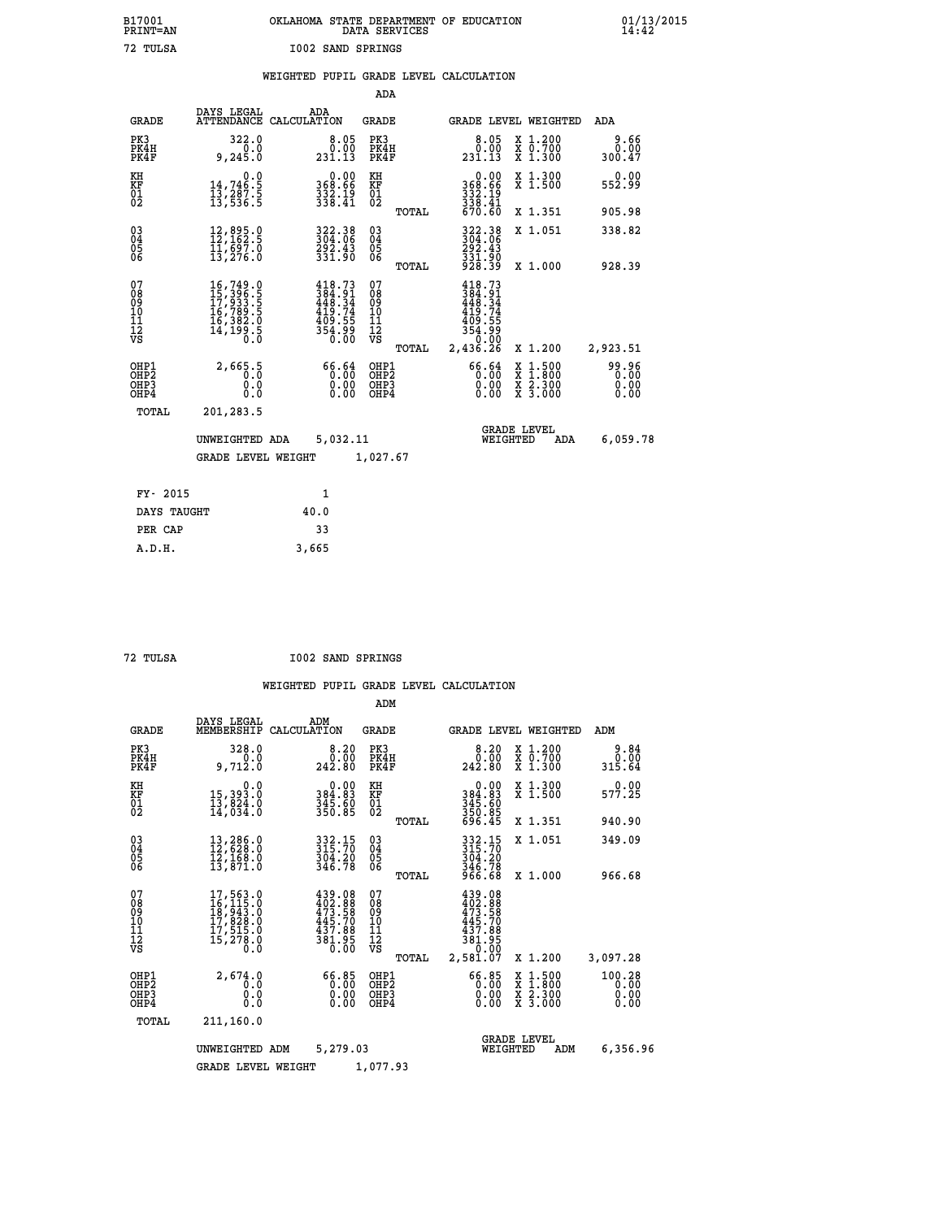|                          | OKLAHOMA STATE DEPARTMENT OF EDUCATION<br>DATA SERVICES |  |
|--------------------------|---------------------------------------------------------|--|
| <b>I002 SAND SPRINGS</b> |                                                         |  |

 **B17001 OKLAHOMA STATE DEPARTMENT OF EDUCATION 01/13/2015**

## **WEIGHTED PUPIL GRADE LEVEL CALCULATION**

|                                                                    |                                                                                                                                                             |                                                                                | ADA                                                               |       |                                                               |                                                                                                  |                               |
|--------------------------------------------------------------------|-------------------------------------------------------------------------------------------------------------------------------------------------------------|--------------------------------------------------------------------------------|-------------------------------------------------------------------|-------|---------------------------------------------------------------|--------------------------------------------------------------------------------------------------|-------------------------------|
| <b>GRADE</b>                                                       | DAYS LEGAL                                                                                                                                                  | ADA<br>ATTENDANCE CALCULATION                                                  | <b>GRADE</b>                                                      |       |                                                               | GRADE LEVEL WEIGHTED                                                                             | ADA                           |
| PK3<br>PK4H<br>PK4F                                                | 322.0<br>0.0<br>9, 245.0                                                                                                                                    | 0.05<br>231.13                                                                 | PK3<br>PK4H<br>PK4F                                               |       | $\begin{smallmatrix}8.05\0.00\\0.00\\231.13\end{smallmatrix}$ | X 1.200<br>X 0.700<br>X 1.300                                                                    | 9.66<br>0.00<br>300.47        |
| KH<br><b>KF</b><br>01<br>02                                        | 0.0<br>14,746:5<br>13,287:5<br>13,536:5                                                                                                                     | $\begin{smallmatrix} &0.00\\368.66\\332.19\\338.41\end{smallmatrix}$           | KH<br>KF<br>01<br>02                                              |       | 0.00<br>368:66<br>332:19<br>338:41<br>670:60                  | X 1.300<br>X 1.500                                                                               | 0.00<br>552.99                |
|                                                                    |                                                                                                                                                             |                                                                                |                                                                   | TOTAL |                                                               | X 1.351                                                                                          | 905.98                        |
| $\begin{smallmatrix} 03 \\[-4pt] 04 \end{smallmatrix}$<br>05<br>06 | 12,895.0<br>12,162.5<br>11,697.0<br>13,276.0                                                                                                                | 322.38<br>304.06<br>292.43<br>331.90                                           | $\substack{03 \\ 04}$<br>$\begin{matrix} 0.5 \\ 0.6 \end{matrix}$ |       | 322.38<br>304.06<br>292.43<br>331.90<br>928.39                | X 1.051                                                                                          | 338.82                        |
|                                                                    |                                                                                                                                                             |                                                                                |                                                                   | TOTAL |                                                               | X 1.000                                                                                          | 928.39                        |
| 07<br>08<br>09<br>11<br>11<br>12<br>VS                             | $\begin{smallmatrix} 16\,,749\cdot 0\\ 15\,,396\cdot 5\\ 17\,,933\cdot 5\\ 16\,,789\cdot 5\\ 16\,,382\cdot 0\\ 14\,,199\cdot 5\\ 0\cdot 0\end{smallmatrix}$ | $418.73$<br>$384.91$<br>$448.34$<br>$419.74$<br>$409.55$<br>$354.99$<br>$0.00$ | 07<br>08<br>09<br>11<br>11<br>12<br>VS                            |       | 418.73<br>384.914<br>448.34<br>419.745<br>354.990<br>354.900  |                                                                                                  |                               |
|                                                                    |                                                                                                                                                             |                                                                                |                                                                   | TOTAL | 2,436.26                                                      | X 1.200                                                                                          | 2,923.51                      |
| OHP1<br>OH <sub>P2</sub><br>OH <sub>P3</sub><br>OH <sub>P4</sub>   | 2,665.5<br>0.0<br>0.0                                                                                                                                       | 66.64<br>0.00<br>0.00<br>0.00                                                  | OHP1<br>OHP <sub>2</sub><br>OHP3<br>OHP4                          |       | 66.64<br>0.00<br>0.00<br>0.00                                 | $\begin{smallmatrix} x & 1 & 500 \\ x & 1 & 800 \\ x & 2 & 300 \\ x & 3 & 000 \end{smallmatrix}$ | 99.96<br>0.00<br>0.00<br>0.00 |
| TOTAL                                                              | 201,283.5                                                                                                                                                   |                                                                                |                                                                   |       |                                                               |                                                                                                  |                               |
|                                                                    | UNWEIGHTED ADA                                                                                                                                              | 5,032.11                                                                       |                                                                   |       |                                                               | GRADE LEVEL<br>WEIGHTED<br>ADA                                                                   | 6,059.78                      |
|                                                                    | <b>GRADE LEVEL WEIGHT</b>                                                                                                                                   |                                                                                | 1,027.67                                                          |       |                                                               |                                                                                                  |                               |
| FY- 2015                                                           |                                                                                                                                                             | $\mathbf{1}$                                                                   |                                                                   |       |                                                               |                                                                                                  |                               |
| DAYS TAUGHT                                                        |                                                                                                                                                             | 40.0                                                                           |                                                                   |       |                                                               |                                                                                                  |                               |
| PER CAP                                                            |                                                                                                                                                             | 33                                                                             |                                                                   |       |                                                               |                                                                                                  |                               |

 **A.D.H. 3,665**

 **B17001<br>PRINT=AN<br>72 TULSA** 

 **72 TULSA I002 SAND SPRINGS**

|                                                       |                                                                                                       |                                                                         | ADM                                             |                                                                              |                                          |                                |
|-------------------------------------------------------|-------------------------------------------------------------------------------------------------------|-------------------------------------------------------------------------|-------------------------------------------------|------------------------------------------------------------------------------|------------------------------------------|--------------------------------|
| <b>GRADE</b>                                          | DAYS LEGAL<br>MEMBERSHIP                                                                              | ADM<br>CALCULATION                                                      | <b>GRADE</b>                                    | GRADE LEVEL WEIGHTED                                                         |                                          | ADM                            |
| PK3<br>PK4H<br>PK4F                                   | 328.0<br>0.0<br>9,712.0                                                                               | 8.20<br>0.00<br>242.80                                                  | PK3<br>PK4H<br>PK4F                             | 8.20<br>ة:ة<br>242.80                                                        | X 1.200<br>X 0.700<br>X 1.300            | 9.84<br>0.00<br>315.64         |
| KH<br>KF<br>01<br>02                                  | 0.0<br>15,393.0<br>13,824.0<br>14,034.0                                                               | $\begin{smallmatrix} &0.00\,384.83\,345.60\,350.85\end{smallmatrix}$    | KH<br>KF<br>01<br>02                            | 0.00<br>384:83<br>345:60<br>350:85<br>696:45                                 | X 1.300<br>X 1.500                       | 0.00<br>577.25                 |
|                                                       |                                                                                                       |                                                                         | TOTAL                                           |                                                                              | X 1.351                                  | 940.90                         |
| 03<br>04<br>05<br>06                                  | 13,286.0<br>12,628.0<br>12,168.0<br>13,871.0                                                          | 332.15<br>315.70<br>304.20<br>346.78                                    | $\substack{03 \\ 04}$<br>05<br>06               | 332.15<br>315.70<br>$304.20$<br>$346.78$<br>$966.68$                         | X 1.051                                  | 349.09                         |
|                                                       |                                                                                                       |                                                                         | TOTAL                                           |                                                                              | X 1.000                                  | 966.68                         |
| 07<br>08<br>09<br>101<br>112<br>VS                    | $\begin{smallmatrix}17,563.0\\16,115.0\\18,943.0\\17,828.0\\17,515.0\\15,278.0\\0.0\end{smallmatrix}$ | 439.08<br>402.88<br>473.58<br>445.70<br>437.88<br>$\frac{381.95}{0.00}$ | 07<br>08<br>09<br>11<br>11<br>12<br>VS<br>TOTAL | 439.08<br>402.88<br>473.58<br>445.70<br>437.88<br>381.95<br>0.00<br>2,581.07 | X 1.200                                  | 3,097.28                       |
| OHP1<br>OH <sub>P</sub> 2<br>OH <sub>P3</sub><br>OHP4 | 2,674.0<br>0.0<br>0.000                                                                               | 0.00<br>0.00<br>0.00<br>0.00                                            | OHP1<br>OHP2<br>OHP3<br>OHP4                    | $66.85$<br>0.00<br>0.00                                                      | X 1:500<br>X 1:800<br>X 2:300<br>X 3:000 | 100.28<br>0.00<br>0.00<br>0.00 |
| TOTAL                                                 | 211,160.0                                                                                             |                                                                         |                                                 |                                                                              |                                          |                                |
|                                                       | UNWEIGHTED                                                                                            | 5,279.03<br>ADM                                                         |                                                 | <b>GRADE LEVEL</b><br>WEIGHTED                                               | ADM                                      | 6,356.96                       |
|                                                       | <b>GRADE LEVEL WEIGHT</b>                                                                             |                                                                         | 1,077.93                                        |                                                                              |                                          |                                |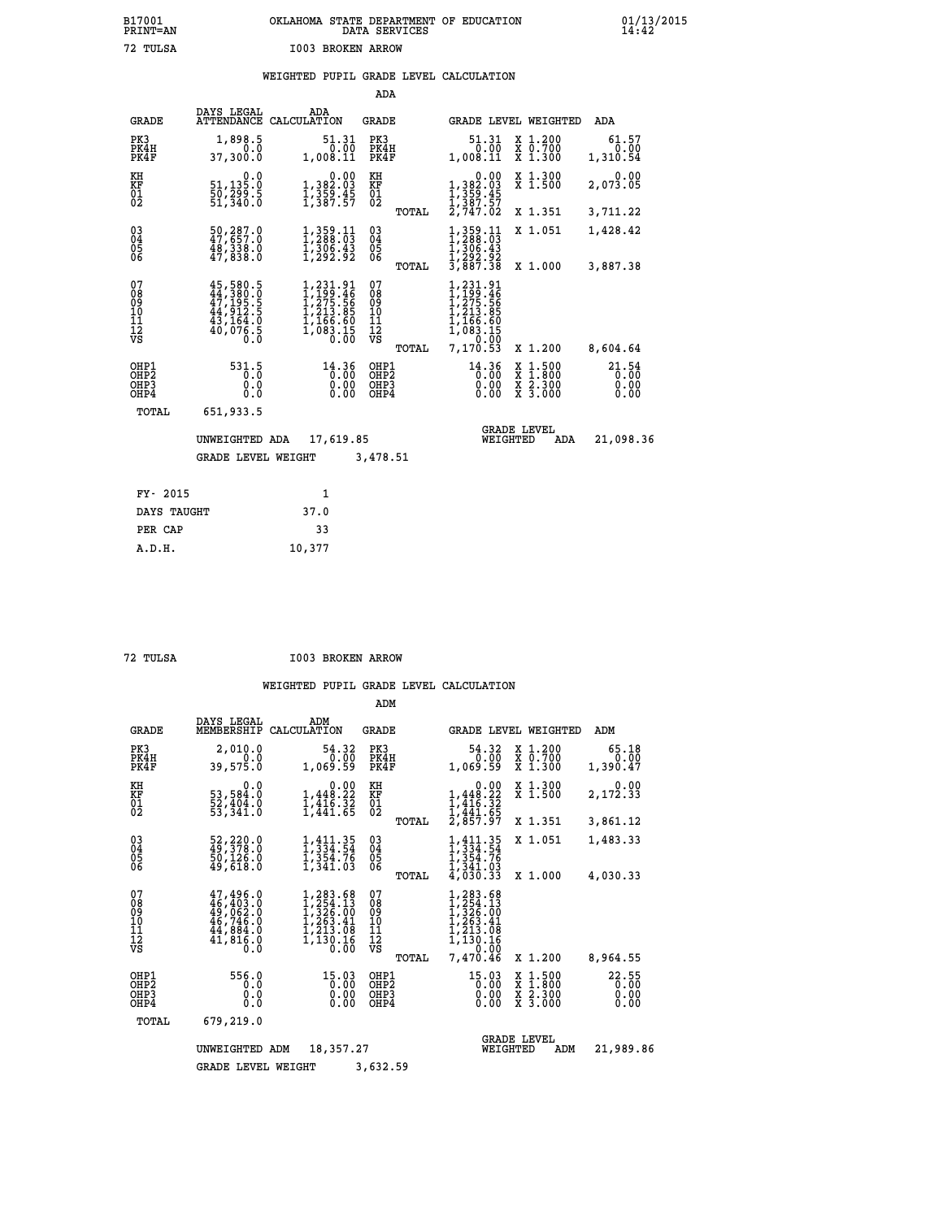# **B17001 OKLAHOMA STATE DEPARTMENT OF EDUCATION 01/13/2015 PRINT=AN DATA SERVICES 14:42 72 TULSA I003 BROKEN ARROW**

## **WEIGHTED PUPIL GRADE LEVEL CALCULATION**

|                                                                    |                                                                                                            |                                                                                                  | ADA                                      |                                                                             |                                                                                                  |                               |
|--------------------------------------------------------------------|------------------------------------------------------------------------------------------------------------|--------------------------------------------------------------------------------------------------|------------------------------------------|-----------------------------------------------------------------------------|--------------------------------------------------------------------------------------------------|-------------------------------|
| <b>GRADE</b>                                                       | DAYS LEGAL                                                                                                 | ADA<br>ATTENDANCE CALCULATION                                                                    | <b>GRADE</b>                             |                                                                             | GRADE LEVEL WEIGHTED                                                                             | ADA                           |
| PK3<br>PK4H<br>PK4F                                                | 1,898.5<br>0.0<br>37,300.0                                                                                 | 51.31<br>0.00<br>1,008.11                                                                        | PK3<br>PK4H<br>PK4F                      | 51.31<br>$\frac{0.00}{0.00}$<br>1,008.11                                    | X 1.200<br>X 0.700<br>X 1.300                                                                    | 61.57<br>0.00<br>1,310.54     |
| KH<br>KF<br>01<br>02                                               | 0.0<br>51,135.0<br>50,299.5<br>51,340.0                                                                    | 0.00<br>1, 382:03<br>1, 359:45<br>1, 387:57                                                      | KH<br>KF<br>01<br>02                     | 0.00<br>1,382.03<br>1,359.45<br>1,387.57<br>2,747.02                        | X 1.300<br>X 1.500                                                                               | 0.00<br>2,073.05              |
|                                                                    |                                                                                                            |                                                                                                  | TOTAL                                    |                                                                             | X 1.351                                                                                          | 3,711.22                      |
| $\begin{smallmatrix} 03 \\[-4pt] 04 \end{smallmatrix}$<br>Ŏ5<br>06 | $\begin{smallmatrix} 50, 287.0\\ 47, 657.0\\ 48, 338.0\\ 47, 838.0 \end{smallmatrix}$                      | $\substack{1,359.11\\1,288.03\\1,306.43\\1,292.92}$                                              | $\substack{03 \\ 04}$<br>05<br>06        | $1,359.11$<br>$1,288.03$<br>$1,306.43$<br>$1,292.92$<br>$3,887.38$          | X 1.051                                                                                          | 1,428.42                      |
|                                                                    |                                                                                                            |                                                                                                  | TOTAL                                    |                                                                             | X 1.000                                                                                          | 3,887.38                      |
| 07<br>08<br>09<br>101<br>11<br>12<br>VS                            | $\begin{smallmatrix} 45,580.5\\ 44,380.0\\ 47,195.5\\ 44,912.5\\ 43,164.0\\ 40,076.5\\ 0\end{smallmatrix}$ | $1, 231.91$<br>$1, 199.46$<br>$1, 275.56$<br>$1, 213.85$<br>$1, 166.60$<br>$1, 083.15$<br>$0.00$ | 07<br>08<br>09<br>11<br>11<br>12<br>VS   | ,231.91<br>,199.46<br>,275.565<br>,213.85<br>,166.605<br>,083.150<br>,00.00 |                                                                                                  |                               |
|                                                                    |                                                                                                            |                                                                                                  | TOTAL                                    | 7,170.53                                                                    | X 1.200                                                                                          | 8,604.64                      |
| OHP1<br>OHP <sub>2</sub><br>OH <sub>P3</sub><br>OH <sub>P4</sub>   | 531.5<br>0.0<br>0.0                                                                                        | $14.36$<br>$0.00$<br>0.00                                                                        | OHP1<br>OHP <sub>2</sub><br>OHP3<br>OHP4 | $14.36$<br>$0.00$<br>0.00                                                   | $\begin{smallmatrix} x & 1 & 500 \\ x & 1 & 800 \\ x & 2 & 300 \\ x & 3 & 000 \end{smallmatrix}$ | 21.54<br>0.00<br>0.00<br>0.00 |
| TOTAL                                                              | 651,933.5                                                                                                  |                                                                                                  |                                          |                                                                             |                                                                                                  |                               |
|                                                                    | UNWEIGHTED ADA                                                                                             | 17,619.85                                                                                        |                                          | WEIGHTED                                                                    | <b>GRADE LEVEL</b><br>ADA                                                                        | 21,098.36                     |
|                                                                    | <b>GRADE LEVEL WEIGHT</b>                                                                                  |                                                                                                  | 3,478.51                                 |                                                                             |                                                                                                  |                               |
| FY- 2015                                                           |                                                                                                            | $\mathbf{1}$                                                                                     |                                          |                                                                             |                                                                                                  |                               |
| DAYS TAUGHT                                                        |                                                                                                            | 37.0                                                                                             |                                          |                                                                             |                                                                                                  |                               |
| PER CAP                                                            |                                                                                                            | 33                                                                                               |                                          |                                                                             |                                                                                                  |                               |

 **A.D.H. 10,377**

 **72 TULSA I003 BROKEN ARROW**

|                                           |                                                                                         |                                                                                          | ADM                                             |                                                                                                                                        |                                                                                                  |                               |
|-------------------------------------------|-----------------------------------------------------------------------------------------|------------------------------------------------------------------------------------------|-------------------------------------------------|----------------------------------------------------------------------------------------------------------------------------------------|--------------------------------------------------------------------------------------------------|-------------------------------|
| <b>GRADE</b>                              | DAYS LEGAL<br>MEMBERSHIP                                                                | ADM<br>CALCULATION                                                                       | <b>GRADE</b>                                    |                                                                                                                                        | GRADE LEVEL WEIGHTED                                                                             | ADM                           |
| PK3<br>PK4H<br>PK4F                       | 2,010.0<br>0.0<br>39,575.0                                                              | 54.32<br>0.00<br>1,069.59                                                                | PK3<br>PK4H<br>PK4F                             | 54.32<br>0.00<br>1,069.59                                                                                                              | $\begin{smallmatrix} x & 1.200 \\ x & 0.700 \end{smallmatrix}$<br>X 1.300                        | 65.18<br>0.00<br>1,390.47     |
| KH<br>KF<br>01<br>02                      | 0.0<br>53,584.0<br>52,404.0<br>53,341.0                                                 | $\begin{smallmatrix}&&&0.00\\1,448.22\\1,416.32\\1,441.63\end{smallmatrix}$              | KH<br>KF<br>01<br>02                            | 0.00<br>1,448.22<br>$\frac{1}{4}$ , $\frac{1}{4}$ , $\frac{1}{4}$ , $\frac{3}{4}$<br>$\frac{2}{3}$ , $\frac{441}{57}$ , $\frac{65}{7}$ | X 1.300<br>X 1.500                                                                               | 0.00<br>2,172.33              |
|                                           |                                                                                         |                                                                                          | TOTAL                                           |                                                                                                                                        | X 1.351                                                                                          | 3,861.12                      |
| 03<br>04<br>05<br>06                      | 52, 220.0<br>49, 378.0<br>50, 126.0<br>49,618.0                                         | $1,334.54$<br>$1,334.54$<br>$1,354.76$<br>1,341.03                                       | $\substack{03 \\ 04}$<br>05                     | $1, 411.35$<br>$1, 334.54$<br>1,354.76<br>1,341.03                                                                                     | X 1.051                                                                                          | 1,483.33                      |
|                                           |                                                                                         |                                                                                          | TOTAL                                           | 4,030.33                                                                                                                               | X 1.000                                                                                          | 4,030.33                      |
| 07<br>08<br>09<br>11<br>11<br>12<br>VS    | $47,496.0$<br>$46,403.0$<br>$49,062.0$<br>$46,746.0$<br>$44,884.0$<br>$41,816.0$<br>0.0 | $1, 283.68$<br>$1, 254.13$<br>$1, 326.00$<br>$1, 263.41$<br>1,213.08<br>1,130.16<br>0.00 | 07<br>08<br>09<br>11<br>11<br>12<br>VS<br>TOTAL | 1,283.68<br>$1, 254.13$<br>$1, 326.00$<br>$1, 263.41$<br>$1, 213.98$<br>1,130.16<br>0.00<br>7,470.46                                   | X 1.200                                                                                          | 8,964.55                      |
| OHP1<br>OH <sub>P</sub> 2<br>OHP3<br>OHP4 | 556.0<br>0.0<br>0.0<br>Ŏ.Ŏ                                                              | $15.03$<br>$0.00$<br>0.00<br>0.00                                                        | OHP1<br>OHP <sub>2</sub><br>OHP3<br>OHP4        | $15.03$<br>$0.00$<br>0.00<br>0.00                                                                                                      | $\begin{smallmatrix} x & 1 & 500 \\ x & 1 & 800 \\ x & 2 & 300 \\ x & 3 & 000 \end{smallmatrix}$ | 22.55<br>0.00<br>0.00<br>0.00 |
| TOTAL                                     | 679,219.0                                                                               |                                                                                          |                                                 |                                                                                                                                        |                                                                                                  |                               |
|                                           | UNWEIGHTED                                                                              | 18,357.27<br>ADM                                                                         |                                                 | WEIGHTED                                                                                                                               | <b>GRADE LEVEL</b><br>ADM                                                                        | 21,989.86                     |
|                                           | <b>GRADE LEVEL WEIGHT</b>                                                               |                                                                                          | 3,632.59                                        |                                                                                                                                        |                                                                                                  |                               |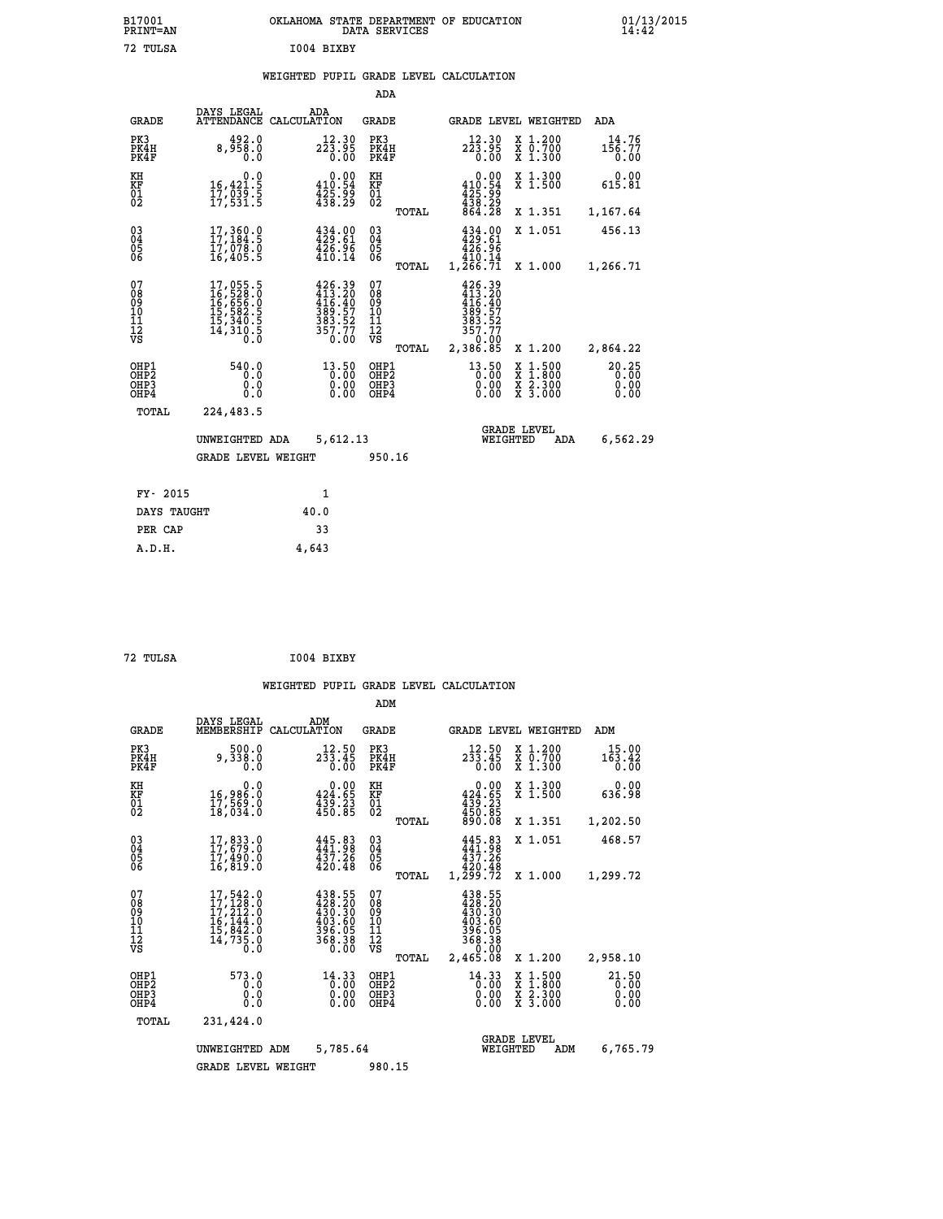|            | OKLAHOMA STATE DEPARTMENT OF EDUCATION<br>DATA SERVICES |  |
|------------|---------------------------------------------------------|--|
| T004 BTXBY |                                                         |  |

|                                                                    |                                                                                                       |                                                                      | ADA                                      |       |                                                                            |                                                                                                                                           |                               |
|--------------------------------------------------------------------|-------------------------------------------------------------------------------------------------------|----------------------------------------------------------------------|------------------------------------------|-------|----------------------------------------------------------------------------|-------------------------------------------------------------------------------------------------------------------------------------------|-------------------------------|
| <b>GRADE</b>                                                       | DAYS LEGAL                                                                                            | ADA<br>ATTENDANCE CALCULATION                                        | <b>GRADE</b>                             |       |                                                                            | GRADE LEVEL WEIGHTED                                                                                                                      | ADA                           |
| PK3<br>PK4H<br>PK4F                                                | 492.0<br>8,958.0<br>0.0                                                                               | 12.30<br>223.95<br>0.00                                              | PK3<br>PK4H<br>PK4F                      |       | 12.30<br>223.95<br>0.00                                                    | X 1.200<br>X 0.700<br>X 1.300                                                                                                             | 14.76<br>156.77<br>0.00       |
| KH<br>KF<br>01<br>02                                               | 0.0<br>16,421.5<br>17,039.5<br>17,531.5                                                               | $\begin{smallmatrix}&&0.00\\110.54\\425.99\\438.29\end{smallmatrix}$ | KH<br>KF<br>01<br>02                     |       | 0.00<br>$410.54$<br>$425.99$<br>$438.29$<br>$864.28$                       | X 1.300<br>X 1.500                                                                                                                        | 0.00<br>615.81                |
|                                                                    |                                                                                                       |                                                                      |                                          | TOTAL |                                                                            | X 1.351                                                                                                                                   | 1,167.64                      |
| $\begin{smallmatrix} 03 \\[-4pt] 04 \end{smallmatrix}$<br>Ŏ5<br>06 | $17,360.0$<br>$17,184.5$<br>$17,078.0$<br>$16,405.5$                                                  | 434.00<br>429.61<br>$\frac{426.96}{410.14}$                          | $\substack{03 \\ 04}$<br>Ŏ5<br>06        |       | $434.00$<br>$429.61$<br>$426.96$<br>$1,\overline{266.71}$<br>1,266.71      | X 1.051                                                                                                                                   | 456.13                        |
|                                                                    |                                                                                                       |                                                                      |                                          | TOTAL |                                                                            | X 1.000                                                                                                                                   | 1,266.71                      |
| 07<br>08<br>09<br>101<br>11<br>12<br>VS                            | $\begin{smallmatrix}17,055.5\\16,528.0\\16,656.0\\15,582.5\\15,340.5\\14,310.5\\0.0\end{smallmatrix}$ | 426.39<br>413.20<br>416.40<br>389.57<br>383.52<br>357.77<br>0.00     | 07<br>08<br>09<br>101<br>11<br>12<br>VS  |       | $426.39$<br>$413.20$<br>$416.40$<br>$389.57$<br>$383.52$<br>357.77<br>0.00 |                                                                                                                                           |                               |
|                                                                    |                                                                                                       |                                                                      |                                          | TOTAL | 2,386.85                                                                   | X 1.200                                                                                                                                   | 2,864.22                      |
| OHP1<br>OHP <sub>2</sub><br>OH <sub>P3</sub><br>OHP4               | 540.0<br>0.0<br>0.0<br>0.0                                                                            | $13.50$<br>0.00<br>0.00                                              | OHP1<br>OHP <sub>2</sub><br>OHP3<br>OHP4 |       | 13.50<br>0.00                                                              | $\begin{smallmatrix} \mathtt{X} & 1\cdot500\\ \mathtt{X} & 1\cdot800\\ \mathtt{X} & 2\cdot300\\ \mathtt{X} & 3\cdot000 \end{smallmatrix}$ | 20.25<br>0.00<br>0.00<br>0.00 |
| TOTAL                                                              | 224,483.5                                                                                             |                                                                      |                                          |       |                                                                            |                                                                                                                                           |                               |
|                                                                    | UNWEIGHTED ADA                                                                                        | 5,612.13                                                             |                                          |       |                                                                            | <b>GRADE LEVEL</b><br>WEIGHTED<br>ADA                                                                                                     | 6,562.29                      |
|                                                                    | <b>GRADE LEVEL WEIGHT</b>                                                                             |                                                                      | 950.16                                   |       |                                                                            |                                                                                                                                           |                               |
| FY- 2015                                                           |                                                                                                       | $\mathbf{1}$                                                         |                                          |       |                                                                            |                                                                                                                                           |                               |
| DAYS TAUGHT                                                        |                                                                                                       | 40.0                                                                 |                                          |       |                                                                            |                                                                                                                                           |                               |
| PER CAP                                                            |                                                                                                       | 33                                                                   |                                          |       |                                                                            |                                                                                                                                           |                               |

| 72 TULSA | I004 BIXBY |
|----------|------------|

 **A.D.H. 4,643**

 **B17001<br>PRINT=AN<br>72 TULSA** 

|                                                       |                                                                                                       |                                                                          |      | ADM                                          |              |                                                                                          |          |                                          |                         |
|-------------------------------------------------------|-------------------------------------------------------------------------------------------------------|--------------------------------------------------------------------------|------|----------------------------------------------|--------------|------------------------------------------------------------------------------------------|----------|------------------------------------------|-------------------------|
| <b>GRADE</b>                                          | DAYS LEGAL<br>MEMBERSHIP                                                                              | ADM<br>CALCULATION                                                       |      | <b>GRADE</b>                                 |              |                                                                                          |          | GRADE LEVEL WEIGHTED                     | ADM                     |
| PK3<br>PK4H<br>PK4F                                   | 500.0<br>9,338.0<br>0.0                                                                               | 12.50<br>233.45                                                          | 0.00 | PK3<br>PK4H<br>PK4F                          |              | 12.50<br>$2\bar{3}\bar{3}.45$<br>0.00                                                    |          | X 1.200<br>X 0.700<br>X 1.300            | 15.00<br>163.42<br>0.00 |
| KH<br>KF<br>01<br>02                                  | 0.0<br>16,986.0<br>17,569.0<br>18,034.0                                                               | $\begin{smallmatrix} &0.00\\ 424.65\\ 439.23\\ 450.85 \end{smallmatrix}$ |      | KH<br>KF<br>01<br>02                         |              | 0.00<br>$434.65$<br>$439.23$<br>$450.85$                                                 |          | X 1.300<br>X 1.500                       | 0.00<br>636.98          |
|                                                       |                                                                                                       |                                                                          |      |                                              | TOTAL        | 890.08                                                                                   |          | X 1.351                                  | 1,202.50                |
| $\begin{matrix} 03 \\ 04 \\ 05 \\ 06 \end{matrix}$    | $17,833.0$<br>$17,679.0$<br>$17,490.0$<br>$16,819.0$                                                  | $445.83$<br>$441.98$<br>$437.26$<br>420.48                               |      | $\substack{03 \\ 04}$<br>Ŏ5<br>06            |              | $445.83$<br>$441.98$<br>$437.26$<br>420.48                                               |          | X 1.051                                  | 468.57                  |
|                                                       |                                                                                                       |                                                                          |      |                                              | TOTAL        | 1,299.72                                                                                 |          | X 1.000                                  | 1,299.72                |
| 07<br>08<br>09<br>101<br>112<br>VS                    | $\begin{smallmatrix}17,542.0\\17,128.0\\17,212.0\\16,144.0\\15,842.0\\14,735.0\\0.0\end{smallmatrix}$ | 438.55<br>428.20<br>430.30<br>403.60<br>396.05<br>368.38                 | 0.00 | 07<br>08<br>09<br>11<br>11<br>12<br>VS       | <b>TOTAL</b> | $438.55$<br>$428.20$<br>$430.30$<br>$403.60$<br>$396.05$<br>$368.38$<br>0.00<br>2,465.08 |          | X 1.200                                  | 2,958.10                |
| OHP1<br>OH <sub>P</sub> 2<br>OH <sub>P3</sub><br>OHP4 | 573.0<br>0.0<br>0.0<br>Ŏ.Ŏ                                                                            | $14.33$<br>0.00<br>0.00                                                  | 0.00 | OHP1<br>OHP <sub>2</sub><br>OHP <sub>3</sub> |              | $14.33$<br>0.00<br>0.00<br>0.00                                                          |          | X 1:500<br>X 1:800<br>X 2:300<br>X 3:000 | 21.50<br>0.00<br>0.00   |
| TOTAL                                                 | 231,424.0                                                                                             |                                                                          |      |                                              |              |                                                                                          |          |                                          |                         |
|                                                       | UNWEIGHTED                                                                                            | 5,785.64<br>ADM                                                          |      |                                              |              |                                                                                          | WEIGHTED | <b>GRADE LEVEL</b><br>ADM                | 6,765.79                |
|                                                       | <b>GRADE LEVEL WEIGHT</b>                                                                             |                                                                          |      | 980.15                                       |              |                                                                                          |          |                                          |                         |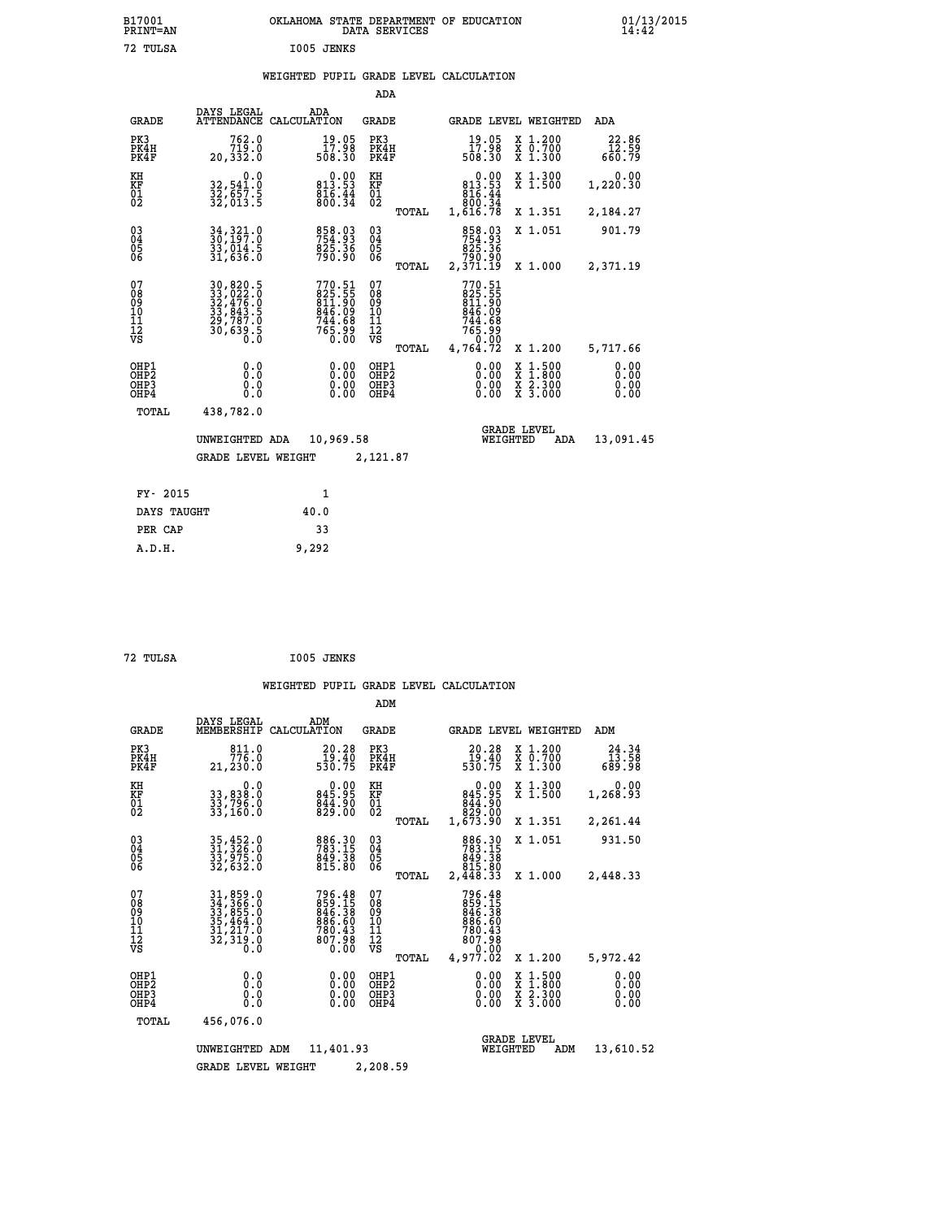| B17001<br>PRINT=AN                        |                                                                       | OKLAHOMA STATE DEPARTMENT OF EDUCATION                               | DATA SERVICES                             |                                                                      |                                                                             | $01/13/2015$<br>14:42        |
|-------------------------------------------|-----------------------------------------------------------------------|----------------------------------------------------------------------|-------------------------------------------|----------------------------------------------------------------------|-----------------------------------------------------------------------------|------------------------------|
| 72 TULSA                                  |                                                                       | I005 JENKS                                                           |                                           |                                                                      |                                                                             |                              |
|                                           |                                                                       | WEIGHTED PUPIL GRADE LEVEL CALCULATION                               |                                           |                                                                      |                                                                             |                              |
|                                           |                                                                       |                                                                      | ADA                                       |                                                                      |                                                                             |                              |
| GRADE                                     | DAYS LEGAL                                                            | ADA<br>ATTENDANCE CALCULATION                                        | GRADE                                     | GRADE LEVEL WEIGHTED                                                 |                                                                             | ADA                          |
| PK3<br>PK4H<br>PK4F                       | 762.0<br>0.019<br>0.332 ,20                                           | $\begin{smallmatrix} 19.05\ 17.98\ 508.30 \end{smallmatrix}$         | PK3<br>PK4H<br>PK4F                       | 19.05<br>88.71<br>508.30                                             | X 1.200<br>X 0.700<br>X 1.300                                               | 22.86                        |
| KH<br>KF<br>01<br>02                      | 0.0<br>32,541.0<br>32,657.5<br>32,013.5                               | $\begin{smallmatrix}&&0.00\\813.53\\816.44\\800.34\end{smallmatrix}$ | KH<br>KF<br>01<br>02                      | $0.00$<br>53.53<br>816.44                                            | X 1.300<br>$\overline{x}$ 1.500                                             | 0.00<br>1,220.30             |
|                                           |                                                                       |                                                                      | TOTAL                                     | 800:34<br>1,616.78                                                   | X 1.351                                                                     | 2,184.27                     |
| $03\overline{4}$<br>$\substack{05 \\ 06}$ | 34, 321.0<br>33,014.5<br>31,636.0                                     | 858.03<br>754.93<br>825.36<br>790.90                                 | 03<br>04<br>05<br>ŎĞ                      | 858.03<br>754.93<br>825.36<br>790.90                                 | X 1.051                                                                     | 901.79                       |
|                                           |                                                                       |                                                                      | TOTAL                                     | 2,371.19                                                             | X 1.000                                                                     | 2,371.19                     |
| 07<br>08<br>09<br>11<br>11<br>12<br>VS    | 30,820.5<br>33, 0220<br>32, 4760<br>33, 843.5<br>33, 7870<br>30, 6395 | $770.51$<br>825.55<br>811.909<br>846.098<br>744.68<br>765.99<br>0.00 | 07<br>08<br>10<br>11<br>12<br>VS<br>TOTAL | 770.51<br>825.55<br>811.90<br>846.09<br>744.68<br>765.99<br>4,764.72 | X 1.200                                                                     | 5,717.66                     |
| OHP1<br>OHP2<br>OH <sub>P3</sub><br>OHP4  | 0.000<br>0.0<br>0.0                                                   | 0.00<br>0.00<br>0.00                                                 | OHP1<br>OH <sub>P</sub> 2<br>OHP3<br>OHP4 | 0.00<br>0.00<br>0.00                                                 | $\begin{array}{l} x\,+\,500\\ x\,+\,300\\ x\,+\,2\\ x\,+\,3000 \end{array}$ | 0.00<br>0.00<br>0.00<br>0.00 |
| TOTAL                                     | 438,782.0                                                             |                                                                      |                                           |                                                                      |                                                                             |                              |
|                                           | UNWEIGHTED ADA                                                        | 10,969.58                                                            |                                           | WEIGHTED                                                             | <b>GRADE LEVEL</b><br>ADA                                                   | 13,091.45                    |
|                                           | <b>GRADE LEVEL WEIGHT</b>                                             |                                                                      | 2,121.87                                  |                                                                      |                                                                             |                              |
| FY- 2015                                  |                                                                       | 1                                                                    |                                           |                                                                      |                                                                             |                              |
| DAYS TAUGHT                               |                                                                       | 40.0                                                                 |                                           |                                                                      |                                                                             |                              |
| PER CAP                                   |                                                                       | 33                                                                   |                                           |                                                                      |                                                                             |                              |
| A.D.H.                                    |                                                                       | 9,292                                                                |                                           |                                                                      |                                                                             |                              |

|                                                       |                                                                                                                     |                                                                  | ADM                                              |                                                                              |                                                                                                  |                              |
|-------------------------------------------------------|---------------------------------------------------------------------------------------------------------------------|------------------------------------------------------------------|--------------------------------------------------|------------------------------------------------------------------------------|--------------------------------------------------------------------------------------------------|------------------------------|
| <b>GRADE</b>                                          | DAYS LEGAL<br>MEMBERSHIP                                                                                            | ADM<br>CALCULATION                                               | <b>GRADE</b>                                     | GRADE LEVEL WEIGHTED                                                         |                                                                                                  | ADM                          |
| PK3<br>PK4H<br>PK4F                                   | 811.0<br>776.0<br>21,230.0                                                                                          | 20.28<br>$\frac{19.40}{530.75}$                                  | PK3<br>PK4H<br>PK4F                              | 20.28<br>19:40<br>530:75                                                     | $\begin{array}{c} x & 1.200 \\ x & 0.700 \end{array}$<br>X 1.300                                 | 24.34<br>13.58<br>689.98     |
| KH<br>KF<br>01<br>02                                  | 0.0<br>33,838:0<br>33,796:0<br>33,160:0                                                                             | $0.00$<br>845.95<br>844.90<br>829.00                             | KH<br>KF<br>01<br>02                             | $0.00$<br>845.95<br>06: 448<br>00: 628<br>00: 673, 1                         | X 1.300<br>X 1.500                                                                               | 0.00<br>1,268.93             |
|                                                       |                                                                                                                     |                                                                  | TOTAL                                            |                                                                              | X 1.351                                                                                          | 2,261.44                     |
| 03<br>04<br>05<br>06                                  | 35,452.0<br>31,326.0<br>33,975.0<br>32,632.0                                                                        | 886.30<br>783.15<br>849.38<br>815.80                             | $^{03}_{04}$<br>0500                             | 886.30<br>783.15<br>849.38<br>815.80                                         | X 1.051                                                                                          | 931.50                       |
|                                                       |                                                                                                                     |                                                                  | TOTAL                                            | 2,448.33                                                                     | X 1.000                                                                                          | 2,448.33                     |
| 07<br>08<br>09<br>101<br>112<br>VS                    | $\begin{smallmatrix} 31, 859.0\\ 34, 366.0\\ 33, 855.0\\ 35, 464.0\\ 31, 217.0\\ 32, 319.0\\ 0.0 \end{smallmatrix}$ | 796.48<br>859.15<br>846.38<br>886.60<br>780.43<br>807.98<br>0.00 | 07<br>08<br>09<br>101<br>11<br>12<br>VS<br>TOTAL | 796.48<br>859.15<br>846.38<br>886.60<br>780.43<br>780.98<br>0.00<br>4,977.02 | X 1.200                                                                                          | 5,972.42                     |
| OHP1<br>OH <sub>P</sub> 2<br>OH <sub>P3</sub><br>OHP4 | 0.0<br>0.000                                                                                                        | $0.00$<br>$0.00$<br>0.00                                         | OHP1<br>OHP2<br>OHP3<br>OHP4                     | $0.00$<br>$0.00$<br>0.00                                                     | $\begin{smallmatrix} x & 1 & 500 \\ x & 1 & 800 \\ x & 2 & 300 \\ x & 3 & 000 \end{smallmatrix}$ | 0.00<br>0.00<br>0.00<br>0.00 |
| TOTAL                                                 | 456,076.0                                                                                                           |                                                                  |                                                  |                                                                              |                                                                                                  |                              |
|                                                       | UNWEIGHTED                                                                                                          | 11,401.93<br>ADM                                                 |                                                  | <b>GRADE LEVEL</b><br>WEIGHTED                                               | ADM                                                                                              | 13,610.52                    |
|                                                       | <b>GRADE LEVEL WEIGHT</b>                                                                                           |                                                                  | 2,208.59                                         |                                                                              |                                                                                                  |                              |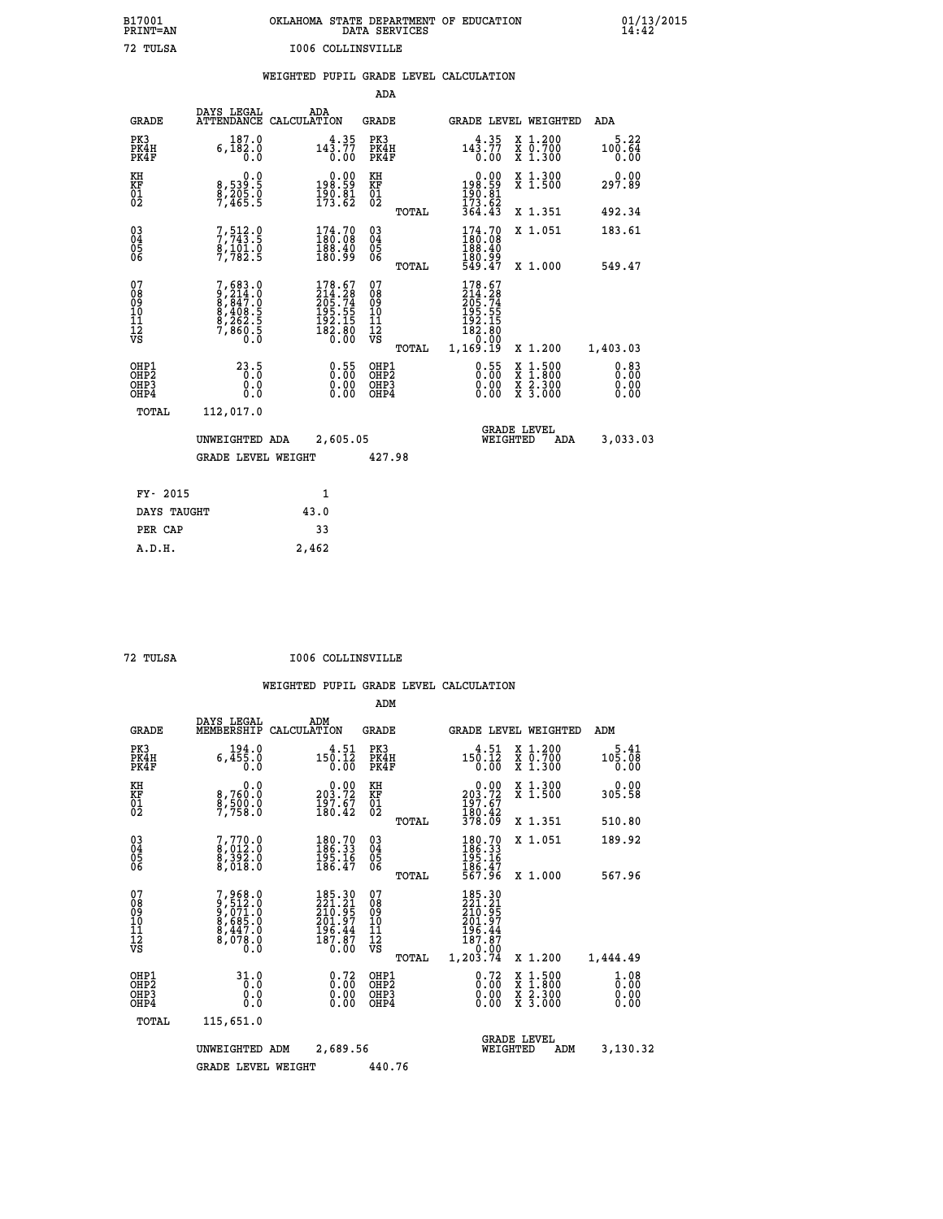| OKLAHOMA STATE DEPARTMENT OF EDUCATION<br>DATA SERVICES |  |
|---------------------------------------------------------|--|
| 1006 COLLINSVILLE                                       |  |

 **B17001 OKLAHOMA STATE DEPARTMENT OF EDUCATION 01/13/2015**

# **WEIGHTED PUPIL GRADE LEVEL CALCULATION**

|                                                    |                                          |                                                                                   |                    |                                                                                | ADA                                       |       |                                                                                    |                                |                                          |                              |
|----------------------------------------------------|------------------------------------------|-----------------------------------------------------------------------------------|--------------------|--------------------------------------------------------------------------------|-------------------------------------------|-------|------------------------------------------------------------------------------------|--------------------------------|------------------------------------------|------------------------------|
|                                                    | <b>GRADE</b>                             | DAYS LEGAL<br><b>ATTENDANCE</b>                                                   | ADA<br>CALCULATION |                                                                                | <b>GRADE</b>                              |       |                                                                                    |                                | GRADE LEVEL WEIGHTED                     | <b>ADA</b>                   |
| PK3                                                | PK4H<br>PK4F                             | 187.0<br>$6, \bar{1}\,\,8\,\,2\,\,.\,\,0$                                         |                    | 143.77<br>0.00                                                                 | PK3<br>PK4H<br>PK4F                       |       | $143.77$<br>$0.00$                                                                 |                                | X 1.200<br>X 0.700<br>X 1.300            | 5.22<br>100.64<br>0.00       |
| KH<br>KF<br>01<br>02                               |                                          | 0.0<br>8,539:5<br>8,205:0<br>7,465:5                                              |                    | $0.00$<br>198.59<br>$\frac{150}{173}.81$                                       | KH<br>KF<br>01<br>02                      |       | 0.00<br>99.991<br>$\frac{190.81}{173.62}$<br>364.43                                |                                | X 1.300<br>X 1.500                       | 0.00<br>297.89               |
|                                                    |                                          |                                                                                   |                    |                                                                                |                                           | TOTAL |                                                                                    |                                | X 1.351                                  | 492.34                       |
| $\begin{matrix} 03 \\ 04 \\ 05 \\ 06 \end{matrix}$ |                                          | 7, 512.9<br>$\frac{8}{7}$ , $\frac{1}{7}$ $\frac{61}{82}$ . 5                     |                    | $\begin{smallmatrix} 174.70\\180.08\\188.40\\180.99 \end{smallmatrix}$         | $\substack{03 \\ 04}$<br>$\frac{05}{06}$  | TOTAL | $\begin{smallmatrix} 174.70\\ 180.08\\ 188.40\\ 180.99\\ 549.47 \end{smallmatrix}$ |                                | X 1.051<br>X 1.000                       | 183.61<br>549.47             |
| 07<br>08<br>09<br>11<br>11<br>12<br>VS             |                                          | $7,683.0$<br>$9,214.0$<br>$8,847.0$<br>$8,408.5$<br>$8,262.5$<br>$7,860.5$<br>0.0 |                    | $178.67$<br>$214.28$<br>$205.74$<br>$195.55$<br>$192.15$<br>$182.80$<br>$0.00$ | 07<br>08<br>09<br>11<br>11<br>12<br>VS    |       | 178.67<br>214.28<br>205.74<br>195.55<br>192.15<br>182.80<br>00.0°-<br>1,169.19     |                                |                                          |                              |
|                                                    |                                          |                                                                                   |                    |                                                                                |                                           | TOTAL |                                                                                    |                                | X 1.200                                  | 1,403.03                     |
|                                                    | OHP1<br>OHP <sub>2</sub><br>OHP3<br>OHP4 | 23.5<br>0.0<br>Ŏ.Ŏ                                                                |                    | 0.55<br>$\begin{smallmatrix} 0.00 \ 0.00 \end{smallmatrix}$                    | OHP1<br>OH <sub>P</sub> 2<br>OHP3<br>OHP4 |       | 0.55<br>0.00<br>0.00                                                               | X                              | $1:500$<br>$1:800$<br>X 2.300<br>X 3.000 | 0.83<br>0.00<br>0.00<br>0.00 |
|                                                    | TOTAL                                    | 112,017.0                                                                         |                    |                                                                                |                                           |       |                                                                                    |                                |                                          |                              |
|                                                    |                                          | UNWEIGHTED ADA                                                                    |                    | 2,605.05                                                                       |                                           |       |                                                                                    | <b>GRADE LEVEL</b><br>WEIGHTED | <b>ADA</b>                               | 3,033.03                     |
|                                                    |                                          | <b>GRADE LEVEL WEIGHT</b>                                                         |                    |                                                                                | 427.98                                    |       |                                                                                    |                                |                                          |                              |
|                                                    | FY- 2015                                 |                                                                                   | 1                  |                                                                                |                                           |       |                                                                                    |                                |                                          |                              |
|                                                    | DAYS TAUGHT                              |                                                                                   | 43.0               |                                                                                |                                           |       |                                                                                    |                                |                                          |                              |
|                                                    | PER CAP                                  |                                                                                   | 33                 |                                                                                |                                           |       |                                                                                    |                                |                                          |                              |

 **A.D.H. 2,462**

 **B17001<br>PRINT=AN<br>72 TULSA** 

 **72 TULSA I006 COLLINSVILLE**

|                                          |                                                                       |                    |                                                                         | ADM                                                 |       |                                                                                  |                                          |                              |  |
|------------------------------------------|-----------------------------------------------------------------------|--------------------|-------------------------------------------------------------------------|-----------------------------------------------------|-------|----------------------------------------------------------------------------------|------------------------------------------|------------------------------|--|
| <b>GRADE</b>                             | DAYS LEGAL<br>MEMBERSHIP                                              | ADM<br>CALCULATION |                                                                         | <b>GRADE</b>                                        |       |                                                                                  | GRADE LEVEL WEIGHTED                     | ADM                          |  |
| PK3<br>PK4H<br>PK4F                      | 194.0<br>6,455.0<br>0.0                                               |                    | 4.51<br>150.12<br>0.00                                                  | PK3<br>PK4H<br>PK4F                                 |       | 4.51<br>150.12<br>0.00                                                           | X 1.200<br>X 0.700<br>X 1.300            | $5.41$<br>$105.08$<br>0.00   |  |
| KH<br>KF<br>01<br>02                     | 0.0<br>8,760:0<br>8,500:0<br>7,758:0                                  |                    | $\begin{smallmatrix} &0.00\\ 203.72\\ 197.67\\ 180.42\end{smallmatrix}$ | KH<br>KF<br>01<br>02                                |       | $\begin{smallmatrix} &0.00\\ 203.72\\ 197.67\\ 180.42\\ 378.09\end{smallmatrix}$ | X 1.300<br>X 1.500                       | 0.00<br>305.58               |  |
|                                          |                                                                       |                    |                                                                         |                                                     | TOTAL |                                                                                  | X 1.351                                  | 510.80                       |  |
| 03<br>04<br>05<br>06                     | 7,770.0<br>8,012.0<br>8,392.0<br>8,018.0                              |                    | $\begin{smallmatrix} 180.70\\186.33\\195.16\\186.47 \end{smallmatrix}$  | $\begin{array}{c} 03 \\ 04 \\ 05 \\ 06 \end{array}$ |       | $180.70$<br>$186.33$<br>$195.16$<br>$186.47$<br>$567.96$                         | X 1.051                                  | 189.92                       |  |
|                                          |                                                                       |                    |                                                                         |                                                     | TOTAL |                                                                                  | X 1.000                                  | 567.96                       |  |
| 07<br>08<br>09<br>101<br>11<br>12<br>VS  | 7,968.0<br>9,512.0<br>9,071.0<br>8,685.0<br>8,447.0<br>8,078.0<br>0.0 |                    | 185.30<br>221.21<br>210.95<br>201.97<br>$\frac{196.44}{187.87}$         | 07<br>08<br>09<br>11<br>11<br>12<br>VS              | TOTAL | 185.30<br>221.21<br>210.95<br>201.97<br>196.44<br>187.87<br>0.00<br>1,203.74     | X 1.200                                  | 1,444.49                     |  |
| OHP1<br>OHP2<br>OH <sub>P3</sub><br>OHP4 | 31.0<br>0.0<br>0.000                                                  |                    | $0.72$<br>$0.00$<br>$0.00$<br>0.00                                      | OHP1<br>OHP2<br>OHP <sub>3</sub>                    |       | $0.72$<br>$0.00$<br>$0.00$<br>0.00                                               | X 1:500<br>X 1:800<br>X 2:300<br>X 3:000 | 1.08<br>0.00<br>0.00<br>0.00 |  |
| TOTAL                                    | 115,651.0                                                             |                    |                                                                         |                                                     |       |                                                                                  |                                          |                              |  |
|                                          | UNWEIGHTED                                                            | ADM                | 2,689.56                                                                |                                                     |       | WEIGHTED                                                                         | <b>GRADE LEVEL</b><br>ADM                | 3,130.32                     |  |
|                                          | <b>GRADE LEVEL WEIGHT</b>                                             |                    |                                                                         | 440.76                                              |       |                                                                                  |                                          |                              |  |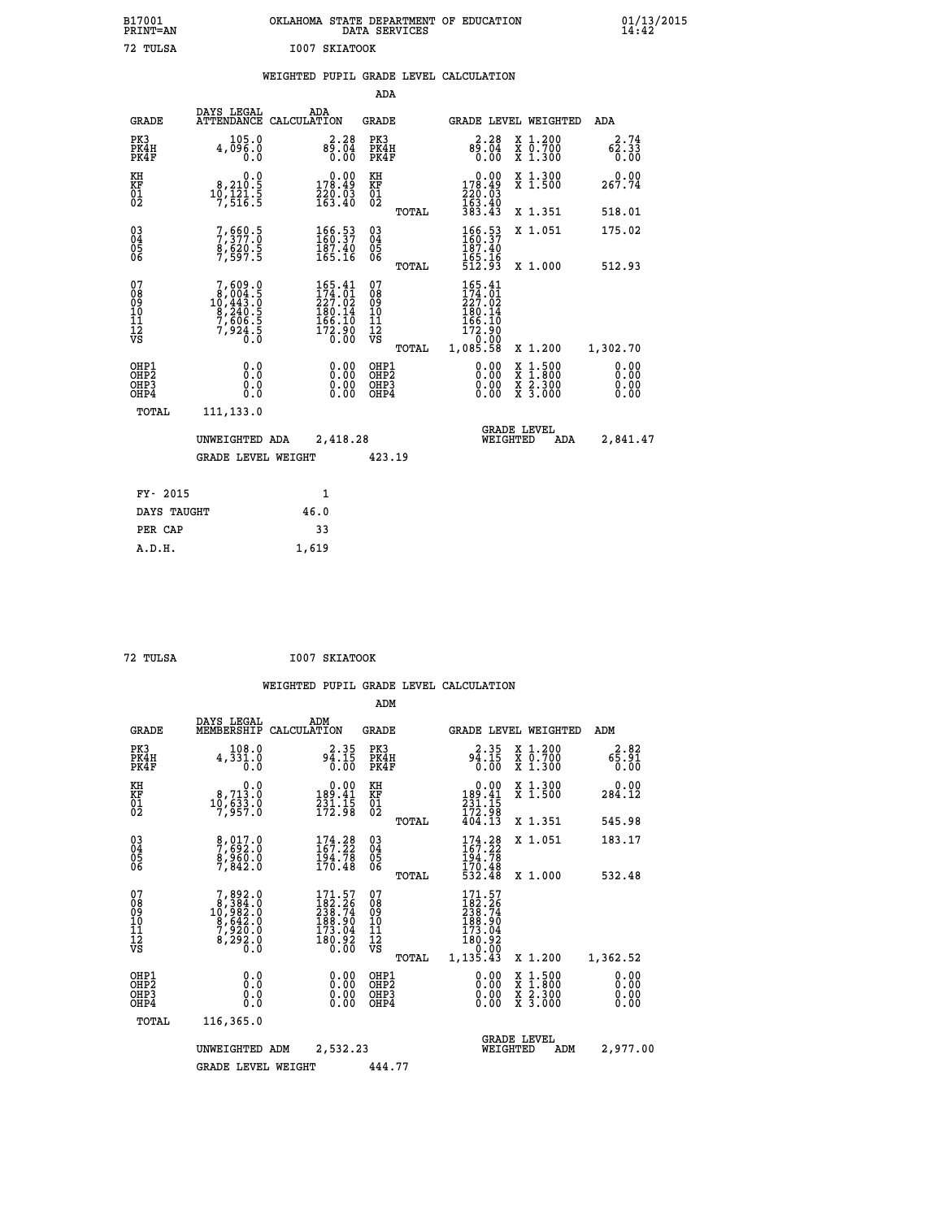| B17001<br><b>PRINT=AN</b> | OKLAHOMA STATE DEPARTMENT OF EDUCATION<br>DATA SERVICES | 01/13/2015 |
|---------------------------|---------------------------------------------------------|------------|
| 72<br>TULSA               | 1007 SKIATOOK                                           |            |

|                                                    |                                                                                                  |                                                                                                        | ADA                                    |       |                                                                                                                                       |                                                                            |                              |
|----------------------------------------------------|--------------------------------------------------------------------------------------------------|--------------------------------------------------------------------------------------------------------|----------------------------------------|-------|---------------------------------------------------------------------------------------------------------------------------------------|----------------------------------------------------------------------------|------------------------------|
| <b>GRADE</b>                                       | DAYS LEGAL                                                                                       | ADA<br>ATTENDANCE CALCULATION                                                                          | <b>GRADE</b>                           |       |                                                                                                                                       | GRADE LEVEL WEIGHTED                                                       | <b>ADA</b>                   |
| PK3<br>PK4H<br>PK4F                                | 105.0<br>4,096.0<br>0.0                                                                          | 2.28<br>$8\overline{9}\cdot\overline{0}\overline{4}$<br>0.00                                           | PK3<br>PK4H<br>PK4F                    |       | 2.28<br>$\frac{85.04}{0.00}$                                                                                                          | X 1.200<br>X 0.700<br>X 1.300                                              | 2.74<br>62.33<br>0.00        |
| KH<br>KF<br>01<br>02                               | 0.0<br>$\substack{8,210.5 \\ 10,121.5 \\ 7,516.5}$                                               | 0.00<br>178.49<br>220.03<br>163.40                                                                     | KH<br>KF<br>01<br>02                   |       | 0.00<br>178.49<br>220.03<br>163.40<br>383.43                                                                                          | X 1.300<br>X 1.500                                                         | 0.00<br>267.74               |
|                                                    |                                                                                                  |                                                                                                        |                                        | TOTAL |                                                                                                                                       | X 1.351                                                                    | 518.01                       |
| $\begin{matrix} 03 \\ 04 \\ 05 \\ 06 \end{matrix}$ | 7, 560.5<br>$\frac{8}{7}$ , 620.5                                                                | 166.53<br>187.40<br>165.16                                                                             | 03<br>04<br>05<br>06                   |       | 166.53<br>187.40                                                                                                                      | X 1.051                                                                    | 175.02                       |
|                                                    |                                                                                                  |                                                                                                        |                                        | TOTAL | 165.16<br>512.93                                                                                                                      | X 1.000                                                                    | 512.93                       |
| 07<br>08<br>09<br>11<br>11<br>12<br>VS             | $\begin{smallmatrix}7,609.0\\8,004.5\\10,443.0\\8,240.5\\7,606.5\\7,924.5\\0.0\end{smallmatrix}$ | 165.41<br>$\begin{smallmatrix} 174.71\ 174.01\ 227.02\ 180.14\ 166.10\ 172.90\ 0.00 \end{smallmatrix}$ | 07<br>08<br>09<br>11<br>11<br>12<br>VS |       | 165.41<br>$\frac{174}{227}$ :01<br>$\frac{227}{180}$ :14<br>$\begin{smallmatrix} 166.10 \ 172.90 \ 0.00 \ 1,085.58 \end{smallmatrix}$ |                                                                            |                              |
|                                                    |                                                                                                  |                                                                                                        |                                        | TOTAL |                                                                                                                                       | X 1.200                                                                    | 1,302.70                     |
| OHP1<br>OHP <sub>2</sub><br>OHP3<br>OHP4           | 0.0<br>0.0<br>Ō.Ō                                                                                | 0.00<br>$\begin{smallmatrix} 0.00 \ 0.00 \end{smallmatrix}$                                            | OHP1<br>OHP2<br>OHP3<br>OHP4           |       | $0.00$<br>$0.00$<br>0.00                                                                                                              | $1.500$<br>$1.800$<br>X<br>$\frac{x}{x}$ $\frac{5}{3}$ : $\frac{500}{000}$ | 0.00<br>0.00<br>0.00<br>0.00 |
| TOTAL                                              | 111,133.0                                                                                        |                                                                                                        |                                        |       |                                                                                                                                       |                                                                            |                              |
|                                                    | UNWEIGHTED ADA                                                                                   | 2,418.28                                                                                               |                                        |       |                                                                                                                                       | <b>GRADE LEVEL</b><br>WEIGHTED<br><b>ADA</b>                               | 2,841.47                     |
|                                                    | <b>GRADE LEVEL WEIGHT</b>                                                                        |                                                                                                        | 423.19                                 |       |                                                                                                                                       |                                                                            |                              |
| FY- 2015                                           |                                                                                                  | $\mathbf{1}$                                                                                           |                                        |       |                                                                                                                                       |                                                                            |                              |
| DAYS TAUGHT                                        |                                                                                                  | 46.0                                                                                                   |                                        |       |                                                                                                                                       |                                                                            |                              |
| PER CAP                                            |                                                                                                  | 33                                                                                                     |                                        |       |                                                                                                                                       |                                                                            |                              |
|                                                    |                                                                                                  |                                                                                                        |                                        |       |                                                                                                                                       |                                                                            |                              |

 **72 TULSA I007 SKIATOOK**

 **A.D.H. 1,619**

|                                          |                                                                                                  |                                                                               | ADM                                                 |       |                                                                              |          |                                          |                              |
|------------------------------------------|--------------------------------------------------------------------------------------------------|-------------------------------------------------------------------------------|-----------------------------------------------------|-------|------------------------------------------------------------------------------|----------|------------------------------------------|------------------------------|
| <b>GRADE</b>                             | DAYS LEGAL<br>MEMBERSHIP                                                                         | ADM<br>CALCULATION                                                            | <b>GRADE</b>                                        |       |                                                                              |          | GRADE LEVEL WEIGHTED                     | ADM                          |
| PK3<br>PK4H<br>PK4F                      | 108.0<br>4,331.0<br>0.0                                                                          | $94.15$<br>$0.00$                                                             | PK3<br>PK4H<br>PK4F                                 |       | $2.35$<br>94.15<br>0.00                                                      |          | X 1.200<br>X 0.700<br>X 1.300            | 2.82<br>65.91<br>0.00        |
| KH<br>KF<br>01<br>02                     | 0.0<br>$10, 713.0$<br>$10, 633.0$<br>$7, 957.0$                                                  | $\begin{smallmatrix} &0.00\\189.41\\231.15\\172.98\end{smallmatrix}$          | KH<br>KF<br>01<br>02                                |       | $\begin{smallmatrix} &0.00\\189.41\\231.15\\172.98\\404.13\end{smallmatrix}$ |          | X 1.300<br>X 1.500                       | 0.00<br>284.12               |
|                                          |                                                                                                  |                                                                               |                                                     | TOTAL |                                                                              |          | X 1.351                                  | 545.98                       |
| 03<br>04<br>05<br>06                     | 8,017.0<br>7,692.0<br>8,960.0<br>7,842.0                                                         | $174.28$<br>$167.22$<br>194.78<br>170.48                                      | $\begin{array}{c} 03 \\ 04 \\ 05 \\ 06 \end{array}$ |       | $174.28$<br>$167.22$<br>194.78                                               |          | X 1.051                                  | 183.17                       |
|                                          |                                                                                                  |                                                                               |                                                     | TOTAL | 170.48<br>532.48                                                             |          | X 1.000                                  | 532.48                       |
| 07<br>08<br>09<br>101<br>11<br>12<br>VS  | $\begin{smallmatrix}7,892.0\\8,384.0\\10,982.0\\8,642.0\\7,920.0\\8,292.0\\0.0\end{smallmatrix}$ | $171.57$<br>$182.26$<br>$238.74$<br>188.90<br>173.04<br>$\frac{180.92}{0.00}$ | 07<br>08<br>09<br>11<br>11<br>12<br>VS              | TOTAL | 171.57<br>182.26<br>238.74<br>188.90<br>173.04<br>180.92<br>0.00<br>1,135.43 |          | X 1.200                                  | 1,362.52                     |
| OHP1<br>OHP2<br>OH <sub>P3</sub><br>OHP4 | 0.0<br>0.000                                                                                     | $0.00$<br>$0.00$<br>0.00                                                      | OHP1<br>OHP2<br>OHP <sub>3</sub>                    |       | $0.00$<br>$0.00$<br>0.00                                                     |          | X 1:500<br>X 1:800<br>X 2:300<br>X 3:000 | 0.00<br>0.00<br>0.00<br>0.00 |
| TOTAL                                    | 116,365.0                                                                                        |                                                                               |                                                     |       |                                                                              |          |                                          |                              |
|                                          | UNWEIGHTED                                                                                       | 2,532.23<br>ADM                                                               |                                                     |       |                                                                              | WEIGHTED | <b>GRADE LEVEL</b><br>ADM                | 2,977.00                     |
|                                          | <b>GRADE LEVEL WEIGHT</b>                                                                        |                                                                               | 444.77                                              |       |                                                                              |          |                                          |                              |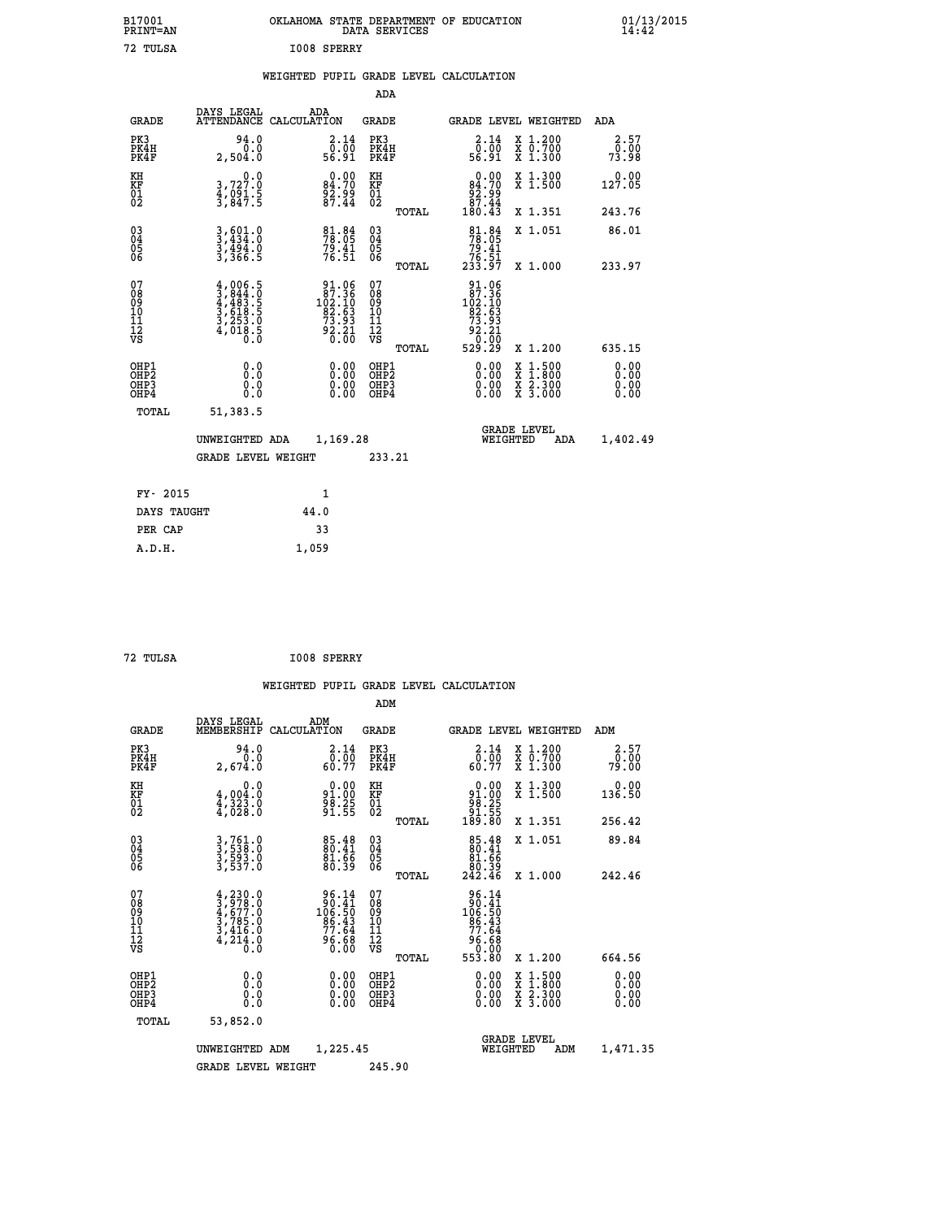| B17001<br><b>PRINT=AN</b>                |                                                                                     |                                                                                               | DATA SERVICES                                            | OKLAHOMA STATE DEPARTMENT OF EDUCATION                                                                      |                                                                                          | $01/13/2015$<br>14:42        |  |
|------------------------------------------|-------------------------------------------------------------------------------------|-----------------------------------------------------------------------------------------------|----------------------------------------------------------|-------------------------------------------------------------------------------------------------------------|------------------------------------------------------------------------------------------|------------------------------|--|
| 72 TULSA                                 |                                                                                     | I008 SPERRY                                                                                   |                                                          |                                                                                                             |                                                                                          |                              |  |
|                                          |                                                                                     |                                                                                               |                                                          | WEIGHTED PUPIL GRADE LEVEL CALCULATION                                                                      |                                                                                          |                              |  |
|                                          |                                                                                     |                                                                                               | ADA                                                      |                                                                                                             |                                                                                          |                              |  |
| <b>GRADE</b>                             | DAYS LEGAL<br>ATTENDANCE CALCULATION                                                | ADA                                                                                           | GRADE                                                    | <b>GRADE LEVEL WEIGHTED</b>                                                                                 |                                                                                          | ADA                          |  |
| PK3<br>PK4H<br>PK4F                      | 94.0<br>0.0<br>2,504.0                                                              | 2.14<br>ō:ōō<br>56.91                                                                         | PK3<br>PK4H<br>PK4F                                      | 2.14<br>0.00<br>56.91                                                                                       | X 1.200<br>X 0.700<br>X 1.300                                                            | 2.57<br>0.00<br>73.98        |  |
| KH<br>KF<br>01<br>02                     | 0.0<br>3,727.0<br>$\frac{4}{3}$ , $\frac{651}{847}$ . 5                             | $0.00$<br>84.70<br>$\frac{82.99}{87.44}$                                                      | KH<br>KF<br>01<br>02                                     | 0.00<br>84.70<br>ۆۈ: 93<br>87.44                                                                            | X 1.300<br>X 1.500                                                                       | 0.00<br>127.05               |  |
|                                          |                                                                                     |                                                                                               | TOTAL                                                    | 180.43                                                                                                      | X 1.351                                                                                  | 243.76                       |  |
| $03\overline{4}$<br>Ŏ5<br>06             | $3,434.0$<br>$3,494.0$<br>$3,494.0$<br>$3,366.5$                                    | $\frac{81.84}{78.05}$<br>$79.41$<br>$76.51$                                                   | 03<br>04<br>05<br>06                                     | $\frac{81}{78}.84$<br>79.41<br>76.51<br>233.97                                                              | X 1.051                                                                                  | 86.01                        |  |
| 07<br>08<br>09<br>11<br>11<br>12<br>VS   | $4,006.5$<br>$3,844.0$<br>$4,483.5$<br>$3,618.5$<br>$3,253.0$<br>$4,018.5$<br>$0.0$ | $\begin{smallmatrix} 91.06\\ 87.36\\ 102.10\\ 92.63\\ 73.93\\ 92.21\\ 0.00 \end{smallmatrix}$ | TOTAL<br>07<br>08<br>09<br>10<br>11<br>12<br>VS<br>TOTAL | 91.06<br>$\begin{array}{c} 87.36 \\ 102.10 \\ 82.53 \end{array}$<br>73.93<br>$\frac{55.21}{0.00}$<br>529.29 | X 1.000<br>X 1.200                                                                       | 233.97<br>635.15             |  |
| OHP1<br>OHP <sub>2</sub><br>OHP3<br>OHP4 | 0.0<br>0.0<br>0.0<br>0.0                                                            | 0.00<br>0.00<br>0.00                                                                          | OHP1<br>OHP2<br>OHP3<br>OHP4                             | 0.00<br>0.00<br>0.00                                                                                        | $\begin{smallmatrix} x & 1.500 \\ x & 1.800 \\ x & 2.300 \\ x & 3.000 \end{smallmatrix}$ | 0.00<br>0.00<br>0.00<br>0.00 |  |
| TOTAL                                    | 51,383.5<br>UNWEIGHTED ADA<br><b>GRADE LEVEL WEIGHT</b>                             | 1,169.28                                                                                      | 233.21                                                   | <b>GRADE LEVEL</b><br>WEIGHTED                                                                              | ADA                                                                                      | 1,402.49                     |  |
| FY- 2015<br>DAYS TAUGHT                  |                                                                                     | 1<br>44.0                                                                                     |                                                          |                                                                                                             |                                                                                          |                              |  |

 **ADM**

**PER CAP** 33<br> **A.D.H.** 1,059

 **A.D.H. 1,059**

 **72 TULSA I008 SPERRY**

| GRADE                                              | DAYS LEGAL<br>MEMBERSHIP                                                            | ADM<br>CALCULATION                                                                    | GRADE                                               |       | GRADE LEVEL WEIGHTED                                                                                  |                                          | ADM                   |  |
|----------------------------------------------------|-------------------------------------------------------------------------------------|---------------------------------------------------------------------------------------|-----------------------------------------------------|-------|-------------------------------------------------------------------------------------------------------|------------------------------------------|-----------------------|--|
| PK3<br>PK4H<br>PK4F                                | 94.0<br>0.0<br>2,674.0                                                              | $\begin{smallmatrix} 2.14 \\ 0.00 \\ 60.77 \end{smallmatrix}$                         | PK3<br>PK4H<br>PK4F                                 |       | 2.14<br>0.00<br>60.77                                                                                 | X 1.200<br>X 0.700<br>X 1.300            | 2.57<br>0.00<br>79.00 |  |
| KH<br>KF<br>01<br>02                               | 0.0<br>$4,004.0$<br>$4,323.0$<br>$4,028.0$                                          | $91.00$<br>$91.00$<br>$98.25$<br>$91.55$                                              | KH<br>KF<br>01<br>02                                |       | $\begin{array}{c} 0.00 \\ 91.00 \\ 98.25 \\ 91.55 \\ 189.80 \end{array}$                              | X 1.300<br>X 1.500                       | 0.00<br>136.50        |  |
|                                                    |                                                                                     |                                                                                       |                                                     | TOTAL |                                                                                                       | X 1.351                                  | 256.42                |  |
| $\begin{matrix} 03 \\ 04 \\ 05 \\ 06 \end{matrix}$ | 3,761.0<br>3,538.0<br>3,593.0<br>3,537.0                                            | 85.48<br>80.41<br>81.66<br>80.39                                                      | $\begin{array}{c} 03 \\ 04 \\ 05 \\ 06 \end{array}$ |       | $\begin{smallmatrix}85.48\\80.41\\81.66\\80.39\\242.46\end{smallmatrix}$                              | X 1.051                                  | 89.84                 |  |
|                                                    |                                                                                     |                                                                                       |                                                     | TOTAL |                                                                                                       | X 1.000                                  | 242.46                |  |
| 07<br>08<br>09<br>101<br>11<br>12<br>VS            | $4,230.0$<br>$3,978.0$<br>$4,677.0$<br>$3,785.0$<br>$3,416.0$<br>$4,214.0$<br>$0.0$ | $\begin{array}{r} 96.14 \\ 90.41 \\ 106.50 \\ 86.43 \\ 77.64 \\ 96.68 \\ \end{array}$ | 07<br>08<br>09<br>001<br>11<br>11<br>12<br>VS       | TOTAL | $\begin{array}{r} 96.14 \\ 90.41 \\ 106.50 \\ 86.43 \\ 77.64 \\ 96.68 \\ 96.00 \\ 553.80 \end{array}$ | X 1.200                                  | 664.56                |  |
|                                                    |                                                                                     |                                                                                       |                                                     |       |                                                                                                       |                                          |                       |  |
| OHP1<br>OHP <sub>2</sub><br>OHP3<br>OHP4           | 0.0<br>0.000                                                                        |                                                                                       | OHP1<br>OHP2<br>OHP3<br>OHP4                        |       | 0.00<br>0.00<br>0.00                                                                                  | X 1:500<br>X 1:800<br>X 2:300<br>X 3:000 | 0.00<br>0.00<br>0.00  |  |
| TOTAL                                              | 53,852.0                                                                            |                                                                                       |                                                     |       |                                                                                                       |                                          |                       |  |
|                                                    | UNWEIGHTED                                                                          | 1,225.45<br>ADM                                                                       |                                                     |       | WEIGHTED                                                                                              | <b>GRADE LEVEL</b><br>ADM                | 1,471.35              |  |
|                                                    | <b>GRADE LEVEL WEIGHT</b>                                                           |                                                                                       | 245.90                                              |       |                                                                                                       |                                          |                       |  |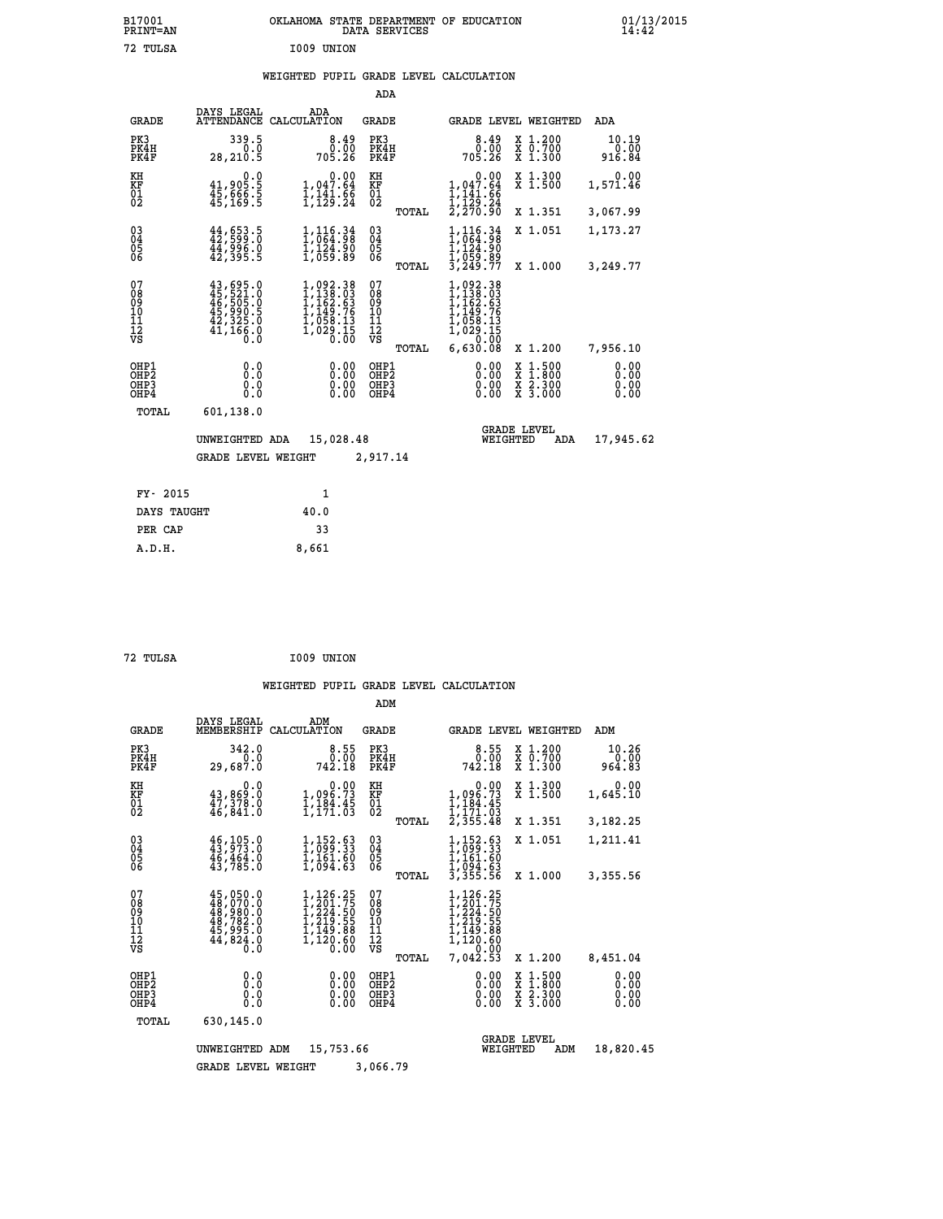| B17001<br>PRINT=AN                                 |                                                                                           | OKLAHOMA STATE DEPARTMENT OF EDUCATION                                                                                                           | DATA SERVICES                          |                                                                                                    |                                                                                                                                      | $01/13/2015$<br>14:42   |
|----------------------------------------------------|-------------------------------------------------------------------------------------------|--------------------------------------------------------------------------------------------------------------------------------------------------|----------------------------------------|----------------------------------------------------------------------------------------------------|--------------------------------------------------------------------------------------------------------------------------------------|-------------------------|
| 72 TULSA                                           |                                                                                           | I009 UNION                                                                                                                                       |                                        |                                                                                                    |                                                                                                                                      |                         |
|                                                    |                                                                                           | WEIGHTED PUPIL GRADE LEVEL CALCULATION                                                                                                           |                                        |                                                                                                    |                                                                                                                                      |                         |
|                                                    |                                                                                           |                                                                                                                                                  | ADA                                    |                                                                                                    |                                                                                                                                      |                         |
| GRADE                                              | DAYS LEGAL                                                                                | ADA<br>ATTENDANCE CALCULATION                                                                                                                    | GRADE                                  | GRADE LEVEL WEIGHTED                                                                               |                                                                                                                                      | ADA                     |
| PK3<br>PK4H<br>PK4F                                | 339.5<br>0.0<br>28,210.5                                                                  | 8.49<br>0.00<br>705.26                                                                                                                           | PK3<br>PK4H<br>PK4F                    | 8.49<br>0.00<br>705.26                                                                             | X 1.200<br>X 0.700<br>X 1.300                                                                                                        | 10.19<br>0.00<br>916.84 |
| KH<br>KF<br>$^{01}_{02}$                           | 0.0<br>41,905.5<br>45,666.5<br>45,169.5                                                   | 1,047.64<br>$\frac{1}{1}, \frac{1}{12}$ $\frac{1}{2}, \frac{6}{24}$                                                                              | KH<br>KF<br>$^{01}_{02}$               | 0.00<br>1,047.64<br>$\frac{1}{1}, \frac{1}{129}$ $\frac{1}{24}$<br>$\frac{1}{270}$ $\frac{24}{90}$ | X 1.300<br>X 1.500                                                                                                                   | 0.00<br>1,571.46        |
|                                                    |                                                                                           |                                                                                                                                                  | TOTAL                                  |                                                                                                    | X 1.351                                                                                                                              | 3,067.99                |
| $\begin{matrix} 03 \\ 04 \\ 05 \\ 06 \end{matrix}$ | $44,653.5$<br>$42,599.0$<br>$44,996.0$<br>$42,395.5$                                      | $1,116.34$<br>$1,064.98$<br>$1,124.90$<br>$1,059.89$                                                                                             | 03<br>04<br>05<br>06                   | 116.34<br>,064.98<br>$1,116.34$<br>$1,064.98$<br>$1,124.90$<br>$1,059.89$<br>$3,249.77$            | X 1.051                                                                                                                              | 1,173.27                |
|                                                    |                                                                                           |                                                                                                                                                  | TOTAL                                  |                                                                                                    | X 1.000                                                                                                                              | 3,249.77                |
| 07<br>08<br>09<br>10<br>11<br>12<br>VS             | $43,695.0$<br>$45,521.0$<br>$46,505.0$<br>$45,990.5$<br>$42,325.0$<br>$41,166.0$<br>$0.0$ | $\begin{smallmatrix} 1,092\cdot 38\\ 1,138\cdot 03\\ 1,162\cdot 63\\ 1,149\cdot 76\\ 1,058\cdot 13\\ 1,029\cdot 15\\ 0\cdot 00\end{smallmatrix}$ | 07<br>08<br>09<br>10<br>11<br>ĪŽ<br>VŠ | 1,092.38<br>1,138.03<br>1,162.63<br>1,149.76<br>1,058.13<br>1,029.15                               |                                                                                                                                      |                         |
|                                                    |                                                                                           |                                                                                                                                                  | TOTAL                                  | 5,630.08                                                                                           | X 1.200                                                                                                                              | 7,956.10                |
| OHP1<br>OHP2<br>OHP3<br>OHP4                       | 0.0<br>Ō.Ō<br>0.0<br>0.0                                                                  | 0.00<br>0.00<br>0.00                                                                                                                             | OHP1<br>OHP2<br>OHP3<br>OHP4           | 0.00<br>0.00<br>0.00                                                                               | $\begin{smallmatrix} \mathtt{X} & 1 & 500 \\ \mathtt{X} & 1 & 800 \\ \mathtt{X} & 2 & 300 \\ \mathtt{X} & 3 & 000 \end{smallmatrix}$ | 0.00<br>0.00<br>0.00    |
| TOTAL                                              | 601,138.0                                                                                 |                                                                                                                                                  |                                        |                                                                                                    |                                                                                                                                      |                         |
|                                                    | UNWEIGHTED ADA                                                                            | 15,028.48                                                                                                                                        |                                        | <b>GRADE LEVEL</b><br>WEIGHTED                                                                     | ADA                                                                                                                                  | 17,945.62               |
|                                                    | <b>GRADE LEVEL WEIGHT</b>                                                                 |                                                                                                                                                  | 2,917.14                               |                                                                                                    |                                                                                                                                      |                         |
| FY- 2015                                           |                                                                                           | 1                                                                                                                                                |                                        |                                                                                                    |                                                                                                                                      |                         |
| DAYS TAUGHT                                        |                                                                                           | 40.0                                                                                                                                             |                                        |                                                                                                    |                                                                                                                                      |                         |
| PER CAP                                            |                                                                                           | 33                                                                                                                                               |                                        |                                                                                                    |                                                                                                                                      |                         |

| ----   | <u>JJ</u> |
|--------|-----------|
| A.D.H. | 8,661     |
|        |           |
|        |           |

| 72 TULSA |  | I009 UNION |
|----------|--|------------|
|----------|--|------------|

|                                                       |                                                                                       |                                                                              | ADM                                    |                                                                                          |                                                                                                  |                              |
|-------------------------------------------------------|---------------------------------------------------------------------------------------|------------------------------------------------------------------------------|----------------------------------------|------------------------------------------------------------------------------------------|--------------------------------------------------------------------------------------------------|------------------------------|
| <b>GRADE</b>                                          | DAYS LEGAL<br>MEMBERSHIP                                                              | ADM<br>CALCULATION                                                           | <b>GRADE</b>                           | GRADE LEVEL WEIGHTED                                                                     |                                                                                                  | ADM                          |
| PK3<br>PK4H<br>PK4F                                   | 342.0<br>0.0<br>29,687.0                                                              | 8.55<br>0.00<br>742.18                                                       | PK3<br>PK4H<br>PK4F                    | 8.55<br>0.00<br>742.18                                                                   | $\begin{array}{c} x & 1.200 \\ x & 0.700 \end{array}$<br>X 1.300                                 | 10.26<br>0.00<br>964.83      |
| KH<br>KF<br>01<br>02                                  | 0.0<br>43,869.0<br>$\frac{47}{378}$ :0<br>$\frac{7}{46}$ ; 841:0                      | $\begin{smallmatrix}&&&0.00\\1,096.73\\1,184.45\\1,171.03\end{smallmatrix}$  | KH<br>KF<br>01<br>02                   | 0.00<br>$1,096.73$<br>$1,184.45$<br>$1,171.03$<br>$2,355.48$                             | X 1.300<br>X 1.500                                                                               | 0.00<br>1,645.10             |
|                                                       |                                                                                       |                                                                              | TOTAL                                  |                                                                                          | X 1.351                                                                                          | 3,182.25                     |
| 03<br>04<br>05<br>06                                  | $46, 105.0$<br>$43, 973.0$<br>46,464.0<br>43,785.0                                    | $1,152.63$<br>$1,099.33$<br>$1,161.60$<br>$1,094.63$                         | $\substack{03 \\ 04}$<br>0500          | $1,152.63$<br>$1,099.33$<br>$1,161.60$<br>$1,094.63$<br>$3,355.56$                       | X 1.051                                                                                          | 1,211.41                     |
|                                                       |                                                                                       |                                                                              | TOTAL                                  |                                                                                          | X 1.000                                                                                          | 3,355.56                     |
| 07<br>08<br>09<br>11<br>11<br>12<br>VS                | 45,050.0<br>$48,970.0$<br>$48,980.0$<br>$48,782.0$<br>$45,995.0$<br>$44,824.0$<br>0.0 | 1,126.25<br>1,201.75<br>I,224.50<br>1,219.55<br>ī,ī49.88<br>1,120.60<br>0.00 | 07<br>089<br>101<br>111<br>VS<br>TOTAL | 1,126.25<br>1,201.75<br>1,224:50<br>1,219.55<br>1,149.88<br>1,120.60<br>0.00<br>7,042.53 | X 1.200                                                                                          | 8,451.04                     |
| OHP1<br>OH <sub>P</sub> 2<br>OH <sub>P3</sub><br>OHP4 | 0.0<br>0.000                                                                          | 0.00<br>0.00<br>0.00                                                         | OHP1<br>OHP2<br>OHP3<br>OHP4           | $0.00$<br>$0.00$<br>0.00                                                                 | $\begin{smallmatrix} x & 1 & 500 \\ x & 1 & 800 \\ x & 2 & 300 \\ x & 3 & 000 \end{smallmatrix}$ | 0.00<br>0.00<br>0.00<br>0.00 |
| TOTAL                                                 | 630,145.0                                                                             |                                                                              |                                        |                                                                                          |                                                                                                  |                              |
|                                                       | UNWEIGHTED                                                                            | 15,753.66<br>ADM                                                             |                                        | WEIGHTED                                                                                 | <b>GRADE LEVEL</b><br>ADM                                                                        | 18,820.45                    |
|                                                       | <b>GRADE LEVEL WEIGHT</b>                                                             |                                                                              | 3,066.79                               |                                                                                          |                                                                                                  |                              |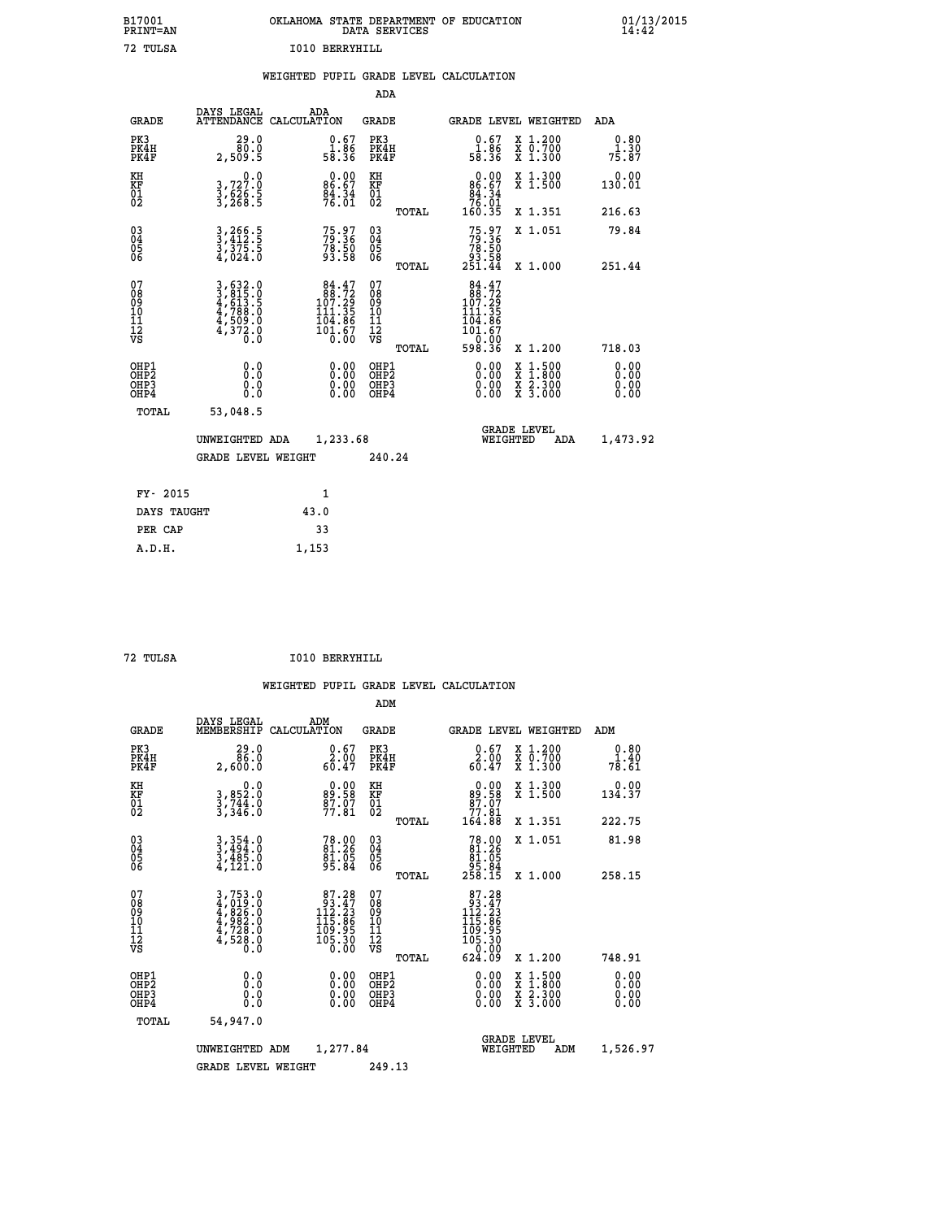| B17001<br>PRINT=AN | OKLAHOMA STATE DEPARTMENT OF EDUCATION<br>DATA SERVICES | $01/13/2015$<br>14:42 |
|--------------------|---------------------------------------------------------|-----------------------|
| 72 TULSA           | I010 BERRYHILL                                          |                       |
|                    | WEIGHTED PUPIL GRADE LEVEL CALCULATION                  |                       |

|                                                    |                                                                                                                                                                  |                                                                                                  | ADA                                                 |       |                                                                                                                 |                                                                                                                                      |                           |
|----------------------------------------------------|------------------------------------------------------------------------------------------------------------------------------------------------------------------|--------------------------------------------------------------------------------------------------|-----------------------------------------------------|-------|-----------------------------------------------------------------------------------------------------------------|--------------------------------------------------------------------------------------------------------------------------------------|---------------------------|
| <b>GRADE</b>                                       | DAYS LEGAL<br><b>ATTENDANCE</b>                                                                                                                                  | ADA<br>CALCULATION                                                                               | <b>GRADE</b>                                        |       |                                                                                                                 | GRADE LEVEL WEIGHTED                                                                                                                 | ADA                       |
| PK3<br>PK4H<br>PK4F                                | 29.0<br>80.0<br>2,509.5                                                                                                                                          | $\begin{smallmatrix} 0.67\ 1.86\ 58.36 \end{smallmatrix}$                                        | PK3<br>PK4H<br>PK4F                                 |       | $\begin{array}{c} 0.67 \\ 1.86 \\ 58.36 \end{array}$                                                            | X 1.200<br>X 0.700<br>X 1.300                                                                                                        | $0.80$<br>$1.30$<br>75.87 |
| KH<br>KF<br>01<br>02                               | $\begin{smallmatrix}&&&0.0\\3.727.0\\3.626.5\\3.268.5\end{smallmatrix}$                                                                                          | $86.67$<br>$84.34$<br>$76.01$                                                                    | KH<br>KF<br>01<br>02                                |       | 0.00<br>$\begin{array}{r} 86.67 \\ 84.34 \\ 76.01 \\ 160.35 \end{array}$                                        | X 1.300<br>X 1.500                                                                                                                   | 0.00<br>130.01            |
|                                                    |                                                                                                                                                                  |                                                                                                  |                                                     | TOTAL |                                                                                                                 | X 1.351                                                                                                                              | 216.63                    |
| $\begin{matrix} 03 \\ 04 \\ 05 \\ 06 \end{matrix}$ | $3, 266.5$<br>$3, 412.5$<br>$3, 375.5$<br>$4, 024.0$                                                                                                             | 75.97<br>79.36<br>78.50<br>93.58                                                                 | $\begin{array}{c} 03 \\ 04 \\ 05 \\ 06 \end{array}$ |       | $75.97$<br>$79.36$<br>$78.50$<br>$93.58$<br>$251.44$                                                            | X 1.051                                                                                                                              | 79.84                     |
|                                                    |                                                                                                                                                                  |                                                                                                  |                                                     | TOTAL |                                                                                                                 | X 1.000                                                                                                                              | 251.44                    |
| 07<br>08<br>09<br>10<br>11<br>11<br>12<br>VS       | $\begin{smallmatrix} 3\,,\,632\,.\,0\\ 3\,,\,815\,. \,0\\ 4\,,\,613\,. \,5\\ 4\,,\,788\,. \,0\\ 4\,,\,509\,. \,0\\ 4\,,\,372\,. \,0\\ 0\,. \,0\end{smallmatrix}$ | $\begin{smallmatrix} 84.47\\ 88.72\\ 107.29\\ 111.35\\ 104.86\\ 101.67\\ 0.00 \end{smallmatrix}$ | 07<br>08<br>09<br>001<br>11<br>11<br>12<br>VS       | TOTAL | $84.47$<br>$88.72$<br>$107.29$<br>$111.35$<br>$\begin{array}{c} 111.36 \\ 101.67 \\ 0.00 \\ 598.36 \end{array}$ | X 1.200                                                                                                                              | 718.03                    |
| OHP1<br>OHP2<br>OH <sub>P3</sub><br>OHP4           | 0.0<br>0.000                                                                                                                                                     | $0.00$<br>$0.00$<br>0.00                                                                         | OHP1<br>OHP2<br>OHP <sub>3</sub>                    |       |                                                                                                                 | $\begin{smallmatrix} \mathtt{X} & 1 & 500 \\ \mathtt{X} & 1 & 800 \\ \mathtt{X} & 2 & 300 \\ \mathtt{X} & 3 & 000 \end{smallmatrix}$ | 0.00<br>0.00<br>0.00      |
| TOTAL                                              | 53,048.5                                                                                                                                                         |                                                                                                  |                                                     |       |                                                                                                                 |                                                                                                                                      |                           |
|                                                    | UNWEIGHTED                                                                                                                                                       | 1,233.68<br>ADA                                                                                  |                                                     |       | WEIGHTED                                                                                                        | <b>GRADE LEVEL</b><br>ADA                                                                                                            | 1,473.92                  |
|                                                    | GRADE LEVEL WEIGHT                                                                                                                                               |                                                                                                  | 240.24                                              |       |                                                                                                                 |                                                                                                                                      |                           |
| FY- 2015                                           |                                                                                                                                                                  | $\mathbf{1}$                                                                                     |                                                     |       |                                                                                                                 |                                                                                                                                      |                           |
|                                                    |                                                                                                                                                                  |                                                                                                  |                                                     |       |                                                                                                                 |                                                                                                                                      |                           |

| FY- 2015    |       |
|-------------|-------|
| DAYS TAUGHT | 43.0  |
| PER CAP     | 33    |
| A.D.H.      | 1,153 |
|             |       |

| 72 TULSA | I010 BERRYHILL |
|----------|----------------|

| <b>GRADE</b>                                       | DAYS LEGAL<br>MEMBERSHIP                                                                                                                                    | ADM<br>CALCULATION                                                                       | <b>GRADE</b>                                       |       | <b>GRADE LEVEL WEIGHTED</b>                                                                          |                                          | ADM                   |
|----------------------------------------------------|-------------------------------------------------------------------------------------------------------------------------------------------------------------|------------------------------------------------------------------------------------------|----------------------------------------------------|-------|------------------------------------------------------------------------------------------------------|------------------------------------------|-----------------------|
| PK3<br>PK4H<br>PK4F                                | 29.0<br>86.0<br>2,600.0                                                                                                                                     | $\begin{smallmatrix} 0.67\ 2.00\ 60.47 \end{smallmatrix}$                                | PK3<br>PK4H<br>PK4F                                |       | $\begin{smallmatrix} 0.67\ 2.00\ 60.47 \end{smallmatrix}$                                            | X 1.200<br>X 0.700<br>X 1.300            | 0.80<br>1.40<br>78.61 |
| KH<br>KF<br>01<br>02                               | 0.0<br>$3,852.0$<br>$3,744.0$<br>$3,346.0$                                                                                                                  | <b>0.00</b><br><b>0.00</b><br><b>92.50</b><br>$\frac{87.07}{77.81}$                      | KH<br>KF<br>01<br>02                               |       | $0.00\n89.58\n87.07\n77.81\n164.88$                                                                  | X 1.300<br>X 1.500                       | 0.00<br>134.37        |
|                                                    |                                                                                                                                                             |                                                                                          |                                                    | TOTAL |                                                                                                      | X 1.351                                  | 222.75                |
| $\begin{matrix} 03 \\ 04 \\ 05 \\ 06 \end{matrix}$ | $3,354.0$<br>$3,494.0$<br>$3,485.0$<br>$4,121.0$                                                                                                            | 78.00<br>81.26<br>81.05<br>95.84                                                         | $\begin{matrix} 03 \\ 04 \\ 05 \\ 06 \end{matrix}$ |       | $78.00\n81.26\n81.05\n95.84\n258.15$                                                                 | X 1.051                                  | 81.98                 |
|                                                    |                                                                                                                                                             |                                                                                          |                                                    | TOTAL |                                                                                                      | X 1.000                                  | 258.15                |
| 07<br>08<br>09<br>101<br>11<br>12<br>VS            | $\begin{smallmatrix} 3\,,\,753\,.\,0\\ 4\,,\,019\,.\,0\\ 4\,,\,826\,.\,0\\ 4\,,\,982\,.\,0\\ 4\,,\,728\,.\,0\\ 4\,,\,528\,.\,0\\ 0\,.\,0 \end{smallmatrix}$ | $\begin{smallmatrix}87.28\\93.47\\112.23\\115.86\\109.95\\105.30\\0.00\end{smallmatrix}$ | 07<br>08<br>09<br>001<br>11<br>11<br>12<br>VS      | TOTAL | $\begin{smallmatrix}87.28\\93.47\\112.23\\115.86\\109.95\\105.30\\0&0.00\end{smallmatrix}$<br>624.09 | X 1.200                                  | 748.91                |
|                                                    |                                                                                                                                                             |                                                                                          |                                                    |       |                                                                                                      |                                          |                       |
| OHP1<br>OHP2<br>OH <sub>P3</sub><br>OHP4           | 0.0<br>0.000                                                                                                                                                |                                                                                          | OHP1<br>OHP2<br>OHP3<br>OHP4                       |       | 0.00<br>0.00                                                                                         | X 1:500<br>X 1:800<br>X 2:300<br>X 3:000 | 0.00<br>0.00<br>0.00  |
| TOTAL                                              | 54,947.0                                                                                                                                                    |                                                                                          |                                                    |       |                                                                                                      |                                          |                       |
|                                                    | UNWEIGHTED                                                                                                                                                  | 1,277.84<br>ADM                                                                          |                                                    |       | WEIGHTED                                                                                             | <b>GRADE LEVEL</b><br>ADM                | 1,526.97              |
|                                                    | <b>GRADE LEVEL WEIGHT</b>                                                                                                                                   |                                                                                          | 249.13                                             |       |                                                                                                      |                                          |                       |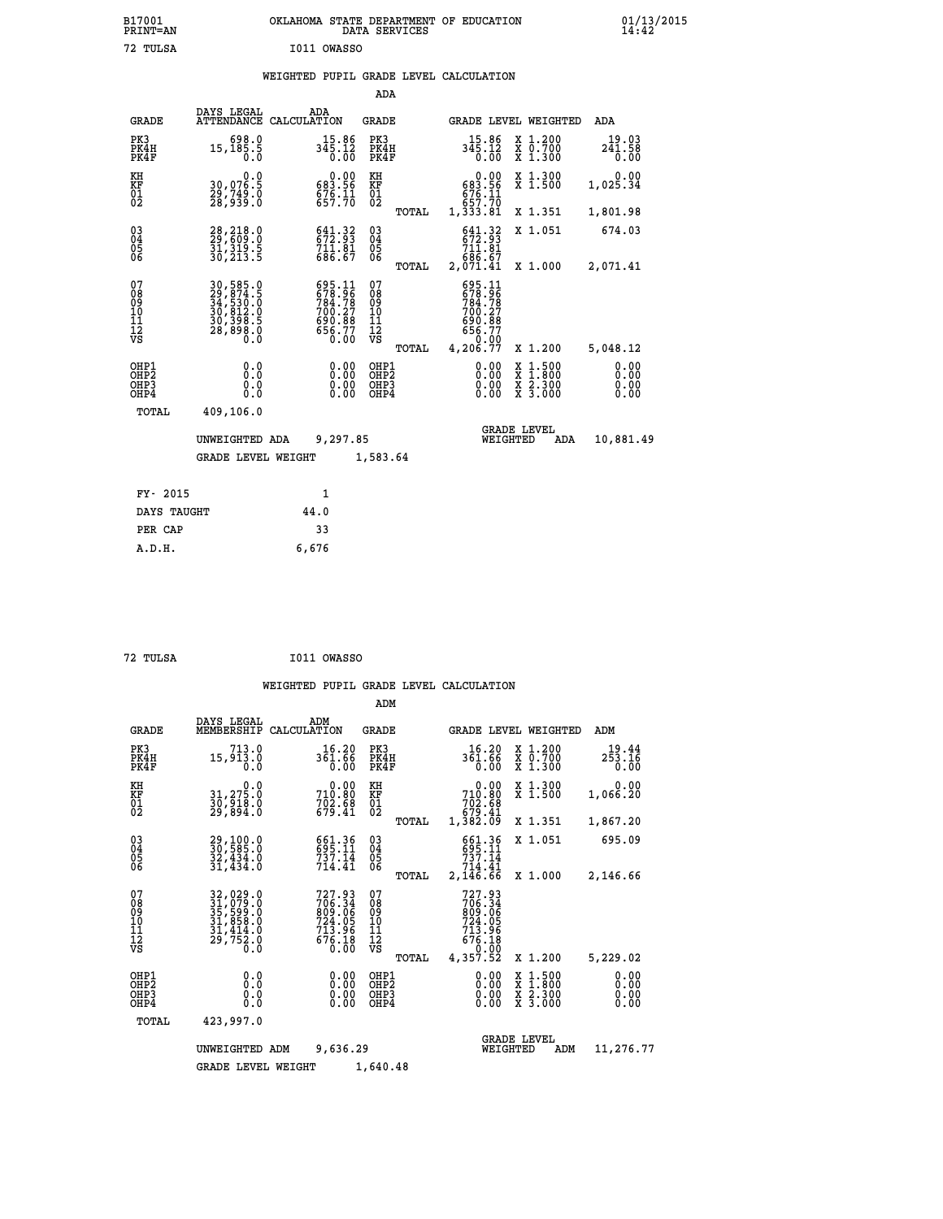|             | OKLAHOMA STATE DEPARTMENT OF EDUCATION<br>DATA SERVICES |  |
|-------------|---------------------------------------------------------|--|
| I011 OWASSO |                                                         |  |

|                                                                    |                                                                                                                                                    |                                                                                               | ADA                                      |       |                                                                    |                                                                                                  |                              |
|--------------------------------------------------------------------|----------------------------------------------------------------------------------------------------------------------------------------------------|-----------------------------------------------------------------------------------------------|------------------------------------------|-------|--------------------------------------------------------------------|--------------------------------------------------------------------------------------------------|------------------------------|
| <b>GRADE</b>                                                       | DAYS LEGAL<br>ATTENDANCE                                                                                                                           | ADA<br>CALCULATION                                                                            | <b>GRADE</b>                             |       |                                                                    | <b>GRADE LEVEL WEIGHTED</b>                                                                      | ADA                          |
| PK3<br>PK4H<br>PK4F                                                | 698.0<br>15,185.5<br>0.0                                                                                                                           | $345.12$<br>$345.12$<br>0.00                                                                  | PK3<br>PK4H<br>PK4F                      |       | 15.86<br>345.12<br>0.00                                            | X 1.200<br>X 0.700<br>X 1.300                                                                    | 19.03<br>241.58<br>0.00      |
| KH<br><b>KF</b><br>01<br>02                                        | 0.0<br>30,076.5<br>29,749.0<br>28,939.0                                                                                                            | $0.00$<br>683.56<br>$676.11$<br>$657.70$                                                      | KH<br><b>KF</b><br>01<br>02              |       | 0.00<br>683.56<br>676.11<br>657.70                                 | X 1.300<br>X 1.500                                                                               | 0.00<br>1,025.34             |
|                                                                    |                                                                                                                                                    |                                                                                               |                                          | TOTAL | 1,333.81                                                           | X 1.351                                                                                          | 1,801.98                     |
| $\begin{smallmatrix} 03 \\[-4pt] 04 \end{smallmatrix}$<br>05<br>06 | 28, 218.0<br>29, 609.0<br>31, 319.5<br>30, 213.5                                                                                                   | 641.32<br>$71\overline{1}\.\,\overline{8}\,\overline{1}\phantom{1}\overline{6}\,\overline{7}$ | $\substack{03 \\ 04}$<br>05<br>06        |       | $\frac{641}{672}$ : $\frac{32}{3}$<br>711.81<br>686.67             | X 1.051                                                                                          | 674.03                       |
|                                                                    |                                                                                                                                                    |                                                                                               |                                          | TOTAL | 2,071.41                                                           | X 1.000                                                                                          | 2,071.41                     |
| 07<br>08<br>09<br>11<br>11<br>12<br>VS                             | $\begin{smallmatrix} 30\,,\,585\,.0\\ 29\,,\,874\,.5\\ 34\,,\,530\,.0\\ 30\,,\,812\,.0\\ 30\,,\,398\,.5\\ 28\,,\,898\,.0\\ 0\,. \end{smallmatrix}$ | 695.11<br>678.96<br>784.78<br>700.27<br>700.88<br>690.88<br>656.77<br>0.00                    | 07<br>08<br>09<br>11<br>11<br>12<br>VS   |       | 695.11<br>678.96<br>784.78<br>700.27<br>700.88<br>656.77<br>656.77 |                                                                                                  |                              |
|                                                                    |                                                                                                                                                    |                                                                                               |                                          | TOTAL | 4,206.77                                                           | X 1.200                                                                                          | 5,048.12                     |
| OHP1<br>OH <sub>P</sub> 2<br>OH <sub>P3</sub><br>OH <sub>P4</sub>  | 0.0<br>0.0<br>0.0                                                                                                                                  | 0.00<br>0.00<br>0.00                                                                          | OHP1<br>OHP <sub>2</sub><br>OHP3<br>OHP4 |       | 0.00<br>0.00<br>0.00                                               | $\begin{smallmatrix} x & 1 & 500 \\ x & 1 & 800 \\ x & 2 & 300 \\ x & 3 & 000 \end{smallmatrix}$ | 0.00<br>0.00<br>0.00<br>0.00 |
| TOTAL                                                              | 409,106.0                                                                                                                                          |                                                                                               |                                          |       |                                                                    |                                                                                                  |                              |
|                                                                    | UNWEIGHTED ADA                                                                                                                                     | 9,297.85                                                                                      |                                          |       |                                                                    | <b>GRADE LEVEL</b><br>WEIGHTED<br>ADA                                                            | 10,881.49                    |
|                                                                    | <b>GRADE LEVEL WEIGHT</b>                                                                                                                          |                                                                                               | 1,583.64                                 |       |                                                                    |                                                                                                  |                              |
| FY- 2015                                                           |                                                                                                                                                    | $\mathbf{1}$                                                                                  |                                          |       |                                                                    |                                                                                                  |                              |
| DAYS TAUGHT                                                        |                                                                                                                                                    | 44.0                                                                                          |                                          |       |                                                                    |                                                                                                  |                              |
| PER CAP                                                            |                                                                                                                                                    | 33                                                                                            |                                          |       |                                                                    |                                                                                                  |                              |

| 72 TULSA | I011 OWASSO |
|----------|-------------|

 **A.D.H. 6,676**

 **B17001<br>PRINT=AN<br>72 TULSA** 

|                                                       |                                                                             |                                                                  | ADM                                                    |                                                                                |                                          |                              |
|-------------------------------------------------------|-----------------------------------------------------------------------------|------------------------------------------------------------------|--------------------------------------------------------|--------------------------------------------------------------------------------|------------------------------------------|------------------------------|
| <b>GRADE</b>                                          | DAYS LEGAL<br>MEMBERSHIP                                                    | ADM<br>CALCULATION                                               | GRADE                                                  | GRADE LEVEL WEIGHTED                                                           |                                          | ADM                          |
| PK3<br>PK4H<br>PK4F                                   | 713.0<br>15,913.0<br>0.0                                                    | 16.20<br>361.66<br>0.00                                          | PK3<br>PK4H<br>PK4F                                    | 16.20<br>361.66<br>0.00                                                        | x 1.200<br>x 0.700<br>X 1.300            | 19.44<br>253.16<br>0.00      |
| KH<br><b>KF</b><br>01<br>02                           | $\begin{smallmatrix}&&&0.0\31,275.0\30,918.0\29,894.0\end{smallmatrix}$     | $710.80$<br>$702.68$<br>$702.68$<br>$679.41$                     | KH<br>KF<br>01<br>02                                   | 0.00<br>710.80<br>702.68<br>79.41<br>1,382.09                                  | X 1.300<br>X 1.500                       | 0.00<br>1,066.20             |
|                                                       |                                                                             |                                                                  | TOTAL                                                  |                                                                                | X 1.351                                  | 1,867.20                     |
| $\begin{matrix} 03 \\ 04 \\ 05 \\ 06 \end{matrix}$    | 29,100.0<br>30,585.0<br>32,434.0<br>31,434.0                                | 661.36<br>695.11<br>737.14<br>714.41                             | $\substack{03 \\ 04}$<br>05<br>06                      | 661.36<br>695.11<br>737.14<br>714.41                                           | X 1.051                                  | 695.09                       |
|                                                       |                                                                             |                                                                  | TOTAL                                                  | 2,146.66                                                                       | X 1.000                                  | 2,146.66                     |
| 07<br>08<br>09<br>101<br>112<br>VS                    | 32,029.0<br>31,079.0<br>35,599.0<br>31,858.0<br>31,414.0<br>29,752.0<br>0.0 | 727.93<br>706.34<br>809.06<br>724.05<br>713.96<br>676.18<br>0.00 | 07<br>08<br>09<br>11<br>11<br>12<br>VS<br><b>TOTAL</b> | 727.93<br>$706.34$<br>809.06<br>724.05<br>713.96<br>676.18<br>0.00<br>4,357.52 | X 1.200                                  | 5,229.02                     |
| OHP1<br>OH <sub>P</sub> 2<br>OH <sub>P3</sub><br>OHP4 | 0.0<br>0.000                                                                | $0.00$<br>$0.00$<br>0.00                                         | OHP1<br>OHP <sub>2</sub><br>OHP3<br>OHP4               | 0.00<br>0.00<br>0.00                                                           | X 1:500<br>X 1:800<br>X 2:300<br>X 3:000 | 0.00<br>0.00<br>0.00<br>0.00 |
| TOTAL                                                 | 423,997.0                                                                   |                                                                  |                                                        |                                                                                |                                          |                              |
|                                                       | UNWEIGHTED ADM                                                              | 9,636.29                                                         |                                                        | <b>GRADE LEVEL</b><br>WEIGHTED                                                 | ADM                                      | 11,276.77                    |
|                                                       | <b>GRADE LEVEL WEIGHT</b>                                                   |                                                                  | 1,640.48                                               |                                                                                |                                          |                              |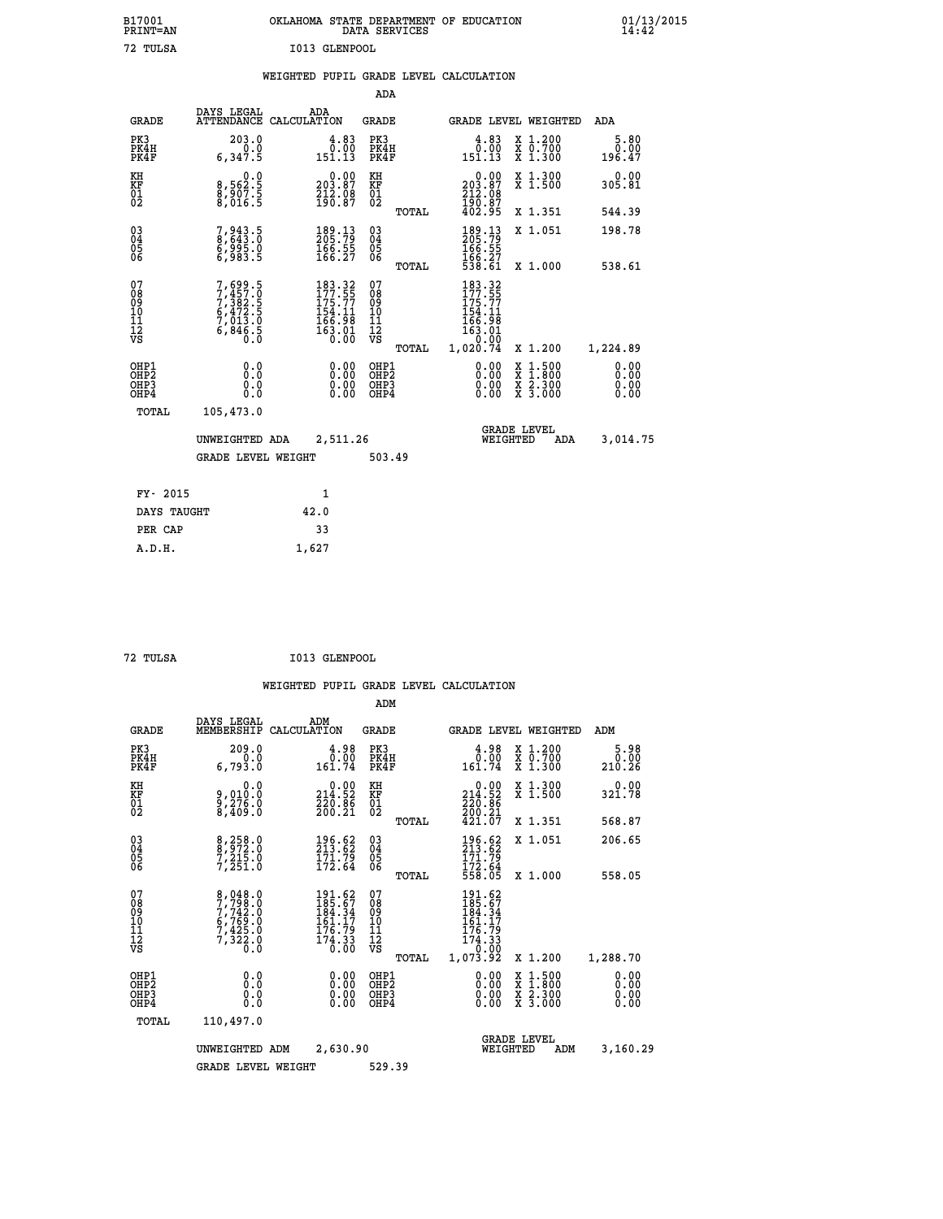| B17001<br><b>PRINT=AN</b> | OKLAHOMA STATE DEPARTMENT OF EDUCATION<br>DATA SERVICES | 01/13/2015 |
|---------------------------|---------------------------------------------------------|------------|
| 72 TULSA                  | I013 GLENPOOL                                           |            |

|                                                    |                                                                                     |                                                                                                 | ADA                                    |       |                                                                                   |                                                                            |                              |
|----------------------------------------------------|-------------------------------------------------------------------------------------|-------------------------------------------------------------------------------------------------|----------------------------------------|-------|-----------------------------------------------------------------------------------|----------------------------------------------------------------------------|------------------------------|
| <b>GRADE</b>                                       | DAYS LEGAL                                                                          | ADA<br>ATTENDANCE CALCULATION                                                                   | <b>GRADE</b>                           |       |                                                                                   | GRADE LEVEL WEIGHTED                                                       | <b>ADA</b>                   |
| PK3<br>PK4H<br>PK4F                                | 203.0<br>0.0<br>6,347.5                                                             | $\begin{smallmatrix} 4.83\ 0.00\ 151.13 \end{smallmatrix}$                                      | PK3<br>PK4H<br>PK4F                    |       | $\begin{smallmatrix} 4.83\ 0.00\ 151.13 \end{smallmatrix}$                        | X 1.200<br>X 0.700<br>X 1.300                                              | 5.80<br>0.00<br>196.47       |
| KH<br>KF<br>01<br>02                               | $\begin{smallmatrix} & & 0.0\ 8.562.5\ 8.907.5\ 8.016.5 \end{smallmatrix}$          | $\begin{smallmatrix} &0.00\ 203.87\ 212.08\ 190.87\ \end{smallmatrix}$                          | KH<br>KF<br>01<br>02                   |       | $\begin{smallmatrix} &0.00\\ 203.87\\ 212.08\\ 190.87\\ 402.95 \end{smallmatrix}$ | X 1.300<br>X 1.500                                                         | 0.00<br>305.81               |
|                                                    |                                                                                     |                                                                                                 |                                        | TOTAL |                                                                                   | X 1.351                                                                    | 544.39                       |
| $\begin{matrix} 03 \\ 04 \\ 05 \\ 06 \end{matrix}$ | 7,943.5<br>8,643.0<br>6,995.0<br>6,983.5                                            | 189.13<br>205.79<br>$\frac{166}{166}$ $\frac{55}{27}$                                           | 03<br>04<br>05<br>06                   |       | 189.13<br>205.79<br>$\frac{166.55}{166.27}$<br>538.61                             | X 1.051                                                                    | 198.78                       |
|                                                    |                                                                                     |                                                                                                 |                                        | TOTAL |                                                                                   | X 1.000                                                                    | 538.61                       |
| 07<br>08<br>09<br>11<br>11<br>12<br>VS             | $7,457.5$<br>$7,457.5$<br>$7,382.5$<br>$6,472.5$<br>$7,013.0$<br>$6,846.5$<br>$0.0$ | 183.32<br>177.55<br>175.77<br>$\begin{array}{r} 154.11 \\ 166.98 \\ 163.01 \\ 0.00 \end{array}$ | 07<br>08<br>09<br>11<br>11<br>12<br>VS |       | 183.32<br>177.55<br>175.77<br>154.11<br>166.98<br>163.01<br>163.01<br>00.02       |                                                                            |                              |
|                                                    |                                                                                     |                                                                                                 |                                        | TOTAL | 1,020.74                                                                          | X 1.200                                                                    | 1,224.89                     |
| OHP1<br>OHP <sub>2</sub><br>OHP3<br>OHP4           | 0.0<br>0.0<br>Ō.Ō                                                                   | 0.00<br>$\begin{smallmatrix} 0.00 \ 0.00 \end{smallmatrix}$                                     | OHP1<br>OHP2<br>OHP3<br>OHP4           |       | $0.00$<br>$0.00$<br>0.00                                                          | $1.500$<br>$1.800$<br>X<br>$\frac{x}{x}$ $\frac{5}{3}$ : $\frac{500}{000}$ | 0.00<br>0.00<br>0.00<br>0.00 |
| TOTAL                                              | 105,473.0                                                                           |                                                                                                 |                                        |       |                                                                                   |                                                                            |                              |
|                                                    | UNWEIGHTED ADA                                                                      | 2,511.26                                                                                        |                                        |       |                                                                                   | <b>GRADE LEVEL</b><br>WEIGHTED<br><b>ADA</b>                               | 3,014.75                     |
|                                                    | <b>GRADE LEVEL WEIGHT</b>                                                           |                                                                                                 | 503.49                                 |       |                                                                                   |                                                                            |                              |
| FY- 2015                                           |                                                                                     | $\mathbf{1}$                                                                                    |                                        |       |                                                                                   |                                                                            |                              |
|                                                    |                                                                                     |                                                                                                 |                                        |       |                                                                                   |                                                                            |                              |
| DAYS TAUGHT                                        |                                                                                     | 42.0                                                                                            |                                        |       |                                                                                   |                                                                            |                              |
| PER CAP                                            |                                                                                     | 33                                                                                              |                                        |       |                                                                                   |                                                                            |                              |

| mr |  |
|----|--|
|    |  |
|    |  |

 **A.D.H. 1,627**

**TULSA 1013 GLENPOOL** 

|                                          |                                                                           |                                                                                                                                                                                                                                                                                                                                                                                                 | ADM                                                |                                                                                  |                                          |                              |
|------------------------------------------|---------------------------------------------------------------------------|-------------------------------------------------------------------------------------------------------------------------------------------------------------------------------------------------------------------------------------------------------------------------------------------------------------------------------------------------------------------------------------------------|----------------------------------------------------|----------------------------------------------------------------------------------|------------------------------------------|------------------------------|
| <b>GRADE</b>                             | DAYS LEGAL<br>MEMBERSHIP                                                  | ADM<br>CALCULATION                                                                                                                                                                                                                                                                                                                                                                              | <b>GRADE</b>                                       | GRADE LEVEL WEIGHTED                                                             |                                          | ADM                          |
| PK3<br>PK4H<br>PK4F                      | 209.0<br>0.0<br>6,793.0                                                   | 4.98<br>0.00<br>161.74                                                                                                                                                                                                                                                                                                                                                                          | PK3<br>PK4H<br>PK4F                                | 0.98<br>161.74                                                                   | X 1.200<br>X 0.700<br>X 1.300            | 5.98<br>0.00<br>210.26       |
| KH<br>KF<br>01<br>02                     | 0.0<br>9,010:0<br>9,276:0<br>8,409:0                                      | $\substack{ \textcolor{red}{0} . \, \textcolor{red}{0} 0 \, \textcolor{red}{\mathbf{214}} \, \textcolor{red}{\mathbf{52}} \, \textcolor{red}{\mathbf{52}} \, \textcolor{red}{\mathbf{230}} \, \textcolor{red}{\mathbf{536}} \, \textcolor{red}{\mathbf{54}} \, \textcolor{red}{\mathbf{566}} \, \textcolor{red}{\mathbf{260}} \, \textcolor{red}{\mathbf{21}} \, \textcolor{red}{\mathbf{566}}$ | KH<br>KF<br>01<br>02                               | $\begin{smallmatrix} &0.00\\ 214.52\\ 220.86\\ 200.21\\ 421.07\end{smallmatrix}$ | X 1.300<br>X 1.500                       | 0.00<br>32ĭ.7̃8              |
|                                          |                                                                           |                                                                                                                                                                                                                                                                                                                                                                                                 | TOTAL                                              |                                                                                  | X 1.351                                  | 568.87                       |
| 03<br>04<br>05<br>06                     | 8,258.0<br>8,972.0<br>7,215.0<br>7,251.0                                  | 196.62<br>213.62<br>$\frac{171.79}{172.64}$                                                                                                                                                                                                                                                                                                                                                     | $\begin{matrix} 03 \\ 04 \\ 05 \\ 06 \end{matrix}$ | 196.62<br>213.62<br>$\frac{171.79}{172.64}$<br>558.05                            | X 1.051                                  | 206.65                       |
|                                          |                                                                           |                                                                                                                                                                                                                                                                                                                                                                                                 | TOTAL                                              |                                                                                  | X 1.000                                  | 558.05                       |
| 07<br>08<br>09<br>101<br>112<br>VS       | 8,048.0<br>7,798.0<br>7,742.0<br>6,769.0<br>6,769.0<br>7,425.0<br>7,322.0 | $191.62$<br>$185.67$<br>$184.34$<br>$\frac{161.17}{176.79}$<br>$\frac{174.33}{0.00}$                                                                                                                                                                                                                                                                                                            | 07<br>08<br>09<br>11<br>11<br>12<br>VS<br>TOTAL    | 191.62<br>185.67<br>184.34<br>161.17<br>176.79<br>174.33<br>--0.00<br>1,073.92   | X 1.200                                  | 1,288.70                     |
| OHP1<br>OHP2<br>OH <sub>P3</sub><br>OHP4 | 0.0<br>0.000                                                              | $0.00$<br>$0.00$<br>0.00                                                                                                                                                                                                                                                                                                                                                                        | OHP1<br>OHP2<br>OHP <sub>3</sub>                   | $0.00$<br>$0.00$<br>0.00                                                         | X 1:500<br>X 1:800<br>X 2:300<br>X 3:000 | 0.00<br>0.00<br>0.00<br>0.00 |
| TOTAL                                    | 110,497.0                                                                 |                                                                                                                                                                                                                                                                                                                                                                                                 |                                                    |                                                                                  |                                          |                              |
|                                          | UNWEIGHTED                                                                | 2,630.90<br>ADM                                                                                                                                                                                                                                                                                                                                                                                 |                                                    | <b>GRADE LEVEL</b><br>WEIGHTED                                                   | ADM                                      | 3,160.29                     |
|                                          | <b>GRADE LEVEL WEIGHT</b>                                                 |                                                                                                                                                                                                                                                                                                                                                                                                 | 529.39                                             |                                                                                  |                                          |                              |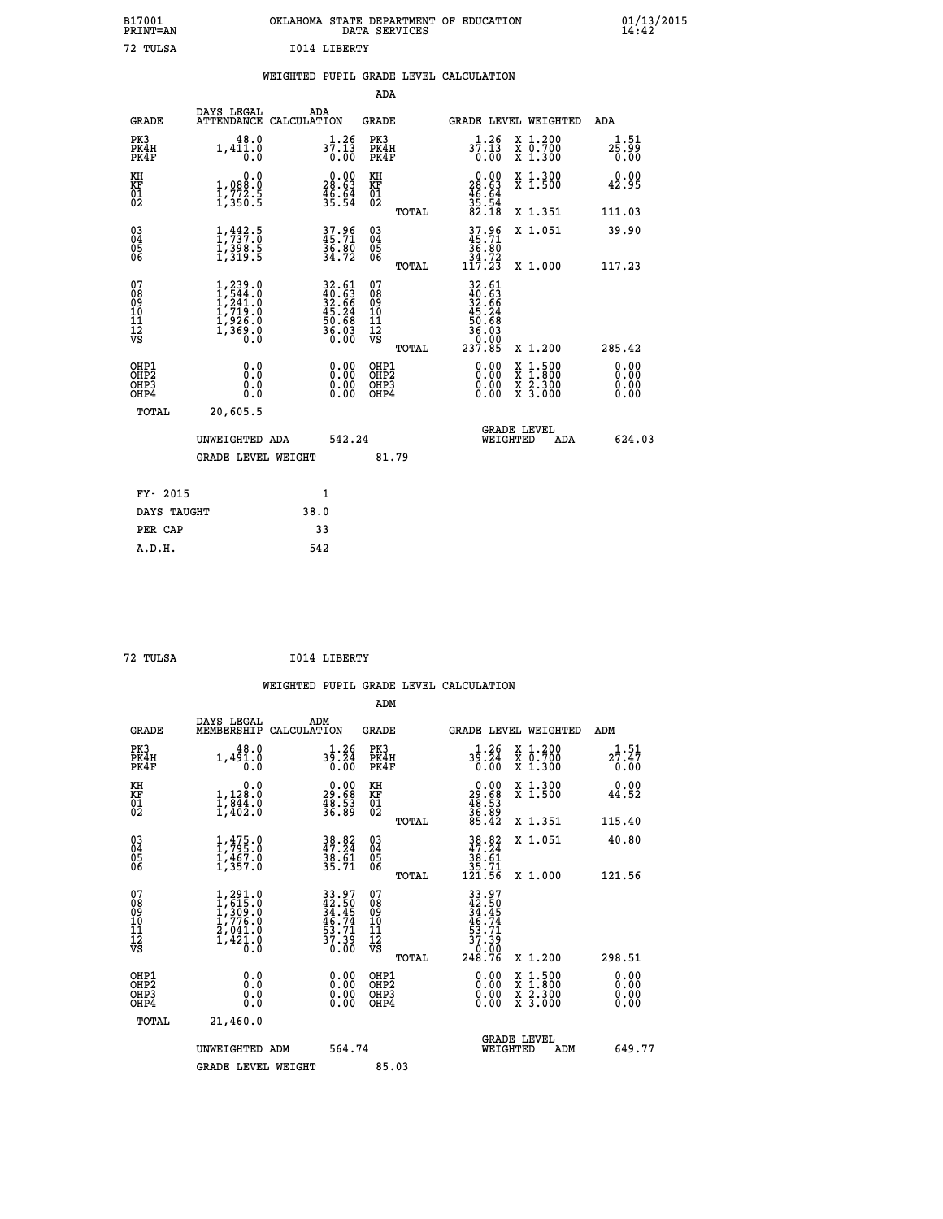| OKLAHOMA STATE DEPARTMENT OF EDUCATION<br>DATA SERVICES |  |
|---------------------------------------------------------|--|
| T014 LIRERTY                                            |  |

 **B17001 OKLAHOMA STATE DEPARTMENT OF EDUCATION 01/13/2015**

## **WEIGHTED PUPIL GRADE LEVEL CALCULATION**

|                                                                    |                                                                                         |              |                                                                          | ADA                                                 |       |                                                                                                                                                                                                                                                                                |                                                                                          |                               |
|--------------------------------------------------------------------|-----------------------------------------------------------------------------------------|--------------|--------------------------------------------------------------------------|-----------------------------------------------------|-------|--------------------------------------------------------------------------------------------------------------------------------------------------------------------------------------------------------------------------------------------------------------------------------|------------------------------------------------------------------------------------------|-------------------------------|
| <b>GRADE</b>                                                       | DAYS LEGAL<br>ATTENDANCE CALCULATION                                                    | ADA          |                                                                          | <b>GRADE</b>                                        |       |                                                                                                                                                                                                                                                                                | GRADE LEVEL WEIGHTED                                                                     | ADA                           |
| PK3<br>PK4H<br>PK4F                                                | 48.0<br>1,411.0                                                                         |              | $37:13$<br>0.00                                                          | PK3<br>PK4H<br>PK4F                                 |       | $3\overline{7}\cdot\overline{2}\overline{6}$<br>0.55                                                                                                                                                                                                                           | X 1.200<br>X 0.700<br>X 1.300                                                            | 1.51<br>25.99<br>0.00         |
| KH<br>KF<br>01<br>02                                               | 0.0<br>1,088:0<br>1,772.5<br>1,350:5                                                    |              | $\begin{smallmatrix} 0.00\\ 28.63\\ 46.64\\ 35.54 \end{smallmatrix}$     | KH<br>KF<br>01<br>02                                |       | $\begin{smallmatrix} 0.00\\ 28.63\\ 46.64\\ 55.54\\ 35.18 \end{smallmatrix}$                                                                                                                                                                                                   | X 1.300<br>X 1.500                                                                       | 0.00<br>42.95                 |
|                                                                    |                                                                                         |              |                                                                          |                                                     | TOTAL |                                                                                                                                                                                                                                                                                | X 1.351                                                                                  | 111.03                        |
| $\begin{smallmatrix} 03 \\[-4pt] 04 \end{smallmatrix}$<br>Ŏ5<br>06 | $\frac{1}{1}, \frac{442}{737}.\overset{5}{0} \\ 1, \frac{398}{319}.\overset{5}{5}$      |              | 37.96<br>45.71<br>36.80<br>34.72                                         | $\begin{array}{c} 03 \\ 04 \\ 05 \\ 06 \end{array}$ |       | $37.96$<br>$35.71$<br>$36.80$<br>$34.72$<br>$117.23$                                                                                                                                                                                                                           | X 1.051                                                                                  | 39.90                         |
|                                                                    |                                                                                         |              |                                                                          |                                                     | TOTAL |                                                                                                                                                                                                                                                                                | X 1.000                                                                                  | 117.23                        |
| 07<br>08<br>09<br>101<br>11<br>12<br>VS                            | $1, 239.0$<br>$1, 544.0$<br>$1, 241.0$<br>$1, 719.0$<br>$1, 926.0$<br>$1, 369.0$<br>0.0 |              | $32.61$<br>$40.63$<br>$32.66$<br>$45.24$<br>$50.68$<br>$56.03$<br>$0.00$ | 07<br>08<br>09<br>11<br>11<br>12<br>VS              |       | 32.61<br>40.63<br>32.66<br>32.66<br>45.24<br>50.68<br>36.030<br>0.90                                                                                                                                                                                                           |                                                                                          |                               |
|                                                                    |                                                                                         |              |                                                                          |                                                     | TOTAL | 237.85                                                                                                                                                                                                                                                                         | X 1.200                                                                                  | 285.42                        |
| OHP1<br>OHP <sub>2</sub><br>OH <sub>P3</sub><br>OHP4               | 0.0<br>0.000                                                                            |              | 0.00<br>$\begin{smallmatrix} 0.00 \ 0.00 \end{smallmatrix}$              | OHP1<br>OHP2<br>OHP <sub>3</sub>                    |       | $\begin{smallmatrix} 0.00 & 0.00 & 0.00 & 0.00 & 0.00 & 0.00 & 0.00 & 0.00 & 0.00 & 0.00 & 0.00 & 0.00 & 0.00 & 0.00 & 0.00 & 0.00 & 0.00 & 0.00 & 0.00 & 0.00 & 0.00 & 0.00 & 0.00 & 0.00 & 0.00 & 0.00 & 0.00 & 0.00 & 0.00 & 0.00 & 0.00 & 0.00 & 0.00 & 0.00 & 0.00 & 0.0$ | $\begin{smallmatrix} x & 1.500 \\ x & 1.800 \\ x & 2.300 \\ x & 3.000 \end{smallmatrix}$ | 0.00<br>Ō. ŌŌ<br>0.00<br>0.00 |
| TOTAL                                                              | 20,605.5                                                                                |              |                                                                          |                                                     |       |                                                                                                                                                                                                                                                                                |                                                                                          |                               |
|                                                                    | UNWEIGHTED ADA                                                                          |              | 542.24                                                                   |                                                     |       | WEIGHTED                                                                                                                                                                                                                                                                       | <b>GRADE LEVEL</b><br>ADA                                                                | 624.03                        |
|                                                                    | <b>GRADE LEVEL WEIGHT</b>                                                               |              |                                                                          | 81.79                                               |       |                                                                                                                                                                                                                                                                                |                                                                                          |                               |
| FY- 2015                                                           |                                                                                         | $\mathbf{1}$ |                                                                          |                                                     |       |                                                                                                                                                                                                                                                                                |                                                                                          |                               |
| DAYS TAUGHT                                                        |                                                                                         | 38.0         |                                                                          |                                                     |       |                                                                                                                                                                                                                                                                                |                                                                                          |                               |
| PER CAP                                                            |                                                                                         | 33           |                                                                          |                                                     |       |                                                                                                                                                                                                                                                                                |                                                                                          |                               |

| 72. TULSA |  |
|-----------|--|
|           |  |

 **A.D.H. 542**

 **ADM**

 **B17001<br>PRINT=AN 72 TULSA I014 LIBERTY**

 **72 TULSA I014 LIBERTY**

| <b>GRADE</b>                                         | DAYS LEGAL<br>MEMBERSHIP CALCULATION                                                                                | ADM                                                                  | <b>GRADE</b>                                       |       | GRADE LEVEL WEIGHTED                                                                 |                                          | ADM                       |  |
|------------------------------------------------------|---------------------------------------------------------------------------------------------------------------------|----------------------------------------------------------------------|----------------------------------------------------|-------|--------------------------------------------------------------------------------------|------------------------------------------|---------------------------|--|
| PK3<br>PK4H<br>PK4F                                  | 48.0<br>$1,49\overset{5}{\phantom{}}\,\overset{1}{\phantom{}}\,.\overset{0}{\phantom{}}\,\overset{0}{\phantom{}}\,$ | $3\frac{1}{9}\cdot\frac{26}{24}$<br>0.00                             | PK3<br>PK4H<br>PK4F                                |       | 1.26<br>$3\overline{5}\cdot\overline{24}$<br>0.00                                    | X 1.200<br>X 0.700<br>X 1.300            | $2^{1.51}_{7.47}$<br>0.00 |  |
| KH<br>KF<br>01<br>02                                 | $\begin{smallmatrix}&&&0.0\\1,128.0\\1,844.0\\1,402.0\end{smallmatrix}$                                             | $\begin{smallmatrix} 0.00\\ 29.68\\ 48.53\\ 36.89 \end{smallmatrix}$ | KH<br>KF<br>01<br>02                               |       | $\begin{smallmatrix} 0.00\\29.68\\48.53\\36.89\\85.42\end{smallmatrix}$              | X 1.300<br>X 1.500                       | 0.00<br>44.52             |  |
|                                                      |                                                                                                                     |                                                                      |                                                    | TOTAL |                                                                                      | X 1.351                                  | 115.40                    |  |
| $\begin{matrix} 03 \\ 04 \\ 05 \\ 06 \end{matrix}$   | $1, 475.0$<br>$1, 795.0$<br>$1, 467.0$<br>$1, 357.0$                                                                | 38.82<br>47.24<br>38.61<br>35.71                                     | $\begin{matrix} 03 \\ 04 \\ 05 \\ 06 \end{matrix}$ |       | $\begin{array}{r} 38.82 \\ 47.24 \\ 38.61 \\ 35.71 \\ 121.56 \end{array}$            | X 1.051                                  | 40.80                     |  |
|                                                      |                                                                                                                     |                                                                      |                                                    | TOTAL |                                                                                      | X 1.000                                  | 121.56                    |  |
| 07<br>08<br>09<br>101<br>11<br>12<br>VS              | $\begin{smallmatrix} 1,291.0\\ 1,615.0\\ 1,309.0\\ 1,776.0\\ 2,041.0\\ 1,421.0\\ 0.0 \end{smallmatrix}$             | 33.97<br>42.50<br>34.45<br>34.74<br>46.74<br>53.71<br>57.39<br>37.39 | 07<br>08<br>09<br>001<br>11<br>11<br>12<br>VS      | TOTAL | $33.97$<br>$42.50$<br>$34.45$<br>$46.74$<br>$53.71$<br>$37.39$<br>$0.00$<br>$248.76$ | X 1.200                                  | 298.51                    |  |
| OHP1<br>OHP <sub>2</sub><br>OH <sub>P3</sub><br>OHP4 | 0.0<br>0.000                                                                                                        | $\begin{smallmatrix} 0.00 \ 0.00 \ 0.00 \ 0.00 \end{smallmatrix}$    | OHP1<br>OHP2<br>OHP3<br>OHP4                       |       | 0.00<br>$0.00$<br>0.00                                                               | X 1:500<br>X 1:800<br>X 2:300<br>X 3:000 | 0.00<br>0.00<br>0.00      |  |
| TOTAL                                                | 21,460.0                                                                                                            |                                                                      |                                                    |       |                                                                                      |                                          |                           |  |
|                                                      | UNWEIGHTED<br>ADM                                                                                                   | 564.74                                                               |                                                    |       | WEIGHTED                                                                             | <b>GRADE LEVEL</b><br>ADM                | 649.77                    |  |
|                                                      | <b>GRADE LEVEL WEIGHT</b>                                                                                           |                                                                      | 85.03                                              |       |                                                                                      |                                          |                           |  |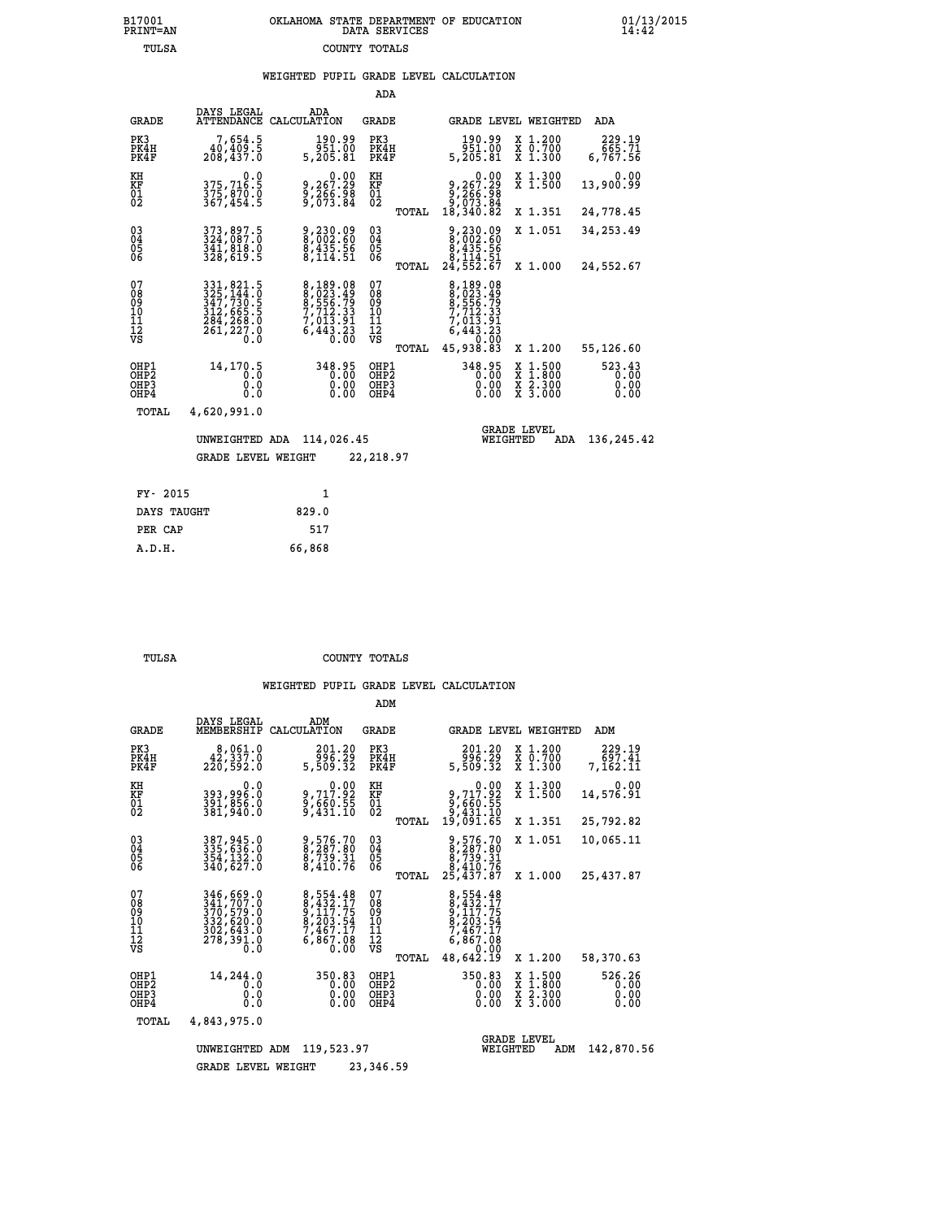## **B17001 OKLAHOMA STATE DEPARTMENT OF EDUCATION 01/13/2015 PRINT=AN DATA SERVICES 14:42 TULSA COUNTY TOTALS**

## **WEIGHTED PUPIL GRADE LEVEL CALCULATION**

|                                                    |                                                                                                                           |                                                                                  | ADA                                      |                                                                                               |                                          |                                |
|----------------------------------------------------|---------------------------------------------------------------------------------------------------------------------------|----------------------------------------------------------------------------------|------------------------------------------|-----------------------------------------------------------------------------------------------|------------------------------------------|--------------------------------|
| <b>GRADE</b>                                       | DAYS LEGAL<br>ATTENDANCE CALCULATION                                                                                      | ADA                                                                              | <b>GRADE</b>                             | GRADE LEVEL WEIGHTED                                                                          |                                          | ADA                            |
| PK3<br>PK4H<br>PK4F                                | 7,654.5<br>40, 409.5<br>208,437.0                                                                                         | 190.99<br>951.00<br>5,205.81                                                     | PK3<br>PK4H<br>PK4F                      | 190.99<br>951.00<br>5,205.81                                                                  | X 1.200<br>X 0.700<br>X 1.300            | 229.19<br>665.71<br>6,767.56   |
| KH<br>KF<br>01<br>02                               | $0.0$<br>375,716.5<br>375,870.0<br>367,454.5                                                                              | $9,267.29$<br>$9,266.98$<br>$9,073.84$                                           | KH<br>KF<br>01<br>02                     | $\begin{smallmatrix} 0.00\\9,267.29\\9,266.98\\9,673.84\\18,340.82\end{smallmatrix}$          | X 1.300<br>X 1.500                       | 0.00<br>13,900.99              |
|                                                    |                                                                                                                           |                                                                                  | TOTAL                                    |                                                                                               | X 1.351                                  | 24,778.45                      |
| $\begin{matrix} 03 \\ 04 \\ 05 \\ 06 \end{matrix}$ | 373,897.5<br>324,087.0<br>341,818.0<br>328,619.5                                                                          | 9,230.09<br>8,002.60<br>8,435.56<br>8,114.51                                     | 03<br>04<br>05<br>06                     | 9,230.09<br>8,002.60<br>8,435.56<br>8,114.51<br>24,552.67                                     | X 1.051                                  | 34,253.49                      |
|                                                    |                                                                                                                           |                                                                                  | TOTAL                                    |                                                                                               | X 1.000                                  | 24,552.67                      |
| 07<br>08<br>09<br>11<br>11<br>12<br>VS             | $\begin{smallmatrix} 331, 821.5\\ 325, 144.0\\ 347, 730.5\\ 312, 665.5\\ 284, 268.0\\ 261, 227.0\\ 0.0 \end{smallmatrix}$ | 8,189.08<br>8,023.49<br>8,556.79<br>7,712.33<br>7,013.91<br>6,443.23<br>6,443.23 | 07<br>089<br>101<br>111<br>VS<br>TOTAL   | 8,189.08<br>8,023.49<br>8,556.79<br>7,712.33<br>7,013.91<br>6,443.23<br>6,443.23<br>45,938.83 | X 1.200                                  | 55,126.60                      |
| OHP1<br>OH <sub>P</sub> 2<br>OHP3<br>OHP4          | 14,170.5<br>Ō.Ō<br>0.0<br>0.0                                                                                             | 348.95<br>0.00<br>0.00<br>0.00                                                   | OHP1<br>OHP <sub>2</sub><br>OHP3<br>OHP4 | 348.95<br>0.00<br>0.00<br>0.00                                                                | X 1:500<br>X 1:800<br>X 2:300<br>X 3:000 | 523.43<br>0.00<br>0.00<br>0.00 |
| TOTAL                                              | 4,620,991.0                                                                                                               |                                                                                  |                                          |                                                                                               |                                          |                                |
|                                                    | UNWEIGHTED ADA                                                                                                            | 114,026.45                                                                       |                                          | WEIGHTED                                                                                      | <b>GRADE LEVEL</b><br>ADA                | 136,245.42                     |
|                                                    | <b>GRADE LEVEL WEIGHT</b>                                                                                                 |                                                                                  | 22,218.97                                |                                                                                               |                                          |                                |
| FY- 2015                                           |                                                                                                                           | $\mathbf{1}$                                                                     |                                          |                                                                                               |                                          |                                |
|                                                    |                                                                                                                           |                                                                                  |                                          |                                                                                               |                                          |                                |

| DAYS TAUGHT | 829.0  |
|-------------|--------|
| PER CAP     | 517    |
| A.D.H.      | 66,868 |
|             |        |

 **ADM**

 **TULSA COUNTY TOTALS**

| <b>GRADE</b>                                                       | DAYS LEGAL<br>MEMBERSHIP                                                                       | ADM<br>CALCULATION                                                           | <b>GRADE</b>                                    | GRADE LEVEL WEIGHTED                                                                      |                                                                                           | ADM                            |
|--------------------------------------------------------------------|------------------------------------------------------------------------------------------------|------------------------------------------------------------------------------|-------------------------------------------------|-------------------------------------------------------------------------------------------|-------------------------------------------------------------------------------------------|--------------------------------|
| PK3<br>PK4H<br>PK4F                                                | 8,061.0<br>42,337.0<br>220,592.0                                                               | 201.20<br>996.29<br>5,509.32                                                 | PK3<br>PK4H<br>PK4F                             | 201.20<br>996.29<br>5,509.32                                                              | X 1.200<br>X 0.700<br>X 1.300                                                             | 229.19<br>697.41<br>7,162.11   |
| KH<br><b>KF</b><br>01<br>02                                        | 0.0<br>393,996.0<br>391,856.0<br>381,940.0                                                     | $9,717.92$<br>$9,660.55$<br>$9,431.10$                                       | KH<br>KF<br>01<br>02                            | 0.00<br>9,717.92<br>9,660.55<br>9,431.10                                                  | X 1.300<br>X 1.500                                                                        | 0.00<br>14,576.91              |
|                                                                    |                                                                                                |                                                                              | TOTAL                                           | 19,091.65                                                                                 | X 1.351                                                                                   | 25,792.82                      |
| $\begin{smallmatrix} 03 \\[-4pt] 04 \end{smallmatrix}$<br>Ŏ5<br>06 | 387, 945.0<br>335, 636.0<br>354, 132.0<br>340,627.0                                            | 9,576.70<br>8,287.80<br>8,739.31<br>8,410.76                                 | $\substack{03 \\ 04}$<br>$\frac{05}{06}$        | 9,576.70<br>8,287.80<br>8,739.31<br>8,410.76                                              | X 1.051                                                                                   | 10,065.11                      |
|                                                                    |                                                                                                |                                                                              | TOTAL                                           | 25,437.87                                                                                 | X 1.000                                                                                   | 25,437.87                      |
| 07<br>08<br>09<br>01<br>11<br>11<br>12<br>VS                       | 346,669.0<br>341,707.0<br>370,579:0<br>332,620.0<br>302,643.0<br>278,391.0<br>$0.\overline{0}$ | 8,554.48<br>8,432.17<br>9,117.75<br>8,203.54<br>7,467.17<br>6,867.08<br>0.00 | 07<br>08<br>09<br>11<br>11<br>12<br>VS<br>TOTAL | 8,554.48<br>8,432.17<br>9,117.75<br>8,203.54<br>7,467.17<br>6,867.08<br>0.00<br>48,642.19 | X 1.200                                                                                   | 58,370.63                      |
| OHP1<br>OHP <sub>2</sub><br>OHP3<br>OHP4                           | 14,244.0<br>0.0<br>0.0<br>0.0                                                                  | 350.83<br>0.00<br>0.00<br>0.00                                               | OHP1<br>OH <sub>P</sub> 2<br>OHP3<br>OHP4       | 350.83<br>0.00<br>0.00<br>0.00                                                            | $\begin{array}{c} x & 1.500 \\ x & 1.800 \\ x & 2.300 \end{array}$<br>$X\overline{3.000}$ | 526.26<br>0.00<br>0.00<br>0.00 |
| TOTAL                                                              | 4,843,975.0                                                                                    |                                                                              |                                                 |                                                                                           |                                                                                           |                                |
|                                                                    | UNWEIGHTED                                                                                     | 119,523.97<br>ADM                                                            |                                                 | WEIGHTED                                                                                  | <b>GRADE LEVEL</b><br>ADM                                                                 | 142,870.56                     |
|                                                                    | <b>GRADE LEVEL WEIGHT</b>                                                                      |                                                                              | 23,346.59                                       |                                                                                           |                                                                                           |                                |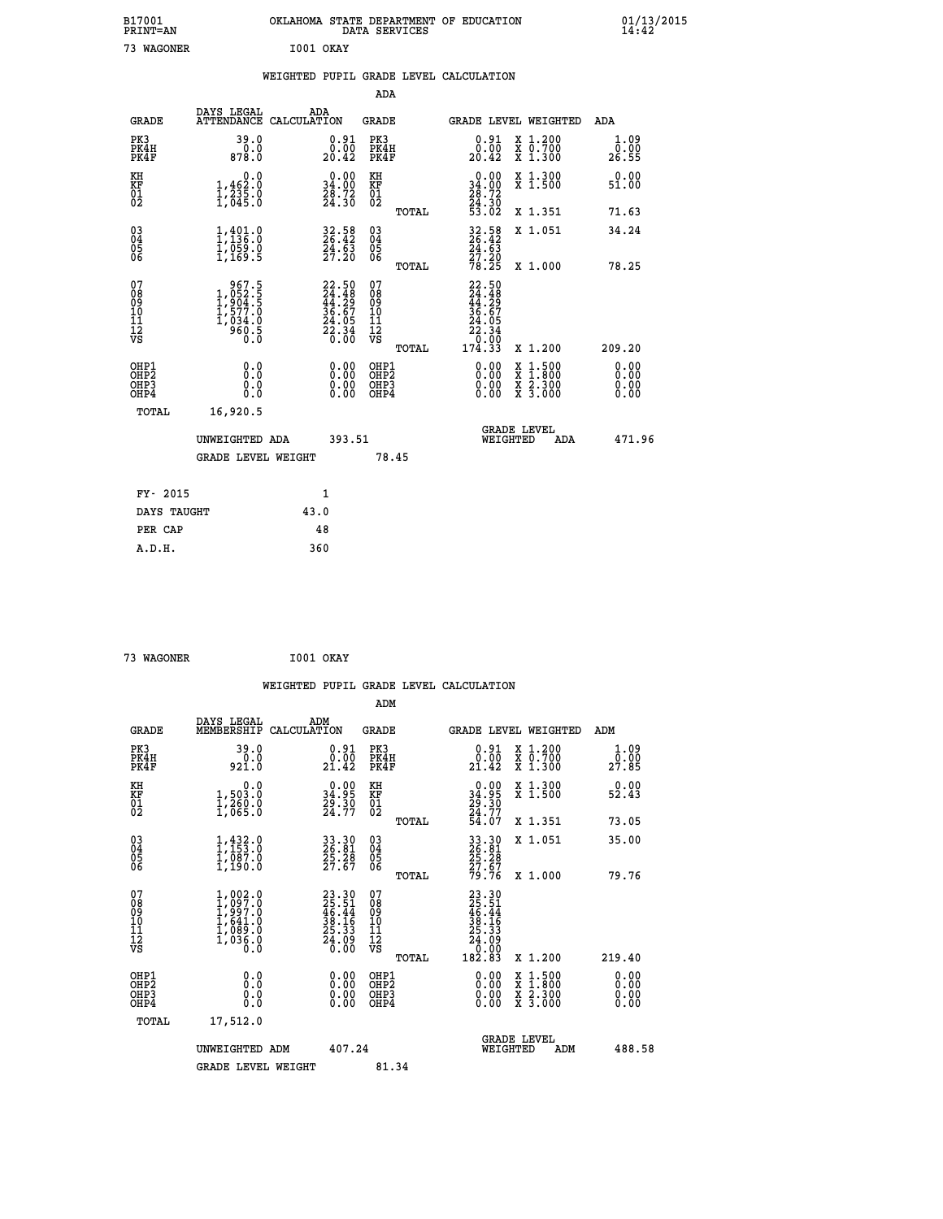| B17001<br>PRINT=AN                                   |                                                                                                                 |           |                                                                          |                                                     | DATA SERVICES | OKLAHOMA STATE DEPARTMENT OF EDUCATION                                                              |                                                                                          | 01/13/2015<br>14:42          |  |
|------------------------------------------------------|-----------------------------------------------------------------------------------------------------------------|-----------|--------------------------------------------------------------------------|-----------------------------------------------------|---------------|-----------------------------------------------------------------------------------------------------|------------------------------------------------------------------------------------------|------------------------------|--|
| 73 WAGONER                                           |                                                                                                                 | I001 OKAY |                                                                          |                                                     |               |                                                                                                     |                                                                                          |                              |  |
|                                                      |                                                                                                                 |           |                                                                          |                                                     |               | WEIGHTED PUPIL GRADE LEVEL CALCULATION                                                              |                                                                                          |                              |  |
|                                                      |                                                                                                                 |           |                                                                          | ADA                                                 |               |                                                                                                     |                                                                                          |                              |  |
| <b>GRADE</b>                                         | DAYS LEGAL<br>ATTENDANCE CALCULATION                                                                            | ADA       |                                                                          | GRADE                                               |               |                                                                                                     | <b>GRADE LEVEL WEIGHTED</b>                                                              | ADA                          |  |
| PK3<br>PK4H<br>PK4F                                  | 39.0<br>0.0<br>878.0                                                                                            |           | $\substack{0.91 \\ 0.00 \\ 20.42}$                                       | PK3<br>PK4H<br>PK4F                                 |               | $\substack{0.91 \\ 0.00 \\ 20.42}$                                                                  | X 1.200<br>X 0.700<br>X 1.300                                                            | 1.09<br>0.00<br>26.55        |  |
| KH<br>KF<br>$^{01}_{02}$                             | $\begin{smallmatrix}&&&0.0\\1,462.0\\1,235.0\\1,645.0\end{smallmatrix}$                                         |           | $\begin{smallmatrix} 0.00\\ 34.00\\ 28.72\\ 24.30 \end{smallmatrix}$     | КH<br>KF<br>01<br>02                                |               | $\begin{smallmatrix} 0.00\\ 34.00\\ 28.72\\ 24.30\\ 53.02 \end{smallmatrix}$                        | X 1.300<br>X 1.500                                                                       | 0.00<br>51.00                |  |
|                                                      |                                                                                                                 |           |                                                                          |                                                     | TOTAL         |                                                                                                     | X 1.351                                                                                  | 71.63                        |  |
| $\substack{03 \\ 04}$<br>0500                        | $\frac{1}{1}$ , $\frac{401}{136}$ ; 0<br>$\frac{1}{1}$ , $\frac{059}{169}$ .<br>1,169.5                         |           | 32.58<br>26.42<br>24.63<br>27.20                                         | $\begin{array}{c} 03 \\ 04 \\ 05 \\ 06 \end{array}$ |               | $32.58$<br>26.42<br>$\bar{2}\bar{4}\cdot\bar{6}\bar{3}$                                             | X 1.051                                                                                  | 34.24                        |  |
|                                                      |                                                                                                                 |           |                                                                          |                                                     | TOTAL         | $\frac{57.20}{78.25}$                                                                               | X 1.000                                                                                  | 78.25                        |  |
| 07<br>08<br>09<br>11<br>11<br>12<br>VS               | $\begin{smallmatrix} & 967.5\\ 1,052.5\\ 1,904.5\\ 1,904.5\\ 1,577.0\\ 1,034.0\\ 960.5\\ 0.0 \end{smallmatrix}$ |           | $22.50$<br>$24.48$<br>$44.29$<br>$36.67$<br>$24.05$<br>$22.34$<br>$0.00$ | 07<br>08<br>09<br>10<br>11<br>12<br>VS              | <b>TOTAL</b>  | 22.50<br>$\frac{7}{4}$ : $\frac{4}{3}$<br>44:29<br>36.67<br>24.05<br>$\frac{22.34}{0.00}$<br>174.33 | X 1.200                                                                                  | 209.20                       |  |
| OHP1<br>OHP <sub>2</sub><br>OH <sub>P3</sub><br>OHP4 | 0.0<br>0.0<br>0.0<br>0.0                                                                                        |           | 0.00<br>0.00<br>0.00                                                     | OHP1<br>OH <sub>P</sub> 2<br>OHP3<br>OHP4           |               | 0.00<br>0.00<br>0.00                                                                                | $\begin{smallmatrix} x & 1.500 \\ x & 1.800 \\ x & 2.300 \\ x & 3.000 \end{smallmatrix}$ | 0.00<br>0.00<br>0.00<br>0.00 |  |
| TOTAL                                                | 16,920.5                                                                                                        |           |                                                                          |                                                     |               |                                                                                                     |                                                                                          |                              |  |
|                                                      | UNWEIGHTED ADA                                                                                                  |           | 393.51                                                                   |                                                     |               |                                                                                                     | <b>GRADE LEVEL</b><br>WEIGHTED<br>ADA                                                    | 471.96                       |  |
|                                                      | <b>GRADE LEVEL WEIGHT</b>                                                                                       |           |                                                                          |                                                     | 78.45         |                                                                                                     |                                                                                          |                              |  |
| FY- 2015                                             |                                                                                                                 | 1         |                                                                          |                                                     |               |                                                                                                     |                                                                                          |                              |  |
| DAYS TAUGHT                                          |                                                                                                                 | 43.0      |                                                                          |                                                     |               |                                                                                                     |                                                                                          |                              |  |
| PER CAP                                              |                                                                                                                 | 48        |                                                                          |                                                     |               |                                                                                                     |                                                                                          |                              |  |

| 73 WAGONER | I001 OKAY |  |
|------------|-----------|--|

|                                                    |                                                                                     |                    |                                                                      |                                        |       | WEIGHTED PUPIL GRADE LEVEL CALCULATION                                                                                                                                                                                                                                         |                                          |     |                       |
|----------------------------------------------------|-------------------------------------------------------------------------------------|--------------------|----------------------------------------------------------------------|----------------------------------------|-------|--------------------------------------------------------------------------------------------------------------------------------------------------------------------------------------------------------------------------------------------------------------------------------|------------------------------------------|-----|-----------------------|
|                                                    |                                                                                     |                    |                                                                      | ADM                                    |       |                                                                                                                                                                                                                                                                                |                                          |     |                       |
| <b>GRADE</b>                                       | DAYS LEGAL<br>MEMBERSHIP                                                            | ADM<br>CALCULATION |                                                                      | GRADE                                  |       | GRADE LEVEL WEIGHTED                                                                                                                                                                                                                                                           |                                          | ADM |                       |
| PK3<br>PK4H<br>PK4F                                | 39.0<br>0.0<br>921.0                                                                |                    | $0.91$<br>$0.00$<br>21.42                                            | PK3<br>PK4H<br>PK4F                    |       | $\begin{smallmatrix} 0.91\ 0.00\ 21.42 \end{smallmatrix}$                                                                                                                                                                                                                      | X 1.200<br>X 0.700<br>X 1.300            |     | 1.09<br>0.00<br>27.85 |
| KH<br>KF<br>01<br>02                               | 0.0<br>1,503:0<br>1,260:0<br>1,065:0                                                |                    | $\begin{smallmatrix} 0.00\\ 34.95\\ 29.30\\ 24.77 \end{smallmatrix}$ | KH<br>KF<br>01<br>02                   |       | $\begin{smallmatrix} 0.00\\ 34.95\\ 29.30\\ 24.77\\ 54.07 \end{smallmatrix}$                                                                                                                                                                                                   | X 1.300<br>X 1.500                       |     | 0.00<br>52.43         |
|                                                    |                                                                                     |                    |                                                                      |                                        | TOTAL |                                                                                                                                                                                                                                                                                | X 1.351                                  |     | 73.05                 |
| $\begin{matrix} 03 \\ 04 \\ 05 \\ 06 \end{matrix}$ | $1, 432.0$<br>$1, 153.0$<br>$1, 087.0$<br>$1, 190.0$                                |                    | 33.30<br>26.81<br>25.28<br>27.67                                     | 03<br>04<br>05<br>06                   |       | 33.30<br>26.81<br>25.28<br>27.67<br>79.76                                                                                                                                                                                                                                      | X 1.051                                  |     | 35.00                 |
|                                                    |                                                                                     |                    |                                                                      |                                        | TOTAL |                                                                                                                                                                                                                                                                                | X 1.000                                  |     | 79.76                 |
| 07<br>08<br>09<br>101<br>112<br>VS                 | $1,002.0$<br>$1,097.0$<br>$1,997.0$<br>$1,641.0$<br>$1,089.0$<br>$1,036.0$<br>$0.0$ |                    | 23.30<br>25.51<br>46.44<br>38.16<br>25.33<br>$\frac{54.09}{0.00}$    | 07<br>08<br>09<br>11<br>11<br>12<br>VS | TOTAL | $\begin{smallmatrix} 23 & 30 \\ 25 & 51 \\ 46 & 44 \\ 38 & 16 \\ 25 & 33 \\ 24 & 0 \\ 0 & 0 \\ 0 & 0 \\ 182 & 83 \\ \end{smallmatrix}$                                                                                                                                         | X 1.200                                  |     | 219.40                |
| OHP1                                               |                                                                                     |                    |                                                                      | OHP1                                   |       |                                                                                                                                                                                                                                                                                |                                          |     |                       |
| OHP2<br>OH <sub>P3</sub><br>OHP4                   | 0.0<br>0.000                                                                        |                    | 0.00<br>0.00<br>0.00                                                 | OHP <sub>2</sub><br>OHP3<br>OHP4       |       | $\begin{smallmatrix} 0.00 & 0.00 & 0.00 & 0.00 & 0.00 & 0.00 & 0.00 & 0.00 & 0.00 & 0.00 & 0.00 & 0.00 & 0.00 & 0.00 & 0.00 & 0.00 & 0.00 & 0.00 & 0.00 & 0.00 & 0.00 & 0.00 & 0.00 & 0.00 & 0.00 & 0.00 & 0.00 & 0.00 & 0.00 & 0.00 & 0.00 & 0.00 & 0.00 & 0.00 & 0.00 & 0.0$ | X 1:500<br>X 1:800<br>X 2:300<br>X 3:000 |     | 0.00<br>0.00<br>0.00  |
| TOTAL                                              | 17,512.0                                                                            |                    |                                                                      |                                        |       |                                                                                                                                                                                                                                                                                |                                          |     |                       |
|                                                    | UNWEIGHTED ADM                                                                      |                    | 407.24                                                               |                                        |       | WEIGHTED                                                                                                                                                                                                                                                                       | <b>GRADE LEVEL</b><br>ADM                |     | 488.58                |
|                                                    | <b>GRADE LEVEL WEIGHT</b>                                                           |                    |                                                                      | 81.34                                  |       |                                                                                                                                                                                                                                                                                |                                          |     |                       |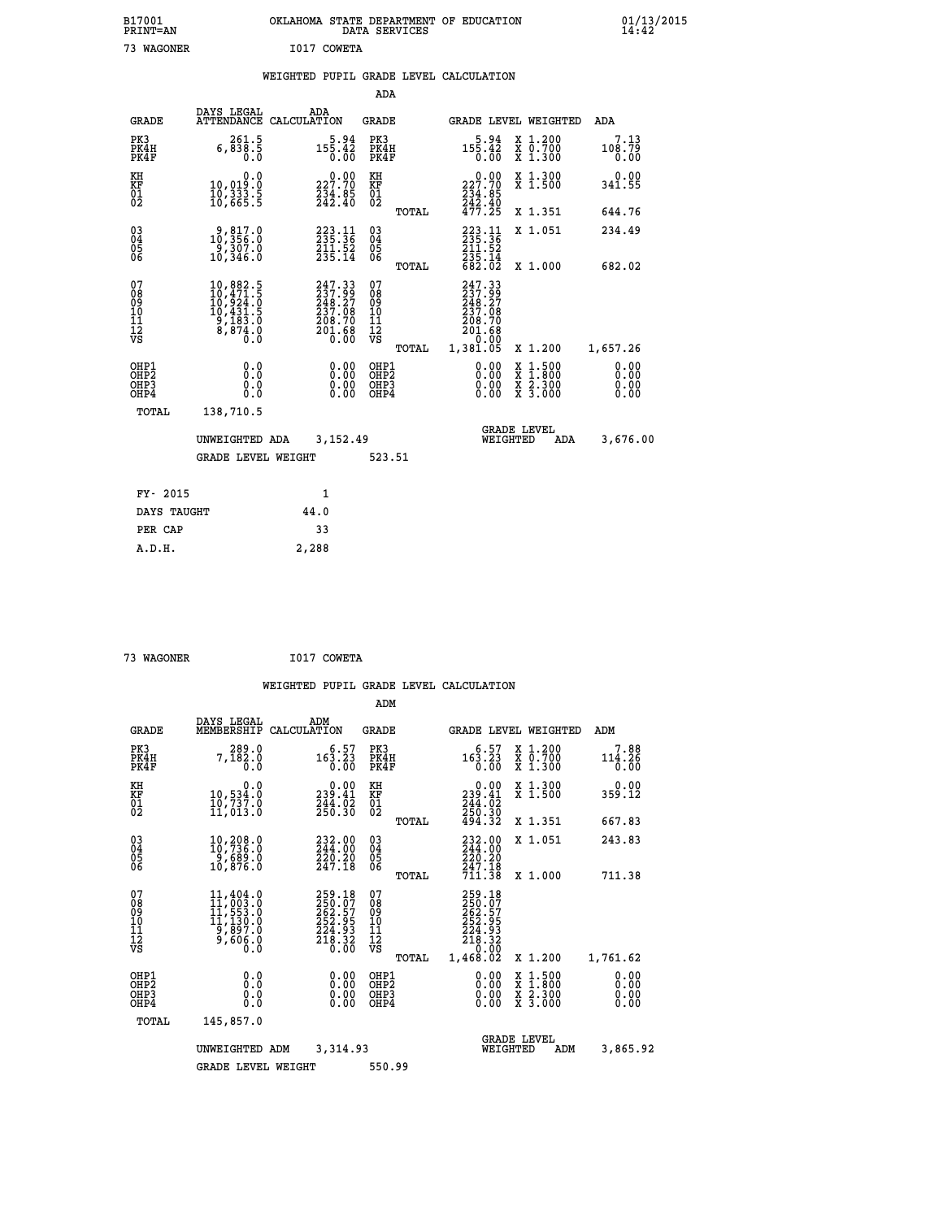| B17001<br><b>PRINT=AN</b> | OKLAHOMA STATE DEPARTMENT OF EDUCATION<br>DATA SERVICES |  |
|---------------------------|---------------------------------------------------------|--|
| 73 WAGONER                | I017 COWETA                                             |  |

|                                                      |                                                                                                                   |                                                                              | ADA                                      |       |                                                                                            |                                                                                                  |                              |
|------------------------------------------------------|-------------------------------------------------------------------------------------------------------------------|------------------------------------------------------------------------------|------------------------------------------|-------|--------------------------------------------------------------------------------------------|--------------------------------------------------------------------------------------------------|------------------------------|
| <b>GRADE</b>                                         | DAYS LEGAL<br><b>ATTENDANCE</b>                                                                                   | ADA<br>CALCULATION                                                           | <b>GRADE</b>                             |       |                                                                                            | GRADE LEVEL WEIGHTED                                                                             | ADA                          |
| PK3<br>PK4H<br>PK4F                                  | 6, 261.5<br>5. 838, 6<br>0.0                                                                                      | $5.94$<br>155.42<br>0.00                                                     | PK3<br>PK4H<br>PK4F                      |       | $15\begin{matrix}5.94\\15\end{matrix}$<br>0.00                                             | X 1.200<br>X 0.700<br>X 1.300                                                                    | 7.13<br>108.79<br>0.00       |
| KH<br>KF<br>01<br>02                                 | 0.0<br>10,019:0<br>10,333:5<br>10,665:5                                                                           | $\begin{smallmatrix} 0.00\\ 227.70\\ 234.85\\ 242.40 \end{smallmatrix}$      | KH<br>KF<br>01<br>02                     |       | $\begin{smallmatrix} &0.00\\ 227.70\\ 234.85\\ 242.40\\ 477.25 \end{smallmatrix}$          | X 1.300<br>X 1.500                                                                               | 0.00<br>341.55               |
|                                                      |                                                                                                                   |                                                                              |                                          | TOTAL |                                                                                            | X 1.351                                                                                          | 644.76                       |
| $\begin{matrix} 03 \\ 04 \\ 05 \\ 06 \end{matrix}$   | 9,817.0<br>10,356.0<br>-9,307.0<br>10,346.0                                                                       | 223.11<br>235.36<br>211.52<br>235.14                                         | $\substack{03 \\ 04}$<br>0500            |       | 223.11<br>235.36<br>$211.52$<br>$235.14$<br>$682.02$                                       | X 1.051                                                                                          | 234.49                       |
|                                                      |                                                                                                                   |                                                                              |                                          | TOTAL |                                                                                            | X 1.000                                                                                          | 682.02                       |
| 07<br>08<br>09<br>10<br>11<br>12<br>VS               | $\begin{smallmatrix} 10, 882.5\\ 10, 471.5\\ 10, 924.0\\ 10, 431.5\\ 9, 183.0\\ 8, 874.0\\ 0.0 \end{smallmatrix}$ | 247.33<br>$237.99$<br>$248.27$<br>$237.08$<br>$208.70$<br>$201.68$<br>$0.00$ | 07<br>08<br>09<br>101<br>112<br>VS       |       | 247.33<br>$\frac{237.99}{248.27}$<br>$\frac{237.08}{237.08}$<br>208.70<br>201.68<br>- 0.00 |                                                                                                  |                              |
|                                                      |                                                                                                                   |                                                                              |                                          | TOTAL | 1,381.05                                                                                   | X 1.200                                                                                          | 1,657.26                     |
| OHP1<br>OH <sub>P</sub> <sub>2</sub><br>OHP3<br>OHP4 | 0.0<br>0.0<br>0.0                                                                                                 | $0.00$<br>$0.00$<br>0.00                                                     | OHP1<br>OHP <sub>2</sub><br>OHP3<br>OHP4 |       |                                                                                            | $\begin{smallmatrix} x & 1 & 500 \\ x & 1 & 800 \\ x & 2 & 300 \\ x & 3 & 000 \end{smallmatrix}$ | 0.00<br>0.00<br>0.00<br>0.00 |
| <b>TOTAL</b>                                         | 138,710.5                                                                                                         |                                                                              |                                          |       |                                                                                            |                                                                                                  |                              |
|                                                      | UNWEIGHTED ADA                                                                                                    | 3,152.49                                                                     |                                          |       |                                                                                            | <b>GRADE LEVEL</b><br>WEIGHTED<br>ADA                                                            | 3,676.00                     |
|                                                      | <b>GRADE LEVEL WEIGHT</b>                                                                                         |                                                                              | 523.51                                   |       |                                                                                            |                                                                                                  |                              |
|                                                      |                                                                                                                   |                                                                              |                                          |       |                                                                                            |                                                                                                  |                              |
| FY- 2015                                             |                                                                                                                   | 1                                                                            |                                          |       |                                                                                            |                                                                                                  |                              |
| DAYS TAUGHT                                          |                                                                                                                   | 44.0                                                                         |                                          |       |                                                                                            |                                                                                                  |                              |
| PER CAP                                              |                                                                                                                   | 33                                                                           |                                          |       |                                                                                            |                                                                                                  |                              |

 **73 WAGONER I017 COWETA**

 **A.D.H. 2,288**

 **B17001<br>PRINT=AN** 

|                                           |                                                                                                                                                      |                                                                         | ADM                                              |                                                                                    |                                                                                                     |  |
|-------------------------------------------|------------------------------------------------------------------------------------------------------------------------------------------------------|-------------------------------------------------------------------------|--------------------------------------------------|------------------------------------------------------------------------------------|-----------------------------------------------------------------------------------------------------|--|
| <b>GRADE</b>                              | DAYS LEGAL<br>MEMBERSHIP                                                                                                                             | ADM<br>CALCULATION                                                      | <b>GRADE</b>                                     | GRADE LEVEL WEIGHTED                                                               | ADM                                                                                                 |  |
| PK3<br>PK4H<br>PK4F                       | 289.0<br>7,182.0<br>0.0                                                                                                                              | 6.57<br>163.23<br>0.00                                                  | PK3<br>PK4H<br>PK4F                              | 6.57<br>163.23<br>0.00                                                             | $\begin{smallmatrix} x & 1.200 \\ x & 0.700 \end{smallmatrix}$<br>7.88<br>114.26<br>X 1.300<br>0.00 |  |
| KH<br>KF<br>01<br>02                      | 0.0<br>10,534.0<br>10,737.0<br>11,013.0                                                                                                              | $\begin{smallmatrix} &0.00\\ 239.41\\ 244.02\\ 250.30\end{smallmatrix}$ | KH<br>KF<br>01<br>02                             | 239.41<br>$\frac{244}{250}$ . $\frac{3}{20}$<br>$\frac{494}{32}$ . $\frac{30}{22}$ | X 1.300<br>X 1.500<br>0.00<br>359.12                                                                |  |
|                                           |                                                                                                                                                      |                                                                         | TOTAL                                            |                                                                                    | X 1.351<br>667.83                                                                                   |  |
| 03<br>04<br>05<br>06                      | 10,208.0<br>10,736.0<br>9,689.0<br>10,876.0                                                                                                          | 232.00<br>244.00<br>220.20<br>247.18                                    | $\substack{03 \\ 04}$<br>05<br>06                | 232.00<br>244.00<br>220.20<br>247.18                                               | X 1.051<br>243.83                                                                                   |  |
|                                           |                                                                                                                                                      |                                                                         | TOTAL                                            | 711.38                                                                             | 711.38<br>X 1.000                                                                                   |  |
| 07<br>08<br>09<br>101<br>112<br>VS        | $\begin{smallmatrix} 11,404\, . & 0\\ 11,003\, . & 0\\ 11,553\, . & 0\\ 11,130\, . & 0\\ 9,897\, . & 0\\ 9,606\, . & 0\\ 0\, . & 0\end{smallmatrix}$ | 259.18<br>250.07<br>262.57<br>252.95<br>$\frac{224.93}{218.32}$         | 07<br>08<br>09<br>101<br>11<br>12<br>VS<br>TOTAL | 259.18<br>250.07<br>262.57<br>252.95<br>224.93<br>218.32<br>0.00<br>1,468.02       | 1,761.62<br>X 1.200                                                                                 |  |
| OHP1<br>OH <sub>P</sub> 2<br>OHP3<br>OHP4 | 0.0<br>0.000                                                                                                                                         | $0.00$<br>$0.00$<br>0.00                                                | OHP1<br>OHP2<br>OHP3<br>OHP4                     | $0.00$<br>$0.00$<br>0.00                                                           | X 1:500<br>X 1:800<br>X 2:300<br>X 3:000<br>0.00<br>0.00<br>0.00<br>0.00                            |  |
| TOTAL                                     | 145,857.0                                                                                                                                            |                                                                         |                                                  |                                                                                    |                                                                                                     |  |
|                                           | UNWEIGHTED                                                                                                                                           | 3,314.93<br>ADM                                                         |                                                  | <b>GRADE LEVEL</b><br>WEIGHTED                                                     | 3,865.92<br>ADM                                                                                     |  |
|                                           | <b>GRADE LEVEL WEIGHT</b>                                                                                                                            |                                                                         | 550.99                                           |                                                                                    |                                                                                                     |  |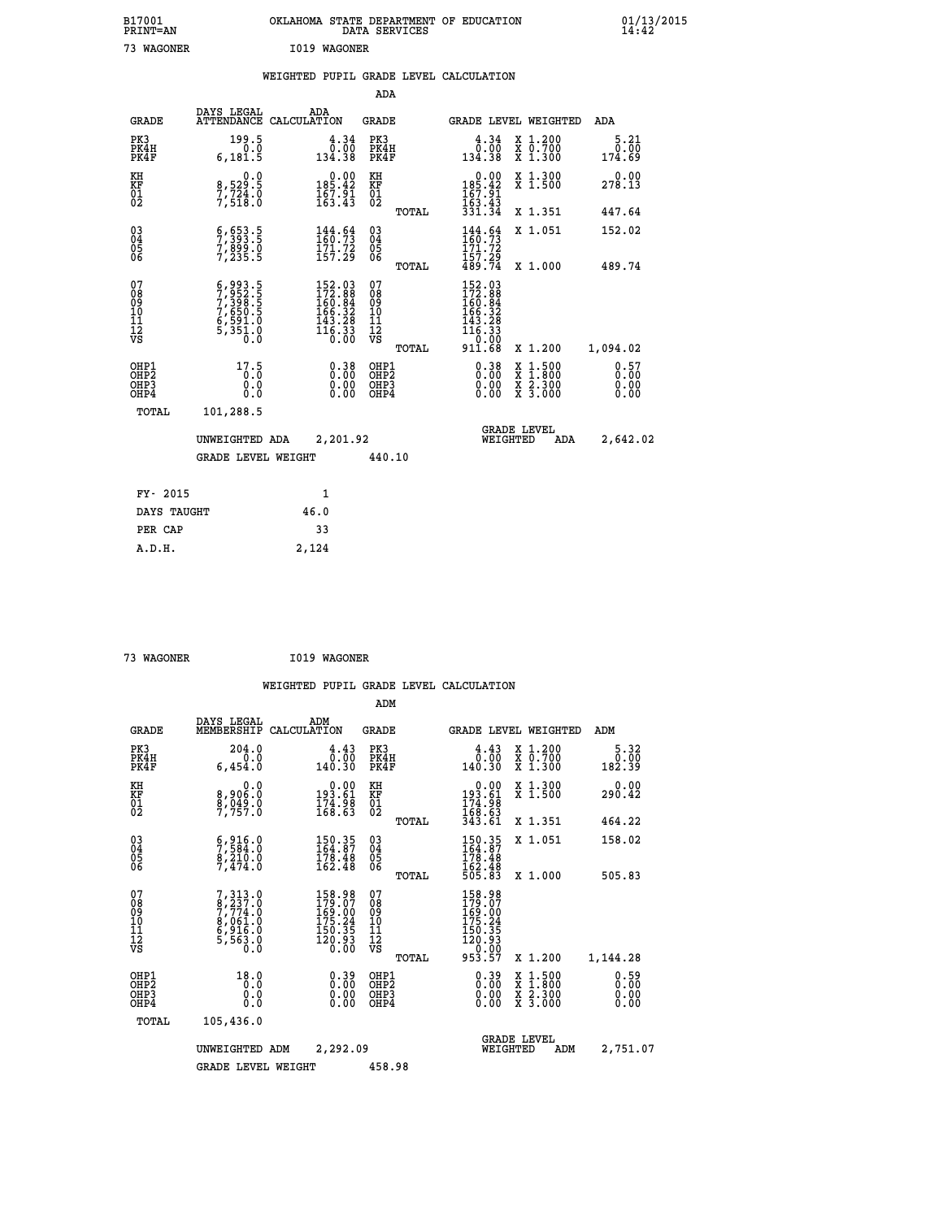| B17001<br>PRINT=AN                       |                                                                                     | OKLAHOMA STATE DEPARTMENT OF EDUCATION                                                                      | DATA SERVICES                                      |                                                                                                                                        |                                                                                              | 01/13/2015<br>14:42    |  |
|------------------------------------------|-------------------------------------------------------------------------------------|-------------------------------------------------------------------------------------------------------------|----------------------------------------------------|----------------------------------------------------------------------------------------------------------------------------------------|----------------------------------------------------------------------------------------------|------------------------|--|
| 73 WAGONER                               |                                                                                     | I019 WAGONER                                                                                                |                                                    |                                                                                                                                        |                                                                                              |                        |  |
|                                          |                                                                                     | WEIGHTED PUPIL GRADE LEVEL CALCULATION                                                                      |                                                    |                                                                                                                                        |                                                                                              |                        |  |
|                                          |                                                                                     |                                                                                                             | ADA                                                |                                                                                                                                        |                                                                                              |                        |  |
| GRADE                                    | DAYS LEGAL                                                                          | ADA<br>ATTENDANCE CALCULATION                                                                               | GRADE                                              | GRADE LEVEL WEIGHTED                                                                                                                   |                                                                                              | ADA                    |  |
| PK3<br>PK4H<br>PK4F                      | 199.5<br>$0.\overline{0}$<br>6, 181.5                                               | $\frac{4.34}{0.00}$<br>134.38                                                                               | PK3<br>PK4H<br>PK4F                                | 4.34<br>0.00<br>134.38                                                                                                                 | X 1.200<br>X 0.700<br>X 1.300                                                                | 5.21<br>0.00<br>174.69 |  |
| KH<br>KF<br>$\overline{01}$              | 0.0<br>8,529:5<br>7,724:0<br>7,518:0                                                | $\begin{smallmatrix}&&0.00\\185.42\\167.91\\163.43\end{smallmatrix}$                                        | КH<br>KF<br>01<br>02                               | $\begin{array}{c} 0.00 \\ 185.42 \\ 167.91 \\ 163.43 \\ 331.34 \end{array}$                                                            | X 1.300<br>X 1.500                                                                           | 0.00<br>278.13         |  |
|                                          |                                                                                     |                                                                                                             | TOTAL                                              |                                                                                                                                        | X 1.351                                                                                      | 447.64                 |  |
| $03\overline{4}$<br>Ŏ5<br>06             | $\frac{6}{7}$ , $\frac{653}{393}$ : 5<br>7,899.0<br>7,235.5                         | $\begin{array}{l} 144.64 \\ 160.73 \\ 171.72 \\ 157.29 \end{array}$                                         | $\begin{matrix} 03 \\ 04 \\ 05 \\ 06 \end{matrix}$ | $\frac{144}{160}$ : $\frac{64}{73}$<br>171.72                                                                                          | X 1.051                                                                                      | 152.02                 |  |
|                                          |                                                                                     |                                                                                                             | TOTAL                                              | $\frac{157.29}{489.74}$                                                                                                                | X 1.000                                                                                      | 489.74                 |  |
| 07<br>08<br>09<br>10<br>11<br>12<br>VS   | 6,993.5<br>7,952.5<br>7,398.5<br>7,650.5<br>6,591.0<br>5,351.0<br>$\overline{0}$ .0 | $\begin{smallmatrix} 152.03\\ 172.88\\ 160.84\\ 166.32\\ 165.32\\ 143.28\\ 116.33\\ 0.00 \end{smallmatrix}$ | 07<br>08<br>09<br>10<br>11<br>12<br>VS<br>TOTAL    | 152.03<br>172.88<br>160.84<br>166.32<br>143.28<br>$\overline{1}\overline{1}\overline{6}\overline{.}\overline{3}\overline{3}$<br>911.68 | X 1.200                                                                                      | 1,094.02               |  |
| OHP1<br>OHP2<br>OH <sub>P3</sub><br>OHP4 | 17.5<br>0.0<br>0.0<br>0.0                                                           | 0.38<br>0.00<br>0.00                                                                                        | OHP1<br>OHP <sub>2</sub><br>OHP3<br>OHP4           | 0.38<br>0.00<br>0.00                                                                                                                   | $\frac{x}{x}$ $\frac{1.500}{x}$<br>$\frac{\overline{x}}{\overline{x}}$ $\frac{2.300}{3.000}$ | 0.57<br>0.00<br>0.00   |  |
| TOTAL                                    | 101,288.5                                                                           |                                                                                                             |                                                    |                                                                                                                                        |                                                                                              |                        |  |
|                                          | UNWEIGHTED ADA                                                                      | 2,201.92                                                                                                    |                                                    | <b>GRADE LEVEL</b><br>WEIGHTED                                                                                                         | ADA                                                                                          | 2,642.02               |  |
|                                          | <b>GRADE LEVEL WEIGHT</b>                                                           |                                                                                                             | 440.10                                             |                                                                                                                                        |                                                                                              |                        |  |
| FY- 2015                                 |                                                                                     | 1                                                                                                           |                                                    |                                                                                                                                        |                                                                                              |                        |  |
| DAYS TAUGHT                              |                                                                                     | 46.0                                                                                                        |                                                    |                                                                                                                                        |                                                                                              |                        |  |
| PER CAP                                  |                                                                                     | 33                                                                                                          |                                                    |                                                                                                                                        |                                                                                              |                        |  |

| 73 WAGONER | I019 WAGONER |
|------------|--------------|
|            |              |

 **ADM**

 **A.D.H. 2,124**

| <b>GRADE</b>                                         | DAYS LEGAL                                                                                                   | ADM<br>MEMBERSHIP CALCULATION                                                                                                | <b>GRADE</b>                                       |                                                                                                            |                                | <b>GRADE LEVEL WEIGHTED</b>              | ADM                    |
|------------------------------------------------------|--------------------------------------------------------------------------------------------------------------|------------------------------------------------------------------------------------------------------------------------------|----------------------------------------------------|------------------------------------------------------------------------------------------------------------|--------------------------------|------------------------------------------|------------------------|
| PK3<br>PK4H<br>PK4F                                  | 204.0<br>0.0<br>6,454.0                                                                                      | 4.43<br>0.00<br>140.30                                                                                                       | PK3<br>PK4H<br>PK4F                                | $\begin{smallmatrix} 4.43\ 1.00\ 140.30 \end{smallmatrix}$                                                 |                                | X 1.200<br>X 0.700<br>X 1.300            | 5.32<br>0.00<br>182.39 |
| KH<br>KF<br>01<br>02                                 | 0.0<br>8,906:0<br>8,949:0<br>7,757:0                                                                         | $\begin{smallmatrix} &0.00\\193.61\\174.98\\168.63\end{smallmatrix}$                                                         | KH<br>KF<br>01<br>02                               | $0.00$<br>$193.61$<br>$174.98$<br>$168.63$<br>$343.61$                                                     |                                | X 1.300<br>X 1.500                       | 0.00<br>290.42         |
|                                                      |                                                                                                              |                                                                                                                              | TOTAL                                              |                                                                                                            |                                | X 1.351                                  | 464.22                 |
| $\begin{matrix} 03 \\ 04 \\ 05 \\ 06 \end{matrix}$   | $\begin{smallmatrix} 6 & 9 & 16 & 0 \\ 7 & 5 & 84 & 0 \\ 8 & 2 & 10 & 0 \\ 7 & 4 & 74 & 0 \end{smallmatrix}$ | 150.35<br>164.87<br>$\frac{178.48}{162.48}$                                                                                  | $\begin{matrix} 03 \\ 04 \\ 05 \\ 06 \end{matrix}$ | $150.35$<br>$164.87$<br>$178.48$<br>$162.48$<br>$162.48$<br>$505.83$                                       |                                | X 1.051                                  | 158.02                 |
|                                                      |                                                                                                              |                                                                                                                              | TOTAL                                              |                                                                                                            |                                | X 1.000                                  | 505.83                 |
| 07<br>08<br>09<br>101<br>11<br>12<br>VS              | $7,313.0$<br>$7,774.0$<br>$7,774.0$<br>$8,061.0$<br>$6,916.0$<br>$5,563.0$<br>$0.0$                          | 158.98<br>179.07<br>169.00<br>175.24<br>150.35<br>$\bar{1}\bar{2}\bar{0}\cdot\bar{9}\bar{3}$<br>$\bar{0}\cdot\bar{0}\bar{0}$ | 07<br>08<br>09<br>001<br>11<br>11<br>12<br>VS      | $\begin{smallmatrix} 158.98\\ 179.07\\ 169.00\\ 150.24\\ 150.35\\ 120.93\\ 0.00\\ 953.57\end{smallmatrix}$ |                                |                                          |                        |
|                                                      |                                                                                                              |                                                                                                                              | TOTAL                                              |                                                                                                            |                                | X 1.200                                  | 1,144.28               |
| OHP1<br>OHP <sub>2</sub><br>OH <sub>P3</sub><br>OHP4 | 18.0<br>0.0<br>0.000                                                                                         | $0.39\n0.00\n0.00$<br>0.00                                                                                                   | OHP1<br>OHP <sub>2</sub><br>OHP3<br>OHP4           | $\begin{smallmatrix} 0.39\ 0.00\ 0.00 \end{smallmatrix}$                                                   |                                | X 1:500<br>X 1:800<br>X 2:300<br>X 3:000 | 0.59<br>0.00<br>0.00   |
| TOTAL                                                | 105,436.0                                                                                                    |                                                                                                                              |                                                    |                                                                                                            |                                |                                          |                        |
|                                                      | UNWEIGHTED                                                                                                   | 2,292.09<br>ADM                                                                                                              |                                                    |                                                                                                            | <b>GRADE LEVEL</b><br>WEIGHTED | ADM                                      | 2,751.07               |
|                                                      | <b>GRADE LEVEL WEIGHT</b>                                                                                    |                                                                                                                              | 458.98                                             |                                                                                                            |                                |                                          |                        |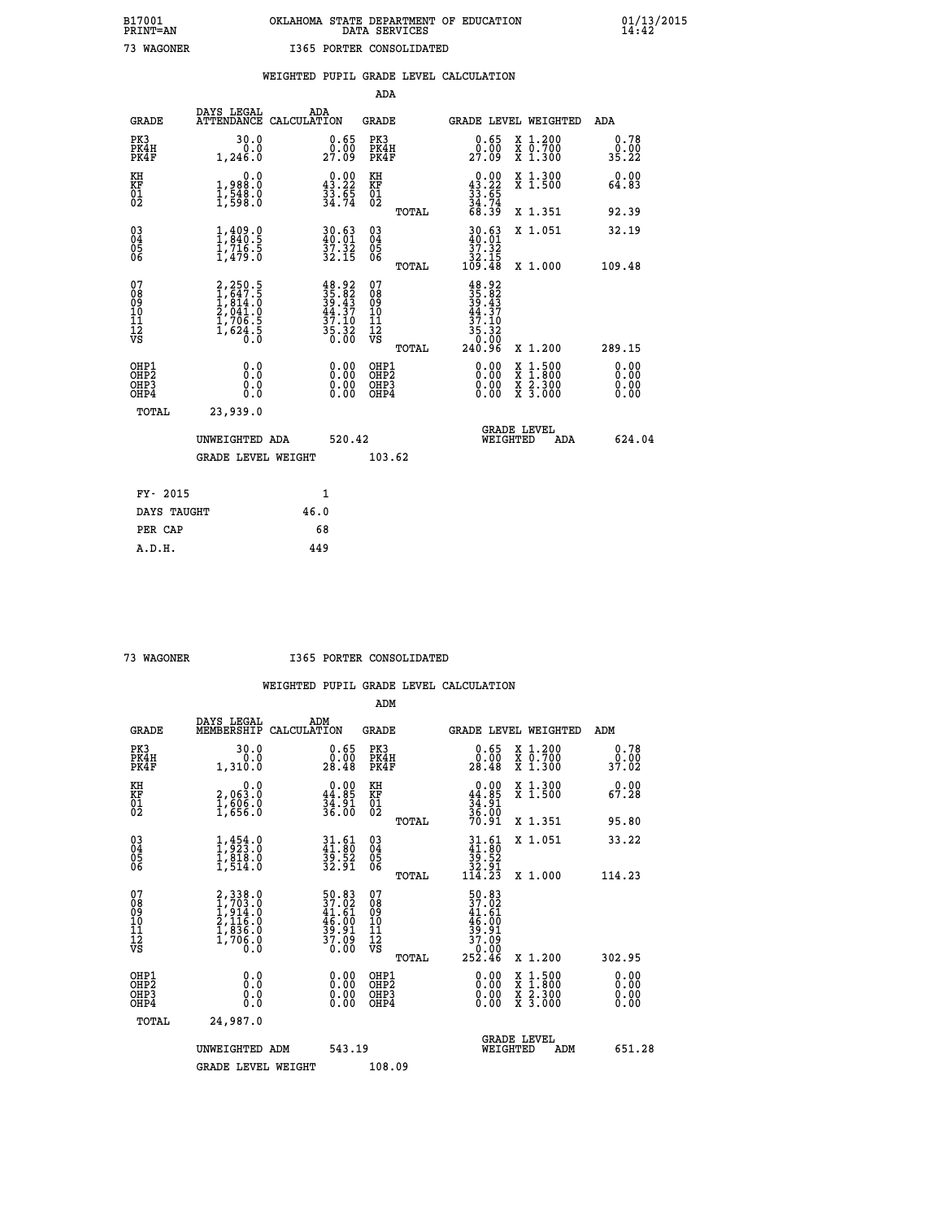# **B17001 OKLAHOMA STATE DEPARTMENT OF EDUCATION 01/13/2015 PRINT=AN DATA SERVICES 14:42 73 WAGONER I365 PORTER CONSOLIDATED**

|                                                                    |                                                                           |              |                                                                                           | ADA                                      |       |                                                                                                              |                                          |                              |
|--------------------------------------------------------------------|---------------------------------------------------------------------------|--------------|-------------------------------------------------------------------------------------------|------------------------------------------|-------|--------------------------------------------------------------------------------------------------------------|------------------------------------------|------------------------------|
| <b>GRADE</b>                                                       | DAYS LEGAL<br>ATTENDANCE CALCULATION                                      | ADA          |                                                                                           | <b>GRADE</b>                             |       |                                                                                                              | GRADE LEVEL WEIGHTED                     | ADA                          |
| PK3<br>PK4H<br>PK4F                                                | 30.0<br>0.0<br>1,246.0                                                    |              | $\begin{smallmatrix} 0.65\ 0.00\\ 27.09 \end{smallmatrix}$                                | PK3<br>PK4H<br>PK4F                      |       | 0.65<br>00.00<br>27.09                                                                                       | X 1.200<br>X 0.700<br>X 1.300            | 0.78<br>0.00<br>35.22        |
| KH<br><b>KF</b><br>01<br>02                                        | 0.0<br>1,988:0<br>1,548.0<br>1,598:0                                      |              | $0.00$<br>43.22<br>$\frac{33.65}{34.74}$                                                  | KH<br>KF<br>01<br>02                     |       | $\begin{smallmatrix} 0.00\\ 43.22\\ 33.65\\ 34.74\\ 68.39 \end{smallmatrix}$                                 | X 1.300<br>X 1.500                       | 0.00<br>64.83                |
|                                                                    |                                                                           |              |                                                                                           |                                          | TOTAL |                                                                                                              | X 1.351                                  | 92.39                        |
| $\begin{smallmatrix} 03 \\[-4pt] 04 \end{smallmatrix}$<br>05<br>06 | $1, 409.0$<br>$1, 840.5$<br>$1, 716.5$<br>$1, 479.0$                      |              | 30.63<br>$\frac{57.32}{32.15}$                                                            | $\substack{03 \\ 04}$<br>05<br>06        |       | $\begin{array}{c} 30.63 \\ 40.01 \\ 37.32 \\ 32.15 \\ 109.48 \end{array}$                                    | X 1.051                                  | 32.19                        |
|                                                                    |                                                                           |              |                                                                                           |                                          | TOTAL |                                                                                                              | X 1.000                                  | 109.48                       |
| 07<br>08<br>09<br>11<br>11<br>12<br>VS                             | 2,250.5<br>1,647.5<br>1,814.0<br>2,041.0<br>2,041.0<br>1,706.5<br>1,624.5 |              | $\begin{array}{r} 48.92 \\ 35.82 \\ 39.43 \\ 44.37 \\ 37.10 \\ 35.32 \\ 0.00 \end{array}$ | 07<br>08<br>09<br>11<br>11<br>12<br>VS   |       | $\begin{array}{r} 48.92 \\ 35.82 \\ 39.43 \\ 44.37 \\ 47.10 \\ 37.10 \\ 35.32 \\ 0.00 \\ 240.96 \end{array}$ |                                          |                              |
|                                                                    |                                                                           |              |                                                                                           |                                          | TOTAL |                                                                                                              | X 1.200                                  | 289.15                       |
| OHP1<br>OH <sub>P</sub> 2<br>OH <sub>P3</sub><br>OH <sub>P4</sub>  | 0.0<br>0.0<br>0.0                                                         |              | 0.00<br>0.00<br>0.00                                                                      | OHP1<br>OHP <sub>2</sub><br>OHP3<br>OHP4 |       | 0.00<br>0.00<br>0.00                                                                                         | X 1:500<br>X 1:800<br>X 2:300<br>X 3:000 | 0.00<br>0.00<br>0.00<br>0.00 |
| TOTAL                                                              | 23,939.0                                                                  |              |                                                                                           |                                          |       |                                                                                                              |                                          |                              |
|                                                                    | UNWEIGHTED ADA                                                            |              | 520.42                                                                                    |                                          |       |                                                                                                              | GRADE LEVEL<br>WEIGHTED<br>ADA           | 624.04                       |
|                                                                    | <b>GRADE LEVEL WEIGHT</b>                                                 |              |                                                                                           | 103.62                                   |       |                                                                                                              |                                          |                              |
| FY- 2015                                                           |                                                                           | $\mathbf{1}$ |                                                                                           |                                          |       |                                                                                                              |                                          |                              |
| DAYS TAUGHT                                                        |                                                                           | 46.0         |                                                                                           |                                          |       |                                                                                                              |                                          |                              |
| PER CAP                                                            |                                                                           | 68           |                                                                                           |                                          |       |                                                                                                              |                                          |                              |

 **A.D.H. 449**

 **73 WAGONER I365 PORTER CONSOLIDATED**

|                                                      |                                                                                     |                                                                      | ADM                                                 |       |                                                                                  |                                          |                              |
|------------------------------------------------------|-------------------------------------------------------------------------------------|----------------------------------------------------------------------|-----------------------------------------------------|-------|----------------------------------------------------------------------------------|------------------------------------------|------------------------------|
| <b>GRADE</b>                                         | DAYS LEGAL<br>MEMBERSHIP                                                            | ADM<br>CALCULATION                                                   | <b>GRADE</b>                                        |       |                                                                                  | GRADE LEVEL WEIGHTED                     | ADM                          |
| PK3<br>PK4H<br>PK4F                                  | 30.0<br>0.0<br>1,310.0                                                              | $\substack{0.65 \\ 0.00 \\ 28.48}$                                   | PK3<br>PK4H<br>PK4F                                 |       | $\begin{smallmatrix} 0.65\ 0.00\\ 28.48 \end{smallmatrix}$                       | X 1.200<br>X 0.700<br>X 1.300            | 0.78<br>0.00<br>37.02        |
| KH<br>KF<br>01<br>02                                 | 0.0<br>2,063.0<br>$\frac{1}{2}$ , $\frac{506}{656}$ . $\frac{8}{1}$                 | $\begin{smallmatrix} 0.00\\ 44.85\\ 34.91\\ 36.00 \end{smallmatrix}$ | KH<br>KF<br>01<br>02                                |       | $0.00\n44.85\n34.91\n36.00\n70.91$                                               | X 1.300<br>X 1.500                       | 0.00<br>67.28                |
|                                                      |                                                                                     |                                                                      |                                                     | TOTAL |                                                                                  | X 1.351                                  | 95.80                        |
| 03<br>04<br>05<br>06                                 | $\frac{1}{1}, \frac{454}{923}$ .0<br>1, 819.0<br>1,514.0                            | $31.61$<br>$41.80$<br>$39.52$<br>$32.91$                             | $\begin{array}{c} 03 \\ 04 \\ 05 \\ 06 \end{array}$ |       | $\begin{smallmatrix} 31.61\ 41.80\ 39.52\ 32.91\ 114.23 \end{smallmatrix}$       | X 1.051                                  | 33.22                        |
|                                                      |                                                                                     |                                                                      |                                                     | TOTAL |                                                                                  | X 1.000                                  | 114.23                       |
| 07<br>08<br>09<br>101<br>112<br>VS                   | $2,338.0$<br>$1,703.0$<br>$1,914.0$<br>$2,116.0$<br>$1,836.0$<br>$1,706.0$<br>$0.0$ | 50.83<br>37.02<br>41.61<br>46.00<br>39.91<br>37.09<br>37.09          | 07<br>08<br>09<br>11<br>11<br>12<br>VS              |       | 50.83<br>37.02<br>$41.61$<br>$46.00$<br>$39.91$<br>$37.09$<br>$0.00$<br>$252.46$ |                                          |                              |
|                                                      |                                                                                     |                                                                      |                                                     | TOTAL |                                                                                  | X 1.200                                  | 302.95                       |
| OHP1<br>OHP2<br>OH <sub>P3</sub><br>OH <sub>P4</sub> | 0.0<br>0.000                                                                        | $0.00$<br>$0.00$<br>0.00                                             | OHP1<br>OHP2<br>OHP <sub>3</sub>                    |       | $0.00$<br>$0.00$<br>0.00                                                         | X 1:500<br>X 1:800<br>X 2:300<br>X 3:000 | 0.00<br>0.00<br>0.00<br>0.00 |
| TOTAL                                                | 24,987.0                                                                            |                                                                      |                                                     |       |                                                                                  |                                          |                              |
|                                                      | UNWEIGHTED ADM                                                                      | 543.19                                                               |                                                     |       |                                                                                  | <b>GRADE LEVEL</b><br>WEIGHTED<br>ADM    | 651.28                       |
|                                                      | <b>GRADE LEVEL WEIGHT</b>                                                           |                                                                      | 108.09                                              |       |                                                                                  |                                          |                              |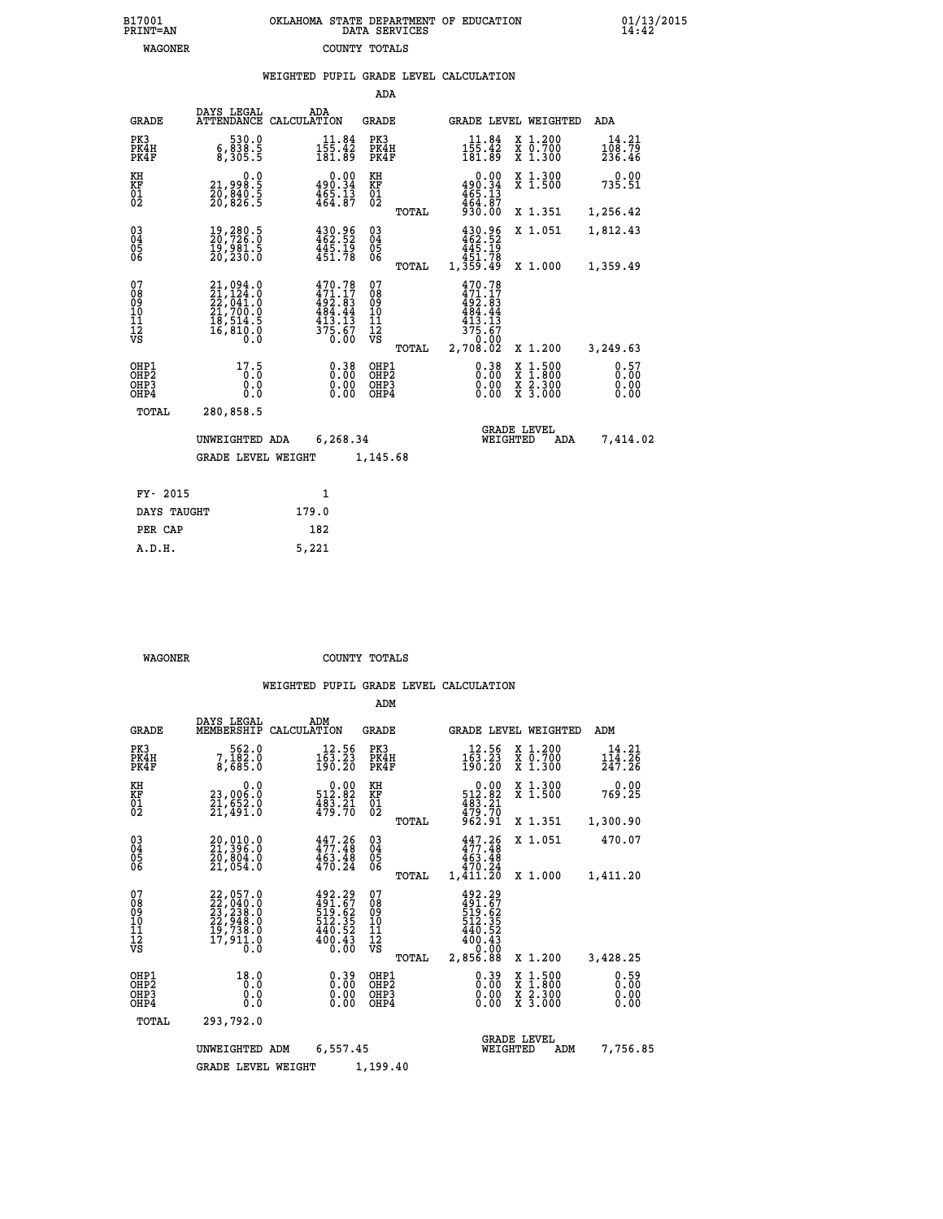|  | OKLAHOMA STATE DEPARTMENT OF EDUCATION<br>DATA SERVICES |  |
|--|---------------------------------------------------------|--|
|  | COUNTY TOTALS                                           |  |

 **B17001 OKLAHOMA STATE DEPARTMENT OF EDUCATION 01/13/2015**

|  |  | WEIGHTED PUPIL GRADE LEVEL CALCULATION |
|--|--|----------------------------------------|
|  |  |                                        |

|                                           |                                                                                           |                                                                                                                                                                                      | ADA                                      |       |                                                                                        |                                                                                                  |                           |
|-------------------------------------------|-------------------------------------------------------------------------------------------|--------------------------------------------------------------------------------------------------------------------------------------------------------------------------------------|------------------------------------------|-------|----------------------------------------------------------------------------------------|--------------------------------------------------------------------------------------------------|---------------------------|
| <b>GRADE</b>                              | DAYS LEGAL                                                                                | ADA<br>ATTENDANCE CALCULATION                                                                                                                                                        | GRADE                                    |       | GRADE LEVEL WEIGHTED                                                                   |                                                                                                  | ADA                       |
| PK3<br>PK4H<br>PK4F                       | 530.0<br>5.838<br>5.305,5                                                                 | $11.84$<br>$155.42$<br>$181.89$                                                                                                                                                      | PK3<br>PK4H<br>PK4F                      |       | $11.84$<br>$155.42$<br>$181.89$                                                        | X 1.200<br>X 0.700<br>X 1.300                                                                    | 14.21<br>108.79<br>236.46 |
| KH<br>KF<br>01<br>02                      | $\substack{21,998.5 \\ 20,840.5 \\ 20,826.5}$                                             | $\begin{smallmatrix} &0.00\\ 490.34\\ 465.13\\ 464.87\end{smallmatrix}$                                                                                                              | KH<br>KF<br>01<br>02                     |       | $0.00$<br>$490.34$<br>$465.13$<br>$494.87$                                             | X 1.300<br>X 1.500                                                                               | 0.00<br>735.51            |
|                                           |                                                                                           |                                                                                                                                                                                      |                                          | TOTAL | 930.00                                                                                 | X 1.351                                                                                          | 1,256.42                  |
| 03<br>04<br>05<br>06                      | 19,280.5<br>20,726.0<br>19,981.5<br>20,230.0                                              | $430.96$<br>$462.52$<br>$445.19$<br>$451.78$                                                                                                                                         | $^{03}_{04}$<br>05<br>06                 |       | 430.96<br>462.52<br>445.19<br>451.78                                                   | X 1.051                                                                                          | 1,812.43                  |
|                                           |                                                                                           |                                                                                                                                                                                      |                                          | TOTAL | 1,359.49                                                                               | X 1.000                                                                                          | 1,359.49                  |
| 07<br>08<br>09<br>10<br>11<br>12<br>VS    | $21,094.0$<br>$21,124.0$<br>$22,041.0$<br>$21,700.0$<br>$18,514.5$<br>$16,810.0$<br>$0.0$ | $\begin{smallmatrix} 4\,7\,0\cdot\,7\,8\\ 4\,7\,1\cdot\,1\,7\\ 4\,9\,2\cdot\,8\,3\\ 4\,8\,4\cdot\,4\,4\\ 4\,1\,3\cdot\,1\,3\\ 3\,7\,5\cdot\,6\,7\\ 0\cdot\,0\,0\\ \end{smallmatrix}$ | 07<br>08<br>09<br>11<br>11<br>12<br>VS   | TOTAL | $470.78$<br>$471.17$<br>$492.83$<br>$484.44$<br>$413.13$<br>375.67<br>0.00<br>2,708.02 | X 1.200                                                                                          | 3,249.63                  |
| OHP1<br>OH <sub>P</sub> 2<br>OHP3<br>OHP4 | 17.5<br>0.0<br>$0.\overline{0}$                                                           | $0.38$<br>$0.00$<br>0.00                                                                                                                                                             | OHP1<br>OHP <sub>2</sub><br>OHP3<br>OHP4 |       | $0.38$<br>$0.00$<br>0.00<br>0.00                                                       | $\begin{smallmatrix} x & 1 & 500 \\ x & 1 & 800 \\ x & 2 & 300 \\ x & 3 & 000 \end{smallmatrix}$ | 0.57<br>0.00<br>0.00      |
| TOTAL                                     | 280,858.5                                                                                 |                                                                                                                                                                                      |                                          |       |                                                                                        |                                                                                                  |                           |
|                                           | UNWEIGHTED ADA<br><b>GRADE LEVEL WEIGHT</b>                                               | 6,268.34                                                                                                                                                                             | 1,145.68                                 |       | WEIGHTED                                                                               | <b>GRADE LEVEL</b><br>ADA                                                                        | 7,414.02                  |
|                                           |                                                                                           |                                                                                                                                                                                      |                                          |       |                                                                                        |                                                                                                  |                           |
| FY- 2015                                  |                                                                                           | $\mathbf{1}$                                                                                                                                                                         |                                          |       |                                                                                        |                                                                                                  |                           |
| DAYS TAUGHT                               |                                                                                           | 179.0                                                                                                                                                                                |                                          |       |                                                                                        |                                                                                                  |                           |
| PER CAP                                   |                                                                                           | 182                                                                                                                                                                                  |                                          |       |                                                                                        |                                                                                                  |                           |
| A.D.H.                                    |                                                                                           | 5,221                                                                                                                                                                                |                                          |       |                                                                                        |                                                                                                  |                           |

B17001<br>PRINT=AN<br>WAGONER

 **WAGONER COUNTY TOTALS**

|                                                       |                                                                             |                                                                                                                                                                                                                                                                                                             | ADM                                              |                                                                                            |                                                                                                  |                              |
|-------------------------------------------------------|-----------------------------------------------------------------------------|-------------------------------------------------------------------------------------------------------------------------------------------------------------------------------------------------------------------------------------------------------------------------------------------------------------|--------------------------------------------------|--------------------------------------------------------------------------------------------|--------------------------------------------------------------------------------------------------|------------------------------|
| <b>GRADE</b>                                          | DAYS LEGAL<br>MEMBERSHIP                                                    | ADM<br>CALCULATION                                                                                                                                                                                                                                                                                          | <b>GRADE</b>                                     | GRADE LEVEL WEIGHTED                                                                       |                                                                                                  | ADM                          |
| PK3<br>PK4H<br>PK4F                                   | 562.0<br>7,102.0<br>8,685.0                                                 | 12.56<br>163.23<br>190.20                                                                                                                                                                                                                                                                                   | PK3<br>PK4H<br>PK4F                              | 12.56<br>$\frac{1}{190}$ $\frac{53}{20}$                                                   | $\begin{smallmatrix} x & 1.200 \\ x & 0.700 \end{smallmatrix}$<br>X 1.300                        | 14.21<br>114.26<br>247.26    |
| KH<br>KF<br>01<br>02                                  | 0.0<br>23,006.0<br>21,ĕŠŽ:Ŏ<br>21,491:0                                     | $\substack{ \substack{ \textcolor{red}{\textbf{5}12}}\, \textcolor{red}{\textbf{2}}\, \textcolor{red}{\textbf{5}2} \\ \substack{ \textcolor{red}{\textbf{483}}\, \textcolor{red}{\textbf{21}}\\ \substack{ \textcolor{red}{\textbf{479}}\, \textcolor{red}{\textbf{70}}}}\, \textcolor{red}{\textbf{5}1} }$ | KH<br>KF<br>01<br>02                             | $\begin{smallmatrix} &0.00\\ 512.82\end{smallmatrix}$<br>$\frac{483.21}{479.70}$<br>962.91 | X 1.300<br>X 1.500                                                                               | 0.00<br>769.25               |
|                                                       |                                                                             |                                                                                                                                                                                                                                                                                                             | TOTAL                                            |                                                                                            | X 1.351                                                                                          | 1,300.90                     |
| 03<br>04<br>05<br>06                                  | 20,010.0<br>21,396.0<br>20,804.0<br>21,054.0                                | $447.26$<br>$477.48$<br>463.48<br>470.24                                                                                                                                                                                                                                                                    | $\substack{03 \\ 04}$<br>0500                    | $447.26$<br>$477.48$<br>463.48                                                             | X 1.051                                                                                          | 470.07                       |
|                                                       |                                                                             |                                                                                                                                                                                                                                                                                                             | TOTAL                                            | 470.24<br>1,411.20                                                                         | X 1.000                                                                                          | 1,411.20                     |
| 07<br>08<br>09<br>101<br>112<br>VS                    | 22,057.0<br>22,040.0<br>23,238.0<br>22,948.0<br>19,738.0<br>17,911.0<br>Ō.Ŏ | $492.29$<br>$491.67$<br>$519.62$<br>$512.35$<br>440.52<br>400.43<br>0.00                                                                                                                                                                                                                                    | 07<br>08<br>09<br>101<br>11<br>12<br>VS<br>TOTAL | 492.29<br>491.67<br>519.62<br>512.35<br>440.52<br>400.43<br>0.00<br>2,856.88               | X 1.200                                                                                          | 3,428.25                     |
| OHP1<br>OH <sub>P</sub> 2<br>OH <sub>P3</sub><br>OHP4 | 18.0<br>0.0<br>0.000                                                        | $0.39\n0.00\n0.00$<br>0.00                                                                                                                                                                                                                                                                                  | OHP1<br>OHP2<br>OHP3<br>OHP4                     | $0.39\n0.00$<br>0.00                                                                       | $\begin{smallmatrix} x & 1 & 500 \\ x & 1 & 800 \\ x & 2 & 300 \\ x & 3 & 000 \end{smallmatrix}$ | 0.59<br>0.00<br>0.00<br>0.00 |
| TOTAL                                                 | 293,792.0                                                                   |                                                                                                                                                                                                                                                                                                             |                                                  |                                                                                            |                                                                                                  |                              |
|                                                       | UNWEIGHTED                                                                  | 6,557.45<br>ADM                                                                                                                                                                                                                                                                                             |                                                  | WEIGHTED                                                                                   | <b>GRADE LEVEL</b><br>ADM                                                                        | 7,756.85                     |
|                                                       | <b>GRADE LEVEL WEIGHT</b>                                                   |                                                                                                                                                                                                                                                                                                             | 1,199.40                                         |                                                                                            |                                                                                                  |                              |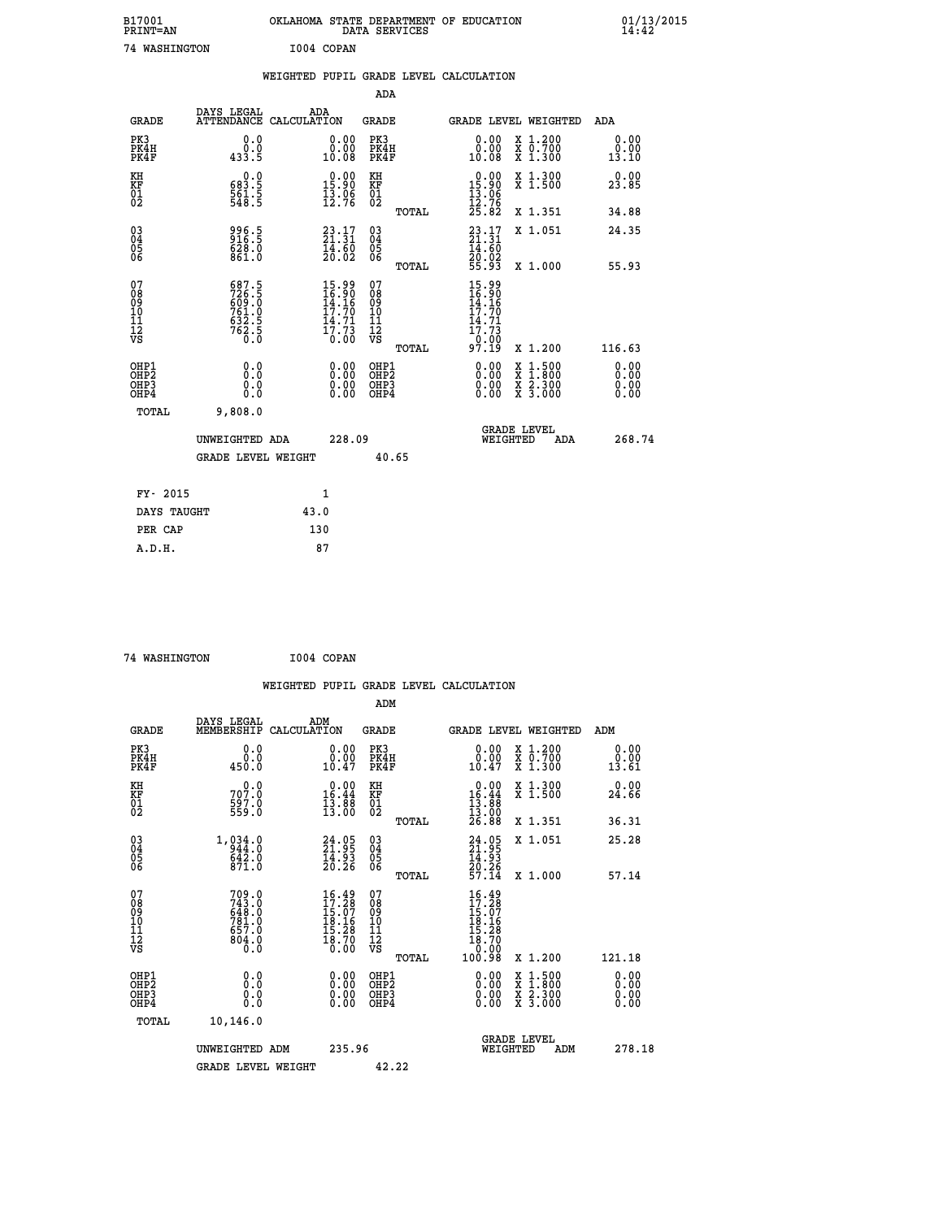| B17001<br>PRINT=AN                                 |                                                           | OKLAHOMA STATE DEPARTMENT OF EDUCATION                               | DATA SERVICES                                     |                                                                             |                                                                                   | $01/13/2015$<br>14:42                  |  |
|----------------------------------------------------|-----------------------------------------------------------|----------------------------------------------------------------------|---------------------------------------------------|-----------------------------------------------------------------------------|-----------------------------------------------------------------------------------|----------------------------------------|--|
| <b>74 WASHINGTON</b>                               |                                                           | I004 COPAN                                                           |                                                   |                                                                             |                                                                                   |                                        |  |
|                                                    |                                                           | WEIGHTED PUPIL GRADE LEVEL CALCULATION                               |                                                   |                                                                             |                                                                                   |                                        |  |
|                                                    |                                                           |                                                                      | ADA                                               |                                                                             |                                                                                   |                                        |  |
| <b>GRADE</b>                                       | DAYS LEGAL                                                | ADA<br>ATTENDANCE CALCULATION                                        | GRADE                                             | <b>GRADE LEVEL WEIGHTED</b>                                                 |                                                                                   | ADA                                    |  |
| PK3<br>PK4H<br>PK4F                                | 0.0<br>0.0<br>433.5                                       | 0.00<br>0.00<br>10.08                                                | PK3<br>PK4H<br>PK4F                               | 0.00<br>0.00<br>10.08                                                       | X 1.200<br>X 0.700<br>X 1.300                                                     | 0.00<br>0.00<br>13.10                  |  |
| KH<br>KF<br>$\overline{01}$                        | 0.0<br>$\frac{683.5}{561.5}$                              | $\begin{smallmatrix} 0.00\\ 15.90\\ 13.96\\ 12.76 \end{smallmatrix}$ | KH<br>KF<br>01<br>02                              | $0.00$<br>15.90<br>$\frac{13.06}{12.76}$<br>$\frac{25.82}{15.82}$           | X 1.300<br>X 1.500                                                                | 0.00<br>23.85                          |  |
|                                                    |                                                           |                                                                      | TOTAL                                             |                                                                             | X 1.351                                                                           | 34.88                                  |  |
| $\begin{matrix} 03 \\ 04 \\ 05 \\ 06 \end{matrix}$ | 996.5<br>916.5<br>628.0<br>861.0                          | $23.17$<br>$21.31$<br>14.60<br>20.02                                 | 03<br>04<br>05<br>06                              | $23.17$<br>$21.31$<br>14.60<br>20.02<br>55.93                               | X 1.051<br>X 1.000                                                                | 24.35                                  |  |
| 07<br>08<br>09<br>10<br>11<br>Ī2<br>VS             | 687.5<br>726.5<br>609.0<br>761.0<br>$\frac{632.5}{762.5}$ | $15.99$<br>$16.90$<br>$14.16$<br>$17.79$<br>$\frac{14.71}{17.73}$    | TOTAL<br>07<br>08<br>09<br>10<br>11<br>ĪŽ<br>VŠ   | 15.99<br>$\frac{16.90}{14.16}$<br>17.70<br>14.71<br>17.73<br>_0.00<br>97.19 |                                                                                   | 55.93                                  |  |
| OHP1<br>OHP2<br>OHP3<br>OHP4                       | 0.000<br>0.0<br>0.0                                       | 0.00<br>0.00<br>0.00                                                 | TOTAL<br>OHP1<br>OHP <sub>2</sub><br>OHP3<br>OHP4 | 0.00<br>0.00<br>0.00                                                        | X 1.200<br>$\frac{x}{x}$ 1:500<br>$\frac{x}{x}$ $\frac{2 \cdot 300}{3 \cdot 000}$ | 116.63<br>0.00<br>0.00<br>0.00<br>0.00 |  |
| <b>TOTAL</b>                                       | 9,808.0                                                   |                                                                      |                                                   |                                                                             |                                                                                   |                                        |  |
|                                                    | UNWEIGHTED ADA<br><b>GRADE LEVEL WEIGHT</b>               | 228.09                                                               | 40.65                                             | WEIGHTED                                                                    | <b>GRADE LEVEL</b><br>ADA                                                         | 268.74                                 |  |
| FY- 2015                                           |                                                           | 1                                                                    |                                                   |                                                                             |                                                                                   |                                        |  |
| DAYS TAUGHT                                        |                                                           | 43.0                                                                 |                                                   |                                                                             |                                                                                   |                                        |  |
| PER CAP                                            |                                                           | 130                                                                  |                                                   |                                                                             |                                                                                   |                                        |  |

| 74 WASHINGTON | I004 COPAN |
|---------------|------------|
|               |            |

|                                                                              |                                                    |                                                                        |                                                    | WEIGHTED PUPIL GRADE LEVEL CALCULATION                                                                                                                                                                                                                                                                                                                                                                                                           |                                        |
|------------------------------------------------------------------------------|----------------------------------------------------|------------------------------------------------------------------------|----------------------------------------------------|--------------------------------------------------------------------------------------------------------------------------------------------------------------------------------------------------------------------------------------------------------------------------------------------------------------------------------------------------------------------------------------------------------------------------------------------------|----------------------------------------|
|                                                                              |                                                    |                                                                        | ADM                                                |                                                                                                                                                                                                                                                                                                                                                                                                                                                  |                                        |
| <b>GRADE</b>                                                                 | DAYS LEGAL<br>MEMBERSHIP                           | ADM<br>CALCULATION                                                     | <b>GRADE</b>                                       | <b>GRADE LEVEL WEIGHTED</b>                                                                                                                                                                                                                                                                                                                                                                                                                      | ADM                                    |
| PK3<br>PK4H<br>PK4F                                                          | 0.0<br>0.0<br>450.0                                | 0.00<br>10.47                                                          | PK3<br>PK4H<br>PK4F                                | 0.00<br>X 1.200<br>X 0.700<br>X 1.300<br>0.00<br>10.47                                                                                                                                                                                                                                                                                                                                                                                           | 0.00<br>0.00<br>13.61                  |
| KH<br>KF<br>01<br>02                                                         | $70^{0.0}_{7.0}$<br>$\frac{597.0}{559.0}$          | $\begin{array}{r} 0.00 \\ 16.44 \\ 13.88 \\ 13.00 \end{array}$         | KH<br>KF<br>01<br>02                               | $\begin{smallmatrix} &0.00\\ 16.44\\ 13.88\\ 13.00\\ 13.00\\ 26.88 \end{smallmatrix}$<br>X 1.300<br>X 1.500                                                                                                                                                                                                                                                                                                                                      | 0.00<br>24.66                          |
|                                                                              |                                                    |                                                                        | TOTAL                                              | X 1.351                                                                                                                                                                                                                                                                                                                                                                                                                                          | 36.31                                  |
| $\begin{matrix} 03 \\ 04 \\ 05 \\ 06 \end{matrix}$                           | $1,034.0$<br>$044.0$<br>$642.0$<br>$871.0$         | $24.95$<br>$21.95$<br>$14.93$<br>$20.26$                               | 030404<br>ŌĞ                                       | X 1.051<br>$24.95$<br>$21.95$<br>$14.93$<br>$20.26$<br>$57.14$                                                                                                                                                                                                                                                                                                                                                                                   | 25.28                                  |
| 07<br>08<br>09<br>101<br>112<br>VS                                           | 709.0<br>743.0<br>648.0<br>781.0<br>787.0<br>804.0 | $16.49$<br>$17.28$<br>$15.07$<br>$18.16$<br>$15.28$<br>$18.70$<br>0.00 | TOTAL<br>07<br>08<br>09<br>11<br>11<br>12<br>VS    | X 1.000<br>16.49<br>$17.287$<br>$15.07$<br>$18.16$<br>$18.28$<br>$18.700$<br>$0.00$                                                                                                                                                                                                                                                                                                                                                              | 57.14                                  |
| OHP1<br>OH <sub>P</sub> <sub>2</sub><br>OH <sub>P3</sub><br>OH <sub>P4</sub> | 0.0<br>0.000                                       | 0.00<br>0.00<br>0.00                                                   | TOTAL<br>OHP1<br>OH <sub>P</sub> 2<br>OHP3<br>OHP4 | 100.98<br>X 1.200<br>$\begin{smallmatrix} 0.00 & 0.00 & 0.00 & 0.00 & 0.00 & 0.00 & 0.00 & 0.00 & 0.00 & 0.00 & 0.00 & 0.00 & 0.00 & 0.00 & 0.00 & 0.00 & 0.00 & 0.00 & 0.00 & 0.00 & 0.00 & 0.00 & 0.00 & 0.00 & 0.00 & 0.00 & 0.00 & 0.00 & 0.00 & 0.00 & 0.00 & 0.00 & 0.00 & 0.00 & 0.00 & 0.0$<br>$\begin{smallmatrix} \mathtt{X} & 1\cdot500\\ \mathtt{X} & 1\cdot800\\ \mathtt{X} & 2\cdot300\\ \mathtt{X} & 3\cdot000 \end{smallmatrix}$ | 121.18<br>0.00<br>0.00<br>0.00<br>0.00 |
| TOTAL                                                                        | 10,146.0<br>UNWEIGHTED ADM                         | 235.96                                                                 |                                                    | <b>GRADE LEVEL</b><br>WEIGHTED<br>ADM                                                                                                                                                                                                                                                                                                                                                                                                            | 278.18                                 |
|                                                                              | <b>GRADE LEVEL WEIGHT</b>                          |                                                                        | 42.22                                              |                                                                                                                                                                                                                                                                                                                                                                                                                                                  |                                        |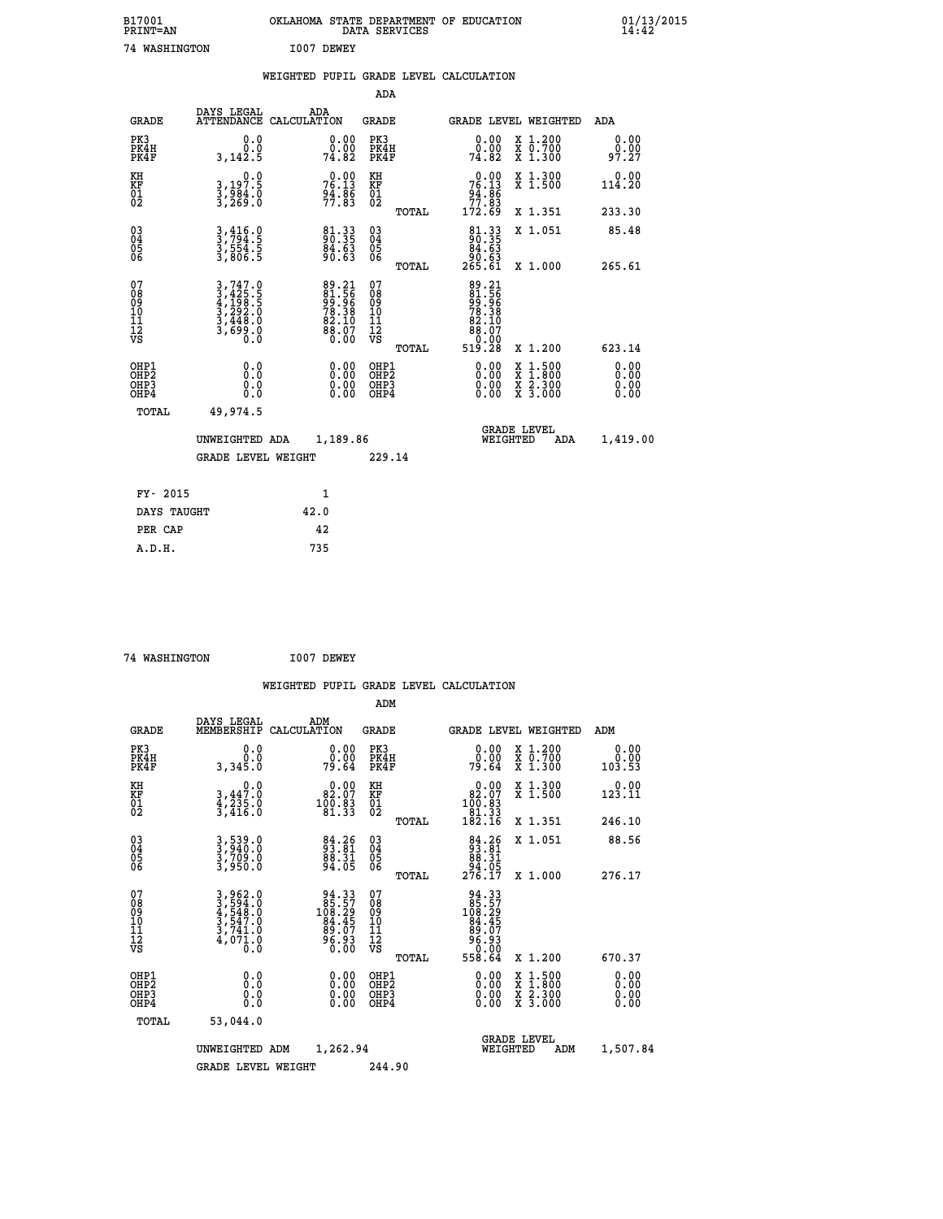| B17001<br>PRINT=AN                       |                                                                                   | OKLAHOMA STATE DEPARTMENT OF EDUCATION                      | DATA SERVICES                                      |                                                    |                                                                                                                                      | $01/13/2015$<br>14:42 |
|------------------------------------------|-----------------------------------------------------------------------------------|-------------------------------------------------------------|----------------------------------------------------|----------------------------------------------------|--------------------------------------------------------------------------------------------------------------------------------------|-----------------------|
| 74 WASHINGTON                            |                                                                                   | I007 DEWEY                                                  |                                                    |                                                    |                                                                                                                                      |                       |
|                                          |                                                                                   | WEIGHTED PUPIL GRADE LEVEL CALCULATION                      |                                                    |                                                    |                                                                                                                                      |                       |
|                                          |                                                                                   |                                                             | ADA                                                |                                                    |                                                                                                                                      |                       |
| <b>GRADE</b>                             | DAYS LEGAL                                                                        | ADA<br>ATTENDANCE CALCULATION                               | GRADE                                              |                                                    | GRADE LEVEL WEIGHTED                                                                                                                 | ADA                   |
| PK3<br>PK4H<br>PK4F                      | 0.0<br>0.0<br>3,142.5                                                             | 0.00<br>0.00<br>74.82                                       | PK3<br>PK4H<br>PK4F                                | 0.00<br>74.82                                      | X 1.200<br>X 0.700<br>X 1.300                                                                                                        | 0.00<br>0.00<br>97.27 |
| KH<br>KF<br>01<br>02                     | $\begin{smallmatrix}&&&0.0\\3.197.5\\3.984.0\\3.269.0\end{smallmatrix}$           | 76.13<br>94.86<br>77.83                                     | KH<br>KF<br>01<br>02                               | $76.13$<br>$76.13$<br>$94.86$<br>$77.83$           | X 1.300<br>X 1.500                                                                                                                   | 0.00<br>114.20        |
|                                          |                                                                                   |                                                             | <b>TOTAL</b>                                       | 172.69                                             | X 1.351                                                                                                                              | 233.30                |
| 03<br>04<br>05<br>06                     | 3,416.0<br>3,794.5<br>3,554.5<br>3,806.5                                          | 81.33<br>90.35<br>84.63<br>90.63                            | $\begin{matrix} 03 \\ 04 \\ 05 \\ 06 \end{matrix}$ | $\frac{81.33}{90.35}$<br>90.63                     | X 1.051                                                                                                                              | 85.48                 |
|                                          |                                                                                   |                                                             | TOTAL                                              | 265.61                                             | X 1.000                                                                                                                              | 265.61                |
| 07<br>08<br>09<br>10<br>11<br>12<br>VS   | $3,747.0$<br>$3,425.5$<br>$4,199.5$<br>$3,292.0$<br>$3,448.0$<br>$3,699.0$<br>0.0 | 89.21<br>81.56<br>99.96<br>78.38<br>82.10<br>88.07<br>88.07 | 07<br>08<br>09<br>101<br>11<br>12<br>VS            | 89.21<br>81.56<br>99.96<br>78.38<br>78.10<br>88.07 |                                                                                                                                      |                       |
|                                          |                                                                                   |                                                             | TOTAL                                              | 519.28                                             | X 1.200                                                                                                                              | 623.14                |
| OHP1<br>OHP <sub>2</sub><br>OHP3<br>OHP4 | 0.0<br>0.0<br>0.0                                                                 |                                                             | OHP1<br>OHP2<br>OHP3<br>OHP4                       | 0.00<br>0.00<br>0.00                               | $\begin{smallmatrix} \mathtt{X} & 1 & 500 \\ \mathtt{X} & 1 & 800 \\ \mathtt{X} & 2 & 300 \\ \mathtt{X} & 3 & 000 \end{smallmatrix}$ | 0.00<br>0.00<br>0.00  |
| <b>TOTAL</b>                             | 49,974.5                                                                          |                                                             |                                                    |                                                    |                                                                                                                                      |                       |
|                                          | UNWEIGHTED ADA                                                                    | 1,189.86                                                    |                                                    | WEIGHTED                                           | <b>GRADE LEVEL</b><br>ADA                                                                                                            | 1,419.00              |
|                                          | <b>GRADE LEVEL WEIGHT</b>                                                         |                                                             | 229.14                                             |                                                    |                                                                                                                                      |                       |
| FY- 2015                                 |                                                                                   | 1                                                           |                                                    |                                                    |                                                                                                                                      |                       |
| DAYS TAUGHT                              |                                                                                   | 42.0                                                        |                                                    |                                                    |                                                                                                                                      |                       |
| PER CAP                                  |                                                                                   | 42                                                          |                                                    |                                                    |                                                                                                                                      |                       |
| A.D.H.                                   |                                                                                   | 735                                                         |                                                    |                                                    |                                                                                                                                      |                       |

 **74 WASHINGTON I007 DEWEY**

|                                                    |                                                                                                                                                                                                                   |                                                                                                        | WEIGHTED PUPIL GRADE LEVEL CALCULATION              |                                                                                                        |                                          |                          |
|----------------------------------------------------|-------------------------------------------------------------------------------------------------------------------------------------------------------------------------------------------------------------------|--------------------------------------------------------------------------------------------------------|-----------------------------------------------------|--------------------------------------------------------------------------------------------------------|------------------------------------------|--------------------------|
|                                                    |                                                                                                                                                                                                                   |                                                                                                        | ADM                                                 |                                                                                                        |                                          |                          |
| <b>GRADE</b>                                       | DAYS LEGAL<br>MEMBERSHIP<br>CALCULATION                                                                                                                                                                           | ADM                                                                                                    | GRADE                                               | GRADE LEVEL WEIGHTED                                                                                   |                                          | ADM                      |
| PK3<br>PK4H<br>PK4F                                | 0.0<br>0.0<br>3,345.0                                                                                                                                                                                             | $\begin{smallmatrix} 0.00\\ 0.00\\ 79.64 \end{smallmatrix}$                                            | PK3<br>PK4H<br>PK4F                                 | 0.00<br>79.64                                                                                          | X 1.200<br>X 0.700<br>X 1.300            | 0.00<br>$0.00$<br>103.53 |
| KH<br>KF<br>01<br>02                               | $\begin{smallmatrix}&&&0.0\\3,447.0\\4,235.0\\3,416.0\end{smallmatrix}$                                                                                                                                           | $\begin{smallmatrix} 0.00\\ 82.07\\ 100.83\\ 81.33 \end{smallmatrix}$                                  | KH<br>KF<br>01<br>02                                | $\begin{smallmatrix} &0.00\\ 82.07\\ 100.83\\ 11.33\\ 81.33\\ 182.16\end{smallmatrix}$                 | X 1.300<br>X 1.500                       | $0.00$<br>123.11         |
|                                                    |                                                                                                                                                                                                                   |                                                                                                        | TOTAL                                               |                                                                                                        | X 1.351                                  | 246.10                   |
| $\begin{matrix} 03 \\ 04 \\ 05 \\ 06 \end{matrix}$ | 3,539.0<br>3,940.0<br>3,709.0<br>3,950.0                                                                                                                                                                          | 84.26<br>93.81<br>88.31<br>94.05                                                                       | $\begin{array}{c} 03 \\ 04 \\ 05 \\ 06 \end{array}$ | $\begin{smallmatrix}84.26\\93.81\\88.31\\94.05\\276.17\end{smallmatrix}$                               | X 1.051                                  | 88.56                    |
|                                                    |                                                                                                                                                                                                                   |                                                                                                        | TOTAL                                               |                                                                                                        | X 1.000                                  | 276.17                   |
| 07<br>08<br>09<br>101<br>11<br>12<br>VS            | $\begin{smallmatrix} 3\,, & 962\, \cdot\, 0 \\ 3\,, & 594\, \cdot\, 0 \\ 4\,, & 548\, \cdot\, 0 \\ 3\,, & 547\, \cdot\, 0 \\ 3\,, & 741\, \cdot\, 0 \\ 4\,, & 071\, \cdot\, 0 \\ 0\, \cdot\, 0 \end{smallmatrix}$ | $\begin{smallmatrix} 94.33\\ 85.57\\ 108.29\\ 108.29\\ 84.45\\ 89.07\\ 96.93\\ 0.00 \end{smallmatrix}$ | 07<br>08<br>09<br>001<br>11<br>11<br>12<br>VS       | $\begin{array}{r} 94.33 \\ 85.57 \\ 108.29 \\ 84.457 \\ 89.07 \\ 96.93 \\ 96.03 \\ 558.64 \end{array}$ |                                          | 670.37                   |
|                                                    |                                                                                                                                                                                                                   |                                                                                                        | TOTAL                                               |                                                                                                        | X 1.200                                  |                          |
| OHP1<br>OHP2<br>OH <sub>P3</sub><br>OHP4           | 0.0<br>0.000                                                                                                                                                                                                      | $\begin{smallmatrix} 0.00 \ 0.00 \ 0.00 \ 0.00 \end{smallmatrix}$                                      | OHP1<br>OHP2<br>OHP3<br>OHP4                        | $0.00$<br>$0.00$<br>0.00                                                                               | X 1:500<br>X 1:800<br>X 2:300<br>X 3:000 | 0.00<br>0.00<br>0.00     |
| TOTAL                                              | 53,044.0                                                                                                                                                                                                          |                                                                                                        |                                                     |                                                                                                        |                                          |                          |
|                                                    | UNWEIGHTED ADM                                                                                                                                                                                                    | 1,262.94                                                                                               |                                                     | <b>GRADE LEVEL</b><br>WEIGHTED                                                                         | ADM                                      | 1,507.84                 |
|                                                    | <b>GRADE LEVEL WEIGHT</b>                                                                                                                                                                                         |                                                                                                        | 244.90                                              |                                                                                                        |                                          |                          |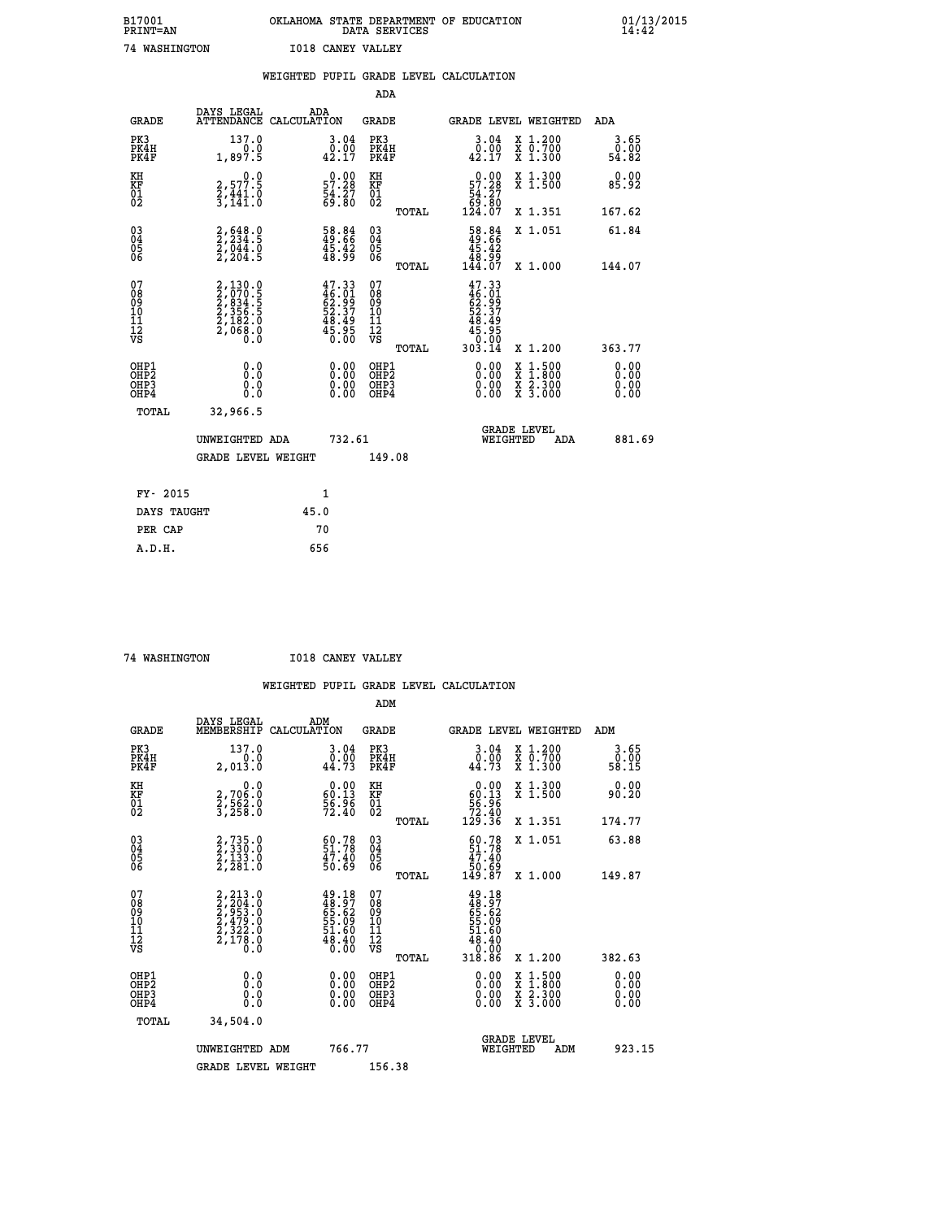| B17001<br><b>PRINT=AN</b> | OKLAHOMA STATE DEPARTMENT OF EDUCATION<br>DATA SERVICES | 01/13/2015 |
|---------------------------|---------------------------------------------------------|------------|
| 74<br>WASHINGTON          | <b>I018 CANEY VALLEY</b>                                |            |

|                                                      |                                                                            | WEIGHTED PUPIL GRADE LEVEL CALCULATION                                   |                                                    |       |                                                                                    |                                          |                              |
|------------------------------------------------------|----------------------------------------------------------------------------|--------------------------------------------------------------------------|----------------------------------------------------|-------|------------------------------------------------------------------------------------|------------------------------------------|------------------------------|
|                                                      |                                                                            |                                                                          | <b>ADA</b>                                         |       |                                                                                    |                                          |                              |
| <b>GRADE</b>                                         | DAYS LEGAL                                                                 | ADA<br>ATTENDANCE CALCULATION                                            | <b>GRADE</b>                                       |       |                                                                                    | GRADE LEVEL WEIGHTED                     | ADA                          |
| PK3<br>PK4H<br>PK4F                                  | 137.0<br>1,897.5                                                           | 3.04<br>$\begin{smallmatrix} 0.00 \\ 0.17 \end{smallmatrix}$             | PK3<br>PK4H<br>PK4F                                |       | 3.04<br>0.00<br>42.17                                                              | X 1.200<br>X 0.700<br>X 1.300            | 3.65<br>0.00<br>54.82        |
| KH<br>KF<br>01<br>02                                 | $\begin{smallmatrix} & & 0.0\ 2.577.5\ 2.441.0\ 3.141.0 \end{smallmatrix}$ | $\begin{smallmatrix} 0.00\\57.28\\54.27\\69.80 \end{smallmatrix}$        | KH<br>KF<br>01<br>02                               |       | $\begin{smallmatrix}&&0.00\\57.28\\54.27\\69.80\\124.07\end{smallmatrix}$          | X 1.300<br>X 1.500                       | 0.00<br>85.92                |
|                                                      |                                                                            |                                                                          |                                                    | TOTAL |                                                                                    | X 1.351                                  | 167.62                       |
| $^{03}_{04}$<br>Ŏ5<br>06                             | $2,234.5$<br>$2,044.0$<br>$2,204.5$                                        | 58.84<br>49.66<br>45.42<br>48.99                                         | $\begin{matrix} 03 \\ 04 \\ 05 \\ 06 \end{matrix}$ |       | $\begin{smallmatrix} 58.84 \\ 49.66 \\ 45.42 \\ 48.99 \\ 144.07 \end{smallmatrix}$ | X 1.051                                  | 61.84                        |
|                                                      |                                                                            |                                                                          |                                                    | TOTAL |                                                                                    | X 1.000                                  | 144.07                       |
| 07<br>08<br>09<br>11<br>11<br>12<br>VS               | 2,130.0<br>2,070.5<br>2,834.5<br>2,356.5<br>2,182.0<br>2,168.0<br>0.0      | $47.33$<br>$46.01$<br>$62.99$<br>$52.37$<br>$48.49$<br>$45.95$<br>$0.00$ | 07<br>08<br>09<br>11<br>11<br>12<br>VS             | TOTAL | $47.33$<br>$46.01$<br>$62.39$<br>$52.37$<br>$48.49$<br>$45.950$<br>$0.004$         | X 1.200                                  | 363.77                       |
| OHP1<br>OHP <sub>2</sub><br>OH <sub>P3</sub><br>OHP4 | 0.0<br>Ō.Ō<br>Ō.Ō                                                          | 0.00<br>$\begin{smallmatrix} 0.00 \ 0.00 \end{smallmatrix}$              | OHP1<br>OHP2<br>OHP3<br>OHP4                       |       | 0.00<br>0.00<br>0.00                                                               | X 1:500<br>X 1:800<br>X 2:300<br>X 3:000 | 0.00<br>0.00<br>0.00<br>0.00 |
| TOTAL                                                | 32,966.5                                                                   |                                                                          |                                                    |       |                                                                                    |                                          |                              |
|                                                      | UNWEIGHTED ADA                                                             | 732.61                                                                   |                                                    |       | WEIGHTED                                                                           | <b>GRADE LEVEL</b><br>ADA                | 881.69                       |
|                                                      | <b>GRADE LEVEL WEIGHT</b>                                                  |                                                                          | 149.08                                             |       |                                                                                    |                                          |                              |
| FY- 2015                                             |                                                                            | $\mathbf{1}$                                                             |                                                    |       |                                                                                    |                                          |                              |
| DAYS TAUGHT                                          |                                                                            | 45.0                                                                     |                                                    |       |                                                                                    |                                          |                              |
| PER CAP                                              |                                                                            | 70                                                                       |                                                    |       |                                                                                    |                                          |                              |

 **74 WASHINGTON I018 CANEY VALLEY**

|                                          |                                                                                  |                                                                          | ADM                                                 |                                                                                    |                                          |                       |
|------------------------------------------|----------------------------------------------------------------------------------|--------------------------------------------------------------------------|-----------------------------------------------------|------------------------------------------------------------------------------------|------------------------------------------|-----------------------|
| <b>GRADE</b>                             | DAYS LEGAL<br>MEMBERSHIP                                                         | ADM<br>CALCULATION                                                       | <b>GRADE</b>                                        |                                                                                    | GRADE LEVEL WEIGHTED                     | ADM                   |
| PK3<br>PK4H<br>PK4F                      | 137.0<br>0.0<br>2,013.0                                                          | $\begin{smallmatrix} 3.04\ 0.00\ 44.73 \end{smallmatrix}$                | PK3<br>PK4H<br>PK4F                                 | $\begin{smallmatrix} 3.04\ 0.00$<br>44.73                                          | X 1.200<br>X 0.700<br>X 1.300            | 3.65<br>ō:ŏŏ<br>58.15 |
| KH<br>KF<br>01<br>02                     | 0.0<br>2,706:0<br>2,562:0<br>3,258:0                                             | $\begin{smallmatrix} 0.00\\ 60.13\\ 56.96\\ 72.40 \end{smallmatrix}$     | KH<br>KF<br>01<br>02                                | $\begin{smallmatrix} &0.00\ 60.13\ 56.96\ 72.40\ 129.36\ \end{smallmatrix}$        | X 1.300<br>X 1.500                       | 0.00<br>90.20         |
|                                          |                                                                                  |                                                                          | TOTAL                                               |                                                                                    | X 1.351                                  | 174.77                |
| 03<br>04<br>05<br>06                     | 2, 735.0<br>2, 330.0<br>2, 133.0<br>2, 281.0                                     | $51.78$<br>$51.78$<br>$47.40$<br>$50.69$                                 | $\begin{array}{c} 03 \\ 04 \\ 05 \\ 06 \end{array}$ | $60.7851.7847.4050.69149.87$                                                       | X 1.051                                  | 63.88                 |
|                                          |                                                                                  |                                                                          | TOTAL                                               |                                                                                    | X 1.000                                  | 149.87                |
| 07<br>08<br>09<br>101<br>112<br>VS       | $2, 213.0$<br>$2, 204.0$<br>$2, 953.0$<br>$2, 479.0$<br>$2, 322.0$<br>$2, 178.0$ | $49.18$<br>$48.97$<br>$65.62$<br>$55.09$<br>$51.60$<br>$48.40$<br>$0.00$ | 07<br>08<br>09<br>11<br>11<br>12<br>VS<br>TOTAL     | $49.18$<br>$48.97$<br>$65.62$<br>$55.09$<br>$51.60$<br>$48.40$<br>$0.00$<br>318.86 | X 1.200                                  | 382.63                |
|                                          |                                                                                  |                                                                          |                                                     |                                                                                    |                                          | 0.00                  |
| OHP1<br>OHP2<br>OHP <sub>3</sub><br>OHP4 | 0.0<br>$\begin{smallmatrix} 0.16 \ 0.0 \end{smallmatrix}$                        |                                                                          | OHP1<br>OHP2<br>OHP <sub>3</sub>                    | $0.00$<br>$0.00$<br>0.00                                                           | X 1:500<br>X 1:800<br>X 2:300<br>X 3:000 | 0.00<br>0.00<br>0.00  |
| TOTAL                                    | 34,504.0                                                                         |                                                                          |                                                     |                                                                                    |                                          |                       |
|                                          | UNWEIGHTED ADM                                                                   | 766.77                                                                   |                                                     |                                                                                    | GRADE LEVEL<br>WEIGHTED<br>ADM           | 923.15                |
|                                          | <b>GRADE LEVEL WEIGHT</b>                                                        |                                                                          | 156.38                                              |                                                                                    |                                          |                       |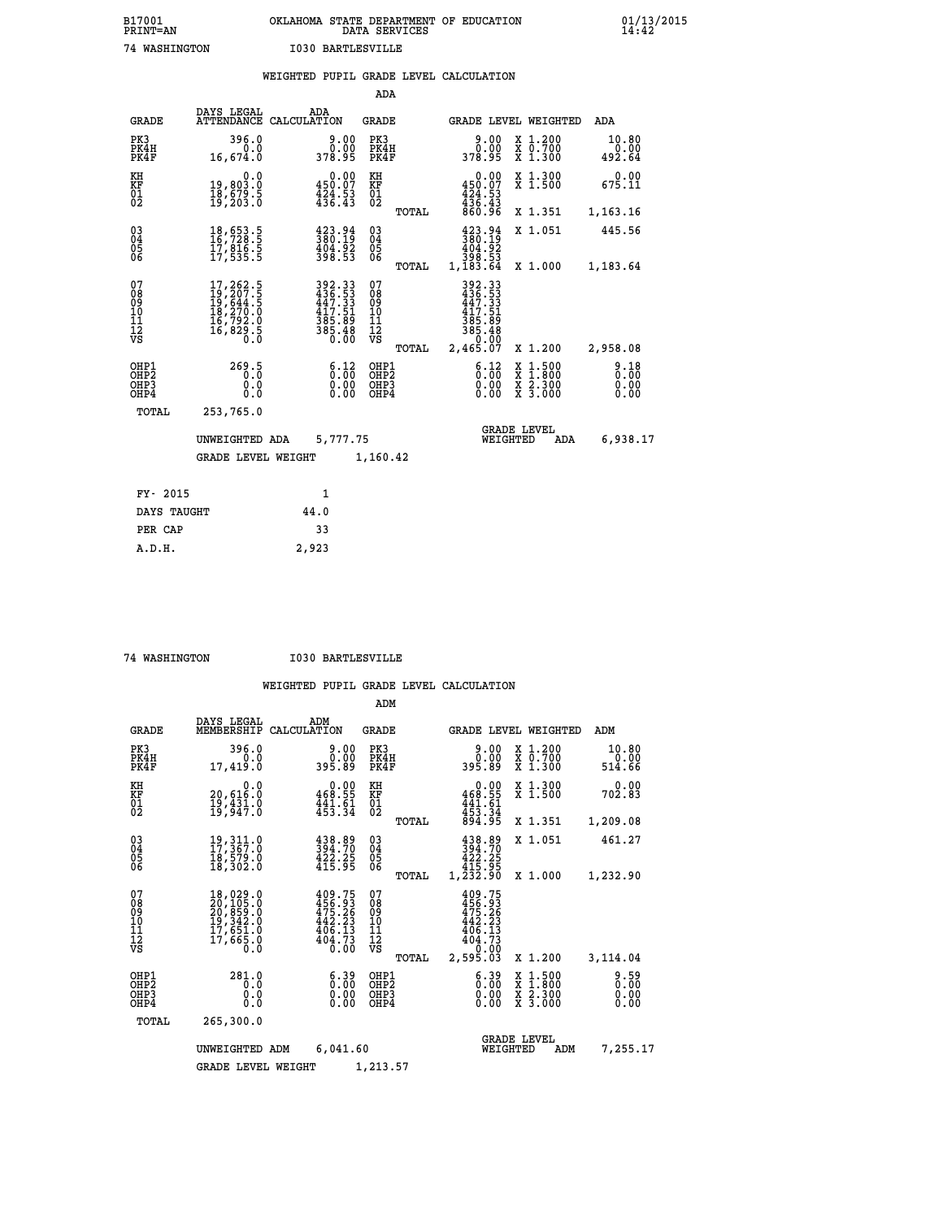| B17001<br><b>PRINT=AN</b> | OKLAHOMA STATE DEPARTMENT OF EDUCATION<br>DATA SERVICES | 01/13/2015<br>14:42 |
|---------------------------|---------------------------------------------------------|---------------------|
| 74<br>WASHINGTON          | 1030 BARTLESVILLE                                       |                     |

|                              |                                                                                                                                                 |       |                                                                                                    |                                        |       | WEIGHTED PUPIL GRADE LEVEL CALCULATION                                                                                |                                                                                                                                      |                         |
|------------------------------|-------------------------------------------------------------------------------------------------------------------------------------------------|-------|----------------------------------------------------------------------------------------------------|----------------------------------------|-------|-----------------------------------------------------------------------------------------------------------------------|--------------------------------------------------------------------------------------------------------------------------------------|-------------------------|
|                              |                                                                                                                                                 |       |                                                                                                    | <b>ADA</b>                             |       |                                                                                                                       |                                                                                                                                      |                         |
| <b>GRADE</b>                 | DAYS LEGAL<br>ATTENDANCE CALCULATION                                                                                                            |       | ADA                                                                                                | <b>GRADE</b>                           |       |                                                                                                                       | GRADE LEVEL WEIGHTED                                                                                                                 | ADA                     |
| PK3<br>PK4H<br>PK4F          | 396.0<br>0.0<br>16,674.0                                                                                                                        |       | 9.00<br>0.00<br>378.95                                                                             | PK3<br>PK4H<br>PK4F                    |       | 9.00<br>0.00<br>378.95                                                                                                | X 1.200<br>X 0.700<br>X 1.300                                                                                                        | 10.80<br>0.00<br>492.64 |
| KH<br>KF<br>01<br>02         | 0.0<br>19,803.0<br>18,679.5<br>19,203.0                                                                                                         |       | $\substack{0.00\\450.07\\424.53\\436.43}$                                                          | KH<br>KF<br>01<br>02                   |       | $0.00\n450.07\n424.53\n436.43\n860.96$                                                                                | X 1.300<br>X 1.500                                                                                                                   | 0.00<br>675.11          |
|                              |                                                                                                                                                 |       |                                                                                                    |                                        | TOTAL |                                                                                                                       | X 1.351                                                                                                                              | 1,163.16                |
| $^{03}_{04}$<br>05<br>06     | $\begin{smallmatrix} 18\,,\,653\cdot5\\ 16\,,\,728\cdot5\\ 17\,,\,816\cdot5\\ 17\,,\,535\cdot5 \end{smallmatrix}$                               |       | $\begin{smallmatrix} 423\cdot94\ 380\cdot19\ 404\cdot92\ 398\cdot53 \end{smallmatrix}$             | $\substack{03 \\ 04}$<br>05<br>06      |       | $\begin{smallmatrix} 423.94\ 380.19\ 404.92\ 498.53\ 398.53\ 1,183.64\ \end{smallmatrix}$                             | X 1.051                                                                                                                              | 445.56                  |
|                              |                                                                                                                                                 |       |                                                                                                    |                                        | TOTAL |                                                                                                                       | X 1.000                                                                                                                              | 1,183.64                |
| 07<br>08901112<br>1112<br>VS | $\begin{smallmatrix} 17,262\cdot 5\\ 19,207\cdot 5\\ 19,644\cdot 5\\ 18,270\cdot 0\\ 16,792\cdot 0\\ 16,829\cdot 5\\ 0\cdot 0\end{smallmatrix}$ |       | $\begin{smallmatrix} 392.33\\ 436.53\\ 447.53\\ 447.51\\ 385.89\\ 385.48\\ 0.00 \end{smallmatrix}$ | 07<br>08<br>09<br>11<br>11<br>12<br>VS | TOTAL | 392.33<br>436.53<br>447.33<br>417.51<br>$\begin{array}{r} 385.89 \\ 385.48 \\ 385.48 \\ 0.00 \\ 2,465.07 \end{array}$ | X 1.200                                                                                                                              | 2,958.08                |
| OHP1<br>OHP2<br>OHP3<br>OHP4 | 269.5<br>0.0<br>0.0                                                                                                                             |       | 6.12<br>0.00<br>0.00                                                                               | OHP1<br>OHP2<br>OHP3<br>OHP4           |       | 6.12<br>0.00<br>0.00                                                                                                  | $\begin{smallmatrix} \mathtt{X} & 1 & 500 \\ \mathtt{X} & 1 & 800 \\ \mathtt{X} & 2 & 300 \\ \mathtt{X} & 3 & 000 \end{smallmatrix}$ | 8.18<br>0.00<br>0.00    |
| TOTAL                        | 253,765.0                                                                                                                                       |       |                                                                                                    |                                        |       |                                                                                                                       |                                                                                                                                      |                         |
|                              | UNWEIGHTED ADA                                                                                                                                  |       | 5,777.75                                                                                           |                                        |       |                                                                                                                       | <b>GRADE LEVEL</b><br>WEIGHTED<br>ADA                                                                                                | 6,938.17                |
|                              | <b>GRADE LEVEL WEIGHT</b>                                                                                                                       |       |                                                                                                    | 1,160.42                               |       |                                                                                                                       |                                                                                                                                      |                         |
| FY- 2015                     |                                                                                                                                                 |       | 1                                                                                                  |                                        |       |                                                                                                                       |                                                                                                                                      |                         |
| DAYS TAUGHT                  |                                                                                                                                                 | 44.0  |                                                                                                    |                                        |       |                                                                                                                       |                                                                                                                                      |                         |
| PER CAP                      |                                                                                                                                                 |       | 33                                                                                                 |                                        |       |                                                                                                                       |                                                                                                                                      |                         |
| <b>E</b> תנ                  |                                                                                                                                                 | າ ຊາຊ |                                                                                                    |                                        |       |                                                                                                                       |                                                                                                                                      |                         |

 **A.D.H. 2,923**

 **74 WASHINGTON I030 BARTLESVILLE**

|                                                    |                                                                                                                                                     |                                                                         | ADM                                                |                                                                                           |                                                                                                                                           |                              |
|----------------------------------------------------|-----------------------------------------------------------------------------------------------------------------------------------------------------|-------------------------------------------------------------------------|----------------------------------------------------|-------------------------------------------------------------------------------------------|-------------------------------------------------------------------------------------------------------------------------------------------|------------------------------|
| <b>GRADE</b>                                       | DAYS LEGAL<br>MEMBERSHIP                                                                                                                            | ADM<br>CALCULATION                                                      | GRADE                                              | GRADE LEVEL WEIGHTED                                                                      |                                                                                                                                           | ADM                          |
| PK3<br>PK4H<br>PK4F                                | 396.0<br>0.0<br>17,419.0                                                                                                                            | 9.00<br>0.00<br>395.89                                                  | PK3<br>PK4H<br>PK4F                                | 9.00<br>ŎŎ.ŎŎ<br>89.89                                                                    | X 1.200<br>X 0.700<br>X 1.300                                                                                                             | 10.80<br>0.00<br>514.66      |
| KH<br>KF<br>01<br>02                               | 0.0<br>20,616.0<br>$\frac{19}{19}, \frac{431}{947}.0$                                                                                               | $0.00$<br>468.55<br>$\frac{441.61}{453.34}$                             | KH<br>KF<br>01<br>02                               | $0.00$<br>$468.55$<br>$441.61$<br>$453.34$<br>$894.95$                                    | X 1.300<br>X 1.500                                                                                                                        | 0.00<br>702.83               |
|                                                    |                                                                                                                                                     |                                                                         | TOTAL                                              |                                                                                           | X 1.351                                                                                                                                   | 1,209.08                     |
| $\begin{matrix} 03 \\ 04 \\ 05 \\ 06 \end{matrix}$ | 19, 311.0<br>17, 367.0<br>īġ,š7ġ.ŏ<br>18,302.O                                                                                                      | 438.89<br>394.70<br>$\frac{422.25}{415.95}$                             | $\begin{matrix} 03 \\ 04 \\ 05 \\ 06 \end{matrix}$ | 438.89<br>394.70<br>$\frac{422.25}{415.95}$                                               | X 1.051                                                                                                                                   | 461.27                       |
|                                                    |                                                                                                                                                     |                                                                         | TOTAL                                              | 1,232.90                                                                                  | X 1.000                                                                                                                                   | 1,232.90                     |
| 07<br>08<br>09<br>101<br>11<br>12<br>VS            | $\begin{smallmatrix} 18\,,\,029\,.0\\ 20\,,\,105\,.0\\ 20\,,\,859\,.0\\ 19\,,\,342\,.0\\ 17\,,\,651\,.0\\ 17\,,\,665\,.0\\ 0\,.0 \end{smallmatrix}$ | 409.75<br>456.93<br>475.26<br>$\frac{442.23}{406.13}$<br>404.73<br>0.00 | 07<br>08<br>09<br>11<br>11<br>12<br>VS<br>TOTAL    | 409.75<br>$456.93$<br>$475.26$<br>$442.23$<br>$\frac{406.13}{404.73}$<br>0.00<br>2,595.03 | X 1.200                                                                                                                                   | 3,114.04                     |
| OHP1<br>OHP2<br>OH <sub>P3</sub><br>OHP4           | 281.0<br>0.0<br>0.0<br>0.0                                                                                                                          | $\begin{smallmatrix} 6.39\ 0.00 \ 0.00 \end{smallmatrix}$<br>0.00       | OHP1<br>OHP2<br>OHP3<br>OHP4                       | $\begin{smallmatrix} 6.39 \ 0.00 \ 0.00 \end{smallmatrix}$<br>0.00                        | $\begin{smallmatrix} \mathtt{X} & 1\cdot500\\ \mathtt{X} & 1\cdot800\\ \mathtt{X} & 2\cdot300\\ \mathtt{X} & 3\cdot000 \end{smallmatrix}$ | 9.59<br>0.00<br>0.00<br>0.00 |
| TOTAL                                              | 265,300.0                                                                                                                                           |                                                                         |                                                    |                                                                                           |                                                                                                                                           |                              |
|                                                    | UNWEIGHTED ADM                                                                                                                                      | 6,041.60                                                                |                                                    | WEIGHTED                                                                                  | <b>GRADE LEVEL</b><br>ADM                                                                                                                 | 7,255.17                     |
|                                                    | <b>GRADE LEVEL WEIGHT</b>                                                                                                                           |                                                                         | 1,213.57                                           |                                                                                           |                                                                                                                                           |                              |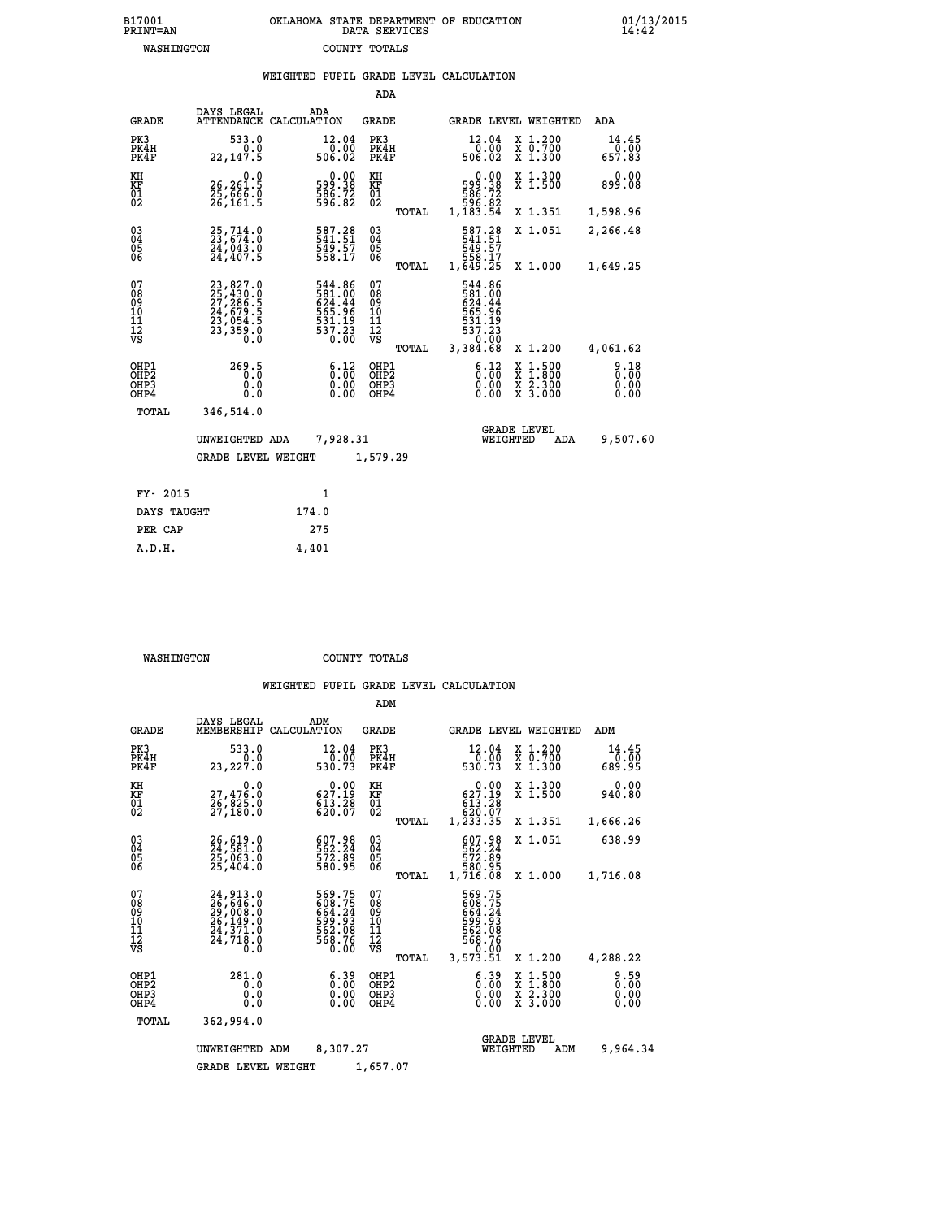| B17001          | OKLAHOMA STATE DEPARTMENT OF EDUCATION |
|-----------------|----------------------------------------|
| <b>PRINT=AN</b> | DATA SERVICES                          |
| WASHINGTON      | COUNTY TOTALS                          |

 **B17001 OKLAHOMA STATE DEPARTMENT OF EDUCATION 01/13/2015**

|                                                                    |                                                                                           | WEIGHTED PUPIL GRADE LEVEL CALCULATION                                  |                                                 |                                                                                                        |                                                                                                  |                              |
|--------------------------------------------------------------------|-------------------------------------------------------------------------------------------|-------------------------------------------------------------------------|-------------------------------------------------|--------------------------------------------------------------------------------------------------------|--------------------------------------------------------------------------------------------------|------------------------------|
|                                                                    |                                                                                           |                                                                         | ADA                                             |                                                                                                        |                                                                                                  |                              |
| <b>GRADE</b>                                                       | DAYS LEGAL                                                                                | ADA<br>ATTENDANCE CALCULATION                                           | GRADE                                           | GRADE LEVEL WEIGHTED                                                                                   |                                                                                                  | ADA                          |
| PK3<br>PK4H<br>PK4F                                                | 533.0<br>0.0<br>22, 147.5                                                                 | 12.04<br>0.00<br>506.02                                                 | PK3<br>PK4H<br>PK4F                             | 12.04<br>0.00<br>506.02                                                                                | X 1.200<br>X 0.700<br>X 1.300                                                                    | 14.45<br>0.00<br>657.83      |
| KH<br><b>KF</b><br>01<br>02                                        | 0.0<br>26,261.5<br>25,666.0<br>26,161.5                                                   | $\begin{smallmatrix} 0.00\\ 599.38\\ 586.72\\ 596.82 \end{smallmatrix}$ | KH<br><b>KF</b><br>01<br>02                     | $0.00$<br>$599.38$<br>$586.72$<br>$596.82$<br>$1,183.54$                                               | X 1.300<br>X 1.500                                                                               | 0.00<br>899.08               |
|                                                                    |                                                                                           |                                                                         | TOTAL                                           |                                                                                                        | X 1.351                                                                                          | 1,598.96                     |
| $\begin{smallmatrix} 03 \\[-4pt] 04 \end{smallmatrix}$<br>05<br>ŌĞ | $25,714.0$<br>23,674.0<br>24,043.0<br>24,407.5                                            | 587.28<br>549.57<br>558.17                                              | $\substack{03 \\ 04}$<br>05<br>ŌĞ               | 587.28<br>541.51<br>549.57<br>558.17<br>1,649.25                                                       | X 1.051                                                                                          | 2,266.48                     |
|                                                                    |                                                                                           |                                                                         | TOTAL                                           |                                                                                                        | X 1.000                                                                                          | 1,649.25                     |
| 07<br>08<br>09<br>11<br>11<br>12<br>VS                             | $23,827.0$<br>$25,430.0$<br>$27,286.5$<br>$24,679.5$<br>$23,054.5$<br>$23,359.0$<br>$0.0$ | 544.86<br>581.00<br>624.44<br>565.96<br>531.19<br>537.23<br>6.00        | 07<br>08<br>09<br>11<br>11<br>12<br>VS<br>TOTAL | 544.86<br>581.00<br>624.44<br>$\begin{array}{c} 565.96 \\ 531.19 \\ 537.23 \\ \end{array}$<br>3,384.68 | X 1.200                                                                                          | 4,061.62                     |
| OHP1<br>OH <sub>P</sub> 2<br>OHP3<br>OHP4                          | 269.5<br>0.0<br>0.0                                                                       | 6.12<br>0.00<br>0.00                                                    | OHP1<br>OHP <sub>2</sub><br>OHP3<br>OHP4        | 6:12<br>0.00<br>0.00                                                                                   | $\begin{smallmatrix} x & 1 & 500 \\ x & 1 & 800 \\ x & 2 & 300 \\ x & 3 & 000 \end{smallmatrix}$ | 9.18<br>0.00<br>0.00<br>0.00 |
| TOTAL                                                              | 346,514.0                                                                                 |                                                                         |                                                 |                                                                                                        |                                                                                                  |                              |
|                                                                    | UNWEIGHTED ADA                                                                            | 7,928.31                                                                |                                                 | <b>GRADE LEVEL</b><br>WEIGHTED                                                                         | ADA                                                                                              | 9,507.60                     |
|                                                                    | <b>GRADE LEVEL WEIGHT</b>                                                                 |                                                                         | 1,579.29                                        |                                                                                                        |                                                                                                  |                              |
| FY- 2015                                                           |                                                                                           | 1                                                                       |                                                 |                                                                                                        |                                                                                                  |                              |
| DAYS TAUGHT                                                        |                                                                                           | 174.0                                                                   |                                                 |                                                                                                        |                                                                                                  |                              |
| PER CAP                                                            |                                                                                           | 275                                                                     |                                                 |                                                                                                        |                                                                                                  |                              |

| WASHINGTON | COUNTY TOTALS |  |
|------------|---------------|--|

 **A.D.H. 4,401**

|                                                       |                                                                                                                                                                                          |                                                                   | ADM                                             |                                                                                                           |                                          |                              |
|-------------------------------------------------------|------------------------------------------------------------------------------------------------------------------------------------------------------------------------------------------|-------------------------------------------------------------------|-------------------------------------------------|-----------------------------------------------------------------------------------------------------------|------------------------------------------|------------------------------|
| <b>GRADE</b>                                          | DAYS LEGAL<br>MEMBERSHIP                                                                                                                                                                 | ADM<br>CALCULATION                                                | <b>GRADE</b>                                    | GRADE LEVEL WEIGHTED                                                                                      |                                          | ADM                          |
| PK3<br>PK4H<br>PK4F                                   | 533.0<br>0.0<br>23,227.0                                                                                                                                                                 | 12.04<br>$0.\overline{0}0$<br>530.73                              | PK3<br>PK4H<br>PK4F                             | 12.04<br>0.00<br>530.73                                                                                   | X 1.200<br>X 0.700<br>$X$ 1.300          | 14.45<br>0.00<br>689.95      |
| KH<br>KF<br>01<br>02                                  | 0.0<br>27,476:0<br>26,825:0<br>27,180:0                                                                                                                                                  | $0.00$<br>627.19<br>$\frac{613}{620}$ $\frac{28}{07}$             | KH<br>KF<br>01<br>02                            | $0.00$<br>627.19<br>613.28                                                                                | X 1.300<br>X 1.500                       | 0.00<br>940.80               |
|                                                       |                                                                                                                                                                                          |                                                                   | TOTAL                                           | 620.07<br>1,233.35                                                                                        | X 1.351                                  | 1,666.26                     |
| 03<br>04<br>05<br>06                                  | 26,619.0<br>24,581.0<br>25,063.0<br>25,404.0                                                                                                                                             | 607.98<br>562.24<br>572.89<br>580.95                              | $\substack{03 \\ 04}$<br>0500                   | 607.98<br>562.24<br>572.89<br>580.95<br>1,716.08                                                          | X 1.051                                  | 638.99                       |
|                                                       |                                                                                                                                                                                          |                                                                   | TOTAL                                           |                                                                                                           | X 1.000                                  | 1,716.08                     |
| 07<br>08<br>09<br>11<br>11<br>12<br>VS                | $\begin{smallmatrix} 24\,, & 913\,, & 0\\ 26\,, & 646\,, & 0\\ 29\,, & 008\,, & 0\\ 26\,, & 149\,, & 0\\ 24\,, & 371\,, & 0\\ 24\,, & 718\,, & 0\\ 0\,. & 0\,. & 0\,. \end{smallmatrix}$ | 569.75<br>608.75<br>664.24<br>599.93<br>562.08<br>568.76<br>0.00  | 07<br>08<br>09<br>11<br>11<br>12<br>VS<br>TOTAL | 569.75<br>608.75<br>664.24<br>$\frac{599}{562}$ . $\frac{53}{26}$<br>562.08<br>568.76<br>0.00<br>3,573.51 | X 1.200                                  | 4,288.22                     |
| OHP1<br>OH <sub>P</sub> 2<br>OH <sub>P3</sub><br>OHP4 | 281.0<br>0.0<br>0.0<br>Ŏ.Ŏ                                                                                                                                                               | $\begin{smallmatrix} 6.39\ 0.00 \ 0.00 \end{smallmatrix}$<br>0.00 | OHP1<br>OHP2<br>OHP3<br>OHP4                    | $\begin{smallmatrix} 6.39 \ 0.00 \ 0.00 \end{smallmatrix}$<br>0.00                                        | X 1:500<br>X 1:800<br>X 2:300<br>X 3:000 | 9.59<br>0.00<br>0.00<br>0.00 |
| TOTAL                                                 | 362,994.0                                                                                                                                                                                |                                                                   |                                                 |                                                                                                           |                                          |                              |
|                                                       | UNWEIGHTED                                                                                                                                                                               | 8,307.27<br>ADM                                                   |                                                 | WEIGHTED                                                                                                  | <b>GRADE LEVEL</b><br>ADM                | 9,964.34                     |
|                                                       | <b>GRADE LEVEL WEIGHT</b>                                                                                                                                                                |                                                                   | 1,657.07                                        |                                                                                                           |                                          |                              |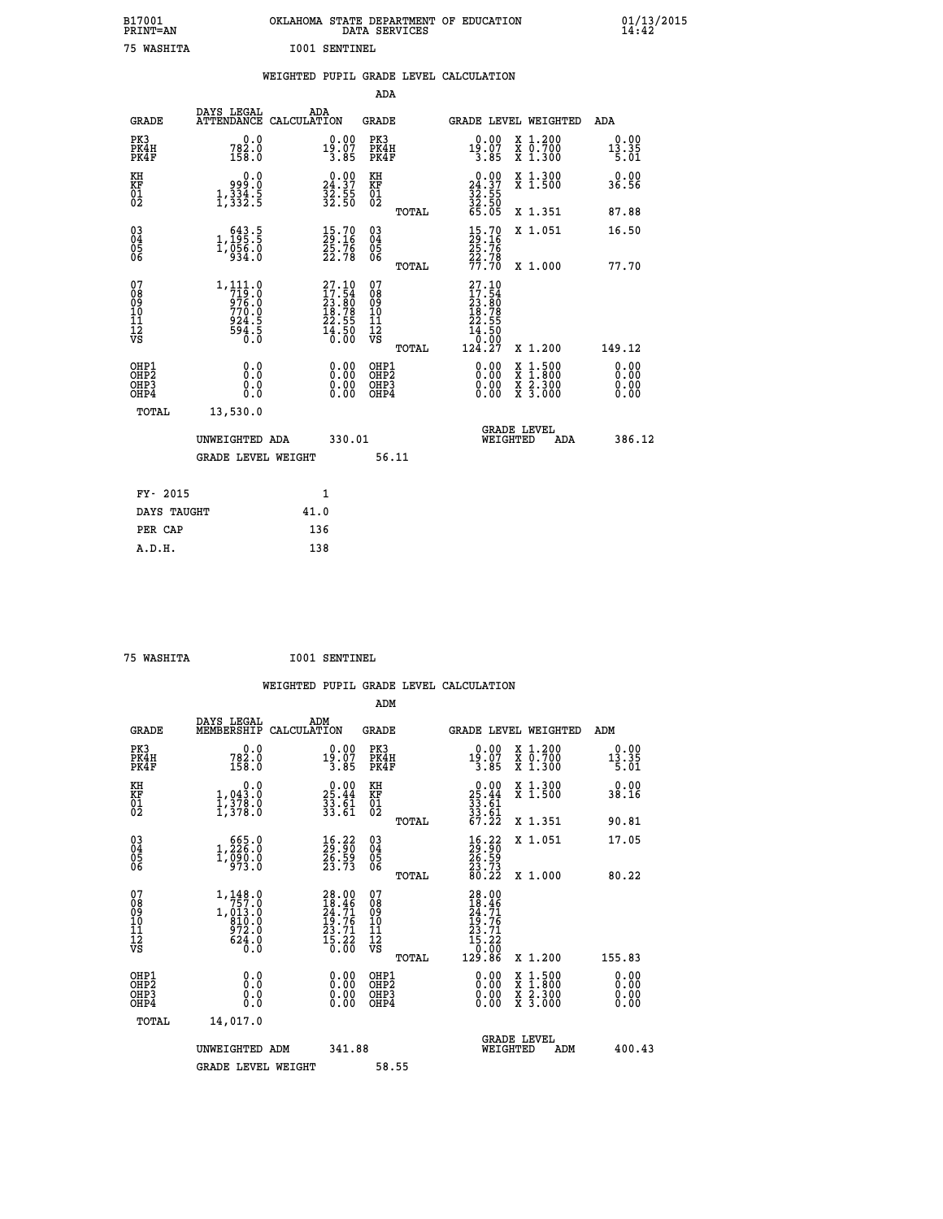| B17001<br>PRINT=AN                                   |                                                                                                                     | OKLAHOMA STATE DEPARTMENT OF EDUCATION                                                      |                                          | DATA SERVICES |                                                                                     |                                                                                       | 01/13/2015<br>14:42          |  |
|------------------------------------------------------|---------------------------------------------------------------------------------------------------------------------|---------------------------------------------------------------------------------------------|------------------------------------------|---------------|-------------------------------------------------------------------------------------|---------------------------------------------------------------------------------------|------------------------------|--|
| 75 WASHITA                                           |                                                                                                                     | <b>I001 SENTINEL</b>                                                                        |                                          |               |                                                                                     |                                                                                       |                              |  |
|                                                      |                                                                                                                     | WEIGHTED PUPIL GRADE LEVEL CALCULATION                                                      |                                          |               |                                                                                     |                                                                                       |                              |  |
|                                                      |                                                                                                                     |                                                                                             |                                          | ADA           |                                                                                     |                                                                                       |                              |  |
| <b>GRADE</b>                                         | DAYS LEGAL                                                                                                          | ADA<br>ATTENDANCE CALCULATION                                                               | GRADE                                    |               |                                                                                     | GRADE LEVEL WEIGHTED                                                                  | ADA                          |  |
| PK3<br>PK4H<br>PK4F                                  | 782.0<br>158.0                                                                                                      | 0.00<br>19.07<br>3.85                                                                       | PK3<br>PK4H<br>PK4F                      |               | 0.00<br>19.07<br>3.85                                                               | X 1.200<br>X 0.700<br>X 1.300                                                         | 0.00<br>13.35<br>5.01        |  |
| KH<br>KF<br>01<br>02                                 | 0.0<br>ة:ۆوو<br>1,334.5<br>1,332.5                                                                                  | $\begin{smallmatrix} 0.00\\24.37\\32.55\\32.50 \end{smallmatrix}$                           | KH<br>KF<br>01<br>02                     |               | 24.37<br>$\frac{3}{2}$ $\frac{3}{2}$ $\cdot$ $\frac{5}{5}$ $\frac{6}{5}$ $\cdot$ 05 | X 1.300<br>X 1.500                                                                    | 0.00<br>36.56                |  |
|                                                      |                                                                                                                     |                                                                                             |                                          | TOTAL         |                                                                                     | X 1.351                                                                               | 87.88                        |  |
| $\begin{matrix} 03 \\ 04 \\ 05 \\ 06 \end{matrix}$   | 1, 195:5<br>1,056.0                                                                                                 | 15.70<br>29.16<br>25.76<br>22.78                                                            | 030404<br>ŎĞ                             |               | $\frac{15}{29}$ : 16<br>25: 76                                                      | X 1.051                                                                               | 16.50                        |  |
|                                                      |                                                                                                                     |                                                                                             |                                          | TOTAL         | $\frac{22.78}{77.70}$                                                               | X 1,000                                                                               | 77.70                        |  |
| 07<br>08<br>09<br>10<br>11<br>Ī2<br>VS               | $1, 111.0$<br>$719.0$<br>$\frac{676.0}{770.0}$<br>924.5<br>$5\overline{9}\overline{4}\cdot\overline{5}\overline{0}$ | $\begin{smallmatrix} 27.10\\ 17.54\\ 23.80\\ 18.78\\ 22.55\\ 4.50\\ 0.00 \end{smallmatrix}$ | 07<br>08<br>09<br>10<br>11<br>ĪŹ<br>VŠ   | TOTAL         | 27.10<br>17.54<br>23.80<br>$\frac{18.78}{22.55}$<br>14.50<br>0.00<br>124.27         | X 1.200                                                                               | 149.12                       |  |
| OHP1<br>OHP <sub>2</sub><br>OH <sub>P3</sub><br>OHP4 | 0.0<br>0.0<br>0.0<br>0.0                                                                                            | 0.00<br>0.00<br>0.00                                                                        | OHP1<br>OHP <sub>2</sub><br>OHP3<br>OHP4 |               | 0.00<br>0.00<br>0.00                                                                | $\frac{x}{x}$ $\frac{1.500}{1.800}$<br>$\frac{\overline{x}}{x}$ $\frac{2.300}{3.000}$ | 0.00<br>0.00<br>0.00<br>0.00 |  |
| TOTAL                                                | 13,530.0                                                                                                            |                                                                                             |                                          |               |                                                                                     |                                                                                       |                              |  |
|                                                      | UNWEIGHTED ADA                                                                                                      |                                                                                             | 330.01                                   |               |                                                                                     | <b>GRADE LEVEL</b><br>WEIGHTED<br>ADA                                                 | 386.12                       |  |
|                                                      | <b>GRADE LEVEL WEIGHT</b>                                                                                           |                                                                                             |                                          | 56.11         |                                                                                     |                                                                                       |                              |  |
| FY- 2015                                             |                                                                                                                     | 1                                                                                           |                                          |               |                                                                                     |                                                                                       |                              |  |
| DAYS TAUGHT                                          |                                                                                                                     | 41.0                                                                                        |                                          |               |                                                                                     |                                                                                       |                              |  |
| PER CAP                                              |                                                                                                                     | 136                                                                                         |                                          |               |                                                                                     |                                                                                       |                              |  |

| WASHTTA |  |
|---------|--|

 **75 WASHITA I001 SENTINEL**

 **WEIGHTED PUPIL GRADE LEVEL CALCULATION ADM DAYS LEGAL ADM GRADE MEMBERSHIP CALCULATION GRADE GRADE LEVEL WEIGHTED ADM PK3 0.0 0.00 PK3 0.00 X 1.200 0.00 PK4H 782.0 19.07 PK4H 19.07 X 0.700 13.35 PK4F 158.0 3.85 PK4F 3.85 X 1.300 5.01 KH 0.0 0.00 KH 0.00 X 1.300 0.00 KF 1,043.0 25.44 KF 25.44 X 1.500 38.16 01** 1,378.0 33.61 01 33.61<br>**02** 1,378.0 33.61 02 33.51  **TOTAL 67.22 X 1.351 90.81 03 665.0 16.22 03 16.22 X 1.051 17.05 04 1,226.0 29.90 04 29.90 05 1,090.0 26.59 05 26.59 06 973.0 23.73 06 23.73 TOTAL 80.22 X 1.000 80.22** 07 1,148.0 28.00 07 28.00<br>
08 1,013.0 18.71 09 18.46<br>
10 810.0 19.76 10 19.76<br>
11 972.0 23.71 11 23.71<br> **12** 624.0 15.22<br> **13.82**<br> **12** 624.0 15.20<br> **15.00** vS 0.00  $\begin{array}{cccc} 1,148.0 & 28.00 & 07 \ 7,57\ldots 0 & 10 & 28.00 & 07 \ 1,011.0 & 24.46 & 08 \ 810.0 & 19.76 & 10 \ 972.0 & 19.76 & 10 \ 972.0 & 23.71 & 11 \ 624.0 & 15.22 & 12 \ 624.0 & 15.22 & 12 \ 0.0 & 0.00 & 0.00 & 0.00 \ 0.0 & 0.00 & 0.00 & 0.00 \ 0.0 & 0.00 &$  **OHP1 0.0 0.00 OHP1 0.00 X 1.500 0.00 OHP2 0.0 0.00 OHP2 0.00 X 1.800 0.00 OHP3 0.0 0.00 OHP3 0.00 X 2.300 0.00 OHP4 0.0 0.00 OHP4 0.00 X 3.000 0.00 TOTAL 14,017.0 GRADE LEVEL UNWEIGHTED ADM 341.88 WEIGHTED ADM 400.43** GRADE LEVEL WEIGHT 58.55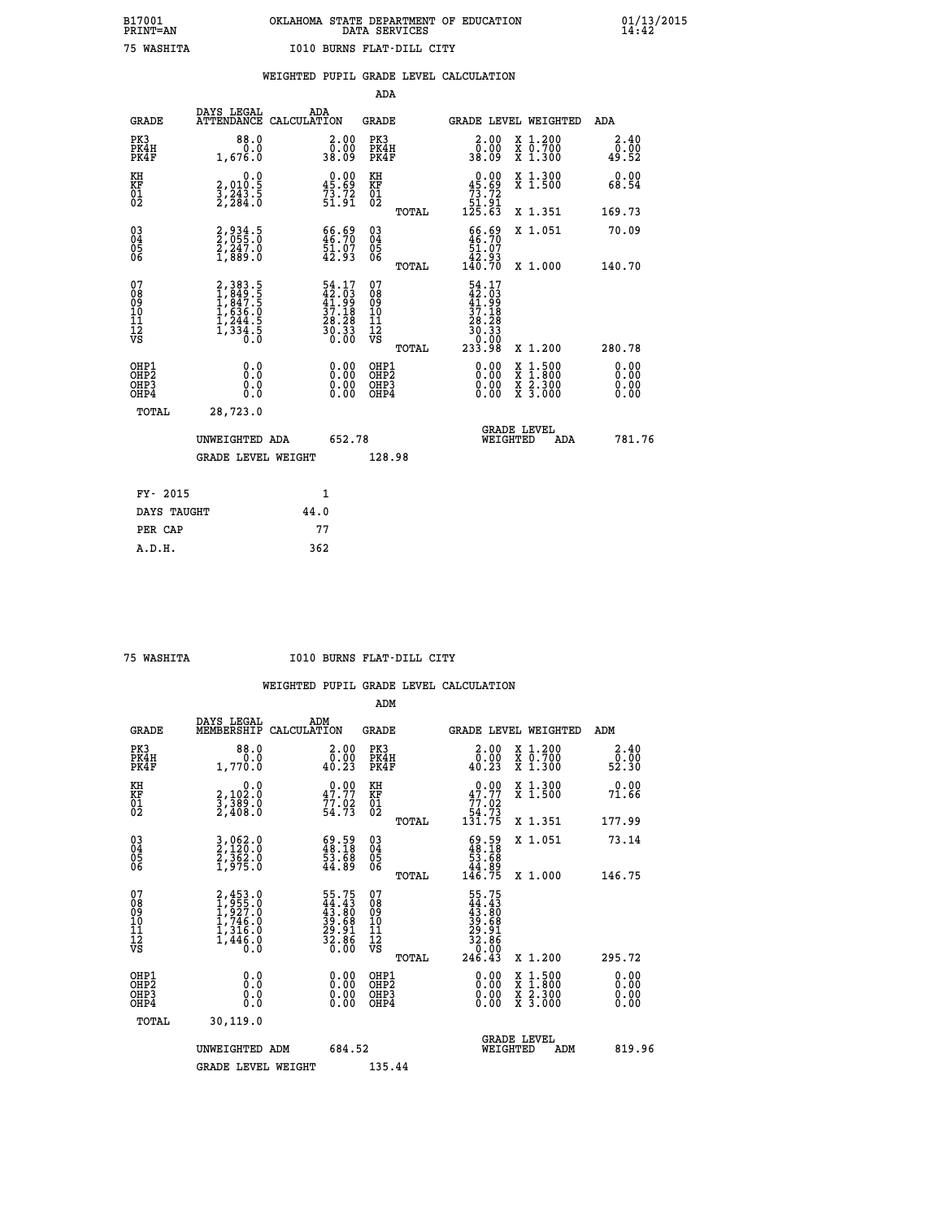|                                                                    |                                                                                     |                                                                          | ADA                                    |       |                                                                           |                                          |                              |
|--------------------------------------------------------------------|-------------------------------------------------------------------------------------|--------------------------------------------------------------------------|----------------------------------------|-------|---------------------------------------------------------------------------|------------------------------------------|------------------------------|
| <b>GRADE</b>                                                       | DAYS LEGAL                                                                          | ADA<br>ATTENDANCE CALCULATION                                            | <b>GRADE</b>                           |       |                                                                           | <b>GRADE LEVEL WEIGHTED</b>              | <b>ADA</b>                   |
| PK3<br>PK4H<br>PK4F                                                | 88.0<br>0.0<br>1,676.0                                                              | 2.00<br>00.00<br>80.09                                                   | PK3<br>PK4H<br>PK4F                    |       | 2.00<br>ŏŏ.ōŏ<br>80.85                                                    | X 1.200<br>X 0.700<br>X 1.300            | 2.40<br>0.00<br>49.52        |
| KH<br>KF<br>01<br>02                                               | 0.0<br>2,010:5<br>3,243:5<br>2,284:0                                                | $\begin{smallmatrix} 0.00\\ 45.69\\ 73.72\\ 51.91 \end{smallmatrix}$     | KH<br>KF<br>01<br>02                   |       | 0.00<br>45.69<br>$\frac{73.72}{51.91}$<br>125.63                          | X 1.300<br>X 1.500                       | 0.00<br>68.54                |
|                                                                    |                                                                                     |                                                                          |                                        | TOTAL |                                                                           | X 1.351                                  | 169.73                       |
| $\begin{smallmatrix} 03 \\[-4pt] 04 \end{smallmatrix}$<br>Ŏ5<br>06 | 2,934.5<br>2,055.0<br>2,247.0<br>1,889.0                                            | 66.69<br>46.70<br>51.07<br>42.93                                         | $\substack{03 \\ 04}$<br>Ŏ5<br>06      |       | $66.69$<br>$46.70$<br>$51.07$<br>$42.93$<br>$140.70$                      | X 1.051                                  | 70.09                        |
|                                                                    |                                                                                     |                                                                          |                                        | TOTAL |                                                                           | X 1.000                                  | 140.70                       |
| 07<br>08<br>09<br>101<br>11<br>12<br>VS                            | $2,383.5$<br>$1,849.5$<br>$1,847.5$<br>$1,636.0$<br>$1,244.5$<br>$1,334.5$<br>$0.0$ | $54.17$<br>$42.03$<br>$41.99$<br>$37.18$<br>$28.28$<br>$30.33$<br>$0.00$ | 07<br>08<br>09<br>11<br>11<br>12<br>VS |       | $54.17$<br>$42.03$<br>$41.99$<br>$37.18$<br>$28.28$<br>$30.33$<br>$30.33$ |                                          |                              |
|                                                                    |                                                                                     |                                                                          |                                        | TOTAL | 233.98                                                                    | X 1.200                                  | 280.78                       |
| OHP1<br>OHP <sub>2</sub><br>OH <sub>P3</sub><br>OHP4               | 0.0<br>0.000                                                                        | 0.00<br>$\begin{smallmatrix} 0.00 \ 0.00 \end{smallmatrix}$              | OHP1<br>OHP2<br>OHP <sub>3</sub>       |       | 0.00<br>0.00                                                              | X 1:500<br>X 1:800<br>X 2:300<br>X 3:000 | 0.00<br>0.00<br>0.00<br>0.00 |
| TOTAL                                                              | 28,723.0                                                                            |                                                                          |                                        |       |                                                                           |                                          |                              |
|                                                                    | UNWEIGHTED ADA                                                                      | 652.78                                                                   |                                        |       |                                                                           | <b>GRADE LEVEL</b><br>WEIGHTED<br>ADA    | 781.76                       |
|                                                                    | <b>GRADE LEVEL WEIGHT</b>                                                           |                                                                          | 128.98                                 |       |                                                                           |                                          |                              |
| FY- 2015                                                           |                                                                                     | 1                                                                        |                                        |       |                                                                           |                                          |                              |
| DAYS TAUGHT                                                        |                                                                                     | 44.0                                                                     |                                        |       |                                                                           |                                          |                              |
| PER CAP                                                            |                                                                                     | 77                                                                       |                                        |       |                                                                           |                                          |                              |

 **75 WASHITA I010 BURNS FLAT-DILL CITY**

|                                          |                                                                       |                                                                    | ADM                                                 |       |                                                                                      |                                          |                        |
|------------------------------------------|-----------------------------------------------------------------------|--------------------------------------------------------------------|-----------------------------------------------------|-------|--------------------------------------------------------------------------------------|------------------------------------------|------------------------|
| <b>GRADE</b>                             | DAYS LEGAL<br>MEMBERSHIP                                              | ADM<br>CALCULATION                                                 | <b>GRADE</b>                                        |       |                                                                                      | GRADE LEVEL WEIGHTED                     | ADM                    |
| PK3<br>PK4H<br>PK4F                      | 88.0<br>0.0<br>1,770.0                                                | $\begin{smallmatrix} 2.00\\ 0.00\\ 40.23 \end{smallmatrix}$        | PK3<br>PK4H<br>PK4F                                 |       | $\begin{smallmatrix} 2.00\\ 0.00\\ 40.23 \end{smallmatrix}$                          | X 1.200<br>X 0.700<br>X 1.300            | 2.40<br>52.00<br>52.30 |
| KH<br>KF<br>01<br>02                     | 0.0<br>2,102:0<br>3,389:0<br>2,408:0                                  | $0.00$<br>$47.77$<br>$77.02$<br>$54.73$                            | KH<br>KF<br>01<br>02                                |       | $\begin{smallmatrix} &0.00\ 47.77\ 77.02\ 54.73\ 131.75\ \end{smallmatrix}$          | X 1.300<br>X 1.500                       | 0.00<br>71.66          |
|                                          |                                                                       |                                                                    |                                                     | TOTAL |                                                                                      | X 1.351                                  | 177.99                 |
| 03<br>04<br>05<br>06                     | 3,062.0<br>2,120.0<br>2,362.0<br>1,975.0                              | $\begin{smallmatrix} 69.59\ 48.18\ 53.68\ 44.89 \end{smallmatrix}$ | $\begin{array}{c} 03 \\ 04 \\ 05 \\ 06 \end{array}$ |       | $\begin{smallmatrix} 69.59\ 48.18\ 53.68\ 44.89\ 146.75 \end{smallmatrix}$           | X 1.051                                  | 73.14                  |
|                                          |                                                                       |                                                                    |                                                     | TOTAL |                                                                                      | X 1.000                                  | 146.75                 |
| 07<br>08<br>09<br>101<br>11<br>12<br>VS  | 2,453.0<br>1,955.0<br>1,927.0<br>1,746.0<br>1,316.0<br>1,446.0<br>0.0 | 55.75<br>44.43<br>43.80<br>39.68<br>29.91<br>28.86<br>32.86        | 07<br>08<br>09<br>11<br>11<br>12<br>VS              | TOTAL | $55.75$<br>$44.43$<br>$43.80$<br>$39.68$<br>$29.91$<br>$32.86$<br>$0.00$<br>$246.43$ | X 1.200                                  | 295.72                 |
| OHP1<br>OHP2<br>OH <sub>P3</sub><br>OHP4 | 0.0<br>$\begin{smallmatrix} 0.16 \ 0.0 \end{smallmatrix}$             |                                                                    | OHP1<br>OHP2<br>OHP <sub>3</sub>                    |       | $0.00$<br>$0.00$<br>0.00                                                             | X 1:500<br>X 1:800<br>X 2:300<br>X 3:000 | 0.00<br>0.00<br>0.00   |
| TOTAL                                    | 30, 119.0                                                             |                                                                    |                                                     |       |                                                                                      |                                          |                        |
|                                          | UNWEIGHTED ADM                                                        | 684.52                                                             |                                                     |       |                                                                                      | GRADE LEVEL<br>WEIGHTED<br>ADM           | 819.96                 |
|                                          | <b>GRADE LEVEL WEIGHT</b>                                             |                                                                    | 135.44                                              |       |                                                                                      |                                          |                        |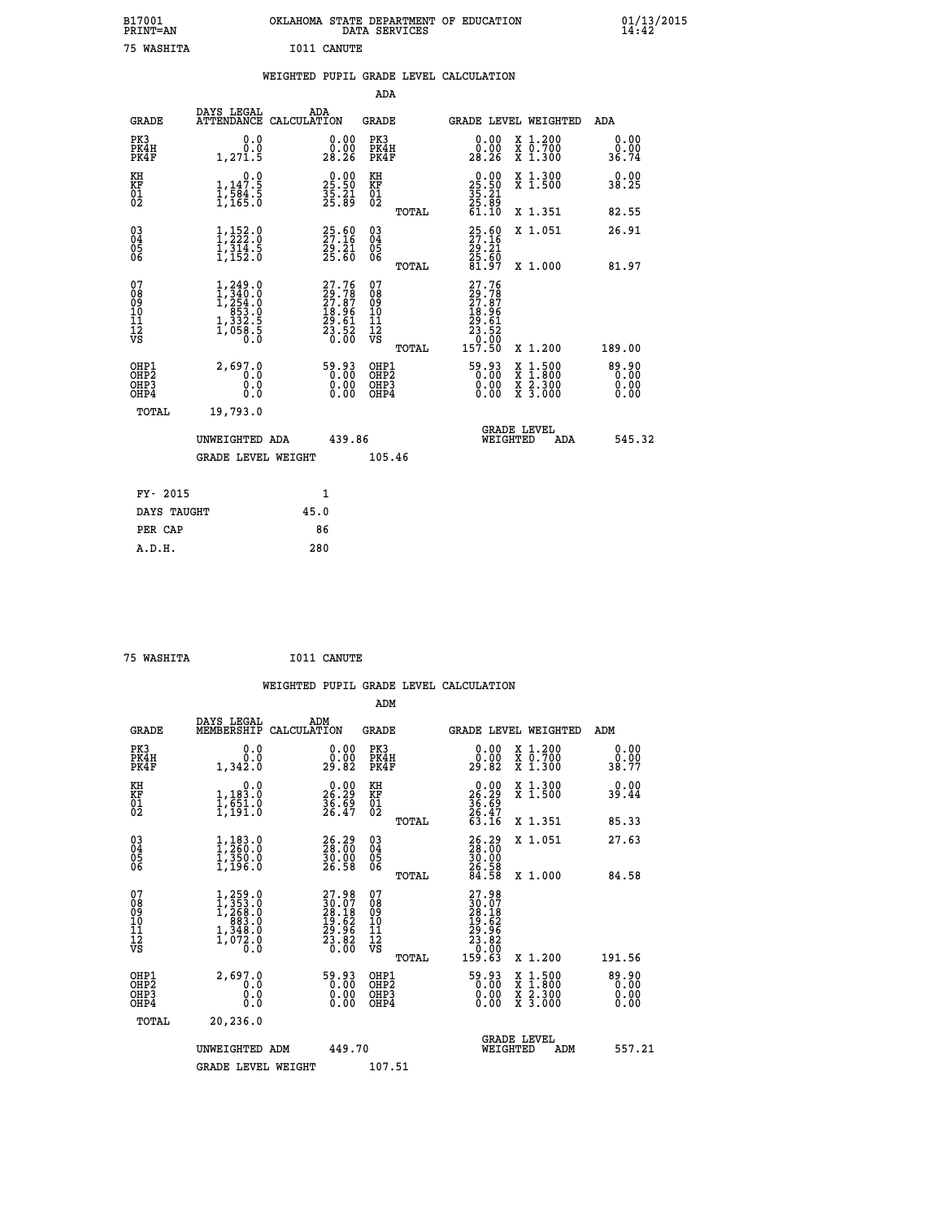| B17001<br><b>PRINT=AN</b> | OKLAHOMA STATE DEPARTMENT OF EDUCATION<br>DATA SERVICES | 01/13/2015 |
|---------------------------|---------------------------------------------------------|------------|
| 75<br>WASHITA             | I011 CANUTE                                             |            |

|  |  | WEIGHTED PUPIL GRADE LEVEL CALCULATION |
|--|--|----------------------------------------|
|  |  |                                        |

|                                                                    |                                                                                                                   |      |                                                                          | ADA                                                 |       |                                                                   |                                                                                                                                           |                               |
|--------------------------------------------------------------------|-------------------------------------------------------------------------------------------------------------------|------|--------------------------------------------------------------------------|-----------------------------------------------------|-------|-------------------------------------------------------------------|-------------------------------------------------------------------------------------------------------------------------------------------|-------------------------------|
| <b>GRADE</b>                                                       | DAYS LEGAL<br>ATTENDANCE CALCULATION                                                                              | ADA  |                                                                          | <b>GRADE</b>                                        |       | GRADE LEVEL WEIGHTED                                              |                                                                                                                                           | ADA                           |
| PK3<br>PK4H<br>PK4F                                                | 0.0<br>0.0<br>1,271.5                                                                                             |      | $\begin{smallmatrix} 0.00\\ 0.00\\ 28.26 \end{smallmatrix}$              | PK3<br>PK4H<br>PK4F                                 |       | 0.00<br>0.00ْ<br>28.26                                            | X 1.200<br>X 0.700<br>X 1.300                                                                                                             | 0.00<br>0.00<br>36.74         |
| KH<br>KF<br>01<br>02                                               | 0.0<br>1,147.5<br>1,584.5<br>1,165.0                                                                              |      | $\begin{smallmatrix} 0.00\\ 25.50\\ 35.21\\ 25.89 \end{smallmatrix}$     | KH<br>KF<br>01<br>02                                |       | $25.50$<br>$35.21$<br>$25.89$<br>$61.10$                          | X 1.300<br>X 1.500                                                                                                                        | 0.00<br>38.25                 |
|                                                                    |                                                                                                                   |      |                                                                          |                                                     | TOTAL |                                                                   | X 1.351                                                                                                                                   | 82.55                         |
| $\begin{smallmatrix} 03 \\[-4pt] 04 \end{smallmatrix}$<br>Ŏ5<br>06 | $\begin{smallmatrix} 1\,,\,152\cdot 0\\ 1\,,\,222\cdot 0\\ 1\,,\,314\cdot 5\\ 1\,,\,152\cdot 0 \end{smallmatrix}$ |      | $25.60$<br>27.16<br>29.21<br>25.60                                       | $\begin{array}{c} 03 \\ 04 \\ 05 \\ 06 \end{array}$ |       | 25.60<br>27.16<br>29.21<br>25.60<br>81.97                         | X 1.051                                                                                                                                   | 26.91                         |
|                                                                    |                                                                                                                   |      |                                                                          |                                                     | TOTAL |                                                                   | X 1.000                                                                                                                                   | 81.97                         |
| 07<br>08<br>09<br>101<br>11<br>12<br>VS                            | $\begin{smallmatrix} 1,249.0\\ 1,340.0\\ 1,254.0\\ 853.0\\ 953.0\\ 1,332.5\\ 1,058.5\\ 0.0 \end{smallmatrix}$     |      | $27.76$<br>$29.78$<br>$27.87$<br>$18.96$<br>$29.61$<br>$23.52$<br>$0.00$ | 07<br>08<br>09<br>11<br>11<br>12<br>VS              |       | 27.76<br>29.787<br>27.87<br>18.96<br>19.61<br>23.52<br>23.520     |                                                                                                                                           |                               |
|                                                                    |                                                                                                                   |      |                                                                          |                                                     | TOTAL | 157.50                                                            | X 1.200                                                                                                                                   | 189.00                        |
| OHP1<br>OHP <sub>2</sub><br>OH <sub>P3</sub><br>OHP4               | 2,697.0<br>0.0<br>0.000                                                                                           |      | 59.93<br>0.00<br>$\begin{smallmatrix} 0.00 \ 0.00 \end{smallmatrix}$     | OHP1<br>OHP2<br>OHP <sub>3</sub>                    |       | $\begin{smallmatrix} 59.93\ 0.000000\ 0.000000 \end{smallmatrix}$ | $\begin{smallmatrix} \mathtt{X} & 1\cdot500\\ \mathtt{X} & 1\cdot800\\ \mathtt{X} & 2\cdot300\\ \mathtt{X} & 3\cdot000 \end{smallmatrix}$ | 89.90<br>0.00<br>0.00<br>0.00 |
| TOTAL                                                              | 19,793.0                                                                                                          |      |                                                                          |                                                     |       |                                                                   |                                                                                                                                           |                               |
|                                                                    | UNWEIGHTED ADA                                                                                                    |      | 439.86                                                                   |                                                     |       | WEIGHTED                                                          | <b>GRADE LEVEL</b><br>ADA                                                                                                                 | 545.32                        |
|                                                                    | <b>GRADE LEVEL WEIGHT</b>                                                                                         |      |                                                                          | 105.46                                              |       |                                                                   |                                                                                                                                           |                               |
| FY- 2015                                                           |                                                                                                                   | 1    |                                                                          |                                                     |       |                                                                   |                                                                                                                                           |                               |
| DAYS TAUGHT                                                        |                                                                                                                   | 45.0 |                                                                          |                                                     |       |                                                                   |                                                                                                                                           |                               |
| PER CAP                                                            |                                                                                                                   | 86   |                                                                          |                                                     |       |                                                                   |                                                                                                                                           |                               |

| 75 WASHITA | I011 CANUTE |
|------------|-------------|
|            |             |

 **ADM DAYS LEGAL ADM GRADE MEMBERSHIP CALCULATION GRADE GRADE LEVEL WEIGHTED ADM PK3 0.0 0.00 PK3 0.00 X 1.200 0.00 PK4H 0.0 0.00 PK4H 0.00 X 0.700 0.00 PK4F 1,342.0 29.82 PK4F 29.82 X 1.300 38.77 KH** 0.00 KH 0.00 X 1.300 0.00<br> **EXECUTE:** 0.00 0.00 PC 0.00 PC 0.00 0.000 0.000 0.000

| KF<br>01<br>02                           | 1,183.0<br>1,651.0<br>1,191.0                                                                                 | 26.29<br>36.69<br>26.47                                                                      | KF<br>01<br>02                                      | $\frac{26.29}{36.69}$<br>$\frac{26.47}{63.16}$<br>X 1.500                                                                                                                              | 39.44                                                           |
|------------------------------------------|---------------------------------------------------------------------------------------------------------------|----------------------------------------------------------------------------------------------|-----------------------------------------------------|----------------------------------------------------------------------------------------------------------------------------------------------------------------------------------------|-----------------------------------------------------------------|
|                                          |                                                                                                               |                                                                                              | TOTAL                                               | X 1.351                                                                                                                                                                                | 85.33                                                           |
| 03<br>04<br>05<br>06                     | $1, 183.0$<br>$1, 260.0$<br>$1, 350.0$<br>$1, 196.0$                                                          | $\begin{smallmatrix} 26.29\\ 28.00\\ 30.00\\ 26.58 \end{smallmatrix}$                        | $\begin{matrix} 03 \\ 04 \\ 05 \\ 06 \end{matrix}$  | 26.29<br>28.00<br>30.00<br>26.58<br>24.58<br>X 1.051                                                                                                                                   | 27.63                                                           |
|                                          |                                                                                                               |                                                                                              | TOTAL                                               | X 1.000                                                                                                                                                                                | 84.58                                                           |
| 07<br>08<br>09<br>101<br>11<br>12<br>VS  | $\begin{smallmatrix} 1,259.0\\ 1,353.0\\ 1,268.0\\ 883.0\\ 883.0\\ 1,348.0\\ 1,072.0\\ 0.0 \end{smallmatrix}$ | $\begin{smallmatrix} 27.98\\ 30.07\\ 28.18\\ 19.62\\ 29.96\\ 23.82\\ 0.00 \end{smallmatrix}$ | 078<br>089<br>0011<br>11<br>11<br>12<br>VS<br>TOTAL | $\begin{smallmatrix} 27.98\\ 30.07\\ 28.18\\ 19.62\\ 29.96\\ 23.86\\ 23.00\\ 159.63 \end{smallmatrix}$<br>X 1.200                                                                      | 191.56                                                          |
| OHP1<br>OHP <sub>2</sub><br>OHP3<br>OHP4 | 2,697.0<br>0.0<br>Ŏ.Ŏ                                                                                         | $\begin{smallmatrix} 59.93\ 0.00\ 0.00\ 0.00 \end{smallmatrix}$                              | OHP1<br>OHP <sub>2</sub><br>OHP3<br>OHP4            | $\begin{smallmatrix} 59.93\ 0.00\ 0.00\ 0.00 \end{smallmatrix}$<br>$\begin{array}{l} \mathtt{X} & 1.500 \\ \mathtt{X} & 1.800 \\ \mathtt{X} & 2.300 \\ \mathtt{X} & 3.000 \end{array}$ | $\begin{smallmatrix} 89.90\ 0.00\ 0.00\ 0.00 \end{smallmatrix}$ |
| TOTAL                                    | 20,236.0                                                                                                      |                                                                                              |                                                     |                                                                                                                                                                                        |                                                                 |
|                                          | UNWEIGHTED ADM                                                                                                | 449.70                                                                                       |                                                     | <b>GRADE LEVEL</b><br>WEIGHTED<br>ADM                                                                                                                                                  | 557.21                                                          |
|                                          | <b>GRADE LEVEL WEIGHT</b>                                                                                     |                                                                                              | 107.51                                              |                                                                                                                                                                                        |                                                                 |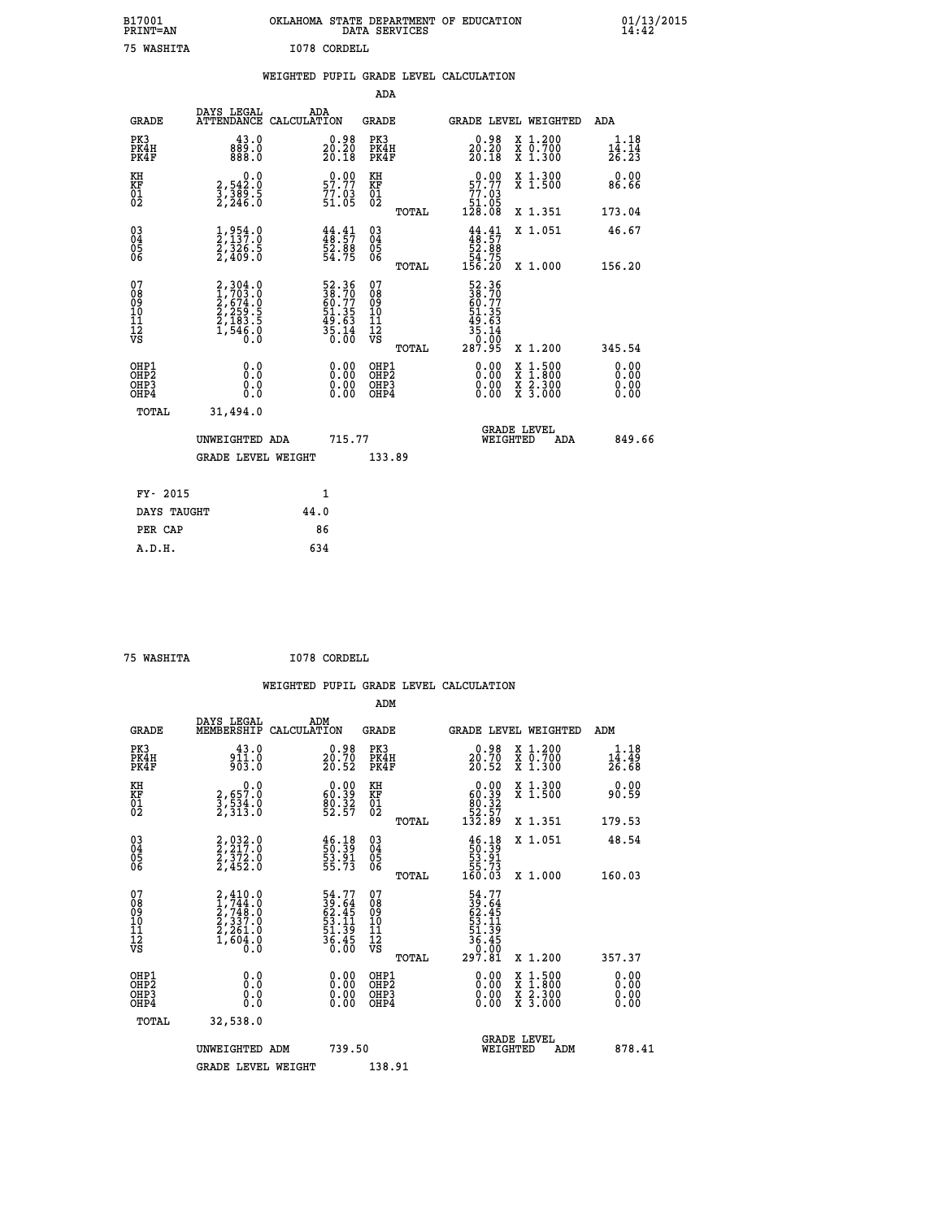| B17001<br><b>PRINT=AN</b> | OKLAHOMA STATE DEPARTMENT OF EDUCATION<br>DATA SERVICES |  |
|---------------------------|---------------------------------------------------------|--|
| 75 WASHITA                | I078 CORDELL                                            |  |

 **B17001 OKLAHOMA STATE DEPARTMENT OF EDUCATION 01/13/2015**

|                                                                    |                                                                                     |              |                                                             | ADA                                       |       |                                                             |                                                                                                  |                                                                           |
|--------------------------------------------------------------------|-------------------------------------------------------------------------------------|--------------|-------------------------------------------------------------|-------------------------------------------|-------|-------------------------------------------------------------|--------------------------------------------------------------------------------------------------|---------------------------------------------------------------------------|
| <b>GRADE</b>                                                       | DAYS LEGAL<br>ATTENDANCE CALCULATION                                                | ADA          |                                                             | <b>GRADE</b>                              |       |                                                             | GRADE LEVEL WEIGHTED                                                                             | ADA                                                                       |
| PK3<br>PK4H<br>PK4F                                                | 43.0<br>0. ق88<br>0. 888                                                            |              | $\substack{0.98 \\ 20.20 \\ 20.18}$                         | PK3<br>PK4H<br>PK4F                       |       | $\substack{0.98 \\ 20.20 \\ 20.18}$                         | X 1.200<br>X 0.700<br>X 1.300                                                                    | 1.18<br>$\frac{1\bar{4}}{2\bar{6}}\cdot\frac{\bar{1}\check{4}}{2\bar{3}}$ |
| KH<br><b>KF</b><br>01<br>02                                        | 0.0<br>$\frac{2}{3}, \frac{542}{389}$ . 5<br>$2, \frac{246}{30}$ . 5                |              | $0.00$<br>57.77<br>$\frac{77.03}{51.05}$                    | KH<br><b>KF</b><br>01<br>02               |       | 57.99<br>$\frac{77.03}{51.05}$<br>128.08                    | X 1.300<br>X 1.500                                                                               | 0.00<br>86.66                                                             |
|                                                                    |                                                                                     |              |                                                             |                                           | TOTAL |                                                             | X 1.351                                                                                          | 173.04                                                                    |
| $\begin{smallmatrix} 03 \\[-4pt] 04 \end{smallmatrix}$<br>05<br>06 | $\frac{1}{2}, \frac{954}{137}.0\\ \frac{2}{326}.5\\ \frac{2}{409}.0$                |              | $44.41$<br>$48.57$<br>$52.88$<br>$54.75$                    | $\substack{03 \\ 04}$<br>05<br>06         |       | $44.41$<br>$48.57$<br>$52.88$<br>$54.75$<br>$156.20$        | X 1.051                                                                                          | 46.67                                                                     |
|                                                                    |                                                                                     |              |                                                             |                                           | TOTAL |                                                             | X 1.000                                                                                          | 156.20                                                                    |
| 07<br>08<br>09<br>11<br>11<br>12<br>VS                             | $2,304.0$<br>$1,703.0$<br>$2,674.0$<br>$2,259.5$<br>$2,183.5$<br>$1,546.0$<br>$0.0$ |              | 52.36<br>38.70<br>60.77<br>51.35<br>53.63<br>49.63<br>35.14 | 07<br>08<br>09<br>11<br>11<br>12<br>VS    |       | 52.36<br>38.70<br>60.77<br>51.35<br>53.63<br>35.14<br>35.14 |                                                                                                  |                                                                           |
|                                                                    |                                                                                     |              |                                                             |                                           | TOTAL | 287.95                                                      | X 1.200                                                                                          | 345.54                                                                    |
| OHP1<br>OH <sub>P</sub> 2<br>OH <sub>P3</sub><br>OH <sub>P4</sub>  | 0.0<br>0.0<br>0.0                                                                   |              | 0.00<br>$\begin{smallmatrix} 0.00 \ 0.00 \end{smallmatrix}$ | OHP1<br>OH <sub>P</sub> 2<br>OHP3<br>OHP4 |       | 0.00<br>0.00<br>0.00                                        | $\begin{smallmatrix} x & 1 & 500 \\ x & 1 & 800 \\ x & 2 & 300 \\ x & 3 & 000 \end{smallmatrix}$ | 0.00<br>0.00<br>0.00<br>0.00                                              |
| TOTAL                                                              | 31,494.0                                                                            |              |                                                             |                                           |       |                                                             |                                                                                                  |                                                                           |
|                                                                    | UNWEIGHTED ADA                                                                      |              | 715.77                                                      |                                           |       |                                                             | GRADE LEVEL<br>WEIGHTED<br>ADA                                                                   | 849.66                                                                    |
|                                                                    | <b>GRADE LEVEL WEIGHT</b>                                                           |              |                                                             | 133.89                                    |       |                                                             |                                                                                                  |                                                                           |
| FY- 2015                                                           |                                                                                     | $\mathbf{1}$ |                                                             |                                           |       |                                                             |                                                                                                  |                                                                           |
| DAYS TAUGHT                                                        |                                                                                     | 44.0         |                                                             |                                           |       |                                                             |                                                                                                  |                                                                           |
| PER CAP                                                            |                                                                                     | 86           |                                                             |                                           |       |                                                             |                                                                                                  |                                                                           |

|    |            | גודו |  |
|----|------------|------|--|
| NΑ | .SHT<br>48 |      |  |

 **A.D.H. 634**

 **ADM**

 **B17001<br>PRINT=AN** 

 **75 WASHITA I078 CORDELL**

| <b>GRADE</b>                                       | DAYS LEGAL<br>MEMBERSHIP CALCULATION                                                | ADM                                                                  | <b>GRADE</b>                                       |       |                                                                                                                                                                                                                                                                                |          | GRADE LEVEL WEIGHTED                     | ADM                          |  |
|----------------------------------------------------|-------------------------------------------------------------------------------------|----------------------------------------------------------------------|----------------------------------------------------|-------|--------------------------------------------------------------------------------------------------------------------------------------------------------------------------------------------------------------------------------------------------------------------------------|----------|------------------------------------------|------------------------------|--|
| PK3<br>PK4H<br>PK4F                                | $43.0$<br>$911.0$<br>903.0                                                          | $\substack{0.98 \\ 20.70 \\ 20.52}$                                  | PK3<br>PK4H<br>PK4F                                |       | $\substack{0.98 \\ 20.70 \\ 20.52}$                                                                                                                                                                                                                                            |          | X 1.200<br>X 0.700<br>X 1.300            | $1.18$<br>$14.49$<br>$26.68$ |  |
| KH<br>KF<br>01<br>02                               | 0.0<br>3,657.0<br>3,534.0<br>2,313.0                                                | $\begin{smallmatrix} 0.00\\ 60.39\\ 80.32\\ 52.57 \end{smallmatrix}$ | KH<br>KF<br>01<br>02                               |       | $\begin{smallmatrix} &0.00\ 60.39\ 80.32\ 82.57\ 132.89\ \end{smallmatrix}$                                                                                                                                                                                                    |          | X 1.300<br>X 1.500                       | 0.00<br>90.59                |  |
|                                                    |                                                                                     |                                                                      |                                                    | TOTAL |                                                                                                                                                                                                                                                                                |          | X 1.351                                  | 179.53                       |  |
| $\begin{matrix} 03 \\ 04 \\ 05 \\ 06 \end{matrix}$ | $2, 217.0$<br>$2, 372.0$<br>$2, 452.0$                                              | $\frac{46.18}{50.39}$<br>53.91<br>55.73                              | $\begin{matrix} 03 \\ 04 \\ 05 \\ 06 \end{matrix}$ |       | $\begin{array}{c} 46.18 \\ 50.39 \\ 53.91 \\ 55.73 \\ 160.03 \end{array}$                                                                                                                                                                                                      |          | X 1.051                                  | 48.54                        |  |
|                                                    |                                                                                     |                                                                      |                                                    | TOTAL |                                                                                                                                                                                                                                                                                |          | X 1.000                                  | 160.03                       |  |
| 07<br>08<br>09<br>101<br>11<br>12<br>VS            | $2,410.0$<br>$1,744.0$<br>$2,748.0$<br>$2,337.0$<br>$2,261.0$<br>$1,604.0$<br>$0.0$ | 54.77<br>39.645<br>62.45<br>53.11<br>51.39<br>56.45<br>36.45         | 078<br>089<br>0011<br>11<br>11<br>12<br>VS         | TOTAL | $54.77$<br>$39.64$<br>$62.45$<br>$53.11$<br>$51.39$<br>$36.40$<br>$0.81$<br>$297.81$                                                                                                                                                                                           |          | X 1.200                                  | 357.37                       |  |
| OHP1<br>OHP2<br>OHP3<br>OHP4                       |                                                                                     |                                                                      | OHP1<br>OHP2<br>OHP3<br>OHP4                       |       | $\begin{smallmatrix} 0.00 & 0.00 & 0.00 & 0.00 & 0.00 & 0.00 & 0.00 & 0.00 & 0.00 & 0.00 & 0.00 & 0.00 & 0.00 & 0.00 & 0.00 & 0.00 & 0.00 & 0.00 & 0.00 & 0.00 & 0.00 & 0.00 & 0.00 & 0.00 & 0.00 & 0.00 & 0.00 & 0.00 & 0.00 & 0.00 & 0.00 & 0.00 & 0.00 & 0.00 & 0.00 & 0.0$ |          | X 1:500<br>X 1:800<br>X 2:300<br>X 3:000 | 0.00<br>0.00<br>0.00         |  |
| TOTAL                                              | 32,538.0                                                                            |                                                                      |                                                    |       |                                                                                                                                                                                                                                                                                |          |                                          |                              |  |
|                                                    | UNWEIGHTED                                                                          | 739.50<br>ADM                                                        |                                                    |       |                                                                                                                                                                                                                                                                                | WEIGHTED | <b>GRADE LEVEL</b><br>ADM                | 878.41                       |  |
|                                                    | <b>GRADE LEVEL WEIGHT</b>                                                           |                                                                      | 138.91                                             |       |                                                                                                                                                                                                                                                                                |          |                                          |                              |  |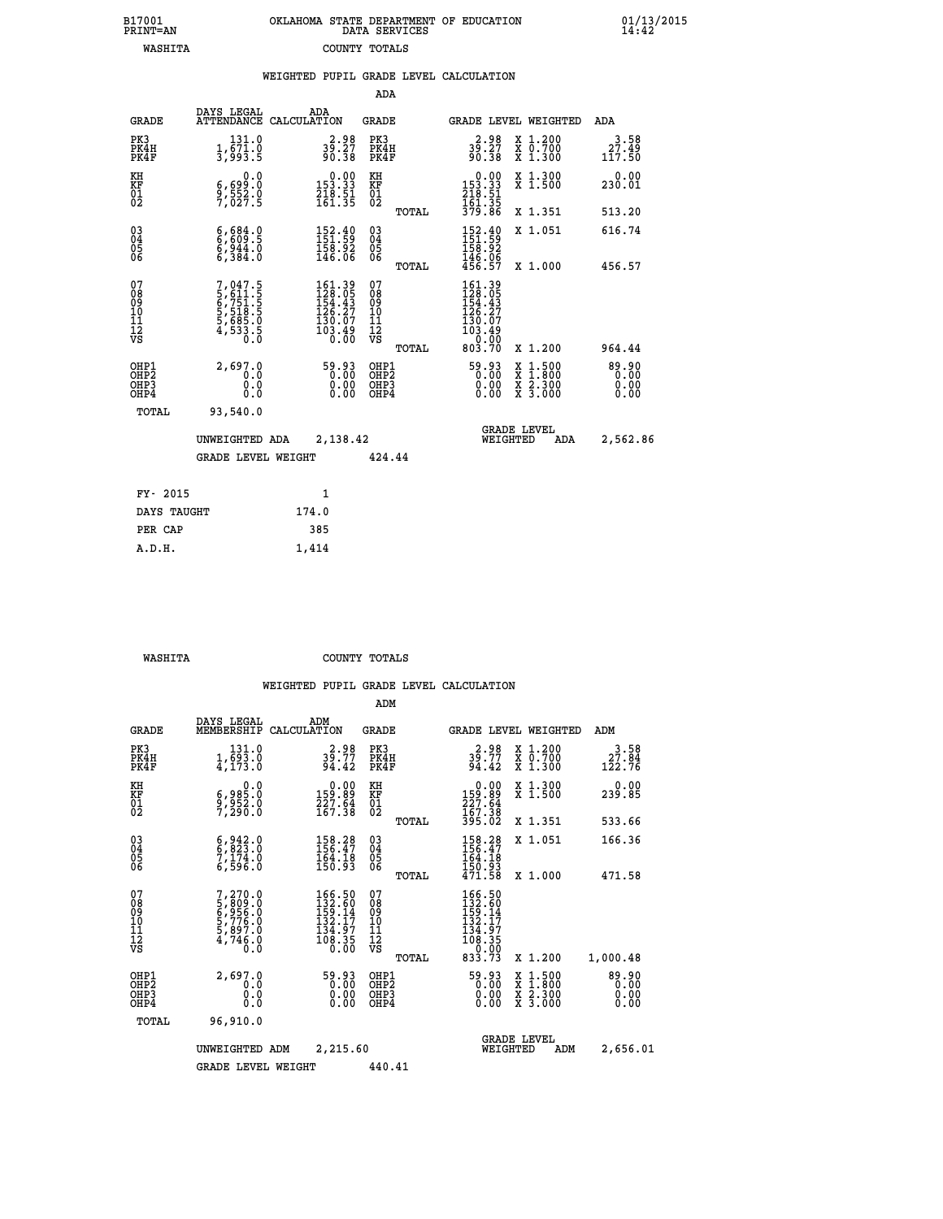| 7001<br>INT=AN | OKLAHOMA STATE DEPARTMENT OF EDUCATION | DATA SERVICES |  |
|----------------|----------------------------------------|---------------|--|
| WASHITA        | COUNTY TOTALS                          |               |  |

 **B17001 OKLAHOMA STATE DEPARTMENT OF EDUCATION 01/13/2015**

|                                                              |                                                                            | WEIGHTED PUPIL GRADE LEVEL CALCULATION                                                        |                                                  |                                                                                                     |                                                                                                                                              |                           |  |
|--------------------------------------------------------------|----------------------------------------------------------------------------|-----------------------------------------------------------------------------------------------|--------------------------------------------------|-----------------------------------------------------------------------------------------------------|----------------------------------------------------------------------------------------------------------------------------------------------|---------------------------|--|
|                                                              |                                                                            |                                                                                               | ADA                                              |                                                                                                     |                                                                                                                                              |                           |  |
| <b>GRADE</b>                                                 | DAYS LEGAL                                                                 | ADA<br>ATTENDANCE CALCULATION                                                                 | <b>GRADE</b>                                     | GRADE LEVEL WEIGHTED                                                                                |                                                                                                                                              | ADA                       |  |
| PK3<br>PK4H<br>PK4F                                          | 131.0<br>$\frac{1}{3}, \frac{5}{9} \frac{7}{3} \cdot \frac{0}{5}$          | $39.27$<br>90.38                                                                              | PK3<br>PK4H<br>PK4F                              | $39.27$<br>90.38                                                                                    | X 1.200<br>X 0.700<br>X 1.300                                                                                                                | $3.58$<br>27.49<br>117.50 |  |
| KH<br>KF<br>01<br>02                                         | 0.0<br>6,699:0<br>9,552:0<br>7,027:5                                       | $0.00$<br>153.33<br>$\frac{218.51}{161.35}$                                                   | KH<br>KF<br>01<br>02                             | $0.00$<br>$153.33$<br>$218.51$<br>$161.35$<br>$379.86$                                              | X 1.300<br>X 1.500                                                                                                                           | 0.00<br>230.01            |  |
|                                                              |                                                                            |                                                                                               | TOTAL                                            |                                                                                                     | X 1.351                                                                                                                                      | 513.20                    |  |
| $\begin{smallmatrix} 03 \\[-4pt] 04 \end{smallmatrix}$<br>05 | 6,609.5<br>$\frac{6}{6}, \frac{944}{384}.0$                                | $\begin{smallmatrix} 152\cdot 40\\ 151\cdot 59\\ 158\cdot 92\\ 146\cdot 06 \end{smallmatrix}$ | $^{03}_{04}$<br>05                               | $152.40$<br>$151.59$<br>$158.92$<br>$146.06$<br>$456.57$                                            | X 1.051                                                                                                                                      | 616.74                    |  |
| 06                                                           |                                                                            |                                                                                               | 06<br>TOTAL                                      |                                                                                                     | X 1.000                                                                                                                                      | 456.57                    |  |
| 07<br>08<br>09<br>01<br>11<br>11<br>12<br>VS                 | 7,047.5<br>5,611.5<br>6,751.5<br>6,7518.5<br>5,685.0<br>5,685.0<br>4,533.5 | $161.39128.05154.43126.27130.07103.490.00$                                                    | 07<br>08<br>09<br>101<br>11<br>12<br>VS<br>TOTAL | $\begin{smallmatrix} 161.39\\128.05\\154.43\\156.27\\130.07\\103.49\\0.00\\803.70\end{smallmatrix}$ | X 1.200                                                                                                                                      | 964.44                    |  |
| OHP1<br>OHP2<br>OHP <sub>3</sub><br>OHP4                     | 2,697.0<br>0.0<br>0.0<br>0.0                                               | $\begin{smallmatrix} 59.93\ 0.000000\ 0.000000 \end{smallmatrix}$                             | OHP1<br>OHP2<br>OHP3<br>OHP4                     | $\begin{smallmatrix} 59.93\ 0.00\ 0.00\ 0.00 \end{smallmatrix}$                                     | $\begin{smallmatrix} \mathtt{X} & 1\cdot500 \\ \mathtt{X} & 1\cdot800 \\ \mathtt{X} & 2\cdot300 \\ \mathtt{X} & 3\cdot000 \end{smallmatrix}$ | $89.90$<br>0.00<br>0.00   |  |
| TOTAL                                                        | 93,540.0                                                                   |                                                                                               |                                                  |                                                                                                     |                                                                                                                                              |                           |  |
|                                                              | UNWEIGHTED ADA<br><b>GRADE LEVEL WEIGHT</b>                                |                                                                                               | 2,138.42<br>424.44                               |                                                                                                     | <b>GRADE LEVEL</b><br>WEIGHTED<br>ADA                                                                                                        |                           |  |
|                                                              |                                                                            |                                                                                               |                                                  |                                                                                                     |                                                                                                                                              |                           |  |
| FY- 2015                                                     |                                                                            | $\mathbf{1}$                                                                                  |                                                  |                                                                                                     |                                                                                                                                              |                           |  |
| DAYS TAUGHT                                                  |                                                                            | 174.0                                                                                         |                                                  |                                                                                                     |                                                                                                                                              |                           |  |
| PER CAP                                                      |                                                                            | 385                                                                                           |                                                  |                                                                                                     |                                                                                                                                              |                           |  |

 **A.D.H. 1,414**

**B17001<br>PRINT=AN** 

 **WASHITA COUNTY TOTALS**

|                                                       |                                                                                                  |                                                                                                     | ADM                                                 |       |                                                                                                               |                                          |                                |
|-------------------------------------------------------|--------------------------------------------------------------------------------------------------|-----------------------------------------------------------------------------------------------------|-----------------------------------------------------|-------|---------------------------------------------------------------------------------------------------------------|------------------------------------------|--------------------------------|
| <b>GRADE</b>                                          | DAYS LEGAL<br>MEMBERSHIP                                                                         | ADM<br>CALCULATION                                                                                  | <b>GRADE</b>                                        |       |                                                                                                               | GRADE LEVEL WEIGHTED                     | ADM                            |
| PK3<br>PK4H<br>PK4F                                   | 131.0<br>1,693.0<br>4,173.0                                                                      | $39.77$<br>94.42                                                                                    | PK3<br>PK4H<br>PK4F                                 |       | $39.77$<br>94.42                                                                                              | X 1.200<br>X 0.700<br>X 1.300            | 3.58<br>$\frac{27.84}{122.76}$ |
| KH<br>KF<br>01<br>02                                  | 0.0<br>6,985.0<br>9,952.0<br>7,290.0                                                             | $\begin{smallmatrix} &0.00\\159.89\\227.64\\167.38\end{smallmatrix}$                                | KH<br>KF<br>01<br>02                                |       | $0.00159.89227.64167.38395.02$                                                                                | X 1.300<br>X 1.500                       | 0.00<br>239.85                 |
|                                                       |                                                                                                  |                                                                                                     |                                                     | TOTAL |                                                                                                               | X 1.351                                  | 533.66                         |
| 03<br>04<br>05<br>06                                  | $\begin{smallmatrix} 6 & 942 & 0 \\ 6 & 823 & 0 \\ 7 & 174 & 0 \\ 6 & 596 & 0 \end{smallmatrix}$ | 158.28<br>156.47<br>$\frac{164.18}{150.93}$                                                         | $\begin{array}{c} 03 \\ 04 \\ 05 \\ 06 \end{array}$ |       | 158.28<br>164.18                                                                                              | X 1.051                                  | 166.36                         |
|                                                       |                                                                                                  |                                                                                                     |                                                     | TOTAL | 150.93<br>471.58                                                                                              | X 1.000                                  | 471.58                         |
| 07<br>08<br>09<br>101<br>112<br>VS                    | 7,270.0<br>5,809.0<br>6,956.0<br>6,776.0<br>5,897.0<br>5,897.0<br>4,746.0                        | $\begin{smallmatrix} 166.50\\132.60\\159.14\\152.17\\132.17\\134.97\\108.35\\0.00\end{smallmatrix}$ | 07<br>08<br>09<br>11<br>11<br>12<br>VS              | TOTAL | $\begin{smallmatrix} 166.50\\ 132.60\\ 159.14\\ 132.17\\ 134.97\\ 108.35 \end{smallmatrix}$<br>0.00<br>833.73 | X 1.200                                  | 1,000.48                       |
| OHP1<br>OH <sub>P</sub> 2<br>OH <sub>P3</sub><br>OHP4 | 2,697.0<br>0.0<br>0.000                                                                          | 0:00<br>0:00<br>20:00<br>0.00                                                                       | OHP1<br>OHP2<br>OHP3<br>OHP4                        |       | 0:00<br>0:00<br>20:00<br>0.00                                                                                 | X 1:500<br>X 1:800<br>X 2:300<br>X 3:000 | 89.90<br>00.0<br>0.00<br>0.00  |
| TOTAL                                                 | 96,910.0                                                                                         |                                                                                                     |                                                     |       |                                                                                                               |                                          |                                |
|                                                       | UNWEIGHTED                                                                                       | 2,215.60<br>ADM                                                                                     |                                                     |       | WEIGHTED                                                                                                      | <b>GRADE LEVEL</b><br>ADM                | 2,656.01                       |
|                                                       | <b>GRADE LEVEL WEIGHT</b>                                                                        |                                                                                                     | 440.41                                              |       |                                                                                                               |                                          |                                |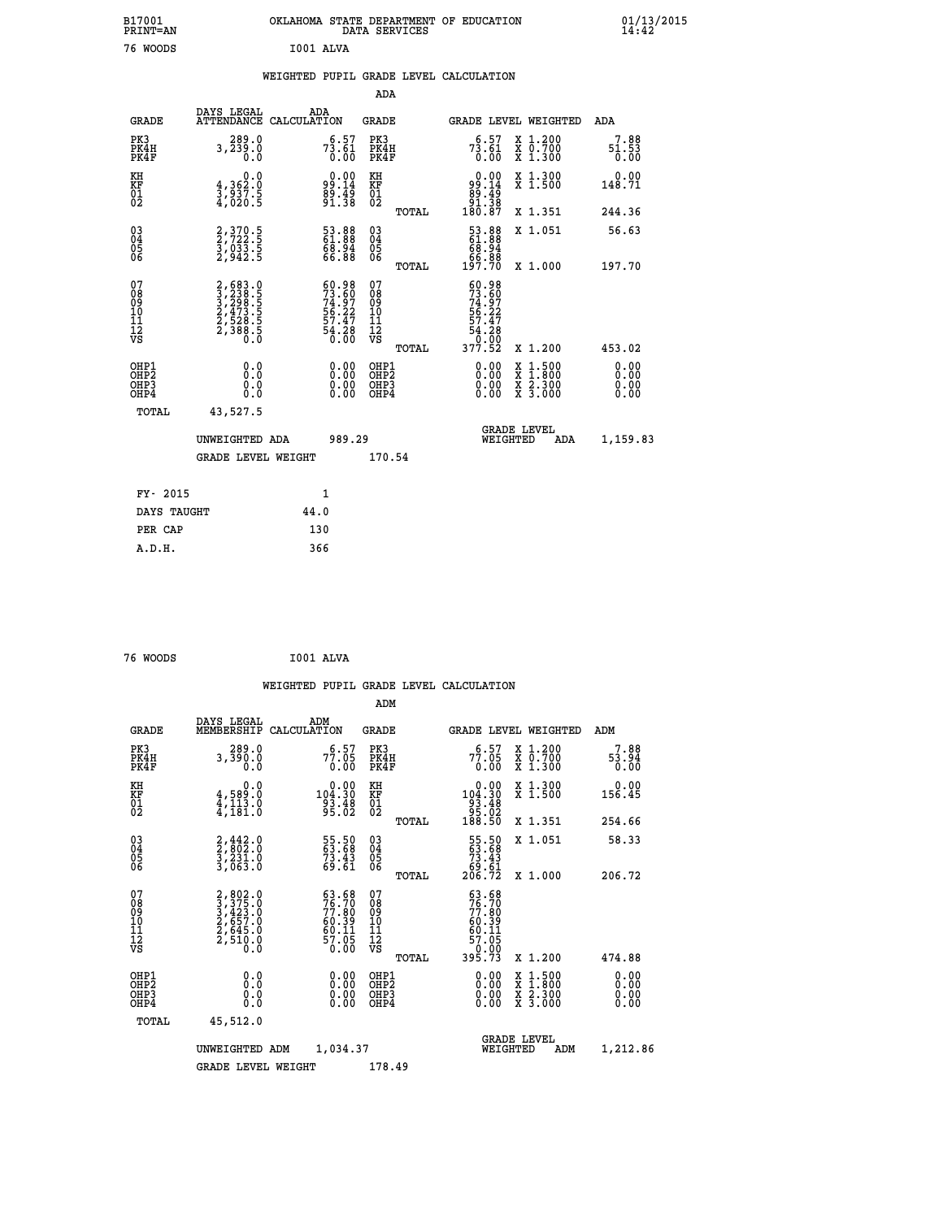| B17001<br><b>PRINT=AN</b> | OKLAHOMA STATE DEPARTMENT OF EDUCATION<br>SERVICES<br>DATA | 01/13/2015<br>14:42 |
|---------------------------|------------------------------------------------------------|---------------------|
| 76<br><b>WOODS</b>        | rnn1<br>AT.VA                                              |                     |

|                                                                    |                                                                                                                                           |                                                                          | ADA                                                 |        |                                                                                    |                                          |                              |
|--------------------------------------------------------------------|-------------------------------------------------------------------------------------------------------------------------------------------|--------------------------------------------------------------------------|-----------------------------------------------------|--------|------------------------------------------------------------------------------------|------------------------------------------|------------------------------|
| <b>GRADE</b>                                                       | DAYS LEGAL<br><b>ATTENDANCE</b>                                                                                                           | ADA<br>CALCULATION                                                       | <b>GRADE</b>                                        |        |                                                                                    | <b>GRADE LEVEL WEIGHTED</b>              | ADA                          |
| PK3<br>PK4H<br>PK4F                                                | 289.0<br>3,239.0<br>0.0                                                                                                                   | $7\overline{3}\,.\,\overline{6}1\over 0\,.00$                            | PK3<br>PK4H<br>PK4F                                 |        | $7\overline{3}\cdot\overline{6}1\over 0\cdot\overline{00}$                         | X 1.200<br>X 0.700<br>X 1.300            | 7.88<br>51.53<br>0.00        |
| KH<br>KF<br>01<br>02                                               | $\begin{smallmatrix}&&&0.0\\4,362.0\\3,937.5\\4,020.5\end{smallmatrix}$                                                                   | $9.00$<br>$99.14$<br>$89.49$<br>$91.38$                                  | KH<br>KF<br>01<br>02                                |        | $\begin{smallmatrix} &0.00\99.14\99.49\91.38\180.87\end{smallmatrix}$              | X 1.300<br>X 1.500                       | 0.00<br>148.71               |
|                                                                    |                                                                                                                                           |                                                                          |                                                     | TOTAL  |                                                                                    | X 1.351                                  | 244.36                       |
| $\begin{smallmatrix} 03 \\[-4pt] 04 \end{smallmatrix}$<br>Ŏ5<br>06 | 2, 370. 5<br>2, 722. 5<br>3, 033. 5<br>2, 942. 5                                                                                          | 53.88<br>61.88<br>68.94<br>66.88                                         | $\begin{array}{c} 03 \\ 04 \\ 05 \\ 06 \end{array}$ |        | $\begin{smallmatrix} 53.88\ 61.88\ 68.94\ 66.88\ 67.88\ 197.70\ \end{smallmatrix}$ | X 1.051                                  | 56.63                        |
|                                                                    |                                                                                                                                           |                                                                          |                                                     | TOTAL  |                                                                                    | X 1.000                                  | 197.70                       |
| 07<br>08<br>09<br>01<br>11<br>11<br>12<br>VS                       | $\begin{smallmatrix} 2,683\cdot 0\\ 3,238\cdot 5\\ 3,298\cdot 5\\ 2,473\cdot 5\\ 2,528\cdot 5\\ 2,388\cdot 5\\ 0\cdot 0\end{smallmatrix}$ | $60.98$<br>$73.60$<br>$74.97$<br>$56.22$<br>$57.47$<br>$54.28$<br>$0.00$ | 07<br>08<br>09<br>11<br>11<br>12<br>VS              |        | $60.98$<br>$73.60$<br>$74.97$<br>$56.22$<br>$57.47$<br>$54.28$<br>$90.90$          |                                          |                              |
|                                                                    |                                                                                                                                           |                                                                          |                                                     | TOTAL  | 377.52                                                                             | X 1.200                                  | 453.02                       |
| OHP1<br>OHP <sub>2</sub><br>OH <sub>P3</sub><br>OHP4               | 0.0<br>0.000                                                                                                                              | 0.00<br>$\begin{smallmatrix} 0.00 \ 0.00 \end{smallmatrix}$              | OHP1<br>OHP2<br>OHP <sub>3</sub>                    |        | 0.00<br>0.00                                                                       | X 1:500<br>X 1:800<br>X 2:300<br>X 3:000 | 0.00<br>0.00<br>0.00<br>0.00 |
| TOTAL                                                              | 43,527.5                                                                                                                                  |                                                                          |                                                     |        |                                                                                    |                                          |                              |
| UNWEIGHTED ADA                                                     |                                                                                                                                           |                                                                          | 989.29                                              |        | <b>GRADE LEVEL</b><br>WEIGHTED<br>ADA                                              |                                          | 1,159.83                     |
|                                                                    | <b>GRADE LEVEL WEIGHT</b>                                                                                                                 |                                                                          |                                                     | 170.54 |                                                                                    |                                          |                              |
| FY- 2015                                                           |                                                                                                                                           | 1                                                                        |                                                     |        |                                                                                    |                                          |                              |
| DAYS TAUGHT                                                        |                                                                                                                                           | 44.0                                                                     |                                                     |        |                                                                                    |                                          |                              |
| PER CAP                                                            |                                                                                                                                           | 130                                                                      |                                                     |        |                                                                                    |                                          |                              |

 **A.D.H. 366**

 **76 WOODS I001 ALVA**

 **WEIGHTED PUPIL GRADE LEVEL CALCULATION ADM DAYS LEGAL ADM GRADE MEMBERSHIP CALCULATION GRADE GRADE LEVEL WEIGHTED ADM PK3 289.0 6.57 PK3 6.57 X 1.200 7.88 PK4H 3,390.0 77.05 PK4H 77.05 X 0.700 53.94 PK4F 0.0 0.00 PK4F 0.00 X 1.300 0.00 KH 0.0 0.00 KH 0.00 X 1.300 0.00 KF 4,589.0 104.30 KF 104.30 X 1.500 156.45 01 4,113.0 93.48 01 93.48 02 4,181.0 95.02 02 95.02 TOTAL 188.50 X 1.351 254.66 03 2,442.0 55.50 03 55.50 X 1.051 58.33 04 2,802.0 63.68 04 63.68 05 3,231.0 73.43 05 73.43 06 3,063.0 69.61 06 69.61 TOTAL 206.72 X 1.000 206.72**  $\begin{array}{cccc} 07 & 2,802.0 & 63.68 & 07 & 63.68 \ 08 & 3,423.0 & 76.70 & 08 & 76.70 \ 09 & 2,657.0 & 60.39 & 10 & 60.39 \ 11 & 2,657.0 & 60.39 & 10 & 60.39 \ \hline \textrm{vs} & 2,510.0 & 57.05 & 12 & 67.05 \ \hline \textrm{vs} & 2,510.0 & 57.05 & 12 & 62.02 \ \end{array}$  $\begin{array}{cccc} 63.68 & 07 & & 63.68\\ 76.70 & 08 & & 76.70\\ 77.80 & 09 & & 77.80\\ 60.39 & 10 & & 60.39\\ 60.11 & 11 & & 60.11\\ 57.05 & 12 & & 57.05\\ 0.00 & \mathtt{VSS} & & & & &\\ \end{array}$  **OHP1 0.0 0.00 OHP1 0.00 X 1.500 0.00 OHP2 0.0 0.00 OHP2 0.00 X 1.800 0.00 OHP3 0.0 0.00 OHP3 0.00 X 2.300 0.00 OHP4 0.0 0.00 OHP4 0.00 X 3.000 0.00 TOTAL 45,512.0 GRADE LEVEL UNWEIGHTED ADM 1,034.37 WEIGHTED ADM 1,212.86** GRADE LEVEL WEIGHT 178.49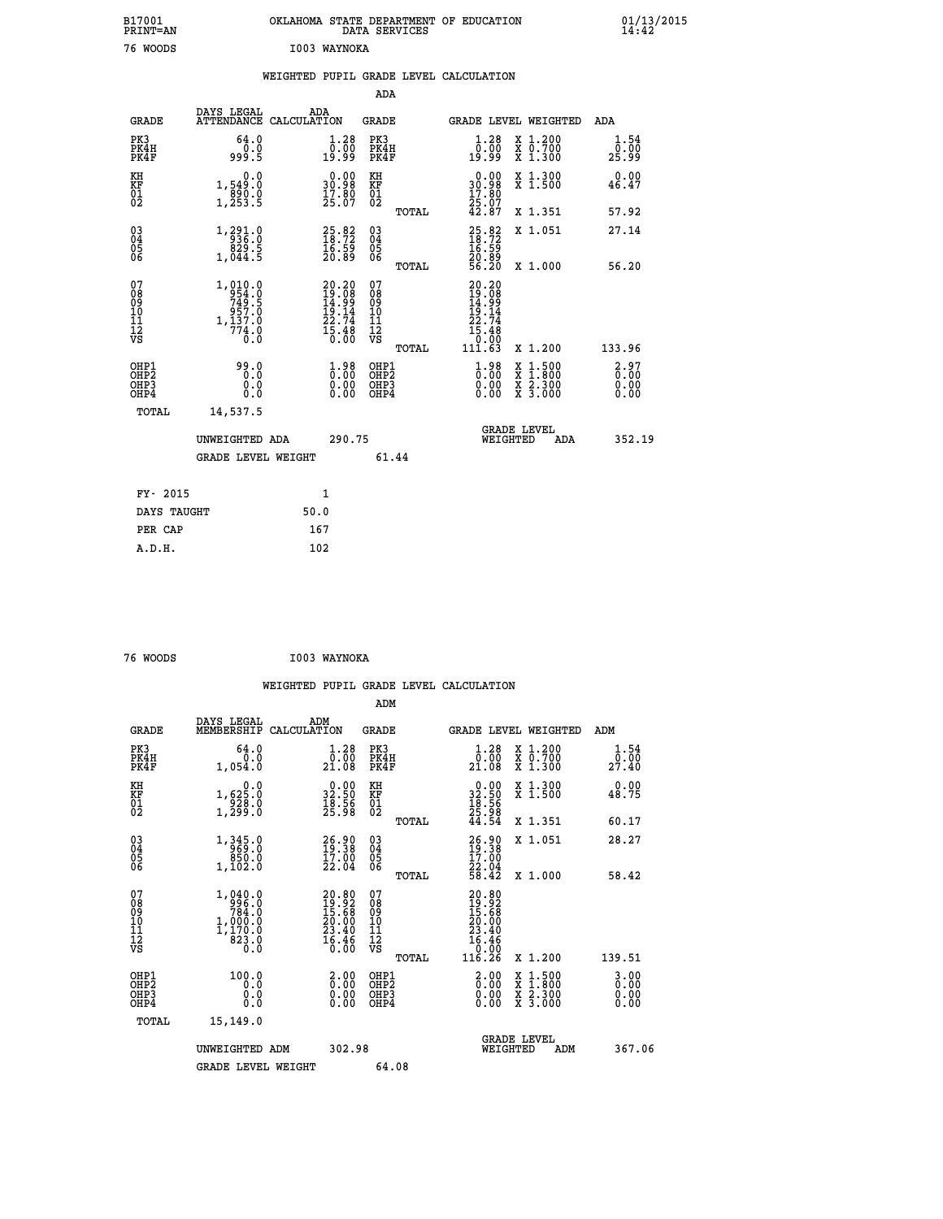| B17001<br>PRINT=AN                                 |                                                                                              | OKLAHOMA                                                                 |                                        |       | STATE DEPARTMENT OF EDUCATION<br>DATA SERVICES                                                          |                               | $01/13$<br>14:42      |  |
|----------------------------------------------------|----------------------------------------------------------------------------------------------|--------------------------------------------------------------------------|----------------------------------------|-------|---------------------------------------------------------------------------------------------------------|-------------------------------|-----------------------|--|
| 76 WOODS                                           |                                                                                              | I003 WAYNOKA                                                             |                                        |       |                                                                                                         |                               |                       |  |
|                                                    |                                                                                              | WEIGHTED PUPIL GRADE LEVEL CALCULATION                                   |                                        |       |                                                                                                         |                               |                       |  |
|                                                    |                                                                                              |                                                                          | <b>ADA</b>                             |       |                                                                                                         |                               |                       |  |
| <b>GRADE</b>                                       | DAYS LEGAL<br><b>ATTENDANCE</b>                                                              | ADA<br>CALCULATION                                                       | <b>GRADE</b>                           |       | <b>GRADE LEVEL WEIGHTED</b>                                                                             |                               | <b>ADA</b>            |  |
| PK3<br>PK4H<br>PK4F                                | 64.0<br>0.0<br>5. ۋوو                                                                        | $\begin{smallmatrix} 1.28\ 0.00\\ 9.99 \end{smallmatrix}$                | PK3<br>PK4H<br>PK4F                    |       | $\begin{smallmatrix} 1.28\ 0.00\\ 9.99 \end{smallmatrix}$                                               | X 1.200<br>X 0.700<br>X 1.300 | 1.54<br>0.00<br>25.99 |  |
| KH<br>KF<br>01<br>02                               | $\begin{smallmatrix}&&&0.0\\1,549.0\\890.0\\1,253.5\end{smallmatrix}$                        | $\begin{smallmatrix} 0.00\\ 30.98\\ 17.80\\ 25.07 \end{smallmatrix}$     | KH<br>KF<br>01<br>02                   |       | $\begin{smallmatrix} 0.00\\ 30.98\\ 17.80\\ 25.07\\ 42.87 \end{smallmatrix}$                            | X 1.300<br>X 1.500            | 0.00<br>46.47         |  |
|                                                    |                                                                                              |                                                                          |                                        | TOTAL |                                                                                                         | X 1.351                       | 57.92                 |  |
| $\begin{matrix} 03 \\ 04 \\ 05 \\ 06 \end{matrix}$ | $\begin{smallmatrix} 1,291.0\\-\ 936.0\\829.5\\1,044.5 \end{smallmatrix}$                    | $\begin{smallmatrix} 25.82\ 18.72\ 16.59\ 20.89 \end{smallmatrix}$       | 03<br>04<br>05<br>06                   |       | $25.82$<br>$18.72$<br>$16.59$<br>$20.89$<br>$56.20$                                                     | X 1.051                       | 27.14                 |  |
|                                                    |                                                                                              |                                                                          |                                        | TOTAL |                                                                                                         | $X_1.000$                     | 56.20                 |  |
| 07<br>08<br>09<br>101<br>11<br>12<br>VS            | $\begin{array}{r} 1,010.0 \\ 954.0 \\ 749.5 \\ 957.0 \\ 1,137.0 \\ 774.0 \end{array}$<br>Ō.Ō | $20.20$<br>$19.08$<br>$14.99$<br>$19.14$<br>$22.74$<br>$15.48$<br>$0.00$ | 07<br>08<br>09<br>11<br>11<br>12<br>VS |       | $\begin{smallmatrix} 20.20\ 19.08\ 14.99\ 14.14\ 19.14\ 22.74\ 15.48\ 0.003\ 111.63\ \end{smallmatrix}$ |                               |                       |  |
|                                                    |                                                                                              |                                                                          |                                        | TOTAL |                                                                                                         | X 1.200                       | 133.96                |  |

|                                                       |                           |                              | TUTAL                                    | 111.0J                         | <b>A 1.400</b>                                                 | <b>199.90</b>                                            |
|-------------------------------------------------------|---------------------------|------------------------------|------------------------------------------|--------------------------------|----------------------------------------------------------------|----------------------------------------------------------|
| OHP1<br>OHP <sub>2</sub><br>OH <sub>P</sub> 3<br>OHP4 | 99.0<br>0.0<br>0.0<br>0.0 | 1.98<br>0.00<br>0.00<br>0.00 | OHP1<br>OHP <sub>2</sub><br>OHP3<br>OHP4 | 1.98<br>Ō. Õ Ŏ<br>0.00<br>0.00 | X 1.500<br>X 1.800<br>X <sub>2.300</sub><br>X <sub>3.000</sub> | $\begin{smallmatrix} 2.97\ 6.00\ 0.00 \end{smallmatrix}$ |
| TOTAL                                                 | 14,537.5                  |                              |                                          |                                |                                                                |                                                          |
|                                                       | UNWEIGHTED ADA            | 290.75                       |                                          |                                | <b>GRADE LEVEL</b><br>WEIGHTED<br>ADA                          | 352.19                                                   |
|                                                       | <b>GRADE LEVEL WEIGHT</b> |                              | 61.44                                    |                                |                                                                |                                                          |
| FY- 2015                                              |                           | 1                            |                                          |                                |                                                                |                                                          |
| DAYS TAUGHT                                           |                           | 50.0                         |                                          |                                |                                                                |                                                          |
| PER CAP                                               |                           | 167                          |                                          |                                |                                                                |                                                          |

| 76 WOODS | I003 WAYNOKA |
|----------|--------------|
|          |              |

 **A.D.H. 102**

 **WEIGHTED PUPIL GRADE LEVEL CALCULATION ADM DAYS LEGAL ADM GRADE MEMBERSHIP CALCULATION GRADE GRADE LEVEL WEIGHTED ADM PK3 64.0 1.28 PK3 1.28 X 1.200 1.54 PK4H 0.0 0.00 PK4H 0.00 X 0.700 0.00 PK4F 1,054.0 21.08 PK4F 21.08 X 1.300 27.40 KH 0.0 0.00 KH 0.00 X 1.300 0.00 KF 1,625.0 32.50 KF 32.50 X 1.500 48.75 01 928.0 18.56 01 18.56 02 1,299.0 25.98 02 25.98 TOTAL 44.54 X 1.351 60.17 03 1,345.0 26.90 03 26.90 X 1.051 28.27 04 969.0 19.38 04 19.38 05 850.0 17.00 05 17.00 06 1,102.0 22.04 06 22.04 TOTAL 58.42 X 1.000 58.42**  $\begin{array}{cccc} 07 & 1,040.0 & 20.80 & 07 & 20.80 \ 08 & 99 & 784.0 & 19.92 & 08 & 19.92 \ 09 & 784.0 & 20.60 & 19.92 & 08 & 19.5.68 \ 10 & 1,000.0 & 20.00 & 10 & 20.00 \ 11 & 1,170.0 & 23.40 & 11 & 23.40 \ 12 & 823.0 & 16.46 & 12 & 6.46 \ 13 & 83 & 3.0 & 16.60 &$  $\begin{array}{cccc} 040.0 & 20.80 & 07 & 20.80\ 7996.0 & 18.36 & 07 & 20.80\ 7984.0 & 18.36 & 09 & 19.36\ 7000.0 & 20.00 & 10 & 20.00\ 82.30 & 24.40 & 11 & 23.36\ 823.0 & 16.46 & 12 & 16.46\ 7070.1 & 116.26 & x & 1.200 & 139.51\ 100.0 & 2.00 & 0.00 & 0.00 & 2$  **OHP1 100.0 2.00 OHP1 2.00 X 1.500 3.00 OHP2 0.0 0.00 OHP2 0.00 X 1.800 0.00 OHP3 0.0 0.00 OHP3 0.00 X 2.300 0.00 OHP4 0.0 0.00 OHP4 0.00 X 3.000 0.00 TOTAL 15,149.0 GRADE LEVEL UNWEIGHTED ADM 302.98 WEIGHTED ADM 367.06 GRADE LEVEL WEIGHT 64.08**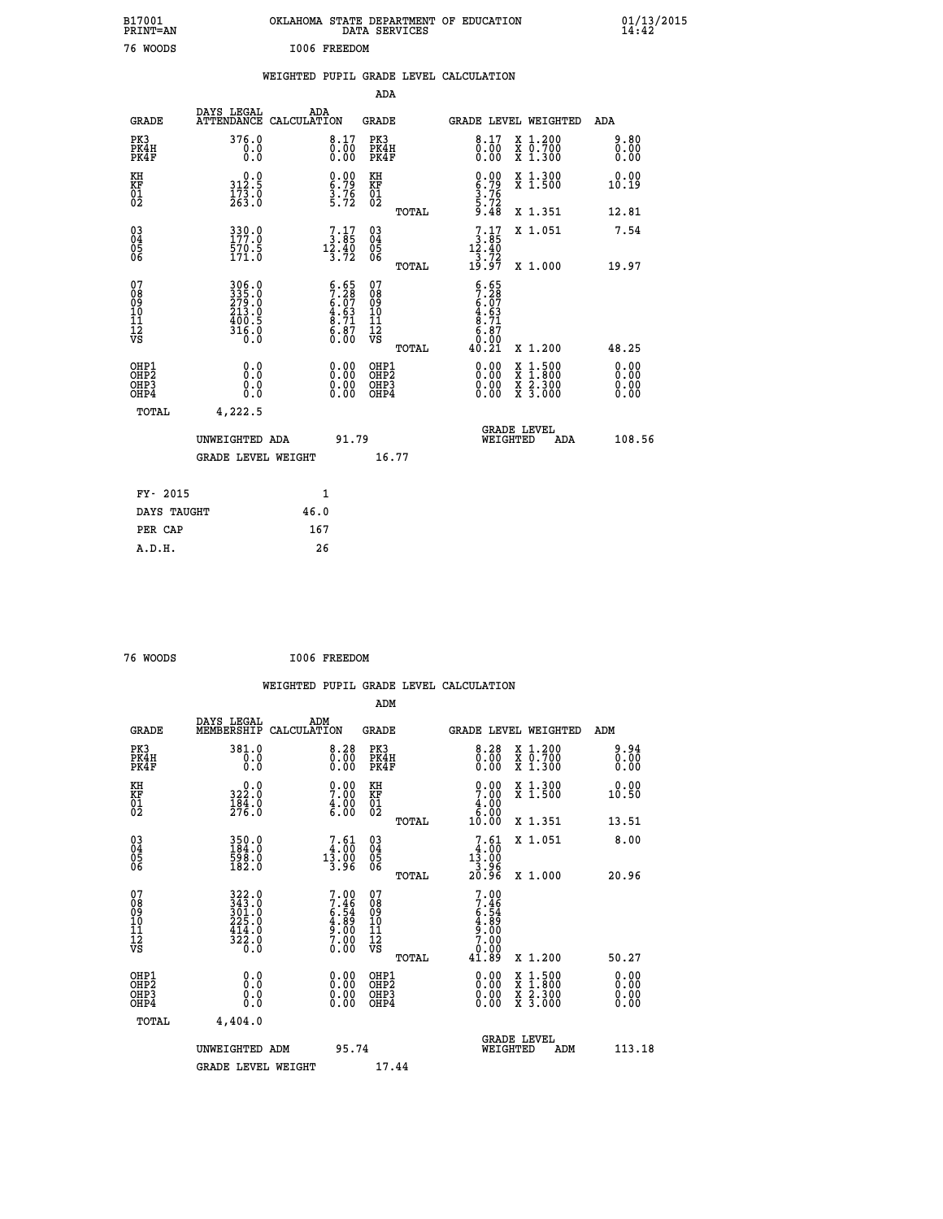|                                                   | B17001<br>PRINT=AN                       |                                                           |      |                                                                    |                                          | DATA SERVICES | OKLAHOMA STATE DEPARTMENT OF EDUCATION                                  |                                                                                          |                              | $01/13/2015$<br>14:42 |
|---------------------------------------------------|------------------------------------------|-----------------------------------------------------------|------|--------------------------------------------------------------------|------------------------------------------|---------------|-------------------------------------------------------------------------|------------------------------------------------------------------------------------------|------------------------------|-----------------------|
|                                                   | 76 WOODS                                 |                                                           |      | I006 FREEDOM                                                       |                                          |               |                                                                         |                                                                                          |                              |                       |
|                                                   |                                          |                                                           |      |                                                                    |                                          |               | WEIGHTED PUPIL GRADE LEVEL CALCULATION                                  |                                                                                          |                              |                       |
|                                                   |                                          |                                                           |      |                                                                    | ADA                                      |               |                                                                         |                                                                                          |                              |                       |
|                                                   | <b>GRADE</b>                             | DAYS LEGAL<br>ATTENDANCE CALCULATION                      | ADA  |                                                                    | <b>GRADE</b>                             |               | GRADE LEVEL WEIGHTED                                                    |                                                                                          | ADA                          |                       |
| PK3                                               | PK4H<br>PK4F                             | 376.0<br>0.0<br>0.0                                       |      | 8.17<br>0.00<br>0.00                                               | PK3<br>PK4H<br>PK4F                      |               | 8.17<br>0.0000                                                          | X 1.200<br>X 0.700<br>X 1.300                                                            | 9.80<br>0.00<br>0.00         |                       |
| KH<br>KF<br>$\begin{matrix} 01 \ 02 \end{matrix}$ |                                          | 0.0<br>$\frac{312.5}{173.0}$<br>$\frac{263.0}{263.0}$     |      | $0.00$<br>$6.79$<br>$\frac{3.76}{5.72}$                            | KH<br>KF<br>$\overline{01}$              |               | $0.00$<br>$6.79$<br>$3.76$<br>$5.72$<br>$9.48$                          | X 1.300<br>X 1.500                                                                       | 0.00<br>10.19                |                       |
|                                                   |                                          |                                                           |      |                                                                    |                                          | TOTAL         |                                                                         | X 1.351                                                                                  | 12.81                        |                       |
| 03<br>04<br>05<br>06                              |                                          | 330.0<br>570.5<br>171.0                                   |      | $\begin{smallmatrix}7.17\ 3.85\ 12.40\ 3.72\end{smallmatrix}$      | $^{03}_{04}$<br>$\frac{05}{06}$          |               | $7.17$<br>$3.85$<br>12.40<br>3.72                                       | X 1.051                                                                                  | 7.54                         |                       |
|                                                   |                                          |                                                           |      |                                                                    |                                          | TOTAL         | 19.97                                                                   | X 1.000                                                                                  | 19.97                        |                       |
| 07<br>0890112<br>1112<br>VS                       |                                          | 306.0<br>335.0<br>279.0<br>213.0<br>400.5<br>316.0<br>Ō.Ŏ |      | $6.65$<br>$7.28$<br>$6.07$<br>$4.63$<br>$8.71$<br>$6.87$<br>$0.00$ | 07<br>08<br>09<br>10<br>īĭ<br>12<br>VS   | TOTAL         | $5.28$<br>$7.28$<br>$6.07$<br>$4.63$<br>$8.71$<br>6.87<br>0.00<br>40.21 | X 1.200                                                                                  | 48.25                        |                       |
|                                                   | OHP1<br>OHP2<br>OH <sub>P3</sub><br>OHP4 | 0.0<br>Ŏ.Ŏ<br>0.0<br>0.0                                  |      | 0.00<br>$\begin{smallmatrix} 0.00 \ 0.00 \end{smallmatrix}$        | OHP1<br>OHP <sub>2</sub><br>OHP3<br>OHP4 |               | 0.00<br>0.00<br>0.00                                                    | $\begin{smallmatrix} x & 1.500 \\ x & 1.800 \\ x & 2.300 \\ x & 3.000 \end{smallmatrix}$ | 0.00<br>0.00<br>0.00<br>0.00 |                       |
|                                                   | <b>TOTAL</b>                             | 4,222.5                                                   |      |                                                                    |                                          |               |                                                                         |                                                                                          |                              |                       |
|                                                   |                                          | UNWEIGHTED ADA<br><b>GRADE LEVEL WEIGHT</b>               |      | 91.79                                                              |                                          | 16.77         | WEIGHTED                                                                | <b>GRADE LEVEL</b><br>ADA                                                                | 108.56                       |                       |
|                                                   | FY- 2015                                 |                                                           |      | 1                                                                  |                                          |               |                                                                         |                                                                                          |                              |                       |
|                                                   | DAYS TAUGHT                              |                                                           | 46.0 |                                                                    |                                          |               |                                                                         |                                                                                          |                              |                       |
|                                                   | PER CAP                                  |                                                           | 167  |                                                                    |                                          |               |                                                                         |                                                                                          |                              |                       |

| 76 WOODS | I006 FREEDOM |
|----------|--------------|
|          |              |

 **A.D.H. 26**

|                                                      |                                                                                  |                    |                                                                    |                                          |       | WEIGHTED PUPIL GRADE LEVEL CALCULATION                                                                                                                                                                                                                                         |                                          |                              |        |
|------------------------------------------------------|----------------------------------------------------------------------------------|--------------------|--------------------------------------------------------------------|------------------------------------------|-------|--------------------------------------------------------------------------------------------------------------------------------------------------------------------------------------------------------------------------------------------------------------------------------|------------------------------------------|------------------------------|--------|
|                                                      |                                                                                  |                    |                                                                    | ADM                                      |       |                                                                                                                                                                                                                                                                                |                                          |                              |        |
| <b>GRADE</b>                                         | DAYS LEGAL<br>MEMBERSHIP                                                         | ADM<br>CALCULATION |                                                                    | GRADE                                    |       | <b>GRADE LEVEL WEIGHTED</b>                                                                                                                                                                                                                                                    |                                          | ADM                          |        |
| PK3<br>PK4H<br>PK4F                                  | 381.0<br>0.0<br>$0.\overline{0}$                                                 |                    | 8.28<br>$\begin{smallmatrix} 0.700 0.00 \end{smallmatrix}$         | PK3<br>PK4H<br>PK4F                      |       | 8.28<br>0.0000                                                                                                                                                                                                                                                                 | X 1.200<br>X 0.700<br>X 1.300            | 9.94<br>0.00<br>0.00         |        |
| KH<br>KF<br>01<br>02                                 | $\begin{smallmatrix}&&0\cdot0\\322\cdot0\\184\cdot0\\276\cdot0\end{smallmatrix}$ |                    | $\begin{smallmatrix} 0.00\ 7.00\ 4.00\ 6.00 \end{smallmatrix}$     | KH<br>KF<br>01<br>02                     |       | 0.00<br>$\begin{array}{c} 4.00 \\[-4pt] 6.00 \\[-4pt] 10.00 \end{array}$                                                                                                                                                                                                       | X 1.300<br>X 1.500                       | 0.00<br>10.50                |        |
|                                                      |                                                                                  |                    |                                                                    |                                          | TOTAL |                                                                                                                                                                                                                                                                                | X 1.351                                  | 13.51                        |        |
| $\begin{matrix} 03 \\ 04 \\ 05 \\ 06 \end{matrix}$   | 350.0<br>184.0<br>598.0<br>182.0                                                 |                    | $7.61$<br>$4.00$<br>$13.00$<br>$3.96$                              | 03<br>04<br>05<br>06                     |       | $7.61$<br>$13.00$<br>$13.96$<br>$3.96$<br>20.96                                                                                                                                                                                                                                | X 1.051                                  | 8.00                         |        |
|                                                      |                                                                                  |                    |                                                                    |                                          | TOTAL |                                                                                                                                                                                                                                                                                | X 1.000                                  | 20.96                        |        |
| 07<br>08<br>09<br>101<br>112<br>VS                   | 322.0<br>343.0<br>301.0<br>225.0<br>414.0<br>322.0<br>$0.\overline{0}$           |                    | $7.00$<br>$7.46$<br>$6.54$<br>$4.89$<br>$9.00$<br>$7.00$<br>$0.00$ | 07<br>08<br>09<br>11<br>11<br>12<br>VS   | TOTAL | $7.00$<br>$7.46$<br>$6.54$<br>$4.89$<br>$9.00$<br>$7.00$<br>$0.00$<br>41.89                                                                                                                                                                                                    | X 1.200                                  | 50.27                        |        |
|                                                      |                                                                                  |                    |                                                                    |                                          |       |                                                                                                                                                                                                                                                                                |                                          |                              |        |
| OHP1<br>OHP <sub>2</sub><br>OH <sub>P3</sub><br>OHP4 | 0.0<br>0.000                                                                     |                    | $0.00$<br>$0.00$<br>0.00                                           | OHP1<br>OHP <sub>2</sub><br>OHP3<br>OHP4 |       | $\begin{smallmatrix} 0.00 & 0.00 & 0.00 & 0.00 & 0.00 & 0.00 & 0.00 & 0.00 & 0.00 & 0.00 & 0.00 & 0.00 & 0.00 & 0.00 & 0.00 & 0.00 & 0.00 & 0.00 & 0.00 & 0.00 & 0.00 & 0.00 & 0.00 & 0.00 & 0.00 & 0.00 & 0.00 & 0.00 & 0.00 & 0.00 & 0.00 & 0.00 & 0.00 & 0.00 & 0.00 & 0.0$ | X 1:500<br>X 1:800<br>X 2:300<br>X 3:000 | 0.00<br>0.00<br>0.00<br>0.00 |        |
| TOTAL                                                | 4,404.0                                                                          |                    |                                                                    |                                          |       |                                                                                                                                                                                                                                                                                |                                          |                              |        |
|                                                      | UNWEIGHTED ADM                                                                   |                    | 95.74                                                              |                                          |       | <b>GRADE LEVEL</b><br>WEIGHTED                                                                                                                                                                                                                                                 | ADM                                      |                              | 113.18 |
|                                                      | <b>GRADE LEVEL WEIGHT</b>                                                        |                    |                                                                    | 17.44                                    |       |                                                                                                                                                                                                                                                                                |                                          |                              |        |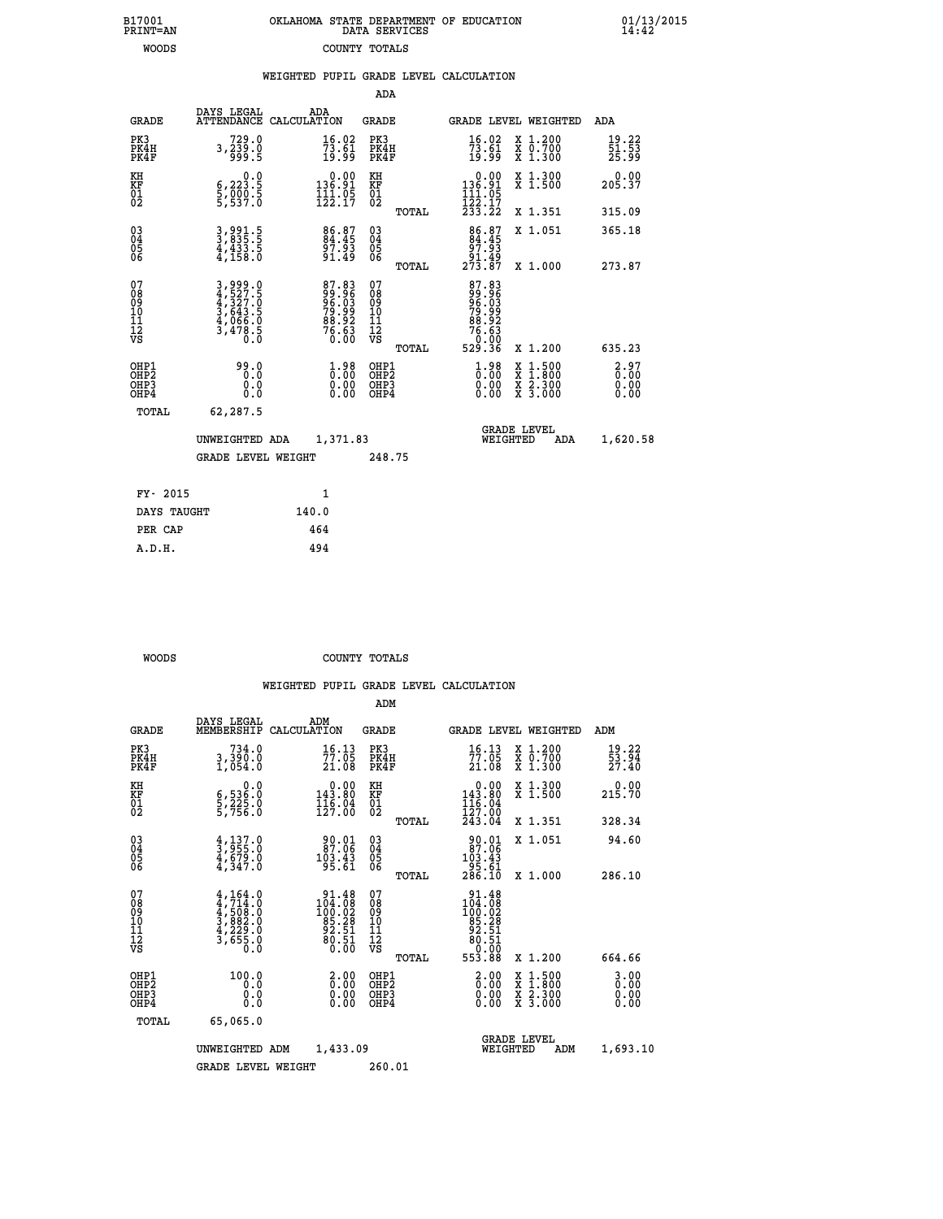| OKLAHOMA STATE DEPARTMENT OF EDUCATION<br>DATA SERVICES |  |
|---------------------------------------------------------|--|
| COUNTY TOTALS                                           |  |

 **B17001 OKLAHOMA STATE DEPARTMENT OF EDUCATION 01/13/2015**

|                                                                  |                                                                |                                                                         | ADA                                    |       |                                                                             |                                          |                              |
|------------------------------------------------------------------|----------------------------------------------------------------|-------------------------------------------------------------------------|----------------------------------------|-------|-----------------------------------------------------------------------------|------------------------------------------|------------------------------|
| <b>GRADE</b>                                                     | DAYS LEGAL                                                     | ADA<br>ATTENDANCE CALCULATION                                           | GRADE                                  |       | <b>GRADE LEVEL WEIGHTED</b>                                                 |                                          | ADA                          |
| PK3<br>PK4H<br>PK4F                                              | 729.0<br>3,239.0<br>5.099                                      | $\frac{16.02}{73.61}$<br>19.99                                          | PK3<br>PK4H<br>PK4F                    |       | 16.02<br>$\frac{73.61}{19.99}$                                              | X 1.200<br>X 0.700<br>X 1.300            | 19.22<br>51.53<br>25.99      |
| KH<br>KF<br>01<br>02                                             | 0.0<br>$\frac{6}{5}, \frac{223}{990}$ $\frac{5}{5}$            | $\begin{smallmatrix} 0.00\\ 136.91\\ 11.05\\ 122.17 \end{smallmatrix}$  | KH<br>KF<br>01<br>02                   |       | $\begin{smallmatrix}&&0.00\\136.91\\11.05\\122.17\\233.22\end{smallmatrix}$ | X 1.300<br>X 1.500                       | 0.00<br>205.37               |
|                                                                  |                                                                |                                                                         |                                        | TOTAL |                                                                             | X 1.351                                  | 315.09                       |
| $\begin{matrix} 03 \\ 04 \\ 05 \\ 06 \end{matrix}$               | 3,991.5<br>3,835.5<br>4,433.5<br>4,158.0                       | 86.87<br>84.45<br>97.93<br>91.49                                        | 03<br>04<br>05<br>06                   |       | $\begin{array}{c} 86.87 \\ 84.45 \\ 97.93 \\ 91.49 \\ 273.87 \end{array}$   | X 1.051                                  | 365.18                       |
|                                                                  |                                                                |                                                                         |                                        | TOTAL |                                                                             | X 1.000                                  | 273.87                       |
| 07<br>08<br>09<br>11<br>11<br>12<br>VS                           | 3,999.0<br>4,527.5<br>4,327.0<br>3,643.5<br>4,066.0<br>3,478.5 | $87.8399.9696.0379.9988.92276.630.00$                                   | 07<br>08<br>09<br>11<br>11<br>12<br>VS | TOTAL | 87.83<br>99.965<br>96.039<br>78.923<br>88.630<br>76.630<br>529.36           | X 1.200                                  | 635.23                       |
| OHP1<br>OHP <sub>2</sub><br>OH <sub>P3</sub><br>OH <sub>P4</sub> | 99.0<br>0.0<br>0.0                                             | $1.98$<br>$0.00$<br>$\begin{smallmatrix} 0.00 \ 0.00 \end{smallmatrix}$ | OHP1<br>OHP2<br>OHP3<br>OHP4           |       | $\frac{1}{0}$ :00<br>0.00<br>0.00                                           | X 1:500<br>X 1:800<br>X 2:300<br>X 3:000 | 2.97<br>0.00<br>0.00<br>0.00 |
| TOTAL                                                            | 62,287.5                                                       |                                                                         |                                        |       |                                                                             |                                          |                              |
|                                                                  | UNWEIGHTED ADA                                                 | 1,371.83                                                                |                                        |       | WEIGHTED                                                                    | <b>GRADE LEVEL</b><br>ADA                | 1,620.58                     |
|                                                                  | <b>GRADE LEVEL WEIGHT</b>                                      |                                                                         | 248.75                                 |       |                                                                             |                                          |                              |
|                                                                  |                                                                |                                                                         |                                        |       |                                                                             |                                          |                              |
| FY- 2015                                                         |                                                                | 1                                                                       |                                        |       |                                                                             |                                          |                              |
| DAYS TAUGHT                                                      |                                                                | 140.0                                                                   |                                        |       |                                                                             |                                          |                              |
| PER CAP                                                          |                                                                | 464                                                                     |                                        |       |                                                                             |                                          |                              |
| A.D.H.                                                           |                                                                | 494                                                                     |                                        |       |                                                                             |                                          |                              |

B17001<br>PRINT=AN<br>WOODS

 **WOODS COUNTY TOTALS**

|                                                    |                                                                                           |                                                                        | ADM                                                   |                                                                                                                 |                                                                                                  |                                |  |
|----------------------------------------------------|-------------------------------------------------------------------------------------------|------------------------------------------------------------------------|-------------------------------------------------------|-----------------------------------------------------------------------------------------------------------------|--------------------------------------------------------------------------------------------------|--------------------------------|--|
| <b>GRADE</b>                                       | DAYS LEGAL<br>MEMBERSHIP                                                                  | ADM<br>CALCULATION                                                     | <b>GRADE</b>                                          |                                                                                                                 | <b>GRADE LEVEL WEIGHTED</b>                                                                      | ADM                            |  |
| PK3<br>PK4H<br>PK4F                                | 734.0<br>3,390.0<br>1,054.0                                                               | 16.13<br>77.05<br>21.08                                                | PK3<br>PK4H<br>PK4F                                   | 16.13<br>77.05<br>21.08                                                                                         | X 1.200<br>X 0.700<br>X 1.300                                                                    | $\frac{19.22}{53.94}$<br>27.40 |  |
| KH<br>KF<br>01<br>02                               | 0.0<br>6,536:0<br>5,225:0<br>5,756:0                                                      | $0.00$<br>143.80<br>$\frac{116}{127}$ :04                              | KH<br>KF<br>01<br>02                                  | $\begin{smallmatrix} &0.00\\ 143.80\\ 116.04\\ 127.00\\ 243.04 \end{smallmatrix}$                               | X 1.300<br>X 1.500                                                                               | 0.00<br>215.70                 |  |
|                                                    |                                                                                           |                                                                        | TOTAL                                                 |                                                                                                                 | X 1.351                                                                                          | 328.34                         |  |
| $\begin{matrix} 03 \\ 04 \\ 05 \\ 06 \end{matrix}$ | $\frac{4}{3}, \frac{137}{955}.0$<br>$\frac{4}{4}, \frac{679}{347}.0$                      | 90.01<br>87.06<br>103.43<br>95.61                                      | $\substack{03 \\ 04}$<br>Ŏ5<br>06                     | $\begin{smallmatrix} 90.01 \ 87.06 \ 103.43 \ 95.61 \ 286.10 \end{smallmatrix}$                                 | X 1.051                                                                                          | 94.60                          |  |
|                                                    |                                                                                           |                                                                        | TOTAL                                                 |                                                                                                                 | X 1.000                                                                                          | 286.10                         |  |
| 07<br>08<br>09<br>01<br>11<br>11<br>12<br>VS       | $4, 714.0$<br>$4, 714.0$<br>$4, 508.0$<br>$3, 882.0$<br>$4, 229.0$<br>$3, 655.0$<br>$0.0$ | 91.48<br>$104.08$<br>$100.02$<br>$85.28$<br>$92.51$<br>$80.51$<br>0.00 | 07<br>08<br>09<br>01<br>11<br>11<br>17<br>VS<br>TOTAL | $\begin{array}{r} 91.48 \\ 104.08 \\ 100.02 \\ 100.28 \\ 85.28 \\ 92.51 \\ 80.51 \\ 0.00 \\ 553.88 \end{array}$ | X 1.200                                                                                          | 664.66                         |  |
| OHP1<br>OHP2<br>OH <sub>P3</sub><br>OHP4           | 100.0<br>0.0<br>0.000                                                                     | $\begin{smallmatrix} 2.00\ 0.00 \ 0.00 \end{smallmatrix}$<br>0.00      | OHP1<br>OHP2<br>OHP3<br>OHP4                          | $\begin{smallmatrix} 2.00\ 0.00 \ 0.00 \end{smallmatrix}$<br>0.00                                               | $\begin{smallmatrix} x & 1 & 500 \\ x & 1 & 800 \\ x & 2 & 300 \\ x & 3 & 000 \end{smallmatrix}$ | 3.00<br>0.00<br>0.00<br>0.00   |  |
| TOTAL                                              | 65,065.0                                                                                  |                                                                        |                                                       |                                                                                                                 |                                                                                                  |                                |  |
|                                                    | UNWEIGHTED                                                                                | 1,433.09<br>ADM                                                        |                                                       | WEIGHTED                                                                                                        | <b>GRADE LEVEL</b><br>ADM                                                                        | 1,693.10                       |  |
|                                                    | <b>GRADE LEVEL WEIGHT</b>                                                                 |                                                                        | 260.01                                                |                                                                                                                 |                                                                                                  |                                |  |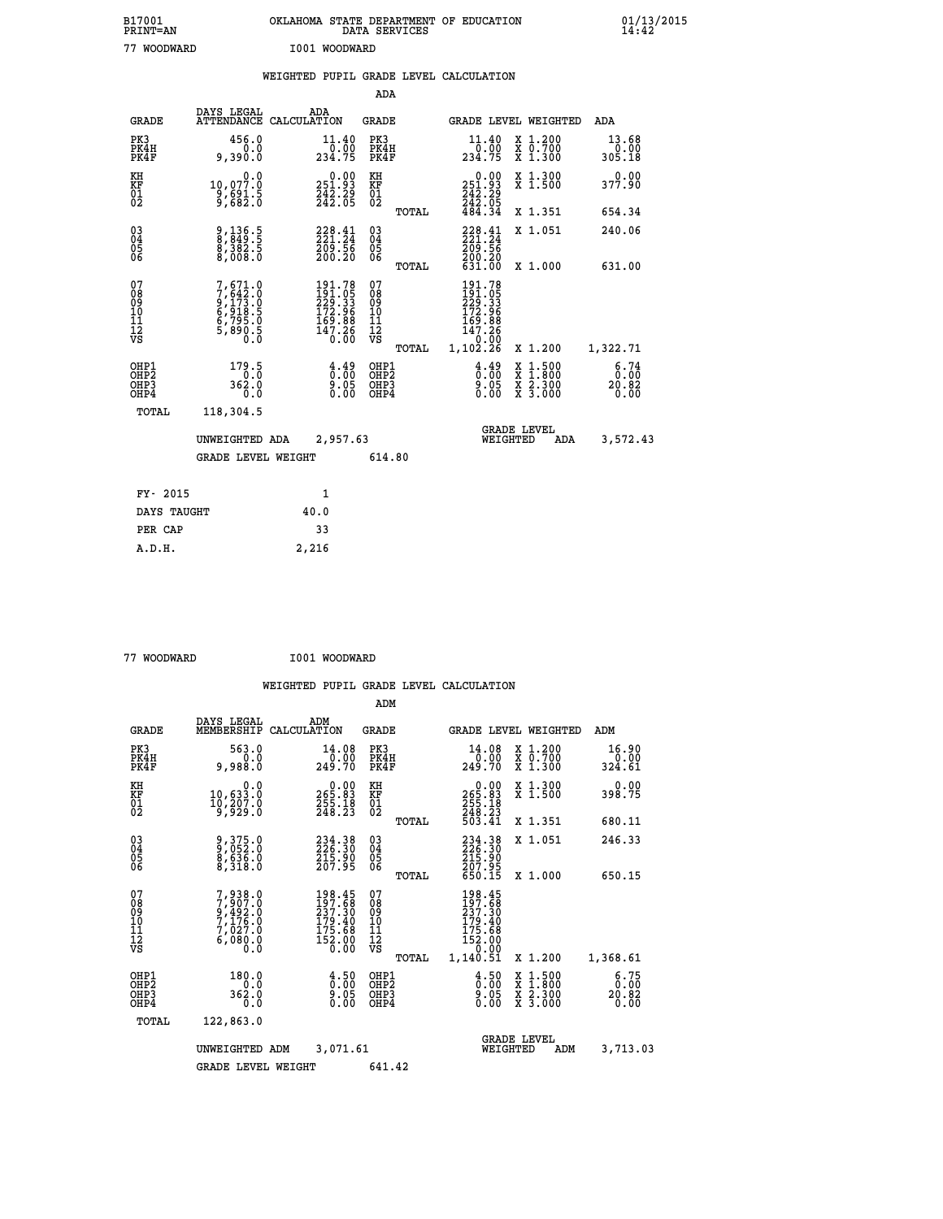| B17001<br><b>PRINT=AN</b> | OKLAHOMA STATE DEPARTMENT OF EDUCATION<br>DATA SERVICES | 01/13/2015 |
|---------------------------|---------------------------------------------------------|------------|
| 77<br>WOODWARD            | I001 WOODWARD                                           |            |

|  |  | WEIGHTED PUPIL GRADE LEVEL CALCULATION |
|--|--|----------------------------------------|
|  |  |                                        |

|                                          |                                                                                                                                          | ADA                                                                                                                                                                                                                         |                                                                               |                                                                                                                                                                                      |                                                            |
|------------------------------------------|------------------------------------------------------------------------------------------------------------------------------------------|-----------------------------------------------------------------------------------------------------------------------------------------------------------------------------------------------------------------------------|-------------------------------------------------------------------------------|--------------------------------------------------------------------------------------------------------------------------------------------------------------------------------------|------------------------------------------------------------|
| DAYS LEGAL                               | ADA                                                                                                                                      | <b>GRADE</b>                                                                                                                                                                                                                |                                                                               |                                                                                                                                                                                      | <b>ADA</b>                                                 |
| 456.0<br>0.0<br>9,390.0                  | 11.40<br>234.75                                                                                                                          | PK3<br>PK4H<br>PK4F                                                                                                                                                                                                         | $\frac{11.40}{0.00}$<br>234.75                                                | X 1.200<br>X 0.700<br>X 1.300                                                                                                                                                        | 13.68<br>0.00<br>305.18                                    |
| 0.0<br>10,077.0                          | 251.93                                                                                                                                   | KH                                                                                                                                                                                                                          |                                                                               | X 1.300<br>X 1.500                                                                                                                                                                   | 0.00<br>377.90                                             |
|                                          |                                                                                                                                          | TOTAL                                                                                                                                                                                                                       | 484.34                                                                        | X 1.351                                                                                                                                                                              | 654.34                                                     |
| 9,136.5<br>8,849.5<br>8,382.5<br>8,008.0 | $\begin{smallmatrix} 228\cdot\frac{41}{24}\\ 221\cdot\frac{24}{24}\\ 209\cdot\frac{5}{26}\\ 200\cdot\,20 \end{smallmatrix}$              | $\substack{03 \\ 04}$<br>05<br>06                                                                                                                                                                                           | 228.41                                                                        | X 1.051                                                                                                                                                                              | 240.06                                                     |
|                                          |                                                                                                                                          |                                                                                                                                                                                                                             |                                                                               |                                                                                                                                                                                      | 631.00                                                     |
|                                          |                                                                                                                                          |                                                                                                                                                                                                                             |                                                                               |                                                                                                                                                                                      |                                                            |
|                                          |                                                                                                                                          | TOTAL                                                                                                                                                                                                                       | 1,102.26                                                                      | X 1.200                                                                                                                                                                              | 1,322.71                                                   |
| 179.5<br>362.0<br>0.0                    | $\frac{4.49}{0.00}$<br>$0.05$<br>$0.00$                                                                                                  | OHP1<br>OHP <sub>2</sub><br>OHP3<br>OHP4                                                                                                                                                                                    | $\frac{4.49}{0.00}$<br>9.05<br>0.00                                           | X 1:500<br>X 1:800<br>X 2:300<br>X 3:000                                                                                                                                             | 6.74<br>0.00<br>20.82<br>0.00                              |
| 118,304.5                                |                                                                                                                                          |                                                                                                                                                                                                                             |                                                                               |                                                                                                                                                                                      |                                                            |
|                                          |                                                                                                                                          |                                                                                                                                                                                                                             |                                                                               | ADA                                                                                                                                                                                  | 3,572.43                                                   |
|                                          |                                                                                                                                          | 614.80                                                                                                                                                                                                                      |                                                                               |                                                                                                                                                                                      |                                                            |
| FY- 2015                                 |                                                                                                                                          |                                                                                                                                                                                                                             |                                                                               |                                                                                                                                                                                      |                                                            |
| DAYS TAUGHT                              | 40.0                                                                                                                                     |                                                                                                                                                                                                                             |                                                                               |                                                                                                                                                                                      |                                                            |
| PER CAP                                  | 33                                                                                                                                       |                                                                                                                                                                                                                             |                                                                               |                                                                                                                                                                                      |                                                            |
|                                          | $\frac{3}{5}$ , $\frac{5}{6}$ $\frac{3}{2}$ . $\frac{5}{6}$<br>7,671.0<br>7,642.0<br>9,173.0<br>6,918.5<br>6,795.0<br>6,795.0<br>5,890.5 | ATTENDANCE CALCULATION<br>$\frac{542}{242}$ : $\frac{55}{05}$<br>$\begin{smallmatrix} 191.78\\191.05\\229.33\\172.96\\169.88\\147.26\\0.00\end{smallmatrix}$<br>UNWEIGHTED ADA<br><b>GRADE LEVEL WEIGHT</b><br>$\mathbf{1}$ | KF<br>01<br>02<br>TOTAL<br>07<br>08<br>09<br>11<br>11<br>12<br>VS<br>2,957.63 | $251.93$<br>$242.29$<br>$242.05$<br>$\frac{269}{200}$ . $\frac{26}{20}$<br>631.00<br>$\begin{array}{l} 191.78 \\ 191.05 \\ 229.33 \\ 172.96 \\ 169.88 \\ 147.28 \end{array}$<br>0.00 | GRADE LEVEL WEIGHTED<br>X 1.000<br>GRADE LEVEL<br>WEIGHTED |

 **A.D.H. 2,216**

 **77 WOODWARD I001 WOODWARD**

|                                                       |                                                                                     |                    |                                                                                               | ADM                                    |       |                                                                               |          |                                          |                                                              |
|-------------------------------------------------------|-------------------------------------------------------------------------------------|--------------------|-----------------------------------------------------------------------------------------------|----------------------------------------|-------|-------------------------------------------------------------------------------|----------|------------------------------------------|--------------------------------------------------------------|
| <b>GRADE</b>                                          | DAYS LEGAL<br>MEMBERSHIP                                                            | ADM<br>CALCULATION |                                                                                               | <b>GRADE</b>                           |       |                                                                               |          | <b>GRADE LEVEL WEIGHTED</b>              | ADM                                                          |
| PK3<br>PK4H<br>PK4F                                   | 563.0<br>0.0<br>9,988.0                                                             |                    | 14.08<br>0.00<br>249.70                                                                       | PK3<br>PK4H<br>PK4F                    |       | 14.08<br>00.0⊤<br>249.70                                                      |          | X 1.200<br>X 0.700<br>X 1.300            | 16.90<br>0.00<br>324.61                                      |
| KH<br>KF<br>01<br>02                                  | 0.0<br>$10,633.0$<br>$10,207.0$<br>$9,929.0$                                        |                    | $\begin{smallmatrix} &0.00\\ 265.83\\ 255.18\\ 248.23\end{smallmatrix}$                       | KH<br>KF<br>01<br>02                   |       | $\begin{smallmatrix} &0.00\,265.83\,255.18\,248.23\,503.41\end{smallmatrix}$  |          | X 1.300<br>X 1.500                       | 0.00<br>398.75                                               |
|                                                       |                                                                                     |                    |                                                                                               |                                        | TOTAL |                                                                               |          | X 1.351                                  | 680.11                                                       |
| 03<br>04<br>05<br>06                                  | 9,375.0<br>9,052.0<br>8,636.0<br>8,318.0                                            |                    | $\begin{smallmatrix} 234\cdot 38\\ 226\cdot 30\\ 215\cdot 90\\ 207\cdot 95 \end{smallmatrix}$ | $^{03}_{04}$<br>05<br>06               |       | 234.38<br>226.30<br>215.90<br>207.95<br>650.15                                |          | X 1.051                                  | 246.33                                                       |
|                                                       |                                                                                     |                    |                                                                                               |                                        | TOTAL |                                                                               |          | X 1.000                                  | 650.15                                                       |
| 07<br>08<br>09<br>101<br>112<br>VS                    | $7,938.0$<br>$7,907.0$<br>$9,492.0$<br>$7,176.0$<br>$7,027.0$<br>$6,080.0$<br>$0.0$ |                    | $\begin{smallmatrix} 198.45\\197.68\\237.30\\179.40\\175.68\\152.00\\0.00\end{smallmatrix}$   | 07<br>08<br>09<br>11<br>11<br>12<br>VS | TOTAL | 198.45<br>197.68<br>237.30<br>179.40<br>175.68<br>152.00<br>10.00<br>1,140.51 |          | X 1.200                                  | 1,368.61                                                     |
|                                                       |                                                                                     |                    |                                                                                               |                                        |       |                                                                               |          |                                          |                                                              |
| OHP1<br>OH <sub>P</sub> 2<br>OH <sub>P3</sub><br>OHP4 | 180.0<br>0.0<br>362.0<br>0.0                                                        |                    | $\frac{4.50}{0.00}$<br>0.00                                                                   | OHP1<br>OHP2<br>OHP3<br>OHP4           |       | $\begin{smallmatrix} 4.50\ 0.00 \ 9.05 \ 0.00 \end{smallmatrix}$              |          | X 1:500<br>X 1:800<br>X 2:300<br>X 3:000 | $\begin{array}{c} 6.75 \\ 0.00 \\ 20.82 \end{array}$<br>0.00 |
| TOTAL                                                 | 122,863.0                                                                           |                    |                                                                                               |                                        |       |                                                                               |          |                                          |                                                              |
|                                                       | UNWEIGHTED                                                                          | ADM                | 3,071.61                                                                                      |                                        |       |                                                                               | WEIGHTED | <b>GRADE LEVEL</b><br>ADM                | 3,713.03                                                     |
|                                                       | <b>GRADE LEVEL WEIGHT</b>                                                           |                    |                                                                                               | 641.42                                 |       |                                                                               |          |                                          |                                                              |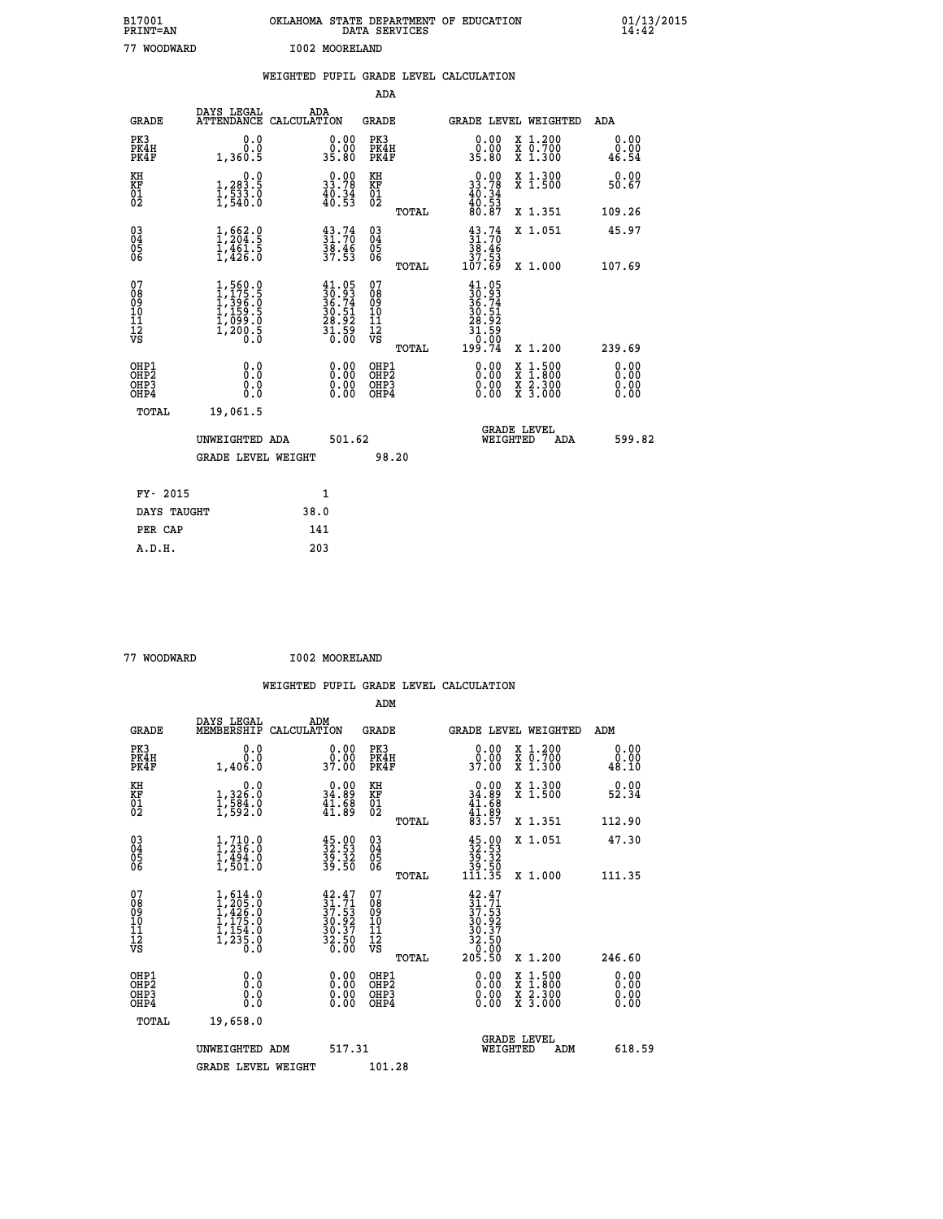| B17001<br><b>PRINT=AN</b> | OKLAHOMA STATE DEPARTMENT OF EDUCATION<br>DATA SERVICES | 01/13/2015 |
|---------------------------|---------------------------------------------------------|------------|
| 77<br>WOODWARD            | I002 MOORELAND                                          |            |

|                                                                    |                                                                                         | WEIGHTED PUPIL GRADE LEVEL CALCULATION                                                       |                                        |       |                                                                                    |                                                                                                           |                       |
|--------------------------------------------------------------------|-----------------------------------------------------------------------------------------|----------------------------------------------------------------------------------------------|----------------------------------------|-------|------------------------------------------------------------------------------------|-----------------------------------------------------------------------------------------------------------|-----------------------|
|                                                                    |                                                                                         |                                                                                              | <b>ADA</b>                             |       |                                                                                    |                                                                                                           |                       |
| <b>GRADE</b>                                                       | DAYS LEGAL<br><b>ATTENDANCE</b>                                                         | ADA<br>CALCULATION                                                                           | <b>GRADE</b>                           |       |                                                                                    | GRADE LEVEL WEIGHTED                                                                                      | ADA                   |
| PK3<br>PK4H<br>PK4F                                                | 0.0<br>0.0<br>1,360.5                                                                   | $\begin{smallmatrix} 0.00\\ 0.00\\ 35.80 \end{smallmatrix}$                                  | PK3<br>PK4H<br>PK4F                    |       | 0.00<br>ŏ:ŏŏ<br>35:80                                                              | X 1.200<br>X 0.700<br>X 1.300                                                                             | 0.00<br>0.00<br>46.54 |
| KH<br>KF<br>01<br>02                                               | 0.0<br>1,283.5<br>$\frac{1}{2}, \frac{5}{5} \frac{3}{4} \cdot \frac{5}{6}$              | $0.00$<br>33.78<br>$\frac{40.34}{40.53}$                                                     | KH<br>KF<br>01<br>02                   |       | $\begin{smallmatrix} 0.00\\ 33.78\\ 40.34\\ 40.53\\ 80.87 \end{smallmatrix}$       | X 1.300<br>X 1.500                                                                                        | 0.00<br>50.67         |
|                                                                    |                                                                                         |                                                                                              |                                        | TOTAL |                                                                                    | X 1.351                                                                                                   | 109.26                |
| $\begin{smallmatrix} 03 \\[-4pt] 04 \end{smallmatrix}$<br>Ŏ5<br>06 | $1, 662.9$<br>$1, 204.5$<br>$1, 461.5$<br>$1, 426.0$                                    | $\begin{smallmatrix} 43.74\ 31.70\ 38.46\ 37.53 \end{smallmatrix}$                           | $\substack{03 \\ 04}$<br>Ŏ5<br>06      |       | $31.70$<br>$38.46$<br>$37.53$<br>$107.69$                                          | X 1.051                                                                                                   | 45.97                 |
|                                                                    |                                                                                         |                                                                                              |                                        | TOTAL |                                                                                    | X 1.000                                                                                                   | 107.69                |
| 07<br>08901112<br>1112<br>VS                                       | $1, 560.0$<br>$1, 175.5$<br>$1, 396.0$<br>$1, 159.5$<br>$1, 099.0$<br>$1, 200.5$<br>0.0 | $\begin{smallmatrix} 41.05\\ 30.93\\ 36.74\\ 30.51\\ 28.92\\ 31.59\\ 0.00 \end{smallmatrix}$ | 07<br>08<br>09<br>11<br>11<br>12<br>VS | TOTAL | $41.05$<br>$30.93$<br>$36.74$<br>$30.51$<br>$28.92$<br>$31.59$<br>$0.99$<br>199.74 | X 1.200                                                                                                   | 239.69                |
| OHP1<br>OHP2<br>OHP3<br>OHP4                                       | 0.0<br>0.0<br>0.0                                                                       | 0.0000<br>$\begin{smallmatrix} 0.00 \ 0.00 \end{smallmatrix}$                                | OHP1<br>OHP2<br>OHP3<br>OHP4           |       | 0.00<br>0.00                                                                       | 1:500<br>$\begin{smallmatrix} x & 1 & 500 \\ x & 1 & 800 \\ x & 2 & 300 \\ x & 3 & 000 \end{smallmatrix}$ | 0.00<br>0.00<br>0.00  |
| <b>TOTAL</b>                                                       | 19,061.5                                                                                |                                                                                              |                                        |       |                                                                                    |                                                                                                           |                       |
|                                                                    | UNWEIGHTED ADA                                                                          |                                                                                              | 501.62                                 |       | WEIGHTED                                                                           | <b>GRADE LEVEL</b><br>ADA                                                                                 | 599.82                |
|                                                                    | <b>GRADE LEVEL WEIGHT</b>                                                               |                                                                                              |                                        | 98.20 |                                                                                    |                                                                                                           |                       |
| FY- 2015                                                           |                                                                                         | $\mathbf{1}$                                                                                 |                                        |       |                                                                                    |                                                                                                           |                       |
| DAYS TAUGHT                                                        |                                                                                         | 38.0                                                                                         |                                        |       |                                                                                    |                                                                                                           |                       |
| PER CAP                                                            |                                                                                         | 141                                                                                          |                                        |       |                                                                                    |                                                                                                           |                       |

| 77 WOODWARD |  |
|-------------|--|

 **A.D.H. 203**

 **77 WOODWARD I002 MOORELAND**

|                                                      |                                                                                                                             |     |                                                                                              |                                                    |       | WEIGHTED PUPIL GRADE LEVEL CALCULATION                                                             |                                                                                          |                              |        |
|------------------------------------------------------|-----------------------------------------------------------------------------------------------------------------------------|-----|----------------------------------------------------------------------------------------------|----------------------------------------------------|-------|----------------------------------------------------------------------------------------------------|------------------------------------------------------------------------------------------|------------------------------|--------|
|                                                      |                                                                                                                             |     |                                                                                              | ADM                                                |       |                                                                                                    |                                                                                          |                              |        |
| <b>GRADE</b>                                         | DAYS LEGAL<br>MEMBERSHIP CALCULATION                                                                                        | ADM |                                                                                              | <b>GRADE</b>                                       |       | GRADE LEVEL WEIGHTED                                                                               |                                                                                          | ADM                          |        |
| PK3<br>PK4H<br>PK4F                                  | 0.0<br>0.0<br>1,406.0                                                                                                       |     | $\begin{smallmatrix} 0.00\\ 0.00\\ 37.00 \end{smallmatrix}$                                  | PK3<br>PK4H<br>PK4F                                |       | 0.00<br>0.00<br>37.00                                                                              | X 1.200<br>X 0.700<br>X 1.300                                                            | 0.00<br>0.00<br>48.10        |        |
| KH<br>KF<br>01<br>02                                 | 0.0<br>1,326.0<br>$\frac{1}{2}, \frac{5}{5}$ $\frac{5}{4}$ $\cdot$ <sub>0</sub>                                             |     | $\begin{smallmatrix} 0.00\\ 34.89\\ 41.88\\ 41.89 \end{smallmatrix}$                         | KH<br>KF<br>$\overline{01}$                        |       | $0.00\n34.89\n41.68\n41.89\n83.57$                                                                 | X 1.300<br>X 1.500                                                                       | 0.00<br>52.34                |        |
|                                                      |                                                                                                                             |     |                                                                                              |                                                    | TOTAL |                                                                                                    | X 1.351                                                                                  | 112.90                       |        |
| $\begin{matrix} 03 \\ 04 \\ 05 \\ 06 \end{matrix}$   | $\frac{1}{1}$ , $\frac{710}{236}$ .0<br>$\frac{1}{1}$ , $\frac{494}{9}$ .0<br>$\overline{1}$ , 501.0                        |     | $\frac{45.00}{32.53}$<br>$\frac{39.32}{39.50}$                                               | $\begin{matrix} 03 \\ 04 \\ 05 \\ 06 \end{matrix}$ |       | $\begin{array}{c} 45\cdot 00 \\ 32\cdot 53 \\ 39\cdot 32 \\ 39\cdot 50 \\ 111\cdot 35 \end{array}$ | X 1.051                                                                                  | 47.30                        |        |
|                                                      |                                                                                                                             |     |                                                                                              |                                                    | TOTAL |                                                                                                    | X 1.000                                                                                  | 111.35                       |        |
| 07<br>08<br>09<br>11<br>11<br>12<br>VS               | $\begin{smallmatrix} 1, 614 & 0\\ 1, 205 & 0\\ 1, 426 & 0\\ 1, 175 & 0\\ 1, 154 & 0\\ 1, 235 & 0\\ 0 & 0 \end{smallmatrix}$ |     | $\begin{smallmatrix} 42.47\\ 31.71\\ 37.53\\ 30.92\\ 30.37\\ 32.50\\ 0.00 \end{smallmatrix}$ | 07<br>08<br>09<br>101<br>11<br>12<br>VS            | TOTAL | $42.4731.7137.5330.92732.5032.50205.50$                                                            | X 1.200                                                                                  | 246.60                       |        |
| OHP1<br>OHP <sub>2</sub><br>OH <sub>P3</sub><br>OHP4 | 0.0<br>Ō.Ō<br>0.0<br>0.0                                                                                                    |     | $0.00$<br>$0.00$<br>0.00                                                                     | OHP1<br>OHP <sub>2</sub><br>OHP3<br>OHP4           |       | 0.00<br>0.00<br>0.00                                                                               | $\begin{smallmatrix} x & 1.500 \\ x & 1.800 \\ x & 2.300 \\ x & 3.000 \end{smallmatrix}$ | 0.00<br>0.00<br>0.00<br>0.00 |        |
| <b>TOTAL</b>                                         | 19,658.0                                                                                                                    |     |                                                                                              |                                                    |       |                                                                                                    |                                                                                          |                              |        |
|                                                      | UNWEIGHTED ADM                                                                                                              |     | 517.31                                                                                       |                                                    |       | <b>GRADE LEVEL</b><br>WEIGHTED                                                                     | ADM                                                                                      |                              | 618.59 |
|                                                      | <b>GRADE LEVEL WEIGHT</b>                                                                                                   |     |                                                                                              | 101.28                                             |       |                                                                                                    |                                                                                          |                              |        |
|                                                      |                                                                                                                             |     |                                                                                              |                                                    |       |                                                                                                    |                                                                                          |                              |        |
|                                                      |                                                                                                                             |     |                                                                                              |                                                    |       |                                                                                                    |                                                                                          |                              |        |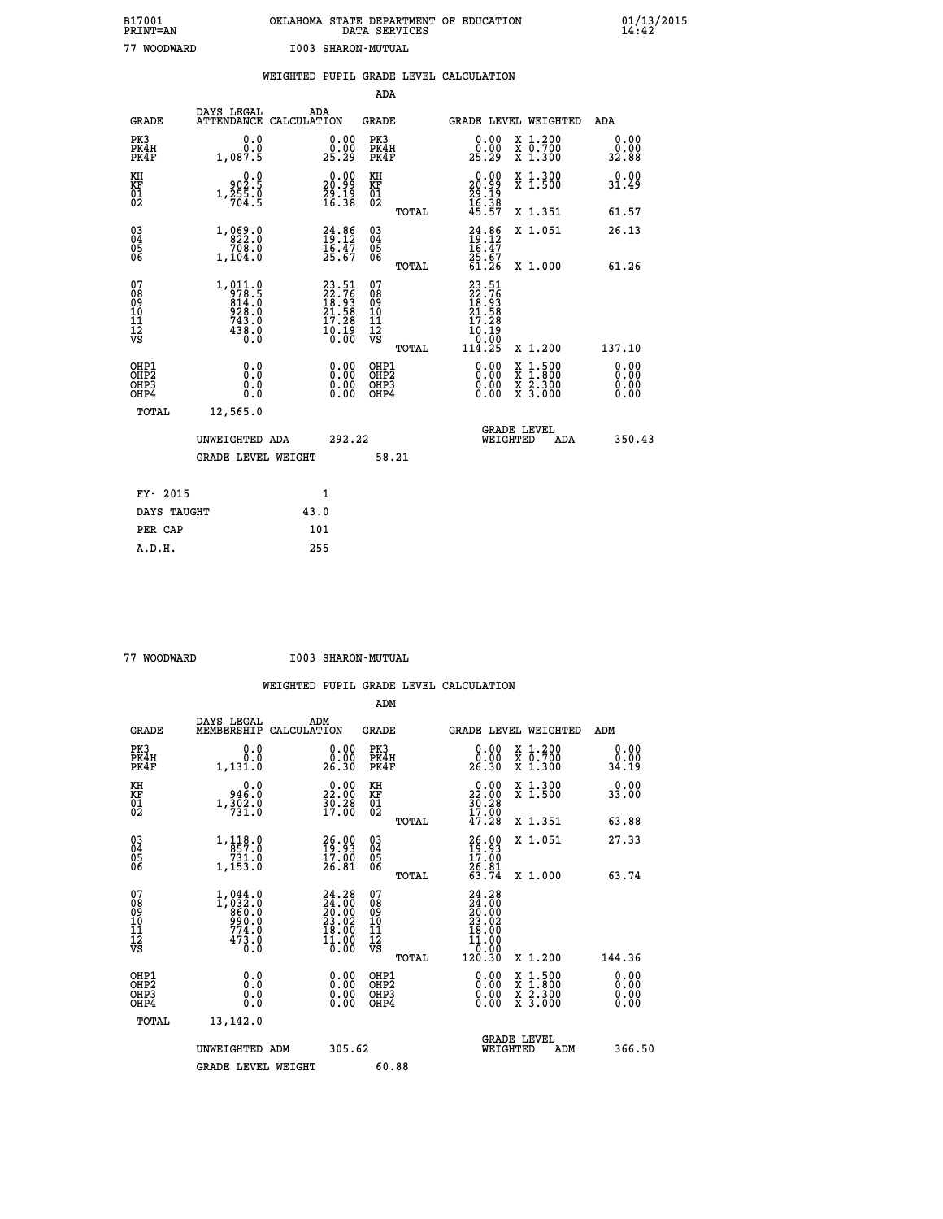## **B17001 OKLAHOMA STATE DEPARTMENT OF EDUCATION 01/13/2015 PRINT=AN DATA SERVICES 14:42 77 WOODWARD I003 SHARON-MUTUAL**

|                                          |                                                                           |      |                                                                      |                                          |       | WEIGHTED PUPIL GRADE LEVEL CALCULATION                                                    |                                                                                          |                              |
|------------------------------------------|---------------------------------------------------------------------------|------|----------------------------------------------------------------------|------------------------------------------|-------|-------------------------------------------------------------------------------------------|------------------------------------------------------------------------------------------|------------------------------|
|                                          |                                                                           |      |                                                                      | ADA                                      |       |                                                                                           |                                                                                          |                              |
| <b>GRADE</b>                             | DAYS LEGAL<br>ATTENDANCE CALCULATION                                      |      | ADA                                                                  | <b>GRADE</b>                             |       | GRADE LEVEL WEIGHTED                                                                      |                                                                                          | ADA                          |
| PK3<br>PK4H<br>PK4F                      | 0.0<br>0.0<br>1,087.5                                                     |      | $\substack{0.00\\0.00\\25.29}$                                       | PK3<br>PK4H<br>PK4F                      |       | 0.00<br>0.00<br>25.29                                                                     | X 1.200<br>X 0.700<br>X 1.300                                                            | 0.00<br>0.00<br>32.88        |
| KH<br>KF<br>01<br>02                     | $0.0$<br>902.5<br>$1,\frac{25}{704}.\frac{6}{5}$                          |      | $\begin{smallmatrix} 0.00\\ 20.99\\ 29.19\\ 16.38 \end{smallmatrix}$ | KH<br>KF<br>01<br>02                     |       | $\begin{smallmatrix} 0.00\\ 20.99\\ 29.19\\ 16.38 \end{smallmatrix}$                      | X 1.300<br>X 1.500                                                                       | 0.00<br>31.49                |
|                                          |                                                                           |      |                                                                      |                                          | TOTAL | 45.57                                                                                     | X 1.351                                                                                  | 61.57                        |
| 03<br>04<br>05<br>06                     | 1, 0.69.0<br>708.0                                                        |      | $24.86$<br>$19.12$<br>$16.47$<br>$25.67$                             | $\substack{03 \\ 04}$<br>Ŏ5<br>06        |       | $\frac{24.86}{19.12}$                                                                     | X 1.051                                                                                  | 26.13                        |
|                                          | 1,104.0                                                                   |      |                                                                      |                                          | TOTAL | 25.67<br>61.26                                                                            | X 1.000                                                                                  | 61.26                        |
| 07<br>08<br>09<br>11<br>11<br>12<br>VS   | $1,011.0$<br>$978.5$<br>$814.0$<br>$928.0$<br>$743.0$<br>$438.0$<br>$0.0$ |      | 23.51<br>22.76<br>18.93<br>21.58<br>21.58<br>17.28<br>10.19<br>0.00  | 07<br>08<br>09<br>11<br>11<br>12<br>VS   | TOTAL | $23.51$<br>$22.76$<br>$18.93$<br>$21.58$<br>17.28<br>10.19<br>06.0 <sup>1</sup><br>114.25 | X 1.200                                                                                  | 137.10                       |
| OHP1<br>OHP <sub>2</sub><br>OHP3<br>OHP4 | 0.0<br>Ō.Ō<br>0.0<br>0.0                                                  |      |                                                                      | OHP1<br>OHP <sub>2</sub><br>OHP3<br>OHP4 |       | 0.00<br>0.00                                                                              | $\begin{smallmatrix} x & 1.500 \\ x & 1.800 \\ x & 2.300 \\ x & 3.000 \end{smallmatrix}$ | 0.00<br>0.00<br>0.00<br>0.00 |
| TOTAL                                    | 12,565.0                                                                  |      |                                                                      |                                          |       |                                                                                           |                                                                                          |                              |
|                                          | UNWEIGHTED ADA                                                            |      | 292.22                                                               |                                          |       | WEIGHTED                                                                                  | <b>GRADE LEVEL</b><br>ADA                                                                | 350.43                       |
|                                          | <b>GRADE LEVEL WEIGHT</b>                                                 |      |                                                                      |                                          | 58.21 |                                                                                           |                                                                                          |                              |
| FY- 2015                                 |                                                                           |      | 1                                                                    |                                          |       |                                                                                           |                                                                                          |                              |
| DAYS TAUGHT                              |                                                                           | 43.0 |                                                                      |                                          |       |                                                                                           |                                                                                          |                              |
| PER CAP                                  |                                                                           |      | 101                                                                  |                                          |       |                                                                                           |                                                                                          |                              |

| 77 WOODWARD |  |
|-------------|--|

 **A.D.H. 255**

**THE READ IS STAR WOODWARD IN SHARON-MUTUAL** 

|                                                      |                                                                                                 |                                                                                                    | ADM                                                 |                                                                                                          |                                          |                              |  |
|------------------------------------------------------|-------------------------------------------------------------------------------------------------|----------------------------------------------------------------------------------------------------|-----------------------------------------------------|----------------------------------------------------------------------------------------------------------|------------------------------------------|------------------------------|--|
| <b>GRADE</b>                                         | DAYS LEGAL<br>MEMBERSHIP                                                                        | ADM<br>CALCULATION                                                                                 | <b>GRADE</b>                                        |                                                                                                          | <b>GRADE LEVEL WEIGHTED</b>              | ADM                          |  |
| PK3<br>PK4H<br>PK4F                                  | 0.0<br>0.0<br>1,131.0                                                                           | 0.00<br>ŏ:ŏŏ<br>26:30                                                                              | PK3<br>PK4H<br>PK4F                                 | $\begin{smallmatrix} 0.00\\ 0.00\\ 26.30 \end{smallmatrix}$                                              | X 1.200<br>X 0.700<br>X 1.300            | 0.00<br>0.00<br>34.19        |  |
| KH<br>KF<br>01<br>02                                 | 0.0<br>946.0<br>$1,\frac{5}{7}\overline{0}\overline{2}\cdot 0$                                  | $\begin{smallmatrix} 0.00\\ 22.00\\ 30.28\\ 17.00 \end{smallmatrix}$                               | KH<br>KF<br>01<br>02                                | $\begin{smallmatrix} 0.00\\ 22.00\\ 30.28\\ 17.00\\ 47.28 \end{smallmatrix}$                             | X 1.300<br>X 1.500                       | 0.00<br>33.00                |  |
|                                                      |                                                                                                 |                                                                                                    | TOTAL                                               |                                                                                                          | X 1.351                                  | 63.88                        |  |
| 03<br>04<br>05<br>06                                 | 1, 118.0<br>731.0<br>1,153.0                                                                    | 26.00<br>19:93<br>17.00<br>26.81                                                                   | $\begin{array}{c} 03 \\ 04 \\ 05 \\ 06 \end{array}$ | 26.00<br>$\frac{17.00}{26.81}$<br>63.74                                                                  | X 1.051                                  | 27.33                        |  |
|                                                      |                                                                                                 |                                                                                                    | TOTAL                                               |                                                                                                          | X 1.000                                  | 63.74                        |  |
| 07<br>08<br>09<br>101<br>112<br>VS                   | 1,044.0<br>$\begin{array}{r} 1,0333.0 \\ 0,060.0 \\ 990.0 \\ 774.0 \end{array}$<br>473.0<br>0.0 | 24.28<br>$\begin{smallmatrix} 24.000 20.000 20.000 23.02 18.00 \end{smallmatrix}$<br>11.00<br>0.00 | 07<br>08<br>09<br>101<br>11<br>12<br>VS<br>TOTAL    | 24.28<br>$\begin{smallmatrix} 24.760\ 20.002\ 23.02\ 18.000\ 11.000\ 0.000\ \end{smallmatrix}$<br>120.30 | X 1.200                                  | 144.36                       |  |
|                                                      |                                                                                                 |                                                                                                    |                                                     |                                                                                                          |                                          |                              |  |
| OHP1<br>OHP2<br>OH <sub>P3</sub><br>OH <sub>P4</sub> | 0.0<br>0.000                                                                                    | $0.00$<br>$0.00$<br>0.00                                                                           | OHP1<br>OHP2<br>OHP <sub>3</sub>                    | $0.00$<br>$0.00$<br>0.00                                                                                 | X 1:500<br>X 1:800<br>X 2:300<br>X 3:000 | 0.00<br>0.00<br>0.00<br>0.00 |  |
| TOTAL                                                | 13,142.0                                                                                        |                                                                                                    |                                                     |                                                                                                          |                                          |                              |  |
|                                                      | UNWEIGHTED ADM                                                                                  | 305.62                                                                                             |                                                     |                                                                                                          | <b>GRADE LEVEL</b><br>WEIGHTED           | 366.50<br>ADM                |  |
|                                                      | <b>GRADE LEVEL WEIGHT</b>                                                                       |                                                                                                    | 60.88                                               |                                                                                                          |                                          |                              |  |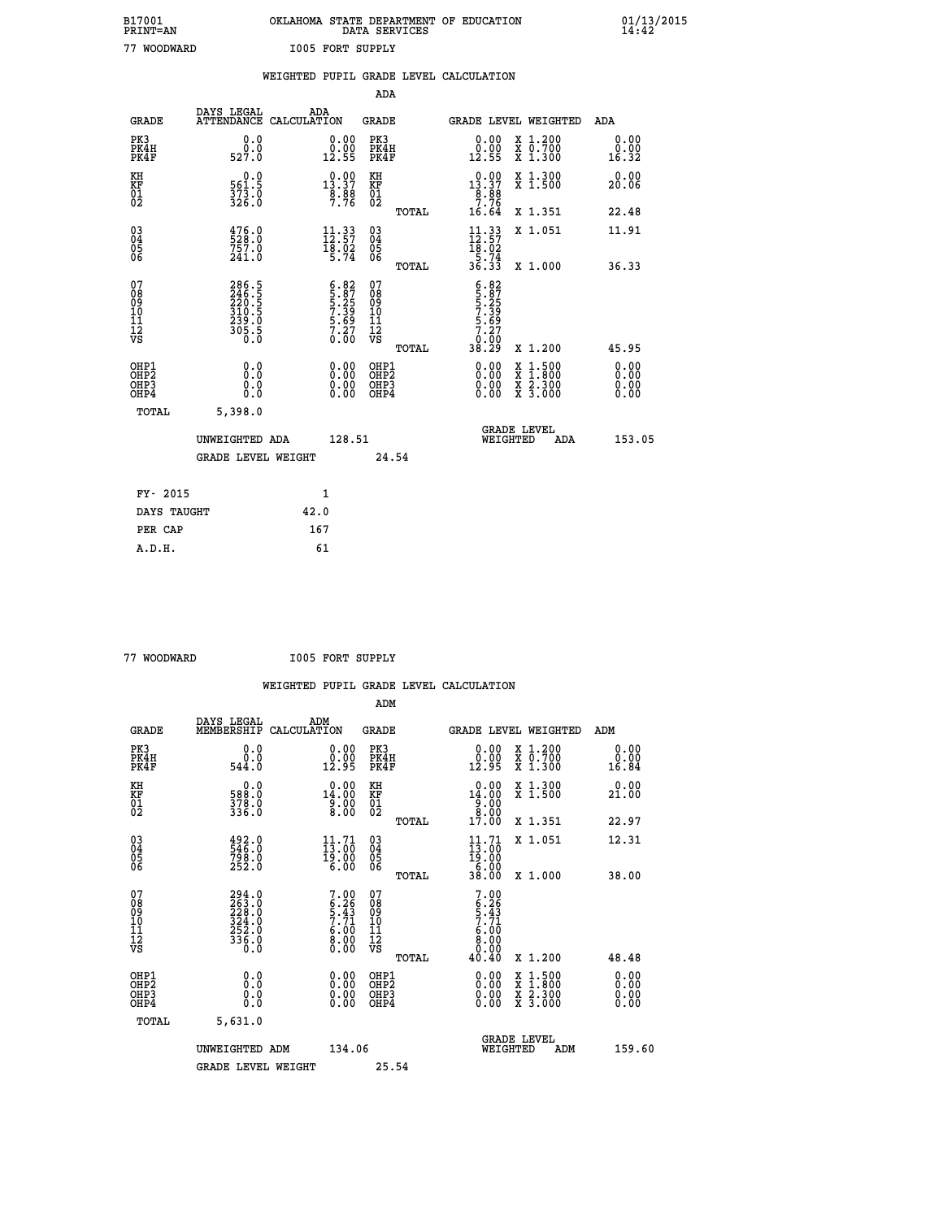| B17001          | OKLAHOMA STATE DEPARTMENT OF EDUCATION |
|-----------------|----------------------------------------|
| <b>PRINT=AN</b> | DATA SERVICES                          |
| 77 WOODWARD     | <b>I005 FORT SUPPLY</b>                |

 **B17001 OKLAHOMA STATE DEPARTMENT OF EDUCATION 01/13/2015**

|                                                       |                                                                    | WEIGHTED PUPIL GRADE LEVEL CALCULATION                                                   |                                                 |                                                                                                             |                              |
|-------------------------------------------------------|--------------------------------------------------------------------|------------------------------------------------------------------------------------------|-------------------------------------------------|-------------------------------------------------------------------------------------------------------------|------------------------------|
|                                                       |                                                                    |                                                                                          | <b>ADA</b>                                      |                                                                                                             |                              |
| <b>GRADE</b>                                          | DAYS LEGAL                                                         | ADA<br>ATTENDANCE CALCULATION                                                            | <b>GRADE</b>                                    | GRADE LEVEL WEIGHTED                                                                                        | <b>ADA</b>                   |
| PK3<br>PK4H<br>PK4F                                   | 0.0<br>0.0<br>527.0                                                | $\begin{smallmatrix} 0.00\\ 0.00\\ 12.55 \end{smallmatrix}$                              | PK3<br>PK4H<br>PK4F                             | X 1.200<br>X 0.700<br>X 1.300<br>0.00<br>0.00<br>12.55                                                      | 0.00<br>0.00<br>16.32        |
| KH<br>KF<br>01<br>02                                  | 0.0<br>561.5<br>$\frac{37\bar{3}\cdot\bar{0}}{326\cdot 0}$         | $0.00$<br>13.37<br>$\frac{8}{7}.\frac{8}{76}$                                            | KH<br>KF<br>01<br>02                            | $0.00$<br>13.37<br>X 1.300<br>X 1.500<br>$\frac{8}{7}$ . $\frac{8}{7}$                                      | 0.00<br>20.06                |
|                                                       |                                                                    |                                                                                          | TOTAL                                           | 16.64<br>X 1.351                                                                                            | 22.48                        |
| $\begin{matrix} 03 \\ 04 \\ 05 \\ 06 \end{matrix}$    | 476.0<br>528.0<br>757.0<br>241.0                                   | $\begin{smallmatrix} 11\cdot 33\\ 12\cdot 57\\ 18\cdot 02\\ 5\cdot 74 \end{smallmatrix}$ | $\substack{03 \\ 04}$<br>Ŏ5<br>06               | $\begin{array}{c} 11\cdot 33 \\ 12\cdot 57 \\ 18\cdot 02 \\ 5\cdot 74 \\ 36\cdot 33 \end{array}$<br>X 1.051 | 11.91                        |
|                                                       |                                                                    |                                                                                          | TOTAL                                           | X 1.000                                                                                                     | 36.33                        |
| 07<br>0890112<br>1112<br>VS                           | 286.5<br>246.5<br>220.5<br>310.5<br>310.5<br>239.0<br>305.5<br>0.0 | $6.82$<br>5.87<br>5.25<br>7.39<br>7.39<br>5.69<br>7.27<br>0.00                           | 07<br>08<br>09<br>11<br>11<br>12<br>VS<br>TOTAL | $5.87$<br>$5.25$<br>$7.39$<br>$5.69$<br>$7.27$<br>0.00<br>38.29<br>X 1.200                                  | 45.95                        |
| OHP1<br>OH <sub>P</sub> 2<br>OHP3<br>OH <sub>P4</sub> | 0.0<br>0.0<br>0.0                                                  | $\begin{smallmatrix} 0.00 \ 0.00 \ 0.00 \ 0.00 \end{smallmatrix}$                        | OHP1<br>OHP <sup>2</sup><br>OHP3<br>OHP4        | X 1:500<br>X 1:800<br>X 2:300<br>X 3:000                                                                    | 0.00<br>0.00<br>0.00<br>0.00 |
| TOTAL                                                 | 5,398.0                                                            |                                                                                          |                                                 |                                                                                                             |                              |
|                                                       | UNWEIGHTED ADA                                                     | 128.51                                                                                   |                                                 | <b>GRADE LEVEL</b><br>WEIGHTED<br>ADA                                                                       | 153.05                       |
|                                                       | <b>GRADE LEVEL WEIGHT</b>                                          |                                                                                          | 24.54                                           |                                                                                                             |                              |
|                                                       | FY- 2015                                                           | $\mathbf{1}$                                                                             |                                                 |                                                                                                             |                              |
|                                                       | DAYS TAUGHT                                                        | 42.0                                                                                     |                                                 |                                                                                                             |                              |
|                                                       | PER CAP                                                            | 167                                                                                      |                                                 |                                                                                                             |                              |

 **A.D.H. 61**

 **77 WOODWARD I005 FORT SUPPLY**

|                                                      |                                                                                                     |                    |                                                                        |                                          |       | WEIGHTED PUPIL GRADE LEVEL CALCULATION                                      |                                                |       |                               |
|------------------------------------------------------|-----------------------------------------------------------------------------------------------------|--------------------|------------------------------------------------------------------------|------------------------------------------|-------|-----------------------------------------------------------------------------|------------------------------------------------|-------|-------------------------------|
|                                                      |                                                                                                     |                    |                                                                        | ADM                                      |       |                                                                             |                                                |       |                               |
| <b>GRADE</b>                                         | DAYS LEGAL<br>MEMBERSHIP                                                                            | ADM<br>CALCULATION |                                                                        | <b>GRADE</b>                             |       | GRADE LEVEL WEIGHTED                                                        |                                                | ADM   |                               |
| PK3<br>PK4H<br>PK4F                                  | 0.0<br>ة:ة<br>544:0                                                                                 |                    | $\begin{smallmatrix} 0.00\\ 0.00\\ 12.95 \end{smallmatrix}$            | PK3<br>PK4H<br>PK4F                      |       | $\begin{smallmatrix} 0.00\\ 0.00\\ 12.95 \end{smallmatrix}$                 | X 1.200<br>X 0.700<br>X 1.300                  | 16.84 | 0.00<br>0.00                  |
| KH<br>KF<br>01<br>02                                 | $\begin{smallmatrix} 0.0\\588.0\\378.0\\336.0 \end{smallmatrix}$                                    |                    | 0.00<br>$14.00$<br>$9.00$<br>8.00                                      | KH<br>KF<br>01<br>02                     |       | 0.00<br>$14.00$<br>$8.00$<br>$8.00$                                         | X 1.300<br>X 1.500                             | 21.00 | 0.00                          |
|                                                      |                                                                                                     |                    |                                                                        |                                          | TOTAL | 17.00                                                                       | X 1.351                                        | 22.97 |                               |
| $\begin{matrix} 03 \\ 04 \\ 05 \\ 06 \end{matrix}$   | 492.0<br>546.0<br>798.0<br>252.0                                                                    |                    | $\frac{11}{13}$ : $\begin{matrix} 71 \\ 00 \\ 19 \end{matrix}$<br>6.00 | $\substack{03 \\ 04}$<br>$\frac{05}{06}$ |       | 11.71<br>$\frac{13:00}{19:00}$<br>$\frac{6:00}{38:00}$                      | X 1.051                                        | 12.31 |                               |
|                                                      |                                                                                                     |                    |                                                                        |                                          | TOTAL |                                                                             | X 1.000                                        | 38.00 |                               |
| 07<br>08<br>09<br>101<br>11<br>12<br>VS              | $\begin{smallmatrix} 294.0\\ 263.0\\ 228.0\\ 324.0\\ 324.0\\ 252.0\\ 336.0\\ 0.0 \end{smallmatrix}$ |                    | $7.00$<br>$6.26$<br>$5.43$<br>$7.71$<br>$6.00$<br>$8.00$<br>$0.00$     | 07<br>08<br>09<br>11<br>11<br>12<br>VS   | TOTAL | $7.00$<br>$6.26$<br>$5.43$<br>$7.71$<br>$6.00$<br>$8.00$<br>$0.00$<br>40.40 | X 1.200                                        | 48.48 |                               |
| OHP1<br>OHP2<br>OH <sub>P3</sub><br>OH <sub>P4</sub> | 0.0<br>0.000                                                                                        |                    | 0.00<br>$\begin{smallmatrix} 0.00 \ 0.00 \end{smallmatrix}$            | OHP1<br>OHP2<br>OHP3<br>OHP4             |       | 0.00<br>0.00<br>0.00                                                        | X 1:500<br>$\frac{x}{x}$ $\frac{5.300}{3.000}$ |       | 0.00<br>Ō. ŌŌ<br>0.00<br>0.00 |
| TOTAL                                                | 5,631.0                                                                                             |                    |                                                                        |                                          |       |                                                                             |                                                |       |                               |
|                                                      | UNWEIGHTED ADM<br><b>GRADE LEVEL WEIGHT</b>                                                         |                    | 134.06                                                                 | 25.54                                    |       | WEIGHTED                                                                    | <b>GRADE LEVEL</b><br>ADM                      |       | 159.60                        |
|                                                      |                                                                                                     |                    |                                                                        |                                          |       |                                                                             |                                                |       |                               |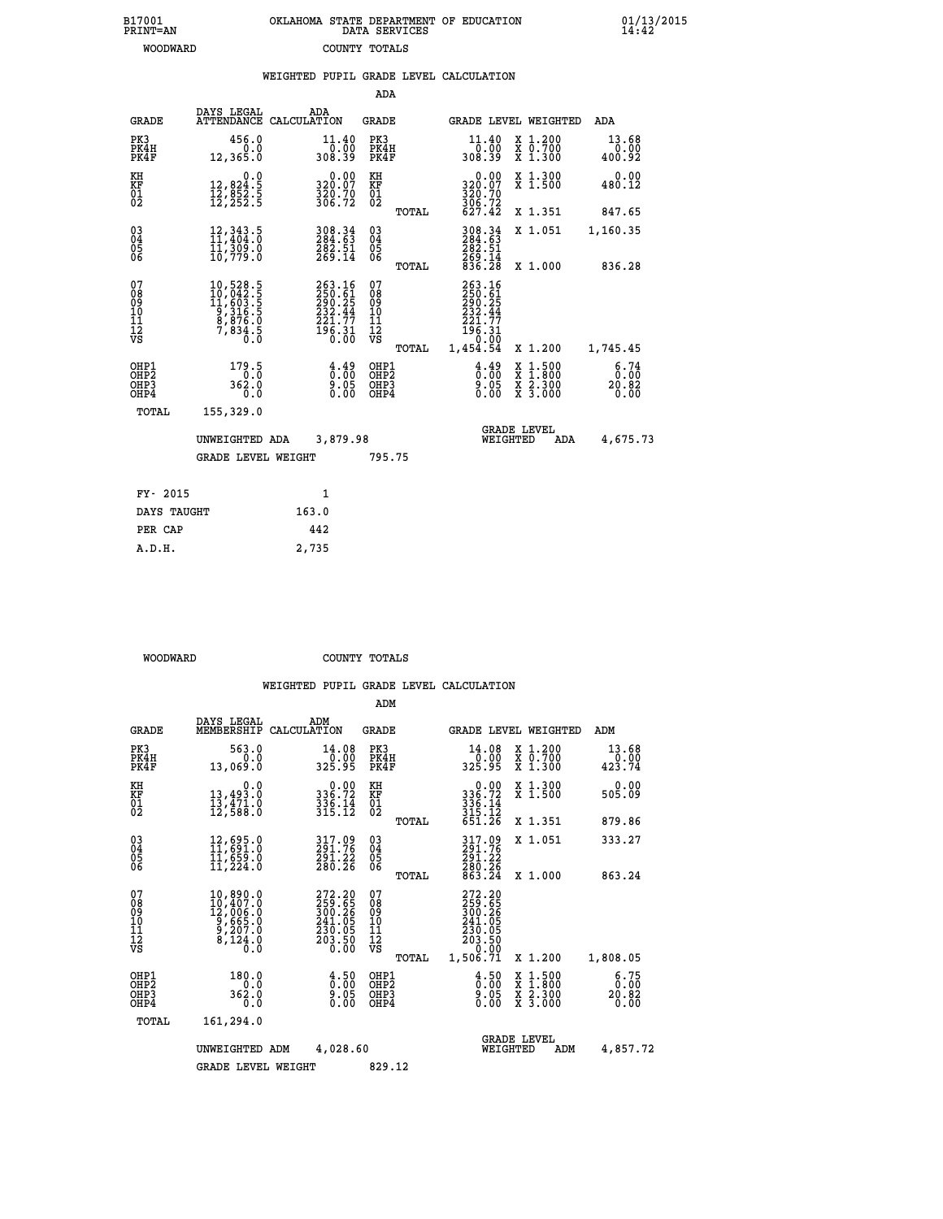| B17001          | OKLAHOMA STATE DEPARTMENT OF EDUCATION |
|-----------------|----------------------------------------|
| <b>PRINT=AN</b> | DATA SERVICES                          |
| WOODWARD        | COUNTY TOTALS                          |

 **B17001 OKLAHOMA STATE DEPARTMENT OF EDUCATION 01/13/2015**

|                                                                    |              |                                                                                                                                              |                                                                            |                                          |       | WEIGHTED PUPIL GRADE LEVEL CALCULATION                                   |                                                                                                                                           |                         |
|--------------------------------------------------------------------|--------------|----------------------------------------------------------------------------------------------------------------------------------------------|----------------------------------------------------------------------------|------------------------------------------|-------|--------------------------------------------------------------------------|-------------------------------------------------------------------------------------------------------------------------------------------|-------------------------|
|                                                                    |              |                                                                                                                                              |                                                                            | <b>ADA</b>                               |       |                                                                          |                                                                                                                                           |                         |
|                                                                    | <b>GRADE</b> | DAYS LEGAL<br>ATTENDANCE CALCULATION                                                                                                         | ADA                                                                        | GRADE                                    |       | GRADE LEVEL WEIGHTED                                                     |                                                                                                                                           | <b>ADA</b>              |
| PK3<br>PK4H<br>PK4F                                                |              | 456.0<br>0.0<br>12,365.0                                                                                                                     | 11.40<br>0.00-<br>308.39                                                   | PK3<br>PK4H<br>PK4F                      |       | 11.40<br>00.07<br>308.39                                                 | X 1.200<br>X 0.700<br>X 1.300                                                                                                             | 13.68<br>0.00<br>400.92 |
| KH<br><b>KF</b><br>01<br>02                                        |              | 0.0<br>12,824:5<br>12,852:5<br>12,252:5                                                                                                      | 0.00<br>320.07<br>320.70<br>306.72                                         | KH<br><b>KF</b><br>01<br>02              |       | 0.00<br>320:07<br>320:70<br>306:72<br>627:42                             | X 1.300<br>X 1.500                                                                                                                        | 0.00<br>480.12          |
|                                                                    |              |                                                                                                                                              |                                                                            |                                          | TOTAL |                                                                          | X 1.351                                                                                                                                   | 847.65                  |
| $\begin{smallmatrix} 03 \\[-4pt] 04 \end{smallmatrix}$<br>Ŏ5<br>06 |              | $\begin{smallmatrix} 12\,,\,343\,.5\\ 11\,,\,404\,.0\\ 11\,,\,309\,.0\\ 10\,,\,779\,.0 \end{smallmatrix}$                                    | 308.34<br>284.63<br>282.51<br>269.14                                       | $\substack{03 \\ 04}$<br>$\frac{05}{06}$ |       | $308.34$<br>$284.63$<br>$282.51$<br>$269.14$<br>$836.28$                 | X 1.051                                                                                                                                   | 1,160.35                |
|                                                                    |              |                                                                                                                                              |                                                                            |                                          | TOTAL |                                                                          | X 1.000                                                                                                                                   | 836.28                  |
| 07<br>08<br>09<br>11<br>11<br>12<br>VS                             |              | $\begin{smallmatrix} 10,528\cdot 5\\ 10,042\cdot 5\\ 11,603\cdot 5\\ 9,316\cdot 5\\ 8,876\cdot 0\\ 7,834\cdot 5\\ 0\cdot 0\end{smallmatrix}$ | 263.16<br>250.61<br>290.25<br>290.25<br>232.44<br>221.77<br>196.31<br>0.00 | 07<br>08<br>09<br>11<br>11<br>12<br>VS   |       | 263.16<br>$250.61$<br>$290.25$<br>$232.44$<br>$221.77$<br>196.31<br>0.00 |                                                                                                                                           |                         |
|                                                                    |              |                                                                                                                                              |                                                                            |                                          | TOTAL | 1,454.54                                                                 | X 1.200                                                                                                                                   | 1,745.45                |
| OHP1<br>OHP <sub>2</sub><br>OHP3<br>OHP4                           |              | 179.5<br>362.0<br>0.0                                                                                                                        | $\frac{4.49}{0.05}$<br>0.00                                                | OHP1<br>OHP2<br>OHP3<br>OHP4             |       | $\frac{4.49}{0.00}$<br>$\frac{5}{0}$ .05                                 | $\begin{smallmatrix} \mathtt{X} & 1\cdot500\\ \mathtt{X} & 1\cdot800\\ \mathtt{X} & 2\cdot300\\ \mathtt{X} & 3\cdot000 \end{smallmatrix}$ | 6:74<br>20.82<br>0.00   |
|                                                                    | TOTAL        | 155,329.0                                                                                                                                    |                                                                            |                                          |       |                                                                          |                                                                                                                                           |                         |
|                                                                    |              | UNWEIGHTED ADA                                                                                                                               | 3,879.98                                                                   |                                          |       | WEIGHTED                                                                 | <b>GRADE LEVEL</b><br>ADA                                                                                                                 | 4,675.73                |
|                                                                    |              | <b>GRADE LEVEL WEIGHT</b>                                                                                                                    |                                                                            | 795.75                                   |       |                                                                          |                                                                                                                                           |                         |
|                                                                    | FY- 2015     |                                                                                                                                              | $\mathbf{1}$                                                               |                                          |       |                                                                          |                                                                                                                                           |                         |
|                                                                    | DAYS TAUGHT  |                                                                                                                                              | 163.0                                                                      |                                          |       |                                                                          |                                                                                                                                           |                         |
|                                                                    | PER CAP      |                                                                                                                                              | 442                                                                        |                                          |       |                                                                          |                                                                                                                                           |                         |
|                                                                    | A.D.H.       |                                                                                                                                              | 2,735                                                                      |                                          |       |                                                                          |                                                                                                                                           |                         |

 **WOODWARD COUNTY TOTALS**

|                                                       |                                                                                                                  |                                                                  | ADM                                    |       |                                                                              |                                          |                                                              |
|-------------------------------------------------------|------------------------------------------------------------------------------------------------------------------|------------------------------------------------------------------|----------------------------------------|-------|------------------------------------------------------------------------------|------------------------------------------|--------------------------------------------------------------|
| <b>GRADE</b>                                          | DAYS LEGAL<br>MEMBERSHIP                                                                                         | ADM<br>CALCULATION                                               | <b>GRADE</b>                           |       |                                                                              | <b>GRADE LEVEL WEIGHTED</b>              | ADM                                                          |
| PK3<br>PK4H<br>PK4F                                   | 563.0<br>0.0<br>13,069.0                                                                                         | 14.08                                                            | PK3<br>PK4H<br>PK4F                    |       | 14.08<br>ةة:ة<br>325.95                                                      | X 1.200<br>X 0.700<br>X 1.300            | 13.68<br>0.00<br>423.74                                      |
| KH<br>KF<br>01<br>02                                  | 0.0<br>13,493.0<br>13,471.0<br>12,588.0                                                                          | $336.72$<br>$336.72$<br>$336.14$<br>$315.12$                     | KH<br>KF<br>01<br>02                   |       | 0.00<br>336:72<br>336:14<br>315:12<br>651:26                                 | X 1.300<br>X 1.500                       | 0.00<br>505.09                                               |
|                                                       |                                                                                                                  |                                                                  |                                        | TOTAL |                                                                              | X 1.351                                  | 879.86                                                       |
| 03<br>04<br>05<br>06                                  | 12,695.0<br>11,691.0<br>11,659.0<br>11,224.0                                                                     | 317.09<br>291.76<br>291.22<br>280.26                             | $^{03}_{04}$<br>05<br>06               |       | 317.09<br>291.76<br>291.22                                                   | X 1.051                                  | 333.27                                                       |
|                                                       |                                                                                                                  |                                                                  |                                        | TOTAL | 280.26<br>863.24                                                             | X 1.000                                  | 863.24                                                       |
| 07<br>08<br>09<br>101<br>112<br>VS                    | $\begin{smallmatrix} 10, 890.0\\ 10, 407.0\\ 12, 006.0\\ 9, 665.0\\ 9, 207.0\\ 8, 124.0\\ 0.0 \end{smallmatrix}$ | 272.20<br>259.65<br>300.26<br>241.05<br>230.05<br>203.50<br>0.00 | 07<br>08<br>09<br>11<br>11<br>12<br>VS | TOTAL | 272.20<br>259.65<br>300.26<br>241.05<br>230.05<br>203.50<br>0.00<br>1,506.71 | X 1.200                                  | 1,808.05                                                     |
| OHP1<br>OH <sub>P</sub> 2<br>OH <sub>P3</sub><br>OHP4 | 180.0<br>0.0<br>362.0<br>0.0                                                                                     | $\frac{4.50}{0.00}$<br>0.00                                      | OHP1<br>OHP2<br>OHP3<br>OHP4           |       | $\begin{smallmatrix} 4.50\ 0.00 \ 9.05 \ 0.00 \end{smallmatrix}$             | X 1:500<br>X 1:800<br>X 2:300<br>X 3:000 | $\begin{array}{c} 6.75 \\ 0.00 \\ 20.82 \end{array}$<br>0.00 |
| TOTAL                                                 | 161,294.0                                                                                                        |                                                                  |                                        |       |                                                                              |                                          |                                                              |
|                                                       | UNWEIGHTED                                                                                                       | 4,028.60<br>ADM                                                  |                                        |       | WEIGHTED                                                                     | <b>GRADE LEVEL</b><br>ADM                | 4,857.72                                                     |
|                                                       | <b>GRADE LEVEL WEIGHT</b>                                                                                        |                                                                  | 829.12                                 |       |                                                                              |                                          |                                                              |